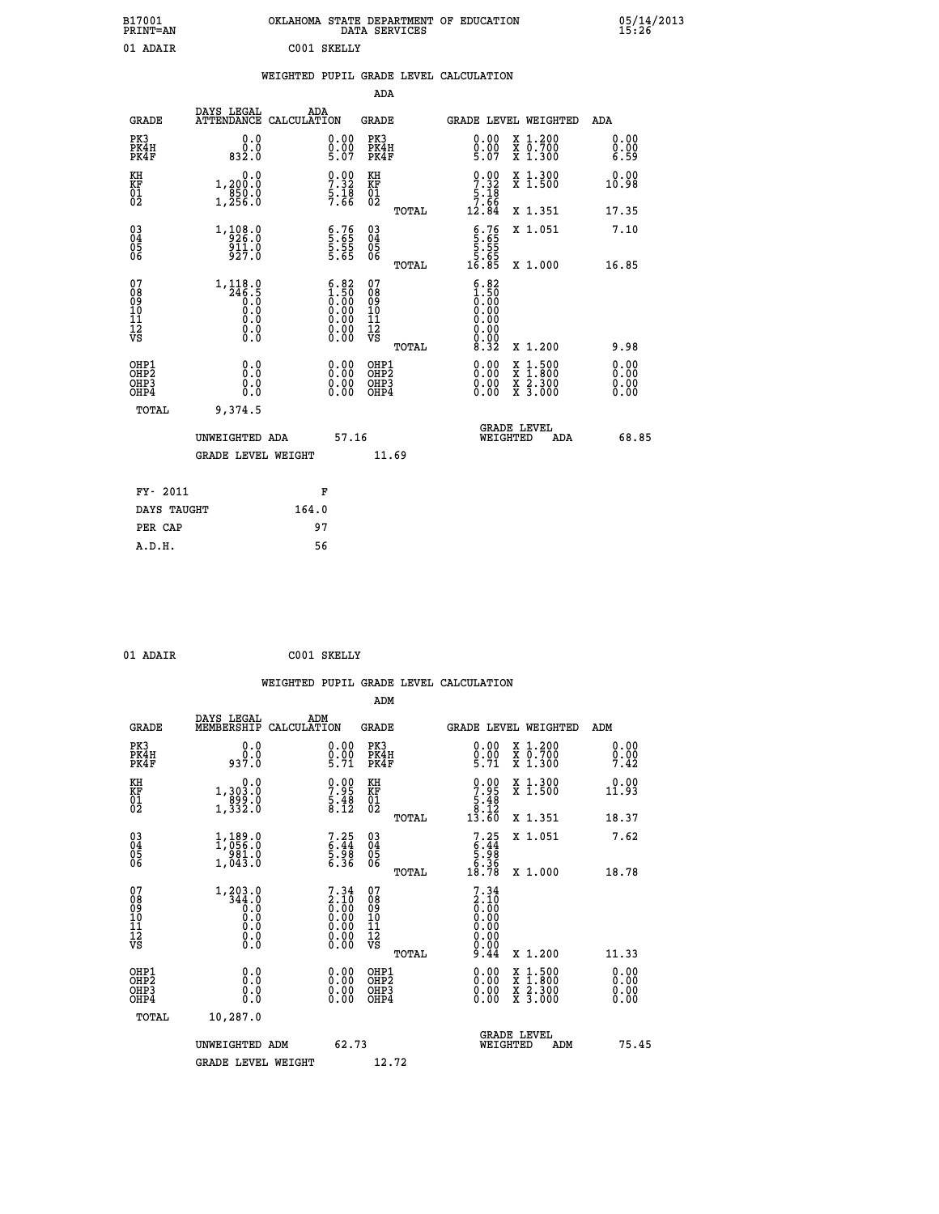| B17001<br><b>PRINT=AN</b> | OKLAHOMA STATE DEPARTMENT OF EDUCATION<br>DATA SERVICES | 05/14/2013<br>15:26 |
|---------------------------|---------------------------------------------------------|---------------------|
| 01<br>ADAIR               | CO 01<br>SKELLY                                         |                     |

#### **WEIGHTED PUPIL GRADE LEVEL CALCULATION**

|                                                                  |                                                                                     |                                                                                               | ADA                                       |       |                                                                      |                                          |                              |
|------------------------------------------------------------------|-------------------------------------------------------------------------------------|-----------------------------------------------------------------------------------------------|-------------------------------------------|-------|----------------------------------------------------------------------|------------------------------------------|------------------------------|
| <b>GRADE</b>                                                     | DAYS LEGAL                                                                          | ADA<br>ATTENDANCE CALCULATION                                                                 | <b>GRADE</b>                              |       |                                                                      | <b>GRADE LEVEL WEIGHTED</b>              | ADA                          |
| PK3<br>PK4H<br>PK4F                                              | 0.0<br>0.0<br>832.0                                                                 | $\substack{0.00\\0.00\\5.07}$                                                                 | PK3<br>PK4H<br>PK4F                       |       | $0.00$<br>$0.00$<br>$5.07$                                           | X 1.200<br>X 0.700<br>X 1.300            | 0.00<br>0.00<br>6.59         |
| KH<br>KF<br>01<br>02                                             | 0.0<br>1,200:0<br>850:0<br>1,256:0                                                  | $\begin{array}{c} 0.00 \\ 7.32 \\ 5.18 \\ 7.66 \end{array}$                                   | KH<br>KF<br>01<br>02                      |       | $\begin{array}{r} 0.00 \\ 7.32 \\ 5.18 \\ 7.66 \\ 12.84 \end{array}$ | X 1.300<br>X 1.500                       | 0.00<br>10.98                |
|                                                                  |                                                                                     |                                                                                               |                                           | TOTAL |                                                                      | X 1.351                                  | 17.35                        |
| $\begin{matrix} 03 \\ 04 \\ 05 \\ 06 \end{matrix}$               | $1, \frac{108}{926}$ :0<br>911.0<br>927.0                                           | $\begin{array}{c} 6.76 \\ 5.65 \\ 5.55 \\ 5.65 \end{array}$                                   | 03<br>04<br>05<br>06                      |       | $6.76$<br>5.65<br>5.55<br>5.65<br>16.85                              | X 1.051                                  | 7.10                         |
|                                                                  |                                                                                     |                                                                                               |                                           | TOTAL |                                                                      | X 1.000                                  | 16.85                        |
| 07<br>08<br>09<br>11<br>11<br>12<br>VS                           | $\begin{smallmatrix} 1,118.0\\246.5\\0.0\\0.0\\0.0\\0.0\\0.0\\0.0\end{smallmatrix}$ | $\begin{smallmatrix} 6.82\ 1.50\ 0.00\ 0.00\ 0.00\ 0.00\ 0.00\ 0.00\ 0.00\ \end{smallmatrix}$ | 07<br>08<br>09<br>101<br>11<br>12<br>VS   |       | $5.82$<br>1.50<br>$\overline{0}$ .00<br>0.00<br>0.00<br>ŏ.ŏŏ<br>ŏ.ŏŏ |                                          |                              |
|                                                                  |                                                                                     |                                                                                               |                                           | TOTAL | 8.32                                                                 | X 1.200                                  | 9.98                         |
| OH <sub>P1</sub><br>OH <sub>P2</sub><br>OH <sub>P3</sub><br>OHP4 | 0.0<br>0.0<br>0.0                                                                   | $0.00$<br>$0.00$<br>0.00                                                                      | OHP1<br>OH <sub>P</sub> 2<br>OHP3<br>OHP4 |       | 0.00<br>0.00<br>0.00                                                 | X 1:500<br>X 1:800<br>X 2:300<br>X 3:000 | 0.00<br>0.00<br>0.00<br>0.00 |
| TOTAL                                                            | 9,374.5                                                                             |                                                                                               |                                           |       |                                                                      |                                          |                              |
|                                                                  | UNWEIGHTED ADA                                                                      |                                                                                               | 57.16                                     |       | WEIGHTED                                                             | <b>GRADE LEVEL</b><br>ADA                | 68.85                        |
|                                                                  | GRADE LEVEL WEIGHT                                                                  |                                                                                               |                                           | 11.69 |                                                                      |                                          |                              |
| FY- 2011                                                         |                                                                                     | F                                                                                             |                                           |       |                                                                      |                                          |                              |
| DAYS TAUGHT                                                      |                                                                                     | 164.0                                                                                         |                                           |       |                                                                      |                                          |                              |
| PER CAP                                                          |                                                                                     | 97                                                                                            |                                           |       |                                                                      |                                          |                              |
|                                                                  |                                                                                     |                                                                                               |                                           |       |                                                                      |                                          |                              |

|  | 01 ADAIR |
|--|----------|
|  |          |

 **A.D.H. 56**

 $C001$  SKELLY

 **WEIGHTED PUPIL GRADE LEVEL CALCULATION ADM DAYS LEGAL ADM GRADE MEMBERSHIP CALCULATION GRADE GRADE LEVEL WEIGHTED ADM**

| ىسمى                                                 | MEMBERGHIF CADCODAIION                                                                                                 |                                                                   | تتسمى                                              | GRADE DEVED WEIGHIED                                                 |                                          | בעת                                                                                                                                                                                                                                                                            |
|------------------------------------------------------|------------------------------------------------------------------------------------------------------------------------|-------------------------------------------------------------------|----------------------------------------------------|----------------------------------------------------------------------|------------------------------------------|--------------------------------------------------------------------------------------------------------------------------------------------------------------------------------------------------------------------------------------------------------------------------------|
| PK3<br>PK4H<br>PK4F                                  | $0.0$<br>$0.0$<br>$0.7.0$                                                                                              | $\begin{smallmatrix} 0.00\ 0.00\ 5.71 \end{smallmatrix}$          | PK3<br>PK4H<br>PK4F                                | $\begin{smallmatrix} 0.00\\ 0.00\\ 5.71 \end{smallmatrix}$           | X 1.200<br>X 0.700<br>X 1.300            | 0.00<br>$\frac{0}{7}.00$<br>7.42                                                                                                                                                                                                                                               |
| KH<br>KF<br>01<br>02                                 | 0.0<br>1,303.0<br>899.0<br>1,332.0                                                                                     | $\begin{smallmatrix} 0.00\\ 7.95\\ 5.48\\ 8.12 \end{smallmatrix}$ | KH<br>KF<br>01<br>02                               | $\begin{array}{c} 0.00 \\ 7.95 \\ 5.48 \\ 8.12 \\ 13.60 \end{array}$ | X 1.300<br>X 1.500                       | 0.00<br>11.93                                                                                                                                                                                                                                                                  |
|                                                      |                                                                                                                        |                                                                   | TOTAL                                              |                                                                      | X 1.351                                  | 18.37                                                                                                                                                                                                                                                                          |
| 03<br>04<br>05<br>06                                 | 1,189.0<br>1,056.0<br>981.0<br>1,043.0                                                                                 | $7.25$<br>6.44<br>5.98<br>5.36                                    | $\begin{matrix} 03 \\ 04 \\ 05 \\ 06 \end{matrix}$ | $7.25$<br>$5.44$<br>$5.98$<br>$6.36$<br>$18.78$                      | X 1.051                                  | 7.62                                                                                                                                                                                                                                                                           |
|                                                      |                                                                                                                        |                                                                   | TOTAL                                              |                                                                      | X 1.000                                  | 18.78                                                                                                                                                                                                                                                                          |
| 07<br>08<br>09<br>101<br>11<br>12<br>VS              | $\begin{smallmatrix} 1,203 & 0\\ 344 & 0\\ 0 & 0\\ 0 & 0\\ 0 & 0\\ 0 & 0\\ 0 & 0\\ 0 & 0\\ 0 & 0\\ 0\end{smallmatrix}$ |                                                                   | 07<br>08<br>09<br>001<br>11<br>11<br>12<br>VS      | $7.34\n2.10\n0.00\n0.00\n0.00\n0.00\n0.00\n9.44$                     |                                          |                                                                                                                                                                                                                                                                                |
|                                                      |                                                                                                                        |                                                                   | TOTAL                                              |                                                                      | X 1.200                                  | 11.33                                                                                                                                                                                                                                                                          |
| OHP1<br>OHP <sub>2</sub><br>OH <sub>P3</sub><br>OHP4 |                                                                                                                        | $\begin{smallmatrix} 0.00 \ 0.00 \ 0.00 \ 0.00 \end{smallmatrix}$ | OHP1<br>OHP <sub>2</sub><br>OHP3<br>OHP4           |                                                                      | X 1:500<br>X 1:800<br>X 2:300<br>X 3:000 | $\begin{smallmatrix} 0.00 & 0.00 & 0.00 & 0.00 & 0.00 & 0.00 & 0.00 & 0.00 & 0.00 & 0.00 & 0.00 & 0.00 & 0.00 & 0.00 & 0.00 & 0.00 & 0.00 & 0.00 & 0.00 & 0.00 & 0.00 & 0.00 & 0.00 & 0.00 & 0.00 & 0.00 & 0.00 & 0.00 & 0.00 & 0.00 & 0.00 & 0.00 & 0.00 & 0.00 & 0.00 & 0.0$ |
| TOTAL                                                | 10,287.0                                                                                                               |                                                                   |                                                    |                                                                      |                                          |                                                                                                                                                                                                                                                                                |
|                                                      | UNWEIGHTED ADM                                                                                                         | 62.73                                                             |                                                    | <b>GRADE LEVEL</b><br>WEIGHTED                                       | ADM                                      | 75.45                                                                                                                                                                                                                                                                          |
|                                                      | <b>GRADE LEVEL WEIGHT</b>                                                                                              |                                                                   | 12.72                                              |                                                                      |                                          |                                                                                                                                                                                                                                                                                |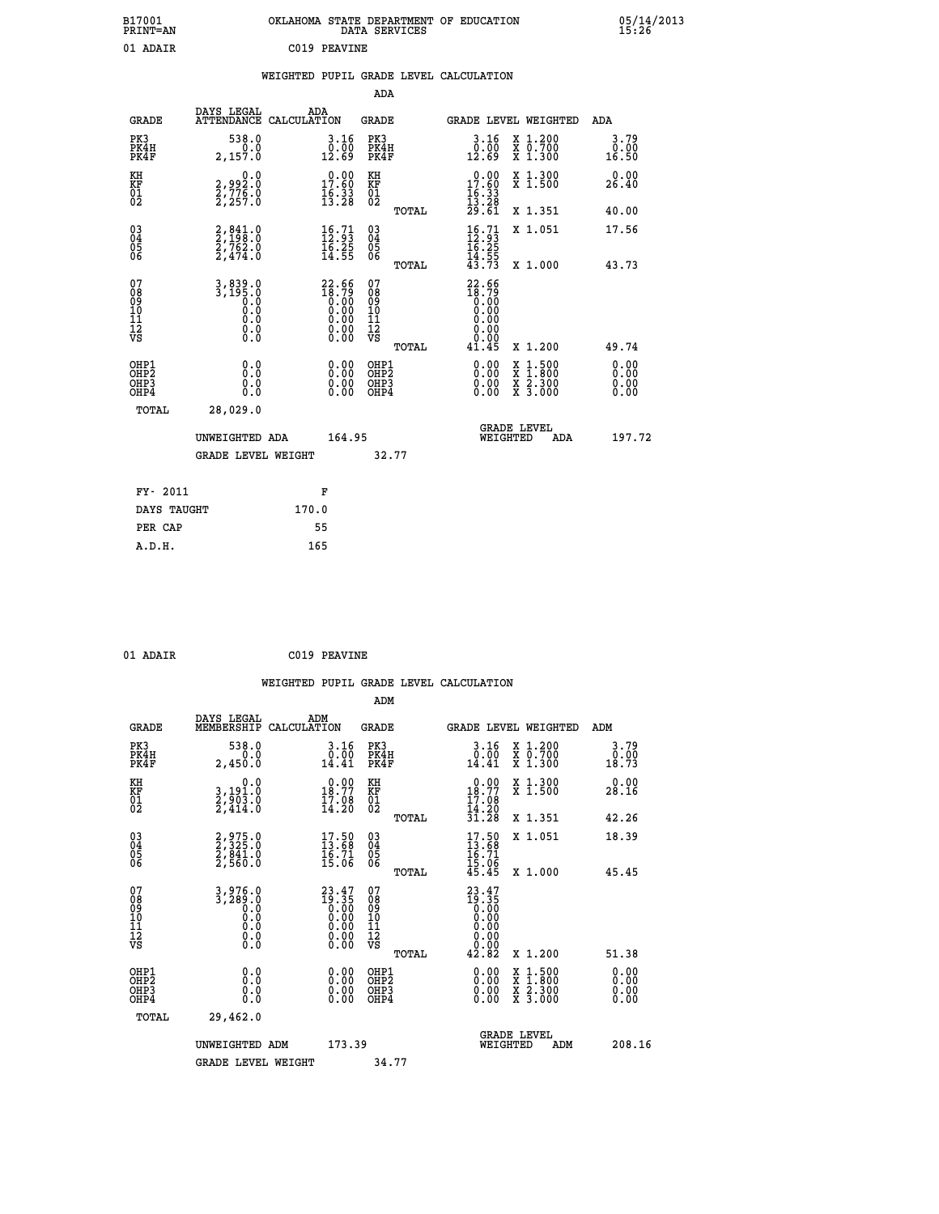| B17001<br><b>PRINT=AN</b> | OKLAHOMA STATE DEPARTMENT OF EDUCATION<br>DATA SERVICES | 05/14/2013<br>15:26 |
|---------------------------|---------------------------------------------------------|---------------------|
| 01 ADAIR                  | C019 PEAVINE                                            |                     |

|  |  | WEIGHTED PUPIL GRADE LEVEL CALCULATION |
|--|--|----------------------------------------|
|  |  |                                        |

|                                                                    |                                                                                                         |                                                                                                                        | ADA                                      |       |                                                                                                    |                                                                                                  |                              |
|--------------------------------------------------------------------|---------------------------------------------------------------------------------------------------------|------------------------------------------------------------------------------------------------------------------------|------------------------------------------|-------|----------------------------------------------------------------------------------------------------|--------------------------------------------------------------------------------------------------|------------------------------|
| <b>GRADE</b>                                                       | DAYS LEGAL<br>ATTENDANCE CALCULATION                                                                    | ADA                                                                                                                    | <b>GRADE</b>                             |       | <b>GRADE LEVEL WEIGHTED</b>                                                                        |                                                                                                  | ADA                          |
| PK3<br>PK4H<br>PK4F                                                | 538.0<br>0.0<br>2,157.0                                                                                 | 3.16<br>$\frac{0.00}{12.69}$                                                                                           | PK3<br>PK4H<br>PK4F                      |       | 3.16<br>$\begin{smallmatrix} \v{0} \ 12.69 \end{smallmatrix}$                                      | X 1.200<br>X 0.700<br>X 1.300                                                                    | 3.79<br>0.00<br>16.50        |
| KH<br><b>KF</b><br>01<br>02                                        | 0.0<br>2,992:0<br>2,776:0<br>2,257:0                                                                    | 17.60<br>$\frac{16}{13}$ $\frac{33}{28}$                                                                               | KH<br><b>KF</b><br>01<br>02              |       | 17.60<br>$\frac{16}{13}$ $\cdot\frac{33}{28}$<br>$\frac{29}{51}$                                   | X 1.300<br>X 1.500                                                                               | 0.00<br>26.40                |
|                                                                    |                                                                                                         |                                                                                                                        |                                          | TOTAL |                                                                                                    | X 1.351                                                                                          | 40.00                        |
| $\begin{smallmatrix} 03 \\[-4pt] 04 \end{smallmatrix}$<br>Ŏ5<br>06 | $2,841.0$<br>$2,762.0$<br>$2,762.0$<br>$2,474.0$                                                        | $\begin{smallmatrix} 16.71\ 12.93\ 16.25\ 14.55 \end{smallmatrix}$                                                     | $\substack{03 \\ 04}$<br>05<br>06        | TOTAL | $16.71$<br>$12.93$<br>$16.25$<br>$14.55$<br>$43.73$                                                | X 1.051<br>X 1.000                                                                               | 17.56<br>43.73               |
| 07<br>08<br>09<br>11<br>11<br>12<br>VS                             | 3,839.0<br>3,195.0<br>0.0<br>0.0<br>$\begin{smallmatrix} 0.0 & 0 \ 0.0 & 0 \ 0.0 & 0 \end{smallmatrix}$ | $22.56$<br>$18.79$<br>$0.00$<br>$0.00$<br>$0.00$<br>$\begin{smallmatrix} 0.00 & 0.00 \\ 0.00 & 0.00 \end{smallmatrix}$ | 07<br>08<br>09<br>11<br>11<br>12<br>VS   | TOTAL | $22.66$<br>$18.79$<br>0.00<br>0.00<br>0.00<br>$\begin{array}{c} 0.00 \\ 0.00 \\ 41.45 \end{array}$ | X 1.200                                                                                          | 49.74                        |
| OHP1<br>OH <sub>P2</sub><br>OH <sub>P3</sub><br>OH <sub>P4</sub>   | 0.0<br>0.0<br>0.0                                                                                       | 0.00<br>$\begin{smallmatrix} 0.00 \ 0.00 \end{smallmatrix}$                                                            | OHP1<br>OHP <sub>2</sub><br>OHP3<br>OHP4 |       | 0.00<br>0.00<br>0.00                                                                               | $\begin{smallmatrix} x & 1 & 500 \\ x & 1 & 800 \\ x & 2 & 300 \\ x & 3 & 000 \end{smallmatrix}$ | 0.00<br>0.00<br>0.00<br>0.00 |
| TOTAL                                                              | 28,029.0<br>UNWEIGHTED ADA                                                                              | 164.95                                                                                                                 |                                          |       | GRADE LEVEL<br>WEIGHTED                                                                            | ADA                                                                                              | 197.72                       |
|                                                                    | <b>GRADE LEVEL WEIGHT</b>                                                                               |                                                                                                                        | 32.77                                    |       |                                                                                                    |                                                                                                  |                              |
| FY- 2011                                                           |                                                                                                         | F                                                                                                                      |                                          |       |                                                                                                    |                                                                                                  |                              |
| DAYS TAUGHT                                                        |                                                                                                         | 170.0                                                                                                                  |                                          |       |                                                                                                    |                                                                                                  |                              |
| PER CAP                                                            |                                                                                                         | 55                                                                                                                     |                                          |       |                                                                                                    |                                                                                                  |                              |

| $^{\circ}$ | $\lambda$ |  |
|------------|-----------|--|

 **ADM**

 **01 ADAIR C019 PEAVINE**

| <b>GRADE</b>                                       | DAYS LEGAL<br>MEMBERSHIP CALCULATION          | ADM                                                                                     | <b>GRADE</b>                                       |       |                                                                               |          | GRADE LEVEL WEIGHTED                     | ADM                   |
|----------------------------------------------------|-----------------------------------------------|-----------------------------------------------------------------------------------------|----------------------------------------------------|-------|-------------------------------------------------------------------------------|----------|------------------------------------------|-----------------------|
| PK3<br>PK4H<br>PK4F                                | 538.0<br>0.0<br>2,450.0                       | 3.16<br>$\begin{array}{c} 0.00 \\ 14.41 \end{array}$                                    | PK3<br>PK4H<br>PK4F                                |       | 3.16<br>0.00<br>14.41                                                         |          | X 1.200<br>X 0.700<br>X 1.300            | 3.79<br>0.00<br>18.73 |
| KH<br>KF<br>01<br>02                               | 0.0<br>3,191.0<br>2,903.0<br>2,414.0          | $\begin{smallmatrix} 0.00\\18.77\\17.08\\14.20 \end{smallmatrix}$                       | KH<br>KF<br>01<br>02                               |       | $\begin{smallmatrix} 0.00\\18.77\\17.08\\14.20 \end{smallmatrix}$             |          | X 1.300<br>X 1.500                       | 0.00<br>28.16         |
|                                                    |                                               |                                                                                         |                                                    | TOTAL | $\overline{31.28}$                                                            |          | X 1.351                                  | 42.26                 |
| $\begin{matrix} 03 \\ 04 \\ 05 \\ 06 \end{matrix}$ | 2,975.0<br>2,325.0<br>2,841.0<br>2,560.0      | $\begin{smallmatrix} 17.50\\ 13.68\\ 16.71\\ 15.06 \end{smallmatrix}$                   | $\begin{matrix} 03 \\ 04 \\ 05 \\ 06 \end{matrix}$ |       | $17.50$<br>$13.68$<br>$16.71$<br>$15.06$<br>$45.45$                           |          | X 1.051                                  | 18.39                 |
|                                                    |                                               |                                                                                         |                                                    | TOTAL |                                                                               |          | X 1.000                                  | 45.45                 |
| 07<br>08<br>09<br>101<br>11<br>12<br>VS            | $3, 289.0\n3, 289.0\n0.0\n0.0\n0.0\n0.0\n0.0$ | $\begin{smallmatrix} 23.47\\19.35\\0.00\\0.00\\0.00\\0.00\\0.00\\0.00\end{smallmatrix}$ | 07<br>08<br>09<br>001<br>11<br>11<br>12<br>VS      | TOTAL | $23.47$<br>$19.35$<br>$0.00$<br>$0.00$<br>$0.00$<br>$0.00$<br>$0.00$<br>42.82 |          | X 1.200                                  | 51.38                 |
| OHP1<br>OHP2<br>OHP3<br>OHP4                       | 0.0<br>0.0<br>Ŏ.Ŏ                             | $0.00$<br>$0.00$<br>0.00                                                                | OHP1<br>OHP2<br>OHP3<br>OHP4                       |       | $0.00$<br>$0.00$<br>0.00                                                      |          | X 1:500<br>X 1:800<br>X 2:300<br>X 3:000 | 0.00<br>0.00<br>0.00  |
| TOTAL                                              | 29,462.0                                      |                                                                                         |                                                    |       |                                                                               |          |                                          |                       |
|                                                    | UNWEIGHTED<br>ADM                             | 173.39                                                                                  |                                                    |       |                                                                               | WEIGHTED | <b>GRADE LEVEL</b><br>ADM                | 208.16                |
|                                                    | <b>GRADE LEVEL WEIGHT</b>                     |                                                                                         | 34.77                                              |       |                                                                               |          |                                          |                       |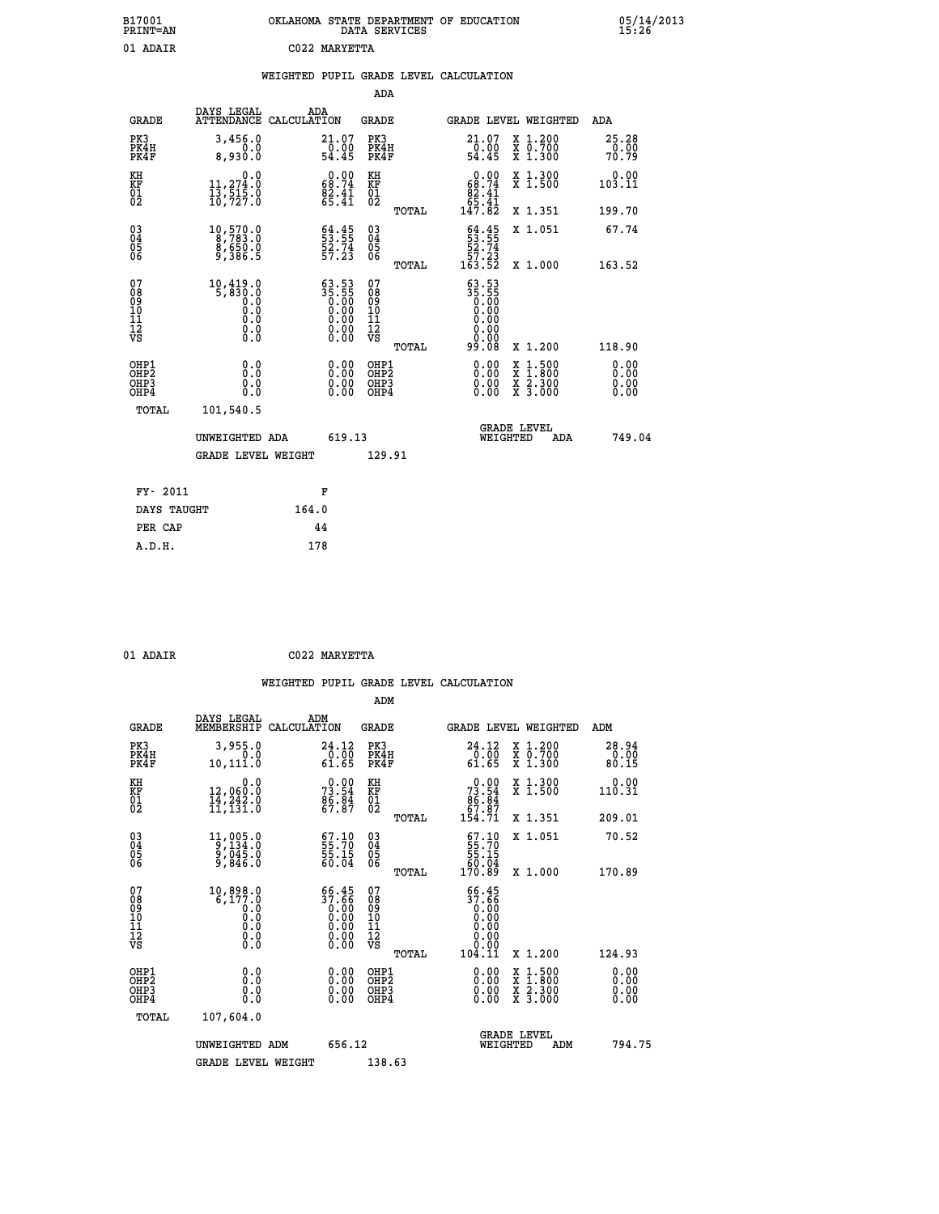| B17001<br><b>PRINT=AN</b> | OKLAHOMA STATE DEPARTMENT OF EDUCATION<br>DATA SERVICES | 05/14/2013<br>15:26 |
|---------------------------|---------------------------------------------------------|---------------------|
| 01 ADAIR                  | C022 MARYETTA                                           |                     |

|  |  | WEIGHTED PUPIL GRADE LEVEL CALCULATION |
|--|--|----------------------------------------|
|  |  |                                        |

|                                                       |                                                                                                  |                                                                                                 | ADA                                       |       |                                                                                          |                                          |                               |
|-------------------------------------------------------|--------------------------------------------------------------------------------------------------|-------------------------------------------------------------------------------------------------|-------------------------------------------|-------|------------------------------------------------------------------------------------------|------------------------------------------|-------------------------------|
| <b>GRADE</b>                                          | DAYS LEGAL                                                                                       | ADA<br>ATTENDANCE CALCULATION                                                                   | <b>GRADE</b>                              |       | <b>GRADE LEVEL WEIGHTED</b>                                                              |                                          | ADA                           |
| PK3<br>PK4H<br>PK4F                                   | 3,456.0<br>0.0<br>8,930.0                                                                        | $\substack{21.07 \\ 0.00 \\ 54.45}$                                                             | PK3<br>PK4H<br>PK4F                       |       | 21.07<br>-ō:ŏġ<br>54.45                                                                  | X 1.200<br>X 0.700<br>X 1.300            | 25.28<br>$\frac{0.00}{70.79}$ |
| KH<br>KF<br>01<br>02                                  | 0.0<br>11,274.0<br>13,515.0<br>10,727.0                                                          | $\begin{smallmatrix} 0.00\\ 68.74\\ 82.41\\ 65.41 \end{smallmatrix}$                            | KH<br>KF<br>01<br>02                      |       | $\begin{smallmatrix} &0.00\\ 68.74\\ 82.41\\ 65.41\\ 147.82\end{smallmatrix}$            | X 1.300<br>X 1.500                       | 0.00<br>103.11                |
|                                                       |                                                                                                  |                                                                                                 |                                           | TOTAL |                                                                                          | X 1.351                                  | 199.70                        |
| 03<br>04<br>05<br>06                                  | 10,570.0<br>8,783.0<br>$\frac{8}{9}, \frac{650}{386}.5$                                          | $53.55$<br>$53.74$<br>$52.74$<br>$57.23$                                                        | 03<br>04<br>05<br>06                      | TOTAL | $53.55$<br>53.55<br>52.74<br>57.23<br>163.52                                             | X 1.051<br>X 1.000                       | 67.74<br>163.52               |
| 07<br>08<br>09<br>11<br>11<br>12<br>VS                | 10,419.0<br>5,830.0<br>0.0<br>$\begin{smallmatrix} 0.5 & 0 \ 0.0 & 0 \end{smallmatrix}$<br>0.000 | $\begin{smallmatrix} 63.53\ 35.55\ 0.00\ 0.00\ 0.00\ 0.00\ 0.00\ 0.00\ 0.00\ \end{smallmatrix}$ | 07<br>08<br>09<br>11<br>11<br>12<br>VS    | TOTAL | $\begin{smallmatrix} 63.53\ 35.55\ 0.00\ 0.00\ 0.00\ \end{smallmatrix}$<br>0.00<br>99.08 | X 1.200                                  | 118.90                        |
| OHP1<br>OH <sub>P</sub> 2<br>OH <sub>P3</sub><br>OHP4 | 0.0<br>0.0<br>0.0                                                                                | 0.00<br>$\begin{smallmatrix} 0.00 \ 0.00 \end{smallmatrix}$                                     | OHP1<br>OH <sub>P</sub> 2<br>OHP3<br>OHP4 |       | 0.00<br>0.00<br>0.00                                                                     | X 1:500<br>X 1:800<br>X 2:300<br>X 3:000 | 0.00<br>0.00<br>0.00<br>0.00  |
| TOTAL                                                 | 101,540.5<br>UNWEIGHTED ADA                                                                      | 619.13                                                                                          |                                           |       | WEIGHTED                                                                                 | <b>GRADE LEVEL</b><br>ADA                | 749.04                        |
|                                                       | <b>GRADE LEVEL WEIGHT</b>                                                                        |                                                                                                 | 129.91                                    |       |                                                                                          |                                          |                               |
| FY- 2011                                              |                                                                                                  | F                                                                                               |                                           |       |                                                                                          |                                          |                               |
| DAYS TAUGHT                                           |                                                                                                  | 164.0                                                                                           |                                           |       |                                                                                          |                                          |                               |
| PER CAP                                               |                                                                                                  | 44                                                                                              |                                           |       |                                                                                          |                                          |                               |
| A.D.H.                                                |                                                                                                  | 178                                                                                             |                                           |       |                                                                                          |                                          |                               |
|                                                       |                                                                                                  |                                                                                                 |                                           |       |                                                                                          |                                          |                               |

| . Р |
|-----|
|     |

 **01 ADAIR C022 MARYETTA**

|                                          |                                                                                                     |                                                                                                 | ADM                                                 |       |                                                                                |                                          |                              |        |
|------------------------------------------|-----------------------------------------------------------------------------------------------------|-------------------------------------------------------------------------------------------------|-----------------------------------------------------|-------|--------------------------------------------------------------------------------|------------------------------------------|------------------------------|--------|
| <b>GRADE</b>                             | DAYS LEGAL<br>MEMBERSHIP                                                                            | ADM<br>CALCULATION                                                                              | <b>GRADE</b>                                        |       | GRADE LEVEL WEIGHTED                                                           |                                          | ADM                          |        |
| PK3<br>PK4H<br>PK4F                      | 3,955.0<br>0.0<br>10,111.0                                                                          | 24.12<br>0.00<br>61.65                                                                          | PK3<br>PK4H<br>PK4F                                 |       | 24.12<br>0.00<br>61.65                                                         | X 1.200<br>X 0.700<br>X 1.300            | 28.94<br>0.00<br>80.15       |        |
| KH<br>KF<br>01<br>02                     | 0.0<br>12,060:0<br>14,242:0<br>11,131:0                                                             | $7^{0.00}_{3.54}$<br>$\frac{85.84}{67.87}$                                                      | KH<br>KF<br>01<br>02                                |       | $73.54\n86.84\n67.87\n154.71$                                                  | X 1.300<br>X 1.500                       | 0.00<br>110.31               |        |
|                                          |                                                                                                     |                                                                                                 |                                                     | TOTAL |                                                                                | X 1.351                                  | 209.01                       |        |
| 03<br>04<br>05<br>06                     | $\begin{smallmatrix} 11,005.0\\ 9,134.0\\ 9,045.0\\ 9,846.0 \end{smallmatrix}$                      | $\begin{smallmatrix} 67.10\\ 55.70\\ 55.15\\ 60.04 \end{smallmatrix}$                           | $\begin{array}{c} 03 \\ 04 \\ 05 \\ 06 \end{array}$ |       | $\begin{smallmatrix} 67.10\\ 55.70\\ 55.15\\ 60.04\\ 170.89 \end{smallmatrix}$ | X 1.051                                  | 70.52                        |        |
|                                          |                                                                                                     |                                                                                                 |                                                     | TOTAL |                                                                                | X 1.000                                  | 170.89                       |        |
| 07<br>08<br>09<br>101<br>112<br>VS       | 10,898.0<br>6,177.0<br>$\begin{smallmatrix} 0.0 & 0 \ 0.0 & 0 \ 0.0 & 0 \end{smallmatrix}$<br>$\S.$ | $\begin{smallmatrix} 66.45\ 37.66\ 0.00\ 0.00\ 0.00\ 0.00\ 0.00\ 0.00\ 0.00\ \end{smallmatrix}$ | 07<br>08<br>09<br>101<br>11<br>12<br>VS             |       | $\frac{66.45}{37.66}$<br>0.00<br>0.00                                          |                                          |                              |        |
|                                          |                                                                                                     |                                                                                                 |                                                     | TOTAL | 104.11                                                                         | X 1.200                                  | 124.93                       |        |
| OHP1<br>OHP2<br>OH <sub>P3</sub><br>OHP4 | 0.0<br>0.000                                                                                        | $0.00$<br>$0.00$<br>0.00                                                                        | OHP1<br>OHP2<br>OHP <sub>3</sub>                    |       | $0.00$<br>$0.00$<br>0.00                                                       | X 1:500<br>X 1:800<br>X 2:300<br>X 3:000 | 0.00<br>0.00<br>0.00<br>0.00 |        |
| TOTAL                                    | 107,604.0                                                                                           |                                                                                                 |                                                     |       |                                                                                |                                          |                              |        |
|                                          | UNWEIGHTED ADM                                                                                      | 656.12                                                                                          |                                                     |       | WEIGHTED                                                                       | <b>GRADE LEVEL</b><br>ADM                |                              | 794.75 |
|                                          | <b>GRADE LEVEL WEIGHT</b>                                                                           |                                                                                                 | 138.63                                              |       |                                                                                |                                          |                              |        |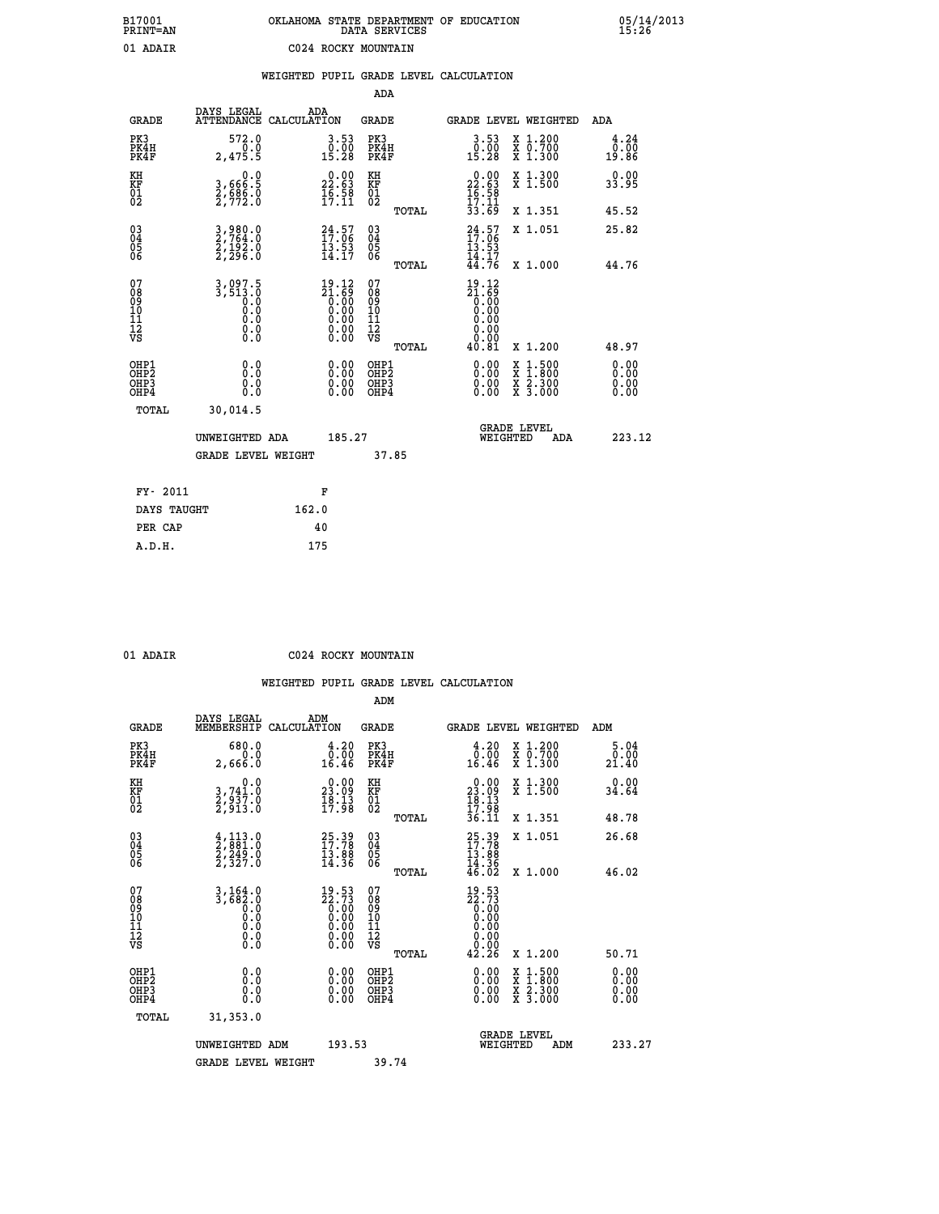# **B17001 OKLAHOMA STATE DEPARTMENT OF EDUCATION 05/14/2013 PRINT=AN DATA SERVICES 15:26 01 ADAIR C024 ROCKY MOUNTAIN**

|       |                                      | WEIGHTED PUPIL GRADE LEVEL CALCULATION |     |       |  |                 |  |
|-------|--------------------------------------|----------------------------------------|-----|-------|--|-----------------|--|
|       |                                      |                                        |     | ADA   |  |                 |  |
| GRADE | DAYS LEGAL<br>ATTENDANCE CALCULATION |                                        | ADA | GRADE |  | GRADE LEVEL WEI |  |

| <b>GRADE</b>                                       | DAIS TEGAT<br><b>ATTENDANCE</b>                                                                  | ADA<br>CALCULATION                                                                      | GRADE                                    |       | <b>GRADE LEVEL WEIGHTED</b>                                                  |                                                                                                                                           | ADA                          |
|----------------------------------------------------|--------------------------------------------------------------------------------------------------|-----------------------------------------------------------------------------------------|------------------------------------------|-------|------------------------------------------------------------------------------|-------------------------------------------------------------------------------------------------------------------------------------------|------------------------------|
| PK3<br>PK4H<br>PK4F                                | 572.0<br>0.0<br>2,475.5                                                                          | 3.53<br>$0.00$<br>15.28                                                                 | PK3<br>PK4H<br>PK4F                      |       | $\begin{smallmatrix} 3.53\ 0.00\ 15.28 \end{smallmatrix}$                    | X 1.200<br>X 0.700<br>X 1.300                                                                                                             | 4.24<br>0.00<br>19.86        |
| KH<br>KF<br>01<br>02                               | 0.0<br>3,666:5<br>2,686:0<br>2,772:0                                                             | $\begin{smallmatrix} 0.00\\ 22.63\\ 16.58\\ 17.11 \end{smallmatrix}$                    | KH<br>KF<br>01<br>02                     |       | $\begin{smallmatrix} 0.00\\ 22.63\\ 16.58\\ 17.11\\ 33.69 \end{smallmatrix}$ | X 1.300<br>X 1.500                                                                                                                        | 0.00<br>33.95                |
|                                                    |                                                                                                  |                                                                                         |                                          | TOTAL |                                                                              | X 1.351                                                                                                                                   | 45.52                        |
| $\begin{matrix} 03 \\ 04 \\ 05 \\ 06 \end{matrix}$ | 3,980.0<br>2,764.0<br>2,192.0<br>2,296.0                                                         | $24.57$<br>$17.06$<br>$13.53$<br>$14.17$                                                | $\substack{03 \\ 04}$<br>$\frac{05}{06}$ | TOTAL | $24.57$<br>$17.06$<br>$13.53$<br>$14.17$<br>$44.76$                          | X 1.051<br>X 1.000                                                                                                                        | 25.82<br>44.76               |
| 07<br>08<br>09<br>11<br>11<br>12<br>VS             | 3,097.5<br>3,513.0<br>0.9<br>$\begin{smallmatrix} 0.1 & 0 \ 0.0 & 0 \ 0.0 & 0 \end{smallmatrix}$ | $\begin{smallmatrix} 19.12\\21.69\\0.00\\0.00\\0.00\\0.00\\0.00\\0.00\end{smallmatrix}$ | 07<br>08<br>09<br>11<br>11<br>12<br>VS   | TOTAL | 19.12<br>$\frac{21.69}{0.00}$<br>40.81                                       | X 1.200                                                                                                                                   | 48.97                        |
| OHP1<br>OHP2<br>OHP3<br>OHP4                       | 0.0<br>0.0<br>Ō.Ō                                                                                | $\begin{smallmatrix} 0.00 \ 0.00 \ 0.00 \ 0.00 \end{smallmatrix}$                       | OHP1<br>OHP2<br>OHP3<br>OHP4             |       |                                                                              | $\begin{smallmatrix} \mathtt{X} & 1\cdot500\\ \mathtt{X} & 1\cdot800\\ \mathtt{X} & 2\cdot300\\ \mathtt{X} & 3\cdot000 \end{smallmatrix}$ | 0.00<br>0.00<br>0.00<br>0.00 |
| TOTAL                                              | 30,014.5<br>UNWEIGHTED ADA<br><b>GRADE LEVEL WEIGHT</b>                                          | 185.27                                                                                  |                                          | 37.85 | WEIGHTED                                                                     | <b>GRADE LEVEL</b><br>ADA                                                                                                                 | 223.12                       |
| FY- 2011                                           |                                                                                                  | F                                                                                       |                                          |       |                                                                              |                                                                                                                                           |                              |
| DAYS TAUGHT                                        |                                                                                                  | 162.0                                                                                   |                                          |       |                                                                              |                                                                                                                                           |                              |

| ADA.<br>R |
|-----------|

**PER CAP 40 A.D.H. 175**

**C024 ROCKY MOUNTAIN** 

|                                          |                                                                                   |                                                                                                       | ADM                                                 |       |                                                                                                                            |                                          |                              |
|------------------------------------------|-----------------------------------------------------------------------------------|-------------------------------------------------------------------------------------------------------|-----------------------------------------------------|-------|----------------------------------------------------------------------------------------------------------------------------|------------------------------------------|------------------------------|
| <b>GRADE</b>                             | DAYS LEGAL<br>MEMBERSHIP                                                          | ADM<br>CALCULATION                                                                                    | <b>GRADE</b>                                        |       |                                                                                                                            | <b>GRADE LEVEL WEIGHTED</b>              | ADM                          |
| PK3<br>PK4H<br>PK4F                      | 680.0<br>0.0<br>2,666.0                                                           | 4.20<br>ة:ة<br>16.46                                                                                  | PK3<br>PK4H<br>PK4F                                 |       | $\begin{smallmatrix} 4.20\\ 0.00\\ 16.46 \end{smallmatrix}$                                                                | X 1.200<br>X 0.700<br>X 1.300            | 5.04<br>0.00<br>21.40        |
| KH<br>KF<br>01<br>02                     | 0.0<br>3,741:0<br>2,937:0<br>2,913:0                                              | $\begin{smallmatrix} 0.00\\ 23.09\\ 18.13\\ 17.98 \end{smallmatrix}$                                  | KH<br>KF<br>01<br>02                                |       | $\begin{smallmatrix} 0.00\\ 23.09\\ 18.13\\ 17.98\\ 36.11 \end{smallmatrix}$                                               | X 1.300<br>X 1.500                       | 0.00<br>34.64                |
|                                          |                                                                                   |                                                                                                       |                                                     | TOTAL |                                                                                                                            | X 1.351                                  | 48.78                        |
| 03<br>04<br>05<br>06                     | $\frac{4}{2}, \frac{113}{881}.0$<br>$2, \frac{249}{327}.0$<br>$2, \frac{327}{30}$ | $25.39$<br>$17.78$<br>$\frac{13.88}{14.36}$                                                           | $\begin{array}{c} 03 \\ 04 \\ 05 \\ 06 \end{array}$ |       | $25.39$<br>$17.78$<br>$13.88$<br>$14.36$<br>$46.02$                                                                        | X 1.051                                  | 26.68                        |
|                                          |                                                                                   |                                                                                                       |                                                     | TOTAL |                                                                                                                            | X 1.000                                  | 46.02                        |
| 07<br>08<br>09<br>101<br>112<br>VS       | $3,164.0$<br>$3,682.0$<br>$0.0$<br>$0.0$<br>$0.0$<br>$\S.$                        | $\begin{smallmatrix} 19.53\ 22.73\ 0.00\ 0.00\ 0.00\ 0.00\ 0.00\ 0.00\ 0.00\ 0.00\ \end{smallmatrix}$ | 07<br>08<br>09<br>101<br>11<br>12<br>VS             | TOTAL | 19.53<br>$\begin{smallmatrix} 22.73 \\ 0.00 \\ 0.00 \\ 0.00 \\ 0.00 \\ 0.00 \\ 0.00 \\ 0.00 \\ \end{smallmatrix}$<br>42.26 | X 1.200                                  | 50.71                        |
|                                          |                                                                                   |                                                                                                       |                                                     |       |                                                                                                                            |                                          |                              |
| OHP1<br>OHP2<br>OH <sub>P3</sub><br>OHP4 | 0.0<br>0.000                                                                      | $0.00$<br>$0.00$<br>0.00                                                                              | OHP1<br>OHP2<br>OHP <sub>3</sub>                    |       | $0.00$<br>$0.00$<br>0.00                                                                                                   | X 1:500<br>X 1:800<br>X 2:300<br>X 3:000 | 0.00<br>0.00<br>0.00<br>0.00 |
| TOTAL                                    | 31, 353.0                                                                         |                                                                                                       |                                                     |       |                                                                                                                            |                                          |                              |
|                                          | UNWEIGHTED ADM                                                                    | 193.53                                                                                                |                                                     |       | WEIGHTED                                                                                                                   | <b>GRADE LEVEL</b><br>ADM                | 233.27                       |
|                                          | <b>GRADE LEVEL WEIGHT</b>                                                         |                                                                                                       | 39.74                                               |       |                                                                                                                            |                                          |                              |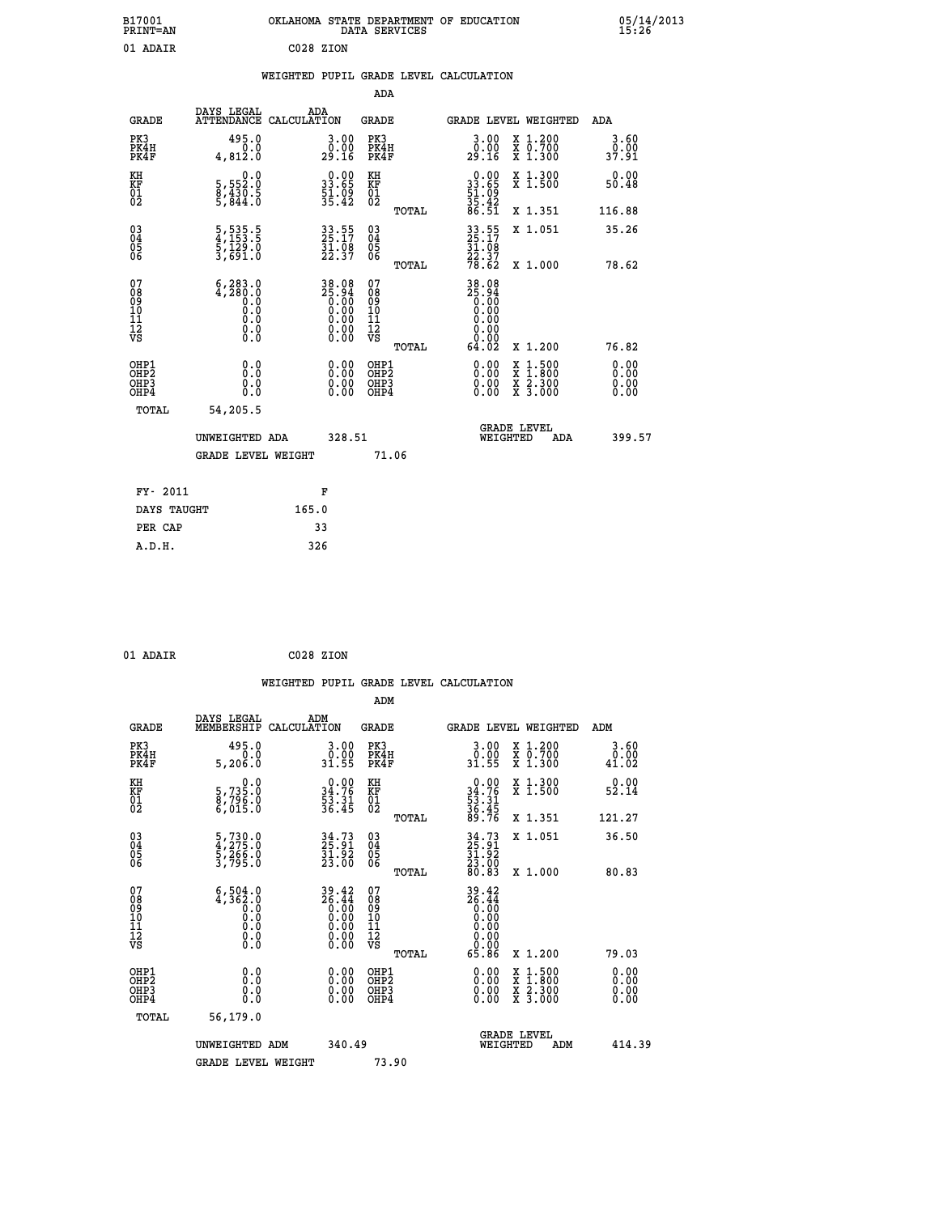| B17001<br><b>PRINT=AN</b> | OKLAHOMA STATE DEPARTMENT OF EDUCATION<br>DATA SERVICES | 05/14/2013<br>15:26 |
|---------------------------|---------------------------------------------------------|---------------------|
| 01 ADAIR                  | C028 ZION                                               |                     |

|  |  | WEIGHTED PUPIL GRADE LEVEL CALCULATION |
|--|--|----------------------------------------|
|  |  |                                        |

|                                                    |                                                          |                                                                                                 | ADA                                    |       |                                                             |   |                                                           |                              |
|----------------------------------------------------|----------------------------------------------------------|-------------------------------------------------------------------------------------------------|----------------------------------------|-------|-------------------------------------------------------------|---|-----------------------------------------------------------|------------------------------|
| <b>GRADE</b>                                       | DAYS LEGAL<br><b>ATTENDANCE</b>                          | ADA<br>CALCULATION                                                                              | GRADE                                  |       | GRADE LEVEL WEIGHTED                                        |   |                                                           | <b>ADA</b>                   |
| PK3<br>PK4H<br>PK4F                                | 495.0<br>0.0<br>4,812.0                                  | 3.00<br>_0.00<br>29.16                                                                          | PK3<br>PK4H<br>PK4F                    |       | $3.00$<br>$0.00$<br>29.Ič                                   |   | X 1.200<br>X 0.700<br>X 1.300                             | $3.60$<br>$0.00$<br>37.91    |
| KH<br><b>KF</b><br>01<br>02                        | 0.0<br>5,552:0<br>8,430:5<br>5,844:0                     | $0.00$<br>33.65<br>$\frac{51}{35}.09$                                                           | KH<br>KF<br>01<br>02                   |       | $0.00$<br>$33.65$<br>$51.09$<br>$35.42$<br>$86.51$          |   | X 1.300<br>X 1.500                                        | 0.00<br>50.48                |
|                                                    |                                                          |                                                                                                 |                                        | TOTAL |                                                             |   | X 1.351                                                   | 116.88                       |
| $\begin{matrix} 03 \\ 04 \\ 05 \\ 06 \end{matrix}$ | 5,535.5<br>4,153.5<br>5,129.0<br>3,691.0                 | 33.55<br>25.17<br>31.08<br>22.37                                                                | 03<br>04<br>05<br>06                   |       | 33.55<br>25.17<br>31.08<br>22.37<br>78.62                   |   | X 1.051                                                   | 35.26                        |
|                                                    |                                                          |                                                                                                 |                                        | TOTAL |                                                             |   | X 1.000                                                   | 78.62                        |
| 07<br>08<br>09<br>101<br>11<br>12<br>VS            | $6, 283.0$<br>$4, 280.0$<br>$0.0$<br>0.0<br>0.0<br>$\S.$ | $\begin{smallmatrix} 38.08\\ 25.94\\ 0.00\\ 0.00\\ 0.00\\ 0.00\\ 0.00\\ 0.00 \end{smallmatrix}$ | 07<br>08<br>09<br>11<br>11<br>12<br>VS | TOTAL | 38.08<br>25.94<br>0.000<br>0.000<br>0.000<br>0.000<br>64.02 |   | X 1.200                                                   | 76.82                        |
| OHP1<br>OHP2<br>OHP3<br>OHP4                       | 0.0<br>0.0<br>0.0                                        | 0.00<br>$0.00$<br>0.00                                                                          | OHP1<br>OHP2<br>OHP3<br>OHP4           |       | $0.00$<br>$0.00$<br>0.00                                    | X | $1.500$<br>$1.800$<br>$\frac{x}{x}$ $\frac{5.300}{3.000}$ | 0.00<br>0.00<br>0.00<br>0.00 |
| TOTAL                                              | 54,205.5                                                 |                                                                                                 |                                        |       |                                                             |   |                                                           |                              |
|                                                    | UNWEIGHTED ADA                                           | 328.51                                                                                          |                                        |       | WEIGHTED                                                    |   | <b>GRADE LEVEL</b><br>ADA                                 | 399.57                       |
|                                                    | <b>GRADE LEVEL WEIGHT</b>                                |                                                                                                 |                                        | 71.06 |                                                             |   |                                                           |                              |
| FY- 2011                                           |                                                          | F                                                                                               |                                        |       |                                                             |   |                                                           |                              |
| DAYS TAUGHT                                        |                                                          | 165.0                                                                                           |                                        |       |                                                             |   |                                                           |                              |
|                                                    |                                                          |                                                                                                 |                                        |       |                                                             |   |                                                           |                              |

| 01 ADAIR | C028 ZION |  |
|----------|-----------|--|
|          |           |  |

 **PER CAP 33 A.D.H. 326**

|                                                      |                                                                                               |                                                                                                                           | WEIGHTED PUPIL GRADE LEVEL CALCULATION |                                                             |                                          |                                    |
|------------------------------------------------------|-----------------------------------------------------------------------------------------------|---------------------------------------------------------------------------------------------------------------------------|----------------------------------------|-------------------------------------------------------------|------------------------------------------|------------------------------------|
|                                                      |                                                                                               |                                                                                                                           | ADM                                    |                                                             |                                          |                                    |
| <b>GRADE</b>                                         | DAYS LEGAL<br>MEMBERSHIP                                                                      | ADM<br>CALCULATION                                                                                                        | <b>GRADE</b>                           | <b>GRADE LEVEL WEIGHTED</b>                                 |                                          | ADM                                |
| PK3<br>PK4H<br>PK4F                                  | 495.0<br>0.0<br>5,206.0                                                                       | $\begin{smallmatrix} 3.00\\ 0.00\\ 31.55 \end{smallmatrix}$                                                               | PK3<br>PK4H<br>PK4F                    | $\begin{smallmatrix} 3.00\\ 0.00\\ 31.55 \end{smallmatrix}$ | X 1.200<br>X 0.700<br>X 1.300            | 3.60<br>$\substack{0.00 \\ 41.02}$ |
| KH<br>KF<br>01<br>02                                 | $\begin{smallmatrix}&&&0.0\5.735.0\8.796.0\0.015.0\end{smallmatrix}$                          | $\begin{array}{r} 0.00 \\ 34.76 \\ 53.31 \\ 36.45 \end{array}$                                                            | KH<br>KF<br>01<br>02                   | $0.0034.7653.3136.4589.76$                                  | X 1.300<br>X 1.500                       | 0.00<br>52.14                      |
|                                                      |                                                                                               |                                                                                                                           | TOTAL                                  |                                                             | X 1.351                                  | 121.27                             |
| $\begin{matrix} 03 \\ 04 \\ 05 \\ 06 \end{matrix}$   | 5,730.0<br>4,275.0<br>5,266.0<br>3,795.0                                                      | 34.73<br>25.91<br>31.92<br>23.00                                                                                          | 03<br>04<br>05<br>06                   | $34.73$<br>$25.91$<br>$31.92$<br>$23.00$<br>$80.83$         | X 1.051                                  | 36.50                              |
| 07                                                   |                                                                                               | 39.42<br>26.44                                                                                                            | TOTAL<br>07                            |                                                             | X 1.000                                  | 80.83                              |
| 0890112<br>1112<br>VS                                | $6,504.0$<br>4,362.0<br>0.0<br>0.0<br>$\begin{smallmatrix} 0.10\ 0.0 \ 0.0 \end{smallmatrix}$ | $\begin{array}{c} 0.00 \\ 0.00 \\ 0.00 \end{array}$<br>$\begin{smallmatrix} 0.00 & 0.00 \\ 0.00 & 0.00 \end{smallmatrix}$ | 08901112<br>1112<br>VS                 | $39.42$<br>$26.44$<br>$0.00$<br>$0.00$<br>0.00<br>0.00      |                                          |                                    |
|                                                      |                                                                                               |                                                                                                                           | TOTAL                                  | 65.86                                                       | X 1.200                                  | 79.03                              |
| OHP1<br>OHP <sub>2</sub><br>OH <sub>P3</sub><br>OHP4 | 0.0<br>0.000                                                                                  | $0.00$<br>$0.00$<br>0.00                                                                                                  | OHP1<br>OHP2<br>OHP <sub>3</sub>       | 0.00<br>0.00<br>0.00                                        | X 1:500<br>X 1:800<br>X 2:300<br>X 3:000 | 0.00<br>0.00<br>0.00               |
| TOTAL                                                | 56,179.0                                                                                      |                                                                                                                           |                                        |                                                             |                                          |                                    |
|                                                      | UNWEIGHTED ADM                                                                                | 340.49                                                                                                                    |                                        | <b>GRADE LEVEL</b><br>WEIGHTED                              | ADM                                      | 414.39                             |
|                                                      | <b>GRADE LEVEL WEIGHT</b>                                                                     |                                                                                                                           | 73.90                                  |                                                             |                                          |                                    |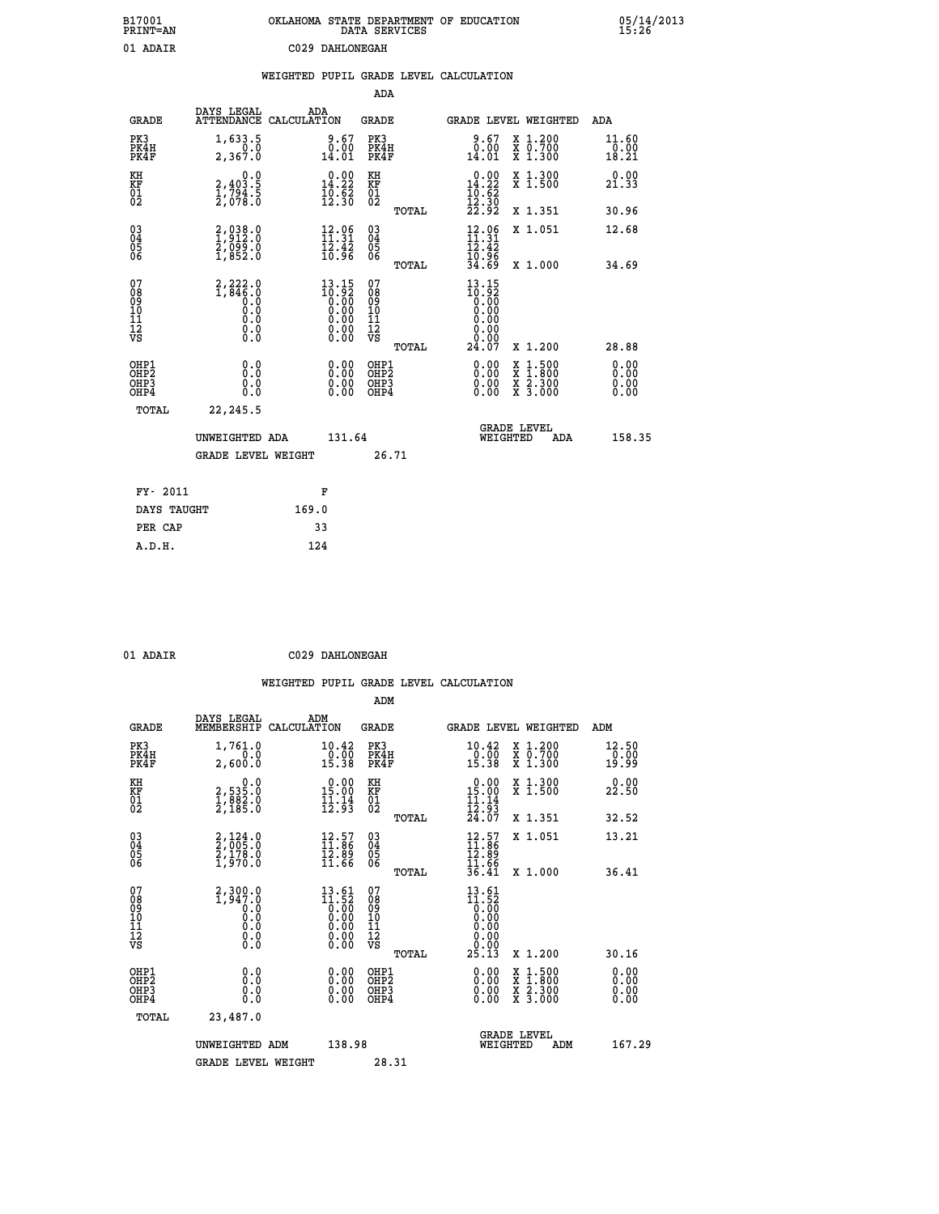| B17001<br>PRINT=AN                                 |                                                       |                                                                                                                      | DATA SERVICES                             | OKLAHOMA STATE DEPARTMENT OF EDUCATION                                                                                                       | 05/14/2013<br>15:26          |
|----------------------------------------------------|-------------------------------------------------------|----------------------------------------------------------------------------------------------------------------------|-------------------------------------------|----------------------------------------------------------------------------------------------------------------------------------------------|------------------------------|
| 01 ADAIR                                           |                                                       | C029 DAHLONEGAH                                                                                                      |                                           |                                                                                                                                              |                              |
|                                                    |                                                       | WEIGHTED PUPIL GRADE LEVEL CALCULATION                                                                               |                                           |                                                                                                                                              |                              |
|                                                    |                                                       |                                                                                                                      | ADA                                       |                                                                                                                                              |                              |
| <b>GRADE</b>                                       | DAYS LEGAL<br>ATTENDANCE CALCULATION                  | ADA                                                                                                                  | GRADE                                     | <b>GRADE LEVEL WEIGHTED</b>                                                                                                                  | ADA                          |
| PK3<br>PK4H<br>PK4F                                | 1,633.5<br>0.0<br>2,367.0                             | 9.67<br>0.00<br>14.01                                                                                                | PK3<br>PK4H<br>PK4F                       | X 1.200<br>X 0.700<br>X 1.300<br>9.67<br>$\overline{0.00}$<br>14.01                                                                          | 11.60<br>0.00<br>18.21       |
| KH<br>KF<br>$\overline{01}$                        | 0.0<br>2,403.5<br>1,794.5<br>2,078.0                  | $\begin{smallmatrix} 0.00\\14.22\\10.62\\12.30 \end{smallmatrix}$                                                    | KН<br>KF<br>01<br>02                      | $\begin{array}{c} 0.00 \\ 14.22 \\ 10.62 \\ 12.30 \end{array}$<br>X 1.300<br>X 1.500                                                         | 0.00<br>21.33                |
|                                                    |                                                       |                                                                                                                      | TOTAL                                     | 22.92<br>X 1.351                                                                                                                             | 30.96                        |
| $\begin{matrix} 03 \\ 04 \\ 05 \\ 06 \end{matrix}$ | 2,038.0<br>1,912.0<br>$\frac{5}{1}, \frac{0}{8}$ 52.0 | $12.96$<br>$11.31$<br>$12.42$<br>10.96                                                                               | 030404<br>ŎĞ                              | $12.06$<br>$11.31$<br>X 1.051<br>12.42<br>10.96                                                                                              | 12.68                        |
|                                                    |                                                       |                                                                                                                      | TOTAL                                     | 34.69<br>X 1.000                                                                                                                             | 34.69                        |
| 07<br>08901112<br>1112<br>VS                       | $2,222.0$<br>1,846.0<br>Ŏ.Ŏ<br>0.0<br>0.00            | $13.15$<br>$10.92$<br>$0.00$<br>$0.00$<br>0.00<br>$\begin{smallmatrix} 0.00 & 0.00 \\ 0.00 & 0.00 \end{smallmatrix}$ | 07<br>08<br>09<br>11<br>11<br>VS<br>TOTAL | 13.15<br>$\begin{smallmatrix} 1 & 0 & 0 & 0 \\ 0 & 0 & 0 & 0 \\ 0 & 0 & 0 & 0 \end{smallmatrix}$<br>0.00<br>0.00<br>0.00<br>24.07<br>X 1.200 | 28.88                        |
| OHP1<br>OHP2<br>OH <sub>P3</sub><br>OHP4           | 0.0<br>0.0<br>0.0                                     | 0.00<br>0.00<br>0.00                                                                                                 | OHP1<br>OHP <sub>2</sub><br>OHP3<br>OHP4  | 0.00<br>$\begin{smallmatrix} x & 1 & 500 \\ x & 1 & 800 \\ x & 2 & 300 \\ x & 3 & 000 \end{smallmatrix}$<br>0.00<br>0.00                     | 0.00<br>0.00<br>0.00<br>0.00 |
| TOTAL                                              | 22, 245.5                                             |                                                                                                                      |                                           |                                                                                                                                              |                              |
|                                                    | UNWEIGHTED ADA                                        | 131.64                                                                                                               |                                           | <b>GRADE LEVEL</b><br>WEIGHTED                                                                                                               | 158.35<br>ADA                |
|                                                    | GRADE LEVEL WEIGHT                                    |                                                                                                                      | 26.71                                     |                                                                                                                                              |                              |
| FY- 2011                                           |                                                       | F                                                                                                                    |                                           |                                                                                                                                              |                              |
| DAYS TAUGHT                                        |                                                       | 169.0                                                                                                                |                                           |                                                                                                                                              |                              |
| PER CAP                                            |                                                       | 33                                                                                                                   |                                           |                                                                                                                                              |                              |
| A.D.H.                                             |                                                       | 124                                                                                                                  |                                           |                                                                                                                                              |                              |

| 01 ADAIR | C029 DAHLONEGAH |
|----------|-----------------|
|          |                 |

 **ADM**

| <b>GRADE</b>                                       | DAYS LEGAL<br>MEMBERSHIP CALCULATION                                                                | ADM                                                                                                                     | <b>GRADE</b>                                        |       | GRADE LEVEL WEIGHTED                                                           |          |                                                                                                                     |     | ADM                    |        |
|----------------------------------------------------|-----------------------------------------------------------------------------------------------------|-------------------------------------------------------------------------------------------------------------------------|-----------------------------------------------------|-------|--------------------------------------------------------------------------------|----------|---------------------------------------------------------------------------------------------------------------------|-----|------------------------|--------|
| PK3<br>PK4H<br>PK4F                                | 1,761.0<br>0.0<br>2,600.0                                                                           | 10.42<br>0.00<br>15.38                                                                                                  | PK3<br>PK4H<br>PK4F                                 |       | 10.42<br>$\frac{0}{15}. \frac{0}{38}$                                          |          | X 1.200<br>X 0.700<br>X 1.300                                                                                       |     | 12.50<br>0.00<br>19.99 |        |
| KH<br>KF<br>01<br>02                               | 0.0<br>2,535:0<br>1,882:0<br>2,185:0                                                                | $\begin{smallmatrix} 0.00\\ 15.00\\ 11.14\\ 12.93 \end{smallmatrix}$                                                    | KH<br>KF<br>01<br>02                                |       | $\begin{array}{r} 0.00 \\ 15.00 \\ 11.14 \\ 12.93 \\ 24.07 \end{array}$        |          | X 1.300<br>X 1.500                                                                                                  |     | 0.00<br>22.50          |        |
|                                                    |                                                                                                     |                                                                                                                         |                                                     | TOTAL |                                                                                |          | X 1.351                                                                                                             |     | 32.52                  |        |
| $\begin{matrix} 03 \\ 04 \\ 05 \\ 06 \end{matrix}$ | $2,124.0$<br>$2,005.0$<br>$2,178.0$<br>$1,970.0$                                                    | $\begin{smallmatrix} 12.57\ 11.86\ 12.89\ 11.66 \end{smallmatrix}$                                                      | $\begin{array}{c} 03 \\ 04 \\ 05 \\ 06 \end{array}$ |       | $12.57$<br>$11.86$<br>$12.89$<br>$11.66$<br>$36.41$                            |          | X 1.051                                                                                                             |     | 13.21                  |        |
|                                                    |                                                                                                     |                                                                                                                         |                                                     | TOTAL |                                                                                |          | X 1.000                                                                                                             |     | 36.41                  |        |
| 07<br>08<br>09<br>101<br>11<br>12<br>VS            | 2,300.0<br>1,947.0<br>$\begin{smallmatrix} 0.0 & 0 \ 0.0 & 0 \ 0.0 & 0 \ 0.0 & 0 \end{smallmatrix}$ | $\begin{smallmatrix} 13 & 61\\ 11 & 52\\ 0 & 00\\ 0 & 00\\ 0 & 00\\ 0 & 00\\ 0 & 00\\ 0 & 00\\ 0 & 00\end{smallmatrix}$ | 07<br>08<br>09<br>001<br>11<br>11<br>12<br>VS       |       | $13.61$<br>$11.52$<br>$0.00$<br>$0.00$<br>$0.00$<br>$0.00$<br>$0.00$<br>$0.00$ |          |                                                                                                                     |     |                        |        |
|                                                    |                                                                                                     |                                                                                                                         |                                                     | TOTAL | 25.13                                                                          |          | X 1.200                                                                                                             |     | 30.16                  |        |
| OHP1<br>OHP2<br>OHP3<br>OHP4                       | 0.0<br>0.000                                                                                        |                                                                                                                         | OHP1<br>OHP2<br>OHP3<br>OHP4                        |       | $0.00$<br>$0.00$<br>0.00                                                       |          | $\begin{array}{l} \mathtt{X} & 1.500 \\ \mathtt{X} & 1.800 \\ \mathtt{X} & 2.300 \\ \mathtt{X} & 3.000 \end{array}$ |     | 0.00<br>0.00<br>0.00   |        |
| TOTAL                                              | 23,487.0                                                                                            |                                                                                                                         |                                                     |       |                                                                                |          |                                                                                                                     |     |                        |        |
|                                                    | UNWEIGHTED                                                                                          | 138.98<br>ADM                                                                                                           |                                                     |       |                                                                                | WEIGHTED | <b>GRADE LEVEL</b>                                                                                                  | ADM |                        | 167.29 |
|                                                    | <b>GRADE LEVEL WEIGHT</b>                                                                           |                                                                                                                         | 28.31                                               |       |                                                                                |          |                                                                                                                     |     |                        |        |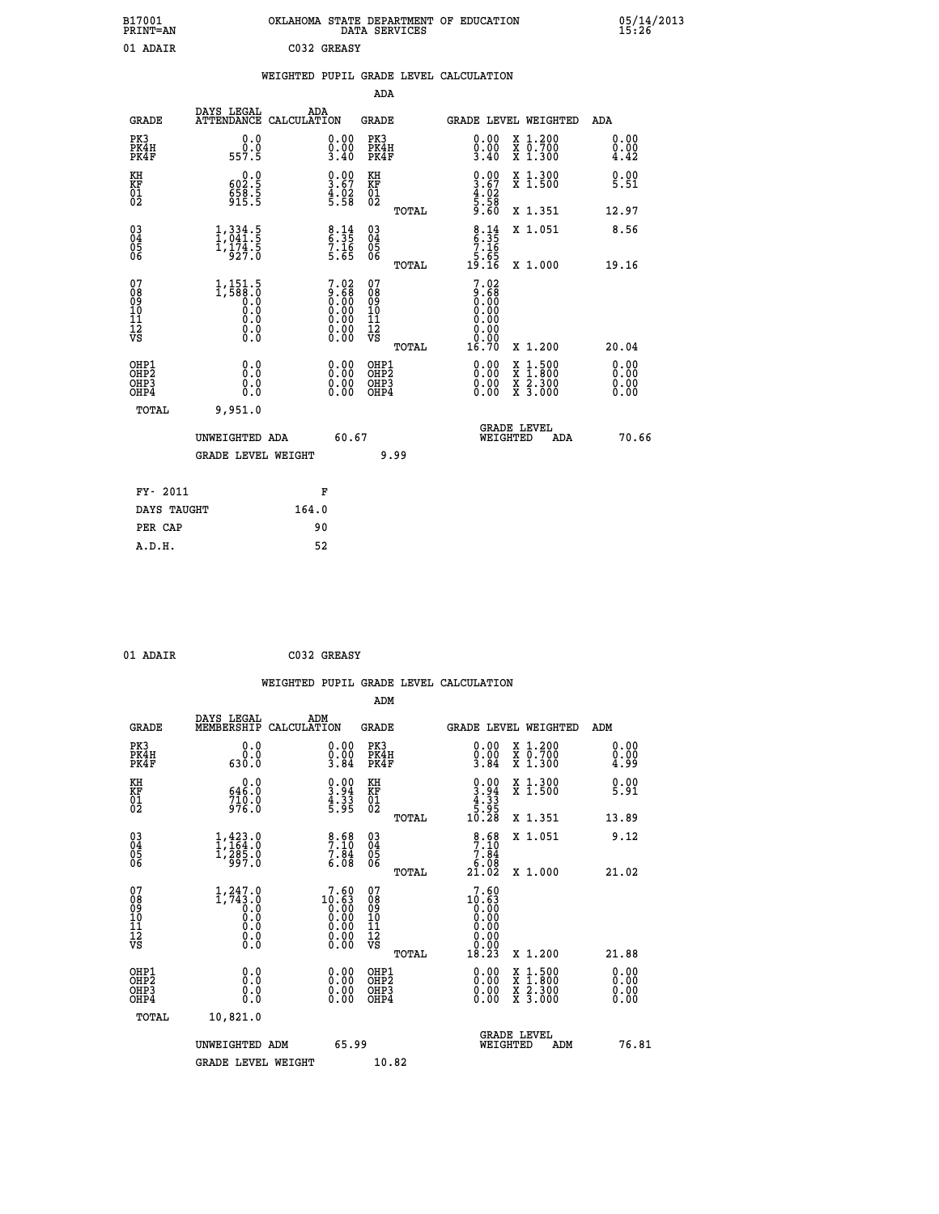| B17001<br><b>PRINT=AN</b> | OKLAHOMA STATE DEPARTMENT OF EDUCATION<br>DATA SERVICES | 05/14/2013<br>15:26 |
|---------------------------|---------------------------------------------------------|---------------------|
| 01 ADAIR                  | C032 GREASY                                             |                     |

|                                                       |                                                                                                |                                                                |                                        | ADA                                      |                                                                                                      |                              |
|-------------------------------------------------------|------------------------------------------------------------------------------------------------|----------------------------------------------------------------|----------------------------------------|------------------------------------------|------------------------------------------------------------------------------------------------------|------------------------------|
| <b>GRADE</b>                                          | DAYS LEGAL                                                                                     | ADA<br>ATTENDANCE CALCULATION                                  |                                        | <b>GRADE</b>                             | <b>GRADE LEVEL WEIGHTED</b>                                                                          | ADA                          |
| PK3<br>PK4H<br>PK4F                                   | 0.0<br>ة:ة<br>557.5                                                                            | $\begin{smallmatrix} 0.00\\ 0.00\\ 3.40 \end{smallmatrix}$     |                                        | PK3<br>PK4H<br>PK4F                      | 0.00<br>X 1.200<br>X 0.700<br>X 1.300<br>$\frac{0}{3}.00$<br>3.40                                    | 0.00<br>0.00<br>4.42         |
| KH<br>KF<br>01<br>02                                  | $602.5$<br>658.5<br>915.5                                                                      | $\begin{smallmatrix} 0.00\ 3.67\ 4.02\ 5.58 \end{smallmatrix}$ | KH<br>KF<br>01<br>02                   |                                          | $\begin{smallmatrix} 0.00\ 3.67\ 4.02\ 5.58\ 9.60 \end{smallmatrix}$<br>X 1.300<br>X 1.500           | 0.00<br>5.51                 |
|                                                       |                                                                                                |                                                                |                                        | TOTAL                                    | X 1.351                                                                                              | 12.97                        |
| $\begin{matrix} 03 \\ 04 \\ 05 \\ 06 \end{matrix}$    | $\frac{1}{3}, \frac{334}{041}$ : 5<br>$\frac{1,174.5}{927.0}$                                  | $8:35$<br>$7:16$<br>$7:16$<br>5.65                             | 03<br>04<br>05<br>06                   |                                          | $8.35$<br>$7.16$<br>$5.65$<br>$19.16$<br>X 1.051                                                     | 8.56                         |
|                                                       |                                                                                                |                                                                |                                        | TOTAL                                    | X 1.000                                                                                              | 19.16                        |
| 07<br>08<br>09<br>11<br>11<br>12<br>VS                | $1, 151.5$<br>$1, 588.0$<br>$\begin{smallmatrix} 0.0 & 0 \ 0.0 & 0 \end{smallmatrix}$<br>$\S.$ | $7.02 \ 9.68 \ 0.00 \ 0.00 \ 0.00 \ 0.00 \ 0.00 \ 0.00 \ 0.00$ | 07<br>08<br>09<br>11<br>11<br>12<br>VS | TOTAL                                    | $\begin{smallmatrix} 7.02\ 9.68\ 0.00 \end{smallmatrix}$<br>0.00<br>0.00<br>0.00<br>16.70<br>X 1.200 | 20.04                        |
| OHP1<br>OH <sub>P</sub> 2<br>OH <sub>P3</sub><br>OHP4 | 0.0<br>0.0<br>0.0                                                                              | 0.00<br>0.00                                                   |                                        | OHP1<br>OHP <sub>2</sub><br>OHP3<br>OHP4 | 0.00<br>X 1:500<br>X 1:800<br>X 2:300<br>X 3:000<br>0.00<br>0.00                                     | 0.00<br>0.00<br>0.00<br>0.00 |
| TOTAL                                                 | 9,951.0                                                                                        |                                                                |                                        |                                          |                                                                                                      |                              |
|                                                       | UNWEIGHTED ADA                                                                                 |                                                                | 60.67                                  |                                          | <b>GRADE LEVEL</b><br>WEIGHTED<br>ADA                                                                | 70.66                        |
|                                                       | <b>GRADE LEVEL WEIGHT</b>                                                                      |                                                                |                                        | 9.99                                     |                                                                                                      |                              |
| FY- 2011                                              |                                                                                                | F                                                              |                                        |                                          |                                                                                                      |                              |
| DAYS TAUGHT                                           |                                                                                                | 164.0                                                          |                                        |                                          |                                                                                                      |                              |
| PER CAP                                               |                                                                                                | 90                                                             |                                        |                                          |                                                                                                      |                              |
| A.D.H.                                                |                                                                                                | 52                                                             |                                        |                                          |                                                                                                      |                              |

|  | 01 ADAIR |
|--|----------|
|  |          |

C032 GREASY

|                                                      |                                                                                                       |     |                                                                                 |                                                    |       | WEIGHTED PUPIL GRADE LEVEL CALCULATION                                                             |                                                                            |                             |
|------------------------------------------------------|-------------------------------------------------------------------------------------------------------|-----|---------------------------------------------------------------------------------|----------------------------------------------------|-------|----------------------------------------------------------------------------------------------------|----------------------------------------------------------------------------|-----------------------------|
|                                                      |                                                                                                       |     |                                                                                 | ADM                                                |       |                                                                                                    |                                                                            |                             |
| <b>GRADE</b>                                         | DAYS LEGAL<br>MEMBERSHIP CALCULATION                                                                  | ADM |                                                                                 | <b>GRADE</b>                                       |       |                                                                                                    | GRADE LEVEL WEIGHTED                                                       | ADM                         |
| PK3<br>PK4H<br>PK4F                                  | 0.0<br>$0.0$<br>$0.06$                                                                                |     | $\begin{smallmatrix} 0.00\\ 0.00\\ 3.84 \end{smallmatrix}$                      | PK3<br>PK4H<br>PK4F                                |       | $\begin{smallmatrix} 0.00 \ 0.00 \ 3.84 \end{smallmatrix}$                                         | X 1.200<br>X 0.700<br>X 1.300                                              | 0.00<br>$\frac{0.00}{4.99}$ |
| KH<br>KF<br>01<br>02                                 | $646.0$<br>$710.0$<br>$976.0$                                                                         |     | $\begin{smallmatrix} 0.00\\ 3.94\\ 4.33\\ 5.95 \end{smallmatrix}$               | KH<br>KF<br>01<br>02                               |       | $\begin{smallmatrix} 0.00\\ 3.94\\ -4.33\\ 5.95\\ 10.28 \end{smallmatrix}$                         | X 1.300<br>X 1.500                                                         | $\frac{0.00}{5.91}$         |
|                                                      |                                                                                                       |     |                                                                                 |                                                    | TOTAL |                                                                                                    | X 1.351                                                                    | 13.89                       |
| $\begin{matrix} 03 \\ 04 \\ 05 \\ 06 \end{matrix}$   | $1, 423.0$<br>$1, 164.0$<br>$1, 285.0$<br>$997.0$                                                     |     | $\begin{array}{c} 8.68 \\ 7.10 \\ 7.84 \\ 6.08 \end{array}$                     | $\begin{matrix} 03 \\ 04 \\ 05 \\ 06 \end{matrix}$ |       | $\begin{array}{r} 8 \cdot 68 \\ 7 \cdot 10 \\ 7 \cdot 84 \\ 6 \cdot 08 \\ 21 \cdot 02 \end{array}$ | X 1.051                                                                    | 9.12                        |
|                                                      |                                                                                                       |     |                                                                                 |                                                    | TOTAL |                                                                                                    | X 1.000                                                                    | 21.02                       |
| 07<br>08<br>09<br>01<br>11<br>11<br>12<br>VS         | $\begin{smallmatrix} 1,247.0\\ 1,743.0\\ 0.0\\ 0.0\\ 0.0\\ 0.0\\ 0.0\\ 0.0\\ 0.0\\ \end{smallmatrix}$ |     | $\begin{smallmatrix}7.60\\10.63\\0.00\\0.00\\0.00\\0.00\\0.00\end{smallmatrix}$ | 07<br>08<br>09<br>11<br>11<br>12<br>VS             | TOTAL | 7.60<br>$10.63$<br>0.000<br>0.000<br>0.000<br>0.000<br>18.23                                       | X 1.200                                                                    | 21.88                       |
| OHP1<br>OHP2<br>OH <sub>P3</sub><br>OH <sub>P4</sub> | 0.0<br>$\begin{smallmatrix} 0.0 & 0 \ 0.0 & 0 \end{smallmatrix}$                                      |     | $\begin{smallmatrix} 0.00 \ 0.00 \ 0.00 \ 0.00 \end{smallmatrix}$               | OHP1<br>OHP2<br>OHP3<br>OHP4                       |       |                                                                                                    | $\frac{x}{x}$ $\frac{1.500}{1.800}$<br>$\frac{x}{x}$ $\frac{5:300}{3:000}$ | 0.00<br>0.0000              |
| TOTAL                                                | 10,821.0                                                                                              |     |                                                                                 |                                                    |       |                                                                                                    |                                                                            |                             |
|                                                      | UNWEIGHTED ADM<br><b>GRADE LEVEL WEIGHT</b>                                                           |     | 65.99                                                                           | 10.82                                              |       |                                                                                                    | GRADE LEVEL<br>WEIGHTED<br>ADM                                             | 76.81                       |
|                                                      |                                                                                                       |     |                                                                                 |                                                    |       |                                                                                                    |                                                                            |                             |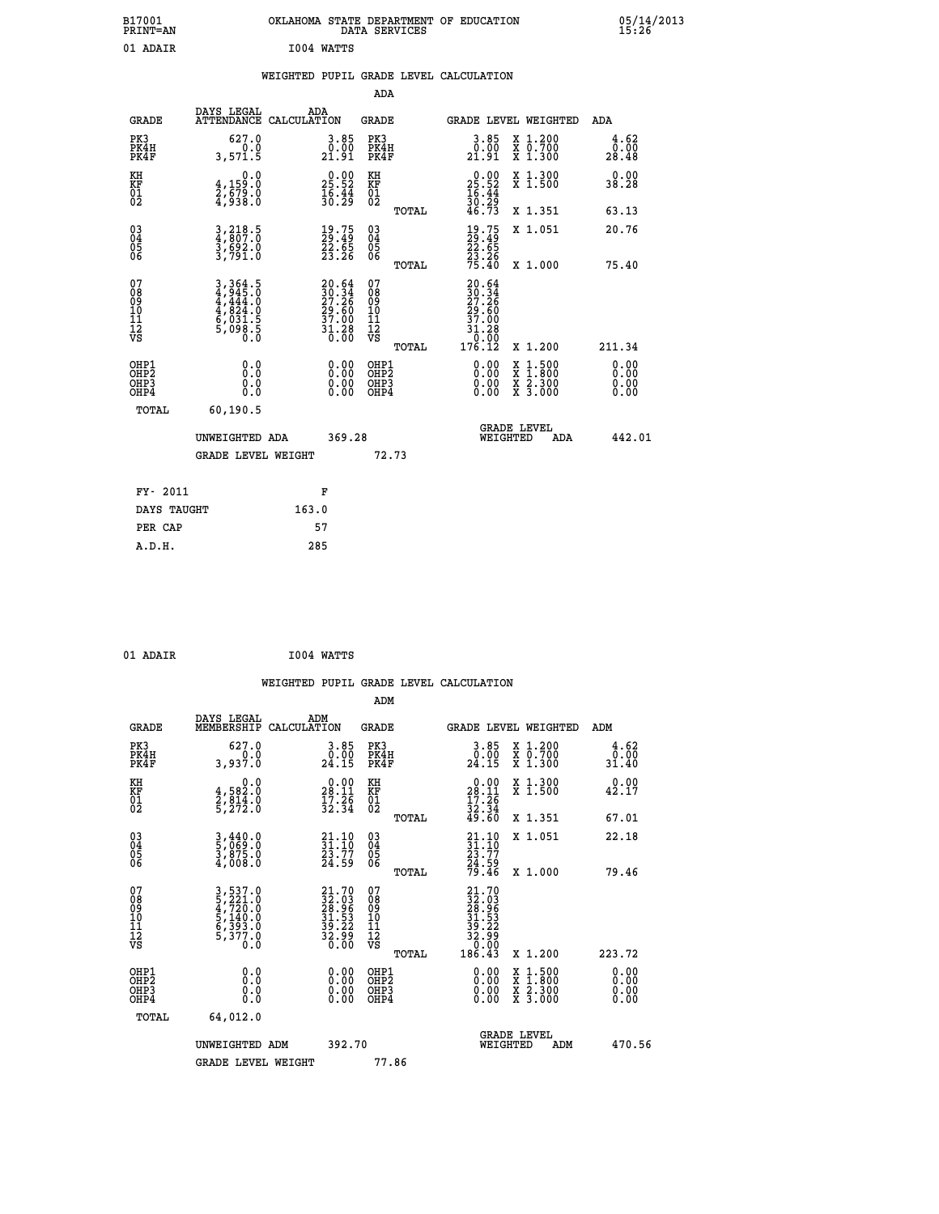| B17001<br>PRINT=AN | OKLAHOMA STATE DEPARTMENT OF EDUCATION<br>DATA SERVICES | 05/14/2013<br>15:26 |
|--------------------|---------------------------------------------------------|---------------------|
| 01 ADAIR           | I004 WATTS                                              |                     |
|                    | WEIGHTED PUPIL GRADE LEVEL CALCULATION                  |                     |

| <b>GRADE</b>                             | DAYS LEGAL<br><b>ATTENDANCE</b>                                       | ADA<br>CALCULATION |                                                                          | <b>GRADE</b>                                       |       |                                                                                                                                                                                                                                                                                | GRADE LEVEL WEIGHTED                     | ADA                   |
|------------------------------------------|-----------------------------------------------------------------------|--------------------|--------------------------------------------------------------------------|----------------------------------------------------|-------|--------------------------------------------------------------------------------------------------------------------------------------------------------------------------------------------------------------------------------------------------------------------------------|------------------------------------------|-----------------------|
| PK3<br>PK4H<br>PK4F                      | 627.0<br>0.0<br>3,571.5                                               |                    | 3.85<br>$\begin{smallmatrix} 0.00 \ 21.91 \end{smallmatrix}$             | PK3<br>PK4H<br>PK4F                                |       | 3.85<br>0.00<br>21.91                                                                                                                                                                                                                                                          | X 1.200<br>X 0.700<br>X 1.300            | 4.62<br>0.00<br>28.48 |
| KH<br>KF<br>01<br>02                     | 0.0<br>$\frac{4}{2}, \frac{159}{679}$ .0<br>4,938.0                   |                    | $\begin{smallmatrix} 0.00\\ 25.52\\ 16.44\\ 30.29 \end{smallmatrix}$     | KH<br>KF<br>01<br>02                               |       | $\begin{smallmatrix} 0.00\\ 25.52\\ 16.44\\ 30.29\\ 46.73 \end{smallmatrix}$                                                                                                                                                                                                   | X 1.300<br>X 1.500                       | 0.00<br>38.28         |
|                                          |                                                                       |                    |                                                                          |                                                    | TOTAL |                                                                                                                                                                                                                                                                                | X 1.351                                  | 63.13                 |
| 030404<br>06                             | 3,218.5<br>4,807.0<br>3,692.0<br>3,791.0                              |                    | $\begin{smallmatrix} 19.75\ 29.49\ 22.65\ 23.26 \end{smallmatrix}$       | $\begin{matrix} 03 \\ 04 \\ 05 \\ 06 \end{matrix}$ |       | $\begin{smallmatrix} 19.75\\29.49\\22.65\\23.26\\75.40 \end{smallmatrix}$                                                                                                                                                                                                      | X 1.051                                  | 20.76                 |
|                                          |                                                                       |                    |                                                                          |                                                    | TOTAL |                                                                                                                                                                                                                                                                                | X 1.000                                  | 75.40                 |
| 07<br>08<br>09<br>101<br>11<br>12<br>VS  | 3,364.5<br>4,945.0<br>4,444.0<br>4,824.0<br>6,031.5<br>5,098.5<br>0.0 |                    | $20.64$<br>$30.34$<br>$27.26$<br>$29.60$<br>$37.00$<br>$31.28$<br>$0.00$ | 07<br>08<br>09<br>001<br>11<br>11<br>12<br>VS      |       | $\begin{array}{r} 20.64 \\ 30.34 \\ 27.26 \\ 29.60 \\ 37.00 \\ 31.28 \\ 0.00 \\ 176.12 \end{array}$                                                                                                                                                                            |                                          |                       |
|                                          |                                                                       |                    |                                                                          |                                                    | TOTAL |                                                                                                                                                                                                                                                                                | X 1.200                                  | 211.34                |
| OHP1<br>OHP2<br>OH <sub>P3</sub><br>OHP4 | 0.0<br>0.000                                                          |                    | 0.00<br>$\begin{smallmatrix} 0.00 \ 0.00 \end{smallmatrix}$              | OHP1<br>OHP2<br>OHP3<br>OHP4                       |       | $\begin{smallmatrix} 0.00 & 0.00 & 0.00 & 0.00 & 0.00 & 0.00 & 0.00 & 0.00 & 0.00 & 0.00 & 0.00 & 0.00 & 0.00 & 0.00 & 0.00 & 0.00 & 0.00 & 0.00 & 0.00 & 0.00 & 0.00 & 0.00 & 0.00 & 0.00 & 0.00 & 0.00 & 0.00 & 0.00 & 0.00 & 0.00 & 0.00 & 0.00 & 0.00 & 0.00 & 0.00 & 0.0$ | X 1:500<br>X 1:800<br>X 2:300<br>X 3:000 | 0.00<br>0.00<br>0.00  |
| TOTAL                                    | 60,190.5                                                              |                    |                                                                          |                                                    |       |                                                                                                                                                                                                                                                                                |                                          |                       |
|                                          | UNWEIGHTED ADA                                                        |                    | 369.28                                                                   |                                                    |       | WEIGHTED                                                                                                                                                                                                                                                                       | <b>GRADE LEVEL</b><br>ADA                | 442.01                |
|                                          | <b>GRADE LEVEL WEIGHT</b>                                             |                    |                                                                          | 72.73                                              |       |                                                                                                                                                                                                                                                                                |                                          |                       |
| FY- 2011                                 |                                                                       | F                  |                                                                          |                                                    |       |                                                                                                                                                                                                                                                                                |                                          |                       |
| DAYS TAUGHT                              |                                                                       | 163.0              |                                                                          |                                                    |       |                                                                                                                                                                                                                                                                                |                                          |                       |
|                                          |                                                                       |                    |                                                                          |                                                    |       |                                                                                                                                                                                                                                                                                |                                          |                       |

| 01 ADAIR | I004 WATTS |
|----------|------------|
|          |            |

**PER CAP** 57  **A.D.H. 285**

 **ADA**

 **WEIGHTED PUPIL GRADE LEVEL CALCULATION ADM DAYS LEGAL ADM GRADE MEMBERSHIP CALCULATION GRADE GRADE LEVEL WEIGHTED ADM PK3 627.0 3.85 PK3 3.85 X 1.200 4.62 PK4H 0.0 0.00 PK4H 0.00 X 0.700 0.00 PK4F 3,937.0 24.15 PK4F 24.15 X 1.300 31.40 KH 0.0 0.00 KH 0.00 X 1.300 0.00 KF 4,582.0 28.11 KF 28.11 X 1.500 42.17 01 2,814.0 17.26 01 17.26**  $02$  5,272.0  $32.34$   $02$   $2.34$   $32.34$  **TOTAL 49.60 X 1.351 67.01 03 3,440.0 21.10 03 21.10 X 1.051 22.18 04 5,069.0 31.10 04 31.10 05 3,875.0 23.77 05 23.77 06 4,008.0 24.59 06 24.59 TOTAL 79.46 X 1.000 79.46**  $\begin{array}{cccc} 07 & 3\, , 5237.0 & 21.70 & 07 & 21.70 \ 08 & 5\, , 221.0 & 32.03 & 08 & 32.03 \ 10 & 5\, , 140.0 & 31.53 & 10 & 31.53 \ 11 & 6\, , 337.0 & 39.22 & 11 & 39.22 \ 12 & 5\, , 377.0 & 32.96 & 12 & 39.22 \ 13 & 53 & 0.0 & 39.2 & 12 & 39.29 \ 16 & 5\, , 37$  $\begin{array}{cccc} 21.70 & 07 & 21.70 & 12.170 & 12.170 & 12.170 & 12.170 & 12.170 & 12.170 & 12.170 & 12.170 & 12.170 & 12.170 & 12.170 & 12.170 & 12.170 & 12.170 & 12.170 & 12.170 & 12.170 & 12.173 & 12.173 & 12.172 & 12.172 & 12.172 & 12.172 & 12.170 & 12$  **OHP1 0.0 0.00 OHP1 0.00 X 1.500 0.00 OHP2 0.0 0.00 OHP2 0.00 X 1.800 0.00 OHP3 0.0 0.00 OHP3 0.00 X 2.300 0.00 OHP4 0.0 0.00 OHP4 0.00 X 3.000 0.00 TOTAL 64,012.0 GRADE LEVEL UNWEIGHTED ADM 392.70 WEIGHTED ADM 470.56** GRADE LEVEL WEIGHT 77.86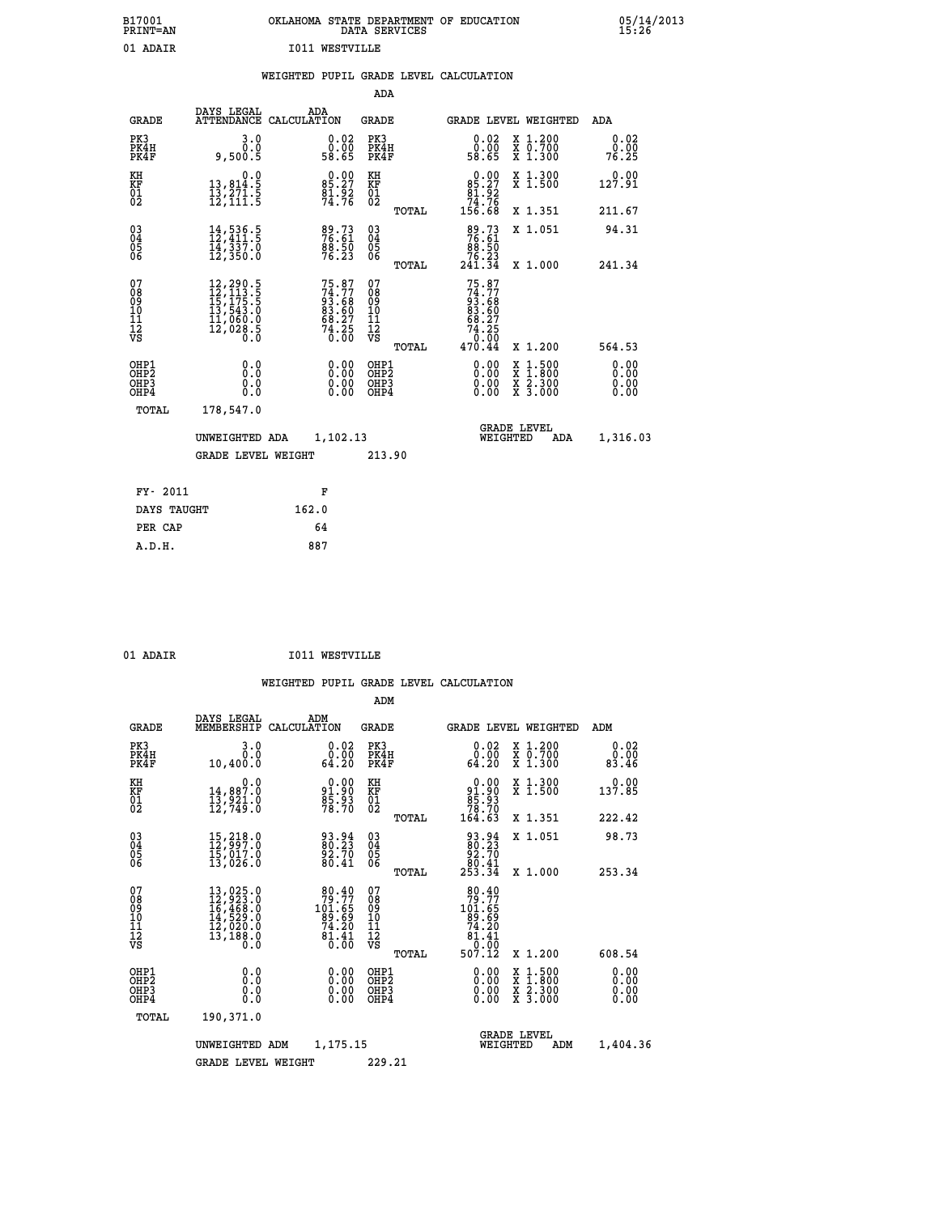| B17001<br><b>PRINT=AN</b> | OKLAHOMA STATE DEPARTMENT OF EDUCATION<br>DATA SERVICES | 05/14/2013<br>15:26 |
|---------------------------|---------------------------------------------------------|---------------------|
| 01<br>ADAIR               | <b>I011 WESTVILLE</b>                                   |                     |

|  |  | WEIGHTED PUPIL GRADE LEVEL CALCULATION |
|--|--|----------------------------------------|
|  |  |                                        |

|                                        |                                                                           |                                                                                                                                                                                          |                                                                          | ADA                                                |       |                                                                           |                                                                                                                                           |                              |
|----------------------------------------|---------------------------------------------------------------------------|------------------------------------------------------------------------------------------------------------------------------------------------------------------------------------------|--------------------------------------------------------------------------|----------------------------------------------------|-------|---------------------------------------------------------------------------|-------------------------------------------------------------------------------------------------------------------------------------------|------------------------------|
|                                        | <b>GRADE</b>                                                              | DAYS LEGAL                                                                                                                                                                               | ADA<br>ATTENDANCE CALCULATION                                            | GRADE                                              |       |                                                                           | <b>GRADE LEVEL WEIGHTED</b>                                                                                                               | ADA                          |
|                                        | PK3<br>PK4H<br>PK4F                                                       | 3.0<br>0.0<br>9,500.5                                                                                                                                                                    | $0.02$<br>$0.00$<br>58.65                                                | PK3<br>PK4H<br>PK4F                                |       | 0.02<br>0.00<br>58.65                                                     | X 1.200<br>X 0.700<br>X 1.300                                                                                                             | 0.02<br>0.00<br>76.25        |
| KH<br>KF<br>01<br>02                   |                                                                           | 0.0<br>13,814.5<br>13,271.5<br>12,111.5                                                                                                                                                  | $85.27$<br>$81.92$<br>$74.76$                                            | KH<br>KF<br>01<br>02                               |       | $0.00\n85.27\n81.92\n74.76\n156.68$                                       | X 1.300<br>X 1.500                                                                                                                        | 0.00<br>127.91               |
|                                        |                                                                           |                                                                                                                                                                                          |                                                                          |                                                    | TOTAL |                                                                           | X 1.351                                                                                                                                   | 211.67                       |
| $^{03}_{04}$<br>Ŏ5<br>06               |                                                                           | $\begin{smallmatrix} 14\,,\,536\,.5\\ 12\,,\,411\,.5\\ 14\,,\,337\,.0\\ 12\,,\,350\,.0 \end{smallmatrix}$                                                                                | 89.73<br>76.61<br>88.50<br>76.23                                         | $\begin{matrix} 03 \\ 04 \\ 05 \\ 06 \end{matrix}$ | TOTAL | 89.73<br>76.61<br>88.50<br>76.23<br>241.34                                | X 1.051<br>X 1.000                                                                                                                        | 94.31<br>241.34              |
| 07<br>08<br>09<br>11<br>11<br>12<br>VS |                                                                           | $\begin{smallmatrix} 12\,, & 290\,, & 5\\ 12\,, & 113\,, & 5\\ 15\,, & 175\,, & 5\\ 13\,, & 543\,, & 0\\ 11\,, & 060\,, & 0\\ 12\,, & 028\,, & 5\\ 0\,. & 0\,. & 0\,. \end{smallmatrix}$ | $75.87$<br>$74.77$<br>$93.68$<br>$83.60$<br>$68.27$<br>$74.25$<br>$0.00$ | 07<br>08<br>09<br>11<br>11<br>12<br>VS             | TOTAL | $75.87$<br>$74.77$<br>$93.68$<br>$83.60$<br>$68.27$<br>$74.25$<br>$0.004$ | X 1.200                                                                                                                                   | 564.53                       |
|                                        | OHP1<br>OHP <sub>2</sub><br>OH <sub>P3</sub><br>OH <sub>P4</sub><br>TOTAL | 0.0<br>Ō.Ō<br>0.0<br>0.0<br>178,547.0                                                                                                                                                    | 0.00<br>0.00<br>0.00                                                     | OHP1<br>OHP2<br>OHP3<br>OHP4                       |       | 0.00<br>0.00<br>0.00                                                      | $\begin{smallmatrix} \mathtt{X} & 1\cdot500\\ \mathtt{X} & 1\cdot800\\ \mathtt{X} & 2\cdot300\\ \mathtt{X} & 3\cdot000 \end{smallmatrix}$ | 0.00<br>0.00<br>0.00<br>0.00 |
|                                        |                                                                           | UNWEIGHTED ADA<br><b>GRADE LEVEL WEIGHT</b>                                                                                                                                              | 1,102.13                                                                 | 213.90                                             |       | WEIGHTED                                                                  | <b>GRADE LEVEL</b><br>ADA                                                                                                                 | 1,316.03                     |
|                                        | FY- 2011                                                                  |                                                                                                                                                                                          | F                                                                        |                                                    |       |                                                                           |                                                                                                                                           |                              |
|                                        | DAYS TAUGHT                                                               |                                                                                                                                                                                          | 162.0                                                                    |                                                    |       |                                                                           |                                                                                                                                           |                              |
|                                        | PER CAP                                                                   |                                                                                                                                                                                          | 64                                                                       |                                                    |       |                                                                           |                                                                                                                                           |                              |
|                                        | A.D.H.                                                                    |                                                                                                                                                                                          | 887                                                                      |                                                    |       |                                                                           |                                                                                                                                           |                              |

|   | ٦Δ |  |
|---|----|--|
| ٠ |    |  |

**I011 WESTVILLE** 

|                                          |                                                                                                                                                                                          |                                                                             | ADM                                                 |                                                                                                      |                                          |                              |
|------------------------------------------|------------------------------------------------------------------------------------------------------------------------------------------------------------------------------------------|-----------------------------------------------------------------------------|-----------------------------------------------------|------------------------------------------------------------------------------------------------------|------------------------------------------|------------------------------|
| <b>GRADE</b>                             | DAYS LEGAL<br>MEMBERSHIP                                                                                                                                                                 | ADM<br>CALCULATION                                                          | <b>GRADE</b>                                        | <b>GRADE LEVEL WEIGHTED</b>                                                                          |                                          | ADM                          |
| PK3<br>PK4H<br>PK4F                      | 3.0<br>0.0<br>10,400.0                                                                                                                                                                   | 0.02<br>_0.00<br>64.20                                                      | PK3<br>PK4H<br>PK4F                                 | $\begin{smallmatrix} 0.02\ 0.00\ 64.20 \end{smallmatrix}$                                            | X 1.200<br>X 0.700<br>X 1.300            | 0.02<br>0.00<br>83.46        |
| KH<br>KF<br>01<br>02                     | 0.0<br>14,887.0<br>13,921.0<br>12,749.0                                                                                                                                                  | $91.90$<br>$91.90$<br>$85.93$<br>$78.70$                                    | KH<br>KF<br>01<br>02                                | $\begin{smallmatrix} &0.00\ 91.90\ 85.93\ 78.70\ 164.63\end{smallmatrix}$                            | X 1.300<br>X 1.500                       | 0.00<br>137.85               |
|                                          |                                                                                                                                                                                          |                                                                             | TOTAL                                               |                                                                                                      | X 1.351                                  | 222.42                       |
| 03<br>04<br>05<br>06                     | $\begin{smallmatrix} 15 \, , \, 218 \, . \, 0 \\ 12 \, , \, 997 \, . \, 0 \\ 15 \, , \, 017 \, . \, 0 \\ 13 \, , \, 026 \, . \, 0 \end{smallmatrix}$                                     | 93.94<br>80.23<br>92.70<br>80.41                                            | $\begin{array}{c} 03 \\ 04 \\ 05 \\ 06 \end{array}$ | $\begin{smallmatrix} 93.94 \\ 80.23 \\ 92.70 \\ 80.41 \\ 253.34 \end{smallmatrix}$                   | X 1.051                                  | 98.73                        |
|                                          |                                                                                                                                                                                          |                                                                             | TOTAL                                               |                                                                                                      | X 1.000                                  | 253.34                       |
| 07<br>08<br>09<br>101<br>112<br>VS       | $\begin{smallmatrix} 13\,, & 025\,. & 0\\ 12\,, & 923\,. & 0\\ 16\,, & 468\,. & 0\\ 14\,, & 529\,. & 0\\ 12\,, & 020\,. & 0\\ 13\,, & 188\,. & 0\\ 0\,. & 0\,. & 0\,. \end{smallmatrix}$ | $79.77$<br>101.65<br>$\frac{85.69}{74.20}$<br>$\frac{1}{6}$ , $\frac{1}{6}$ | 07<br>08<br>09<br>101<br>11<br>12<br>VS<br>TOTAL    | $\begin{array}{r} 80.40 \\ 79.77 \\ 101.65 \\ 89.69 \\ 74.20 \\ 81.41 \\ 0.00 \end{array}$<br>507.12 | X 1.200                                  | 608.54                       |
| OHP1<br>OHP2<br>OH <sub>P3</sub><br>OHP4 | 0.0<br>0.000                                                                                                                                                                             | $0.00$<br>$0.00$<br>0.00                                                    | OHP1<br>OHP2<br>OHP <sub>3</sub>                    | $0.00$<br>$0.00$<br>0.00                                                                             | X 1:500<br>X 1:800<br>X 2:300<br>X 3:000 | 0.00<br>0.00<br>0.00<br>0.00 |
|                                          | TOTAL<br>190,371.0                                                                                                                                                                       |                                                                             |                                                     |                                                                                                      |                                          |                              |
|                                          | UNWEIGHTED                                                                                                                                                                               | 1,175.15<br>ADM                                                             |                                                     | <b>GRADE LEVEL</b><br>WEIGHTED                                                                       | ADM                                      | 1,404.36                     |
|                                          | GRADE LEVEL WEIGHT                                                                                                                                                                       |                                                                             | 229.21                                              |                                                                                                      |                                          |                              |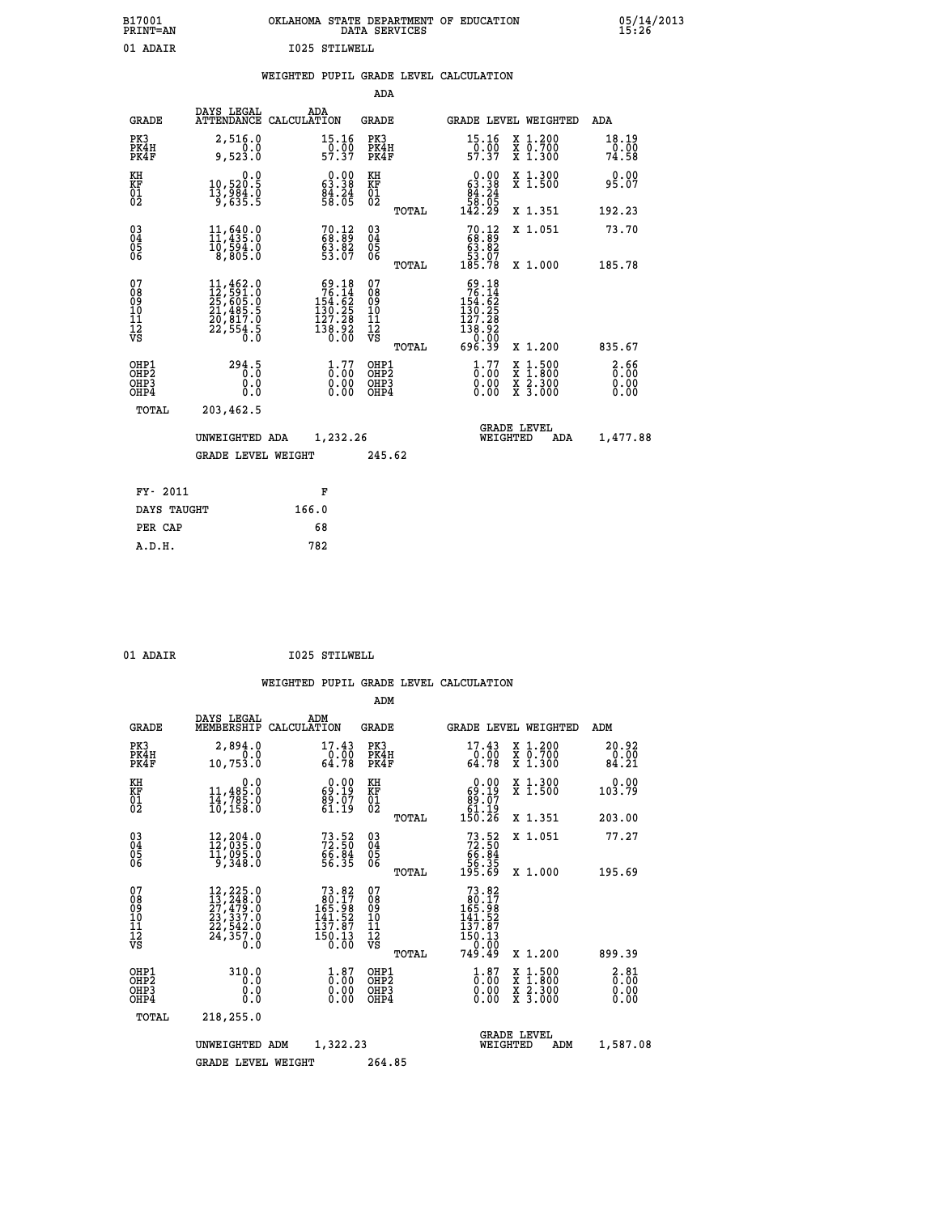| B17001<br><b>PRINT=AN</b> | OKLAHOMA STATE DEPARTMENT OF EDUCATION<br>DATA SERVICES | 05/14/2013<br>15:26 |
|---------------------------|---------------------------------------------------------|---------------------|
| 01<br>ADAIR               | 1025 STILWELL                                           |                     |

|  |  | WEIGHTED PUPIL GRADE LEVEL CALCULATION |
|--|--|----------------------------------------|
|  |  |                                        |

|                                                                  |                                                                                                                                                                               |                                                                                                   | ADA                                                 |       |                                                                                                             |                                          |                              |
|------------------------------------------------------------------|-------------------------------------------------------------------------------------------------------------------------------------------------------------------------------|---------------------------------------------------------------------------------------------------|-----------------------------------------------------|-------|-------------------------------------------------------------------------------------------------------------|------------------------------------------|------------------------------|
| <b>GRADE</b>                                                     | DAYS LEGAL                                                                                                                                                                    | ADA<br>ATTENDANCE CALCULATION                                                                     | GRADE                                               |       |                                                                                                             | <b>GRADE LEVEL WEIGHTED</b>              | ADA                          |
| PK3<br>PK4H<br>PK4F                                              | 2,516.0<br>9,523.0                                                                                                                                                            | 15.16<br>$\frac{5}{57.37}$                                                                        | PK3<br>PK4H<br>PK4F                                 |       | 15.16<br>$\frac{5}{57.37}$                                                                                  | X 1.200<br>X 0.700<br>X 1.300            | 18.19<br>0.00<br>74.58       |
| KH<br>KF<br>01<br>02                                             | 0.0<br>10,520.5<br>13,984.0<br>9,635.5                                                                                                                                        | $\begin{smallmatrix} 0.00\\ 63.38\\ 84.24\\ 58.05 \end{smallmatrix}$                              | KH<br>KF<br>01<br>02                                |       | $\begin{smallmatrix} &0.00\ 63.38\ 84.24\ 58.05\ 142.29\ \end{smallmatrix}$                                 | X 1.300<br>X 1.500                       | 0.00<br>95.07                |
|                                                                  |                                                                                                                                                                               |                                                                                                   |                                                     | TOTAL |                                                                                                             | X 1.351                                  | 192.23                       |
| $^{03}_{04}$<br>Ŏ5<br>06                                         | 11,640.0<br>10,594.0<br>8,805.0                                                                                                                                               | $70.12$<br>$68.89$<br>$63.82$<br>53.07                                                            | $\begin{array}{c} 03 \\ 04 \\ 05 \\ 06 \end{array}$ |       | $70.12$<br>68.89<br>$\begin{array}{r} 63.82 \\ 53.07 \\ 185.78 \end{array}$                                 | X 1.051                                  | 73.70                        |
|                                                                  |                                                                                                                                                                               |                                                                                                   |                                                     | TOTAL |                                                                                                             | X 1.000                                  | 185.78                       |
| 07<br>08<br>09<br>11<br>11<br>12<br>VS                           | $\begin{smallmatrix} 11\,, & 462\,. & 0\\ 12\,, & 591\,. & 0\\ 25\,, & 605\,. & 0\\ 21\,, & 485\,. & 5\\ 20\,, & 817\,. & 0\\ 22\,, & 554\,. & 5\\ 0\,. & 0\end{smallmatrix}$ | $\begin{smallmatrix}69.18\\76.14\\154.62\\154.625\\130.25\\127.28\\138.92\\0.00\end{smallmatrix}$ | 07<br>08<br>09<br>11<br>11<br>12<br>VS              | TOTAL | $\begin{smallmatrix}69.18\\76.14\\154.62\\154.625\\130.25\\127.28\\138.920\\0.009\\696.39\end{smallmatrix}$ | X 1.200                                  | 835.67                       |
| OHP1<br>OHP <sub>2</sub><br>OH <sub>P3</sub><br>OH <sub>P4</sub> | 294.5<br>0.0<br>0.0                                                                                                                                                           | $1.77$<br>$0.00$<br>0.00<br>0.00                                                                  | OHP1<br>OHP2<br>OHP3<br>OHP4                        |       | $1.77$<br>$0.00$<br>0.00<br>0.00                                                                            | X 1:500<br>X 1:800<br>X 2:300<br>X 3:000 | 2.66<br>0.00<br>0.00<br>0.00 |
| TOTAL                                                            | 203,462.5                                                                                                                                                                     |                                                                                                   |                                                     |       |                                                                                                             |                                          |                              |
|                                                                  | UNWEIGHTED ADA                                                                                                                                                                | 1,232.26                                                                                          |                                                     |       | WEIGHTED                                                                                                    | <b>GRADE LEVEL</b><br>ADA                | 1,477.88                     |
|                                                                  | <b>GRADE LEVEL WEIGHT</b>                                                                                                                                                     |                                                                                                   | 245.62                                              |       |                                                                                                             |                                          |                              |
|                                                                  |                                                                                                                                                                               |                                                                                                   |                                                     |       |                                                                                                             |                                          |                              |
| FY- 2011                                                         |                                                                                                                                                                               | F                                                                                                 |                                                     |       |                                                                                                             |                                          |                              |
| DAYS TAUGHT                                                      |                                                                                                                                                                               | 166.0                                                                                             |                                                     |       |                                                                                                             |                                          |                              |
| PER CAP                                                          |                                                                                                                                                                               | 68                                                                                                |                                                     |       |                                                                                                             |                                          |                              |
| A.D.H.                                                           |                                                                                                                                                                               | 782                                                                                               |                                                     |       |                                                                                                             |                                          |                              |

01 ADAIR 1025 STILWELL

|                                    |                                                                                                                                                                                          |                                                                                               | ADM                                                 |       |                                                                                                       |                                          |                                                        |
|------------------------------------|------------------------------------------------------------------------------------------------------------------------------------------------------------------------------------------|-----------------------------------------------------------------------------------------------|-----------------------------------------------------|-------|-------------------------------------------------------------------------------------------------------|------------------------------------------|--------------------------------------------------------|
| <b>GRADE</b>                       | DAYS LEGAL<br>MEMBERSHIP                                                                                                                                                                 | ADM<br>CALCULATION                                                                            | <b>GRADE</b>                                        |       |                                                                                                       | <b>GRADE LEVEL WEIGHTED</b>              | ADM                                                    |
| PK3<br>PK4H<br>PK4F                | 2,894.0<br>0.0<br>10,753.Ŏ                                                                                                                                                               | 17.43<br>$\frac{6.00}{64.78}$                                                                 | PK3<br>PK4H<br>PK4F                                 |       | 17.43<br>$\begin{array}{c} \text{-}0.00 \\ \text{64.78} \end{array}$                                  | X 1.200<br>X 0.700<br>X 1.300            | 20.92<br>0.00<br>84.21                                 |
| KH<br>KF<br>01<br>02               | 0.0<br>11,485.0<br>14,785.0<br>10,158.0                                                                                                                                                  | $\begin{smallmatrix} 0.00\\ 69.19\\ 89.07\\ 61.19\\ \end{smallmatrix}$                        | KH<br>KF<br>01<br>02                                |       | 0.00<br>69:19<br>07.08<br>01:19<br>150:26                                                             | X 1.300<br>X 1.500                       | 0.00<br>103.79                                         |
|                                    |                                                                                                                                                                                          |                                                                                               |                                                     | TOTAL |                                                                                                       | X 1.351                                  | 203.00                                                 |
| 03<br>04<br>05<br>06               | 12,204.0<br>12,035.0<br>11,095.0<br>9,348.0                                                                                                                                              | $73.52$<br>$72.50$<br>$66.84$<br>$56.35$                                                      | $\begin{array}{c} 03 \\ 04 \\ 05 \\ 06 \end{array}$ |       | $73.52\n72.50\n66.84\n56.35\n195.69$                                                                  | X 1.051                                  | 77.27                                                  |
|                                    |                                                                                                                                                                                          |                                                                                               |                                                     | TOTAL |                                                                                                       | X 1.000                                  | 195.69                                                 |
| 07<br>08<br>09<br>101<br>112<br>VS | $\begin{smallmatrix} 12\,, & 225\,. & 0\\ 13\,, & 248\,. & 0\\ 27\,, & 479\,. & 0\\ 23\,, & 337\,. & 0\\ 22\,, & 542\,. & 0\\ 24\,, & 357\,. & 0\\ 0\,. & 0\,. & 0\,. \end{smallmatrix}$ | $\begin{array}{r} 73.82 \\ 80.17 \\ 165.98 \\ 141.52 \\ 137.87 \end{array}$<br>150.13<br>ŏ:ōŏ | 07<br>08<br>09<br>11<br>11<br>12<br>VS              | TOTAL | $\begin{smallmatrix}73.82\\80.17\\165.98\\141.52\\137.87\\150.13\\0.00\end{smallmatrix}$<br>749.49    | X 1.200                                  | 899.39                                                 |
| OHP1<br>OHP2<br>OH <sub>P3</sub>   | 310.0                                                                                                                                                                                    | $\overset{1}{\underset{0}{0}}\,\overset{87}{\,\overset{00}{\,\overset{00}{0}}}$               | OHP1<br>OHP2<br>OHP3                                |       | $\overset{1}{\underset{0}{0}}\overset{8}{\ldots}\overset{7}{\underset{0}{0}}\overset{1}{\phantom{0}}$ | X 1:500<br>X 1:800<br>X 2:300<br>X 3:000 | $\begin{smallmatrix} 2.81\0.00\0.00 \end{smallmatrix}$ |
| OHP4                               | 0.000                                                                                                                                                                                    | 0.00                                                                                          | OHP4                                                |       | 0.00                                                                                                  |                                          | 0.00                                                   |
| TOTAL                              | 218,255.0                                                                                                                                                                                |                                                                                               |                                                     |       |                                                                                                       |                                          |                                                        |
|                                    | UNWEIGHTED                                                                                                                                                                               | 1,322.23<br>ADM                                                                               |                                                     |       | WEIGHTED                                                                                              | <b>GRADE LEVEL</b><br>ADM                | 1,587.08                                               |
|                                    | GRADE LEVEL WEIGHT                                                                                                                                                                       |                                                                                               | 264.85                                              |       |                                                                                                       |                                          |                                                        |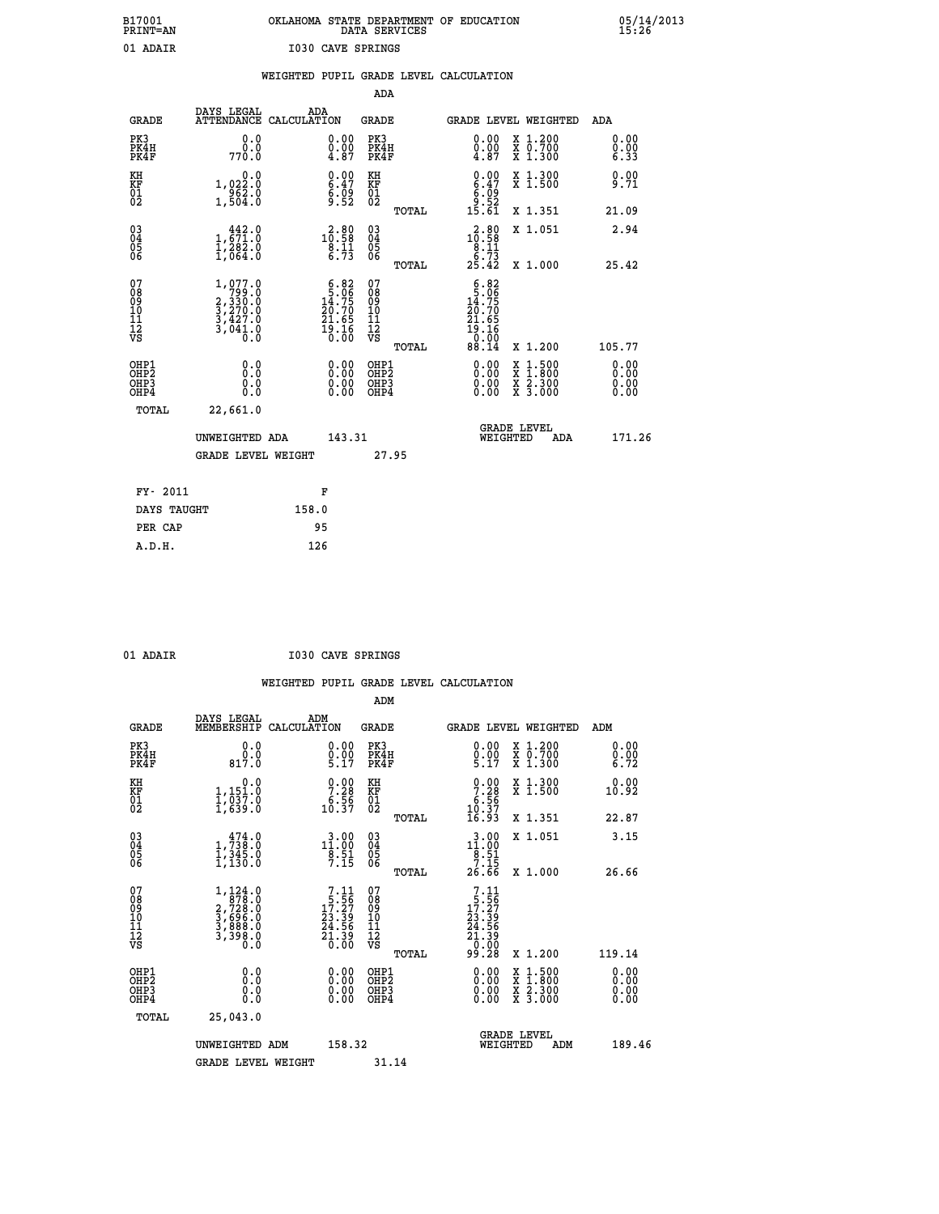## **B17001 OKLAHOMA STATE DEPARTMENT OF EDUCATION 05/14/2013 PRINT=AN DATA SERVICES 15:26 01 ADAIR I030 CAVE SPRINGS**

|                                                                    |                                                                                                                             |                                                                                            |                                                                |                                                    |       | WEIGHTED PUPIL GRADE LEVEL CALCULATION                                                                             |                                                                                                                                           |                              |
|--------------------------------------------------------------------|-----------------------------------------------------------------------------------------------------------------------------|--------------------------------------------------------------------------------------------|----------------------------------------------------------------|----------------------------------------------------|-------|--------------------------------------------------------------------------------------------------------------------|-------------------------------------------------------------------------------------------------------------------------------------------|------------------------------|
|                                                                    |                                                                                                                             |                                                                                            |                                                                | <b>ADA</b>                                         |       |                                                                                                                    |                                                                                                                                           |                              |
| <b>GRADE</b>                                                       | DAYS LEGAL<br>ATTENDANCE CALCULATION                                                                                        | ADA                                                                                        |                                                                | <b>GRADE</b>                                       |       |                                                                                                                    | GRADE LEVEL WEIGHTED                                                                                                                      | ADA                          |
| PK3<br>PK4H<br>PK4F                                                | 0.0<br>ة:ة<br>770:0                                                                                                         |                                                                                            | $\substack{0.00\\0.00\\4.87}$                                  | PK3<br>PK4H<br>PK4F                                |       | 0.00<br>$\begin{smallmatrix} 0.00 \\ -4.87 \end{smallmatrix}$                                                      | X 1.200<br>X 0.700<br>X 1.300                                                                                                             | 0.00<br>$0.00$<br>6.33       |
| KH<br>KF<br>01<br>02                                               | 0.0<br>1,022.0<br>$\frac{562}{1,504}$                                                                                       |                                                                                            | $\begin{smallmatrix} 0.00\ 6.47\ 6.09\ 9.52 \end{smallmatrix}$ | KH<br>KF<br>01<br>02                               |       | $\begin{smallmatrix} 0.00\\ 6.47\\ 6.99\\ 9.52\\ 15.61 \end{smallmatrix}$                                          | X 1.300<br>X 1.500                                                                                                                        | 0.00<br>9.71                 |
|                                                                    |                                                                                                                             |                                                                                            |                                                                |                                                    | TOTAL |                                                                                                                    | X 1.351                                                                                                                                   | 21.09                        |
| $\begin{smallmatrix} 03 \\[-4pt] 04 \end{smallmatrix}$<br>Ŏ5<br>06 | $1, \substack{442.0\\ 71.0\\ 1,282.0\\ 1,064.0$                                                                             | $\begin{smallmatrix} 2\cdot 80\\10\cdot 58\\8\cdot 11\\6\cdot 73\end{smallmatrix}$         |                                                                | $\begin{matrix} 03 \\ 04 \\ 05 \\ 06 \end{matrix}$ |       | $\begin{array}{r} \textbf{2.80} \\ \textbf{10.58} \\ \textbf{8.11} \\ \textbf{6.73} \\ \textbf{25.42} \end{array}$ | X 1.051                                                                                                                                   | 2.94                         |
|                                                                    |                                                                                                                             |                                                                                            |                                                                |                                                    | TOTAL |                                                                                                                    | X 1.000                                                                                                                                   | 25.42                        |
| 07<br>08<br>09<br>11<br>11<br>12<br>VS                             | 1,077.0<br>$\begin{smallmatrix} 1.799 & 0.0 \\ 2.330 & 0 \\ 3.270 & 0 \\ 3.427 & 0 \\ 3.641 & 0 \\ 0 & 0 \end{smallmatrix}$ | $\begin{smallmatrix} 6.82\\ 5.06\\ 14.75\\ 20.70\\ 21.65\\ 19.16\\ 0.00 \end{smallmatrix}$ |                                                                | 07<br>08<br>09<br>11<br>11<br>12<br>VS             | TOTAL | $6.82$<br>$5.06$<br>14:75<br>20.70<br>$21.65$<br>$19.16$<br>$0.00$<br>$88.14$                                      | X 1.200                                                                                                                                   | 105.77                       |
| OHP1<br>OHP2<br>OH <sub>P3</sub><br>OH <sub>P4</sub>               | 0.0<br>Ō.Ō<br>0.0<br>0.0                                                                                                    |                                                                                            | 0.00<br>$0.00$<br>0.00                                         | OHP1<br>OHP2<br>OHP3<br>OHP4                       |       | 0.00<br>0.00<br>0.00                                                                                               | $\begin{smallmatrix} \mathtt{X} & 1\cdot500\\ \mathtt{X} & 1\cdot800\\ \mathtt{X} & 2\cdot300\\ \mathtt{X} & 3\cdot000 \end{smallmatrix}$ | 0.00<br>0.00<br>0.00<br>0.00 |
| TOTAL                                                              | 22,661.0                                                                                                                    |                                                                                            |                                                                |                                                    |       |                                                                                                                    |                                                                                                                                           |                              |
|                                                                    | UNWEIGHTED ADA                                                                                                              |                                                                                            | 143.31                                                         |                                                    |       | WEIGHTED                                                                                                           | <b>GRADE LEVEL</b><br>ADA                                                                                                                 | 171.26                       |
|                                                                    | <b>GRADE LEVEL WEIGHT</b>                                                                                                   |                                                                                            |                                                                | 27.95                                              |       |                                                                                                                    |                                                                                                                                           |                              |
| FY- 2011                                                           |                                                                                                                             | F                                                                                          |                                                                |                                                    |       |                                                                                                                    |                                                                                                                                           |                              |
| DAYS TAUGHT                                                        |                                                                                                                             | 158.0                                                                                      |                                                                |                                                    |       |                                                                                                                    |                                                                                                                                           |                              |
| PER CAP                                                            |                                                                                                                             | 95                                                                                         |                                                                |                                                    |       |                                                                                                                    |                                                                                                                                           |                              |

| ۰      |
|--------|
| ٠<br>ш |
|        |

 **A.D.H. 126**

 **ADM**

 **01 ADAIR I030 CAVE SPRINGS**

| <b>GRADE</b>                                       | DAYS LEGAL<br>MEMBERSHIP                                                                                           | ADM<br>CALCULATION                                                                                                        | <b>GRADE</b>                           |       | GRADE LEVEL WEIGHTED                                                                                                                                                                                                                                                           |                                                                                        | ADM                  |  |
|----------------------------------------------------|--------------------------------------------------------------------------------------------------------------------|---------------------------------------------------------------------------------------------------------------------------|----------------------------------------|-------|--------------------------------------------------------------------------------------------------------------------------------------------------------------------------------------------------------------------------------------------------------------------------------|----------------------------------------------------------------------------------------|----------------------|--|
| PK3<br>PK4H<br>PK4F                                | 0.0<br>0.0<br>817.0                                                                                                | $\begin{smallmatrix} 0.00\ 0.00\ 5.17 \end{smallmatrix}$                                                                  | PK3<br>PK4H<br>PK4F                    |       | $\begin{smallmatrix} 0.00\\ 0.00\\ 5.17 \end{smallmatrix}$                                                                                                                                                                                                                     | $\begin{smallmatrix} x & 1.200 \\ x & 0.700 \end{smallmatrix}$<br>$\overline{x}$ 1.300 | 0.00<br>0.00<br>6.72 |  |
| KH<br>KF<br>01<br>02                               | 0.0<br>1,151.0<br>1,037.0<br>1,639.0                                                                               | $\begin{smallmatrix} 0.00\\ 7.28\\ 6.56\\ 10.37 \end{smallmatrix}$                                                        | KH<br>KF<br>01<br>02                   |       | $0.00$<br>$7.28$<br>$6.56$<br>$10.37$<br>$16.93$                                                                                                                                                                                                                               | X 1.300<br>X 1.500                                                                     | 0.00<br>10.92        |  |
|                                                    |                                                                                                                    |                                                                                                                           |                                        | TOTAL |                                                                                                                                                                                                                                                                                | X 1.351                                                                                | 22.87                |  |
| $\begin{matrix} 03 \\ 04 \\ 05 \\ 06 \end{matrix}$ | $\begin{smallmatrix} & 474 \\ 1,738 \\ 1,345 \\ 1,130.0 \end{smallmatrix}$                                         | $3.00$<br>$11.00$<br>$\frac{8.51}{7.15}$                                                                                  | 03<br>04<br>05<br>06                   |       | $11.00$<br>$8.51$<br>$7.15$                                                                                                                                                                                                                                                    | X 1.051                                                                                | 3.15                 |  |
|                                                    |                                                                                                                    |                                                                                                                           |                                        | TOTAL | 26.66                                                                                                                                                                                                                                                                          | X 1.000                                                                                | 26.66                |  |
| 07<br>08<br>09<br>101<br>11<br>12<br>VS            | $\begin{smallmatrix} 1,124\ .0\\ 878\ .0\\ 2,728\ .0\\ 3,696\ .0\\ 3,888\ .0\\ 3,398\ .0\\ 0\ .0\end{smallmatrix}$ | $\begin{smallmatrix}7\cdot11\\5\cdot56\\17\cdot27\\23\cdot39\\24\cdot56\\24\cdot39\\21\cdot39\\0\cdot00\end{smallmatrix}$ | 07<br>08<br>09<br>11<br>11<br>12<br>VS | TOTAL | $\begin{array}{c} 7\cdot 11 \\ 5\cdot 56 \\ 17\cdot 27 \\ 23\cdot 39 \\ 24\cdot 56 \\ 21\cdot 39 \\ 0\cdot 00 \\ 99\cdot 28 \end{array}$                                                                                                                                       | X 1.200                                                                                | 119.14               |  |
| OHP1<br>OHP2<br>OH <sub>P3</sub><br>OHP4           | 0.0<br>0.000                                                                                                       | $0.00$<br>$0.00$<br>0.00                                                                                                  | OHP1<br>OHP2<br>OHP3<br>OHP4           |       | $\begin{smallmatrix} 0.00 & 0.00 & 0.00 & 0.00 & 0.00 & 0.00 & 0.00 & 0.00 & 0.00 & 0.00 & 0.00 & 0.00 & 0.00 & 0.00 & 0.00 & 0.00 & 0.00 & 0.00 & 0.00 & 0.00 & 0.00 & 0.00 & 0.00 & 0.00 & 0.00 & 0.00 & 0.00 & 0.00 & 0.00 & 0.00 & 0.00 & 0.00 & 0.00 & 0.00 & 0.00 & 0.0$ | X 1:500<br>X 1:800<br>X 2:300<br>X 3:000                                               | 0.00<br>0.00<br>0.00 |  |
| TOTAL                                              | 25,043.0                                                                                                           |                                                                                                                           |                                        |       |                                                                                                                                                                                                                                                                                |                                                                                        |                      |  |
|                                                    | UNWEIGHTED                                                                                                         | 158.32<br>ADM                                                                                                             |                                        |       | WEIGHTED                                                                                                                                                                                                                                                                       | <b>GRADE LEVEL</b><br>ADM                                                              | 189.46               |  |
|                                                    | <b>GRADE LEVEL WEIGHT</b>                                                                                          |                                                                                                                           | 31.14                                  |       |                                                                                                                                                                                                                                                                                |                                                                                        |                      |  |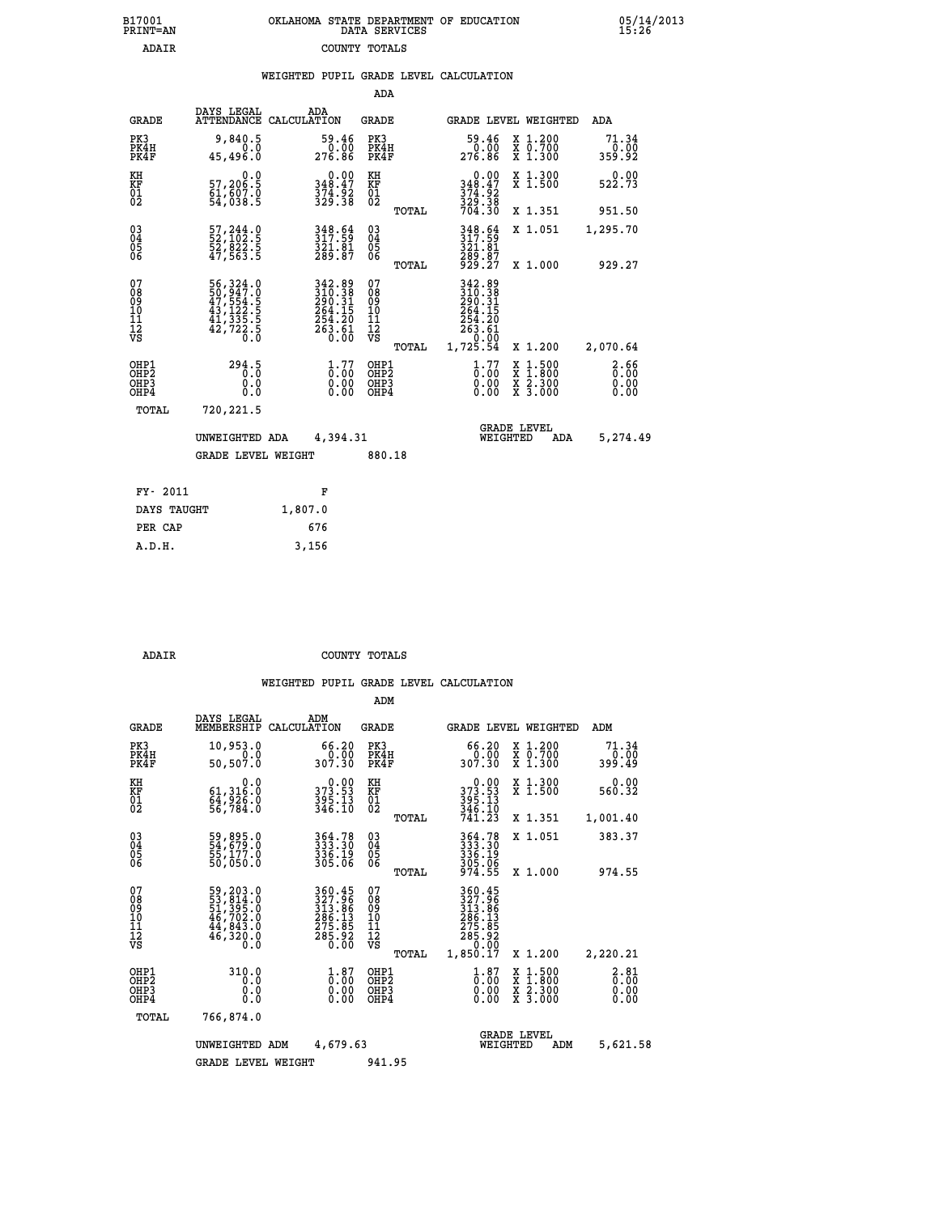| 7001<br>INT=AN | OKLAHOMA STATE DEPARTMENT OF EDUCATION<br>DATA SERVICES |  |
|----------------|---------------------------------------------------------|--|
| ADAIR          | COUNTY TOTALS                                           |  |

|                                                                    |                                                                                    |                                                                                                 |                                                             | ADA                                    |       |                                                                     |                                          |                              |
|--------------------------------------------------------------------|------------------------------------------------------------------------------------|-------------------------------------------------------------------------------------------------|-------------------------------------------------------------|----------------------------------------|-------|---------------------------------------------------------------------|------------------------------------------|------------------------------|
| <b>GRADE</b>                                                       | DAYS LEGAL                                                                         | ADA<br>ATTENDANCE CALCULATION                                                                   |                                                             | <b>GRADE</b>                           |       | GRADE LEVEL WEIGHTED                                                |                                          | <b>ADA</b>                   |
| PK3<br>PK4H<br>PK4F                                                | 9,840.5<br>0.0<br>45, 496.0                                                        | 59.46<br>0.00<br>276.86                                                                         |                                                             | PK3<br>PK4H<br>PK4F                    |       | 59.46<br>0.00<br>276.86                                             | X 1.200<br>X 0.700<br>X 1.300            | 71.34<br>0.00<br>359.92      |
| KH<br>KF<br>01<br>02                                               | 0.0<br>57,206:5<br>61,607:0<br>54,038:5                                            | 0.00<br>348.47<br>374.92<br>329.38                                                              |                                                             | KH<br>KF<br>01<br>02                   |       | 0.00<br>348.47<br>$\frac{374}{329}$ $\cdot \frac{32}{38}$<br>704.30 | X 1.300<br>X 1.500                       | 0.00<br>522.73               |
|                                                                    |                                                                                    |                                                                                                 |                                                             |                                        | TOTAL |                                                                     | X 1.351                                  | 951.50                       |
| $\begin{smallmatrix} 03 \\[-4pt] 04 \end{smallmatrix}$<br>Ŏ5<br>06 | 57, 244.0<br>52, 102.5<br>52, 822.5<br>47, 563.5                                   | 348.64<br>317.59<br>$\frac{3\bar{2}1.\bar{8}1}{289.87}$                                         |                                                             | $\substack{03 \\ 04}$<br>Ŏ5<br>06      |       | 348.64<br>317.59<br>321.81<br>289.87<br>929.27                      | X 1.051                                  | 1,295.70                     |
|                                                                    |                                                                                    |                                                                                                 |                                                             |                                        | TOTAL |                                                                     | X 1.000                                  | 929.27                       |
| 07<br>08<br>09<br>101<br>11<br>12<br>VS                            | 56, 324.0<br>50, 947.0<br>47, 554.5<br>43, 122.5<br>41, 335.5<br>42, 722.5<br>60.0 | 342.89<br>310.38<br>290.31<br>$\begin{array}{r} 264.15 \\ 254.20 \\ 263.61 \\ 0.00 \end{array}$ |                                                             | 07<br>08<br>09<br>11<br>11<br>12<br>VS |       | 342.89<br>310.38<br>290.31<br>264.15<br>254.20<br>263.61<br>0.00    |                                          |                              |
|                                                                    |                                                                                    |                                                                                                 |                                                             |                                        | TOTAL | 1,725.54                                                            | X 1.200                                  | 2,070.64                     |
| OHP1<br>OHP <sub>2</sub><br>OH <sub>P3</sub><br>OHP4               | 294.5<br>0.0<br>$0.\overline{0}$                                                   |                                                                                                 | 1.77<br>$\begin{smallmatrix} 0.00 \ 0.00 \end{smallmatrix}$ | OHP1<br>OHP2<br>OHP3<br>OHP4           |       | $1.77$<br>$0.00$<br>0.00                                            | X 1:500<br>X 1:800<br>X 2:300<br>X 3:000 | 2.66<br>0.00<br>0.00<br>0.00 |
| TOTAL                                                              | 720,221.5                                                                          |                                                                                                 |                                                             |                                        |       |                                                                     |                                          |                              |
|                                                                    | UNWEIGHTED ADA                                                                     | 4,394.31                                                                                        |                                                             |                                        |       | WEIGHTED                                                            | <b>GRADE LEVEL</b><br>ADA                | 5,274.49                     |
|                                                                    | <b>GRADE LEVEL WEIGHT</b>                                                          |                                                                                                 |                                                             | 880.18                                 |       |                                                                     |                                          |                              |
| FY- 2011                                                           |                                                                                    | F                                                                                               |                                                             |                                        |       |                                                                     |                                          |                              |
| DAYS TAUGHT                                                        |                                                                                    | 1,807.0                                                                                         |                                                             |                                        |       |                                                                     |                                          |                              |
| PER CAP                                                            |                                                                                    | 676                                                                                             |                                                             |                                        |       |                                                                     |                                          |                              |

| גהג |  |  |  |
|-----|--|--|--|

 **A.D.H. 3,156**

 **B17001<br>PRINT=AN** 

 **ADAIR COUNTY TOTALS**

|                                                       |                                                                                   |                                                                                         | ADM                                             |                                                                                                                                      |                                                                                                  |                              |  |
|-------------------------------------------------------|-----------------------------------------------------------------------------------|-----------------------------------------------------------------------------------------|-------------------------------------------------|--------------------------------------------------------------------------------------------------------------------------------------|--------------------------------------------------------------------------------------------------|------------------------------|--|
| <b>GRADE</b>                                          | DAYS LEGAL<br>MEMBERSHIP                                                          | ADM<br>CALCULATION                                                                      | <b>GRADE</b>                                    | <b>GRADE LEVEL WEIGHTED</b>                                                                                                          |                                                                                                  | ADM                          |  |
| PK3<br>PK4H<br>PK4F                                   | 10,953.0<br>0.0<br>50,507.0                                                       | 66.20<br>0.00<br>307.30                                                                 | PK3<br>PK4H<br>PK4F                             | 66.20<br>ة<br>307.30                                                                                                                 | X 1.200<br>X 0.700<br>X 1.300                                                                    | 71.34<br>0.00<br>399.49      |  |
| KH<br>KF<br>01<br>02                                  | 0.0<br>61,316:0<br>64,926.0<br>56,784:0                                           | $373.53$<br>$395.13$<br>$346.10$                                                        | KH<br>KF<br>01<br>02                            | $\begin{smallmatrix} &0.00\\ 373.53\\ 395.13\\ 346.10\\ 741.23\end{smallmatrix}$                                                     | X 1.300<br>X 1.500                                                                               | 0.00<br>560.32               |  |
|                                                       |                                                                                   |                                                                                         | TOTAL                                           |                                                                                                                                      | X 1.351                                                                                          | 1,001.40                     |  |
| 03<br>04<br>05<br>06                                  | 59,895.0<br>54,679.0<br>55,177.0<br>50,050.0                                      | 364.78<br>333.30<br>336.19<br>305.06                                                    | $\substack{03 \\ 04}$<br>0500                   | 364.78<br>333.30<br>336.19<br>305.06<br>974.55                                                                                       | X 1.051                                                                                          | 383.37                       |  |
|                                                       |                                                                                   |                                                                                         | TOTAL                                           |                                                                                                                                      | X 1.000                                                                                          | 974.55                       |  |
| 07<br>08<br>09<br>101<br>112<br>VS                    | 59, 203.0<br>53, 814.0<br>51, 395.0<br>46, 702.0<br>44, 843.0<br>46, 320.0<br>0.0 | 360.45<br>327.96<br>313.86<br>286:13<br>275:85<br>285:92<br>0.00                        | 07<br>08<br>09<br>11<br>11<br>12<br>VS<br>TOTAL | 360.45<br>327.96<br>$\begin{array}{l} 313.86 \\ 286.13 \\ 275.85 \\ 285.92 \\ \circ \\ -9.00 \end{array}$<br>1,850.17                | X 1.200                                                                                          | 2,220.21                     |  |
| OHP1<br>OH <sub>P</sub> 2<br>OH <sub>P3</sub><br>OHP4 | 310.0<br>0.0<br>0.000                                                             | $\overset{1}{\underset{0}{0}}\,\overset{87}{\,\overset{00}{\,\overset{00}{0}}}$<br>0.00 | OHP1<br>OHP2<br>OHP3<br>OHP4                    | $\overset{1}{\underset{0}{0}}\,\overset{87}{\,\overset{1}{0}}\,\overset{1}{\underset{0}{0}}\,\overset{87}{\,\overset{0}{0}}$<br>0.00 | $\begin{smallmatrix} x & 1 & 500 \\ x & 1 & 800 \\ x & 2 & 300 \\ x & 3 & 000 \end{smallmatrix}$ | 2.81<br>0.00<br>0.00<br>0.00 |  |
| TOTAL                                                 | 766,874.0                                                                         |                                                                                         |                                                 |                                                                                                                                      |                                                                                                  |                              |  |
|                                                       |                                                                                   | 4,679.63<br>UNWEIGHTED ADM                                                              |                                                 | WEIGHTED                                                                                                                             | <b>GRADE LEVEL</b><br>ADM                                                                        | 5,621.58                     |  |
|                                                       | <b>GRADE LEVEL WEIGHT</b>                                                         |                                                                                         | 941.95                                          |                                                                                                                                      |                                                                                                  |                              |  |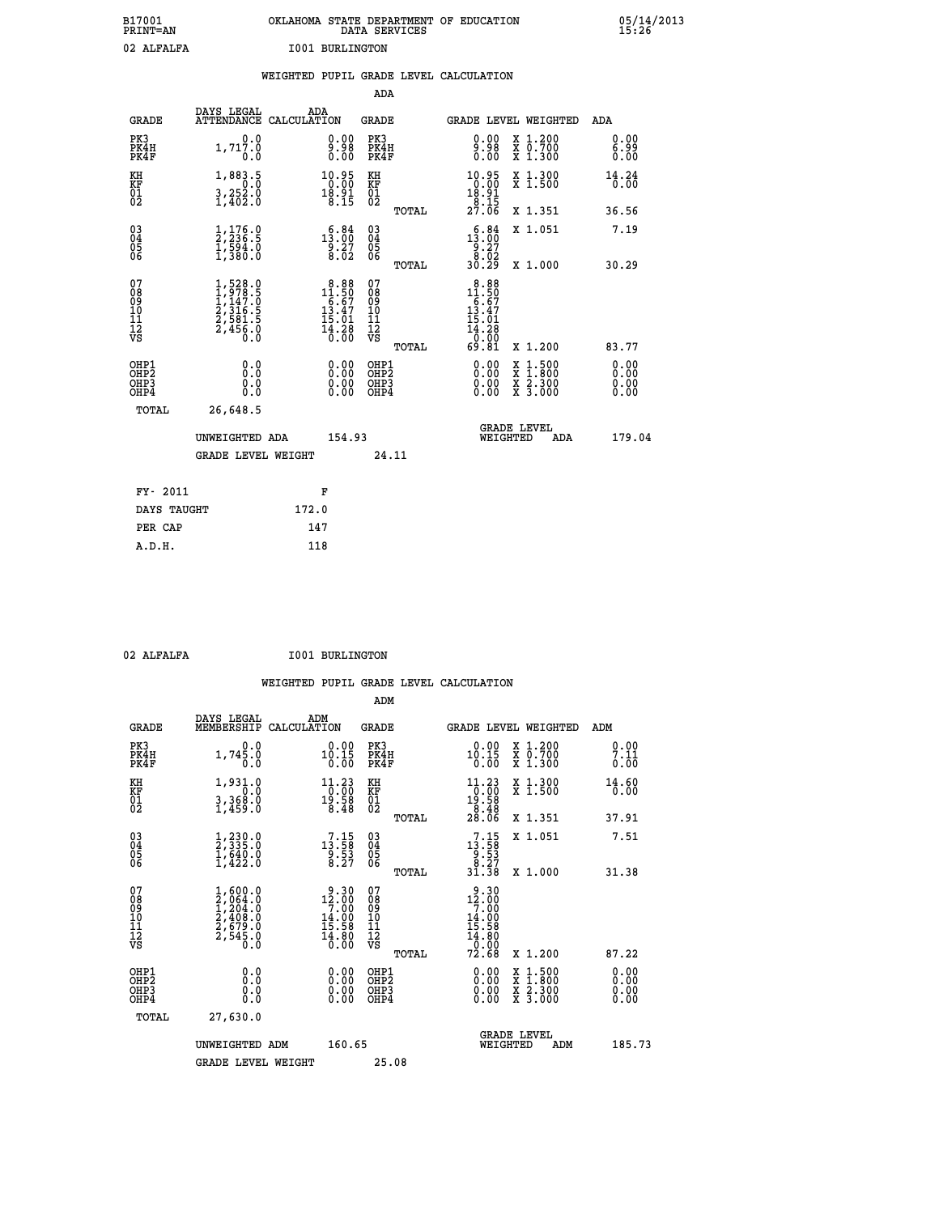| B17001          | OKLAHOMA STATE DEPARTMENT OF EDUCATION |
|-----------------|----------------------------------------|
| <b>PRINT=AN</b> | DATA SERVICES                          |
| 02 ALFALFA      | <b>I001 BURLINGTON</b>                 |

|                                                       |                                                                                                         | WEIGHTED PUPIL GRADE LEVEL CALCULATION                                             |                                                    |                                                                                                                                                      |                              |
|-------------------------------------------------------|---------------------------------------------------------------------------------------------------------|------------------------------------------------------------------------------------|----------------------------------------------------|------------------------------------------------------------------------------------------------------------------------------------------------------|------------------------------|
|                                                       |                                                                                                         |                                                                                    | ADA                                                |                                                                                                                                                      |                              |
| <b>GRADE</b>                                          | DAYS LEGAL                                                                                              | ADA<br>ATTENDANCE CALCULATION                                                      | <b>GRADE</b>                                       | GRADE LEVEL WEIGHTED                                                                                                                                 | ADA                          |
| PK3<br>PK4H<br>PK4F                                   | 0.0<br>1,717.0<br>0.0                                                                                   | $\substack{0.00\\9.98\\0.00}$                                                      | PK3<br>PK4H<br>PK4F                                | 0.00<br>X 1.200<br>X 0.700<br>X 1.300<br>$\begin{smallmatrix} 8 & 8 & 8 \ 8 & 0 & 0 \ 0 & 0 & 0 \end{smallmatrix}$                                   | 0.00<br>6.99<br>0.00         |
| KH<br>KF<br>01<br>02                                  | 1,883.5<br>$\frac{3}{2}, \frac{252}{402}$ .0                                                            | $\begin{smallmatrix} 10.95\\ 0.00\\ 18.91\\ 8.15 \end{smallmatrix}$                | KH<br>KF<br>01<br>02                               | $\begin{smallmatrix} 10.95\\ 0.00\\ 18.91\\ 8.15\\ 27.06 \end{smallmatrix}$<br>X 1.300<br>X 1.500                                                    | 14.24<br>0.00                |
|                                                       |                                                                                                         |                                                                                    | TOTAL                                              | X 1.351                                                                                                                                              | 36.56                        |
| $\begin{matrix} 03 \\ 04 \\ 05 \\ 06 \end{matrix}$    | $\frac{1}{2}, \frac{176}{236}.\frac{0}{5}$<br>$\frac{1}{1}, \frac{594}{380}.\frac{0}{0}$                | $\begin{smallmatrix} & 6 & 84\\ 13 & 00\\ 9 & 27\\ 8 & 02 \end{smallmatrix}$       | $\begin{matrix} 03 \\ 04 \\ 05 \\ 06 \end{matrix}$ | $\begin{smallmatrix} & 6 & 84\\ 13 & 00\\ 9 & 27\\ 8 & 02\\ 30 & 29 \end{smallmatrix}$<br>X 1.051                                                    | 7.19                         |
|                                                       |                                                                                                         |                                                                                    | TOTAL                                              | X 1.000                                                                                                                                              | 30.29                        |
| 07<br>08901112<br>1112<br>VS                          | $\begin{smallmatrix} 1,528.0\\ 1,978.5\\ 1,147.0\\ 2,316.5\\ 2,581.5\\ 2,456.0\\ 0.0 \end{smallmatrix}$ | $\begin{smallmatrix}8.88\\11.50\\6.67\\13.47\\15.01\\14.28\\0.00\end{smallmatrix}$ | 07<br>08<br>09<br>11<br>11<br>12<br>VS             | $\begin{smallmatrix} 8.88\\ 11.50\\ 6.67\\ 13.47\\ 15.01\\ 14.28\\ 0.00\\ 69.81 \end{smallmatrix}$                                                   |                              |
|                                                       |                                                                                                         |                                                                                    | TOTAL                                              | X 1.200                                                                                                                                              | 83.77                        |
| OH <sub>P1</sub><br>OH <sub>P</sub> 2<br>OHP3<br>OHP4 | 0.0<br>0.0<br>0.0                                                                                       | $\begin{smallmatrix} 0.00 \ 0.00 \ 0.00 \ 0.00 \end{smallmatrix}$                  | OHP1<br>OH <sub>P</sub> 2<br>OHP3<br>OHP4          | 0.00<br>$\begin{smallmatrix} \texttt{X} & 1 & 500 \\ \texttt{X} & 1 & 800 \\ \texttt{X} & 2 & 300 \\ \texttt{X} & 3 & 000 \end{smallmatrix}$<br>0.00 | 0.00<br>0.00<br>0.00<br>0.00 |
| TOTAL                                                 | 26,648.5                                                                                                |                                                                                    |                                                    |                                                                                                                                                      |                              |
|                                                       | UNWEIGHTED ADA                                                                                          | 154.93                                                                             |                                                    | <b>GRADE LEVEL</b><br>WEIGHTED<br>ADA                                                                                                                | 179.04                       |
|                                                       | <b>GRADE LEVEL WEIGHT</b>                                                                               |                                                                                    | 24.11                                              |                                                                                                                                                      |                              |
| FY- 2011                                              |                                                                                                         | F                                                                                  |                                                    |                                                                                                                                                      |                              |
| DAYS TAUGHT                                           |                                                                                                         | 172.0                                                                              |                                                    |                                                                                                                                                      |                              |
| PER CAP                                               |                                                                                                         | 147                                                                                |                                                    |                                                                                                                                                      |                              |
| A.D.H.                                                |                                                                                                         | 118                                                                                |                                                    |                                                                                                                                                      |                              |

 **ADM**

02 ALFALFA **I001 BURLINGTON** 

| <b>GRADE</b>                             | DAYS LEGAL<br>MEMBERSHIP                                                                                | ADM<br>CALCULATION                                                                      | <b>GRADE</b>                                       |       | GRADE LEVEL WEIGHTED                                                                                |                                          | ADM                  |  |
|------------------------------------------|---------------------------------------------------------------------------------------------------------|-----------------------------------------------------------------------------------------|----------------------------------------------------|-------|-----------------------------------------------------------------------------------------------------|------------------------------------------|----------------------|--|
| PK3<br>PK4H<br>PK4F                      | 0.0<br>1,745.0<br>0.0                                                                                   | $0.00$<br>10.15<br>0.00                                                                 | PK3<br>PK4H<br>PK4F                                |       | $0.00$<br>10.15<br>0.00                                                                             | X 1.200<br>X 0.700<br>X 1.300            | 0.00<br>7.ĭĭ<br>0.00 |  |
| KH<br>KF<br>01<br>02                     | 1,931.0<br>$\frac{1}{3}, \frac{3}{459}.0$                                                               | 11.23<br>$\frac{1}{19}$ : $\frac{50}{58}$<br>8.48                                       | KH<br>KF<br>01<br>02                               |       | $\begin{array}{l} 11\cdot 23 \\ 0\cdot 00 \\ 19\cdot 58 \\ 8\cdot 48 \\ 28\cdot 06 \end{array}$     | X 1.300<br>X 1.500                       | 14.60<br>0.00        |  |
|                                          |                                                                                                         |                                                                                         |                                                    | TOTAL |                                                                                                     | X 1.351                                  | 37.91                |  |
| 03<br>04<br>05<br>06                     | $\frac{1}{2}$ , $\frac{230}{335}$ .0<br>$\frac{1}{640}$ .0<br>$\frac{1}{1}$ , $\frac{422}{30}$          | $\begin{smallmatrix} 7\cdot 15\\13\cdot 58\\9\cdot 53\\8\cdot 27\end{smallmatrix}$      | $\begin{matrix} 03 \\ 04 \\ 05 \\ 06 \end{matrix}$ |       | $\begin{array}{r} 7 \cdot 15 \\ 13 \cdot 58 \\ 9 \cdot 53 \\ 8 \cdot 27 \\ 31 \cdot 38 \end{array}$ | X 1.051                                  | 7.51                 |  |
|                                          |                                                                                                         |                                                                                         |                                                    | TOTAL |                                                                                                     | X 1.000                                  | 31.38                |  |
| 07<br>08<br>09<br>101<br>11<br>12<br>VS  | $\begin{smallmatrix} 1,600.0\\ 2,064.0\\ 1,204.0\\ 2,408.0\\ 2,679.0\\ 2,545.0\\ 0.0 \end{smallmatrix}$ | $\begin{array}{r} 9.30 \\ 12.00 \\ 7.00 \\ 14.00 \\ 15.58 \\ 14.80 \\ 0.00 \end{array}$ | 07<br>08<br>09<br>01<br>11<br>11<br>12<br>VS       | TOTAL | $\begin{array}{r} 9.30 \\ 12.00 \\ 7.00 \\ 14.00 \\ 15.58 \\ 14.80 \\ 0.00 \\ 72.68 \end{array}$    | X 1.200                                  | 87.22                |  |
| OHP1<br>OHP2<br>OH <sub>P3</sub><br>OHP4 | 0.0<br>0.000                                                                                            | $\begin{smallmatrix} 0.00 \ 0.00 \ 0.00 \ 0.00 \end{smallmatrix}$                       | OHP1<br>OHP2<br>OHP3<br>OHP4                       |       | 0.00<br>$0.00$<br>0.00                                                                              | X 1:500<br>X 1:800<br>X 2:300<br>X 3:000 | 0.00<br>0.00<br>0.00 |  |
| TOTAL                                    | 27,630.0                                                                                                |                                                                                         |                                                    |       |                                                                                                     |                                          |                      |  |
|                                          | UNWEIGHTED<br>ADM                                                                                       | 160.65                                                                                  |                                                    |       | <b>GRADE LEVEL</b><br>WEIGHTED                                                                      | ADM                                      | 185.73               |  |
|                                          | <b>GRADE LEVEL WEIGHT</b>                                                                               |                                                                                         | 25.08                                              |       |                                                                                                     |                                          |                      |  |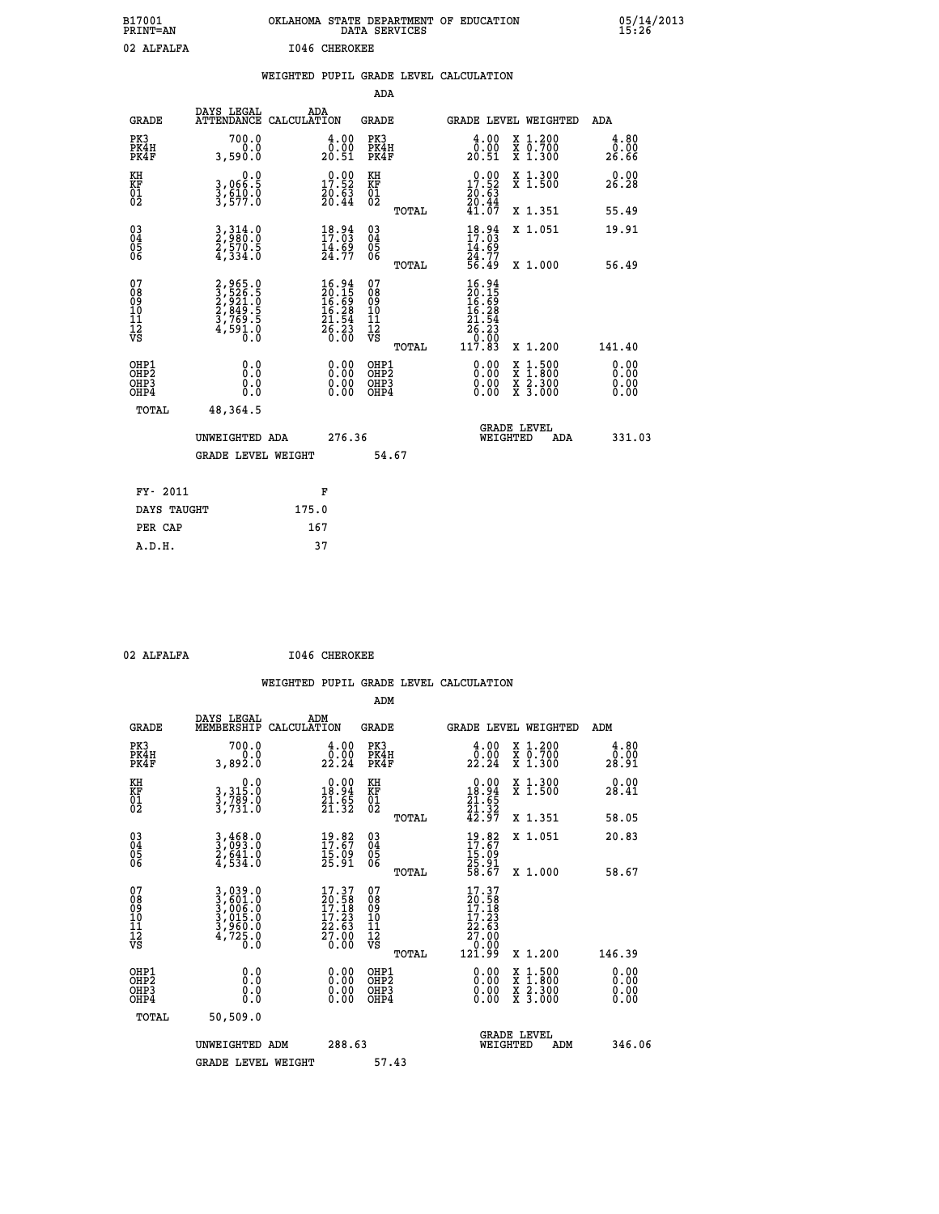| B17001<br>PRINT=AN                                 |                                                                                     |       |                                                                          |                                          | DATA SERVICES | OKLAHOMA STATE DEPARTMENT OF EDUCATION                                                     |                                                                             | 05/14/2013<br>15:26          |  |
|----------------------------------------------------|-------------------------------------------------------------------------------------|-------|--------------------------------------------------------------------------|------------------------------------------|---------------|--------------------------------------------------------------------------------------------|-----------------------------------------------------------------------------|------------------------------|--|
| 02 ALFALFA                                         |                                                                                     |       | 1046 CHEROKEE                                                            |                                          |               |                                                                                            |                                                                             |                              |  |
|                                                    |                                                                                     |       |                                                                          |                                          |               | WEIGHTED PUPIL GRADE LEVEL CALCULATION                                                     |                                                                             |                              |  |
|                                                    |                                                                                     |       |                                                                          | ADA                                      |               |                                                                                            |                                                                             |                              |  |
| <b>GRADE</b>                                       | DAYS LEGAL<br>ATTENDANCE CALCULATION                                                | ADA   |                                                                          | GRADE                                    |               |                                                                                            | <b>GRADE LEVEL WEIGHTED</b>                                                 | ADA                          |  |
| PK3<br>PK4H<br>PK4F                                | 700.0<br>0.0<br>3,590.0                                                             |       | 4.00<br>$\frac{0.00}{20.51}$                                             | PK3<br>PK4H<br>PK4F                      |               | $\begin{smallmatrix} 4.00\\ 0.00\\ 20.51 \end{smallmatrix}$                                | X 1.200<br>X 0.700<br>X 1.300                                               | 4.80<br>0.00<br>26.66        |  |
| KH<br>KF<br>01<br>02                               | 0.0<br>3,066.5<br>3,ĕ10:0<br>3,577.0                                                |       | $\begin{smallmatrix} 0.00\\ 17.52\\ 20.63\\ 20.44 \end{smallmatrix}$     | KH<br>KF<br>01<br>02                     |               | 17.52<br>$\frac{20.63}{20.44}$<br>41.07                                                    | X 1.300<br>X 1.500                                                          | 0.00<br>26.28                |  |
|                                                    |                                                                                     |       |                                                                          |                                          | TOTAL         |                                                                                            | X 1.351                                                                     | 55.49                        |  |
| $\begin{matrix} 03 \\ 04 \\ 05 \\ 06 \end{matrix}$ | $\frac{3}{2}, \frac{314}{96}$ :0<br>2,570.5<br>4,334.0                              |       | $18.94$<br>$17.03$<br>$\frac{14.69}{24.77}$                              | 030404<br>ŌĞ                             |               | $\frac{18.94}{17.03}$<br>14.69<br>24.77                                                    | X 1.051                                                                     | 19.91                        |  |
|                                                    |                                                                                     |       |                                                                          |                                          | TOTAL         | 56.49                                                                                      | X 1.000                                                                     | 56.49                        |  |
| 07<br>08<br>09<br>10<br>11<br>12<br>VS             | 2,965.0<br>3,526.5<br>2,921.0<br>2,849.5<br>3,769.5<br>4,591.0<br>$\overline{0}$ .0 |       | $16.94$<br>$20.15$<br>$16.69$<br>$16.28$<br>$21.54$<br>$26.23$<br>$0.00$ | 07<br>08<br>09<br>10<br>11<br>12<br>VS   | TOTAL         | 16.94<br>$\frac{20.15}{16.62}$<br>16.28<br>21.54<br>$\bar{26}.23$<br>$\frac{0.00}{117.83}$ | X 1.200                                                                     | 141.40                       |  |
| OHP1<br>OHP2<br>OHP3<br>OHP4                       | 0.0<br>Ō.Ō<br>0.0<br>0.0                                                            |       | 0.00<br>0.00<br>0.00                                                     | OHP1<br>OHP <sub>2</sub><br>OHP3<br>OHP4 |               | 0.00<br>0.00<br>0.00                                                                       | $\begin{array}{l} x\,+\,500\\ x\,+\,300\\ x\,+\,2\\ x\,+\,3000 \end{array}$ | 0.00<br>0.00<br>0.00<br>0.00 |  |
| TOTAL                                              | 48,364.5                                                                            |       |                                                                          |                                          |               |                                                                                            |                                                                             |                              |  |
|                                                    | UNWEIGHTED ADA<br><b>GRADE LEVEL WEIGHT</b>                                         |       | 276.36                                                                   |                                          | 54.67         |                                                                                            | <b>GRADE LEVEL</b><br>WEIGHTED<br>ADA                                       | 331.03                       |  |
|                                                    |                                                                                     |       |                                                                          |                                          |               |                                                                                            |                                                                             |                              |  |
| FY- 2011                                           |                                                                                     |       | F                                                                        |                                          |               |                                                                                            |                                                                             |                              |  |
| DAYS TAUGHT                                        |                                                                                     | 175.0 |                                                                          |                                          |               |                                                                                            |                                                                             |                              |  |
| PER CAP                                            |                                                                                     | 167   |                                                                          |                                          |               |                                                                                            |                                                                             |                              |  |

| 0.25 |  |  |  |
|------|--|--|--|

02 ALFALFA **I046 CHEROKEE** 

|                                                    |                                                                         |                                                                                                  |                          |                                                     |       | WEIGHTED PUPIL GRADE LEVEL CALCULATION                                                              |                                          |                       |        |
|----------------------------------------------------|-------------------------------------------------------------------------|--------------------------------------------------------------------------------------------------|--------------------------|-----------------------------------------------------|-------|-----------------------------------------------------------------------------------------------------|------------------------------------------|-----------------------|--------|
|                                                    |                                                                         |                                                                                                  |                          | ADM                                                 |       |                                                                                                     |                                          |                       |        |
| <b>GRADE</b>                                       | DAYS LEGAL<br>MEMBERSHIP                                                | ADM<br>CALCULATION                                                                               |                          | <b>GRADE</b>                                        |       | <b>GRADE LEVEL WEIGHTED</b>                                                                         |                                          | ADM                   |        |
| PK3<br>PK4H<br>PK4F                                | 700.0<br>0.0<br>3,892.0                                                 | $\begin{smallmatrix} 4.00\\ 0.00\\ 22.24 \end{smallmatrix}$                                      |                          | PK3<br>PK4H<br>PK4F                                 |       | $\begin{smallmatrix} 4.00\\ 0.00\\ 22.24 \end{smallmatrix}$                                         | X 1.200<br>X 0.700<br>X 1.300            | 4.80<br>0.00<br>28.91 |        |
| KH<br>KF<br>01<br>02                               | $\begin{smallmatrix}&&&0.0\\3,315.0\\3,789.0\\3,731.0\end{smallmatrix}$ | $\begin{smallmatrix} 0.00\\18.94\\21.65\\21.32 \end{smallmatrix}$                                |                          | KH<br>KF<br>01<br>02                                |       | $\begin{smallmatrix} 0.00\\18.94\\21.65\\21.32\\42.97 \end{smallmatrix}$                            | X 1.300<br>X 1.500                       | 0.00<br>28.41         |        |
|                                                    |                                                                         |                                                                                                  |                          |                                                     | TOTAL |                                                                                                     | X 1.351                                  | 58.05                 |        |
| $\begin{matrix} 03 \\ 04 \\ 05 \\ 06 \end{matrix}$ | $3,468.0$<br>$3,693.0$<br>$2,641.0$<br>$4,534.0$                        | $19.82$<br>$17.67$<br>$15.09$<br>$25.91$                                                         |                          | $\begin{array}{c} 03 \\ 04 \\ 05 \\ 06 \end{array}$ |       | $19.82$<br>$17.67$<br>$15.09$<br>$25.91$<br>$58.67$                                                 | X 1.051                                  | 20.83                 |        |
|                                                    |                                                                         |                                                                                                  |                          |                                                     | TOTAL |                                                                                                     | $X_1.000$                                | 58.67                 |        |
| 07<br>08<br>09<br>101<br>11<br>12<br>VS            | 3,039.0<br>3,601.0<br>3,006.0<br>3,015.0<br>3,960.0<br>4,725.0<br>0.0   | $\frac{17.37}{20.58}$<br>$\begin{smallmatrix} 17.23 \\ 22.63 \\ 27.00 \\ 0.00 \end{smallmatrix}$ |                          | 07<br>08<br>09<br>11<br>11<br>12<br>VS              |       | $\frac{17.37}{20.58}$<br>$\begin{smallmatrix} 17.123\ 22.63\ 27.00\ 0.00\ 121.99 \end{smallmatrix}$ |                                          |                       |        |
|                                                    |                                                                         |                                                                                                  |                          |                                                     | TOTAL |                                                                                                     | X 1.200                                  | 146.39                |        |
| OHP1<br>OHP2<br>OHP3<br>OHP4                       | 0.0<br>0.000                                                            |                                                                                                  | $0.00$<br>$0.00$<br>0.00 | OHP1<br>OHP2<br>OHP <sub>3</sub>                    |       | 0.00<br>0.00<br>0.00                                                                                | X 1:500<br>X 1:800<br>X 2:300<br>X 3:000 | 0.00<br>0.00<br>0.00  |        |
| TOTAL                                              | 50,509.0                                                                |                                                                                                  |                          |                                                     |       |                                                                                                     |                                          |                       |        |
|                                                    | UNWEIGHTED ADM                                                          |                                                                                                  | 288.63                   |                                                     |       | WEIGHTED                                                                                            | <b>GRADE LEVEL</b><br>ADM                |                       | 346.06 |
|                                                    | <b>GRADE LEVEL WEIGHT</b>                                               |                                                                                                  |                          | 57.43                                               |       |                                                                                                     |                                          |                       |        |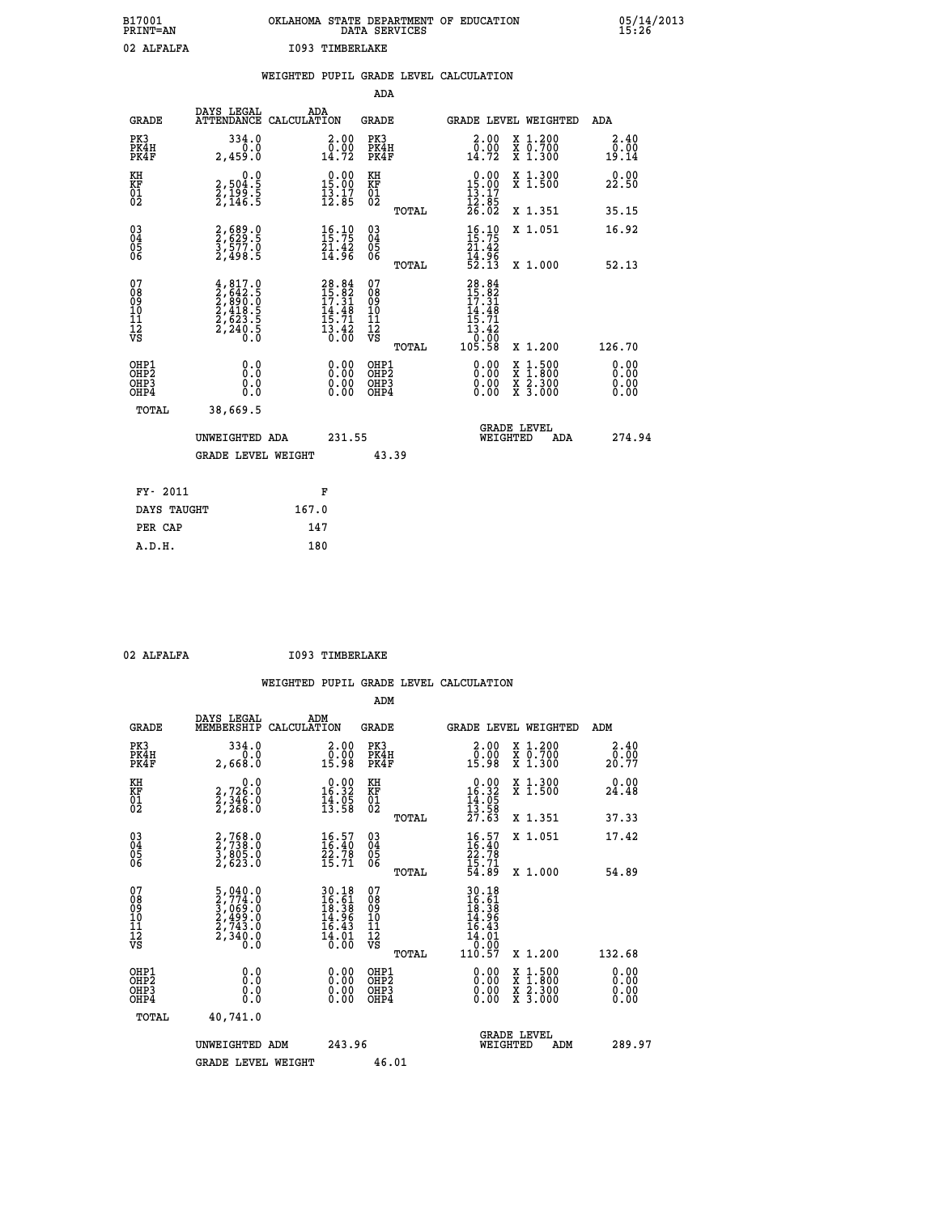| B17001<br>PRINT=AN | OKLAHOMA STATE DEPARTMENT OF EDUCATION<br>DATA SERVICES | 05/14/2013<br>15:26 |
|--------------------|---------------------------------------------------------|---------------------|
| 02 ALFALFA         | 1093 TIMBERLAKE                                         |                     |

|                                                                    |                                                                                                                                                                                                       |       |                                                                                     |                                                     |       | WEIGHTED PUPIL GRADE LEVEL CALCULATION                                            |                                                                                                                                           |     |                                  |
|--------------------------------------------------------------------|-------------------------------------------------------------------------------------------------------------------------------------------------------------------------------------------------------|-------|-------------------------------------------------------------------------------------|-----------------------------------------------------|-------|-----------------------------------------------------------------------------------|-------------------------------------------------------------------------------------------------------------------------------------------|-----|----------------------------------|
|                                                                    |                                                                                                                                                                                                       |       |                                                                                     | <b>ADA</b>                                          |       |                                                                                   |                                                                                                                                           |     |                                  |
| <b>GRADE</b>                                                       | DAYS LEGAL<br>ATTENDANCE CALCULATION                                                                                                                                                                  | ADA   |                                                                                     | GRADE                                               |       | GRADE LEVEL WEIGHTED                                                              |                                                                                                                                           |     | ADA                              |
| PK3<br>PK4H<br>PK4F                                                | 334.0<br>2,459.0                                                                                                                                                                                      |       | $\begin{smallmatrix} 2.00\\ 0.00\\ 14.72 \end{smallmatrix}$                         | PK3<br>PK4H<br>PK4F                                 |       | $\begin{smallmatrix} 2.00\\ 0.00\\ 14.72 \end{smallmatrix}$                       | X 1.200<br>X 0.700<br>X 1.300                                                                                                             |     | 2.40<br>0.00<br>19.14            |
| KH<br>KF<br>01<br>02                                               | 0.0<br>2,504:5<br>2,199:5<br>2,146:5                                                                                                                                                                  |       | $\begin{smallmatrix} 0.00\\ 15.00\\ 13.17\\ 12.85 \end{smallmatrix}$                | KH<br>KF<br>01<br>02                                |       | $\begin{array}{r} 0.00 \\ 15.00 \\ 13.17 \\ 12.85 \\ 26.02 \end{array}$           | X 1.300<br>X 1.500                                                                                                                        |     | 0.00<br>22.50                    |
|                                                                    |                                                                                                                                                                                                       |       |                                                                                     |                                                     | TOTAL |                                                                                   | X 1.351                                                                                                                                   |     | 35.15                            |
| $\begin{smallmatrix} 03 \\[-4pt] 04 \end{smallmatrix}$<br>Ŏ5<br>06 | 2,689.0<br>2,629.5<br>3,577.0<br>2,498.5                                                                                                                                                              |       | $\begin{array}{c} 16\cdot 10 \\ 15\cdot 75 \\ 21\cdot 42 \\ 14\cdot 96 \end{array}$ | $\begin{array}{c} 03 \\ 04 \\ 05 \\ 06 \end{array}$ |       | $\frac{16}{15}$ : 75<br>21.42                                                     | X 1.051                                                                                                                                   |     | 16.92                            |
|                                                                    |                                                                                                                                                                                                       |       |                                                                                     |                                                     | TOTAL | $\frac{1}{4}$ .96<br>52.13                                                        | X 1.000                                                                                                                                   |     | 52.13                            |
| 07<br>08<br>09<br>01<br>11<br>11<br>12<br>VS                       | $\begin{smallmatrix} 4\,,\,817\,. \ 2\,,\,642\,. \ 5\, \\ 2\,,\,690\,. \ 0\, \\ 2\,,\,890\,. \ 0\, \\ 2\,,\,418\,. \ 5\, \\ 2\,,\,623\,. \ 5\, \\ 2\,,\,240\,. \ 5\, \\ 0\,. \ 0\, \end{smallmatrix}$ |       | $28.84$<br>$15.82$<br>$17.31$<br>$14.48$<br>$15.71$<br>$13.42$<br>$0.00$            | 07<br>08<br>09<br>11<br>11<br>12<br>VS              | TOTAL | $28.84$<br>$15.82$<br>$17.31$<br>$14.48$<br>$15.71$<br>$13.42$<br>00:07<br>105.58 | X 1.200                                                                                                                                   |     | 126.70                           |
| OHP1<br>OHP2<br>OHP3<br>OHP4                                       | 0.0<br>0.0<br>0.0                                                                                                                                                                                     |       | $\begin{smallmatrix} 0.00 \ 0.00 \ 0.00 \ 0.00 \end{smallmatrix}$                   | OHP1<br>OHP2<br>OHP3<br>OHP4                        |       |                                                                                   | $\begin{smallmatrix} \mathtt{X} & 1\cdot500\\ \mathtt{X} & 1\cdot800\\ \mathtt{X} & 2\cdot300\\ \mathtt{X} & 3\cdot000 \end{smallmatrix}$ |     | 0.00<br>0.00<br>$0.00$<br>$0.00$ |
| TOTAL                                                              | 38,669.5                                                                                                                                                                                              |       |                                                                                     |                                                     |       |                                                                                   |                                                                                                                                           |     |                                  |
|                                                                    | UNWEIGHTED ADA                                                                                                                                                                                        |       | 231.55                                                                              |                                                     |       | WEIGHTED                                                                          | <b>GRADE LEVEL</b>                                                                                                                        | ADA | 274.94                           |
|                                                                    | <b>GRADE LEVEL WEIGHT</b>                                                                                                                                                                             |       |                                                                                     |                                                     | 43.39 |                                                                                   |                                                                                                                                           |     |                                  |
| FY- 2011                                                           |                                                                                                                                                                                                       |       | F                                                                                   |                                                     |       |                                                                                   |                                                                                                                                           |     |                                  |
| DAYS TAUGHT                                                        |                                                                                                                                                                                                       | 167.0 |                                                                                     |                                                     |       |                                                                                   |                                                                                                                                           |     |                                  |
| PER CAP                                                            |                                                                                                                                                                                                       | 147   |                                                                                     |                                                     |       |                                                                                   |                                                                                                                                           |     |                                  |

02 ALFALFA **I093 TIMBERLAKE** 

| <b>GRADE</b>                                       | DAYS LEGAL<br>MEMBERSHIP                                                                                                                                  | ADM<br>CALCULATION                                                                                 | <b>GRADE</b>                                       |          | GRADE LEVEL WEIGHTED                                                                                                                                                                                                                                                           |                                          | ADM                      |  |
|----------------------------------------------------|-----------------------------------------------------------------------------------------------------------------------------------------------------------|----------------------------------------------------------------------------------------------------|----------------------------------------------------|----------|--------------------------------------------------------------------------------------------------------------------------------------------------------------------------------------------------------------------------------------------------------------------------------|------------------------------------------|--------------------------|--|
| PK3<br>PK4H<br>PK4F                                | 334.0<br>2,668.0                                                                                                                                          | $\begin{smallmatrix} 2.00\\ 0.00\\ 15.98 \end{smallmatrix}$                                        | PK3<br>PK4H<br>PK4F                                |          | $\begin{smallmatrix} 2.00\\ 0.00\\ 15.98 \end{smallmatrix}$                                                                                                                                                                                                                    | X 1.200<br>X 0.700<br>X 1.300            | 2.40<br>$20.00$<br>20.77 |  |
| KH<br>KF<br>01<br>02                               | $\begin{smallmatrix}&&&0.0\2.726.0\2.346.0\2.268.0\end{smallmatrix}$                                                                                      | $\begin{smallmatrix} 0.00\\16.32\\14.95\\13.58 \end{smallmatrix}$                                  | KH<br>KF<br>01<br>02                               |          | $\begin{array}{r} 0.00 \\ 16.32 \\ 14.05 \\ 13.58 \\ 27.63 \end{array}$                                                                                                                                                                                                        | X 1.300<br>X 1.500                       | 0.00<br>24.48            |  |
|                                                    |                                                                                                                                                           |                                                                                                    |                                                    | TOTAL    |                                                                                                                                                                                                                                                                                | X 1.351                                  | 37.33                    |  |
| $\begin{matrix} 03 \\ 04 \\ 05 \\ 06 \end{matrix}$ | 2,768.0<br>2,738.0<br>3,805.0<br>2,623.0                                                                                                                  | $\begin{smallmatrix} 16.57\ 16.40\ 22.78\ 15.71 \end{smallmatrix}$                                 | $\begin{matrix} 03 \\ 04 \\ 05 \\ 06 \end{matrix}$ |          | $16.57$<br>$16.40$<br>$22.78$<br>$15.71$<br>$54.89$                                                                                                                                                                                                                            | X 1.051                                  | 17.42                    |  |
|                                                    |                                                                                                                                                           |                                                                                                    |                                                    | TOTAL    |                                                                                                                                                                                                                                                                                | X 1.000                                  | 54.89                    |  |
| 07<br>089<br>090<br>1112<br>VS                     | $\begin{smallmatrix}5\,,\,040\,.\,0\\2\,,\,774\,. \,0\\3\,,\,069\,. \,0\\2\,,\,499\,. \,0\\2\,,\,743\,. \,0\\2\,,\,340\,. \,0\\0\,. \,0\end{smallmatrix}$ | $\begin{array}{r} 30.18 \\ 16.51 \\ 18.38 \\ 14.96 \\ 16.43 \\ 14.01 \\ 14.01 \\ 0.00 \end{array}$ | 07<br>08<br>09<br>001<br>11<br>11<br>12<br>VS      | TOTAL    | $\begin{array}{r} 30\cdot 18 \\ 16\cdot 61 \\ 18\cdot 38 \\ 14\cdot 96 \\ 16\cdot 43 \\ 16\cdot 01 \\ 0\cdot 00 \\ 110\cdot 57 \end{array}$                                                                                                                                    | X 1.200                                  | 132.68                   |  |
| OHP1<br>OHP2<br>OH <sub>P3</sub><br>OHP4           | 0.0<br>0.000                                                                                                                                              | $\begin{smallmatrix} 0.00 \ 0.00 \ 0.00 \ 0.00 \end{smallmatrix}$                                  | OHP1<br>OHP2<br>OHP3<br>OHP4                       |          | $\begin{smallmatrix} 0.00 & 0.00 & 0.00 & 0.00 & 0.00 & 0.00 & 0.00 & 0.00 & 0.00 & 0.00 & 0.00 & 0.00 & 0.00 & 0.00 & 0.00 & 0.00 & 0.00 & 0.00 & 0.00 & 0.00 & 0.00 & 0.00 & 0.00 & 0.00 & 0.00 & 0.00 & 0.00 & 0.00 & 0.00 & 0.00 & 0.00 & 0.00 & 0.00 & 0.00 & 0.00 & 0.0$ | X 1:500<br>X 1:800<br>X 2:300<br>X 3:000 | 0.00<br>0.00<br>0.00     |  |
| TOTAL                                              | 40,741.0                                                                                                                                                  |                                                                                                    |                                                    |          |                                                                                                                                                                                                                                                                                |                                          |                          |  |
| UNWEIGHTED<br>ADM                                  |                                                                                                                                                           | 243.96                                                                                             |                                                    | WEIGHTED | <b>GRADE LEVEL</b><br>ADM                                                                                                                                                                                                                                                      | 289.97                                   |                          |  |
|                                                    | <b>GRADE LEVEL WEIGHT</b>                                                                                                                                 |                                                                                                    | 46.01                                              |          |                                                                                                                                                                                                                                                                                |                                          |                          |  |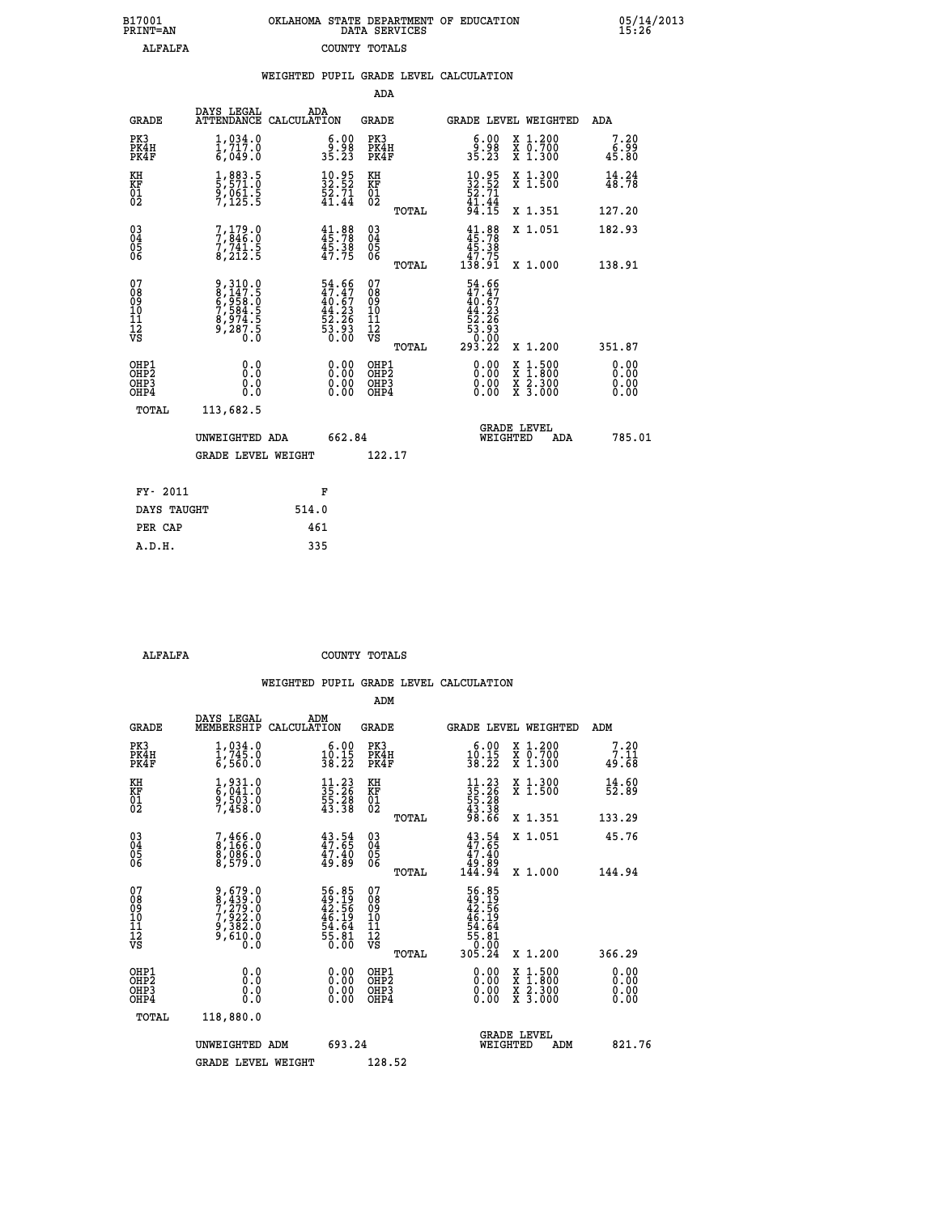| 7001<br>INT=AN | OKLAHOMA STATE DEPARTMENT OF EDUCATION<br>DATA SERVICES |  |
|----------------|---------------------------------------------------------|--|
| ALFALFA        | COUNTY TOTALS                                           |  |

|                                                                    |                                                                           |       |                                                                          |                                                     |       | WEIGHTED PUPIL GRADE LEVEL CALCULATION                                                                                                                                                                                                                                         |                                                                                                                                           |                                  |
|--------------------------------------------------------------------|---------------------------------------------------------------------------|-------|--------------------------------------------------------------------------|-----------------------------------------------------|-------|--------------------------------------------------------------------------------------------------------------------------------------------------------------------------------------------------------------------------------------------------------------------------------|-------------------------------------------------------------------------------------------------------------------------------------------|----------------------------------|
|                                                                    |                                                                           |       |                                                                          | <b>ADA</b>                                          |       |                                                                                                                                                                                                                                                                                |                                                                                                                                           |                                  |
| <b>GRADE</b>                                                       | DAYS LEGAL<br>ATTENDANCE CALCULATION                                      | ADA   |                                                                          | GRADE                                               |       | GRADE LEVEL WEIGHTED                                                                                                                                                                                                                                                           |                                                                                                                                           | ADA                              |
| PK3<br>PK4H<br>PK4F                                                | 1,034.0<br>$\frac{1}{6}$ , $\frac{7}{17}$ . $\frac{0}{0}$                 |       | $\begin{smallmatrix} 6.00\\ 9.98\\ 35.23 \end{smallmatrix}$              | PK3<br>PK4H<br>PK4F                                 |       | $\begin{smallmatrix} 6.00\\ 9.98\\ 35.23 \end{smallmatrix}$                                                                                                                                                                                                                    | X 1.200<br>X 0.700<br>X 1.300                                                                                                             | 7.20<br>6.99<br>45.80            |
| KH<br>KF<br>01<br>02                                               | 1,883.5<br>5,571.0<br>9,061.5<br>7,125.5                                  |       | $\frac{10.95}{32.52}$<br>$\frac{52}{41.44}$                              | KH<br>KF<br>01<br>02                                |       | $10.95$<br>$32.52$<br>$52.71$<br>$41.44$<br>$94.15$                                                                                                                                                                                                                            | X 1.300<br>X 1.500                                                                                                                        | 14.24<br>48.78                   |
|                                                                    |                                                                           |       |                                                                          |                                                     | TOTAL |                                                                                                                                                                                                                                                                                | X 1.351                                                                                                                                   | 127.20                           |
| $\begin{smallmatrix} 03 \\[-4pt] 04 \end{smallmatrix}$<br>Ŏ5<br>06 | $7,179.0$<br>$7,741.5$<br>$8,212.5$                                       |       | $41.88$<br>$45.78$<br>$45.38$<br>$47.75$                                 | $\begin{array}{c} 03 \\ 04 \\ 05 \\ 06 \end{array}$ |       | $41.88$<br>$45.78$<br>$45.38$<br>$47.75$<br>$138.91$                                                                                                                                                                                                                           | X 1.051                                                                                                                                   | 182.93                           |
|                                                                    |                                                                           |       |                                                                          |                                                     | TOTAL |                                                                                                                                                                                                                                                                                | X 1.000                                                                                                                                   | 138.91                           |
| 07<br>08<br>09<br>10<br>11<br>11<br>12<br>VS                       | 9,310.0<br>8,147.5<br>6,958.0<br>6,958.5<br>7,584.5<br>8,974.5<br>9,287.5 |       | $54.66$<br>$47.47$<br>$40.67$<br>$44.23$<br>$52.26$<br>$53.93$<br>$0.00$ | 07<br>08<br>09<br>11<br>11<br>12<br>VS              | TOTAL | $54.66$<br>$47.47$<br>$40.67$<br>$44.23$<br>$52.26$<br>$53.93$<br>$293.22$                                                                                                                                                                                                     | X 1.200                                                                                                                                   | 351.87                           |
| OHP1<br>OHP2<br>OHP3<br>OHP4                                       | 0.0<br>0.0<br>0.0                                                         |       | $\begin{smallmatrix} 0.00 \ 0.00 \ 0.00 \ 0.00 \end{smallmatrix}$        | OHP1<br>OHP2<br>OHP3<br>OHP4                        |       | $\begin{smallmatrix} 0.00 & 0.00 & 0.00 & 0.00 & 0.00 & 0.00 & 0.00 & 0.00 & 0.00 & 0.00 & 0.00 & 0.00 & 0.00 & 0.00 & 0.00 & 0.00 & 0.00 & 0.00 & 0.00 & 0.00 & 0.00 & 0.00 & 0.00 & 0.00 & 0.00 & 0.00 & 0.00 & 0.00 & 0.00 & 0.00 & 0.00 & 0.00 & 0.00 & 0.00 & 0.00 & 0.0$ | $\begin{smallmatrix} \mathtt{X} & 1\cdot500\\ \mathtt{X} & 1\cdot800\\ \mathtt{X} & 2\cdot300\\ \mathtt{X} & 3\cdot000 \end{smallmatrix}$ | 0.00<br>0.00<br>$0.00$<br>$0.00$ |
| TOTAL                                                              | 113,682.5                                                                 |       |                                                                          |                                                     |       |                                                                                                                                                                                                                                                                                |                                                                                                                                           |                                  |
|                                                                    | UNWEIGHTED ADA                                                            |       | 662.84                                                                   |                                                     |       | WEIGHTED                                                                                                                                                                                                                                                                       | <b>GRADE LEVEL</b><br>ADA                                                                                                                 | 785.01                           |
|                                                                    | <b>GRADE LEVEL WEIGHT</b>                                                 |       |                                                                          | 122.17                                              |       |                                                                                                                                                                                                                                                                                |                                                                                                                                           |                                  |
| FY- 2011                                                           |                                                                           |       | F                                                                        |                                                     |       |                                                                                                                                                                                                                                                                                |                                                                                                                                           |                                  |
| DAYS TAUGHT                                                        |                                                                           | 514.0 |                                                                          |                                                     |       |                                                                                                                                                                                                                                                                                |                                                                                                                                           |                                  |
| PER CAP                                                            |                                                                           | 461   |                                                                          |                                                     |       |                                                                                                                                                                                                                                                                                |                                                                                                                                           |                                  |

 **A.D.H. 335**

 **B17001<br>PRINT=AN** 

 **ALFALFA COUNTY TOTALS**

|                                          |                                                                        |                                                                                     | ADM                                                 |       |                                                                       |                                          |                              |
|------------------------------------------|------------------------------------------------------------------------|-------------------------------------------------------------------------------------|-----------------------------------------------------|-------|-----------------------------------------------------------------------|------------------------------------------|------------------------------|
| <b>GRADE</b>                             | DAYS LEGAL<br>MEMBERSHIP                                               | ADM<br>CALCULATION                                                                  | <b>GRADE</b>                                        |       |                                                                       | <b>GRADE LEVEL WEIGHTED</b>              | ADM                          |
| PK3<br>PK4H<br>PK4F                      | 1,034.0<br>1,745.0<br>6,560.0                                          | $\begin{smallmatrix} 6.00\\ 10.15\\ 38.22 \end{smallmatrix}$                        | PK3<br>PK4H<br>PK4F                                 |       | $\begin{smallmatrix} 6.00\\ 10.15\\ 38.22 \end{smallmatrix}$          | X 1.200<br>X 0.700<br>X 1.300            | 7.20<br>7.11<br>49.68        |
| KH<br>KF<br>01<br>02                     | 1,931.0<br>6,041.0<br>9,503.0<br>7,458.0                               | $\begin{array}{l} 11\cdot 23 \\ 35\cdot 26 \\ 55\cdot 28 \\ 43\cdot 38 \end{array}$ | KH<br>KF<br>01<br>02                                |       | $11.2335.2655.2843.3898.66$                                           | X 1.300<br>X 1.500                       | 14.60<br>52.89               |
|                                          |                                                                        |                                                                                     |                                                     | TOTAL |                                                                       | X 1.351                                  | 133.29                       |
| 03<br>04<br>05<br>06                     | 7,466.0<br>8,166.0<br>8,086.0<br>8,579.0                               | $43.54$<br>$47.65$<br>$\frac{47.40}{49.89}$                                         | $\begin{array}{c} 03 \\ 04 \\ 05 \\ 06 \end{array}$ |       | $43.54$<br>$47.65$<br>$47.40$<br>$49.89$<br>$144.94$                  | X 1.051                                  | 45.76                        |
|                                          |                                                                        |                                                                                     |                                                     | TOTAL |                                                                       | X 1.000                                  | 144.94                       |
| 07<br>08<br>09<br>101<br>112<br>VS       | $9,679.0$<br>$7,279.0$<br>$7,922.0$<br>$9,382.0$<br>$9,610.0$<br>$0.0$ | 56.85<br>49.19<br>42.56<br>46.19<br>46.19<br>54.64<br>55.81<br>50.00                | 07<br>08<br>09<br>11<br>11<br>12<br>VS              | TOTAL | 56.85<br>42.56<br>42.56<br>46.19<br>55.81<br>55.81<br>55.80<br>305.24 | X 1.200                                  | 366.29                       |
| OHP1<br>OHP2<br>OH <sub>P3</sub><br>OHP4 | 0.0<br>0.000                                                           |                                                                                     | OHP1<br>OHP2<br>OHP <sub>3</sub>                    |       | $0.00$<br>$0.00$<br>0.00                                              | X 1:500<br>X 1:800<br>X 2:300<br>X 3:000 | 0.00<br>0.00<br>0.00<br>0.00 |
| TOTAL                                    | 118,880.0                                                              |                                                                                     |                                                     |       |                                                                       |                                          |                              |
|                                          | UNWEIGHTED ADM                                                         | 693.24                                                                              |                                                     |       |                                                                       | <b>GRADE LEVEL</b><br>WEIGHTED<br>ADM    | 821.76                       |
|                                          | <b>GRADE LEVEL WEIGHT</b>                                              |                                                                                     | 128.52                                              |       |                                                                       |                                          |                              |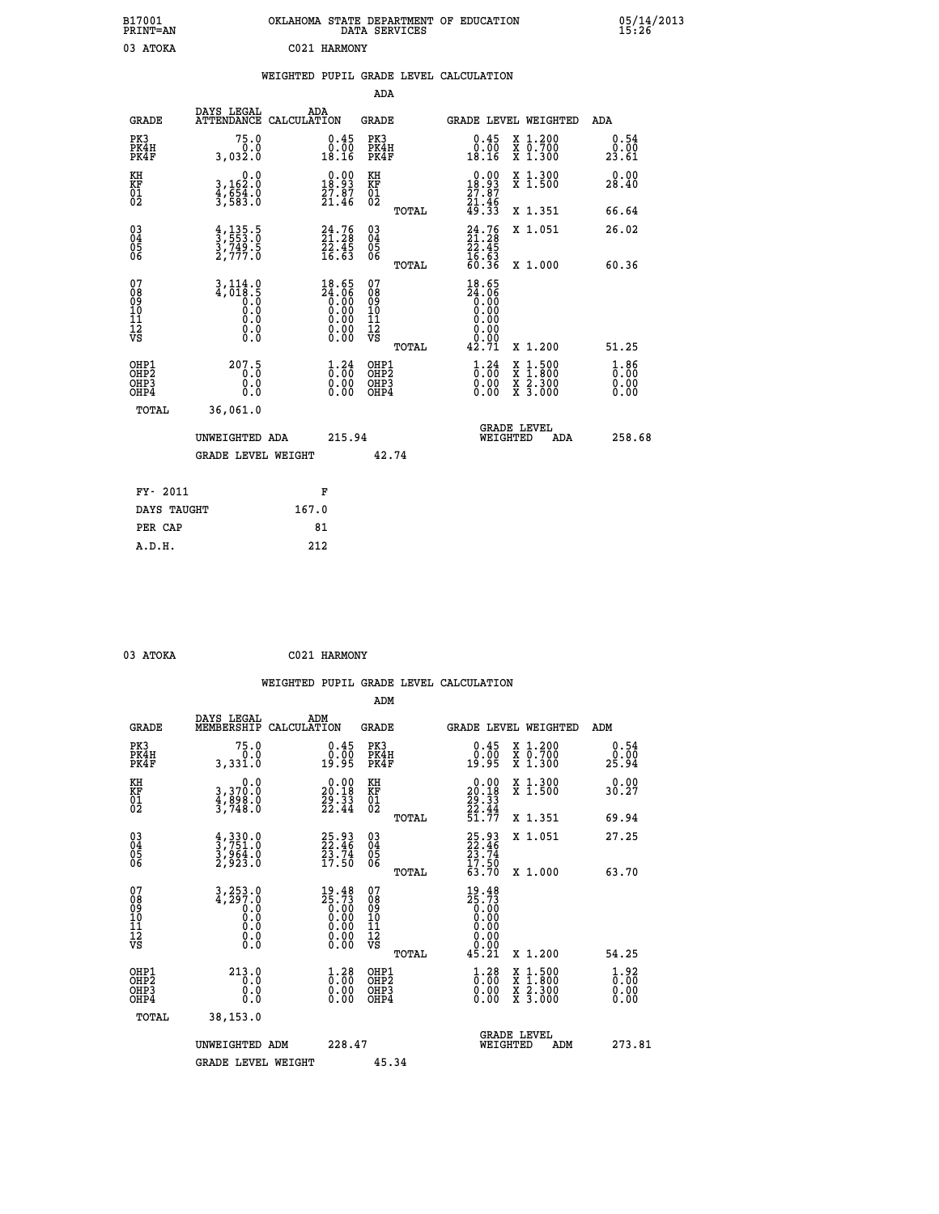| B17001<br>PRINT=AN                                |                                                                | OKLAHOMA STATE DEPARTMENT OF EDUCATION                                                                   | DATA SERVICES                                                   |                                                                          |                                                                                          | $05/14/2013$<br>15:26              |
|---------------------------------------------------|----------------------------------------------------------------|----------------------------------------------------------------------------------------------------------|-----------------------------------------------------------------|--------------------------------------------------------------------------|------------------------------------------------------------------------------------------|------------------------------------|
| 03 ATOKA                                          |                                                                | C021 HARMONY                                                                                             |                                                                 |                                                                          |                                                                                          |                                    |
|                                                   |                                                                | WEIGHTED PUPIL GRADE LEVEL CALCULATION                                                                   |                                                                 |                                                                          |                                                                                          |                                    |
|                                                   |                                                                |                                                                                                          | <b>ADA</b>                                                      |                                                                          |                                                                                          |                                    |
| <b>GRADE</b>                                      | DAYS LEGAL                                                     | ADA<br>ATTENDANCE CALCULATION                                                                            | <b>GRADE</b>                                                    |                                                                          | GRADE LEVEL WEIGHTED                                                                     | ADA                                |
| PK3<br>PK4H<br>PK4F                               | 75.0<br>0.0<br>3,032.0                                         | $\substack{0.45 \\ 0.00 \\ 18.16}$                                                                       | PK3<br>PK4H<br>PK4F                                             | $\substack{0.45 \\ 0.00 \\ 18.16}$                                       | X 1.200<br>X 0.700<br>X 1.300                                                            | 0.54<br>0.00<br>23.61              |
| KH<br>KF<br>$\begin{matrix} 01 \ 02 \end{matrix}$ | 0.0<br>3,162:0<br>4,654:0<br>3,583:0                           | $\begin{smallmatrix} 0.00\\18.93\\27.87\\21.46 \end{smallmatrix}$                                        | KH<br><b>KF</b><br>01<br>02                                     | $\begin{smallmatrix} 0.00\\18.93\\27.87\\21.46\\49.33 \end{smallmatrix}$ | X 1.300<br>X 1.500                                                                       | 0.00<br>28.40                      |
|                                                   |                                                                |                                                                                                          | TOTAL                                                           |                                                                          | X 1.351                                                                                  | 66.64                              |
| 03<br>04<br>05<br>06                              | $\frac{4}{3}, \frac{135}{553}$ . 0<br>3, 749. 5<br>2, 777. 0   | $24.76$<br>$21.28$<br>$22.45$<br>$16.63$                                                                 | $\begin{matrix} 03 \\ 04 \\ 05 \\ 06 \end{matrix}$              | $24.76$<br>$21.28$<br>$\frac{22.45}{16.63}$<br>60.36                     | X 1.051                                                                                  | 26.02                              |
|                                                   |                                                                |                                                                                                          | TOTAL                                                           |                                                                          | X 1.000                                                                                  | 60.36                              |
| 07<br>08<br>09<br>11<br>11<br>12<br>VS            | $\frac{3}{4}, \frac{114}{018}$ . 5<br>0.0<br>0.0<br>$\S.$ $\S$ | $18.65$<br>$24.06$<br>$0.00$<br>$0.00$<br>$0.00$<br>$\begin{smallmatrix} 0.00 \\ 0.00 \end{smallmatrix}$ | 07<br>$\frac{0.8}{0.9}$<br>ίÒ<br>īi<br>ĪŽ<br>VŠ<br><b>TOTAL</b> | 18.65<br>$\frac{54.06}{0.00}$<br>0.00<br>0.00<br>0.00<br>Ŏ.ŎŎ<br>42.71   | X 1.200                                                                                  | 51.25                              |
| OHP1                                              |                                                                |                                                                                                          | OHP1                                                            |                                                                          |                                                                                          |                                    |
| OHP <sub>2</sub><br>OH <sub>P3</sub><br>OHP4      | 207.5<br>0.0<br>0.0                                            | $\frac{1}{0}$ : $\frac{24}{00}$<br>$\begin{smallmatrix} 0.00 \ 0.00 \end{smallmatrix}$                   | OHP <sub>2</sub><br>OHP3<br>OHP4                                | $1.24$<br>$0.00$<br>0.00<br>0.00                                         | $\begin{smallmatrix} x & 1.500 \\ x & 1.800 \\ x & 2.300 \\ x & 3.000 \end{smallmatrix}$ | $\frac{1}{0}$ : 86<br>0.00<br>0.00 |
| <b>TOTAL</b>                                      | 36,061.0                                                       |                                                                                                          |                                                                 |                                                                          |                                                                                          |                                    |
|                                                   | UNWEIGHTED ADA                                                 | 215.94                                                                                                   |                                                                 | WEIGHTED                                                                 | <b>GRADE LEVEL</b><br>ADA                                                                | 258.68                             |
|                                                   | <b>GRADE LEVEL WEIGHT</b>                                      |                                                                                                          | 42.74                                                           |                                                                          |                                                                                          |                                    |
| FY- 2011                                          |                                                                | F                                                                                                        |                                                                 |                                                                          |                                                                                          |                                    |
| DAYS TAUGHT                                       |                                                                | 167.0                                                                                                    |                                                                 |                                                                          |                                                                                          |                                    |
| PER CAP                                           |                                                                | 81                                                                                                       |                                                                 |                                                                          |                                                                                          |                                    |
| A.D.H.                                            |                                                                | 212                                                                                                      |                                                                 |                                                                          |                                                                                          |                                    |

| 03 ATOKA | C021 HARMONY |
|----------|--------------|
|          |              |

|                                                      |                                                                                                     |                                                                                                        |                                        | WEIGHTED PUPIL GRADE LEVEL CALCULATION                                   |                                                                                                                                           |                                                 |
|------------------------------------------------------|-----------------------------------------------------------------------------------------------------|--------------------------------------------------------------------------------------------------------|----------------------------------------|--------------------------------------------------------------------------|-------------------------------------------------------------------------------------------------------------------------------------------|-------------------------------------------------|
|                                                      |                                                                                                     |                                                                                                        | ADM                                    |                                                                          |                                                                                                                                           |                                                 |
| <b>GRADE</b>                                         | DAYS LEGAL<br>MEMBERSHIP                                                                            | ADM<br>CALCULATION                                                                                     | <b>GRADE</b>                           | <b>GRADE LEVEL WEIGHTED</b>                                              |                                                                                                                                           | ADM                                             |
| PK3<br>PK4H<br>PK4F                                  | 75.0<br>0.0<br>3,331.0                                                                              | $\begin{smallmatrix} 0.45\ 0.00 \ 19.95 \end{smallmatrix}$                                             | PK3<br>PK4H<br>PK4F                    | $\begin{smallmatrix} 0.45\ 0.00\\ -0.00\\ 19.95 \end{smallmatrix}$       | X 1.200<br>X 0.700<br>X 1.300                                                                                                             | 0.54<br>0.00<br>25.94                           |
| KH<br>KF<br>01<br>02                                 | 0.0<br>3,370:0<br>4,898:0<br>3,748:0                                                                | $\begin{smallmatrix} 0.00\\ 20.18\\ 29.33\\ 22.44 \end{smallmatrix}$                                   | KH<br>KF<br>01<br>02                   | $\begin{smallmatrix} 0.00\\20.18\\29.33\\22.44\\51.77 \end{smallmatrix}$ | X 1.300<br>X 1.500                                                                                                                        | 0.00<br>30.27                                   |
|                                                      |                                                                                                     |                                                                                                        | TOTAL                                  |                                                                          | X 1.351                                                                                                                                   | 69.94                                           |
| $\begin{matrix} 03 \\ 04 \\ 05 \\ 06 \end{matrix}$   | $\frac{4}{3}, \frac{330}{751}.0$<br>$\frac{3}{964}.0$<br>$\frac{2}{923}.0$                          | 25.93<br>22.46<br>23.74<br>17.50                                                                       | 03<br>04<br>05<br>06                   | $25.93$<br>$22.46$<br>$23.74$<br>$17.50$                                 | X 1.051                                                                                                                                   | 27.25                                           |
|                                                      |                                                                                                     |                                                                                                        | TOTAL                                  | 63.70                                                                    | X 1.000                                                                                                                                   | 63.70                                           |
| 07<br>08<br>09<br>11<br>11<br>12<br>VS               | 3,253.0<br>4,297.0<br>$\begin{smallmatrix} 0.1 & 0 \ 0.0 & 0 \ 0.0 & 0 \ 0.0 & 0 \end{smallmatrix}$ | $\begin{smallmatrix} 19.48\\ 25.73\\ 0.00\\ 0.00\\ 0.00\\ 0.00\\ 0.00\\ 0.00\\ 0.00 \end{smallmatrix}$ | 07<br>08<br>09<br>11<br>11<br>12<br>VS | $19.48$<br>$25.73$<br>$0.00$<br>$0.00$                                   |                                                                                                                                           |                                                 |
|                                                      |                                                                                                     |                                                                                                        | TOTAL                                  | 45.21                                                                    | X 1.200                                                                                                                                   | 54.25                                           |
| OHP1<br>OHP2<br>OH <sub>P3</sub><br>OH <sub>P4</sub> | 213.0<br>0.0<br>0.0<br>0.0                                                                          | $\begin{smallmatrix} 1.28\ 0.00\ 0.00 \end{smallmatrix}$                                               | OHP1<br>OHP2<br>OHP3<br>OHP4           | $\begin{smallmatrix} 1.28\ 0.00\ 0.00 \end{smallmatrix}$                 | $\begin{smallmatrix} \mathtt{X} & 1\cdot500\\ \mathtt{X} & 1\cdot800\\ \mathtt{X} & 2\cdot300\\ \mathtt{X} & 3\cdot000 \end{smallmatrix}$ | $\frac{1}{0}$ : $\frac{92}{00}$<br>0.00<br>0.00 |
| TOTAL                                                | 38,153.0                                                                                            |                                                                                                        |                                        |                                                                          |                                                                                                                                           |                                                 |
|                                                      | UNWEIGHTED ADM                                                                                      | 228.47                                                                                                 |                                        | <b>GRADE LEVEL</b><br>WEIGHTED                                           | ADM                                                                                                                                       | 273.81                                          |
|                                                      | <b>GRADE LEVEL WEIGHT</b>                                                                           |                                                                                                        | 45.34                                  |                                                                          |                                                                                                                                           |                                                 |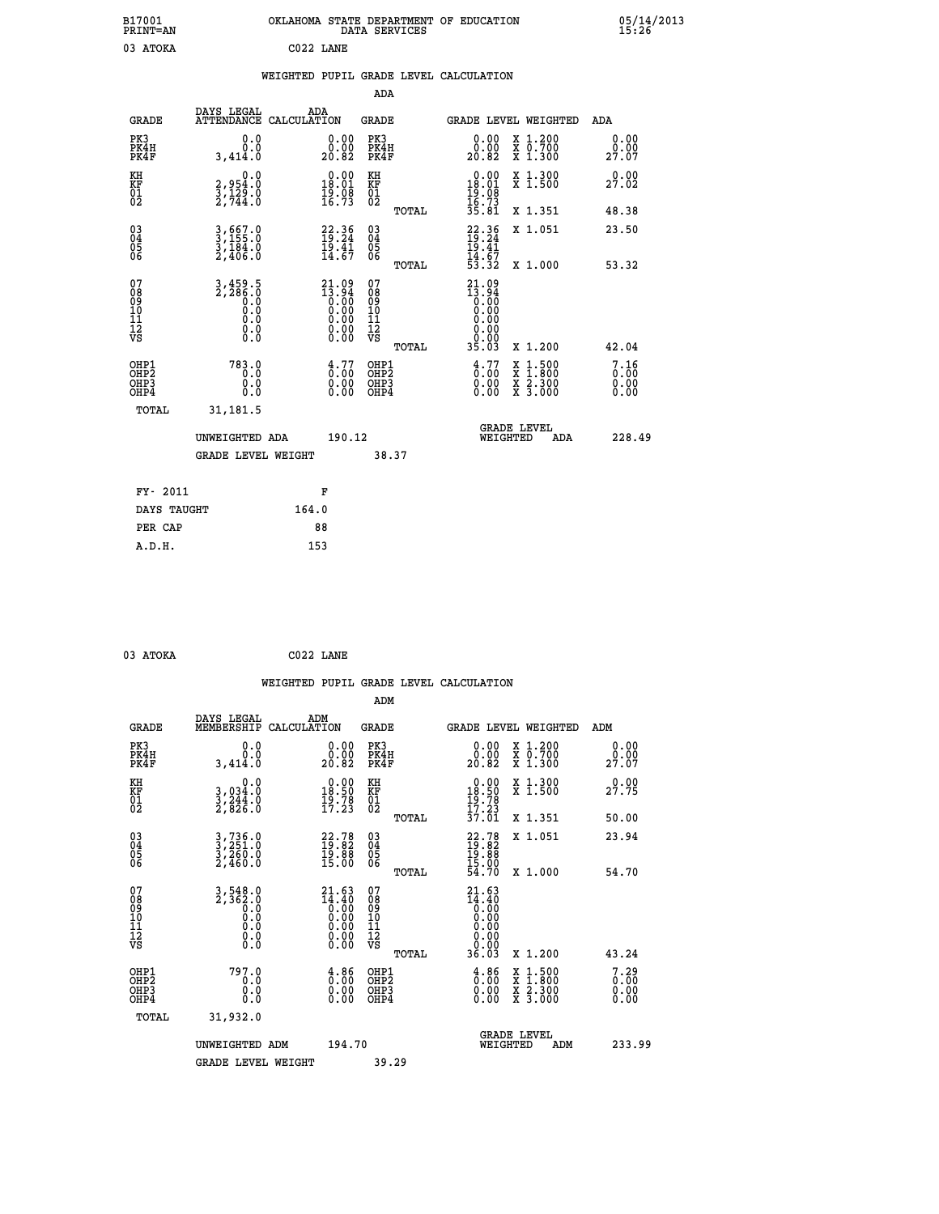| B17001<br>PRINT=AN                                   |                                                | OKLAHOMA STATE DEPARTMENT OF EDUCATION                                                                                         | DATA SERVICES                                      |                                                                                        |                                                                                          | $05/14/2013$<br>$15:26$      |
|------------------------------------------------------|------------------------------------------------|--------------------------------------------------------------------------------------------------------------------------------|----------------------------------------------------|----------------------------------------------------------------------------------------|------------------------------------------------------------------------------------------|------------------------------|
| 03 ATOKA                                             |                                                | C022 LANE                                                                                                                      |                                                    |                                                                                        |                                                                                          |                              |
|                                                      |                                                | WEIGHTED PUPIL GRADE LEVEL CALCULATION                                                                                         |                                                    |                                                                                        |                                                                                          |                              |
|                                                      |                                                |                                                                                                                                | <b>ADA</b>                                         |                                                                                        |                                                                                          |                              |
| <b>GRADE</b>                                         | DAYS LEGAL<br>ATTENDANCE CALCULATION           | ADA                                                                                                                            | GRADE                                              | GRADE LEVEL WEIGHTED                                                                   |                                                                                          | ADA                          |
| PK3<br>PK4H<br>PK4F                                  | 0.0<br>0.0<br>3,414.0                          | 0.00<br>0.00<br>20.82                                                                                                          | PK3<br>PK4H<br>PK4F                                | $\begin{smallmatrix} 0.00\\ 0.00\\ 20.82 \end{smallmatrix}$                            | X 1.200<br>X 0.700<br>X 1.300                                                            | 0.00<br>0.00<br>27.07        |
| KH<br>KF<br>$\begin{matrix} 01 \ 02 \end{matrix}$    | 0.0<br>2,954:0<br>3,129:0<br>2,744:0           | $\begin{smallmatrix} 0.00\\18.01\\19.08\\16.73 \end{smallmatrix}$                                                              | KH<br><b>KF</b><br>01<br>02                        | $18.00$<br>18.01<br>$\frac{18}{16}$ $\frac{08}{73}$                                    | X 1.300<br>X 1.500                                                                       | 0.00<br>27.02                |
|                                                      |                                                |                                                                                                                                | TOTAL                                              | 35.81                                                                                  | X 1.351                                                                                  | 48.38                        |
| $\substack{03 \ 04}$<br>Ŏ5<br>ŌĞ                     | 3,667.0<br>3,155.0<br>3,184.0<br>2,406.0       | $22.36$<br>$19.24$<br>19.41<br>14.67                                                                                           | $\begin{matrix} 03 \\ 04 \\ 05 \\ 06 \end{matrix}$ | $22.36$<br>$19.24$<br>19.41<br>$\frac{1}{4}$ $\frac{1}{3}$ $\frac{1}{3}$ $\frac{1}{2}$ | X 1.051                                                                                  | 23.50                        |
|                                                      |                                                |                                                                                                                                | TOTAL                                              |                                                                                        | X 1.000                                                                                  | 53.32                        |
| 07<br>08<br>09<br>10<br>11<br>12<br>VS               | 3,459.5<br>2,286.0<br>Ō.Ō<br>0.0<br>0.0<br>0.0 | $21.09$<br>$13.94$<br>$0.00$<br>$0.00$<br>$0.00$<br>0.00<br>$\begin{smallmatrix} 0.00 & 0.00 \\ 0.00 & 0.00 \end{smallmatrix}$ | 07<br>08<br>09<br>101<br>11<br>12<br>VS<br>TOTAL   | 21.09<br>$\frac{13.94}{0.00}$<br>0.00<br>0.00<br>0.00<br>0.00<br>35.03                 | X 1.200                                                                                  | 42.04                        |
| OHP1<br>OHP <sub>2</sub><br>OH <sub>P3</sub><br>OHP4 | 783.0<br>0.0<br>0.0                            | $\frac{4}{0}$ : $\frac{77}{00}$<br>0.00<br>0.00                                                                                | OHP1<br>OHP <sub>2</sub><br>OHP3<br>OHP4           | $\frac{4}{0}$ : $\frac{77}{00}$<br>0.00<br>0.00                                        | $\begin{smallmatrix} x & 1.500 \\ x & 1.800 \\ x & 2.300 \\ x & 3.000 \end{smallmatrix}$ | 7.16<br>0.00<br>0.00<br>0.00 |
| TOTAL                                                | 31,181.5                                       |                                                                                                                                |                                                    |                                                                                        |                                                                                          |                              |
|                                                      | UNWEIGHTED ADA                                 | 190.12                                                                                                                         |                                                    | <b>GRADE LEVEL</b><br>WEIGHTED                                                         | ADA                                                                                      | 228.49                       |
|                                                      | <b>GRADE LEVEL WEIGHT</b>                      |                                                                                                                                | 38.37                                              |                                                                                        |                                                                                          |                              |
| FY- 2011                                             |                                                | F                                                                                                                              |                                                    |                                                                                        |                                                                                          |                              |
| DAYS TAUGHT                                          |                                                | 164.0                                                                                                                          |                                                    |                                                                                        |                                                                                          |                              |
| PER CAP                                              |                                                | 88                                                                                                                             |                                                    |                                                                                        |                                                                                          |                              |
| A.D.H.                                               |                                                | 153                                                                                                                            |                                                    |                                                                                        |                                                                                          |                              |

|                                                    |                                                        |                    |                                                                                               |                                              |       | WEIGHTED PUPIL GRADE LEVEL CALCULATION                                   |          |                                                                                                  |                                  |  |
|----------------------------------------------------|--------------------------------------------------------|--------------------|-----------------------------------------------------------------------------------------------|----------------------------------------------|-------|--------------------------------------------------------------------------|----------|--------------------------------------------------------------------------------------------------|----------------------------------|--|
|                                                    |                                                        |                    |                                                                                               | ADM                                          |       |                                                                          |          |                                                                                                  |                                  |  |
| <b>GRADE</b>                                       | DAYS LEGAL<br>MEMBERSHIP                               | ADM<br>CALCULATION |                                                                                               | <b>GRADE</b>                                 |       |                                                                          |          | <b>GRADE LEVEL WEIGHTED</b>                                                                      | ADM                              |  |
| PK3<br>PK4H<br>PK4F                                | 0.0<br>Ŏ.Ŏ<br>3,414.0                                  |                    | $\begin{smallmatrix} 0.00\\ 0.00\\ 20.82 \end{smallmatrix}$                                   | PK3<br>PK4H<br>PK4F                          |       | $\begin{smallmatrix} 0.00\\ 0.00\\ 20.82 \end{smallmatrix}$              |          | X 1.200<br>X 0.700<br>X 1.300                                                                    | 0.00<br>0.00<br>27.07            |  |
| KH<br>KF<br>01<br>02                               | 0.0<br>3,034:0<br>3,244:0<br>2,826:0                   |                    | $\begin{smallmatrix} 0.00\\18.50\\19.78\\17.23 \end{smallmatrix}$                             | KH<br>KF<br>01<br>02                         |       | $\begin{smallmatrix} 0.00\\18.50\\19.78\\17.23\\37.01 \end{smallmatrix}$ |          | X 1.300<br>X 1.500                                                                               | 27.75                            |  |
|                                                    |                                                        |                    |                                                                                               |                                              | TOTAL |                                                                          |          | X 1.351                                                                                          | 50.00                            |  |
| $\begin{matrix} 03 \\ 04 \\ 05 \\ 06 \end{matrix}$ | $3, 736.0$<br>$3, 251.0$<br>$3, 260.0$<br>$2, 460.0$   |                    | $\begin{smallmatrix} 22.78\\19.82\\19.88\\15.00 \end{smallmatrix}$                            | 03<br>04<br>05<br>06                         |       | $22.78$<br>$19.82$<br>$19.88$<br>$15.00$<br>$54.70$                      |          | X 1.051<br>X 1.000                                                                               | 23.94<br>54.70                   |  |
| 07<br>0890112<br>1112<br>VS                        | $3,548.0$<br>$2,362.0$<br>$0.0$<br>0.0<br>0.0<br>$\S.$ |                    | ${\footnotesize\begin{matrix} 21.63\\14.40\\0.00\\0.00\\0.00\\0.00\\0.00\\0.00 \end{matrix}}$ | 07<br>08<br>09<br>09<br>10<br>11<br>12<br>VS | TOTAL | $21.63$<br>$14.40$<br>$0.00$<br>0.00<br>0.00<br>0.00                     |          |                                                                                                  |                                  |  |
|                                                    |                                                        |                    |                                                                                               |                                              | TOTAL | 36.03                                                                    |          | X 1.200                                                                                          | 43.24                            |  |
| OHP1<br>OHP2<br>OH <sub>P3</sub><br>OHP4           | 797.0<br>0.0<br>0.0<br>Ŏ.Ŏ                             |                    | $\begin{smallmatrix} 4.86\ 0.00\ 0.00 \end{smallmatrix}$                                      | OHP1<br>OHP2<br>OHP <sub>3</sub>             |       | $\begin{smallmatrix} 4.86\ 0.00\ 0.00 \end{smallmatrix}$                 |          | $\begin{smallmatrix} x & 1 & 500 \\ x & 1 & 800 \\ x & 2 & 300 \\ x & 3 & 000 \end{smallmatrix}$ | $7.29$<br>$0.00$<br>0.00<br>0.00 |  |
| TOTAL                                              | 31,932.0                                               |                    |                                                                                               |                                              |       |                                                                          |          |                                                                                                  |                                  |  |
|                                                    | UNWEIGHTED ADM                                         |                    | 194.70                                                                                        |                                              |       |                                                                          | WEIGHTED | <b>GRADE LEVEL</b><br>ADM                                                                        | 233.99                           |  |
|                                                    | <b>GRADE LEVEL WEIGHT</b>                              |                    |                                                                                               | 39.29                                        |       |                                                                          |          |                                                                                                  |                                  |  |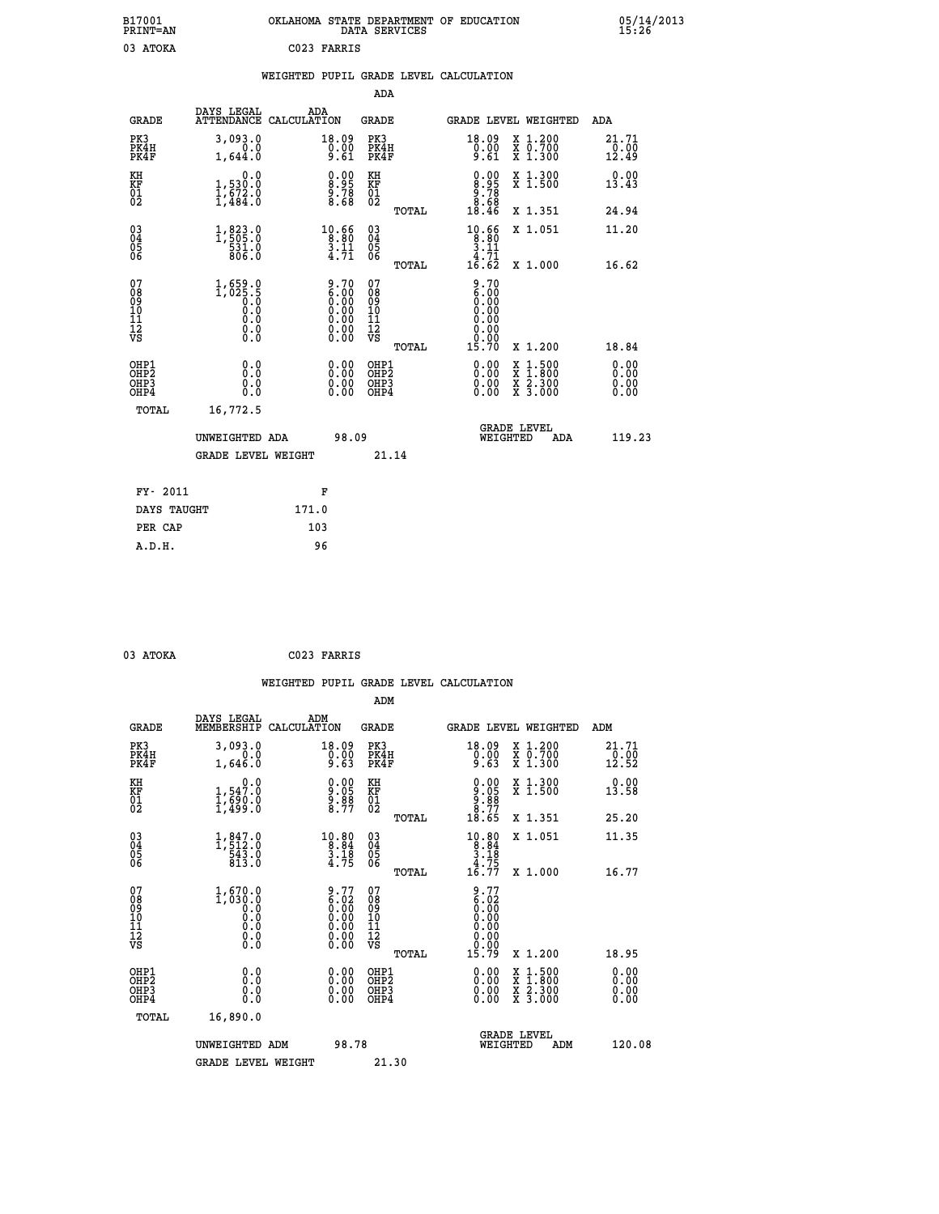|             | OKLAHOMA STATE DEPARTMENT OF EDUCATION<br>DATA SERVICES |  |
|-------------|---------------------------------------------------------|--|
| C023 FARRIS |                                                         |  |

**P100**  $\frac{05}{15.26}$ 

|  |  | WEIGHTED PUPIL GRADE LEVEL CALCULATION |
|--|--|----------------------------------------|
|  |  |                                        |

|                                                      |                                                                                                           |                                                                                                                              | ADA                                                 |       |                                                                                                                                                                                                                                                                                |                                                                                                                                      |                        |
|------------------------------------------------------|-----------------------------------------------------------------------------------------------------------|------------------------------------------------------------------------------------------------------------------------------|-----------------------------------------------------|-------|--------------------------------------------------------------------------------------------------------------------------------------------------------------------------------------------------------------------------------------------------------------------------------|--------------------------------------------------------------------------------------------------------------------------------------|------------------------|
| <b>GRADE</b>                                         | DAYS LEGAL<br><b>ATTENDANCE</b>                                                                           | ADA<br>CALCULATION                                                                                                           | <b>GRADE</b>                                        |       |                                                                                                                                                                                                                                                                                | GRADE LEVEL WEIGHTED                                                                                                                 | ADA                    |
| PK3<br>PK4H<br>PK4F                                  | 3,093.0<br>0.0<br>1,644.0                                                                                 | 18.09<br>0.00<br>9.61                                                                                                        | PK3<br>PK4H<br>PK4F                                 |       | 18.09<br>$9.00$<br>9.61                                                                                                                                                                                                                                                        | X 1.200<br>X 0.700<br>X 1.300                                                                                                        | 21.71<br>0.00<br>12.49 |
| KH<br>KF<br>01<br>02                                 | 0.0<br>$1,530.0$<br>$1,672.0$<br>$1,484.0$                                                                | $\begin{smallmatrix} 0.00\\ 8.95\\ 9.78\\ 8.68 \end{smallmatrix}$                                                            | KH<br>KF<br>01<br>02                                |       | $\begin{smallmatrix} 0.00\\8.95\\9.78\\8.68\\18.46\end{smallmatrix}$                                                                                                                                                                                                           | X 1.300<br>X 1.500                                                                                                                   | 0.00<br>13.43          |
|                                                      |                                                                                                           |                                                                                                                              |                                                     | TOTAL |                                                                                                                                                                                                                                                                                | X 1.351                                                                                                                              | 24.94                  |
| $\begin{matrix} 03 \\ 04 \\ 05 \\ 06 \end{matrix}$   | $1, 823.0$<br>$1, 505.0$<br>$531.0$<br>$806.0$                                                            | $\begin{array}{r} 10.66 \\ 8.80 \\ 3.11 \\ 4.71 \end{array}$                                                                 | $\begin{array}{c} 03 \\ 04 \\ 05 \\ 06 \end{array}$ |       | $\begin{smallmatrix} 10.66 \\ 8.80 \\ 3.11 \\ 4.71 \\ 16.62 \end{smallmatrix}$                                                                                                                                                                                                 | X 1.051                                                                                                                              | 11.20                  |
|                                                      |                                                                                                           |                                                                                                                              |                                                     | TOTAL |                                                                                                                                                                                                                                                                                | X 1.000                                                                                                                              | 16.62                  |
| 07<br>0890112<br>1112<br>VS                          | $1,659.0$<br>1,025.5<br>0.0<br>0.0<br>$\begin{smallmatrix} 0.0 & 0 \ 0.0 & 0 \ 0.0 & 0 \end{smallmatrix}$ | $\begin{smallmatrix} 9.70\ 6.00\ 0.00\ 0.00\ 0.00 \end{smallmatrix}$<br>$\begin{smallmatrix} 0.00 \\ 0.00 \end{smallmatrix}$ | 07<br>08<br>09<br>11<br>11<br>12<br>VS              | TOTAL | $\begin{smallmatrix} 9.70\ 6.00\ 0.00 \end{smallmatrix}$<br>0.00<br>0.00<br>0.00<br>15.70                                                                                                                                                                                      | X 1.200                                                                                                                              | 18.84                  |
| OHP1<br>OHP2<br>OH <sub>P3</sub><br>OH <sub>P4</sub> | 0.0<br>0.0<br>Ŏ.Ŏ                                                                                         | $0.00$<br>$0.00$<br>0.00                                                                                                     | OHP1<br>OHP2<br>OHP3<br>OHP4                        |       | $\begin{smallmatrix} 0.00 & 0.00 & 0.00 & 0.00 & 0.00 & 0.00 & 0.00 & 0.00 & 0.00 & 0.00 & 0.00 & 0.00 & 0.00 & 0.00 & 0.00 & 0.00 & 0.00 & 0.00 & 0.00 & 0.00 & 0.00 & 0.00 & 0.00 & 0.00 & 0.00 & 0.00 & 0.00 & 0.00 & 0.00 & 0.00 & 0.00 & 0.00 & 0.00 & 0.00 & 0.00 & 0.0$ | $\begin{smallmatrix} \mathtt{X} & 1 & 500 \\ \mathtt{X} & 1 & 800 \\ \mathtt{X} & 2 & 300 \\ \mathtt{X} & 3 & 000 \end{smallmatrix}$ | 0.00<br>0.00<br>0.00   |
| TOTAL                                                | 16,772.5                                                                                                  |                                                                                                                              |                                                     |       |                                                                                                                                                                                                                                                                                |                                                                                                                                      |                        |
|                                                      | UNWEIGHTED ADA                                                                                            | 98.09                                                                                                                        |                                                     |       |                                                                                                                                                                                                                                                                                | <b>GRADE LEVEL</b><br>WEIGHTED<br>ADA                                                                                                | 119.23                 |
|                                                      | <b>GRADE LEVEL WEIGHT</b>                                                                                 |                                                                                                                              | 21.14                                               |       |                                                                                                                                                                                                                                                                                |                                                                                                                                      |                        |
| FY- 2011                                             |                                                                                                           | F                                                                                                                            |                                                     |       |                                                                                                                                                                                                                                                                                |                                                                                                                                      |                        |
| DAYS TAUGHT                                          |                                                                                                           | 171.0                                                                                                                        |                                                     |       |                                                                                                                                                                                                                                                                                |                                                                                                                                      |                        |
|                                                      |                                                                                                           |                                                                                                                              |                                                     |       |                                                                                                                                                                                                                                                                                |                                                                                                                                      |                        |

| ጦሰጀ |
|-----|
|     |

 **PER CAP 103**

 **A.D.H. 96**

 **B17001<br>PRINT=AN<br>03 ATOKA** 

 **03 ATOKA C023 FARRIS**

 **WEIGHTED PUPIL GRADE LEVEL CALCULATION ADM DAYS LEGAL ADM**

| <b>GRADE</b>                                       | nure mpann<br>MEMBERSHIP                                                | שעם<br>CALCULATION                                                                            | GRADE                                               |       |                                                                                                                                                                                                                                                                                |          | GRADE LEVEL WEIGHTED                                                                                                                      | ADM                                 |
|----------------------------------------------------|-------------------------------------------------------------------------|-----------------------------------------------------------------------------------------------|-----------------------------------------------------|-------|--------------------------------------------------------------------------------------------------------------------------------------------------------------------------------------------------------------------------------------------------------------------------------|----------|-------------------------------------------------------------------------------------------------------------------------------------------|-------------------------------------|
| PK3<br>PK4H<br>PK4F                                | 3,093.0<br>0.0<br>1,646.0                                               | 18.09<br>0.00<br>9.63                                                                         | PK3<br>PK4H<br>PK4F                                 |       | $\begin{smallmatrix} 18.09\ 0.00 \ 9.63 \end{smallmatrix}$                                                                                                                                                                                                                     |          | X 1.200<br>X 0.700<br>X 1.300                                                                                                             | $\substack{21.71 \\ 0.00 \\ 12.52}$ |
| KH<br>KF<br>01<br>02                               | $\begin{smallmatrix}&&&0.0\\1,547.0\\1,690.0\\1,499.0\end{smallmatrix}$ | $0.00$<br>$9.05$<br>$9.88$<br>$8.77$                                                          | KH<br>KF<br>01<br>02                                |       | $\begin{smallmatrix} 0.00\\ 9.05\\ 9.88\\ 8.77\\ 18.65 \end{smallmatrix}$                                                                                                                                                                                                      |          | X 1.300<br>X 1.500                                                                                                                        | 0.00<br>13.58                       |
|                                                    |                                                                         |                                                                                               |                                                     | TOTAL |                                                                                                                                                                                                                                                                                |          | X 1.351                                                                                                                                   | 25.20                               |
| $\begin{matrix} 03 \\ 04 \\ 05 \\ 06 \end{matrix}$ | $1, 847.0$<br>$543.0$<br>$543.0$<br>$813.0$                             | $\begin{array}{r} 10.80 \\ 8.84 \\ 3.18 \\ 4.75 \end{array}$                                  | $\begin{array}{c} 03 \\ 04 \\ 05 \\ 06 \end{array}$ |       | $\begin{array}{r} 10.80 \\ 8.84 \\ 3.18 \\ 4.75 \\ 16.77 \end{array}$                                                                                                                                                                                                          |          | X 1.051                                                                                                                                   | 11.35                               |
|                                                    |                                                                         |                                                                                               |                                                     | TOTAL |                                                                                                                                                                                                                                                                                |          | $X_1.000$                                                                                                                                 | 16.77                               |
| 07<br>08<br>09<br>101<br>11<br>12<br>VS            | $1,670.0\\ 1,030.0\\ 0.0\\ 0.0\\ 0.0\\0.0\\0.0$                         | $\begin{smallmatrix} 9.77\ 6.02\ 0.00\ 0.00\ 0.00\ 0.00\ 0.00\ 0.00\ 0.00\ \end{smallmatrix}$ | 07<br>08<br>09<br>11<br>11<br>12<br>VS              |       | $\begin{array}{c} 9.77 \\ 6.02 \\ 0.00 \\ 0.00 \\ 0.00 \\ 0.00 \\ 0.00 \\ 0.00 \\ 0.00 \\ \end{array}$                                                                                                                                                                         |          |                                                                                                                                           |                                     |
|                                                    |                                                                         |                                                                                               |                                                     | TOTAL | 15.79                                                                                                                                                                                                                                                                          |          | X 1.200                                                                                                                                   | 18.95                               |
| OHP1<br>OHP2<br>OHP <sub>3</sub><br>OHP4           | 0.0<br>0.000                                                            | $\begin{smallmatrix} 0.00 \ 0.00 \ 0.00 \ 0.00 \end{smallmatrix}$                             | OHP1<br>OHP2<br>OHP3<br>OHP4                        |       | $\begin{smallmatrix} 0.00 & 0.00 & 0.00 & 0.00 & 0.00 & 0.00 & 0.00 & 0.00 & 0.00 & 0.00 & 0.00 & 0.00 & 0.00 & 0.00 & 0.00 & 0.00 & 0.00 & 0.00 & 0.00 & 0.00 & 0.00 & 0.00 & 0.00 & 0.00 & 0.00 & 0.00 & 0.00 & 0.00 & 0.00 & 0.00 & 0.00 & 0.00 & 0.00 & 0.00 & 0.00 & 0.0$ |          | $\begin{smallmatrix} \mathtt{X} & 1\cdot500\\ \mathtt{X} & 1\cdot800\\ \mathtt{X} & 2\cdot300\\ \mathtt{X} & 3\cdot000 \end{smallmatrix}$ | $0.00$<br>$0.00$<br>0.00            |
| TOTAL                                              | 16,890.0                                                                |                                                                                               |                                                     |       |                                                                                                                                                                                                                                                                                |          |                                                                                                                                           |                                     |
|                                                    | UNWEIGHTED ADM                                                          | 98.78                                                                                         |                                                     |       |                                                                                                                                                                                                                                                                                | WEIGHTED | <b>GRADE LEVEL</b><br>ADM                                                                                                                 | 120.08                              |
|                                                    | <b>GRADE LEVEL WEIGHT</b>                                               |                                                                                               | 21.30                                               |       |                                                                                                                                                                                                                                                                                |          |                                                                                                                                           |                                     |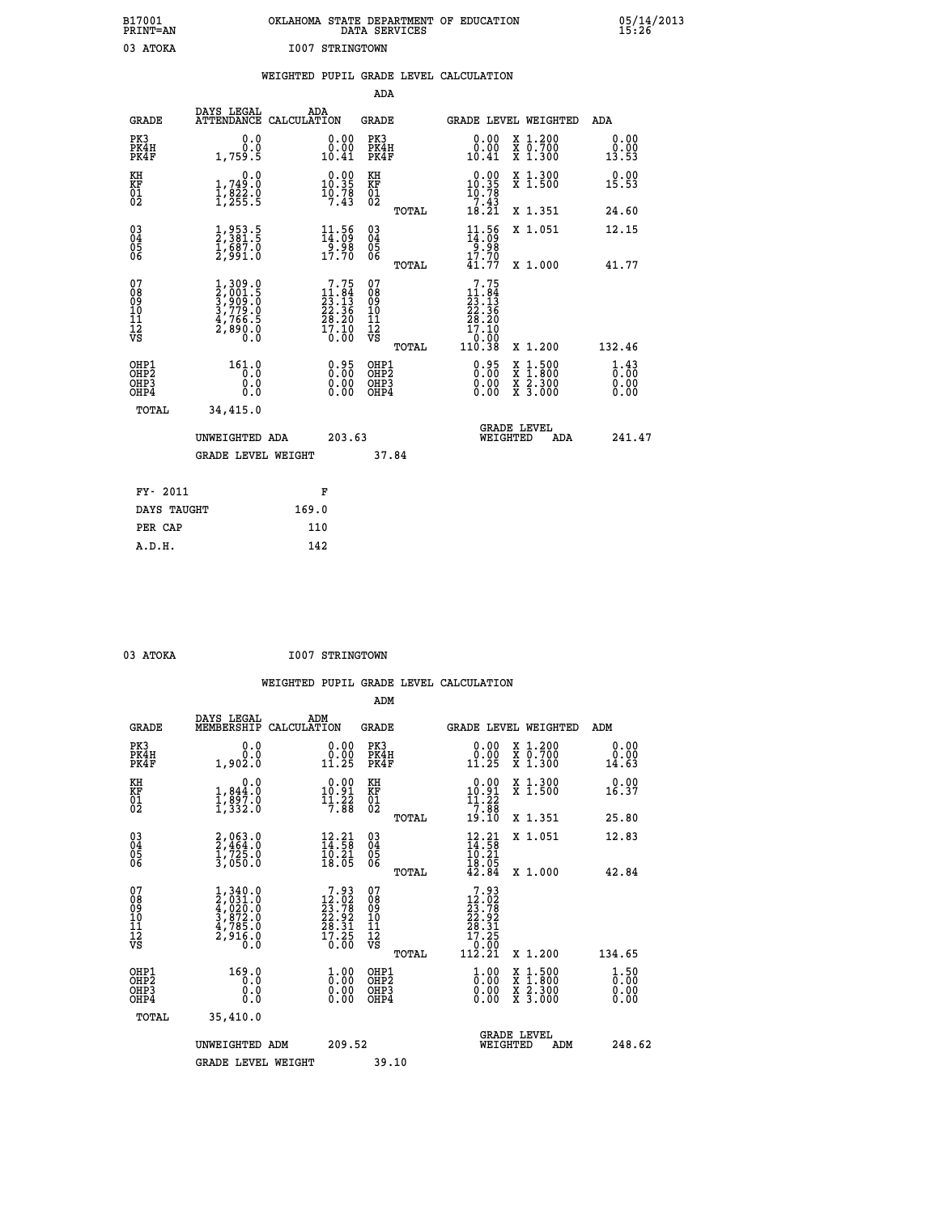| OKLAHOMA STATE DEPARTMENT OF EDUCATION<br>DATA SERVICES |  |
|---------------------------------------------------------|--|
| I007 STRINGTOWN                                         |  |

|                                                      |                                                                                     |       |                                                                                                                 |                                                    |       | WEIGHTED PUPIL GRADE LEVEL CALCULATION                                                                                                                                    |                                                                                                                                      |                                                 |
|------------------------------------------------------|-------------------------------------------------------------------------------------|-------|-----------------------------------------------------------------------------------------------------------------|----------------------------------------------------|-------|---------------------------------------------------------------------------------------------------------------------------------------------------------------------------|--------------------------------------------------------------------------------------------------------------------------------------|-------------------------------------------------|
|                                                      |                                                                                     |       |                                                                                                                 | ADA                                                |       |                                                                                                                                                                           |                                                                                                                                      |                                                 |
| <b>GRADE</b>                                         | DAYS LEGAL<br>ATTENDANCE CALCULATION                                                |       | ADA                                                                                                             | GRADE                                              |       |                                                                                                                                                                           | GRADE LEVEL WEIGHTED                                                                                                                 | ADA                                             |
| PK3<br>PK4H<br>PK4F                                  | 0.0<br>0.0<br>1,759.5                                                               |       | 0.00<br>10.41                                                                                                   | PK3<br>PK4H<br>PK4F                                |       | 0.00<br>$\begin{smallmatrix} 0.00 \ 10.41 \end{smallmatrix}$                                                                                                              | X 1.200<br>X 0.700<br>X 1.300                                                                                                        | 0.00<br>0.00<br>13.53                           |
| KH<br>KF<br>01<br>02                                 | 0.0<br>1,749:0<br>1,822:0<br>1,255:5                                                |       | $\begin{smallmatrix} 0.00\\ 10.35\\ 10.78\\ 7.43 \end{smallmatrix}$                                             | KH<br><b>KF</b><br>01<br>02                        |       | $\begin{smallmatrix} 0.00\\ 10.35\\ 10.78\\ 7.43\\ 18.21 \end{smallmatrix}$                                                                                               | X 1.300<br>X 1.500                                                                                                                   | 0.00<br>15.53                                   |
|                                                      |                                                                                     |       |                                                                                                                 |                                                    | TOTAL |                                                                                                                                                                           | X 1.351                                                                                                                              | 24.60                                           |
| 030404<br>ŎĞ                                         | 1,953.5<br>2,381.5<br>1,687.0<br>2,991.0                                            |       | $\begin{smallmatrix} 11.56\\14.09\\9.98\\17.70 \end{smallmatrix}$                                               | $\begin{matrix} 03 \\ 04 \\ 05 \\ 06 \end{matrix}$ |       | $11.56$<br>$14.09$<br>$9.98$<br>$17.70$                                                                                                                                   | X 1.051                                                                                                                              | 12.15                                           |
|                                                      |                                                                                     |       |                                                                                                                 |                                                    | TOTAL | 41.77                                                                                                                                                                     | X 1.000                                                                                                                              | 41.77                                           |
| 07<br>0890112<br>1112<br>VS                          | $1,309.0$<br>$2,001.5$<br>$3,909.0$<br>$3,779.0$<br>$4,766.5$<br>$2,890.0$<br>$0.0$ |       | $\begin{smallmatrix}7\cdot75\\11\cdot84\\23\cdot13\\22\cdot36\\28\cdot20\\17\cdot10\\0\cdot00\end{smallmatrix}$ | 07<br>08<br>09<br>11<br>11<br>12<br>VS             |       | 7.75<br>$: 84 \over .13$<br>11<br>$\frac{1}{2}$ ; $\frac{1}{3}$ ; $\frac{2}{3}$ ; $\frac{2}{3}$<br>$\frac{2}{3}$ ; $\frac{2}{3}$<br>$\frac{2}{3}$ ; $\frac{2}{3}$<br>0.00 |                                                                                                                                      |                                                 |
|                                                      |                                                                                     |       |                                                                                                                 |                                                    | TOTAL | 110.38                                                                                                                                                                    | X 1.200                                                                                                                              | 132.46                                          |
| OHP1<br>OHP <sub>2</sub><br>OH <sub>P3</sub><br>OHP4 | 161.0<br>0.0<br>0.0<br>0.0                                                          |       | 0.95<br>0.00<br>0.00                                                                                            | OHP1<br>OHP <sub>2</sub><br>OHP3<br>OHP4           |       | $0.95$<br>$0.00$<br>$0.00$<br>0.00                                                                                                                                        | $\begin{smallmatrix} \mathtt{X} & 1 & 500 \\ \mathtt{X} & 1 & 800 \\ \mathtt{X} & 2 & 300 \\ \mathtt{X} & 3 & 000 \end{smallmatrix}$ | $\frac{1}{0}$ : $\frac{43}{00}$<br>0.00<br>0.00 |
| TOTAL                                                | 34,415.0                                                                            |       |                                                                                                                 |                                                    |       |                                                                                                                                                                           |                                                                                                                                      |                                                 |
|                                                      | UNWEIGHTED ADA                                                                      |       | 203.63                                                                                                          |                                                    |       |                                                                                                                                                                           | <b>GRADE LEVEL</b><br>WEIGHTED<br>ADA                                                                                                | 241.47                                          |
|                                                      | <b>GRADE LEVEL WEIGHT</b>                                                           |       |                                                                                                                 |                                                    | 37.84 |                                                                                                                                                                           |                                                                                                                                      |                                                 |
| FY- 2011                                             |                                                                                     |       | F                                                                                                               |                                                    |       |                                                                                                                                                                           |                                                                                                                                      |                                                 |
| DAYS TAUGHT                                          |                                                                                     | 169.0 |                                                                                                                 |                                                    |       |                                                                                                                                                                           |                                                                                                                                      |                                                 |
| PER CAP                                              |                                                                                     |       | 110                                                                                                             |                                                    |       |                                                                                                                                                                           |                                                                                                                                      |                                                 |
| A.D.H.                                               |                                                                                     |       | 142                                                                                                             |                                                    |       |                                                                                                                                                                           |                                                                                                                                      |                                                 |

 **ADM**

 **B17001<br>PRINT=AN<br>03 ATOKA** 

03 ATOKA 1007 STRINGTOWN

|  |  | WEIGHTED PUPIL GRADE LEVEL CALCULATION |
|--|--|----------------------------------------|
|  |  |                                        |

| <b>GRADE</b>                                       | DAYS LEGAL<br>MEMBERSHIP                                                            | ADM<br>CALCULATION                                                                                                  | <b>GRADE</b>                                       |       | <b>GRADE LEVEL WEIGHTED</b>                                                                        |                                                                                                  | ADM                              |        |
|----------------------------------------------------|-------------------------------------------------------------------------------------|---------------------------------------------------------------------------------------------------------------------|----------------------------------------------------|-------|----------------------------------------------------------------------------------------------------|--------------------------------------------------------------------------------------------------|----------------------------------|--------|
| PK3<br>PK4H<br>PK4F                                | 0.0<br>0.001, 0.01                                                                  | $\begin{smallmatrix} 0.00\\ 0.00\\ 11.25 \end{smallmatrix}$                                                         | PK3<br>PK4H<br>PK4F                                |       | 0.00<br>$\begin{smallmatrix} 0.00 \ 11.25 \end{smallmatrix}$                                       | X 1.200<br>X 0.700<br>X 1.300                                                                    | 0.00<br>0.00<br>14.63            |        |
| KH<br>KF<br>01<br>02                               | 0.0<br>$\frac{1}{1}, \frac{844}{97}$ .0<br>1, 332.0                                 | $\begin{smallmatrix} 0.00\\ 10.91\\ 11.22\\ 7.88 \end{smallmatrix}$                                                 | KH<br>KF<br>01<br>02                               |       | $\begin{smallmatrix} 0.00\\ 10.91\\ 11.22\\ 7.88 \end{smallmatrix}$                                | X 1.300<br>X 1.500                                                                               | 0.00<br>16.37                    |        |
|                                                    |                                                                                     |                                                                                                                     |                                                    | TOTAL | 19.10                                                                                              | X 1.351                                                                                          | 25.80                            |        |
| $\begin{matrix} 03 \\ 04 \\ 05 \\ 06 \end{matrix}$ | $2,063.0$<br>$2,464.0$<br>$1,725.0$<br>$3,050.0$                                    | $\begin{array}{c} 12\cdot 21\\ 14\cdot 58\\ 10\cdot 21\\ 18\cdot 05 \end{array}$                                    | $\begin{matrix} 03 \\ 04 \\ 05 \\ 06 \end{matrix}$ |       | $12.21$<br>$14.58$<br>$10.21$<br>$18.05$<br>$42.84$                                                | X 1.051                                                                                          | 12.83                            |        |
|                                                    |                                                                                     |                                                                                                                     |                                                    | TOTAL |                                                                                                    | X 1.000                                                                                          | 42.84                            |        |
| 07<br>08<br>09<br>101<br>112<br>VS                 | $1,340.0$<br>$2,031.0$<br>$4,020.0$<br>$3,872.0$<br>$4,785.0$<br>$2,916.0$<br>$0.0$ | $\begin{array}{c} 7.93 \\ 12.02 \\ 23.78 \\ 22.92 \\ 28.31 \\ 17.25 \end{array}$<br>0.00                            | 07<br>08<br>09<br>11<br>11<br>12<br>VS             | TOTAL | $\begin{array}{r} 7.93 \\ 12.02 \\ 23.78 \\ 22.92 \\ 28.31 \\ 17.25 \\ 0.00 \\ 112.21 \end{array}$ | X 1.200                                                                                          | 134.65                           |        |
| OHP1<br>OHP2<br>OH <sub>P3</sub><br>OHP4           | 169.0<br>0.0<br>0.0<br>Ŏ.Ŏ                                                          | $\overset{1}{\underset{0}{0}}\,\overset{0}{\cdots}\,\overset{0}{\underset{0}{0}}\,\overset{0}{\phantom{0}}$<br>0.00 | OHP1<br>OHP <sub>2</sub><br>OHP3<br>OHP4           |       | $\frac{1}{0}$ :00<br>0.00<br>0.00                                                                  | $\begin{smallmatrix} x & 1 & 500 \\ x & 1 & 800 \\ x & 2 & 300 \\ x & 3 & 000 \end{smallmatrix}$ | $1.50$<br>$0.00$<br>0.00<br>0.00 |        |
| TOTAL                                              | 35,410.0                                                                            |                                                                                                                     |                                                    |       |                                                                                                    |                                                                                                  |                                  |        |
|                                                    | UNWEIGHTED ADM                                                                      | 209.52                                                                                                              |                                                    |       | WEIGHTED                                                                                           | <b>GRADE LEVEL</b><br>ADM                                                                        |                                  | 248.62 |
|                                                    | <b>GRADE LEVEL WEIGHT</b>                                                           |                                                                                                                     | 39.10                                              |       |                                                                                                    |                                                                                                  |                                  |        |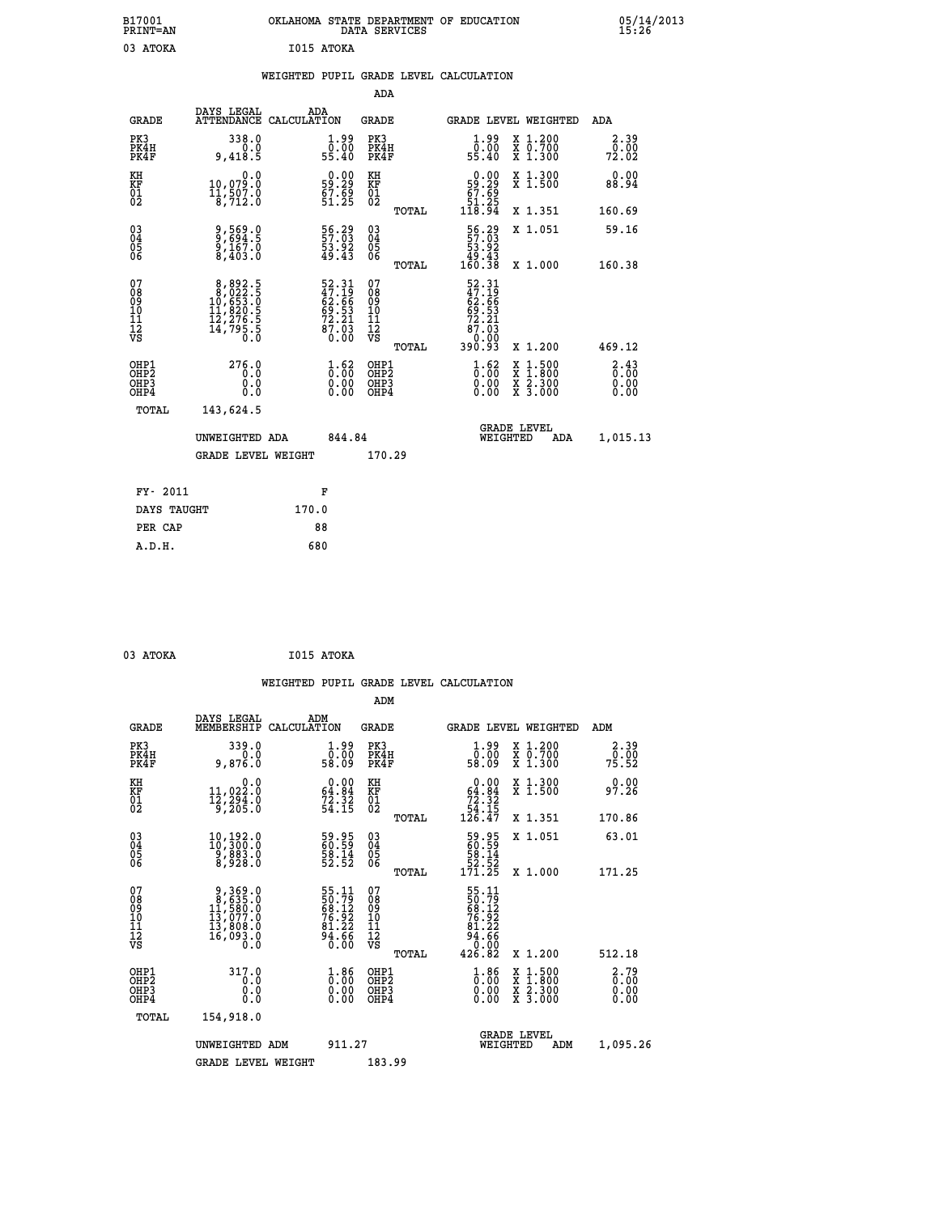| B17001<br><b>PRINT=AN</b> | OKLAHOMA STATE DEPARTMENT OF EDUCATION<br>DATA SERVICES | 05/14/2013<br>15:26 |
|---------------------------|---------------------------------------------------------|---------------------|
| 03<br><b>ATOKA</b>        | I015 ATOKA                                              |                     |

|  |  | WEIGHTED PUPIL GRADE LEVEL CALCULATION |
|--|--|----------------------------------------|
|  |  |                                        |

|                                                                    |                                                                                                |                                                                         | ADA                                    |       |                                                                                    |                                                                                                                                           |                                     |
|--------------------------------------------------------------------|------------------------------------------------------------------------------------------------|-------------------------------------------------------------------------|----------------------------------------|-------|------------------------------------------------------------------------------------|-------------------------------------------------------------------------------------------------------------------------------------------|-------------------------------------|
| <b>GRADE</b>                                                       | DAYS LEGAL<br>ATTENDANCE CALCULATION                                                           | ADA                                                                     | <b>GRADE</b>                           |       |                                                                                    | <b>GRADE LEVEL WEIGHTED</b>                                                                                                               | ADA                                 |
| PK3<br>PK4H<br>PK4F                                                | 338.0<br>0.0<br>9,418.5                                                                        | $\begin{smallmatrix} 1.99 \\[-4pt] 0.00\\[-4pt] 55.40\end{smallmatrix}$ | PK3<br>PK4H<br>PK4F                    |       | 1.99<br>0.00<br>55.40                                                              | X 1.200<br>X 0.700<br>X 1.300                                                                                                             | 2.39<br>0.00<br>72.02               |
| KH<br>KF<br>$\begin{matrix} 0 \\ 2 \end{matrix}$                   | 0.0<br>10,079.0<br>$\frac{11}{8}$ , $\frac{5}{7}$ $\frac{5}{2}$ .0                             | $0.00$<br>59.29<br>$57.59$<br>51.25                                     | KH<br>KF<br>01<br>02                   |       | $\begin{smallmatrix} &0.00\ 59.29\ 67.69\ 51.25\ 118.94\end{smallmatrix}$          | X 1.300<br>X 1.500                                                                                                                        | 0.00<br>88.94                       |
|                                                                    |                                                                                                |                                                                         |                                        | TOTAL |                                                                                    | X 1.351                                                                                                                                   | 160.69                              |
| $\begin{smallmatrix} 03 \\[-4pt] 04 \end{smallmatrix}$<br>Ŏ5<br>06 | 9,569.0<br>9,694.5<br>9,167.0<br>8,403.0                                                       | 56.29<br>57.03<br>53.92<br>49.43                                        | 03<br>04<br>05<br>06                   |       | $\begin{smallmatrix} 56.29 \\ 57.03 \\ 53.92 \\ 49.43 \\ 160.38 \end{smallmatrix}$ | X 1.051                                                                                                                                   | 59.16                               |
|                                                                    |                                                                                                |                                                                         |                                        | TOTAL |                                                                                    | X 1.000                                                                                                                                   | 160.38                              |
| 07<br>08<br>09<br>11<br>11<br>12<br>VS                             | $\begin{smallmatrix}8,892.5\\8,022.5\\10,653.0\\11,820.5\\12,276.5\\14,795.5\end{smallmatrix}$ | 52.31<br>47.19<br>62.66<br>69.53<br>69.53<br>72.21<br>87.03<br>87.03    | 07<br>08<br>09<br>11<br>11<br>12<br>VS | TOTAL | 52.31<br>47.19<br>62.66<br>69.53<br>69.221<br>72.03<br>87.03<br>390.93             | X 1.200                                                                                                                                   | 469.12                              |
|                                                                    |                                                                                                |                                                                         |                                        |       |                                                                                    |                                                                                                                                           |                                     |
| OHP1<br>OHP2<br>OH <sub>P3</sub><br>OHP4                           | 276.0<br>0.0<br>0.0<br>0.0                                                                     | $\frac{1}{0}$ : 00<br>0.00<br>0.00                                      | OHP1<br>OHP2<br>OHP3<br>OHP4           |       | $\begin{smallmatrix} 1.62\ 0.00\ 0.00 \end{smallmatrix}$                           | $\begin{smallmatrix} \mathtt{X} & 1\cdot500\\ \mathtt{X} & 1\cdot800\\ \mathtt{X} & 2\cdot300\\ \mathtt{X} & 3\cdot000 \end{smallmatrix}$ | $\frac{2.43}{0.00}$<br>0.00<br>0.00 |
| TOTAL                                                              | 143,624.5                                                                                      |                                                                         |                                        |       |                                                                                    |                                                                                                                                           |                                     |
|                                                                    | UNWEIGHTED ADA                                                                                 | 844.84                                                                  |                                        |       |                                                                                    | <b>GRADE LEVEL</b><br>WEIGHTED<br>ADA                                                                                                     | 1,015.13                            |
|                                                                    | <b>GRADE LEVEL WEIGHT</b>                                                                      |                                                                         | 170.29                                 |       |                                                                                    |                                                                                                                                           |                                     |
| FY- 2011                                                           |                                                                                                | F                                                                       |                                        |       |                                                                                    |                                                                                                                                           |                                     |
| DAYS TAUGHT                                                        |                                                                                                | 170.0                                                                   |                                        |       |                                                                                    |                                                                                                                                           |                                     |
| PER CAP                                                            |                                                                                                | 88                                                                      |                                        |       |                                                                                    |                                                                                                                                           |                                     |

| 03 ATOKA | I015 ATOKA |
|----------|------------|
|          |            |

 **WEIGHTED PUPIL GRADE LEVEL CALCULATION ADM DAYS LEGAL ADM GRADE MEMBERSHIP CALCULATION GRADE GRADE LEVEL WEIGHTED ADM PK3 339.0 1.99 PK3 1.99 X 1.200 2.39 PK4H 0.0 0.00 PK4H 0.00 X 0.700 0.00 PK4F 9,876.0 58.09 PK4F 58.09 X 1.300 75.52 KH 0.0 0.00 KH 0.00 X 1.300 0.00 KF 11,022.0 64.84 KF 64.84 X 1.500 97.26 01 12,294.0 72.32 01 72.32 02 9,205.0 54.15 02 54.15 TOTAL 126.47 X 1.351 170.86 03 10,192.0 59.95 03 59.95 X 1.051 63.01 04 10,300.0 60.59 04 60.59 05 9,883.0 58.14 05 58.14 06 8,928.0 52.52 06 52.52 TOTAL 171.25 X 1.000 171.25**  $\begin{array}{cccc} 07 & 9, 369.0 & 55.11 & 07 & 55.11 \ 08 & 8 & 12, 635.0 & 50.79 & 08 & 50.79 \ 09 & 11, 580.0 & 68.12 & 09 & 68.12 \ 10 & 13, 077.0 & 76.92 & 10 & 76.92 \ 11 & 13, 800.0 & 81.22 & 11 & 81.22 \ 12 & 16, 093.0 & 94.66 & 12 & 94.66 \ 08 & 0.0 & 0 &$  **TOTAL 426.82 X 1.200 512.18 OHP1 317.0 1.86 OHP1 1.86 X 1.500 2.79 OHP2 0.0 0.00 OHP2 0.00 X 1.800 0.00 OHP3 0.0 0.00 OHP3 0.00 X 2.300 0.00 OHP4 0.0 0.00 OHP4 0.00 X 3.000 0.00 TOTAL 154,918.0 GRADE LEVEL UNWEIGHTED ADM 911.27 WEIGHTED ADM 1,095.26 GRADE LEVEL WEIGHT 183.99**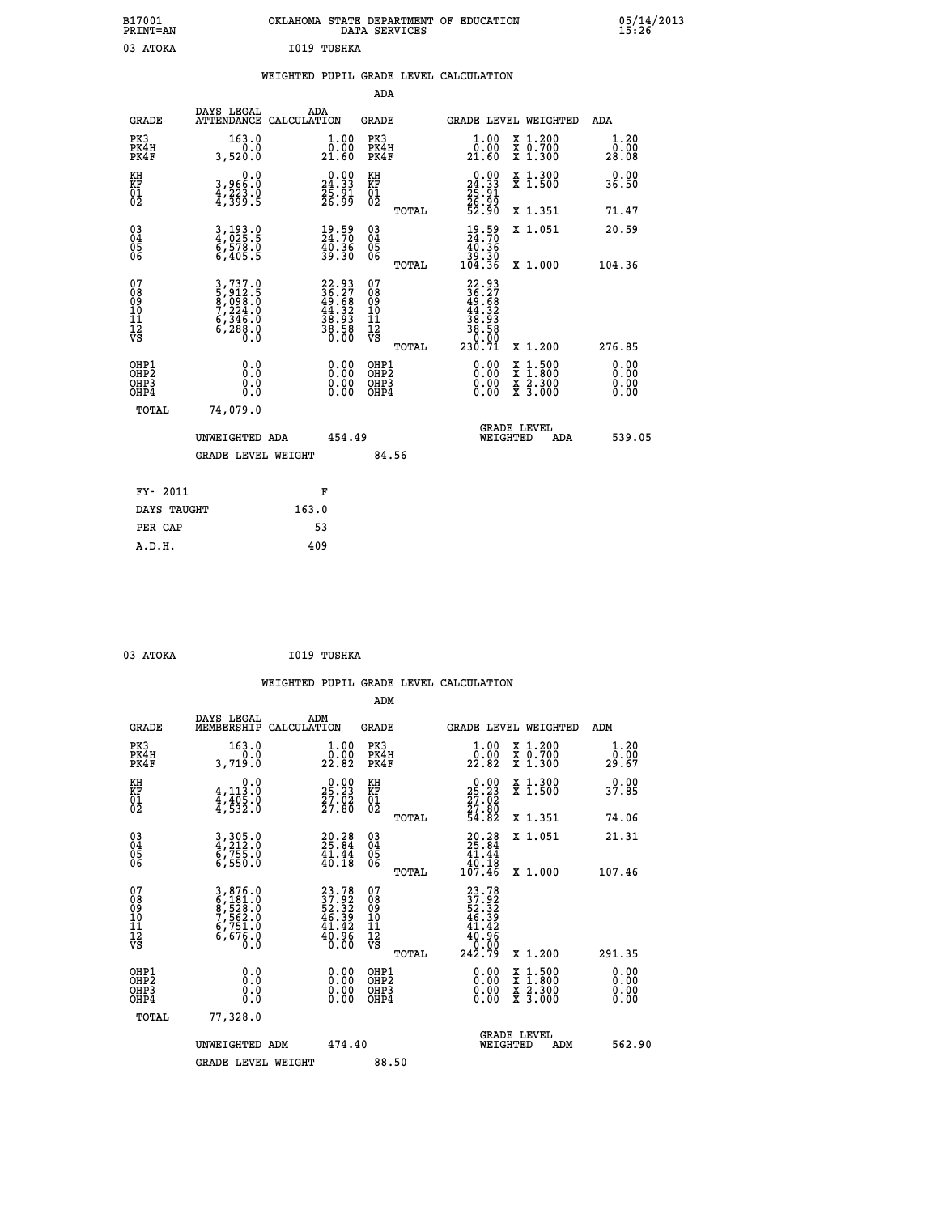| B17001<br><b>PRINT=AN</b> | OKLAHOMA STATE DEPARTMENT OF EDUCATION<br>DATA SERVICES | 05/14/2013<br>15:26 |
|---------------------------|---------------------------------------------------------|---------------------|
| 03<br><b>ATOKA</b>        | I019 TUSHKA                                             |                     |

## **WEIGHTED PUPIL GRADE LEVEL CALCULATION**

|                                                    |                                                                       |                                                                            | ADA                                      |       |                                                                                                       |                                                                                                                                           |                              |
|----------------------------------------------------|-----------------------------------------------------------------------|----------------------------------------------------------------------------|------------------------------------------|-------|-------------------------------------------------------------------------------------------------------|-------------------------------------------------------------------------------------------------------------------------------------------|------------------------------|
| <b>GRADE</b>                                       | DAYS LEGAL<br>ATTENDANCE CALCULATION                                  | ADA                                                                        | <b>GRADE</b>                             |       |                                                                                                       | GRADE LEVEL WEIGHTED                                                                                                                      | ADA                          |
| PK3<br>PK4H<br>PK4F                                | 163.0<br>0.0<br>3,520.0                                               | $\begin{smallmatrix} 1.00\\[-1.2mm] 0.00\\[-1.5mm] 21.60\end{smallmatrix}$ | PK3<br>PK4H<br>PK4F                      |       | $\begin{smallmatrix} 1.00\\ 0.00\\ 21.60 \end{smallmatrix}$                                           | X 1.200<br>X 0.700<br>X 1.300                                                                                                             | 1.20<br>0.00<br>28.08        |
| KH<br>KF<br>01<br>02                               | 0.0<br>3,966:0<br>4,223.0<br>4,399:5                                  | $\begin{smallmatrix} 0.00\\24.33\\25.91\\26.99 \end{smallmatrix}$          | KH<br>KF<br>01<br>02                     |       | $\begin{smallmatrix} 0.00\\24.33\\25.91\\26.99\\52.90 \end{smallmatrix}$                              | X 1.300<br>X 1.500                                                                                                                        | 0.00<br>36.50                |
|                                                    |                                                                       |                                                                            |                                          | TOTAL |                                                                                                       | X 1.351                                                                                                                                   | 71.47                        |
| $\begin{matrix} 03 \\ 04 \\ 05 \\ 06 \end{matrix}$ | $\frac{3}{4}, \frac{193}{025}$ : 5<br>6,578.0<br>6,405.5              | $\frac{19.59}{24.70}$<br>40.36<br>39.30                                    | $\substack{03 \\ 04}$<br>Ŏ5<br>06        |       | $\frac{19}{24}$ : 70<br>$\begin{array}{c} 4\overline{0}.3\overline{6} \\ 39.30 \\ 104.36 \end{array}$ | X 1.051                                                                                                                                   | 20.59                        |
| 07                                                 |                                                                       |                                                                            | 07                                       | TOTAL |                                                                                                       | X 1.000                                                                                                                                   | 104.36                       |
| 08<br>09<br>11<br>11<br>12<br>VS                   | 3,737.0<br>5,912.5<br>8,098.0<br>7,224.0<br>6,346.0<br>6,288.0<br>0.0 | $22.93$<br>$36.27$<br>$49.68$<br>$44.32$<br>$38.93$<br>$38.58$<br>$0.00$   | 08<br>09<br>11<br>11<br>12<br>VS         |       | $\begin{smallmatrix} 22.93\ 36.27\ 49.68\ 49.582\ 43.933\ 38.580\ 230.71\ \end{smallmatrix}$          |                                                                                                                                           |                              |
|                                                    |                                                                       |                                                                            |                                          | TOTAL |                                                                                                       | X 1.200                                                                                                                                   | 276.85                       |
| OHP1<br>OHP2<br>OH <sub>P3</sub><br>OHP4           | 0.0<br>0.0<br>0.0                                                     | $\begin{smallmatrix} 0.00 \ 0.00 \ 0.00 \ 0.00 \end{smallmatrix}$          | OHP1<br>OHP <sub>2</sub><br>OHP3<br>OHP4 |       | $0.00$<br>$0.00$<br>0.00                                                                              | $\begin{smallmatrix} \mathtt{X} & 1\cdot500\\ \mathtt{X} & 1\cdot800\\ \mathtt{X} & 2\cdot300\\ \mathtt{X} & 3\cdot000 \end{smallmatrix}$ | 0.00<br>0.00<br>0.00<br>0.00 |
| <b>TOTAL</b>                                       | 74,079.0                                                              |                                                                            |                                          |       |                                                                                                       |                                                                                                                                           |                              |
|                                                    | UNWEIGHTED ADA                                                        | 454.49                                                                     |                                          |       |                                                                                                       | <b>GRADE LEVEL</b><br>WEIGHTED<br>ADA                                                                                                     | 539.05                       |
|                                                    | <b>GRADE LEVEL WEIGHT</b>                                             |                                                                            | 84.56                                    |       |                                                                                                       |                                                                                                                                           |                              |
|                                                    |                                                                       |                                                                            |                                          |       |                                                                                                       |                                                                                                                                           |                              |
| FY- 2011                                           |                                                                       | F                                                                          |                                          |       |                                                                                                       |                                                                                                                                           |                              |
| DAYS TAUGHT                                        |                                                                       | 163.0                                                                      |                                          |       |                                                                                                       |                                                                                                                                           |                              |
| PER CAP                                            |                                                                       | 53                                                                         |                                          |       |                                                                                                       |                                                                                                                                           |                              |

 **03 ATOKA I019 TUSHKA**

 **A.D.H. 409**

| <b>GRADE</b>                                       | DAYS LEGAL<br>MEMBERSHIP                                              | ADM<br>CALCULATION                                                       | <b>GRADE</b>                                        |       | GRADE LEVEL WEIGHTED                                                           |                                          | ADM                   |  |
|----------------------------------------------------|-----------------------------------------------------------------------|--------------------------------------------------------------------------|-----------------------------------------------------|-------|--------------------------------------------------------------------------------|------------------------------------------|-----------------------|--|
| PK3<br>PK4H<br>PK4F                                | 163.0<br>3,719.0                                                      | $\begin{smallmatrix} 1.00\\ 0.00\\ 22.82 \end{smallmatrix}$              | PK3<br>PK4H<br>PK4F                                 |       | $\frac{1}{0}$ : 00<br>22.82                                                    | X 1.200<br>X 0.700<br>X 1.300            | 1.20<br>0.00<br>29.67 |  |
| KH<br>KF<br>01<br>02                               | 0.0<br>$4,113.0$<br>$4,405.0$<br>$4,532.0$                            | $\begin{smallmatrix} 0.00\\ 25.23\\ 27.02\\ 27.80 \end{smallmatrix}$     | KH<br>KF<br>01<br>02                                |       | $\begin{smallmatrix} 0.00\\ 25.23\\ 27.02\\ 27.80\\ 54.82 \end{smallmatrix}$   | X 1.300<br>X 1.500                       | 0.00<br>37.85         |  |
|                                                    |                                                                       |                                                                          |                                                     | TOTAL |                                                                                | X 1.351                                  | 74.06                 |  |
| $\begin{matrix} 03 \\ 04 \\ 05 \\ 06 \end{matrix}$ | 3, 305.0<br>4, 212.0<br>6, 755.0                                      | $29.28$<br>25.84<br>$\frac{41.44}{40.18}$                                | $\begin{array}{c} 03 \\ 04 \\ 05 \\ 06 \end{array}$ |       | $\begin{smallmatrix} 20.28\\ 25.84\\ 41.44\\ 40.18\\ 107.46 \end{smallmatrix}$ | X 1.051                                  | 21.31                 |  |
|                                                    | 6,550.0                                                               |                                                                          |                                                     | TOTAL |                                                                                | X 1.000                                  | 107.46                |  |
| 07<br>08901112<br>1112<br>VS                       | 3,876.0<br>6,181.0<br>6,528.0<br>7,562.0<br>6,751.0<br>6,676.0<br>0.0 | $23.78$<br>$37.92$<br>$52.32$<br>$46.39$<br>$41.42$<br>$40.96$<br>$0.00$ | 07<br>08<br>09<br>001<br>11<br>11<br>12<br>VS       | TOTAL | $23.78$<br>$37.92$<br>$52.32$<br>$46.39$<br>$41.42$<br>$40.96$<br>$242.79$     | X 1.200                                  | 291.35                |  |
| OHP1<br>OHP2<br>OHP3<br>OHP4                       | 0.0<br>$\begin{smallmatrix} 0.0 & 0 \ 0.0 & 0 \end{smallmatrix}$      |                                                                          | OHP1<br>OHP2<br>OHP3<br>OHP4                        |       |                                                                                | X 1:500<br>X 1:800<br>X 2:300<br>X 3:000 | 0.00<br>0.00<br>0.00  |  |
| TOTAL                                              | 77,328.0                                                              |                                                                          |                                                     |       |                                                                                |                                          |                       |  |
|                                                    | UNWEIGHTED<br>ADM                                                     | 474.40                                                                   |                                                     |       | WEIGHTED                                                                       | <b>GRADE LEVEL</b><br>ADM                | 562.90                |  |
|                                                    | <b>GRADE LEVEL WEIGHT</b>                                             |                                                                          | 88.50                                               |       |                                                                                |                                          |                       |  |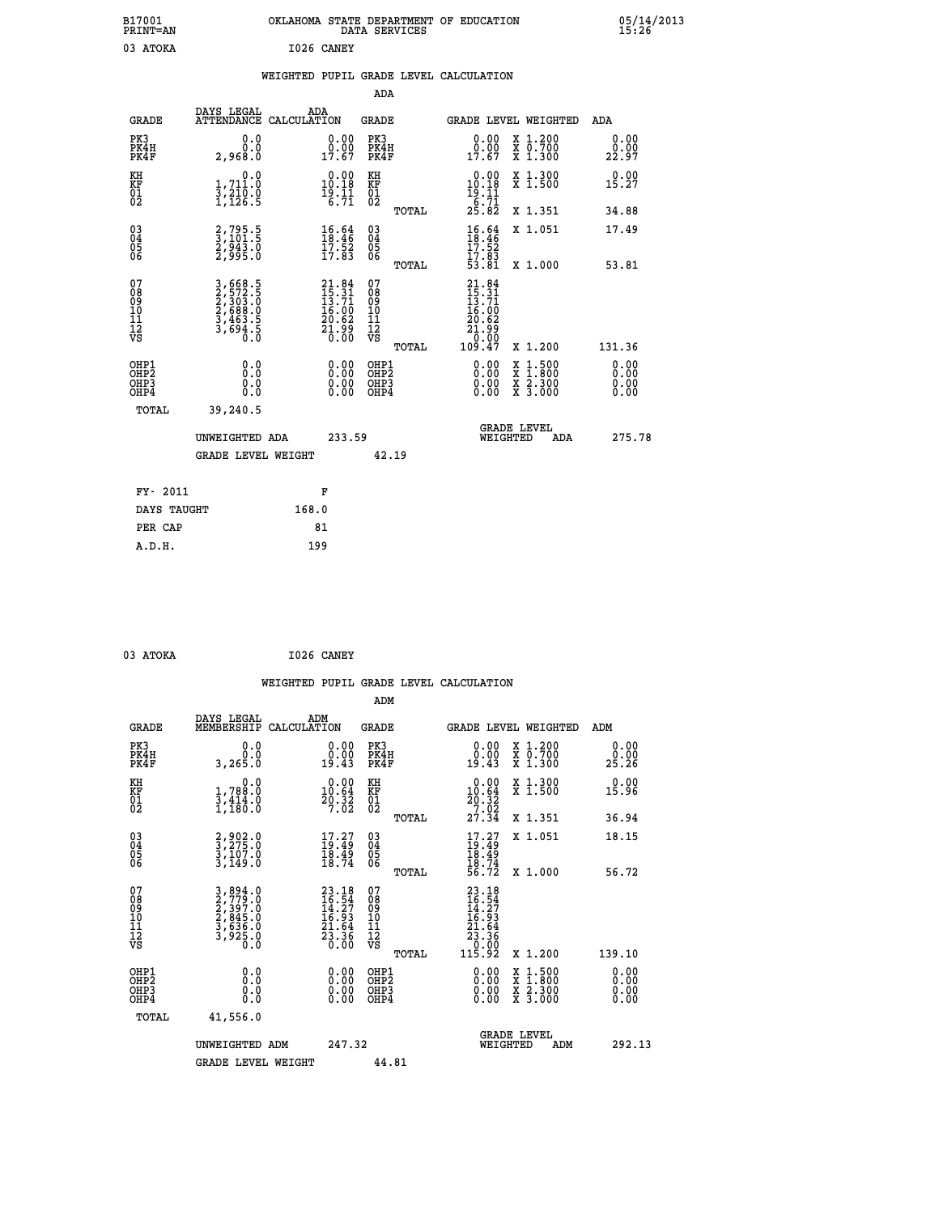| B17001<br><b>PRINT=AN</b>                          |                                                                       | OKLAHOMA STATE DEPARTMENT OF EDUCATION                                   | DATA SERVICES                                   |                                                                            |                                                                             | 05/14/2013<br>15:26          |  |
|----------------------------------------------------|-----------------------------------------------------------------------|--------------------------------------------------------------------------|-------------------------------------------------|----------------------------------------------------------------------------|-----------------------------------------------------------------------------|------------------------------|--|
| 03 ATOKA                                           |                                                                       | I026 CANEY                                                               |                                                 |                                                                            |                                                                             |                              |  |
|                                                    |                                                                       | WEIGHTED PUPIL GRADE LEVEL CALCULATION                                   |                                                 |                                                                            |                                                                             |                              |  |
|                                                    |                                                                       |                                                                          | ADA                                             |                                                                            |                                                                             |                              |  |
| <b>GRADE</b>                                       | DAYS LEGAL                                                            | ADA<br>ATTENDANCE CALCULATION                                            | GRADE                                           | <b>GRADE LEVEL WEIGHTED</b>                                                |                                                                             | ADA                          |  |
| PK3<br>PK4H<br>PK4F                                | 0.0<br>0.0<br>2,968.0                                                 | 0.00<br>$\begin{smallmatrix} 0.00 \\ 1.67 \end{smallmatrix}$             | PK3<br>PK4H<br>PK4F                             | $\begin{smallmatrix} 0.00\\ 0.00\\ 17.67 \end{smallmatrix}$                | X 1.200<br>X 0.700<br>X 1.300                                               | 0.00<br>0.00<br>22.97        |  |
| KH<br>KF<br>01<br>02                               | 0.0<br>1,711:0<br>3,210:0<br>1,126:5                                  | $\begin{smallmatrix} 0.00\\ 10.18\\ 19.11\\ 6.71 \end{smallmatrix}$      | KH<br>KF<br>01<br>02                            | 0.00<br>10.18<br>$\frac{18}{6}$ $\frac{11}{71}$<br>$25.82$                 | X 1.300<br>X 1.500                                                          | 0.00<br>15.27                |  |
|                                                    |                                                                       |                                                                          | TOTAL                                           |                                                                            | X 1.351                                                                     | 34.88                        |  |
| $\begin{matrix} 03 \\ 04 \\ 05 \\ 06 \end{matrix}$ | 2,795.5<br>3,101.5<br>2,943.0<br>2,995.0                              | $16.64$<br>$18.46$<br>$17.52$<br>$17.83$                                 | 03<br>04<br>05<br>06                            | $\frac{16.64}{18.46}$<br>17.83                                             | X 1.051                                                                     | 17.49                        |  |
|                                                    |                                                                       |                                                                          | TOTAL                                           | 53.81                                                                      | X 1.000                                                                     | 53.81                        |  |
| 07<br>08<br>09<br>10<br>11<br>12<br>VS             | 3,668.5<br>2,572.5<br>2,303.0<br>2,688.0<br>3,463.5<br>3,694.5<br>Ō.Ŏ | $21.84$<br>$15.31$<br>$13.71$<br>$16.00$<br>$20.62$<br>$21.99$<br>$0.00$ | 07<br>08<br>09<br>10<br>11<br>12<br>VS<br>TOTAL | $21.84$<br>$15.31$<br>$13.71$<br>16.00<br>20.62<br>21.99<br>0.00<br>109.47 | X 1.200                                                                     | 131.36                       |  |
| OHP1<br>OHP2<br>OHP3<br>OHP4                       | 0.0<br>Ō.Ō<br>0.0<br>0.0                                              | $0.00$<br>$0.00$<br>0.00                                                 | OHP1<br>OHP <sub>2</sub><br>OHP3<br>OHP4        | 0.00<br>0.00<br>0.00                                                       | $\begin{array}{l} x\,+\,500\\ x\,+\,300\\ x\,+\,2\\ x\,+\,3000 \end{array}$ | 0.00<br>0.00<br>0.00<br>0.00 |  |
| TOTAL                                              | 39,240.5                                                              |                                                                          |                                                 |                                                                            |                                                                             |                              |  |
|                                                    | UNWEIGHTED ADA<br><b>GRADE LEVEL WEIGHT</b>                           | 233.59                                                                   | 42.19                                           | <b>GRADE LEVEL</b><br>WEIGHTED                                             | ADA                                                                         | 275.78                       |  |
|                                                    |                                                                       |                                                                          |                                                 |                                                                            |                                                                             |                              |  |
| FY- 2011                                           |                                                                       | F                                                                        |                                                 |                                                                            |                                                                             |                              |  |
| DAYS TAUGHT                                        |                                                                       | 168.0                                                                    |                                                 |                                                                            |                                                                             |                              |  |
| PER CAP                                            |                                                                       | 81                                                                       |                                                 |                                                                            |                                                                             |                              |  |

| 03 ATOKA | I026 CANEY |
|----------|------------|
|          |            |

|                                                      |                                                                       |                                                                          |                                                     | WEIGHTED PUPIL GRADE LEVEL CALCULATION                                                                                                                                                                                                                                         |                                          |                              |
|------------------------------------------------------|-----------------------------------------------------------------------|--------------------------------------------------------------------------|-----------------------------------------------------|--------------------------------------------------------------------------------------------------------------------------------------------------------------------------------------------------------------------------------------------------------------------------------|------------------------------------------|------------------------------|
|                                                      |                                                                       |                                                                          | ADM                                                 |                                                                                                                                                                                                                                                                                |                                          |                              |
| <b>GRADE</b>                                         | DAYS LEGAL<br>MEMBERSHIP                                              | ADM<br>CALCULATION                                                       | <b>GRADE</b>                                        | <b>GRADE LEVEL WEIGHTED</b>                                                                                                                                                                                                                                                    |                                          | ADM                          |
| PK3<br>PK4H<br>PK4F                                  | 0.0<br>0.0<br>3,265.0                                                 | 0.00<br>19.43                                                            | PK3<br>PK4H<br>PK4F                                 | $\begin{smallmatrix} 0.00\\ 0.00\\ 19.43 \end{smallmatrix}$                                                                                                                                                                                                                    | X 1.200<br>X 0.700<br>X 1.300            | 0.00<br>0.00<br>25.26        |
| KH<br>KF<br>01<br>02                                 | 0.0<br>1,788:0<br>3,414:0<br>1,180:0                                  | $\begin{smallmatrix} 0.00\\ 10.64\\ 20.32\\ 7.02 \end{smallmatrix}$      | KH<br>KF<br>01<br>02                                | $\begin{smallmatrix} 0.00\\10.64\\20.32\\7.02\\27.34 \end{smallmatrix}$                                                                                                                                                                                                        | X 1.300<br>X 1.500                       | 0.00<br>15.96                |
|                                                      |                                                                       |                                                                          | TOTAL                                               |                                                                                                                                                                                                                                                                                | X 1.351                                  | 36.94                        |
| $\begin{matrix} 03 \\ 04 \\ 05 \\ 06 \end{matrix}$   | 2,902.0<br>3,275.0<br>3,107.0<br>3,149.0                              | $17.27$<br>$19.49$<br>$\bar{18}\cdot\bar{49}\atop18\cdot74$              | $\begin{array}{c} 03 \\ 04 \\ 05 \\ 06 \end{array}$ | $17.27$<br>$19.49$<br>$18.49$<br>$18.74$<br>$56.72$                                                                                                                                                                                                                            | X 1.051                                  | 18.15                        |
|                                                      |                                                                       |                                                                          | TOTAL                                               |                                                                                                                                                                                                                                                                                | X 1.000                                  | 56.72                        |
| 07<br>08<br>09<br>101<br>112<br>VS                   | 3,894.0<br>2,779.0<br>2,397.0<br>2,845.0<br>3,636.0<br>3,925.0<br>0.0 | $23.18$<br>$16.54$<br>$14.27$<br>$16.93$<br>$21.64$<br>$23.36$<br>$0.00$ | 07<br>08<br>09<br>11<br>11<br>12<br>VS<br>TOTAL     | $\begin{smallmatrix} 23 & 18 \\ 16 & 54 \\ 14 & 27 \\ 16 & 93 \\ 21 & 64 \\ 23 & 36 \\ 23 & 36 \\ 0 & 00 \\ 115 & 92 \\ \end{smallmatrix}$                                                                                                                                     | X 1.200                                  | 139.10                       |
| OHP1<br>OHP2<br>OH <sub>P3</sub><br>OH <sub>P4</sub> | 0.0<br>0.000                                                          | $\begin{smallmatrix} 0.00 \ 0.00 \ 0.00 \ 0.00 \end{smallmatrix}$        | OHP1<br>OHP2<br>OHP3<br>OHP4                        | $\begin{smallmatrix} 0.00 & 0.00 & 0.00 & 0.00 & 0.00 & 0.00 & 0.00 & 0.00 & 0.00 & 0.00 & 0.00 & 0.00 & 0.00 & 0.00 & 0.00 & 0.00 & 0.00 & 0.00 & 0.00 & 0.00 & 0.00 & 0.00 & 0.00 & 0.00 & 0.00 & 0.00 & 0.00 & 0.00 & 0.00 & 0.00 & 0.00 & 0.00 & 0.00 & 0.00 & 0.00 & 0.0$ | X 1:500<br>X 1:800<br>X 2:300<br>X 3:000 | 0.00<br>0.00<br>0.00<br>0.00 |
| TOTAL                                                | 41,556.0                                                              |                                                                          |                                                     |                                                                                                                                                                                                                                                                                |                                          |                              |
|                                                      | UNWEIGHTED ADM                                                        | 247.32                                                                   |                                                     | GRADE LEVEL<br>WEIGHTED                                                                                                                                                                                                                                                        | ADM                                      | 292.13                       |
|                                                      | <b>GRADE LEVEL WEIGHT</b>                                             |                                                                          | 44.81                                               |                                                                                                                                                                                                                                                                                |                                          |                              |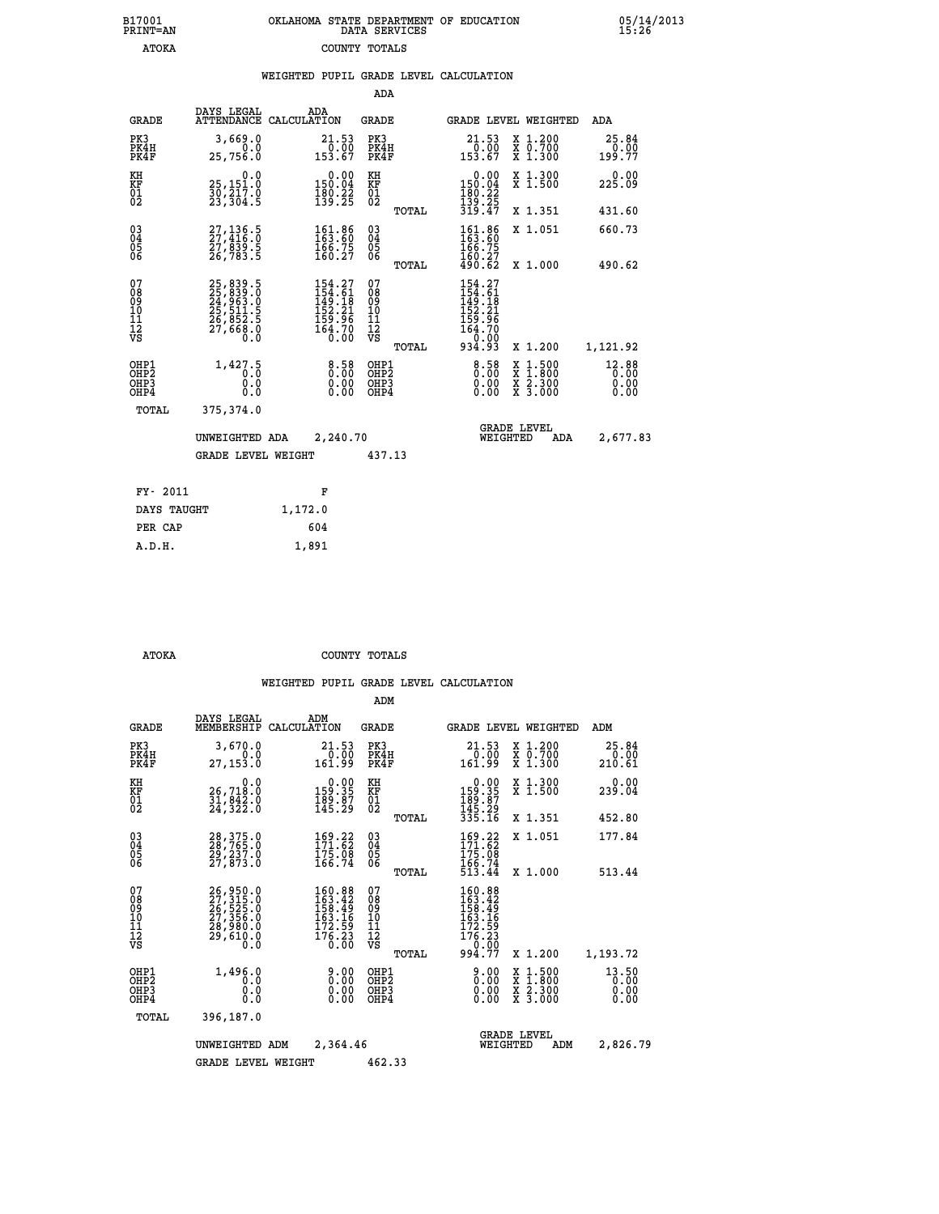| B17001          | OKLAHOMA STATE DEPARTMENT OF EDUCATION |
|-----------------|----------------------------------------|
| <b>PRINT=AN</b> | DATA SERVICES                          |
| <b>ATOKA</b>    | COUNTY TOTALS                          |

05/14/2013<br>15:26

|  |  | WEIGHTED PUPIL GRADE LEVEL CALCULATION |
|--|--|----------------------------------------|
|  |  |                                        |

|                                           |                                                                      |                                                                                                                                     | ADA                                      |       |                                                                                  |                                          |                               |
|-------------------------------------------|----------------------------------------------------------------------|-------------------------------------------------------------------------------------------------------------------------------------|------------------------------------------|-------|----------------------------------------------------------------------------------|------------------------------------------|-------------------------------|
| <b>GRADE</b>                              | DAYS LEGAL                                                           | ADA<br>ATTENDANCE CALCULATION                                                                                                       | <b>GRADE</b>                             |       | <b>GRADE LEVEL WEIGHTED</b>                                                      |                                          | ADA                           |
| PK3<br>PK4H<br>PK4F                       | 3,669.0<br>0.0<br>25,756.0                                           | $\begin{smallmatrix} 21.53\ 0.00 \ 153.67 \end{smallmatrix}$                                                                        | PK3<br>PK4H<br>PK4F                      |       | 21.53<br>$\frac{0.00}{153.67}$                                                   | X 1.200<br>X 0.700<br>X 1.300            | 25.84<br>$0.00$<br>199.77     |
| KH<br>KF<br>01<br>02                      | 0.0<br>25,151.0<br>30,217.0<br>23,304.5                              | $\begin{smallmatrix} &0.00\\ 150.04\\ 180.22\\ 139.25 \end{smallmatrix}$                                                            | KH<br>KF<br>01<br>02                     |       | $\begin{smallmatrix} &0.00\\ 150.04\\ 180.22\\ 139.25\\ 319.47\end{smallmatrix}$ | X 1.300<br>X 1.500                       | 0.00<br>225.09                |
|                                           |                                                                      |                                                                                                                                     |                                          | TOTAL |                                                                                  | X 1.351                                  | 431.60                        |
| 03<br>04<br>05<br>06                      | 27,136.5<br>27,416.0<br>27,839.5<br>26,783.5                         | $\begin{smallmatrix} 161.86 \\ 163.60 \\ 166.75 \\ 160.27 \end{smallmatrix}$                                                        | 03<br>04<br>05<br>06                     |       | 161.86<br>163.60<br>166.75                                                       | X 1.051                                  | 660.73                        |
|                                           |                                                                      |                                                                                                                                     |                                          | TOTAL | $\frac{160.27}{490.62}$                                                          | X 1.000                                  | 490.62                        |
| 07<br>08<br>09<br>11<br>11<br>12<br>VS    | 25,839.5<br>25,839.0<br>24,963.0<br>25,511.5<br>26,852.5<br>27,668.0 | $\begin{smallmatrix} 154\cdot27\\154\cdot61\\149\cdot18\\152\cdot21\\152\cdot26\\159\cdot96\\164\cdot70\\0\cdot00\end{smallmatrix}$ | 07<br>08<br>09<br>11<br>11<br>12<br>VS   | TOTAL | 154.27<br>154.61<br>149.181<br>152.21<br>159.96<br>164.70<br>0.00<br>934.93      | X 1.200                                  | 1,121.92                      |
| OHP1<br>OH <sub>P</sub> 2<br>OHP3<br>OHP4 | 1,427.5<br>0.0<br>0.0                                                | 8.58<br>0.00                                                                                                                        | OHP1<br>OHP <sub>2</sub><br>OHP3<br>OHP4 |       | $8.58$<br>$0.00$<br>0.00<br>0.00                                                 | X 1:500<br>X 1:800<br>X 2:300<br>X 3:000 | 12.88<br>0.00<br>0.00<br>0.00 |
| TOTAL                                     | 375,374.0                                                            |                                                                                                                                     |                                          |       |                                                                                  |                                          |                               |
|                                           | UNWEIGHTED ADA                                                       | 2,240.70                                                                                                                            |                                          |       | WEIGHTED                                                                         | <b>GRADE LEVEL</b><br>ADA                | 2,677.83                      |
|                                           | <b>GRADE LEVEL WEIGHT</b>                                            |                                                                                                                                     | 437.13                                   |       |                                                                                  |                                          |                               |
| FY- 2011                                  |                                                                      | F                                                                                                                                   |                                          |       |                                                                                  |                                          |                               |
| DAYS TAUGHT                               |                                                                      | 1,172.0                                                                                                                             |                                          |       |                                                                                  |                                          |                               |
| PER CAP                                   |                                                                      | 604                                                                                                                                 |                                          |       |                                                                                  |                                          |                               |
|                                           |                                                                      |                                                                                                                                     |                                          |       |                                                                                  |                                          |                               |
| A.D.H.                                    |                                                                      | 1,891                                                                                                                               |                                          |       |                                                                                  |                                          |                               |

B17001<br>PRINT=AN<br>ATOKA

 **ATOKA COUNTY TOTALS**

|                                                       |                                                                      |                                                                                                                 | ADM                                                |                                                                                          |                                          |                               |
|-------------------------------------------------------|----------------------------------------------------------------------|-----------------------------------------------------------------------------------------------------------------|----------------------------------------------------|------------------------------------------------------------------------------------------|------------------------------------------|-------------------------------|
| <b>GRADE</b>                                          | DAYS LEGAL<br>MEMBERSHIP                                             | ADM<br>CALCULATION                                                                                              | <b>GRADE</b>                                       | GRADE LEVEL WEIGHTED                                                                     |                                          | ADM                           |
| PK3<br>PK4H<br>PK4F                                   | 3,670.0<br>0.0<br>27,153.0                                           | 21.53<br>0.00<br>161.99                                                                                         | PK3<br>PK4H<br>PK4F                                | 21.53<br>0.00<br>161.99                                                                  | X 1.200<br>X 0.700<br>X 1.300            | 25.84<br>0.00<br>210.61       |
| KH<br>KF<br>01<br>02                                  | 0.0<br>26,718.0<br>31,842.0<br>24,322.0                              |                                                                                                                 | KH<br>KF<br>01<br>02                               | 0.00<br>159:35<br>189:87<br>145:29<br>335:16                                             | X 1.300<br>X 1.500                       | 0.00<br>239.04                |
|                                                       |                                                                      |                                                                                                                 | TOTAL                                              |                                                                                          | X 1.351                                  | 452.80                        |
| 03<br>04<br>05<br>06                                  | 28, 375.0<br>28, 765.0<br>29, 237.0<br>27,873.0                      | $\frac{169}{171}$ : 62<br>175: 08<br>166: 74                                                                    | $\begin{matrix} 03 \\ 04 \\ 05 \\ 06 \end{matrix}$ | $169.22$<br>$171.62$<br>$175.08$<br>$166.74$<br>$513.44$                                 | X 1.051                                  | 177.84                        |
|                                                       |                                                                      |                                                                                                                 | TOTAL                                              |                                                                                          | X 1.000                                  | 513.44                        |
| 07<br>08<br>09<br>101<br>112<br>VS                    | 26,950.0<br>27,315.0<br>26,525.0<br>27,356.0<br>28,980.0<br>28,610.0 | $160.88$<br>$163.42$<br>$158.49$<br>$\frac{163}{172}$ $\frac{16}{59}$<br>$\frac{176}{176}$ $\cdot\frac{23}{60}$ | 07<br>08<br>09<br>101<br>11<br>12<br>VS<br>TOTAL   | 160.88<br>163.42<br>158.49<br>158.169<br>162.159<br>176.23<br>176.23<br>00.000<br>994.77 | X 1.200                                  | 1,193.72                      |
| OHP1<br>OH <sub>P</sub> 2<br>OH <sub>P3</sub><br>OHP4 | 1,496.0<br>0.0<br>0.000                                              | $0.00$<br>$0.00$<br>0.00                                                                                        | OHP1<br>OHP2<br>OHP3<br>OHP4                       | $0.00$<br>0.00<br>0.00                                                                   | X 1:500<br>X 1:800<br>X 2:300<br>X 3:000 | 13.50<br>0.00<br>0.00<br>0.00 |
| TOTAL                                                 | 396,187.0                                                            |                                                                                                                 |                                                    |                                                                                          |                                          |                               |
|                                                       | UNWEIGHTED ADM                                                       | 2,364.46                                                                                                        |                                                    | WEIGHTED                                                                                 | <b>GRADE LEVEL</b><br>ADM                | 2,826.79                      |
|                                                       | <b>GRADE LEVEL WEIGHT</b>                                            |                                                                                                                 | 462.33                                             |                                                                                          |                                          |                               |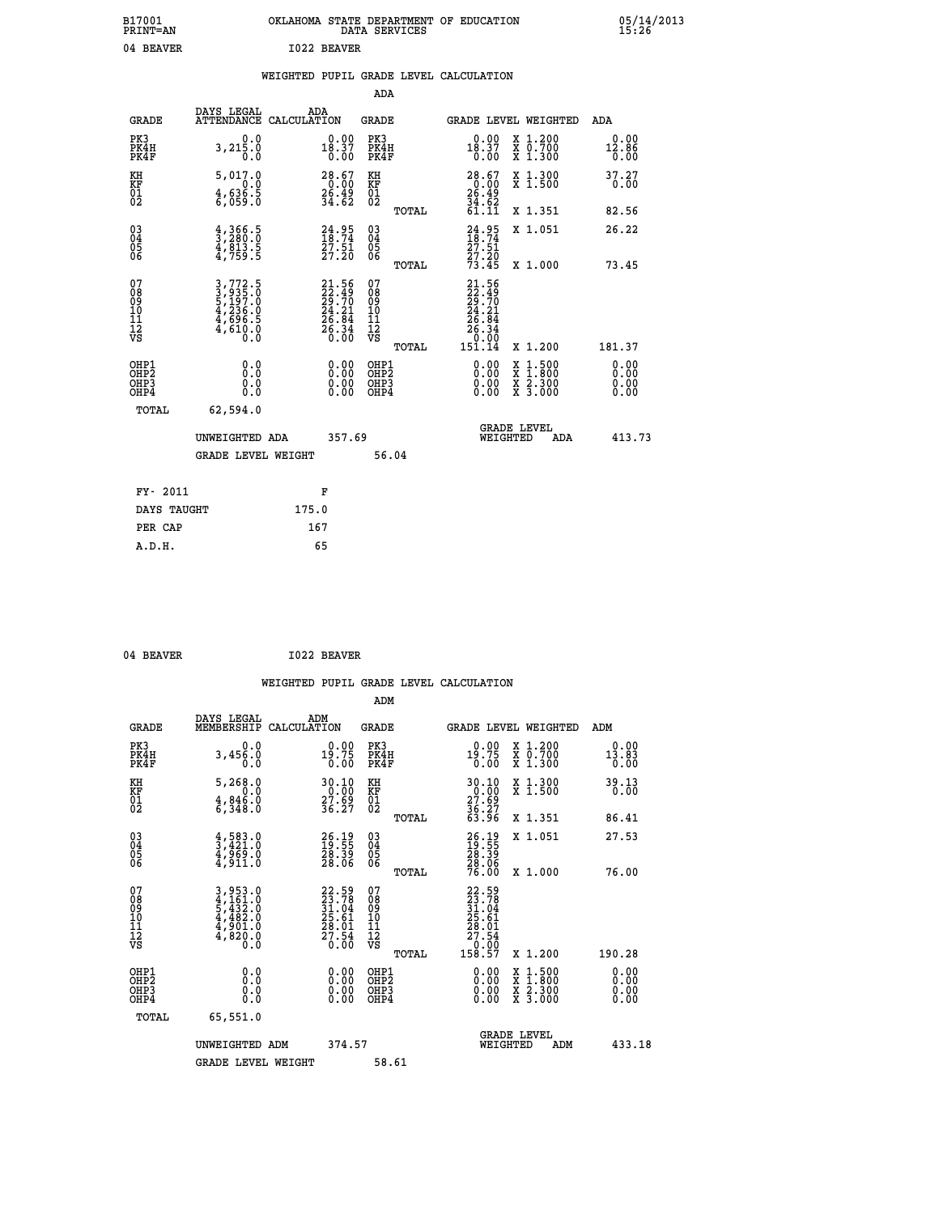| B17001<br><b>PRINT=AN</b> | OKLAHOMA STATE DEPARTMENT OF EDUCATION<br>SERVICES<br>DATA | 05/14/2013<br>15:26 |
|---------------------------|------------------------------------------------------------|---------------------|
| 04<br>BEAVER              | <b>I022 BEAVER</b>                                         |                     |

|  |  | WEIGHTED PUPIL GRADE LEVEL CALCULATION |
|--|--|----------------------------------------|
|  |  |                                        |

|                                                                    |                                                                           |                                                                          | ADA                                          |       |                                                                        |                                                                                                                                           |                              |
|--------------------------------------------------------------------|---------------------------------------------------------------------------|--------------------------------------------------------------------------|----------------------------------------------|-------|------------------------------------------------------------------------|-------------------------------------------------------------------------------------------------------------------------------------------|------------------------------|
| <b>GRADE</b>                                                       | DAYS LEGAL                                                                | ADA<br>ATTENDANCE CALCULATION                                            | <b>GRADE</b>                                 |       |                                                                        | GRADE LEVEL WEIGHTED                                                                                                                      | ADA                          |
| PK3<br>PK4H<br>PK4F                                                | 0.0<br>3,215.0<br>0.0                                                     | $0.00$<br>18.37<br>0.00                                                  | PK3<br>PK4H<br>PK4F                          |       | 0.00<br>$\frac{18.37}{0.00}$                                           | X 1.200<br>X 0.700<br>X 1.300                                                                                                             | 0.00<br>12.86<br>0.00        |
| KH<br>KF<br>01<br>02                                               | 5,017.0<br>0.0<br>$\frac{4}{6}, \frac{636}{059}$ .0                       | 28.67<br>$\frac{20.00}{36.49}$<br>34.62                                  | KH<br>KF<br>01<br>02                         |       | $28.67$<br>0.00<br>$26.49$<br>34.62<br>34.62<br>61.11                  | X 1.300<br>X 1.500                                                                                                                        | 37.27<br>0.00                |
|                                                                    |                                                                           |                                                                          |                                              | TOTAL |                                                                        | X 1.351                                                                                                                                   | 82.56                        |
| $\begin{smallmatrix} 03 \\[-4pt] 04 \end{smallmatrix}$<br>Ŏ5<br>06 | $\frac{4}{3}, \frac{366}{280}.0 \ \frac{4}{4}, \frac{813}{759}.5$         | $24.95$<br>$18.74$<br>$\frac{27.51}{27.20}$                              | $\substack{03 \\ 04}$<br>Ŏ5<br>06            | TOTAL | $\frac{24}{18} : 95$<br>$\frac{27.51}{27.20}$<br>73.45                 | X 1.051<br>X 1.000                                                                                                                        | 26.22<br>73.45               |
| 07<br>08<br>09<br>101<br>11<br>12<br>VS                            | 3,772.5<br>3,935.0<br>5,197.0<br>5,197.0<br>4,236.0<br>4,696.5<br>4,610.0 | $21.56$<br>$22.49$<br>$29.70$<br>$24.21$<br>$26.84$<br>$26.34$<br>$0.00$ | 07<br>08<br>09<br>11<br>11<br>12<br>VS       |       | $21.56$<br>$22.49$<br>$29.70$<br>$24.21$<br>$26.84$<br>$26.34$<br>0.00 |                                                                                                                                           |                              |
|                                                                    |                                                                           |                                                                          |                                              | TOTAL | 151.14                                                                 | X 1.200                                                                                                                                   | 181.37                       |
| OHP1<br>OHP <sub>2</sub><br>OH <sub>P3</sub><br>OHP4               | 0.0<br>0.0<br>0.0                                                         | 0.00<br>$\begin{smallmatrix} 0.00 \ 0.00 \end{smallmatrix}$              | OHP1<br>OHP <sub>2</sub><br>OHP <sub>3</sub> |       | 0.00<br>0.00                                                           | $\begin{smallmatrix} \mathtt{X} & 1\cdot500\\ \mathtt{X} & 1\cdot800\\ \mathtt{X} & 2\cdot300\\ \mathtt{X} & 3\cdot000 \end{smallmatrix}$ | 0.00<br>0.00<br>0.00<br>0.00 |
| TOTAL                                                              | 62,594.0                                                                  |                                                                          |                                              |       |                                                                        |                                                                                                                                           |                              |
|                                                                    | UNWEIGHTED ADA                                                            | 357.69                                                                   |                                              |       |                                                                        | <b>GRADE LEVEL</b><br>WEIGHTED<br>ADA                                                                                                     | 413.73                       |
|                                                                    | <b>GRADE LEVEL WEIGHT</b>                                                 |                                                                          |                                              | 56.04 |                                                                        |                                                                                                                                           |                              |
| FY- 2011                                                           |                                                                           | F                                                                        |                                              |       |                                                                        |                                                                                                                                           |                              |
| DAYS TAUGHT                                                        |                                                                           | 175.0                                                                    |                                              |       |                                                                        |                                                                                                                                           |                              |
| PER CAP                                                            |                                                                           | 167                                                                      |                                              |       |                                                                        |                                                                                                                                           |                              |

04 BEAVER 1022 BEAVER

 **A.D.H. 65**

 **WEIGHTED PUPIL GRADE LEVEL CALCULATION ADM DAYS LEGAL ADM GRADE MEMBERSHIP CALCULATION GRADE GRADE LEVEL WEIGHTED ADM PK3 0.0 0.00 PK3 0.00 X 1.200 0.00 PK4H 3,456.0 19.75 PK4H 19.75 X 0.700 13.83 PK4F 0.0 0.00 PK4F 0.00 X 1.300 0.00 KH 5,268.0 30.10 KH 30.10 X 1.300 39.13 KF 0.0 0.00 KF 0.00 X 1.500 0.00 01 4,846.0 27.69 01 27.69 02 6,348.0 36.27 02 36.27 TOTAL 63.96 X 1.351 86.41 03 4,583.0 26.19 03 26.19 X 1.051 27.53 04 3,421.0 19.55 04 19.55 05 4,969.0 28.39 05 28.39 06 4,911.0 28.06 06 28.06 TOTAL 76.00 X 1.000 76.00**  $\begin{array}{cccc} 07 & 3,953.0 & 22.59 & 07 & 22.59 \ 08 & 4,161.0 & 23.178 & 08 & 23.78 \ 09 & 5,432.0 & 31.04 & 09 & 31.04 \ 10 & 4,482.0 & 25.61 & 10 & 25.61 \ 11 & 4,901.0 & 28.01 & 11 & 28.01 \ \sqrt{5} & 4,820.0 & 26.01 & 11 & 28.01 \ \end{array}$  **TOTAL 158.57 X 1.200 190.28 OHP1 0.0 0.00 OHP1 0.00 X 1.500 0.00 OHP2 0.0 0.00 OHP2 0.00 X 1.800 0.00 OHP3 0.0 0.00 OHP3 0.00 X 2.300 0.00**  $\begin{array}{cccccccc} \text{OHP1} & & & 0.0 & & & 0.00 & & \text{OHP1} & & & 0.00 & & \text{X} & 1.500 & & & 0.00 \\ \text{OHP2} & & & & 0.0 & & & 0.00 & & \text{OHP2} & & & 0.00 & & \text{X} & 1.500 & & & 0.00 \\ \text{OHP3} & & & & 0.0 & & & 0.00 & & \text{OHP3} & & & 0.00 & & \text{X} & 2.300 & & 0.00 \\ \text{OHP4} & & & & 0.0 & & 0.0 & & \text{$  **TOTAL 65,551.0 GRADE LEVEL UNWEIGHTED ADM 374.57 WEIGHTED ADM 433.18** GRADE LEVEL WEIGHT 58.61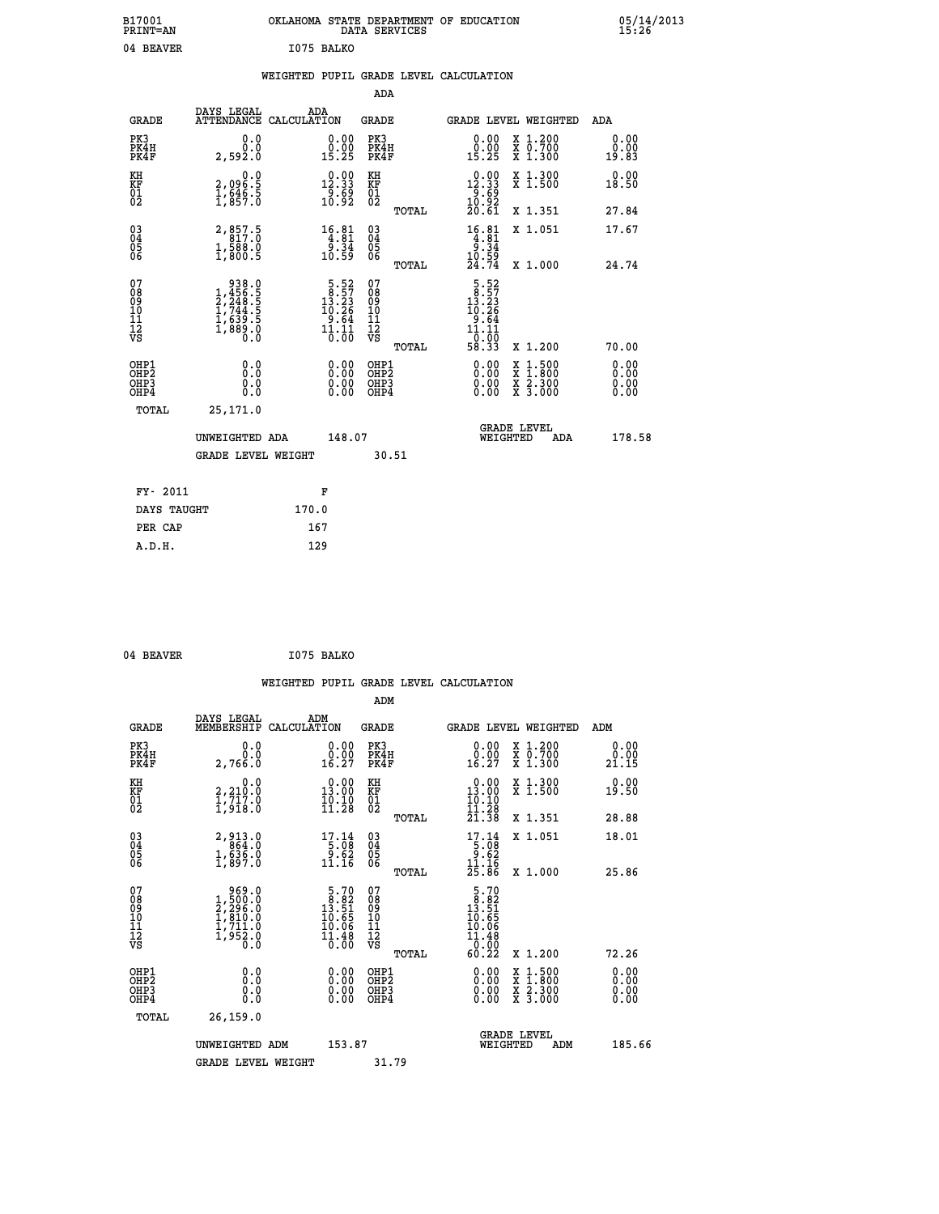| B17001<br>PRINT=AN  | OKLAHOMA<br>. STATE DEPARTMENT OF EDUCATION<br>SERVICES<br>DATA | 05/14/2013<br>15:26 |
|---------------------|-----------------------------------------------------------------|---------------------|
| 04<br><b>BEAVER</b> | I075 BALKO                                                      |                     |

|  |  | WEIGHTED PUPIL GRADE LEVEL CALCULATION |
|--|--|----------------------------------------|
|  |  |                                        |

|                                                                    |                                                                                                                   |                                                                                    | ADA                                                 |       |                                                                                |                                          |                              |
|--------------------------------------------------------------------|-------------------------------------------------------------------------------------------------------------------|------------------------------------------------------------------------------------|-----------------------------------------------------|-------|--------------------------------------------------------------------------------|------------------------------------------|------------------------------|
| <b>GRADE</b>                                                       | DAYS LEGAL<br>ATTENDANCE CALCULATION                                                                              | ADA                                                                                | <b>GRADE</b>                                        |       |                                                                                | GRADE LEVEL WEIGHTED                     | ADA                          |
| PK3<br>PK4H<br>PK4F                                                | 0.0<br>0.0<br>2,592.0                                                                                             | $\begin{smallmatrix} 0.00\\ 0.00\\ 15.25 \end{smallmatrix}$                        | PK3<br>PK4H<br>PK4F                                 |       | $\begin{smallmatrix} 0.00\\ 0.00\\ 15.25 \end{smallmatrix}$                    | X 1.200<br>X 0.700<br>X 1.300            | 0.00<br>0.00<br>19.83        |
| KH<br>KF<br>01<br>02                                               | 0.0<br>2,096:5<br>1,646:5<br>1,857:0                                                                              | $\begin{smallmatrix} 0.00\\ 12.33\\ 9.69\\ 10.92 \end{smallmatrix}$                | KH<br>KF<br>01<br>02                                |       | $\begin{smallmatrix} 0.00\\ 12.33\\ 9.69\\ 10.92\\ 20.61 \end{smallmatrix}$    | X 1.300<br>X 1.500                       | 0.00<br>18.50                |
|                                                                    |                                                                                                                   |                                                                                    |                                                     | TOTAL |                                                                                | X 1.351                                  | 27.84                        |
| $\begin{smallmatrix} 03 \\[-4pt] 04 \end{smallmatrix}$<br>Ŏ5<br>06 | 2,857.5<br>$1, \frac{5}{800}$ .<br>1,800.5                                                                        | $\begin{array}{r} 16.81 \\ 4.81 \\ 9.34 \\ 10.59 \end{array}$                      | $\begin{array}{c} 03 \\ 04 \\ 05 \\ 06 \end{array}$ |       | $\begin{array}{r} 16.81 \\ 4.81 \\ 9.34 \\ 10.59 \\ 24.74 \end{array}$         | X 1.051                                  | 17.67                        |
|                                                                    |                                                                                                                   |                                                                                    |                                                     | TOTAL |                                                                                | X 1.000                                  | 24.74                        |
| 07<br>08<br>09<br>101<br>11<br>12<br>VS                            | $\begin{smallmatrix} & 938.0\\ 1,456.5\\ 2,248.5\\ 2,244.5\\ 1,744.5\\ 1,639.5\\ 1,889.0\\ 0.0 \end{smallmatrix}$ | $\begin{smallmatrix}5.52\\18.57\\13.23\\10.26\\9.64\\11.11\\0.00\end{smallmatrix}$ | 07<br>08<br>09<br>001<br>11<br>11<br>12<br>VS       |       | $\begin{array}{r} 5.52 \\ 13.23 \\ 10.26 \\ 9.64 \\ 11.11 \\ 0.93 \end{array}$ |                                          |                              |
|                                                                    |                                                                                                                   |                                                                                    |                                                     | TOTAL | 58.33                                                                          | X 1.200                                  | 70.00                        |
| OHP1<br>OHP <sub>2</sub><br>OH <sub>P3</sub><br>OHP4               | 0.0<br>0.000                                                                                                      | 0.00<br>$\begin{smallmatrix} 0.00 \ 0.00 \end{smallmatrix}$                        | OHP1<br>OHP2<br>OHP <sub>3</sub>                    |       | 0.00<br>0.00                                                                   | X 1:500<br>X 1:800<br>X 2:300<br>X 3:000 | 0.00<br>0.00<br>0.00<br>0.00 |
| TOTAL                                                              | 25,171.0                                                                                                          |                                                                                    |                                                     |       |                                                                                |                                          |                              |
|                                                                    | UNWEIGHTED ADA                                                                                                    | 148.07                                                                             |                                                     |       |                                                                                | <b>GRADE LEVEL</b><br>WEIGHTED<br>ADA    | 178.58                       |
|                                                                    | <b>GRADE LEVEL WEIGHT</b>                                                                                         |                                                                                    |                                                     | 30.51 |                                                                                |                                          |                              |
| FY- 2011                                                           |                                                                                                                   | F                                                                                  |                                                     |       |                                                                                |                                          |                              |
| DAYS TAUGHT                                                        |                                                                                                                   | 170.0                                                                              |                                                     |       |                                                                                |                                          |                              |
| PER CAP                                                            |                                                                                                                   | 167                                                                                |                                                     |       |                                                                                |                                          |                              |

| 04 BEAVER | I075 BALKO<br>the contract of the contract of the contract of the contract of the contract of |
|-----------|-----------------------------------------------------------------------------------------------|
|           |                                                                                               |

 **WEIGHTED PUPIL GRADE LEVEL CALCULATION ADM DAYS LEGAL ADM GRADE MEMBERSHIP CALCULATION GRADE GRADE LEVEL WEIGHTED ADM PK3 0.0 0.00 PK3 0.00 X 1.200 0.00 PK4H 0.0 0.00 PK4H 0.00 X 0.700 0.00 PK4F 2,766.0 16.27 PK4F 16.27 X 1.300 21.15 KH 0.0 0.00 KH 0.00 X 1.300 0.00 KF 2,210.0 13.00 KF 13.00 X 1.500 19.50 01 1,717.0 10.10 01 10.10 02 1,918.0 11.28 02 11.28 TOTAL 21.38 X 1.351 28.88 03 2,913.0 17.14 03 17.14 X 1.051 18.01 04 864.0 5.08 04 5.08 05 1,636.0 9.62 05 9.62** 06 1,897.0 11.16 06 <sub>mome</sub> 11.16  **TOTAL 25.86 X 1.000 25.86 07 969.0 5.70 07 5.70 08 1,500.0 8.82 08 8.82 09 2,296.0 13.51 09 13.51 10 1,810.0 10.65 10 10.65 11 1,711.0 10.06 11 10.06 12 1,952.0 11.48 12 11.48 VS 0.0 0.00 VS 0.00 TOTAL 60.22 X 1.200 72.26 OHP1 0.0 0.00 OHP1 0.00 X 1.500 0.00 OHP2 0.0 0.00 OHP2 0.00 X 1.800 0.00 OHP3 0.0 0.00 OHP3 0.00 X 2.300 0.00 OHP4 0.0 0.00 OHP4 0.00 X 3.000 0.00 TOTAL 26,159.0 GRADE LEVEL UNWEIGHTED ADM 153.87 WEIGHTED ADM 185.66** GRADE LEVEL WEIGHT 31.79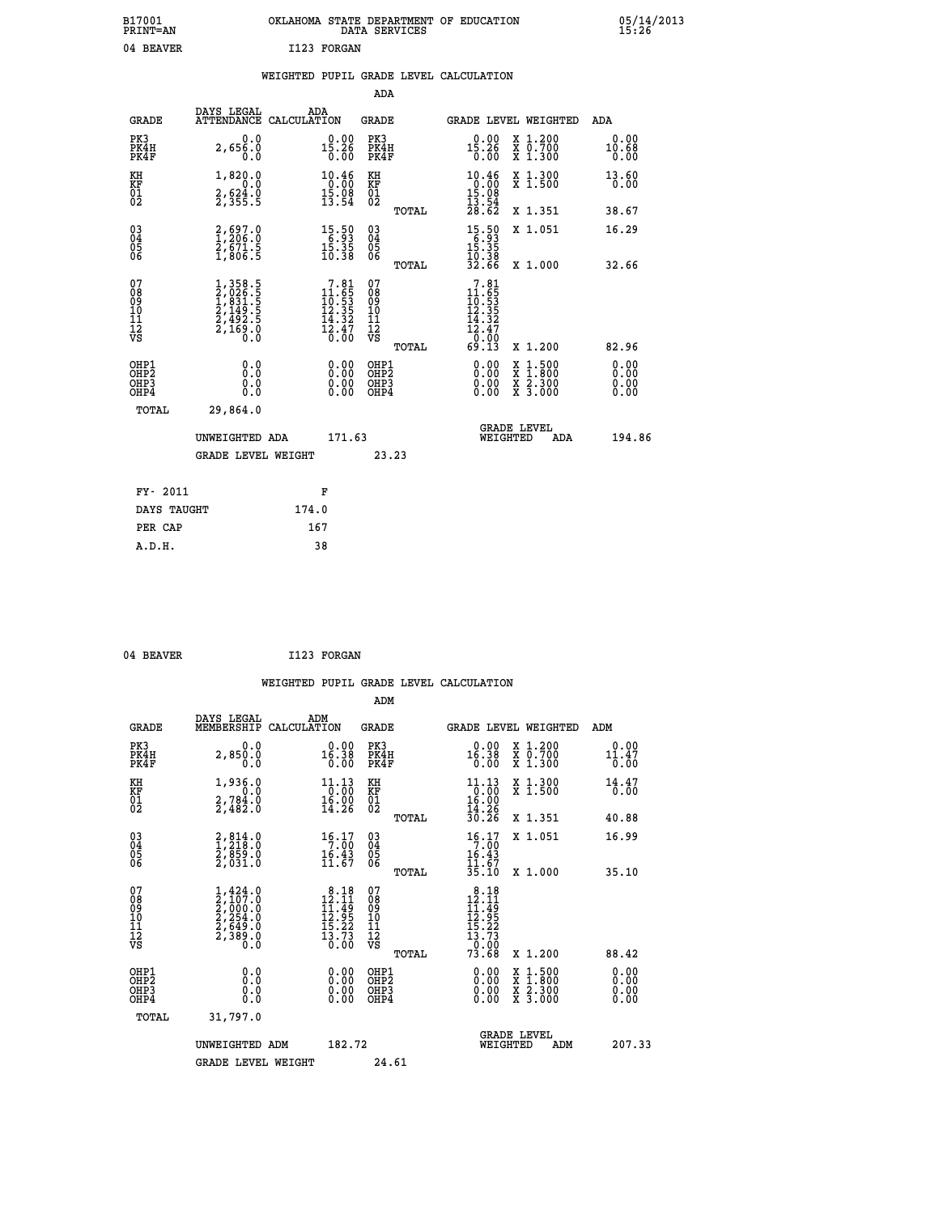| OKLAHOMA STATE DEPARTMENT OF EDUCATION | DATA SERVICES |  |
|----------------------------------------|---------------|--|
| T123 FORGAN                            |               |  |

**1001 B17001 B170013 B170013** 

## **WEIGHTED PUPIL GRADE LEVEL CALCULATION**

|                                                                    |                                                                                                  |                                                                                          | ADA                                       |       |                                                                                                       |                                          |                              |
|--------------------------------------------------------------------|--------------------------------------------------------------------------------------------------|------------------------------------------------------------------------------------------|-------------------------------------------|-------|-------------------------------------------------------------------------------------------------------|------------------------------------------|------------------------------|
| <b>GRADE</b>                                                       | DAYS LEGAL<br>ATTENDANCE CALCULATION                                                             | ADA                                                                                      | <b>GRADE</b>                              |       |                                                                                                       | GRADE LEVEL WEIGHTED                     | ADA                          |
| PK3<br>PK4H<br>PK4F                                                | 0.0<br>2,656.0<br>0.0                                                                            | $15.26$<br>0.00                                                                          | PK3<br>PK4H<br>PK4F                       |       | 0.00<br>15.26<br>0.00                                                                                 | X 1.200<br>X 0.700<br>X 1.300            | 0.00<br>10.68<br>0.00        |
| KH<br>KF<br>01<br>02                                               | 1,820.0<br>0.0<br>$\frac{2}{3}, \frac{6}{3}$ $\frac{24}{5}$ $\cdot \frac{6}{5}$                  | 10.46<br>0.00<br>$1\overline{5}\cdot\overline{0}\overline{8}$<br>13.54                   | KH<br>KF<br>01<br>02                      |       | $10.46$<br>$0.00$                                                                                     | X 1.300<br>X 1.500                       | 13.60<br>0.00                |
|                                                                    |                                                                                                  |                                                                                          |                                           | TOTAL | $\frac{15.08}{13.54}$<br>$28.62$                                                                      | X 1.351                                  | 38.67                        |
| $\begin{smallmatrix} 03 \\[-4pt] 04 \end{smallmatrix}$<br>Ŏ5<br>06 | $\begin{smallmatrix} 2,697.0\\ 1,206.0\\ 2,671.5\\ 1,806.5 \end{smallmatrix}$                    | $\begin{array}{r} 15\cdot 50 \\ 6\cdot 93 \\ 15\cdot 35 \\ 10\cdot 38 \end{array}$       | $\substack{03 \\ 04}$<br>Ŏ5<br>06         |       | $\begin{array}{r} 15 \cdot 50 \\ 6 \cdot 93 \\ 15 \cdot 35 \\ 10 \cdot 38 \\ 32 \cdot 66 \end{array}$ | X 1.051                                  | 16.29                        |
| 07                                                                 |                                                                                                  |                                                                                          | 07                                        | TOTAL | 7.81                                                                                                  | X 1.000                                  | 32.66                        |
| 08901112<br>1112<br>VS                                             | $\begin{smallmatrix} 1,358.5\\2,026.5\\1,831.5\\2,149.5\\2,492.5\\2,169.0\\0.0\end{smallmatrix}$ | $\begin{array}{r} 7.81 \\ 11.65 \\ 10.53 \\ 12.35 \\ 14.32 \\ 13.47 \\ 0.00 \end{array}$ | 08901112<br>1112<br>VS                    |       | $11.65$<br>$10.53$<br>$12.35$<br>$14.32$<br>$12.47$<br>$0.003$<br>$69.13$                             |                                          |                              |
|                                                                    |                                                                                                  |                                                                                          |                                           | TOTAL |                                                                                                       | X 1.200                                  | 82.96                        |
| OHP1<br>OH <sub>P</sub> 2<br>OH <sub>P3</sub><br>OH <sub>P4</sub>  | 0.0<br>0.000                                                                                     | $\begin{smallmatrix} 0.00 \ 0.00 \ 0.00 \ 0.00 \end{smallmatrix}$                        | OHP1<br>OH <sub>P</sub> 2<br>OHP3<br>OHP4 |       | 0.00<br>0.00<br>0.00                                                                                  | X 1:500<br>X 1:800<br>X 2:300<br>X 3:000 | 0.00<br>0.00<br>0.00<br>0.00 |
| TOTAL                                                              | 29,864.0                                                                                         |                                                                                          |                                           |       |                                                                                                       |                                          |                              |
|                                                                    | UNWEIGHTED ADA                                                                                   | 171.63                                                                                   |                                           |       |                                                                                                       | GRADE LEVEL<br>WEIGHTED<br>ADA           | 194.86                       |
|                                                                    | <b>GRADE LEVEL WEIGHT</b>                                                                        |                                                                                          |                                           | 23.23 |                                                                                                       |                                          |                              |
| FY- 2011                                                           |                                                                                                  | F                                                                                        |                                           |       |                                                                                                       |                                          |                              |
| DAYS TAUGHT                                                        |                                                                                                  | 174.0                                                                                    |                                           |       |                                                                                                       |                                          |                              |
| PER CAP                                                            |                                                                                                  | 167                                                                                      |                                           |       |                                                                                                       |                                          |                              |

04 BEAVER 1123 FORGAN

 **A.D.H. 38**

 **ADM**

 **B17001<br>PRINT=AN** 04 BEAVER

| <b>GRADE</b>                                       | DAYS LEGAL<br>MEMBERSHIP                                                                                              | ADM<br>CALCULATION                                                                       | <b>GRADE</b>                                       |       | GRADE LEVEL WEIGHTED                                                                                                                                                                                                                                                           |                                          | ADM                   |  |
|----------------------------------------------------|-----------------------------------------------------------------------------------------------------------------------|------------------------------------------------------------------------------------------|----------------------------------------------------|-------|--------------------------------------------------------------------------------------------------------------------------------------------------------------------------------------------------------------------------------------------------------------------------------|------------------------------------------|-----------------------|--|
| PK3<br>PK4H<br>PK4F                                | 0.0<br>2,850.0<br>0.0                                                                                                 | $0.00$<br>16.38<br>0.00                                                                  | PK3<br>PK4H<br>PK4F                                |       | $0.00$<br>16.38<br>0.00                                                                                                                                                                                                                                                        | X 1.200<br>X 0.700<br>X 1.300            | 0.00<br>11.47<br>0.00 |  |
| KH<br>KF<br>01<br>02                               | 1,936.0<br>$2,784.0$<br>$2,482.0$                                                                                     | 11.13<br>$\frac{1}{16}$ :00<br>14:26                                                     | KH<br>KF<br>01<br>02                               |       | $\begin{array}{r} 11 \cdot 13 \\ 0 \cdot 00 \\ 16 \cdot 00 \\ 14 \cdot 26 \\ 30 \cdot 26 \end{array}$                                                                                                                                                                          | X 1.300<br>X 1.500                       | 14.47<br>0.00         |  |
|                                                    |                                                                                                                       |                                                                                          |                                                    | TOTAL |                                                                                                                                                                                                                                                                                | X 1.351                                  | 40.88                 |  |
| $\begin{matrix} 03 \\ 04 \\ 05 \\ 06 \end{matrix}$ | $\begin{smallmatrix} 2, 814.0\\ 1, 218.0\\ 2, 859.0\\ 2, 031.0 \end{smallmatrix}$                                     | 16.17<br>$\frac{16.43}{11.67}$                                                           | $\begin{matrix} 03 \\ 04 \\ 05 \\ 06 \end{matrix}$ |       | 16.17<br>$16.43$<br>$11.67$<br>$35.10$                                                                                                                                                                                                                                         | X 1.051                                  | 16.99                 |  |
|                                                    |                                                                                                                       |                                                                                          |                                                    | TOTAL |                                                                                                                                                                                                                                                                                | X 1.000                                  | 35.10                 |  |
| 07<br>089<br>090<br>1112<br>VS                     | $\begin{smallmatrix} 1,424\ .0\\ 2,107\ .0\\ 2,000\ .0\\ 2,254\ .0\\ 2,649\ .0\\ 2,389\ .0\\ 0\ .0 \end{smallmatrix}$ | $\begin{array}{r} 8.18 \\ 12.11 \\ 11.49 \\ 12.95 \\ 15.22 \\ 13.73 \end{array}$<br>0.00 | 07<br>08901112<br>1112<br>VS                       | TOTAL | $\begin{array}{r} 8\cdot 18 \\ 12\cdot 11 \\ 11\cdot 49 \\ 12\cdot 95 \\ 15\cdot 22 \\ 13\cdot 73 \\ 0\cdot 00 \\ 73\cdot 68 \end{array}$                                                                                                                                      | X 1.200                                  | 88.42                 |  |
| OHP1<br>OHP2<br>OH <sub>P3</sub><br>OHP4           | 0.0<br>0.000                                                                                                          | $\begin{smallmatrix} 0.00 \ 0.00 \ 0.00 \ 0.00 \end{smallmatrix}$                        | OHP1<br>OHP <sub>2</sub><br>OHP3<br>OHP4           |       | $\begin{smallmatrix} 0.00 & 0.00 & 0.00 & 0.00 & 0.00 & 0.00 & 0.00 & 0.00 & 0.00 & 0.00 & 0.00 & 0.00 & 0.00 & 0.00 & 0.00 & 0.00 & 0.00 & 0.00 & 0.00 & 0.00 & 0.00 & 0.00 & 0.00 & 0.00 & 0.00 & 0.00 & 0.00 & 0.00 & 0.00 & 0.00 & 0.00 & 0.00 & 0.00 & 0.00 & 0.00 & 0.0$ | X 1:500<br>X 1:800<br>X 2:300<br>X 3:000 | 0.00<br>0.00<br>0.00  |  |
| TOTAL                                              | 31,797.0                                                                                                              |                                                                                          |                                                    |       |                                                                                                                                                                                                                                                                                |                                          |                       |  |
|                                                    | UNWEIGHTED<br>ADM                                                                                                     | 182.72                                                                                   |                                                    |       | <b>GRADE LEVEL</b><br>WEIGHTED                                                                                                                                                                                                                                                 | ADM                                      | 207.33                |  |
|                                                    | <b>GRADE LEVEL WEIGHT</b>                                                                                             |                                                                                          | 24.61                                              |       |                                                                                                                                                                                                                                                                                |                                          |                       |  |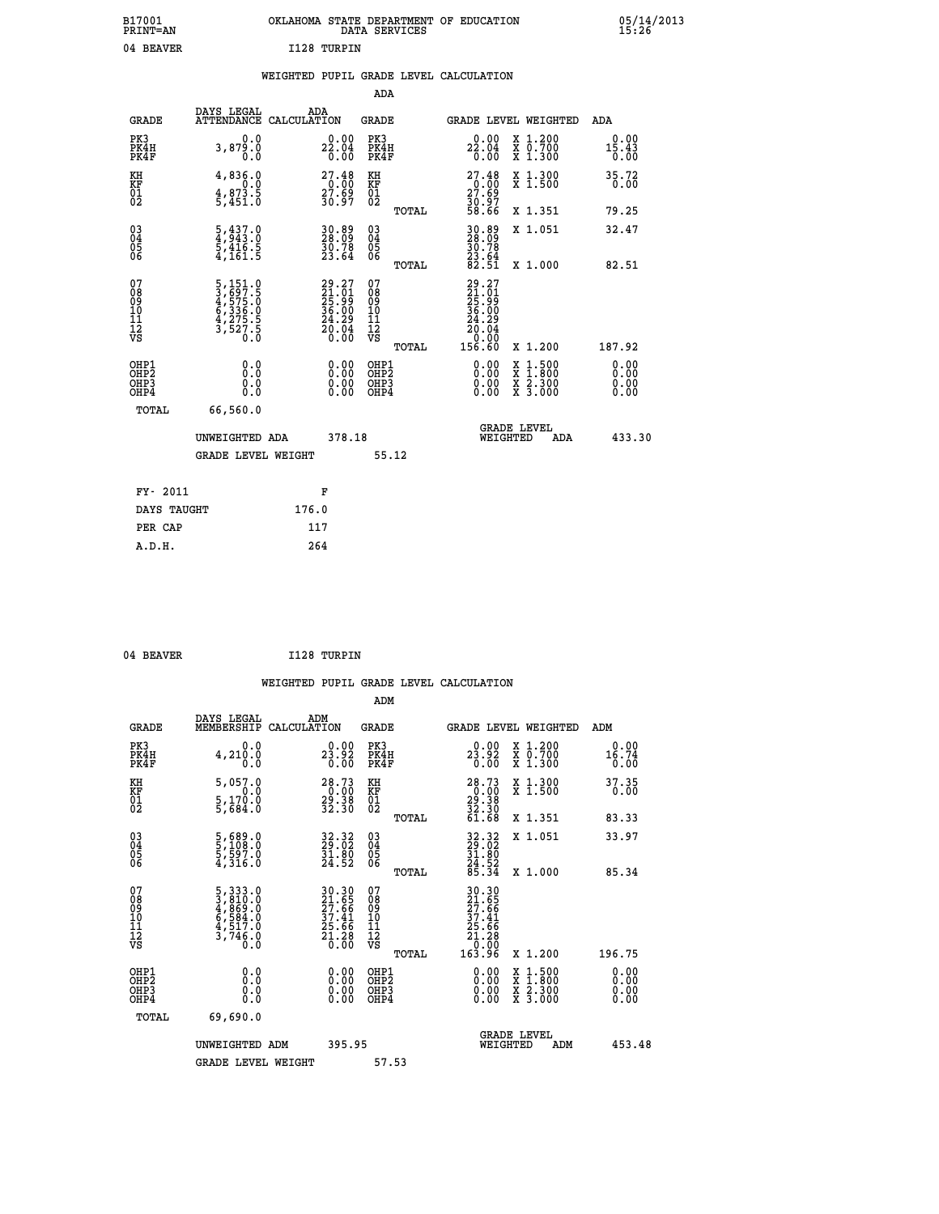|             | OKLAHOMA STATE DEPARTMENT OF EDUCATION<br>DATA SERVICES |  |
|-------------|---------------------------------------------------------|--|
| I128 TURPIN |                                                         |  |

#### **WEIGHTED PUPIL GRADE LEVEL CALCULATION**

|                                                                  |                                                                                                        |                                                                          | ADA                                      |       |                                                                                                   |                                                                                                                                           |                                                      |
|------------------------------------------------------------------|--------------------------------------------------------------------------------------------------------|--------------------------------------------------------------------------|------------------------------------------|-------|---------------------------------------------------------------------------------------------------|-------------------------------------------------------------------------------------------------------------------------------------------|------------------------------------------------------|
| <b>GRADE</b>                                                     | DAYS LEGAL<br>ATTENDANCE CALCULATION                                                                   | ADA                                                                      | <b>GRADE</b>                             |       | GRADE LEVEL WEIGHTED                                                                              |                                                                                                                                           | ADA                                                  |
| PK3<br>PK4H<br>PK4F                                              | 0.0<br>3,879.0<br>0.0                                                                                  | 22.04<br>0.04<br>0.00                                                    | PK3<br>PK4H<br>PK4F                      |       | 22.04<br>0.04<br>0.00                                                                             | X 1.200<br>X 0.700<br>X 1.300                                                                                                             | 0.00<br>$1\overline{5}\cdot 4\overline{3}\over 0.00$ |
| KH<br>KF<br>01<br>02                                             | 4,836.0<br>$4,873.5$<br>$5,451.0$                                                                      | $\begin{smallmatrix} 27.48\ 0.00\ 27.69\ 30.97 \end{smallmatrix}$        | KH<br>KF<br>01<br>02                     |       | $27.48\n0.00\n27.69\n30.97\n58.66$                                                                | X 1.300<br>X 1.500                                                                                                                        | 35.72<br>0.00                                        |
|                                                                  |                                                                                                        |                                                                          |                                          | TOTAL |                                                                                                   | X 1.351                                                                                                                                   | 79.25                                                |
| $\begin{matrix} 03 \\ 04 \\ 05 \\ 06 \end{matrix}$               | $\frac{5}{4}, \frac{437}{943}.0$<br>$\frac{5}{9}, \frac{416}{161}.5$<br>$\frac{5}{4}, \frac{161.5}{9}$ | 30.89<br>28.09<br>$\frac{50.78}{23.64}$                                  | $\substack{03 \\ 04}$<br>Ŏ5<br>06        | TOTAL | 30.89<br>28.09<br>$\frac{30.78}{23.64}$<br>82.51                                                  | X 1.051<br>X 1.000                                                                                                                        | 32.47<br>82.51                                       |
| 07<br>08<br>09<br>11<br>11<br>12<br>VS                           | 5,151.0<br>3,697.5<br>4,575.0<br>6,336.0<br>6,336.0<br>4,275.5<br>3,527.5                              | $29.27$<br>$21.01$<br>$25.99$<br>$36.00$<br>$24.29$<br>$20.04$<br>$0.00$ | 07<br>08<br>09<br>11<br>11<br>12<br>VS   |       | $\begin{smallmatrix} 29.27\ 21.01\ 25.99\ 26.000\ 24.29\ 20.04\ 0.000\ 156.60\ \end{smallmatrix}$ |                                                                                                                                           |                                                      |
|                                                                  |                                                                                                        |                                                                          |                                          | TOTAL |                                                                                                   | X 1.200                                                                                                                                   | 187.92                                               |
| OHP1<br>OH <sub>P</sub> <sub>2</sub><br>OH <sub>P3</sub><br>OHP4 | 0.0<br>0.0<br>0.0                                                                                      | $\begin{smallmatrix} 0.00 \ 0.00 \ 0.00 \ 0.00 \end{smallmatrix}$        | OHP1<br>OHP <sub>2</sub><br>OHP3<br>OHP4 |       | $0.00$<br>$0.00$<br>0.00                                                                          | $\begin{smallmatrix} \mathtt{X} & 1\cdot500\\ \mathtt{X} & 1\cdot800\\ \mathtt{X} & 2\cdot300\\ \mathtt{X} & 3\cdot000 \end{smallmatrix}$ | 0.00<br>0.00<br>0.00<br>0.00                         |
| <b>TOTAL</b>                                                     | 66,560.0                                                                                               |                                                                          |                                          |       |                                                                                                   |                                                                                                                                           |                                                      |
|                                                                  | UNWEIGHTED ADA                                                                                         | 378.18                                                                   |                                          |       | WEIGHTED                                                                                          | <b>GRADE LEVEL</b><br>ADA                                                                                                                 | 433.30                                               |
|                                                                  | <b>GRADE LEVEL WEIGHT</b>                                                                              |                                                                          | 55.12                                    |       |                                                                                                   |                                                                                                                                           |                                                      |
| FY- 2011                                                         |                                                                                                        | F                                                                        |                                          |       |                                                                                                   |                                                                                                                                           |                                                      |
| DAYS TAUGHT                                                      |                                                                                                        | 176.0                                                                    |                                          |       |                                                                                                   |                                                                                                                                           |                                                      |
| PER CAP                                                          |                                                                                                        | 117                                                                      |                                          |       |                                                                                                   |                                                                                                                                           |                                                      |
|                                                                  |                                                                                                        |                                                                          |                                          |       |                                                                                                   |                                                                                                                                           |                                                      |

 **A.D.H. 264**

 **ADM**

B17001<br>PRINT=AN<br>04 BEAVER

04 BEAVER 1128 TURPIN

| <b>GRADE</b>                                         | DAYS LEGAL<br>MEMBERSHIP CALCULATION                                        | ADM                                                               | <b>GRADE</b>                                           |                                                                               |                                | <b>GRADE LEVEL WEIGHTED</b>              | ADM                   |
|------------------------------------------------------|-----------------------------------------------------------------------------|-------------------------------------------------------------------|--------------------------------------------------------|-------------------------------------------------------------------------------|--------------------------------|------------------------------------------|-----------------------|
| PK3<br>PK4H<br>PK4F                                  | 0.0<br>4,210.0<br>0.0                                                       | $2\frac{0.00}{2}$<br>0.00                                         | PK3<br>PK4H<br>PK4F                                    | 0.00<br>$2\overline{3}\cdot \overline{9}\overline{2}$<br>0.00                 |                                | X 1.200<br>X 0.700<br>X 1.300            | 0.00<br>16.74<br>0.00 |
| KH<br>KF<br>01<br>02                                 | 5,057.0<br>0.0<br>$\frac{5}{5}$ , $\frac{170}{684}$ .0                      | 28.73<br>$\frac{20.00}{32.38}$                                    | KH<br><b>KF</b><br>01<br>02                            | $28.73\n0.00\n29.38\n32.30\n61.68$                                            |                                | X 1.300<br>X 1.500                       | 37.35<br>0.00         |
|                                                      |                                                                             |                                                                   | TOTAL                                                  |                                                                               |                                | X 1.351                                  | 83.33                 |
| 03<br>04<br>05<br>06                                 | $\frac{5}{5}, \frac{689}{108}.0$<br>$\frac{5}{4}, \frac{597}{316}.0$        | 32.32<br>29.02<br>31.80<br>24.52                                  | $\begin{array}{c} 03 \\ 04 \\ 05 \\ 06 \end{array}$    | 32.32<br>29.02<br>31.80<br>24.52<br>85.34                                     |                                | X 1.051                                  | 33.97                 |
|                                                      |                                                                             |                                                                   | TOTAL                                                  |                                                                               |                                | X 1.000                                  | 85.34                 |
| 07<br>08<br>09<br>101<br>11<br>12<br>VS              | 5, 333.0<br>3, 810.0<br>4, 869.0<br>6, 584.0<br>4, 517.0<br>3, 746.0<br>0.0 | 30.30<br>21.65<br>27.66<br>37.41<br>25.66<br>21.28<br>21.28       | 07<br>08<br>09<br>001<br>11<br>11<br>12<br>VS<br>TOTAL | 30.30<br>21.65<br>27.66<br>27.41<br>37.41<br>25.66<br>21.28<br>0.00<br>163.96 |                                | X 1.200                                  | 196.75                |
| OHP1<br>OHP <sub>2</sub><br>OH <sub>P3</sub><br>OHP4 | 0.0<br>0.000                                                                | $\begin{smallmatrix} 0.00 \ 0.00 \ 0.00 \ 0.00 \end{smallmatrix}$ | OHP1<br>OHP <sub>2</sub><br>OHP3<br>OHP4               | 0.00<br>$0.00$<br>0.00                                                        |                                | X 1:500<br>X 1:800<br>X 2:300<br>X 3:000 | 0.00<br>0.00<br>0.00  |
| TOTAL                                                | 69,690.0                                                                    |                                                                   |                                                        |                                                                               |                                |                                          |                       |
|                                                      | UNWEIGHTED<br>ADM                                                           | 395.95                                                            |                                                        |                                                                               | <b>GRADE LEVEL</b><br>WEIGHTED | ADM                                      | 453.48                |
|                                                      | <b>GRADE LEVEL WEIGHT</b>                                                   |                                                                   | 57.53                                                  |                                                                               |                                |                                          |                       |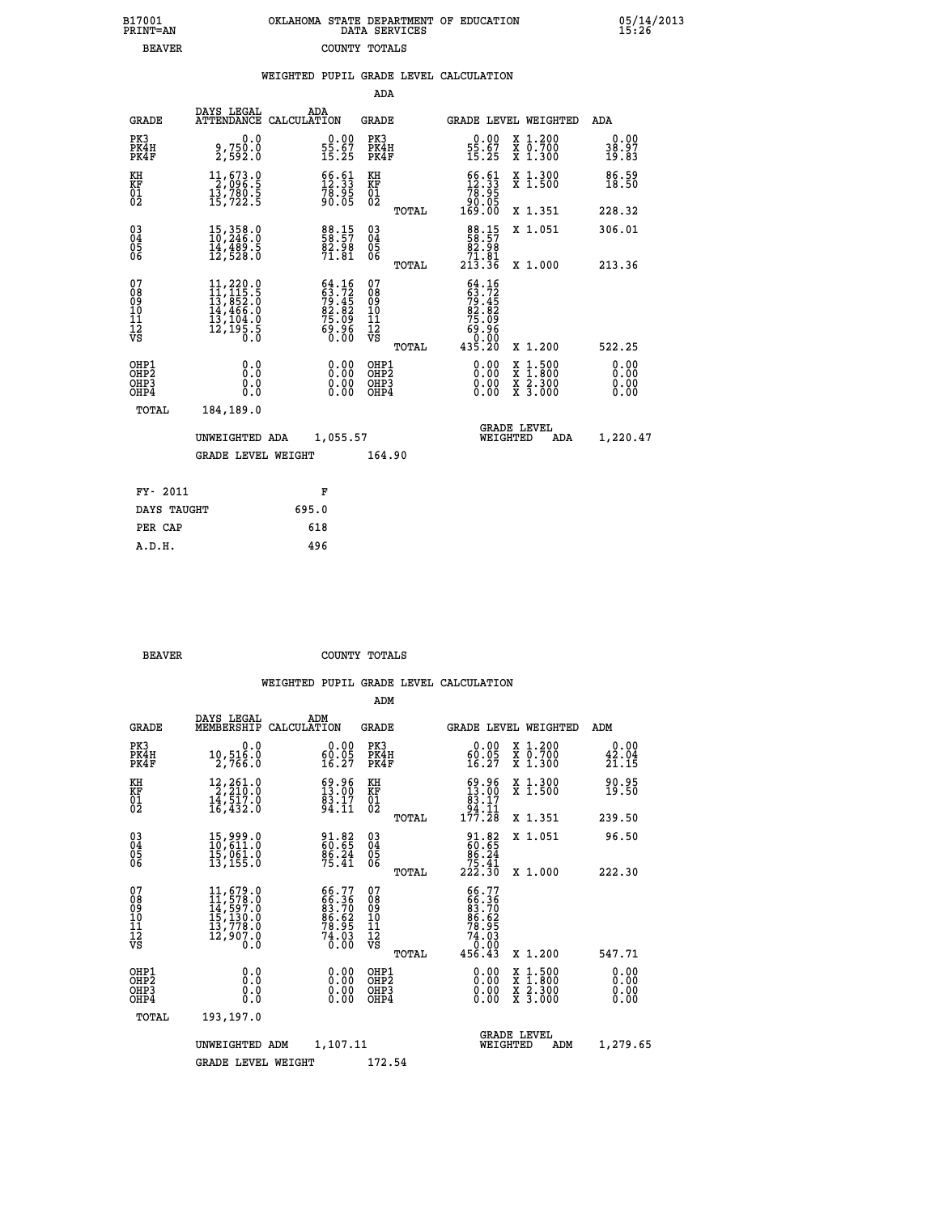|  | OKLAHOMA STATE DEPARTMENT OF EDUCATION<br>DATA SERVICES |  |
|--|---------------------------------------------------------|--|
|  | COUNTY TOTALS                                           |  |

| <b>GRADE</b> | ADA                                                          | GRADE                                                                                                                                                                                                                                                                                                                                                                                                                                                                                                                                                                                                                                                                                       | <b>GRADE LEVEL WEIGHTED</b>                                                                                                                                          | ADA                                                                                                                                                                                                         |
|--------------|--------------------------------------------------------------|---------------------------------------------------------------------------------------------------------------------------------------------------------------------------------------------------------------------------------------------------------------------------------------------------------------------------------------------------------------------------------------------------------------------------------------------------------------------------------------------------------------------------------------------------------------------------------------------------------------------------------------------------------------------------------------------|----------------------------------------------------------------------------------------------------------------------------------------------------------------------|-------------------------------------------------------------------------------------------------------------------------------------------------------------------------------------------------------------|
| PK4H         | $\begin{smallmatrix} 0.00\\ 55.67\\ 15.25 \end{smallmatrix}$ | PK3<br>PK4H<br>PK4F                                                                                                                                                                                                                                                                                                                                                                                                                                                                                                                                                                                                                                                                         | X 1.200<br>X 0.700<br>X 1.300<br>0.00<br>$\frac{55.67}{15.25}$                                                                                                       | 0.00<br>38.97<br>19.83                                                                                                                                                                                      |
|              |                                                              |                                                                                                                                                                                                                                                                                                                                                                                                                                                                                                                                                                                                                                                                                             | X 1.300<br>X 1.500                                                                                                                                                   | 86.59<br>18.50                                                                                                                                                                                              |
|              |                                                              | TOTAL                                                                                                                                                                                                                                                                                                                                                                                                                                                                                                                                                                                                                                                                                       | X 1.351                                                                                                                                                              | 228.32                                                                                                                                                                                                      |
|              | 88.15<br>58.57<br>82.98<br>71.81                             | $\begin{matrix} 03 \\ 04 \\ 05 \\ 06 \end{matrix}$                                                                                                                                                                                                                                                                                                                                                                                                                                                                                                                                                                                                                                          | 88.15<br>58.57<br>82.98<br>X 1.051                                                                                                                                   | 306.01<br>213.36                                                                                                                                                                                            |
|              |                                                              |                                                                                                                                                                                                                                                                                                                                                                                                                                                                                                                                                                                                                                                                                             |                                                                                                                                                                      |                                                                                                                                                                                                             |
|              |                                                              | 08<br>09<br>11<br>11<br>12<br>VS<br>TOTAL                                                                                                                                                                                                                                                                                                                                                                                                                                                                                                                                                                                                                                                   | X 1.200                                                                                                                                                              | 522.25                                                                                                                                                                                                      |
|              | 0.00<br>0.00<br>0.00                                         | OHP1<br>OHP2<br>OHP3<br>OHP4                                                                                                                                                                                                                                                                                                                                                                                                                                                                                                                                                                                                                                                                | 0.00<br>$\begin{smallmatrix} \mathtt{X} & 1\cdot500 \\ \mathtt{X} & 1\cdot800 \\ \mathtt{X} & 2\cdot300 \\ \mathtt{X} & 3\cdot000 \end{smallmatrix}$<br>0.00<br>0.00 | 0.00<br>0.00<br>0.00<br>0.00                                                                                                                                                                                |
| TOTAL        |                                                              |                                                                                                                                                                                                                                                                                                                                                                                                                                                                                                                                                                                                                                                                                             |                                                                                                                                                                      |                                                                                                                                                                                                             |
|              |                                                              |                                                                                                                                                                                                                                                                                                                                                                                                                                                                                                                                                                                                                                                                                             | <b>GRADE LEVEL</b><br>WEIGHTED<br>ADA                                                                                                                                | 1,220.47                                                                                                                                                                                                    |
|              |                                                              | 164.90                                                                                                                                                                                                                                                                                                                                                                                                                                                                                                                                                                                                                                                                                      |                                                                                                                                                                      |                                                                                                                                                                                                             |
| FY- 2011     | F                                                            |                                                                                                                                                                                                                                                                                                                                                                                                                                                                                                                                                                                                                                                                                             |                                                                                                                                                                      |                                                                                                                                                                                                             |
| DAYS TAUGHT  | 695.0                                                        |                                                                                                                                                                                                                                                                                                                                                                                                                                                                                                                                                                                                                                                                                             |                                                                                                                                                                      |                                                                                                                                                                                                             |
| PER CAP      | 618                                                          |                                                                                                                                                                                                                                                                                                                                                                                                                                                                                                                                                                                                                                                                                             |                                                                                                                                                                      |                                                                                                                                                                                                             |
| A.D.H.       | 496                                                          |                                                                                                                                                                                                                                                                                                                                                                                                                                                                                                                                                                                                                                                                                             |                                                                                                                                                                      |                                                                                                                                                                                                             |
|              | 0.0<br>184,189.0                                             | DAYS LEGAL<br>ATTENDANCE CALCULATION<br>9,750.0<br>2,592.0<br>$\begin{smallmatrix} 11, 673 & 0 \\ 2, 096 & 5 \\ 13, 780 & 5 \\ 15, 722 & 5 \end{smallmatrix}$<br>$\begin{array}{l} 66.61 \\ 12.33 \\ 78.95 \\ 90.05 \end{array}$<br>$\begin{smallmatrix} 15\,,\,358\cdot 0\\ 10\,,\,246\cdot 0\\ 14\,,\,489\cdot 5\\ 12\,,\,528\cdot 0 \end{smallmatrix}$<br>$64.16$<br>$63.72$<br>$79.45$<br>$82.82$<br>$75.09$<br>$69.96$<br>$0.00$<br>$\begin{smallmatrix} 11\,,\,220\cdot 0\\ 11\,,\,115\cdot 5\\ 13\,,\,852\cdot 0\\ 14\,,\,466\cdot 0\\ 13\,,\,104\cdot 0\\ 12\,,\,195\cdot 5\\ 0\cdot 0\end{smallmatrix}$<br>0.0<br>Ō.Ō<br>0.0<br>0.0<br>UNWEIGHTED ADA<br><b>GRADE LEVEL WEIGHT</b> | ADA<br>KH<br>KF<br>01<br>02<br>TOTAL<br>07<br>1,055.57                                                                                                               | $\begin{smallmatrix} 66.61\\12.33\\78.95\\90.05\\169.00 \end{smallmatrix}$<br>71.01<br>213.36<br>X 1.000<br>$64.16$<br>$63.72$<br>$79.45$<br>$79.82$<br>$82.82$<br>$75.09$<br>$69.06$<br>$0.00$<br>$435.20$ |

| ססמומי |  |  |  |
|--------|--|--|--|

 **A.D.H. 496**

B17001<br>PRINT=AN<br>BEAVER

**BEAVER** COUNTY TOTALS

|                                          |                                                                                                                                  |                                                                             | ADM                                                 |                                                                                                      |                                          |                              |
|------------------------------------------|----------------------------------------------------------------------------------------------------------------------------------|-----------------------------------------------------------------------------|-----------------------------------------------------|------------------------------------------------------------------------------------------------------|------------------------------------------|------------------------------|
| <b>GRADE</b>                             | DAYS LEGAL<br>MEMBERSHIP                                                                                                         | ADM<br>CALCULATION                                                          | <b>GRADE</b>                                        |                                                                                                      | <b>GRADE LEVEL WEIGHTED</b>              | ADM                          |
| PK3<br>PK4H<br>PK4F                      | 0.0<br>10,516.0<br>2,766.0                                                                                                       | 0.00<br>$\frac{60.05}{16.27}$                                               | PK3<br>PK4H<br>PK4F                                 | 0.00<br>60.05<br>16.27                                                                               | X 1.200<br>X 0.700<br>X 1.300            | 0.00<br>42.04<br>21.15       |
| KH<br>KF<br>01<br>02                     | $\begin{smallmatrix} 12,261.0\\ 2,210.0\\ 14,517.0\\ 16,432.0 \end{smallmatrix}$                                                 | $\begin{smallmatrix} 69.96\\13.00\\83.17\\94.11 \end{smallmatrix}$          | KH<br>KF<br>01<br>02                                | $\begin{smallmatrix} 69.96\\13.00\\83.17\\94.11\\177.28 \end{smallmatrix}$                           | X 1.300<br>X 1.500                       | 90.95<br>19.50               |
|                                          |                                                                                                                                  |                                                                             | TOTAL                                               |                                                                                                      | X 1.351                                  | 239.50                       |
| 03<br>04<br>05<br>06                     | 15,999.0<br>10,611.0<br>15,061.0<br>13, 155.0                                                                                    | 91.82<br>60.65<br>86.24<br>75.41                                            | $\begin{array}{c} 03 \\ 04 \\ 05 \\ 06 \end{array}$ | $\begin{smallmatrix} 91.82\ 60.65\ 86.24\ 75.41\ 222.30 \end{smallmatrix}$                           | X 1.051                                  | 96.50                        |
|                                          |                                                                                                                                  |                                                                             | TOTAL                                               |                                                                                                      | X 1.000                                  | 222.30                       |
| 07<br>08<br>09<br>101<br>112<br>VS       | $\begin{smallmatrix} 11, 679 & 0\\ 11, 578 & 0\\ 14, 597 & 0\\ 15, 130 & 0\\ 13, 778 & 0\\ 12, 907 & 0\\ 0 & 0\end{smallmatrix}$ | 66.77<br>66.36<br>83.70<br>86.62<br>78.95<br>$7\frac{3}{0}\cdot\frac{5}{0}$ | 07<br>08<br>09<br>101<br>11<br>12<br>VS<br>TOTAL    | 66.77<br>$\begin{array}{c} 663.36 \\ 83.70 \\ 86.62 \\ 78.95 \\ 74.03 \\ 0.00 \end{array}$<br>456.43 | X 1.200                                  | 547.71                       |
| OHP1<br>OHP2<br>OH <sub>P3</sub><br>OHP4 | 0.0<br>0.000                                                                                                                     | $0.00$<br>$0.00$<br>0.00                                                    | OHP1<br>OHP2<br>OHP <sub>3</sub>                    | $0.00$<br>$0.00$<br>0.00                                                                             | X 1:500<br>X 1:800<br>X 2:300<br>X 3:000 | 0.00<br>0.00<br>0.00<br>0.00 |
| TOTAL                                    | 193,197.0                                                                                                                        |                                                                             |                                                     |                                                                                                      |                                          |                              |
|                                          | UNWEIGHTED ADM                                                                                                                   | 1,107.11                                                                    |                                                     | WEIGHTED                                                                                             | <b>GRADE LEVEL</b><br>ADM                | 1,279.65                     |
|                                          | <b>GRADE LEVEL WEIGHT</b>                                                                                                        |                                                                             | 172.54                                              |                                                                                                      |                                          |                              |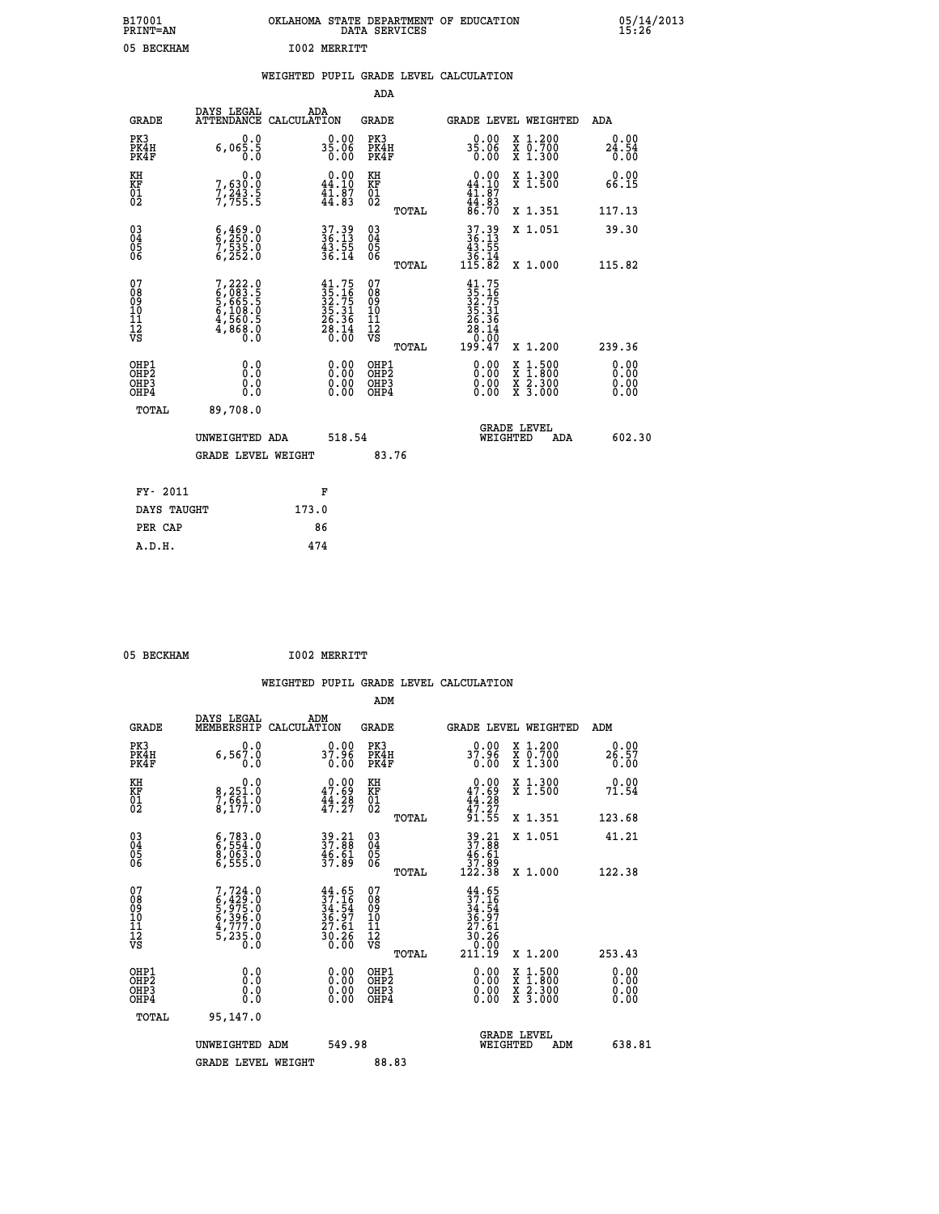| B17001<br><b>PRINT=AN</b> | OKLAHOMA STATE DEPARTMENT OF EDUCATION<br>DATA SERVICES |  |
|---------------------------|---------------------------------------------------------|--|
| 05 BECKHAM                | T002 MERRTTT                                            |  |

|  |  | WEIGHTED PUPIL GRADE LEVEL CALCULATION |
|--|--|----------------------------------------|
|  |  |                                        |

|                                                    |                                                                                                        |                                                                                              | ADA                                                |       |                                                                                       |        |                                                                      |                                        |
|----------------------------------------------------|--------------------------------------------------------------------------------------------------------|----------------------------------------------------------------------------------------------|----------------------------------------------------|-------|---------------------------------------------------------------------------------------|--------|----------------------------------------------------------------------|----------------------------------------|
| <b>GRADE</b>                                       | DAYS LEGAL<br><b>ATTENDANCE</b>                                                                        | ADA<br>CALCULATION                                                                           | <b>GRADE</b>                                       |       | GRADE LEVEL WEIGHTED                                                                  |        |                                                                      | <b>ADA</b>                             |
| PK3<br>PK4H<br>PK4F                                | 0.0<br>6,065.5                                                                                         | $35.06$<br>0.00                                                                              | PK3<br>PK4H<br>PK4F                                |       | $35.06$<br>0.00                                                                       |        | X 1.200<br>X 0.700<br>X 1.300                                        | 0.00<br>$24.54$<br>$0.00$              |
| KH<br>KF<br>01<br>02                               | 0.0<br>7,630:0<br>7,243.5<br>7,755:5                                                                   | $0.00$<br>44.10<br>$\frac{1}{4}\overline{1}\cdot\overline{8}\overline{7}$<br>$44.83$         | KH<br>KF<br>01<br>02                               |       | $0.00\n44.10\n41.87\n44.83\n86.70$                                                    |        | X 1.300<br>X 1.500                                                   | 0.00<br>66.15                          |
|                                                    |                                                                                                        |                                                                                              |                                                    | TOTAL |                                                                                       |        | X 1.351                                                              | 117.13                                 |
| $\begin{matrix} 03 \\ 04 \\ 05 \\ 06 \end{matrix}$ | $\begin{smallmatrix} 6 & 4 & 69 & 0 \\ 6 & 2 & 50 & 0 \\ 7 & 535 & 0 \\ 6 & 252 & 0 \end{smallmatrix}$ | 37.39<br>36.13<br>43.55<br>36.14                                                             | $\begin{matrix} 03 \\ 04 \\ 05 \\ 06 \end{matrix}$ | TOTAL | $37.39$<br>$36.13$<br>$43.55$<br>$36.14$<br>$115.82$                                  |        | X 1.051<br>X 1.000                                                   | 39.30<br>115.82                        |
| 07<br>08<br>09<br>11<br>11<br>12<br>VS             | $7, 222.0$<br>$6, 083.5$<br>$5, 665.5$<br>$6, 108.0$<br>$4, 560.5$<br>$4, 868.0$<br>$0.0$              | $\begin{smallmatrix} 41.75\\ 35.16\\ 32.75\\ 35.31\\ 26.36\\ 28.14\\ 0.00 \end{smallmatrix}$ | 07<br>08<br>09<br>11<br>11<br>12<br>VS             |       | $41.75$<br>$32.75$<br>$32.751$<br>$35.31$<br>$26.36$<br>$28.14$<br>$0.00$<br>$199.47$ |        |                                                                      |                                        |
| OHP1<br>OHP <sub>2</sub><br>OHP3<br>OHP4           | 0.0<br>0.0<br>0.0                                                                                      | 0.00<br>$\begin{smallmatrix} 0.00 \ 0.00 \end{smallmatrix}$                                  | OHP1<br>OH <sub>P</sub> 2<br>OHP3<br>OHP4          | TOTAL | $0.00$<br>$0.00$<br>0.00                                                              | X<br>X | X 1.200<br>$1:500$<br>$1:800$<br>$\frac{x}{x}$ $\frac{5:300}{3:000}$ | 239.36<br>0.00<br>0.00<br>0.00<br>0.00 |
| TOTAL                                              | 89,708.0<br>UNWEIGHTED ADA                                                                             | 518.54                                                                                       |                                                    |       | WEIGHTED                                                                              |        | <b>GRADE LEVEL</b><br>ADA                                            | 602.30                                 |
|                                                    | <b>GRADE LEVEL WEIGHT</b>                                                                              |                                                                                              |                                                    | 83.76 |                                                                                       |        |                                                                      |                                        |
| FY- 2011                                           |                                                                                                        | F                                                                                            |                                                    |       |                                                                                       |        |                                                                      |                                        |
| DAYS TAUGHT                                        |                                                                                                        | 173.0                                                                                        |                                                    |       |                                                                                       |        |                                                                      |                                        |
| PER CAP                                            |                                                                                                        | 86                                                                                           |                                                    |       |                                                                                       |        |                                                                      |                                        |

 **A.D.H. 474**

 **ADM**

05 BECKHAM **I002 MERRITT** 

| <b>GRADE</b>                                       | DAYS LEGAL<br>MEMBERSHIP CALCULATION                                                | ADM                                                                      | <b>GRADE</b>                                           |                                                                                      | GRADE LEVEL WEIGHTED                     | ADM                   |
|----------------------------------------------------|-------------------------------------------------------------------------------------|--------------------------------------------------------------------------|--------------------------------------------------------|--------------------------------------------------------------------------------------|------------------------------------------|-----------------------|
| PK3<br>PK4H<br>PK4F                                | 0.0<br>6,567.0<br>0.0                                                               | 0.00<br>37.96<br>0.00                                                    | PK3<br>PK4H<br>PK4F                                    | 0.00<br>37.96<br>0.00                                                                | X 1.200<br>X 0.700<br>X 1.300            | 0.00<br>26.57<br>0.00 |
| KH<br>KF<br>01<br>02                               | 0.0<br>8,251.0<br>7,661.0<br>8,177.0                                                | $\begin{smallmatrix} 0.00\\ 47.69\\ 44.28\\ 47.27 \end{smallmatrix}$     | KH<br>KF<br>01<br>02                                   | $0.00$<br>$47.69$<br>$44.28$<br>$47.27$<br>$91.55$                                   | X 1.300<br>X 1.500                       | 0.00<br>71.54         |
|                                                    |                                                                                     |                                                                          | TOTAL                                                  |                                                                                      | X 1.351                                  | 123.68                |
| $\begin{matrix} 03 \\ 04 \\ 05 \\ 06 \end{matrix}$ | 6,783.0<br>6,554.0<br>8,063.0<br>6,555.0                                            | 39.21<br>37.88<br>$\frac{46.61}{37.89}$                                  | $\begin{matrix} 03 \\ 04 \\ 05 \\ 06 \end{matrix}$     | $\begin{array}{r} 39.21 \\ 37.88 \\ 46.61 \\ 37.89 \\ 122.38 \end{array}$            | X 1.051                                  | 41.21                 |
|                                                    |                                                                                     |                                                                          | TOTAL                                                  |                                                                                      | X 1.000                                  | 122.38                |
| 07<br>08<br>09<br>101<br>11<br>12<br>VS            | $7,724.0$<br>$6,429.0$<br>$5,975.0$<br>$6,396.0$<br>$4,777.0$<br>$5,235.0$<br>$0.0$ | $44.65$<br>$37.16$<br>$34.54$<br>$36.97$<br>$27.61$<br>$30.26$<br>$0.00$ | 07<br>08<br>09<br>001<br>11<br>11<br>12<br>VS<br>TOTAL | $44.65$<br>$37.16$<br>$34.54$<br>$36.97$<br>$27.61$<br>$30.26$<br>$0.00$<br>$211.19$ | X 1.200                                  | 253.43                |
| OHP1<br>OHP2<br>OHP3<br>OHP4                       | 0.0<br>0.000                                                                        |                                                                          | OHP1<br>OHP2<br>OHP3<br>OHP4                           | $0.00$<br>$0.00$<br>0.00                                                             | X 1:500<br>X 1:800<br>X 2:300<br>X 3:000 | 0.00<br>0.00<br>0.00  |
| TOTAL                                              | 95,147.0                                                                            |                                                                          |                                                        |                                                                                      |                                          |                       |
|                                                    | UNWEIGHTED<br>ADM                                                                   | 549.98                                                                   |                                                        | WEIGHTED                                                                             | <b>GRADE LEVEL</b><br>ADM                | 638.81                |
|                                                    | <b>GRADE LEVEL WEIGHT</b>                                                           |                                                                          | 88.83                                                  |                                                                                      |                                          |                       |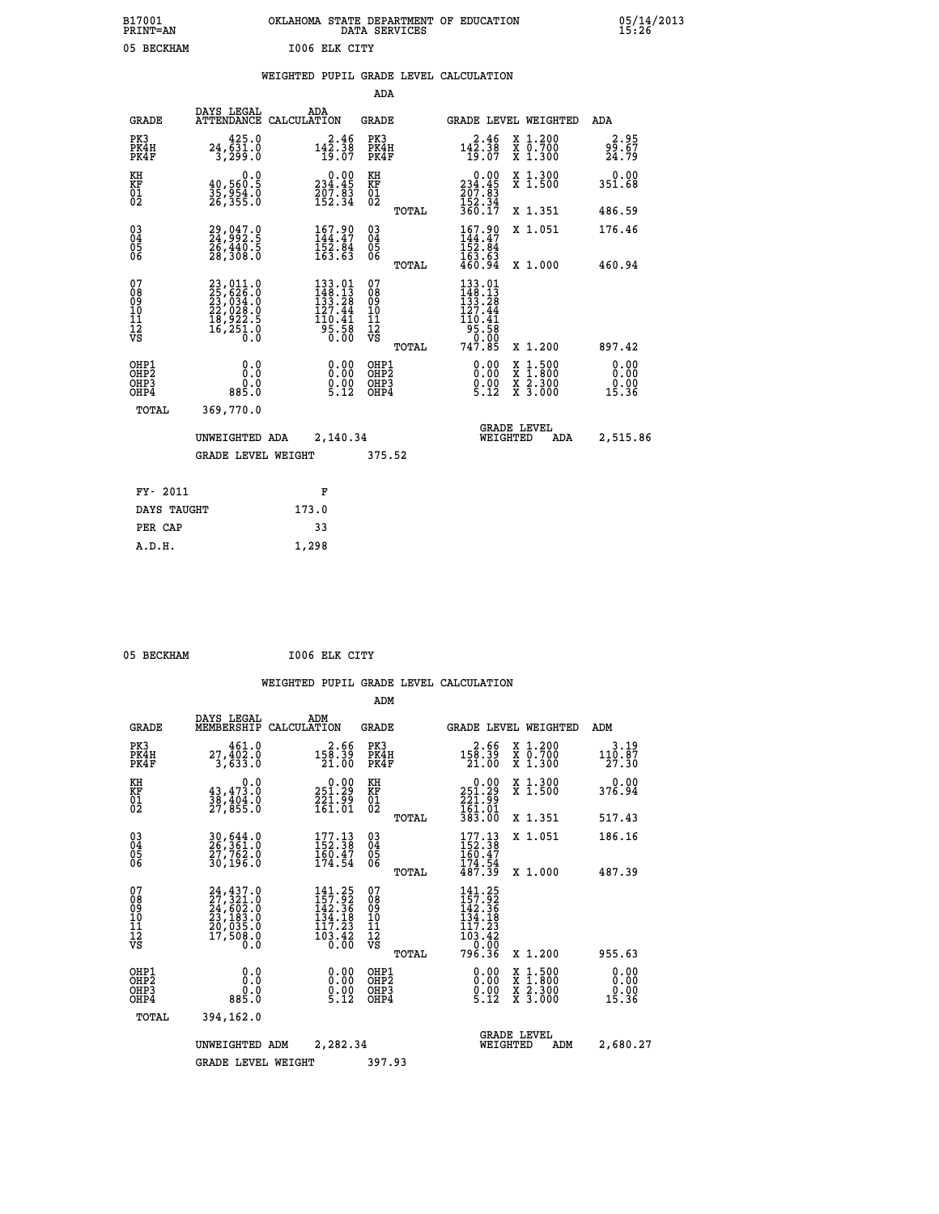|               | OKLAHOMA STATE DEPARTMENT OF EDUCATION<br>DATA SERVICES |  |
|---------------|---------------------------------------------------------|--|
| 1006 ELK CITY |                                                         |  |

|  |  | WEIGHTED PUPIL GRADE LEVEL CALCULATION |
|--|--|----------------------------------------|
|  |  |                                        |

|                                                                    |                                                                                           |                                                                                                                    | ADA                                       |       |                                                                                                                  |                                                                            |                               |
|--------------------------------------------------------------------|-------------------------------------------------------------------------------------------|--------------------------------------------------------------------------------------------------------------------|-------------------------------------------|-------|------------------------------------------------------------------------------------------------------------------|----------------------------------------------------------------------------|-------------------------------|
| <b>GRADE</b>                                                       | DAYS LEGAL                                                                                | ADA<br>ATTENDANCE CALCULATION                                                                                      | <b>GRADE</b>                              |       |                                                                                                                  | GRADE LEVEL WEIGHTED                                                       | ADA                           |
| PK3<br>PK4H<br>PK4F                                                | 425.0<br>24,631.0<br>3,299.0                                                              | $142.38$<br>$142.38$<br>$19.07$                                                                                    | PK3<br>PK4H<br>PK4F                       |       | $142.38$<br>$142.38$<br>$19.07$                                                                                  | X 1.200<br>X 0.700<br>X 1.300                                              | 2.95<br>99.67<br>24.79        |
| KH<br>KF<br>01<br>02                                               | 0.0<br>40,560:5<br>35,954.0<br>26,355.0                                                   | $0.00$<br>234.45<br>$\frac{707.83}{152.34}$                                                                        | KH<br>KF<br>01<br>02                      |       | 0.00<br>234.45<br>207.83<br>152.34<br>360.17                                                                     | X 1.300<br>X 1.500                                                         | 0.00<br>351.68                |
|                                                                    |                                                                                           |                                                                                                                    |                                           | TOTAL |                                                                                                                  | X 1.351                                                                    | 486.59                        |
| $\begin{smallmatrix} 03 \\[-4pt] 04 \end{smallmatrix}$<br>05<br>ŌĞ | 29,047.0<br>24,992.5<br>26,440.5<br>28,308.0                                              | 167.90<br>$\frac{152}{163}$ . $\frac{84}{63}$                                                                      | $\substack{03 \\ 04}$<br>05               |       | 167.90<br>$\frac{1\overline{5}\overline{2}\cdot\overline{6}4}{163.63}$<br>460.94                                 | X 1.051                                                                    | 176.46                        |
|                                                                    |                                                                                           |                                                                                                                    |                                           | TOTAL |                                                                                                                  | X 1.000                                                                    | 460.94                        |
| 07<br>08<br>09<br>11<br>11<br>12<br>VS                             | $23,011.0$<br>$25,626.0$<br>$23,034.0$<br>$22,028.0$<br>$18,922.5$<br>$16,251.0$<br>$0.0$ | 133.01<br>$\frac{148}{133}$ . $\frac{13}{28}$<br>127. 44<br>$\begin{array}{r} 110.41 \\ 95.58 \\ 0.00 \end{array}$ | 07<br>08<br>09<br>11<br>11<br>12<br>VS    |       | $133.01$<br>$148.13$<br>$133.28$<br>$127.44$<br>$\begin{array}{r} 110.41 \\ 95.58 \\ 9.00 \\ 747.85 \end{array}$ |                                                                            |                               |
|                                                                    |                                                                                           |                                                                                                                    |                                           | TOTAL |                                                                                                                  | X 1.200                                                                    | 897.42                        |
| OHP1<br>OHP <sub>2</sub><br>OHP3<br>OHP4                           | 0.0<br>Ō.Ō<br>0.0<br>885.0                                                                | 0.00<br>$0.00$<br>5.12                                                                                             | OHP1<br>OH <sub>P</sub> 2<br>OHP3<br>OHP4 |       | 0.00<br>$0.00$<br>5.12                                                                                           | $1:500$<br>$1:800$<br>X<br>X<br>$\frac{\ddot{x}}{x}$ $\frac{2.300}{3.000}$ | 0.00<br>0.00<br>0.00<br>15.36 |
| TOTAL                                                              | 369,770.0                                                                                 |                                                                                                                    |                                           |       |                                                                                                                  |                                                                            |                               |
|                                                                    | UNWEIGHTED ADA                                                                            | 2,140.34                                                                                                           |                                           |       |                                                                                                                  | <b>GRADE LEVEL</b><br>WEIGHTED<br>ADA                                      | 2,515.86                      |
|                                                                    | <b>GRADE LEVEL WEIGHT</b>                                                                 |                                                                                                                    | 375.52                                    |       |                                                                                                                  |                                                                            |                               |
| FY- 2011                                                           |                                                                                           | F                                                                                                                  |                                           |       |                                                                                                                  |                                                                            |                               |
| DAYS TAUGHT                                                        |                                                                                           | 173.0                                                                                                              |                                           |       |                                                                                                                  |                                                                            |                               |
| PER CAP                                                            |                                                                                           | 33                                                                                                                 |                                           |       |                                                                                                                  |                                                                            |                               |
|                                                                    |                                                                                           |                                                                                                                    |                                           |       |                                                                                                                  |                                                                            |                               |

 **A.D.H. 1,298**

B17001<br>PRINT=AN<br>05 BECKHAM

 **05 BECKHAM I006 ELK CITY**

|                                    |                                                       |                                                                                        |                    |                                                                                                                         | ADM                                     |       |                                                                                |          |                                                                                                  |                               |  |
|------------------------------------|-------------------------------------------------------|----------------------------------------------------------------------------------------|--------------------|-------------------------------------------------------------------------------------------------------------------------|-----------------------------------------|-------|--------------------------------------------------------------------------------|----------|--------------------------------------------------------------------------------------------------|-------------------------------|--|
|                                    | <b>GRADE</b>                                          | DAYS LEGAL<br>MEMBERSHIP                                                               | ADM<br>CALCULATION |                                                                                                                         | <b>GRADE</b>                            |       |                                                                                |          | <b>GRADE LEVEL WEIGHTED</b>                                                                      | ADM                           |  |
|                                    | PK3<br>PK4H<br>PK4F                                   | 461.0<br>27,402.0<br>3,633.0                                                           |                    | 2.66<br>158.39<br>21.00                                                                                                 | PK3<br>PK4H<br>PK4F                     |       | 2.66<br>158.39<br>21.00                                                        |          | X 1.200<br>X 0.700<br>X 1.300                                                                    | 3.19<br>110.87<br>27.30       |  |
| KH<br>KF<br>01<br>02               |                                                       | 0.0<br>$\frac{43}{38}, \frac{473}{404}$ .0<br>27,855.0                                 |                    | $\begin{smallmatrix} 0.00\\ 251.29\\ 221.99\\ 161.01 \end{smallmatrix}$                                                 | KH<br>KF<br>01<br>02                    |       | $\begin{smallmatrix} &0.00\ 251.29\ 221.99\ 161.01\ 383.00\ \end{smallmatrix}$ |          | X 1.300<br>X 1.500                                                                               | 0.00<br>376.94                |  |
|                                    |                                                       |                                                                                        |                    |                                                                                                                         |                                         | TOTAL |                                                                                |          | X 1.351                                                                                          | 517.43                        |  |
| 03<br>04<br>05<br>06               |                                                       | 30,644.0<br>26,361.0<br>27,762.0<br>30,196.0                                           |                    | 177.13<br>152.38<br>160.47<br>174.54                                                                                    | $^{03}_{04}$<br>0500                    |       | $177.13$<br>$152.38$<br>$160.47$                                               |          | X 1.051                                                                                          | 186.16                        |  |
|                                    |                                                       |                                                                                        |                    |                                                                                                                         |                                         | TOTAL | $\frac{174}{487.39}$                                                           |          | X 1.000                                                                                          | 487.39                        |  |
| 07<br>08<br>09<br>101<br>112<br>VS |                                                       | $24, 437.0$<br>$27, 321.0$<br>$24, 602.0$<br>$23, 183.0$<br>$20, 035.0$<br>$17, 508.0$ |                    | $141.25$<br>$157.92$<br>$142.36$<br>134.18<br>117.23<br>$\frac{1}{0}$ $\frac{3}{0}$ $\cdot$ $\frac{4}{0}$ $\frac{5}{0}$ | 07<br>08<br>09<br>101<br>11<br>12<br>VS |       | 141.25<br>157.92<br>142.36<br>134.18<br>117.23<br>103.42<br>0.00               |          |                                                                                                  |                               |  |
|                                    |                                                       |                                                                                        |                    |                                                                                                                         |                                         | TOTAL | 796.36                                                                         |          | X 1.200                                                                                          | 955.63                        |  |
|                                    | OHP1<br>OH <sub>P</sub> 2<br>OH <sub>P3</sub><br>OHP4 | 0.0<br>$0.0$<br>$0.288$                                                                |                    | $\begin{smallmatrix} 0.00\ 0.00\ 0.00\ 5.12 \end{smallmatrix}$                                                          | OHP1<br>OHP2<br>OHP3<br>OHP4            |       | $\begin{smallmatrix} 0.00\\ 0.00\\ 0.00\\ 5.12 \end{smallmatrix}$              |          | $\begin{smallmatrix} x & 1 & 500 \\ x & 1 & 800 \\ x & 2 & 300 \\ x & 3 & 000 \end{smallmatrix}$ | 0.00<br>0.00<br>0.00<br>15.36 |  |
|                                    | TOTAL                                                 | 394,162.0                                                                              |                    |                                                                                                                         |                                         |       |                                                                                |          |                                                                                                  |                               |  |
|                                    |                                                       | UNWEIGHTED ADM                                                                         |                    | 2,282.34                                                                                                                |                                         |       |                                                                                | WEIGHTED | <b>GRADE LEVEL</b><br>ADM                                                                        | 2,680.27                      |  |
|                                    |                                                       | <b>GRADE LEVEL WEIGHT</b>                                                              |                    |                                                                                                                         | 397.93                                  |       |                                                                                |          |                                                                                                  |                               |  |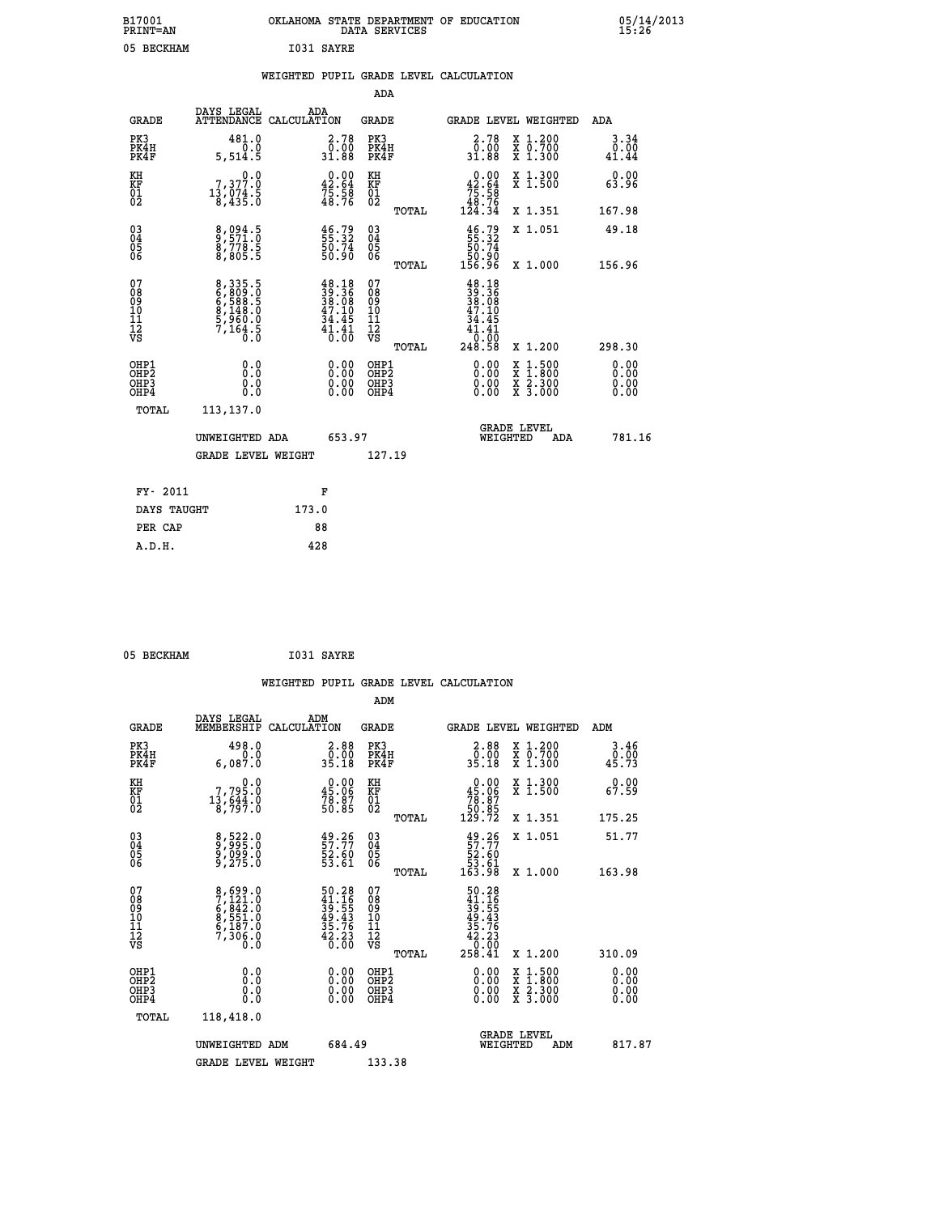| B17001          | OKLAHOMA STATE DEPARTMENT OF EDUCATION |
|-----------------|----------------------------------------|
| <b>PRINT=AN</b> | DATA SERVICES                          |
| 05 BECKHAM      | I031 SAYRE                             |

|  |  | WEIGHTED PUPIL GRADE LEVEL CALCULATION |
|--|--|----------------------------------------|
|  |  |                                        |

|                                                       |                                                                           |                                                                             | ADA                                       |       |                                                                                   |                                          |                              |
|-------------------------------------------------------|---------------------------------------------------------------------------|-----------------------------------------------------------------------------|-------------------------------------------|-------|-----------------------------------------------------------------------------------|------------------------------------------|------------------------------|
| <b>GRADE</b>                                          | DAYS LEGAL                                                                | ADA<br>ATTENDANCE CALCULATION                                               | <b>GRADE</b>                              |       | <b>GRADE LEVEL WEIGHTED</b>                                                       |                                          | ADA                          |
| PK3<br>PK4H<br>PK4F                                   | 481.0<br>0.0<br>5,514.5                                                   | 2.78<br>0.00<br>31.88                                                       | PK3<br>PK4H<br>PK4F                       |       | $2.78$<br>$0.00$<br>31.88                                                         | X 1.200<br>X 0.700<br>X 1.300            | 3.34<br>0.00<br>41.44        |
| KH<br>KF<br>01<br>02                                  | $\begin{smallmatrix}&&&0.0\\7,377.0\\13,074.5\\8,435.0\end{smallmatrix}$  | $\begin{smallmatrix} 0.00\\ 42.64\\ 75.58\\ 48.76 \end{smallmatrix}$        | KH<br>KF<br>01<br>02                      |       | $\begin{smallmatrix}&&0.00\\42.64\\75.58\\48.76\\124.34\end{smallmatrix}$         | X 1.300<br>X 1.500                       | 0.00<br>63.96                |
|                                                       |                                                                           |                                                                             |                                           | TOTAL |                                                                                   | X 1.351                                  | 167.98                       |
| 03<br>04<br>05<br>06                                  | 8,094.5<br>9,571.0<br>8,778.5<br>8,805.5                                  | $\frac{46}{55}$ . 32<br>55. 32<br>50. 74<br>50. 90                          | 03<br>04<br>05<br>06                      |       | $\begin{smallmatrix} 46.79\\ 55.32\\ 50.74\\ 50.90\\ 156.96 \end{smallmatrix}$    | X 1.051                                  | 49.18                        |
|                                                       |                                                                           |                                                                             |                                           | TOTAL |                                                                                   | X 1.000                                  | 156.96                       |
| 07<br>08<br>09<br>11<br>11<br>12<br>VS                | 8,335.5<br>6,809.0<br>6,588.5<br>6,588.5<br>8,148.0<br>5,960.0<br>7,164.5 | $38.18$<br>$39.36$<br>$38.08$<br>$47.10$<br>$34.45$<br>$\frac{41.41}{0.00}$ | 07<br>08<br>09<br>11<br>11<br>12<br>VS    | TOTAL | $48.18$<br>$39.36$<br>$38.08$<br>$47.10$<br>$34.45$<br>$41.41$<br>10:00<br>248.58 | X 1.200                                  | 298.30                       |
| OHP1<br>OH <sub>P</sub> 2<br>OH <sub>P3</sub><br>OHP4 | 0.0<br>0.0<br>0.0                                                         | 0.00<br>$\begin{smallmatrix} 0.00 \ 0.00 \end{smallmatrix}$                 | OHP1<br>OH <sub>P</sub> 2<br>OHP3<br>OHP4 |       | 0.00<br>0.00<br>0.00                                                              | X 1:500<br>X 1:800<br>X 2:300<br>X 3:000 | 0.00<br>0.00<br>0.00<br>0.00 |
| TOTAL                                                 | 113,137.0                                                                 |                                                                             |                                           |       |                                                                                   |                                          |                              |
|                                                       | UNWEIGHTED ADA                                                            | 653.97                                                                      |                                           |       | WEIGHTED                                                                          | <b>GRADE LEVEL</b><br>ADA                | 781.16                       |
|                                                       | GRADE LEVEL WEIGHT                                                        |                                                                             | 127.19                                    |       |                                                                                   |                                          |                              |
|                                                       |                                                                           |                                                                             |                                           |       |                                                                                   |                                          |                              |
| FY- 2011                                              |                                                                           | F                                                                           |                                           |       |                                                                                   |                                          |                              |
| DAYS TAUGHT                                           |                                                                           | 173.0                                                                       |                                           |       |                                                                                   |                                          |                              |
| PER CAP                                               |                                                                           | 88                                                                          |                                           |       |                                                                                   |                                          |                              |
| A.D.H.                                                |                                                                           | 428                                                                         |                                           |       |                                                                                   |                                          |                              |

| I031 SAYRE<br>05 BECKHAM |  |
|--------------------------|--|
|--------------------------|--|

|                                                      |                                                                          |                                                                                           | WEIGHTED PUPIL GRADE LEVEL CALCULATION              |                                                                                                     |                        |
|------------------------------------------------------|--------------------------------------------------------------------------|-------------------------------------------------------------------------------------------|-----------------------------------------------------|-----------------------------------------------------------------------------------------------------|------------------------|
|                                                      |                                                                          |                                                                                           | ADM                                                 |                                                                                                     |                        |
| <b>GRADE</b>                                         | DAYS LEGAL<br>MEMBERSHIP<br>CALCULATION                                  | ADM                                                                                       | GRADE                                               | <b>GRADE LEVEL WEIGHTED</b>                                                                         | ADM                    |
| PK3<br>PK4H<br>PK4F                                  | 498.0<br>0.0<br>6,087.0                                                  | $\begin{smallmatrix} 2.88\ 0.00\\ 0.00\\ 35.18 \end{smallmatrix}$                         | PK3<br>PK4H<br>PK4F                                 | X 1.200<br>X 0.700<br>X 1.300                                                                       | 3.46<br>ăi.ŏŏ<br>45.73 |
| KH<br>KF<br>01<br>02                                 | $\begin{smallmatrix}&&&0.0\\7,795.0\\13,644.0\\8,797.0\end{smallmatrix}$ | $\begin{smallmatrix} 0.00\\ 45.06\\ 78.87\\ 50.85 \end{smallmatrix}$                      | KH<br>KF<br>01<br>02                                | $\begin{smallmatrix} &0.00\ 45.06\ 78.87\ 50.85\ 129.72\ \end{smallmatrix}$<br>X 1.300<br>X 1.500   | 0.00<br>67.59          |
|                                                      |                                                                          |                                                                                           | TOTAL                                               | X 1.351                                                                                             | 175.25                 |
| $\begin{matrix} 03 \\ 04 \\ 05 \\ 06 \end{matrix}$   | 8,522.0<br>9,995.0<br>9,099.0<br>9,275.0                                 | $\begin{smallmatrix} 49.26\ 57.77\ 52.60\ 53.61\ \end{smallmatrix}$                       | $\begin{array}{c} 03 \\ 04 \\ 05 \\ 06 \end{array}$ | X 1.051<br>$49.26$<br>57.77<br>52.60<br>53.61<br>53.98                                              | 51.77                  |
|                                                      |                                                                          |                                                                                           | TOTAL                                               | X 1.000                                                                                             | 163.98                 |
| 07<br>08<br>09<br>01<br>11<br>11<br>12<br>VS         | 8,699.0<br>7,121.0<br>6,842.0<br>6,551.0<br>6,187.0<br>7,306.0<br>0.0    | $\begin{array}{r} 50.28 \\ 41.16 \\ 39.55 \\ 49.43 \\ 35.76 \\ 42.23 \\ 0.00 \end{array}$ | 07<br>08<br>09<br>11<br>11<br>12<br>VS              | $\begin{array}{r} 50.28 \\ 41.16 \\ 39.55 \\ 49.43 \\ 42.23 \\ 42.23 \\ 0.00 \\ 258.41 \end{array}$ |                        |
|                                                      |                                                                          |                                                                                           | TOTAL                                               | X 1.200                                                                                             | 310.09                 |
| OHP1<br>OHP2<br>OH <sub>P3</sub><br>OH <sub>P4</sub> | 0.0<br>0.000                                                             | 0.00<br>$\begin{smallmatrix} 0.00 \ 0.00 \end{smallmatrix}$                               | OHP1<br>OHP2<br>OHP3<br>OHP4                        | $0.00$<br>$0.00$<br>X 1:500<br>X 1:800<br>X 2:300<br>X 3:000<br>0.00                                | 0.00<br>0.00<br>0.00   |
| TOTAL                                                | 118,418.0                                                                |                                                                                           |                                                     |                                                                                                     |                        |
|                                                      | UNWEIGHTED ADM                                                           | 684.49                                                                                    |                                                     | <b>GRADE LEVEL</b><br>WEIGHTED                                                                      | 817.87<br>ADM          |
|                                                      | <b>GRADE LEVEL WEIGHT</b>                                                |                                                                                           | 133.38                                              |                                                                                                     |                        |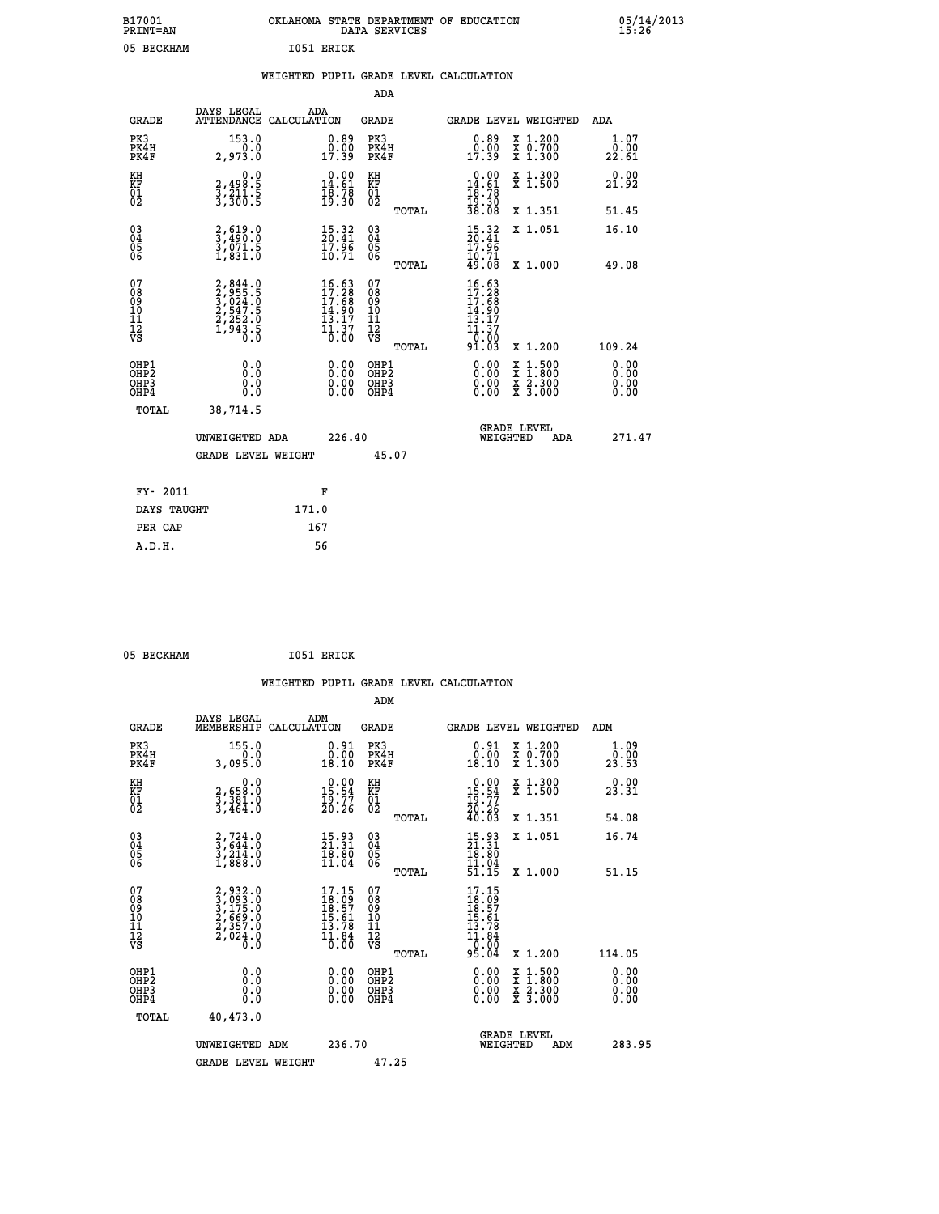| B17001<br><b>PRINT=AN</b> | OKLAHOMA STATE DEPARTMENT OF EDUCATION<br>DATA SERVICES |  |
|---------------------------|---------------------------------------------------------|--|
| 05 BECKHAM                | 1051 ERICK                                              |  |

|                                                                    |                                                                                                 | WEIGHTED PUPIL GRADE LEVEL CALCULATION                             |                                                 |                                                                              |                                                       |                              |
|--------------------------------------------------------------------|-------------------------------------------------------------------------------------------------|--------------------------------------------------------------------|-------------------------------------------------|------------------------------------------------------------------------------|-------------------------------------------------------|------------------------------|
|                                                                    |                                                                                                 |                                                                    | <b>ADA</b>                                      |                                                                              |                                                       |                              |
| <b>GRADE</b>                                                       | DAYS LEGAL                                                                                      | ADA<br>ATTENDANCE CALCULATION                                      | <b>GRADE</b>                                    | GRADE LEVEL WEIGHTED                                                         |                                                       | ADA                          |
| PK3<br>PK4H<br>PK4F                                                | 153.0<br>0.0<br>2,973.0                                                                         | $\begin{smallmatrix} 0.89\ 0.00\\ -0.00\\ 17.39 \end{smallmatrix}$ | PK3<br>PK4H<br>PK4F                             | 0.89<br>0.00<br>17.39                                                        | X 1.200<br>X 0.700<br>X 1.300                         | 1.07<br>0.00<br>22.61        |
| KH<br>KF<br>01<br>02                                               | 0.0<br>2,498.5<br>3,211.5<br>3,300.5                                                            | $\begin{smallmatrix} 0.00\\14.61\\18.78\\19.30 \end{smallmatrix}$  | KH<br>KF<br>01<br>02                            | $\begin{array}{r} 0.00 \\ 14.61 \\ 18.78 \\ 19.30 \\ 38.08 \end{array}$      | X 1.300<br>X 1.500                                    | 0.00<br>21.92                |
|                                                                    |                                                                                                 |                                                                    | TOTAL                                           |                                                                              | X 1.351                                               | 51.45                        |
| $\begin{smallmatrix} 03 \\[-4pt] 04 \end{smallmatrix}$<br>Ŏ5<br>06 | $\frac{2}{3}, \frac{619}{490}$ :0<br>$\frac{3}{1}, \frac{0}{8} \frac{7}{1}$ $\cdot \frac{8}{0}$ | $\frac{15.32}{20.41}$<br>$\frac{17.96}{10.71}$                     | $\substack{03 \\ 04}$<br>05<br>06               | $\frac{15.32}{20.41}$<br>$\frac{17.96}{10.71}$<br>$49.08$                    | X 1.051                                               | 16.10                        |
|                                                                    |                                                                                                 |                                                                    | TOTAL                                           |                                                                              | X 1.000                                               | 49.08                        |
| 07<br>08<br>09<br>101<br>112<br>VS                                 | 2,844.0<br>3,955.5<br>3,024.0<br>3,024.5<br>2,547.5<br>2,252.0<br>1,943.5                       | 16.63<br>17.28<br>17.68<br>14.90<br>13.17<br>$\frac{11.37}{0.00}$  | 07<br>08<br>09<br>11<br>11<br>12<br>VS<br>TOTAL | $\frac{16.63}{17.28}$<br>14.90<br>īā<br>$\cdot$ 17<br>11.37<br>0.00<br>91.03 | X 1.200                                               | 109.24                       |
| OHP1<br>OHP2<br>OHP3<br>OHP4                                       | 0.0<br>$0.\overline{0}$<br>0.0                                                                  | 0.00<br>$\begin{smallmatrix} 0.00 \ 0.00 \end{smallmatrix}$        | OHP1<br>OHP2<br>OHP3<br>OHP4                    | 0.00<br>0.00<br>0.00                                                         | X 1:500<br>$\frac{\ddot{x}}{x}$ $\frac{2.300}{3.000}$ | 0.00<br>0.00<br>0.00<br>0.00 |
| <b>TOTAL</b>                                                       | 38,714.5                                                                                        |                                                                    |                                                 |                                                                              |                                                       |                              |
|                                                                    | UNWEIGHTED ADA                                                                                  | 226.40                                                             |                                                 | GRADE LEVEL<br>WEIGHTED                                                      | ADA                                                   | 271.47                       |
|                                                                    | <b>GRADE LEVEL WEIGHT</b>                                                                       |                                                                    | 45.07                                           |                                                                              |                                                       |                              |
| FY- 2011                                                           |                                                                                                 | F                                                                  |                                                 |                                                                              |                                                       |                              |
|                                                                    | DAYS TAUGHT                                                                                     | 171.0                                                              |                                                 |                                                                              |                                                       |                              |
| PER CAP                                                            |                                                                                                 | 167                                                                |                                                 |                                                                              |                                                       |                              |

05 BECKHAM 1051 ERICK

 **A.D.H. 56**

|                                                      |                                                                               |                                                                      |                                                              | WEIGHTED PUPIL GRADE LEVEL CALCULATION                                                                                                                                                                                                                                                                                     |                            |
|------------------------------------------------------|-------------------------------------------------------------------------------|----------------------------------------------------------------------|--------------------------------------------------------------|----------------------------------------------------------------------------------------------------------------------------------------------------------------------------------------------------------------------------------------------------------------------------------------------------------------------------|----------------------------|
|                                                      |                                                                               |                                                                      | ADM                                                          |                                                                                                                                                                                                                                                                                                                            |                            |
| <b>GRADE</b>                                         | DAYS LEGAL<br>MEMBERSHIP<br>CALCULATION                                       | ADM                                                                  | <b>GRADE</b>                                                 | <b>GRADE LEVEL WEIGHTED</b>                                                                                                                                                                                                                                                                                                | ADM                        |
| PK3<br>PK4H<br>PK4F                                  | 155.0<br>0.0<br>3,095.0                                                       | $\begin{smallmatrix} 0.91\ 0.00\\ 18.10 \end{smallmatrix}$           | PK3<br>PK4H<br>PK4F                                          | $\begin{smallmatrix} 0.91\ 0.00\\ 18.10 \end{smallmatrix}$<br>X 1.200<br>X 0.700<br>X 1.300                                                                                                                                                                                                                                | 1.09<br>$2\overline{3.53}$ |
| KH<br>KF<br>01<br>02                                 | 0.0<br>2,658:0<br>3,381:0<br>3,464:0                                          | $\begin{smallmatrix} 0.00\\ 15.54\\ 19.77\\ 20.26 \end{smallmatrix}$ | KH<br>KF<br>01<br>02                                         | $\begin{smallmatrix} 0.00\\ 15.54\\ 19.77\\ 20.26\\ 40.03 \end{smallmatrix}$<br>X 1.300<br>X 1.500                                                                                                                                                                                                                         | 0.00<br>23.31              |
|                                                      |                                                                               |                                                                      | TOTAL                                                        | X 1.351                                                                                                                                                                                                                                                                                                                    | 54.08                      |
| $\begin{matrix} 03 \\ 04 \\ 05 \\ 06 \end{matrix}$   | $\begin{smallmatrix} 2,724.0\\ 3,644.0\\ 3,214.0\\ 1,888.0 \end{smallmatrix}$ | $\begin{smallmatrix} 15.93\ 21.31\ 18.80\ 11.04 \end{smallmatrix}$   | $\begin{array}{c} 03 \\ 04 \\ 05 \\ 06 \end{array}$<br>TOTAL | X 1.051<br>$\begin{smallmatrix} 15.93\ 21.31\ 18.80\ 11.04 \end{smallmatrix}$<br>51.15<br>X 1.000                                                                                                                                                                                                                          | 16.74<br>51.15             |
| 07<br>08<br>09<br>101<br>112<br>VS                   | 2,932.0<br>3,093.0<br>3,175.0<br>2,569.0<br>2,357.0<br>2,024.0<br>0.0         | 17.15<br>18.09<br>18.57<br>15.61<br>13.78<br>$\frac{11.84}{0.00}$    | 07<br>08<br>09<br>11<br>11<br>12<br>VS                       | 17.15<br>$\begin{array}{c} 18.09 \\ 18.57 \\ 15.61 \\ 13.78 \end{array}$<br>$\frac{11.84}{0.00}$<br>95.04                                                                                                                                                                                                                  |                            |
|                                                      |                                                                               |                                                                      | TOTAL                                                        | X 1.200                                                                                                                                                                                                                                                                                                                    | 114.05                     |
| OHP1<br>OHP2<br>OH <sub>P3</sub><br>OH <sub>P4</sub> | 0.0<br>0.000                                                                  | $\begin{smallmatrix} 0.00 \ 0.00 \ 0.00 \ 0.00 \end{smallmatrix}$    | OHP1<br>OHP2<br>OHP3<br>OHP4                                 | $\begin{smallmatrix} 0.00 & 0.00 & 0.00 & 0.00 & 0.00 & 0.00 & 0.00 & 0.00 & 0.00 & 0.00 & 0.00 & 0.00 & 0.00 & 0.00 & 0.00 & 0.00 & 0.00 & 0.00 & 0.00 & 0.00 & 0.00 & 0.00 & 0.00 & 0.00 & 0.00 & 0.00 & 0.00 & 0.00 & 0.00 & 0.00 & 0.00 & 0.00 & 0.00 & 0.00 & 0.00 & 0.0$<br>X 1:500<br>X 1:800<br>X 2:300<br>X 3:000 | 0.00<br>0.00<br>0.00       |
| TOTAL                                                | 40,473.0                                                                      |                                                                      |                                                              |                                                                                                                                                                                                                                                                                                                            |                            |
|                                                      | UNWEIGHTED ADM                                                                | 236.70                                                               |                                                              | GRADE LEVEL<br>WEIGHTED<br>ADM                                                                                                                                                                                                                                                                                             | 283.95                     |
|                                                      | <b>GRADE LEVEL WEIGHT</b>                                                     |                                                                      | 47.25                                                        |                                                                                                                                                                                                                                                                                                                            |                            |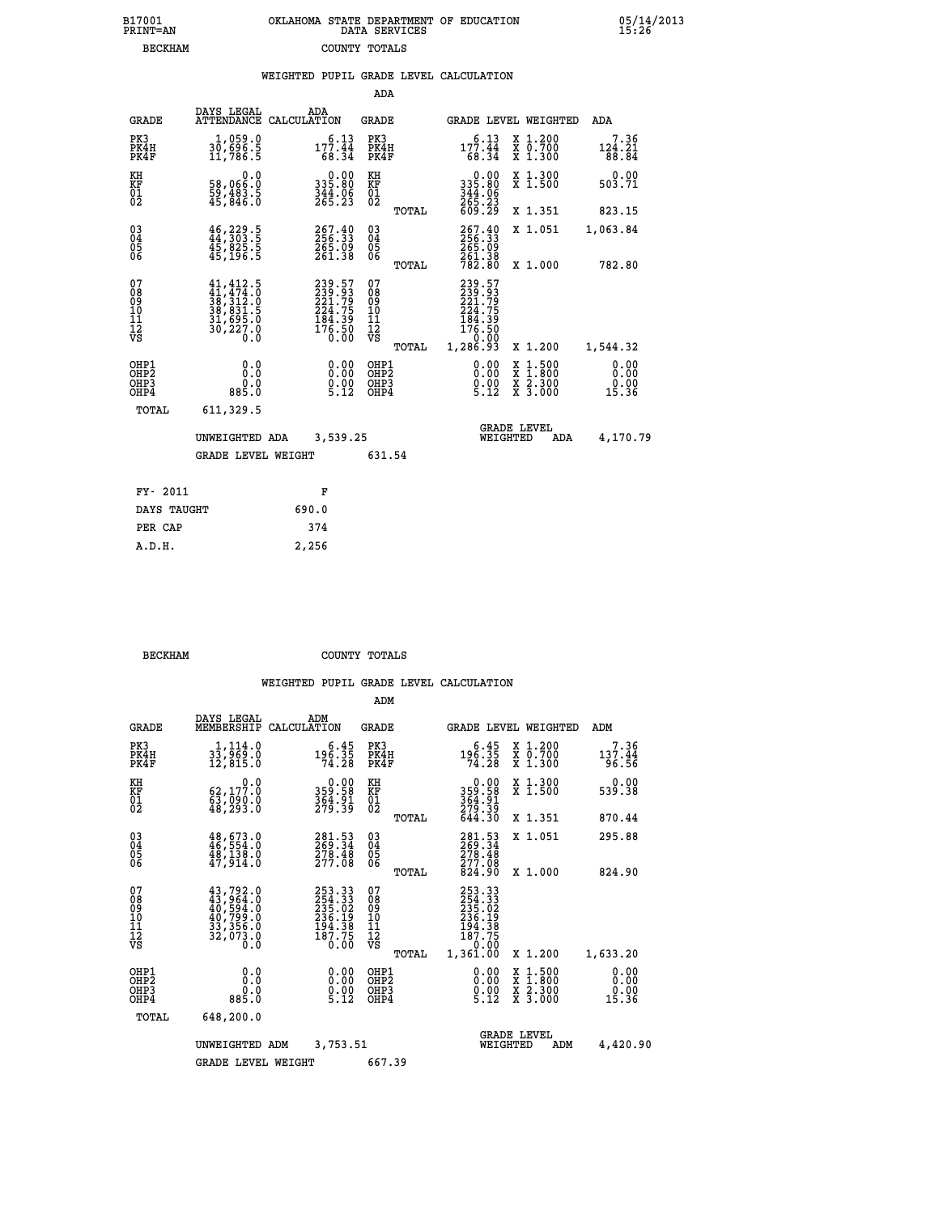|  | OKLAHOMA STATE DEPARTMENT OF EDUCATION<br>DATA SERVICES |  |
|--|---------------------------------------------------------|--|
|  | COUNTY TOTALS                                           |  |

05/14/2013<br>15:26

|  |  | WEIGHTED PUPIL GRADE LEVEL CALCULATION |
|--|--|----------------------------------------|
|  |  |                                        |

|                                                                    |                                                                                                                                                 |                                                                  | ADA                                               |       |                                                          |                                                    |                               |
|--------------------------------------------------------------------|-------------------------------------------------------------------------------------------------------------------------------------------------|------------------------------------------------------------------|---------------------------------------------------|-------|----------------------------------------------------------|----------------------------------------------------|-------------------------------|
| <b>GRADE</b>                                                       | DAYS LEGAL                                                                                                                                      | ADA<br>ATTENDANCE CALCULATION                                    | <b>GRADE</b>                                      |       |                                                          | GRADE LEVEL WEIGHTED                               | <b>ADA</b>                    |
| PK3<br>PK4H<br>PK4F                                                | 1,059.0<br>30,696.5<br>11,786.5                                                                                                                 | 6.13<br>$177.44$<br>68.34                                        | PK3<br>PK4H<br>PK4F                               |       | 6.13<br>177.44<br>68.34                                  | X 1.200<br>X 0.700<br>X 1.300                      | 7.36<br>124.21<br>88.84       |
| KH<br>KF<br>01<br>02                                               | 0.0<br>58,066:0<br>59,483.5<br>45,846:0                                                                                                         | 0.00<br>08.255<br>$\frac{344}{265}$ . $\frac{25}{23}$            | KH<br>KF<br>$\begin{matrix} 01 \ 02 \end{matrix}$ |       | $0.00335.80344.06265.23609.29$                           | X 1.300<br>X 1.500                                 | 0.00<br>503.71                |
|                                                                    |                                                                                                                                                 |                                                                  |                                                   | TOTAL |                                                          | X 1.351                                            | 823.15                        |
| $\begin{smallmatrix} 03 \\[-4pt] 04 \end{smallmatrix}$<br>05<br>ŎĞ | $46, 229.5$<br>$44, 303.5$<br>45,025.5<br>45,196.5                                                                                              | 267.40<br>256.33<br>265.09<br>261.38                             | $\substack{03 \\ 04}$<br>05                       |       | 267.40<br>256.33<br>265.09<br>261.38<br>782.80           | X 1.051                                            | 1,063.84                      |
|                                                                    |                                                                                                                                                 |                                                                  |                                                   | TOTAL |                                                          | X 1.000                                            | 782.80                        |
| 07<br>08<br>09<br>11<br>11<br>12<br>VS                             | $\begin{smallmatrix} 41,412\cdot 5\\ 41,474\cdot 0\\ 38,312\cdot 0\\ 38,831\cdot 5\\ 31,695\cdot 0\\ 30,227\cdot 0\\ 0\cdot 0\end{smallmatrix}$ | 239.57<br>239.93<br>221.79<br>224.75<br>184.39<br>176.50<br>0.00 | 07<br>08<br>09<br>11<br>11<br>12<br>VS            |       | 239.57<br>239.93<br>221.79<br>224.75<br>184.39<br>176.50 |                                                    |                               |
|                                                                    |                                                                                                                                                 |                                                                  |                                                   | TOTAL | 0:00<br>1,286.93                                         | X 1.200                                            | 1,544.32                      |
| OHP1<br>OH <sub>P</sub> 2<br>OHP3<br>OHP4                          | 0.0<br>Ō.Ō<br>0.0<br>885.0                                                                                                                      | 0.00<br>$\frac{0}{5}. \frac{0}{12}$                              | OHP1<br>OH <sub>P</sub> 2<br>OHP3<br>OHP4         |       | 0.00<br>$0.00$<br>5.12                                   | $1:500$<br>$1:800$<br>X<br>X<br>X 2.300<br>X 3.000 | 0.00<br>0.00<br>0.00<br>15.36 |
| TOTAL                                                              | 611,329.5                                                                                                                                       |                                                                  |                                                   |       |                                                          |                                                    |                               |
|                                                                    | UNWEIGHTED ADA                                                                                                                                  | 3,539.25                                                         |                                                   |       |                                                          | <b>GRADE LEVEL</b><br>WEIGHTED<br><b>ADA</b>       | 4,170.79                      |
|                                                                    | <b>GRADE LEVEL WEIGHT</b>                                                                                                                       |                                                                  | 631.54                                            |       |                                                          |                                                    |                               |
| FY- 2011                                                           |                                                                                                                                                 | F                                                                |                                                   |       |                                                          |                                                    |                               |
| DAYS TAUGHT                                                        |                                                                                                                                                 | 690.0                                                            |                                                   |       |                                                          |                                                    |                               |
| PER CAP                                                            |                                                                                                                                                 | 374                                                              |                                                   |       |                                                          |                                                    |                               |
|                                                                    |                                                                                                                                                 |                                                                  |                                                   |       |                                                          |                                                    |                               |

 **BECKHAM COUNTY TOTALS**

 **A.D.H. 2,256**

B17001<br>PRINT=AN<br>BECKHAM

|                                                      |                                                                                                                                         |                                                                                           | ADM                                                 |                                                                              |                                          |                               |
|------------------------------------------------------|-----------------------------------------------------------------------------------------------------------------------------------------|-------------------------------------------------------------------------------------------|-----------------------------------------------------|------------------------------------------------------------------------------|------------------------------------------|-------------------------------|
| <b>GRADE</b>                                         | DAYS LEGAL<br>MEMBERSHIP                                                                                                                | ADM<br>CALCULATION                                                                        | <b>GRADE</b>                                        |                                                                              | <b>GRADE LEVEL WEIGHTED</b>              | ADM                           |
| PK3<br>PK4H<br>PK4F                                  | 1,114.0<br>33,969.0<br>12,815.0                                                                                                         | 6.45<br>$\frac{196.35}{74.28}$                                                            | PK3<br>PK4H<br>PK4F                                 | $5.45$<br>196.35<br>74.28                                                    | X 1.200<br>X 0.700<br>X 1.300            | 7.36<br>137.44<br>96.56       |
| KH<br>KF<br>01<br>02                                 | 0.0<br>62,177.0<br>63,090.0<br>48,293.0                                                                                                 | 359.58<br>354.91<br>279.39                                                                | KH<br>KF<br>01<br>02                                | $0.00$<br>$359.58$<br>$364.91$<br>$279.39$<br>$644.30$                       | X 1.300<br>X 1.500                       | 0.00<br>539.38                |
|                                                      |                                                                                                                                         |                                                                                           | TOTAL                                               |                                                                              | X 1.351                                  | 870.44                        |
| 03<br>04<br>05<br>06                                 | 48,673.0<br>46,554.0<br>48,139.0<br>47,914.0                                                                                            | $\begin{smallmatrix} 281\cdot53\\ 269\cdot34\\ 278\cdot48\\ 277\cdot08 \end{smallmatrix}$ | $\begin{array}{c} 03 \\ 04 \\ 05 \\ 06 \end{array}$ | 281.53<br>269.34<br>278.48<br>277.08                                         | X 1.051                                  | 295.88                        |
|                                                      |                                                                                                                                         |                                                                                           | TOTAL                                               | 824.90                                                                       | X 1.000                                  | 824.90                        |
| 07<br>08<br>09<br>101<br>112<br>VS                   | $\begin{smallmatrix} 43\,,792\,.0\\ 43\,,964\,.0\\ 40\,,594\,.0\\ 40\,,799\,.0\\ 33\,,356\,.0\\ 32\,,073\,.0\\ 0\,.0 \end{smallmatrix}$ | 253.33<br>254.33<br>235.02<br>236.19<br>236.19<br>194.38<br>187.75<br>0.00                | 07<br>08<br>09<br>11<br>11<br>12<br>VS<br>TOTAL     | 253.33<br>254.33<br>235.02<br>236.19<br>194.38<br>187.75<br>0.00<br>1,361.00 | X 1.200                                  | 1,633.20                      |
| OHP1<br>OHP <sub>2</sub><br>OH <sub>P3</sub><br>OHP4 | 0.0<br>$0.0$<br>$0.288$                                                                                                                 | $\begin{smallmatrix} 0.00\ 0.00\ 0.00\ 5.12 \end{smallmatrix}$                            | OHP1<br>OHP2<br>OHP3<br>OHP4                        | $\begin{smallmatrix} 0.00\\ 0.00\\ 0.00\\ 5.12 \end{smallmatrix}$            | X 1:500<br>X 1:800<br>X 2:300<br>X 3:000 | 0.00<br>0.00<br>0.00<br>15.36 |
| TOTAL                                                | 648,200.0                                                                                                                               |                                                                                           |                                                     |                                                                              |                                          |                               |
|                                                      | UNWEIGHTED<br>ADM                                                                                                                       | 3,753.51                                                                                  |                                                     | WEIGHTED                                                                     | <b>GRADE LEVEL</b><br>ADM                | 4,420.90                      |
|                                                      | <b>GRADE LEVEL WEIGHT</b>                                                                                                               |                                                                                           | 667.39                                              |                                                                              |                                          |                               |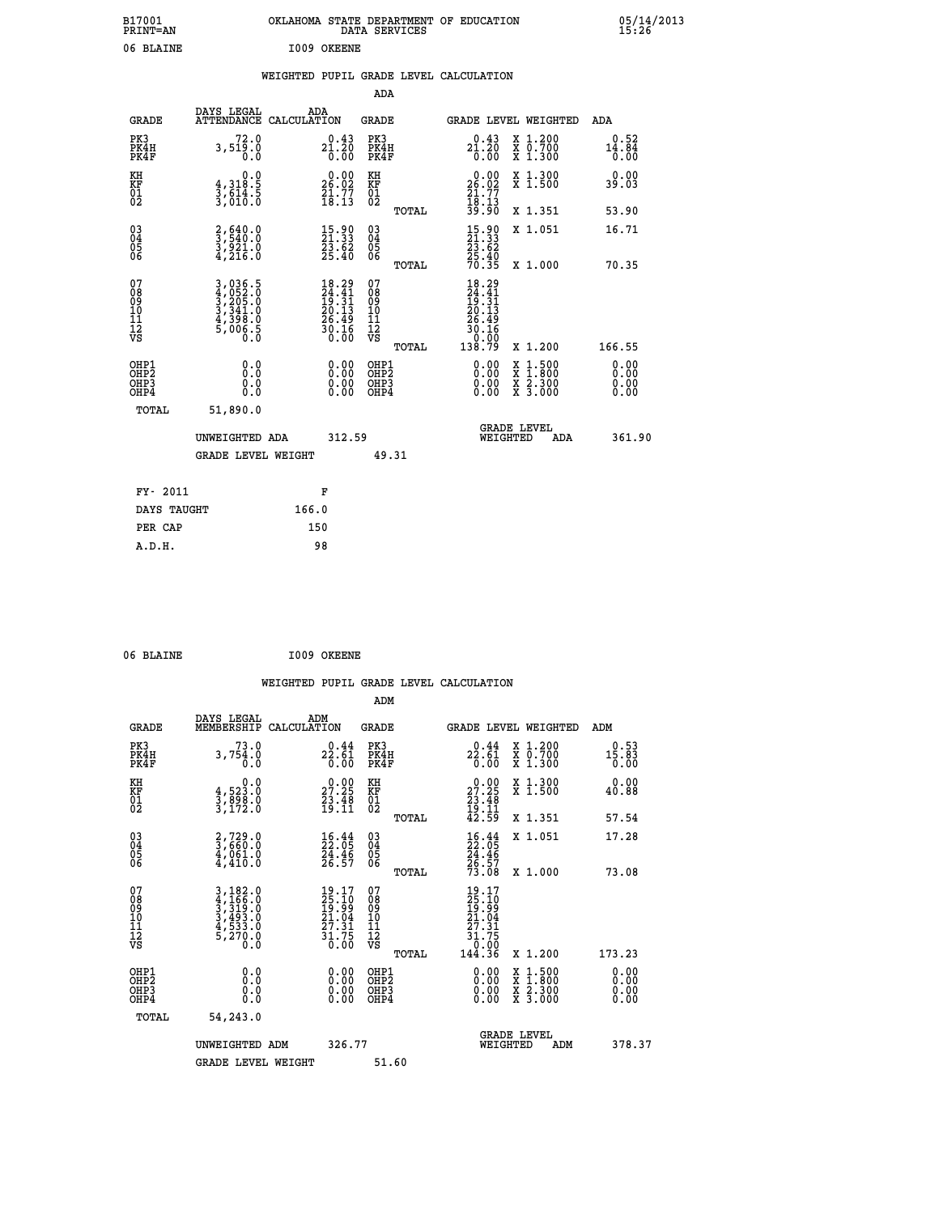| B17001<br><b>PRINT=AN</b> | OKLAHOMA STATE DEPARTMENT OF EDUCATION<br>DATA SERVICES | 05/14/2013<br>15:26 |
|---------------------------|---------------------------------------------------------|---------------------|
| 06 BLAINE                 | I009 OKEENE                                             |                     |

|  |  | WEIGHTED PUPIL GRADE LEVEL CALCULATION |
|--|--|----------------------------------------|
|  |  |                                        |

|                                                                    |                                                                                           |                                                                          | ADA                                                |       |                                                                                                        |   |                                                           |                                               |
|--------------------------------------------------------------------|-------------------------------------------------------------------------------------------|--------------------------------------------------------------------------|----------------------------------------------------|-------|--------------------------------------------------------------------------------------------------------|---|-----------------------------------------------------------|-----------------------------------------------|
| <b>GRADE</b>                                                       | DAYS LEGAL<br>ATTENDANCE CALCULATION                                                      | ADA                                                                      | <b>GRADE</b>                                       |       | GRADE LEVEL WEIGHTED                                                                                   |   |                                                           | <b>ADA</b>                                    |
| PK3<br>PK4H<br>PK4F                                                | 72.0<br>3,519.0<br>0.0                                                                    | ${\substack{ \text{0.43} \\ \text{21.20} \\ \text{0.00} }}$              | PK3<br>PK4H<br>PK4F                                |       | 0.43<br>$2\overline{1}\cdot 2\overline{0}\over 0\cdot 00$                                              |   | X 1.200<br>X 0.700<br>X 1.300                             | 0.52<br>$\frac{1\bar{4}\cdot 8\bar{4}}{0.00}$ |
| KH<br>KF<br>01<br>02                                               | 0.0<br>$\frac{4}{3}, \frac{318}{614}$ . 5<br>$\frac{3}{610}$ . 5                          | $26.02$<br>$26.02$<br>$21.77$<br>$18.13$                                 | KH<br>KF<br>01<br>02                               |       | $\begin{smallmatrix} 0.00\\ 26.02\\ 21.77\\ 18.13\\ 39.90 \end{smallmatrix}$                           |   | X 1.300<br>X 1.500                                        | 0.00<br>39.03                                 |
|                                                                    |                                                                                           |                                                                          |                                                    | TOTAL |                                                                                                        |   | X 1.351                                                   | 53.90                                         |
| $\begin{smallmatrix} 03 \\[-4pt] 04 \end{smallmatrix}$<br>Ŏ5<br>06 | $\frac{2}{3}, \frac{640}{540}.0$<br>$\frac{3}{3}, \frac{921}{21}.0$<br>$\frac{4}{3216}.0$ | $15.90$<br>21.33<br>$\frac{23.62}{25.40}$                                | $\begin{matrix} 03 \\ 04 \\ 05 \\ 06 \end{matrix}$ |       | $\begin{smallmatrix} 15.90\\21.33\\23.62\\25.40\\70.35 \end{smallmatrix}$                              |   | X 1.051                                                   | 16.71                                         |
|                                                                    |                                                                                           |                                                                          |                                                    | TOTAL |                                                                                                        |   | X 1.000                                                   | 70.35                                         |
| 07<br>08<br>09<br>11<br>11<br>12<br>VS                             | 3,036.5<br>4,052.0<br>5,205.0<br>3,341.0<br>4,398.0<br>5,006.5                            | $18.29$<br>$24.41$<br>$19.31$<br>$20.13$<br>$26.49$<br>$30.16$<br>$0.00$ | 07<br>08<br>09<br>11<br>11<br>12<br>VS             |       | $\begin{smallmatrix} 18.29\\24.41\\19.31\\10.13\\20.13\\26.49\\30.16\\30.00\\138.79 \end{smallmatrix}$ |   |                                                           |                                               |
|                                                                    |                                                                                           |                                                                          |                                                    | TOTAL |                                                                                                        |   | X 1.200                                                   | 166.55                                        |
| OHP1<br>OHP <sub>2</sub><br>OHP3<br>OHP4                           | 0.0<br>0.0<br>0.0                                                                         | 0.00<br>$\begin{smallmatrix} 0.00 \ 0.00 \end{smallmatrix}$              | OHP1<br>OH <sub>P</sub> 2<br>OHP3<br>OHP4          |       | 0.00<br>0.00<br>0.00                                                                                   | X | $1:500$<br>$1:800$<br>$\frac{x}{x}$ $\frac{5:300}{3:000}$ | 0.00<br>0.00<br>0.00<br>0.00                  |
| TOTAL                                                              | 51,890.0                                                                                  |                                                                          |                                                    |       |                                                                                                        |   |                                                           |                                               |
|                                                                    | UNWEIGHTED ADA                                                                            | 312.59                                                                   |                                                    |       | WEIGHTED                                                                                               |   | <b>GRADE LEVEL</b><br>ADA                                 | 361.90                                        |
|                                                                    | <b>GRADE LEVEL WEIGHT</b>                                                                 |                                                                          | 49.31                                              |       |                                                                                                        |   |                                                           |                                               |
| FY- 2011                                                           |                                                                                           | F                                                                        |                                                    |       |                                                                                                        |   |                                                           |                                               |
| DAYS TAUGHT                                                        |                                                                                           | 166.0                                                                    |                                                    |       |                                                                                                        |   |                                                           |                                               |
| PER CAP                                                            |                                                                                           | 150                                                                      |                                                    |       |                                                                                                        |   |                                                           |                                               |
|                                                                    |                                                                                           |                                                                          |                                                    |       |                                                                                                        |   |                                                           |                                               |

| 06 BLAINE | I009 OKEENE |
|-----------|-------------|

|                              |                                                                               |                                                                                       | ADM                                                |       |                                                                                                |                                          |                              |
|------------------------------|-------------------------------------------------------------------------------|---------------------------------------------------------------------------------------|----------------------------------------------------|-------|------------------------------------------------------------------------------------------------|------------------------------------------|------------------------------|
| <b>GRADE</b>                 | DAYS LEGAL<br>MEMBERSHIP                                                      | ADM<br>CALCULATION                                                                    | <b>GRADE</b>                                       |       |                                                                                                | <b>GRADE LEVEL WEIGHTED</b>              | ADM                          |
| PK3<br>PK4H<br>PK4F          | 73.0<br>3,754.0<br>0.0                                                        | $22.61$<br>0.00                                                                       | PK3<br>PK4H<br>PK4F                                |       | $22.44$<br>$22.61$<br>0.00                                                                     | X 1.200<br>X 0.700<br>X 1.300            | $0.53$<br>$15.83$<br>0.00    |
| KH<br>KF<br>01<br>02         | 0.0<br>$\frac{4}{3}, \frac{523}{898}$ .0<br>3,172.0                           | $\begin{smallmatrix} 0.00\\ 27.25\\ 23.48\\ 19.11 \end{smallmatrix}$                  | KH<br>KF<br>01<br>02                               |       | $\begin{smallmatrix} 0.00\\ 27.25\\ 23.48\\ 19.11\\ 42.59 \end{smallmatrix}$                   | X 1.300<br>X 1.500                       | 0.00<br>40.88                |
|                              |                                                                               |                                                                                       |                                                    | TOTAL |                                                                                                | X 1.351                                  | 57.54                        |
| 03<br>04<br>05<br>06         | $\begin{smallmatrix} 2,729.0\\ 3,660.0\\ 4,061.0\\ 4,410.0 \end{smallmatrix}$ | $\begin{smallmatrix} 16.44\ 22.05\ 24.46\ 26.57 \end{smallmatrix}$                    | $\begin{matrix} 03 \\ 04 \\ 05 \\ 06 \end{matrix}$ |       | $\frac{16}{22}$ : $\frac{44}{05}$<br>$\frac{24}{26}$ : $\frac{46}{27}$<br>$\frac{73}{29}$ : 08 | X 1.051                                  | 17.28                        |
|                              |                                                                               |                                                                                       |                                                    | TOTAL |                                                                                                | X 1.000                                  | 73.08                        |
| 07<br>08901112<br>1112<br>VS | 3,182.0<br>4,166.0<br>5,319.0<br>3,493.0<br>4,533.0<br>5,270.0<br>0.0         | $\begin{smallmatrix} 19.17\\25.10\\19.99\\21.04\\27.31\\31.75\\0.00\end{smallmatrix}$ | 07<br>08<br>09<br>01<br>11<br>11<br>12<br>VS       |       | $\begin{array}{l} 19.17 \\ 25.10 \\ 19.99 \\ 21.04 \\ 27.31 \\ 31.75 \\ 9.99 \\ \end{array}$   |                                          |                              |
|                              |                                                                               |                                                                                       |                                                    | TOTAL | 144.36                                                                                         | X 1.200                                  | 173.23                       |
| OHP1<br>OHP2<br>OHP3<br>OHP4 |                                                                               |                                                                                       | OHP1<br>OHP2<br>OHP <sub>3</sub>                   |       | $0.00$<br>$0.00$<br>0.00                                                                       | X 1:500<br>X 1:800<br>X 2:300<br>X 3:000 | 0.00<br>Ŏ.ŎŎ<br>Q.QQ<br>0.00 |
| TOTAL                        | 54,243.0                                                                      |                                                                                       |                                                    |       |                                                                                                |                                          |                              |
|                              | UNWEIGHTED ADM                                                                | 326.77                                                                                |                                                    |       |                                                                                                | GRADE LEVEL<br>WEIGHTED<br>ADM           | 378.37                       |
|                              | <b>GRADE LEVEL WEIGHT</b>                                                     |                                                                                       | 51.60                                              |       |                                                                                                |                                          |                              |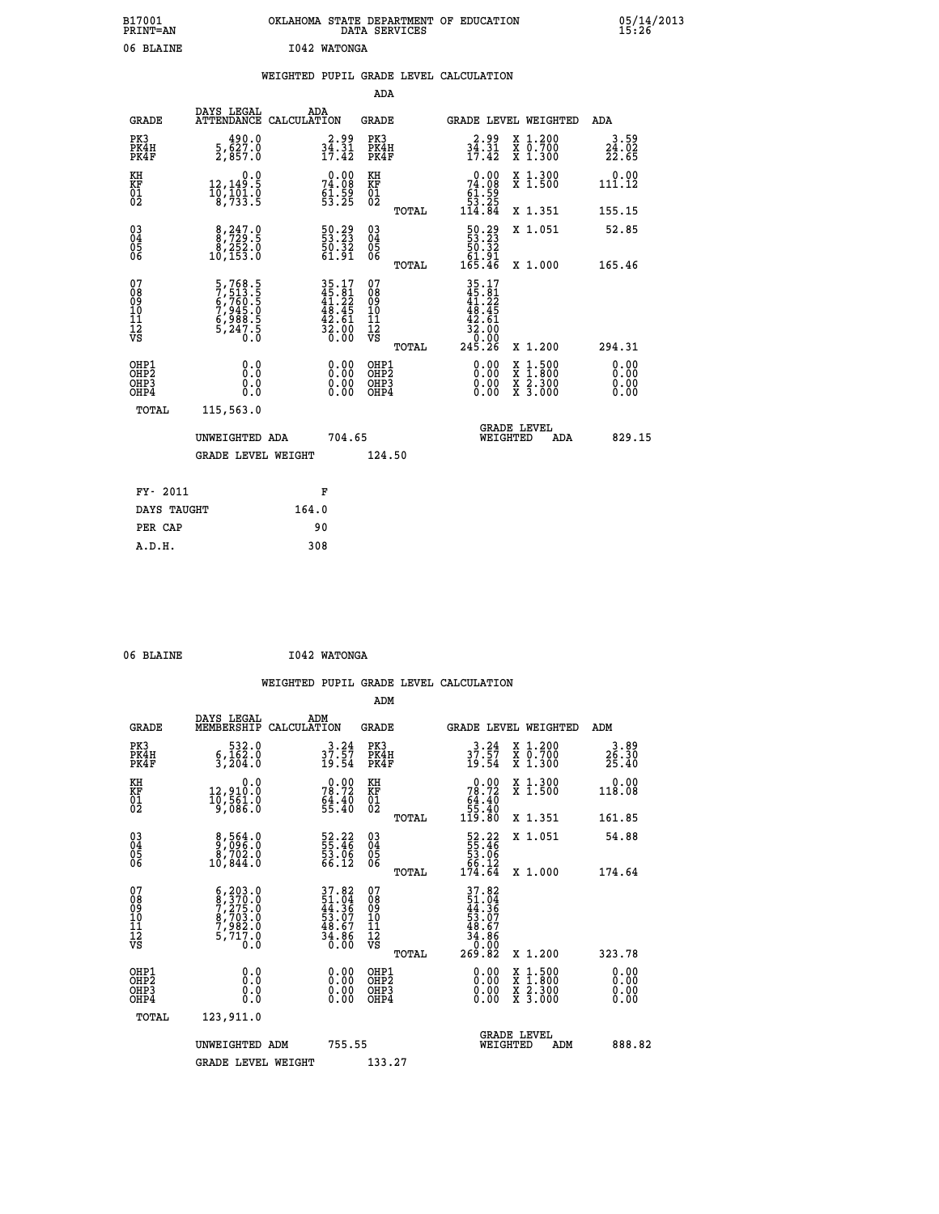| B17001<br><b>PRINT=AN</b> | OKLAHOMA STATE DEPARTMENT OF EDUCATION<br>DATA SERVICES | 05/14/2013<br>15:26 |
|---------------------------|---------------------------------------------------------|---------------------|
| 06 BLAINE                 | 1042 WATONGA                                            |                     |

|  |  | WEIGHTED PUPIL GRADE LEVEL CALCULATION |
|--|--|----------------------------------------|
|  |  |                                        |

|                                                                    |                                                                                |                                                                          | ADA                                                |       |                                                                                                                                             |                                                                |                              |
|--------------------------------------------------------------------|--------------------------------------------------------------------------------|--------------------------------------------------------------------------|----------------------------------------------------|-------|---------------------------------------------------------------------------------------------------------------------------------------------|----------------------------------------------------------------|------------------------------|
| <b>GRADE</b>                                                       | DAYS LEGAL<br>ATTENDANCE CALCULATION                                           | ADA                                                                      | <b>GRADE</b>                                       |       |                                                                                                                                             | GRADE LEVEL WEIGHTED                                           | <b>ADA</b>                   |
| PK3<br>PK4H<br>PK4F                                                | $\frac{490.0}{5,627.0}$<br>2,857.0                                             | $34.31$<br>$17.42$                                                       | PK3<br>PK4H<br>PK4F                                |       | $34.31$<br>$17.42$                                                                                                                          | X 1.200<br>X 0.700<br>X 1.300                                  | $3.59$<br>$24.02$<br>$22.65$ |
| KH<br>KF<br>01<br>02                                               | 0.0<br>12,149:5<br>10,101:0<br>8,733:5                                         | $74.08$<br>$51.59$<br>$53.25$                                            | KH<br>KF<br>01<br>02                               |       | $\begin{smallmatrix} &0.00\\ 74.08\\ 61.59\\ 53.25\\ 114.84\end{smallmatrix}$                                                               | X 1.300<br>X 1.500                                             | 0.00<br>111.12               |
|                                                                    |                                                                                |                                                                          |                                                    | TOTAL |                                                                                                                                             | X 1.351                                                        | 155.15                       |
| $\begin{smallmatrix} 03 \\[-4pt] 04 \end{smallmatrix}$<br>Ŏ5<br>ŎĞ | $\begin{smallmatrix} 8,247.0\\ 8,729.5\\ 8,252.0\\ 10,153.0 \end{smallmatrix}$ | 50.29<br>53.23<br>$\frac{50.52}{61.91}$                                  | $\begin{matrix} 03 \\ 04 \\ 05 \\ 06 \end{matrix}$ | TOTAL | $\begin{smallmatrix} 50.29\\53.23\\50.32\\61.91\\165.46\end{smallmatrix}$                                                                   | X 1.051<br>X 1.000                                             | 52.85<br>165.46              |
| 07<br>08<br>09<br>11<br>11<br>12<br>VS                             | 5,768.5<br>7,513.5<br>6,760.5<br>6,988.5<br>6,988.5<br>5,247.5                 | $35.17$<br>$45.81$<br>$41.22$<br>$48.45$<br>$42.61$<br>$32.00$<br>$0.00$ | 07<br>08<br>09<br>11<br>11<br>12<br>VS             |       | $\begin{array}{r} 35\cdot 17 \\ 45\cdot 81 \\ 41\cdot 22 \\ 48\cdot 45 \\ 42\cdot 61 \\ 32\cdot 00 \\ 0\cdot 00 \\ 245\cdot 26 \end{array}$ |                                                                |                              |
|                                                                    |                                                                                |                                                                          |                                                    | TOTAL |                                                                                                                                             | X 1.200                                                        | 294.31                       |
| OHP1<br>OHP <sub>2</sub><br>OHP3<br>OHP4                           | 0.0<br>0.0<br>0.0                                                              | 0.00<br>$\begin{smallmatrix} 0.00 \ 0.00 \end{smallmatrix}$              | OHP1<br>OH <sub>P</sub> 2<br>OHP3<br>OHP4          |       | $0.00$<br>$0.00$<br>0.00                                                                                                                    | $1:500$<br>$1:800$<br>X<br>$\frac{x}{x}$ $\frac{5:300}{3:000}$ | 0.00<br>0.00<br>0.00<br>0.00 |
| TOTAL                                                              | 115,563.0                                                                      |                                                                          |                                                    |       |                                                                                                                                             |                                                                |                              |
|                                                                    | UNWEIGHTED ADA                                                                 | 704.65                                                                   |                                                    |       |                                                                                                                                             | <b>GRADE LEVEL</b><br>WEIGHTED<br>ADA                          | 829.15                       |
|                                                                    | <b>GRADE LEVEL WEIGHT</b>                                                      |                                                                          | 124.50                                             |       |                                                                                                                                             |                                                                |                              |
| FY- 2011                                                           |                                                                                | F                                                                        |                                                    |       |                                                                                                                                             |                                                                |                              |
| DAYS TAUGHT                                                        |                                                                                | 164.0                                                                    |                                                    |       |                                                                                                                                             |                                                                |                              |
| PER CAP                                                            |                                                                                | 90                                                                       |                                                    |       |                                                                                                                                             |                                                                |                              |
|                                                                    |                                                                                |                                                                          |                                                    |       |                                                                                                                                             |                                                                |                              |

| 06 BLAINE | I042 WATONGA |
|-----------|--------------|

|  |     | WEIGHTED PUPIL GRADE LEVEL CALCULATION |
|--|-----|----------------------------------------|
|  | ADM |                                        |

| <b>GRADE</b>                                         | DAYS LEGAL<br>MEMBERSHIP                                                                                                                                                                  | ADM<br>CALCULATION                                                        | <b>GRADE</b>                                        |       |                                                                                                  | GRADE LEVEL WEIGHTED                                                                                                | ADM                                      |  |
|------------------------------------------------------|-------------------------------------------------------------------------------------------------------------------------------------------------------------------------------------------|---------------------------------------------------------------------------|-----------------------------------------------------|-------|--------------------------------------------------------------------------------------------------|---------------------------------------------------------------------------------------------------------------------|------------------------------------------|--|
| PK3<br>PK4H<br>PK4F                                  | 532.0<br>$\frac{6}{3}, \frac{162}{204}.0$                                                                                                                                                 | $37.57$<br>$19.54$                                                        | PK3<br>PK4H<br>PK4F                                 |       | $37.57$<br>$19.54$                                                                               | X 1.200<br>X 0.700<br>X 1.300                                                                                       | 3.89<br>$2\overline{5}\cdot 30$<br>25.40 |  |
| KH<br>KF<br>01<br>02                                 | 0.0<br>12,910.0<br>10,561.0<br>9,086.0                                                                                                                                                    | $78.72$<br>$54.40$<br>$55.40$                                             | KH<br>KF<br>01<br>02                                |       | 0.00<br>$78.72$<br>$64.40$<br>$55.40$<br>$119.80$                                                | X 1.300<br>X 1.500                                                                                                  | 0.00<br>118.08                           |  |
|                                                      |                                                                                                                                                                                           |                                                                           |                                                     | TOTAL |                                                                                                  | X 1.351                                                                                                             | 161.85                                   |  |
| 03<br>04<br>05<br>06                                 | $\begin{smallmatrix} 8,564.0\\ 9,096.0\\ 8,702.0\\ 10,844.0 \end{smallmatrix}$                                                                                                            | 52.22<br>55.46<br>53.06<br>66.12                                          | $\begin{array}{c} 03 \\ 04 \\ 05 \\ 06 \end{array}$ |       | $\begin{array}{r} 52.22 \\ 55.46 \\ 53.06 \\ 66.12 \\ 174.64 \end{array}$                        | X 1.051                                                                                                             | 54.88                                    |  |
|                                                      |                                                                                                                                                                                           |                                                                           |                                                     | TOTAL |                                                                                                  | X 1.000                                                                                                             | 174.64                                   |  |
| 07<br>08<br>09<br>11<br>11<br>12<br>VS               | $\begin{smallmatrix} 6\,,\,2\,0\,3\,. \ 0\\ 8\,,\,3\,7\,0\,. \ 0\\ 7\,,\,2\,7\,5\,. \ 0\\ 8\,,\,7\,0\,3\,. \ 0\\ 7\,,\,9\,8\,2\,. \ 0\\ 5\,,\,7\,1\,7\,. \ 0\\ 0\,. \ 0\end{smallmatrix}$ | $37.82$<br>$51.04$<br>$44.36$<br>$53.07$<br>$48.67$<br>$34.86$<br>$36.00$ | 07<br>08<br>09<br>01<br>11<br>11<br>12<br>VS        | TOTAL | $37.82$<br>$51.04$<br>$44.36$<br>$53.07$<br>$58.67$<br>$48.67$<br>$34.86$<br>$0.000$<br>$269.82$ | X 1.200                                                                                                             | 323.78                                   |  |
| OHP1<br>OH <sub>P</sub> <sub>2</sub><br>OHP3<br>OHP4 | 0.0<br>0.0<br>0.0                                                                                                                                                                         | $0.00$<br>$0.00$<br>0.00                                                  | OHP1<br>OHP <sub>2</sub><br>OHP3<br>OHP4            |       | $0.00$<br>$0.00$<br>0.00                                                                         | $\begin{array}{l} \mathtt{X} & 1.500 \\ \mathtt{X} & 1.800 \\ \mathtt{X} & 2.300 \\ \mathtt{X} & 3.000 \end{array}$ | 0.00<br>0.00<br>0.00<br>0.00             |  |
| TOTAL                                                | 123,911.0                                                                                                                                                                                 |                                                                           |                                                     |       |                                                                                                  |                                                                                                                     |                                          |  |
|                                                      | UNWEIGHTED ADM                                                                                                                                                                            | 755.55                                                                    |                                                     |       | WEIGHTED                                                                                         | <b>GRADE LEVEL</b><br>ADM                                                                                           | 888.82                                   |  |
|                                                      | <b>GRADE LEVEL WEIGHT</b>                                                                                                                                                                 |                                                                           | 133.27                                              |       |                                                                                                  |                                                                                                                     |                                          |  |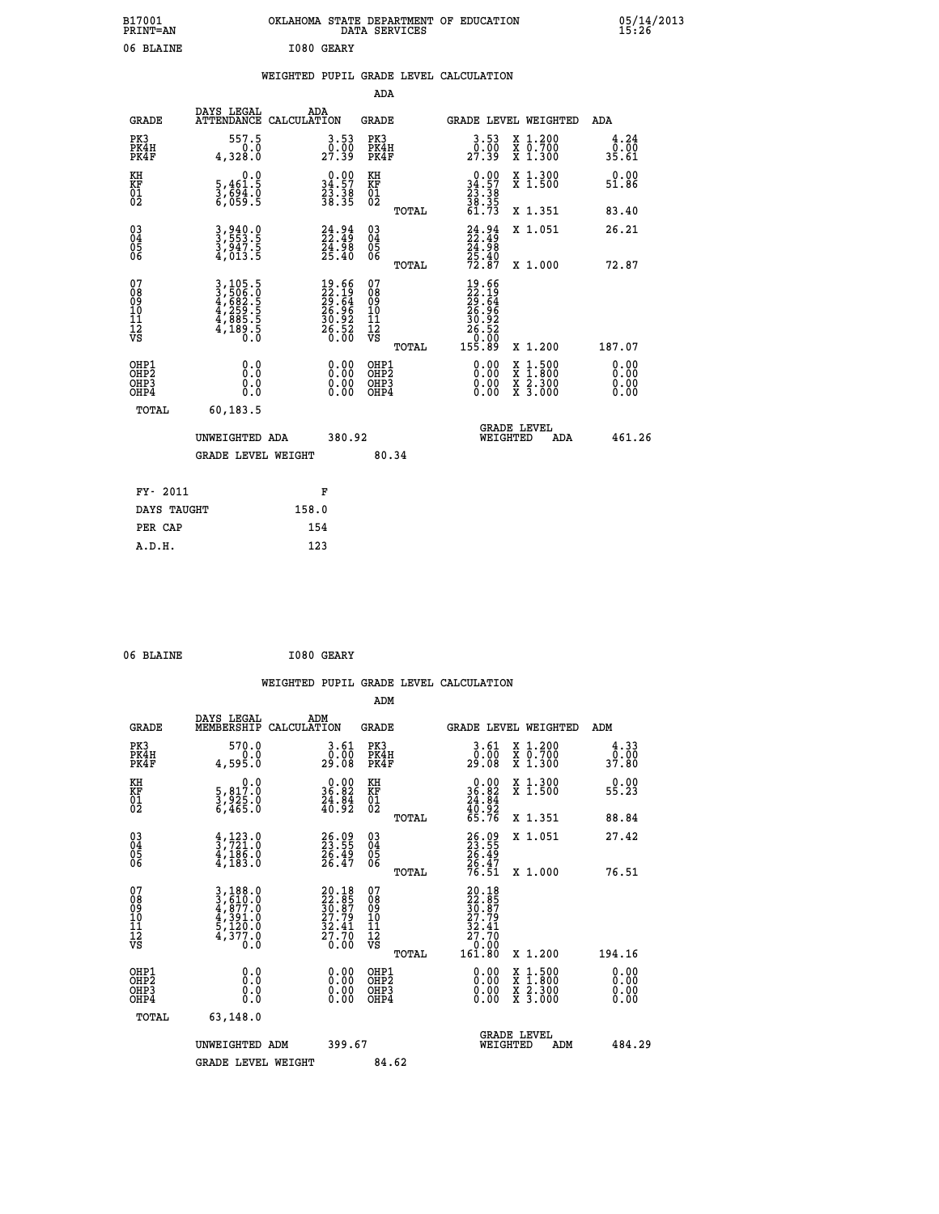| B17001<br>PRINT=AN                                   |                                                                       | OKLAHOMA STATE DEPARTMENT OF EDUCATION                                                       | DATA SERVICES                                      |                                                                                        |                                                                                          | 05/14/2013<br>15:26          |  |
|------------------------------------------------------|-----------------------------------------------------------------------|----------------------------------------------------------------------------------------------|----------------------------------------------------|----------------------------------------------------------------------------------------|------------------------------------------------------------------------------------------|------------------------------|--|
| 06 BLAINE                                            |                                                                       | I080 GEARY                                                                                   |                                                    |                                                                                        |                                                                                          |                              |  |
|                                                      |                                                                       | WEIGHTED PUPIL GRADE LEVEL CALCULATION                                                       |                                                    |                                                                                        |                                                                                          |                              |  |
|                                                      |                                                                       |                                                                                              | ADA                                                |                                                                                        |                                                                                          |                              |  |
| <b>GRADE</b>                                         | DAYS LEGAL                                                            | ADA<br>ATTENDANCE CALCULATION                                                                | GRADE                                              | GRADE LEVEL WEIGHTED                                                                   |                                                                                          | ADA                          |  |
| PK3<br>PK4H<br>PK4F                                  | 557.5<br>0.0<br>4,328.0                                               | $\begin{smallmatrix} 3.53\ 0.00\ 27.39 \end{smallmatrix}$                                    | PK3<br>PK4H<br>PK4F                                | $\begin{smallmatrix} 3.53\ 0.00\ 27.39 \end{smallmatrix}$                              | X 1.200<br>X 0.700<br>X 1.300                                                            | 4.24<br>0.00<br>35.61        |  |
| KH<br>KF<br>$^{01}_{02}$                             | 0.0<br>5,461.5<br>3,694.0<br>6,059.5                                  | $\begin{smallmatrix} 0.00\\ 34.57\\ 23.38\\ 38.35 \end{smallmatrix}$                         | KH<br>KF<br>01<br>02                               | $\begin{smallmatrix} 0.00\\ 34.57\\ 23.38\\ 38.35\\ 61.73 \end{smallmatrix}$           | X 1.300<br>X 1.500                                                                       | 0.00<br>51.86                |  |
|                                                      |                                                                       |                                                                                              | TOTAL                                              |                                                                                        | X 1.351                                                                                  | 83.40                        |  |
| $\substack{03 \\ 04}$<br>$\frac{05}{06}$             | 3,940.0<br>3,553.5<br>3,947.5<br>4,013.5                              | $24.94$<br>$22.49$<br>$\frac{24.98}{25.40}$                                                  | $\begin{matrix} 03 \\ 04 \\ 05 \\ 06 \end{matrix}$ | $24.94$<br>$22.49$<br>24.98                                                            | X 1.051                                                                                  | 26.21                        |  |
|                                                      |                                                                       |                                                                                              | TOTAL                                              | $\frac{25.40}{72.87}$                                                                  | X 1.000                                                                                  | 72.87                        |  |
| 07<br>08<br>09<br>11<br>11<br>12<br>VS               | 3,105.5<br>3,506.0<br>4,682.5<br>4,259.5<br>4,885.5<br>4,189.5<br>0.0 | $\begin{smallmatrix} 19.66\\ 22.19\\ 29.64\\ 26.96\\ 30.92\\ 26.52\\ 0.00 \end{smallmatrix}$ | 07<br>08<br>09<br>11<br>11<br>VS<br><b>TOTAL</b>   | $19.66$<br>$22.19$<br>$29.64$<br>$26.96$<br>$30.92$<br>$26.520$<br>$0.009$<br>$155.89$ | X 1.200                                                                                  | 187.07                       |  |
| OHP1<br>OHP <sub>2</sub><br>OH <sub>P3</sub><br>OHP4 | 0.0<br>0.0<br>0.0<br>0.0                                              | 0.00<br>0.00<br>0.00                                                                         | OHP1<br>OH <sub>P</sub> 2<br>OHP3<br>OHP4          | 0.00<br>0.00<br>0.00                                                                   | $\begin{smallmatrix} x & 1.500 \\ x & 1.800 \\ x & 2.300 \\ x & 3.000 \end{smallmatrix}$ | 0.00<br>0.00<br>0.00<br>0.00 |  |
| TOTAL                                                | 60, 183.5                                                             |                                                                                              |                                                    |                                                                                        |                                                                                          |                              |  |
|                                                      | UNWEIGHTED ADA                                                        | 380.92                                                                                       |                                                    | <b>GRADE LEVEL</b><br>WEIGHTED                                                         | ADA                                                                                      | 461.26                       |  |
|                                                      | <b>GRADE LEVEL WEIGHT</b>                                             |                                                                                              | 80.34                                              |                                                                                        |                                                                                          |                              |  |
| FY- 2011                                             |                                                                       | F                                                                                            |                                                    |                                                                                        |                                                                                          |                              |  |
| DAYS TAUGHT                                          |                                                                       | 158.0                                                                                        |                                                    |                                                                                        |                                                                                          |                              |  |
| PER CAP                                              |                                                                       | 154                                                                                          |                                                    |                                                                                        |                                                                                          |                              |  |

| 06 BLAINE | I080 GEARY |
|-----------|------------|
|           |            |

|                                                      |                                                                                                                                                             |                                                                      |                                              | WEIGHTED PUPIL GRADE LEVEL CALCULATION                                       |                                                           |                              |
|------------------------------------------------------|-------------------------------------------------------------------------------------------------------------------------------------------------------------|----------------------------------------------------------------------|----------------------------------------------|------------------------------------------------------------------------------|-----------------------------------------------------------|------------------------------|
|                                                      |                                                                                                                                                             |                                                                      | ADM                                          |                                                                              |                                                           |                              |
| <b>GRADE</b>                                         | DAYS LEGAL<br>MEMBERSHIP<br>CALCULATION                                                                                                                     | ADM                                                                  | <b>GRADE</b>                                 | <b>GRADE LEVEL WEIGHTED</b>                                                  |                                                           | ADM                          |
| PK3<br>PK4H<br>PK4F                                  | 570.0<br>0.0<br>4,595.0                                                                                                                                     | 3.61<br>_0.00<br>29.08                                               | PK3<br>PK4H<br>PK4F                          | $3.61$<br>$0.00$<br>29.08                                                    | X 1.200<br>X 0.700<br>X 1.300                             | 4.33<br>0.00<br>37.80        |
| KH<br>KF<br>01<br>02                                 | $\begin{smallmatrix}&&&0.0\\5,817.0\\3,925.0\\6,465.0\end{smallmatrix}$                                                                                     | $\begin{smallmatrix} 0.00\\ 36.82\\ 24.84\\ 40.92 \end{smallmatrix}$ | KH<br>KF<br>01<br>02                         | $\begin{smallmatrix} 0.00\\ 36.82\\ 24.84\\ 40.92\\ 65.76 \end{smallmatrix}$ | X 1.300<br>X 1.500                                        | 0.00<br>55.23                |
|                                                      |                                                                                                                                                             |                                                                      | TOTAL                                        |                                                                              | X 1.351                                                   | 88.84                        |
| $\begin{matrix} 03 \\ 04 \\ 05 \\ 06 \end{matrix}$   | $\frac{4}{3}, \frac{123}{721}.0$<br>$\frac{4}{186}.0$<br>$\frac{4}{183}.0$                                                                                  | 26.09<br>23.55<br>26.49<br>26.47                                     | 03<br>04<br>05<br>06                         | 26.09<br>23.55<br>26.49<br>26.47<br>76.51                                    | X 1.051                                                   | 27.42                        |
|                                                      |                                                                                                                                                             |                                                                      | TOTAL                                        |                                                                              | X 1.000                                                   | 76.51                        |
| 07<br>08<br>09<br>01<br>11<br>11<br>12<br>VS         | $\begin{smallmatrix} 3\,,\,188\,.\,0\\ 3\,,\,610\,.\,0\\ 4\,,\,877\,.\,0\\ 4\,,\,391\,.\,0\\ 5\,,\,120\,.\,0\\ 4\,,\,377\,.\,0\\ 0\,.\,0 \end{smallmatrix}$ | $20.1822.8530.8727.7932.4127.700.00$                                 | 07<br>08<br>09<br>01<br>11<br>11<br>12<br>VS | 20.185<br>22.85<br>30.87<br>27.79<br>32.41<br>27.70                          |                                                           |                              |
|                                                      |                                                                                                                                                             |                                                                      | TOTAL                                        | 0:00<br>161:80                                                               | X 1.200                                                   | 194.16                       |
| OHP1<br>OHP2<br>OH <sub>P3</sub><br>OH <sub>P4</sub> | 0.0<br>$\begin{smallmatrix} 0.0 & 0 \ 0.0 & 0 \end{smallmatrix}$                                                                                            | 0.00<br>$\begin{smallmatrix} 0.00 \ 0.00 \end{smallmatrix}$          | OHP1<br>OHP2<br>OHP3<br>OHP4                 | $0.00$<br>$0.00$<br>X<br>X<br>0.00                                           | $1.500$<br>$1.800$<br>$\frac{x}{x}$ $\frac{5:300}{3:000}$ | 0.00<br>0.00<br>0.00<br>0.00 |
| TOTAL                                                | 63,148.0                                                                                                                                                    |                                                                      |                                              |                                                                              |                                                           |                              |
|                                                      | UNWEIGHTED<br>ADM                                                                                                                                           | 399.67                                                               |                                              | <b>GRADE LEVEL</b><br>WEIGHTED                                               | ADM                                                       | 484.29                       |
|                                                      | <b>GRADE LEVEL WEIGHT</b>                                                                                                                                   |                                                                      | 84.62                                        |                                                                              |                                                           |                              |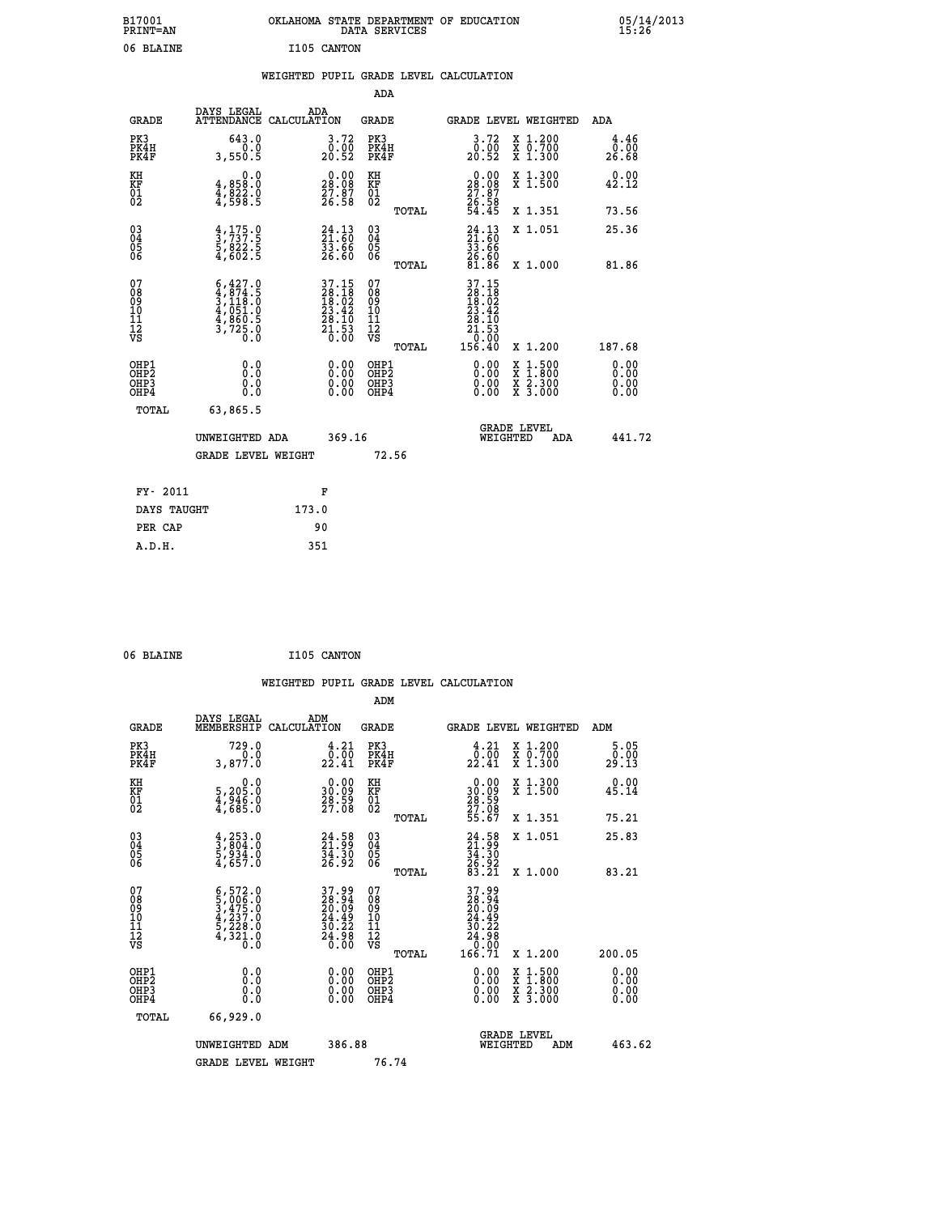| B17001<br>PRINT=AN                                 |                                                                                                      | OKLAHOMA STATE DEPARTMENT OF EDUCATION                                                    | DATA SERVICES                                      |                                                                        |                                                                                          | 05/14/2013<br>15:26                               |
|----------------------------------------------------|------------------------------------------------------------------------------------------------------|-------------------------------------------------------------------------------------------|----------------------------------------------------|------------------------------------------------------------------------|------------------------------------------------------------------------------------------|---------------------------------------------------|
| 06 BLAINE                                          |                                                                                                      | I105 CANTON                                                                               |                                                    |                                                                        |                                                                                          |                                                   |
|                                                    |                                                                                                      | WEIGHTED PUPIL GRADE LEVEL CALCULATION                                                    |                                                    |                                                                        |                                                                                          |                                                   |
|                                                    |                                                                                                      |                                                                                           | ADA                                                |                                                                        |                                                                                          |                                                   |
| <b>GRADE</b>                                       | DAYS LEGAL                                                                                           | ADA<br>ATTENDANCE CALCULATION                                                             | GRADE                                              | <b>GRADE LEVEL WEIGHTED</b>                                            | ADA                                                                                      |                                                   |
| PK3<br>PK4H<br>PK4F                                | 643.0<br>0.0<br>3,550.5                                                                              | 3.72<br>0.00<br>20.52                                                                     | PK3<br>PK4H<br>PK4F                                | 3.72<br>$\frac{0.00}{20.52}$                                           | X 1.200<br>X 0.700<br>X 1.300                                                            | 4.46<br>$\overline{0}$ . $\overline{0}0$<br>26.68 |
| KH<br>KF<br>$\overline{01}$                        | 0.0<br>4,858:0<br>4,822:0<br>4,598:5                                                                 | $\begin{smallmatrix} 0.00\\ 28.08\\ 27.87\\ 26.58 \end{smallmatrix}$                      | KH<br>KF<br>01<br>02                               | 28.08<br>$\frac{27.87}{26.58}$<br>54.45                                | X 1.300<br>X 1.500                                                                       | 0.00<br>42.12                                     |
|                                                    |                                                                                                      |                                                                                           | TOTAL                                              |                                                                        | X 1.351                                                                                  | 73.56                                             |
| $\begin{matrix} 03 \\ 04 \\ 05 \\ 06 \end{matrix}$ | $\frac{4}{3}, \frac{175}{737}$ :<br>$\frac{5}{5}, \frac{822}{622}$ :<br>$\frac{5}{4}, \frac{602}{5}$ | 24.13<br>21.60<br>33.66<br>26.60                                                          | $\begin{matrix} 03 \\ 04 \\ 05 \\ 06 \end{matrix}$ | $24.13$<br>$21.60$<br>33.66                                            | X 1.051                                                                                  | 25.36                                             |
|                                                    |                                                                                                      |                                                                                           | TOTAL                                              | $\frac{26}{81}.\overline{\frac{60}{86}}$                               | X 1.000                                                                                  | 81.86                                             |
| 07<br>08<br>09<br>10<br>11<br>12<br>VS             | $6,427.0$<br>$3,118.0$<br>$3,118.0$<br>$4,051.0$<br>$4,860.5$<br>$3,725.0$<br>$0.0$                  | $\begin{array}{c} 37.15 \\ 28.18 \\ 18.02 \\ 23.42 \\ 28.10 \\ 21.53 \\ 0.00 \end{array}$ | 07<br>08<br>09<br>10<br>11<br>12<br>VS<br>TOTAL    | 37.15<br>28.18<br>18.02<br>23.42<br>28.10<br>24.53<br>21.530<br>156.40 | X 1.200                                                                                  | 187.68                                            |
| OHP1<br>OHP2<br>OH <sub>P3</sub><br>OHP4           | 0.0<br>Ō.Ō<br>0.0<br>0.0                                                                             | 0.00<br>0.00<br>0.00                                                                      | OHP1<br>OHP <sub>2</sub><br>OHP3<br>OHP4           | 0.00<br>0.00<br>0.00                                                   | $\begin{smallmatrix} x & 1.500 \\ x & 1.800 \\ x & 2.300 \\ x & 3.000 \end{smallmatrix}$ | 0.00<br>0.00<br>0.00                              |
| TOTAL                                              | 63,865.5                                                                                             |                                                                                           |                                                    |                                                                        |                                                                                          |                                                   |
|                                                    | UNWEIGHTED ADA                                                                                       | 369.16                                                                                    |                                                    | <b>GRADE LEVEL</b><br>WEIGHTED                                         | ADA                                                                                      | 441.72                                            |
|                                                    | <b>GRADE LEVEL WEIGHT</b>                                                                            |                                                                                           | 72.56                                              |                                                                        |                                                                                          |                                                   |
| FY- 2011                                           |                                                                                                      | F                                                                                         |                                                    |                                                                        |                                                                                          |                                                   |
| DAYS TAUGHT                                        |                                                                                                      | 173.0                                                                                     |                                                    |                                                                        |                                                                                          |                                                   |
| PER CAP                                            |                                                                                                      | 90                                                                                        |                                                    |                                                                        |                                                                                          |                                                   |

06 BLAINE **I105 CANTON** 

|                                                      |                                                                                                                                                             |                                                                          | WEIGHTED PUPIL GRADE LEVEL CALCULATION             |                                                                                                                                                                            |                              |
|------------------------------------------------------|-------------------------------------------------------------------------------------------------------------------------------------------------------------|--------------------------------------------------------------------------|----------------------------------------------------|----------------------------------------------------------------------------------------------------------------------------------------------------------------------------|------------------------------|
|                                                      |                                                                                                                                                             |                                                                          | ADM                                                |                                                                                                                                                                            |                              |
| <b>GRADE</b>                                         | DAYS LEGAL<br>MEMBERSHIP<br>CALCULATION                                                                                                                     | ADM                                                                      | <b>GRADE</b>                                       | <b>GRADE LEVEL WEIGHTED</b>                                                                                                                                                | ADM                          |
| PK3<br>PK4H<br>PK4F                                  | 729.0<br>0.0<br>3,877.0                                                                                                                                     | $\frac{4.21}{0.00}$<br>22.41                                             | PK3<br>PK4H<br>PK4F                                | $\begin{smallmatrix} 4 & 21 \\ 0 & 00 \\ 22 & 41 \end{smallmatrix}$<br>X 1.200<br>X 0.700<br>X 1.300                                                                       | 5.05<br>0.00<br>29.13        |
| KH<br>KF<br>01<br>02                                 | $\begin{smallmatrix}&&&0.0\\5,205.0\\4,946.0\\4,685.0\end{smallmatrix}$                                                                                     | $\begin{smallmatrix} 0.00\\ 30.09\\ 28.59\\ 27.08 \end{smallmatrix}$     | KH<br>KF<br>01<br>02                               | 0.00<br>X 1.300<br>X 1.500<br>$\frac{30.09}{28.59}$<br>$\frac{27.08}{55.67}$                                                                                               | 0.00<br>45.14                |
|                                                      |                                                                                                                                                             |                                                                          | TOTAL                                              | X 1.351                                                                                                                                                                    | 75.21                        |
| $\begin{matrix} 03 \\ 04 \\ 05 \\ 06 \end{matrix}$   | $\begin{smallmatrix} 4 & 253 & 0 \\ 3 & 804 & 0 \\ 5 & 934 & 0 \\ 4 & 657 & 0 \end{smallmatrix}$                                                            | $\begin{smallmatrix} 24.58\ 21.99\ 34.30\ 26.92 \end{smallmatrix}$       | $\begin{matrix} 03 \\ 04 \\ 05 \\ 06 \end{matrix}$ | $24.58$<br>$24.30$<br>$34.30$<br>$26.92$<br>$83.21$<br>X 1.051                                                                                                             | 25.83                        |
|                                                      |                                                                                                                                                             |                                                                          | TOTAL                                              | X 1.000                                                                                                                                                                    | 83.21                        |
| 07<br>08<br>09<br>01<br>11<br>11<br>12<br>VS         | $\begin{smallmatrix} 6\,,\,572\,.\,0\\ 5\,,\,006\,.\,0\\ 3\,,\,475\,.\,0\\ 4\,,\,237\,.\,0\\ 5\,,\,228\,.\,0\\ 4\,,\,321\,.\,0\\ 0\,.\,0 \end{smallmatrix}$ | $37.99$<br>$28.94$<br>$20.09$<br>$24.49$<br>$30.22$<br>$24.98$<br>$0.00$ | 07<br>08<br>09<br>001<br>11<br>11<br>12<br>VS      | 37.99<br>$\begin{smallmatrix} 23 & 3 & 4 & 5 & 6 \ 20 & 20 & 0 & 9 & 9 \ 24 & 4 & 9 & 2 \ 3 & 24 & 9 & 8 & 2 \ 24 & 9 & 8 & 0 & 0 \ 16 & 6 & 71 & 0 & 0 \end{smallmatrix}$ |                              |
|                                                      |                                                                                                                                                             |                                                                          | TOTAL                                              | X 1.200                                                                                                                                                                    | 200.05                       |
| OHP1<br>OHP2<br>OH <sub>P3</sub><br>OH <sub>P4</sub> | 0.0<br>$\begin{smallmatrix} 0.0 & 0 \ 0.0 & 0 \end{smallmatrix}$                                                                                            | 0.00<br>$\begin{smallmatrix} 0.00 \ 0.00 \end{smallmatrix}$              | OHP1<br>OHP2<br>OHP3<br>OHP4                       | $0.00$<br>$0.00$<br>$\frac{x}{x}$ $\frac{1.500}{x}$<br>$\frac{x}{x}$ $\frac{5:300}{3:000}$<br>0.00                                                                         | 0.00<br>0.00<br>0.00<br>0.00 |
| TOTAL                                                | 66,929.0                                                                                                                                                    |                                                                          |                                                    |                                                                                                                                                                            |                              |
|                                                      | UNWEIGHTED<br>ADM                                                                                                                                           | 386.88                                                                   |                                                    | <b>GRADE LEVEL</b><br>WEIGHTED<br>ADM                                                                                                                                      | 463.62                       |
|                                                      | <b>GRADE LEVEL WEIGHT</b>                                                                                                                                   |                                                                          | 76.74                                              |                                                                                                                                                                            |                              |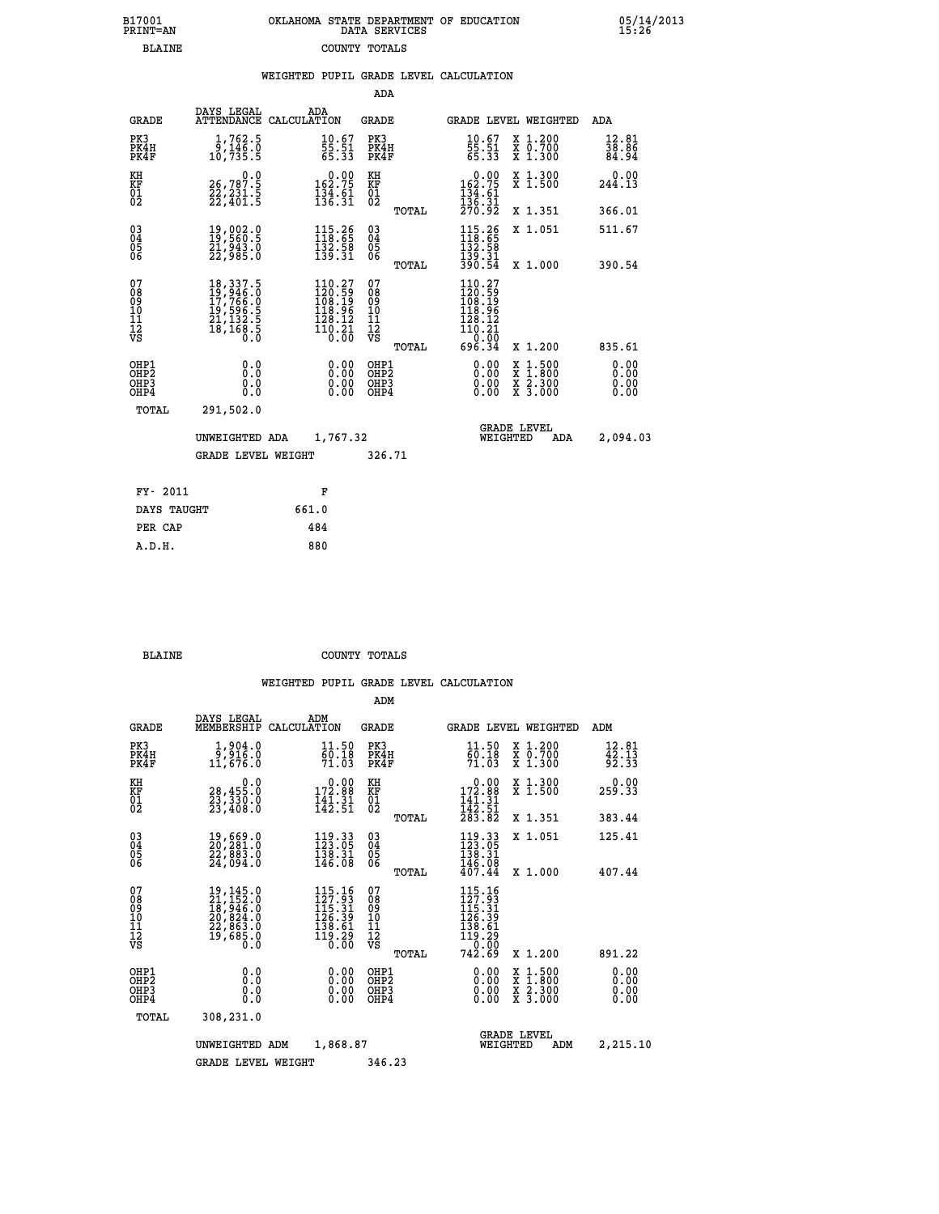| 7001<br>INT=AN | OKLAHOMA STATE DEPARTMENT OF EDUCATION<br>DATA SERVICES |  |
|----------------|---------------------------------------------------------|--|
| BLAINE         | COUNTY TOTALS                                           |  |

05/14/2013<br>15:26

|                                                              |                                                                                                                                                                               | WEIGHTED PUPIL GRADE LEVEL CALCULATION                                                               |                                                  |                                                                                                                                                                                                                                                                                                                                                                                                                                |                         |
|--------------------------------------------------------------|-------------------------------------------------------------------------------------------------------------------------------------------------------------------------------|------------------------------------------------------------------------------------------------------|--------------------------------------------------|--------------------------------------------------------------------------------------------------------------------------------------------------------------------------------------------------------------------------------------------------------------------------------------------------------------------------------------------------------------------------------------------------------------------------------|-------------------------|
|                                                              |                                                                                                                                                                               |                                                                                                      | ADA                                              |                                                                                                                                                                                                                                                                                                                                                                                                                                |                         |
| <b>GRADE</b>                                                 | DAYS LEGAL                                                                                                                                                                    | ADA<br>ATTENDANCE CALCULATION                                                                        | <b>GRADE</b>                                     | GRADE LEVEL WEIGHTED                                                                                                                                                                                                                                                                                                                                                                                                           | ADA                     |
| PK3<br>PK4H<br>PK4F                                          | $\frac{1}{9}, \frac{762}{146}.0$<br>10,735.5                                                                                                                                  | 10.67<br>55:51<br>65:33                                                                              | PK3<br>PK4H<br>PK4F                              | $\frac{10.67}{55.51}$<br>65.33<br>X 1.200<br>X 0.700<br>X 1.300                                                                                                                                                                                                                                                                                                                                                                | 12.81<br>38.86<br>84.94 |
| KH<br>KF<br>01<br>02                                         | 0.0<br>26,787.5<br>22,231.5<br>22,401.5                                                                                                                                       | $0.00$<br>162.75<br>$\frac{134}{136}$ : $\frac{61}{31}$                                              | KH<br>KF<br>01<br>02                             | $0.00$<br>$162.75$<br>$134.61$<br>$136.31$<br>$270.92$<br>X 1.300<br>X 1.500                                                                                                                                                                                                                                                                                                                                                   | $0.00$<br>244.13        |
|                                                              |                                                                                                                                                                               |                                                                                                      | TOTAL                                            | X 1.351                                                                                                                                                                                                                                                                                                                                                                                                                        | 366.01                  |
| $\begin{smallmatrix} 03 \\[-4pt] 04 \end{smallmatrix}$<br>05 | 19,002.0<br>19,560.5<br>21,943.0<br>22,985.0                                                                                                                                  | $\begin{array}{c} 115\cdot 26\\ 118\cdot 65\\ 132\cdot 58\\ 139\cdot 31 \end{array}$                 | $^{03}_{04}$<br>05                               | $\begin{array}{c} 115\cdot 26\\ 118\cdot 65\\ 132\cdot 58\\ 139\cdot 31\\ 390\cdot 54 \end{array}$<br>X 1.051                                                                                                                                                                                                                                                                                                                  | 511.67                  |
| 06                                                           |                                                                                                                                                                               |                                                                                                      | 06<br>TOTAL                                      | X 1.000                                                                                                                                                                                                                                                                                                                                                                                                                        | 390.54                  |
| 07<br>08<br>09<br>10<br>11<br>11<br>12<br>νs                 | $\begin{smallmatrix} 18\,, & 337\,, & 5\\ 19\,, & 946\,, & 0\\ 17\,, & 766\,, & 0\\ 19\,, & 596\,, & 5\\ 21\,, & 132\,, & 5\\ 18\,, & 168\,, & 5\\ 0\,. & 0\end{smallmatrix}$ | $\begin{smallmatrix} 110.27\\120.59\\108.19\\118.96\\118.96\\128.12\\110.21\\0.00 \end{smallmatrix}$ | 07<br>08<br>09<br>101<br>11<br>12<br>VS<br>TOTAL | $\begin{smallmatrix} 110.27\\ 120.59\\ 108.19\\ 118.96 \end{smallmatrix}$<br>$\begin{array}{r} 128.12 \\ 110.21 \\ 696.34 \end{array}$<br>X 1.200                                                                                                                                                                                                                                                                              | 835.61                  |
| OHP1<br>OHP2<br>OHP3<br>OHP4                                 | 0.0<br>0.0<br>0.0                                                                                                                                                             | $\begin{smallmatrix} 0.00 \ 0.00 \ 0.00 \ 0.00 \end{smallmatrix}$                                    | OHP1<br>OHP2<br>OHP <sub>3</sub>                 | $\begin{smallmatrix} 0.00 & 0.00 & 0.00 & 0.00 & 0.00 & 0.00 & 0.00 & 0.00 & 0.00 & 0.00 & 0.00 & 0.00 & 0.00 & 0.00 & 0.00 & 0.00 & 0.00 & 0.00 & 0.00 & 0.00 & 0.00 & 0.00 & 0.00 & 0.00 & 0.00 & 0.00 & 0.00 & 0.00 & 0.00 & 0.00 & 0.00 & 0.00 & 0.00 & 0.00 & 0.00 & 0.0$<br>$\begin{smallmatrix} \mathtt{X} & 1\cdot500 \\ \mathtt{X} & 1\cdot800 \\ \mathtt{X} & 2\cdot300 \\ \mathtt{X} & 3\cdot000 \end{smallmatrix}$ | 0.00<br>0.00<br>0.00    |
| TOTAL                                                        | 291,502.0                                                                                                                                                                     |                                                                                                      |                                                  |                                                                                                                                                                                                                                                                                                                                                                                                                                |                         |
|                                                              | UNWEIGHTED ADA                                                                                                                                                                | 1,767.32                                                                                             |                                                  | <b>GRADE LEVEL</b><br>WEIGHTED<br>ADA                                                                                                                                                                                                                                                                                                                                                                                          | 2,094.03                |
|                                                              | <b>GRADE LEVEL WEIGHT</b>                                                                                                                                                     |                                                                                                      | 326.71                                           |                                                                                                                                                                                                                                                                                                                                                                                                                                |                         |
| FY- 2011                                                     |                                                                                                                                                                               | F                                                                                                    |                                                  |                                                                                                                                                                                                                                                                                                                                                                                                                                |                         |
| DAYS TAUGHT                                                  |                                                                                                                                                                               | 661.0                                                                                                |                                                  |                                                                                                                                                                                                                                                                                                                                                                                                                                |                         |
| PER CAP                                                      |                                                                                                                                                                               | 484                                                                                                  |                                                  |                                                                                                                                                                                                                                                                                                                                                                                                                                |                         |

 **A.D.H. 880**

 **B17001<br>PRINT=AN** 

 **BLAINE COUNTY TOTALS**

|                                                       |                                                                                                                                                                  |                                                                                                | ADM                                    |       |                                                                                                        |                                          |                              |
|-------------------------------------------------------|------------------------------------------------------------------------------------------------------------------------------------------------------------------|------------------------------------------------------------------------------------------------|----------------------------------------|-------|--------------------------------------------------------------------------------------------------------|------------------------------------------|------------------------------|
| <b>GRADE</b>                                          | DAYS LEGAL<br>MEMBERSHIP                                                                                                                                         | ADM<br>CALCULATION                                                                             | <b>GRADE</b>                           |       |                                                                                                        | <b>GRADE LEVEL WEIGHTED</b>              | ADM                          |
| PK3<br>PK4H<br>PK4F                                   | 1,904.0<br>9.916.0<br>11,676.0                                                                                                                                   | 11.50<br>60.18<br>71.03                                                                        | PK3<br>PK4H<br>PK4F                    |       | 11.50<br>60.18<br>71.03                                                                                | X 1.200<br>X 0.700<br>X 1.300            | 12.81<br>42.13<br>92.33      |
| KH<br>KF<br>01<br>02                                  | 0.0<br>28,455.0<br>23,330.0<br>23,408.0                                                                                                                          | $\begin{smallmatrix} &0.00\\ 172.88\\ 141.31\\ 142.51\end{smallmatrix}$                        | KH<br>KF<br>01<br>02                   |       | $\begin{array}{c} 0.00 \\ 172.88 \\ 141.31 \\ 142.51 \\ 283.82 \end{array}$                            | X 1.300<br>X 1.500                       | 0.00<br>259.33               |
|                                                       |                                                                                                                                                                  |                                                                                                |                                        | TOTAL |                                                                                                        | X 1.351                                  | 383.44                       |
| 03<br>04<br>05<br>06                                  | 19,669.0<br>20,281.0<br>22,883.0<br>24,094.0                                                                                                                     | $\begin{smallmatrix} 119.33 \\[-4pt] 123.05 \\[-4pt] 138.31 \\[-4pt] 146.08 \end{smallmatrix}$ | $\substack{03 \\ 04}$<br>0500          |       | $\begin{array}{c} 119\cdot 33 \\ 123\cdot 05 \\ 138\cdot 31 \\ 146\cdot 08 \\ 407\cdot 44 \end{array}$ | X 1.051                                  | 125.41                       |
|                                                       |                                                                                                                                                                  |                                                                                                |                                        | TOTAL |                                                                                                        | X 1.000                                  | 407.44                       |
| 07<br>08<br>09<br>101<br>112<br>VS                    | $\begin{smallmatrix} 19\,,\,145\,. \ 11\,,\,152\,. \ 0\\ 18\,,\,946\,. \ 0\\ 20\,,\,824\,. \ 0\\ 22\,,\,863\,. \ 0\\ 19\,,\,685\,. \ 0\\ 0\,. \end{smallmatrix}$ | $115.16$<br>$127.93$<br>$115.31$<br>$126.39$<br>$\frac{138.61}{119.29}$                        | 07<br>08<br>09<br>11<br>11<br>12<br>VS |       | 115.16<br>127.93<br>115.31<br>116.39<br>138.61<br>119.290<br>10.000                                    |                                          |                              |
|                                                       |                                                                                                                                                                  |                                                                                                |                                        | TOTAL | 742.69                                                                                                 | X 1.200                                  | 891.22                       |
| OHP1<br>OH <sub>P</sub> 2<br>OH <sub>P3</sub><br>OHP4 | 0.0<br>0.000                                                                                                                                                     | $0.00$<br>$0.00$<br>0.00                                                                       | OHP1<br>OHP2<br>OHP3<br>OHP4           |       | $0.00$<br>$0.00$<br>0.00                                                                               | X 1:500<br>X 1:800<br>X 2:300<br>X 3:000 | 0.00<br>0.00<br>0.00<br>0.00 |
| TOTAL                                                 | 308,231.0                                                                                                                                                        |                                                                                                |                                        |       |                                                                                                        |                                          |                              |
|                                                       | UNWEIGHTED ADM                                                                                                                                                   | 1,868.87                                                                                       |                                        |       | WEIGHTED                                                                                               | <b>GRADE LEVEL</b><br>ADM                | 2,215.10                     |
|                                                       | <b>GRADE LEVEL WEIGHT</b>                                                                                                                                        |                                                                                                | 346.23                                 |       |                                                                                                        |                                          |                              |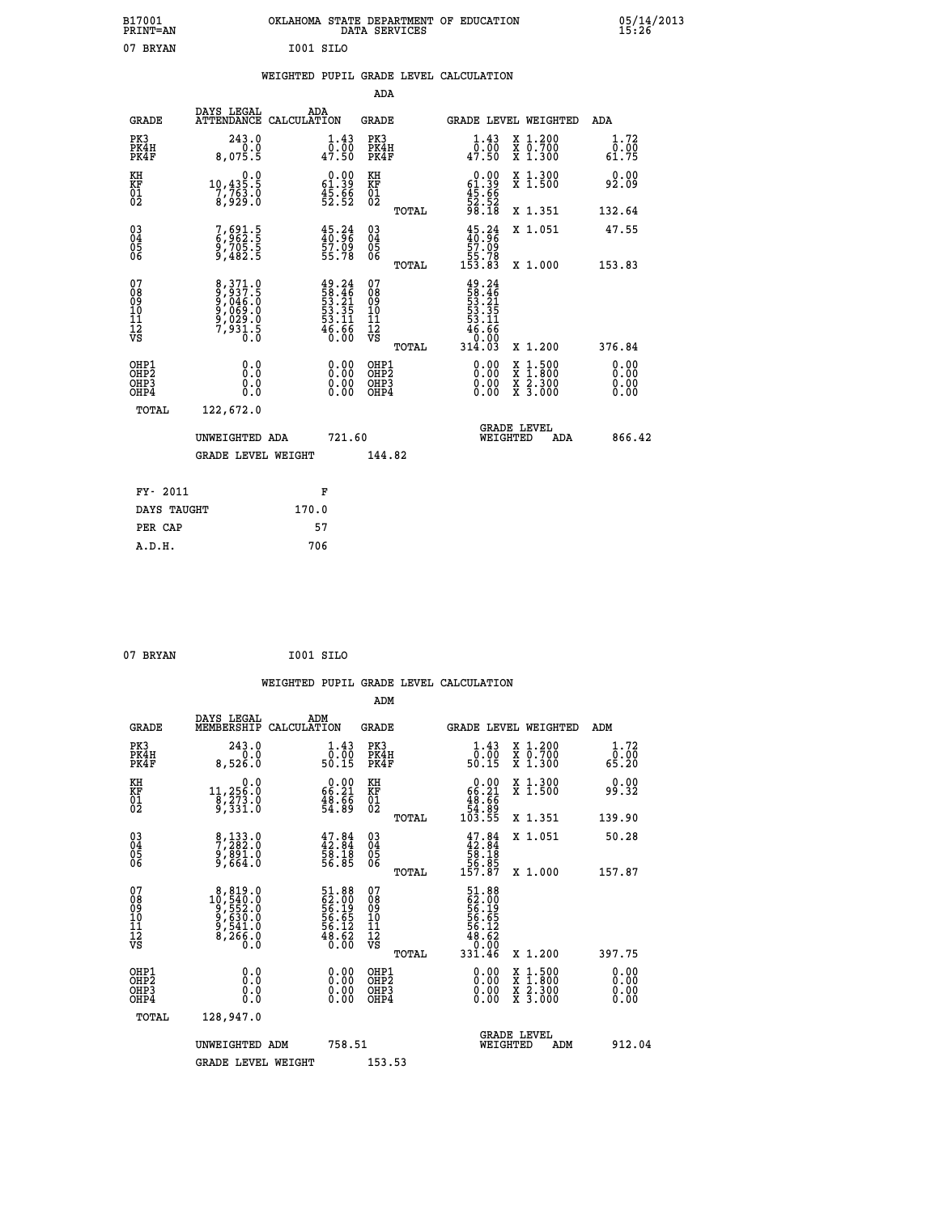| B17001<br><b>PRINT=AN</b> | OKLAHOMA STATE DEPARTMENT OF EDUCATION<br>SERVICES<br>DATA | 05/14/2013<br>15:26 |
|---------------------------|------------------------------------------------------------|---------------------|
| 07<br>BRYAN               | I001 SILO                                                  |                     |

|  |  | WEIGHTED PUPIL GRADE LEVEL CALCULATION |
|--|--|----------------------------------------|
|  |  |                                        |

|                                                                    |                                                                |                                                                          | ADA                                                 |       |                                                                                                                                                                                                                                                                                |                                                                                                                                              |                                   |
|--------------------------------------------------------------------|----------------------------------------------------------------|--------------------------------------------------------------------------|-----------------------------------------------------|-------|--------------------------------------------------------------------------------------------------------------------------------------------------------------------------------------------------------------------------------------------------------------------------------|----------------------------------------------------------------------------------------------------------------------------------------------|-----------------------------------|
| <b>GRADE</b>                                                       | DAYS LEGAL<br>ATTENDANCE CALCULATION                           | ADA                                                                      | <b>GRADE</b>                                        |       |                                                                                                                                                                                                                                                                                | GRADE LEVEL WEIGHTED                                                                                                                         | ADA                               |
| PK3<br>PK4H<br>PK4F                                                | 243.0<br>0.0<br>8,075.5                                        | $\begin{smallmatrix} 1.43\ 0.00\ 47.50 \end{smallmatrix}$                | PK3<br>PK4H<br>PK4F                                 |       | $\begin{smallmatrix} 1.43\ 0.00\ 47.50 \end{smallmatrix}$                                                                                                                                                                                                                      | X 1.200<br>X 0.700<br>X 1.300                                                                                                                | 1.72<br>0.00<br>61.75             |
| KH<br>KF<br>01<br>02                                               | 0.0<br>10,435.5<br>7,763.0<br>8,929.0                          | $\begin{smallmatrix} 0.00\\ 61.39\\ 45.86\\ 52.52 \end{smallmatrix}$     | KH<br>KF<br>01<br>02                                |       | $\begin{smallmatrix} 0.00\\ 61.39\\ 45.66\\ 52.52\\ 98.18 \end{smallmatrix}$                                                                                                                                                                                                   | X 1.300<br>X 1.500                                                                                                                           | 0.00<br>92.09                     |
|                                                                    |                                                                |                                                                          |                                                     | TOTAL |                                                                                                                                                                                                                                                                                | X 1.351                                                                                                                                      | 132.64                            |
| $\begin{smallmatrix} 03 \\[-4pt] 04 \end{smallmatrix}$<br>Ŏ5<br>06 | 7,691.5<br>6,962.5<br>9,705.5<br>9,482.5                       | $45.24$<br>$40.96$<br>$57.09$<br>$55.78$                                 | $\begin{array}{c} 03 \\ 04 \\ 05 \\ 06 \end{array}$ |       | $45.24\n40.96\n57.09\n55.78\n153.83$                                                                                                                                                                                                                                           | X 1.051                                                                                                                                      | 47.55                             |
|                                                                    |                                                                |                                                                          |                                                     | TOTAL |                                                                                                                                                                                                                                                                                | X 1.000                                                                                                                                      | 153.83                            |
| 07<br>08<br>09<br>01<br>11<br>11<br>12<br>VS                       | 8,371.0<br>9,037.5<br>9,046.0<br>9,069.0<br>9,029.0<br>7,931.5 | $49.24$<br>$58.46$<br>$53.21$<br>$53.35$<br>$53.11$<br>$46.66$<br>$0.00$ | 07<br>08<br>09<br>001<br>11<br>11<br>12<br>VS       |       | $49.24$<br>$53.21$<br>$53.35$<br>$53.11$<br>$54.66$<br>$46.66$                                                                                                                                                                                                                 |                                                                                                                                              |                                   |
|                                                                    |                                                                |                                                                          |                                                     | TOTAL | 314.03                                                                                                                                                                                                                                                                         | X 1.200                                                                                                                                      | 376.84                            |
| OHP1<br>OHP <sub>2</sub><br>OH <sub>P3</sub><br>OHP4               | 0.0<br>0.000                                                   | 0.00<br>$\begin{smallmatrix} 0.00 \ 0.00 \end{smallmatrix}$              | OHP1<br>OHP2<br>OHP <sub>3</sub>                    |       | $\begin{smallmatrix} 0.00 & 0.00 & 0.00 & 0.00 & 0.00 & 0.00 & 0.00 & 0.00 & 0.00 & 0.00 & 0.00 & 0.00 & 0.00 & 0.00 & 0.00 & 0.00 & 0.00 & 0.00 & 0.00 & 0.00 & 0.00 & 0.00 & 0.00 & 0.00 & 0.00 & 0.00 & 0.00 & 0.00 & 0.00 & 0.00 & 0.00 & 0.00 & 0.00 & 0.00 & 0.00 & 0.0$ | $\begin{smallmatrix} \mathtt{X} & 1\cdot500 \\ \mathtt{X} & 1\cdot800 \\ \mathtt{X} & 2\cdot300 \\ \mathtt{X} & 3\cdot000 \end{smallmatrix}$ | 0.00<br>Ō. ŌŌ<br>$0.00$<br>$0.00$ |
| TOTAL                                                              | 122,672.0                                                      |                                                                          |                                                     |       |                                                                                                                                                                                                                                                                                |                                                                                                                                              |                                   |
|                                                                    | UNWEIGHTED ADA                                                 | 721.60                                                                   |                                                     |       |                                                                                                                                                                                                                                                                                | <b>GRADE LEVEL</b><br>WEIGHTED<br>ADA                                                                                                        | 866.42                            |
|                                                                    | <b>GRADE LEVEL WEIGHT</b>                                      |                                                                          | 144.82                                              |       |                                                                                                                                                                                                                                                                                |                                                                                                                                              |                                   |
| FY- 2011                                                           |                                                                | F                                                                        |                                                     |       |                                                                                                                                                                                                                                                                                |                                                                                                                                              |                                   |
| DAYS TAUGHT                                                        |                                                                | 170.0                                                                    |                                                     |       |                                                                                                                                                                                                                                                                                |                                                                                                                                              |                                   |
| PER CAP                                                            |                                                                | 57                                                                       |                                                     |       |                                                                                                                                                                                                                                                                                |                                                                                                                                              |                                   |

```
 07 BRYAN I001 SILO
```
 **WEIGHTED PUPIL GRADE LEVEL CALCULATION ADM DAYS LEGAL ADM GRADE MEMBERSHIP CALCULATION GRADE GRADE LEVEL WEIGHTED ADM PK3 243.0 1.43 PK3 1.43 X 1.200 1.72 PK4H 0.0 0.00 PK4H 0.00 X 0.700 0.00 PK4F 8,526.0 50.15 PK4F 50.15 X 1.300 65.20 KH 0.0 0.00 KH 0.00 X 1.300 0.00 KF 11,256.0 66.21 KF 66.21 X 1.500 99.32 01 8,273.0 48.66 01 48.66 02 9,331.0 54.89 02 54.89 TOTAL 103.55 X 1.351 139.90 03 8,133.0 47.84 03 47.84 X 1.051 50.28 04 7,282.0 42.84 04 42.84 05 9,891.0 58.18 05 58.18 06 9,664.0 56.85 06 56.85 TOTAL 157.87 X 1.000 157.87**  $\begin{array}{cccc} 07 & 8,819.0 & 51.88 & 07 & 51.88 \ 08 & 10,540.0 & 62.00 & 08 & 62.00 \ 09 & 9,552.0 & 56.19 & 08 & 66.19 \ 10 & 9,630.0 & 56.65 & 10 & 56.65 \ 11 & 9,512.0 & 56.65 & 11 & 56.65 \ 12 & 8,246.0 & 48.62 & 11 & 56.12 \ \hline\end{array}$  **TOTAL 331.46 X 1.200 397.75 OHP1 0.0 0.00 OHP1 0.00 X 1.500 0.00 OHP2 0.0 0.00 OHP2 0.00 X 1.800 0.00 OHP3 0.0 0.00 OHP3 0.00 X 2.300 0.00 OHP4 0.0 0.00 OHP4 0.00 X 3.000 0.00 TOTAL 128,947.0 GRADE LEVEL UNWEIGHTED ADM 758.51 WEIGHTED ADM 912.04** GRADE LEVEL WEIGHT 153.53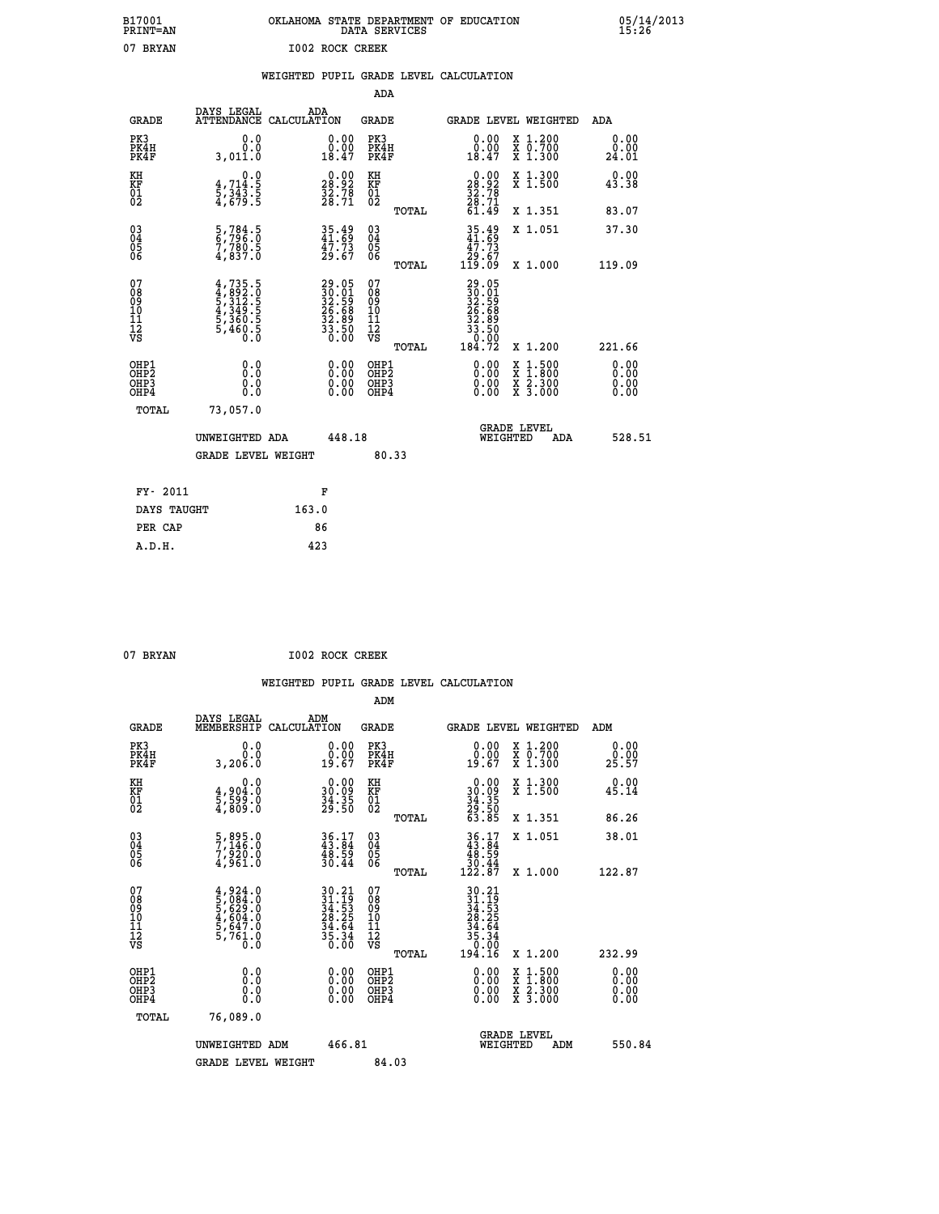| B17001          | OKLAHOMA STATE DEPARTMENT OF EDUCATION |
|-----------------|----------------------------------------|
| <b>PRINT=AN</b> | DATA SERVICES                          |
| 07 BRYAN        | 1002 ROCK CREEK                        |

05/14/2013<br>15:26

|                                          |                                                                                                                                                               | ADA                                                                                                                                                                                                                                           |                                                                                              |                                                                                                                                                                                                                                                      |
|------------------------------------------|---------------------------------------------------------------------------------------------------------------------------------------------------------------|-----------------------------------------------------------------------------------------------------------------------------------------------------------------------------------------------------------------------------------------------|----------------------------------------------------------------------------------------------|------------------------------------------------------------------------------------------------------------------------------------------------------------------------------------------------------------------------------------------------------|
| DAYS LEGAL                               | ADA<br>CALCULATION                                                                                                                                            | <b>GRADE</b>                                                                                                                                                                                                                                  | GRADE LEVEL WEIGHTED                                                                         | <b>ADA</b>                                                                                                                                                                                                                                           |
| 0.0<br>0.0<br>3,011.0                    | $\begin{smallmatrix} 0.00\\ 0.00\\ 18.47 \end{smallmatrix}$                                                                                                   | PK3<br>PK4H<br>PK4F                                                                                                                                                                                                                           | $\begin{smallmatrix} 0.00\\ 0.00\\ 18.47 \end{smallmatrix}$<br>X 1.200<br>X 0.700<br>X 1.300 | 0.00<br>0.00<br>24.01                                                                                                                                                                                                                                |
| 0.0                                      |                                                                                                                                                               | KH                                                                                                                                                                                                                                            | X 1.300<br>X 1.500                                                                           | 0.00<br>43.38                                                                                                                                                                                                                                        |
|                                          |                                                                                                                                                               | TOTAL                                                                                                                                                                                                                                         | X 1.351                                                                                      | 83.07                                                                                                                                                                                                                                                |
| 5,784.5<br>6,796.0<br>7,780.5<br>4,837.0 | $35.49$<br>$41.69$<br>$\frac{47.73}{29.67}$                                                                                                                   | 03<br>04<br>05<br>06                                                                                                                                                                                                                          | X 1.051                                                                                      | 37.30<br>119.09                                                                                                                                                                                                                                      |
|                                          |                                                                                                                                                               | 07                                                                                                                                                                                                                                            |                                                                                              |                                                                                                                                                                                                                                                      |
|                                          |                                                                                                                                                               | TOTAL                                                                                                                                                                                                                                         | X 1.200                                                                                      | 221.66                                                                                                                                                                                                                                               |
| 0.0<br>0.0<br>0.0                        | 0.00<br>$\begin{smallmatrix} 0.00 \ 0.00 \end{smallmatrix}$                                                                                                   | OHP1<br>OH <sub>P</sub> 2<br>OHP3<br>OHP4                                                                                                                                                                                                     | 0.00<br>$1:500$<br>$1:800$<br>X<br>X<br>0.00<br>X 2.300<br>X 3.000<br>0.00                   | 0.00<br>0.00<br>0.00<br>0.00                                                                                                                                                                                                                         |
| 73,057.0                                 |                                                                                                                                                               |                                                                                                                                                                                                                                               |                                                                                              |                                                                                                                                                                                                                                                      |
|                                          |                                                                                                                                                               |                                                                                                                                                                                                                                               | <b>GRADE LEVEL</b><br>WEIGHTED<br>ADA                                                        | 528.51                                                                                                                                                                                                                                               |
|                                          |                                                                                                                                                               | 80.33                                                                                                                                                                                                                                         |                                                                                              |                                                                                                                                                                                                                                                      |
| FY- 2011                                 |                                                                                                                                                               |                                                                                                                                                                                                                                               |                                                                                              |                                                                                                                                                                                                                                                      |
| DAYS TAUGHT                              | 163.0                                                                                                                                                         |                                                                                                                                                                                                                                               |                                                                                              |                                                                                                                                                                                                                                                      |
| PER CAP                                  | 86                                                                                                                                                            |                                                                                                                                                                                                                                               |                                                                                              |                                                                                                                                                                                                                                                      |
|                                          | $\frac{4}{5}, \frac{714}{343}$ . 5<br>$\frac{4}{3}, \frac{343}{5}$ . 5<br>$4,735.5$<br>$4,892.0$<br>$5,312.5$<br>$4,349.5$<br>$5,360.5$<br>$5,460.5$<br>$0.0$ | <b>ATTENDANCE</b><br>$\begin{smallmatrix} 0.00\\ 28.92\\ 32.78\\ 28.71 \end{smallmatrix}$<br>$\begin{smallmatrix} 29.05\\ 30.01\\ 32.59\\ 26.68\\ 32.89\\ 33.50\\ 0.00 \end{smallmatrix}$<br>UNWEIGHTED ADA<br><b>GRADE LEVEL WEIGHT</b><br>F | KF<br>01<br>02<br>TOTAL<br>08<br>09<br>11<br>11<br>12<br>VS<br>448.18                        | $\begin{smallmatrix} 0.00\\28.92\\32.78\\28.71\\61.49\end{smallmatrix}$<br>$35.49$<br>$41.69$<br>$47.73$<br>$29.67$<br>$119.09$<br>X 1.000<br>$\begin{smallmatrix} 29.05\ 30.01\ 32.59\ 32.59\ 36.68\ 33.50\ 33.50\ 0.00\ 184.72\ \end{smallmatrix}$ |

| 07 RRYAN |  |
|----------|--|
|          |  |

 **A.D.H. 423**

07 BRYAN **I002 ROCK CREEK** 

| <b>GRADE</b>                                       | DAYS LEGAL<br>MEMBERSHIP                                                      | ADM<br>CALCULATION                                                                                 | <b>GRADE</b>                                        |       | GRADE LEVEL WEIGHTED                                                                                                                                                                                                                                                           |                                          | ADM                |                      |
|----------------------------------------------------|-------------------------------------------------------------------------------|----------------------------------------------------------------------------------------------------|-----------------------------------------------------|-------|--------------------------------------------------------------------------------------------------------------------------------------------------------------------------------------------------------------------------------------------------------------------------------|------------------------------------------|--------------------|----------------------|
| PK3<br>PK4H<br>PK4F                                | 0.0<br>0.0<br>0.00s, 3                                                        | $\begin{smallmatrix} 0.00\\ 0.00\\ 19.67 \end{smallmatrix}$                                        | PK3<br>PK4H<br>PK4F                                 |       | $\begin{smallmatrix} 0.00\\ 0.00\\ 19.67 \end{smallmatrix}$                                                                                                                                                                                                                    | X 1.200<br>X 0.700<br>X 1.300            | $2\overline{5.57}$ | 0.00                 |
| KH<br>KF<br>01<br>02                               | 0.0<br>4,904:0<br>5,599:0<br>4,809:0                                          | $\begin{smallmatrix} 0.00\\ 30.09\\ 34.35\\ 29.50 \end{smallmatrix}$                               | KH<br>KF<br>01<br>02                                |       | $\begin{smallmatrix} 0.00\\ 30.09\\ 34.35\\ 29.50\\ 63.85 \end{smallmatrix}$                                                                                                                                                                                                   | X 1.300<br>X 1.500                       | 45.14              | 0.00                 |
|                                                    |                                                                               |                                                                                                    |                                                     | TOTAL |                                                                                                                                                                                                                                                                                | X 1.351                                  | 86.26              |                      |
| $\begin{matrix} 03 \\ 04 \\ 05 \\ 06 \end{matrix}$ | $\frac{5}{7}, \frac{895}{146}$ .0<br>$\frac{7}{920}$ .0<br>$\frac{4}{961}$ .0 | $36.17$<br>$43.84$<br>$48.59$<br>$30.44$                                                           | $\begin{array}{c} 03 \\ 04 \\ 05 \\ 06 \end{array}$ |       | $36.17$<br>$43.84$<br>$48.59$<br>$30.44$<br>$122.87$                                                                                                                                                                                                                           | X 1.051                                  | 38.01              |                      |
|                                                    |                                                                               |                                                                                                    |                                                     | TOTAL |                                                                                                                                                                                                                                                                                | X 1.000                                  | 122.87             |                      |
| 07<br>08<br>09<br>101<br>112<br>VS                 | $4,924.0$<br>5,084.0<br>5,629.0<br>5,647.0<br>5,647.0<br>5,761.0              | $\begin{array}{l} 30.21 \\ 31.19 \\ 34.53 \\ 28.25 \\ 34.64 \\ 35.34 \\ 35.34 \\ 0.00 \end{array}$ | 07<br>08<br>09<br>11<br>11<br>12<br>VS              | TOTAL | $\begin{array}{r} 30\cdot21 \\ 31\cdot19 \\ 34\cdot53 \\ 28\cdot25 \\ 28\cdot25 \\ 35\cdot36 \\ 35\cdot36 \\ 0\cdot00 \\ 194\cdot16 \end{array}$                                                                                                                               | X 1.200                                  | 232.99             |                      |
| OHP1<br>OHP2<br>OHP3<br>OHP4                       | 0.0<br>0.0<br>Ŏ.Ŏ                                                             |                                                                                                    | OHP1<br>OHP2<br>OHP3<br>OHP4                        |       | $\begin{smallmatrix} 0.00 & 0.00 & 0.00 & 0.00 & 0.00 & 0.00 & 0.00 & 0.00 & 0.00 & 0.00 & 0.00 & 0.00 & 0.00 & 0.00 & 0.00 & 0.00 & 0.00 & 0.00 & 0.00 & 0.00 & 0.00 & 0.00 & 0.00 & 0.00 & 0.00 & 0.00 & 0.00 & 0.00 & 0.00 & 0.00 & 0.00 & 0.00 & 0.00 & 0.00 & 0.00 & 0.0$ | X 1:500<br>X 1:800<br>X 2:300<br>X 3:000 |                    | 0.00<br>0.00<br>0.00 |
| TOTAL                                              | 76,089.0                                                                      |                                                                                                    |                                                     |       |                                                                                                                                                                                                                                                                                |                                          |                    |                      |
|                                                    | UNWEIGHTED ADM                                                                | 466.81                                                                                             |                                                     |       | <b>GRADE LEVEL</b><br>WEIGHTED                                                                                                                                                                                                                                                 | ADM                                      |                    | 550.84               |
|                                                    | <b>GRADE LEVEL WEIGHT</b>                                                     |                                                                                                    | 84.03                                               |       |                                                                                                                                                                                                                                                                                |                                          |                    |                      |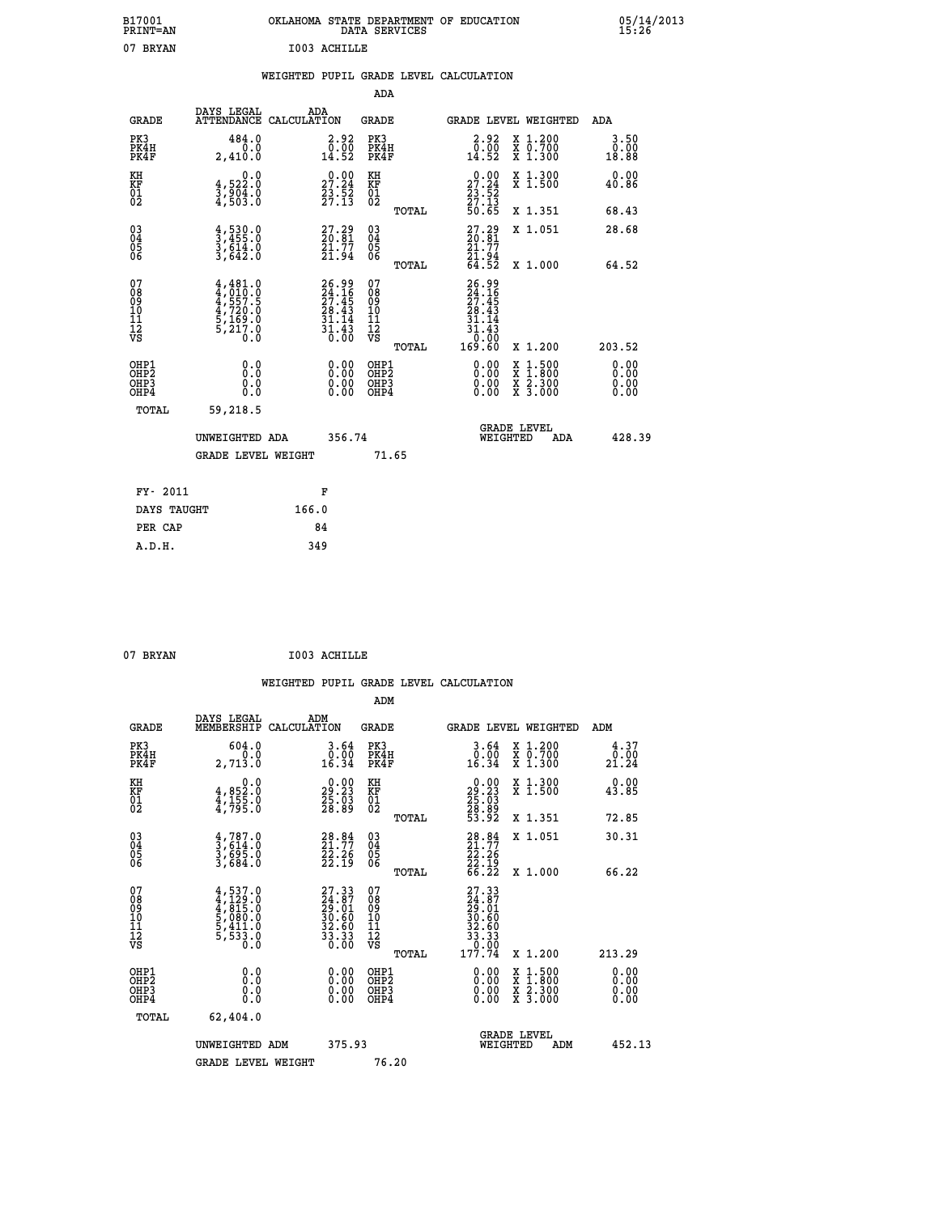| B17001<br><b>PRINT=AN</b> | OKLAHOMA STATE DEPARTMENT OF EDUCATION<br>DATA SERVICES | 05/14/2013<br>15:26 |
|---------------------------|---------------------------------------------------------|---------------------|
| 07<br><b>BRYAN</b>        | I003 ACHILLE                                            |                     |

|  |  | WEIGHTED PUPIL GRADE LEVEL CALCULATION |
|--|--|----------------------------------------|
|  |  |                                        |

|                                                                    |                                                                                     |       |                                                                           | ADA                                       |       |                                                                |          |                                                                  |                              |
|--------------------------------------------------------------------|-------------------------------------------------------------------------------------|-------|---------------------------------------------------------------------------|-------------------------------------------|-------|----------------------------------------------------------------|----------|------------------------------------------------------------------|------------------------------|
| <b>GRADE</b>                                                       | DAYS LEGAL<br>ATTENDANCE CALCULATION                                                | ADA   |                                                                           | <b>GRADE</b>                              |       |                                                                |          | GRADE LEVEL WEIGHTED                                             | <b>ADA</b>                   |
| PK3<br>PK4H<br>PK4F                                                | 484.0<br>0.0<br>2,410.0                                                             |       | $\begin{smallmatrix} 2.92\ 0.00\ 14.52 \end{smallmatrix}$                 | PK3<br>PK4H<br>PK4F                       |       | $\begin{smallmatrix} 2.92\ 0.00\ 14.52 \end{smallmatrix}$      |          | X 1.200<br>X 0.700<br>X 1.300                                    | 3.50<br>0.00<br>18.88        |
| KH<br>KF<br>01<br>02                                               | 0.0<br>$\frac{4}{3}, \frac{522}{904}$ .0<br>4,503.0                                 |       | 27.24<br>$\frac{23.52}{27.13}$                                            | KH<br>KF<br>01<br>02                      |       | 27.24<br>$\frac{23}{27}$ : $\frac{52}{3}$<br>50.65             |          | X 1.300<br>X 1.500                                               | 0.00<br>40.86                |
|                                                                    |                                                                                     |       |                                                                           |                                           | TOTAL |                                                                |          | X 1.351                                                          | 68.43                        |
| $\begin{smallmatrix} 03 \\[-4pt] 04 \end{smallmatrix}$<br>Ŏ5<br>ŌĞ | $\frac{4}{3}, \frac{530}{455}$ .0<br>3,614.0<br>3,642.0                             |       | $27.29$<br>$20.81$<br>$\frac{21.77}{21.94}$                               | $\substack{03 \\ 04}$<br>05<br>06         | TOTAL | $27.29$<br>$20.81$<br>$21.77$<br>$21.94$<br>$64.52$            |          | X 1.051<br>X 1.000                                               | 28.68<br>64.52               |
| 07<br>08<br>09<br>11<br>11<br>12<br>VS                             | $4,481.0$<br>$4,010.0$<br>$4,557.5$<br>$4,720.0$<br>$5,169.0$<br>$5,217.0$<br>$0.0$ |       | $26.99$<br>$24.16$<br>$27.45$<br>$28.43$<br>31.14<br>$\frac{31.43}{0.00}$ | 07<br>08<br>09<br>11<br>11<br>12<br>VS    |       | $26.99$<br>$24.16$<br>$27.45$<br>$28.43$<br>$31.14$<br>$31.43$ |          |                                                                  |                              |
|                                                                    |                                                                                     |       |                                                                           |                                           | TOTAL | ŏō:ōŏ<br>169.60                                                |          | X 1.200                                                          | 203.52                       |
| OHP1<br>OH <sub>P</sub> 2<br>OHP3<br>OHP4                          | 0.0<br>Ō.Ō<br>0.0<br>0.0                                                            |       | 0.00<br>$\begin{smallmatrix} 0.00 \ 0.00 \end{smallmatrix}$               | OHP1<br>OH <sub>P</sub> 2<br>OHP3<br>OHP4 |       | 0.00<br>0.00<br>0.00                                           | X<br>X   | $1:500$<br>$1:800$<br>$\frac{\ddot{x}}{x}$ $\frac{2.300}{3.000}$ | 0.00<br>0.00<br>0.00<br>0.00 |
| TOTAL                                                              | 59,218.5                                                                            |       |                                                                           |                                           |       |                                                                |          |                                                                  |                              |
|                                                                    | UNWEIGHTED ADA                                                                      |       | 356.74                                                                    |                                           |       |                                                                | WEIGHTED | <b>GRADE LEVEL</b><br>ADA                                        | 428.39                       |
|                                                                    | <b>GRADE LEVEL WEIGHT</b>                                                           |       |                                                                           | 71.65                                     |       |                                                                |          |                                                                  |                              |
| FY- 2011                                                           |                                                                                     | F     |                                                                           |                                           |       |                                                                |          |                                                                  |                              |
| DAYS TAUGHT                                                        |                                                                                     | 166.0 |                                                                           |                                           |       |                                                                |          |                                                                  |                              |
| PER CAP                                                            |                                                                                     | 84    |                                                                           |                                           |       |                                                                |          |                                                                  |                              |

07 BRYAN **I003 ACHILLE** 

| <b>GRADE</b>                                         | DAYS LEGAL<br>MEMBERSHIP                                                                               | ADM<br>CALCULATION                                                                                  | <b>GRADE</b>                                 |       |                                                                                                  |          | GRADE LEVEL WEIGHTED                                                                                                                      | ADM                                                                                                                                           |  |
|------------------------------------------------------|--------------------------------------------------------------------------------------------------------|-----------------------------------------------------------------------------------------------------|----------------------------------------------|-------|--------------------------------------------------------------------------------------------------|----------|-------------------------------------------------------------------------------------------------------------------------------------------|-----------------------------------------------------------------------------------------------------------------------------------------------|--|
| PK3<br>PK4H<br>PK4F                                  | 604.0<br>2,713.0                                                                                       | 3.64<br>0.00<br>16.34                                                                               | PK3<br>PK4H<br>PK4F                          |       | 3.64<br>$0.00$<br>16.34                                                                          |          | X 1.200<br>X 0.700<br>X 1.300                                                                                                             | 4.37<br>$\overset{\textcolor{red}{\mathbf{0}}\,\textcolor{red}{\mathbf{.00}}\,\textcolor{red}{\mathbf{0}}\,21\,\textcolor{red}{\mathbf{.24}}$ |  |
| KH<br>KF<br>01<br>02                                 | 0.0<br>$4,852.0$<br>$4,155.0$<br>$4,795.0$                                                             | $\begin{smallmatrix} 0.00\\29.23\\25.03\\28.89 \end{smallmatrix}$                                   | KH<br>KF<br>01<br>02                         |       | $\begin{smallmatrix} 0.00\\29.23\\25.03\\28.89\\53.92 \end{smallmatrix}$                         |          | X 1.300<br>X 1.500                                                                                                                        | 0.00<br>43.85                                                                                                                                 |  |
|                                                      |                                                                                                        |                                                                                                     |                                              | TOTAL |                                                                                                  |          | X 1.351                                                                                                                                   | 72.85                                                                                                                                         |  |
| $\begin{matrix} 03 \\ 04 \\ 05 \\ 06 \end{matrix}$   | $\begin{smallmatrix} 4\ 3\ 3\ 6\ 14\ 0\ 3\ 6\ 9\ 5\ 0\ 3\ 6\ 9\ 5\ 0\ 3\ 6\ 8\ 4\ 0 \end{smallmatrix}$ | $28.84$<br>$21.77$<br>$22.26$<br>$22.19$                                                            | $\substack{03 \\ 04}$<br>Ŏ5<br>06            |       | $28.84$<br>$21.77$<br>$22.26$<br>$22.19$                                                         |          | X 1.051                                                                                                                                   | 30.31                                                                                                                                         |  |
|                                                      |                                                                                                        |                                                                                                     |                                              | TOTAL | $\overline{6}\overline{6}\cdot\overline{2}\overline{2}$                                          |          | X 1.000                                                                                                                                   | 66.22                                                                                                                                         |  |
| 07<br>08<br>09<br>101<br>112<br>VS                   | $4,537.0$<br>$4,129.0$<br>$4,815.0$<br>$5,080.0$<br>$5,411.0$<br>$5,533.0$<br>$0.0$                    | $\begin{smallmatrix} 27.33 \\ 24.87 \\ 29.01 \\ 30.60 \\ 32.60 \\ 33.33 \\ 33.30 \end{smallmatrix}$ | 07<br>08<br>09<br>01<br>11<br>11<br>12<br>VS |       | $\begin{smallmatrix} 27.33\ 24.87\ 29.01\ 32.60\ 32.60\ 33.33\ 33.33\ 177.74\ \end{smallmatrix}$ |          |                                                                                                                                           |                                                                                                                                               |  |
|                                                      |                                                                                                        |                                                                                                     |                                              | TOTAL |                                                                                                  |          | X 1.200                                                                                                                                   | 213.29                                                                                                                                        |  |
| OHP1<br>OHP <sub>2</sub><br>OH <sub>P3</sub><br>OHP4 | 0.0<br>0.0<br>0.0                                                                                      | $0.00$<br>$0.00$<br>0.00                                                                            | OHP1<br>OHP <sub>2</sub><br>OHP3<br>OHP4     |       |                                                                                                  |          | $\begin{smallmatrix} \mathtt{X} & 1\cdot500\\ \mathtt{X} & 1\cdot800\\ \mathtt{X} & 2\cdot300\\ \mathtt{X} & 3\cdot000 \end{smallmatrix}$ | 0.00<br>0.00<br>0.00<br>0.00                                                                                                                  |  |
| TOTAL                                                | 62,404.0                                                                                               |                                                                                                     |                                              |       |                                                                                                  |          |                                                                                                                                           |                                                                                                                                               |  |
|                                                      | UNWEIGHTED ADM                                                                                         | 375.93                                                                                              |                                              |       |                                                                                                  | WEIGHTED | <b>GRADE LEVEL</b><br>ADM                                                                                                                 | 452.13                                                                                                                                        |  |
|                                                      | <b>GRADE LEVEL WEIGHT</b>                                                                              |                                                                                                     | 76.20                                        |       |                                                                                                  |          |                                                                                                                                           |                                                                                                                                               |  |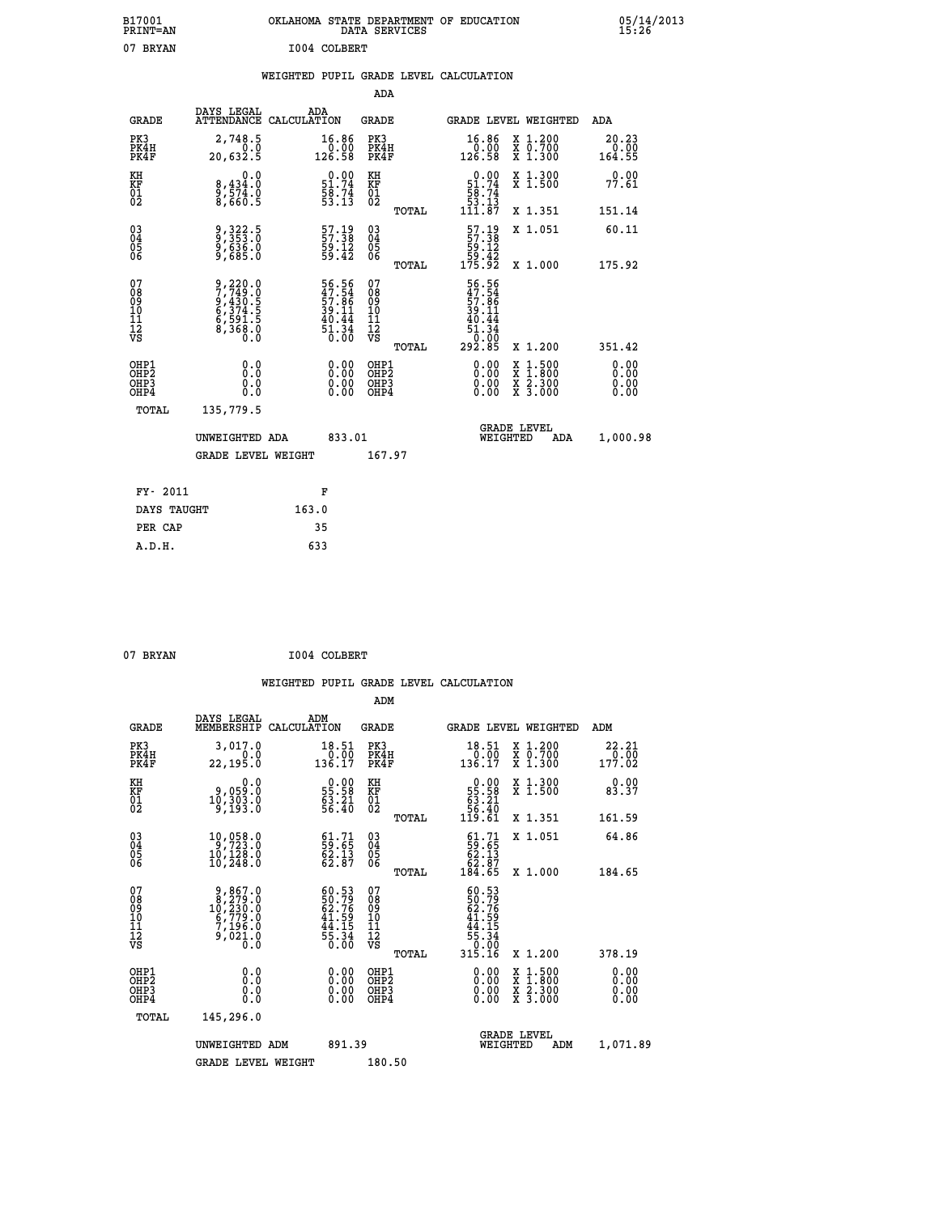| B17001<br><b>PRINT=AN</b> | OKLAHOMA STATE DEPARTMENT OF EDUCATION<br>DATA SERVICES | 05/14/2013<br>15:26 |
|---------------------------|---------------------------------------------------------|---------------------|
| 07<br>BRYAN               | I004 COLBERT                                            |                     |

### **WEIGHTED PUPIL GRADE LEVEL CALCULATION**

|                                                    |                                          |                                                                       |                    |                                                             | ADA                                                 |       |                                                                                                     |          |                                          |                                |
|----------------------------------------------------|------------------------------------------|-----------------------------------------------------------------------|--------------------|-------------------------------------------------------------|-----------------------------------------------------|-------|-----------------------------------------------------------------------------------------------------|----------|------------------------------------------|--------------------------------|
|                                                    | <b>GRADE</b>                             | DAYS LEGAL<br><b>ATTENDANCE</b>                                       | ADA<br>CALCULATION |                                                             | <b>GRADE</b>                                        |       |                                                                                                     |          | GRADE LEVEL WEIGHTED                     | <b>ADA</b>                     |
|                                                    | PK3<br>PK4H<br>PK4F                      | 2,748.5<br>20,632.5                                                   |                    | $\begin{array}{c} 16.86 \\ 0.00 \\ 126.58 \end{array}$      | PK3<br>PK4H<br>PK4F                                 |       | $\begin{smallmatrix} 16.86\ 0.00 \ 126.58 \end{smallmatrix}$                                        |          | X 1.200<br>X 0.700<br>X 1.300            | 20.23<br>$\frac{0.00}{164.55}$ |
| KH<br>KF<br>01<br>02                               |                                          | 0.0<br>8,434:0<br>9,574.0<br>8,660:5                                  |                    | $51.74$<br>$58.74$<br>$53.13$                               | KH<br>KF<br>01<br>02                                |       | $0.00$<br>51.74<br>$\frac{5}{3}$<br>$\frac{5}{3}$ : $\frac{7}{3}$<br>111.87                         |          | X 1.300<br>X 1.500                       | 0.00<br>77.61                  |
|                                                    |                                          |                                                                       |                    |                                                             |                                                     | TOTAL |                                                                                                     |          | X 1.351                                  | 151.14                         |
| $\begin{matrix} 03 \\ 04 \\ 05 \\ 06 \end{matrix}$ |                                          | 9, 322.5<br>9, 353.0<br>9, 636.0<br>9, 685.0                          |                    | $\frac{57.19}{57.38}$<br>$\frac{59.12}{59.42}$              | $\begin{array}{c} 03 \\ 04 \\ 05 \\ 06 \end{array}$ | TOTAL | $\begin{smallmatrix} 57.19\\57.38\\59.12\\59.42\\175.92 \end{smallmatrix}$                          |          | X 1.051<br>X 1.000                       | 60.11<br>175.92                |
| 07<br>08<br>09<br>11<br>11<br>12<br>VS             |                                          | 9,220.0<br>7,749.0<br>9,430.5<br>6,374.5<br>6,591.5<br>8,368.0<br>0.0 |                    | 56.56<br>47.54<br>57.86<br>39.11<br>39.44<br>51.34<br>50.00 | 07<br>08<br>09<br>11<br>11<br>12<br>VS              |       | 56.56<br>47.54<br>57.86<br>39.11<br>$\begin{array}{r} 40.44 \\ 51.34 \\ 0.00 \\ 292.85 \end{array}$ |          |                                          |                                |
|                                                    |                                          |                                                                       |                    |                                                             |                                                     | TOTAL |                                                                                                     |          | X 1.200                                  | 351.42                         |
|                                                    | OHP1<br>OHP <sub>2</sub><br>OHP3<br>OHP4 | 0.0<br>0.0<br>Ŏ.Ŏ                                                     |                    | 0.00<br>$\begin{smallmatrix} 0.00 \ 0.00 \end{smallmatrix}$ | OHP1<br>OH <sub>P</sub> 2<br>OHP3<br>OHP4           |       | 0.00<br>0.00<br>0.00                                                                                | X<br>X   | $1:500$<br>$1:800$<br>X 2.300<br>X 3.000 | 0.00<br>0.00<br>0.00<br>0.00   |
|                                                    | TOTAL                                    | 135,779.5                                                             |                    |                                                             |                                                     |       |                                                                                                     |          |                                          |                                |
|                                                    |                                          | UNWEIGHTED ADA                                                        |                    | 833.01                                                      |                                                     |       |                                                                                                     | WEIGHTED | <b>GRADE LEVEL</b><br>ADA                | 1,000.98                       |
|                                                    |                                          | <b>GRADE LEVEL WEIGHT</b>                                             |                    |                                                             | 167.97                                              |       |                                                                                                     |          |                                          |                                |
|                                                    | FY- 2011                                 |                                                                       | F                  |                                                             |                                                     |       |                                                                                                     |          |                                          |                                |
|                                                    | DAYS TAUGHT                              |                                                                       | 163.0              |                                                             |                                                     |       |                                                                                                     |          |                                          |                                |
|                                                    | PER CAP                                  |                                                                       | 35                 |                                                             |                                                     |       |                                                                                                     |          |                                          |                                |

| 07 BRYAN | I004 COLBERT |
|----------|--------------|

 **A.D.H. 633**

|                                          |                                                                                                          |                                                                        | ADM                                                 |                                                                                                 |                                          |                              |
|------------------------------------------|----------------------------------------------------------------------------------------------------------|------------------------------------------------------------------------|-----------------------------------------------------|-------------------------------------------------------------------------------------------------|------------------------------------------|------------------------------|
| <b>GRADE</b>                             | DAYS LEGAL<br>MEMBERSHIP                                                                                 | ADM<br>CALCULATION                                                     | <b>GRADE</b>                                        |                                                                                                 | GRADE LEVEL WEIGHTED                     | ADM                          |
| PK3<br>PK4H<br>PK4F                      | 3,017.0<br>0.0<br>22, 195.0                                                                              | 18.51<br>0.00<br>136.17                                                | PK3<br>PK4H<br>PK4F                                 | $18.51$<br>$0.00$<br>$136.17$                                                                   | X 1.200<br>X 0.700<br>X 1.300            | 22.21<br>$\frac{1}{177.02}$  |
| KH<br>KF<br>01<br>02                     | 0.0<br>0,059.0<br>10,303.0<br>9,193.0                                                                    | $\begin{smallmatrix} 0.00\\ 55.58\\ 63.21\\ 56.40 \end{smallmatrix}$   | KH<br>KF<br>01<br>02                                | $\begin{smallmatrix} &0.00\ 55.58\ 63.21\ 56.40\ 119.61\end{smallmatrix}$                       | X 1.300<br>X 1.500                       | 0.00<br>83.37                |
|                                          |                                                                                                          |                                                                        | TOTAL                                               |                                                                                                 | X 1.351                                  | 161.59                       |
| 03<br>04<br>05<br>06                     | 10,058.0<br>9,723.0<br>10,128.0<br>10,248.0                                                              | $\begin{smallmatrix} 61.71\ 59.65\ 62.13\ 62.87 \end{smallmatrix}$     | $\begin{array}{c} 03 \\ 04 \\ 05 \\ 06 \end{array}$ | $\begin{smallmatrix} 61.71 \\ 59.65 \\ 62.13 \\ 62.87 \\ 184.65 \end{smallmatrix}$              | X 1.051                                  | 64.86                        |
|                                          |                                                                                                          |                                                                        | TOTAL                                               |                                                                                                 | X 1.000                                  | 184.65                       |
| 07<br>08<br>09<br>101<br>11<br>12<br>VS  | $\begin{smallmatrix} 9,867.0\\ 8,279.0\\ 10,230.0\\ 6,779.0\\ 7,196.0\\ 9,021.0\\ 0.0 \end{smallmatrix}$ | $60.53$<br>50.79<br>62.76<br>62.76<br>41.59<br>44.15<br>55.34<br>55.34 | 07<br>08<br>09<br>11<br>11<br>12<br>VS<br>TOTAL     | $60.53$<br>$50.79$<br>$62.76$<br>$41.59$<br>$44.15$<br>$55.34$<br>$55.34$<br>$0.00$<br>$315.16$ | X 1.200                                  | 378.19                       |
| OHP1<br>OHP2<br>OH <sub>P3</sub><br>OHP4 | 0.0<br>0.000                                                                                             | $0.00$<br>$0.00$<br>0.00                                               | OHP1<br>OHP2<br>OHP <sub>3</sub>                    | $0.00$<br>$0.00$<br>0.00                                                                        | X 1:500<br>X 1:800<br>X 2:300<br>X 3:000 | 0.00<br>0.00<br>0.00<br>0.00 |
| TOTAL                                    | 145,296.0                                                                                                |                                                                        |                                                     |                                                                                                 |                                          |                              |
|                                          | UNWEIGHTED ADM                                                                                           | 891.39                                                                 |                                                     | WEIGHTED                                                                                        | <b>GRADE LEVEL</b><br>ADM                | 1,071.89                     |
|                                          | <b>GRADE LEVEL WEIGHT</b>                                                                                |                                                                        | 180.50                                              |                                                                                                 |                                          |                              |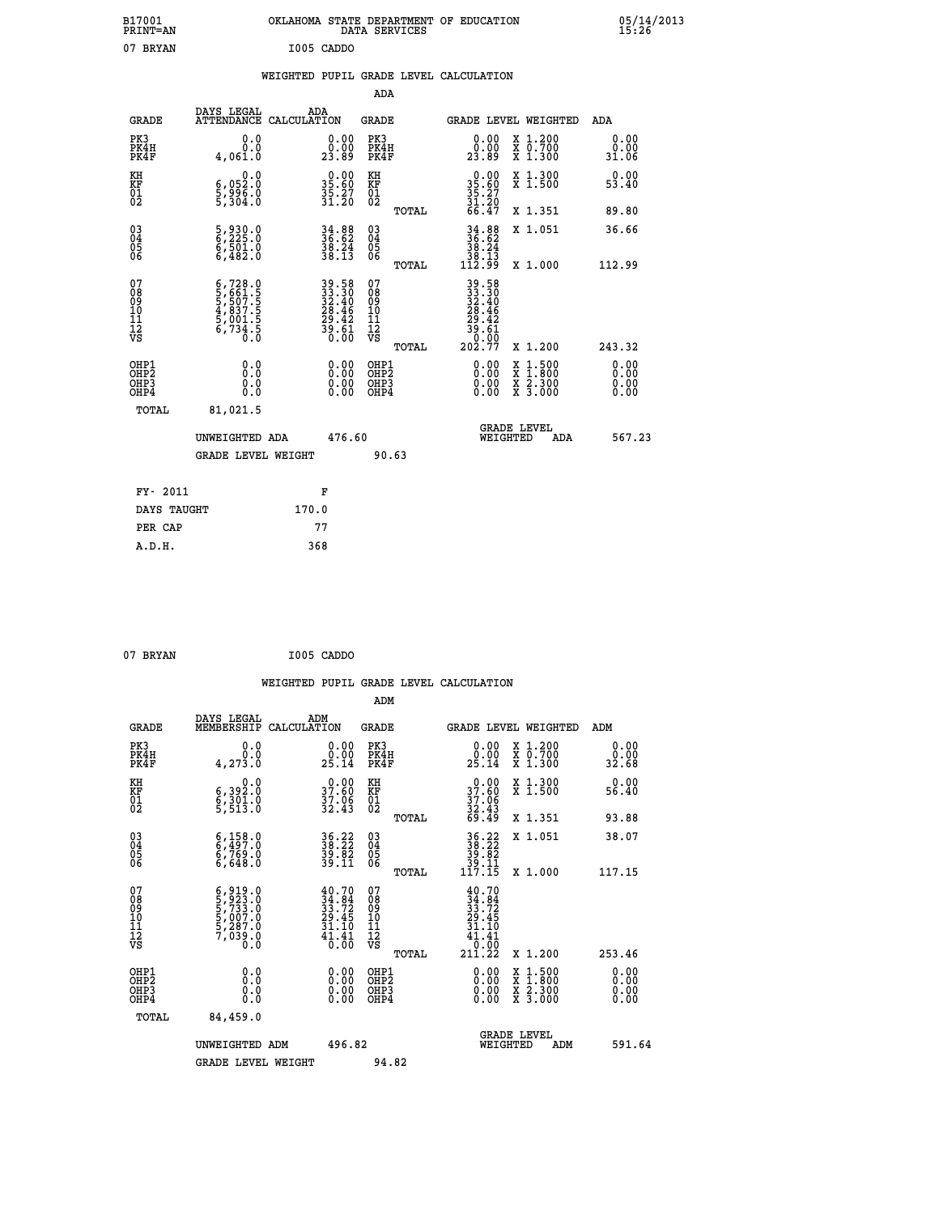| B17001<br>PRINT=AN                             |                                                                                                                                                                     | OKLAHOMA STATE DEPARTMENT OF EDUCATION   | DATA SERVICES                                      |                                                                      |                                                                                                  | 05/14/2013            |
|------------------------------------------------|---------------------------------------------------------------------------------------------------------------------------------------------------------------------|------------------------------------------|----------------------------------------------------|----------------------------------------------------------------------|--------------------------------------------------------------------------------------------------|-----------------------|
| 07 BRYAN                                       |                                                                                                                                                                     | I005 CADDO                               |                                                    |                                                                      |                                                                                                  |                       |
|                                                |                                                                                                                                                                     | WEIGHTED PUPIL GRADE LEVEL CALCULATION   |                                                    |                                                                      |                                                                                                  |                       |
|                                                |                                                                                                                                                                     |                                          | ADA                                                |                                                                      |                                                                                                  |                       |
| <b>GRADE</b>                                   | DAYS LEGAL                                                                                                                                                          | ADA<br>ATTENDANCE CALCULATION            | GRADE                                              |                                                                      | GRADE LEVEL WEIGHTED                                                                             | ADA                   |
| PK3<br>PK4H<br>PK4F                            | 0.0<br>0.0<br>4,061.0                                                                                                                                               | 0.00<br>0.00<br>23.89                    | PK3<br>PK4H<br>PK4F                                | 0.00<br>0.00<br>23.89                                                | X 1.200<br>X 0.700<br>X 1.300                                                                    | 0.00<br>0.00<br>31.06 |
| KH<br>KF<br>$\frac{01}{02}$                    | 0.0<br>6,052:0<br>5,996:0<br>5,304:0                                                                                                                                | $35.80$<br>$35.27$<br>$31.20$            | KH<br>KF<br>$\overline{01}$                        | $\begin{smallmatrix} 0.00\\ 35.60\\ 35.27\\ 31.20 \end{smallmatrix}$ | X 1.300<br>X 1.500                                                                               | 0.00<br>53.40         |
|                                                |                                                                                                                                                                     |                                          | TOTAL                                              | 66.47                                                                | X 1.351                                                                                          | 89.80                 |
| $\substack{03 \\ 04}$<br>$\substack{05 \\ 06}$ | 5,930.0<br>6,225.0<br>6,501.0<br>6,482.0                                                                                                                            | $34.88$<br>$36.62$<br>$38.24$<br>$38.13$ | $\begin{matrix} 03 \\ 04 \\ 05 \\ 06 \end{matrix}$ | $34.88$<br>$36.62$<br>$38.24$<br>$38.13$<br>$112.99$                 | X 1.051                                                                                          | 36.66                 |
|                                                |                                                                                                                                                                     |                                          | TOTAL                                              |                                                                      | X 1.000                                                                                          | 112.99                |
| 07<br>08<br>09<br>11<br>11<br>12<br>VS         | $\begin{smallmatrix} 6\,,\,728\,.\,0\\ 5\,,\,661\,. \,5\\ 5\,,\,507\,. \,5\\ 4\,,\,837\,. \,5\\ 5\,,\,001\,. \,5\\ 6\,,\,734\,. \,5\\ 0\,. \,0\\ \end{smallmatrix}$ | $39.5833.3032.4028.4629.4239.6130.00$    | 07<br>08<br>09<br>101<br>11<br>12<br>VS            | 39.58<br>33.30<br>32.40<br>28.46<br>29.42<br>39.61<br>Ō.ŎŌ           |                                                                                                  |                       |
|                                                |                                                                                                                                                                     |                                          | TOTAL                                              | 202.77                                                               | X 1.200                                                                                          | 243.32                |
| OHP1<br>OH <sub>P</sub> 2<br>OHP3<br>OHP4      | 0.0<br>0.0<br>0.0                                                                                                                                                   |                                          | OHP1<br>OHP2<br>OHP3<br>OHP4                       | 0.00<br>0.00<br>0.00                                                 | $\begin{smallmatrix} x & 1 & 500 \\ x & 1 & 800 \\ x & 2 & 300 \\ x & 3 & 000 \end{smallmatrix}$ | 0.00<br>0.00<br>0.00  |
| TOTAL                                          | 81,021.5                                                                                                                                                            |                                          |                                                    |                                                                      |                                                                                                  |                       |
|                                                | UNWEIGHTED ADA                                                                                                                                                      | 476.60                                   |                                                    | WEIGHTED                                                             | <b>GRADE LEVEL</b><br>ADA                                                                        | 567.23                |
|                                                | <b>GRADE LEVEL WEIGHT</b>                                                                                                                                           |                                          | 90.63                                              |                                                                      |                                                                                                  |                       |
| FY- 2011                                       |                                                                                                                                                                     | F                                        |                                                    |                                                                      |                                                                                                  |                       |
| DAYS TAUGHT                                    |                                                                                                                                                                     | 170.0                                    |                                                    |                                                                      |                                                                                                  |                       |
| PER CAP                                        |                                                                                                                                                                     | 77                                       |                                                    |                                                                      |                                                                                                  |                       |

| 07 BRYAN | I005 CADDO |
|----------|------------|
|          |            |

 **WEIGHTED PUPIL GRADE LEVEL CALCULATION ADM DAYS LEGAL ADM GRADE MEMBERSHIP CALCULATION GRADE GRADE LEVEL WEIGHTED ADM PK3 0.0 0.00 PK3 0.00 X 1.200 0.00 PK4H 0.0 0.00 PK4H 0.00 X 0.700 0.00 PK4F 4,273.0 25.14 PK4F 25.14 X 1.300 32.68 KH 0.0 0.00 KH 0.00 X 1.300 0.00 KF 6,392.0 37.60 KF 37.60 X 1.500 56.40 01 6,301.0 37.06 01 37.06 02 5,513.0 32.43 02 32.43 TOTAL 69.49 X 1.351 93.88 03 6,158.0 36.22 03 36.22 X 1.051 38.07 04 6,497.0 38.22 04 38.22 05 6,769.0 39.82 05 39.82 06 6,648.0 39.11 06 39.11 TOTAL 117.15 X 1.000 117.15**  $\begin{array}{cccc} 07 & 6 \,,\,919\,,0 & 40\,.70 & 07 & 40\,.70 \ 08 & 5 \,,\,923\,.0 & 34\,.84 & 08 & 34\,.84 \ 10 & 5 \,,\,007\,.0 & 29\,.45 & 10 & 29\,.45 \ 11 & 5 \,,\,007\,.0 & 31\,.72 & 09 & 33\,.72 \ 12 & 7 \,,\,039\,.0 & 31\,.1 & 1 & 31\,.10 \ 12 & 7 \,,\,039\,.0 & 4 \ 0\,.0 & 4 \$  **TOTAL 211.22 X 1.200 253.46 OHP1 0.0 0.00 OHP1 0.00 X 1.500 0.00 OHP2 0.0 0.00 OHP2 0.00 X 1.800 0.00 OHP3 0.0 0.00 OHP3 0.00 X 2.300 0.00 OHP4 0.0 0.00 OHP4 0.00 X 3.000 0.00 TOTAL 84,459.0 GRADE LEVEL UNWEIGHTED ADM 496.82 WEIGHTED ADM 591.64** GRADE LEVEL WEIGHT 94.82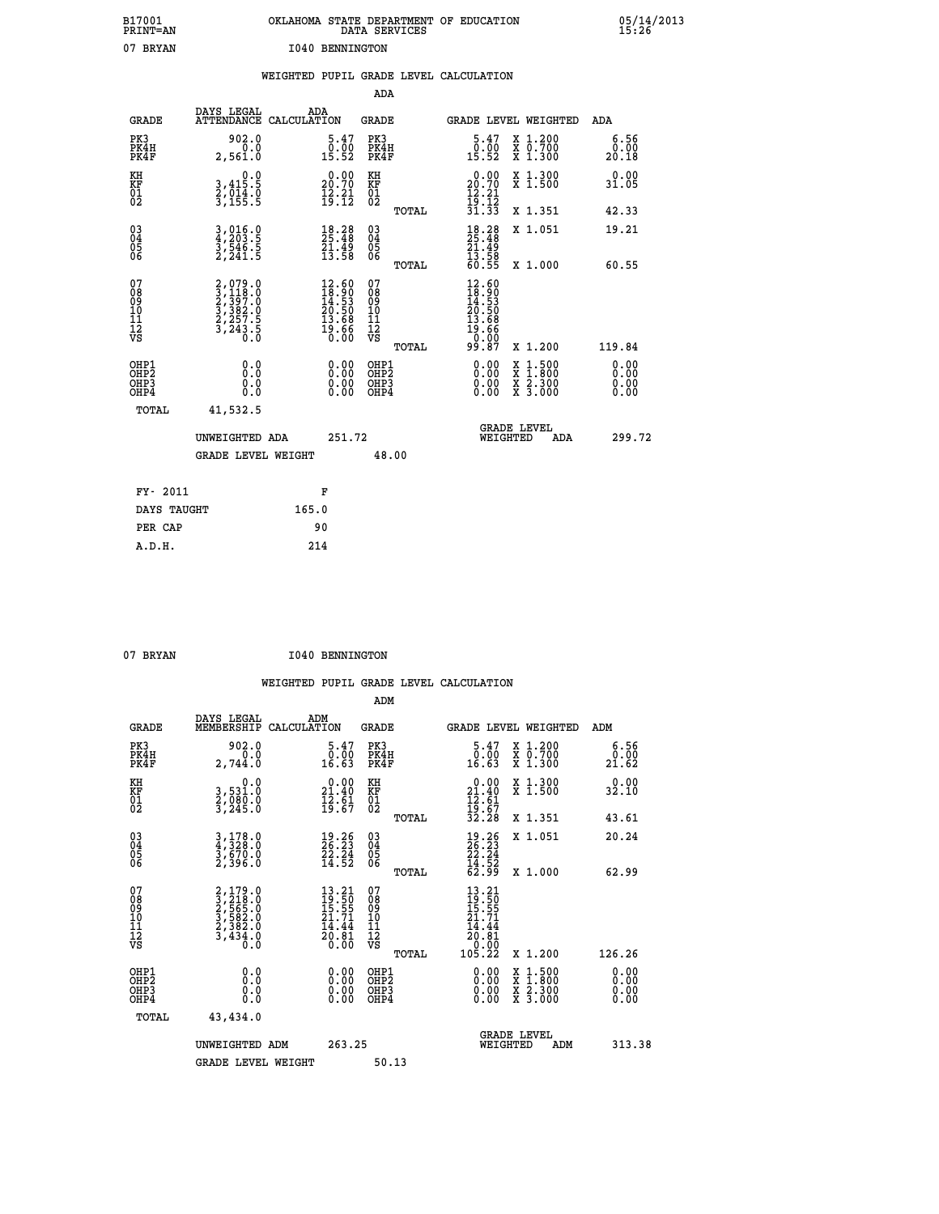| B17001<br>PRINT=AN<br>07 BRYAN                    |                                                                                     | OKLAHOMA STATE DEPARTMENT OF EDUCATION<br>1040 BENNINGTON                                                                                                         | DATA SERVICES                                               |                                                                                                                                                                                                                                                     |                                          | 05/14/2013            |
|---------------------------------------------------|-------------------------------------------------------------------------------------|-------------------------------------------------------------------------------------------------------------------------------------------------------------------|-------------------------------------------------------------|-----------------------------------------------------------------------------------------------------------------------------------------------------------------------------------------------------------------------------------------------------|------------------------------------------|-----------------------|
|                                                   |                                                                                     | WEIGHTED PUPIL GRADE LEVEL CALCULATION                                                                                                                            | ADA                                                         |                                                                                                                                                                                                                                                     |                                          |                       |
|                                                   | DAYS LEGAL                                                                          | ADA                                                                                                                                                               |                                                             |                                                                                                                                                                                                                                                     |                                          |                       |
| <b>GRADE</b>                                      | ATTENDANCE CALCULATION                                                              |                                                                                                                                                                   | <b>GRADE</b>                                                |                                                                                                                                                                                                                                                     | GRADE LEVEL WEIGHTED                     | ADA                   |
| PK3<br>PK4H<br>PK4F                               | 902.0<br>0.0<br>2,561.0                                                             | 5.47<br>$\begin{smallmatrix} \textcolor{red}{0} \textbf{.} \textcolor{red}{\textbf{0}} \textbf{.} \ \textbf{15} \textbf{.} \textcolor{red}{52} \end{smallmatrix}$ | PK3<br>PK4H<br>PK4F                                         | 5.47<br>$\begin{smallmatrix} 0.100 1.001 0.001 0.001 0.001 0.001 0.001 0.001 0.001 0.001 0.001 0.001 0.001 0.001 0.001 0.001 0.001 0.001 0.001 0.001 0.001 0.001 0.001 0.001 0.001 0.001 0.001 0.001 0.001 0.001 0.001 0.001 0.001 0.001 0.001 0.0$ | X 1.200<br>X 0.700<br>X 1.300            | 6.56<br>0.00<br>20.18 |
| KH<br>KF<br>$\begin{matrix} 01 \ 02 \end{matrix}$ | 0.0<br>3,415:5<br>2,014:0<br>3,155:5                                                | 20.00<br>$\frac{1}{2}$ $\frac{2}{3}$ $\cdot \frac{2}{12}$                                                                                                         | KH<br><b>KF</b><br>01<br>02                                 | 20.90                                                                                                                                                                                                                                               | X 1.300<br>X 1.500                       | 0.00<br>31.05         |
|                                                   |                                                                                     |                                                                                                                                                                   | TOTAL                                                       | $\frac{12}{19}$ : $\frac{21}{12}$<br>$\frac{31}{31}$ : $\frac{33}{3}$                                                                                                                                                                               | X 1.351                                  | 42.33                 |
| 03<br>04<br>05<br>06                              | $3, 016.0$<br>$4, 203.5$<br>$3, 546.5$<br>$2, 241.5$                                | $\begin{smallmatrix} 18.28\ 25.48\ 21.49\ 13.58 \end{smallmatrix}$                                                                                                | $^{03}_{04}$<br>$\frac{05}{06}$                             | $18.28$<br>$25.48$<br>$21.49$<br>$13.58$<br>$60.55$                                                                                                                                                                                                 | X 1.051                                  | 19.21                 |
|                                                   |                                                                                     |                                                                                                                                                                   | TOTAL                                                       |                                                                                                                                                                                                                                                     | X 1.000                                  | 60.55                 |
| 07<br>08<br>09<br>11<br>11<br>12<br>VS            | $2,079.0$<br>$2,397.0$<br>$2,397.0$<br>$3,382.0$<br>$2,257.5$<br>$3,243.5$<br>$0.0$ | $12.60$<br>$18.90$<br>$14.53$<br>$20.50$<br>$13.68$<br>$19.66$<br>$0.00$                                                                                          | 07<br>08<br>09<br>10<br>11<br>$\frac{1}{\sqrt{2}}$<br>TOTAL | $12.60$<br>$18.90$<br>$14.53$<br>$20.50$<br>$13.68$<br>$\frac{19.66}{0.00}$<br>99.87                                                                                                                                                                | X 1.200                                  | 119.84                |
| OHP1<br>OHP2                                      | 0.000                                                                               | $0.00$<br>$0.00$                                                                                                                                                  | OHP1<br>OHP2                                                | $0.00$<br>$0.00$                                                                                                                                                                                                                                    |                                          | 0.00                  |
| OHP3<br>OHP4                                      | 0.0<br>0.0                                                                          | 0.00                                                                                                                                                              | OHP3<br>OHP4                                                | 0.00                                                                                                                                                                                                                                                | X 1:500<br>X 1:800<br>X 2:300<br>X 3:000 | 0.00<br>0.00          |
| TOTAL                                             | 41,532.5                                                                            |                                                                                                                                                                   |                                                             |                                                                                                                                                                                                                                                     |                                          |                       |
|                                                   | UNWEIGHTED ADA                                                                      | 251.72                                                                                                                                                            |                                                             | WEIGHTED                                                                                                                                                                                                                                            | <b>GRADE LEVEL</b><br>ADA                | 299.72                |
|                                                   | <b>GRADE LEVEL WEIGHT</b>                                                           |                                                                                                                                                                   | 48.00                                                       |                                                                                                                                                                                                                                                     |                                          |                       |
| FY- 2011                                          |                                                                                     | F                                                                                                                                                                 |                                                             |                                                                                                                                                                                                                                                     |                                          |                       |
| DAYS TAUGHT                                       |                                                                                     | 165.0                                                                                                                                                             |                                                             |                                                                                                                                                                                                                                                     |                                          |                       |
| PER CAP                                           |                                                                                     | 90                                                                                                                                                                |                                                             |                                                                                                                                                                                                                                                     |                                          |                       |

| 07 BRYAN | 1040 BENNINGTON |
|----------|-----------------|

|                                           |                                                                                           |                                                                          | ADM                                                 |                                                                                                                        |                                          |                       |
|-------------------------------------------|-------------------------------------------------------------------------------------------|--------------------------------------------------------------------------|-----------------------------------------------------|------------------------------------------------------------------------------------------------------------------------|------------------------------------------|-----------------------|
| <b>GRADE</b>                              | DAYS LEGAL<br>MEMBERSHIP                                                                  | ADM<br>CALCULATION                                                       | <b>GRADE</b>                                        | <b>GRADE LEVEL WEIGHTED</b>                                                                                            |                                          | ADM                   |
| PK3<br>PK4H<br>PK4F                       | 902.0<br>0.0<br>2,744.0                                                                   | $5.47$<br>$0.00$<br>16.63                                                | PK3<br>PK4H<br>PK4F                                 | $\begin{smallmatrix}5.47\0.00\\16.63\end{smallmatrix}$                                                                 | X 1.200<br>X 0.700<br>X 1.300            | 6.56<br>ŏ:ŏŏ<br>21.62 |
| KH<br>KF<br>01<br>02                      | 0.0<br>3,531.0<br>2,080.0<br>3,245.0                                                      | $\begin{smallmatrix} 0.00\\ 21.40\\ 12.61\\ 19.67 \end{smallmatrix}$     | KH<br>KF<br>01<br>02                                | $0.00$<br>$21.40$<br>$12.61$<br>$19.67$<br>$32.28$                                                                     | X 1.300<br>X 1.500                       | 0.00<br>32.10         |
|                                           |                                                                                           |                                                                          | TOTAL                                               |                                                                                                                        | X 1.351                                  | 43.61                 |
| 03<br>04<br>05<br>06                      | $3,178.0$<br>$4,328.0$<br>$3,670.0$<br>$2,396.0$                                          | $\begin{smallmatrix} 19.26\ 26.23\ 22.24\ 14.52 \end{smallmatrix}$       | $\begin{array}{c} 03 \\ 04 \\ 05 \\ 06 \end{array}$ | $\begin{smallmatrix} 19.26\ 26.23\ 22.24\ 14.52\ 62.99 \end{smallmatrix}$                                              | X 1.051                                  | 20.24                 |
|                                           |                                                                                           |                                                                          | TOTAL                                               |                                                                                                                        | X 1.000                                  | 62.99                 |
| 07<br>08<br>09<br>101<br>112<br>VS        | $2, 179.0$<br>$3, 218.0$<br>$2, 565.0$<br>$3, 582.0$<br>$2, 382.0$<br>$3, 434.0$<br>$0.0$ | $13.21$<br>$19.50$<br>$15.55$<br>$21.71$<br>$14.44$<br>$20.81$<br>$0.00$ | 07<br>08<br>09<br>11<br>11<br>12<br>VS<br>TOTAL     | $\begin{smallmatrix} 13 & .21\ 19 & .50\ 15 & .55\ 11 & .71\ 24 & .44\ 20 & 81\ 0 & .00\ 105 & .22\ \end{smallmatrix}$ | X 1.200                                  | 126.26                |
| OHP1<br>OHP2<br>OH <sub>P</sub> 3<br>OHP4 | 0.0<br>$\begin{smallmatrix} 0.16 \ 0.0 \end{smallmatrix}$                                 |                                                                          | OHP1<br>OHP2<br>OHP <sub>3</sub>                    | $0.00$<br>$0.00$<br>0.00                                                                                               | X 1:500<br>X 1:800<br>X 2:300<br>X 3:000 | 0.00<br>0.00<br>0.00  |
| TOTAL                                     | 43,434.0                                                                                  |                                                                          |                                                     |                                                                                                                        |                                          |                       |
|                                           | UNWEIGHTED ADM                                                                            | 263.25                                                                   |                                                     |                                                                                                                        | GRADE LEVEL<br>WEIGHTED<br>ADM           | 313.38                |
|                                           | <b>GRADE LEVEL WEIGHT</b>                                                                 |                                                                          | 50.13                                               |                                                                                                                        |                                          |                       |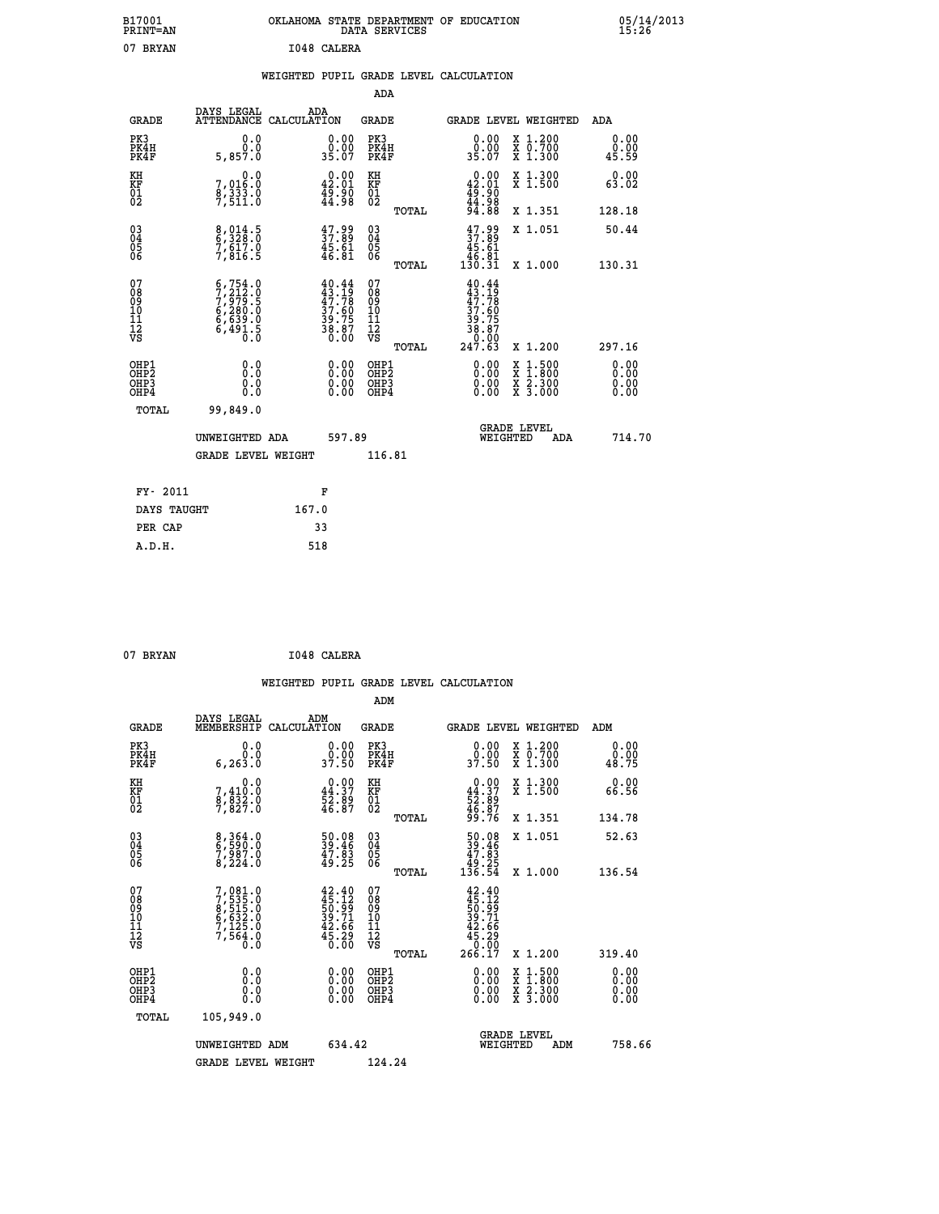| B17001<br>PRINT=AN | OKLAHOMA STATE DEPARTMENT OF EDUCATION<br>DATA SERVICES | 05/14/2013<br>15:26 |
|--------------------|---------------------------------------------------------|---------------------|
| 07<br>BRYAN        | I048 CALERA                                             |                     |

|  |  | WEIGHTED PUPIL GRADE LEVEL CALCULATION |
|--|--|----------------------------------------|
|  |  |                                        |

|                                                                    |                                                                                                                                                                  |                                                                          | ADA                                                 |       |                                                                                                                                          |                                          |                       |
|--------------------------------------------------------------------|------------------------------------------------------------------------------------------------------------------------------------------------------------------|--------------------------------------------------------------------------|-----------------------------------------------------|-------|------------------------------------------------------------------------------------------------------------------------------------------|------------------------------------------|-----------------------|
| <b>GRADE</b>                                                       | DAYS LEGAL<br>ATTENDANCE CALCULATION                                                                                                                             | ADA                                                                      | <b>GRADE</b>                                        |       |                                                                                                                                          | GRADE LEVEL WEIGHTED                     | ADA                   |
| PK3<br>PK4H<br>PK4F                                                | 0.0<br>0.0<br>5,857.0                                                                                                                                            | 0.00<br>0.00<br>35.07                                                    | PK3<br>PK4H<br>PK4F                                 |       | 0.00<br>35.00                                                                                                                            | X 1.200<br>X 0.700<br>X 1.300            | 0.00<br>0.00<br>45.59 |
| KH<br>KF<br>01<br>02                                               | 0.0<br>7,016:0<br>8,333.0<br>7,511:0                                                                                                                             | $0.00$<br>42.01<br>$\frac{45.80}{44.98}$                                 | KH<br>KF<br>$\overline{01}$                         |       | 0.00<br>42.01<br>$\frac{46}{44}$ . 90<br>$94.88$                                                                                         | X 1.300<br>X 1.500                       | 0.00<br>63.02         |
|                                                                    |                                                                                                                                                                  |                                                                          |                                                     | TOTAL |                                                                                                                                          | X 1.351                                  | 128.18                |
| $\begin{smallmatrix} 03 \\[-4pt] 04 \end{smallmatrix}$<br>Ŏ5<br>06 | 8,014.5<br>6,328.0<br>7,617.0<br>7,816.5                                                                                                                         | $\begin{smallmatrix} 47.99 \\ 37.89 \\ 45.61 \\ 46.81 \end{smallmatrix}$ | $\begin{array}{c} 03 \\ 04 \\ 05 \\ 06 \end{array}$ |       | $47.99$<br>$37.89$<br>$45.61$<br>$46.81$<br>$130.31$                                                                                     | X 1.051                                  | 50.44                 |
|                                                                    |                                                                                                                                                                  |                                                                          |                                                     | TOTAL |                                                                                                                                          | X 1.000                                  | 130.31                |
| 07<br>08<br>09<br>01<br>11<br>11<br>12<br>VS                       | $\begin{smallmatrix} 6\,,\,754\,.\,0\\ 7\,,\,212\,. \,0\\ 7\,,\,979\,. \,5\\ 6\,,\,280\,. \,0\\ 6\,,\,639\,. \,0\\ 6\,,\,491\,. \,5\\ 0\,. \,0\end{smallmatrix}$ | 40.44<br>$43.19$<br>$47.78$<br>$37.60$<br>$39.75$<br>$38.87$<br>$0.00$   | 07<br>08<br>09<br>11<br>11<br>12<br>VS              |       | 40.44<br>$\frac{1}{4}\frac{3}{7}\cdot\frac{1}{7}\frac{5}{8}$<br>$\begin{array}{r} 37.60 \\ 39.75 \\ 38.87 \\ 0.00 \\ 247.63 \end{array}$ |                                          |                       |
|                                                                    |                                                                                                                                                                  |                                                                          |                                                     | TOTAL |                                                                                                                                          | X 1.200                                  | 297.16                |
| OHP1<br><b>OHP2</b><br>OH <sub>P3</sub><br>OHP4                    | 0.0<br>0.0<br>0.0                                                                                                                                                | $0.00$<br>$0.00$<br>0.00                                                 | OHP1<br>OHP2<br>OHP3<br>OHP4                        |       |                                                                                                                                          | X 1:500<br>X 1:800<br>X 2:300<br>X 3:000 | 0.00<br>0.00<br>0.00  |
| TOTAL                                                              | 99,849.0                                                                                                                                                         |                                                                          |                                                     |       |                                                                                                                                          |                                          |                       |
|                                                                    | UNWEIGHTED ADA                                                                                                                                                   | 597.89                                                                   |                                                     |       |                                                                                                                                          | <b>GRADE LEVEL</b><br>WEIGHTED<br>ADA    | 714.70                |
|                                                                    | <b>GRADE LEVEL WEIGHT</b>                                                                                                                                        |                                                                          | 116.81                                              |       |                                                                                                                                          |                                          |                       |
| FY- 2011                                                           |                                                                                                                                                                  | F                                                                        |                                                     |       |                                                                                                                                          |                                          |                       |
| DAYS TAUGHT                                                        |                                                                                                                                                                  | 167.0                                                                    |                                                     |       |                                                                                                                                          |                                          |                       |
| PER CAP                                                            |                                                                                                                                                                  | 33                                                                       |                                                     |       |                                                                                                                                          |                                          |                       |

| 07 BRYAN | I048 CALERA |
|----------|-------------|
|          |             |

 **WEIGHTED PUPIL GRADE LEVEL CALCULATION ADM DAYS LEGAL ADM GRADE MEMBERSHIP CALCULATION GRADE GRADE LEVEL WEIGHTED ADM PK3 0.0 0.00 PK3 0.00 X 1.200 0.00 PK4H 0.0 0.00 PK4H 0.00 X 0.700 0.00 PK4F 6,263.0 37.50 PK4F 37.50 X 1.300 48.75 KH 0.0 0.00 KH 0.00 X 1.300 0.00 KF 7,410.0 44.37 KF 44.37 X 1.500 66.56 01 8,832.0 52.89 01 52.89 02 7,827.0 46.87 02 46.87 TOTAL 99.76 X 1.351 134.78 03 8,364.0 50.08 03 50.08 X 1.051 52.63 04 6,590.0 39.46 04 39.46 05 7,987.0 47.83 05 47.83 06 8,224.0 49.25 06 49.25 TOTAL 136.54 X 1.000 136.54**  $\begin{array}{cccc} 07 & 7,081.0 & 42.40 & 07 & 42.40 \cr 08 & 7,515.0 & 50.99 & 09 & 51.29 \cr 09 & 6,515.0 & 50.99 & 09 & 50.99 \cr 10 & 6,632.0 & 39.71 & 10 & 39.71 \cr 11 & 7,125.0 & 42.66 & 11 & 42.66 \cr 12 & 7,564.0 & 45.26 & 12 & 45.29 \cr \nabla S & 0.0 & 0 & 0 & 0 &$  $\begin{array}{cccccccc} 07 & 7,081.0 & 42.40 & 07 & 42.40 & 0.5003 & 0.0000000 & 0.0000000 & 0.0000000 & 0.0000000 & 0.000000 & 0.000000 & 0.000000 & 0.000000 & 0.000000 & 0.000000 & 0.000000 & 0.000000 & 0.000000 & 0.000000 & 0.000000 & 0.000000 & 0.000000$  **OHP1 0.0 0.00 OHP1 0.00 X 1.500 0.00 OHP2 0.0 0.00 OHP2 0.00 X 1.800 0.00 OHP3 0.0 0.00 OHP3 0.00 X 2.300 0.00 OHP4 0.0 0.00 OHP4 0.00 X 3.000 0.00**

| TOTAL | 105,949.0          |        |                                       |        |
|-------|--------------------|--------|---------------------------------------|--------|
|       | UNWEIGHTED ADM     | 634.42 | <b>GRADE LEVEL</b><br>WEIGHTED<br>ADM | 758.66 |
|       | GRADE LEVEL WEIGHT | 124.24 |                                       |        |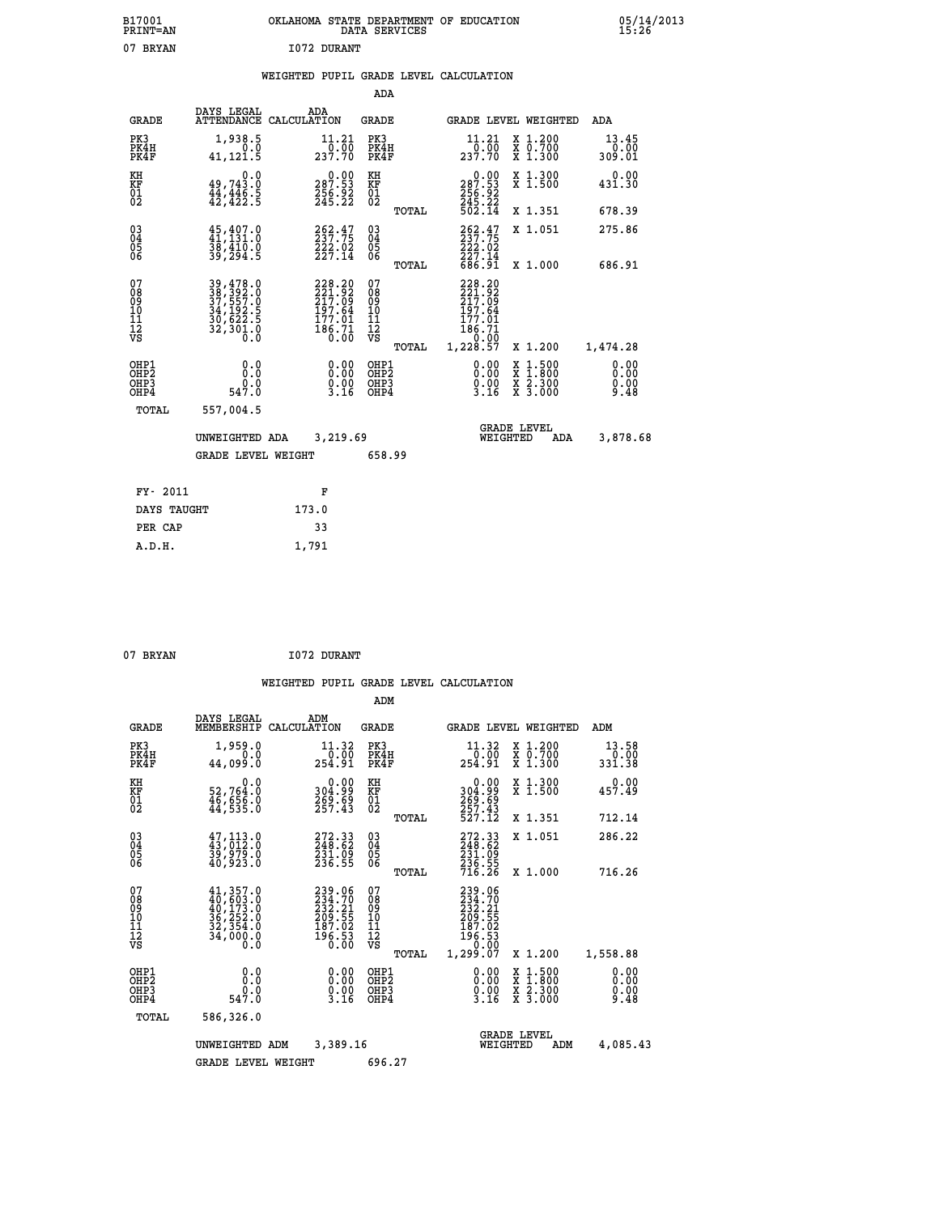| B17001<br><b>PRINT=AN</b> | OKLAHOMA<br>. STATE DEPARTMENT OF EDUCATION<br>DATA SERVICES | 05/14/2013<br>15:26 |
|---------------------------|--------------------------------------------------------------|---------------------|
| 07<br><b>BRYAN</b>        | 1072 DURANT                                                  |                     |

### **WEIGHTED PUPIL GRADE LEVEL CALCULATION**

|                                                                    |                                                                                           |                                                                         | ADA                                     |       |                                                                                  |                                          |                         |
|--------------------------------------------------------------------|-------------------------------------------------------------------------------------------|-------------------------------------------------------------------------|-----------------------------------------|-------|----------------------------------------------------------------------------------|------------------------------------------|-------------------------|
| <b>GRADE</b>                                                       | DAYS LEGAL                                                                                | ADA<br>ATTENDANCE CALCULATION                                           | GRADE                                   |       | GRADE LEVEL WEIGHTED                                                             |                                          | ADA                     |
| PK3<br>PK4H<br>PK4F                                                | 1,938.5<br>0.0<br>41,121.5                                                                | 11.21<br>0.00<br>237.70                                                 | PK3<br>PK4H<br>PK4F                     |       | 11.21<br>237.70                                                                  | X 1.200<br>X 0.700<br>X 1.300            | 13.45<br>0.00<br>309.01 |
| KH<br>KF<br>01<br>02                                               | 0.0<br>$49,743.0$<br>$44,446.5$<br>$42,422.5$                                             | $\begin{smallmatrix} 0.00\\ 287.53\\ 256.92\\ 245.22 \end{smallmatrix}$ | KH<br>KF<br>01<br>02                    |       | $\begin{smallmatrix} &0.00\\ 287.53\\ 256.92\\ 245.22\\ 502.14\end{smallmatrix}$ | X 1.300<br>X 1.500                       | 0.00<br>431.30          |
|                                                                    |                                                                                           |                                                                         |                                         | TOTAL |                                                                                  | X 1.351                                  | 678.39                  |
| $\begin{smallmatrix} 03 \\[-4pt] 04 \end{smallmatrix}$<br>Ŏ5<br>06 | $\begin{smallmatrix} 45,407.0\\ 41,131.0\\ 38,410.0\\ 39,294.5 \end{smallmatrix}$         | $262.47$<br>$237.75$<br>$222.02$<br>$227.14$                            | $\substack{03 \\ 04}$<br>Ŏ5<br>06       |       | 262.47<br>237.75<br>222.02<br>227.14<br>686.91                                   | X 1.051                                  | 275.86<br>686.91        |
|                                                                    |                                                                                           |                                                                         |                                         | TOTAL |                                                                                  | X 1.000                                  |                         |
| 07<br>08<br>09<br>11<br>11<br>12<br>VS                             | 39,478.0<br>38,392.0<br>37,557.0<br>34,192.5<br>30,622.5<br>32,301.0<br>$\overline{0}$ .0 | 228.20<br>221.92<br>217.09<br>197.64<br>$\frac{177.01}{186.71}$         | 07<br>08<br>09<br>101<br>11<br>12<br>VS | TOTAL | 228.20<br>221.92<br>217.09<br>197.64<br>177.01<br>186.71<br>0.00<br>1,228.57     | X 1.200                                  | 1,474.28                |
| OHP1<br>OHP2<br>OH <sub>P3</sub><br>OH <sub>P4</sub>               | 0.0<br>$0.0$<br>547.0                                                                     | 0.00<br>$\frac{0}{3}$ . 00<br>3.16                                      | OHP1<br>OHP2<br>OHP3<br>OHP4            |       | 0.00<br>0.00<br>3.16                                                             | X 1:500<br>X 1:800<br>X 2:300<br>X 3:000 | 0.00<br>0.00<br>9.48    |
| TOTAL                                                              | 557,004.5                                                                                 |                                                                         |                                         |       |                                                                                  |                                          |                         |
|                                                                    | UNWEIGHTED ADA                                                                            | 3,219.69                                                                |                                         |       | WEIGHTED                                                                         | <b>GRADE LEVEL</b><br>ADA                | 3,878.68                |
|                                                                    | <b>GRADE LEVEL WEIGHT</b>                                                                 |                                                                         | 658.99                                  |       |                                                                                  |                                          |                         |
| FY- 2011                                                           |                                                                                           | F                                                                       |                                         |       |                                                                                  |                                          |                         |
| DAYS TAUGHT                                                        |                                                                                           | 173.0                                                                   |                                         |       |                                                                                  |                                          |                         |
| PER CAP                                                            |                                                                                           | 33                                                                      |                                         |       |                                                                                  |                                          |                         |
| A.D.H.                                                             |                                                                                           | 1,791                                                                   |                                         |       |                                                                                  |                                          |                         |

| 07 BRYAN |  |
|----------|--|
|          |  |

 **A.D.H. 1,791**

**I072 DURANT** 

|                                                       |                                                                           |                                                                         | ADM                                                |                                                                                      |                                                                   |                                          |                              |
|-------------------------------------------------------|---------------------------------------------------------------------------|-------------------------------------------------------------------------|----------------------------------------------------|--------------------------------------------------------------------------------------|-------------------------------------------------------------------|------------------------------------------|------------------------------|
| <b>GRADE</b>                                          | DAYS LEGAL<br>MEMBERSHIP                                                  | ADM<br>CALCULATION                                                      | <b>GRADE</b>                                       |                                                                                      |                                                                   | <b>GRADE LEVEL WEIGHTED</b>              | ADM                          |
| PK3<br>PK4H<br>PK4F                                   | 1,959.0<br>0.0<br>44,099.0                                                | 11.32<br>254.91                                                         | PK3<br>PK4H<br>PK4F                                | 11.32<br>254.91                                                                      | 0.00                                                              | X 1.200<br>X 0.700<br>X 1.300            | 13.58<br>0.00<br>331.38      |
| KH<br>KF<br>01<br>02                                  | 0.0<br>52,764:0<br>46,656:0<br>44,535:0                                   | $\begin{smallmatrix} 0.00\\ 304.99\\ 269.69\\ 257.43 \end{smallmatrix}$ | KH<br>KF<br>01<br>02                               | 304:99<br>269.69<br>257:43<br>527:12                                                 | 0.00                                                              | X 1.300<br>X 1.500                       | 0.00<br>457.49               |
|                                                       |                                                                           |                                                                         |                                                    | TOTAL                                                                                |                                                                   | X 1.351                                  | 712.14                       |
| 03<br>04<br>05<br>06                                  | $47,113.0$<br>$43,012.0$<br>$39,979.0$<br>40,923.0                        | 272.33<br>248.62<br>231.09<br>236.55                                    | $\begin{matrix} 03 \\ 04 \\ 05 \\ 06 \end{matrix}$ | 272.33<br>248.62<br>$\frac{231.09}{236.55}$<br>$\frac{236.55}{716.26}$               |                                                                   | X 1.051                                  | 286.22                       |
|                                                       |                                                                           |                                                                         |                                                    | TOTAL                                                                                |                                                                   | X 1.000                                  | 716.26                       |
| 07<br>08<br>09<br>101<br>112<br>VS                    | 41, 357.0<br>40, 603.0<br>40, 173.0<br>36, 252.0<br>32, 354.0<br>34,000.0 | 239.06<br>234.70<br>232.21<br>209:55<br>187:02<br>196:53<br>0:00        | 07<br>08<br>09<br>101<br>11<br>12<br>VS            | 239.06<br>234.70<br>232.21<br>209.55<br>$\frac{187.02}{196.53}$<br>1,299.07<br>TOTAL |                                                                   | X 1.200                                  | 1,558.88                     |
| OHP1<br>OH <sub>P</sub> 2<br>OH <sub>P3</sub><br>OHP4 | 0.0<br>$0.0$<br>547.0                                                     | $\begin{smallmatrix} 0.00\ 0.00\ 0.00\ 3.16 \end{smallmatrix}$          | OHP1<br>OHP2<br>OHP3<br>OHP4                       |                                                                                      | $\begin{smallmatrix} 0.00\\ 0.00\\ 0.00\\ 3.16 \end{smallmatrix}$ | X 1:500<br>X 1:800<br>X 2:300<br>X 3:000 | 0.00<br>0.00<br>0.00<br>9.48 |
| TOTAL                                                 | 586,326.0                                                                 |                                                                         |                                                    |                                                                                      |                                                                   |                                          |                              |
|                                                       | UNWEIGHTED                                                                | 3,389.16<br>ADM                                                         |                                                    |                                                                                      | <b>GRADE LEVEL</b><br>WEIGHTED                                    | ADM                                      | 4,085.43                     |
|                                                       | <b>GRADE LEVEL WEIGHT</b>                                                 |                                                                         | 696.27                                             |                                                                                      |                                                                   |                                          |                              |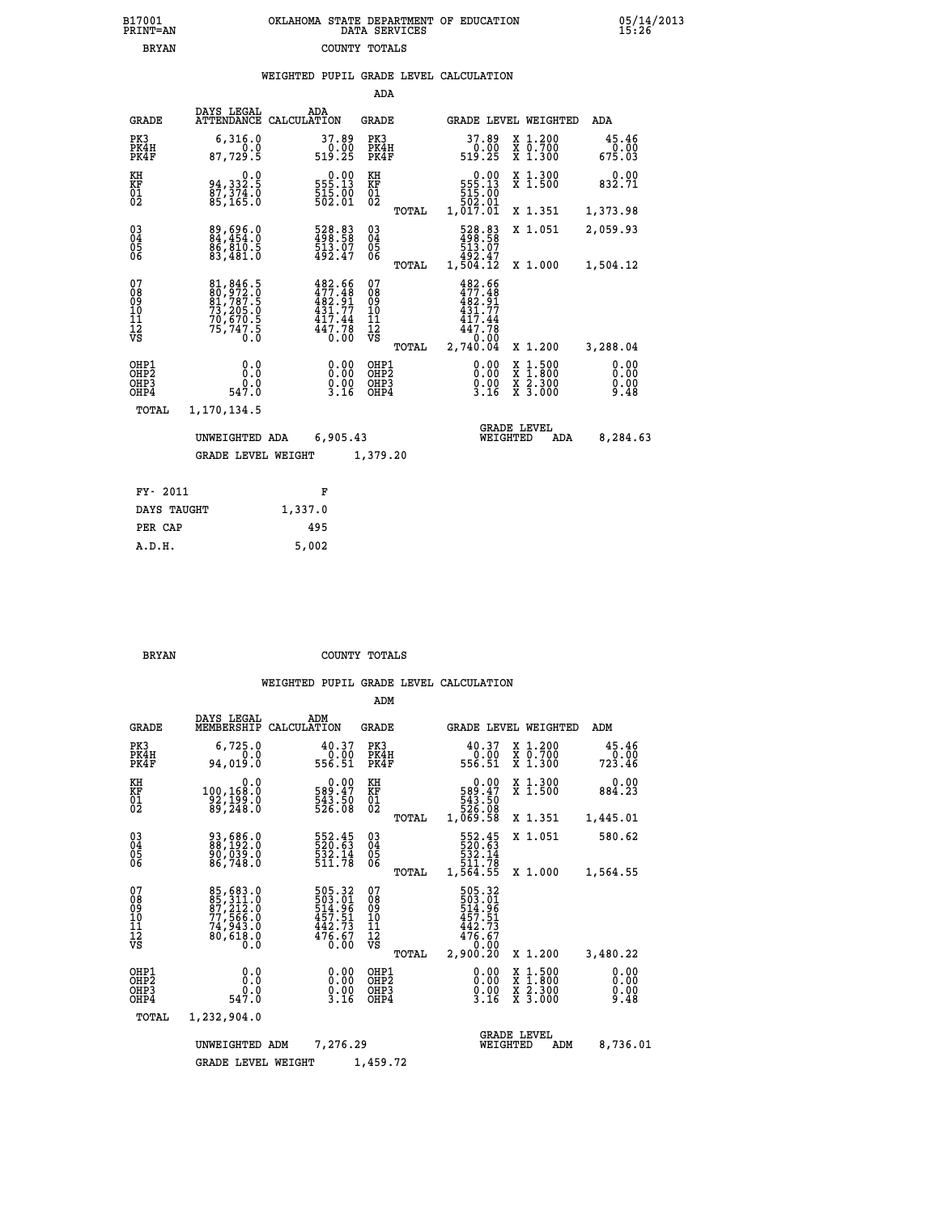| B17001          | OKLAHOMA STATE DEPARTMENT OF EDUCATION |
|-----------------|----------------------------------------|
| <b>PRINT=AN</b> | DATA SERVICES                          |
| <b>BRYAN</b>    | COUNTY TOTALS                          |

|  |  | WEIGHTED PUPIL GRADE LEVEL CALCULATION |
|--|--|----------------------------------------|
|  |  |                                        |

|                                                                    |                                                                      |             |                                                                      | ADA                                       |       |                                                                                   |                                  |                                          |                              |
|--------------------------------------------------------------------|----------------------------------------------------------------------|-------------|----------------------------------------------------------------------|-------------------------------------------|-------|-----------------------------------------------------------------------------------|----------------------------------|------------------------------------------|------------------------------|
| <b>GRADE</b>                                                       | DAYS LEGAL<br><b>ATTENDANCE</b>                                      | CALCULATION | ADA                                                                  | <b>GRADE</b>                              |       |                                                                                   |                                  | <b>GRADE LEVEL WEIGHTED</b>              | <b>ADA</b>                   |
| PK3<br>PK4H<br>PK4F                                                | 6,316.0<br>0.0<br>87,729.5                                           |             | 37.89<br>$\begin{array}{c} 0.00 \\ 519.25 \end{array}$               | PK3<br>PK4H<br>PK4F                       |       | 37.89<br>$\begin{smallmatrix} 0.00\\ 519.25 \end{smallmatrix}$                    |                                  | X 1.200<br>X 0.700<br>X 1.300            | 45.46<br>0.00<br>675.03      |
| KH<br>KF<br>01<br>02                                               | 0.0<br>94,332.5<br>87,374.0<br>85,165.0                              |             | $\begin{smallmatrix} &0.00\,555.13\,515.00\,502.01\end{smallmatrix}$ | KH<br>KF<br>01<br>02                      |       | $\begin{smallmatrix} &0.00\,555.13\,51.3\,51.00\,502.01\,501.01\end{smallmatrix}$ |                                  | X 1.300<br>X 1.500                       | 0.00<br>832.71               |
|                                                                    |                                                                      |             |                                                                      |                                           | TOTAL |                                                                                   |                                  | X 1.351                                  | 1,373.98                     |
| $\begin{smallmatrix} 03 \\[-4pt] 04 \end{smallmatrix}$<br>Ŏ5<br>06 | 89,696.0<br>84,454.0<br>86,810.5<br>83,481.0                         |             | 528.83<br>498.58<br>513.07<br>492.47                                 | 03<br>04<br>05<br>06                      |       | 528.83<br>498.58<br>513.07<br>513.07<br>492.47<br>1,504.12                        |                                  | X 1.051                                  | 2,059.93                     |
|                                                                    |                                                                      |             |                                                                      |                                           | TOTAL |                                                                                   |                                  | X 1.000                                  | 1,504.12                     |
| 07<br>08<br>09<br>11<br>11<br>12<br>VS                             | 81,846.5<br>80,972.0<br>81,787.5<br>73,205.0<br>70,670.5<br>75,747.5 |             | 482.66<br>477.48<br>482.91<br>431.77<br>417.44<br>447.78<br>0.00     | 07<br>08<br>09<br>11<br>11<br>12<br>VS    |       | 482.66<br>477.48<br>482.91<br>431.77<br>417.44<br>447.78                          | 0.00                             |                                          |                              |
|                                                                    |                                                                      |             |                                                                      |                                           | TOTAL | 2,740.04                                                                          |                                  | X 1.200                                  | 3,288.04                     |
| OHP1<br>OHP2<br>OH <sub>P3</sub><br>OHP4                           | 0.0<br>0.0<br>$0.0$<br>547.0                                         |             | 0.00<br>$\frac{0.00}{3.16}$                                          | OHP1<br>OH <sub>P</sub> 2<br>OHP3<br>OHP4 |       |                                                                                   | 0.00<br>$\frac{0}{3}.00$<br>3.16 | X 1:500<br>X 1:800<br>X 2:300<br>X 3:000 | 0.00<br>0.00<br>0.00<br>9.48 |
| <b>TOTAL</b>                                                       | 1,170,134.5                                                          |             |                                                                      |                                           |       |                                                                                   |                                  |                                          |                              |
|                                                                    | UNWEIGHTED ADA                                                       |             | 6,905.43                                                             |                                           |       |                                                                                   | <b>GRADE LEVEL</b><br>WEIGHTED   | ADA                                      | 8,284.63                     |
|                                                                    | <b>GRADE LEVEL WEIGHT</b>                                            |             |                                                                      | 1,379.20                                  |       |                                                                                   |                                  |                                          |                              |
|                                                                    |                                                                      |             |                                                                      |                                           |       |                                                                                   |                                  |                                          |                              |
| FY- 2011                                                           |                                                                      |             | F                                                                    |                                           |       |                                                                                   |                                  |                                          |                              |
| DAYS TAUGHT                                                        |                                                                      | 1,337.0     |                                                                      |                                           |       |                                                                                   |                                  |                                          |                              |

**PER CAP** 495<br> **A.D.H.** 5,002

 **A.D.H. 5,002**

B17001<br>PRINT=AN<br>BRYAN

 **BRYAN COUNTY TOTALS**

|                                                       |                                                                                  |                                                                        | ADM                                                                             |                                                                                     |                                                                  |                              |
|-------------------------------------------------------|----------------------------------------------------------------------------------|------------------------------------------------------------------------|---------------------------------------------------------------------------------|-------------------------------------------------------------------------------------|------------------------------------------------------------------|------------------------------|
| <b>GRADE</b>                                          | DAYS LEGAL<br>MEMBERSHIP                                                         | ADM<br>CALCULATION                                                     | <b>GRADE</b>                                                                    | GRADE LEVEL WEIGHTED                                                                |                                                                  | ADM                          |
| PK3<br>PK4H<br>PK4F                                   | 6,725.0<br>0.0<br>94,019.0                                                       | 40.37<br>0.00<br>556.51                                                | PK3<br>PK4H<br>PK4F                                                             | 40.37<br>0.00<br>556.51                                                             | $\begin{array}{c} x & 1.200 \\ x & 0.700 \end{array}$<br>X 1.300 | 45.46<br>0.00<br>723.46      |
| KH<br>KF<br>01<br>02                                  | 0.0<br>100,168.0<br>$\frac{32}{89}, \frac{199}{248}.0$                           | $\begin{smallmatrix} &0.00\ 589.47\ 543.50\ 526.08\ \end{smallmatrix}$ | KH<br>KF<br>01<br>02                                                            | $\begin{smallmatrix} &0.00\ 589.47\ 543.50\ 526.08\ 1,069.58 \end{smallmatrix}$     | X 1.300<br>X 1.500                                               | 0.00<br>884.23               |
|                                                       |                                                                                  |                                                                        | TOTAL                                                                           |                                                                                     | X 1.351                                                          | 1,445.01                     |
| 03<br>04<br>05<br>06                                  | 93,686.0<br>88,192.0<br>90,039.0<br>86,748.0                                     | 552.45<br>520:63<br>532.14<br>511.78                                   | $\substack{03 \\ 04}$<br>$\begin{smallmatrix} 0 & 5 \\ 0 & 6 \end{smallmatrix}$ | 552.45<br>520.63<br>532.14                                                          | X 1.051                                                          | 580.62                       |
|                                                       |                                                                                  |                                                                        | TOTAL                                                                           | 511.78<br>1,564.55                                                                  | X 1.000                                                          | 1,564.55                     |
| 07<br>08<br>09<br>101<br>112<br>VS                    | 85,683.0<br>85,311.0<br>87,212.0<br>77,566.0<br>74,943.0<br>80,618.0<br>80,618.0 | 505.32<br>503.01<br>514.96<br>457.51<br>$\frac{442.73}{476.67}$        | 07<br>08<br>09<br>101<br>11<br>12<br>VS<br>TOTAL                                | 505.32<br>503.01<br>514.96<br>457.51<br>$\frac{442.73}{476.67}$<br>0.00<br>2,900.20 | X 1.200                                                          | 3,480.22                     |
| OHP1<br>OH <sub>P</sub> 2<br>OH <sub>P3</sub><br>OHP4 | 0.0<br>$0.0$<br>547.0                                                            | $\begin{smallmatrix} 0.00\ 0.00\ 0.00\ 3.16 \end{smallmatrix}$         | OHP1<br>OHP2<br>OHP3<br>OHP4                                                    | $\begin{smallmatrix} 0.00\\ 0.00\\ 0.00\\ 3.16 \end{smallmatrix}$                   | X 1:500<br>X 1:800<br>X 2:300<br>X 3:000                         | 0.00<br>0.00<br>0.00<br>9.48 |
| TOTAL                                                 | 1,232,904.0                                                                      |                                                                        |                                                                                 |                                                                                     |                                                                  |                              |
|                                                       | UNWEIGHTED                                                                       | 7,276.29<br>ADM                                                        |                                                                                 | WEIGHTED                                                                            | <b>GRADE LEVEL</b><br>ADM                                        | 8,736.01                     |
|                                                       | <b>GRADE LEVEL WEIGHT</b>                                                        |                                                                        | 1,459.72                                                                        |                                                                                     |                                                                  |                              |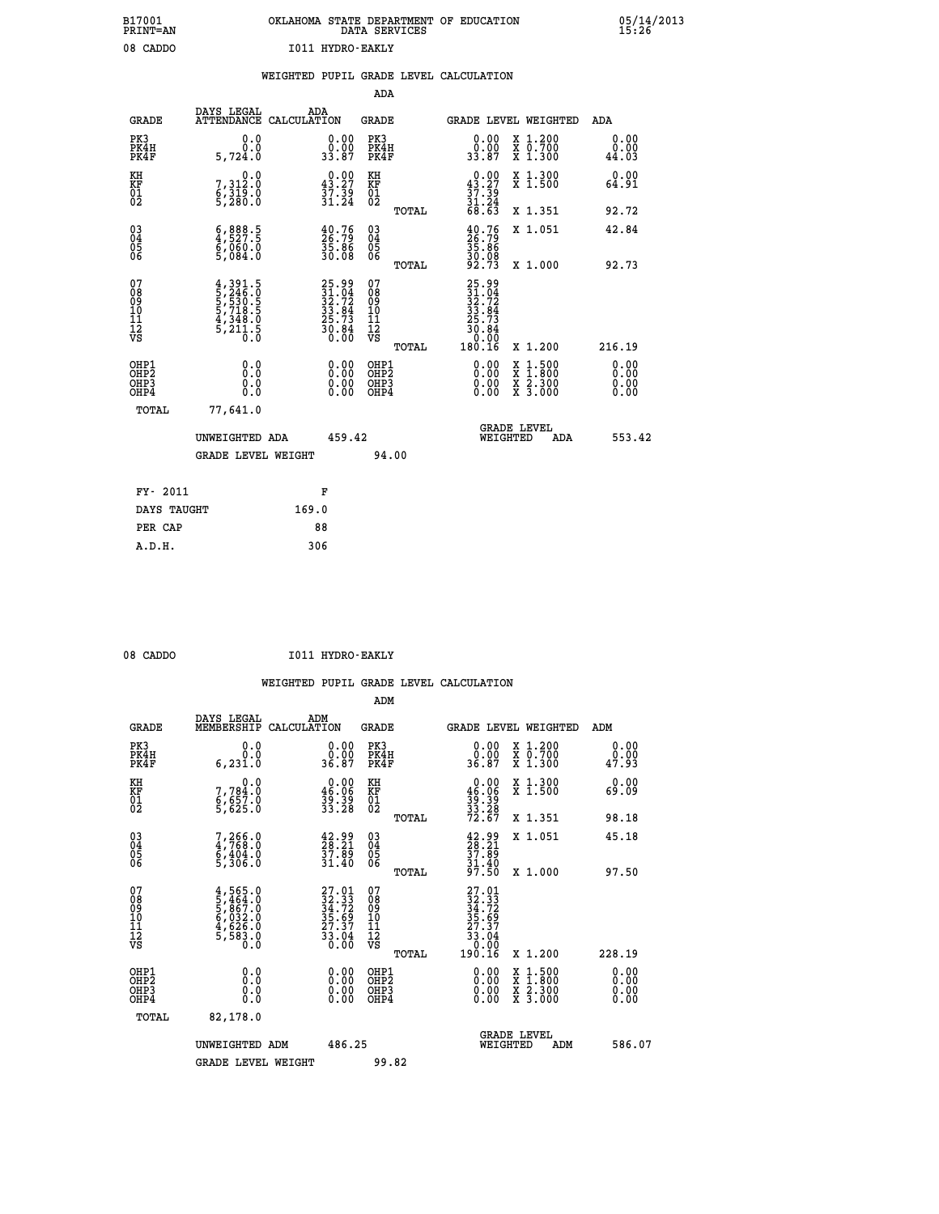|  |                  | OKLAHOMA STATE DEPARTMENT OF EDUCATION<br>DATA SERVICES |  |  |
|--|------------------|---------------------------------------------------------|--|--|
|  | T011 HVDRO-RAKLV |                                                         |  |  |

05/14/2013<br>15**:**26

|                                                    |                                                                                                                          | WEIGHTED PUPIL GRADE LEVEL CALCULATION |                                                             |                          |       |                                                |                                 |                 |
|----------------------------------------------------|--------------------------------------------------------------------------------------------------------------------------|----------------------------------------|-------------------------------------------------------------|--------------------------|-------|------------------------------------------------|---------------------------------|-----------------|
|                                                    |                                                                                                                          |                                        |                                                             | ADA                      |       |                                                |                                 |                 |
| <b>GRADE</b>                                       | DAYS LEGAL<br>ATTENDANCE CALCULATION                                                                                     | ADA                                    |                                                             | GRADE                    |       |                                                | GRADE LEVEL WEIGHTED            | ADA             |
| PK3<br>PK4H<br>PK4F                                | 0.000<br>5,724.0                                                                                                         |                                        | $\begin{smallmatrix} 0.00\\ 0.00\\ 33.87 \end{smallmatrix}$ | PK3<br>PK4H<br>PK4F      |       | 0.0000<br>33.87                                | X 1.200<br>X 0.700<br>$X$ 1.300 | 0.0000<br>44.03 |
| KH<br>KF<br>01<br>02                               | 0.0<br>7,312.0<br>$\frac{6}{5}$ , $\frac{3}{2}$ $\frac{15}{8}$ . $\frac{8}{8}$                                           |                                        | 0.00<br>43.27<br>$\frac{37.39}{31.24}$                      | KH<br>ΚF<br>$^{01}_{02}$ |       | 0.00<br>$\frac{43.27}{37.39}$<br>$31.24$       | X 1.300<br>X <sub>1.500</sub>   | 0.00<br>64.91   |
|                                                    |                                                                                                                          |                                        |                                                             |                          | TOTAL | 68.63                                          | X 1.351                         | 92.72           |
| $\begin{matrix} 03 \\ 04 \\ 05 \\ 06 \end{matrix}$ | $\begin{smallmatrix} 6 & 8 & 8 & 8 & 5 \\ 4 & 5 & 2 & 7 & 5 \\ 6 & 0 & 6 & 0 & 0 \\ 5 & 0 & 8 & 4 & 0 \end{smallmatrix}$ |                                        | $\frac{40.76}{26.79}$<br>35.86<br>30.08                     | 030404<br>06             |       | $\frac{40.76}{26.79}$<br>$\frac{35.86}{30.08}$ | X 1.051                         | 42.84           |
|                                                    |                                                                                                                          |                                        |                                                             |                          | TOTAL | 92.73                                          | X 1.000                         | 92.73           |
|                                                    |                                                                                                                          |                                        |                                                             |                          |       |                                                |                                 |                 |

| 078<br>089<br>0910<br>111<br>12<br>VS                | $\frac{4}{5}, \frac{391}{246}, \frac{5}{9}$<br>5,530.5<br>5,718.5<br>$\frac{4}{5}$ , $\frac{348}{211}$ , $\frac{5}{5}$<br>0.0 | $25.99$<br>$31.04$<br>$32.72$<br>$33.84$<br>$25.73$<br>$30.84$<br>$0.00$ | 078901112<br>11112<br>VS<br>TOTAL        | $25.99$<br>$32.72$<br>$33.84$<br>$25.73$<br>$30.84$<br>$0.99$<br>180.16 | X 1.200                                  | 216.19                                                                                                                                                                                                                                                                         |
|------------------------------------------------------|-------------------------------------------------------------------------------------------------------------------------------|--------------------------------------------------------------------------|------------------------------------------|-------------------------------------------------------------------------|------------------------------------------|--------------------------------------------------------------------------------------------------------------------------------------------------------------------------------------------------------------------------------------------------------------------------------|
| OHP1<br>OHP <sub>2</sub><br>OH <sub>P3</sub><br>OHP4 | 0.0<br>0.000                                                                                                                  |                                                                          | OHP1<br>OHP <sub>2</sub><br>OHP3<br>OHP4 |                                                                         | X 1:500<br>X 1:800<br>X 2:300<br>X 3:000 | $\begin{smallmatrix} 0.00 & 0.00 & 0.00 & 0.00 & 0.00 & 0.00 & 0.00 & 0.00 & 0.00 & 0.00 & 0.00 & 0.00 & 0.00 & 0.00 & 0.00 & 0.00 & 0.00 & 0.00 & 0.00 & 0.00 & 0.00 & 0.00 & 0.00 & 0.00 & 0.00 & 0.00 & 0.00 & 0.00 & 0.00 & 0.00 & 0.00 & 0.00 & 0.00 & 0.00 & 0.00 & 0.0$ |
| TOTAL                                                | 77,641.0<br>UNWEIGHTED ADA                                                                                                    | 459.42                                                                   |                                          | WEIGHTED                                                                | <b>GRADE LEVEL</b><br>ADA                | 553.42                                                                                                                                                                                                                                                                         |
|                                                      | <b>GRADE LEVEL WEIGHT</b>                                                                                                     |                                                                          | 94.00                                    |                                                                         |                                          |                                                                                                                                                                                                                                                                                |
| FY- 2011                                             |                                                                                                                               | F                                                                        |                                          |                                                                         |                                          |                                                                                                                                                                                                                                                                                |
| DAVS MANCHM                                          | 169 N                                                                                                                         |                                                                          |                                          |                                                                         |                                          |                                                                                                                                                                                                                                                                                |

| - -<br>---- |       |
|-------------|-------|
| DAYS TAUGHT | 169.0 |
| PER CAP     | 88    |
| A.D.H.      | 306   |
|             |       |

 **ADM**

| 08 CADDO | I011 HYDRO-EAKLY |
|----------|------------------|
|          |                  |

 **B17001<br>PRINT=AN** 08 CADDO

| <b>GRADE</b>                                       | DAYS LEGAL<br>MEMBERSHIP                                         | ADM<br>CALCULATION                                                       | <b>GRADE</b>                                        |       | GRADE LEVEL WEIGHTED                                                                                                                                                                                                                                                           |          |                                          |     | ADM                   |  |
|----------------------------------------------------|------------------------------------------------------------------|--------------------------------------------------------------------------|-----------------------------------------------------|-------|--------------------------------------------------------------------------------------------------------------------------------------------------------------------------------------------------------------------------------------------------------------------------------|----------|------------------------------------------|-----|-----------------------|--|
| PK3<br>PK4H<br>PK4F                                | 0.0<br>0.0<br>6, 231.0                                           | $\begin{smallmatrix} 0.00\\ 0.00\\ 36.87 \end{smallmatrix}$              | PK3<br>PK4H<br>PK4F                                 |       | $\begin{smallmatrix} 0.00\\ 0.00\\ 36.87 \end{smallmatrix}$                                                                                                                                                                                                                    |          | X 1.200<br>X 0.700<br>X 1.300            |     | 0.00<br>0.00<br>47.93 |  |
| KH<br>KF<br>01<br>02                               | 0.0<br>7,784:0<br>6,657:0<br>5,625:0                             | $\begin{smallmatrix} 0.00\\ 46.06\\ 39.39\\ 33.28 \end{smallmatrix}$     | KH<br>KF<br>01<br>02                                |       | $0.00\n46.06\n39.39\n33.28\n72.67$                                                                                                                                                                                                                                             |          | X 1.300<br>X 1.500                       |     | 0.00<br>69.09         |  |
|                                                    |                                                                  |                                                                          |                                                     | TOTAL |                                                                                                                                                                                                                                                                                |          | X 1.351                                  |     | 98.18                 |  |
| $\begin{matrix} 03 \\ 04 \\ 05 \\ 06 \end{matrix}$ | 7,266.0<br>4,768.0<br>6,404.0<br>5,306.0                         | $\frac{42.99}{28.21}$<br>$\frac{37.89}{31.40}$                           | $\begin{array}{c} 03 \\ 04 \\ 05 \\ 06 \end{array}$ |       | $\begin{smallmatrix} 42.99\\28.21\\37.89\\31.40\\97.50 \end{smallmatrix}$                                                                                                                                                                                                      |          | X 1.051                                  |     | 45.18                 |  |
|                                                    |                                                                  |                                                                          |                                                     | TOTAL |                                                                                                                                                                                                                                                                                |          | X 1.000                                  |     | 97.50                 |  |
| 07<br>08<br>09<br>101<br>11<br>12<br>VS            | $4,565.0$<br>5,464.0<br>5,867.0<br>5,832.0<br>4,626.0<br>5,583.0 | $27.01$<br>$32.33$<br>$34.72$<br>$35.69$<br>$27.37$<br>$33.04$<br>$0.00$ | 07<br>08<br>09<br>001<br>11<br>11<br>12<br>VS       | TOTAL | $27.01$<br>$32.33$<br>$34.72$<br>$35.69$<br>$27.37$<br>$33.04$<br>$0.99$<br>190.16                                                                                                                                                                                             |          | X 1.200                                  |     | 228.19                |  |
| OHP1<br>OHP2<br>OHP3<br>OHP4                       |                                                                  |                                                                          | OHP1<br>OHP2<br>OHP3<br>OHP4                        |       | $\begin{smallmatrix} 0.00 & 0.00 & 0.00 & 0.00 & 0.00 & 0.00 & 0.00 & 0.00 & 0.00 & 0.00 & 0.00 & 0.00 & 0.00 & 0.00 & 0.00 & 0.00 & 0.00 & 0.00 & 0.00 & 0.00 & 0.00 & 0.00 & 0.00 & 0.00 & 0.00 & 0.00 & 0.00 & 0.00 & 0.00 & 0.00 & 0.00 & 0.00 & 0.00 & 0.00 & 0.00 & 0.0$ |          | X 1:500<br>X 1:800<br>X 2:300<br>X 3:000 |     | 0.00<br>0.00<br>0.00  |  |
| TOTAL                                              | 82,178.0                                                         |                                                                          |                                                     |       |                                                                                                                                                                                                                                                                                |          |                                          |     |                       |  |
|                                                    | UNWEIGHTED<br>ADM                                                | 486.25                                                                   |                                                     |       |                                                                                                                                                                                                                                                                                | WEIGHTED | <b>GRADE LEVEL</b>                       | ADM | 586.07                |  |
|                                                    | <b>GRADE LEVEL WEIGHT</b>                                        |                                                                          | 99.82                                               |       |                                                                                                                                                                                                                                                                                |          |                                          |     |                       |  |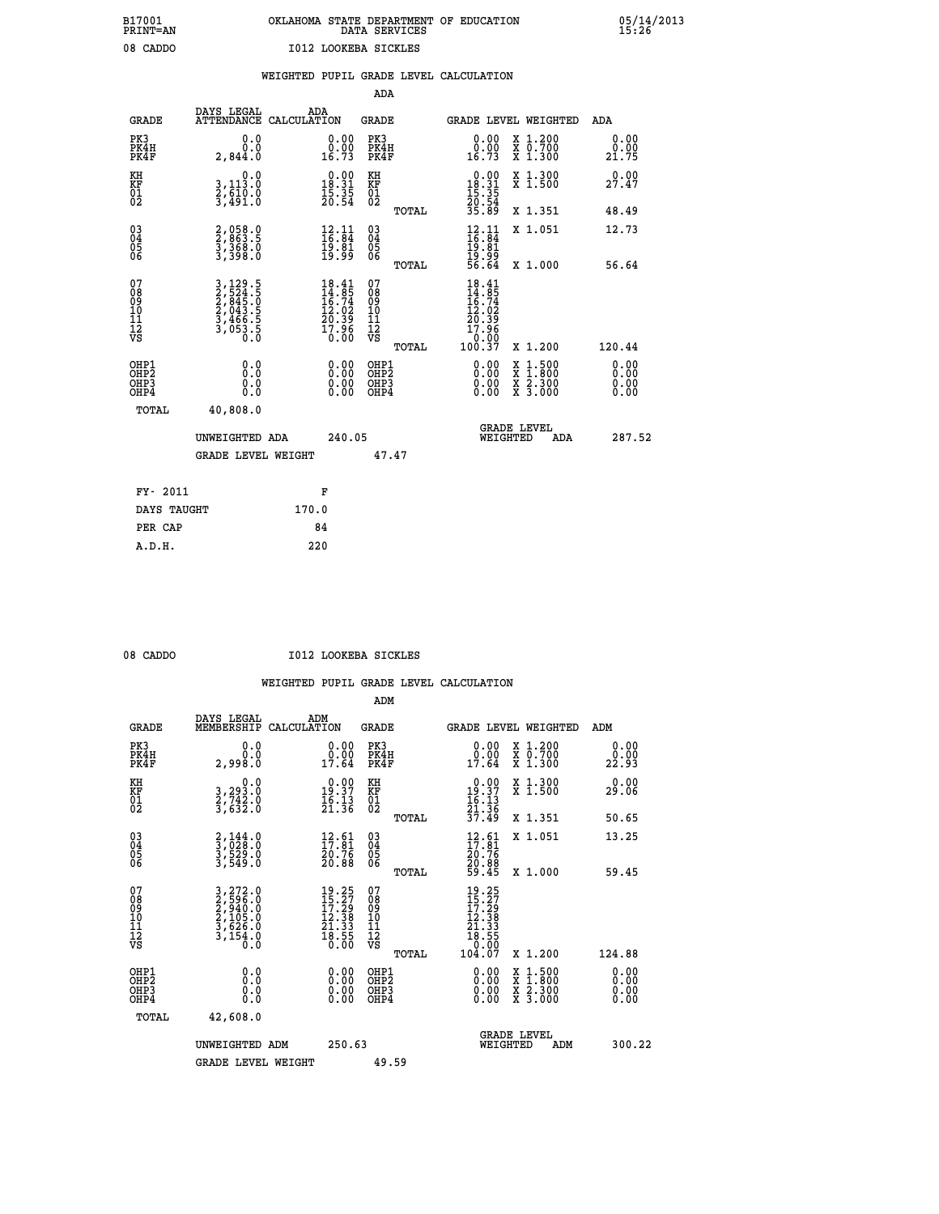## **B17001 OKLAHOMA STATE DEPARTMENT OF EDUCATION 05/14/2013 PRINT=AN DATA SERVICES 15:26 08 CADDO I012 LOOKEBA SICKLES**

|  |  | WEIGHTED PUPIL GRADE LEVEL CALCULATION |
|--|--|----------------------------------------|
|  |  |                                        |

|                                          |                                                                                                                     | ADA                                                                                                                                                                                                                 |                                                                                              |                                                                                                                                                                                                                                            |
|------------------------------------------|---------------------------------------------------------------------------------------------------------------------|---------------------------------------------------------------------------------------------------------------------------------------------------------------------------------------------------------------------|----------------------------------------------------------------------------------------------|--------------------------------------------------------------------------------------------------------------------------------------------------------------------------------------------------------------------------------------------|
| DAYS LEGAL<br><b>ATTENDANCE</b>          | ADA                                                                                                                 | <b>GRADE</b>                                                                                                                                                                                                        | GRADE LEVEL WEIGHTED                                                                         | <b>ADA</b>                                                                                                                                                                                                                                 |
| 0.0<br>0.0<br>2,844.0                    | $\begin{smallmatrix} 0.00\\ 0.00\\ 16.73 \end{smallmatrix}$                                                         | PK3<br>PK4H<br>PK4F                                                                                                                                                                                                 | $\begin{smallmatrix} 0.00\\ 0.00\\ 16.73 \end{smallmatrix}$<br>X 1.200<br>X 0.700<br>X 1.300 | 0.00<br>0.00<br>21.75                                                                                                                                                                                                                      |
| 0.0                                      |                                                                                                                     | KH                                                                                                                                                                                                                  | X 1.300<br>X 1.500                                                                           | 0.00<br>27.47                                                                                                                                                                                                                              |
|                                          |                                                                                                                     | TOTAL                                                                                                                                                                                                               | X 1.351                                                                                      | 48.49                                                                                                                                                                                                                                      |
| 2,058.0<br>2,863.5<br>3,368.0<br>3,398.0 | $\begin{smallmatrix} 12.11\ 16.84\ 19.81\ 19.99 \end{smallmatrix}$                                                  | $\begin{array}{c} 03 \\ 04 \\ 05 \\ 06 \end{array}$                                                                                                                                                                 | X 1.051                                                                                      | 12.73<br>56.64                                                                                                                                                                                                                             |
|                                          |                                                                                                                     | 07<br>08<br>09<br>11<br>11<br>12<br>VS                                                                                                                                                                              | $18.41$<br>$14.85$<br>$16.74$<br>$12.02$<br>$20.39$<br>$17.96$                               |                                                                                                                                                                                                                                            |
|                                          |                                                                                                                     |                                                                                                                                                                                                                     |                                                                                              | 120.44                                                                                                                                                                                                                                     |
| 0.0<br>0.0                               | $\begin{smallmatrix} 0.00 \ 0.00 \end{smallmatrix}$                                                                 | OH <sub>P</sub> 2<br>OHP3<br>OHP4                                                                                                                                                                                   | X<br>X<br>0.00<br>$\frac{x}{x}$ $\frac{5:300}{3:000}$<br>0.00                                | 0.00<br>0.00<br>0.00<br>0.00                                                                                                                                                                                                               |
| 40,808.0                                 |                                                                                                                     |                                                                                                                                                                                                                     |                                                                                              |                                                                                                                                                                                                                                            |
|                                          |                                                                                                                     |                                                                                                                                                                                                                     | <b>GRADE LEVEL</b><br>WEIGHTED<br>ADA                                                        | 287.52                                                                                                                                                                                                                                     |
|                                          |                                                                                                                     | 47.47                                                                                                                                                                                                               |                                                                                              |                                                                                                                                                                                                                                            |
| FY- 2011                                 | F                                                                                                                   |                                                                                                                                                                                                                     |                                                                                              |                                                                                                                                                                                                                                            |
| DAYS TAUGHT                              | 170.0                                                                                                               |                                                                                                                                                                                                                     |                                                                                              |                                                                                                                                                                                                                                            |
| PER CAP                                  | 84                                                                                                                  |                                                                                                                                                                                                                     |                                                                                              |                                                                                                                                                                                                                                            |
|                                          | 3,113.0<br>2,610.0<br>3,491.0<br>3, 129.5<br>2, 524.5<br>2, 845.0<br>2, 043.5<br>3, 466.5<br>3, 053.5<br>0.0<br>0.0 | CALCULATION<br>$\begin{smallmatrix} 0.00\\18.31\\15.35\\20.54 \end{smallmatrix}$<br>$18.41$<br>$14.85$<br>$16.74$<br>$12.02$<br>$20.39$<br>$17.96$<br>$0.00$<br>0.00<br>UNWEIGHTED ADA<br><b>GRADE LEVEL WEIGHT</b> | KF<br>01<br>02<br>TOTAL<br>TOTAL<br>OHP1<br>240.05                                           | $\begin{smallmatrix} &0.00\\[-1.2mm] 18.31\\[-1.2mm] 15.35\\[-1.2mm] 20.54\\[-1.2mm] 35.89\end{smallmatrix}$<br>$12.11$<br>$16.84$<br>$19.81$<br>$19.99$<br>$56.64$<br>X 1.000<br>10.00<br>100.37<br>X 1.200<br>0.00<br>$1:500$<br>$1:800$ |

 **A.D.H. 220**

08 CADDO **I012 LOOKEBA SICKLES** 

|                                           |                                                                                                                                                           |                                                                                              | ADM                                                 |                                                                           |                                          |                        |
|-------------------------------------------|-----------------------------------------------------------------------------------------------------------------------------------------------------------|----------------------------------------------------------------------------------------------|-----------------------------------------------------|---------------------------------------------------------------------------|------------------------------------------|------------------------|
| <b>GRADE</b>                              | DAYS LEGAL<br>MEMBERSHIP                                                                                                                                  | ADM<br>CALCULATION                                                                           | <b>GRADE</b>                                        | <b>GRADE LEVEL WEIGHTED</b>                                               |                                          | ADM                    |
| PK3<br>PK4H<br>PK4F                       | 0.0<br>0.0<br>2,998.Ŏ                                                                                                                                     | $\begin{smallmatrix} 0.00\\ 0.00\\ 17.64 \end{smallmatrix}$                                  | PK3<br>PK4H<br>PK4F                                 | $\begin{smallmatrix} 0.00\\ 0.00\\ 17.64 \end{smallmatrix}$               | X 1.200<br>X 0.700<br>X 1.300            | 0.00<br>22.93<br>22.93 |
| KH<br>KF<br>01<br>02                      | 0.0<br>3,293.0<br>2,742.0<br>3,632.0                                                                                                                      | $\begin{array}{c} 0.00 \\ 19.37 \\ 16.13 \\ 21.36 \end{array}$                               | KH<br>KF<br>01<br>02                                | $0.00\n19.37\n16.13\n21.36\n37.49$                                        | X 1.300<br>X 1.500                       | 0.00<br>29.06          |
|                                           |                                                                                                                                                           |                                                                                              | TOTAL                                               |                                                                           | X 1.351                                  | 50.65                  |
| 03<br>04<br>05<br>06                      | $\frac{2}{3}, \frac{144}{028} . 0 \\ 3, \frac{529}{549} . 0 \\ 3, 549 . 0$                                                                                | $\begin{smallmatrix} 12.61\ 17.81\ 20.76\ 20.88 \end{smallmatrix}$                           | $\begin{array}{c} 03 \\ 04 \\ 05 \\ 06 \end{array}$ | $\begin{smallmatrix} 12.61\ 17.81\ 20.76\ 20.88\ 59.45 \end{smallmatrix}$ | X 1.051                                  | 13.25                  |
|                                           |                                                                                                                                                           |                                                                                              | TOTAL                                               |                                                                           | X 1.000                                  | 59.45                  |
| 07<br>08<br>09<br>101<br>11<br>12<br>VS   | $\begin{smallmatrix} 3\,,\,272\,.\,0\\ 2\,,\,596\,.\,0\\ 2\,,\,940\,.\,0\\ 2\,,\,105\,.\,0\\ 3\,,\,626\,.\,0\\ 3\,,\,154\,.\,0\\ 0\,.0 \end{smallmatrix}$ | $\begin{smallmatrix} 19.25\\15.27\\17.29\\12.38\\21.33\\21.33\\18.55\\0.00\end{smallmatrix}$ | 07<br>08<br>09<br>11<br>11<br>12<br>VS              |                                                                           |                                          |                        |
|                                           |                                                                                                                                                           |                                                                                              | TOTAL                                               | 104.07                                                                    | X 1.200                                  | 124.88                 |
| OHP1<br>OHP2<br>OH <sub>P</sub> 3<br>OHP4 |                                                                                                                                                           |                                                                                              | OHP1<br>OHP2<br>OHP <sub>3</sub>                    | $0.00$<br>$0.00$<br>0.00                                                  | X 1:500<br>X 1:800<br>X 2:300<br>X 3:000 | 0.00<br>0.00<br>0.00   |
| TOTAL                                     | 42,608.0                                                                                                                                                  |                                                                                              |                                                     |                                                                           |                                          |                        |
|                                           | UNWEIGHTED ADM                                                                                                                                            | 250.63                                                                                       |                                                     | GRADE LEVEL<br>WEIGHTED                                                   | ADM                                      | 300.22                 |
|                                           | <b>GRADE LEVEL WEIGHT</b>                                                                                                                                 |                                                                                              | 49.59                                               |                                                                           |                                          |                        |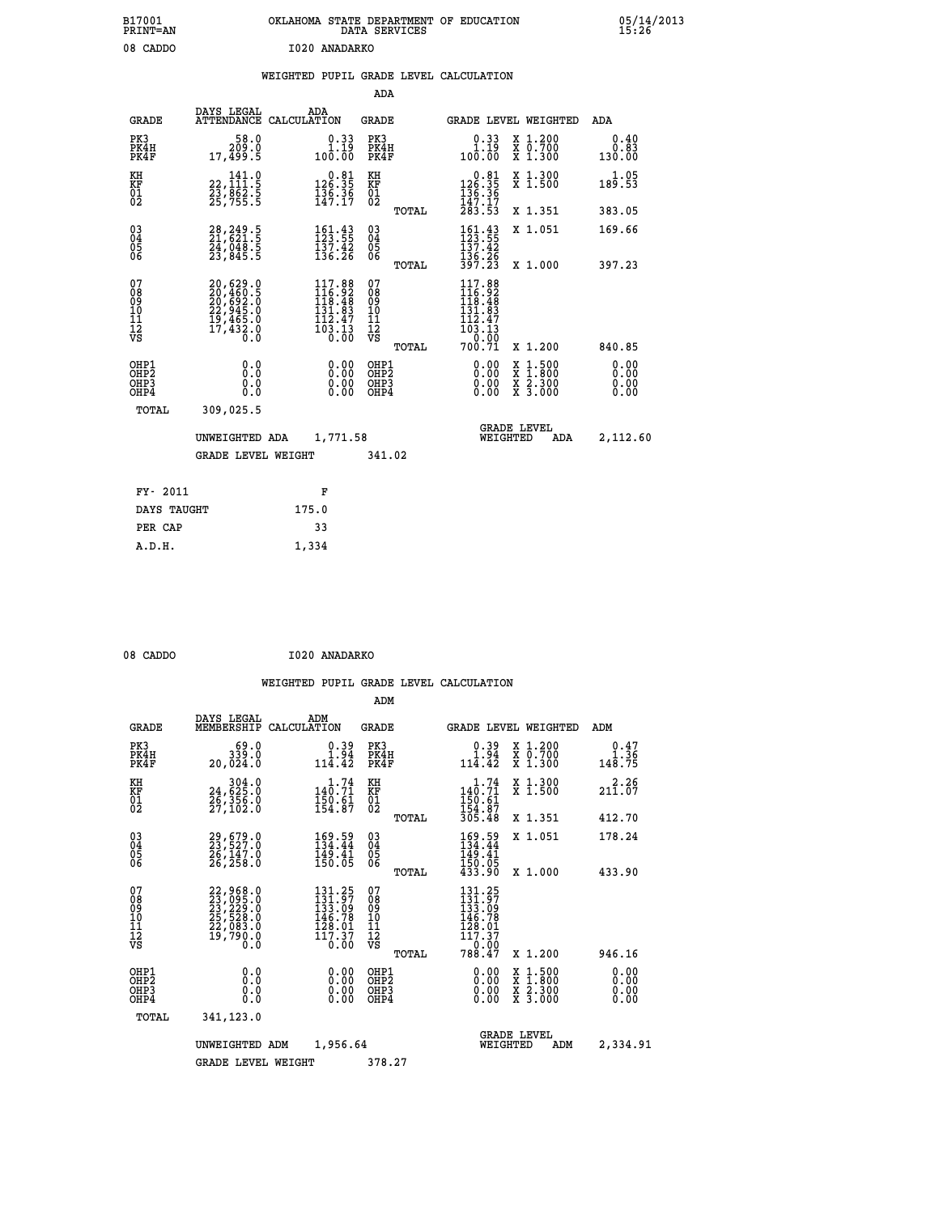|               | OKLAHOMA STATE DEPARTMENT OF EDUCATION<br>DATA SERVICES |  |
|---------------|---------------------------------------------------------|--|
| I020 ANADARKO |                                                         |  |

### **WEIGHTED PUPIL GRADE LEVEL CALCULATION**

|                                                                    |                                                                                           |                                                                         |                                                                   | ADA    |                                                                                                                                              |                                                                            |                              |
|--------------------------------------------------------------------|-------------------------------------------------------------------------------------------|-------------------------------------------------------------------------|-------------------------------------------------------------------|--------|----------------------------------------------------------------------------------------------------------------------------------------------|----------------------------------------------------------------------------|------------------------------|
| <b>GRADE</b>                                                       | DAYS LEGAL                                                                                | ADA<br>ATTENDANCE CALCULATION                                           | <b>GRADE</b>                                                      |        |                                                                                                                                              | <b>GRADE LEVEL WEIGHTED</b>                                                | <b>ADA</b>                   |
| PK3<br>PK4H<br>PK4F                                                | 58.0<br>209.0<br>17,499.5                                                                 | $\begin{smallmatrix} 0.33\ 1.19\ 100.00 \end{smallmatrix}$              | PK3<br>PK4H<br>PK4F                                               |        | $\begin{smallmatrix} 0.33\ 1.19\ 100.00 \end{smallmatrix}$                                                                                   | X 1.200<br>X 0.700<br>X 1.300                                              | 0.40<br>0.83<br>130.00       |
| KH<br>KF<br>01<br>02                                               | 141.0<br>22,111:5<br>23,862:5<br>25,755:5                                                 | $\begin{smallmatrix} 0.81\\126.35\\136.36\\147.17\end{smallmatrix}$     | KH<br>KF<br>01<br>02                                              |        | $\begin{array}{r} 0.81 \\ 126.35 \\ 136.36 \\ 147.17 \\ 283.53 \end{array}$                                                                  | X 1.300<br>X 1.500                                                         | 1.05<br>189.53               |
|                                                                    |                                                                                           |                                                                         |                                                                   | TOTAL  |                                                                                                                                              | X 1.351                                                                    | 383.05                       |
| $\begin{smallmatrix} 03 \\[-4pt] 04 \end{smallmatrix}$<br>05<br>ŌĞ | 28, 249.5<br>21, 621.5<br>24,048.5<br>23,845.5                                            | $161.43$<br>$123.55$<br>$\frac{157.42}{136.26}$                         | $\substack{03 \\ 04}$<br>$\begin{matrix} 0.5 \\ 0.6 \end{matrix}$ |        | 151.43<br>$\frac{137.42}{136.26}$<br>397.23                                                                                                  | X 1.051                                                                    | 169.66                       |
|                                                                    |                                                                                           |                                                                         |                                                                   | TOTAL  |                                                                                                                                              | X 1.000                                                                    | 397.23                       |
| 07<br>08<br>09<br>11<br>11<br>12<br>VS                             | $20,629.0$<br>$20,460.5$<br>$20,692.0$<br>$22,945.0$<br>$19,465.0$<br>$17,432.0$<br>$0.0$ | $117.88$<br>$116.92$<br>$118.48$<br>$131.93$<br>$\frac{112.47}{103.13}$ | 07<br>08<br>09<br>11<br>11<br>12<br>VS                            |        | 117.88<br>$\frac{116}{118}\cdot\frac{92}{48}\n_{131}\cdot\frac{92}{93}$<br>$\begin{array}{r} 112.47 \\ 103.13 \\ 0.00 \\ 700.71 \end{array}$ |                                                                            |                              |
|                                                                    |                                                                                           |                                                                         |                                                                   | TOTAL  |                                                                                                                                              | X 1.200                                                                    | 840.85                       |
| OHP1<br>OHP <sub>2</sub><br>OHP3<br>OHP4                           | 0.0<br>Ō.Ō<br>0.0<br>Ō.Ō                                                                  | 0.00<br>$\begin{smallmatrix} 0.00 \ 0.00 \end{smallmatrix}$             | OHP1<br>OH <sub>P</sub> 2<br>OHP3<br>OHP4                         |        | 0.00<br>0.00<br>0.00                                                                                                                         | $1:500$<br>$1:800$<br>X<br>X<br>$\frac{\ddot{x}}{x}$ $\frac{2.300}{3.000}$ | 0.00<br>0.00<br>0.00<br>0.00 |
| TOTAL                                                              | 309,025.5                                                                                 |                                                                         |                                                                   |        |                                                                                                                                              |                                                                            |                              |
|                                                                    | UNWEIGHTED ADA                                                                            | 1,771.58                                                                |                                                                   |        |                                                                                                                                              | <b>GRADE LEVEL</b><br>WEIGHTED<br>ADA                                      | 2,112.60                     |
|                                                                    | <b>GRADE LEVEL WEIGHT</b>                                                                 |                                                                         |                                                                   | 341.02 |                                                                                                                                              |                                                                            |                              |
| FY- 2011                                                           |                                                                                           | F                                                                       |                                                                   |        |                                                                                                                                              |                                                                            |                              |
| DAYS TAUGHT                                                        |                                                                                           | 175.0                                                                   |                                                                   |        |                                                                                                                                              |                                                                            |                              |
|                                                                    |                                                                                           |                                                                         |                                                                   |        |                                                                                                                                              |                                                                            |                              |
| PER CAP                                                            |                                                                                           | 33                                                                      |                                                                   |        |                                                                                                                                              |                                                                            |                              |

| 08 CADDO | I020 ANADARKO |
|----------|---------------|

 **A.D.H. 1,334**

 **B17001<br>PRINT=AN** 08 CADDO

|                                    |                                               |                                                                                                                                                                          |             |                                                                                                                                      | ADM                                    |       |                                                                                    |          |                                          |                      |
|------------------------------------|-----------------------------------------------|--------------------------------------------------------------------------------------------------------------------------------------------------------------------------|-------------|--------------------------------------------------------------------------------------------------------------------------------------|----------------------------------------|-------|------------------------------------------------------------------------------------|----------|------------------------------------------|----------------------|
|                                    | <b>GRADE</b>                                  | DAYS LEGAL<br>MEMBERSHIP                                                                                                                                                 | CALCULATION | ADM                                                                                                                                  | <b>GRADE</b>                           |       |                                                                                    |          | <b>GRADE LEVEL WEIGHTED</b>              | ADM                  |
|                                    | PK3<br>PK4H<br>PK4F                           | 339.0<br>20,024.0                                                                                                                                                        |             | $0.39$<br>1.94<br>114.42                                                                                                             | PK3<br>PK4H<br>PK4F                    |       | $0.39$<br>1.94<br>114.42                                                           |          | X 1.200<br>X 0.700<br>X 1.300            | 0.47<br>148.75       |
| KH<br>KF<br>01<br>02               |                                               | $\substack{ 304.0\\ 24,625.0\\ 26,356.0\\ 27,102.0}$                                                                                                                     |             | 140.71<br>$\frac{150}{154}$ : $\frac{61}{87}$                                                                                        | KH<br>KF<br>01<br>02                   |       | 1.74<br>$140.71$<br>$150.61$<br>$154.87$<br>$305.48$                               |          | X 1.300<br>X 1.500                       | 211.07               |
|                                    |                                               |                                                                                                                                                                          |             |                                                                                                                                      |                                        | TOTAL |                                                                                    |          | X 1.351                                  | 412.70               |
| 03<br>04<br>05<br>06               |                                               | 29,679.0<br>23,527.0<br>26,147.0<br>26, 258.0                                                                                                                            |             | 169.59<br>134.44<br>$\frac{149.41}{150.05}$                                                                                          | $\substack{03 \\ 04}$<br>05<br>06      |       | 169.59<br>134.44<br>$\frac{145}{150}$ . $\frac{17}{05}$<br>$433.90$                |          | X 1.051                                  | 178.24               |
|                                    |                                               |                                                                                                                                                                          |             |                                                                                                                                      |                                        | TOTAL |                                                                                    |          | X 1.000                                  | 433.90               |
| 07<br>08<br>09<br>101<br>112<br>VS |                                               | $\begin{smallmatrix} 22\,, & 968\ .0 \\ 23\,, & 095\ . \ 0 \\ 23\,, & 229\ . \ 0 \\ 25\,, & 528\ . \ 0 \\ 22\,, & 083\ . \ 0 \\ 19\,, & 790\ . \ 0 \\ \end{smallmatrix}$ |             | $131.25$<br>$131.97$<br>$133.09$<br>$146.78$<br>128.01<br>$\bar{1}\bar{1}\bar{7}\cdot\bar{3}\bar{7}$<br>$\bar{0}\cdot\bar{0}\bar{0}$ | 07<br>08<br>09<br>11<br>11<br>12<br>VS | TOTAL | $131.25$<br>$131.97$<br>$133.09$<br>$146.79$<br>ĪŽŠ.01<br>117.37<br>0.00<br>788.47 |          | X 1.200                                  | 946.16               |
|                                    | OHP1                                          |                                                                                                                                                                          |             |                                                                                                                                      |                                        |       |                                                                                    |          |                                          | 0.00                 |
|                                    | OH <sub>P</sub> 2<br>OH <sub>P3</sub><br>OHP4 | 0.0<br>0.000                                                                                                                                                             |             | $0.00$<br>$0.00$<br>0.00                                                                                                             | OHP1<br>OHP2<br>OHP3<br>OHP4           |       | $0.00$<br>$0.00$<br>0.00                                                           |          | X 1:500<br>X 1:800<br>X 2:300<br>X 3:000 | 0.00<br>0.00<br>0.00 |
|                                    | TOTAL                                         | 341,123.0                                                                                                                                                                |             |                                                                                                                                      |                                        |       |                                                                                    |          |                                          |                      |
|                                    |                                               | UNWEIGHTED                                                                                                                                                               | ADM         | 1,956.64                                                                                                                             |                                        |       |                                                                                    | WEIGHTED | <b>GRADE LEVEL</b><br>ADM                | 2,334.91             |
|                                    |                                               | <b>GRADE LEVEL WEIGHT</b>                                                                                                                                                |             |                                                                                                                                      | 378.27                                 |       |                                                                                    |          |                                          |                      |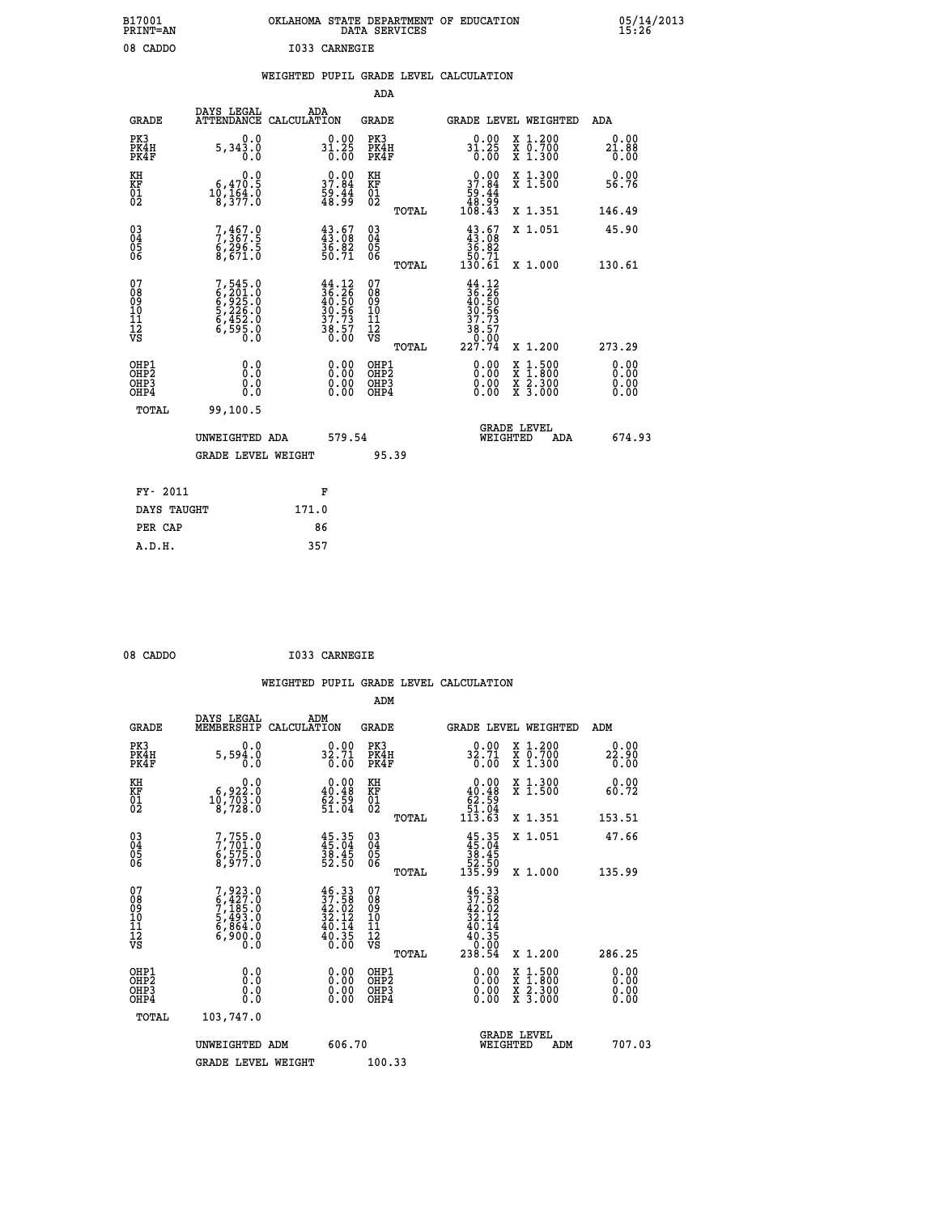| OKLAHOMA STATE DEPARTMENT OF EDUCATION<br>DATA SERVICES |  |
|---------------------------------------------------------|--|
| I033 CARNEGIE                                           |  |

 **B17001<br>PRINT=AN** 08 CADDO  **B17001 OKLAHOMA STATE DEPARTMENT OF EDUCATION 05/14/2013**

### **WEIGHTED PUPIL GRADE LEVEL CALCULATION**

|                                                    |                                                                       |                                                                                              | ADA                                       |       |                                                                                                                                      |   |                                                           |                              |
|----------------------------------------------------|-----------------------------------------------------------------------|----------------------------------------------------------------------------------------------|-------------------------------------------|-------|--------------------------------------------------------------------------------------------------------------------------------------|---|-----------------------------------------------------------|------------------------------|
| <b>GRADE</b>                                       | DAYS LEGAL<br><b>ATTENDANCE</b>                                       | ADA<br>CALCULATION                                                                           | <b>GRADE</b>                              |       | GRADE LEVEL WEIGHTED                                                                                                                 |   |                                                           | <b>ADA</b>                   |
| PK3<br>PK4H<br>PK4F                                | 0.0<br>5,343.0                                                        | $31.25$<br>0.00                                                                              | PK3<br>PK4H<br>PK4F                       |       | $31.25$<br>0.00                                                                                                                      |   | X 1.200<br>X 0.700<br>X 1.300                             | 0.00<br>$21.88$<br>$0.00$    |
| KH<br>KF<br>01<br>02                               | 0.0<br>$10, 470.5$<br>$10, 164.0$<br>$8, 377.0$                       | 37.84<br>$\frac{59.44}{48.99}$                                                               | KH<br>KF<br>01<br>02                      |       | 37.84<br>$\begin{smallmatrix} 59.44 \\ 48.99 \\ 108.43 \end{smallmatrix}$                                                            |   | X 1.300<br>X 1.500                                        | 0.00<br>56.76                |
|                                                    |                                                                       |                                                                                              |                                           | TOTAL |                                                                                                                                      |   | X 1.351                                                   | 146.49                       |
| $\begin{matrix} 03 \\ 04 \\ 05 \\ 06 \end{matrix}$ | 7,367.9<br>$\frac{67296.5}{8,671.0}$                                  | 43.67<br>43.08<br>36.82<br>50.71                                                             | 03<br>04<br>05<br>06                      | TOTAL | $\begin{smallmatrix} 43.67\ 43.08\ 36.82\ 50.71\ 130.61\ \end{smallmatrix}$                                                          |   | X 1.051<br>X 1.000                                        | 45.90<br>130.61              |
| 07<br>08<br>09<br>11<br>11<br>12<br>VS             | 7,545.0<br>6,201.0<br>6,925.0<br>5,226.0<br>5,452.0<br>6,595.0<br>0.0 | $\begin{smallmatrix} 44.12\\ 36.26\\ 40.50\\ 30.56\\ 37.73\\ 38.57\\ 0.00 \end{smallmatrix}$ | 07<br>08<br>09<br>11<br>11<br>12<br>VS    |       | $\begin{array}{r} 44\cdot 12\\ 36\cdot 26\\ 40\cdot 50\\ 30\cdot 56\\ 37\cdot 73\\ 38\cdot 57\\ 0\cdot 00\\ 227\cdot 74 \end{array}$ |   |                                                           |                              |
|                                                    |                                                                       |                                                                                              |                                           | TOTAL |                                                                                                                                      |   | X 1.200                                                   | 273.29                       |
| OHP1<br>OHP <sub>2</sub><br>OHP3<br>OHP4           | 0.0<br>0.0<br>0.0                                                     | 0.00<br>$\begin{smallmatrix} 0.00 \ 0.00 \end{smallmatrix}$                                  | OHP1<br>OH <sub>P</sub> 2<br>OHP3<br>OHP4 |       | 0.00<br>0.00<br>0.00                                                                                                                 | X | $1:500$<br>$1:800$<br>$\frac{x}{x}$ $\frac{5:300}{3:000}$ | 0.00<br>0.00<br>0.00<br>0.00 |
| TOTAL                                              | 99,100.5                                                              |                                                                                              |                                           |       |                                                                                                                                      |   |                                                           |                              |
|                                                    | UNWEIGHTED ADA                                                        | 579.54                                                                                       |                                           |       | WEIGHTED                                                                                                                             |   | <b>GRADE LEVEL</b><br>ADA                                 | 674.93                       |
|                                                    | <b>GRADE LEVEL WEIGHT</b>                                             |                                                                                              | 95.39                                     |       |                                                                                                                                      |   |                                                           |                              |
| FY- 2011                                           |                                                                       | F                                                                                            |                                           |       |                                                                                                                                      |   |                                                           |                              |
| DAYS TAUGHT                                        |                                                                       | 171.0                                                                                        |                                           |       |                                                                                                                                      |   |                                                           |                              |
| PER CAP                                            |                                                                       | 86                                                                                           |                                           |       |                                                                                                                                      |   |                                                           |                              |
|                                                    |                                                                       |                                                                                              |                                           |       |                                                                                                                                      |   |                                                           |                              |

| 08 CADDO | I033 CARNEGIE |
|----------|---------------|
|          |               |

 **A.D.H. 357**

|                                          |                                                                                     |                                                                                              | ADM                                                 |       |                                                                                           |                                          |                       |
|------------------------------------------|-------------------------------------------------------------------------------------|----------------------------------------------------------------------------------------------|-----------------------------------------------------|-------|-------------------------------------------------------------------------------------------|------------------------------------------|-----------------------|
| <b>GRADE</b>                             | DAYS LEGAL<br>MEMBERSHIP                                                            | ADM<br>CALCULATION                                                                           | <b>GRADE</b>                                        |       |                                                                                           | <b>GRADE LEVEL WEIGHTED</b>              | ADM                   |
| PK3<br>PK4H<br>PK4F                      | 0.0<br>$5,59\overline{4}\overline{.0}$                                              | 0.00<br>$32.71$<br>$0.00$                                                                    | PK3<br>PK4H<br>PK4F                                 |       | 32.71<br>0.00                                                                             | X 1.200<br>X 0.700<br>X 1.300            | 0.00<br>22.90<br>0.00 |
| KH<br>KF<br>01<br>02                     | $\begin{smallmatrix}&&&0.0\\6,922.0\\10,703.0\\8,728.0\end{smallmatrix}$            | $\begin{smallmatrix} 0.00\\ 40.48\\ 62.59\\ 51.04 \end{smallmatrix}$                         | KH<br>KF<br>01<br>02                                |       | $\begin{smallmatrix}&&0.00\\40.48\\62.59\\51.04\\113.63\end{smallmatrix}$                 | X 1.300<br>X 1.500                       | 0.00<br>60.72         |
|                                          |                                                                                     |                                                                                              |                                                     | TOTAL |                                                                                           | X 1.351                                  | 153.51                |
| 03<br>04<br>05<br>06                     | 7,755.0<br>7,701.0<br>6,575.0<br>8,977.0                                            | $45.35$<br>$45.04$<br>$38.45$<br>$52.50$                                                     | $\begin{array}{c} 03 \\ 04 \\ 05 \\ 06 \end{array}$ |       | $45.35\n45.04\n38.45\n52.50\n135.99$                                                      | X 1.051                                  | 47.66                 |
|                                          |                                                                                     |                                                                                              |                                                     | TOTAL |                                                                                           | X 1.000                                  | 135.99                |
| 07<br>08<br>09<br>101<br>11<br>12<br>VS  | $7,923.0$<br>$6,427.0$<br>$7,185.0$<br>$5,493.0$<br>$6,864.0$<br>$6,900.0$<br>$0.0$ | $\begin{smallmatrix} 46.33\\ 37.58\\ 42.02\\ 32.12\\ 40.14\\ 40.35\\ 0.00 \end{smallmatrix}$ | 07<br>08<br>09<br>11<br>11<br>12<br>VS              | TOTAL | $\begin{smallmatrix} 46.33\ 37.58\ 42.02\ 32.12\ 40.14\ 40.35\ 238.54\ \end{smallmatrix}$ | X 1.200                                  | 286.25                |
| OHP1<br>OHP2<br>OH <sub>P3</sub><br>OHP4 | 0.0<br>$\begin{smallmatrix} 0.16 \ 0.0 \end{smallmatrix}$                           |                                                                                              | OHP1<br>OHP2<br>OHP <sub>3</sub>                    |       | $0.00$<br>$0.00$<br>0.00                                                                  | X 1:500<br>X 1:800<br>X 2:300<br>X 3:000 | 0.00<br>0.00<br>0.00  |
| TOTAL                                    | 103,747.0                                                                           |                                                                                              |                                                     |       |                                                                                           |                                          |                       |
|                                          | UNWEIGHTED ADM                                                                      | 606.70                                                                                       |                                                     |       | WEIGHTED                                                                                  | <b>GRADE LEVEL</b><br>ADM                | 707.03                |
|                                          | <b>GRADE LEVEL WEIGHT</b>                                                           |                                                                                              | 100.33                                              |       |                                                                                           |                                          |                       |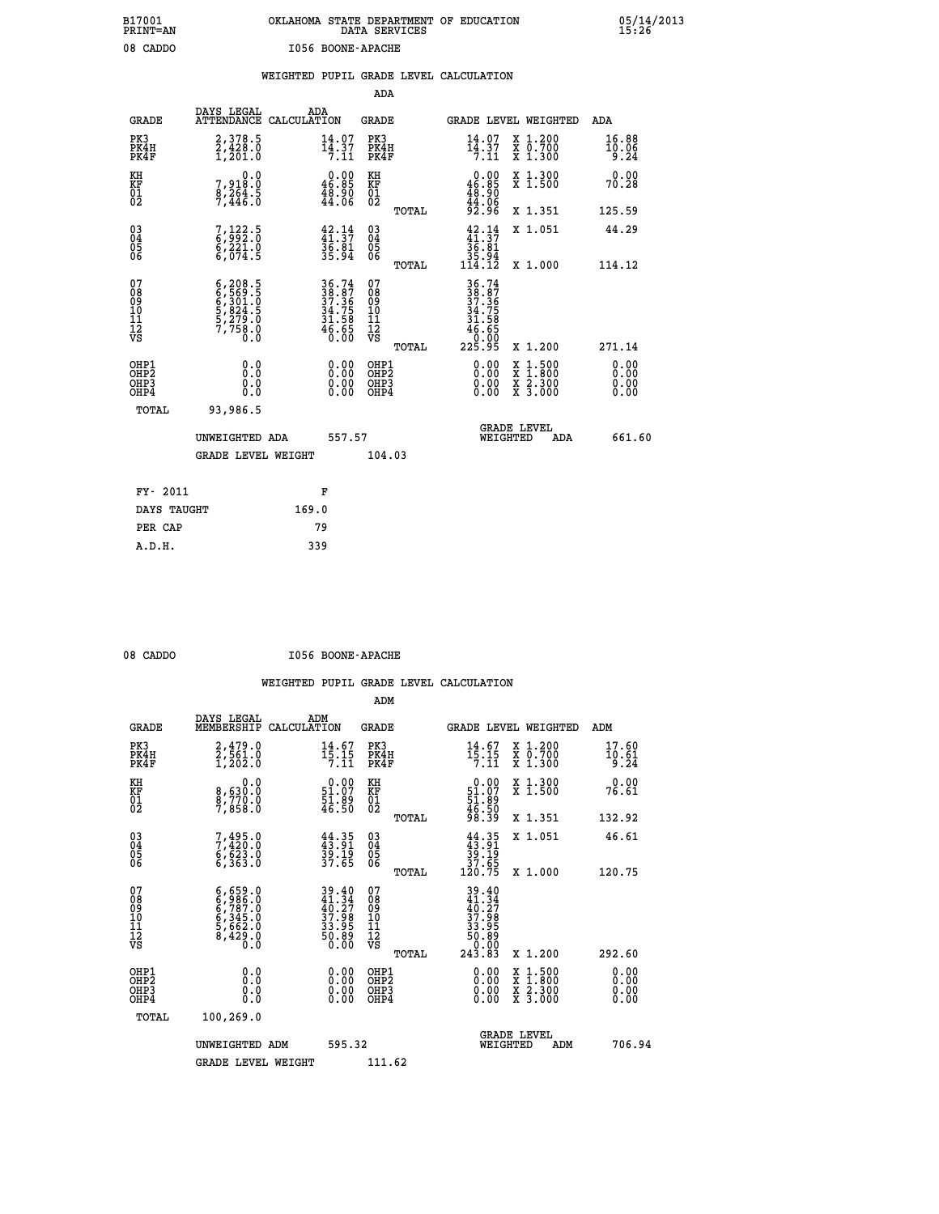## **B17001 OKLAHOMA STATE DEPARTMENT OF EDUCATION 05/14/2013 PRINT=AN DATA SERVICES 15:26** 08 CADDO **I056 BOONE-APACHE**

|  |  | WEIGHTED PUPIL GRADE LEVEL CALCULATION |
|--|--|----------------------------------------|
|  |  |                                        |

|                                                                    |                                                                                  |                                                                          | ADA                                    |       |                                                                              |                                          |                               |
|--------------------------------------------------------------------|----------------------------------------------------------------------------------|--------------------------------------------------------------------------|----------------------------------------|-------|------------------------------------------------------------------------------|------------------------------------------|-------------------------------|
| <b>GRADE</b>                                                       | DAYS LEGAL                                                                       | ADA<br>ATTENDANCE CALCULATION                                            | <b>GRADE</b>                           |       |                                                                              | GRADE LEVEL WEIGHTED                     | ADA                           |
| PK3<br>PK4H<br>PK4F                                                | 2,378.5<br>2,428.0<br>1,201.0                                                    | $14.07$<br>$14.37$<br>7.11                                               | PK3<br>PK4H<br>PK4F                    |       | $\frac{14}{14}$ $\frac{07}{7}$                                               | X 1.200<br>X 0.700<br>X 1.300            | 16.88<br>10.06<br>9.24        |
| KH<br>KF<br>01<br>02                                               | 0.0<br>7,918:0<br>8,264:5<br>7,446:0                                             | $0.00$<br>46.85<br>48.90<br>44.06                                        | KH<br>KF<br>01<br>02                   |       | $\begin{smallmatrix} 0.00\\ 46.85\\ 48.90\\ 44.06\\ 92.96 \end{smallmatrix}$ | X 1.300<br>X 1.500                       | 0.00<br>70.28                 |
|                                                                    |                                                                                  |                                                                          |                                        | TOTAL |                                                                              | X 1.351                                  | 125.59                        |
| $\begin{smallmatrix} 03 \\[-4pt] 04 \end{smallmatrix}$<br>Ŏ5<br>06 | $7,122.5$<br>6,992.0<br>6,221.0<br>6,074.5                                       | $42.14$<br>$41.37$<br>$36.81$<br>$35.94$                                 | $\substack{03 \\ 04}$<br>Ŏ5<br>06      |       | $\begin{array}{r} 42.14 \\ 41.37 \\ 36.81 \\ 35.94 \\ 114.12 \end{array}$    | X 1.051                                  | 44.29                         |
|                                                                    |                                                                                  |                                                                          |                                        | TOTAL |                                                                              | X 1.000                                  | 114.12                        |
| 07<br>08<br>09<br>01<br>11<br>11<br>12<br>VS                       | $6, 208.5$<br>$6, 569.5$<br>$6, 301.0$<br>$5, 824.5$<br>$5, 279.0$<br>$7, 758.0$ | $36.74$<br>$38.87$<br>$37.36$<br>$34.75$<br>$31.58$<br>$46.65$<br>$0.00$ | 07<br>08<br>09<br>11<br>11<br>12<br>VS |       | 36.74<br>38.87<br>37.36<br>34.75<br>34.585<br>46.650                         |                                          |                               |
|                                                                    |                                                                                  |                                                                          |                                        | TOTAL | 225.95                                                                       | X 1.200                                  | 271.14                        |
| OHP1<br>OHP <sub>2</sub><br>OH <sub>P3</sub><br>OHP4               | 0.0<br>0.000                                                                     | 0.00<br>$\begin{smallmatrix} 0.00 \ 0.00 \end{smallmatrix}$              | OHP1<br>OHP2<br>OHP <sub>3</sub>       |       | 0.00<br>0.00                                                                 | X 1:500<br>X 1:800<br>X 2:300<br>X 3:000 | 0.00<br>Ō. ŌŌ<br>0.00<br>0.00 |
| TOTAL                                                              | 93,986.5                                                                         |                                                                          |                                        |       |                                                                              |                                          |                               |
|                                                                    | UNWEIGHTED ADA                                                                   | 557.57                                                                   |                                        |       |                                                                              | <b>GRADE LEVEL</b><br>WEIGHTED<br>ADA    | 661.60                        |
|                                                                    | <b>GRADE LEVEL WEIGHT</b>                                                        |                                                                          | 104.03                                 |       |                                                                              |                                          |                               |
| FY- 2011                                                           |                                                                                  | F                                                                        |                                        |       |                                                                              |                                          |                               |
| DAYS TAUGHT                                                        |                                                                                  | 169.0                                                                    |                                        |       |                                                                              |                                          |                               |
| PER CAP                                                            |                                                                                  | 79                                                                       |                                        |       |                                                                              |                                          |                               |

| ١Г<br>Т<br>10 |
|---------------|
|               |

 **A.D.H. 339**

**1056 BOONE-APACHE** 

|                                           |                                                                        |                                                                                           | ADM                                                 |       |                                                                                       |                                          |                               |
|-------------------------------------------|------------------------------------------------------------------------|-------------------------------------------------------------------------------------------|-----------------------------------------------------|-------|---------------------------------------------------------------------------------------|------------------------------------------|-------------------------------|
| <b>GRADE</b>                              | DAYS LEGAL<br>MEMBERSHIP                                               | ADM<br>CALCULATION                                                                        | <b>GRADE</b>                                        |       |                                                                                       | GRADE LEVEL WEIGHTED                     | ADM                           |
| PK3<br>PK4H<br>PK4F                       | 2,479.0<br>2,561.0<br>1,202.0                                          | $14.67$<br>$15.15$<br>7.11                                                                | PK3<br>PK4H<br>PK4F                                 |       | $14.67$<br>$15.15$<br>$7.11$                                                          | X 1.200<br>X 0.700<br>X 1.300            | 17.60<br>$\frac{10.61}{9.24}$ |
| KH<br>KF<br>01<br>02                      | 0.0<br>8,630:0<br>8,770:0<br>7,858:0                                   | $\begin{smallmatrix} 0.00\\ 51.07\\ 51.89\\ 46.50 \end{smallmatrix}$                      | KH<br>KF<br>01<br>02                                |       | $0.00$<br>51.07<br>51.89<br>546.50<br>46.50<br>98.39                                  | X 1.300<br>X 1.500                       | 0.00<br>76.61                 |
|                                           |                                                                        |                                                                                           |                                                     | TOTAL |                                                                                       | X 1.351                                  | 132.92                        |
| 03<br>04<br>05<br>06                      | $7,495.0$<br>$7,420.0$<br>$6,623.0$<br>6,363.0                         | $44.35$<br>$43.91$<br>$39.19$<br>$37.65$                                                  | $\begin{array}{c} 03 \\ 04 \\ 05 \\ 06 \end{array}$ |       | $\begin{array}{c} 44.35 \\ 43.91 \\ 39.19 \\ 37.65 \\ 120.75 \end{array}$             | X 1.051                                  | 46.61                         |
|                                           |                                                                        |                                                                                           |                                                     | TOTAL |                                                                                       | X 1.000                                  | 120.75                        |
| 07<br>08<br>09<br>101<br>11<br>12<br>VS   | $6,986.0$<br>$6,787.0$<br>$6,345.0$<br>$5,662.0$<br>$8,429.0$<br>$0.0$ | $\begin{array}{l} 39.40 \\ 41.34 \\ 40.27 \\ 37.98 \\ 33.95 \\ 50.89 \\ 0.00 \end{array}$ | 07<br>08<br>09<br>11<br>11<br>12<br>VS              | TOTAL | $39.40$<br>$41.34$<br>$40.27$<br>$37.98$<br>$33.95$<br>$50.89$<br>$50.00$<br>$243.83$ | X 1.200                                  | 292.60                        |
|                                           |                                                                        |                                                                                           |                                                     |       |                                                                                       |                                          | 0.00                          |
| OHP1<br>OHP2<br>OH <sub>P</sub> 3<br>OHP4 |                                                                        |                                                                                           | OHP1<br>OHP2<br>OHP <sub>3</sub>                    |       | $0.00$<br>$0.00$<br>0.00                                                              | X 1:500<br>X 1:800<br>X 2:300<br>X 3:000 | 0.00<br>0.00<br>0.00          |
| TOTAL                                     | 100,269.0                                                              |                                                                                           |                                                     |       |                                                                                       |                                          |                               |
|                                           | UNWEIGHTED ADM                                                         | 595.32                                                                                    |                                                     |       |                                                                                       | <b>GRADE LEVEL</b><br>WEIGHTED<br>ADM    | 706.94                        |
|                                           | <b>GRADE LEVEL WEIGHT</b>                                              |                                                                                           | 111.62                                              |       |                                                                                       |                                          |                               |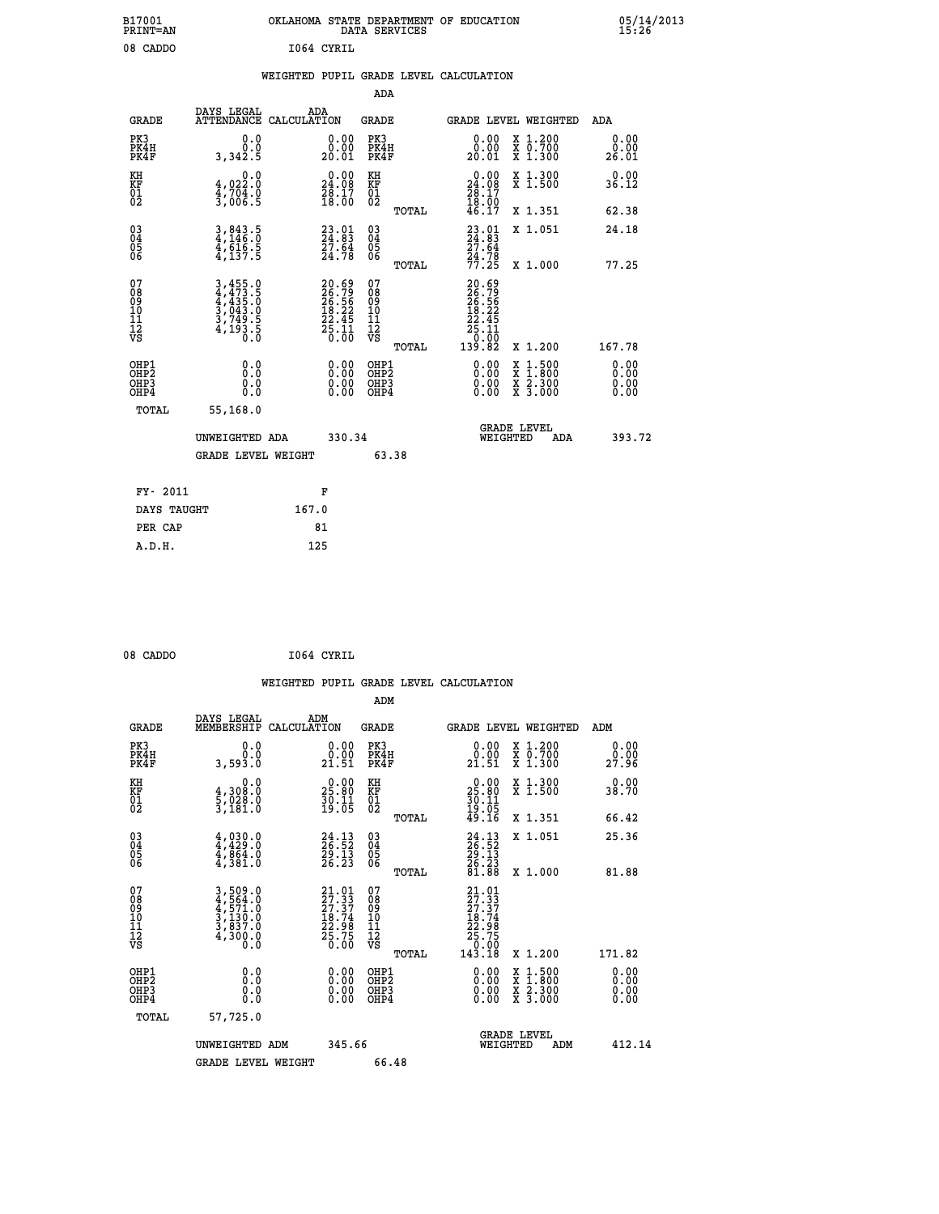| B17001<br>PRINT=AN | OKLAHOMA STATE DEPARTMENT OF EDUCATION<br>DATA SERVICES | 05/14/2013<br>15:26 |
|--------------------|---------------------------------------------------------|---------------------|
| 08 CADDO           | 1064 CYRIL                                              |                     |
|                    | WEIGHTED PUPIL GRADE LEVEL CALCULATION                  |                     |
|                    | ADA                                                     |                     |

| <b>GRADE</b>                              | DAYS LEGAL                                                           | ADA                                                                                                                                                                                                                  | <b>GRADE</b>                                                                                                                                                                                                                                                                              |                                                                             |                                                                                                                                                                                                                                                           | ADA                                                                                                                                                                                                    |
|-------------------------------------------|----------------------------------------------------------------------|----------------------------------------------------------------------------------------------------------------------------------------------------------------------------------------------------------------------|-------------------------------------------------------------------------------------------------------------------------------------------------------------------------------------------------------------------------------------------------------------------------------------------|-----------------------------------------------------------------------------|-----------------------------------------------------------------------------------------------------------------------------------------------------------------------------------------------------------------------------------------------------------|--------------------------------------------------------------------------------------------------------------------------------------------------------------------------------------------------------|
| PK3<br>PK4H<br>PK4F                       | 0.0<br>0.0<br>3,342.5                                                | 0.00<br>20.01                                                                                                                                                                                                        | PK3<br>PK4H<br>PK4F                                                                                                                                                                                                                                                                       | $\begin{smallmatrix} 0.00\\ 0.00\\ 20.01 \end{smallmatrix}$                 |                                                                                                                                                                                                                                                           | 0.00<br>0.00<br>26.01                                                                                                                                                                                  |
| KH                                        | 0.0                                                                  |                                                                                                                                                                                                                      | KH                                                                                                                                                                                                                                                                                        | 0.00                                                                        | X 1.300<br>X 1.500                                                                                                                                                                                                                                        | 0.00<br>36.12                                                                                                                                                                                          |
|                                           |                                                                      |                                                                                                                                                                                                                      | TOTAL                                                                                                                                                                                                                                                                                     |                                                                             | X 1.351                                                                                                                                                                                                                                                   | 62.38                                                                                                                                                                                                  |
| $\substack{03 \\ 04}$<br>Ŏ5<br>06         |                                                                      |                                                                                                                                                                                                                      | $\substack{03 \\ 04}$<br>05<br>ŌĞ                                                                                                                                                                                                                                                         |                                                                             | X 1.051                                                                                                                                                                                                                                                   | 24.18                                                                                                                                                                                                  |
|                                           |                                                                      |                                                                                                                                                                                                                      |                                                                                                                                                                                                                                                                                           |                                                                             |                                                                                                                                                                                                                                                           | 77.25                                                                                                                                                                                                  |
|                                           |                                                                      |                                                                                                                                                                                                                      |                                                                                                                                                                                                                                                                                           |                                                                             |                                                                                                                                                                                                                                                           |                                                                                                                                                                                                        |
|                                           |                                                                      |                                                                                                                                                                                                                      | TOTAL                                                                                                                                                                                                                                                                                     |                                                                             | X 1.200                                                                                                                                                                                                                                                   | 167.78                                                                                                                                                                                                 |
| OHP1<br>OH <sub>P</sub> 2<br>OHP3<br>OHP4 | 0.0<br>Ŏ.Ŏ<br>0.0<br>0.0                                             | $0.00$<br>$0.00$<br>0.00                                                                                                                                                                                             | OHP1<br>OHP <sub>2</sub><br>OHP3<br>OHP4                                                                                                                                                                                                                                                  | $0.00$<br>$0.00$<br>0.00                                                    |                                                                                                                                                                                                                                                           | 0.00<br>0.00<br>0.00<br>0.00                                                                                                                                                                           |
| TOTAL                                     | 55,168.0                                                             |                                                                                                                                                                                                                      |                                                                                                                                                                                                                                                                                           |                                                                             |                                                                                                                                                                                                                                                           |                                                                                                                                                                                                        |
|                                           |                                                                      |                                                                                                                                                                                                                      |                                                                                                                                                                                                                                                                                           |                                                                             | ADA                                                                                                                                                                                                                                                       | 393.72                                                                                                                                                                                                 |
|                                           |                                                                      |                                                                                                                                                                                                                      | 63.38                                                                                                                                                                                                                                                                                     |                                                                             |                                                                                                                                                                                                                                                           |                                                                                                                                                                                                        |
|                                           |                                                                      |                                                                                                                                                                                                                      |                                                                                                                                                                                                                                                                                           |                                                                             |                                                                                                                                                                                                                                                           |                                                                                                                                                                                                        |
|                                           |                                                                      | 167.0                                                                                                                                                                                                                |                                                                                                                                                                                                                                                                                           |                                                                             |                                                                                                                                                                                                                                                           |                                                                                                                                                                                                        |
| PER CAP                                   |                                                                      | 81                                                                                                                                                                                                                   |                                                                                                                                                                                                                                                                                           |                                                                             |                                                                                                                                                                                                                                                           |                                                                                                                                                                                                        |
|                                           | KF<br>01<br>02<br>07<br>08<br>09<br>11<br>11<br>12<br>VS<br>FY- 2011 | $\frac{4}{3}, \frac{0}{704}$<br>$\frac{2}{3}, \frac{704}{006}$<br>$\frac{6}{5}$<br>$3,843.5$<br>$4,146.0$<br>$4,616.5$<br>$4,137.5$<br>3,455.0<br>4,473.5<br>4,435.0<br>3,043.0<br>3,749.5<br>4,193.5<br>DAYS TAUGHT | ATTENDANCE CALCULATION<br>$\begin{smallmatrix} 0.00\\ 24.08\\ 28.17\\ 18.00 \end{smallmatrix}$<br>$\begin{smallmatrix} 23.01\\ 24.83\\ 27.64\\ 24.78 \end{smallmatrix}$<br>20.69<br>26.79<br>26.56<br>26.22<br>22.45<br>25.11<br>0.00<br>UNWEIGHTED ADA<br><b>GRADE LEVEL WEIGHT</b><br>F | KF<br>01<br>02<br>TOTAL<br>07<br>08<br>09<br>10<br>11<br>12<br>VS<br>330.34 | $24.08$<br>$28.17$<br>$18.00$<br>$46.17$<br>$23.01$<br>$24.83$<br>$27.64$<br>$24.78$<br>$77.25$<br>20.69<br>$\begin{smallmatrix} 20 & 0 & 0 & 0 \\ 26 & 0 & 0 & 0 \\ 26 & 0 & 0 & 0 \\ 22 & 0 & 0 & 0 \\ 25 & 0 & 0 & 0 \\ 13 & 0 & 82 \end{smallmatrix}$ | GRADE LEVEL WEIGHTED<br>X 1.200<br>X 0.700<br>X 1.300<br>X 1.000<br>$\begin{smallmatrix} x & 1 & 500 \\ x & 1 & 800 \\ x & 2 & 300 \\ x & 3 & 000 \end{smallmatrix}$<br><b>GRADE LEVEL</b><br>WEIGHTED |

| 08 CADDO | 1064 CYRIL |
|----------|------------|
|          |            |

 **WEIGHTED PUPIL GRADE LEVEL CALCULATION ADM DAYS LEGAL ADM GRADE MEMBERSHIP CALCULATION GRADE GRADE LEVEL WEIGHTED ADM PK3 0.0 0.00 PK3 0.00 X 1.200 0.00 PK4H 0.0 0.00 PK4H 0.00 X 0.700 0.00 PK4F 3,593.0 21.51 PK4F 21.51 X 1.300 27.96 KH 0.0 0.00 KH 0.00 X 1.300 0.00 KF 4,308.0 25.80 KF 25.80 X 1.500 38.70 01 5,028.0 30.11 01 30.11 02 3,181.0 19.05 02 19.05 TOTAL 49.16 X 1.351 66.42 03 4,030.0 24.13 03 24.13 X 1.051 25.36 04 4,429.0 26.52 04 26.52 05 4,864.0 29.13 05 29.13**  $06 \qquad 4,381.0 \qquad 26.23 \quad 06 \qquad 26.23$  **TOTAL 81.88 X 1.000 81.88**  $\begin{array}{cccc} 07 & 3\, ,\, 509\, . \ 09 & 4\, ,\, 571\, . \ 0 \ 09 & 4\, ,\, 571\, . \ 0 \ 0 \ 0 \end{array} \hspace{1.5cm} , \quad \begin{array}{cccc} 21\, . \, 01 & 07 \ 27\, . \, 37 & 08 \ 27\, . \, 37 & 09 \ 27\, . \, 37 \ 0 \ 0 \end{array} \hspace{1.5cm} , \quad \begin{array}{cccc} 21\, . \, 01 & 07 \ 27\, . \, 37 \ 27\$  $\begin{array}{cccc} 21.01 & 07 & 21.01 & 17.01 \\ 27.37 & 08 & 27.337 \\ 18.74 & 10 & 27.337 \\ 18.74 & 10 & 18.74 \\ 25.75 & 11 & 22.98 \\ 25.75 & 12 & 25.75 \\ 0.00 & 081 \text{p1} \\ 0.00 & 081 \text{p2} \\ 0.00 & 081 \text{p3} \\ 0.00 & 081 \text{p4} \\ 0.00 & 0.00 & 0.00 \\ 0.00 & 0.0$  **OHP1 0.0 0.00 OHP1 0.00 X 1.500 0.00 OHP2 0.0 0.00 OHP2 0.00 X 1.800 0.00 OHP3 0.0 0.00 OHP3 0.00 X 2.300 0.00 OHP4 0.0 0.00 OHP4 0.00 X 3.000 0.00 TOTAL 57,725.0 UNWEIGHTED ADM** 345.66 GRADE LEVEL<br>WEIGHTED ADM 412.14  **GRADE LEVEL WEIGHT 66.48**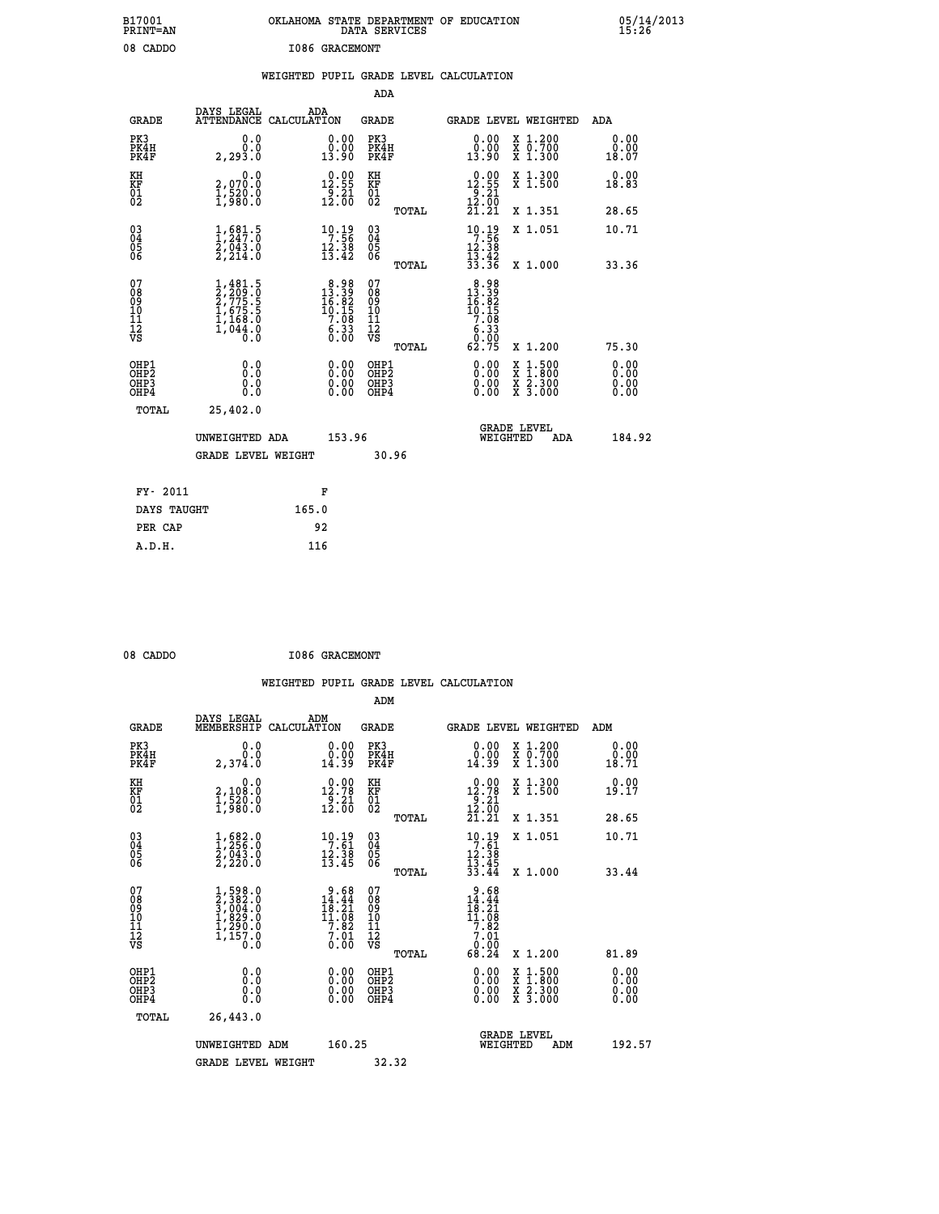| B17001<br>PRINT=AN                                 |                                                                                            |                                                                                                  | OKLAHOMA STATE DEPARTMENT OF EDUCATION<br>DATA SERVICES     |                                                                                                                                      |                                                                                                  | 05/14/2013                   |  |
|----------------------------------------------------|--------------------------------------------------------------------------------------------|--------------------------------------------------------------------------------------------------|-------------------------------------------------------------|--------------------------------------------------------------------------------------------------------------------------------------|--------------------------------------------------------------------------------------------------|------------------------------|--|
| 08 CADDO                                           |                                                                                            | <b>I086 GRACEMONT</b>                                                                            |                                                             |                                                                                                                                      |                                                                                                  |                              |  |
|                                                    |                                                                                            |                                                                                                  | WEIGHTED PUPIL GRADE LEVEL CALCULATION                      |                                                                                                                                      |                                                                                                  |                              |  |
|                                                    |                                                                                            |                                                                                                  | ADA                                                         |                                                                                                                                      |                                                                                                  |                              |  |
| <b>GRADE</b>                                       | DAYS LEGAL<br>ATTENDANCE CALCULATION                                                       | ADA                                                                                              | GRADE                                                       | <b>GRADE LEVEL WEIGHTED</b>                                                                                                          |                                                                                                  | ADA                          |  |
| PK3<br>PK4H<br>PK4F                                | 0.0<br>0.0<br>2,293.0                                                                      | $\begin{smallmatrix} 0.00\\ 0.00\\ 13.90 \end{smallmatrix}$                                      | PK3<br>PK4H<br>PK4F                                         | 0.00<br>$0.00$<br>13.90                                                                                                              | X 1.200<br>X 0.700<br>X 1.300                                                                    | 0.00<br>0.00<br>18.07        |  |
| KH<br>KF<br>01<br>02                               | 0.0<br>2,070.0<br>$\frac{1}{3}, \frac{5}{9}, \frac{5}{8}, \frac{5}{9}$                     | $\begin{smallmatrix} 0.00\\ 12.55\\ 9.21\\ 12.00 \end{smallmatrix}$                              | KH<br>KF<br>01<br>02                                        | $\begin{smallmatrix} 0.00\\ 12.55\\ 9.21\\ 12.00\\ 21.21 \end{smallmatrix}$                                                          | X 1.300<br>X 1.500                                                                               | 0.00<br>18.83                |  |
|                                                    |                                                                                            |                                                                                                  | TOTAL                                                       |                                                                                                                                      | X 1.351                                                                                          | 28.65                        |  |
| $\begin{matrix} 03 \\ 04 \\ 05 \\ 06 \end{matrix}$ | $\frac{1}{2}, \frac{681}{247}$ .0<br>$\frac{2}{43}$ .0<br>$\frac{2}{2}, \frac{043}{24}$ .0 | $\begin{array}{c} 10 \cdot 19 \\ 7 \cdot 56 \\ 12 \cdot 38 \\ 13 \cdot 42 \end{array}$           | $\begin{matrix} 03 \\ 04 \\ 05 \\ 06 \end{matrix}$<br>TOTAL | 10:19<br>7:56<br>12:38<br>$\frac{15}{33}$ $\frac{12}{36}$                                                                            | X 1.051                                                                                          | 10.71<br>33.36               |  |
| 07<br>08<br>09<br>11<br>11<br>12<br>VS             | $1,481.5$<br>$2,775.5$<br>$1,675.5$<br>$1,68.0$<br>$1,168.0$<br>$1,044.0$<br>0.0           | $\begin{smallmatrix}8&.98\\13&.39\\16&.82\\16&.15\\10&.15\\7&.08\\6&.33\\0&.00\end{smallmatrix}$ | 07<br>08901112<br>1112<br>VS                                | $\begin{smallmatrix} 8.98\\ 13.39\\ 16.82\\ 10.15 \end{smallmatrix}$<br>7.08<br>$\begin{array}{c} 6.33 \\ 0.00 \\ 62.75 \end{array}$ | X 1.000                                                                                          |                              |  |
|                                                    |                                                                                            |                                                                                                  | TOTAL                                                       |                                                                                                                                      | X 1.200                                                                                          | 75.30                        |  |
| OHP1<br>OHP2<br>OHP3<br>OHP4                       | 0.0<br>0.0<br>0.0<br>0.0                                                                   | 0.00<br>0.0000                                                                                   | OHP1<br>OHP <sub>2</sub><br>OHP3<br>OHP4                    | 0.00<br>0.00<br>0.00                                                                                                                 | $\begin{smallmatrix} x & 1 & 500 \\ x & 1 & 800 \\ x & 2 & 300 \\ x & 3 & 000 \end{smallmatrix}$ | 0.00<br>0.00<br>0.00<br>0.00 |  |
| TOTAL                                              | 25,402.0                                                                                   |                                                                                                  |                                                             |                                                                                                                                      |                                                                                                  |                              |  |
|                                                    | UNWEIGHTED ADA                                                                             | 153.96                                                                                           |                                                             | WEIGHTED                                                                                                                             | <b>GRADE LEVEL</b><br>ADA                                                                        | 184.92                       |  |
|                                                    | <b>GRADE LEVEL WEIGHT</b>                                                                  |                                                                                                  | 30.96                                                       |                                                                                                                                      |                                                                                                  |                              |  |
| FY- 2011                                           |                                                                                            | F                                                                                                |                                                             |                                                                                                                                      |                                                                                                  |                              |  |
| DAYS TAUGHT                                        |                                                                                            | 165.0                                                                                            |                                                             |                                                                                                                                      |                                                                                                  |                              |  |
| PER CAP                                            |                                                                                            | 92                                                                                               |                                                             |                                                                                                                                      |                                                                                                  |                              |  |

| 08 CADDO | <b>I086 GRACEMONT</b> |
|----------|-----------------------|
|          |                       |

 **WEIGHTED PUPIL GRADE LEVEL CALCULATION ADM DAYS LEGAL ADM GRADE MEMBERSHIP CALCULATION GRADE GRADE LEVEL WEIGHTED ADM PK3 0.0 0.00 PK3 0.00 X 1.200 0.00 PK4H 0.0 0.00 PK4H 0.00 X 0.700 0.00 PK4F 2,374.0 14.39 PK4F 14.39 X 1.300 18.71 KH 0.0 0.00 KH 0.00 X 1.300 0.00 KF 2,108.0 12.78 KF 12.78 X 1.500 19.17 01 1,520.0 9.21 01 9.21 02 1,980.0 12.00 02 12.00 TOTAL 21.21 X 1.351 28.65 03 1,682.0 10.19 03 10.19 X 1.051 10.71 04 1,256.0 7.61 04 7.61 05 2,043.0 12.38 05 12.38** 06 2,220.0 13.45 06 <sub>mome</sub> 13.45  **TOTAL 33.44 X 1.000 33.44**  $\begin{array}{cccc} 07 & 1,598.0 & 9.68 & 07 & 9.68 \ 08 & 2,382.0 & 14.44 & 08 & 14.44 \ 09 & 16.21 & 09 & 18.31 \ 10 & 1,829.0 & 11.08 & 10 & 11.08 \ 11 & 1,290.0 & 7.82 & 11 & 0 & 7.82 \ 12 & 09 & 0.01 & 0 & 7.8 & 11.0 \ 13 & 1,150.0 & 0.00 & \n\end{array}$  **TOTAL 68.24 X 1.200 81.89 OHP1 0.0 0.00 OHP1 0.00 X 1.500 0.00 OHP2 0.0 0.00 OHP2 0.00 X 1.800 0.00 OHP3 0.0 0.00 OHP3 0.00 X 2.300 0.00 OHP4 0.0 0.00 OHP4 0.00 X 3.000 0.00 TOTAL 26,443.0 GRADE LEVEL UNWEIGHTED ADM 160.25 WEIGHTED ADM 192.57** GRADE LEVEL WEIGHT 32.32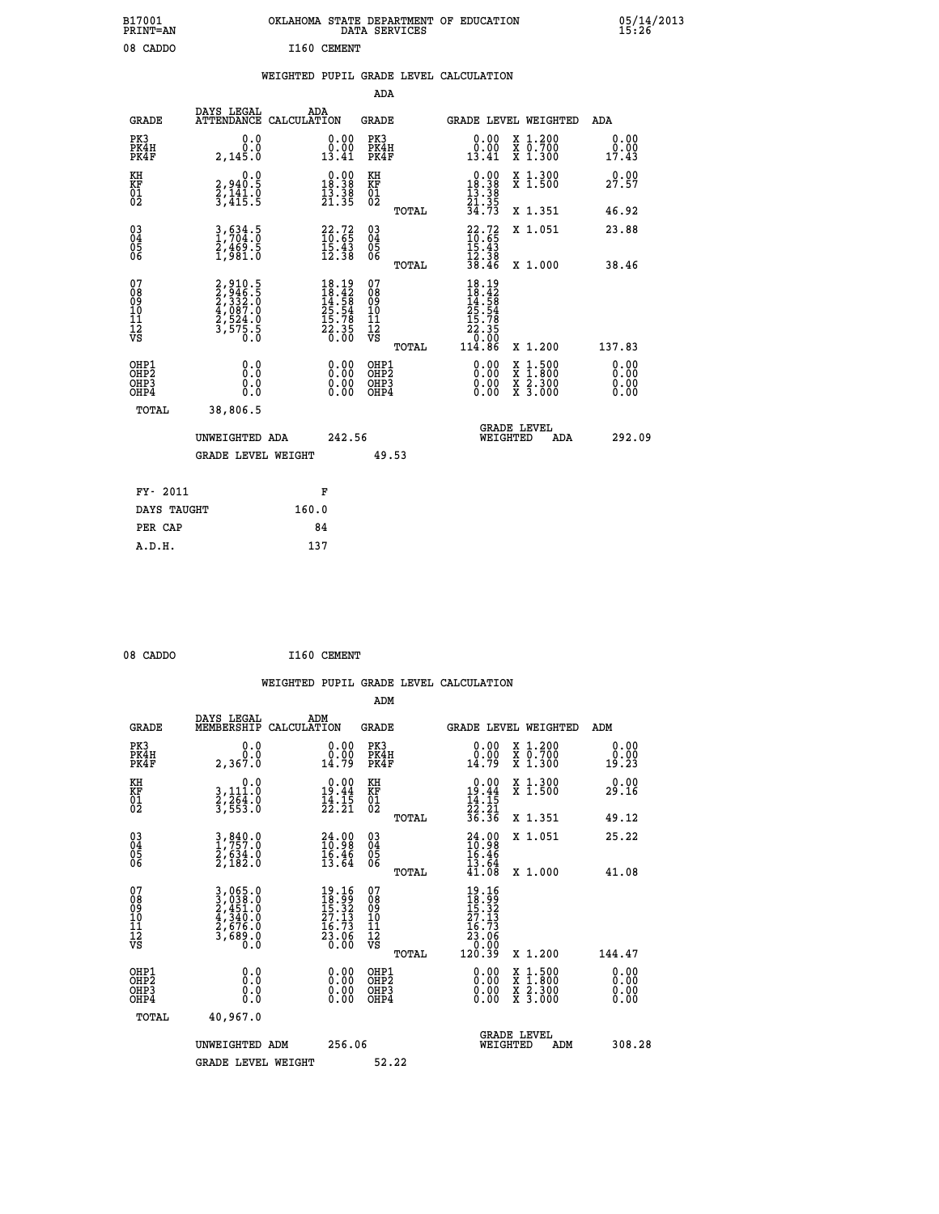| B17001<br><b>PRINT=AN</b>                          |                                                                | OKLAHOMA STATE DEPARTMENT OF EDUCATION                                                                          | DATA SERVICES                                      |                                                                                                              |                                                                                          | 05/14/2013<br>15:26   |  |
|----------------------------------------------------|----------------------------------------------------------------|-----------------------------------------------------------------------------------------------------------------|----------------------------------------------------|--------------------------------------------------------------------------------------------------------------|------------------------------------------------------------------------------------------|-----------------------|--|
| 08 CADDO                                           |                                                                | I160 CEMENT                                                                                                     |                                                    |                                                                                                              |                                                                                          |                       |  |
|                                                    |                                                                | WEIGHTED PUPIL GRADE LEVEL CALCULATION                                                                          |                                                    |                                                                                                              |                                                                                          |                       |  |
|                                                    |                                                                |                                                                                                                 | ADA                                                |                                                                                                              |                                                                                          |                       |  |
| GRADE                                              | DAYS LEGAL<br>ATTENDANCE CALCULATION                           | ADA                                                                                                             | GRADE                                              | GRADE LEVEL WEIGHTED                                                                                         |                                                                                          | ADA                   |  |
| PK3<br>PK4H<br>PK4F                                | 0.0<br>0.0<br>2,145.0                                          | 0.00<br>0.00<br>13.41                                                                                           | PK3<br>PK4H<br>PK4F                                | 0.00<br>0.00<br>13.41                                                                                        | X 1.200<br>X 0.700<br>X 1.300                                                            | 0.00<br>0.00<br>17.43 |  |
| KH<br>KF<br>01<br>02                               | 0.0<br>2,940.5<br>2,141.0<br>3,415.5                           | $\begin{smallmatrix} &0.00\\[-1mm] 18.38\\[-1mm] 13.38\\[-1mm] 21.35\end{smallmatrix}$                          | KH<br>KF<br>01<br>02                               | $\begin{smallmatrix} &0.00\\ 18.38\\ 13.38\\ 13.38\\ 21.35\\ 34.73 \end{smallmatrix}$                        | X 1.300<br>X 1.500                                                                       | 0.00<br>27.57         |  |
|                                                    |                                                                |                                                                                                                 | TOTAL                                              |                                                                                                              | X 1.351                                                                                  | 46.92                 |  |
| $\begin{matrix} 03 \\ 04 \\ 05 \\ 06 \end{matrix}$ | $\frac{3}{1}$ , $\frac{634}{704}$ : 0<br>2,469.5<br>1,981.0    | $\begin{smallmatrix} 22.72\ 10.65\ 15.43\ 12.38 \end{smallmatrix}$                                              | $\begin{matrix} 03 \\ 04 \\ 05 \\ 06 \end{matrix}$ | $22.72$<br>$10.65$<br>15.43                                                                                  | X 1.051                                                                                  | 23.88                 |  |
|                                                    |                                                                |                                                                                                                 | <b>TOTAL</b>                                       | $\frac{12.38}{38.46}$                                                                                        | X 1.000                                                                                  | 38.46                 |  |
| 07<br>08<br>09<br>10<br>11<br>Ī2<br>VS             | 2,910.5<br>2,946.5<br>2,333.0<br>2,524.0<br>3,575.5<br>3,575.5 | $\begin{array}{l} 18\cdot 19\\18\cdot 42\\14\cdot 58\\25\cdot 54\\15\cdot 78\\22\cdot 35\\0\cdot 00\end{array}$ | 07<br>08<br>09<br>10<br>11<br>ĪŽ<br>VŠ             | $18.19$<br>$18.42$<br>$14.58$<br>$25.54$<br>15.78<br>22.35<br>$\begin{array}{c} 70.00 \\ 114.86 \end{array}$ |                                                                                          |                       |  |
|                                                    |                                                                |                                                                                                                 | TOTAL<br>OHP1                                      |                                                                                                              | X 1.200                                                                                  | 137.83<br>0.00        |  |
| OHP1<br>OHP2<br>OH <sub>P3</sub><br>OHP4           | 0.0<br>0.0<br>0.0                                              | 0.00<br>0.00<br>0.00                                                                                            | OH <sub>P</sub> 2<br>OHP3<br>OHP4                  | 0.00<br>0.00<br>0.00                                                                                         | $\begin{smallmatrix} x & 1.500 \\ x & 1.800 \\ x & 2.300 \\ x & 3.000 \end{smallmatrix}$ | 0.00<br>0.00<br>0.00  |  |
| TOTAL                                              | 38,806.5                                                       |                                                                                                                 |                                                    |                                                                                                              |                                                                                          |                       |  |
|                                                    | UNWEIGHTED ADA                                                 | 242.56                                                                                                          |                                                    | <b>GRADE LEVEL</b><br>WEIGHTED                                                                               | ADA                                                                                      | 292.09                |  |
|                                                    | GRADE LEVEL WEIGHT                                             |                                                                                                                 | 49.53                                              |                                                                                                              |                                                                                          |                       |  |
| FY- 2011                                           |                                                                | F                                                                                                               |                                                    |                                                                                                              |                                                                                          |                       |  |
| DAYS TAUGHT                                        |                                                                | 160.0                                                                                                           |                                                    |                                                                                                              |                                                                                          |                       |  |
| PER CAP                                            |                                                                | 84                                                                                                              |                                                    |                                                                                                              |                                                                                          |                       |  |
| A.D.H.                                             |                                                                | 137                                                                                                             |                                                    |                                                                                                              |                                                                                          |                       |  |

| 08 CADDO | I160 CEMENT |
|----------|-------------|
|          |             |

|                                          |                                                                                                                                               | WEIGHTED PUPIL GRADE LEVEL CALCULATION                                                |                                          |                                                                                                                                                                                                                                                                                |                                          |                       |
|------------------------------------------|-----------------------------------------------------------------------------------------------------------------------------------------------|---------------------------------------------------------------------------------------|------------------------------------------|--------------------------------------------------------------------------------------------------------------------------------------------------------------------------------------------------------------------------------------------------------------------------------|------------------------------------------|-----------------------|
|                                          |                                                                                                                                               |                                                                                       | ADM                                      |                                                                                                                                                                                                                                                                                |                                          |                       |
| <b>GRADE</b>                             | DAYS LEGAL<br>MEMBERSHIP                                                                                                                      | ADM<br>CALCULATION                                                                    | GRADE                                    | <b>GRADE LEVEL WEIGHTED</b>                                                                                                                                                                                                                                                    |                                          | ADM                   |
| PK3<br>PK4H<br>PK4F                      | 0.0<br>0.0<br>2,367.0                                                                                                                         | $\begin{smallmatrix} 0.00\\ 0.00\\ 14.79 \end{smallmatrix}$                           | PK3<br>PK4H<br>PK4F                      | $\begin{smallmatrix} 0.00\\ 0.00\\ 14.79 \end{smallmatrix}$                                                                                                                                                                                                                    | X 1.200<br>X 0.700<br>X 1.300            | 0.00<br>0.00<br>19.23 |
| KH<br>KF<br>01<br>02                     | 0.0<br>3,111:0<br>2,264:0<br>3,553:0                                                                                                          | $0.00$<br>19.44<br>$\frac{1}{2}\cdot\frac{1}{2}\cdot\frac{5}{21}$                     | KH<br>KF<br>01<br>02                     | $\begin{array}{r} 0.00 \\ 19.44 \\ 14.15 \\ 22.21 \\ 36.36 \end{array}$                                                                                                                                                                                                        | X 1.300<br>X 1.500                       | 0.00<br>29.16         |
|                                          |                                                                                                                                               |                                                                                       | TOTAL                                    |                                                                                                                                                                                                                                                                                | X 1.351                                  | 49.12                 |
| 03<br>04<br>05<br>06                     | 3,840.0<br>1,757.0<br>2,634.0<br>2,182.0                                                                                                      | $\begin{smallmatrix} 24.00\\ 10.98\\ 16.46\\ 13.64 \end{smallmatrix}$                 | 03<br>04<br>05<br>06                     | $24.98$<br>$16.46$<br>$15.46$<br>$13.64$<br>$41.08$                                                                                                                                                                                                                            | X 1.051                                  | 25.22                 |
|                                          |                                                                                                                                               |                                                                                       | TOTAL                                    |                                                                                                                                                                                                                                                                                | X 1.000                                  | 41.08                 |
| 07<br>08<br>09<br>101<br>112<br>VS       | $\begin{smallmatrix} 3\,,\,065\,.0\\ 3\,,\,038\,.0\\ 2\,,\,451\,.0\\ 4\,,\,340\,.0\\ 2\,,\,676\,.0\\ 3\,,\,689\,.0\\ 0\,.0 \end{smallmatrix}$ | $\begin{smallmatrix} 19.16\\18.99\\15.32\\27.13\\16.73\\23.06\\0.00\end{smallmatrix}$ | 07<br>08<br>09<br>11<br>11<br>12<br>VS   | $\begin{smallmatrix} 19.16\ 18.99\ 15.32\ 17.13\ 27.13\ 28.06\ 23.06\ 120.39\ \end{smallmatrix}$                                                                                                                                                                               | X 1.200                                  | 144.47                |
|                                          |                                                                                                                                               |                                                                                       | TOTAL                                    |                                                                                                                                                                                                                                                                                |                                          |                       |
| OHP1<br>OHP2<br>OH <sub>P3</sub><br>OHP4 | 0.0<br>0.000                                                                                                                                  | $0.00$<br>$0.00$<br>0.00                                                              | OHP1<br>OHP <sub>2</sub><br>OHP3<br>OHP4 | $\begin{smallmatrix} 0.00 & 0.00 & 0.00 & 0.00 & 0.00 & 0.00 & 0.00 & 0.00 & 0.00 & 0.00 & 0.00 & 0.00 & 0.00 & 0.00 & 0.00 & 0.00 & 0.00 & 0.00 & 0.00 & 0.00 & 0.00 & 0.00 & 0.00 & 0.00 & 0.00 & 0.00 & 0.00 & 0.00 & 0.00 & 0.00 & 0.00 & 0.00 & 0.00 & 0.00 & 0.00 & 0.0$ | X 1:500<br>X 1:800<br>X 2:300<br>X 3:000 | 0.00<br>0.00<br>0.00  |
| TOTAL                                    | 40,967.0                                                                                                                                      |                                                                                       |                                          |                                                                                                                                                                                                                                                                                |                                          |                       |
|                                          | UNWEIGHTED ADM                                                                                                                                | 256.06                                                                                |                                          | <b>GRADE LEVEL</b><br>WEIGHTED                                                                                                                                                                                                                                                 | ADM                                      | 308.28                |
|                                          | <b>GRADE LEVEL WEIGHT</b>                                                                                                                     |                                                                                       | 52.22                                    |                                                                                                                                                                                                                                                                                |                                          |                       |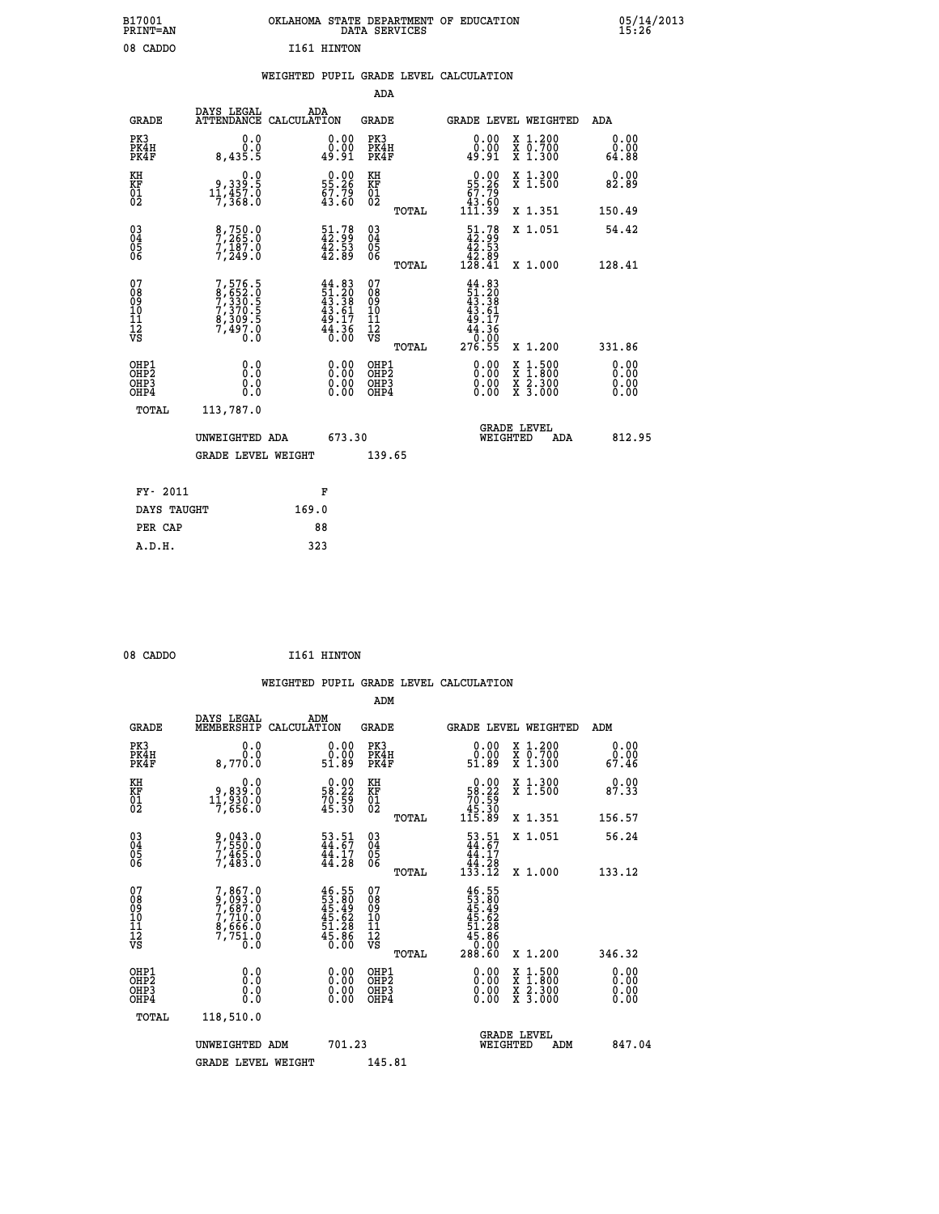| B17001<br><b>PRINT=AN</b> | OKLAHOMA STATE DEPARTMENT OF EDUCATION<br>DATA SERVICES | 05/14/2013<br>15:26 |
|---------------------------|---------------------------------------------------------|---------------------|
| 08 CADDO                  | I161 HINTON                                             |                     |

|  |  | WEIGHTED PUPIL GRADE LEVEL CALCULATION |
|--|--|----------------------------------------|
|  |  |                                        |

|                                                                    |                                                                           |                                                                          | ADA                                    |        |                                                                                        |                                                                                                                                           |                               |
|--------------------------------------------------------------------|---------------------------------------------------------------------------|--------------------------------------------------------------------------|----------------------------------------|--------|----------------------------------------------------------------------------------------|-------------------------------------------------------------------------------------------------------------------------------------------|-------------------------------|
| <b>GRADE</b>                                                       | DAYS LEGAL<br>ATTENDANCE CALCULATION                                      | ADA                                                                      | <b>GRADE</b>                           |        |                                                                                        | GRADE LEVEL WEIGHTED                                                                                                                      | ADA                           |
| PK3<br>PK4H<br>PK4F                                                | 0.0<br>0.0<br>8,435.5                                                     | $\begin{smallmatrix} 0.00\\ 0.00\\ 49.91 \end{smallmatrix}$              | PK3<br>PK4H<br>PK4F                    |        | 0.00<br>0.00<br>49.91                                                                  | X 1.200<br>X 0.700<br>X 1.300                                                                                                             | 0.00<br>0.00<br>64.88         |
| KH<br>KF<br>01<br>02                                               | 0.0<br>9, 339:5<br>11, 457:0<br>7, 368:0                                  | $\begin{smallmatrix} 0.00\\ 55.26\\ 67.79\\ 43.60 \end{smallmatrix}$     | KH<br>KF<br>01<br>02                   |        | $\begin{smallmatrix} &0.00\\ 55.26\\ 67.79\\ 43.60\\ 111.39\end{smallmatrix}$          | X 1.300<br>X 1.500                                                                                                                        | 0.00<br>82.89                 |
|                                                                    |                                                                           |                                                                          |                                        | TOTAL  |                                                                                        | X 1.351                                                                                                                                   | 150.49                        |
| $\begin{smallmatrix} 03 \\[-4pt] 04 \end{smallmatrix}$<br>Ŏ5<br>06 | 8,750.0<br>7,265.0<br>7,187.0<br>7,249.0                                  | $\begin{smallmatrix} 51.78\\ 42.99\\ 42.53\\ 42.89 \end{smallmatrix}$    | 03<br>04<br>05<br>06                   |        | $\begin{smallmatrix} 51.78\\ 42.99\\ 42.53\\ 42.89\\ 42.89\\ 128.41 \end{smallmatrix}$ | X 1.051                                                                                                                                   | 54.42                         |
|                                                                    |                                                                           |                                                                          |                                        | TOTAL  |                                                                                        | X 1.000                                                                                                                                   | 128.41                        |
| 07<br>08<br>09<br>101<br>11<br>12<br>VS                            | 7,576.5<br>8,652.0<br>7,330.5<br>7,370.5<br>8,309.5<br>8,309.5<br>7,497.0 | $44.83$<br>$51.20$<br>$43.38$<br>$43.61$<br>$49.17$<br>$44.36$<br>$0.00$ | 07<br>08<br>09<br>11<br>11<br>12<br>VS |        | $44.83$<br>$51.20$<br>$43.38$<br>$43.61$<br>$49.17$<br>$44.36$<br>0.00                 |                                                                                                                                           |                               |
|                                                                    |                                                                           |                                                                          |                                        | TOTAL  | 276.55                                                                                 | X 1.200                                                                                                                                   | 331.86                        |
| OHP1<br>OHP <sub>2</sub><br>OH <sub>P3</sub><br>OHP4               | 0.0<br>0.0<br>0.0                                                         | 0.00<br>$\begin{smallmatrix} 0.00 \ 0.00 \end{smallmatrix}$              | OHP1<br>OHP2<br>OHP <sub>3</sub>       |        | 0.00<br>0.00                                                                           | $\begin{smallmatrix} \mathtt{X} & 1\cdot500\\ \mathtt{X} & 1\cdot800\\ \mathtt{X} & 2\cdot300\\ \mathtt{X} & 3\cdot000 \end{smallmatrix}$ | 0.00<br>Ō. ŌŌ<br>0.00<br>0.00 |
| TOTAL                                                              | 113,787.0                                                                 |                                                                          |                                        |        |                                                                                        |                                                                                                                                           |                               |
|                                                                    | UNWEIGHTED ADA                                                            |                                                                          | 673.30                                 |        |                                                                                        | <b>GRADE LEVEL</b><br>WEIGHTED<br>ADA                                                                                                     | 812.95                        |
|                                                                    | <b>GRADE LEVEL WEIGHT</b>                                                 |                                                                          |                                        | 139.65 |                                                                                        |                                                                                                                                           |                               |
| FY- 2011                                                           |                                                                           | F                                                                        |                                        |        |                                                                                        |                                                                                                                                           |                               |
| DAYS TAUGHT                                                        |                                                                           | 169.0                                                                    |                                        |        |                                                                                        |                                                                                                                                           |                               |
| PER CAP                                                            |                                                                           | 88                                                                       |                                        |        |                                                                                        |                                                                                                                                           |                               |

| 08 CADDO | I161 HINTON<br>the contract of the contract of the |
|----------|----------------------------------------------------|
|          |                                                    |

 **WEIGHTED PUPIL GRADE LEVEL CALCULATION ADM DAYS LEGAL ADM GRADE MEMBERSHIP CALCULATION GRADE GRADE LEVEL WEIGHTED ADM PK3 0.0 0.00 PK3 0.00 X 1.200 0.00 PK4H 0.0 0.00 PK4H 0.00 X 0.700 0.00 PK4F 8,770.0 51.89 PK4F 51.89 X 1.300 67.46**

| KH<br>KF<br>01<br>02                     | 0.0<br>9,839:0<br>11,930:0<br>7,656:0                                               | $\begin{smallmatrix} 0.00\\ 58.22\\ 70.59\\ 45.30 \end{smallmatrix}$    | KH<br>KF<br>01<br>02                               |       | $\begin{smallmatrix} &0.00\ 58.22\ 70.59\ 45.30\ 115.89\ \end{smallmatrix}$           | X 1.300<br>X 1.500                                                                               | 0.00<br>87.33            |        |
|------------------------------------------|-------------------------------------------------------------------------------------|-------------------------------------------------------------------------|----------------------------------------------------|-------|---------------------------------------------------------------------------------------|--------------------------------------------------------------------------------------------------|--------------------------|--------|
|                                          |                                                                                     |                                                                         |                                                    | TOTAL |                                                                                       | X 1.351                                                                                          | 156.57                   |        |
| 03<br>04<br>05<br>06                     | 9,043.0<br>7,550.0<br>7,465.0<br>7,483.0                                            | $\frac{53.51}{44.67}$<br>$\frac{41.17}{44.28}$                          | $\begin{matrix} 03 \\ 04 \\ 05 \\ 06 \end{matrix}$ |       | $\begin{smallmatrix}53.51\44.67\44.17\44.28\133.12\end{smallmatrix}$                  | X 1.051                                                                                          | 56.24                    |        |
|                                          |                                                                                     |                                                                         |                                                    | TOTAL |                                                                                       | X 1.000                                                                                          | 133.12                   |        |
| 07<br>08<br>09<br>101<br>11<br>12<br>VS  | 7,867.0<br>9,093.0<br>7,687.0<br>7,710.0<br>8,666.0<br>7,751.0<br>$\overline{0}$ .0 | $46.55$<br>$53.80$<br>$45.49$<br>$45.62$<br>$51.28$<br>$5.86$<br>$0.00$ | 07<br>08<br>09<br>11<br>11<br>12<br>VS             | TOTAL | $46.55$<br>$53.80$<br>$45.49$<br>$45.62$<br>$51.28$<br>$45.86$<br>$0.000$<br>$288.60$ | X 1.200                                                                                          | 346.32                   |        |
| OHP1<br>OHP2<br>OH <sub>P3</sub><br>OHP4 | 0.0<br>0.0<br>0.0                                                                   | $0.00$<br>$0.00$<br>0.00                                                | OHP1<br>OHP2<br>OHP3<br>OHP4                       |       | $0.00$<br>$0.00$<br>0.00                                                              | $\begin{smallmatrix} x & 1 & 500 \\ x & 1 & 800 \\ x & 2 & 300 \\ x & 3 & 000 \end{smallmatrix}$ | $0.00$<br>$0.00$<br>0.00 |        |
| TOTAL                                    | 118,510.0                                                                           |                                                                         |                                                    |       |                                                                                       |                                                                                                  |                          |        |
|                                          | UNWEIGHTED ADM                                                                      | 701.23                                                                  |                                                    |       | WEIGHTED                                                                              | <b>GRADE LEVEL</b><br>ADM                                                                        |                          | 847.04 |
|                                          | GRADE LEVEL WEIGHT                                                                  |                                                                         | 145.81                                             |       |                                                                                       |                                                                                                  |                          |        |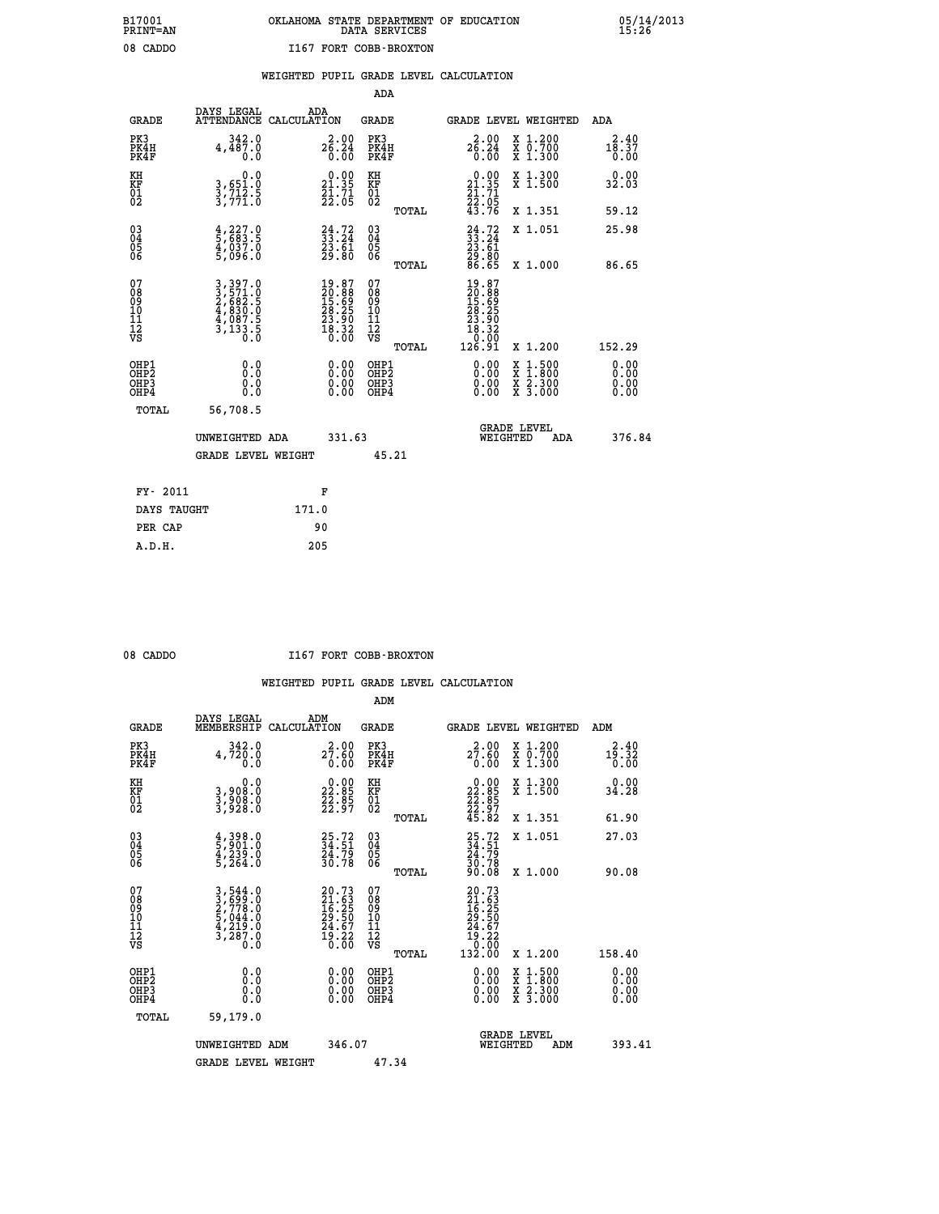## **B17001 OKLAHOMA STATE DEPARTMENT OF EDUCATION 05/14/2013 PRINT=AN DATA SERVICES 15:26** 08 CADDO **I167 FORT COBB-BROXTON**

### **WEIGHTED PUPIL GRADE LEVEL CALCULATION**

|                                                                    |                                                                                    |                                                                          | ADA                                                 |       |                                                                                                                                                                                                                                                                                |                                                                                                                                           |                               |
|--------------------------------------------------------------------|------------------------------------------------------------------------------------|--------------------------------------------------------------------------|-----------------------------------------------------|-------|--------------------------------------------------------------------------------------------------------------------------------------------------------------------------------------------------------------------------------------------------------------------------------|-------------------------------------------------------------------------------------------------------------------------------------------|-------------------------------|
| <b>GRADE</b>                                                       | DAYS LEGAL                                                                         | ADA<br>ATTENDANCE CALCULATION                                            | <b>GRADE</b>                                        |       |                                                                                                                                                                                                                                                                                | GRADE LEVEL WEIGHTED                                                                                                                      | ADA                           |
| PK3<br>PK4H<br>PK4F                                                | 342.0<br>4,487.0<br>0.0                                                            | $2\overset{2}{6}\overset{.00}{.}2\overset{.00}{4}$<br>0.00               | PK3<br>PK4H<br>PK4F                                 |       | 2.00<br>$2\overline{6}\cdot 2\overline{4}\over 0.00$                                                                                                                                                                                                                           | X 1.200<br>X 0.700<br>X 1.300                                                                                                             | 2.40<br>18.37<br>0.00         |
| KH<br>KF<br>01<br>02                                               | 0.0<br>3,651.0<br>3,712.5<br>3,771.0                                               | $0.00$<br>21.35<br>$\frac{21.71}{22.05}$                                 | KH<br>KF<br>01<br>02                                |       | $\begin{smallmatrix} 0.00\\21.35\\21.71\\22.05\\43.76 \end{smallmatrix}$                                                                                                                                                                                                       | X 1.300<br>X 1.500                                                                                                                        | 0.00<br>32.03                 |
|                                                                    |                                                                                    |                                                                          |                                                     | TOTAL |                                                                                                                                                                                                                                                                                | X 1.351                                                                                                                                   | 59.12                         |
| $\begin{smallmatrix} 03 \\[-4pt] 04 \end{smallmatrix}$<br>Ŏ5<br>06 | $\frac{4}{5}, \frac{227}{683}$ $\frac{5}{4}, \frac{037}{037}$ $\frac{0}{5}, 096.0$ | $24.72$<br>$33.24$<br>$23.61$<br>$29.80$                                 | $\begin{array}{c} 03 \\ 04 \\ 05 \\ 06 \end{array}$ |       | $24.72$<br>$33.24$<br>$23.61$<br>$29.80$<br>$86.65$                                                                                                                                                                                                                            | X 1.051                                                                                                                                   | 25.98                         |
|                                                                    |                                                                                    |                                                                          |                                                     | TOTAL |                                                                                                                                                                                                                                                                                | X 1.000                                                                                                                                   | 86.65                         |
| 07<br>08<br>09<br>101<br>11<br>12<br>VS                            | 3,397.0<br>2,571.0<br>2,682.5<br>4,830.0<br>4,087.5<br>3,133.5                     | $19.87$<br>$20.88$<br>$15.69$<br>$28.25$<br>$23.90$<br>$18.32$<br>$0.00$ | 07<br>08<br>09<br>11<br>11<br>12<br>VS              |       | $\begin{smallmatrix} 19.87\\ 20.88\\ 15.69\\ 28.25\\ 23.90\\ 23.90\\ 18.30\\ 0\\ \end{smallmatrix}$                                                                                                                                                                            |                                                                                                                                           |                               |
|                                                                    |                                                                                    |                                                                          |                                                     | TOTAL | 126.91                                                                                                                                                                                                                                                                         | X 1.200                                                                                                                                   | 152.29                        |
| OHP1<br>OHP <sub>2</sub><br>OH <sub>P3</sub><br>OHP4               | 0.0<br>0.000                                                                       | 0.00<br>$\begin{smallmatrix} 0.00 \ 0.00 \end{smallmatrix}$              | OHP1<br>OHP2<br>OHP <sub>3</sub>                    |       | $\begin{smallmatrix} 0.00 & 0.00 & 0.00 & 0.00 & 0.00 & 0.00 & 0.00 & 0.00 & 0.00 & 0.00 & 0.00 & 0.00 & 0.00 & 0.00 & 0.00 & 0.00 & 0.00 & 0.00 & 0.00 & 0.00 & 0.00 & 0.00 & 0.00 & 0.00 & 0.00 & 0.00 & 0.00 & 0.00 & 0.00 & 0.00 & 0.00 & 0.00 & 0.00 & 0.00 & 0.00 & 0.0$ | $\begin{smallmatrix} \mathtt{X} & 1\cdot500\\ \mathtt{X} & 1\cdot800\\ \mathtt{X} & 2\cdot300\\ \mathtt{X} & 3\cdot000 \end{smallmatrix}$ | 0.00<br>Ō. ŌŌ<br>0.00<br>0.00 |
| TOTAL                                                              | 56,708.5                                                                           |                                                                          |                                                     |       |                                                                                                                                                                                                                                                                                |                                                                                                                                           |                               |
|                                                                    | UNWEIGHTED ADA                                                                     | 331.63                                                                   |                                                     |       |                                                                                                                                                                                                                                                                                | <b>GRADE LEVEL</b><br>WEIGHTED<br>ADA                                                                                                     | 376.84                        |
|                                                                    | <b>GRADE LEVEL WEIGHT</b>                                                          |                                                                          |                                                     | 45.21 |                                                                                                                                                                                                                                                                                |                                                                                                                                           |                               |
| FY- 2011                                                           |                                                                                    | F                                                                        |                                                     |       |                                                                                                                                                                                                                                                                                |                                                                                                                                           |                               |
| DAYS TAUGHT                                                        |                                                                                    | 171.0                                                                    |                                                     |       |                                                                                                                                                                                                                                                                                |                                                                                                                                           |                               |
| PER CAP                                                            |                                                                                    | 90                                                                       |                                                     |       |                                                                                                                                                                                                                                                                                |                                                                                                                                           |                               |

 **A.D.H. 205**

08 CADDO **I167 FORT COBB-BROXTON** 

|                                                      |                                                                                                                                                             |                                                                          | ADM                                                 |                                                                                                  |                                          |                       |
|------------------------------------------------------|-------------------------------------------------------------------------------------------------------------------------------------------------------------|--------------------------------------------------------------------------|-----------------------------------------------------|--------------------------------------------------------------------------------------------------|------------------------------------------|-----------------------|
| <b>GRADE</b>                                         | DAYS LEGAL<br>MEMBERSHIP                                                                                                                                    | ADM<br>CALCULATION                                                       | <b>GRADE</b>                                        |                                                                                                  | <b>GRADE LEVEL WEIGHTED</b>              | ADM                   |
| PK3<br>PK4H<br>PK4F                                  | 342.0<br>4,720.0<br>0.0                                                                                                                                     | 2.00<br>27.60<br>0.00                                                    | PK3<br>PK4H<br>PK4F                                 | $2^{2.00}_{7.60}$<br>0.00                                                                        | X 1.200<br>X 0.700<br>X 1.300            | 2.40<br>19.32<br>0.00 |
| KH<br>KF<br>01<br>02                                 | 0.0<br>3,908:0<br>3,908:0<br>3,928:0                                                                                                                        | $\begin{smallmatrix} 0.00\\ 22.85\\ 22.85\\ 22.97 \end{smallmatrix}$     | KH<br>KF<br>01<br>02                                | $\begin{smallmatrix} 0.00\\ 22.85\\ 22.85\\ 22.97\\ 45.82 \end{smallmatrix}$                     | X 1.300<br>X 1.500                       | 0.00<br>34.28         |
|                                                      |                                                                                                                                                             |                                                                          | TOTAL                                               |                                                                                                  | X 1.351                                  | 61.90                 |
| 03<br>04<br>05<br>06                                 | $\frac{4}{5}$ , 398.0<br>5, 901.0<br>4, 239.0<br>5, 264.0                                                                                                   | 25.72<br>34.51<br>24.79<br>30.78                                         | $\begin{array}{c} 03 \\ 04 \\ 05 \\ 06 \end{array}$ | 25.72<br>34.51<br>24.79<br>30.78<br>90.08                                                        | X 1.051                                  | 27.03                 |
|                                                      |                                                                                                                                                             |                                                                          | TOTAL                                               |                                                                                                  | X 1.000                                  | 90.08                 |
| 07<br>08<br>09<br>101<br>11<br>12<br>VS              | $\begin{smallmatrix} 3\,,\,544\,.\,0\\ 2\,,\,699\,.\,0\\ 2\,,\,778\,.\,0\\ 5\,,\,044\,.\,0\\ 4\,,\,219\,.\,0\\ 3\,,\,287\,.\,0\\ 0\,.\,0 \end{smallmatrix}$ | $20.73$<br>$21.63$<br>$16.25$<br>$29.50$<br>$24.67$<br>$19.22$<br>$0.00$ | 07<br>08<br>09<br>11<br>11<br>12<br>VS<br>TOTAL     | $\begin{smallmatrix} 20.73\ 21.63\ 16.25\ 19.50\ 24.67\ 19.22\ 0.000\ 132.00\ \end{smallmatrix}$ | X 1.200                                  | 158.40                |
|                                                      |                                                                                                                                                             |                                                                          |                                                     |                                                                                                  |                                          | 0.00                  |
| OHP1<br>OHP2<br>OH <sub>P3</sub><br>OH <sub>P4</sub> | 0.0<br>0.000                                                                                                                                                |                                                                          | OHP1<br>OHP2<br>OHP <sub>3</sub>                    | $0.00$<br>$0.00$<br>0.00                                                                         | X 1:500<br>X 1:800<br>X 2:300<br>X 3:000 | 0.00<br>0.00          |
| TOTAL                                                | 59,179.0                                                                                                                                                    |                                                                          |                                                     |                                                                                                  |                                          |                       |
|                                                      | UNWEIGHTED ADM                                                                                                                                              | 346.07                                                                   |                                                     |                                                                                                  | GRADE LEVEL<br>WEIGHTED<br>ADM           | 393.41                |
|                                                      | <b>GRADE LEVEL WEIGHT</b>                                                                                                                                   |                                                                          | 47.34                                               |                                                                                                  |                                          |                       |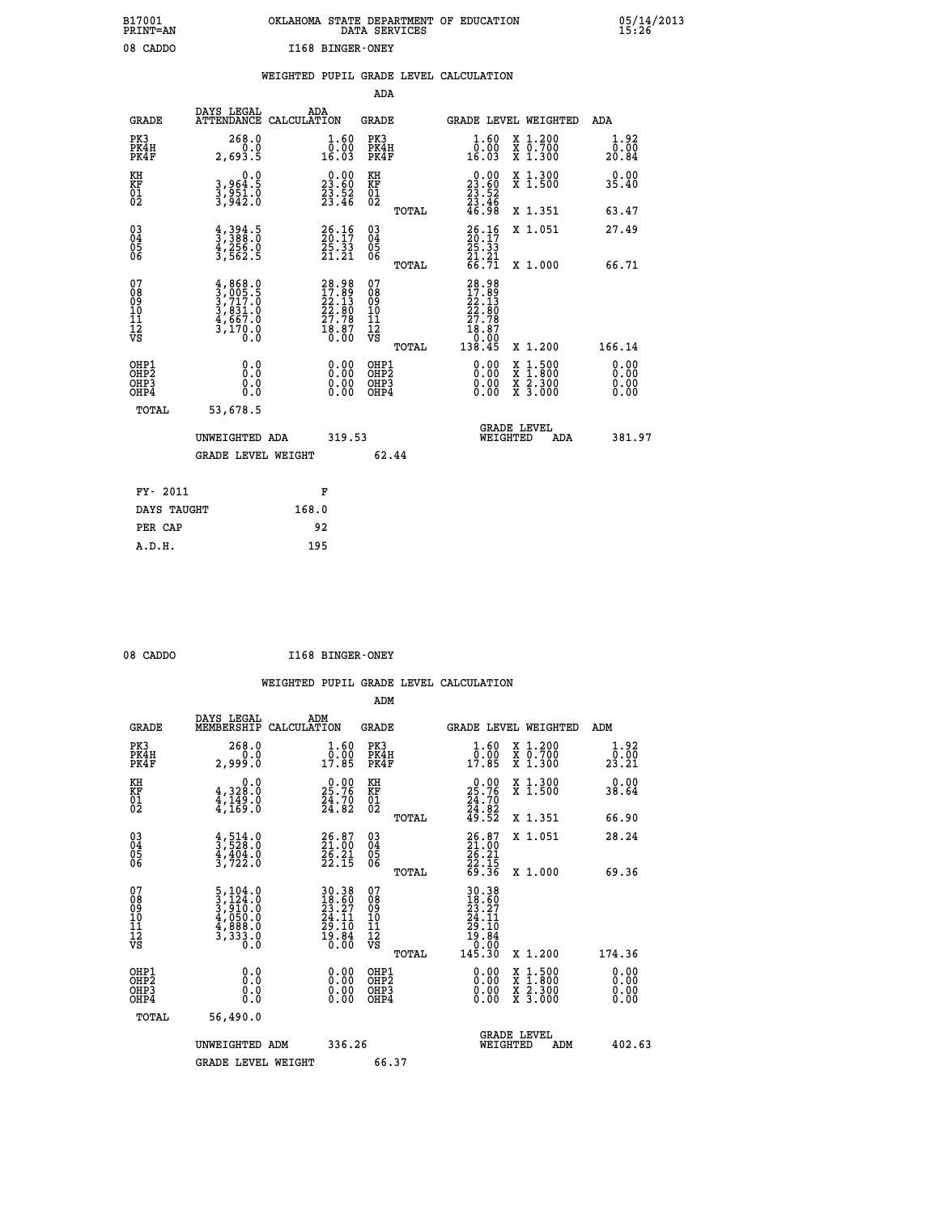| B17001          | OKLAHOMA STATE DEPARTMENT OF EDUCATION |
|-----------------|----------------------------------------|
| <b>PRINT=AN</b> | DATA SERVICES                          |
| 08 CADDO        | I168 BINGER-ONEY                       |

|                                                       |                                                                                                                                                 | WEIGHTED PUPIL GRADE LEVEL CALCULATION                                                       |                                                    |                                                                                                                  |                              |
|-------------------------------------------------------|-------------------------------------------------------------------------------------------------------------------------------------------------|----------------------------------------------------------------------------------------------|----------------------------------------------------|------------------------------------------------------------------------------------------------------------------|------------------------------|
|                                                       |                                                                                                                                                 |                                                                                              | ADA                                                |                                                                                                                  |                              |
| <b>GRADE</b>                                          | DAYS LEGAL                                                                                                                                      | ADA<br>ATTENDANCE CALCULATION                                                                | <b>GRADE</b>                                       | GRADE LEVEL WEIGHTED                                                                                             | ADA                          |
| PK3<br>PK4H<br>PK4F                                   | 268.0<br>2,693.5                                                                                                                                | $\begin{smallmatrix} 1.60\\[-1mm] 0.00\\[-1mm] 16.03\end{smallmatrix}$                       | PK3<br>PK4H<br>PK4F                                | 1.60<br>X 1.200<br>X 0.700<br>X 1.300<br>ŏ:ŏŏ<br>16:03                                                           | $1.92$<br>$0.00$<br>20.84    |
| KH<br>KF<br>01<br>02                                  | 0.0<br>3,964:5<br>3,951:0<br>3,942:0                                                                                                            | $\begin{smallmatrix} 0.00\\ 23.60\\ 23.52\\ 23.46 \end{smallmatrix}$                         | KH<br>KF<br>01<br>02                               | X 1.300<br>X 1.500<br>$\begin{smallmatrix} 0.00\\ 23.60\\ 23.52\\ 23.46\\ 46.98 \end{smallmatrix}$               | 0.00<br>35.40                |
|                                                       |                                                                                                                                                 |                                                                                              | TOTAL                                              | X 1.351                                                                                                          | 63.47                        |
| $\begin{matrix} 03 \\ 04 \\ 05 \\ 06 \end{matrix}$    | $\frac{4}{3}, \frac{394}{388}$ . 0<br>$\frac{4}{3}, \frac{256}{562}$ . 0<br>3, 562. 5                                                           | $26.16$<br>$26.17$<br>$25.33$<br>$21.21$                                                     | $\begin{matrix} 03 \\ 04 \\ 05 \\ 06 \end{matrix}$ | $\frac{26}{20}:\frac{16}{17}$<br>25.33<br>X 1.051                                                                | 27.49                        |
|                                                       |                                                                                                                                                 |                                                                                              | TOTAL                                              | $\frac{21}{66}$ $\frac{21}{71}$<br>X 1.000                                                                       | 66.71                        |
| 07<br>08901112<br>1112<br>VS                          | $\begin{smallmatrix} 4\,,\,868\,.\,0\\ 3\,,\,005\,.5\\ 3\,,\,717\,.0\\ 3\,,\,831\,.0\\ 4\,,\,667\,.0\\ 3\,,\,170\,.0\\ 0\,.0 \end{smallmatrix}$ | $\begin{smallmatrix} 28.98\\ 17.89\\ 22.13\\ 22.80\\ 27.78\\ 18.87\\ 0.00 \end{smallmatrix}$ | 07<br>08<br>09<br>11<br>11<br>12<br>VS             | 28.98<br>17.89<br>22.13<br>22.80<br>27.78<br>27.78<br>0.00                                                       |                              |
|                                                       |                                                                                                                                                 |                                                                                              | TOTAL                                              | 138.45<br>X 1.200                                                                                                | 166.14                       |
| OH <sub>P1</sub><br>OH <sub>P</sub> 2<br>OHP3<br>OHP4 | 0.0<br>0.0<br>0.0                                                                                                                               | $\begin{smallmatrix} 0.00 \ 0.00 \ 0.00 \ 0.00 \end{smallmatrix}$                            | OHP1<br>OH <sub>P</sub> 2<br>OHP3<br>OHP4          | 0.00<br>$\begin{smallmatrix} x & 1 & 500 \\ x & 1 & 800 \\ x & 2 & 300 \\ x & 3 & 000 \end{smallmatrix}$<br>0.00 | 0.00<br>0.00<br>0.00<br>0.00 |
| TOTAL                                                 | 53,678.5                                                                                                                                        |                                                                                              |                                                    |                                                                                                                  |                              |
|                                                       | UNWEIGHTED ADA                                                                                                                                  | 319.53                                                                                       |                                                    | <b>GRADE LEVEL</b><br>WEIGHTED<br>ADA                                                                            | 381.97                       |
|                                                       | <b>GRADE LEVEL WEIGHT</b>                                                                                                                       |                                                                                              | 62.44                                              |                                                                                                                  |                              |
| FY- 2011                                              |                                                                                                                                                 | F                                                                                            |                                                    |                                                                                                                  |                              |
| DAYS TAUGHT                                           |                                                                                                                                                 | 168.0                                                                                        |                                                    |                                                                                                                  |                              |
| PER CAP                                               |                                                                                                                                                 | 92                                                                                           |                                                    |                                                                                                                  |                              |
| A.D.H.                                                |                                                                                                                                                 | 195                                                                                          |                                                    |                                                                                                                  |                              |

08 CADDO **I168 BINGER-ONEY** 

|                                          |                                                                                                 |                                                                                           | ADM                                                 |                                                                                                                                             |                                          |                                            |
|------------------------------------------|-------------------------------------------------------------------------------------------------|-------------------------------------------------------------------------------------------|-----------------------------------------------------|---------------------------------------------------------------------------------------------------------------------------------------------|------------------------------------------|--------------------------------------------|
| <b>GRADE</b>                             | DAYS LEGAL<br>MEMBERSHIP                                                                        | ADM<br>CALCULATION                                                                        | <b>GRADE</b>                                        | <b>GRADE LEVEL WEIGHTED</b>                                                                                                                 |                                          | ADM                                        |
| PK3<br>PK4H<br>PK4F                      | 268.0<br>0.0<br>2,999.0                                                                         | $\begin{smallmatrix} 1.60\ 0.00\ 17.85 \end{smallmatrix}$                                 | PK3<br>PK4H<br>PK4F                                 | $\begin{smallmatrix} 1.60\ 0.00\\ 17.85 \end{smallmatrix}$                                                                                  | X 1.200<br>X 0.700<br>X 1.300            | 1.92<br>$2\overline{3}\cdot 2\overline{1}$ |
| KH<br>KF<br>01<br>02                     | 0.0<br>$\frac{4}{4}, \frac{328}{149}$ .0<br>$\frac{4}{4}, \frac{149}{169}$ .0                   | $\begin{smallmatrix} 0.00\\ 25.76\\ 24.70\\ 24.82 \end{smallmatrix}$                      | KH<br>KF<br>01<br>02                                | $\begin{smallmatrix} 0.00\\ 25.76\\ 24.70\\ 24.82\\ 49.52 \end{smallmatrix}$                                                                | X 1.300<br>X 1.500                       | 0.00<br>38.64                              |
|                                          |                                                                                                 |                                                                                           | TOTAL                                               |                                                                                                                                             | X 1.351                                  | 66.90                                      |
| 03<br>04<br>05<br>06                     | $\frac{4}{3}, \frac{514}{528}.0$<br>$\frac{4}{3}, \frac{404}{722}.0$                            | $26.87$<br>$21.00$<br>$26.21$<br>$22.15$                                                  | $\begin{array}{c} 03 \\ 04 \\ 05 \\ 06 \end{array}$ | $26.87$<br>$21.00$<br>$26.21$<br>$22.15$<br>$69.36$                                                                                         | X 1.051                                  | 28.24                                      |
|                                          |                                                                                                 |                                                                                           | TOTAL                                               |                                                                                                                                             | X 1.000                                  | 69.36                                      |
| 07<br>08<br>09<br>101<br>112<br>VS       | $\begin{smallmatrix}5,104.0\\3,124.0\\3,910.0\\4,050.0\\4,888.0\\3,333.0\\0.0\end{smallmatrix}$ | $\begin{array}{r} 30.38 \\ 18.60 \\ 23.27 \\ 24.11 \\ 29.10 \\ 19.84 \\ 0.00 \end{array}$ | 07<br>08<br>09<br>11<br>11<br>12<br>VS<br>TOTAL     | $\begin{array}{r} 30\cdot 38 \\ 18\cdot 67 \\ 23\cdot 27 \\ 24\cdot 11 \\ 29\cdot 10 \\ 19\cdot 84 \\ 0\cdot 00 \\ 145\cdot 30 \end{array}$ | X 1.200                                  | 174.36                                     |
| OHP1<br>OHP2<br>OH <sub>P3</sub><br>OHP4 | 0.0<br>0.000                                                                                    | $0.00$<br>$0.00$<br>0.00                                                                  | OHP1<br>OHP2<br>OHP <sub>3</sub>                    | $0.00$<br>$0.00$<br>0.00                                                                                                                    | X 1:500<br>X 1:800<br>X 2:300<br>X 3:000 | 0.00<br>0.00<br>0.00<br>0.00               |
| TOTAL                                    | 56,490.0                                                                                        |                                                                                           |                                                     |                                                                                                                                             |                                          |                                            |
|                                          | UNWEIGHTED ADM                                                                                  | 336.26                                                                                    |                                                     | WEIGHTED                                                                                                                                    | <b>GRADE LEVEL</b><br>ADM                | 402.63                                     |
|                                          | <b>GRADE LEVEL WEIGHT</b>                                                                       |                                                                                           | 66.37                                               |                                                                                                                                             |                                          |                                            |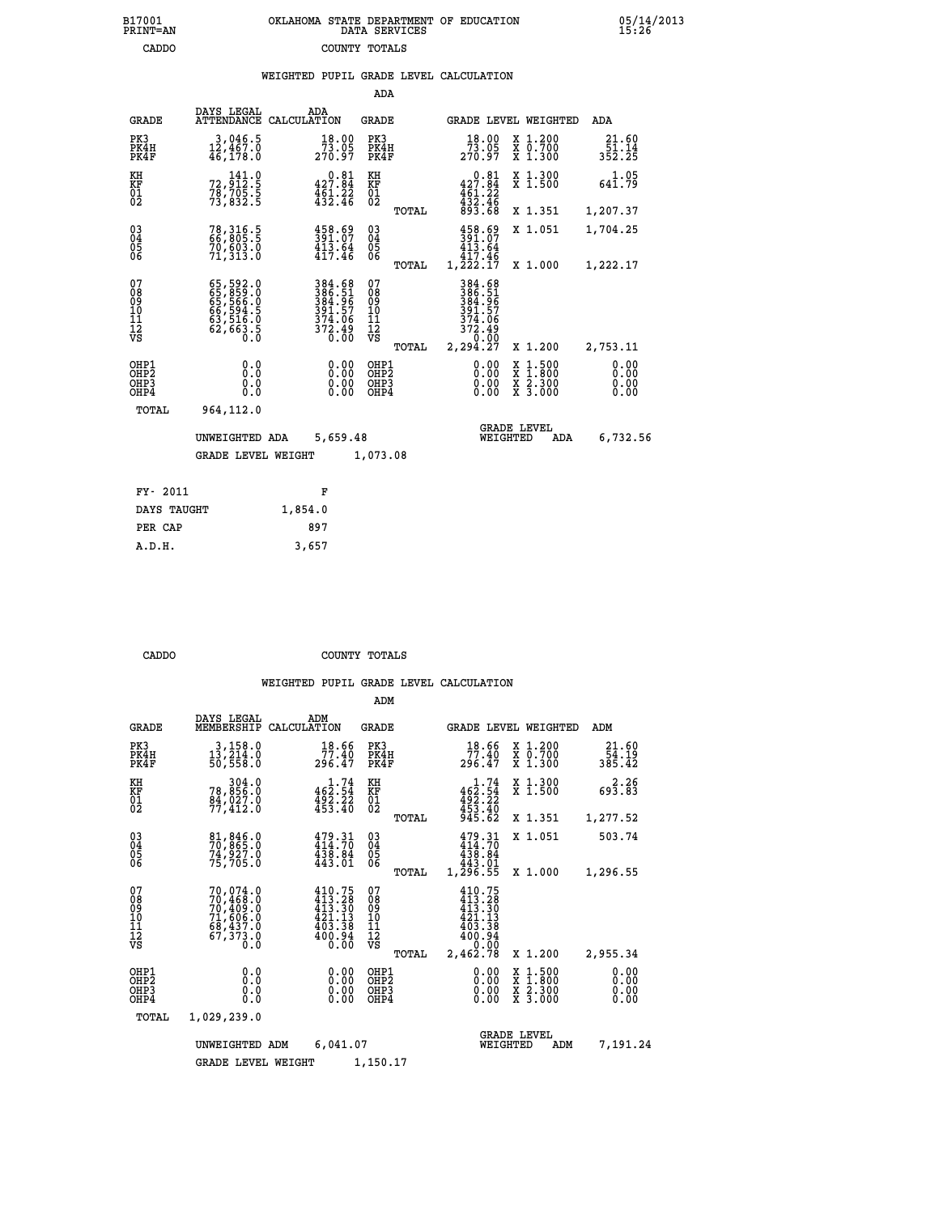|  | OKLAHOMA STATE DEPARTMENT OF EDUCATION<br>DATA SERVICES |  |
|--|---------------------------------------------------------|--|
|  | COUNTY TOTALS                                           |  |

05/14/2013<br>15:26

|  |  | WEIGHTED PUPIL GRADE LEVEL CALCULATION |
|--|--|----------------------------------------|
|  |  |                                        |

|                                                                    |                                                                      |                                                                                                         | ADA                                     |       |                                                                  |                                                                                                  |                                 |
|--------------------------------------------------------------------|----------------------------------------------------------------------|---------------------------------------------------------------------------------------------------------|-----------------------------------------|-------|------------------------------------------------------------------|--------------------------------------------------------------------------------------------------|---------------------------------|
| <b>GRADE</b>                                                       | DAYS LEGAL                                                           | ADA<br>ATTENDANCE CALCULATION                                                                           | <b>GRADE</b>                            |       |                                                                  | GRADE LEVEL WEIGHTED                                                                             | ADA                             |
| PK3<br>PK4H<br>PK4F                                                | 3,046.5<br>12,467.0<br>46,178.0                                      | 18.00<br>73.05<br>270.97                                                                                | PK3<br>PK4H<br>PK4F                     |       | 18.00<br>73.05<br>270.97                                         | X 1.200<br>X 0.700<br>X 1.300                                                                    | 21.60<br>$\frac{51.14}{352.25}$ |
| KH<br>KF<br>01<br>02                                               | $\substack{72,912.5\\78,705.5\\73,832.5}$                            | $0.81$<br>427.84<br>$\frac{1}{4}$ $\frac{5}{3}$ $\frac{1}{4}$ $\frac{2}{3}$ $\frac{2}{4}$ $\frac{5}{6}$ | KH<br>KF<br>01<br>02                    |       | $0.81$<br>427.84<br>$451.22$<br>$432.46$<br>$893.68$             | X 1.300<br>X 1.500                                                                               | 1.05<br>641.79                  |
|                                                                    |                                                                      |                                                                                                         |                                         | TOTAL |                                                                  | X 1.351                                                                                          | 1,207.37                        |
| $\begin{smallmatrix} 03 \\[-4pt] 04 \end{smallmatrix}$<br>Ŏ5<br>06 | 78,316.5<br>66,805.5<br>70,603.0<br>71,313.0                         | $458.69$<br>$391.07$<br>$413.64$<br>$417.46$                                                            | $\substack{03 \\ 04}$<br>05<br>06       |       | $458.69$<br>$413.64$<br>$417.46$                                 | X 1.051                                                                                          | 1,704.25                        |
|                                                                    |                                                                      |                                                                                                         |                                         | TOTAL | $1,2\overline{2}2.1\overline{7}$                                 | X 1.000                                                                                          | 1,222.17                        |
| 07<br>08<br>09<br>101<br>11<br>12<br>VS                            | 65,592.0<br>65,859.0<br>65,566.0<br>66,594.5<br>63,516.0<br>62,663.5 | 384.68<br>386.51<br>384.967<br>391.57<br>374.06<br>372.49<br>0.00                                       | 07<br>08<br>09<br>101<br>11<br>12<br>VS |       | 384.68<br>386.51<br>384.96<br>391.57<br>374.06<br>372.49<br>0.00 |                                                                                                  |                                 |
|                                                                    |                                                                      |                                                                                                         |                                         | TOTAL | 2,294.27                                                         | X 1.200                                                                                          | 2,753.11                        |
| OHP1<br>OHP <sub>2</sub><br>OH <sub>P3</sub><br>OH <sub>P4</sub>   | 0.0<br>0.0<br>$0.\overline{0}$                                       | 0.00<br>$\begin{smallmatrix} 0.00 \ 0.00 \end{smallmatrix}$                                             | OHP1<br>OHP2<br>OHP3<br>OHP4            |       | 0.00<br>0.00                                                     | $\begin{smallmatrix} x & 1 & 500 \\ x & 1 & 800 \\ x & 2 & 300 \\ x & 3 & 000 \end{smallmatrix}$ | 0.00<br>0.00<br>0.00<br>0.00    |
| TOTAL                                                              | 964,112.0                                                            |                                                                                                         |                                         |       |                                                                  |                                                                                                  |                                 |
|                                                                    | UNWEIGHTED ADA                                                       | 5,659.48                                                                                                |                                         |       |                                                                  | <b>GRADE LEVEL</b><br>WEIGHTED<br>ADA                                                            | 6,732.56                        |
|                                                                    | <b>GRADE LEVEL WEIGHT</b>                                            |                                                                                                         | 1,073.08                                |       |                                                                  |                                                                                                  |                                 |
| FY- 2011                                                           |                                                                      | F                                                                                                       |                                         |       |                                                                  |                                                                                                  |                                 |
| DAYS TAUGHT                                                        |                                                                      | 1,854.0                                                                                                 |                                         |       |                                                                  |                                                                                                  |                                 |
| PER CAP                                                            |                                                                      | 897                                                                                                     |                                         |       |                                                                  |                                                                                                  |                                 |

 **A.D.H. 3,657**

B17001<br>PRINT=AN<br>CADDO

 **CADDO COUNTY TOTALS**

|                                                    |                                                                                          |                                                                                 | ADM                                             |                                                                                      |                                                                                            |                              |
|----------------------------------------------------|------------------------------------------------------------------------------------------|---------------------------------------------------------------------------------|-------------------------------------------------|--------------------------------------------------------------------------------------|--------------------------------------------------------------------------------------------|------------------------------|
| <b>GRADE</b>                                       | DAYS LEGAL<br>MEMBERSHIP                                                                 | ADM<br>CALCULATION                                                              | <b>GRADE</b>                                    | <b>GRADE LEVEL WEIGHTED</b>                                                          |                                                                                            | ADM                          |
| PK3<br>PK4H<br>PK4F                                | 3,158.0<br>13, 214.0<br>50,558.0                                                         | 18.66<br>77.40<br>296.47                                                        | PK3<br>PK4H<br>PK4F                             | 18.66<br>77.40<br>296.47                                                             | X 1.200<br>X 0.700<br>X 1.300                                                              | 21.60<br>54.19<br>385.42     |
| KH<br>KF<br>01<br>02                               | 304.0<br>78,856.0<br><u>g4, õ27.ŏ</u><br>77,412.0                                        | 462.74<br>$492.22$<br>$453.40$                                                  | KH<br>KF<br>01<br>02                            | 462.74<br>$492.22$<br>$453.40$<br>$945.62$                                           | X 1.300<br>X 1.500                                                                         | 2.26<br>693.83               |
|                                                    |                                                                                          |                                                                                 | TOTAL                                           |                                                                                      | X 1.351                                                                                    | 1,277.52                     |
| $\begin{matrix} 03 \\ 04 \\ 05 \\ 06 \end{matrix}$ | 81,846.0<br>70,865.0<br>74,927.0<br>75,705.0                                             | 479.31<br>414.70<br>438.84<br>443.01                                            | $\substack{03 \\ 04}$<br>05                     | $479.31$<br>$434.70$<br>$438.84$<br>$443.01$                                         | X 1.051                                                                                    | 503.74                       |
|                                                    |                                                                                          |                                                                                 | TOTAL                                           | 1,296.55                                                                             | X 1.000                                                                                    | 1,296.55                     |
| 07<br>08<br>09<br>001<br>11<br>11<br>12<br>VS      | 70,074.0<br>70,468.0<br>70,409.0<br>71,606.0<br>68,437.0<br>67,373.0<br>$0.\overline{0}$ | $410.75$<br>$413.28$<br>$413.30$<br>$\frac{421.13}{403.38}$<br>$400.94$<br>0.00 | 07<br>08<br>09<br>11<br>11<br>12<br>VS<br>TOTAL | 410.75<br>$413.28$<br>$413.30$<br>$421.13$<br>$403.38$<br>400.94<br>0.00<br>2,462.78 | X 1.200                                                                                    | 2,955.34                     |
| OHP1<br>OHP2<br>OHP3<br>OHP4                       | 0.0<br>0.0<br>Ŏ.Ŏ                                                                        | 0.00<br>0.00<br>0.00                                                            | OHP1<br>OHP2<br>OHP3<br>OHP4                    | 0.00<br>0.00<br>0.00                                                                 | $\begin{array}{c} x & 1.500 \\ x & 1.800 \\ x & 2.300 \end{array}$<br>$\overline{x}$ 3.000 | 0.00<br>0.00<br>0.00<br>0.00 |
| TOTAL                                              | 1,029,239.0                                                                              |                                                                                 |                                                 |                                                                                      |                                                                                            |                              |
|                                                    | UNWEIGHTED ADM<br><b>GRADE LEVEL WEIGHT</b>                                              | 6,041.07                                                                        | 1,150.17                                        | WEIGHTED                                                                             | <b>GRADE LEVEL</b><br>ADM                                                                  | 7,191.24                     |
|                                                    |                                                                                          |                                                                                 |                                                 |                                                                                      |                                                                                            |                              |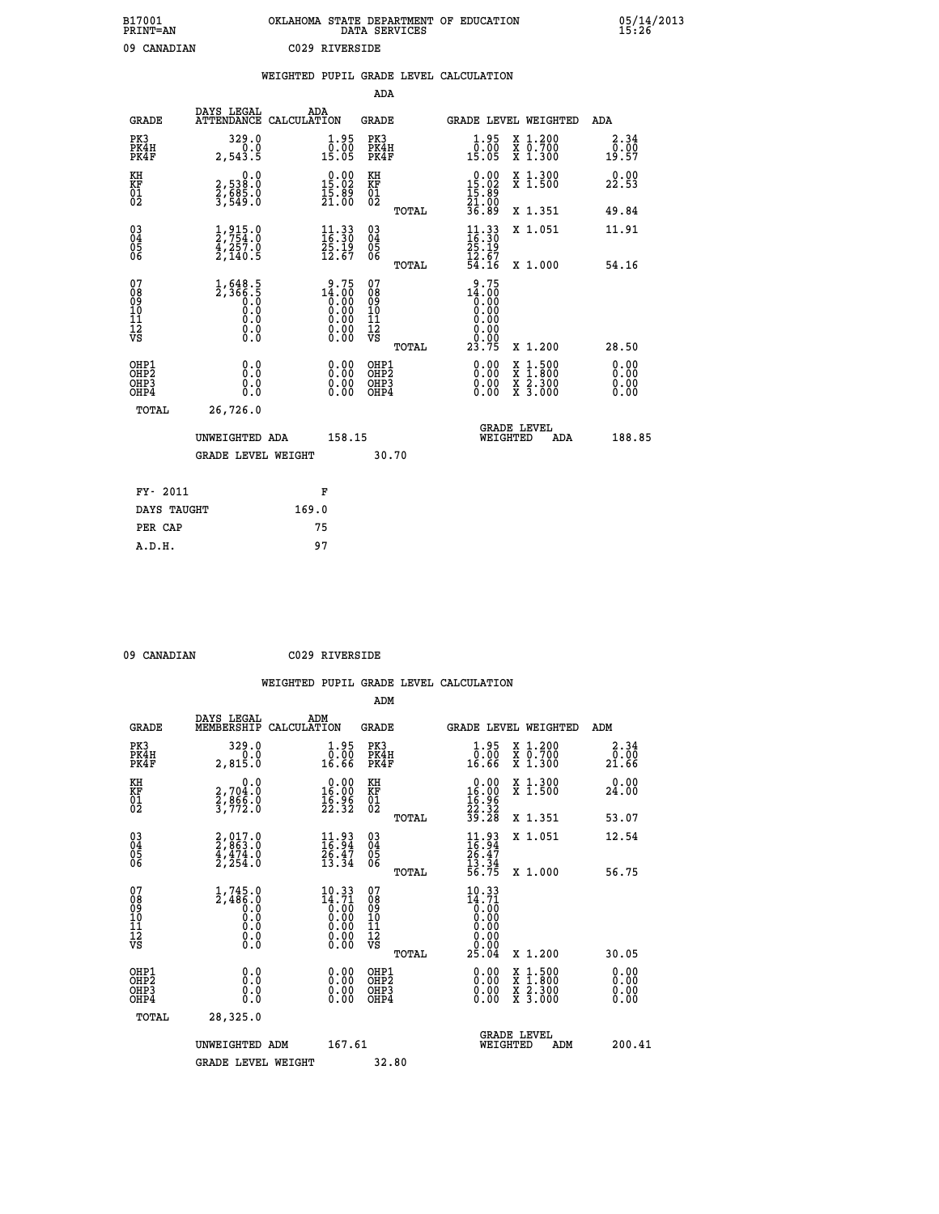| B17001<br><b>PRINT=AN</b> | OKLAHOMA STATE DEPARTMENT OF EDUCATION<br>DATA SERVICES | 05/14/2013<br>15:26 |
|---------------------------|---------------------------------------------------------|---------------------|
| 09<br>CANADIAN            | C029 RIVERSIDE                                          |                     |

|                                                                    |                                                                                                      |       |                                                                                     |                                        |       | WEIGHTED PUPIL GRADE LEVEL CALCULATION                                                                                                                                                                                                                                         |                                                                                                                                           |         |                                  |
|--------------------------------------------------------------------|------------------------------------------------------------------------------------------------------|-------|-------------------------------------------------------------------------------------|----------------------------------------|-------|--------------------------------------------------------------------------------------------------------------------------------------------------------------------------------------------------------------------------------------------------------------------------------|-------------------------------------------------------------------------------------------------------------------------------------------|---------|----------------------------------|
|                                                                    |                                                                                                      |       |                                                                                     | <b>ADA</b>                             |       |                                                                                                                                                                                                                                                                                |                                                                                                                                           |         |                                  |
| <b>GRADE</b>                                                       | DAYS LEGAL<br>ATTENDANCE CALCULATION                                                                 | ADA   |                                                                                     | GRADE                                  |       | GRADE LEVEL WEIGHTED                                                                                                                                                                                                                                                           |                                                                                                                                           |         | ADA                              |
| PK3<br>PK4H<br>PK4F                                                | 329.0<br>2,543.5                                                                                     |       | $\begin{smallmatrix} 1.95\ 0.00\ 15.05 \end{smallmatrix}$                           | PK3<br>PK4H<br>PK4F                    |       | $1.95$<br>$0.00$<br>15.05                                                                                                                                                                                                                                                      | X 1.200<br>X 0.700<br>X 1.300                                                                                                             |         | 2.34<br>0.00<br>19.57            |
| KH<br>KF<br>01<br>02                                               | $\begin{smallmatrix} 0.0\\2,538.0\\2,685.0\\3,549.0 \end{smallmatrix}$                               |       | 15.00<br>$\frac{15.89}{21.00}$                                                      | KH<br>KF<br>01<br>02                   |       | $\begin{smallmatrix} 0.00\\ 15.02\\ 15.89\\ 21.00\\ 36.89 \end{smallmatrix}$                                                                                                                                                                                                   | X 1.300<br>X 1.500                                                                                                                        |         | 0.00<br>22.53                    |
|                                                                    |                                                                                                      |       |                                                                                     |                                        | TOTAL |                                                                                                                                                                                                                                                                                | X 1.351                                                                                                                                   |         | 49.84                            |
| $\begin{smallmatrix} 03 \\[-4pt] 04 \end{smallmatrix}$<br>Ŏ5<br>06 | $\frac{1}{2}, \frac{915}{754}.0\\ \frac{4}{2}, \frac{257}{140}.5$                                    |       | $\begin{smallmatrix} 11\cdot 33\16\cdot 30\25\cdot 19\12\cdot 67 \end{smallmatrix}$ | $\substack{03 \\ 04}$<br>Ŏ5<br>06      |       | $\frac{11}{16}$ : 33                                                                                                                                                                                                                                                           | X 1.051                                                                                                                                   |         | 11.91                            |
|                                                                    |                                                                                                      |       |                                                                                     |                                        | TOTAL | $\frac{25.19}{12.67}$<br>54.16                                                                                                                                                                                                                                                 |                                                                                                                                           | X 1.000 | 54.16                            |
| 07<br>08<br>09<br>01<br>11<br>11<br>12<br>VS                       | $1,648.5$<br>$2,366.5$<br>$0.0$<br>$0.0$<br>$\begin{smallmatrix} 0.16 \ 0.0 \ 0.0 \end{smallmatrix}$ |       | $14.75$<br>$0.00$<br>$0.00$<br>$0.00$<br>$0.00$<br>$0.00$<br>0.00                   | 07<br>08<br>09<br>11<br>11<br>12<br>VS | TOTAL | 9.75<br>$14.00$<br>0.00<br>0.00<br>0.00<br>0.00<br>23.75                                                                                                                                                                                                                       | X 1.200                                                                                                                                   |         | 28.50                            |
| OHP1<br>OHP2<br>OHP3<br>OHP4                                       | 0.0<br>0.0<br>$0.\overline{0}$                                                                       |       | $\begin{smallmatrix} 0.00 \ 0.00 \ 0.00 \ 0.00 \end{smallmatrix}$                   | OHP1<br>OHP2<br>OHP3<br>OHP4           |       | $\begin{smallmatrix} 0.00 & 0.00 & 0.00 & 0.00 & 0.00 & 0.00 & 0.00 & 0.00 & 0.00 & 0.00 & 0.00 & 0.00 & 0.00 & 0.00 & 0.00 & 0.00 & 0.00 & 0.00 & 0.00 & 0.00 & 0.00 & 0.00 & 0.00 & 0.00 & 0.00 & 0.00 & 0.00 & 0.00 & 0.00 & 0.00 & 0.00 & 0.00 & 0.00 & 0.00 & 0.00 & 0.0$ | $\begin{smallmatrix} \mathtt{X} & 1\cdot500\\ \mathtt{X} & 1\cdot800\\ \mathtt{X} & 2\cdot300\\ \mathtt{X} & 3\cdot000 \end{smallmatrix}$ |         | 0.00<br>0.00<br>$0.00$<br>$0.00$ |
| TOTAL                                                              | 26,726.0                                                                                             |       |                                                                                     |                                        |       |                                                                                                                                                                                                                                                                                |                                                                                                                                           |         |                                  |
|                                                                    | UNWEIGHTED ADA                                                                                       |       | 158.15                                                                              |                                        |       | <b>GRADE LEVEL</b><br>WEIGHTED                                                                                                                                                                                                                                                 |                                                                                                                                           | ADA     | 188.85                           |
|                                                                    | <b>GRADE LEVEL WEIGHT</b>                                                                            |       |                                                                                     |                                        | 30.70 |                                                                                                                                                                                                                                                                                |                                                                                                                                           |         |                                  |
| FY- 2011                                                           |                                                                                                      |       | F                                                                                   |                                        |       |                                                                                                                                                                                                                                                                                |                                                                                                                                           |         |                                  |
| DAYS TAUGHT                                                        |                                                                                                      | 169.0 |                                                                                     |                                        |       |                                                                                                                                                                                                                                                                                |                                                                                                                                           |         |                                  |
| PER CAP                                                            |                                                                                                      |       | 75                                                                                  |                                        |       |                                                                                                                                                                                                                                                                                |                                                                                                                                           |         |                                  |

 **ADM**

 **09 CANADIAN C029 RIVERSIDE**

| <b>GRADE</b>                                       | DAYS LEGAL<br>MEMBERSHIP                                            | ADM<br>CALCULATION                                                                                                                       | <b>GRADE</b>                                       |       |                                                                                                                                                                                                                                                                                |          | GRADE LEVEL WEIGHTED                     | ADM                                            |
|----------------------------------------------------|---------------------------------------------------------------------|------------------------------------------------------------------------------------------------------------------------------------------|----------------------------------------------------|-------|--------------------------------------------------------------------------------------------------------------------------------------------------------------------------------------------------------------------------------------------------------------------------------|----------|------------------------------------------|------------------------------------------------|
| PK3<br>PK4H<br>PK4F                                | 329.0<br>2,815.0                                                    | $\begin{smallmatrix} 1.95\ 0.00\ 16.66 \end{smallmatrix}$                                                                                | PK3<br>PK4H<br>PK4F                                |       | $\begin{smallmatrix} 1.95\ 0.00\ 16.66 \end{smallmatrix}$                                                                                                                                                                                                                      |          | X 1.200<br>X 0.700<br>X 1.300            | 2.34<br>$\frac{\bar{0}.\bar{0}\bar{0}}{21.66}$ |
| KH<br>KF<br>01<br>02                               | 0.0<br>2,704.0<br>2,866.0<br>3,772.0                                | $\begin{smallmatrix} 0.00\\ 16.00\\ 16.90\\ 22.32 \end{smallmatrix}$                                                                     | KH<br>KF<br>01<br>02                               |       | $\begin{array}{r} 0.00 \\ 16.00 \\ 16.96 \\ 22.32 \\ 39.28 \end{array}$                                                                                                                                                                                                        |          | X 1.300<br>X 1.500                       | 0.00<br>24.00                                  |
|                                                    |                                                                     |                                                                                                                                          |                                                    | TOTAL |                                                                                                                                                                                                                                                                                |          | X 1.351                                  | 53.07                                          |
| $\begin{matrix} 03 \\ 04 \\ 05 \\ 06 \end{matrix}$ | $2,863.0$<br>$4,474.0$<br>$2,254.0$                                 | $\begin{smallmatrix} 11.93 \\ 16.94 \\ 26.47 \\ 13.34 \end{smallmatrix}$                                                                 | $\begin{matrix} 03 \\ 04 \\ 05 \\ 06 \end{matrix}$ |       | $11.93$<br>$16.94$<br>$26.47$<br>$13.34$<br>$56.75$                                                                                                                                                                                                                            |          | X 1.051                                  | 12.54                                          |
|                                                    |                                                                     |                                                                                                                                          |                                                    | TOTAL |                                                                                                                                                                                                                                                                                |          | X 1.000                                  | 56.75                                          |
| 07<br>08<br>09<br>101<br>112<br>VS                 | $1,745.0$<br>$2,486.0$<br>$0.0$<br>$0.0$<br>$0.0$<br>$0.0$<br>$0.0$ | $\begin{smallmatrix} 10.33\\[-4pt] 14.71\\[-4pt] 0.00\\[-4pt] 0.00\\[-4pt] 0.00\\[-4pt] 0.00\\[-4pt] 0.00\\[-4pt] 0.00\end{smallmatrix}$ | 07<br>08<br>09<br>11<br>11<br>12<br>VS             | TOTAL | 10.33<br>$14.71$<br>$0.00$<br>$0.00$<br>$0.00$<br>$0.00$<br>$0.00$<br>$25.04$                                                                                                                                                                                                  |          | X 1.200                                  | 30.05                                          |
| OHP1                                               |                                                                     |                                                                                                                                          |                                                    |       |                                                                                                                                                                                                                                                                                |          |                                          |                                                |
| OHP <sub>2</sub><br>OH <sub>P3</sub><br>OHP4       | 0.0<br>0.000                                                        | $\begin{smallmatrix} 0.00 \ 0.00 \ 0.00 \ 0.00 \end{smallmatrix}$                                                                        | OHP1<br>OHP2<br>OHP3<br>OHP4                       |       | $\begin{smallmatrix} 0.00 & 0.00 & 0.00 & 0.00 & 0.00 & 0.00 & 0.00 & 0.00 & 0.00 & 0.00 & 0.00 & 0.00 & 0.00 & 0.00 & 0.00 & 0.00 & 0.00 & 0.00 & 0.00 & 0.00 & 0.00 & 0.00 & 0.00 & 0.00 & 0.00 & 0.00 & 0.00 & 0.00 & 0.00 & 0.00 & 0.00 & 0.00 & 0.00 & 0.00 & 0.00 & 0.0$ |          | X 1:500<br>X 1:800<br>X 2:300<br>X 3:000 | 0.00<br>0.00<br>0.00                           |
| TOTAL                                              | 28,325.0                                                            |                                                                                                                                          |                                                    |       |                                                                                                                                                                                                                                                                                |          |                                          |                                                |
|                                                    | UNWEIGHTED                                                          | 167.61<br>ADM                                                                                                                            |                                                    |       |                                                                                                                                                                                                                                                                                | WEIGHTED | <b>GRADE LEVEL</b><br>ADM                | 200.41                                         |
|                                                    | <b>GRADE LEVEL WEIGHT</b>                                           |                                                                                                                                          | 32.80                                              |       |                                                                                                                                                                                                                                                                                |          |                                          |                                                |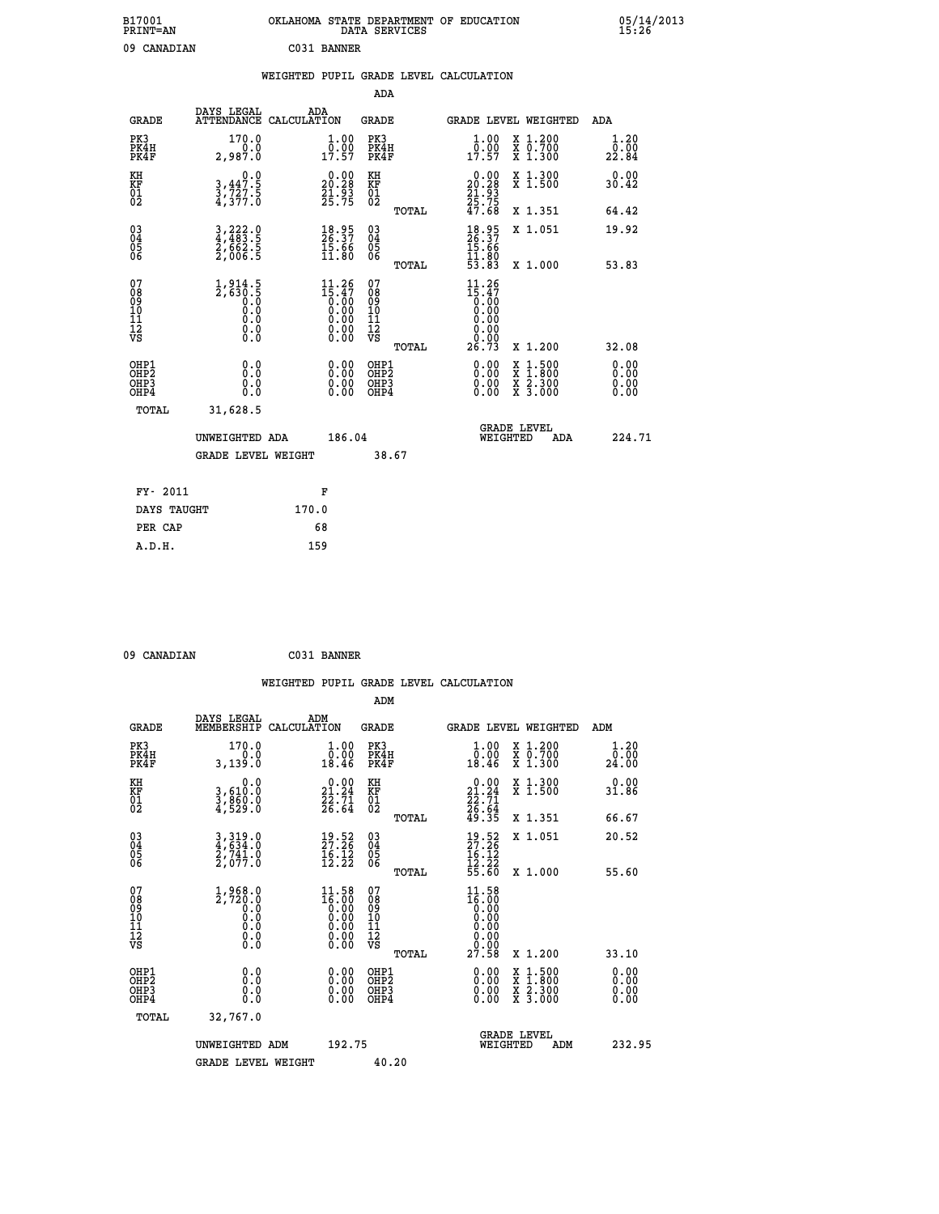| B17001<br>PRINT=AN |                   | OKLAHOMA STATE DEPARTMENT OF EDUCATION<br>DATA SERVICES | $05/14/2013$<br>$15:26$ |
|--------------------|-------------------|---------------------------------------------------------|-------------------------|
| 09 CANADIAN        |                   | C031 BANNER                                             |                         |
|                    |                   | WEIGHTED PUPIL GRADE LEVEL CALCULATION                  |                         |
|                    |                   | ADA                                                     |                         |
|                    | DAYS LEGAL<br>ADA |                                                         |                         |

| <b>GRADE</b>                                         | DAIS PEGAL<br>ATTENDANCE CALCULATION                                                | ADA                                                                          | <b>GRADE</b>                             |       | <b>GRADE LEVEL WEIGHTED</b>                                                                                                          |                                                                                                  | ADA                          |
|------------------------------------------------------|-------------------------------------------------------------------------------------|------------------------------------------------------------------------------|------------------------------------------|-------|--------------------------------------------------------------------------------------------------------------------------------------|--------------------------------------------------------------------------------------------------|------------------------------|
| PK3<br>PK4H<br>PK4F                                  | 170.0<br>0.0<br>2,987.0                                                             | 1.00<br>$\frac{0.00}{17.57}$                                                 | PK3<br>PK4H<br>PK4F                      |       | 1.00<br>$\frac{0.00}{17.57}$                                                                                                         | X 1.200<br>X 0.700<br>X 1.300                                                                    | 1.20<br>0.00<br>22.84        |
| KH<br>KF<br>01<br>02                                 | 0.0<br>3,447.5<br>3,727.5<br>4,377.0                                                | $\begin{smallmatrix} 0.00\\ 20.28\\ 21.93\\ 25.75 \end{smallmatrix}$         | KH<br>KF<br>01<br>02                     |       | $\begin{smallmatrix} 0.00\\ 20.28\\ 21.93\\ 25.75\\ 47.68 \end{smallmatrix}$                                                         | X 1.300<br>X 1.500                                                                               | 0.00<br>30.42                |
|                                                      |                                                                                     |                                                                              |                                          | TOTAL |                                                                                                                                      | X 1.351                                                                                          | 64.42                        |
| $\begin{matrix} 03 \\ 04 \\ 05 \\ 06 \end{matrix}$   | $\frac{3}{4}, \frac{222}{483}$ .<br>$\frac{2}{5}$ , $\frac{662}{663}$ .<br>2, 006.5 | $\begin{smallmatrix} 18.95\ 26.37\ 15.66\ 11.80 \end{smallmatrix}$           | $\substack{03 \\ 04}$<br>$\frac{05}{06}$ | TOTAL | $18.95$<br>$26.37$<br>$15.66$<br>$11.80$<br>$53.83$                                                                                  | X 1.051<br>X 1.000                                                                               | 19.92<br>53.83               |
| 07<br>08<br>09<br>101<br>112<br>VS                   | $1,914.5$<br>$2,630.5$<br>$0.0$<br>$0.0$<br>0.0<br>$\S.$                            | 11.26<br>$\bar{1}\bar{5}\cdot\bar{4}\bar{7}$<br>Ŏ.ŎŎ<br>Q.QQ<br>Ŏ.ŎŎ<br>O.OO | 07<br>08<br>09<br>11<br>11<br>12<br>VS   | TOTAL | 11.26<br>$\begin{smallmatrix} 15.47 \ 15.30 \ 0.00 \ 0.00 \end{smallmatrix}$<br>$\begin{array}{c} 0.00 \\ 0.00 \\ 26.73 \end{array}$ | X 1.200                                                                                          | 32.08                        |
| OHP1<br>OH <sub>P2</sub><br>OH <sub>P3</sub><br>OHP4 | 0.0<br>0.0<br>0.0                                                                   | $\begin{smallmatrix} 0.00 \ 0.00 \ 0.00 \ 0.00 \end{smallmatrix}$            | OHP1<br>OHP <sub>2</sub><br>OHP3<br>OHP4 |       | 0.00<br>$\begin{smallmatrix} 0.00 & 0 \ 0.00 & 0 \end{smallmatrix}$                                                                  | $\begin{smallmatrix} x & 1 & 500 \\ x & 1 & 800 \\ x & 2 & 300 \\ x & 3 & 000 \end{smallmatrix}$ | 0.00<br>0.00<br>0.00<br>0.00 |
| TOTAL                                                | 31,628.5<br>UNWEIGHTED ADA<br><b>GRADE LEVEL WEIGHT</b>                             | 186.04                                                                       |                                          | 38.67 | WEIGHTED                                                                                                                             | <b>GRADE LEVEL</b><br>ADA                                                                        | 224.71                       |
| FY- 2011                                             |                                                                                     | F                                                                            |                                          |       |                                                                                                                                      |                                                                                                  |                              |
| DAVG MAHOUM                                          |                                                                                     | 170 Q                                                                        |                                          |       |                                                                                                                                      |                                                                                                  |                              |

| FY- ZUIT    | r     |
|-------------|-------|
| DAYS TAUGHT | 170.0 |
| PER CAP     | 68    |
| A.D.H.      | 159   |
|             |       |

| 09 CANADIAN | C031 BANNER |
|-------------|-------------|

|                                                    |                                                                                                                               | WEIGHTED PUPIL GRADE LEVEL CALCULATION                                                          |                                                     |       |                                                                          |                                                                                                                                           |                       |
|----------------------------------------------------|-------------------------------------------------------------------------------------------------------------------------------|-------------------------------------------------------------------------------------------------|-----------------------------------------------------|-------|--------------------------------------------------------------------------|-------------------------------------------------------------------------------------------------------------------------------------------|-----------------------|
|                                                    |                                                                                                                               |                                                                                                 | ADM                                                 |       |                                                                          |                                                                                                                                           |                       |
| <b>GRADE</b>                                       | DAYS LEGAL<br>MEMBERSHIP                                                                                                      | ADM<br>CALCULATION                                                                              | <b>GRADE</b>                                        |       |                                                                          | GRADE LEVEL WEIGHTED                                                                                                                      | ADM                   |
| PK3<br>PK4H<br>PK4F                                | 170.0<br>0.0<br>3,139.0                                                                                                       | $\begin{smallmatrix} 1.00\\ 0.00\\ 18.46 \end{smallmatrix}$                                     | PK3<br>PK4H<br>PK4F                                 |       | 1.00<br>$\overline{0}$ .00<br>18.46                                      | X 1.200<br>X 0.700<br>X 1.300                                                                                                             | 1.20<br>0.00<br>24.00 |
| KH<br>KF<br>01<br>02                               | 0.0<br>3,610:0<br>3,860:0<br>4,529:0                                                                                          | $\begin{smallmatrix} 0.00\\ 21.24\\ 22.71\\ 26.64 \end{smallmatrix}$                            | KH<br>KF<br>01<br>02                                |       | $\begin{smallmatrix} 0.00\\21.24\\22.71\\26.64\\49.35 \end{smallmatrix}$ | X 1.300<br>X 1.500                                                                                                                        | 0.00<br>31.86         |
|                                                    |                                                                                                                               |                                                                                                 |                                                     | TOTAL |                                                                          | X 1.351                                                                                                                                   | 66.67                 |
| $\begin{matrix} 03 \\ 04 \\ 05 \\ 06 \end{matrix}$ | $\begin{smallmatrix} 3\  \, ,\, 3\,19\ .\,0\\ 4\ ,\, 6\,34\ .\,0\\ 2\ ,\, 74\,1\ .\,0\\ 2\ ,\, 0\,77\ .\,0 \end{smallmatrix}$ | $\begin{smallmatrix} 19.52\ 27.26\ 16.12\ 12.22 \end{smallmatrix}$                              | $\begin{array}{c} 03 \\ 04 \\ 05 \\ 06 \end{array}$ |       | $\frac{19.52}{27.26}$<br>$\frac{16.12}{12.22}$<br>$\frac{12.22}{55.60}$  | X 1.051                                                                                                                                   | 20.52                 |
|                                                    |                                                                                                                               |                                                                                                 |                                                     | TOTAL |                                                                          | X 1.000                                                                                                                                   | 55.60                 |
| 07<br>08<br>09<br>01<br>11<br>11<br>12<br>VS       | $1,968.0$<br>$2,720.0$<br>$0.0$<br>$0.0$<br>$0.0$<br>$0.0$<br>$0.0$                                                           | $\begin{smallmatrix} 11.58\\ 16.00\\ 0.00\\ 0.00\\ 0.00\\ 0.00\\ 0.00\\ 0.00 \end{smallmatrix}$ | 07<br>08<br>09<br>01<br>11<br>11<br>12<br>VS        |       | 11.58<br>16:000<br>0.000<br>0.000<br>0.000<br>0.000                      |                                                                                                                                           |                       |
|                                                    |                                                                                                                               |                                                                                                 |                                                     | TOTAL | 27.58                                                                    | X 1.200                                                                                                                                   | 33.10                 |
| OHP1<br>OHP2<br>OH <sub>P3</sub><br>OHP4           | 0.0<br>$\begin{smallmatrix} 0.0 & 0 \ 0.0 & 0 \end{smallmatrix}$                                                              | $\begin{smallmatrix} 0.00 \ 0.00 \ 0.00 \ 0.00 \end{smallmatrix}$                               | OHP1<br>OHP2<br>OHP3<br>OHP4                        |       |                                                                          | $\begin{smallmatrix} \mathtt{X} & 1\cdot500\\ \mathtt{X} & 1\cdot800\\ \mathtt{X} & 2\cdot300\\ \mathtt{X} & 3\cdot000 \end{smallmatrix}$ | 0.00<br>0.00<br>0.00  |
| TOTAL                                              | 32,767.0                                                                                                                      |                                                                                                 |                                                     |       |                                                                          |                                                                                                                                           |                       |
|                                                    | UNWEIGHTED ADM<br><b>GRADE LEVEL WEIGHT</b>                                                                                   | 192.75                                                                                          | 40.20                                               |       |                                                                          | GRADE LEVEL<br>WEIGHTED<br>ADM                                                                                                            | 232.95                |
|                                                    |                                                                                                                               |                                                                                                 |                                                     |       |                                                                          |                                                                                                                                           |                       |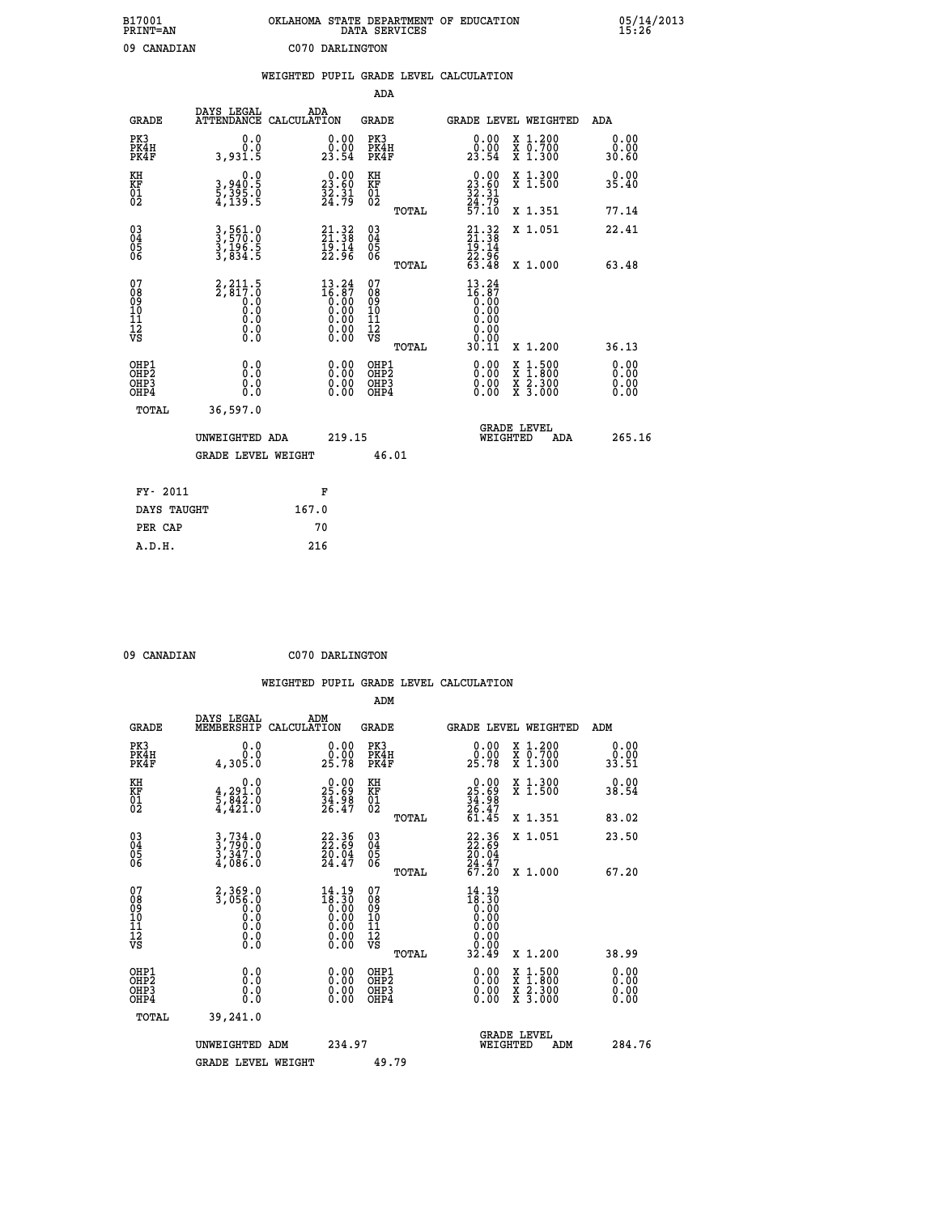| B17001<br><b>PRINT=AN</b> | OKLAHOMA STATE DEPARTMENT OF EDUCATION<br>DATA SERVICES | 05/14/2013<br>15:26 |
|---------------------------|---------------------------------------------------------|---------------------|
| 09<br>CANADIAN            | C070 DARLINGTON                                         |                     |

|                                              |                                                                                                               | WEIGHTED PUPIL GRADE LEVEL CALCULATION                                                          |                                                     |       |                                                                                                                                                                                                                                                                                |                                                                                                                                           |                       |
|----------------------------------------------|---------------------------------------------------------------------------------------------------------------|-------------------------------------------------------------------------------------------------|-----------------------------------------------------|-------|--------------------------------------------------------------------------------------------------------------------------------------------------------------------------------------------------------------------------------------------------------------------------------|-------------------------------------------------------------------------------------------------------------------------------------------|-----------------------|
|                                              |                                                                                                               |                                                                                                 | ADA                                                 |       |                                                                                                                                                                                                                                                                                |                                                                                                                                           |                       |
| <b>GRADE</b>                                 | DAYS LEGAL<br><b>ATTENDANCE</b>                                                                               | ADA<br>CALCULATION                                                                              | <b>GRADE</b>                                        |       |                                                                                                                                                                                                                                                                                | <b>GRADE LEVEL WEIGHTED</b>                                                                                                               | ADA                   |
| PK3<br>PK4H<br>PK4F                          | 0.0<br>0.0<br>3,931.5                                                                                         | $\begin{smallmatrix} 0.00\\ 0.00\\ 23.54 \end{smallmatrix}$                                     | PK3<br>PK4H<br>PK4F                                 |       | $\begin{smallmatrix} 0.00\\ 0.00\\ 23.54 \end{smallmatrix}$                                                                                                                                                                                                                    | X 1.200<br>X 0.700<br>X 1.300                                                                                                             | 0.00<br>0.00<br>30.60 |
| KH<br>KF<br>01<br>02                         | 0.0<br>3,940:5<br>5,395:0<br>4,139:5                                                                          | 23.60<br>$\frac{32.31}{24.79}$                                                                  | KH<br>KF<br>01<br>02                                |       | $\begin{smallmatrix} 0.00\\ 23.60\\ 32.31\\ 24.79\\ 57.10 \end{smallmatrix}$                                                                                                                                                                                                   | X 1.300<br>X 1.500                                                                                                                        | 0.00<br>35.40         |
|                                              |                                                                                                               |                                                                                                 |                                                     | TOTAL |                                                                                                                                                                                                                                                                                | X 1.351                                                                                                                                   | 77.14                 |
| 03<br>04<br>05<br>06                         | 3,561.0<br>3,570.0<br>3,196.5<br>3,834.5                                                                      | $21.32$<br>$21.38$<br>$19.14$<br>$22.96$                                                        | $\begin{array}{c} 03 \\ 04 \\ 05 \\ 06 \end{array}$ |       | $21.32$<br>$21.38$<br>$19.14$<br>$22.96$<br>$63.48$                                                                                                                                                                                                                            | X 1.051                                                                                                                                   | 22.41                 |
|                                              |                                                                                                               |                                                                                                 |                                                     | TOTAL |                                                                                                                                                                                                                                                                                | X 1.000                                                                                                                                   | 63.48                 |
| 07<br>08<br>09<br>01<br>11<br>11<br>12<br>VS | $2,817.5$<br>$2,817.0$<br>$0.0$<br>0.0<br>$\begin{smallmatrix} 0.0 & 0 \ 0.0 & 0 \ 0.0 & 0 \end{smallmatrix}$ | $\begin{smallmatrix} 13\cdot24\\16\cdot87\\0.00\\0.00\\0.00\\0.00\\0.00\\0.00\end{smallmatrix}$ | 07<br>08<br>09<br>101<br>11<br>12<br>VS             | TOTAL | $13.24$<br>$16.87$<br>0.00<br>0.00<br>0.00<br>0.00<br>30.11                                                                                                                                                                                                                    | X 1.200                                                                                                                                   | 36.13                 |
| OHP1                                         |                                                                                                               |                                                                                                 | OHP1                                                |       |                                                                                                                                                                                                                                                                                |                                                                                                                                           | 0.00                  |
| OHP <sub>2</sub><br>OHP3<br>OHP4             | 0.0<br>0.0<br>0.0                                                                                             | $\begin{smallmatrix} 0.00 \ 0.00 \ 0.00 \ 0.00 \end{smallmatrix}$                               | OHP <sub>2</sub><br>OHP <sub>3</sub>                |       | $\begin{smallmatrix} 0.00 & 0.00 & 0.00 & 0.00 & 0.00 & 0.00 & 0.00 & 0.00 & 0.00 & 0.00 & 0.00 & 0.00 & 0.00 & 0.00 & 0.00 & 0.00 & 0.00 & 0.00 & 0.00 & 0.00 & 0.00 & 0.00 & 0.00 & 0.00 & 0.00 & 0.00 & 0.00 & 0.00 & 0.00 & 0.00 & 0.00 & 0.00 & 0.00 & 0.00 & 0.00 & 0.0$ | $\begin{smallmatrix} \mathtt{X} & 1\cdot500\\ \mathtt{X} & 1\cdot800\\ \mathtt{X} & 2\cdot300\\ \mathtt{X} & 3\cdot000 \end{smallmatrix}$ | 0.00<br>0.00          |
| TOTAL                                        | 36,597.0                                                                                                      |                                                                                                 |                                                     |       |                                                                                                                                                                                                                                                                                |                                                                                                                                           |                       |
|                                              | UNWEIGHTED ADA                                                                                                | 219.15                                                                                          |                                                     |       | WEIGHTED                                                                                                                                                                                                                                                                       | <b>GRADE LEVEL</b><br>ADA                                                                                                                 | 265.16                |
|                                              | <b>GRADE LEVEL WEIGHT</b>                                                                                     |                                                                                                 |                                                     | 46.01 |                                                                                                                                                                                                                                                                                |                                                                                                                                           |                       |
| FY- 2011                                     |                                                                                                               | F                                                                                               |                                                     |       |                                                                                                                                                                                                                                                                                |                                                                                                                                           |                       |
| DAYS TAUGHT                                  |                                                                                                               | 167.0                                                                                           |                                                     |       |                                                                                                                                                                                                                                                                                |                                                                                                                                           |                       |
| PER CAP                                      |                                                                                                               | 70                                                                                              |                                                     |       |                                                                                                                                                                                                                                                                                |                                                                                                                                           |                       |

 **09 CANADIAN C070 DARLINGTON**

 **WEIGHTED PUPIL GRADE LEVEL CALCULATION ADM DAYS LEGAL ADM GRADE MEMBERSHIP CALCULATION GRADE GRADE LEVEL WEIGHTED ADM PK3 0.0 0.00 PK3 0.00 X 1.200 0.00 PK4H 0.0 0.00 PK4H 0.00 X 0.700 0.00 PK4F 4,305.0 25.78 PK4F 25.78 X 1.300 33.51**

| PK4H<br>PK4F                                       | 4,305.0                                                                | 25.78                                                                                                                                                                                                                                                                                                                                          | PK4H<br>PK4F                                       | 0.00<br>X 0.700<br>25.78<br>X 1.300                                                                                 | 33.51                    |
|----------------------------------------------------|------------------------------------------------------------------------|------------------------------------------------------------------------------------------------------------------------------------------------------------------------------------------------------------------------------------------------------------------------------------------------------------------------------------------------|----------------------------------------------------|---------------------------------------------------------------------------------------------------------------------|--------------------------|
| KH<br>KF<br>01<br>02                               | 0.0<br>$\frac{4}{5}, \frac{291}{842}$<br>$\frac{6}{4}, \frac{421}{10}$ | $\begin{smallmatrix} 0.00\\ 25.69\\ 34.98\\ 26.47 \end{smallmatrix}$                                                                                                                                                                                                                                                                           | KH<br>KF<br>01<br>02                               | $\begin{smallmatrix} 0.00\\ 25.69\\ 34.98\\ 26.47\\ 61.45 \end{smallmatrix}$<br>X 1.300<br>X 1.500                  | 0.00<br>38.54            |
|                                                    |                                                                        |                                                                                                                                                                                                                                                                                                                                                | TOTAL                                              | X 1.351                                                                                                             | 83.02                    |
| $\begin{matrix} 03 \\ 04 \\ 05 \\ 06 \end{matrix}$ | $3,734.0$<br>$3,347.0$<br>$3,347.0$<br>$4,086.0$                       | $\begin{smallmatrix} 22.36\\ 22.69\\ 20.04\\ 24.47 \end{smallmatrix}$                                                                                                                                                                                                                                                                          | $\begin{matrix} 03 \\ 04 \\ 05 \\ 06 \end{matrix}$ | $\begin{smallmatrix} 22.36\\ 22.69\\ 20.04\\ 24.47\\ 67.20 \end{smallmatrix}$<br>X 1.051                            | 23.50                    |
|                                                    |                                                                        |                                                                                                                                                                                                                                                                                                                                                | TOTAL                                              | X 1.000                                                                                                             | 67.20                    |
| 07<br>089<br>090<br>1112<br>VS                     | 2,369.0<br>$3,056.0$<br>0.0<br>0.0<br>0.0<br>0.0                       | $\begin{smallmatrix} 14 & 19 \\ 18 & 30 \\ 0 & 00 \\ 0 & 00 \\ 0 & 00 \\ 0 & 00 \\ 0 & 00 \\ 0 & 00 \\ 0 & 00 \\ 0 & 00 \\ 0 & 00 \\ 0 & 00 \\ 0 & 0 \\ 0 & 0 \\ 0 & 0 \\ 0 & 0 \\ 0 & 0 \\ 0 & 0 \\ 0 & 0 \\ 0 & 0 \\ 0 & 0 \\ 0 & 0 \\ 0 & 0 \\ 0 & 0 \\ 0 & 0 \\ 0 & 0 \\ 0 & 0 \\ 0 & 0 \\ 0 & 0 \\ 0 & 0 \\ 0 & 0 \\ 0 & 0 \\ 0 & 0 \\ 0$ | 07<br>08<br>09<br>11<br>11<br>12<br>VS<br>TOTAL    | $14.19\n18.30\n0.00\n0.00\n0.00\n0.00\n0.00$<br>32.49<br>X 1.200                                                    | 38.99                    |
| OHP1<br>OHP2<br>OHP3<br>OHP4                       | 0.0<br>$\begin{smallmatrix} 0.0 & 0 \ 0.0 & 0 \end{smallmatrix}$       | $\begin{smallmatrix} 0.00 \ 0.00 \ 0.00 \ 0.00 \end{smallmatrix}$                                                                                                                                                                                                                                                                              | OHP1<br>OHP <sub>2</sub><br>OHP3<br>OHP4           | $\begin{array}{l} \mathtt{X} & 1.500 \\ \mathtt{X} & 1.800 \\ \mathtt{X} & 2.300 \\ \mathtt{X} & 3.000 \end{array}$ | $0.00$<br>$0.00$<br>0.00 |
| TOTAL                                              | 39,241.0                                                               |                                                                                                                                                                                                                                                                                                                                                |                                                    |                                                                                                                     |                          |
|                                                    | UNWEIGHTED ADM                                                         | 234.97                                                                                                                                                                                                                                                                                                                                         |                                                    | <b>GRADE LEVEL</b><br>WEIGHTED<br>ADM                                                                               | 284.76                   |
|                                                    | <b>GRADE LEVEL WEIGHT</b>                                              |                                                                                                                                                                                                                                                                                                                                                | 49.79                                              |                                                                                                                     |                          |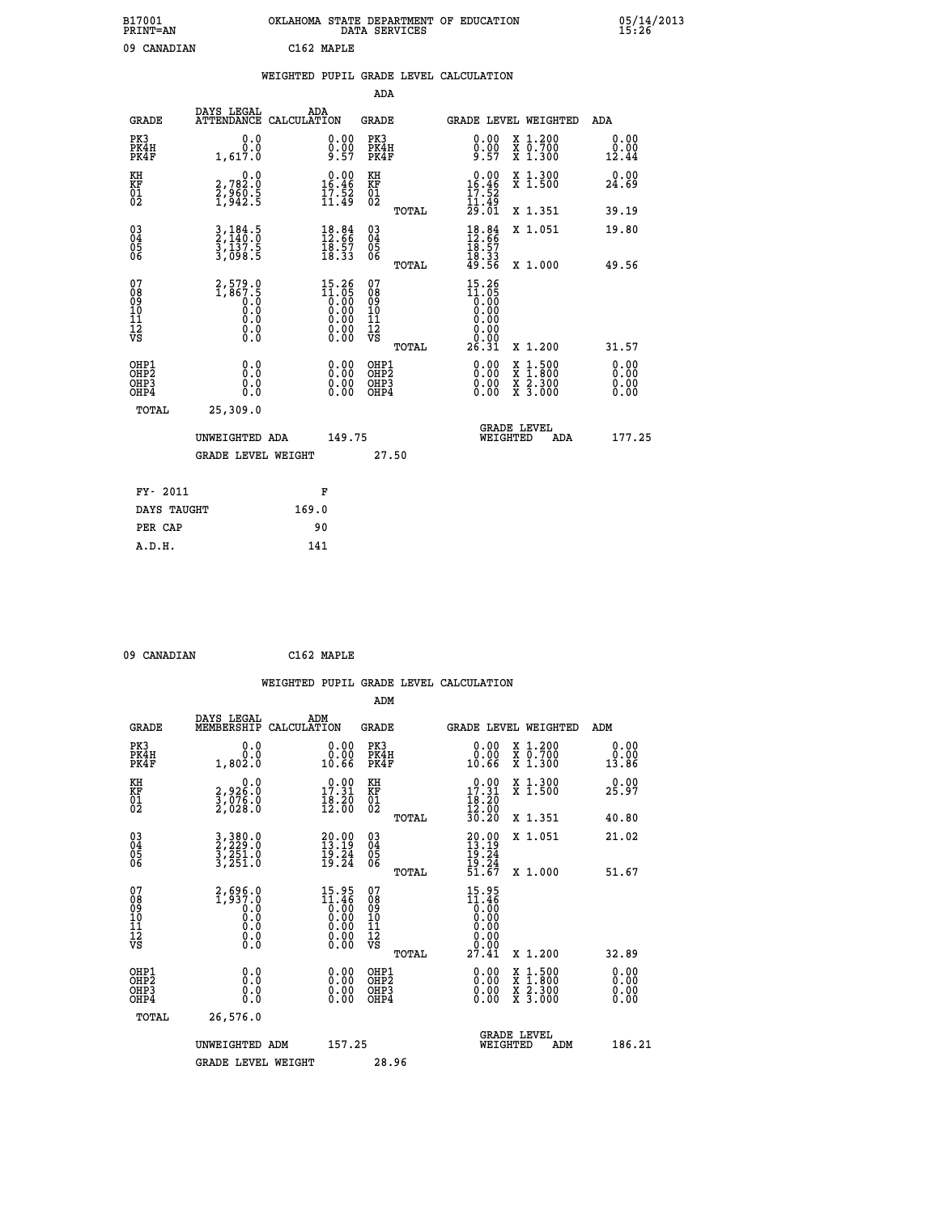|    | OKLAHOMA STATE DEPARTMENT OF EDUCATION<br>DATA SERVICES |  |
|----|---------------------------------------------------------|--|
| ΔN | $C162$ MADIR                                            |  |

| B17001<br>PRINT=AN                                               |                                                                                          | OKLAHOMA STATE DEPARTMENT OF EDUCATION |                                                                                                        |                                                     | DATA SERVICES |                                                                                                    |          |                                                                                                                                           | 15.26                         |  |
|------------------------------------------------------------------|------------------------------------------------------------------------------------------|----------------------------------------|--------------------------------------------------------------------------------------------------------|-----------------------------------------------------|---------------|----------------------------------------------------------------------------------------------------|----------|-------------------------------------------------------------------------------------------------------------------------------------------|-------------------------------|--|
| 09 CANADIAN                                                      |                                                                                          | C162 MAPLE                             |                                                                                                        |                                                     |               |                                                                                                    |          |                                                                                                                                           |                               |  |
|                                                                  |                                                                                          | WEIGHTED PUPIL GRADE LEVEL CALCULATION |                                                                                                        |                                                     |               |                                                                                                    |          |                                                                                                                                           |                               |  |
|                                                                  |                                                                                          |                                        |                                                                                                        | <b>ADA</b>                                          |               |                                                                                                    |          |                                                                                                                                           |                               |  |
| <b>GRADE</b>                                                     | DAYS LEGAL ADA ATTENDANCE CALCULATION                                                    |                                        |                                                                                                        | <b>GRADE</b>                                        |               |                                                                                                    |          | GRADE LEVEL WEIGHTED                                                                                                                      | ADA                           |  |
| PK3<br>PK4H<br>PK4F                                              | 0.0<br>0.0<br>1,617.0                                                                    |                                        | $\substack{0.00\\0.00\\9.57}$                                                                          | PK3<br>PK4H<br>PK4F                                 |               | 0.00<br>$0.00$<br>9.57                                                                             |          | X 1.200<br>X 0.700<br>X 1.300                                                                                                             | 0.00<br>0.00<br>12.44         |  |
| KH<br>KF<br>01<br>02                                             | 0.0<br>2,782:0<br>2,960:5<br>1,942:5                                                     |                                        | $0.00$<br>16.46<br>$\frac{1}{11}$ $\frac{5}{49}$                                                       | KH<br>KF<br>01<br>02                                |               | 0.00<br>$16.46$<br>$17.52$<br>$11.49$<br>$29.01$                                                   |          | X 1.300<br>X 1.500                                                                                                                        | 0.00<br>24.69                 |  |
|                                                                  |                                                                                          |                                        |                                                                                                        |                                                     | TOTAL         |                                                                                                    |          | X 1.351                                                                                                                                   | 39.19                         |  |
| $\begin{matrix} 03 \\ 04 \\ 05 \\ 06 \end{matrix}$               | $\frac{3}{2}, \frac{184}{140}.\frac{5}{0}$<br>$\frac{3}{3}, \frac{137}{098}.\frac{5}{5}$ |                                        | $18.84$<br>$12.66$<br>$18.57$<br>$18.33$                                                               | $\begin{array}{c} 03 \\ 04 \\ 05 \\ 06 \end{array}$ | TOTAL         | $18.84$<br>$12.66$<br>$18.57$<br>$18.33$<br>$49.56$                                                |          | X 1.051<br>X 1.000                                                                                                                        | 19.80<br>49.56                |  |
| 07<br>08901112<br>1112<br>VS                                     | $2,579.0$<br>1,867.5<br>0.0<br>0.0<br>0.0<br>$\S.$                                       |                                        | $\begin{smallmatrix} 15.26 \\ 11.05 \\ 0.00 \\ 0.00 \\ 0.00 \\ 0.00 \\ 0.00 \\ 0.00 \end{smallmatrix}$ | 07<br>08<br>09<br>01<br>11<br>11<br>12<br>VS        | TOTAL         | $15.26$<br>$11.05$<br>0.00<br>0.00<br>0.00<br>$\begin{array}{c} 0.00 \\ 0.00 \\ 26.31 \end{array}$ |          | X 1.200                                                                                                                                   | 31.57                         |  |
| OHP1<br>OH <sub>P</sub> <sub>2</sub><br>OH <sub>P3</sub><br>OHP4 | 0.0<br>0.0<br>Ō.Ō                                                                        |                                        | $0.00$<br>$0.00$<br>0.00                                                                               | OHP1<br><b>OHP2</b><br>OHP3<br>OHP4                 |               | 0.00<br>0.00<br>0.00                                                                               |          | $\begin{smallmatrix} \mathtt{X} & 1\cdot500\\ \mathtt{X} & 1\cdot800\\ \mathtt{X} & 2\cdot300\\ \mathtt{X} & 3\cdot000 \end{smallmatrix}$ | 0.00<br>Ō. ŌŌ<br>0.00<br>0.00 |  |
| <b>TOTAL</b>                                                     | 25,309.0                                                                                 |                                        |                                                                                                        |                                                     |               |                                                                                                    |          |                                                                                                                                           |                               |  |
|                                                                  | UNWEIGHTED ADA<br><b>GRADE LEVEL WEIGHT</b>                                              |                                        | 149.75                                                                                                 | 27.50                                               |               |                                                                                                    | WEIGHTED | <b>GRADE LEVEL</b><br>ADA                                                                                                                 | 177.25                        |  |
|                                                                  |                                                                                          |                                        |                                                                                                        |                                                     |               |                                                                                                    |          |                                                                                                                                           |                               |  |

| FY- 2011    | F     |
|-------------|-------|
| DAYS TAUGHT | 169.0 |
| PER CAP     | 90    |
| A.D.H.      | 141   |
|             |       |

```
 09 CANADIAN C162 MAPLE
```

|                                                    |                                                                        |                                                                                                        |                                                    | WEIGHTED PUPIL GRADE LEVEL CALCULATION                                                           |                                                                                                  |                          |
|----------------------------------------------------|------------------------------------------------------------------------|--------------------------------------------------------------------------------------------------------|----------------------------------------------------|--------------------------------------------------------------------------------------------------|--------------------------------------------------------------------------------------------------|--------------------------|
|                                                    |                                                                        |                                                                                                        | ADM                                                |                                                                                                  |                                                                                                  |                          |
| <b>GRADE</b>                                       | DAYS LEGAL<br>MEMBERSHIP                                               | ADM<br>CALCULATION                                                                                     | <b>GRADE</b>                                       |                                                                                                  | <b>GRADE LEVEL WEIGHTED</b>                                                                      | ADM                      |
| PK3<br>PK4H<br>PK4F                                | 0.0<br>0.0<br>1,802.0                                                  | 0.00<br>0.00<br>10.66                                                                                  | PK3<br>PK4H<br>PK4F                                | 0.00<br>0.00<br>10.66                                                                            | X 1.200<br>X 0.700<br>X 1.300                                                                    | 0.00<br>0.00<br>13.86    |
| KH<br>KF<br>01<br>02                               | $\begin{smallmatrix} 0.0\\2.926.0\\3.076.0\\2.028.0 \end{smallmatrix}$ | 17.31<br>$\frac{18.20}{12.00}$                                                                         | KH<br>KF<br>01<br>02                               | $\begin{smallmatrix} 0.00\\ 17.31\\ 18.20\\ 12.00\\ 30.20 \end{smallmatrix}$                     | X 1.300<br>X 1.500                                                                               | 0.00<br>25.97            |
|                                                    |                                                                        |                                                                                                        | TOTAL                                              |                                                                                                  | X 1.351                                                                                          | 40.80                    |
| $\begin{matrix} 03 \\ 04 \\ 05 \\ 06 \end{matrix}$ | 3,380.0<br>2,229.0<br>3,251.0<br>3,251.0                               | $\begin{smallmatrix} 20.00\\ 13.19\\ 19.24\\ 19.24 \end{smallmatrix}$                                  | $\begin{matrix} 03 \\ 04 \\ 05 \\ 06 \end{matrix}$ | $20.00$<br>$13.19$<br>$19.24$<br>$19.24$<br>$51.67$                                              | X 1.051                                                                                          | 21.02                    |
|                                                    |                                                                        |                                                                                                        | TOTAL                                              |                                                                                                  | X 1.000                                                                                          | 51.67                    |
| 07<br>08<br>09<br>101<br>11<br>12<br>VS            | $2,696.0$<br>1,937.0<br>0.0<br>0.0<br>0.0<br>0.0<br>0.0                | $\begin{smallmatrix} 15.95\\ 11.46\\ 0.00\\ 0.00\\ 0.00\\ 0.00\\ 0.00\\ 0.00\\ 0.00 \end{smallmatrix}$ | 07<br>08<br>09<br>01<br>11<br>11<br>12<br>VS       | $\begin{smallmatrix} 15.95\\ 11.46\\ 0.00\\ 0.00\\ 0.00\\ 0.00\\ 0.00\\ 27.41 \end{smallmatrix}$ |                                                                                                  |                          |
|                                                    |                                                                        |                                                                                                        | TOTAL                                              |                                                                                                  | X 1.200                                                                                          | 32.89                    |
| OHP1<br>OHP2<br>OH <sub>P3</sub><br>OHP4           | 0.0<br>0.000                                                           | $\begin{smallmatrix} 0.00 \ 0.00 \ 0.00 \ 0.00 \end{smallmatrix}$                                      | OHP1<br>OHP2<br>OHP3<br>OHP4                       |                                                                                                  | $\begin{smallmatrix} x & 1 & 500 \\ x & 1 & 800 \\ x & 2 & 300 \\ x & 3 & 000 \end{smallmatrix}$ | $0.00$<br>$0.00$<br>0.00 |
| TOTAL                                              | 26,576.0                                                               |                                                                                                        |                                                    |                                                                                                  |                                                                                                  |                          |
|                                                    | UNWEIGHTED ADM<br><b>GRADE LEVEL WEIGHT</b>                            | 157.25                                                                                                 | 28.96                                              | WEIGHTED                                                                                         | <b>GRADE LEVEL</b><br>ADM                                                                        | 186.21                   |
|                                                    |                                                                        |                                                                                                        |                                                    |                                                                                                  |                                                                                                  |                          |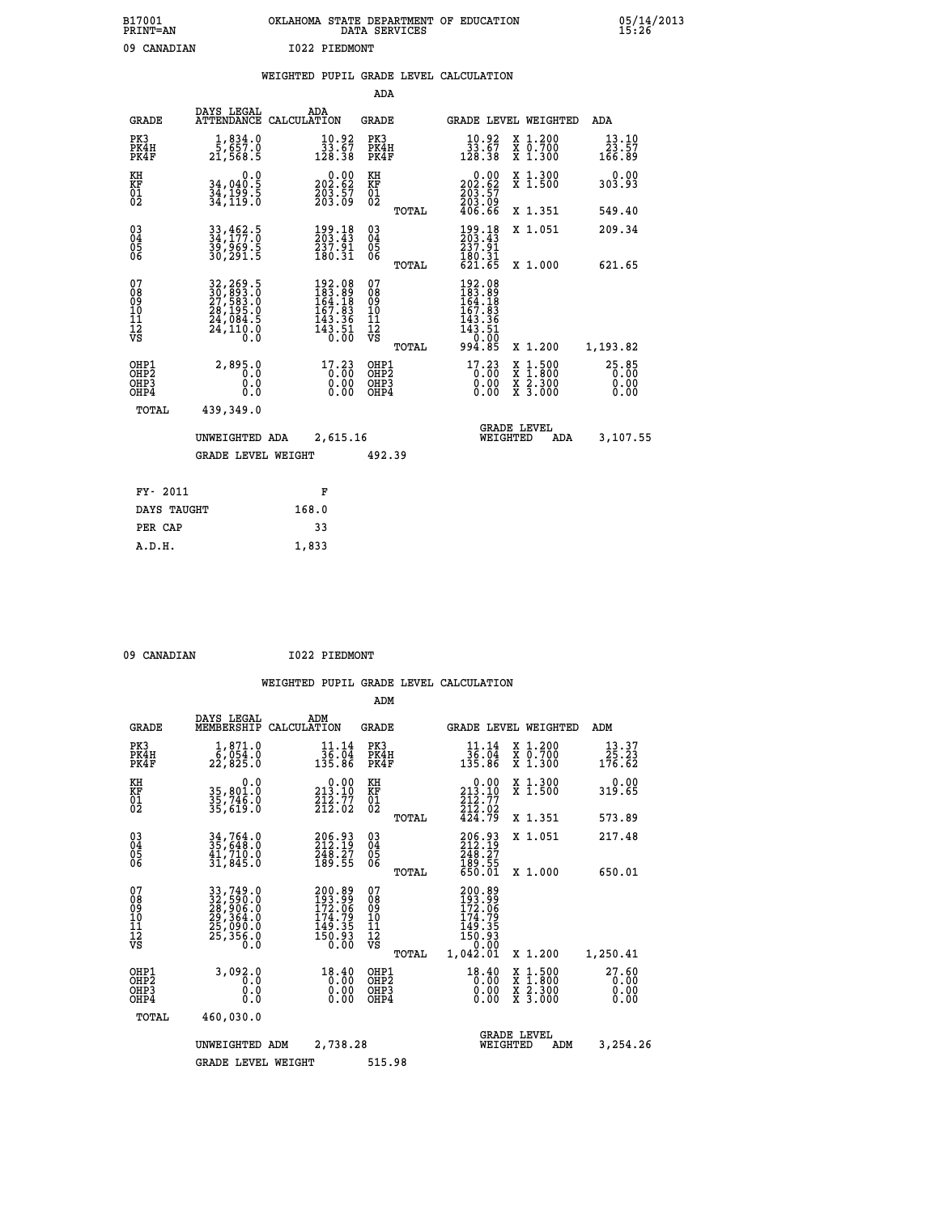| B17001<br><b>PRINT=AN</b> | OKLAHOMA STATE DEPARTMENT OF EDUCATION<br>DATA SERVICES |  |
|---------------------------|---------------------------------------------------------|--|
| 09 CANADIAN               | I022 PIEDMONT                                           |  |

|  |  | WEIGHTED PUPIL GRADE LEVEL CALCULATION |
|--|--|----------------------------------------|
|  |  |                                        |

|                                                            |                  | ADA                                                                                                                                                                                                                                                                                                                        |                                                                                                                                                                                                                                                                                                  |                                                                                                                                                                                                                                                                                              |
|------------------------------------------------------------|------------------|----------------------------------------------------------------------------------------------------------------------------------------------------------------------------------------------------------------------------------------------------------------------------------------------------------------------------|--------------------------------------------------------------------------------------------------------------------------------------------------------------------------------------------------------------------------------------------------------------------------------------------------|----------------------------------------------------------------------------------------------------------------------------------------------------------------------------------------------------------------------------------------------------------------------------------------------|
| <b>GRADE</b>                                               | ADA              | <b>GRADE</b>                                                                                                                                                                                                                                                                                                               | GRADE LEVEL WEIGHTED                                                                                                                                                                                                                                                                             | <b>ADA</b>                                                                                                                                                                                                                                                                                   |
| PK4H<br>PK4F<br>21,568.5                                   |                  | PK3<br>PK4H<br>PK4F                                                                                                                                                                                                                                                                                                        | $\begin{smallmatrix} 10.92\ 33.67\ 128.38 \end{smallmatrix}$<br>X 1.200<br>X 0.700<br>X 1.300                                                                                                                                                                                                    | 13.10<br>23.57<br>166.89                                                                                                                                                                                                                                                                     |
| 0.0<br>34,040.5                                            |                  | KH                                                                                                                                                                                                                                                                                                                         | 0.00<br>X 1.300<br>X 1.500                                                                                                                                                                                                                                                                       | 0.00<br>303.93                                                                                                                                                                                                                                                                               |
|                                                            |                  | TOTAL                                                                                                                                                                                                                                                                                                                      | X 1.351                                                                                                                                                                                                                                                                                          | 549.40                                                                                                                                                                                                                                                                                       |
|                                                            | 199.18<br>203.43 | $\substack{03 \\ 04}$                                                                                                                                                                                                                                                                                                      | 199.18<br>203.43<br>X 1.051                                                                                                                                                                                                                                                                      | 209.34                                                                                                                                                                                                                                                                                       |
|                                                            |                  | TOTAL                                                                                                                                                                                                                                                                                                                      | X 1.000                                                                                                                                                                                                                                                                                          | 621.65                                                                                                                                                                                                                                                                                       |
|                                                            |                  | 07<br>08<br>09<br>11<br>11<br>12<br>VS                                                                                                                                                                                                                                                                                     |                                                                                                                                                                                                                                                                                                  |                                                                                                                                                                                                                                                                                              |
|                                                            |                  | TOTAL                                                                                                                                                                                                                                                                                                                      | X 1.200                                                                                                                                                                                                                                                                                          | 1,193.82                                                                                                                                                                                                                                                                                     |
| OHP1<br>2,895.0<br>OHP <sub>2</sub><br>0.0<br>OHP3<br>OHP4 |                  | OHP1<br>OH <sub>P</sub> 2<br>OHP3<br>OHP4                                                                                                                                                                                                                                                                                  | X<br>X<br>0.00<br>X 2.300<br>X 3.000<br>0.00                                                                                                                                                                                                                                                     | $25.85$<br>0.00<br>0.00<br>0.00                                                                                                                                                                                                                                                              |
| TOTAL<br>439,349.0                                         |                  |                                                                                                                                                                                                                                                                                                                            |                                                                                                                                                                                                                                                                                                  |                                                                                                                                                                                                                                                                                              |
|                                                            |                  |                                                                                                                                                                                                                                                                                                                            | <b>GRADE LEVEL</b><br>WEIGHTED<br>ADA                                                                                                                                                                                                                                                            | 3,107.55                                                                                                                                                                                                                                                                                     |
|                                                            |                  | 492.39                                                                                                                                                                                                                                                                                                                     |                                                                                                                                                                                                                                                                                                  |                                                                                                                                                                                                                                                                                              |
| FY- 2011                                                   | F                |                                                                                                                                                                                                                                                                                                                            |                                                                                                                                                                                                                                                                                                  |                                                                                                                                                                                                                                                                                              |
| DAYS TAUGHT                                                | 168.0            |                                                                                                                                                                                                                                                                                                                            |                                                                                                                                                                                                                                                                                                  |                                                                                                                                                                                                                                                                                              |
| PER CAP                                                    | 33               |                                                                                                                                                                                                                                                                                                                            |                                                                                                                                                                                                                                                                                                  |                                                                                                                                                                                                                                                                                              |
|                                                            |                  | DAYS LEGAL<br>ATTENDANCE CALCULATION<br>$\frac{1}{5}$ , $\frac{834}{657}$ .0<br>34,199.5<br>34,119.0<br>33,462.5<br>34,177.0<br>39,969.5<br>30,291.5<br>$\frac{237.91}{180.31}$<br>32, 269.5<br>30, 893.0<br>27, 583.0<br>28, 195.0<br>24, 084.5<br>24, 110.0<br>0.0<br>0.0<br>UNWEIGHTED ADA<br><b>GRADE LEVEL WEIGHT</b> | $\frac{10.92}{33.67}$<br>128.38<br>$\begin{smallmatrix} 0.00\\ 202.62\\ 203.57\\ 203.09 \end{smallmatrix}$<br>KF<br>01<br>02<br>05<br>06<br>192.08<br>183.89<br>164.18<br>$167.83$<br>$143.36$<br>$143.51$<br>$0.00$<br>17.23<br>$\begin{smallmatrix} 0.00 \ 0.00 \end{smallmatrix}$<br>2,615.16 | 202:62<br>203:57<br>203:09<br>406:66<br>$\begin{array}{c} 237.51 \\ 180.31 \\ 621.65 \end{array}$<br>$\begin{smallmatrix} 192\cdot 08\\183\cdot 89\\164\cdot 18\\167\cdot 83\\143\cdot 36\\143\cdot 51\\0\cdot 00\\994\cdot 85 \end{smallmatrix}$<br>$17.23$<br>$0.00$<br>$1:500$<br>$1:800$ |

 **A.D.H. 1,833**

09 CANADIAN 1022 PIEDMONT

|                                                       |                                                                      |                                                                                                                | ADM                                     |       |                                                                              |                                          |                               |
|-------------------------------------------------------|----------------------------------------------------------------------|----------------------------------------------------------------------------------------------------------------|-----------------------------------------|-------|------------------------------------------------------------------------------|------------------------------------------|-------------------------------|
| <b>GRADE</b>                                          | DAYS LEGAL<br>MEMBERSHIP                                             | ADM<br>CALCULATION                                                                                             | <b>GRADE</b>                            |       |                                                                              | <b>GRADE LEVEL WEIGHTED</b>              | ADM                           |
| PK3<br>PK4H<br>PK4F                                   | 1,871.0<br>6,054.0<br>22,825.0                                       | 11.14<br>$\begin{array}{r} \bar{3}\bar{6}\cdot\bar{0}\bar{4} \\ 135\cdot 86 \end{array}$                       | PK3<br>PK4H<br>PK4F                     |       | 11.14<br>136.04<br>135.86                                                    | X 1.200<br>X 0.700<br>X 1.300            | 13.37<br>25.23<br>176.62      |
| KH<br>KF<br>01<br>02                                  | 0.0<br>35,801.0<br>35,746.0<br>35,619.0                              | $\substack{ \textcolor{red}{0} . \, \textcolor{red}{0} \\ 213 \, . \, 10 \\ 212 \, . \, 77 \\ 212 \, . \, 02}$ | KH<br>KF<br>01<br>02                    |       | 0.00<br>213.ĭŎ<br>$\frac{212.77}{212.02}$<br>424.79                          | X 1.300<br>X 1.500                       | 0.00<br>319.65                |
|                                                       |                                                                      |                                                                                                                |                                         | TOTAL |                                                                              | X 1.351                                  | 573.89                        |
| 03<br>04<br>05<br>06                                  | 34,764.0<br>35,648.0<br>41,710.0<br>31,845.0                         | 206.93<br>212.19<br>248.27<br>189.55                                                                           | $\substack{03 \\ 04}$<br>0500           |       | 206.93<br>212.19<br>248.27                                                   | X 1.051                                  | 217.48                        |
|                                                       |                                                                      |                                                                                                                |                                         | TOTAL | 189.55<br>650.01                                                             | X 1.000                                  | 650.01                        |
| 07<br>08<br>09<br>101<br>112<br>VS                    | 33,749.0<br>32,590.0<br>28,906.0<br>29,364.0<br>25,090.0<br>25,356.0 | 200.89<br>193.99<br>172.06<br>174.79<br>149.35<br>$\frac{150.93}{0.00}$                                        | 07<br>08<br>09<br>101<br>11<br>12<br>VS | TOTAL | 200.89<br>193.99<br>172.06<br>174.79<br>149.35<br>150.93<br>0.00<br>1,042.01 | X 1.200                                  | 1,250.41                      |
| OHP1<br>OH <sub>P</sub> 2<br>OH <sub>P3</sub><br>OHP4 | 3,092.0<br>0.0<br>0.000                                              | $18.40$<br>$0.00$<br>0.00<br>0.00                                                                              | OHP1<br>OHP2<br>OHP3<br>OHP4            |       | $18.40$<br>$0.00$<br>$0.00$<br>0.00                                          | X 1:500<br>X 1:800<br>X 2:300<br>X 3:000 | 27.60<br>0.00<br>0.00<br>0.00 |
| TOTAL                                                 | 460,030.0                                                            |                                                                                                                |                                         |       |                                                                              |                                          |                               |
|                                                       | UNWEIGHTED                                                           | 2,738.28<br>ADM                                                                                                |                                         |       | WEIGHTED                                                                     | <b>GRADE LEVEL</b><br>ADM                | 3,254.26                      |
|                                                       | <b>GRADE LEVEL WEIGHT</b>                                            |                                                                                                                | 515.98                                  |       |                                                                              |                                          |                               |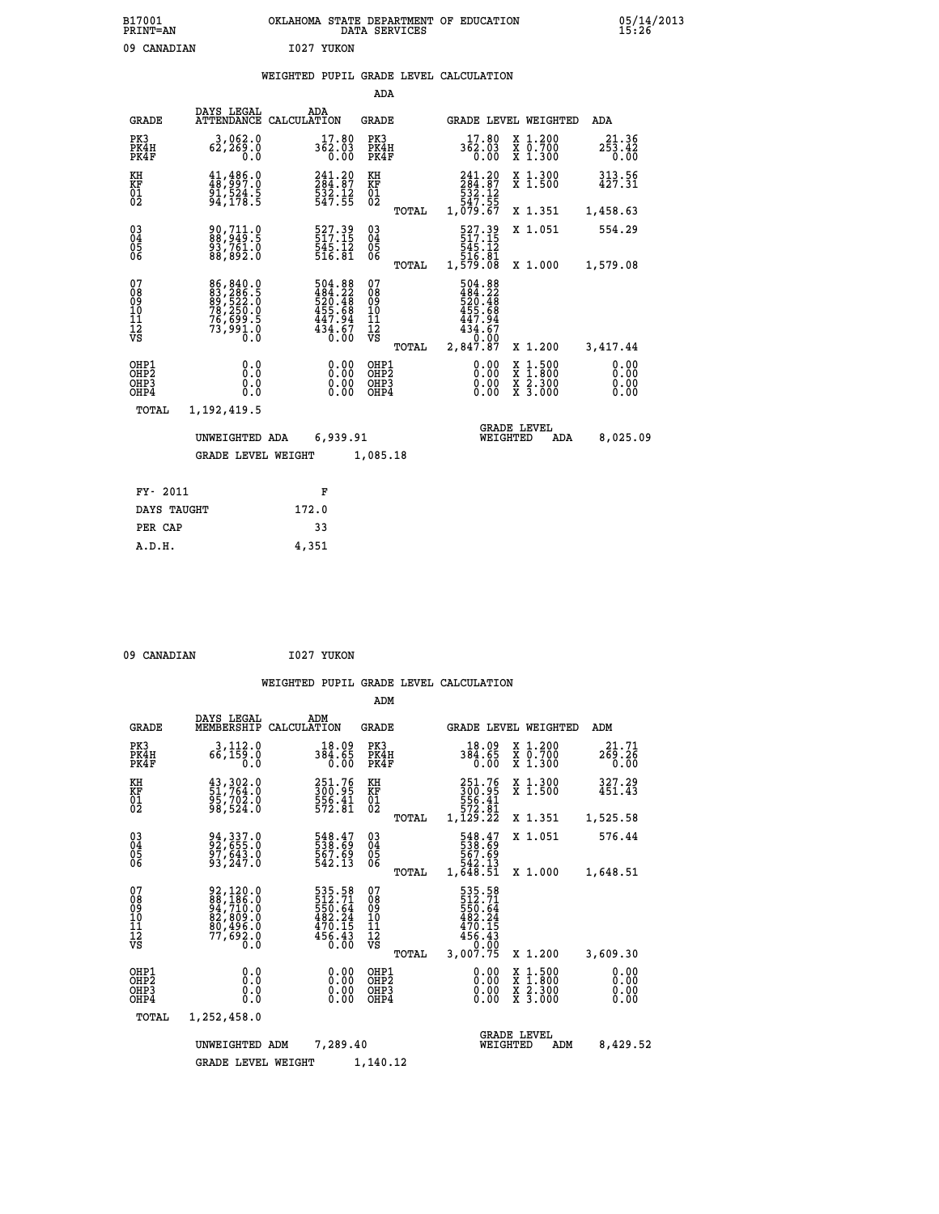| B17001<br><b>PRINT=AN</b> |            | OKLAHOMA STATE DEPARTMENT OF EDUCATION<br>DATA SERVICES |  |
|---------------------------|------------|---------------------------------------------------------|--|
| 09 CANADIAN               | 1027 YUKON |                                                         |  |

### **WEIGHTED PUPIL GRADE LEVEL CALCULATION**

|                                                    |                                                                                   |             |                                                                                                    | ADA                                                 |       |                                                                                      |                                |                                          |                              |
|----------------------------------------------------|-----------------------------------------------------------------------------------|-------------|----------------------------------------------------------------------------------------------------|-----------------------------------------------------|-------|--------------------------------------------------------------------------------------|--------------------------------|------------------------------------------|------------------------------|
| <b>GRADE</b>                                       | DAYS LEGAL<br><b>ATTENDANCE</b>                                                   | CALCULATION | ADA                                                                                                | GRADE                                               |       |                                                                                      |                                | GRADE LEVEL WEIGHTED                     | <b>ADA</b>                   |
| PK3<br>PK4H<br>PK4F                                | 3,062.0<br>62,269.0<br>0.0                                                        |             | 17.80<br>$3\bar{6}2.03$<br>0.00                                                                    | PK3<br>PK4H<br>PK4F                                 |       | 362.03                                                                               | 17.80<br>$\overline{0}$ .00    | X 1.200<br>X 0.700<br>X 1.300            | 21.36<br>253.42<br>0.00      |
| KH<br><b>KF</b><br>01<br>02                        | $\begin{smallmatrix} 41,486.0\\ 48,997.0\\ 91,524.5\\ 94,178.5 \end{smallmatrix}$ |             | 241.20<br>$\bar{284}.\bar{87}$<br>$\frac{532.12}{547.55}$                                          | KH<br>KF<br>01<br>02                                |       | 241.20<br>$\begin{smallmatrix} 2\,84.87\,532.12\,547.55\,1,079.67\end{smallmatrix}$  |                                | X 1.300<br>$\overline{x}$ 1.500          | 313.56<br>427.31             |
|                                                    |                                                                                   |             |                                                                                                    |                                                     | TOTAL |                                                                                      |                                | X 1.351                                  | 1,458.63                     |
| $\begin{matrix} 03 \\ 04 \\ 05 \\ 06 \end{matrix}$ | 90,711.0<br>88,949.5<br>93,761.0<br>88,892.0                                      |             | 527.39<br>$\frac{545}{516}$ , $\frac{75}{81}$                                                      | $\begin{array}{c} 03 \\ 04 \\ 05 \\ 06 \end{array}$ |       | 527.39<br>517.15<br>545.12<br>516.81<br>1,579.08                                     |                                | X 1.051                                  | 554.29                       |
|                                                    |                                                                                   |             |                                                                                                    |                                                     | TOTAL |                                                                                      |                                | X 1.000                                  | 1,579.08                     |
| 07<br>08<br>09<br>11<br>11<br>12<br>VS             | 86, 840.0<br>83, 286.5<br>89, 522.0<br>78, 250.0<br>76, 699.5<br>73, 991.0        |             | $\begin{smallmatrix}504.88\\484.22\\520.48\\555.68\\455.68\\447.94\\434.67\\0.00\end{smallmatrix}$ | 07<br>08<br>09<br>11<br>11<br>12<br>VS              | TOTAL | 504.88<br>$484.22$<br>$520.48$<br>$455.68$<br>$447.94$<br>434:67<br>0.00<br>2,847.87 |                                | X 1.200                                  | 3,417.44                     |
| OHP1<br>OHP2<br>OHP3<br>OHP4                       | 0.0<br>0.0<br>0.0                                                                 |             | 0.00<br>$0.00$<br>$0.00$                                                                           | OHP1<br>OHP2<br>OHP3<br>OHP4                        |       |                                                                                      | 0.00<br>X<br>0.00<br>0.00      | $1.500$<br>$1.800$<br>X 2.300<br>X 3.000 | 0.00<br>0.00<br>0.00<br>0.00 |
| TOTAL                                              | 1,192,419.5                                                                       |             |                                                                                                    |                                                     |       |                                                                                      |                                |                                          |                              |
|                                                    | UNWEIGHTED ADA                                                                    |             | 6,939.91                                                                                           |                                                     |       |                                                                                      | <b>GRADE LEVEL</b><br>WEIGHTED | ADA                                      | 8,025.09                     |
|                                                    | <b>GRADE LEVEL WEIGHT</b>                                                         |             |                                                                                                    | 1,085.18                                            |       |                                                                                      |                                |                                          |                              |
| FY- 2011                                           |                                                                                   |             | F                                                                                                  |                                                     |       |                                                                                      |                                |                                          |                              |
| DAYS TAUGHT                                        |                                                                                   | 172.0       |                                                                                                    |                                                     |       |                                                                                      |                                |                                          |                              |
|                                                    |                                                                                   |             |                                                                                                    |                                                     |       |                                                                                      |                                |                                          |                              |

| 09 CANADIAN | 1027 YUKON |
|-------------|------------|
|             |            |

PER CAP 33

 **A.D.H. 4,351**

|                                                       |                                                                                                               |                                                                  | ADM                                              |                                                                              |                                                                                                  |                              |
|-------------------------------------------------------|---------------------------------------------------------------------------------------------------------------|------------------------------------------------------------------|--------------------------------------------------|------------------------------------------------------------------------------|--------------------------------------------------------------------------------------------------|------------------------------|
| <b>GRADE</b>                                          | DAYS LEGAL<br>MEMBERSHIP                                                                                      | ADM<br>CALCULATION                                               | <b>GRADE</b>                                     | <b>GRADE LEVEL WEIGHTED</b>                                                  |                                                                                                  | ADM                          |
| PK3<br>PK4H<br>PK4F                                   | 3,112.0<br>66,159.0<br>0.0                                                                                    | 18.09<br>384.65<br>0.00                                          | PK3<br>PK4H<br>PK4F                              | 18.09<br>384.65<br>0.00                                                      | X 1.200<br>X 0.700<br>X 1.300                                                                    | 21.71<br>269.26<br>0.00      |
| KH<br>KF<br>01<br>02                                  | 43,302.0<br>51,764.0<br>95,702.0<br>98,524.0                                                                  | 251.76<br>300.95<br>556.41<br>572.81                             | KH<br>KF<br>01<br>02                             | 251.76<br>300.95<br>556.41<br>572.81<br>1,129.22                             | X 1.300<br>X 1.500                                                                               | 327.29<br>451.43             |
|                                                       |                                                                                                               |                                                                  | TOTAL                                            |                                                                              | X 1.351                                                                                          | 1,525.58                     |
| 03<br>04<br>05<br>06                                  | 94, 337.0<br>92, 655.0<br>97, 643.0<br>93,247.0                                                               | 548.47<br>538.69<br>567.69<br>542.13                             | $^{03}_{04}$<br>0500                             | 548.47<br>538.69<br>567.69<br>542.13<br>1,648.51                             | X 1.051                                                                                          | 576.44                       |
|                                                       |                                                                                                               |                                                                  | TOTAL                                            |                                                                              | X 1.000                                                                                          | 1,648.51                     |
| 07<br>08<br>09<br>101<br>112<br>VS                    | $\begin{smallmatrix} 92,120.0\\ 88,186.0\\ 94,710.0\\ 82,809.0\\ 80,496.0\\ 77,692.0\\ 0.0 \end{smallmatrix}$ | 535.58<br>512.71<br>550.64<br>482.24<br>470.15<br>456.43<br>ŏ:ōŏ | 07<br>08<br>09<br>101<br>11<br>12<br>VS<br>TOTAL | 535.58<br>512.71<br>550.64<br>482.24<br>470.15<br>456.43<br>0.00<br>3,007.75 | X 1.200                                                                                          | 3,609.30                     |
| OHP1<br>OH <sub>P</sub> 2<br>OH <sub>P3</sub><br>OHP4 | 0.0<br>0.000                                                                                                  | $0.00$<br>$0.00$<br>0.00                                         | OHP1<br>OHP2<br>OHP3<br>OHP4                     | $0.00$<br>$0.00$<br>0.00                                                     | $\begin{smallmatrix} x & 1 & 500 \\ x & 1 & 800 \\ x & 2 & 300 \\ x & 3 & 000 \end{smallmatrix}$ | 0.00<br>0.00<br>0.00<br>0.00 |
| TOTAL                                                 | 1,252,458.0                                                                                                   |                                                                  |                                                  |                                                                              |                                                                                                  |                              |
| 7,289.40<br>UNWEIGHTED<br>ADM                         |                                                                                                               |                                                                  |                                                  |                                                                              | <b>GRADE LEVEL</b><br>WEIGHTED<br>ADM                                                            | 8,429.52                     |
|                                                       | <b>GRADE LEVEL WEIGHT</b>                                                                                     |                                                                  | 1,140.12                                         |                                                                              |                                                                                                  |                              |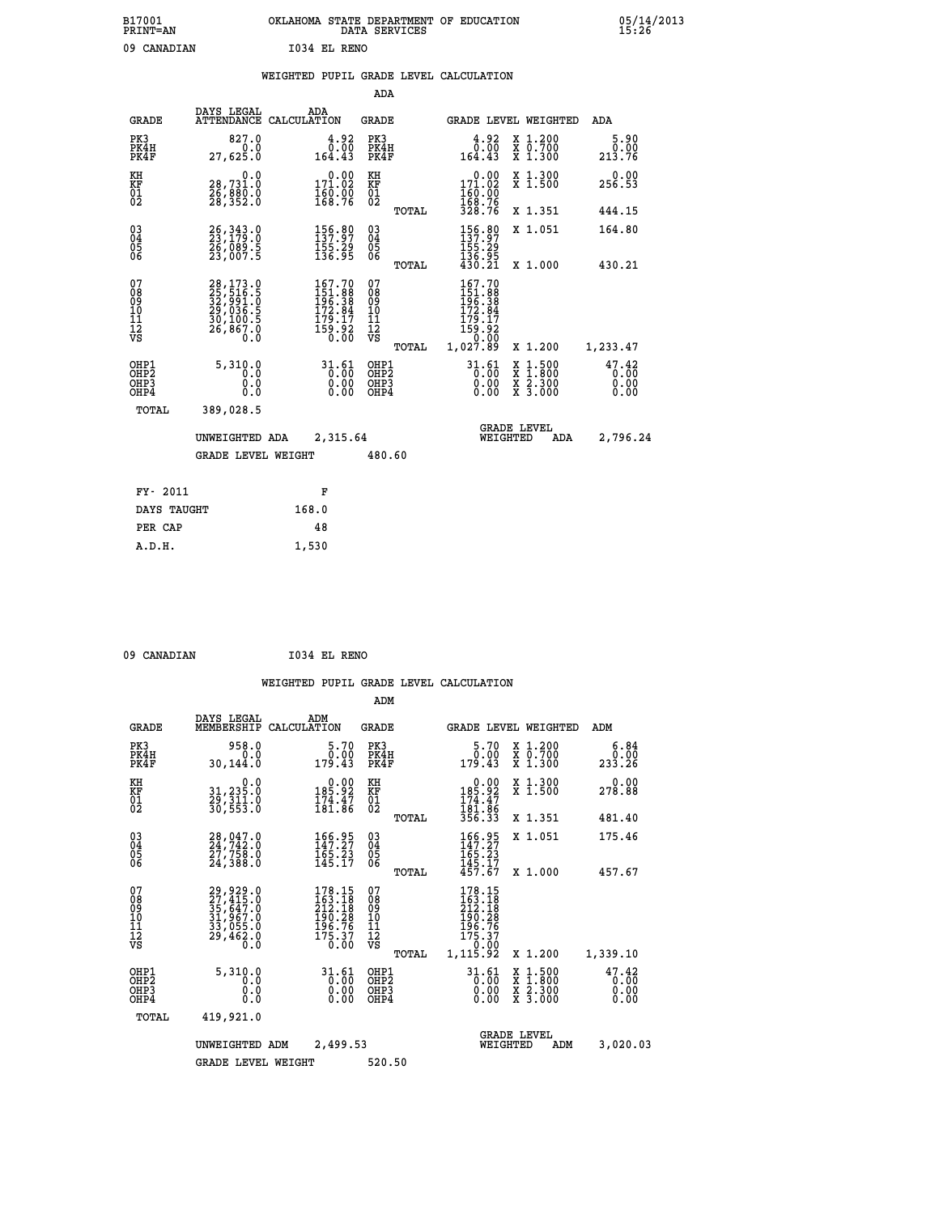| B17001<br><b>PRINT=AN</b> | OKLAHOMA STATE DEPARTMENT OF EDUCATION<br>DATA SERVICES |  |
|---------------------------|---------------------------------------------------------|--|
| 09 CANADIAN               | 1034 EL RENO                                            |  |

|  |  | WEIGHTED PUPIL GRADE LEVEL CALCULATION |
|--|--|----------------------------------------|
|  |  |                                        |

|                                                      |                                                                                   |                                                                   | ADA                                       |       |                                                                               |                                                                                                  |                               |
|------------------------------------------------------|-----------------------------------------------------------------------------------|-------------------------------------------------------------------|-------------------------------------------|-------|-------------------------------------------------------------------------------|--------------------------------------------------------------------------------------------------|-------------------------------|
| <b>GRADE</b>                                         | DAYS LEGAL                                                                        | ADA<br>ATTENDANCE CALCULATION                                     | <b>GRADE</b>                              |       |                                                                               | GRADE LEVEL WEIGHTED                                                                             | ADA                           |
| PK3<br>PK4H<br>PK4F                                  | 827.0<br>0.0<br>27,625.0                                                          | $\frac{4.92}{0.00}$<br>164.43                                     | PK3<br>PK4H<br>PK4F                       |       | $\begin{smallmatrix} 4.92\ 0.00\ 164.43 \end{smallmatrix}$                    | X 1.200<br>X 0.700<br>X 1.300                                                                    | 5.90<br>0.00<br>213.76        |
| KH<br>KF<br>01<br>02                                 | 0.0<br>28,731.0<br>26,880.0<br>28,352.0                                           | 0.00<br>$\frac{171.02}{160.00}$<br>168.76                         | KH<br>KF<br>01<br>02                      |       | 0.00<br>171.02<br>160.00<br>168.76<br>328.76                                  | X 1.300<br>X 1.500                                                                               | 0.00<br>256.53                |
|                                                      |                                                                                   |                                                                   |                                           | TOTAL |                                                                               | X 1.351                                                                                          | 444.15                        |
| $\begin{matrix} 03 \\ 04 \\ 05 \\ 06 \end{matrix}$   | $26,343.0$<br>$23,179.0$<br>26,089.5<br>23,007.5                                  | 156.89<br>$\frac{155}{136}$ $\frac{29}{95}$                       | $\substack{03 \\ 04}$<br>05<br>06         |       | 156.89<br>156:29<br>136:95<br>430:21                                          | X 1.051                                                                                          | 164.80                        |
|                                                      |                                                                                   |                                                                   |                                           | TOTAL |                                                                               | X 1.000                                                                                          | 430.21                        |
| 07<br>08<br>09<br>10<br>11<br>12<br>VS               | 28, 173.0<br>25, 516.5<br>32, 591.0<br>29, 036.5<br>30, 100.5<br>26, 867.0<br>Ó.Ŏ | 167.70<br>151.888<br>196.38<br>172.84<br>179.17<br>159.92<br>0.00 | 07<br>08<br>09<br>11<br>11<br>12<br>VS    |       | 167.70<br>$151.88$<br>$196.38$<br>$172.84$<br>$179.17$<br>$159.92$<br>$0.000$ |                                                                                                  |                               |
|                                                      |                                                                                   |                                                                   |                                           | TOTAL | 1,027.89                                                                      | X 1.200                                                                                          | 1,233.47                      |
| OHP1<br>OH <sub>P</sub> <sub>2</sub><br>OHP3<br>OHP4 | 5,310.0<br>0.0<br>0.0<br>0.0                                                      | 31.61<br>$\overline{0}$ :00<br>0.00                               | OHP1<br>OH <sub>P</sub> 2<br>OHP3<br>OHP4 |       | 31.61<br>$\overline{0}$ .00<br>0.00<br>0.00                                   | $\begin{smallmatrix} x & 1 & 500 \\ x & 1 & 800 \\ x & 2 & 300 \\ x & 3 & 000 \end{smallmatrix}$ | 47.42<br>0.00<br>0.00<br>0.00 |
| <b>TOTAL</b>                                         | 389,028.5                                                                         |                                                                   |                                           |       |                                                                               |                                                                                                  |                               |
|                                                      | UNWEIGHTED ADA                                                                    | 2,315.64                                                          |                                           |       |                                                                               | <b>GRADE LEVEL</b><br>WEIGHTED<br>ADA                                                            | 2,796.24                      |
|                                                      | <b>GRADE LEVEL WEIGHT</b>                                                         |                                                                   | 480.60                                    |       |                                                                               |                                                                                                  |                               |
|                                                      |                                                                                   |                                                                   |                                           |       |                                                                               |                                                                                                  |                               |
| FY- 2011                                             |                                                                                   | F                                                                 |                                           |       |                                                                               |                                                                                                  |                               |
| DAYS TAUGHT                                          |                                                                                   | 168.0                                                             |                                           |       |                                                                               |                                                                                                  |                               |
| PER CAP                                              |                                                                                   | 48                                                                |                                           |       |                                                                               |                                                                                                  |                               |

 **09 CANADIAN I034 EL RENO**

 **A.D.H. 1,530**

|                                                       |                                                                      |                                                                                             | ADM                                             |                                                                                                  |                                          |                               |
|-------------------------------------------------------|----------------------------------------------------------------------|---------------------------------------------------------------------------------------------|-------------------------------------------------|--------------------------------------------------------------------------------------------------|------------------------------------------|-------------------------------|
|                                                       | DAYS LEGAL<br><b>GRADE</b><br>MEMBERSHIP                             | ADM<br>CALCULATION                                                                          | <b>GRADE</b>                                    | <b>GRADE LEVEL WEIGHTED</b>                                                                      |                                          | ADM                           |
| PK3<br>PK4H<br>PK4F                                   | 958.0<br>30,144.0                                                    | 5.70<br>0.00<br>0.0<br>179.43                                                               | PK3<br>PK4H<br>PK4F                             | 5.70<br>0.00<br>179.43                                                                           | X 1.200<br>X 0.700<br>X 1.300            | 6.84<br>0.00<br>233.26        |
| KH<br>KF<br>01<br>02                                  | 31,235.0<br>29,311.0<br>30,553.0                                     | 0.0<br>0.00<br>92.981<br>$\frac{174.47}{181.86}$                                            | KH<br>KF<br>01<br>02                            | $\begin{smallmatrix} &0.00\\ 185.92\\ 174.47\\ 181.86\\ 356.33\end{smallmatrix}$                 | X 1.300<br>X 1.500                       | 0.00<br>278.88                |
|                                                       |                                                                      |                                                                                             | TOTAL                                           |                                                                                                  | X 1.351                                  | 481.40                        |
| 03<br>04<br>05<br>06                                  | 28,047.0<br>24,742.0<br>27,758.0<br>24,388.0                         | 166.95<br>147.27<br>165.23<br>145.17                                                        | $\substack{03 \\ 04}$<br>0500                   | 166.95<br>$\frac{1}{65}$ : $\frac{2}{3}$<br>$\frac{1}{45}$<br>$\frac{1}{57}$ : $\frac{7}{67}$    | X 1.051                                  | 175.46                        |
|                                                       |                                                                      |                                                                                             | TOTAL                                           |                                                                                                  | X 1.000                                  | 457.67                        |
| 07<br>08<br>09<br>101<br>112<br>VS                    | 29,929.0<br>27,415.0<br>35,647.0<br>31,967.0<br>33,055.0<br>29,462.0 | $\frac{178.15}{163.18}$<br>$\frac{212.18}{18}$<br>190.28<br>196.76<br>$\frac{175.37}{0.00}$ | 07<br>08<br>09<br>11<br>11<br>12<br>VS<br>TOTAL | $\frac{178.15}{163.18}$<br>$\frac{212.18}{18}$<br>190.28<br>196.76<br>175.37<br>0.00<br>1,115.92 | X 1.200                                  | 1,339.10                      |
| OHP1<br>OH <sub>P</sub> 2<br>OH <sub>P3</sub><br>OHP4 | 5,310.0                                                              | $31.61$<br>0.00<br>0.00<br>0.0<br>0.000<br>0.00                                             | OHP1<br>OHP2<br>OHP3<br>OHP4                    | $31.61$<br>0.00<br>0.00                                                                          | X 1:500<br>X 1:800<br>X 2:300<br>X 3:000 | 47.42<br>0.00<br>0.00<br>0.00 |
|                                                       | TOTAL<br>419,921.0                                                   |                                                                                             |                                                 |                                                                                                  |                                          |                               |
|                                                       | UNWEIGHTED                                                           | 2,499.53<br>ADM                                                                             |                                                 | <b>GRADE LEVEL</b><br>WEIGHTED                                                                   | ADM                                      | 3,020.03                      |
|                                                       |                                                                      | <b>GRADE LEVEL WEIGHT</b>                                                                   | 520.50                                          |                                                                                                  |                                          |                               |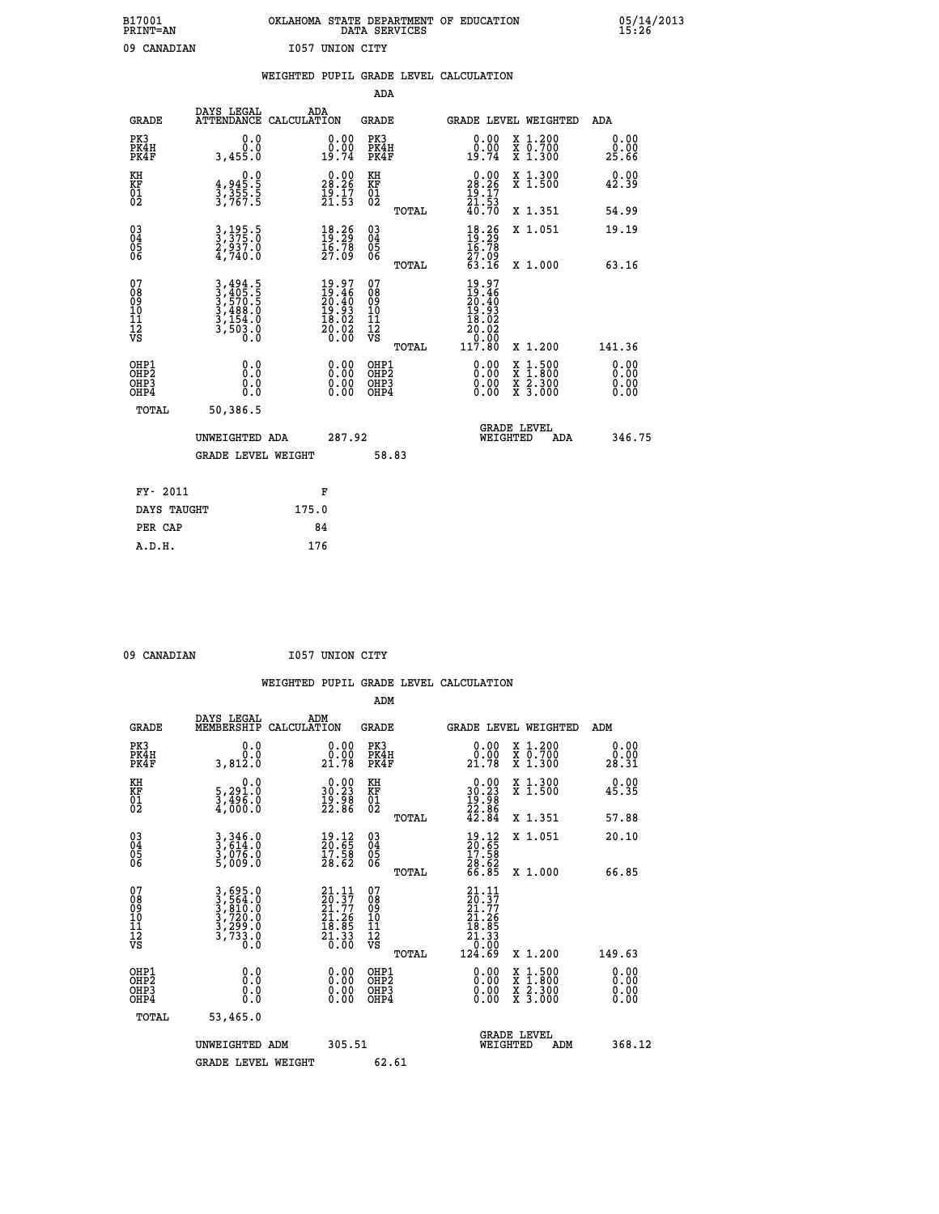| B17001          | OKLAHOMA STATE DEPARTMENT OF EDUCATION |
|-----------------|----------------------------------------|
| <b>PRINT=AN</b> | DATA SERVICES                          |
| 09 CANADIAN     | I057 UNION CITY                        |

|                                         |                                                                | WEIGHTED PUPIL GRADE LEVEL CALCULATION                                   |                                                     |                                                                                                                          |                       |
|-----------------------------------------|----------------------------------------------------------------|--------------------------------------------------------------------------|-----------------------------------------------------|--------------------------------------------------------------------------------------------------------------------------|-----------------------|
|                                         |                                                                |                                                                          | ADA                                                 |                                                                                                                          |                       |
| <b>GRADE</b>                            | DAYS LEGAL                                                     | ADA<br>ATTENDANCE CALCULATION                                            | <b>GRADE</b>                                        | GRADE LEVEL WEIGHTED                                                                                                     | ADA                   |
| PK3<br>PK4H<br>PK4F                     | 0.0<br>0.0<br>3,455.0                                          | 0.00<br>0:00<br>19:74                                                    | PK3<br>PK4H<br>PK4F                                 | 0.00<br>X 1.200<br>X 0.700<br>X 1.300<br>0.00<br>19.74                                                                   | 0.00<br>0.00<br>25.66 |
| KH<br><b>KF</b><br>01<br>02             | $3,355.5$<br>3,355.5<br>3,767.5                                | $\begin{smallmatrix} 0.00\\ 28.26\\ 19.17\\ 21.53 \end{smallmatrix}$     | KH<br>KF<br>01<br>02                                | X 1.300<br>X 1.500<br>$\begin{smallmatrix} 0.00\\ 28.26\\ 19.17\\ 21.53\\ 40.70 \end{smallmatrix}$                       | 0.00<br>42.39         |
|                                         |                                                                |                                                                          | TOTAL                                               | X 1.351                                                                                                                  | 54.99                 |
| 03<br>04<br>05<br>06                    | 3, 195.5<br>3, 375.0<br>2, 937.0<br>4, 740.0                   | 18.26<br>$\frac{16.78}{27.09}$                                           | $\begin{array}{c} 03 \\ 04 \\ 05 \\ 06 \end{array}$ | $18.26$<br>$19.29$<br>$16.78$<br>$27.09$<br>$63.16$<br>X 1.051                                                           | 19.19                 |
|                                         |                                                                |                                                                          | TOTAL                                               | X 1.000                                                                                                                  | 63.16                 |
| 07<br>08<br>09<br>101<br>11<br>12<br>VS | 3,494.5<br>3,405.5<br>3,570.5<br>3,588.0<br>3,154.0<br>3,503.0 | $19.97$<br>$19.46$<br>$20.40$<br>$19.93$<br>$18.02$<br>$20.02$<br>$0.00$ | 07<br>08<br>09<br>101<br>11<br>12<br>VS<br>TOTAL    | $19.97$<br>$19.46$<br>$20.40$<br>$19.93$<br>$18.02$<br>$\begin{array}{r} 20.02 \\ 0.08 \\ 117.80 \end{array}$<br>X 1.200 | 141.36                |
| OHP1<br>OHP2<br>OHP3<br>OHP4            | 0.0<br>0.0<br>Ō.Ō                                              | 0.00<br>$0.00$<br>0.00                                                   | OHP1<br>OHP2<br>OHP3<br>OHP4                        | 0.00<br>$1:500$<br>1:800<br>X<br>X<br>$\frac{x}{x}$ $\frac{5:300}{3:000}$<br>0.00<br>0.00                                | 0.00<br>0.00<br>0.00  |
| <b>TOTAL</b>                            | 50,386.5                                                       |                                                                          |                                                     |                                                                                                                          |                       |
|                                         | UNWEIGHTED ADA                                                 | 287.92                                                                   |                                                     | <b>GRADE LEVEL</b><br>WEIGHTED<br><b>ADA</b>                                                                             | 346.75                |
|                                         | <b>GRADE LEVEL WEIGHT</b>                                      |                                                                          | 58.83                                               |                                                                                                                          |                       |
|                                         | FY- 2011                                                       | F                                                                        |                                                     |                                                                                                                          |                       |
|                                         | DAYS TAUGHT                                                    | 175.0                                                                    |                                                     |                                                                                                                          |                       |
|                                         | PER CAP                                                        | 84                                                                       |                                                     |                                                                                                                          |                       |

 **A.D.H. 176**

09 CANADIAN **I057 UNION CITY** 

| <b>GRADE</b>                             | DAYS LEGAL<br>MEMBERSHIP                                       | ADM<br>CALCULATION                                                                                                              | <b>GRADE</b>                                       |       | GRADE LEVEL WEIGHTED                                                                                                                                                                                                                                                           |                                          | ADM                                                         |  |
|------------------------------------------|----------------------------------------------------------------|---------------------------------------------------------------------------------------------------------------------------------|----------------------------------------------------|-------|--------------------------------------------------------------------------------------------------------------------------------------------------------------------------------------------------------------------------------------------------------------------------------|------------------------------------------|-------------------------------------------------------------|--|
| PK3<br>PK4H<br>PK4F                      | 0.0<br>3,812.0                                                 | $\substack{0.00\\0.00\\21.78}$                                                                                                  | PK3<br>PK4H<br>PK4F                                |       | $\begin{smallmatrix} 0.00\\ 0.00\\ 21.78 \end{smallmatrix}$                                                                                                                                                                                                                    | X 1.200<br>X 0.700<br>X 1.300            | 0.00<br>$\begin{smallmatrix} &0.00\ 28.31\end{smallmatrix}$ |  |
| KH<br>KF<br>01<br>02                     | 0.0<br>5,291.0<br>3,496.0<br>4,000.0                           | $\begin{smallmatrix} 0.00\\ 30.23\\ 19.98\\ 22.86 \end{smallmatrix}$                                                            | KH<br>KF<br>01<br>02                               |       | $\begin{smallmatrix} 0.00\\ 30.23\\ 19.98\\ 22.86\\ 42.84 \end{smallmatrix}$                                                                                                                                                                                                   | X 1.300<br>X 1.500                       | 0.00<br>45.35                                               |  |
|                                          |                                                                |                                                                                                                                 |                                                    | TOTAL |                                                                                                                                                                                                                                                                                | X 1.351                                  | 57.88                                                       |  |
| 03<br>04<br>05<br>06                     | 3,346.0<br>3,614.0<br>3,076.0<br>5,009.0                       | $\begin{smallmatrix} 19.12\ 20.65\ 17.58\ 28.62 \end{smallmatrix}$                                                              | $\begin{matrix} 03 \\ 04 \\ 05 \\ 06 \end{matrix}$ |       | $\begin{smallmatrix} 19.12\ 20.65\ 17.58\ 28.62\ 66.85 \end{smallmatrix}$                                                                                                                                                                                                      | X 1.051                                  | 20.10                                                       |  |
|                                          |                                                                |                                                                                                                                 |                                                    | TOTAL |                                                                                                                                                                                                                                                                                | X 1.000                                  | 66.85                                                       |  |
| 07<br>089<br>090<br>1112<br>VS           | 3,695.0<br>3,564.0<br>3,810.0<br>3,720.0<br>3,733.0<br>3,733.0 | $\begin{smallmatrix} 21\cdot 11\\ 20\cdot 37\\ 21\cdot 77\\ 21\cdot 26\\ 18\cdot 85\\ 21\cdot 33\\ 0\cdot 00 \end{smallmatrix}$ | 07<br>08901112<br>1112<br>VS                       | TOTAL | $\begin{smallmatrix} 21.11\ 20.37\ 21.77\ 21.26\ 18.85\ 21.33\ 0.00\ 124.69 \end{smallmatrix}$                                                                                                                                                                                 | X 1.200                                  | 149.63                                                      |  |
| OHP1<br>OHP2<br>OH <sub>P3</sub><br>OHP4 | 0.0<br>0.000                                                   |                                                                                                                                 | OHP1<br>OHP2<br>OHP3<br>OHP4                       |       | $\begin{smallmatrix} 0.00 & 0.00 & 0.00 & 0.00 & 0.00 & 0.00 & 0.00 & 0.00 & 0.00 & 0.00 & 0.00 & 0.00 & 0.00 & 0.00 & 0.00 & 0.00 & 0.00 & 0.00 & 0.00 & 0.00 & 0.00 & 0.00 & 0.00 & 0.00 & 0.00 & 0.00 & 0.00 & 0.00 & 0.00 & 0.00 & 0.00 & 0.00 & 0.00 & 0.00 & 0.00 & 0.0$ | X 1:500<br>X 1:800<br>X 2:300<br>X 3:000 | 0.00<br>0.00<br>0.00                                        |  |
| TOTAL                                    | 53,465.0                                                       |                                                                                                                                 |                                                    |       |                                                                                                                                                                                                                                                                                |                                          |                                                             |  |
|                                          | UNWEIGHTED<br>ADM                                              | 305.51                                                                                                                          |                                                    |       | WEIGHTED                                                                                                                                                                                                                                                                       | <b>GRADE LEVEL</b><br>ADM                | 368.12                                                      |  |
|                                          | <b>GRADE LEVEL WEIGHT</b>                                      |                                                                                                                                 | 62.61                                              |       |                                                                                                                                                                                                                                                                                |                                          |                                                             |  |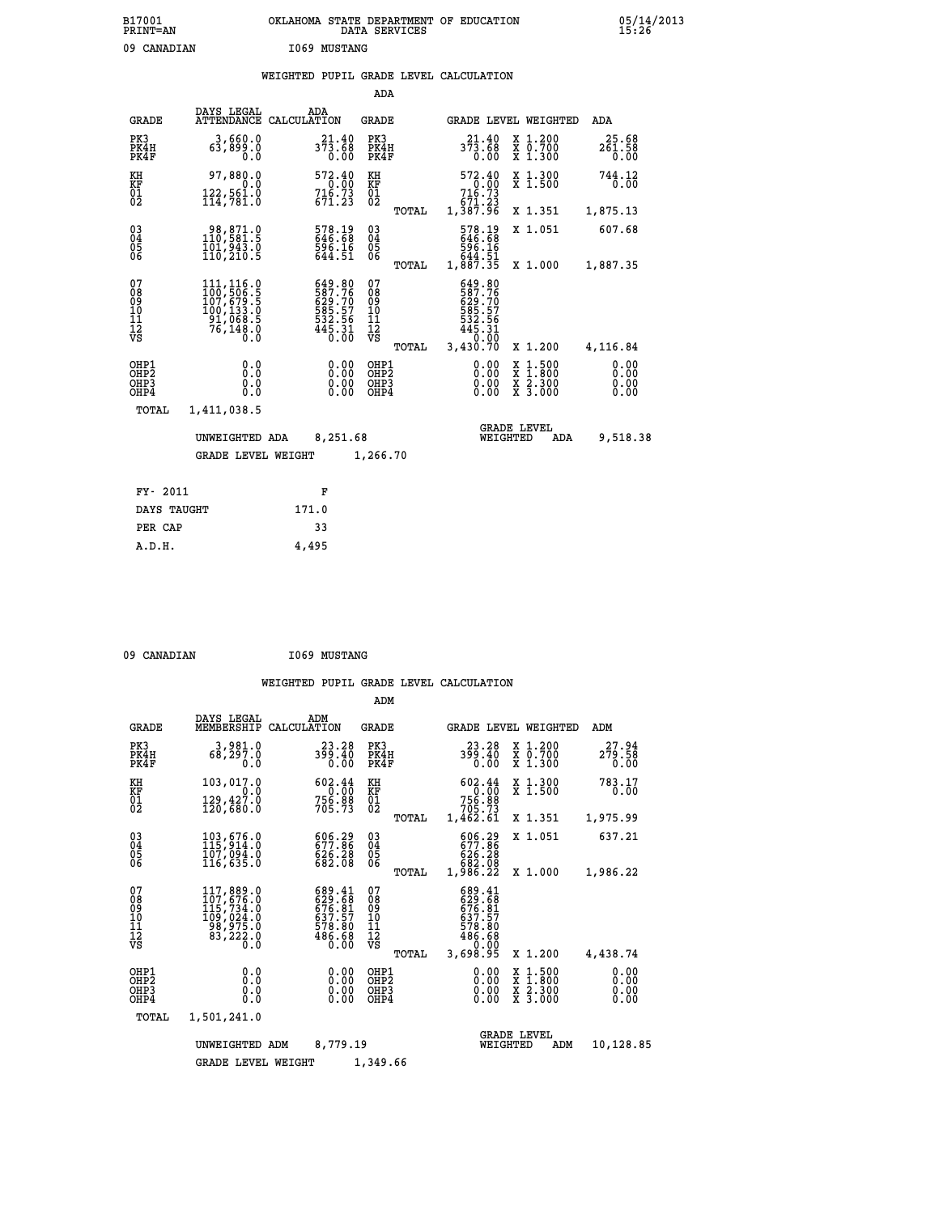# **B17001 OKLAHOMA STATE DEPARTMENT OF EDUCATION 05/14/2013 PRINT=AN DATA SERVICES 15:26** 09 CANADIAN **I069 MUSTANG**

### **WEIGHTED PUPIL GRADE LEVEL CALCULATION**

|                                                    |                                                                                                                                                           |                    |                                                                  | ADA                                    |       |                                                                                                                                         |                                |                                          |                              |
|----------------------------------------------------|-----------------------------------------------------------------------------------------------------------------------------------------------------------|--------------------|------------------------------------------------------------------|----------------------------------------|-------|-----------------------------------------------------------------------------------------------------------------------------------------|--------------------------------|------------------------------------------|------------------------------|
| <b>GRADE</b>                                       | DAYS LEGAL<br><b>ATTENDANCE</b>                                                                                                                           | ADA<br>CALCULATION |                                                                  | GRADE                                  |       |                                                                                                                                         |                                | GRADE LEVEL WEIGHTED                     | <b>ADA</b>                   |
| PK3<br>PK4H<br>PK4F                                | 3,660.0<br>63,899.0<br>0.0                                                                                                                                |                    | 21.40<br>373.68<br>0.00                                          | PK3<br>PK4H<br>PK4F                    |       | 21.40<br>373.68                                                                                                                         | 0.00                           | X 1.200<br>X 0.700<br>X 1.300            | 25.68<br>261.58<br>0.00      |
| KH<br><b>KF</b><br>01<br>02                        | 97,880.0<br>$\frac{122}{114}, \frac{561}{781}.0$                                                                                                          |                    | 572.40<br>$716.70$<br>$716.73$<br>$671.23$                       | KH<br>KF<br>$\overline{01}$            |       | 572.40<br>$\begin{smallmatrix} 2 & 7 & 0 & 0 & 0 \\ 7 & 16 & .73 & 0 & 0 \\ 71 & .23 & 671 & .23 \\ 1 & .387 & .96 & \end{smallmatrix}$ |                                | X 1.300<br>$\overline{x}$ 1.500          | 744.12<br>0.00               |
|                                                    |                                                                                                                                                           |                    |                                                                  |                                        | TOTAL |                                                                                                                                         |                                | X 1.351                                  | 1,875.13                     |
| $\begin{matrix} 03 \\ 04 \\ 05 \\ 06 \end{matrix}$ | 98,871.0<br>110,581.5<br>101,943.0<br>110,210.5                                                                                                           |                    | 578.19<br>646.68<br>596.16<br>644.51                             | $\substack{03 \\ 04}$<br>05<br>06      |       | 578.19<br>646.68<br>596.16<br>644.51<br>1,887.35                                                                                        |                                | X 1.051                                  | 607.68                       |
|                                                    |                                                                                                                                                           |                    |                                                                  |                                        | TOTAL |                                                                                                                                         |                                | X 1.000                                  | 1,887.35                     |
| 07<br>08<br>09<br>11<br>11<br>12<br>VS             | $\begin{smallmatrix} 111, 116\cdot 0\\ 100, 506\cdot 5\\ 107, 679\cdot 5\\ 100, 133\cdot 0\\ 91, 068\cdot 5\\ 76, 148\cdot 0\\ 0\cdot 0\end{smallmatrix}$ |                    | 649.80<br>587.76<br>629.70<br>585.57<br>532.56<br>532.56<br>0.00 | 07<br>08<br>09<br>11<br>11<br>12<br>VS | TOTAL | 649.80<br>587.76<br>629.70<br>585.57<br>532.56<br>445.31<br>40.00<br>3,430.70                                                           |                                | X 1.200                                  | 4,116.84                     |
| OHP1<br>OHP2<br>OHP3<br>OHP4                       | 0.0<br>0.0<br>0.0                                                                                                                                         |                    | 0.00<br>$0.00$<br>0.00                                           | OHP1<br>OHP2<br>OHP3<br>OHP4           |       |                                                                                                                                         | 0.00<br>X<br>X<br>0.00<br>0.00 | $1.500$<br>$1.800$<br>X 2.300<br>X 3.000 | 0.00<br>0.00<br>0.00<br>0.00 |
| TOTAL                                              | 1,411,038.5                                                                                                                                               |                    |                                                                  |                                        |       |                                                                                                                                         |                                |                                          |                              |
|                                                    | UNWEIGHTED ADA                                                                                                                                            |                    | 8,251.68                                                         |                                        |       |                                                                                                                                         | <b>GRADE LEVEL</b><br>WEIGHTED | ADA                                      | 9,518.38                     |
|                                                    | <b>GRADE LEVEL WEIGHT</b>                                                                                                                                 |                    |                                                                  | 1,266.70                               |       |                                                                                                                                         |                                |                                          |                              |
| FY- 2011                                           |                                                                                                                                                           |                    | F                                                                |                                        |       |                                                                                                                                         |                                |                                          |                              |
| DAYS TAUGHT                                        |                                                                                                                                                           | 171.0              |                                                                  |                                        |       |                                                                                                                                         |                                |                                          |                              |
|                                                    |                                                                                                                                                           |                    |                                                                  |                                        |       |                                                                                                                                         |                                |                                          |                              |

| 09 CANADIAN | <b>I069 MUSTANG</b> |
|-------------|---------------------|
|             |                     |

 **PER CAP 33 A.D.H. 4,495**

|                                                       |                                                                          |                                                                   | ADM                                                                             |                                                                              |                                                                                                  |                              |
|-------------------------------------------------------|--------------------------------------------------------------------------|-------------------------------------------------------------------|---------------------------------------------------------------------------------|------------------------------------------------------------------------------|--------------------------------------------------------------------------------------------------|------------------------------|
| <b>GRADE</b>                                          | DAYS LEGAL<br>MEMBERSHIP                                                 | ADM<br>CALCULATION                                                | <b>GRADE</b>                                                                    | <b>GRADE LEVEL WEIGHTED</b>                                                  |                                                                                                  | ADM                          |
| PK3<br>PK4H<br>PK4F                                   | 3,981.0<br>68,297.0<br>0.0                                               | 23.28<br>399.40<br>0.00                                           | PK3<br>PK4H<br>PK4F                                                             | 23.28<br>399.40<br>0.00                                                      | X 1.200<br>X 0.700<br>X 1.300                                                                    | 27.94<br>279.58<br>0.00      |
| KH<br>KF<br>01<br>02                                  | 103,017.0<br>0.0<br>129,427.0<br>120,680.0                               | 602.44<br>0.00<br>756.88<br>705.73                                | KH<br>KF<br>01<br>02                                                            | 602.44<br>$756.88$<br>$705.73$<br>$1,462.61$                                 | X 1.300<br>X 1.500                                                                               | 783.17<br>0.00               |
|                                                       |                                                                          |                                                                   | TOTAL                                                                           |                                                                              | X 1.351                                                                                          | 1,975.99                     |
| 03<br>04<br>05<br>06                                  | 103,676.0<br>115,914.0<br>107,094.0<br>116,635.0                         | 606.29<br>677.86<br>626.28<br>682.08                              | $\substack{03 \\ 04}$<br>$\begin{smallmatrix} 0 & 5 \\ 0 & 6 \end{smallmatrix}$ | 606.29<br>677.86<br>626.28<br>682.08                                         | X 1.051                                                                                          | 637.21                       |
|                                                       |                                                                          |                                                                   | TOTAL                                                                           | 1,986.22                                                                     | X 1.000                                                                                          | 1,986.22                     |
| 07<br>08<br>09<br>11<br>11<br>12<br>VS                | 117,889.0<br>107,676.0<br>ĪĬŚ,734.0<br>109,024.0<br>98,975.0<br>83,222.0 | 689.41<br>629:68<br>676:81<br>6378:57<br>578:80<br>486.68<br>0.00 | 07<br>08<br>09<br>101<br>11<br>12<br>VS<br>TOTAL                                | 689.41<br>629.68<br>676.81<br>637.57<br>578.80<br>486.68<br>0.00<br>3,698.95 | X 1.200                                                                                          | 4,438.74                     |
| OHP1<br>OH <sub>P</sub> 2<br>OH <sub>P3</sub><br>OHP4 | 0.0<br>0.000                                                             | 0.00<br>0.00<br>0.00                                              | OHP1<br>OHP2<br>OHP3<br>OHP4                                                    | $0.00$<br>$0.00$<br>0.00                                                     | $\begin{smallmatrix} x & 1 & 500 \\ x & 1 & 800 \\ x & 2 & 300 \\ x & 3 & 000 \end{smallmatrix}$ | 0.00<br>0.00<br>0.00<br>0.00 |
| TOTAL                                                 | 1,501,241.0                                                              |                                                                   |                                                                                 |                                                                              |                                                                                                  |                              |
|                                                       | UNWEIGHTED ADM                                                           | 8,779.19                                                          |                                                                                 | WEIGHTED                                                                     | <b>GRADE LEVEL</b><br>ADM                                                                        | 10,128.85                    |
|                                                       | <b>GRADE LEVEL WEIGHT</b>                                                |                                                                   | 1,349.66                                                                        |                                                                              |                                                                                                  |                              |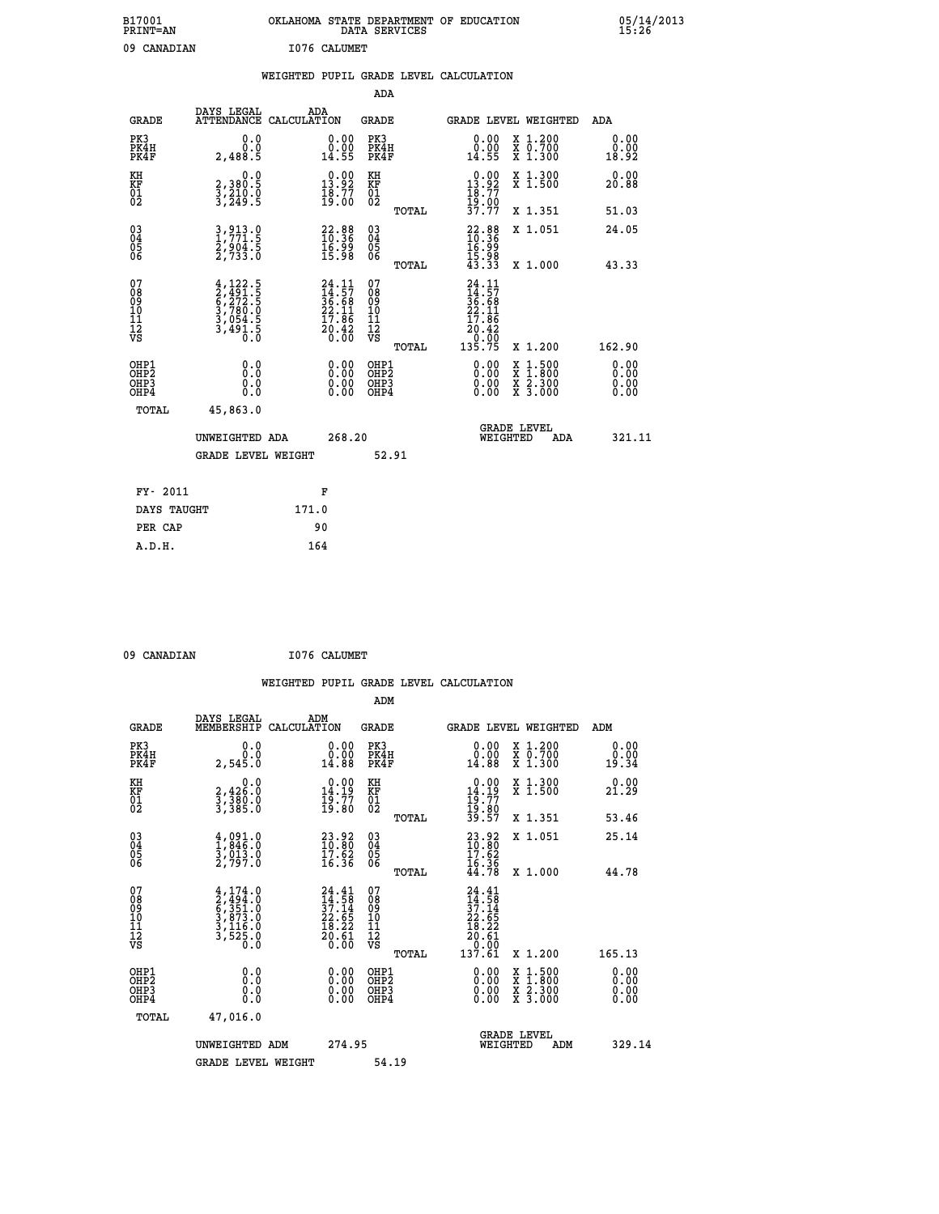| B17001<br><b>PRINT=AN</b> | OKLAHOMA STATE DEPARTMENT OF EDUCATION<br>DATA SERVICES | 05/14/2013<br>15:26 |
|---------------------------|---------------------------------------------------------|---------------------|
| 09<br>CANADIAN            | I076 CALUMET                                            |                     |

|  |  | WEIGHTED PUPIL GRADE LEVEL CALCULATION |
|--|--|----------------------------------------|
|  |  |                                        |

|                                                                  |                                                                                     |                                                                          | ADA                                                 |       |                                                                                                  |                                                                                                                                           |                              |
|------------------------------------------------------------------|-------------------------------------------------------------------------------------|--------------------------------------------------------------------------|-----------------------------------------------------|-------|--------------------------------------------------------------------------------------------------|-------------------------------------------------------------------------------------------------------------------------------------------|------------------------------|
| <b>GRADE</b>                                                     | DAYS LEGAL<br>ATTENDANCE CALCULATION                                                | ADA                                                                      | <b>GRADE</b>                                        |       |                                                                                                  | GRADE LEVEL WEIGHTED                                                                                                                      | ADA                          |
| PK3<br>PK4H<br>PK4F                                              | 0.0<br>0.0<br>2,488.5                                                               | $\begin{smallmatrix} 0.00\\ 0.00\\ 14.55 \end{smallmatrix}$              | PK3<br>PK4H<br>PK4F                                 |       | $\begin{smallmatrix} 0.00\\ 0.00\\ 14.55 \end{smallmatrix}$                                      | X 1.200<br>X 0.700<br>X 1.300                                                                                                             | 0.00<br>0.00<br>18.92        |
| KH<br>KF<br>01<br>02                                             | 0.0<br>2,380.5<br>3,210.0<br>3,249.5                                                | $\begin{smallmatrix} 0.00\\13.92\\18.77\\19.00 \end{smallmatrix}$        | KH<br>KF<br>01<br>02                                |       | $\begin{array}{c} 0.00 \\[-4pt] 13.92 \\[-4pt] 18.77 \\[-4pt] 19.00 \\[-4pt] 37.77 \end{array}$  | X 1.300<br>X 1.500                                                                                                                        | 0.00<br>20.88                |
|                                                                  |                                                                                     |                                                                          |                                                     | TOTAL |                                                                                                  | X 1.351                                                                                                                                   | 51.03                        |
| $\begin{matrix} 03 \\ 04 \\ 05 \\ 06 \end{matrix}$               | 3, 913.0<br>$\frac{2}{2}, \frac{9}{7} \frac{6}{3} \frac{3}{3}$ : 0                  | $22.88$<br>$10.36$<br>16:99<br>15:98                                     | $\begin{array}{c} 03 \\ 04 \\ 05 \\ 06 \end{array}$ |       | $22.88$<br>$10.36$<br>$16.99$<br>$15.98$<br>$15.98$<br>$43.33$                                   | X 1.051                                                                                                                                   | 24.05                        |
|                                                                  |                                                                                     |                                                                          |                                                     | TOTAL |                                                                                                  | X 1.000                                                                                                                                   | 43.33                        |
| 07<br>08<br>09<br>11<br>11<br>12<br>VS                           | $4,122.5$<br>$2,491.5$<br>$6,272.5$<br>$3,780.0$<br>$3,054.5$<br>$3,491.5$<br>$0.0$ | $24.11$<br>$14.57$<br>$36.68$<br>$22.11$<br>$17.86$<br>$20.42$<br>$0.00$ | 07<br>08<br>09<br>11<br>11<br>12<br>VS              |       | $\begin{smallmatrix} 24.11\ 14.57\ 36.68\ 22.11\ 17.86\ 20.42\ 0.005\ 135.75\ \end{smallmatrix}$ |                                                                                                                                           |                              |
|                                                                  |                                                                                     |                                                                          |                                                     | TOTAL |                                                                                                  | X 1.200                                                                                                                                   | 162.90                       |
| OHP1<br>OH <sub>P</sub> <sub>2</sub><br>OH <sub>P3</sub><br>OHP4 | 0.0<br>0.0<br>0.0                                                                   | $\begin{smallmatrix} 0.00 \ 0.00 \ 0.00 \ 0.00 \end{smallmatrix}$        | OHP1<br>OHP <sub>2</sub><br>OHP3<br>OHP4            |       |                                                                                                  | $\begin{smallmatrix} \mathtt{X} & 1\cdot500\\ \mathtt{X} & 1\cdot800\\ \mathtt{X} & 2\cdot300\\ \mathtt{X} & 3\cdot000 \end{smallmatrix}$ | 0.00<br>0.00<br>0.00<br>0.00 |
| <b>TOTAL</b>                                                     | 45,863.0                                                                            |                                                                          |                                                     |       |                                                                                                  |                                                                                                                                           |                              |
|                                                                  | UNWEIGHTED ADA                                                                      | 268.20                                                                   |                                                     |       |                                                                                                  | <b>GRADE LEVEL</b><br>WEIGHTED<br>ADA                                                                                                     | 321.11                       |
|                                                                  | <b>GRADE LEVEL WEIGHT</b>                                                           |                                                                          |                                                     | 52.91 |                                                                                                  |                                                                                                                                           |                              |
|                                                                  |                                                                                     |                                                                          |                                                     |       |                                                                                                  |                                                                                                                                           |                              |
| FY- 2011                                                         |                                                                                     | F                                                                        |                                                     |       |                                                                                                  |                                                                                                                                           |                              |
| DAYS TAUGHT                                                      |                                                                                     | 171.0                                                                    |                                                     |       |                                                                                                  |                                                                                                                                           |                              |
| PER CAP                                                          |                                                                                     | 90                                                                       |                                                     |       |                                                                                                  |                                                                                                                                           |                              |

 **09 CANADIAN I076 CALUMET**

 **A.D.H. 164**

| <b>GRADE</b>                                         | DAYS LEGAL<br>MEMBERSHIP                                                                                              | ADM<br>CALCULATION                                                       | <b>GRADE</b>                                       |       | GRADE LEVEL WEIGHTED                                                                            |                                                                                                                     | ADM                   |  |
|------------------------------------------------------|-----------------------------------------------------------------------------------------------------------------------|--------------------------------------------------------------------------|----------------------------------------------------|-------|-------------------------------------------------------------------------------------------------|---------------------------------------------------------------------------------------------------------------------|-----------------------|--|
| PK3<br>PK4H<br>PK4F                                  | 0.0<br>2,545.0                                                                                                        | $\begin{smallmatrix} 0.00\\ 0.00\\ 14.88 \end{smallmatrix}$              | PK3<br>PK4H<br>PK4F                                |       | $\begin{smallmatrix} 0.00\\ 0.00\\ 14.88 \end{smallmatrix}$                                     | X 1.200<br>X 0.700<br>X 1.300                                                                                       | 0.00<br>0.00<br>19.34 |  |
| KH<br>KF<br>01<br>02                                 | 0.0<br>2,426:0<br>3,380:0<br>3,385:0                                                                                  | $\begin{smallmatrix} 0.00\\14.19\\19.77\\19.80 \end{smallmatrix}$        | KH<br>KF<br>01<br>02                               |       | $\begin{array}{c} 0.00 \\ 14.19 \\ 19.77 \\ 19.80 \\ 39.57 \end{array}$                         | X 1.300<br>X 1.500                                                                                                  | 0.00<br>21.29         |  |
|                                                      |                                                                                                                       |                                                                          |                                                    | TOTAL |                                                                                                 | X 1.351                                                                                                             | 53.46                 |  |
| $\begin{matrix} 03 \\ 04 \\ 05 \\ 06 \end{matrix}$   | $\begin{smallmatrix} 4 \ , \ 091 \ . \ 1 \ , \ 846 \ . \ 0 \ 3 \ , \ 013 \ . \ 0 \ 2 \ , \ 797 \ . \end{smallmatrix}$ | $\begin{smallmatrix} 23.92\ 10.80\ 17.62\ 16.36 \end{smallmatrix}$       | $\begin{matrix} 03 \\ 04 \\ 05 \\ 06 \end{matrix}$ |       | $23.92$<br>$10.80$<br>$17.62$<br>$16.36$<br>$44.78$                                             | X 1.051                                                                                                             | 25.14                 |  |
|                                                      |                                                                                                                       |                                                                          |                                                    | TOTAL |                                                                                                 | X 1.000                                                                                                             | 44.78                 |  |
| 07<br>089<br>090<br>1112<br>VS                       | $4,174.0$<br>$2,494.0$<br>$6,351.0$<br>$3,873.0$<br>$3,116.0$<br>$3,525.0$<br>$0.0$                                   | $24.41$<br>$14.58$<br>$37.14$<br>$22.65$<br>$18.22$<br>$20.61$<br>$0.00$ | 07<br>08<br>09<br>001<br>11<br>11<br>12<br>VS      | TOTAL | $\begin{smallmatrix} 24.41\ 14.58\ 37.14\ 22.65\ 18.22\ 20.61\ 0.00\ 137.61\ \end{smallmatrix}$ | X 1.200                                                                                                             | 165.13                |  |
| OHP1<br>OHP <sub>2</sub><br>OHP3<br>OH <sub>P4</sub> | 0.0<br>0.0<br>0.0                                                                                                     | $0.00$<br>$0.00$<br>0.00                                                 | OHP1<br>OHP <sub>2</sub><br>OHP3<br>OHP4           |       |                                                                                                 | $\begin{array}{l} \mathtt{X} & 1.500 \\ \mathtt{X} & 1.800 \\ \mathtt{X} & 2.300 \\ \mathtt{X} & 3.000 \end{array}$ | 0.00<br>0.00<br>0.00  |  |
| TOTAL                                                | 47,016.0                                                                                                              |                                                                          |                                                    |       |                                                                                                 |                                                                                                                     |                       |  |
|                                                      | UNWEIGHTED ADM                                                                                                        | 274.95                                                                   |                                                    |       | WEIGHTED                                                                                        | <b>GRADE LEVEL</b><br>ADM                                                                                           | 329.14                |  |
|                                                      | <b>GRADE LEVEL WEIGHT</b>                                                                                             |                                                                          | 54.19                                              |       |                                                                                                 |                                                                                                                     |                       |  |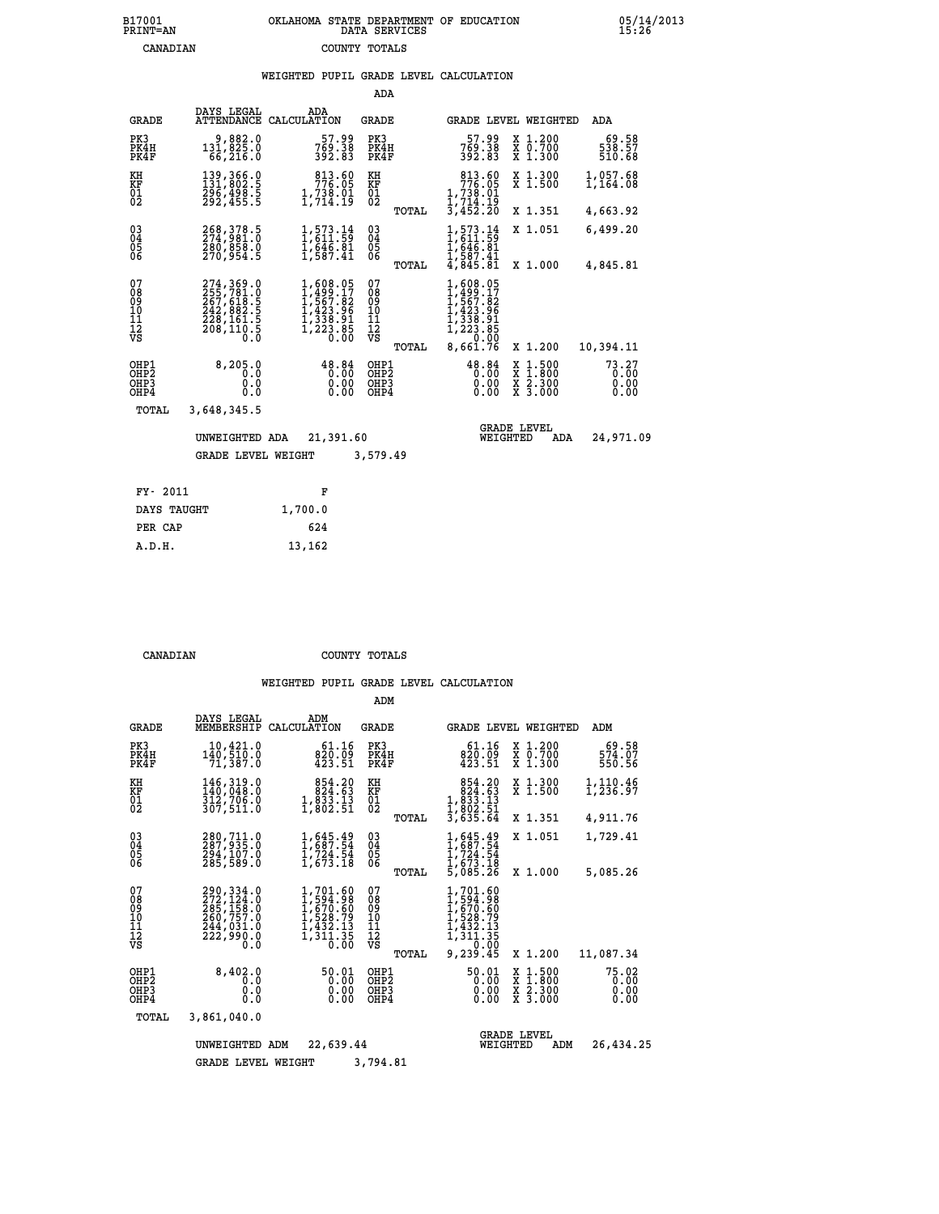## **B17001 OKLAHOMA STATE DEPARTMENT OF EDUCATION 05/14/2013 PRINT=AN DATA SERVICES 15:26 CANADIAN COUNTY TOTALS**

|  |  | WEIGHTED PUPIL GRADE LEVEL CALCULATION |
|--|--|----------------------------------------|
|  |  |                                        |

|                                                                    |                                                    |                                                                                                                 | ADA                                       |       |                                                                                                                                                                          |                                |                                                                                       |                               |
|--------------------------------------------------------------------|----------------------------------------------------|-----------------------------------------------------------------------------------------------------------------|-------------------------------------------|-------|--------------------------------------------------------------------------------------------------------------------------------------------------------------------------|--------------------------------|---------------------------------------------------------------------------------------|-------------------------------|
| <b>GRADE</b>                                                       | DAYS LEGAL<br>ATTENDANCE                           | ADA<br>CALCULATION                                                                                              | GRADE                                     |       |                                                                                                                                                                          |                                | GRADE LEVEL WEIGHTED                                                                  | ADA                           |
| PK3<br>PK4H<br>PK4F                                                | 9,882.0<br>131,825.0<br>66,216.0                   | 57.99<br>769.38<br>392.83                                                                                       | PK3<br>PK4H<br>PK4F                       |       | 57.99<br>769.38<br>392.83                                                                                                                                                |                                | X 1.200<br>X 0.700<br>X 1.300                                                         | 69.58<br>538.57<br>510.68     |
| KH<br>KF<br>$\overline{01}$                                        | 139,366.0<br>131,802.5<br>296,498.5<br>292,455.5   | 813.60<br>776.05<br>$\frac{1}{2}, \frac{738}{714}.$ 19                                                          | KH<br>KF<br>$\overline{01}$               |       | 813.60<br>776.05<br>1,738.01<br>1,714.19<br>3,452.20                                                                                                                     |                                | X 1.300<br>$\overline{x}$ 1.500                                                       | 1,057.68<br>1,164.08          |
|                                                                    |                                                    |                                                                                                                 |                                           | TOTAL |                                                                                                                                                                          |                                | X 1.351                                                                               | 4,663.92                      |
| $\begin{smallmatrix} 03 \\[-4pt] 04 \end{smallmatrix}$<br>05<br>06 | 268, 378.5<br>274, 981.0<br>380,858.0<br>270,954.5 | $1, 573.14$<br>$1, 611.59$<br>$1, 646.81$<br>$1, 587.41$                                                        | $\substack{03 \\ 04}$<br>05<br>06         |       | 1,573.14<br>1,611.59<br>$\frac{1}{6}$ , $\frac{6}{6}$ , $\frac{6}{6}$ , $\frac{8}{6}$<br>$\frac{1}{6}$ , $\frac{5}{6}$<br>$\frac{8}{6}$ , $\frac{8}{6}$<br>$\frac{1}{6}$ |                                | X 1.051                                                                               | 6,499.20                      |
|                                                                    |                                                    |                                                                                                                 |                                           | TOTAL |                                                                                                                                                                          |                                | X 1.000                                                                               | 4,845.81                      |
| 07<br>08<br>09<br>11<br>11<br>12<br>VS                             |                                                    | $\begin{smallmatrix} 1,608.05\\ 1,499.17\\ 1,567.82\\ 1,423.96\\ 1,338.91\\ 1,223.85 \end{smallmatrix}$<br>0.00 | 07<br>089<br>101<br>111<br>VS             |       | 1,608.05<br>$1,499.17$<br>$1,567.82$<br>$1,423.96$<br>$1,338.91$<br>$1,223.85$<br>$0.00$                                                                                 |                                |                                                                                       |                               |
|                                                                    |                                                    |                                                                                                                 |                                           | TOTAL | 8,661.76                                                                                                                                                                 |                                | X 1.200                                                                               | 10,394.11                     |
| OHP1<br>OHP2<br>OHP3<br>OHP4                                       | 8,205.0<br>0.0<br>0.0<br>0.0                       | 48.84<br>0.00<br>0.00<br>0.00                                                                                   | OHP1<br>OH <sub>P</sub> 2<br>OHP3<br>OHP4 |       | 48.84<br>0.00<br>0.00<br>0.00                                                                                                                                            |                                | $\frac{x}{x}$ $\frac{1.500}{1.800}$<br>$\frac{\overline{x}}{x}$ $\frac{2.300}{3.000}$ | 73.27<br>0.00<br>0.00<br>0.00 |
| TOTAL                                                              | 3,648,345.5                                        |                                                                                                                 |                                           |       |                                                                                                                                                                          |                                |                                                                                       |                               |
|                                                                    | UNWEIGHTED ADA                                     | 21,391.60                                                                                                       |                                           |       |                                                                                                                                                                          | <b>GRADE LEVEL</b><br>WEIGHTED | ADA                                                                                   | 24,971.09                     |
|                                                                    | <b>GRADE LEVEL WEIGHT</b>                          |                                                                                                                 | 3,579.49                                  |       |                                                                                                                                                                          |                                |                                                                                       |                               |
|                                                                    |                                                    |                                                                                                                 |                                           |       |                                                                                                                                                                          |                                |                                                                                       |                               |
| FY- 2011                                                           |                                                    | F                                                                                                               |                                           |       |                                                                                                                                                                          |                                |                                                                                       |                               |
| DAYS TAUGHT                                                        |                                                    | 1,700.0                                                                                                         |                                           |       |                                                                                                                                                                          |                                |                                                                                       |                               |

**PER CAP** 624  **A.D.H. 13,162**

 **CANADIAN COUNTY TOTALS**

|                                                    |                                                                                   |                                                                                     | ADM                                           |                                                                                                  |                                          |                               |
|----------------------------------------------------|-----------------------------------------------------------------------------------|-------------------------------------------------------------------------------------|-----------------------------------------------|--------------------------------------------------------------------------------------------------|------------------------------------------|-------------------------------|
| <b>GRADE</b>                                       | DAYS LEGAL<br>MEMBERSHIP                                                          | ADM<br>CALCULATION                                                                  | GRADE                                         | GRADE LEVEL WEIGHTED                                                                             |                                          | ADM                           |
| PK3<br>PK4H<br>PK4F                                | 10,421.0<br>140,510.0<br>71,387.0                                                 | 61.16<br>820.09<br>423.51                                                           | PK3<br>PK4H<br>PK4F                           | 61.16<br>820.09<br>423.51                                                                        | X 1.200<br>X 0.700<br>X 1.300            | 69.58<br>574.07<br>550.56     |
| KH<br>KF<br>01<br>02                               | 146,319.0<br>$\frac{140}{312}$ , 706.0<br>307,511.0                               | 854.20<br>824.63<br>$\frac{1}{2}$ , $\frac{8}{3}$ , $\frac{3}{2}$ , $\frac{13}{51}$ | KH<br>KF<br>$^{01}_{02}$                      | $\begin{smallmatrix}854.20\\824.63\\1,833.13\\1,802.51\end{smallmatrix}$                         | X 1.300<br>X 1.500                       | 1,110.46<br>1,236.97          |
|                                                    |                                                                                   |                                                                                     | TOTAL                                         | 3,635.64                                                                                         | X 1.351                                  | 4,911.76                      |
| $\begin{matrix} 03 \\ 04 \\ 05 \\ 06 \end{matrix}$ | 280, 711.0<br>287, 935.0<br>294,107.0<br>285,589.0                                | $\frac{1}{1}$ , 645.49<br>$\frac{1}{2}, \frac{7}{24}$ : 54<br>1,673.18              | $^{03}_{04}$<br>05                            | 1,645.49<br>1,687.54<br>$\frac{1}{2}, \frac{7}{24}$<br>$\frac{2}{4}$ , 673.18<br>5,085.26        | X 1.051                                  | 1,729.41                      |
|                                                    |                                                                                   |                                                                                     | TOTAL                                         |                                                                                                  | X 1.000                                  | 5,085.26                      |
| 07<br>08<br>09<br>11<br>11<br>12<br>VS             | 290,334.0<br>272,124.0<br>285,158:0<br>260,757.0<br>244,031.0<br>222,990.0<br>0.0 | 1,701.60<br>1,594.98<br>1,670.60<br>1,528.79<br>ī,432.13<br>1,311.35<br>0.00        | 07<br>089<br>101<br>111<br>VS<br><b>TOTAL</b> | 1,701.60<br>1,594.98<br>$1,528.79$<br>$1,528.79$<br>$1,432.13$<br>$1,311.35$<br>0.00<br>9,239.45 | X 1.200                                  | 11,087.34                     |
| OHP1<br>OH <sub>P</sub> 2<br>OHP3<br>OHP4          | 8,402.0<br>0.0<br>0.0<br>0.0                                                      | 50.01<br>0.00<br>0.00<br>0.00                                                       | OHP1<br>OH <sub>P</sub> 2<br>OHP3<br>OHP4     | 50.01<br>0.00<br>0.00<br>0.00                                                                    | X 1:500<br>X 1:800<br>X 2:300<br>X 3:000 | 75.02<br>0.00<br>0.00<br>0.00 |
| TOTAL                                              | 3,861,040.0                                                                       |                                                                                     |                                               |                                                                                                  |                                          |                               |
|                                                    | UNWEIGHTED                                                                        | 22,639.44<br>ADM                                                                    |                                               | WEIGHTED                                                                                         | <b>GRADE LEVEL</b><br>ADM                | 26,434.25                     |
|                                                    | <b>GRADE LEVEL WEIGHT</b>                                                         |                                                                                     | 3,794.81                                      |                                                                                                  |                                          |                               |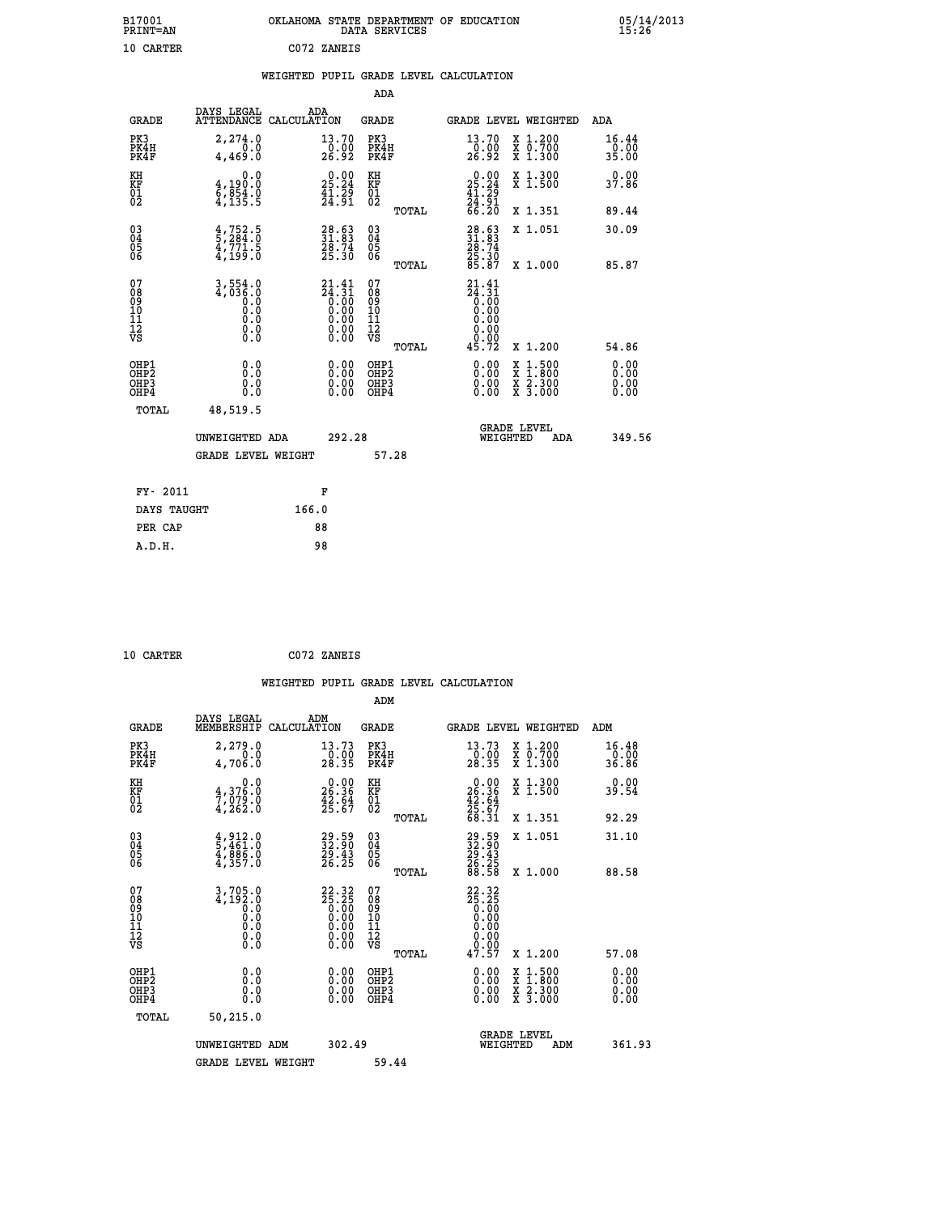| B17001<br><b>PRINT=AN</b> | OKLAHOMA STATE DEPARTMENT OF EDUCATION<br>DATA SERVICES |  |
|---------------------------|---------------------------------------------------------|--|
| 10 CARTER                 | C072 ZANEIS                                             |  |

|                                                                    |                                                                                | WEIGHTED PUPIL GRADE LEVEL CALCULATION                                                                                 |                                           |                                                                               |                                                                                                  |                              |
|--------------------------------------------------------------------|--------------------------------------------------------------------------------|------------------------------------------------------------------------------------------------------------------------|-------------------------------------------|-------------------------------------------------------------------------------|--------------------------------------------------------------------------------------------------|------------------------------|
|                                                                    |                                                                                |                                                                                                                        | ADA                                       |                                                                               |                                                                                                  |                              |
| <b>GRADE</b>                                                       | DAYS LEGAL                                                                     | ADA<br>ATTENDANCE CALCULATION                                                                                          | <b>GRADE</b>                              | GRADE LEVEL WEIGHTED                                                          |                                                                                                  | ADA                          |
| PK3<br>PK4H<br>PK4F                                                | 2,274.0<br>0.0<br>4,469.0                                                      | 13.70<br>$\frac{0.00}{26.92}$                                                                                          | PK3<br>PK4H<br>PK4F                       | 13.70<br>$\frac{70.00}{26.92}$                                                | X 1.200<br>X 0.700<br>X 1.300                                                                    | 16.44<br>0.00<br>35.00       |
| KH<br><b>KF</b><br>01<br>02                                        | 0.0<br>4,190:0<br>6,854.0<br>4,135:5                                           | $25.24$<br>$41.29$<br>$41.39$                                                                                          | KH<br><b>KF</b><br>01<br>02               | $\begin{smallmatrix} 0.00\\ 25.24\\ 41.29\\ 24.91\\ 66.20 \end{smallmatrix}$  | X 1.300<br>X 1.500                                                                               | 0.00<br>37.86                |
|                                                                    |                                                                                |                                                                                                                        | TOTAL                                     |                                                                               | X 1.351                                                                                          | 89.44                        |
| $\begin{smallmatrix} 03 \\[-4pt] 04 \end{smallmatrix}$<br>Ŏ5<br>06 | $\frac{4}{5}$ , $\frac{752}{284}$ : $\frac{5}{0}$<br>$\frac{47771.5}{47199.0}$ | 31.63<br>$\frac{28.74}{25.30}$                                                                                         | $\substack{03 \\ 04}$<br>05               | 28.63<br>31.83<br>28.74<br>25.30<br>85.87                                     | X 1.051                                                                                          | 30.09                        |
|                                                                    |                                                                                |                                                                                                                        | ŌĞ<br>TOTAL                               |                                                                               | X 1.000                                                                                          | 85.87                        |
| 07<br>08<br>09<br>11<br>11<br>12<br>VS                             | 3,554.0<br>4,036.0<br>0:0<br>0:0<br>0:0<br>0:0                                 | $21.41$<br>$24.31$<br>$0.00$<br>$0.00$<br>$0.00$<br>$\begin{smallmatrix} 0.00 & 0.00 \\ 0.00 & 0.00 \end{smallmatrix}$ | 07<br>08<br>09<br>11<br>11<br>12<br>VS    | 21.41<br>$\begin{array}{c} 24.31 \\ 0.00 \\ 0.00 \end{array}$<br>0.00<br>0.00 |                                                                                                  |                              |
|                                                                    |                                                                                |                                                                                                                        | TOTAL                                     | 45.72                                                                         | X 1.200                                                                                          | 54.86                        |
| OHP1<br>OH <sub>P</sub> 2<br>OHP3<br>OHP4                          | 0.0<br>0.0<br>0.0                                                              | 0.00<br>0.00<br>0.00                                                                                                   | OHP1<br>OH <sub>P</sub> 2<br>OHP3<br>OHP4 | 0.00<br>0.00<br>0.00                                                          | $\begin{smallmatrix} x & 1 & 500 \\ x & 1 & 800 \\ x & 2 & 300 \\ x & 3 & 000 \end{smallmatrix}$ | 0.00<br>0.00<br>0.00<br>0.00 |
| TOTAL                                                              | 48,519.5                                                                       |                                                                                                                        |                                           |                                                                               |                                                                                                  |                              |
|                                                                    | 292.28<br>UNWEIGHTED ADA                                                       |                                                                                                                        |                                           | <b>GRADE LEVEL</b><br>WEIGHTED<br>ADA                                         |                                                                                                  | 349.56                       |
|                                                                    | <b>GRADE LEVEL WEIGHT</b>                                                      |                                                                                                                        | 57.28                                     |                                                                               |                                                                                                  |                              |
| FY- 2011                                                           |                                                                                | F                                                                                                                      |                                           |                                                                               |                                                                                                  |                              |
| DAYS TAUGHT                                                        |                                                                                | 166.0                                                                                                                  |                                           |                                                                               |                                                                                                  |                              |
| PER CAP                                                            |                                                                                | 88                                                                                                                     |                                           |                                                                               |                                                                                                  |                              |

 **10 CARTER C072 ZANEIS**

 **A.D.H. 98**

| <b>GRADE</b>                                       | DAYS LEGAL<br>MEMBERSHIP                                                                                                 | ADM<br>CALCULATION                           | <b>GRADE</b>                                        |       |                                                                               | GRADE LEVEL WEIGHTED                     | ADM                     |  |
|----------------------------------------------------|--------------------------------------------------------------------------------------------------------------------------|----------------------------------------------|-----------------------------------------------------|-------|-------------------------------------------------------------------------------|------------------------------------------|-------------------------|--|
| PK3<br>PK4H<br>PK4F                                | 2,279.0<br>4,706.0                                                                                                       | 13.73<br>$\frac{0.00}{28.35}$                | PK3<br>PK4H<br>PK4F                                 |       | 13.73<br>$\frac{0.00}{28.35}$                                                 | X 1.200<br>X 0.700<br>X 1.300            | 16.48<br>-ŏ:ŌŎ<br>36.86 |  |
| KH<br>KF<br>01<br>02                               | 0.0<br>$\frac{4}{7}, \frac{376}{079}$ .0<br>4,262.0                                                                      | $26.36$<br>$42.64$<br>$42.64$<br>$25.67$     | KH<br>KF<br>01<br>02                                |       | $\begin{smallmatrix} 0.00\\ 26.36\\ 42.64\\ 25.67\\ 68.31 \end{smallmatrix}$  | X 1.300<br>X 1.500                       | 0.00<br>39.54           |  |
|                                                    |                                                                                                                          |                                              |                                                     | TOTAL |                                                                               | X 1.351                                  | 92.29                   |  |
| $\begin{matrix} 03 \\ 04 \\ 05 \\ 06 \end{matrix}$ | $\begin{smallmatrix} 4 & 9 & 1 & 2 & 0 \\ 5 & 4 & 6 & 1 & 0 \\ 4 & 8 & 8 & 6 & 0 \\ 4 & 3 & 5 & 7 & 0 \end{smallmatrix}$ | 29.59<br>32.90<br>29.43<br>26.25             | $\begin{array}{c} 03 \\ 04 \\ 05 \\ 06 \end{array}$ |       | $\begin{smallmatrix} 29.59\\ 32.90\\ 29.43\\ 26.25\\ 88.58 \end{smallmatrix}$ | X 1.051                                  | 31.10                   |  |
|                                                    |                                                                                                                          |                                              |                                                     | TOTAL |                                                                               | X 1.000                                  | 88.58                   |  |
| 07<br>089<br>090<br>1112<br>VS                     |                                                                                                                          | $22.32\n25.25\n0.00\n0.00\n0.00\n0.00\n0.00$ | 07<br>08<br>09<br>11<br>11<br>12<br>VS              | TOTAL | $22.325\n25.25\n0.00\n0.00\n0.00\n0.00\n0.00\n47.57$                          | X 1.200                                  | 57.08                   |  |
| OHP1<br>OHP2<br>OHP3<br>OHP4                       | 0.0<br>$\begin{smallmatrix} 0.0 & 0 \ 0.0 & 0 \end{smallmatrix}$                                                         |                                              | OHP1<br>OHP2<br>OHP3<br>OHP4                        |       |                                                                               | X 1:500<br>X 1:800<br>X 2:300<br>X 3:000 | 0.00<br>0.00<br>0.00    |  |
| TOTAL                                              | 50,215.0                                                                                                                 |                                              |                                                     |       |                                                                               |                                          |                         |  |
|                                                    | UNWEIGHTED                                                                                                               | ADM                                          | 302.49                                              |       | WEIGHTED                                                                      | <b>GRADE LEVEL</b><br>ADM                | 361.93                  |  |
|                                                    | <b>GRADE LEVEL WEIGHT</b>                                                                                                |                                              | 59.44                                               |       |                                                                               |                                          |                         |  |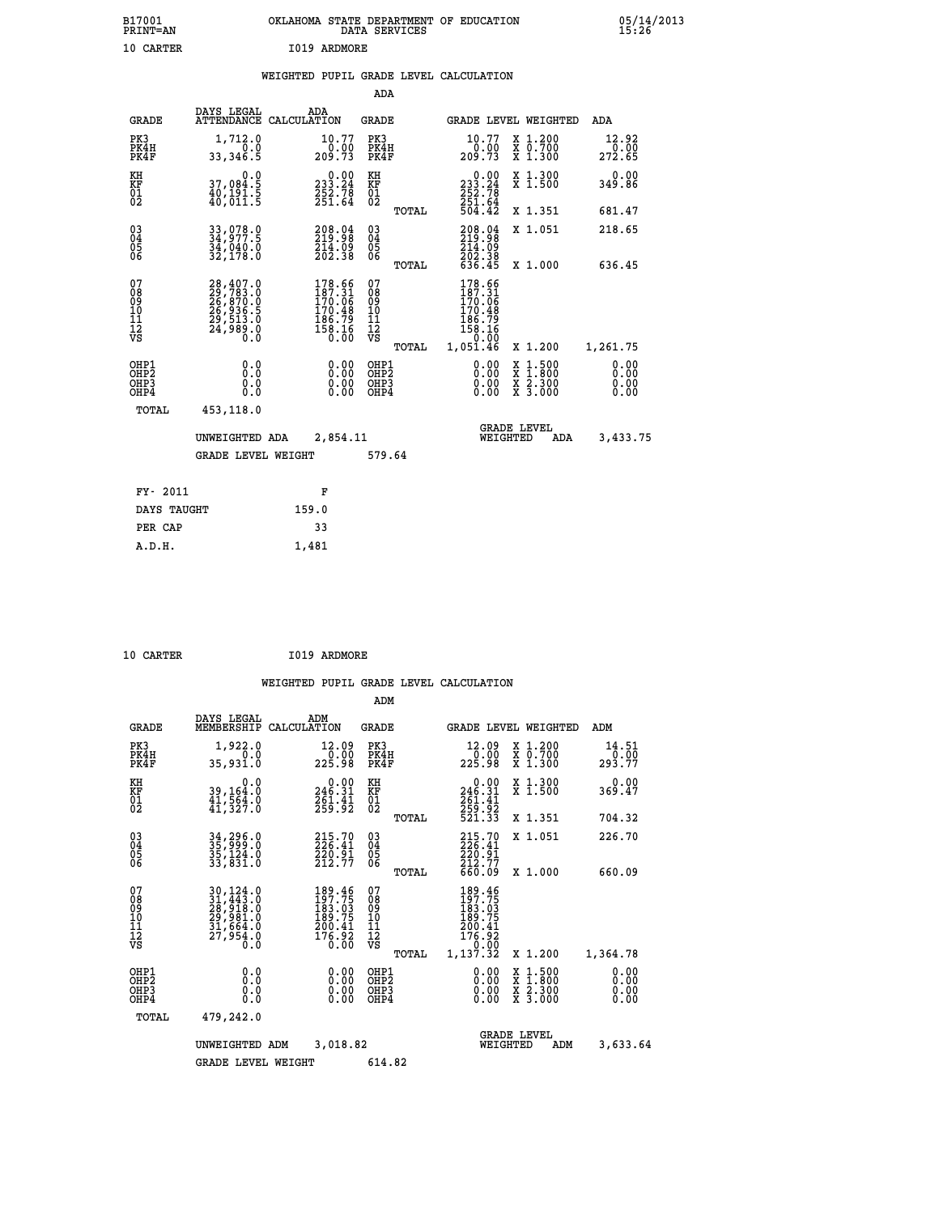| B17001<br><b>PRINT=AN</b> | OKLAHOMA STATE DEPARTMENT OF EDUCATION<br>DATA SERVICES | 05/14/2013<br>15:26 |
|---------------------------|---------------------------------------------------------|---------------------|
| 10 CARTER                 | 1019 ARDMORE                                            |                     |

|  |  | WEIGHTED PUPIL GRADE LEVEL CALCULATION |
|--|--|----------------------------------------|
|  |  |                                        |

|                                           |                                                                                           |                                                                                                    | ADA                                             |                                                                                  |                                                                                                  |                              |
|-------------------------------------------|-------------------------------------------------------------------------------------------|----------------------------------------------------------------------------------------------------|-------------------------------------------------|----------------------------------------------------------------------------------|--------------------------------------------------------------------------------------------------|------------------------------|
| <b>GRADE</b>                              | DAYS LEGAL                                                                                | ADA<br>ATTENDANCE CALCULATION                                                                      | GRADE                                           |                                                                                  | GRADE LEVEL WEIGHTED                                                                             | ADA                          |
| PK3<br>PK4H<br>PK4F                       | 1,712.0<br>0.0<br>33,346.5                                                                | 10.77<br>209.73                                                                                    | PK3<br>PK4H<br>PK4F                             | 10.77<br>0.00<br>73.209                                                          | X 1.200<br>X 0.700<br>X 1.300                                                                    | 12.92<br>272.65              |
| KH<br>KF<br>01<br>02                      | 0.0<br>37,084.5<br>40,191.5<br>40,011.5                                                   | $\begin{smallmatrix} 0.00\\ 233.24\\ 252.78\\ 251.64 \end{smallmatrix}$                            | KH<br>KF<br>01<br>02                            | $\begin{smallmatrix} &0.00\\ 233.24\\ 252.78\\ 251.64\\ 504.42\end{smallmatrix}$ | X 1.300<br>X 1.500                                                                               | 0.00<br>349.86               |
|                                           |                                                                                           |                                                                                                    | TOTAL                                           |                                                                                  | X 1.351                                                                                          | 681.47                       |
| 03<br>04<br>05<br>06                      | 33,078.0<br>34,977.5<br>34,040.0<br>32,178.0                                              | 208.04<br>219.98<br>214.09<br>202.38                                                               | 03<br>04<br>05<br>06                            | 208.04<br>$\frac{214.09}{202.38}$<br>636.45                                      | X 1.051                                                                                          | 218.65                       |
|                                           |                                                                                           |                                                                                                    | TOTAL                                           |                                                                                  | X 1.000                                                                                          | 636.45                       |
| 07<br>08<br>09<br>10<br>11<br>12<br>VS    | $28,407.0$<br>$29,783.0$<br>$26,870.0$<br>$26,936.5$<br>$29,513.0$<br>$24,989.0$<br>$0.0$ | $\begin{smallmatrix} 178.66\\ 187.31\\ 170.06\\ 170.48\\ 186.79\\ 186.16\\ 0.00 \end{smallmatrix}$ | 07<br>08<br>09<br>11<br>11<br>12<br>VS<br>TOTAL | 178.66<br>187.31<br>$170.06$<br>170.48<br>186.79<br>158.16<br>159.00<br>1,051.46 | X 1.200                                                                                          | 1,261.75                     |
| OHP1<br>OH <sub>P</sub> 2<br>OHP3<br>OHP4 | 0.0<br>0.0<br>$0.\overline{0}$                                                            | 0.00<br>0.00                                                                                       | OHP1<br>OHP <sub>2</sub><br>OHP3<br>OHP4        | 0.00<br>0.00<br>0.00                                                             | $\begin{smallmatrix} x & 1 & 500 \\ x & 1 & 800 \\ x & 2 & 300 \\ x & 3 & 000 \end{smallmatrix}$ | 0.00<br>0.00<br>0.00<br>0.00 |
| TOTAL                                     | 453,118.0                                                                                 |                                                                                                    |                                                 |                                                                                  |                                                                                                  |                              |
|                                           | UNWEIGHTED ADA<br><b>GRADE LEVEL WEIGHT</b>                                               | 2,854.11                                                                                           | 579.64                                          | WEIGHTED                                                                         | <b>GRADE LEVEL</b><br>ADA                                                                        | 3,433.75                     |
|                                           |                                                                                           |                                                                                                    |                                                 |                                                                                  |                                                                                                  |                              |
| FY- 2011                                  |                                                                                           | F                                                                                                  |                                                 |                                                                                  |                                                                                                  |                              |
|                                           | DAYS TAUGHT                                                                               | 159.0                                                                                              |                                                 |                                                                                  |                                                                                                  |                              |
| PER CAP                                   |                                                                                           | 33                                                                                                 |                                                 |                                                                                  |                                                                                                  |                              |
| A.D.H.                                    |                                                                                           | 1,481                                                                                              |                                                 |                                                                                  |                                                                                                  |                              |

| 10 CARTER | I019 ARDMORE |
|-----------|--------------|

|                                                       |                                                                                  |                                                                           | ADM                                    |        |                                                                              |                                                                             |                              |
|-------------------------------------------------------|----------------------------------------------------------------------------------|---------------------------------------------------------------------------|----------------------------------------|--------|------------------------------------------------------------------------------|-----------------------------------------------------------------------------|------------------------------|
| <b>GRADE</b>                                          | DAYS LEGAL<br>MEMBERSHIP                                                         | ADM<br>CALCULATION                                                        | <b>GRADE</b>                           |        |                                                                              | GRADE LEVEL WEIGHTED                                                        | ADM                          |
| PK3<br>PK4H<br>PK4F                                   | 1,922.0<br>0.0<br>35,931.0                                                       | 12.09<br>225.98                                                           | PK3<br>PK4H<br>PK4F                    |        | 12.09<br>00.01<br>225.98                                                     | $\begin{smallmatrix} x & 1.200 \\ x & 0.700 \end{smallmatrix}$<br>$X$ 1.300 | 14.51<br>0.00<br>293.77      |
| KH<br>KF<br>01<br>02                                  | 0.0<br>39,164:0<br>41,564.0<br>41,327:0                                          | $0.00$<br>246.31<br>$\frac{261.41}{259.92}$                               | KH<br>KF<br>01<br>02                   |        | 0.00<br>246.31<br>$\frac{261.41}{259.92}$<br>521.33                          | X 1.300<br>X 1.500                                                          | 0.00<br>369.47               |
|                                                       |                                                                                  |                                                                           |                                        | TOTAL  |                                                                              | X 1.351                                                                     | 704.32                       |
| 03<br>04<br>05<br>06                                  | 34, 296.0<br>35, 999.0<br>35, 124.0<br>33,831.0                                  | $\begin{smallmatrix} 215.70\\ 226.41\\ 220.91\\ 212.77 \end{smallmatrix}$ | $\substack{03 \\ 04}$<br>05<br>06      |        | 215.70<br>226.41<br>220.91<br>212.77                                         | X 1.051                                                                     | 226.70                       |
|                                                       |                                                                                  |                                                                           |                                        | TOTAL  | 660.09                                                                       | X 1.000                                                                     | 660.09                       |
| 07<br>08<br>09<br>101<br>112<br>VS                    | 30, 124.0<br>31, 443.0<br>28, 918.0<br>29, 981.0<br>31, 664.0<br>27,954.0<br>0.0 | 189.46<br>197.75<br>183.03<br>189.75<br>200.41<br>$\frac{176.92}{0.00}$   | 07<br>08<br>09<br>11<br>11<br>12<br>VS | TOTAL  | 189.46<br>197.75<br>183.03<br>189.75<br>200.41<br>176.92<br>0.00<br>1,137.32 | X 1.200                                                                     | 1,364.78                     |
| OHP1<br>OH <sub>P</sub> 2<br>OH <sub>P3</sub><br>OHP4 | 0.0<br>0.000                                                                     | $0.00$<br>$0.00$<br>0.00                                                  | OHP1<br>OHP2<br>OHP3<br>OHP4           |        | $0.00$<br>$0.00$<br>0.00                                                     | X 1:500<br>X 1:800<br>X 2:300<br>X 3:000                                    | 0.00<br>0.00<br>0.00<br>0.00 |
| TOTAL                                                 | 479,242.0                                                                        |                                                                           |                                        |        |                                                                              |                                                                             |                              |
|                                                       | UNWEIGHTED ADM                                                                   | 3,018.82                                                                  |                                        |        | WEIGHTED                                                                     | <b>GRADE LEVEL</b><br>ADM                                                   | 3,633.64                     |
|                                                       | <b>GRADE LEVEL WEIGHT</b>                                                        |                                                                           |                                        | 614.82 |                                                                              |                                                                             |                              |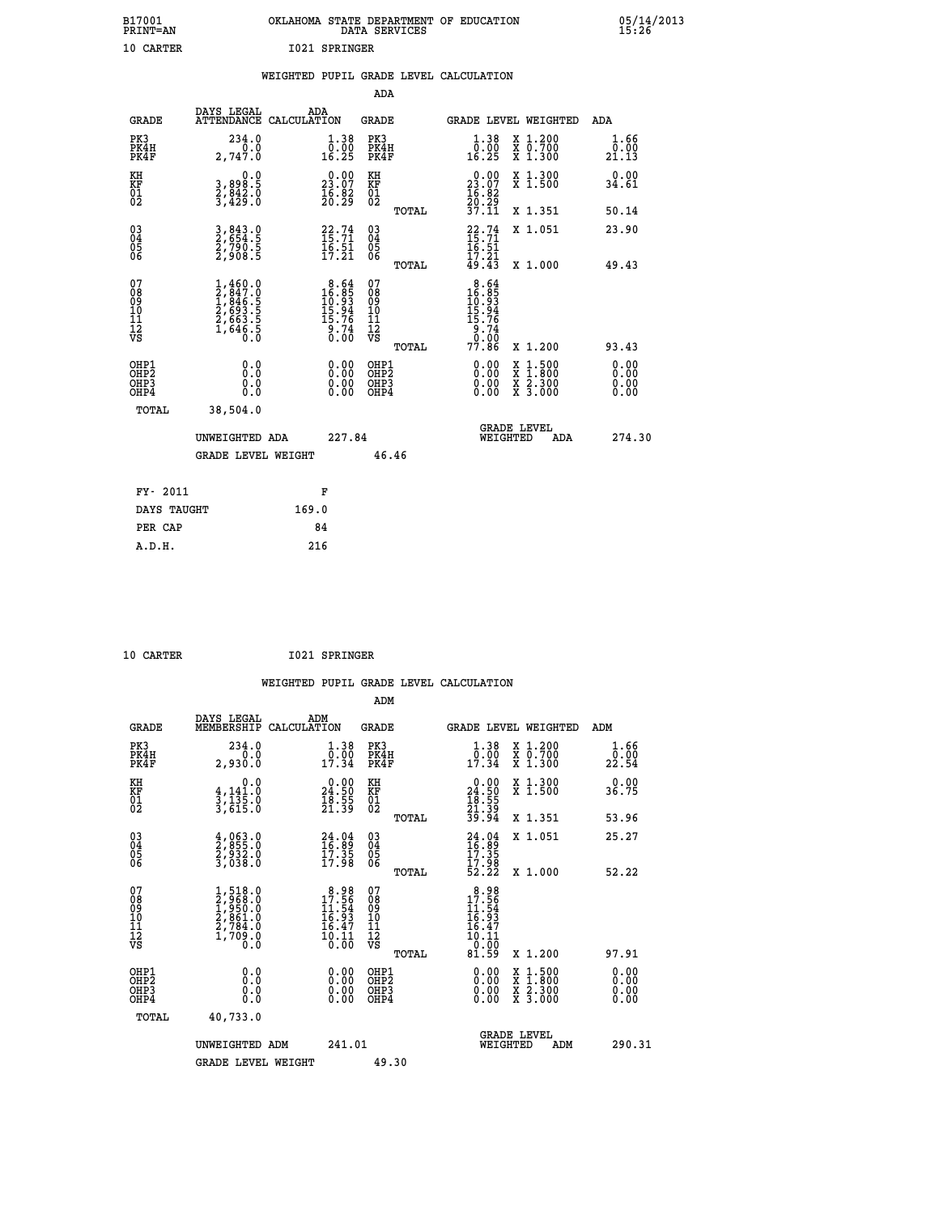| B17001<br><b>PRINT=AN</b> | OKLAHOMA STATE DEPARTMENT OF EDUCATION<br>DATA SERVICES | 05/14/2013<br>15:26 |
|---------------------------|---------------------------------------------------------|---------------------|
| 10 CARTER                 | 1021 SPRINGER                                           |                     |

|                                        |                                                                            | WEIGHTED PUPIL GRADE LEVEL CALCULATION                                             |                                                    |                                                                                                        |                       |
|----------------------------------------|----------------------------------------------------------------------------|------------------------------------------------------------------------------------|----------------------------------------------------|--------------------------------------------------------------------------------------------------------|-----------------------|
|                                        |                                                                            |                                                                                    | <b>ADA</b>                                         |                                                                                                        |                       |
| <b>GRADE</b>                           | DAYS LEGAL                                                                 | ADA<br>ATTENDANCE CALCULATION                                                      | GRADE                                              | GRADE LEVEL WEIGHTED                                                                                   | ADA                   |
| PK3<br>PK4H<br>PK4F                    | 234.0<br>0.0<br>2,747.0                                                    | $\begin{smallmatrix} 1.38 \\[-4pt] 0.00\\[-4pt] 16.25\end{smallmatrix}$            | PK3<br>PK4H<br>PK4F                                | 1.38<br>X 1.200<br>0.00<br><del>Χ</del> Ō:7ŎŎ<br>X 1:300<br>16.25                                      | 1.66<br>0.00<br>21.13 |
| KH<br>KF<br>01<br>02                   | 0.0<br>3,898:5<br>2,842:0<br>3,429:0                                       | $\begin{smallmatrix} 0.00\\ 23.07\\ 16.82\\ 20.29 \end{smallmatrix}$               | KH<br>KF<br>01<br>02                               | $\begin{smallmatrix} 0.00\\ 23.07\\ 16.82\\ 20.29\\ 37.11 \end{smallmatrix}$<br>X 1.300<br>X 1.500     | 0.00<br>34.61         |
|                                        |                                                                            |                                                                                    | TOTAL                                              | X 1.351                                                                                                | 50.14                 |
| $^{03}_{04}$<br>Ŏ5<br>06               | 3,843.0<br>2,654.5<br>2,790.5<br>2,908.5                                   | $22.74$<br>$15.71$<br>$\frac{16.51}{17.21}$                                        | $\begin{matrix} 03 \\ 04 \\ 05 \\ 06 \end{matrix}$ | $^{22}_{15}$ : 71<br>$^{15}_{16}$ : 71<br>X 1.051                                                      | 23.90                 |
|                                        |                                                                            |                                                                                    | TOTAL                                              | $\bar{1}\bar{7}\cdot\bar{2}\bar{1}\over 49\cdot43$<br>X 1.000                                          | 49.43                 |
| 07<br>08<br>09<br>11<br>11<br>12<br>VS | $1,460.0$<br>$2,847.0$<br>$1,846.5$<br>$2,693.5$<br>$2,663.5$<br>$1,646.5$ | $\begin{smallmatrix}8.64\\16.85\\10.93\\15.94\\15.76\\9.74\\0.00\end{smallmatrix}$ | 07<br>08<br>09<br>11<br>11<br>12<br>VS             | 8.64<br>$16.85$<br>$16.93$<br>$15.94$<br>$15.76$<br>$9.74$<br>$9.00$                                   |                       |
|                                        |                                                                            |                                                                                    | TOTAL                                              | 77.86<br>X 1.200                                                                                       | 93.43                 |
| OHP1<br>OHP2<br>OHP3<br>OHP4           | 0.0<br>0.0<br>0.0                                                          | 0.00<br>$\begin{smallmatrix} 0.00 \ 0.00 \end{smallmatrix}$                        | OHP1<br>OHP <sub>2</sub><br>OHP3<br>OHP4           | 0.00<br>$\begin{smallmatrix} 1.500\ 1.800\ 2.300\ 3.000 \end{smallmatrix}$<br><b>XXX</b><br>XX<br>0.00 | 0.00<br>0.00<br>0.00  |
| <b>TOTAL</b>                           | 38,504.0<br>UNWEIGHTED ADA                                                 | 227.84                                                                             |                                                    | <b>GRADE LEVEL</b><br>WEIGHTED<br>ADA                                                                  | 274.30                |
|                                        | <b>GRADE LEVEL WEIGHT</b>                                                  |                                                                                    | 46.46                                              |                                                                                                        |                       |
| FY- 2011                               |                                                                            | F                                                                                  |                                                    |                                                                                                        |                       |
| DAYS TAUGHT                            |                                                                            | 169.0                                                                              |                                                    |                                                                                                        |                       |
| PER CAP                                |                                                                            | 84                                                                                 |                                                    |                                                                                                        |                       |
| A.D.H.                                 |                                                                            | 216                                                                                |                                                    |                                                                                                        |                       |

 **10 CARTER I021 SPRINGER**

| <b>GRADE</b>                                       | DAYS LEGAL<br>MEMBERSHIP                                                                                                      | ADM<br>CALCULATION                                                                  | <b>GRADE</b>                                       |       | GRADE LEVEL WEIGHTED                                                                                                                      |                                          | ADM                  |  |
|----------------------------------------------------|-------------------------------------------------------------------------------------------------------------------------------|-------------------------------------------------------------------------------------|----------------------------------------------------|-------|-------------------------------------------------------------------------------------------------------------------------------------------|------------------------------------------|----------------------|--|
| PK3<br>PK4H<br>PK4F                                | 234.0<br>2,930.0                                                                                                              | 1.38<br>$\frac{0.00}{17.34}$                                                        | PK3<br>PK4H<br>PK4F                                |       | 1.38<br>$\frac{0.00}{17.34}$                                                                                                              | X 1.200<br>X 0.700<br>X 1.300            | 1.66<br>22.54        |  |
| KH<br>KF<br>01<br>02                               | 0.0<br>$\frac{4}{3}, \frac{141}{135}$ .0<br>3,615.0                                                                           | $\begin{smallmatrix} 0.00\\ 24.50\\ 18.55\\ 18.55\\ 21.39 \end{smallmatrix}$        | KH<br>KF<br>01<br>02                               |       | $\begin{smallmatrix} 0.00\\24.50\\18.55\\21.39\\39.94 \end{smallmatrix}$                                                                  | X 1.300<br>X 1.500                       | 0.00<br>36.75        |  |
|                                                    |                                                                                                                               |                                                                                     |                                                    | TOTAL |                                                                                                                                           | X 1.351                                  | 53.96                |  |
| $\begin{matrix} 03 \\ 04 \\ 05 \\ 06 \end{matrix}$ | $\frac{4}{2}, \begin{smallmatrix} 0 & 6 & 3 & 0 \\ 9 & 5 & 5 & 0 \\ 2 & 9 & 3 & 2 & 0 \\ 3 & 0 & 3 & 8 & 0 \end{smallmatrix}$ | $24.04$<br>$16.89$<br>$17.35$<br>$17.98$                                            | $\begin{matrix} 03 \\ 04 \\ 05 \\ 06 \end{matrix}$ |       | $24.04$<br>$16.89$<br>$17.35$<br>$17.98$<br>$52.22$                                                                                       | X 1.051                                  | 25.27                |  |
|                                                    |                                                                                                                               |                                                                                     |                                                    | TOTAL |                                                                                                                                           | X 1.000                                  | 52.22                |  |
| 07<br>08<br>09<br>101<br>112<br>VS                 | $1,518.0$<br>$2,968.0$<br>$1,950.0$<br>$2,861.0$<br>$2,784.0$<br>$1,709.0$<br>$0.0$                                           | $\begin{smallmatrix}8.98\\17.56\\11.54\\16.93\\16.47\\10.11\\0.00\end{smallmatrix}$ | 07<br>08<br>09<br>11<br>11<br>12<br>VS             | TOTAL | $\begin{array}{r} 8\cdot 98 \\ 17\cdot 56 \\ 11\cdot 54 \\ 16\cdot 93 \\ 16\cdot 47 \\ 10\cdot 11 \\ 0\cdot 00 \\ 81\cdot 59 \end{array}$ | X 1.200                                  | 97.91                |  |
| OHP1<br>OHP2<br>OHP3<br>OHP4                       | 0.0<br>0.0<br>Ŏ.Ŏ                                                                                                             |                                                                                     | OHP1<br>OHP2<br>OHP3<br>OHP4                       |       |                                                                                                                                           | X 1:500<br>X 1:800<br>X 2:300<br>X 3:000 | 0.00<br>0.00<br>0.00 |  |
| TOTAL                                              | 40,733.0                                                                                                                      |                                                                                     |                                                    |       |                                                                                                                                           |                                          |                      |  |
|                                                    | UNWEIGHTED<br>ADM                                                                                                             | 241.01                                                                              |                                                    |       | <b>GRADE LEVEL</b><br>WEIGHTED                                                                                                            | ADM                                      | 290.31               |  |
|                                                    | <b>GRADE LEVEL WEIGHT</b>                                                                                                     |                                                                                     | 49.30                                              |       |                                                                                                                                           |                                          |                      |  |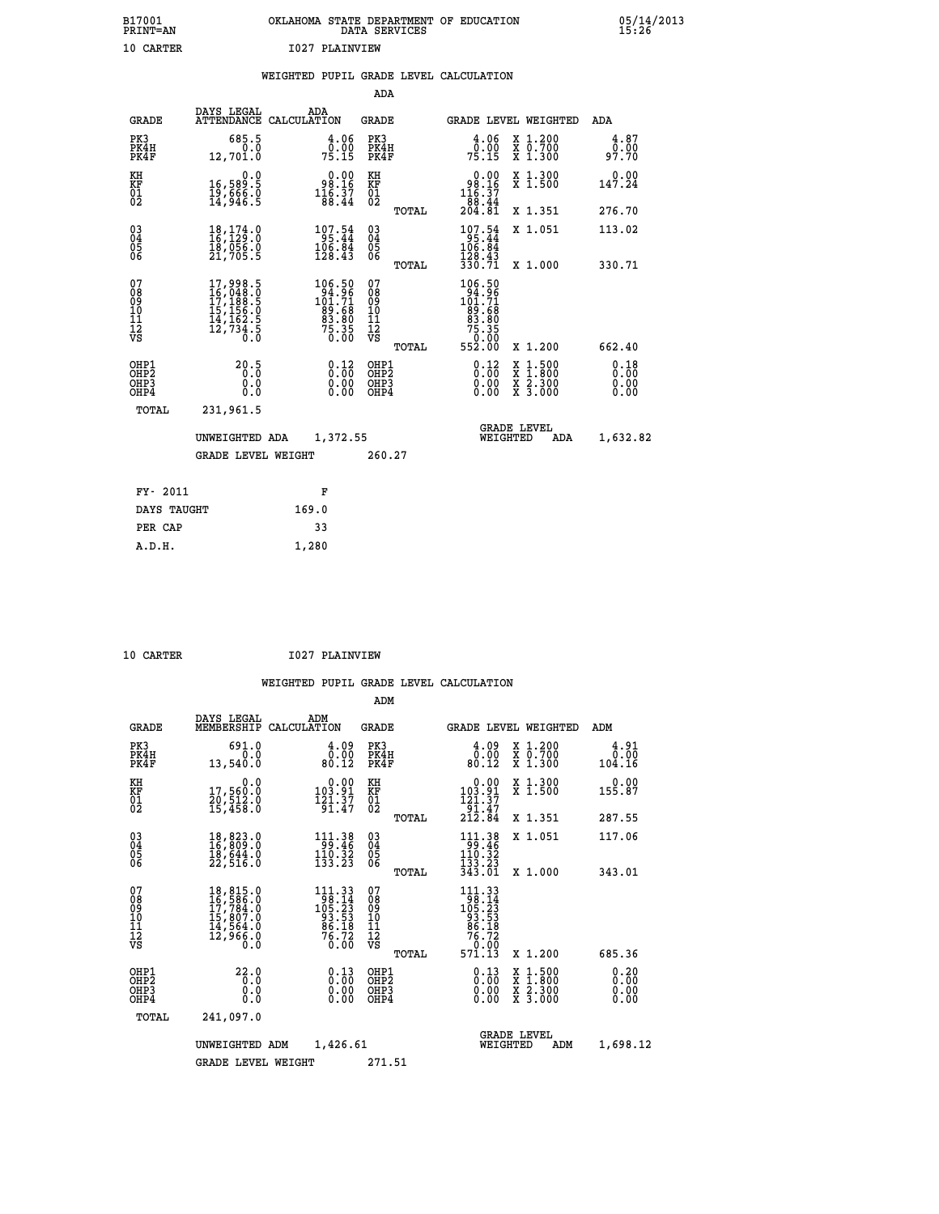| B17001          | OKLAHOMA STATE DEPARTMENT OF EDUCATION |
|-----------------|----------------------------------------|
| <b>PRINT=AN</b> | DATA SERVICES                          |
| 10 CARTER       | <b>I027 PLAINVIEW</b>                  |

|  |  | WEIGHTED PUPIL GRADE LEVEL CALCULATION |
|--|--|----------------------------------------|
|  |  |                                        |

|                                                                    |                                                                                                                               |                                                                                                | ADA                                       |       |                                                                                                   |                                          |                              |
|--------------------------------------------------------------------|-------------------------------------------------------------------------------------------------------------------------------|------------------------------------------------------------------------------------------------|-------------------------------------------|-------|---------------------------------------------------------------------------------------------------|------------------------------------------|------------------------------|
| <b>GRADE</b>                                                       | DAYS LEGAL                                                                                                                    | ADA<br>ATTENDANCE CALCULATION                                                                  | <b>GRADE</b>                              |       |                                                                                                   | GRADE LEVEL WEIGHTED                     | ADA                          |
| PK3<br>PK4H<br>PK4F                                                | 685.5<br>0.0<br>12,701.0                                                                                                      | $\frac{4.06}{0.00}$<br>75.15                                                                   | PK3<br>PK4H<br>PK4F                       |       | 4.06<br>$7\overline{5}\cdot 1\overline{5}$                                                        | X 1.200<br>X 0.700<br>X 1.300            | 4.87<br>0.00<br>97.70        |
| KH<br><b>KF</b><br>01<br>02                                        | 0.0<br>16,589.5<br>19,666.0<br>14,946.5                                                                                       | 98.16<br>$1\overline{1}\,\overline{6}\,\overline{.}\,\overline{3}\,\overline{7}\,$<br>88.44    | KH<br>KF<br>01<br>02                      |       | $\begin{smallmatrix} &0.00\\ &98.16\\ 116.37\\ 188.44\\ 204.81\end{smallmatrix}$                  | X 1.300<br>X 1.500                       | 0.00<br>147.24               |
|                                                                    |                                                                                                                               |                                                                                                |                                           | TOTAL |                                                                                                   | X 1.351                                  | 276.70                       |
| $\begin{smallmatrix} 03 \\[-4pt] 04 \end{smallmatrix}$<br>05<br>06 | $\begin{smallmatrix} 18\,,\,174\,. \ 16\,,\,129\,. \ 18\,,\,056\,. \ 0\\ 18\,,\,056\,. \ 0\\ 21\,,\,705\,. \end{smallmatrix}$ | $\begin{array}{r} 107.54 \\ 95.44 \\ 106.84 \\ 128.43 \end{array}$                             | $\substack{03 \\ 04}$<br>05<br>06         | TOTAL | $107.54$<br>$106.84$<br>$128.43$<br>330.71                                                        | X 1.051<br>X 1.000                       | 113.02<br>330.71             |
| 07<br>08<br>09<br>11<br>11<br>12<br>VS                             | $\begin{smallmatrix}17,998.5\\16,048.0\\17,188.5\\15,156.0\\14,162.5\\12,734.5\\0.0\end{smallmatrix}$                         | $\begin{smallmatrix} 106.50\\ 94.96\\ 101.71\\ 89.68\\ 83.80\\ 75.35\\ 0.00 \end{smallmatrix}$ | 07<br>08<br>09<br>11<br>11<br>12<br>VS    |       | $\begin{smallmatrix} 106.50\\ 94.96\\ 101.71\\ 89.68\\ 83.80\\ 75.350\\ 79.000 \end{smallmatrix}$ |                                          |                              |
|                                                                    |                                                                                                                               |                                                                                                |                                           | TOTAL | 552.00                                                                                            | X 1.200                                  | 662.40                       |
| OHP1<br>OH <sub>P2</sub><br>OH <sub>P3</sub><br>OH <sub>P4</sub>   | 20.5<br>0.0<br>0.0                                                                                                            | 0.12<br>0.00<br>0.00                                                                           | OHP1<br>OH <sub>P</sub> 2<br>OHP3<br>OHP4 |       | 0.12<br>0.00<br>0.00                                                                              | X 1:500<br>X 1:800<br>X 2:300<br>X 3:000 | 0.18<br>0.00<br>0.00<br>0.00 |
| TOTAL                                                              | 231,961.5                                                                                                                     |                                                                                                |                                           |       |                                                                                                   |                                          |                              |
|                                                                    | UNWEIGHTED ADA                                                                                                                | 1,372.55                                                                                       |                                           |       |                                                                                                   | <b>GRADE LEVEL</b><br>WEIGHTED<br>ADA    | 1,632.82                     |
|                                                                    | <b>GRADE LEVEL WEIGHT</b>                                                                                                     |                                                                                                | 260.27                                    |       |                                                                                                   |                                          |                              |
| FY- 2011                                                           |                                                                                                                               | F                                                                                              |                                           |       |                                                                                                   |                                          |                              |
| DAYS TAUGHT                                                        |                                                                                                                               | 169.0                                                                                          |                                           |       |                                                                                                   |                                          |                              |
| PER CAP                                                            |                                                                                                                               | 33                                                                                             |                                           |       |                                                                                                   |                                          |                              |

|  | 10 CARTER |
|--|-----------|
|  |           |

 **A.D.H. 1,280**

 **10 CARTER I027 PLAINVIEW**

|                                    |                                                       |                                                                                                                                                                                      |             |                                                                           | ADM                                                 |       |                                                                                                       |                                          |                              |
|------------------------------------|-------------------------------------------------------|--------------------------------------------------------------------------------------------------------------------------------------------------------------------------------------|-------------|---------------------------------------------------------------------------|-----------------------------------------------------|-------|-------------------------------------------------------------------------------------------------------|------------------------------------------|------------------------------|
|                                    | <b>GRADE</b>                                          | DAYS LEGAL<br>MEMBERSHIP                                                                                                                                                             | CALCULATION | ADM                                                                       | <b>GRADE</b>                                        |       |                                                                                                       | GRADE LEVEL WEIGHTED                     | ADM                          |
|                                    | PK3<br>PK4H<br>PK4F                                   | 691.0<br>0.0<br>13,540.0                                                                                                                                                             |             | 4.09<br>0.00<br>80.12                                                     | PK3<br>PK4H<br>PK4F                                 |       | $\begin{smallmatrix} 4.09\ 0.00\\ 80.12 \end{smallmatrix}$                                            | X 1.200<br>X 0.700<br>X 1.300            | 4.91<br>0.00<br>104.16       |
| KH<br>KF<br>01<br>02               |                                                       | 0.0<br>17,560:0<br>20,512:0<br>15,458:0                                                                                                                                              |             | $\begin{smallmatrix}&&0.00\\103.91\\121.37\\91.47\end{smallmatrix}$       | KH<br>KF<br>01<br>02                                |       | 0.00<br>$\begin{array}{c} 103.91 \\[-4pt] 121.37 \\[-4pt] 212.84 \end{array}$                         | X 1.300<br>X 1.500                       | 0.00<br>155.87               |
|                                    |                                                       |                                                                                                                                                                                      |             |                                                                           |                                                     | TOTAL |                                                                                                       | X 1.351                                  | 287.55                       |
| 03<br>04<br>05<br>06               |                                                       | 18,823.0<br>16,809.0<br>18,644.0<br>22,516.0                                                                                                                                         |             | 111.38<br>$\frac{110}{133}$ $\frac{32}{23}$                               | $\begin{array}{c} 03 \\ 04 \\ 05 \\ 06 \end{array}$ |       | $\begin{array}{c} 111\cdot 38 \\ 99\cdot 46 \\ 110\cdot 32 \\ 133\cdot 23 \\ 343\cdot 01 \end{array}$ | X 1.051                                  | 117.06                       |
|                                    |                                                       |                                                                                                                                                                                      |             |                                                                           |                                                     | TOTAL |                                                                                                       | X 1.000                                  | 343.01                       |
| 07<br>08<br>09<br>101<br>112<br>VS |                                                       | $\begin{smallmatrix} 18\,, & 815\,, & 0\\ 16\,, & 586\,, & 0\\ 17\,, & 784\,, & 0\\ 15\,, & 807\,, & 0\\ 14\,, & 564\,, & 0\\ 12\,, & 966\,, & 0\\ 0\,. & 0\,. & 0\end{smallmatrix}$ |             | 111.33<br>$198.14$<br>$105.23$<br>$93.53$<br>$86.18$<br>$76.72$<br>$0.00$ | 07<br>08<br>09<br>101<br>11<br>12<br>VS             | TOTAL | 111.33<br>$198.14$<br>$105.23$<br>$93.53$<br>$86.18$<br>$76.720$<br>$70.00$<br>571.13                 | X 1.200                                  | 685.36                       |
|                                    | OHP1<br>OH <sub>P</sub> 2<br>OH <sub>P3</sub><br>OHP4 | 22.0<br>0.0<br>0.000                                                                                                                                                                 |             | $\begin{smallmatrix} 0.13\ 0.00 \ 0.00 \end{smallmatrix}$<br>0.00         | OHP1<br>OHP2<br>OHP3<br>OHP4                        |       | $0.13\n0.00\n0.00$<br>0.00                                                                            | X 1:500<br>X 1:800<br>X 2:300<br>X 3:000 | 0.20<br>0.00<br>0.00<br>0.00 |
|                                    | TOTAL                                                 | 241,097.0                                                                                                                                                                            |             |                                                                           |                                                     |       |                                                                                                       |                                          |                              |
|                                    |                                                       | UNWEIGHTED ADM                                                                                                                                                                       |             | 1,426.61                                                                  |                                                     |       | WEIGHTED                                                                                              | <b>GRADE LEVEL</b><br>ADM                | 1,698.12                     |
|                                    |                                                       | <b>GRADE LEVEL WEIGHT</b>                                                                                                                                                            |             |                                                                           | 271.51                                              |       |                                                                                                       |                                          |                              |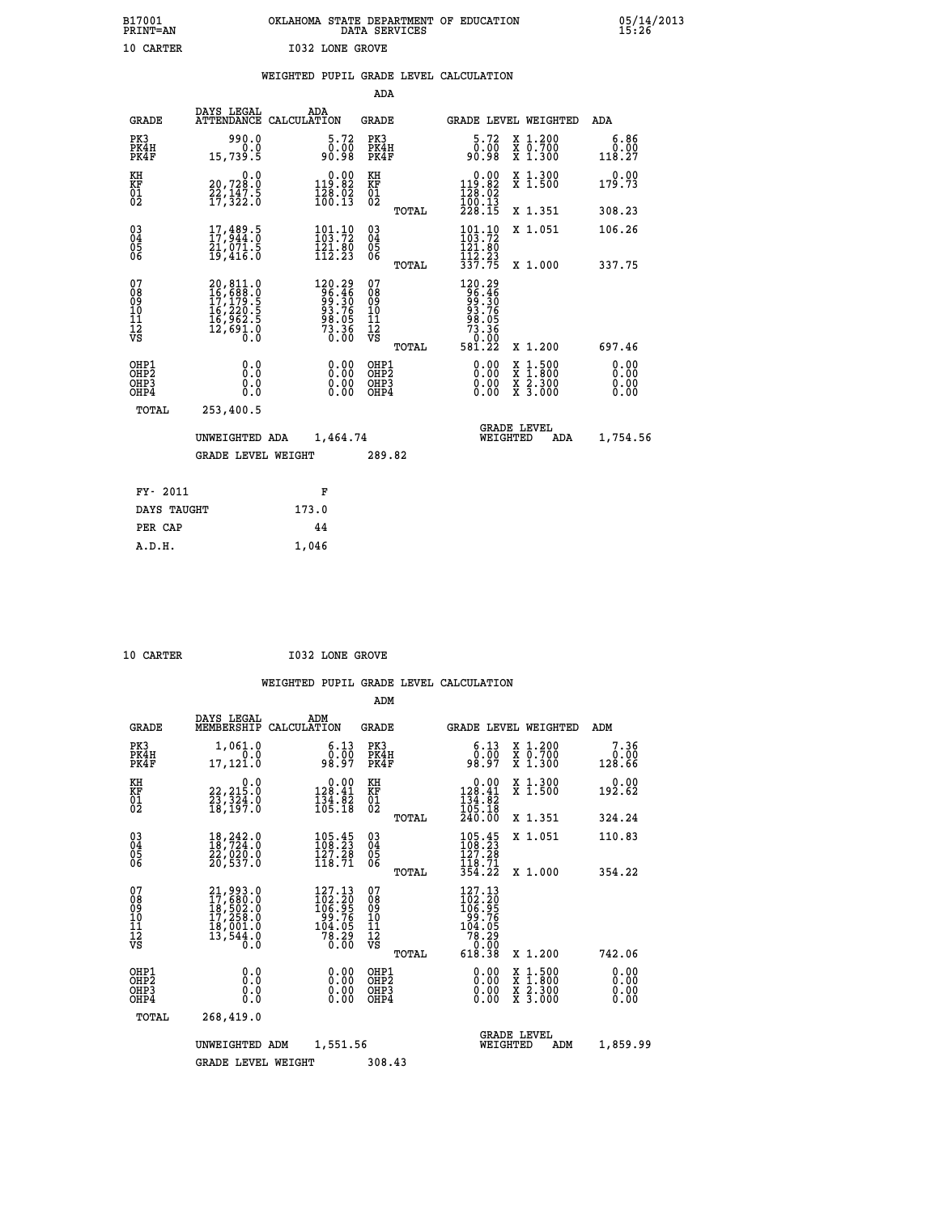| B17001          | OKLAHOMA STATE DEPARTMENT OF EDUCATION |
|-----------------|----------------------------------------|
| <b>PRINT=AN</b> | DATA SERVICES                          |
| 10 CARTER       | <b>I032 LONE GROVE</b>                 |

|  |  | WEIGHTED PUPIL GRADE LEVEL CALCULATION |
|--|--|----------------------------------------|
|  |  |                                        |

|                                                                    |                                                                             |                                                                           | ADA                                    |       |                                                                                                        |                                                                                                                                              |                               |
|--------------------------------------------------------------------|-----------------------------------------------------------------------------|---------------------------------------------------------------------------|----------------------------------------|-------|--------------------------------------------------------------------------------------------------------|----------------------------------------------------------------------------------------------------------------------------------------------|-------------------------------|
| <b>GRADE</b>                                                       | DAYS LEGAL                                                                  | ADA<br>ATTENDANCE CALCULATION                                             | <b>GRADE</b>                           |       |                                                                                                        | <b>GRADE LEVEL WEIGHTED</b>                                                                                                                  | ADA                           |
| PK3<br>PK4H<br>PK4F                                                | 990.0<br>0.0<br>15,739.5                                                    | 5.72<br>00.00<br>80.00                                                    | PK3<br>PK4H<br>PK4F                    |       | 5.72<br>ō:ŏō<br>80:0e                                                                                  | X 1.200<br>X 0.700<br>X 1.300                                                                                                                | 6.86<br>0.00<br>118.27        |
| KH<br>KF<br>01<br>02                                               | 0.0<br>20,728:0<br>22,147:5<br>17,322:0                                     | $0.00$<br>119.82<br>$\frac{128}{100}$ $\frac{02}{13}$                     | KH<br>KF<br>01<br>02                   |       | $\begin{smallmatrix} &0.00\\ 119.82\\ 128.02\\ 100.13\\ 228.15\end{smallmatrix}$                       | X 1.300<br>X 1.500                                                                                                                           | 0.00<br>179.73                |
|                                                                    |                                                                             |                                                                           |                                        | TOTAL |                                                                                                        | X 1.351                                                                                                                                      | 308.23                        |
| $\begin{smallmatrix} 03 \\[-4pt] 04 \end{smallmatrix}$<br>Ŏ5<br>06 | $\substack{17, 489.5 \\ 17, 944.0 \\ 21, 071.5 \\ 19, 416.0}$               | $\frac{101.10}{103.72}$<br>$\frac{121.80}{112.23}$                        | $\substack{03 \\ 04}$<br>Ŏ5<br>06      |       | $\begin{array}{c} 101\cdot 10 \\ 103\cdot 72 \\ 121\cdot 80 \\ 112\cdot 23 \\ 337\cdot 75 \end{array}$ | X 1.051                                                                                                                                      | 106.26                        |
|                                                                    |                                                                             |                                                                           |                                        | TOTAL |                                                                                                        | X 1.000                                                                                                                                      | 337.75                        |
| 07<br>08<br>09<br>101<br>11<br>12<br>VS                            | 20,811.0<br>16,688.0<br>17,179.5<br>16,220.5<br>16,962.5<br>12,691.0<br>0.0 | $120.29$<br>$96.46$<br>$99.30$<br>$93.76$<br>$98.05$<br>$73.36$<br>$0.00$ | 07<br>08<br>09<br>11<br>11<br>12<br>VS |       | 120.29<br>96.46<br>99.306<br>98.056<br>73.360<br>0.000                                                 |                                                                                                                                              |                               |
|                                                                    |                                                                             |                                                                           |                                        | TOTAL | 581.22                                                                                                 | X 1.200                                                                                                                                      | 697.46                        |
| OHP1<br>OHP <sub>2</sub><br>OH <sub>P3</sub><br>OHP4               | 0.0<br>0.0<br>0.0                                                           | 0.00<br>$\begin{smallmatrix} 0.00 \ 0.00 \end{smallmatrix}$               | OHP1<br>OHP2<br>OHP <sub>3</sub>       |       | 0.00<br>0.00                                                                                           | $\begin{smallmatrix} \mathtt{X} & 1\cdot500 \\ \mathtt{X} & 1\cdot800 \\ \mathtt{X} & 2\cdot300 \\ \mathtt{X} & 3\cdot000 \end{smallmatrix}$ | 0.00<br>Ō. ŌŌ<br>0.00<br>0.00 |
| TOTAL                                                              | 253,400.5                                                                   |                                                                           |                                        |       |                                                                                                        |                                                                                                                                              |                               |
|                                                                    | UNWEIGHTED ADA                                                              | 1,464.74                                                                  |                                        |       |                                                                                                        | <b>GRADE LEVEL</b><br>WEIGHTED<br>ADA                                                                                                        | 1,754.56                      |
|                                                                    | <b>GRADE LEVEL WEIGHT</b>                                                   |                                                                           | 289.82                                 |       |                                                                                                        |                                                                                                                                              |                               |
| FY- 2011                                                           |                                                                             | F                                                                         |                                        |       |                                                                                                        |                                                                                                                                              |                               |
| DAYS TAUGHT                                                        |                                                                             | 173.0                                                                     |                                        |       |                                                                                                        |                                                                                                                                              |                               |
| PER CAP                                                            |                                                                             | 44                                                                        |                                        |       |                                                                                                        |                                                                                                                                              |                               |

 **A.D.H. 1,046**

**10 CARTER 1032 LONE GROVE** 

|                                               |                                                                                           |                                                                          | ADM                                                |                                                                                                                                      |                                                                                                  |                        |
|-----------------------------------------------|-------------------------------------------------------------------------------------------|--------------------------------------------------------------------------|----------------------------------------------------|--------------------------------------------------------------------------------------------------------------------------------------|--------------------------------------------------------------------------------------------------|------------------------|
| <b>GRADE</b>                                  | DAYS LEGAL<br>MEMBERSHIP                                                                  | ADM<br>CALCULATION                                                       | <b>GRADE</b>                                       | GRADE LEVEL WEIGHTED                                                                                                                 |                                                                                                  | ADM                    |
| PK3<br>PK4H<br>PK4F                           | 1,061.0<br>0.0<br>17,121.0                                                                | 6.13<br>ŏ:ōŏ<br>98:97                                                    | PK3<br>PK4H<br>PK4F                                | $\begin{smallmatrix} 6.13\ 0.00\ 98.97 \end{smallmatrix}$                                                                            | X 1.200<br>X 0.700<br>X 1.300                                                                    | 7.36<br>0.00<br>128.66 |
| KH<br>KF<br>01<br>02                          | 0.0<br>22,215.0<br>23,324.0<br>18,197.0                                                   | $\begin{smallmatrix} &0.00\\ 128.41\\ 134.82\\ 105.18\end{smallmatrix}$  | KH<br>KF<br>01<br>02                               | $\begin{smallmatrix} &0.00\\ 128.41\\ 134.82\\ 105.18\\ 240.00\end{smallmatrix}$                                                     | X 1.300<br>X 1.500                                                                               | 0.00<br>192.62         |
|                                               |                                                                                           |                                                                          | TOTAL                                              |                                                                                                                                      | X 1.351                                                                                          | 324.24                 |
| 03<br>04<br>05<br>06                          | 18,242.0<br>18,724.0<br>22,020.0<br>20,537.0                                              | 105.45<br>108.23<br>127.28<br>118.71                                     | $\begin{matrix} 03 \\ 04 \\ 05 \\ 06 \end{matrix}$ | 105.45<br>127.28                                                                                                                     | X 1.051                                                                                          | 110.83                 |
|                                               |                                                                                           |                                                                          | TOTAL                                              | $\frac{1}{3}\overline{5}\overline{8}\cdot\overline{7}\overline{1}\overline{8}\overline{3}\overline{5}\overline{4}\cdot2\overline{2}$ | X 1.000                                                                                          | 354.22                 |
| 07<br>08<br>09<br>101<br>112<br>VS            | $21,993.0$<br>$17,680.0$<br>$18,502.0$<br>$17,258.0$<br>$18,001.0$<br>$13,544.0$<br>$0.0$ | 127.13<br>$102.20$<br>$106.95$<br>$99.76$<br>$104.05$<br>$78.29$<br>0.00 | 07<br>08<br>09<br>11<br>11<br>12<br>VS<br>TOTAL    | 127.13<br>$\begin{array}{r} 162.20 \\ 106.95 \\ 99.76 \\ 104.05 \\ 78.29 \\ 0.00 \end{array}$<br>618.38                              | X 1.200                                                                                          | 742.06                 |
| OHP1                                          |                                                                                           |                                                                          |                                                    |                                                                                                                                      |                                                                                                  | 0.00                   |
| OH <sub>P</sub> 2<br>OH <sub>P3</sub><br>OHP4 | 0.0<br>0.000                                                                              | $0.00$<br>$0.00$<br>0.00                                                 | OHP1<br>OHP2<br>OHP3<br>OHP4                       | $0.00$<br>$0.00$<br>0.00                                                                                                             | $\begin{smallmatrix} x & 1 & 500 \\ x & 1 & 800 \\ x & 2 & 300 \\ x & 3 & 000 \end{smallmatrix}$ | 0.00<br>0.00<br>0.00   |
| TOTAL                                         | 268,419.0                                                                                 |                                                                          |                                                    |                                                                                                                                      |                                                                                                  |                        |
|                                               | UNWEIGHTED                                                                                | 1,551.56<br>ADM                                                          |                                                    | <b>GRADE LEVEL</b><br>WEIGHTED                                                                                                       | ADM                                                                                              | 1,859.99               |
|                                               | <b>GRADE LEVEL WEIGHT</b>                                                                 |                                                                          | 308.43                                             |                                                                                                                                      |                                                                                                  |                        |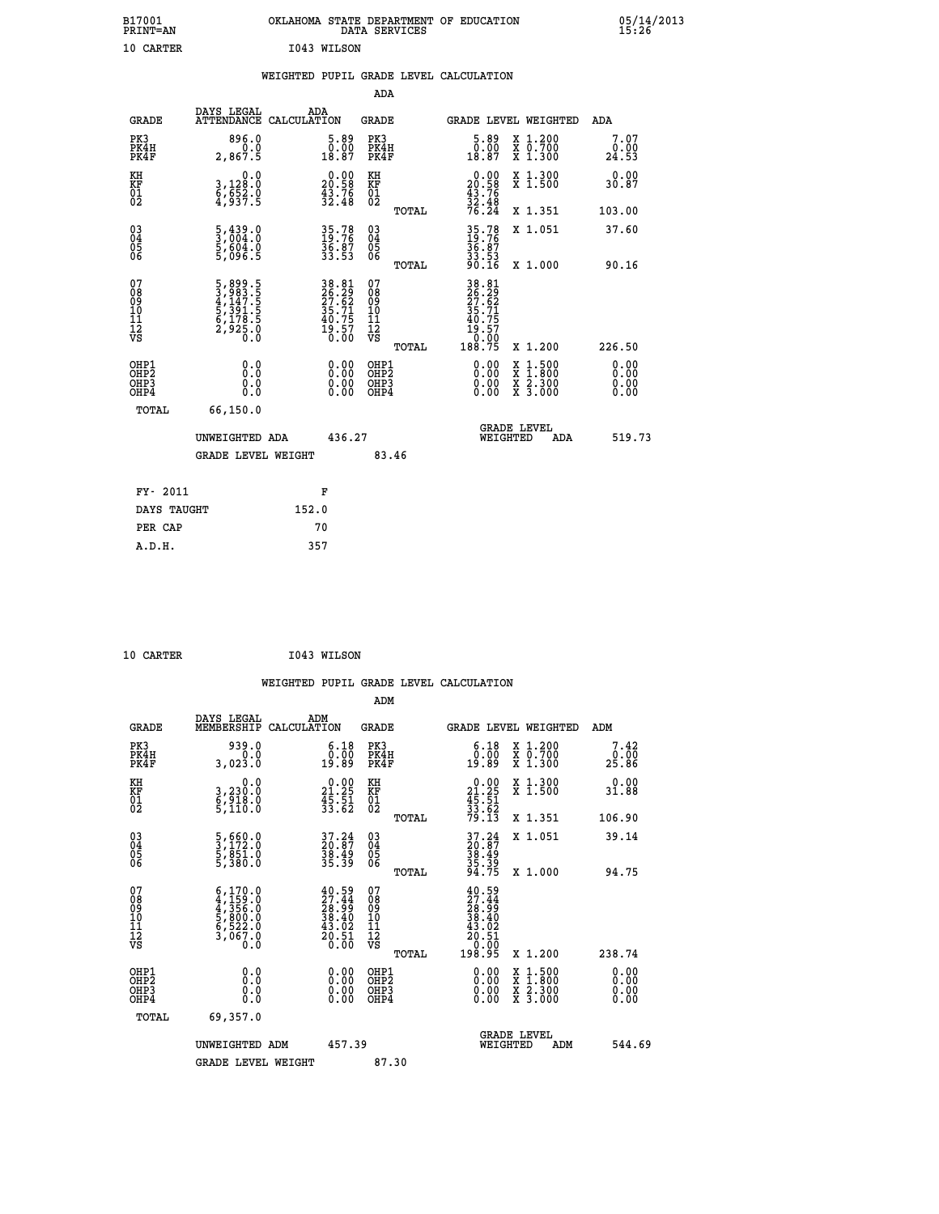| B17001<br>PRINT=AN                                 |                                                                            | OKLAHOMA STATE DEPARTMENT OF EDUCATION                               | DATA SERVICES                                   |                                                                               |                                                                                          | $05/14/2013$<br>15:26 |  |
|----------------------------------------------------|----------------------------------------------------------------------------|----------------------------------------------------------------------|-------------------------------------------------|-------------------------------------------------------------------------------|------------------------------------------------------------------------------------------|-----------------------|--|
| 10 CARTER                                          |                                                                            | I043 WILSON                                                          |                                                 |                                                                               |                                                                                          |                       |  |
|                                                    |                                                                            | WEIGHTED PUPIL GRADE LEVEL CALCULATION                               |                                                 |                                                                               |                                                                                          |                       |  |
|                                                    |                                                                            |                                                                      | <b>ADA</b>                                      |                                                                               |                                                                                          |                       |  |
| <b>GRADE</b>                                       | DAYS LEGAL                                                                 | ADA<br>ATTENDANCE CALCULATION                                        | GRADE                                           | GRADE LEVEL WEIGHTED                                                          |                                                                                          | ADA                   |  |
| PK3<br>PK4H<br>PK4F                                | 896.0<br>0.0<br>2,867.5                                                    | $\begin{smallmatrix} 5.89\ 0.00\ 18.87 \end{smallmatrix}$            | PK3<br>PK4H<br>PK4F                             | $\begin{smallmatrix}5.89\0.00\\18.87\end{smallmatrix}$                        | X 1.200<br>X 0.700<br>X 1.300                                                            | 7.07<br>0.00<br>24.53 |  |
| KH<br>KF<br>01<br>02                               | 0.0<br>3,128:0<br>6,652:0<br>4,937:5                                       | $\begin{smallmatrix} 0.00\\ 20.58\\ 43.76\\ 32.48 \end{smallmatrix}$ | KH<br>KF<br>01<br>02                            | $20.00$<br>20.58<br>$\frac{43.76}{32.48}$<br>76.24                            | X 1.300<br>X 1.500                                                                       | 0.00<br>30.87         |  |
|                                                    |                                                                            |                                                                      | TOTAL                                           |                                                                               | X 1.351                                                                                  | 103.00                |  |
| $\begin{matrix} 03 \\ 04 \\ 05 \\ 06 \end{matrix}$ | $\frac{5}{3}, \frac{439}{004}.0$<br>$\frac{5}{5}, \frac{604}{096}.0$       | 35.78<br>19.76<br>36.87<br>33.53                                     | 03<br>04<br>05<br>06                            | 35.78<br>$\frac{36.87}{33.53}$<br>90.16                                       | X 1.051                                                                                  | 37.60                 |  |
|                                                    |                                                                            |                                                                      | TOTAL                                           |                                                                               | X 1.000                                                                                  | 90.16                 |  |
| 07<br>08<br>09<br>11<br>11<br>12<br>VS             | 5,899.5<br>3,983.5<br>4,1447.5<br>5,391.5<br>5,178.5<br>6,178.5<br>2,925.0 | 38.81<br>26.29<br>27.62<br>35.71<br>35.75<br>40.75<br>19.57<br>0.00  | 07<br>08<br>09<br>10<br>11<br>12<br>VS<br>TOTAL | 38.81<br>26.29<br>27.62<br>35.71<br>35.75<br>19:57<br>-0: <u>00</u><br>188.75 | X 1.200                                                                                  | 226.50                |  |
| OHP1<br>OHP2<br>OHP3<br>OHP4                       | 0.0<br>Ō.Ō<br>0.0<br>0.0                                                   | 0.00<br>0.00<br>0.00                                                 | OHP1<br>OHP <sub>2</sub><br>OHP3<br>OHP4        | 0.00<br>0.00<br>0.00                                                          | $\begin{smallmatrix} x & 1.500 \\ x & 1.800 \\ x & 2.300 \\ x & 3.000 \end{smallmatrix}$ | 0.00<br>0.00<br>0.00  |  |
| TOTAL                                              | 66,150.0                                                                   |                                                                      |                                                 |                                                                               |                                                                                          |                       |  |
|                                                    | UNWEIGHTED ADA                                                             | 436.27                                                               |                                                 | WEIGHTED                                                                      | <b>GRADE LEVEL</b><br>ADA                                                                | 519.73                |  |
|                                                    | <b>GRADE LEVEL WEIGHT</b>                                                  |                                                                      | 83.46                                           |                                                                               |                                                                                          |                       |  |
| FY- 2011                                           |                                                                            | F                                                                    |                                                 |                                                                               |                                                                                          |                       |  |
| DAYS TAUGHT                                        |                                                                            | 152.0                                                                |                                                 |                                                                               |                                                                                          |                       |  |
| PER CAP                                            |                                                                            | 70                                                                   |                                                 |                                                                               |                                                                                          |                       |  |

| 10 CARTER | I043 WILSON |
|-----------|-------------|

|                                                      |                                                                                                                                                                                        |                    |                                                                          |                                  |       | WEIGHTED PUPIL GRADE LEVEL CALCULATION                                                                      |                                          |                        |        |
|------------------------------------------------------|----------------------------------------------------------------------------------------------------------------------------------------------------------------------------------------|--------------------|--------------------------------------------------------------------------|----------------------------------|-------|-------------------------------------------------------------------------------------------------------------|------------------------------------------|------------------------|--------|
|                                                      |                                                                                                                                                                                        |                    |                                                                          | ADM                              |       |                                                                                                             |                                          |                        |        |
| <b>GRADE</b>                                         | DAYS LEGAL<br>MEMBERSHIP                                                                                                                                                               | ADM<br>CALCULATION |                                                                          | <b>GRADE</b>                     |       | GRADE LEVEL WEIGHTED                                                                                        |                                          | ADM                    |        |
| PK3<br>PK4H<br>PK4F                                  | 939.0<br>0.0<br>3,023.0                                                                                                                                                                |                    | $\begin{smallmatrix} 6.18\\ 0.00\\ 19.89 \end{smallmatrix}$              | PK3<br>PK4H<br>PK4F              |       | $\begin{smallmatrix} 6.18\\ 0.00\\ 19.89 \end{smallmatrix}$                                                 | X 1.200<br>X 0.700<br>X 1.300            | 7.42<br>_0.00<br>25.86 |        |
| KH<br>KF<br>01<br>02                                 | 0.0<br>3,230:0<br>6,918.0<br>5,110:0                                                                                                                                                   |                    | $\begin{smallmatrix} 0.00\\ 21.25\\ 45.51\\ 33.62 \end{smallmatrix}$     | KH<br>KF<br>01<br>02             |       | $\begin{smallmatrix} 0.00\\21.25\\45.51\\33.62\\79.13 \end{smallmatrix}$                                    | X 1.300<br>X 1.500                       | 0.00<br>31.88          |        |
|                                                      |                                                                                                                                                                                        |                    |                                                                          |                                  | TOTAL |                                                                                                             | X 1.351                                  | 106.90                 |        |
| $\begin{matrix} 03 \\ 04 \\ 05 \\ 06 \end{matrix}$   | 5,660.0<br>3,172.0<br>5,851.0<br>5,380.0                                                                                                                                               |                    | 37.24<br>20.87<br>38.49<br>35.39                                         | 03<br>04<br>05<br>06             |       | 37.24<br>20.87<br>38.49<br>35.39<br>35.39                                                                   | X 1.051                                  | 39.14                  |        |
|                                                      |                                                                                                                                                                                        |                    |                                                                          |                                  | TOTAL |                                                                                                             | X 1.000                                  | 94.75                  |        |
| 07<br>0890112<br>1112<br>VS                          | $\begin{smallmatrix} 6\,,\,1\,7\,0\,. \ 0\,4\,,\,1\,5\,9\,. \ 0\,4\,,\,3\,5\,6\,. \ 0\,5\,,\,8\,0\,0\,. \ 0\,6\,,\,5\,2\,2\,. \ 0\,6\,,\,7\,0\,. \ 0\,. \ 0\,.\,0\, \end{smallmatrix}$ |                    | $40.59$<br>$27.44$<br>$28.99$<br>$38.40$<br>$43.02$<br>$20.51$<br>$0.00$ | 07<br>08901112<br>1112<br>VS     | TOTAL | $\begin{smallmatrix} 40.59\ 27.44\ 28.99\ 28.490\ 38.402\ 43.021\ 20.510\ 0.005\ 198.95\ \end{smallmatrix}$ | X 1.200                                  | 238.74                 |        |
| OHP1<br>OHP <sub>2</sub><br>OH <sub>P3</sub><br>OHP4 | 0.0<br>0.000                                                                                                                                                                           |                    | $0.00$<br>$0.00$<br>0.00                                                 | OHP1<br>OHP2<br>OHP <sub>3</sub> |       | 0.00<br>0.00<br>0.00                                                                                        | X 1:500<br>X 1:800<br>X 2:300<br>X 3:000 | 0.00<br>0.00<br>0.00   |        |
| TOTAL                                                | 69,357.0                                                                                                                                                                               |                    |                                                                          |                                  |       |                                                                                                             |                                          |                        |        |
|                                                      | UNWEIGHTED ADM                                                                                                                                                                         |                    | 457.39                                                                   |                                  |       | WEIGHTED                                                                                                    | <b>GRADE LEVEL</b><br>ADM                |                        | 544.69 |
|                                                      | <b>GRADE LEVEL WEIGHT</b>                                                                                                                                                              |                    |                                                                          | 87.30                            |       |                                                                                                             |                                          |                        |        |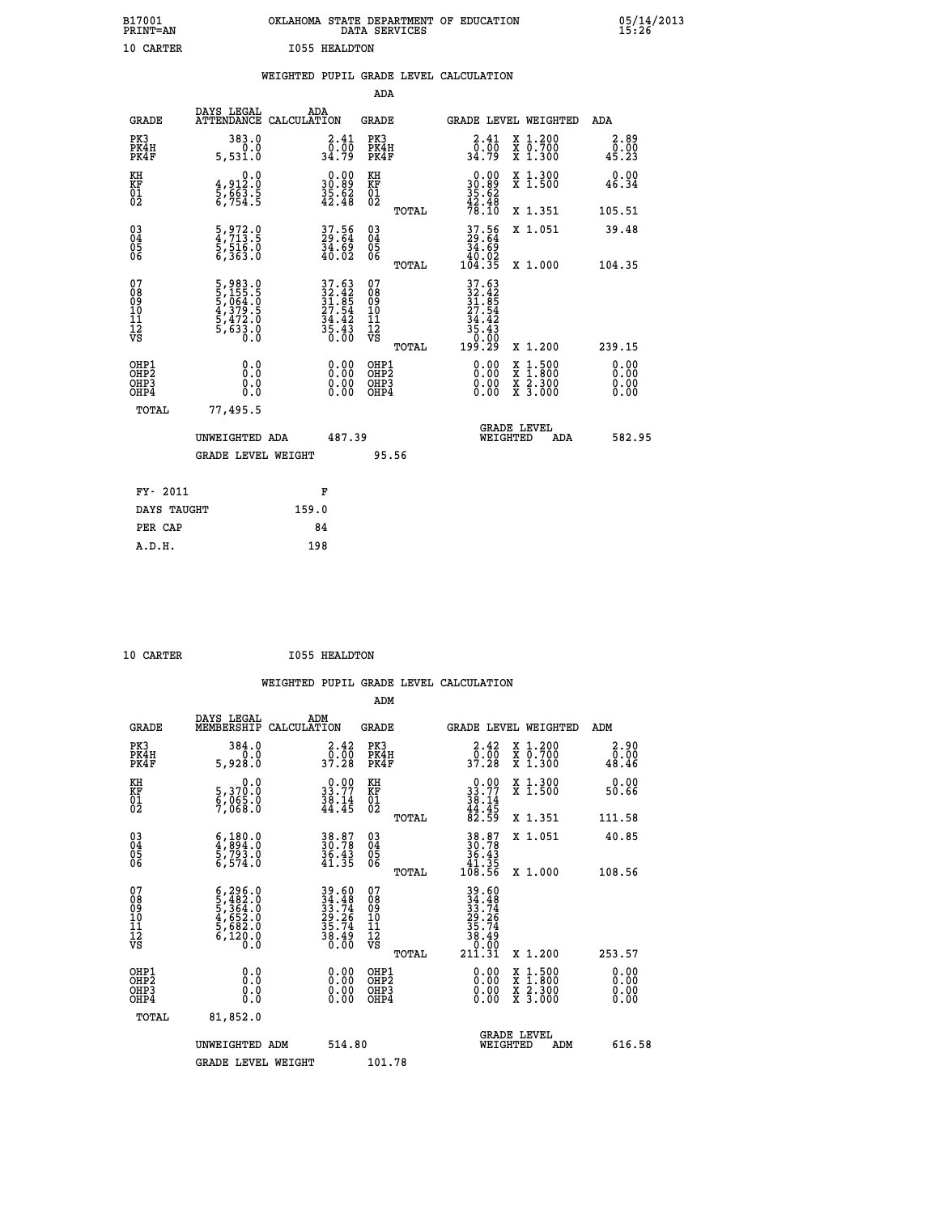| B17001<br>PRINT=AN                     |                                                                           |       |                                                                          |                                                            | DATA SERVICES | OKLAHOMA STATE DEPARTMENT OF EDUCATION                         |                                                                                                                                           |                       | 05/14/2013 |
|----------------------------------------|---------------------------------------------------------------------------|-------|--------------------------------------------------------------------------|------------------------------------------------------------|---------------|----------------------------------------------------------------|-------------------------------------------------------------------------------------------------------------------------------------------|-----------------------|------------|
| 10 CARTER                              |                                                                           |       | <b>I055 HEALDTON</b>                                                     |                                                            |               |                                                                |                                                                                                                                           |                       |            |
|                                        |                                                                           |       |                                                                          |                                                            |               | WEIGHTED PUPIL GRADE LEVEL CALCULATION                         |                                                                                                                                           |                       |            |
|                                        |                                                                           |       |                                                                          | ADA                                                        |               |                                                                |                                                                                                                                           |                       |            |
| <b>GRADE</b>                           | DAYS LEGAL<br>ATTENDANCE CALCULATION                                      | ADA   |                                                                          | <b>GRADE</b>                                               |               | GRADE LEVEL WEIGHTED                                           |                                                                                                                                           | ADA                   |            |
| PK3<br>PK4H<br>PK4F                    | 383.0<br>0.0<br>5,531.0                                                   |       | 2.41<br>_0.00<br>34.79                                                   | PK3<br>PK4H<br>PK4F                                        |               | 2.41                                                           | X 1.200<br>X 0.700<br>X 1.300                                                                                                             | 2.89<br>0.00<br>45.23 |            |
| KH<br>KF<br>01<br>02                   | 0.0<br>4,912:0<br>5,663:5<br>6,754:5                                      |       | $\begin{smallmatrix} 0.00\\ 30.89\\ 35.62\\ 42.48 \end{smallmatrix}$     | KH<br>KF<br>01<br>02                                       |               | $\begin{array}{c} 0.00 \\ 30.89 \\ 35.62 \\ 42.48 \end{array}$ | $\begin{smallmatrix} x & 1.300 \\ x & 1.500 \end{smallmatrix}$                                                                            | 0.00<br>46.34         |            |
|                                        |                                                                           |       |                                                                          |                                                            | TOTAL         | 78.IO                                                          | X 1.351                                                                                                                                   | 105.51                |            |
| 03<br>04<br>05<br>06                   | 5,972.0<br>4,713.5<br>5,516.0<br>6,363.0                                  |       | 37.56<br>29.64<br>34.69<br>40.02                                         | $\begin{matrix} 03 \\ 04 \\ 05 \\ 06 \end{matrix}$         |               | 37.56<br>29.64<br>$\frac{54}{40}$ .02<br>104.35                | X 1.051                                                                                                                                   | 39.48                 |            |
|                                        |                                                                           |       |                                                                          |                                                            | TOTAL         |                                                                | X 1.000                                                                                                                                   | 104.35                |            |
| 07<br>08<br>09<br>11<br>11<br>12<br>VS | 5,983.0<br>5,155.5<br>5,064.0<br>5,069.0<br>4,379.5<br>5,472.0<br>5,633.0 |       | $37.63$<br>$32.42$<br>$31.85$<br>$27.54$<br>$34.42$<br>$35.43$<br>$0.00$ | 07<br>08<br>09<br>10<br>$\frac{11}{12}$<br>$\frac{12}{18}$ |               | $37.63$<br>$32.42$<br>$31.85$<br>$27.54$<br>$34.42$<br>35.43   |                                                                                                                                           |                       |            |
|                                        |                                                                           |       |                                                                          |                                                            | TOTAL         | 199.29                                                         | X 1.200                                                                                                                                   | 239.15                |            |
| OHP1<br>OHP2<br>OHP3<br>OHP4           | 0.000<br>0.0<br>0.0                                                       |       | $0.00$<br>$0.00$<br>0.00                                                 | OHP1<br>OHP2<br>OHP3<br>OHP4                               |               | $0.00$<br>$0.00$<br>0.00                                       | $\begin{smallmatrix} \mathtt{X} & 1\cdot500\\ \mathtt{X} & 1\cdot800\\ \mathtt{X} & 2\cdot300\\ \mathtt{X} & 3\cdot000 \end{smallmatrix}$ | 0.00<br>0.00<br>0.00  |            |
| TOTAL                                  | 77,495.5                                                                  |       |                                                                          |                                                            |               |                                                                |                                                                                                                                           |                       |            |
|                                        | UNWEIGHTED ADA                                                            |       | 487.39                                                                   |                                                            |               | WEIGHTED                                                       | <b>GRADE LEVEL</b><br>ADA                                                                                                                 | 582.95                |            |
|                                        | <b>GRADE LEVEL WEIGHT</b>                                                 |       |                                                                          |                                                            | 95.56         |                                                                |                                                                                                                                           |                       |            |
| FY- 2011                               |                                                                           |       | F                                                                        |                                                            |               |                                                                |                                                                                                                                           |                       |            |
| DAYS TAUGHT                            |                                                                           | 159.0 |                                                                          |                                                            |               |                                                                |                                                                                                                                           |                       |            |
| PER CAP                                |                                                                           |       | 84                                                                       |                                                            |               |                                                                |                                                                                                                                           |                       |            |

| 10 CADMED |
|-----------|

 **10 CARTER I055 HEALDTON**

 **WEIGHTED PUPIL GRADE LEVEL CALCULATION ADM DAYS LEGAL ADM**

| <b>GRADE</b>                                       | DAIS LEGAL<br>MEMBERSHIP                                                                                | ADM<br>CALCULATION                                                                  | <b>GRADE</b>                                 |       | <b>GRADE LEVEL WEIGHTED</b>                                                                                  |                                                                                                                                           | ADM                      |  |
|----------------------------------------------------|---------------------------------------------------------------------------------------------------------|-------------------------------------------------------------------------------------|----------------------------------------------|-------|--------------------------------------------------------------------------------------------------------------|-------------------------------------------------------------------------------------------------------------------------------------------|--------------------------|--|
| PK3<br>PK4H<br>PK4F                                | 384.0<br>0.0<br>5,928.0                                                                                 | $\begin{smallmatrix} 2.42\ 0.00\ 37.28 \end{smallmatrix}$                           | PK3<br>PK4H<br>PK4F                          |       | $\begin{smallmatrix} 2.42\ 0.00\ 37.28 \end{smallmatrix}$                                                    | X 1.200<br>X 0.700<br>X 1.300                                                                                                             | 2.90<br>0.00<br>48.46    |  |
| KH<br>KF<br>01<br>02                               | 0.0<br>5,370:0<br>6,065:0<br>7,068:0                                                                    | $\begin{smallmatrix} 0.00\\ 33.77\\ 38.14\\ 44.45 \end{smallmatrix}$                | KH<br>KF<br>01<br>02                         |       | $\begin{smallmatrix} 0.00\\ 33.77\\ 38.14\\ 44.45\\ 82.59 \end{smallmatrix}$                                 | X 1.300<br>X 1.500                                                                                                                        | 0.00<br>50.66            |  |
|                                                    |                                                                                                         |                                                                                     |                                              | TOTAL |                                                                                                              | X 1.351                                                                                                                                   | 111.58                   |  |
| $\begin{matrix} 03 \\ 04 \\ 05 \\ 06 \end{matrix}$ | $\begin{smallmatrix} 6 & 180 & 0 \\ 4 & 894 & 0 \\ 5 & 793 & 0 \\ 6 & 574 & 0 \end{smallmatrix}$        | 38.87<br>30.78<br>36.43<br>41.35                                                    | 03<br>04<br>05<br>06                         |       | $38.87$<br>$30.78$<br>$36.43$<br>$41.35$<br>$108.56$                                                         | X 1.051                                                                                                                                   | 40.85                    |  |
|                                                    |                                                                                                         |                                                                                     |                                              | TOTAL |                                                                                                              | X 1.000                                                                                                                                   | 108.56                   |  |
| 07<br>08<br>09<br>101<br>11<br>12<br>VS            | $\begin{smallmatrix} 6,296.0\\ 5,482.0\\ 5,364.0\\ 4,652.0\\ 5,682.0\\ 6,120.0\\ 0.0 \end{smallmatrix}$ | $39.60$<br>$34.48$<br>$33.74$<br>$29.26$<br>$35.74$<br>$35.74$<br>$38.49$<br>$0.00$ | 07<br>08<br>09<br>11<br>11<br>12<br>VS       |       | $\begin{array}{r} 39.60 \\ 34.48 \\ 33.74 \\ 29.76 \\ 29.26 \\ 35.74 \\ 36.49 \\ 0.00 \\ 211.31 \end{array}$ |                                                                                                                                           |                          |  |
|                                                    |                                                                                                         |                                                                                     |                                              | TOTAL |                                                                                                              | X 1.200                                                                                                                                   | 253.57                   |  |
| OHP1<br>OHP2<br>OH <sub>P3</sub><br>OHP4           | 0.0<br>0.000                                                                                            | $\begin{smallmatrix} 0.00 \ 0.00 \ 0.00 \ 0.00 \end{smallmatrix}$                   | OHP1<br>OHP <sub>2</sub><br>OHP <sub>3</sub> |       |                                                                                                              | $\begin{smallmatrix} \mathtt{X} & 1\cdot500\\ \mathtt{X} & 1\cdot800\\ \mathtt{X} & 2\cdot300\\ \mathtt{X} & 3\cdot000 \end{smallmatrix}$ | $0.00$<br>$0.00$<br>0.00 |  |
| TOTAL                                              | 81,852.0                                                                                                |                                                                                     |                                              |       |                                                                                                              |                                                                                                                                           |                          |  |
|                                                    | UNWEIGHTED ADM                                                                                          | 514.80                                                                              |                                              |       | WEIGHTED                                                                                                     | <b>GRADE LEVEL</b><br>ADM                                                                                                                 | 616.58                   |  |
|                                                    | <b>GRADE LEVEL WEIGHT</b>                                                                               |                                                                                     | 101.78                                       |       |                                                                                                              |                                                                                                                                           |                          |  |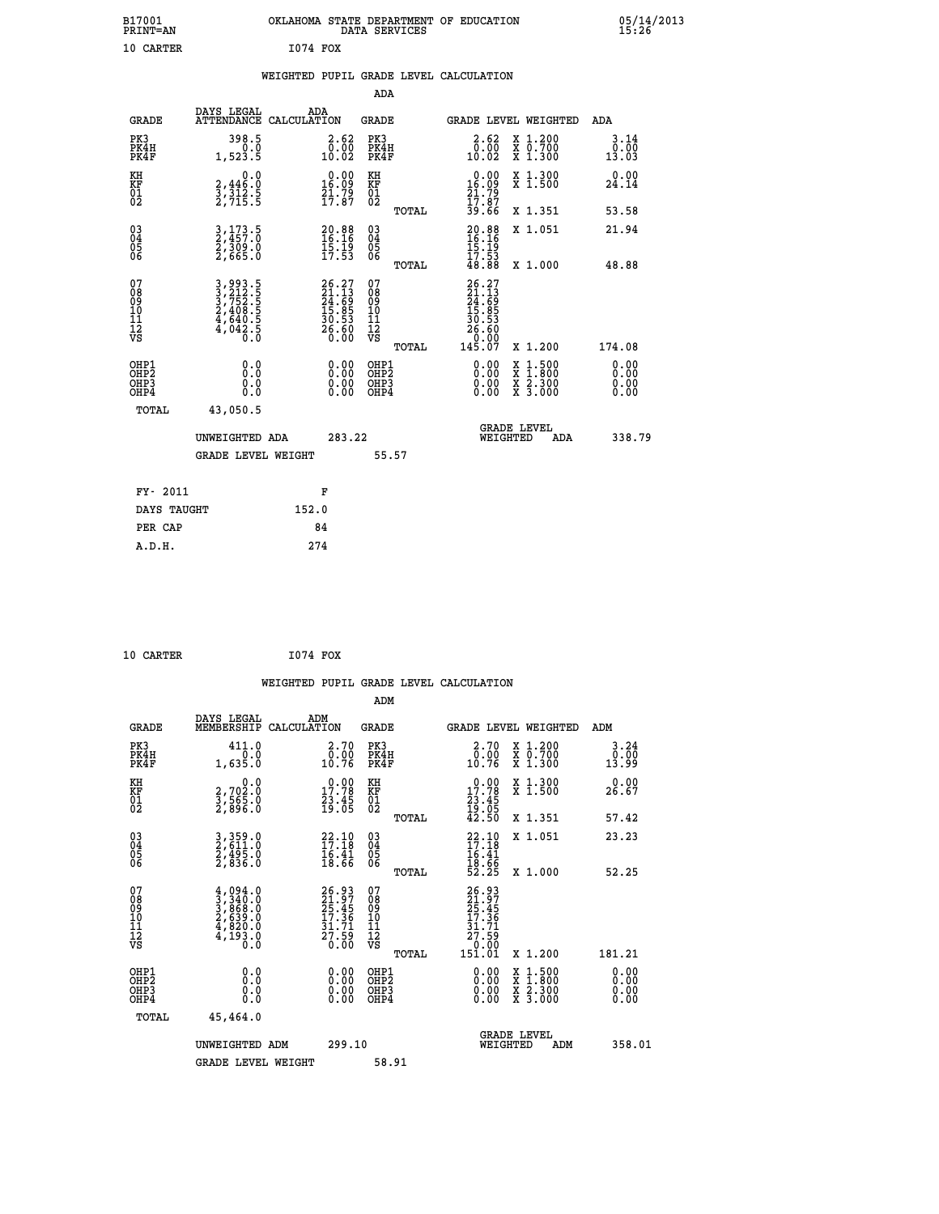| B17001<br>PRINT=AN                     |                                                                             | OKLAHOMA STATE DEPARTMENT OF EDUCATION                               | DATA SERVICES                                      |                                                                                  |                                                                                          | $05/14/2013$<br>15:26 |
|----------------------------------------|-----------------------------------------------------------------------------|----------------------------------------------------------------------|----------------------------------------------------|----------------------------------------------------------------------------------|------------------------------------------------------------------------------------------|-----------------------|
| 10 CARTER                              |                                                                             | 1074 FOX                                                             |                                                    |                                                                                  |                                                                                          |                       |
|                                        |                                                                             | WEIGHTED PUPIL GRADE LEVEL CALCULATION                               |                                                    |                                                                                  |                                                                                          |                       |
|                                        |                                                                             |                                                                      | ADA                                                |                                                                                  |                                                                                          |                       |
| <b>GRADE</b>                           | DAYS LEGAL                                                                  | ADA<br>ATTENDANCE CALCULATION                                        | GRADE                                              |                                                                                  | GRADE LEVEL WEIGHTED                                                                     | ADA                   |
| PK3<br>PK4H<br>PK4F                    | 398.5<br>0.0<br>1,523.5                                                     | 2.62<br>0.00<br>10.02                                                | PK3<br>PK4H<br>PK4F                                | $2.62$<br>$0.00$<br>10.02                                                        | X 1.200<br>X 0.700<br>X 1.300                                                            | 3.14<br>0.00<br>13.03 |
| KH<br>KF<br>01<br>02                   | 0.0<br>2,446:0<br>3,312:5<br>2,715:5                                        | $\begin{smallmatrix} 0.00\\ 16.09\\ 21.79\\ 17.87 \end{smallmatrix}$ | KH<br>KF<br>01<br>02                               | $0.00$<br>$16.09$<br>$21.79$<br>$17.87$<br>$39.66$                               | X 1.300<br>X 1.500                                                                       | 0.00<br>24.14         |
|                                        |                                                                             |                                                                      | TOTAL                                              |                                                                                  | X 1.351                                                                                  | 53.58                 |
| 03<br>04<br>05<br>06                   | 3,173.5<br>2,457.0<br>2,309.0<br>2,665.0                                    | 20.88<br>16.16<br>15.19<br>17.53                                     | $\begin{matrix} 03 \\ 04 \\ 05 \\ 06 \end{matrix}$ | $\frac{20.88}{16.16}$<br>17.53                                                   | X 1.051                                                                                  | 21.94                 |
|                                        |                                                                             |                                                                      | TOTAL                                              | 48.88                                                                            | X 1.000                                                                                  | 48.88                 |
| 07<br>08<br>09<br>10<br>11<br>12<br>VS | 3, 993.5<br>3, 212.5<br>3, 752.5<br>2, 408.5<br>4, 640.5<br>4, 042.5<br>0.0 | $26.27$<br>$21.13$<br>$24.69$<br>$15.85$<br>$30.53$<br>$26.60$       | 07<br>08<br>09<br>101<br>11<br>12<br>VS            | 26.27<br>21.13<br>24.69<br>15.85<br>15.85<br>30.53<br>26<br>$\frac{60}{60}$<br>0 |                                                                                          |                       |
|                                        |                                                                             |                                                                      | TOTAL                                              | 145.07                                                                           | X 1.200                                                                                  | 174.08                |
| OHP1<br>OHP2<br>OHP3<br>OHP4           | 0.0<br>0.0<br>0.0                                                           |                                                                      | OHP1<br>OHP2<br>OHP3<br>OHP4                       | 0.00<br>0.00<br>0.00                                                             | $\begin{smallmatrix} x & 1.500 \\ x & 1.800 \\ x & 2.300 \\ x & 3.000 \end{smallmatrix}$ | 0.00<br>0.00<br>0.00  |
| <b>TOTAL</b>                           | 43,050.5                                                                    |                                                                      |                                                    |                                                                                  |                                                                                          |                       |
|                                        | UNWEIGHTED ADA                                                              | 283.22                                                               |                                                    | WEIGHTED                                                                         | <b>GRADE LEVEL</b><br>ADA                                                                | 338.79                |
|                                        | <b>GRADE LEVEL WEIGHT</b>                                                   |                                                                      | 55.57                                              |                                                                                  |                                                                                          |                       |
| FY- 2011                               |                                                                             | F                                                                    |                                                    |                                                                                  |                                                                                          |                       |
| DAYS TAUGHT                            |                                                                             | 152.0                                                                |                                                    |                                                                                  |                                                                                          |                       |
| PER CAP                                |                                                                             | 84                                                                   |                                                    |                                                                                  |                                                                                          |                       |
| A.D.H.                                 |                                                                             | 274                                                                  |                                                    |                                                                                  |                                                                                          |                       |

| 10 CARTER | 1074 FOX |  |
|-----------|----------|--|
|           |          |  |

|                                                    |                                          |                                                                                     |                    |                                                                      |                                              |       | WEIGHTED PUPIL GRADE LEVEL CALCULATION                                                                                                                                                                                                                                         |          |                                                                                                  |        |                       |
|----------------------------------------------------|------------------------------------------|-------------------------------------------------------------------------------------|--------------------|----------------------------------------------------------------------|----------------------------------------------|-------|--------------------------------------------------------------------------------------------------------------------------------------------------------------------------------------------------------------------------------------------------------------------------------|----------|--------------------------------------------------------------------------------------------------|--------|-----------------------|
|                                                    |                                          |                                                                                     |                    |                                                                      | ADM                                          |       |                                                                                                                                                                                                                                                                                |          |                                                                                                  |        |                       |
|                                                    | <b>GRADE</b>                             | DAYS LEGAL<br>MEMBERSHIP                                                            | ADM<br>CALCULATION |                                                                      | <b>GRADE</b>                                 |       |                                                                                                                                                                                                                                                                                |          | GRADE LEVEL WEIGHTED                                                                             | ADM    |                       |
|                                                    | PK3<br>PK4H<br>PK4F                      | 411.0<br>1,635.0                                                                    |                    | 2.70<br>$\substack{\text{0.00}\ 10.76}$                              | PK3<br>PK4H<br>PK4F                          |       | 2.70<br>$\begin{smallmatrix} \bar{0} \ \bar{0} \ \bar{1} \ \bar{0} \ \bar{1} \ \bar{0} \ \bar{1} \end{smallmatrix}$                                                                                                                                                            |          | X 1.200<br>X 0.700<br>X 1.300                                                                    |        | 3.24<br>0.00<br>13.99 |
| KH<br>KF<br>01<br>02                               |                                          | $\begin{smallmatrix}&&&0.0\2.702.0\3.565.0\2.896.0\end{smallmatrix}$                |                    | $\begin{smallmatrix} 0.00\\ 17.78\\ 23.45\\ 19.05 \end{smallmatrix}$ | KH<br>KF<br>01<br>02                         |       | $\begin{smallmatrix} 0.00\\ 17.78\\ 23.45\\ 19.05\\ 42.50 \end{smallmatrix}$                                                                                                                                                                                                   |          | X 1.300<br>X 1.500                                                                               |        | 0.00<br>26.67         |
|                                                    |                                          |                                                                                     |                    |                                                                      |                                              | TOTAL |                                                                                                                                                                                                                                                                                |          | X 1.351                                                                                          |        | 57.42                 |
| $\begin{matrix} 03 \\ 04 \\ 05 \\ 06 \end{matrix}$ |                                          | 3, 359.0<br>2, 611.0<br>2, 495.0<br>2, 836.0                                        |                    | $22.10$<br>$17.18$<br>$\frac{16.41}{18.66}$                          | $\substack{03 \\ 04}$<br>Ŏ5<br>06            |       | $22.10$<br>$17.18$<br>$16.41$<br>$18.66$<br>$52.25$                                                                                                                                                                                                                            |          | X 1.051                                                                                          |        | 23.23                 |
|                                                    |                                          |                                                                                     |                    |                                                                      |                                              | TOTAL |                                                                                                                                                                                                                                                                                |          | X 1.000                                                                                          |        | 52.25                 |
| 07<br>0890112<br>1112<br>VS                        |                                          | $4,094.0$<br>$3,340.0$<br>$3,868.0$<br>$2,639.0$<br>$4,820.0$<br>$4,193.0$<br>$0.0$ |                    | 26.93<br>21.97<br>25.45<br>17.36<br>17.36<br>31.71<br>27.59<br>0.00  | 07<br>08<br>09<br>09<br>10<br>11<br>12<br>VS | TOTAL | $26.93$<br>$21.97$<br>$25.45$<br>$17.36$<br>$31.71$<br>$27.59$<br>$0.00$<br>$151.01$                                                                                                                                                                                           |          | $X_1.200$                                                                                        | 181.21 |                       |
|                                                    | OHP1<br>OHP2<br>OH <sub>P3</sub><br>OHP4 | 0.0<br>0.000                                                                        |                    | $\begin{smallmatrix} 0.00 \ 0.00 \ 0.00 \ 0.00 \end{smallmatrix}$    | OHP1<br>OHP2<br>OHP <sub>3</sub>             |       | $\begin{smallmatrix} 0.00 & 0.00 & 0.00 & 0.00 & 0.00 & 0.00 & 0.00 & 0.00 & 0.00 & 0.00 & 0.00 & 0.00 & 0.00 & 0.00 & 0.00 & 0.00 & 0.00 & 0.00 & 0.00 & 0.00 & 0.00 & 0.00 & 0.00 & 0.00 & 0.00 & 0.00 & 0.00 & 0.00 & 0.00 & 0.00 & 0.00 & 0.00 & 0.00 & 0.00 & 0.00 & 0.0$ |          | $\begin{smallmatrix} x & 1 & 500 \\ x & 1 & 800 \\ x & 2 & 300 \\ x & 3 & 000 \end{smallmatrix}$ |        | 0.00<br>0.00<br>0.00  |
|                                                    | TOTAL                                    | 45,464.0                                                                            |                    |                                                                      |                                              |       |                                                                                                                                                                                                                                                                                |          |                                                                                                  |        |                       |
|                                                    |                                          | UNWEIGHTED ADM                                                                      |                    | 299.10                                                               |                                              |       |                                                                                                                                                                                                                                                                                | WEIGHTED | <b>GRADE LEVEL</b><br>ADM                                                                        |        | 358.01                |
|                                                    |                                          | <b>GRADE LEVEL WEIGHT</b>                                                           |                    |                                                                      | 58.91                                        |       |                                                                                                                                                                                                                                                                                |          |                                                                                                  |        |                       |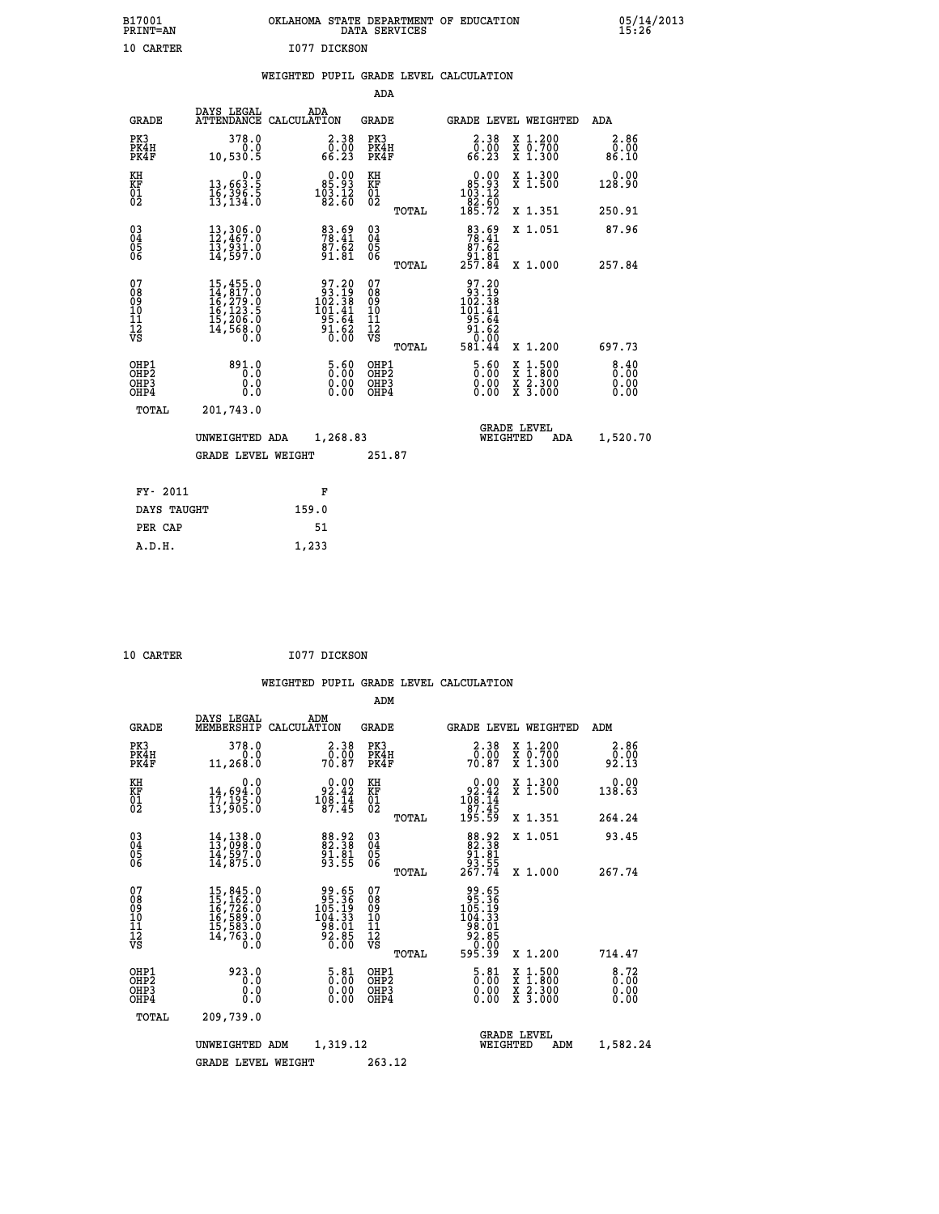| B17001<br><b>PRINT=AN</b> | OKLAHOMA<br>. STATE DEPARTMENT OF EDUCATION<br>DATA SERVICES | 05/14/2013<br>15:26 |
|---------------------------|--------------------------------------------------------------|---------------------|
| 10<br>CARTER              | I077 DICKSON                                                 |                     |

|  |  | WEIGHTED PUPIL GRADE LEVEL CALCULATION |
|--|--|----------------------------------------|
|  |  |                                        |

|                                                       |                                                                                                                                                 |                                                                                             | ADA                                      |       |                                                                                                       |                                                                                                  |                       |
|-------------------------------------------------------|-------------------------------------------------------------------------------------------------------------------------------------------------|---------------------------------------------------------------------------------------------|------------------------------------------|-------|-------------------------------------------------------------------------------------------------------|--------------------------------------------------------------------------------------------------|-----------------------|
| <b>GRADE</b>                                          | DAYS LEGAL                                                                                                                                      | ADA<br>ATTENDANCE CALCULATION                                                               | GRADE                                    |       |                                                                                                       | <b>GRADE LEVEL WEIGHTED</b>                                                                      | ADA                   |
| PK3<br>PK4H<br>PK4F                                   | 378.0<br>0.0<br>10,530.5                                                                                                                        | $\begin{smallmatrix} 2.38\0.00\\66.23\end{smallmatrix}$                                     | PK3<br>PK4H<br>PK4F                      |       | $2.38$<br>0.00<br>66.23                                                                               | X 1.200<br>X 0.700<br>X 1.300                                                                    | 2.86<br>0.00<br>86.10 |
| KH<br>KF<br>01<br>02                                  | 0.0<br>13,663:5<br>16,396:5<br>13,134:0                                                                                                         | $\begin{smallmatrix}&&0.00\\&85.93\\103.12\\82.60\end{smallmatrix}$                         | KH<br>KF<br>01<br>02                     |       | $\begin{smallmatrix} &0.00\\ 85.93\\ 103.12\\ 82.60\\ 84.50\\ 185.72 \end{smallmatrix}$               | X 1.300<br>X 1.500                                                                               | 0.00<br>128.90        |
|                                                       |                                                                                                                                                 |                                                                                             |                                          | TOTAL |                                                                                                       | X 1.351                                                                                          | 250.91                |
| 03<br>04<br>05<br>06                                  | 13,306.0<br>12,467.0<br>13,931:0<br>14,597:0                                                                                                    | 83.69<br>78.41<br>87.62<br>91.81                                                            | 03<br>04<br>05<br>06                     |       | $\frac{83.69}{78.41}$<br>$\frac{87.62}{7}$<br>81.81<br>257.84                                         | X 1.051                                                                                          | 87.96                 |
|                                                       |                                                                                                                                                 |                                                                                             |                                          | TOTAL |                                                                                                       | X 1.000                                                                                          | 257.84                |
| 07<br>08<br>09<br>11<br>11<br>12<br>VS                | $\begin{smallmatrix} 15,455\cdot 0\\ 14,817\cdot 0\\ 16,279\cdot 0\\ 16,123\cdot 5\\ 15,206\cdot 0\\ 14,568\cdot 0\\ 0\cdot 0\end{smallmatrix}$ | $\begin{array}{c} 97.20 \\ 93.19 \\ 102.38 \\ 101.41 \\ 95.64 \\ 91.62 \\ 0.00 \end{array}$ | 07<br>08<br>09<br>11<br>11<br>12<br>VS   | TOTAL | $\begin{array}{r} 97.20 \\ 93.19 \\ 102.38 \\ 101.41 \\ 95.64 \\ 91.62 \\ 0.00 \\ 581.44 \end{array}$ | X 1.200                                                                                          | 697.73                |
| OHP1<br>OH <sub>P</sub> 2<br>OH <sub>P3</sub><br>OHP4 | 891.0<br>0.0<br>0.0<br>0.0                                                                                                                      | 5.60<br>$\begin{smallmatrix} 0.00 \ 0.00 \end{smallmatrix}$                                 | OHP1<br>OHP <sub>2</sub><br>OHP3<br>OHP4 |       | 5.60<br>0.00<br>0.00                                                                                  | $\begin{smallmatrix} x & 1 & 500 \\ x & 1 & 800 \\ x & 2 & 300 \\ x & 3 & 000 \end{smallmatrix}$ | 8.40<br>0.00<br>0.00  |
| TOTAL                                                 | 201,743.0                                                                                                                                       |                                                                                             |                                          |       |                                                                                                       |                                                                                                  |                       |
|                                                       | UNWEIGHTED ADA                                                                                                                                  | 1,268.83                                                                                    |                                          |       | WEIGHTED                                                                                              | <b>GRADE LEVEL</b><br>ADA                                                                        | 1,520.70              |
|                                                       | <b>GRADE LEVEL WEIGHT</b>                                                                                                                       |                                                                                             | 251.87                                   |       |                                                                                                       |                                                                                                  |                       |
|                                                       |                                                                                                                                                 |                                                                                             |                                          |       |                                                                                                       |                                                                                                  |                       |
| FY- 2011                                              |                                                                                                                                                 | F                                                                                           |                                          |       |                                                                                                       |                                                                                                  |                       |
| DAYS TAUGHT                                           |                                                                                                                                                 | 159.0                                                                                       |                                          |       |                                                                                                       |                                                                                                  |                       |
| PER CAP                                               |                                                                                                                                                 | 51                                                                                          |                                          |       |                                                                                                       |                                                                                                  |                       |
| A.D.H.                                                |                                                                                                                                                 | 1,233                                                                                       |                                          |       |                                                                                                       |                                                                                                  |                       |

| <b>10 CARTER</b> |  | I077 DICKSON |
|------------------|--|--------------|
|                  |  |              |

| <b>GRADE</b>                                         | DAYS LEGAL<br>MEMBERSHIP                                                                                                                                                                   | ADM<br>CALCULATION                                                    | <b>GRADE</b>                                        |       | GRADE LEVEL WEIGHTED                                                               |                                          | ADM                                                              |  |
|------------------------------------------------------|--------------------------------------------------------------------------------------------------------------------------------------------------------------------------------------------|-----------------------------------------------------------------------|-----------------------------------------------------|-------|------------------------------------------------------------------------------------|------------------------------------------|------------------------------------------------------------------|--|
| PK3<br>PK4H<br>PK4F                                  | 378.0<br>11, 268.0                                                                                                                                                                         | $\begin{smallmatrix} 2.38\0.00\\70.87\end{smallmatrix}$               | PK3<br>PK4H<br>PK4F                                 |       | $\begin{smallmatrix} 2.38\0.00\\70.87\end{smallmatrix}$                            | X 1.200<br>X 0.700<br>X 1.300            | 2.86<br>$\frac{\bar{0} \cdot \bar{0} \bar{0}}{2 \cdot 13}$       |  |
| KH<br>KF<br>01<br>02                                 | 0.0<br>14,694.0<br>17,195.0<br>13,905.0                                                                                                                                                    | $\begin{smallmatrix} 0.00\\ 92.42\\ 108.14\\ 87.45 \end{smallmatrix}$ | KH<br>KF<br>01<br>02                                |       | $0.00$<br>$92.42$<br>$108.14$<br>$87.45$<br>$195.59$                               | X 1.300<br>X 1.500                       | 0.00<br>138.63                                                   |  |
|                                                      |                                                                                                                                                                                            |                                                                       |                                                     | TOTAL |                                                                                    | X 1.351                                  | 264.24                                                           |  |
| 03<br>04<br>05<br>06                                 | $14, 138.0$<br>$13, 098.0$<br>$14, 597.0$<br>$14, 875.0$                                                                                                                                   | 88.92<br>82.38<br>91.81<br>93.55                                      | $\begin{array}{c} 03 \\ 04 \\ 05 \\ 06 \end{array}$ |       | $\begin{smallmatrix}88.92\\82.38\\91.81\\93.55\\267.74\end{smallmatrix}$           | X 1.051                                  | 93.45                                                            |  |
|                                                      |                                                                                                                                                                                            |                                                                       |                                                     | TOTAL |                                                                                    | X 1.000                                  | 267.74                                                           |  |
| 07<br>08<br>09<br>11<br>11<br>12<br>VS               | $\begin{smallmatrix} 15 \,, & 845 \,, & 0\\ 15 \,, & 162 \,, & 0\\ 16 \,, & 726 \,, & 0\\ 16 \,, & 589 \,, & 0\\ 15 \,, & 583 \,, & 0\\ 14 \,, & 763 \,, & 0\\ 0 \,, & 0\end{smallmatrix}$ | 99.65<br>95.366<br>105.199<br>104.33<br>98.01<br>92.85<br>0.00        | 07<br>08<br>09<br>11<br>11<br>12<br>VS              |       | 99.65<br>95.36<br>105.199<br>104.33<br>98.015<br>98.000<br>595.39                  |                                          |                                                                  |  |
|                                                      |                                                                                                                                                                                            |                                                                       |                                                     | TOTAL |                                                                                    | X 1.200                                  | 714.47                                                           |  |
| OHP1<br>OHP <sub>2</sub><br>OH <sub>P3</sub><br>OHP4 | 923.0<br>0.0<br>0.0<br>0.0                                                                                                                                                                 | 5.81<br>0.00<br>0.00<br>0.00                                          | OHP1<br>OHP <sub>2</sub><br>OHP3<br>OHP4            |       | $\frac{5.81}{0.00}$<br>$\begin{smallmatrix} 0.00 & 0 \ 0.00 & 0 \end{smallmatrix}$ | X 1:500<br>X 1:800<br>X 2:300<br>X 3:000 | $\begin{smallmatrix} 8.72\ 0.00\ 0.00 \end{smallmatrix}$<br>0.00 |  |
| TOTAL                                                | 209,739.0                                                                                                                                                                                  |                                                                       |                                                     |       |                                                                                    |                                          |                                                                  |  |
|                                                      | UNWEIGHTED                                                                                                                                                                                 | 1,319.12<br>ADM                                                       |                                                     |       | WEIGHTED                                                                           | <b>GRADE LEVEL</b><br>ADM                | 1,582.24                                                         |  |
|                                                      | <b>GRADE LEVEL WEIGHT</b>                                                                                                                                                                  |                                                                       | 263.12                                              |       |                                                                                    |                                          |                                                                  |  |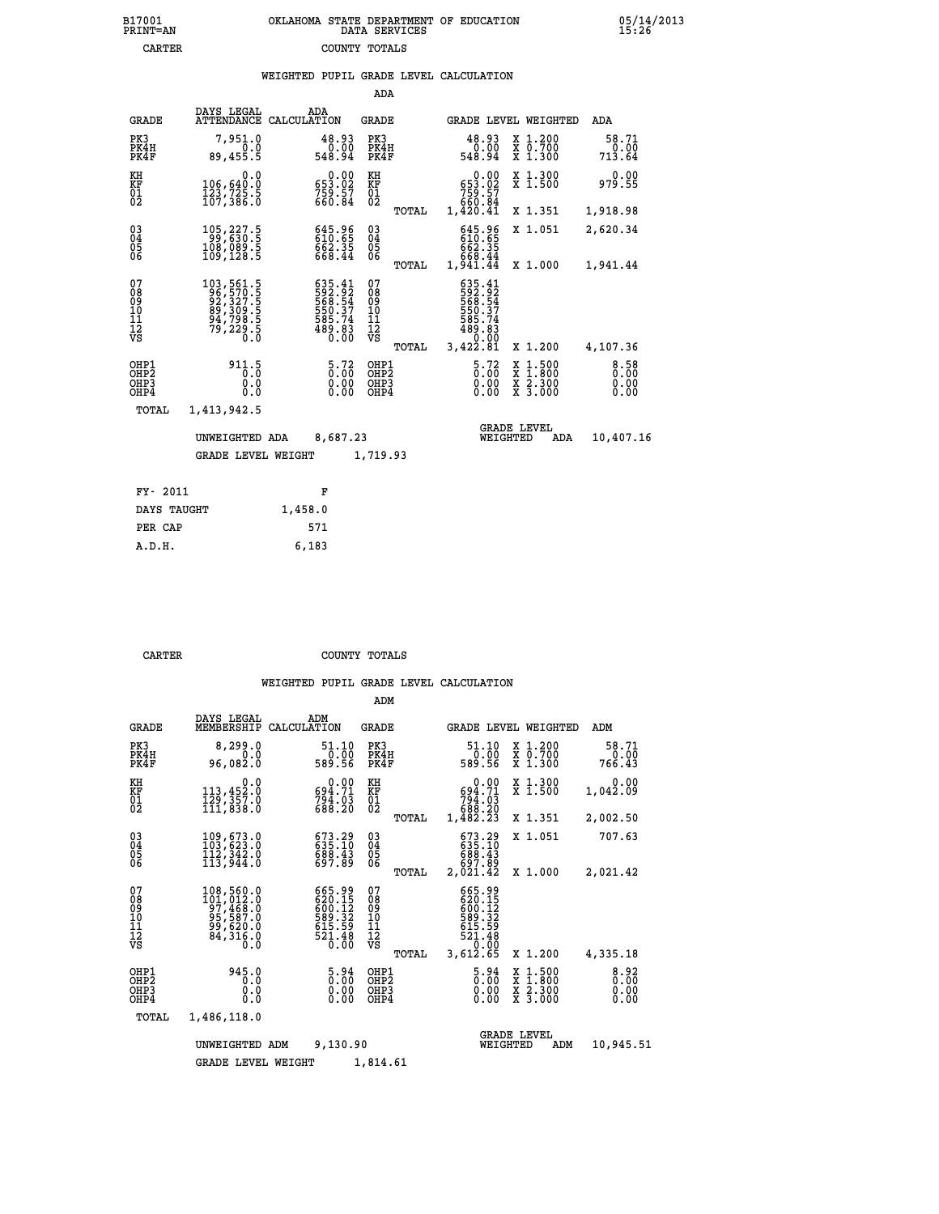|  | OKLAHOMA STATE DEPARTMENT OF EDUCATION<br>DATA SERVICES |  |
|--|---------------------------------------------------------|--|
|  | COUNTY TOTALS                                           |  |

|                                                    |                                                                                                                      |             |                                                                                | ADA                                      |       |                                                                                                             |                                               |                                          |                              |
|----------------------------------------------------|----------------------------------------------------------------------------------------------------------------------|-------------|--------------------------------------------------------------------------------|------------------------------------------|-------|-------------------------------------------------------------------------------------------------------------|-----------------------------------------------|------------------------------------------|------------------------------|
| <b>GRADE</b>                                       | DAYS LEGAL<br>ATTENDANCE                                                                                             | CALCULATION | ADA                                                                            | GRADE                                    |       |                                                                                                             |                                               | GRADE LEVEL WEIGHTED                     | ADA                          |
| PK3<br>PK4H<br>PK4F                                | 7,951.0<br>0.0<br>89,455.5                                                                                           |             | 48.93<br>0.00<br>548.94                                                        | PK3<br>PK4H<br>PK4F                      |       | 48.93<br>548.94                                                                                             | 0.00                                          | X 1.200<br>X 0.700<br>X 1.300            | 58.71<br>0.00<br>713.64      |
| KH<br><b>KF</b><br>01<br>02                        | 0.0<br>106,640:0<br>123,725.5<br>107,386:0                                                                           |             | 0.00<br>653.02<br>759.57<br>660.84                                             | KH<br>KF<br>01<br>02                     |       | $\begin{smallmatrix} &0.00\ 653.02\ 759.57\ 760.84\ 1,420.41\end{smallmatrix}$                              |                                               | X 1.300<br>$\overline{x}$ 1.500          | 0.00<br>979.55               |
|                                                    |                                                                                                                      |             |                                                                                |                                          | TOTAL |                                                                                                             |                                               | X 1.351                                  | 1,918.98                     |
| $\begin{matrix} 03 \\ 04 \\ 05 \\ 06 \end{matrix}$ | $\substack{105,227.5\\99,630.5\\108,089.5\\109,128.5}$                                                               |             | $645.96$<br>$610.65$<br>$662.35$<br>$668.44$                                   | $\substack{03 \\ 04}$<br>$\frac{05}{06}$ |       | $645.96$<br>$610.65$<br>$662.35$<br>$668.44$<br>$1,941.44$                                                  |                                               | X 1.051                                  | 2,620.34                     |
|                                                    |                                                                                                                      |             |                                                                                |                                          | TOTAL |                                                                                                             |                                               | X 1.000                                  | 1,941.44                     |
| 07<br>08<br>09<br>11<br>11<br>12<br>VS             | $\begin{smallmatrix} 103, 561.5\\ 96, 570.5\\ 92, 327.5\\ 89, 309.5\\ 94, 798.5\\ 79, 229.5\\ 0.0 \end{smallmatrix}$ |             | $635.41$<br>$592.92$<br>$568.54$<br>$550.37$<br>$585.74$<br>$489.83$<br>$0.00$ | 07<br>08<br>09<br>11<br>11<br>12<br>VS   | TOTAL | $\begin{array}{r} 635.41 \\ 592.92 \\ 568.54 \\ 550.37 \\ 585.74 \\ 489.83 \\ 0.00 \\ 3,422.81 \end{array}$ |                                               | X 1.200                                  | 4,107.36                     |
| OHP1<br>OHP2<br>OHP3<br>OHP4                       | 911.5<br>0.0<br>0.0                                                                                                  |             | $\frac{5.72}{0.00}$<br>0.00                                                    | OHP1<br>OHP2<br>OHP3<br>OHP4             |       |                                                                                                             | $\frac{5.72}{0.00}$<br>X<br>X<br>0.00<br>0.00 | $1.500$<br>$1.800$<br>X 2.300<br>X 3.000 | 8.58<br>0.00<br>0.00<br>0.00 |
| TOTAL                                              | 1,413,942.5                                                                                                          |             |                                                                                |                                          |       |                                                                                                             |                                               |                                          |                              |
|                                                    | UNWEIGHTED ADA                                                                                                       |             | 8,687.23                                                                       |                                          |       |                                                                                                             | <b>GRADE LEVEL</b><br>WEIGHTED                | ADA                                      | 10,407.16                    |
|                                                    | <b>GRADE LEVEL WEIGHT</b>                                                                                            |             |                                                                                | 1,719.93                                 |       |                                                                                                             |                                               |                                          |                              |
|                                                    |                                                                                                                      |             |                                                                                |                                          |       |                                                                                                             |                                               |                                          |                              |
| FY- 2011                                           |                                                                                                                      |             | F                                                                              |                                          |       |                                                                                                             |                                               |                                          |                              |
| DAYS TAUGHT                                        |                                                                                                                      | 1,458.0     |                                                                                |                                          |       |                                                                                                             |                                               |                                          |                              |

|        | PER CAP | 571   |
|--------|---------|-------|
| A.D.H. |         | 6,183 |
|        |         |       |
|        |         |       |

B17001<br>PRINT=AN<br>CARTER

**CARTER COUNTY TOTALS** 

|                                                    |                                                                                  |                                                                  | ADM                                                |                                                                                |                                          |                              |
|----------------------------------------------------|----------------------------------------------------------------------------------|------------------------------------------------------------------|----------------------------------------------------|--------------------------------------------------------------------------------|------------------------------------------|------------------------------|
| <b>GRADE</b>                                       | DAYS LEGAL<br>MEMBERSHIP                                                         | ADM<br>CALCULATION                                               | GRADE                                              | GRADE LEVEL WEIGHTED                                                           |                                          | ADM                          |
| PK3<br>PK4H<br>PK4F                                | 8,299.0<br>0.0<br>96,082.0                                                       | 51.10<br>0.00<br>589.56                                          | PK3<br>PK4H<br>PK4F                                | 51.10<br>0.00<br>589.56                                                        | X 1.200<br>X 0.700<br>X 1.300            | 58.71<br>0.00<br>766.43      |
| KH<br>KF<br>01<br>02                               | 0.0<br>113,452:0<br>129,357:0<br>111,838:0                                       | $0.00$<br>694.71<br>794.03<br>688.20                             | KH<br>KF<br>$\overline{01}$                        | 0.00<br>694.71<br>794.03<br>688.20<br>1,482.23                                 | X 1.300<br>X 1.500                       | 0.00<br>1,042.09             |
|                                                    |                                                                                  |                                                                  | TOTAL                                              |                                                                                | X 1.351                                  | 2,002.50                     |
| $\begin{matrix} 03 \\ 04 \\ 05 \\ 06 \end{matrix}$ | 109,673.0<br>103,623.0<br>112,342.0<br>113,944.0                                 | 673.29<br>635.10<br>688.43<br>697.89                             | $\begin{matrix} 03 \\ 04 \\ 05 \\ 06 \end{matrix}$ | 673.29<br>635.10<br>688.43<br>697.89                                           | X 1.051                                  | 707.63                       |
|                                                    |                                                                                  |                                                                  | TOTAL                                              | 2,021.42                                                                       | X 1.000                                  | 2,021.42                     |
| 07<br>08<br>09<br>11<br>11<br>12<br>VS             | 108,560.0<br>$101,012.0$<br>$97,468.0$<br>$95,587.0$<br>$99,620.0$<br>$84,316.0$ | 665.99<br>620.15<br>600.12<br>589.32<br>615.59<br>521.48<br>0.00 | 07<br>08<br>09<br>11<br>11<br>12<br>VS<br>TOTAL    | 665.99<br>620.15<br>600.12<br>589:32<br>615:59<br>521:48<br>520:00<br>3,612.65 | X 1.200                                  | 4,335.18                     |
| OHP1<br>OHP2<br>OH <sub>P3</sub><br>OHP4           | 945.0<br>0.0<br>0.0<br>0.0                                                       | $\substack{5.94 \\ 0.00}$<br>0.00                                | OHP1<br>OH <sub>P</sub> 2<br>OHP3<br>OHP4          | $\begin{smallmatrix} 5.94\ 0.00 \ 0.00 \end{smallmatrix}$<br>0.00              | X 1:500<br>X 1:800<br>X 2:300<br>X 3:000 | 8.92<br>0.00<br>0.00<br>0.00 |
| TOTAL                                              | 1,486,118.0                                                                      |                                                                  |                                                    |                                                                                |                                          |                              |
|                                                    | UNWEIGHTED ADM                                                                   | 9,130.90                                                         |                                                    | <b>GRADE LEVEL</b><br>WEIGHTED                                                 | ADM                                      | 10,945.51                    |
|                                                    | <b>GRADE LEVEL WEIGHT</b>                                                        |                                                                  | 1,814.61                                           |                                                                                |                                          |                              |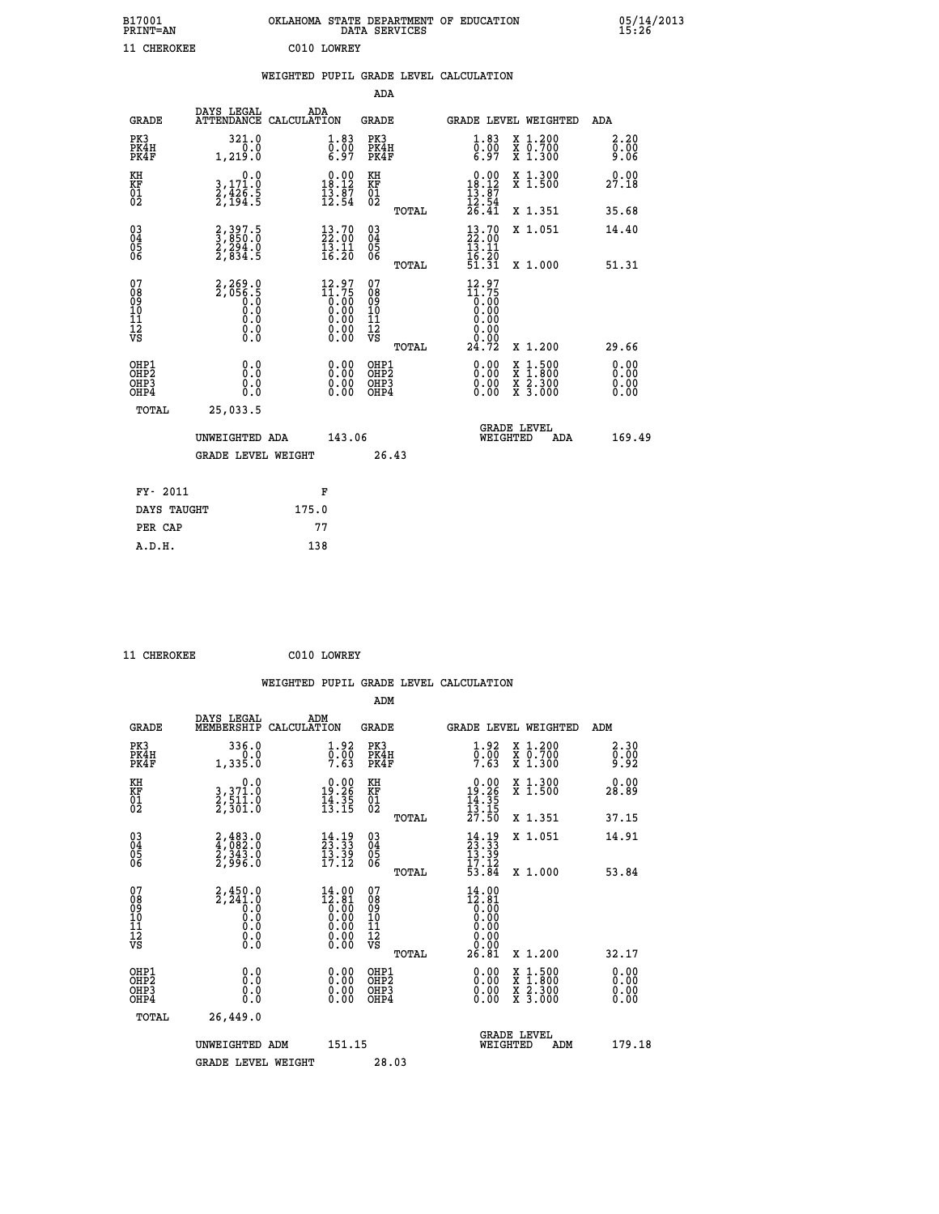|                                  | OKLAHOMA STATE DEPARTMENT OF EDUCATION<br>DATA SERVICES |  |
|----------------------------------|---------------------------------------------------------|--|
| C <sub>0</sub> 10 T <sub>0</sub> |                                                         |  |

| 11 CHEROKEE                                        |                                                                         |                    | C010 LOWREY                                                                                                      |                                           |       |                                                                                                                                                                                                                                                                                |                                                                                                  |                              |
|----------------------------------------------------|-------------------------------------------------------------------------|--------------------|------------------------------------------------------------------------------------------------------------------|-------------------------------------------|-------|--------------------------------------------------------------------------------------------------------------------------------------------------------------------------------------------------------------------------------------------------------------------------------|--------------------------------------------------------------------------------------------------|------------------------------|
|                                                    |                                                                         |                    |                                                                                                                  |                                           |       | WEIGHTED PUPIL GRADE LEVEL CALCULATION                                                                                                                                                                                                                                         |                                                                                                  |                              |
|                                                    |                                                                         |                    |                                                                                                                  | ADA                                       |       |                                                                                                                                                                                                                                                                                |                                                                                                  |                              |
| <b>GRADE</b>                                       | DAYS LEGAL<br><b>ATTENDANCE</b>                                         | ADA<br>CALCULATION |                                                                                                                  | <b>GRADE</b>                              |       |                                                                                                                                                                                                                                                                                | GRADE LEVEL WEIGHTED                                                                             | ADA                          |
| PK3<br>PK4H<br>PK4F                                | 321.0<br>1, 219.0                                                       |                    | $\begin{smallmatrix} 1.83\ 0.00\ 6.97 \end{smallmatrix}$                                                         | PK3<br>PK4H<br>PK4F                       |       | $\begin{smallmatrix} 1.83\ 0.00\ 6.97 \end{smallmatrix}$                                                                                                                                                                                                                       | X 1.200<br>X 0.700<br>X 1.300                                                                    | 2.20<br>0.00<br>9.06         |
| KH<br>KF<br>01<br>02                               | $\begin{smallmatrix}&&&0.0\\3,171.0\\2,426.5\\2,194.5\end{smallmatrix}$ |                    | $\begin{array}{c} 0.00 \\ 18.12 \\ 13.87 \\ 12.54 \end{array}$                                                   | KH<br>KF<br>01<br>02                      |       | $\begin{array}{c} 0.00 \\ 18.12 \\ 13.87 \\ 12.54 \\ 26.41 \end{array}$                                                                                                                                                                                                        | X 1.300<br>X 1.500                                                                               | 0.00<br>27.18                |
|                                                    |                                                                         |                    |                                                                                                                  |                                           | TOTAL |                                                                                                                                                                                                                                                                                | X 1.351                                                                                          | 35.68                        |
| $\begin{matrix} 03 \\ 04 \\ 05 \\ 06 \end{matrix}$ | 2,397.5<br>3,850.0<br>2,294.0<br>2,834.5                                |                    | $\begin{smallmatrix} 13\cdot70\ 22\cdot00\ 13\cdot11\ 16\cdot20 \end{smallmatrix}$                               | 03<br>04<br>05<br>06                      |       | $\begin{smallmatrix} 13\cdot70\ 22\cdot00\ 13\cdot11\ 16\cdot20\ 51\cdot31 \end{smallmatrix}$                                                                                                                                                                                  | X 1.051                                                                                          | 14.40                        |
|                                                    |                                                                         |                    |                                                                                                                  |                                           | TOTAL |                                                                                                                                                                                                                                                                                | X 1.000                                                                                          | 51.31                        |
| 07<br>08<br>09<br>101<br>11<br>12<br>VS            | $2,269.0$<br>$2,056.5$<br>$0.0$<br>$0.0$<br>$0.0$<br>$0.0$<br>$0.0$     |                    | $12.97$<br>$11.75$<br>0.00<br>0.00<br>0.00<br>$\begin{smallmatrix} 0.00 & 0.00 \\ 0.00 & 0.00 \end{smallmatrix}$ | 07<br>08<br>09<br>11<br>11<br>12<br>VS    | TOTAL | $12.97$<br>$11.75$<br>$0.00$<br>$0.00$<br>$0.00$<br>0.00<br>24.72                                                                                                                                                                                                              | X 1.200                                                                                          | 29.66                        |
| OHP1<br>OHP2<br>OH <sub>P3</sub><br>OHP4           | 0.0<br>0.000                                                            |                    | $\begin{smallmatrix} 0.00 \ 0.00 \ 0.00 \ 0.00 \end{smallmatrix}$                                                | OHP1<br>OH <sub>P</sub> 2<br>OHP3<br>OHP4 |       | $\begin{smallmatrix} 0.00 & 0.00 & 0.00 & 0.00 & 0.00 & 0.00 & 0.00 & 0.00 & 0.00 & 0.00 & 0.00 & 0.00 & 0.00 & 0.00 & 0.00 & 0.00 & 0.00 & 0.00 & 0.00 & 0.00 & 0.00 & 0.00 & 0.00 & 0.00 & 0.00 & 0.00 & 0.00 & 0.00 & 0.00 & 0.00 & 0.00 & 0.00 & 0.00 & 0.00 & 0.00 & 0.0$ | $\begin{smallmatrix} x & 1 & 500 \\ x & 1 & 800 \\ x & 2 & 300 \\ x & 3 & 000 \end{smallmatrix}$ | 0.00<br>0.00<br>0.00<br>0.00 |
| TOTAL                                              | 25,033.5<br>UNWEIGHTED ADA                                              |                    | 143.06                                                                                                           |                                           |       | WEIGHTED                                                                                                                                                                                                                                                                       | <b>GRADE LEVEL</b><br>ADA                                                                        | 169.49                       |

| FY- 2011    | F     |
|-------------|-------|
| DAYS TAUGHT | 175.0 |
| PER CAP     | 77    |
| A.D.H.      | 138   |
|             |       |

 **GRADE LEVEL WEIGHT 26.43**

 **11 CHEROKEE C010 LOWREY**

 **B17001<br>PRINT=AN** 

| <b>GRADE</b>                                       | DAYS LEGAL<br>MEMBERSHIP                                              | ADM<br>CALCULATION                                                                                                                                                                                                                                                                                                                       | <b>GRADE</b>                                       |       |                                                                                          | GRADE LEVEL WEIGHTED                     | ADM                  |  |
|----------------------------------------------------|-----------------------------------------------------------------------|------------------------------------------------------------------------------------------------------------------------------------------------------------------------------------------------------------------------------------------------------------------------------------------------------------------------------------------|----------------------------------------------------|-------|------------------------------------------------------------------------------------------|------------------------------------------|----------------------|--|
| PK3<br>PK4H<br>PK4F                                | 336.0<br>1,335.0                                                      | $\begin{smallmatrix} 1.92\ 0.00\ 7.63 \end{smallmatrix}$                                                                                                                                                                                                                                                                                 | PK3<br>PK4H<br>PK4F                                |       | $\begin{smallmatrix} 1.92\ 0.00\ 7.63 \end{smallmatrix}$                                 | X 1.200<br>X 0.700<br>X 1.300            | 2.30<br>Ō.ŎŎ<br>9.92 |  |
| KH<br>KF<br>01<br>02                               | 0.0<br>3,371.0<br>2,511.0<br>2,301.0                                  | $\begin{smallmatrix} 0.00\\19.26\\14.35\\13.15 \end{smallmatrix}$                                                                                                                                                                                                                                                                        | KH<br>KF<br>01<br>02                               |       | $\begin{array}{r} 0.00 \\ 19.26 \\ 14.35 \\ 13.15 \\ 27.50 \end{array}$                  | X 1.300<br>X 1.500                       | 0.00<br>28.89        |  |
|                                                    |                                                                       |                                                                                                                                                                                                                                                                                                                                          |                                                    | TOTAL |                                                                                          | X 1.351                                  | 37.15                |  |
| $\begin{matrix} 03 \\ 04 \\ 05 \\ 06 \end{matrix}$ | $2,483.0$<br>$2,343.0$<br>$2,343.0$<br>$2,996.0$                      | $\begin{smallmatrix} 14\cdot 19\\ 23\cdot 33\\ 13\cdot 39\\ 17\cdot 12 \end{smallmatrix}$                                                                                                                                                                                                                                                | $\begin{matrix} 03 \\ 04 \\ 05 \\ 06 \end{matrix}$ |       | $14.19$<br>$13.33$<br>$13.39$<br>$17.12$<br>$53.84$                                      | X 1.051                                  | 14.91                |  |
|                                                    |                                                                       |                                                                                                                                                                                                                                                                                                                                          |                                                    | TOTAL |                                                                                          | X 1.000                                  | 53.84                |  |
| 07<br>089<br>090<br>1112<br>VS                     | $2, 450.0$<br>$2, 241.0$<br>$0.0$<br>$0.0$<br>$0.0$<br>$0.0$<br>$0.0$ | $\begin{smallmatrix} 14 & 0 & 0 \\ 12 & 8 & 1 \\ 0 & 0 & 0 \\ 0 & 0 & 0 \\ 0 & 0 & 0 \\ 0 & 0 & 0 \\ 0 & 0 & 0 \\ 0 & 0 & 0 \\ 0 & 0 & 0 \\ 0 & 0 & 0 \\ 0 & 0 & 0 \\ 0 & 0 & 0 \\ 0 & 0 & 0 \\ 0 & 0 & 0 \\ 0 & 0 & 0 \\ 0 & 0 & 0 \\ 0 & 0 & 0 \\ 0 & 0 & 0 \\ 0 & 0 & 0 \\ 0 & 0 & 0 \\ 0 & 0 & 0 \\ 0 & 0 & 0 \\ 0 & 0 & 0 \\ 0 & 0$ | 07<br>08<br>09<br>01<br>11<br>11<br>12<br>VS       | TOTAL | $\begin{smallmatrix} 14.00\\12.81\\0.00\\0.00\\0.00\\0.00\\0.00\\26.81\end{smallmatrix}$ | X 1.200                                  | 32.17                |  |
| OHP1<br>OHP2<br>OHP3<br>OHP4                       | 0.0<br>$\begin{smallmatrix} 0.0 & 0 \ 0.0 & 0 \end{smallmatrix}$      |                                                                                                                                                                                                                                                                                                                                          | OHP1<br>OHP2<br>OHP3<br>OHP4                       |       |                                                                                          | X 1:500<br>X 1:800<br>X 2:300<br>X 3:000 | 0.00<br>0.00<br>0.00 |  |
| TOTAL                                              | 26,449.0                                                              |                                                                                                                                                                                                                                                                                                                                          |                                                    |       |                                                                                          |                                          |                      |  |
|                                                    | UNWEIGHTED ADM                                                        | 151.15                                                                                                                                                                                                                                                                                                                                   |                                                    |       | WEIGHTED                                                                                 | <b>GRADE LEVEL</b><br>ADM                | 179.18               |  |
|                                                    | <b>GRADE LEVEL WEIGHT</b>                                             |                                                                                                                                                                                                                                                                                                                                          | 28.03                                              |       |                                                                                          |                                          |                      |  |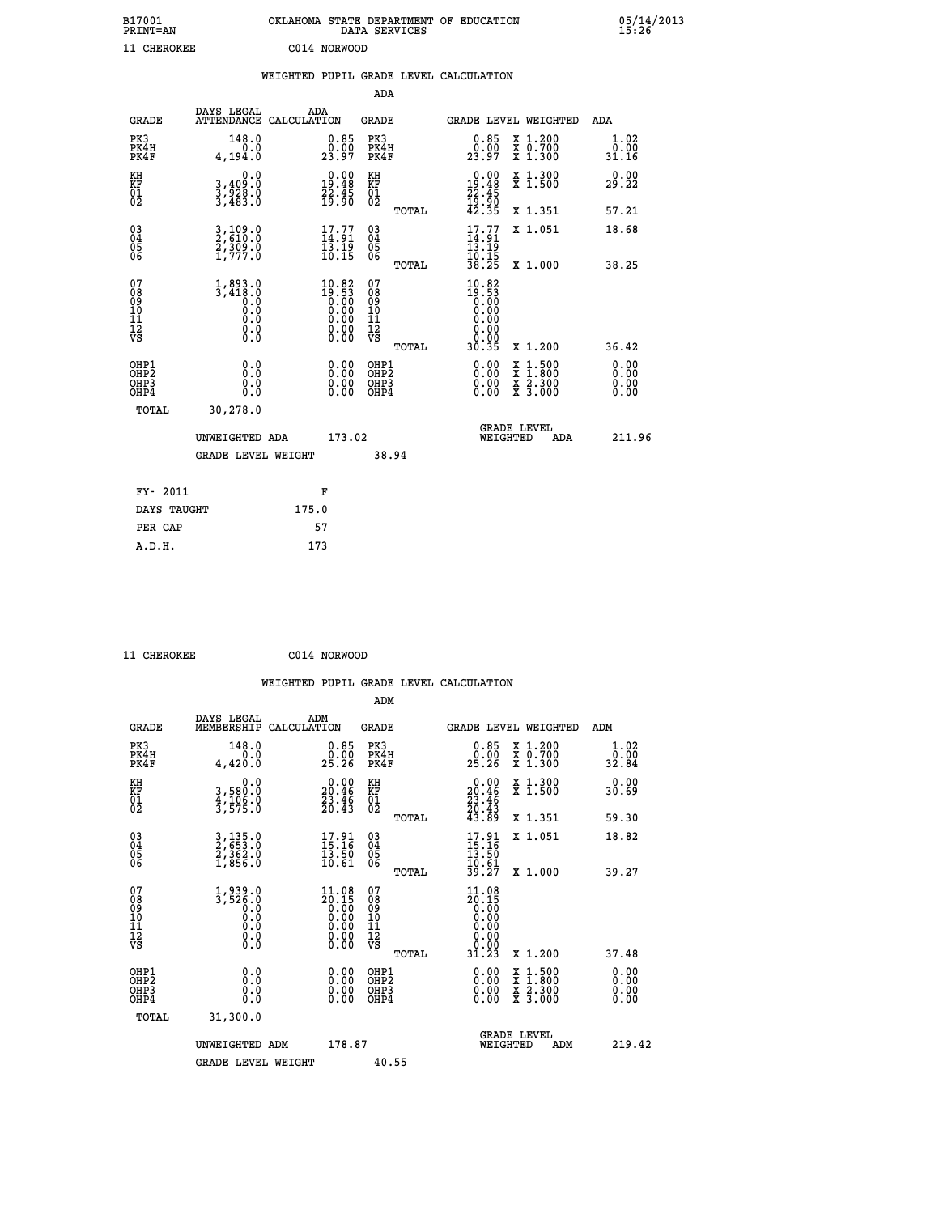| B17001<br><b>PRINT=AN</b> | OKLAHOMA STATE DEPARTMENT OF EDUCATION<br>DATA SERVICES | 05/14/2013<br>15:26 |
|---------------------------|---------------------------------------------------------|---------------------|
| 11 CHEROKEE               | C014 NORWOOD                                            |                     |

|                                                    |                                                      |                                                                                            |       |                                                                   |                                        |       | WEIGHTED PUPIL GRADE LEVEL CALCULATION                          |                                                                                                                                                          |                              |
|----------------------------------------------------|------------------------------------------------------|--------------------------------------------------------------------------------------------|-------|-------------------------------------------------------------------|----------------------------------------|-------|-----------------------------------------------------------------|----------------------------------------------------------------------------------------------------------------------------------------------------------|------------------------------|
|                                                    |                                                      |                                                                                            |       |                                                                   | ADA                                    |       |                                                                 |                                                                                                                                                          |                              |
|                                                    | <b>GRADE</b>                                         | DAYS LEGAL<br>ATTENDANCE CALCULATION                                                       | ADA   |                                                                   | <b>GRADE</b>                           |       |                                                                 | GRADE LEVEL WEIGHTED                                                                                                                                     | ADA                          |
| PK3                                                | PK4H<br>PK4F                                         | 148.0<br>0.0<br>4,194.0                                                                    |       | $\begin{smallmatrix} 0.85\ 0.00\\ 23.97 \end{smallmatrix}$        | PK3<br>PK4H<br>PK4F                    |       | 0.85<br>0.00<br>23.97                                           | X 1.200<br>X 0.700<br>X 1.300                                                                                                                            | 1.02<br>0.00<br>31.16        |
| KH<br>KF<br>01<br>02                               |                                                      | 0.0<br>3,409:0<br>3,928:0<br>3,483:0                                                       |       | $\begin{smallmatrix} 0.00\\19.48\\22.45\\19.90 \end{smallmatrix}$ | KH<br>KF<br>01<br>02                   |       | $0.00\n19.48\n22.45\n19.90\n42.35$                              | X 1.300<br>X 1.500                                                                                                                                       | 0.00<br>29.22                |
|                                                    |                                                      |                                                                                            |       |                                                                   |                                        | TOTAL |                                                                 | X 1.351                                                                                                                                                  | 57.21                        |
| $\begin{matrix} 03 \\ 04 \\ 05 \\ 06 \end{matrix}$ |                                                      | 3,109.0<br>2,610.0<br>2,309.0<br>1,777.0                                                   |       | 17.77<br>$\frac{13.19}{10.15}$                                    | 03<br>04<br>05<br>06                   |       | $17.77$<br>$14.91$<br>$13.19$<br>$10.15$<br>$38.25$             | X 1.051                                                                                                                                                  | 18.68                        |
|                                                    |                                                      |                                                                                            |       |                                                                   |                                        | TOTAL |                                                                 | X 1.000                                                                                                                                                  | 38.25                        |
| 07<br>08<br>09<br>11<br>11<br>12<br>VS             |                                                      | $1,893.0$<br>3,418.0<br>$\begin{smallmatrix} 0.5 & 0 \ 0.0 & 0 \end{smallmatrix}$<br>$\S.$ |       | $10.82$<br>$19.53$<br>$0.00$<br>$0.00$<br>$0.00$<br>ŏ:ŏŏ<br>O.OO  | 07<br>08<br>09<br>11<br>11<br>12<br>VS | TOTAL | $10.82$<br>$19.53$<br>$0.00$<br>$0.00$<br>0.00<br>0.00<br>30.35 | X 1.200                                                                                                                                                  | 36.42                        |
|                                                    | OHP1<br>OHP <sub>2</sub><br>OH <sub>P3</sub><br>OHP4 | 0.0<br>0.0<br>Ō.Ō                                                                          |       | 0.0000<br>$\begin{smallmatrix} 0.00 \ 0.00 \end{smallmatrix}$     | OHP1<br>OHP2<br>OHP3<br>OHP4           |       | 0.00<br>0.00<br>0.00                                            | $1:500$<br>1:800<br>$\begin{smallmatrix} \mathtt{X} & 1 & 500 \\ \mathtt{X} & 1 & 800 \\ \mathtt{X} & 2 & 300 \\ \mathtt{X} & 3 & 000 \end{smallmatrix}$ | 0.00<br>0.00<br>0.00<br>0.00 |
|                                                    | <b>TOTAL</b>                                         | 30,278.0                                                                                   |       |                                                                   |                                        |       |                                                                 |                                                                                                                                                          |                              |
|                                                    |                                                      | UNWEIGHTED ADA                                                                             |       | 173.02                                                            |                                        |       | WEIGHTED                                                        | <b>GRADE LEVEL</b><br>ADA                                                                                                                                | 211.96                       |
|                                                    |                                                      | <b>GRADE LEVEL WEIGHT</b>                                                                  |       |                                                                   | 38.94                                  |       |                                                                 |                                                                                                                                                          |                              |
|                                                    | FY- 2011                                             |                                                                                            |       | F                                                                 |                                        |       |                                                                 |                                                                                                                                                          |                              |
|                                                    | DAYS TAUGHT                                          |                                                                                            | 175.0 |                                                                   |                                        |       |                                                                 |                                                                                                                                                          |                              |
|                                                    | PER CAP                                              |                                                                                            |       | 57                                                                |                                        |       |                                                                 |                                                                                                                                                          |                              |

| CHEROKEE |
|----------|

CHEROKEE C014 NORWOOD

| <b>GRADE</b>                             | DAYS LEGAL<br>MEMBERSHIP                                            | ADM<br>CALCULATION                                                                              | <b>GRADE</b>                                       |       |                                                                                                                                                                                                                                                                                |          | <b>GRADE LEVEL WEIGHTED</b>              | ADM                         |
|------------------------------------------|---------------------------------------------------------------------|-------------------------------------------------------------------------------------------------|----------------------------------------------------|-------|--------------------------------------------------------------------------------------------------------------------------------------------------------------------------------------------------------------------------------------------------------------------------------|----------|------------------------------------------|-----------------------------|
| PK3<br>PK4H<br>PK4F                      | 148.0<br>0.0<br>4,420.0                                             | $\substack{0.85 \\ 0.00 \\ 25.26}$                                                              | PK3<br>PK4H<br>PK4F                                |       | $\begin{smallmatrix} 0.85\ 0.00\\ 25.26 \end{smallmatrix}$                                                                                                                                                                                                                     |          | X 1.200<br>X 0.700<br>X 1.300            | $\frac{1}{0}$ : 02<br>32.84 |
| KH<br>KF<br>01<br>02                     | 0.0<br>3,580:0<br>4,106:0<br>3,575:0                                | $\begin{smallmatrix} 0.00\\ 20.46\\ 23.46\\ 20.43 \end{smallmatrix}$                            | KH<br>KF<br>01<br>02                               |       | $\begin{smallmatrix} 0.00\\ 20.46\\ 23.46\\ 20.43\\ 43.89 \end{smallmatrix}$                                                                                                                                                                                                   |          | X 1.300<br>X 1.500                       | 0.00<br>30.69               |
|                                          |                                                                     |                                                                                                 |                                                    | TOTAL |                                                                                                                                                                                                                                                                                |          | X 1.351                                  | 59.30                       |
| 03<br>04<br>05<br>06                     | 3,135.0<br>2,653.0<br>2,362.0<br>1,856.0                            | $\begin{smallmatrix} 17.91\ 15.16\ 13.50\ 10.61 \end{smallmatrix}$                              | $\begin{matrix} 03 \\ 04 \\ 05 \\ 06 \end{matrix}$ |       | $17.91$<br>$15.16$<br>$13.50$<br>$10.61$<br>$39.27$                                                                                                                                                                                                                            |          | X 1.051                                  | 18.82                       |
|                                          |                                                                     |                                                                                                 |                                                    | TOTAL |                                                                                                                                                                                                                                                                                |          | X 1.000                                  | 39.27                       |
| 07<br>089<br>090<br>1112<br>VS           | $1,939.0$<br>$3,526.0$<br>$0.0$<br>$0.0$<br>$0.0$<br>$0.0$<br>$0.0$ | $\begin{smallmatrix} 11.08\\ 20.15\\ 0.00\\ 0.00\\ 0.00\\ 0.00\\ 0.00\\ 0.00 \end{smallmatrix}$ | 07<br>08<br>09<br>01<br>11<br>11<br>12<br>VS       |       | 11.08<br>$\begin{array}{c} 20.15 \\ 0.00 \\ 0.00 \\ 0.00 \\ 0.00 \\ 0.00 \\ 1.23 \end{array}$                                                                                                                                                                                  |          |                                          |                             |
|                                          |                                                                     |                                                                                                 |                                                    | TOTAL |                                                                                                                                                                                                                                                                                |          | X 1.200                                  | 37.48                       |
| OHP1<br>OHP2<br>OH <sub>P3</sub><br>OHP4 | 0.0<br>0.000                                                        |                                                                                                 | OHP1<br>OHP2<br>OHP3<br>OHP4                       |       | $\begin{smallmatrix} 0.00 & 0.00 & 0.00 & 0.00 & 0.00 & 0.00 & 0.00 & 0.00 & 0.00 & 0.00 & 0.00 & 0.00 & 0.00 & 0.00 & 0.00 & 0.00 & 0.00 & 0.00 & 0.00 & 0.00 & 0.00 & 0.00 & 0.00 & 0.00 & 0.00 & 0.00 & 0.00 & 0.00 & 0.00 & 0.00 & 0.00 & 0.00 & 0.00 & 0.00 & 0.00 & 0.0$ |          | X 1:500<br>X 1:800<br>X 2:300<br>X 3:000 | 0.00<br>0.00<br>0.00        |
| TOTAL                                    | 31,300.0                                                            |                                                                                                 |                                                    |       |                                                                                                                                                                                                                                                                                |          |                                          |                             |
|                                          | UNWEIGHTED                                                          | 178.87<br>ADM                                                                                   |                                                    |       |                                                                                                                                                                                                                                                                                | WEIGHTED | <b>GRADE LEVEL</b><br>ADM                | 219.42                      |
|                                          | <b>GRADE LEVEL WEIGHT</b>                                           |                                                                                                 | 40.55                                              |       |                                                                                                                                                                                                                                                                                |          |                                          |                             |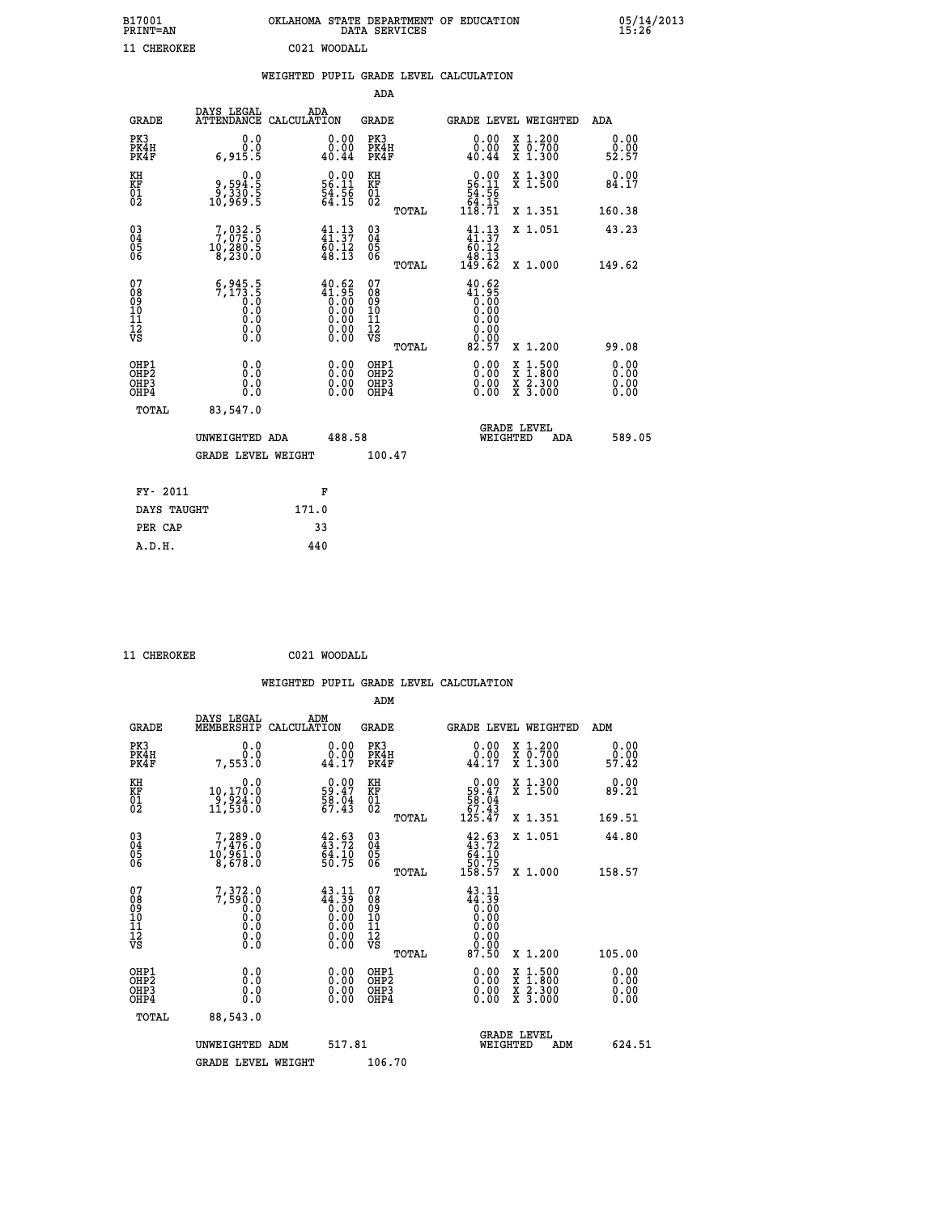| B17001<br><b>PRINT=AN</b> | OKLAHOMA STATE DEPARTMENT OF EDUCATION<br>DATA SERVICES | 05/14/2013<br>15:26 |
|---------------------------|---------------------------------------------------------|---------------------|
| 11 CHEROKEE               | C021 WOODALL                                            |                     |

|  |  | WEIGHTED PUPIL GRADE LEVEL CALCULATION |
|--|--|----------------------------------------|
|  |  |                                        |

|                                                                    |                                                                                           |                                                                                                       | ADA                                                 |       |                                                                                                                                                                                                                                                                                                                                              |                                                                                          |                              |
|--------------------------------------------------------------------|-------------------------------------------------------------------------------------------|-------------------------------------------------------------------------------------------------------|-----------------------------------------------------|-------|----------------------------------------------------------------------------------------------------------------------------------------------------------------------------------------------------------------------------------------------------------------------------------------------------------------------------------------------|------------------------------------------------------------------------------------------|------------------------------|
| <b>GRADE</b>                                                       | DAYS LEGAL<br>ATTENDANCE CALCULATION                                                      | ADA                                                                                                   | <b>GRADE</b>                                        |       |                                                                                                                                                                                                                                                                                                                                              | GRADE LEVEL WEIGHTED                                                                     | ADA                          |
| PK3<br>PK4H<br>PK4F                                                | 0.0<br>0.0<br>6,915.5                                                                     | 0.00<br>40.44                                                                                         | PK3<br>PK4H<br>PK4F                                 |       | 0.00<br>$\begin{smallmatrix} 0.00 \\ 0.44 \end{smallmatrix}$                                                                                                                                                                                                                                                                                 | X 1.200<br>X 0.700<br>X 1.300                                                            | 0.00<br>ة.ة<br>52.57         |
| KH<br>KF<br>01<br>02                                               | 0.0<br>8.594<br>5.330<br>5.68,01<br>5.969                                                 | $\begin{smallmatrix} 0.00\\ 56.11\\ 54.56\\ 64.15 \end{smallmatrix}$                                  | KH<br>KF<br>01<br>02                                |       | $\begin{smallmatrix} &0.00\\ 56.11\\ 54.56\\ 64.15\\ 118.71\end{smallmatrix}$                                                                                                                                                                                                                                                                | X 1.300<br>X 1.500                                                                       | 0.00<br>84.17                |
|                                                                    |                                                                                           |                                                                                                       |                                                     | TOTAL |                                                                                                                                                                                                                                                                                                                                              | X 1.351                                                                                  | 160.38                       |
| $\begin{smallmatrix} 03 \\[-4pt] 04 \end{smallmatrix}$<br>Ŏ5<br>06 | $\begin{smallmatrix}7,032\cdot5\\7,075\cdot0\\10,280\cdot5\\8,230\cdot0\end{smallmatrix}$ | $\begin{smallmatrix} 41\cdot 13\\ 41\cdot 37\\ 60\cdot 12\\ 48\cdot 13 \end{smallmatrix}$             | $\begin{array}{c} 03 \\ 04 \\ 05 \\ 06 \end{array}$ |       | $\begin{smallmatrix} 41\cdot 13\\ 41\cdot 37\\ 60\cdot 12\\ 48\cdot 13\\ 149\cdot 62 \end{smallmatrix}$                                                                                                                                                                                                                                      | X 1.051                                                                                  | 43.23                        |
|                                                                    |                                                                                           |                                                                                                       |                                                     | TOTAL |                                                                                                                                                                                                                                                                                                                                              | X 1.000                                                                                  | 149.62                       |
| 07<br>08<br>09<br>01<br>11<br>11<br>12<br>VS                       | $5,945.5$<br>$7,173.5$<br>$0.0$<br>$0.0$<br>$0.0$<br>$0.0$<br>$0.0$                       | $\begin{smallmatrix} 40.62\ 41.95\ 0.00\ 0.00\ 0.00\ 0.00\ 0.00\ 0.00\ 0.00\ 0.00\ \end{smallmatrix}$ | 07<br>08<br>09<br>11<br>11<br>12<br>VS              |       | 40.62<br>$\begin{smallmatrix} 4 & 0 & 0 & 0 \\ 1 & 0 & 0 & 0 \\ 0 & 0 & 0 & 0 \\ 0 & 0 & 0 & 0 \\ 0 & 0 & 0 & 0 \\ 0 & 0 & 0 & 0 \\ 0 & 0 & 0 & 0 \\ 0 & 0 & 0 & 0 \\ 0 & 0 & 0 & 0 \\ 0 & 0 & 0 & 0 \\ 0 & 0 & 0 & 0 \\ 0 & 0 & 0 & 0 \\ 0 & 0 & 0 & 0 \\ 0 & 0 & 0 & 0 \\ 0 & 0 & 0 & 0 \\ 0 & 0 & 0 & 0 \\ 0 & 0 & 0 & 0 \\ 0 & 0 & 0 & $ |                                                                                          |                              |
|                                                                    |                                                                                           |                                                                                                       |                                                     | TOTAL | 82.57                                                                                                                                                                                                                                                                                                                                        | X 1.200                                                                                  | 99.08                        |
| OHP1<br>OHP <sub>2</sub><br>OH <sub>P3</sub><br>OHP4               | 0.0<br>0.000                                                                              | 0.00<br>$\begin{smallmatrix} 0.00 \ 0.00 \end{smallmatrix}$                                           | OHP1<br>OHP2<br>OHP <sub>3</sub>                    |       | $\begin{smallmatrix} 0.00 & 0.00 & 0.00 & 0.00 & 0.00 & 0.00 & 0.00 & 0.00 & 0.00 & 0.00 & 0.00 & 0.00 & 0.00 & 0.00 & 0.00 & 0.00 & 0.00 & 0.00 & 0.00 & 0.00 & 0.00 & 0.00 & 0.00 & 0.00 & 0.00 & 0.00 & 0.00 & 0.00 & 0.00 & 0.00 & 0.00 & 0.00 & 0.00 & 0.00 & 0.00 & 0.0$                                                               | $\begin{smallmatrix} x & 1.500 \\ x & 1.800 \\ x & 2.300 \\ x & 3.000 \end{smallmatrix}$ | 0.00<br>0.00<br>0.00<br>0.00 |
| TOTAL                                                              | 83,547.0                                                                                  |                                                                                                       |                                                     |       |                                                                                                                                                                                                                                                                                                                                              |                                                                                          |                              |
|                                                                    | UNWEIGHTED ADA                                                                            | 488.58                                                                                                |                                                     |       |                                                                                                                                                                                                                                                                                                                                              | <b>GRADE LEVEL</b><br>WEIGHTED<br>ADA                                                    | 589.05                       |
|                                                                    | <b>GRADE LEVEL WEIGHT</b>                                                                 |                                                                                                       | 100.47                                              |       |                                                                                                                                                                                                                                                                                                                                              |                                                                                          |                              |
| FY- 2011                                                           |                                                                                           | F                                                                                                     |                                                     |       |                                                                                                                                                                                                                                                                                                                                              |                                                                                          |                              |
| DAYS TAUGHT                                                        |                                                                                           | 171.0                                                                                                 |                                                     |       |                                                                                                                                                                                                                                                                                                                                              |                                                                                          |                              |
| PER CAP                                                            |                                                                                           | 33                                                                                                    |                                                     |       |                                                                                                                                                                                                                                                                                                                                              |                                                                                          |                              |

 **11 CHEROKEE C021 WOODALL**

 **A.D.H. 440**

 **ADM DAYS LEGAL ADM GRADE MEMBERSHIP CALCULATION GRADE GRADE LEVEL WEIGHTED ADM PK3 0.0 0.00 PK3 0.00 X 1.200 0.00 PK4H 0.0 0.00 PK4H 0.00 X 0.700 0.00 PK4F 7,553.0 44.17 PK4F 44.17 X 1.300 57.42 KH 0.0 0.00 KH 0.00 X 1.300 0.00 KF 10,170.0 59.47 KF 59.47 X 1.500 89.21**

 **WEIGHTED PUPIL GRADE LEVEL CALCULATION**

|                                                    |                                                                                              |                                                                                                                                                | $\sim$ $\sim$ $\sim$ $\sim$                        |       |                                                                                                                                                                                                                                                                                                                                                        |                                                                                                                     |                                                                                                                                                                                                                                                                                |  |
|----------------------------------------------------|----------------------------------------------------------------------------------------------|------------------------------------------------------------------------------------------------------------------------------------------------|----------------------------------------------------|-------|--------------------------------------------------------------------------------------------------------------------------------------------------------------------------------------------------------------------------------------------------------------------------------------------------------------------------------------------------------|---------------------------------------------------------------------------------------------------------------------|--------------------------------------------------------------------------------------------------------------------------------------------------------------------------------------------------------------------------------------------------------------------------------|--|
|                                                    | UNWEIGHTED<br>ADM                                                                            | 517.81                                                                                                                                         |                                                    |       | <b>GRADE LEVEL</b><br>WEIGHTED                                                                                                                                                                                                                                                                                                                         | ADM                                                                                                                 | 624.51                                                                                                                                                                                                                                                                         |  |
| TOTAL                                              | 88,543.0                                                                                     |                                                                                                                                                |                                                    |       |                                                                                                                                                                                                                                                                                                                                                        |                                                                                                                     |                                                                                                                                                                                                                                                                                |  |
| OHP1<br>OHP <sub>2</sub><br>OHP3<br>OHP4           | 0.000000<br>Ō.Ō                                                                              |                                                                                                                                                | OHP1<br>OHP <sub>2</sub><br>OHP3<br>OHP4           |       | $0.00$<br>$0.00$<br>0.00                                                                                                                                                                                                                                                                                                                               | $\begin{array}{l} \mathtt{X} & 1.500 \\ \mathtt{X} & 1.800 \\ \mathtt{X} & 2.300 \\ \mathtt{X} & 3.000 \end{array}$ | $\begin{smallmatrix} 0.00 & 0.00 & 0.00 & 0.00 & 0.00 & 0.00 & 0.00 & 0.00 & 0.00 & 0.00 & 0.00 & 0.00 & 0.00 & 0.00 & 0.00 & 0.00 & 0.00 & 0.00 & 0.00 & 0.00 & 0.00 & 0.00 & 0.00 & 0.00 & 0.00 & 0.00 & 0.00 & 0.00 & 0.00 & 0.00 & 0.00 & 0.00 & 0.00 & 0.00 & 0.00 & 0.0$ |  |
| 07<br>08<br>09<br>101<br>11<br>12<br>VS            | $\left.\begin{smallmatrix}7,372.0\\7,590.0\\0.0\\0.0\\0.0\\0.0\\0.0\end{smallmatrix}\right.$ | 43.11<br>$\begin{smallmatrix} \bar{4} & 1 & 1 \\ 4 & 0 & 0 \\ 0 & 0 & 0 \\ 0 & 0 & 0 \\ 0 & 0 & 0 \\ 0 & 0 & 0 \\ 0 & 0 & 0 \end{smallmatrix}$ | 07<br>08<br>09<br>101<br>11<br>12<br>VS            | TOTAL | 43.11<br>$\begin{array}{c} 11.11 \\ -12.10 \\ -0.00 \\ -0.00 \\ 0.00 \\ -0.00 \\ 0.00 \\ -0.00 \\ -0.00 \\ 0.00 \\ -0.00 \\ -0.00 \\ -0.00 \\ -0.00 \\ -0.00 \\ -0.00 \\ -0.00 \\ -0.00 \\ -0.00 \\ -0.00 \\ -0.00 \\ -0.00 \\ -0.00 \\ -0.00 \\ -0.00 \\ -0.00 \\ -0.00 \\ -0.00 \\ -0.00 \\ -0.00 \\ -0.00 \\ -0.00 \\ -0.00 \\ -0.00 \\ -0.00 \\ -$ | X 1.200                                                                                                             | 105.00                                                                                                                                                                                                                                                                         |  |
| $\begin{matrix} 03 \\ 04 \\ 05 \\ 06 \end{matrix}$ | $7, 289.0$<br>$7, 476.0$<br>$10, 961.0$<br>$8, 678.0$                                        | 43.93<br>$\frac{64.10}{50.75}$                                                                                                                 | $\begin{matrix} 03 \\ 04 \\ 05 \\ 06 \end{matrix}$ | TOTAL | $42.63$<br>$43.72$<br>$64.10$<br>$50.75$<br>$158.57$                                                                                                                                                                                                                                                                                                   | X 1.051<br>X 1.000                                                                                                  | 44.80<br>158.57                                                                                                                                                                                                                                                                |  |
| $\frac{01}{2}$                                     | $\frac{9}{2}$ , $\frac{9}{2}$ , $\frac{24}{0}$ , $\frac{0}{0}$                               | $\frac{58.04}{67.43}$                                                                                                                          | $\frac{01}{2}$                                     | TOTAL | $\frac{58.04}{67.43}$<br>125.47                                                                                                                                                                                                                                                                                                                        | X 1.351                                                                                                             | 169.51                                                                                                                                                                                                                                                                         |  |

GRADE LEVEL WEIGHT 106.70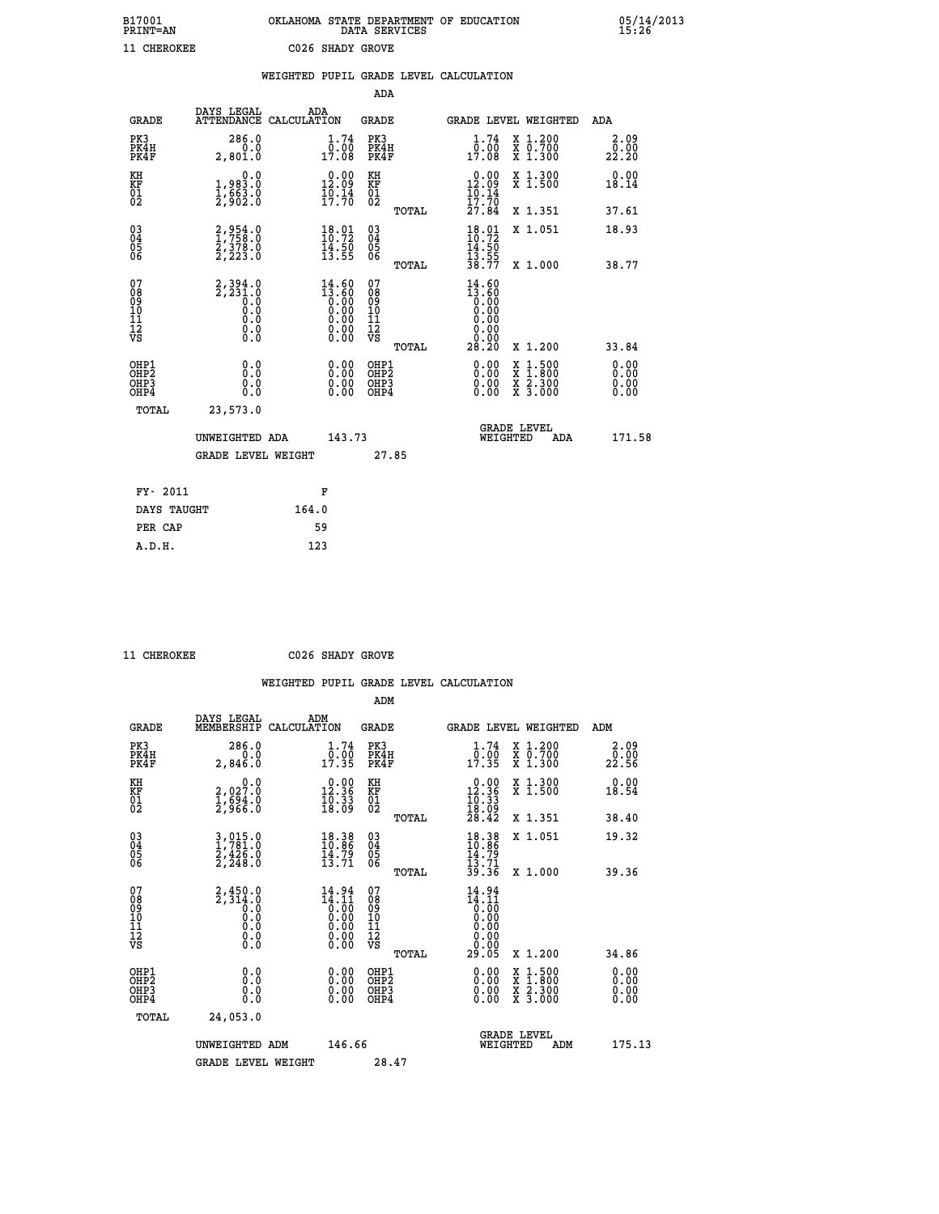| B17001          | OKLAHOMA STATE DEPARTMENT OF EDUCATION |
|-----------------|----------------------------------------|
| <b>PRINT=AN</b> | DATA SERVICES                          |
| 11 CHEROKEE     | C026 SHADY GROVE                       |

|                                                    |                                                      |                                                                                                       |       |                                                                      |                                        |       | WEIGHTED PUPIL GRADE LEVEL CALCULATION                               |          |                                                                                                                                                          |                              |
|----------------------------------------------------|------------------------------------------------------|-------------------------------------------------------------------------------------------------------|-------|----------------------------------------------------------------------|----------------------------------------|-------|----------------------------------------------------------------------|----------|----------------------------------------------------------------------------------------------------------------------------------------------------------|------------------------------|
|                                                    |                                                      |                                                                                                       |       |                                                                      | ADA                                    |       |                                                                      |          |                                                                                                                                                          |                              |
|                                                    | <b>GRADE</b>                                         | DAYS LEGAL<br>ATTENDANCE CALCULATION                                                                  | ADA   |                                                                      | <b>GRADE</b>                           |       |                                                                      |          | GRADE LEVEL WEIGHTED                                                                                                                                     | ADA                          |
| PK3                                                | PK4H<br>PK4F                                         | 286.0<br>0.0<br>2,801.0                                                                               |       | $1.74$<br>$0.00$<br>17.08                                            | PK3<br>PK4H<br>PK4F                    |       | 1.74<br>0.00<br>17.08                                                |          | X 1.200<br>X 0.700<br>X 1.300                                                                                                                            | 2.09<br>0.00<br>22.20        |
| KH<br>KF<br>01<br>02                               |                                                      | 0.0<br>1,983.0<br>$\frac{1}{2}, \frac{6}{9}$ $\frac{63}{2}$ $\frac{6}{9}$                             |       | $\begin{smallmatrix} 0.00\\ 12.09\\ 10.14\\ 17.70 \end{smallmatrix}$ | KH<br>KF<br>01<br>02                   |       | $\begin{smallmatrix} 0.00\\ 12.09\\ 10.14\\ 17.70 \end{smallmatrix}$ |          | X 1.300<br>X 1.500                                                                                                                                       | 0.00<br>18.14                |
|                                                    |                                                      |                                                                                                       |       |                                                                      |                                        | TOTAL | 27.84                                                                |          | X 1.351                                                                                                                                                  | 37.61                        |
| $\begin{matrix} 03 \\ 04 \\ 05 \\ 06 \end{matrix}$ |                                                      | 2,954.0<br>$\frac{2}{3}, \frac{3}{2}, \frac{3}{3}$ .0                                                 |       | $\frac{18.01}{10.72}$<br>$\frac{14.50}{13.55}$                       | 03<br>04<br>05<br>06                   |       | 18.01<br>10:72<br>$\frac{14}{13}$ : 50<br>13 : 55                    |          | X 1.051                                                                                                                                                  | 18.93                        |
|                                                    |                                                      |                                                                                                       |       |                                                                      |                                        | TOTAL | 38.77                                                                |          | X 1.000                                                                                                                                                  | 38.77                        |
| 07<br>08<br>09<br>11<br>11<br>12<br>VS             |                                                      | $2,394.0$<br>$2,231.0$<br>$0.0$<br>$\begin{smallmatrix} 0.5 & 0 \ 0.0 & 0 \end{smallmatrix}$<br>$\S.$ |       | $14.60$<br>$13.60$<br>0.00<br>0.00<br>0.00<br>Ŏ.ŎŎ<br>O.OO           | 07<br>08<br>09<br>11<br>11<br>12<br>VS | TOTAL | $14.60$<br>$13.60$<br>0.00<br>0.00<br>0.00<br>0.00<br>28.20          |          | X 1.200                                                                                                                                                  | 33.84                        |
|                                                    | OHP1<br>OHP <sub>2</sub><br>OH <sub>P3</sub><br>OHP4 | 0.0<br>0.0<br>0.0                                                                                     |       | 0.0000<br>$\begin{smallmatrix} 0.00 \ 0.00 \end{smallmatrix}$        | OHP1<br>OHP2<br>OHP3<br>OHP4           |       | 0.00<br>0.00<br>0.00                                                 |          | $1:500$<br>1:800<br>$\begin{smallmatrix} \mathtt{X} & 1 & 500 \\ \mathtt{X} & 1 & 800 \\ \mathtt{X} & 2 & 300 \\ \mathtt{X} & 3 & 000 \end{smallmatrix}$ | 0.00<br>0.00<br>0.00<br>0.00 |
|                                                    | <b>TOTAL</b>                                         | 23,573.0                                                                                              |       |                                                                      |                                        |       |                                                                      |          |                                                                                                                                                          |                              |
|                                                    |                                                      | UNWEIGHTED ADA                                                                                        |       | 143.73                                                               |                                        |       |                                                                      | WEIGHTED | <b>GRADE LEVEL</b><br>ADA                                                                                                                                | 171.58                       |
|                                                    |                                                      | <b>GRADE LEVEL WEIGHT</b>                                                                             |       |                                                                      | 27.85                                  |       |                                                                      |          |                                                                                                                                                          |                              |
|                                                    | FY- 2011                                             |                                                                                                       |       | F                                                                    |                                        |       |                                                                      |          |                                                                                                                                                          |                              |
|                                                    | DAYS TAUGHT                                          |                                                                                                       | 164.0 |                                                                      |                                        |       |                                                                      |          |                                                                                                                                                          |                              |
|                                                    | PER CAP                                              |                                                                                                       |       | 59                                                                   |                                        |       |                                                                      |          |                                                                                                                                                          |                              |

 **11 CHEROKEE C026 SHADY GROVE**

 **A.D.H. 123**

 **ADM**

| <b>GRADE</b>                                       | DAYS LEGAL<br>MEMBERSHIP                                                                               | ADM<br>CALCULATION                                                    | <b>GRADE</b>                                       |       |                                                                                         | <b>GRADE LEVEL WEIGHTED</b>              | ADM                  |
|----------------------------------------------------|--------------------------------------------------------------------------------------------------------|-----------------------------------------------------------------------|----------------------------------------------------|-------|-----------------------------------------------------------------------------------------|------------------------------------------|----------------------|
| PK3<br>PK4H<br>PK4F                                | 286.0<br>0.0<br>2,846.0                                                                                | $\frac{1}{0}$ : $\frac{74}{00}$<br>17.35                              | PK3<br>PK4H<br>PK4F                                |       | 1.74<br>$\frac{0.00}{17.35}$                                                            | X 1.200<br>X 0.700<br>X 1.300            | 2.09<br>22.56        |
| KH<br>KF<br>01<br>02                               | $\begin{smallmatrix} & & 0.0\ 2.027.0\ 1.694.0\ 2.966.0 \end{smallmatrix}$                             | 12.36<br>$\frac{1}{18}$ $\frac{33}{18}$                               | KH<br>KF<br>01<br>02                               |       | $\begin{smallmatrix} 0.00\\ 12.36\\ 10.33\\ 18.09\\ 28.42 \end{smallmatrix}$            | X 1.300<br>X 1.500                       | 0.00<br>18.54        |
|                                                    |                                                                                                        |                                                                       |                                                    | TOTAL |                                                                                         | X 1.351                                  | 38.40                |
| $\begin{matrix} 03 \\ 04 \\ 05 \\ 06 \end{matrix}$ | $\frac{3}{1}, \frac{015}{781}.0$<br>$\frac{2}{1}, \frac{426}{26}.0$<br>$\frac{2}{2}, \frac{248}{20}.0$ | $\begin{smallmatrix} 18.38\\ 10.86\\ 14.79\\ 13.71 \end{smallmatrix}$ | $\begin{matrix} 03 \\ 04 \\ 05 \\ 06 \end{matrix}$ |       | $18.38$<br>$10.86$<br>$14.79$<br>$13.71$<br>$39.36$                                     | X 1.051                                  | 19.32                |
|                                                    |                                                                                                        |                                                                       |                                                    | TOTAL |                                                                                         | X 1.000                                  | 39.36                |
| 07<br>089<br>090<br>1112<br>VS                     | $2,450.0$<br>$2,314.0$<br>$0.0$<br>$0.0$<br>$0.0$<br>$0.0$<br>$0.0$                                    | 14.94<br>$14.11$<br>$0.00$<br>$0.00$<br>$0.00$<br>$0.00$<br>$0.00$    | 07<br>08<br>09<br>11<br>11<br>12<br>VS             |       | 14.94<br>$14.11$<br>$0.00$<br>$0.00$<br>$0.00$<br>$0.00$<br>$0.00$<br>$0.00$<br>$29.05$ |                                          |                      |
|                                                    |                                                                                                        |                                                                       |                                                    | TOTAL |                                                                                         | X 1.200                                  | 34.86                |
| OHP1<br>OHP2<br>OH <sub>P3</sub><br>OHP4           | 0.0<br>0.000                                                                                           |                                                                       | OHP1<br>OHP2<br>OHP3<br>OHP4                       |       | 0.00<br>$0.00$<br>0.00                                                                  | X 1:500<br>X 1:800<br>X 2:300<br>X 3:000 | 0.00<br>0.00<br>0.00 |
| TOTAL                                              | 24,053.0                                                                                               |                                                                       |                                                    |       |                                                                                         |                                          |                      |
|                                                    | UNWEIGHTED                                                                                             | 146.66<br>ADM                                                         |                                                    |       | WEIGHTED                                                                                | <b>GRADE LEVEL</b><br>ADM                | 175.13               |
|                                                    | <b>GRADE LEVEL WEIGHT</b>                                                                              |                                                                       | 28.47                                              |       |                                                                                         |                                          |                      |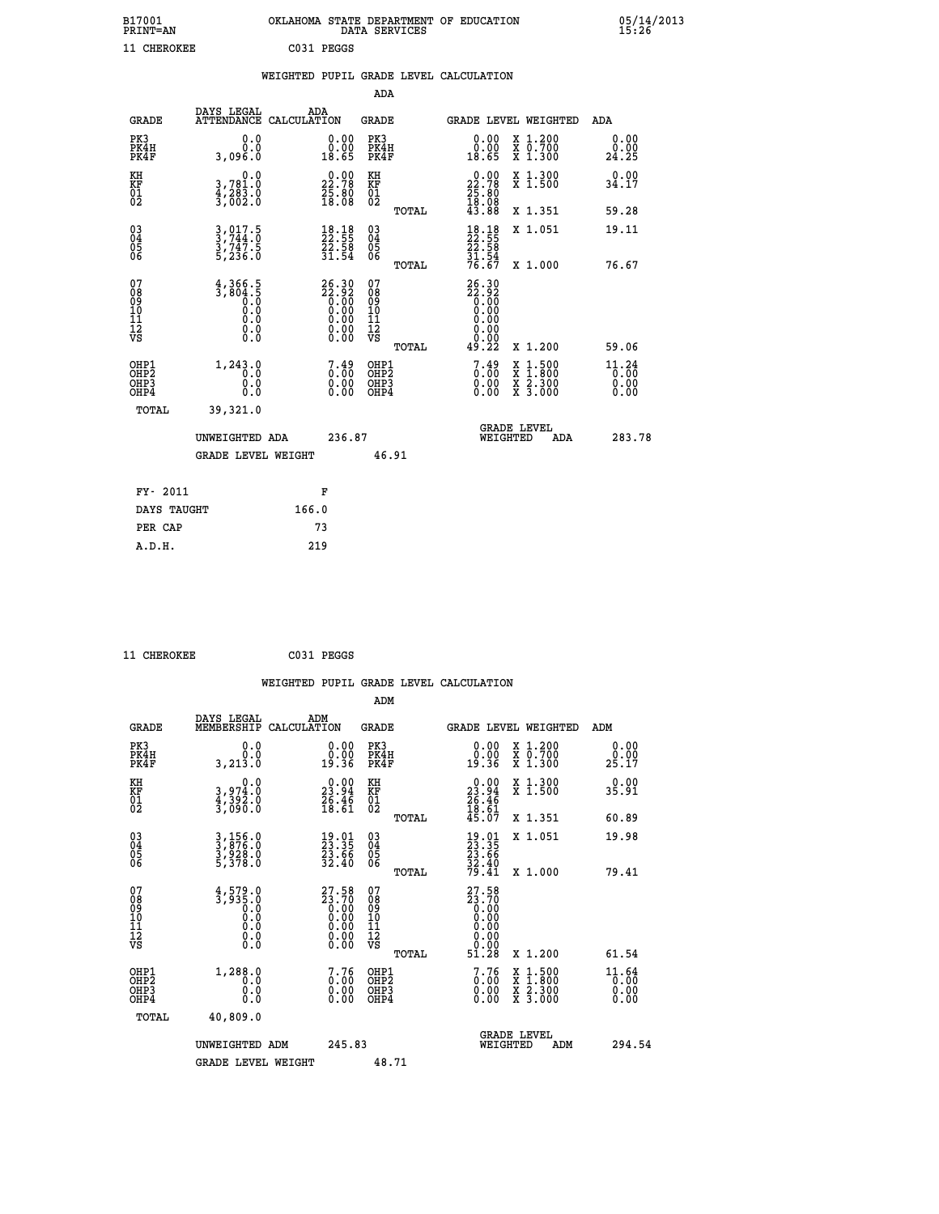| B17001<br><b>PRINT=AN</b> | OKLAHOMA<br>. STATE DEPARTMENT OF EDUCATION<br>DATA SERVICES | 05/14/2013<br>15:26 |
|---------------------------|--------------------------------------------------------------|---------------------|
| 11 CHEROKEE               | C031 PEGGS                                                   |                     |

|  |  | WEIGHTED PUPIL GRADE LEVEL CALCULATION |
|--|--|----------------------------------------|
|  |  |                                        |

|                                           |                                                      |                                                                                                        | ADA                                      |       |                                                                                       |                                          |                               |
|-------------------------------------------|------------------------------------------------------|--------------------------------------------------------------------------------------------------------|------------------------------------------|-------|---------------------------------------------------------------------------------------|------------------------------------------|-------------------------------|
| <b>GRADE</b>                              | DAYS LEGAL                                           | ADA<br>ATTENDANCE CALCULATION                                                                          | GRADE                                    |       |                                                                                       | <b>GRADE LEVEL WEIGHTED</b>              | ADA                           |
| PK3<br>PK4H<br>PK4F                       | 0.0<br>0.0<br>3,096.0                                | 0.00<br>18.65                                                                                          | PK3<br>PK4H<br>PK4F                      |       | 0.00<br>0.00<br>18.65                                                                 | X 1.200<br>X 0.700<br>X 1.300            | 0.00<br>0.00<br>24.25         |
| KH<br>KF<br>01<br>02                      | 0.0<br>3,781.0<br>4,283.0<br>3,002.0                 | $\begin{smallmatrix} 0.00\\ 22.78\\ 25.80\\ 18.08 \end{smallmatrix}$                                   | KH<br>KF<br>01<br>02                     |       | $\begin{smallmatrix} 0.00\\ 22.78\\ 25.80\\ 18.08\\ 43.88 \end{smallmatrix}$          | X 1.300<br>X 1.500                       | 0.00<br>34.17                 |
|                                           |                                                      |                                                                                                        |                                          | TOTAL |                                                                                       | X 1.351                                  | 59.28                         |
| 03<br>04<br>05<br>06                      | $3, 017.5$<br>$3, 744.0$<br>$3, 747.5$<br>$5, 236.0$ | $\begin{smallmatrix} 18.18\\ 22.55\\ 22.58\\ 21.58\\ 31.54 \end{smallmatrix}$                          | 03<br>04<br>05<br>06                     |       | $\begin{smallmatrix} 18.18\\ 22.55\\ 22.58\\ 31.58\\ 31.54\\ 76.67 \end{smallmatrix}$ | X 1.051                                  | 19.11                         |
|                                           |                                                      |                                                                                                        |                                          | TOTAL |                                                                                       | X 1.000                                  | 76.67                         |
| 07<br>08<br>09<br>11<br>11<br>12<br>VS    | $\frac{4,366.5}{3,804.5}$<br>0.0<br>Ŏ.Ŏ<br>0.000     | $\begin{smallmatrix} 26.30\\ 22.92\\ 0.00\\ 0.00\\ 0.00\\ 0.00\\ 0.00\\ 0.00\\ 0.00 \end{smallmatrix}$ | 07<br>08<br>09<br>11<br>11<br>12<br>VS   | TOTAL | 26.30<br>22.92<br>0.00<br>0.00<br>0.00<br>0.00<br>49.22                               | X 1.200                                  | 59.06                         |
| OHP1<br>OH <sub>P</sub> 2<br>OHP3<br>OHP4 | 1,243.0<br>0.0<br>0.0<br>0.0                         | $7.49$<br>$0.00$<br>$\begin{smallmatrix} 0.00 \ 0.00 \end{smallmatrix}$                                | OHP1<br>OHP <sub>2</sub><br>OHP3<br>OHP4 |       | $7.49$<br>$0.00$<br>0.00<br>0.00                                                      | X 1:500<br>X 1:800<br>X 2:300<br>X 3:000 | 11.24<br>0.00<br>0.00<br>0.00 |
| TOTAL                                     | 39,321.0                                             |                                                                                                        |                                          |       |                                                                                       |                                          |                               |
|                                           | UNWEIGHTED ADA                                       | 236.87                                                                                                 |                                          |       | WEIGHTED                                                                              | <b>GRADE LEVEL</b><br>ADA                | 283.78                        |
|                                           | <b>GRADE LEVEL WEIGHT</b>                            |                                                                                                        |                                          | 46.91 |                                                                                       |                                          |                               |
| FY- 2011                                  |                                                      | F                                                                                                      |                                          |       |                                                                                       |                                          |                               |
| DAYS TAUGHT                               |                                                      | 166.0                                                                                                  |                                          |       |                                                                                       |                                          |                               |
| PER CAP                                   |                                                      | 73                                                                                                     |                                          |       |                                                                                       |                                          |                               |
| A.D.H.                                    |                                                      | 219                                                                                                    |                                          |       |                                                                                       |                                          |                               |
|                                           |                                                      |                                                                                                        |                                          |       |                                                                                       |                                          |                               |

| 11 CHEROKEE | C031 PEGGS |
|-------------|------------|
|             |            |

|                                                    |                                          |                                                                    |                                        | WEIGHTED PUPIL GRADE LEVEL CALCULATION                                                                                     |                                 |
|----------------------------------------------------|------------------------------------------|--------------------------------------------------------------------|----------------------------------------|----------------------------------------------------------------------------------------------------------------------------|---------------------------------|
|                                                    |                                          |                                                                    | ADM                                    |                                                                                                                            |                                 |
| <b>GRADE</b>                                       | DAYS LEGAL<br>MEMBERSHIP<br>CALCULATION  | ADM                                                                | <b>GRADE</b>                           | <b>GRADE LEVEL WEIGHTED</b>                                                                                                | ADM                             |
| PK3<br>PK4H<br>PK4F                                | 0.0<br>Ŏ.Ŏ<br>3,213.0                    | $\begin{smallmatrix} 0.00\\ 0.00\\ 19.36 \end{smallmatrix}$        | PK3<br>PK4H<br>PK4F                    | X 1.200<br>X 0.700<br>X 1.300<br>$\begin{smallmatrix} 0.00\\ 0.00\\ 19.36 \end{smallmatrix}$                               | 0.00<br>0.00<br>25.17           |
| KH<br>KF<br>01<br>02                               | 0.0<br>3,974:0<br>4,392:0<br>3,090:0     | 23.94<br>$\frac{26.46}{18.61}$                                     | KH<br>KF<br>01<br>02                   | X 1.300<br>X 1.500<br>$\begin{smallmatrix} 0.00\\ 23.94\\ 26.46\\ 18.61\\ 45.07 \end{smallmatrix}$                         | 0.00<br>35.91                   |
|                                                    |                                          |                                                                    | TOTAL                                  | X 1.351                                                                                                                    | 60.89                           |
| $\begin{matrix} 03 \\ 04 \\ 05 \\ 06 \end{matrix}$ | 3,156.0<br>3,876.0<br>3,928.0<br>5,378.0 | $\begin{smallmatrix} 19.01\ 23.35\ 23.66\ 32.40 \end{smallmatrix}$ | 03<br>04<br>05<br>06                   | X 1.051<br>$19.01$<br>$23.35$<br>$23.66$<br>$32.40$<br>$79.41$                                                             | 19.98                           |
|                                                    |                                          |                                                                    | TOTAL                                  | X 1.000                                                                                                                    | 79.41                           |
| 07<br>08<br>09<br>11<br>11<br>12<br>VS             |                                          | 27.58<br>23.70<br>0.00<br>0.00<br>$\substack{\text{0.00}\0.00}$    | 07<br>08<br>09<br>11<br>11<br>12<br>VS | 27.58<br>$\begin{smallmatrix} 23.70 & 0 & 0 \\ 0.00 & 0 & 0 \end{smallmatrix}$<br>0.00<br>0.00                             |                                 |
|                                                    |                                          |                                                                    | TOTAL                                  | 51.28<br>X 1.200                                                                                                           | 61.54                           |
| OHP1<br>OHP2<br>OH <sub>P3</sub><br>OHP4           | 1,288.0<br>0.0<br>0.000                  | $\begin{smallmatrix} 7.76\0.00\0.00 \end{smallmatrix}$             | OHP1<br>OHP2<br>OHP3<br>OHP4           | $\begin{smallmatrix} 7.76\ 0.00\ 0.00 \end{smallmatrix}$<br>$1:500$<br>$1:800$<br>X 1:500<br>X 1:800<br>X 2:300<br>X 3:000 | $11.64$<br>0.00<br>0.00<br>0.00 |
| TOTAL                                              | 40,809.0                                 |                                                                    |                                        |                                                                                                                            |                                 |
|                                                    | UNWEIGHTED<br>ADM                        | 245.83                                                             |                                        | <b>GRADE LEVEL</b><br>WEIGHTED<br>ADM                                                                                      | 294.54                          |
|                                                    | <b>GRADE LEVEL WEIGHT</b>                |                                                                    | 48.71                                  |                                                                                                                            |                                 |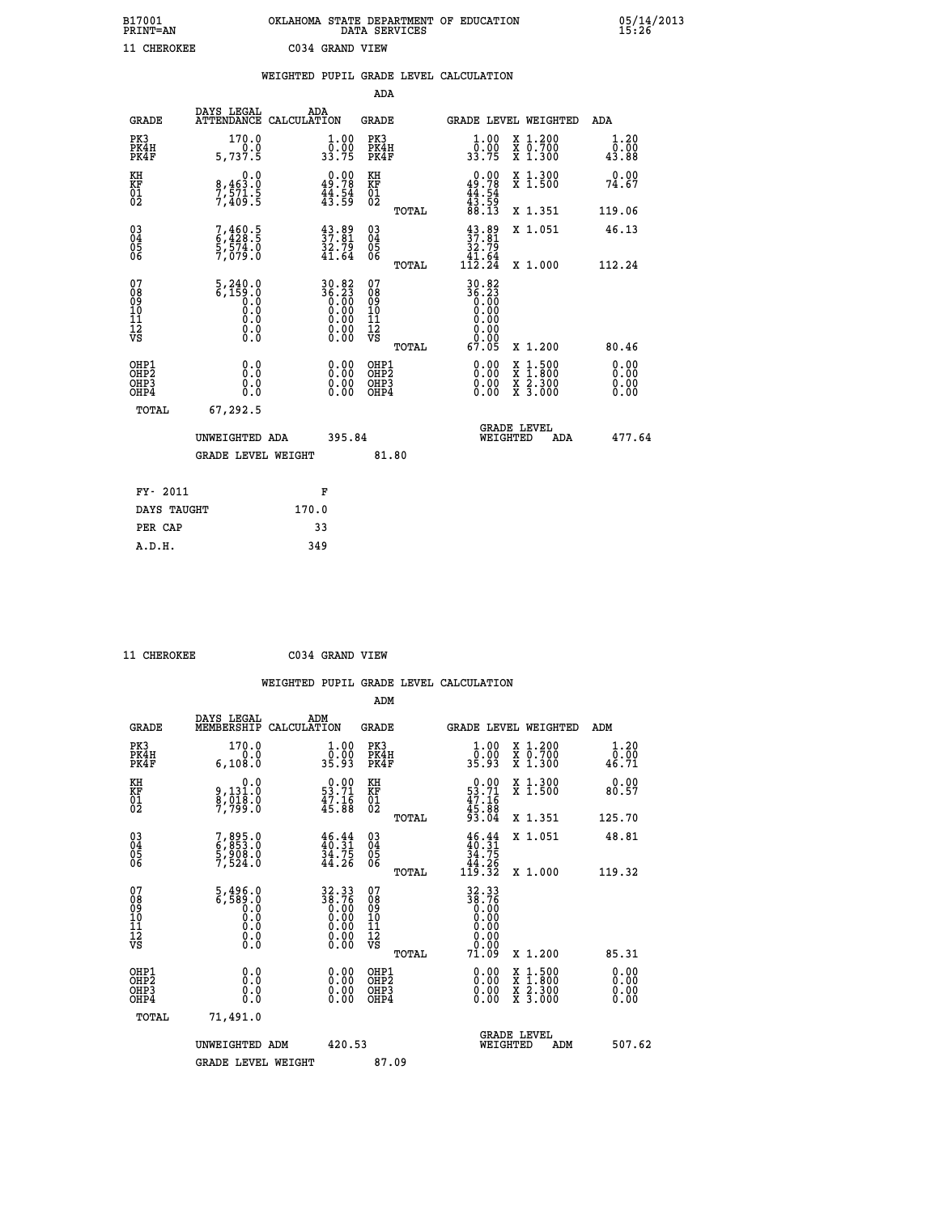| B17001          | OKLAHOMA STATE DEPARTMENT OF EDUCATION |
|-----------------|----------------------------------------|
| <b>PRINT=AN</b> | DATA SERVICES                          |
| 11 CHEROKEE     | C034 GRAND VIEW                        |

|                                         |                                                                                                              | WEIGHTED PUPIL GRADE LEVEL CALCULATION                                         |                                                    |       |                                                                                                                                     |                               |                              |
|-----------------------------------------|--------------------------------------------------------------------------------------------------------------|--------------------------------------------------------------------------------|----------------------------------------------------|-------|-------------------------------------------------------------------------------------------------------------------------------------|-------------------------------|------------------------------|
|                                         |                                                                                                              |                                                                                | ADA                                                |       |                                                                                                                                     |                               |                              |
| <b>GRADE</b>                            | DAYS LEGAL<br><b>ATTENDANCE</b>                                                                              | ADA<br>CALCULATION                                                             | <b>GRADE</b>                                       |       |                                                                                                                                     | GRADE LEVEL WEIGHTED          | ADA                          |
| PK3<br>PK4H<br>PK4F                     | 170.0<br>5,737.5                                                                                             | $\frac{1}{0}$ : 00<br>33.75                                                    | PK3<br>PK4H<br>PK4F                                |       | 1.00<br>_0.00<br>33.75                                                                                                              | X 1.200<br>X 0.700<br>X 1.300 | 1.20<br>0.00<br>43.88        |
| KH<br>KF<br>01<br>02                    | $8,463.0$<br>7,571.5<br>7,409.5                                                                              | $\begin{smallmatrix} 0.00\\ 49.78\\ 44.54\\ 43.59 \end{smallmatrix}$           | KH<br>KF<br>01<br>02                               |       | $0.00$<br>$49.78$<br>$44.54$<br>$43.59$<br>$88.13$                                                                                  | X 1.300<br>X 1.500            | 0.00<br>74.67                |
|                                         |                                                                                                              |                                                                                |                                                    | TOTAL |                                                                                                                                     | X 1.351                       | 119.06                       |
| 03<br>04<br>05<br>06                    | 7,460.5<br>6,428.5<br>5,574.0<br>7,079.0                                                                     | $\begin{smallmatrix} 43.89\\ 37.81\\ 32.79\\ 41.64 \end{smallmatrix}$          | $\begin{matrix} 03 \\ 04 \\ 05 \\ 06 \end{matrix}$ |       | $37.89$<br>$37.81$<br>$32.79$<br>$41.64$<br>$112.24$                                                                                | X 1.051                       | 46.13                        |
|                                         |                                                                                                              |                                                                                |                                                    | TOTAL |                                                                                                                                     | X 1.000                       | 112.24                       |
| 07<br>08<br>09<br>101<br>11<br>12<br>VS | $\frac{5}{6}, \frac{240}{159}$ .0<br>$\begin{smallmatrix} 0.5 & 0 \ 0.0 & 0 \end{smallmatrix}$<br>$\S.$ $\S$ | $30.82$<br>$36.23$<br>$0.00$<br>$0.00$<br>$0.00$<br>$0.00$<br>$0.00$<br>$0.00$ | 07<br>08<br>09<br>11<br>11<br>12<br>VS             | TOTAL | 30.82<br>$\begin{smallmatrix} 2 & 2 & 3 \\ 3 & 6 & 23 \\ 0 & 0 & 0 \\ 0 & 0 & 0 \\ 0 & 0 & 0 \\ \end{smallmatrix}$<br>0.00<br>67.05 | X 1.200                       | 80.46                        |
| OHP1<br>OHP2<br>OHP3<br>OHP4            | 0.0<br>0.0<br>0.0                                                                                            | 0.00<br>$\begin{smallmatrix} 0.00 \ 0.00 \end{smallmatrix}$                    | OHP1<br>OHP2<br>OHP3<br>OHP4                       |       | 0.00<br>0.00<br>0.00                                                                                                                | X 1:500<br>X 2.300<br>X 3.000 | 0.00<br>0.00<br>0.00<br>0.00 |
| TOTAL                                   | 67,292.5                                                                                                     |                                                                                |                                                    |       |                                                                                                                                     |                               |                              |
|                                         | UNWEIGHTED ADA                                                                                               | 395.84                                                                         |                                                    |       | WEIGHTED                                                                                                                            | <b>GRADE LEVEL</b><br>ADA     | 477.64                       |
|                                         | <b>GRADE LEVEL WEIGHT</b>                                                                                    |                                                                                |                                                    | 81.80 |                                                                                                                                     |                               |                              |
| FY- 2011                                |                                                                                                              | F                                                                              |                                                    |       |                                                                                                                                     |                               |                              |
| DAYS TAUGHT                             |                                                                                                              | 170.0                                                                          |                                                    |       |                                                                                                                                     |                               |                              |
| PER CAP                                 |                                                                                                              | 33                                                                             |                                                    |       |                                                                                                                                     |                               |                              |

 **A.D.H. 349**

 **11 CHEROKEE C034 GRAND VIEW**

| <b>GRADE</b>                                                     | DAYS LEGAL<br>MEMBERSHIP                                | ADM<br>CALCULATION                                                         | <b>GRADE</b>                                        |       |                                                                           |          | <b>GRADE LEVEL WEIGHTED</b>              | ADM                   |  |
|------------------------------------------------------------------|---------------------------------------------------------|----------------------------------------------------------------------------|-----------------------------------------------------|-------|---------------------------------------------------------------------------|----------|------------------------------------------|-----------------------|--|
| PK3<br>PK4H<br>PK4F                                              | 170.0<br>6, 108.0                                       | $\begin{smallmatrix} 1.00\\[-1.2mm] 0.00\\[-1.2mm] 35.93\end{smallmatrix}$ | PK3<br>PK4H<br>PK4F                                 |       | 1.00<br>ŏ:ŏŏ<br>35:93                                                     |          | X 1.200<br>X 0.700<br>X 1.300            | 1.20<br>0.00<br>46.71 |  |
| KH<br>KF<br>01<br>02                                             | 0.0<br>9,131.0<br>8,018.0<br>7,799.0                    | $\begin{smallmatrix} 0.00\\ 53.71\\ 47.16\\ 45.88 \end{smallmatrix}$       | KH<br>KF<br>01<br>02                                |       | $0.00$<br>$53.71$<br>$47.16$<br>$45.88$<br>$93.04$                        |          | X 1.300<br>X 1.500                       | 0.00<br>80.57         |  |
|                                                                  |                                                         |                                                                            |                                                     | TOTAL |                                                                           |          | X 1.351                                  | 125.70                |  |
| $\begin{matrix} 03 \\ 04 \\ 05 \\ 06 \end{matrix}$               | 7,895.0<br>6,853.0<br>5,908.0<br>7,524.0                | $\begin{smallmatrix} 46.44\ 40.31\ 34.75\ 44.26 \end{smallmatrix}$         | $\begin{array}{c} 03 \\ 04 \\ 05 \\ 06 \end{array}$ |       | $\begin{array}{c} 46.44 \\ 40.31 \\ 34.75 \\ 44.26 \\ 119.32 \end{array}$ |          | X 1.051                                  | 48.81                 |  |
|                                                                  |                                                         |                                                                            |                                                     | TOTAL |                                                                           |          | X 1.000                                  | 119.32                |  |
| 07<br>08<br>09<br>11<br>11<br>12<br>VS                           | $5,496.0$<br>6,589.0<br>0.0<br>0.0<br>0.0<br>0.0<br>0.0 | $32.3338.760.000.000.000.000.00$                                           | 07<br>08<br>09<br>11<br>11<br>12<br>VS              |       | $32.3338.760.000.000.000.000.0071.09$                                     |          | X 1.200                                  | 85.31                 |  |
|                                                                  |                                                         |                                                                            |                                                     | TOTAL |                                                                           |          |                                          |                       |  |
| OHP1<br>OH <sub>P</sub> <sub>2</sub><br>OH <sub>P3</sub><br>OHP4 | 0.0<br>0.0<br>Ŏ.Ŏ                                       |                                                                            | OHP1<br>OHP <sub>2</sub><br>OHP3<br>OHP4            |       |                                                                           |          | X 1:500<br>X 1:800<br>X 2:300<br>X 3:000 | 0.00<br>0.00<br>0.00  |  |
| TOTAL                                                            | 71,491.0                                                |                                                                            |                                                     |       |                                                                           |          |                                          |                       |  |
|                                                                  | UNWEIGHTED ADM                                          | 420.53                                                                     |                                                     |       |                                                                           | WEIGHTED | <b>GRADE LEVEL</b><br>ADM                | 507.62                |  |
|                                                                  | <b>GRADE LEVEL WEIGHT</b>                               |                                                                            | 87.09                                               |       |                                                                           |          |                                          |                       |  |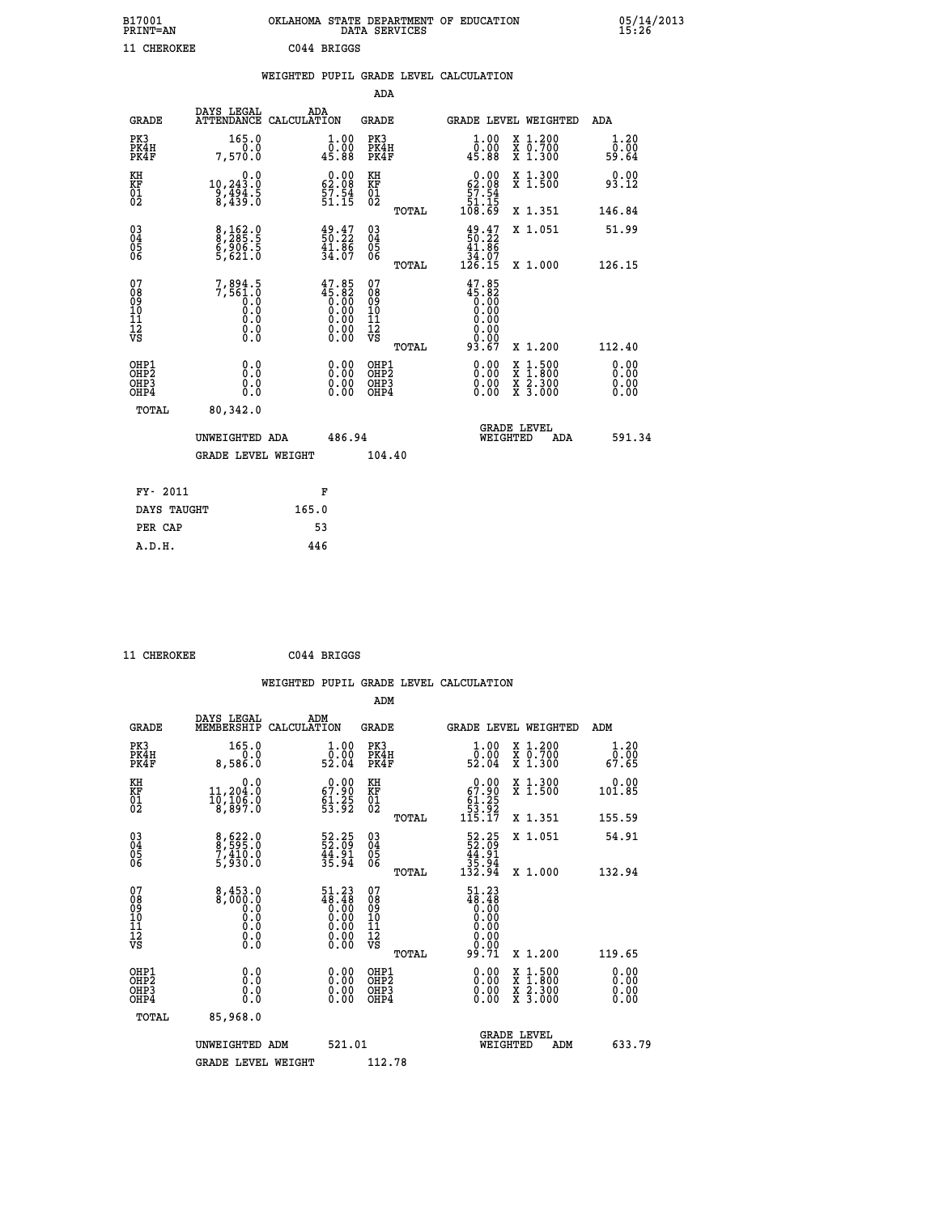| B17001<br><b>PRINT=AN</b> | OKLAHOMA STATE DEPARTMENT OF EDUCATION<br>DATA SERVICES |  |
|---------------------------|---------------------------------------------------------|--|
| 11 CHEROKEE               | C044 BRIGGS                                             |  |

|  |  | WEIGHTED PUPIL GRADE LEVEL CALCULATION |
|--|--|----------------------------------------|
|  |  |                                        |

|                                                                    |                                                                                                   |                                                                                                                        | ADA                                       |       |                                                        |                                                                                                  |                              |
|--------------------------------------------------------------------|---------------------------------------------------------------------------------------------------|------------------------------------------------------------------------------------------------------------------------|-------------------------------------------|-------|--------------------------------------------------------|--------------------------------------------------------------------------------------------------|------------------------------|
| <b>GRADE</b>                                                       | DAYS LEGAL<br>ATTENDANCE CALCULATION                                                              | ADA                                                                                                                    | <b>GRADE</b>                              |       |                                                        | GRADE LEVEL WEIGHTED                                                                             | ADA                          |
| PK3<br>PK4H<br>PK4F                                                | 165.0<br>0.0<br>7,570.0                                                                           | $\begin{smallmatrix} 1.00\\ 0.00\\ 45.88 \end{smallmatrix}$                                                            | PK3<br>PK4H<br>PK4F                       |       | 1.00<br>ŏ:ŏŏ<br>45:88                                  | X 1.200<br>X 0.700<br>X 1.300                                                                    | 1.20<br>0.00<br>59.64        |
| KH<br><b>KF</b><br>01<br>02                                        | 0.0<br>10,243.0<br>9,494.5<br>8,439.0                                                             | $\begin{smallmatrix} 0.00\\ 62.08\\ 57.54\\ 51.15 \end{smallmatrix}$                                                   | KH<br>KF<br>01<br>02                      |       | $0.00$<br>62.08<br>$\frac{57.54}{51.15}$<br>108.69     | X 1.300<br>X 1.500                                                                               | 0.00<br>93.12                |
|                                                                    |                                                                                                   |                                                                                                                        |                                           | TOTAL |                                                        | X 1.351                                                                                          | 146.84                       |
| $\begin{smallmatrix} 03 \\[-4pt] 04 \end{smallmatrix}$<br>Ŏ5<br>06 | 8,162.0<br>8,285.5<br>6,906.5<br>5,621.0                                                          | $\frac{49.47}{50.22}$<br>$\frac{41.86}{34.07}$                                                                         | $\substack{03 \\ 04}$<br>Ŏ5<br>06         | TOTAL | $49.2750.2241.8634.07126.15$                           | X 1.051<br>X 1.000                                                                               | 51.99<br>126.15              |
| 07<br>08901112<br>1112<br>VS                                       | $7,894.5$<br>$7,561.0$<br>$0.0$<br>0.0<br>$\begin{smallmatrix} 0.0 \ 0.0 \ 0.0 \end{smallmatrix}$ | $47.85$<br>$45.82$<br>$0.00$<br>$0.00$<br>$0.00$<br>$\begin{smallmatrix} 0.00 & 0.00 \\ 0.00 & 0.00 \end{smallmatrix}$ | 07<br>08<br>09<br>11<br>11<br>12<br>VS    |       | 47.85<br>88:84<br>0.00<br>0.00<br>0.00<br>0.00<br>0.00 |                                                                                                  |                              |
|                                                                    |                                                                                                   |                                                                                                                        |                                           | TOTAL | 93.67                                                  | X 1.200                                                                                          | 112.40                       |
| OHP1<br>OH <sub>P</sub> 2<br>OH <sub>P3</sub><br>OH <sub>P4</sub>  | 0.0<br>0.0<br>0.0                                                                                 | $\begin{smallmatrix} 0.00 \ 0.00 \ 0.00 \ 0.00 \end{smallmatrix}$                                                      | OHP1<br>OH <sub>P</sub> 2<br>OHP3<br>OHP4 |       | 0.00<br>0.00<br>0.00                                   | $\begin{smallmatrix} x & 1 & 500 \\ x & 1 & 800 \\ x & 2 & 300 \\ x & 3 & 000 \end{smallmatrix}$ | 0.00<br>0.00<br>0.00<br>0.00 |
| TOTAL                                                              | 80,342.0                                                                                          |                                                                                                                        |                                           |       |                                                        |                                                                                                  |                              |
|                                                                    | UNWEIGHTED ADA                                                                                    | 486.94                                                                                                                 |                                           |       |                                                        | GRADE LEVEL<br>WEIGHTED<br>ADA                                                                   | 591.34                       |
|                                                                    | <b>GRADE LEVEL WEIGHT</b>                                                                         |                                                                                                                        | 104.40                                    |       |                                                        |                                                                                                  |                              |
| FY- 2011                                                           |                                                                                                   | F                                                                                                                      |                                           |       |                                                        |                                                                                                  |                              |
| DAYS TAUGHT                                                        |                                                                                                   | 165.0                                                                                                                  |                                           |       |                                                        |                                                                                                  |                              |
| PER CAP                                                            |                                                                                                   | 53                                                                                                                     |                                           |       |                                                        |                                                                                                  |                              |

| 11 CHEROKEE | C044 BRIGGS |
|-------------|-------------|
|             |             |

 **A.D.H. 446**

 **ADM**

| <b>GRADE</b>                                         | DAYS LEGAL<br>MEMBERSHIP                        | ADM<br>CALCULATION                                                                                             | <b>GRADE</b>                                       |       |                                                                                                                |          | GRADE LEVEL WEIGHTED                     | ADM                   |  |
|------------------------------------------------------|-------------------------------------------------|----------------------------------------------------------------------------------------------------------------|----------------------------------------------------|-------|----------------------------------------------------------------------------------------------------------------|----------|------------------------------------------|-----------------------|--|
| PK3<br>PK4H<br>PK4F                                  | 165.0<br>0.0<br>8,586.0                         | $\begin{smallmatrix} 1.00\\ 0.00\\ 52.04 \end{smallmatrix}$                                                    | PK3<br>PK4H<br>PK4F                                |       | $\begin{smallmatrix} 1.00\\ 0.00\\ 52.04 \end{smallmatrix}$                                                    |          | X 1.200<br>X 0.700<br>X 1.300            | 1.20<br>0.00<br>67.65 |  |
| KH<br>KF<br>01<br>02                                 | 0.0<br>11,204.0<br>10,106.0<br>8,897.0          | $\begin{smallmatrix} 0.00\\ 67.90\\ 61.25\\ 53.92 \end{smallmatrix}$                                           | KH<br>KF<br>$\overline{01}$                        |       | $\begin{smallmatrix}&&0.00\\ 67.90\\ 61.25\\ 53.92\\ 115.17\end{smallmatrix}$                                  |          | X 1.300<br>X 1.500                       | 0.00<br>101.85        |  |
|                                                      |                                                 |                                                                                                                |                                                    | TOTAL |                                                                                                                |          | X 1.351                                  | 155.59                |  |
| 03<br>04<br>05<br>06                                 | 8,622.0<br>8,595.0<br>7,410.0<br>5,930.0        | $\begin{smallmatrix} 52.25\\ 52.09\\ 44.91\\ 35.94 \end{smallmatrix}$                                          | $\begin{matrix} 03 \\ 04 \\ 05 \\ 06 \end{matrix}$ |       | $\begin{array}{r} 52.25 \\ 52.09 \\ 44.91 \\ 35.94 \\ 132.94 \end{array}$                                      |          | X 1.051                                  | 54.91                 |  |
|                                                      |                                                 |                                                                                                                |                                                    | TOTAL |                                                                                                                |          | X 1.000                                  | 132.94                |  |
| 07<br>08<br>09<br>101<br>11<br>12<br>VS              | 8,453.0<br>0:000,8<br>0:00<br>0:0<br>0:0<br>0:0 | $\begin{smallmatrix} 51.23 \\ 48.48 \\ 0.00 \\ 0.00 \\ 0.00 \\ 0.00 \\ 0.00 \\ 0.00 \\ 0.00 \end{smallmatrix}$ | 07<br>08<br>09<br>01<br>11<br>11<br>12<br>VS       |       | $\begin{smallmatrix} 51.23 \\ 48.48 \\ 0.00 \\ 0.00 \\ 0.00 \\ 0.00 \\ 0.00 \\ 0.00 \\ 9.71 \end{smallmatrix}$ |          |                                          |                       |  |
|                                                      |                                                 |                                                                                                                |                                                    | TOTAL |                                                                                                                |          | X 1.200                                  | 119.65                |  |
| OHP1<br>OHP <sub>2</sub><br>OH <sub>P3</sub><br>OHP4 | 0.0<br>0.000                                    | $\begin{smallmatrix} 0.00 \ 0.00 \ 0.00 \ 0.00 \end{smallmatrix}$                                              | OHP1<br>OHP2<br>OHP3<br>OHP4                       |       | 0.00<br>0.00                                                                                                   |          | X 1:500<br>X 1:800<br>X 2:300<br>X 3:000 | 0.00<br>0.00<br>0.00  |  |
| TOTAL                                                | 85,968.0                                        |                                                                                                                |                                                    |       |                                                                                                                |          |                                          |                       |  |
|                                                      | UNWEIGHTED                                      | 521.01<br>ADM                                                                                                  |                                                    |       |                                                                                                                | WEIGHTED | <b>GRADE LEVEL</b><br>ADM                | 633.79                |  |
|                                                      | <b>GRADE LEVEL WEIGHT</b>                       |                                                                                                                | 112.78                                             |       |                                                                                                                |          |                                          |                       |  |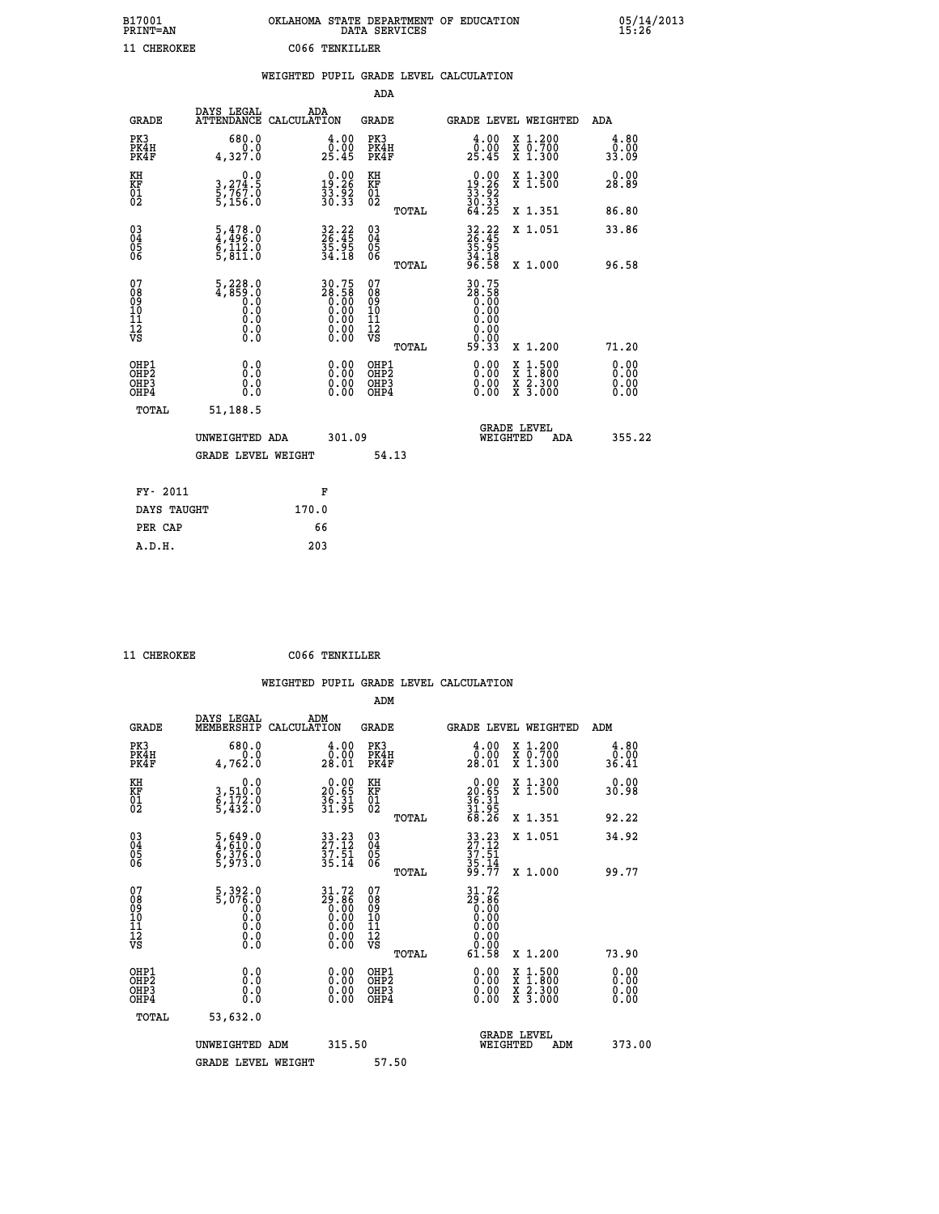| B17001<br><b>PRINT=AN</b> | OKLAHOMA STATE DEPARTMENT OF EDUCATION<br>DATA SERVICES | 05/14/2013<br>15:26 |
|---------------------------|---------------------------------------------------------|---------------------|
| 11 CHEROKEE               | C066 TENKILLER                                          |                     |

|                                              |                                                                                                                                                    |       |                                                                    |                                                     |       | WEIGHTED PUPIL GRADE LEVEL CALCULATION                                   |                                                                                          |                                   |
|----------------------------------------------|----------------------------------------------------------------------------------------------------------------------------------------------------|-------|--------------------------------------------------------------------|-----------------------------------------------------|-------|--------------------------------------------------------------------------|------------------------------------------------------------------------------------------|-----------------------------------|
|                                              |                                                                                                                                                    |       |                                                                    | <b>ADA</b>                                          |       |                                                                          |                                                                                          |                                   |
| <b>GRADE</b>                                 | DAYS LEGAL<br>ATTENDANCE CALCULATION                                                                                                               |       | ADA                                                                | GRADE                                               |       | GRADE LEVEL WEIGHTED                                                     |                                                                                          | ADA                               |
| PK3<br>PK4H<br>PK4F                          | 680.0<br>0.0<br>4,327.0                                                                                                                            |       | $\begin{smallmatrix} 4.00\\ 0.00\\ 25.45 \end{smallmatrix}$        | PK3<br>PK4H<br>PK4F                                 |       | $\begin{smallmatrix} 4.00\\ 0.00\\ 25.45 \end{smallmatrix}$              | X 1.200<br>X 0.700<br>X 1.300                                                            | 4.80<br>0.00<br>33.09             |
| KH<br>KF<br>01<br>02                         | 0.0<br>$\frac{3}{5}, \frac{274}{767}$ .0<br>5,156.0                                                                                                |       | 19.26<br>$\frac{3}{3}\frac{3}{0}\cdot\frac{5}{3}\frac{3}{3}$       | KH<br>KF<br>01<br>02                                |       | $\begin{smallmatrix} 0.00\\19.26\\33.92\\30.33\\64.25 \end{smallmatrix}$ | X 1.300<br>X 1.500                                                                       | 0.00<br>28.89                     |
|                                              |                                                                                                                                                    |       |                                                                    |                                                     | TOTAL |                                                                          | X 1.351                                                                                  | 86.80                             |
| 03<br>04<br>05<br>06                         | $\begin{smallmatrix} 5,478.0\\ 4,496.0\\ 6,112.0\\ 5,811.0 \end{smallmatrix}$                                                                      |       | 32.22<br>26.45<br>35.95<br>34.18                                   | $\begin{array}{c} 03 \\ 04 \\ 05 \\ 06 \end{array}$ |       | 32.22<br>26.45<br>35.95<br>34.18<br>36.58                                | X 1.051                                                                                  | 33.86                             |
|                                              |                                                                                                                                                    |       |                                                                    |                                                     | TOTAL |                                                                          | X 1.000                                                                                  | 96.58                             |
| 07<br>08<br>09<br>01<br>11<br>11<br>12<br>VS | $\begin{smallmatrix} 5,228.0\\ 4,859.0\\ 0.0\\ 0.0\\ 0.0 \end{smallmatrix}$<br>$\begin{smallmatrix} 0.0 & 0 \ 0.0 & 0 \ 0.0 & 0 \end{smallmatrix}$ |       | $30.75$<br>$28.58$<br>$0.00$<br>$0.00$<br>$0.00$<br>$0.00$<br>0.00 | 07<br>08<br>09<br>11<br>11<br>12<br>VS              | TOTAL | 30.75<br>88:58<br>0.00<br>0.00<br>0.00<br>0.00<br>59.33                  | X 1.200                                                                                  | 71.20                             |
| OHP1<br>OHP2<br>OHP3<br>OHP4                 | 0.0<br>0.0<br>$0.\overline{0}$                                                                                                                     |       | $\begin{smallmatrix} 0.00 \ 0.00 \ 0.00 \ 0.00 \end{smallmatrix}$  | OHP1<br>OHP2<br>OHP3<br>OHP4                        |       |                                                                          | $\begin{smallmatrix} x & 1.500 \\ x & 1.800 \\ x & 2.300 \\ x & 3.000 \end{smallmatrix}$ | 0.00<br>Ō. ŌŌ<br>$0.00$<br>$0.00$ |
| TOTAL                                        | 51,188.5                                                                                                                                           |       |                                                                    |                                                     |       |                                                                          |                                                                                          |                                   |
|                                              | UNWEIGHTED ADA                                                                                                                                     |       | 301.09                                                             |                                                     |       | <b>GRADE LEVEL</b><br>WEIGHTED                                           | ADA                                                                                      | 355.22                            |
|                                              | <b>GRADE LEVEL WEIGHT</b>                                                                                                                          |       |                                                                    |                                                     | 54.13 |                                                                          |                                                                                          |                                   |
| FY- 2011                                     |                                                                                                                                                    |       | F                                                                  |                                                     |       |                                                                          |                                                                                          |                                   |
| DAYS TAUGHT                                  |                                                                                                                                                    | 170.0 |                                                                    |                                                     |       |                                                                          |                                                                                          |                                   |
| PER CAP                                      |                                                                                                                                                    |       | 66                                                                 |                                                     |       |                                                                          |                                                                                          |                                   |

 **11 CHEROKEE C066 TENKILLER**

| <b>GRADE</b>                                       | DAYS LEGAL<br>MEMBERSHIP                 | ADM<br>CALCULATION                                                                                    | <b>GRADE</b>                                       |       |                                                                                                                                                                                                                                                                                |          | <b>GRADE LEVEL WEIGHTED</b>              | ADM                   |
|----------------------------------------------------|------------------------------------------|-------------------------------------------------------------------------------------------------------|----------------------------------------------------|-------|--------------------------------------------------------------------------------------------------------------------------------------------------------------------------------------------------------------------------------------------------------------------------------|----------|------------------------------------------|-----------------------|
| PK3<br>PK4H<br>PK4F                                | 680.0<br>4,762.0                         | $\begin{smallmatrix} 4.00\\ 0.00\\ 28.01 \end{smallmatrix}$                                           | PK3<br>PK4H<br>PK4F                                |       | 4.00<br>0.00<br>28.01                                                                                                                                                                                                                                                          |          | X 1.200<br>X 0.700<br>X 1.300            | 4.80<br>0.00<br>36.41 |
| KH<br>KF<br>01<br>02                               | 0.0<br>3,510:0<br>6,172:0<br>5,432:0     | $\begin{smallmatrix} 0.00\\ 20.65\\ 36.31\\ 31.95 \end{smallmatrix}$                                  | KH<br>KF<br>01<br>02                               |       | $\begin{smallmatrix} 0.00\\ 20.65\\ 36.31\\ 31.95\\ 68.26 \end{smallmatrix}$                                                                                                                                                                                                   |          | X 1.300<br>X 1.500                       | 0.00<br>30.98         |
|                                                    |                                          |                                                                                                       |                                                    | TOTAL |                                                                                                                                                                                                                                                                                |          | X 1.351                                  | 92.22                 |
| $\begin{matrix} 03 \\ 04 \\ 05 \\ 06 \end{matrix}$ | 5,649.0<br>4,610.0<br>5,376.0<br>5,973.0 | $\begin{smallmatrix} 33 & 23 \\ 27 & 12 \\ 37 & 51 \\ 35 & 14 \end{smallmatrix}$                      | $\begin{matrix} 03 \\ 04 \\ 05 \\ 06 \end{matrix}$ |       | 33.23<br>27.12<br>37.51<br>35.14<br>35.14                                                                                                                                                                                                                                      |          | X 1.051                                  | 34.92                 |
|                                                    |                                          |                                                                                                       |                                                    | TOTAL |                                                                                                                                                                                                                                                                                |          | X 1.000                                  | 99.77                 |
| 07<br>089<br>090<br>1112<br>VS                     |                                          | $\begin{smallmatrix} 31.72\ 29.86\ 0.00\ 0.00\ 0.00\ 0.00\ 0.00\ 0.00\ 0.00\ 0.00\ \end{smallmatrix}$ | 07<br>08<br>09<br>01<br>11<br>11<br>12<br>VS       |       | $\begin{smallmatrix} 31.72\ 29.86\ 0.00\ 0.00\ 0.00\ 0.00\ 0.00\ 0.00\ 0.00\ 0.00\ 61.58 \end{smallmatrix}$                                                                                                                                                                    |          |                                          |                       |
|                                                    |                                          |                                                                                                       |                                                    | TOTAL |                                                                                                                                                                                                                                                                                |          | X 1.200                                  | 73.90                 |
| OHP1<br>OHP2<br>OH <sub>P3</sub><br>OHP4           | 0.0<br>0.000                             |                                                                                                       | OHP1<br>OHP2<br>OHP3<br>OHP4                       |       | $\begin{smallmatrix} 0.00 & 0.00 & 0.00 & 0.00 & 0.00 & 0.00 & 0.00 & 0.00 & 0.00 & 0.00 & 0.00 & 0.00 & 0.00 & 0.00 & 0.00 & 0.00 & 0.00 & 0.00 & 0.00 & 0.00 & 0.00 & 0.00 & 0.00 & 0.00 & 0.00 & 0.00 & 0.00 & 0.00 & 0.00 & 0.00 & 0.00 & 0.00 & 0.00 & 0.00 & 0.00 & 0.0$ |          | X 1:500<br>X 1:800<br>X 2:300<br>X 3:000 | 0.00<br>0.00<br>0.00  |
| TOTAL                                              | 53,632.0                                 |                                                                                                       |                                                    |       |                                                                                                                                                                                                                                                                                |          |                                          |                       |
|                                                    | UNWEIGHTED                               | 315.50<br>ADM                                                                                         |                                                    |       |                                                                                                                                                                                                                                                                                | WEIGHTED | <b>GRADE LEVEL</b><br>ADM                | 373.00                |
|                                                    | <b>GRADE LEVEL WEIGHT</b>                |                                                                                                       | 57.50                                              |       |                                                                                                                                                                                                                                                                                |          |                                          |                       |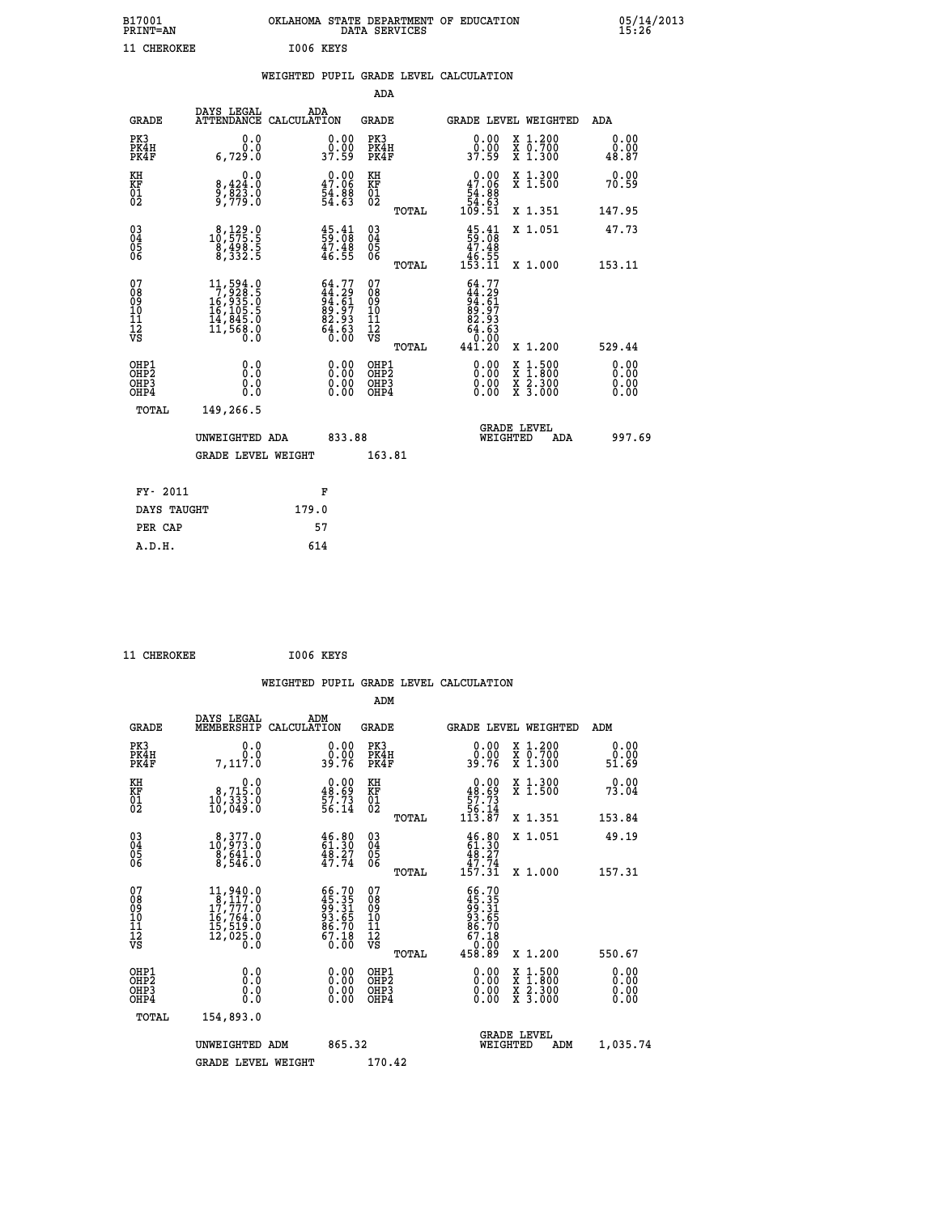| B17001<br>PRINT=AN | OKLAHOMA STATE DEPARTMENT OF EDUCATION<br>DATA SERVICES | 05/14/2013<br>15:26 |
|--------------------|---------------------------------------------------------|---------------------|
| CHEROKEE           | I006 KEYS                                               |                     |

|  |  | WEIGHTED PUPIL GRADE LEVEL CALCULATION |
|--|--|----------------------------------------|
|  |  |                                        |

|                                                                    |                                                                                                             |                                                                           | ADA                                                 |       |                                                                                            |                                          |                               |
|--------------------------------------------------------------------|-------------------------------------------------------------------------------------------------------------|---------------------------------------------------------------------------|-----------------------------------------------------|-------|--------------------------------------------------------------------------------------------|------------------------------------------|-------------------------------|
| <b>GRADE</b>                                                       | DAYS LEGAL<br>ATTENDANCE CALCULATION                                                                        | ADA                                                                       | <b>GRADE</b>                                        |       |                                                                                            | GRADE LEVEL WEIGHTED                     | ADA                           |
| PK3<br>PK4H<br>PK4F                                                | 0.0<br>0.0<br>6,729.0                                                                                       | $\begin{smallmatrix} 0.00\\ 0.00\\ 37.59 \end{smallmatrix}$               | PK3<br>PK4H<br>PK4F                                 |       | $\begin{smallmatrix} 0.00\\ 0.00\\ 37.59 \end{smallmatrix}$                                | X 1.200<br>X 0.700<br>X 1.300            | 0.00<br>0.00<br>48.87         |
| KH<br>KF<br>01<br>02                                               | 0.0<br>8,424:0<br>9,823:0<br>9,779:0                                                                        | $\begin{smallmatrix} 0.00\\ 47.06\\ 54.88\\ 54.63\\ \end{smallmatrix}$    | KH<br>KF<br>01<br>02                                |       | 0.00<br>$\begin{array}{r} 47.06 \\[-4pt] 54.88 \\[-4pt] 54.63 \\[-4pt] 109.51 \end{array}$ | X 1.300<br>X 1.500                       | 0.00<br>70.59                 |
|                                                                    |                                                                                                             |                                                                           |                                                     | TOTAL |                                                                                            | X 1.351                                  | 147.95                        |
| $\begin{smallmatrix} 03 \\[-4pt] 04 \end{smallmatrix}$<br>Ŏ5<br>06 | $\substack{8,129.0\\10,575.5\\8,498.5\\8,332.5}$                                                            | $\begin{smallmatrix} 45.41\ 59.08\ 47.48\ 46.55 \end{smallmatrix}$        | $\begin{array}{c} 03 \\ 04 \\ 05 \\ 06 \end{array}$ |       | $45.41$<br>59.08<br>47.48<br>46.55<br>453.11                                               | X 1.051                                  | 47.73                         |
|                                                                    |                                                                                                             |                                                                           |                                                     | TOTAL |                                                                                            | X 1.000                                  | 153.11                        |
| 07<br>08<br>09<br>01<br>11<br>11<br>12<br>VS                       | $\begin{smallmatrix} 11, 594.0\\7, 928.0\\16, 935.0\\16, 105.5\\14, 845.0\\11, 568.0\\0.0\end{smallmatrix}$ | $64.77$<br>$44.29$<br>$94.61$<br>$89.97$<br>$82.93$<br>$64.63$<br>$66.60$ | 07<br>08<br>09<br>11<br>11<br>12<br>VS              |       | $64.77$<br>$44.29$<br>$94.61$<br>$89.97$<br>$82.93$<br>$64.63$<br>$64.630$                 |                                          |                               |
|                                                                    |                                                                                                             |                                                                           |                                                     | TOTAL | 441.20                                                                                     | X 1.200                                  | 529.44                        |
| OHP1<br>OHP2<br>OH <sub>P3</sub><br>OHP4                           | 0.0<br>0.000                                                                                                | 0.00<br>$\begin{smallmatrix} 0.00 \ 0.00 \end{smallmatrix}$               | OHP1<br>OHP2<br>OHP <sub>3</sub>                    |       | 0.00<br>0.00                                                                               | X 1:500<br>X 1:800<br>X 2:300<br>X 3:000 | 0.00<br>Ō. ŌŌ<br>0.00<br>0.00 |
| TOTAL                                                              | 149,266.5                                                                                                   |                                                                           |                                                     |       |                                                                                            |                                          |                               |
|                                                                    | UNWEIGHTED ADA                                                                                              | 833.88                                                                    |                                                     |       |                                                                                            | <b>GRADE LEVEL</b><br>WEIGHTED<br>ADA    | 997.69                        |
|                                                                    | <b>GRADE LEVEL WEIGHT</b>                                                                                   |                                                                           | 163.81                                              |       |                                                                                            |                                          |                               |
| FY- 2011                                                           |                                                                                                             | F                                                                         |                                                     |       |                                                                                            |                                          |                               |
| DAYS TAUGHT                                                        |                                                                                                             | 179.0                                                                     |                                                     |       |                                                                                            |                                          |                               |
| PER CAP                                                            |                                                                                                             | 57                                                                        |                                                     |       |                                                                                            |                                          |                               |

 **11 CHEROKEE I006 KEYS WEIGHTED PUPIL GRADE LEVEL CALCULATION ADM DAYS LEGAL ADM GRADE MEMBERSHIP CALCULATION GRADE GRADE LEVEL WEIGHTED ADM PK3 0.0 0.00 PK3 0.00 X 1.200 0.00 PK4H 0.0 0.00 PK4H 0.00 X 0.700 0.00 PK4F 7,117.0 39.76 PK4F 39.76 X 1.300 51.69 KH 0.0 0.00 KH 0.00 X 1.300 0.00 KF 8,715.0 48.69 KF 48.69 X 1.500 73.04 01 10,333.0 57.73 01 57.73 02 10,049.0 56.14 02 56.14 TOTAL 113.87 X 1.351 153.84 03 8,377.0 46.80 03 46.80 X 1.051 49.19 04 10,973.0 61.30 04 61.30 05 8,641.0 48.27 05 48.27 06 8,546.0 47.74 06 47.74 TOTAL 157.31 X 1.000 157.31**  $\begin{array}{cccc} 07 & 11,940.0 & 66.70 & 07 & 66.70 \ 08 & 8 & 17,777.0 & 45.35 & 08 & 45.35 \ 09 & 17,777.0 & 99.31 & 09 & 49.31 \ 10 & 16,764.0 & 93.65 & 10 & 93.65 \ 11 & 15,519.0 & 86.70 & 11 & 86.70 \ 12 & 12,025.0 & 67.18 & 12 & 67.18 \ \hline \textrm{vs} & 12,025$  **TOTAL 458.89 X 1.200 550.67 OHP1 0.0 0.00 OHP1 0.00 X 1.500 0.00 OHP2 0.0 0.00 OHP2 0.00 X 1.800 0.00 OHP3 0.0 0.00 OHP3 0.00 X 2.300 0.00 OHP4 0.0 0.00 OHP4 0.00 X 3.000 0.00 TOTAL 154,893.0 GRADE LEVEL UNWEIGHTED ADM 865.32 WEIGHTED ADM 1,035.74** GRADE LEVEL WEIGHT 170.42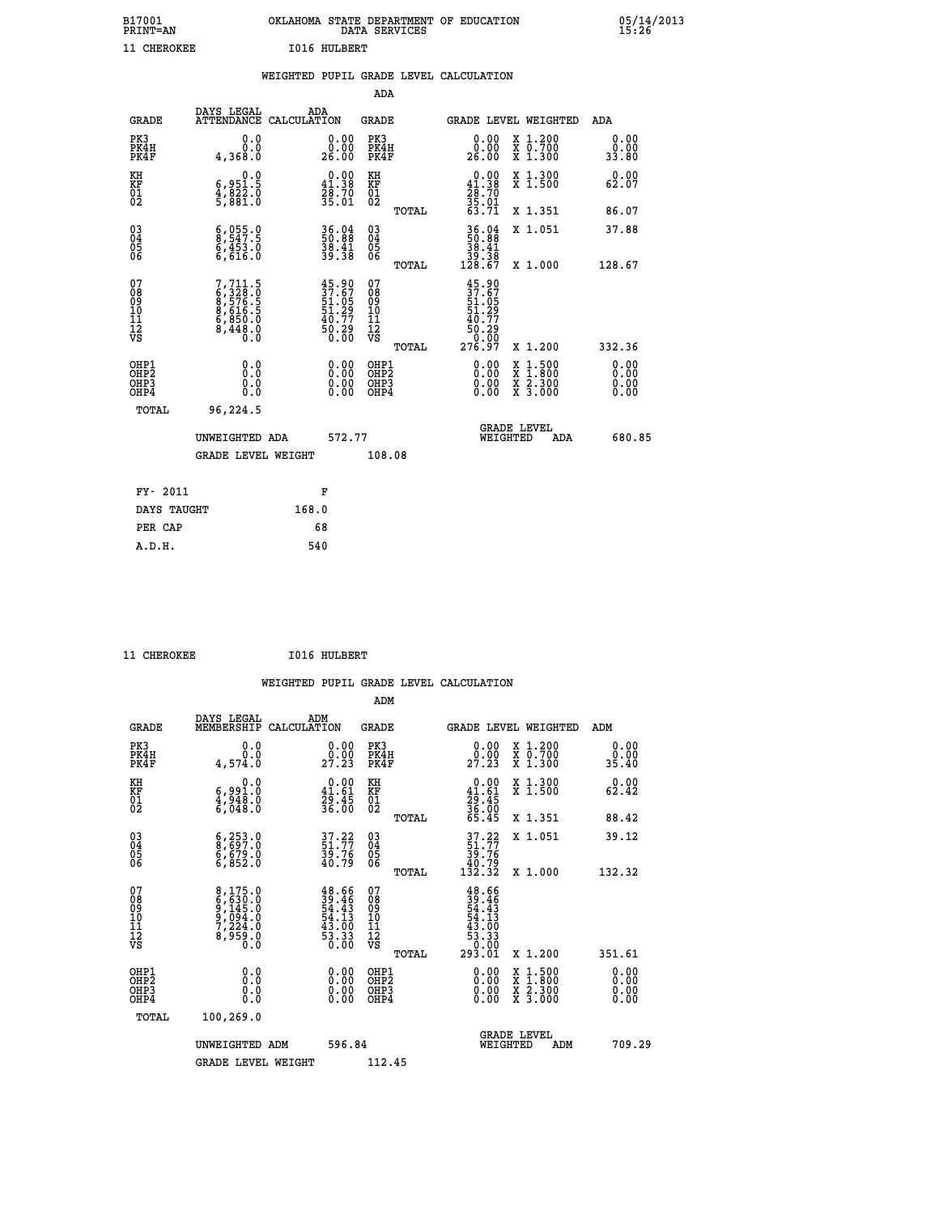| B17001<br><b>PRINT=AN</b> | OKLAHOMA STATE DEPARTMENT OF EDUCATION<br>DATA SERVICES |  |
|---------------------------|---------------------------------------------------------|--|
| 11 CHEROKEE               | 1016 HULBERT                                            |  |

|  |  | WEIGHTED PUPIL GRADE LEVEL CALCULATION |
|--|--|----------------------------------------|
|  |  |                                        |

|                                                                   |              |                                                                                             |                    |                                                                          | ADA                                                 |       |                                                                           |                                          |                              |
|-------------------------------------------------------------------|--------------|---------------------------------------------------------------------------------------------|--------------------|--------------------------------------------------------------------------|-----------------------------------------------------|-------|---------------------------------------------------------------------------|------------------------------------------|------------------------------|
|                                                                   | <b>GRADE</b> | DAYS LEGAL<br><b>ATTENDANCE</b>                                                             | ADA<br>CALCULATION |                                                                          | <b>GRADE</b>                                        |       |                                                                           | <b>GRADE LEVEL WEIGHTED</b>              | ADA                          |
| PK3<br>PK4H<br>PK4F                                               |              | 0.0<br>0.0<br>4,368.0                                                                       |                    | $\begin{smallmatrix} 0.00\\ 0.00\\ 26.00 \end{smallmatrix}$              | PK3<br>PK4H<br>PK4F                                 |       | 0.00<br>ŏ:ŏŏ<br>26:00                                                     | X 1.200<br>X 0.700<br>X 1.300            | 0.00<br>0.00<br>33.80        |
| KH<br><b>KF</b><br>01<br>02                                       |              | 0.0<br>6,951.5<br>4,822.0<br>5,881.0                                                        |                    | $0.00$<br>41.38<br>$\frac{28.70}{35.01}$                                 | KH<br>KF<br>01<br>02                                |       | $0.00$<br>41.38<br>$\frac{78}{35}$ : 70<br>35:01<br>63:71                 | X 1.300<br>X 1.500                       | 0.00<br>62.07                |
|                                                                   |              |                                                                                             |                    |                                                                          |                                                     | TOTAL |                                                                           | X 1.351                                  | 86.07                        |
| $^{03}_{04}$<br>Ŏ5<br>06                                          |              | $\begin{smallmatrix} 6, & 055.0\\ 8, & 547.5\\ 6, & 453.0\\ 6, & 616.0\\ \end{smallmatrix}$ |                    | 36.04<br>50.88<br>38.41<br>39.38                                         | $\begin{array}{c} 03 \\ 04 \\ 05 \\ 06 \end{array}$ | TOTAL | $\begin{array}{r} 36.04 \\ 50.88 \\ 38.41 \\ 39.38 \\ 128.67 \end{array}$ | X 1.051<br>X 1.000                       | 37.88<br>128.67              |
| 07<br>08901112<br>1112<br>VS                                      |              | 7,711.5<br>6,328.0<br>6,576.5<br>8,616.5<br>6,850.0<br>6,850.0<br>8,448.0                   |                    | $45.90$<br>$37.67$<br>$51.05$<br>$51.29$<br>$40.77$<br>$50.29$<br>$0.00$ | 07<br>08<br>09<br>11<br>11<br>12<br>VS              |       | $45.90$<br>$37.67$<br>$51.05$<br>$51.29$<br>$40.77$<br>$50.29$<br>0.00    |                                          |                              |
|                                                                   |              |                                                                                             |                    |                                                                          |                                                     | TOTAL | 276.97                                                                    | X 1.200                                  | 332.36                       |
| OHP1<br>OH <sub>P</sub> 2<br>OH <sub>P3</sub><br>OH <sub>P4</sub> |              | 0.0<br>0.000                                                                                |                    | $\begin{smallmatrix} 0.00 \ 0.00 \ 0.00 \ 0.00 \end{smallmatrix}$        | OHP1<br>OH <sub>P</sub> 2<br>OHP3<br>OHP4           |       | 0.00<br>0.00<br>0.00                                                      | X 1:500<br>X 1:800<br>X 2:300<br>X 3:000 | 0.00<br>0.00<br>0.00<br>0.00 |
|                                                                   | TOTAL        | 96,224.5                                                                                    |                    |                                                                          |                                                     |       |                                                                           |                                          |                              |
|                                                                   |              | UNWEIGHTED ADA                                                                              |                    | 572.77                                                                   |                                                     |       |                                                                           | GRADE LEVEL<br>WEIGHTED<br>ADA           | 680.85                       |
|                                                                   |              | <b>GRADE LEVEL WEIGHT</b>                                                                   |                    |                                                                          | 108.08                                              |       |                                                                           |                                          |                              |
|                                                                   | FY- 2011     |                                                                                             |                    | F                                                                        |                                                     |       |                                                                           |                                          |                              |
|                                                                   | DAYS TAUGHT  |                                                                                             | 168.0              |                                                                          |                                                     |       |                                                                           |                                          |                              |
|                                                                   | PER CAP      |                                                                                             |                    | 68                                                                       |                                                     |       |                                                                           |                                          |                              |

11 CHEROKEE 1016 HULBERT

 **A.D.H. 540**

 **ADM**

| <b>GRADE</b>                             | DAYS LEGAL<br>MEMBERSHIP                                       | ADM<br>CALCULATION                                                       | <b>GRADE</b>                                        |       |                                                                                       | <b>GRADE LEVEL WEIGHTED</b>              | ADM                     |  |
|------------------------------------------|----------------------------------------------------------------|--------------------------------------------------------------------------|-----------------------------------------------------|-------|---------------------------------------------------------------------------------------|------------------------------------------|-------------------------|--|
| PK3<br>PK4H<br>PK4F                      | 0.0<br>0.0<br>4,574.0                                          | $\begin{smallmatrix} 0.00\\ 0.00\\ 27.23 \end{smallmatrix}$              | PK3<br>PK4H<br>PK4F                                 |       | 0.00<br>29.00                                                                         | X 1.200<br>X 0.700<br>X 1.300            | 0.00<br>$0.00$<br>35.40 |  |
| KH<br>KF<br>01<br>02                     | 0.0<br>6,991.0<br>4,948.0<br>6,048.0                           | $\begin{smallmatrix} 0.00\\ 41.61\\ 29.45\\ 36.00 \end{smallmatrix}$     | KH<br>KF<br>01<br>02                                |       | $0.00$<br>$41.61$<br>$29.45$<br>$36.00$<br>$56.45$                                    | X 1.300<br>X 1.500                       | 0.00<br>62.42           |  |
|                                          |                                                                |                                                                          |                                                     | TOTAL |                                                                                       | X 1.351                                  | 88.42                   |  |
| 03<br>04<br>05<br>06                     | 6,253.0<br>8,697.0<br>6,679.0<br>6,852.0                       | $\begin{smallmatrix} 37.22\ 51.77\ 39.76\ 40.79 \end{smallmatrix}$       | $\begin{array}{c} 03 \\ 04 \\ 05 \\ 06 \end{array}$ |       | $37.22$<br>$51.77$<br>$39.76$<br>$40.79$<br>$132.32$                                  | X 1.051                                  | 39.12                   |  |
|                                          |                                                                |                                                                          |                                                     | TOTAL |                                                                                       | X 1.000                                  | 132.32                  |  |
| 07<br>08<br>09<br>101<br>11<br>12<br>VS  | 8,175.0<br>6,630.0<br>9,145.0<br>9,094.0<br>7,224.0<br>8,959.0 | $48.66$<br>$39.46$<br>$54.43$<br>$54.13$<br>$43.00$<br>$53.33$<br>$0.00$ | 07<br>08<br>09<br>001<br>11<br>11<br>12<br>VS       | TOTAL | $48.66$<br>$39.46$<br>$54.43$<br>$54.13$<br>$43.00$<br>$53.33$<br>$53.01$<br>$293.01$ | X 1.200                                  | 351.61                  |  |
| OHP1<br>OHP <sub>2</sub><br>OHP3<br>OHP4 | 0.0<br>0.000                                                   | $\begin{smallmatrix} 0.00 \ 0.00 \ 0.00 \ 0.00 \end{smallmatrix}$        | OHP1<br>OHP2<br>OHP3<br>OHP4                        |       | 0.00<br>0.00                                                                          | X 1:500<br>X 1:800<br>X 2:300<br>X 3:000 | 0.00<br>0.00<br>0.00    |  |
| TOTAL                                    | 100,269.0                                                      |                                                                          |                                                     |       |                                                                                       |                                          |                         |  |
|                                          | UNWEIGHTED<br>ADM                                              | 596.84                                                                   |                                                     |       | WEIGHTED                                                                              | <b>GRADE LEVEL</b><br>ADM                | 709.29                  |  |
|                                          | <b>GRADE LEVEL WEIGHT</b>                                      |                                                                          | 112.45                                              |       |                                                                                       |                                          |                         |  |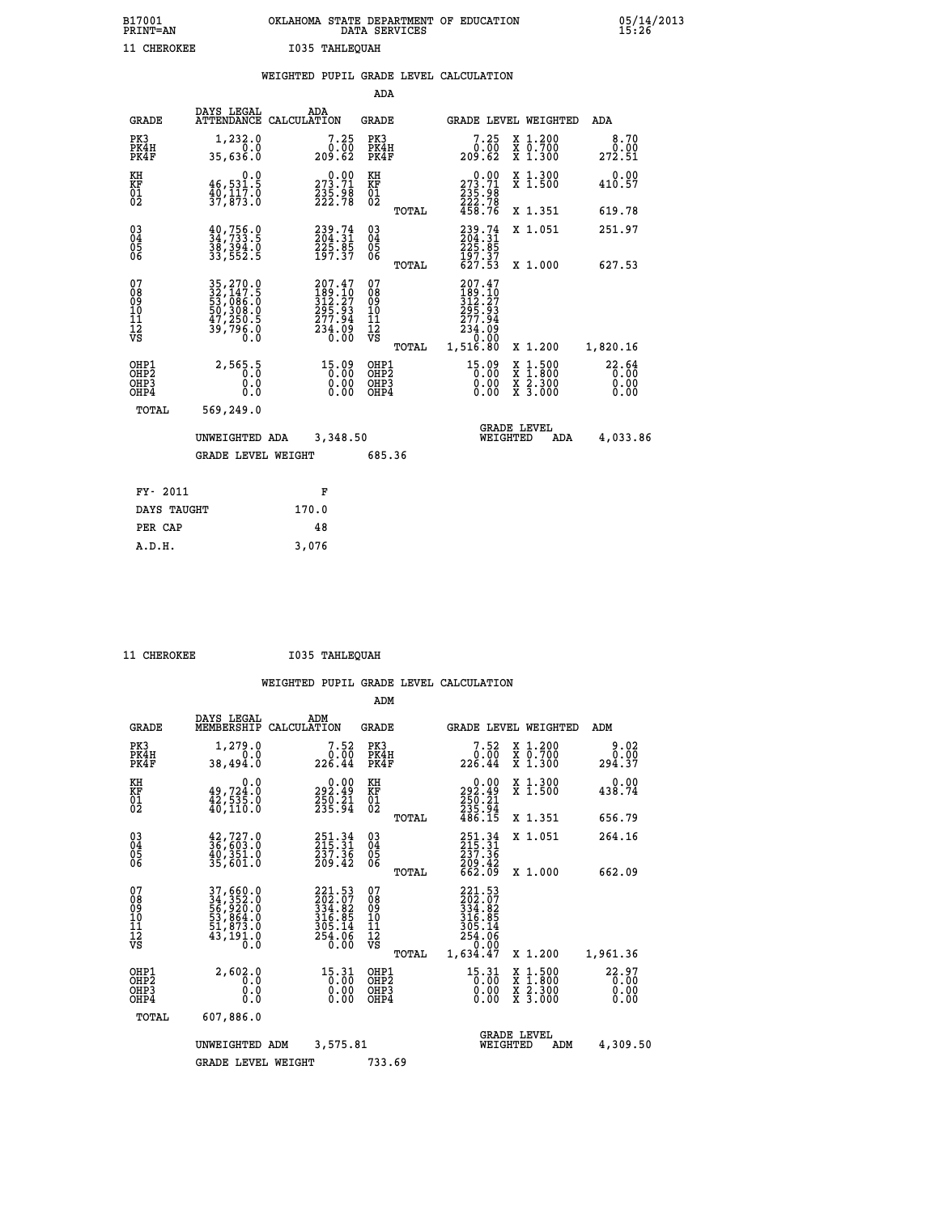| B17001<br><b>PRINT=AN</b> | OKLAHOMA STATE DEPARTMENT OF EDUCATION<br>DATA SERVICES |  |
|---------------------------|---------------------------------------------------------|--|
| 11 CHEROKEE               | I035 TAHLEOUAH                                          |  |

05/14/2013<br>15:26

|                                                                    |                                                                                       | WEIGHTED PUPIL GRADE LEVEL CALCULATION                           |                                        |       |                                                                                                                          |                                                                                          |                               |
|--------------------------------------------------------------------|---------------------------------------------------------------------------------------|------------------------------------------------------------------|----------------------------------------|-------|--------------------------------------------------------------------------------------------------------------------------|------------------------------------------------------------------------------------------|-------------------------------|
|                                                                    |                                                                                       |                                                                  | <b>ADA</b>                             |       |                                                                                                                          |                                                                                          |                               |
| <b>GRADE</b>                                                       | DAYS LEGAL                                                                            | ADA<br>ATTENDANCE CALCULATION                                    | <b>GRADE</b>                           |       | GRADE LEVEL WEIGHTED                                                                                                     |                                                                                          | ADA                           |
| PK3<br>PK4H<br>PK4F                                                | 1,232.0<br>0.0<br>35,636.0                                                            | $7.25$<br>$0.00$<br>209.62                                       | PK3<br>PK4H<br>PK4F                    |       | 7.25<br>0.00<br>209.62                                                                                                   | X 1.200<br>X 0.700<br>X 1.300                                                            | 8.70<br>0.00<br>272.51        |
| KH<br>KF<br>$\overline{01}$                                        | 0.0<br>46,531.5<br>$\frac{1}{3}, \frac{1}{8}, \frac{1}{3}, \frac{1}{6}$               | 273.71<br>$\frac{235.98}{222.78}$                                | KH<br>KF<br>$\overline{01}$            |       | $\begin{smallmatrix} &0.00\\ 273.71\\ 235.98\\ 222.78\\ 458.76 \end{smallmatrix}$                                        | X 1.300<br>X 1.500                                                                       | 0.00<br>410.57                |
|                                                                    |                                                                                       |                                                                  |                                        | TOTAL |                                                                                                                          | X 1.351                                                                                  | 619.78                        |
| $\begin{smallmatrix} 03 \\[-4pt] 04 \end{smallmatrix}$<br>Ŏ5<br>06 | $\begin{smallmatrix} 40, 756.0\\ 34, 733.5\\ 38, 394.0\\ 33, 552.5 \end{smallmatrix}$ | 239.74<br>204.31<br>225.85<br>197.37                             | $\substack{03 \\ 04}$<br>05<br>06      |       | 239.74<br>204.31<br>225.85<br>197.37<br>627.53                                                                           | X 1.051                                                                                  | 251.97                        |
|                                                                    |                                                                                       |                                                                  |                                        | TOTAL |                                                                                                                          | X 1.000                                                                                  | 627.53                        |
| 07<br>08<br>09<br>11<br>11<br>12<br>VS                             | 35, 270.0<br>32, 147.5<br>53, 086.0<br>50, 308.0<br>47, 250.5<br>39, 796.0            | 207.47<br>189.10<br>312.27<br>295.93<br>277.94<br>234.09<br>0.00 | 07<br>08<br>09<br>11<br>11<br>12<br>VS | TOTAL | 207.47<br>$\frac{189}{312}$ . $\frac{16}{27}$<br>$\frac{295}{277}$ . $\frac{93}{4}$<br>$\frac{234.09}{0.00}$<br>1,516.80 | X 1.200                                                                                  | 1,820.16                      |
| OHP1<br>OHP <sub>2</sub><br>OHP3<br>OHP4                           | 2,565.5<br>0.0<br>0.0                                                                 | $\begin{smallmatrix} 15.09\ 0.00\ 0.00\ 0.00 \end{smallmatrix}$  | OHP1<br>OHP2<br>OHP3<br>OHP4           |       | $15.09$<br>$0.00$<br>0.00                                                                                                | $\begin{smallmatrix} x & 1.500 \\ x & 1.800 \\ x & 2.300 \\ x & 3.000 \end{smallmatrix}$ | 22.64<br>0.00<br>0.00<br>0.00 |
| TOTAL                                                              | 569,249.0                                                                             |                                                                  |                                        |       |                                                                                                                          |                                                                                          |                               |
|                                                                    | UNWEIGHTED ADA                                                                        | 3,348.50                                                         |                                        |       | WEIGHTED                                                                                                                 | <b>GRADE LEVEL</b><br>ADA                                                                | 4,033.86                      |
|                                                                    | <b>GRADE LEVEL WEIGHT</b>                                                             |                                                                  | 685.36                                 |       |                                                                                                                          |                                                                                          |                               |
| FY- 2011                                                           |                                                                                       | F                                                                |                                        |       |                                                                                                                          |                                                                                          |                               |
| DAYS TAUGHT                                                        |                                                                                       | 170.0                                                            |                                        |       |                                                                                                                          |                                                                                          |                               |
| PER CAP                                                            |                                                                                       | 48                                                               |                                        |       |                                                                                                                          |                                                                                          |                               |

 **A.D.H. 3,076**

 **11 CHEROKEE I035 TAHLEQUAH**

|                                                       |                                                                             |             |                                                                  | ADM                                    |       |                                                                                                                                                                                                                                                                                        |                                |                                                                  |                        |
|-------------------------------------------------------|-----------------------------------------------------------------------------|-------------|------------------------------------------------------------------|----------------------------------------|-------|----------------------------------------------------------------------------------------------------------------------------------------------------------------------------------------------------------------------------------------------------------------------------------------|--------------------------------|------------------------------------------------------------------|------------------------|
| <b>GRADE</b>                                          | DAYS LEGAL<br>MEMBERSHIP                                                    | CALCULATION | ADM                                                              | <b>GRADE</b>                           |       |                                                                                                                                                                                                                                                                                        |                                | <b>GRADE LEVEL WEIGHTED</b>                                      | ADM                    |
| PK3<br>PK4H<br>PK4F                                   | 1,279.0<br>0.0<br>38,494.0                                                  |             | 7.52<br>0.00<br>226.44                                           | PK3<br>PK4H<br>PK4F                    |       | 7.52<br>0.00<br>226.44                                                                                                                                                                                                                                                                 |                                | $\begin{array}{c} x & 1.200 \\ x & 0.700 \end{array}$<br>X 1.300 | 9.02<br>0.00<br>294.37 |
| KH<br>KF<br>01<br>02                                  | 0.0<br>$49,724.0$<br>$42,535.0$<br>$40,110.0$                               |             | 292.49<br>250.21<br>255.94                                       | KH<br>KF<br>01<br>02                   |       | $\begin{smallmatrix} &0.00\\ 292.49\\ 250.21\\ 235.94\\ 486.15\end{smallmatrix}$                                                                                                                                                                                                       |                                | X 1.300<br>X 1.500                                               | 0.00<br>438.74         |
|                                                       |                                                                             |             |                                                                  |                                        | TOTAL |                                                                                                                                                                                                                                                                                        |                                | X 1.351                                                          | 656.79                 |
| 03<br>04<br>05<br>06                                  | $42,727.0$<br>$36,603.0$<br>40,351.0<br>35,601.0                            |             | 251.34<br>215.31<br>237.36<br>209.42                             | $^{03}_{04}$<br>0500                   |       | $251.34$<br>$215.31$<br>$237.36$                                                                                                                                                                                                                                                       |                                | X 1.051                                                          | 264.16                 |
|                                                       |                                                                             |             |                                                                  |                                        | TOTAL | 209.42<br>662.09                                                                                                                                                                                                                                                                       |                                | X 1.000                                                          | 662.09                 |
| 07<br>08<br>09<br>101<br>112<br>VS                    | 37,660.0<br>34,352.0<br>56,920.0<br>53,864.0<br>51,873.0<br>43,191.0<br>ō.ŏ |             | 221.53<br>202.07<br>334.82<br>316.85<br>305.14<br>254.06<br>0.00 | 07<br>08<br>09<br>11<br>11<br>12<br>VS | TOTAL | 221.53<br>202.07<br>334.82<br>316.95<br>305.14<br>254.06<br>0.00<br>1,634.47                                                                                                                                                                                                           |                                | X 1.200                                                          | 1,961.36               |
| OHP1<br>OH <sub>P</sub> 2<br>OH <sub>P3</sub><br>OHP4 | 2,602.0<br>0.0<br>0.000                                                     |             | $15.31$<br>$0.00$<br>$0.00$<br>0.00                              | OHP1<br>OHP2<br>OHP3<br>OHP4           |       | 15.31<br>$\begin{smallmatrix} 0.00000 & 0.0000 & 0.0000 & 0.0000 & 0.0000 & 0.0000 & 0.0000 & 0.0000 & 0.0000 & 0.0000 & 0.0000 & 0.0000 & 0.0000 & 0.0000 & 0.0000 & 0.0000 & 0.0000 & 0.0000 & 0.0000 & 0.0000 & 0.0000 & 0.0000 & 0.0000 & 0.0000 & 0.0000 & 0.0000 & 0.00$<br>0.00 |                                | X 1:500<br>X 1:800<br>X 2:300<br>X 3:000                         | 22.97<br>0.00<br>0.00  |
| TOTAL                                                 | 607,886.0                                                                   |             |                                                                  |                                        |       |                                                                                                                                                                                                                                                                                        |                                |                                                                  |                        |
|                                                       | UNWEIGHTED                                                                  | ADM         | 3,575.81                                                         |                                        |       |                                                                                                                                                                                                                                                                                        | <b>GRADE LEVEL</b><br>WEIGHTED | ADM                                                              | 4,309.50               |
|                                                       | <b>GRADE LEVEL WEIGHT</b>                                                   |             |                                                                  | 733.69                                 |       |                                                                                                                                                                                                                                                                                        |                                |                                                                  |                        |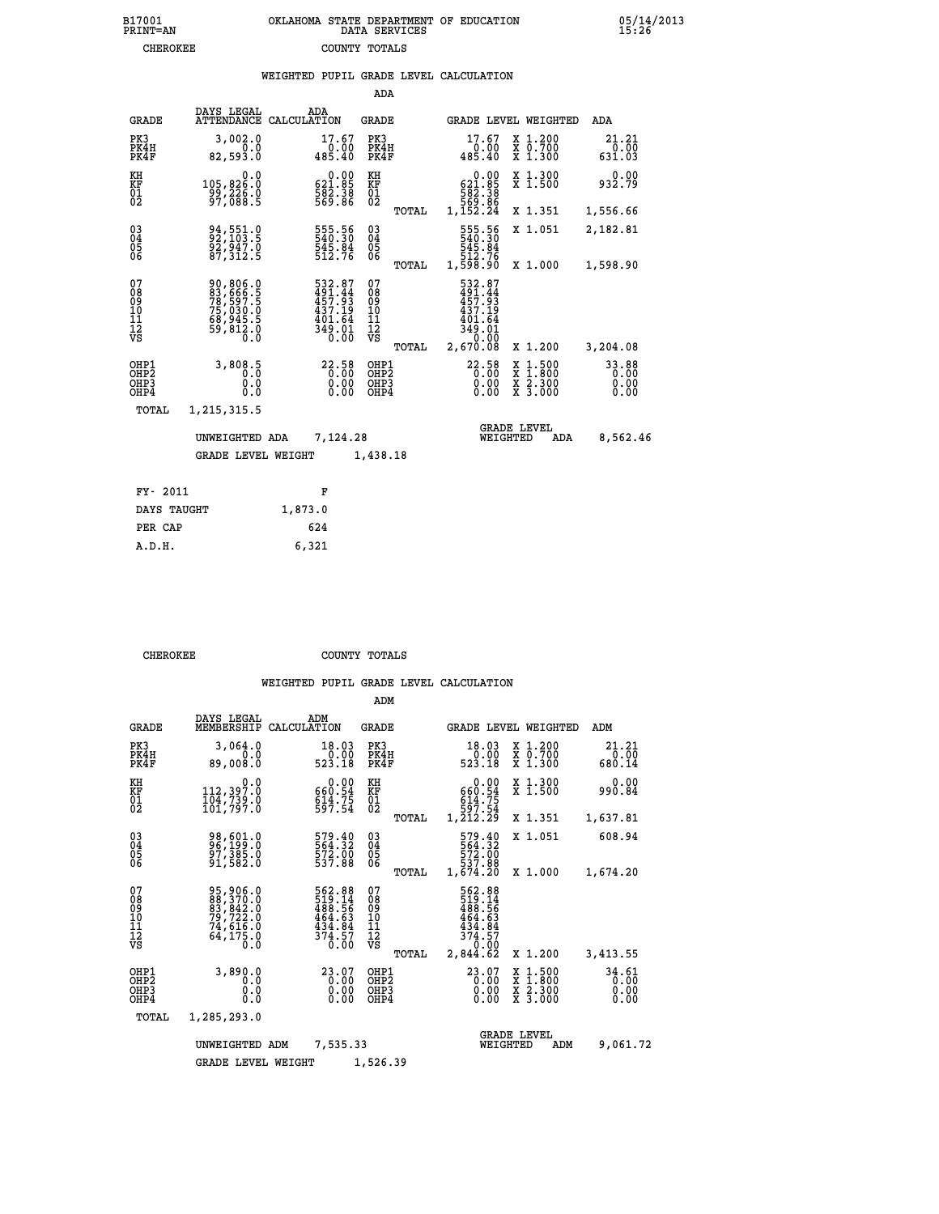## **B17001 OKLAHOMA STATE DEPARTMENT OF EDUCATION 05/14/2013 PRINT=AN DATA SERVICES 15:26 CHEROKEE COUNTY TOTALS**

|                                                    |                                                                                  |                    |                                                                         | ADA                                    |       |                                                                             |                                |                                          |                         |
|----------------------------------------------------|----------------------------------------------------------------------------------|--------------------|-------------------------------------------------------------------------|----------------------------------------|-------|-----------------------------------------------------------------------------|--------------------------------|------------------------------------------|-------------------------|
| <b>GRADE</b>                                       | DAYS LEGAL<br><b>ATTENDANCE</b>                                                  | ADA<br>CALCULATION |                                                                         | GRADE                                  |       |                                                                             |                                | GRADE LEVEL WEIGHTED                     | <b>ADA</b>              |
| PK3<br>PK4H<br>PK4F                                | 3,002.0<br>0.0<br>82,593.0                                                       |                    | 17.67<br>0.00<br>485.40                                                 | PK3<br>PK4H<br>PK4F                    |       | 17.67<br>485.40                                                             | 0.00                           | X 1.200<br>X 0.700<br>X 1.300            | 21.21<br>0.00<br>631.03 |
| KH<br><b>KF</b><br>01<br>02                        | 0.0<br>105,826.0<br>99,226.0<br>97,088.5                                         |                    | $\begin{smallmatrix} &0.00\\ 621.85\\ 582.38\\ 569.86\end{smallmatrix}$ | KH<br>KF<br>01<br>02                   |       | $\begin{smallmatrix} 621.85\ 582.38\ 569.86\ 1,152.24 \end{smallmatrix}$    | 0.00                           | X 1.300<br>$\overline{x}$ 1.500          | 0.00<br>932.79          |
|                                                    |                                                                                  |                    |                                                                         |                                        | TOTAL |                                                                             |                                | X 1.351                                  | 1,556.66                |
| $\begin{matrix} 03 \\ 04 \\ 05 \\ 06 \end{matrix}$ | 94, 551.0<br>92, 103.5<br>92, 947.0<br>87, 312.5                                 |                    | 555.56<br>540.30<br>545.84<br>512.76                                    | $\substack{03 \\ 04}$<br>05<br>06      |       | 555.56<br>540.30<br>545.84<br>512.76<br>1,598.90                            |                                | X 1.051                                  | 2,182.81                |
|                                                    |                                                                                  |                    |                                                                         |                                        | TOTAL |                                                                             |                                | X 1.000                                  | 1,598.90                |
| 07<br>08<br>09<br>11<br>11<br>12<br>VS             | 90,806.0<br>83,666.5<br>78,597.5<br>75,030.0<br>68,945.5<br>68,945.5<br>59,812.0 |                    | 532.87<br>491.44<br>457.93<br>$437.19$<br>$401.64$<br>$349.01$<br>0.00  | 07<br>08<br>09<br>11<br>11<br>12<br>VS | TOTAL | 532.87<br>491.44<br>457.93<br>437.19<br>$\frac{401.64}{349.01}$<br>2,670.08 |                                | X 1.200                                  | 3,204.08                |
|                                                    |                                                                                  |                    |                                                                         |                                        |       |                                                                             |                                |                                          |                         |
| OHP1<br>OHP2<br>OHP3<br>OHP4                       | 3,808.5<br>0.0<br>0.0                                                            |                    | 22.58<br>$0.00$<br>$0.00$                                               | OHP1<br>OHP2<br>OHP3<br>OHP4           |       | 22.58                                                                       | X<br>X<br>0.00<br>0.00         | $1.500$<br>$1.800$<br>X 2.300<br>X 3.000 | 33.88<br>0.00<br>0.00   |
| TOTAL                                              | 1,215,315.5                                                                      |                    |                                                                         |                                        |       |                                                                             |                                |                                          |                         |
|                                                    | UNWEIGHTED ADA                                                                   |                    | 7,124.28                                                                |                                        |       |                                                                             | <b>GRADE LEVEL</b><br>WEIGHTED | ADA                                      | 8,562.46                |
|                                                    | <b>GRADE LEVEL WEIGHT</b>                                                        |                    |                                                                         | 1,438.18                               |       |                                                                             |                                |                                          |                         |
|                                                    |                                                                                  |                    |                                                                         |                                        |       |                                                                             |                                |                                          |                         |
| FY- 2011                                           |                                                                                  |                    | F                                                                       |                                        |       |                                                                             |                                |                                          |                         |
| DAYS TAUGHT                                        |                                                                                  | 1,873.0            |                                                                         |                                        |       |                                                                             |                                |                                          |                         |

| PER CAP | 624   |
|---------|-------|
| A.D.H.  | 6,321 |
|         |       |

 **ADM**

 **CHEROKEE COUNTY TOTALS**

|  |  | WEIGHIED FOFID GRADE DEVED CADCODAIIO |
|--|--|---------------------------------------|
|  |  |                                       |

| <b>GRADE</b>                             | DAYS LEGAL                                                                                                                 | ADM<br>MEMBERSHIP CALCULATION                                                              | <b>GRADE</b>                                           |                                                                             | GRADE LEVEL WEIGHTED                     | ADM                           |
|------------------------------------------|----------------------------------------------------------------------------------------------------------------------------|--------------------------------------------------------------------------------------------|--------------------------------------------------------|-----------------------------------------------------------------------------|------------------------------------------|-------------------------------|
| PK3<br>PK4H<br>PK4F                      | 3,064.0<br>0.0<br>89,008.0                                                                                                 | 18.03<br>0.00<br>523.18                                                                    | PK3<br>PK4H<br>PK4F                                    | 18.03<br>0.00<br>523.18                                                     | X 1.200<br>X 0.700<br>X 1.300            | 21.21<br>0.00<br>680.14       |
| KH<br><b>KF</b><br>01<br>02              | 0.0<br>112,397.0<br>104,739.0<br>101,797.0                                                                                 | 0.00<br>660:54<br>614:75<br>597:54                                                         | KH<br>KF<br>01<br>02                                   | 0.00<br>$660.54$<br>$614.75$<br>$597.54$<br>$1,212.29$                      | X 1.300<br>X 1.500                       | 0.00<br>990.84                |
|                                          |                                                                                                                            |                                                                                            | TOTAL                                                  |                                                                             | X 1.351                                  | 1,637.81                      |
| $^{03}_{04}$<br>Ŏ5<br>06                 | 98,601.0<br>96,199.0<br>97,385.0<br>91,582.0                                                                               | 579.40<br>564.32<br>572.00<br>537.88                                                       | $\substack{03 \\ 04}$<br>05                            | 579.40<br>564.32<br>572.00<br>537.88                                        | X 1.051                                  | 608.94                        |
|                                          |                                                                                                                            |                                                                                            | 06<br>TOTAL                                            | 1,674.20                                                                    | X 1.000                                  | 1,674.20                      |
| 07<br>08<br>09<br>101<br>11<br>12<br>VS  | 95,906.0<br>$\begin{smallmatrix} 88, 370.0 \\ 83, 842.0 \\ 79, 722.0 \\ 74, 616.0 \end{smallmatrix}$<br>$6\bar{4}$ , 175.0 | $\begin{smallmatrix}562.88\\519.14\\488.56\\464.63\\434.84\\374.57\\0.00\end{smallmatrix}$ | 07<br>08<br>09<br>001<br>11<br>11<br>12<br>VS<br>TOTAL | 562.88<br>519.14<br>488.56<br>464.63<br>$\frac{434.84}{374.57}$<br>2,844.62 | X 1.200                                  | 3,413.55                      |
| OHP1<br>OHP <sub>2</sub><br>OHP3<br>OHP4 | 3,890.0<br>0.0<br>0.0<br>$0.\overline{0}$                                                                                  | 23.07<br>0.00<br>0.00<br>0.00                                                              | OHP1<br>OHP <sub>2</sub><br>OHP3<br>OHP4               | $23.07$<br>$0.00$<br>0.00<br>0.00                                           | X 1:500<br>X 1:800<br>X 2:300<br>X 3:000 | 34.61<br>0.00<br>0.00<br>0.00 |
| TOTAL                                    | 1,285,293.0                                                                                                                |                                                                                            |                                                        |                                                                             |                                          |                               |
|                                          | UNWEIGHTED                                                                                                                 | 7,535.33<br>ADM                                                                            |                                                        | WEIGHTED                                                                    | <b>GRADE LEVEL</b><br>ADM                | 9,061.72                      |
|                                          | <b>GRADE LEVEL WEIGHT</b>                                                                                                  |                                                                                            | 1,526.39                                               |                                                                             |                                          |                               |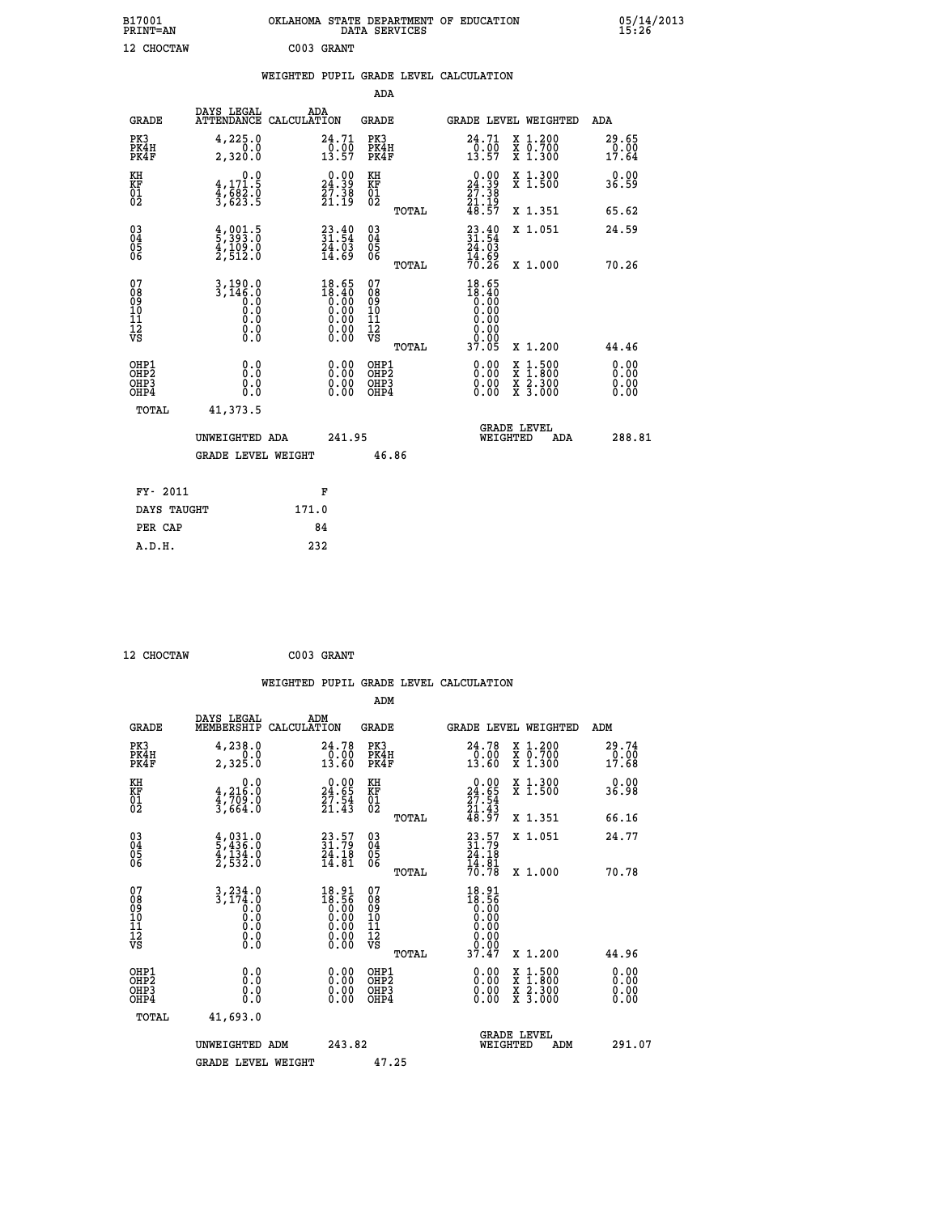| B17001<br><b>PRINT=AN</b>                          |                                                                                                         |                                                                                                        | DATA SERVICES                                      | OKLAHOMA STATE DEPARTMENT OF EDUCATION                                   |                                                                                                  | 05/14/2013<br>15:26          |
|----------------------------------------------------|---------------------------------------------------------------------------------------------------------|--------------------------------------------------------------------------------------------------------|----------------------------------------------------|--------------------------------------------------------------------------|--------------------------------------------------------------------------------------------------|------------------------------|
| 12 CHOCTAW                                         |                                                                                                         | C003 GRANT                                                                                             |                                                    |                                                                          |                                                                                                  |                              |
|                                                    |                                                                                                         |                                                                                                        |                                                    | WEIGHTED PUPIL GRADE LEVEL CALCULATION                                   |                                                                                                  |                              |
|                                                    |                                                                                                         |                                                                                                        | ADA                                                |                                                                          |                                                                                                  |                              |
| GRADE                                              | DAYS LEGAL<br>ATTENDANCE CALCULATION                                                                    | ADA                                                                                                    | GRADE                                              | GRADE LEVEL WEIGHTED                                                     |                                                                                                  | ADA                          |
| PK3<br>PK4H<br>PK4F                                | 4,225.0<br>0.0<br>2,320.0                                                                               | 24.71<br>0.00<br>13.57                                                                                 | PK3<br>PK4H<br>PK4F                                | 24.71<br>$\frac{0.00}{13.57}$                                            | X 1.200<br>X 0.700<br>X 1.300                                                                    | 29.65<br>0.00<br>17.64       |
| KH<br>KF<br>01<br>02                               | 0.0<br>4,171.5<br>$\frac{4}{3}, \frac{6}{6} \frac{6}{2} \cdot \frac{6}{5}$                              | $\begin{smallmatrix} 0.00\\24.39\\27.38\\21.19 \end{smallmatrix}$                                      | KH<br>KF<br>01<br>02                               | $\begin{smallmatrix} 0.00\\24.39\\27.38\\21.19\\48.57 \end{smallmatrix}$ | X 1.300<br>X 1.500                                                                               | 0.00<br>36.59                |
|                                                    |                                                                                                         |                                                                                                        | TOTAL                                              |                                                                          | X 1.351                                                                                          | 65.62                        |
| $\begin{matrix} 03 \\ 04 \\ 05 \\ 06 \end{matrix}$ | $\frac{4}{5}$ , $\frac{393}{30}$<br>$\frac{4}{4}$ , $\frac{109}{20}$<br>$\frac{0}{2}$ , $\frac{512}{0}$ | $\begin{smallmatrix} 23.40\ 31.54\ 24.03\ 14.69 \end{smallmatrix}$                                     | $\begin{matrix} 03 \\ 04 \\ 05 \\ 06 \end{matrix}$ | $33.40$<br>$31.54$<br>24.03                                              | X 1.051                                                                                          | 24.59                        |
|                                                    |                                                                                                         |                                                                                                        | <b>TOTAL</b>                                       | $\frac{1}{70}$ $\frac{25}{26}$                                           | X 1.000                                                                                          | 70.26                        |
| 07<br>08<br>09<br>10<br>11<br>Ī2<br>VS             | $3,190.0$<br>$3,146.0$<br>0.0<br>0.0<br>0.0<br>0.0                                                      | $18.65$<br>$18.40$<br>$0.00$<br>$0.00$<br>0.00<br>$\begin{smallmatrix} 0.00 \\ 0.00 \end{smallmatrix}$ | 07<br>08<br>09<br>10<br>11<br>ĪŽ<br>VŠ<br>TOTAL    | 18.65<br>18.40<br>0:00<br>0.00<br>0.00<br>0.00<br>0.00<br>37.05          | X 1.200                                                                                          | 44.46                        |
| OHP1<br>OHP <sub>2</sub><br>OHP3<br>OHP4           | 0.0<br>0.0<br>0.0                                                                                       | 0.00<br>0.00<br>0.00                                                                                   | OHP1<br>OH <sub>P</sub> 2<br>OHP3<br>OHP4          | 0.00<br>0.00<br>0.00                                                     | $\begin{smallmatrix} x & 1 & 500 \\ x & 1 & 800 \\ x & 2 & 300 \\ x & 3 & 000 \end{smallmatrix}$ | 0.00<br>0.00<br>0.00<br>0.00 |
| TOTAL                                              | 41,373.5                                                                                                |                                                                                                        |                                                    |                                                                          |                                                                                                  |                              |
|                                                    | UNWEIGHTED ADA                                                                                          | 241.95                                                                                                 |                                                    | <b>GRADE LEVEL</b><br>WEIGHTED                                           | ADA                                                                                              | 288.81                       |
|                                                    | GRADE LEVEL WEIGHT                                                                                      |                                                                                                        | 46.86                                              |                                                                          |                                                                                                  |                              |
| FY- 2011                                           |                                                                                                         | F                                                                                                      |                                                    |                                                                          |                                                                                                  |                              |
| DAYS TAUGHT                                        |                                                                                                         | 171.0                                                                                                  |                                                    |                                                                          |                                                                                                  |                              |
| PER CAP                                            |                                                                                                         | 84                                                                                                     |                                                    |                                                                          |                                                                                                  |                              |
| A.D.H.                                             |                                                                                                         | 232                                                                                                    |                                                    |                                                                          |                                                                                                  |                              |

| 12 CHOCTAW | C003 GRANT |
|------------|------------|
|            |            |

|                                                      |                                                                               |                                                                                                          | WEIGHTED PUPIL GRADE LEVEL CALCULATION              |                                                                                                                                             |                               |
|------------------------------------------------------|-------------------------------------------------------------------------------|----------------------------------------------------------------------------------------------------------|-----------------------------------------------------|---------------------------------------------------------------------------------------------------------------------------------------------|-------------------------------|
|                                                      |                                                                               |                                                                                                          | ADM                                                 |                                                                                                                                             |                               |
| <b>GRADE</b>                                         | DAYS LEGAL<br>MEMBERSHIP<br>CALCULATION                                       | ADM                                                                                                      | <b>GRADE</b>                                        | GRADE LEVEL WEIGHTED                                                                                                                        | ADM                           |
| PK3<br>PK4H<br>PK4F                                  | 4,238.0<br>0.0<br>2,325.0                                                     | 24.78<br>$\frac{1}{13.60}$                                                                               | PK3<br>PK4H<br>PK4F                                 | 24.78<br>X 1.200<br>X 0.700<br>X 1.300<br>$\frac{0.00}{13.60}$                                                                              | 29.74<br>$\frac{6.00}{17.68}$ |
| KH<br>KF<br>01<br>02                                 | 0.0<br>$\frac{4}{3}, \frac{216}{709}$ .0<br>3,664.0                           | $\begin{smallmatrix} 0.00\\24.65\\27.54\\21.43 \end{smallmatrix}$                                        | KH<br>KF<br>01<br>02                                | $\begin{smallmatrix} 0.00\\24.65\\27.54\\21.43\\48.97 \end{smallmatrix}$<br>X 1.300<br>X 1.500                                              | 0.00<br>36.98                 |
|                                                      |                                                                               |                                                                                                          | TOTAL                                               | X 1.351                                                                                                                                     | 66.16                         |
| $\begin{matrix} 03 \\ 04 \\ 05 \\ 06 \end{matrix}$   | $\frac{4}{5}, \frac{031}{436}$ .0<br>$\frac{4}{134}$ .0<br>$\frac{2}{532}$ .0 | $23.57$<br>$31.79$<br>$24.18$<br>$14.81$                                                                 | $\begin{array}{c} 03 \\ 04 \\ 05 \\ 06 \end{array}$ | $\frac{23}{31}.79$<br>$\frac{24.18}{34}$<br>X 1.051<br>$\frac{1}{70}$ $\frac{1}{78}$                                                        | 24.77                         |
| 07<br>0890112<br>1112<br>VS                          | $3, 234.0$<br>$3, 174.0$<br>$0.0$<br>$0.0$<br>Ō.Ō<br>$\S.$                    | 18.91<br>18.56<br>$0.00$<br>$0.00$<br>$\begin{smallmatrix} 0.00 & 0.00 \\ 0.00 & 0.00 \end{smallmatrix}$ | TOTAL<br>07<br>08901112<br>1112<br>VS               | X 1.000<br>$18.91$<br>$18.56$<br>$0.00$<br>$0.00$<br>$0.00$<br>0.00                                                                         | 70.78                         |
|                                                      |                                                                               |                                                                                                          | TOTAL                                               | 37.47<br>X 1.200                                                                                                                            | 44.96                         |
| OHP1<br>OHP <sub>2</sub><br>OH <sub>P3</sub><br>OHP4 | 0.0<br>0.000                                                                  | $0.00$<br>$0.00$<br>0.00                                                                                 | OHP1<br>OHP <sub>2</sub><br>OHP <sub>3</sub>        | 0.00<br>$\begin{array}{l} \mathtt{X} & 1.500 \\ \mathtt{X} & 1.800 \\ \mathtt{X} & 2.300 \\ \mathtt{X} & 3.000 \end{array}$<br>0.00<br>0.00 | 0.00<br>0.00<br>0.00<br>0.00  |
| TOTAL                                                | 41,693.0                                                                      |                                                                                                          |                                                     |                                                                                                                                             |                               |
|                                                      | UNWEIGHTED ADM<br><b>GRADE LEVEL WEIGHT</b>                                   | 243.82                                                                                                   | 47.25                                               | <b>GRADE LEVEL</b><br>WEIGHTED<br>ADM                                                                                                       | 291.07                        |
|                                                      |                                                                               |                                                                                                          |                                                     |                                                                                                                                             |                               |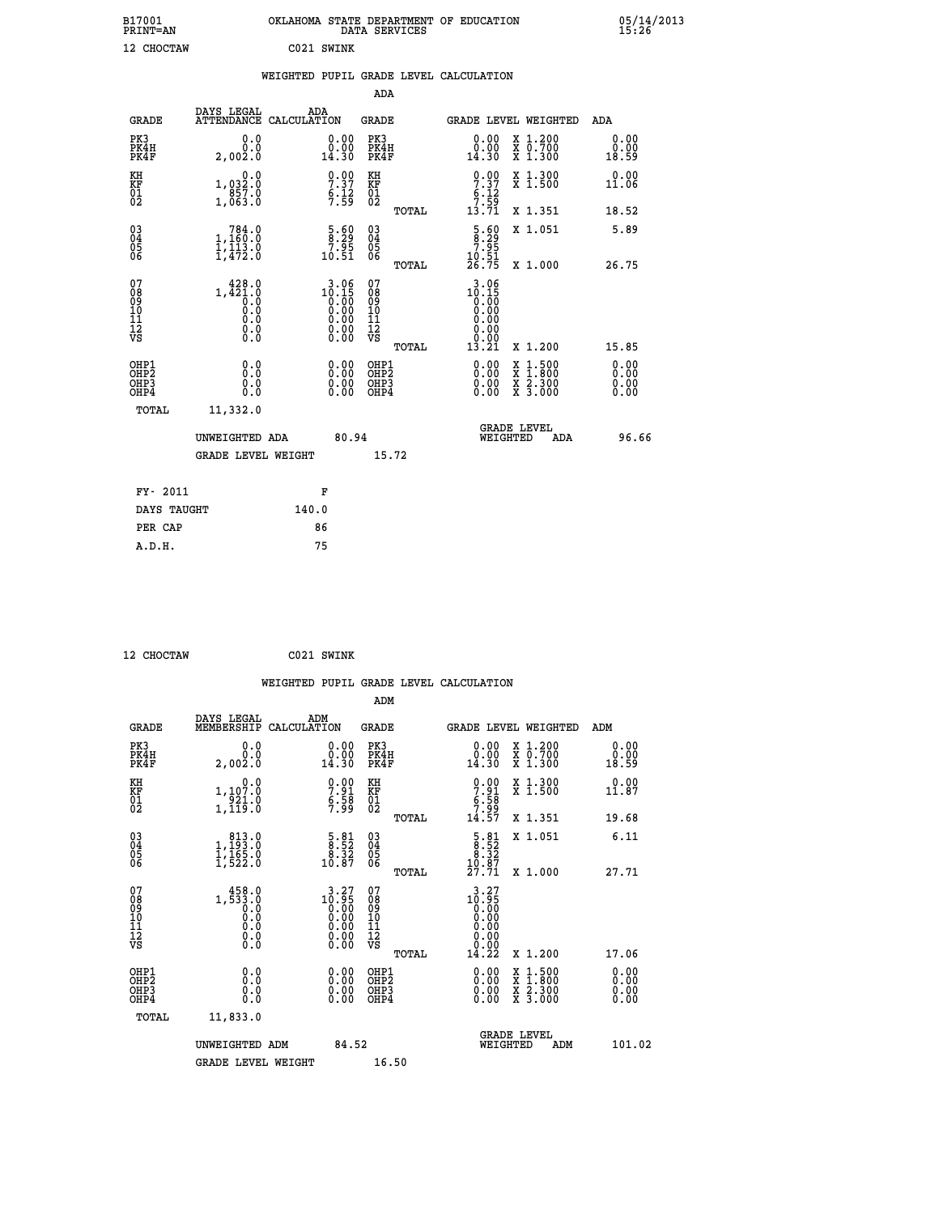| B17001<br>PRINT=AN<br><b>CHOCTAW</b><br>12 |                                                                                                                                                                                                                                                                                                                                                                                        | OKLAHOMA<br>C021 SWINK                                      | STATE DEPARTMENT OF<br>DATA SERVICES<br><b>EDUCATION</b> |       |                                                             |                                                          | 05/14/2013<br>15:26 |  |
|--------------------------------------------|----------------------------------------------------------------------------------------------------------------------------------------------------------------------------------------------------------------------------------------------------------------------------------------------------------------------------------------------------------------------------------------|-------------------------------------------------------------|----------------------------------------------------------|-------|-------------------------------------------------------------|----------------------------------------------------------|---------------------|--|
|                                            |                                                                                                                                                                                                                                                                                                                                                                                        | WEIGHTED                                                    |                                                          |       | PUPIL GRADE LEVEL CALCULATION                               |                                                          |                     |  |
|                                            |                                                                                                                                                                                                                                                                                                                                                                                        |                                                             | ADA                                                      |       |                                                             |                                                          |                     |  |
| <b>GRADE</b>                               | DAYS LEGAL                                                                                                                                                                                                                                                                                                                                                                             | ADA<br>ATTENDANCE CALCULATION                               | GRADE                                                    |       |                                                             | GRADE LEVEL WEIGHTED                                     | ADA                 |  |
| PK3<br>PK4H<br>PK4F                        | ${\overset{0\  \, 0}{\;\stackrel{0\  \, 0}{\;\stackrel{0\  \, 0}{\;\stackrel{0\  \, 0}{\;\stackrel{0\  \, 0}{\;\stackrel{0\  \, 0}{\;\stackrel{0\  \, 0}{\;\stackrel{0\  \, 0}{\;\stackrel{0\  \, 0}{\;\stackrel{0\  \, 0}{\;\stackrel{0\  \, 0}{\;\stackrel{0\  \, 0}{\;\stackrel{0\  \, 0}{\;\stackrel{0\  \, 0}{\;\stackrel{0\  \, 0}{\;\stackrel{0\  \, 0}{\;\stackrel{0\  \, 0}{$ | $\begin{smallmatrix} 0.00\\ 0.00\\ 14.30 \end{smallmatrix}$ | PK3<br>PK4H<br>PK4F                                      |       | $\begin{smallmatrix} 0.00\\ 0.00\\ 14.30 \end{smallmatrix}$ | X 1.200<br>$\overline{x}$ $\overline{0}.700$<br>$X1$ 300 | 0.0000<br>18.59     |  |
| KH<br><b>KF</b><br>01<br>02                | $\begin{smallmatrix}&&&0.0\\1,032.0\\0857.0\\1,063.0\end{smallmatrix}$                                                                                                                                                                                                                                                                                                                 | $\begin{array}{c} 0.00 \\ 7.37 \\ 6.12 \\ 7.59 \end{array}$ | KH<br>KF<br>01<br>02                                     |       | $7.37$<br>$6.12$<br>$7.59$                                  | X 1.300<br>$\overline{x}$ 1.500                          | 0.00<br>11.06       |  |
|                                            |                                                                                                                                                                                                                                                                                                                                                                                        |                                                             |                                                          | TOTAL | 13.71                                                       | X 1.351                                                  | 18.52               |  |
| 03404                                      | 1,184.0<br>1,113.0                                                                                                                                                                                                                                                                                                                                                                     | $\frac{5.60}{7.95}$                                         | 030404                                                   |       | $\frac{5.60}{2.25}$                                         | X 1.051                                                  | 5.89                |  |

| $\begin{matrix} 0 \\ 0 \\ 0 \\ 6 \end{matrix}$       | $\frac{1}{1}$ , 113.0<br>1, 472.0                                                                 | $7.95$<br>10.51                               | 05000<br>TOTAL                                       | $7.95$<br>$10.51$<br>$26.75$                                  | X 1.000                                                                                                             | 26.75                                                                                                                                                                                                                                                                          |
|------------------------------------------------------|---------------------------------------------------------------------------------------------------|-----------------------------------------------|------------------------------------------------------|---------------------------------------------------------------|---------------------------------------------------------------------------------------------------------------------|--------------------------------------------------------------------------------------------------------------------------------------------------------------------------------------------------------------------------------------------------------------------------------|
| 07<br>08<br>09<br>101<br>11<br>12<br>VS              | 428.0<br>1,421.0<br>$\overline{0}$ .0<br>$\begin{smallmatrix} 0.16 \ 0.0 \ 0.0 \end{smallmatrix}$ | 3.06<br>$10.15\n0.00\n0.00\n0.00\n0.00\n0.00$ | 07<br>08<br>09<br>11<br>11<br>12<br>VS<br>TOTAL      | 3.06<br>$10.150$<br>0.000<br>0.000<br>0.000<br>0.000<br>13.21 | X 1.200                                                                                                             | 15.85                                                                                                                                                                                                                                                                          |
| OHP1<br>OHP <sub>2</sub><br>OHP <sub>3</sub><br>OHP4 | 0.0<br>0.000                                                                                      |                                               | OHP1<br>OHP <sub>2</sub><br>OHP <sub>3</sub><br>OHP4 |                                                               | $\begin{array}{l} \mathtt{X} & 1.500 \\ \mathtt{X} & 1.800 \\ \mathtt{X} & 2.300 \\ \mathtt{X} & 3.000 \end{array}$ | $\begin{smallmatrix} 0.00 & 0.00 & 0.00 & 0.00 & 0.00 & 0.00 & 0.00 & 0.00 & 0.00 & 0.00 & 0.00 & 0.00 & 0.00 & 0.00 & 0.00 & 0.00 & 0.00 & 0.00 & 0.00 & 0.00 & 0.00 & 0.00 & 0.00 & 0.00 & 0.00 & 0.00 & 0.00 & 0.00 & 0.00 & 0.00 & 0.00 & 0.00 & 0.00 & 0.00 & 0.00 & 0.0$ |
| TOTAL                                                | 11,332.0<br>UNWEIGHTED ADA<br>GRADE LEVEL WEIGHT                                                  | 80.94                                         | 15.72                                                | WEIGHTED                                                      | <b>GRADE LEVEL</b><br>ADA                                                                                           | 96.66                                                                                                                                                                                                                                                                          |
| FY- 2011                                             |                                                                                                   | F                                             |                                                      |                                                               |                                                                                                                     |                                                                                                                                                                                                                                                                                |

| FI- ZUII    | г     |
|-------------|-------|
| DAYS TAUGHT | 140.0 |
| PER CAP     | 86    |
| A.D.H.      | 75    |
|             |       |

```
 12 CHOCTAW C021 SWINK
```

|                                                    |                                                                                     |                    |                                                                                        |                                              |       | WEIGHTED PUPIL GRADE LEVEL CALCULATION                                    |                                |                                          |                       |
|----------------------------------------------------|-------------------------------------------------------------------------------------|--------------------|----------------------------------------------------------------------------------------|----------------------------------------------|-------|---------------------------------------------------------------------------|--------------------------------|------------------------------------------|-----------------------|
|                                                    |                                                                                     |                    |                                                                                        | ADM                                          |       |                                                                           |                                |                                          |                       |
| <b>GRADE</b>                                       | DAYS LEGAL<br>MEMBERSHIP                                                            | ADM<br>CALCULATION |                                                                                        | <b>GRADE</b>                                 |       | <b>GRADE LEVEL WEIGHTED</b>                                               |                                |                                          | ADM                   |
| PK3<br>PK4H<br>PK4F                                | 0.0<br>0.0<br>2,002.0                                                               |                    | 0.00<br>14.30                                                                          | PK3<br>PK4H<br>PK4F                          |       | $\begin{smallmatrix} 0.00\\ 0.00\\ 14.30 \end{smallmatrix}$               |                                | X 1.200<br>X 0.700<br>X 1.300            | 0.00<br>0.00<br>18.59 |
| KH<br>KF<br>01<br>02                               | 0.0<br>$1, 107.0$<br>$921.0$<br>$1, 119.0$                                          |                    | $7.91$<br>$5.58$<br>$7.58$                                                             | KH<br>KF<br>01<br>02                         |       | $\begin{array}{c} 0.00 \\ 7.91 \\ 6.58 \\ 7.99 \\ 14.57 \end{array}$      |                                | X 1.300<br>X 1.500                       | 0.00<br>11.87         |
|                                                    |                                                                                     |                    |                                                                                        |                                              | TOTAL |                                                                           |                                | X 1.351                                  | 19.68                 |
| $\begin{matrix} 03 \\ 04 \\ 05 \\ 06 \end{matrix}$ | $\begin{smallmatrix} & 813 \\ 1,193 \\ 1,165 \\ 1,165 \\ 1,522.0 \end{smallmatrix}$ |                    | $\begin{smallmatrix}5.81\8.52\8.32\8.32\10.87\end{smallmatrix}$                        | 03<br>04<br>05<br>06                         |       | $\begin{smallmatrix}5.81\8.52\\8.32\\8.32\\10.87\\27.71\end{smallmatrix}$ |                                | X 1.051                                  | 6.11                  |
|                                                    |                                                                                     |                    |                                                                                        |                                              | TOTAL |                                                                           |                                | X 1.000                                  | 27.71                 |
| 07<br>0890112<br>1112<br>VS                        | $1,\substack{458.0\\533.0\\0.0\\0.0\\0.0\\0.0\\0.0$                                 |                    | $\begin{smallmatrix} 3.27\\10.95\\0.00\\0.00\\0.00\\0.00\\0.00\\0.00\end{smallmatrix}$ | 07<br>08<br>09<br>01<br>11<br>11<br>12<br>VS | TOTAL | 3.27<br>$10.55$<br>0.00<br>0.00<br>0.00<br>0.00<br>14.22                  |                                | X 1.200                                  | 17.06                 |
|                                                    |                                                                                     |                    |                                                                                        |                                              |       |                                                                           |                                |                                          |                       |
| OHP1<br>OHP2<br>OH <sub>P3</sub><br>OHP4           | 0.0<br>0.000                                                                        |                    | $0.00$<br>$0.00$<br>0.00                                                               | OHP1<br>OHP2<br>OHP <sub>3</sub>             |       | 0.00<br>0.00<br>0.00                                                      |                                | X 1:500<br>X 1:800<br>X 2:300<br>X 3:000 | 0.00<br>0.00<br>0.00  |
| TOTAL                                              | 11,833.0                                                                            |                    |                                                                                        |                                              |       |                                                                           |                                |                                          |                       |
|                                                    | UNWEIGHTED ADM                                                                      |                    | 84.52                                                                                  |                                              |       |                                                                           | <b>GRADE LEVEL</b><br>WEIGHTED | ADM                                      | 101.02                |
|                                                    | <b>GRADE LEVEL WEIGHT</b>                                                           |                    |                                                                                        | 16.50                                        |       |                                                                           |                                |                                          |                       |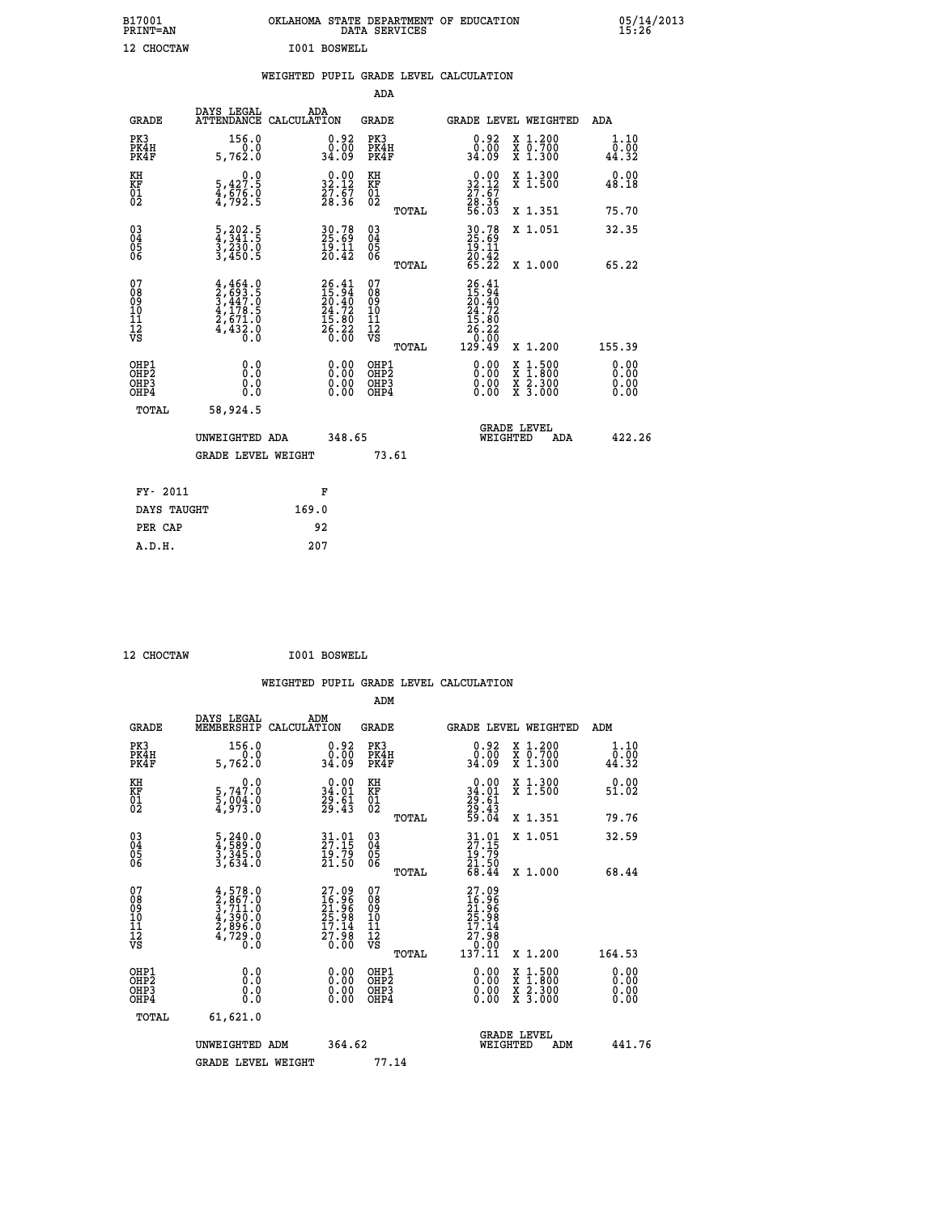| B17001<br><b>PRINT=AN</b> | OKLAHOMA STATE DEPARTMENT OF EDUCATION<br>DATA SERVICES | 05/14/2013<br>15:26 |
|---------------------------|---------------------------------------------------------|---------------------|
| 12 CHOCTAW                | I001 BOSWELL                                            |                     |

|                                                                    |                                                                                                                                               | WEIGHTED PUPIL GRADE LEVEL CALCULATION                                   |                                                     |              |                                                                                                                                      |                                                                                                                                           |                              |
|--------------------------------------------------------------------|-----------------------------------------------------------------------------------------------------------------------------------------------|--------------------------------------------------------------------------|-----------------------------------------------------|--------------|--------------------------------------------------------------------------------------------------------------------------------------|-------------------------------------------------------------------------------------------------------------------------------------------|------------------------------|
|                                                                    |                                                                                                                                               |                                                                          | <b>ADA</b>                                          |              |                                                                                                                                      |                                                                                                                                           |                              |
| <b>GRADE</b>                                                       | DAYS LEGAL                                                                                                                                    | ADA<br>ATTENDANCE CALCULATION                                            | <b>GRADE</b>                                        |              | GRADE LEVEL WEIGHTED                                                                                                                 |                                                                                                                                           | ADA                          |
| PK3<br>PK4H<br>PK4F                                                | 156.0<br>5,762.0                                                                                                                              | $\begin{smallmatrix} 0.92\ 0.00\ 34.09 \end{smallmatrix}$                | PK3<br>PK4H<br>PK4F                                 |              | $\begin{smallmatrix} 0.92\ 0.00\\ 24.09 \end{smallmatrix}$                                                                           | X 1.200<br>X 0.700<br>X 1.300                                                                                                             | 1.10<br>0.00<br>44.32        |
| KH<br>KF<br>01<br>02                                               | 0.0<br>5,427.5<br>4,676.0<br>4,792.5                                                                                                          | $\begin{smallmatrix} 0.00\\ 32.12\\ 27.67\\ 28.36 \end{smallmatrix}$     | KH<br>KF<br>01<br>02                                |              | $\begin{smallmatrix} 0.00\\ 32.12\\ 27.67\\ 28.36\\ 56.03\\ \end{smallmatrix}$                                                       | X 1.300<br>X 1.500                                                                                                                        | 0.00<br>48.18                |
|                                                                    |                                                                                                                                               |                                                                          |                                                     | <b>TOTAL</b> |                                                                                                                                      | X 1.351                                                                                                                                   | 75.70                        |
| $\begin{smallmatrix} 03 \\[-4pt] 04 \end{smallmatrix}$<br>Ŏ5<br>06 | $\frac{5}{4}, \frac{202}{341}.5$<br>$\frac{3}{4230}.0$<br>$\frac{3}{450}.5$                                                                   | 30.78<br>25.69<br>19.11<br>20.42                                         | $\begin{array}{c} 03 \\ 04 \\ 05 \\ 06 \end{array}$ |              | 30.78<br>25.69<br>19.11<br>20.42<br>65.22                                                                                            | X 1.051                                                                                                                                   | 32.35                        |
|                                                                    |                                                                                                                                               |                                                                          |                                                     | TOTAL        |                                                                                                                                      | X 1.000                                                                                                                                   | 65.22                        |
| 07<br>0890112<br>1112<br>VS                                        | $\begin{smallmatrix} 4\,,\,464\,.0\\ 2\,,\,693\,.5\\ 3\,,\,447\,.0\\ 4\,,\,178\,.5\\ 2\,,\,671\,.0\\ 4\,,\,432\,.0\\ 0\,.0 \end{smallmatrix}$ | $26.41$<br>$15.94$<br>$20.40$<br>$24.72$<br>$15.80$<br>$26.22$<br>$0.00$ | 07<br>08901112<br>1112<br>VS                        | TOTAL        | 26.41<br>15.94<br>$\begin{smallmatrix} 1 & 7 & 7 \\ 20 & 4 \\ 24 & 72 \\ 15 & 80 \\ 26 & 22 \\ 0 & 00 \\ 129 & 49 \end{smallmatrix}$ | X 1.200                                                                                                                                   | 155.39                       |
| OHP1<br>OHP2<br>OH <sub>P3</sub><br>OHP4                           | 0.0<br>0.0<br>0.0                                                                                                                             | $\begin{smallmatrix} 0.00 \ 0.00 \ 0.00 \ 0.00 \end{smallmatrix}$        | OHP1<br>OHP2<br>OHP3<br>OHP4                        |              | 0.00<br>0.00<br>0.00                                                                                                                 | $\begin{smallmatrix} \mathtt{X} & 1\cdot500\\ \mathtt{X} & 1\cdot800\\ \mathtt{X} & 2\cdot300\\ \mathtt{X} & 3\cdot000 \end{smallmatrix}$ | 0.00<br>0.00<br>0.00<br>0.00 |
| <b>TOTAL</b>                                                       | 58,924.5                                                                                                                                      |                                                                          |                                                     |              |                                                                                                                                      |                                                                                                                                           |                              |
|                                                                    | UNWEIGHTED ADA                                                                                                                                | 348.65                                                                   |                                                     |              | WEIGHTED                                                                                                                             | <b>GRADE LEVEL</b><br>ADA                                                                                                                 | 422.26                       |
|                                                                    | GRADE LEVEL WEIGHT                                                                                                                            |                                                                          | 73.61                                               |              |                                                                                                                                      |                                                                                                                                           |                              |
| FY- 2011                                                           |                                                                                                                                               | F                                                                        |                                                     |              |                                                                                                                                      |                                                                                                                                           |                              |
| DAYS TAUGHT                                                        |                                                                                                                                               | 169.0                                                                    |                                                     |              |                                                                                                                                      |                                                                                                                                           |                              |
| PER CAP                                                            |                                                                                                                                               | 92                                                                       |                                                     |              |                                                                                                                                      |                                                                                                                                           |                              |

 **12 CHOCTAW I001 BOSWELL**

 **A.D.H. 207**

 **ADM**

| <b>GRADE</b>                             | DAYS LEGAL<br>MEMBERSHIP                                                                 | ADM<br>CALCULATION                                                   | <b>GRADE</b>                                       |       | GRADE LEVEL WEIGHTED                                                                 |                                          | ADM                                |  |
|------------------------------------------|------------------------------------------------------------------------------------------|----------------------------------------------------------------------|----------------------------------------------------|-------|--------------------------------------------------------------------------------------|------------------------------------------|------------------------------------|--|
| PK3<br>PK4H<br>PK4F                      | 156.0<br>5,762.0                                                                         | $\begin{smallmatrix} 0.92\ 0.00\ 34.09 \end{smallmatrix}$            | PK3<br>PK4H<br>PK4F                                |       | $\begin{smallmatrix} 0.92\ 0.00\ 34.09 \end{smallmatrix}$                            | X 1.200<br>X 0.700<br>X 1.300            | 1.10<br>$\overline{0.00}$<br>44.32 |  |
| KH<br>KF<br>01<br>02                     | 5.747.0<br>$\frac{5}{4}$ , $\frac{004}{93}$ : 0                                          | $\begin{smallmatrix} 0.00\\ 34.01\\ 29.61\\ 29.43 \end{smallmatrix}$ | KH<br>KF<br>01<br>02                               |       | $\begin{smallmatrix} 0.00\\ 34.01\\ 29.61\\ 29.43\\ 59.04 \end{smallmatrix}$         | X 1.300<br>X 1.500                       | 0.00<br>51.02                      |  |
|                                          |                                                                                          |                                                                      |                                                    | TOTAL |                                                                                      | X 1.351                                  | 79.76                              |  |
| 03<br>04<br>05<br>06                     | $\frac{5}{4}, \frac{240}{589}.0$<br>$\frac{3}{3}, \frac{345}{34}.0$<br>$\frac{3}{634}.0$ | 31.01<br>27.15<br>19.79<br>21.50                                     | $\begin{matrix} 03 \\ 04 \\ 05 \\ 06 \end{matrix}$ |       | $31.01$<br>$27.15$<br>$\frac{19}{21}$ . 50<br>$\frac{21}{68}$ . 44                   | X 1.051                                  | 32.59                              |  |
|                                          |                                                                                          |                                                                      |                                                    | TOTAL |                                                                                      | X 1.000                                  | 68.44                              |  |
| 07<br>089<br>090<br>1112<br>VS           | $4,578.0$<br>$2,867.0$<br>$3,711.0$<br>$4,390.0$<br>$2,896.0$<br>$4,729.0$<br>$0.0$      | 27.09<br>16.96<br>21.96<br>25.98<br>17.14<br>17.98<br>0.00           | 07<br>08901112<br>1112<br>VS                       | TOTAL | $27.09$<br>$16.96$<br>$21.96$<br>$25.98$<br>$17.14$<br>$27.98$<br>$0.00$<br>$137.11$ | X 1.200                                  | 164.53                             |  |
| OHP1<br>OHP2<br>OH <sub>P3</sub><br>OHP4 | 0.0<br>0.000                                                                             | $\begin{smallmatrix} 0.00 \ 0.00 \ 0.00 \ 0.00 \end{smallmatrix}$    | OHP1<br>OHP2<br>OHP3<br>OHP4                       |       |                                                                                      | X 1:500<br>X 1:800<br>X 2:300<br>X 3:000 | 0.00<br>0.00<br>0.00               |  |
| TOTAL                                    | 61,621.0                                                                                 |                                                                      |                                                    |       |                                                                                      |                                          |                                    |  |
|                                          | UNWEIGHTED<br>ADM                                                                        | 364.62                                                               |                                                    |       | <b>GRADE LEVEL</b><br>WEIGHTED                                                       | ADM                                      | 441.76                             |  |
|                                          | <b>GRADE LEVEL WEIGHT</b>                                                                |                                                                      | 77.14                                              |       |                                                                                      |                                          |                                    |  |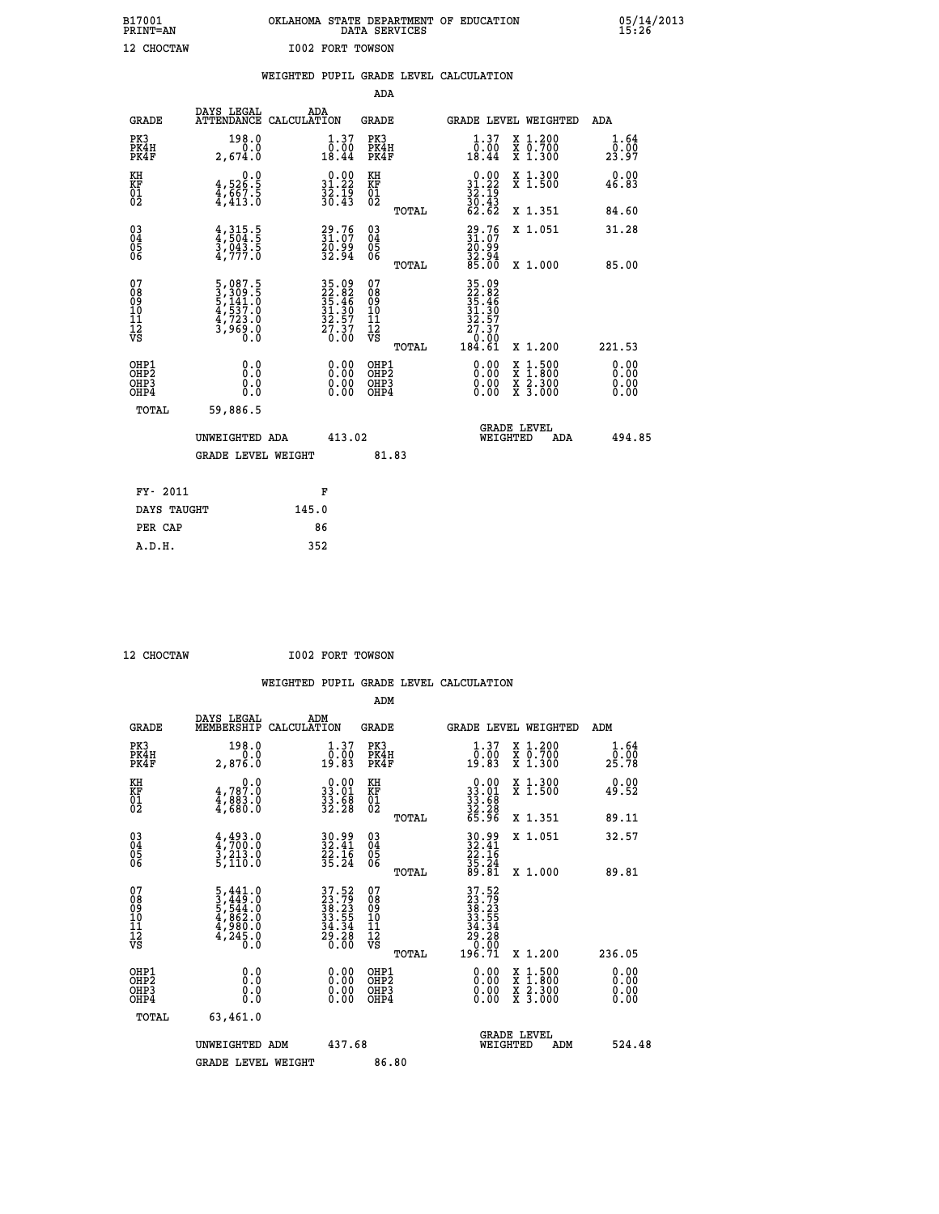| B17001          | OKLAHOMA STATE DEPARTMENT OF EDUCATION |
|-----------------|----------------------------------------|
| <b>PRINT=AN</b> | DATA SERVICES                          |
| 12 CHOCTAW      | <b>I002 FORT TOWSON</b>                |

05/14/2013<br>15:26

|                                           |                                                                                                                                                           | WEIGHTED PUPIL GRADE LEVEL CALCULATION                               |                                                     |                                                                              |                                                                     |                       |
|-------------------------------------------|-----------------------------------------------------------------------------------------------------------------------------------------------------------|----------------------------------------------------------------------|-----------------------------------------------------|------------------------------------------------------------------------------|---------------------------------------------------------------------|-----------------------|
|                                           |                                                                                                                                                           |                                                                      | ADA                                                 |                                                                              |                                                                     |                       |
| <b>GRADE</b>                              | DAYS LEGAL                                                                                                                                                | ADA<br>ATTENDANCE CALCULATION                                        | <b>GRADE</b>                                        |                                                                              | GRADE LEVEL WEIGHTED                                                | ADA                   |
| PK3<br>PK4H<br>PK4F                       | 198.0<br>0.0<br>2,674.0                                                                                                                                   | 1.37<br>0.00<br>18.44                                                | PK3<br>PK4H<br>PK4F                                 | 1.37<br>0.00<br>18.44                                                        | X 1.200<br>X 0.700<br>X 1.300                                       | 1.64<br>0.00<br>23.97 |
| KH<br><b>KF</b><br>01<br>02               | $4,526.5$<br>$4,667.5$<br>$4,413.0$                                                                                                                       | $\begin{smallmatrix} 0.00\\ 31.22\\ 32.19\\ 36.43 \end{smallmatrix}$ | KH<br>KF<br>01<br>02                                | $\begin{smallmatrix} 0.00\\ 31.22\\ 32.19\\ 36.43\\ 62.62 \end{smallmatrix}$ | X 1.300<br>X 1.500                                                  | 0.00<br>46.83         |
|                                           |                                                                                                                                                           |                                                                      | TOTAL                                               |                                                                              | X 1.351                                                             | 84.60                 |
| 03<br>04<br>05<br>06                      | $4,315.5$<br>$3,043.5$<br>$3,043.5$<br>$4,777.0$                                                                                                          | 31:76<br>20:99<br>32:94                                              | $\begin{array}{c} 03 \\ 04 \\ 05 \\ 06 \end{array}$ | $29.76$<br>$31.07$<br>$20.99$<br>$32.94$<br>$85.00$                          | X 1.051                                                             | 31.28                 |
|                                           |                                                                                                                                                           |                                                                      | TOTAL                                               |                                                                              | X 1.000                                                             | 85.00                 |
| 07<br>08<br>09<br>101<br>11<br>12<br>VS   | $\begin{smallmatrix}5\,,\,087\,.\,5\\3\,,\,309\,. \,5\\5\,,\,141\,. \,0\\4\,,\,537\,. \,0\\4\,,\,723\,. \,0\\3\,,\,969\,. \,0\\0\,. \,0\end{smallmatrix}$ | 35.09<br>22.82<br>35.46<br>31.30<br>32.57<br>27.37<br>27.37          | 07<br>08<br>09<br>101<br>11<br>12<br>VS<br>TOTAL    | 35.09<br>22.82<br>35.46<br>31.30<br>32.57<br>27.37<br>0.00<br>184.61         | X 1.200                                                             | 221.53                |
| OHP1<br>OH <sub>P</sub> 2<br>OHP3<br>OHP4 | 0.0<br>0.0<br>0.0                                                                                                                                         | 0.00<br>$0.00$<br>0.00                                               | OHP1<br>OHP2<br>OHP3<br>OHP4                        | 0.00<br>0.00<br>0.00                                                         | $1:500$<br>$1:800$<br>X<br>X<br>$\frac{x}{x}$ $\frac{5:300}{3:000}$ | 0.00<br>0.00<br>0.00  |
| <b>TOTAL</b>                              | 59,886.5                                                                                                                                                  |                                                                      |                                                     |                                                                              |                                                                     |                       |
|                                           | UNWEIGHTED ADA                                                                                                                                            | 413.02                                                               |                                                     |                                                                              | <b>GRADE LEVEL</b><br>WEIGHTED<br><b>ADA</b>                        | 494.85                |
|                                           | GRADE LEVEL WEIGHT                                                                                                                                        |                                                                      | 81.83                                               |                                                                              |                                                                     |                       |
| FY- 2011                                  |                                                                                                                                                           | F                                                                    |                                                     |                                                                              |                                                                     |                       |
|                                           | DAYS TAUGHT                                                                                                                                               | 145.0                                                                |                                                     |                                                                              |                                                                     |                       |
| PER CAP                                   |                                                                                                                                                           | 86                                                                   |                                                     |                                                                              |                                                                     |                       |

 **A.D.H. 352**

 **12 CHOCTAW I002 FORT TOWSON**

| <b>GRADE</b>                 | DAYS LEGAL<br>MEMBERSHIP                                                                        | ADM<br>CALCULATION                                                       | <b>GRADE</b>                                       |       |                                                                                                       | <b>GRADE LEVEL WEIGHTED</b>              | ADM                                      |
|------------------------------|-------------------------------------------------------------------------------------------------|--------------------------------------------------------------------------|----------------------------------------------------|-------|-------------------------------------------------------------------------------------------------------|------------------------------------------|------------------------------------------|
| PK3<br>PK4H<br>PK4F          | 198.0<br>0.0<br>2,876.0                                                                         | $\begin{smallmatrix} 1.37\ 0.00\\ 19.83 \end{smallmatrix}$               | PK3<br>PK4H<br>PK4F                                |       | $\begin{smallmatrix} 1.37\ 0.00\\ 19.83 \end{smallmatrix}$                                            | X 1.200<br>X 0.700<br>X 1.300            | $\frac{1}{0}$ : $\frac{64}{00}$<br>25.78 |
| KH<br>KF<br>01<br>02         | 4,787.0<br>$\frac{1}{4}, \frac{883}{680}$ :0                                                    | $\begin{smallmatrix} 0.00\\ 33.01\\ 33.68\\ 32.28 \end{smallmatrix}$     | KH<br>KF<br>01<br>02                               |       | $\begin{smallmatrix} 0.00\\ 33.01\\ 33.68\\ 32.28\\ 65.96 \end{smallmatrix}$                          | X 1.300<br>X 1.500                       | 0.00<br>49.52                            |
|                              |                                                                                                 |                                                                          |                                                    | TOTAL |                                                                                                       | X 1.351                                  | 89.11                                    |
| 03<br>04<br>05<br>06         | $4,493.0$<br>$3,213.0$<br>$3,213.0$<br>$5,110.0$                                                | 30.99<br>32.41<br>22.16<br>35.24                                         | $\begin{matrix} 03 \\ 04 \\ 05 \\ 06 \end{matrix}$ |       | 30.99<br>32.41<br>22.16<br>35.24<br>39.81                                                             | X 1.051                                  | 32.57                                    |
|                              |                                                                                                 |                                                                          |                                                    | TOTAL |                                                                                                       | X 1.000                                  | 89.81                                    |
| 07<br>08901112<br>1112<br>VS | $\begin{smallmatrix}5,441.0\\3,449.0\\5,544.0\\4,862.0\\4,980.0\\4,245.0\\0.0\end{smallmatrix}$ | $37.52$<br>$33.79$<br>$38.23$<br>$33.55$<br>$34.34$<br>$29.28$<br>$0.00$ | 07<br>08<br>09<br>01<br>11<br>11<br>12<br>VS       | TOTAL | $\begin{smallmatrix} 37.52\ 23.799\ 38.231\ 38.235\ 34.554\ 29.28\ 20.001\ 196.71\ \end{smallmatrix}$ | X 1.200                                  | 236.05                                   |
| OHP1<br>OHP2<br>OHP3<br>OHP4 | 0.0<br>$\begin{smallmatrix} 0.0 & 0 \ 0.0 & 0 \end{smallmatrix}$                                |                                                                          | OHP1<br>OHP2<br>OHP3<br>OHP4                       |       |                                                                                                       | X 1:500<br>X 1:800<br>X 2:300<br>X 3:000 | 0.00<br>0.00<br>0.00                     |
| TOTAL                        | 63,461.0                                                                                        |                                                                          |                                                    |       |                                                                                                       |                                          |                                          |
|                              | UNWEIGHTED ADM                                                                                  | 437.68                                                                   |                                                    |       | WEIGHTED                                                                                              | <b>GRADE LEVEL</b><br>ADM                | 524.48                                   |
|                              | <b>GRADE LEVEL WEIGHT</b>                                                                       |                                                                          | 86.80                                              |       |                                                                                                       |                                          |                                          |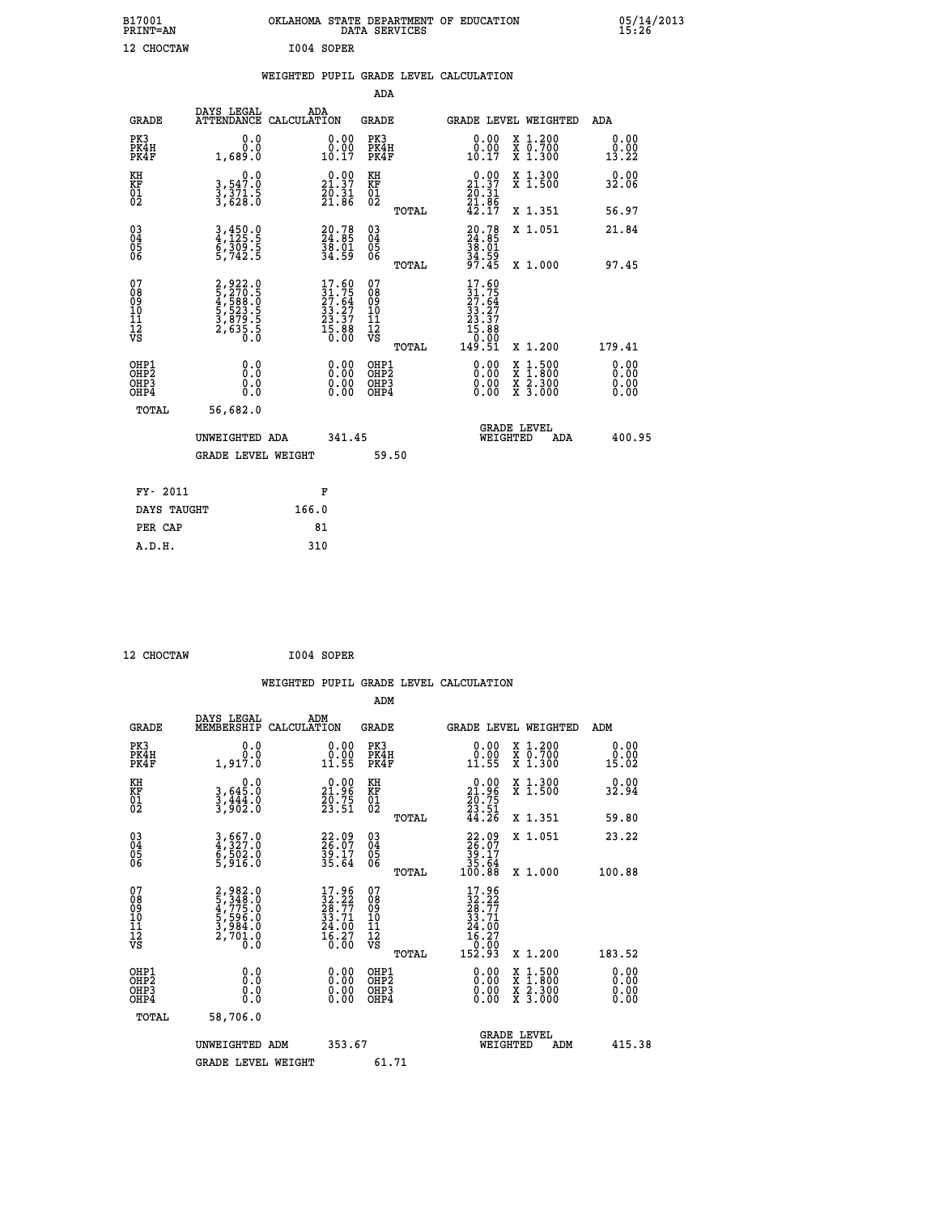| B17001<br>PRINT=AN                    |                                                                                                     | OKLAHOMA STATE DEPARTMENT OF EDUCATION<br>DATA SERVICES                  |                                                        |                                                                                       |                                                                                                                                           | $05/14/2013$<br>15:26        |  |
|---------------------------------------|-----------------------------------------------------------------------------------------------------|--------------------------------------------------------------------------|--------------------------------------------------------|---------------------------------------------------------------------------------------|-------------------------------------------------------------------------------------------------------------------------------------------|------------------------------|--|
| 12 CHOCTAW                            |                                                                                                     | I004 SOPER                                                               |                                                        |                                                                                       |                                                                                                                                           |                              |  |
|                                       |                                                                                                     | WEIGHTED PUPIL GRADE LEVEL CALCULATION                                   |                                                        |                                                                                       |                                                                                                                                           |                              |  |
|                                       |                                                                                                     |                                                                          | <b>ADA</b>                                             |                                                                                       |                                                                                                                                           |                              |  |
| <b>GRADE</b>                          | DAYS LEGAL                                                                                          | ADA<br>ATTENDANCE CALCULATION                                            | <b>GRADE</b>                                           | <b>GRADE LEVEL WEIGHTED</b>                                                           |                                                                                                                                           | ADA                          |  |
| PK3<br>PK4H<br>PK4F                   | 0.0<br>0.689.1                                                                                      | $\begin{smallmatrix} 0.00\\ 0.00\\ 10.17 \end{smallmatrix}$              | PK3<br>PK4H<br>PK4F                                    | 0.00<br>0.00<br>10.17                                                                 | X 1.200<br>X 0.700<br>X 1.300                                                                                                             | 0.00<br>0.00<br>13.22        |  |
| KH<br>KF<br>01<br>02                  | $\begin{smallmatrix}&&&0\cdot0\\3\,,\,547\cdot0\\3\,,\,371\cdot5\\3\,,\,628\cdot0\end{smallmatrix}$ | $\begin{smallmatrix} 0.00\\21.37\\20.31\\21.86 \end{smallmatrix}$        | KH<br>KF<br>01<br>02                                   | 21.37                                                                                 | X 1.300<br>X 1.500                                                                                                                        | 0.00<br>32.06                |  |
|                                       |                                                                                                     |                                                                          | TOTAL                                                  | $\frac{20.31}{21.86}$<br>42.17                                                        | X 1.351                                                                                                                                   | 56.97                        |  |
| 03<br>04<br>05<br>06                  | 3,450.0<br>4,125.5<br>6,309.5<br>5,742.5                                                            | 20.78<br>24.85<br>38.01<br>34.59                                         | $\begin{matrix} 03 \\ 04 \\ 05 \\ 06 \end{matrix}$     | 20.78<br>24.85<br>38.01<br>34.59<br>37.45                                             | X 1.051                                                                                                                                   | 21.84                        |  |
|                                       |                                                                                                     |                                                                          | TOTAL                                                  |                                                                                       | X 1.000                                                                                                                                   | 97.45                        |  |
| 078901112<br>0001112<br>VS            | 2,922.0<br>5,270.5<br>5,588.0<br>5,523.5<br>5,523.5<br>3,879.5<br>2,635.5                           | $17.60$<br>$31.75$<br>$27.64$<br>$33.27$<br>$23.37$<br>$15.88$<br>$0.00$ | 07<br>08<br>09<br>001<br>11<br>11<br>12<br>VS<br>TOTAL | $17.60$<br>$27.64$<br>$27.64$<br>$33.27$<br>$23.37$<br>$15.88$<br>$0.000$<br>$149.51$ | X 1.200                                                                                                                                   | 179.41                       |  |
| OHP1<br>OHP2<br>OHP3<br>OHP4<br>TOTAL | 0.0<br>0.000<br>56,682.0                                                                            |                                                                          | OHP1<br>OHP2<br>OHP3<br>OHP4                           | 0.00<br>0.00<br>0.00                                                                  | $\begin{smallmatrix} \mathtt{X} & 1\cdot500\\ \mathtt{X} & 1\cdot800\\ \mathtt{X} & 2\cdot300\\ \mathtt{X} & 3\cdot000 \end{smallmatrix}$ | 0.00<br>0.00<br>0.00<br>0.00 |  |
|                                       |                                                                                                     |                                                                          |                                                        | <b>GRADE LEVEL</b>                                                                    |                                                                                                                                           |                              |  |

|             | UNWEIGHTED ADA            |       | 341.45 |       |  | WEIGHTED | ADA | 400.95 |
|-------------|---------------------------|-------|--------|-------|--|----------|-----|--------|
|             | <b>GRADE LEVEL WEIGHT</b> |       |        | 59.50 |  |          |     |        |
| FY- 2011    |                           |       | F      |       |  |          |     |        |
| DAYS TAUGHT |                           | 166.0 |        |       |  |          |     |        |
| PER CAP     |                           |       | 81     |       |  |          |     |        |
| A.D.H.      |                           | 310   |        |       |  |          |     |        |

| 12 CHOCTAW |  |
|------------|--|
|            |  |

 **12 CHOCTAW I004 SOPER**

|                                                    |                                                                         |                    |                                                                                                    |                                               |       | WEIGHTED PUPIL GRADE LEVEL CALCULATION                                                                                                                                                                                                                                         |                                                                                                  |     |                       |  |
|----------------------------------------------------|-------------------------------------------------------------------------|--------------------|----------------------------------------------------------------------------------------------------|-----------------------------------------------|-------|--------------------------------------------------------------------------------------------------------------------------------------------------------------------------------------------------------------------------------------------------------------------------------|--------------------------------------------------------------------------------------------------|-----|-----------------------|--|
|                                                    |                                                                         |                    |                                                                                                    | ADM                                           |       |                                                                                                                                                                                                                                                                                |                                                                                                  |     |                       |  |
| <b>GRADE</b>                                       | DAYS LEGAL<br>MEMBERSHIP                                                | ADM<br>CALCULATION |                                                                                                    | <b>GRADE</b>                                  |       | <b>GRADE LEVEL WEIGHTED</b>                                                                                                                                                                                                                                                    |                                                                                                  |     | ADM                   |  |
| PK3<br>PK4H<br>PK4F                                | 0.0<br>0.0<br>1,917.0                                                   |                    | $\begin{smallmatrix} 0.00\\ 0.00\\ 11.55 \end{smallmatrix}$                                        | PK3<br>PK4H<br>PK4F                           |       | $\begin{smallmatrix} 0.00\\ 0.00\\ 11.55 \end{smallmatrix}$                                                                                                                                                                                                                    | X 1.200<br>X 0.700<br>X 1.300                                                                    |     | 0.00<br>0.00<br>15.02 |  |
| KH<br>KF<br>01<br>02                               | $\begin{smallmatrix}&&&0.0\\3,645.0\\3,444.0\\3,902.0\end{smallmatrix}$ |                    | $\begin{smallmatrix} 0.00\\ 21.96\\ 20.75\\ 23.51 \end{smallmatrix}$                               | KH<br>KF<br>01<br>02                          |       | $\begin{smallmatrix} 0.00\\ 21.96\\ 20.75\\ 23.51\\ 44.26 \end{smallmatrix}$                                                                                                                                                                                                   | X 1.300<br>X 1.500                                                                               |     | 32.94                 |  |
|                                                    |                                                                         |                    |                                                                                                    |                                               | TOTAL |                                                                                                                                                                                                                                                                                | X 1.351                                                                                          |     | 59.80                 |  |
| $\begin{matrix} 03 \\ 04 \\ 05 \\ 06 \end{matrix}$ | 3,667.0<br>4,327.0<br>6,502.0<br>5,916.0                                |                    | 22.09<br>26.07<br>39.17<br>35.64                                                                   | 03<br>04<br>05<br>06                          |       | $22.09$<br>$26.07$<br>$39.17$<br>$35.64$<br>$100.88$                                                                                                                                                                                                                           | X 1.051                                                                                          |     | 23.22                 |  |
|                                                    |                                                                         |                    |                                                                                                    |                                               | TOTAL |                                                                                                                                                                                                                                                                                | X 1.000                                                                                          |     | 100.88                |  |
| 07<br>0890112<br>1112<br>VS                        | 2,982.0<br>5,348.0<br>4,775.0<br>5,596.0<br>5,5984.0<br>2,701.0<br>0.0  |                    | $\begin{smallmatrix} 17.96 \\ 32.22 \\ 28.77 \\ 33.71 \\ 24.00 \\ 16.27 \\ 0.00 \end{smallmatrix}$ | 07<br>08<br>09<br>001<br>11<br>11<br>12<br>VS | TOTAL | $\begin{smallmatrix} 17.96\\ 32.22\\ 28.77\\ 23.71\\ 33.71\\ 24.00\\ 16.27\\ 0.00\\ 152.93 \end{smallmatrix}$                                                                                                                                                                  | $X_1.200$                                                                                        |     | 183.52                |  |
|                                                    |                                                                         |                    |                                                                                                    |                                               |       |                                                                                                                                                                                                                                                                                |                                                                                                  |     |                       |  |
| OHP1<br>OHP2<br>OH <sub>P3</sub><br>OHP4           | 0.0<br>0.000                                                            |                    | $\begin{smallmatrix} 0.00 \ 0.00 \ 0.00 \ 0.00 \end{smallmatrix}$                                  | OHP1<br>OHP2<br>OHP3<br>OHP4                  |       | $\begin{smallmatrix} 0.00 & 0.00 & 0.00 & 0.00 & 0.00 & 0.00 & 0.00 & 0.00 & 0.00 & 0.00 & 0.00 & 0.00 & 0.00 & 0.00 & 0.00 & 0.00 & 0.00 & 0.00 & 0.00 & 0.00 & 0.00 & 0.00 & 0.00 & 0.00 & 0.00 & 0.00 & 0.00 & 0.00 & 0.00 & 0.00 & 0.00 & 0.00 & 0.00 & 0.00 & 0.00 & 0.0$ | $\begin{smallmatrix} x & 1 & 500 \\ x & 1 & 800 \\ x & 2 & 300 \\ x & 3 & 000 \end{smallmatrix}$ |     | 0.00<br>0.00<br>0.00  |  |
| TOTAL                                              | 58,706.0                                                                |                    |                                                                                                    |                                               |       |                                                                                                                                                                                                                                                                                |                                                                                                  |     |                       |  |
|                                                    | UNWEIGHTED ADM                                                          |                    | 353.67                                                                                             |                                               |       | WEIGHTED                                                                                                                                                                                                                                                                       | <b>GRADE LEVEL</b>                                                                               | ADM | 415.38                |  |
|                                                    | <b>GRADE LEVEL WEIGHT</b>                                               |                    |                                                                                                    | 61.71                                         |       |                                                                                                                                                                                                                                                                                |                                                                                                  |     |                       |  |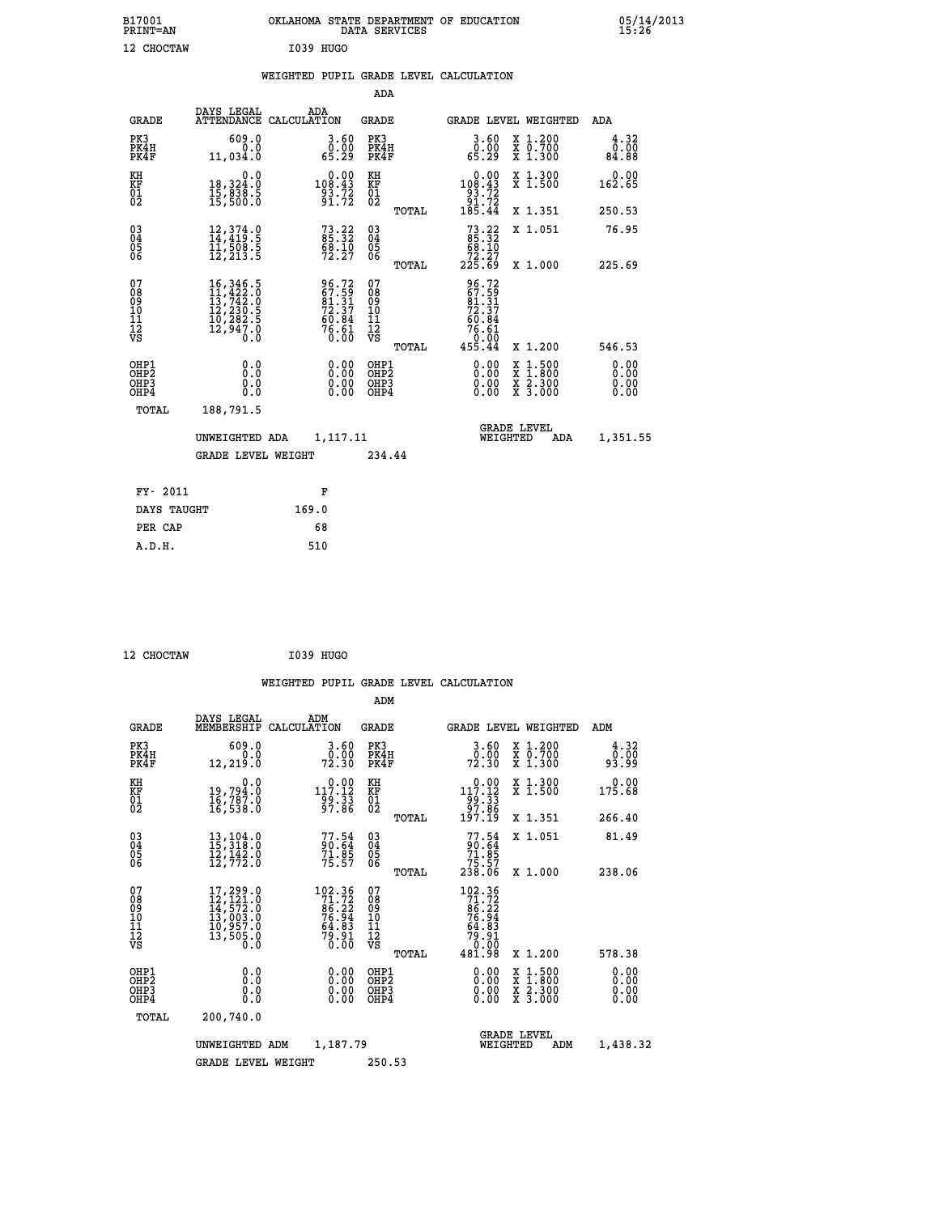| B17001<br>PRINT=AN               |                                                                                                                                                                                          | OKLAHOMA STATE DEPARTMENT OF EDUCATION                      | DATA SERVICES                                      |                                                                                             |                                                                                                  | 05/14/2013                   |  |
|----------------------------------|------------------------------------------------------------------------------------------------------------------------------------------------------------------------------------------|-------------------------------------------------------------|----------------------------------------------------|---------------------------------------------------------------------------------------------|--------------------------------------------------------------------------------------------------|------------------------------|--|
| 12 CHOCTAW                       |                                                                                                                                                                                          | I039 HUGO                                                   |                                                    |                                                                                             |                                                                                                  |                              |  |
|                                  |                                                                                                                                                                                          | WEIGHTED PUPIL GRADE LEVEL CALCULATION                      |                                                    |                                                                                             |                                                                                                  |                              |  |
|                                  |                                                                                                                                                                                          |                                                             | <b>ADA</b>                                         |                                                                                             |                                                                                                  |                              |  |
| GRADE                            | DAYS LEGAL                                                                                                                                                                               | ADA<br>ATTENDANCE CALCULATION                               | GRADE                                              | GRADE LEVEL WEIGHTED                                                                        |                                                                                                  | ADA                          |  |
| PK3<br>PK4H<br>PK4F              | 609.0<br>0.0<br>11,034.0                                                                                                                                                                 | 3.60<br>ةة:ة<br>65.29                                       | PK3<br>PK4H<br>PK4F                                | 3.60<br>ةة:ة<br>65.29                                                                       | X 1.200<br>X 0.700<br>X 1.300                                                                    | 4.32<br>0.00<br>84.88        |  |
| KH<br>KF<br>01<br>02             | 0.0<br>18,324:0<br>15,838:5<br>15,500:0                                                                                                                                                  | $0.00$<br>108.43<br>$\frac{93.72}{91.72}$                   | KH<br>KF<br>01<br>02                               | $0.00$<br>108.43<br>$\begin{array}{r} -\frac{3}{2} & 72 \\ 91 & 72 \\ 185 & 44 \end{array}$ | X 1.300<br>X 1.500                                                                               | 0.00<br>162.65               |  |
|                                  |                                                                                                                                                                                          |                                                             | TOTAL                                              |                                                                                             | X 1.351                                                                                          | 250.53                       |  |
| $03\overline{4}$<br>Ŏ5<br>06     | 12, 374.0<br>14, 419.5<br>11, 508.5<br>12,213.5                                                                                                                                          | $73.22$<br>85.32<br>68.10<br>72.27                          | $\begin{matrix} 03 \\ 04 \\ 05 \\ 06 \end{matrix}$ | $73.22$<br>85.32<br>68.10<br>72.27<br>225.69                                                | X 1.051                                                                                          | 76.95                        |  |
| 07                               |                                                                                                                                                                                          |                                                             | TOTAL<br>07                                        |                                                                                             | X 1,000                                                                                          | 225.69                       |  |
| 08<br>09<br>11<br>11<br>12<br>VS | $\begin{smallmatrix} 16\,, & 346\,, & 5\\ 11\,, & 422\,, & 0\\ 13\,, & 742\,, & 0\\ 12\,, & 230\,, & 5\\ 10\,, & 282\,, & 5\\ 12\,, & 947\,, & 0\\ 0\,. & 0\,. & 0\,. \end{smallmatrix}$ | 96.72<br>67.59<br>81.31<br>72.37<br>76.84<br>66.61<br>76.61 | 08901112<br>1112<br>VS                             | 96.72<br>67.59<br>81.31<br>72.37<br>60.84                                                   |                                                                                                  |                              |  |
|                                  |                                                                                                                                                                                          |                                                             | TOTAL                                              | $76.61$<br>0.00<br>455.44                                                                   | X 1.200                                                                                          | 546.53                       |  |
| OHP1<br>OHP2<br>OHP3<br>OHP4     | 0.0<br>0.0<br>0.0<br>0.0                                                                                                                                                                 | 0.00<br>$\begin{smallmatrix} 0.00 \ 0.00 \end{smallmatrix}$ | OHP1<br>OHP <sub>2</sub><br>OHP3<br>OHP4           | 0.00<br>0.00<br>0.00                                                                        | $\begin{smallmatrix} x & 1 & 500 \\ x & 1 & 800 \\ x & 2 & 300 \\ x & 3 & 000 \end{smallmatrix}$ | 0.00<br>0.00<br>0.00<br>0.00 |  |
| TOTAL                            | 188,791.5                                                                                                                                                                                |                                                             |                                                    |                                                                                             |                                                                                                  |                              |  |
|                                  | UNWEIGHTED ADA                                                                                                                                                                           | 1,117.11                                                    |                                                    | WEIGHTED                                                                                    | <b>GRADE LEVEL</b><br>ADA                                                                        | 1,351.55                     |  |
|                                  | <b>GRADE LEVEL WEIGHT</b>                                                                                                                                                                |                                                             | 234.44                                             |                                                                                             |                                                                                                  |                              |  |
| FY- 2011                         |                                                                                                                                                                                          | F                                                           |                                                    |                                                                                             |                                                                                                  |                              |  |
| DAYS TAUGHT                      |                                                                                                                                                                                          | 169.0                                                       |                                                    |                                                                                             |                                                                                                  |                              |  |
| PER CAP                          |                                                                                                                                                                                          | 68                                                          |                                                    |                                                                                             |                                                                                                  |                              |  |

 **12 CHOCTAW I039 HUGO**

 **WEIGHTED PUPIL GRADE LEVEL CALCULATION ADM DAYS LEGAL ADM GRADE MEMBERSHIP CALCULATION GRADE GRADE LEVEL WEIGHTED ADM PK3 609.0 3.60 PK3 3.60 X 1.200 4.32 PK4H 0.0 0.00 PK4H 0.00 X 0.700 0.00 PK4F 12,219.0 72.30 PK4F 72.30 X 1.300 93.99 KH 0.0 0.00 KH 0.00 X 1.300 0.00 KF 19,794.0 117.12 KF 117.12 X 1.500 175.68 01 16,787.0 99.33 01 99.33 02 16,538.0 97.86 02 97.86 TOTAL 197.19 X 1.351 266.40 03 13,104.0 77.54 03 77.54 X 1.051 81.49 04 15,318.0 90.64 04 90.64 05 12,142.0 71.85 05 71.85 06 12,772.0 75.57 06 75.57 TOTAL 238.06 X 1.000 238.06**  $\begin{array}{cccc} 07 & 17, 299.0 & 102.36 & 07 & 102.36 \ 08 & 12, 121.0 & 71.72 & 08 & 71.72 \ 09 & 14, 572.0 & 86.22 & 09 & 86.22 \ 10 & 13, 003.0 & 76.94 & 10 & 76.94 \ 11 & 10, 957.0 & 64.83 & 11 & 64.83 \ 12 & 13, 505.0 & 79.91 & 12 & 79.91 \ \hline\hline\hline\hline\$  $\begin{array}{cccc} 102.36 & 07 & 102.36 \ 71.72 & 08 & 971.72 \ 86.22 & 09 & 86.22 \ 76.94 & 10 & 76.94 \ 64.83 & 11 & 64.83 \ 79.30 & \textrm{vs} & 79.00 \ 0.00 & \textrm{to} & 0.00 \ 0.00 & \textrm{to} & 481.98 & \textrm{X} & 1.200 \end{array}$  **OHP1 0.0 0.00 OHP1 0.00 X 1.500 0.00 OHP2 0.0 0.00 OHP2 0.00 X 1.800 0.00 OHP3 0.0 0.00 OHP3 0.00 X 2.300 0.00 OHP4 0.0 0.00 OHP4 0.00 X 3.000 0.00 TOTAL 200,740.0 GRADE LEVEL UNWEIGHTED ADM 1,187.79 WEIGHTED ADM 1,438.32 GRADE LEVEL WEIGHT 250.53**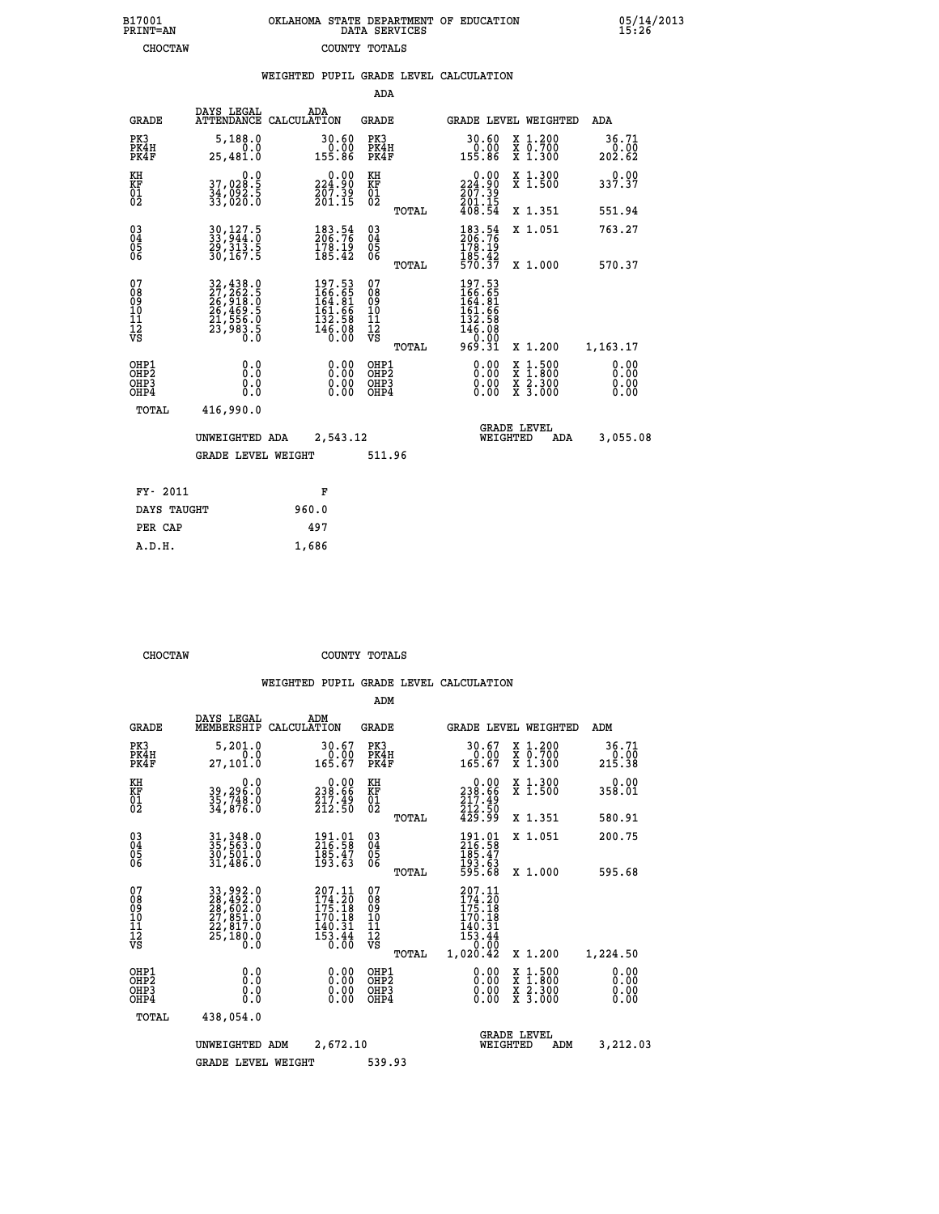| 7001<br>INT=AN |  | OKLAHOMA STATE DEPARTMENT OF EDUCATION<br>DATA SERVICES |  |
|----------------|--|---------------------------------------------------------|--|
| CHOCTAW        |  | COUNTY TOTALS                                           |  |

|                                                                    |                                                                                                                                                             | WEIGHTED PUPIL GRADE LEVEL CALCULATION                                                             |                                               |                                                                                          |                                                                                                                                           |                         |
|--------------------------------------------------------------------|-------------------------------------------------------------------------------------------------------------------------------------------------------------|----------------------------------------------------------------------------------------------------|-----------------------------------------------|------------------------------------------------------------------------------------------|-------------------------------------------------------------------------------------------------------------------------------------------|-------------------------|
|                                                                    |                                                                                                                                                             |                                                                                                    | <b>ADA</b>                                    |                                                                                          |                                                                                                                                           |                         |
| <b>GRADE</b>                                                       | DAYS LEGAL                                                                                                                                                  | ADA<br>ATTENDANCE CALCULATION                                                                      | <b>GRADE</b>                                  | <b>GRADE LEVEL WEIGHTED</b>                                                              |                                                                                                                                           | ADA                     |
| PK3<br>PK4H<br>PK4F                                                | 5,188.0<br>0.0<br>25,481.0                                                                                                                                  | 30.60<br>0.00<br>155.86                                                                            | PK3<br>PK4H<br>PK4F                           | 30.60<br>0.00<br>155.86                                                                  | X 1.200<br>X 0.700<br>X 1.300                                                                                                             | 36.71<br>0.00<br>202.62 |
| KH<br>KF<br>01<br>02                                               | 0.0<br>37,020.5<br>34, 092.5<br>33, 020.0                                                                                                                   | $0.00$<br>224.90<br>$\frac{207.39}{201.15}$                                                        | KH<br>KF<br>01<br>02                          | 224.90<br>$\frac{267.39}{201.15}$<br>408.54                                              | X 1.300<br>X 1.500                                                                                                                        | 0.00<br>337.37          |
|                                                                    |                                                                                                                                                             |                                                                                                    | TOTAL                                         |                                                                                          | X 1.351                                                                                                                                   | 551.94                  |
| $\begin{smallmatrix} 03 \\[-4pt] 04 \end{smallmatrix}$<br>05<br>06 | 30, 127.5<br>33, 944.0<br>29, 313.5<br>30, 167.5                                                                                                            | $\frac{183\cdot 54}{206\cdot 76}$<br>178.19<br>185.42                                              | $^{03}_{04}$<br>0500                          | 183.54<br>206.76<br>178.19                                                               | X 1.051                                                                                                                                   | 763.27                  |
|                                                                    |                                                                                                                                                             |                                                                                                    | TOTAL                                         | 185.42<br>570.37                                                                         | X 1.000                                                                                                                                   | 570.37                  |
| 07<br>08<br>09<br>10<br>11<br>11<br>12<br>VS                       | $\begin{smallmatrix} 32\,,438\cdot 0\\ 27\,,262\cdot 5\\ 26\,,918\cdot 0\\ 26\,,469\cdot 5\\ 21\,,556\cdot 0\\ 23\,,983\cdot 5\\ 0\cdot 0\end{smallmatrix}$ | $\begin{smallmatrix} 197.53\\ 166.55\\ 164.81\\ 161.66\\ 132.58\\ 146.08\\ 0.00 \end{smallmatrix}$ | 078<br>089<br>0011<br>11<br>12<br>VS<br>TOTAL | 197.53<br>$166.651$<br>$164.81$<br>$161.66$<br>$132.588$<br>$146.08$<br>$0.00$<br>969.31 | X 1.200                                                                                                                                   | 1,163.17                |
| OHP1<br>OHP2<br>OH <sub>P</sub> 3<br>OH <sub>P4</sub>              | 0.0<br>0.0<br>0.0                                                                                                                                           | 0.00<br>$\begin{smallmatrix} 0.00 \ 0.00 \end{smallmatrix}$                                        | OHP1<br>OHP2<br>OHP3<br>OHP4                  | 0.00<br>0.00                                                                             | $\begin{smallmatrix} \mathtt{X} & 1\cdot500\\ \mathtt{X} & 1\cdot800\\ \mathtt{X} & 2\cdot300\\ \mathtt{X} & 3\cdot000 \end{smallmatrix}$ | 0.00<br>0.00<br>0.00    |
| TOTAL                                                              | 416,990.0                                                                                                                                                   |                                                                                                    |                                               |                                                                                          |                                                                                                                                           |                         |
|                                                                    | UNWEIGHTED ADA                                                                                                                                              | 2,543.12                                                                                           |                                               | <b>GRADE LEVEL</b><br>WEIGHTED                                                           | ADA                                                                                                                                       | 3,055.08                |
|                                                                    | <b>GRADE LEVEL WEIGHT</b>                                                                                                                                   |                                                                                                    | 511.96                                        |                                                                                          |                                                                                                                                           |                         |
| FY- 2011                                                           |                                                                                                                                                             | F                                                                                                  |                                               |                                                                                          |                                                                                                                                           |                         |
| DAYS TAUGHT                                                        |                                                                                                                                                             | 960.0                                                                                              |                                               |                                                                                          |                                                                                                                                           |                         |
| PER CAP                                                            |                                                                                                                                                             | 497                                                                                                |                                               |                                                                                          |                                                                                                                                           |                         |

 **CHOCTAW COUNTY TOTALS**

 **A.D.H. 1,686**

 **B17001<br>PRINT=AN** 

|                                          |                                                                                  |                                                                          | ADM                                                |       |                                                                                                                             |                                |                                          |                              |  |
|------------------------------------------|----------------------------------------------------------------------------------|--------------------------------------------------------------------------|----------------------------------------------------|-------|-----------------------------------------------------------------------------------------------------------------------------|--------------------------------|------------------------------------------|------------------------------|--|
| <b>GRADE</b>                             | DAYS LEGAL<br>MEMBERSHIP                                                         | ADM<br>CALCULATION                                                       | <b>GRADE</b>                                       |       | <b>GRADE LEVEL WEIGHTED</b>                                                                                                 |                                |                                          | ADM                          |  |
| PK3<br>PK4H<br>PK4F                      | 5,201.0<br>0.0<br>27,101.0                                                       | 30.67<br>0.00<br>165.67                                                  | PK3<br>PK4H<br>PK4F                                |       | 30.67<br>0.00<br>165.67                                                                                                     |                                | X 1.200<br>X 0.700<br>X 1.300            | 36.71<br>0.00<br>215.38      |  |
| KH<br>KF<br>01<br>02                     | 0.0<br>39,296.0<br>35,748.0<br>34,876.0                                          | $\begin{smallmatrix} &0.00\\ 238.66\\ 217.49\\ 212.50 \end{smallmatrix}$ | KH<br>KF<br>01<br>02                               |       | 0.00<br>238:66<br>217:49<br>212:50<br>429:99                                                                                |                                | X 1.300<br>X 1.500                       | 0.00<br>358.01               |  |
|                                          |                                                                                  |                                                                          |                                                    | TOTAL |                                                                                                                             |                                | X 1.351                                  | 580.91                       |  |
| 03<br>04<br>05<br>06                     | 31, 348.0<br>35, 563.0<br>30, 501.0<br>31, 486.0                                 | 191.01<br>216.58<br>$\frac{185.47}{193.63}$                              | $\begin{matrix} 03 \\ 04 \\ 05 \\ 06 \end{matrix}$ |       | 191.01<br>216.58<br>$\begin{array}{c} 185.47 \\ 193.63 \\ 595.68 \end{array}$                                               | X 1.051                        |                                          | 200.75                       |  |
|                                          |                                                                                  |                                                                          |                                                    | TOTAL |                                                                                                                             |                                | X 1.000                                  | 595.68                       |  |
| 07<br>08<br>09<br>101<br>112<br>VS       | 33,992.0<br>28,492.0<br>28,602.0<br>27,851.0<br>27,817.0<br>22,817.0<br>25,180.0 | 207.11<br>174.20<br>175.18<br>170.18<br>$\frac{140.31}{153.44}$          | 07<br>08<br>09<br>11<br>11<br>12<br>VS             | TOTAL | 207.11<br>$\frac{174}{175}$ : $\frac{10}{18}$<br>$\frac{170}{170}$ : $\frac{18}{18}$<br>$\frac{140.31}{153.44}$<br>1,020.42 |                                | X 1.200                                  | 1,224.50                     |  |
| OHP1<br>OHP2<br>OH <sub>P3</sub><br>OHP4 | 0.0<br>0.000                                                                     | $0.00$<br>$0.00$<br>0.00                                                 | OHP1<br>OHP2<br>OHP3<br>OHP4                       |       | $0.00$<br>$0.00$<br>0.00                                                                                                    |                                | X 1:500<br>X 1:800<br>X 2:300<br>X 3:000 | 0.00<br>0.00<br>0.00<br>0.00 |  |
| TOTAL                                    | 438,054.0                                                                        |                                                                          |                                                    |       |                                                                                                                             |                                |                                          |                              |  |
|                                          | 2,672.10<br>UNWEIGHTED<br>ADM                                                    |                                                                          |                                                    |       |                                                                                                                             | <b>GRADE LEVEL</b><br>WEIGHTED | ADM                                      | 3,212.03                     |  |
|                                          | <b>GRADE LEVEL WEIGHT</b>                                                        |                                                                          | 539.93                                             |       |                                                                                                                             |                                |                                          |                              |  |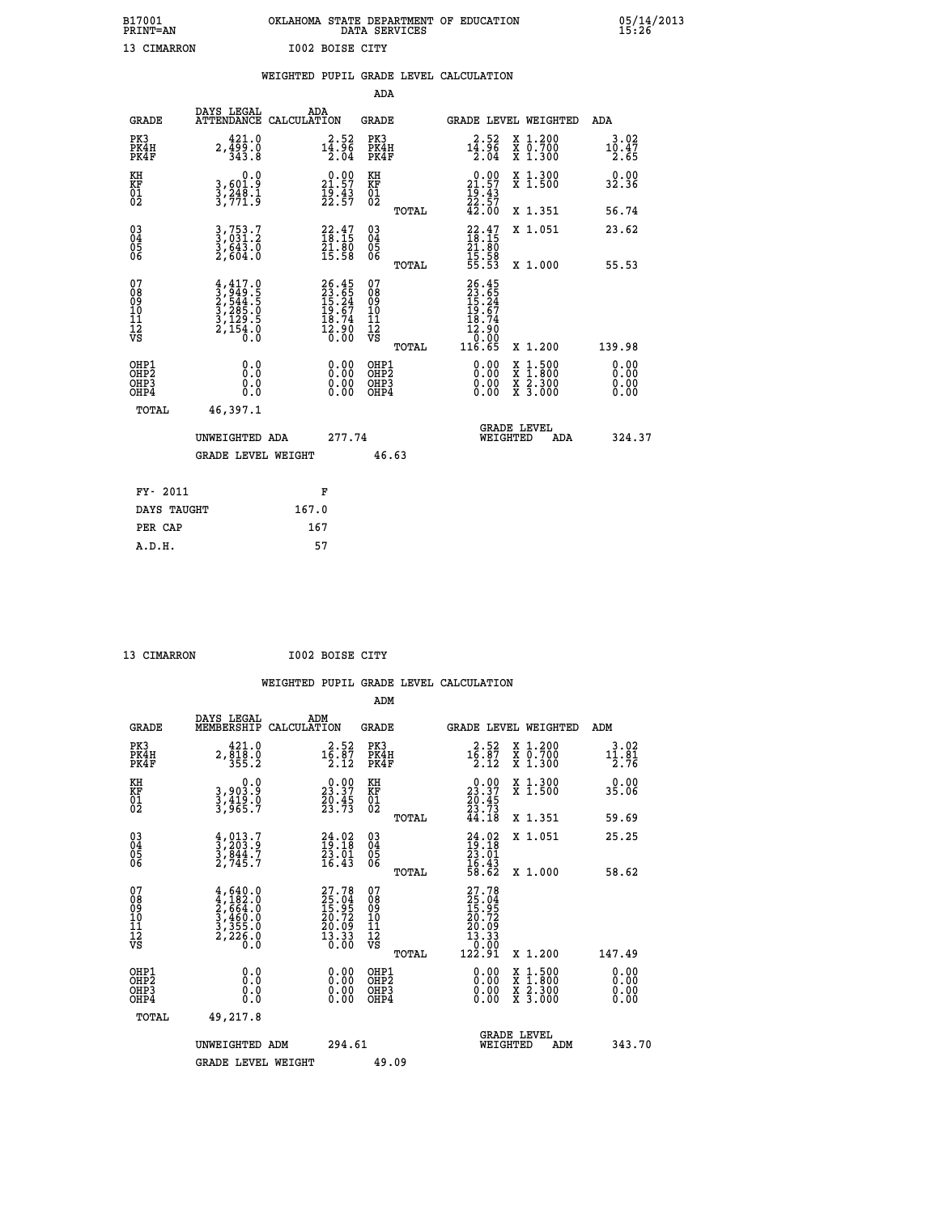# **B17001 OKLAHOMA STATE DEPARTMENT OF EDUCATION 05/14/2013 PRINT=AN DATA SERVICES 15:26**

| <b>FRINT-AN</b>                          |                                                                                     |       |                                                                          |                                        | DATA SEKVICES |                                                                                   |                                                                                                           | 19:40                 |
|------------------------------------------|-------------------------------------------------------------------------------------|-------|--------------------------------------------------------------------------|----------------------------------------|---------------|-----------------------------------------------------------------------------------|-----------------------------------------------------------------------------------------------------------|-----------------------|
| 13 CIMARRON                              |                                                                                     |       | I002 BOISE CITY                                                          |                                        |               |                                                                                   |                                                                                                           |                       |
|                                          |                                                                                     |       |                                                                          |                                        |               | WEIGHTED PUPIL GRADE LEVEL CALCULATION                                            |                                                                                                           |                       |
|                                          |                                                                                     |       |                                                                          | <b>ADA</b>                             |               |                                                                                   |                                                                                                           |                       |
| <b>GRADE</b>                             | DAYS LEGAL<br>ATTENDANCE CALCULATION                                                |       | ADA                                                                      | GRADE                                  |               |                                                                                   | GRADE LEVEL WEIGHTED                                                                                      | ADA                   |
| PK3<br>PK4H<br>PK4F                      | 421.0<br>$2, \frac{1}{3}$ $\frac{5}{3}$ $\frac{5}{3}$ $\frac{0}{3}$                 |       | $14.52$<br>$14.96$<br>2.04                                               | PK3<br>PK4H<br>PK4F                    |               | $14.52$<br>$14.96$<br>$2.04$                                                      | X 1.200<br>X 0.700<br>X 1.300                                                                             | 3.02<br>10.47<br>2.65 |
| KH<br>KF<br>01<br>02                     | 0.0<br>3,601.9<br>3,248.1<br>3,771.9                                                |       | $\begin{smallmatrix} 0.00\\ 21.57\\ 19.43\\ 22.57 \end{smallmatrix}$     | KH<br>KF<br>01<br>02                   |               | $\begin{smallmatrix} 0.00\\ 21.57\\ 19.43\\ 22.57\\ 42.00 \end{smallmatrix}$      | X 1.300<br>X 1.500                                                                                        | 0.00<br>32.36         |
|                                          |                                                                                     |       |                                                                          |                                        | TOTAL         |                                                                                   | X 1.351                                                                                                   | 56.74                 |
| 03<br>04<br>05<br>06                     | 3,753.7<br>3,031.2<br>3,643.0<br>2,604.0                                            |       | $\begin{smallmatrix} 22.47\ 18.15\ 21.80\ 15.58 \end{smallmatrix}$       | 03<br>04<br>05<br>06                   |               | $22.47$<br>$18.15$<br>$21.80$<br>$15.58$<br>$55.53$                               | X 1.051                                                                                                   | 23.62                 |
|                                          |                                                                                     |       |                                                                          |                                        | TOTAL         |                                                                                   | X 1.000                                                                                                   | 55.53                 |
| 07<br>08<br>09<br>10<br>11<br>12<br>VS   | $4,417.0$<br>$3,949.5$<br>$2,544.5$<br>$3,285.0$<br>$3,129.5$<br>$2,154.0$<br>$0.0$ |       | $26.45$<br>$23.65$<br>$15.24$<br>$19.67$<br>$18.74$<br>$12.90$<br>$0.00$ | 07<br>08<br>09<br>11<br>11<br>12<br>VS | TOTAL         | 26.45<br>23.65<br>15.24<br>19.67<br>18.74<br>12.90<br>00.0 <sup>1</sup><br>116.65 | X 1.200                                                                                                   | 139.98                |
| OHP1<br>OHP2<br>OH <sub>P3</sub><br>OHP4 | 0.0<br>0.0<br>0.0                                                                   |       | 0.00<br>$\begin{smallmatrix} 0.00 \ 0.00 \end{smallmatrix}$              | OHP1<br>OHP2<br>OHP3<br>OHP4           |               | 0.00<br>0.00                                                                      | 1:500<br>$\begin{smallmatrix} x & 1 & 500 \\ x & 1 & 800 \\ x & 2 & 300 \\ x & 3 & 000 \end{smallmatrix}$ | 0.00<br>0.00<br>0.00  |
| TOTAL                                    | 46,397.1                                                                            |       |                                                                          |                                        |               |                                                                                   |                                                                                                           |                       |
|                                          | UNWEIGHTED ADA                                                                      |       | 277.74                                                                   |                                        |               |                                                                                   | <b>GRADE LEVEL</b><br>WEIGHTED<br>ADA                                                                     | 324.37                |
|                                          | <b>GRADE LEVEL WEIGHT</b>                                                           |       |                                                                          | 46.63                                  |               |                                                                                   |                                                                                                           |                       |
| FY- 2011                                 |                                                                                     |       | F                                                                        |                                        |               |                                                                                   |                                                                                                           |                       |
| DAYS TAUGHT                              |                                                                                     | 167.0 |                                                                          |                                        |               |                                                                                   |                                                                                                           |                       |

 **PER CAP 167 A.D.H. 57**

 **ADM**

 **13 CIMARRON I002 BOISE CITY**

| <b>GRADE</b>                                       | DAYS LEGAL<br>MEMBERSHIP CALCULATION                                                | ADM                                                                      | <b>GRADE</b>                                        |                                                                                                                                                                                                                                                                                | GRADE LEVEL WEIGHTED                     | ADM                          |
|----------------------------------------------------|-------------------------------------------------------------------------------------|--------------------------------------------------------------------------|-----------------------------------------------------|--------------------------------------------------------------------------------------------------------------------------------------------------------------------------------------------------------------------------------------------------------------------------------|------------------------------------------|------------------------------|
| PK3<br>PK4H<br>PK4F                                | 421.0<br>$2, \frac{5}{3}$ $\frac{1}{5}$ $\frac{5}{2}$                               | 2.52<br>$1\overline{6}\cdot 8\overline{7}$<br>2.12                       | PK3<br>PK4H<br>PK4F                                 | $1\overline{6}\cdot 8\overline{7}\ 1\overline{2}\cdot 12$                                                                                                                                                                                                                      | X 1.200<br>X 0.700<br>X 1.300            | 3.02<br>$\frac{11.81}{2.76}$ |
| KH<br>KF<br>01<br>02                               | 0.0<br>3,903.9<br>3,419.0<br>3,965.7                                                | $\begin{smallmatrix} 0.00\\ 23.37\\ 20.45\\ 23.73 \end{smallmatrix}$     | KH<br>KF<br>01<br>02                                | $\begin{smallmatrix} 0.00\\ 23.37\\ 20.45\\ 23.73\\ 44.18 \end{smallmatrix}$                                                                                                                                                                                                   | X 1.300<br>X 1.500                       | 0.00<br>35.06                |
|                                                    |                                                                                     |                                                                          | TOTAL                                               |                                                                                                                                                                                                                                                                                | X 1.351                                  | 59.69                        |
| $\begin{matrix} 03 \\ 04 \\ 05 \\ 06 \end{matrix}$ | $\frac{4}{3}, \frac{013}{203}$ .<br>3, 844.7<br>2, 745.7                            | $24.02$<br>$19.18$<br>$23.01$<br>$16.43$                                 | $\begin{array}{c} 03 \\ 04 \\ 05 \\ 06 \end{array}$ | $24.02$<br>$19.18$<br>$23.01$<br>$16.43$<br>$58.62$                                                                                                                                                                                                                            | X 1.051                                  | 25.25                        |
|                                                    |                                                                                     |                                                                          | TOTAL                                               |                                                                                                                                                                                                                                                                                | X 1.000                                  | 58.62                        |
| 07<br>08<br>09<br>101<br>11<br>12<br>VS            | $4,640.0$<br>$4,182.0$<br>$2,664.0$<br>$3,460.0$<br>$3,355.0$<br>$2,226.0$<br>$0.0$ | $27.78$<br>$25.04$<br>$15.95$<br>$20.72$<br>$20.09$<br>$13.33$<br>$0.00$ | 078<br>089<br>0011<br>11<br>12<br>VS<br>TOTAL       | 27.78<br>$\begin{smallmatrix} 2 & 1 & 0 & 4\ 2 & 5 & 0 & 9\ 1 & 5 & 9 & 7\ 2 & 0 & 7 & 9\ 2 & 0 & 1 & 9\ 1 & 3 & 3 & 3\ 0 & 0 & 0 & 1\ 1 & 2 & 9 & 1\ \end{smallmatrix}$                                                                                                       | X 1.200                                  | 147.49                       |
| OHP1<br>OHP2<br>OHP3<br>OHP4                       | 0.0<br>$\begin{smallmatrix} 0.0 & 0 \ 0.0 & 0 \end{smallmatrix}$                    |                                                                          | OHP1<br>OHP2<br>OHP3<br>OHP4                        | $\begin{smallmatrix} 0.00 & 0.00 & 0.00 & 0.00 & 0.00 & 0.00 & 0.00 & 0.00 & 0.00 & 0.00 & 0.00 & 0.00 & 0.00 & 0.00 & 0.00 & 0.00 & 0.00 & 0.00 & 0.00 & 0.00 & 0.00 & 0.00 & 0.00 & 0.00 & 0.00 & 0.00 & 0.00 & 0.00 & 0.00 & 0.00 & 0.00 & 0.00 & 0.00 & 0.00 & 0.00 & 0.0$ | X 1:500<br>X 1:800<br>X 2:300<br>X 3:000 | 0.00<br>0.00<br>0.00         |
| TOTAL                                              | 49,217.8                                                                            |                                                                          |                                                     |                                                                                                                                                                                                                                                                                |                                          |                              |
|                                                    | UNWEIGHTED<br>ADM                                                                   | 294.61                                                                   |                                                     | WEIGHTED                                                                                                                                                                                                                                                                       | <b>GRADE LEVEL</b><br>ADM                | 343.70                       |
|                                                    | <b>GRADE LEVEL WEIGHT</b>                                                           |                                                                          | 49.09                                               |                                                                                                                                                                                                                                                                                |                                          |                              |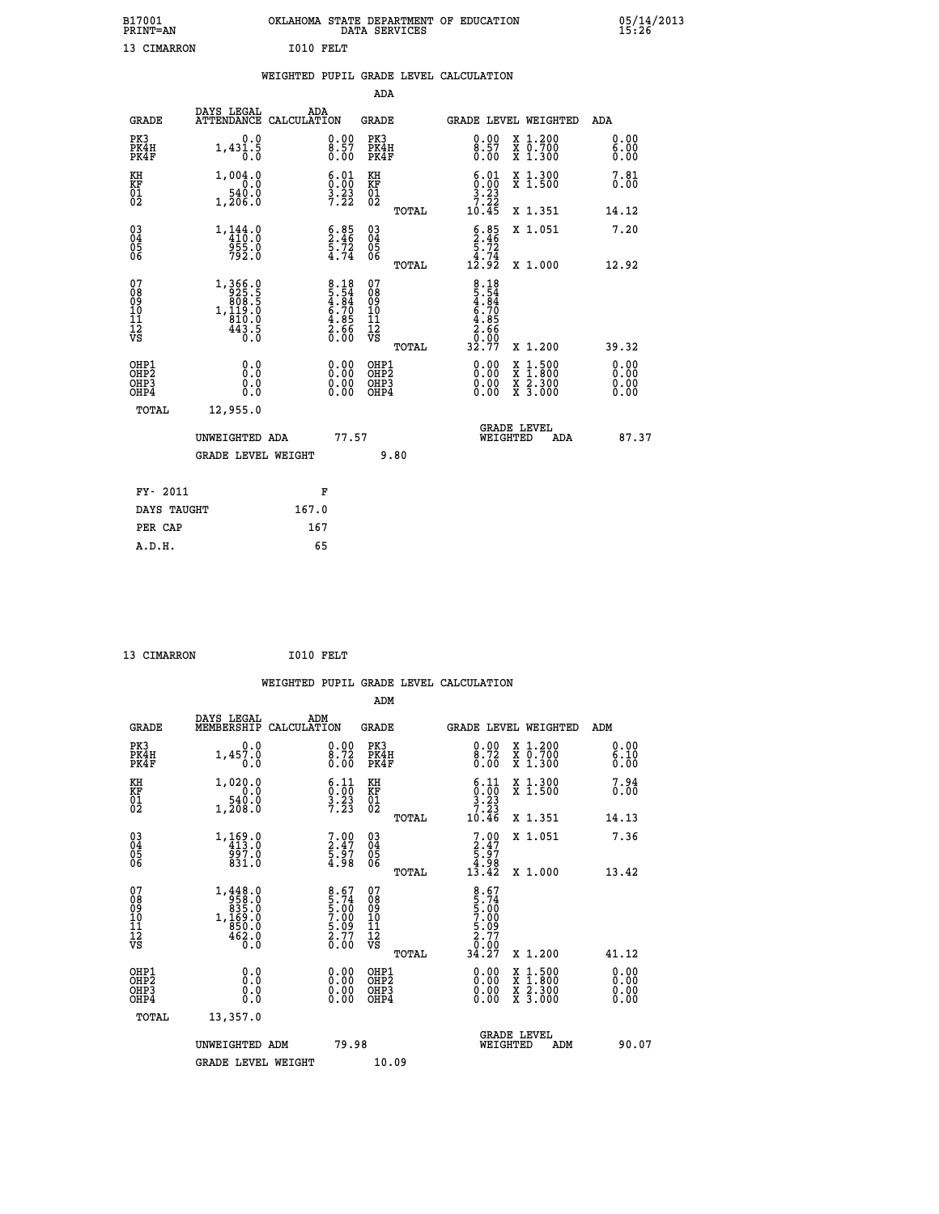| B17001<br><b>PRINT=AN</b> | OKLAHOMA STATE DEPARTMENT OF EDUCATION<br>DATA SERVICES |  |
|---------------------------|---------------------------------------------------------|--|
| 13 CIMARRON               | T010 FRLT                                               |  |

|                                                                    |                                                                                                                                    |                                                                | ADA                                       |       |                                                                                               |        |                                          |                              |
|--------------------------------------------------------------------|------------------------------------------------------------------------------------------------------------------------------------|----------------------------------------------------------------|-------------------------------------------|-------|-----------------------------------------------------------------------------------------------|--------|------------------------------------------|------------------------------|
| <b>GRADE</b>                                                       | DAYS LEGAL<br>ATTENDANCE CALCULATION                                                                                               | ADA                                                            | <b>GRADE</b>                              |       | GRADE LEVEL WEIGHTED                                                                          |        |                                          | <b>ADA</b>                   |
| PK3<br>PK4H<br>PK4F                                                | 0.0<br>1,431.5                                                                                                                     | $\substack{0.00\\8.57\\0.00}$                                  | PK3<br>PK4H<br>PK4F                       |       | $\begin{smallmatrix} 0.00\ 8.57\ 0.00 \end{smallmatrix}$                                      |        | X 1.200<br>X 0.700<br>X 1.300            | 0.00<br>6.00<br>0.00         |
| KH<br>KF<br>01<br>02                                               | 1,004.0<br>0.0<br>$1, \frac{540}{206}$ :0                                                                                          | $\begin{smallmatrix} 6.01\ 0.00\ 3.23\ 7.22 \end{smallmatrix}$ | KH<br>KF<br>01<br>02                      |       | $\begin{array}{c} 6\cdot 01 \\ 0\cdot 00 \\ 3\cdot 23 \\ 7\cdot 22 \\ 10\cdot 45 \end{array}$ |        | X 1.300<br>X 1.500                       | 7.81<br>0.00                 |
|                                                                    |                                                                                                                                    |                                                                |                                           | TOTAL |                                                                                               |        | X 1.351                                  | 14.12                        |
| $\begin{smallmatrix} 03 \\[-4pt] 04 \end{smallmatrix}$<br>Ŏ5<br>06 | $1, \frac{144}{410}$ :0<br>955.0<br>792.0                                                                                          | $5.85$<br>2.46<br>$\frac{5.72}{4.74}$                          | $\substack{03 \\ 04}$<br>Ŏ5<br>06         |       | $5.85$<br>$5.72$<br>$5.72$<br>$4.74$<br>$12.92$                                               |        | X 1.051                                  | 7.20                         |
|                                                                    |                                                                                                                                    |                                                                |                                           | TOTAL |                                                                                               |        | X 1.000                                  | 12.92                        |
| 07<br>08<br>09<br>11<br>11<br>12<br>VS                             | $\begin{smallmatrix} 1,366\cdot 0\\ -925\cdot 5\\ 808\cdot 5\\ 1,119\cdot 0\\ 810\cdot 0\\ 443\cdot 5\\ 0\cdot 0\end{smallmatrix}$ | $8.18\n5.54\n4.84\n6.70\n6.85\n2.66\n0.00$                     | 07<br>08<br>09<br>11<br>11<br>12<br>VS    |       | 8.18<br>5.54<br>4.84<br>4.70<br>6.70<br>5.66<br>2.66<br>32.77                                 |        |                                          |                              |
|                                                                    |                                                                                                                                    |                                                                |                                           | TOTAL |                                                                                               |        | X 1.200                                  | 39.32                        |
| OHP1<br>OHP <sub>2</sub><br>OHP3<br>OHP4                           | 0.0<br>0.0<br>0.0                                                                                                                  | 0.00<br>$\begin{smallmatrix} 0.00 \ 0.00 \end{smallmatrix}$    | OHP1<br>OH <sub>P</sub> 2<br>OHP3<br>OHP4 |       | 0.00<br>0.00<br>0.00                                                                          | X<br>X | $1:500$<br>$1:800$<br>X 2.300<br>X 3.000 | 0.00<br>0.00<br>0.00<br>0.00 |
| TOTAL                                                              | 12,955.0                                                                                                                           |                                                                |                                           |       |                                                                                               |        |                                          |                              |
|                                                                    | UNWEIGHTED ADA                                                                                                                     | 77.57                                                          |                                           |       | <b>GRADE LEVEL</b><br>WEIGHTED                                                                |        | ADA                                      | 87.37                        |
|                                                                    | <b>GRADE LEVEL WEIGHT</b>                                                                                                          |                                                                |                                           | 9.80  |                                                                                               |        |                                          |                              |
| FY- 2011                                                           |                                                                                                                                    | F                                                              |                                           |       |                                                                                               |        |                                          |                              |
| DAYS TAUGHT                                                        |                                                                                                                                    | 167.0                                                          |                                           |       |                                                                                               |        |                                          |                              |
| PER CAP                                                            |                                                                                                                                    | 167                                                            |                                           |       |                                                                                               |        |                                          |                              |

| 13 CIMARRON | I010 FELT |  |
|-------------|-----------|--|
|             |           |  |

 **A.D.H. 65**

 **B17001<br>PRINT=AN** 

|                                                    |                                                                                                          | WEIGHTED PUPIL GRADE LEVEL CALCULATION                            |                                                      |       |                                                                                                                                                                                                                                                                                |                                          |                      |
|----------------------------------------------------|----------------------------------------------------------------------------------------------------------|-------------------------------------------------------------------|------------------------------------------------------|-------|--------------------------------------------------------------------------------------------------------------------------------------------------------------------------------------------------------------------------------------------------------------------------------|------------------------------------------|----------------------|
|                                                    |                                                                                                          |                                                                   | ADM                                                  |       |                                                                                                                                                                                                                                                                                |                                          |                      |
| <b>GRADE</b>                                       | DAYS LEGAL<br>MEMBERSHIP                                                                                 | ADM<br>CALCULATION                                                | <b>GRADE</b>                                         |       |                                                                                                                                                                                                                                                                                | GRADE LEVEL WEIGHTED                     | ADM                  |
| PK3<br>PK4H<br>PK4F                                | 0.0<br>1,457.0<br>0.0                                                                                    | $\frac{0.00}{8.72}$<br>0.00                                       | PK3<br>PK4H<br>PK4F                                  |       | $\begin{smallmatrix} 0.00\\ 8.72\\ 0.00 \end{smallmatrix}$                                                                                                                                                                                                                     | X 1.200<br>X 0.700<br>X 1.300            | 0.00<br>6.10<br>0.00 |
| KH<br>KF<br>01<br>02                               | 1,020.0<br>$1, \frac{540}{208}$<br>1, 208:0                                                              | $\begin{smallmatrix} 6.11\ 0.00\ 3.23\ 7.23 \end{smallmatrix}$    | KH<br>KF<br>01<br>02                                 |       | $\begin{array}{c} 6.11 \\ 0.00 \\ 3.23 \\ 7.23 \end{array}$                                                                                                                                                                                                                    | X 1.300<br>X 1.500                       | 7.94<br>0.00         |
|                                                    |                                                                                                          |                                                                   |                                                      | TOTAL | 10.46                                                                                                                                                                                                                                                                          | X 1.351                                  | 14.13                |
| $\begin{matrix} 03 \\ 04 \\ 05 \\ 06 \end{matrix}$ | $1, 169.0$<br>$413.0$<br>$997.0$<br>831.0                                                                | $7.00$<br>$2.47$<br>$5.97$<br>$4.98$                              | $\begin{matrix} 03 \\ 04 \\ 05 \\ 06 \end{matrix}$   |       | $7.00$<br>$5.97$<br>$4.98$<br>$13.42$                                                                                                                                                                                                                                          | X 1.051                                  | 7.36                 |
|                                                    |                                                                                                          |                                                                   |                                                      | TOTAL |                                                                                                                                                                                                                                                                                | X 1.000                                  | 13.42                |
| 07<br>089<br>090<br>1112<br>VS                     | $\begin{smallmatrix} 1,448.0\\ -958.0\\ 835.0\\ 835.0\\ 1,169.0\\ 850.0\\ 462.0\\ 0.0 \end{smallmatrix}$ | $8.67$<br>5.74<br>5.00<br>7.00<br>7.09<br>5.09<br>2.77<br>0.00    | 07<br>08<br>09<br>11<br>11<br>12<br>VS               |       | $8.67$<br>5.74<br>5.00<br>7.00<br>7.09<br>2.77<br>2.00                                                                                                                                                                                                                         |                                          |                      |
|                                                    |                                                                                                          |                                                                   |                                                      | TOTAL | 34.27                                                                                                                                                                                                                                                                          | X 1.200                                  | 41.12                |
| OHP1<br>OHP2<br>OHP3<br>OHP4                       | 0.0<br>0.000                                                                                             | $\begin{smallmatrix} 0.00 \ 0.00 \ 0.00 \ 0.00 \end{smallmatrix}$ | OHP1<br>OHP2<br>OHP <sub>3</sub><br>OHP <sub>4</sub> |       | $\begin{smallmatrix} 0.00 & 0.00 & 0.00 & 0.00 & 0.00 & 0.00 & 0.00 & 0.00 & 0.00 & 0.00 & 0.00 & 0.00 & 0.00 & 0.00 & 0.00 & 0.00 & 0.00 & 0.00 & 0.00 & 0.00 & 0.00 & 0.00 & 0.00 & 0.00 & 0.00 & 0.00 & 0.00 & 0.00 & 0.00 & 0.00 & 0.00 & 0.00 & 0.00 & 0.00 & 0.00 & 0.0$ | X 1:500<br>X 1:800<br>X 2:300<br>X 3:000 | 0.00<br>0.00         |
| TOTAL                                              | 13,357.0                                                                                                 |                                                                   |                                                      |       |                                                                                                                                                                                                                                                                                |                                          |                      |
|                                                    | UNWEIGHTED ADM<br><b>GRADE LEVEL WEIGHT</b>                                                              | 79.98                                                             | 10.09                                                |       | WEIGHTED                                                                                                                                                                                                                                                                       | <b>GRADE LEVEL</b><br>ADM                | 90.07                |
|                                                    |                                                                                                          |                                                                   |                                                      |       |                                                                                                                                                                                                                                                                                |                                          |                      |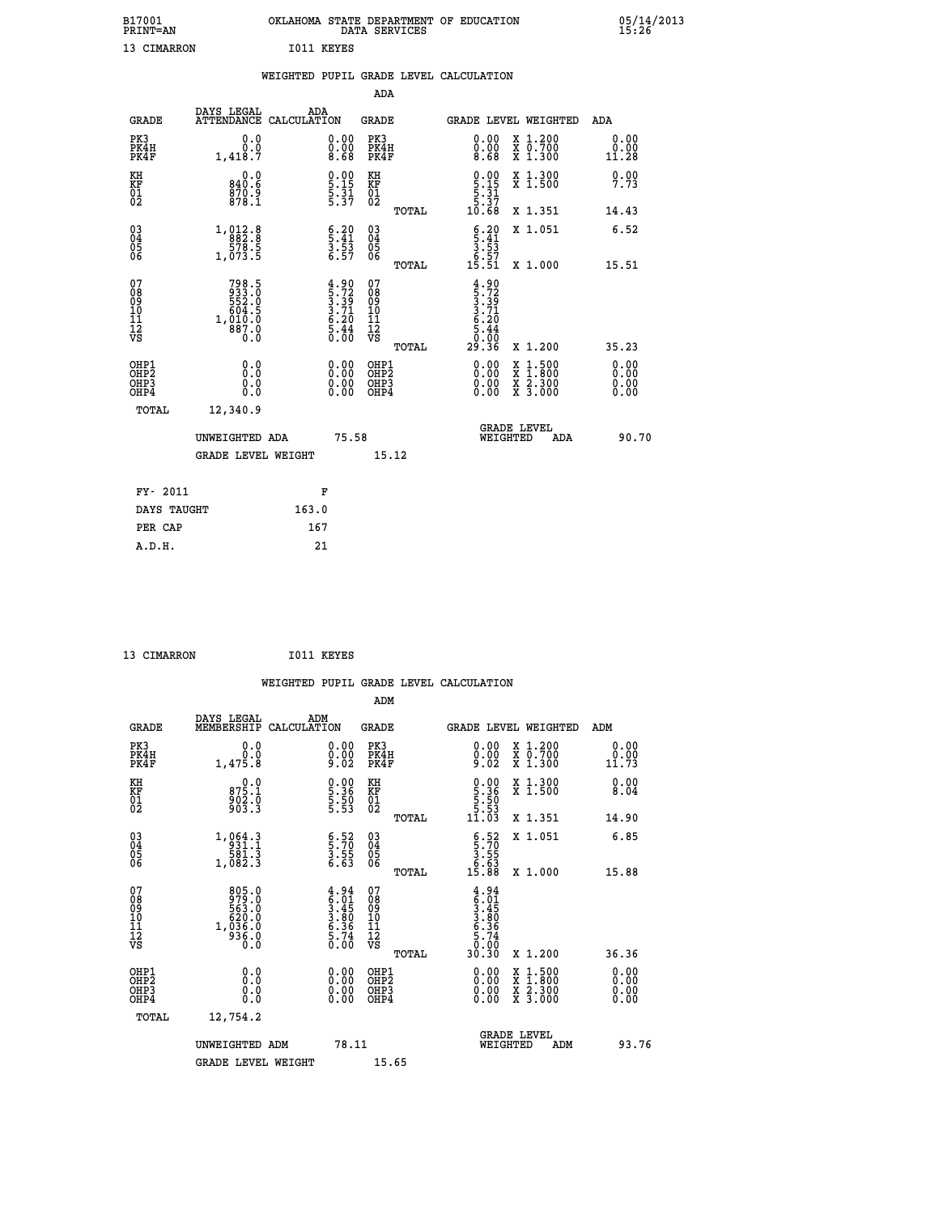| B17001<br><b>PRINT=AN</b> |            |  | OKLAHOMA STATE DEPARTMENT OF EDUCATION<br>DATA SERVICES |  |
|---------------------------|------------|--|---------------------------------------------------------|--|
| 13 CIMARRON               | I011 KEYES |  |                                                         |  |

|                                                                    |                                                                       |                                                                    |                                                    |       | WEIGHTED PUPIL GRADE LEVEL CALCULATION                                                                                                                                                                                                                                         |                                                                                                                                           |                              |
|--------------------------------------------------------------------|-----------------------------------------------------------------------|--------------------------------------------------------------------|----------------------------------------------------|-------|--------------------------------------------------------------------------------------------------------------------------------------------------------------------------------------------------------------------------------------------------------------------------------|-------------------------------------------------------------------------------------------------------------------------------------------|------------------------------|
|                                                                    |                                                                       |                                                                    | <b>ADA</b>                                         |       |                                                                                                                                                                                                                                                                                |                                                                                                                                           |                              |
| <b>GRADE</b>                                                       | DAYS LEGAL<br>ATTENDANCE CALCULATION                                  | ADA                                                                | <b>GRADE</b>                                       |       | GRADE LEVEL WEIGHTED                                                                                                                                                                                                                                                           |                                                                                                                                           | <b>ADA</b>                   |
| PK3<br>PK4H<br>PK4F                                                | 0.0<br>$0.0$<br>1,418.7                                               | $\begin{smallmatrix} 0.00 \ 0.00 \ 8.68 \end{smallmatrix}$         | PK3<br>PK4H<br>PK4F                                |       | $\substack{0.00\\0.00\\8.68}$                                                                                                                                                                                                                                                  | X 1.200<br>X 0.700<br>X 1.300                                                                                                             | 0.00<br>ŏ:ŏŏ<br>11:28        |
| KH<br>KF<br>01<br>02                                               | 0.0<br>840.6<br>870.9<br>878.1                                        | $\begin{array}{c} 0.00 \\ 5.15 \\ 5.31 \\ 5.37 \end{array}$        | KH<br>KF<br>01<br>02                               |       | $\begin{array}{c} 0.00 \\ 5.15 \\ 5.31 \\ 5.37 \\ 10.68 \end{array}$                                                                                                                                                                                                           | X 1.300<br>X 1.500                                                                                                                        | 0.00<br>7.73                 |
|                                                                    |                                                                       |                                                                    |                                                    | TOTAL |                                                                                                                                                                                                                                                                                | X 1.351                                                                                                                                   | 14.43                        |
| $\begin{smallmatrix} 03 \\[-4pt] 04 \end{smallmatrix}$<br>Ŏ5<br>06 | $\begin{array}{r} 1,012.8 \\ 882.8 \\ 578.5 \\ 1,073.5 \end{array}$   | $\begin{array}{c} 6.20 \\ 5.41 \\ 3.53 \\ 6.57 \end{array}$        | $\begin{matrix} 03 \\ 04 \\ 05 \\ 06 \end{matrix}$ |       | $\begin{array}{c} 6.20 \\ 5.41 \\ 3.53 \\ 6.57 \\ 15.51 \end{array}$                                                                                                                                                                                                           | X 1.051                                                                                                                                   | 6.52                         |
|                                                                    |                                                                       |                                                                    |                                                    | TOTAL |                                                                                                                                                                                                                                                                                | X 1.000                                                                                                                                   | 15.51                        |
| 07<br>08<br>09<br>101<br>11<br>12<br>VS                            | 798.5<br>933.0<br>552.0<br>5604.5<br>604.5<br>1,010.0<br>887.0<br>0.0 | $4.90$<br>$5.72$<br>$3.39$<br>$3.71$<br>$6.20$<br>$5.44$<br>$0.00$ | 07<br>08<br>09<br>11<br>11<br>12<br>VS             | TOTAL | $4.90$<br>$5.72$<br>$3.39$<br>$3.71$<br>$6.20$<br>$5.44$<br>$0.90$<br>29.36                                                                                                                                                                                                    | X 1.200                                                                                                                                   | 35.23                        |
| OHP1<br>OHP2<br>OH <sub>P3</sub><br>OH <sub>P4</sub>               | 0.0<br>Ō.Ō<br>0.0<br>0.0                                              | $\begin{smallmatrix} 0.00 \ 0.00 \ 0.00 \ 0.00 \end{smallmatrix}$  | OHP1<br>OHP2<br>OHP3<br>OHP4                       |       | $\begin{smallmatrix} 0.00 & 0.00 & 0.00 & 0.00 & 0.00 & 0.00 & 0.00 & 0.00 & 0.00 & 0.00 & 0.00 & 0.00 & 0.00 & 0.00 & 0.00 & 0.00 & 0.00 & 0.00 & 0.00 & 0.00 & 0.00 & 0.00 & 0.00 & 0.00 & 0.00 & 0.00 & 0.00 & 0.00 & 0.00 & 0.00 & 0.00 & 0.00 & 0.00 & 0.00 & 0.00 & 0.0$ | $\begin{smallmatrix} \mathtt{X} & 1\cdot500\\ \mathtt{X} & 1\cdot800\\ \mathtt{X} & 2\cdot300\\ \mathtt{X} & 3\cdot000 \end{smallmatrix}$ | 0.00<br>0.00<br>0.00<br>0.00 |
| TOTAL                                                              | 12,340.9                                                              |                                                                    |                                                    |       |                                                                                                                                                                                                                                                                                |                                                                                                                                           |                              |
|                                                                    | UNWEIGHTED ADA                                                        |                                                                    | 75.58                                              |       | WEIGHTED                                                                                                                                                                                                                                                                       | <b>GRADE LEVEL</b><br>ADA                                                                                                                 | 90.70                        |
|                                                                    | <b>GRADE LEVEL WEIGHT</b>                                             |                                                                    |                                                    | 15.12 |                                                                                                                                                                                                                                                                                |                                                                                                                                           |                              |
| FY- 2011                                                           |                                                                       | F                                                                  |                                                    |       |                                                                                                                                                                                                                                                                                |                                                                                                                                           |                              |
| DAYS TAUGHT                                                        |                                                                       | 163.0                                                              |                                                    |       |                                                                                                                                                                                                                                                                                |                                                                                                                                           |                              |
| PER CAP                                                            |                                                                       | 167                                                                |                                                    |       |                                                                                                                                                                                                                                                                                |                                                                                                                                           |                              |

| 13 CIMARRON |  | I011 KEYES |
|-------------|--|------------|
|             |  |            |

 **B17001<br>PRINT=AN** 

|                                    |                                                                                                                    |                                                                    |                                                 | WEIGHTED PUPIL GRADE LEVEL CALCULATION                                                                                                                                                                                                                                         |                                          |                       |
|------------------------------------|--------------------------------------------------------------------------------------------------------------------|--------------------------------------------------------------------|-------------------------------------------------|--------------------------------------------------------------------------------------------------------------------------------------------------------------------------------------------------------------------------------------------------------------------------------|------------------------------------------|-----------------------|
|                                    |                                                                                                                    |                                                                    | ADM                                             |                                                                                                                                                                                                                                                                                |                                          |                       |
| <b>GRADE</b>                       | DAYS LEGAL<br>MEMBERSHIP                                                                                           | ADM<br>CALCULATION                                                 | <b>GRADE</b>                                    |                                                                                                                                                                                                                                                                                | <b>GRADE LEVEL WEIGHTED</b>              | ADM                   |
| PK3<br>PK4H<br>PK4F                | 0.0<br>$0.0$<br>1,475.8                                                                                            | $\substack{0.00\\0.00\\9.02}$                                      | PK3<br>PK4H<br>PK4F                             | $\begin{smallmatrix} 0.00\\ 0.00\\ 9.02 \end{smallmatrix}$                                                                                                                                                                                                                     | X 1.200<br>X 0.700<br>X 1.300            | 0.00<br>0.00<br>11.73 |
| KH<br>KF<br>01<br>02               | $875.1$<br>$902.0$<br>$903.3$                                                                                      | $\begin{smallmatrix} 0.00\ 5.36\ 5.50\ 5.53 \end{smallmatrix}$     | KH<br>KF<br>01<br>02                            | $\begin{smallmatrix} 0.00\\ 5.36\\ 5.50\\ 5.53\\ 1.03 \end{smallmatrix}$                                                                                                                                                                                                       | X 1.300<br>X 1.500                       | 0.00<br>8.04          |
|                                    |                                                                                                                    |                                                                    | TOTAL                                           |                                                                                                                                                                                                                                                                                | X 1.351                                  | 14.90                 |
| 03<br>04<br>05<br>06               | $\begin{smallmatrix} 1, & 0 & 6 & 4 & 3 \\ 9 & 3 & 1 & 1 \\ 5 & 8 & 1 & 3 \\ 1, & 0 & 8 & 2 & 3 \end{smallmatrix}$ | $\frac{6}{3}:\frac{52}{70}$<br>3.55<br>6.63                        | 03<br>04<br>05<br>06                            | $\begin{array}{c} 6.52 \\ 5.70 \\ 3.55 \\ 6.63 \\ 15.88 \end{array}$                                                                                                                                                                                                           | X 1.051                                  | 6.85                  |
|                                    |                                                                                                                    |                                                                    | TOTAL                                           |                                                                                                                                                                                                                                                                                | X 1.000                                  | 15.88                 |
| 07<br>08<br>09<br>101<br>112<br>VS | 805.0<br>979.0<br>563.0<br>563.0<br>620.0<br>936.0<br>936.0                                                        | $4.94$<br>$5.01$<br>$3.45$<br>$3.80$<br>$6.36$<br>$5.74$<br>$0.00$ | 07<br>08<br>09<br>11<br>11<br>12<br>VS<br>TOTAL | $4.94$<br>$5.45$<br>$3.45$<br>$3.80$<br>$6.36$<br>$5.74$<br>$0.90$<br>30.30                                                                                                                                                                                                    | X 1.200                                  | 36.36                 |
| OHP1<br>OHP2<br>OHP3<br>OHP4       | 0.0<br>$\begin{smallmatrix} 0.5 & 0 \ 0.0 & 0 \end{smallmatrix}$                                                   | $0.00$<br>$0.00$<br>0.00                                           | OHP1<br>OHP2<br>OHP3<br>OHP4                    | $\begin{smallmatrix} 0.00 & 0.00 & 0.00 & 0.00 & 0.00 & 0.00 & 0.00 & 0.00 & 0.00 & 0.00 & 0.00 & 0.00 & 0.00 & 0.00 & 0.00 & 0.00 & 0.00 & 0.00 & 0.00 & 0.00 & 0.00 & 0.00 & 0.00 & 0.00 & 0.00 & 0.00 & 0.00 & 0.00 & 0.00 & 0.00 & 0.00 & 0.00 & 0.00 & 0.00 & 0.00 & 0.0$ | X 1:500<br>X 1:800<br>X 2:300<br>X 3:000 | 0.00<br>0.00<br>0.00  |
| TOTAL                              | 12,754.2                                                                                                           |                                                                    |                                                 |                                                                                                                                                                                                                                                                                |                                          |                       |
|                                    | UNWEIGHTED ADM                                                                                                     | 78.11                                                              |                                                 | WEIGHTED                                                                                                                                                                                                                                                                       | <b>GRADE LEVEL</b><br>ADM                | 93.76                 |
|                                    | <b>GRADE LEVEL WEIGHT</b>                                                                                          |                                                                    | 15.65                                           |                                                                                                                                                                                                                                                                                |                                          |                       |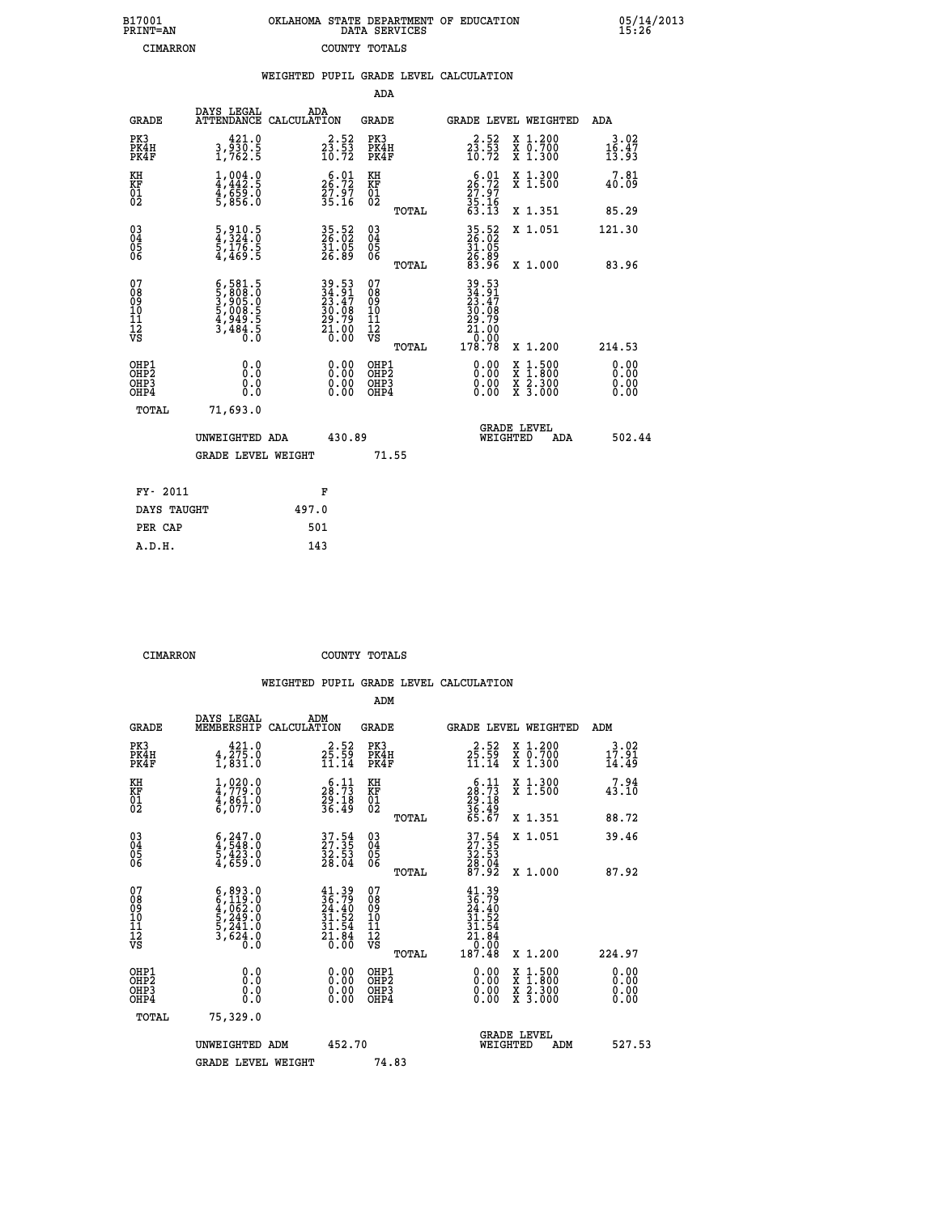| 7001<br>INT=AN | OKLAHOMA STATE DEPARTMENT OF EDUCATION<br>DATA SERVICES |  |  |
|----------------|---------------------------------------------------------|--|--|
| CIMARRON       | COUNTY TOTALS                                           |  |  |

 **B17001<br>PRINT=AN** 

 **B17001 OKLAHOMA STATE DEPARTMENT OF EDUCATION 05/14/2013**

|                                              |                                                                                                                   | WEIGHTED PUPIL GRADE LEVEL CALCULATION                            |                                         |       |                                                                                                                                                                                                                                                                                |                                                                                                                                           |                        |
|----------------------------------------------|-------------------------------------------------------------------------------------------------------------------|-------------------------------------------------------------------|-----------------------------------------|-------|--------------------------------------------------------------------------------------------------------------------------------------------------------------------------------------------------------------------------------------------------------------------------------|-------------------------------------------------------------------------------------------------------------------------------------------|------------------------|
|                                              |                                                                                                                   |                                                                   | ADA                                     |       |                                                                                                                                                                                                                                                                                |                                                                                                                                           |                        |
| <b>GRADE</b>                                 | DAYS LEGAL                                                                                                        | ADA<br>ATTENDANCE CALCULATION                                     | <b>GRADE</b>                            |       |                                                                                                                                                                                                                                                                                | GRADE LEVEL WEIGHTED                                                                                                                      | ADA                    |
| PK3<br>PK4H<br>PK4F                          | 421.0<br>3,930.5<br>1,762.5                                                                                       | $2\frac{2}{3}\cdot\frac{52}{53}$<br>10.72                         | PK3<br>PK4H<br>PK4F                     |       | $23.53$<br>$10.72$                                                                                                                                                                                                                                                             | X 1.200<br>X 0.700<br>X 1.300                                                                                                             | 3.02<br>16.47<br>13.93 |
| KH<br>KF<br>01<br>02                         | $1,004.0$<br>$4,442.5$<br>$\frac{4}{5}$ , $\frac{659}{856}$ . $\frac{8}{5}$                                       | 26:22<br>27.97<br>35.16                                           | KH<br>KF<br>01<br>02                    |       | 26.01<br>$\frac{27.97}{35.16}$<br>63.13                                                                                                                                                                                                                                        | X 1.300<br>X 1.500                                                                                                                        | 7.81<br>40.09          |
|                                              |                                                                                                                   |                                                                   |                                         | TOTAL |                                                                                                                                                                                                                                                                                | X 1.351                                                                                                                                   | 85.29                  |
| $^{03}_{04}$<br>05                           | $\frac{5}{4}, \frac{910}{324}.0$<br>$\frac{5}{5}, \frac{176}{469}.5$                                              | 35.52<br>26.02<br>31.05<br>26.89                                  | $^{03}_{04}$<br>$\frac{05}{06}$         |       | 35.52<br>26.02<br>31.05<br>26.89<br>83.96                                                                                                                                                                                                                                      | X 1.051                                                                                                                                   | 121.30                 |
| 06                                           |                                                                                                                   |                                                                   |                                         | TOTAL |                                                                                                                                                                                                                                                                                | X 1.000                                                                                                                                   | 83.96                  |
| 07<br>08<br>09<br>01<br>11<br>11<br>12<br>VS | $\begin{smallmatrix} 6,581.5\\ 5,808.0\\ 3,905.0\\ 5,008.5\\ 5,008.5\\ 4,949.5\\ 3,484.5\\ 0.0 \end{smallmatrix}$ | 39.53<br>34.91<br>23.47<br>30.08<br>29.79<br>21.00<br>21.00       | 07<br>08<br>09<br>101<br>11<br>12<br>VS | TOTAL | $\begin{array}{r} 39\cdot 53 \\ 34\cdot 91 \\ 23\cdot 47 \\ 30\cdot 08 \\ 29\cdot 79 \\ 21\cdot 00 \\ 0\cdot 00 \\ 178\cdot 78 \end{array}$                                                                                                                                    | X 1.200                                                                                                                                   | 214.53                 |
| OHP1<br>OHP2<br>OHP3<br>OHP4                 | 0.0<br>0.0<br>Ŏ.Ŏ                                                                                                 | $\begin{smallmatrix} 0.00 \ 0.00 \ 0.00 \ 0.00 \end{smallmatrix}$ | OHP1<br>OHP2<br>OHP <sub>3</sub>        |       | $\begin{smallmatrix} 0.00 & 0.00 & 0.00 & 0.00 & 0.00 & 0.00 & 0.00 & 0.00 & 0.00 & 0.00 & 0.00 & 0.00 & 0.00 & 0.00 & 0.00 & 0.00 & 0.00 & 0.00 & 0.00 & 0.00 & 0.00 & 0.00 & 0.00 & 0.00 & 0.00 & 0.00 & 0.00 & 0.00 & 0.00 & 0.00 & 0.00 & 0.00 & 0.00 & 0.00 & 0.00 & 0.0$ | $\begin{smallmatrix} \mathtt{X} & 1\cdot500\\ \mathtt{X} & 1\cdot800\\ \mathtt{X} & 2\cdot300\\ \mathtt{X} & 3\cdot000 \end{smallmatrix}$ | 0.00<br>0.00           |
| TOTAL                                        | 71,693.0                                                                                                          |                                                                   |                                         |       |                                                                                                                                                                                                                                                                                |                                                                                                                                           |                        |
|                                              | UNWEIGHTED ADA                                                                                                    | 430.89                                                            |                                         |       | WEIGHTED                                                                                                                                                                                                                                                                       | <b>GRADE LEVEL</b><br>ADA                                                                                                                 | 502.44                 |
|                                              | <b>GRADE LEVEL WEIGHT</b>                                                                                         |                                                                   | 71.55                                   |       |                                                                                                                                                                                                                                                                                |                                                                                                                                           |                        |
| FY- 2011                                     |                                                                                                                   | F                                                                 |                                         |       |                                                                                                                                                                                                                                                                                |                                                                                                                                           |                        |
| DAYS TAUGHT                                  |                                                                                                                   | 497.0                                                             |                                         |       |                                                                                                                                                                                                                                                                                |                                                                                                                                           |                        |
| PER CAP                                      |                                                                                                                   | 501                                                               |                                         |       |                                                                                                                                                                                                                                                                                |                                                                                                                                           |                        |

 **CIMARRON COUNTY TOTALS**

 **A.D.H. 143**

|                                          |                                                                                     |                                                                                              | ADM                                                |                                                                                                      |                                          |                              |
|------------------------------------------|-------------------------------------------------------------------------------------|----------------------------------------------------------------------------------------------|----------------------------------------------------|------------------------------------------------------------------------------------------------------|------------------------------------------|------------------------------|
| <b>GRADE</b>                             | DAYS LEGAL<br>MEMBERSHIP                                                            | ADM<br>CALCULATION                                                                           | <b>GRADE</b>                                       |                                                                                                      | <b>GRADE LEVEL WEIGHTED</b>              | ADM                          |
| PK3<br>PK4H<br>PK4F                      | 421.0<br>4,275.0<br>1,831.0                                                         | $2\frac{2}{5}\cdot\frac{52}{59}$<br>11.14                                                    | PK3<br>PK4H<br>PK4F                                | $2\frac{2}{5}\cdot\frac{52}{59}$<br>11.14                                                            | X 1.200<br>X 0.700<br>X 1.300            | 3.02<br>17.91<br>14.49       |
| KH<br>KF<br>01<br>02                     | $1,020.0$<br>$4,779.0$<br>$4,861.0$<br>$6,077.0$                                    | $\begin{smallmatrix} 6.11 \\ 28.73 \\ 29.18 \\ 36.49 \end{smallmatrix}$                      | KH<br>KF<br>01<br>02                               | $\begin{smallmatrix} 6.11 \\ 28.73 \\ 29.18 \\ 36.49 \\ 65.67 \end{smallmatrix}$                     | X 1.300<br>X 1.500                       | 7.94<br>43.10                |
|                                          |                                                                                     |                                                                                              | TOTAL                                              |                                                                                                      | X 1.351                                  | 88.72                        |
| 03<br>04<br>05<br>06                     | $\begin{smallmatrix} 6,247.0\\ 4,548.0\\ 5,423.0\\ 4,659.0 \end{smallmatrix}$       | $\begin{smallmatrix} 37.54\ 27.35\ 32.53\ 28.04 \end{smallmatrix}$                           | $\begin{matrix} 03 \\ 04 \\ 05 \\ 06 \end{matrix}$ | 37.54<br>27.35<br>32.53<br>28.04<br>28.92                                                            | X 1.051                                  | 39.46                        |
|                                          |                                                                                     |                                                                                              | TOTAL                                              |                                                                                                      | X 1.000                                  | 87.92                        |
| 07<br>08<br>09<br>101<br>112<br>VS       | $6,893.0$<br>$6,119.0$<br>$4,062.0$<br>$5,249.0$<br>$5,241.0$<br>$3,624.0$<br>$0.0$ | $\begin{smallmatrix} 41.39\\ 36.79\\ 24.40\\ 31.52\\ 31.54\\ 21.84\\ 0.00 \end{smallmatrix}$ | 07<br>08<br>09<br>11<br>11<br>12<br>VS             | $\begin{smallmatrix} 41.39\\ 36.79\\ 24.40\\ 31.52\\ 31.54\\ 21.84\\ 0.00\\ 87.48 \end{smallmatrix}$ |                                          |                              |
|                                          |                                                                                     |                                                                                              | TOTAL                                              |                                                                                                      | X 1.200                                  | 224.97                       |
| OHP1<br>OHP2<br>OH <sub>P3</sub><br>OHP4 | 0.0<br>0.000                                                                        | $0.00$<br>$0.00$<br>0.00                                                                     | OHP1<br>OHP2<br>OHP <sub>3</sub>                   | $0.00$<br>$0.00$<br>0.00                                                                             | X 1:500<br>X 1:800<br>X 2:300<br>X 3:000 | 0.00<br>0.00<br>0.00<br>0.00 |
| TOTAL                                    | 75,329.0                                                                            |                                                                                              |                                                    |                                                                                                      |                                          |                              |
|                                          | UNWEIGHTED ADM                                                                      | 452.70                                                                                       |                                                    |                                                                                                      | GRADE LEVEL<br>WEIGHTED<br>ADM           | 527.53                       |
|                                          | <b>GRADE LEVEL WEIGHT</b>                                                           |                                                                                              | 74.83                                              |                                                                                                      |                                          |                              |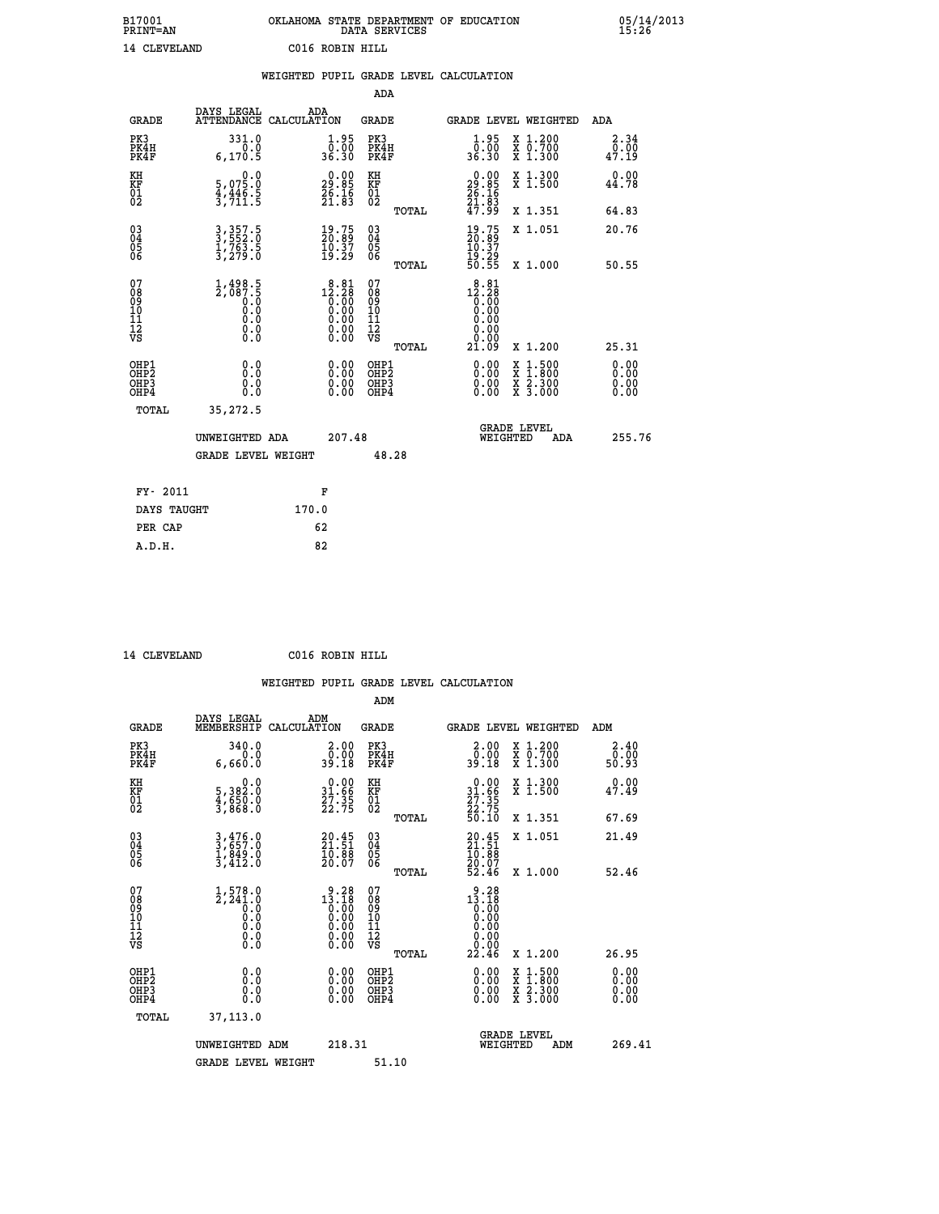| B17001<br><b>PRINT=AN</b> |              |                 | OKLAHOMA STATE DEPARTMENT OF EDUCATION<br>DATA SERVICES |  |
|---------------------------|--------------|-----------------|---------------------------------------------------------|--|
|                           | 14 CLEVELAND | C016 ROBIN HILL |                                                         |  |

| DAYS LEGAL        |                                                                                                                                                                                                |                                                             |                                                                                                                                                                                                                                                                                                                                                                                           |                                                                                      |                                                                                                                                              |                                                                                                                                                           | ADA                                                                                              |
|-------------------|------------------------------------------------------------------------------------------------------------------------------------------------------------------------------------------------|-------------------------------------------------------------|-------------------------------------------------------------------------------------------------------------------------------------------------------------------------------------------------------------------------------------------------------------------------------------------------------------------------------------------------------------------------------------------|--------------------------------------------------------------------------------------|----------------------------------------------------------------------------------------------------------------------------------------------|-----------------------------------------------------------------------------------------------------------------------------------------------------------|--------------------------------------------------------------------------------------------------|
| 331.0<br>6, 170.5 |                                                                                                                                                                                                |                                                             | PK3                                                                                                                                                                                                                                                                                                                                                                                       |                                                                                      | $\frac{1 \cdot 95}{0 \cdot 00}$<br>36.30                                                                                                     | X 1.200<br>X 0.700<br>X 1.300                                                                                                                             | 2.34<br>0.00<br>47.19                                                                            |
|                   |                                                                                                                                                                                                |                                                             |                                                                                                                                                                                                                                                                                                                                                                                           |                                                                                      |                                                                                                                                              | X 1.300<br>X 1.500                                                                                                                                        | 0.00<br>44.78                                                                                    |
|                   |                                                                                                                                                                                                |                                                             |                                                                                                                                                                                                                                                                                                                                                                                           | TOTAL                                                                                |                                                                                                                                              | X 1.351                                                                                                                                                   | 64.83                                                                                            |
|                   |                                                                                                                                                                                                |                                                             |                                                                                                                                                                                                                                                                                                                                                                                           |                                                                                      |                                                                                                                                              | X 1.051                                                                                                                                                   | 20.76                                                                                            |
|                   |                                                                                                                                                                                                |                                                             |                                                                                                                                                                                                                                                                                                                                                                                           | TOTAL                                                                                |                                                                                                                                              | X 1.000                                                                                                                                                   | 50.55                                                                                            |
|                   |                                                                                                                                                                                                |                                                             | 07<br>08<br>09<br>11<br>11<br>12<br>VS                                                                                                                                                                                                                                                                                                                                                    | TOTAL                                                                                | $\begin{smallmatrix} 8 & 8 & 1 \\ 12 & 28 \\ 0 & 0 & 0 \\ 0 & 0 & 0 \\ 0 & 0 & 0 \\ 0 & 0 & 0 \\ \end{smallmatrix}$<br>0.00<br>0.00<br>21.09 | X 1.200                                                                                                                                                   | 25.31                                                                                            |
| 0.0<br>0.0<br>0.0 |                                                                                                                                                                                                | 0.00<br>$\begin{smallmatrix} 0.00 \ 0.00 \end{smallmatrix}$ |                                                                                                                                                                                                                                                                                                                                                                                           |                                                                                      |                                                                                                                                              | $\begin{smallmatrix} x & 1.500 \\ x & 1.800 \\ x & 2.300 \\ x & 3.000 \end{smallmatrix}$                                                                  | 0.00<br>ŏ:ŏŏ<br>0.00<br>0.00                                                                     |
| 35,272.5          |                                                                                                                                                                                                |                                                             |                                                                                                                                                                                                                                                                                                                                                                                           |                                                                                      |                                                                                                                                              |                                                                                                                                                           |                                                                                                  |
|                   |                                                                                                                                                                                                |                                                             |                                                                                                                                                                                                                                                                                                                                                                                           |                                                                                      |                                                                                                                                              |                                                                                                                                                           | 255.76<br>ADA                                                                                    |
|                   |                                                                                                                                                                                                |                                                             |                                                                                                                                                                                                                                                                                                                                                                                           |                                                                                      |                                                                                                                                              |                                                                                                                                                           |                                                                                                  |
|                   |                                                                                                                                                                                                |                                                             |                                                                                                                                                                                                                                                                                                                                                                                           |                                                                                      |                                                                                                                                              |                                                                                                                                                           |                                                                                                  |
| DAYS TAUGHT       |                                                                                                                                                                                                |                                                             |                                                                                                                                                                                                                                                                                                                                                                                           |                                                                                      |                                                                                                                                              |                                                                                                                                                           |                                                                                                  |
|                   |                                                                                                                                                                                                |                                                             |                                                                                                                                                                                                                                                                                                                                                                                           |                                                                                      |                                                                                                                                              |                                                                                                                                                           |                                                                                                  |
|                   | $\begin{smallmatrix}&&&0.0\\5,075.0\\4,446.5\\3,711.5\end{smallmatrix}$<br>3, 357.5<br>3, 552.0<br>1, 763.5<br>3, 279.0<br>$1,498.5$<br>$2,087.5$<br>$0.0$<br>$0.0$<br>$0.0$<br>$0.0$<br>$0.0$ | UNWEIGHTED ADA<br><b>GRADE LEVEL WEIGHT</b>                 | ADA<br>ATTENDANCE CALCULATION<br>$\frac{1 \cdot 95}{0 \cdot 00}$<br>36.30<br>$\begin{smallmatrix} 0.00\\ 29.85\\ 26.16\\ 21.83\\ \end{smallmatrix}$<br>$\begin{smallmatrix} 19.75\\ 20.89\\ 10.37\\ 19.29 \end{smallmatrix}$<br>$\begin{smallmatrix} 8 & 8 & 1\\ 12 & 2 & 8\\ 0 & 0 & 0\\ 0 & 0 & 0\\ 0 & 0 & 0\\ 0 & 0 & 0\\ 0 & 0 & 0\\ 0 & 0 & 0\end{smallmatrix}$<br>F<br>170.0<br>62 | KH<br>KF<br>01<br>02<br>$\begin{matrix} 03 \\ 04 \\ 05 \\ 06 \end{matrix}$<br>207.48 | <b>ADA</b><br><b>GRADE</b><br>PK4H<br>PK4F<br>OHP1<br>OHP2<br>OHP3<br>OHP4<br>48.28                                                          | $\begin{smallmatrix} 0.00\\29.85\\26.16\\21.83\\47.99 \end{smallmatrix}$<br>$\begin{smallmatrix} 19.75\\ 20.89\\ 10.37\\ 19.29\\ 50.55 \end{smallmatrix}$ | WEIGHTED PUPIL GRADE LEVEL CALCULATION<br>GRADE LEVEL WEIGHTED<br><b>GRADE LEVEL</b><br>WEIGHTED |

 **A.D.H. 82**

 **ADM**

 **14 CLEVELAND C016 ROBIN HILL**

| <b>GRADE</b>                                       | DAYS LEGAL<br>MEMBERSHIP                         | ADM<br>CALCULATION                                                                                                                                                                                                                                                                                                                              | <b>GRADE</b>                                       |          | <b>GRADE LEVEL WEIGHTED</b>                                                                                                                                                                                                                                                    |                                          | ADM                          |  |
|----------------------------------------------------|--------------------------------------------------|-------------------------------------------------------------------------------------------------------------------------------------------------------------------------------------------------------------------------------------------------------------------------------------------------------------------------------------------------|----------------------------------------------------|----------|--------------------------------------------------------------------------------------------------------------------------------------------------------------------------------------------------------------------------------------------------------------------------------|------------------------------------------|------------------------------|--|
| PK3<br>PK4H<br>PK4F                                | 340.0<br>0.0<br>6,660.0                          | $\begin{smallmatrix} 2.00\\ 0.00\\ 39.18 \end{smallmatrix}$                                                                                                                                                                                                                                                                                     | PK3<br>PK4H<br>PK4F                                |          | $\begin{smallmatrix} 2.00\\ 0.00\\ 39.18 \end{smallmatrix}$                                                                                                                                                                                                                    | X 1.200<br>X 0.700<br>X 1.300            | $\frac{2.40}{0.00}$<br>50.93 |  |
| KH<br>KF<br>01<br>02                               | 0.0<br>5,382:0<br>4,650:0<br>3,868:0             | $\begin{smallmatrix} 0.00\\ 31.66\\ 27.35\\ 22.75 \end{smallmatrix}$                                                                                                                                                                                                                                                                            | KH<br>KF<br>01<br>02                               |          | $\begin{smallmatrix} 0.00\\ 31.66\\ 27.35\\ 22.75\\ 50.10 \end{smallmatrix}$                                                                                                                                                                                                   | X 1.300<br>X 1.500                       | 0.00<br>47.49                |  |
|                                                    |                                                  |                                                                                                                                                                                                                                                                                                                                                 |                                                    | TOTAL    |                                                                                                                                                                                                                                                                                | X 1.351                                  | 67.69                        |  |
| $\begin{matrix} 03 \\ 04 \\ 05 \\ 06 \end{matrix}$ | $3,476.0$<br>$3,657.0$<br>$1,849.0$<br>$3,412.0$ | $20.45$<br>$21.51$<br>$10.88$<br>$20.07$                                                                                                                                                                                                                                                                                                        | $\begin{matrix} 03 \\ 04 \\ 05 \\ 06 \end{matrix}$ |          | $20.45$<br>$21.51$<br>$10.88$<br>$20.07$<br>$52.46$                                                                                                                                                                                                                            | X 1.051                                  | 21.49                        |  |
|                                                    |                                                  |                                                                                                                                                                                                                                                                                                                                                 |                                                    | TOTAL    |                                                                                                                                                                                                                                                                                | X 1.000                                  | 52.46                        |  |
| 07<br>089<br>090<br>1112<br>VS                     |                                                  | $\begin{smallmatrix} 9 & 28 \\ 13 & 18 \\ 0 & 00 \\ 0 & 00 \\ 0 & 00 \\ 0 & 00 \\ 0 & 00 \\ 0 & 00 \\ 0 & 00 \\ 0 & 00 \\ 0 & 00 \\ 0 & 00 \\ 0 & 0 \\ 0 & 0 \\ 0 & 0 \\ 0 & 0 \\ 0 & 0 \\ 0 & 0 \\ 0 & 0 \\ 0 & 0 \\ 0 & 0 \\ 0 & 0 \\ 0 & 0 \\ 0 & 0 \\ 0 & 0 \\ 0 & 0 \\ 0 & 0 \\ 0 & 0 \\ 0 & 0 \\ 0 & 0 \\ 0 & 0 \\ 0 & 0 \\ 0 & 0 \\ 0 &$ | 07<br>08901112<br>1112<br>VS                       |          | $\begin{smallmatrix} 9 & .28 \\ 13 & .18 \\ 0 & .00 \\ 0 & .00 \\ 0 & .00 \\ 0 & .00 \\ 2 & .46 \end{smallmatrix}$                                                                                                                                                             |                                          |                              |  |
|                                                    |                                                  |                                                                                                                                                                                                                                                                                                                                                 |                                                    | TOTAL    |                                                                                                                                                                                                                                                                                | X 1.200                                  | 26.95                        |  |
| OHP1<br>OHP2<br>OH <sub>P3</sub><br>OHP4           | 0.0<br>0.000                                     |                                                                                                                                                                                                                                                                                                                                                 | OHP1<br>OHP2<br>OHP3<br>OHP4                       |          | $\begin{smallmatrix} 0.00 & 0.00 & 0.00 & 0.00 & 0.00 & 0.00 & 0.00 & 0.00 & 0.00 & 0.00 & 0.00 & 0.00 & 0.00 & 0.00 & 0.00 & 0.00 & 0.00 & 0.00 & 0.00 & 0.00 & 0.00 & 0.00 & 0.00 & 0.00 & 0.00 & 0.00 & 0.00 & 0.00 & 0.00 & 0.00 & 0.00 & 0.00 & 0.00 & 0.00 & 0.00 & 0.0$ | X 1:500<br>X 1:800<br>X 2:300<br>X 3:000 | 0.00<br>0.00<br>0.00         |  |
| TOTAL                                              | 37,113.0                                         |                                                                                                                                                                                                                                                                                                                                                 |                                                    |          |                                                                                                                                                                                                                                                                                |                                          |                              |  |
|                                                    | UNWEIGHTED<br>ADM                                | 218.31                                                                                                                                                                                                                                                                                                                                          |                                                    | WEIGHTED | <b>GRADE LEVEL</b><br>ADM                                                                                                                                                                                                                                                      | 269.41                                   |                              |  |
|                                                    | <b>GRADE LEVEL WEIGHT</b>                        |                                                                                                                                                                                                                                                                                                                                                 | 51.10                                              |          |                                                                                                                                                                                                                                                                                |                                          |                              |  |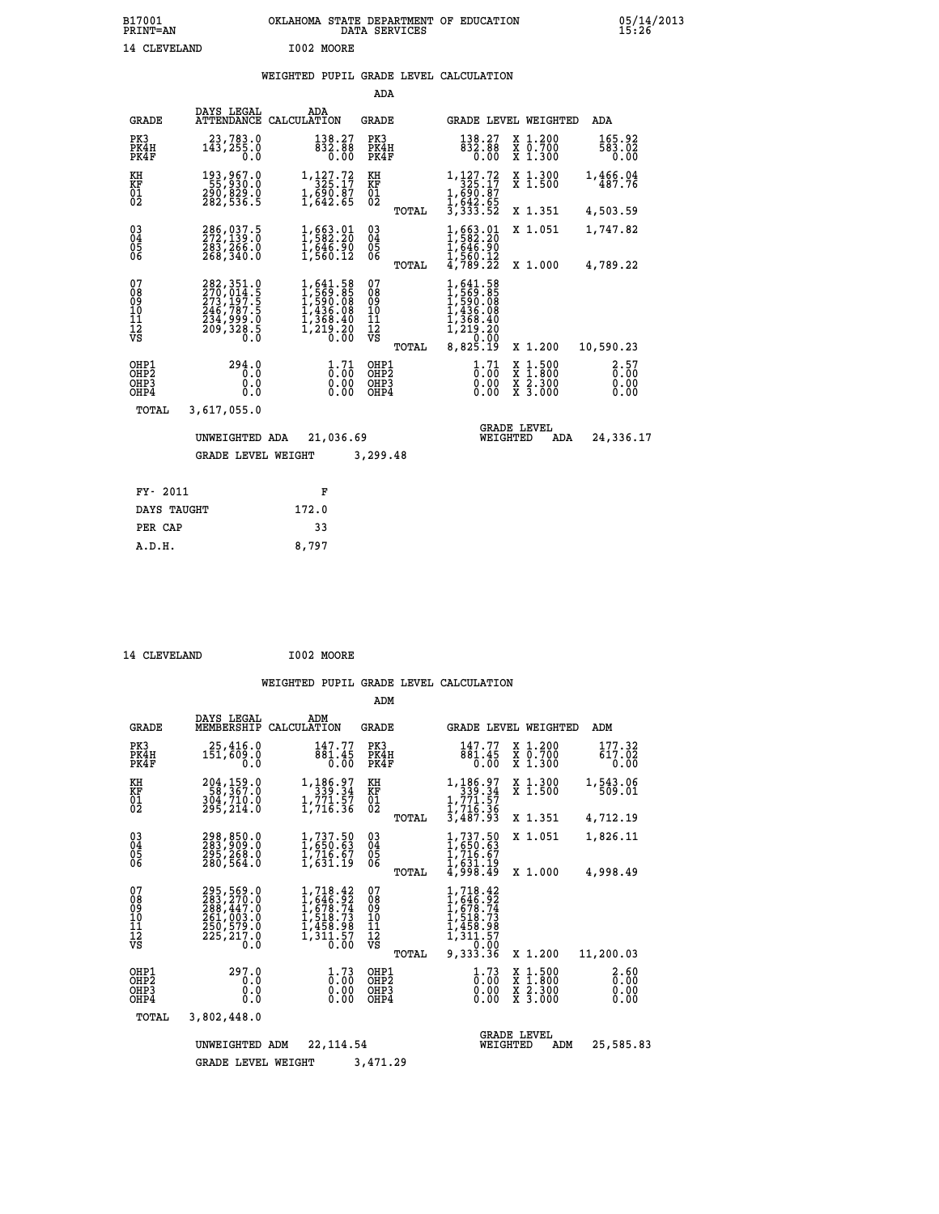#### **WEIGHTED PUPIL GRADE LEVEL CALCULATION**

|                                        |                                                                                                                           |                                                                                                                       | ADA                                      |       |                                                                                             |                                |                                          |                              |
|----------------------------------------|---------------------------------------------------------------------------------------------------------------------------|-----------------------------------------------------------------------------------------------------------------------|------------------------------------------|-------|---------------------------------------------------------------------------------------------|--------------------------------|------------------------------------------|------------------------------|
| <b>GRADE</b>                           | DAYS LEGAL<br>ATTENDANCE                                                                                                  | ADA<br>CALCULATION                                                                                                    | GRADE                                    |       |                                                                                             |                                | GRADE LEVEL WEIGHTED                     | ADA                          |
| PK3<br>PK4H<br>PK4F                    | 23,783.0<br>143,255.0<br>0.0                                                                                              | 138.27<br>832.88<br>0.00                                                                                              | PK3<br>PK4H<br>PK4F                      |       | 138.27<br>832.88<br>0.00                                                                    |                                | X 1.200<br>X 0.700<br>X 1.300            | 165.92<br>583.02<br>0.00     |
| KH<br><b>KF</b><br>01<br>02            | 193,967.0<br>-55,930:0<br>290,829.0<br>282,536.5                                                                          | 1,127.72<br>325.17<br>$1, \frac{550}{642}. \frac{87}{65}$                                                             | KH<br>KF<br>$\overline{01}$              |       | 1,127.72<br>325.17<br>1, 690: 87<br>1, 642: 65<br>3, 333: 52                                |                                | X 1.300<br>$\overline{x}$ 1.500          | 1,466.04<br>487.76           |
|                                        |                                                                                                                           |                                                                                                                       |                                          | TOTAL |                                                                                             |                                | X 1.351                                  | 4,503.59                     |
| $^{03}_{04}$<br>05<br>06               | 286,037.5<br>272,139.0<br>283,266.0<br>268,340.0                                                                          | 1,663.01<br>1,582.20<br>$\frac{1}{1}, \frac{646}{560}. \frac{50}{12}$                                                 | $\substack{03 \\ 04}$<br>$\frac{05}{06}$ |       | 1,663.01<br>1,582.20<br>$\frac{1}{1}, \frac{646}{560}. \frac{50}{12}$<br>4,789.22           |                                | X 1.051                                  | 1,747.82                     |
|                                        |                                                                                                                           |                                                                                                                       |                                          | TOTAL |                                                                                             |                                | X 1.000                                  | 4,789.22                     |
| 07<br>08<br>09<br>11<br>11<br>12<br>VS | $\begin{smallmatrix} 282, 351.0\\ 270, 014.5\\ 273, 197.5\\ 246, 787.5\\ 234, 999.0\\ 209, 328.5\\ 0.0 \end{smallmatrix}$ | $\begin{smallmatrix} 1, 641.58\\ 1, 569.85\\ 1, 590.08\\ 1, 436.08\\ 1, 368.40\\ 1, 219.20 \end{smallmatrix}$<br>0.ŌŎ | 07<br>089<br>101<br>111<br>VS            | TOTAL | 1,641.58<br>1,569.85<br>1,590.08<br>1,436.08<br>1,368.40<br>1,219.20<br>0,00.00<br>8,825.19 |                                | X 1.200                                  | 10,590.23                    |
| OHP1<br>OHP2<br>OHP3<br>OHP4           | 294.0<br>0.0<br>0.0<br>0.0                                                                                                | $\frac{1}{0}$ : $\frac{71}{00}$<br>$0.00$<br>0.00                                                                     | OHP1<br>OHP2<br>OHP3<br>OHP4             |       | $\frac{1}{0}$ : $\frac{71}{00}$<br>0.00<br>0.00                                             | X<br>X                         | $1.500$<br>$1.800$<br>X 2.300<br>X 3.000 | 2.57<br>0.00<br>0.00<br>0.00 |
| TOTAL                                  | 3,617,055.0                                                                                                               |                                                                                                                       |                                          |       |                                                                                             |                                |                                          |                              |
|                                        | UNWEIGHTED ADA                                                                                                            | 21,036.69                                                                                                             |                                          |       |                                                                                             | <b>GRADE LEVEL</b><br>WEIGHTED | ADA                                      | 24,336.17                    |
|                                        | <b>GRADE LEVEL WEIGHT</b>                                                                                                 |                                                                                                                       | 3,299.48                                 |       |                                                                                             |                                |                                          |                              |
| FY- 2011                               |                                                                                                                           |                                                                                                                       |                                          |       |                                                                                             |                                |                                          |                              |
|                                        |                                                                                                                           | F                                                                                                                     |                                          |       |                                                                                             |                                |                                          |                              |
| DAYS TAUGHT                            |                                                                                                                           | 172.0                                                                                                                 |                                          |       |                                                                                             |                                |                                          |                              |

| 14 CLEVELAND | I002 MOORE |
|--------------|------------|
|              |            |

 **PER CAP 33 A.D.H. 8,797**

|                                                      |                                                                                    |                                                                                        | ADM                                                |                                                                                                                                                                     |                                                                                                                     |                              |
|------------------------------------------------------|------------------------------------------------------------------------------------|----------------------------------------------------------------------------------------|----------------------------------------------------|---------------------------------------------------------------------------------------------------------------------------------------------------------------------|---------------------------------------------------------------------------------------------------------------------|------------------------------|
| <b>GRADE</b>                                         | DAYS LEGAL<br>MEMBERSHIP                                                           | ADM<br>CALCULATION                                                                     | <b>GRADE</b>                                       | <b>GRADE LEVEL WEIGHTED</b>                                                                                                                                         |                                                                                                                     | ADM                          |
| PK3<br>PK4H<br>PK4F                                  | 25,416.0<br>151,609.0<br>0.0                                                       | 147.77<br>881.45<br>0.00                                                               | PK3<br>PK4H<br>PK4F                                | 147.77<br>881.45<br>$\overline{0}$ .00                                                                                                                              | X 1.200<br>X 0.700<br>X 1.300                                                                                       | 177.32<br>617.02<br>0.00     |
| KH<br>KF<br>01<br>02                                 | 204,159.0<br>58,367.0<br>304,710.0<br>295,214.0                                    | 1,186.97<br>339.34<br>$\frac{1}{1}$ , 771.57<br>1, 716.36                              | KH<br>KF<br>01<br>02                               | 1,186.97<br>339.34<br>1,771.57<br>1,716.36                                                                                                                          | X 1.300<br>X <sub>1.500</sub>                                                                                       | 1,543.06<br>509.01           |
|                                                      |                                                                                    |                                                                                        | TOTAL                                              | 3,487.93                                                                                                                                                            | X 1.351                                                                                                             | 4,712.19                     |
| $\begin{matrix} 03 \\ 04 \\ 05 \\ 06 \end{matrix}$   | 298,850.0<br>283,909.0<br>295,268.0                                                | $\begin{smallmatrix} 1, 737.50\ 1, 650.63\ 1, 716.67\ 1, 631.19 \end{smallmatrix}$     | $\begin{matrix} 03 \\ 04 \\ 05 \\ 06 \end{matrix}$ | $1,737.50$<br>$1,650.63$<br>$1,716.67$<br>$1,631.19$<br>$4,998.49$                                                                                                  | X 1.051                                                                                                             | 1,826.11                     |
|                                                      | 280,564.0                                                                          |                                                                                        | TOTAL                                              |                                                                                                                                                                     | X 1.000                                                                                                             | 4,998.49                     |
| 07<br>08<br>09<br>101<br>11<br>12<br>VS              | 295,569.0<br>283,270.0<br>288,447.0<br>261,003.0<br>250,579.0<br>225, 217.0<br>0.0 | 1,718.42<br>1,646.92<br>1,678.74<br>1,518.73<br>1,459.99<br>ī, šīj. 57<br>0. 00        | 07<br>08<br>09<br>11<br>11<br>12<br>VS<br>TOTAL    | 1,718.42<br>$1,646.92$<br>$1,678.74$<br>$1,518.73$<br>$1,458.98$<br>$\frac{1}{3}$ $\frac{1}{3}$ $\frac{1}{3}$ $\frac{5}{3}$ $\frac{7}{3}$ $\frac{8}{3}$<br>9,333.36 | X 1.200                                                                                                             | 11,200.03                    |
| OHP1<br>OH <sub>P</sub> <sub>2</sub><br>OHP3<br>OHP4 | 297.0<br>0.0<br>0.0<br>0.0                                                         | $\frac{1}{0}$ : $\frac{73}{00}$<br>$\begin{smallmatrix} 0.00 \ 0.00 \end{smallmatrix}$ | OHP1<br>OH <sub>P</sub> 2<br>OHP3<br>OHP4          | $\frac{1}{0}$ : $\frac{73}{00}$<br>0.00<br>0.00                                                                                                                     | $\begin{array}{l} \mathtt{X} & 1.500 \\ \mathtt{X} & 1.800 \\ \mathtt{X} & 2.300 \\ \mathtt{X} & 3.000 \end{array}$ | 2.60<br>0.00<br>0.00<br>0.00 |
| TOTAL                                                | 3,802,448.0                                                                        |                                                                                        |                                                    |                                                                                                                                                                     |                                                                                                                     |                              |
|                                                      | UNWEIGHTED<br><b>GRADE LEVEL WEIGHT</b>                                            | 22, 114, 54<br>ADM                                                                     | 3,471.29                                           | WEIGHTED                                                                                                                                                            | <b>GRADE LEVEL</b><br>ADM                                                                                           | 25,585.83                    |
|                                                      |                                                                                    |                                                                                        |                                                    |                                                                                                                                                                     |                                                                                                                     |                              |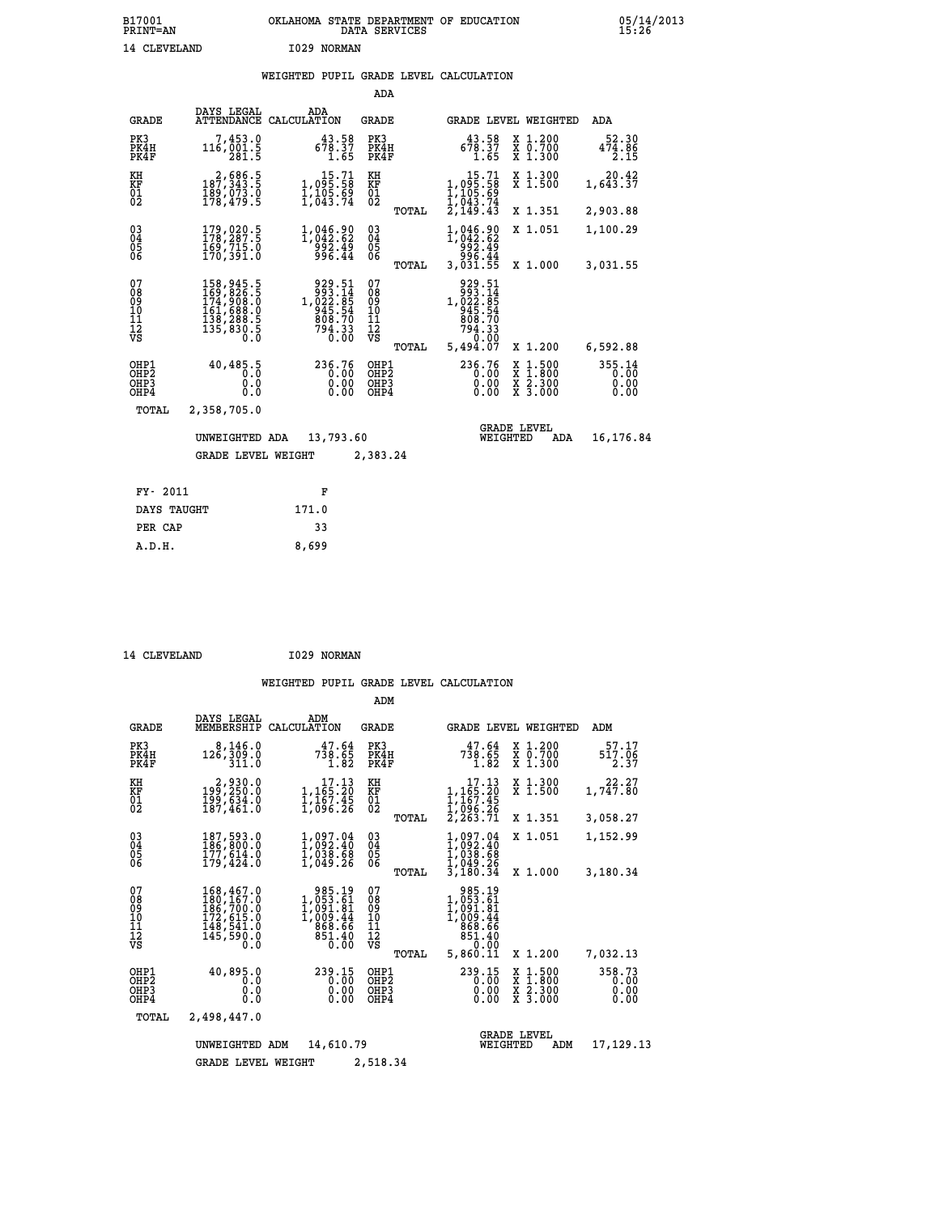## **B17001 OKLAHOMA STATE DEPARTMENT OF EDUCATION 05/14/2013 PRINT=AN DATA SERVICES 15:26** 14 CLEVELAND 1029 NORMAN

### **WEIGHTED PUPIL GRADE LEVEL CALCULATION**

|                                                                    |                                                                                                                                                       |                                                                              | ADA                                       |                                                                    |                                                       |                                                     |
|--------------------------------------------------------------------|-------------------------------------------------------------------------------------------------------------------------------------------------------|------------------------------------------------------------------------------|-------------------------------------------|--------------------------------------------------------------------|-------------------------------------------------------|-----------------------------------------------------|
| <b>GRADE</b>                                                       | DAYS LEGAL<br><b>ATTENDANCE</b>                                                                                                                       | ADA<br>CALCULATION                                                           | GRADE                                     |                                                                    | GRADE LEVEL WEIGHTED                                  | <b>ADA</b>                                          |
| PK3<br>PK4H<br>PK4F                                                | 7,453.0<br>116,001.5<br>281.5                                                                                                                         | $678.37$<br>$1.65$                                                           | PK3<br>PK4H<br>PK4F                       | 43.58<br>678.37<br>1.65                                            | X 1.200<br>X 0.700<br>X 1.300                         | 52.30<br>$47\overline{4}\cdot\overline{86}$<br>2.15 |
| KH<br>KF<br>$\overline{01}$                                        | 2,686.5<br>187,343.5<br>189,073.0<br>178,479.5                                                                                                        | $\begin{smallmatrix}&&15.71\1,095.58\1,105.69\1,043.74\end{smallmatrix}$     | KH<br>KF<br>$\overline{01}$               | $1,095.58$<br>$1,095.58$<br>$1,105.69$<br>$1,043.74$<br>$2,149.43$ | X 1.300<br>X 1.500                                    | 20.42<br>1,643.37                                   |
|                                                                    |                                                                                                                                                       |                                                                              | TOTAL                                     |                                                                    | X 1.351                                               | 2,903.88                                            |
| $\begin{smallmatrix} 03 \\[-4pt] 04 \end{smallmatrix}$<br>05<br>06 | 179,020.5<br>178,287.5<br>169,715.0<br>170,391.0                                                                                                      | 1,046.90<br>1,042.62<br>892.49<br>996.44                                     | $03\overline{4}$<br>05<br>ŎĞ              | 1,046.90<br>1,042.62<br>992.49<br>996.44                           | X 1.051                                               | 1,100.29                                            |
|                                                                    |                                                                                                                                                       |                                                                              | TOTAL                                     | 3,031.55                                                           | X 1.000                                               | 3,031.55                                            |
| 07<br>08<br>09<br>11<br>11<br>12<br>VS                             | $\begin{smallmatrix} 158,945\cdot 5\\ 169,826\cdot 5\\ 174,908\cdot 0\\ 161,688\cdot 0\\ 138,288\cdot 5\\ 135,830\cdot 5\\ 0\cdot 0\end{smallmatrix}$ | 929.51<br>993.14<br>1,022.85<br>945.54<br>808.70<br>808.70<br>794.33<br>0.00 | 07<br>08<br>09<br>11<br>11<br>12<br>VS    | 929.51<br>993.14<br>1,022.85<br>945.54<br>908.70<br>794.33<br>0.00 |                                                       |                                                     |
|                                                                    |                                                                                                                                                       |                                                                              | TOTAL                                     | 5,494.07                                                           | X 1.200                                               | 6,592.88                                            |
| OHP1<br>OH <sub>P</sub> 2<br>OHP3<br>OHP4                          | 40,485.5<br>0.0<br>0.0<br>0.0                                                                                                                         | 236.76<br>0.00<br>0.00<br>0.00                                               | OHP1<br>OH <sub>P</sub> 2<br>OHP3<br>OHP4 | 236.76<br>0.00<br>0.00<br>0.00                                     | X 1:500<br>$\frac{\ddot{x}}{x}$ $\frac{2.300}{3.000}$ | 355.14<br>0.00<br>0.00<br>0.00                      |
| TOTAL                                                              | 2,358,705.0                                                                                                                                           |                                                                              |                                           |                                                                    |                                                       |                                                     |
|                                                                    | UNWEIGHTED ADA                                                                                                                                        | 13,793.60                                                                    |                                           | WEIGHTED                                                           | <b>GRADE LEVEL</b><br>ADA                             | 16,176.84                                           |
|                                                                    | <b>GRADE LEVEL WEIGHT</b>                                                                                                                             |                                                                              | 2,383.24                                  |                                                                    |                                                       |                                                     |
| FY- 2011                                                           |                                                                                                                                                       | F                                                                            |                                           |                                                                    |                                                       |                                                     |
| DAYS TAUGHT                                                        |                                                                                                                                                       | 171.0                                                                        |                                           |                                                                    |                                                       |                                                     |
|                                                                    |                                                                                                                                                       |                                                                              |                                           |                                                                    |                                                       |                                                     |
| PER CAP                                                            |                                                                                                                                                       | 33                                                                           |                                           |                                                                    |                                                       |                                                     |

| 14 CLEVELAND | I029 NORMAN |
|--------------|-------------|
|              |             |

 **A.D.H. 8,699**

|                                           |                                                                                   |                                                                        | ADM                                             |                                                                                            |                                                                                                  |                                |
|-------------------------------------------|-----------------------------------------------------------------------------------|------------------------------------------------------------------------|-------------------------------------------------|--------------------------------------------------------------------------------------------|--------------------------------------------------------------------------------------------------|--------------------------------|
| <b>GRADE</b>                              | DAYS LEGAL<br>MEMBERSHIP                                                          | ADM<br>CALCULATION                                                     | <b>GRADE</b>                                    | <b>GRADE LEVEL WEIGHTED</b>                                                                |                                                                                                  | ADM                            |
| PK3<br>PK4H<br>PK4F                       | 8,146.0<br>126,309.0<br>311.0                                                     | 47.64<br>738.65<br>1.82                                                | PK3<br>PK4H<br>PK4F                             | 47.64<br>738.65<br>1.82                                                                    | X 1.200<br>X 0.700<br>X 1.300                                                                    | 57.17<br>517.06<br>2.37        |
| KH<br>KF<br>01<br>02                      | 2,930.0<br>199,250.0<br>199,634.0<br>187,461.0                                    | 17.13<br>1,165.20<br>1,167.45<br>1,096.26                              | KH<br>KF<br>01<br>02                            | 17.13<br>1,165.20<br>1,167.45                                                              | X 1.300<br>X 1.500                                                                               | 22.27<br>1,747.80              |
|                                           |                                                                                   |                                                                        | TOTAL                                           | Ī,ŌЎ6:26<br>2,263.71                                                                       | X 1.351                                                                                          | 3,058.27                       |
| 03<br>04<br>05<br>06                      | 187,593.0<br>186,800.0<br>177,614.0<br>179,424.0                                  | 1,097.04<br>1,092.40<br>1,038.68<br>1,049.26                           | $\substack{03 \\ 04}$<br>05                     | 1,097.04<br>1,092.40<br>1,038.68<br>1,049.26                                               | X 1.051                                                                                          | 1,152.99                       |
|                                           |                                                                                   |                                                                        | TOTAL                                           | 3,180.34                                                                                   | X 1.000                                                                                          | 3,180.34                       |
| 07<br>08<br>09<br>11<br>11<br>12<br>VS    | 168,467.0<br>180,167.0<br>186,700:0<br>172,615.0<br>148,541.0<br>145,590.0<br>Ō.Ō | 985.19<br>1,053:61<br>1,091:81<br>1,009:44<br>868.66<br>851.40<br>0.00 | 07<br>08<br>09<br>11<br>11<br>12<br>VS<br>TOTAL | 985.19<br>$1,053.61$<br>$1,091.81$<br>$1,009.44$<br>$869.66$<br>851.40<br>0.00<br>5,860.11 | X 1.200                                                                                          | 7,032.13                       |
| OHP1<br>OH <sub>P</sub> 2<br>OHP3<br>OHP4 | 40,895.0<br>0.0<br>0.0<br>Ŏ.Ŏ                                                     | 239.15<br>0.00<br>0.00<br>0.00                                         | OHP1<br>OH <sub>P</sub> 2<br>OHP3<br>OHP4       | 239.15<br>0.00<br>0.00<br>0.00                                                             | $\begin{smallmatrix} x & 1 & 500 \\ x & 1 & 800 \\ x & 2 & 300 \\ x & 3 & 000 \end{smallmatrix}$ | 358.73<br>0.00<br>0.00<br>0.00 |
| TOTAL                                     | 2,498,447.0                                                                       |                                                                        |                                                 |                                                                                            |                                                                                                  |                                |
|                                           | UNWEIGHTED                                                                        | 14,610.79<br>ADM                                                       |                                                 | WEIGHTED                                                                                   | <b>GRADE LEVEL</b><br>ADM                                                                        | 17,129.13                      |
|                                           | <b>GRADE LEVEL WEIGHT</b>                                                         |                                                                        | 2,518.34                                        |                                                                                            |                                                                                                  |                                |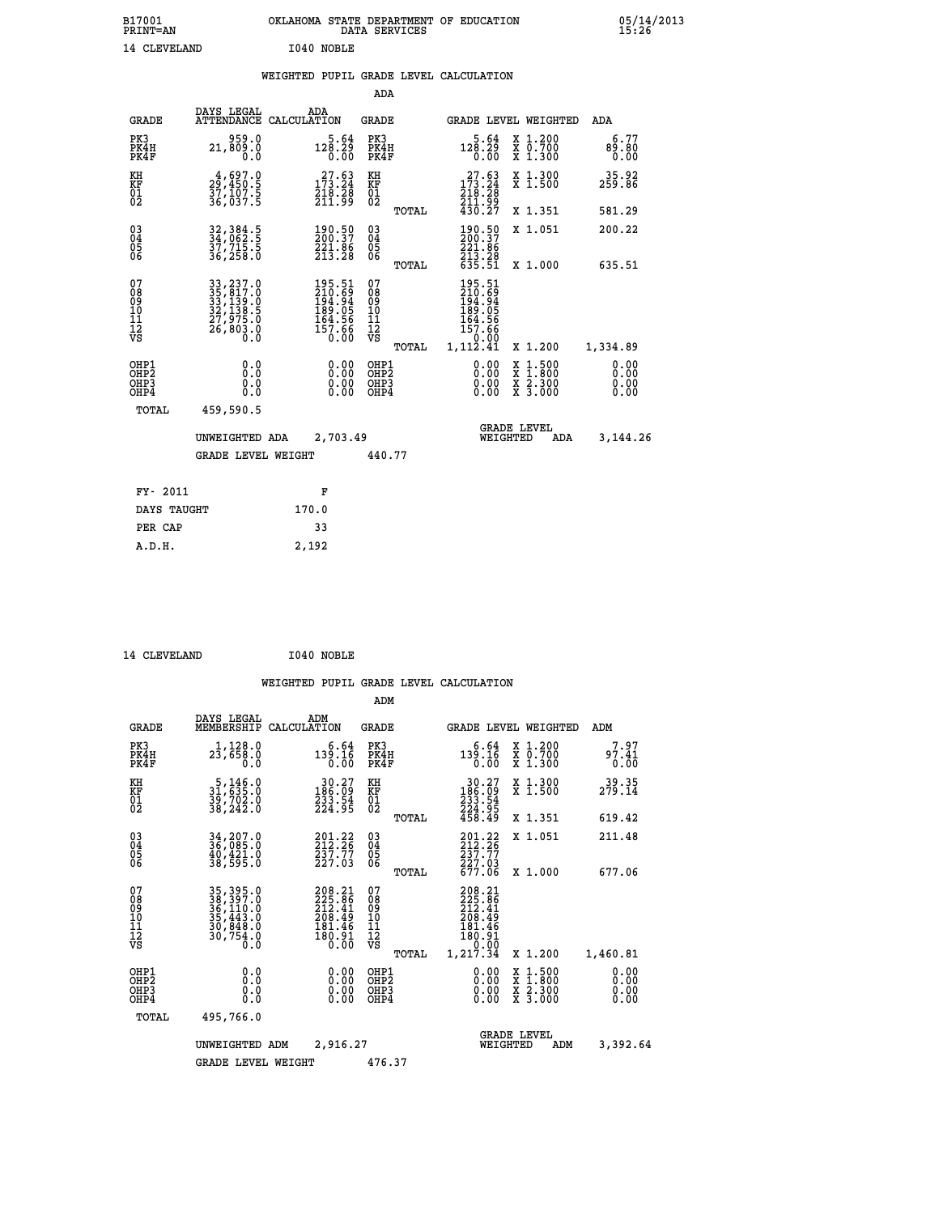| B17001<br><b>PRINT=AN</b> | OKLAHOMA STATE DEPARTMENT OF EDUCATION<br>DATA SERVICES | 05/14/2013<br>15:26 |
|---------------------------|---------------------------------------------------------|---------------------|
| 14 CLEVELAND              | I040 NOBLE                                              |                     |

#### **WEIGHTED PUPIL GRADE LEVEL CALCULATION**

|                                                                  |                                                                                                                                                                                               |                                                                       | ADA                                      |       |                                                                                       |                                                                                                  |                              |
|------------------------------------------------------------------|-----------------------------------------------------------------------------------------------------------------------------------------------------------------------------------------------|-----------------------------------------------------------------------|------------------------------------------|-------|---------------------------------------------------------------------------------------|--------------------------------------------------------------------------------------------------|------------------------------|
| <b>GRADE</b>                                                     | DAYS LEGAL                                                                                                                                                                                    | ADA<br>ATTENDANCE CALCULATION                                         | <b>GRADE</b>                             |       |                                                                                       | GRADE LEVEL WEIGHTED                                                                             | ADA                          |
| PK3<br>PK4H<br>PK4F                                              | 959.0<br>21,809.0<br>0.0                                                                                                                                                                      | 5.64<br>$12\overline{8}\cdot 2\overline{9}\over 0.00$                 | PK3<br>PK4H<br>PK4F                      |       | 5.64<br>128.29<br>0.00                                                                | X 1.200<br>X 0.700<br>X 1.300                                                                    | 6.77<br>89.80<br>0.00        |
| KH<br>KF<br>01<br>02                                             | 4,697.0<br>29,450.5<br>37,107.5<br>36,037.5                                                                                                                                                   | $\begin{smallmatrix} 27.63\\173.24\\218.28\\211.99 \end{smallmatrix}$ | KH<br>KF<br>01<br>02                     |       | $\begin{smallmatrix} 27.63 \\ 173.24 \\ 218.28 \\ 211.99 \\ 430.27 \end{smallmatrix}$ | X 1.300<br>X 1.500                                                                               | 35.92<br>259.86              |
|                                                                  |                                                                                                                                                                                               |                                                                       |                                          | TOTAL |                                                                                       | X 1.351                                                                                          | 581.29                       |
| $\begin{matrix} 03 \\ 04 \\ 05 \\ 06 \end{matrix}$               | 32, 384.5<br>34, 062.5<br>37,715.5<br>36,258.0                                                                                                                                                | 190.50<br>200.37<br>221.06<br>213.28                                  | $\substack{03 \\ 04}$<br>Ŏ5<br>06        |       | 190.50<br>200.37<br>221.86<br>213.28<br>635.51                                        | X 1.051                                                                                          | 200.22                       |
|                                                                  |                                                                                                                                                                                               |                                                                       |                                          | TOTAL |                                                                                       | X 1.000                                                                                          | 635.51                       |
| 07<br>08<br>09<br>11<br>11<br>12<br>VS                           | $\begin{smallmatrix} 33\, ,\, 237\, .\, 0\\ 35\, ,\, 817\, .\, 0\\ 33\, ,\, 139\, .\, 0\\ 32\, ,\, 138\, .\, 5\\ 27\, ,\, 975\, .\, 0\\ 26\, ,\, 803\, .\, 0\\ 0\, .\, 0\, \end{smallmatrix}$ | 195.51<br>210.69<br>194.94<br>189.05<br>164.56<br>157.66<br>0.00      | 07<br>08<br>09<br>101<br>112<br>VS       |       | 195.51<br>210.69<br>194.94<br>189.05<br>164.56<br>157.66                              |                                                                                                  |                              |
|                                                                  |                                                                                                                                                                                               |                                                                       |                                          | TOTAL | 0:00<br>1,112.41                                                                      | X 1.200                                                                                          | 1,334.89                     |
| OHP1<br>OH <sub>P</sub> <sub>2</sub><br>OH <sub>P3</sub><br>OHP4 | 0.0<br>0.0<br>0.0                                                                                                                                                                             | $0.00$<br>$0.00$<br>0.00                                              | OHP1<br>OHP <sub>2</sub><br>OHP3<br>OHP4 |       | $0.00$<br>$0.00$<br>0.00                                                              | $\begin{smallmatrix} x & 1 & 500 \\ x & 1 & 800 \\ x & 2 & 300 \\ x & 3 & 000 \end{smallmatrix}$ | 0.00<br>0.00<br>0.00<br>0.00 |
| <b>TOTAL</b>                                                     | 459,590.5                                                                                                                                                                                     |                                                                       |                                          |       |                                                                                       |                                                                                                  |                              |
|                                                                  | UNWEIGHTED ADA                                                                                                                                                                                | 2,703.49                                                              |                                          |       |                                                                                       | <b>GRADE LEVEL</b><br>WEIGHTED<br>ADA                                                            | 3,144.26                     |
|                                                                  | <b>GRADE LEVEL WEIGHT</b>                                                                                                                                                                     |                                                                       | 440.77                                   |       |                                                                                       |                                                                                                  |                              |
|                                                                  |                                                                                                                                                                                               |                                                                       |                                          |       |                                                                                       |                                                                                                  |                              |
| FY- 2011                                                         |                                                                                                                                                                                               | F                                                                     |                                          |       |                                                                                       |                                                                                                  |                              |
| DAYS TAUGHT                                                      |                                                                                                                                                                                               | 170.0                                                                 |                                          |       |                                                                                       |                                                                                                  |                              |
| PER CAP                                                          |                                                                                                                                                                                               | 33                                                                    |                                          |       |                                                                                       |                                                                                                  |                              |

14 CLEVELAND 1040 NOBLE

 **A.D.H. 2,192**

|                                                       |                                                                                   |                                                                               | ADM                                    |                                                                                   |                                |                                                                                                  |                              |
|-------------------------------------------------------|-----------------------------------------------------------------------------------|-------------------------------------------------------------------------------|----------------------------------------|-----------------------------------------------------------------------------------|--------------------------------|--------------------------------------------------------------------------------------------------|------------------------------|
| <b>GRADE</b>                                          | DAYS LEGAL<br>MEMBERSHIP                                                          | ADM<br>CALCULATION                                                            | <b>GRADE</b>                           |                                                                                   |                                | <b>GRADE LEVEL WEIGHTED</b>                                                                      | ADM                          |
| PK3<br>PK4H<br>PK4F                                   | 1,128.0<br>23,658.0<br>0.0                                                        | 6.64<br>139.16<br>0.00                                                        | PK3<br>PK4H<br>PK4F                    | 139.16                                                                            | 6.64<br>0.00                   | $\begin{smallmatrix} x & 1.200 \\ x & 0.700 \end{smallmatrix}$<br>$X$ 1.300                      | 7.97<br>97.41<br>0.00        |
| KH<br>KF<br>01<br>02                                  | $\begin{smallmatrix}5,146.0\\31,635.0\\39,702.0\\38,242.0\end{smallmatrix}$       | $\begin{smallmatrix} 30.27\\186.09\\233.54\\224.95 \end{smallmatrix}$         | KH<br>KF<br>01<br>02                   | $\begin{smallmatrix} 30.27\\ 186.09\\ 233.54\\ 224.95\\ 458.49 \end{smallmatrix}$ |                                | X 1.300<br>X 1.500                                                                               | 39.35<br>279.14              |
|                                                       |                                                                                   |                                                                               |                                        | TOTAL                                                                             |                                | X 1.351                                                                                          | 619.42                       |
| 03<br>04<br>05<br>06                                  | 34,207.0<br>36,085.0<br>40,421.0<br>38,595.0                                      | $201.22$<br>$212.26$<br>$237.77$<br>$227.03$                                  | $\substack{03 \\ 04}$<br>0500          | $201.22$<br>$212.26$<br>237.77                                                    |                                | X 1.051                                                                                          | 211.48                       |
|                                                       |                                                                                   |                                                                               |                                        | $\frac{227.03}{677.06}$<br>TOTAL                                                  |                                | X 1.000                                                                                          | 677.06                       |
| 07<br>08<br>09<br>101<br>112<br>VS                    | 35, 395.0<br>38, 397.0<br>36, 110.0<br>35, 443.0<br>30, 848.0<br>30, 754.0<br>0.0 | $208.21$<br>$225.86$<br>$212.41$<br>208.49<br>181.46<br>$\frac{180.91}{0.00}$ | 07<br>08<br>09<br>11<br>11<br>12<br>VS | 208.21<br>225.86<br>212.41<br>208.49<br>181.46<br>180.91<br>1,217.34<br>TOTAL     | 0.00                           | X 1.200                                                                                          | 1,460.81                     |
| OHP1<br>OH <sub>P</sub> 2<br>OH <sub>P3</sub><br>OHP4 | 0.0<br>0.000                                                                      | $0.00$<br>$0.00$<br>0.00                                                      | OHP1<br>OHP2<br>OHP3<br>OHP4           |                                                                                   | $0.00$<br>$0.00$<br>0.00       | $\begin{smallmatrix} x & 1 & 500 \\ x & 1 & 800 \\ x & 2 & 300 \\ x & 3 & 000 \end{smallmatrix}$ | 0.00<br>0.00<br>0.00<br>0.00 |
| TOTAL                                                 | 495,766.0                                                                         |                                                                               |                                        |                                                                                   |                                |                                                                                                  |                              |
|                                                       | UNWEIGHTED                                                                        | 2,916.27<br>ADM                                                               |                                        |                                                                                   | <b>GRADE LEVEL</b><br>WEIGHTED | ADM                                                                                              | 3,392.64                     |
|                                                       | <b>GRADE LEVEL WEIGHT</b>                                                         |                                                                               | 476.37                                 |                                                                                   |                                |                                                                                                  |                              |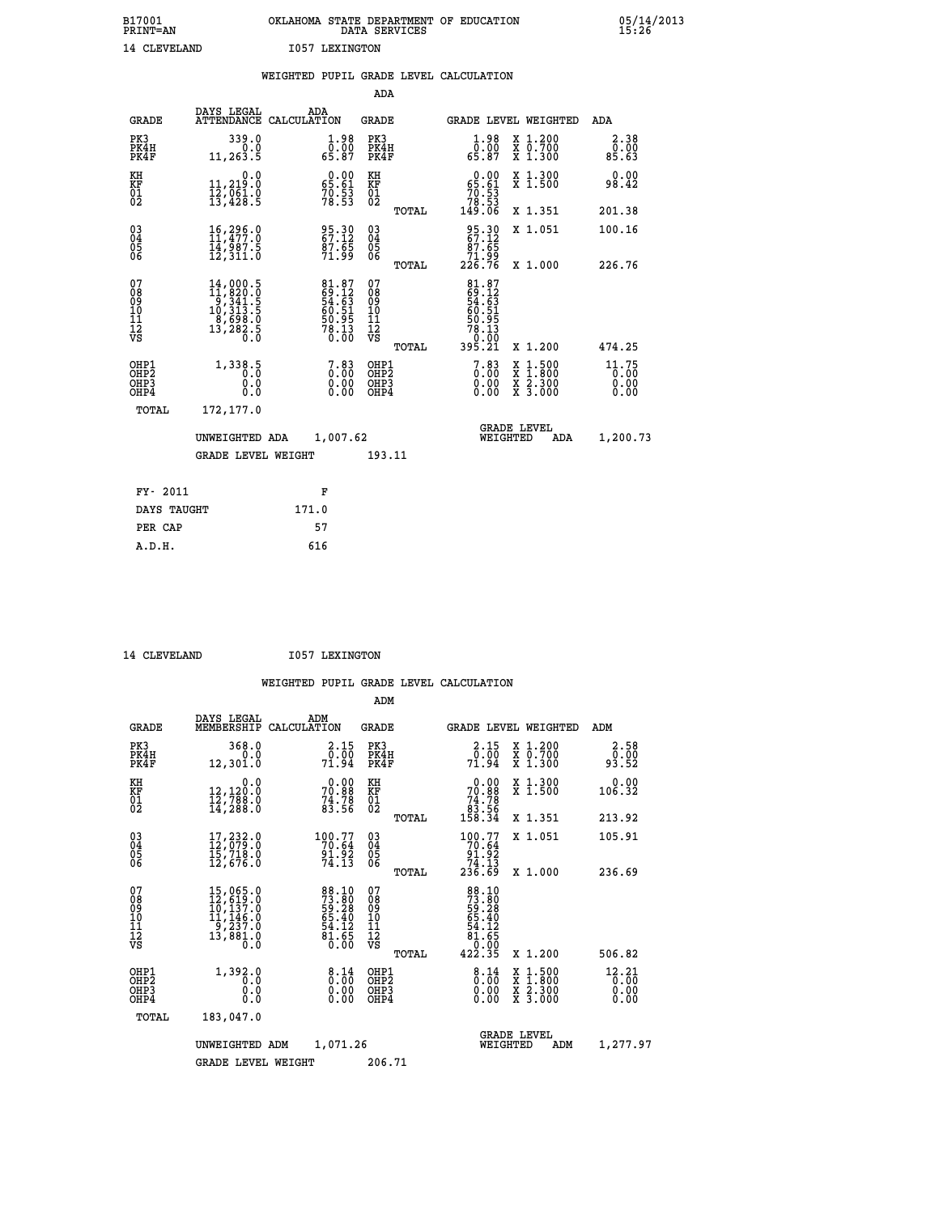| B17001<br><b>PRINT=AN</b> |              |                | OKLAHOMA STATE DEPARTMENT OF EDUCATION<br>DATA SERVICES |  |
|---------------------------|--------------|----------------|---------------------------------------------------------|--|
|                           | 14 CLEVELAND | 1057 LEXINGTON |                                                         |  |

 **B17001 OKLAHOMA STATE DEPARTMENT OF EDUCATION 05/14/2013**

|                                                              |                                                                                                                                                   | WEIGHTED PUPIL GRADE LEVEL CALCULATION                     |                                                 |                                                                                                                                                         |                               |
|--------------------------------------------------------------|---------------------------------------------------------------------------------------------------------------------------------------------------|------------------------------------------------------------|-------------------------------------------------|---------------------------------------------------------------------------------------------------------------------------------------------------------|-------------------------------|
|                                                              |                                                                                                                                                   |                                                            | <b>ADA</b>                                      |                                                                                                                                                         |                               |
| <b>GRADE</b>                                                 | DAYS LEGAL                                                                                                                                        | ADA<br>ATTENDANCE CALCULATION                              | GRADE                                           | GRADE LEVEL WEIGHTED                                                                                                                                    | ADA                           |
| PK3<br>PK4H<br>PK4F                                          | 339.0<br>0.0<br>11,263.5                                                                                                                          | $\begin{smallmatrix} 1.98\ 0.00\\ 65.87 \end{smallmatrix}$ | PK3<br>PK4H<br>PK4F                             | $1.98$<br>0.00<br>X 1.200<br>X 0.700<br>X 1.300<br>65.87                                                                                                | 2.38<br>0.00<br>85.63         |
| KH<br>KF<br>01<br>02                                         | 0.0<br>11, 219.0<br>$\frac{1}{13}$ , $\frac{1}{4}$ , $\frac{1}{8}$                                                                                | $0.00$<br>65.61<br>$70.53$<br>$78.53$                      | KH<br>KF<br>01<br>02                            | $\begin{smallmatrix} &0.00\ 65.61\ 70.53\ 78.53\ 149.06\ \end{smallmatrix}$<br>X 1.300<br>X 1.500                                                       | 0.00<br>98.42                 |
|                                                              |                                                                                                                                                   |                                                            | TOTAL                                           | X 1.351                                                                                                                                                 | 201.38                        |
| $\begin{smallmatrix} 03 \\[-4pt] 04 \end{smallmatrix}$<br>Ŏ5 | $\begin{smallmatrix} 16,296.0\\ 11,477.0\\ 14,987.5\\ 12,311.0 \end{smallmatrix}$                                                                 | 95.30<br>67.12<br>$\frac{87.65}{71.99}$                    | $\substack{03 \\ 04}$<br>Ŏ5<br>06               | 95.30<br>67.12<br>X 1.051<br>87.65                                                                                                                      | 100.16                        |
| ŌĞ                                                           |                                                                                                                                                   |                                                            | TOTAL                                           | 88.17<br>226.76<br>X 1.000                                                                                                                              | 226.76                        |
| 07<br>08<br>09<br>11<br>11<br>12<br>VS                       | $\begin{smallmatrix} 14\,,\,000\,.5\\ 11\,,\,820\,.0\\ 9\,,\,341\,.5\\ 10\,,\,313\,.5\\ 8\,,\,698\,.0\\ 13\,,\,282\,.5\\ 0\,.0 \end{smallmatrix}$ | 81.87<br>69.12<br>54.63<br>56.51<br>60.95<br>50.13<br>0.00 | 07<br>08<br>09<br>11<br>11<br>12<br>VS<br>TOTAL | 81.87<br>69.123<br>54.631<br>50.515<br>60.515<br>50.953<br>78.130<br>395.21<br>X 1.200                                                                  | 474.25                        |
| OHP1<br>OH <sub>P</sub> 2<br>OHP3<br>OHP4                    | 1,338.5<br>0.0<br>0.0                                                                                                                             | $\begin{smallmatrix}7.83\0.00\0.00\0.00\end{smallmatrix}$  | OHP1<br>OHP <sub>2</sub><br>OHP3<br>OHP4        | $\begin{smallmatrix}7.83\0.00\\0.00\\0.00\end{smallmatrix}$<br>$\begin{smallmatrix} x & 1.500 \\ x & 1.800 \\ x & 2.300 \\ x & 3.000 \end{smallmatrix}$ | 11.75<br>0.00<br>0.00<br>0.00 |
| TOTAL                                                        | 172,177.0                                                                                                                                         |                                                            |                                                 |                                                                                                                                                         |                               |
|                                                              | UNWEIGHTED ADA                                                                                                                                    | 1,007.62                                                   |                                                 | <b>GRADE LEVEL</b><br>WEIGHTED<br>ADA                                                                                                                   | 1,200.73                      |
|                                                              | <b>GRADE LEVEL WEIGHT</b>                                                                                                                         |                                                            | 193.11                                          |                                                                                                                                                         |                               |
|                                                              | FY- 2011                                                                                                                                          | F                                                          |                                                 |                                                                                                                                                         |                               |
|                                                              | DAYS TAUGHT                                                                                                                                       | 171.0                                                      |                                                 |                                                                                                                                                         |                               |
| PER CAP                                                      |                                                                                                                                                   | 57                                                         |                                                 |                                                                                                                                                         |                               |

14 CLEVELAND **I057 LEXINGTON** 

 **A.D.H. 616**

|                                                       |                                                                                                        |                                                                      | ADM                                                |                                                                             |                                          |                                          |
|-------------------------------------------------------|--------------------------------------------------------------------------------------------------------|----------------------------------------------------------------------|----------------------------------------------------|-----------------------------------------------------------------------------|------------------------------------------|------------------------------------------|
| <b>GRADE</b>                                          | DAYS LEGAL<br>MEMBERSHIP                                                                               | ADM<br>CALCULATION                                                   | <b>GRADE</b>                                       | <b>GRADE LEVEL WEIGHTED</b>                                                 |                                          | ADM                                      |
| PK3<br>PK4H<br>PK4F                                   | 368.0<br>0.0<br>12,301.0                                                                               | 2.15<br>0:00<br>71:94                                                | PK3<br>PK4H<br>PK4F                                | 2.15<br>$\frac{0.00}{71.94}$                                                | X 1.200<br>X 0.700<br>X 1.300            | 2.58<br>0.00<br>93.52                    |
| KH<br>KF<br>01<br>02                                  | 0.0<br>12,120:0<br>12,788:0<br>14,288:0                                                                | $70.88$<br>$74.78$<br>$83.56$                                        | KH<br>KF<br>01<br>02                               | 0.00<br>$70.88$<br>$74.78$<br>$83.56$<br>$158.34$                           | X 1.300<br>X 1.500                       | 0.00<br>106.32                           |
|                                                       |                                                                                                        |                                                                      | TOTAL                                              |                                                                             | X 1.351                                  | 213.92                                   |
| 03<br>04<br>05<br>06                                  | 17,232.0<br>12,079.0<br>15,718.0<br>12,676.0                                                           | 100.77<br>70.64<br>91.92<br>74.13                                    | $\begin{matrix} 03 \\ 04 \\ 05 \\ 06 \end{matrix}$ | $\begin{smallmatrix} 100.77\\70.64\\91.92\\74.13\\236.69 \end{smallmatrix}$ | X 1.051                                  | 105.91                                   |
|                                                       |                                                                                                        |                                                                      | TOTAL                                              |                                                                             | X 1.000                                  | 236.69                                   |
| 07<br>08<br>09<br>101<br>112<br>VS                    | $\begin{smallmatrix}15,065.0\\12,619.0\\10,137.0\\11,146.0\\9,237.0\\13,881.0\end{smallmatrix}$<br>ō.ŏ | 88.10<br>73.80<br>59.28<br>59.40<br>65.40<br>54.12<br>81.65<br>81.65 | 07<br>08<br>09<br>101<br>11<br>12<br>VS<br>TOTAL   | 88.10<br>73.80<br>59.28<br>59.40<br>65.40<br>54.65<br>81.650<br>422.35      | X 1.200                                  | 506.82                                   |
| OHP1<br>OH <sub>P</sub> 2<br>OH <sub>P3</sub><br>OHP4 | 1,392.0<br>0.0<br>0.000                                                                                | $\begin{smallmatrix} 8.14 \ 0.00 \ 0.00 \end{smallmatrix}$<br>0.00   | OHP1<br>OHP2<br>OHP3<br>OHP4                       | $\begin{smallmatrix} 8.14\ 0.00 \ 0.00 \end{smallmatrix}$<br>0.00           | X 1:500<br>X 1:800<br>X 2:300<br>X 3:000 | $12.21$ <sub>0</sub> :00<br>0.00<br>0.00 |
|                                                       | TOTAL<br>183,047.0                                                                                     |                                                                      |                                                    |                                                                             |                                          |                                          |
|                                                       | UNWEIGHTED ADM                                                                                         | 1,071.26                                                             |                                                    | <b>GRADE LEVEL</b><br>WEIGHTED                                              | ADM                                      | 1,277.97                                 |
|                                                       | <b>GRADE LEVEL WEIGHT</b>                                                                              |                                                                      | 206.71                                             |                                                                             |                                          |                                          |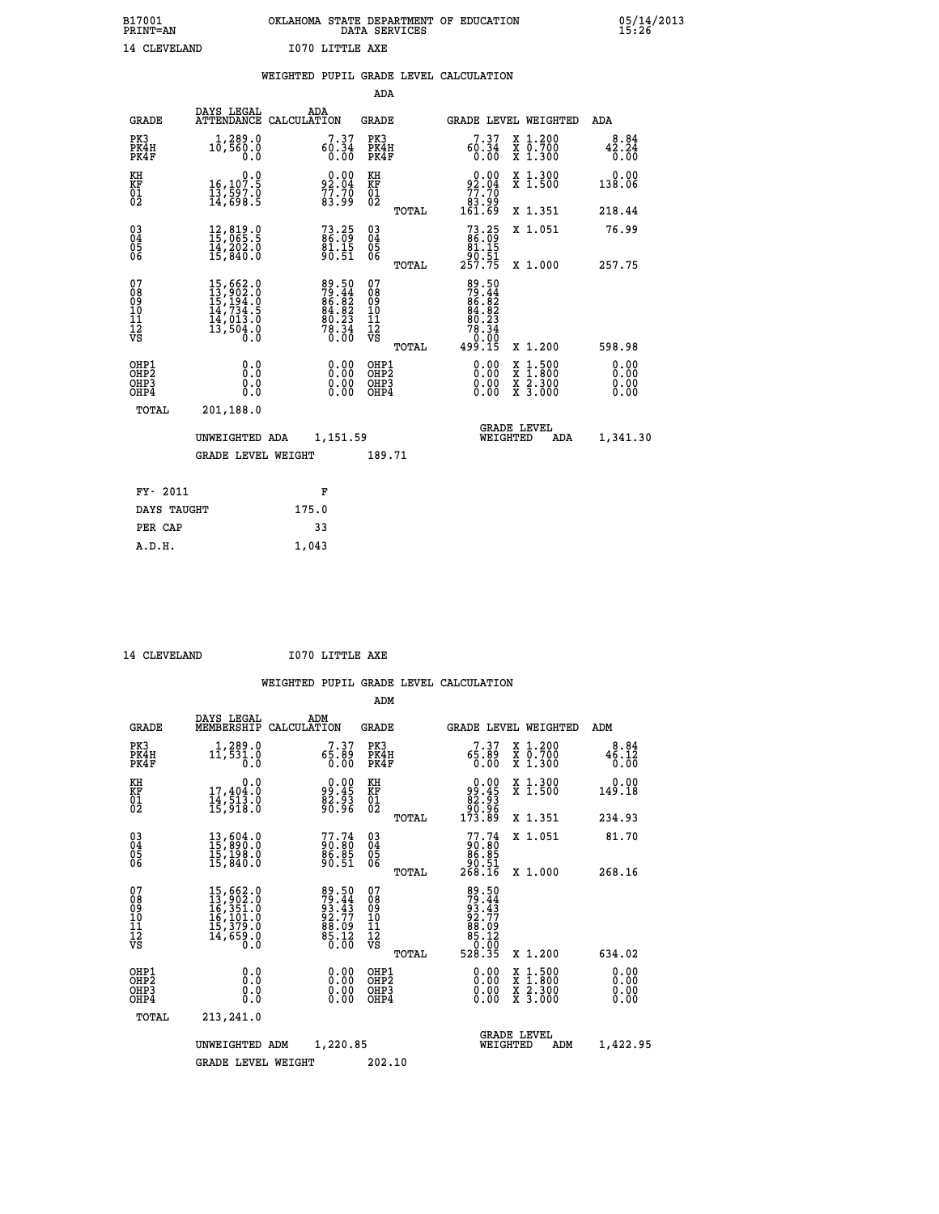# **B17001 OKLAHOMA STATE DEPARTMENT OF EDUCATION 05/14/2013 PRINT=AN DATA SERVICES 15:26 14 CLEVELAND I070 LITTLE AXE**

|                                                                    |                                                                                                                                                                                                   | WEIGHTED PUPIL GRADE LEVEL CALCULATION                                                    |                                                        |                                                                                                                                                                                                                                                                                                                                                                            |                       |
|--------------------------------------------------------------------|---------------------------------------------------------------------------------------------------------------------------------------------------------------------------------------------------|-------------------------------------------------------------------------------------------|--------------------------------------------------------|----------------------------------------------------------------------------------------------------------------------------------------------------------------------------------------------------------------------------------------------------------------------------------------------------------------------------------------------------------------------------|-----------------------|
|                                                                    |                                                                                                                                                                                                   |                                                                                           | ADA                                                    |                                                                                                                                                                                                                                                                                                                                                                            |                       |
| <b>GRADE</b>                                                       |                                                                                                                                                                                                   | DAYS LEGAL ADA ATTENDANCE CALCULATION                                                     | GRADE                                                  | GRADE LEVEL WEIGHTED                                                                                                                                                                                                                                                                                                                                                       | ADA                   |
| PK3<br>PK4H<br>PK4F                                                | 1,289.0<br>10,560.0<br>0.0                                                                                                                                                                        | 7.37<br>60.34<br>0.00                                                                     | PK3<br>PK4H<br>PK4F                                    | 7.37<br>X 1.200<br>X 0.700<br>X 1.300<br>60.34<br>0.00                                                                                                                                                                                                                                                                                                                     | 8.84<br>42.24<br>0.00 |
| KH<br>KF<br>01<br>02                                               | 0.0<br>16,107.5<br>13,597.0<br>14,698.5                                                                                                                                                           | $92.04$<br>$77.70$<br>$83.99$                                                             | KH<br>KF<br>01<br>02                                   | $\begin{smallmatrix} &0.00\ 92.04\ 77.70\ 83.99\ 161.69\end{smallmatrix}$<br>X 1.300<br>X 1.500                                                                                                                                                                                                                                                                            | 0.00<br>138.06        |
|                                                                    |                                                                                                                                                                                                   |                                                                                           | TOTAL                                                  | X 1.351                                                                                                                                                                                                                                                                                                                                                                    | 218.44                |
| $\begin{smallmatrix} 03 \\[-4pt] 04 \end{smallmatrix}$<br>Ŏ5<br>06 | $\begin{smallmatrix} 12 \,,\, 819 \,. \ 15 \,,\, 065 \,. \ 5 \ 14 \,,\, 202 \,. \ 0 \ 15 \,,\, 840 \,. \ 0 \end{smallmatrix}$                                                                     | $73.25$<br>86.09<br>81.15<br>90.51                                                        | $\begin{matrix} 03 \\ 04 \\ 05 \\ 06 \end{matrix}$     | $73.25$<br>$86.09$<br>$81.15$<br>X 1.051                                                                                                                                                                                                                                                                                                                                   | 76.99                 |
|                                                                    |                                                                                                                                                                                                   |                                                                                           | TOTAL                                                  | 30.51<br>257.75<br>X 1.000                                                                                                                                                                                                                                                                                                                                                 | 257.75                |
| 07<br>0890112<br>1112<br>VS                                        | $\begin{smallmatrix} 15 \,, & 662 \,. & 0 \\ 13 \,, & 902 \,. & 0 \\ 15 \,, & 194 \,. & 0 \\ 14 \,, & 734 \,. & 5 \\ 14 \,, & 013 \,. & 0 \\ 13 \,, & 504 \,. & 0 \\ 0 \,. & 0 \end{smallmatrix}$ | $\begin{array}{r} 89.50 \\ 79.44 \\ 86.82 \\ 84.82 \\ 80.23 \\ 78.34 \\ 0.00 \end{array}$ | 07<br>08<br>09<br>001<br>11<br>11<br>12<br>VS<br>TOTAL | $\begin{array}{l} 89.50 \\ 79.44 \\ 86.82 \\ 84.82 \\ 80.23 \\ 78.34 \end{array}$<br>0:00<br>499.15<br>X 1.200                                                                                                                                                                                                                                                             | 598.98                |
| OHP1<br>OHP2<br>OHP3<br>OHP4                                       | 0.0<br>0.0<br>Ŏ.Ŏ                                                                                                                                                                                 | $\begin{smallmatrix} 0.00 \ 0.00 \ 0.00 \ 0.00 \end{smallmatrix}$                         | OHP1<br>OHP2<br>OHP3<br>OHP4                           | $\begin{smallmatrix} 0.00 & 0.00 & 0.00 & 0.00 & 0.00 & 0.00 & 0.00 & 0.00 & 0.00 & 0.00 & 0.00 & 0.00 & 0.00 & 0.00 & 0.00 & 0.00 & 0.00 & 0.00 & 0.00 & 0.00 & 0.00 & 0.00 & 0.00 & 0.00 & 0.00 & 0.00 & 0.00 & 0.00 & 0.00 & 0.00 & 0.00 & 0.00 & 0.00 & 0.00 & 0.00 & 0.0$<br>$\begin{smallmatrix} x & 1.500 \\ x & 1.800 \\ x & 2.300 \\ x & 3.000 \end{smallmatrix}$ | 0.00<br>0.00<br>0.00  |
| TOTAL                                                              | 201,188.0                                                                                                                                                                                         |                                                                                           |                                                        |                                                                                                                                                                                                                                                                                                                                                                            |                       |
|                                                                    | UNWEIGHTED ADA                                                                                                                                                                                    | 1,151.59                                                                                  |                                                        | <b>GRADE LEVEL</b><br>WEIGHTED                                                                                                                                                                                                                                                                                                                                             | 1,341.30<br>ADA       |
|                                                                    | <b>GRADE LEVEL WEIGHT</b>                                                                                                                                                                         |                                                                                           | 189.71                                                 |                                                                                                                                                                                                                                                                                                                                                                            |                       |
| FY- 2011                                                           |                                                                                                                                                                                                   | F                                                                                         |                                                        |                                                                                                                                                                                                                                                                                                                                                                            |                       |
| DAYS TAUGHT                                                        |                                                                                                                                                                                                   | 175.0                                                                                     |                                                        |                                                                                                                                                                                                                                                                                                                                                                            |                       |
| PER CAP                                                            |                                                                                                                                                                                                   | 33                                                                                        |                                                        |                                                                                                                                                                                                                                                                                                                                                                            |                       |

 **A.D.H. 1,043**

 **ADM**

14 CLEVELAND **I070 LITTLE AXE** 

| <b>GRADE</b>                                                       | DAYS LEGAL<br>MEMBERSHIP CALCULATION                                                                          | ADM                                                                  | <b>GRADE</b>                                           |                                                                  |                                                                                                                                                                                                                                                                                | <b>GRADE LEVEL WEIGHTED</b>              | ADM                          |
|--------------------------------------------------------------------|---------------------------------------------------------------------------------------------------------------|----------------------------------------------------------------------|--------------------------------------------------------|------------------------------------------------------------------|--------------------------------------------------------------------------------------------------------------------------------------------------------------------------------------------------------------------------------------------------------------------------------|------------------------------------------|------------------------------|
| PK3<br>PK4H<br>PK4F                                                | $1, 289.0$<br>$11, 531.0$<br>0.0                                                                              | 7.37<br>65.89<br>0.00                                                | PK3<br>PK4H<br>PK4F                                    | 7.37<br>65.89                                                    | 0.00                                                                                                                                                                                                                                                                           | X 1.200<br>X 0.700<br>X 1.300            | 8.84<br>46.12<br>0.00        |
| KH<br><b>KF</b><br>01<br>02                                        | 0.0<br>17,404:0<br>14,513:0<br>15,918:0                                                                       | $\begin{smallmatrix} 0.00\\ 99.45\\ 82.93\\ 90.96 \end{smallmatrix}$ | KH<br>KF<br>01<br>02                                   | $0.00\n99.45\n82.93\n90.96\n173.89$                              |                                                                                                                                                                                                                                                                                | X 1.300<br>X 1.500                       | 0.00<br>149.18               |
|                                                                    |                                                                                                               |                                                                      | TOTAL                                                  |                                                                  |                                                                                                                                                                                                                                                                                | X 1.351                                  | 234.93                       |
| $\begin{smallmatrix} 03 \\[-4pt] 04 \end{smallmatrix}$<br>Ŏ5<br>06 | 13,604.0<br>15,890.0<br>īš,ĭ98.ŏ<br>15,840.O                                                                  | $77.74$<br>$90.80$<br>$86.85$<br>$90.51$                             | $\begin{array}{c} 03 \\ 04 \\ 05 \\ 06 \end{array}$    | $77.74$<br>$90.80$<br>$86.85$<br>$90.51$<br>$268.16$             |                                                                                                                                                                                                                                                                                | X 1.051                                  | 81.70                        |
|                                                                    |                                                                                                               |                                                                      | TOTAL                                                  |                                                                  |                                                                                                                                                                                                                                                                                | X 1.000                                  | 268.16                       |
| 07<br>08<br>09<br>101<br>11<br>12<br>VS                            | $\begin{smallmatrix} 15,662.0\\ 13,902.0\\ 16,351.0\\ 16,101.0\\ 15,379.0\\ 14,659.0\\ 0.0 \end{smallmatrix}$ | 89.50<br>79.443<br>93.43<br>92.77<br>88.09<br>85.12<br>85.12         | 07<br>08<br>09<br>001<br>11<br>11<br>12<br>VS<br>TOTAL | 89.50<br>79.443<br>93.437<br>92.777<br>88.092<br>85.12<br>528.35 |                                                                                                                                                                                                                                                                                | X 1.200                                  | 634.02                       |
| OHP1<br>OHP <sub>2</sub><br>OH <sub>P3</sub><br>OHP4               | 0.0<br>0.000                                                                                                  | $0.00$<br>$0.00$<br>0.00                                             | OHP1<br>OHP <sub>2</sub><br>OHP3<br>OHP4               |                                                                  | $\begin{smallmatrix} 0.00 & 0.00 & 0.00 & 0.00 & 0.00 & 0.00 & 0.00 & 0.00 & 0.00 & 0.00 & 0.00 & 0.00 & 0.00 & 0.00 & 0.00 & 0.00 & 0.00 & 0.00 & 0.00 & 0.00 & 0.00 & 0.00 & 0.00 & 0.00 & 0.00 & 0.00 & 0.00 & 0.00 & 0.00 & 0.00 & 0.00 & 0.00 & 0.00 & 0.00 & 0.00 & 0.0$ | X 1:500<br>X 1:800<br>X 2:300<br>X 3:000 | 0.00<br>0.00<br>0.00<br>0.00 |
| TOTAL                                                              | 213,241.0                                                                                                     |                                                                      |                                                        |                                                                  |                                                                                                                                                                                                                                                                                |                                          |                              |
|                                                                    | UNWEIGHTED                                                                                                    | 1,220.85<br>ADM                                                      |                                                        |                                                                  | <b>GRADE LEVEL</b><br>WEIGHTED                                                                                                                                                                                                                                                 | ADM                                      | 1,422.95                     |
|                                                                    | <b>GRADE LEVEL WEIGHT</b>                                                                                     |                                                                      | 202.10                                                 |                                                                  |                                                                                                                                                                                                                                                                                |                                          |                              |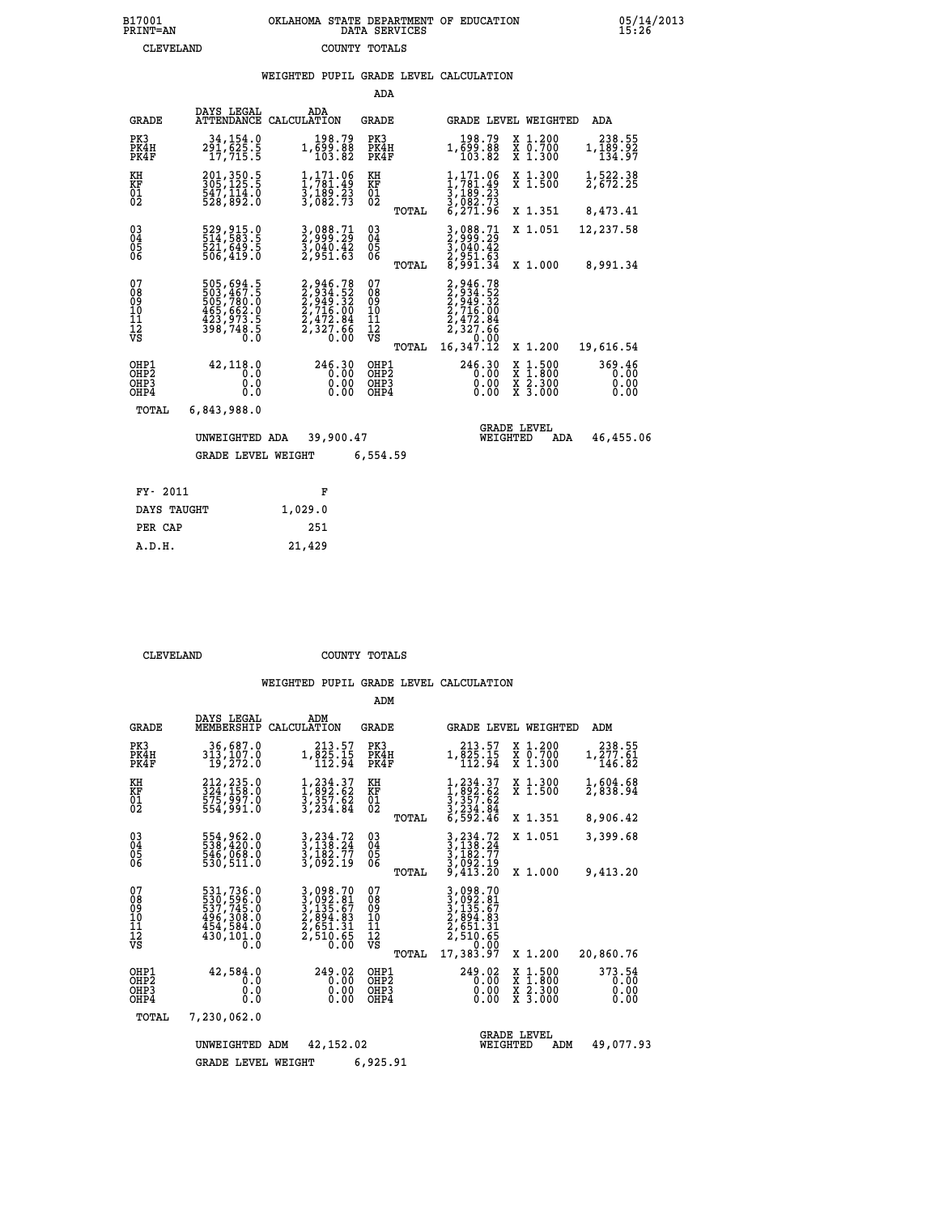#### **WEIGHTED PUPIL GRADE LEVEL CALCULATION**

|                                        |                                                                                                        |                                                                                                                                             | ADA                                      |                                                                                |                                |                                                       |                                |
|----------------------------------------|--------------------------------------------------------------------------------------------------------|---------------------------------------------------------------------------------------------------------------------------------------------|------------------------------------------|--------------------------------------------------------------------------------|--------------------------------|-------------------------------------------------------|--------------------------------|
| <b>GRADE</b>                           | DAYS LEGAL<br><b>ATTENDANCE</b>                                                                        | ADA<br>CALCULATION                                                                                                                          | GRADE                                    |                                                                                |                                | <b>GRADE LEVEL WEIGHTED</b>                           | <b>ADA</b>                     |
| PK3<br>PK4H<br>PK4F                    | 34,154.0<br>291,625.5<br>17,715.5                                                                      | 198.79<br>1,699.88<br>103.82                                                                                                                | PK3<br>PK4H<br>PK4F                      | 198.79<br>1,699.88<br>103.82                                                   |                                | X 1.200<br>X 0.700<br>X 1.300                         | 238.55<br>1,189.92<br>134.97   |
| KH<br><b>KF</b><br>01<br>02            | 201, 350.5<br>305, 125.5<br>$\frac{547}{528}, \overline{892}$ :0                                       | $\frac{1}{1}$ , $\frac{171}{781}$ , $\frac{16}{9}$<br>$\frac{3}{1}$ , $\frac{189}{2}$ , $\frac{23}{23}$<br>$\frac{3}{1}$ , $\frac{082}{73}$ | KH<br><b>KF</b><br>01<br>02              | 1,171.06<br>$\frac{1,761.49}{3,189.23}$<br>$\frac{3,082.73}{6,271.96}$         |                                | X 1.300<br>$\overline{x}$ 1.500                       | 1,522.38<br>2,672.25           |
|                                        |                                                                                                        |                                                                                                                                             |                                          | TOTAL                                                                          |                                | X 1.351                                               | 8,473.41                       |
| $^{03}_{04}$<br>05<br>06               | 529,915.0<br>514,583.5<br>521,649.5<br>506,419.0                                                       | 3,088.71<br>2,999.29<br>3,040.42<br>2,951.63                                                                                                | $\substack{03 \\ 04}$<br>0500            | 3,088.71<br>2,999.29<br>3,040.42<br>2,951.63<br>8,991.34                       |                                | X 1.051                                               | 12,237.58                      |
|                                        |                                                                                                        |                                                                                                                                             |                                          | TOTAL                                                                          |                                | X 1.000                                               | 8,991.34                       |
| 07<br>08<br>09<br>11<br>11<br>12<br>VS | $\begin{smallmatrix}505,694.5\\503,467.5\\505,780.0\\465,662.0\\423,973.5\\398,748.5\end{smallmatrix}$ | $\begin{smallmatrix} 2,946.78\\2,934.52\\2,949.32\\2,716.00\\2,472.84\\2,327.66\\6 \end{smallmatrix}$                                       | 07<br>08<br>09<br>11<br>11<br>12<br>VS   | 2,946.78<br>$2,934.52$<br>$2,949.32$<br>$2,716.00$<br>$2,472.84$<br>$2,327.66$ | 0.00                           |                                                       |                                |
|                                        |                                                                                                        |                                                                                                                                             |                                          | 16,347.12<br>TOTAL                                                             |                                | X 1.200                                               | 19,616.54                      |
| OHP1<br>OHP2<br>OHP3<br>OHP4           | 42,118.0<br>0.0<br>0.0<br>0.0                                                                          | 246.30<br>0.00<br>$0.00$<br>$0.00$                                                                                                          | OHP1<br>OHP <sub>2</sub><br>OHP3<br>OHP4 | 246.30                                                                         | 0.00<br>0.00<br>0.00           | $\frac{x}{x}$ $\frac{1.500}{x}$<br>X 2.300<br>X 3.000 | 369.46<br>0.00<br>0.00<br>0.00 |
| TOTAL                                  | 6,843,988.0                                                                                            |                                                                                                                                             |                                          |                                                                                |                                |                                                       |                                |
|                                        | UNWEIGHTED ADA                                                                                         | 39,900.47                                                                                                                                   |                                          |                                                                                | <b>GRADE LEVEL</b><br>WEIGHTED | ADA                                                   | 46,455.06                      |
|                                        | <b>GRADE LEVEL WEIGHT</b>                                                                              |                                                                                                                                             | 6,554.59                                 |                                                                                |                                |                                                       |                                |
|                                        |                                                                                                        |                                                                                                                                             |                                          |                                                                                |                                |                                                       |                                |
| FY- 2011                               |                                                                                                        | F                                                                                                                                           |                                          |                                                                                |                                |                                                       |                                |
| DAYS TAUGHT                            |                                                                                                        | 1,029.0                                                                                                                                     |                                          |                                                                                |                                |                                                       |                                |

 **ADM**

 **PER CAP 251 A.D.H. 21,429**

 **CLEVELAND COUNTY TOTALS**

| <b>GRADE</b>                             | DAYS LEGAL<br>MEMBERSHIP                                                          | ADM<br>CALCULATION                                                                                                                                     | <b>GRADE</b>                              |                                                                                      | <b>GRADE LEVEL WEIGHTED</b>              | ADM                            |
|------------------------------------------|-----------------------------------------------------------------------------------|--------------------------------------------------------------------------------------------------------------------------------------------------------|-------------------------------------------|--------------------------------------------------------------------------------------|------------------------------------------|--------------------------------|
| PK3<br>PK4H<br>PK4F                      | 36,687.0<br>313,107.0<br>19,272.0                                                 | 213.57<br>1,825.15<br>112.94                                                                                                                           | PK3<br>PK4H<br>PK4F                       | 213.57<br>1,825.15<br>112.94                                                         | X 1.200<br>X 0.700<br>X 1.300            | 238.55<br>1,277.61<br>146.82   |
| KH<br><b>KF</b><br>01<br>02              | 212,235.0<br>324,158.0<br>575,997.0<br>554,991.0                                  | 1,234.37<br>I, 892.62<br>3, 357.62<br>3, 234.84                                                                                                        | KH<br><b>KF</b><br>01<br>02               | 1,234.37<br>$\frac{1}{3}, \frac{892}{357}.62$<br>3, 357.62<br>3, 234.84<br>6, 592.46 | X 1.300<br>X 1.500                       | 1,604.68<br>2,838.94           |
|                                          |                                                                                   |                                                                                                                                                        | TOTAL                                     |                                                                                      | X 1.351                                  | 8,906.42                       |
| $\substack{03 \\ 04}$<br>Ŏ5<br>ŌĞ        | 554,962.0<br>538,420.0<br>546,068.0                                               | 3, 234.72<br>3, 138.24<br>3,182.77<br>3,092.19                                                                                                         | $\substack{03 \\ 04}$<br>05               | 3, 234. 72<br>3, 138. 24<br>3,182.77<br>3,092.19<br>9,413.20                         | X 1.051                                  | 3,399.68                       |
|                                          | 530,511.0                                                                         |                                                                                                                                                        | TOTAL                                     |                                                                                      | X 1.000                                  | 9,413.20                       |
| 07<br>08<br>09<br>101<br>11<br>12<br>VS  | 531,736.0<br>530,596.0<br>537,745.0<br>426,209.0<br>454,584.0<br>430,101.0<br>0.0 | $\begin{smallmatrix} 3\,,\,098\,.70\\ 3\,,\,092\,.81\\ 3\,,\,135\,.67\\ 2\,,\,894\,.83\\ 2\,,\,651\,.31\\ 2\,,\,510\,.65\\ 0\,.00\\ \end{smallmatrix}$ | 07<br>08<br>09<br>11<br>11<br>12<br>VS    | 3,098.70<br>3,092.81<br>3,135.67<br>2,894.83<br>2,651.31<br>2,510.65<br>0.00         |                                          |                                |
|                                          |                                                                                   |                                                                                                                                                        | TOTAL                                     | 17,383.97                                                                            | X 1.200                                  | 20,860.76                      |
| OHP1<br>OHP <sub>2</sub><br>OHP3<br>OHP4 | 42,584.0<br>0.0<br>0.0<br>0.0                                                     | 249.02<br>0.00<br>0.00<br>0.00                                                                                                                         | OHP1<br>OH <sub>P</sub> 2<br>OHP3<br>OHP4 | 249.02<br>0.00<br>0.00<br>0.00                                                       | X 1:500<br>X 1:800<br>X 2:300<br>X 3:000 | 373.54<br>0.00<br>0.00<br>0.00 |
| TOTAL                                    | 7,230,062.0                                                                       |                                                                                                                                                        |                                           |                                                                                      |                                          |                                |
|                                          | UNWEIGHTED                                                                        | 42,152.02<br>ADM                                                                                                                                       |                                           | WEIGHTED                                                                             | <b>GRADE LEVEL</b><br>ADM                | 49,077.93                      |
|                                          | <b>GRADE LEVEL WEIGHT</b>                                                         |                                                                                                                                                        | 6,925.91                                  |                                                                                      |                                          |                                |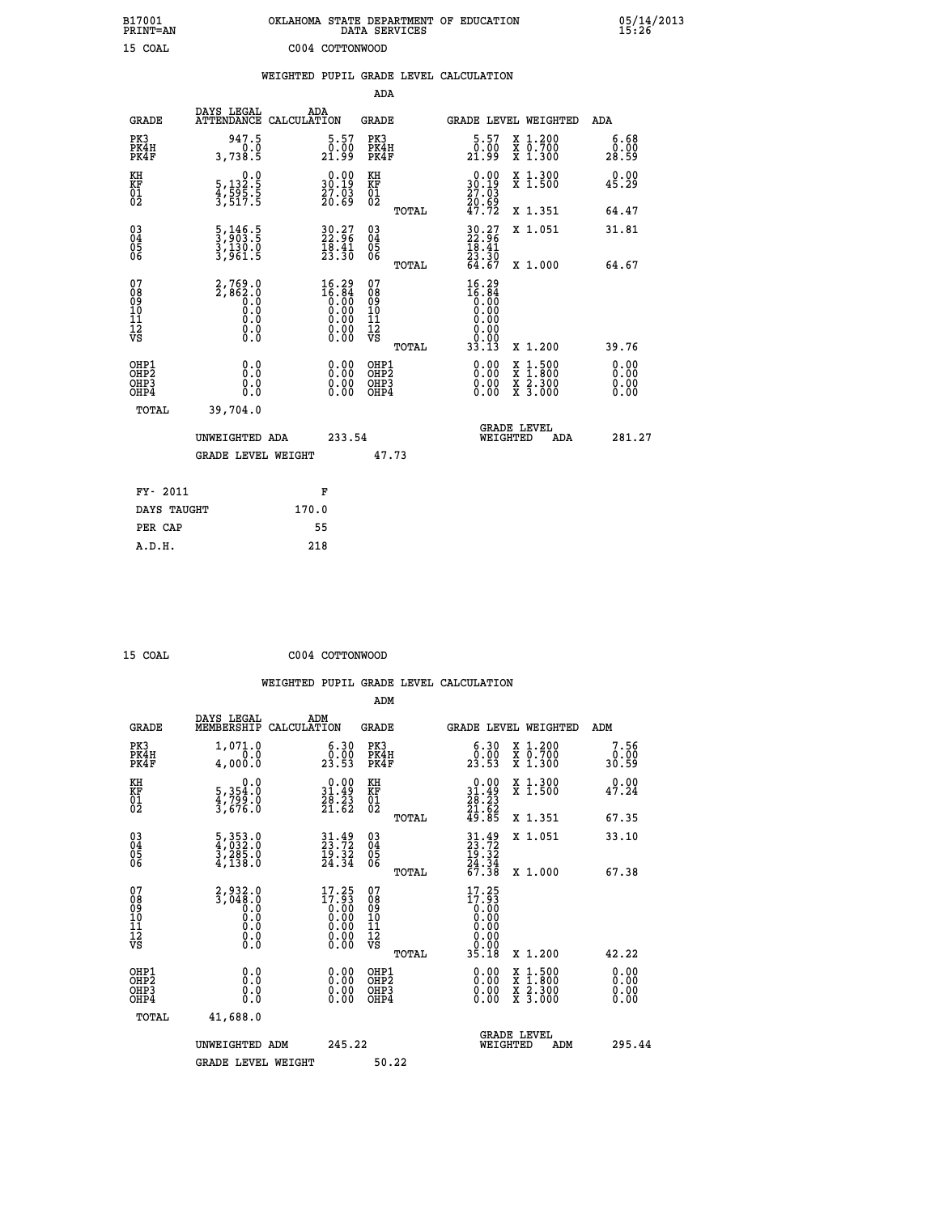| B17001<br>PRINT=AN                       |                                                                                          | OKLAHOMA STATE DEPARTMENT OF EDUCATION                               | DATA SERVICES                                                       |                                                                              |                                                                                                                                           | 05/14/2013<br>15:26   |
|------------------------------------------|------------------------------------------------------------------------------------------|----------------------------------------------------------------------|---------------------------------------------------------------------|------------------------------------------------------------------------------|-------------------------------------------------------------------------------------------------------------------------------------------|-----------------------|
| 15 COAL                                  |                                                                                          | C004 COTTONWOOD                                                      |                                                                     |                                                                              |                                                                                                                                           |                       |
|                                          |                                                                                          | WEIGHTED PUPIL GRADE LEVEL CALCULATION                               |                                                                     |                                                                              |                                                                                                                                           |                       |
|                                          |                                                                                          |                                                                      | ADA                                                                 |                                                                              |                                                                                                                                           |                       |
| <b>GRADE</b>                             | DAYS LEGAL                                                                               | ADA<br>ATTENDANCE CALCULATION                                        | <b>GRADE</b>                                                        |                                                                              | <b>GRADE LEVEL WEIGHTED</b>                                                                                                               | ADA                   |
| PK3<br>PK4H<br>PK4F                      | 947.5<br>0.0<br>3,738.5                                                                  | $\substack{5.57 \ 0.00 \ 21.99}$                                     | PK3<br>PK4H<br>PK4F                                                 | $\substack{5.57\\0.00\\21.99}$                                               | X 1.200<br>X 0.700<br>X 1.300                                                                                                             | 6.68<br>0.00<br>28.59 |
| KH<br>KF<br>01<br>02                     | 0.0<br>5,132:5<br>4,595:5<br>3,517:5                                                     | $\begin{smallmatrix} 0.00\\ 30.19\\ 27.03\\ 20.69 \end{smallmatrix}$ | KH<br><b>KF</b><br>01<br>02                                         | $\begin{smallmatrix} 0.00\\ 30.19\\ 27.03\\ 20.69\\ 47.72 \end{smallmatrix}$ | X 1.300<br>X 1.500                                                                                                                        | 0.00<br>45.29         |
|                                          |                                                                                          |                                                                      | TOTAL                                                               |                                                                              | X 1.351                                                                                                                                   | 64.47                 |
| 03<br>04<br>05<br>06                     | $\frac{5}{3}, \frac{146}{903}.\frac{5}{5}$<br>$\frac{3}{3}, \frac{130}{961}.\frac{0}{5}$ | 30.27<br>22.96<br>$\frac{18.41}{23.30}$                              | $\begin{matrix} 03 \\ 04 \\ 05 \\ 06 \end{matrix}$                  | $30.27$<br>$22.96$<br>$18.41$<br>$23.30$                                     | X 1.051                                                                                                                                   | 31.81                 |
|                                          |                                                                                          |                                                                      | <b>TOTAL</b>                                                        | 64.67                                                                        | X 1.000                                                                                                                                   | 64.67                 |
| 078901112<br>000101112<br>VS             | 2,769.0<br>2,862.0<br>0.9<br>0.0<br>0.0<br>$\S.$ $\S$                                    | $16.29$<br>$16.84$<br>$0.00$<br>$0.00$                               | 07<br>08<br>09<br>10<br>$\frac{11}{12}$<br>$\frac{12}{18}$<br>TOTAL | $16.29$<br>$16.84$<br>$0.00$<br>0.00<br>0.00<br>0.00<br>33.13                | X 1.200                                                                                                                                   | 39.76                 |
|                                          |                                                                                          |                                                                      |                                                                     |                                                                              |                                                                                                                                           | 0.00                  |
| OHP1<br>OHP2<br>OH <sub>P3</sub><br>OHP4 | 0.0<br>0.0<br>0.0                                                                        | 0.00<br>0.00<br>0.00                                                 | OHP1<br>OHP2<br>OHP3<br>OHP4                                        | 0.00<br>0.00<br>0.00                                                         | $\begin{smallmatrix} \mathtt{X} & 1\cdot500\\ \mathtt{X} & 1\cdot800\\ \mathtt{X} & 2\cdot300\\ \mathtt{X} & 3\cdot000 \end{smallmatrix}$ | 0.00<br>0.00<br>0.00  |
| TOTAL                                    | 39,704.0                                                                                 |                                                                      |                                                                     |                                                                              |                                                                                                                                           |                       |
|                                          | UNWEIGHTED ADA                                                                           | 233.54                                                               |                                                                     | WEIGHTED                                                                     | <b>GRADE LEVEL</b><br>ADA                                                                                                                 | 281.27                |
|                                          | <b>GRADE LEVEL WEIGHT</b>                                                                |                                                                      | 47.73                                                               |                                                                              |                                                                                                                                           |                       |
| FY- 2011                                 |                                                                                          | F                                                                    |                                                                     |                                                                              |                                                                                                                                           |                       |
| DAYS TAUGHT                              |                                                                                          | 170.0                                                                |                                                                     |                                                                              |                                                                                                                                           |                       |
| PER CAP                                  |                                                                                          | 55                                                                   |                                                                     |                                                                              |                                                                                                                                           |                       |

| 15 | $\cap$ $\cap$ $\Delta$ T. |  |
|----|---------------------------|--|

15 COAL COO<sub>4</sub> CO<sub>04</sub> CO<sub>05</sub> CO<sub>05</sub> C<sub>004</sub> CO<sub>05</sub> C<sub>004</sub> C<sub>0</sub>

| <b>GRADE</b>                                 | DAYS LEGAL<br>MEMBERSHIP                                                                           | ADM<br>CALCULATION                                                                                             | <b>GRADE</b>                                       |       |                                                                                                | GRADE LEVEL WEIGHTED                                                                                                | ADM                   |  |
|----------------------------------------------|----------------------------------------------------------------------------------------------------|----------------------------------------------------------------------------------------------------------------|----------------------------------------------------|-------|------------------------------------------------------------------------------------------------|---------------------------------------------------------------------------------------------------------------------|-----------------------|--|
| PK3<br>PK4H<br>PK4F                          | 1,071.0<br>0.0<br>4,000.0                                                                          | $\begin{smallmatrix} 6.30\ 0.00\ 23.53 \end{smallmatrix}$                                                      | PK3<br>PK4H<br>PK4F                                |       | $\begin{smallmatrix} 6.30\ 0.00\ 23.53 \end{smallmatrix}$                                      | X 1.200<br>X 0.700<br>X 1.300                                                                                       | 7.56<br>0.00<br>30.59 |  |
| KH<br>KF<br>01<br>02                         | 0.0<br>5, 354:0<br>4, 799:0<br>3, 676:0                                                            | $\begin{array}{c} 0.00 \\ 31.49 \\ 28.23 \\ 21.62 \end{array}$                                                 | KH<br>KF<br>$^{01}_{02}$                           |       | $\begin{smallmatrix} 0.00\\ 31.49\\ 28.23\\ 21.62\\ 49.85 \end{smallmatrix}$                   | X 1.300<br>X 1.500                                                                                                  | 0.00<br>47.24         |  |
|                                              |                                                                                                    |                                                                                                                |                                                    | TOTAL |                                                                                                | X 1.351                                                                                                             | 67.35                 |  |
| 03<br>04<br>05<br>06                         | $\frac{5}{4}, \frac{353}{032}.0\\ \frac{3}{3}, \frac{285}{230}.0\\ \frac{4}{4}, \frac{138}{130}.0$ | $31.49$<br>$23.72$<br>$\frac{15.32}{24.34}$                                                                    | $\begin{matrix} 03 \\ 04 \\ 05 \\ 06 \end{matrix}$ |       | $31.49$<br>$23.72$<br>$19.32$<br>$24.34$<br>$67.38$                                            | X 1.051                                                                                                             | 33.10                 |  |
|                                              |                                                                                                    |                                                                                                                |                                                    | TOTAL |                                                                                                | X 1.000                                                                                                             | 67.38                 |  |
| 07<br>089<br>090<br>1112<br>VS               |                                                                                                    | $\begin{smallmatrix} 17.25 \\ 17.93 \\ 0.00 \\ 0.00 \\ 0.00 \\ 0.00 \\ 0.00 \\ 0.00 \\ 0.00 \end{smallmatrix}$ | 07<br>08<br>09<br>11<br>11<br>12<br>VS             |       | $\begin{smallmatrix} 17.25\\17.93\\0.00\\0.00\\0.00\\0.00\\0.00\\0.00\\35.18\end{smallmatrix}$ |                                                                                                                     |                       |  |
| OHP1                                         |                                                                                                    |                                                                                                                |                                                    | TOTAL |                                                                                                | X 1.200                                                                                                             | 42.22                 |  |
| OHP <sub>2</sub><br>OH <sub>P3</sub><br>OHP4 | 0.0<br>0.000                                                                                       | $\begin{smallmatrix} 0.00 \ 0.00 \ 0.00 \ 0.00 \end{smallmatrix}$                                              | OHP1<br>OHP2<br>OHP3<br>OHP4                       |       | 0.00<br>0.00                                                                                   | $\begin{array}{l} \mathtt{X} & 1.500 \\ \mathtt{X} & 1.800 \\ \mathtt{X} & 2.300 \\ \mathtt{X} & 3.000 \end{array}$ | 0.00<br>0.00<br>0.00  |  |
| TOTAL                                        | 41,688.0                                                                                           |                                                                                                                |                                                    |       |                                                                                                |                                                                                                                     |                       |  |
|                                              | UNWEIGHTED<br>ADM                                                                                  | 245.22                                                                                                         |                                                    |       | WEIGHTED                                                                                       | <b>GRADE LEVEL</b><br>ADM                                                                                           | 295.44                |  |
|                                              | <b>GRADE LEVEL WEIGHT</b>                                                                          |                                                                                                                | 50.22                                              |       |                                                                                                |                                                                                                                     |                       |  |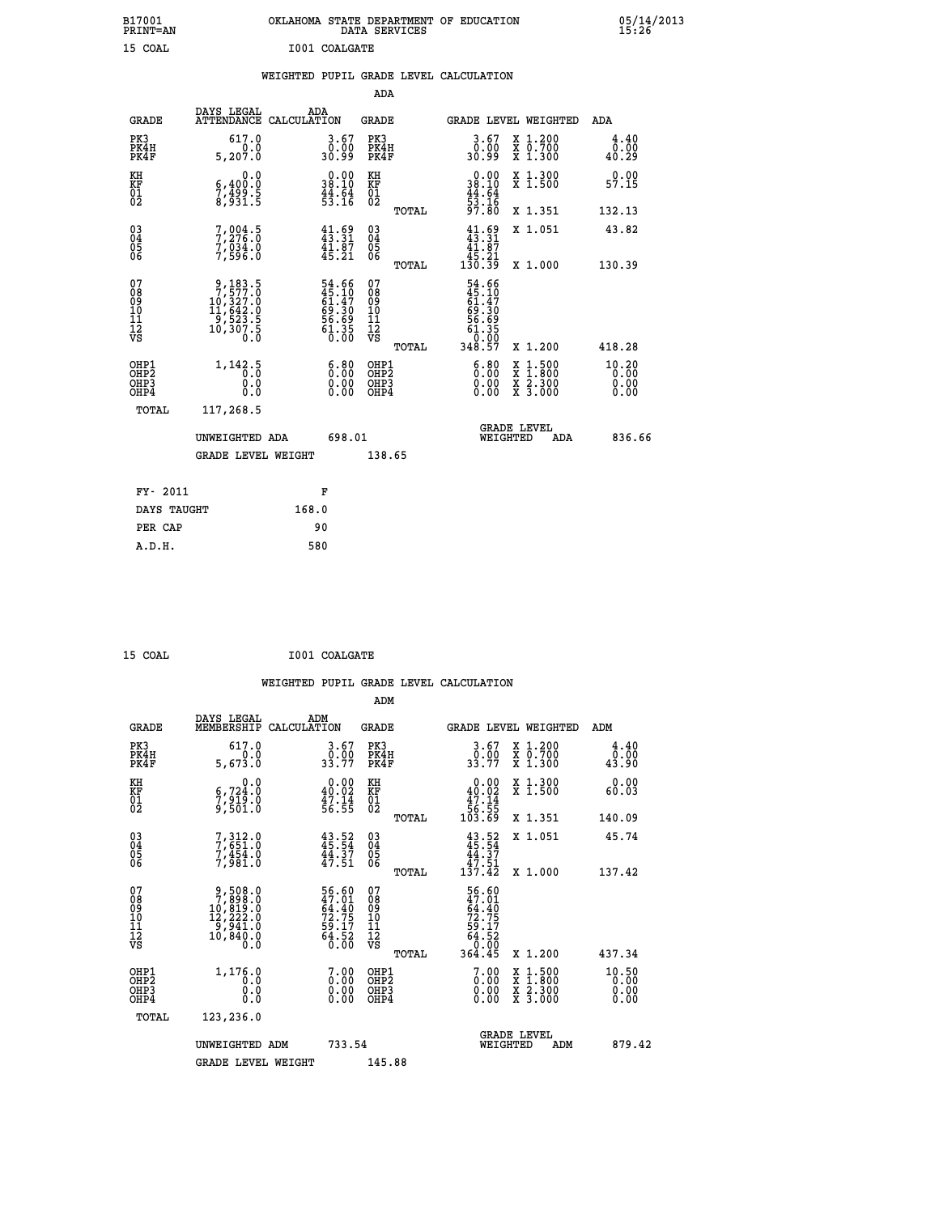| B17001<br>PRINT=AN                |                                                                                                      | OKLAHOMA STATE DEPARTMENT OF EDUCATION                      | DATA SERVICES                                      |                                                       |                                                                                                  | $05/14/2013$<br>15:26         |  |
|-----------------------------------|------------------------------------------------------------------------------------------------------|-------------------------------------------------------------|----------------------------------------------------|-------------------------------------------------------|--------------------------------------------------------------------------------------------------|-------------------------------|--|
| 15 COAL                           |                                                                                                      | I001 COALGATE                                               |                                                    |                                                       |                                                                                                  |                               |  |
|                                   |                                                                                                      | WEIGHTED PUPIL GRADE LEVEL CALCULATION                      |                                                    |                                                       |                                                                                                  |                               |  |
|                                   |                                                                                                      |                                                             | <b>ADA</b>                                         |                                                       |                                                                                                  |                               |  |
| GRADE                             | DAYS LEGAL                                                                                           | ADA<br>ATTENDANCE CALCULATION                               | GRADE                                              |                                                       | GRADE LEVEL WEIGHTED                                                                             | ADA                           |  |
| PK3<br>PK4H<br>PK4F               | 617.0<br>0.0<br>5,207.0                                                                              | $\begin{smallmatrix} 3.67\ 0.00 \ 30.99 \end{smallmatrix}$  | PK3<br>PK4H<br>PK4F                                | 3.67<br>,,,,<br>€€.0ε                                 | X 1.200<br>X 0.700<br>X 1.300                                                                    | 4.40<br>0.00<br>40.29         |  |
| KH<br>KF<br>01<br>02              | 0.0<br>6,400.0<br>$\frac{7}{8}$ , $\frac{15}{9}$ , $\frac{5}{5}$                                     | 38.10<br>$\frac{44}{53}$ : $\frac{54}{16}$                  | KH<br>KF<br>01<br>02                               | 38.10<br>$\frac{44}{53}$ $\cdot\frac{64}{16}$         | X 1.300<br>X 1.500                                                                               | 0.00<br>57.15                 |  |
|                                   |                                                                                                      |                                                             | TOTAL                                              | 97.80                                                 | X 1.351                                                                                          | 132.13                        |  |
| $\substack{03 \\ 04}$<br>Ŏ5<br>06 | 7,276.5<br>7,034.0<br>7,596.0                                                                        | $41.69$<br>$43.31$<br>$41.87$<br>$45.21$                    | $\begin{matrix} 03 \\ 04 \\ 05 \\ 06 \end{matrix}$ | $41.69$<br>$43.31$<br>41.87<br>$\frac{45.21}{130.39}$ | X 1.051                                                                                          | 43.82                         |  |
| 07                                |                                                                                                      |                                                             | TOTAL<br>07                                        |                                                       | X 1.000                                                                                          | 130.39                        |  |
| 08<br>09<br>11<br>11<br>12<br>VS  | $\begin{smallmatrix} 9,183.5\\7,577.0\\10,327.0\\11,642.0\\9,523.5\\10,307.5\\0.0 \end{smallmatrix}$ | 54.66<br>45.10<br>61.47<br>69.30<br>56.69<br>56.35<br>61.35 | 08901112<br>1112<br>VS                             | 54.66<br>45.10<br>61.47<br>69.30<br>56.69<br>61.35    |                                                                                                  |                               |  |
|                                   |                                                                                                      |                                                             | TOTAL                                              | 348.57                                                | X 1.200                                                                                          | 418.28                        |  |
| OHP1<br>OHP2<br>OHP3<br>OHP4      | 1,142.5<br>0.0<br>0.0<br>0.0                                                                         | 6:80<br>$\begin{smallmatrix} 0.00 \ 0.00 \end{smallmatrix}$ | OHP1<br>OHP <sub>2</sub><br>OHP3<br>OHP4           | 6:80<br>0.00<br>0.00                                  | $\begin{smallmatrix} x & 1 & 500 \\ x & 1 & 800 \\ x & 2 & 300 \\ x & 3 & 000 \end{smallmatrix}$ | 10.20<br>0.00<br>0.00<br>0.00 |  |
| TOTAL                             | 117,268.5                                                                                            |                                                             |                                                    |                                                       |                                                                                                  |                               |  |
|                                   | UNWEIGHTED ADA                                                                                       | 698.01                                                      |                                                    | WEIGHTED                                              | <b>GRADE LEVEL</b><br>ADA                                                                        | 836.66                        |  |
|                                   | <b>GRADE LEVEL WEIGHT</b>                                                                            |                                                             | 138.65                                             |                                                       |                                                                                                  |                               |  |
| FY- 2011                          |                                                                                                      | F                                                           |                                                    |                                                       |                                                                                                  |                               |  |
| DAYS TAUGHT                       |                                                                                                      | 168.0                                                       |                                                    |                                                       |                                                                                                  |                               |  |
| PER CAP                           |                                                                                                      | 90                                                          |                                                    |                                                       |                                                                                                  |                               |  |

| 15 COAL | I001 COALGATE |
|---------|---------------|
|         |               |

 **WEIGHTED PUPIL GRADE LEVEL CALCULATION ADM DAYS LEGAL ADM GRADE MEMBERSHIP CALCULATION GRADE GRADE LEVEL WEIGHTED ADM PK3 617.0 3.67 PK3 3.67 X 1.200 4.40 PK4H 0.0 0.00 PK4H 0.00 X 0.700 0.00 PK4F 5,673.0 33.77 PK4F 33.77 X 1.300 43.90 KH 0.0 0.00 KH 0.00 X 1.300 0.00 KF 6,724.0 40.02 KF 40.02 X 1.500 60.03** 01 7,919.0 47.14 01 47.14<br>02 9,501.0 56.55 02 56.55  **TOTAL 103.69 X 1.351 140.09 03 7,312.0 43.52 03 43.52 X 1.051 45.74 04 7,651.0 45.54 04 45.54 05 7,454.0 44.37 05 44.37** 06 7,981.0 47.51 06 <sub>momas</sub> 47.51  **TOTAL 137.42 X 1.000 137.42**  $\begin{array}{cccc} 07 & 9,508.0 & 56.60 & 07 & 56.60 \ 08 & 7,898.0 & 47.01 & 08 & 47.01 \ 09 & 10,819.0 & 64.40 & 09 & 64.40 \ 10 & 12,222.0 & 72.75 & 10 & 72.75 \ 11 & 9,941.0 & 59.17 & 11 & 59.17 \ \hline \textrm{vs} & 10,849.0 & 64.52 & 12 & 64.52 \ 0.8 & 0.0 & 64.5 &$  **TOTAL 364.45 X 1.200 437.34** OHP1 1,176.0 7.00 OHP1 7.00 X 1.500 10.50<br>OHP2 1,176.0 0.00 OHP1 7.00 X 1.500 10.50<br>OHP3 0.00 0.00 OHP3 0.00 X 2.300 0.00  **OHP4 0.0 0.00 OHP4 0.00 X 3.000 0.00 TOTAL 123,236.0 GRADE LEVEL UNWEIGHTED ADM 733.54 WEIGHTED ADM 879.42 GRADE LEVEL WEIGHT 145.88**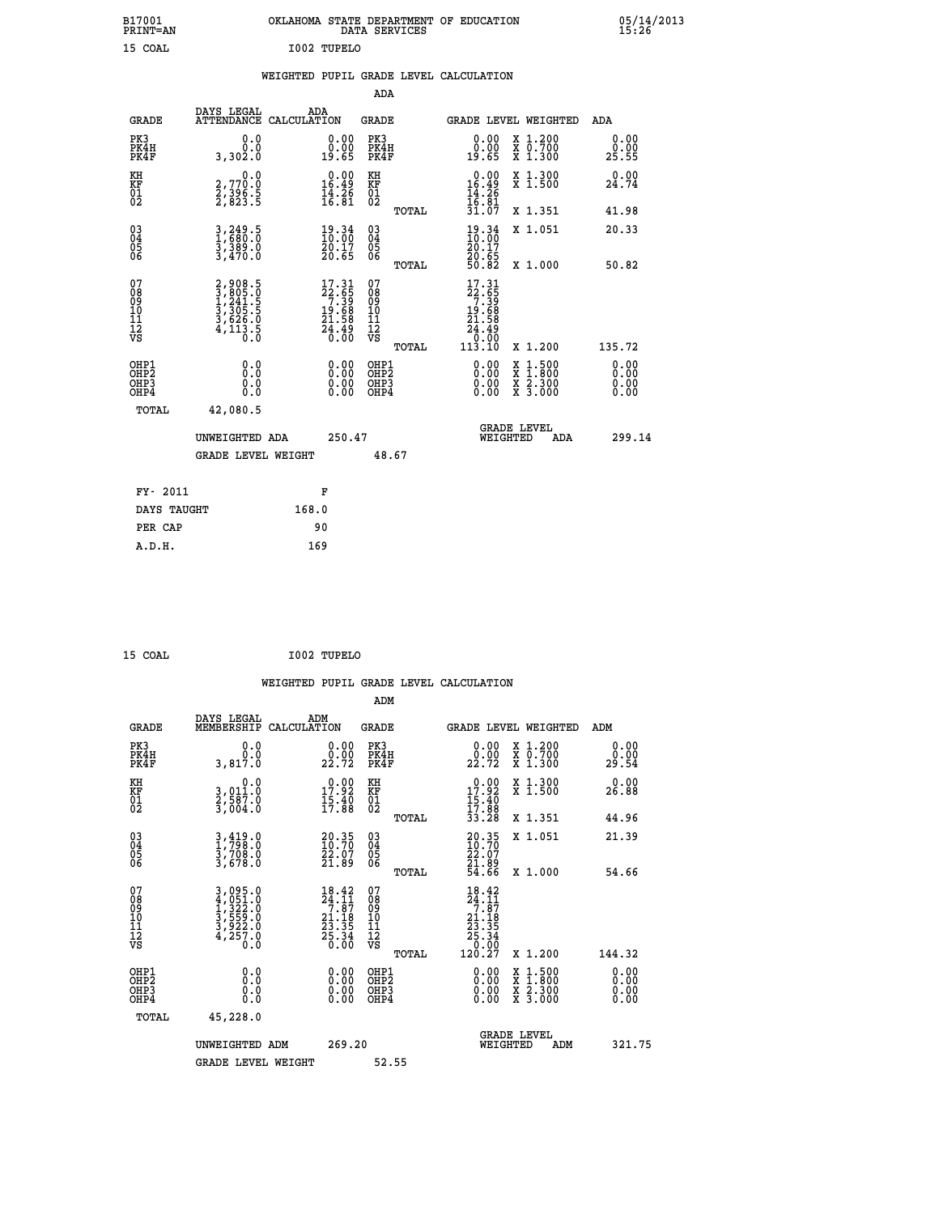| B17001<br>PRINT=AN                                 |                                                                | OKLAHOMA STATE DEPARTMENT OF EDUCATION                                  | DATA SERVICES                                      |                                                       |                                                                                                  | 05/14/2013                   |  |
|----------------------------------------------------|----------------------------------------------------------------|-------------------------------------------------------------------------|----------------------------------------------------|-------------------------------------------------------|--------------------------------------------------------------------------------------------------|------------------------------|--|
| 15 COAL                                            |                                                                | I002 TUPELO                                                             |                                                    |                                                       |                                                                                                  |                              |  |
|                                                    |                                                                | WEIGHTED PUPIL GRADE LEVEL CALCULATION                                  |                                                    |                                                       |                                                                                                  |                              |  |
|                                                    |                                                                |                                                                         | <b>ADA</b>                                         |                                                       |                                                                                                  |                              |  |
| <b>GRADE</b>                                       | DAYS LEGAL                                                     | ADA<br>ATTENDANCE CALCULATION                                           | <b>GRADE</b>                                       | <b>GRADE LEVEL WEIGHTED</b>                           |                                                                                                  | ADA                          |  |
| PK3<br>PK4H<br>PK4F                                | 0.0<br>0.0<br>3,302.0                                          | $\begin{smallmatrix} 0.00\\ 0.00\\ 19.65 \end{smallmatrix}$             | PK3<br>PK4H<br>PK4F                                | 0.00<br>0.00<br>19.65                                 | X 1.200<br>X 0.700<br>X 1.300                                                                    | 0.00<br>0.00<br>25.55        |  |
| KH<br>KF<br>01<br>02                               | 0.0<br>2,770.0<br>2,396.5<br>2,823.5                           | $\begin{smallmatrix} 0.00\\ 16.49\\ 14.26\\ 16.81 \end{smallmatrix}$    | KH<br>KF<br>01<br>02                               | $0.00$<br>$16.49$<br>$14.26$<br>$16.81$<br>$31.07$    | X 1.300<br>X 1.500                                                                               | 0.00<br>24.74                |  |
|                                                    |                                                                |                                                                         | TOTAL                                              |                                                       | X 1.351                                                                                          | 41.98                        |  |
| $\begin{matrix} 03 \\ 04 \\ 05 \\ 06 \end{matrix}$ | 3,249.5<br>3,389.0<br>3,470.0                                  | $\frac{19.34}{20.17}$<br>20.65                                          | $\begin{matrix} 03 \\ 04 \\ 05 \\ 06 \end{matrix}$ | $\frac{19.34}{10.00}$<br>20.17<br>20.65<br>50.82      | X 1.051<br>X 1.000                                                                               | 20.33<br>50.82               |  |
| 07<br>08<br>09<br>11<br>11<br>12<br>VS             | 2,908.5<br>3,805.0<br>1,241.5<br>3,305.5<br>3,626.0<br>4,113.5 | $17.31$<br>$22.65$<br>$7.39$<br>$19.68$<br>$21.58$<br>$24.49$<br>$0.00$ | TOTAL<br>07<br>08<br>09<br>11<br>11<br>12<br>VS    | 17.31<br>22:55<br>7:39<br>19:58<br>21.58<br>24.49     |                                                                                                  |                              |  |
|                                                    |                                                                |                                                                         | TOTAL                                              | $\overline{0}$ . $\overline{0}\overline{0}$<br>113.10 | X 1.200                                                                                          | 135.72                       |  |
| OHP1<br>OHP2<br>OHP3<br>OHP4                       | 0.0<br>0.0<br>0.0<br>0.0                                       | 0.00<br>0.00<br>0.00                                                    | OHP1<br>OHP2<br>OHP3<br>OHP4                       | 0.00<br>0.00<br>0.00                                  | $\begin{smallmatrix} x & 1 & 500 \\ x & 1 & 800 \\ x & 2 & 300 \\ x & 3 & 000 \end{smallmatrix}$ | 0.00<br>0.00<br>0.00<br>0.00 |  |
| TOTAL                                              | 42,080.5                                                       |                                                                         |                                                    |                                                       |                                                                                                  |                              |  |
|                                                    | UNWEIGHTED ADA                                                 | 250.47                                                                  |                                                    | WEIGHTED                                              | <b>GRADE LEVEL</b><br>ADA                                                                        | 299.14                       |  |
|                                                    | <b>GRADE LEVEL WEIGHT</b>                                      |                                                                         | 48.67                                              |                                                       |                                                                                                  |                              |  |
| FY- 2011                                           |                                                                | F                                                                       |                                                    |                                                       |                                                                                                  |                              |  |
| DAYS TAUGHT                                        |                                                                | 168.0                                                                   |                                                    |                                                       |                                                                                                  |                              |  |
| PER CAP                                            |                                                                | 90                                                                      |                                                    |                                                       |                                                                                                  |                              |  |

 **WEIGHTED PUPIL GRADE LEVEL CALCULATION ADM DAYS LEGAL ADM GRADE MEMBERSHIP CALCULATION GRADE GRADE LEVEL WEIGHTED ADM PK3 0.0 0.00 PK3 0.00 X 1.200 0.00 PK4H 0.0 0.00 PK4H 0.00 X 0.700 0.00 PK4F 3,817.0 22.72 PK4F 22.72 X 1.300 29.54 KH 0.0 0.00 KH 0.00 X 1.300 0.00 KF 3,011.0 17.92 KF 17.92 X 1.500 26.88 01 2,587.0 15.40 01 15.40 02 3,004.0 17.88 02 17.88 TOTAL 33.28 X 1.351 44.96 03 3,419.0 20.35 03 20.35 X 1.051 21.39 04 1,798.0 10.70 04 10.70 05 3,708.0 22.07 05 22.07 06 3,678.0 21.89 06 21.89 TOTAL 54.66 X 1.000 54.66**  $\begin{array}{cccc} 07 & 3\,,095.0 & 18.42 & 07 & 18.42 \ 08 & 4\,,051.0 & 24.11 & 08 & 24.11 \ 09 & 1\,,322.0 & 2.118 & 10 & 21.18 \ 10 & 3\,,559.0 & 21.18 & 10 & 21.18 \ 11 & 3\,,922.0 & 233.35 & 11 & 23.35 \ 12 & 4\,,255.0 & 25.36 & 12 & 23.35 \ 13 & 6.00 & 23.35 & 12$  **TOTAL 120.27 X 1.200 144.32 OHP1 0.0 0.00 OHP1 0.00 X 1.500 0.00 OHP2 0.0 0.00 OHP2 0.00 X 1.800 0.00 OHP3 0.0 0.00 OHP3 0.00 X 2.300 0.00 OHP4 0.0 0.00 OHP4 0.00 X 3.000 0.00 TOTAL 45,228.0 GRADE LEVEL UNWEIGHTED ADM 269.20 WEIGHTED ADM 321.75** GRADE LEVEL WEIGHT 52.55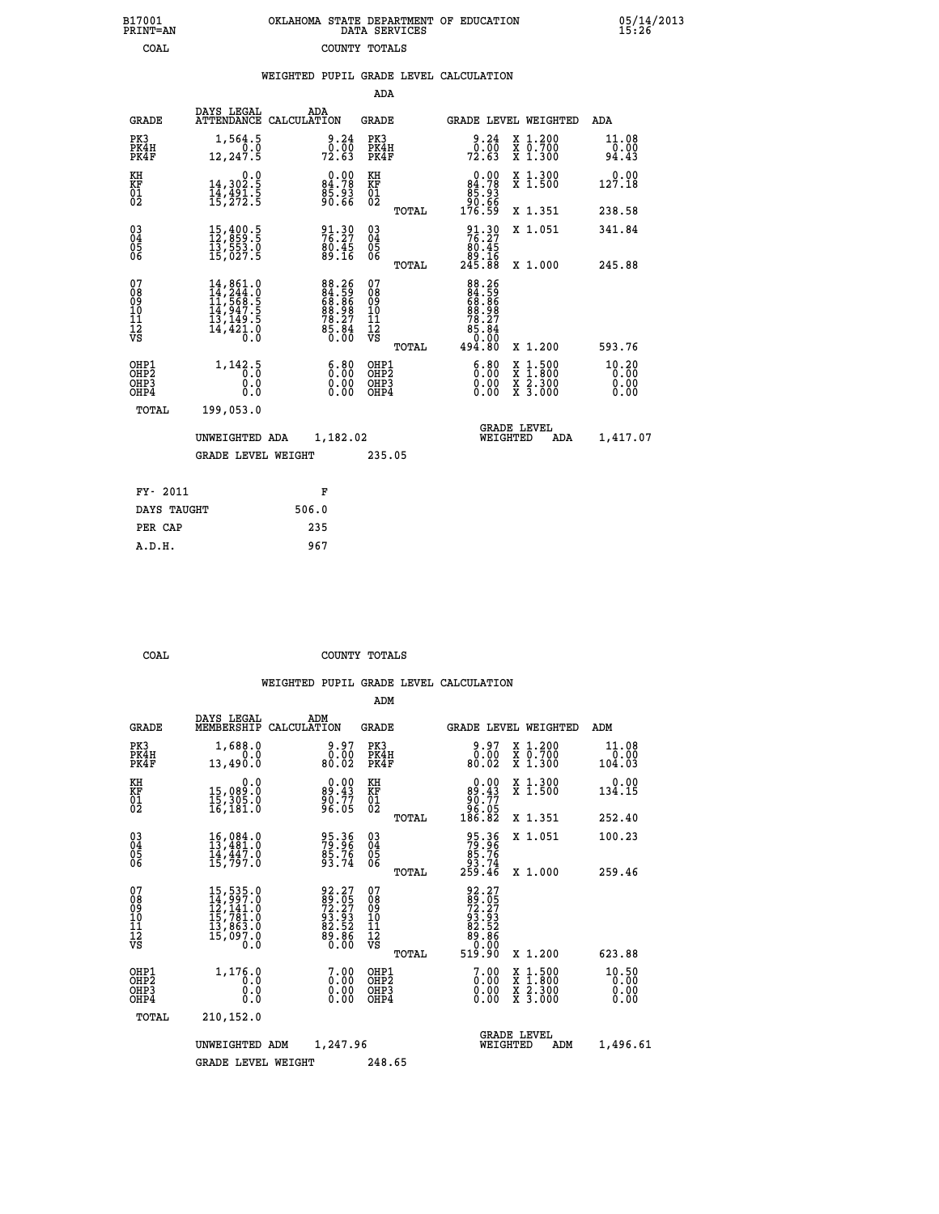| 7001<br>INT=AN | OKLAHOMA STATE DEPARTMENT OF EDUCATION<br>DATA SERVICES |  |
|----------------|---------------------------------------------------------|--|
| COAL           | COUNTY TOTALS                                           |  |

05/14/2013<br>15:26

|                                                              |                                                                                                   | WEIGHTED PUPIL GRADE LEVEL CALCULATION                                   |                                                 |                                                                                                                                                                                                       |                        |
|--------------------------------------------------------------|---------------------------------------------------------------------------------------------------|--------------------------------------------------------------------------|-------------------------------------------------|-------------------------------------------------------------------------------------------------------------------------------------------------------------------------------------------------------|------------------------|
|                                                              |                                                                                                   |                                                                          | ADA                                             |                                                                                                                                                                                                       |                        |
| <b>GRADE</b>                                                 | DAYS LEGAL                                                                                        | ADA<br>ATTENDANCE CALCULATION                                            | <b>GRADE</b>                                    | <b>GRADE LEVEL WEIGHTED</b>                                                                                                                                                                           | ADA                    |
| PK3<br>PK4H<br>PK4F                                          | 1,564.5<br>Ō.O<br>12,247.5                                                                        | 9.24<br>$\frac{0.00}{72.63}$                                             | PK3<br>PK4H<br>PK4F                             | $\begin{smallmatrix} 9.24\ 0.00 \ 72.63 \end{smallmatrix}$<br>X 1.200<br>X 0.700<br>X 1.300                                                                                                           | 11.08<br>0.00<br>94.43 |
| KH<br>KF<br>01<br>02                                         | 0.0<br>14,302.5<br>14,491.5<br>15,272.5                                                           | $0.00$<br>84.78<br>85.93<br>90.66                                        | KH<br>KF<br>01<br>02                            | $0.00$<br>84.78<br>X 1.300<br>X 1.500<br>88:38<br>88:66<br>176:59                                                                                                                                     | 127.18                 |
|                                                              |                                                                                                   |                                                                          | TOTAL                                           | X 1.351                                                                                                                                                                                               | 238.58                 |
| $\begin{smallmatrix} 03 \\[-4pt] 04 \end{smallmatrix}$<br>05 | $\begin{smallmatrix} 15\,,400\,.5\\ 12\,,859\,.5\\ 13\,,553\,.0\\ 15\,,027\,.5 \end{smallmatrix}$ | 91.30<br>76.27<br>80.45<br>89.16                                         | $^{03}_{04}$<br>05<br>06                        | $\begin{smallmatrix} 91.30\\ 76.27\\ 80.45\\ 89.16\\ 245.88 \end{smallmatrix}$<br>X 1.051                                                                                                             | 341.84                 |
| 06                                                           |                                                                                                   |                                                                          | TOTAL                                           | X 1.000                                                                                                                                                                                               | 245.88                 |
| 07<br>08<br>09<br>01<br>11<br>11<br>12<br>VS                 |                                                                                                   | $88.26$<br>$84.59$<br>$68.96$<br>$88.27$<br>$78.27$<br>$85.84$<br>$0.00$ | 07<br>08<br>09<br>10<br>11<br>12<br>VS<br>TOTAL | $\begin{array}{r} 88\cdot 26 \\ 84\cdot 59 \\ 68\cdot 98 \\ 68\cdot 98 \\ 78\cdot 27 \\ 85\cdot 84 \\ 94\cdot 80 \end{array}$<br>X 1.200                                                              | 593.76                 |
| OHP1<br>OHP2<br>OHP3<br>OHP4                                 | 1, 142.5<br>0.0<br>0.0                                                                            | $\begin{smallmatrix} 6.80\ 0.00\ 0.00 \end{smallmatrix}$                 | OHP1<br>OHP2<br>OHP <sub>3</sub>                | $\begin{smallmatrix} 6.80\ 0.00\ 0.00 \end{smallmatrix}$<br>$\begin{smallmatrix} \mathtt{X} & 1\cdot500\\ \mathtt{X} & 1\cdot800\\ \mathtt{X} & 2\cdot300\\ \mathtt{X} & 3\cdot000 \end{smallmatrix}$ | 10.20<br>0.00<br>0.00  |
| TOTAL                                                        | 199,053.0                                                                                         |                                                                          |                                                 |                                                                                                                                                                                                       |                        |
|                                                              | UNWEIGHTED ADA                                                                                    | 1,182.02                                                                 |                                                 | <b>GRADE LEVEL</b><br>WEIGHTED                                                                                                                                                                        | 1,417.07<br>ADA        |
|                                                              | <b>GRADE LEVEL WEIGHT</b>                                                                         |                                                                          | 235.05                                          |                                                                                                                                                                                                       |                        |
| FY- 2011                                                     |                                                                                                   | F                                                                        |                                                 |                                                                                                                                                                                                       |                        |
| DAYS TAUGHT                                                  |                                                                                                   | 506.0                                                                    |                                                 |                                                                                                                                                                                                       |                        |
| PER CAP                                                      |                                                                                                   | 235                                                                      |                                                 |                                                                                                                                                                                                       |                        |

 **A.D.H. 967**

 **B17001<br>PRINT=AN** 

 **COAL COUNTY TOTALS**

|                                                       |                                                                                                                                                                                               |                                                                    | ADM                                                 |                                                                  |                                          |                               |
|-------------------------------------------------------|-----------------------------------------------------------------------------------------------------------------------------------------------------------------------------------------------|--------------------------------------------------------------------|-----------------------------------------------------|------------------------------------------------------------------|------------------------------------------|-------------------------------|
| <b>GRADE</b>                                          | DAYS LEGAL<br>MEMBERSHIP                                                                                                                                                                      | ADM<br>CALCULATION                                                 | <b>GRADE</b>                                        | <b>GRADE LEVEL WEIGHTED</b>                                      |                                          | ADM                           |
| PK3<br>PK4H<br>PK4F                                   | 1,688.0<br>0.0<br>13,490.0                                                                                                                                                                    | 9.97<br>0.00<br>80.02                                              | PK3<br>PK4H<br>PK4F                                 | 0.97<br>80.02                                                    | X 1.200<br>X 0.700<br>X 1.300            | 11.08<br>0.00<br>104.03       |
| KH<br>KF<br>01<br>02                                  | 0.0<br>15,089:0<br>15,305:0<br>16,181:0                                                                                                                                                       | $\begin{smallmatrix} 0.00\\89.43\\90.77\\96.05 \end{smallmatrix}$  | KH<br>KF<br>01<br>02                                | $0.00\n89.43\n90.77\n96.05\n186.82$                              | X 1.300<br>X 1.500                       | 0.00<br>134.15                |
|                                                       |                                                                                                                                                                                               |                                                                    | TOTAL                                               |                                                                  | X 1.351                                  | 252.40                        |
| 03<br>04<br>05<br>06                                  | $16,084.0$<br>$13,481.0$<br>$14,447.0$<br>15,797.0                                                                                                                                            | 95.36<br>79.96<br>85.76<br>93.74                                   | $\begin{array}{c} 03 \\ 04 \\ 05 \\ 06 \end{array}$ | 95.36<br>79.96<br>85.76<br>93.74<br>259.46                       | X 1.051                                  | 100.23                        |
|                                                       |                                                                                                                                                                                               |                                                                    | TOTAL                                               |                                                                  | X 1.000                                  | 259.46                        |
| 07<br>08<br>09<br>101<br>112<br>VS                    | $\begin{smallmatrix} 15 \,,\, 535 \,. \,0 \\ 14 \,,\, 997 \,. \,0 \\ 12 \,,\, 141 \,. \,0 \\ 15 \,,\, 781 \,. \,0 \\ 13 \,,\, 863 \,. \,0 \\ 15 \,,\, 097 \,. \,0 \\ 0 \,. \end{smallmatrix}$ | 92.27<br>89.05<br>72.27<br>93.93<br>82.52<br>89.86<br>80.00        | 07<br>08<br>09<br>101<br>11<br>12<br>VS<br>TOTAL    | 92.27<br>381.057<br>72.27<br>93.93<br>88.586<br>80.000<br>519.90 | X 1.200                                  | 623.88                        |
| OHP1<br>OH <sub>P</sub> 2<br>OH <sub>P3</sub><br>OHP4 | 1,176.0<br>0.0<br>0.000                                                                                                                                                                       | $\begin{smallmatrix} 7.00 \ 0.00 \ 0.00 \end{smallmatrix}$<br>0.00 | OHP1<br>OHP2<br>OHP3<br>OHP4                        | 7.00<br>0.00<br>0.00                                             | X 1:500<br>X 1:800<br>X 2:300<br>X 3:000 | 10.50<br>0.00<br>0.00<br>0.00 |
| TOTAL                                                 | 210,152.0                                                                                                                                                                                     |                                                                    |                                                     |                                                                  |                                          |                               |
|                                                       | UNWEIGHTED                                                                                                                                                                                    | 1,247.96<br>ADM                                                    |                                                     | <b>GRADE LEVEL</b><br>WEIGHTED                                   | ADM                                      | 1,496.61                      |
|                                                       | GRADE LEVEL WEIGHT                                                                                                                                                                            |                                                                    | 248.65                                              |                                                                  |                                          |                               |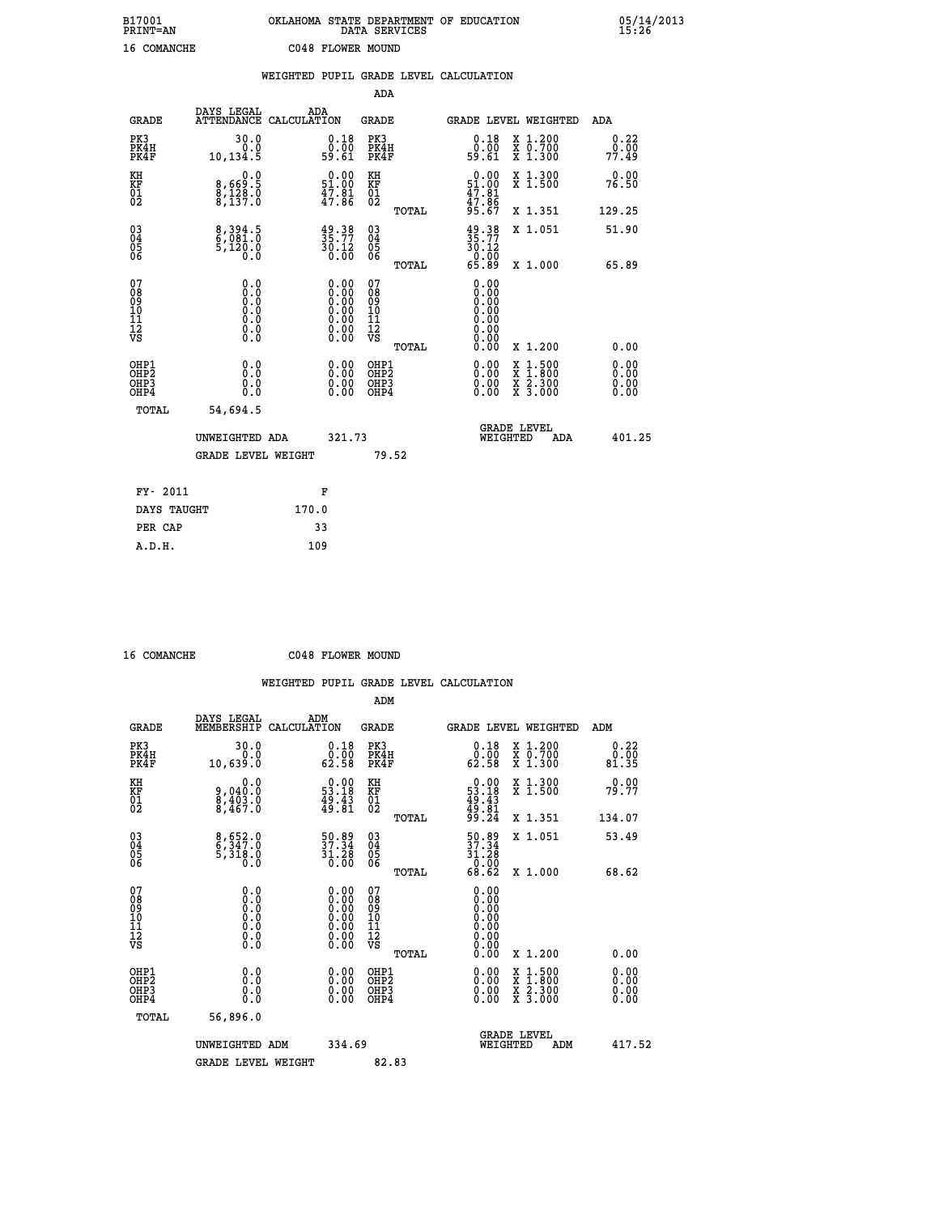| B17001<br><b>PRINT=AN</b> | OKLAHOMA<br>. STATE DEPARTMENT OF EDUCATION<br>DATA SERVICES | 05/14/2013<br>15:26 |
|---------------------------|--------------------------------------------------------------|---------------------|
| 16<br>COMANCHE            | C048 FLOWER MOUND                                            |                     |

|                                                       |                                      | WEIGHTED PUPIL GRADE LEVEL CALCULATION                                                        |                                                    |       |                                                                                                                                                                                                                                                                                |                                                                                                                                           |                       |
|-------------------------------------------------------|--------------------------------------|-----------------------------------------------------------------------------------------------|----------------------------------------------------|-------|--------------------------------------------------------------------------------------------------------------------------------------------------------------------------------------------------------------------------------------------------------------------------------|-------------------------------------------------------------------------------------------------------------------------------------------|-----------------------|
|                                                       |                                      |                                                                                               | ADA                                                |       |                                                                                                                                                                                                                                                                                |                                                                                                                                           |                       |
| <b>GRADE</b>                                          | DAYS LEGAL<br>ATTENDANCE CALCULATION | ADA                                                                                           | <b>GRADE</b>                                       |       |                                                                                                                                                                                                                                                                                | <b>GRADE LEVEL WEIGHTED</b>                                                                                                               | ADA                   |
| PK3<br>PK4H<br>PK4F                                   | 30.0<br>0.0<br>10,134.5              | $\begin{smallmatrix} 0.18\\ 0.00\\ 59.61 \end{smallmatrix}$                                   | PK3<br>PK4H<br>PK4F                                |       | 0.18<br>ŏ:ōŏ<br>59:61                                                                                                                                                                                                                                                          | X 1.200<br>X 0.700<br>X 1.300                                                                                                             | 0.22<br>0.00<br>77.49 |
| KH<br>KF<br>01<br>02                                  | 0.0<br>8,669:5<br>8,128:0<br>8,137:0 | $0.00$<br>51.00<br>$\frac{47.81}{47.86}$                                                      | KH<br>KF<br>01<br>02                               |       | $0.00$<br>51.00<br>47.81<br>47.86<br>5.67                                                                                                                                                                                                                                      | X 1.300<br>X 1.500                                                                                                                        | 0.00<br>76.50         |
|                                                       |                                      |                                                                                               |                                                    | TOTAL |                                                                                                                                                                                                                                                                                | X 1.351                                                                                                                                   | 129.25                |
| $^{03}_{04}$<br>05<br>06                              | 8,394.5<br>6,081.0<br>5,120.0<br>Õ.Ŏ | $\frac{49}{35}.77$<br>30.12<br>0.00                                                           | $\begin{matrix} 03 \\ 04 \\ 05 \\ 06 \end{matrix}$ |       | $\frac{49}{35}$ : 77<br>30.12                                                                                                                                                                                                                                                  | X 1.051                                                                                                                                   | 51.90                 |
|                                                       |                                      |                                                                                               |                                                    | TOTAL | $\begin{smallmatrix} 0.000 0.000 0.000 0.000 0.000 0.000 0.000 0.000 0.000 0.000 0.000 0.000 0.000 0.000 0.000 0.000 0.000 0.000 0.000 0.000 0.000 0.000 0.000 0.000 0.000 0.000 0.000 0.000 0.000 0.000 0.000 0.000 0.000 0.000 0.000 0.0$                                    | X 1.000                                                                                                                                   | 65.89                 |
| 07<br>08<br>09<br>101<br>11<br>12<br>VS               | 0.0                                  | $\begin{smallmatrix} 0.00\ 0.00\ 0.00\ 0.00\ 0.00\ 0.00\ 0.00\ 0.00\ 0.00\ \end{smallmatrix}$ | 078<br>089<br>0011<br>11<br>12<br>VS               | TOTAL | 0.00<br>0.00<br>Ŏ.ŎŎ<br>0.00<br>0.00<br>0.00<br>0.00<br>0.00                                                                                                                                                                                                                   | X 1.200                                                                                                                                   | 0.00                  |
| OHP1<br>OHP2<br>OH <sub>P</sub> 3<br>OH <sub>P4</sub> | 0.0<br>0.0<br>0.0                    | $\begin{smallmatrix} 0.00 \ 0.00 \ 0.00 \ 0.00 \end{smallmatrix}$                             | OHP1<br>OHP2<br>OHP3<br>OHP4                       |       | $\begin{smallmatrix} 0.00 & 0.00 & 0.00 & 0.00 & 0.00 & 0.00 & 0.00 & 0.00 & 0.00 & 0.00 & 0.00 & 0.00 & 0.00 & 0.00 & 0.00 & 0.00 & 0.00 & 0.00 & 0.00 & 0.00 & 0.00 & 0.00 & 0.00 & 0.00 & 0.00 & 0.00 & 0.00 & 0.00 & 0.00 & 0.00 & 0.00 & 0.00 & 0.00 & 0.00 & 0.00 & 0.0$ | $\begin{smallmatrix} \mathtt{X} & 1\cdot500\\ \mathtt{X} & 1\cdot800\\ \mathtt{X} & 2\cdot300\\ \mathtt{X} & 3\cdot000 \end{smallmatrix}$ | 0.00<br>0.00<br>0.00  |
| TOTAL                                                 | 54,694.5                             |                                                                                               |                                                    |       |                                                                                                                                                                                                                                                                                |                                                                                                                                           |                       |
|                                                       | UNWEIGHTED ADA                       | 321.73                                                                                        |                                                    |       | WEIGHTED                                                                                                                                                                                                                                                                       | <b>GRADE LEVEL</b><br>ADA                                                                                                                 | 401.25                |
|                                                       | <b>GRADE LEVEL WEIGHT</b>            |                                                                                               |                                                    | 79.52 |                                                                                                                                                                                                                                                                                |                                                                                                                                           |                       |
| FY- 2011                                              |                                      | F                                                                                             |                                                    |       |                                                                                                                                                                                                                                                                                |                                                                                                                                           |                       |
| DAYS TAUGHT                                           |                                      | 170.0                                                                                         |                                                    |       |                                                                                                                                                                                                                                                                                |                                                                                                                                           |                       |
| PER CAP                                               |                                      | 33                                                                                            |                                                    |       |                                                                                                                                                                                                                                                                                |                                                                                                                                           |                       |

| $16$ COMMUTIVE |  |
|----------------|--|

 **ADM**

 **16 COMANCHE C048 FLOWER MOUND**

| <b>GRADE</b>                                       | DAYS LEGAL<br>MEMBERSHIP CALCULATION                                          | ADM                                                                                           | <b>GRADE</b>                                       |       |                                                                             |          | GRADE LEVEL WEIGHTED                     | ADM                   |  |
|----------------------------------------------------|-------------------------------------------------------------------------------|-----------------------------------------------------------------------------------------------|----------------------------------------------------|-------|-----------------------------------------------------------------------------|----------|------------------------------------------|-----------------------|--|
| PK3<br>PK4H<br>PK4F                                | 30.0<br>0.0<br>10,639.0                                                       | 0.18<br>ŏ:ōŏ<br>62:58                                                                         | PK3<br>PK4H<br>PK4F                                |       | 0.18<br>0.00<br>62.58                                                       |          | X 1.200<br>X 0.700<br>X 1.300            | 0.22<br>0.00<br>81.35 |  |
| KH<br>KF<br>01<br>02                               | 0.0<br>9,040:0<br>8,403:0<br>8,467:0                                          | $\begin{smallmatrix} 0.00\\ 53.18\\ 49.43\\ 49.81 \end{smallmatrix}$                          | KH<br>KF<br>01<br>02                               |       | $\begin{smallmatrix} 0.00\\ 53.18\\ 49.43\\ 49.81\\ 9.24 \end{smallmatrix}$ |          | X 1.300<br>X 1.500                       | 0.00<br>79.77         |  |
|                                                    |                                                                               |                                                                                               |                                                    | TOTAL |                                                                             |          | X 1.351                                  | 134.07                |  |
| $\begin{matrix} 03 \\ 04 \\ 05 \\ 06 \end{matrix}$ | 8,652.0<br>6,347.0<br>5,318.0<br>0.0                                          | $\begin{smallmatrix} 50.89\\ 37.34\\ 31.28\\ 0.00 \end{smallmatrix}$                          | $\begin{matrix} 03 \\ 04 \\ 05 \\ 06 \end{matrix}$ |       | 50.89<br>37.34<br>31.28<br>0.00                                             |          | X 1.051                                  | 53.49                 |  |
|                                                    |                                                                               |                                                                                               |                                                    | TOTAL | 68.62                                                                       |          | X 1.000                                  | 68.62                 |  |
| 07<br>08<br>09<br>101<br>11<br>12<br>VS            | $\begin{array}{c} 0.00000\\ -0.0000\\ -0.0000\\ -0.0000\\ -0.0000\end{array}$ | $\begin{smallmatrix} 0.00\ 0.00\ 0.00\ 0.00\ 0.00\ 0.00\ 0.00\ 0.00\ 0.00\ \end{smallmatrix}$ | 07<br>08<br>09<br>01<br>11<br>11<br>12<br>VS       |       |                                                                             |          |                                          |                       |  |
|                                                    |                                                                               |                                                                                               |                                                    | TOTAL | 0.00                                                                        |          | X 1.200                                  | 0.00                  |  |
| OHP1<br>OHP2<br>OHP3<br>OHP4                       | 0.0<br>0.0<br>Ŏ.Ŏ                                                             | $\begin{smallmatrix} 0.00 \ 0.00 \ 0.00 \ 0.00 \end{smallmatrix}$                             | OHP1<br>OHP2<br>OHP3<br>OHP4                       |       | $0.00$<br>$0.00$<br>0.00                                                    |          | X 1:500<br>X 1:800<br>X 2:300<br>X 3:000 | 0.00<br>0.00<br>0.00  |  |
| TOTAL                                              | 56,896.0                                                                      |                                                                                               |                                                    |       |                                                                             |          |                                          |                       |  |
|                                                    | UNWEIGHTED                                                                    | 334.69<br>ADM                                                                                 |                                                    |       |                                                                             | WEIGHTED | <b>GRADE LEVEL</b><br>ADM                | 417.52                |  |
|                                                    | <b>GRADE LEVEL WEIGHT</b>                                                     |                                                                                               | 82.83                                              |       |                                                                             |          |                                          |                       |  |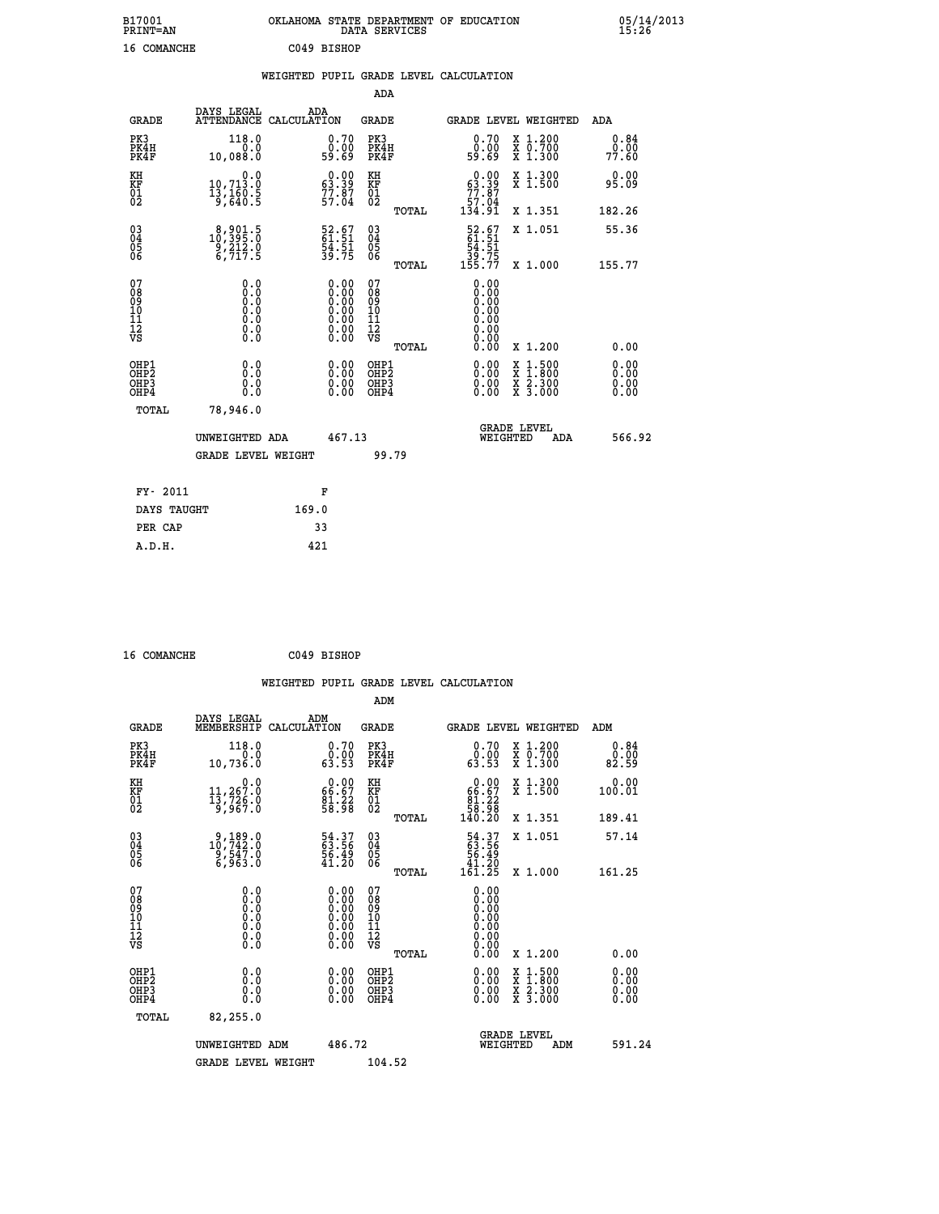| B17001<br>PRINT=AN | OKLAHOMA STATE DEPARTMENT OF EDUCATION<br>DATA SERVICES | 05/14/2013<br>15:26 |
|--------------------|---------------------------------------------------------|---------------------|
| 16<br>COMANCHE     | C049 BISHOP                                             |                     |

|                              |                                                                           | WEIGHTED PUPIL GRADE LEVEL CALCULATION                                                              |                                                    |       |                                                                           |                                                                                          |                          |
|------------------------------|---------------------------------------------------------------------------|-----------------------------------------------------------------------------------------------------|----------------------------------------------------|-------|---------------------------------------------------------------------------|------------------------------------------------------------------------------------------|--------------------------|
|                              |                                                                           |                                                                                                     | ADA                                                |       |                                                                           |                                                                                          |                          |
| <b>GRADE</b>                 | DAYS LEGAL ADA ATTENDANCE CALCULATION                                     |                                                                                                     | GRADE                                              |       |                                                                           | GRADE LEVEL WEIGHTED                                                                     | ADA                      |
| PK3<br>PK4H<br>PK4F          | 118.0<br>0.0<br>10,088.0                                                  | 0.70<br>ةة:ة<br>59:69                                                                               | PK3<br>PK4H<br>PK4F                                |       | 0.70<br>0.00<br>59.69                                                     | X 1.200<br>X 0.700<br>X 1.300                                                            | 0.84<br>0.00<br>77.60    |
| KH<br>KF<br>01<br>02         | $\begin{smallmatrix}&&&0.0\\10,713.0\\13,160.5\\9,640.5\end{smallmatrix}$ | $\begin{smallmatrix} 0.00\\ 63.39\\ 77.87\\ 57.04\\ \end{smallmatrix}$                              | KH<br>KF<br>01<br>02                               |       | $\begin{smallmatrix} &0.00\ 63.39\ 77.87\ 57.04\ 134.91\end{smallmatrix}$ | X 1.300<br>X 1.500                                                                       | 0.00<br>95.09            |
|                              |                                                                           |                                                                                                     |                                                    | TOTAL |                                                                           | X 1.351                                                                                  | 182.26                   |
| 03<br>04<br>05<br>06         | $\substack{8,901.5\\10,395.0\\9,212.0\\6,717.5}$                          | 52.67<br>61.51<br>54.51<br>39.75                                                                    | $\begin{matrix} 03 \\ 04 \\ 05 \\ 06 \end{matrix}$ |       | $52.67$<br>61.51<br>54.51                                                 | X 1.051                                                                                  | 55.36                    |
|                              |                                                                           |                                                                                                     |                                                    | TOTAL | _39.75<br>155.77                                                          | X 1.000                                                                                  | 155.77                   |
| 07<br>0890112<br>1112<br>VS  | 0.0                                                                       | $\begin{smallmatrix} 0.00\ 0.00\ 0.00\ 0.00\ 0.00\ 0.00\ 0.00\ 0.00\ 0.00\ 0.00\ \end{smallmatrix}$ | 07<br>08<br>09<br>001<br>11<br>11<br>12<br>VS      | TOTAL | 0.00<br>0.00<br>0.00<br>0.00<br>0.00<br>0.00<br>0.00<br>0.00              | X 1.200                                                                                  | 0.00                     |
| OHP1<br>OHP2<br>OHP3<br>OHP4 | 0.0<br>0.0<br>Ŏ.Ŏ                                                         | $\begin{smallmatrix} 0.00 \ 0.00 \ 0.00 \ 0.00 \end{smallmatrix}$                                   | OHP1<br>OHP2<br>OHP3<br>OHP4                       |       |                                                                           | $\begin{smallmatrix} x & 1.500 \\ x & 1.800 \\ x & 2.300 \\ x & 3.000 \end{smallmatrix}$ | 0.00<br>$0.00$<br>$0.00$ |
| TOTAL                        | 78,946.0                                                                  |                                                                                                     |                                                    |       |                                                                           |                                                                                          |                          |
|                              | UNWEIGHTED ADA                                                            | 467.13                                                                                              |                                                    |       | WEIGHTED                                                                  | <b>GRADE LEVEL</b><br>ADA                                                                | 566.92                   |
|                              | <b>GRADE LEVEL WEIGHT</b>                                                 |                                                                                                     |                                                    | 99.79 |                                                                           |                                                                                          |                          |
| FY- 2011                     |                                                                           | F                                                                                                   |                                                    |       |                                                                           |                                                                                          |                          |
| DAYS TAUGHT                  |                                                                           | 169.0                                                                                               |                                                    |       |                                                                           |                                                                                          |                          |
| PER CAP                      |                                                                           | 33                                                                                                  |                                                    |       |                                                                           |                                                                                          |                          |

 **16 COMANCHE C049 BISHOP**

 **A.D.H. 421**

 **WEIGHTED PUPIL GRADE LEVEL CALCULATION ADM DAYS LEGAL ADM GRADE MEMBERSHIP CALCULATION GRADE GRADE LEVEL WEIGHTED ADM PK3 118.0 0.70 PK3 0.70 X 1.200 0.84 PK4H 0.0 0.00 PK4H 0.00 X 0.700 0.00 PK4F 10,736.0 63.53 PK4F 63.53 X 1.300 82.59 KH 0.0 0.00 KH 0.00 X 1.300 0.00 KF 11,267.0 66.67 KF 66.67 X 1.500 100.01 01 13,726.0 81.22 01 81.22 02 9,967.0 58.98 02 58.98 TOTAL 140.20 X 1.351 189.41 03 9,189.0 54.37 03 54.37 X 1.051 57.14 04 10,742.0 63.56 04 63.56 05 9,547.0 56.49 05 56.49 06 6,963.0 41.20 06 41.20 TOTAL 161.25 X 1.000 161.25 07 0.0 0.00 07 0.00 08 0.0 0.00 08 0.00 03 0.00 0.00 0.000 0.000 10 0.0 0.00 10 0.00 11 0.0 0.00 11 0.00 12 0.0 0.00 12 0.00 VS** 0.0 0.00 VS 0.00 0.00  **TOTAL 0.00 X 1.200 0.00 OHP1 0.0 0.00 OHP1 0.00 X 1.500 0.00 OHP2 0.0 0.00 OHP2 0.00 X 1.800 0.00 OHP3 0.0 0.00 OHP3 0.00 X 2.300 0.00 OHP4 0.0 0.00 OHP4 0.00 X 3.000 0.00 TOTAL 82,255.0 GRADE LEVEL UNWEIGHTED ADM 486.72 WEIGHTED ADM 591.24** GRADE LEVEL WEIGHT 104.52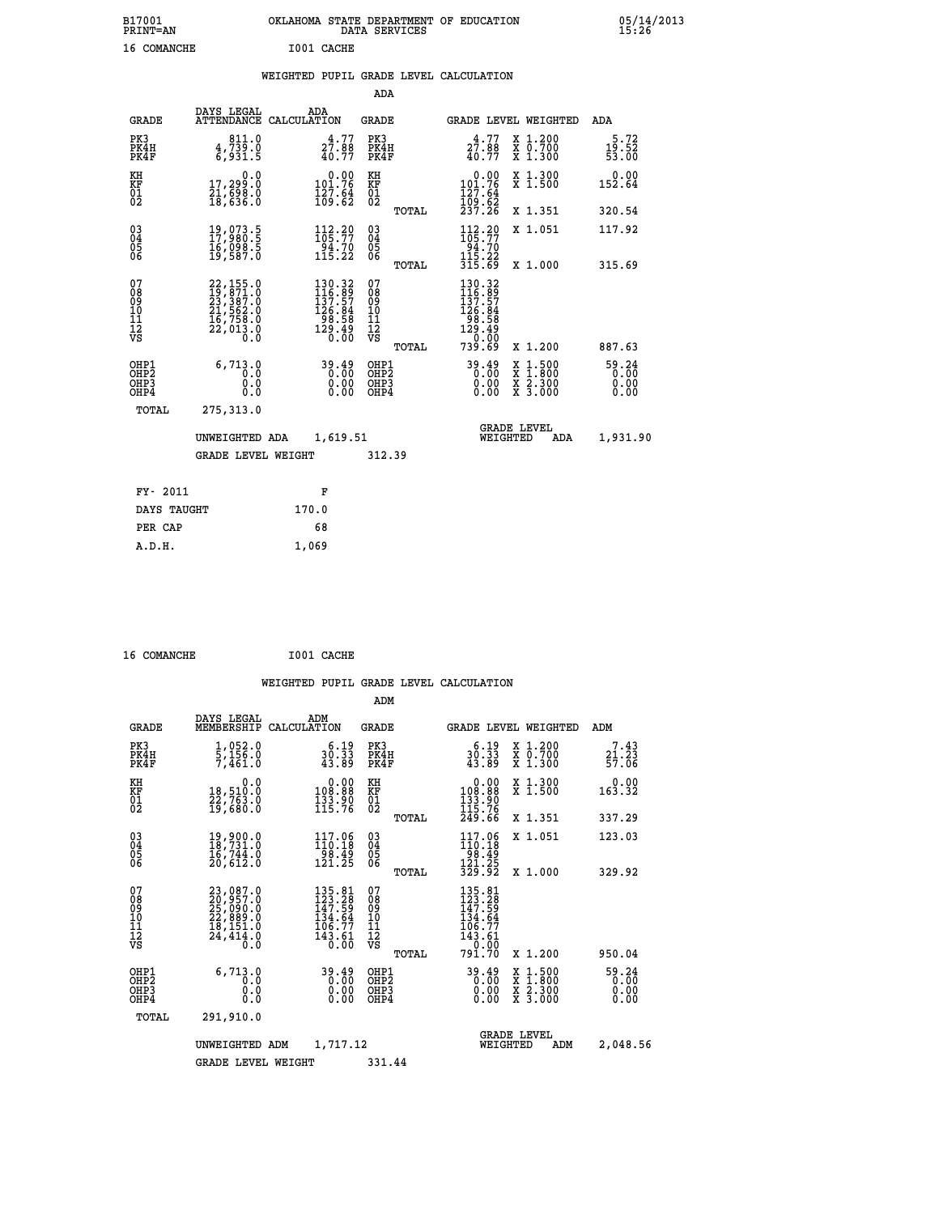| B17001<br><b>PRINT=AN</b> |             |            | OKLAHOMA STATE DEPARTMENT OF EDUCATION<br>DATA SERVICES |  |
|---------------------------|-------------|------------|---------------------------------------------------------|--|
|                           | 16 COMANCHE | I001 CACHE |                                                         |  |

|  |  | WEIGHTED PUPIL GRADE LEVEL CALCULATION |
|--|--|----------------------------------------|
|  |  |                                        |

|                                                                    |                                                                                                                                                 |                                                                                                   | ADA                                      |       |                                                                                                       |                                                                                                  |                                 |
|--------------------------------------------------------------------|-------------------------------------------------------------------------------------------------------------------------------------------------|---------------------------------------------------------------------------------------------------|------------------------------------------|-------|-------------------------------------------------------------------------------------------------------|--------------------------------------------------------------------------------------------------|---------------------------------|
| <b>GRADE</b>                                                       | DAYS LEGAL                                                                                                                                      | ADA<br>ATTENDANCE CALCULATION                                                                     | <b>GRADE</b>                             |       |                                                                                                       | <b>GRADE LEVEL WEIGHTED</b>                                                                      | ADA                             |
| PK3<br>PK4H<br>PK4F                                                | 811.0<br>4,739.0<br>6,931.5                                                                                                                     | $27.88$<br>$40.77$                                                                                | PK3<br>PK4H<br>PK4F                      |       | 4.77<br>27.88<br>40.77                                                                                | X 1.200<br>X 0.700<br>X 1.300                                                                    | 5.72<br>19.52<br>53.00          |
| KH<br><b>KF</b><br>01<br>02                                        | 0.0<br>17,299.0<br>21,698.0<br>18,636.0                                                                                                         | $0.00$<br>101.76<br>$\frac{127.64}{109.62}$                                                       | KH<br>KF<br>01<br>02                     |       | 0.00<br>$101.76$<br>$127.64$<br>$109.62$<br>$237.26$                                                  | X 1.300<br>X 1.500                                                                               | 0.00<br>152.64                  |
|                                                                    |                                                                                                                                                 |                                                                                                   |                                          | TOTAL |                                                                                                       | X 1.351                                                                                          | 320.54                          |
| $\begin{smallmatrix} 03 \\[-4pt] 04 \end{smallmatrix}$<br>05<br>06 | 19,073.5<br>17,980.5<br>ī6, OŠŠ.Š<br>19, 587.0                                                                                                  | $112.29$<br>$105.77$<br>$\begin{array}{c} 24.70 \\ 115.22 \end{array}$                            | $\substack{03 \\ 04}$<br>05<br>06        |       | $\begin{array}{c} 112\cdot 20 \\ 105\cdot 77 \\ 94\cdot 70 \\ 115\cdot 22 \\ 315\cdot 69 \end{array}$ | X 1.051                                                                                          | 117.92                          |
|                                                                    |                                                                                                                                                 |                                                                                                   |                                          | TOTAL |                                                                                                       | X 1.000                                                                                          | 315.69                          |
| 07<br>08<br>09<br>11<br>11<br>12<br>VS                             | $\begin{smallmatrix} 22,155\cdot 0\\ 19,871\cdot 0\\ 23,387\cdot 0\\ 21,562\cdot 0\\ 16,758\cdot 0\\ 22,013\cdot 0\\ 0\cdot 0\end{smallmatrix}$ | $\begin{smallmatrix} 130.32\\ 116.89\\ 137.57\\ 126.84\\ 98.58\\ 129.49\\ 0.00 \end{smallmatrix}$ | 07<br>08<br>09<br>11<br>11<br>12<br>VS   |       | $\begin{smallmatrix} 130.32\\ 116.89\\ 137.57\\ 126.84\\ 98.58\\ 129.490\\ 0\end{smallmatrix}$        |                                                                                                  |                                 |
|                                                                    |                                                                                                                                                 |                                                                                                   |                                          | TOTAL | 739.69                                                                                                | X 1.200                                                                                          | 887.63                          |
| OHP1<br>OH <sub>P2</sub><br>OH <sub>P3</sub><br>OH <sub>P4</sub>   | 6,713.0<br>0.0<br>0.0<br>0.0                                                                                                                    | 39.49<br>0.00<br>0.00                                                                             | OHP1<br>OHP <sub>2</sub><br>OHP3<br>OHP4 |       | 39.49<br>0.00<br>0.00                                                                                 | $\begin{smallmatrix} x & 1 & 500 \\ x & 1 & 800 \\ x & 2 & 300 \\ x & 3 & 000 \end{smallmatrix}$ | $59.24$<br>0.00<br>0.00<br>0.00 |
| TOTAL                                                              | 275,313.0                                                                                                                                       |                                                                                                   |                                          |       |                                                                                                       |                                                                                                  |                                 |
|                                                                    | UNWEIGHTED ADA                                                                                                                                  | 1,619.51                                                                                          |                                          |       |                                                                                                       | <b>GRADE LEVEL</b><br>WEIGHTED<br>ADA                                                            | 1,931.90                        |
|                                                                    | <b>GRADE LEVEL WEIGHT</b>                                                                                                                       |                                                                                                   | 312.39                                   |       |                                                                                                       |                                                                                                  |                                 |
| FY- 2011                                                           |                                                                                                                                                 | F                                                                                                 |                                          |       |                                                                                                       |                                                                                                  |                                 |
| DAYS TAUGHT                                                        |                                                                                                                                                 | 170.0                                                                                             |                                          |       |                                                                                                       |                                                                                                  |                                 |
| PER CAP                                                            |                                                                                                                                                 | 68                                                                                                |                                          |       |                                                                                                       |                                                                                                  |                                 |

| 16 COMANCHE | I001 CACHE |
|-------------|------------|
|             |            |

 **A.D.H. 1,069**

 **B17001<br>PRINT=AN** 

| <b>GRADE</b>                                       | DAYS LEGAL<br>MEMBERSHIP                                                    | ADM<br>CALCULATION                                                           | <b>GRADE</b>                             |       |                                                                                                                      |          | GRADE LEVEL WEIGHTED                     | ADM                           |
|----------------------------------------------------|-----------------------------------------------------------------------------|------------------------------------------------------------------------------|------------------------------------------|-------|----------------------------------------------------------------------------------------------------------------------|----------|------------------------------------------|-------------------------------|
| PK3<br>PK4H<br>PK4F                                | 1,052.0<br>5,156.0<br>7,461.0                                               | 6.19<br>30:33<br>43.89                                                       | PK3<br>PK4H<br>PK4F                      |       | 6.19<br>$30.33$<br>$43.89$                                                                                           |          | X 1.200<br>X 0.700<br>X 1.300            | 7.43<br>21.23<br>57.06        |
| KH<br>KF<br>01<br>02                               | 0.0<br>18,510:0<br>22,763.0<br>19,680:0                                     | $\begin{smallmatrix} &0.00\\ 108.88\\ 133.90\\ 115.76\end{smallmatrix}$      | KH<br>KF<br>01<br>02                     |       | $\begin{smallmatrix}&&0.00\\108.88\\133.90\\115.76\\249.66\end{smallmatrix}$                                         |          | X 1.300<br>X 1.500                       | 0.00<br>163.32                |
|                                                    |                                                                             |                                                                              |                                          | TOTAL |                                                                                                                      |          | X 1.351                                  | 337.29                        |
| $\begin{matrix} 03 \\ 04 \\ 05 \\ 06 \end{matrix}$ | 19,900.0<br>18,731.0<br>16,744.0                                            | $117.06$<br>$110.18$<br>$\frac{1}{121}$ $\frac{3}{25}$                       | $\substack{03 \\ 04}$<br>05<br>06        |       | 117.06<br>$\frac{110:18}{98.49}$<br>$\frac{121:25}{329.92}$                                                          |          | X 1.051                                  | 123.03                        |
|                                                    | 20,612.0                                                                    |                                                                              |                                          | TOTAL |                                                                                                                      |          | X 1.000                                  | 329.92                        |
| 07<br>08<br>09<br>101<br>112<br>VS                 | 23,087.0<br>20,957.0<br>25,090.0<br>22,889.0<br>13,151.0<br>24,414.0<br>0.0 | $135.81$<br>$123.28$<br>$147.59$<br>$134.64$<br>$106.77$<br>$143.61$<br>0.00 | 07<br>08<br>09<br>10<br>11<br>12<br>νs   | TOTAL | $\begin{smallmatrix} 135.81\\ 123.28\\ 147.59\\ 134.64\\ 136.77\\ 106.77\\ 143.61\\ 0.00\\ 791.70 \end{smallmatrix}$ |          | X 1.200                                  | 950.04                        |
| OHP1<br>OH <sub>P</sub> 2<br>OHP3<br>OHP4          | 6,713.0<br>0.0<br>0.0<br>0.0                                                | 39.49<br>0.00<br>0.00<br>0.00                                                | OHP1<br>OHP <sub>2</sub><br>OHP3<br>OHP4 |       | 39.49<br>0.00<br>0.00                                                                                                |          | X 1:500<br>X 1:800<br>X 2:300<br>X 3:000 | 59.24<br>0.00<br>0.00<br>0.00 |
| TOTAL                                              | 291,910.0                                                                   |                                                                              |                                          |       |                                                                                                                      |          |                                          |                               |
|                                                    | UNWEIGHTED                                                                  | 1,717.12<br>ADM                                                              |                                          |       |                                                                                                                      | WEIGHTED | <b>GRADE LEVEL</b><br>ADM                | 2,048.56                      |
|                                                    | <b>GRADE LEVEL WEIGHT</b>                                                   |                                                                              | 331.44                                   |       |                                                                                                                      |          |                                          |                               |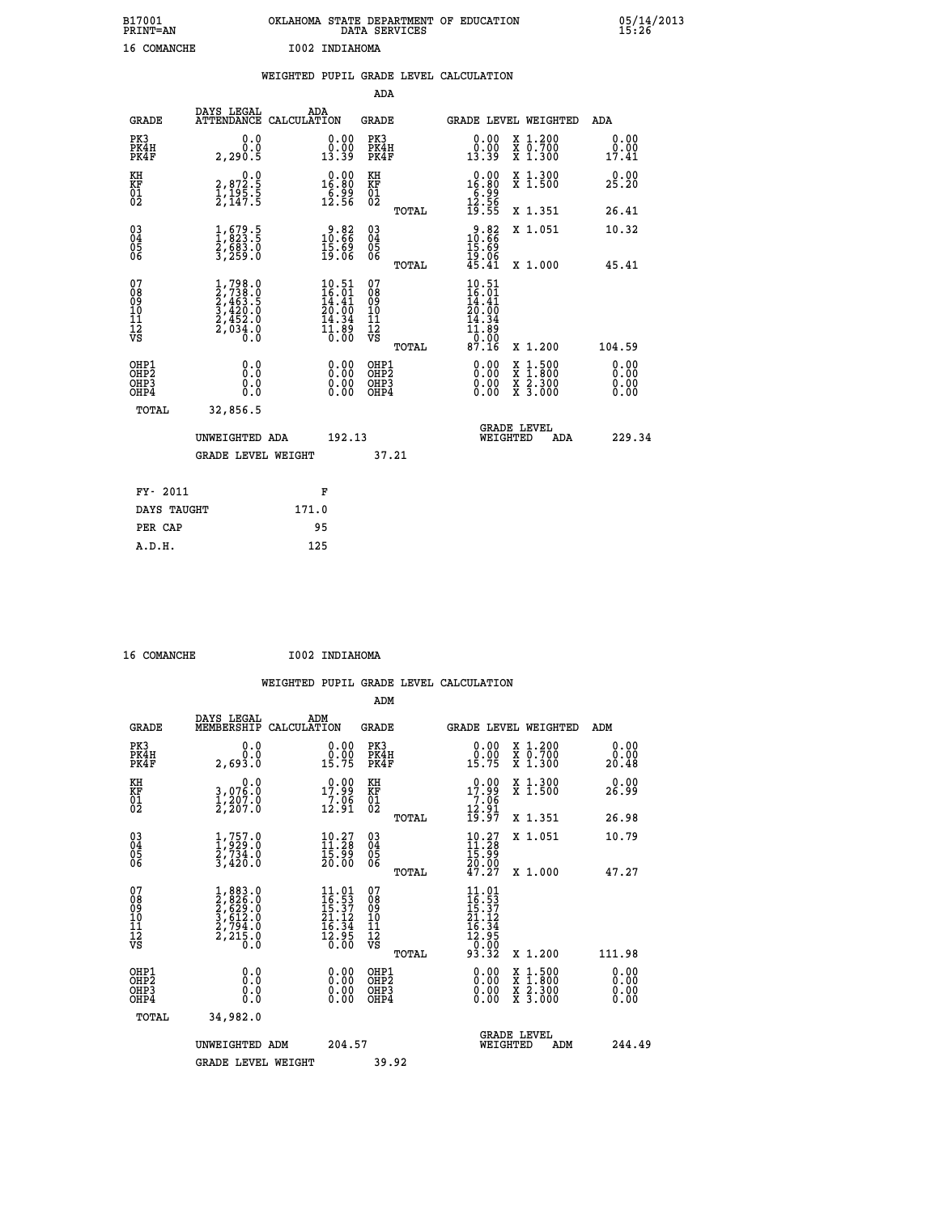| B17001<br><b>PRINT=AN</b> | OKLAHOMA STATE DEPARTMENT OF EDUCATION<br>DATA SERVICES | 05/14/2013<br>15:26 |
|---------------------------|---------------------------------------------------------|---------------------|
| 16<br>COMANCHE            | I002 INDIAHOMA                                          |                     |

|                                           |                                                                                     |       |                                                                   |                                          |       | WEIGHTED PUPIL GRADE LEVEL CALCULATION                                                                                                        |                                                                                                  |                              |
|-------------------------------------------|-------------------------------------------------------------------------------------|-------|-------------------------------------------------------------------|------------------------------------------|-------|-----------------------------------------------------------------------------------------------------------------------------------------------|--------------------------------------------------------------------------------------------------|------------------------------|
|                                           |                                                                                     |       |                                                                   | ADA                                      |       |                                                                                                                                               |                                                                                                  |                              |
| <b>GRADE</b>                              | DAYS LEGAL<br>ATTENDANCE CALCULATION                                                | ADA   |                                                                   | <b>GRADE</b>                             |       |                                                                                                                                               | GRADE LEVEL WEIGHTED                                                                             | ADA                          |
| PK3<br>PK4H<br>PK4F                       | 0.0<br>0.0<br>2,290.5                                                               |       | $\begin{smallmatrix} 0.00\\ 0.00\\ 13.39 \end{smallmatrix}$       | PK3<br>PK4H<br>PK4F                      |       | $\begin{smallmatrix} 0.00\\ 0.00\\ 13.39 \end{smallmatrix}$                                                                                   | X 1.200<br>X 0.700<br>X 1.300                                                                    | 0.00<br>0.00<br>17.41        |
| KH<br>KF<br>01<br>02                      | $\begin{smallmatrix} 0.0\\2,872.5\\1,195.5\\2,147.5 \end{smallmatrix}$              |       | $0.00$<br>$16.80$<br>$\frac{6.99}{12.56}$                         | KH<br>KF<br>01<br>02                     |       | $\begin{array}{r} 0.00 \\ 16.80 \\ 6.99 \\ 12.56 \\ 19.55 \end{array}$                                                                        | X 1.300<br>X 1.500                                                                               | 0.00<br>25.20                |
|                                           |                                                                                     |       |                                                                   |                                          | TOTAL |                                                                                                                                               | X 1.351                                                                                          | 26.41                        |
| 030404<br>06                              | $\frac{1}{1}$ , $\frac{679}{823}$ : 5<br>$\frac{2}{3}, \frac{6}{259}.0$             |       | $\begin{smallmatrix} 9.82\ 10.66\ 15.69\ 19.06 \end{smallmatrix}$ | $\substack{03 \\ 04}$<br>05<br>06        |       | $\begin{smallmatrix} 9.82\ 10.66\ 15.69\ 19.06\ 45.41\ \end{smallmatrix}$                                                                     | X 1.051                                                                                          | 10.32                        |
|                                           |                                                                                     |       |                                                                   |                                          | TOTAL |                                                                                                                                               | X 1.000                                                                                          | 45.41                        |
| 07<br>08<br>09<br>11<br>11<br>12<br>VS    | $1,798.0$<br>$2,738.0$<br>$2,463.5$<br>$3,420.0$<br>$2,452.0$<br>$2,034.0$<br>$0.0$ |       | $\frac{10.51}{16.01}$<br>20.00<br>14.34<br>11:00<br>0.00          | 07<br>08<br>09<br>11<br>11<br>12<br>VS   |       | 10.51<br>$\frac{16}{14}$ $\cdot\frac{01}{41}$<br>20.00<br>14.34<br>$\begin{smallmatrix} 11.89 \\[-4pt] 0.00 \\[-4pt] 87.16 \end{smallmatrix}$ |                                                                                                  |                              |
|                                           |                                                                                     |       |                                                                   |                                          | TOTAL |                                                                                                                                               | X 1.200                                                                                          | 104.59                       |
| OHP1<br>OH <sub>P</sub> 2<br>OHP3<br>OHP4 | 0.0<br>0.0<br>0.0                                                                   |       | $0.00$<br>$0.00$<br>0.00                                          | OHP1<br>OHP <sub>2</sub><br>OHP3<br>OHP4 |       | 0.00<br>0.00<br>0.00                                                                                                                          | $\begin{smallmatrix} x & 1 & 500 \\ x & 1 & 800 \\ x & 2 & 300 \\ x & 3 & 000 \end{smallmatrix}$ | 0.00<br>0.00<br>0.00<br>0.00 |
| <b>TOTAL</b>                              | 32,856.5                                                                            |       |                                                                   |                                          |       |                                                                                                                                               |                                                                                                  |                              |
|                                           | UNWEIGHTED ADA<br>GRADE LEVEL WEIGHT                                                |       | 192.13                                                            |                                          | 37.21 | WEIGHTED                                                                                                                                      | <b>GRADE LEVEL</b><br>ADA                                                                        | 229.34                       |
|                                           |                                                                                     |       |                                                                   |                                          |       |                                                                                                                                               |                                                                                                  |                              |
| FY- 2011                                  |                                                                                     |       | F                                                                 |                                          |       |                                                                                                                                               |                                                                                                  |                              |
| DAYS TAUGHT                               |                                                                                     | 171.0 |                                                                   |                                          |       |                                                                                                                                               |                                                                                                  |                              |
| PER CAP                                   |                                                                                     | 95    |                                                                   |                                          |       |                                                                                                                                               |                                                                                                  |                              |

| $A$ $A$ $A$ $A$ $A$ $B$ $B$ $B$ $B$ $C$ $D$ |  |
|---------------------------------------------|--|

 **16 COMANCHE I002 INDIAHOMA**

 **WEIGHTED PUPIL GRADE LEVEL CALCULATION ADM DAYS LEGAL ADM GRADE MEMBERSHIP CALCULATION GRADE GRADE LEVEL WEIGHTED ADM PK3 0.0 0.00 PK3 0.00 X 1.200 0.00 PK4H 0.0 0.00 PK4H 0.00 X 0.700 0.00 PK4F 2,693.0 15.75 PK4F 15.75 X 1.300 20.48 KH 0.0 0.00 KH 0.00 X 1.300 0.00 KF 3,076.0 17.99 KF 17.99 X 1.500 26.99 EXH**<br> **EXE FOR STAR 1998 PD 17.99 RF**<br>
02 2,207.0 12.91 02  $02$  2,207.0 12.91  $02$  <sub>nems</sub> 12.91  **TOTAL 19.97 X 1.351 26.98 03 1,757.0 10.27 03 10.27 X 1.051 10.79 04 1,929.0 11.28 04 11.28 05 2,734.0 15.99 05 15.99** 06 3,420.0 20.00 06 <sub>momas</sub> 20.00  **TOTAL 47.27 X 1.000 47.27**  $\begin{array}{cccc} 07 & 1,883.0 & 11.01 & 07 & 11.01 \ 08 & 2,828.0 & 16.53 & 0 \ 09 & 2,629.0 & 16.53 & 08 & 16.53 \ 10 & 3,612.0 & 21.12 & 10 & 21.12 \ 11 & 2,794.0 & 16.34 & 11 & 16.34 \ \hline \textrm{vs} & 2,215.0 & 16.34 & 11 & 16.34 \ 12 & 5.37 & 0 & 16.34 & 11 & 16.$  $\begin{array}{cccc} 11.01 & 07 & 11.01 & 11.01 \\ 16.537 & 08 & 16.537 \\ 21.12 & 10 & 12.31 \\ 12.13 & 11 & 16.34 \\ 12.95 & 12 & 12.34 \\ 12.95 & 12 & 12.34 \\ 0.00 & 08 & 16.34 \\ 0.00 & 08 & 16.34 \\ 0.00 & 08 & 16.34 \\ 0.00 & 08 & 16.34 \\ 0.00 & 08 & 16.34 \\ 0.00 & 08 &$  **OHP1 0.0 0.00 OHP1 0.00 X 1.500 0.00 OHP2 0.0 0.00 OHP2 0.00 X 1.800 0.00 OHP3 0.0 0.00 OHP3 0.00 X 2.300 0.00 OHP4 0.0 0.00 OHP4 0.00 X 3.000 0.00 TOTAL 34,982.0 GRADE LEVEL UNWEIGHTED ADM 204.57 WEIGHTED ADM 244.49 GRADE LEVEL WEIGHT 39.92**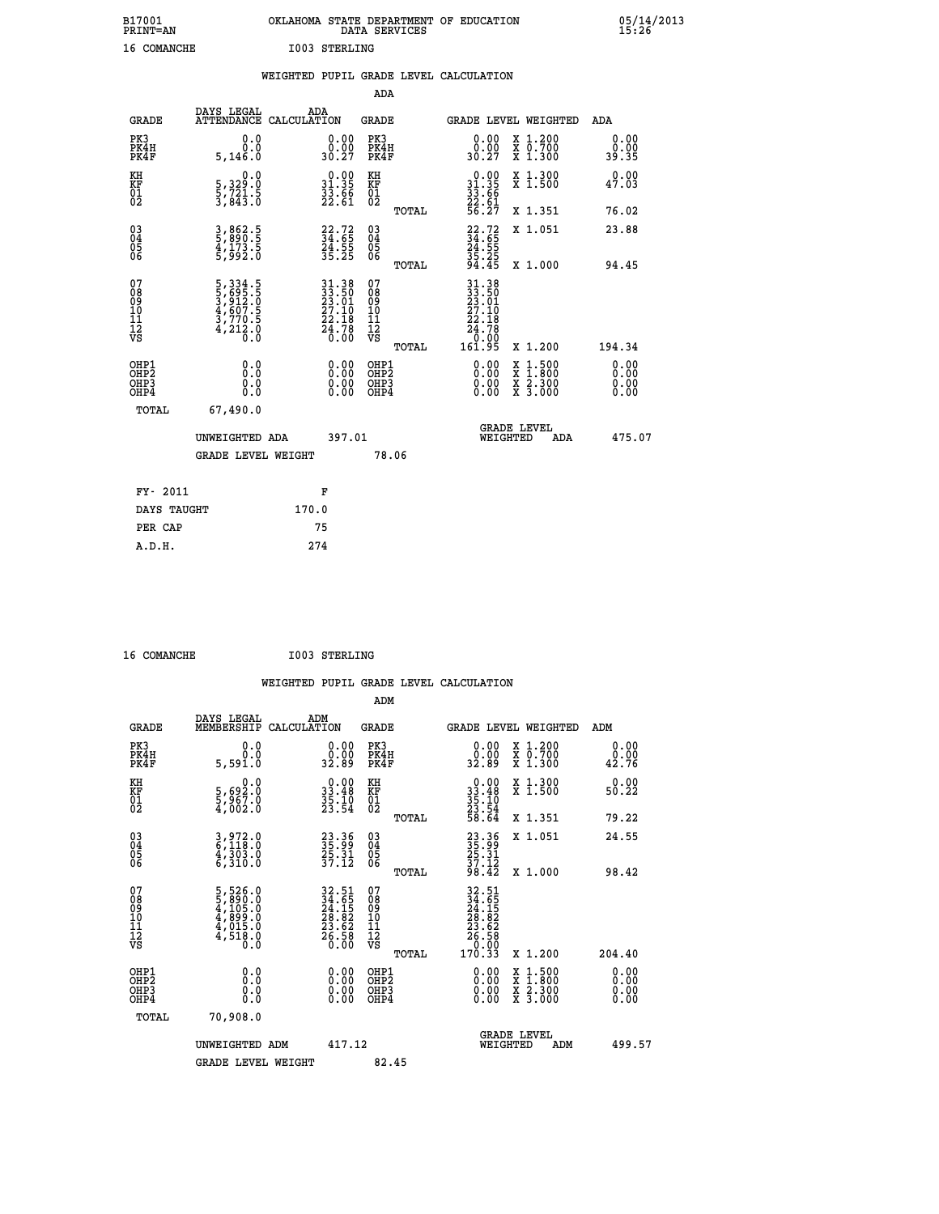| B17001<br>PRINT=AN | OKLAHOMA STATE DEPARTMENT OF EDUCATION<br>DATA SERVICES | 05/14/2013<br>15:26 |
|--------------------|---------------------------------------------------------|---------------------|
| 16<br>COMANCHE     | I003 STERLING                                           |                     |

|                                                    |                                                                | WEIGHTED PUPIL GRADE LEVEL CALCULATION                                                                                         |                                        |       |                                                                                                                                      |                                                                                          |                              |
|----------------------------------------------------|----------------------------------------------------------------|--------------------------------------------------------------------------------------------------------------------------------|----------------------------------------|-------|--------------------------------------------------------------------------------------------------------------------------------------|------------------------------------------------------------------------------------------|------------------------------|
|                                                    |                                                                |                                                                                                                                | ADA                                    |       |                                                                                                                                      |                                                                                          |                              |
| <b>GRADE</b>                                       | DAYS LEGAL                                                     | ADA<br>ATTENDANCE CALCULATION                                                                                                  | <b>GRADE</b>                           |       |                                                                                                                                      | GRADE LEVEL WEIGHTED                                                                     | ADA                          |
| PK3<br>PK4H<br>PK4F                                | 0.0<br>0.0<br>5,146.0                                          | $\begin{smallmatrix} 0.00\\ 0.00\\ 30.27 \end{smallmatrix}$                                                                    | PK3<br>PK4H<br>PK4F                    |       | 0.00<br>30.27                                                                                                                        | X 1.200<br>X 0.700<br>X 1.300                                                            | 0.00<br>0.00<br>39.35        |
| KH<br>KF<br>01<br>02                               | 0.0<br>5,329:0<br>5,721:5<br>3,843:0                           | $\begin{smallmatrix} 0.00\\ 31.35\\ 33.66\\ 22.61 \end{smallmatrix}$                                                           | KH<br>KF<br>01<br>02                   |       | $\begin{smallmatrix} 0.00\\ 31.35\\ 33.66\\ 22.61\\ 56.27 \end{smallmatrix}$                                                         | X 1.300<br>X 1.500                                                                       | 0.00<br>47.03                |
|                                                    |                                                                |                                                                                                                                |                                        | TOTAL |                                                                                                                                      | X 1.351                                                                                  | 76.02                        |
| $\begin{matrix} 03 \\ 04 \\ 05 \\ 06 \end{matrix}$ | 3,862.5<br>5,890.5<br>4,173.5<br>5,992.0                       | $\begin{array}{c} 22.72 \\ 34.65 \\ 24.55 \\ 35.25 \end{array}$                                                                | 03<br>04<br>05<br>06                   |       | $22.72$<br>$34.65$<br>$24.55$<br>$35.25$<br>$35.25$<br>$94.45$                                                                       | X 1.051                                                                                  | 23.88                        |
|                                                    |                                                                |                                                                                                                                |                                        | TOTAL |                                                                                                                                      | X 1.000                                                                                  | 94.45                        |
| 07<br>08<br>09<br>11<br>11<br>12<br>VS             | 5,334.5<br>5,695.5<br>3,912.0<br>4,607.5<br>3,770.5<br>4,212.0 | $\begin{smallmatrix} 31\cdot 38\\ 33\cdot 50\\ 23\cdot 01\\ 27\cdot 10\\ 22\cdot 18\\ 24\cdot 78\\ 0\cdot 00\end{smallmatrix}$ | 07<br>08<br>09<br>11<br>11<br>12<br>VS | TOTAL | $\begin{array}{@{}ll}31 \cdot 38\\ 33 \cdot 50\\ 23 \cdot 01\\ 27 \cdot 10\\ 22 \cdot 18\\ 24 \cdot 78\end{array}$<br>0.00<br>161.95 | X 1.200                                                                                  | 194.34                       |
| OHP1<br>OHP2<br>OH <sub>P3</sub><br>OHP4           | 0.0<br>0.0<br>0.0                                              | $\begin{smallmatrix} 0.00 \ 0.00 \ 0.00 \ 0.00 \end{smallmatrix}$                                                              | OHP1<br>OHP2<br>OHP3<br>OHP4           |       |                                                                                                                                      | $\begin{smallmatrix} x & 1.500 \\ x & 1.800 \\ x & 2.300 \\ x & 3.000 \end{smallmatrix}$ | 0.00<br>Ŏ.ŎŎ<br>O.OO<br>0.00 |
| TOTAL                                              | 67,490.0                                                       |                                                                                                                                |                                        |       |                                                                                                                                      |                                                                                          |                              |
|                                                    | UNWEIGHTED ADA                                                 | 397.01                                                                                                                         |                                        |       | WEIGHTED                                                                                                                             | <b>GRADE LEVEL</b><br>ADA                                                                | 475.07                       |
|                                                    | <b>GRADE LEVEL WEIGHT</b>                                      |                                                                                                                                | 78.06                                  |       |                                                                                                                                      |                                                                                          |                              |
| FY- 2011                                           |                                                                | F                                                                                                                              |                                        |       |                                                                                                                                      |                                                                                          |                              |
| DAYS TAUGHT                                        |                                                                | 170.0                                                                                                                          |                                        |       |                                                                                                                                      |                                                                                          |                              |
| PER CAP                                            |                                                                | 75                                                                                                                             |                                        |       |                                                                                                                                      |                                                                                          |                              |

 **16 COMANCHE I003 STERLING**

 **A.D.H. 274**

 **WEIGHTED PUPIL GRADE LEVEL CALCULATION ADM DAYS LEGAL ADM GRADE MEMBERSHIP CALCULATION GRADE GRADE LEVEL WEIGHTED ADM PK3 0.0 0.00 PK3 0.00 X 1.200 0.00 PK4H 0.0 0.00 PK4H 0.00 X 0.700 0.00 PK4F 5,591.0 32.89 PK4F 32.89 X 1.300 42.76 KH 0.0 0.00 KH 0.00 X 1.300 0.00 KF 5,692.0 33.48 KF 33.48 X 1.500 50.22 KH** 5,692.0 0.0 0.00 KH<br> **KF** 5,692.0 33.48 KF<br>
02 5,967.0 35.54 02<br>
5,002.0 23.54 02  $02 \t 4,002.0 \t 23.54 \t 02 \t 23.54$  **TOTAL 58.64 X 1.351 79.22 03 3,972.0 23.36 03 23.36 X 1.051 24.55 04 6,118.0 35.99 04 35.99 05 4,303.0 25.31 05 25.31 06 6,310.0 37.12 06 37.12 TOTAL 98.42 X 1.000 98.42 07 5,526.0 32.51 07 32.51 08 5,890.0 34.65 08 34.65 09 4,105.0 24.15 09 24.15 10 4,899.0 28.82 10 28.82 11 4,015.0 23.62 11 23.62 12 4,518.0 26.58 12 26.58 VS 0.0 0.00 VS 0.00**  $\begin{array}{cccc} 32.51 & 07 & 32.51 & 17.11 & 22.51 & 23.51 & 24.65 & 28.82 & 10 & 24.65 & 28.82 & 10 & 28.82 & 20.26 & 20.26 & 20.26 & 20.26 & 20.26 & 20.26 & 20.26 & 20.26 & 20.26 & 20.26 & 20.26 & 20.26 & 20.26 & 20.26 & 20.26 & 20.26 & 20.26 & 20.26 & 20.2$  **OHP1 0.0 0.00 OHP1 0.00 X 1.500 0.00 OHP2 0.0 0.00 OHP2 0.00 X 1.800 0.00 OHP3 0.0 0.00 OHP3 0.00 X 2.300 0.00 OHP4 0.0 0.00 OHP4 0.00 X 3.000 0.00 TOTAL 70,908.0 GRADE LEVEL UNWEIGHTED ADM 417.12 WEIGHTED ADM 499.57** GRADE LEVEL WEIGHT 82.45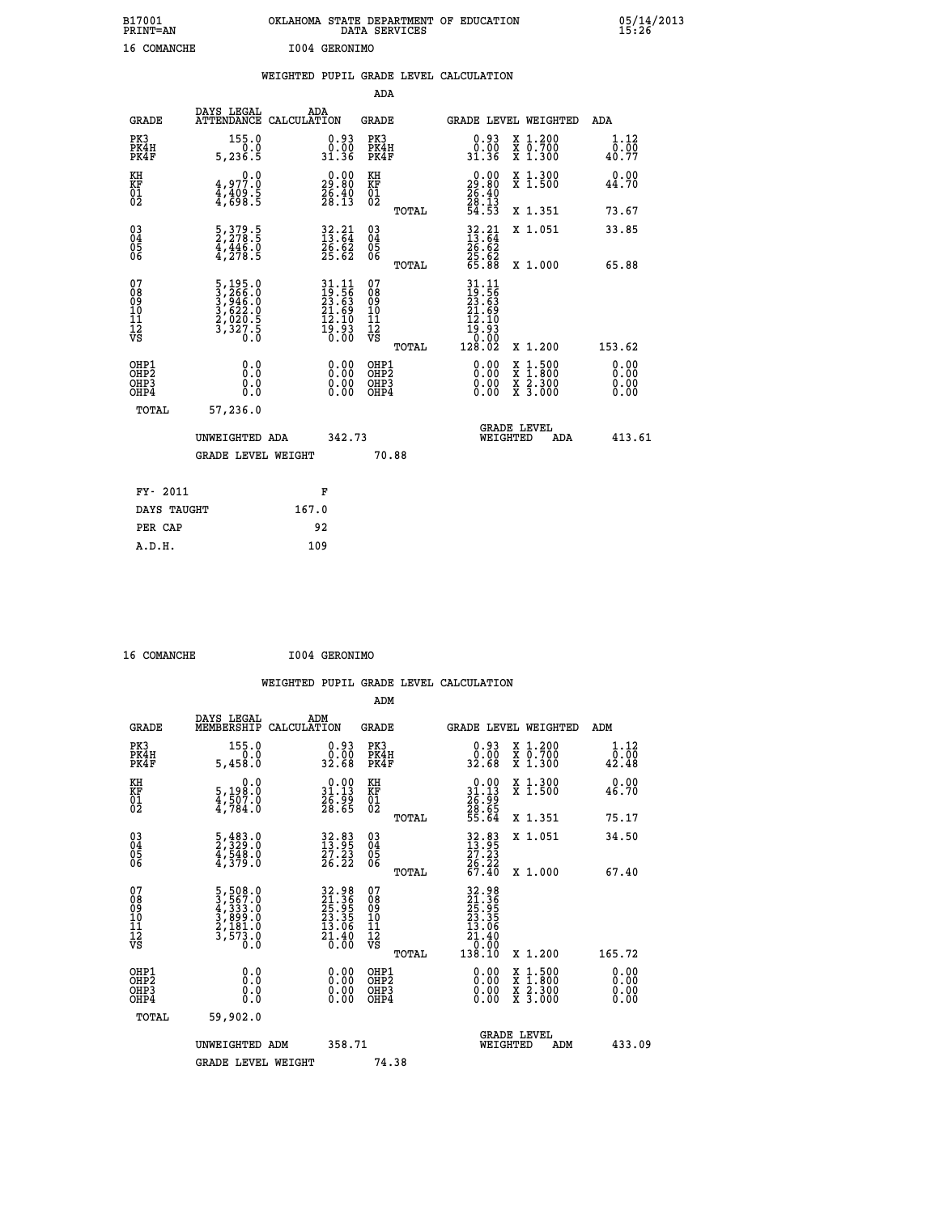| B17001<br><b>PRINT=AN</b> | OKLAHOMA STATE DEPARTMENT OF EDUCATION<br>DATA SERVICES |  | 05/14/2013<br>15:26 |
|---------------------------|---------------------------------------------------------|--|---------------------|
| 16<br>COMANCHE            | I004 GERONIMO                                           |  |                     |

|                                         |                                                                             | WEIGHTED PUPIL GRADE LEVEL CALCULATION                                   |                                                     |                                                                                                                      |                       |
|-----------------------------------------|-----------------------------------------------------------------------------|--------------------------------------------------------------------------|-----------------------------------------------------|----------------------------------------------------------------------------------------------------------------------|-----------------------|
|                                         |                                                                             |                                                                          | ADA                                                 |                                                                                                                      |                       |
| <b>GRADE</b>                            | DAYS LEGAL                                                                  | ADA<br>ATTENDANCE CALCULATION                                            | <b>GRADE</b>                                        | GRADE LEVEL WEIGHTED                                                                                                 | ADA                   |
| PK3<br>PK4H<br>PK4F                     | 155.0<br>5, 236.5                                                           | 0.93<br>0:00<br>31.36                                                    | PK3<br>PK4H<br>PK4F                                 | 0.93<br>X 1.200<br>X 0.700<br>X 1.300<br>0:00<br>31.36                                                               | 1.12<br>0.00<br>40.77 |
| KH<br><b>KF</b><br>01<br>02             | $4,977.0$<br>$4,409.5$<br>$4,698.5$                                         | $\begin{smallmatrix} 0.00\\ 29.80\\ 26.40\\ 28.13 \end{smallmatrix}$     | KH<br>KF<br>01<br>02                                | X 1.300<br>X 1.500<br>$\begin{smallmatrix} 0.00\\29.80\\26.40\\28.13\\54.53 \end{smallmatrix}$                       | 0.00<br>44.70         |
|                                         |                                                                             |                                                                          | TOTAL                                               | X 1.351                                                                                                              | 73.67                 |
| 03<br>04<br>05<br>06                    | 5, 379. 5<br>2, 278. 5<br>4, 446. 0<br>4, 278. 5                            | $32.21$<br>$13.64$<br>$26.62$<br>$25.62$                                 | $\begin{array}{c} 03 \\ 04 \\ 05 \\ 06 \end{array}$ | $32.21$<br>$13.64$<br>$26.62$<br>$25.62$<br>$25.62$<br>$65.88$<br>X 1.051                                            | 33.85                 |
|                                         |                                                                             |                                                                          | TOTAL                                               | X 1.000                                                                                                              | 65.88                 |
| 07<br>08<br>09<br>101<br>11<br>12<br>VS | 5, 195.0<br>3, 266.0<br>3, 946.0<br>3, 622.0<br>2, 020.5<br>3, 327.5<br>0.0 | $31.11$<br>$19.56$<br>$23.63$<br>$21.69$<br>$12.10$<br>$19.93$<br>$0.00$ | 07<br>08<br>09<br>101<br>11<br>12<br>VS<br>TOTAL    | 31.11<br>19.56<br>23.63<br>21.69<br>12.10<br>$\begin{smallmatrix} 15.53\ 10.00\ 128.02 \end{smallmatrix}$<br>X 1.200 | 153.62                |
| OHP1<br>OHP2<br>OHP3<br>OHP4            | 0.0<br>0.0<br>0.0                                                           | 0.00<br>$0.00$<br>0.00                                                   | OHP1<br>OHP2<br>OHP3<br>OHP4                        | 0.00<br>$1:500$<br>1:800<br>X<br>X<br>$\frac{x}{x}$ $\frac{5:300}{3:000}$<br>0.00<br>0.00                            | 0.00<br>0.00<br>0.00  |
|                                         | <b>TOTAL</b><br>57,236.0                                                    |                                                                          |                                                     |                                                                                                                      |                       |
|                                         | UNWEIGHTED ADA                                                              | 342.73                                                                   |                                                     | <b>GRADE LEVEL</b><br>WEIGHTED<br><b>ADA</b>                                                                         | 413.61                |
|                                         | <b>GRADE LEVEL WEIGHT</b>                                                   |                                                                          | 70.88                                               |                                                                                                                      |                       |
|                                         | FY- 2011                                                                    | F                                                                        |                                                     |                                                                                                                      |                       |
|                                         | DAYS TAUGHT                                                                 | 167.0                                                                    |                                                     |                                                                                                                      |                       |
|                                         | PER CAP                                                                     | 92                                                                       |                                                     |                                                                                                                      |                       |

| $A$ $A$ $A$ $A$ $A$ $B$ $B$ $B$ $B$ $C$ $D$ |  |
|---------------------------------------------|--|

 **16 COMANCHE I004 GERONIMO WEIGHTED PUPIL GRADE LEVEL CALCULATION ADM DAYS LEGAL ADM GRADE MEMBERSHIP CALCULATION GRADE GRADE LEVEL WEIGHTED ADM PK3 155.0 0.93 PK3 0.93 X 1.200 1.12 PK4H 0.0 0.00 PK4H 0.00 X 0.700 0.00 PK4F 5,458.0 32.68 PK4F 32.68 X 1.300 42.48 KH 0.0 0.00 KH 0.00 X 1.300 0.00 KF 5,198.0 31.13 KF 31.13 X 1.500 46.70 01 4,507.0 26.99 01 26.99 02 4,784.0 28.65 02 28.65 TOTAL 55.64 X 1.351 75.17 03 5,483.0 32.83 03 32.83 X 1.051 34.50 04 2,329.0 13.95 04 13.95 05 4,548.0 27.23 05 27.23 06 4,379.0 26.22 06 26.22 TOTAL 67.40 X 1.000 67.40**  $\begin{array}{cccc} 07 & 5\,,508\,.0 & 32\,.98 & 07 & 32\,.98 \ 08 & 3\,,5507\,.0 & 21\,.98 & 08 & 21\,.98 \ 09 & 4\,,333\,.0 & 25\,.95 & 09 & 25\,.95 \ 10 & 3\,,899\,.0 & 23\,.35 & 10 & 23\,.35 \ 11 & 2\,,181\,.0 & 13\,.0 & 11 & 13\,.0 \ 12 & 3\,,573\,.0 & 2\,.0 & 0 \ 0 & 0 & 0 & 0 & 0 \$  $\begin{array}{cccc} 32.98 & 07 & 32.98 \ 21.36 & 08 & 21.36 \ 23.35 & 10 & 23.35 \ 23.35 & 10 & 23.35 \ 23.35 & 11 & 13.36 \ 21.46 & 12 & 21.46 \ 0.00 & 08 & 0.00 \ 0.00 & 0.00 & 0.00 & 0.00 \ 0.00 & 0.00 & 0.00 & 0.00 \ 0.00 & 0.00 & 0.00 & 0.00 \ 0.00 & 0.00 & 0.00$  **OHP1 0.0 0.00 OHP1 0.00 X 1.500 0.00 OHP2 0.0 0.00 OHP2 0.00 X 1.800 0.00 OHP3 0.0 0.00 OHP3 0.00 X 2.300 0.00 OHP4 0.0 0.00 OHP4 0.00 X 3.000 0.00 TOTAL 59,902.0 GRADE LEVEL UNWEIGHTED ADM 358.71 WEIGHTED ADM 433.09** GRADE LEVEL WEIGHT 74.38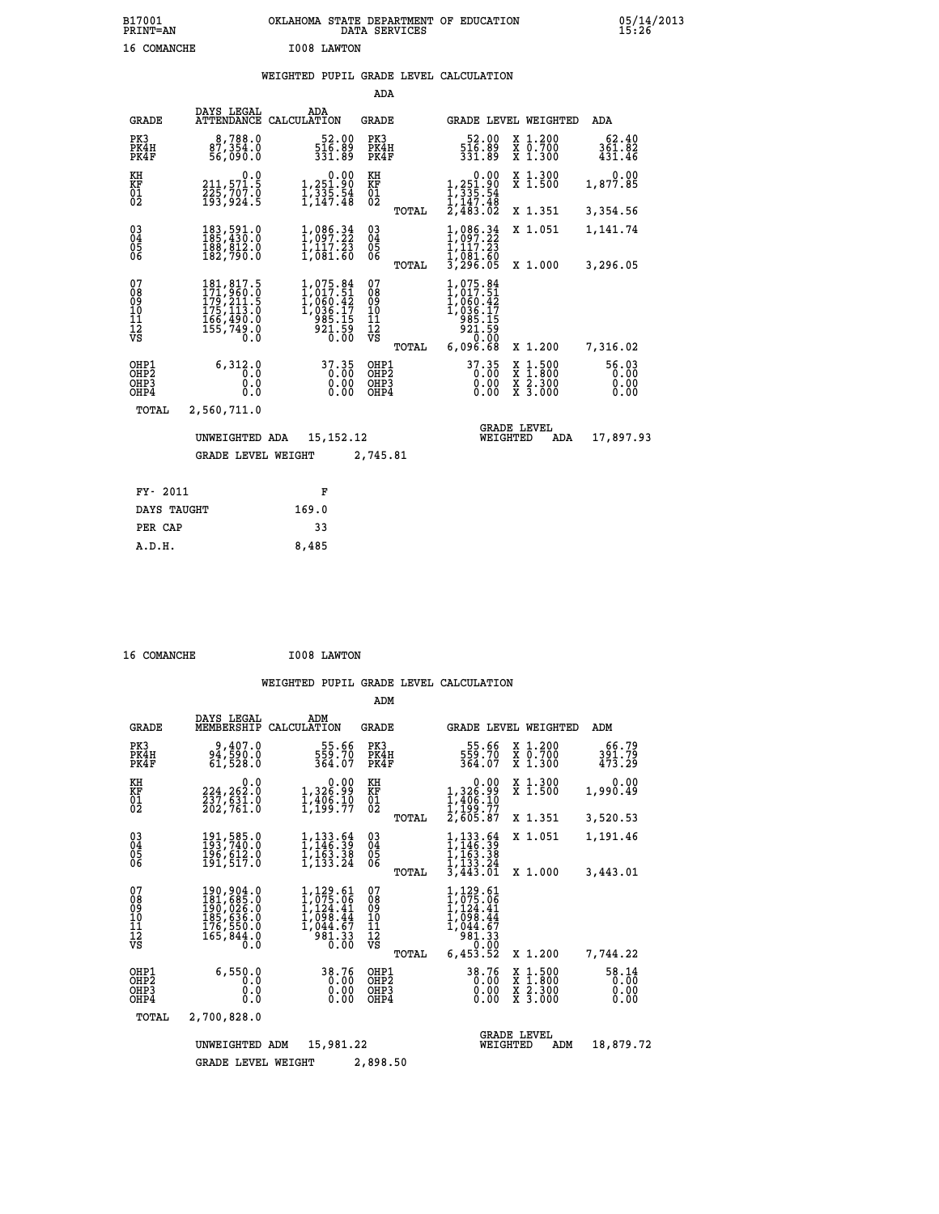### **WEIGHTED PUPIL GRADE LEVEL CALCULATION**

|                                                      |                                                                                   |                                                                                       | ADA                                                               |                                                                                         |                                                                                                  |                               |
|------------------------------------------------------|-----------------------------------------------------------------------------------|---------------------------------------------------------------------------------------|-------------------------------------------------------------------|-----------------------------------------------------------------------------------------|--------------------------------------------------------------------------------------------------|-------------------------------|
| <b>GRADE</b>                                         | DAYS LEGAL                                                                        | ADA<br>ATTENDANCE CALCULATION                                                         | <b>GRADE</b>                                                      |                                                                                         | GRADE LEVEL WEIGHTED                                                                             | ADA                           |
| PK3<br>PK4H<br>PK4F                                  | 8,788.0<br>87,354.0<br>56,090.0                                                   | $\frac{52.00}{516.89}$<br>331.89                                                      | PK3<br>PK4H<br>PK4F                                               | 52.00<br>516.89<br>331.89                                                               | X 1.200<br>X 0.700<br>X 1.300                                                                    | 62.40<br>361.82<br>431.46     |
| KH<br><b>KF</b><br>01<br>02                          | 0.0<br>211,571.5<br>225,707.0<br>193,924.5                                        | $\begin{smallmatrix} & & 0.00\ 1.251.90\ 1.335.54\ 1.147.48 \end{smallmatrix}$        | KH<br>KF<br>01<br>02                                              | 0.00<br>1,251.90<br>1,335.54<br>1,147.48                                                | X 1.300<br>X 1.500                                                                               | 0.00<br>1,877.85              |
|                                                      |                                                                                   |                                                                                       | TOTAL                                                             | $\bar{2}, \bar{4}\bar{8}\bar{3}.\bar{0}\bar{2}$                                         | X 1.351                                                                                          | 3,354.56                      |
| $\substack{03 \\ 04}$<br>Ŏ5<br>06                    | 183,591.0<br>185,430.0<br>188,812.0<br>182,790.0                                  | 1,086.34<br>1,097.22<br>$\frac{1}{1}$ , $\frac{1}{0}$ , $\frac{7}{0}$ , $\frac{2}{5}$ | $\substack{03 \\ 04}$<br>$\begin{matrix} 0.5 \\ 0.6 \end{matrix}$ | 1,086.34<br>1,097.22<br>1,117.23<br>$\frac{1}{3}$ , $\frac{081}{296}$ , $\frac{00}{05}$ | X 1.051                                                                                          | 1,141.74                      |
|                                                      |                                                                                   |                                                                                       | TOTAL                                                             |                                                                                         | X 1.000                                                                                          | 3,296.05                      |
| 07<br>08<br>09<br>101<br>11<br>12<br>VS              | 181,817.5<br>171,960.0<br>179,211.5<br>175,113:0<br>166,490.0<br>155,749.0<br>0.0 | 1,075.84<br>1,017.51<br>1,060.42<br>1,036.17<br>285.15<br>$\frac{55}{0.00}$           | 07<br>08<br>09<br>101<br>11<br>12<br>VS                           | 1,075.84<br>1,017.51<br>1,060.42<br>1,036.17<br>285.15<br>921.59<br>0.00                |                                                                                                  |                               |
|                                                      |                                                                                   |                                                                                       | TOTAL                                                             | 6,096.68                                                                                | X 1.200                                                                                          | 7,316.02                      |
| OHP1<br>OHP <sub>2</sub><br>OHP3<br>OH <sub>P4</sub> | 6,312.0<br>0.0<br>0.0<br>$0.\overline{0}$                                         | 37.35<br>0.00                                                                         | OHP1<br>OHP <sub>2</sub><br>OHP3<br>OHP4                          | $37.35$<br>0.00<br>0.00                                                                 | $\begin{smallmatrix} x & 1 & 500 \\ x & 1 & 800 \\ x & 2 & 300 \\ x & 3 & 000 \end{smallmatrix}$ | 56.03<br>0.00<br>0.00<br>0.00 |
| TOTAL                                                | 2,560,711.0                                                                       |                                                                                       |                                                                   |                                                                                         |                                                                                                  |                               |
|                                                      | UNWEIGHTED ADA                                                                    | 15, 152, 12                                                                           |                                                                   | WEIGHTED                                                                                | <b>GRADE LEVEL</b><br>ADA                                                                        | 17,897.93                     |
|                                                      | <b>GRADE LEVEL WEIGHT</b>                                                         |                                                                                       | 2,745.81                                                          |                                                                                         |                                                                                                  |                               |
| FY- 2011                                             |                                                                                   | F                                                                                     |                                                                   |                                                                                         |                                                                                                  |                               |
| DAYS TAUGHT                                          |                                                                                   | 169.0                                                                                 |                                                                   |                                                                                         |                                                                                                  |                               |
| PER CAP                                              |                                                                                   | 33                                                                                    |                                                                   |                                                                                         |                                                                                                  |                               |

 **16 COMANCHE I008 LAWTON**

 **A.D.H. 8,485**

|                                                    |                                                                                     |                                                                             | ADM                                             |                                                                                                                     |                                                                                                  |                               |
|----------------------------------------------------|-------------------------------------------------------------------------------------|-----------------------------------------------------------------------------|-------------------------------------------------|---------------------------------------------------------------------------------------------------------------------|--------------------------------------------------------------------------------------------------|-------------------------------|
| <b>GRADE</b>                                       | DAYS LEGAL<br>MEMBERSHIP                                                            | ADM<br>CALCULATION                                                          | <b>GRADE</b>                                    |                                                                                                                     | <b>GRADE LEVEL WEIGHTED</b>                                                                      | ADM                           |
| PK3<br>PK4H<br>PK4F                                | 9,407.0<br>94,590.0<br>61,528.0                                                     | 55.66<br>559.70<br>364.07                                                   | PK3<br>PK4H<br>PK4F                             | 55.66<br>559.70<br>364.07                                                                                           | X 1.200<br>X 0.700<br>X 1.300                                                                    | 66.79<br>391.79<br>473.29     |
| KH<br>KF<br>01<br>02                               | 0.0<br>224,262.0<br>237,631.0<br>202,761.0                                          | $\begin{smallmatrix}&&&0.00\\1,326.99\\1,406.10\\1,199.77\end{smallmatrix}$ | KH<br>KF<br>$\overline{01}$                     | 0.00<br>1,326.99<br>$\frac{1}{1}, \frac{4}{199}$ $\frac{6}{17}$<br>$2, 605.87$                                      | X 1.300<br>X 1.500                                                                               | 0.00<br>1,990.49              |
|                                                    |                                                                                     |                                                                             | TOTAL                                           |                                                                                                                     | X 1.351                                                                                          | 3,520.53                      |
| $\begin{matrix} 03 \\ 04 \\ 05 \\ 06 \end{matrix}$ | 191,585.0<br>193,740.0<br>196,612.0<br>191,517.0                                    | 1,133.64<br>1,146.39<br>1,163.38<br>1, 133.24                               | $\substack{03 \\ 04}$<br>05<br>06               | $\frac{1}{1}$ , $\frac{133}{146}$ . $\frac{54}{39}$<br>1,163.38<br>1,133.24                                         | X 1.051                                                                                          | 1,191.46                      |
|                                                    |                                                                                     |                                                                             | TOTAL                                           | $\overline{3,443.01}$                                                                                               | X 1.000                                                                                          | 3,443.01                      |
| 07<br>08<br>09<br>11<br>11<br>12<br>VS             | 190,904.0<br>$181,685.0$<br>190,026.0<br>185,636.0<br>176,550.0<br>165,844.0<br>0.0 | 1,129.61<br>1,075.06<br>I,124.41<br>1,098.44<br>1,044.67<br>981.33<br>0.00  | 07<br>08<br>09<br>11<br>11<br>12<br>VS<br>TOTAL | 1,129.61<br>1,075.06<br>1,124.41<br>$\overline{1}$ , $\overline{0}$ 98.44<br>ī,ŏ44.67<br>981.33<br>0.00<br>6,453.52 | X 1.200                                                                                          | 7,744.22                      |
| OHP1<br>OH <sub>P</sub> 2<br>OHP3<br>OHP4          | 6,550.0<br>0.0<br>0.0<br>0.0                                                        | 38.76<br>0.00<br>0.00<br>0.00                                               | OHP1<br>OH <sub>P</sub> 2<br>OHP3<br>OHP4       | 38.76<br>0.00<br>0.00<br>0.00                                                                                       | $\begin{smallmatrix} x & 1 & 500 \\ x & 1 & 800 \\ x & 2 & 300 \\ x & 3 & 000 \end{smallmatrix}$ | 58.14<br>0.00<br>0.00<br>0.00 |
| TOTAL                                              | 2,700,828.0                                                                         |                                                                             |                                                 |                                                                                                                     |                                                                                                  |                               |
|                                                    | UNWEIGHTED                                                                          | 15,981.22<br>ADM                                                            |                                                 | WEIGHTED                                                                                                            | <b>GRADE LEVEL</b><br>ADM                                                                        | 18,879.72                     |
|                                                    | <b>GRADE LEVEL WEIGHT</b>                                                           |                                                                             | 2,898.50                                        |                                                                                                                     |                                                                                                  |                               |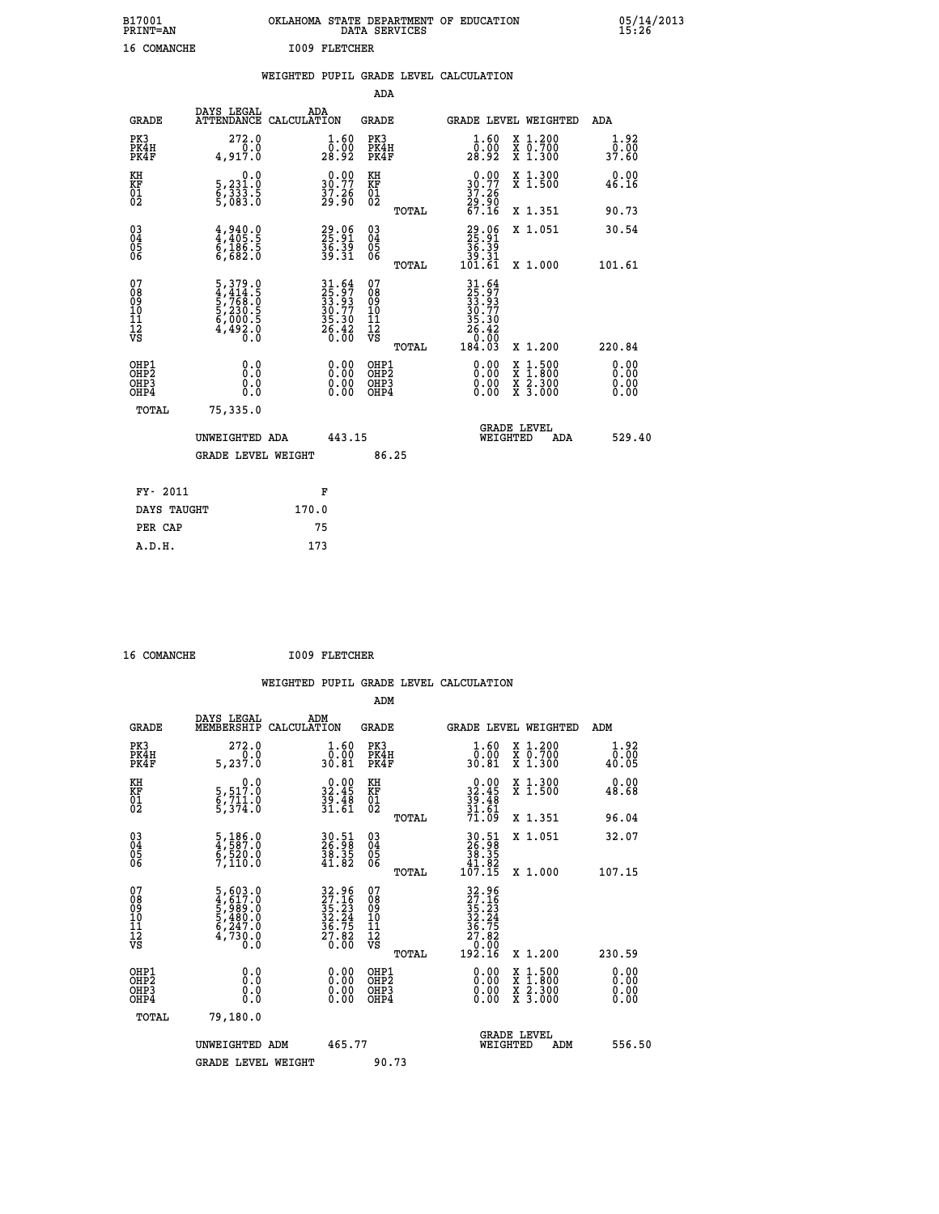| B17001<br><b>PRINT=AN</b> | OKLAHOMA STATE DEPARTMENT OF EDUCATION<br>DATA SERVICES | 05/14/2013<br>15:26 |
|---------------------------|---------------------------------------------------------|---------------------|
| 16<br>COMANCHE            | 1009 FLETCHER                                           |                     |

|  |  | WEIGHTED PUPIL GRADE LEVEL CALCULATION |
|--|--|----------------------------------------|
|  |  |                                        |

|                                                                    |                                                                             |                                                                                           | ADA                                       |       |                                                                                |                                                                     |                              |
|--------------------------------------------------------------------|-----------------------------------------------------------------------------|-------------------------------------------------------------------------------------------|-------------------------------------------|-------|--------------------------------------------------------------------------------|---------------------------------------------------------------------|------------------------------|
| <b>GRADE</b>                                                       | DAYS LEGAL<br>ATTENDANCE CALCULATION                                        | ADA                                                                                       | <b>GRADE</b>                              |       |                                                                                | GRADE LEVEL WEIGHTED                                                | <b>ADA</b>                   |
| PK3<br>PK4H<br>PK4F                                                | 272.0<br>0.0<br>4,917.0                                                     | $\begin{smallmatrix} 1.60\ 0.00\\ 28.92 \end{smallmatrix}$                                | PK3<br>PK4H<br>PK4F                       |       | $\frac{1}{0}$ : $\frac{60}{28}$<br>28.92                                       | X 1.200<br>X 0.700<br>X 1.300                                       | 1.92<br>0.00<br>37.60        |
| KH<br>KF<br>01<br>02                                               | 0.0<br>5,231:0<br>6,333:5<br>5,083:0                                        | $\begin{smallmatrix} 0.00\\ 30.77\\ 37.26\\ 29.90 \end{smallmatrix}$                      | KH<br>KF<br>01<br>02                      |       | 0.00<br>$30.77$<br>$37.26$<br>$29.90$<br>$67.16$                               | X 1.300<br>X 1.500                                                  | 0.00<br>46.16                |
|                                                                    |                                                                             |                                                                                           |                                           | TOTAL |                                                                                | X 1.351                                                             | 90.73                        |
| $\begin{smallmatrix} 03 \\[-4pt] 04 \end{smallmatrix}$<br>Ŏ5<br>06 | $4,940.0$<br>$4,405.5$<br>$6,186.5$<br>$6,682.0$                            | 29.06<br>25.91<br>36.39<br>39.31                                                          | 03<br>04<br>05<br>06                      | TOTAL | $\begin{smallmatrix} 29.06\\ 25.91\\ 36.39\\ 39.31\\ 101.61 \end{smallmatrix}$ | X 1.051<br>X 1.000                                                  | 30.54<br>101.61              |
| 07<br>08<br>09<br>11<br>11<br>12<br>VS                             | 5, 379.0<br>4, 414.5<br>5, 768.0<br>5, 230.5<br>6, 000.5<br>4, 492.0<br>0.0 | $\begin{array}{r} 31.64 \\ 25.97 \\ 33.93 \\ 30.77 \\ 35.30 \\ 26.42 \\ 0.00 \end{array}$ | 07<br>08<br>09<br>11<br>11<br>12<br>VS    |       | $31.64$<br>$25.97$<br>$33.77$<br>$36.30$<br>$26.42$<br>$0.00$<br>$184.03$      |                                                                     |                              |
|                                                                    |                                                                             |                                                                                           |                                           | TOTAL |                                                                                | X 1.200                                                             | 220.84                       |
| OHP1<br>OHP <sub>2</sub><br>OHP3<br>OHP4                           | 0.0<br>0.0<br>0.0                                                           | 0.00<br>$\begin{smallmatrix} 0.00 \ 0.00 \end{smallmatrix}$                               | OHP1<br>OH <sub>P</sub> 2<br>OHP3<br>OHP4 |       | 0.00<br>0.00<br>0.00                                                           | $1:500$<br>$1:800$<br>X<br>X<br>$\frac{x}{x}$ $\frac{5:300}{3:000}$ | 0.00<br>0.00<br>0.00<br>0.00 |
| TOTAL                                                              | 75,335.0                                                                    |                                                                                           |                                           |       |                                                                                |                                                                     |                              |
|                                                                    | UNWEIGHTED ADA                                                              | 443.15                                                                                    |                                           |       |                                                                                | <b>GRADE LEVEL</b><br>WEIGHTED<br>ADA                               | 529.40                       |
|                                                                    | <b>GRADE LEVEL WEIGHT</b>                                                   |                                                                                           |                                           | 86.25 |                                                                                |                                                                     |                              |
| FY- 2011                                                           |                                                                             | F                                                                                         |                                           |       |                                                                                |                                                                     |                              |
| DAYS TAUGHT                                                        |                                                                             | 170.0                                                                                     |                                           |       |                                                                                |                                                                     |                              |
| PER CAP                                                            |                                                                             | 75                                                                                        |                                           |       |                                                                                |                                                                     |                              |
|                                                                    |                                                                             |                                                                                           |                                           |       |                                                                                |                                                                     |                              |

| 16 COMANCHE | <b>I009 FLETCHER</b> |
|-------------|----------------------|
|             |                      |

| <b>GRADE</b>                                       | DAYS LEGAL<br>MEMBERSHIP                                                                                                              | ADM<br>CALCULATION                                                                        | <b>GRADE</b>                                 |       |                                                                                                     |          | GRADE LEVEL WEIGHTED                                                                                                                      | ADM                                                |  |
|----------------------------------------------------|---------------------------------------------------------------------------------------------------------------------------------------|-------------------------------------------------------------------------------------------|----------------------------------------------|-------|-----------------------------------------------------------------------------------------------------|----------|-------------------------------------------------------------------------------------------------------------------------------------------|----------------------------------------------------|--|
| PK3<br>PK4H<br>PK4F                                | 272.0<br>5, 237.0                                                                                                                     | $1.60$<br>$0.00$<br>30.81                                                                 | PK3<br>PK4H<br>PK4F                          |       | $\frac{1}{0}$ : $\frac{60}{30}$<br>30.81                                                            |          | X 1.200<br>X 0.700<br>X 1.300                                                                                                             | 1.92<br>$\frac{\overline{0}.\overline{00}}{40.05}$ |  |
| KH<br>KF<br>01<br>02                               | 0.0<br>5, 517:0<br>6, 711:0<br>5, 374:0                                                                                               | $32.45$<br>$39.48$<br>$31.61$                                                             | KH<br>KF<br>01<br>02                         |       | $0.00$<br>$32.45$<br>$39.48$<br>$31.61$<br>$71.09$                                                  |          | X 1.300<br>X 1.500                                                                                                                        | 0.00<br>48.68                                      |  |
|                                                    |                                                                                                                                       |                                                                                           |                                              | TOTAL |                                                                                                     |          | X 1.351                                                                                                                                   | 96.04                                              |  |
| $\begin{matrix} 03 \\ 04 \\ 05 \\ 06 \end{matrix}$ | $\frac{5}{4}, \frac{186}{587}.0$<br>$\frac{520}{7}, \frac{520}{110}.0$                                                                | 30.51<br>26.98<br>38.35<br>41.82                                                          | 03<br>04<br>05<br>06                         |       | $\begin{array}{r} 30.51 \\ 26.98 \\ 38.35 \\ 41.82 \\ 107.15 \end{array}$                           |          | X 1.051                                                                                                                                   | 32.07                                              |  |
|                                                    |                                                                                                                                       |                                                                                           |                                              | TOTAL |                                                                                                     |          | X 1.000                                                                                                                                   | 107.15                                             |  |
| 07<br>08<br>09<br>101<br>112<br>VS                 | $\begin{smallmatrix}5\,,\,603\,.0\\4\,,\,617\,.0\\5\,,\,989\,.0\\5\,,\,480\,.0\\6\,,\,247\,.0\\4\,,\,730\,.0\\0\,.0\end{smallmatrix}$ | $\begin{array}{r} 32.96 \\ 27.16 \\ 35.23 \\ 32.24 \\ 36.75 \\ 27.82 \\ 0.00 \end{array}$ | 07<br>08<br>09<br>01<br>11<br>11<br>12<br>VS |       | $\begin{array}{r} 32.96 \\ 27.16 \\ 35.23 \\ 32.24 \\ 36.75 \\ 27.82 \\ 0.00 \\ 192.16 \end{array}$ |          |                                                                                                                                           |                                                    |  |
|                                                    |                                                                                                                                       |                                                                                           |                                              | TOTAL |                                                                                                     |          | X 1.200                                                                                                                                   | 230.59                                             |  |
| OHP1<br>OHP2<br>OH <sub>P3</sub><br>OHP4           | 0.0<br>0.0<br>0.0                                                                                                                     |                                                                                           | OHP1<br>OHP <sub>2</sub><br>OHP3<br>OHP4     |       |                                                                                                     |          | $\begin{smallmatrix} \mathtt{X} & 1\cdot500\\ \mathtt{X} & 1\cdot800\\ \mathtt{X} & 2\cdot300\\ \mathtt{X} & 3\cdot000 \end{smallmatrix}$ | 0.00<br>0.00<br>0.00<br>0.00                       |  |
| TOTAL                                              | 79,180.0                                                                                                                              |                                                                                           |                                              |       |                                                                                                     |          |                                                                                                                                           |                                                    |  |
|                                                    | UNWEIGHTED ADM                                                                                                                        | 465.77                                                                                    |                                              |       |                                                                                                     | WEIGHTED | <b>GRADE LEVEL</b><br>ADM                                                                                                                 | 556.50                                             |  |
|                                                    | <b>GRADE LEVEL WEIGHT</b>                                                                                                             |                                                                                           | 90.73                                        |       |                                                                                                     |          |                                                                                                                                           |                                                    |  |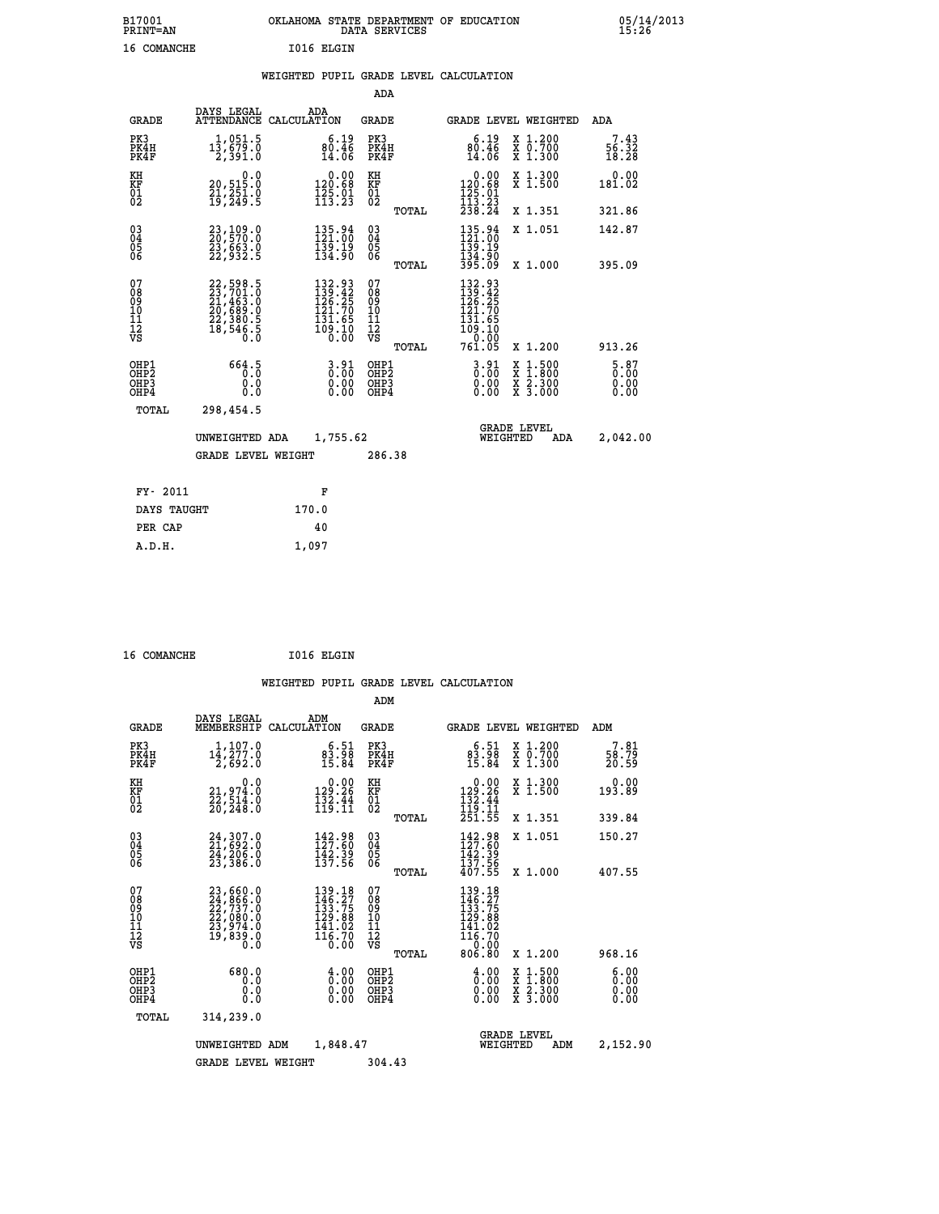# **B17001 OKLAHOMA STATE DEPARTMENT OF EDUCATION 05/14/2013 PRINT=AN DATA SERVICES 15:26 16 COMANCHE I016 ELGIN**

|  |  | WEIGHTED PUPIL GRADE LEVEL CALCULATION |
|--|--|----------------------------------------|
|  |  |                                        |

|                                                                    |                                                                                  |                                                                                                    | ADA                                    |       |                                                                                                    |                                          |                                |
|--------------------------------------------------------------------|----------------------------------------------------------------------------------|----------------------------------------------------------------------------------------------------|----------------------------------------|-------|----------------------------------------------------------------------------------------------------|------------------------------------------|--------------------------------|
| <b>GRADE</b>                                                       | DAYS LEGAL                                                                       | ADA<br>ATTENDANCE CALCULATION                                                                      | <b>GRADE</b>                           |       |                                                                                                    | GRADE LEVEL WEIGHTED                     | ADA                            |
| PK3<br>PK4H<br>PK4F                                                | 1,051.5<br>13,679.0<br>2,391.0                                                   | $80.46$<br>$14.06$                                                                                 | PK3<br>PK4H<br>PK4F                    |       | 6.19<br>$\frac{80.46}{14.06}$                                                                      | X 1.200<br>X 0.700<br>X 1.300            | 7.43<br>56.32<br>18.28         |
| KH<br>KF<br>01<br>02                                               | 0.0<br>20,515.0<br>21,251.0<br>19,249.5                                          | $\begin{smallmatrix} &0.00\\ 120.68\\ 125.01\\ 113.23\end{smallmatrix}$                            | KH<br>KF<br>01<br>02                   |       | 0.00<br>$\begin{smallmatrix} 120.68\\125.01\\113.23\\238.24 \end{smallmatrix}$                     | X 1.300<br>X 1.500                       | 0.00<br>181.02                 |
|                                                                    |                                                                                  |                                                                                                    |                                        | TOTAL |                                                                                                    | X 1.351                                  | 321.86                         |
| $\begin{smallmatrix} 03 \\[-4pt] 04 \end{smallmatrix}$<br>Ŏ5<br>06 | 23,109.0<br>20,570.0<br>23,663.0<br>22,932.5                                     | $\begin{smallmatrix} 135.94\\121.00\\139.19\\134.90 \end{smallmatrix}$                             | $\substack{03 \\ 04}$<br>Ŏ5<br>06      |       | $\begin{array}{c} 135\cdot 94\\ 121\cdot 00\\ 139\cdot 19\\ 134\cdot 90\\ 395\cdot 09 \end{array}$ | X 1.051                                  | 142.87                         |
|                                                                    |                                                                                  |                                                                                                    |                                        | TOTAL |                                                                                                    | X 1.000                                  | 395.09                         |
| 07<br>08<br>09<br>101<br>11<br>12<br>VS                            | $22,598.5$<br>$23,701.0$<br>$21,463.0$<br>$20,689.0$<br>$22,380.5$<br>$18,546.5$ | $\begin{smallmatrix} 132.93\\ 139.42\\ 126.25\\ 121.70\\ 131.65\\ 109.10\\ 0.00 \end{smallmatrix}$ | 07<br>08<br>09<br>11<br>11<br>12<br>VS |       | 132.93<br>139.42<br>126.25<br>121.70<br>$\frac{151.65}{109.10}$                                    |                                          |                                |
|                                                                    |                                                                                  |                                                                                                    |                                        | TOTAL | 761.05                                                                                             | X 1.200                                  | 913.26                         |
| OHP1<br>OHP <sub>2</sub><br>OH <sub>P3</sub><br>OHP4               | 664.5<br>0.000                                                                   | $3.91$<br>$0.00$<br>$\begin{smallmatrix} 0.00 \ 0.00 \end{smallmatrix}$                            | OHP1<br>OHP2<br>OHP <sub>3</sub>       |       | $3.91$<br>$0.00$<br>0.00                                                                           | X 1:500<br>X 1:800<br>X 2:300<br>X 3:000 | $5.87$<br>0.00<br>0.00<br>0.00 |
| TOTAL                                                              | 298,454.5                                                                        |                                                                                                    |                                        |       |                                                                                                    |                                          |                                |
|                                                                    | UNWEIGHTED ADA                                                                   | 1,755.62                                                                                           |                                        |       |                                                                                                    | <b>GRADE LEVEL</b><br>WEIGHTED<br>ADA    | 2,042.00                       |
|                                                                    | <b>GRADE LEVEL WEIGHT</b>                                                        |                                                                                                    | 286.38                                 |       |                                                                                                    |                                          |                                |
| FY- 2011                                                           |                                                                                  | F                                                                                                  |                                        |       |                                                                                                    |                                          |                                |
| DAYS TAUGHT                                                        |                                                                                  | 170.0                                                                                              |                                        |       |                                                                                                    |                                          |                                |
| PER CAP                                                            |                                                                                  | 40                                                                                                 |                                        |       |                                                                                                    |                                          |                                |

 **16 COMANCHE I016 ELGIN**

 **A.D.H. 1,097**

 **ADM**

| <b>GRADE</b>                                                       | DAYS LEGAL                                                                                | ADM<br>MEMBERSHIP CALCULATION                                                 | <b>GRADE</b>                                                              |                                                                                                                                          |                                | GRADE LEVEL WEIGHTED                                                                                                | ADM                          |
|--------------------------------------------------------------------|-------------------------------------------------------------------------------------------|-------------------------------------------------------------------------------|---------------------------------------------------------------------------|------------------------------------------------------------------------------------------------------------------------------------------|--------------------------------|---------------------------------------------------------------------------------------------------------------------|------------------------------|
| PK3<br>PK4H<br>PK4F                                                | 1,107.0<br>$1\bar{4}$ , $277.0$<br>2,692.0                                                | 6.51<br>$\frac{83.98}{15.84}$                                                 | PK3<br>PK4H<br>PK4F                                                       | $83.98$<br>$15.84$                                                                                                                       |                                | X 1.200<br>X 0.700<br>X 1.300                                                                                       | 7.81<br>58.79<br>20.59       |
| KH<br><b>KF</b><br>01<br>02                                        | 0.0<br>21, 974:0<br>22, 514:0<br>20, 248:0                                                | $\begin{smallmatrix} &0.00\\ 129.26\\ 132.44\\ 119.11\end{smallmatrix}$       | KH<br>KF<br>01<br>02                                                      | 0.00<br>$129.26$<br>$132.44$<br>$119.11$<br>$251.55$                                                                                     |                                | X 1.300<br>X 1.500                                                                                                  | 0.00<br>193.89               |
|                                                                    |                                                                                           |                                                                               | TOTAL                                                                     |                                                                                                                                          |                                | X 1.351                                                                                                             | 339.84                       |
| $\begin{smallmatrix} 03 \\[-4pt] 04 \end{smallmatrix}$<br>Ŏ5<br>06 | $24,307.0$<br>$21,692.0$<br>$24,206.0$<br>$23,386.0$                                      | 142.98<br>127.60<br>142.39<br>137.56                                          | $\begin{smallmatrix} 03 \\[-4pt] 04 \end{smallmatrix}$<br>$\frac{05}{06}$ | 142.98<br>127.60<br>142.39<br>137.56                                                                                                     |                                | X 1.051                                                                                                             | 150.27                       |
|                                                                    |                                                                                           |                                                                               | TOTAL                                                                     | 407.55                                                                                                                                   |                                | X 1.000                                                                                                             | 407.55                       |
| 07<br>08<br>09<br>101<br>11<br>12<br>VS                            | $23,660.0$<br>$24,866.0$<br>$22,737.0$<br>$22,080.0$<br>$23,974.0$<br>$19,839.0$<br>$0.0$ | 139.18<br>146.27<br>133.75<br>129.88<br>$\frac{1}{116}$ .02<br>116.70<br>0.00 | 07<br>08<br>09<br>001<br>11<br>11<br>12<br>VS<br>TOTAL                    | $\begin{array}{r} 139\cdot 18\\ 146\cdot 27\\ 133\cdot 75\\ 129\cdot 88\\ 141\cdot 02\\ 116\cdot 70\\ 0\cdot 00\\ \end{array}$<br>806.80 |                                | X 1.200                                                                                                             | 968.16                       |
| OHP1<br>OHP <sub>2</sub><br>OHP3<br>OHP4                           | 680.0<br>0.0<br>0.0<br>0.0                                                                | $\frac{4.00}{0.00}$<br>0.00                                                   | OHP1<br>OH <sub>P</sub> 2<br>OHP3<br>OHP4                                 | $\begin{smallmatrix} 4.00 \ 0.00 \ 0.00 \end{smallmatrix}$<br>0.00                                                                       |                                | $\begin{array}{l} \mathtt{X} & 1.500 \\ \mathtt{X} & 1.800 \\ \mathtt{X} & 2.300 \\ \mathtt{X} & 3.000 \end{array}$ | 6.00<br>0.00<br>0.00<br>0.00 |
| TOTAL                                                              | 314,239.0                                                                                 |                                                                               |                                                                           |                                                                                                                                          |                                |                                                                                                                     |                              |
|                                                                    | UNWEIGHTED                                                                                | 1,848.47<br>ADM                                                               |                                                                           |                                                                                                                                          | <b>GRADE LEVEL</b><br>WEIGHTED | ADM                                                                                                                 | 2,152.90                     |
|                                                                    | <b>GRADE LEVEL WEIGHT</b>                                                                 |                                                                               | 304.43                                                                    |                                                                                                                                          |                                |                                                                                                                     |                              |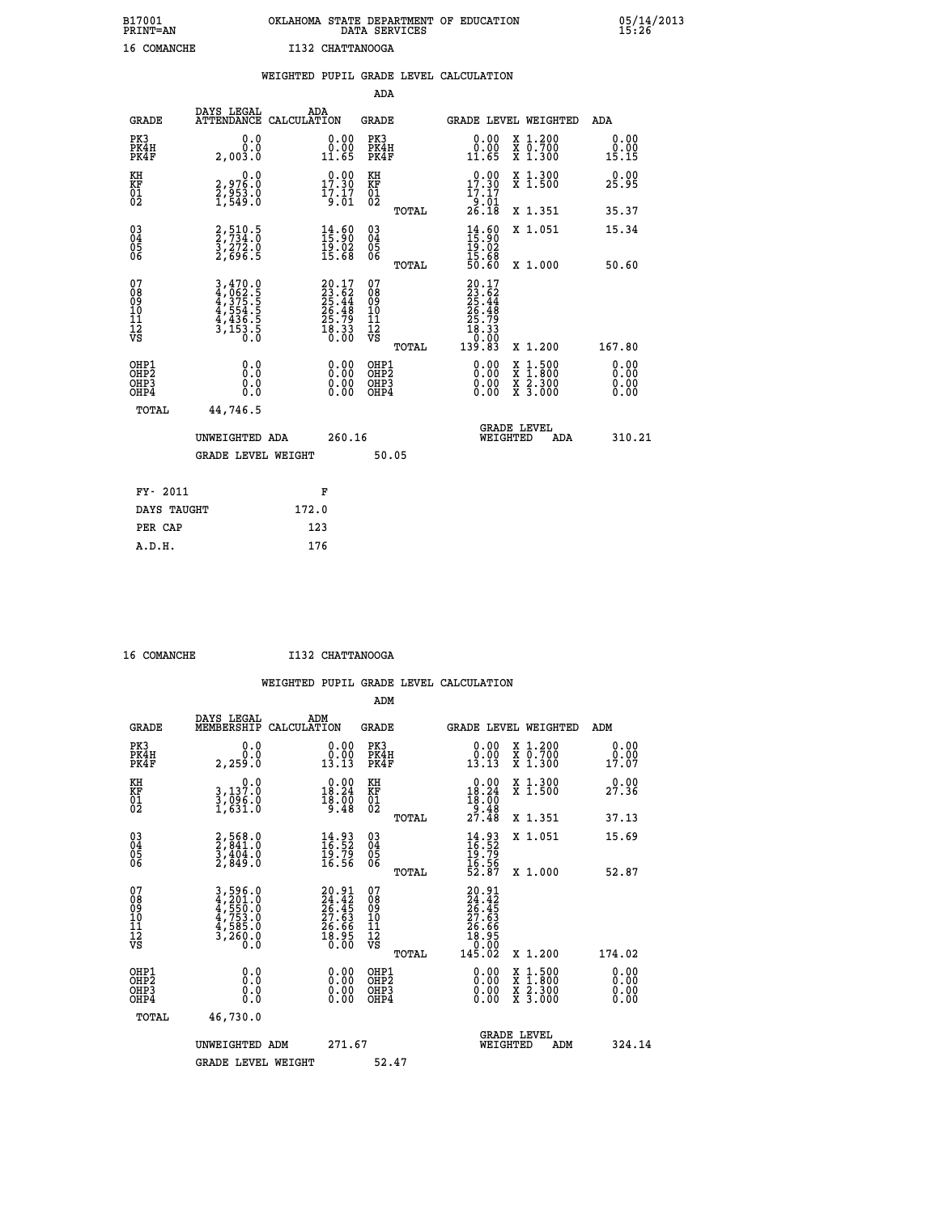## **B17001 OKLAHOMA STATE DEPARTMENT OF EDUCATION 05/14/2013 PRINT=AN DATA SERVICES 15:26 16 COMANCHE I132 CHATTANOOGA**

|                                                                    |                                                                                                                                                                                   | WEIGHTED PUPIL GRADE LEVEL CALCULATION                                   |                                                     |       |                                                                                                               |                                                                                                                                           |                               |
|--------------------------------------------------------------------|-----------------------------------------------------------------------------------------------------------------------------------------------------------------------------------|--------------------------------------------------------------------------|-----------------------------------------------------|-------|---------------------------------------------------------------------------------------------------------------|-------------------------------------------------------------------------------------------------------------------------------------------|-------------------------------|
|                                                                    |                                                                                                                                                                                   |                                                                          | <b>ADA</b>                                          |       |                                                                                                               |                                                                                                                                           |                               |
| <b>GRADE</b>                                                       | DAYS LEGAL<br><b>ATTENDANCE</b>                                                                                                                                                   | ADA<br>CALCULATION                                                       | <b>GRADE</b>                                        |       | GRADE LEVEL WEIGHTED                                                                                          |                                                                                                                                           | ADA                           |
| PK3<br>PK4H<br>PK4F                                                | 0.0<br>0.0<br>2,003.0                                                                                                                                                             | $\begin{smallmatrix} 0.00\\ 0.00\\ 11.65 \end{smallmatrix}$              | PK3<br>PK4H<br>PK4F                                 |       | 0.00<br>ŏ:ŏŏ<br>11:65                                                                                         | X 1.200<br>X 0.700<br>X 1.300                                                                                                             | 0.00<br>0.00<br>15.15         |
| KH<br>KF<br>01<br>02                                               | $\begin{smallmatrix} 0.0\\2.976.0\\2.953.0\\1.549.0 \end{smallmatrix}$                                                                                                            | $\begin{smallmatrix} 0.00\\ 17.30\\ 17.17\\ 9.01 \end{smallmatrix}$      | KH<br>KF<br>01<br>02                                |       | 0.00<br>$17.30$<br>$17.17$<br>$9.01$<br>$26.18$                                                               | X 1.300<br>X 1.500                                                                                                                        | 0.00<br>25.95                 |
|                                                                    |                                                                                                                                                                                   |                                                                          |                                                     | TOTAL |                                                                                                               | X 1.351                                                                                                                                   | 35.37                         |
| $\begin{smallmatrix} 03 \\[-4pt] 04 \end{smallmatrix}$<br>Ŏ5<br>06 | 2,510.5<br>2,734.0<br>3,272.0<br>2,696.5                                                                                                                                          | $\begin{smallmatrix} 14.60\\ 15.90\\ 19.02\\ 15.68 \end{smallmatrix}$    | $\begin{array}{c} 03 \\ 04 \\ 05 \\ 06 \end{array}$ |       | $14.60$<br>$15.90$<br>$19.02$<br>$15.68$<br>$50.60$                                                           | X 1.051                                                                                                                                   | 15.34                         |
|                                                                    |                                                                                                                                                                                   |                                                                          |                                                     | TOTAL |                                                                                                               | X 1.000                                                                                                                                   | 50.60                         |
| 07<br>0890112<br>1112<br>VS                                        | $\begin{smallmatrix} 3\,,\,4\,7\,0\,\cdot\,0\\ 4\,,\,0\,6\,2\,\cdot\,5\\ 4\,,\,3\,7\,5\,\cdot\,5\\ 4\,,\,5\,5\,4\\ 4\,,\,4\,3\,6\\ 3\,,\,1\,5\,3\\ 0\,\cdot\,0 \end{smallmatrix}$ | $20.17$<br>$23.62$<br>$25.44$<br>$26.48$<br>$25.79$<br>$18.33$<br>$0.00$ | 07<br>08901112<br>1112<br>VS                        | TOTAL | $\begin{smallmatrix} 20.17\\ 23.62\\ 25.44\\ 26.44\\ 26.49\\ 25.79\\ 18.33\\ 0.00\\ 139.83 \end{smallmatrix}$ | X 1.200                                                                                                                                   | 167.80                        |
| OHP1<br>OHP2<br>OH <sub>P3</sub><br>OHP4                           | 0.0<br>0.0<br>0.0                                                                                                                                                                 | $\begin{smallmatrix} 0.00 \ 0.00 \ 0.00 \ 0.00 \end{smallmatrix}$        | OHP1<br>OHP2<br>OHP3<br>OHP4                        |       | 0.00<br>0.00<br>0.00                                                                                          | $\begin{smallmatrix} \mathtt{X} & 1\cdot500\\ \mathtt{X} & 1\cdot800\\ \mathtt{X} & 2\cdot300\\ \mathtt{X} & 3\cdot000 \end{smallmatrix}$ | 0.00<br>Ō. ŌŌ<br>0.00<br>0.00 |
| TOTAL                                                              | 44,746.5                                                                                                                                                                          |                                                                          |                                                     |       |                                                                                                               |                                                                                                                                           |                               |
|                                                                    | UNWEIGHTED ADA                                                                                                                                                                    | 260.16                                                                   |                                                     |       | WEIGHTED                                                                                                      | <b>GRADE LEVEL</b><br>ADA                                                                                                                 | 310.21                        |
|                                                                    | <b>GRADE LEVEL WEIGHT</b>                                                                                                                                                         |                                                                          | 50.05                                               |       |                                                                                                               |                                                                                                                                           |                               |
| FY- 2011                                                           |                                                                                                                                                                                   | F                                                                        |                                                     |       |                                                                                                               |                                                                                                                                           |                               |
| DAYS TAUGHT                                                        |                                                                                                                                                                                   | 172.0                                                                    |                                                     |       |                                                                                                               |                                                                                                                                           |                               |
| PER CAP                                                            |                                                                                                                                                                                   | 123                                                                      |                                                     |       |                                                                                                               |                                                                                                                                           |                               |

 **A.D.H. 176**

 **16 COMANCHE I132 CHATTANOOGA**

| <b>GRADE</b>                                 | DAYS LEGAL<br>MEMBERSHIP                                                | ADM<br>CALCULATION                                                       | <b>GRADE</b>                                       |       |                                                                                                                                                                                                                                                                                | GRADE LEVEL WEIGHTED                                                                                                | ADM                     |
|----------------------------------------------|-------------------------------------------------------------------------|--------------------------------------------------------------------------|----------------------------------------------------|-------|--------------------------------------------------------------------------------------------------------------------------------------------------------------------------------------------------------------------------------------------------------------------------------|---------------------------------------------------------------------------------------------------------------------|-------------------------|
| PK3<br>PK4H<br>PK4F                          | 0.0<br>2,259.0                                                          | $\begin{smallmatrix} 0.00\\ 0.00\\ 13.13 \end{smallmatrix}$              | PK3<br>PK4H<br>PK4F                                |       | $\begin{smallmatrix} 0.00\\ 0.00\\ 13.13 \end{smallmatrix}$                                                                                                                                                                                                                    | X 1.200<br>X 0.700<br>X 1.300                                                                                       | 0.00<br>$0.00$<br>17.07 |
| KH<br>KF<br>01<br>02                         | $\begin{smallmatrix}&&&0.0\\3,137.0\\3,096.0\\1,631.0\end{smallmatrix}$ | $\begin{smallmatrix} 0.00\\18.24\\18.00\\9.48 \end{smallmatrix}$         | KH<br>KF<br>01<br>02                               |       | $\begin{smallmatrix} 0.00\\18.24\\18.00\\9.48\\27.48\end{smallmatrix}$                                                                                                                                                                                                         | X 1.300<br>X 1.500                                                                                                  | 0.00<br>27.36           |
|                                              |                                                                         |                                                                          |                                                    | TOTAL |                                                                                                                                                                                                                                                                                | X 1.351                                                                                                             | 37.13                   |
| 03<br>04<br>05<br>06                         | $2,568.0$<br>$2,841.0$<br>$3,404.0$<br>$2,849.0$                        | $\begin{smallmatrix} 14.93\ 16.52\ 19.79\ 16.56 \end{smallmatrix}$       | $\begin{matrix} 03 \\ 04 \\ 05 \\ 06 \end{matrix}$ |       | $14.93$<br>$16.52$<br>$19.79$<br>$16.56$<br>$52.87$                                                                                                                                                                                                                            | X 1.051                                                                                                             | 15.69                   |
|                                              |                                                                         |                                                                          |                                                    | TOTAL |                                                                                                                                                                                                                                                                                | X 1.000                                                                                                             | 52.87                   |
| 07<br>08<br>09<br>11<br>11<br>12<br>VS       | $3,596.0$<br>$4,555.0$<br>$4,753.0$<br>$4,753.0$<br>$3,260.0$<br>$0.0$  | $20.91$<br>$24.42$<br>$26.45$<br>$27.63$<br>$26.66$<br>$18.95$<br>$0.00$ | 07<br>08<br>09<br>11<br>11<br>12<br>VS             | TOTAL | $\begin{smallmatrix} 20.91\ 24.42\ 26.45\ 27.63\ 27.63\ 26.665\ 18.950\ 18.02\ 145.02\ \end{smallmatrix}$                                                                                                                                                                      | X 1.200                                                                                                             | 174.02                  |
| OHP1                                         |                                                                         |                                                                          | OHP1                                               |       |                                                                                                                                                                                                                                                                                |                                                                                                                     | 0.00                    |
| OHP <sub>2</sub><br>OH <sub>P3</sub><br>OHP4 | 0.0<br>0.000                                                            |                                                                          | OHP <sub>2</sub><br>OHP <sub>3</sub>               |       | $\begin{smallmatrix} 0.00 & 0.00 & 0.00 & 0.00 & 0.00 & 0.00 & 0.00 & 0.00 & 0.00 & 0.00 & 0.00 & 0.00 & 0.00 & 0.00 & 0.00 & 0.00 & 0.00 & 0.00 & 0.00 & 0.00 & 0.00 & 0.00 & 0.00 & 0.00 & 0.00 & 0.00 & 0.00 & 0.00 & 0.00 & 0.00 & 0.00 & 0.00 & 0.00 & 0.00 & 0.00 & 0.0$ | $\begin{array}{l} \mathtt{X} & 1.500 \\ \mathtt{X} & 1.800 \\ \mathtt{X} & 2.300 \\ \mathtt{X} & 3.000 \end{array}$ | 0.00<br>0.00<br>0.00    |
| TOTAL                                        | 46,730.0                                                                |                                                                          |                                                    |       |                                                                                                                                                                                                                                                                                |                                                                                                                     |                         |
|                                              | UNWEIGHTED ADM                                                          | 271.67                                                                   |                                                    |       | WEIGHTED                                                                                                                                                                                                                                                                       | <b>GRADE LEVEL</b><br>ADM                                                                                           | 324.14                  |
|                                              | <b>GRADE LEVEL WEIGHT</b>                                               |                                                                          | 52.47                                              |       |                                                                                                                                                                                                                                                                                |                                                                                                                     |                         |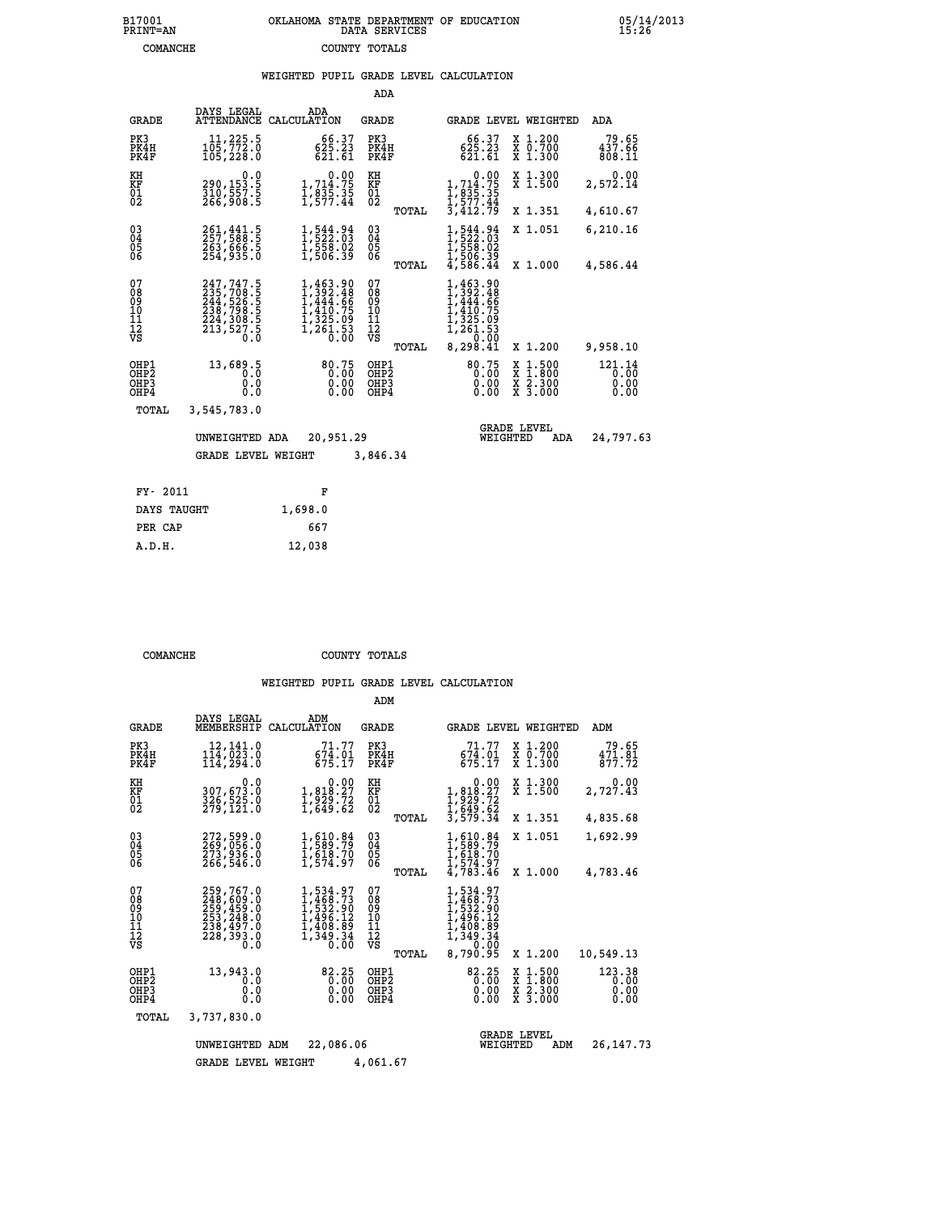## **B17001 OKLAHOMA STATE DEPARTMENT OF EDUCATION 05/14/2013 PRINT=AN DATA SERVICES 15:26 COMANCHE COUNTY TOTALS**

#### **WEIGHTED PUPIL GRADE LEVEL CALCULATION**

|                                                              |                                                                                                                                                                |                                                                                                                | ADA                                       |       |                                                                                                                                                                               |                                                                                          |                                |
|--------------------------------------------------------------|----------------------------------------------------------------------------------------------------------------------------------------------------------------|----------------------------------------------------------------------------------------------------------------|-------------------------------------------|-------|-------------------------------------------------------------------------------------------------------------------------------------------------------------------------------|------------------------------------------------------------------------------------------|--------------------------------|
| <b>GRADE</b>                                                 | DAYS LEGAL                                                                                                                                                     | ADA<br>ATTENDANCE CALCULATION                                                                                  | GRADE                                     |       |                                                                                                                                                                               | GRADE LEVEL WEIGHTED                                                                     | ADA                            |
| PK3<br>PK4H<br>PK4F                                          | 11,225.5<br>105,772.0<br>105,228.0                                                                                                                             | 66.37<br>625.23<br>621.61                                                                                      | PK3<br>PK4H<br>PK4F                       |       | 66.37<br>$625.23$<br>$621.61$                                                                                                                                                 | X 1.200<br>x 0.700<br>x 1.300                                                            | 79.65<br>437.66<br>808.11      |
| KH<br>KF<br>$\overline{01}$                                  | 0.0<br>290,153.5<br>310,557.5<br>266,908.5                                                                                                                     | $\begin{smallmatrix}&&&0.00\\1,714.75\\1,835.35\\1,577.44\end{smallmatrix}$                                    | KH<br>KF<br>$^{01}_{02}$                  |       | 0.00<br>1,714.75<br>1,835.35<br>1,577.44                                                                                                                                      | X 1.300<br>X 1.500                                                                       | 0.00<br>2,572.14               |
|                                                              |                                                                                                                                                                |                                                                                                                |                                           | TOTAL | $\overline{3,412.79}$                                                                                                                                                         | X 1.351                                                                                  | 4,610.67                       |
| $\begin{smallmatrix} 03 \\[-4pt] 04 \end{smallmatrix}$<br>Ŏ5 | 261, 441.5<br>263,666.5<br>254,935.0                                                                                                                           | $\frac{1}{1}, \frac{544}{522}.03 \newline \frac{1}{558}.02 \newline \frac{1}{506}.39$                          | $\substack{03 \\ 04}$<br>05               |       | $1,544.94$<br>$1,522.03$<br>$1,558.02$<br>$1,506.39$<br>$4,586.44$                                                                                                            | X 1.051                                                                                  | 6,210.16                       |
| 06                                                           |                                                                                                                                                                |                                                                                                                | 06                                        | TOTAL |                                                                                                                                                                               | X 1.000                                                                                  | 4,586.44                       |
| 07<br>08<br>09<br>11<br>11<br>12<br>VS                       | $\begin{smallmatrix} 247,747\cdot5\\ 235,708\cdot5\\ 244,526\cdot5\\ 238,798\cdot5\\ 224,308\cdot5\\ 224,308\cdot5\\ 213,527\cdot5\\ 0\cdot0\end{smallmatrix}$ | $\begin{smallmatrix} 1,463.90\\ 1,392.48\\ 1,444.66\\ 1,410.75\\ 1,325.09\\ 1,261.53\\ 0.00 \end{smallmatrix}$ | 07<br>08<br>09<br>101<br>11<br>12<br>VS   |       | 1,463.90<br>I, 392.48<br>1,444.66<br>$\frac{1}{4}$ , $\frac{1}{3}$<br>$\frac{1}{2}$ , $\frac{3}{2}$<br>$\frac{5}{3}$ , $\frac{9}{2}$<br>$\frac{1}{2}$ , $\frac{2}{3}$<br>0.00 |                                                                                          |                                |
|                                                              |                                                                                                                                                                |                                                                                                                |                                           | TOTAL | 8,298.41                                                                                                                                                                      | X 1.200                                                                                  | 9,958.10                       |
| OHP1<br>OH <sub>P</sub> 2<br>OHP3<br>OHP4                    | 13,689.5<br>$0.\overline{0}$<br>0.0<br>0.0                                                                                                                     | 80.75<br>0.00<br>0.00<br>0.00                                                                                  | OHP1<br>OH <sub>P</sub> 2<br>OHP3<br>OHP4 |       | 80.75<br>0.00<br>0.00<br>0.00                                                                                                                                                 | $\begin{smallmatrix} x & 1.500 \\ x & 1.800 \\ x & 2.300 \\ x & 3.000 \end{smallmatrix}$ | 121.14<br>0.00<br>0.00<br>0.00 |
| TOTAL                                                        | 3,545,783.0                                                                                                                                                    |                                                                                                                |                                           |       |                                                                                                                                                                               |                                                                                          |                                |
|                                                              | UNWEIGHTED ADA                                                                                                                                                 | 20,951.29                                                                                                      |                                           |       | WEIGHTED                                                                                                                                                                      | <b>GRADE LEVEL</b><br>ADA                                                                | 24,797.63                      |
|                                                              | <b>GRADE LEVEL WEIGHT</b>                                                                                                                                      |                                                                                                                | 3,846.34                                  |       |                                                                                                                                                                               |                                                                                          |                                |
| FY- 2011                                                     |                                                                                                                                                                | F                                                                                                              |                                           |       |                                                                                                                                                                               |                                                                                          |                                |
| DAYS TAUCHT                                                  |                                                                                                                                                                | 1.698.0                                                                                                        |                                           |       |                                                                                                                                                                               |                                                                                          |                                |
|                                                              |                                                                                                                                                                |                                                                                                                |                                           |       |                                                                                                                                                                               |                                                                                          |                                |

| FY- 2011    | R       |
|-------------|---------|
| DAYS TAUGHT | 1,698.0 |
| PER CAP     | 667     |
| A.D.H.      | 12,038  |
|             |         |

 **COMANCHE COUNTY TOTALS**

|                                                    |                                                                                   |                                                                                          | ADM                                      |                                                                                                                                   |                                                                                            |                                |
|----------------------------------------------------|-----------------------------------------------------------------------------------|------------------------------------------------------------------------------------------|------------------------------------------|-----------------------------------------------------------------------------------------------------------------------------------|--------------------------------------------------------------------------------------------|--------------------------------|
| <b>GRADE</b>                                       | DAYS LEGAL<br>MEMBERSHIP                                                          | ADM<br>CALCULATION                                                                       | <b>GRADE</b>                             | GRADE LEVEL WEIGHTED                                                                                                              |                                                                                            | ADM                            |
| PK3<br>PK4H<br>PK4F                                | 12,141.0<br>114,023.0<br>114,294.0                                                | 71.77<br>$67\overline{4}\cdot01\over 675\cdot17$                                         | PK3<br>PK4H<br>PK4F                      | 71.77<br>$67\overline{4}\cdot01\over 675\cdot17$                                                                                  | X 1.200<br>X 0.700<br>X 1.300                                                              | 79.65<br>471.81<br>877.72      |
| KH<br>KF<br>01<br>02                               | 0.0<br>307,673.0<br>326,525.0<br>279,121.0                                        | 0.00<br>$1,818.27$<br>$1,929.72$<br>$1,649.62$                                           | KH<br>KF<br>01<br>02                     | 0.00<br>1,818.27<br>1,929.72<br>1,649.62<br>3,579.34                                                                              | X 1.300<br>X 1.500                                                                         | 0.00<br>2,727.43               |
|                                                    |                                                                                   |                                                                                          | TOTAL                                    |                                                                                                                                   | X 1.351                                                                                    | 4,835.68                       |
| $\begin{matrix} 03 \\ 04 \\ 05 \\ 06 \end{matrix}$ | 272,599.0<br>269,056.0<br>273,936.0<br>266,546.0                                  | 1,610.84<br>1,589.79<br>1,618.70<br>1,574.97                                             | $\substack{03 \\ 04}$<br>$\frac{05}{06}$ | $1,589.79$<br>$1,589.79$<br>$1,618.70$<br>$1,574.97$<br>$4,783.46$                                                                | X 1.051                                                                                    | 1,692.99                       |
|                                                    |                                                                                   |                                                                                          | TOTAL                                    |                                                                                                                                   | X 1.000                                                                                    | 4,783.46                       |
| 07<br>08<br>09<br>101<br>11<br>12<br>VS            | 259,767.0<br>248,609.0<br>259,459.0<br>253,248.0<br>238,497.0<br>228,393.0<br>0.0 | $1,534.97$<br>$1,468.73$<br>$1,532.90$<br>$1,496.12$<br>$1,408.89$<br>$1,349.34$<br>0.00 | 07<br>089<br>101<br>111<br>VS<br>TOTAL   | $\begin{smallmatrix} 1, 534.97\\ 1, 468.73\\ 1, 532.90\\ 1, 496.12\\ 1, 408.89\\ 1, 349.34 \end{smallmatrix}$<br>0.00<br>8,790.95 | X 1.200                                                                                    | 10,549.13                      |
| OHP1<br>OHP2<br>OHP3<br>OHP4                       | 13,943.0<br>0.0<br>0.0<br>Ŏ.Ŏ                                                     | 82.25<br>0.00<br>0.00<br>0.00                                                            | OHP1<br>OHP2<br>OHP3<br>OHP4             | $82.25$<br>$0.00$<br>0.00<br>0.00                                                                                                 | $\begin{array}{c} x & 1.500 \\ x & 1.800 \\ x & 2.300 \end{array}$<br>$\overline{x}$ 3.000 | 123.38<br>0.00<br>0.00<br>0.00 |
|                                                    | TOTAL<br>3,737,830.0                                                              |                                                                                          |                                          |                                                                                                                                   |                                                                                            |                                |
|                                                    | UNWEIGHTED<br><b>GRADE LEVEL WEIGHT</b>                                           | 22,086.06<br>ADM                                                                         | 4,061.67                                 | <b>GRADE LEVEL</b><br>WEIGHTED                                                                                                    | ADM                                                                                        | 26, 147. 73                    |
|                                                    |                                                                                   |                                                                                          |                                          |                                                                                                                                   |                                                                                            |                                |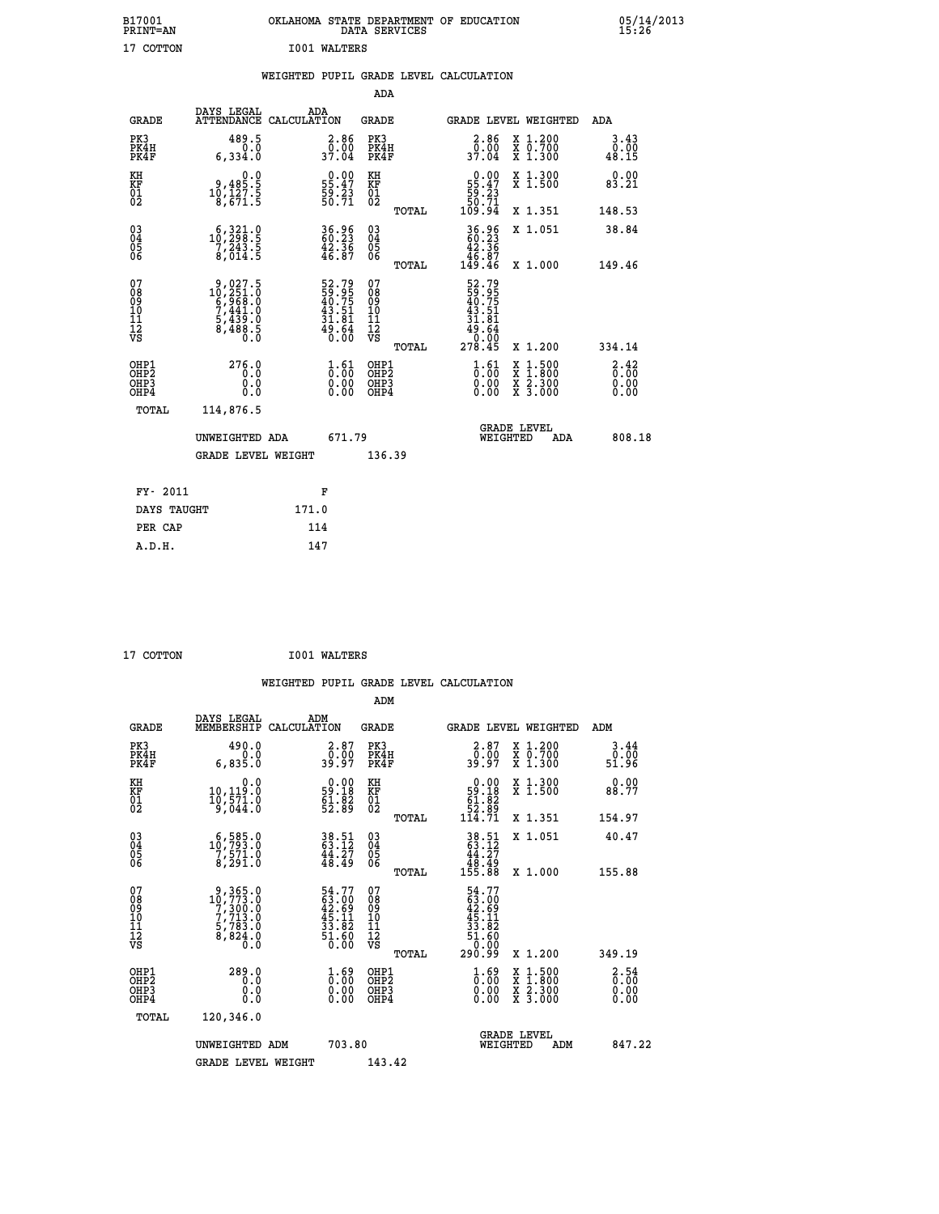| B17001<br>PRINT=AN                             |                                                                                                                                                             |                                                                                        | DATA SERVICES                                   | OKLAHOMA STATE DEPARTMENT OF EDUCATION                                      |                                                                                          | $05/14/2013$<br>15:26 |  |
|------------------------------------------------|-------------------------------------------------------------------------------------------------------------------------------------------------------------|----------------------------------------------------------------------------------------|-------------------------------------------------|-----------------------------------------------------------------------------|------------------------------------------------------------------------------------------|-----------------------|--|
| 17 COTTON                                      |                                                                                                                                                             | <b>IO01 WALTERS</b>                                                                    |                                                 |                                                                             |                                                                                          |                       |  |
|                                                |                                                                                                                                                             | WEIGHTED PUPIL GRADE LEVEL CALCULATION                                                 |                                                 |                                                                             |                                                                                          |                       |  |
|                                                |                                                                                                                                                             |                                                                                        | ADA                                             |                                                                             |                                                                                          |                       |  |
| <b>GRADE</b>                                   | DAYS LEGAL                                                                                                                                                  | ADA<br>ATTENDANCE CALCULATION                                                          | GRADE                                           | GRADE LEVEL WEIGHTED                                                        |                                                                                          | ADA                   |  |
| PK3<br>PK4H<br>PK4F                            | 489.5<br>0.0<br>6,334.0                                                                                                                                     | $\frac{2.86}{0.00}$<br>37.04                                                           | PK3<br>PK4H<br>PK4F                             | $\begin{smallmatrix} 2.86\ 0.00\ 37.04\ \end{smallmatrix}$                  | X 1.200<br>X 0.700<br>X 1.300                                                            | 3.43<br>0.00<br>48.15 |  |
| KH<br>KF<br>01<br>02                           | 0.0<br>$\begin{smallmatrix} 9,485.5\\ 10,127.5\\ 8,671.5 \end{smallmatrix}$                                                                                 | $\begin{smallmatrix} 0.00\\ 55.47\\ 59.23\\ 50.71 \end{smallmatrix}$                   | KH<br>KF<br>01<br>02                            | $\begin{smallmatrix}&&0.00\\55.47\\59.23\\50.71\\109.94\end{smallmatrix}$   | X 1.300<br>X 1.500                                                                       | 0.00<br>83.21         |  |
|                                                |                                                                                                                                                             |                                                                                        | TOTAL                                           |                                                                             | X 1.351                                                                                  | 148.53                |  |
| $\substack{03 \\ 04}$<br>$\substack{05 \\ 06}$ | $\substack{ \substack{ \substack{ 6 \ , \substack{ 3 \ 2 \ 9 \ 8 \ . \ 5} \\ 7 \ , \substack{ 2 \ 4 \ 3 \ . \ 5} \\ 8 \ , \substack{ 0 \ 1 \ 4 \ . \ 5} }}$ | $\begin{smallmatrix} 36.96 \\ 60.23 \\ 42.36 \\ 46.87 \end{smallmatrix}$               | 03<br>04<br>05<br>06                            | 36.96<br>60.23<br>42.36                                                     | X 1.051                                                                                  | 38.84                 |  |
|                                                |                                                                                                                                                             |                                                                                        | TOTAL                                           | 46.87<br>149.46                                                             | X 1.000                                                                                  | 149.46                |  |
| 07<br>08<br>09<br>11<br>11<br>12<br>VS         | $\begin{smallmatrix} 9,027.5\\ 10,251.0\\ 6,968.0\\ 7,441.0\\ 5,439.0\\ 8,488.5\\ 0.0 \end{smallmatrix}$                                                    | 52.79<br>59.95<br>40.75<br>43.51<br>31.81<br>31.84<br>49.64<br>0.00                    | 07<br>08<br>09<br>10<br>11<br>12<br>VS<br>TOTAL | 52.79<br>59.95<br>40.75<br>43.51<br>31.81<br>$\frac{45.64}{0.00}$<br>278.45 | X 1.200                                                                                  | 334.14                |  |
| OHP1<br>OHP <sub>2</sub><br>OHP3<br>OHP4       | 276.0<br>0.0<br>0.0<br>0.0                                                                                                                                  | $\frac{1}{0}$ : $\frac{61}{00}$<br>$\begin{smallmatrix} 0.00 \ 0.00 \end{smallmatrix}$ | OHP1<br>OHP2<br>OHP3<br>OHP4                    | $\frac{1}{0}$ : $\frac{61}{00}$<br>0.00<br>0.00                             | $\begin{smallmatrix} x & 1.500 \\ x & 1.800 \\ x & 2.300 \\ x & 3.000 \end{smallmatrix}$ | 3.42<br>0.00<br>0.00  |  |
| TOTAL                                          | 114,876.5                                                                                                                                                   |                                                                                        |                                                 |                                                                             |                                                                                          |                       |  |
|                                                | UNWEIGHTED ADA                                                                                                                                              | 671.79                                                                                 |                                                 | <b>GRADE LEVEL</b><br>WEIGHTED                                              | ADA                                                                                      | 808.18                |  |
|                                                | GRADE LEVEL WEIGHT                                                                                                                                          |                                                                                        | 136.39                                          |                                                                             |                                                                                          |                       |  |
| FY- 2011                                       |                                                                                                                                                             | F                                                                                      |                                                 |                                                                             |                                                                                          |                       |  |
| DAYS TAUGHT                                    |                                                                                                                                                             | 171.0                                                                                  |                                                 |                                                                             |                                                                                          |                       |  |
| PER CAP                                        |                                                                                                                                                             | 114                                                                                    |                                                 |                                                                             |                                                                                          |                       |  |
| A.D.H.                                         |                                                                                                                                                             | 147                                                                                    |                                                 |                                                                             |                                                                                          |                       |  |

| 17 COTTON | <b>IO01 WALTERS</b> |
|-----------|---------------------|
|           |                     |

|                                                      |                                                                                                  | WEIGHTED PUPIL GRADE LEVEL CALCULATION                                   |                                                    |       |                                                                          |                                                                     |                                     |
|------------------------------------------------------|--------------------------------------------------------------------------------------------------|--------------------------------------------------------------------------|----------------------------------------------------|-------|--------------------------------------------------------------------------|---------------------------------------------------------------------|-------------------------------------|
|                                                      |                                                                                                  |                                                                          | ADM                                                |       |                                                                          |                                                                     |                                     |
| <b>GRADE</b>                                         | DAYS LEGAL<br>MEMBERSHIP                                                                         | ADM<br>CALCULATION                                                       | <b>GRADE</b>                                       |       |                                                                          | <b>GRADE LEVEL WEIGHTED</b>                                         | ADM                                 |
| PK3<br>PK4H<br>PK4F                                  | 490.0<br>0.0<br>6,835.0                                                                          | $\begin{smallmatrix} 2.87\0.00\\0.00\\39.97\end{smallmatrix}$            | PK3<br>PK4H<br>PK4F                                |       | $\begin{smallmatrix} 2.87\0.00\\0.00\\39.97\end{smallmatrix}$            | X 1.200<br>X 0.700<br>X 1.300                                       | 3.44<br>0.00<br>51.96               |
| KH<br>KF<br>01<br>02                                 | 0.0<br>$10, 119.0$<br>$10, 571.0$<br>$9, 044.0$                                                  | $\begin{smallmatrix} 0.00\\ 59.18\\ 61.82\\ 52.89 \end{smallmatrix}$     | KH<br>KF<br>01<br>02                               |       | 0.00<br>$\begin{array}{r} 59.18 \\ 61.82 \\ 52.89 \\ 114.71 \end{array}$ | X 1.300<br>X 1.500                                                  | 0.00<br>88.77                       |
|                                                      |                                                                                                  |                                                                          |                                                    | TOTAL |                                                                          | X 1.351                                                             | 154.97                              |
| $\begin{matrix} 03 \\ 04 \\ 05 \\ 06 \end{matrix}$   | $10, 585.0$<br>$10, 793.0$<br>$\frac{7}{8}, \frac{5}{291}.0$                                     | $38.51$<br>$63.12$<br>$44.27$<br>$48.49$                                 | $\begin{matrix} 03 \\ 04 \\ 05 \\ 06 \end{matrix}$ |       | $38.51$<br>$63.12$<br>$44.27$<br>$48.49$<br>$155.88$                     | X 1.051                                                             | 40.47                               |
|                                                      |                                                                                                  |                                                                          |                                                    | TOTAL |                                                                          | X 1.000                                                             | 155.88                              |
| 07<br>08<br>09<br>01<br>11<br>11<br>12<br>VS         | $\begin{smallmatrix}9,365.0\\10,773.0\\7,300.0\\7,713.0\\5,783.0\\8,824.0\\0.0\end{smallmatrix}$ | $54.77$<br>$63.00$<br>$42.69$<br>$45.11$<br>$33.82$<br>$51.60$<br>$0.00$ | 07<br>08<br>09<br>01<br>11<br>11<br>12<br>VS       |       | $54.77$<br>$63.09$<br>$42.69$<br>$45.11$<br>$33.82$<br>$51.60$<br>$0.90$ |                                                                     |                                     |
|                                                      |                                                                                                  |                                                                          |                                                    | TOTAL | 290.99                                                                   | X 1.200                                                             | 349.19                              |
| OHP1<br>OHP2<br>OH <sub>P3</sub><br>OH <sub>P4</sub> | 289.0<br>0.0<br>0.000                                                                            | $\frac{1}{0}$ : 00<br>0.00<br>0.00                                       | OHP1<br>OHP2<br>OHP3<br>OHP4                       |       | $\begin{smallmatrix} 1.69 \ 0.00 \ 0.00 \end{smallmatrix}$<br>0.00       | $1.500$<br>$1.800$<br>X<br>X<br>$\frac{x}{x}$ $\frac{5:300}{3:000}$ | $\frac{2.54}{0.00}$<br>0.00<br>0.00 |
| TOTAL                                                | 120,346.0                                                                                        |                                                                          |                                                    |       |                                                                          |                                                                     |                                     |
|                                                      | UNWEIGHTED ADM                                                                                   | 703.80                                                                   |                                                    |       | WEIGHTED                                                                 | <b>GRADE LEVEL</b><br>ADM                                           | 847.22                              |
|                                                      | <b>GRADE LEVEL WEIGHT</b>                                                                        |                                                                          | 143.42                                             |       |                                                                          |                                                                     |                                     |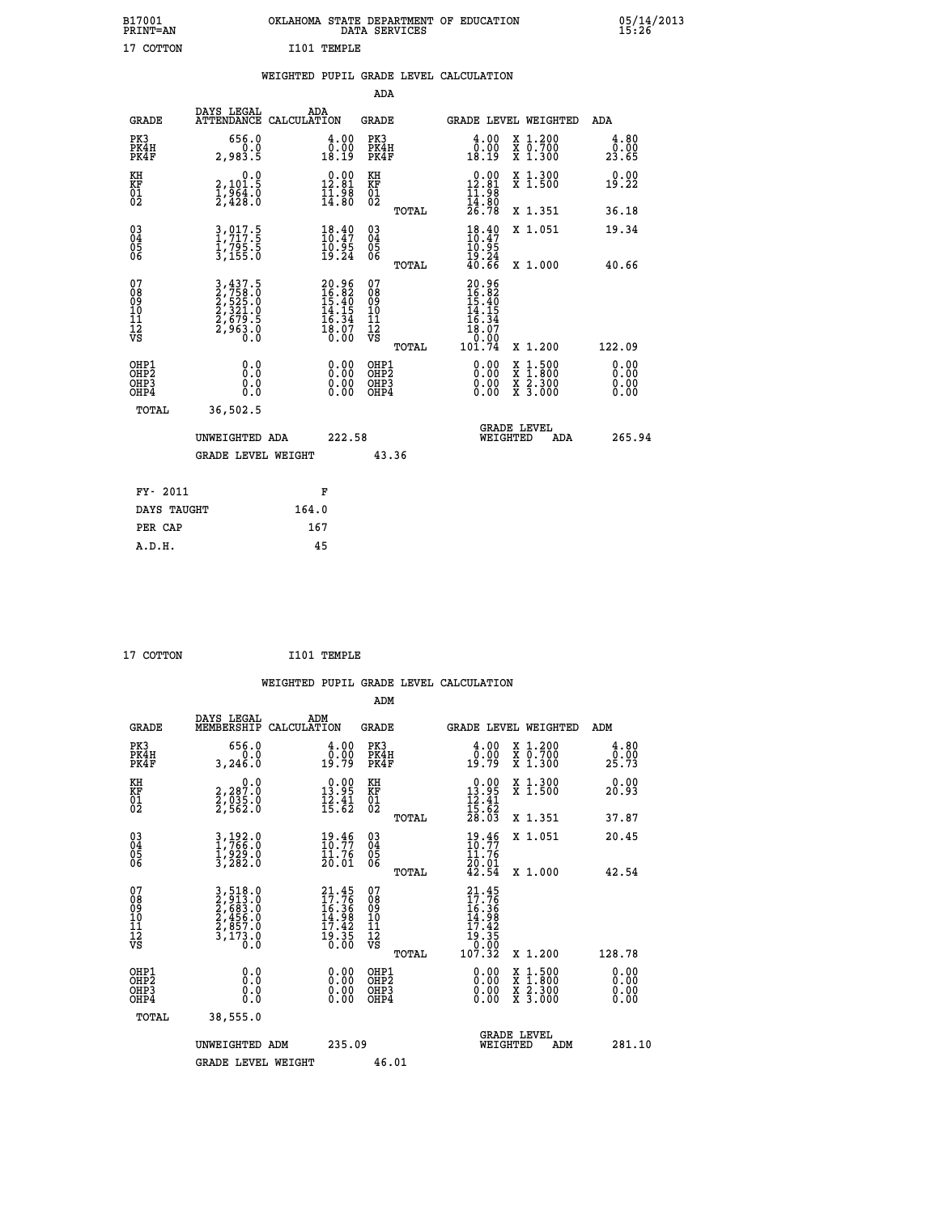| B17001<br>PRINT=AN                                   |                                                                                 | OKLAHOMA STATE DEPARTMENT OF EDUCATION                                                                                      | DATA SERVICES                                      |                                                                 |                                                                                                  | 05/14/2013                   |  |
|------------------------------------------------------|---------------------------------------------------------------------------------|-----------------------------------------------------------------------------------------------------------------------------|----------------------------------------------------|-----------------------------------------------------------------|--------------------------------------------------------------------------------------------------|------------------------------|--|
| 17 COTTON                                            |                                                                                 | I101 TEMPLE                                                                                                                 |                                                    |                                                                 |                                                                                                  |                              |  |
|                                                      |                                                                                 | WEIGHTED PUPIL GRADE LEVEL CALCULATION                                                                                      |                                                    |                                                                 |                                                                                                  |                              |  |
|                                                      |                                                                                 |                                                                                                                             | ADA                                                |                                                                 |                                                                                                  |                              |  |
| <b>GRADE</b>                                         | DAYS LEGAL                                                                      | ADA<br>ATTENDANCE CALCULATION                                                                                               | GRADE                                              |                                                                 | GRADE LEVEL WEIGHTED                                                                             | ADA                          |  |
| PK3<br>PK4H<br>PK4F                                  | 656.0<br>0.0<br>2,983.5                                                         | 4.00<br>$\begin{smallmatrix} 0.00 \ 18.19 \end{smallmatrix}$                                                                | PK3<br>PK4H<br>PK4F                                | 4.00<br>0:00<br>18:19                                           | X 1.200<br>X 0.700<br>X 1.300                                                                    | 4.80<br>0.00<br>23.65        |  |
| KH<br>KF<br>01<br>02                                 | 0.0<br>2,101.5<br>$\frac{1}{2}$ , $\frac{5}{4}$ , $\frac{5}{8}$ , $\frac{5}{8}$ | $0.00$<br>12.81<br>$\frac{11.98}{14.80}$                                                                                    | KH<br>KF<br>01<br>02                               | $0.00$<br>12.81<br>$\frac{11}{14}$ : 98<br>$\frac{14}{26}$ : 78 | X 1.300<br>X 1.500                                                                               | 0.00<br>19.22                |  |
|                                                      |                                                                                 |                                                                                                                             | TOTAL                                              |                                                                 | X 1.351                                                                                          | 36.18                        |  |
| 030404<br>06                                         | 3,017.5<br>1,717.5<br>1,795.5<br>3,155.0                                        | $\begin{smallmatrix} 18.40\\ 10.47\\ 10.95\\ 19.24 \end{smallmatrix}$                                                       | $\begin{matrix} 03 \\ 04 \\ 05 \\ 06 \end{matrix}$ | 18.49<br>10.95<br>$\frac{19.24}{40.66}$                         | X 1.051                                                                                          | 19.34                        |  |
| 07                                                   |                                                                                 |                                                                                                                             | TOTAL<br>07                                        |                                                                 | X 1.000                                                                                          | 40.66                        |  |
| 08<br>09<br>10<br>īĭ<br>Ī2<br>VS                     | 3,437.5<br>2,758.0<br>2,525.0<br>2,321.0<br>2,679.5<br>2,963.0                  | 20.96<br>16.82<br>15.40<br>14.15<br>$\begin{smallmatrix} 1 & 1 & 3 & 4 \\ 1 & 8 & 0 & 7 \\ 0 & 0 & 0 & 0 \end{smallmatrix}$ | 08<br>09<br>10<br>11<br>ĪŻ<br>VŜ                   | 20.96<br>16.82<br>15.40<br>14.15<br>16<br>.34<br>18.07<br>0.00  |                                                                                                  |                              |  |
|                                                      |                                                                                 |                                                                                                                             | TOTAL                                              | 101.74                                                          | X 1.200                                                                                          | 122.09                       |  |
| OHP1<br>OHP <sub>2</sub><br>OH <sub>P3</sub><br>OHP4 | 0.0<br>$0.\check{0}$<br>0.0<br>0.0                                              | 0.00<br>$\begin{smallmatrix} 0.00 & 0 \ 0.00 & 0 \end{smallmatrix}$                                                         | OHP1<br>OHP <sub>2</sub><br>OHP3<br>OHP4           | 0.00<br>0.00<br>0.00                                            | $\begin{smallmatrix} x & 1 & 500 \\ x & 1 & 800 \\ x & 2 & 300 \\ x & 3 & 000 \end{smallmatrix}$ | 0.00<br>0.00<br>0.00<br>0.00 |  |
| TOTAL                                                | 36,502.5                                                                        |                                                                                                                             |                                                    |                                                                 |                                                                                                  |                              |  |
|                                                      | UNWEIGHTED ADA                                                                  | 222.58                                                                                                                      |                                                    | WEIGHTED                                                        | <b>GRADE LEVEL</b><br>ADA                                                                        | 265.94                       |  |
|                                                      | <b>GRADE LEVEL WEIGHT</b>                                                       |                                                                                                                             | 43.36                                              |                                                                 |                                                                                                  |                              |  |
| FY- 2011                                             |                                                                                 | F                                                                                                                           |                                                    |                                                                 |                                                                                                  |                              |  |
| DAYS TAUGHT                                          |                                                                                 | 164.0                                                                                                                       |                                                    |                                                                 |                                                                                                  |                              |  |
| PER CAP                                              |                                                                                 | 167                                                                                                                         |                                                    |                                                                 |                                                                                                  |                              |  |

```
 17 COTTON I101 TEMPLE
```
 **WEIGHTED PUPIL GRADE LEVEL CALCULATION ADM DAYS LEGAL ADM GRADE MEMBERSHIP CALCULATION GRADE GRADE LEVEL WEIGHTED ADM PK3 656.0 4.00 PK3 4.00 X 1.200 4.80 PK4H 0.0 0.00 PK4H 0.00 X 0.700 0.00 PK4F 3,246.0 19.79 PK4F 19.79 X 1.300 25.73 KH 0.0 0.00 KH 0.00 X 1.300 0.00 KF 2,287.0 13.95 KF 13.95 X 1.500 20.93 01 2,035.0 12.41 01 12.41 02 2,562.0 15.62 02 15.62 TOTAL 28.03 X 1.351 37.87 03 3,192.0 19.46 03 19.46 X 1.051 20.45 04 1,766.0 10.77 04 10.77 05 1,929.0 11.76 05 11.76** 06 3,282.0 20.01 06  $\frac{20.01}{20.01}$  **TOTAL 42.54 X 1.000 42.54**  $\begin{array}{cccc} 07 & 3,518.0 & 21.45 & 07 & 21.45 \ 08 & 2,683.0 & 16.36 & 08 & 16.36 \ 10 & 2,456.0 & 14.98 & 10 & 14.98 \ 11 & 2,456.0 & 14.98 & 10 & 14.98 \ 12 & 3,577.0 & 17.42 & 11 & 17.42 \ 12 & 3,173.0 & 19.35 & 12 & 19.35 \ 18 & 10 & 19.35 & 12 & 19.35 \$  $\begin{array}{cccc} 21.45 & 07 & 21.45 \ 17.76 & 08 & 21.45 \ 16.36 & 09 & 16.36 \ 17.42 & 11 & 17.42 \ 19.35 & 12 & 19.32 \ 0.00 & 0 \text{H}\texttt{P1} & 0.00 & \texttt{x} & 1.500 \ 0.00 & 0 \text{H}\texttt{P2} & 0.00 & \texttt{x} & 1.500 & 0.00 \ 0.00 & 0 \text{H}\texttt{P3} & 0.00 & \texttt{x} & 1.300 &$  **OHP1 0.0 0.00 OHP1 0.00 X 1.500 0.00 OHP2 0.0 0.00 OHP2 0.00 X 1.800 0.00 OHP3 0.0 0.00 OHP3 0.00 X 2.300 0.00 OHP4 0.0 0.00 OHP4 0.00 X 3.000 0.00 TOTAL 38,555.0 GRADE LEVEL UNWEIGHTED ADM 235.09 WEIGHTED ADM 281.10** GRADE LEVEL WEIGHT 46.01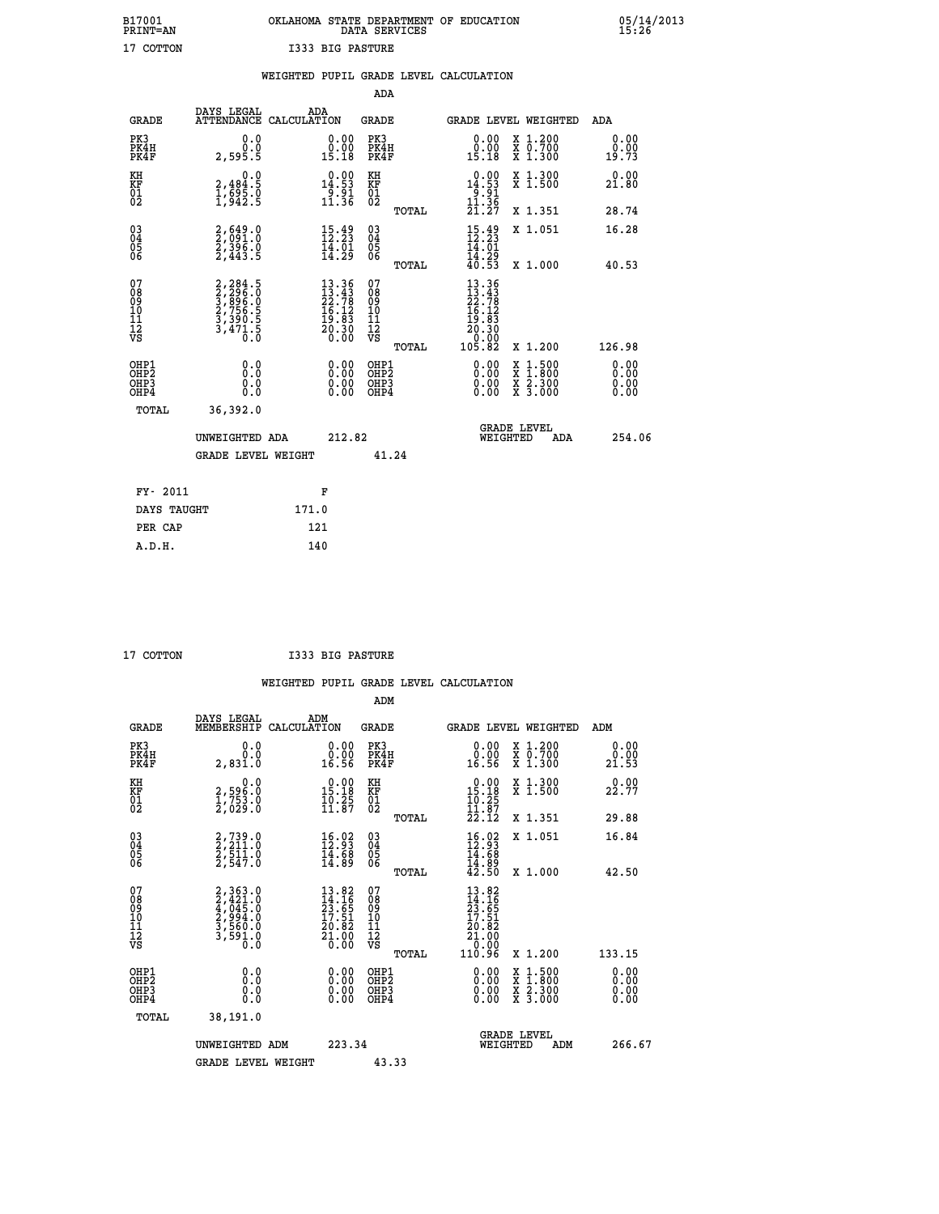## **B17001 OKLAHOMA STATE DEPARTMENT OF EDUCATION 05/14/2013 PRINT=AN DATA SERVICES 15:26 17 COTTON I333 BIG PASTURE**

|                                                                    |                                                                       |       |                                                                          |                                          |       | WEIGHTED PUPIL GRADE LEVEL CALCULATION                                                                                                                                                                                                                                         |                                                                                          |                              |
|--------------------------------------------------------------------|-----------------------------------------------------------------------|-------|--------------------------------------------------------------------------|------------------------------------------|-------|--------------------------------------------------------------------------------------------------------------------------------------------------------------------------------------------------------------------------------------------------------------------------------|------------------------------------------------------------------------------------------|------------------------------|
|                                                                    |                                                                       |       |                                                                          | <b>ADA</b>                               |       |                                                                                                                                                                                                                                                                                |                                                                                          |                              |
| <b>GRADE</b>                                                       | DAYS LEGAL<br>ATTENDANCE CALCULATION                                  | ADA   |                                                                          | GRADE                                    |       | GRADE LEVEL WEIGHTED                                                                                                                                                                                                                                                           |                                                                                          | ADA                          |
| PK3<br>PK4H<br>PK4F                                                | 0.0<br>0.0<br>2,595.5                                                 |       | $\begin{smallmatrix} 0.00\\ 0.00\\ 15.18 \end{smallmatrix}$              | PK3<br>PK4H<br>PK4F                      |       | $\begin{smallmatrix} 0.00\\ 0.00\\ 15.18 \end{smallmatrix}$                                                                                                                                                                                                                    | X 1.200<br>X 0.700<br>X 1.300                                                            | 0.00<br>0.00<br>19.73        |
| KH<br>KF<br>01<br>02                                               | 0.0<br>$2,484.5$<br>$1,695.0$<br>$1,942.5$                            |       | $0.00$<br>14.53<br>$\frac{5}{11}$ .<br>36                                | KH<br>KF<br>01<br>02                     |       | $14.53$<br>$14.53$<br>$11.36$                                                                                                                                                                                                                                                  | X 1.300<br>X 1.500                                                                       | 0.00<br>21.80                |
|                                                                    |                                                                       |       |                                                                          |                                          | TOTAL | 21.27                                                                                                                                                                                                                                                                          | X 1.351                                                                                  | 28.74                        |
| $\begin{smallmatrix} 03 \\[-4pt] 04 \end{smallmatrix}$<br>Ŏ5<br>06 | $2,649.0$<br>$2,396.0$<br>$2,443.5$                                   |       | $15.49$<br>$12.23$<br>$\frac{1}{4}$ $\frac{1}{2}$ $\frac{1}{2}$          | $^{03}_{04}$<br>Ŏ5<br>06                 |       | $15.49$<br>$12.23$<br>14.01                                                                                                                                                                                                                                                    | X 1.051                                                                                  | 16.28                        |
|                                                                    |                                                                       |       |                                                                          |                                          | TOTAL | 14.29<br>40.53                                                                                                                                                                                                                                                                 | X 1.000                                                                                  | 40.53                        |
| 07<br>08<br>09<br>11<br>11<br>12<br>VS                             | 2,284.5<br>2,296.0<br>3,896.0<br>3,756.5<br>3,390.5<br>3,471.5<br>0.0 |       | $13.36$<br>$22.78$<br>$26.12$<br>$16.12$<br>$19.83$<br>$20.30$<br>$0.00$ | 07<br>08<br>09<br>11<br>11<br>12<br>VS   | TOTAL | 13.36<br>$13.43$<br>$22.78$<br>$16.12$<br>$19.83$<br>$20.30$<br>00.07<br>105.82                                                                                                                                                                                                | X 1.200                                                                                  | 126.98                       |
| OHP1<br>OH <sub>P</sub> 2<br>OHP3<br>OH <sub>P4</sub>              | 0.0<br>0.0<br>0.0                                                     |       | $\begin{smallmatrix} 0.00 \ 0.00 \ 0.00 \ 0.00 \end{smallmatrix}$        | OHP1<br>OHP <sub>2</sub><br>OHP3<br>OHP4 |       | $\begin{smallmatrix} 0.00 & 0.00 & 0.00 & 0.00 & 0.00 & 0.00 & 0.00 & 0.00 & 0.00 & 0.00 & 0.00 & 0.00 & 0.00 & 0.00 & 0.00 & 0.00 & 0.00 & 0.00 & 0.00 & 0.00 & 0.00 & 0.00 & 0.00 & 0.00 & 0.00 & 0.00 & 0.00 & 0.00 & 0.00 & 0.00 & 0.00 & 0.00 & 0.00 & 0.00 & 0.00 & 0.0$ | $\begin{smallmatrix} x & 1.500 \\ x & 1.800 \\ x & 2.300 \\ x & 3.000 \end{smallmatrix}$ | 0.00<br>0.00<br>0.00<br>0.00 |
| TOTAL                                                              | 36,392.0                                                              |       |                                                                          |                                          |       |                                                                                                                                                                                                                                                                                |                                                                                          |                              |
|                                                                    | UNWEIGHTED ADA                                                        |       | 212.82                                                                   |                                          |       | WEIGHTED                                                                                                                                                                                                                                                                       | <b>GRADE LEVEL</b><br><b>ADA</b>                                                         | 254.06                       |
|                                                                    | <b>GRADE LEVEL WEIGHT</b>                                             |       |                                                                          |                                          | 41.24 |                                                                                                                                                                                                                                                                                |                                                                                          |                              |
| FY- 2011                                                           |                                                                       |       | F                                                                        |                                          |       |                                                                                                                                                                                                                                                                                |                                                                                          |                              |
| DAYS TAUGHT                                                        |                                                                       | 171.0 |                                                                          |                                          |       |                                                                                                                                                                                                                                                                                |                                                                                          |                              |
| PER CAP                                                            |                                                                       | 121   |                                                                          |                                          |       |                                                                                                                                                                                                                                                                                |                                                                                          |                              |

 **A.D.H. 140**

 **17 COTTON I333 BIG PASTURE**

|                                          |                                                                                     |                                                                                                                         | ADM                                                 |                                                                                                         |                                          |                              |
|------------------------------------------|-------------------------------------------------------------------------------------|-------------------------------------------------------------------------------------------------------------------------|-----------------------------------------------------|---------------------------------------------------------------------------------------------------------|------------------------------------------|------------------------------|
| <b>GRADE</b>                             | DAYS LEGAL<br>MEMBERSHIP                                                            | ADM<br>CALCULATION                                                                                                      | <b>GRADE</b>                                        | <b>GRADE LEVEL WEIGHTED</b>                                                                             |                                          | ADM                          |
| PK3<br>PK4H<br>PK4F                      | 0.0<br>0.0<br>2,831.0                                                               | $\begin{smallmatrix} 0.00\\ 0.00\\ 16.56 \end{smallmatrix}$                                                             | PK3<br>PK4H<br>PK4F                                 | $\begin{smallmatrix} 0.00\\ 0.00\\ 16.56 \end{smallmatrix}$                                             | X 1.200<br>X 0.700<br>X 1.300            | 0.00<br>0.00<br>21.53        |
| KH<br>KF<br>01<br>02                     | 0.0<br>2,596.0<br>1,753.0<br>2,029.0                                                | $\begin{smallmatrix} 0.00\\ 15.18\\ 10.25\\ 11.87 \end{smallmatrix}$                                                    | KH<br>KF<br>01<br>02                                | $\begin{array}{c} 0.00 \\ 15.18 \\ 10.25 \\ 11.87 \\ 22.12 \end{array}$                                 | X 1.300<br>X 1.500                       | 0.00<br>22.77                |
|                                          |                                                                                     |                                                                                                                         | TOTAL                                               |                                                                                                         | X 1.351                                  | 29.88                        |
| 03<br>04<br>05<br>06                     | 2,739.0<br>2,211.0<br>2,511.0<br>2,547.0                                            | $\begin{smallmatrix} 16.02\ 12.93\ 14.68\ 14.89 \end{smallmatrix}$                                                      | $\begin{array}{c} 03 \\ 04 \\ 05 \\ 06 \end{array}$ | $16.0312.9314.6814.8942.50$                                                                             | X 1.051                                  | 16.84                        |
|                                          |                                                                                     |                                                                                                                         | TOTAL                                               |                                                                                                         | X 1.000                                  | 42.50                        |
| 07<br>08<br>09<br>101<br>112<br>VS       | $2,363.0$<br>$2,421.0$<br>$4,045.0$<br>$2,994.0$<br>$3,560.0$<br>$3,591.0$<br>$0.0$ | $\begin{smallmatrix} 13\cdot82\\ 14\cdot16\\ 23\cdot65\\ 17\cdot51\\ 20\cdot82\\ 21\cdot00\\ 0\cdot00\end{smallmatrix}$ | 07<br>08<br>09<br>11<br>11<br>12<br>VS              | $\begin{smallmatrix} 13.82 \\ 14.16 \\ 23.65 \\ 17.51 \\ 20.82 \\ 21.00 \\ 1,0.00 \\ \end{smallmatrix}$ |                                          |                              |
|                                          |                                                                                     |                                                                                                                         | TOTAL                                               | 110.96                                                                                                  | X 1.200                                  | 133.15                       |
| OHP1<br>OHP2<br>OH <sub>P3</sub><br>OHP4 | 0.0<br>0.000                                                                        | $0.00$<br>$0.00$<br>0.00                                                                                                | OHP1<br>OHP2<br>OHP <sub>3</sub>                    | $0.00$<br>$0.00$<br>0.00                                                                                | X 1:500<br>X 1:800<br>X 2:300<br>X 3:000 | 0.00<br>0.00<br>0.00<br>0.00 |
| TOTAL                                    | 38,191.0                                                                            |                                                                                                                         |                                                     |                                                                                                         |                                          |                              |
|                                          | UNWEIGHTED ADM                                                                      | 223.34                                                                                                                  |                                                     | <b>GRADE LEVEL</b><br>WEIGHTED                                                                          | ADM                                      | 266.67                       |
|                                          | <b>GRADE LEVEL WEIGHT</b>                                                           |                                                                                                                         | 43.33                                               |                                                                                                         |                                          |                              |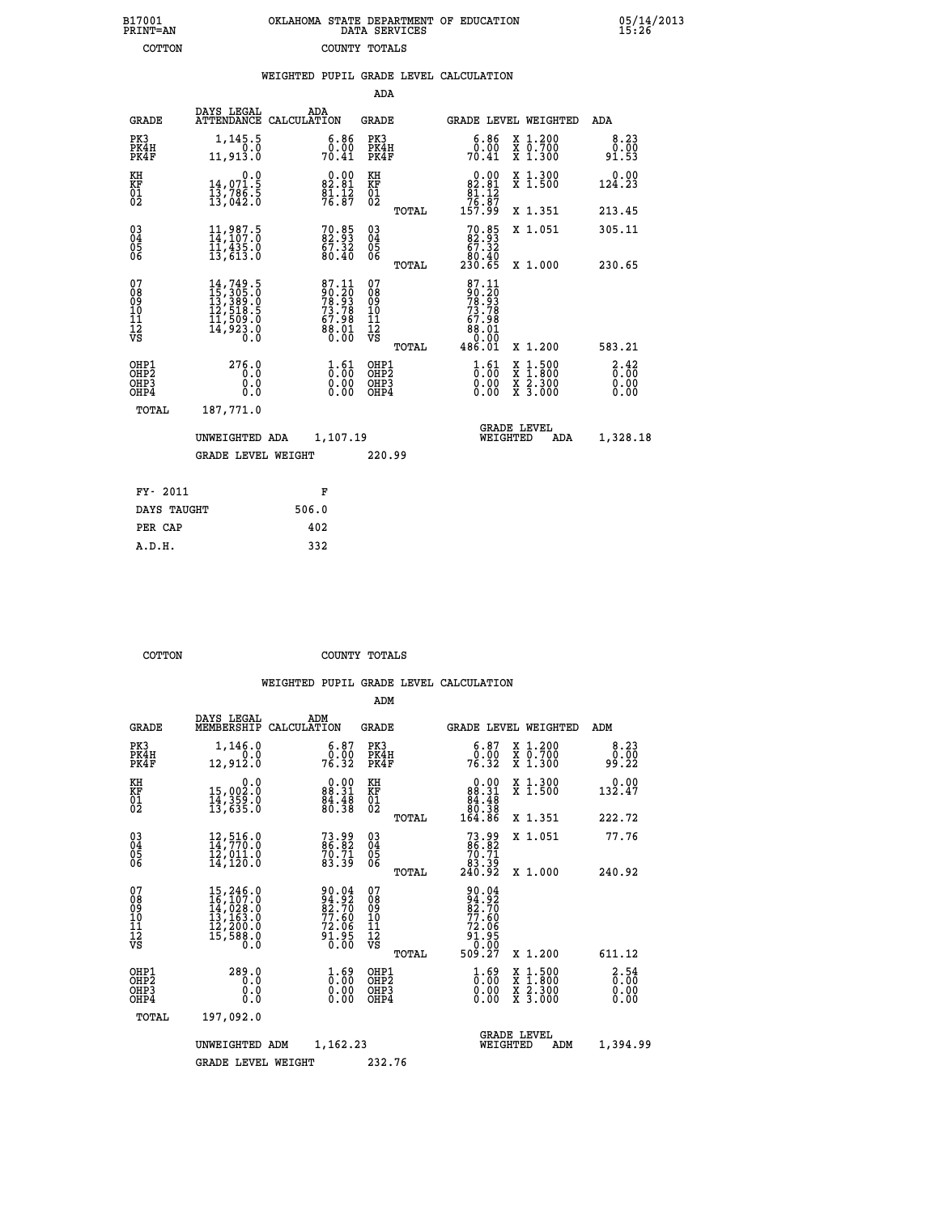| 7001<br>INT=AN | OKLAHOMA STATE DEPARTMENT OF EDUCATION<br>DATA SERVICES |  |  |
|----------------|---------------------------------------------------------|--|--|
| COTTON         | COUNTY TOTALS                                           |  |  |

 **B17001<br>PRINT=AN** 

 **B17001 OKLAHOMA STATE DEPARTMENT OF EDUCATION 05/14/2013**

|                                                              |                                                                                                                                                                    | WEIGHTED PUPIL GRADE LEVEL CALCULATION                                                                      |                                                  |                                                                                             |                                                                                                                                           |                       |
|--------------------------------------------------------------|--------------------------------------------------------------------------------------------------------------------------------------------------------------------|-------------------------------------------------------------------------------------------------------------|--------------------------------------------------|---------------------------------------------------------------------------------------------|-------------------------------------------------------------------------------------------------------------------------------------------|-----------------------|
|                                                              |                                                                                                                                                                    |                                                                                                             | ADA                                              |                                                                                             |                                                                                                                                           |                       |
| <b>GRADE</b>                                                 | DAYS LEGAL                                                                                                                                                         | ADA<br>ATTENDANCE CALCULATION                                                                               | <b>GRADE</b>                                     | GRADE LEVEL WEIGHTED                                                                        |                                                                                                                                           | ADA                   |
| PK3<br>PK4H<br>PK4F                                          | 1,145.5<br>0.0<br>11,913.0                                                                                                                                         | $\begin{smallmatrix} 6.86\ 0.00\ 70.41\ \end{smallmatrix}$                                                  | PK3<br>PK4H<br>PK4F                              | $\begin{smallmatrix} 6.86\ 0.00\ 70.41\ \end{smallmatrix}$                                  | X 1.200<br>X 0.700<br>X 1.300                                                                                                             | 8.23<br>0.00<br>91.53 |
| KH<br>KF<br>01<br>02                                         | 0.0<br>14,071.5<br>13,786.5<br>13,042.0                                                                                                                            | 82.81<br>$\frac{81.12}{76.87}$                                                                              | KH<br>KF<br>01<br>02                             | $\begin{smallmatrix}&&0.00\\82.81\\81.12\\76.87\\157.99\end{smallmatrix}$                   | X 1.300<br>X 1.500                                                                                                                        | $0.00$<br>124.23      |
|                                                              |                                                                                                                                                                    |                                                                                                             | TOTAL                                            |                                                                                             | X 1.351                                                                                                                                   | 213.45                |
| $\begin{smallmatrix} 03 \\[-4pt] 04 \end{smallmatrix}$<br>05 | $11,987.5$<br>$14,107.0$<br>$11,435.0$<br>$13,613.0$                                                                                                               | $70.85$<br>$82.93$<br>$67.32$<br>$80.40$                                                                    | $^{03}_{04}$<br>Ŏ5                               | $\begin{smallmatrix}70.85\82.93\67.32\80.40\230.65\end{smallmatrix}$                        | X 1.051                                                                                                                                   | 305.11                |
| 06                                                           |                                                                                                                                                                    |                                                                                                             | 06<br>TOTAL                                      |                                                                                             | X 1.000                                                                                                                                   | 230.65                |
| 07<br>08<br>09<br>01<br>11<br>11<br>12<br>VS                 | $\begin{smallmatrix} 14\,,\,749\,,\,5\\ 15\,,\,305\,,\,0\\ 13\,,\,389\,,\,0\\ 12\,,\,518\,,\,5\\ 11\,,\,509\,,\,0\\ 14\,,\,923\,,\,0\\ 0\,\,,\,0\end{smallmatrix}$ | $\begin{smallmatrix} 87.11 \\ 90.20 \\ 78.93 \\ 73.78 \\ 67.98 \\ 68.01 \\ 88.01 \\ 0.00 \end{smallmatrix}$ | 07<br>08<br>09<br>101<br>11<br>12<br>VS<br>TOTAL | $\begin{smallmatrix}87.11\90.20\78.93\73.78\73.78\67.98\8.01\0.001\486.01\end{smallmatrix}$ | X 1.200                                                                                                                                   | 583.21                |
| OHP1<br>OHP2<br>OHP3<br>OHP4                                 | 276.0<br>0.0<br>0.0<br>0.0                                                                                                                                         | $\begin{smallmatrix} 1 & 61\0 & 00\0 & 00\0 & 0\0end{smallmatrix}$                                          | OHP1<br>OHP2<br>OHP <sub>3</sub>                 | $\begin{smallmatrix} 1.61\ 0.00\ 0.00 \end{smallmatrix}$                                    | $\begin{smallmatrix} \mathtt{X} & 1\cdot500\\ \mathtt{X} & 1\cdot800\\ \mathtt{X} & 2\cdot300\\ \mathtt{X} & 3\cdot000 \end{smallmatrix}$ | 3:38<br>0.00          |
| TOTAL                                                        | 187,771.0                                                                                                                                                          |                                                                                                             |                                                  |                                                                                             |                                                                                                                                           |                       |
|                                                              | UNWEIGHTED ADA                                                                                                                                                     | 1,107.19                                                                                                    |                                                  | <b>GRADE LEVEL</b><br>WEIGHTED                                                              | ADA                                                                                                                                       | 1,328.18              |
|                                                              | <b>GRADE LEVEL WEIGHT</b>                                                                                                                                          |                                                                                                             | 220.99                                           |                                                                                             |                                                                                                                                           |                       |
| FY- 2011                                                     |                                                                                                                                                                    | F                                                                                                           |                                                  |                                                                                             |                                                                                                                                           |                       |
| DAYS TAUGHT                                                  |                                                                                                                                                                    | 506.0                                                                                                       |                                                  |                                                                                             |                                                                                                                                           |                       |
| PER CAP                                                      |                                                                                                                                                                    | 402                                                                                                         |                                                  |                                                                                             |                                                                                                                                           |                       |

 **COTTON COUNTY TOTALS**

 **A.D.H. 332**

|                                                       |                                                                                                                                                 |                                                                                         | ADM                                                |                                                                                    |                                          |                                |
|-------------------------------------------------------|-------------------------------------------------------------------------------------------------------------------------------------------------|-----------------------------------------------------------------------------------------|----------------------------------------------------|------------------------------------------------------------------------------------|------------------------------------------|--------------------------------|
| <b>GRADE</b>                                          | DAYS LEGAL<br>MEMBERSHIP                                                                                                                        | ADM<br>CALCULATION                                                                      | <b>GRADE</b>                                       |                                                                                    | <b>GRADE LEVEL WEIGHTED</b>              | ADM                            |
| PK3<br>PK4H<br>PK4F                                   | 1,146.0<br>0.0<br>12,912.0                                                                                                                      | $\begin{smallmatrix} 6.87\ 0.00\ 76.32 \end{smallmatrix}$                               | PK3<br>PK4H<br>PK4F                                | $\begin{smallmatrix} 6.87\ 0.00\ 76.32 \end{smallmatrix}$                          | X 1.200<br>X 0.700<br>X 1.300            | 8.23<br>0.00<br>99.22          |
| KH<br>KF<br>01<br>02                                  | 0.0<br>15,002:0<br>14,359:0<br>13,635:0                                                                                                         | $0.00$<br>88.31<br>$\frac{84.48}{80.38}$                                                | KH<br>KF<br>01<br>02                               | 0.00<br>$88.31$<br>$84.48$<br>$80.38$<br>$164.86$                                  | X 1.300<br>X 1.500                       | 0.00<br>132.47                 |
|                                                       |                                                                                                                                                 |                                                                                         | TOTAL                                              |                                                                                    | X 1.351                                  | 222.72                         |
| 03<br>04<br>05<br>06                                  | 12,516.0<br>14,770.0<br>12,011.0<br>14,120.0                                                                                                    | $73.99$<br>$86.82$<br>$70.71$<br>$83.39$                                                | $\begin{matrix} 03 \\ 04 \\ 05 \\ 06 \end{matrix}$ | 73.99<br>86.82<br>$\begin{array}{r} 70.71 \\ 70.39 \\ 83.39 \\ 240.92 \end{array}$ | X 1.051                                  | 77.76                          |
|                                                       |                                                                                                                                                 |                                                                                         | TOTAL                                              |                                                                                    | X 1.000                                  | 240.92                         |
| 07<br>08<br>09<br>101<br>112<br>VS                    | $\begin{smallmatrix} 15,246\cdot 0\\ 16,107\cdot 0\\ 14,028\cdot 0\\ 13,163\cdot 0\\ 12,200\cdot 0\\ 15,588\cdot 0\\ 0\cdot 0\end{smallmatrix}$ | 90.04<br>94.92<br>82.70<br>77.60<br>72.06<br>72.06<br>91.95<br>91.95                    | 07<br>08<br>09<br>101<br>11<br>12<br>VS            | 90.04<br>$\frac{94.92}{82.70}$<br>$\frac{77.60}{72.06}$<br>$\frac{91.95}{0.00}$    |                                          |                                |
|                                                       |                                                                                                                                                 |                                                                                         | TOTAL                                              | 509.27                                                                             | X 1.200                                  | 611.12                         |
| OHP1<br>OH <sub>P</sub> 2<br>OH <sub>P3</sub><br>OHP4 | 289.0<br>0.0<br>0.000                                                                                                                           | $\overset{1}{\underset{0}{0}}\,\overset{69}{\,\overset{00}{\,\overset{00}{0}}}$<br>0.00 | OHP1<br>OHP2<br>OHP3<br>OHP4                       | $\begin{smallmatrix} 1.69 \ 0.00 \ 0.00 \end{smallmatrix}$<br>0.00                 | X 1:500<br>X 1:800<br>X 2:300<br>X 3:000 | 2.54<br>$0.00$<br>0.00<br>0.00 |
| TOTAL                                                 | 197,092.0                                                                                                                                       |                                                                                         |                                                    |                                                                                    |                                          |                                |
|                                                       | UNWEIGHTED ADM                                                                                                                                  | 1,162.23                                                                                |                                                    | WEIGHTED                                                                           | <b>GRADE LEVEL</b><br>ADM                | 1,394.99                       |
|                                                       | <b>GRADE LEVEL WEIGHT</b>                                                                                                                       |                                                                                         | 232.76                                             |                                                                                    |                                          |                                |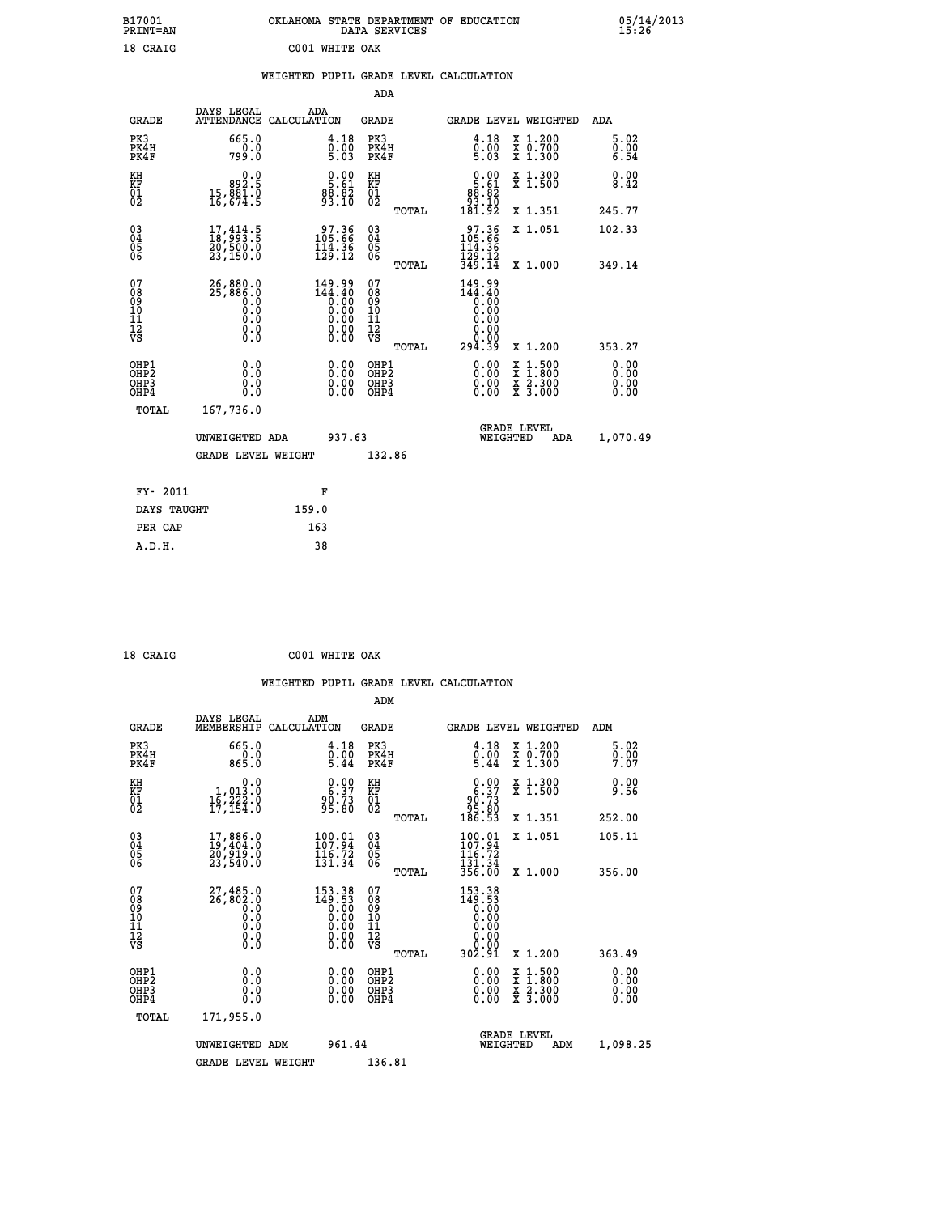| B17001<br>PRINT=AN           |                                                                                                 | OKLAHOMA STATE DEPARTMENT OF EDUCATION                                                                        | DATA SERVICES                                              |                                                                                   |                                                                                          | 05/14/2013<br>15:26  |
|------------------------------|-------------------------------------------------------------------------------------------------|---------------------------------------------------------------------------------------------------------------|------------------------------------------------------------|-----------------------------------------------------------------------------------|------------------------------------------------------------------------------------------|----------------------|
| 18 CRAIG                     |                                                                                                 | C001 WHITE OAK                                                                                                |                                                            |                                                                                   |                                                                                          |                      |
|                              |                                                                                                 | WEIGHTED PUPIL GRADE LEVEL CALCULATION                                                                        |                                                            |                                                                                   |                                                                                          |                      |
|                              |                                                                                                 |                                                                                                               | ADA                                                        |                                                                                   |                                                                                          |                      |
| <b>GRADE</b>                 | DAYS LEGAL                                                                                      | ADA<br>ATTENDANCE CALCULATION                                                                                 | <b>GRADE</b>                                               |                                                                                   | GRADE LEVEL WEIGHTED                                                                     | ADA                  |
| PK3<br>PK4H<br>PK4F          | 665.0<br>0.0<br>799.0                                                                           | 4.18<br>$\frac{0.00}{5.03}$                                                                                   | PK3<br>PK4H<br>PK4F                                        | 4.18<br>$\frac{0.00}{5.03}$                                                       | X 1.200<br>X 0.700<br>X 1.300                                                            | 5.02<br>0.00<br>6.54 |
| KH<br>KF<br>01<br>02         | 0.0<br>892.5<br>$15,881.0$<br>16,674.5                                                          | $\frac{0.00}{5.61}$<br>$8\overline{3}\cdot\overline{8}\overline{2}$                                           | KH<br><b>KF</b><br>01<br>02                                | $\begin{smallmatrix} 0.00\\ 5.61\\ 88.82\\ 93.10\\ 181.92 \end{smallmatrix}$      | X 1.300<br>X 1.500                                                                       | 0.00<br>8.42         |
|                              |                                                                                                 |                                                                                                               | TOTAL                                                      |                                                                                   | X 1.351                                                                                  | 245.77               |
| 03<br>04<br>05<br>06         | $\begin{smallmatrix} 17,414.5\\ 18,993.5\\ 20,500.0\\ 23,150.0 \end{smallmatrix}$               | $\begin{smallmatrix} 97.36 \\ 105.66 \\ 114.36 \\ 129.12 \end{smallmatrix}$                                   | $\begin{matrix} 03 \\ 04 \\ 05 \\ 06 \end{matrix}$         | 97.36<br>105.66<br>114.36<br>$\frac{1}{3}\overline{2}\overline{9}.12$<br>$349.14$ | X 1.051                                                                                  | 102.33               |
| 07                           |                                                                                                 |                                                                                                               | TOTAL                                                      |                                                                                   | X 1.000                                                                                  | 349.14               |
| 08901112<br>1112<br>VS       | 26,880.0<br>25,886.0<br>$\begin{smallmatrix} 0.0 & 0 \ 0.0 & 0 \end{smallmatrix}$<br>0.0<br>0.0 | $\begin{smallmatrix} 149.99\ 144.40\ 0.00\ 0.00\ 0.00\ 0.00\ 0.00\ 0.00\ 0.00\ 0.00\ 0.00\ \end{smallmatrix}$ | 07<br>08<br>09<br>10<br>$\frac{11}{12}$<br>$\frac{12}{18}$ | 149.99<br>144.40<br>Ō.ŌŎ<br>O.OO<br>0.00<br>0.00                                  |                                                                                          |                      |
|                              |                                                                                                 |                                                                                                               | TOTAL                                                      | 0.00<br>294.39                                                                    | X 1.200                                                                                  | 353.27               |
| OHP1<br>OHP2<br>OHP3<br>OHP4 | 0.000<br>0.0<br>0.0                                                                             | $0.00$<br>$0.00$<br>0.00                                                                                      | OHP1<br>OHP2<br>OHP3<br>OHP4                               | $0.00$<br>$0.00$<br>0.00                                                          | $\begin{smallmatrix} x & 1.500 \\ x & 1.800 \\ x & 2.300 \\ x & 3.000 \end{smallmatrix}$ | 0.00<br>0.00<br>0.00 |
| TOTAL                        | 167,736.0                                                                                       |                                                                                                               |                                                            |                                                                                   |                                                                                          |                      |
|                              | UNWEIGHTED ADA                                                                                  | 937.63                                                                                                        |                                                            | WEIGHTED                                                                          | <b>GRADE LEVEL</b><br>ADA                                                                | 1,070.49             |
|                              | <b>GRADE LEVEL WEIGHT</b>                                                                       |                                                                                                               | 132.86                                                     |                                                                                   |                                                                                          |                      |
| FY- 2011                     |                                                                                                 | F                                                                                                             |                                                            |                                                                                   |                                                                                          |                      |
| DAYS TAUGHT                  |                                                                                                 | 159.0                                                                                                         |                                                            |                                                                                   |                                                                                          |                      |
| PER CAP                      |                                                                                                 | 163                                                                                                           |                                                            |                                                                                   |                                                                                          |                      |

 **ADM**

 **18 CRAIG C001 WHITE OAK**

| <b>GRADE</b>                                       | DAYS LEGAL<br>MEMBERSHIP CALCULATION                                  | ADM                                                                                                                                      | <b>GRADE</b>                                       |       | GRADE LEVEL WEIGHTED                                     |                                          | ADM                  |  |
|----------------------------------------------------|-----------------------------------------------------------------------|------------------------------------------------------------------------------------------------------------------------------------------|----------------------------------------------------|-------|----------------------------------------------------------|------------------------------------------|----------------------|--|
| PK3<br>PK4H<br>PK4F                                | 665.0<br>865.0                                                        | 4.18<br>$\frac{0.00}{5.44}$                                                                                                              | PK3<br>PK4H<br>PK4F                                |       | 4.18<br>$\frac{0.00}{5.44}$                              | X 1.200<br>X 0.700<br>X 1.300            | 5.02<br>0.00<br>7.07 |  |
| KH<br>KF<br>01<br>02                               | 0.0<br>1,013:0<br>16,222:0<br>17,154:0                                | $0.00\n6.37\n90.73\n95.80$                                                                                                               | KH<br>KF<br>01<br>02                               |       | $0.00\n6.37\n90.73\n95.80\n186.53$                       | X 1.300<br>X 1.500                       | 0.00<br>9.56         |  |
|                                                    |                                                                       |                                                                                                                                          |                                                    | TOTAL |                                                          | X 1.351                                  | 252.00               |  |
| $\begin{matrix} 03 \\ 04 \\ 05 \\ 06 \end{matrix}$ | $17,886.0$<br>$19,404.0$<br>$20,919.0$<br>$23,540.0$                  | $\begin{smallmatrix} 100.01\\ 107.94\\ 116.72\\ 131.34 \end{smallmatrix}$                                                                | $\begin{matrix} 03 \\ 04 \\ 05 \\ 06 \end{matrix}$ |       | $100.01$<br>$107.94$<br>$116.72$<br>$131.34$<br>$356.00$ | X 1.051                                  | 105.11               |  |
|                                                    |                                                                       |                                                                                                                                          |                                                    | TOTAL |                                                          | X 1.000                                  | 356.00               |  |
| 07<br>08<br>09<br>101<br>11<br>12<br>VS            | $27,485.0$<br>$26,802.0$<br>$0.0$<br>$0.0$<br>$0.0$<br>$0.0$<br>$0.0$ | $\begin{smallmatrix} 153\cdot 38\\ 149\cdot 53\\ 0\cdot 00\\ 0\cdot 00\\ 0\cdot 00\\ 0\cdot 00\\ 0\cdot 00\\ 0\cdot 00\end{smallmatrix}$ | 07<br>08<br>09<br>11<br>11<br>12<br>VS             | TOTAL | $153.38\n149.53\n0.00\n0.00\n0.00\n0.00\n0.00$<br>302.91 | X 1.200                                  | 363.49               |  |
| OHP1<br>OHP2<br>OHP3<br>OHP4                       | 0.0<br>0.000                                                          | $0.00$<br>$0.00$<br>0.00                                                                                                                 | OHP1<br>OHP2<br>OHP3<br>OHP4                       |       | $0.00$<br>$0.00$<br>0.00                                 | X 1:500<br>X 1:800<br>X 2:300<br>X 3:000 | 0.00<br>0.00<br>0.00 |  |
| TOTAL                                              | 171,955.0                                                             |                                                                                                                                          |                                                    |       |                                                          |                                          |                      |  |
|                                                    | UNWEIGHTED                                                            | 961.44<br>ADM                                                                                                                            |                                                    |       | WEIGHTED                                                 | <b>GRADE LEVEL</b><br>ADM                | 1,098.25             |  |
|                                                    | <b>GRADE LEVEL WEIGHT</b>                                             |                                                                                                                                          | 136.81                                             |       |                                                          |                                          |                      |  |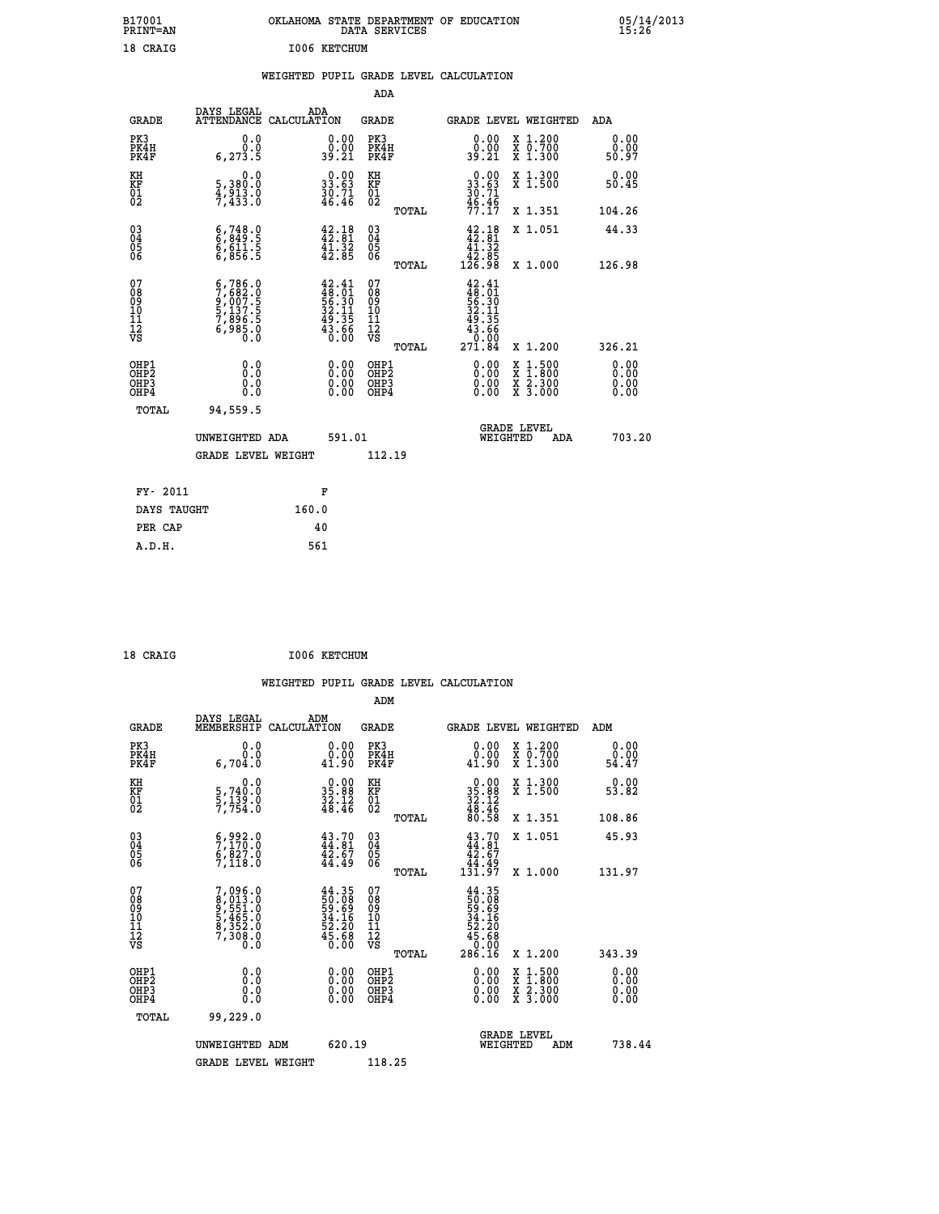| B17001<br>PRINT=AN | <b>OKLAHOMA</b><br>. STATE DEPARTMENT OF EDUCATION<br>DATA SERVICES | 05/14/2013<br>15:26 |
|--------------------|---------------------------------------------------------------------|---------------------|
| 18 CRAIG           | 1006 KETCHUM                                                        |                     |

|  |  | WEIGHTED PUPIL GRADE LEVEL CALCULATION |
|--|--|----------------------------------------|
|  |  |                                        |

|                                                       |                                                                                                                            |                                                                          | ADA                                      |       |                                                                                                         |                                                                                                                                      |                              |
|-------------------------------------------------------|----------------------------------------------------------------------------------------------------------------------------|--------------------------------------------------------------------------|------------------------------------------|-------|---------------------------------------------------------------------------------------------------------|--------------------------------------------------------------------------------------------------------------------------------------|------------------------------|
| <b>GRADE</b>                                          | DAYS LEGAL                                                                                                                 | ADA<br>ATTENDANCE CALCULATION                                            | GRADE                                    |       | GRADE LEVEL WEIGHTED                                                                                    |                                                                                                                                      | ADA                          |
| PK3<br>PK4H<br>PK4F                                   | 0.0<br>0.0<br>6, 273.5                                                                                                     | $\begin{smallmatrix} 0.00\\ 0.00\\ 39.21 \end{smallmatrix}$              | PK3<br>PK4H<br>PK4F                      |       | 0.00<br>0.00<br>39.21                                                                                   | X 1.200<br>X 0.700<br>X 1.300                                                                                                        | 0.00<br>0.00<br>50.97        |
| KH<br>KF<br>01<br>02                                  | 0.0<br>5,380:0<br>4,913.0<br>7,433:0                                                                                       | $\begin{smallmatrix} 0.00\\ 33.63\\ 30.71\\ 46.46 \end{smallmatrix}$     | KH<br>KF<br>01<br>02                     |       | $\begin{smallmatrix} 0.00\\ 33.63\\ 30.71\\ 46.46\\ 77.17 \end{smallmatrix}$                            | X 1.300<br>X 1.500                                                                                                                   | 0.00<br>50.45                |
|                                                       |                                                                                                                            |                                                                          |                                          | TOTAL |                                                                                                         | X 1.351                                                                                                                              | 104.26                       |
| 03<br>04<br>05<br>06                                  | $6, 748.0$<br>$6, 849.5$<br>$6, 611.5$<br>$6, 856.5$                                                                       | 42.18<br>42.81<br>41.32<br>42.85                                         | 03<br>04<br>05<br>06                     |       | $\begin{smallmatrix} 42\cdot 18\\ 42\cdot 81\\ 41\cdot 32\\ 42\cdot 85\\ 126\cdot 98 \end{smallmatrix}$ | X 1.051                                                                                                                              | 44.33                        |
|                                                       |                                                                                                                            |                                                                          |                                          | TOTAL |                                                                                                         | X 1.000                                                                                                                              | 126.98                       |
| 07<br>08<br>09<br>11<br>11<br>12<br>VS                | $\begin{smallmatrix} 6\,,786\,,0\\7\,,682\,.0\\9\,,007\,.5\\5\,,137\,.5\\7\,,896\,.5\\6\,,985\,.0\\0\,.0\end{smallmatrix}$ | $42.41$<br>$48.01$<br>$56.30$<br>$32.11$<br>$49.35$<br>$43.66$<br>$0.00$ | 07<br>08<br>09<br>11<br>11<br>12<br>VS   | TOTAL | $42.41$<br>$48.01$<br>$56.30$<br>$32.11$<br>$49.35$<br>$43.66$<br>$0.00$<br>$271.84$                    | X 1.200                                                                                                                              | 326.21                       |
| OHP1<br>OH <sub>P</sub> 2<br>OH <sub>P3</sub><br>OHP4 | 0.0<br>0.0<br>0.0                                                                                                          | 0.00<br>$\begin{smallmatrix} 0.00 \ 0.00 \end{smallmatrix}$              | OHP1<br>OHP <sub>2</sub><br>OHP3<br>OHP4 |       | 0.00<br>0.00<br>0.00                                                                                    | $\begin{smallmatrix} \mathtt{X} & 1 & 500 \\ \mathtt{X} & 1 & 800 \\ \mathtt{X} & 2 & 300 \\ \mathtt{X} & 3 & 000 \end{smallmatrix}$ | 0.00<br>0.00<br>0.00<br>0.00 |
| TOTAL                                                 | 94,559.5                                                                                                                   |                                                                          |                                          |       |                                                                                                         |                                                                                                                                      |                              |
|                                                       | UNWEIGHTED ADA                                                                                                             | 591.01                                                                   |                                          |       | WEIGHTED                                                                                                | <b>GRADE LEVEL</b><br>ADA                                                                                                            | 703.20                       |
|                                                       | GRADE LEVEL WEIGHT                                                                                                         |                                                                          | 112.19                                   |       |                                                                                                         |                                                                                                                                      |                              |
|                                                       |                                                                                                                            |                                                                          |                                          |       |                                                                                                         |                                                                                                                                      |                              |
| FY- 2011                                              |                                                                                                                            | F                                                                        |                                          |       |                                                                                                         |                                                                                                                                      |                              |
| DAYS TAUGHT                                           |                                                                                                                            | 160.0                                                                    |                                          |       |                                                                                                         |                                                                                                                                      |                              |
| PER CAP                                               |                                                                                                                            | 40                                                                       |                                          |       |                                                                                                         |                                                                                                                                      |                              |
| A.D.H.                                                |                                                                                                                            | 561                                                                      |                                          |       |                                                                                                         |                                                                                                                                      |                              |

| 18 CRAIG | I006 KETCHUM |
|----------|--------------|
|          |              |

|                                          |                                                                                                  |                                                                                              | ADM                                          |       |                                                                                                                                      |                                                                                          |                          |
|------------------------------------------|--------------------------------------------------------------------------------------------------|----------------------------------------------------------------------------------------------|----------------------------------------------|-------|--------------------------------------------------------------------------------------------------------------------------------------|------------------------------------------------------------------------------------------|--------------------------|
| <b>GRADE</b>                             | DAYS LEGAL<br><b>MEMBERSHIP</b>                                                                  | ADM<br>CALCULATION                                                                           | <b>GRADE</b>                                 |       |                                                                                                                                      | GRADE LEVEL WEIGHTED                                                                     | ADM                      |
| PK3<br>PK4H<br>PK4F                      | 0.0<br>ة:ة<br>6.704.0                                                                            | $\begin{smallmatrix} 0.00\\ 0.00\\ 1.90 \end{smallmatrix}$                                   | PK3<br>PK4H<br>PK4F                          |       | $\begin{smallmatrix} 0.00\\ 0.00\\ 1.90 \end{smallmatrix}$                                                                           | X 1.200<br>X 0.700<br>X 1.300                                                            | 0.00<br>ŏ:ŏŏ<br>54.47    |
| KH<br>KF<br>01<br>02                     | 0.0<br>5,740:0<br>5,139:0<br>7,754:0                                                             | $\begin{smallmatrix} 0.00\\ 35.88\\ 32.12\\ 48.46 \end{smallmatrix}$                         | KH<br>KF<br>01<br>02                         |       | $\begin{smallmatrix} 0.00\\ 35.88\\ 32.12\\ 48.46\\ 80.58 \end{smallmatrix}$                                                         | X 1.300<br>X 1.500                                                                       | $0.00$<br>53.82          |
|                                          |                                                                                                  |                                                                                              |                                              | TOTAL |                                                                                                                                      | X 1.351                                                                                  | 108.86                   |
| 03<br>04<br>05<br>06                     | $\begin{smallmatrix} 6 & 992 & 0 \\ 7 & 170 & 0 \\ 6 & 827 & 0 \\ 7 & 118 & 0 \end{smallmatrix}$ | $43.70$<br>$44.81$<br>$42.67$<br>$44.49$                                                     | 03<br>04<br>05<br>06                         |       | $43.70$<br>$44.81$<br>$42.67$<br>$44.49$<br>$131.97$                                                                                 | X 1.051                                                                                  | 45.93                    |
|                                          |                                                                                                  |                                                                                              |                                              | TOTAL |                                                                                                                                      | X 1.000                                                                                  | 131.97                   |
| 07<br>08<br>09<br>101<br>11<br>12<br>VS  | 7,096.0<br>8,013.0<br>9,551.0<br>5,465.0<br>5,465.0<br>8,352.0<br>7,308.0                        | $\begin{smallmatrix} 44.35\\ 50.08\\ 59.69\\ 34.16\\ 52.20\\ 45.68\\ 0.00 \end{smallmatrix}$ | 07<br>08<br>09<br>01<br>11<br>11<br>12<br>VS |       | $\begin{array}{r} 44\cdot 35\\ 50\cdot 08\\ 59\cdot 69\\ 34\cdot 16\\ 52\cdot 20\\ 45\cdot 68\\ 0\cdot 00\\ 286\cdot 16 \end{array}$ |                                                                                          |                          |
|                                          |                                                                                                  |                                                                                              |                                              | TOTAL |                                                                                                                                      | X 1.200                                                                                  | 343.39                   |
| OHP1<br>OHP2<br>OH <sub>P3</sub><br>OHP4 |                                                                                                  | $\begin{smallmatrix} 0.00 \ 0.00 \ 0.00 \ 0.00 \end{smallmatrix}$                            | OHP1<br>OHP2<br>OHP3<br>OHP4                 |       |                                                                                                                                      | $\begin{smallmatrix} x & 1.500 \\ x & 1.800 \\ x & 2.300 \\ x & 3.000 \end{smallmatrix}$ | $0.00$<br>$0.00$<br>0.00 |
| TOTAL                                    | 99,229.0                                                                                         |                                                                                              |                                              |       |                                                                                                                                      |                                                                                          |                          |
|                                          | UNWEIGHTED ADM                                                                                   | 620.19                                                                                       |                                              |       | WEIGHTED                                                                                                                             | <b>GRADE LEVEL</b><br>ADM                                                                | 738.44                   |
|                                          | <b>GRADE LEVEL WEIGHT</b>                                                                        |                                                                                              | 118.25                                       |       |                                                                                                                                      |                                                                                          |                          |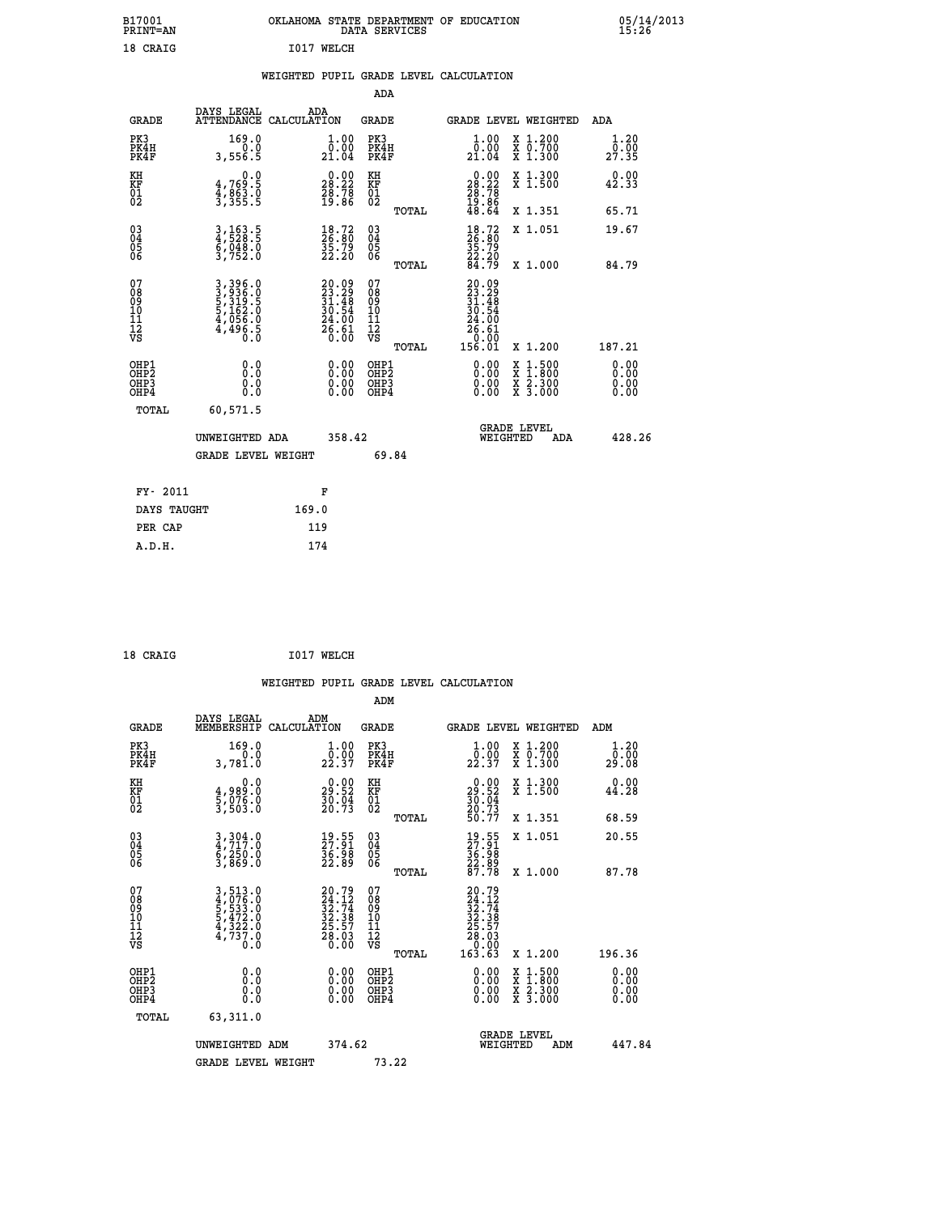| B17001<br>PRINT=AN | OKLAHOMA<br>. STATE DEPARTMENT OF EDUCATION<br>DATA<br>SERVICES | 05/14/2013<br>15:26 |
|--------------------|-----------------------------------------------------------------|---------------------|
| 18 CRAIG           | I017 WELCH                                                      |                     |

|  |  | WEIGHTED PUPIL GRADE LEVEL CALCULATION |
|--|--|----------------------------------------|
|  |  |                                        |

|                                                                    |                                                                       |                                                                            | ADA                                                 |       |                                                                              |                                                                                          |                              |
|--------------------------------------------------------------------|-----------------------------------------------------------------------|----------------------------------------------------------------------------|-----------------------------------------------------|-------|------------------------------------------------------------------------------|------------------------------------------------------------------------------------------|------------------------------|
| <b>GRADE</b>                                                       | DAYS LEGAL                                                            | ADA<br>ATTENDANCE CALCULATION                                              | <b>GRADE</b>                                        |       |                                                                              | GRADE LEVEL WEIGHTED                                                                     | <b>ADA</b>                   |
| PK3<br>PK4H<br>PK4F                                                | 169.0<br>0.0<br>3,556.5                                               | $\begin{smallmatrix} 1.00\\[-1.2mm] 0.00\\[-1.0mm] 21.04\end{smallmatrix}$ | PK3<br>PK4H<br>PK4F                                 |       | 1.00<br>$\frac{0.000}{21.04}$                                                | X 1.200<br>X 0.700<br>X 1.300                                                            | 1.20<br>0.00<br>27.35        |
| KH<br>KF<br>01<br>02                                               | 0.0<br>4,769:5<br>4,863:0<br>3,355:5                                  | $\begin{smallmatrix} 0.00\\ 28.22\\ 28.78\\ 19.86 \end{smallmatrix}$       | KH<br>KF<br>01<br>02                                |       | $\begin{smallmatrix} 0.00\\ 28.22\\ 28.78\\ 19.86\\ 48.64 \end{smallmatrix}$ | X 1.300<br>X 1.500                                                                       | 0.00<br>42.33                |
|                                                                    |                                                                       |                                                                            |                                                     | TOTAL |                                                                              | X 1.351                                                                                  | 65.71                        |
| $\begin{smallmatrix} 03 \\[-4pt] 04 \end{smallmatrix}$<br>Ŏ5<br>06 | 3,163.5<br>4,528.5<br>6,048.0<br>3,752.0                              | $\begin{smallmatrix} 18.72\ 26.80\ 35.79\ 22.20 \end{smallmatrix}$         | $\begin{array}{c} 03 \\ 04 \\ 05 \\ 06 \end{array}$ |       | 18.72<br>26.80<br>35.79<br>22.20<br>24.79                                    | X 1.051                                                                                  | 19.67                        |
|                                                                    |                                                                       |                                                                            |                                                     | TOTAL |                                                                              | X 1.000                                                                                  | 84.79                        |
| 07<br>08<br>09<br>01<br>11<br>11<br>12<br>VS                       | 3,396.0<br>3,936.0<br>5,319.5<br>5,162.0<br>5,166.0<br>4,056.0<br>0.0 | $20.0923.2931.4830.5424.0026.610.00$                                       | 07<br>08<br>09<br>11<br>11<br>12<br>VS              |       | $20.09$<br>$23.29$<br>$31.48$<br>$30.54$<br>$24.00$<br>$26.61$<br>$-0.00$    |                                                                                          |                              |
|                                                                    |                                                                       |                                                                            |                                                     | TOTAL | 156.01                                                                       | X 1.200                                                                                  | 187.21                       |
| OHP1<br>OHP <sub>2</sub><br>OH <sub>P3</sub><br>OHP4               | 0.0<br>0.000                                                          | 0.00<br>$\begin{smallmatrix} 0.00 \ 0.00 \end{smallmatrix}$                | OHP1<br>OHP2<br>OHP <sub>3</sub>                    |       |                                                                              | $\begin{smallmatrix} x & 1.500 \\ x & 1.800 \\ x & 2.300 \\ x & 3.000 \end{smallmatrix}$ | 0.00<br>0.00<br>0.00<br>0.00 |
| TOTAL                                                              | 60,571.5                                                              |                                                                            |                                                     |       |                                                                              |                                                                                          |                              |
|                                                                    | UNWEIGHTED ADA                                                        | 358.42                                                                     |                                                     |       |                                                                              | <b>GRADE LEVEL</b><br>WEIGHTED<br>ADA                                                    | 428.26                       |
|                                                                    | <b>GRADE LEVEL WEIGHT</b>                                             |                                                                            |                                                     | 69.84 |                                                                              |                                                                                          |                              |
| FY- 2011                                                           |                                                                       | F                                                                          |                                                     |       |                                                                              |                                                                                          |                              |
| DAYS TAUGHT                                                        |                                                                       | 169.0                                                                      |                                                     |       |                                                                              |                                                                                          |                              |
| PER CAP                                                            |                                                                       | 119                                                                        |                                                     |       |                                                                              |                                                                                          |                              |

| 18 CRAIG | I017 WELCH |
|----------|------------|
|          |            |

 **WEIGHTED PUPIL GRADE LEVEL CALCULATION ADM DAYS LEGAL ADM GRADE MEMBERSHIP CALCULATION GRADE GRADE LEVEL WEIGHTED ADM PK3 169.0 1.00 PK3 1.00 X 1.200 1.20 PK4H 0.0 0.00 PK4H 0.00 X 0.700 0.00 PK4F 3,781.0 22.37 PK4F 22.37 X 1.300 29.08 KH 0.0 0.00 KH 0.00 X 1.300 0.00 KF 4,989.0 29.52 KF 29.52 X 1.500 44.28 01 5,076.0 30.04 01 30.04 02 3,503.0 20.73 02 20.73 TOTAL 50.77 X 1.351 68.59 03 3,304.0 19.55 03 19.55 X 1.051 20.55 04 4,717.0 27.91 04 27.91 05 6,250.0 36.98 05 36.98 06 3,869.0 22.89 06 22.89 TOTAL 87.78 X 1.000 87.78 07 3,513.0 20.79 07 20.79 08 4,076.0 24.12 08 24.12 09 5,533.0 32.74 09 32.74 10 5,472.0 32.38 10 32.38 11 4,322.0 25.57 11 25.57 12 4,737.0 28.03 12 28.03 VS 0.0 0.00 VS 0.00 TOTAL 163.63 X 1.200 196.36 OHP1 0.0 0.00 OHP1 0.00 X 1.500 0.00 OHP2 0.0 0.00 OHP2 0.00 X 1.800 0.00 OHP3 0.0 0.00 OHP3 0.00 X 2.300 0.00 OHP4 0.0 0.00 OHP4 0.00 X 3.000 0.00 TOTAL 63,311.0**

| UNWEIGHTED ADM     | 374.62 |       | <b>GRADE LEVEL</b><br>WEIGHTED | ADM | 447.84 |
|--------------------|--------|-------|--------------------------------|-----|--------|
| GRADE LEVEL WEIGHT |        | 73.22 |                                |     |        |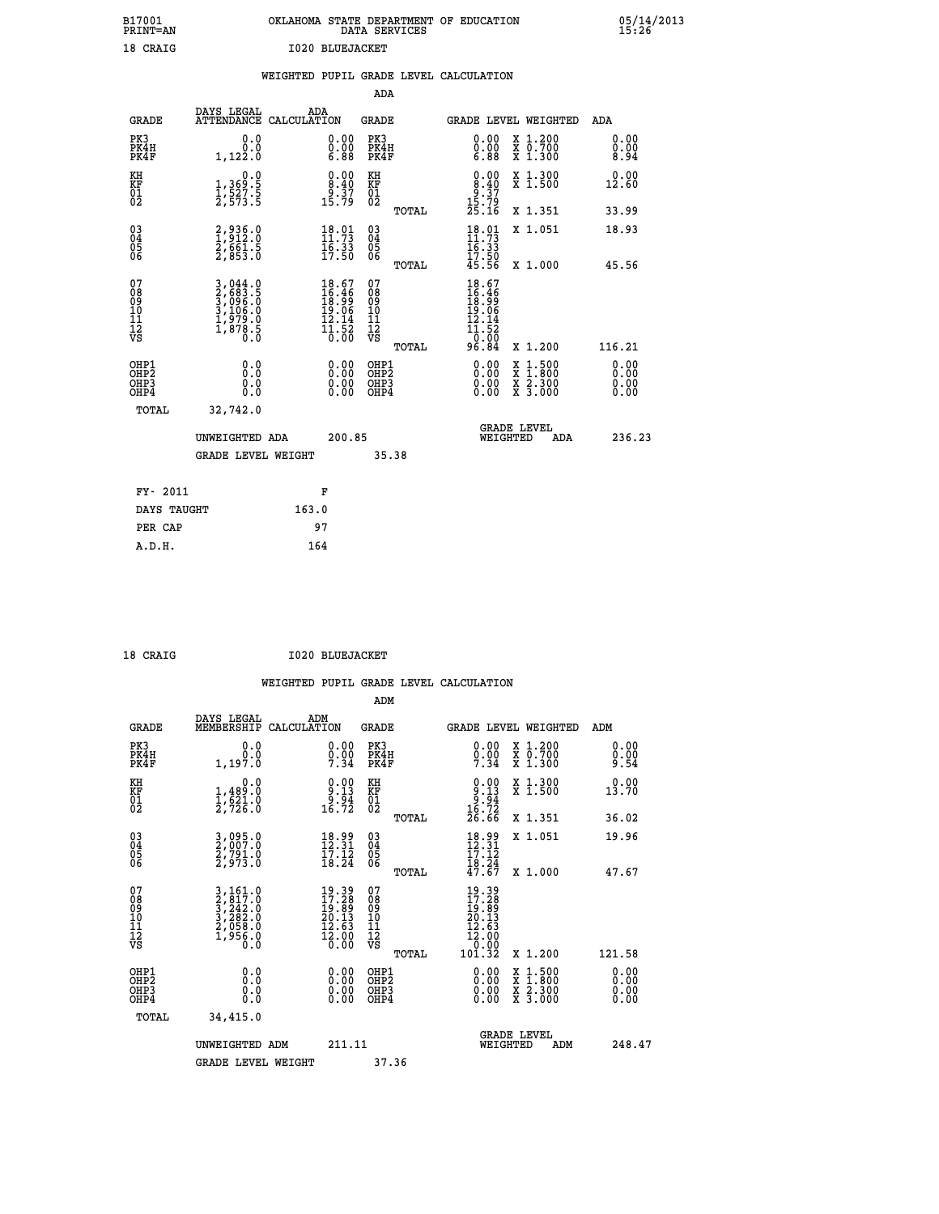| B17001          | OKLAHOMA STATE DEPARTMENT OF EDUCATION |
|-----------------|----------------------------------------|
| <b>PRINT=AN</b> | DATA SERVICES                          |
| 18 CRAIG        | 1020 BLUEJACKET                        |

05/14/2013<br>15:26

|       |                                      | WEIGHTED PUPIL GRADE LEVEL CALCULATION |              |  |                        |  |
|-------|--------------------------------------|----------------------------------------|--------------|--|------------------------|--|
|       |                                      |                                        | ADA          |  |                        |  |
| GRADE | DAYS LEGAL<br>ATTENDANCE CALCULATION | ADA                                    | <b>GRADE</b> |  | <b>GRADE LEVEL WEI</b> |  |

| <b>GRADE</b>                                       | DAYS LEGAL<br><b>ATTENDANCE</b>                                           | ADA<br>CALCULATION |                                                                                              | <b>GRADE</b>                                       |       |                                                                                                    | GRADE LEVEL WEIGHTED                                                                     | ADA                          |
|----------------------------------------------------|---------------------------------------------------------------------------|--------------------|----------------------------------------------------------------------------------------------|----------------------------------------------------|-------|----------------------------------------------------------------------------------------------------|------------------------------------------------------------------------------------------|------------------------------|
| PK3<br>PK4H<br>PK4F                                | 0.0<br>0.0<br>1,122.0                                                     |                    | $\begin{smallmatrix} 0.00 \ 0.00 \ 6.88 \end{smallmatrix}$                                   | PK3<br>PK4H<br>PK4F                                |       | $\begin{smallmatrix} 0.00\\ 0.00\\ 0.00\\ 6.88 \end{smallmatrix}$                                  | X 1.200<br>X 0.700<br>X 1.300                                                            | 0.00<br>0.00<br>8.94         |
| KH<br>KF<br>01<br>02                               | $\begin{smallmatrix}&&&0.0\\1,369.5\\1,527.5\\2,573.5\end{smallmatrix}$   |                    | $\begin{smallmatrix} 0.00\\ 8.40\\ 9.37\\ 15.79 \end{smallmatrix}$                           | KH<br>KF<br>01<br>02                               |       | $0.00$<br>$8.40$<br>$9.37$<br>$15.79$<br>$25.16$                                                   | X 1.300<br>X 1.500                                                                       | 0.00<br>12.60                |
|                                                    |                                                                           |                    |                                                                                              |                                                    | TOTAL |                                                                                                    | X 1.351                                                                                  | 33.99                        |
| $\begin{matrix} 03 \\ 04 \\ 05 \\ 06 \end{matrix}$ | 2,936.0<br>1,912.0<br>2,661.5<br>2,853.0                                  |                    | $\frac{18.01}{11.73}$<br>$\frac{16:33}{17:50}$                                               | $\begin{matrix} 03 \\ 04 \\ 05 \\ 06 \end{matrix}$ | TOTAL | $18.01$<br>$11.73$<br>$16.33$<br>$17.50$<br>$45.56$                                                | X 1.051<br>X 1.000                                                                       | 18.93<br>45.56               |
| 07<br>08<br>09<br>11<br>11<br>12<br>VS             | 3,044.0<br>2,683.5<br>3,096.0<br>3,106.0<br>3,106.0<br>1,979.0<br>1,878.5 |                    | $\begin{smallmatrix} 18.67\\ 16.46\\ 18.99\\ 19.06\\ 12.14\\ 11.52\\ 0.00 \end{smallmatrix}$ | 07<br>08<br>09<br>11<br>11<br>12<br>VS             | TOTAL | $\begin{array}{r} 18.67 \\ 16.46 \\ 18.99 \\ 19.06 \\ 12.14 \\ 11.52 \\ 0.00 \\ 96.84 \end{array}$ | X 1.200                                                                                  | 116.21                       |
| OHP1<br>OHP2<br>OHP3<br>OH <sub>P4</sub>           | 0.0<br>0.0<br>0.0                                                         |                    | $\begin{smallmatrix} 0.00 \ 0.00 \ 0.00 \ 0.00 \end{smallmatrix}$                            | OHP1<br>OHP2<br>OHP3<br>OHP4                       |       | 0.00<br>0.00                                                                                       | $\begin{smallmatrix} x & 1.500 \\ x & 1.800 \\ x & 2.300 \\ x & 3.000 \end{smallmatrix}$ | 0.00<br>0.00<br>0.00<br>0.00 |
| TOTAL                                              | 32,742.0<br>UNWEIGHTED ADA<br><b>GRADE LEVEL WEIGHT</b>                   |                    | 200.85                                                                                       | 35.38                                              |       | WEIGHTED                                                                                           | <b>GRADE LEVEL</b><br>ADA                                                                | 236.23                       |
| FY- 2011                                           |                                                                           |                    | F                                                                                            |                                                    |       |                                                                                                    |                                                                                          |                              |
| DAYS TAUGHT                                        |                                                                           | 163.0              |                                                                                              |                                                    |       |                                                                                                    |                                                                                          |                              |

| ם קי |
|------|
|      |

 **PER CAP 97 A.D.H. 164**

 **ADM**

18 CRAIG **I020 BLUEJACKET** 

| <b>GRADE</b>                                       | DAYS LEGAL<br>MEMBERSHIP CALCULATION                                                                                                                       | ADM                                                                                                              | <b>GRADE</b>                                       |       |                                                                                                                                        | GRADE LEVEL WEIGHTED                     | ADM                  |
|----------------------------------------------------|------------------------------------------------------------------------------------------------------------------------------------------------------------|------------------------------------------------------------------------------------------------------------------|----------------------------------------------------|-------|----------------------------------------------------------------------------------------------------------------------------------------|------------------------------------------|----------------------|
| PK3<br>PK4H<br>PK4F                                | 0.0<br>0.0<br>1,197.0                                                                                                                                      | $0.00$<br>$0.00$<br>$7.34$                                                                                       | PK3<br>PK4H<br>PK4F                                |       | 0.00<br>$\frac{0}{7}$ : $\frac{0}{3}$                                                                                                  | X 1.200<br>X 0.700<br>X 1.300            | 0.00<br>0.00<br>9.54 |
| KH<br>KF<br>01<br>02                               | 0.0<br>$1,489.0$<br>$1,521.0$<br>2,726.0                                                                                                                   | $\begin{array}{c} 0.00 \\ 9.13 \\ 9.94 \\ 16.72 \end{array}$                                                     | KH<br>KF<br>01<br>02                               |       | $0.00$<br>$9.13$<br>$9.94$<br>$16.72$<br>$26.66$                                                                                       | X 1.300<br>X 1.500                       | 0.00<br>13.70        |
|                                                    |                                                                                                                                                            |                                                                                                                  |                                                    | TOTAL |                                                                                                                                        | X 1.351                                  | 36.02                |
| $\begin{matrix} 03 \\ 04 \\ 05 \\ 06 \end{matrix}$ | 3,095.0<br>2,007.0<br>2,791.0<br>2,973.0                                                                                                                   | $\begin{smallmatrix} 18.99\\ 12.31\\ 17.12\\ 18.24 \end{smallmatrix}$                                            | $\begin{matrix} 03 \\ 04 \\ 05 \\ 06 \end{matrix}$ |       | 18.99<br>12.31<br>17.12                                                                                                                | X 1.051                                  | 19.96                |
|                                                    |                                                                                                                                                            |                                                                                                                  |                                                    | TOTAL | $\frac{16:24}{47:67}$                                                                                                                  | X 1.000                                  | 47.67                |
| 07<br>08<br>09<br>101<br>11<br>12<br>VS            | $\begin{smallmatrix} 3\,,\,161\,.\,0\\ 2\,,\,817\,.\,0\\ 3\,,\,242\,.\,0\\ 3\,,\,282\,.\,0\\ 2\,,\,058\,.\,0\\ 1\,,\,956\,.\,0\\ 0\,.\,0\end{smallmatrix}$ | $\begin{smallmatrix} 19 & 39 \\ 17 & 28 \\ 19 & 89 \\ 20 & 13 \\ 12 & 63 \\ 12 & 00 \\ 0 & 00 \end{smallmatrix}$ | 07<br>08<br>09<br>01<br>11<br>11<br>12<br>VS       | TOTAL | $\begin{smallmatrix} 19 & 39 \\ 17 & 28 \\ 19 & 89 \\ 20 & 13 \\ 20 & 13 \\ 12 & 63 \\ 12 & 00 \\ 0 & 00 \\ 10 & 32 \end{smallmatrix}$ | X 1.200                                  | 121.58               |
| OHP1<br>OHP2<br>OHP3<br>OHP4                       | 0.0<br>0.000                                                                                                                                               | $0.00$<br>$0.00$<br>0.00                                                                                         | OHP1<br>OHP2<br>OHP3<br>OHP4                       |       | $0.00$<br>$0.00$<br>0.00                                                                                                               | X 1:500<br>X 1:800<br>X 2:300<br>X 3:000 | 0.00<br>0.00<br>0.00 |
| TOTAL                                              | 34,415.0                                                                                                                                                   |                                                                                                                  |                                                    |       |                                                                                                                                        |                                          |                      |
|                                                    | UNWEIGHTED<br>ADM                                                                                                                                          | 211.11                                                                                                           |                                                    |       | WEIGHTED                                                                                                                               | <b>GRADE LEVEL</b><br>ADM                | 248.47               |
|                                                    | <b>GRADE LEVEL WEIGHT</b>                                                                                                                                  |                                                                                                                  | 37.36                                              |       |                                                                                                                                        |                                          |                      |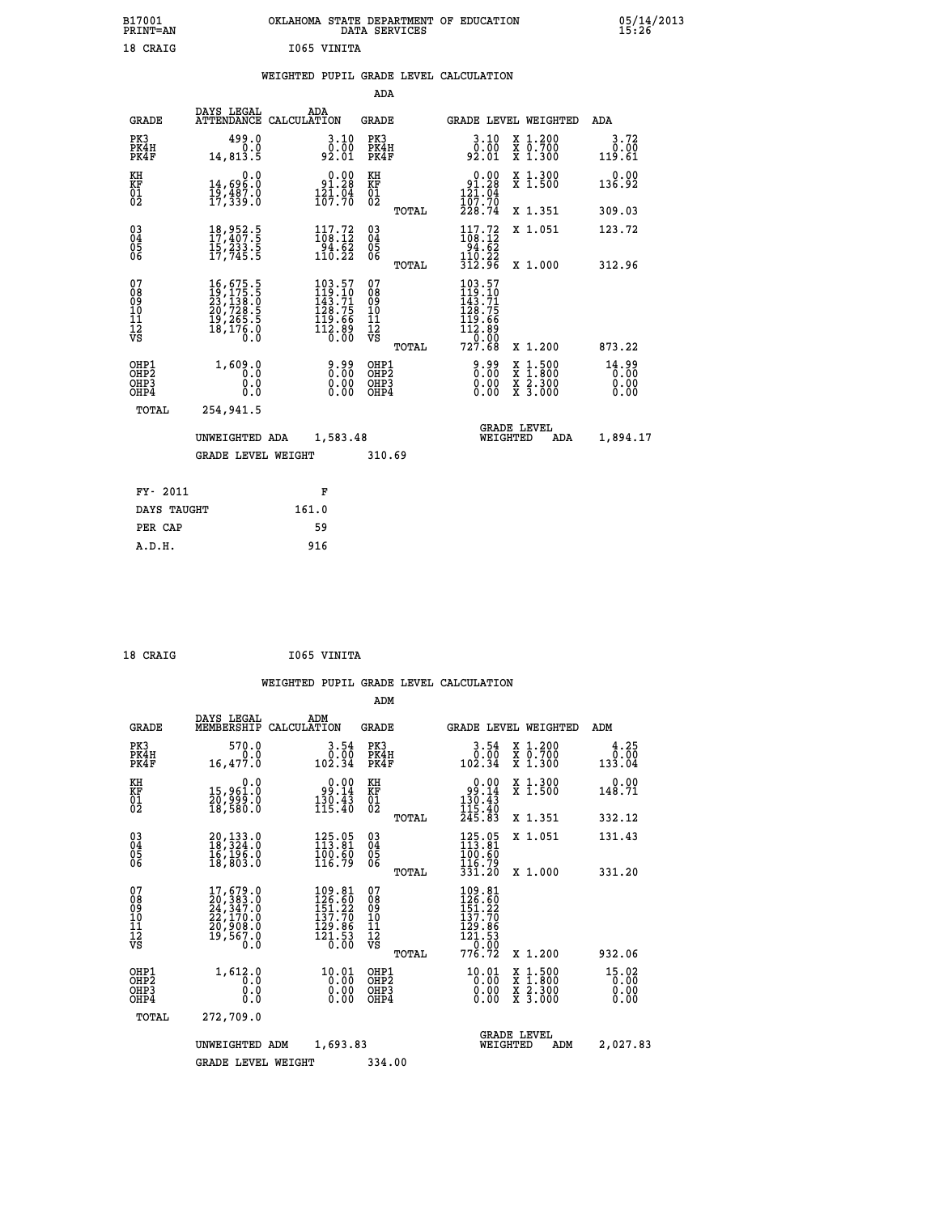| B17001<br><b>PRINT=AN</b> | OKLAHOMA<br>. STATE DEPARTMENT OF EDUCATION<br>DATA SERVICES | 05/14/2013<br>15:26 |
|---------------------------|--------------------------------------------------------------|---------------------|
| 18 CRAIG                  | 1065 VINITA                                                  |                     |

### **WEIGHTED PUPIL GRADE LEVEL CALCULATION**

|                                                                    |                                                                                                                                                                                                                        |                                                                                             | ADA                                      |       |                                                                                                     |                                                                                                  |                               |
|--------------------------------------------------------------------|------------------------------------------------------------------------------------------------------------------------------------------------------------------------------------------------------------------------|---------------------------------------------------------------------------------------------|------------------------------------------|-------|-----------------------------------------------------------------------------------------------------|--------------------------------------------------------------------------------------------------|-------------------------------|
| <b>GRADE</b>                                                       | DAYS LEGAL                                                                                                                                                                                                             | ADA<br>ATTENDANCE CALCULATION                                                               | <b>GRADE</b>                             |       |                                                                                                     | GRADE LEVEL WEIGHTED                                                                             | ADA                           |
| PK3<br>PK4H<br>PK4F                                                | 499.0<br>0.0<br>14,813.5                                                                                                                                                                                               | 3.10<br>0.00<br>92.01                                                                       | PK3<br>PK4H<br>PK4F                      |       | 3.10<br>ōō.ōō<br>92.01                                                                              | X 1.200<br>X 0.700<br>X 1.300                                                                    | 3.72<br>0.00<br>119.61        |
| KH<br><b>KF</b><br>01<br>02                                        | 0.0<br>14,696.0<br>19,487.0<br>17,339.0                                                                                                                                                                                | $0.00$<br>91.28<br>$\frac{121.04}{107.70}$                                                  | KH<br>KF<br>01<br>02                     |       | 0.00<br>$\begin{array}{r} 91.28 \\ 121.04 \\ 107.70 \end{array}$                                    | X 1.300<br>X 1.500                                                                               | 0.00<br>136.92                |
|                                                                    |                                                                                                                                                                                                                        |                                                                                             |                                          | TOTAL | 228.74                                                                                              | X 1.351                                                                                          | 309.03                        |
| $\begin{smallmatrix} 03 \\[-4pt] 04 \end{smallmatrix}$<br>05<br>06 | 18,952.5<br>17,407.5<br>Ī5,233.5<br>17,745.5                                                                                                                                                                           | $\begin{array}{c} 117.72 \\ 108.12 \\ 94.62 \\ 110.22 \end{array}$                          | $\substack{03 \\ 04}$<br>05<br>06        |       | $\begin{array}{c} 117\cdot72\\108\cdot12\\94\cdot62\\110\cdot22\\312\cdot96 \end{array}$            | X 1.051                                                                                          | 123.72                        |
|                                                                    |                                                                                                                                                                                                                        |                                                                                             |                                          | TOTAL |                                                                                                     | X 1.000                                                                                          | 312.96                        |
| 07<br>08<br>09<br>11<br>11<br>12<br>VS                             | $\begin{smallmatrix} 16 \, , \, 675 \, . \, 5 \\ 19 \, , \, 175 \, . \, 5 \\ 23 \, , \, 138 \, . \, 0 \\ 20 \, , \, 728 \, . \, 5 \\ 19 \, , \, 265 \, . \, 5 \\ 18 \, , \, 176 \, . \, 0 \\ 0 \, . \end{smallmatrix}$ | $\begin{smallmatrix} 103.57\\119.10\\143.71\\128.75\\119.66\\112.89\\0.00\end{smallmatrix}$ | 07<br>08<br>09<br>11<br>11<br>12<br>VS   |       | $\begin{smallmatrix} 103.57\\119.10\\143.71\\128.75\\119.66\\112.89\\0.00\\727.68\end{smallmatrix}$ |                                                                                                  |                               |
|                                                                    |                                                                                                                                                                                                                        |                                                                                             |                                          | TOTAL |                                                                                                     | X 1.200                                                                                          | 873.22                        |
| OHP1<br>OH <sub>P2</sub><br>OH <sub>P3</sub><br>OH <sub>P4</sub>   | 1,609.0<br>0.0<br>0.0<br>0.0                                                                                                                                                                                           | 0.00<br>0.00<br>0.00                                                                        | OHP1<br>OHP <sub>2</sub><br>OHP3<br>OHP4 |       | 9.99<br>0.00<br>0.00<br>0.00                                                                        | $\begin{smallmatrix} x & 1 & 500 \\ x & 1 & 800 \\ x & 2 & 300 \\ x & 3 & 000 \end{smallmatrix}$ | 14.99<br>0.00<br>0.00<br>0.00 |
| TOTAL                                                              | 254,941.5                                                                                                                                                                                                              |                                                                                             |                                          |       |                                                                                                     |                                                                                                  |                               |
|                                                                    | UNWEIGHTED ADA                                                                                                                                                                                                         | 1,583.48                                                                                    |                                          |       |                                                                                                     | <b>GRADE LEVEL</b><br>WEIGHTED<br>ADA                                                            | 1,894.17                      |
|                                                                    | <b>GRADE LEVEL WEIGHT</b>                                                                                                                                                                                              |                                                                                             | 310.69                                   |       |                                                                                                     |                                                                                                  |                               |
| FY- 2011                                                           |                                                                                                                                                                                                                        | F                                                                                           |                                          |       |                                                                                                     |                                                                                                  |                               |
| DAYS TAUGHT                                                        |                                                                                                                                                                                                                        | 161.0                                                                                       |                                          |       |                                                                                                     |                                                                                                  |                               |
| PER CAP                                                            |                                                                                                                                                                                                                        | 59                                                                                          |                                          |       |                                                                                                     |                                                                                                  |                               |

 **A.D.H. 916**

 **18 CRAIG I065 VINITA**

|                                                       |                                                                                                  |                                                                        | ADM                                              |                                                                                                           |                                                                  |                               |
|-------------------------------------------------------|--------------------------------------------------------------------------------------------------|------------------------------------------------------------------------|--------------------------------------------------|-----------------------------------------------------------------------------------------------------------|------------------------------------------------------------------|-------------------------------|
| <b>GRADE</b>                                          | DAYS LEGAL<br>MEMBERSHIP                                                                         | ADM<br>CALCULATION                                                     | <b>GRADE</b>                                     | GRADE LEVEL WEIGHTED                                                                                      |                                                                  | ADM                           |
| PK3<br>PK4H<br>PK4F                                   | 570.0<br>0.0<br>16,477.0                                                                         | 3.54<br>0.00<br>102.34                                                 | PK3<br>PK4H<br>PK4F                              | 3.54<br>ةة:ة<br>102.34                                                                                    | $\begin{array}{c} x & 1.200 \\ x & 0.700 \end{array}$<br>X 1.300 | 4.25<br>0.00<br>133.04        |
| KH<br>KF<br>01<br>02                                  | 0.0<br>15,961.0<br>20,999.0<br>18,580.0                                                          | $\begin{smallmatrix} 0.00\\ -9.14\\ 130.43\\ 115.40 \end{smallmatrix}$ | KH<br>KF<br>01<br>02                             | 0.00<br>$\begin{array}{r} 99.14 \\ 130.43 \\ 115.40 \\ 245.83 \end{array}$                                | X 1.300<br>X 1.500                                               | 0.00<br>148.71                |
|                                                       |                                                                                                  |                                                                        | TOTAL                                            |                                                                                                           | X 1.351                                                          | 332.12                        |
| 03<br>04<br>05<br>06                                  | 20,133.0<br>18,324.0<br>16,196.0<br>18,803.0                                                     | $125.05$<br>$113.81$<br>100.60<br>116.79                               | $^{03}_{04}$<br>0500                             | $125.05$<br>$113.81$<br>100.60<br>116.79                                                                  | X 1.051                                                          | 131.43                        |
|                                                       |                                                                                                  |                                                                        | TOTAL                                            | 331.20                                                                                                    | X 1.000                                                          | 331.20                        |
| 07<br>08<br>09<br>101<br>112<br>VS                    | $\begin{smallmatrix}17,679.0\\20,383.0\\24,347.0\\22,170.0\\20,908.0\\19,567.0\end{smallmatrix}$ | 109.81<br>126.60<br>151.22<br>137.70<br>$\frac{129.86}{121.53}$        | 07<br>08<br>09<br>101<br>11<br>12<br>VS<br>TOTAL | $109.81$<br>$126.60$<br>$151.22$<br>$137.70$<br>129:86<br>121:53<br>__0.00<br>776.72                      | X 1.200                                                          | 932.06                        |
| OHP1<br>OH <sub>P</sub> 2<br>OH <sub>P3</sub><br>OHP4 | 1,612.0<br>0.0<br>0.000                                                                          | $10.01$<br>$0.00$<br>0.00<br>0.00                                      | OHP1<br>OHP2<br>OHP3<br>OHP4                     | 10.01<br>$\left[\begin{smallmatrix} 0 & 0 & 0 \\ 0 & 0 & 0 \\ 0 & 0 & 0 \end{smallmatrix}\right]$<br>0.00 | X 1:500<br>X 1:800<br>X 2:300<br>X 3:000                         | 15.02<br>0.00<br>0.00<br>0.00 |
| TOTAL                                                 | 272,709.0                                                                                        |                                                                        |                                                  |                                                                                                           |                                                                  |                               |
|                                                       | UNWEIGHTED ADM                                                                                   | 1,693.83                                                               |                                                  | <b>GRADE LEVEL</b><br>WEIGHTED                                                                            | ADM                                                              | 2,027.83                      |
|                                                       | <b>GRADE LEVEL WEIGHT</b>                                                                        |                                                                        | 334.00                                           |                                                                                                           |                                                                  |                               |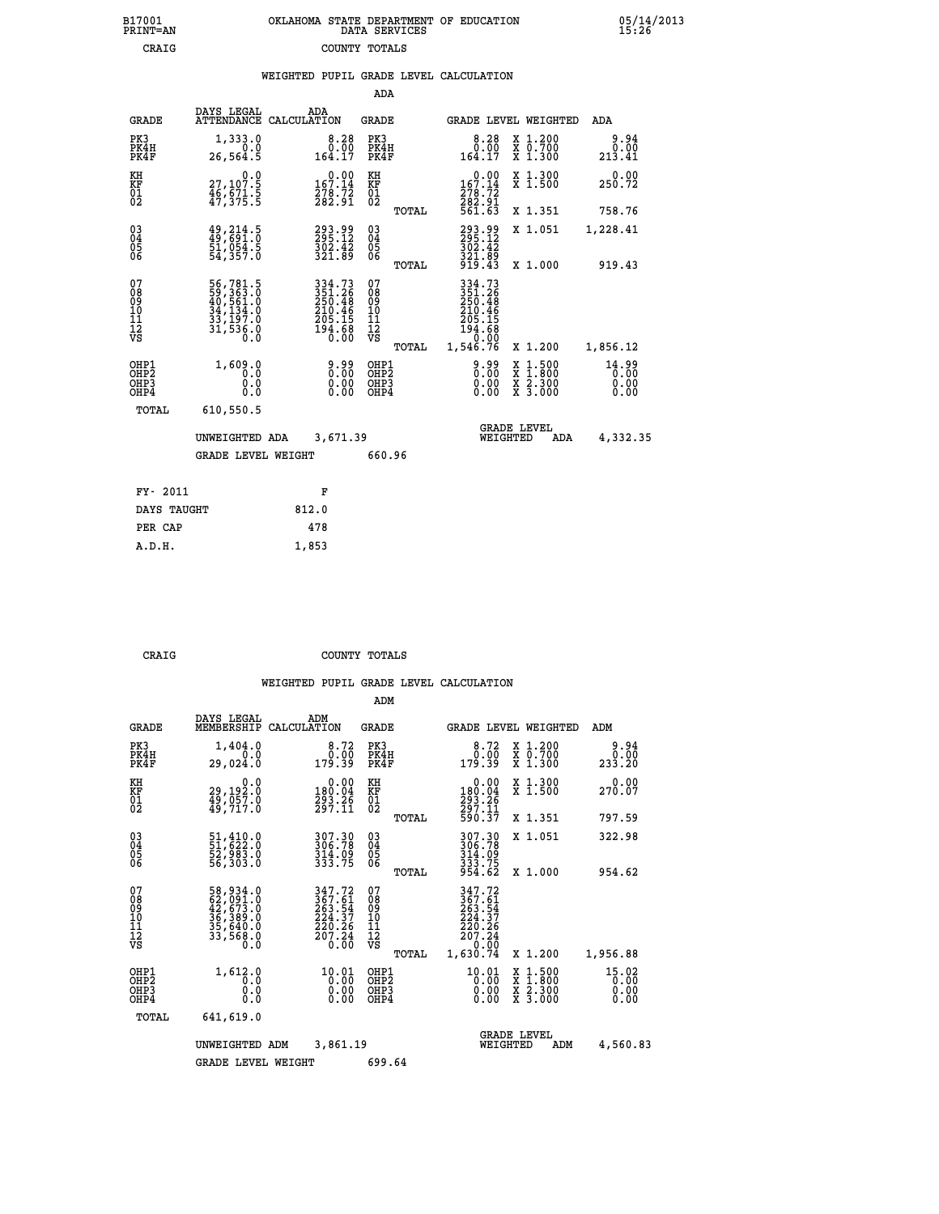| OKLAHOMA STATE DEPARTMENT OF EDUCATION | DATA SERVICES |  |
|----------------------------------------|---------------|--|
|                                        | COUNTY TOTALS |  |

 **B17001 OKLAHOMA STATE DEPARTMENT OF EDUCATION 05/14/2013**

|                                                                    |                                                                                       |                                                                          | ADA                                            |       |                                                                         |                                                                                          |                               |
|--------------------------------------------------------------------|---------------------------------------------------------------------------------------|--------------------------------------------------------------------------|------------------------------------------------|-------|-------------------------------------------------------------------------|------------------------------------------------------------------------------------------|-------------------------------|
| <b>GRADE</b>                                                       | DAYS LEGAL                                                                            | ADA<br>ATTENDANCE CALCULATION                                            | <b>GRADE</b>                                   |       |                                                                         | GRADE LEVEL WEIGHTED                                                                     | ADA                           |
| PK3<br>PK4H<br>PK4F                                                | 1,333.0<br>0.0<br>26,564.5                                                            | $8.28$<br>$0.00$<br>164.17                                               | PK3<br>PK4H<br>PK4F                            |       | 8.28<br>$\begin{array}{c} 0.00 \\ -164.17 \end{array}$                  | X 1.200<br>X 0.700<br>X 1.300                                                            | 9.94<br>0.00<br>213.41        |
| KH<br>KF<br>01<br>02                                               | 0.0<br>27,107.5<br>46,671.5<br>47,375.5                                               | $\substack{0.00\\167.14\\278.72\\282.91}$                                | KH<br>KF<br>01<br>02                           |       | $0.00$<br>167.14<br>278:72<br>282:91<br>561:63                          | X 1.300<br>X 1.500                                                                       | 0.00<br>250.72                |
|                                                                    |                                                                                       |                                                                          |                                                | TOTAL |                                                                         | X 1.351                                                                                  | 758.76                        |
| $\begin{smallmatrix} 03 \\[-4pt] 04 \end{smallmatrix}$<br>Ŏ5<br>06 | $\begin{smallmatrix} 49, 214.5\\ 49, 691.0\\ 51, 054.5\\ 54, 357.0 \end{smallmatrix}$ | 293.99<br>295.12<br>302.42<br>321.89                                     | $\substack{03 \\ 04}$<br>$\substack{05 \\ 06}$ |       | 293.99<br>295.12<br>302.42<br>321.89<br>919.43                          | X 1.051                                                                                  | 1,228.41                      |
|                                                                    |                                                                                       |                                                                          |                                                | TOTAL |                                                                         | X 1.000                                                                                  | 919.43                        |
| 07<br>08<br>09<br>101<br>11<br>12<br>VS                            | 56,781.5<br>59,363.0<br>40,561.0<br>34,134.0<br>33,197.0<br>31,536.0                  | 334.73<br>351.26<br>250.48<br>$210.46$<br>$205.15$<br>$194.68$<br>$0.00$ | 07<br>08<br>09<br>11<br>11<br>12<br>VS         |       | 334.73<br>351.26<br>250.48<br>210.46<br>205.15<br>$\frac{194.68}{0.00}$ |                                                                                          |                               |
|                                                                    |                                                                                       |                                                                          |                                                | TOTAL | 1,546.76                                                                | X 1.200                                                                                  | 1,856.12                      |
| OHP1<br>OHP <sub>2</sub><br>OH <sub>P3</sub><br>OHP4               | 1,609.0<br>0.0<br>0.0<br>0.0                                                          | 0.99<br>$\begin{smallmatrix} 0.00 \ 0.00 \end{smallmatrix}$              | OHP1<br>OHP2<br>OHP <sub>3</sub>               |       | 0.99<br>0.00                                                            | $\begin{smallmatrix} x & 1.500 \\ x & 1.800 \\ x & 2.300 \\ x & 3.000 \end{smallmatrix}$ | 14.99<br>0.00<br>0.00<br>0.00 |
| TOTAL                                                              | 610,550.5                                                                             |                                                                          |                                                |       |                                                                         |                                                                                          |                               |
|                                                                    | UNWEIGHTED ADA                                                                        | 3,671.39                                                                 |                                                |       |                                                                         | <b>GRADE LEVEL</b><br>WEIGHTED<br>ADA                                                    | 4,332.35                      |
|                                                                    | <b>GRADE LEVEL WEIGHT</b>                                                             |                                                                          | 660.96                                         |       |                                                                         |                                                                                          |                               |
| FY- 2011                                                           |                                                                                       | F                                                                        |                                                |       |                                                                         |                                                                                          |                               |
| DAYS TAUGHT                                                        |                                                                                       | 812.0                                                                    |                                                |       |                                                                         |                                                                                          |                               |
| PER CAP                                                            |                                                                                       | 478                                                                      |                                                |       |                                                                         |                                                                                          |                               |

 **A.D.H. 1,853**

B17001<br>PRINT=AN<br>CRAIG

 **CRAIG COUNTY TOTALS**

|                                                       |                                                                      |                                                                              | ADM                                                 |                                                                                                                                                                                                                                                                                        |                                          |                               |
|-------------------------------------------------------|----------------------------------------------------------------------|------------------------------------------------------------------------------|-----------------------------------------------------|----------------------------------------------------------------------------------------------------------------------------------------------------------------------------------------------------------------------------------------------------------------------------------------|------------------------------------------|-------------------------------|
| <b>GRADE</b>                                          | DAYS LEGAL<br>MEMBERSHIP                                             | ADM<br>CALCULATION                                                           | <b>GRADE</b>                                        | GRADE LEVEL WEIGHTED                                                                                                                                                                                                                                                                   |                                          | ADM                           |
| PK3<br>PK4H<br>PK4F                                   | 1,404.0<br>0.0<br>29,024.0                                           | 8.72<br>0.00<br>179.39                                                       | PK3<br>PK4H<br>PK4F                                 | 8.72<br>0:00<br>179:39                                                                                                                                                                                                                                                                 | X 1.200<br>X 0.700<br>X 1.300            | 9.94<br>0.00<br>233.20        |
| KH<br>KF<br>01<br>02                                  | 0.0<br>29,192.0<br>49,057.0<br>49,717.0                              | $\begin{smallmatrix} &0.00\\ 180.04\\ 293.26\\ 297.11\end{smallmatrix}$      | KH<br>KF<br>01<br>02                                | 0.00<br>180:04<br>293:26<br>297:11<br>590:37                                                                                                                                                                                                                                           | X 1.300<br>X 1.500                       | 0.00<br>270.07                |
|                                                       |                                                                      |                                                                              | TOTAL                                               |                                                                                                                                                                                                                                                                                        | X 1.351                                  | 797.59                        |
| 03<br>04<br>05<br>06                                  | 51,410.0<br>51,622.0<br>52,983.0<br>56, 303.0                        | 307.30<br>306.78<br>314.09<br>333.75                                         | $\begin{array}{c} 03 \\ 04 \\ 05 \\ 06 \end{array}$ | 307.30<br>306.78<br>$314.09$<br>$333.75$<br>$954.62$                                                                                                                                                                                                                                   | X 1.051                                  | 322.98                        |
|                                                       |                                                                      |                                                                              | TOTAL                                               |                                                                                                                                                                                                                                                                                        | X 1.000                                  | 954.62                        |
| 07<br>08<br>09<br>101<br>112<br>VS                    | 58,934.0<br>62,091.0<br>42,673.0<br>36,389.0<br>35,640.0<br>33,568.0 | 347.72<br>$367.61$<br>$263.54$<br>$224.37$<br>$220.26$<br>$207.24$<br>$0.00$ | 07<br>08<br>09<br>11<br>11<br>12<br>VS<br>TOTAL     | 347.72<br>367.61<br>263.54<br>224.37<br>220.26<br>207.24<br>0.00<br>1,630.74                                                                                                                                                                                                           | X 1.200                                  | 1,956.88                      |
| OHP1<br>OH <sub>P</sub> 2<br>OH <sub>P3</sub><br>OHP4 | 1,612.0<br>0.0<br>0.000                                              | $^{10.01}_{0.00}$<br>0.00                                                    | OHP1<br>OHP2<br>OHP3<br>OHP4                        | 10.01<br>$\begin{smallmatrix} 0.00000 & 0.0000 & 0.0000 & 0.0000 & 0.0000 & 0.0000 & 0.0000 & 0.0000 & 0.0000 & 0.0000 & 0.0000 & 0.0000 & 0.0000 & 0.0000 & 0.0000 & 0.0000 & 0.0000 & 0.0000 & 0.0000 & 0.0000 & 0.0000 & 0.0000 & 0.0000 & 0.0000 & 0.0000 & 0.0000 & 0.00$<br>0.00 | X 1:500<br>X 1:800<br>X 2:300<br>X 3:000 | 15.02<br>0.00<br>0.00<br>0.00 |
| TOTAL                                                 | 641,619.0                                                            |                                                                              |                                                     |                                                                                                                                                                                                                                                                                        |                                          |                               |
|                                                       | UNWEIGHTED                                                           | 3,861.19<br>ADM                                                              |                                                     | <b>GRADE LEVEL</b><br>WEIGHTED                                                                                                                                                                                                                                                         | ADM                                      | 4,560.83                      |
|                                                       | <b>GRADE LEVEL WEIGHT</b>                                            |                                                                              | 699.64                                              |                                                                                                                                                                                                                                                                                        |                                          |                               |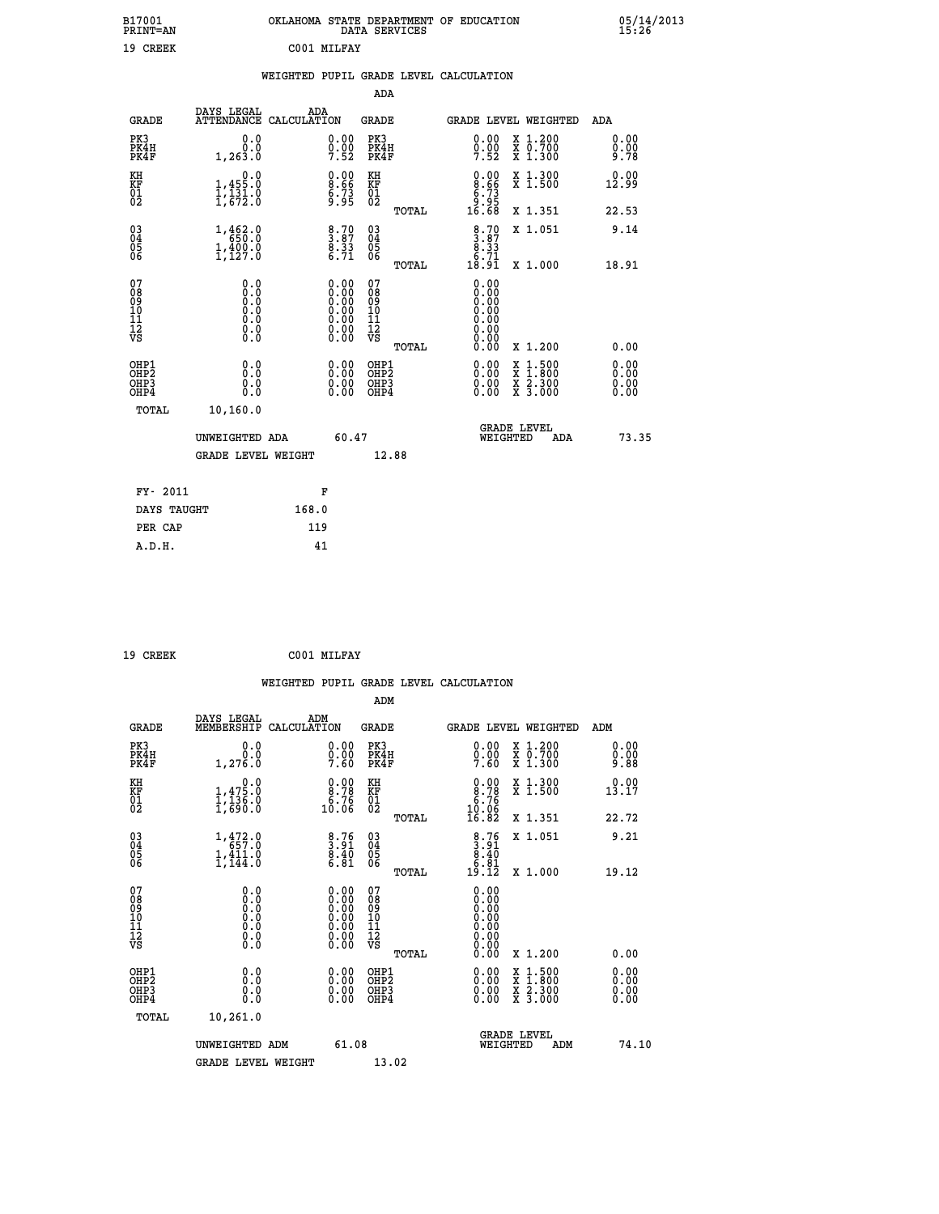| B17001<br>PRINT=AN                                               |                                                                                     | OKLAHOMA STATE DEPARTMENT OF EDUCATION<br>DATA SERVICES        |                                                    |                                                             |                                                                                          | $05/14/2013$<br>15:26        |
|------------------------------------------------------------------|-------------------------------------------------------------------------------------|----------------------------------------------------------------|----------------------------------------------------|-------------------------------------------------------------|------------------------------------------------------------------------------------------|------------------------------|
| 19 CREEK                                                         |                                                                                     | C001 MILFAY                                                    |                                                    |                                                             |                                                                                          |                              |
|                                                                  |                                                                                     | WEIGHTED PUPIL GRADE LEVEL CALCULATION                         |                                                    |                                                             |                                                                                          |                              |
|                                                                  |                                                                                     |                                                                | <b>ADA</b>                                         |                                                             |                                                                                          |                              |
| <b>GRADE</b>                                                     | DAYS LEGAL                                                                          | ADA<br>ATTENDANCE CALCULATION                                  | GRADE                                              | GRADE LEVEL WEIGHTED                                        |                                                                                          | <b>ADA</b>                   |
| PK3<br>PK4H<br>PK4F                                              | 0.0<br>0.0<br>1,263.0                                                               | 0.00<br>$\frac{0}{7}.\overline{00}$                            | PK3<br>PK4H<br>PK4F                                | $0.00$<br>$0.00$<br>$7.52$                                  | X 1.200<br>X 0.700<br>X 1.300                                                            | 0.00<br>0.00<br>9.78         |
| KH<br>KF<br>01<br>02                                             | 0.0<br>1,455:0<br>1,131:0<br>1,672:0                                                | $\begin{smallmatrix} 0.00\ 8.66\ 6.73\ 9.95 \end{smallmatrix}$ | KH<br>KF<br>$\overline{01}$                        | $0.00$<br>$8.66$<br>$5.73$<br>$9.95$                        | X 1.300<br>X 1.500                                                                       | 0.00<br>12.99                |
|                                                                  |                                                                                     |                                                                | TOTAL                                              | 16.68                                                       | X 1.351                                                                                  | 22.53                        |
| $\begin{matrix} 03 \\ 04 \\ 05 \\ 06 \end{matrix}$               | 1,462.0<br>1,400.0<br>1,127.0                                                       | $\begin{smallmatrix} 8.70\ 3.87\ 8.33\ 6.71\end{smallmatrix}$  | $\begin{matrix} 03 \\ 04 \\ 05 \\ 06 \end{matrix}$ | $\begin{array}{c} 8.70 \\ 3.87 \\ 8.33 \\ 6.71 \end{array}$ | X 1.051                                                                                  | 9.14                         |
|                                                                  |                                                                                     |                                                                | TOTAL                                              | 18.91                                                       | X 1.000                                                                                  | 18.91                        |
| 07<br>08<br>09<br>10<br>$\frac{11}{12}$<br>$\frac{12}{18}$       | 0.0<br>0.0<br>Ō.Ō<br>0.0<br>$\begin{smallmatrix} 0.10\ 0.0 \ 0.0 \end{smallmatrix}$ | $0.00$<br>$0.00$                                               | 07<br>08<br>09<br>11<br>11<br>12<br>VS             | 0.00<br>0.00<br>0.00<br>0.00<br>0.00<br>0.00<br>0.00        |                                                                                          |                              |
|                                                                  |                                                                                     |                                                                | TOTAL                                              | 0.00                                                        | X 1.200                                                                                  | 0.00                         |
| OHP1<br>OHP <sub>2</sub><br>OH <sub>P3</sub><br>OH <sub>P4</sub> | 0.000<br>0.0<br>0.0                                                                 | 0.00<br>0.00<br>0.00                                           | OHP1<br>OHP <sub>2</sub><br>OHP3<br>OHP4           | 0.0000<br>0.00<br>0.00                                      | $\begin{smallmatrix} x & 1.500 \\ x & 1.800 \\ x & 2.300 \\ x & 3.000 \end{smallmatrix}$ | 0.00<br>0.00<br>0.00<br>0.00 |
| TOTAL                                                            | 10,160.0                                                                            |                                                                |                                                    |                                                             |                                                                                          |                              |
|                                                                  | UNWEIGHTED ADA                                                                      | 60.47                                                          |                                                    | <b>GRADE LEVEL</b><br>WEIGHTED                              | ADA                                                                                      | 73.35                        |
|                                                                  | <b>GRADE LEVEL WEIGHT</b>                                                           |                                                                | 12.88                                              |                                                             |                                                                                          |                              |
| FY- 2011                                                         |                                                                                     | F                                                              |                                                    |                                                             |                                                                                          |                              |
| DAYS TAUGHT                                                      |                                                                                     | 168.0                                                          |                                                    |                                                             |                                                                                          |                              |
| PER CAP                                                          |                                                                                     | 119                                                            |                                                    |                                                             |                                                                                          |                              |

| 19 CREEK |  | C001 MILFAY |
|----------|--|-------------|
|----------|--|-------------|

 **WEIGHTED PUPIL GRADE LEVEL CALCULATION ADM DAYS LEGAL ADM GRADE MEMBERSHIP CALCULATION GRADE GRADE LEVEL WEIGHTED ADM PK3 0.0 0.00 PK3 0.00 X 1.200 0.00 PK4H 0.0 0.00 PK4H 0.00 X 0.700 0.00 PK4F 1,276.0 7.60 PK4F 7.60 X 1.300 9.88 KH 0.0 0.00 KH 0.00 X 1.300 0.00 KF 1,475.0 8.78 KF 8.78 X 1.500 13.17** 01 1,136.0 6.76 01 **6.76**<br>02 1,690.0 10.06 02 10.06  **TOTAL 16.82 X 1.351 22.72 03 1,472.0 8.76 03 8.76 X 1.051 9.21** 04 657.0 3.91 04 3.91<br>05 1,411.0 8.40 05<br>06 1,144.0 6.81 06 <sub>mamaa</sub> 6.81  **TOTAL 19.12 X 1.000 19.12 07** 0.0 0.00 07<br>
08 0.0 0.00 08 0.00<br>
10 0.0 0.00 10 0.00<br>
11 0.0 0.00 11 0.00<br>
12 0.0 0.00 11 0.00<br>
VS 0.0 0.00 VS 0.00  $\begin{array}{cccc} 0.0 & 0.00 & 07 & 0.00 & 0.00 & 0.00 & 0.00 & 0.00 & 0.00 & 0.00 & 0.00 & 0.00 & 0.00 & 0.00 & 0.00 & 10 & 0.000 & 0.00 & 11 & 0.000 & 0.00 & 0.00 & 12 & 0.00 & 0.00 & 0.00 & 0.00 & 0.00 & 0.00 & 0.00 & 0.00 & 0.00 & 0.00 & 0.00 & 0.00 & 0.00 & 0.0$  **OHP1 0.0 0.00 OHP1 0.00 X 1.500 0.00 OHP2 0.0 0.00 OHP2 0.00 X 1.800 0.00 OHP3 0.0 0.00 OHP3 0.00 X 2.300 0.00 OHP4 0.0 0.00 OHP4 0.00 X 3.000 0.00 TOTAL 10,261.0 UNWEIGHTED ADM** 61.08  **GRADE LEVEL<br>WEIGHTED ADM 74.10** GRADE LEVEL WEIGHT 13.02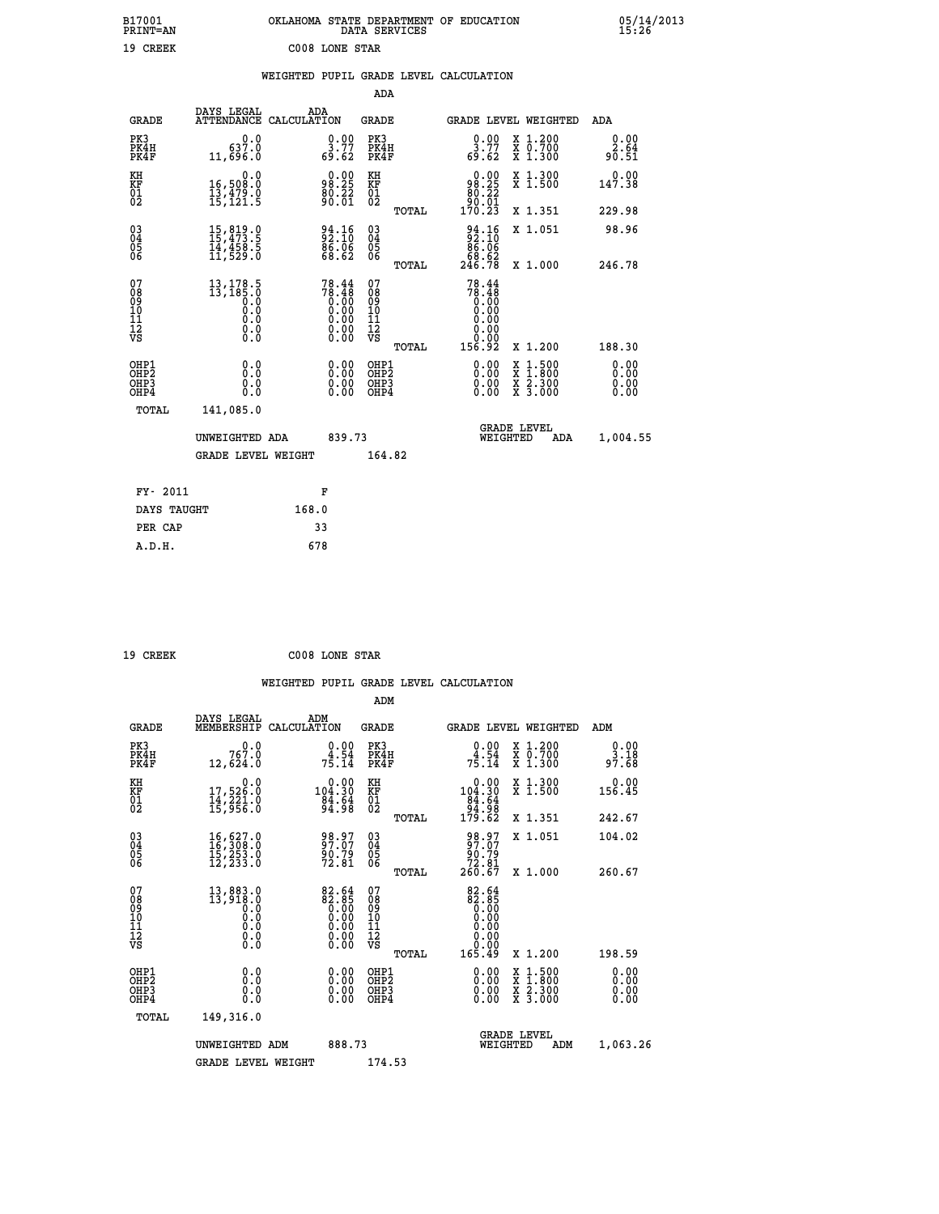| B17001<br>PRINT=AN                       |                                                                                                                                                      |                                                                                                                          | OKLAHOMA STATE DEPARTMENT OF EDUCATION<br>DATA SERVICES |                                                                       |                                                                                                  | 05/14/2013                   |  |
|------------------------------------------|------------------------------------------------------------------------------------------------------------------------------------------------------|--------------------------------------------------------------------------------------------------------------------------|---------------------------------------------------------|-----------------------------------------------------------------------|--------------------------------------------------------------------------------------------------|------------------------------|--|
| 19 CREEK                                 |                                                                                                                                                      | C008 LONE STAR                                                                                                           |                                                         |                                                                       |                                                                                                  |                              |  |
|                                          |                                                                                                                                                      |                                                                                                                          | WEIGHTED PUPIL GRADE LEVEL CALCULATION                  |                                                                       |                                                                                                  |                              |  |
|                                          |                                                                                                                                                      |                                                                                                                          | ADA                                                     |                                                                       |                                                                                                  |                              |  |
| <b>GRADE</b>                             | DAYS LEGAL<br>ATTENDANCE CALCULATION                                                                                                                 | ADA                                                                                                                      | GRADE                                                   |                                                                       | GRADE LEVEL WEIGHTED                                                                             | ADA                          |  |
| PK3<br>PK4H<br>PK4F                      | 0.0<br>637.0<br>11,696.0                                                                                                                             | $\frac{0.00}{3.77}$<br>69.62                                                                                             | PK3<br>PK4H<br>PK4F                                     | $\frac{0.00}{3.77}$<br>69.62                                          | X 1.200<br>X 0.700<br>X 1.300                                                                    | 0.00<br>2.64<br>90.51        |  |
| KH<br>KF<br>01<br>02                     | 0.0<br>16,508:0<br>13,479:0<br>15,121:5                                                                                                              | $\begin{smallmatrix} 0.00\\ 98.25\\ 80.22\\ 90.61 \end{smallmatrix}$                                                     | KH<br>KF<br>01<br>02                                    | 98.25<br>$\frac{80.72}{90.01}$                                        | X 1.300<br>X 1.500                                                                               | 0.00<br>147.38               |  |
|                                          |                                                                                                                                                      |                                                                                                                          | TOTAL                                                   | 170.23                                                                | X 1.351                                                                                          | 229.98                       |  |
| 03<br>04<br>05<br>06                     | $\begin{smallmatrix} 15 \, , \, 819 \, . \, 0 \\ 15 \, , \, 473 \, . \, 5 \\ 14 \, , \, 458 \, . \, 5 \\ 11 \, , \, 529 \, . \, 0 \end{smallmatrix}$ | $\frac{94.16}{2.10}$<br>$\begin{smallmatrix} 8\overline{6}\ 8\overline{6}\ 8\ 6\ 8\ 6\ \end{smallmatrix}$                | $\begin{matrix} 03 \\ 04 \\ 05 \\ 06 \end{matrix}$      | 94.16<br>86.06<br>68.62<br>246.78                                     | X 1.051                                                                                          | 98.96                        |  |
| 07                                       |                                                                                                                                                      |                                                                                                                          | TOTAL<br>07                                             | 78.44                                                                 | X 1.000                                                                                          | 246.78                       |  |
| 08<br>09<br>11<br>11<br>12<br>VS         | $13, 178.5$<br>$13, 185.0$<br>$0.0$<br>0.0<br>0.0<br>0.000                                                                                           | $78.44 \newline 78.48 \newline 0.00 \newline 0.00 \newline 0.00 \newline 0.00 \newline 0.00 \newline 0.00 \newline 0.00$ | 08<br>09<br>11<br>11<br>12<br>VS                        | $\begin{smallmatrix}78.18\0.00\0.00\end{smallmatrix}$<br>0.00<br>0.00 |                                                                                                  |                              |  |
|                                          |                                                                                                                                                      |                                                                                                                          | TOTAL                                                   | 156.92                                                                | X 1.200                                                                                          | 188.30                       |  |
| OHP1<br>OHP2<br>OH <sub>P3</sub><br>OHP4 | 0.0<br>0.0<br>0.0<br>0.0                                                                                                                             | 0.00<br>$\begin{smallmatrix} 0.00 \ 0.00 \end{smallmatrix}$                                                              | OHP1<br>OHP <sub>2</sub><br>OHP3<br>OHP4                | 0.00<br>0.00<br>0.00                                                  | $\begin{smallmatrix} x & 1 & 500 \\ x & 1 & 800 \\ x & 2 & 300 \\ x & 3 & 000 \end{smallmatrix}$ | 0.00<br>0.00<br>0.00<br>0.00 |  |
| TOTAL                                    | 141,085.0                                                                                                                                            |                                                                                                                          |                                                         |                                                                       |                                                                                                  |                              |  |
|                                          | UNWEIGHTED ADA                                                                                                                                       | 839.73                                                                                                                   |                                                         | WEIGHTED                                                              | <b>GRADE LEVEL</b><br>ADA                                                                        | 1,004.55                     |  |
|                                          | <b>GRADE LEVEL WEIGHT</b>                                                                                                                            |                                                                                                                          | 164.82                                                  |                                                                       |                                                                                                  |                              |  |
| FY- 2011                                 |                                                                                                                                                      | F                                                                                                                        |                                                         |                                                                       |                                                                                                  |                              |  |
| DAYS TAUGHT                              |                                                                                                                                                      | 168.0                                                                                                                    |                                                         |                                                                       |                                                                                                  |                              |  |
| PER CAP                                  |                                                                                                                                                      | 33                                                                                                                       |                                                         |                                                                       |                                                                                                  |                              |  |

| 19 CREEK | C008 LONE STAR |  |
|----------|----------------|--|

 **WEIGHTED PUPIL GRADE LEVEL CALCULATION ADM DAYS LEGAL ADM GRADE MEMBERSHIP CALCULATION GRADE GRADE LEVEL WEIGHTED ADM PK3 0.0 0.00 PK3 0.00 X 1.200 0.00 PK4H 767.0 4.54 PK4H 4.54 X 0.700 3.18 PK4F 12,624.0 75.14 PK4F 75.14 X 1.300 97.68 KH 0.0 0.00 KH 0.00 X 1.300 0.00 KF 17,526.0 104.30 KF 104.30 X 1.500 156.45 01 14,221.0 84.64 01 84.64 02 15,956.0 94.98 02 94.98 TOTAL 179.62 X 1.351 242.67 03 16,627.0 98.97 03 98.97 X 1.051 104.02 04 16,308.0 97.07 04 97.07 05 15,253.0 90.79 05 90.79 06 12,233.0 72.81 06 72.81 TOTAL 260.67 X 1.000 260.67** 07 13,883.0 82.64 07 82.64<br>
08 13,918.0 82.85 08 82.65<br>
10 0.0 0.00 10 0.00<br>
11 0.0 0.00 11 0.00<br>
12 0.00 0.00 12<br>
VS 0.0 0.00 VS 0.00  $\begin{array}{cccccc} 13,883.0 & 82.64 & 07 & 82.64 & 82.85 & 08 & 82.685 & 08 & 82.85 & 08 & 82.85 & 08 & 0.00 & 0.00 & 10 & 0.000 & 0.00 & 10 & 0.000 & 0.00 & 12 & 0.000 & 0.00 & 12 & 0.000 & 0.00 & 12 & 0.000 & 0.00 & 0.00 & 0.00 & 0.00 & 0.00 & 0.00 & 0.00 & 0.00 &$  **OHP1 0.0 0.00 OHP1 0.00 X 1.500 0.00 OHP2 0.0 0.00 OHP2 0.00 X 1.800 0.00 OHP3 0.0 0.00 OHP3 0.00 X 2.300 0.00 OHP4 0.0 0.00 OHP4 0.00 X 3.000 0.00 TOTAL 149,316.0 GRADE LEVEL UNWEIGHTED ADM 888.73 WEIGHTED ADM 1,063.26** GRADE LEVEL WEIGHT 174.53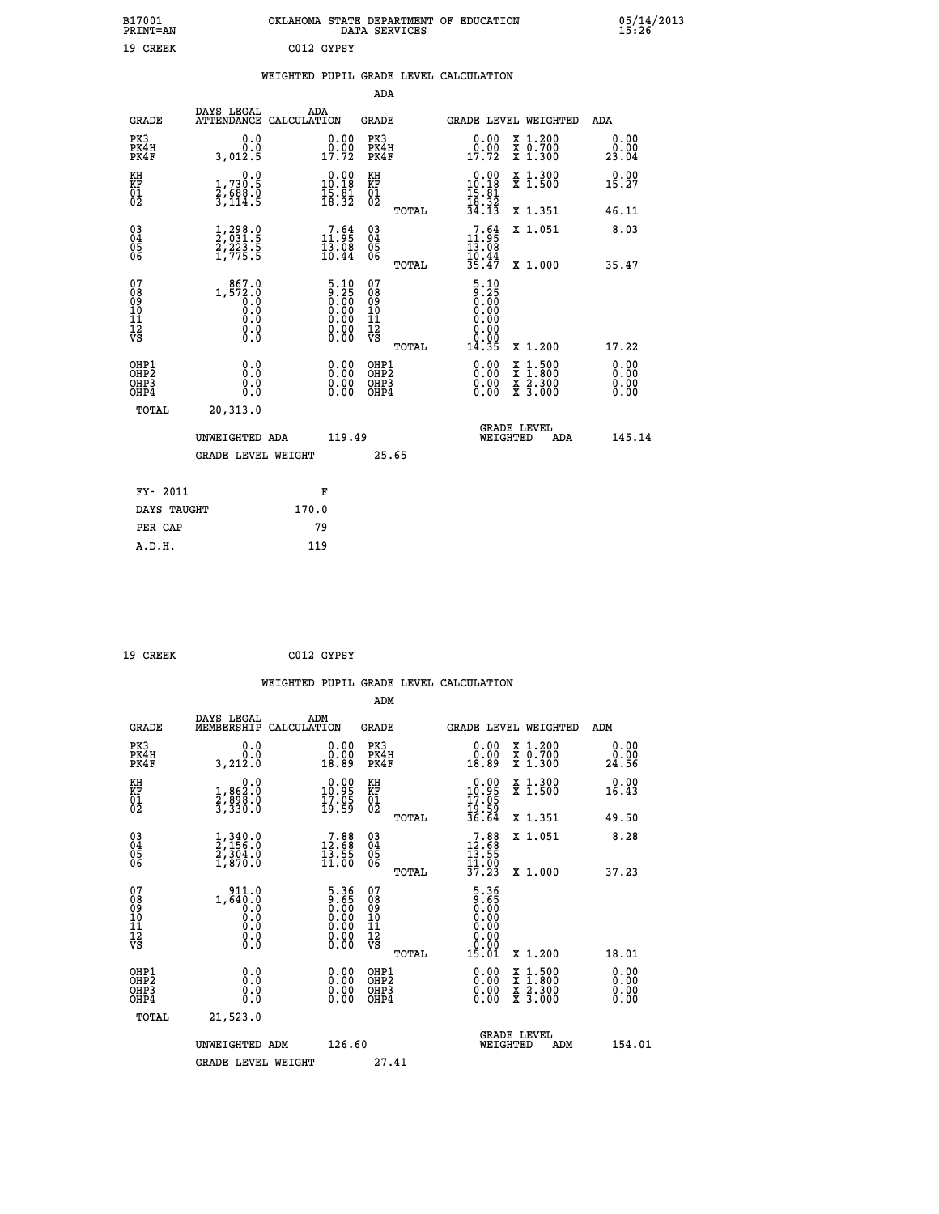| B17001<br>PRINT=AN | OKLAHOMA<br>. STATE DEPARTMENT OF EDUCATION<br>DATA SERVICES | 05/14/2013 |
|--------------------|--------------------------------------------------------------|------------|
| 19<br>CREEK        | C012 GYPSY                                                   |            |

| 05/14/2013<br>15:26 |  |  |  |
|---------------------|--|--|--|
|                     |  |  |  |

|  |  | WEIGHTED PUPIL GRADE LEVEL CALCULATION |
|--|--|----------------------------------------|
|  |  |                                        |

|                                                                    |                                                                                         |                                                                                                                                                                           | ADA                                    |       |                                                                                                     |                                                                                                                                           |                       |
|--------------------------------------------------------------------|-----------------------------------------------------------------------------------------|---------------------------------------------------------------------------------------------------------------------------------------------------------------------------|----------------------------------------|-------|-----------------------------------------------------------------------------------------------------|-------------------------------------------------------------------------------------------------------------------------------------------|-----------------------|
| <b>GRADE</b>                                                       | DAYS LEGAL<br>ATTENDANCE CALCULATION                                                    | ADA                                                                                                                                                                       | <b>GRADE</b>                           |       |                                                                                                     | GRADE LEVEL WEIGHTED                                                                                                                      | ADA                   |
| PK3<br>PK4H<br>PK4F                                                | 0.0<br>0.0<br>3,012.5                                                                   | $\begin{smallmatrix} 0.00\\ 0.00\\ 17.72 \end{smallmatrix}$                                                                                                               | PK3<br>PK4H<br>PK4F                    |       | 0.00<br>$0.00$<br>$17.72$                                                                           | X 1.200<br>X 0.700<br>X 1.300                                                                                                             | 0.00<br>0.00<br>23.04 |
| KH<br>KF<br>01<br>02                                               | 0.0<br>1,730.5<br>2,688.0<br>3,114.5                                                    | $0.00$<br>10.18<br>$\frac{15}{18}$ $\frac{31}{22}$                                                                                                                        | KH<br><b>KF</b><br>01<br>02            |       | $\begin{array}{r} 0.00 \\ 10.18 \\ 15.81 \\ 18.32 \\ 34.13 \end{array}$                             | X 1.300<br>X 1.500                                                                                                                        | 0.00<br>15.27         |
|                                                                    |                                                                                         |                                                                                                                                                                           |                                        | TOTAL |                                                                                                     | X 1.351                                                                                                                                   | 46.11                 |
| $\begin{smallmatrix} 03 \\[-4pt] 04 \end{smallmatrix}$<br>Ŏ5<br>06 | 1,298.0<br>2,031.5<br>2,223.5<br>1,775.5                                                | $\begin{smallmatrix}7.64\11.95\13.08\10.44\end{smallmatrix}$                                                                                                              | 03<br>04<br>05<br>06                   |       | 11:95<br>$\frac{13.08}{10.44}$<br>35.47                                                             | X 1.051                                                                                                                                   | 8.03                  |
|                                                                    |                                                                                         |                                                                                                                                                                           |                                        | TOTAL |                                                                                                     | X 1.000                                                                                                                                   | 35.47                 |
| 07<br>08<br>09<br>11<br>11<br>12<br>VS                             | 867.0<br>$1, \frac{872}{6}.\stackrel{.0}{0}.\stackrel{.0}{0}.\stackrel{.0}{0}$<br>$\S.$ | $\begin{smallmatrix} 5 & 10 \\ 9 & 25 \\ 0 & 00 \\ 0 & 00 \\ 0 & 00 \\ 0 & 00 \\ \end{smallmatrix}$<br>$\begin{smallmatrix} 0.00 & 0.00 \\ 0.00 & 0.00 \end{smallmatrix}$ | 07<br>08<br>09<br>11<br>11<br>12<br>VS |       | $\begin{array}{c} 5 \cdot 10 \\ 9 \cdot 25 \\ 0 \cdot 00 \\ 0 \cdot 00 \end{array}$<br>0.00<br>0.00 |                                                                                                                                           |                       |
|                                                                    |                                                                                         |                                                                                                                                                                           |                                        | TOTAL | 14.35                                                                                               | X 1.200                                                                                                                                   | 17.22                 |
| OHP1<br>OHP2<br>OH <sub>P3</sub><br>OHP4                           | 0.0<br>0.0<br>0.0                                                                       | $0.00$<br>$0.00$<br>0.00                                                                                                                                                  | OHP1<br>OHP2<br>OHP3<br>OHP4           |       |                                                                                                     | $\begin{smallmatrix} \mathtt{X} & 1\cdot500\\ \mathtt{X} & 1\cdot800\\ \mathtt{X} & 2\cdot300\\ \mathtt{X} & 3\cdot000 \end{smallmatrix}$ | 0.00<br>0.00<br>0.00  |
| TOTAL                                                              | 20, 313.0                                                                               |                                                                                                                                                                           |                                        |       |                                                                                                     |                                                                                                                                           |                       |
|                                                                    | UNWEIGHTED ADA                                                                          | 119.49                                                                                                                                                                    |                                        |       |                                                                                                     | <b>GRADE LEVEL</b><br>WEIGHTED<br>ADA                                                                                                     | 145.14                |
|                                                                    | <b>GRADE LEVEL WEIGHT</b>                                                               |                                                                                                                                                                           |                                        | 25.65 |                                                                                                     |                                                                                                                                           |                       |
| FY- 2011                                                           |                                                                                         | F                                                                                                                                                                         |                                        |       |                                                                                                     |                                                                                                                                           |                       |
| DAYS TAUGHT                                                        |                                                                                         | 170.0                                                                                                                                                                     |                                        |       |                                                                                                     |                                                                                                                                           |                       |
| PER CAP                                                            |                                                                                         | 79                                                                                                                                                                        |                                        |       |                                                                                                     |                                                                                                                                           |                       |

| 9 CREEK |  |  |
|---------|--|--|
|         |  |  |

 **19 CREEK C012 GYPSY WEIGHTED PUPIL GRADE LEVEL CALCULATION ADM DAYS LEGAL ADM GRADE MEMBERSHIP CALCULATION GRADE GRADE LEVEL WEIGHTED ADM PK3 0.0 0.00 PK3 0.00 X 1.200 0.00 PK4H 0.0 0.00 PK4H 0.00 X 0.700 0.00 PK4F 3,212.0 18.89 PK4F 18.89 X 1.300 24.56 KH 0.0 0.00 KH 0.00 X 1.300 0.00 KF 1,862.0 10.95 KF 10.95 X 1.500 16.43 01 2,898.0 17.05 01 17.05 02 3,330.0 19.59 02 19.59 TOTAL 36.64 X 1.351 49.50 03 1,340.0 7.88 03 7.88 X 1.051 8.28 04 2,156.0 12.68 04 12.68 05 2,304.0 13.55 05 13.55** 06 1,870.0 11.00 06 <sub>memax</sub> 11.00  **TOTAL 37.23 X 1.000 37.23** 07 911.0 5.36 07 5.36<br>
08 1,640.0 9.00 09 0.00<br>
10 0.0 0.00 10 0.00<br>
11 0.0 0.00 11 0.00<br>
12 0.0 0.00 12<br>
VS 0.0 0.00 VS 0.00  $\begin{array}{cccc} 5.36 & 07 & 5.36 \ 0.00 & 10 & 0.000 \ 0.00 & 11 & 0.000 \ 0.00 & 12 & 0.000 \ 0.00 & \texttt{V}{}& 0.000 \ 0.00 & \texttt{V}{}& 0.000 \ 0.00 & \texttt{V}{}& 0.000 \ 0.00 & \texttt{W}{}& 1.200 & 18.01 \ 0.00 & 0\texttt{HP}{}& 0.00 & \texttt{X} & 1.500 & 0.00 \ 0.00 & 0\texttt{HP$  **OHP1 0.0 0.00 OHP1 0.00 X 1.500 0.00 OHP2 0.0 0.00 OHP2 0.00 X 1.800 0.00 OHP3 0.0 0.00 OHP3 0.00 X 2.300 0.00 OHP4 0.0 0.00 OHP4 0.00 X 3.000 0.00 TOTAL 21,523.0 GRADE LEVEL UNWEIGHTED ADM 126.60 WEIGHTED ADM 154.01** GRADE LEVEL WEIGHT 27.41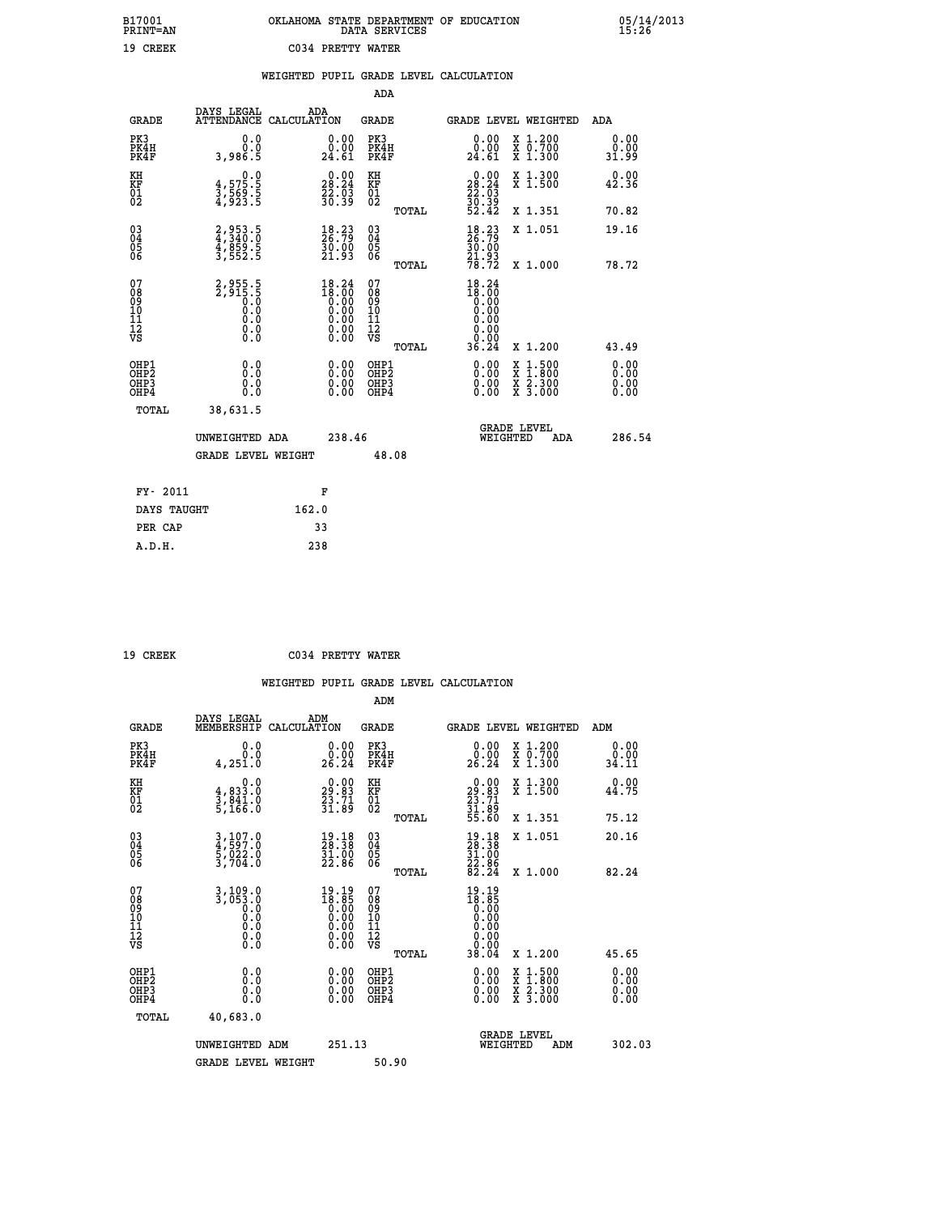| B17001<br><b>PRINT=AN</b> | OKLAHOMA STATE DEPARTMENT OF EDUCATION<br>DATA SERVICES |  |
|---------------------------|---------------------------------------------------------|--|
| 19 CREEK                  | C034 PRETTY WATER                                       |  |

 **B17001 OKLAHOMA STATE DEPARTMENT OF EDUCATION 05/14/2013**

|                                                                    |                                                                           | WEIGHTED PUPIL GRADE LEVEL CALCULATION                                                          |                                          |       |                                                                              |                                                                                                                                           |                              |
|--------------------------------------------------------------------|---------------------------------------------------------------------------|-------------------------------------------------------------------------------------------------|------------------------------------------|-------|------------------------------------------------------------------------------|-------------------------------------------------------------------------------------------------------------------------------------------|------------------------------|
|                                                                    |                                                                           |                                                                                                 | ADA                                      |       |                                                                              |                                                                                                                                           |                              |
| <b>GRADE</b>                                                       | DAYS LEGAL                                                                | ADA<br>ATTENDANCE CALCULATION                                                                   | <b>GRADE</b>                             |       |                                                                              | GRADE LEVEL WEIGHTED                                                                                                                      | ADA                          |
| PK3<br>PK4H<br>PK4F                                                | 0.0<br>0.0<br>3,986.5                                                     | $\substack{0.00\\0.00\\24.61}$                                                                  | PK3<br>PK4H<br>PK4F                      |       | 0.00<br>0.00<br>24.61                                                        | X 1.200<br>X 0.700<br>X 1.300                                                                                                             | 0.00<br>0.00<br>31.99        |
| KH<br>KF<br>01<br>02                                               | $\begin{smallmatrix} 0.0\\ 4,575.5\\ 3,569.5\\ 4,923.5 \end{smallmatrix}$ | 28.24<br>$\frac{22}{30}$ : $\frac{53}{39}$                                                      | KH<br>KF<br>01<br>02                     |       | $\begin{smallmatrix} 0.00\\ 28.24\\ 22.03\\ 30.39\\ 52.42 \end{smallmatrix}$ | X 1.300<br>X 1.500                                                                                                                        | 0.00<br>42.36                |
|                                                                    |                                                                           |                                                                                                 |                                          | TOTAL |                                                                              | X 1.351                                                                                                                                   | 70.82                        |
| $\begin{smallmatrix} 03 \\[-4pt] 04 \end{smallmatrix}$<br>05<br>06 | 2,953.5<br>4,340.0<br>4,859.5<br>3,552.5                                  | $\frac{18}{26}$ : $\frac{23}{79}$<br>3ŏ:00<br>21:93                                             | $\substack{03 \\ 04}$<br>$\frac{05}{06}$ |       | 18.23<br>26.79<br>$\frac{50.00}{21.93}$                                      | X 1.051                                                                                                                                   | 19.16                        |
|                                                                    |                                                                           |                                                                                                 |                                          | TOTAL | 78.72                                                                        | X 1.000                                                                                                                                   | 78.72                        |
| 07<br>08<br>09<br>01<br>11<br>11<br>12<br>VS                       | $2,955.5$<br>$2,915.5$<br>$0.0$<br>$0.0$<br>$0.0$<br>$0.0$<br>$0.0$       | $\begin{smallmatrix} 18\cdot24\\18\cdot00\\0.00\\0.00\\0.00\\0.00\\0.00\\0.00\end{smallmatrix}$ | 07<br>089<br>101<br>111<br>VS            |       | $18.24$<br>$18.00$<br>$0.00$<br>$0.00$<br>0.00<br>0.0000                     |                                                                                                                                           |                              |
|                                                                    |                                                                           |                                                                                                 |                                          | TOTAL | 36.24                                                                        | X 1.200                                                                                                                                   | 43.49                        |
| OHP1<br>OHP <sub>2</sub><br>OHP3<br>OHP4                           | 0.0<br>0.0<br>0.0                                                         | $0.00$<br>$0.00$<br>0.00                                                                        | OHP1<br>OHP2<br>OHP3<br>OHP4             |       | $0.00$<br>$0.00$<br>0.00                                                     | $\begin{smallmatrix} \mathtt{X} & 1\cdot500\\ \mathtt{X} & 1\cdot800\\ \mathtt{X} & 2\cdot300\\ \mathtt{X} & 3\cdot000 \end{smallmatrix}$ | 0.00<br>0.00<br>0.00<br>0.00 |
| TOTAL                                                              | 38,631.5                                                                  |                                                                                                 |                                          |       |                                                                              |                                                                                                                                           |                              |
|                                                                    | UNWEIGHTED ADA                                                            | 238.46                                                                                          |                                          |       | WEIGHTED                                                                     | <b>GRADE LEVEL</b><br>ADA                                                                                                                 | 286.54                       |
|                                                                    | <b>GRADE LEVEL WEIGHT</b>                                                 |                                                                                                 |                                          | 48.08 |                                                                              |                                                                                                                                           |                              |
| FY- 2011                                                           |                                                                           | F                                                                                               |                                          |       |                                                                              |                                                                                                                                           |                              |
| DAYS TAUGHT                                                        |                                                                           | 162.0                                                                                           |                                          |       |                                                                              |                                                                                                                                           |                              |
| PER CAP                                                            |                                                                           | 33                                                                                              |                                          |       |                                                                              |                                                                                                                                           |                              |
| A.D.H.                                                             |                                                                           | 238                                                                                             |                                          |       |                                                                              |                                                                                                                                           |                              |

 **B17001<br>PRINT=AN** 

 **19 CREEK C034 PRETTY WATER**

|                                           |                                                            |                                                                                                        | ADM                                                 |       |                                                                               |                                          |                       |
|-------------------------------------------|------------------------------------------------------------|--------------------------------------------------------------------------------------------------------|-----------------------------------------------------|-------|-------------------------------------------------------------------------------|------------------------------------------|-----------------------|
| <b>GRADE</b>                              | DAYS LEGAL<br>MEMBERSHIP                                   | ADM<br>CALCULATION                                                                                     | <b>GRADE</b>                                        |       |                                                                               | GRADE LEVEL WEIGHTED                     | ADM                   |
| PK3<br>PK4H<br>PK4F                       | 0.0<br>Ō.Ō<br>4, 251.0                                     | $\begin{smallmatrix} 0.00\\ 0.00\\ 26.24 \end{smallmatrix}$                                            | PK3<br>PK4H<br>PK4F                                 |       | $\begin{smallmatrix} 0.00\\ 0.00\\ 26.24 \end{smallmatrix}$                   | X 1.200<br>X 0.700<br>X 1.300            | 0.00<br>0.00<br>34.11 |
| KH<br>KF<br>01<br>02                      | 0.0<br>$\frac{4}{3}, \frac{833}{841}$ .0<br>5,166.0        | $\begin{smallmatrix} 0.00\\29.83\\23.71\\31.89 \end{smallmatrix}$                                      | KH<br>KF<br>01<br>02                                |       | $\begin{smallmatrix} 0.00\\29.83\\23.71\\31.89\\55.60 \end{smallmatrix}$      | X 1.300<br>X 1.500                       | 0.00<br>44.75         |
|                                           |                                                            |                                                                                                        |                                                     | TOTAL |                                                                               | X 1.351                                  | 75.12                 |
| 03<br>04<br>05<br>06                      | 3,107.0<br>4,597.0<br>5,022.0<br>3,704.0                   | $\begin{smallmatrix} 19.18\\ 28.38\\ 31.00\\ 22.86 \end{smallmatrix}$                                  | $\begin{array}{c} 03 \\ 04 \\ 05 \\ 06 \end{array}$ |       | $\begin{smallmatrix} 19.18\\ 28.38\\ 31.00\\ 22.86\\ 82.24 \end{smallmatrix}$ | X 1.051                                  | 20.16                 |
|                                           |                                                            |                                                                                                        |                                                     | TOTAL |                                                                               | X 1.000                                  | 82.24                 |
| 07<br>08<br>09<br>101<br>112<br>VS        | $3,109.0$<br>$3,053.0$<br>$0.0$<br>$0.0$<br>$0.0$<br>$\S.$ | $\begin{smallmatrix} 19.19 \\ 18.85 \\ 0.00 \\ 0.00 \\ 0.00 \\ 0.00 \\ 0.00 \\ 0.00 \end{smallmatrix}$ | 07<br>08<br>09<br>11<br>11<br>12<br>VS              |       | 19.19<br>18:85<br>0.000<br>0.000<br>0.000<br>0.000                            |                                          |                       |
|                                           |                                                            |                                                                                                        |                                                     | TOTAL | 38.04                                                                         | X 1.200                                  | 45.65                 |
| OHP1<br>OHP2<br>OH <sub>P</sub> 3<br>OHP4 | 0.0<br>0.000                                               |                                                                                                        | OHP1<br>OHP2<br>OHP <sub>3</sub>                    |       | $0.00$<br>$0.00$<br>0.00                                                      | X 1:500<br>X 1:800<br>X 2:300<br>X 3:000 | 0.00<br>0.00<br>0.00  |
| TOTAL                                     | 40,683.0                                                   |                                                                                                        |                                                     |       |                                                                               |                                          |                       |
|                                           | UNWEIGHTED<br>ADM                                          | 251.13                                                                                                 |                                                     |       |                                                                               | GRADE LEVEL<br>WEIGHTED<br>ADM           | 302.03                |
|                                           | <b>GRADE LEVEL WEIGHT</b>                                  |                                                                                                        | 50.90                                               |       |                                                                               |                                          |                       |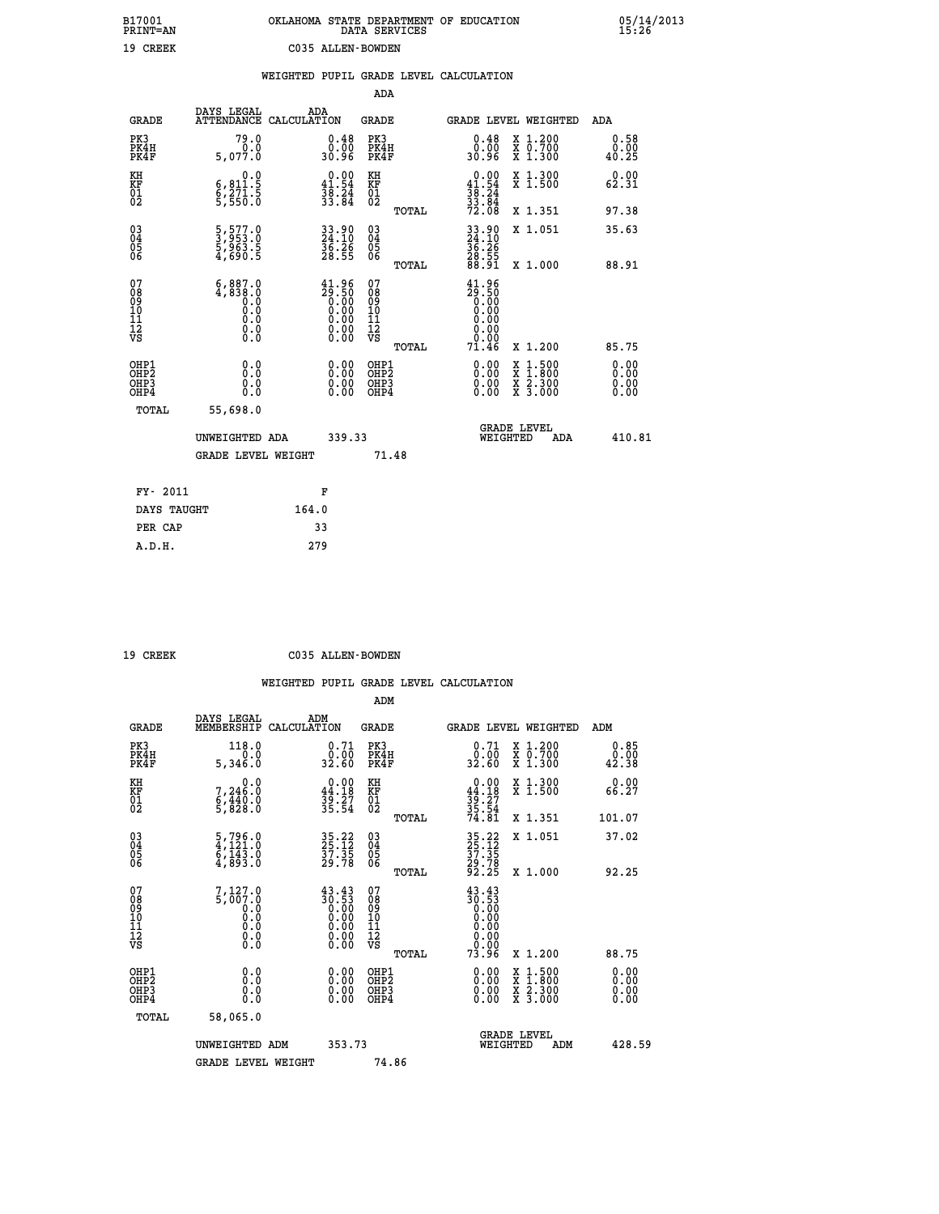| B17001          | OKLAHOMA STATE DEPARTMENT OF EDUCATION |
|-----------------|----------------------------------------|
| <b>PRINT=AN</b> | DATA SERVICES                          |
| 19 CREEK        | C035 ALLEN-BOWDEN                      |

05/14/2013<br>15:26

|                                                       |                                                                                                     | WEIGHTED PUPIL GRADE LEVEL CALCULATION |                                                                                                        |                                               |       |                                                                                                                                                                                                                                                                                |                                                                                                                                              |                       |
|-------------------------------------------------------|-----------------------------------------------------------------------------------------------------|----------------------------------------|--------------------------------------------------------------------------------------------------------|-----------------------------------------------|-------|--------------------------------------------------------------------------------------------------------------------------------------------------------------------------------------------------------------------------------------------------------------------------------|----------------------------------------------------------------------------------------------------------------------------------------------|-----------------------|
|                                                       |                                                                                                     |                                        |                                                                                                        | ADA                                           |       |                                                                                                                                                                                                                                                                                |                                                                                                                                              |                       |
| <b>GRADE</b>                                          | DAYS LEGAL<br>ATTENDANCE CALCULATION                                                                | ADA                                    |                                                                                                        | <b>GRADE</b>                                  |       | GRADE LEVEL WEIGHTED                                                                                                                                                                                                                                                           |                                                                                                                                              | ADA                   |
| PK3<br>PK4H<br>PK4F                                   | 79.0<br>0.0<br>5,077.0                                                                              |                                        | $\begin{smallmatrix} 0.48\ 0.00\\ 0.00\\ 30.96 \end{smallmatrix}$                                      | PK3<br>PK4H<br>PK4F                           |       | $0.48$<br>$0.00$<br>30.96                                                                                                                                                                                                                                                      | X 1.200<br>X 0.700<br>X 1.300                                                                                                                | 0.58<br>0.00<br>40.25 |
| KH<br>KF<br>01<br>02                                  | 0.0<br>6,811.5<br>$\frac{8}{5}$ , $\frac{271}{550}$                                                 | $0.00$<br>41.54                        | $\frac{3}{3}\overline{8}\cdot\overline{8}\overline{4}\overline{4}$                                     | KH<br>KF<br>01<br>02                          |       | $0.00$<br>41.54<br>$\frac{36}{33}$ : $\frac{24}{84}$<br>72.08                                                                                                                                                                                                                  | X 1.300<br>X 1.500                                                                                                                           | 0.00<br>62.31         |
|                                                       |                                                                                                     |                                        |                                                                                                        |                                               | TOTAL |                                                                                                                                                                                                                                                                                | X 1.351                                                                                                                                      | 97.38                 |
| $^{03}_{04}$<br>05<br>06                              | 5,577.0<br>3,953.0<br>5,963.5<br>4,690.5                                                            |                                        | 33.90<br>24.10<br>36.26<br>28.55                                                                       | $^{03}_{04}$<br>0500                          |       | 33.90<br>24.10<br>36.26<br>28.55<br>28.91                                                                                                                                                                                                                                      | X 1.051                                                                                                                                      | 35.63                 |
|                                                       |                                                                                                     |                                        |                                                                                                        |                                               | TOTAL |                                                                                                                                                                                                                                                                                | X 1.000                                                                                                                                      | 88.91                 |
| 07<br>08<br>09<br>001<br>11<br>11<br>12<br>VS         | $\begin{smallmatrix} 6,887.0\\ 4,838.0\\ 0.0\\ 0.0\\ 0.0\\ 0.0\\ 0.0\\ 0.0\\ 0.0 \end{smallmatrix}$ |                                        | $\begin{smallmatrix} 41.96 \\ 29.50 \\ 0.00 \\ 0.00 \\ 0.00 \\ 0.00 \\ 0.00 \\ 0.00 \end{smallmatrix}$ | 07<br>08<br>09<br>001<br>11<br>11<br>12<br>VS | TOTAL | $\begin{smallmatrix} 41.96 \\ 29.50 \\ 0.00 \\ 0.00 \end{smallmatrix}$<br>0.00<br>0.00<br>0.00<br>71.46                                                                                                                                                                        | X 1.200                                                                                                                                      | 85.75                 |
| OHP1<br>OHP2<br>OH <sub>P</sub> 3<br>OH <sub>P4</sub> | 0.0<br>0.0<br>0.0                                                                                   |                                        | 0.00<br>$\begin{smallmatrix} 0.00 \ 0.00 \end{smallmatrix}$                                            | OHP1<br>OHP2<br>OHP3<br>OHP4                  |       | $\begin{smallmatrix} 0.00 & 0.00 & 0.00 & 0.00 & 0.00 & 0.00 & 0.00 & 0.00 & 0.00 & 0.00 & 0.00 & 0.00 & 0.00 & 0.00 & 0.00 & 0.00 & 0.00 & 0.00 & 0.00 & 0.00 & 0.00 & 0.00 & 0.00 & 0.00 & 0.00 & 0.00 & 0.00 & 0.00 & 0.00 & 0.00 & 0.00 & 0.00 & 0.00 & 0.00 & 0.00 & 0.0$ | $\begin{smallmatrix} \mathtt{X} & 1\cdot500 \\ \mathtt{X} & 1\cdot800 \\ \mathtt{X} & 2\cdot300 \\ \mathtt{X} & 3\cdot000 \end{smallmatrix}$ | 0.00<br>0.00<br>0.00  |
| TOTAL                                                 | 55,698.0                                                                                            |                                        |                                                                                                        |                                               |       |                                                                                                                                                                                                                                                                                |                                                                                                                                              |                       |
|                                                       | UNWEIGHTED ADA                                                                                      |                                        | 339.33                                                                                                 |                                               |       | WEIGHTED                                                                                                                                                                                                                                                                       | <b>GRADE LEVEL</b><br>ADA                                                                                                                    | 410.81                |
|                                                       | <b>GRADE LEVEL WEIGHT</b>                                                                           |                                        |                                                                                                        | 71.48                                         |       |                                                                                                                                                                                                                                                                                |                                                                                                                                              |                       |
| FY- 2011                                              |                                                                                                     | F                                      |                                                                                                        |                                               |       |                                                                                                                                                                                                                                                                                |                                                                                                                                              |                       |
| DAYS TAUGHT                                           |                                                                                                     | 164.0                                  |                                                                                                        |                                               |       |                                                                                                                                                                                                                                                                                |                                                                                                                                              |                       |
| PER CAP                                               |                                                                                                     | 33                                     |                                                                                                        |                                               |       |                                                                                                                                                                                                                                                                                |                                                                                                                                              |                       |

| 10.70 |
|-------|

 **A.D.H. 279**

 **19 CREEK C035 ALLEN-BOWDEN**

|                                           |                                                                                                                   |                                                                                                 | ADM                                                 |                                                           |                                          |                       |
|-------------------------------------------|-------------------------------------------------------------------------------------------------------------------|-------------------------------------------------------------------------------------------------|-----------------------------------------------------|-----------------------------------------------------------|------------------------------------------|-----------------------|
| <b>GRADE</b>                              | DAYS LEGAL<br>MEMBERSHIP                                                                                          | ADM<br>CALCULATION                                                                              | <b>GRADE</b>                                        |                                                           | GRADE LEVEL WEIGHTED                     | ADM                   |
| PK3<br>PK4H<br>PK4F                       | 118.0<br>0.0<br>5,346.0                                                                                           | 0.71<br>_0.00<br>32.60                                                                          | PK3<br>PK4H<br>PK4F                                 | $\begin{smallmatrix} 0.71\ 0.00\ 32.60 \end{smallmatrix}$ | X 1.200<br>X 0.700<br>X 1.300            | 0.85<br>0.00<br>42.38 |
| KH<br>KF<br>01<br>02                      | 0.0<br>7,246:0<br>6,440:0<br>5,828:0                                                                              | $0.00$<br>$44.18$<br>$39.27$<br>$35.54$                                                         | KH<br>KF<br>01<br>02                                | $0.00\n44.18\n39.27\n35.54\n74.81$                        | X 1.300<br>X 1.500                       | 0.00<br>66.27         |
|                                           |                                                                                                                   |                                                                                                 | TOTAL                                               |                                                           | X 1.351                                  | 101.07                |
| 03<br>04<br>05<br>06                      | $\begin{smallmatrix} 5 \ , \ 796 \ . \ 4 \ , \ 121 \ . \ 6 \ , \ 143 \ . \ 0 \ 4 \ , \ 893 \ . \end{smallmatrix}$ | 35.22<br>25.12<br>37.35<br>29.78                                                                | $\begin{array}{c} 03 \\ 04 \\ 05 \\ 06 \end{array}$ | 35.22<br>25.12<br>37.35<br>29.78<br>29.25                 | X 1.051                                  | 37.02                 |
|                                           |                                                                                                                   |                                                                                                 | TOTAL                                               |                                                           | X 1.000                                  | 92.25                 |
| 07<br>08<br>09<br>101<br>112<br>VS        | $7,127.0$<br>5,007.0<br>0.0<br>0.0<br>0.0<br>$\S.$                                                                | $\begin{smallmatrix} 43.43\ 30.53\ 0.00\ 0.00\ 0.00\ 0.00\ 0.00\ 0.00\ 0.00\ \end{smallmatrix}$ | 07<br>08<br>09<br>11<br>11<br>12<br>VS              | 43.43<br>130:53<br>0.000<br>0.000<br>0.000<br>0.000       |                                          |                       |
|                                           |                                                                                                                   |                                                                                                 | TOTAL                                               | 73.96                                                     | X 1.200                                  | 88.75                 |
| OHP1<br>OHP2<br>OH <sub>P</sub> 3<br>OHP4 | 0.0<br>0.000                                                                                                      |                                                                                                 | OHP1<br>OHP2<br>OHP <sub>3</sub>                    | $0.00$<br>$0.00$<br>0.00                                  | X 1:500<br>X 1:800<br>X 2:300<br>X 3:000 | 0.00<br>0.00<br>0.00  |
| TOTAL                                     | 58,065.0                                                                                                          |                                                                                                 |                                                     |                                                           |                                          |                       |
|                                           | UNWEIGHTED<br>ADM                                                                                                 | 353.73                                                                                          |                                                     |                                                           | <b>GRADE LEVEL</b><br>WEIGHTED<br>ADM    | 428.59                |
|                                           | <b>GRADE LEVEL WEIGHT</b>                                                                                         |                                                                                                 | 74.86                                               |                                                           |                                          |                       |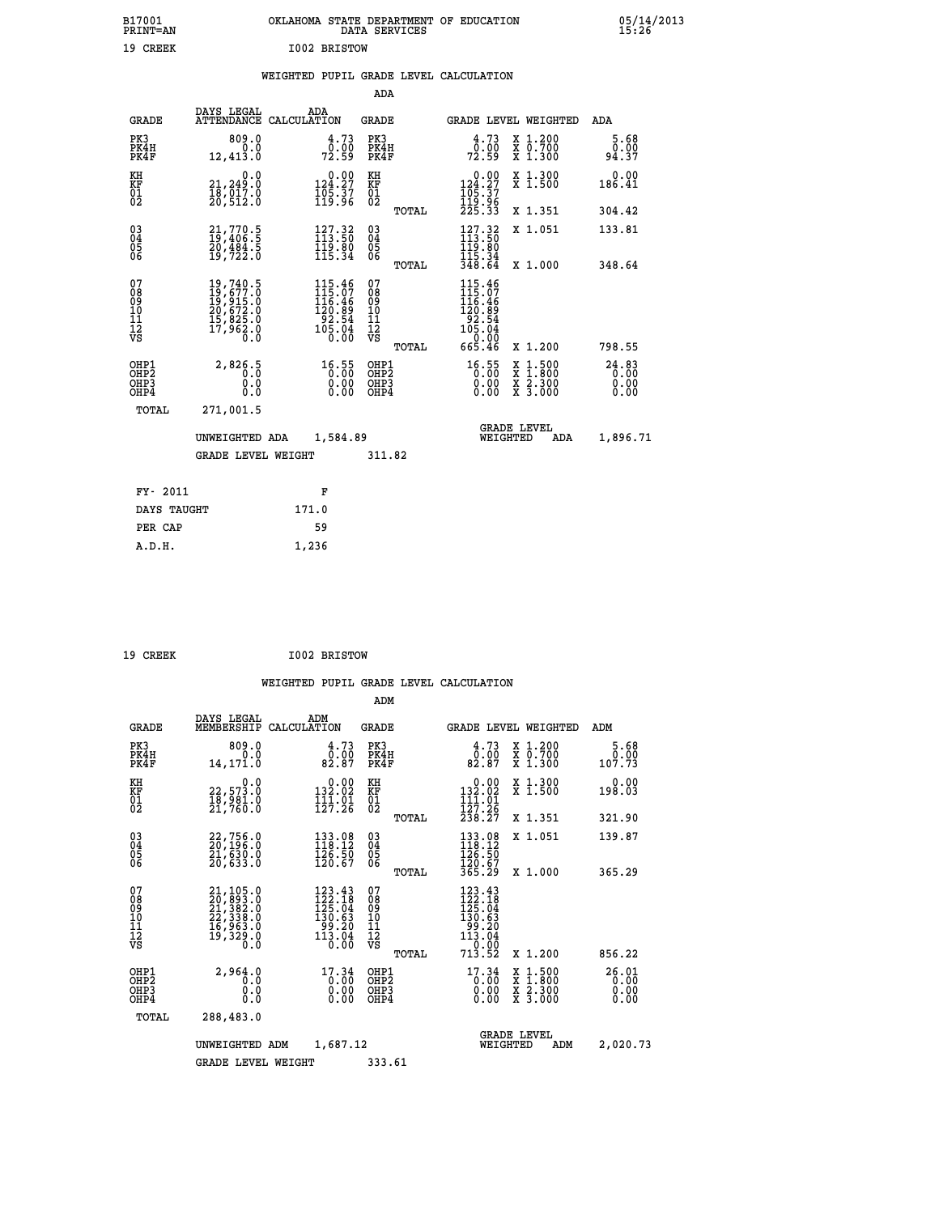| B17001          | OKLAHOMA STATE DEPARTMENT OF EDUCATION |
|-----------------|----------------------------------------|
| <b>PRINT=AN</b> | DATA SERVICES                          |
| 19 CREEK        | I002 BRISTOW                           |

05/14/2013<br>15:26

|  |  | WEIGHTED PUPIL GRADE LEVEL CALCULATION |
|--|--|----------------------------------------|
|  |  |                                        |

|                                                                    |                                                                                                                                                                                                                             |                                                                                                   | ADA                                       |       |                                                                   |                                                                                                  |                                   |
|--------------------------------------------------------------------|-----------------------------------------------------------------------------------------------------------------------------------------------------------------------------------------------------------------------------|---------------------------------------------------------------------------------------------------|-------------------------------------------|-------|-------------------------------------------------------------------|--------------------------------------------------------------------------------------------------|-----------------------------------|
| <b>GRADE</b>                                                       | DAYS LEGAL                                                                                                                                                                                                                  | ADA<br>ATTENDANCE CALCULATION                                                                     | <b>GRADE</b>                              |       |                                                                   | GRADE LEVEL WEIGHTED                                                                             | ADA                               |
| PK3<br>PK4H<br>PK4F                                                | 809.0<br>0.0<br>12,413.0                                                                                                                                                                                                    | 4.73<br>72.99                                                                                     | PK3<br>PK4H<br>PK4F                       |       | 4.73<br>72.99                                                     | X 1.200<br>X 0.700<br>X 1.300                                                                    | 5.68<br>0.00<br>94.37             |
| KH<br><b>KF</b><br>01<br>02                                        | 0.0<br>21, 249.0<br>18,017.0<br>20,512.0                                                                                                                                                                                    | $0.00$<br>124.27<br>$\frac{105}{119}\cdot\frac{37}{96}$                                           | KH<br>KF<br>01<br>02                      |       | 0.00<br>124.27<br>$\frac{165.37}{119.96}$<br>$225.33$             | X 1.300<br>X 1.500                                                                               | 0.00<br>186.41                    |
|                                                                    |                                                                                                                                                                                                                             |                                                                                                   |                                           | TOTAL |                                                                   | X 1.351                                                                                          | 304.42                            |
| $\begin{smallmatrix} 03 \\[-4pt] 04 \end{smallmatrix}$<br>05<br>06 | 21,770.5<br>19,406.5<br>20,484.5<br>19,722.0                                                                                                                                                                                | $127.32$<br>$113.50$<br>$\frac{119.80}{115.34}$                                                   | $\substack{03 \\ 04}$<br>05<br>06         |       | $127.32$<br>$113.50$<br>$119.80$<br>$115.34$<br>$348.64$          | X 1.051                                                                                          | 133.81                            |
|                                                                    |                                                                                                                                                                                                                             |                                                                                                   |                                           | TOTAL |                                                                   | X 1.000                                                                                          | 348.64                            |
| 07<br>08<br>09<br>11<br>11<br>12<br>VS                             | $\begin{smallmatrix} 19 \, , \, 740 \, . \, 5 \\ 19 \, , \, 677 \, . \, 0 \\ 19 \, , \, 915 \, . \, 0 \\ 20 \, , \, 672 \, . \, 0 \\ 15 \, , \, 825 \, . \, 0 \\ 17 \, , \, 962 \, . \, 0 \\ 0 \, . \, 0 \end{smallmatrix}$ | $\begin{smallmatrix} 115.46\\ 115.07\\ 116.46\\ 120.89\\ 92.54\\ 105.04\\ 0.00 \end{smallmatrix}$ | 07<br>08<br>09<br>11<br>11<br>12<br>VS    |       | 115.46<br>115.07<br>116.46<br>120.89<br>92.54<br>105.04<br>105.04 |                                                                                                  |                                   |
|                                                                    |                                                                                                                                                                                                                             |                                                                                                   |                                           | TOTAL | 665.46                                                            | X 1.200                                                                                          | 798.55                            |
| OHP1<br>OH <sub>P2</sub><br>OH <sub>P3</sub><br>OH <sub>P4</sub>   | 2,826.5<br>0.0<br>0.0                                                                                                                                                                                                       | 16.55<br>0.00<br>0.00                                                                             | OHP1<br>OH <sub>P</sub> 2<br>OHP3<br>OHP4 |       | $16.55$<br>0.00<br>0.00<br>0.00                                   | $\begin{smallmatrix} x & 1 & 500 \\ x & 1 & 800 \\ x & 2 & 300 \\ x & 3 & 000 \end{smallmatrix}$ | $24.83$<br>$0.00$<br>0.00<br>0.00 |
| TOTAL                                                              | 271,001.5                                                                                                                                                                                                                   |                                                                                                   |                                           |       |                                                                   |                                                                                                  |                                   |
|                                                                    | UNWEIGHTED ADA                                                                                                                                                                                                              | 1,584.89                                                                                          |                                           |       |                                                                   | <b>GRADE LEVEL</b><br>WEIGHTED<br>ADA                                                            | 1,896.71                          |
|                                                                    | <b>GRADE LEVEL WEIGHT</b>                                                                                                                                                                                                   |                                                                                                   | 311.82                                    |       |                                                                   |                                                                                                  |                                   |
| FY- 2011                                                           |                                                                                                                                                                                                                             | F                                                                                                 |                                           |       |                                                                   |                                                                                                  |                                   |
| DAYS TAUGHT                                                        |                                                                                                                                                                                                                             | 171.0                                                                                             |                                           |       |                                                                   |                                                                                                  |                                   |
| PER CAP                                                            |                                                                                                                                                                                                                             | 59                                                                                                |                                           |       |                                                                   |                                                                                                  |                                   |

| 19 CREEK | I002 BRISTOW |
|----------|--------------|
|          |              |

 **A.D.H. 1,236**

|                                                       |                                                                                                                                          |                                                                              | ADM                                              |                                                                                                                                                                                                                                                                                                                                                                                                                                                                          |                                          |                               |
|-------------------------------------------------------|------------------------------------------------------------------------------------------------------------------------------------------|------------------------------------------------------------------------------|--------------------------------------------------|--------------------------------------------------------------------------------------------------------------------------------------------------------------------------------------------------------------------------------------------------------------------------------------------------------------------------------------------------------------------------------------------------------------------------------------------------------------------------|------------------------------------------|-------------------------------|
|                                                       | DAYS LEGAL<br><b>GRADE</b><br>MEMBERSHIP                                                                                                 | ADM<br>CALCULATION                                                           | <b>GRADE</b>                                     | GRADE LEVEL WEIGHTED                                                                                                                                                                                                                                                                                                                                                                                                                                                     |                                          | ADM                           |
| PK3<br>PK4H<br>PK4F                                   | 809.0<br>0.0<br>14,171.0                                                                                                                 | 4.73<br>0.00<br>82.87                                                        | PK3<br>PK4H<br>PK4F                              | 4.73<br>0:00<br>82:87                                                                                                                                                                                                                                                                                                                                                                                                                                                    | X 1.200<br>x 0.700<br>x 1.300            | 5.68<br>0.00<br>107.73        |
| KH<br>KF<br>01<br>02                                  | 0.0<br>22,573.0<br>18,981.0<br>21,760.0                                                                                                  | $\begin{smallmatrix} &0.00\\ 132.02\\ 111.01\\ 127.26\end{smallmatrix}$      | KH<br>KF<br>01<br>02                             | 0.00<br>$132.02$<br>$111.01$<br>$127.26$<br>$238.27$                                                                                                                                                                                                                                                                                                                                                                                                                     | X 1.300<br>X 1.500                       | 0.00<br>198.03                |
|                                                       |                                                                                                                                          |                                                                              | TOTAL                                            |                                                                                                                                                                                                                                                                                                                                                                                                                                                                          | X 1.351                                  | 321.90                        |
| 03<br>04<br>05<br>06                                  | 22,756.0<br>20,196.0<br>21,630.0<br>20,633.0                                                                                             | 133.08<br>118.12<br>126.50<br>120.67                                         | $^{03}_{04}$<br>0500                             | 133.08<br>118.12<br>126.50<br>120.67<br>365.29                                                                                                                                                                                                                                                                                                                                                                                                                           | X 1.051                                  | 139.87                        |
|                                                       |                                                                                                                                          |                                                                              | TOTAL                                            |                                                                                                                                                                                                                                                                                                                                                                                                                                                                          | X 1.000                                  | 365.29                        |
| 07<br>08<br>09<br>101<br>112<br>VS                    | $\begin{smallmatrix} 21,105\cdot0\\ 20,893\cdot0\\ 21,382\cdot0\\ 22,338\cdot0\\ 16,963\cdot0\\ 19,329\cdot0\\ 0\cdot0\end{smallmatrix}$ | $123.43$<br>$122.18$<br>$125.04$<br>130.63<br>$\frac{55.20}{113.04}$<br>0.00 | 07<br>08<br>09<br>101<br>11<br>12<br>VS<br>TOTAL | $123.43$<br>$122.18$<br>$125.04$<br>$130.63$<br>$\begin{array}{@{}c@{\hspace{1em}}c@{\hspace{1em}}c@{\hspace{1em}}c@{\hspace{1em}}c@{\hspace{1em}}c@{\hspace{1em}}c@{\hspace{1em}}c@{\hspace{1em}}c@{\hspace{1em}}c@{\hspace{1em}}c@{\hspace{1em}}c@{\hspace{1em}}c@{\hspace{1em}}c@{\hspace{1em}}c@{\hspace{1em}}c@{\hspace{1em}}c@{\hspace{1em}}c@{\hspace{1em}}c@{\hspace{1em}}c@{\hspace{1em}}c@{\hspace{1em}}c@{\hspace{1em}}c@{\hspace{1em}}c@{\hspace{$<br>713.52 | X 1.200                                  | 856.22                        |
| OHP1<br>OH <sub>P</sub> 2<br>OH <sub>P3</sub><br>OHP4 | 2,964.0<br>0.0<br>0.0<br>0.0                                                                                                             | 17.34<br>$\begin{smallmatrix}0.00\0.00\end{smallmatrix}$<br>0.00             | OHP1<br>OHP2<br>OHP3<br>OHP4                     | 17.34<br>0:00<br>0.00<br>0.00                                                                                                                                                                                                                                                                                                                                                                                                                                            | X 1:500<br>X 1:800<br>X 2:300<br>X 3:000 | 26.01<br>0.00<br>0.00<br>0.00 |
|                                                       | TOTAL<br>288,483.0                                                                                                                       |                                                                              |                                                  |                                                                                                                                                                                                                                                                                                                                                                                                                                                                          |                                          |                               |
|                                                       | UNWEIGHTED ADM                                                                                                                           | 1,687.12                                                                     |                                                  | <b>GRADE LEVEL</b><br>WEIGHTED                                                                                                                                                                                                                                                                                                                                                                                                                                           | ADM                                      | 2,020.73                      |
|                                                       | <b>GRADE LEVEL WEIGHT</b>                                                                                                                |                                                                              | 333.61                                           |                                                                                                                                                                                                                                                                                                                                                                                                                                                                          |                                          |                               |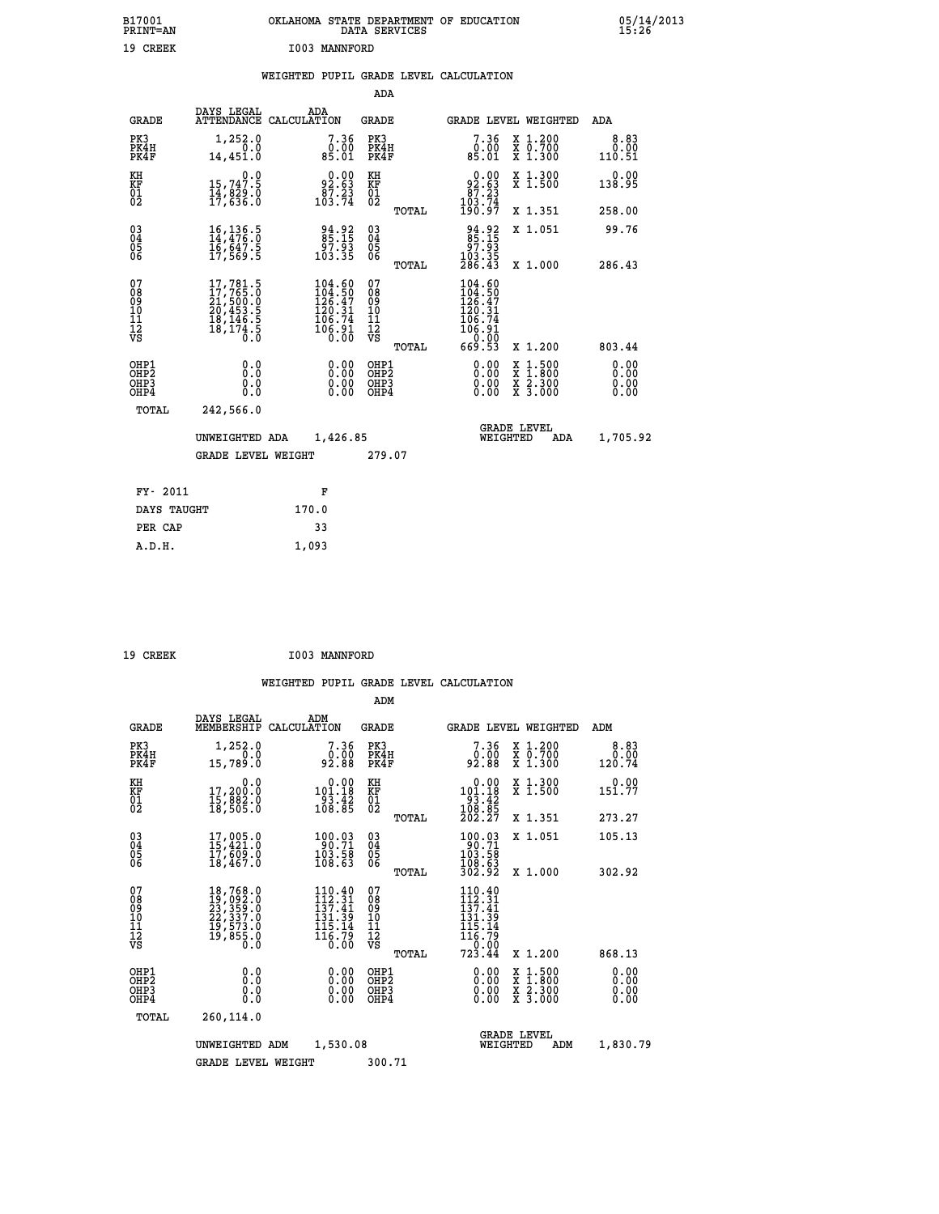| B17001<br>PRINT=AN                                |                                                                                                           |                                                                            | OKLAHOMA STATE DEPARTMENT OF EDUCATION<br>DATA SERVICES |                                                                                          |                                                                                                                                           | $05/14/2013$<br>15:26        |
|---------------------------------------------------|-----------------------------------------------------------------------------------------------------------|----------------------------------------------------------------------------|---------------------------------------------------------|------------------------------------------------------------------------------------------|-------------------------------------------------------------------------------------------------------------------------------------------|------------------------------|
| 19 CREEK                                          |                                                                                                           | I003 MANNFORD                                                              |                                                         |                                                                                          |                                                                                                                                           |                              |
|                                                   |                                                                                                           |                                                                            | WEIGHTED PUPIL GRADE LEVEL CALCULATION<br>ADA           |                                                                                          |                                                                                                                                           |                              |
|                                                   | DAYS LEGAL                                                                                                | ADA                                                                        |                                                         |                                                                                          |                                                                                                                                           |                              |
| <b>GRADE</b>                                      | ATTENDANCE CALCULATION                                                                                    |                                                                            | GRADE                                                   |                                                                                          | GRADE LEVEL WEIGHTED                                                                                                                      | ADA                          |
| PK3<br>PK4H<br>PK4F                               | 1,252.0<br>0.0<br>14,451.0                                                                                | 7.36<br>$\begin{smallmatrix}0.001\0.01\end{smallmatrix}$                   | PK3<br>PK4H<br>PK4F                                     | 7.36<br>0.00<br>85.01                                                                    | X 1.200<br>X 0.700<br>X 1.300                                                                                                             | 8.83<br>0.00<br>110.51       |
| KH<br>KF<br>$\begin{matrix} 01 \ 02 \end{matrix}$ | $\begin{smallmatrix}&&&0.0\\15,747.5\\14,829.0\\17,636.0\end{smallmatrix}$                                | 92.63<br>87.23<br>103.74                                                   | KH<br><b>KF</b><br>01<br>02                             | $92.63$<br>$87.23$<br>$103.74$                                                           | X 1.300<br>X 1.500                                                                                                                        | 0.00<br>138.95               |
|                                                   |                                                                                                           |                                                                            | <b>TOTAL</b>                                            | 190.97                                                                                   | X 1.351                                                                                                                                   | 258.00                       |
| 030404<br>06                                      | $\begin{smallmatrix} 16\,,\,136\,.5\\ 14\,,\,476\,.0\\ 16\,,\,647\,.5\\ 17\,,\,569\,.5 \end{smallmatrix}$ | 94.92<br>85.15<br>97.93<br>103.35                                          | $\begin{matrix} 03 \\ 04 \\ 05 \\ 06 \end{matrix}$      | 94.92<br>85.15<br>97.93                                                                  | X 1.051                                                                                                                                   | 99.76                        |
|                                                   |                                                                                                           |                                                                            | <b>TOTAL</b>                                            | $\frac{103.35}{286.43}$                                                                  | X 1.000                                                                                                                                   | 286.43                       |
| 07<br>08<br>09<br>11<br>11<br>12<br>VS            | $\begin{smallmatrix}17,781.5\\17,765.0\\21,500.0\\20,453.5\\18,146.5\\18,174.5\\0.0\end{smallmatrix}$     | $104.60$<br>$104.50$<br>$126.47$<br>$120.31$<br>$106.74$<br>1ŏĕ:91<br>0.00 | 07<br>08<br>09<br>10<br>īĭ<br>12<br>VS                  | 104.60<br>$\frac{104.50}{126.47}$<br>$\frac{120.31}{120.31}$<br>106.74<br>106.91<br>0.00 |                                                                                                                                           |                              |
|                                                   |                                                                                                           |                                                                            | TOTAL                                                   | 669.53                                                                                   | X 1.200                                                                                                                                   | 803.44                       |
| OHP1<br>OHP2<br>OHP3<br>OHP4                      | 0.0<br>0.0<br>0.0                                                                                         | $0.00$<br>$0.00$<br>0.00                                                   | OHP1<br>OHP2<br>OHP3<br>OHP4                            | $0.00$<br>$0.00$<br>0.00                                                                 | $\begin{smallmatrix} \mathtt{X} & 1\cdot500\\ \mathtt{X} & 1\cdot800\\ \mathtt{X} & 2\cdot300\\ \mathtt{X} & 3\cdot000 \end{smallmatrix}$ | 0.00<br>0.00<br>0.00<br>0.00 |
| TOTAL                                             | 242,566.0                                                                                                 |                                                                            |                                                         |                                                                                          |                                                                                                                                           |                              |
|                                                   | UNWEIGHTED ADA                                                                                            | 1,426.85                                                                   |                                                         | WEIGHTED                                                                                 | <b>GRADE LEVEL</b><br>ADA                                                                                                                 | 1,705.92                     |
|                                                   | <b>GRADE LEVEL WEIGHT</b>                                                                                 |                                                                            | 279.07                                                  |                                                                                          |                                                                                                                                           |                              |
| FY- 2011                                          |                                                                                                           | F                                                                          |                                                         |                                                                                          |                                                                                                                                           |                              |
| DAYS TAUGHT                                       |                                                                                                           | 170.0                                                                      |                                                         |                                                                                          |                                                                                                                                           |                              |
| PER CAP                                           |                                                                                                           | 33                                                                         |                                                         |                                                                                          |                                                                                                                                           |                              |

| 19 CREEK | I003 MANNFORD |
|----------|---------------|

 **A.D.H. 1,093**

|                                                    |                                                                             |                                                                                                                                                                                                                                 | ADM                                                 |                                                                                                                                                               |                        |
|----------------------------------------------------|-----------------------------------------------------------------------------|---------------------------------------------------------------------------------------------------------------------------------------------------------------------------------------------------------------------------------|-----------------------------------------------------|---------------------------------------------------------------------------------------------------------------------------------------------------------------|------------------------|
| <b>GRADE</b>                                       | DAYS LEGAL<br>MEMBERSHIP                                                    | ADM<br>CALCULATION                                                                                                                                                                                                              | <b>GRADE</b>                                        | GRADE LEVEL WEIGHTED                                                                                                                                          | ADM                    |
| PK3<br>PK4H<br>PK4F                                | 1,252.0<br>0.0<br>15,789.0                                                  | 7.36<br>ةة:ف<br>92:88                                                                                                                                                                                                           | PK3<br>PK4H<br>PK4F                                 | 7.36<br>X 1.200<br>X 0.700<br>X 1.300<br>ةة:ف<br>92:88                                                                                                        | 8.83<br>0.00<br>120.74 |
| KH<br>KF<br>01<br>02                               | 0.0<br>17,200:0<br>15,882:0<br>18,505:0                                     | $0.00$<br>101.18<br>$\begin{array}{c} 183.42 \\ 108.85 \end{array}$                                                                                                                                                             | KH<br><b>KF</b><br>01<br>02                         | 0.00<br>X 1.300<br>X 1.500<br>$101.18$<br>$93.42$<br>$108.85$<br>$202.27$                                                                                     | 0.00<br>151.77         |
|                                                    |                                                                             |                                                                                                                                                                                                                                 | TOTAL                                               | X 1.351                                                                                                                                                       | 273.27                 |
| $\begin{matrix} 03 \\ 04 \\ 05 \\ 06 \end{matrix}$ | $17,005.0$<br>$15,421.0$<br>$17,609.0$<br>$18,467.0$                        | 100.03<br>90.71<br>$\frac{103.58}{108.63}$                                                                                                                                                                                      | $\begin{array}{c} 03 \\ 04 \\ 05 \\ 06 \end{array}$ | $\begin{array}{c} 100.03 \\ 90.71 \\ 103.58 \\ 108.63 \\ 302.92 \end{array}$<br>X 1.051                                                                       | 105.13                 |
|                                                    |                                                                             |                                                                                                                                                                                                                                 | TOTAL                                               | X 1.000                                                                                                                                                       | 302.92                 |
| 07<br>08<br>09<br>101<br>11<br>12<br>VS            | 18,768.0<br>19,092.0<br>23,359.0<br>22,337.0<br>19,573.0<br>19,855.0<br>Ŏ.Ŏ | $110.40$<br>$112.31$<br>$137.41$<br>$\frac{131}{115}. \frac{39}{14}$<br>$\begin{array}{c}\n\overline{1}\,\overline{1}\,\overline{6}\cdot\overline{7}\,\overline{9} \\ \overline{0}\cdot\overline{0}\,\overline{0}\n\end{array}$ | 07<br>08901112<br>1112<br>VS<br>TOTAL               | 110.40<br>$\frac{1}{1}\overline{3}\overline{2}\cdot\overline{3}\overline{1}\overline{1}$<br>$131.39$<br>$115.14$<br>$116.79$<br>$0.00$<br>$723.44$<br>X 1.200 | 868.13                 |
| OHP1<br>OHP2<br>OHP3<br>OHP4                       | 0.0<br>$\begin{smallmatrix} 0.0 & 0 \ 0.0 & 0 \end{smallmatrix}$            |                                                                                                                                                                                                                                 | OHP1<br>OHP2<br>OHP3<br>OHP4                        | 0.00<br>X 1:500<br>X 1:800<br>X 2:300<br>X 3:000<br>0.00                                                                                                      | 0.00<br>0.00<br>0.00   |
| TOTAL                                              | 260,114.0                                                                   |                                                                                                                                                                                                                                 |                                                     |                                                                                                                                                               |                        |
|                                                    | UNWEIGHTED                                                                  | 1,530.08<br>ADM                                                                                                                                                                                                                 |                                                     | <b>GRADE LEVEL</b><br>WEIGHTED                                                                                                                                | 1,830.79<br>ADM        |
|                                                    | <b>GRADE LEVEL WEIGHT</b>                                                   |                                                                                                                                                                                                                                 | 300.71                                              |                                                                                                                                                               |                        |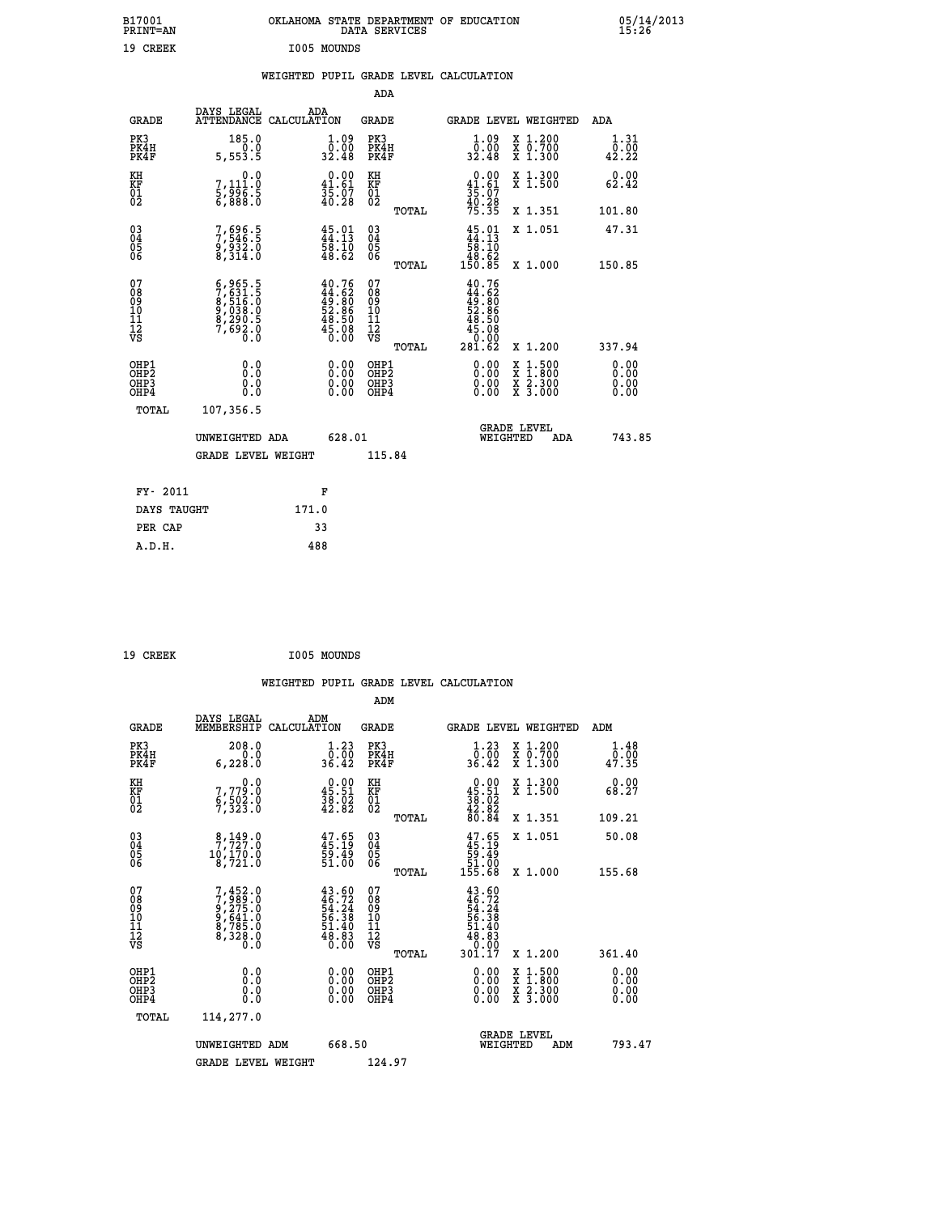| B17001<br>PRINT=AN                                 |                                                                                                                                                                                  | OKLAHOMA STATE DEPARTMENT OF EDUCATION                                              | DATA SERVICES                                      |                                                                                                           |                                                                                                  | 05/14/2013<br>15:26   |  |
|----------------------------------------------------|----------------------------------------------------------------------------------------------------------------------------------------------------------------------------------|-------------------------------------------------------------------------------------|----------------------------------------------------|-----------------------------------------------------------------------------------------------------------|--------------------------------------------------------------------------------------------------|-----------------------|--|
| 19 CREEK                                           |                                                                                                                                                                                  | I005 MOUNDS                                                                         |                                                    |                                                                                                           |                                                                                                  |                       |  |
|                                                    |                                                                                                                                                                                  | WEIGHTED PUPIL GRADE LEVEL CALCULATION                                              |                                                    |                                                                                                           |                                                                                                  |                       |  |
|                                                    |                                                                                                                                                                                  |                                                                                     | <b>ADA</b>                                         |                                                                                                           |                                                                                                  |                       |  |
| GRADE                                              | DAYS LEGAL<br>ATTENDANCE CALCULATION                                                                                                                                             | ADA                                                                                 | GRADE                                              | GRADE LEVEL WEIGHTED                                                                                      |                                                                                                  | ADA                   |  |
| PK3<br>PK4H<br>PK4F                                | 185.0<br>0.0<br>5,553.5                                                                                                                                                          | 1.09<br>0.00<br>32.48                                                               | PK3<br>PK4H<br>PK4F                                | 1.09<br>0.00<br>32.48                                                                                     | X 1.200<br>X 0.700<br>X 1.300                                                                    | 1.31<br>0.00<br>42.22 |  |
| KH<br>KF<br>01<br>02                               | 0.0<br>7,111:0<br>5,996:5<br>6,888:0                                                                                                                                             | $\begin{smallmatrix} 0.00\\ 41.61\\ 35.07\\ 40.28 \end{smallmatrix}$                | KH<br>KF<br>01<br>02                               | $0.00$<br>41.61<br>$\frac{35}{40}$ : $\frac{37}{28}$<br>$\frac{40}{75}$ : $\frac{35}{35}$                 | X 1.300<br>X 1.500                                                                               | 0.00<br>62.42         |  |
|                                                    |                                                                                                                                                                                  |                                                                                     | TOTAL                                              |                                                                                                           | X 1.351                                                                                          | 101.80                |  |
| $\begin{matrix} 03 \\ 04 \\ 05 \\ 06 \end{matrix}$ | 7,696.5<br>7,546.5<br>9,932.0<br>8,314.0                                                                                                                                         | $\begin{smallmatrix} 45.01\ 44.13\ 58.10\ 48.62 \end{smallmatrix}$                  | $\begin{matrix} 03 \\ 04 \\ 05 \\ 06 \end{matrix}$ | $45.01$<br>$44.13$<br>$58.10$                                                                             | X 1.051                                                                                          | 47.31                 |  |
|                                                    |                                                                                                                                                                                  |                                                                                     | <b>TOTAL</b>                                       | $\frac{18}{150}$ $\frac{62}{85}$                                                                          | X 1.000                                                                                          | 150.85                |  |
| 07<br>08<br>09<br>10<br>11<br>Ī2<br>VS             | $\begin{smallmatrix} 6\,, & 965 & .5\,7\,, & 631 & .5\,8\,, & 516 & .0\,9\,, & 038 & .0\,9\,, & 290 & .5\,8\,, & 290 & .5\,7\,, & 692 & .0\,0\,. & 0\,. & 0\, \end{smallmatrix}$ | $40.76$<br>$44.62$<br>$49.80$<br>$52.86$<br>$52.86$<br>$48.50$<br>$45.08$<br>$0.00$ | 07<br>08<br>09<br>10<br>11<br>ĪŽ<br>VŠ             | 40.76<br>$\frac{44}{49}$ : $\frac{62}{90}$<br>$\frac{52}{90}$ : $\frac{80}{90}$<br>48.50<br>45.08<br>0.00 |                                                                                                  |                       |  |
|                                                    |                                                                                                                                                                                  |                                                                                     | TOTAL<br>OHP1                                      | 28ĭ.č2                                                                                                    | X 1.200                                                                                          | 337.94<br>0.00        |  |
| OHP1<br>OHP2<br>OH <sub>P3</sub><br>OHP4           | 0.0<br>0.0<br>0.0                                                                                                                                                                | 0.00<br>0.00<br>0.00                                                                | OH <sub>P</sub> 2<br>OHP3<br>OHP4                  | 0.00<br>0.00<br>0.00                                                                                      | $\begin{smallmatrix} x & 1 & 500 \\ x & 1 & 800 \\ x & 2 & 300 \\ x & 3 & 000 \end{smallmatrix}$ | 0.00<br>0.00<br>0.00  |  |
| TOTAL                                              | 107,356.5                                                                                                                                                                        |                                                                                     |                                                    |                                                                                                           |                                                                                                  |                       |  |
|                                                    | UNWEIGHTED ADA                                                                                                                                                                   | 628.01                                                                              |                                                    | <b>GRADE LEVEL</b><br>WEIGHTED                                                                            | ADA                                                                                              | 743.85                |  |
|                                                    | GRADE LEVEL WEIGHT                                                                                                                                                               |                                                                                     | 115.84                                             |                                                                                                           |                                                                                                  |                       |  |
| FY- 2011                                           |                                                                                                                                                                                  | F                                                                                   |                                                    |                                                                                                           |                                                                                                  |                       |  |
| DAYS TAUGHT                                        |                                                                                                                                                                                  | 171.0                                                                               |                                                    |                                                                                                           |                                                                                                  |                       |  |
| PER CAP                                            |                                                                                                                                                                                  | 33                                                                                  |                                                    |                                                                                                           |                                                                                                  |                       |  |
| A.D.H.                                             |                                                                                                                                                                                  | 488                                                                                 |                                                    |                                                                                                           |                                                                                                  |                       |  |

| 19 CREEK | I005 MOUNDS |
|----------|-------------|

|                                          |                                                                                     |                                                                          | ADM                                                 |       |                                                                                    |                                          |                                                        |              |
|------------------------------------------|-------------------------------------------------------------------------------------|--------------------------------------------------------------------------|-----------------------------------------------------|-------|------------------------------------------------------------------------------------|------------------------------------------|--------------------------------------------------------|--------------|
| <b>GRADE</b>                             | DAYS LEGAL<br>MEMBERSHIP                                                            | ADM<br>CALCULATION                                                       | <b>GRADE</b>                                        |       | GRADE LEVEL WEIGHTED                                                               |                                          | ADM                                                    |              |
| PK3<br>PK4H<br>PK4F                      | 208.0<br>6,228.0                                                                    | $\begin{smallmatrix} 1.23\ 0.00\ 36.42 \end{smallmatrix}$                | PK3<br>PK4H<br>PK4F                                 |       | $\begin{smallmatrix}1.23\0.00\\36.42\end{smallmatrix}$                             | X 1.200<br>X 0.700<br>X 1.300            | $\begin{smallmatrix}1.48\0.00\\47.35\end{smallmatrix}$ |              |
| KH<br>KF<br>01<br>02                     | 0.0<br>7,779:0<br>6,502:0<br>7,323:0                                                | $\begin{smallmatrix} 0.00\\ 45.51\\ 38.02\\ 42.82 \end{smallmatrix}$     | KH<br>KF<br>01<br>02                                |       | $\begin{smallmatrix} 0.00\\ 45.51\\ 38.02\\ 42.82\\ 60.84 \end{smallmatrix}$       | X 1.300<br>X 1.500                       | 0.00<br>68.27                                          |              |
|                                          |                                                                                     |                                                                          |                                                     | TOTAL |                                                                                    | X 1.351                                  | 109.21                                                 |              |
| 03<br>04<br>05<br>06                     | $\begin{smallmatrix}8,149.0\\7,727.0\\10,170.0\\8,721.0\end{smallmatrix}$           | $47.65$<br>$45.19$<br>$59.49$<br>$51.00$                                 | $\begin{array}{c} 03 \\ 04 \\ 05 \\ 06 \end{array}$ |       | $47.65$<br>$45.19$<br>$59.49$<br>$51.00$<br>$155.68$                               | X 1.051                                  | 50.08                                                  |              |
|                                          |                                                                                     |                                                                          |                                                     | TOTAL |                                                                                    | X 1.000                                  | 155.68                                                 |              |
| 07<br>08<br>09<br>101<br>11<br>12<br>VS  | $7,452.0$<br>$7,989.0$<br>$9,275.0$<br>$9,641.0$<br>$8,785.0$<br>$8,328.0$<br>$0.0$ | $43.60$<br>$46.72$<br>$54.24$<br>$56.38$<br>$51.40$<br>$48.83$<br>$0.00$ | 07<br>08<br>09<br>11<br>11<br>12<br>VS              | TOTAL | $43.60$<br>$46.72$<br>$54.24$<br>$56.38$<br>$51.40$<br>$48.83$<br>$9.99$<br>30ĭ.ĭ7 | X 1.200                                  | 361.40                                                 |              |
|                                          |                                                                                     |                                                                          |                                                     |       |                                                                                    |                                          | 0.00                                                   |              |
| OHP1<br>OHP2<br>OH <sub>P3</sub><br>OHP4 |                                                                                     |                                                                          | OHP1<br>OHP2<br>OHP <sub>3</sub>                    |       | $0.00$<br>$0.00$<br>0.00                                                           | X 1:500<br>X 1:800<br>X 2:300<br>X 3:000 | 0.00                                                   | 0.00<br>0.00 |
| TOTAL                                    | 114,277.0                                                                           |                                                                          |                                                     |       |                                                                                    |                                          |                                                        |              |
|                                          | UNWEIGHTED ADM                                                                      | 668.50                                                                   |                                                     |       | WEIGHTED                                                                           | <b>GRADE LEVEL</b><br>ADM                |                                                        | 793.47       |
|                                          | <b>GRADE LEVEL WEIGHT</b>                                                           |                                                                          | 124.97                                              |       |                                                                                    |                                          |                                                        |              |
|                                          |                                                                                     |                                                                          |                                                     |       |                                                                                    |                                          |                                                        |              |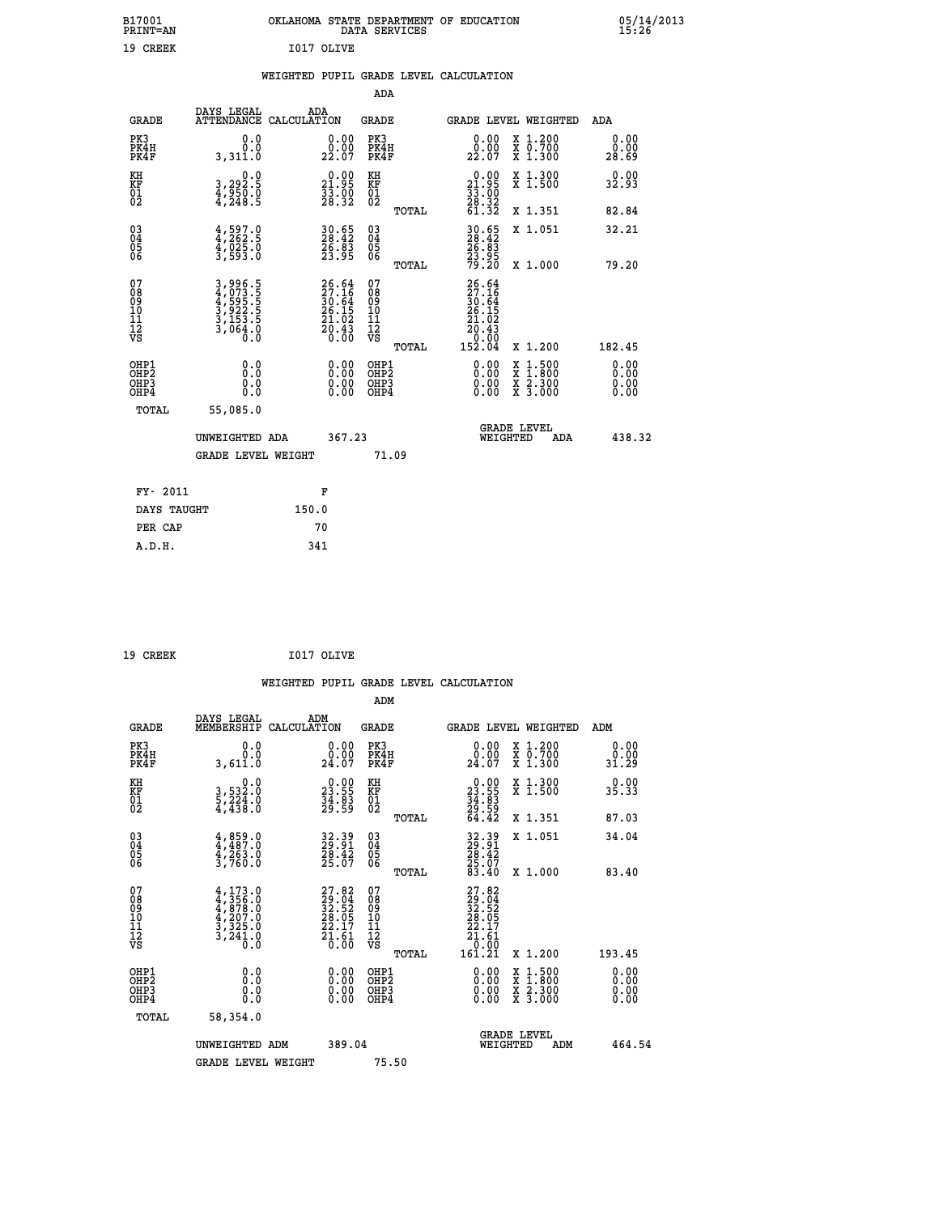| B17001<br><b>PRINT=AN</b> | OKLAHOMA<br>STATE DEPARTMENT OF EDUCATION<br>SERVICES<br>DATA | 05/14/2013<br>15:26 |
|---------------------------|---------------------------------------------------------------|---------------------|
| 19<br><b>CREEK</b>        | I017 OLIVE                                                    |                     |

#### **WEIGHTED PUPIL GRADE LEVEL CALCULATION**

|                                                                    |                                                                       |                                                                          | ADA                                    |       |                                                                            |                                          |                       |
|--------------------------------------------------------------------|-----------------------------------------------------------------------|--------------------------------------------------------------------------|----------------------------------------|-------|----------------------------------------------------------------------------|------------------------------------------|-----------------------|
| <b>GRADE</b>                                                       | DAYS LEGAL<br>ATTENDANCE CALCULATION                                  | ADA                                                                      | <b>GRADE</b>                           |       |                                                                            | <b>GRADE LEVEL WEIGHTED</b>              | ADA                   |
| PK3<br>PK4H<br>PK4F                                                | 0.0<br>0.0<br>3,311.0                                                 | 0.00<br>22.00                                                            | PK3<br>PK4H<br>PK4F                    |       | 0.00<br>22.00                                                              | X 1.200<br>X 0.700<br>X 1.300            | 0.00<br>0.00<br>28.69 |
| KH<br>KF<br>01<br>02                                               | 0.0<br>3,292:5<br>4,950:0<br>4,248:5                                  | 21.95<br>$\frac{5}{28}$ $\frac{5}{32}$                                   | KH<br>KF<br>01<br>02                   |       | $\begin{smallmatrix} 0.00\\21.95\\33.00\\28.32\\61.32 \end{smallmatrix}$   | X 1.300<br>X 1.500                       | 0.00<br>32.93         |
|                                                                    |                                                                       |                                                                          |                                        | TOTAL |                                                                            | X 1.351                                  | 82.84                 |
| $\begin{smallmatrix} 03 \\[-4pt] 04 \end{smallmatrix}$<br>Ŏ5<br>06 | $4,597.0$<br>$4,262.5$<br>$4,025.0$<br>$3,593.0$                      | 30.65<br>28.42<br>26.83<br>23.95                                         | 03<br>04<br>05<br>06                   |       | 30.65<br>28.42<br>26.83<br>23.95<br>79.20                                  | X 1.051                                  | 32.21                 |
|                                                                    |                                                                       |                                                                          |                                        | TOTAL |                                                                            | X 1.000                                  | 79.20                 |
| 07<br>08<br>09<br>11<br>11<br>12<br>VS                             | 3,996.5<br>4,073.5<br>4,595.5<br>3,922.5<br>3,153.5<br>3,064.0<br>0.0 | $26.64$<br>$27.16$<br>$30.64$<br>$26.15$<br>$21.02$<br>$20.43$<br>$0.00$ | 07<br>08<br>09<br>11<br>11<br>12<br>VS |       | $26.64$<br>$27.16$<br>$30.64$<br>$26.15$<br>$21.02$<br>$20.43$<br>$152.04$ |                                          |                       |
|                                                                    |                                                                       |                                                                          |                                        | TOTAL |                                                                            | X 1.200                                  | 182.45                |
| OHP1<br><b>OHP2</b><br>OH <sub>P3</sub><br>OHP4                    | 0.0<br>0.0<br>0.0                                                     | 0.00<br>0.00<br>0.00                                                     | OHP1<br>OHP2<br>OHP3<br>OHP4           |       | 0.00<br>0.00                                                               | X 1:500<br>X 1:800<br>X 2:300<br>X 3:000 | 0.00<br>0.00<br>0.00  |
| TOTAL                                                              | 55,085.0                                                              |                                                                          |                                        |       |                                                                            |                                          |                       |
|                                                                    | UNWEIGHTED ADA                                                        | 367.23                                                                   |                                        |       |                                                                            | <b>GRADE LEVEL</b><br>WEIGHTED<br>ADA    | 438.32                |
|                                                                    | <b>GRADE LEVEL WEIGHT</b>                                             |                                                                          | 71.09                                  |       |                                                                            |                                          |                       |
| FY- 2011                                                           |                                                                       | F                                                                        |                                        |       |                                                                            |                                          |                       |
| DAYS TAUGHT                                                        |                                                                       | 150.0                                                                    |                                        |       |                                                                            |                                          |                       |
| PER CAP                                                            |                                                                       | 70                                                                       |                                        |       |                                                                            |                                          |                       |

| 19 CREEK | I017 OLIVE |
|----------|------------|
|          |            |

 **A.D.H. 341**

 **WEIGHTED PUPIL GRADE LEVEL CALCULATION ADM DAYS LEGAL ADM GRADE MEMBERSHIP CALCULATION GRADE GRADE LEVEL WEIGHTED ADM PK3 0.0 0.00 PK3 0.00 X 1.200 0.00 PK4H 0.0 0.00 PK4H 0.00 X 0.700 0.00 PK4F 3,611.0 24.07 PK4F 24.07 X 1.300 31.29 KH 0.0 0.00 KH 0.00 X 1.300 0.00 KF 3,532.0 23.55 KF 23.55 X 1.500 35.33 01 5,224.0 34.83 01 34.83 02 4,438.0 29.59 02 29.59 TOTAL 64.42 X 1.351 87.03 03 4,859.0 32.39 03 32.39 X 1.051 34.04 04 4,487.0 29.91 04 29.91 05 4,263.0 28.42 05 28.42 06 3,760.0 25.07 06 25.07 TOTAL 83.40 X 1.000 83.40**  $\begin{array}{cccc} 07 & 4,133.0 & 27.82 & 07 & 27.82 \ 08 & 4,358.0 & 29.04 & 08 & 29.04 \ 09 & 4,878.0 & 32.52 & 09 & 32.52 \ 10 & 4,207.0 & 28.05 & 10 & 28.05 \ 11 & 3,225.0 & 22.17 & 11 & 22.17 \ 12 & 3,241.0 & 21.61 & 12 & 21.61 \ \hline\end{array}$  $\begin{array}{cccc} 27.82 & 07 & 27.82 \ 23.94 & 08 & 29.04 \ 28.952 & 09 & 22.04 \ 28.05 & 10 & 28.05 \ 27.17 & 11 & 22.1.51 \ 27.17 & 11 & 27.161 \ 27.161 & 12 & 27.161 \ 28.05 & 0.05 & 0.00 \ 29.00 & 0.00 & 29.00 \ 20.00 & 0.00 & 21.500 & 0.00 \ 20.00 & 0.00 & 2$  **OHP1 0.0 0.00 OHP1 0.00 X 1.500 0.00 OHP2 0.0 0.00 OHP2 0.00 X 1.800 0.00 OHP3 0.0 0.00 OHP3 0.00 X 2.300 0.00 OHP4 0.0 0.00 OHP4 0.00 X 3.000 0.00 TOTAL 58,354.0 GRADE LEVEL UNWEIGHTED ADM 389.04 WEIGHTED ADM 464.54** GRADE LEVEL WEIGHT 75.50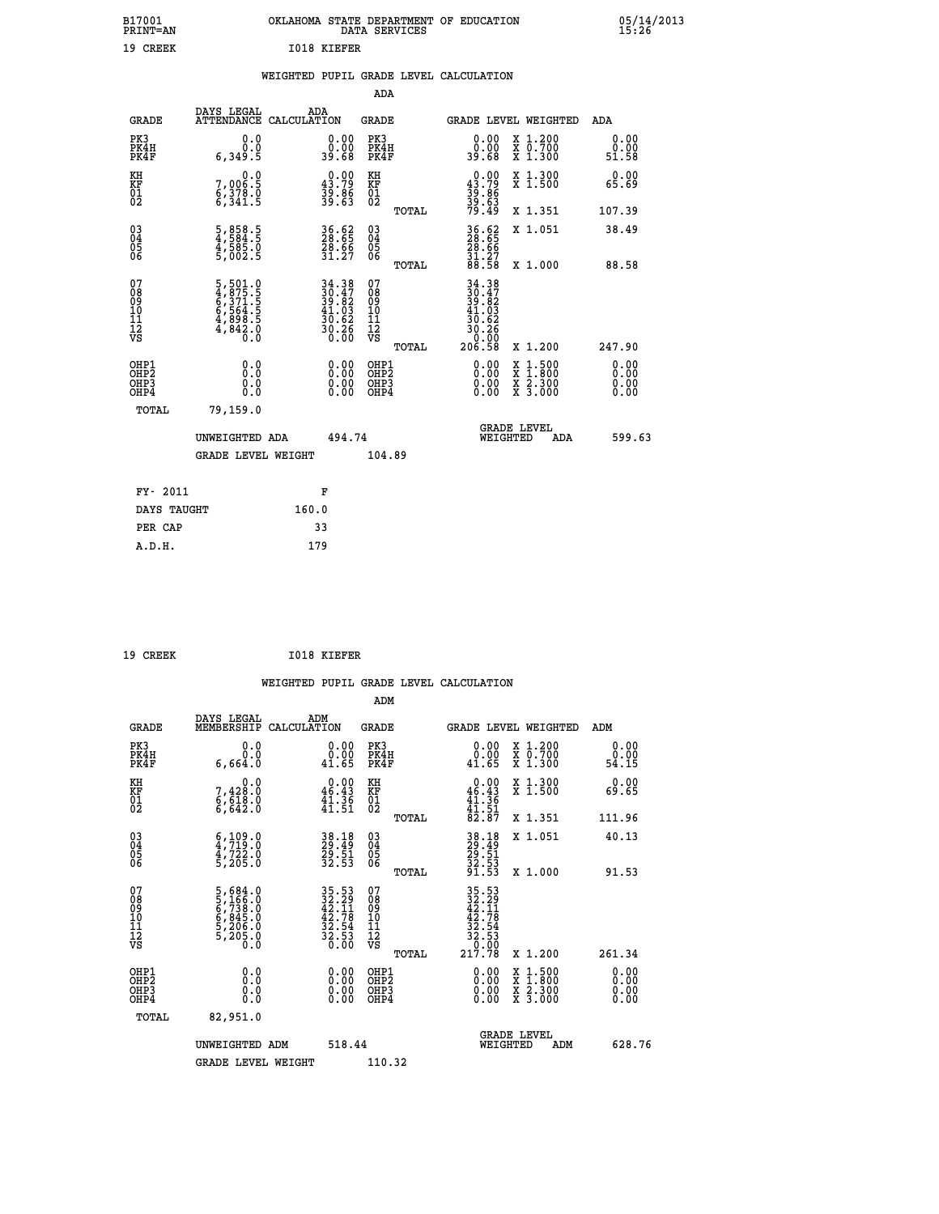| B17001<br><b>PRINT=AN</b> | OKLAHOMA STATE DEPARTMENT OF EDUCATION<br>DATA SERVICES |  |
|---------------------------|---------------------------------------------------------|--|
| 19 CREEK                  | 1018 KIEFER                                             |  |

|  |  | WEIGHTED PUPIL GRADE LEVEL CALCULATION |
|--|--|----------------------------------------|
|  |  |                                        |

|                                                                  |                                                                             |                                                                                           | ADA                                    |       |                                                                                                                                                                              |                                          |                              |
|------------------------------------------------------------------|-----------------------------------------------------------------------------|-------------------------------------------------------------------------------------------|----------------------------------------|-------|------------------------------------------------------------------------------------------------------------------------------------------------------------------------------|------------------------------------------|------------------------------|
| <b>GRADE</b>                                                     | DAYS LEGAL                                                                  | ADA<br>ATTENDANCE CALCULATION                                                             | <b>GRADE</b>                           |       |                                                                                                                                                                              | GRADE LEVEL WEIGHTED                     | ADA                          |
| PK3<br>PK4H<br>PK4F                                              | 0.0<br>0.0<br>6,349.5                                                       | $\begin{smallmatrix} 0.00\\ 0.00\\ 39.68 \end{smallmatrix}$                               | PK3<br>PK4H<br>PK4F                    |       | 0.00<br>0.00<br>39.68                                                                                                                                                        | X 1.200<br>X 0.700<br>X 1.300            | 0.00<br>0.00<br>51.58        |
| KH<br>KF<br>01<br>02                                             | 0.0<br>7,006:5<br>6,378.0<br>6,341:5                                        | $\begin{smallmatrix} 0.00\\ 43.79\\ 39.86\\ 39.63 \end{smallmatrix}$                      | KH<br>KF<br>01<br>02                   |       | $0.00\n43.79\n39.86\n39.63\n79.49$                                                                                                                                           | X 1.300<br>X 1.500                       | 0.00<br>65.69                |
|                                                                  |                                                                             |                                                                                           |                                        | TOTAL |                                                                                                                                                                              | X 1.351                                  | 107.39                       |
| $\begin{matrix} 03 \\ 04 \\ 05 \\ 06 \end{matrix}$               | 5,858.5<br>4,584.5<br>4,585.0<br>5,002.5                                    | 36.62<br>28.65<br>28.66<br>31.27                                                          | 03<br>04<br>05<br>06                   |       | 36.65<br>28.65<br>28.66<br>31.27<br>88.58                                                                                                                                    | X 1.051                                  | 38.49                        |
|                                                                  |                                                                             |                                                                                           |                                        | TOTAL |                                                                                                                                                                              | X 1.000                                  | 88.58                        |
| 07<br>08<br>09<br>11<br>11<br>12<br>VS                           | 5, 501.0<br>4, 875.5<br>6, 371.5<br>6, 564.5<br>4, 898.5<br>4, 842.0<br>0.0 | $\begin{array}{r} 34.38 \\ 30.47 \\ 39.82 \\ 41.03 \\ 30.62 \\ 30.26 \\ 0.00 \end{array}$ | 07<br>08<br>09<br>11<br>11<br>12<br>VS | TOTAL | $\begin{array}{@{}c@{\hspace{1em}}c@{\hspace{1em}}}\n 34.38 \\  30.47 \\  39.82 \\  41.03 \\  30.62\n \end{array}$<br>$\begin{array}{r} 30.26 \\ 0.06 \\ 206.58 \end{array}$ | X 1.200                                  | 247.90                       |
| OHP1<br>OHP <sub>2</sub><br>OH <sub>P3</sub><br>OH <sub>P4</sub> | 0.0<br>0.0<br>0.0                                                           | 0.00<br>$\begin{smallmatrix} 0.00 \ 0.00 \end{smallmatrix}$                               | OHP1<br>OHP2<br>OHP3<br>OHP4           |       | 0.00<br>0.00<br>0.00                                                                                                                                                         | X 1:500<br>X 1:800<br>X 2:300<br>X 3:000 | 0.00<br>0.00<br>0.00<br>0.00 |
| TOTAL                                                            | 79,159.0                                                                    |                                                                                           |                                        |       |                                                                                                                                                                              |                                          |                              |
|                                                                  | UNWEIGHTED ADA                                                              | 494.74                                                                                    |                                        |       | WEIGHTED                                                                                                                                                                     | <b>GRADE LEVEL</b><br>ADA                | 599.63                       |
|                                                                  | <b>GRADE LEVEL WEIGHT</b>                                                   |                                                                                           | 104.89                                 |       |                                                                                                                                                                              |                                          |                              |
| FY- 2011                                                         |                                                                             | F                                                                                         |                                        |       |                                                                                                                                                                              |                                          |                              |
| DAYS TAUGHT                                                      |                                                                             | 160.0                                                                                     |                                        |       |                                                                                                                                                                              |                                          |                              |
| PER CAP                                                          |                                                                             | 33                                                                                        |                                        |       |                                                                                                                                                                              |                                          |                              |
| A.D.H.                                                           |                                                                             | 179                                                                                       |                                        |       |                                                                                                                                                                              |                                          |                              |
|                                                                  |                                                                             |                                                                                           |                                        |       |                                                                                                                                                                              |                                          |                              |

| 19 CREEK | 1018 KIEFER |
|----------|-------------|

 **ADM**

 **A.D.H. 179**

 **B17001<br>PRINT=AN** 

| <b>GRADE</b>                                         | DAYS LEGAL<br>MEMBERSHIP                                                                         | ADM<br>CALCULATION                                          | <b>GRADE</b>                                        |       |                                                                                                                                             | GRADE LEVEL WEIGHTED                     | ADM                   |  |
|------------------------------------------------------|--------------------------------------------------------------------------------------------------|-------------------------------------------------------------|-----------------------------------------------------|-------|---------------------------------------------------------------------------------------------------------------------------------------------|------------------------------------------|-----------------------|--|
| PK3<br>PK4H<br>PK4F                                  | 0.0<br>0.0<br>6,664.0                                                                            | $\begin{smallmatrix} 0.00\\ 0.00\\ 41.65 \end{smallmatrix}$ | PK3<br>PK4H<br>PK4F                                 |       | $\begin{smallmatrix} 0.00\\ 0.00\\ 41.65 \end{smallmatrix}$                                                                                 | X 1.200<br>X 0.700<br>X 1.300            | 0.00<br>ŏ.ŏŏ<br>54.15 |  |
| KH<br>KF<br>01<br>02                                 | $7,428.0$<br>$6,618.0$<br>$6,642.0$                                                              | $0.00$<br>$46.43$<br>$41.36$<br>$41.51$                     | KH<br>KF<br>$^{01}_{02}$                            |       | $0.00$<br>$46.43$<br>$41.36$<br>$41.51$<br>$82.87$                                                                                          | X 1.300<br>X 1.500                       | 0.00<br>69.65         |  |
|                                                      |                                                                                                  |                                                             |                                                     | TOTAL |                                                                                                                                             | X 1.351                                  | 111.96                |  |
| 03<br>04<br>05<br>06                                 | $\begin{smallmatrix} 6 & 109 & 0 \\ 4 & 719 & 0 \\ 4 & 722 & 0 \\ 5 & 205 & 0 \end{smallmatrix}$ | 38.18<br>29.49<br>29.51<br>32.53                            | $\begin{array}{c} 03 \\ 04 \\ 05 \\ 06 \end{array}$ |       | 38.18<br>29.51<br>29.51<br>32.53<br>91.53                                                                                                   | X 1.051                                  | 40.13                 |  |
|                                                      |                                                                                                  |                                                             |                                                     | TOTAL |                                                                                                                                             | X 1.000                                  | 91.53                 |  |
| 07<br>08<br>09<br>101<br>11<br>12<br>VS              | 5,684.0<br>5,166.0<br>6,738.0<br>6,845.0<br>5,206.0<br>5,205.0                                   | 35.53<br>32.29<br>42.11<br>42.78<br>32.54<br>32.53<br>36.00 | 07<br>08<br>09<br>01<br>11<br>11<br>12<br>VS        | TOTAL | $\begin{array}{r} 35\cdot 53 \\ 32\cdot 29 \\ 42\cdot 11 \\ 42\cdot 78 \\ 32\cdot 54 \\ 32\cdot 53 \\ 0\cdot 00 \\ 217\cdot 78 \end{array}$ | X 1.200                                  | 261.34                |  |
| OHP1<br>OHP2<br>OH <sub>P3</sub><br>OH <sub>P4</sub> | 0.0<br>0.000                                                                                     |                                                             | OHP1<br>OHP2<br>OHP3<br>OHP4                        |       | 0.00<br>0.00                                                                                                                                | X 1:500<br>X 1:800<br>X 2:300<br>X 3:000 | 0.00<br>0.00<br>0.00  |  |
| TOTAL                                                | 82,951.0                                                                                         |                                                             |                                                     |       |                                                                                                                                             |                                          |                       |  |
|                                                      | UNWEIGHTED                                                                                       | 518.44<br>ADM                                               |                                                     |       | WEIGHTED                                                                                                                                    | <b>GRADE LEVEL</b><br>ADM                | 628.76                |  |
|                                                      | <b>GRADE LEVEL WEIGHT</b>                                                                        |                                                             | 110.32                                              |       |                                                                                                                                             |                                          |                       |  |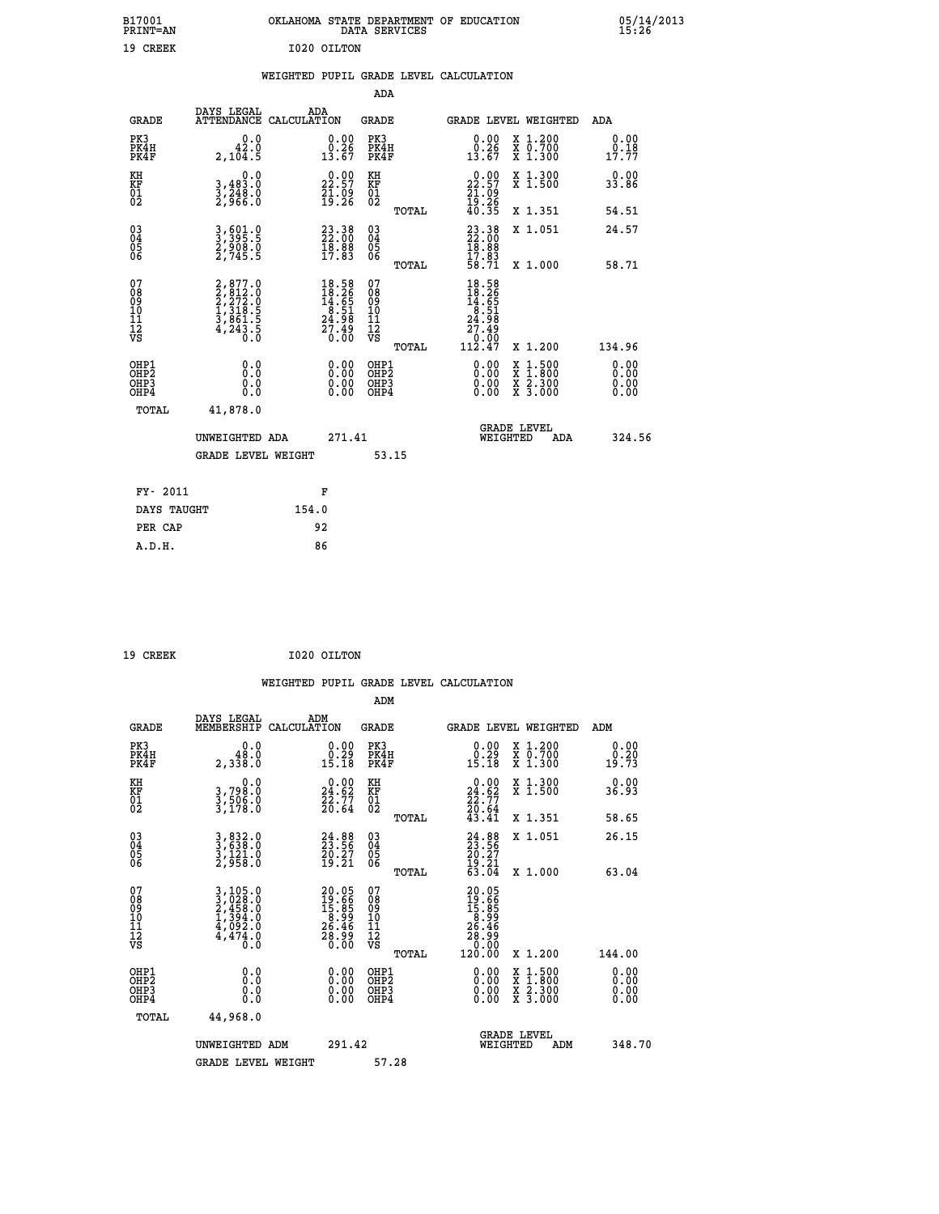| B17001<br>PRINT=AN | OKLAHOMA STATE DEPARTMENT OF EDUCATION<br>DATA SERVICES | 05/14/2013 |
|--------------------|---------------------------------------------------------|------------|
| 19 CREEK           | I020 OILTON                                             |            |
|                    | EURRAIMEN ARAIA ENIRE E ELECTRICALE ARTISTATION         |            |

| 05/14/2013<br>15:26 |  |
|---------------------|--|
|---------------------|--|

|  |  | WEIGHTED PUPIL GRADE LEVEL CALCULATION |
|--|--|----------------------------------------|
|  |  |                                        |

|                                                                    |                                                                                     |                                                                                           | ADA                                       |       |                                                                                                        |                                                    |                              |
|--------------------------------------------------------------------|-------------------------------------------------------------------------------------|-------------------------------------------------------------------------------------------|-------------------------------------------|-------|--------------------------------------------------------------------------------------------------------|----------------------------------------------------|------------------------------|
| <b>GRADE</b>                                                       | DAYS LEGAL<br>ATTENDANCE CALCULATION                                                | ADA                                                                                       | <b>GRADE</b>                              |       |                                                                                                        | GRADE LEVEL WEIGHTED                               | <b>ADA</b>                   |
| PK3<br>PK4H<br>PK4F                                                | 0.0<br>42.0<br>2,104.5                                                              | $\begin{smallmatrix} 0.00\\ 0.26\\ 13.67 \end{smallmatrix}$                               | PK3<br>PK4H<br>PK4F                       |       | $\begin{smallmatrix} 0.00\\ 0.26\\ 13.67 \end{smallmatrix}$                                            | X 1.200<br>X 0.700<br>X 1.300                      | 0.00<br>0.18<br>17.77        |
| KH<br>KF<br>01<br>02                                               | 0.0<br>3,483:0<br>3,248:0<br>2,966:0                                                | $\begin{smallmatrix} 0.00\\ 22.57\\ 21.09\\ 19.26 \end{smallmatrix}$                      | KH<br>KF<br>01<br>02                      |       | $\begin{smallmatrix} 0.00\\ 22.57\\ 21.09\\ 19.26\\ 40.35 \end{smallmatrix}$                           | X 1.300<br>X 1.500                                 | 0.00<br>33.86                |
|                                                                    |                                                                                     |                                                                                           |                                           | TOTAL |                                                                                                        | X 1.351                                            | 54.51                        |
| $\begin{smallmatrix} 03 \\[-4pt] 04 \end{smallmatrix}$<br>Ŏ5<br>06 | 3, 501.0<br>3, 395.5<br>2, 908.0<br>2, 745.5                                        | $\begin{smallmatrix} 23\cdot 38\\ 22\cdot 00\\ 18\cdot 88\\ 17\cdot 83 \end{smallmatrix}$ | $\substack{03 \\ 04}$<br>05<br>06         | TOTAL | $\begin{smallmatrix} 23\cdot 38\\ 22\cdot 00\\ 18\cdot 88\\ 17\cdot 83\\ 58\cdot 71 \end{smallmatrix}$ | X 1.051<br>X 1.000                                 | 24.57<br>58.71               |
| 07<br>08<br>09<br>11<br>11<br>12<br>VS                             | $2,877.0$<br>$2,272.0$<br>$2,272.0$<br>$1,318.5$<br>$3,861.5$<br>$4,243.5$<br>$0.0$ | $18.58$<br>$18.26$<br>$14.65$<br>$8.51$<br>$24.98$<br>$27.49$<br>$0.00$                   | 07<br>08<br>09<br>11<br>11<br>12<br>VS    |       | $\begin{array}{r} 18.58 \\ 18.26 \\ 14.65 \\ 14.51 \\ 24.98 \\ 27.49 \\ 0.00 \\ 112.47 \end{array}$    |                                                    |                              |
|                                                                    |                                                                                     |                                                                                           |                                           | TOTAL |                                                                                                        | X 1.200                                            | 134.96                       |
| OHP1<br>OH <sub>P</sub> 2<br>OHP3<br>OHP4                          | 0.0<br>0.0<br>0.0                                                                   | 0.00<br>$\begin{smallmatrix} 0.00 \ 0.00 \end{smallmatrix}$                               | OHP1<br>OH <sub>P</sub> 2<br>OHP3<br>OHP4 |       | 0.00<br>0.00<br>0.00                                                                                   | $1:500$<br>$1:800$<br>X<br>X<br>X 2.300<br>X 3.000 | 0.00<br>0.00<br>0.00<br>0.00 |
| TOTAL                                                              | 41,878.0                                                                            |                                                                                           |                                           |       |                                                                                                        |                                                    |                              |
|                                                                    | UNWEIGHTED ADA                                                                      | 271.41                                                                                    |                                           |       |                                                                                                        | <b>GRADE LEVEL</b><br>WEIGHTED<br>ADA              | 324.56                       |
|                                                                    | <b>GRADE LEVEL WEIGHT</b>                                                           |                                                                                           | 53.15                                     |       |                                                                                                        |                                                    |                              |
| FY- 2011                                                           |                                                                                     | F                                                                                         |                                           |       |                                                                                                        |                                                    |                              |
| DAYS TAUGHT                                                        |                                                                                     | 154.0                                                                                     |                                           |       |                                                                                                        |                                                    |                              |
| PER CAP                                                            |                                                                                     | 92                                                                                        |                                           |       |                                                                                                        |                                                    |                              |
|                                                                    |                                                                                     |                                                                                           |                                           |       |                                                                                                        |                                                    |                              |

 **A.D.H. 86**

 **ADM**

| <b>GRADE</b>                             | DAYS LEGAL<br>MEMBERSHIP                                                                                                                      | ADM<br>CALCULATION                                                | <b>GRADE</b>                                       |       | <b>GRADE LEVEL WEIGHTED</b>                                                                           |                                          | ADM                                                         |  |
|------------------------------------------|-----------------------------------------------------------------------------------------------------------------------------------------------|-------------------------------------------------------------------|----------------------------------------------------|-------|-------------------------------------------------------------------------------------------------------|------------------------------------------|-------------------------------------------------------------|--|
| PK3<br>PK4H<br>PK4F                      | 0.0<br>48.0<br>$2,3\bar{3}\bar{8}\cdot 0$                                                                                                     | $\begin{smallmatrix} 0.00\\ 0.29\\ 15.18 \end{smallmatrix}$       | PK3<br>PK4H<br>PK4F                                |       | $\begin{smallmatrix} 0.00\\ 0.29\\ 15.18 \end{smallmatrix}$                                           | X 1.200<br>X 0.700<br>X 1.300            | $\begin{smallmatrix} 0.00\\ 0.20\\ 19.73 \end{smallmatrix}$ |  |
| KH<br>KF<br>01<br>02                     | 0.0<br>3,798:0<br>3,506:0<br>3,178:0                                                                                                          | $\begin{smallmatrix} 0.00\\24.62\\22.77\\20.64 \end{smallmatrix}$ | KH<br>KF<br>$^{01}_{02}$                           |       | $\begin{smallmatrix} 0.00\\24.62\\22.77\\20.64\\43.41\end{smallmatrix}$                               | X 1.300<br>X 1.500                       | 0.00<br>36.93                                               |  |
|                                          |                                                                                                                                               |                                                                   |                                                    | TOTAL |                                                                                                       | X 1.351                                  | 58.65                                                       |  |
| 03<br>04<br>05<br>06                     | 3,832.0<br>3,638.0<br>3,121.0<br>2,958.0                                                                                                      | $24.88$<br>$23.56$<br>$\frac{20.27}{19.21}$                       | $\begin{matrix} 03 \\ 04 \\ 05 \\ 06 \end{matrix}$ |       | $24.88$<br>$23.56$<br>$20.27$<br>$19.21$<br>$63.04$                                                   | X 1.051                                  | 26.15                                                       |  |
|                                          |                                                                                                                                               |                                                                   |                                                    | TOTAL |                                                                                                       | X 1.000                                  | 63.04                                                       |  |
| 07<br>089<br>090<br>1112<br>VS           | $\begin{smallmatrix} 3\,,\,105\,.0\\ 3\,,\,028\,.0\\ 2\,,\,458\,.0\\ 1\,,\,394\,.0\\ 4\,,\,092\,.0\\ 4\,,\,474\,.0\\ 0\,.0 \end{smallmatrix}$ | 20.05<br>19.66<br>15.85<br>8.99<br>26.46<br>28.99<br>28.99        | 07<br>08<br>09<br>01<br>11<br>11<br>12<br>VS       | TOTAL | $\begin{smallmatrix} 20.05\\ 19.66\\ 15.86\\ 5.89\\ 26.46\\ 26.46\\ 20.00\\ 120.00 \end{smallmatrix}$ | X 1.200                                  | 144.00                                                      |  |
| OHP1<br>OHP2<br>OH <sub>P3</sub><br>OHP4 | 0.0<br>0.000                                                                                                                                  |                                                                   | OHP1<br>OHP2<br>OHP3<br>OHP4                       |       | 0.00<br>0.00                                                                                          | X 1:500<br>X 1:800<br>X 2:300<br>X 3:000 | 0.00<br>0.00<br>0.00                                        |  |
| TOTAL                                    | 44,968.0                                                                                                                                      |                                                                   |                                                    |       |                                                                                                       |                                          |                                                             |  |
|                                          | UNWEIGHTED<br>ADM                                                                                                                             | 291.42                                                            |                                                    |       | WEIGHTED                                                                                              | <b>GRADE LEVEL</b><br>ADM                | 348.70                                                      |  |
|                                          | <b>GRADE LEVEL WEIGHT</b>                                                                                                                     |                                                                   | 57.28                                              |       |                                                                                                       |                                          |                                                             |  |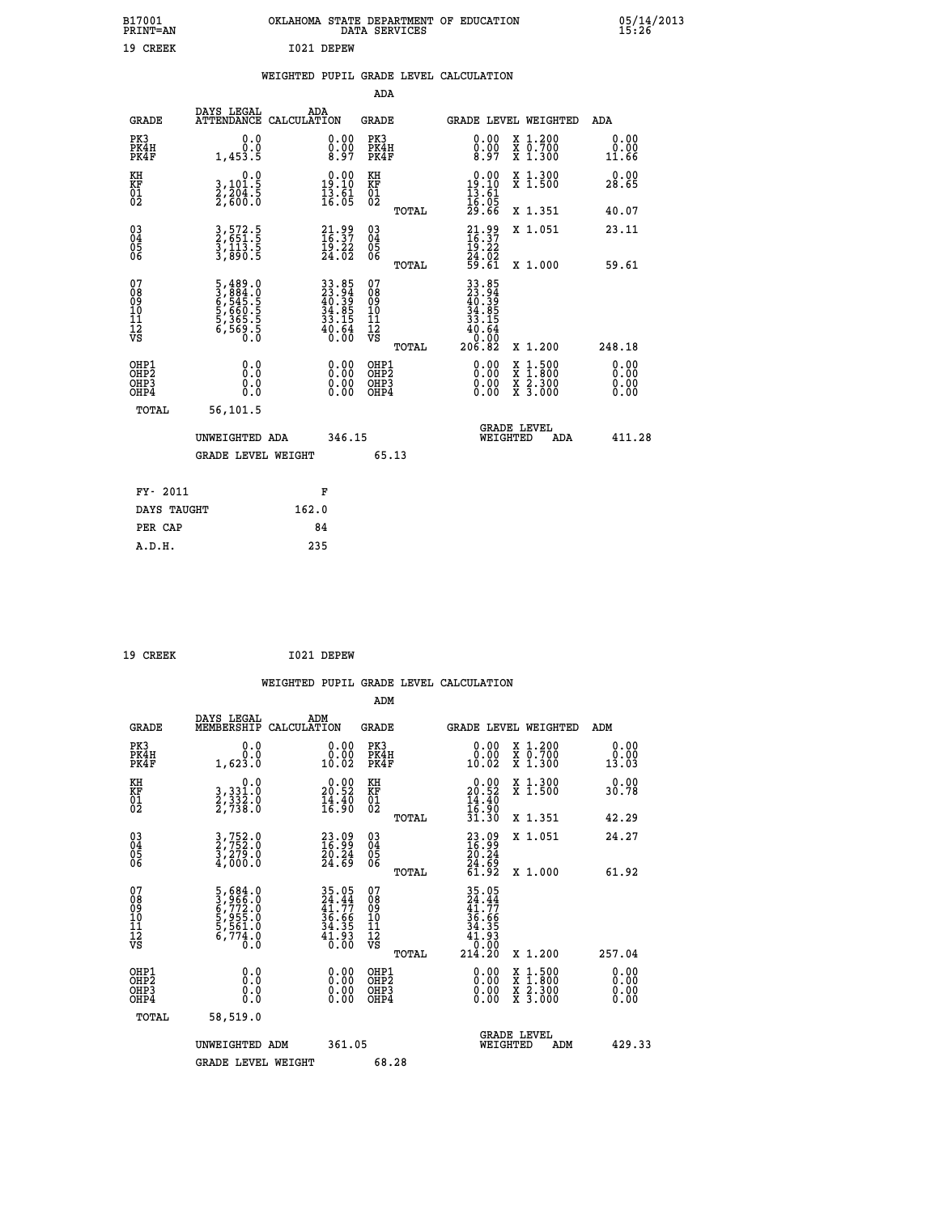| B17001<br>PRINT=AN                             |                                                                | OKLAHOMA STATE DEPARTMENT OF EDUCATION              | DATA SERVICES                                   |                                                                          |                                                                                          | $05/14/2013$<br>15:26 |
|------------------------------------------------|----------------------------------------------------------------|-----------------------------------------------------|-------------------------------------------------|--------------------------------------------------------------------------|------------------------------------------------------------------------------------------|-----------------------|
| 19 CREEK                                       |                                                                | I021 DEPEW                                          |                                                 |                                                                          |                                                                                          |                       |
|                                                |                                                                | WEIGHTED PUPIL GRADE LEVEL CALCULATION              |                                                 |                                                                          |                                                                                          |                       |
|                                                |                                                                |                                                     | ADA                                             |                                                                          |                                                                                          |                       |
| <b>GRADE</b>                                   | DAYS LEGAL                                                     | ADA<br>ATTENDANCE CALCULATION                       | GRADE                                           | GRADE LEVEL WEIGHTED                                                     |                                                                                          | ADA                   |
| PK3<br>PK4H<br>PK4F                            | 0.0<br>0.0<br>1,453.5                                          | 0.00<br>0.00<br>8.97                                | PK3<br>PK4H<br>PK4F                             | 0.00<br>8.97                                                             | X 1.200<br>X 0.700<br>X 1.300                                                            | 0.00<br>0.00<br>11.66 |
| KH<br>KF<br>01<br>02                           | 0.0<br>3,101.5<br>2,204.5<br>2,600.0                           | $19.00$<br>$19.10$<br>$\frac{1}{16}$ $\frac{5}{05}$ | KH<br>KF<br>01<br>02                            | $\frac{0.00}{19.10}$<br>$\frac{19.10}{13.61}$                            | X 1.300<br>X 1.500                                                                       | 0.00<br>28.65         |
|                                                |                                                                |                                                     | TOTAL                                           | 16.05<br>29.66                                                           | X 1.351                                                                                  | 40.07                 |
| $\substack{03 \\ 04}$<br>$\substack{05 \\ 06}$ | 3, 572. 5<br>2, 651. 5<br>3, 113. 5<br>3, 890. 5               | $21.99$<br>$16.37$<br>$19.22$<br>$24.02$            | 03<br>04<br>05<br>06                            | $21.99$<br>$16.37$<br>$19.22$                                            | X 1.051                                                                                  | 23.11                 |
|                                                |                                                                |                                                     | TOTAL                                           | 24.02<br>59.61                                                           | X 1.000                                                                                  | 59.61                 |
| 07<br>08<br>09<br>11<br>11<br>12<br>VS         | 5,489.0<br>3,884.0<br>6,545.5<br>6,560.5<br>5,365.5<br>6,569.5 | 33.85<br>23.94<br>40.39<br>34.85<br>33.15<br>40.64  | 07<br>08<br>09<br>10<br>11<br>12<br>VS<br>TOTAL | 33.85<br>23.94<br>40.39<br>34.05<br>33.15<br>$^{40.64}_{0.00}$<br>206.82 | X 1.200                                                                                  | 248.18                |
| OHP1<br>OHP <sub>2</sub><br>OHP3<br>OHP4       | 0.0<br>Ō.Ō<br>0.0<br>0.0                                       | 0.00<br>0.00                                        | OHP1<br>OHP2<br>OHP3<br>OHP4                    | 0.00<br>0.00<br>0.00                                                     | $\begin{smallmatrix} x & 1.500 \\ x & 1.800 \\ x & 2.300 \\ x & 3.000 \end{smallmatrix}$ | 0.00<br>0.00<br>0.00  |
| TOTAL                                          | 56,101.5                                                       |                                                     |                                                 |                                                                          |                                                                                          |                       |
|                                                | UNWEIGHTED ADA                                                 | 346.15                                              |                                                 | WEIGHTED                                                                 | <b>GRADE LEVEL</b><br>ADA                                                                | 411.28                |
|                                                | <b>GRADE LEVEL WEIGHT</b>                                      |                                                     | 65.13                                           |                                                                          |                                                                                          |                       |
| FY- 2011                                       |                                                                | F                                                   |                                                 |                                                                          |                                                                                          |                       |
| DAYS TAUGHT                                    |                                                                | 162.0                                               |                                                 |                                                                          |                                                                                          |                       |
| PER CAP                                        |                                                                | 84                                                  |                                                 |                                                                          |                                                                                          |                       |
| A.D.H.                                         |                                                                | 235                                                 |                                                 |                                                                          |                                                                                          |                       |

| 19 CREEK | I021 DEPEW |
|----------|------------|
|          |            |

|                                                    |                                                                           |                                                                      | WEIGHTED PUPIL GRADE LEVEL CALCULATION                |                                                                                                                                                                                                                                                                                |                                                                                                  |                       |
|----------------------------------------------------|---------------------------------------------------------------------------|----------------------------------------------------------------------|-------------------------------------------------------|--------------------------------------------------------------------------------------------------------------------------------------------------------------------------------------------------------------------------------------------------------------------------------|--------------------------------------------------------------------------------------------------|-----------------------|
|                                                    |                                                                           |                                                                      | ADM                                                   |                                                                                                                                                                                                                                                                                |                                                                                                  |                       |
| <b>GRADE</b>                                       | DAYS LEGAL<br>MEMBERSHIP                                                  | ADM<br>CALCULATION                                                   | <b>GRADE</b>                                          | GRADE LEVEL WEIGHTED                                                                                                                                                                                                                                                           |                                                                                                  | ADM                   |
| PK3<br>PK4H<br>PK4F                                | 0.0<br>0.0<br>1,623.0                                                     | 0.00<br>10.02                                                        | PK3<br>PK4H<br>PK4F                                   | 0.00<br>10.02                                                                                                                                                                                                                                                                  | X 1.200<br>X 0.700<br>X 1.300                                                                    | 0.00<br>0.00<br>13.03 |
| KH<br>KF<br>01<br>02                               | 0.0<br>3, 331:0<br>2, 332:0<br>2, 738:0                                   | $\begin{smallmatrix} 0.00\\ 20.52\\ 14.40\\ 16.90 \end{smallmatrix}$ | KH<br>KF<br>01<br>02                                  | $\begin{smallmatrix} 0.00\\ 20.52\\ 14.40\\ 16.90\\ 31.30 \end{smallmatrix}$                                                                                                                                                                                                   | X 1.300<br>X 1.500                                                                               | 0.00<br>30.78         |
|                                                    |                                                                           |                                                                      | TOTAL                                                 |                                                                                                                                                                                                                                                                                | X 1.351                                                                                          | 42.29                 |
| $\begin{matrix} 03 \\ 04 \\ 05 \\ 06 \end{matrix}$ | 3,752.0<br>2,752.0<br>3,279.0<br>4,000.0                                  | $\begin{smallmatrix} 23.09\16.99\20.24\24.69 \end{smallmatrix}$      | 03<br>04<br>05<br>06<br>TOTAL                         | $\begin{smallmatrix} 23.09\\ 16.99\\ 20.24\\ 24.69\\ 61.92 \end{smallmatrix}$                                                                                                                                                                                                  | X 1.051<br>X 1.000                                                                               | 24.27<br>61.92        |
| 07<br>0890112<br>1112<br>VS                        | 5,684.0<br>3,966.0<br>6,772.0<br>5,955.0<br>5,561.0<br>5,774.0<br>6,774.0 | 35.05<br>24.44<br>41.77<br>36.66<br>34.35<br>34.35<br>41.93<br>0.00  | 07<br>08<br>09<br>09<br>10<br>11<br>12<br>VS<br>TOTAL | $\begin{array}{r} 35\cdot05 \\ 24\cdot44 \\ 41\cdot77 \\ 36\cdot66 \\ 34\cdot35 \\ 41\cdot9 \\ 0\cdot00 \\ 214\cdot20 \end{array}$                                                                                                                                             | $X_1.200$                                                                                        | 257.04                |
| OHP1<br>OHP2<br>OH <sub>P3</sub><br>OHP4           | 0.0<br>0.000                                                              |                                                                      | OHP1<br>OHP2<br>OHP3<br>OHP4                          | $\begin{smallmatrix} 0.00 & 0.00 & 0.00 & 0.00 & 0.00 & 0.00 & 0.00 & 0.00 & 0.00 & 0.00 & 0.00 & 0.00 & 0.00 & 0.00 & 0.00 & 0.00 & 0.00 & 0.00 & 0.00 & 0.00 & 0.00 & 0.00 & 0.00 & 0.00 & 0.00 & 0.00 & 0.00 & 0.00 & 0.00 & 0.00 & 0.00 & 0.00 & 0.00 & 0.00 & 0.00 & 0.0$ | $\begin{smallmatrix} x & 1 & 500 \\ x & 1 & 800 \\ x & 2 & 300 \\ x & 3 & 000 \end{smallmatrix}$ | 0.00<br>0.00<br>0.00  |
| TOTAL                                              | 58,519.0<br>UNWEIGHTED ADM<br><b>GRADE LEVEL WEIGHT</b>                   | 361.05                                                               | 68.28                                                 | <b>GRADE LEVEL</b><br>WEIGHTED                                                                                                                                                                                                                                                 | ADM                                                                                              | 429.33                |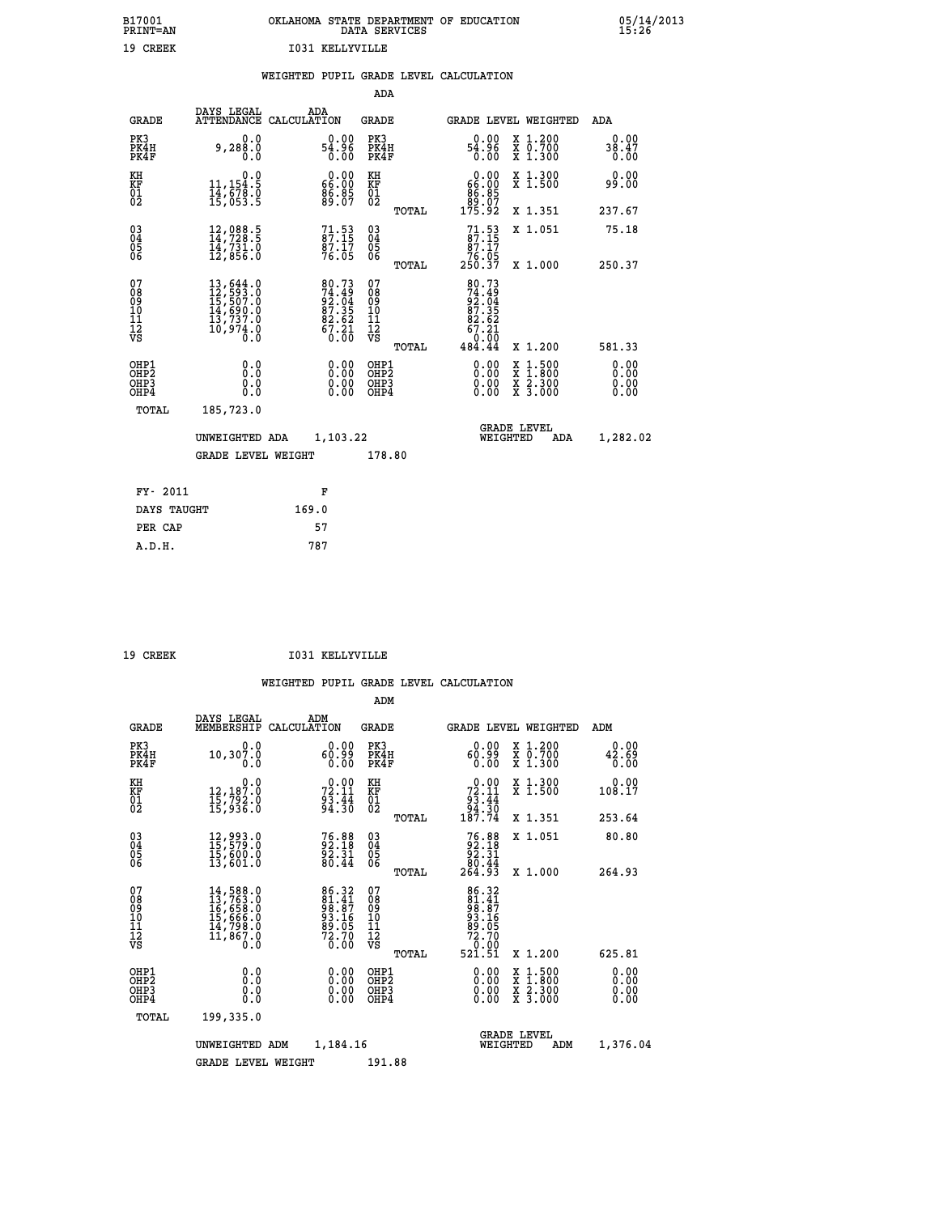|                 |  | OKLAHOMA STATE DEPARTMENT OF EDUCATION<br>DATA SERVICES |  |
|-----------------|--|---------------------------------------------------------|--|
| T031 KELLYVILLE |  |                                                         |  |

#### **WEIGHTED PUPIL GRADE LEVEL CALCULATION**

| <b>GRADE</b>                             | ADA   | <b>GRADE</b>                                                                                                                                                                                                                                                                                                                                                                                                 | GRADE LEVEL WEIGHTED                                                                                                                                                                                                                                                                                                                                           | ADA                                                                                                                                                                                           |
|------------------------------------------|-------|--------------------------------------------------------------------------------------------------------------------------------------------------------------------------------------------------------------------------------------------------------------------------------------------------------------------------------------------------------------------------------------------------------------|----------------------------------------------------------------------------------------------------------------------------------------------------------------------------------------------------------------------------------------------------------------------------------------------------------------------------------------------------------------|-----------------------------------------------------------------------------------------------------------------------------------------------------------------------------------------------|
| PK3<br>PK4H<br>PK4F                      |       | PK3<br>PK4H<br>PK4F                                                                                                                                                                                                                                                                                                                                                                                          | 0.00<br>X 1.200<br>X 0.700<br>X 1.300<br>ă{:ăã<br>0.00                                                                                                                                                                                                                                                                                                         | 0.00<br>38.47<br>0.00                                                                                                                                                                         |
|                                          |       | KH                                                                                                                                                                                                                                                                                                                                                                                                           | 0.00<br>X 1.300<br>X 1.500                                                                                                                                                                                                                                                                                                                                     | 0.00<br>99.00                                                                                                                                                                                 |
|                                          |       | TOTAL                                                                                                                                                                                                                                                                                                                                                                                                        | X 1.351                                                                                                                                                                                                                                                                                                                                                        | 237.67                                                                                                                                                                                        |
|                                          |       | $\substack{03 \\ 04}$<br>05<br>06                                                                                                                                                                                                                                                                                                                                                                            | 71.53<br>X 1.051                                                                                                                                                                                                                                                                                                                                               | 75.18<br>250.37                                                                                                                                                                               |
|                                          |       |                                                                                                                                                                                                                                                                                                                                                                                                              |                                                                                                                                                                                                                                                                                                                                                                |                                                                                                                                                                                               |
|                                          |       |                                                                                                                                                                                                                                                                                                                                                                                                              |                                                                                                                                                                                                                                                                                                                                                                |                                                                                                                                                                                               |
|                                          |       | TOTAL                                                                                                                                                                                                                                                                                                                                                                                                        | X 1.200                                                                                                                                                                                                                                                                                                                                                        | 581.33                                                                                                                                                                                        |
| OHP1<br>OHP <sub>2</sub><br>OHP3<br>OHP4 |       | OHP1<br>OH <sub>P</sub> 2<br>OHP3<br>OHP4                                                                                                                                                                                                                                                                                                                                                                    | 0.00<br>$1:500$<br>$1:800$<br>X<br>X<br>0.00<br>$\frac{\ddot{x}}{x}$ $\frac{2.300}{3.000}$<br>0.00                                                                                                                                                                                                                                                             | 0.00<br>0.00<br>0.00<br>0.00                                                                                                                                                                  |
| TOTAL                                    |       |                                                                                                                                                                                                                                                                                                                                                                                                              |                                                                                                                                                                                                                                                                                                                                                                |                                                                                                                                                                                               |
|                                          |       |                                                                                                                                                                                                                                                                                                                                                                                                              | <b>GRADE LEVEL</b><br>WEIGHTED<br>ADA                                                                                                                                                                                                                                                                                                                          | 1,282.02                                                                                                                                                                                      |
|                                          |       | 178.80                                                                                                                                                                                                                                                                                                                                                                                                       |                                                                                                                                                                                                                                                                                                                                                                |                                                                                                                                                                                               |
| FY- 2011                                 |       |                                                                                                                                                                                                                                                                                                                                                                                                              |                                                                                                                                                                                                                                                                                                                                                                |                                                                                                                                                                                               |
| DAYS TAUGHT                              | 169.0 |                                                                                                                                                                                                                                                                                                                                                                                                              |                                                                                                                                                                                                                                                                                                                                                                |                                                                                                                                                                                               |
| PER CAP                                  | 57    |                                                                                                                                                                                                                                                                                                                                                                                                              |                                                                                                                                                                                                                                                                                                                                                                |                                                                                                                                                                                               |
|                                          |       | DAYS LEGAL<br>ATTENDANCE CALCULATION<br>0.0<br>9,288.0<br>0.0<br>0.0<br>11,154.5<br>14,678.0<br>15,053.5<br>12,088.5<br>14,728.5<br>ī4,731.0<br>12,856.0<br>$\begin{smallmatrix} 13\,,\,644\,.0\\ 12\,,\,593\,.0\\ 15\,,\,507\,.0\\ 14\,,\,690\,.0\\ 13\,,\,737\,.0\\ 10\,,\,974\,.0\\ 0\ .0 \end{smallmatrix}$<br>0.0<br>Ō.Ō<br>0.0<br>0.0<br>185,723.0<br>UNWEIGHTED ADA<br><b>GRADE LEVEL WEIGHT</b><br>F | $54.96$<br>$54.96$<br>0.00<br>$\begin{smallmatrix} 0.00\\ 66.00\\ 86.85\\ 89.07 \end{smallmatrix}$<br>KF<br>01<br>02<br>$71.53$<br>87:15<br>$\frac{87.17}{76.05}$<br>TOTAL<br>07<br>80.73<br>74.49<br>92.04<br>87.35<br>82.62<br>67.21<br>67.21<br>08<br>09<br>11<br>11<br>12<br>VS<br>0.00<br>$\begin{smallmatrix} 0.00 \ 0.00 \end{smallmatrix}$<br>1,103.22 | ADA<br>66:00<br>86:85<br>89:07<br>175:92<br>$\begin{array}{r} 87.17 \\ 76.05 \\ 250.37 \end{array}$<br>X 1.000<br>80.73<br>$74.494$<br>$92.352$<br>$87.352$<br>$67.21$<br>$0.000$<br>$484.44$ |

 **A.D.H. 787**

 **B17001<br>PRINT=AN<br>19 CREEK** 

19 CREEK 1031 KELLYVILLE

|                                          |                                                                                                                                                                        |                                                                     | ADM                                                |                                                                           |                                          |                              |
|------------------------------------------|------------------------------------------------------------------------------------------------------------------------------------------------------------------------|---------------------------------------------------------------------|----------------------------------------------------|---------------------------------------------------------------------------|------------------------------------------|------------------------------|
| <b>GRADE</b>                             | DAYS LEGAL<br>MEMBERSHIP                                                                                                                                               | ADM<br>CALCULATION                                                  | <b>GRADE</b>                                       | GRADE LEVEL WEIGHTED                                                      |                                          | ADM                          |
| PK3<br>PK4H<br>PK4F                      | 0.0<br>10,307.0<br>0.0                                                                                                                                                 | 0.00<br>60.99<br>0.00                                               | PK3<br>PK4H<br>PK4F                                | 0.00<br>60.99<br>0.00                                                     | X 1.200<br>X 0.700<br>X 1.300            | 0.00<br>42.69<br>0.00        |
| KH<br>KF<br>01<br>02                     | 0.0<br>12,187:0<br>15,792:0<br>15,936:0                                                                                                                                | $72.11$<br>$93.44$<br>$94.30$                                       | KH<br>KF<br>01<br>02                               | $\begin{smallmatrix} &0.00\\72.11\\93.44\\94.30\\187.74\end{smallmatrix}$ | X 1.300<br>X 1.500                       | 0.00<br>108.17               |
|                                          |                                                                                                                                                                        |                                                                     | TOTAL                                              |                                                                           | X 1.351                                  | 253.64                       |
| 03<br>04<br>05<br>06                     | 12,993.0<br>15,579.0<br>15,600.0<br>13,601.0                                                                                                                           | 76.88<br>92.18<br>92.31<br>80.44                                    | $\begin{matrix} 03 \\ 04 \\ 05 \\ 06 \end{matrix}$ | $76.88\n92.18\n92.31\n80.44\n264.93$                                      | X 1.051                                  | 80.80                        |
|                                          |                                                                                                                                                                        |                                                                     | TOTAL                                              |                                                                           | X 1.000                                  | 264.93                       |
| 07<br>08<br>09<br>101<br>112<br>VS       | $\begin{smallmatrix} 14\,,\,588\,.\,0\\ 13\,,\,763\,. \,0\\ 16\,,\,658\,. \,0\\ 15\,,\,666\,. \,0\\ 14\,,\,798\,. \,0\\ 11\,,\,867\,. \,0\\ 0\,. \,0\end{smallmatrix}$ | 86.32<br>81.41<br>98.87<br>93.16<br>93.05<br>89.05<br>72.70<br>0.00 | 07<br>08<br>09<br>11<br>11<br>12<br>VS             | 86.32<br>81.41<br>98.87<br>93.16<br>89.05<br>72.70<br>72.90<br>521.51     |                                          |                              |
|                                          |                                                                                                                                                                        |                                                                     | TOTAL                                              |                                                                           | X 1.200                                  | 625.81                       |
| OHP1<br>OHP2<br>OH <sub>P3</sub><br>OHP4 | 0.0<br>0.000                                                                                                                                                           | $0.00$<br>$0.00$<br>0.00                                            | OHP1<br>OHP2<br>OHP <sub>3</sub>                   | $0.00$<br>$0.00$<br>0.00                                                  | X 1:500<br>X 1:800<br>X 2:300<br>X 3:000 | 0.00<br>0.00<br>0.00<br>0.00 |
| TOTAL                                    | 199,335.0                                                                                                                                                              |                                                                     |                                                    |                                                                           |                                          |                              |
|                                          | UNWEIGHTED                                                                                                                                                             | 1,184.16<br>ADM                                                     |                                                    | <b>GRADE LEVEL</b><br>WEIGHTED                                            | ADM                                      | 1,376.04                     |
|                                          | <b>GRADE LEVEL WEIGHT</b>                                                                                                                                              |                                                                     | 191.88                                             |                                                                           |                                          |                              |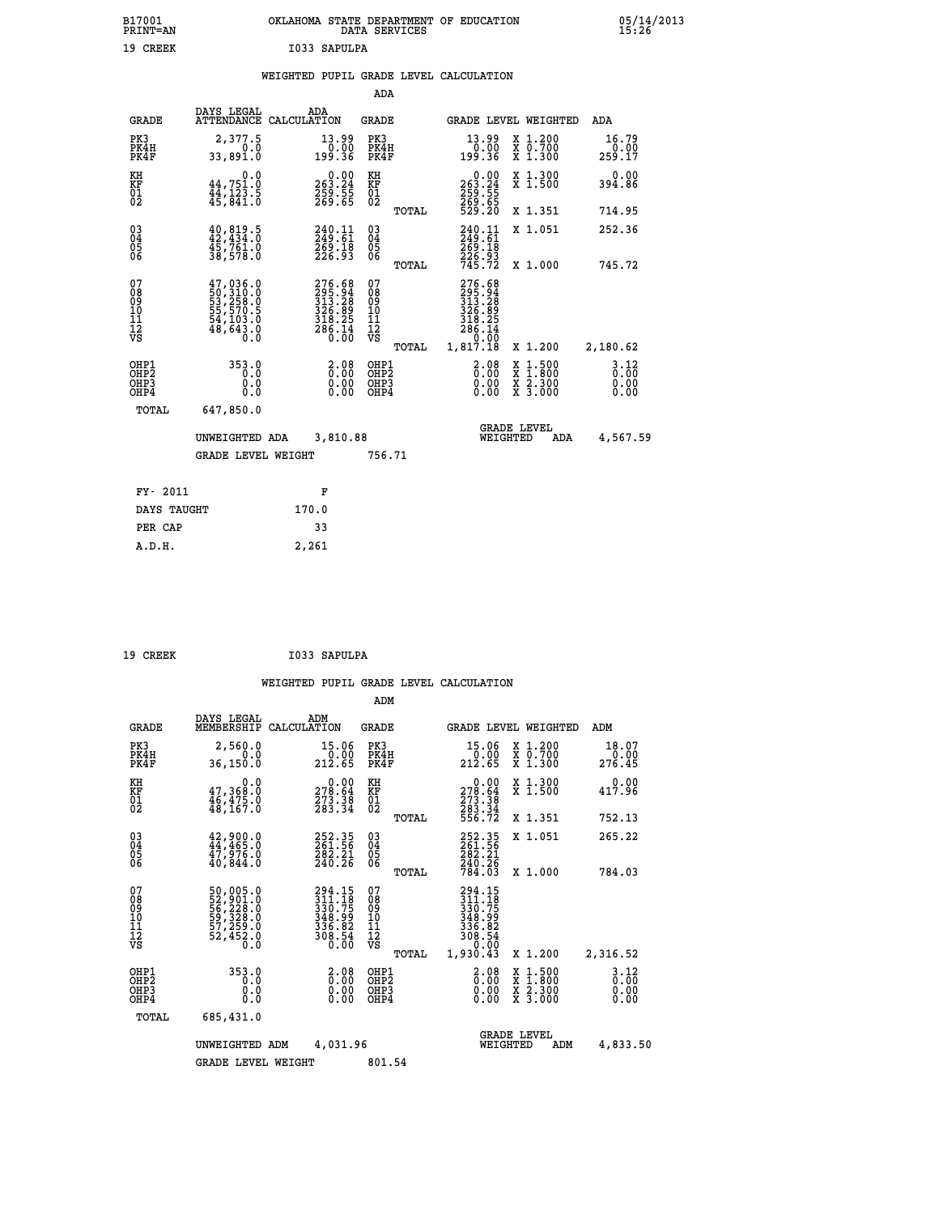|              | OKLAHOMA STATE DEPARTMENT OF EDUCATION<br>DATA SERVICES |  |
|--------------|---------------------------------------------------------|--|
| I033 SAPULPA |                                                         |  |

#### **WEIGHTED PUPIL GRADE LEVEL CALCULATION**

|                                                         |                           |                                                           |          |                      |                                                                                            |       | ADA                                       |                                                                                |                                                                                                                                                 |                                                                    |  |
|---------------------------------------------------------|---------------------------|-----------------------------------------------------------|----------|----------------------|--------------------------------------------------------------------------------------------|-------|-------------------------------------------|--------------------------------------------------------------------------------|-------------------------------------------------------------------------------------------------------------------------------------------------|--------------------------------------------------------------------|--|
|                                                         | ADA                       | <b>GRADE LEVEL WEIGHTED</b>                               |          |                      |                                                                                            |       | GRADE                                     | ADA<br>ATTENDANCE CALCULATION                                                  | DAYS LEGAL                                                                                                                                      | <b>GRADE</b>                                                       |  |
|                                                         | 16.79<br>$0.00$<br>17.953 | X 1.200<br>X 0.700<br>X 1.300                             |          |                      | $\substack{13.99 \\ 0.00 \\ 199.36}$                                                       |       | PK3<br>PK4H<br>PK4F                       | $\substack{13.99 \\ 0.00 \\ 199.36}$                                           | 2,377.5<br>33,891.0                                                                                                                             | PK3<br>PK4H<br>PK4F                                                |  |
| 0.00                                                    | 394.86                    | X 1.300<br>X 1.500                                        |          |                      | $\begin{smallmatrix} &0.00\\ 263.24\\ 259.55\\ 269.65\\ 269.65\\ 529.20 \end{smallmatrix}$ |       | KH<br>KF<br>01<br>02                      | $\begin{smallmatrix} &0.00\ 263.24\ 259.55\ 269.65 \end{smallmatrix}$          | $\begin{smallmatrix} & & 0.0\ 44,751.0\ 44,123.5\ 45,841.0 \end{smallmatrix}$                                                                   | KH<br>KF<br>01<br>02                                               |  |
|                                                         | 714.95                    | X 1.351                                                   |          |                      |                                                                                            | TOTAL |                                           |                                                                                |                                                                                                                                                 |                                                                    |  |
|                                                         | 252.36                    | X 1.051                                                   |          |                      | 240.11<br>249.61<br>269:18<br>226:93<br>745.72                                             |       | $\substack{03 \\ 04}$<br>05<br>06         | 240.11<br>249.61<br>269:18<br>226.93                                           | $40,819.5$<br>$42,434.0$<br>45,761.0<br>38,578.0                                                                                                | $\begin{smallmatrix} 03 \\[-4pt] 04 \end{smallmatrix}$<br>Ŏ5<br>06 |  |
|                                                         | 745.72                    | X 1.000                                                   |          |                      |                                                                                            | TOTAL |                                           |                                                                                |                                                                                                                                                 |                                                                    |  |
|                                                         | 2,180.62                  | X 1.200                                                   |          | 0.00                 | 276.68<br>295.94<br>313.28<br>326.89<br>318.25<br>286.14<br>1,817.18                       | TOTAL | 07<br>08<br>09<br>11<br>11<br>12<br>VS    | $276.68$<br>$295.94$<br>$313.28$<br>$326.89$<br>$318.25$<br>$286.14$<br>$0.00$ | $\begin{smallmatrix} 47,036\cdot 0\\ 50,310\cdot 0\\ 53,258\cdot 0\\ 55,570\cdot 5\\ 54,103\cdot 0\\ 48,643\cdot 0\\ 0\cdot 0\end{smallmatrix}$ | 07<br>08<br>09<br>11<br>11<br>12<br>VS                             |  |
| 3.12<br>$\overline{0}$ . $\overline{0}$<br>0.00<br>0.00 |                           | $1.500$<br>$1.800$<br>$\frac{x}{x}$ $\frac{5.300}{3.000}$ | X<br>X   | 2.08<br>0.00<br>0.00 |                                                                                            |       | OHP1<br>OH <sub>P</sub> 2<br>OHP3<br>OHP4 | 2.08<br>0.00<br>0.00                                                           | 353.0<br>0.0<br>0.0<br>0.0                                                                                                                      | OHP1<br>OH <sub>P</sub> 2<br>OHP3<br>OHP4                          |  |
|                                                         |                           |                                                           |          |                      |                                                                                            |       |                                           |                                                                                | 647,850.0                                                                                                                                       | TOTAL                                                              |  |
| 4,567.59                                                |                           | <b>GRADE LEVEL</b><br>ADA                                 | WEIGHTED |                      |                                                                                            |       |                                           | 3,810.88                                                                       | UNWEIGHTED ADA                                                                                                                                  |                                                                    |  |
|                                                         |                           |                                                           |          |                      |                                                                                            |       |                                           |                                                                                |                                                                                                                                                 |                                                                    |  |
|                                                         |                           |                                                           |          |                      |                                                                                            |       |                                           | F                                                                              |                                                                                                                                                 | FY- 2011                                                           |  |
|                                                         |                           |                                                           |          |                      |                                                                                            |       |                                           | 170.0                                                                          |                                                                                                                                                 | DAYS TAUGHT                                                        |  |
|                                                         |                           |                                                           |          |                      |                                                                                            |       |                                           | 33                                                                             |                                                                                                                                                 | PER CAP                                                            |  |
|                                                         |                           |                                                           |          |                      |                                                                                            |       |                                           | 2,261                                                                          |                                                                                                                                                 | A.D.H.                                                             |  |
|                                                         |                           |                                                           |          |                      |                                                                                            |       | 756.71                                    |                                                                                | <b>GRADE LEVEL WEIGHT</b>                                                                                                                       |                                                                    |  |

19 CREEK 1033 SAPULPA

 **B17001<br>PRINT=AN<br>19 CREEK** 

|                                                       |                                                                                   |                                                                                | ADM                                             |                                                                                          |                                                                                                  |                                  |
|-------------------------------------------------------|-----------------------------------------------------------------------------------|--------------------------------------------------------------------------------|-------------------------------------------------|------------------------------------------------------------------------------------------|--------------------------------------------------------------------------------------------------|----------------------------------|
| <b>GRADE</b>                                          | DAYS LEGAL<br>MEMBERSHIP                                                          | ADM<br>CALCULATION                                                             | <b>GRADE</b>                                    |                                                                                          | GRADE LEVEL WEIGHTED                                                                             | ADM                              |
| PK3<br>PK4H<br>PK4F                                   | 2,560.0<br>0.0<br>36, 150.0                                                       | 15.06<br>$\frac{0.00}{212.65}$                                                 | PK3<br>PK4H<br>PK4F                             | 15.06<br>$\frac{0.00}{212.65}$                                                           | X 1.200<br>X 0.700<br>X 1.300                                                                    | 18.07<br>0.00<br>276.45          |
| KH<br>KF<br>01<br>02                                  | 0.0<br>$\frac{47}{46}, \frac{368}{475}$ .0<br>$\frac{46}{48}, \frac{475}{167}$ .0 | $\begin{smallmatrix} &0.00\\ 278.64\\ 273.38\\ 283.34\end{smallmatrix}$        | KH<br>KF<br>01<br>02                            | $\begin{smallmatrix} &0.00\\ 278.64\\ 273.38\\ 283.34\\ 556.72 \end{smallmatrix}$        | X 1.300<br>X 1.500                                                                               | 0.00<br>417.96                   |
|                                                       |                                                                                   |                                                                                | TOTAL                                           |                                                                                          | X 1.351                                                                                          | 752.13                           |
| 03<br>04<br>05<br>06                                  | $42,900.0$<br>$44,465.0$<br>$47,976.0$<br>40,844.0                                | 252.35<br>261.56<br>282.21<br>240.26                                           | $\substack{03 \\ 04}$<br>0500                   | 252.35<br>261.56<br>282.21                                                               | X 1.051                                                                                          | 265.22                           |
|                                                       |                                                                                   |                                                                                | TOTAL                                           | 240.26<br>784.03                                                                         | X 1.000                                                                                          | 784.03                           |
| 07<br>08<br>09<br>101<br>112<br>VS                    | 50,005.0<br>52,901.0<br>56,228.0<br>59,328.0<br>57,259.0<br>57,259.0<br>52,452.0  | $294.15$<br>$311.18$<br>$330.75$<br>$348.99$<br>$336.82$<br>$308.54$<br>$0.00$ | 07<br>08<br>09<br>11<br>11<br>12<br>VS<br>TOTAL | $294.15$<br>$311.18$<br>$330.75$<br>$348.99$<br>$336.82$<br>$308.54$<br>0.00<br>1,930.43 | X 1.200                                                                                          | 2,316.52                         |
| OHP1<br>OH <sub>P</sub> 2<br>OH <sub>P3</sub><br>OHP4 | 353.0<br>0.0<br>0.000                                                             | $\begin{smallmatrix} 2.08\ 0.00 \ 0.00 \end{smallmatrix}$<br>0.00              | OHP1<br>OHP2<br>OHP3<br>OHP4                    | $\begin{smallmatrix} 2.08\ 0.00 \ 0.00 \end{smallmatrix}$<br>0.00                        | $\begin{smallmatrix} x & 1 & 500 \\ x & 1 & 800 \\ x & 2 & 300 \\ x & 3 & 000 \end{smallmatrix}$ | $3.12$<br>$0.00$<br>0.00<br>0.00 |
| TOTAL                                                 | 685,431.0                                                                         |                                                                                |                                                 |                                                                                          |                                                                                                  |                                  |
|                                                       | UNWEIGHTED ADM                                                                    | 4,031.96                                                                       |                                                 |                                                                                          | <b>GRADE LEVEL</b><br>WEIGHTED<br>ADM                                                            | 4,833.50                         |
|                                                       | <b>GRADE LEVEL WEIGHT</b>                                                         |                                                                                | 801.54                                          |                                                                                          |                                                                                                  |                                  |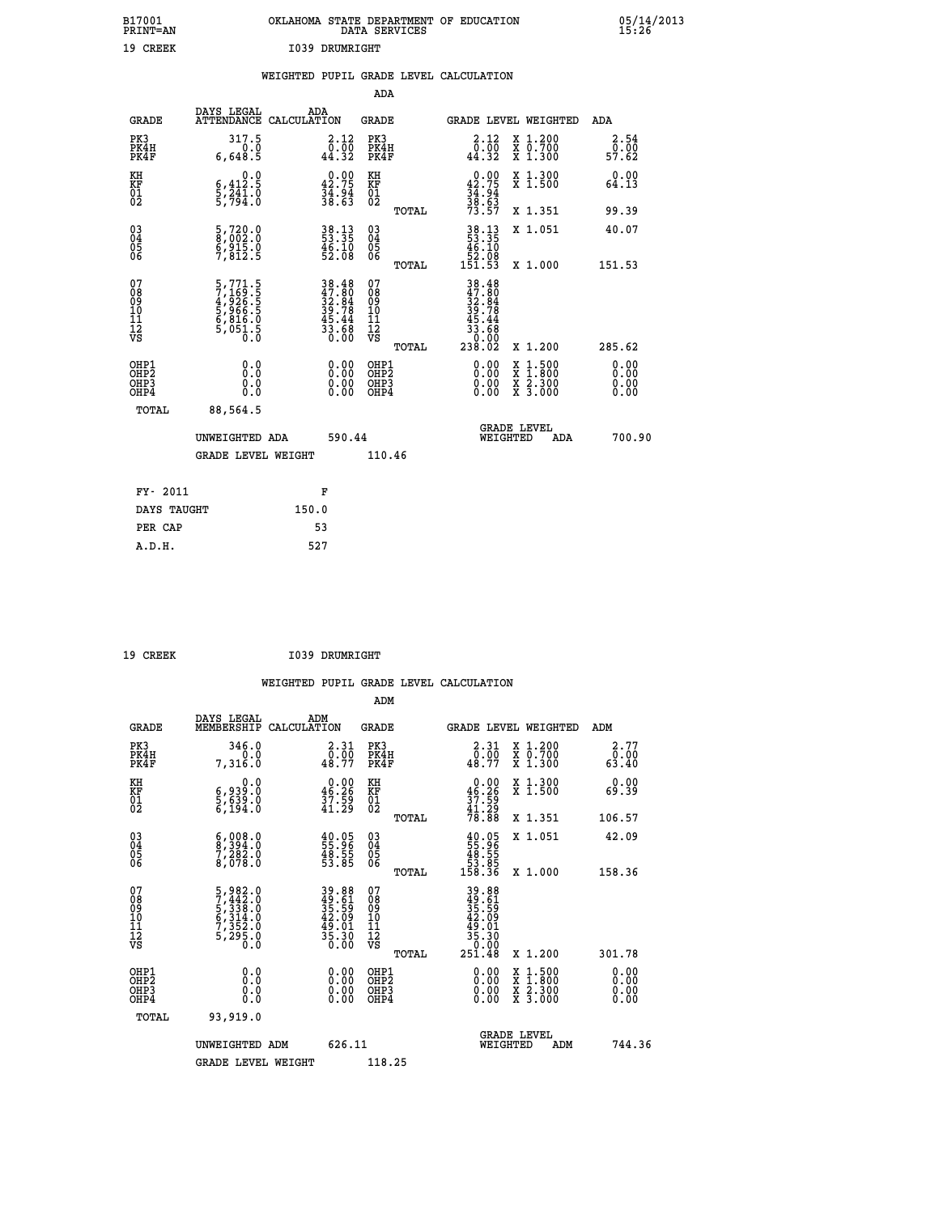| B17001<br>PRINT=AN                             |                                                                               | OKLAHOMA STATE DEPARTMENT OF EDUCATION                                                                                                                                                                                                                                                                                                                                                                                                                                                                                          | DATA SERVICES                                      |                                                                                                                                                                                                                                                     |                                                                                          | $05/14/2013$<br>15:26 |  |
|------------------------------------------------|-------------------------------------------------------------------------------|---------------------------------------------------------------------------------------------------------------------------------------------------------------------------------------------------------------------------------------------------------------------------------------------------------------------------------------------------------------------------------------------------------------------------------------------------------------------------------------------------------------------------------|----------------------------------------------------|-----------------------------------------------------------------------------------------------------------------------------------------------------------------------------------------------------------------------------------------------------|------------------------------------------------------------------------------------------|-----------------------|--|
| 19 CREEK                                       |                                                                               | 1039 DRUMRIGHT                                                                                                                                                                                                                                                                                                                                                                                                                                                                                                                  |                                                    |                                                                                                                                                                                                                                                     |                                                                                          |                       |  |
|                                                |                                                                               | WEIGHTED PUPIL GRADE LEVEL CALCULATION                                                                                                                                                                                                                                                                                                                                                                                                                                                                                          |                                                    |                                                                                                                                                                                                                                                     |                                                                                          |                       |  |
|                                                |                                                                               |                                                                                                                                                                                                                                                                                                                                                                                                                                                                                                                                 | ADA                                                |                                                                                                                                                                                                                                                     |                                                                                          |                       |  |
| <b>GRADE</b>                                   | DAYS LEGAL<br>ATTENDANCE CALCULATION                                          | <b>ADA</b>                                                                                                                                                                                                                                                                                                                                                                                                                                                                                                                      | <b>GRADE</b>                                       | GRADE LEVEL WEIGHTED                                                                                                                                                                                                                                |                                                                                          | ADA                   |  |
| PK3<br>PK4H<br>PK4F                            | 317.5<br>0.0<br>6,648.5                                                       | 2.12<br>$\substack{\textcolor{red}{\textbf{0}}\textcolor{black}{\textbf{:}}\textcolor{red}{\textbf{00}}\textcolor{black}{\textbf{0}}\textcolor{red}{\textbf{0}}\textcolor{red}{\textbf{1}}\textcolor{red}{\textbf{1}}\textcolor{red}{\textbf{2}}\textcolor{red}{\textbf{1}}\textcolor{red}{\textbf{44}}\textcolor{red}{\textbf{1}}\textcolor{red}{\textbf{32}}\textcolor{red}{\textbf{1}}\textcolor{red}{\textbf{1}}\textcolor{red}{\textbf{1}}\textcolor{red}{\textbf{1}}\textcolor{red}{\textbf{1}}\textcolor{red}{\textbf{1$ | PK3<br>PK4H<br>PK4F                                | 2.12<br>$\begin{smallmatrix} 0.000 0.001 0.001 0.001 0.001 0.001 0.001 0.001 0.001 0.001 0.001 0.001 0.001 0.001 0.001 0.001 0.001 0.001 0.001 0.001 0.001 0.001 0.001 0.001 0.001 0.001 0.001 0.001 0.001 0.001 0.001 0.001 0.001 0.001 0.001 0.0$ | X 1.200<br>X 0.700<br>X 1.300                                                            | 2.54<br>0.00<br>57.62 |  |
| KH<br>KF<br>01<br>02                           | 0.0<br>$\frac{6}{5}, \frac{412}{241}$ $\frac{5}{5}, \frac{794}{794}$          | $\begin{smallmatrix} 0.00\\ 42.75\\ 34.94\\ 38.63 \end{smallmatrix}$                                                                                                                                                                                                                                                                                                                                                                                                                                                            | KH<br>KF<br>01<br>02                               | $\begin{smallmatrix} 0.00\\ 42.75\\ 34.94\\ 38.63\\ 73.57 \end{smallmatrix}$                                                                                                                                                                        | X 1.300<br>X 1.500                                                                       | 0.00<br>64.13         |  |
|                                                |                                                                               |                                                                                                                                                                                                                                                                                                                                                                                                                                                                                                                                 | <b>TOTAL</b>                                       |                                                                                                                                                                                                                                                     | X 1.351                                                                                  | 99.39                 |  |
| $\substack{03 \\ 04}$<br>$\substack{05 \\ 06}$ | $\begin{smallmatrix} 5,720.0\\ 8,002.0\\ 6,915.0\\ 7,812.5 \end{smallmatrix}$ | $\begin{smallmatrix} 38.13\ 53.35\ 46.10\ 52.08 \end{smallmatrix}$                                                                                                                                                                                                                                                                                                                                                                                                                                                              | $\begin{matrix} 03 \\ 04 \\ 05 \\ 06 \end{matrix}$ | 38.13<br>53.35<br>46.10<br>52.08<br>151.53                                                                                                                                                                                                          | X 1.051                                                                                  | 40.07                 |  |
|                                                |                                                                               |                                                                                                                                                                                                                                                                                                                                                                                                                                                                                                                                 | TOTAL                                              |                                                                                                                                                                                                                                                     | X 1.000                                                                                  | 151.53                |  |
| 078901112<br>00010112<br>VS                    | 5,771.5<br>7,169.5<br>4,926.5<br>5,966.5<br>5,816.0<br>6,816.0<br>5,051.5     | $38.48$<br>$47.80$<br>$32.84$<br>$39.78$<br>$45.44$<br>$33.68$<br>$0.00$                                                                                                                                                                                                                                                                                                                                                                                                                                                        | 07<br>08<br>09<br>11<br>11<br>12<br>VS<br>TOTAL    | 0.00<br>238.02                                                                                                                                                                                                                                      | X 1.200                                                                                  | 285.62                |  |
| OHP1<br>OHP2<br>OHP3<br>OHP4                   | 0.0<br>0.0<br>0.0                                                             | 0.00<br>0.00                                                                                                                                                                                                                                                                                                                                                                                                                                                                                                                    | OHP1<br>OHP2<br>OHP3<br>OHP4                       | 0.00<br>0.00<br>0.00                                                                                                                                                                                                                                | $\begin{smallmatrix} x & 1.500 \\ x & 1.800 \\ x & 2.300 \\ x & 3.000 \end{smallmatrix}$ | 0.00<br>0.00<br>0.00  |  |
| <b>TOTAL</b>                                   | 88,564.5                                                                      |                                                                                                                                                                                                                                                                                                                                                                                                                                                                                                                                 |                                                    |                                                                                                                                                                                                                                                     |                                                                                          |                       |  |
|                                                | UNWEIGHTED ADA                                                                | 590.44                                                                                                                                                                                                                                                                                                                                                                                                                                                                                                                          |                                                    | <b>GRADE LEVEL</b><br>WEIGHTED                                                                                                                                                                                                                      | ADA                                                                                      | 700.90                |  |
|                                                | <b>GRADE LEVEL WEIGHT</b>                                                     |                                                                                                                                                                                                                                                                                                                                                                                                                                                                                                                                 | 110.46                                             |                                                                                                                                                                                                                                                     |                                                                                          |                       |  |
| FY- 2011                                       |                                                                               | F                                                                                                                                                                                                                                                                                                                                                                                                                                                                                                                               |                                                    |                                                                                                                                                                                                                                                     |                                                                                          |                       |  |
| DAYS TAUGHT                                    |                                                                               | 150.0                                                                                                                                                                                                                                                                                                                                                                                                                                                                                                                           |                                                    |                                                                                                                                                                                                                                                     |                                                                                          |                       |  |
|                                                |                                                                               |                                                                                                                                                                                                                                                                                                                                                                                                                                                                                                                                 |                                                    |                                                                                                                                                                                                                                                     |                                                                                          |                       |  |

| PER CAP | 53  |
|---------|-----|
| A.D.H.  | 527 |
|         |     |

 **WEIGHTED PUPIL GRADE LEVEL CALCULATION ADM DAYS LEGAL ADM GRADE MEMBERSHIP CALCULATION GRADE GRADE LEVEL WEIGHTED ADM PK3 346.0 2.31 PK3 2.31 X 1.200 2.77 PK4H 0.0 0.00 PK4H 0.00 X 0.700 0.00 PK4F 7,316.0 48.77 PK4F 48.77 X 1.300 63.40 KH 0.0 0.00 KH 0.00 X 1.300 0.00 KF 6,939.0 46.26 KF 46.26 X 1.500 69.39 EXH**<br> **KF**<br> **01**<br> **5,639.0**<br> **5,639.0**<br> **5,194.0**<br> **5,194.0**<br> **5,194.0**<br> **5,194.0 02 6,194.0 41.29 02 41.29 TOTAL 78.88 X 1.351 106.57 03 6,008.0 40.05 03 40.05 X 1.051 42.09 04 8,394.0 55.96 04 55.96 05 7,282.0 48.55 05 48.55 06 8,078.0 53.85 06 53.85 TOTAL 158.36 X 1.000 158.36**  $\begin{array}{cccc} 07 & 5,982.0 & 39.88 & 07 & 39.88 \ 08 & 7,422.0 & 42.69 & 49.61 \ 09 & 5,338.0 & 35.59 & 09 & 42.55 \ 10 & 6,314.0 & 42.09 & 10 & 42.09 \ 11 & 7,352.0 & 49.31 & 11 & 49.01 \ 12 & 5,295.0 & 35.30 & 12 & 49.01 \ \hline \end{array}$ **39.88 07**<br> **39.88 07**<br> **39.88**<br> **42.09 10**<br> **42.09 10**<br> **42.09 11**<br> **42.09**<br> **42.09**<br> **42.09**<br> **42.09**<br> **42.09**<br> **42.09**<br> **42.09**<br> **42.09**<br> **42.09**<br> **42.09**<br> **42.09**<br> **42.09**<br> **42.09**<br> **42.09**<br> **42.09**<br> **42.09**<br> **42.09**<br>  **OHP1 0.0 0.00 OHP1 0.00 X 1.500 0.00 OHP2 0.0 0.00 OHP2 0.00 X 1.800 0.00 OHP3 0.0 0.00 OHP3 0.00 X 2.300 0.00 OHP4 0.0 0.00 OHP4 0.00 X 3.000 0.00 TOTAL 93,919.0 GRADE LEVEL UNWEIGHTED ADM 626.11 WEIGHTED ADM 744.36** GRADE LEVEL WEIGHT 118.25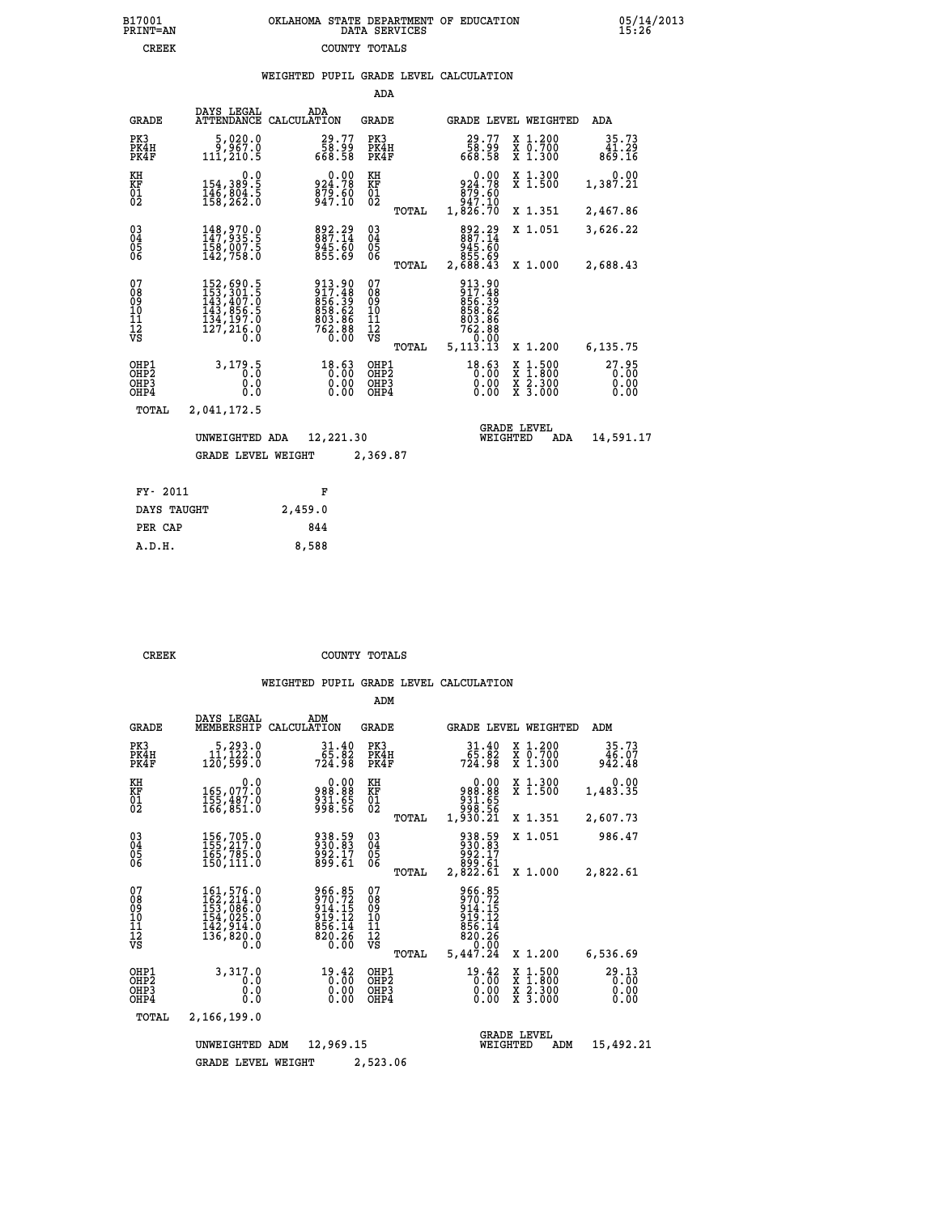|  | OKLAHOMA STATE DEPARTMENT OF EDUCATION<br>DATA SERVICES |  |
|--|---------------------------------------------------------|--|
|  | COUNTY TOTALS                                           |  |

|  |  | WEIGHTED PUPIL GRADE LEVEL CALCULATION |
|--|--|----------------------------------------|
|  |  |                                        |

|                                                                    |                                                                                                                           |                                                                  | ADA                                            |       |                                                                               |          |                                                                                                  |                               |
|--------------------------------------------------------------------|---------------------------------------------------------------------------------------------------------------------------|------------------------------------------------------------------|------------------------------------------------|-------|-------------------------------------------------------------------------------|----------|--------------------------------------------------------------------------------------------------|-------------------------------|
| <b>GRADE</b>                                                       | DAYS LEGAL<br><b>ATTENDANCE</b>                                                                                           | ADA<br>CALCULATION                                               | <b>GRADE</b>                                   |       |                                                                               |          | GRADE LEVEL WEIGHTED                                                                             | <b>ADA</b>                    |
| PK3<br>PK4H<br>PK4F                                                | 5,020.0<br>9,967.0<br>111,210.5                                                                                           | 29.77<br>00.85<br>85.866                                         | PK3<br>PK4H<br>PK4F                            |       | 77.29<br>58.99<br>668.58                                                      |          | X 1.200<br>X 0.700<br>X 1.300                                                                    | 35.73<br>41.29<br>869.16      |
| KH<br><b>KF</b><br>01<br>02                                        | $0.0$<br>154,389.5<br>146,804.5<br>158,262.0                                                                              | $924.78$<br>$879.60$<br>$879.60$<br>$947.10$                     | KH<br>KF<br>01<br>02                           |       | 0.00<br>924.78<br>879.60<br>947.10<br>1,826.70                                |          | X 1.300<br>X 1.500                                                                               | 0.00<br>1,387.21              |
|                                                                    |                                                                                                                           |                                                                  |                                                | TOTAL |                                                                               |          | X 1.351                                                                                          | 2,467.86                      |
| $\begin{smallmatrix} 03 \\[-4pt] 04 \end{smallmatrix}$<br>Ŏ5<br>06 | 148,970.0<br>147,935.5<br>158,007.5<br>142,758.0                                                                          | 892.29<br>887.14<br>945.60<br>855.69                             | $\substack{03 \\ 04}$<br>$\substack{05 \\ 06}$ |       | 892.29<br>887.14<br>03.348<br>85.58<br>88.43,2                                |          | X 1.051                                                                                          | 3,626.22                      |
|                                                                    |                                                                                                                           |                                                                  |                                                | TOTAL |                                                                               |          | X 1.000                                                                                          | 2,688.43                      |
| 07<br>08<br>09<br>11<br>11<br>12<br>VS                             | $\begin{smallmatrix} 152, 690.5\\ 153, 301.5\\ 143, 407.0\\ 143, 856.5\\ 134, 197.0\\ 127, 216.0\\ 0.0 \end{smallmatrix}$ | 913.90<br>917.48<br>856.39<br>858.62<br>803.86<br>902.88<br>0.00 | 07<br>089<br>101<br>111<br>VS                  |       | 913.90<br>917.48<br>856:39<br>858:62<br>803:86<br>762:88<br>0ً.0°<br>5,113.13 |          |                                                                                                  |                               |
|                                                                    |                                                                                                                           |                                                                  |                                                | TOTAL |                                                                               |          | X 1.200                                                                                          | 6,135.75                      |
| OHP1<br>OHP2<br>OHP3<br>OHP4                                       | 3,179.5<br>0.0<br>0.0<br>0.0                                                                                              | 18.63<br>0.00<br>0.00                                            | OHP1<br>OHP <sub>2</sub><br>OHP3<br>OHP4       |       | $18.63$<br>$0.00$<br>0.00<br>0.00                                             |          | $\begin{smallmatrix} x & 1 & 500 \\ x & 1 & 800 \\ x & 2 & 300 \\ x & 3 & 000 \end{smallmatrix}$ | 27.95<br>0.00<br>0.00<br>0.00 |
| TOTAL                                                              | 2,041,172.5                                                                                                               |                                                                  |                                                |       |                                                                               |          |                                                                                                  |                               |
|                                                                    | UNWEIGHTED ADA                                                                                                            | 12,221.30                                                        |                                                |       |                                                                               | WEIGHTED | <b>GRADE LEVEL</b><br>ADA                                                                        | 14,591.17                     |
|                                                                    | <b>GRADE LEVEL WEIGHT</b>                                                                                                 |                                                                  | 2,369.87                                       |       |                                                                               |          |                                                                                                  |                               |
|                                                                    |                                                                                                                           |                                                                  |                                                |       |                                                                               |          |                                                                                                  |                               |
| FY- 2011                                                           |                                                                                                                           | F                                                                |                                                |       |                                                                               |          |                                                                                                  |                               |
| DAYS TAUGHT                                                        |                                                                                                                           | 2,459.0                                                          |                                                |       |                                                                               |          |                                                                                                  |                               |

**PER CAP** 844  **A.D.H. 8,588**

B17001<br>PRINT=AN<br>CREEK

**CREEK COUNTY TOTALS** 

|                                           |                                                                                   |                                                                  | ADM                                             |                                                                              |                                                                                                  |                               |
|-------------------------------------------|-----------------------------------------------------------------------------------|------------------------------------------------------------------|-------------------------------------------------|------------------------------------------------------------------------------|--------------------------------------------------------------------------------------------------|-------------------------------|
| <b>GRADE</b>                              | DAYS LEGAL<br>MEMBERSHIP                                                          | ADM<br>CALCULATION                                               | <b>GRADE</b>                                    | GRADE LEVEL WEIGHTED                                                         |                                                                                                  | ADM                           |
| PK3<br>PK4H<br>PK4F                       | 5, 293.0<br>11, 122.0<br>120,599.0                                                | 31.40<br>65.82<br>724.98                                         | PK3<br>PK4H<br>PK4F                             | $31.40$<br>$65.82$<br>$724.98$                                               | X 1.200<br>X 0.700<br>X 1.300                                                                    | 35.73<br>46.07<br>942.48      |
| KH<br>KF<br>01<br>02                      | 0.0<br>165,077.0<br>155,487.0<br>166,851.0                                        | 0.00<br>88.889<br>931.65<br>998.56                               | KH<br>KF<br>01<br>02                            | 0.00<br>988.88<br>831.65<br>831.56<br>1,930.21                               | X 1.300<br>X 1.500                                                                               | 0.00<br>1,483.35              |
|                                           |                                                                                   |                                                                  | TOTAL                                           |                                                                              | X 1.351                                                                                          | 2,607.73                      |
| 03<br>04<br>05<br>06                      | 156,705.0<br>165,785.0<br>150, 111.0                                              | 938.59<br>930.83<br>992.17<br>899.61                             | $\substack{03 \\ 04}$<br>05                     | 938.59<br>930.83<br>992.17                                                   | X 1.051                                                                                          | 986.47                        |
|                                           |                                                                                   |                                                                  | TOTAL                                           | 899.7<br>2,822.61                                                            | X 1.000                                                                                          | 2,822.61                      |
| 07<br>08<br>09<br>11<br>11<br>12<br>VS    | 161,576.0<br>162,214.0<br>153,086.0<br>154,025.0<br>142,914.0<br>136,820.0<br>0.0 | 966.85<br>970.72<br>914.15<br>919.12<br>856.14<br>820.26<br>0.00 | 07<br>08<br>09<br>11<br>11<br>12<br>VS<br>TOTAL | 966.85<br>970.72<br>914.15<br>919.12<br>856.14<br>820.26<br>0.00<br>5,447.24 | X 1.200                                                                                          | 6,536.69                      |
| OHP1<br>OH <sub>P</sub> 2<br>OHP3<br>OHP4 | 3,317.0<br>0.0<br>0.0<br>Ŏ.Ŏ                                                      | 19.42<br>0.00<br>0.00<br>0.00                                    | OHP1<br>OH <sub>P</sub> 2<br>OHP3<br>OHP4       | 19.42<br>0.00<br>0.00<br>0.00                                                | $\begin{smallmatrix} x & 1 & 500 \\ x & 1 & 800 \\ x & 2 & 300 \\ x & 3 & 000 \end{smallmatrix}$ | 29.13<br>0.00<br>0.00<br>0.00 |
| TOTAL                                     | 2,166,199.0                                                                       |                                                                  |                                                 |                                                                              |                                                                                                  |                               |
|                                           | UNWEIGHTED ADM                                                                    | 12,969.15                                                        |                                                 | <b>GRADE LEVEL</b><br>WEIGHTED                                               | ADM                                                                                              | 15,492.21                     |
|                                           | <b>GRADE LEVEL WEIGHT</b>                                                         |                                                                  | 2,523.06                                        |                                                                              |                                                                                                  |                               |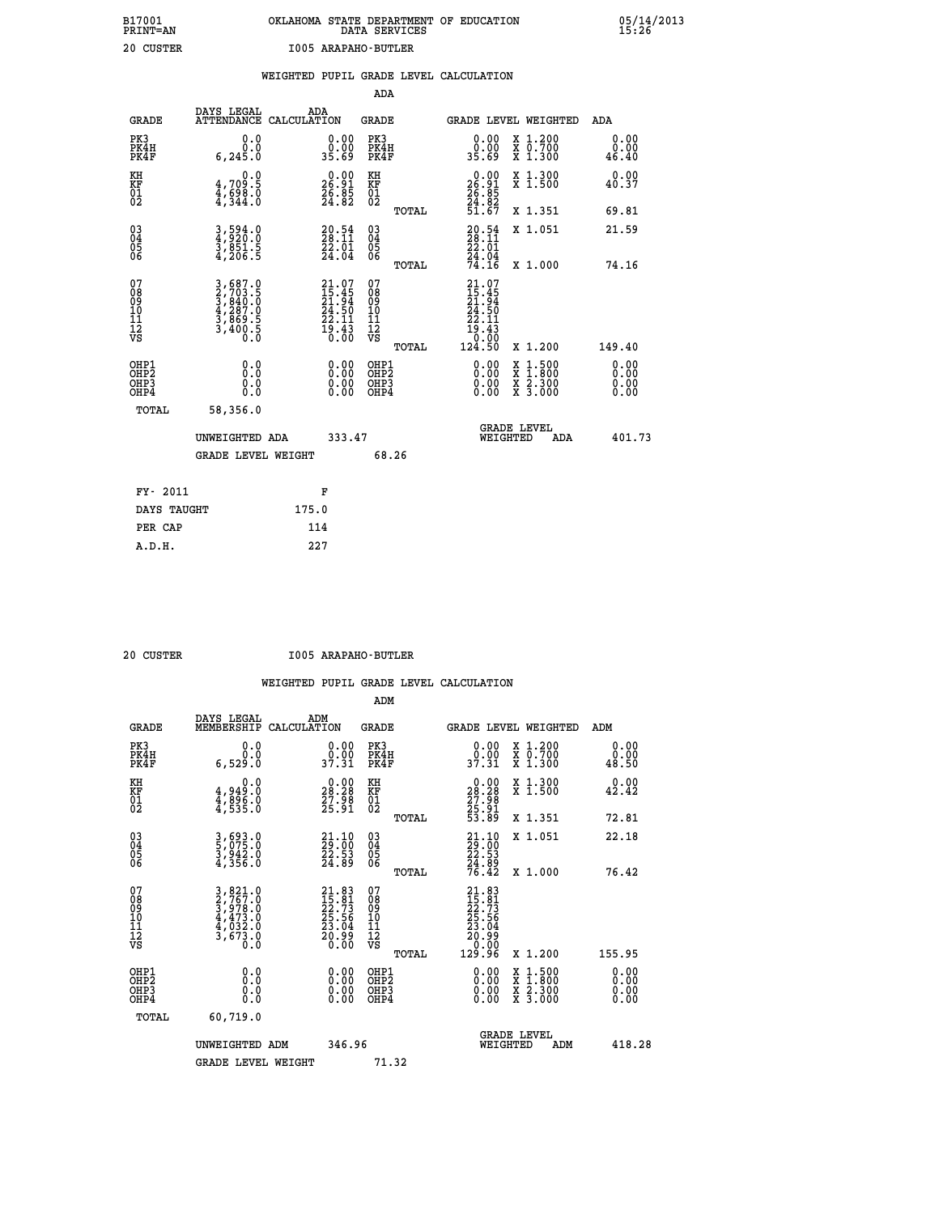# **B17001 OKLAHOMA STATE DEPARTMENT OF EDUCATION 05/14/2013 PRINT=AN DATA SERVICES 15:26 20 CUSTER I005 ARAPAHO-BUTLER**

|                                                                    |                                                                                                                                                                                                        |                               |                                                                                      |                                                 | WEIGHTED PUPIL GRADE LEVEL CALCULATION                                                                                                                                                                                                                                         |                                          |                              |
|--------------------------------------------------------------------|--------------------------------------------------------------------------------------------------------------------------------------------------------------------------------------------------------|-------------------------------|--------------------------------------------------------------------------------------|-------------------------------------------------|--------------------------------------------------------------------------------------------------------------------------------------------------------------------------------------------------------------------------------------------------------------------------------|------------------------------------------|------------------------------|
|                                                                    |                                                                                                                                                                                                        |                               |                                                                                      | <b>ADA</b>                                      |                                                                                                                                                                                                                                                                                |                                          |                              |
| <b>GRADE</b>                                                       | DAYS LEGAL                                                                                                                                                                                             | ADA<br>ATTENDANCE CALCULATION |                                                                                      | GRADE                                           | GRADE LEVEL WEIGHTED                                                                                                                                                                                                                                                           |                                          | ADA                          |
| PK3<br>PK4H<br>PK4F                                                | 6, 245.0                                                                                                                                                                                               | 0.0<br>0.0                    | $\begin{smallmatrix} 0.00\\ 0.00\\ 35.69 \end{smallmatrix}$                          | PK3<br>PK4H<br>PK4F                             | 0.00<br>35.69                                                                                                                                                                                                                                                                  | X 1.200<br>X 0.700<br>X 1.300            | 0.00<br>0.00<br>46.40        |
| KH<br>KF<br>01<br>02                                               | $\frac{4}{4}, \frac{709}{698}$ .0<br>$\frac{4}{4}, \frac{598}{344}$ .0                                                                                                                                 | 0.0                           | $\begin{smallmatrix} 0.00\\ 26.91\\ 26.85\\ 24.82 \end{smallmatrix}$                 | KH<br>KF<br>01<br>02                            | $\begin{smallmatrix} 0.00\\ 26.91\\ 26.85\\ 24.82\\ 51.67 \end{smallmatrix}$                                                                                                                                                                                                   | X 1.300<br>X 1.500                       | 0.00<br>40.37                |
|                                                                    |                                                                                                                                                                                                        |                               |                                                                                      | TOTAL                                           |                                                                                                                                                                                                                                                                                | X 1.351                                  | 69.81                        |
| $\begin{smallmatrix} 03 \\[-4pt] 04 \end{smallmatrix}$<br>Ŏ5<br>06 | $\frac{3}{4}, \frac{594}{920}.0\\ \frac{3}{3}, \frac{851}{900}.5$                                                                                                                                      |                               | $20.54$<br>$28.11$<br>22.01                                                          | $^{03}_{04}$<br>05<br>06                        | $\frac{20.54}{28.11}$                                                                                                                                                                                                                                                          | X 1.051                                  | 21.59                        |
|                                                                    |                                                                                                                                                                                                        |                               | $\bar{2}\bar{4}$ .04                                                                 | TOTAL                                           | $\frac{24}{74}.04$                                                                                                                                                                                                                                                             | X 1.000                                  | 74.16                        |
| 07<br>08<br>09<br>11<br>11<br>12<br>VS                             | $\begin{smallmatrix} 3\,,\,687\,. \ 2\,,\,703\,. \ 5\, \\ 2\,,\,703\,. \ 5\, \\ 3\,,\,840\,. \ 0\, \\ 4\,,\,287\,. \ 0\, \\ 3\,,\,869\,. \ 5\, \\ 3\,,\,400\,. \ 5\, \\ 0\, .\, 0\, \end{smallmatrix}$ |                               | $21.07$<br>$15.45$<br>$21.94$<br>$24.50$<br>$22.11$<br>$\frac{1}{0}$ : $\frac{1}{0}$ | 07<br>08<br>09<br>11<br>11<br>12<br>VS<br>TOTAL | 21.07<br>$\begin{smallmatrix} 215.45\ 21.94\ 24.50\ 22.11\ 19.43\ 0.00\ 124.50 \end{smallmatrix}$                                                                                                                                                                              | X 1.200                                  | 149.40                       |
| OHP1<br>OH <sub>P</sub> 2<br>OHP3<br>OHP4                          |                                                                                                                                                                                                        | 0.0<br>0.0<br>0.0             | $\begin{smallmatrix} 0.00 \ 0.00 \ 0.00 \ 0.00 \end{smallmatrix}$                    | OHP1<br>OHP <sub>2</sub><br>OHP3<br>OHP4        | $\begin{smallmatrix} 0.00 & 0.00 & 0.00 & 0.00 & 0.00 & 0.00 & 0.00 & 0.00 & 0.00 & 0.00 & 0.00 & 0.00 & 0.00 & 0.00 & 0.00 & 0.00 & 0.00 & 0.00 & 0.00 & 0.00 & 0.00 & 0.00 & 0.00 & 0.00 & 0.00 & 0.00 & 0.00 & 0.00 & 0.00 & 0.00 & 0.00 & 0.00 & 0.00 & 0.00 & 0.00 & 0.0$ | X 1:500<br>X 1:800<br>X 2:300<br>X 3:000 | 0.00<br>0.00<br>0.00<br>0.00 |
|                                                                    | TOTAL<br>58,356.0                                                                                                                                                                                      |                               |                                                                                      |                                                 |                                                                                                                                                                                                                                                                                |                                          |                              |
|                                                                    | UNWEIGHTED ADA                                                                                                                                                                                         |                               | 333.47                                                                               |                                                 | <b>GRADE LEVEL</b><br>WEIGHTED                                                                                                                                                                                                                                                 | <b>ADA</b>                               | 401.73                       |
|                                                                    |                                                                                                                                                                                                        | <b>GRADE LEVEL WEIGHT</b>     |                                                                                      | 68.26                                           |                                                                                                                                                                                                                                                                                |                                          |                              |
|                                                                    | FY- 2011                                                                                                                                                                                               | F                             |                                                                                      |                                                 |                                                                                                                                                                                                                                                                                |                                          |                              |
|                                                                    | DAYS TAUGHT                                                                                                                                                                                            | 175.0                         |                                                                                      |                                                 |                                                                                                                                                                                                                                                                                |                                          |                              |
|                                                                    | PER CAP                                                                                                                                                                                                | 114                           |                                                                                      |                                                 |                                                                                                                                                                                                                                                                                |                                          |                              |

 **A.D.H. 227**

 **20 CUSTER I005 ARAPAHO-BUTLER**

|                                          |                                                                                                                                                                  |                                                                                       | ADM                                                 |                                                                                                        |                                          |                       |
|------------------------------------------|------------------------------------------------------------------------------------------------------------------------------------------------------------------|---------------------------------------------------------------------------------------|-----------------------------------------------------|--------------------------------------------------------------------------------------------------------|------------------------------------------|-----------------------|
| <b>GRADE</b>                             | DAYS LEGAL<br>MEMBERSHIP                                                                                                                                         | ADM<br>CALCULATION                                                                    | <b>GRADE</b>                                        |                                                                                                        | GRADE LEVEL WEIGHTED                     | ADM                   |
| PK3<br>PK4H<br>PK4F                      | 0.0<br>ة:ة<br>6.529.0                                                                                                                                            | $\begin{smallmatrix} 0.00\\ 0.00\\ 37.31 \end{smallmatrix}$                           | PK3<br>PK4H<br>PK4F                                 | $\begin{smallmatrix} 0.00\\ 0.00\\ 37.31 \end{smallmatrix}$                                            | X 1.200<br>X 0.700<br>X 1.300            | 0.00<br>0.00<br>48.50 |
| KH<br>KF<br>01<br>02                     | 0.0<br>4,949:0<br>4,896:0<br>4,535:0                                                                                                                             | $\begin{smallmatrix} 0.00\\ 28.28\\ 27.98\\ 25.91 \end{smallmatrix}$                  | KH<br>KF<br>01<br>02                                | $\begin{smallmatrix} 0.00\\ 28.28\\ 27.98\\ 25.91\\ 53.89 \end{smallmatrix}$                           | X 1.300<br>X 1.500                       | 0.00<br>42.42         |
|                                          |                                                                                                                                                                  |                                                                                       | TOTAL                                               |                                                                                                        | X 1.351                                  | 72.81                 |
| 03<br>04<br>05<br>06                     | 3,693.0<br>5,075.0<br>3,942.0<br>4,356.0                                                                                                                         | $\begin{smallmatrix} 21\cdot 10\\29\cdot 00\\22\cdot 53\\24\cdot 89\end{smallmatrix}$ | $\begin{array}{c} 03 \\ 04 \\ 05 \\ 06 \end{array}$ | $\begin{smallmatrix} 21\cdot 10\\ 29\cdot 00\\ 22\cdot 53\\ 24\cdot 89\\ 76\cdot 42 \end{smallmatrix}$ | X 1.051                                  | 22.18                 |
|                                          |                                                                                                                                                                  |                                                                                       | TOTAL                                               |                                                                                                        | X 1.000                                  | 76.42                 |
| 07<br>08<br>09<br>101<br>112<br>VS       | $\begin{smallmatrix} 3\,,\,821\,.\,0\\ 2\,,\,767\,. \,0\\ 3\,,\,978\,. \,0\\ 4\,,\,473\,. \,0\\ 4\,,\,032\,. \,0\\ 3\,,\,673\,. \,0\\ 0\,. \,0\end{smallmatrix}$ | $21.83\n15.81\n22.73\n25.56\n23.04\n20.99\n0.00$                                      | 07<br>08<br>09<br>11<br>11<br>12<br>VS              | $\begin{smallmatrix} 21.83\ 15.81\ 22.73\ 23.56\ 23.564\ 20.909\ 0.006\ 129.96\ \end{smallmatrix}$     |                                          |                       |
|                                          |                                                                                                                                                                  |                                                                                       | TOTAL                                               |                                                                                                        | X 1.200                                  | 155.95                |
| OHP1<br>OHP2<br>OHP <sub>3</sub><br>OHP4 | 0.0<br>$\begin{smallmatrix} 0.0 & 0 \ 0.0 & 0 \end{smallmatrix}$                                                                                                 |                                                                                       | OHP1<br>OHP2<br>OHP <sub>3</sub>                    | $0.00$<br>$0.00$<br>0.00                                                                               | X 1:500<br>X 1:800<br>X 2:300<br>X 3:000 | 0.00<br>0.00<br>0.00  |
| TOTAL                                    | 60,719.0                                                                                                                                                         |                                                                                       |                                                     |                                                                                                        |                                          |                       |
|                                          | UNWEIGHTED<br>ADM                                                                                                                                                | 346.96                                                                                |                                                     |                                                                                                        | GRADE LEVEL<br>WEIGHTED<br>ADM           | 418.28                |
|                                          | <b>GRADE LEVEL WEIGHT</b>                                                                                                                                        |                                                                                       | 71.32                                               |                                                                                                        |                                          |                       |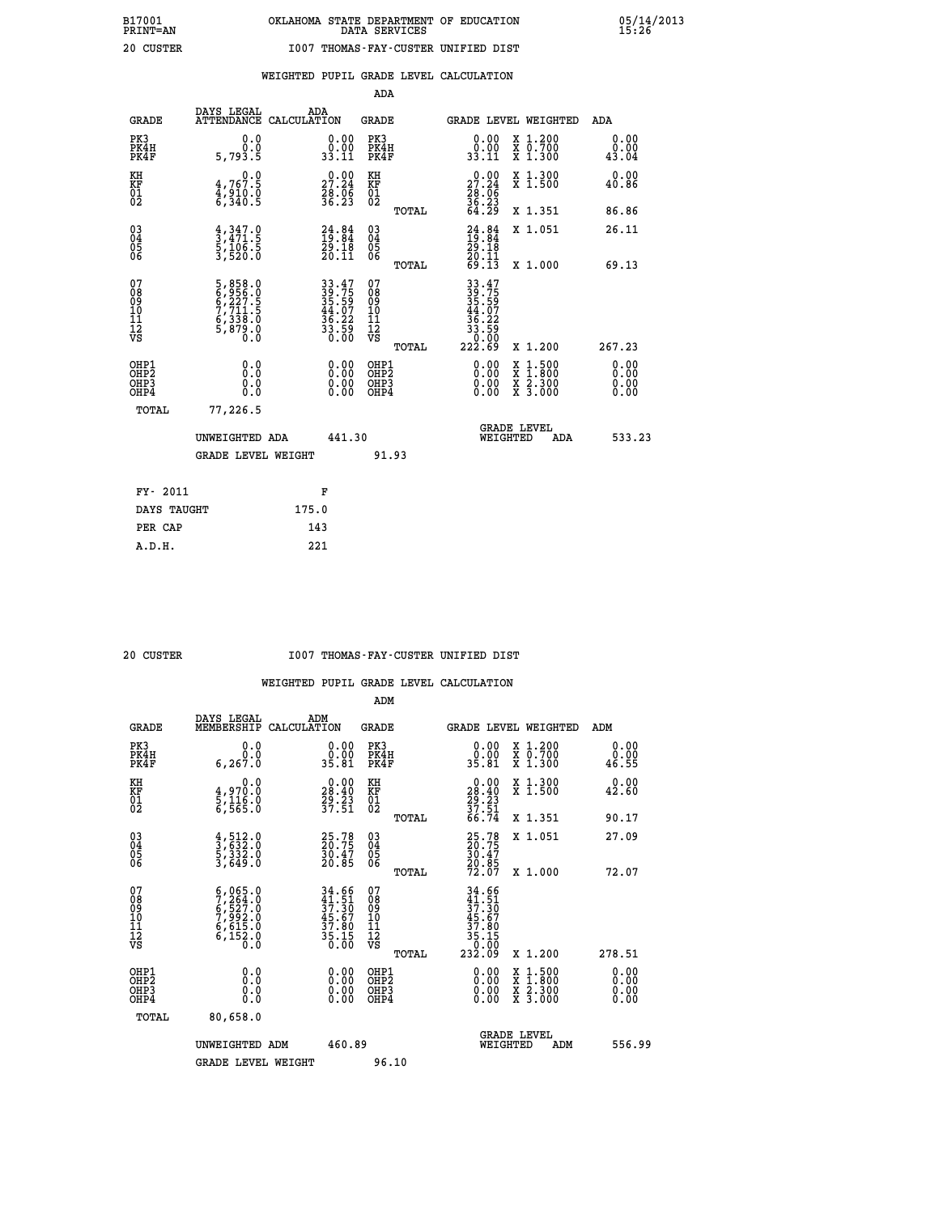|                                                                   |                                                                                                                      |                                                                          | ADA                                       |       |                                                                                 |                                          |                              |
|-------------------------------------------------------------------|----------------------------------------------------------------------------------------------------------------------|--------------------------------------------------------------------------|-------------------------------------------|-------|---------------------------------------------------------------------------------|------------------------------------------|------------------------------|
| <b>GRADE</b>                                                      | DAYS LEGAL<br>ATTENDANCE CALCULATION                                                                                 | ADA                                                                      | <b>GRADE</b>                              |       |                                                                                 | <b>GRADE LEVEL WEIGHTED</b>              | ADA                          |
| PK3<br>PK4H<br>PK4F                                               | 0.0<br>0.0<br>5,793.5                                                                                                | $\begin{smallmatrix} 0.00\\ 0.00\\ 33.11 \end{smallmatrix}$              | PK3<br>PK4H<br>PK4F                       |       | $\begin{smallmatrix} 0.00\\ 0.00\\ 33.11 \end{smallmatrix}$                     | X 1.200<br>X 0.700<br>X 1.300            | 0.00<br>0.00<br>43.04        |
| KH<br><b>KF</b><br>01<br>02                                       | 0.0<br>4,767.5<br>4,910.0<br>6,340.5                                                                                 | 27.24<br>$\frac{56}{36}$ $\frac{56}{23}$                                 | KH<br>KF<br>01<br>02                      |       | 27.24<br>$\frac{26}{36}$ : $\frac{6}{36}$<br>64.29                              | X 1.300<br>X 1.500                       | 0.00<br>40.86                |
|                                                                   |                                                                                                                      |                                                                          |                                           | TOTAL |                                                                                 | X 1.351                                  | 86.86                        |
| $^{03}_{04}$<br>Ŏ5<br>06                                          | $\frac{4}{3}, \frac{347}{471}$ .<br>5, 106.5<br>3, 520.0                                                             | $24.84$<br>$19.84$<br>$29.18$<br>$20.11$                                 | $\substack{03 \\ 04}$<br>Ŏ5<br>06         | TOTAL | $24.84$<br>$19.84$<br>$29.18$<br>$20.11$<br>$69.13$                             | X 1.051<br>X 1.000                       | 26.11<br>69.13               |
| 07<br>08901112<br>1112<br>VS                                      | $\begin{smallmatrix}5, & 858.0\\6, & 956.0\\6, & 227.5\\7, & 711.5\\6, & 338.0\\5, & 879.0\\0. & 0\end{smallmatrix}$ | $33.47$<br>$39.75$<br>$35.59$<br>$44.07$<br>$36.22$<br>$33.59$<br>$0.00$ | 07<br>08<br>09<br>11<br>11<br>12<br>VS    |       | $33.47$<br>$39.759$<br>$35.597$<br>$44.072$<br>$36.222$<br>$33.590$<br>$222.69$ |                                          |                              |
|                                                                   |                                                                                                                      |                                                                          |                                           | TOTAL |                                                                                 | X 1.200                                  | 267.23                       |
| OHP1<br>OH <sub>P</sub> 2<br>OH <sub>P3</sub><br>OH <sub>P4</sub> | 0.0<br>0.0<br>0.0                                                                                                    | $\begin{smallmatrix} 0.00 \ 0.00 \ 0.00 \ 0.00 \end{smallmatrix}$        | OHP1<br>OH <sub>P</sub> 2<br>OHP3<br>OHP4 |       | 0.00<br>0.00<br>0.00                                                            | X 1:500<br>X 1:800<br>X 2:300<br>X 3:000 | 0.00<br>0.00<br>0.00<br>0.00 |
| TOTAL                                                             | 77,226.5                                                                                                             |                                                                          |                                           |       |                                                                                 |                                          |                              |
|                                                                   | UNWEIGHTED ADA                                                                                                       | 441.30                                                                   |                                           |       |                                                                                 | GRADE LEVEL<br>WEIGHTED<br>ADA           | 533.23                       |
|                                                                   | <b>GRADE LEVEL WEIGHT</b>                                                                                            |                                                                          |                                           | 91.93 |                                                                                 |                                          |                              |
| FY- 2011                                                          |                                                                                                                      | F                                                                        |                                           |       |                                                                                 |                                          |                              |
| DAYS TAUGHT                                                       |                                                                                                                      | 175.0                                                                    |                                           |       |                                                                                 |                                          |                              |
| PER CAP                                                           |                                                                                                                      | 143                                                                      |                                           |       |                                                                                 |                                          |                              |

 **A.D.H. 221**

 **ADM**

#### **20 CUSTER I007 THOMAS-FAY-CUSTER UNIFIED DIST**

| <b>GRADE</b>                                       | DAYS LEGAL<br>MEMBERSHIP                                                            | ADM<br>CALCULATION                                                                        | <b>GRADE</b>                           |       |                                                                                                               | <b>GRADE LEVEL WEIGHTED</b>                                               | ADM                   |        |
|----------------------------------------------------|-------------------------------------------------------------------------------------|-------------------------------------------------------------------------------------------|----------------------------------------|-------|---------------------------------------------------------------------------------------------------------------|---------------------------------------------------------------------------|-----------------------|--------|
| PK3<br>PK4H<br>PK4F                                | 0.000<br>6, 267.0                                                                   | 0.00<br>35.81                                                                             | PK3<br>PK4H<br>PK4F                    |       | $\begin{smallmatrix} 0.00\\ 0.00\\ 35.81 \end{smallmatrix}$                                                   | $\begin{smallmatrix} x & 1.200 \\ x & 0.700 \end{smallmatrix}$<br>X 1.300 | 0.00<br>0.00<br>46.55 |        |
| KH<br>KF<br>01<br>02                               | 0.0<br>4,970.0<br>5,116.0<br>6,565.0                                                | $\begin{smallmatrix} 0.00\\ 28.40\\ 29.23\\ 37.51 \end{smallmatrix}$                      | KH<br>KF<br>01<br>02                   |       | $\begin{smallmatrix} 0.00\\28.40\\29.23\\37.51\\66.74 \end{smallmatrix}$                                      | X 1.300<br>X 1.500                                                        | 0.00<br>42.60         |        |
|                                                    |                                                                                     |                                                                                           |                                        | TOTAL |                                                                                                               | X 1.351                                                                   | 90.17                 |        |
| $\begin{matrix} 03 \\ 04 \\ 05 \\ 06 \end{matrix}$ | $\frac{4}{3}, \frac{512}{632}.0$<br>5, 332.0<br>3, 649.0                            | 25.78<br>20.75<br>30.47<br>20.85                                                          | 03<br>04<br>05<br>06                   |       | 25.78<br>20.75<br>30.47<br>20.85<br>72.07                                                                     | X 1.051                                                                   | 27.09                 |        |
|                                                    |                                                                                     |                                                                                           |                                        | TOTAL |                                                                                                               | X 1.000                                                                   | 72.07                 |        |
| 07<br>08<br>09<br>101<br>11<br>12<br>VS            | $5,065.0$<br>$7,264.0$<br>$6,527.0$<br>$7,992.0$<br>$6,615.0$<br>$6,152.0$<br>$0.0$ | $\begin{array}{r} 34.66 \\ 41.51 \\ 37.30 \\ 45.67 \\ 37.80 \\ 35.15 \\ 0.00 \end{array}$ | 07<br>08<br>09<br>11<br>11<br>12<br>VS | TOTAL | $\begin{array}{r} 34.66 \\ 41.51 \\ 37.30 \\ 45.67 \\ 45.67 \\ 37.80 \\ 36.15 \\ 36.15 \\ 232.09 \end{array}$ | X 1.200                                                                   | 278.51                |        |
| OHP1<br>OHP2<br>OH <sub>P3</sub><br>OHP4           | 0.0<br>0.000                                                                        | $0.00$<br>$0.00$<br>0.00                                                                  | OHP1<br>OHP2<br>OHP3<br>OHP4           |       |                                                                                                               | X 1:500<br>X 1:800<br>X 2:300<br>X 3:000                                  | 0.00<br>0.00<br>0.00  |        |
| TOTAL                                              | 80,658.0                                                                            |                                                                                           |                                        |       |                                                                                                               |                                                                           |                       |        |
|                                                    | UNWEIGHTED<br>ADM                                                                   | 460.89                                                                                    |                                        |       | WEIGHTED                                                                                                      | <b>GRADE LEVEL</b><br>ADM                                                 |                       | 556.99 |
|                                                    | <b>GRADE LEVEL WEIGHT</b>                                                           |                                                                                           | 96.10                                  |       |                                                                                                               |                                                                           |                       |        |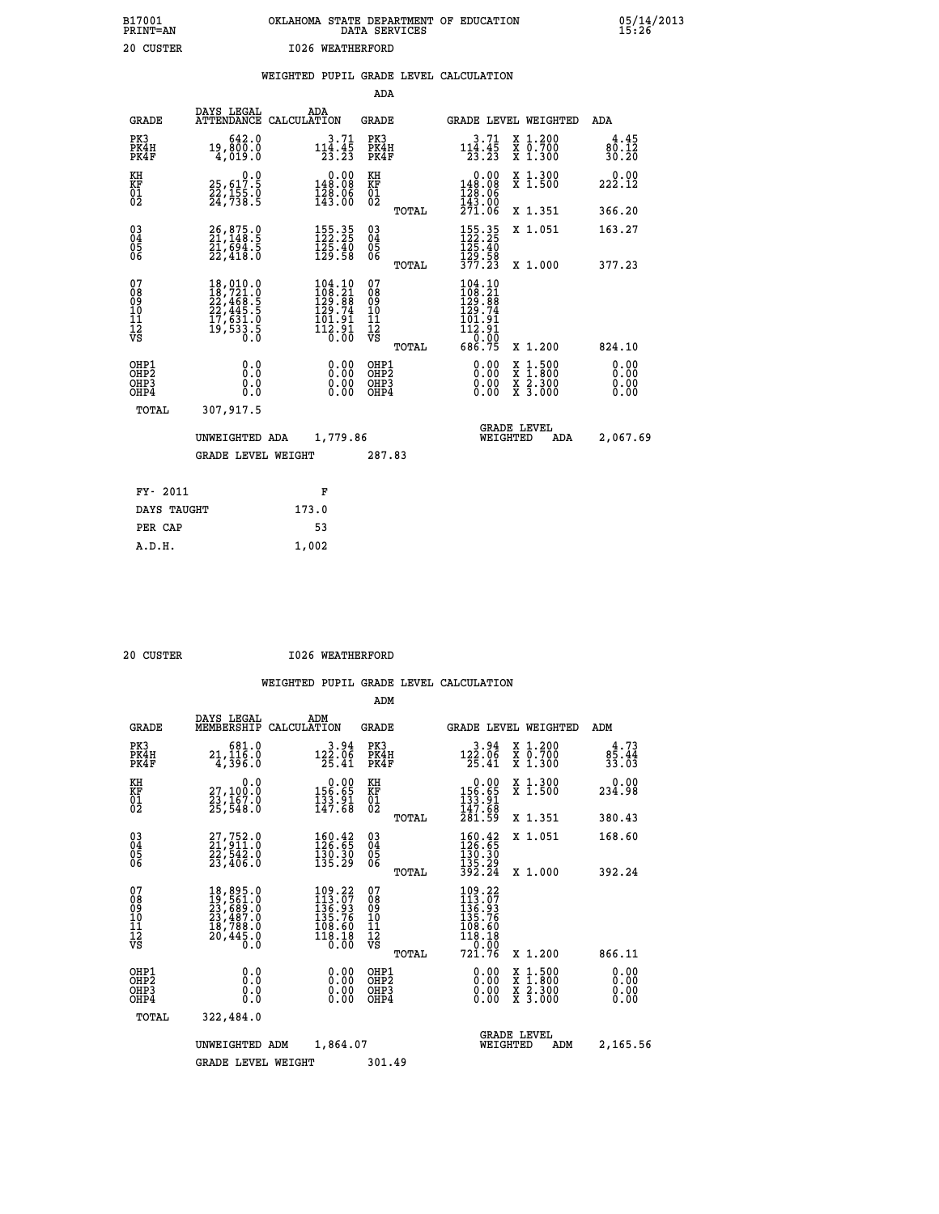| B17001<br><b>PRINT=AN</b> | OKLAHOMA STATE DEPARTMENT OF EDUCATION<br>DATA SERVICES |  |
|---------------------------|---------------------------------------------------------|--|
| 20 CUSTER                 | 1026 WEATHERFORD                                        |  |

|  |  | WEIGHTED PUPIL GRADE LEVEL CALCULATION |
|--|--|----------------------------------------|
|  |  |                                        |

|                                                                    |                                              |                                                                                                                                                                                     | ADA                                    |       |                                                                                                                                      |                                          |                              |
|--------------------------------------------------------------------|----------------------------------------------|-------------------------------------------------------------------------------------------------------------------------------------------------------------------------------------|----------------------------------------|-------|--------------------------------------------------------------------------------------------------------------------------------------|------------------------------------------|------------------------------|
| <b>GRADE</b>                                                       | DAYS LEGAL                                   | ADA<br>ATTENDANCE CALCULATION                                                                                                                                                       | <b>GRADE</b>                           |       |                                                                                                                                      | GRADE LEVEL WEIGHTED                     | ADA                          |
| PK3<br>PK4H<br>PK4F                                                | 642.0<br>19,800.0<br>4,019.0                 | $3.71$<br>$114.45$<br>$23.23$                                                                                                                                                       | PK3<br>PK4H<br>PK4F                    |       | $114.45$<br>$124.45$<br>$23.23$                                                                                                      | X 1.200<br>X 0.700<br>X 1.300            | 4.45<br>80.12<br>30.20       |
| KH<br>KF<br>01<br>02                                               | 0.0<br>25,617.5<br>22,155.0<br>24,738.5      | $\begin{smallmatrix} &0.00\\ 148.08\\ 128.06\\ 143.06\end{smallmatrix}$                                                                                                             | KH<br>KF<br>01<br>02                   |       | 0.00<br>148.08<br>$\frac{128}{143}$ :06<br>$\frac{271}{271}$ :06                                                                     | X 1.300<br>X 1.500                       | 0.00<br>222.12               |
|                                                                    |                                              |                                                                                                                                                                                     |                                        | TOTAL |                                                                                                                                      | X 1.351                                  | 366.20                       |
| $\begin{smallmatrix} 03 \\[-4pt] 04 \end{smallmatrix}$<br>Ŏ5<br>06 | 26,875.0<br>21,148.5<br>21,694.5<br>22,418.0 | $\begin{array}{c} 155\cdot 35\\ 122\cdot 25\\ 125\cdot 40\\ 129\cdot 58 \end{array}$                                                                                                | $\substack{03 \\ 04}$<br>Ŏ5<br>06      |       | $\begin{array}{c} 155\cdot 35\\ 122\cdot 25\\ 125\cdot 40\\ 129\cdot 58\\ 377\cdot 23 \end{array}$                                   | X 1.051                                  | 163.27                       |
|                                                                    |                                              |                                                                                                                                                                                     |                                        | TOTAL |                                                                                                                                      | X 1.000                                  | 377.23                       |
| 07<br>08<br>09<br>101<br>11<br>12<br>VS                            |                                              | $\begin{smallmatrix} 104.10\\108.21\\129.88\\129.74\\101.91 \end{smallmatrix}$<br>$\begin{array}{c}\n\textcolor{red}{\textbf{112.91}}\n\textcolor{red}{\textbf{5.91}}\n\end{array}$ | 07<br>08<br>09<br>11<br>11<br>12<br>VS |       | $\begin{smallmatrix} 104\cdot 10\\ 108\cdot 21\\ 129\cdot 88\\ 129\cdot 74\\ 101\cdot 91\\ 112\cdot 91\\ 0\cdot 00\end{smallmatrix}$ |                                          |                              |
|                                                                    |                                              |                                                                                                                                                                                     |                                        | TOTAL | 686.75                                                                                                                               | X 1.200                                  | 824.10                       |
| OHP1<br>OHP2<br>OH <sub>P3</sub><br>OHP4                           | 0.0<br>0.000                                 | 0.00<br>$\begin{smallmatrix} 0.00 \ 0.00 \end{smallmatrix}$                                                                                                                         | OHP1<br>OHP2<br>OHP <sub>3</sub>       |       | 0.00<br>0.00                                                                                                                         | X 1:500<br>X 1:800<br>X 2:300<br>X 3:000 | 0.00<br>0.00<br>0.00<br>0.00 |
| TOTAL                                                              | 307,917.5                                    |                                                                                                                                                                                     |                                        |       |                                                                                                                                      |                                          |                              |
|                                                                    | UNWEIGHTED ADA                               | 1,779.86                                                                                                                                                                            |                                        |       |                                                                                                                                      | <b>GRADE LEVEL</b><br>WEIGHTED<br>ADA    | 2,067.69                     |
|                                                                    | <b>GRADE LEVEL WEIGHT</b>                    |                                                                                                                                                                                     | 287.83                                 |       |                                                                                                                                      |                                          |                              |
| FY- 2011                                                           |                                              | F                                                                                                                                                                                   |                                        |       |                                                                                                                                      |                                          |                              |
| DAYS TAUGHT                                                        |                                              | 173.0                                                                                                                                                                               |                                        |       |                                                                                                                                      |                                          |                              |
| PER CAP                                                            |                                              | 53                                                                                                                                                                                  |                                        |       |                                                                                                                                      |                                          |                              |

| $0.0$ $\mu$ $\mu$ $\mu$ $\mu$ $\mu$ $\mu$ |  |
|-------------------------------------------|--|

 **A.D.H. 1,002**

 **B17001<br>PRINT=AN** 

 **20 CUSTER I026 WEATHERFORD**

|                                                       |                                                                                                                                                                                          |                                                                         |                          | ADM                                     |       |                                                                                                                                                      |                                |                                                                                                  |                               |
|-------------------------------------------------------|------------------------------------------------------------------------------------------------------------------------------------------------------------------------------------------|-------------------------------------------------------------------------|--------------------------|-----------------------------------------|-------|------------------------------------------------------------------------------------------------------------------------------------------------------|--------------------------------|--------------------------------------------------------------------------------------------------|-------------------------------|
| <b>GRADE</b>                                          | DAYS LEGAL<br>MEMBERSHIP                                                                                                                                                                 | ADM<br>CALCULATION                                                      |                          | <b>GRADE</b>                            |       |                                                                                                                                                      |                                | GRADE LEVEL WEIGHTED                                                                             | ADM                           |
| PK3<br>PK4H<br>PK4F                                   | 681.0<br>21, 116.0<br>4,396.0                                                                                                                                                            | 122.06<br>25.41                                                         | 3.94                     | PK3<br>PK4H<br>PK4F                     |       | 3.94<br>$12\overline{25.06}$<br>$25.41$                                                                                                              |                                | x 1.200<br>x 0.700<br>X 1.300                                                                    | 4.73<br>$\frac{85.44}{33.03}$ |
| KH<br>KF<br>01<br>02                                  | 0.0<br>27,100:0<br>23,167.0<br>25,548:0                                                                                                                                                  | $\begin{array}{c} 0.00 \\ 156.65 \\ 133.91 \\ 147.68 \end{array}$       |                          | KH<br>KF<br>01<br>02                    |       | $\begin{smallmatrix} &0.00\\ 156.65\\ 133.91\\ 147.68\\ 281.59\end{smallmatrix}$                                                                     |                                | X 1.300<br>X 1.500                                                                               | 0.00<br>234.98                |
|                                                       |                                                                                                                                                                                          |                                                                         |                          |                                         | TOTAL |                                                                                                                                                      |                                | X 1.351                                                                                          | 380.43                        |
| 03<br>04<br>05<br>06                                  | $27,752.0$<br>$22,542.0$<br>$22,542.0$<br>23,406.0                                                                                                                                       | $\begin{smallmatrix} 160.42\ 126.65\ 130.30\ 135.29 \end{smallmatrix}$  |                          | $^{03}_{04}$<br>05<br>06                |       | $160.42$<br>$126.65$<br>$130.30$<br>$135.29$<br>$392.24$                                                                                             |                                | X 1.051                                                                                          | 168.60                        |
|                                                       |                                                                                                                                                                                          |                                                                         |                          |                                         | TOTAL |                                                                                                                                                      |                                | X 1.000                                                                                          | 392.24                        |
| 07<br>08<br>09<br>101<br>112<br>VS                    | $\begin{smallmatrix} 18\,, & 895\,. & 0\\ 19\,, & 561\,. & 0\\ 23\,, & 689\,. & 0\\ 23\,, & 487\,. & 0\\ 18\,, & 788\,. & 0\\ 20\,, & 445\,. & 0\\ 0\,. & 0\,. & 0\,. \end{smallmatrix}$ | $109.22$<br>$113.07$<br>$136.93$<br>$135.76$<br>$\frac{108.60}{118.18}$ | 0.00                     | 07<br>08<br>09<br>101<br>11<br>12<br>VS | TOTAL | $\begin{smallmatrix} 109\cdot 22\\ 113\cdot 07\\ 136\cdot 93\\ 135\cdot 76\\ 108\cdot 60\\ 118\cdot 19\\ 1\cdot 0\cdot 0\end{smallmatrix}$<br>721.76 |                                | X 1.200                                                                                          | 866.11                        |
|                                                       |                                                                                                                                                                                          |                                                                         |                          |                                         |       |                                                                                                                                                      |                                |                                                                                                  |                               |
| OHP1<br>OH <sub>P</sub> 2<br>OH <sub>P3</sub><br>OHP4 | 0.0<br>0.000                                                                                                                                                                             |                                                                         | $0.00$<br>$0.00$<br>0.00 | OHP1<br>OHP2<br>OHP3<br>OHP4            |       | $0.00$<br>$0.00$<br>0.00                                                                                                                             |                                | $\begin{smallmatrix} x & 1 & 500 \\ x & 1 & 800 \\ x & 2 & 300 \\ x & 3 & 000 \end{smallmatrix}$ | 0.00<br>0.00<br>0.00<br>0.00  |
| TOTAL                                                 | 322,484.0                                                                                                                                                                                |                                                                         |                          |                                         |       |                                                                                                                                                      |                                |                                                                                                  |                               |
|                                                       | UNWEIGHTED ADM                                                                                                                                                                           |                                                                         | 1,864.07                 |                                         |       |                                                                                                                                                      | <b>GRADE LEVEL</b><br>WEIGHTED | 2,165.56                                                                                         |                               |
|                                                       | <b>GRADE LEVEL WEIGHT</b>                                                                                                                                                                |                                                                         |                          | 301.49                                  |       |                                                                                                                                                      |                                |                                                                                                  |                               |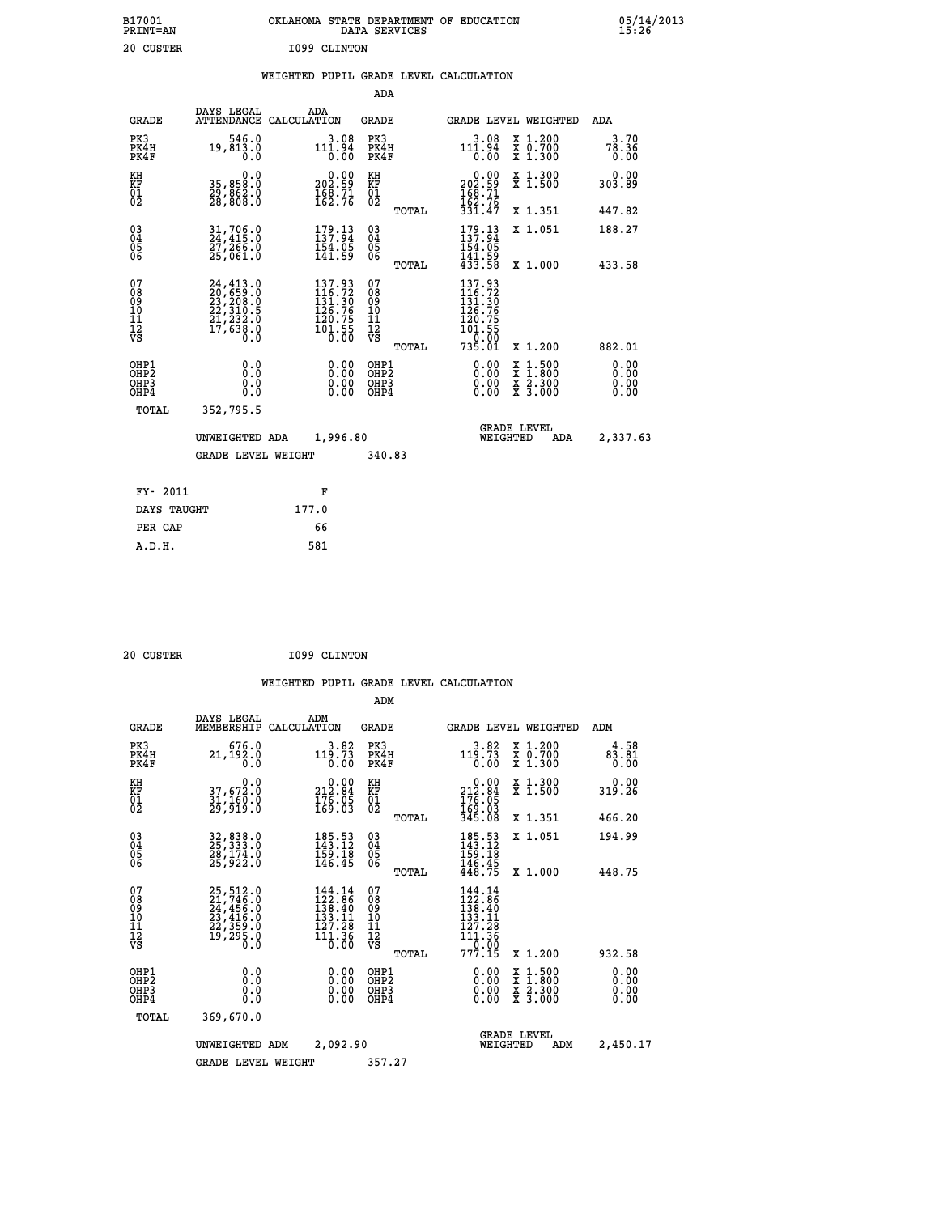| B17001<br><b>PRINT=AN</b> | OKLAHOMA STATE DEPARTMENT OF EDUCATION<br>DATA SERVICES |  |
|---------------------------|---------------------------------------------------------|--|
| 20 CUSTER                 | I099 CLINTON                                            |  |

### **WEIGHTED PUPIL GRADE LEVEL CALCULATION**

|                                                                    |                                                                                                                                                           |                                                                                             | ADA                                       |       |                                                                            |                                                                                                  |                              |
|--------------------------------------------------------------------|-----------------------------------------------------------------------------------------------------------------------------------------------------------|---------------------------------------------------------------------------------------------|-------------------------------------------|-------|----------------------------------------------------------------------------|--------------------------------------------------------------------------------------------------|------------------------------|
| <b>GRADE</b>                                                       | DAYS LEGAL                                                                                                                                                | ADA<br>ATTENDANCE CALCULATION                                                               | <b>GRADE</b>                              |       |                                                                            | <b>GRADE LEVEL WEIGHTED</b>                                                                      | ADA                          |
| PK3<br>PK4H<br>PK4F                                                | 546.0<br>19,813.0<br>0.0                                                                                                                                  | $111.94$<br>$0.00$                                                                          | PK3<br>PK4H<br>PK4F                       |       | 3.08<br>$11\overline{1}\cdot \overline{9}\overline{4}\over 0.00$           | X 1.200<br>X 0.700<br>X 1.300                                                                    | 3.70<br>78.36<br>0.00        |
| KH<br><b>KF</b><br>01<br>02                                        | 0.0<br>35,858.0<br>29,862.0<br>28,808.0                                                                                                                   | 0.00<br>202.59<br>$\frac{168}{162.76}$                                                      | KH<br>KF<br>01<br>02                      |       | $202.59$<br>$168.71$<br>$162.76$                                           | X 1.300<br>X 1.500                                                                               | 0.00<br>303.89               |
|                                                                    |                                                                                                                                                           |                                                                                             |                                           | TOTAL | 331.47                                                                     | X 1.351                                                                                          | 447.82                       |
| $\begin{smallmatrix} 03 \\[-4pt] 04 \end{smallmatrix}$<br>05<br>06 | $\frac{31}{24}, \frac{706}{415}.0 \ \frac{27}{25}, \frac{266}{66}.0 \ \frac{25}{1061}.0$                                                                  | $179.13$<br>$137.94$<br>$\frac{154.05}{141.59}$                                             | $\substack{03 \\ 04}$<br>05<br>06         | TOTAL | 179.13<br>154:05<br>141.59<br>433.58                                       | X 1.051<br>X 1.000                                                                               | 188.27<br>433.58             |
| 07<br>08<br>09<br>11<br>11<br>12<br>VS                             | $\begin{smallmatrix} 24\,,413\cdot 0\\ 20\,,659\cdot 0\\ 23\,,208\cdot 0\\ 22\,,310\cdot 5\\ 21\,,232\cdot 0\\ 17\,,638\cdot 0\\ 0\,\,0\end{smallmatrix}$ | 137.93<br>116.72<br>131.30<br>126.76<br>120.75<br>$\frac{1}{0}$ $\frac{1}{0}$ $\frac{5}{0}$ | 07<br>08<br>09<br>11<br>11<br>12<br>VS    |       | 137.93<br>$116.72$<br>$131.30$<br>$126.76$<br>$120.75$<br>$101.55$<br>0.00 |                                                                                                  |                              |
|                                                                    |                                                                                                                                                           |                                                                                             |                                           | TOTAL | 735.01                                                                     | X 1.200                                                                                          | 882.01                       |
| OHP1<br>OH <sub>P2</sub><br>OH <sub>P3</sub><br>OH <sub>P4</sub>   | 0.0<br>0.0<br>0.0                                                                                                                                         | 0.00<br>0.00<br>0.00                                                                        | OHP1<br>OH <sub>P</sub> 2<br>OHP3<br>OHP4 |       | 0.00<br>0.00<br>0.00                                                       | $\begin{smallmatrix} x & 1 & 500 \\ x & 1 & 800 \\ x & 2 & 300 \\ x & 3 & 000 \end{smallmatrix}$ | 0.00<br>0.00<br>0.00<br>0.00 |
| TOTAL                                                              | 352,795.5                                                                                                                                                 |                                                                                             |                                           |       |                                                                            |                                                                                                  |                              |
|                                                                    | UNWEIGHTED ADA                                                                                                                                            | 1,996.80                                                                                    |                                           |       |                                                                            | <b>GRADE LEVEL</b><br>WEIGHTED<br>ADA                                                            | 2,337.63                     |
|                                                                    | <b>GRADE LEVEL WEIGHT</b>                                                                                                                                 |                                                                                             | 340.83                                    |       |                                                                            |                                                                                                  |                              |
| FY- 2011                                                           |                                                                                                                                                           | F                                                                                           |                                           |       |                                                                            |                                                                                                  |                              |
| DAYS TAUGHT                                                        |                                                                                                                                                           | 177.0                                                                                       |                                           |       |                                                                            |                                                                                                  |                              |
| PER CAP                                                            |                                                                                                                                                           | 66                                                                                          |                                           |       |                                                                            |                                                                                                  |                              |

| 20 CUSTER | I099 CLINTON |
|-----------|--------------|

 **A.D.H. 581**

 **B17001<br>PRINT=AN** 

|                                          |                                                                                  |                    |                                                                                                                                                                                             | ADM                                                 |       |                                                                             |  |                                                                  |                              |
|------------------------------------------|----------------------------------------------------------------------------------|--------------------|---------------------------------------------------------------------------------------------------------------------------------------------------------------------------------------------|-----------------------------------------------------|-------|-----------------------------------------------------------------------------|--|------------------------------------------------------------------|------------------------------|
| <b>GRADE</b>                             | DAYS LEGAL<br>MEMBERSHIP                                                         | ADM<br>CALCULATION |                                                                                                                                                                                             | <b>GRADE</b>                                        |       |                                                                             |  | GRADE LEVEL WEIGHTED                                             | ADM                          |
| PK3<br>PK4H<br>PK4F                      | 676.0<br>21,192.0<br>0.0                                                         |                    | 3.82<br>119.73<br>0.00                                                                                                                                                                      | PK3<br>PK4H<br>PK4F                                 |       | 3.82<br>119.73<br>0.00                                                      |  | $\begin{array}{c} x & 1.200 \\ x & 0.700 \end{array}$<br>X 1.300 | 4.58<br>83.81<br>0.00        |
| KH<br>KF<br>01<br>02                     | 0.0<br>37,672.0<br>31,160.0<br>29,919.0                                          |                    | $\begin{smallmatrix} &0.00\\ 212.84\\ 176.05\\ 169.03\end{smallmatrix}$                                                                                                                     | KH<br>KF<br>01<br>02                                |       | $\begin{array}{c} 0.00 \\ 212.84 \\ 176.05 \\ 169.03 \\ 345.08 \end{array}$ |  | X 1.300<br>X 1.500                                               | 0.00<br>319.26               |
|                                          |                                                                                  |                    |                                                                                                                                                                                             |                                                     | TOTAL |                                                                             |  | X 1.351                                                          | 466.20                       |
| 03<br>04<br>05<br>06                     | 32,838.0<br>25,333.0<br>28,174.0<br>25,922.0                                     |                    | 185.53<br>143.12<br>$\frac{159}{146}. \frac{18}{45}$                                                                                                                                        | $\begin{array}{c} 03 \\ 04 \\ 05 \\ 06 \end{array}$ |       | $185.53$<br>$143.12$<br>$159.18$<br>$146.45$<br>$448.75$                    |  | X 1.051                                                          | 194.99                       |
|                                          |                                                                                  |                    |                                                                                                                                                                                             |                                                     | TOTAL |                                                                             |  | X 1.000                                                          | 448.75                       |
| 07<br>08<br>09<br>101<br>112<br>VS       | 25,512.0<br>21,746.0<br>24,456.0<br>23,416.0<br>22,359.0<br>22,359.0<br>19,295.0 |                    | $144.14$<br>$122.86$<br>$138.40$<br>$\frac{133}{127}.$ $\frac{11}{28}$<br>$\overline{1}\overline{1}\overline{1}$ $\overline{1}\overline{3}\overline{6}$<br>$\overline{0}\cdot\overline{00}$ | 07<br>08<br>09<br>101<br>11<br>12<br>VS             |       | $144.14$<br>$122.86$<br>$138.40$<br>$133.11$<br>127.28<br>111.36<br>--0.00  |  |                                                                  |                              |
|                                          |                                                                                  |                    |                                                                                                                                                                                             |                                                     | TOTAL | 777.15                                                                      |  | X 1.200                                                          | 932.58                       |
| OHP1<br>OHP2<br>OH <sub>P3</sub><br>OHP4 | 0.0<br>0.000                                                                     |                    | $0.00$<br>$0.00$<br>0.00                                                                                                                                                                    | OHP1<br>OHP2<br>OHP3<br>OHP4                        |       | $0.00$<br>$0.00$<br>0.00                                                    |  | X 1:500<br>X 1:800<br>X 2:300<br>X 3:000                         | 0.00<br>0.00<br>0.00<br>0.00 |
| TOTAL                                    | 369,670.0                                                                        |                    |                                                                                                                                                                                             |                                                     |       |                                                                             |  |                                                                  |                              |
|                                          | UNWEIGHTED                                                                       | ADM                | 2,092.90                                                                                                                                                                                    |                                                     |       |                                                                             |  | <b>GRADE LEVEL</b><br>WEIGHTED<br>ADM                            | 2,450.17                     |
|                                          | <b>GRADE LEVEL WEIGHT</b>                                                        |                    |                                                                                                                                                                                             | 357.27                                              |       |                                                                             |  |                                                                  |                              |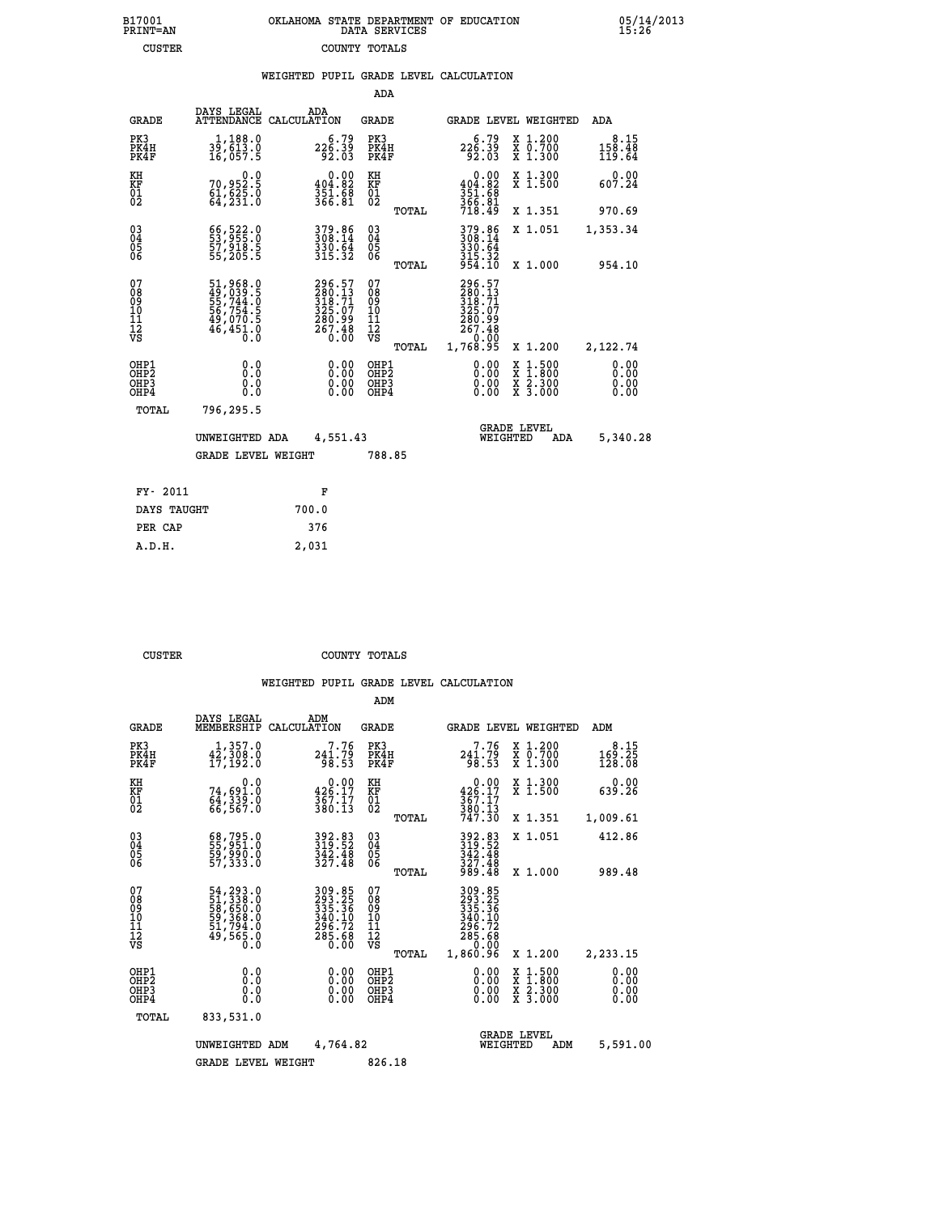| 7001<br>INT=AN | OKLAHOMA STATE DEPARTMENT OF EDUCATION<br>DATA SERVICES |  |  |
|----------------|---------------------------------------------------------|--|--|
| CUSTER         | COUNTY TOTALS                                           |  |  |

|                                                              |                                                                      | WEIGHTED PUPIL GRADE LEVEL CALCULATION                            |                                                 |                                                                                                                                                                                                                                                                                |                                                                                                                                              |                          |
|--------------------------------------------------------------|----------------------------------------------------------------------|-------------------------------------------------------------------|-------------------------------------------------|--------------------------------------------------------------------------------------------------------------------------------------------------------------------------------------------------------------------------------------------------------------------------------|----------------------------------------------------------------------------------------------------------------------------------------------|--------------------------|
|                                                              |                                                                      |                                                                   | ADA                                             |                                                                                                                                                                                                                                                                                |                                                                                                                                              |                          |
| <b>GRADE</b>                                                 | DAYS LEGAL                                                           | ADA<br>ATTENDANCE CALCULATION                                     | <b>GRADE</b>                                    | <b>GRADE LEVEL WEIGHTED</b>                                                                                                                                                                                                                                                    |                                                                                                                                              | ADA                      |
| PK3<br>PK4H<br>PK4F                                          | $\frac{1}{39}, \frac{188}{613}$ .0<br>16,057.5                       | $226.79$<br>$92.03$                                               | PK3<br>PK4H<br>PK4F                             | $226.79$<br>$92.03$                                                                                                                                                                                                                                                            | X 1.200<br>X 0.700<br>X 1.300                                                                                                                | 8.15<br>158.48<br>119.64 |
| KH<br>KF<br>01<br>02                                         | $70,952.5$<br>$61,625.0$<br>$64,231.0$                               | $0.00$<br>404.82<br>351.68<br>366.81                              | KH<br>KF<br>01<br>02                            | $0.00$<br>404.82<br>351:68<br>366:81<br>718:49                                                                                                                                                                                                                                 | X 1.300<br>X 1.500                                                                                                                           | 0.00<br>607.24           |
|                                                              |                                                                      |                                                                   | TOTAL                                           |                                                                                                                                                                                                                                                                                | X 1.351                                                                                                                                      | 970.69                   |
| $\begin{smallmatrix} 03 \\[-4pt] 04 \end{smallmatrix}$<br>05 | 66, 522.0<br>53, 955.0<br>57, 918.5<br>55, 205.5                     | 379.86<br>308.14<br>330.64<br>315.32                              | $^{03}_{04}$<br>0500                            | 379.86<br>308.14<br>330.64<br>315.32                                                                                                                                                                                                                                           | X 1.051                                                                                                                                      | 1,353.34                 |
| 06                                                           |                                                                      |                                                                   | TOTAL                                           | 954.10                                                                                                                                                                                                                                                                         | X 1.000                                                                                                                                      | 954.10                   |
| 07<br>08<br>09<br>01<br>11<br>11<br>12<br>VS                 | 51,968.0<br>49,039.5<br>55,744.0<br>56,754.5<br>49,070.5<br>46,451.0 | 296.57<br>280.13<br>318.71<br>325.07<br>280.99<br>267.48<br>0.00  | 07<br>08<br>09<br>10<br>11<br>12<br>VS<br>TOTAL | 296.57<br>280.13<br>318.71<br>325.07<br>280.99<br>267.48<br>0.0°-<br>1,768.95                                                                                                                                                                                                  | X 1.200                                                                                                                                      | 2,122.74                 |
| OHP1<br>OHP2<br>OHP3<br>OHP4                                 | 0.0<br>0.0<br>0.0                                                    | $\begin{smallmatrix} 0.00 \ 0.00 \ 0.00 \ 0.00 \end{smallmatrix}$ | OHP1<br>OHP2<br>OHP3<br>OHP4                    | $\begin{smallmatrix} 0.00 & 0.00 & 0.00 & 0.00 & 0.00 & 0.00 & 0.00 & 0.00 & 0.00 & 0.00 & 0.00 & 0.00 & 0.00 & 0.00 & 0.00 & 0.00 & 0.00 & 0.00 & 0.00 & 0.00 & 0.00 & 0.00 & 0.00 & 0.00 & 0.00 & 0.00 & 0.00 & 0.00 & 0.00 & 0.00 & 0.00 & 0.00 & 0.00 & 0.00 & 0.00 & 0.0$ | $\begin{smallmatrix} \mathtt{X} & 1\cdot500 \\ \mathtt{X} & 1\cdot800 \\ \mathtt{X} & 2\cdot300 \\ \mathtt{X} & 3\cdot000 \end{smallmatrix}$ | 0.00<br>0.00<br>0.00     |
| TOTAL                                                        | 796,295.5                                                            |                                                                   |                                                 |                                                                                                                                                                                                                                                                                |                                                                                                                                              |                          |
|                                                              | UNWEIGHTED ADA                                                       | 4,551.43                                                          |                                                 | <b>GRADE LEVEL</b><br>WEIGHTED                                                                                                                                                                                                                                                 | ADA                                                                                                                                          | 5,340.28                 |
|                                                              | <b>GRADE LEVEL WEIGHT</b>                                            |                                                                   | 788.85                                          |                                                                                                                                                                                                                                                                                |                                                                                                                                              |                          |
| FY- 2011                                                     |                                                                      | F                                                                 |                                                 |                                                                                                                                                                                                                                                                                |                                                                                                                                              |                          |
| DAYS TAUGHT                                                  |                                                                      | 700.0                                                             |                                                 |                                                                                                                                                                                                                                                                                |                                                                                                                                              |                          |
| PER CAP                                                      |                                                                      | 376                                                               |                                                 |                                                                                                                                                                                                                                                                                |                                                                                                                                              |                          |

 **CUSTER COUNTY TOTALS**

 **A.D.H. 2,031**

 **B17001<br>PRINT=AN** 

|                                          |                                                                                   |                                                                         | ADM                                                 |       |                                                                             |          |                                          |                              |  |
|------------------------------------------|-----------------------------------------------------------------------------------|-------------------------------------------------------------------------|-----------------------------------------------------|-------|-----------------------------------------------------------------------------|----------|------------------------------------------|------------------------------|--|
| <b>GRADE</b>                             | DAYS LEGAL<br>MEMBERSHIP                                                          | ADM<br>CALCULATION                                                      | <b>GRADE</b>                                        |       |                                                                             |          | GRADE LEVEL WEIGHTED                     | ADM                          |  |
| PK3<br>PK4H<br>PK4F                      | 1,357.0<br>$4\bar{2}$ , $3\bar{0}8.0$<br>17,192.0                                 | 7.76<br>$241.79$<br>98.53                                               | PK3<br>PK4H<br>PK4F                                 |       | 7.76<br>241.79<br>98.53                                                     |          | X 1.200<br>X 0.700<br>X 1.300            | 8.15<br>169.25<br>128.08     |  |
| KH<br>KF<br>01<br>02                     | 0.0<br>74,691.0<br>64,339.0<br>66,567.0                                           | $\begin{smallmatrix} 0.00\\ 426.17\\ 367.17\\ 380.13 \end{smallmatrix}$ | KH<br>KF<br>01<br>02                                |       | 0.00<br>$36.17$<br>$367.17$<br>$380.13$<br>$747.30$                         |          | X 1.300<br>X 1.500                       | 0.00<br>639.26               |  |
|                                          |                                                                                   |                                                                         |                                                     | TOTAL |                                                                             |          | X 1.351                                  | 1,009.61                     |  |
| 03<br>04<br>05<br>06                     | 68,795.0<br>55,951.0<br>59,990.0<br>57,333.0                                      | 392.83<br>319.52<br>$\frac{3\bar{4}2.48}{327.48}$                       | $\begin{array}{c} 03 \\ 04 \\ 05 \\ 06 \end{array}$ |       | 392.83<br>319:52<br>342.48<br>$\frac{327.48}{989.48}$                       |          | X 1.051                                  | 412.86                       |  |
|                                          |                                                                                   |                                                                         |                                                     | TOTAL |                                                                             |          | X 1.000                                  | 989.48                       |  |
| 07<br>08<br>09<br>101<br>112<br>VS       | 54, 293.0<br>51, 338.0<br>58, 650.0<br>59, 368.0<br>51, 794.0<br>49, 565.0<br>0.0 | 309.85<br>293.25<br>335.36<br>340.10<br>296.72<br>285.68<br>0.00        | 07<br>08<br>09<br>11<br>11<br>12<br>VS              | TOTAL | 309.85<br>293.25<br>335.36<br>340.10<br>$\frac{296.72}{285.68}$<br>1,860.96 |          | X 1.200                                  | 2,233.15                     |  |
| OHP1<br>OHP2<br>OH <sub>P3</sub><br>OHP4 | 0.0<br>0.000                                                                      | $0.00$<br>$0.00$<br>0.00                                                | OHP1<br>OHP2<br>OHP3<br>OHP4                        |       | $0.00$<br>$0.00$<br>0.00                                                    |          | X 1:500<br>X 1:800<br>X 2:300<br>X 3:000 | 0.00<br>0.00<br>0.00<br>0.00 |  |
| TOTAL                                    | 833,531.0                                                                         |                                                                         |                                                     |       |                                                                             |          |                                          |                              |  |
|                                          | UNWEIGHTED                                                                        | 4,764.82<br>ADM                                                         |                                                     |       |                                                                             | WEIGHTED | <b>GRADE LEVEL</b><br>ADM                | 5,591.00                     |  |
|                                          | <b>GRADE LEVEL WEIGHT</b>                                                         |                                                                         | 826.18                                              |       |                                                                             |          |                                          |                              |  |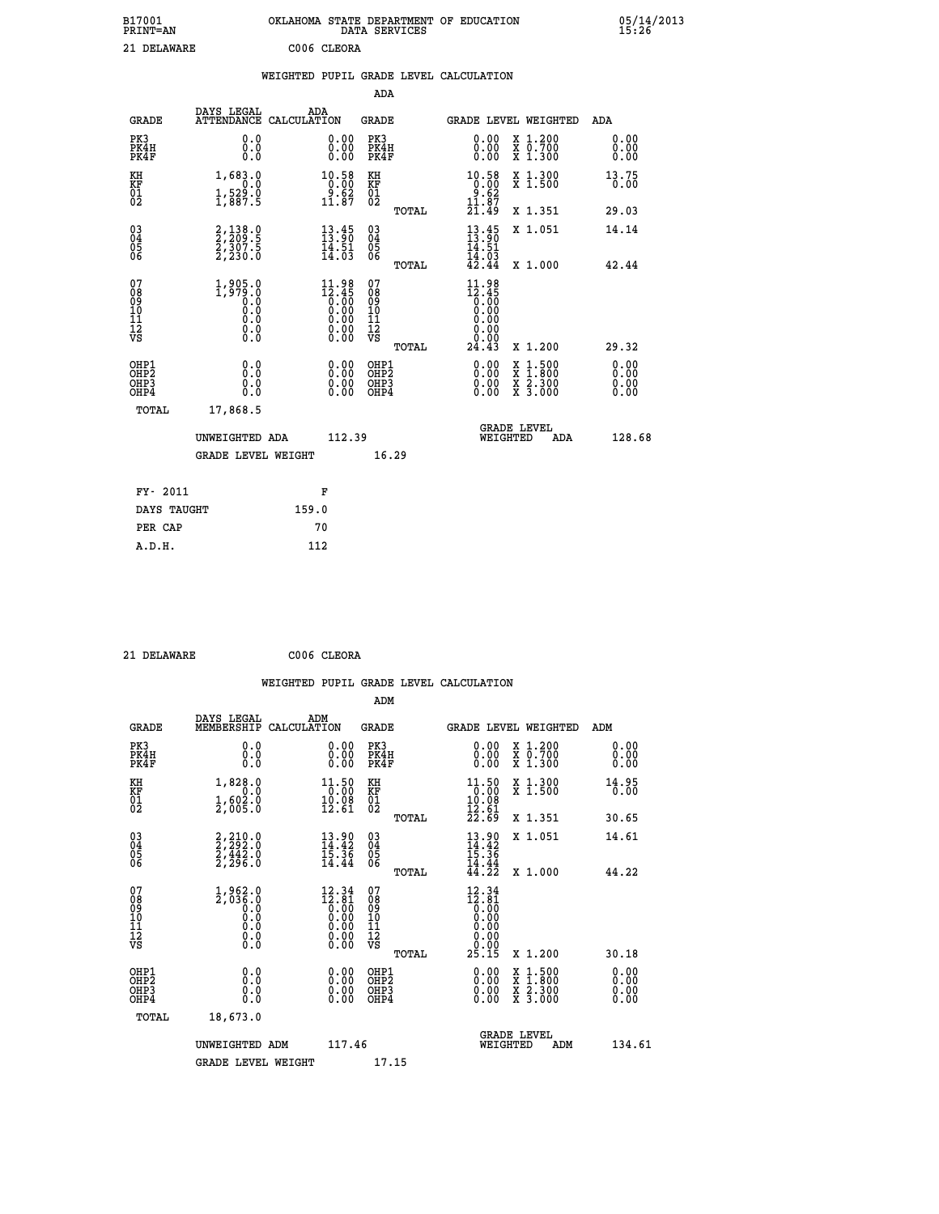| B17001<br><b>PRINT=AN</b> | OKLAHOMA STATE DEPARTMENT OF EDUCATION<br>DATA SERVICES | 05/14/2013<br>15:26 |
|---------------------------|---------------------------------------------------------|---------------------|
| 21 DELAWARE               | C006 CLEORA                                             |                     |

|  |  | WEIGHTED PUPIL GRADE LEVEL CALCULATION |
|--|--|----------------------------------------|
|  |  |                                        |

|                                                                    |                                                                                                            |                                                                                   | ADA                                       |       |                                                                                               |        |                                                                           |                                       |
|--------------------------------------------------------------------|------------------------------------------------------------------------------------------------------------|-----------------------------------------------------------------------------------|-------------------------------------------|-------|-----------------------------------------------------------------------------------------------|--------|---------------------------------------------------------------------------|---------------------------------------|
| <b>GRADE</b>                                                       | DAYS LEGAL<br>ATTENDANCE CALCULATION                                                                       | ADA                                                                               | <b>GRADE</b>                              |       | GRADE LEVEL WEIGHTED                                                                          |        |                                                                           | <b>ADA</b>                            |
| PK3<br>PK4H<br>PK4F                                                | 0.0<br>0.0<br>0.0                                                                                          | $\begin{smallmatrix} 0.00 \ 0.00 \ 0.00 \end{smallmatrix}$                        | PK3<br>PK4H<br>PK4F                       |       | $\begin{smallmatrix} 0.00 \\ 0.00 \\ 0.00 \end{smallmatrix}$                                  |        | X 1.200<br>X 0.700<br>X 1.300                                             | 0.00<br>0.00<br>0.00                  |
| KH<br>KF<br>01<br>02                                               | 1,683.0<br>0.0<br>$\frac{1}{2}$ , $\frac{529}{87}$ . 9                                                     | 10.58<br>$\begin{array}{r} 10.00 \\ 9.62 \\ 11.87 \end{array}$                    | KH<br>KF<br>01<br>02                      |       | $\begin{array}{c} 10.58 \\ 0.00 \\ 9.62 \\ 11.87 \\ 21.49 \end{array}$                        |        | X 1.300<br>X 1.500                                                        | 13.75<br>0.00                         |
|                                                                    |                                                                                                            |                                                                                   |                                           | TOTAL |                                                                                               |        | X 1.351                                                                   | 29.03                                 |
| $\begin{smallmatrix} 03 \\[-4pt] 04 \end{smallmatrix}$<br>Ŏ5<br>06 | $2, 138.0$<br>$2, 209.5$<br>$2, 307.5$<br>$2, 230.0$                                                       | $\frac{13.45}{13.90}$<br>$\frac{14.51}{14.03}$                                    | $\substack{03 \\ 04}$<br>$\frac{05}{06}$  | TOTAL | $13 \cdot 45$<br>$14 \cdot 51$<br>$14 \cdot 03$<br>$42 \cdot 44$                              |        | X 1.051<br>X 1.000                                                        | 14.14<br>42.44                        |
| 07<br>08<br>09<br>11<br>11<br>12<br>VS                             | 1,905.0<br>1,979.0<br>0.0<br>0.0<br>$\begin{smallmatrix} \textrm{0} \ . \ 0 \ . \ 0 \ . \end{smallmatrix}$ | $\begin{smallmatrix} 11.98\\12.45\\0.00\\0.00\\0.00\\0.00\\0.00\end{smallmatrix}$ | 07<br>08<br>09<br>11<br>11<br>12<br>VS    |       | 11.98<br>$\frac{12.45}{0.00}$<br>0.00<br>$\begin{array}{c} 0.00 \\ 0.00 \\ 24.43 \end{array}$ |        |                                                                           |                                       |
| OHP1<br>OHP <sub>2</sub><br>OHP3<br>OHP4                           | 0.0<br>Ō.Ō<br>0.0<br>0.0                                                                                   | 0.00<br>$\begin{smallmatrix} 0.00 \ 0.00 \end{smallmatrix}$                       | OHP1<br>OH <sub>P</sub> 2<br>OHP3<br>OHP4 | TOTAL | 0.00<br>0.00<br>0.00                                                                          | X<br>X | X 1.200<br>$1:500$<br>1:800<br>$\frac{\ddot{x}}{x}$ $\frac{2.300}{3.000}$ | 29.32<br>0.00<br>0.00<br>0.00<br>0.00 |
| TOTAL                                                              | 17,868.5                                                                                                   |                                                                                   |                                           |       |                                                                                               |        |                                                                           |                                       |
|                                                                    | UNWEIGHTED ADA                                                                                             | 112.39                                                                            |                                           |       | WEIGHTED                                                                                      |        | <b>GRADE LEVEL</b><br>ADA                                                 | 128.68                                |
|                                                                    | <b>GRADE LEVEL WEIGHT</b>                                                                                  |                                                                                   |                                           | 16.29 |                                                                                               |        |                                                                           |                                       |
| FY- 2011                                                           |                                                                                                            | F                                                                                 |                                           |       |                                                                                               |        |                                                                           |                                       |
| DAYS TAUGHT                                                        |                                                                                                            | 159.0                                                                             |                                           |       |                                                                                               |        |                                                                           |                                       |
| PER CAP                                                            |                                                                                                            | 70                                                                                |                                           |       |                                                                                               |        |                                                                           |                                       |

 **21 DELAWARE C006 CLEORA**

 **A.D.H. 112**

 **ADM DAYS LEGAL ADM GRADE MEMBERSHIP CALCULATION GRADE GRADE LEVEL WEIGHTED ADM**

| PK3<br>PK4H<br>PK4F                                | $\begin{smallmatrix} 0 & 0 \\ 0 & 0 \\ 0 & 0 \end{smallmatrix}$                                 | $\begin{smallmatrix} 0.00 \ 0.00 \ 0.00 \end{smallmatrix}$                                             | PK3<br>PK4H<br>PK4F                    | $\begin{smallmatrix} 0.00 \\ 0.00 \\ 0.00 \end{smallmatrix}$                                                                                | X 1.200<br>X 0.700<br>X 1.300                                                                                       | 0.00<br>0.00<br>0.00                                                                                                                                                                                                                                                           |
|----------------------------------------------------|-------------------------------------------------------------------------------------------------|--------------------------------------------------------------------------------------------------------|----------------------------------------|---------------------------------------------------------------------------------------------------------------------------------------------|---------------------------------------------------------------------------------------------------------------------|--------------------------------------------------------------------------------------------------------------------------------------------------------------------------------------------------------------------------------------------------------------------------------|
| KH<br>KF<br>01<br>02                               | $\begin{smallmatrix} 1, & 828.0 & 0 \\ 0.0 & 0.0 \\ 1, & 602.0 \\ 2, & 005.0 \end{smallmatrix}$ | $\begin{smallmatrix} 11.50 \\ 0.00 \\ 19.08 \\ 12.61 \end{smallmatrix}$                                | KH<br>KF<br>01<br>02                   | $\begin{array}{c} 11\cdot 50 \\ 0\cdot 00 \\ 10\cdot 08 \\ 12\cdot 61 \\ 22\cdot 69 \end{array}$                                            | X 1.300<br>X 1.500                                                                                                  | 14.95<br>0.00                                                                                                                                                                                                                                                                  |
|                                                    |                                                                                                 |                                                                                                        | TOTAL                                  |                                                                                                                                             | X 1.351                                                                                                             | 30.65                                                                                                                                                                                                                                                                          |
| $\begin{matrix} 03 \\ 04 \\ 05 \\ 06 \end{matrix}$ | $2, 210.0$<br>$2, 292.0$<br>$2, 442.0$<br>$2, 296.0$                                            | $13.90$<br>$14.42$<br>$15.36$<br>14.44                                                                 | 03<br>04<br>05<br>06                   | $13.90$<br>$14.42$<br>$15.36$<br>$14.44$<br>$44.22$                                                                                         | X 1.051                                                                                                             | 14.61                                                                                                                                                                                                                                                                          |
|                                                    |                                                                                                 |                                                                                                        | TOTAL                                  |                                                                                                                                             | X 1.000                                                                                                             | 44.22                                                                                                                                                                                                                                                                          |
| 07<br>08<br>09<br>10<br>11<br>11<br>17<br>VS       | $1,962.0$<br>$2,036.0$<br>$0.0$<br>$0.0$<br>$0.0$<br>$0.0$<br>$0.0$                             | $\begin{smallmatrix} 12.34 \\ 12.81 \\ 0.00 \\ 0.00 \\ 0.00 \\ 0.00 \\ 0.00 \\ 0.00 \end{smallmatrix}$ | 07<br>08<br>09<br>11<br>11<br>12<br>VS | $\begin{smallmatrix} 12\cdot34\\ 12\cdot81\\ 0\cdot00\\ 0\cdot00\\ 0\cdot00\\ 0\cdot00\\ 0\cdot00\\ 0\cdot00\\ 25\cdot15 \end{smallmatrix}$ |                                                                                                                     |                                                                                                                                                                                                                                                                                |
|                                                    |                                                                                                 |                                                                                                        | TOTAL                                  |                                                                                                                                             | X 1.200                                                                                                             | 30.18                                                                                                                                                                                                                                                                          |
| OHP1<br>OHP2<br>OHP3<br>OHP4                       |                                                                                                 | $\begin{smallmatrix} 0.00 \ 0.00 \ 0.00 \ 0.00 \end{smallmatrix}$                                      | OHP1<br>OHP2<br>OHP3<br>OHP4           |                                                                                                                                             | $\begin{array}{l} \mathtt{X} & 1.500 \\ \mathtt{X} & 1.800 \\ \mathtt{X} & 2.300 \\ \mathtt{X} & 3.000 \end{array}$ | $\begin{smallmatrix} 0.00 & 0.00 & 0.00 & 0.00 & 0.00 & 0.00 & 0.00 & 0.00 & 0.00 & 0.00 & 0.00 & 0.00 & 0.00 & 0.00 & 0.00 & 0.00 & 0.00 & 0.00 & 0.00 & 0.00 & 0.00 & 0.00 & 0.00 & 0.00 & 0.00 & 0.00 & 0.00 & 0.00 & 0.00 & 0.00 & 0.00 & 0.00 & 0.00 & 0.00 & 0.00 & 0.0$ |
| TOTAL                                              | 18,673.0                                                                                        |                                                                                                        |                                        |                                                                                                                                             |                                                                                                                     |                                                                                                                                                                                                                                                                                |
|                                                    | UNWEIGHTED ADM                                                                                  | 117.46                                                                                                 |                                        |                                                                                                                                             | <b>GRADE LEVEL</b><br>WEIGHTED<br>ADM                                                                               | 134.61                                                                                                                                                                                                                                                                         |
|                                                    | <b>GRADE LEVEL WEIGHT</b>                                                                       |                                                                                                        | 17.15                                  |                                                                                                                                             |                                                                                                                     |                                                                                                                                                                                                                                                                                |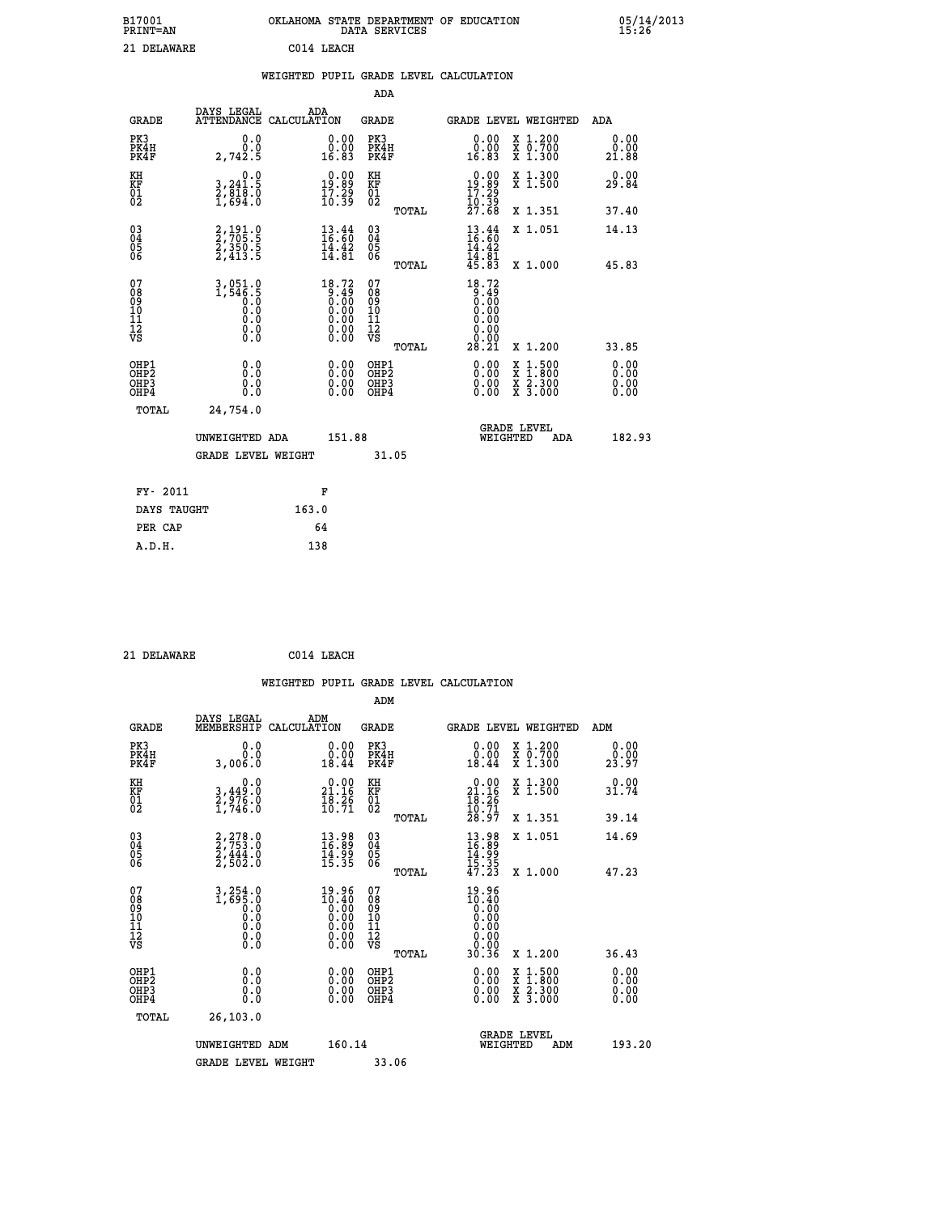| B17001<br><b>PRINT=AN</b> | OKLAHOMA STATE DEPARTMENT OF EDUCATION<br>SERVICES<br>DATA | 05/14/2013<br>15:26 |
|---------------------------|------------------------------------------------------------|---------------------|
| າ 1<br>םמשמחה             | $C014$ LFACH                                               |                     |

| <b>EALLY L-AIN</b>                                                 |                                                                                                         |                                                                                          | טײַט⊥י ייײַט הוה                         |       |                                                                                                                                     |                                          | 19. ZU                       |
|--------------------------------------------------------------------|---------------------------------------------------------------------------------------------------------|------------------------------------------------------------------------------------------|------------------------------------------|-------|-------------------------------------------------------------------------------------------------------------------------------------|------------------------------------------|------------------------------|
| 21 DELAWARE                                                        |                                                                                                         | C014 LEACH                                                                               |                                          |       |                                                                                                                                     |                                          |                              |
|                                                                    |                                                                                                         |                                                                                          |                                          |       | WEIGHTED PUPIL GRADE LEVEL CALCULATION                                                                                              |                                          |                              |
|                                                                    |                                                                                                         |                                                                                          | <b>ADA</b>                               |       |                                                                                                                                     |                                          |                              |
| <b>GRADE</b>                                                       | DAYS LEGAL<br>ATTENDANCE CALCULATION                                                                    | ADA                                                                                      | GRADE                                    |       |                                                                                                                                     | GRADE LEVEL WEIGHTED                     | ADA                          |
| PK3<br>PK4H<br>PK4F                                                | 0.0<br>0.0<br>2,742.5                                                                                   | 0.0000<br>16.83                                                                          | PK3<br>PK4H<br>PK4F                      |       | 0.00<br>0.00<br>16.83                                                                                                               | X 1.200<br>X 0.700<br>X 1.300            | 0.00<br>0.00<br>21.88        |
| KH<br>KF<br>$\overline{01}$                                        | 0.0<br>3,241.5<br>2,818.0<br>1,694.0                                                                    | $19.00$<br>19.89<br>$\frac{17.29}{10.39}$                                                | KH<br>KF<br>$\overline{01}$              |       | $\begin{smallmatrix} 0.00\\19.89\\17.29\\10.39\\27.68 \end{smallmatrix}$                                                            | X 1.300<br>X 1.500                       | 0.00<br>29.84                |
|                                                                    |                                                                                                         |                                                                                          |                                          | TOTAL |                                                                                                                                     | X 1.351                                  | 37.40                        |
| $\begin{smallmatrix} 03 \\[-4pt] 04 \end{smallmatrix}$<br>05<br>06 | 2,191.0<br>2,705.5<br>2,350.5<br>2,413.5                                                                | $\frac{13}{16}$ : $\frac{44}{60}$<br>$\frac{1}{4}$ . $\frac{3}{8}$<br>14.81              | $\substack{03 \\ 04}$<br>05<br>06        |       | $\frac{13}{16}$ : $\frac{44}{60}$<br>14.42<br>$\bar{1}\bar{4}\cdot\bar{8}\bar{1}\over 45.83$                                        | X 1.051                                  | 14.13                        |
|                                                                    |                                                                                                         |                                                                                          |                                          | TOTAL |                                                                                                                                     | X 1.000                                  | 45.83                        |
| 07<br>08<br>09<br>11<br>11<br>12<br>VS                             | 3,051.0<br>1,546.5<br>0.0<br>0.0<br>$\begin{smallmatrix} 0.0 & 0 \ 0.0 & 0 \ 0.0 & 0 \end{smallmatrix}$ | 18.72<br>$\begin{smallmatrix} 0.45 \ 0.00 \ 0.00 \ 0.00 \ 0.00 \ 0.00 \end{smallmatrix}$ | 07<br>089<br>101<br>111<br>VS            | TOTAL | 18.72<br>$\begin{smallmatrix} 0.49 \ 0.00 \ 0.00 \end{smallmatrix}$<br>0.00<br>$\begin{array}{c} 0.00 \\ 0.00 \\ 28.21 \end{array}$ | X 1.200                                  | 33.85                        |
| OHP1<br>OHP <sub>2</sub><br>OH <sub>P3</sub><br>OHP4               | 0.0<br>Ō.Ō<br>0.0<br>0.0                                                                                | 0.00<br>0.00<br>0.00                                                                     | OHP1<br>OHP <sub>2</sub><br>OHP3<br>OHP4 |       | 0.00<br>0.00<br>0.00                                                                                                                | X 1:500<br>X 1:800<br>X 2:300<br>X 3:000 | 0.00<br>0.00<br>0.00<br>0.00 |
| TOTAL                                                              | 24,754.0                                                                                                |                                                                                          |                                          |       |                                                                                                                                     |                                          |                              |
|                                                                    | UNWEIGHTED ADA<br><b>GRADE LEVEL WEIGHT</b>                                                             | 151.88                                                                                   | 31.05                                    |       | WEIGHTED                                                                                                                            | <b>GRADE LEVEL</b><br>ADA                | 182.93                       |
|                                                                    |                                                                                                         |                                                                                          |                                          |       |                                                                                                                                     |                                          |                              |
| <b>FV- 2011</b>                                                    |                                                                                                         | R                                                                                        |                                          |       |                                                                                                                                     |                                          |                              |

| FY- 2011    | F     |
|-------------|-------|
| DAYS TAUGHT | 163.0 |
| PER CAP     | 64    |
| A.D.H.      | 138   |
|             |       |

 **21 DELAWARE C014 LEACH**

| <b>GRADE</b>                                       | DAYS LEGAL<br>MEMBERSHIP                                                                                                           | ADM<br>CALCULATION                                                    | <b>GRADE</b>                           |       |                                                                                                                                                                                                                                                                                | <b>GRADE LEVEL WEIGHTED</b>              | ADM                  |  |
|----------------------------------------------------|------------------------------------------------------------------------------------------------------------------------------------|-----------------------------------------------------------------------|----------------------------------------|-------|--------------------------------------------------------------------------------------------------------------------------------------------------------------------------------------------------------------------------------------------------------------------------------|------------------------------------------|----------------------|--|
| PK3<br>PK4H<br>PK4F                                | 0.0<br>0.0<br>3,006.0                                                                                                              | $\begin{smallmatrix} 0.00\\ 0.00\\ 18.44 \end{smallmatrix}$           | PK3<br>PK4H<br>PK4F                    |       | $\begin{smallmatrix} 0.00\\ 0.00\\ 18.44 \end{smallmatrix}$                                                                                                                                                                                                                    | X 1.200<br>X 0.700<br>X 1.300            | 0.00<br>23.97        |  |
| KH<br>KF<br>01<br>02                               | 0.0<br>3,449:0<br>2,976:0<br>1,746:0                                                                                               | $\begin{smallmatrix} 0.00\\ 21.16\\ 18.26\\ 10.71 \end{smallmatrix}$  | KH<br>KF<br>01<br>02                   |       | $\begin{smallmatrix} 0.00\\ 21.16\\ 18.26\\ 10.71\\ 28.97 \end{smallmatrix}$                                                                                                                                                                                                   | X 1.300<br>X 1.500                       | 0.00<br>31.74        |  |
|                                                    |                                                                                                                                    |                                                                       |                                        | TOTAL |                                                                                                                                                                                                                                                                                | X 1.351                                  | 39.14                |  |
| $\begin{matrix} 03 \\ 04 \\ 05 \\ 06 \end{matrix}$ | 2,278.0<br>2,753.0<br>2,444.0<br>2,502.0                                                                                           | $\begin{smallmatrix} 13.98\\ 16.89\\ 14.99\\ 15.35 \end{smallmatrix}$ | 03<br>04<br>05<br>06                   |       | $13.98$<br>$16.89$<br>$14.99$<br>$15.35$<br>$47.23$                                                                                                                                                                                                                            | X 1.051                                  | 14.69                |  |
|                                                    |                                                                                                                                    |                                                                       |                                        | TOTAL |                                                                                                                                                                                                                                                                                | X 1.000                                  | 47.23                |  |
| 07<br>08<br>09<br>101<br>112<br>VS                 | $\begin{smallmatrix} 3\,,\,2\,5\,4\,.\,0\\ 1\,,\,6\,9\,5\,.\,0\\ 0\,.\,0\\ 0\,.\,0\\ 0\,.\,0\\ 0\,.\,0\\ 0\,.\,0\end{smallmatrix}$ | $19.96$<br>$10.40$<br>$0.00$<br>$0.00$                                | 07<br>08<br>09<br>11<br>11<br>12<br>VS | TOTAL | $19.40\n10.40\n0.00\n0.00\n0.00\n0.00\n0.00\n30.36$                                                                                                                                                                                                                            | X 1.200                                  | 36.43                |  |
| OHP1<br>OHP2<br>OHP3<br>OHP4                       | 0.0<br>Ō.Ō<br>Ŏ.Ŏ                                                                                                                  |                                                                       | OHP1<br>OHP2<br>OHP3<br>OHP4           |       | $\begin{smallmatrix} 0.00 & 0.00 & 0.00 & 0.00 & 0.00 & 0.00 & 0.00 & 0.00 & 0.00 & 0.00 & 0.00 & 0.00 & 0.00 & 0.00 & 0.00 & 0.00 & 0.00 & 0.00 & 0.00 & 0.00 & 0.00 & 0.00 & 0.00 & 0.00 & 0.00 & 0.00 & 0.00 & 0.00 & 0.00 & 0.00 & 0.00 & 0.00 & 0.00 & 0.00 & 0.00 & 0.0$ | X 1:500<br>X 1:800<br>X 2:300<br>X 3:000 | 0.00<br>0.00<br>0.00 |  |
| TOTAL                                              | 26, 103.0                                                                                                                          |                                                                       |                                        |       |                                                                                                                                                                                                                                                                                |                                          |                      |  |
|                                                    | UNWEIGHTED ADM                                                                                                                     | 160.14                                                                |                                        |       | WEIGHTED                                                                                                                                                                                                                                                                       | <b>GRADE LEVEL</b><br>ADM                | 193.20               |  |
|                                                    | <b>GRADE LEVEL WEIGHT</b>                                                                                                          |                                                                       | 33.06                                  |       |                                                                                                                                                                                                                                                                                |                                          |                      |  |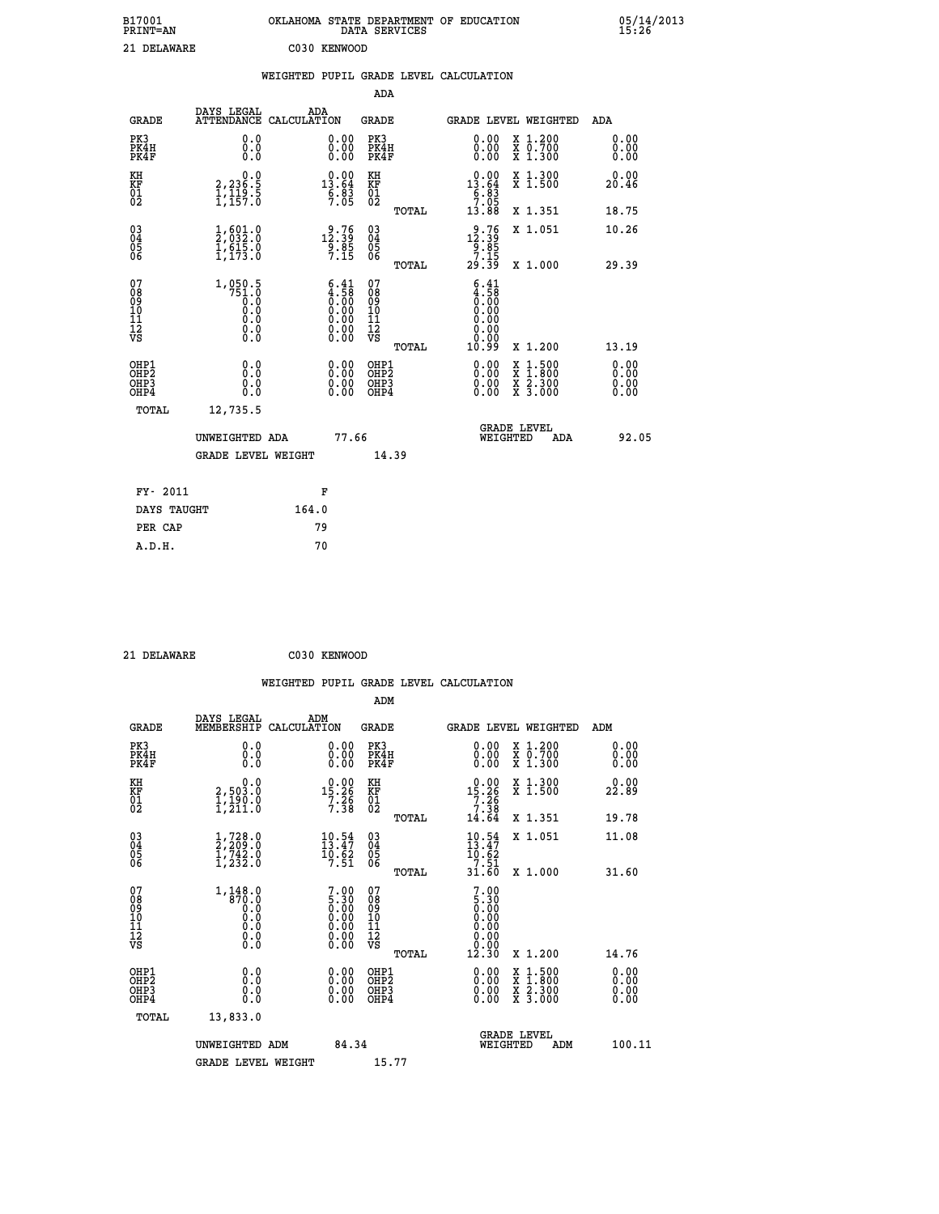| B17001<br><b>PRINT=AN</b> | OKLAHOMA STATE DEPARTMENT OF EDUCATION<br>DATA SERVICES | 05/14/2013<br>15:26 |
|---------------------------|---------------------------------------------------------|---------------------|
| 21 DELAWARE               | C030 KENWOOD                                            |                     |

|                                                    |                                                                              | WEIGHTED PUPIL GRADE LEVEL CALCULATION |                                     |                          |       |                                                         |                                                         |                                                            |
|----------------------------------------------------|------------------------------------------------------------------------------|----------------------------------------|-------------------------------------|--------------------------|-------|---------------------------------------------------------|---------------------------------------------------------|------------------------------------------------------------|
|                                                    |                                                                              |                                        |                                     | ADA                      |       |                                                         |                                                         |                                                            |
| <b>GRADE</b>                                       | DAYS LEGAL                                                                   | ADA<br>ATTENDANCE CALCULATION          |                                     | GRADE                    |       |                                                         | GRADE LEVEL WEIGHTED                                    | ADA                                                        |
| PK3<br>PK4H<br>PK4F                                | 0.0000<br>0.0                                                                |                                        | 0.0000<br>0.00                      | PK3<br>PK4H<br>PK4F      |       | 0.00<br>0.00<br>0.00                                    | X 1.200<br>$\overline{x}$ $\overline{0.700}$<br>X 1.300 | $\begin{smallmatrix} 0.00 \ 0.00 \ 0.00 \end{smallmatrix}$ |
| КH<br><b>KF</b><br>01<br>02                        | 0.0<br>2, 236.5<br>$\frac{1}{1}, \frac{1}{15}, \frac{3}{5}$                  |                                        | 0.00<br>$13.64$<br>$6.83$<br>7.05   | КH<br>ΚF<br>$^{01}_{02}$ |       | 0.00<br>13.64<br>$\frac{6}{7}.\overline{8}\overline{3}$ | X 1.300<br>X <sub>1.500</sub>                           | 0.00<br>20.46                                              |
|                                                    |                                                                              |                                        |                                     |                          | TOTAL | 13.88                                                   | X 1.351                                                 | 18.75                                                      |
| $\begin{matrix} 03 \\ 04 \\ 05 \\ 06 \end{matrix}$ | $\frac{1}{2}$ , 601.0<br>1,615.0<br>$\bar{1}, \bar{1}\bar{7}\bar{3}.\bar{0}$ |                                        | $12.39$<br>$9.39$<br>$9.85$<br>7.15 | 030404<br>06             |       | 12.39<br>$\frac{9.85}{7.15}$                            | X 1.051                                                 | 10.26                                                      |
|                                                    |                                                                              |                                        |                                     |                          | TOTAL | 29.39                                                   | X 1.000                                                 | 29.39                                                      |
|                                                    |                                                                              |                                        |                                     |                          |       |                                                         |                                                         |                                                            |

| 0789<br>009<br>1112<br>112<br>VS                     | 1,050.5<br>751.0<br>0.0<br>0.0<br>ŏ:ŏ<br>0:0<br>0:0 | $\frac{6.41}{4.58}$<br>0.00<br>Ŏ:ŎŎ<br>O:OO<br>O:OO | 07890112<br>0001112<br>VS<br>TOTAL       | $\begin{smallmatrix} 6.41\ 4.58\ 0.00\ 0.00\ 0.00\ 0.00\ 0.00\ 0.00\ \end{smallmatrix}$<br>10.99                                                                                                                                                                               | X 1.200                                                                                                                      | 13.19                                                                                                                                                                                                                                                                          |
|------------------------------------------------------|-----------------------------------------------------|-----------------------------------------------------|------------------------------------------|--------------------------------------------------------------------------------------------------------------------------------------------------------------------------------------------------------------------------------------------------------------------------------|------------------------------------------------------------------------------------------------------------------------------|--------------------------------------------------------------------------------------------------------------------------------------------------------------------------------------------------------------------------------------------------------------------------------|
| OHP1<br>OHP <sub>2</sub><br>OH <sub>P3</sub><br>OHP4 | 0.0<br>0.000                                        | 0.00<br>0.00<br>0.00                                | OHP1<br>OHP <sub>2</sub><br>OHP3<br>OHP4 | $\begin{smallmatrix} 0.00 & 0.00 & 0.00 & 0.00 & 0.00 & 0.00 & 0.00 & 0.00 & 0.00 & 0.00 & 0.00 & 0.00 & 0.00 & 0.00 & 0.00 & 0.00 & 0.00 & 0.00 & 0.00 & 0.00 & 0.00 & 0.00 & 0.00 & 0.00 & 0.00 & 0.00 & 0.00 & 0.00 & 0.00 & 0.00 & 0.00 & 0.00 & 0.00 & 0.00 & 0.00 & 0.0$ | $\begin{smallmatrix} x & 1.500 \\ x & 1.800 \end{smallmatrix}$<br>$\overline{x}$ $\overline{2}$ . 300<br>$X\overline{3.000}$ | $\begin{smallmatrix} 0.00 & 0.00 & 0.00 & 0.00 & 0.00 & 0.00 & 0.00 & 0.00 & 0.00 & 0.00 & 0.00 & 0.00 & 0.00 & 0.00 & 0.00 & 0.00 & 0.00 & 0.00 & 0.00 & 0.00 & 0.00 & 0.00 & 0.00 & 0.00 & 0.00 & 0.00 & 0.00 & 0.00 & 0.00 & 0.00 & 0.00 & 0.00 & 0.00 & 0.00 & 0.00 & 0.0$ |
| TOTAL                                                | 12,735.5                                            |                                                     |                                          |                                                                                                                                                                                                                                                                                |                                                                                                                              |                                                                                                                                                                                                                                                                                |
|                                                      | UNWEIGHTED ADA<br><b>GRADE LEVEL WEIGHT</b>         | 77.66                                               | 14.39                                    | WEIGHTED                                                                                                                                                                                                                                                                       | <b>GRADE LEVEL</b><br>ADA                                                                                                    | 92.05                                                                                                                                                                                                                                                                          |
| FY- 2011                                             |                                                     | F                                                   |                                          |                                                                                                                                                                                                                                                                                |                                                                                                                              |                                                                                                                                                                                                                                                                                |
| ----- -----                                          | $\overline{\phantom{a}}$                            |                                                     |                                          |                                                                                                                                                                                                                                                                                |                                                                                                                              |                                                                                                                                                                                                                                                                                |

| ri aull     | . г.  |
|-------------|-------|
| DAYS TAUGHT | 164.0 |
| PER CAP     | 79    |
| A.D.H.      | 70    |
|             |       |

| 21 DELAWARE |
|-------------|
|             |

 **21 DELAWARE C030 KENWOOD**

|                                                    |                                                                                                                                        |                    |                                                               |                                        |       | WEIGHTED PUPIL GRADE LEVEL CALCULATION                       |                                           |                              |
|----------------------------------------------------|----------------------------------------------------------------------------------------------------------------------------------------|--------------------|---------------------------------------------------------------|----------------------------------------|-------|--------------------------------------------------------------|-------------------------------------------|------------------------------|
|                                                    |                                                                                                                                        |                    |                                                               | ADM                                    |       |                                                              |                                           |                              |
| <b>GRADE</b>                                       | DAYS LEGAL<br>MEMBERSHIP                                                                                                               | ADM<br>CALCULATION |                                                               | <b>GRADE</b>                           |       |                                                              | GRADE LEVEL WEIGHTED                      | ADM                          |
| PK3<br>PK4H<br>PK4F                                | 0.0<br>0.0<br>0.0                                                                                                                      |                    | $\begin{smallmatrix} 0.00 \ 0.00 \ 0.00 \end{smallmatrix}$    | PK3<br>PK4H<br>PK4F                    |       | 0.00<br>0.00                                                 | X 1.200<br>X 0.700<br>X 1.300             | 0.00<br>0.00<br>0.00         |
| KH<br>KF<br>01<br>02                               | 0.0<br>2,503.0<br>1,190.0<br>1,211.0                                                                                                   |                    | $\begin{array}{r} 0.00 \\ 15.26 \\ 7.38 \\ \end{array}$       | KH<br>KF<br>01<br>02                   |       | 0.00<br>$15.26$<br>$7.26$<br>$7.38$<br>$14.64$               | X 1.300<br>X 1.500                        | 0.00<br>22.89                |
|                                                    |                                                                                                                                        |                    |                                                               |                                        | TOTAL |                                                              | X 1.351                                   | 19.78                        |
| $\begin{matrix} 03 \\ 04 \\ 05 \\ 06 \end{matrix}$ | $\frac{1}{2}, \frac{728}{209}.0 \\ 1, \frac{742}{232}.0$                                                                               |                    | $10.54$<br>$13.47$<br>$\frac{10.62}{7.51}$                    | $\substack{03 \\ 04}$<br>05<br>06      |       | $\frac{10.54}{13.47}$<br>10.62                               | X 1.051                                   | 11.08                        |
|                                                    |                                                                                                                                        |                    |                                                               |                                        | TOTAL | $\frac{7}{31}.\frac{51}{60}$                                 | X 1.000                                   | 31.60                        |
| 07<br>08<br>09<br>10<br>11<br>11<br>17<br>VS       | $\begin{smallmatrix} 1,148.0\\ -370.0\\ 0.0\\ 0.0\\ 0.0 \end{smallmatrix}$<br>$\begin{smallmatrix} 0.16 \ 0.0 \ 0.0 \end{smallmatrix}$ |                    | $7.905.300.000.000.000.000.00$                                | 07<br>08<br>09<br>11<br>11<br>12<br>VS |       | $\frac{7.00}{5.30}$<br>0.00<br>0.00<br>0.00<br>0:00<br>12:30 |                                           |                              |
|                                                    |                                                                                                                                        |                    |                                                               |                                        | TOTAL |                                                              | X 1.200                                   | 14.76                        |
| OHP1<br>OHP2<br>OHP3<br>OHP4                       | 0.0<br>0.0<br>Ŏ.Ŏ                                                                                                                      |                    | 0.0000<br>$\begin{smallmatrix} 0.00 \ 0.00 \end{smallmatrix}$ | OHP1<br>OHP2<br>OHP3<br>OHP4           |       | 0.00<br>0.00                                                 | $\frac{x}{x}$ 1:500<br>X 2.300<br>X 3.000 | 0.00<br>0.00<br>0.00<br>0.00 |
| TOTAL                                              | 13,833.0                                                                                                                               |                    |                                                               |                                        |       |                                                              |                                           |                              |
|                                                    | UNWEIGHTED ADM                                                                                                                         |                    | 84.34                                                         |                                        |       | WEIGHTED                                                     | <b>GRADE LEVEL</b><br>ADM                 | 100.11                       |
|                                                    | <b>GRADE LEVEL WEIGHT</b>                                                                                                              |                    |                                                               | 15.77                                  |       |                                                              |                                           |                              |
|                                                    |                                                                                                                                        |                    |                                                               |                                        |       |                                                              |                                           |                              |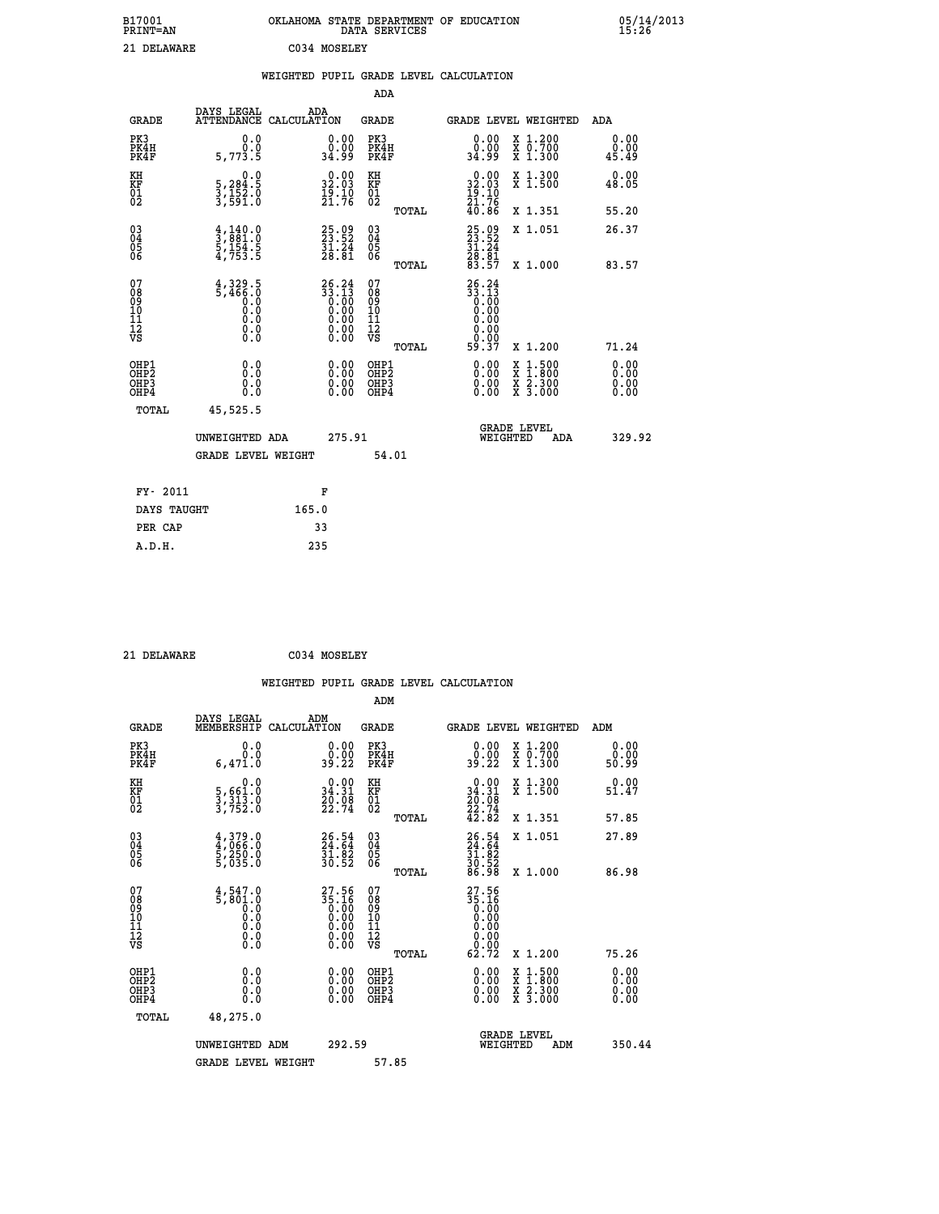| B17001<br>PRINT=AN    | OKLAHOMA STATE DEPARTMENT OF EDUCATION | DATA SERVICES | 05/14/2013<br>15:26 |
|-----------------------|----------------------------------------|---------------|---------------------|
| 21<br><b>DELAWARE</b> | C034 MOSELEY                           |               |                     |

|  |  | WEIGHTED PUPIL GRADE LEVEL CALCULATION |
|--|--|----------------------------------------|
|  |  |                                        |

|                                                                              |                                                                                                    |                                                                                              | ADA                                                |                                                                              |                                                                                                                                              |                              |
|------------------------------------------------------------------------------|----------------------------------------------------------------------------------------------------|----------------------------------------------------------------------------------------------|----------------------------------------------------|------------------------------------------------------------------------------|----------------------------------------------------------------------------------------------------------------------------------------------|------------------------------|
| <b>GRADE</b>                                                                 | DAYS LEGAL                                                                                         | ADA<br>ATTENDANCE CALCULATION                                                                | GRADE                                              |                                                                              | <b>GRADE LEVEL WEIGHTED</b>                                                                                                                  | ADA                          |
| PK3<br>PK4H<br>PK4F                                                          | 0.0<br>Ō.Ō<br>5,773.5                                                                              | $\begin{smallmatrix} 0.00\\ 0.00\\ 34.99 \end{smallmatrix}$                                  | PK3<br>PK4H<br>PK4F                                | 0.00<br>0.00<br>34.99                                                        | X 1.200<br>X 0.700<br>X 1.300                                                                                                                | 0.00<br>0.00<br>45.49        |
| KH<br>KF<br>01<br>02                                                         | 0.0<br>5,284:5<br>3,152:0<br>3,591:0                                                               | $\begin{smallmatrix} 0.00\\ 32.03\\ 19.10\\ 21.76 \end{smallmatrix}$                         | KH<br>KF<br>01<br>02                               | $\begin{smallmatrix} 0.00\\ 32.03\\ 19.10\\ 21.76\\ 40.86 \end{smallmatrix}$ | X 1.300<br>X 1.500                                                                                                                           | 0.00<br>48.05                |
|                                                                              |                                                                                                    |                                                                                              | TOTAL                                              |                                                                              | X 1.351                                                                                                                                      | 55.20                        |
| $\begin{matrix} 03 \\ 04 \\ 05 \\ 06 \end{matrix}$                           | $\frac{4}{3}, \frac{140}{881}.0$<br>5, 154.5<br>4, 753.5                                           | 25.09<br>23.52<br>31.24<br>28.81                                                             | $\begin{matrix} 03 \\ 04 \\ 05 \\ 06 \end{matrix}$ | 25.09<br>23.52<br>31.24<br>28.81<br>23.57                                    | X 1.051                                                                                                                                      | 26.37                        |
|                                                                              |                                                                                                    |                                                                                              | TOTAL                                              |                                                                              | X 1.000                                                                                                                                      | 83.57                        |
| 07<br>08<br>09<br>11<br>11<br>12<br>VS                                       | 4,329.5<br>5,466.0<br>$\begin{smallmatrix} 0.0 & 0 \ 0.0 & 0 \ 0.0 & 0 \end{smallmatrix}$<br>$\S.$ | $26.24$<br>33.13<br>$\begin{smallmatrix} 0.16 \ 0.00 \ 0.00 \ 0.00 \ 0.00 \end{smallmatrix}$ | 07<br>08<br>09<br>11<br>11<br>12<br>VS<br>TOTAL    | $26.24$<br>$33.13$<br>$0.00$<br>$0.00$<br>0.00<br>0.00<br>59.37              | X 1.200                                                                                                                                      | 71.24                        |
| OHP1<br>OH <sub>P</sub> <sub>2</sub><br>OH <sub>P3</sub><br>OH <sub>P4</sub> | 0.0<br>0.0<br>0.0                                                                                  | 0.00<br>0.00<br>0.00                                                                         | OHP1<br>OHP2<br>OHP3<br>OHP4                       | 0.00<br>0.00<br>0.00                                                         | $\begin{smallmatrix} \mathtt{X} & 1\cdot500 \\ \mathtt{X} & 1\cdot800 \\ \mathtt{X} & 2\cdot300 \\ \mathtt{X} & 3\cdot000 \end{smallmatrix}$ | 0.00<br>0.00<br>0.00<br>0.00 |
| TOTAL                                                                        | 45,525.5                                                                                           |                                                                                              |                                                    |                                                                              |                                                                                                                                              |                              |
|                                                                              | UNWEIGHTED ADA                                                                                     | 275.91                                                                                       |                                                    |                                                                              | <b>GRADE LEVEL</b><br>WEIGHTED<br>ADA                                                                                                        | 329.92                       |
|                                                                              | <b>GRADE LEVEL WEIGHT</b>                                                                          |                                                                                              | 54.01                                              |                                                                              |                                                                                                                                              |                              |
| FY- 2011                                                                     |                                                                                                    | F                                                                                            |                                                    |                                                                              |                                                                                                                                              |                              |
| DAYS TAUGHT                                                                  |                                                                                                    | 165.0                                                                                        |                                                    |                                                                              |                                                                                                                                              |                              |
| PER CAP                                                                      |                                                                                                    | 33                                                                                           |                                                    |                                                                              |                                                                                                                                              |                              |
| A.D.H.                                                                       |                                                                                                    | 235                                                                                          |                                                    |                                                                              |                                                                                                                                              |                              |

 **21 DELAWARE C034 MOSELEY**

 **A.D.H. 235**

| <b>GRADE</b>                                             | DAYS LEGAL<br>MEMBERSHIP                 | ADM<br>CALCULATION                                                   | <b>GRADE</b>                                        |       |                                                                                                              |          | <b>GRADE LEVEL WEIGHTED</b>              | ADM                   |
|----------------------------------------------------------|------------------------------------------|----------------------------------------------------------------------|-----------------------------------------------------|-------|--------------------------------------------------------------------------------------------------------------|----------|------------------------------------------|-----------------------|
| PK3<br>PK4H<br>PK4F                                      | 0.0<br>0.0<br>6,471.0                    | $\begin{smallmatrix} 0.00\\ 0.00\\ 39.22 \end{smallmatrix}$          | PK3<br>PK4H<br>PK4F                                 |       | 0.00<br>0.00<br>39.22                                                                                        |          | X 1.200<br>X 0.700<br>X 1.300            | 0.00<br>0.00<br>50.99 |
| KH<br>KF<br>01<br>02                                     | 0.0<br>5,661:0<br>3,313.0<br>3,752:0     | $\begin{smallmatrix} 0.00\\ 34.31\\ 20.08\\ 22.74 \end{smallmatrix}$ | KH<br>KF<br>01<br>02                                |       | $\begin{smallmatrix} 0.00\\ 34.31\\ 20.08\\ 22.74\\ 42.82 \end{smallmatrix}$                                 |          | X 1.300<br>X 1.500                       | 0.00<br>51.47         |
|                                                          |                                          |                                                                      |                                                     | TOTAL |                                                                                                              |          | X 1.351                                  | 57.85                 |
| $\begin{matrix} 03 \\ 04 \\ 05 \\ 06 \end{matrix}$       | 4,379.0<br>4,066.0<br>5,250.0<br>5,035.0 | $26.54$<br>$24.64$<br>$31.82$<br>$30.52$                             | $\begin{array}{c} 03 \\ 04 \\ 05 \\ 06 \end{array}$ |       | $26.54$<br>$24.64$<br>$31.82$<br>$30.52$<br>$86.98$                                                          |          | X 1.051                                  | 27.89                 |
|                                                          |                                          |                                                                      |                                                     | TOTAL |                                                                                                              |          | X 1.000                                  | 86.98                 |
| 07<br>08<br>09<br>11<br>11<br>12<br>VS                   | 4,547.0                                  | $35.16$<br>$9.00$                                                    | 07<br>08<br>09<br>11<br>11<br>12<br>VS              | TOTAL | $\begin{smallmatrix} 27.56\\ 35.16\\ 0.00\\ 0.00\\ 0.00\\ 0.00\\ 0.00\\ 0.00\\ 0.00\\ 0.01\end{smallmatrix}$ |          | X 1.200                                  | 75.26                 |
| OHP1                                                     |                                          |                                                                      | OHP1                                                |       |                                                                                                              |          |                                          | 0.00                  |
| OH <sub>P</sub> <sub>2</sub><br>OH <sub>P3</sub><br>OHP4 | 0.0<br>0.0<br>Ŏ.Ŏ                        |                                                                      | OHP <sub>2</sub><br>OHP3<br>OHP4                    |       |                                                                                                              |          | X 1:500<br>X 1:800<br>X 2:300<br>X 3:000 | 0.00<br>0.00<br>0.00  |
| TOTAL                                                    | 48,275.0                                 |                                                                      |                                                     |       |                                                                                                              |          |                                          |                       |
|                                                          | UNWEIGHTED ADM                           | 292.59                                                               |                                                     |       |                                                                                                              | WEIGHTED | <b>GRADE LEVEL</b><br>ADM                | 350.44                |
|                                                          | <b>GRADE LEVEL WEIGHT</b>                |                                                                      | 57.85                                               |       |                                                                                                              |          |                                          |                       |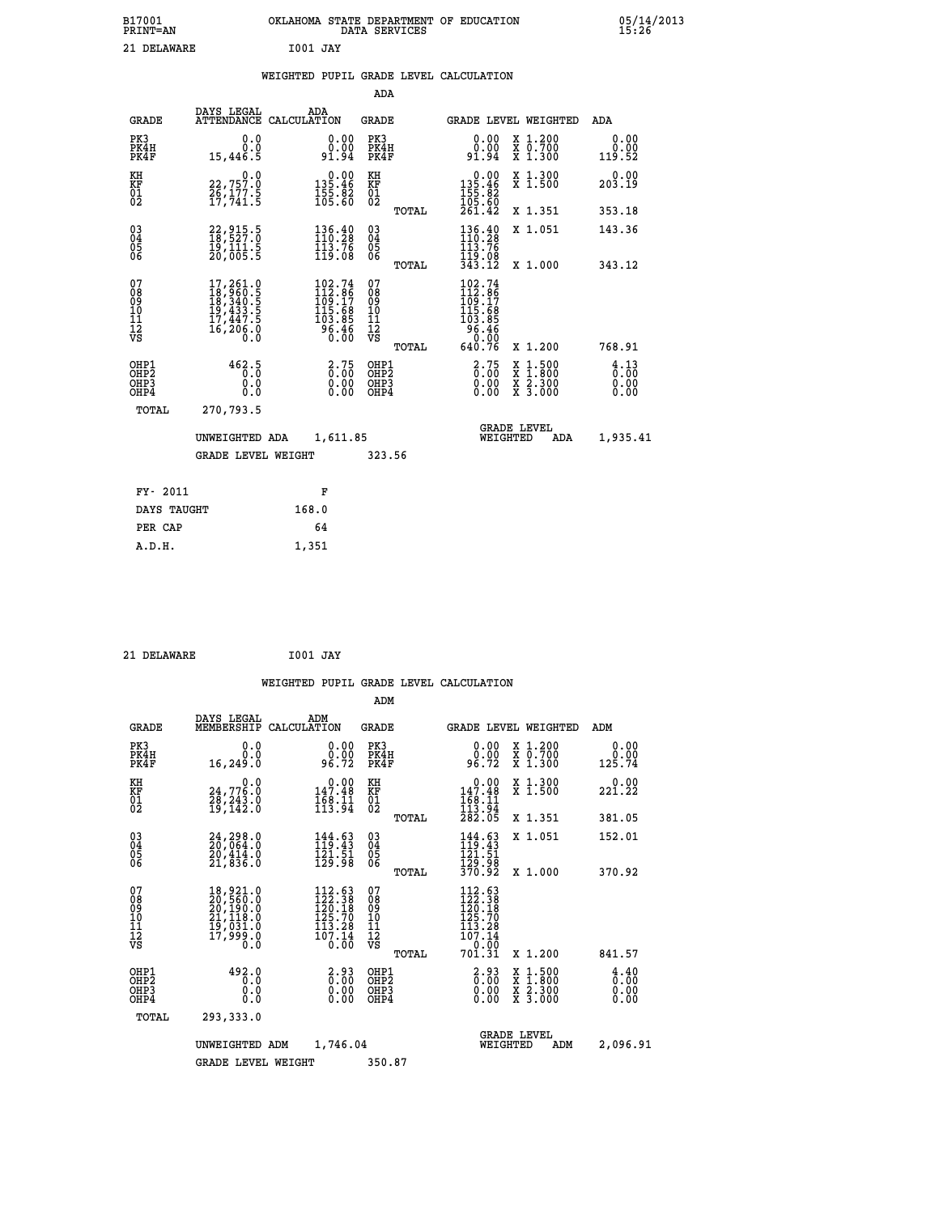| B17001<br><b>PRINT=AN</b> | OKLAHOMA STATE DEPARTMENT OF EDUCATION<br>DATA SERVICES |  |
|---------------------------|---------------------------------------------------------|--|
| 21 DELAWARE               | 1001 JAY                                                |  |

|  |  | WEIGHTED PUPIL GRADE LEVEL CALCULATION |
|--|--|----------------------------------------|
|  |  |                                        |

|                                                                    |                                                                           |                                                                                      | ADA                                       |       |                                                                                                    |                                                                                                  |                                                 |
|--------------------------------------------------------------------|---------------------------------------------------------------------------|--------------------------------------------------------------------------------------|-------------------------------------------|-------|----------------------------------------------------------------------------------------------------|--------------------------------------------------------------------------------------------------|-------------------------------------------------|
| <b>GRADE</b>                                                       | DAYS LEGAL                                                                | ADA<br>ATTENDANCE CALCULATION                                                        | <b>GRADE</b>                              |       | GRADE LEVEL WEIGHTED                                                                               |                                                                                                  | ADA                                             |
| PK3<br>PK4H<br>PK4F                                                | 0.0<br>0.0<br>15,446.5                                                    | $\begin{smallmatrix} 0.00\\ 0.00\\ 91.94 \end{smallmatrix}$                          | PK3<br>PK4H<br>PK4F                       |       | 0.00<br>ة<br>94.94                                                                                 | X 1.200<br>X 0.700<br>X 1.300                                                                    | 0.00<br>0.00<br>119.52                          |
| KH<br><b>KF</b><br>01<br>02                                        | 0.0<br>22,757.0<br>26,177.5<br>17,741.5                                   | $\begin{smallmatrix} &0.00\\ 135.46\\ 155.82\\ 105.60\end{smallmatrix}$              | KH<br>KF<br>01<br>02                      |       | $\begin{smallmatrix} &0.00\\ 135.46\\ 155.82\\ 105.60\\ 261.42\end{smallmatrix}$                   | X 1.300<br>X 1.500                                                                               | 0.00<br>203.19                                  |
|                                                                    |                                                                           |                                                                                      |                                           | TOTAL |                                                                                                    | X 1.351                                                                                          | 353.18                                          |
| $\begin{smallmatrix} 03 \\[-4pt] 04 \end{smallmatrix}$<br>05<br>06 | 22, 915.5<br>18, 527.0<br>19,111.5<br>20,005.5                            | $\begin{array}{l} 136\cdot 40\\ 110\cdot 28\\ 113\cdot 76\\ 119\cdot 08 \end{array}$ | $\substack{03 \\ 04}$<br>05<br>06         | TOTAL | $\begin{array}{l} 136\cdot 40\\ 110\cdot 28\\ 113\cdot 76\\ 119\cdot 08\\ 343\cdot 12 \end{array}$ | X 1.051<br>X 1.000                                                                               | 143.36<br>343.12                                |
| 07<br>08<br>09<br>11<br>11<br>12<br>VS                             | 17, 261.0<br>18, 960.5<br>18, 340.5<br>19, 433.5<br>17, 447.5<br>16,206.0 | $102.74$<br>$112.86$<br>$109.17$<br>$115.68$<br>$103.85$<br>$96.46$<br>$0.00$        | 07<br>08901112<br>1112<br>VS              |       | 102.74<br>112.86<br>109.17<br>105.68<br>103.85<br>96.46<br>20.00                                   |                                                                                                  |                                                 |
|                                                                    |                                                                           |                                                                                      |                                           | TOTAL | 640.76                                                                                             | X 1.200                                                                                          | 768.91                                          |
| OHP1<br>OH <sub>P2</sub><br>OH <sub>P3</sub><br>OH <sub>P4</sub>   | 462.5<br>0.0<br>0.0                                                       | $\begin{smallmatrix} 2.75\0.00 \end{smallmatrix}$<br>0.00                            | OHP1<br>OH <sub>P</sub> 2<br>OHP3<br>OHP4 |       | $2.75$<br>$0.00$<br>0.00<br>0.00                                                                   | $\begin{smallmatrix} x & 1 & 500 \\ x & 1 & 800 \\ x & 2 & 300 \\ x & 3 & 000 \end{smallmatrix}$ | $\frac{4}{0}$ : $\frac{13}{00}$<br>0.00<br>0.00 |
| TOTAL                                                              | 270,793.5                                                                 |                                                                                      |                                           |       |                                                                                                    |                                                                                                  |                                                 |
|                                                                    | UNWEIGHTED ADA                                                            | 1,611.85                                                                             |                                           |       | WEIGHTED                                                                                           | <b>GRADE LEVEL</b><br>ADA                                                                        | 1,935.41                                        |
|                                                                    | <b>GRADE LEVEL WEIGHT</b>                                                 |                                                                                      | 323.56                                    |       |                                                                                                    |                                                                                                  |                                                 |
| FY- 2011                                                           |                                                                           | F                                                                                    |                                           |       |                                                                                                    |                                                                                                  |                                                 |
| DAYS TAUGHT                                                        |                                                                           | 168.0                                                                                |                                           |       |                                                                                                    |                                                                                                  |                                                 |
| PER CAP                                                            |                                                                           | 64                                                                                   |                                           |       |                                                                                                    |                                                                                                  |                                                 |

 **21 DELAWARE I001 JAY**

 **A.D.H. 1,351**

 **B17001<br>PRINT=AN** 

|                                                      |                                                                                                               |                                                                                                           | WEIGHTED PUPIL GRADE LEVEL CALCULATION       |                                                                                              |                                          |                                     |
|------------------------------------------------------|---------------------------------------------------------------------------------------------------------------|-----------------------------------------------------------------------------------------------------------|----------------------------------------------|----------------------------------------------------------------------------------------------|------------------------------------------|-------------------------------------|
|                                                      |                                                                                                               |                                                                                                           | ADM                                          |                                                                                              |                                          |                                     |
| <b>GRADE</b>                                         | DAYS LEGAL<br>MEMBERSHIP<br>CALCULATION                                                                       | ADM                                                                                                       | GRADE                                        | <b>GRADE LEVEL WEIGHTED</b>                                                                  |                                          | ADM                                 |
| PK3<br>PK4H<br>PK4F                                  | 0.0<br>0.0<br>16,249.0                                                                                        | $\begin{smallmatrix} 0.00\\ 0.00\\ 96.72 \end{smallmatrix}$                                               | PK3<br>PK4H<br>PK4F                          | 0.00<br>96.72                                                                                | X 1.200<br>X 0.700<br>X 1.300            | 0.00<br>0.00<br>125.74              |
| KH<br>KF<br>01<br>02                                 | 0.0<br>24,776.0<br>28,243.0<br>19,142.0                                                                       | $0.00$<br>147.48<br>$\frac{1}{1}\overline{6}\overline{8}\cdot\overline{1}\overline{1}\overline{4}$        | KH<br>KF<br>01<br>02                         | $\begin{array}{c} 0.00 \\ 147.48 \\ 168.11 \\ 113.94 \\ 282.05 \end{array}$                  | X 1.300<br>X 1.500                       | 221.22                              |
|                                                      |                                                                                                               |                                                                                                           | TOTAL                                        |                                                                                              | X 1.351                                  | 381.05                              |
| $\substack{03 \\ 04}$<br>Ŏ5<br>06                    | $\substack{24,298.0\\20,064.0\\20,414.0\\21,836.0$                                                            | 144.63<br>119.43<br>$\frac{1}{2}$ $\frac{1}{2}$ $\frac{1}{9}$ $\frac{1}{9}$ $\frac{1}{8}$                 | $\substack{03 \\ 04}$<br>$\frac{05}{06}$     | $\frac{144}{119}.$ $\frac{63}{43}$<br>$\frac{121.51}{129.98}$<br>370.92                      | X 1.051                                  | 152.01                              |
|                                                      |                                                                                                               |                                                                                                           | TOTAL                                        |                                                                                              | X 1.000                                  | 370.92                              |
| 07<br>08<br>09<br>101<br>11<br>12<br>VS              | $\begin{smallmatrix} 18,921.0\\ 20,560.0\\ 20,190.0\\ 21,118.0\\ 19,031.0\\ 17,999.0\\ 0.0 \end{smallmatrix}$ | 112.53<br>122.38<br>120.18<br>125.70<br>113.28<br>$\frac{1}{0}$ $\frac{5}{0}$ $\frac{1}{0}$ $\frac{3}{0}$ | 07<br>08<br>09<br>01<br>11<br>11<br>12<br>VS | 112.63<br>$\frac{122}{120}$ $\frac{38}{125}$<br>$\frac{125}{70}$<br>113.28<br>107.14<br>0.00 |                                          |                                     |
|                                                      |                                                                                                               |                                                                                                           | TOTAL                                        | 701.31                                                                                       | X 1.200                                  | 841.57                              |
| OHP1<br>OHP <sub>2</sub><br>OHP3<br>OH <sub>P4</sub> | 492.0<br>0.0<br>0.0<br>0.0                                                                                    | $\begin{smallmatrix} 2.93\0.00\0.00\0.00 \end{smallmatrix}$                                               | OHP1<br>OHP2<br>OHP3<br>OHP4                 | $\begin{smallmatrix} 2.93\ 0.00 \ 0.00 \end{smallmatrix}$<br>0.00                            | X 1:500<br>X 1:800<br>X 2:300<br>X 3:000 | $\frac{4.40}{0.00}$<br>0.00<br>0.00 |
| TOTAL                                                | 293,333.0                                                                                                     |                                                                                                           |                                              |                                                                                              |                                          |                                     |
|                                                      | UNWEIGHTED ADM                                                                                                | 1,746.04                                                                                                  |                                              | <b>GRADE LEVEL</b><br>WEIGHTED                                                               | ADM                                      | 2,096.91                            |
|                                                      | <b>GRADE LEVEL WEIGHT</b>                                                                                     |                                                                                                           | 350.87                                       |                                                                                              |                                          |                                     |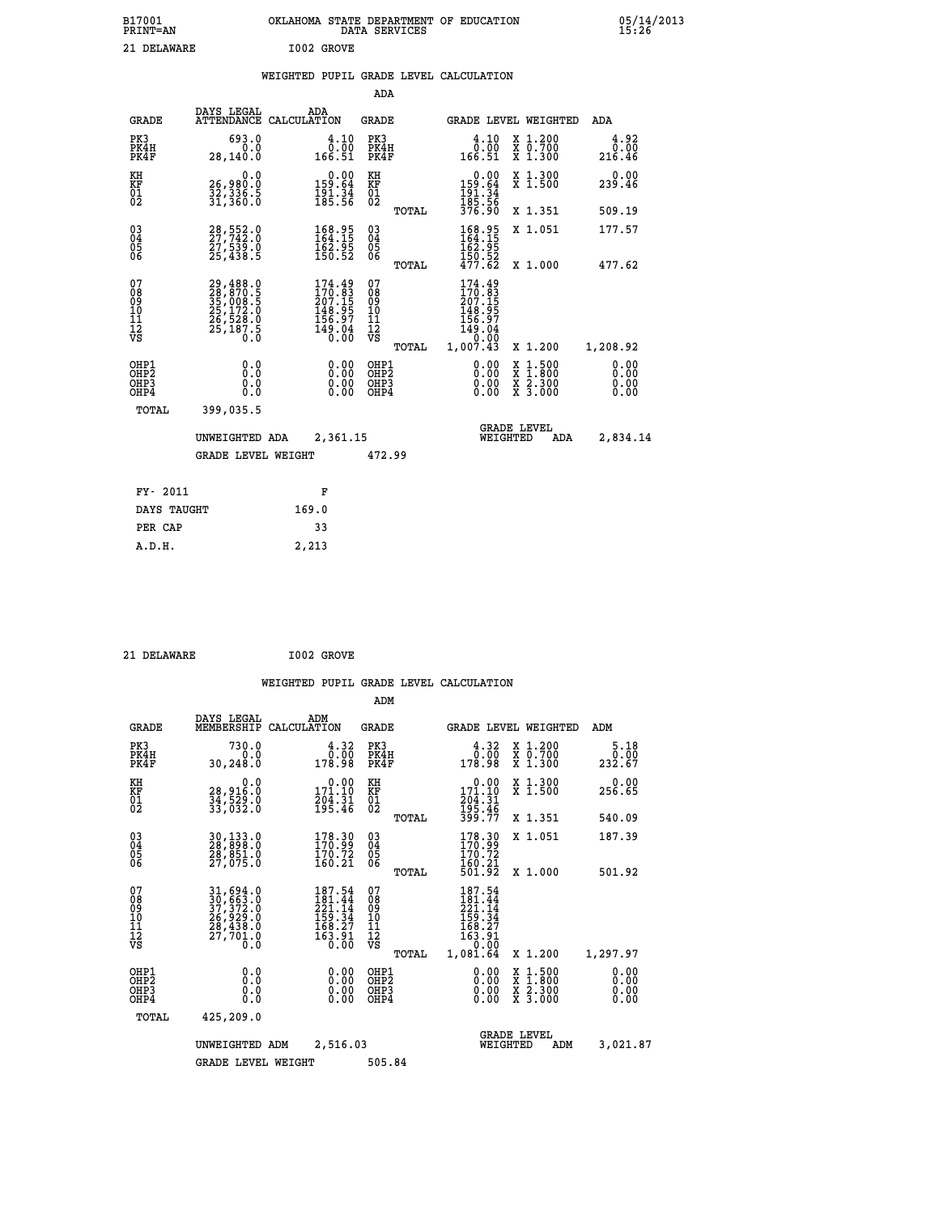| B17001          | OKLAHOMA STATE DEPARTMENT OF EDUCATION | 05/14/2013 |
|-----------------|----------------------------------------|------------|
| <b>PRINT=AN</b> | DATA SERVICES                          | 15:26      |
| 21<br>DELAWARE  | I002 GROVE                             |            |

| 05/14/2013<br>15:26 |
|---------------------|
|                     |

|  |  | WEIGHTED PUPIL GRADE LEVEL CALCULATION |
|--|--|----------------------------------------|
|  |  |                                        |

|                                                                              |                                                                                  |                                                                           | ADA                                                |       |                                                                                                                                                                 |                                                                                                                                              |                              |
|------------------------------------------------------------------------------|----------------------------------------------------------------------------------|---------------------------------------------------------------------------|----------------------------------------------------|-------|-----------------------------------------------------------------------------------------------------------------------------------------------------------------|----------------------------------------------------------------------------------------------------------------------------------------------|------------------------------|
| <b>GRADE</b>                                                                 | DAYS LEGAL                                                                       | ADA<br>ATTENDANCE CALCULATION                                             | GRADE                                              |       | GRADE LEVEL WEIGHTED                                                                                                                                            |                                                                                                                                              | ADA                          |
| PK3<br>PK4H<br>PK4F                                                          | 693.0<br>0.0<br>28, 140.0                                                        | 4.10<br>0.00<br>166.51                                                    | PK3<br>PK4H<br>PK4F                                |       | 4.10<br>0.00<br>166.51                                                                                                                                          | X 1.200<br>X 0.700<br>X 1.300                                                                                                                | 4.92<br>0.00<br>216.46       |
| KH<br>KF<br>01<br>02                                                         | 0.0<br>26,980.0<br>32,336.5<br>31,360.0                                          | $\begin{array}{c} 0.00 \\ 159.64 \\ 191.34 \\ 185.56 \end{array}$         | KH<br><b>KF</b><br>01<br>02                        |       | $0.00$<br>$159.64$<br>$191.34$<br>$185.56$<br>$376.90$                                                                                                          | X 1.300<br>X 1.500                                                                                                                           | 0.00<br>239.46               |
|                                                                              |                                                                                  |                                                                           |                                                    | TOTAL |                                                                                                                                                                 | X 1.351                                                                                                                                      | 509.19                       |
| $\begin{smallmatrix} 03 \\[-4pt] 04 \end{smallmatrix}$<br>Ŏ5<br>06           | 28, 552.0<br>27, 742.0<br>27, 539.0<br>25, 438.5                                 | $\begin{smallmatrix} 168.95\\ 164.15\\ 162.95\\ 150.52 \end{smallmatrix}$ | $\begin{matrix} 03 \\ 04 \\ 05 \\ 06 \end{matrix}$ |       | 168.95<br>164.15<br>162.95<br>$\frac{150.52}{477.62}$                                                                                                           | X 1.051                                                                                                                                      | 177.57                       |
|                                                                              |                                                                                  |                                                                           |                                                    | TOTAL |                                                                                                                                                                 | X 1.000                                                                                                                                      | 477.62                       |
| 07<br>08<br>09<br>11<br>11<br>12<br>VS                                       | 29,488.0<br>28,870.5<br>35,008.5<br>35,172.0<br>25,172.0<br>26,528.0<br>25,187.5 | $174.49170.83207.155148.95156.97149.040.00$                               | 07<br>08<br>09<br>101<br>11<br>12<br>VS            | TOTAL | 174.49<br>$\frac{170.83}{207.15}$<br>$\frac{148.95}{20}$<br>$\begin{array}{r} 1\overline{5}6.97 \\ 1\overline{5}6.97 \\ 149.04 \\ 0.00 \\ 1,007.43 \end{array}$ | X 1.200                                                                                                                                      | 1,208.92                     |
| OHP1<br>OH <sub>P</sub> <sub>2</sub><br>OH <sub>P3</sub><br>OH <sub>P4</sub> | 0.0<br>Ō.Ō<br>0.0<br>0.0                                                         | 0.00<br>0.00<br>0.00                                                      | OHP1<br>OHP2<br>OHP3<br>OHP4                       |       | 0.00<br>0.00<br>0.00                                                                                                                                            | $\begin{smallmatrix} \mathtt{X} & 1\cdot500 \\ \mathtt{X} & 1\cdot800 \\ \mathtt{X} & 2\cdot300 \\ \mathtt{X} & 3\cdot000 \end{smallmatrix}$ | 0.00<br>0.00<br>0.00<br>0.00 |
| TOTAL                                                                        | 399,035.5                                                                        |                                                                           |                                                    |       |                                                                                                                                                                 |                                                                                                                                              |                              |
|                                                                              | UNWEIGHTED ADA                                                                   | 2,361.15                                                                  |                                                    |       | WEIGHTED                                                                                                                                                        | <b>GRADE LEVEL</b><br>ADA                                                                                                                    | 2,834.14                     |
|                                                                              | <b>GRADE LEVEL WEIGHT</b>                                                        |                                                                           | 472.99                                             |       |                                                                                                                                                                 |                                                                                                                                              |                              |
| FY- 2011                                                                     |                                                                                  | F                                                                         |                                                    |       |                                                                                                                                                                 |                                                                                                                                              |                              |
| DAYS TAUGHT                                                                  |                                                                                  | 169.0                                                                     |                                                    |       |                                                                                                                                                                 |                                                                                                                                              |                              |
| PER CAP                                                                      |                                                                                  | 33                                                                        |                                                    |       |                                                                                                                                                                 |                                                                                                                                              |                              |
| A.D.H.                                                                       |                                                                                  | 2,213                                                                     |                                                    |       |                                                                                                                                                                 |                                                                                                                                              |                              |
|                                                                              |                                                                                  |                                                                           |                                                    |       |                                                                                                                                                                 |                                                                                                                                              |                              |

21 DELAWARE **I002 GROVE** 

 **ADM**

 **A.D.H. 2,213**

| <b>GRADE</b>                                       | DAYS LEGAL<br>MEMBERSHIP                                                                                            | ADM<br>CALCULATION                                                            | <b>GRADE</b>                                                       |       |                                                                                                        |          | <b>GRADE LEVEL WEIGHTED</b>              | ADM                          |
|----------------------------------------------------|---------------------------------------------------------------------------------------------------------------------|-------------------------------------------------------------------------------|--------------------------------------------------------------------|-------|--------------------------------------------------------------------------------------------------------|----------|------------------------------------------|------------------------------|
| PK3<br>PK4H<br>PK4F                                | 730.0<br>0.0<br>30, 248.0                                                                                           | 4.32<br>0.00<br>178.98                                                        | PK3<br>PK4H<br>PK4F                                                |       | 4.32<br>0.00<br>178.98                                                                                 |          | X 1.200<br>X 0.700<br>X 1.300            | 5.18<br>0.00<br>232.67       |
| KH<br><b>KF</b><br>01<br>02                        | 0.0<br>28,916.0<br>34,529.0<br>33,032.0                                                                             | $\begin{smallmatrix} &0.00\\ 171.10\\ 204.31\\ 195.46\end{smallmatrix}$       | KH<br>KF<br>01<br>02                                               |       | $\begin{array}{c} 0.00 \\ 171.10 \\ 204.31 \\ 195.46 \\ 399.77 \end{array}$                            |          | X 1.300<br>X 1.500                       | 0.00<br>256.65               |
|                                                    |                                                                                                                     |                                                                               |                                                                    | TOTAL |                                                                                                        |          | X 1.351                                  | 540.09                       |
| $\begin{matrix} 03 \\ 04 \\ 05 \\ 06 \end{matrix}$ | 30,133.0<br>28,898.0<br>28,851.0<br>27,075.0                                                                        | 178.30<br>170.99<br>$\frac{170.72}{160.21}$                                   | $\begin{smallmatrix} 03 \\[-4pt] 04 \end{smallmatrix}$<br>05<br>06 |       | 178.30<br>170.99<br>ī70.72<br>160.21                                                                   |          | X 1.051                                  | 187.39                       |
|                                                    |                                                                                                                     |                                                                               |                                                                    | TOTAL | 501.92                                                                                                 |          | X 1.000                                  | 501.92                       |
| 07<br>08<br>09<br>101<br>11<br>12<br>VS            | $\begin{smallmatrix} 31, 694.0\\ 30, 663.0\\ 37, 372.0\\ 26, 929.0\\ 28, 438.0\\ 27, 701.0\\ 0.0 \end{smallmatrix}$ | $187.54$<br>$181.44$<br>$221.14$<br>159.34<br>168.27<br>$\frac{163.91}{0.00}$ | 07<br>08<br>09<br>11<br>11<br>12<br>VS                             |       | 187.54<br>$\frac{181.44}{221.14}$<br>$\begin{array}{c} 159.34 \\ 168.27 \\ 163.91 \\ 0.00 \end{array}$ |          |                                          |                              |
|                                                    |                                                                                                                     |                                                                               |                                                                    | TOTAL | 1,081.64                                                                                               |          | X 1.200                                  | 1,297.97                     |
| OHP1<br>OHP <sub>2</sub><br>OHP3<br>OHP4           | 0.0<br>0.0<br>Ŏ.Ŏ                                                                                                   | $0.00$<br>$0.00$<br>0.00                                                      | OHP1<br>OHP <sub>2</sub><br>OHP3<br>OHP4                           |       | $0.00$<br>$0.00$<br>0.00                                                                               |          | X 1:500<br>X 1:800<br>X 2:300<br>X 3:000 | 0.00<br>0.00<br>0.00<br>0.00 |
| TOTAL                                              | 425,209.0                                                                                                           |                                                                               |                                                                    |       |                                                                                                        |          |                                          |                              |
|                                                    | UNWEIGHTED                                                                                                          | 2,516.03<br>ADM                                                               |                                                                    |       |                                                                                                        | WEIGHTED | <b>GRADE LEVEL</b><br>ADM                | 3,021.87                     |
|                                                    | <b>GRADE LEVEL WEIGHT</b>                                                                                           |                                                                               | 505.84                                                             |       |                                                                                                        |          |                                          |                              |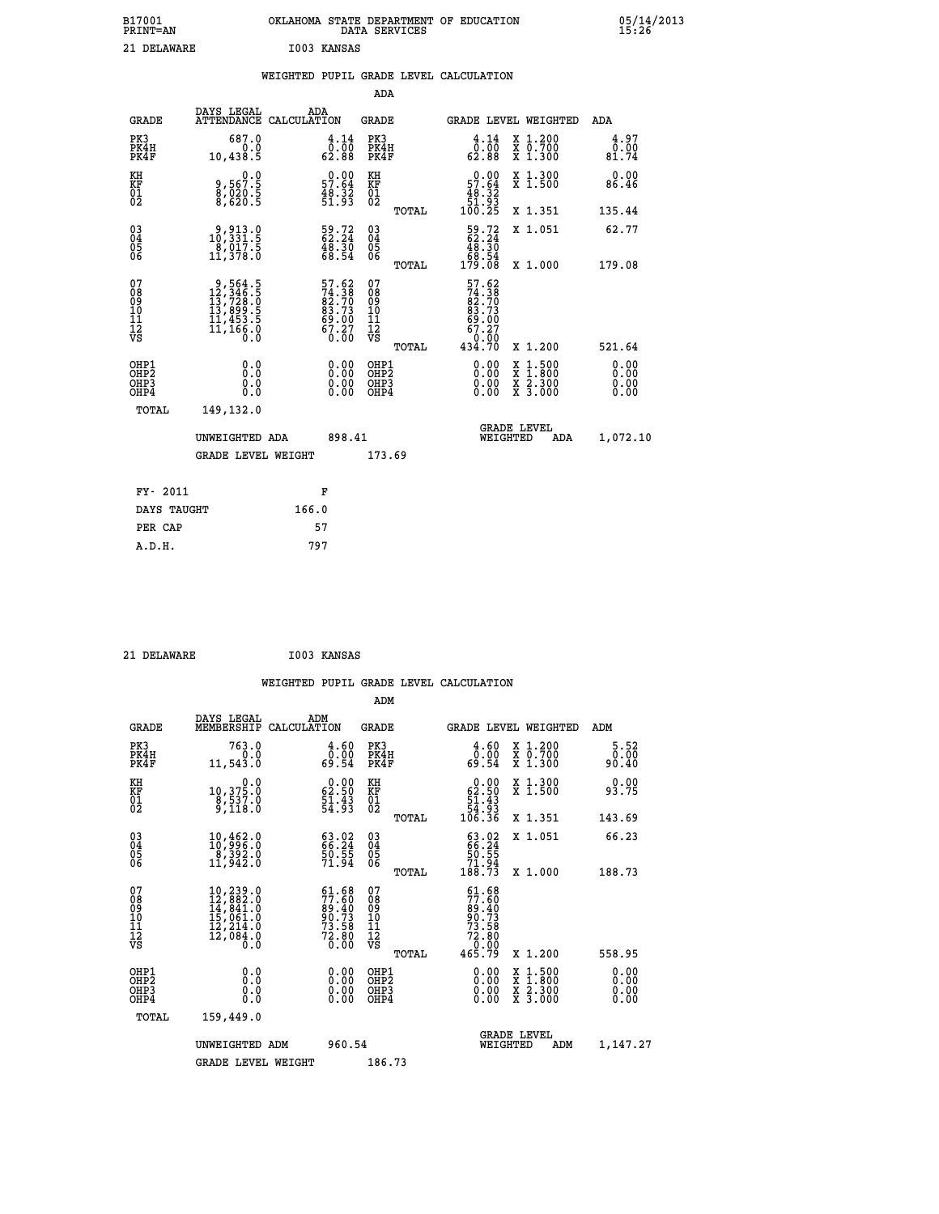| B17001<br><b>PRINT=AN</b> | OKLAHOMA STATE DEPARTMENT OF EDUCATION<br>DATA SERVICES | 05/14/2013<br>15:26 |
|---------------------------|---------------------------------------------------------|---------------------|
| 21 DELAWARE               | I003 KANSAS                                             |                     |

|                                                                  |                                                                                                                   |                                                                      | ADA                                                |       |                                                                                |                                                                                                                                              |                              |
|------------------------------------------------------------------|-------------------------------------------------------------------------------------------------------------------|----------------------------------------------------------------------|----------------------------------------------------|-------|--------------------------------------------------------------------------------|----------------------------------------------------------------------------------------------------------------------------------------------|------------------------------|
| <b>GRADE</b>                                                     | DAYS LEGAL                                                                                                        | ADA<br>ATTENDANCE CALCULATION                                        | GRADE                                              |       | <b>GRADE LEVEL WEIGHTED</b>                                                    |                                                                                                                                              | ADA                          |
| PK3<br>PK4H<br>PK4F                                              | 687.0<br>0.0<br>10,438.5                                                                                          | $\begin{smallmatrix} 4.14\ 0.00\ 62.88 \end{smallmatrix}$            | PK3<br>PK4H<br>PK4F                                |       | $\begin{smallmatrix} 4\cdot 14\0\cdot 00\62.88 \end{smallmatrix}$              | X 1.200<br>X 0.700<br>X 1.300                                                                                                                | 4.97<br>0.00<br>81.74        |
| KH<br>KF<br>01<br>02                                             | 0.0<br>9,567:5<br>8,020:5<br>8,620:5                                                                              | $\begin{smallmatrix} 0.00\\ 57.64\\ 48.32\\ 51.93 \end{smallmatrix}$ | KH<br>KF<br>01<br>02                               |       | $\begin{smallmatrix} &0.00\\ 57.64\\ 48.32\\ 51.93\\ 100.25 \end{smallmatrix}$ | X 1.300<br>X 1.500                                                                                                                           | 0.00<br>86.46                |
|                                                                  |                                                                                                                   |                                                                      |                                                    | TOTAL |                                                                                | X 1.351                                                                                                                                      | 135.44                       |
| $^{03}_{04}$<br>Ŏ5<br>06                                         | $\begin{smallmatrix} 9 & 9 & 13 & 0 \\ 10 & 3 & 3 & 1 & 5 \\ 8 & 0 & 17 & 5 \\ 11 & 3 & 78 & 0 \end{smallmatrix}$ | $\begin{smallmatrix} 59.72\ 62.24\ 48.30\ 68.54 \end{smallmatrix}$   | $\begin{matrix} 03 \\ 04 \\ 05 \\ 06 \end{matrix}$ |       | $\frac{59.72}{62.24}$<br>68.54<br>179.08                                       | X 1.051                                                                                                                                      | 62.77<br>179.08              |
|                                                                  |                                                                                                                   |                                                                      |                                                    | TOTAL |                                                                                | X 1.000                                                                                                                                      |                              |
| 07<br>08<br>09<br>11<br>11<br>12<br>VS                           | $\begin{smallmatrix}9,564.5\\12,346.5\\13,728.0\\13,899.5\\11,453.5\\11,166.0\\0.0\end{smallmatrix}$              | 57.62<br>74.38<br>82.70<br>83.73<br>89.00<br>67.27<br>67.27          | 07<br>08<br>09<br>11<br>11<br>12<br>VS             | TOTAL | 57.62<br>74.38<br>82.70<br>83.73<br>69.00<br>67.27<br>0.00<br>434.70           | X 1.200                                                                                                                                      | 521.64                       |
| OHP1<br>OHP <sub>2</sub><br>OH <sub>P3</sub><br>OH <sub>P4</sub> | 0.0<br>Ō.Ō<br>0.0<br>0.0                                                                                          | 0.00<br>$0.00$<br>0.00                                               | OHP1<br>OHP2<br>OHP3<br>OHP4                       |       | 0.00<br>0.00<br>0.00                                                           | $\begin{smallmatrix} \mathtt{X} & 1\cdot500 \\ \mathtt{X} & 1\cdot800 \\ \mathtt{X} & 2\cdot300 \\ \mathtt{X} & 3\cdot000 \end{smallmatrix}$ | 0.00<br>0.00<br>0.00<br>0.00 |
| TOTAL                                                            | 149,132.0                                                                                                         |                                                                      |                                                    |       |                                                                                |                                                                                                                                              |                              |
|                                                                  | UNWEIGHTED ADA                                                                                                    | 898.41                                                               |                                                    |       | WEIGHTED                                                                       | <b>GRADE LEVEL</b><br>ADA                                                                                                                    | 1,072.10                     |
|                                                                  | <b>GRADE LEVEL WEIGHT</b>                                                                                         |                                                                      | 173.69                                             |       |                                                                                |                                                                                                                                              |                              |
|                                                                  |                                                                                                                   |                                                                      |                                                    |       |                                                                                |                                                                                                                                              |                              |
| FY- 2011                                                         |                                                                                                                   | F                                                                    |                                                    |       |                                                                                |                                                                                                                                              |                              |
| DAYS TAUGHT                                                      |                                                                                                                   | 166.0                                                                |                                                    |       |                                                                                |                                                                                                                                              |                              |
| PER CAP                                                          |                                                                                                                   | 57                                                                   |                                                    |       |                                                                                |                                                                                                                                              |                              |
| A.D.H.                                                           |                                                                                                                   | 797                                                                  |                                                    |       |                                                                                |                                                                                                                                              |                              |

| DELAWARE |
|----------|
|          |

 **21 DELAWARE I003 KANSAS**

 **WEIGHTED PUPIL GRADE LEVEL CALCULATION ADM DAYS LEGAL ADM**

| <b>GRADE</b>                             | MEMBERSHIP CALCULATION                                                                                                                 |                                                                        | GRADE                                              |       | GRADE LEVEL WEIGHTED                                                                           |                                                                                                                                      | ADM                   |  |
|------------------------------------------|----------------------------------------------------------------------------------------------------------------------------------------|------------------------------------------------------------------------|----------------------------------------------------|-------|------------------------------------------------------------------------------------------------|--------------------------------------------------------------------------------------------------------------------------------------|-----------------------|--|
| PK3<br>PK4H<br>PK4F                      | 763.0<br>0.0<br>11,543.0                                                                                                               | $\begin{smallmatrix} 4.60\0.00\\0.91\end{smallmatrix}$                 | PK3<br>PK4H<br>PK4F                                |       | 4.60<br>0.00<br>69.54                                                                          | X 1.200<br>X 0.700<br>X 1.300                                                                                                        | 5.52<br>0.00<br>90.40 |  |
| KH<br>KF<br>01<br>02                     | 0.0<br>10, 375.0<br>8, 537.0<br>9, 118.0                                                                                               | $\begin{smallmatrix} 0.00\\ 62.50\\ 51.43\\ 54.93 \end{smallmatrix}$   | KH<br>KF<br>01<br>02                               |       | $\begin{smallmatrix} &0.00\\ 62.50\\ 51.43\\ 54.93\\ 106.36\end{smallmatrix}$                  | X 1.300<br>X 1.500                                                                                                                   | 0.00<br>93.75         |  |
|                                          |                                                                                                                                        |                                                                        |                                                    | TOTAL |                                                                                                | X 1.351                                                                                                                              | 143.69                |  |
| 03<br>04<br>05<br>06                     | 10,462.0<br>10,996.0<br>-ĕ,392.ŏ<br>11,942.O                                                                                           | $63.02$<br>$66.24$<br>50.55<br>71.94                                   | $\begin{matrix} 03 \\ 04 \\ 05 \\ 06 \end{matrix}$ |       | 63.02<br>$\frac{50.55}{71.94}$<br>188.73                                                       | X 1.051                                                                                                                              | 66.23                 |  |
|                                          |                                                                                                                                        |                                                                        |                                                    | TOTAL |                                                                                                | X 1.000                                                                                                                              | 188.73                |  |
| 07<br>0890112<br>1112<br>VS              | $\begin{smallmatrix} 10,239\,.\,0\\ 12,882\,.\,0\\ 14,841\,.\,0\\ 15,061\,.\,0\\ 12,214\,.\,0\\ 12,084\,.\,0 \end{smallmatrix}$<br>0.0 | $61.68$<br>$77.60$<br>$89.40$<br>$90.73$<br>$73.58$<br>$72.80$<br>0.00 | 07<br>08901123<br>1112<br>VS                       |       | $\begin{smallmatrix} 61.68\\77.60\\89.40\\89.73\\73.58\\72.80\\0.009\\465.79\end{smallmatrix}$ |                                                                                                                                      |                       |  |
|                                          |                                                                                                                                        |                                                                        |                                                    | TOTAL |                                                                                                | X 1.200                                                                                                                              | 558.95                |  |
| OHP1<br>OHP2<br>OH <sub>P3</sub><br>OHP4 | 0.0<br>0.0<br>0.0                                                                                                                      | 0.00<br>0.00<br>0.00                                                   | OHP1<br>OHP2<br>OHP3<br>OHP4                       |       | 0.00<br>0.00<br>0.00                                                                           | $\begin{smallmatrix} \mathtt{X} & 1 & 500 \\ \mathtt{X} & 1 & 800 \\ \mathtt{X} & 2 & 300 \\ \mathtt{X} & 3 & 000 \end{smallmatrix}$ | 0.00<br>0.00<br>0.00  |  |
| TOTAL                                    | 159,449.0                                                                                                                              |                                                                        |                                                    |       |                                                                                                |                                                                                                                                      |                       |  |
|                                          | UNWEIGHTED ADM                                                                                                                         | 960.54                                                                 |                                                    |       | <b>GRADE LEVEL</b><br>WEIGHTED                                                                 | ADM                                                                                                                                  | 1,147.27              |  |
|                                          | <b>GRADE LEVEL WEIGHT</b>                                                                                                              |                                                                        | 186.73                                             |       |                                                                                                |                                                                                                                                      |                       |  |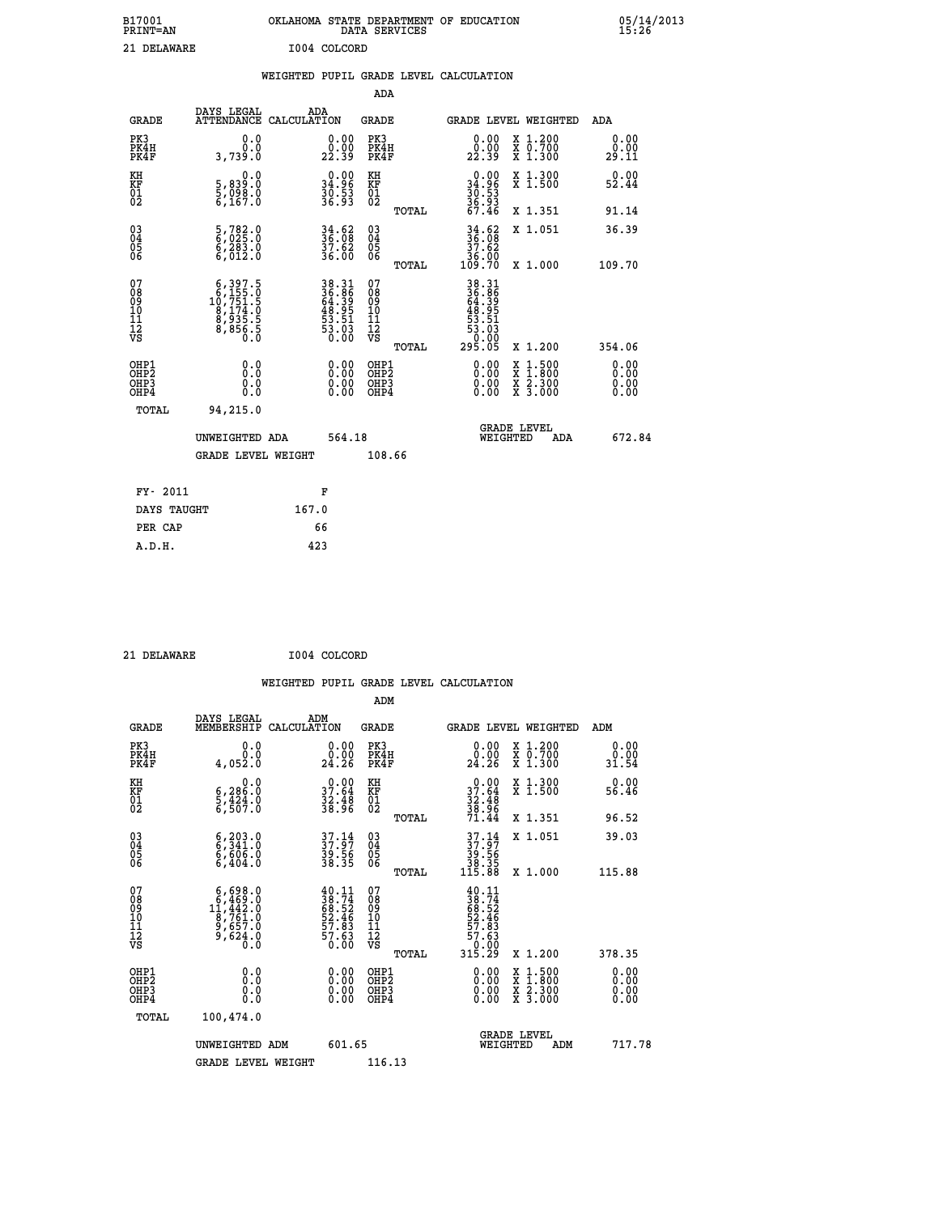| B17001<br><b>PRINT=AN</b> | OKLAHOMA STATE DEPARTMENT OF EDUCATION<br>DATA SERVICES |  |
|---------------------------|---------------------------------------------------------|--|
| 21 DELAWARE               | I004 COLCORD                                            |  |

05/14/2013<br>15:26

|                                                    |                                          | WEIGHTED |                                                                        |                      |       | PUPIL GRADE LEVEL CALCULATION |                                                                         |                                                           |                                                             |
|----------------------------------------------------|------------------------------------------|----------|------------------------------------------------------------------------|----------------------|-------|-------------------------------|-------------------------------------------------------------------------|-----------------------------------------------------------|-------------------------------------------------------------|
|                                                    |                                          |          |                                                                        | ADA                  |       |                               |                                                                         |                                                           |                                                             |
| <b>GRADE</b>                                       | DAYS LEGAL<br>ATTENDANCE CALCULATION     | ADA      |                                                                        | GRADE                |       |                               |                                                                         | GRADE LEVEL WEIGHTED                                      | ADA                                                         |
| PK3<br>PK4H<br>PK4F                                | 0.0000<br>3,739.0                        |          | 0.00<br>22.39                                                          | PK3<br>PK4H<br>PK4F  |       |                               | $\begin{smallmatrix} 0.00\\ 0.00\\ 22.39 \end{smallmatrix}$             | X 1.200<br>$\overline{x}$ $\overline{0.700}$<br>$X$ 1.300 | $\begin{smallmatrix} 0.00\\ 0.00\\ 29.11 \end{smallmatrix}$ |
| KH<br>KF<br>01<br>02                               | 0.0<br>5,839.0<br>5,098.0<br>6,167.0     |          | $\begin{smallmatrix} 0.00\\ 34.96\\ 36.53\\ 36.93\\ \end{smallmatrix}$ | KH<br>KF<br>01<br>02 |       |                               | $\begin{array}{r} 0.00 \\ 34.96 \\ 30.53 \\ 36.93 \\ 46.46 \end{array}$ | X 1.300<br>$\overline{x}$ 1.500                           | $0.00$<br>52.44                                             |
|                                                    |                                          |          |                                                                        |                      | TOTAL |                               |                                                                         | X 1.351                                                   | 91.14                                                       |
| $\begin{matrix} 03 \\ 04 \\ 05 \\ 06 \end{matrix}$ | 5,782.0<br>6,025.0<br>6,283.0<br>6,012.0 |          | $34.62$<br>$36.08$<br>$37.62$<br>36.00                                 | 030404<br>06         |       | _36.00<br>109.70              | $36.68$<br>$37.62$                                                      | X 1.051<br>X 1.000                                        | 36.39<br>109.70                                             |
| $\substack{07\\08}$                                | $6,397.5$<br>$6,155.0$                   |          | 38.31<br>36.86                                                         | 07<br>08             | TOTAL |                               | 38.31<br>36.86                                                          |                                                           |                                                             |

| 07<br>08<br>09<br>001<br>11<br>11<br>12<br>VS        | $\begin{smallmatrix}6,397.5\\6,155.0\\10,751.5\\8,174.0\\8,935.5\\8,856.5\end{smallmatrix}$ | 38.31<br>36.86<br>64.39<br>64.95<br>48.95<br>53.51<br>53.03<br>6.00 | 078<br>089<br>0011<br>11<br>12<br>VS<br>TOTAL | 38.31<br>36.869<br>64.395<br>63.51<br>53.51<br>53.03<br>53.03<br>295.05<br>X 1.200                                                   | 354.06                                                                                                                                                                                                                                                                         |
|------------------------------------------------------|---------------------------------------------------------------------------------------------|---------------------------------------------------------------------|-----------------------------------------------|--------------------------------------------------------------------------------------------------------------------------------------|--------------------------------------------------------------------------------------------------------------------------------------------------------------------------------------------------------------------------------------------------------------------------------|
| OHP1<br>OHP <sub>2</sub><br>OH <sub>P3</sub><br>OHP4 | 0.00000<br>0.0                                                                              |                                                                     | OHP1<br><b>OHP2</b><br>OHP3<br>OHP4           | $\begin{smallmatrix} \mathtt{X} & 1 & 500 \\ \mathtt{X} & 1 & 800 \\ \mathtt{X} & 2 & 300 \\ \mathtt{X} & 3 & 000 \end{smallmatrix}$ | $\begin{smallmatrix} 0.00 & 0.00 & 0.00 & 0.00 & 0.00 & 0.00 & 0.00 & 0.00 & 0.00 & 0.00 & 0.00 & 0.00 & 0.00 & 0.00 & 0.00 & 0.00 & 0.00 & 0.00 & 0.00 & 0.00 & 0.00 & 0.00 & 0.00 & 0.00 & 0.00 & 0.00 & 0.00 & 0.00 & 0.00 & 0.00 & 0.00 & 0.00 & 0.00 & 0.00 & 0.00 & 0.0$ |
| TOTAL                                                | 94,215.0<br>UNWEIGHTED ADA                                                                  | 564.18                                                              |                                               | <b>GRADE LEVEL</b><br>WEIGHTED<br>ADA                                                                                                | 672.84                                                                                                                                                                                                                                                                         |
|                                                      | <b>GRADE LEVEL WEIGHT</b>                                                                   |                                                                     | 108.66                                        |                                                                                                                                      |                                                                                                                                                                                                                                                                                |
| FY- 2011                                             |                                                                                             | F                                                                   |                                               |                                                                                                                                      |                                                                                                                                                                                                                                                                                |
| DAYS TAUGHT                                          | 167.0                                                                                       |                                                                     |                                               |                                                                                                                                      |                                                                                                                                                                                                                                                                                |
| PER CAP                                              |                                                                                             | 66                                                                  |                                               |                                                                                                                                      |                                                                                                                                                                                                                                                                                |

 **21 DELAWARE I004 COLCORD**

 **A.D.H. 423**

 **ADM**

| <b>GRADE</b>                                       | DAYS LEGAL<br>MEMBERSHIP                                                                                 | ADM<br>CALCULATION                                                       | <b>GRADE</b>                                       |       |                                                                                                  | GRADE LEVEL WEIGHTED                     | ADM                   |        |
|----------------------------------------------------|----------------------------------------------------------------------------------------------------------|--------------------------------------------------------------------------|----------------------------------------------------|-------|--------------------------------------------------------------------------------------------------|------------------------------------------|-----------------------|--------|
| PK3<br>PK4H<br>PK4F                                | 0.0<br>0.0<br>4,052.0                                                                                    | 0.00<br>24.26                                                            | PK3<br>PK4H<br>PK4F                                |       | $\begin{smallmatrix} 0.00\\ 0.00\\ 24.26 \end{smallmatrix}$                                      | X 1.200<br>X 0.700<br>X 1.300            | 0.00<br>0.00<br>31.54 |        |
| KH<br>KF<br>01<br>02                               | 0.0<br>$\frac{6}{5}, \frac{286}{424}$ .0<br>6,507.0                                                      | $\begin{smallmatrix} 0.00\\ 37.64\\ 32.48\\ 38.96 \end{smallmatrix}$     | KH<br>KF<br>01<br>02                               |       | $0.00$<br>$37.64$<br>$32.48$<br>$38.96$<br>$71.44$                                               | X 1.300<br>X 1.500                       | 0.00<br>56.46         |        |
|                                                    |                                                                                                          |                                                                          |                                                    | TOTAL |                                                                                                  | X 1.351                                  | 96.52                 |        |
| $\begin{matrix} 03 \\ 04 \\ 05 \\ 06 \end{matrix}$ | $6,341.0$<br>$6,541.0$<br>$6,606.0$<br>$6,404.0$                                                         | $37.14$<br>$37.97$<br>$39.56$<br>$38.35$                                 | $\begin{matrix} 03 \\ 04 \\ 05 \\ 06 \end{matrix}$ |       | $37.14$<br>$37.97$<br>$39.56$<br>$38.35$<br>$115.88$                                             | X 1.051                                  | 39.03                 |        |
|                                                    |                                                                                                          |                                                                          |                                                    | TOTAL |                                                                                                  | X 1.000                                  | 115.88                |        |
| 07<br>08<br>09<br>101<br>11<br>12<br>VS            | $\begin{smallmatrix} 6,698.0\\ 6,469.0\\ 11,442.0\\ 8,761.0\\ 9,657.0\\ 9,624.0\\ 0.0 \end{smallmatrix}$ | $40.11$<br>$38.74$<br>$68.52$<br>$52.46$<br>$57.83$<br>$57.63$<br>$0.00$ | 07<br>08<br>09<br>001<br>11<br>11<br>12<br>VS      | TOTAL | $\begin{smallmatrix} 40.11\ 38.74\ 68.52\ 52.46\ 57.83\ 57.63\ 57.000\ 315.29 \end{smallmatrix}$ | X 1.200                                  | 378.35                |        |
| OHP1                                               |                                                                                                          |                                                                          |                                                    |       |                                                                                                  |                                          |                       |        |
| OHP <sub>2</sub><br>OHP3<br>OHP4                   | 0.0<br>0.000                                                                                             | $\begin{smallmatrix} 0.00 \ 0.00 \ 0.00 \ 0.00 \end{smallmatrix}$        | OHP1<br>OHP2<br>OHP3<br>OHP4                       |       | 0.00<br>$0.00$<br>0.00                                                                           | X 1:500<br>X 1:800<br>X 2:300<br>X 3:000 | 0.00<br>0.00<br>0.00  |        |
| TOTAL                                              | 100,474.0                                                                                                |                                                                          |                                                    |       |                                                                                                  |                                          |                       |        |
|                                                    | UNWEIGHTED ADM                                                                                           | 601.65                                                                   |                                                    |       | WEIGHTED                                                                                         | <b>GRADE LEVEL</b><br>ADM                |                       | 717.78 |
|                                                    | <b>GRADE LEVEL WEIGHT</b>                                                                                |                                                                          | 116.13                                             |       |                                                                                                  |                                          |                       |        |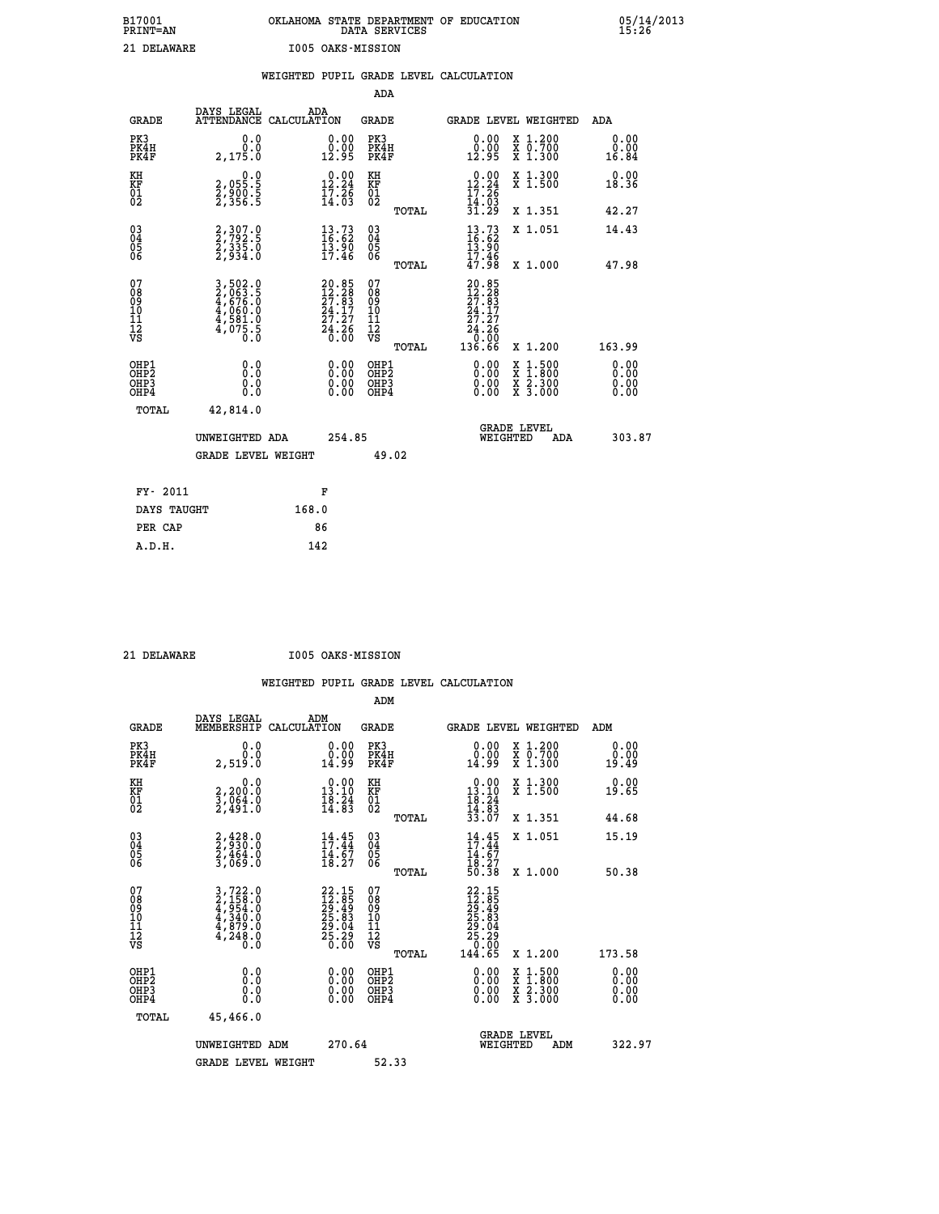# **B17001 OKLAHOMA STATE DEPARTMENT OF EDUCATION 05/14/2013 PRINT=AN DATA SERVICES 15:26 21 DELAWARE I005 OAKS-MISSION**

|                                                                    |              |                                                                              |       |                                                                                 |                                          |       | WEIGHTED PUPIL GRADE LEVEL CALCULATION                                                                                                                                                                                                                                         |                                                                                                                                           |                              |
|--------------------------------------------------------------------|--------------|------------------------------------------------------------------------------|-------|---------------------------------------------------------------------------------|------------------------------------------|-------|--------------------------------------------------------------------------------------------------------------------------------------------------------------------------------------------------------------------------------------------------------------------------------|-------------------------------------------------------------------------------------------------------------------------------------------|------------------------------|
|                                                                    |              |                                                                              |       |                                                                                 | <b>ADA</b>                               |       |                                                                                                                                                                                                                                                                                |                                                                                                                                           |                              |
|                                                                    | <b>GRADE</b> | DAYS LEGAL<br>ATTENDANCE CALCULATION                                         | ADA   |                                                                                 | GRADE                                    |       | GRADE LEVEL WEIGHTED                                                                                                                                                                                                                                                           |                                                                                                                                           | ADA                          |
| PK3<br>PK4H<br>PK4F                                                |              | 0.0<br>0.0<br>2,175.0                                                        |       | $\begin{smallmatrix} 0.00\\ 0.00\\ 12.95 \end{smallmatrix}$                     | PK3<br>PK4H<br>PK4F                      |       | 0.00<br>0.00<br>12.95                                                                                                                                                                                                                                                          | X 1.200<br>X 0.700<br>X 1.300                                                                                                             | 0.00<br>0.00<br>16.84        |
| KH<br>KF<br>01<br>02                                               |              | $\begin{smallmatrix} 0.0 \\ 2.055.5 \\ 2.900.5 \\ 2.356.5 \end{smallmatrix}$ |       | $\begin{smallmatrix} 0.00\\ 12.24\\ 17.26\\ 14.03 \end{smallmatrix}$            | KH<br>KF<br>01<br>02                     |       | $12.24$<br>$17.26$<br>$14.03$                                                                                                                                                                                                                                                  | X 1.300<br>X 1.500                                                                                                                        | 0.00<br>18.36                |
|                                                                    |              |                                                                              |       |                                                                                 |                                          | TOTAL | 31.29                                                                                                                                                                                                                                                                          | X 1.351                                                                                                                                   | 42.27                        |
| $\begin{smallmatrix} 03 \\[-4pt] 04 \end{smallmatrix}$<br>Ŏ5<br>06 |              | 2, 307.0<br>2, 792.5<br>2, 335.0<br>2, 934.0                                 |       | $\begin{smallmatrix} 13\cdot73\16\cdot62\13\cdot90\17\cdot46 \end{smallmatrix}$ | $\substack{03 \\ 04}$<br>05<br>06        |       | $\frac{13}{16}$ : $\frac{73}{62}$<br><b>13.90</b>                                                                                                                                                                                                                              | X 1.051                                                                                                                                   | 14.43                        |
|                                                                    |              |                                                                              |       |                                                                                 |                                          | TOTAL | 17.46<br>47.98                                                                                                                                                                                                                                                                 | X 1.000                                                                                                                                   | 47.98                        |
| 07<br>08<br>09<br>11<br>11<br>12<br>VS                             |              | 3,502.0<br>2,063.5<br>4,676.0<br>4,660.0<br>4,581.0<br>4,581.0<br>0.0        |       | $20.85$<br>$12.28$<br>$27.83$<br>$24.17$<br>$27.27$<br>$24.26$<br>$0.00$        | 07<br>08<br>09<br>11<br>11<br>12<br>VS   | TOTAL | 20.85<br>$\frac{12.28}{27.83}$<br>$\frac{24.17}{3}$<br>27.27<br>$\begin{array}{r} 24.26 \\ 0.00 \\ 136.66 \end{array}$                                                                                                                                                         | X 1.200                                                                                                                                   | 163.99                       |
| OHP1<br>OH <sub>P</sub> 2<br>OHP3<br>OHP4                          |              | 0.0<br>0.0<br>0.0                                                            |       | $\begin{smallmatrix} 0.00 \ 0.00 \ 0.00 \ 0.00 \end{smallmatrix}$               | OHP1<br>OHP <sub>2</sub><br>OHP3<br>OHP4 |       | $\begin{smallmatrix} 0.00 & 0.00 & 0.00 & 0.00 & 0.00 & 0.00 & 0.00 & 0.00 & 0.00 & 0.00 & 0.00 & 0.00 & 0.00 & 0.00 & 0.00 & 0.00 & 0.00 & 0.00 & 0.00 & 0.00 & 0.00 & 0.00 & 0.00 & 0.00 & 0.00 & 0.00 & 0.00 & 0.00 & 0.00 & 0.00 & 0.00 & 0.00 & 0.00 & 0.00 & 0.00 & 0.0$ | $\begin{smallmatrix} \mathtt{X} & 1\cdot500\\ \mathtt{X} & 1\cdot800\\ \mathtt{X} & 2\cdot300\\ \mathtt{X} & 3\cdot000 \end{smallmatrix}$ | 0.00<br>0.00<br>0.00<br>0.00 |
|                                                                    | TOTAL        | 42,814.0                                                                     |       |                                                                                 |                                          |       |                                                                                                                                                                                                                                                                                |                                                                                                                                           |                              |
|                                                                    |              | UNWEIGHTED ADA                                                               |       | 254.85                                                                          |                                          |       | WEIGHTED                                                                                                                                                                                                                                                                       | <b>GRADE LEVEL</b><br><b>ADA</b>                                                                                                          | 303.87                       |
|                                                                    |              | <b>GRADE LEVEL WEIGHT</b>                                                    |       |                                                                                 | 49.02                                    |       |                                                                                                                                                                                                                                                                                |                                                                                                                                           |                              |
|                                                                    | FY- 2011     |                                                                              |       | F                                                                               |                                          |       |                                                                                                                                                                                                                                                                                |                                                                                                                                           |                              |
|                                                                    | DAYS TAUGHT  |                                                                              | 168.0 |                                                                                 |                                          |       |                                                                                                                                                                                                                                                                                |                                                                                                                                           |                              |
|                                                                    | PER CAP      |                                                                              |       | 86                                                                              |                                          |       |                                                                                                                                                                                                                                                                                |                                                                                                                                           |                              |

 **A.D.H. 142**

 **21 DELAWARE I005 OAKS-MISSION**

|                                          |                                                                                                                                                             |                                                                           | ADM                                                 |                                                                                |                                          |                       |
|------------------------------------------|-------------------------------------------------------------------------------------------------------------------------------------------------------------|---------------------------------------------------------------------------|-----------------------------------------------------|--------------------------------------------------------------------------------|------------------------------------------|-----------------------|
| <b>GRADE</b>                             | DAYS LEGAL<br>MEMBERSHIP                                                                                                                                    | ADM<br>CALCULATION                                                        | <b>GRADE</b>                                        |                                                                                | GRADE LEVEL WEIGHTED                     | ADM                   |
| PK3<br>PK4H<br>PK4F                      | 0.0<br>ة:ة<br>2,519.0                                                                                                                                       | $\begin{smallmatrix} 0.00\\ 0.00\\ 14.99 \end{smallmatrix}$               | PK3<br>PK4H<br>PK4F                                 | $\begin{smallmatrix} 0.00\\ 0.00\\ 14.99 \end{smallmatrix}$                    | X 1.200<br>X 0.700<br>X 1.300            | 0.00<br>0.00<br>19.49 |
| KH<br>KF<br>01<br>02                     | 0.0<br>2,200:0<br>3,064:0<br>2,491:0                                                                                                                        | $\begin{smallmatrix} 0.00\\ 13.10\\ 18.24\\ 14.83 \end{smallmatrix}$      | KH<br>KF<br>01<br>02                                | $\begin{array}{r} 0.00 \\ 13.10 \\ 18.24 \\ 14.83 \\ 33.07 \end{array}$        | X 1.300<br>X 1.500                       | 0.00<br>19.65         |
|                                          |                                                                                                                                                             |                                                                           | TOTAL                                               |                                                                                | X 1.351                                  | 44.68                 |
| 03<br>04<br>05<br>06                     | 2,428.0<br>2,930.0<br>2,464.0<br>3,069.0                                                                                                                    | 14:45<br>$\frac{14.67}{18.27}$                                            | $\begin{array}{c} 03 \\ 04 \\ 05 \\ 06 \end{array}$ | $14.45$<br>$17.44$<br>$14.67$<br>$18.27$<br>$50.38$                            | X 1.051                                  | 15.19                 |
|                                          |                                                                                                                                                             |                                                                           | TOTAL                                               |                                                                                | X 1.000                                  | 50.38                 |
| 07<br>08<br>09<br>101<br>112<br>VS       | $\begin{smallmatrix} 3\,,\,722\,.\,0\\ 2\,,\,158\,.\,0\\ 4\,,\,954\,.\,0\\ 4\,,\,340\,.\,0\\ 4\,,\,879\,.\,0\\ 4\,,\,248\,.\,0\\ 0\,.\,0 \end{smallmatrix}$ | $22.15$<br>$12.85$<br>$29.49$<br>$25.83$<br>$29.04$<br>$25.29$<br>$25.29$ | 07<br>08<br>09<br>11<br>11<br>12<br>VS<br>TOTAL     | 22.15<br>12.85<br>29.49<br>25.83<br>28.29<br>25.29<br>26.29<br>20.00<br>144.65 | X 1.200                                  | 173.58                |
|                                          |                                                                                                                                                             |                                                                           |                                                     |                                                                                |                                          |                       |
| OHP1<br>OHP2<br>OHP <sub>3</sub><br>OHP4 |                                                                                                                                                             |                                                                           | OHP1<br>OHP2<br>OHP <sub>3</sub>                    | $0.00$<br>$0.00$<br>0.00                                                       | X 1:500<br>X 1:800<br>X 2:300<br>X 3:000 | 0.00<br>0.00<br>0.00  |
| TOTAL                                    | 45,466.0                                                                                                                                                    |                                                                           |                                                     |                                                                                |                                          |                       |
|                                          | UNWEIGHTED ADM                                                                                                                                              | 270.64                                                                    |                                                     |                                                                                | GRADE LEVEL<br>WEIGHTED<br>ADM           | 322.97                |
|                                          | <b>GRADE LEVEL WEIGHT</b>                                                                                                                                   |                                                                           | 52.33                                               |                                                                                |                                          |                       |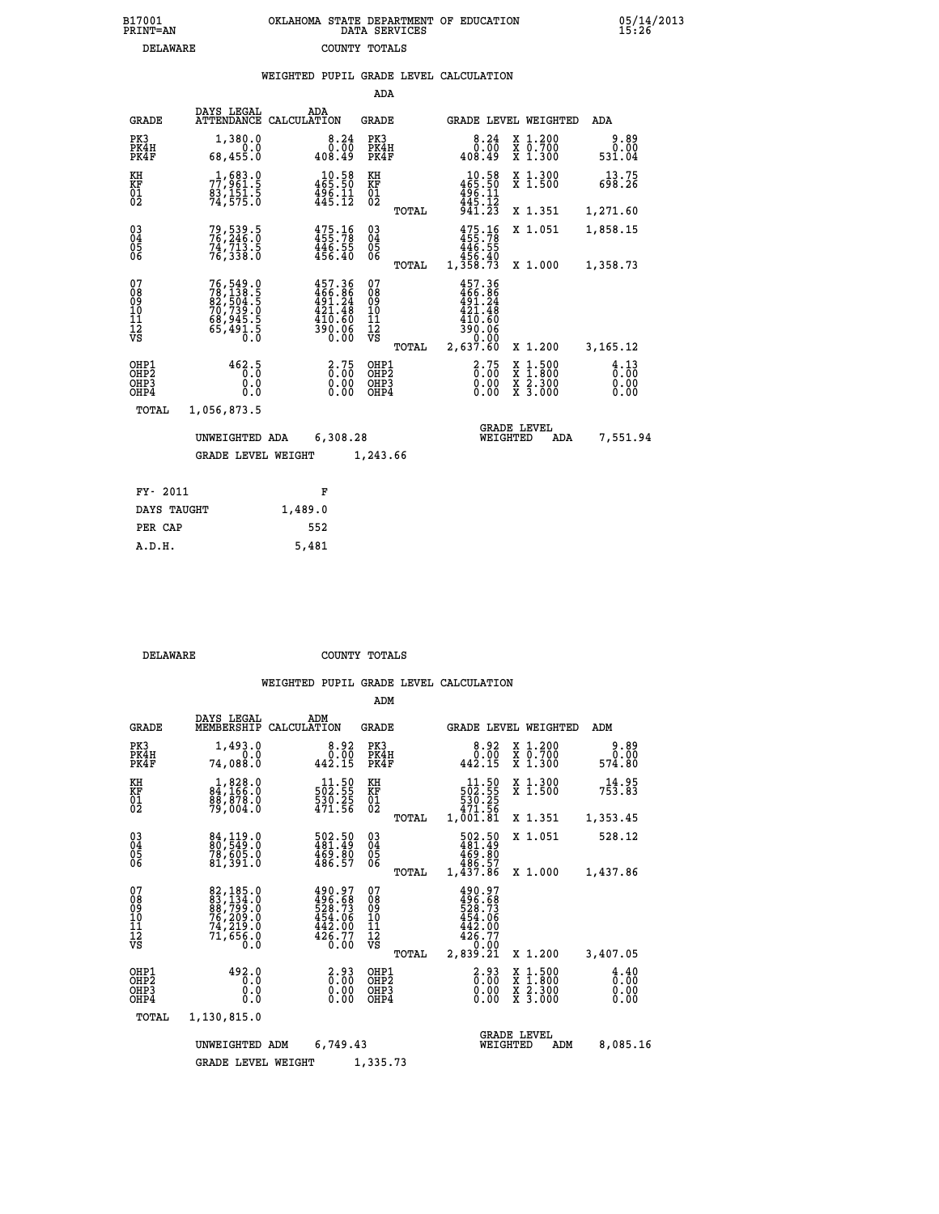|                                          |                                                                                   |             |                                                                              | ADA                                                 |       |                                                                                 |                                                                  |                                                                                                                                               |                              |
|------------------------------------------|-----------------------------------------------------------------------------------|-------------|------------------------------------------------------------------------------|-----------------------------------------------------|-------|---------------------------------------------------------------------------------|------------------------------------------------------------------|-----------------------------------------------------------------------------------------------------------------------------------------------|------------------------------|
| <b>GRADE</b>                             | DAYS LEGAL<br><b>ATTENDANCE</b>                                                   | CALCULATION | ADA                                                                          | <b>GRADE</b>                                        |       |                                                                                 |                                                                  | GRADE LEVEL WEIGHTED                                                                                                                          | <b>ADA</b>                   |
| PK3<br>PK4H<br>PK4F                      | 1,380.0<br>0.0<br>68,455.0                                                        |             | 8.24<br>0.00<br>408.49                                                       | PK3<br>PK4H<br>PK4F                                 |       | 408.49                                                                          | 8.24<br>0.00                                                     | X 1.200<br>X 0.700<br>X 1.300                                                                                                                 | 9.89<br>0.00<br>531.04       |
| KH<br>KF<br>01<br>02                     | 1,683.0<br>77,961.5<br>83,151.5<br>74,575.0                                       |             | 10.58<br>465.50<br>$\frac{496}{445}.$ $\frac{11}{12}$                        | KH<br>KF<br>01<br>02                                |       | $\begin{array}{c} 10.58 \\ 465.50 \\ 496.11 \\ 445.12 \\ 941.23 \end{array}$    |                                                                  | X 1.300<br>X 1.500                                                                                                                            | 13.75<br>698.26              |
|                                          |                                                                                   |             |                                                                              |                                                     | TOTAL |                                                                                 |                                                                  | X 1.351                                                                                                                                       | 1,271.60                     |
| $^{03}_{04}$<br>Ŏ5<br>06                 | 79, 539. 5<br>76, 246. 0<br>74, 713. 5<br>76, 338. 0                              |             | 475.78<br>455.78<br>446.55<br>456.40                                         | $\begin{array}{c} 03 \\ 04 \\ 05 \\ 06 \end{array}$ |       | 475.16<br>455.78<br>446.55<br>456.40<br>1,358.73                                |                                                                  | X 1.051                                                                                                                                       | 1,858.15                     |
|                                          |                                                                                   |             |                                                                              |                                                     | TOTAL |                                                                                 |                                                                  | X 1.000                                                                                                                                       | 1,358.73                     |
| 07<br>08<br>09<br>10<br>11<br>12<br>VS   | 76, 549.0<br>78, 138.5<br>82, 504.5<br>70, 739.0<br>68, 945.5<br>65, 491.5<br>0.0 |             | 457.36<br>466.86<br>491.24<br>421.48<br>$\frac{110}{390}$ $\frac{100}{0.00}$ | 07<br>089<br>101<br>111<br>VS                       |       | 457.36<br>$\frac{466}{491.24}$<br>421.48<br>410.60<br>39.06<br>08.637<br>08.637 |                                                                  |                                                                                                                                               |                              |
|                                          |                                                                                   |             |                                                                              |                                                     | TOTAL |                                                                                 |                                                                  | X 1.200                                                                                                                                       | 3, 165. 12                   |
| OHP1<br>OHP2<br>OH <sub>P3</sub><br>OHP4 | 462.5<br>ō.ō<br>0.0<br>0.0                                                        |             | $2.75$<br>0.00<br>$\begin{smallmatrix} 0.00 \ 0.00 \end{smallmatrix}$        | OHP1<br>OH <sub>P</sub> 2<br>OHP3<br>OHP4           |       |                                                                                 | $\begin{smallmatrix} 2.75\0.00 \ 0.00 \end{smallmatrix}$<br>0.00 | 1:500<br>$\begin{smallmatrix} \mathtt{X} & 1 & 500 \\ \mathtt{X} & 1 & 800 \\ \mathtt{X} & 2 & 300 \\ \mathtt{X} & 3 & 000 \end{smallmatrix}$ | 4.13<br>0.00<br>0.00<br>0.00 |
| <b>TOTAL</b>                             | 1,056,873.5                                                                       |             |                                                                              |                                                     |       |                                                                                 |                                                                  |                                                                                                                                               |                              |
|                                          | UNWEIGHTED ADA                                                                    |             | 6,308.28                                                                     |                                                     |       |                                                                                 | <b>GRADE LEVEL</b><br>WEIGHTED                                   | ADA                                                                                                                                           | 7,551.94                     |
|                                          | <b>GRADE LEVEL WEIGHT</b>                                                         |             |                                                                              | 1,243.66                                            |       |                                                                                 |                                                                  |                                                                                                                                               |                              |
|                                          |                                                                                   |             |                                                                              |                                                     |       |                                                                                 |                                                                  |                                                                                                                                               |                              |
| FY- 2011                                 |                                                                                   |             | F                                                                            |                                                     |       |                                                                                 |                                                                  |                                                                                                                                               |                              |
| DAYS TAUGHT                              |                                                                                   | 1,489.0     |                                                                              |                                                     |       |                                                                                 |                                                                  |                                                                                                                                               |                              |

| DELAWARE | COUNTY TOTALS |  |
|----------|---------------|--|

 **PER CAP 552 A.D.H. 5,481**

|                                                    |                                                                             |                                                                               | ADM                                                |                                                                                                     |                                                                                            |                                                |
|----------------------------------------------------|-----------------------------------------------------------------------------|-------------------------------------------------------------------------------|----------------------------------------------------|-----------------------------------------------------------------------------------------------------|--------------------------------------------------------------------------------------------|------------------------------------------------|
| <b>GRADE</b>                                       | DAYS LEGAL<br>MEMBERSHIP                                                    | ADM<br>CALCULATION                                                            | <b>GRADE</b>                                       | GRADE LEVEL WEIGHTED                                                                                |                                                                                            | ADM                                            |
| PK3<br>PK4H<br>PK4F                                | 1,493.0<br>0.0<br>74,088.0                                                  | 8.92<br>0.00<br>442.15                                                        | PK3<br>PK4H<br>PK4F                                | 8.92<br>$0.00$<br>442.15                                                                            | X 1.200<br>X 0.700<br>X 1.300                                                              | 9.89<br>0.00<br>574.80                         |
| KH<br>KF<br>01<br>02                               | $1,828.0$<br>84,166.0<br>88,878.0<br>79,004.0                               | 11.50<br>502.55<br>$\frac{530.25}{471.56}$                                    | KH<br>KF<br>01<br>02                               | 11.50<br>502.55                                                                                     | X 1.300<br>X 1.500                                                                         | $7\frac{14.95}{753.83}$                        |
|                                                    |                                                                             |                                                                               | TOTAL                                              | 530.25<br>471.56<br>1,001.81                                                                        | X 1.351                                                                                    | 1,353.45                                       |
| $\begin{matrix} 03 \\ 04 \\ 05 \\ 06 \end{matrix}$ | 84,119.0<br>80,549.0<br>78,605.0<br>81,391.0                                | 502.50<br>481.49<br>$\frac{469.80}{486.57}$                                   | $\begin{matrix} 03 \\ 04 \\ 05 \\ 06 \end{matrix}$ | 502.50<br>481.49<br>469.80<br>486.57                                                                | X 1.051                                                                                    | 528.12                                         |
|                                                    |                                                                             |                                                                               | TOTAL                                              | 1,437.86                                                                                            | X 1.000                                                                                    | 1,437.86                                       |
| 07<br>08<br>09<br>10<br>11<br>11<br>12<br>VS       | 82,185.0<br>83,134.0<br>88,799.0<br>76,209.0<br>74,212.0<br>71,656.0<br>Ō.Ō | 490.97<br>$\frac{496.68}{528.73}$<br>$454.06$<br>$442.00$<br>$426.77$<br>0.00 | 07<br>08<br>09<br>11<br>11<br>12<br>VS<br>TOTAL    | 490.97<br>$\begin{array}{r} 496.68 \\ 528.73 \\ 454.06 \\ 442.00 \end{array}$<br>426.77<br>2,839.21 | X 1.200                                                                                    | 3,407.05                                       |
| OHP1<br>OHP2<br>OHP3<br>OHP4                       | 492.0<br>0.0<br>0.0<br>Ŏ.Ŏ                                                  | $\frac{2.93}{0.00}$<br>0.00<br>0.00                                           | OHP1<br>OHP2<br>OHP3<br>OHP4                       | $\begin{smallmatrix} 2.93\0.00\0.00\0.00 \end{smallmatrix}$                                         | $\begin{array}{c} x & 1.500 \\ x & 1.800 \\ x & 2.300 \end{array}$<br>$\overline{x}$ 3.000 | $\frac{4}{0}$ : $\frac{40}{0}$<br>0.00<br>0.00 |
| TOTAL                                              | 1,130,815.0                                                                 |                                                                               |                                                    |                                                                                                     |                                                                                            |                                                |
|                                                    | UNWEIGHTED<br><b>GRADE LEVEL WEIGHT</b>                                     | 6,749.43<br>ADM                                                               | 1,335.73                                           | WEIGHTED                                                                                            | <b>GRADE LEVEL</b><br>ADM                                                                  | 8,085.16                                       |
|                                                    |                                                                             |                                                                               |                                                    |                                                                                                     |                                                                                            |                                                |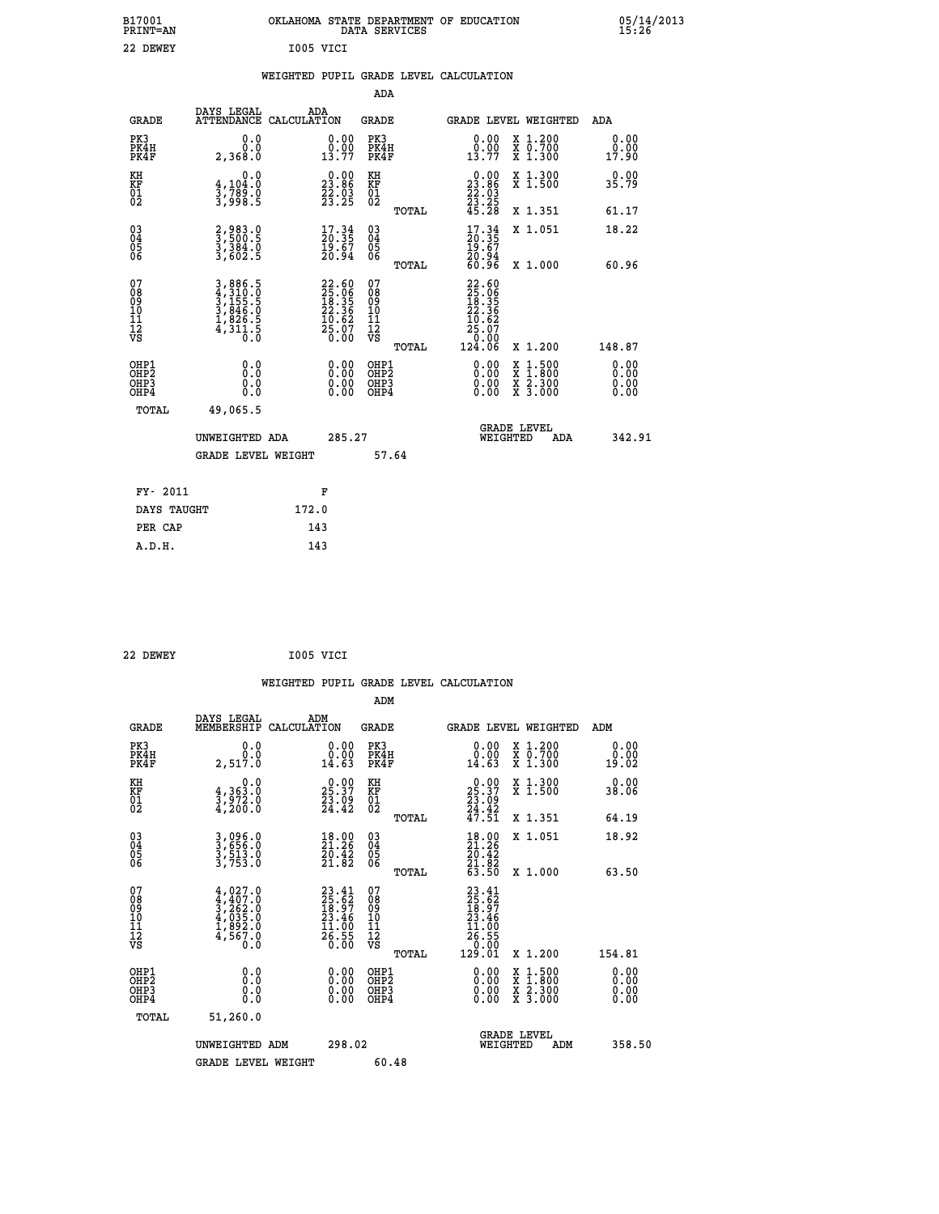|           | OKLAHOMA STATE DEPARTMENT OF EDUCATION<br>DATA SERVICES |  |
|-----------|---------------------------------------------------------|--|
| I005 VICI |                                                         |  |

05/14/2013<br>15**:**26

### **WEIGHTED PUPIL GRADE LEVEL CALCULATION**

|                                                                    |                                                                       |                                                                          | ADA                                       |       |                                                                                                       |                                                    |                              |
|--------------------------------------------------------------------|-----------------------------------------------------------------------|--------------------------------------------------------------------------|-------------------------------------------|-------|-------------------------------------------------------------------------------------------------------|----------------------------------------------------|------------------------------|
| <b>GRADE</b>                                                       | DAYS LEGAL<br><b>ATTENDANCE</b>                                       | ADA<br>CALCULATION                                                       | <b>GRADE</b>                              |       |                                                                                                       | GRADE LEVEL WEIGHTED                               | <b>ADA</b>                   |
| PK3<br>PK4H<br>PK4F                                                | 0.0<br>0.0<br>2,368.0                                                 | $\begin{smallmatrix} 0.00\\ 0.00\\ 13.77 \end{smallmatrix}$              | PK3<br>PK4H<br>PK4F                       |       | $\begin{smallmatrix} 0.00\\ 0.00\\ 13.77 \end{smallmatrix}$                                           | X 1.200<br>X 0.700<br>X 1.300                      | 0.00<br>0.00<br>17.90        |
| KH<br>KF<br>01<br>02                                               | 0.0<br>4,104:0<br>3,789:0<br>3,998:5                                  | $\begin{smallmatrix} 0.00\\ 23.86\\ 22.03\\ 23.25 \end{smallmatrix}$     | KH<br>KF<br>01<br>02                      |       | $\begin{smallmatrix} 0.00\\ 23.86\\ 22.03\\ 23.25\\ 45.28 \end{smallmatrix}$                          | X 1.300<br>X 1.500                                 | 0.00<br>35.79                |
|                                                                    |                                                                       |                                                                          |                                           | TOTAL |                                                                                                       | X 1.351                                            | 61.17                        |
| $\begin{smallmatrix} 03 \\[-4pt] 04 \end{smallmatrix}$<br>Ŏ5<br>06 | 2,983.0<br>3,500.5<br>3,384.0<br>3,602.5                              | $\begin{smallmatrix} 17.34 \\ 20.35 \\ 19.67 \\ 20.94 \end{smallmatrix}$ | 03<br>04<br>05<br>06                      | TOTAL | $\begin{smallmatrix} 17.34 \\ 20.35 \\ 19.67 \\ 20.94 \\ 60.96 \end{smallmatrix}$                     | X 1.051<br>X 1.000                                 | 18.22<br>60.96               |
| 07<br>08<br>09<br>11<br>11<br>12<br>VS                             | 3,886.5<br>4,310.0<br>5,155.5<br>3,846.0<br>3,826.5<br>4,311.5<br>0.0 | $22.6025.0618.3522.3610.6210.6225.070.00$                                | 07<br>08<br>09<br>11<br>11<br>12<br>VS    |       | $\begin{smallmatrix} 22.60\ 25.06\ 18.35\ 12.35\ 22.36\ 10.62\ 5.07\ 0.00\ 124.06\ \end{smallmatrix}$ |                                                    |                              |
|                                                                    |                                                                       |                                                                          |                                           | TOTAL |                                                                                                       | X 1.200                                            | 148.87                       |
| OHP1<br>OHP <sub>2</sub><br>OHP3<br>OHP4                           | 0.0<br>0.0<br>Ŏ.Ŏ                                                     | 0.00<br>$\begin{smallmatrix} 0.00 \ 0.00 \end{smallmatrix}$              | OHP1<br>OH <sub>P</sub> 2<br>OHP3<br>OHP4 |       | 0.00<br>0.00<br>0.00                                                                                  | $1:500$<br>$1:800$<br>X<br>X<br>X 2.300<br>X 3.000 | 0.00<br>0.00<br>0.00<br>0.00 |
| TOTAL                                                              | 49,065.5                                                              |                                                                          |                                           |       |                                                                                                       |                                                    |                              |
|                                                                    | UNWEIGHTED ADA                                                        | 285.27                                                                   |                                           |       |                                                                                                       | <b>GRADE LEVEL</b><br>WEIGHTED<br>ADA              | 342.91                       |
|                                                                    | <b>GRADE LEVEL WEIGHT</b>                                             |                                                                          | 57.64                                     |       |                                                                                                       |                                                    |                              |
| FY- 2011                                                           |                                                                       | F                                                                        |                                           |       |                                                                                                       |                                                    |                              |
| DAYS TAUGHT                                                        |                                                                       | 172.0                                                                    |                                           |       |                                                                                                       |                                                    |                              |
| PER CAP                                                            |                                                                       | 143                                                                      |                                           |       |                                                                                                       |                                                    |                              |
|                                                                    |                                                                       |                                                                          |                                           |       |                                                                                                       |                                                    |                              |

| 22 DEWEY | I005 VICI |
|----------|-----------|
|----------|-----------|

 **A.D.H. 143**

 **B17001<br>PRINT=AN 22 DEWEY** 

|                                                      |                                                                                     |                    |                                                                |                                  |       | WEIGHTED PUPIL GRADE LEVEL CALCULATION                                                         |                                |                                          |                              |  |
|------------------------------------------------------|-------------------------------------------------------------------------------------|--------------------|----------------------------------------------------------------|----------------------------------|-------|------------------------------------------------------------------------------------------------|--------------------------------|------------------------------------------|------------------------------|--|
|                                                      |                                                                                     |                    |                                                                | ADM                              |       |                                                                                                |                                |                                          |                              |  |
| <b>GRADE</b>                                         | DAYS LEGAL<br>MEMBERSHIP                                                            | ADM<br>CALCULATION |                                                                | <b>GRADE</b>                     |       | GRADE LEVEL WEIGHTED                                                                           |                                |                                          | ADM                          |  |
| PK3<br>PK4H<br>PK4F                                  | 0.0<br>0.0<br>2,517.0                                                               |                    | 0.00<br>14.63                                                  | PK3<br>PK4H<br>PK4F              |       | $\begin{smallmatrix} 0.00\\ 0.00\\ 14.63 \end{smallmatrix}$                                    |                                | X 1.200<br>X 0.700<br>X 1.300            | 0.00<br>0.00<br>19.02        |  |
| KH<br>KF<br>01<br>02                                 | 0.0<br>$\frac{4}{3}, \frac{363}{972}$ .0<br>4,200.0                                 |                    | $25.37$<br>$23.09$<br>$24.42$                                  | KH<br>KF<br>01<br>02             |       | $\begin{smallmatrix} 0.00\\ 25.37\\ 23.09\\ 24.42\\ 47.51 \end{smallmatrix}$                   |                                | X 1.300<br>X 1.500                       | 0.00<br>38.06                |  |
|                                                      |                                                                                     |                    |                                                                |                                  | TOTAL |                                                                                                |                                | X 1.351                                  | 64.19                        |  |
| $\begin{matrix} 03 \\ 04 \\ 05 \\ 06 \end{matrix}$   | 3,096.0<br>3,656.0<br>3,513.0<br>3,753.0                                            |                    | 18.00<br>21.26<br>$\frac{20.42}{21.82}$                        | 03<br>04<br>05<br>06             |       | $\begin{smallmatrix} 18.00\\21.26\\20.42\\21.82\\63.50 \end{smallmatrix}$                      |                                | X 1.051                                  | 18.92                        |  |
|                                                      |                                                                                     |                    |                                                                |                                  | TOTAL |                                                                                                |                                | X 1.000                                  | 63.50                        |  |
| 07<br>0890112<br>1112<br>VS                          | $4,027.0$<br>$3,262.0$<br>$3,263.0$<br>$4,035.0$<br>$1,892.0$<br>$4,567.0$<br>$0.0$ |                    | $23.41$<br>$25.62$<br>$18.97$<br>$23.46$<br>$11.00$<br>$26.55$ | 07<br>08901112<br>1112<br>VS     |       | $\begin{smallmatrix} 23.41\ 25.62\ 18.97\ 23.46\ 11.00\ 26.55\ 0.01\ 29.01\ \end{smallmatrix}$ |                                |                                          |                              |  |
|                                                      |                                                                                     |                    |                                                                |                                  | TOTAL |                                                                                                |                                | X 1.200                                  | 154.81                       |  |
| OHP1<br>OHP <sub>2</sub><br>OH <sub>P3</sub><br>OHP4 | 0.0<br>0.000                                                                        |                    | $0.00$<br>$0.00$<br>0.00                                       | OHP1<br>OHP2<br>OHP <sub>3</sub> |       | 0.00<br>0.00<br>0.00                                                                           |                                | X 1:500<br>X 1:800<br>X 2:300<br>X 3:000 | 0.00<br>0.00<br>0.00<br>0.00 |  |
| TOTAL                                                | 51,260.0                                                                            |                    |                                                                |                                  |       |                                                                                                |                                |                                          |                              |  |
|                                                      | UNWEIGHTED ADM                                                                      |                    | 298.02                                                         |                                  |       |                                                                                                | <b>GRADE LEVEL</b><br>WEIGHTED | ADM                                      | 358.50                       |  |
|                                                      | <b>GRADE LEVEL WEIGHT</b>                                                           |                    |                                                                | 60.48                            |       |                                                                                                |                                |                                          |                              |  |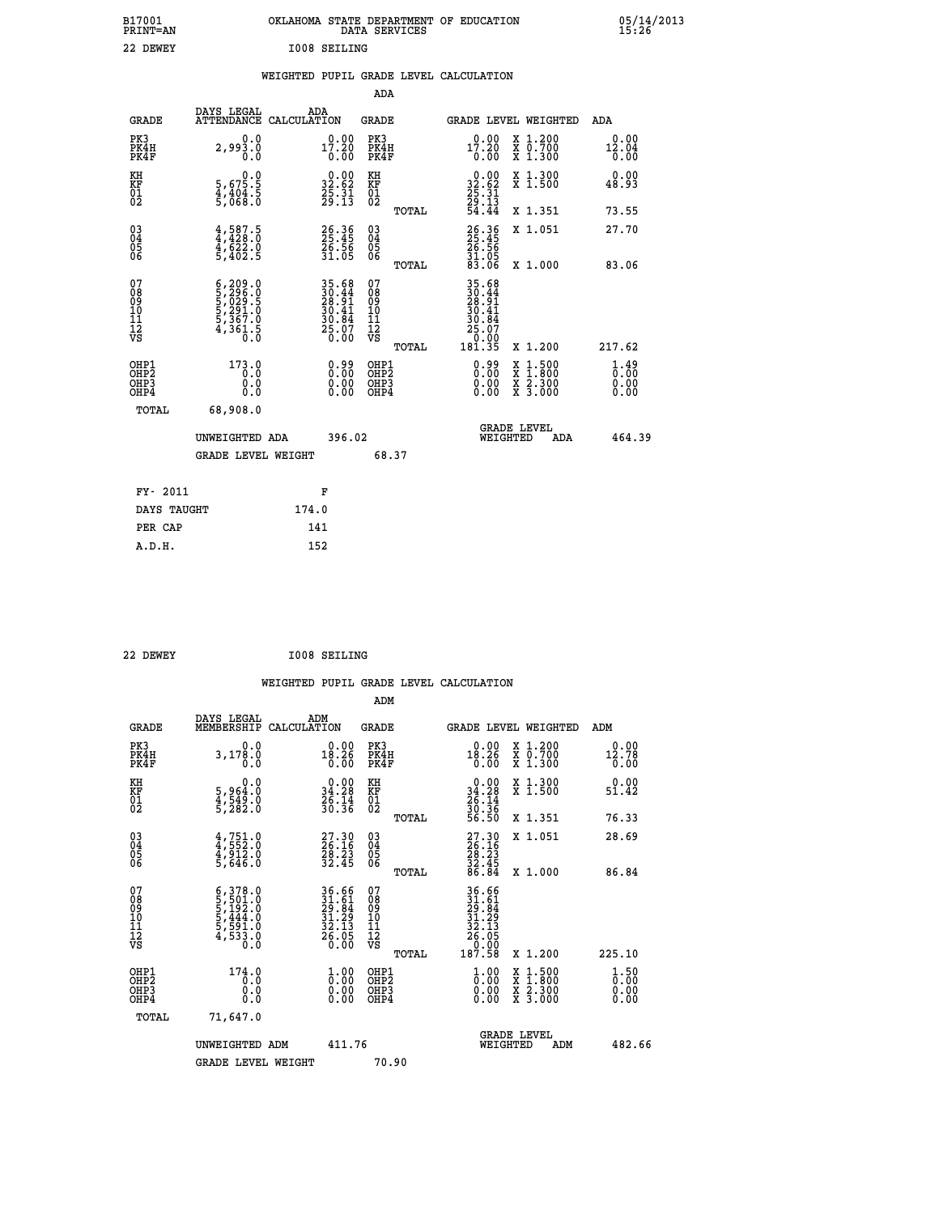|                     | OKLAHOMA STATE DEPARTMENT OF EDUCATION<br>DATA SERVICES |  |
|---------------------|---------------------------------------------------------|--|
| <b>IOO8 SEILING</b> |                                                         |  |

|  |  | WEIGHTED PUPIL GRADE LEVEL CALCULATION |
|--|--|----------------------------------------|
|  |  |                                        |

|                                                                              |                                                                                                                                                   |                                                                                            | ADA                                                 |       |                                                                                                              |                                          |                                                 |
|------------------------------------------------------------------------------|---------------------------------------------------------------------------------------------------------------------------------------------------|--------------------------------------------------------------------------------------------|-----------------------------------------------------|-------|--------------------------------------------------------------------------------------------------------------|------------------------------------------|-------------------------------------------------|
| <b>GRADE</b>                                                                 | DAYS LEGAL                                                                                                                                        | ADA<br>ATTENDANCE CALCULATION                                                              | GRADE                                               |       | GRADE LEVEL WEIGHTED                                                                                         |                                          | ADA                                             |
| PK3<br>PK4H<br>PK4F                                                          | 0.0<br>2,993.0<br>0.0                                                                                                                             | 17.20<br>0.00                                                                              | PK3<br>PK4H<br>PK4F                                 |       | 17.20<br>0.00                                                                                                | X 1.200<br>X 0.700<br>X 1.300            | 0.00<br>12.04<br>0.00                           |
| KH<br>KF<br>01<br>02                                                         | 0.0<br>5,675.5<br>4,404.5<br>5,068.0                                                                                                              | $\begin{smallmatrix} 0.00\\ 32.62\\ 25.31\\ 29.13 \end{smallmatrix}$                       | KH<br>KF<br>01<br>02                                |       | $\begin{smallmatrix} 0.00\\ 32.62\\ 25.31\\ 29.13\\ 4.44 \end{smallmatrix}$                                  | X 1.300<br>X 1.500                       | 0.00<br>48.93                                   |
|                                                                              |                                                                                                                                                   |                                                                                            |                                                     | TOTAL |                                                                                                              | X 1.351                                  | 73.55                                           |
| $\begin{matrix} 03 \\ 04 \\ 05 \\ 06 \end{matrix}$                           | $4,428.5$<br>$4,428.0$<br>$4,622.0$<br>$5,402.5$                                                                                                  | 26.36<br>25.45<br>26.56<br>31.05                                                           | $\begin{array}{c} 03 \\ 04 \\ 05 \\ 06 \end{array}$ |       | 26.36<br>25.45<br>26.56<br>31.05<br>33.06                                                                    | X 1.051                                  | 27.70                                           |
|                                                                              |                                                                                                                                                   |                                                                                            |                                                     | TOTAL |                                                                                                              | X 1.000                                  | 83.06                                           |
| 07<br>08<br>09<br>11<br>11<br>12<br>VS                                       | $\begin{smallmatrix} 6\,,\,209\,.\,0\\ 5\,,\,296\,.0\\ 5\,,\,029\,.5\\ 5\,,\,291\,.0\\ 5\,,\,367\,.0\\ 4\,,\,361\,.5\\ 0\,.0\\ \end{smallmatrix}$ | $\begin{array}{r} 35.68 \\ 30.44 \\ 28.91 \\ 30.41 \\ 30.84 \\ 25.07 \\ 25.00 \end{array}$ | 07<br>08<br>09<br>11<br>11<br>12<br>VS              | TOTAL | $\begin{array}{r} 35.68 \\ 30.44 \\ 28.91 \\ 28.41 \\ 30.44 \\ 30.84 \\ 25.07 \\ 0.00 \\ 181.35 \end{array}$ | X 1.200                                  | 217.62                                          |
| OHP1<br>OH <sub>P</sub> <sub>2</sub><br>OH <sub>P3</sub><br>OH <sub>P4</sub> | 173.0<br>0.0<br>0.0                                                                                                                               | $0.99$<br>$0.00$<br>Ŏ.ŎŎ<br>O.OO                                                           | OHP1<br>OHP2<br>OHP3<br>OHP4                        |       | 0.99<br>0.00                                                                                                 | X 1:500<br>X 1:800<br>X 2:300<br>X 3:000 | $\frac{1}{0}$ : $\frac{49}{00}$<br>0.00<br>0.00 |
| TOTAL                                                                        | 68,908.0                                                                                                                                          |                                                                                            |                                                     |       |                                                                                                              |                                          |                                                 |
|                                                                              | UNWEIGHTED ADA                                                                                                                                    | 396.02                                                                                     |                                                     |       | WEIGHTED                                                                                                     | <b>GRADE LEVEL</b><br>ADA                | 464.39                                          |
|                                                                              | <b>GRADE LEVEL WEIGHT</b>                                                                                                                         |                                                                                            | 68.37                                               |       |                                                                                                              |                                          |                                                 |
| FY- 2011                                                                     |                                                                                                                                                   | F                                                                                          |                                                     |       |                                                                                                              |                                          |                                                 |
| DAYS TAUGHT                                                                  |                                                                                                                                                   | 174.0                                                                                      |                                                     |       |                                                                                                              |                                          |                                                 |
| PER CAP                                                                      |                                                                                                                                                   | 141                                                                                        |                                                     |       |                                                                                                              |                                          |                                                 |
| A.D.H.                                                                       |                                                                                                                                                   | 152                                                                                        |                                                     |       |                                                                                                              |                                          |                                                 |

| 22 DEWEY | <b>I008 SEILING</b> |
|----------|---------------------|
|          |                     |

 **ADM**

 **A.D.H. 152**

 **B17001<br>PRINT=AN<br>22 DEWEY** 

|  |  | WEIGHTED PUPIL GRADE LEVEL CALCULATION |
|--|--|----------------------------------------|
|  |  |                                        |

| <b>GRADE</b>                                       | DAYS LEGAL<br>MEMBERSHIP                                                                                                                                                       | ADM<br>CALCULATION                                                    | <b>GRADE</b>                                       |       | GRADE LEVEL WEIGHTED                                                                                                                                   |                                          | ADM                                |  |
|----------------------------------------------------|--------------------------------------------------------------------------------------------------------------------------------------------------------------------------------|-----------------------------------------------------------------------|----------------------------------------------------|-------|--------------------------------------------------------------------------------------------------------------------------------------------------------|------------------------------------------|------------------------------------|--|
| PK3<br>PK4H<br>PK4F                                | 0.0<br>3,178.0<br>0.0                                                                                                                                                          | $18.26$<br>0.00                                                       | PK3<br>PK4H<br>PK4F                                |       | $0.00$<br>18.26<br>0.00                                                                                                                                | X 1.200<br>X 0.700<br>X 1.300            | $0.00$<br>12.78<br>0.00            |  |
| KH<br>KF<br>01<br>02                               | $\begin{smallmatrix}&&&0.0\\5,964.0\\4,549.0\\5,282.0\end{smallmatrix}$                                                                                                        | $\begin{smallmatrix} 0.00\\ 34.28\\ 26.14\\ 30.36 \end{smallmatrix}$  | KH<br>KF<br>01<br>02                               |       | $0.00$<br>$34.28$<br>$26.14$<br>$30.36$<br>$56.50$                                                                                                     | X 1.300<br>X 1.500                       | 0.00<br>51.42                      |  |
|                                                    |                                                                                                                                                                                |                                                                       |                                                    | TOTAL |                                                                                                                                                        | X 1.351                                  | 76.33                              |  |
| $\begin{matrix} 03 \\ 04 \\ 05 \\ 06 \end{matrix}$ | $4,751.0$<br>$4,912.0$<br>$4,912.0$<br>$5,646.0$                                                                                                                               | $\begin{smallmatrix} 27.30\\ 26.16\\ 28.23\\ 32.45 \end{smallmatrix}$ | $\begin{matrix} 03 \\ 04 \\ 05 \\ 06 \end{matrix}$ |       | $\begin{smallmatrix} 27.30\\ 26.16\\ 28.23\\ 32.45\\ 86.84 \end{smallmatrix}$                                                                          | X 1.051                                  | 28.69                              |  |
|                                                    |                                                                                                                                                                                |                                                                       |                                                    | TOTAL |                                                                                                                                                        | X 1.000                                  | 86.84                              |  |
| 07<br>089<br>090<br>1112<br>VS                     | $\begin{smallmatrix} 6\,, & 378\,. & 0\\ 5\,, & 501\,. & 0\\ 5\,, & 192\,. & 0\\ 5\,, & 444\,. & 0\\ 5\,, & 591\,. & 0\\ 4\,, & 533\,. & 0\\ 0\,. & 0\,. & 0\end{smallmatrix}$ | 36.66<br>31.61<br>29.84<br>31.29<br>32.13<br>32.05<br>26.05           | 07<br>08<br>09<br>001<br>11<br>11<br>12<br>VS      | TOTAL | $\begin{array}{r} 36 \cdot 66 \\ 31 \cdot 64 \\ 29 \cdot 84 \\ 31 \cdot 29 \\ 32 \cdot 135 \\ 26 \cdot 050 \\ 0 \cdot 000 \\ 187 \cdot 58 \end{array}$ | X 1.200                                  | 225.10                             |  |
| OHP1<br>OHP2<br>OH <sub>P3</sub><br>OHP4           | 174.0<br>0.0<br>0.000                                                                                                                                                          | $\begin{smallmatrix} 1.00\ 0.00\ 0.00 \end{smallmatrix}$              | OHP1<br>OHP2<br>OHP3<br>OHP4                       |       | $\begin{smallmatrix} 1.00 \\[-4pt] 0.00\\[-4pt] 0.00\\[-4pt] 0.00\end{smallmatrix}$                                                                    | X 1:500<br>X 1:800<br>X 2:300<br>X 3:000 | $\frac{1}{0}$ : 00<br>0.00<br>0.00 |  |
| TOTAL                                              | 71,647.0                                                                                                                                                                       |                                                                       |                                                    |       |                                                                                                                                                        |                                          |                                    |  |
|                                                    | UNWEIGHTED<br>ADM                                                                                                                                                              | 411.76                                                                |                                                    |       | WEIGHTED                                                                                                                                               | <b>GRADE LEVEL</b><br>ADM                | 482.66                             |  |
|                                                    | <b>GRADE LEVEL WEIGHT</b>                                                                                                                                                      |                                                                       | 70.90                                              |       |                                                                                                                                                        |                                          |                                    |  |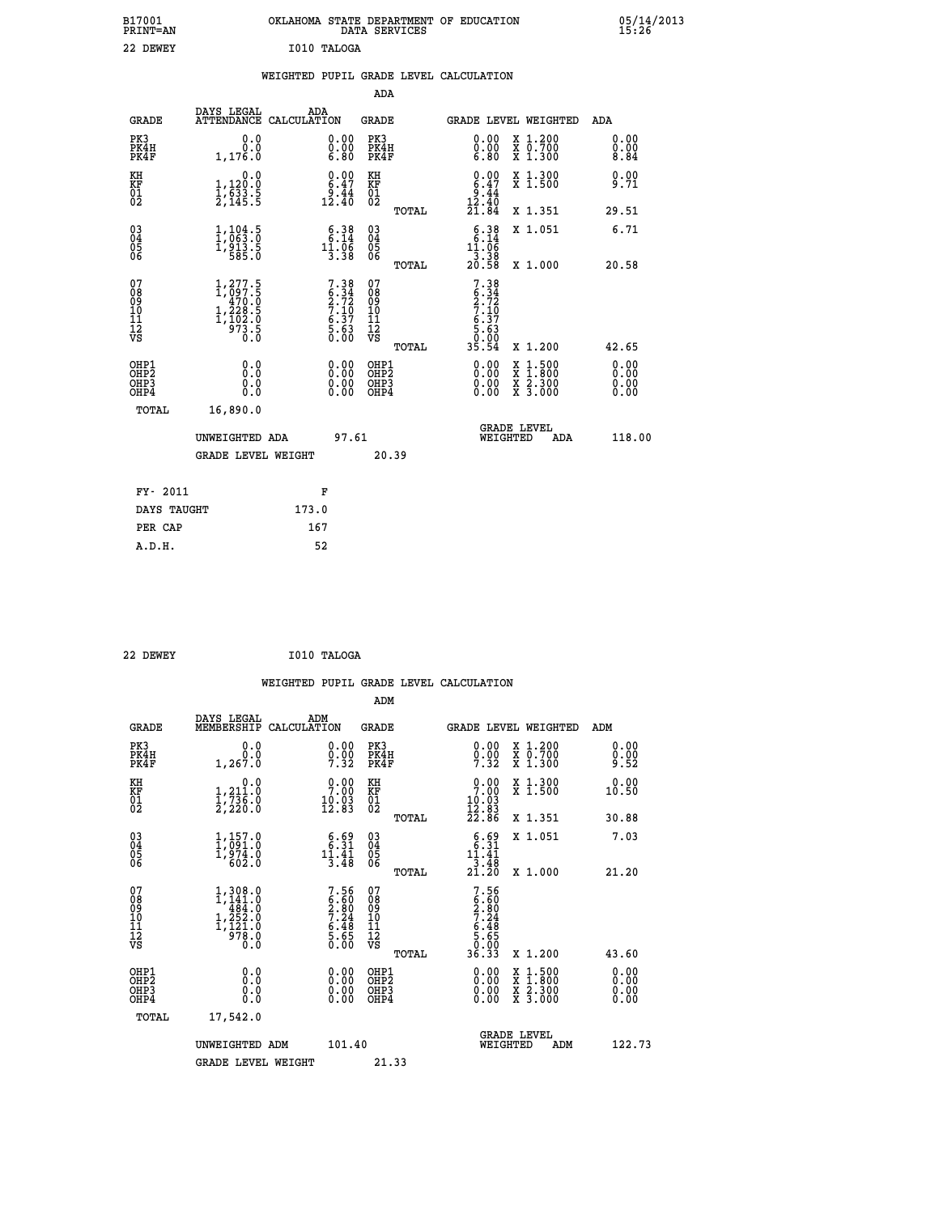| B17001<br><b>PRINT=AN</b> | OKLAHOMA STATE DEPARTMENT OF EDUCATION<br>SERVICES<br>DATA | 05/14/2013<br>15:26 |
|---------------------------|------------------------------------------------------------|---------------------|
| 22<br>DEWEY               | I010 TALOGA                                                |                     |

|  |  | WEIGHTED PUPIL GRADE LEVEL CALCULATION |
|--|--|----------------------------------------|
|  |  |                                        |

|                                                                    |                                                                                                     |                                                                    | ADA                                                 |       |                                                                            |                                                                                                                                           |                               |
|--------------------------------------------------------------------|-----------------------------------------------------------------------------------------------------|--------------------------------------------------------------------|-----------------------------------------------------|-------|----------------------------------------------------------------------------|-------------------------------------------------------------------------------------------------------------------------------------------|-------------------------------|
| <b>GRADE</b>                                                       | DAYS LEGAL<br>ATTENDANCE CALCULATION                                                                | ADA                                                                | <b>GRADE</b>                                        |       |                                                                            | GRADE LEVEL WEIGHTED                                                                                                                      | ADA                           |
| PK3<br>PK4H<br>PK4F                                                | 0.0<br>0.0<br>1,176.0                                                                               | $\begin{smallmatrix} 0.00 \ 0.00 \ 6.80 \end{smallmatrix}$         | PK3<br>PK4H<br>PK4F                                 |       | $\begin{smallmatrix} 0.00 \ 0.00 \ 6.80 \end{smallmatrix}$                 | X 1.200<br>X 0.700<br>X 1.300                                                                                                             | 0.00<br>0.008                 |
| KH<br>KF<br>01<br>02                                               | 0.0<br>1,120:0<br>1,633:5<br>2,145:5                                                                | $\begin{smallmatrix} 0.00\\ 6.47\\ 9.44\\ 12.40 \end{smallmatrix}$ | KH<br>KF<br>01<br>02                                |       | $0.00\n6.47\n9.44\n12.40\n21.84$                                           | X 1.300<br>X 1.500                                                                                                                        | 0.00<br>9.71                  |
|                                                                    |                                                                                                     |                                                                    |                                                     | TOTAL |                                                                            | X 1.351                                                                                                                                   | 29.51                         |
| $\begin{smallmatrix} 03 \\[-4pt] 04 \end{smallmatrix}$<br>Ŏ5<br>06 | $\frac{1}{1}, \frac{104}{063}.\frac{5}{0}$<br>1, 913.5<br>585.0                                     | $\begin{smallmatrix} 6.38\\ 6.14\\ 11.06\\ 3.38 \end{smallmatrix}$ | $\begin{array}{c} 03 \\ 04 \\ 05 \\ 06 \end{array}$ |       | $\begin{smallmatrix} 6.38\\ 6.14\\ 11.06\\ 3.38\\ 20.58 \end{smallmatrix}$ | X 1.051                                                                                                                                   | 6.71                          |
|                                                                    |                                                                                                     |                                                                    |                                                     | TOTAL |                                                                            | X 1.000                                                                                                                                   | 20.58                         |
| 07<br>08<br>09<br>01<br>11<br>11<br>12<br>VS                       | $\begin{smallmatrix} 1,277.5\\ 1,097.5\\ 470.0\\ 1,228.5\\ 1,102.0\\ 973.5\\ 0.0 \end{smallmatrix}$ | $7.38\n6.34\n2.72\n7.10\n6.37\n5.63\n0.00$                         | 07<br>08<br>09<br>11<br>11<br>12<br>VS              |       | $7.38$<br>$2.72$<br>$7.10$<br>$6.37$<br>$5.63$<br>$0.90$                   |                                                                                                                                           |                               |
|                                                                    |                                                                                                     |                                                                    |                                                     | TOTAL | 35.54                                                                      | X 1.200                                                                                                                                   | 42.65                         |
| OHP1<br>OHP <sub>2</sub><br>OH <sub>P3</sub><br>OHP4               | 0.0<br>0.000                                                                                        | 0.00<br>$\begin{smallmatrix} 0.00 \ 0.00 \end{smallmatrix}$        | OHP1<br>OHP2<br>OHP <sub>3</sub>                    |       |                                                                            | $\begin{smallmatrix} \mathtt{X} & 1\cdot500\\ \mathtt{X} & 1\cdot800\\ \mathtt{X} & 2\cdot300\\ \mathtt{X} & 3\cdot000 \end{smallmatrix}$ | 0.00<br>Ō. ŌŌ<br>0.00<br>0.00 |
| TOTAL                                                              | 16,890.0                                                                                            |                                                                    |                                                     |       |                                                                            |                                                                                                                                           |                               |
|                                                                    | UNWEIGHTED ADA                                                                                      | 97.61                                                              |                                                     |       |                                                                            | <b>GRADE LEVEL</b><br>WEIGHTED<br>ADA                                                                                                     | 118.00                        |
|                                                                    | <b>GRADE LEVEL WEIGHT</b>                                                                           |                                                                    |                                                     | 20.39 |                                                                            |                                                                                                                                           |                               |
| FY- 2011                                                           |                                                                                                     | F                                                                  |                                                     |       |                                                                            |                                                                                                                                           |                               |
| DAYS TAUGHT                                                        |                                                                                                     | 173.0                                                              |                                                     |       |                                                                            |                                                                                                                                           |                               |
| PER CAP                                                            |                                                                                                     | 167                                                                |                                                     |       |                                                                            |                                                                                                                                           |                               |

| 22 DEWEY | $\sim$ $\sim$ $\sim$ | I010 TALOGA |
|----------|----------------------|-------------|
|----------|----------------------|-------------|

 **A.D.H. 52**

 **WEIGHTED PUPIL GRADE LEVEL CALCULATION ADM DAYS LEGAL ADM GRADE MEMBERSHIP CALCULATION GRADE GRADE LEVEL WEIGHTED ADM PK3 0.0 0.00 PK3 0.00 X 1.200 0.00 PK4H 0.0 0.00 PK4H 0.00 X 0.700 0.00 PK4F 1,267.0 7.32 PK4F 7.32 X 1.300 9.52 KH 0.0 0.00 KH 0.00 X 1.300 0.00 KF 1,211.0 7.00 KF 7.00 X 1.500 10.50 KH**  $\begin{array}{cccc} 0.0 & 0.00 & \text{KH} \\ \text{KF} & 1, 211.0 & 7.00 & \text{KF} \\ 01 & 1, 731.0 & 10.03 & \text{KF} \\ 02 & 2, 220.0 & 12.83 & 01 \end{array}$  $02$  2,220.0 12.83 02  $_{\text{norm}}$  12.83  **TOTAL 22.86 X 1.351 30.88 03 1,157.0 6.69 03 6.69 X 1.051 7.03 04 1,091.0 6.31 04 6.31 05 1,974.0 11.41 05 11.41 06 602.0 3.48 06 3.48 TOTAL 21.20 X 1.000 21.20** 1,308.0 7.56 07<br>
08 1,441.0 6.60 08 6.60<br>
10 1,252.0 7.24 10 7.24<br>
11 1,121.0 6.48 11 6.48<br> **VS 0.0** 5.65 12<br>
12 978.0 5.65 vS 0.000  **TOTAL 36.33 X 1.200 43.60 OHP1 0.0 0.00 OHP1 0.00 X 1.500 0.00 OHP2 0.0 0.00 OHP2 0.00 X 1.800 0.00 OHP3 0.0 0.00 OHP3 0.00 X 2.300 0.00 OHP4 0.0 0.00 OHP4 0.00 X 3.000 0.00 TOTAL 17,542.0 GRADE LEVEL UNWEIGHTED ADM 101.40 WEIGHTED ADM 122.73** GRADE LEVEL WEIGHT 21.33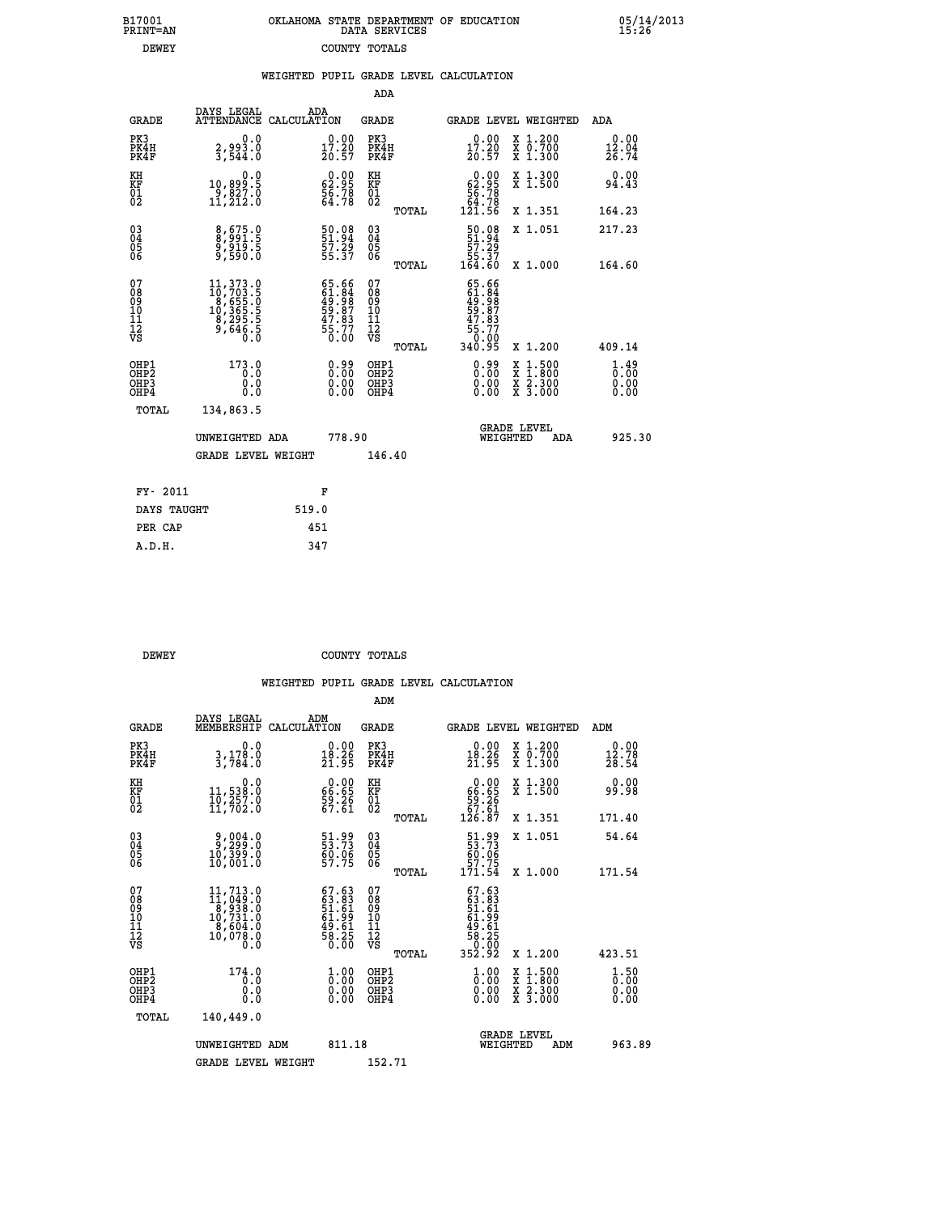|               | OKLAHOMA STATE DEPARTMENT OF EDUCATION<br>DATA SERVICES |  |
|---------------|---------------------------------------------------------|--|
| COUNTY TOTALS |                                                         |  |

B17001<br>PRINT=AN<br>DEWEY

05/14/2013<br>15:26

| WEIGHTED PUPIL GRADE LEVEL CALCULATION |
|----------------------------------------|
|                                        |

|                              |                                                                   |                                                                                                                                                                   |       |                                                                      | ADA                                                 |       |                                                                                        |                                          |                                                 |
|------------------------------|-------------------------------------------------------------------|-------------------------------------------------------------------------------------------------------------------------------------------------------------------|-------|----------------------------------------------------------------------|-----------------------------------------------------|-------|----------------------------------------------------------------------------------------|------------------------------------------|-------------------------------------------------|
|                              | <b>GRADE</b>                                                      | DAYS LEGAL<br>ATTENDANCE CALCULATION                                                                                                                              | ADA   |                                                                      | <b>GRADE</b>                                        |       |                                                                                        | GRADE LEVEL WEIGHTED                     | ADA                                             |
| PK3                          | PK4H<br>PK4F                                                      | 0.0<br>$\frac{2}{3}, \frac{993}{544}.0$                                                                                                                           |       | $\substack{0.00\\17.20\\20.57}$                                      | PK3<br>PK4H<br>PK4F                                 |       | $\substack{0.00\\17.20\\20.57}$                                                        | X 1.200<br>X 0.700<br>X 1.300            | 0.00<br>12.04<br>26.74                          |
| KH<br><b>KF</b><br>01<br>02  |                                                                   | 0.0<br>10,899.5<br>9,827.0<br>11,212.0                                                                                                                            |       | $\begin{smallmatrix} 0.00\\ 62.95\\ 56.78\\ 64.78 \end{smallmatrix}$ | KH<br>KF<br>01<br>02                                |       | 62.99<br>$\frac{56}{64}$ . 78                                                          | X 1.300<br>X 1.500                       | 0.00<br>94.43                                   |
|                              |                                                                   |                                                                                                                                                                   |       |                                                                      |                                                     | TOTAL | 121.56                                                                                 | X 1.351                                  | 164.23                                          |
| $^{03}_{04}$<br>Ŏ5<br>06     |                                                                   | 8,675.0<br>8,991.5<br>9,919.5<br>9,590.0                                                                                                                          |       | 50.08<br>51.94<br>57.29<br>55.37                                     | $\begin{array}{c} 03 \\ 04 \\ 05 \\ 06 \end{array}$ | TOTAL | $50.08$<br>51.94<br>57.29<br>55.37<br>55.37<br>164.60                                  | X 1.051<br>X 1.000                       | 217.23<br>164.60                                |
| 07<br>08901112<br>1112<br>VS |                                                                   | $\begin{smallmatrix} 11\,,\,373\cdot\,9\\10\,,\,703\cdot\,5\\8\,,\,655\cdot\,0\\10\,,\,365\cdot\,5\\8\,,\,295\cdot\,5\\9\,,\,646\cdot\,5\\0\,. \end{smallmatrix}$ |       | 65.66<br>61.84<br>49.98<br>59.87<br>57.83<br>55.77<br>56.00          | 07<br>08<br>09<br>11<br>11<br>12<br>VS              |       | 65.66<br>61.84<br>49.98<br>59.87<br>55.77<br>55.70                                     |                                          |                                                 |
|                              |                                                                   |                                                                                                                                                                   |       |                                                                      |                                                     | TOTAL | 340.95                                                                                 | X 1.200                                  | 409.14                                          |
|                              | OHP1<br>OH <sub>P</sub> 2<br>OH <sub>P3</sub><br>OH <sub>P4</sub> | 173.0<br>0.0<br>0.0<br>0.0                                                                                                                                        |       | $\begin{smallmatrix} 0.99\ 0.00\ 0.00\ 0.00 \end{smallmatrix}$       | OHP1<br>OH <sub>P</sub> 2<br>OHP3<br>OHP4           |       | $\begin{smallmatrix} 0.99 \\[-4pt] 0.00 \\[-4pt] 0.00 \\[-4pt] 0.00 \end{smallmatrix}$ | X 1:500<br>X 1:800<br>X 2:300<br>X 3:000 | $\frac{1}{0}$ : $\frac{49}{00}$<br>0.00<br>0.00 |
|                              | TOTAL                                                             | 134,863.5                                                                                                                                                         |       |                                                                      |                                                     |       |                                                                                        |                                          |                                                 |
|                              |                                                                   | UNWEIGHTED ADA                                                                                                                                                    |       | 778.90                                                               |                                                     |       |                                                                                        | GRADE LEVEL<br>WEIGHTED<br>ADA           | 925.30                                          |
|                              |                                                                   | <b>GRADE LEVEL WEIGHT</b>                                                                                                                                         |       |                                                                      | 146.40                                              |       |                                                                                        |                                          |                                                 |
|                              | FY- 2011                                                          |                                                                                                                                                                   |       | F                                                                    |                                                     |       |                                                                                        |                                          |                                                 |
|                              | DAYS TAUGHT                                                       |                                                                                                                                                                   | 519.0 |                                                                      |                                                     |       |                                                                                        |                                          |                                                 |
|                              | PER CAP                                                           |                                                                                                                                                                   | 451   |                                                                      |                                                     |       |                                                                                        |                                          |                                                 |

| <b>DEWEY</b> | COUNTY TOTALS |  |
|--------------|---------------|--|

 **A.D.H. 347**

|                                          |                                                                                                                                                   |                                                                                                                     | ADM                                                 |                                                                                       |                                |                                          |                                |
|------------------------------------------|---------------------------------------------------------------------------------------------------------------------------------------------------|---------------------------------------------------------------------------------------------------------------------|-----------------------------------------------------|---------------------------------------------------------------------------------------|--------------------------------|------------------------------------------|--------------------------------|
| <b>GRADE</b>                             | DAYS LEGAL<br>MEMBERSHIP                                                                                                                          | ADM<br>CALCULATION                                                                                                  | <b>GRADE</b>                                        |                                                                                       |                                | GRADE LEVEL WEIGHTED                     | ADM                            |
| PK3<br>PK4H<br>PK4F                      | 0.0<br>3,178.0<br>3,784.0                                                                                                                         | $\begin{smallmatrix} 0.00\\ 18.26\\ 21.95 \end{smallmatrix}$                                                        | PK3<br>PK4H<br>PK4F                                 | 18.26<br>21.95                                                                        |                                | X 1.200<br>X 0.700<br>X 1.300            | 0.00<br>12.78<br>28.54         |
| KH<br>KF<br>01<br>02                     | 0.0<br>11,538:0<br>10,257:0<br>11,702:0                                                                                                           | $\begin{smallmatrix} 0.00\\ 66.65\\ 59.26\\ 67.61 \end{smallmatrix}$                                                | KH<br>KF<br>01<br>02                                | 0.00<br>$\begin{array}{r} 66.85 \\ 59.26 \\ 67.61 \\ 126.87 \end{array}$              |                                | X 1.300<br>X 1.500                       | 0.00<br>99.98                  |
|                                          |                                                                                                                                                   |                                                                                                                     | TOTAL                                               |                                                                                       |                                | X 1.351                                  | 171.40                         |
| 03<br>04<br>05<br>06                     | 0.800,8<br>0.888,9<br>0.999.91<br>10,001.0                                                                                                        | 51.99<br>53.73<br>60.06<br>57.75                                                                                    | $\begin{array}{c} 03 \\ 04 \\ 05 \\ 06 \end{array}$ | 51.99<br>53.73<br>60.06<br>57.75<br>171.54                                            |                                | X 1.051                                  | 54.64                          |
|                                          |                                                                                                                                                   |                                                                                                                     | TOTAL                                               |                                                                                       |                                | X 1.000                                  | 171.54                         |
| 07<br>08<br>09<br>101<br>112<br>VS       | $\begin{smallmatrix} 11,713\cdot 0\\ 11,049\cdot 0\\ 8,938\cdot 0\\ 10,731\cdot 0\\ 8,604\cdot 0\\ 10,078\cdot 0\\ 0\cdot 0\\ 0\end{smallmatrix}$ | $67.6363.8351.6161.9949.6149.6158.250.00$                                                                           | 07<br>08<br>09<br>11<br>11<br>12<br>VS<br>TOTAL     | $67.63$<br>$63.83$<br>$51.61$<br>$61.99$<br>$61.61$<br>$69.250$<br>$60.200$<br>352.92 |                                | X 1.200                                  | 423.51                         |
|                                          |                                                                                                                                                   |                                                                                                                     |                                                     |                                                                                       |                                |                                          |                                |
| OHP1<br>OHP2<br>OH <sub>P3</sub><br>OHP4 | 174.0<br>0.0<br>0.000                                                                                                                             | $\overset{1}{\underset{0}{0}}\,\overset{0}{\cdots}\,\overset{0}{\underset{0}{0}}\,\overset{0}{\phantom{0}}$<br>0.00 | OHP1<br>OHP2<br>OHP <sub>3</sub>                    | $\frac{1}{0}$ :00<br>0.00<br>0.00                                                     |                                | X 1:500<br>X 1:800<br>X 2:300<br>X 3:000 | 1.50<br>$0.00$<br>0.00<br>0.00 |
| TOTAL                                    | 140,449.0                                                                                                                                         |                                                                                                                     |                                                     |                                                                                       |                                |                                          |                                |
|                                          | UNWEIGHTED ADM                                                                                                                                    | 811.18                                                                                                              |                                                     |                                                                                       | <b>GRADE LEVEL</b><br>WEIGHTED | ADM                                      | 963.89                         |
|                                          | <b>GRADE LEVEL WEIGHT</b>                                                                                                                         |                                                                                                                     | 152.71                                              |                                                                                       |                                |                                          |                                |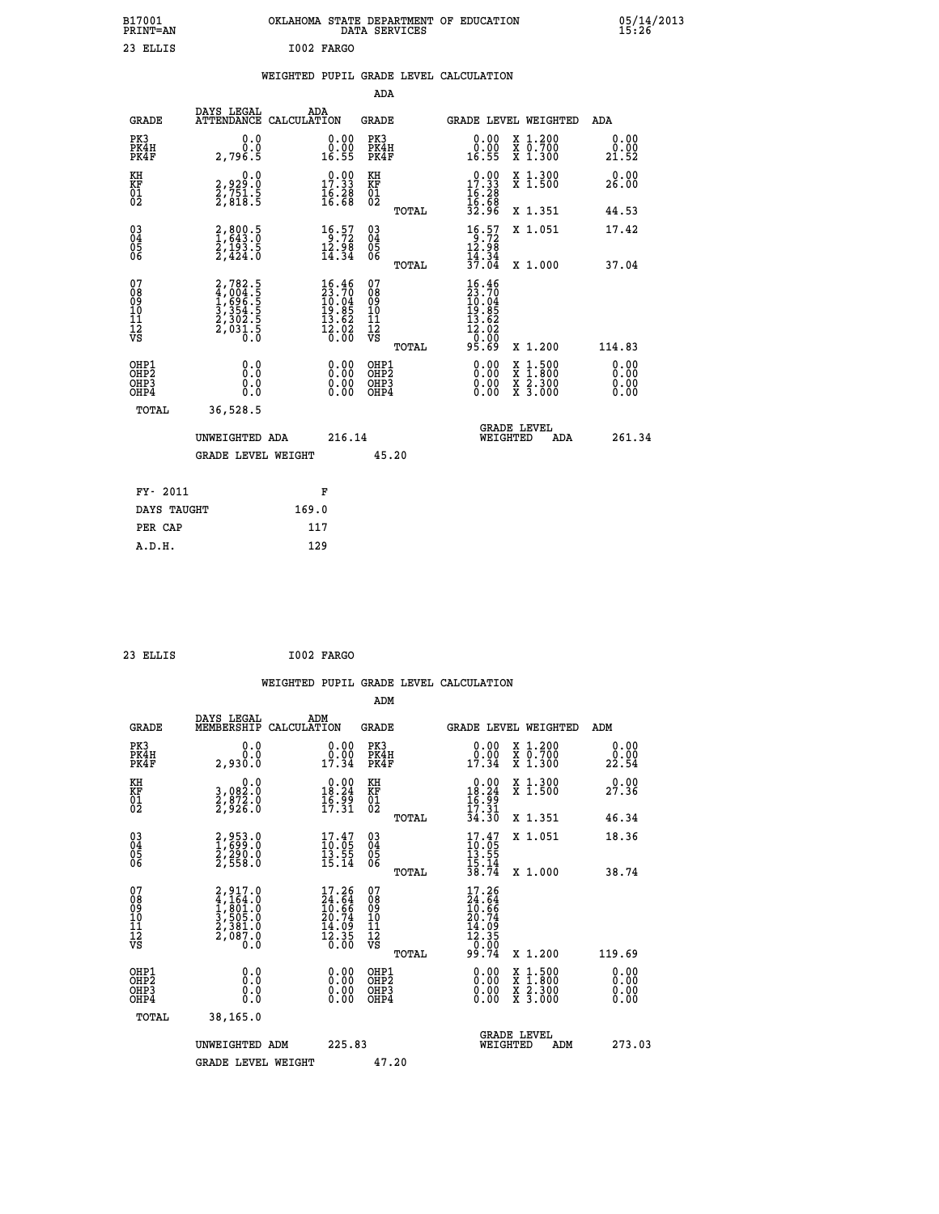| B17001<br><b>PRINT=AN</b> | OKLAHOMA<br>. STATE DEPARTMENT OF EDUCATION<br>DATA SERVICES | 05/14/2013<br>15:26 |
|---------------------------|--------------------------------------------------------------|---------------------|
| 23<br>ELLIS               | I002 FARGO                                                   |                     |

|  |  | WEIGHTED PUPIL GRADE LEVEL CALCULATION |
|--|--|----------------------------------------|
|  |  |                                        |

|                                                                    |                                                                           |                                                                                        | ADA                                       |       |                                                                                                       |        |                                          |                              |
|--------------------------------------------------------------------|---------------------------------------------------------------------------|----------------------------------------------------------------------------------------|-------------------------------------------|-------|-------------------------------------------------------------------------------------------------------|--------|------------------------------------------|------------------------------|
| <b>GRADE</b>                                                       | DAYS LEGAL<br>ATTENDANCE CALCULATION                                      | ADA                                                                                    | <b>GRADE</b>                              |       | GRADE LEVEL WEIGHTED                                                                                  |        |                                          | <b>ADA</b>                   |
| PK3<br>PK4H<br>PK4F                                                | 0.0<br>0.0<br>2,796.5                                                     | $\begin{smallmatrix} 0.00\\ 0.00\\ 16.55 \end{smallmatrix}$                            | PK3<br>PK4H<br>PK4F                       |       | $\begin{smallmatrix} 0.00\\ 0.00\\ 16.55 \end{smallmatrix}$                                           |        | X 1.200<br>X 0.700<br>X 1.300            | 0.00<br>0.00<br>21.52        |
| KH<br>KF<br>01<br>02                                               | 0.0<br>2,929:0<br>2,751:5<br>2,818:5                                      | $\begin{smallmatrix} 0.00\\ 17.33\\ 16.28\\ 16.68 \end{smallmatrix}$                   | KH<br>KF<br>01<br>02                      |       | 17.33<br>$\frac{16}{16}$ $\frac{28}{32}$<br>32.96                                                     |        | X 1.300<br>X 1.500                       | 0.00<br>26.00                |
|                                                                    |                                                                           |                                                                                        |                                           | TOTAL |                                                                                                       |        | X 1.351                                  | 44.53                        |
| $\begin{smallmatrix} 03 \\[-4pt] 04 \end{smallmatrix}$<br>Ŏ5<br>06 | 2,800.5<br>1,643.0<br>2,193.5<br>2,424.0                                  | $\begin{array}{c} 16.57 \\ 9.72 \\ 12.98 \\ 14.34 \end{array}$                         | 03<br>04<br>05<br>06                      |       | $\begin{array}{c} 16 \cdot 57 \\ 9 \cdot 72 \\ 12 \cdot 98 \\ 14 \cdot 34 \\ 37 \cdot 04 \end{array}$ |        | X 1.051                                  | 17.42                        |
|                                                                    |                                                                           |                                                                                        |                                           | TOTAL |                                                                                                       |        | X 1.000                                  | 37.04                        |
| 07<br>08<br>09<br>11<br>11<br>12<br>VS                             | 2,782.5<br>4,004.5<br>4,696.5<br>1,696.5<br>3,354.5<br>2,302.5<br>2,031.5 | $\begin{smallmatrix} 16.46\\23.70\\10.04\\19.85\\13.62\\12.02\\0.00 \end{smallmatrix}$ | 07<br>08<br>09<br>11<br>11<br>12<br>VS    |       | $16.46$<br>$23.70$<br>$10.04$<br>$19.85$<br>$13.62$<br>$12.020$<br>$95.69$                            |        |                                          |                              |
|                                                                    |                                                                           |                                                                                        |                                           | TOTAL |                                                                                                       |        | X 1.200                                  | 114.83                       |
| OHP1<br>OH <sub>P</sub> 2<br>OHP3<br>OHP4                          | 0.0<br>0.0<br>Ŏ.Ŏ                                                         | 0.00<br>$\begin{smallmatrix} 0.00 \ 0.00 \end{smallmatrix}$                            | OHP1<br>OH <sub>P</sub> 2<br>OHP3<br>OHP4 |       | 0.00<br>0.00<br>0.00                                                                                  | X<br>X | $1:500$<br>$1:800$<br>X 2.300<br>X 3.000 | 0.00<br>0.00<br>0.00<br>0.00 |
| TOTAL                                                              | 36,528.5                                                                  |                                                                                        |                                           |       |                                                                                                       |        |                                          |                              |
|                                                                    | UNWEIGHTED ADA                                                            | 216.14                                                                                 |                                           |       | <b>GRADE LEVEL</b><br>WEIGHTED                                                                        |        | ADA                                      | 261.34                       |
|                                                                    | <b>GRADE LEVEL WEIGHT</b>                                                 |                                                                                        | 45.20                                     |       |                                                                                                       |        |                                          |                              |
| FY- 2011                                                           |                                                                           | F                                                                                      |                                           |       |                                                                                                       |        |                                          |                              |
| DAYS TAUGHT                                                        |                                                                           | 169.0                                                                                  |                                           |       |                                                                                                       |        |                                          |                              |
| PER CAP                                                            |                                                                           | 117                                                                                    |                                           |       |                                                                                                       |        |                                          |                              |
|                                                                    |                                                                           |                                                                                        |                                           |       |                                                                                                       |        |                                          |                              |

| 23 ELLIS | I002 FARGO |
|----------|------------|

 **A.D.H. 129**

| <b>GRADE</b>                                         | DAYS LEGAL<br>MEMBERSHIP                                              | ADM<br>CALCULATION                                                       | <b>GRADE</b>                                        |       | <b>GRADE LEVEL WEIGHTED</b>                                                                                 |                                          | ADM                          |  |
|------------------------------------------------------|-----------------------------------------------------------------------|--------------------------------------------------------------------------|-----------------------------------------------------|-------|-------------------------------------------------------------------------------------------------------------|------------------------------------------|------------------------------|--|
| PK3<br>PK4H<br>PK4F                                  | 0.0<br>0.0<br>2,930.0                                                 | 0.0000<br>17.34                                                          | PK3<br>PK4H<br>PK4F                                 |       | 0.00<br>$0.00$<br>$17.34$                                                                                   | X 1.200<br>X 0.700<br>X 1.300            | 0.00<br>22.54                |  |
| KH<br>KF<br>01<br>02                                 | 0.0<br>3,082:0<br>2,872:0<br>2,926:0                                  | $\begin{smallmatrix} 0.00\\18.24\\16.99\\17.31 \end{smallmatrix}$        | KH<br>KF<br>01<br>02                                |       | $\begin{array}{r} 0.00 \\ 18.24 \\ 16.99 \\ 17.31 \\ 34.30 \end{array}$                                     | X 1.300<br>X 1.500                       | 0.00<br>27.36                |  |
|                                                      |                                                                       |                                                                          |                                                     | TOTAL |                                                                                                             | X 1.351                                  | 46.34                        |  |
| $\begin{matrix} 03 \\ 04 \\ 05 \\ 06 \end{matrix}$   | 2,953.0<br>1,699.0<br>2,290.0<br>2,558.0                              | $\begin{smallmatrix} 17.47\ 10.05\ 13.55\ 15.14 \end{smallmatrix}$       | $\begin{array}{c} 03 \\ 04 \\ 05 \\ 06 \end{array}$ |       | $17.47$<br>$10.05$<br>$13.55$<br>$15.14$<br>$38.74$                                                         | X 1.051                                  | 18.36                        |  |
|                                                      |                                                                       |                                                                          |                                                     | TOTAL |                                                                                                             | X 1.000                                  | 38.74                        |  |
| 07<br>08<br>09<br>11<br>11<br>12<br>VS               | 2,917.0<br>4,164.0<br>1,801.0<br>3,505.0<br>2,381.0<br>2,087.0<br>0.0 | $17.26$<br>$24.64$<br>$10.66$<br>$20.74$<br>$14.09$<br>$12.35$<br>$0.00$ | 07<br>08<br>09<br>11<br>11<br>12<br>VS              | TOTAL | 17.26<br>$\begin{array}{r} 14.64 \\ 24.64 \\ 10.66 \\ 20.74 \\ 14.09 \\ 12.35 \\ 0.00 \\ 99.74 \end{array}$ | X 1.200                                  | 119.69                       |  |
| OHP1<br>OH <sub>P</sub> <sub>2</sub><br>OHP3<br>OHP4 | 0.0<br>0.0<br>Ŏ.Ŏ                                                     |                                                                          | OHP1<br>OHP <sub>2</sub><br>OHP3<br>OHP4            |       |                                                                                                             | X 1:500<br>X 1:800<br>X 2:300<br>X 3:000 | 0.00<br>0.00<br>0.00<br>0.00 |  |
| TOTAL                                                | 38,165.0                                                              |                                                                          |                                                     |       |                                                                                                             |                                          |                              |  |
|                                                      | UNWEIGHTED ADM                                                        | 225.83                                                                   |                                                     |       | WEIGHTED                                                                                                    | <b>GRADE LEVEL</b><br>ADM                | 273.03                       |  |
|                                                      | <b>GRADE LEVEL WEIGHT</b>                                             |                                                                          | 47.20                                               |       |                                                                                                             |                                          |                              |  |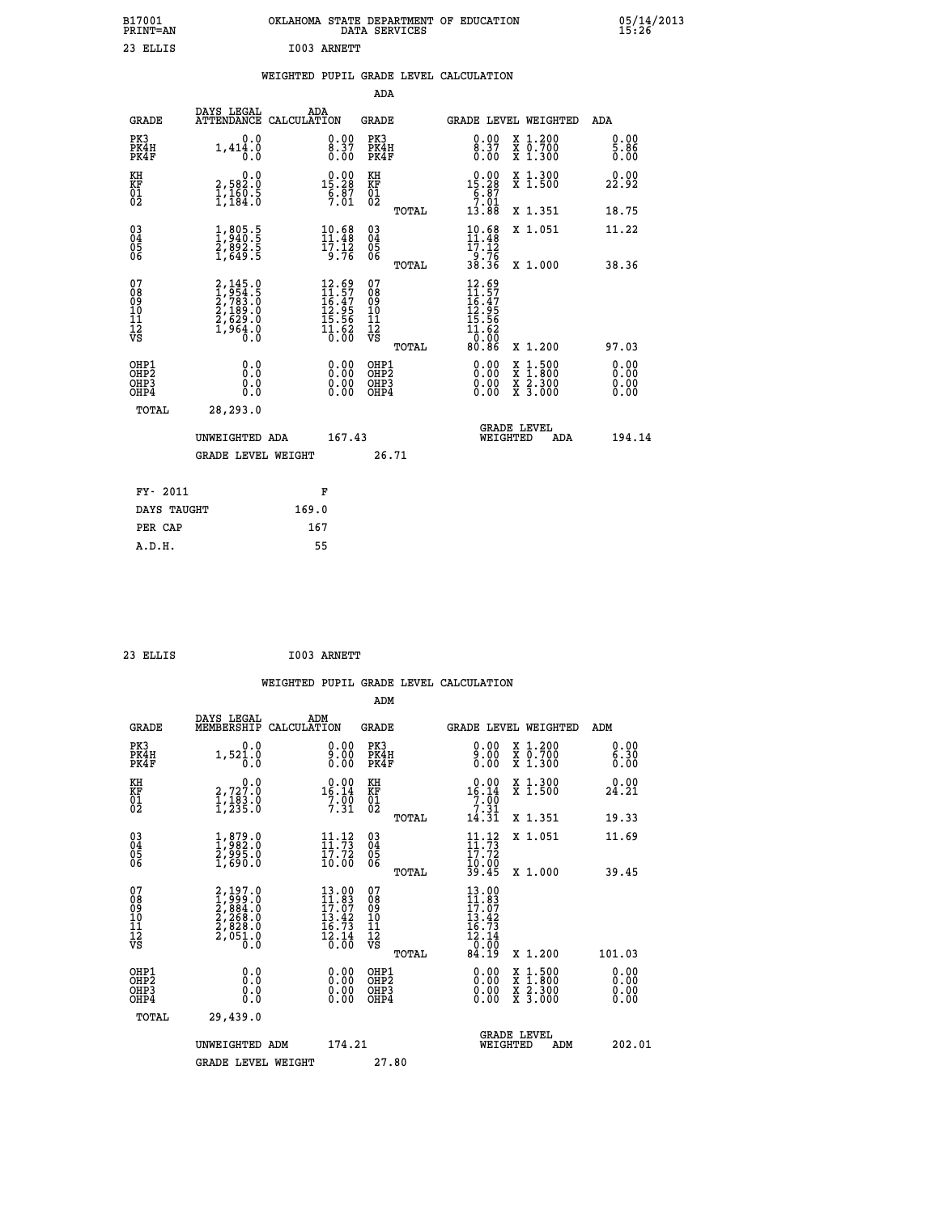| B17001<br>PRINT=AN                                 |                                                                                                  |                                                                                                                                             |                                                          | OKLAHOMA STATE DEPARTMENT OF EDUCATION DATA SERVICES                                                |                                                                                                                                           | $05/14/2013$<br>15:26 |  |
|----------------------------------------------------|--------------------------------------------------------------------------------------------------|---------------------------------------------------------------------------------------------------------------------------------------------|----------------------------------------------------------|-----------------------------------------------------------------------------------------------------|-------------------------------------------------------------------------------------------------------------------------------------------|-----------------------|--|
| 23 ELLIS                                           |                                                                                                  | I003 ARNETT                                                                                                                                 |                                                          |                                                                                                     |                                                                                                                                           |                       |  |
|                                                    |                                                                                                  |                                                                                                                                             |                                                          | WEIGHTED PUPIL GRADE LEVEL CALCULATION                                                              |                                                                                                                                           |                       |  |
|                                                    |                                                                                                  |                                                                                                                                             | ADA                                                      |                                                                                                     |                                                                                                                                           |                       |  |
| <b>GRADE</b>                                       | DAYS LEGAL<br>ATTENDANCE CALCULATION                                                             | ADA                                                                                                                                         | GRADE                                                    | <b>GRADE LEVEL WEIGHTED</b>                                                                         |                                                                                                                                           | ADA                   |  |
| PK3<br>PK4H<br>PK4F                                | 0.0<br>1,414.0<br>0.0                                                                            | 0.00<br>$\begin{smallmatrix} 8.37 \ 0.00 \end{smallmatrix}$                                                                                 | PK3<br>PK4H<br>PK4F                                      | 8.99<br>0.00                                                                                        | X 1.200<br>X 0.700<br>X 1.300                                                                                                             | 0.00<br>5.86<br>0.00  |  |
| KH<br>KF<br>01<br>02                               | 0.0<br>2,582:0<br>1,160:5<br>1,184:0                                                             | $\begin{smallmatrix} 0.00\\15.28\\6.87\\7.01 \end{smallmatrix}$                                                                             | KH<br>KF<br>01<br>02                                     | 15.28<br>$\frac{6}{7}$ : $\frac{87}{13}$<br>13.88                                                   | X 1.300<br>X 1.500                                                                                                                        | 0.00<br>22.92         |  |
|                                                    |                                                                                                  |                                                                                                                                             | TOTAL                                                    |                                                                                                     | X 1.351                                                                                                                                   | 18.75                 |  |
| $\begin{matrix} 03 \\ 04 \\ 05 \\ 06 \end{matrix}$ | $\frac{1}{2}, \frac{805}{940}$<br>$\frac{5}{2}, \frac{892}{892}$<br>$\frac{5}{1}, \frac{649}{5}$ | $\begin{array}{l} 10.68 \\[-4pt] 11.48 \\[-4pt] 17.12 \\[-4pt] 9.76 \end{array}$                                                            | 03<br>04<br>05<br>06                                     | $10.68$<br>$11.48$<br>$\frac{17.12}{9.76}$<br>38.36                                                 | X 1.051                                                                                                                                   | 11.22                 |  |
| 07<br>08<br>09<br>11<br>11<br>12<br>VS             | 2,145.0<br>1,954.5<br>2,783.0<br>2,189.0<br>2,629.0<br>1,964.0<br>0.0                            | $\begin{array}{r} 12.69 \\[-2pt] 11.57 \\[-2pt] 16.47 \\[-2pt] 12.95 \\[-2pt] 15.56 \\[-2pt] 15.56 \\[-2pt] 1.62 \\[-2pt] 0.00 \end{array}$ | TOTAL<br>07<br>08<br>09<br>10<br>11<br>12<br>VS<br>TOTAL | 12.69<br>$\begin{array}{c} 11.57 \\ 16.47 \\ 12.95 \\ 15.56 \end{array}$<br>11.62<br>50.0T<br>80.86 | X 1.000<br>X 1.200                                                                                                                        | 38.36<br>97.03        |  |
| OHP1<br>OH <sub>P</sub> 2<br>OHP3<br>OHP4          | 0.0<br>Ŏ.Ŏ<br>0.0<br>0.0                                                                         | 0.00<br>0.00<br>0.00                                                                                                                        | OHP1<br>OH <sub>P</sub> 2<br>OHP3<br>OHP4                | 0.00<br>0.00<br>0.00                                                                                | $\begin{smallmatrix} \mathtt{X} & 1\cdot500\\ \mathtt{X} & 1\cdot800\\ \mathtt{X} & 2\cdot300\\ \mathtt{X} & 3\cdot000 \end{smallmatrix}$ | 0.00<br>0.00<br>0.00  |  |
| <b>TOTAL</b>                                       | 28,293.0                                                                                         |                                                                                                                                             |                                                          |                                                                                                     |                                                                                                                                           |                       |  |
|                                                    | UNWEIGHTED ADA<br><b>GRADE LEVEL WEIGHT</b>                                                      | 167.43                                                                                                                                      | 26.71                                                    | <b>GRADE LEVEL</b><br>WEIGHTED                                                                      | ADA                                                                                                                                       | 194.14                |  |

| FY- 2011    | F     |
|-------------|-------|
| DAYS TAUGHT | 169.0 |
| PER CAP     | 167   |
| A.D.H.      | 55    |
|             |       |

| 23 ELLIS | I003 ARNETT |
|----------|-------------|

| <b>GRADE</b>                                         | DAYS LEGAL<br>MEMBERSHIP                                                                                                                   | ADM<br>CALCULATION                                                                                                            | <b>GRADE</b>                                       |       | <b>GRADE LEVEL WEIGHTED</b>                                                                                                                                                                                                                                                    |                                                                                                                                           | ADM                  |  |
|------------------------------------------------------|--------------------------------------------------------------------------------------------------------------------------------------------|-------------------------------------------------------------------------------------------------------------------------------|----------------------------------------------------|-------|--------------------------------------------------------------------------------------------------------------------------------------------------------------------------------------------------------------------------------------------------------------------------------|-------------------------------------------------------------------------------------------------------------------------------------------|----------------------|--|
| PK3<br>PK4H<br>PK4F                                  | 0.0<br>1,521.0<br>0.0                                                                                                                      | 9:00<br>0.00                                                                                                                  | PK3<br>PK4H<br>PK4F                                |       | $0.00$<br>$9.00$<br>0.00                                                                                                                                                                                                                                                       | X 1.200<br>X 0.700<br>X 1.300                                                                                                             | 0.00<br>6.30<br>0.00 |  |
| KH<br>KF<br>01<br>02                                 | $\begin{smallmatrix}&&&0\, .\, 0\, ,\,2\, ,\,7\, 2\, 7\, .\, 0\, ,\,1\, ,\,1\, 8\, 3\, .\, 0\, ,\,2\, 3\, 5\, .\, 0\, . \end{smallmatrix}$ | $\begin{array}{r} 0.00 \\ 16.14 \\ 7.90 \\ 7.31 \end{array}$                                                                  | KH<br>KF<br>01<br>02                               |       | $\begin{array}{r} 0.00 \\ 16.14 \\ 7.00 \\ 7.31 \\ 14.31 \end{array}$                                                                                                                                                                                                          | X 1.300<br>X 1.500                                                                                                                        | 0.00<br>24.21        |  |
|                                                      |                                                                                                                                            |                                                                                                                               |                                                    | TOTAL |                                                                                                                                                                                                                                                                                | X 1.351                                                                                                                                   | 19.33                |  |
| 03<br>04<br>05<br>06                                 | $\begin{smallmatrix} 1, 879.0\\ 1, 982.0\\ 2, 995.0\\ 1, 690.0 \end{smallmatrix}$                                                          | $\begin{array}{c} 11\cdot 12\\ 11\cdot 73\\ 17\cdot 72\\ 10\cdot 00 \end{array}$                                              | $\begin{matrix} 03 \\ 04 \\ 05 \\ 06 \end{matrix}$ |       | $11.73$<br>$17.72$<br>$10.00$<br>$39.45$                                                                                                                                                                                                                                       | X 1.051                                                                                                                                   | 11.69                |  |
|                                                      |                                                                                                                                            |                                                                                                                               |                                                    | TOTAL |                                                                                                                                                                                                                                                                                | X 1.000                                                                                                                                   | 39.45                |  |
| 07<br>08<br>09<br>11<br>11<br>12<br>VS               | $2,197.0$<br>$1,999.0$<br>$2,884.0$<br>$2,268.0$<br>$2,828.0$<br>$2,051.0$<br>$0.0$                                                        | $\begin{array}{r} 13.00 \\[-4pt] 11.83 \\[-4pt] 17.07 \\[-4pt] 13.42 \\[-4pt] 16.73 \\[-4pt] 12.14 \\[-4pt] 0.00 \end{array}$ | 07<br>08<br>09<br>11<br>11<br>12<br>VS             | TOTAL | $\begin{array}{c} 13\cdot 00 \\ 11\cdot 83 \\ 17\cdot 07 \\ 13\cdot 42 \\ 16\cdot 73 \\ 12\cdot 14 \\ 0\cdot 00 \\ 84\cdot 19 \end{array}$                                                                                                                                     | X 1.200                                                                                                                                   | 101.03               |  |
| OHP1<br>OH <sub>P</sub> <sub>2</sub><br>OHP3<br>OHP4 | 0.0<br>0.0<br>0.0                                                                                                                          |                                                                                                                               | OHP1<br>OHP <sub>2</sub><br>OHP3<br>OHP4           |       | $\begin{smallmatrix} 0.00 & 0.00 & 0.00 & 0.00 & 0.00 & 0.00 & 0.00 & 0.00 & 0.00 & 0.00 & 0.00 & 0.00 & 0.00 & 0.00 & 0.00 & 0.00 & 0.00 & 0.00 & 0.00 & 0.00 & 0.00 & 0.00 & 0.00 & 0.00 & 0.00 & 0.00 & 0.00 & 0.00 & 0.00 & 0.00 & 0.00 & 0.00 & 0.00 & 0.00 & 0.00 & 0.0$ | $\begin{smallmatrix} \mathtt{X} & 1\cdot500\\ \mathtt{X} & 1\cdot800\\ \mathtt{X} & 2\cdot300\\ \mathtt{X} & 3\cdot000 \end{smallmatrix}$ | 0.00<br>0.00<br>0.00 |  |
| TOTAL                                                | 29,439.0                                                                                                                                   |                                                                                                                               |                                                    |       |                                                                                                                                                                                                                                                                                |                                                                                                                                           |                      |  |
|                                                      | UNWEIGHTED ADM                                                                                                                             | 174.21                                                                                                                        |                                                    |       | <b>GRADE LEVEL</b><br>WEIGHTED                                                                                                                                                                                                                                                 | ADM                                                                                                                                       | 202.01               |  |
|                                                      | <b>GRADE LEVEL WEIGHT</b>                                                                                                                  |                                                                                                                               | 27.80                                              |       |                                                                                                                                                                                                                                                                                |                                                                                                                                           |                      |  |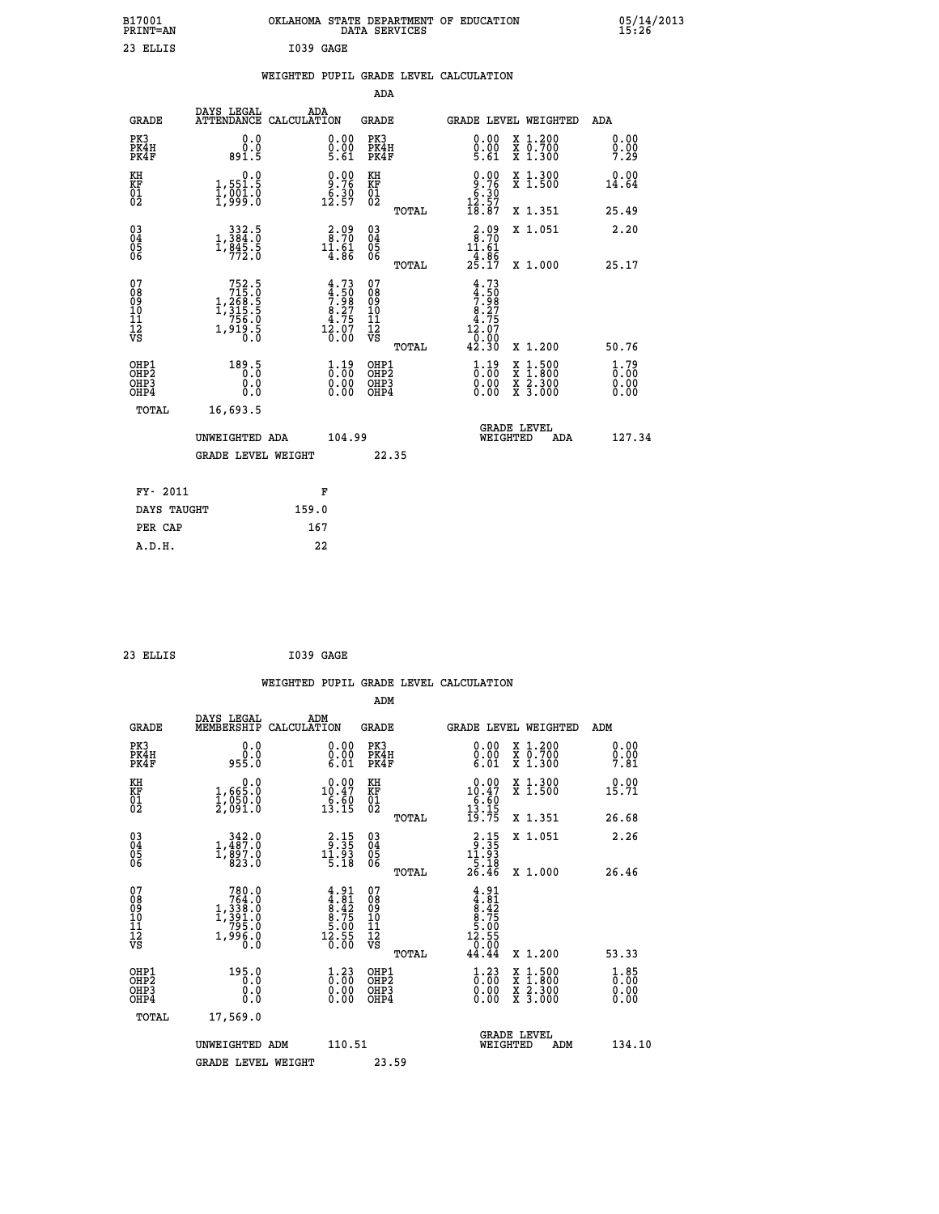| B17001<br>PRINT=AN                                               |                                                                                           | OKLAHOMA STATE DEPARTMENT OF EDUCATION DATA SERVICES               |                                          |                                                                                               |                                                                                                                                           | $05/14/2013$<br>15:26        |
|------------------------------------------------------------------|-------------------------------------------------------------------------------------------|--------------------------------------------------------------------|------------------------------------------|-----------------------------------------------------------------------------------------------|-------------------------------------------------------------------------------------------------------------------------------------------|------------------------------|
| 23 ELLIS                                                         |                                                                                           | I039 GAGE                                                          |                                          |                                                                                               |                                                                                                                                           |                              |
|                                                                  |                                                                                           | WEIGHTED PUPIL GRADE LEVEL CALCULATION                             |                                          |                                                                                               |                                                                                                                                           |                              |
|                                                                  |                                                                                           |                                                                    | <b>ADA</b>                               |                                                                                               |                                                                                                                                           |                              |
| <b>GRADE</b>                                                     | DAYS LEGAL                                                                                | ADA<br>ATTENDANCE CALCULATION                                      | GRADE                                    | <b>GRADE LEVEL WEIGHTED</b>                                                                   | ADA                                                                                                                                       |                              |
| PK3<br>PK4H<br>PK4F                                              | 0.0<br>0.0<br>891.5                                                                       | 0.00<br>5.61                                                       | PK3<br>PK4H<br>PK4F                      | 0.00<br>$0.00$<br>5.61                                                                        | X 1.200<br>X 0.700<br>X 1.300                                                                                                             | 0.00<br>0.00<br>7.29         |
| KH<br>KF<br>01<br>02                                             | 0.0<br>1,551.5<br>1,001.0<br>1,999.0                                                      | 0.00<br>$\frac{9.76}{6.39}$<br>12.57                               | KH<br>KF<br>01<br>02                     | 0.00<br>$\begin{array}{r} 9.76 \\ 6.30 \\ 12.57 \\ 18.87 \end{array}$                         | X 1.300<br>X 1.500                                                                                                                        | 0.00<br>14.64                |
|                                                                  |                                                                                           |                                                                    | TOTAL                                    |                                                                                               | X 1.351                                                                                                                                   | 25.49                        |
| $\begin{matrix} 03 \\ 04 \\ 05 \\ 06 \end{matrix}$               | $\begin{smallmatrix}&&332\\1,384.0\\1,845.5\\772.0\end{smallmatrix}$                      | $\begin{smallmatrix} 2.09\\ 8.70\\ 11.61\\ 4.86 \end{smallmatrix}$ | 03<br>04<br>05<br>06<br>TOTAL            | $2.99$<br>$8.70$<br>11.61<br>$\frac{1}{25}$ : $\frac{8}{5}$                                   | X 1.051<br>X 1.000                                                                                                                        | 2.20<br>25.17                |
| 07<br>08<br>09<br>11<br>11<br>12<br>VS                           | $\begin{smallmatrix}752.5\\715.0\\1,268.5\\1,315.5\\756.0\\1,919.5\\0.0\end{smallmatrix}$ | $4.73$<br>$7.98$<br>$8.27$<br>$4.75$<br>$12.07$<br>$0.00$          | 0789011128<br>TOTAL                      | 4.73<br>$\frac{4.50}{7.98}$<br>8.275<br>$1\overline{2}\cdot 0\overline{7}$<br>$0.00$<br>42.30 | X 1.200                                                                                                                                   | 50.76                        |
| OHP1<br>OH <sub>P</sub> <sub>2</sub><br>OH <sub>P3</sub><br>OHP4 | 189.5<br>0.0<br>0.0                                                                       | $1.19$<br>$0.00$<br>0.00                                           | OHP1<br>OHP <sub>2</sub><br>OHP3<br>OHP4 | $1.19$<br>$0.00$<br>0.00<br>0.00                                                              | $\begin{smallmatrix} \mathtt{X} & 1\cdot500\\ \mathtt{X} & 1\cdot800\\ \mathtt{X} & 2\cdot300\\ \mathtt{X} & 3\cdot000 \end{smallmatrix}$ | 1.79<br>0.00<br>0.00<br>0.00 |
| TOTAL                                                            | 16,693.5                                                                                  |                                                                    |                                          |                                                                                               |                                                                                                                                           |                              |
|                                                                  | UNWEIGHTED ADA<br><b>GRADE LEVEL WEIGHT</b>                                               | 104.99                                                             | 22.35                                    | <b>GRADE LEVEL</b><br>WEIGHTED                                                                | ADA                                                                                                                                       | 127.34                       |
| FY- 2011                                                         |                                                                                           | F                                                                  |                                          |                                                                                               |                                                                                                                                           |                              |

| 23 ELLIS | I039 GAGE |  |
|----------|-----------|--|
|          |           |  |

 **DAYS TAUGHT 159.0 PER CAP 167 A.D.H. 22**

 **WEIGHTED PUPIL GRADE LEVEL CALCULATION ADM DAYS LEGAL ADM GRADE MEMBERSHIP CALCULATION GRADE GRADE LEVEL WEIGHTED ADM PK3 0.0 0.00 PK3 0.00 X 1.200 0.00 PK4H 0.0 0.00 PK4H 0.00 X 0.700 0.00 PK4F 955.0 6.01 PK4F 6.01 X 1.300 7.81 KH 0.0 0.00 KH 0.00 X 1.300 0.00 KF 1,665.0 10.47 KF 10.47 X 1.500 15.71** 01 1,050.0 6.60 01 **6.60**<br>02 2,091.0 13.15 02 <sub>nomas</sub> 13.15  **TOTAL 19.75 X 1.351 26.68 03 342.0 2.15 03 2.15 X 1.051 2.26 04 1,487.0 9.35 04 9.35 05 1,897.0 11.93 05 11.93 06 823.0 5.18 06 5.18 TOTAL 26.46 X 1.000 26.46** 07 780.0 4.91 07 4.91<br>
08 764.0 4.81 08 4.82<br>
10 1,338.0 8.42 09 8.42<br>
10 1,391.0 8.75 10 8.75<br>
11 1,995.0 12.55 12<br>
VS 1,996.0 16.56 VS 0.000  **TOTAL 44.44 X 1.200 53.33 OHP1 195.0 1.23 OHP1 1.23 X 1.500 1.85 OHP2 0.0 0.00 OHP2 0.00 X 1.800 0.00 OHP3 0.0 0.00 OHP3 0.00 X 2.300 0.00 OHP4 0.0 0.00 OHP4 0.00 X 3.000 0.00 TOTAL 17,569.0** UNWEIGHTED ADM 110.51  **GRADE LEVEL<br>WEIGHTED ADM 134.10** GRADE LEVEL WEIGHT 23.59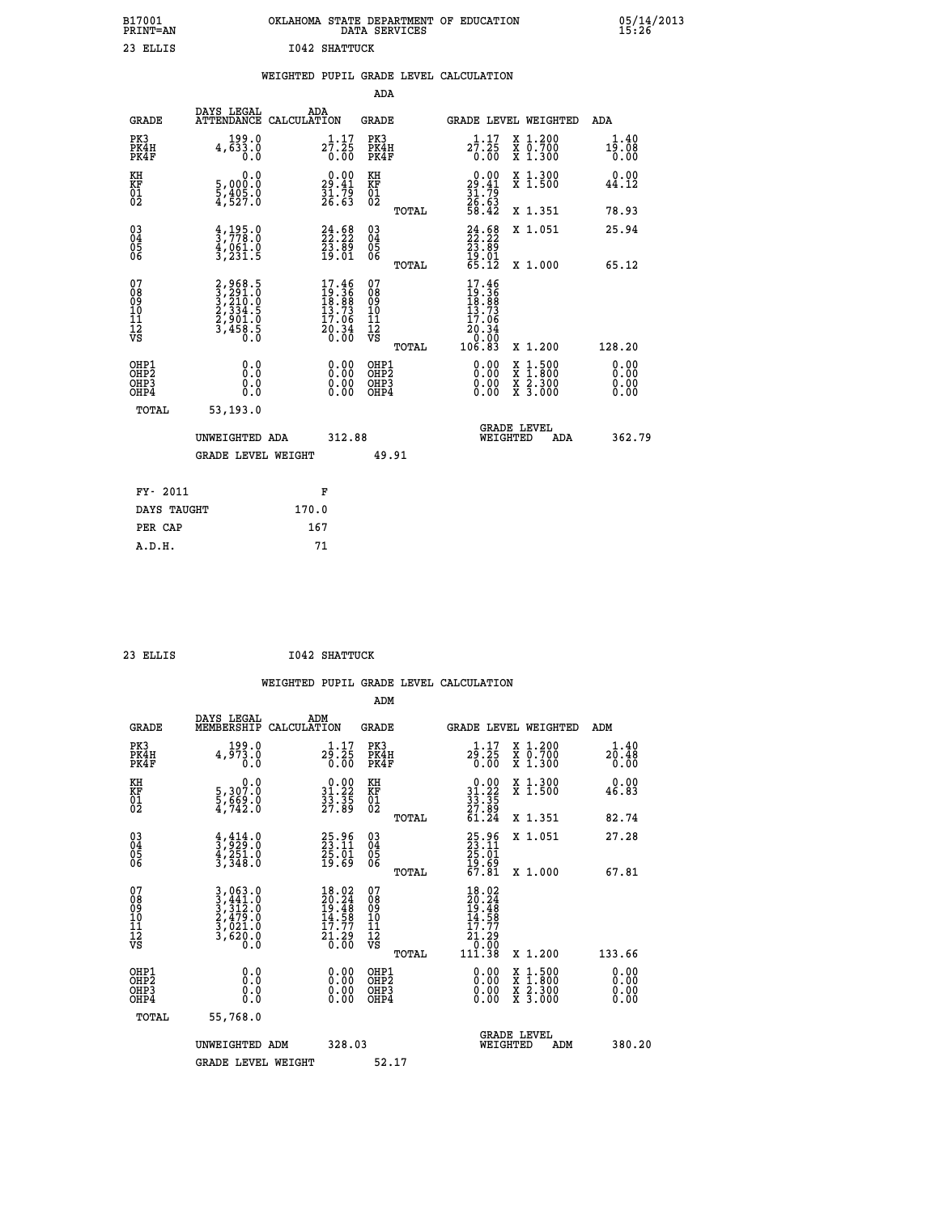| B17001<br><b>PRINT=AN</b> | OKLAHOMA STATE DEPARTMENT OF EDUCATION<br>DATA SERVICES | 05/14/2013<br>15:26 |
|---------------------------|---------------------------------------------------------|---------------------|
| 23<br>ELLIS               | <b>I042 SHATTUCK</b>                                    |                     |

|  |  | WEIGHTED PUPIL GRADE LEVEL CALCULATION |
|--|--|----------------------------------------|
|  |  |                                        |

|                                                                    |                                                                                     |                                                                          | ADA                                                          |                                                                                                              |                                        |
|--------------------------------------------------------------------|-------------------------------------------------------------------------------------|--------------------------------------------------------------------------|--------------------------------------------------------------|--------------------------------------------------------------------------------------------------------------|----------------------------------------|
| <b>GRADE</b>                                                       | DAYS LEGAL<br>ATTENDANCE CALCULATION                                                | ADA                                                                      | <b>GRADE</b>                                                 | GRADE LEVEL WEIGHTED                                                                                         | <b>ADA</b>                             |
| PK3<br>PK4H<br>PK4F                                                | 4, 199.0<br>0.0                                                                     | $2\overline{7}\,:\, 2\overline{5}\, \atop 0\,:\, 0\, \overline{0}$       | PK3<br>PK4H<br>PK4F                                          | 1.17<br>X 1.200<br>X 0.700<br>X 1.300<br>$27.25$<br>0.00                                                     | 1.40<br>19.08<br>0.00                  |
| KH<br>KF<br>01<br>02                                               | 0.0<br>5,000:0<br>5,405:0<br>4,527:0                                                | $\begin{smallmatrix} 0.00\\29.41\\31.79\\26.63\\ \end{smallmatrix}$      | KH<br>KF<br>01<br>02                                         | $\begin{array}{r} 0.00 \\ 29.41 \\ 31.79 \\ 26.63 \\ 58.42 \end{array}$<br>X 1.300<br>X 1.500                | 0.00<br>44.12                          |
|                                                                    |                                                                                     |                                                                          | TOTAL                                                        | X 1.351                                                                                                      | 78.93                                  |
| $\begin{smallmatrix} 03 \\[-4pt] 04 \end{smallmatrix}$<br>Ŏ5<br>06 | $\frac{4}{3}, \frac{195}{778}.0$<br>$\frac{4}{3}, \frac{061}{231}.5$                | 24.58<br>$\frac{23.89}{19.01}$                                           | $\begin{array}{c} 03 \\ 04 \\ 05 \\ 06 \end{array}$<br>TOTAL | $24.58$<br>$22.22$<br>$23.89$<br>$19.01$<br>$65.12$<br>X 1.051<br>X 1.000                                    | 25.94<br>65.12                         |
| 07<br>08<br>09<br>11<br>11<br>12<br>VS                             | $2,968.5$<br>$3,291.0$<br>$3,210.0$<br>$2,334.5$<br>$2,901.0$<br>$3,458.5$<br>$0.0$ | $17.46$<br>$19.36$<br>$18.88$<br>$13.73$<br>$17.06$<br>$20.34$<br>$0.00$ | 07<br>08<br>09<br>11<br>11<br>12<br>VS                       | $\begin{smallmatrix} 17.46 \\ 19.36 \\ 18.88 \\ 13.73 \\ 17.06 \\ 20.34 \\ 0.00 \\ 106.83 \end{smallmatrix}$ |                                        |
| OHP1<br>OHP <sub>2</sub><br>OHP3<br>OHP4                           | 0.0<br>0.0<br>0.0                                                                   | 0.00<br>$\begin{smallmatrix} 0.00 \ 0.00 \end{smallmatrix}$              | TOTAL<br>OHP1<br>OH <sub>P</sub> 2<br>OHP3<br>OHP4           | X 1.200<br>0.00<br>$1:500$<br>$1:800$<br>X<br>0.00<br>$\frac{x}{x}$ $\frac{5:300}{3:000}$<br>0.00            | 128.20<br>0.00<br>0.00<br>0.00<br>0.00 |
| TOTAL                                                              | 53,193.0<br>UNWEIGHTED ADA                                                          | 312.88                                                                   |                                                              | <b>GRADE LEVEL</b><br>WEIGHTED<br>ADA                                                                        | 362.79                                 |
|                                                                    | <b>GRADE LEVEL WEIGHT</b>                                                           |                                                                          | 49.91                                                        |                                                                                                              |                                        |
| FY- 2011                                                           |                                                                                     | F                                                                        |                                                              |                                                                                                              |                                        |
| DAYS TAUGHT                                                        |                                                                                     | 170.0                                                                    |                                                              |                                                                                                              |                                        |
| PER CAP                                                            |                                                                                     | 167                                                                      |                                                              |                                                                                                              |                                        |

| .т<br>٠ |  |
|---------|--|
|         |  |

 **A.D.H. 71**

 **ADM**

 **23 ELLIS I042 SHATTUCK**

| <b>GRADE</b>                                       | DAYS LEGAL<br>MEMBERSHIP CALCULATION                                                                                                          | ADM                                                                                          | <b>GRADE</b>                                        |                                                                                                                                                                                                                                                                                | GRADE LEVEL WEIGHTED                     | ADM                   |
|----------------------------------------------------|-----------------------------------------------------------------------------------------------------------------------------------------------|----------------------------------------------------------------------------------------------|-----------------------------------------------------|--------------------------------------------------------------------------------------------------------------------------------------------------------------------------------------------------------------------------------------------------------------------------------|------------------------------------------|-----------------------|
| PK3<br>PK4H<br>PK4F                                | 4, 199.0<br>0.0                                                                                                                               | 1.17<br>29.25<br>0.00                                                                        | PK3<br>PK4H<br>PK4F                                 | 1.17<br>29.25<br>0.00                                                                                                                                                                                                                                                          | X 1.200<br>X 0.700<br>X 1.300            | 1.40<br>20.48<br>0.00 |
| KH<br>KF<br>01<br>02                               | $\begin{smallmatrix}&&&0.0\\5\,,&307.0\\5\,,&669.0\\4\,,&742.0\end{smallmatrix}$                                                              | $\begin{smallmatrix} 0.00\\ 31.22\\ 33.35\\ 27.89 \end{smallmatrix}$                         | KH<br>KF<br>01<br>02                                | $\begin{array}{r} 0.00 \\ 31.22 \\ 33.35 \\ 27.89 \\ 61.24 \end{array}$                                                                                                                                                                                                        | X 1.300<br>X 1.500                       | 0.00<br>46.83         |
|                                                    |                                                                                                                                               |                                                                                              | TOTAL                                               |                                                                                                                                                                                                                                                                                | X 1.351                                  | 82.74                 |
| $\begin{matrix} 03 \\ 04 \\ 05 \\ 06 \end{matrix}$ | $\frac{4}{3}, \frac{414}{929}.0$<br>$\frac{4}{3}, \frac{251}{36}$ .0<br>$\frac{3}{3}, \frac{348}{30}$                                         | 25.96<br>23.11<br>25.01<br>19.69                                                             | $\begin{array}{c} 03 \\ 04 \\ 05 \\ 06 \end{array}$ | 25.96<br>23.11<br>25.01<br>29.69<br>57.81                                                                                                                                                                                                                                      | X 1.051                                  | 27.28                 |
|                                                    |                                                                                                                                               |                                                                                              | TOTAL                                               |                                                                                                                                                                                                                                                                                | X 1.000                                  | 67.81                 |
| 07<br>08<br>09<br>101<br>11<br>12<br>VS            | $\begin{smallmatrix} 3\,,\,063\,.0\\ 3\,,\,441\,.0\\ 3\,,\,312\,.0\\ 2\,,\,479\,.0\\ 3\,,\,021\,.0\\ 3\,,\,620\,.0\\ 0\,.0 \end{smallmatrix}$ | $\begin{smallmatrix} 18.02\\ 20.24\\ 19.48\\ 14.58\\ 17.77\\ 21.29\\ 0.00 \end{smallmatrix}$ | 078<br>089<br>0011<br>11<br>12<br>VS<br>TOTAL       | $18.02$<br>$20.24$<br>$19.48$<br>$14.58$<br>$17.77$<br>$21.29$<br>$19.90$<br>111.38                                                                                                                                                                                            | X 1.200                                  | 133.66                |
| OHP1<br>OHP2<br>OHP3<br>OHP4                       | 0.0<br>0.000                                                                                                                                  |                                                                                              | OHP1<br>OHP2<br>OHP3<br>OHP4                        | $\begin{smallmatrix} 0.00 & 0.00 & 0.00 & 0.00 & 0.00 & 0.00 & 0.00 & 0.00 & 0.00 & 0.00 & 0.00 & 0.00 & 0.00 & 0.00 & 0.00 & 0.00 & 0.00 & 0.00 & 0.00 & 0.00 & 0.00 & 0.00 & 0.00 & 0.00 & 0.00 & 0.00 & 0.00 & 0.00 & 0.00 & 0.00 & 0.00 & 0.00 & 0.00 & 0.00 & 0.00 & 0.0$ | X 1:500<br>X 1:800<br>X 2:300<br>X 3:000 | 0.00<br>0.00<br>0.00  |
| TOTAL                                              | 55,768.0                                                                                                                                      |                                                                                              |                                                     |                                                                                                                                                                                                                                                                                |                                          |                       |
|                                                    | UNWEIGHTED<br>ADM                                                                                                                             | 328.03                                                                                       |                                                     | WEIGHTED                                                                                                                                                                                                                                                                       | <b>GRADE LEVEL</b><br>ADM                | 380.20                |
|                                                    | <b>GRADE LEVEL WEIGHT</b>                                                                                                                     |                                                                                              | 52.17                                               |                                                                                                                                                                                                                                                                                |                                          |                       |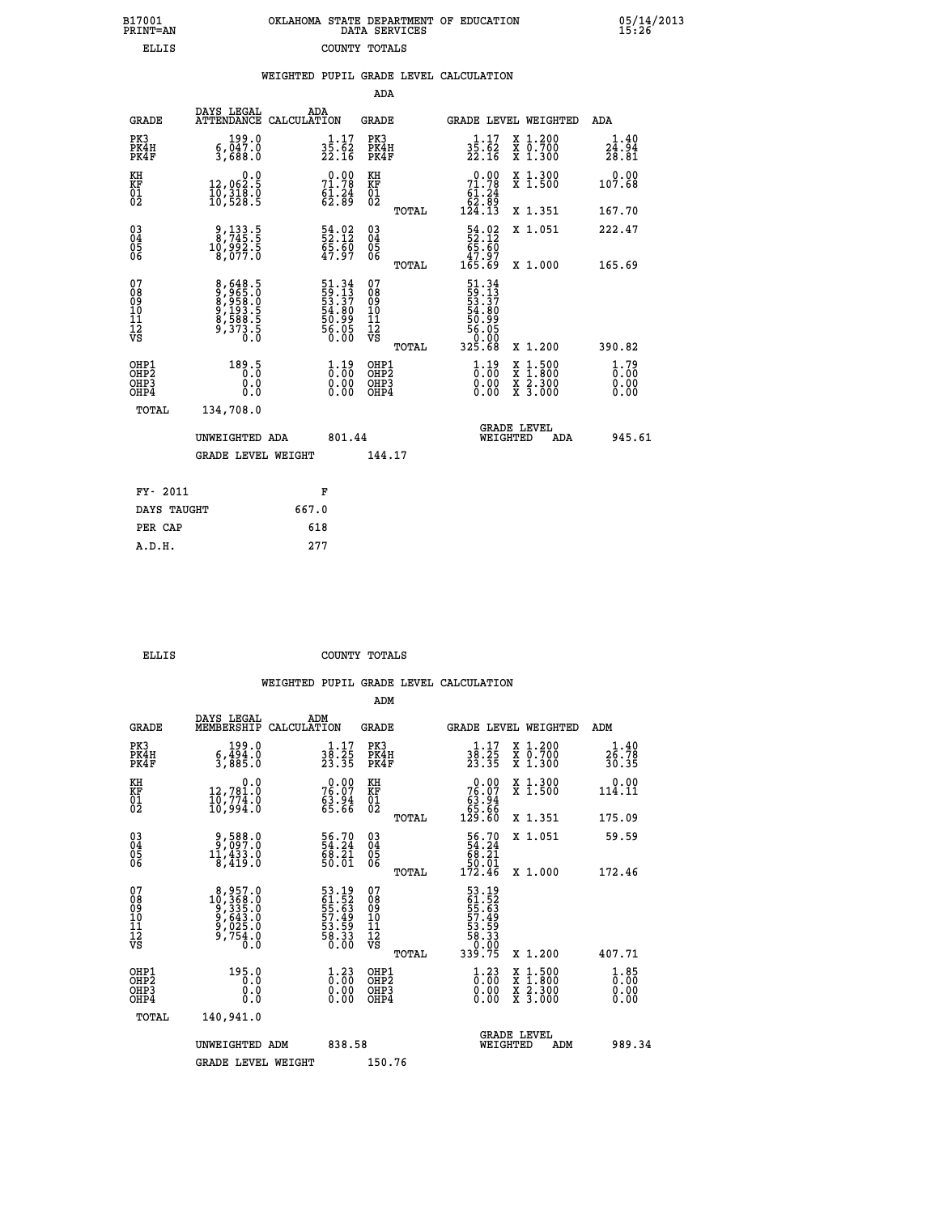| B17001          | OKLAHOMA STATE DEPARTMENT OF EDUCATION |
|-----------------|----------------------------------------|
| <b>PRINT=AN</b> | DATA SERVICES                          |
| ELLIS           | COUNTY TOTALS                          |

| B17001<br>PRINT-AN                                 |                                                              |                                                                                |                                                     | OKLAHOMA STATE DEPARTMENT OF EDUCATION DATA SERVICES                           |                                                                                          | 15.26                                     |
|----------------------------------------------------|--------------------------------------------------------------|--------------------------------------------------------------------------------|-----------------------------------------------------|--------------------------------------------------------------------------------|------------------------------------------------------------------------------------------|-------------------------------------------|
| <b>ELLIS</b>                                       |                                                              |                                                                                | COUNTY TOTALS                                       |                                                                                |                                                                                          |                                           |
|                                                    |                                                              |                                                                                | WEIGHTED PUPIL GRADE LEVEL CALCULATION              |                                                                                |                                                                                          |                                           |
|                                                    |                                                              |                                                                                | ADA                                                 |                                                                                |                                                                                          |                                           |
| <b>GRADE</b>                                       | DAYS LEGAL<br><b>ATTENDANCE</b><br>CALCULATION               | ADA                                                                            | <b>GRADE</b>                                        | GRADE LEVEL WEIGHTED                                                           |                                                                                          | ADA                                       |
| PK3<br>PK4H<br>PK4F                                | 6,047.0<br>3,688.0                                           | $3\overline{5}\cdot\overline{62}\atop 22.16$                                   | PK3<br>PK4H<br>PK4F                                 | $3\overline{5}\cdot\overline{6}2\over 22.16$                                   | X 1.200<br>X 0.700<br>X 1.300                                                            | $\frac{1 \cdot 40}{24 \cdot 94}$<br>28.81 |
| KH<br>KF<br>01<br>02                               | 0.0<br>12,062:5<br>10,318:0<br>10,528:5                      | $71.78$<br>$61.24$<br>$62.89$                                                  | KH<br>KF<br>01<br>02                                | $\begin{smallmatrix}&&0.00\\71.78\\61.24\\62.89\\124.13\end{smallmatrix}$      | X 1.300<br>X 1.500                                                                       | 0.00<br>107.68                            |
|                                                    |                                                              |                                                                                | TOTAL                                               |                                                                                | X 1.351                                                                                  | 167.70                                    |
| $\begin{matrix} 03 \\ 04 \\ 05 \\ 06 \end{matrix}$ | 9, 133.5<br>8, 745.5<br>10, 992.5<br>8, 077.0                | 54.02<br>52.12<br>65.60<br>47.97                                               | $\begin{array}{c} 03 \\ 04 \\ 05 \\ 06 \end{array}$ | $\begin{array}{r} 54.02 \\ 52.12 \\ 65.60 \\ 47.97 \\ 165.69 \end{array}$      | X 1.051                                                                                  | 222.47                                    |
|                                                    |                                                              |                                                                                | TOTAL                                               |                                                                                | X 1.000                                                                                  | 165.69                                    |
| 07<br>0890112<br>1112<br>VS                        | 8,648.5<br>9655.0<br>9658.0<br>8,958.5<br>9,373.5<br>9,373.5 | 51.34<br>59.13<br>53.37<br>54.80<br>56.99<br>56.05<br>56.00                    | 07<br>08901112<br>1112<br>VS<br>TOTAL               | $51.34$<br>$59.137$<br>$53.37$<br>$54.809$<br>$56.050$<br>$56.050$<br>$325.68$ | X 1.200                                                                                  | 390.82                                    |
| OHP1<br>OHP2<br>OHP3<br>OHP4                       | 189.5<br>0.000                                               | $\begin{smallmatrix} 1\cdot 19\0\cdot 00\0\cdot 00\0\cdot 00\end{smallmatrix}$ | OHP1<br>OHP2<br>OHP <sub>3</sub>                    | $\begin{smallmatrix} 1\cdot 19\0\cdot 00\0\cdot 00\0\cdot 00\end{smallmatrix}$ | $\begin{smallmatrix} x & 1.500 \\ x & 1.800 \\ x & 2.300 \\ x & 3.000 \end{smallmatrix}$ | $1.79$<br>$0.00$<br>0.00                  |
| TOTAL                                              | 134,708.0                                                    |                                                                                |                                                     |                                                                                |                                                                                          |                                           |
|                                                    | UNWEIGHTED ADA                                               | 801.44                                                                         |                                                     | GRADE LEVEL<br>WEIGHTED                                                        | ADA                                                                                      | 945.61                                    |
|                                                    | <b>GRADE LEVEL WEIGHT</b>                                    |                                                                                | 144.17                                              |                                                                                |                                                                                          |                                           |

| FY- 2011    | F     |
|-------------|-------|
| DAYS TAUGHT | 667.0 |
| PER CAP     | 618   |
| A.D.H.      | 277   |
|             |       |

 **ELLIS COUNTY TOTALS**

|                                           |                                                                                                          |                                                                                | ADM                                                |                                                                            |                                          |                                                        |
|-------------------------------------------|----------------------------------------------------------------------------------------------------------|--------------------------------------------------------------------------------|----------------------------------------------------|----------------------------------------------------------------------------|------------------------------------------|--------------------------------------------------------|
| <b>GRADE</b>                              | DAYS LEGAL<br>MEMBERSHIP                                                                                 | ADM<br>CALCULATION                                                             | <b>GRADE</b>                                       |                                                                            | GRADE LEVEL WEIGHTED                     | ADM                                                    |
| PK3<br>PK4H<br>PK4F                       | 199.0<br>$\frac{6}{3}, \frac{454}{885}$ .0                                                               | $\frac{1}{38}$ : $\frac{17}{25}$<br>23.35                                      | PK3<br>PK4H<br>PK4F                                | $\frac{1 \cdot 17}{23 \cdot 25}$<br>23.35                                  | X 1.200<br>X 0.700<br>X 1.300            | 26.78<br>30.35                                         |
| KH<br>KF<br>01<br>02                      | 0.0<br>12,781.0<br>10,774.0<br>10,994.0                                                                  | $76.07$<br>$76.07$<br>$63.94$<br>$65.66$                                       | KH<br>KF<br>01<br>02                               | $\begin{smallmatrix} &0.00\ 76.07\ 63.94\ 65.66\ 129.60 \end{smallmatrix}$ | X 1.300<br>X 1.500                       | $0.00$<br>114.11                                       |
|                                           |                                                                                                          |                                                                                | TOTAL                                              |                                                                            | X 1.351                                  | 175.09                                                 |
| 03<br>04<br>05<br>06                      | 0.588<br>0.797.0<br>0.333.2<br>8,419.0                                                                   | $\begin{smallmatrix} 56.70\ 54.24\ 68.21\ 50.01 \end{smallmatrix}$             | $\begin{matrix} 03 \\ 04 \\ 05 \\ 06 \end{matrix}$ | $\begin{array}{r} 56.70 \\ 54.24 \\ 68.21 \\ 50.01 \\ 172.46 \end{array}$  | X 1.051                                  | 59.59                                                  |
|                                           |                                                                                                          |                                                                                | TOTAL                                              |                                                                            | X 1.000                                  | 172.46                                                 |
| 07<br>08<br>09<br>101<br>112<br>VS        | $\begin{smallmatrix} 8,957.0\\ 10,368.0\\ 9,335.0\\ 9,643.0\\ 9,025.0\\ 9,754.0\\ 0.0 \end{smallmatrix}$ | 53.19<br>61.52<br>55.63<br>57.49<br>53.59<br>58.33<br>58.33                    | 07<br>08<br>09<br>11<br>11<br>12<br>VS<br>TOTAL    | 53.19<br>61.52<br>55.639<br>57.499<br>53.38<br>58.330<br>58.330<br>339.75  | X 1.200                                  | 407.71                                                 |
| OHP1<br>OHP2<br>OH <sub>P</sub> 3<br>OHP4 | 195.0<br>0.0<br>0.000                                                                                    | $\begin{smallmatrix} 1\cdot 23\0\cdot 00\0\cdot 00\0\cdot 00\end{smallmatrix}$ | OHP1<br>OHP2<br>OHP <sub>3</sub>                   | $\begin{smallmatrix} 1.23\ 0.00 \ 0.00 \end{smallmatrix}$<br>0.00          | X 1:500<br>X 1:800<br>X 2:300<br>X 3:000 | $\overset{1}{0}$ : 00<br>$\overset{0}{0}$ : 00<br>0.00 |
| TOTAL                                     | 140,941.0                                                                                                |                                                                                |                                                    |                                                                            |                                          |                                                        |
|                                           | UNWEIGHTED ADM                                                                                           | 838.58                                                                         |                                                    |                                                                            | <b>GRADE LEVEL</b><br>WEIGHTED<br>ADM    | 989.34                                                 |
|                                           | <b>GRADE LEVEL WEIGHT</b>                                                                                |                                                                                | 150.76                                             |                                                                            |                                          |                                                        |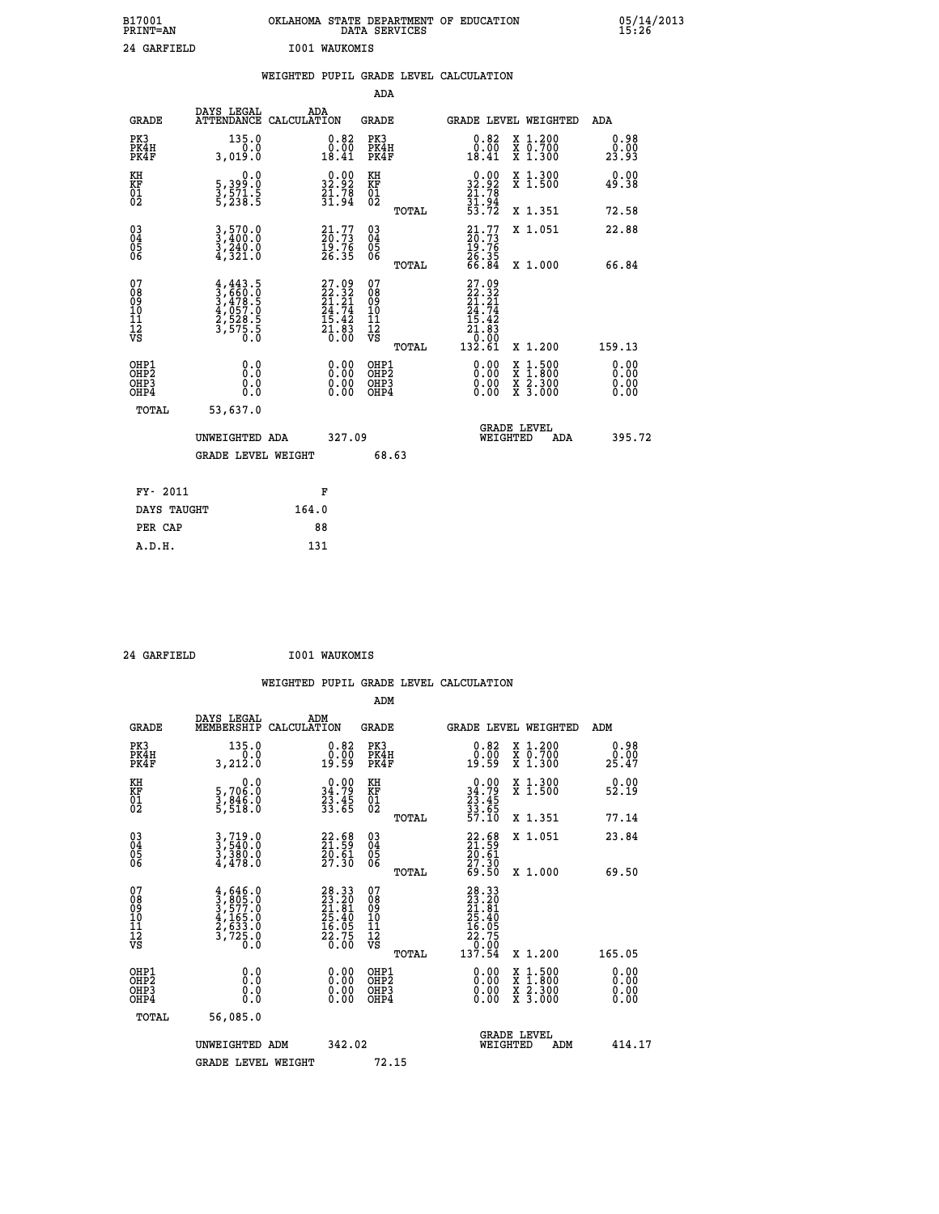| B17001<br>PRINT=AN                                 |                                                                         | OKLAHOMA                                                             |                      | STATE DEPARTMENT OF<br>DATA SERVICES | <b>EDUCATION</b>                                                              |                                 | $\frac{05}{15:26}$ |
|----------------------------------------------------|-------------------------------------------------------------------------|----------------------------------------------------------------------|----------------------|--------------------------------------|-------------------------------------------------------------------------------|---------------------------------|--------------------|
| 24 GARFIELD                                        |                                                                         | <b>I001 WAUKOMIS</b>                                                 |                      |                                      |                                                                               |                                 |                    |
|                                                    |                                                                         | WEIGHTED PUPIL GRADE LEVEL CALCULATION                               |                      |                                      |                                                                               |                                 |                    |
|                                                    |                                                                         |                                                                      | ADA                  |                                      |                                                                               |                                 |                    |
| <b>GRADE</b>                                       | DAYS LEGAL<br><b>ATTENDANCE</b>                                         | ADA<br>CALCULATION                                                   | <b>GRADE</b>         |                                      |                                                                               | GRADE LEVEL WEIGHTED            | ADA                |
| PK3<br>PK4H<br>PK4F                                | 135.0<br>3,019.0                                                        | $0.82$<br>$0.00$<br>18.41                                            | PK3<br>PK4H<br>PK4F  |                                      | $\substack{0.82 \\ 0.00 \\ 18.41}$                                            | X 1.200<br>X 0.700<br>$X$ 1.300 | 0.98<br>23.93      |
| KH<br>KF<br>01<br>02                               | $\begin{smallmatrix}&&&0.0\\5,399.0\\3,571.5\\5,238.5\end{smallmatrix}$ | $\begin{smallmatrix} 0.00\\ 32.92\\ 21.78\\ 31.94 \end{smallmatrix}$ | KH<br>KF<br>01<br>02 |                                      | $\begin{smallmatrix} &0.00\\ 32.92\\ 21.78\\ 31.94\\ 53.72 \end{smallmatrix}$ | X 1.300<br>X 1.500              | 0.00<br>49.38      |
|                                                    |                                                                         |                                                                      |                      | TOTAL                                |                                                                               | X 1.351                         | 72.58              |
| $\begin{matrix} 03 \\ 04 \\ 05 \\ 06 \end{matrix}$ | $3, 570.0$<br>$3, 400.0$<br>$3, 240.0$<br>$4, 321.0$                    | $21.77$<br>$20.73$<br>$19.76$                                        | 03<br>04<br>05<br>06 |                                      | $21.77$<br>$20.73$<br>$19.76$<br>$26.35$                                      | X 1.051                         | 22.88              |
|                                                    |                                                                         | 26.35                                                                |                      | TOTAL                                | 66.84                                                                         | X 1.000                         | 66.84              |
|                                                    |                                                                         |                                                                      |                      |                                      |                                                                               |                                 |                    |

| 078<br>089<br>0910<br>111<br>12<br>VS                | $4,443.5$<br>$3,660.0$<br>$3,478.5$<br>$4,057.0$<br>$2,528.5$<br>$3,575.5$<br>$\ddot{0}$<br>0 | $27.99\n22.321\n24.74\n24.74\n15.42\n21.83\n0.00$ | 07890112<br>0001112<br>VS<br>TOTAL       | $27.99$<br>$22.321$<br>$24.742$<br>$15.42$<br>$21.83$<br>$0.99$<br>132.61                                                                                                                                                                                                      | X 1.200                                                                    | 159.13                                                                                                                                                                                                                                                                         |
|------------------------------------------------------|-----------------------------------------------------------------------------------------------|---------------------------------------------------|------------------------------------------|--------------------------------------------------------------------------------------------------------------------------------------------------------------------------------------------------------------------------------------------------------------------------------|----------------------------------------------------------------------------|--------------------------------------------------------------------------------------------------------------------------------------------------------------------------------------------------------------------------------------------------------------------------------|
| OHP1<br>OHP <sub>2</sub><br>OH <sub>P3</sub><br>OHP4 | 0.0<br>0.000                                                                                  | 0.00<br>0.00<br>0.00                              | OHP1<br>OHP <sub>2</sub><br>OHP3<br>OHP4 | $\begin{smallmatrix} 0.00 & 0.00 & 0.00 & 0.00 & 0.00 & 0.00 & 0.00 & 0.00 & 0.00 & 0.00 & 0.00 & 0.00 & 0.00 & 0.00 & 0.00 & 0.00 & 0.00 & 0.00 & 0.00 & 0.00 & 0.00 & 0.00 & 0.00 & 0.00 & 0.00 & 0.00 & 0.00 & 0.00 & 0.00 & 0.00 & 0.00 & 0.00 & 0.00 & 0.00 & 0.00 & 0.0$ | $\frac{x}{x}$ $\frac{1.500}{1.800}$<br>$X \, 2.300$<br>$X\overline{3.000}$ | $\begin{smallmatrix} 0.00 & 0.00 & 0.00 & 0.00 & 0.00 & 0.00 & 0.00 & 0.00 & 0.00 & 0.00 & 0.00 & 0.00 & 0.00 & 0.00 & 0.00 & 0.00 & 0.00 & 0.00 & 0.00 & 0.00 & 0.00 & 0.00 & 0.00 & 0.00 & 0.00 & 0.00 & 0.00 & 0.00 & 0.00 & 0.00 & 0.00 & 0.00 & 0.00 & 0.00 & 0.00 & 0.0$ |
| TOTAL                                                | 53,637.0<br>UNWEIGHTED ADA<br><b>GRADE LEVEL WEIGHT</b>                                       | 327.09                                            | 68.63                                    |                                                                                                                                                                                                                                                                                | <b>GRADE LEVEL</b><br>WEIGHTED<br>ADA                                      | 395.72                                                                                                                                                                                                                                                                         |
| FY- 2011                                             |                                                                                               | F                                                 |                                          |                                                                                                                                                                                                                                                                                |                                                                            |                                                                                                                                                                                                                                                                                |

| FI- ZUII    | п.    |
|-------------|-------|
| DAYS TAUGHT | 164.0 |
| PER CAP     | 88    |
| A.D.H.      | 131   |
|             |       |

 **24 GARFIELD I001 WAUKOMIS**

 **WEIGHTED PUPIL GRADE LEVEL CALCULATION ADM**

| <b>GRADE</b>                             | DAYS LEGAL<br>MEMBERSHIP                                                            | ADM<br>CALCULATION                                                   | <b>GRADE</b>                                       |       | <b>GRADE LEVEL WEIGHTED</b>                                                                         |                                          | ADM                  |  |
|------------------------------------------|-------------------------------------------------------------------------------------|----------------------------------------------------------------------|----------------------------------------------------|-------|-----------------------------------------------------------------------------------------------------|------------------------------------------|----------------------|--|
| PK3<br>PK4H<br>PK4F                      | 135.0<br>3,212.0                                                                    | $\begin{smallmatrix} 0.82\ 0.00\\ -0.00 \end{smallmatrix}$           | PK3<br>PK4H<br>PK4F                                |       | $\begin{smallmatrix} 0.82\ 0.00 \ 19.59 \end{smallmatrix}$                                          | X 1.200<br>X 0.700<br>X 1.300            | 0.98<br>25.47        |  |
| KH<br>KF<br>01<br>02                     | 0.0<br>5,706:0<br>3,846:0<br>5,518:0                                                | $\begin{smallmatrix} 0.00\\ 34.79\\ 23.45\\ 33.65 \end{smallmatrix}$ | KH<br>KF<br>01<br>02                               |       | $\begin{smallmatrix} 0.00\\ 34.79\\ 23.45\\ 33.65\\ 57.10 \end{smallmatrix}$                        | X 1.300<br>X 1.500                       | 0.00<br>52.19        |  |
|                                          |                                                                                     |                                                                      |                                                    | TOTAL |                                                                                                     | X 1.351                                  | 77.14                |  |
| 03<br>04<br>05<br>06                     | $3, 719.0$<br>$3, 540.0$<br>$3, 380.0$<br>$4, 478.0$                                | $\begin{smallmatrix} 22.68\ 21.59\ 20.61\ 27.30 \end{smallmatrix}$   | $\begin{matrix} 03 \\ 04 \\ 05 \\ 06 \end{matrix}$ |       | $22.58$<br>$21.59$<br>$20.61$<br>$27.30$<br>$69.50$                                                 | X 1.051                                  | 23.84                |  |
|                                          |                                                                                     |                                                                      |                                                    | TOTAL |                                                                                                     | X 1.000                                  | 69.50                |  |
| 07<br>089<br>090<br>1112<br>VS           | $4,646.0$<br>$3,805.0$<br>$3,577.0$<br>$4,165.0$<br>$2,633.0$<br>$3,725.0$<br>$0.0$ | $28.33\n23.20\n21.81\n25.40\n16.05\n22.75\n0.00$                     | 07<br>08<br>09<br>001<br>11<br>11<br>12<br>VS      | TOTAL | $\begin{smallmatrix} 28.33\ 23.20\ 21.81\ 25.40\ 26.055\ 16.055\ 22.750\ 137.54\ \end{smallmatrix}$ | X 1.200                                  | 165.05               |  |
| OHP1<br>OHP2<br>OH <sub>P3</sub><br>OHP4 | 0.0<br>0.000                                                                        |                                                                      | OHP1<br>OHP2<br>OHP3<br>OHP4                       |       | 0.00<br>$0.00$<br>0.00                                                                              | X 1:500<br>X 1:800<br>X 2:300<br>X 3:000 | 0.00<br>0.00<br>0.00 |  |
| TOTAL                                    | 56,085.0                                                                            |                                                                      |                                                    |       |                                                                                                     |                                          |                      |  |
|                                          | UNWEIGHTED<br>ADM                                                                   | 342.02                                                               |                                                    |       | <b>GRADE LEVEL</b><br>WEIGHTED                                                                      | ADM                                      | 414.17               |  |
|                                          | <b>GRADE LEVEL WEIGHT</b>                                                           |                                                                      | 72.15                                              |       |                                                                                                     |                                          |                      |  |

05/14/2013<br>15:26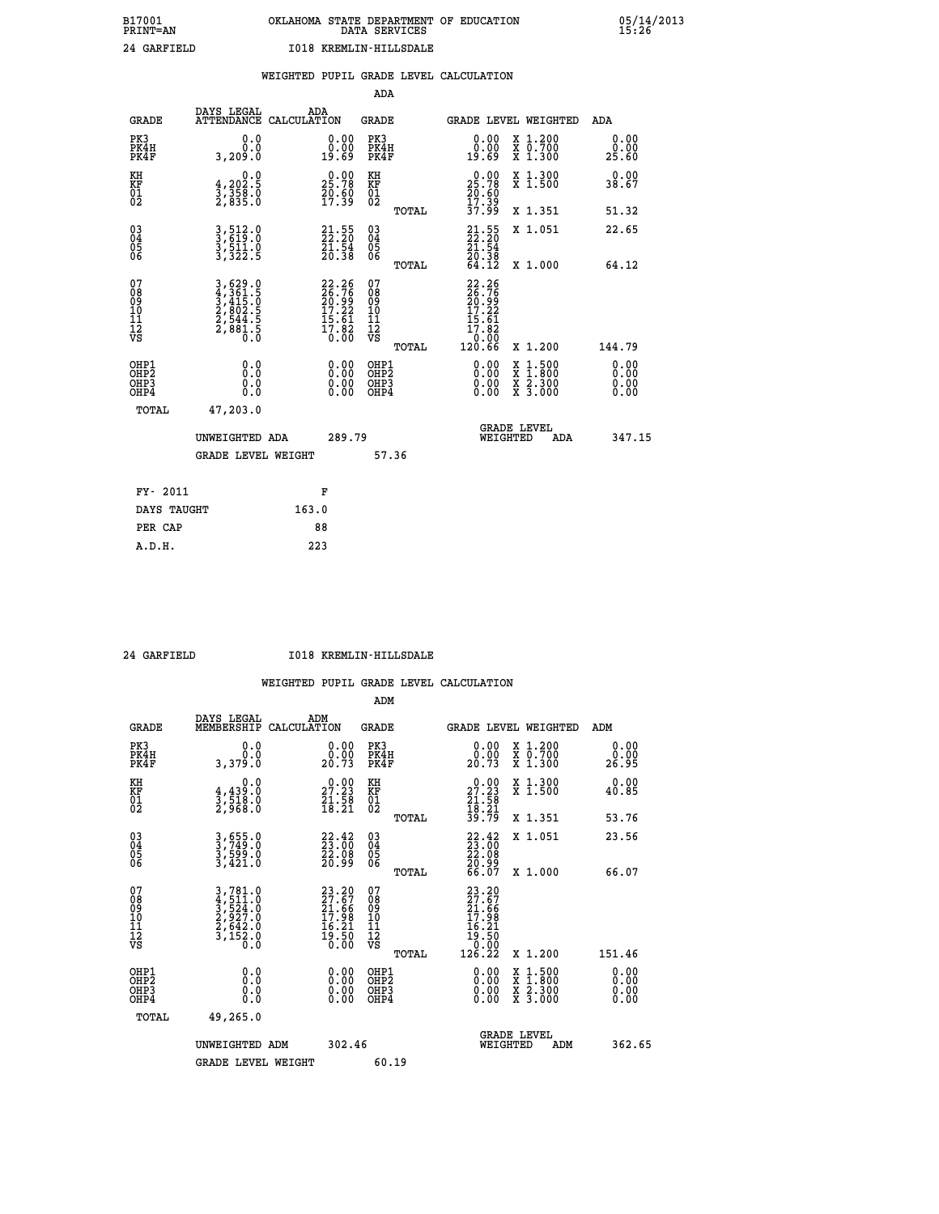### **B17001 OKLAHOMA STATE DEPARTMENT OF EDUCATION 05/14/2013 PRINT=AN DATA SERVICES 15:26 24 GARFIELD I018 KREMLIN-HILLSDALE**

|                                                                    |                                                                                                                                                                     |                                                                                       | ADA                                                 |       |                                                                                                                                                                                                                                                                                |                                          |                               |
|--------------------------------------------------------------------|---------------------------------------------------------------------------------------------------------------------------------------------------------------------|---------------------------------------------------------------------------------------|-----------------------------------------------------|-------|--------------------------------------------------------------------------------------------------------------------------------------------------------------------------------------------------------------------------------------------------------------------------------|------------------------------------------|-------------------------------|
| <b>GRADE</b>                                                       | DAYS LEGAL<br>ATTENDANCE CALCULATION                                                                                                                                | ADA                                                                                   | <b>GRADE</b>                                        |       |                                                                                                                                                                                                                                                                                | GRADE LEVEL WEIGHTED                     | ADA                           |
| PK3<br>PK4H<br>PK4F                                                | 0.0<br>0.0<br>3,209.0                                                                                                                                               | $\begin{smallmatrix} 0.00\\ 0.00\\ 19.69 \end{smallmatrix}$                           | PK3<br>PK4H<br>PK4F                                 |       | 0.00<br>ăČ.<br>19.69                                                                                                                                                                                                                                                           | X 1.200<br>X 0.700<br>X 1.300            | 0.00<br>0.00<br>25.60         |
| KH<br>KF<br>01<br>02                                               | 0.0<br>$\frac{4}{3}, \frac{202}{358}$ .0<br>2,835.0                                                                                                                 | 25.78<br>$\frac{50.60}{17.39}$                                                        | KH<br>KF<br>01<br>02                                |       | $25.78$<br>$25.78$<br>$20.60$<br>$17.39$                                                                                                                                                                                                                                       | X 1.300<br>X 1.500                       | 0.00<br>38.67                 |
|                                                                    |                                                                                                                                                                     |                                                                                       |                                                     | TOTAL | 37.99                                                                                                                                                                                                                                                                          | X 1.351                                  | 51.32                         |
| $\begin{smallmatrix} 03 \\[-4pt] 04 \end{smallmatrix}$<br>Ŏ5<br>06 | 3,512.0<br>3,619.0<br>3,511.0<br>3,322.5                                                                                                                            | $\begin{smallmatrix} 21\cdot55\\ 22\cdot20\\ 21\cdot54\\ 20\cdot38 \end{smallmatrix}$ | $\begin{array}{c} 03 \\ 04 \\ 05 \\ 06 \end{array}$ |       | $21.55$<br>$22.20$<br>$21.54$<br>$20.38$<br>$64.12$                                                                                                                                                                                                                            | X 1.051                                  | 22.65                         |
|                                                                    |                                                                                                                                                                     |                                                                                       |                                                     | TOTAL |                                                                                                                                                                                                                                                                                | X 1.000                                  | 64.12                         |
| 07<br>08<br>09<br>01<br>11<br>11<br>12<br>VS                       | $\begin{smallmatrix} 3\,,\,629\,.\,0\\ 4\,,\,361\,. \,5\\ 3\,,\,415\,. \,0\\ 2\,,\,802\,. \,5\\ 2\,,\,844\,. \,5\\ 2\,,\,881\,. \,5\\ 0\,. \,0\\ \end{smallmatrix}$ | $22.26$<br>$26.76$<br>$20.99$<br>$17.22$<br>$15.61$<br>$17.82$<br>$0.00$              | 07<br>08<br>09<br>001<br>11<br>11<br>12<br>VS       |       | 22.26<br>26.76<br>20.99<br>17.22<br>15.61<br>17.82                                                                                                                                                                                                                             |                                          |                               |
|                                                                    |                                                                                                                                                                     |                                                                                       |                                                     | TOTAL | _0.00<br>120.66                                                                                                                                                                                                                                                                | X 1.200                                  | 144.79                        |
| OHP1<br>OHP <sub>2</sub><br>OH <sub>P3</sub><br>OHP4               | 0.0<br>0.000                                                                                                                                                        | 0.00<br>$\begin{smallmatrix} 0.00 \ 0.00 \end{smallmatrix}$                           | OHP1<br>OHP2<br>OHP <sub>3</sub>                    |       | $\begin{smallmatrix} 0.00 & 0.00 & 0.00 & 0.00 & 0.00 & 0.00 & 0.00 & 0.00 & 0.00 & 0.00 & 0.00 & 0.00 & 0.00 & 0.00 & 0.00 & 0.00 & 0.00 & 0.00 & 0.00 & 0.00 & 0.00 & 0.00 & 0.00 & 0.00 & 0.00 & 0.00 & 0.00 & 0.00 & 0.00 & 0.00 & 0.00 & 0.00 & 0.00 & 0.00 & 0.00 & 0.0$ | X 1:500<br>X 1:800<br>X 2:300<br>X 3:000 | 0.00<br>Ō. ŌŌ<br>0.00<br>0.00 |
| TOTAL                                                              | 47,203.0                                                                                                                                                            |                                                                                       |                                                     |       |                                                                                                                                                                                                                                                                                |                                          |                               |
|                                                                    | UNWEIGHTED ADA                                                                                                                                                      | 289.79                                                                                |                                                     |       |                                                                                                                                                                                                                                                                                | <b>GRADE LEVEL</b><br>WEIGHTED<br>ADA    | 347.15                        |
|                                                                    | <b>GRADE LEVEL WEIGHT</b>                                                                                                                                           |                                                                                       |                                                     | 57.36 |                                                                                                                                                                                                                                                                                |                                          |                               |
| FY- 2011                                                           |                                                                                                                                                                     | F                                                                                     |                                                     |       |                                                                                                                                                                                                                                                                                |                                          |                               |
| DAYS TAUGHT                                                        |                                                                                                                                                                     | 163.0                                                                                 |                                                     |       |                                                                                                                                                                                                                                                                                |                                          |                               |
| PER CAP                                                            |                                                                                                                                                                     | 88                                                                                    |                                                     |       |                                                                                                                                                                                                                                                                                |                                          |                               |

 **A.D.H. 223**

 **24 GARFIELD I018 KREMLIN-HILLSDALE**

|                                           |                                                                                                                                                             |                                                                                                    | ADM                                                 |                                                                                                                                         |                                          |                       |
|-------------------------------------------|-------------------------------------------------------------------------------------------------------------------------------------------------------------|----------------------------------------------------------------------------------------------------|-----------------------------------------------------|-----------------------------------------------------------------------------------------------------------------------------------------|------------------------------------------|-----------------------|
| <b>GRADE</b>                              | DAYS LEGAL<br>MEMBERSHIP                                                                                                                                    | ADM<br>CALCULATION                                                                                 | <b>GRADE</b>                                        |                                                                                                                                         | GRADE LEVEL WEIGHTED                     | ADM                   |
| PK3<br>PK4H<br>PK4F                       | 0.0<br>ŏ.ŏ<br>3,379.O                                                                                                                                       | $\begin{smallmatrix} 0.00\\ 0.00\\ 20.73 \end{smallmatrix}$                                        | PK3<br>PK4H<br>PK4F                                 | $\begin{smallmatrix} 0.00\\ 0.00\\ 20.73 \end{smallmatrix}$                                                                             | X 1.200<br>X 0.700<br>X 1.300            | 0.00<br>ŏ:ŏŏ<br>26.95 |
| KH<br>KF<br>01<br>02                      | 0.0<br>$\frac{4}{3}, \frac{439}{518}$ .0<br>2,968.0                                                                                                         | $\begin{smallmatrix} 0.00\\ 27.23\\ 21.58\\ 18.21 \end{smallmatrix}$                               | KH<br>KF<br>01<br>02                                | $\begin{smallmatrix} 0.00\\27.23\\21.58\\18.21\\39.79 \end{smallmatrix}$                                                                | X 1.300<br>X 1.500                       | 0.00<br>40.85         |
|                                           |                                                                                                                                                             |                                                                                                    | TOTAL                                               |                                                                                                                                         | X 1.351                                  | 53.76                 |
| 03<br>04<br>05<br>06                      | 3,655.0<br>3,749.0<br>3,599.0<br>3,421.0                                                                                                                    | $\begin{smallmatrix} 22.42\ 23.00\ 22.08\ 20.99 \end{smallmatrix}$                                 | $\begin{array}{c} 03 \\ 04 \\ 05 \\ 06 \end{array}$ | $\begin{smallmatrix} 22.42\ 23.00\ 22.08\ 20.99\ 66.07 \end{smallmatrix}$                                                               | X 1.051                                  | 23.56                 |
|                                           |                                                                                                                                                             |                                                                                                    | TOTAL                                               |                                                                                                                                         | X 1.000                                  | 66.07                 |
| 07<br>08<br>09<br>101<br>112<br>VS        | $\begin{smallmatrix} 3\,,\,781\,.\,0\\ 4\,,\,511\,.\,0\\ 3\,,\,524\,.\,0\\ 2\,,\,927\,.\,0\\ 2\,,\,642\,.\,0\\ 3\,,\,152\,.\,0\\ 0\,.\,0 \end{smallmatrix}$ | $\begin{smallmatrix} 23.20 \\ 27.67 \\ 21.66 \\ 17.98 \\ 16.21 \\ 19.50 \\ 0.00 \end{smallmatrix}$ | 07<br>08<br>09<br>11<br>11<br>12<br>VS              | $\begin{smallmatrix} 23 & 20 \\ 27 & 67 \\ 21 & 66 \\ 17 & 98 \\ 16 & 21 \\ 16 & 21 \\ 19 & 50 \\ 0 & 00 \\ 126 & 22 \end{smallmatrix}$ |                                          |                       |
|                                           |                                                                                                                                                             |                                                                                                    | TOTAL                                               |                                                                                                                                         | X 1.200                                  | 151.46                |
| OHP1<br>OHP2<br>OH <sub>P</sub> 3<br>OHP4 |                                                                                                                                                             |                                                                                                    | OHP1<br>OHP2<br>OHP <sub>3</sub>                    | $0.00$<br>$0.00$<br>0.00                                                                                                                | X 1:500<br>X 1:800<br>X 2:300<br>X 3:000 | 0.00<br>0.00<br>0.00  |
| TOTAL                                     | 49,265.0                                                                                                                                                    |                                                                                                    |                                                     |                                                                                                                                         |                                          |                       |
|                                           | UNWEIGHTED<br>ADM                                                                                                                                           | 302.46                                                                                             |                                                     |                                                                                                                                         | GRADE LEVEL<br>WEIGHTED<br>ADM           | 362.65                |
|                                           | <b>GRADE LEVEL WEIGHT</b>                                                                                                                                   |                                                                                                    | 60.19                                               |                                                                                                                                         |                                          |                       |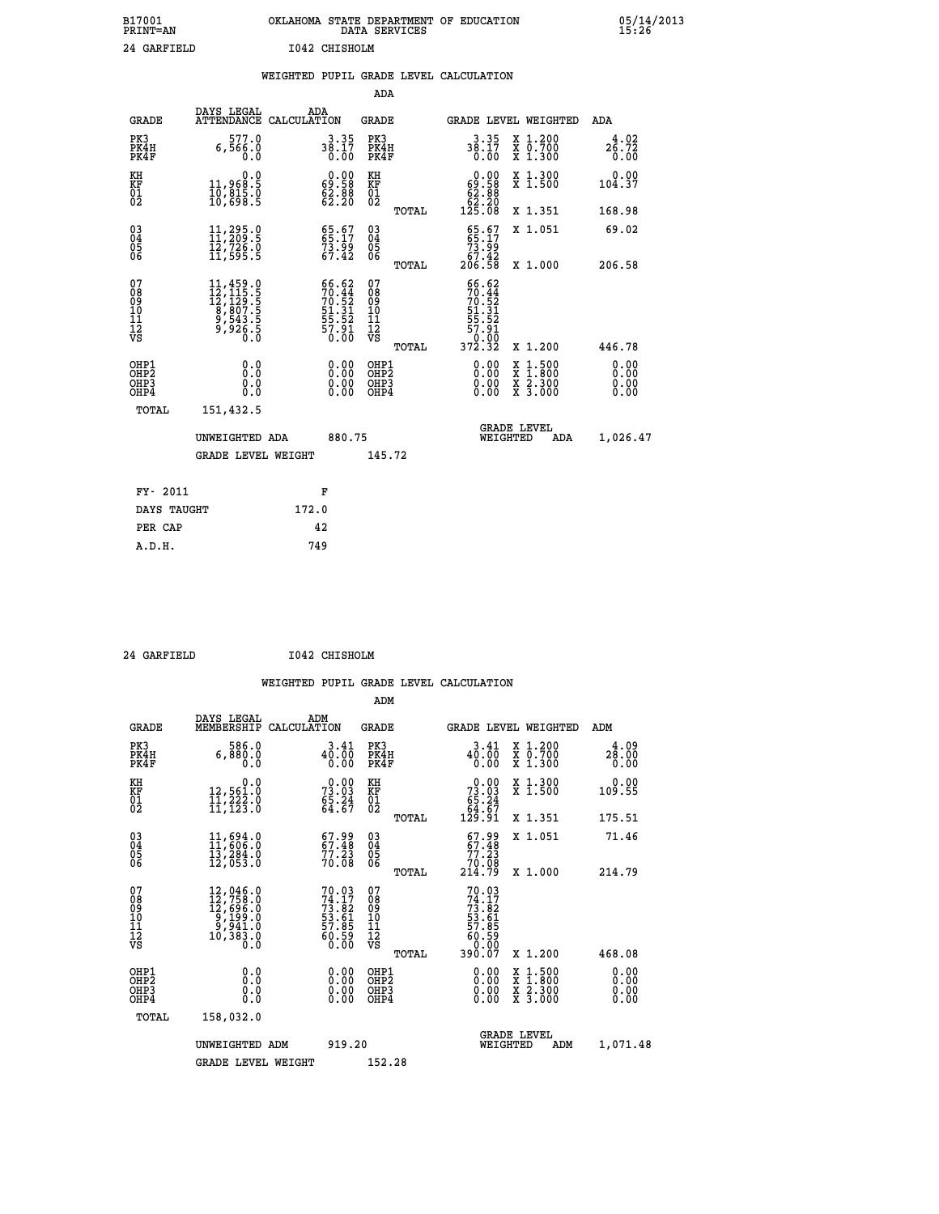### **B17001 OKLAHOMA STATE DEPARTMENT OF EDUCATION 05/14/2013 PRINT=AN DATA SERVICES 15:26 24 GARFIELD I042 CHISHOLM**

|  |  | WEIGHTED PUPIL GRADE LEVEL CALCULATION |
|--|--|----------------------------------------|
|  |  |                                        |

|                                                                    |                                                                                                                                                                       |       |                                                                                                      | ADA                                       |       |                                                                                        |                                          |                              |
|--------------------------------------------------------------------|-----------------------------------------------------------------------------------------------------------------------------------------------------------------------|-------|------------------------------------------------------------------------------------------------------|-------------------------------------------|-------|----------------------------------------------------------------------------------------|------------------------------------------|------------------------------|
| <b>GRADE</b>                                                       | DAYS LEGAL<br>ATTENDANCE CALCULATION                                                                                                                                  | ADA   |                                                                                                      | <b>GRADE</b>                              |       |                                                                                        | GRADE LEVEL WEIGHTED                     | ADA                          |
| PK3<br>PK4H<br>PK4F                                                | 577.0<br>6,566.0<br>0.0                                                                                                                                               |       | $38.35$<br>$38.17$<br>$0.00$                                                                         | PK3<br>PK4H<br>PK4F                       |       | $38.17$<br>$38.17$<br>$0.00$                                                           | X 1.200<br>X 0.700<br>X 1.300            | 4.02<br>26.72<br>0.00        |
| KH<br><b>KF</b><br>01<br>02                                        | 0.0<br>11,968:5<br>10,815.0<br>10,698:5                                                                                                                               |       | $\begin{smallmatrix} 0.00\\ 69.58\\ 62.88\\ 62.20 \end{smallmatrix}$                                 | KH<br>KF<br>01<br>02                      |       | $\begin{smallmatrix} &0.00\\ 69.58\\ 62.88\\ 62.20\\ 52.20\\ 125.08 \end{smallmatrix}$ | X 1.300<br>X 1.500                       | 0.00<br>104.37               |
|                                                                    |                                                                                                                                                                       |       |                                                                                                      |                                           | TOTAL |                                                                                        | X 1.351                                  | 168.98                       |
| $\begin{smallmatrix} 03 \\[-4pt] 04 \end{smallmatrix}$<br>05<br>06 | $\begin{smallmatrix} 11, 295 & 0\\ 11, 209 & 5\\ 12, 726 & 0\\ 11, 595 & 5 \end{smallmatrix}$                                                                         |       | 65.67<br>65.17<br>73.99<br>67.42                                                                     | $\substack{03 \\ 04}$<br>05<br>06         |       | $\begin{smallmatrix} 65.67\\ 65.17\\ 73.99\\ 67.42\\ 206.58 \end{smallmatrix}$         | X 1.051                                  | 69.02                        |
|                                                                    |                                                                                                                                                                       |       |                                                                                                      |                                           | TOTAL |                                                                                        | X 1.000                                  | 206.58                       |
| 07<br>08901112<br>1112<br>VS                                       | $\begin{smallmatrix} 11\,,\,459\cdot 0\\ 12\,,\,115\cdot 5\\ 12\,,\,129\cdot 5\\ 8\,,\,807\cdot 5\\ 9\,,\,543\cdot 5\\ 9\,,\,926\cdot 5\\ 0\,\,.\,0\end{smallmatrix}$ |       | $\begin{smallmatrix} 66.62\\ 70.44\\ 70.52\\ 51.31\\ 51.31\\ 55.52\\ 57.91\\ 0.00 \end{smallmatrix}$ | 07<br>08901112<br>1112<br>VS              |       | 66.62<br>$70.44$<br>$70.52$<br>$51.31$<br>$55.52$<br>$57.91$<br>$0.00$<br>$372.32$     |                                          |                              |
|                                                                    |                                                                                                                                                                       |       |                                                                                                      |                                           | TOTAL |                                                                                        | X 1.200                                  | 446.78                       |
| OHP1<br>OH <sub>P</sub> 2<br>OH <sub>P3</sub><br>OH <sub>P4</sub>  | 0.0<br>0.0<br>0.0                                                                                                                                                     |       | 0.00<br>$\begin{smallmatrix} 0.00 \ 0.00 \end{smallmatrix}$                                          | OHP1<br>OH <sub>P</sub> 2<br>OHP3<br>OHP4 |       | 0.00<br>0.00<br>0.00                                                                   | X 1:500<br>X 1:800<br>X 2:300<br>X 3:000 | 0.00<br>0.00<br>0.00<br>0.00 |
| TOTAL                                                              | 151,432.5                                                                                                                                                             |       |                                                                                                      |                                           |       |                                                                                        |                                          |                              |
|                                                                    | UNWEIGHTED ADA                                                                                                                                                        |       | 880.75                                                                                               |                                           |       |                                                                                        | GRADE LEVEL<br>WEIGHTED<br>ADA           | 1,026.47                     |
|                                                                    | <b>GRADE LEVEL WEIGHT</b>                                                                                                                                             |       |                                                                                                      | 145.72                                    |       |                                                                                        |                                          |                              |
| FY- 2011                                                           |                                                                                                                                                                       | F     |                                                                                                      |                                           |       |                                                                                        |                                          |                              |
| DAYS TAUGHT                                                        |                                                                                                                                                                       | 172.0 |                                                                                                      |                                           |       |                                                                                        |                                          |                              |
| PER CAP                                                            |                                                                                                                                                                       | 42    |                                                                                                      |                                           |       |                                                                                        |                                          |                              |

 **A.D.H. 749**

 **ADM**

 **24 GARFIELD I042 CHISHOLM**

| <b>GRADE</b>                                                       | DAYS LEGAL<br>MEMBERSHIP                                                                                                                                                               | ADM<br>CALCULATION                                          | <b>GRADE</b>                                  |       |                                                                                | GRADE LEVEL WEIGHTED                                                                                                | ADM                   |  |
|--------------------------------------------------------------------|----------------------------------------------------------------------------------------------------------------------------------------------------------------------------------------|-------------------------------------------------------------|-----------------------------------------------|-------|--------------------------------------------------------------------------------|---------------------------------------------------------------------------------------------------------------------|-----------------------|--|
| PK3<br>PK4H<br>PK4F                                                | 586.0<br>6,880.0<br>Ŏ.Ŏ                                                                                                                                                                | 3.41<br>40.00<br>0.00                                       | PK3<br>PK4H<br>PK4F                           |       | 3.41<br>40.00<br>0.00                                                          | X 1.200<br>X 0.700<br>X 1.300                                                                                       | 4.09<br>28.00<br>0.00 |  |
| KH<br>KF<br>$^{01}_{02}$                                           | 0.0<br>12,561.0<br>11,222.0<br>11,123.0                                                                                                                                                | $73.03$<br>$65.24$<br>$64.67$                               | KH<br>KF<br>$\frac{01}{2}$                    |       | $\begin{smallmatrix} &0.00\ 73.03\ 65.24\ 64.67\ 129.91\end{smallmatrix}$      | X 1.300<br>X 1.500                                                                                                  | 0.00<br>109.55        |  |
|                                                                    |                                                                                                                                                                                        |                                                             |                                               | TOTAL |                                                                                | X 1.351                                                                                                             | 175.51                |  |
| $\begin{smallmatrix} 03 \\[-4pt] 04 \end{smallmatrix}$<br>Ŏ5<br>06 | 11,694.0<br>11,606.0<br>13,284.0                                                                                                                                                       | $67.99$<br>$67.48$<br>$77.23$                               | 030404                                        |       | $67.9967.4877.2370.08214.79$                                                   | X 1.051                                                                                                             | 71.46                 |  |
|                                                                    | 12,053.0                                                                                                                                                                               | 70.08                                                       | 06                                            | TOTAL |                                                                                | X 1.000                                                                                                             | 214.79                |  |
| 07<br>089<br>090<br>1112<br>VS                                     | $\begin{smallmatrix} 12\,, & 046\,, & 0\\ 12\,, & 758\,, & 0\\ 12\,, & 696\,, & 0\\ 9\,, & 199\,, & 0\\ 9\,, & 941\,, & 0\\ 10\,, & 383\,, & 0\\ 0\,. & 0\,. & 0\,. \end{smallmatrix}$ | 70.03<br>74.17<br>73.82<br>53.61<br>57.85<br>50.59<br>60.50 | 07<br>08<br>09<br>001<br>11<br>11<br>12<br>VS | TOTAL | 70.03<br>74.17<br>73.82<br>53.61<br>57.85<br>57.85<br>60.50<br>60.09<br>390.07 | X 1.200                                                                                                             | 468.08                |  |
| OHP1                                                               |                                                                                                                                                                                        |                                                             |                                               |       |                                                                                |                                                                                                                     |                       |  |
| OHP <sub>2</sub><br>OH <sub>P3</sub><br>OHP4                       | 0.0<br>0.000                                                                                                                                                                           |                                                             | OHP1<br>OHP2<br>OHP3<br>OHP4                  |       | 0.00<br>$0.00$<br>0.00                                                         | $\begin{array}{l} \mathtt{X} & 1.500 \\ \mathtt{X} & 1.800 \\ \mathtt{X} & 2.300 \\ \mathtt{X} & 3.000 \end{array}$ | 0.00<br>0.00<br>0.00  |  |
| TOTAL                                                              | 158,032.0                                                                                                                                                                              |                                                             |                                               |       |                                                                                |                                                                                                                     |                       |  |
|                                                                    | UNWEIGHTED<br>ADM                                                                                                                                                                      | 919.20                                                      |                                               |       | WEIGHTED                                                                       | <b>GRADE LEVEL</b><br>ADM                                                                                           | 1,071.48              |  |
|                                                                    | <b>GRADE LEVEL WEIGHT</b>                                                                                                                                                              |                                                             | 152.28                                        |       |                                                                                |                                                                                                                     |                       |  |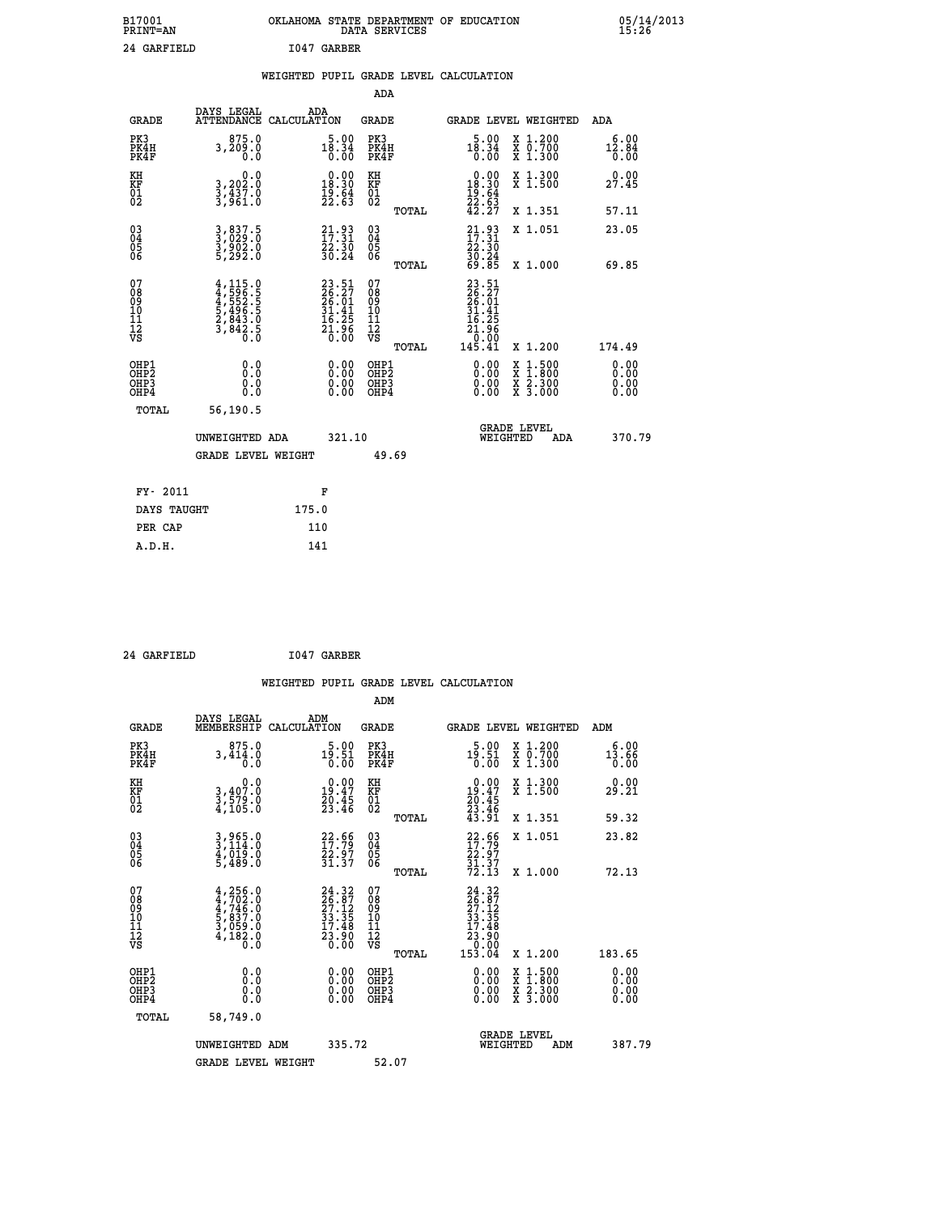| B17001<br><b>PRINT=AN</b> | OKLAHOMA STATE DEPARTMENT OF EDUCATION<br>DATA SERVICES | 05/14/2013<br>15:26 |
|---------------------------|---------------------------------------------------------|---------------------|
| 24 GARFIELD               | 1047 GARBER                                             |                     |

|  |  | WEIGHTED PUPIL GRADE LEVEL CALCULATION |
|--|--|----------------------------------------|
|  |  |                                        |

|                                                    |                                                                                     |                                                                          | ADA                                                               |       |                                                                                                                      |   |                                        |                              |
|----------------------------------------------------|-------------------------------------------------------------------------------------|--------------------------------------------------------------------------|-------------------------------------------------------------------|-------|----------------------------------------------------------------------------------------------------------------------|---|----------------------------------------|------------------------------|
| <b>GRADE</b>                                       | DAYS LEGAL<br><b>ATTENDANCE</b>                                                     | ADA<br>CALCULATION                                                       | <b>GRADE</b>                                                      |       | GRADE LEVEL WEIGHTED                                                                                                 |   |                                        | <b>ADA</b>                   |
| PK3<br>PK4H<br>PK4F                                | 875.0<br>3,209.0<br>0.0                                                             | 18.34<br>0.00<br>0.00                                                    | PK3<br>PK4H<br>PK4F                                               |       | 5.00<br>$18.34$<br>$0.00$                                                                                            |   | X 1.200<br>X 0.700<br>X 1.300          | 6.00<br>$\frac{12.84}{0.00}$ |
| KH<br>KF<br>01<br>02                               | 0.0<br>3,202:0<br>3,437:0<br>3,961:0                                                | $0.00$<br>18.30<br>$\frac{19.64}{22.63}$                                 | KH<br>KF<br>01<br>02                                              |       | $\begin{smallmatrix} 0.00\\18.30\\19.64\\22.63\\42.27 \end{smallmatrix}$                                             |   | X 1.300<br>X 1.500                     | 0.00<br>27.45                |
|                                                    |                                                                                     |                                                                          |                                                                   | TOTAL |                                                                                                                      |   | X 1.351                                | 57.11                        |
| $\begin{matrix} 03 \\ 04 \\ 05 \\ 06 \end{matrix}$ | 3,837.5<br>3,029.0<br>3,902.0<br>5,292.0                                            | 21.93<br>$\frac{72.30}{30.24}$                                           | $\substack{03 \\ 04}$<br>$\begin{matrix} 0.5 \\ 0.6 \end{matrix}$ | TOTAL | $21.93$<br>$17.31$<br>$22.30$<br>$30.24$<br>$69.85$                                                                  |   | X 1.051<br>X 1.000                     | 23.05<br>69.85               |
| 07<br>08<br>09<br>11<br>11<br>12<br>VS             | $4,115.0$<br>$4,596.5$<br>$5,496.5$<br>$5,496.5$<br>$2,843.0$<br>$3,842.5$<br>$0.0$ | $23.51$<br>$26.27$<br>$26.01$<br>$31.41$<br>$16.25$<br>$21.96$<br>$0.00$ | 07<br>08<br>09<br>11<br>11<br>12<br>VS                            |       | $23.51$<br>$26.27$<br>$26.01$<br>$31.41$<br>$\begin{array}{r} 16.25 \\ 16.25 \\ 21.96 \\ 0.00 \\ 145.41 \end{array}$ |   |                                        |                              |
|                                                    |                                                                                     |                                                                          |                                                                   | TOTAL |                                                                                                                      |   | X 1.200                                | 174.49                       |
| OHP1<br>OHP <sub>2</sub><br>OHP3<br>OHP4           | 0.0<br>0.0<br>0.0                                                                   | 0.00<br>$\begin{smallmatrix} 0.00 \ 0.00 \end{smallmatrix}$              | OHP1<br>OH <sub>P</sub> 2<br>OHP3<br>OHP4                         |       | 0.00<br>0.00<br>0.00                                                                                                 | X | $1:500$<br>1:800<br>X 2.300<br>X 3.000 | 0.00<br>0.00<br>0.00<br>0.00 |
| TOTAL                                              | 56,190.5                                                                            |                                                                          |                                                                   |       |                                                                                                                      |   |                                        |                              |
|                                                    | UNWEIGHTED ADA                                                                      | 321.10                                                                   |                                                                   |       | <b>GRADE LEVEL</b><br>WEIGHTED                                                                                       |   | ADA                                    | 370.79                       |
|                                                    | <b>GRADE LEVEL WEIGHT</b>                                                           |                                                                          | 49.69                                                             |       |                                                                                                                      |   |                                        |                              |
| FY- 2011                                           |                                                                                     | F                                                                        |                                                                   |       |                                                                                                                      |   |                                        |                              |
| DAYS TAUGHT                                        |                                                                                     | 175.0                                                                    |                                                                   |       |                                                                                                                      |   |                                        |                              |
| PER CAP                                            |                                                                                     | 110                                                                      |                                                                   |       |                                                                                                                      |   |                                        |                              |
|                                                    |                                                                                     |                                                                          |                                                                   |       |                                                                                                                      |   |                                        |                              |

 **24 GARFIELD I047 GARBER**

 **A.D.H. 141**

| <b>GRADE</b>                                         | DAYS LEGAL<br>MEMBERSHIP                                                                | ADM<br>CALCULATION                                                                           | <b>GRADE</b>                                       |       | <b>GRADE LEVEL WEIGHTED</b>                                                                                                                                                                                                                                                    |                                          | ADM                      |        |
|------------------------------------------------------|-----------------------------------------------------------------------------------------|----------------------------------------------------------------------------------------------|----------------------------------------------------|-------|--------------------------------------------------------------------------------------------------------------------------------------------------------------------------------------------------------------------------------------------------------------------------------|------------------------------------------|--------------------------|--------|
| PK3<br>PK4H<br>PK4F                                  | 875.0<br>3,414.0<br>0.0                                                                 | $19.00$<br>19.51<br>0.00                                                                     | PK3<br>PK4H<br>PK4F                                |       | $5.00$<br>19.51<br>0.00                                                                                                                                                                                                                                                        | X 1.200<br>X 0.700<br>X 1.300            | $13.00$<br>13.66<br>0.00 |        |
| KH<br>KF<br>01<br>02                                 | 0.0<br>3,407:0<br>3,579:0<br>4,105:0                                                    | $\begin{smallmatrix} 0.00\\ 19.47\\ 20.45\\ 23.46 \end{smallmatrix}$                         | KH<br>KF<br>01<br>02                               |       | $0.00\n19.47\n20.45\n23.46\n43.91$                                                                                                                                                                                                                                             | X 1.300<br>X 1.500                       | 0.00<br>29.21            |        |
|                                                      |                                                                                         |                                                                                              |                                                    | TOTAL |                                                                                                                                                                                                                                                                                | X 1.351                                  | 59.32                    |        |
| 03<br>04<br>05<br>06                                 | 3,965.0<br>3,114.0<br>4,019.0<br>5,489.0                                                | $22.56$<br>$17.79$<br>$22.97$<br>$31.37$                                                     | $\begin{matrix} 03 \\ 04 \\ 05 \\ 06 \end{matrix}$ |       | $22.56$<br>$17.79$<br>$22.97$<br>$31.37$<br>$72.13$                                                                                                                                                                                                                            | X 1.051                                  | 23.82                    |        |
|                                                      |                                                                                         |                                                                                              |                                                    | TOTAL |                                                                                                                                                                                                                                                                                | X 1.000                                  | 72.13                    |        |
| 07<br>08<br>09<br>11<br>11<br>12<br>VS               | $4, 256.0$<br>$4, 702.0$<br>$4, 746.0$<br>$5, 837.0$<br>$3, 059.0$<br>$4, 182.0$<br>0.0 | $\begin{smallmatrix} 24.32\\ 26.87\\ 27.12\\ 33.35\\ 17.48\\ 23.90\\ 0.00 \end{smallmatrix}$ | 07<br>08<br>09<br>01<br>11<br>11<br>12<br>VS       | TOTAL | $\begin{smallmatrix} 24.32\ 26.87\ 27.125\ 33.35\ 33.45\ 23.90\ 23.000\ 153.04\ \end{smallmatrix}$                                                                                                                                                                             | X 1.200                                  | 183.65                   |        |
| OHP1<br>OH <sub>P</sub> <sub>2</sub><br>OHP3<br>OHP4 | 0.0<br>0.0<br>0.0                                                                       |                                                                                              | OHP1<br>OHP <sub>2</sub><br>OHP3<br>OHP4           |       | $\begin{smallmatrix} 0.00 & 0.00 & 0.00 & 0.00 & 0.00 & 0.00 & 0.00 & 0.00 & 0.00 & 0.00 & 0.00 & 0.00 & 0.00 & 0.00 & 0.00 & 0.00 & 0.00 & 0.00 & 0.00 & 0.00 & 0.00 & 0.00 & 0.00 & 0.00 & 0.00 & 0.00 & 0.00 & 0.00 & 0.00 & 0.00 & 0.00 & 0.00 & 0.00 & 0.00 & 0.00 & 0.0$ | X 1:500<br>X 1:800<br>X 2:300<br>X 3:000 | 0.00<br>0.00<br>0.00     |        |
| TOTAL                                                | 58,749.0                                                                                |                                                                                              |                                                    |       |                                                                                                                                                                                                                                                                                |                                          |                          |        |
|                                                      | UNWEIGHTED ADM                                                                          | 335.72                                                                                       |                                                    |       | WEIGHTED                                                                                                                                                                                                                                                                       | <b>GRADE LEVEL</b><br>ADM                |                          | 387.79 |
|                                                      | <b>GRADE LEVEL WEIGHT</b>                                                               |                                                                                              | 52.07                                              |       |                                                                                                                                                                                                                                                                                |                                          |                          |        |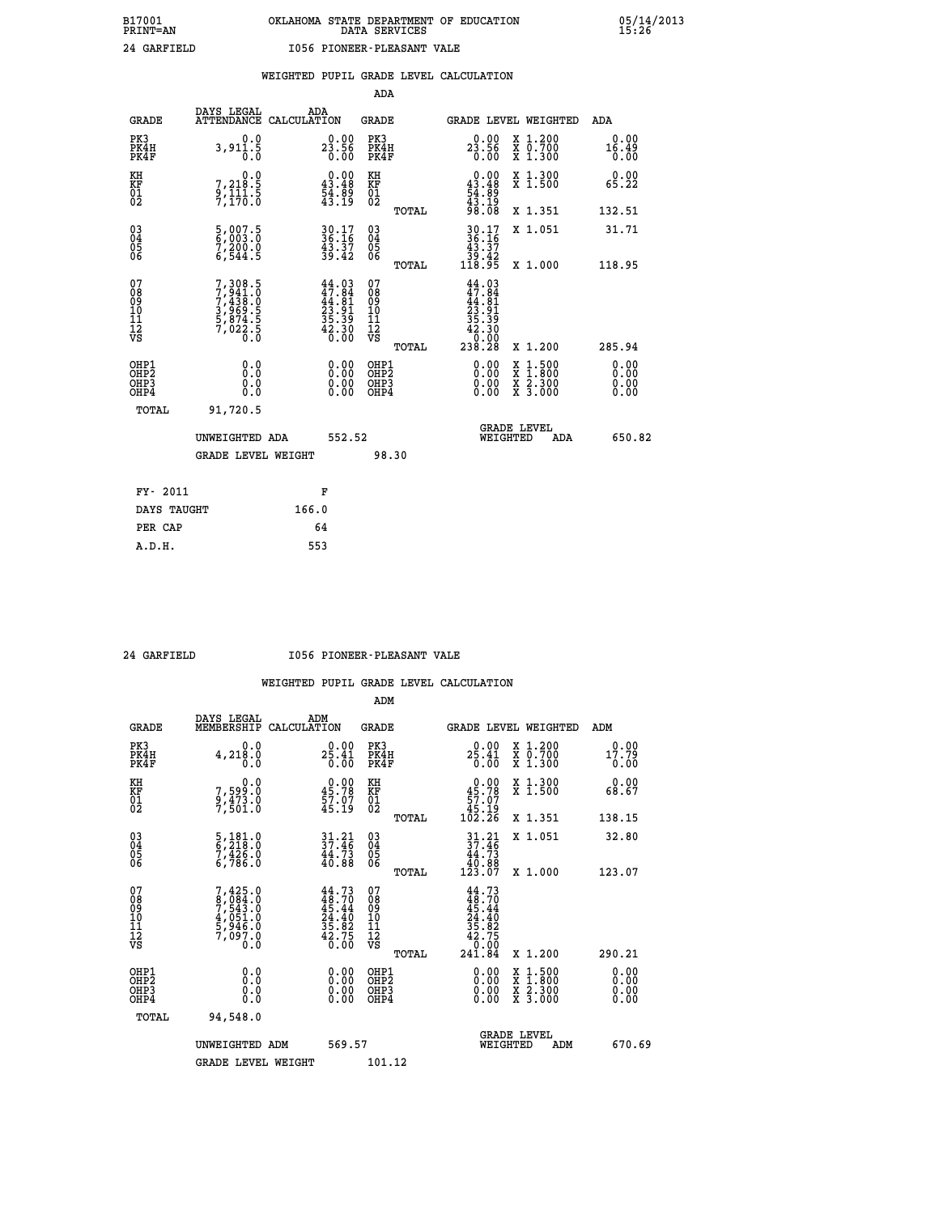|  |  | WEIGHTED PUPIL GRADE LEVEL CALCULATION |
|--|--|----------------------------------------|
|  |  |                                        |

|                                                                    |                                                                                     |                                                                          | ADA                                                 |       |                                                                                      |                                          |                               |
|--------------------------------------------------------------------|-------------------------------------------------------------------------------------|--------------------------------------------------------------------------|-----------------------------------------------------|-------|--------------------------------------------------------------------------------------|------------------------------------------|-------------------------------|
| <b>GRADE</b>                                                       | DAYS LEGAL                                                                          | ADA<br>ATTENDANCE CALCULATION                                            | <b>GRADE</b>                                        |       |                                                                                      | GRADE LEVEL WEIGHTED                     | ADA                           |
| PK3<br>PK4H<br>PK4F                                                | 0.0<br>3,911.5<br>0.0                                                               | $23.56$<br>0.00                                                          | PK3<br>PK4H<br>PK4F                                 |       | $23.56$<br>0.00                                                                      | X 1.200<br>X 0.700<br>X 1.300            | 0.00<br>16.49<br>0.00         |
| KH<br>KF<br>01<br>02                                               | 0.0<br>7,218:5<br>9,111:5<br>7,170:0                                                | $\begin{smallmatrix} 0.00\\ 43.48\\ 54.89\\ 43.19 \end{smallmatrix}$     | KH<br>KF<br>01<br>02                                |       | $\begin{smallmatrix} 0.00\\ 43.48\\ 54.89\\ 43.19\\ 43.19\\ 98.08 \end{smallmatrix}$ | X 1.300<br>X 1.500                       | 0.00<br>65.22                 |
|                                                                    |                                                                                     |                                                                          |                                                     | TOTAL |                                                                                      | X 1.351                                  | 132.51                        |
| $\begin{smallmatrix} 03 \\[-4pt] 04 \end{smallmatrix}$<br>Ŏ5<br>06 | $\frac{5}{6}, \frac{007}{003}. \frac{5}{0}$<br>7,200.0<br>6,544.5                   | $30.17$<br>$36.16$<br>$43.37$<br>$39.42$                                 | $\begin{array}{c} 03 \\ 04 \\ 05 \\ 06 \end{array}$ |       | $30.17$<br>$36.16$<br>$43.37$<br>$39.42$<br>$118.95$                                 | X 1.051                                  | 31.71                         |
|                                                                    |                                                                                     |                                                                          |                                                     | TOTAL |                                                                                      | X 1.000                                  | 118.95                        |
| 07<br>08<br>09<br>01<br>11<br>11<br>12<br>VS                       | $7,308.5$<br>$7,438.0$<br>$7,438.0$<br>$3,969.5$<br>$5,874.5$<br>$7,022.5$<br>$0.0$ | $44.03$<br>$47.84$<br>$44.81$<br>$23.91$<br>$35.39$<br>$42.30$<br>$0.00$ | 07<br>08<br>09<br>11<br>11<br>12<br>VS              |       | $44.03$<br>$47.84$<br>$44.81$<br>$23.91$<br>$35.39$<br>$42.30$<br>0.00               |                                          |                               |
|                                                                    |                                                                                     |                                                                          |                                                     | TOTAL | 238.28                                                                               | X 1.200                                  | 285.94                        |
| OHP1<br>OHP <sub>2</sub><br>OH <sub>P3</sub><br>OHP4               | 0.0<br>0.000                                                                        | 0.00<br>$\begin{smallmatrix} 0.00 \ 0.00 \end{smallmatrix}$              | OHP1<br>OHP2<br>OHP <sub>3</sub>                    |       | 0.00<br>0.00                                                                         | X 1:500<br>X 1:800<br>X 2:300<br>X 3:000 | 0.00<br>Ō. ŌŌ<br>0.00<br>0.00 |
| TOTAL                                                              | 91,720.5                                                                            |                                                                          |                                                     |       |                                                                                      |                                          |                               |
|                                                                    | UNWEIGHTED ADA                                                                      | 552.52                                                                   |                                                     |       |                                                                                      | <b>GRADE LEVEL</b><br>WEIGHTED<br>ADA    | 650.82                        |
|                                                                    | <b>GRADE LEVEL WEIGHT</b>                                                           |                                                                          |                                                     | 98.30 |                                                                                      |                                          |                               |
| FY- 2011                                                           |                                                                                     | F                                                                        |                                                     |       |                                                                                      |                                          |                               |
| DAYS TAUGHT                                                        |                                                                                     | 166.0                                                                    |                                                     |       |                                                                                      |                                          |                               |
| PER CAP                                                            |                                                                                     | 64                                                                       |                                                     |       |                                                                                      |                                          |                               |

#### **24 GARFIELD I056 PIONEER-PLEASANT VALE**

|                                                      |                                                                                     |                                                                                                                            | ADM                                                 |       |                                                                                    |                                          |                       |
|------------------------------------------------------|-------------------------------------------------------------------------------------|----------------------------------------------------------------------------------------------------------------------------|-----------------------------------------------------|-------|------------------------------------------------------------------------------------|------------------------------------------|-----------------------|
| <b>GRADE</b>                                         | DAYS LEGAL<br>MEMBERSHIP                                                            | ADM<br>CALCULATION                                                                                                         | <b>GRADE</b>                                        |       |                                                                                    | GRADE LEVEL WEIGHTED                     | ADM                   |
| PK3<br>PK4H<br>PK4F                                  | 0.0<br>4,218.0                                                                      | 0.00<br>25.41<br>0.00                                                                                                      | PK3<br>PK4H<br>PK4F                                 |       | $2\frac{0.00}{25.41}$<br>0.00                                                      | X 1.200<br>X 0.700<br>X 1.300            | 0.00<br>17.79<br>0.00 |
| KH<br>KF<br>01<br>02                                 | 0.0<br>7,599:0<br>9,473:0<br>7,501:0                                                | $\begin{smallmatrix} 0.00\\ 45.78\\ 57.07\\ 45.19\\ \end{smallmatrix}$                                                     | KH<br>KF<br>01<br>02                                |       | $\begin{smallmatrix} &0.00\ 45.78\ 57.07\ 45.19\ 102.26\ \end{smallmatrix}$        | X 1.300<br>X 1.500                       | 0.00<br>68.67         |
|                                                      |                                                                                     |                                                                                                                            |                                                     | TOTAL |                                                                                    | X 1.351                                  | 138.15                |
| 03<br>04<br>05<br>06                                 | 5, 181.0<br>6, 218.0<br>7, 426.0<br>6,786.0                                         | $\frac{31}{37}:\frac{21}{46}$<br>$\frac{44.73}{40.88}$                                                                     | $\begin{array}{c} 03 \\ 04 \\ 05 \\ 06 \end{array}$ |       | $\frac{31}{37}.21$<br>$\begin{array}{c} 44.73 \\ 40.88 \\ 123.07 \end{array}$      | X 1.051                                  | 32.80                 |
|                                                      |                                                                                     |                                                                                                                            |                                                     | TOTAL |                                                                                    | X 1.000                                  | 123.07                |
| 07<br>08<br>09<br>101<br>11<br>12<br>VS              | $7,425.0$<br>$7,543.0$<br>$7,543.0$<br>$4,051.0$<br>$5,946.0$<br>$7,097.0$<br>$0.0$ | $\begin{smallmatrix} 44\cdot73\\ 48\cdot70\\ 45\cdot44\\ 24\cdot40\\ 35\cdot82\\ 42\cdot75\\ 0\cdot00\\ \end{smallmatrix}$ | 07<br>08<br>09<br>11<br>11<br>12<br>VS              | TOTAL | $44.73$<br>$48.70$<br>$45.44$<br>$24.40$<br>$35.82$<br>$42.75$<br>$9.09$<br>241.84 | X 1.200                                  | 290.21                |
| OHP1<br>OHP2<br>OHP <sub>3</sub><br>OH <sub>P4</sub> | 0.0<br>$\begin{smallmatrix} 0.16 \ 0.0 \end{smallmatrix}$                           |                                                                                                                            | OHP1<br>OHP2<br>OHP <sub>3</sub>                    |       | $0.00$<br>$0.00$<br>0.00                                                           | X 1:500<br>X 1:800<br>X 2:300<br>X 3:000 | 0.00<br>0.00<br>0.00  |
| TOTAL                                                | 94,548.0                                                                            |                                                                                                                            |                                                     |       |                                                                                    |                                          |                       |
|                                                      | UNWEIGHTED ADM                                                                      | 569.57                                                                                                                     |                                                     |       |                                                                                    | GRADE LEVEL<br>WEIGHTED<br>ADM           | 670.69                |
|                                                      | <b>GRADE LEVEL WEIGHT</b>                                                           |                                                                                                                            | 101.12                                              |       |                                                                                    |                                          |                       |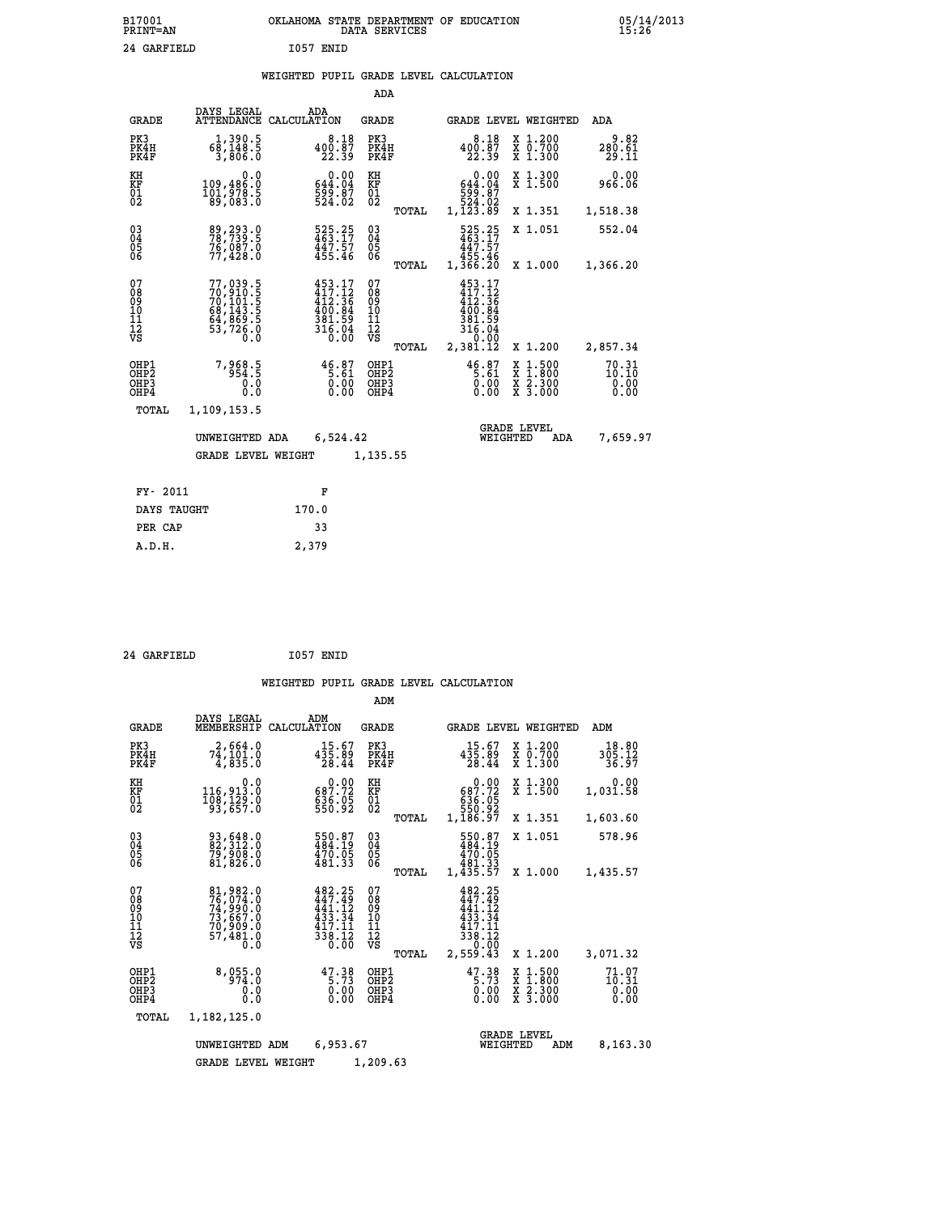|  |  | WEIGHTED PUPIL GRADE LEVEL CALCULATION |
|--|--|----------------------------------------|
|  |  |                                        |

|                                          |                                                                                           |             |                                                                                                                                                                                       | ADA                                      |       |                                                                                |                                            |                                          |                                    |
|------------------------------------------|-------------------------------------------------------------------------------------------|-------------|---------------------------------------------------------------------------------------------------------------------------------------------------------------------------------------|------------------------------------------|-------|--------------------------------------------------------------------------------|--------------------------------------------|------------------------------------------|------------------------------------|
| <b>GRADE</b>                             | DAYS LEGAL<br><b>ATTENDANCE</b>                                                           | CALCULATION | ADA                                                                                                                                                                                   | <b>GRADE</b>                             |       |                                                                                |                                            | GRADE LEVEL WEIGHTED                     | <b>ADA</b>                         |
| PK3<br>PK4H<br>PK4F                      | 1,390.5<br>68,148.5<br>3,806.0                                                            |             | 8.18<br>$400.87$<br>$22.39$                                                                                                                                                           | PK3<br>PK4H<br>PK4F                      |       | $400.87$<br>$22.39$                                                            | 8.18                                       | X 1.200<br>X 0.700<br>X 1.300            | 9.82<br>280.61<br>29.11            |
| KH<br><b>KF</b><br>01<br>02              | 0.0<br>109,486.0<br>101,978.5<br>89,083.0                                                 |             | 0.00<br>644.04<br>599.07<br>524.02                                                                                                                                                    | KH<br>KF<br>01<br>02                     |       | $\begin{smallmatrix} 644.04\ 599.87\ 524.02\ 1,123.89 \end{smallmatrix}$       | 0.00                                       | X 1.300<br>X 1.500                       | 0.00<br>966.06                     |
|                                          |                                                                                           |             |                                                                                                                                                                                       |                                          | TOTAL |                                                                                |                                            | X 1.351                                  | 1,518.38                           |
| $^{03}_{04}$<br>Ŏ5<br>06                 | 89, 293.0<br>76,087.0<br>77,428.0                                                         |             | 525.25<br>463.17<br>447.57<br>455.46                                                                                                                                                  | 03<br>04<br>05<br>06                     |       | 525.25<br>463.17<br>447.57                                                     |                                            | X 1.051                                  | 552.04                             |
|                                          |                                                                                           |             |                                                                                                                                                                                       |                                          | TOTAL | 45:46<br>1,366.20                                                              |                                            | X 1.000                                  | 1,366.20                           |
| 07<br>08<br>09<br>11<br>11<br>12<br>VS   | $77,039.5$<br>$70,910.5$<br>$70,101.5$<br>$68,143.5$<br>$64,869.5$<br>$53,726.0$<br>$0.0$ |             | $\begin{smallmatrix} 4\,5\,3\cdot\,1\,7\\ 4\,1\,7\cdot\,1\,2\\ 4\,1\,2\cdot\,3\,6\\ 4\,0\,0\cdot\,8\,4\\ 3\,8\,1\cdot\,5\,9\\ 3\,1\,6\cdot\,0\,4\\ 0\cdot\,0\,0\\ 0\end{smallmatrix}$ | 07<br>08<br>09<br>11<br>11<br>12<br>VS   |       | $453.17$<br>$417.12$<br>$412.36$<br>$400.84$<br>$381.59$<br>$316.04$<br>$0.90$ |                                            |                                          |                                    |
|                                          |                                                                                           |             |                                                                                                                                                                                       |                                          | TOTAL | 2,381.12                                                                       |                                            | X 1.200                                  | 2,857.34                           |
| OHP1<br>OHP2<br>OH <sub>P3</sub><br>OHP4 | 7,968.5<br>0.0<br>0.0                                                                     |             | $46.87$<br>5.61<br>$\begin{smallmatrix} 0.00 \ 0.00 \end{smallmatrix}$                                                                                                                | OHP1<br>OHP <sub>2</sub><br>OHP3<br>OHP4 |       | $46.87$<br>5.61                                                                | $\begin{matrix} 0.00 \\ 0.00 \end{matrix}$ | X 1:500<br>X 1:800<br>X 2:300<br>X 3:000 | $70.31$<br>$10.10$<br>0.00<br>0.00 |
| <b>TOTAL</b>                             | 1,109,153.5                                                                               |             |                                                                                                                                                                                       |                                          |       |                                                                                |                                            |                                          |                                    |
|                                          | UNWEIGHTED ADA                                                                            |             | 6,524.42                                                                                                                                                                              |                                          |       |                                                                                | <b>GRADE LEVEL</b><br>WEIGHTED             | ADA                                      | 7,659.97                           |
|                                          | <b>GRADE LEVEL WEIGHT</b>                                                                 |             |                                                                                                                                                                                       | 1,135.55                                 |       |                                                                                |                                            |                                          |                                    |
| FY- 2011                                 |                                                                                           |             |                                                                                                                                                                                       |                                          |       |                                                                                |                                            |                                          |                                    |
|                                          |                                                                                           |             | F                                                                                                                                                                                     |                                          |       |                                                                                |                                            |                                          |                                    |
| DAYS TAUGHT                              |                                                                                           | 170.0       |                                                                                                                                                                                       |                                          |       |                                                                                |                                            |                                          |                                    |

| 24 GARFIELD | I057 ENID |
|-------------|-----------|
|             |           |

 **PER CAP 33 A.D.H. 2,379**

 **ADM**

| <b>GRADE</b>                             | DAYS LEGAL                                                                  | ADM<br>MEMBERSHIP CALCULATION                                                                                                                 | <b>GRADE</b>                                     |                                                                                           | GRADE LEVEL WEIGHTED                                                                                                | ADM                      |
|------------------------------------------|-----------------------------------------------------------------------------|-----------------------------------------------------------------------------------------------------------------------------------------------|--------------------------------------------------|-------------------------------------------------------------------------------------------|---------------------------------------------------------------------------------------------------------------------|--------------------------|
| PK3<br>PK4H<br>PK4F                      | 2,664.0<br>74,101.0<br>4,835.0                                              | 15.67<br>435.89<br>28.44                                                                                                                      | PK3<br>PK4H<br>PK4F                              | $15.67$<br>435.89<br>28.44                                                                | X 1.200<br>X 0.700<br>X 1.300                                                                                       | 18.80<br>305.12<br>36.97 |
| KH<br>KF<br>01<br>02                     | 0.0<br>116,913.0<br>108,129.0<br>93,657.0                                   | $\begin{smallmatrix} &0.00\ 687.72\ 636.05\ 550.92\ \end{smallmatrix}$                                                                        | KH<br>KF<br>01<br>02                             | $\begin{smallmatrix} &0.00\ 687.72\ 636.05\ 550.92\ 1,186.97\ \end{smallmatrix}$          | X 1.300<br>X 1.500                                                                                                  | 0.00<br>1,031.58         |
|                                          |                                                                             |                                                                                                                                               | TOTAL                                            |                                                                                           | X 1.351                                                                                                             | 1,603.60                 |
| 030404                                   | 93,648.0<br>82,312.0<br>79,908.0                                            | 550.87<br>484.19<br>470.05                                                                                                                    | $\substack{03 \\ 04}$<br>05                      | 550.87<br>484.19<br>470.05                                                                | X 1.051                                                                                                             | 578.96                   |
| 06                                       | 81,826.0                                                                    | 481.33                                                                                                                                        | ŌĞ<br>TOTAL                                      | 481.33<br>1,435.57                                                                        | X 1.000                                                                                                             | 1,435.57                 |
| 07<br>08<br>09<br>101<br>11<br>12<br>VS  | 81,982.0<br>76,074.0<br>74,990.0<br>73,667.0<br>70,909.0<br>57,481.0<br>0.0 | 482.25<br>$\frac{1}{44}$ $\frac{7}{1}$ $\cdot$ $\frac{75}{12}$<br>433.34<br>417.11<br>$\frac{1}{3}$ $\frac{1}{3}$ $\frac{1}{6}$ $\frac{1}{6}$ | 07<br>08<br>09<br>101<br>11<br>12<br>VS<br>TOTAL | 482.25<br>$\frac{1}{44}$ $\frac{7}{12}$<br>433.34<br>417.11<br>338.12<br>0.00<br>2,559.43 | X 1.200                                                                                                             | 3,071.32                 |
| OHP1<br>OHP <sub>2</sub><br>OHP3<br>OHP4 | 8,055.0<br>974.0<br>0.0<br>0.0                                              | $47.38$<br>5.73<br>0.00<br>0.00                                                                                                               | OHP1<br>OHP2<br>OHP3<br>OHP4                     | $47.38$<br>5.73<br>0.00<br>0.00                                                           | $\begin{array}{l} \mathtt{X} & 1.500 \\ \mathtt{X} & 1.800 \\ \mathtt{X} & 2.300 \\ \mathtt{X} & 3.000 \end{array}$ | 71.97<br>0.00<br>0.00    |
| TOTAL                                    | 1,182,125.0                                                                 |                                                                                                                                               |                                                  |                                                                                           |                                                                                                                     |                          |
|                                          | UNWEIGHTED                                                                  | 6,953.67<br>ADM                                                                                                                               |                                                  |                                                                                           | <b>GRADE LEVEL</b><br>WEIGHTED<br>ADM                                                                               | 8,163.30                 |
|                                          | <b>GRADE LEVEL WEIGHT</b>                                                   |                                                                                                                                               | 1,209.63                                         |                                                                                           |                                                                                                                     |                          |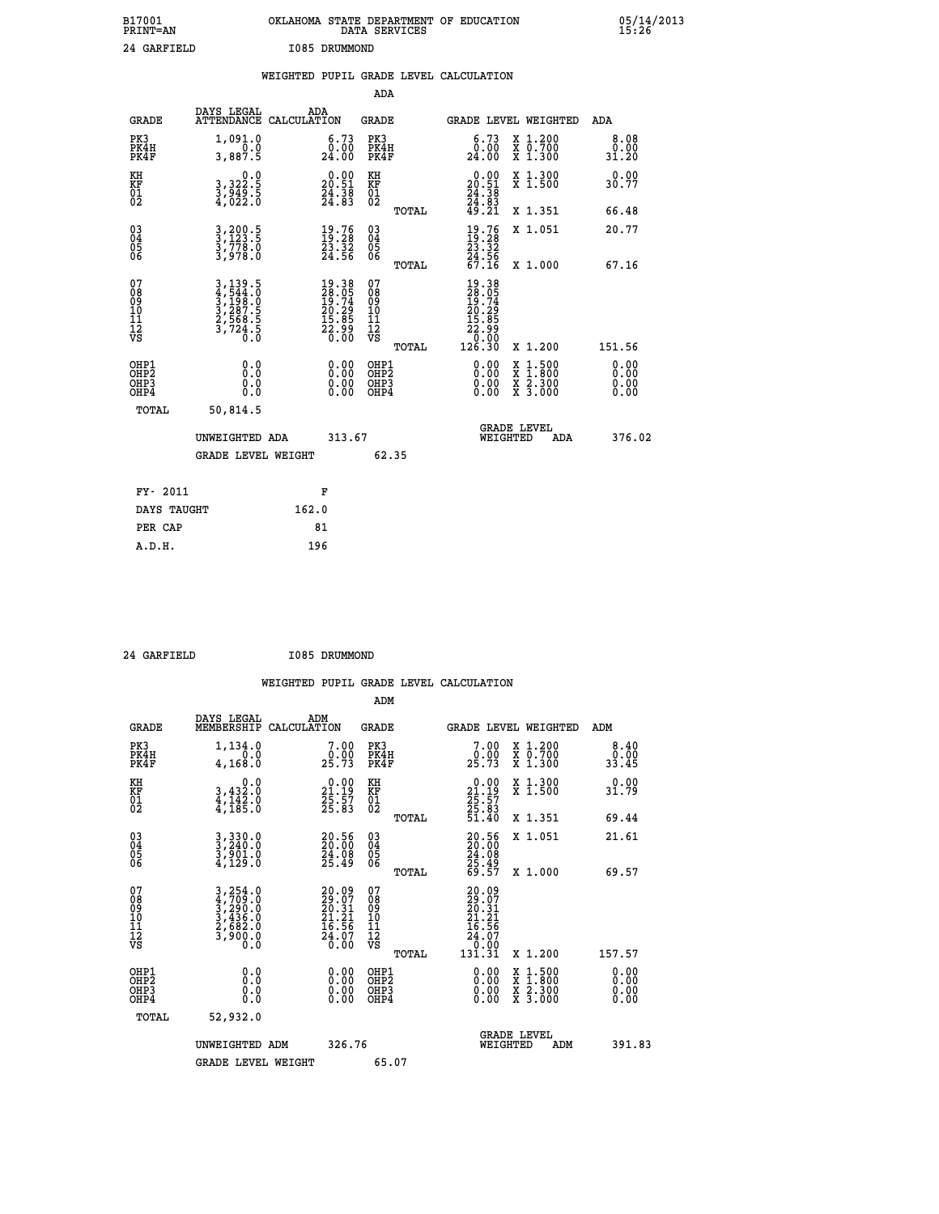| B17001<br>PRINT=AN                                |                                                                                                                                                               | OKLAHOMA STATE DEPARTMENT OF EDUCATION                                                                           | DATA SERVICES                                                       |                                                                                      |                                                                                                                                           | 05/14/2013            |  |
|---------------------------------------------------|---------------------------------------------------------------------------------------------------------------------------------------------------------------|------------------------------------------------------------------------------------------------------------------|---------------------------------------------------------------------|--------------------------------------------------------------------------------------|-------------------------------------------------------------------------------------------------------------------------------------------|-----------------------|--|
|                                                   | 24 GARFIELD                                                                                                                                                   | I085 DRUMMOND                                                                                                    |                                                                     |                                                                                      |                                                                                                                                           |                       |  |
|                                                   |                                                                                                                                                               | WEIGHTED PUPIL GRADE LEVEL CALCULATION                                                                           | ADA                                                                 |                                                                                      |                                                                                                                                           |                       |  |
| <b>GRADE</b>                                      | DAYS LEGAL                                                                                                                                                    | ADA<br>ATTENDANCE CALCULATION                                                                                    | GRADE                                                               | GRADE LEVEL WEIGHTED                                                                 |                                                                                                                                           | ADA                   |  |
| PK3<br>PK4H<br>PK4F                               | 1,091.0<br>0.0<br>3,887.5                                                                                                                                     | 6.73<br>$\frac{0.00}{24.00}$                                                                                     | PK3<br>PK4H<br>PK4F                                                 | $\begin{smallmatrix} 6\cdot73\0\cdot00\24\cdot00 \end{smallmatrix}$                  | X 1.200<br>X 0.700<br>X 1.300                                                                                                             | 8.08<br>0.00<br>31.20 |  |
| KH<br>KF<br>$\begin{matrix} 01 \ 02 \end{matrix}$ | $\begin{smallmatrix}&&&0.0\\3,322.5\\3,949.5\\4,022.0\end{smallmatrix}$                                                                                       | $\begin{smallmatrix} 0.00\\ 20.51\\ 24.38\\ 24.83 \end{smallmatrix}$                                             | KH<br>KF<br>01<br>02                                                | $\begin{smallmatrix} 0.00\\ 20.51\\ 24.38\\ 24.83\\ 49.21 \end{smallmatrix}$         | X 1.300<br>X 1.500                                                                                                                        | 0.00<br>30.77         |  |
|                                                   |                                                                                                                                                               |                                                                                                                  | TOTAL                                                               |                                                                                      | X 1.351                                                                                                                                   | 66.48                 |  |
| $^{03}_{04}$<br>Ŏ5<br>06                          | 3,200.5<br>3,123.5<br>3,778.0<br>3,978.0                                                                                                                      | $\begin{smallmatrix} 19.76\ 19.28\ 23.32\ 24.56 \end{smallmatrix}$                                               | 030404<br>ŎĞ                                                        | $\frac{19}{23}$ : $\frac{76}{23}$                                                    | X 1.051                                                                                                                                   | 20.77                 |  |
|                                                   |                                                                                                                                                               |                                                                                                                  | TOTAL                                                               | $\frac{54}{67}.56$                                                                   | X 1.000                                                                                                                                   | 67.16                 |  |
| 07<br>08<br>09<br>11<br>11<br>12<br>VS            | $\begin{smallmatrix} 3\,,\,139\,,\,5\\ 4\,,\,544\,. \,0\\ 3\,,\,198\,. \,0\\ 3\,,\,287\,. \,5\\ 2\,,\,568\,. \,5\\ 3\,,\,724\,. \,0\\ 0\,. \end{smallmatrix}$ | $\begin{smallmatrix} 19 & 38 \\ 28 & 05 \\ 19 & 74 \\ 20 & 29 \\ 21 & 85 \\ 22 & 99 \\ 0 & 00 \end{smallmatrix}$ | 07<br>08<br>09<br>10<br>$\frac{11}{12}$<br>$\frac{12}{18}$<br>TOTAL | 19.38<br>28.05<br>19.74<br>20.29<br>20.35<br>22<br>$\frac{2}{0}$ .<br>0.00<br>126.30 | X 1.200                                                                                                                                   | 151.56                |  |
| OHP1<br>OHP2<br>OHP3<br>OHP4                      | 0.0<br>0.0<br>0.0                                                                                                                                             |                                                                                                                  | OHP1<br>OHP <sub>2</sub><br>OHP3<br>OHP4                            | $0.00$<br>$0.00$<br>0.00                                                             | $\begin{smallmatrix} \mathtt{X} & 1\cdot500\\ \mathtt{X} & 1\cdot800\\ \mathtt{X} & 2\cdot300\\ \mathtt{X} & 3\cdot000 \end{smallmatrix}$ | 0.00<br>0.00<br>0.00  |  |
|                                                   | TOTAL<br>50,814.5                                                                                                                                             |                                                                                                                  |                                                                     |                                                                                      |                                                                                                                                           |                       |  |
|                                                   | UNWEIGHTED ADA                                                                                                                                                | 313.67                                                                                                           |                                                                     | <b>GRADE LEVEL</b><br>WEIGHTED                                                       | ADA                                                                                                                                       | 376.02                |  |
|                                                   | <b>GRADE LEVEL WEIGHT</b>                                                                                                                                     |                                                                                                                  | 62.35                                                               |                                                                                      |                                                                                                                                           |                       |  |
|                                                   | FY- 2011                                                                                                                                                      | F                                                                                                                |                                                                     |                                                                                      |                                                                                                                                           |                       |  |
|                                                   | DAYS TAUGHT                                                                                                                                                   | 162.0                                                                                                            |                                                                     |                                                                                      |                                                                                                                                           |                       |  |
|                                                   | PER CAP                                                                                                                                                       | 81                                                                                                               |                                                                     |                                                                                      |                                                                                                                                           |                       |  |
|                                                   | A.D.H.                                                                                                                                                        | 196                                                                                                              |                                                                     |                                                                                      |                                                                                                                                           |                       |  |

 **24 GARFIELD I085 DRUMMOND**

 **ADM DAYS LEGAL ADM GRADE MEMBERSHIP CALCULATION GRADE GRADE LEVEL WEIGHTED ADM**

| PK3<br>PK4H<br>PK4F                                | $1, 134.0$<br>0.0<br>4,168.0                                                                                                                                 | $\begin{smallmatrix}7.00\0.00\\25.73\end{smallmatrix}$                   | PK3<br>PK4H<br>PK4F                           | $\begin{smallmatrix}7.00\0.00\\25.73\end{smallmatrix}$                    | X 1.200<br>X 0.700<br>X 1.300                                                                                       | $\begin{smallmatrix}8.40\0.00\\33.45\end{smallmatrix}$                                                                                                                                                                                                                         |
|----------------------------------------------------|--------------------------------------------------------------------------------------------------------------------------------------------------------------|--------------------------------------------------------------------------|-----------------------------------------------|---------------------------------------------------------------------------|---------------------------------------------------------------------------------------------------------------------|--------------------------------------------------------------------------------------------------------------------------------------------------------------------------------------------------------------------------------------------------------------------------------|
| KH<br>KF<br>01<br>02                               | 0.0<br>3,432:0<br>4,142:0<br>4,185:0                                                                                                                         | $\begin{smallmatrix} 0.00\\ 21.19\\ 25.57\\ 25.83 \end{smallmatrix}$     | KH<br>KF<br>01<br>02                          | $\begin{smallmatrix} 0.00\\21.19\\25.57\\25.83\\51.40\end{smallmatrix}$   | X 1.300<br>X 1.500                                                                                                  | $0.00$<br>31.79                                                                                                                                                                                                                                                                |
|                                                    |                                                                                                                                                              |                                                                          | TOTAL                                         |                                                                           | X 1.351                                                                                                             | 69.44                                                                                                                                                                                                                                                                          |
| $\begin{matrix} 03 \\ 04 \\ 05 \\ 06 \end{matrix}$ | 3,330.0<br>3,240.0<br>3,901.0<br>4,129.0                                                                                                                     | $\begin{smallmatrix} 20.56\\ 20.00\\ 24.08\\ 25.49 \end{smallmatrix}$    | 03<br>04<br>05<br>06                          | 20:56<br>20:00<br>24:08<br>25:49<br>69:57                                 | X 1.051                                                                                                             | 21.61                                                                                                                                                                                                                                                                          |
|                                                    |                                                                                                                                                              |                                                                          | TOTAL                                         |                                                                           | X 1.000                                                                                                             | 69.57                                                                                                                                                                                                                                                                          |
| 07<br>08<br>09<br>101<br>11<br>12<br>VS            | $\begin{smallmatrix} 3\,,\,254\,.\,0\\ 4\,,\,709\,.\,0\\ 3\,,\,290\,.\,0\\ 3\,,\,436\,.\,0\\ 2\,,\,682\,.\,0\\ 3\,,\,9\,00\,.\,0\\ 0\,.\,0\end{smallmatrix}$ | $20.09$<br>$29.07$<br>$20.31$<br>$21.21$<br>$16.56$<br>$24.07$<br>$0.00$ | 07<br>08<br>09<br>001<br>11<br>11<br>12<br>VS | $20.09$<br>$20.31$<br>$21.21$<br>$16.56$<br>$24.07$<br>$0.00$<br>$131.31$ |                                                                                                                     |                                                                                                                                                                                                                                                                                |
|                                                    |                                                                                                                                                              |                                                                          | TOTAL                                         |                                                                           | X 1.200                                                                                                             | 157.57                                                                                                                                                                                                                                                                         |
| OHP1<br>OHP2<br>OHP <sub>3</sub><br>OHP4           |                                                                                                                                                              | $\begin{smallmatrix} 0.00 \ 0.00 \ 0.00 \ 0.00 \end{smallmatrix}$        | OHP1<br>OHP2<br>OHP <sub>3</sub><br>OHP4      |                                                                           | $\begin{array}{l} \mathtt{X} & 1.500 \\ \mathtt{X} & 1.800 \\ \mathtt{X} & 2.300 \\ \mathtt{X} & 3.000 \end{array}$ | $\begin{smallmatrix} 0.00 & 0.00 & 0.00 & 0.00 & 0.00 & 0.00 & 0.00 & 0.00 & 0.00 & 0.00 & 0.00 & 0.00 & 0.00 & 0.00 & 0.00 & 0.00 & 0.00 & 0.00 & 0.00 & 0.00 & 0.00 & 0.00 & 0.00 & 0.00 & 0.00 & 0.00 & 0.00 & 0.00 & 0.00 & 0.00 & 0.00 & 0.00 & 0.00 & 0.00 & 0.00 & 0.0$ |
| TOTAL                                              | 52,932.0                                                                                                                                                     |                                                                          |                                               |                                                                           |                                                                                                                     |                                                                                                                                                                                                                                                                                |
|                                                    | UNWEIGHTED<br>ADM                                                                                                                                            | 326.76                                                                   |                                               | WEIGHTED                                                                  | <b>GRADE LEVEL</b><br>ADM                                                                                           | 391.83                                                                                                                                                                                                                                                                         |
|                                                    | <b>GRADE LEVEL WEIGHT</b>                                                                                                                                    |                                                                          | 65.07                                         |                                                                           |                                                                                                                     |                                                                                                                                                                                                                                                                                |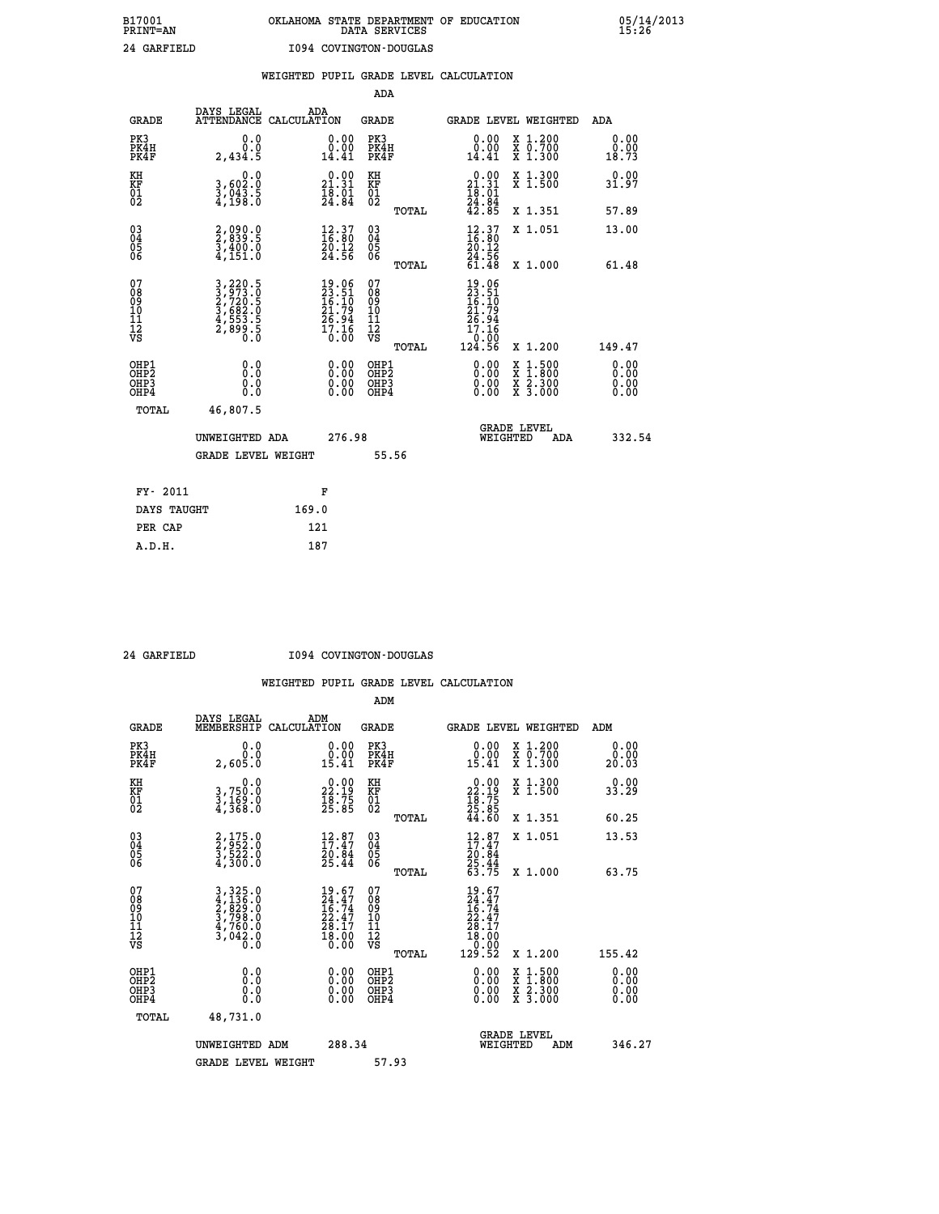# **B17001 OKLAHOMA STATE DEPARTMENT OF EDUCATION 05/14/2013 PRINT=AN DATA SERVICES 15:26 24 GARFIELD I094 COVINGTON-DOUGLAS**

|                                                                    |                                                                           |                                                                                       | ADA                                                               |       |                                                                              |                                          |                              |
|--------------------------------------------------------------------|---------------------------------------------------------------------------|---------------------------------------------------------------------------------------|-------------------------------------------------------------------|-------|------------------------------------------------------------------------------|------------------------------------------|------------------------------|
| <b>GRADE</b>                                                       | DAYS LEGAL<br>ATTENDANCE CALCULATION                                      | ADA                                                                                   | <b>GRADE</b>                                                      |       |                                                                              | GRADE LEVEL WEIGHTED                     | ADA                          |
| PK3<br>PK4H<br>PK4F                                                | 0.0<br>0.0<br>2,434.5                                                     | $\begin{smallmatrix} 0.00\\ 0.00\\ 14.41 \end{smallmatrix}$                           | PK3<br>PK4H<br>PK4F                                               |       | 0.00<br>ă:ŏă<br>14.41                                                        | X 1.200<br>X 0.700<br>X 1.300            | 0.00<br>0.00<br>18.73        |
| KH<br><b>KF</b><br>01<br>02                                        | 0.0<br>3,602:0<br>3,043:5<br>4,198:0                                      | $0.00$<br>21.31<br>$\frac{1}{2}\overline{8}\cdot\overline{0}\overline{1}\overline{4}$ | KH<br>KF<br>01<br>02                                              |       | $\begin{smallmatrix} 0.00\\ 21.31\\ 18.01\\ 24.84\\ 42.85 \end{smallmatrix}$ | X 1.300<br>X 1.500                       | 0.00<br>31.97                |
|                                                                    |                                                                           |                                                                                       |                                                                   | TOTAL |                                                                              | X 1.351                                  | 57.89                        |
| $\begin{smallmatrix} 03 \\[-4pt] 04 \end{smallmatrix}$<br>Ŏ5<br>06 | 2,090.0<br>2,839.5<br>3,400.0<br>4,151.0                                  | $\begin{smallmatrix} 12.37\ 16.80\ 20.12\ 24.56 \end{smallmatrix}$                    | $\substack{03 \\ 04}$<br>$\begin{matrix} 0.5 \\ 0.6 \end{matrix}$ | TOTAL | $\begin{array}{c} 12.37 \\ 16.80 \\ 20.12 \\ 24.56 \end{array}$<br>61.48     | X 1.051<br>X 1.000                       | 13.00<br>61.48               |
| 07<br>08901112<br>1112<br>VS                                       | 3,220.5<br>3,973.0<br>2,720.5<br>2,780.5<br>3,682.0<br>4,553.5<br>2,899.5 | $19.06$<br>$23.51$<br>$16.10$<br>$21.79$<br>$26.94$<br>$17.16$<br>$0.00$              | 07<br>08<br>09<br>11<br>11<br>12<br>VS                            |       | $19.06$<br>$23.51$<br>$16.10$<br>$21.79$<br>$26.94$<br>$17.16$               |                                          |                              |
|                                                                    |                                                                           |                                                                                       |                                                                   | TOTAL | 10:00<br>124.56                                                              | X 1.200                                  | 149.47                       |
| OHP1<br>OH <sub>P</sub> 2<br>OH <sub>P3</sub><br>OH <sub>P4</sub>  | 0.0<br>0.0<br>0.0                                                         | 0.00<br>$\begin{smallmatrix} 0.00 \ 0.00 \end{smallmatrix}$                           | OHP1<br>OH <sub>P</sub> 2<br>OHP3<br>OHP4                         |       | 0.00<br>0.00<br>0.00                                                         | X 1:500<br>X 1:800<br>X 2:300<br>X 3:000 | 0.00<br>0.00<br>0.00<br>0.00 |
| TOTAL                                                              | 46,807.5                                                                  |                                                                                       |                                                                   |       |                                                                              |                                          |                              |
|                                                                    | UNWEIGHTED ADA                                                            | 276.98                                                                                |                                                                   |       |                                                                              | GRADE LEVEL<br>WEIGHTED<br>ADA           | 332.54                       |
|                                                                    | <b>GRADE LEVEL WEIGHT</b>                                                 |                                                                                       |                                                                   | 55.56 |                                                                              |                                          |                              |
| FY- 2011                                                           |                                                                           | F                                                                                     |                                                                   |       |                                                                              |                                          |                              |
| DAYS TAUGHT                                                        |                                                                           | 169.0                                                                                 |                                                                   |       |                                                                              |                                          |                              |
| PER CAP                                                            |                                                                           | 121                                                                                   |                                                                   |       |                                                                              |                                          |                              |

 **A.D.H. 187**

 **24 GARFIELD I094 COVINGTON-DOUGLAS**

|                                          |                                                                                                                                               |                                                                          | ADM                                                 |                                                                                              |                                          |                              |
|------------------------------------------|-----------------------------------------------------------------------------------------------------------------------------------------------|--------------------------------------------------------------------------|-----------------------------------------------------|----------------------------------------------------------------------------------------------|------------------------------------------|------------------------------|
| <b>GRADE</b>                             | DAYS LEGAL<br>MEMBERSHIP                                                                                                                      | ADM<br>CALCULATION                                                       | <b>GRADE</b>                                        |                                                                                              | GRADE LEVEL WEIGHTED                     | ADM                          |
| PK3<br>PK4H<br>PK4F                      | 0.0<br>0.0<br>2,605.Ŏ                                                                                                                         | $\begin{smallmatrix} 0.00\\ 0.00\\ 15.41 \end{smallmatrix}$              | PK3<br>PK4H<br>PK4F                                 | $\begin{smallmatrix} 0.00\\ 0.00\\ 15.41 \end{smallmatrix}$                                  | X 1.200<br>X 0.700<br>X 1.300            | 0.00<br>0.00<br>20.03        |
| KH<br>KF<br>01<br>02                     | 0.0<br>3,750:0<br>3,169:0<br>4,368:0                                                                                                          | $\begin{smallmatrix} 0.00\\ 22.19\\ 18.75\\ 25.85 \end{smallmatrix}$     | KH<br>KF<br>01<br>02                                | $\begin{smallmatrix} 0.00\\ 22.19\\ 18.75\\ 25.85\\ 44.60 \end{smallmatrix}$                 | X 1.300<br>X 1.500                       | 0.00<br>33.29                |
|                                          |                                                                                                                                               |                                                                          | TOTAL                                               |                                                                                              | X 1.351                                  | 60.25                        |
| 03<br>04<br>05<br>06                     | 2,175.0<br>2,952.0<br>3,522.0<br>4,300.0                                                                                                      | $\begin{smallmatrix} 12.87\ 17.47\ 20.84\ 25.44 \end{smallmatrix}$       | $\begin{array}{c} 03 \\ 04 \\ 05 \\ 06 \end{array}$ | $12.87$<br>$17.47$<br>$20.84$<br>$25.44$<br>$63.75$                                          | X 1.051                                  | 13.53                        |
|                                          |                                                                                                                                               |                                                                          | TOTAL                                               |                                                                                              | X 1.000                                  | 63.75                        |
| 07<br>08<br>09<br>101<br>112<br>VS       | $\begin{smallmatrix} 3\,,\,325\,.0\\ 4\,,\,136\,.0\\ 2\,,\,829\,.0\\ 3\,,\,798\,.0\\ 4\,,\,760\,.0\\ 3\,,\,042\,.0\\ 0\,.0 \end{smallmatrix}$ | $19.67$<br>$24.47$<br>$16.74$<br>$22.47$<br>$28.17$<br>$18.00$<br>$0.00$ | 07<br>08<br>09<br>11<br>11<br>12<br>VS              | $\begin{array}{l} 19.67 \\ 24.47 \\ 16.74 \\ 22.47 \\ 28.17 \\ 18.00 \\ 0.00 \\ \end{array}$ |                                          |                              |
|                                          |                                                                                                                                               |                                                                          | TOTAL                                               | 129.52                                                                                       | X 1.200                                  | 155.42                       |
| OHP1<br>OHP2<br>OH <sub>P3</sub><br>OHP4 | 0.0<br>0.000                                                                                                                                  |                                                                          | OHP1<br>OHP2<br>OHP <sub>3</sub>                    | $0.00$<br>$0.00$<br>0.00                                                                     | X 1:500<br>X 1:800<br>X 2:300<br>X 3:000 | 0.00<br>0.00<br>0.00<br>0.00 |
| TOTAL                                    | 48,731.0                                                                                                                                      |                                                                          |                                                     |                                                                                              |                                          |                              |
|                                          | UNWEIGHTED ADM                                                                                                                                | 288.34                                                                   |                                                     | WEIGHTED                                                                                     | <b>GRADE LEVEL</b><br>ADM                | 346.27                       |
|                                          | <b>GRADE LEVEL WEIGHT</b>                                                                                                                     |                                                                          | 57.93                                               |                                                                                              |                                          |                              |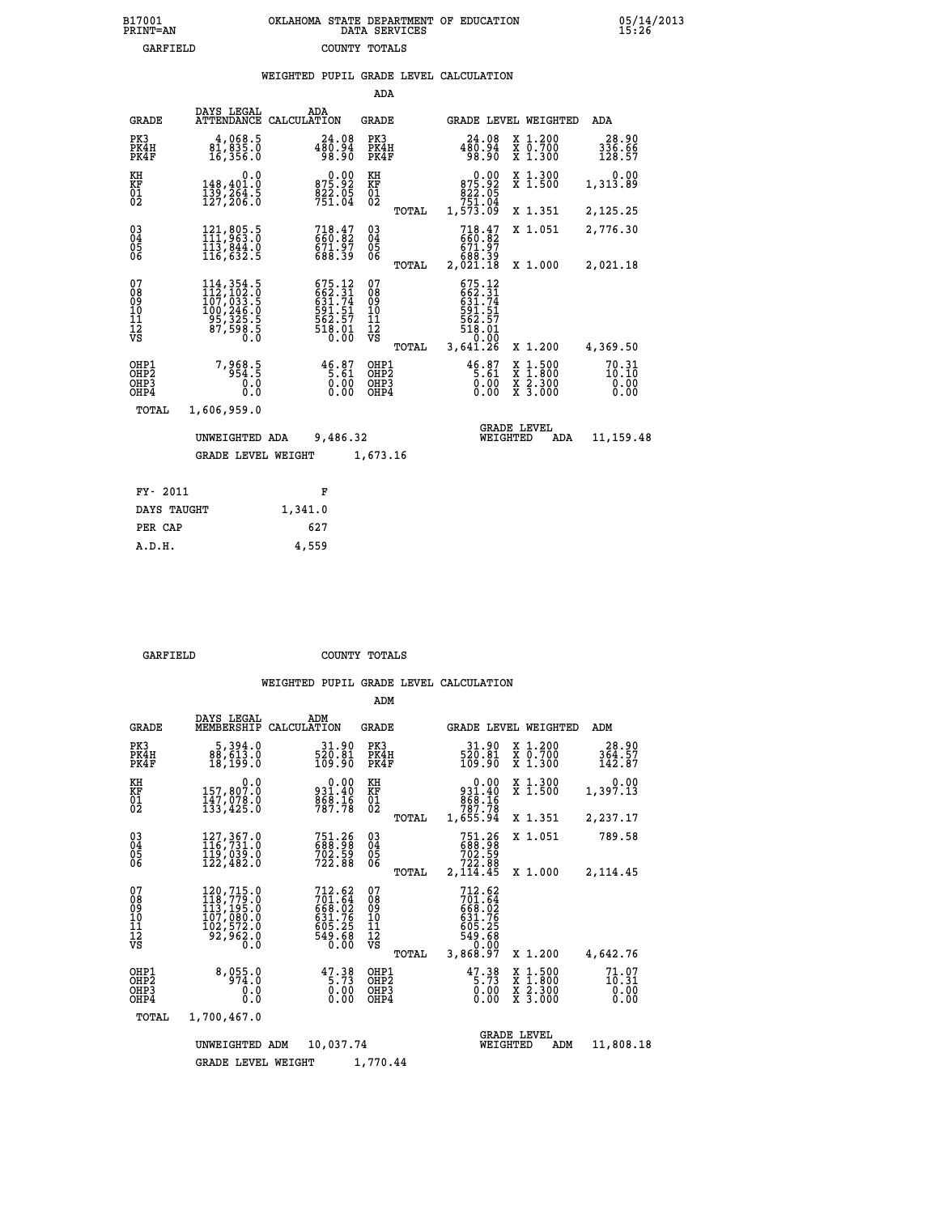### **B17001 OKLAHOMA STATE DEPARTMENT OF EDUCATION 05/14/2013 PRINT=AN DATA SERVICES 15:26 GARFIELD COUNTY TOTALS**

|                                                      |                                                                                                                                                                                   |     |                                                                                |                                                    |       | WEIGHTED PUPIL GRADE LEVEL CALCULATION                                     |          |                                          |                                    |  |
|------------------------------------------------------|-----------------------------------------------------------------------------------------------------------------------------------------------------------------------------------|-----|--------------------------------------------------------------------------------|----------------------------------------------------|-------|----------------------------------------------------------------------------|----------|------------------------------------------|------------------------------------|--|
|                                                      |                                                                                                                                                                                   |     |                                                                                | ADA                                                |       |                                                                            |          |                                          |                                    |  |
| <b>GRADE</b>                                         | DAYS LEGAL<br>ATTENDANCE CALCULATION                                                                                                                                              | ADA |                                                                                | <b>GRADE</b>                                       |       |                                                                            |          | <b>GRADE LEVEL WEIGHTED</b>              | <b>ADA</b>                         |  |
| PK3<br>PK4H<br>PK4F                                  | 4,068.5<br>81,835.0<br>16,356.0                                                                                                                                                   |     | 24.08<br>480.94<br>98.90                                                       | PK3<br>PK4H<br>PK4F                                |       | 24.08<br>480.94<br>98.90                                                   |          | X 1.200<br>X 0.700<br>X 1.300            | 28.90<br>336.66<br>128.57          |  |
| KH<br>KF<br>01<br>02                                 | 0.0<br>148,401.0<br>139,264.5<br>127,206.0                                                                                                                                        |     | 0.00<br>875.92<br>822.05<br>751.04                                             | KH<br>KF<br>$^{01}_{02}$                           |       | $0.00\n875.92\n822.05\n751.04\n1,573.09$                                   |          | X 1.300<br>X 1.500                       | 0.00<br>1,313.89                   |  |
|                                                      |                                                                                                                                                                                   |     |                                                                                |                                                    | TOTAL |                                                                            |          | X 1.351                                  | 2,125.25                           |  |
| $\begin{matrix} 03 \\ 04 \\ 05 \\ 06 \end{matrix}$   | 121,805.5<br>111,963.0<br>113,844.0<br>116,632.5                                                                                                                                  |     | $718.47$<br>660.82<br>671.97<br>688.39                                         | $\begin{matrix} 03 \\ 04 \\ 05 \\ 06 \end{matrix}$ |       | 718.47<br>660.82<br>671.97<br>688.39                                       |          | X 1.051                                  | 2,776.30                           |  |
|                                                      |                                                                                                                                                                                   |     |                                                                                |                                                    | TOTAL | 2,021.18                                                                   |          | X 1.000                                  | 2,021.18                           |  |
| 07<br>08<br>09<br>11<br>11<br>12<br>VS               | $\begin{smallmatrix} 114\,, & 354\,. & 5\\ 112\,, & 102\,. & 0\\ 107\,, & 033\,. & 5\\ 100\,, & 246\,. & 0\\ 95\,, & 325\,. & 5\\ 87\,, & 598\,. & 5\\ 0\,. & 0\end{smallmatrix}$ |     | $675.12$<br>$662.31$<br>$631.74$<br>$591.51$<br>$562.57$<br>$518.01$<br>$0.00$ | 07<br>08<br>09<br>11<br>11<br>12<br>VS             |       | 675.12<br>662.31<br>631.74<br>631.51<br>562.57<br>562.57<br>518.01<br>0.00 |          |                                          |                                    |  |
|                                                      |                                                                                                                                                                                   |     |                                                                                |                                                    | TOTAL | 3,641.26                                                                   |          | X 1.200                                  | 4,369.50                           |  |
| OHP1<br>OH <sub>P</sub> <sub>2</sub><br>OHP3<br>OHP4 | 7,968.5<br>0.0<br>$0.\overline{0}$                                                                                                                                                |     | $46.87$<br>5.61<br>0.00<br>0.00                                                | OHP1<br>OH <sub>P</sub> 2<br>OHP3<br>OHP4          |       | $46.87$<br>5.61<br>0.00<br>0.00                                            |          | X 1:500<br>X 1:800<br>X 2:300<br>X 3:000 | $70.31$<br>$10.10$<br>0.00<br>0.00 |  |
| TOTAL                                                | 1,606,959.0                                                                                                                                                                       |     |                                                                                |                                                    |       |                                                                            |          |                                          |                                    |  |
|                                                      | UNWEIGHTED ADA                                                                                                                                                                    |     | 9,486.32                                                                       |                                                    |       |                                                                            | WEIGHTED | <b>GRADE LEVEL</b><br>ADA                | 11, 159.48                         |  |

GRADE LEVEL WEIGHT 1,673.16

| FY- 2011    | F       |
|-------------|---------|
| DAYS TAUGHT | 1,341.0 |
| PER CAP     | 627     |
| A.D.H.      | 4,559   |

 **GARFIELD COUNTY TOTALS**

|                                                    |                                                                                                                                                                                     |                                                                  | ADM                                                |                                                                                |                                                                                                  |                                    |
|----------------------------------------------------|-------------------------------------------------------------------------------------------------------------------------------------------------------------------------------------|------------------------------------------------------------------|----------------------------------------------------|--------------------------------------------------------------------------------|--------------------------------------------------------------------------------------------------|------------------------------------|
| <b>GRADE</b>                                       | DAYS LEGAL<br>MEMBERSHIP                                                                                                                                                            | ADM<br>CALCULATION                                               | GRADE                                              | GRADE LEVEL WEIGHTED                                                           |                                                                                                  | ADM                                |
| PK3<br>PK4H<br>PK4F                                | 5,394.0<br>88,613.0<br>18,199.0                                                                                                                                                     | 31.90<br>520.81<br>109.90                                        | PK3<br>PK4H<br>PK4F                                | 31.90<br>520.81<br>109.90                                                      | X 1.200<br>X 0.700<br>X 1.300                                                                    | 28.90<br>364.57<br>142.87          |
| KH<br>KF<br>01<br>02                               | 0.0<br>157,807.0<br>147,078.0<br>133,425.0                                                                                                                                          | 0.00<br>931.40<br>868.16<br>787.78                               | KH<br>KF<br>$^{01}_{02}$                           | $0.00$<br>$931.40$<br>$868.16$<br>$787.78$<br>$1,655.94$                       | X 1.300<br>X 1.500                                                                               | 0.00<br>1,397.13                   |
|                                                    |                                                                                                                                                                                     |                                                                  | TOTAL                                              |                                                                                | X 1.351                                                                                          | 2,237.17                           |
| $\begin{matrix} 03 \\ 04 \\ 05 \\ 06 \end{matrix}$ | 127, 367.0<br>116, 731.0<br>119,039.0<br>122,482.0                                                                                                                                  | 751.26<br>688.98<br>702.59<br>722.88                             | $\begin{matrix} 03 \\ 04 \\ 05 \\ 06 \end{matrix}$ | 751.26<br>688.98<br>702.59<br>722.88                                           | X 1.051                                                                                          | 789.58                             |
|                                                    |                                                                                                                                                                                     |                                                                  | TOTAL                                              | 2,114.45                                                                       | X 1.000                                                                                          | 2,114.45                           |
| 07<br>08<br>09<br>11<br>11<br>12<br>VS             | $\begin{smallmatrix} 120, 715\, . \ 119, 779\, . \ 0 \\ 113, 195\, . \ 0 \\ 113, 195\, . \ 0 \\ 107, 080\, . \ 0 \\ 102, 572\, . \ 0 \\ 92, 962\, . \ 0 \\ 0\, . \end{smallmatrix}$ | 712.62<br>701.64<br>669.02<br>631.76<br>605.25<br>549.68<br>0.00 | 07<br>08<br>09<br>11<br>11<br>12<br>VS<br>TOTAL    | 712.62<br>$701.64$<br>668.02<br>631.76<br>605.25<br>549.68<br>0.00<br>3,868.97 | X 1.200                                                                                          | 4,642.76                           |
| OHP1<br>OHP2<br>OH <sub>P3</sub><br>OHP4           | 8,055.0<br>974.0<br>0.0<br>0.0                                                                                                                                                      | $47.38$<br>5.73<br>0.00<br>0.00                                  | OHP1<br>OH <sub>P</sub> 2<br>OHP3<br>OHP4          | $47.38$<br>5.73<br>0.00<br>0.00                                                | $\begin{smallmatrix} x & 1 & 500 \\ x & 1 & 800 \\ x & 2 & 300 \\ x & 3 & 000 \end{smallmatrix}$ | $71.07$<br>$10.31$<br>0.00<br>0.00 |
| TOTAL                                              | 1,700,467.0                                                                                                                                                                         |                                                                  |                                                    |                                                                                |                                                                                                  |                                    |
|                                                    | UNWEIGHTED ADM                                                                                                                                                                      | 10,037.74                                                        |                                                    | <b>GRADE LEVEL</b><br>WEIGHTED                                                 | ADM                                                                                              | 11,808.18                          |
|                                                    | <b>GRADE LEVEL WEIGHT</b>                                                                                                                                                           |                                                                  | 1,770.44                                           |                                                                                |                                                                                                  |                                    |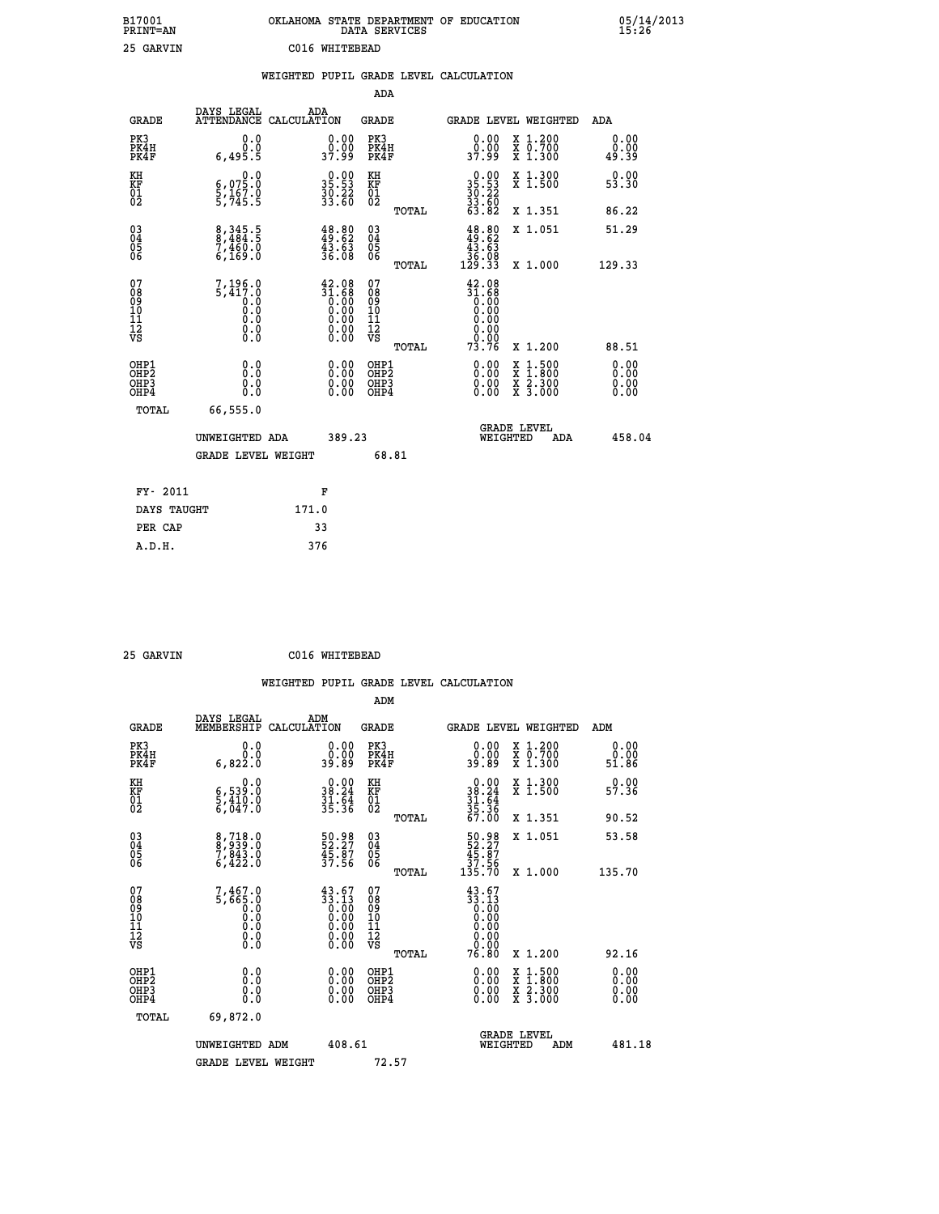| B17001<br>PRINT=AN | OKLAHOMA STATE DEPARTMENT OF EDUCATION<br>DATA SERVICES | 05/14/2013<br>15:26 |
|--------------------|---------------------------------------------------------|---------------------|
| 25 GARVIN          | C016 WHITEBEAD                                          |                     |
|                    | ואחדת ווויח זגיח וסויס זיחות הסיווס חסויות וה           |                     |

|                                          |                                                                                                         |                    |                                                                                                 |                                        |       | WEIGHTED PUPIL GRADE LEVEL CALCULATION                                                                                                                                                                                                                                         |                                          |                              |
|------------------------------------------|---------------------------------------------------------------------------------------------------------|--------------------|-------------------------------------------------------------------------------------------------|----------------------------------------|-------|--------------------------------------------------------------------------------------------------------------------------------------------------------------------------------------------------------------------------------------------------------------------------------|------------------------------------------|------------------------------|
|                                          |                                                                                                         |                    |                                                                                                 | ADA                                    |       |                                                                                                                                                                                                                                                                                |                                          |                              |
| <b>GRADE</b>                             | DAYS LEGAL<br>ATTENDANCE                                                                                | ADA<br>CALCULATION |                                                                                                 | <b>GRADE</b>                           |       |                                                                                                                                                                                                                                                                                | GRADE LEVEL WEIGHTED                     | ADA                          |
| PK3<br>PK4H<br>PK4F                      | 0.0<br>0.0<br>6,495.5                                                                                   |                    | $\begin{smallmatrix} 0.00\\ 0.00\\ 37.99 \end{smallmatrix}$                                     | PK3<br>PK4H<br>PK4F                    |       | 0.00<br>0.00<br>37.99                                                                                                                                                                                                                                                          | X 1.200<br>X 0.700<br>X 1.300            | 0.00<br>0.00<br>49.39        |
| KH<br><b>KF</b><br>01<br>02              | $\begin{smallmatrix}&&&0.0\\ 6\,,\,0\,75\,.0\\ 5\,,\,16\,7\,.0\\ 5\,,\,74\,5\,.5\end{smallmatrix}$      |                    | 35.53<br>35.53<br>30.22<br>33.60                                                                | KH<br>KF<br>01<br>02                   |       | $\begin{smallmatrix} 0.00\\ 35.53\\ 30.22\\ 33.60\\ 63.82 \end{smallmatrix}$                                                                                                                                                                                                   | X 1.300<br>X 1.500                       | 0.00<br>53.30                |
|                                          |                                                                                                         |                    |                                                                                                 |                                        | TOTAL |                                                                                                                                                                                                                                                                                | X 1.351                                  | 86.22                        |
| $^{03}_{04}$<br>05<br>06                 | 8,345.5<br>8,484.5<br>7,460.0<br>6,169.0                                                                |                    | $\begin{smallmatrix} 48.80\\ 49.62\\ 43.63\\ 36.08 \end{smallmatrix}$                           | 03<br>04<br>05<br>06                   |       | $\begin{smallmatrix} 48.80\\ 49.62\\ 43.63\\ 36.08\\ 129.33 \end{smallmatrix}$                                                                                                                                                                                                 | X 1.051                                  | 51.29                        |
|                                          |                                                                                                         |                    |                                                                                                 |                                        | TOTAL |                                                                                                                                                                                                                                                                                | X 1.000                                  | 129.33                       |
| 07<br>08<br>09<br>11<br>11<br>12<br>VS   | 7,196.0<br>5,417.0<br>$\begin{smallmatrix} 0.0 & 0 \ 0.0 & 0 \ 0.0 & 0 \end{smallmatrix}$<br>$\S.$ $\S$ |                    | $\begin{smallmatrix} 42.08\\ 31.68\\ 0.00\\ 0.00\\ 0.00\\ 0.00\\ 0.00\\ 0.00 \end{smallmatrix}$ | 07<br>08<br>09<br>11<br>11<br>12<br>VS | TOTAL | $42.08$<br>$31.68$<br>$0.00$<br>$0.00$<br>0.00<br>0.00<br>73.76                                                                                                                                                                                                                | X 1.200                                  | 88.51                        |
| OHP1<br>OHP2<br>OH <sub>P3</sub><br>OHP4 | 0.0<br>0.0<br>0.0                                                                                       |                    | $\begin{smallmatrix} 0.00 \ 0.00 \ 0.00 \ 0.00 \end{smallmatrix}$                               | OHP1<br>OHP2<br>OHP3<br>OHP4           |       | $\begin{smallmatrix} 0.00 & 0.00 & 0.00 & 0.00 & 0.00 & 0.00 & 0.00 & 0.00 & 0.00 & 0.00 & 0.00 & 0.00 & 0.00 & 0.00 & 0.00 & 0.00 & 0.00 & 0.00 & 0.00 & 0.00 & 0.00 & 0.00 & 0.00 & 0.00 & 0.00 & 0.00 & 0.00 & 0.00 & 0.00 & 0.00 & 0.00 & 0.00 & 0.00 & 0.00 & 0.00 & 0.0$ | X 1:500<br>X 1:800<br>X 2:300<br>X 3:000 | 0.00<br>0.00<br>0.00<br>0.00 |
| TOTAL                                    | 66,555.0                                                                                                |                    |                                                                                                 |                                        |       |                                                                                                                                                                                                                                                                                |                                          |                              |
|                                          | UNWEIGHTED ADA                                                                                          |                    | 389.23                                                                                          |                                        |       | WEIGHTED                                                                                                                                                                                                                                                                       | <b>GRADE LEVEL</b><br>ADA                | 458.04                       |
|                                          | <b>GRADE LEVEL WEIGHT</b>                                                                               |                    |                                                                                                 | 68.81                                  |       |                                                                                                                                                                                                                                                                                |                                          |                              |
| FY- 2011                                 |                                                                                                         |                    | F                                                                                               |                                        |       |                                                                                                                                                                                                                                                                                |                                          |                              |
| DAYS TAUGHT                              |                                                                                                         | 171.0              |                                                                                                 |                                        |       |                                                                                                                                                                                                                                                                                |                                          |                              |
| PER CAP                                  |                                                                                                         | 33                 |                                                                                                 |                                        |       |                                                                                                                                                                                                                                                                                |                                          |                              |

| 25 GARVIN | C016 WHITEBEAD |
|-----------|----------------|
|           |                |

|                                                    |                                                                                                         |                    |                                                                                                                                                                                                                                                                                                                                |                                               |       | WEIGHTED PUPIL GRADE LEVEL CALCULATION                                                                         |                                                                                                  |                       |        |
|----------------------------------------------------|---------------------------------------------------------------------------------------------------------|--------------------|--------------------------------------------------------------------------------------------------------------------------------------------------------------------------------------------------------------------------------------------------------------------------------------------------------------------------------|-----------------------------------------------|-------|----------------------------------------------------------------------------------------------------------------|--------------------------------------------------------------------------------------------------|-----------------------|--------|
|                                                    |                                                                                                         |                    |                                                                                                                                                                                                                                                                                                                                | ADM                                           |       |                                                                                                                |                                                                                                  |                       |        |
| <b>GRADE</b>                                       | DAYS LEGAL<br>MEMBERSHIP                                                                                | ADM<br>CALCULATION |                                                                                                                                                                                                                                                                                                                                | <b>GRADE</b>                                  |       |                                                                                                                | GRADE LEVEL WEIGHTED                                                                             | ADM                   |        |
| PK3<br>PK4H<br>PK4F                                | 0.0<br>0.0<br>6,822.0                                                                                   |                    | $\begin{smallmatrix} 0.00\\ 0.00\\ 0.09 \end{smallmatrix}$                                                                                                                                                                                                                                                                     | PK3<br>PK4H<br>PK4F                           |       | $\begin{smallmatrix} 0.00\\ 0.00\\ 0.09\\ 0.89 \end{smallmatrix}$                                              | X 1.200<br>X 0.700<br>X 1.300                                                                    | 0.00<br>0.00<br>51.86 |        |
| KH<br>KF<br>01<br>02                               | 0.0<br>$\frac{6}{5}, \frac{539}{410}$ $\frac{0}{6}, \frac{410}{047}$                                    |                    | $\begin{array}{r} 0.00 \\ 38.24 \\ 31.64 \\ 35.36 \end{array}$                                                                                                                                                                                                                                                                 | KH<br>KF<br>01<br>02                          |       | $0.00$<br>$38.24$<br>$31.64$<br>$35.36$<br>$67.00$                                                             | X 1.300<br>X 1.500                                                                               | $0.00$<br>57.36       |        |
|                                                    |                                                                                                         |                    |                                                                                                                                                                                                                                                                                                                                |                                               | TOTAL |                                                                                                                | X 1.351                                                                                          | 90.52                 |        |
| $\begin{matrix} 03 \\ 04 \\ 05 \\ 06 \end{matrix}$ | 8,718.0<br>8,939.0<br>7,843.0<br>6,422.0                                                                |                    | 50.98<br>52.27<br>45.87<br>37.56                                                                                                                                                                                                                                                                                               | 03<br>04<br>05<br>06                          |       | $\begin{smallmatrix} 50.98\\ 52.27\\ 45.87\\ 37.56\\ 135.70 \end{smallmatrix}$                                 | X 1.051                                                                                          | 53.58                 |        |
|                                                    |                                                                                                         |                    |                                                                                                                                                                                                                                                                                                                                |                                               | TOTAL |                                                                                                                | X 1.000                                                                                          | 135.70                |        |
| 07<br>0890112<br>1112<br>VS                        | 7,467.0<br>5,665.0<br>0.0<br>0.0<br>$\begin{smallmatrix} 0.0 & 0 \ 0.0 & 0 \ 0.0 & 0 \end{smallmatrix}$ |                    | $\begin{smallmatrix} 4\,3\cdot6\,7\\[-1.2mm] 3\,3\cdot1\,3\\[-1.2mm] 0\cdot0\,0\\[-1.2mm] 0\cdot0\,0\\[-1.2mm] 0\cdot0\,0\\[-1.2mm] 0\cdot0\,0\\[-1.2mm] 0\cdot0\,0\\[-1.2mm] 0\cdot0\,0\\[-1.2mm] 0\cdot0\,0\\[-1.2mm] 0\cdot0\,0\\[-1.2mm] 0\cdot0\,0\\[-1.2mm] 0\cdot0\,0\\[-1.2mm] 0\cdot0\,0\\[-1.2mm] 0\cdot0\,0\\[-1.2$ | 07<br>08<br>09<br>001<br>11<br>11<br>12<br>VS | TOTAL | $43.67$<br>$33.13$<br>$0.00$<br>$0.00$<br>0.00<br>$\begin{smallmatrix} 0.00 \ 0.00 \end{smallmatrix}$<br>76.80 | $X_1.200$                                                                                        | 92.16                 |        |
|                                                    |                                                                                                         |                    |                                                                                                                                                                                                                                                                                                                                |                                               |       |                                                                                                                |                                                                                                  |                       |        |
| OHP1<br>OHP2<br>OHP <sub>3</sub><br>OHP4           | 0.0<br>0.000                                                                                            |                    | $\begin{smallmatrix} 0.00 \ 0.00 \ 0.00 \ 0.00 \end{smallmatrix}$                                                                                                                                                                                                                                                              | OHP1<br>OHP2<br>OHP3<br>OHP4                  |       |                                                                                                                | $\begin{smallmatrix} x & 1 & 500 \\ x & 1 & 800 \\ x & 2 & 300 \\ x & 3 & 000 \end{smallmatrix}$ | 0.00<br>0.00<br>0.00  |        |
| TOTAL                                              | 69,872.0                                                                                                |                    |                                                                                                                                                                                                                                                                                                                                |                                               |       |                                                                                                                |                                                                                                  |                       |        |
|                                                    | UNWEIGHTED ADM                                                                                          |                    | 408.61                                                                                                                                                                                                                                                                                                                         |                                               |       | WEIGHTED                                                                                                       | <b>GRADE LEVEL</b><br>ADM                                                                        |                       | 481.18 |
|                                                    | <b>GRADE LEVEL WEIGHT</b>                                                                               |                    |                                                                                                                                                                                                                                                                                                                                | 72.57                                         |       |                                                                                                                |                                                                                                  |                       |        |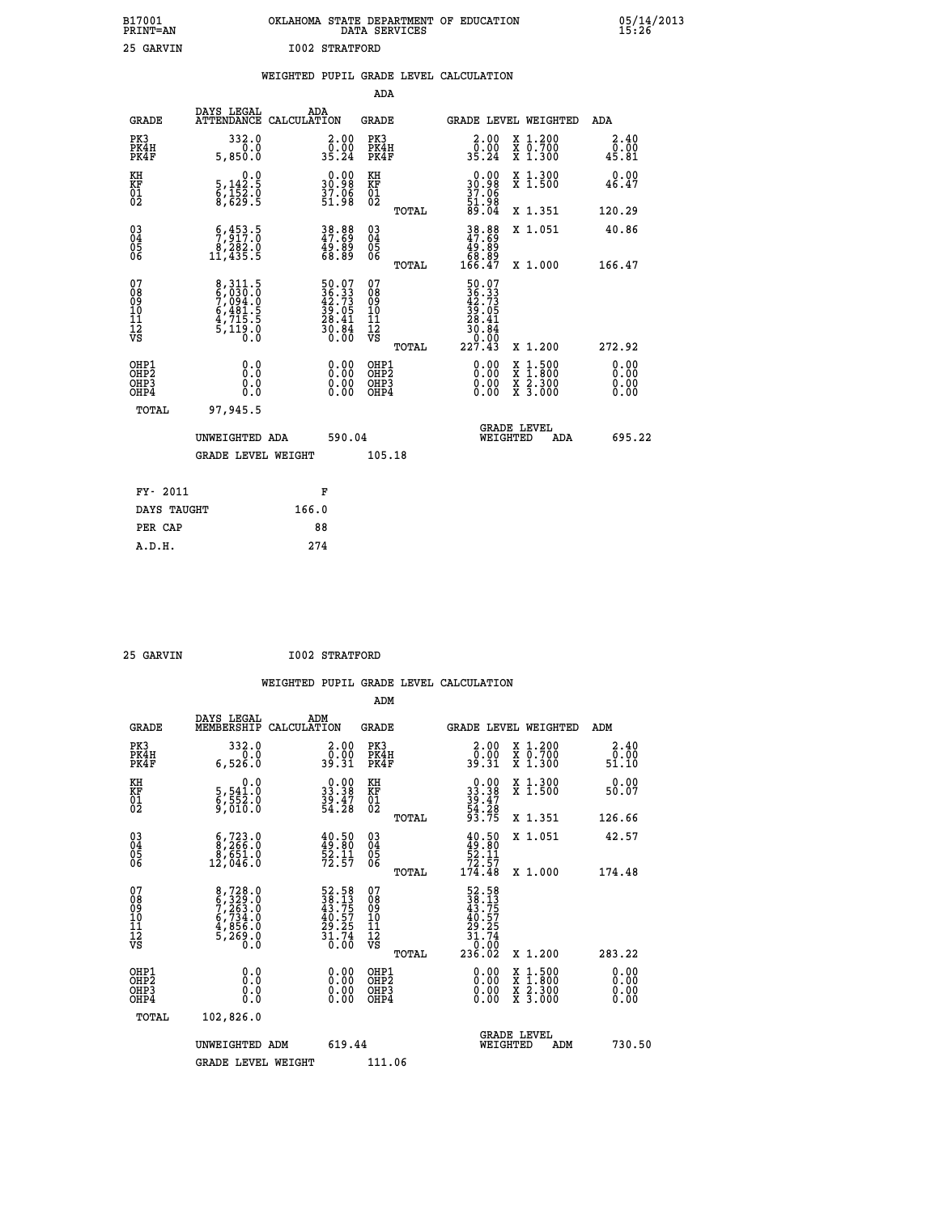| B17001          | OKLAHOMA STATE DEPARTMENT OF EDUCATION |
|-----------------|----------------------------------------|
| <b>PRINT=AN</b> | DATA SERVICES                          |
| 25 GARVIN       | <b>I002 STRATFORD</b>                  |

|                                          |                                                                               | WEIGHTED PUPIL GRADE LEVEL CALCULATION                                   |                                                     |       |                                                                                                                                      |                                          |                              |
|------------------------------------------|-------------------------------------------------------------------------------|--------------------------------------------------------------------------|-----------------------------------------------------|-------|--------------------------------------------------------------------------------------------------------------------------------------|------------------------------------------|------------------------------|
|                                          |                                                                               |                                                                          | <b>ADA</b>                                          |       |                                                                                                                                      |                                          |                              |
| <b>GRADE</b>                             | <b>DAYS LEGAL<br/>ATTENDANCE</b>                                              | ADA<br>CALCULATION                                                       | <b>GRADE</b>                                        |       |                                                                                                                                      | GRADE LEVEL WEIGHTED                     | ADA                          |
| PK3<br>PK4H<br>PK4F                      | 332.0<br>5,850.0                                                              | $\begin{smallmatrix} 2.00\\ 0.00\\ 35.24 \end{smallmatrix}$              | PK3<br>PK4H<br>PK4F                                 |       | 2.00<br>0.00≨<br>35.24                                                                                                               | X 1.200<br>X 0.700<br>X 1.300            | 2.40<br>ō:ōŏ<br>45.81        |
| KH<br>KF<br>01<br>02                     | 0.0<br>$\frac{5}{6}, \frac{142}{152}$ . 0<br>8,629. 9                         | $\begin{smallmatrix} 0.00\\ 30.98\\ 37.96\\ 51.98 \end{smallmatrix}$     | KH<br>KF<br>01<br>02                                |       | 0.00<br>30.98<br>37.06                                                                                                               | X 1.300<br>X 1.500                       | 0.00<br>46.47                |
|                                          |                                                                               |                                                                          |                                                     | TOTAL | 51.98<br>89.04                                                                                                                       | X 1.351                                  | 120.29                       |
| $^{03}_{04}$<br>Ŏ5<br>06                 | $\substack{\begin{array}{c} 6,453.5\\7,917.0\\8,282.0\\11,435.5 \end{array}}$ | $\begin{smallmatrix} 38.88\ 47.69\ 49.89\ 68.89 \end{smallmatrix}$       | $\begin{array}{c} 03 \\ 04 \\ 05 \\ 06 \end{array}$ |       | $38.88$<br>$47.69$<br>$49.89$<br>$68.89$<br>$68.47$                                                                                  | X 1.051                                  | 40.86                        |
|                                          |                                                                               |                                                                          |                                                     | TOTAL |                                                                                                                                      | X 1.000                                  | 166.47                       |
| 07<br>08<br>09<br>101<br>112<br>VS       | 8,311.5<br>6,030.0<br>7,094.0<br>6,481.5<br>6,4715.5<br>5,119.0<br>0.0        | $50.07$<br>$36.33$<br>$42.73$<br>$39.05$<br>$28.41$<br>$30.84$<br>$0.00$ | 07<br>08<br>09<br>101<br>11<br>12<br>VS             | TOTAL | $\begin{array}{r} 50\cdot07 \\ 36\cdot33 \\ 42\cdot73 \\ 39\cdot05 \\ 28\cdot41 \\ 20\cdot84 \\ 30\cdot84 \\ 227\cdot43 \end{array}$ | X 1.200                                  | 272.92                       |
| OHP1<br>OHP2<br>OH <sub>P3</sub><br>OHP4 | 0.0<br>Ō.Ō<br>Ō.Ō                                                             | 0.00<br>$\begin{smallmatrix} 0.00 \ 0.00 \end{smallmatrix}$              | OHP1<br>OHP2<br>OHP3<br>OHP4                        |       | 0.00<br>0.00<br>0.00                                                                                                                 | X 1:500<br>X 1:800<br>X 2:300<br>X 3:000 | 0.00<br>0.00<br>0.00<br>0.00 |
| <b>TOTAL</b>                             | 97,945.5                                                                      |                                                                          |                                                     |       |                                                                                                                                      |                                          |                              |
|                                          | UNWEIGHTED ADA                                                                | 590.04                                                                   |                                                     |       |                                                                                                                                      | GRADE LEVEL<br>WEIGHTED<br>ADA           | 695.22                       |
|                                          | <b>GRADE LEVEL WEIGHT</b>                                                     |                                                                          | 105.18                                              |       |                                                                                                                                      |                                          |                              |
| FY- 2011                                 |                                                                               | F                                                                        |                                                     |       |                                                                                                                                      |                                          |                              |
| DAYS TAUGHT                              |                                                                               | 166.0                                                                    |                                                     |       |                                                                                                                                      |                                          |                              |
| PER CAP                                  |                                                                               | 88                                                                       |                                                     |       |                                                                                                                                      |                                          |                              |

| RV.<br>۱ī<br>т |
|----------------|
|                |

**25 GARVIN 1002 STRATFORD** 

| <b>GRADE</b>                             | DAYS LEGAL<br>MEMBERSHIP                                                               | ADM<br>CALCULATION                                                                        | <b>GRADE</b>                                       |       | GRADE LEVEL WEIGHTED                                                                                  |          |                                          |     | ADM                   |  |
|------------------------------------------|----------------------------------------------------------------------------------------|-------------------------------------------------------------------------------------------|----------------------------------------------------|-------|-------------------------------------------------------------------------------------------------------|----------|------------------------------------------|-----|-----------------------|--|
| PK3<br>PK4H<br>PK4F                      | 332.0<br>6,526.0                                                                       | $\begin{smallmatrix} 2.00\\ 0.00\\ 39.31 \end{smallmatrix}$                               | PK3<br>PK4H<br>PK4F                                |       | $\begin{smallmatrix} 2.00\\ 0.00\\ 39.31 \end{smallmatrix}$                                           |          | X 1.200<br>X 0.700<br>X 1.300            |     | 2.40<br>0.00<br>51.10 |  |
| KH<br>KF<br>01<br>02                     | 0.0<br>5,541.0<br>$\frac{5}{9}, \frac{5}{0}$ $\frac{5}{0}$ $\frac{2}{0}$ $\frac{3}{0}$ | $\begin{smallmatrix} 0.00\\ 33.38\\ 39.47\\ 54.28 \end{smallmatrix}$                      | KH<br>KF<br>01<br>02                               |       | $0.00$<br>$33.38$<br>$39.47$<br>$54.28$<br>$93.75$                                                    |          | X 1.300<br>X 1.500                       |     | 0.00<br>50.07         |  |
|                                          |                                                                                        |                                                                                           |                                                    | TOTAL |                                                                                                       |          | X 1.351                                  |     | 126.66                |  |
| 03<br>04<br>05<br>06                     | $\begin{smallmatrix} 6,723.0\\ 8,266.0\\ 8,651.0\\ 12,046.0 \end{smallmatrix}$         | $40.50$<br>$49.80$<br>$52.11$<br>$72.57$                                                  | $\begin{matrix} 03 \\ 04 \\ 05 \\ 06 \end{matrix}$ |       | $40.50$<br>$52.11$<br>$72.57$<br>$174.48$                                                             |          | X 1.051                                  |     | 42.57                 |  |
|                                          |                                                                                        |                                                                                           |                                                    | TOTAL |                                                                                                       |          | X 1.000                                  |     | 174.48                |  |
| 07<br>089<br>090<br>1112<br>VS           | 8,728.0<br>6,329.0<br>7,263.0<br>6,734.0<br>6,734.0<br>4,856.0<br>5,269.0              | $\begin{array}{r} 52.58 \\ 38.13 \\ 43.75 \\ 40.57 \\ 29.25 \\ 31.74 \\ 0.00 \end{array}$ | 07<br>08<br>09<br>01<br>11<br>11<br>12<br>VS       | TOTAL | $\begin{array}{r} 52.58 \\ 38.13 \\ 43.757 \\ 40.575 \\ 29.25 \\ 31.74 \\ 0.00 \\ 236.02 \end{array}$ |          | X 1.200                                  |     | 283.22                |  |
| OHP1<br>OHP2<br>OH <sub>P3</sub><br>OHP4 | 0.0<br>0.000                                                                           | $\begin{smallmatrix} 0.00 \ 0.00 \ 0.00 \ 0.00 \end{smallmatrix}$                         | OHP1<br>OHP2<br>OHP3<br>OHP4                       |       |                                                                                                       |          | X 1:500<br>X 1:800<br>X 2:300<br>X 3:000 |     | 0.00<br>0.00<br>0.00  |  |
| TOTAL                                    | 102,826.0                                                                              |                                                                                           |                                                    |       |                                                                                                       |          |                                          |     |                       |  |
|                                          | UNWEIGHTED                                                                             | 619.44<br>ADM                                                                             |                                                    |       |                                                                                                       | WEIGHTED | <b>GRADE LEVEL</b>                       | ADM | 730.50                |  |
|                                          | <b>GRADE LEVEL WEIGHT</b>                                                              |                                                                                           | 111.06                                             |       |                                                                                                       |          |                                          |     |                       |  |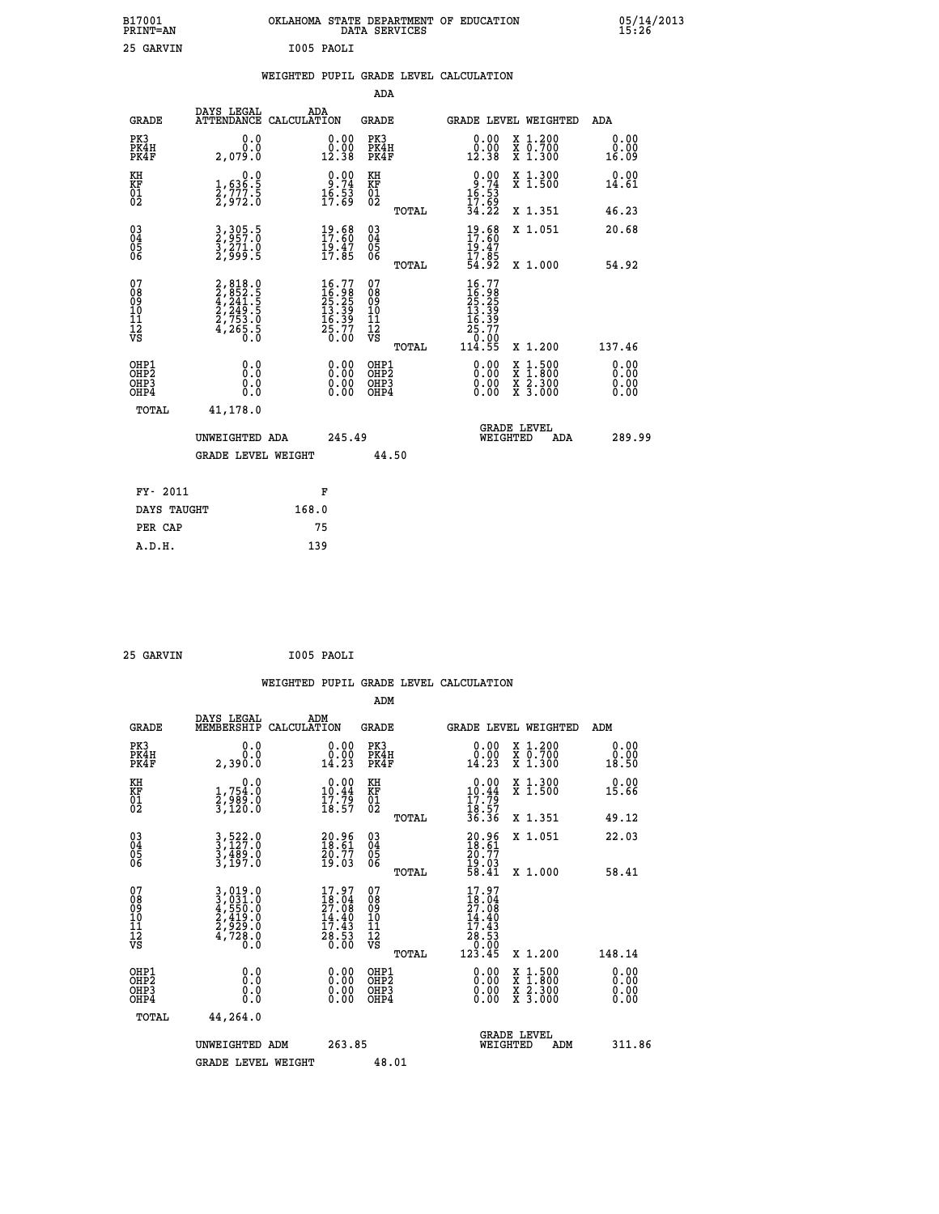| B17001<br>PRINT-AN                                 |                                                                            |                                                                          | OKLAHOMA STATE DEPARTMENT OF EDUCATION<br>DATA SERVICES |                                                                          |                                                                                                                                           | $05/14/2013$<br>15:26 |  |
|----------------------------------------------------|----------------------------------------------------------------------------|--------------------------------------------------------------------------|---------------------------------------------------------|--------------------------------------------------------------------------|-------------------------------------------------------------------------------------------------------------------------------------------|-----------------------|--|
| 25 GARVIN                                          |                                                                            | I005 PAOLI                                                               |                                                         |                                                                          |                                                                                                                                           |                       |  |
|                                                    |                                                                            |                                                                          | WEIGHTED PUPIL GRADE LEVEL CALCULATION                  |                                                                          |                                                                                                                                           |                       |  |
|                                                    |                                                                            |                                                                          | ADA                                                     |                                                                          |                                                                                                                                           |                       |  |
| <b>GRADE</b>                                       | DAYS LEGAL<br>ATTENDANCE CALCULATION                                       | ADA                                                                      | <b>GRADE</b>                                            |                                                                          | <b>GRADE LEVEL WEIGHTED</b>                                                                                                               | ADA                   |  |
| PK3<br>PK4H<br>PK4F                                | 0.0<br>0.0<br>2,079.0                                                      | 0.00<br>$\frac{0.00}{12.38}$                                             | PK3<br>PK4H<br>PK4F                                     | 0.00<br>ŏ:ŏŏ<br>12:38                                                    | X 1.200<br>X 0.700<br>X 1.300                                                                                                             | 0.00<br>0.00<br>16.09 |  |
| KH<br>KF<br>$\overline{01}_0$                      | 0.0<br>1,636:5<br>2,777:5<br>2,972:0                                       | $\begin{smallmatrix} 0.00\\ 9.74\\ 16.53\\ 17.69 \end{smallmatrix}$      | KH<br>KF<br>01<br>02                                    | $0.00$<br>$0.74$<br>$16.53$<br>$17.69$<br>$34.22$                        | X 1.300<br>X 1.500                                                                                                                        | 0.00<br>14.61         |  |
|                                                    |                                                                            |                                                                          | TOTAL                                                   |                                                                          | X 1.351                                                                                                                                   | 46.23                 |  |
| $\begin{matrix} 03 \\ 04 \\ 05 \\ 06 \end{matrix}$ | 3, 305.5<br>2, 957.0<br>3, 271.0<br>2, 999.5                               | $19.68$<br>$17.60$<br>$19.47$<br>$17.85$                                 | 03<br>04<br>05<br>06                                    | $19.68$<br>$17.60$<br>19.47<br>17:85<br>54:92                            | X 1.051                                                                                                                                   | 20.68                 |  |
|                                                    |                                                                            |                                                                          | TOTAL                                                   |                                                                          | X 1.000                                                                                                                                   | 54.92                 |  |
| 07<br>08<br>09<br>11<br>11<br>12<br>VS             | $2,818.0$<br>$2,852.5$<br>$4,241.5$<br>$2,753.0$<br>$2,753.0$<br>$4,265.5$ | $16.77$<br>$16.98$<br>$25.25$<br>$13.39$<br>$16.39$<br>$25.77$<br>$0.00$ | 07<br>08<br>09<br>10<br>11<br>12<br>VS<br>TOTAL         | 16.77<br>16:96<br>25:25<br>13:39<br>16<br>.39<br>25.77<br>0.00<br>114.55 | X 1.200                                                                                                                                   | 137.46                |  |
| OHP1                                               | 0.0                                                                        |                                                                          | OHP1                                                    |                                                                          |                                                                                                                                           | 0.00                  |  |
| OHP <sub>2</sub><br>OHP3<br>OHP4                   | 0.Ŏ<br>0.0<br>0.0                                                          | 0.00<br>0.00<br>0.00                                                     | OHP <sub>2</sub><br>OHP3<br>OHP4                        | 0.00<br>0.00<br>0.00                                                     | $\begin{smallmatrix} \mathtt{X} & 1\cdot500\\ \mathtt{X} & 1\cdot800\\ \mathtt{X} & 2\cdot300\\ \mathtt{X} & 3\cdot000 \end{smallmatrix}$ | 0.00<br>0.00<br>0.00  |  |
| TOTAL                                              | 41,178.0                                                                   |                                                                          |                                                         |                                                                          |                                                                                                                                           |                       |  |
|                                                    | UNWEIGHTED ADA                                                             | 245.49                                                                   |                                                         | WEIGHTED                                                                 | <b>GRADE LEVEL</b><br>ADA                                                                                                                 | 289.99                |  |
|                                                    | <b>GRADE LEVEL WEIGHT</b>                                                  |                                                                          | 44.50                                                   |                                                                          |                                                                                                                                           |                       |  |
| FY- 2011                                           |                                                                            | F                                                                        |                                                         |                                                                          |                                                                                                                                           |                       |  |
| DAYS TAUGHT                                        |                                                                            | 168.0                                                                    |                                                         |                                                                          |                                                                                                                                           |                       |  |

| 25 GARVIN | I005 PAOLI |
|-----------|------------|
|           |            |

**PER CAP** 75<br> **A.D.H.** 139

|                                                    |                                                                       |                    |                                                                             |                              |       | WEIGHTED PUPIL GRADE LEVEL CALCULATION                                                                                                                                                                                                                                         |                                                                                                  |        |                       |
|----------------------------------------------------|-----------------------------------------------------------------------|--------------------|-----------------------------------------------------------------------------|------------------------------|-------|--------------------------------------------------------------------------------------------------------------------------------------------------------------------------------------------------------------------------------------------------------------------------------|--------------------------------------------------------------------------------------------------|--------|-----------------------|
|                                                    |                                                                       |                    |                                                                             | ADM                          |       |                                                                                                                                                                                                                                                                                |                                                                                                  |        |                       |
| <b>GRADE</b>                                       | DAYS LEGAL<br>MEMBERSHIP                                              | ADM<br>CALCULATION |                                                                             | <b>GRADE</b>                 |       | GRADE LEVEL WEIGHTED                                                                                                                                                                                                                                                           |                                                                                                  | ADM    |                       |
| PK3<br>PK4H<br>PK4F                                | 0.0<br>Ŏ.Ŏ<br>2,390.0                                                 |                    | 0.00<br>14.23                                                               | PK3<br>PK4H<br>PK4F          |       | $\begin{smallmatrix} 0.00\\ 0.00\\ 14.23 \end{smallmatrix}$                                                                                                                                                                                                                    | X 1.200<br>X 0.700<br>X 1.300                                                                    |        | 0.00<br>0.00<br>18.50 |
| KH<br>KF<br>01<br>02                               | 0.0<br>$\frac{1}{2}, \frac{754}{989}$ .0<br>3,120.0                   |                    | $\begin{array}{c} 0.00 \\ 10.44 \\ 17.79 \\ 18.57 \end{array}$              | KH<br>KF<br>01<br>02         |       | $\begin{array}{r} 0.00 \\ 10.44 \\ 17.79 \\ 18.57 \\ 36.36 \end{array}$                                                                                                                                                                                                        | X 1.300<br>X 1.500                                                                               |        | 0.00<br>15.66         |
|                                                    |                                                                       |                    |                                                                             |                              | TOTAL |                                                                                                                                                                                                                                                                                | X 1.351                                                                                          |        | 49.12                 |
| $\begin{matrix} 03 \\ 04 \\ 05 \\ 06 \end{matrix}$ | 3,522.0<br>3,127.0<br>3,489.0<br>3,197.0                              |                    | $\begin{smallmatrix} 20.96\\ 18.61\\ 20.77\\ 19.03 \end{smallmatrix}$       | $^{03}_{04}$<br>Ŏ5<br>06     |       | $20.96$<br>$18.61$<br>$20.77$<br>$19.03$<br>$58.41$                                                                                                                                                                                                                            | X 1.051                                                                                          |        | 22.03                 |
| 07<br>0890112<br>1112<br>VS                        | 3,019.0<br>3,031.0<br>4,550.0<br>4,550.0<br>2,419.0<br>4,728.0<br>0.0 |                    | $17.97$<br>$18.04$<br>$27.08$<br>$14.40$<br>$17.43$<br>$\frac{28.53}{0.00}$ | 07<br>08901123<br>1112<br>VS | TOTAL | 17.97<br>18.04<br>$\begin{smallmatrix} 27.08\ 14.40\ 17.43\ 28.53\ 0.005\ 123.45 \end{smallmatrix}$                                                                                                                                                                            | X 1.000                                                                                          |        | 58.41                 |
|                                                    |                                                                       |                    |                                                                             |                              | TOTAL |                                                                                                                                                                                                                                                                                | $X_1.200$                                                                                        | 148.14 |                       |
| OHP1<br>OHP2<br>OH <sub>P3</sub><br>OHP4           | 0.0<br>0.000                                                          |                    | $\begin{smallmatrix} 0.00 \ 0.00 \ 0.00 \ 0.00 \end{smallmatrix}$           | OHP1<br>OHP2<br>OHP3<br>OHP4 |       | $\begin{smallmatrix} 0.00 & 0.00 & 0.00 & 0.00 & 0.00 & 0.00 & 0.00 & 0.00 & 0.00 & 0.00 & 0.00 & 0.00 & 0.00 & 0.00 & 0.00 & 0.00 & 0.00 & 0.00 & 0.00 & 0.00 & 0.00 & 0.00 & 0.00 & 0.00 & 0.00 & 0.00 & 0.00 & 0.00 & 0.00 & 0.00 & 0.00 & 0.00 & 0.00 & 0.00 & 0.00 & 0.0$ | $\begin{smallmatrix} x & 1 & 500 \\ x & 1 & 800 \\ x & 2 & 300 \\ x & 3 & 000 \end{smallmatrix}$ |        | 0.00<br>0.00<br>0.00  |
| TOTAL                                              | 44,264.0                                                              |                    |                                                                             |                              |       |                                                                                                                                                                                                                                                                                |                                                                                                  |        |                       |
|                                                    | UNWEIGHTED ADM                                                        |                    | 263.85                                                                      |                              |       | WEIGHTED                                                                                                                                                                                                                                                                       | <b>GRADE LEVEL</b><br>ADM                                                                        |        | 311.86                |
|                                                    | <b>GRADE LEVEL WEIGHT</b>                                             |                    |                                                                             | 48.01                        |       |                                                                                                                                                                                                                                                                                |                                                                                                  |        |                       |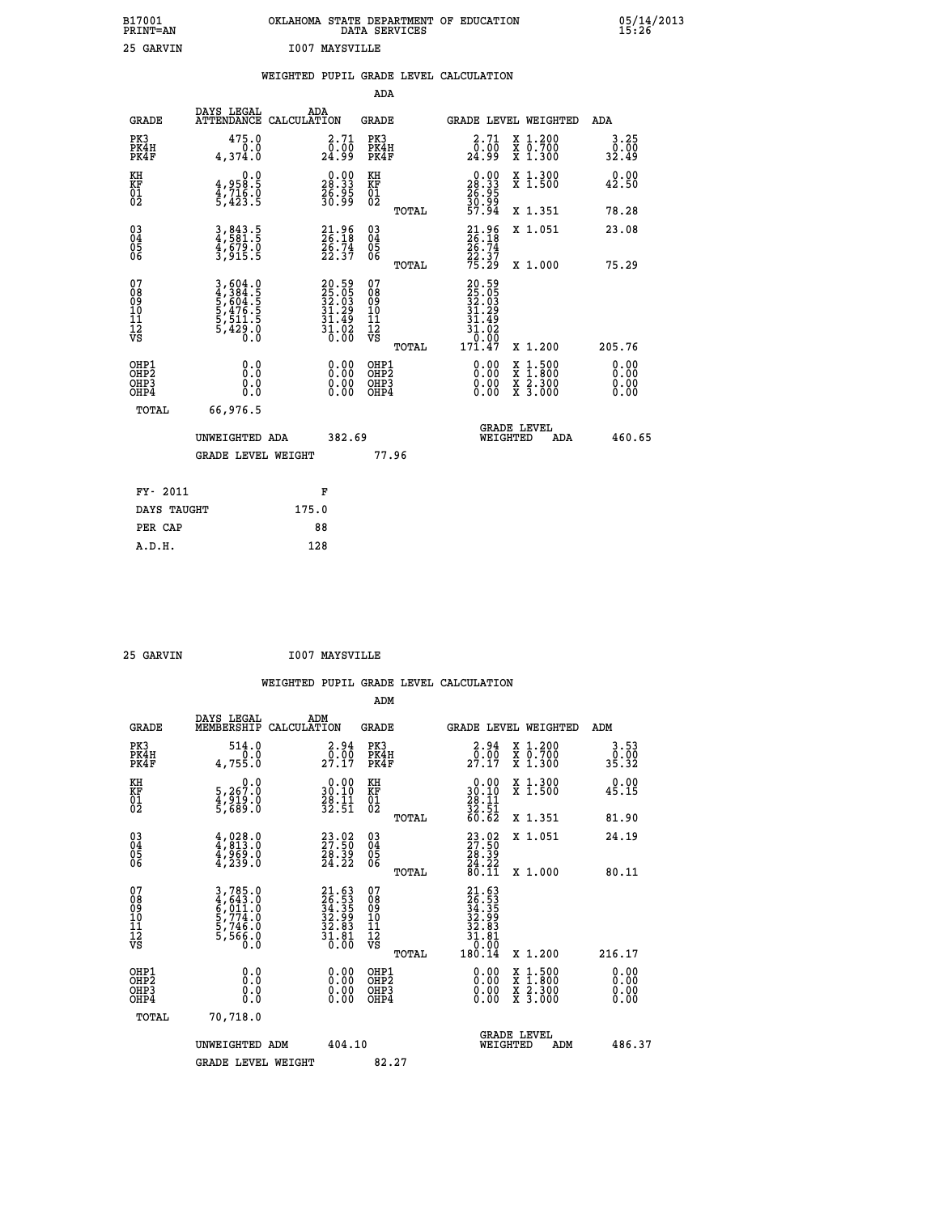| B17001<br><b>PRINT=AN</b> | OKLAHOMA STATE DEPARTMENT OF EDUCATION<br>DATA SERVICES | 05/14/2013<br>15:26 |
|---------------------------|---------------------------------------------------------|---------------------|
| 25 GARVIN                 | <b>I007 MAYSVILLE</b>                                   |                     |

|                                                                    |                                                                           | WEIGHTED PUPIL GRADE LEVEL CALCULATION                                   |                                                    |       |                                                                                                                                                                                                                                                                                |                                                                                                                                              |                       |
|--------------------------------------------------------------------|---------------------------------------------------------------------------|--------------------------------------------------------------------------|----------------------------------------------------|-------|--------------------------------------------------------------------------------------------------------------------------------------------------------------------------------------------------------------------------------------------------------------------------------|----------------------------------------------------------------------------------------------------------------------------------------------|-----------------------|
|                                                                    |                                                                           |                                                                          | <b>ADA</b>                                         |       |                                                                                                                                                                                                                                                                                |                                                                                                                                              |                       |
| <b>GRADE</b>                                                       | DAYS LEGAL<br>ATTENDANCE CALCULATION                                      | ADA                                                                      | GRADE                                              |       |                                                                                                                                                                                                                                                                                | GRADE LEVEL WEIGHTED                                                                                                                         | ADA                   |
| PK3<br>PK4H<br>PK4F                                                | 475.0<br>0.0<br>4,374.0                                                   | 2.71<br>_0:00<br>24:99                                                   | PK3<br>PK4H<br>PK4F                                |       | $\begin{smallmatrix} 2\cdot71\0.00\24.99 \end{smallmatrix}$                                                                                                                                                                                                                    | X 1.200<br>X 0.700<br>X 1.300                                                                                                                | 3.25<br>0.00<br>32.49 |
| KH<br>KF<br>01<br>02                                               | $4,958.5$<br>$4,716.0$<br>$5,423.5$                                       | $\begin{smallmatrix} 0.00\\ 28.33\\ 26.95\\ 30.99 \end{smallmatrix}$     | KH<br>KF<br>01<br>02                               |       | $\begin{smallmatrix} 0.00\\ 28.33\\ 26.95\\ 36.99\\ 30.99\\ 57.94 \end{smallmatrix}$                                                                                                                                                                                           | X 1.300<br>X 1.500                                                                                                                           | 0.00<br>42.50         |
|                                                                    |                                                                           |                                                                          |                                                    | TOTAL |                                                                                                                                                                                                                                                                                | X 1.351                                                                                                                                      | 78.28                 |
| $\begin{smallmatrix} 03 \\[-4pt] 04 \end{smallmatrix}$<br>Ŏ5<br>06 | 3,843.5<br>4,581.5<br>4,679.0<br>3,915.5                                  | $21.96$<br>$26.18$<br>$26.74$<br>$22.37$                                 | $\begin{matrix} 03 \\ 04 \\ 05 \\ 06 \end{matrix}$ |       | $21.96$<br>$26.18$<br>$26.74$<br>$22.37$<br>$75.29$                                                                                                                                                                                                                            | X 1.051                                                                                                                                      | 23.08                 |
|                                                                    |                                                                           |                                                                          |                                                    | TOTAL |                                                                                                                                                                                                                                                                                | X 1.000                                                                                                                                      | 75.29                 |
| 07<br>08<br>09<br>11<br>11<br>12<br>VS                             | 3,604.0<br>4,384.5<br>5,604.5<br>5,476.5<br>5,476.5<br>5,511.5<br>5,429.0 | $20.59$<br>$25.05$<br>$32.03$<br>$31.29$<br>$31.49$<br>$31.02$<br>$0.00$ | 07<br>08<br>09<br>11<br>11<br>12<br>VS             | TOTAL | 20.59<br>25.05<br>32.03<br>31.29<br>31<br>.49<br>31.02<br>0:00<br>171.47                                                                                                                                                                                                       | X 1.200                                                                                                                                      | 205.76                |
| OHP1<br>OHP2<br>OHP3<br>OHP4                                       | 0.0<br>0.0<br>Ŏ.Ŏ                                                         | 0.00<br>$\begin{smallmatrix} 0.00 \ 0.00 \end{smallmatrix}$              | OHP1<br>OHP2<br>OHP3<br>OHP4                       |       | $\begin{smallmatrix} 0.00 & 0.00 & 0.00 & 0.00 & 0.00 & 0.00 & 0.00 & 0.00 & 0.00 & 0.00 & 0.00 & 0.00 & 0.00 & 0.00 & 0.00 & 0.00 & 0.00 & 0.00 & 0.00 & 0.00 & 0.00 & 0.00 & 0.00 & 0.00 & 0.00 & 0.00 & 0.00 & 0.00 & 0.00 & 0.00 & 0.00 & 0.00 & 0.00 & 0.00 & 0.00 & 0.0$ | $\begin{smallmatrix} \mathtt{X} & 1\cdot500 \\ \mathtt{X} & 1\cdot800 \\ \mathtt{X} & 2\cdot300 \\ \mathtt{X} & 3\cdot000 \end{smallmatrix}$ | 0.00<br>0.00<br>0.00  |
| TOTAL                                                              | 66,976.5                                                                  |                                                                          |                                                    |       |                                                                                                                                                                                                                                                                                |                                                                                                                                              |                       |
|                                                                    | UNWEIGHTED ADA                                                            | 382.69                                                                   |                                                    |       | WEIGHTED                                                                                                                                                                                                                                                                       | <b>GRADE LEVEL</b><br>ADA                                                                                                                    | 460.65                |
|                                                                    | <b>GRADE LEVEL WEIGHT</b>                                                 |                                                                          |                                                    | 77.96 |                                                                                                                                                                                                                                                                                |                                                                                                                                              |                       |
| FY- 2011                                                           |                                                                           | F                                                                        |                                                    |       |                                                                                                                                                                                                                                                                                |                                                                                                                                              |                       |
| DAYS TAUGHT                                                        |                                                                           | 175.0                                                                    |                                                    |       |                                                                                                                                                                                                                                                                                |                                                                                                                                              |                       |
| PER CAP                                                            |                                                                           | 88                                                                       |                                                    |       |                                                                                                                                                                                                                                                                                |                                                                                                                                              |                       |

 **ADM**

 **25 GARVIN I007 MAYSVILLE**

| <b>GRADE</b>                                       | DAYS LEGAL<br>MEMBERSHIP CALCULATION                                     | ADM                                                                                       | <b>GRADE</b>                                       |       | GRADE LEVEL WEIGHTED                                                                        |                                          | ADM                   |  |
|----------------------------------------------------|--------------------------------------------------------------------------|-------------------------------------------------------------------------------------------|----------------------------------------------------|-------|---------------------------------------------------------------------------------------------|------------------------------------------|-----------------------|--|
| PK3<br>PK4H<br>PK4F                                | 514.0<br>4,755.0                                                         | $\begin{smallmatrix} 2.94\0.00\\27.17\end{smallmatrix}$                                   | PK3<br>PK4H<br>PK4F                                |       | 2.94<br>27.17                                                                               | X 1.200<br>X 0.700<br>X 1.300            | $3 \cdot 53$<br>35.32 |  |
| KH<br>KF<br>01<br>02                               | 5,267.0<br>$\frac{4}{5}$ , $\frac{5}{6}$ , $\frac{5}{8}$ , $\frac{5}{6}$ | $\begin{array}{c} 0.00 \\ 30.10 \\ 28.11 \\ 32.51 \end{array}$                            | KH<br><b>KF</b><br>01<br>02                        |       | $\begin{smallmatrix} 0.00\\ 30.10\\ 28.11\\ 32.51\\ 60.62 \end{smallmatrix}$                | X 1.300<br>X 1.500                       | 0.00<br>45.15         |  |
|                                                    |                                                                          |                                                                                           |                                                    | TOTAL |                                                                                             | X 1.351                                  | 81.90                 |  |
| $\begin{matrix} 03 \\ 04 \\ 05 \\ 06 \end{matrix}$ | $4,813.0$<br>$4,969.0$<br>$4,239.0$                                      | $\begin{smallmatrix} 23\cdot 02\\ 27\cdot 50\\ 28\cdot 39\\ 24\cdot 22 \end{smallmatrix}$ | $\begin{matrix} 03 \\ 04 \\ 05 \\ 06 \end{matrix}$ |       | $\begin{smallmatrix} 23 & 02 \\ 27 & 50 \\ 28 & 39 \\ 24 & 22 \\ 80 & 11 \end{smallmatrix}$ | X 1.051                                  | 24.19                 |  |
|                                                    |                                                                          |                                                                                           |                                                    | TOTAL |                                                                                             | X 1.000                                  | 80.11                 |  |
| 07<br>08<br>09<br>101<br>11<br>12<br>VS            | 3,785.0<br>4,643.0<br>6,011.0<br>5,774.0<br>5,746.0<br>5,566.0<br>0.0    | $21.6326.5334.3532.9932.8331.8131.810.00$                                                 | 07<br>08<br>09<br>001<br>11<br>11<br>12<br>VS      | TOTAL | $21.63$<br>$26.53$<br>$34.35$<br>$32.99$<br>$32.83$<br>$31.81$<br>$0.99$<br>180.14          | X 1.200                                  | 216.17                |  |
| OHP1                                               |                                                                          |                                                                                           | OHP1                                               |       |                                                                                             |                                          |                       |  |
| OHP <sub>2</sub><br>OH <sub>P3</sub><br>OHP4       | 0.0<br>0.000                                                             | $\begin{smallmatrix} 0.00 \ 0.00 \ 0.00 \ 0.00 \end{smallmatrix}$                         | OHP <sub>2</sub><br>OHP3<br>OHP4                   |       | 0.00<br>$0.00$<br>0.00                                                                      | X 1:500<br>X 1:800<br>X 2:300<br>X 3:000 | 0.00<br>0.00<br>0.00  |  |
| TOTAL                                              | 70,718.0                                                                 |                                                                                           |                                                    |       |                                                                                             |                                          |                       |  |
|                                                    | UNWEIGHTED<br>ADM                                                        | 404.10                                                                                    |                                                    |       | WEIGHTED                                                                                    | <b>GRADE LEVEL</b><br>ADM                | 486.37                |  |
|                                                    | <b>GRADE LEVEL WEIGHT</b>                                                |                                                                                           | 82.27                                              |       |                                                                                             |                                          |                       |  |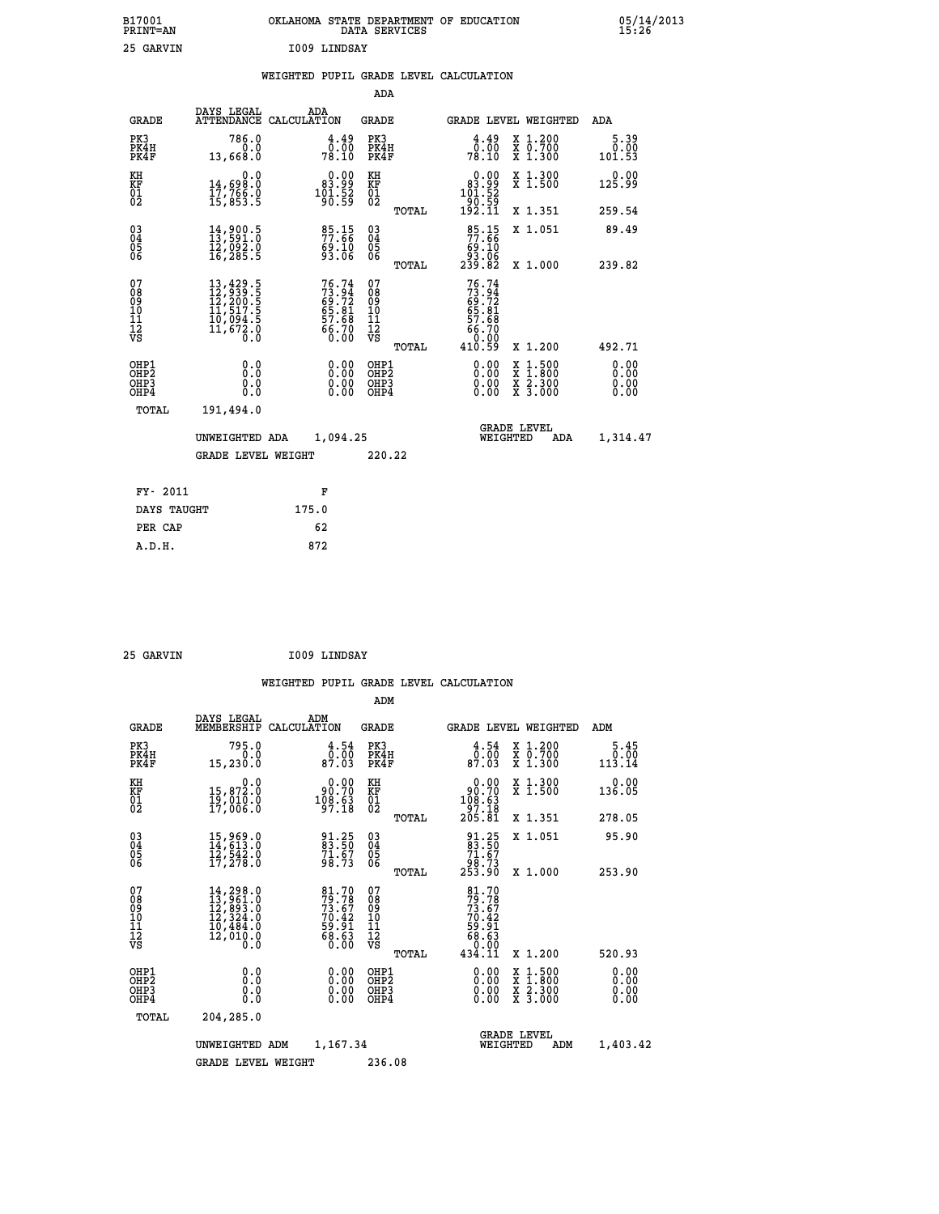| B17001<br>PRINT=AN | OKLAHOMA STATE DEPARTMENT OF EDUCATION<br>DATA SERVICES | 05/14/2013<br>15:26 |
|--------------------|---------------------------------------------------------|---------------------|
| 25<br>GARVIN       | 1009 LINDSAY                                            |                     |

|  |  | WEIGHTED PUPIL GRADE LEVEL CALCULATION |
|--|--|----------------------------------------|
|  |  |                                        |

|                                                                  |                                                                                                                                                                               |                                                                      | ADA                                      |       |                                                                                    |                                                                                                                                           |                              |
|------------------------------------------------------------------|-------------------------------------------------------------------------------------------------------------------------------------------------------------------------------|----------------------------------------------------------------------|------------------------------------------|-------|------------------------------------------------------------------------------------|-------------------------------------------------------------------------------------------------------------------------------------------|------------------------------|
| <b>GRADE</b>                                                     | DAYS LEGAL                                                                                                                                                                    | ADA<br>ATTENDANCE CALCULATION                                        | <b>GRADE</b>                             |       |                                                                                    | GRADE LEVEL WEIGHTED                                                                                                                      | ADA                          |
| PK3<br>PK4H<br>PK4F                                              | 786.0<br>0.0<br>13,668.0                                                                                                                                                      | $\begin{smallmatrix} 4.49\ 0.00\ 78.10 \end{smallmatrix}$            | PK3<br>PK4H<br>PK4F                      |       | $\begin{smallmatrix} 4.49\ 0.00\ 78.10 \end{smallmatrix}$                          | X 1.200<br>X 0.700<br>X 1.300                                                                                                             | 5.39<br>0.00<br>101.53       |
| KH<br>KF<br>01<br>02                                             | 0.0<br>14,698.0<br>17,766.0<br>15,853.5                                                                                                                                       | $\begin{smallmatrix} &0.00\ 83.99\ 101.52\ 90.59\ \end{smallmatrix}$ | KH<br>KF<br>01<br>02                     |       | 0.00<br>$\begin{smallmatrix} 83.99 \\ 101.52 \\ 90.59 \\ 192.11 \end{smallmatrix}$ | X 1.300<br>X 1.500                                                                                                                        | 0.00<br>125.99               |
|                                                                  |                                                                                                                                                                               |                                                                      |                                          | TOTAL |                                                                                    | X 1.351                                                                                                                                   | 259.54                       |
| $\begin{matrix} 03 \\ 04 \\ 05 \\ 06 \end{matrix}$               | 14,900.5<br>13,591.0<br>īž, osz. o<br>16, 285. 5                                                                                                                              | $\frac{85.15}{77.66}$<br>69.10<br>93.06                              | $\substack{03 \\ 04}$<br>Ŏ5<br>06        | TOTAL | 85.15<br>77.66<br>10. ۇغ<br>06. 33<br>82. 239                                      | X 1.051<br>X 1.000                                                                                                                        | 89.49<br>239.82              |
| 07                                                               |                                                                                                                                                                               |                                                                      | 07                                       |       | 76.74                                                                              |                                                                                                                                           |                              |
| 08<br>09<br>11<br>11<br>12<br>VS                                 | $\begin{smallmatrix} 13\,, & 429\,, & 5\\ 12\,, & 939\,, & 5\\ 12\,, & 200\,, & 5\\ 11\,, & 517\,, & 5\\ 10\,, & 094\,, & 5\\ 11\,, & 672\,, & 0\\ 0\,, & 0\end{smallmatrix}$ | 76.74<br>73.94<br>69.72<br>65.81<br>57.68<br>56.70<br>0.00           | 08<br>09<br>11<br>11<br>12<br>VS         |       | $73.94$<br>$69.72$<br>$65.81$<br>$65.68$<br>$66.700$<br>$0.02$                     |                                                                                                                                           |                              |
|                                                                  |                                                                                                                                                                               |                                                                      |                                          | TOTAL | 410.59                                                                             | X 1.200                                                                                                                                   | 492.71                       |
| OHP1<br>OH <sub>P</sub> <sub>2</sub><br>OH <sub>P3</sub><br>OHP4 | 0.0<br>0.0<br>0.0                                                                                                                                                             | $\begin{smallmatrix} 0.00 \ 0.00 \ 0.00 \ 0.00 \end{smallmatrix}$    | OHP1<br>OHP <sub>2</sub><br>OHP3<br>OHP4 |       | $0.00$<br>$0.00$<br>0.00                                                           | $\begin{smallmatrix} \mathtt{X} & 1\cdot500\\ \mathtt{X} & 1\cdot800\\ \mathtt{X} & 2\cdot300\\ \mathtt{X} & 3\cdot000 \end{smallmatrix}$ | 0.00<br>0.00<br>0.00<br>0.00 |
| <b>TOTAL</b>                                                     | 191,494.0                                                                                                                                                                     |                                                                      |                                          |       |                                                                                    |                                                                                                                                           |                              |
|                                                                  | UNWEIGHTED ADA                                                                                                                                                                | 1,094.25                                                             |                                          |       |                                                                                    | <b>GRADE LEVEL</b><br>WEIGHTED<br>ADA                                                                                                     | 1,314.47                     |
|                                                                  | <b>GRADE LEVEL WEIGHT</b>                                                                                                                                                     |                                                                      | 220.22                                   |       |                                                                                    |                                                                                                                                           |                              |
| FY- 2011                                                         |                                                                                                                                                                               | F                                                                    |                                          |       |                                                                                    |                                                                                                                                           |                              |
| DAYS TAUGHT                                                      |                                                                                                                                                                               | 175.0                                                                |                                          |       |                                                                                    |                                                                                                                                           |                              |
| PER CAP                                                          |                                                                                                                                                                               | 62                                                                   |                                          |       |                                                                                    |                                                                                                                                           |                              |
|                                                                  |                                                                                                                                                                               |                                                                      |                                          |       |                                                                                    |                                                                                                                                           |                              |

| 25 GARVIN |  |
|-----------|--|
|           |  |
|           |  |

 **ADM**

 **25 GARVIN I009 LINDSAY**

| <b>GRADE</b>                                                       | DAYS LEGAL<br>MEMBERSHIP                                                                                                                                               | ADM<br>CALCULATION                                                    | <b>GRADE</b>                                 |       | <b>GRADE LEVEL WEIGHTED</b>                                                    |                                                                                                                     | ADM                    |  |
|--------------------------------------------------------------------|------------------------------------------------------------------------------------------------------------------------------------------------------------------------|-----------------------------------------------------------------------|----------------------------------------------|-------|--------------------------------------------------------------------------------|---------------------------------------------------------------------------------------------------------------------|------------------------|--|
| PK3<br>PK4H<br>PK4F                                                | 795.0<br>0.0<br>15,230.0                                                                                                                                               | $\begin{smallmatrix} 4.54\0.00\\ 0.00\\87.03 \end{smallmatrix}$       | PK3<br>PK4H<br>PK4F                          |       | 4.54<br>0.00<br>87.03                                                          | X 1.200<br>X 0.700<br>X 1.300                                                                                       | 5.45<br>0.00<br>113.14 |  |
| KH<br>KF<br>$\overline{01}$                                        | 0.0<br>15,872.0<br>$19,010.0$<br>17,006.0                                                                                                                              | $\begin{smallmatrix} 0.00\\ 90.70\\ 108.63\\ 97.18 \end{smallmatrix}$ | KH<br>KF<br>$\frac{01}{2}$                   |       | $\begin{smallmatrix} &0.00\\ 90.70\\ 108.63\\ 97.18\\ 205.81\end{smallmatrix}$ | X 1.300<br>X 1.500                                                                                                  | 0.00<br>136.05         |  |
|                                                                    |                                                                                                                                                                        |                                                                       |                                              | TOTAL |                                                                                | X 1.351                                                                                                             | 278.05                 |  |
| $\begin{smallmatrix} 03 \\[-4pt] 04 \end{smallmatrix}$<br>Ŏ5<br>06 | $15,969.0$<br>$14,613.0$<br>$12,542.0$<br>$17,278.0$                                                                                                                   | 91.25<br>83.50<br>$\frac{71.67}{98.73}$                               | $\substack{03 \\ 04}$<br>Ŏ5<br>06            |       | $\begin{smallmatrix} 91.25\ 83.50\ 71.67\ 98.73\ 253.90 \end{smallmatrix}$     | X 1.051                                                                                                             | 95.90                  |  |
|                                                                    |                                                                                                                                                                        |                                                                       |                                              | TOTAL |                                                                                | X 1.000                                                                                                             | 253.90                 |  |
| 07<br>089<br>090<br>1112<br>VS                                     | $\begin{smallmatrix} 14\,,\,298\,.\,0\\ 13\,,\,961\,. \,0\\ 12\,,\,893\,. \,0\\ 12\,,\,324\,. \,0\\ 10\,,\,484\,. \,0\\ 12\,,\,010\,. \,0\\ 0\,. \,0\end{smallmatrix}$ | 81.70<br>79.78<br>73.67<br>70.42<br>70.42<br>59.91<br>68.63<br>68.63  | 07<br>08<br>09<br>01<br>11<br>11<br>12<br>VS |       | 81.70<br>79.78<br>73.67<br>70.42<br>70.91<br>58.63<br>68.630                   |                                                                                                                     |                        |  |
|                                                                    |                                                                                                                                                                        |                                                                       |                                              | TOTAL | 434.11                                                                         | X 1.200                                                                                                             | 520.93                 |  |
| OHP1<br>OHP <sub>2</sub><br>OH <sub>P3</sub><br>OHP4               | 0.0<br>0.000                                                                                                                                                           |                                                                       | OHP1<br>OHP2<br>OHP3<br>OHP4                 |       | 0.00<br>$0.00$<br>0.00                                                         | $\begin{array}{l} \mathtt{X} & 1.500 \\ \mathtt{X} & 1.800 \\ \mathtt{X} & 2.300 \\ \mathtt{X} & 3.000 \end{array}$ | 0.00<br>0.00<br>0.00   |  |
| TOTAL                                                              | 204,285.0                                                                                                                                                              |                                                                       |                                              |       |                                                                                |                                                                                                                     |                        |  |
|                                                                    | UNWEIGHTED                                                                                                                                                             | 1,167.34<br>ADM                                                       |                                              |       | WEIGHTED                                                                       | <b>GRADE LEVEL</b><br>ADM                                                                                           | 1,403.42               |  |
|                                                                    | <b>GRADE LEVEL WEIGHT</b>                                                                                                                                              |                                                                       | 236.08                                       |       |                                                                                |                                                                                                                     |                        |  |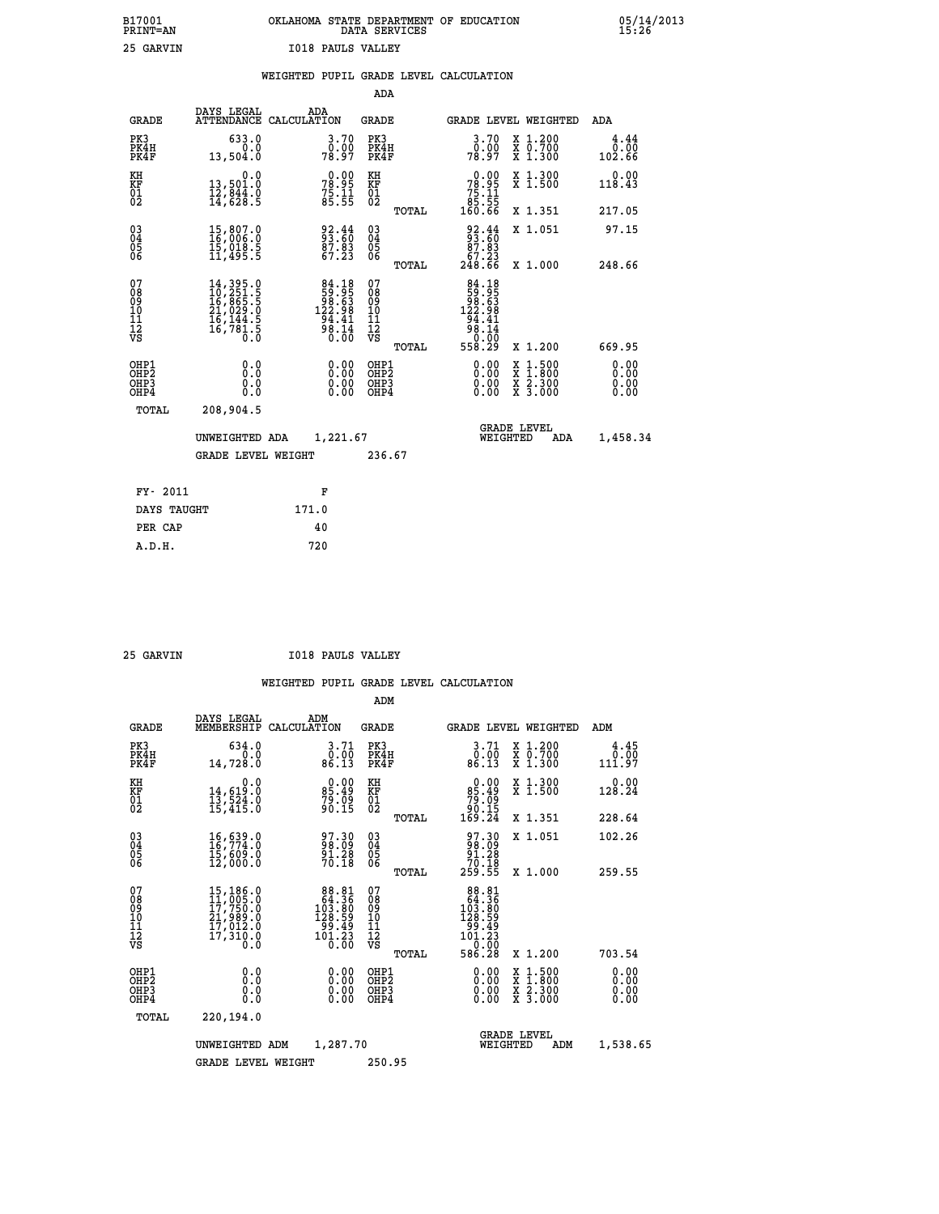| B17001          | OKLAHOMA STATE DEPARTMENT OF EDUCATION |
|-----------------|----------------------------------------|
| <b>PRINT=AN</b> | DATA SERVICES                          |
| 25 GARVIN       | <b>I018 PAULS VALLEY</b>               |

05/14/2013<br>15:26

|                                                                    |                                                                                                                                                     | WEIGHTED PUPIL GRADE LEVEL CALCULATION                                                     |                                                                   |                                        |       |                                                                                                               |                                                                                                                                           |                        |
|--------------------------------------------------------------------|-----------------------------------------------------------------------------------------------------------------------------------------------------|--------------------------------------------------------------------------------------------|-------------------------------------------------------------------|----------------------------------------|-------|---------------------------------------------------------------------------------------------------------------|-------------------------------------------------------------------------------------------------------------------------------------------|------------------------|
|                                                                    |                                                                                                                                                     |                                                                                            |                                                                   | <b>ADA</b>                             |       |                                                                                                               |                                                                                                                                           |                        |
| <b>GRADE</b>                                                       | DAYS LEGAL                                                                                                                                          | ADA<br>ATTENDANCE CALCULATION                                                              |                                                                   | GRADE                                  |       | GRADE LEVEL WEIGHTED                                                                                          |                                                                                                                                           | ADA                    |
| PK3<br>PK4H<br>PK4F                                                | 633.0<br>0.0<br>13,504.0                                                                                                                            |                                                                                            | 3.70<br>0:00<br>78:97                                             | PK3<br>PK4H<br>PK4F                    |       | 3.70<br>0.00<br>78.97                                                                                         | X 1.200<br>X 0.700<br>X 1.300                                                                                                             | 4.44<br>0.00<br>102.66 |
| KH<br>KF<br>01<br>02                                               | 0.0<br>13,501.0<br>12,044.0<br>14,628.5                                                                                                             |                                                                                            | 78.99<br>$7\bar{5}\cdot\bar{1}\bar{1}\over 85\cdot\bar{5}\bar{5}$ | KH<br>KF<br>01<br>02                   |       | 0.00<br>$78.95$<br>$75.11$<br>$85.55$<br>160.66                                                               | X 1.300<br>X 1.500                                                                                                                        | 0.00<br>118.43         |
|                                                                    |                                                                                                                                                     |                                                                                            |                                                                   |                                        | TOTAL |                                                                                                               | X 1.351                                                                                                                                   | 217.05                 |
| $\begin{smallmatrix} 03 \\[-4pt] 04 \end{smallmatrix}$<br>Ŏ5<br>06 | $\begin{smallmatrix} 15, 807.0\\ 16, 006.0\\ 15, 018.5\\ 11, 495.5 \end{smallmatrix}$                                                               |                                                                                            | 33.44<br>$\frac{87.83}{67.23}$                                    | $\substack{03 \\ 04}$<br>Ŏ5<br>06      |       | $\begin{smallmatrix} 92.44 \\ 93.60 \\ 87.83 \\ 67.23 \\ 248.66 \end{smallmatrix}$                            | X 1.051                                                                                                                                   | 97.15                  |
|                                                                    |                                                                                                                                                     |                                                                                            |                                                                   |                                        | TOTAL |                                                                                                               | X 1.000                                                                                                                                   | 248.66                 |
| 07<br>08<br>09<br>11<br>11<br>12<br>VS                             | $\begin{smallmatrix} 14\,,\,395\,.0\\ 10\,,\,251\,.5\\ 16\,,\,865\,.5\\ 21\,,\,029\,.0\\ 16\,,\,144\,.5\\ 16\,,\,781\,.5\\ 0\,.0 \end{smallmatrix}$ | $\begin{array}{r} 84.18 \\ 59.95 \\ 98.63 \\ 122.98 \\ 94.41 \\ 98.14 \\ 0.00 \end{array}$ |                                                                   | 07<br>08<br>09<br>11<br>11<br>12<br>VS | TOTAL | 84.18<br>88:58<br>63:68<br>69:58<br>$\begin{array}{r} 144.38 \\ 94.41 \\ 98.14 \\ 0.00 \\ 558.29 \end{array}$ | X 1.200                                                                                                                                   | 669.95                 |
| OHP1<br>OHP2<br>OHP3<br>OHP4                                       | 0.0<br>0.0<br>$0.\overline{0}$                                                                                                                      |                                                                                            | $\begin{smallmatrix} 0.00 \ 0.00 \ 0.00 \ 0.00 \end{smallmatrix}$ | OHP1<br>OHP2<br>OHP3<br>OHP4           |       | 0.00<br>0.00                                                                                                  | $\begin{smallmatrix} \mathtt{X} & 1\cdot500\\ \mathtt{X} & 1\cdot800\\ \mathtt{X} & 2\cdot300\\ \mathtt{X} & 3\cdot000 \end{smallmatrix}$ | 0.00<br>0.00<br>0.00   |
| TOTAL                                                              | 208,904.5                                                                                                                                           |                                                                                            |                                                                   |                                        |       |                                                                                                               |                                                                                                                                           |                        |
|                                                                    | UNWEIGHTED ADA                                                                                                                                      |                                                                                            | 1,221.67                                                          |                                        |       | WEIGHTED                                                                                                      | <b>GRADE LEVEL</b><br>ADA                                                                                                                 | 1,458.34               |
|                                                                    | <b>GRADE LEVEL WEIGHT</b>                                                                                                                           |                                                                                            |                                                                   | 236.67                                 |       |                                                                                                               |                                                                                                                                           |                        |
| FY- 2011                                                           |                                                                                                                                                     | F                                                                                          |                                                                   |                                        |       |                                                                                                               |                                                                                                                                           |                        |
| DAYS TAUGHT                                                        |                                                                                                                                                     | 171.0                                                                                      |                                                                   |                                        |       |                                                                                                               |                                                                                                                                           |                        |
| PER CAP                                                            |                                                                                                                                                     | 40                                                                                         |                                                                   |                                        |       |                                                                                                               |                                                                                                                                           |                        |

| GARVIN |
|--------|
|        |

 **A.D.H. 720**

 **25 GARVIN I018 PAULS VALLEY**

|                                                    |                                                                                                       |                                                                                         | ADM                                                 |                                                                                                        |                                          |                        |
|----------------------------------------------------|-------------------------------------------------------------------------------------------------------|-----------------------------------------------------------------------------------------|-----------------------------------------------------|--------------------------------------------------------------------------------------------------------|------------------------------------------|------------------------|
| <b>GRADE</b>                                       | DAYS LEGAL<br>MEMBERSHIP                                                                              | ADM<br>CALCULATION                                                                      | <b>GRADE</b>                                        | GRADE LEVEL WEIGHTED                                                                                   |                                          | ADM                    |
| PK3<br>PK4H<br>PK4F                                | 634.0<br>0.0<br>14,728.0                                                                              | 3.71<br>$\begin{array}{c} 0.00 \\ 86.13 \end{array}$                                    | PK3<br>PK4H<br>PK4F                                 | $\begin{smallmatrix} 3.71\ 0.00\ 86.13 \end{smallmatrix}$                                              | X 1.200<br>X 0.700<br>X 1.300            | 4.45<br>0.00<br>111.97 |
| KH<br>KF<br>01<br>02                               | 0.0<br>14,619:0<br>13,524:0<br>15,415:0                                                               | $\begin{smallmatrix} 0.00\\ 85.49\\ 79.09\\ 90.15 \end{smallmatrix}$                    | KH<br>KF<br>01<br>02                                | $0.00\n85.49\n79.09\n90.15\n169.24$                                                                    | X 1.300<br>X 1.500                       | 0.00<br>128.24         |
|                                                    |                                                                                                       |                                                                                         | TOTAL                                               |                                                                                                        | X 1.351                                  | 228.64                 |
| $\begin{matrix} 03 \\ 04 \\ 05 \\ 06 \end{matrix}$ | $16, 639.0$<br>$16, 774.0$<br>$15, 609.0$<br>$12, 000.0$                                              | 97.30<br>98.09<br>91.28<br>70.18                                                        | $\begin{array}{c} 03 \\ 04 \\ 05 \\ 06 \end{array}$ | $\begin{smallmatrix} 97.30\\ 98.09\\ 91.28\\ 70.18\\ 259.55 \end{smallmatrix}$                         | X 1.051                                  | 102.26                 |
|                                                    |                                                                                                       |                                                                                         | TOTAL                                               |                                                                                                        | X 1.000                                  | 259.55                 |
| 07<br>08<br>09<br>101<br>11<br>12<br>VS            | $\begin{smallmatrix}15,186.0\\11,005.0\\17,750.0\\21,989.0\\17,012.0\\17,310.0\\0.0\end{smallmatrix}$ | $\begin{smallmatrix}88.81\\64.36\\103.80\\128.59\\99.49\\101.23\\0.00\end{smallmatrix}$ | 07<br>08901112<br>1112<br>VS<br>TOTAL               | $\begin{array}{r} 88.81 \\ 64.36 \\ 103.80 \\ 128.59 \\ 99.49 \\ 101.23 \\ 0.00 \\ 586.28 \end{array}$ | X 1.200                                  | 703.54                 |
| OHP1<br>OHP2<br>OHP3<br>OHP4                       | 0.0<br>$\begin{smallmatrix} 0.0 & 0 \ 0.0 & 0 \end{smallmatrix}$                                      |                                                                                         | OHP1<br>OHP2<br>OHP3<br>OHP4                        | 0.00<br>0.00                                                                                           | X 1:500<br>X 1:800<br>X 2:300<br>X 3:000 | 0.00<br>0.00<br>0.00   |
| TOTAL                                              | 220,194.0                                                                                             |                                                                                         |                                                     |                                                                                                        |                                          |                        |
|                                                    | UNWEIGHTED                                                                                            | 1,287.70<br>ADM                                                                         |                                                     | <b>GRADE LEVEL</b><br>WEIGHTED                                                                         | ADM                                      | 1,538.65               |
|                                                    | <b>GRADE LEVEL WEIGHT</b>                                                                             |                                                                                         | 250.95                                              |                                                                                                        |                                          |                        |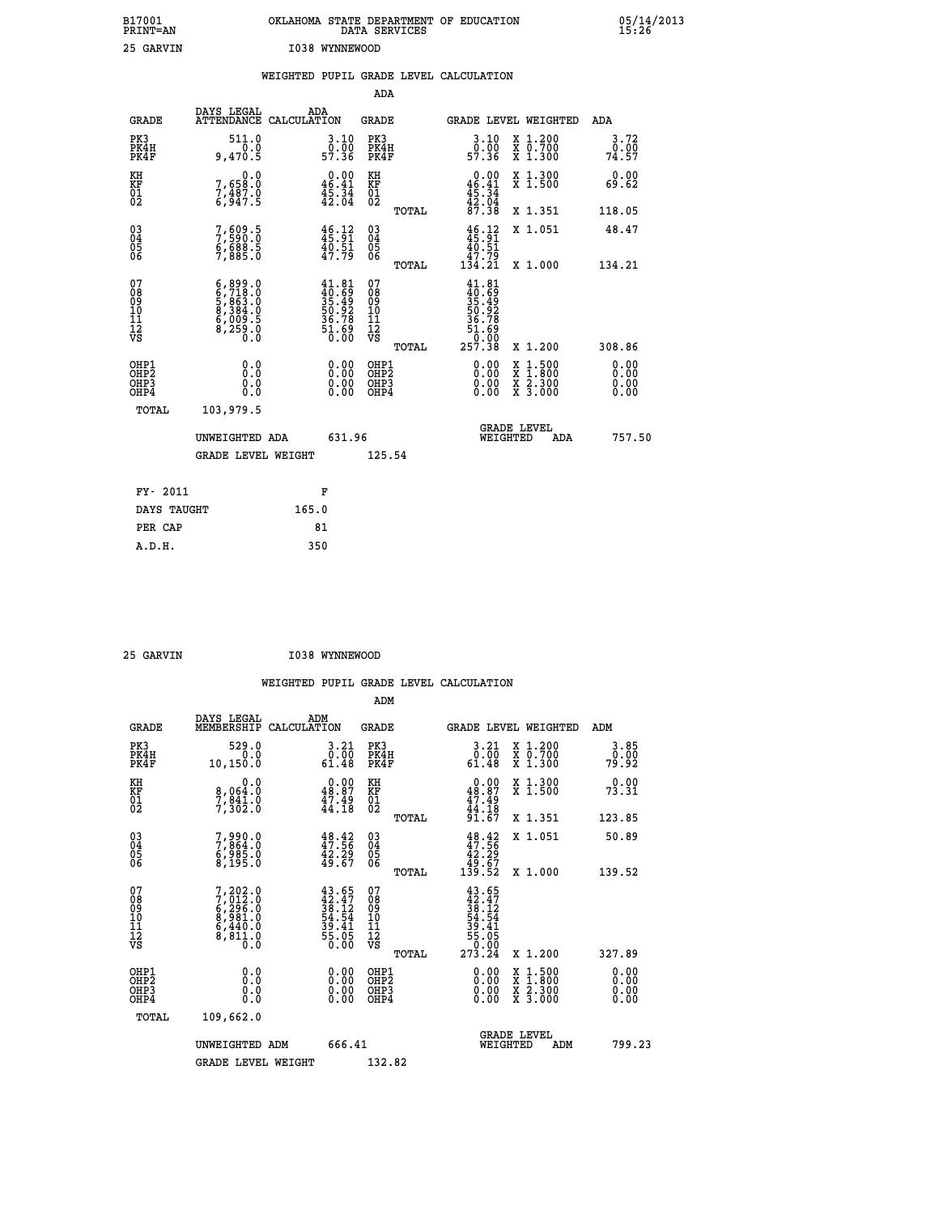| B17001<br>PRINT=AN                                   |                                                                                  | OKLAHOMA STATE DEPARTMENT OF EDUCATION                                   | DATA SERVICES                                      |                                                                                               |                                                                                                  | $05/14/2013$<br>15:26        |  |
|------------------------------------------------------|----------------------------------------------------------------------------------|--------------------------------------------------------------------------|----------------------------------------------------|-----------------------------------------------------------------------------------------------|--------------------------------------------------------------------------------------------------|------------------------------|--|
| 25 GARVIN                                            |                                                                                  | I038 WYNNEWOOD                                                           |                                                    |                                                                                               |                                                                                                  |                              |  |
|                                                      |                                                                                  | WEIGHTED PUPIL GRADE LEVEL CALCULATION                                   |                                                    |                                                                                               |                                                                                                  |                              |  |
|                                                      |                                                                                  |                                                                          | ADA                                                |                                                                                               |                                                                                                  |                              |  |
| <b>GRADE</b>                                         | DAYS LEGAL                                                                       | ADA<br>ATTENDANCE CALCULATION                                            | GRADE                                              |                                                                                               | GRADE LEVEL WEIGHTED                                                                             | ADA                          |  |
| PK3<br>PK4H<br>PK4F                                  | 511.0<br>0.0<br>9,470.5                                                          | 3.10<br>ŏ:ōŏ<br>57:36                                                    | PK3<br>PK4H<br>PK4F                                | 3.10<br>ŏ:ōŏ<br>57.36                                                                         | X 1.200<br>X 0.700<br>X 1.300                                                                    | 3.72<br>0.00<br>74.57        |  |
| KH<br>KF<br>01<br>02                                 | 0.0<br>7,65 <u>8</u> :0<br>$7, \frac{3}{9}$ $\frac{7}{9}$<br>6,947.5             | $0.00$<br>46.41<br>$\frac{45.34}{42.04}$                                 | KH<br>KF<br>01<br>02                               | 0.00<br>46.41<br>$\frac{45.34}{42.04}$                                                        | X 1.300<br>X 1.500                                                                               | 0.00<br>69.62                |  |
|                                                      |                                                                                  |                                                                          | TOTAL                                              | 87.38                                                                                         | X 1.351                                                                                          | 118.05                       |  |
| 030404<br>06                                         | 7,609.5<br>7,590.0<br>6,688.5<br>7,885.0                                         | $46.12$<br>$45.91$<br>$40.51$<br>$47.79$                                 | $\begin{matrix} 03 \\ 04 \\ 05 \\ 06 \end{matrix}$ | $\frac{46}{45}:\frac{12}{91}$<br>$\frac{40}{9}:\frac{51}{9}$<br>$\frac{1}{134}$ .79<br>134.21 | X 1.051                                                                                          | 48.47                        |  |
| 07<br>08<br>09<br>10<br>īĭ                           | $6, 899.0$<br>$6, 718.0$<br>$5, 863.0$<br>$8, 384.0$<br>$6, 009.5$<br>$8, 259.0$ | $41.81$<br>$40.69$<br>$35.49$<br>$50.92$<br>$36.78$<br>$51.69$<br>$0.00$ | TOTAL<br>07<br>08<br>09<br>10<br>11                | $41.81$<br>$40.69$<br>$35.49$<br>$50.92$<br>$36.78$                                           | X 1,000                                                                                          | 134.21                       |  |
| Ī2<br>VS                                             |                                                                                  |                                                                          | ĪŻ<br>VŜ<br>TOTAL                                  | 51.69<br>257.38                                                                               | X 1.200                                                                                          | 308.86                       |  |
| OHP1<br>OHP <sub>2</sub><br>OH <sub>P3</sub><br>OHP4 | 0.0<br>Ŏ.Ŏ<br>0.0<br>0.0                                                         | $\begin{smallmatrix} 0.00 \ 0.00 \ 0.00 \ 0.00 \end{smallmatrix}$        | OHP1<br>OHP <sub>2</sub><br>OHP3<br>OHP4           | 0.00<br>0.00<br>0.00                                                                          | $\begin{smallmatrix} x & 1 & 500 \\ x & 1 & 800 \\ x & 2 & 300 \\ x & 3 & 000 \end{smallmatrix}$ | 0.00<br>0.00<br>0.00<br>0.00 |  |
| TOTAL                                                | 103,979.5                                                                        |                                                                          |                                                    |                                                                                               |                                                                                                  |                              |  |
|                                                      | UNWEIGHTED ADA                                                                   | 631.96                                                                   |                                                    | WEIGHTED                                                                                      | <b>GRADE LEVEL</b><br>ADA                                                                        | 757.50                       |  |
|                                                      | <b>GRADE LEVEL WEIGHT</b>                                                        |                                                                          | 125.54                                             |                                                                                               |                                                                                                  |                              |  |
| FY- 2011                                             |                                                                                  | F                                                                        |                                                    |                                                                                               |                                                                                                  |                              |  |
| DAYS TAUGHT                                          |                                                                                  | 165.0                                                                    |                                                    |                                                                                               |                                                                                                  |                              |  |
| PER CAP                                              |                                                                                  | 81                                                                       |                                                    |                                                                                               |                                                                                                  |                              |  |

| 25 GARVIN | I038 WYNNEWOOD |
|-----------|----------------|
|           |                |

 **WEIGHTED PUPIL GRADE LEVEL CALCULATION ADM DAYS LEGAL ADM GRADE MEMBERSHIP CALCULATION GRADE GRADE LEVEL WEIGHTED ADM PK3 529.0 3.21 PK3 3.21 X 1.200 3.85 PK4H 0.0 0.00 PK4H 0.00 X 0.700 0.00 PK4F 10,150.0 61.48 PK4F 61.48 X 1.300 79.92 KH 0.0 0.00 KH 0.00 X 1.300 0.00 KF 8,064.0 48.87 KF 48.87 X 1.500 73.31 01 7,841.0 47.49 01 47.49 02 7,302.0 44.18 02 44.18 TOTAL 91.67 X 1.351 123.85 03 7,990.0 48.42 03 48.42 X 1.051 50.89 04 7,864.0 47.56 04 47.56 05 6,985.0 42.29 05 42.29 06 8,195.0 49.67 06 49.67 TOTAL 139.52 X 1.000 139.52**  $\begin{array}{cccc} 07 & 7,202.0 & 43.65 & 07 & 43.65\ 08 & 7,012.0 & 42.47 & 08 & 42.47\ 09 & 6,296.0 & 38.12 & 09 & 48.12\ 10 & 8,981.0 & 54.54 & 10 & 54.54\ 11 & 6,440.0 & 39.41 & 11 & 39.41\ 12 & 8,811.0 & 55.05 & 12 & 55.05\ 13 & 55.05 & 50.00 & 59.01 & 1$  **TOTAL 273.24 X 1.200 327.89 OHP1 0.0 0.00 OHP1 0.00 X 1.500 0.00 OHP2 0.0 0.00 OHP2 0.00 X 1.800 0.00 OHP3 0.0 0.00 OHP3 0.00 X 2.300 0.00 OHP4 0.0 0.00 OHP4 0.00 X 3.000 0.00 TOTAL 109,662.0 GRADE LEVEL UNWEIGHTED ADM 666.41 WEIGHTED ADM 799.23 GRADE LEVEL WEIGHT 132.82**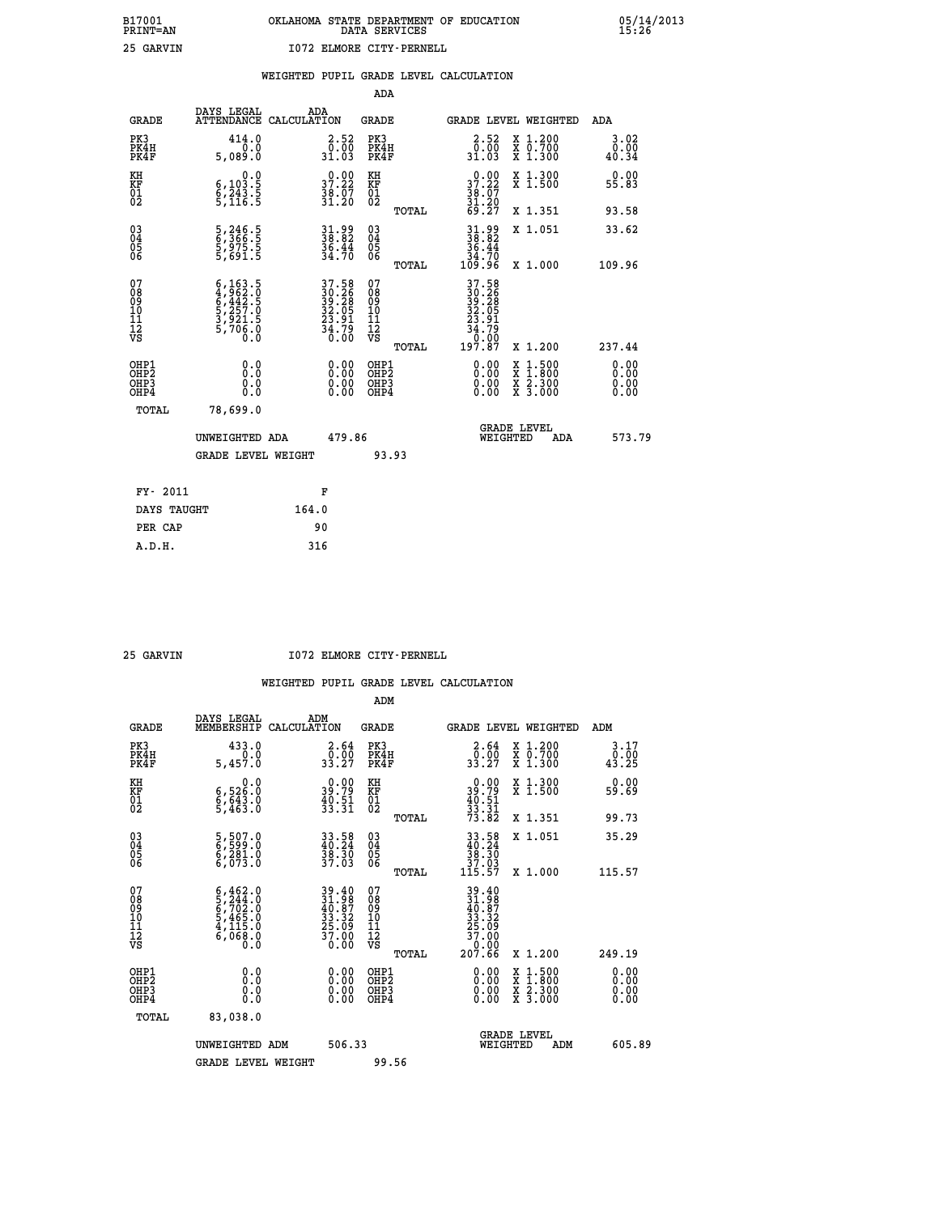|                                                    |                                                                                     |                                                             | ADA                                       |       |                                                                                                      |                                          |                    |                              |
|----------------------------------------------------|-------------------------------------------------------------------------------------|-------------------------------------------------------------|-------------------------------------------|-------|------------------------------------------------------------------------------------------------------|------------------------------------------|--------------------|------------------------------|
| <b>GRADE</b>                                       | DAYS LEGAL<br><b>ATTENDANCE</b>                                                     | ADA<br>CALCULATION                                          | <b>GRADE</b>                              |       | GRADE LEVEL WEIGHTED                                                                                 |                                          |                    | <b>ADA</b>                   |
| PK3<br>PK4H<br>PK4F                                | 414.0<br>0.0<br>5,089.0                                                             | $\begin{smallmatrix} 2.52\ 0.00\ 31.03 \end{smallmatrix}$   | PK3<br>PK4H<br>PK4F                       |       | $\begin{smallmatrix} 2.52\0.00\\0.00\\31.03\end{smallmatrix}$                                        | X 1.200<br>X 0.700<br>X 1.300            |                    | 3.02<br>$\frac{0.00}{40.34}$ |
| KH<br>KF<br>01<br>02                               | 0.0<br>$\frac{6}{9}, \frac{103}{243}$ . 5<br>5, 116. 5                              | 37.22<br>$\frac{38.07}{31.20}$                              | KH<br>KF<br>01<br>02                      |       | 37.22<br>$\frac{36}{31}$ $\frac{67}{69}$<br>69.27                                                    | X 1.300<br>X 1.500                       |                    | 0.00<br>55.83                |
|                                                    |                                                                                     |                                                             |                                           | TOTAL |                                                                                                      | X 1.351                                  |                    | 93.58                        |
| $\begin{matrix} 03 \\ 04 \\ 05 \\ 06 \end{matrix}$ | 5,246.5<br>6,366.5<br>5,975.5<br>5,691.5                                            | 31.99<br>38.82<br>36.44<br>34.70                            | 03<br>04<br>05<br>06                      | TOTAL | $31.9938.8236.4434.70109.96$                                                                         | X 1.051<br>X 1.000                       |                    | 33.62<br>109.96              |
| 07<br>08<br>09<br>11<br>11<br>12<br>VS             | $6,163.5$<br>$4,962.5$<br>$6,442.5$<br>$5,257.5$<br>$3,921.5$<br>$5,706.0$<br>$0.0$ | 37.58<br>30.26<br>39.28<br>32.05<br>32.91<br>23.79<br>34.79 | 07<br>08<br>09<br>11<br>11<br>12<br>VS    |       | $\begin{array}{r} 37.58\\ 30.26\\ 39.28\\ 32.05\\ 23.91\\ 24.79\\ 34.79\\ 0.00\\ 197.87 \end{array}$ |                                          |                    |                              |
|                                                    |                                                                                     |                                                             |                                           | TOTAL |                                                                                                      | X 1.200                                  |                    | 237.44                       |
| OHP1<br>OHP <sub>2</sub><br>OHP3<br>OHP4           | 0.0<br>0.0<br>0.0                                                                   | 0.00<br>$\begin{smallmatrix} 0.00 \ 0.00 \end{smallmatrix}$ | OHP1<br>OH <sub>P</sub> 2<br>OHP3<br>OHP4 |       | 0.00<br>0.00<br>0.00                                                                                 | X<br>$\frac{x}{x}$ $\frac{5:300}{3:000}$ | $1:500$<br>$1:800$ | 0.00<br>0.00<br>0.00<br>0.00 |
| TOTAL                                              | 78,699.0                                                                            |                                                             |                                           |       |                                                                                                      |                                          |                    |                              |
|                                                    | UNWEIGHTED ADA                                                                      | 479.86                                                      |                                           |       |                                                                                                      | <b>GRADE LEVEL</b><br>WEIGHTED           | ADA                | 573.79                       |
|                                                    | <b>GRADE LEVEL WEIGHT</b>                                                           |                                                             |                                           | 93.93 |                                                                                                      |                                          |                    |                              |
| FY- 2011                                           |                                                                                     | F                                                           |                                           |       |                                                                                                      |                                          |                    |                              |
| DAYS TAUGHT                                        |                                                                                     | 164.0                                                       |                                           |       |                                                                                                      |                                          |                    |                              |
| PER CAP                                            |                                                                                     | 90                                                          |                                           |       |                                                                                                      |                                          |                    |                              |

 **25 GARVIN I072 ELMORE CITY-PERNELL**

|                                                      |                                                                                                                                                                                |                                                                                           | ADM                                                 |                                                                                                  |                                          |                       |
|------------------------------------------------------|--------------------------------------------------------------------------------------------------------------------------------------------------------------------------------|-------------------------------------------------------------------------------------------|-----------------------------------------------------|--------------------------------------------------------------------------------------------------|------------------------------------------|-----------------------|
| <b>GRADE</b>                                         | DAYS LEGAL<br>MEMBERSHIP                                                                                                                                                       | ADM<br>CALCULATION                                                                        | <b>GRADE</b>                                        | GRADE LEVEL WEIGHTED                                                                             |                                          | ADM                   |
| PK3<br>PK4H<br>PK4F                                  | 433.0<br>5,457.0                                                                                                                                                               | $\begin{smallmatrix} 2.64\0.00\\33.27\end{smallmatrix}$                                   | PK3<br>PK4H<br>PK4F                                 | $\begin{smallmatrix} 2.64\0.00\\33.27\end{smallmatrix}$                                          | X 1.200<br>X 0.700<br>X 1.300            | 3.17<br>0.00<br>43.25 |
| KH<br>KF<br>01<br>02                                 | 0.0<br>6,526.0<br>6,643.0<br>5,463.0                                                                                                                                           | $\begin{smallmatrix} 0.00\\ 39.79\\ 40.51\\ 33.31 \end{smallmatrix}$                      | KH<br>KF<br>01<br>02                                | $\begin{smallmatrix} 0.00\\ 39.79\\ 40.51\\ 33.31\\ 73.82 \end{smallmatrix}$                     | X 1.300<br>X 1.500                       | 0.00<br>59.69         |
|                                                      |                                                                                                                                                                                |                                                                                           | TOTAL                                               |                                                                                                  | X 1.351                                  | 99.73                 |
| 03<br>04<br>05<br>06                                 | 5,507.0<br>6,599.0<br>6,281.0<br>6,073.0                                                                                                                                       | $33.58$<br>$40.24$<br>$38.30$<br>$37.03$                                                  | $\begin{array}{c} 03 \\ 04 \\ 05 \\ 06 \end{array}$ | $\begin{array}{r} 33.58 \\ 40.24 \\ 38.30 \\ 37.03 \\ 115.57 \end{array}$                        | X 1.051                                  | 35.29                 |
|                                                      |                                                                                                                                                                                |                                                                                           | TOTAL                                               |                                                                                                  | X 1.000                                  | 115.57                |
| 07<br>08<br>09<br>101<br>11<br>12<br>VS              | $\begin{smallmatrix} 6\,, & 462\,, & 0\\ 5\,, & 244\,, & 0\\ 6\,, & 702\,, & 0\\ 5\,, & 465\,, & 0\\ 4\,, & 115\,, & 0\\ 6\,, & 068\,, & 0\\ 0\,, & 0\,, & 0\end{smallmatrix}$ | $\begin{array}{l} 39.40 \\ 31.98 \\ 40.87 \\ 33.32 \\ 25.09 \\ 37.00 \\ 0.00 \end{array}$ | 07<br>08<br>09<br>11<br>11<br>12<br>VS              | $\begin{smallmatrix} 39.40\ 31.98\ 40.87\ 49.87\ 33.32\ 25.09\ 37.00\ 207.66\ \end{smallmatrix}$ |                                          |                       |
|                                                      |                                                                                                                                                                                |                                                                                           | TOTAL                                               |                                                                                                  | X 1.200                                  | 249.19                |
| OHP1<br>OHP2<br>OHP <sub>3</sub><br>OH <sub>P4</sub> |                                                                                                                                                                                |                                                                                           | OHP1<br>OHP2<br>OHP <sub>3</sub>                    | $0.00$<br>$0.00$<br>0.00                                                                         | X 1:500<br>X 1:800<br>X 2:300<br>X 3:000 | 0.00<br>0.00<br>0.00  |
| TOTAL                                                | 83,038.0                                                                                                                                                                       |                                                                                           |                                                     |                                                                                                  |                                          |                       |
|                                                      | UNWEIGHTED<br>ADM                                                                                                                                                              | 506.33                                                                                    |                                                     |                                                                                                  | GRADE LEVEL<br>WEIGHTED<br>ADM           | 605.89                |
|                                                      | <b>GRADE LEVEL WEIGHT</b>                                                                                                                                                      |                                                                                           | 99.56                                               |                                                                                                  |                                          |                       |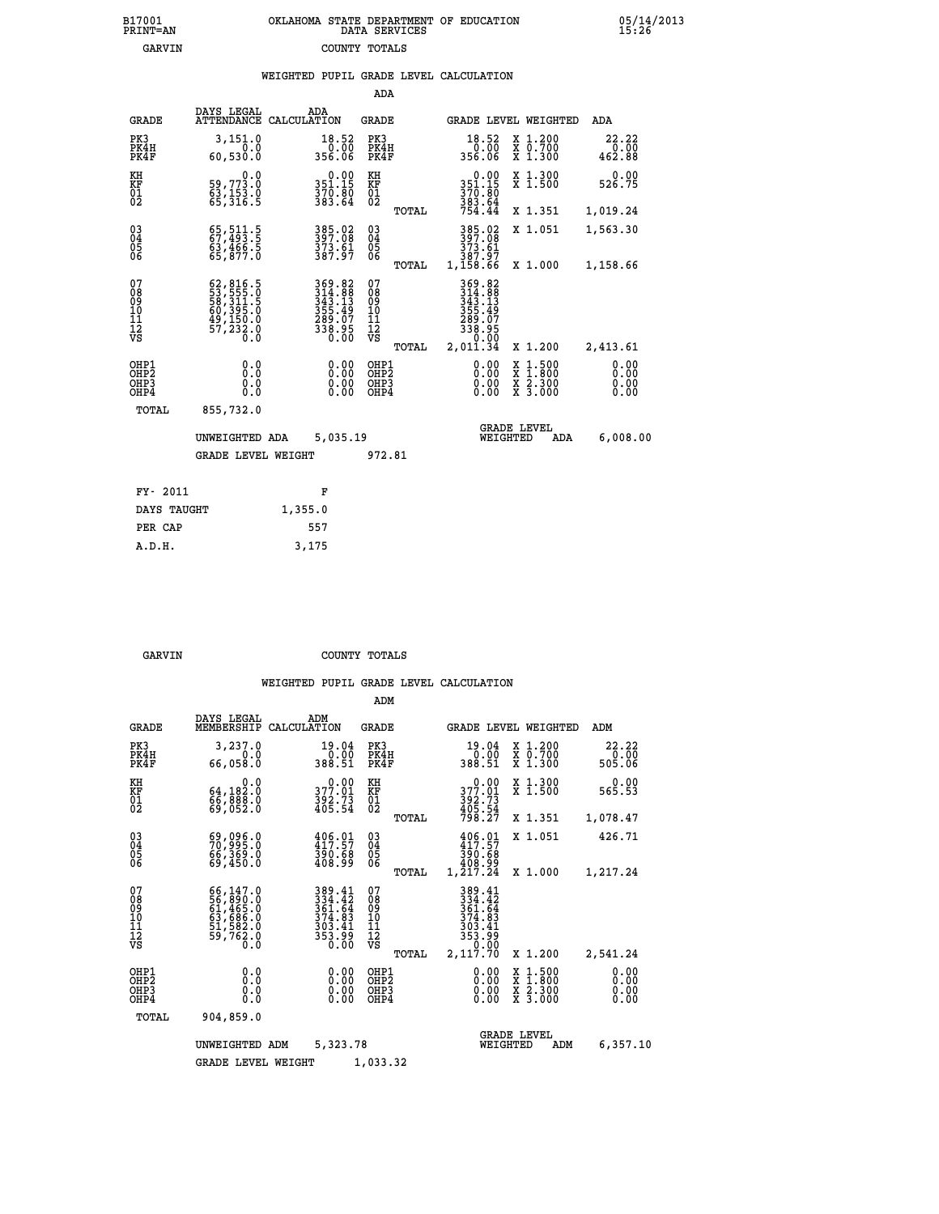|  | OKLAHOMA STATE DEPARTMENT OF EDUCATION<br>DATA SERVICES |  |
|--|---------------------------------------------------------|--|
|  | COUNTY TOTALS                                           |  |

05/14/2013<br>15:26

|                                                                    |                                                                                                                                                                                          |                                                     | ADA                                       |       |                                                                  |                                          |                              |
|--------------------------------------------------------------------|------------------------------------------------------------------------------------------------------------------------------------------------------------------------------------------|-----------------------------------------------------|-------------------------------------------|-------|------------------------------------------------------------------|------------------------------------------|------------------------------|
| <b>GRADE</b>                                                       | DAYS LEGAL<br>ATTENDANCE                                                                                                                                                                 | ADA<br>CALCULATION                                  | <b>GRADE</b>                              |       |                                                                  | <b>GRADE LEVEL WEIGHTED</b>              | ADA                          |
| PK3<br>PK4H<br>PK4F                                                | 3,151.0<br>0.0<br>60,530.0                                                                                                                                                               | 18.52<br>0.00<br>356.06                             | PK3<br>PK4H<br>PK4F                       |       | $\begin{smallmatrix} 18.52\ 0.00\ 356.06 \end{smallmatrix}$      | X 1.200<br>X 0.700<br>X 1.300            | 22.22<br>0.00<br>462.88      |
| KH<br><b>KF</b><br>01<br>02                                        | 0.0<br>59,773.0<br>63,153.0<br>65,316.5                                                                                                                                                  | $0.00$<br>351.15<br>370.00<br>383.64                | KH<br>KF<br>01<br>02                      |       | $0.00$<br>351.15<br>370:80<br>383:64<br>754:44                   | X 1.300<br>X 1.500                       | 0.00<br>526.75               |
|                                                                    |                                                                                                                                                                                          |                                                     |                                           | TOTAL |                                                                  | X 1.351                                  | 1,019.24                     |
| $\begin{smallmatrix} 03 \\[-4pt] 04 \end{smallmatrix}$<br>05<br>06 | 65, 511.5<br>67, 493.5<br>63, 466.5<br>65, 877.0                                                                                                                                         | 385.02<br>397.08<br>373.61<br>387.97                | $\substack{03 \\ 04}$<br>05<br>06         |       | 385.02<br>397.08<br>373.61<br>387.97                             | X 1.051                                  | 1,563.30                     |
|                                                                    |                                                                                                                                                                                          |                                                     |                                           | TOTAL | 1,158.66                                                         | X 1.000                                  | 1,158.66                     |
| 07<br>08901112<br>1112<br>VS                                       | $\begin{smallmatrix} 62\,, & 816\,, & 5\\ 53\,, & 555\,, & 0\\ 58\,, & 311\,, & 5\\ 60\,, & 395\,, & 0\\ 49\,, & 150\,, & 0\\ 57\,, & 232\,, & 0\\ 0\,. & 0\,. & 0\,. \end{smallmatrix}$ | $369.82314.88343.13355.49355.497289.075338.9500.00$ | 07<br>08<br>09<br>11<br>11<br>12<br>VS    |       | 369.82<br>314.88<br>343.13<br>355.49<br>289.07<br>338.95<br>0.00 |                                          |                              |
|                                                                    |                                                                                                                                                                                          |                                                     |                                           | TOTAL | 2,011.34                                                         | X 1.200                                  | 2,413.61                     |
| OHP1<br>OH <sub>P</sub> 2<br>OH <sub>P3</sub><br>OH <sub>P4</sub>  | 0.0<br>0.0<br>0.0                                                                                                                                                                        | 0.00<br>0.00<br>0.00                                | OHP1<br>OH <sub>P</sub> 2<br>OHP3<br>OHP4 |       | 0.00<br>0.00<br>0.00                                             | X 1:500<br>X 1:800<br>X 2:300<br>X 3:000 | 0.00<br>0.00<br>0.00<br>0.00 |
| TOTAL                                                              | 855,732.0                                                                                                                                                                                |                                                     |                                           |       |                                                                  |                                          |                              |
|                                                                    | UNWEIGHTED ADA                                                                                                                                                                           | 5,035.19                                            |                                           |       |                                                                  | <b>GRADE LEVEL</b><br>WEIGHTED<br>ADA    | 6,008.00                     |
|                                                                    | <b>GRADE LEVEL WEIGHT</b>                                                                                                                                                                |                                                     | 972.81                                    |       |                                                                  |                                          |                              |
| FY- 2011                                                           |                                                                                                                                                                                          | F                                                   |                                           |       |                                                                  |                                          |                              |
| DAYS TAUGHT                                                        |                                                                                                                                                                                          | 1,355.0                                             |                                           |       |                                                                  |                                          |                              |
| PER CAP                                                            |                                                                                                                                                                                          | 557                                                 |                                           |       |                                                                  |                                          |                              |
|                                                                    |                                                                                                                                                                                          |                                                     |                                           |       |                                                                  |                                          |                              |

 **A.D.H. 3,175**

B17001<br>PRINT=AN<br>GARVIN

GARVIN **COUNTY TOTALS** 

|                                                       |                                                                                           |                                                                  | ADM                                              |                                                                              |                                                                                                  |                              |
|-------------------------------------------------------|-------------------------------------------------------------------------------------------|------------------------------------------------------------------|--------------------------------------------------|------------------------------------------------------------------------------|--------------------------------------------------------------------------------------------------|------------------------------|
| <b>GRADE</b>                                          | DAYS LEGAL<br>MEMBERSHIP                                                                  | ADM<br>CALCULATION                                               | <b>GRADE</b>                                     | GRADE LEVEL WEIGHTED                                                         |                                                                                                  | ADM                          |
| PK3<br>PK4H<br>PK4F                                   | 3,237.0<br>0.0<br>66,058.0                                                                | 19.04<br>0.00<br>388.51                                          | PK3<br>PK4H<br>PK4F                              | 19.04<br>0.00<br>388.51                                                      | $\begin{array}{c} x & 1.200 \\ x & 0.700 \end{array}$<br>$X$ 1.300                               | 22.22<br>0.00<br>505.06      |
| KH<br>KF<br>01<br>02                                  | 0.0<br>64,182:0<br>66,888:0<br>69,052:0                                                   | $377.01$<br>$392.73$<br>$405.54$                                 | KH<br>KF<br>01<br>02                             | $0.00$<br>$377.01$<br>$392.73$<br>$405.54$<br>$798.27$                       | X 1.300<br>X 1.500                                                                               | 0.00<br>565.53               |
|                                                       |                                                                                           |                                                                  | TOTAL                                            |                                                                              | X 1.351                                                                                          | 1,078.47                     |
| 03<br>04<br>05<br>06                                  | 69,096.0<br>70,995.0<br>66,369.0<br>69,450.0                                              | $406.01$<br>$417.57$<br>390.68<br>408.99                         | $^{03}_{04}$<br>05<br>06                         | $406.01$<br>$417.57$<br>390.68<br>408.99                                     | X 1.051                                                                                          | 426.71                       |
|                                                       |                                                                                           |                                                                  | TOTAL                                            | 1,217.24                                                                     | X 1.000                                                                                          | 1,217.24                     |
| 07<br>08<br>09<br>101<br>112<br>VS                    | $66,147.0$<br>$56,890.0$<br>$61,465.0$<br>$63,686.0$<br>$51,582.0$<br>$59,762.0$<br>$0.0$ | 389.41<br>334.42<br>361.64<br>374.83<br>303.41<br>353.99<br>0.00 | 07<br>08<br>09<br>101<br>11<br>12<br>VS<br>TOTAL | 389.41<br>334.42<br>361.64<br>374.83<br>303.41<br>353.99<br>0.00<br>2,117.70 | X 1.200                                                                                          | 2,541.24                     |
| OHP1<br>OH <sub>P</sub> 2<br>OH <sub>P3</sub><br>OHP4 | 0.0<br>0.000                                                                              | $0.00$<br>$0.00$<br>0.00                                         | OHP1<br>OHP2<br>OHP3<br>OHP4                     | $0.00$<br>$0.00$<br>0.00                                                     | $\begin{smallmatrix} x & 1 & 500 \\ x & 1 & 800 \\ x & 2 & 300 \\ x & 3 & 000 \end{smallmatrix}$ | 0.00<br>0.00<br>0.00<br>0.00 |
| TOTAL                                                 | 904,859.0                                                                                 |                                                                  |                                                  |                                                                              |                                                                                                  |                              |
|                                                       | UNWEIGHTED                                                                                | 5,323.78<br>ADM                                                  |                                                  | WEIGHTED                                                                     | <b>GRADE LEVEL</b><br>ADM                                                                        | 6,357.10                     |
|                                                       | <b>GRADE LEVEL WEIGHT</b>                                                                 |                                                                  | 1,033.32                                         |                                                                              |                                                                                                  |                              |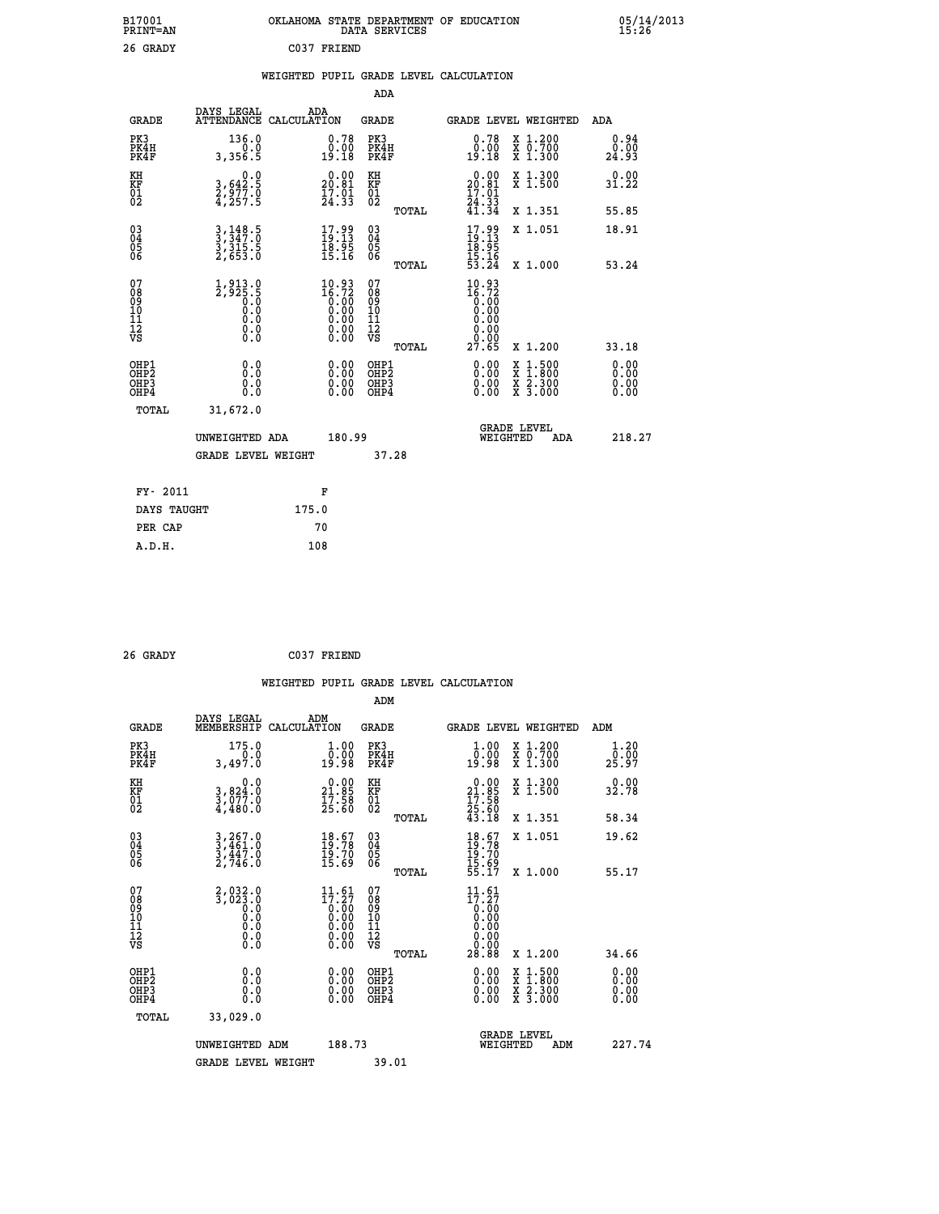| B17001<br><b>PRINT=AN</b> | OKLAHOMA<br>. STATE DEPARTMENT OF EDUCATION<br>DATA SERVICES | 05/14/2013<br>15:26 |
|---------------------------|--------------------------------------------------------------|---------------------|
| 26<br>GRADY               | C037<br>FRIEND                                               |                     |

|  |  | WEIGHTED PUPIL GRADE LEVEL CALCULATION |
|--|--|----------------------------------------|
|  |  |                                        |

|                                                                  |                                                                     |                                                                                                        | ADA                                        |                                                                                                        |                              |
|------------------------------------------------------------------|---------------------------------------------------------------------|--------------------------------------------------------------------------------------------------------|--------------------------------------------|--------------------------------------------------------------------------------------------------------|------------------------------|
| <b>GRADE</b>                                                     | DAYS LEGAL                                                          | ADA<br>ATTENDANCE CALCULATION                                                                          | <b>GRADE</b>                               | <b>GRADE LEVEL WEIGHTED</b>                                                                            | ADA                          |
| PK3<br>PK4H<br>PK4F                                              | 136.0<br>0.0<br>3,356.5                                             | 0.78<br>$\begin{smallmatrix} 0.00 \ 19.18 \end{smallmatrix}$                                           | PK3<br>PK4H<br>PK4F                        | $\begin{smallmatrix} 0.78 \\ 0.00 \\ 19.18 \end{smallmatrix}$<br>X 1.200<br>X 0.700<br>X 1.300         | 0.94<br>0.00<br>24.93        |
| KH<br>KF<br>01<br>02                                             | 0.0<br>3,642.5<br>2,977.0<br>4,257.5                                | $20.00$<br>20.81<br>$\frac{17.01}{24.33}$                                                              | KH<br>KF<br>01<br>02                       | X 1.300<br>X 1.500<br>$\begin{smallmatrix} 0.00\\ 20.81\\ 17.01\\ 24.33\\ 41.34 \end{smallmatrix}$     | 0.00<br>31.22                |
|                                                                  |                                                                     |                                                                                                        | TOTAL                                      | X 1.351                                                                                                | 55.85                        |
| $^{03}_{04}$<br>Ŏ5<br>06                                         | $3,349.5$<br>$3,347.0$<br>$3,315.5$<br>$2,653.0$                    | $\begin{smallmatrix} 17.99 \\ 19.13 \\ 18.95 \\ 15.16 \end{smallmatrix}$                               | $\substack{03 \\ 04}$<br>Ŏ5<br>06<br>TOTAL | $17.99$<br>$19.13$<br>$18.95$<br>$15.16$<br>$15.16$<br>$53.24$<br>X 1.051<br>X 1.000                   | 18.91<br>53.24               |
| 07<br>08901112<br>1112<br>VS                                     | $1,913.0$<br>$2,925.5$<br>$0.0$<br>$0.0$<br>$0.0$<br>$0.0$<br>$0.0$ | $10.93\n16.72\n0.00\n0.00\n0.00$<br>$\begin{smallmatrix} 0.00 & 0.00 \\ 0.00 & 0.00 \end{smallmatrix}$ | 07<br>08<br>09<br>11<br>11<br>12<br>VS     | $10.93$<br>$16.72$<br>$0.00$<br>$0.00$<br>0.00<br>$\begin{array}{c} 0.00 \\ 0.00 \\ 27.65 \end{array}$ |                              |
|                                                                  |                                                                     |                                                                                                        | TOTAL                                      | X 1.200                                                                                                | 33.18                        |
| OHP1<br>OH <sub>P2</sub><br>OH <sub>P3</sub><br>OH <sub>P4</sub> | 0.0<br>0.0<br>0.0                                                   | $\begin{smallmatrix} 0.00 \ 0.00 \ 0.00 \ 0.00 \end{smallmatrix}$                                      | OHP1<br>OHP <sub>2</sub><br>OHP3<br>OHP4   | 0.00<br>X 1:500<br>X 1:800<br>X 2:300<br>X 3:000<br>0.00<br>0.00                                       | 0.00<br>0.00<br>0.00<br>0.00 |
|                                                                  | TOTAL<br>31,672.0                                                   |                                                                                                        |                                            |                                                                                                        |                              |
|                                                                  | UNWEIGHTED ADA                                                      | 180.99                                                                                                 |                                            | GRADE LEVEL<br>WEIGHTED<br>ADA                                                                         | 218.27                       |
|                                                                  | <b>GRADE LEVEL WEIGHT</b>                                           |                                                                                                        | 37.28                                      |                                                                                                        |                              |
|                                                                  | FY- 2011                                                            | F                                                                                                      |                                            |                                                                                                        |                              |
|                                                                  | DAYS TAUGHT                                                         | 175.0                                                                                                  |                                            |                                                                                                        |                              |
|                                                                  | PER CAP                                                             | 70                                                                                                     |                                            |                                                                                                        |                              |

| 26 GRADY | C037 FRIEND |
|----------|-------------|

| <b>GRADE</b>                                       | DAYS LEGAL<br>MEMBERSHIP                                         | ADM<br>CALCULATION                                                                                    | <b>GRADE</b>                                       |       |                                                                                                 | GRADE LEVEL WEIGHTED                     | ADM                    |  |
|----------------------------------------------------|------------------------------------------------------------------|-------------------------------------------------------------------------------------------------------|----------------------------------------------------|-------|-------------------------------------------------------------------------------------------------|------------------------------------------|------------------------|--|
| PK3<br>PK4H<br>PK4F                                | 175.0<br>3,497.0                                                 | $\begin{smallmatrix} 1.00\\ 0.00\\ 19.98 \end{smallmatrix}$                                           | PK3<br>PK4H<br>PK4F                                |       | $\begin{smallmatrix} 1.00\\ 0.00\\ 19.98 \end{smallmatrix}$                                     | X 1.200<br>X 0.700<br>X 1.300            | 1.20<br>0.00≨<br>25.97 |  |
| KH<br>KF<br>01<br>02                               | 0.0<br>3,824:0<br>3,077:0<br>4,480:0                             | $\begin{smallmatrix} 0.00\\ 21.85\\ 17.58\\ 25.60 \end{smallmatrix}$                                  | KH<br>KF<br>01<br>02                               |       | $\begin{smallmatrix} 0.00\\ 21.85\\ 17.58\\ 25.60\\ 43.18 \end{smallmatrix}$                    | X 1.300<br>X 1.500                       | 0.00<br>32.78          |  |
|                                                    |                                                                  |                                                                                                       |                                                    | TOTAL |                                                                                                 | X 1.351                                  | 58.34                  |  |
| $\begin{matrix} 03 \\ 04 \\ 05 \\ 06 \end{matrix}$ | $3, 267.0$<br>$3, 461.0$<br>$3, 447.0$<br>$2, 746.0$             | $18.67$<br>$19.78$<br>$19.70$<br>$15.69$                                                              | $\begin{matrix} 03 \\ 04 \\ 05 \\ 06 \end{matrix}$ |       | $18.78$<br>$19.78$<br>$19.70$<br>$15.69$<br>$55.17$                                             | X 1.051                                  | 19.62                  |  |
|                                                    |                                                                  |                                                                                                       |                                                    | TOTAL |                                                                                                 | X 1.000                                  | 55.17                  |  |
| 07<br>089<br>090<br>1112<br>VS                     |                                                                  | $\begin{smallmatrix} 11.61\ 17.27\ 0.00\ 0.00\ 0.00\ 0.00\ 0.00\ 0.00\ 0.00\ 0.00\ \end{smallmatrix}$ | 07<br>08901112<br>1112<br>VS                       | TOTAL | $\begin{smallmatrix} 11.61\\17.27\\0.00\\0.00\\0.00\\0.00\\0.00\\0.00\\28.88 \end{smallmatrix}$ | X 1.200                                  | 34.66                  |  |
| OHP1<br>OHP2<br>OHP3<br>OHP4                       | 0.0<br>$\begin{smallmatrix} 0.0 & 0 \ 0.0 & 0 \end{smallmatrix}$ |                                                                                                       | OHP1<br>OHP2<br>OHP3<br>OHP4                       |       |                                                                                                 | X 1:500<br>X 1:800<br>X 2:300<br>X 3:000 | 0.00<br>0.00<br>0.00   |  |
| TOTAL                                              | 33,029.0                                                         |                                                                                                       |                                                    |       |                                                                                                 |                                          |                        |  |
|                                                    | UNWEIGHTED                                                       | 188.73<br>ADM                                                                                         |                                                    |       | WEIGHTED                                                                                        | <b>GRADE LEVEL</b><br>ADM                | 227.74                 |  |
|                                                    | <b>GRADE LEVEL WEIGHT</b>                                        |                                                                                                       | 39.01                                              |       |                                                                                                 |                                          |                        |  |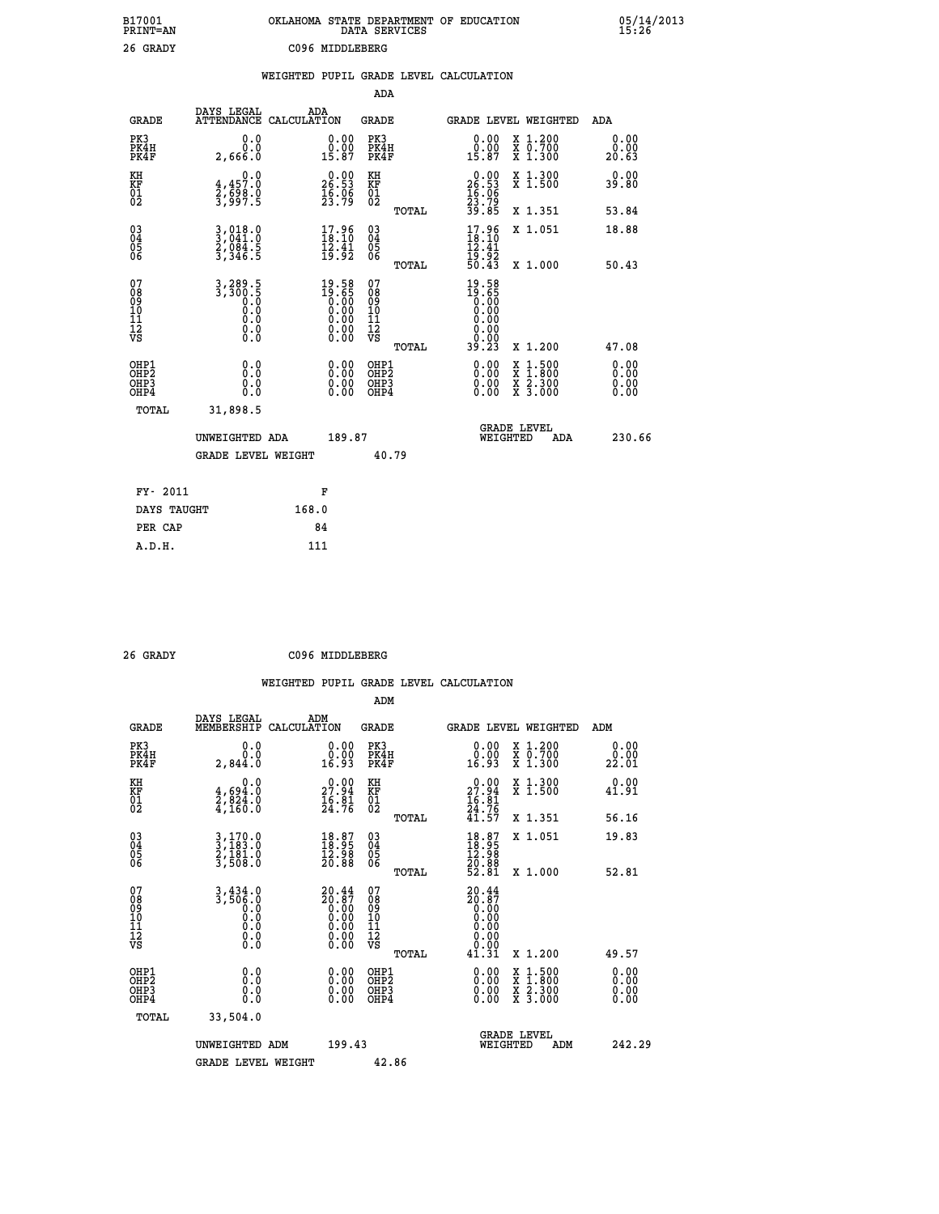| B17001<br>PRINT=AN                       |                                                                                                    | OKLAHOMA STATE DEPARTMENT OF EDUCATION                                   | DATA SERVICES                                               |                                                             |                                                                                                                                           | $05/14/2013$<br>15:26 |
|------------------------------------------|----------------------------------------------------------------------------------------------------|--------------------------------------------------------------------------|-------------------------------------------------------------|-------------------------------------------------------------|-------------------------------------------------------------------------------------------------------------------------------------------|-----------------------|
| 26 GRADY                                 |                                                                                                    | C096 MIDDLEBERG                                                          |                                                             |                                                             |                                                                                                                                           |                       |
|                                          |                                                                                                    | WEIGHTED PUPIL GRADE LEVEL CALCULATION                                   |                                                             |                                                             |                                                                                                                                           |                       |
|                                          |                                                                                                    |                                                                          | ADA                                                         |                                                             |                                                                                                                                           |                       |
| <b>GRADE</b>                             | DAYS LEGAL<br>ATTENDANCE CALCULATION                                                               | ADA                                                                      | GRADE                                                       |                                                             | GRADE LEVEL WEIGHTED                                                                                                                      | ADA                   |
| PK3<br>PK4H<br>PK4F                      | 0.0<br>0.0<br>2,666.0                                                                              | $\begin{smallmatrix} 0.00\\ 0.00\\ 15.87 \end{smallmatrix}$              | PK3<br>PK4H<br>PK4F                                         | $\begin{smallmatrix} 0.00\\ 0.00\\ 15.87 \end{smallmatrix}$ | X 1.200<br>X 0.700<br>X 1.300                                                                                                             | 0.00<br>0.00<br>20.63 |
| KH<br>ΚF                                 | $4,457.0$<br>$3,698.0$<br>$3,997.5$                                                                | $\begin{smallmatrix} 0.00\\ 26.53\\ 16.06\\ 23.79 \end{smallmatrix}$     | KH                                                          |                                                             | X 1.300<br>X 1.500                                                                                                                        | 0.00<br>39.80         |
| $\begin{matrix} 01 \ 02 \end{matrix}$    |                                                                                                    |                                                                          | KF<br>01<br>02<br>TOTAL                                     | $0.00$<br>$26.53$<br>$16.06$<br>$23.79$<br>$39.85$          | X 1.351                                                                                                                                   | 53.84                 |
|                                          |                                                                                                    |                                                                          |                                                             | $\frac{17.96}{18.10}$                                       | X 1.051                                                                                                                                   | 18.88                 |
| 03<br>04<br>05<br>06                     | $3,018.0$<br>$3,041.0$<br>$2,084.5$<br>$3,346.5$                                                   | $\begin{smallmatrix} 17.96 \\ 18.10 \\ 12.41 \\ 19.92 \end{smallmatrix}$ | $\begin{matrix} 03 \\ 04 \\ 05 \\ 06 \end{matrix}$<br>TOTAL | $\frac{15.92}{50.43}$                                       | X 1.000                                                                                                                                   | 50.43                 |
| 07<br>08<br>09<br>11<br>11<br>12<br>VS   | 3, 289. 5<br>3, 300. 5<br>0. 0<br>0. 0<br>$\begin{smallmatrix} 0.16 \ 0.0 \ 0.0 \end{smallmatrix}$ | $19.58$<br>$19.65$<br>$0.00$<br>$0.00$<br>$0.00$<br>0.00                 | 07<br>ŏġ<br>09<br>10<br>11<br>12<br>VS                      | $19.58$<br>$19.65$<br>$0.00$<br>$0.00$<br>$0.00$<br>0.00    |                                                                                                                                           |                       |
|                                          |                                                                                                    |                                                                          | TOTAL                                                       | 39.23                                                       | X 1.200                                                                                                                                   | 47.08                 |
| OHP1<br>OHP <sub>2</sub><br>OHP3<br>OHP4 | 0.0<br>0.0<br>0.0                                                                                  | 0.00<br>0.00<br>0.00                                                     | OHP1<br>OHP2<br>OHP3<br>OHP4                                | 0.00<br>0.00<br>0.00                                        | $\begin{smallmatrix} \mathtt{X} & 1\cdot500\\ \mathtt{X} & 1\cdot800\\ \mathtt{X} & 2\cdot300\\ \mathtt{X} & 3\cdot000 \end{smallmatrix}$ | 0.00<br>0.00<br>0.00  |
| TOTAL                                    | 31,898.5                                                                                           |                                                                          |                                                             |                                                             |                                                                                                                                           |                       |
|                                          | UNWEIGHTED ADA                                                                                     | 189.87                                                                   |                                                             | WEIGHTED                                                    | <b>GRADE LEVEL</b><br>ADA                                                                                                                 | 230.66                |
|                                          | <b>GRADE LEVEL WEIGHT</b>                                                                          |                                                                          | 40.79                                                       |                                                             |                                                                                                                                           |                       |
|                                          |                                                                                                    |                                                                          |                                                             |                                                             |                                                                                                                                           |                       |
| FY- 2011                                 |                                                                                                    | F                                                                        |                                                             |                                                             |                                                                                                                                           |                       |
| DAYS TAUGHT<br>PER CAP                   |                                                                                                    | 168.0<br>84                                                              |                                                             |                                                             |                                                                                                                                           |                       |
| A.D.H.                                   |                                                                                                    | 111                                                                      |                                                             |                                                             |                                                                                                                                           |                       |

| 26 GRADY | C096 MIDDLEBERG |
|----------|-----------------|
|          |                 |

|                                                    |                                                     | WEIGHTED                                                                                                                                                                                                                                                                       |                                        |       | PUPIL GRADE LEVEL CALCULATION                                                |                                                                                                                     |                                                                   |
|----------------------------------------------------|-----------------------------------------------------|--------------------------------------------------------------------------------------------------------------------------------------------------------------------------------------------------------------------------------------------------------------------------------|----------------------------------------|-------|------------------------------------------------------------------------------|---------------------------------------------------------------------------------------------------------------------|-------------------------------------------------------------------|
|                                                    |                                                     |                                                                                                                                                                                                                                                                                | ADM                                    |       |                                                                              |                                                                                                                     |                                                                   |
| <b>GRADE</b>                                       | DAYS LEGAL<br>MEMBERSHIP                            | ADM<br>CALCULATION                                                                                                                                                                                                                                                             | <b>GRADE</b>                           |       |                                                                              | <b>GRADE LEVEL WEIGHTED</b>                                                                                         | ADM                                                               |
| PK3<br>PK4H<br>PK4F                                | 0.0<br>0.0<br>2,844.0                               | $\begin{smallmatrix} 0.00\\ 0.00\\ 16.93 \end{smallmatrix}$                                                                                                                                                                                                                    | PK3<br>PK4H<br>PK4F                    |       | $\begin{smallmatrix} 0.00\\ 0.00\\ 16.93 \end{smallmatrix}$                  | X 1.200<br>X 0.700<br>X 1.300                                                                                       | 0.00<br>22.01                                                     |
| KH<br>KF<br>01<br>02                               | 0.0<br>$\frac{4}{2}, \frac{694}{824}$ .0<br>4,160.0 | $\begin{smallmatrix} 0.00\\ 27.94\\ 16.81\\ 24.76 \end{smallmatrix}$                                                                                                                                                                                                           | KH<br>KF<br>$\overline{01}$            |       | $\begin{smallmatrix} 0.00\\ 27.94\\ 16.81\\ 24.76\\ 41.57 \end{smallmatrix}$ | X 1.300<br>X 1.500                                                                                                  | 0.00<br>41.91                                                     |
|                                                    |                                                     |                                                                                                                                                                                                                                                                                |                                        | TOTAL |                                                                              | X 1.351                                                                                                             | 56.16                                                             |
| $\begin{matrix} 03 \\ 04 \\ 05 \\ 06 \end{matrix}$ | $3,170.0$<br>$3,183.0$<br>$2,181.0$<br>$3,508.0$    | $\begin{smallmatrix} 18.87\ 18.95\ 12.98\ 20.88 \end{smallmatrix}$                                                                                                                                                                                                             | $03\overline{4}$<br>05<br>06           | TOTAL | $\begin{smallmatrix} 18.87\ 18.95\ 12.98\ 20.88\ 52.81\ \end{smallmatrix}$   | X 1.051<br>X 1.000                                                                                                  | 19.83<br>52.81                                                    |
| 07<br>08901112<br>1112<br>VS                       | $3, 434.0$<br>$3, 506.0$<br>ŏ.ŏ<br>Ŏ.Ō<br>$\S.$     | ${\begin{smallmatrix} 20.44\\ 20.87\\ 0.00\\ 0.00\\ 0.00\\ 0.00\\ 0.00\\ 0.00\\ 0.00\\ 0.00\\ \end{smallmatrix}}$                                                                                                                                                              | 07<br>08<br>09<br>11<br>11<br>12<br>VS | TOTAL | $20.44$<br>$20.87$<br>$0.00$<br>$0.00$<br>$0.00$<br>0.00<br>ð:00<br>41.31    | X 1.200                                                                                                             | 49.57                                                             |
| OHP1<br>OHP2<br>OH <sub>P3</sub><br>OHP4           | 0.000<br>$\S. \S$                                   | $\begin{smallmatrix} 0.00 & 0.00 & 0.00 & 0.00 & 0.00 & 0.00 & 0.00 & 0.00 & 0.00 & 0.00 & 0.00 & 0.00 & 0.00 & 0.00 & 0.00 & 0.00 & 0.00 & 0.00 & 0.00 & 0.00 & 0.00 & 0.00 & 0.00 & 0.00 & 0.00 & 0.00 & 0.00 & 0.00 & 0.00 & 0.00 & 0.00 & 0.00 & 0.00 & 0.00 & 0.00 & 0.0$ | OHP1<br>OHP2<br>OHP3<br>OHP4           |       |                                                                              | $\begin{array}{l} \mathtt{X} & 1.500 \\ \mathtt{X} & 1.800 \\ \mathtt{X} & 2.300 \\ \mathtt{X} & 3.000 \end{array}$ | $\begin{smallmatrix} 0.00 \ 0.00 \ 0.00 \ 0.00 \end{smallmatrix}$ |
| $m \wedge m \wedge r$                              | 22 ENA O                                            |                                                                                                                                                                                                                                                                                |                                        |       |                                                                              |                                                                                                                     |                                                                   |

| TOTAL | 33,504.0           |        |                                       |        |
|-------|--------------------|--------|---------------------------------------|--------|
|       | UNWEIGHTED ADM     | 199.43 | <b>GRADE LEVEL</b><br>ADM<br>WEIGHTED | 242.29 |
|       | GRADE LEVEL WEIGHT | 42.86  |                                       |        |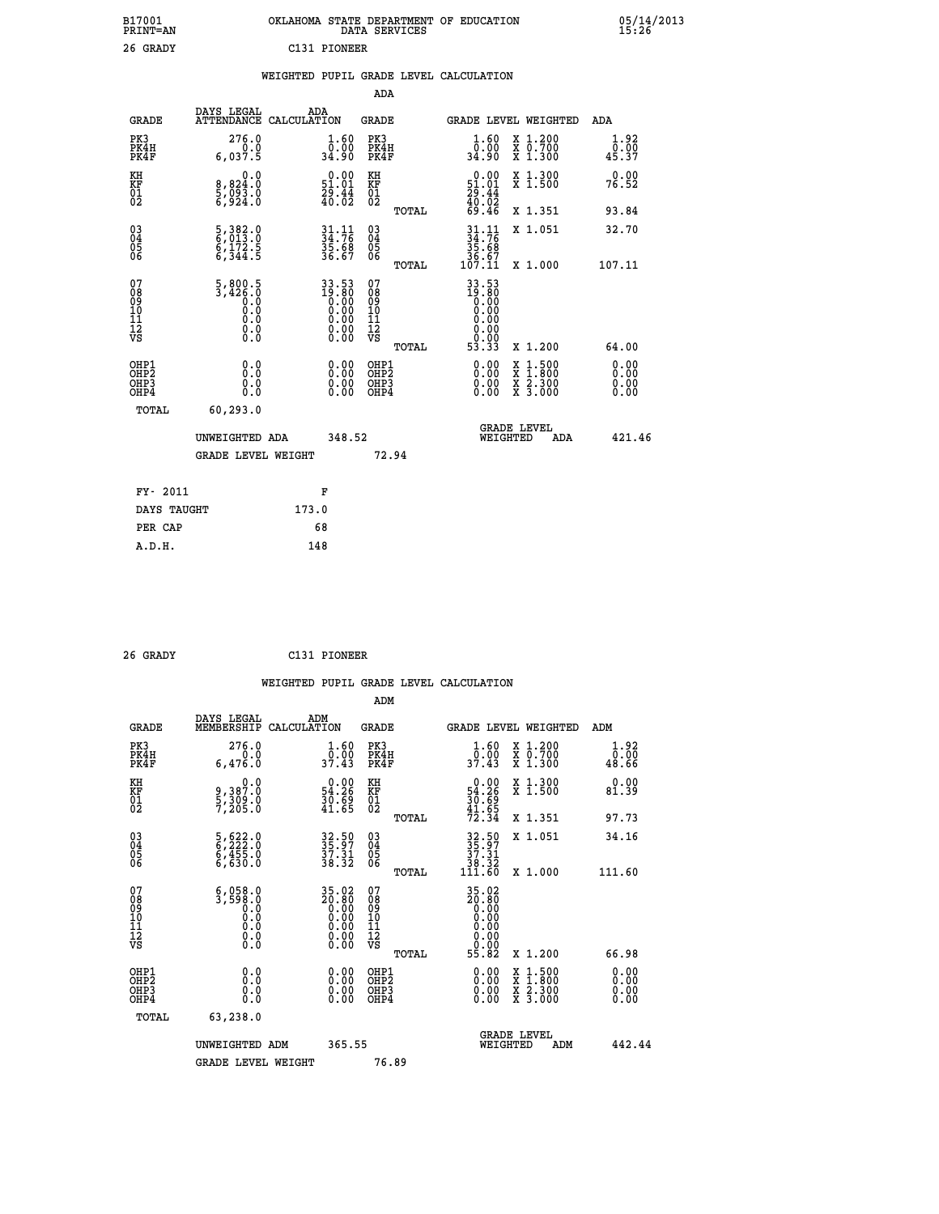| B17001<br>PRINT=AN | OKLAHOMA STATE DEPARTMENT OF EDUCATION<br>DATA SERVICES | 05/14/2013<br>15:26 |
|--------------------|---------------------------------------------------------|---------------------|
| 26 GRADY           | C131 PIONEER                                            |                     |

|  |  | WEIGHTED PUPIL GRADE LEVEL CALCULATION |
|--|--|----------------------------------------|
|  |  |                                        |

|                                                       |                                                                                                 |                                                                            | ADA                                             |                                                                                                                                                              |                              |
|-------------------------------------------------------|-------------------------------------------------------------------------------------------------|----------------------------------------------------------------------------|-------------------------------------------------|--------------------------------------------------------------------------------------------------------------------------------------------------------------|------------------------------|
| <b>GRADE</b>                                          | DAYS LEGAL                                                                                      | ADA<br>ATTENDANCE CALCULATION                                              | GRADE                                           | <b>GRADE LEVEL WEIGHTED</b>                                                                                                                                  | ADA                          |
| PK3<br>PK4H<br>PK4F                                   | 276.0<br>6,037.5                                                                                | $\begin{smallmatrix} 1.60\\[-1.2mm] 0.00\\[-1.2mm] 34.90\end{smallmatrix}$ | PK3<br>PK4H<br>PK4F                             | 1.60<br>X 1.200<br>X 0.700<br>X 1.300<br>0.00<br>34.90                                                                                                       | 1.92<br>0.00<br>45.37        |
| KH<br>KF<br>01<br>02                                  | 0.0<br>8,824:0<br>5,093:0<br>6,924:0                                                            | $\begin{smallmatrix} 0.00\\ 51.01\\ 29.44\\ 40.02 \end{smallmatrix}$       | KH<br>KF<br>01<br>02                            | X 1.300<br>X 1.500<br>$\begin{smallmatrix} 0.00\\ 51.01\\ 29.44\\ 40.02\\ 69.46 \end{smallmatrix}$                                                           | 0.00<br>76.52                |
|                                                       |                                                                                                 |                                                                            | TOTAL                                           | X 1.351                                                                                                                                                      | 93.84                        |
| 03<br>04<br>05<br>06                                  | 5, 382.0<br>6, 013.0<br>6, 172.5<br>6, 344.5                                                    | $34.76$<br>$35.68$<br>$36.67$                                              | 03<br>04<br>05<br>06                            | $\begin{array}{r} 31 \cdot 11 \\ 34 \cdot 76 \\ 35 \cdot 68 \\ 36 \cdot 67 \\ 107 \cdot 11 \end{array}$<br>X 1.051                                           | 32.70                        |
|                                                       |                                                                                                 |                                                                            | TOTAL                                           | X 1.000                                                                                                                                                      | 107.11                       |
| 07<br>08<br>09<br>11<br>11<br>12<br>VS                | $\frac{5,800.5}{3,426.0}$<br>$\begin{smallmatrix} 0.0 & 0 \ 0.0 & 0 \end{smallmatrix}$<br>$\S.$ | $33.5319.800.000.000.000.000.00$                                           | 07<br>08<br>09<br>11<br>11<br>12<br>VS<br>TOTAL | 33.53<br>19.80<br>0.00<br>0.00<br>0.00<br>0.00<br>53.33<br>X 1.200                                                                                           | 64.00                        |
| OHP1<br>OH <sub>P</sub> 2<br>OH <sub>P3</sub><br>OHP4 | 0.0<br>0.0<br>0.0                                                                               | 0.00<br>$\begin{smallmatrix} 0.00 \ 0.00 \end{smallmatrix}$                | OHP1<br>OH <sub>P</sub> 2<br>OHP3<br>OHP4       | 0.00<br>$\begin{smallmatrix} \mathtt{X} & 1 & 500 \\ \mathtt{X} & 1 & 800 \\ \mathtt{X} & 2 & 300 \\ \mathtt{X} & 3 & 000 \end{smallmatrix}$<br>0.00<br>0.00 | 0.00<br>0.00<br>0.00<br>0.00 |
| TOTAL                                                 | 60,293.0                                                                                        |                                                                            |                                                 |                                                                                                                                                              |                              |
|                                                       | UNWEIGHTED ADA                                                                                  | 348.52                                                                     |                                                 | <b>GRADE LEVEL</b><br>WEIGHTED<br>ADA                                                                                                                        | 421.46                       |
|                                                       | <b>GRADE LEVEL WEIGHT</b>                                                                       |                                                                            | 72.94                                           |                                                                                                                                                              |                              |
| FY- 2011                                              |                                                                                                 | F                                                                          |                                                 |                                                                                                                                                              |                              |
| DAYS TAUGHT                                           |                                                                                                 | 173.0                                                                      |                                                 |                                                                                                                                                              |                              |
| PER CAP                                               |                                                                                                 | 68                                                                         |                                                 |                                                                                                                                                              |                              |
| A.D.H.                                                |                                                                                                 | 148                                                                        |                                                 |                                                                                                                                                              |                              |

| 26 GRADY | C131 PIONEER |
|----------|--------------|
|          |              |

|                                                      |                                                                                                     |                                                                                                       | ADM                                          |       |                                                                                                             |                                          |                                                                                                                                                                                                                                                                                |
|------------------------------------------------------|-----------------------------------------------------------------------------------------------------|-------------------------------------------------------------------------------------------------------|----------------------------------------------|-------|-------------------------------------------------------------------------------------------------------------|------------------------------------------|--------------------------------------------------------------------------------------------------------------------------------------------------------------------------------------------------------------------------------------------------------------------------------|
| <b>GRADE</b>                                         | DAYS LEGAL<br>MEMBERSHIP                                                                            | ADM<br>CALCULATION                                                                                    | <b>GRADE</b>                                 |       |                                                                                                             | <b>GRADE LEVEL WEIGHTED</b>              | ADM                                                                                                                                                                                                                                                                            |
| PK3<br>PK4H<br>PK4F                                  | 276.0<br>6,476.0                                                                                    | $\frac{1}{0}$ : $\frac{60}{37}$ . 43                                                                  | PK3<br>PK4H<br>PK4F                          |       | $\frac{1}{0}$ : $\frac{60}{37}$ . 43                                                                        | X 1.200<br>X 0.700<br>X 1.300            | 1.92<br>0.00<br>48.66                                                                                                                                                                                                                                                          |
| KH<br>KF<br>01<br>02                                 | 0.0<br>9,387:0<br>5,309:0<br>7,205:0                                                                | $\begin{smallmatrix} 0.00\\ 54.26\\ 30.69\\ 41.65 \end{smallmatrix}$                                  | KH<br>KF<br>01<br>02                         |       | $\begin{smallmatrix} 0.00\\ 54.26\\ 30.69\\ 41.65\\ 72.34 \end{smallmatrix}$                                | X 1.300<br>X 1.500                       | $0.00$<br>81.39                                                                                                                                                                                                                                                                |
|                                                      |                                                                                                     |                                                                                                       |                                              | TOTAL |                                                                                                             | X 1.351                                  | 97.73                                                                                                                                                                                                                                                                          |
| 03<br>04<br>05<br>06                                 | 5,622.0<br>6,222.0<br>6,455.0<br>6,630.0                                                            | 32.50<br>35.97<br>37.31<br>38.32                                                                      | 03<br>04<br>05<br>06                         |       | $\begin{array}{r} 32.50 \\ 35.97 \\ 37.31 \\ 38.32 \\ 111.60 \end{array}$                                   | X 1.051                                  | 34.16                                                                                                                                                                                                                                                                          |
|                                                      |                                                                                                     |                                                                                                       |                                              | TOTAL |                                                                                                             | X 1.000                                  | 111.60                                                                                                                                                                                                                                                                         |
| 07<br>08<br>09<br>101<br>11<br>12<br>VS              | $\begin{smallmatrix} 6,058.0\\ 3,598.0\\ 0.0\\ 0.0\\ 0.0\\ 0.0\\ 0.0\\ 0.0\\ 0.0 \end{smallmatrix}$ | $\begin{smallmatrix} 35.02\ 20.80\ 0.00\ 0.00\ 0.00\ 0.00\ 0.00\ 0.00\ 0.00\ 0.00\ \end{smallmatrix}$ | 07<br>08<br>09<br>01<br>11<br>11<br>12<br>VS |       | $\begin{array}{@{}ll} 35.02 \\ 20.80 \\ 0.00 \\ 0.00 \\ 0.00 \\ 0.00 \\ 0.00 \\ 0.00 \\ \hline \end{array}$ |                                          |                                                                                                                                                                                                                                                                                |
|                                                      |                                                                                                     |                                                                                                       |                                              | TOTAL | 55.82                                                                                                       | X 1.200                                  | 66.98                                                                                                                                                                                                                                                                          |
| OHP1<br>OHP2<br>OH <sub>P3</sub><br>OH <sub>P4</sub> | $\begin{smallmatrix} 0.0 \ 0.0 \ 0.0 \end{smallmatrix}$                                             |                                                                                                       | OHP1<br>OHP2<br>OHP <sub>3</sub>             |       |                                                                                                             | X 1:500<br>X 1:800<br>X 2:300<br>X 3:000 | $\begin{smallmatrix} 0.00 & 0.00 & 0.00 & 0.00 & 0.00 & 0.00 & 0.00 & 0.00 & 0.00 & 0.00 & 0.00 & 0.00 & 0.00 & 0.00 & 0.00 & 0.00 & 0.00 & 0.00 & 0.00 & 0.00 & 0.00 & 0.00 & 0.00 & 0.00 & 0.00 & 0.00 & 0.00 & 0.00 & 0.00 & 0.00 & 0.00 & 0.00 & 0.00 & 0.00 & 0.00 & 0.0$ |
| TOTAL                                                | 63,238.0                                                                                            |                                                                                                       |                                              |       |                                                                                                             |                                          |                                                                                                                                                                                                                                                                                |
|                                                      | UNWEIGHTED                                                                                          | 365.55<br>ADM                                                                                         |                                              |       |                                                                                                             | GRADE LEVEL<br>WEIGHTED<br>ADM           | 442.44                                                                                                                                                                                                                                                                         |
|                                                      | <b>GRADE LEVEL WEIGHT</b>                                                                           |                                                                                                       | 76.89                                        |       |                                                                                                             |                                          |                                                                                                                                                                                                                                                                                |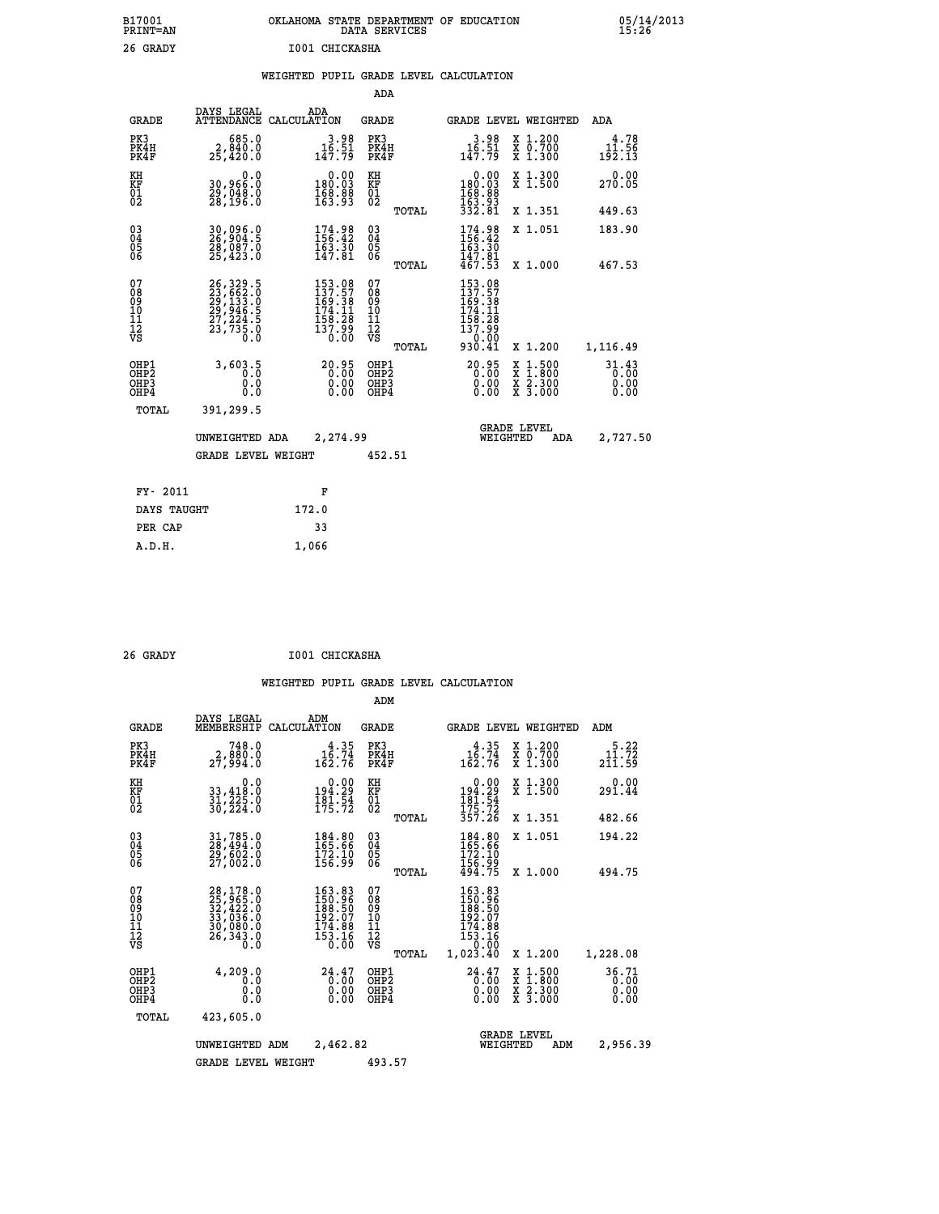| OKLAHOMA STATE DEPARTMENT OF EDUCATION<br>DATA SERVICES |  |
|---------------------------------------------------------|--|
| T001 CHTCKASHA                                          |  |

|  |  | WEIGHTED PUPIL GRADE LEVEL CALCULATION |
|--|--|----------------------------------------|
|  |  |                                        |

|                                                                    |                                              |                                                                              | ADA                                       |       |                                                                                     |                                                                     |                                             |
|--------------------------------------------------------------------|----------------------------------------------|------------------------------------------------------------------------------|-------------------------------------------|-------|-------------------------------------------------------------------------------------|---------------------------------------------------------------------|---------------------------------------------|
| <b>GRADE</b>                                                       | DAYS LEGAL                                   | ADA<br>ATTENDANCE CALCULATION                                                | <b>GRADE</b>                              |       |                                                                                     | GRADE LEVEL WEIGHTED                                                | <b>ADA</b>                                  |
| PK3<br>PK4H<br>PK4F                                                | 685.0<br>2,840.0<br>25,420.0                 | $3.98$<br>$16.51$<br>$147.79$                                                | PK3<br>PK4H<br>PK4F                       |       | $3.98$<br>$16.51$<br>$147.79$                                                       | X 1.200<br>X 0.700<br>X 1.300                                       | 4.78<br>11.56<br>$1\bar{9}\bar{2}.1\bar{3}$ |
| KH<br>KF<br>01<br>02                                               | 0.0<br>30,966:0<br>29,048:0<br>28,196:0      | 0.00<br>$\frac{180.03}{168.88}\ \frac{163.93}{163.93}$                       | KH<br>KF<br>01<br>02                      |       | 0.00<br>180:03<br>168:88<br>163:93<br>332:81                                        | X 1.300<br>X 1.500                                                  | 0.00<br>270.05                              |
|                                                                    |                                              |                                                                              |                                           | TOTAL |                                                                                     | X 1.351                                                             | 449.63                                      |
| $\begin{smallmatrix} 03 \\[-4pt] 04 \end{smallmatrix}$<br>05<br>06 | 30,096.0<br>26,904.5<br>28,087.0<br>25,423.0 | 174.98<br>156.42<br>$\frac{163}{147.81}$                                     | $\substack{03 \\ 04}$<br>05               |       | 174.98<br>156.42<br>$\frac{163}{147}$ $\frac{36}{147}$<br>$\frac{81}{467}$          | X 1.051                                                             | 183.90                                      |
|                                                                    |                                              |                                                                              |                                           | TOTAL |                                                                                     | X 1.000                                                             | 467.53                                      |
| 07<br>08<br>09<br>11<br>11<br>12<br>VS                             |                                              | 153.08<br>$137.57$<br>$169.38$<br>$174.11$<br>$158.28$<br>$137.99$<br>$0.00$ | 07<br>08<br>09<br>11<br>11<br>12<br>VS    |       | 153.08<br>137.57<br>169.38<br>174.11<br>158.28<br>157.99<br>$\frac{100000}{930.41}$ |                                                                     |                                             |
|                                                                    |                                              |                                                                              |                                           | TOTAL |                                                                                     | X 1.200                                                             | 1,116.49                                    |
| OHP1<br>OHP <sub>2</sub><br>OHP3<br>OHP4                           | 3,603.5<br>0.0<br>0.0                        | 20.95<br>$\begin{smallmatrix} 0.00 \ 0.00 \end{smallmatrix}$                 | OHP1<br>OH <sub>P</sub> 2<br>OHP3<br>OHP4 |       | $20.95$<br>$0.00$<br>0.00<br>0.00                                                   | $1:500$<br>$1:800$<br>X<br>X<br>$\frac{x}{x}$ $\frac{2.300}{3.000}$ | 31.43<br>0.00<br>0.00<br>0.00               |
| TOTAL                                                              | 391,299.5                                    |                                                                              |                                           |       |                                                                                     |                                                                     |                                             |
|                                                                    | UNWEIGHTED ADA                               | 2,274.99                                                                     |                                           |       | WEIGHTED                                                                            | <b>GRADE LEVEL</b><br>ADA                                           | 2,727.50                                    |
|                                                                    | <b>GRADE LEVEL WEIGHT</b>                    |                                                                              | 452.51                                    |       |                                                                                     |                                                                     |                                             |
| FY- 2011                                                           |                                              | F                                                                            |                                           |       |                                                                                     |                                                                     |                                             |
| DAYS TAUGHT                                                        |                                              | 172.0                                                                        |                                           |       |                                                                                     |                                                                     |                                             |
|                                                                    |                                              |                                                                              |                                           |       |                                                                                     |                                                                     |                                             |
| PER CAP                                                            |                                              | 33                                                                           |                                           |       |                                                                                     |                                                                     |                                             |

| 26 GRADY | I001 CHICKASHA |
|----------|----------------|

 **A.D.H. 1,066**

 **B17001<br>PRINT=AN 26 GRADY** 

|                                                                  |                                                                                   |                                                                           | ADM                                                   |                                                                             |                                          |                               |
|------------------------------------------------------------------|-----------------------------------------------------------------------------------|---------------------------------------------------------------------------|-------------------------------------------------------|-----------------------------------------------------------------------------|------------------------------------------|-------------------------------|
| <b>GRADE</b>                                                     | DAYS LEGAL<br>MEMBERSHIP                                                          | ADM<br>CALCULATION                                                        | <b>GRADE</b>                                          | <b>GRADE LEVEL WEIGHTED</b>                                                 |                                          | ADM                           |
| PK3<br>PK4H<br>PK4F                                              | 748.0<br>2,880.0<br>27,994.0                                                      | $16.35$<br>$16.74$<br>162.76                                              | PK3<br>PK4H<br>PK4F                                   | $16.35$<br>16.74<br>162.76                                                  | X 1.200<br>X 0.700<br>X 1.300            | $5.22$<br>11.72<br>211.59     |
| KH<br>KF<br>01<br>02                                             | 0.0<br>33,418.0<br>31,225.0<br>30,224.0                                           | $\begin{smallmatrix} &0.00\\194.29\\181.54\\175.72\end{smallmatrix}$      | KH<br>KF<br>01<br>02                                  | 0.00<br>194:29<br>181:54<br>175:72<br>357:26                                | X 1.300<br>X 1.500                       | 0.00<br>291.44                |
|                                                                  |                                                                                   |                                                                           | TOTAL                                                 |                                                                             | X 1.351                                  | 482.66                        |
| 03<br>04<br>05<br>06                                             | $\begin{smallmatrix} 31.785.0\\ 28.494.0\\ 29.602.0\\ 27.002.0 \end{smallmatrix}$ | $\begin{smallmatrix} 184.80\\ 165.66\\ 172.10\\ 156.99 \end{smallmatrix}$ | $\begin{matrix} 03 \\ 04 \\ 05 \\ 06 \end{matrix}$    | 184.80<br>165.66<br>172.10<br>156.99                                        | X 1.051                                  | 194.22                        |
|                                                                  |                                                                                   |                                                                           | TOTAL                                                 | 494.75                                                                      | X 1.000                                  | 494.75                        |
| 07<br>08901112<br>1112<br>VS                                     | 28,178.0<br>25,965.0<br>32,422.0<br>33,036.0<br>30,080.0<br>26,343.0<br>0.0       | 163.83<br>150.96<br>188.50<br>192.07<br>174.88<br>153.16<br>0.00          | 07<br>08<br>09<br>01<br>11<br>11<br>12<br>VS<br>TOTAL | 163.83<br>150.96<br>188.50<br>192.07<br>$\frac{174.88}{153.16}$<br>1,023.40 | X 1.200                                  | 1,228.08                      |
| OHP1<br>OH <sub>P</sub> <sub>2</sub><br>OHP3<br>OH <sub>P4</sub> | 4,209.0<br>0.0<br>0.000                                                           | $24.47$ $0.00$<br>0.00<br>0.00                                            | OHP1<br>OHP2<br>OHP3<br>OHP4                          | $^{24.47}_{0.00}$<br>0.00<br>0.00                                           | X 1:500<br>X 1:800<br>X 2:300<br>X 3:000 | 36.71<br>0.00<br>0.00<br>0.00 |
| TOTAL                                                            | 423,605.0                                                                         |                                                                           |                                                       |                                                                             |                                          |                               |
|                                                                  | UNWEIGHTED                                                                        | 2,462.82<br>ADM                                                           |                                                       | <b>GRADE LEVEL</b><br>WEIGHTED                                              | ADM                                      | 2,956.39                      |
|                                                                  | <b>GRADE LEVEL WEIGHT</b>                                                         |                                                                           | 493.57                                                |                                                                             |                                          |                               |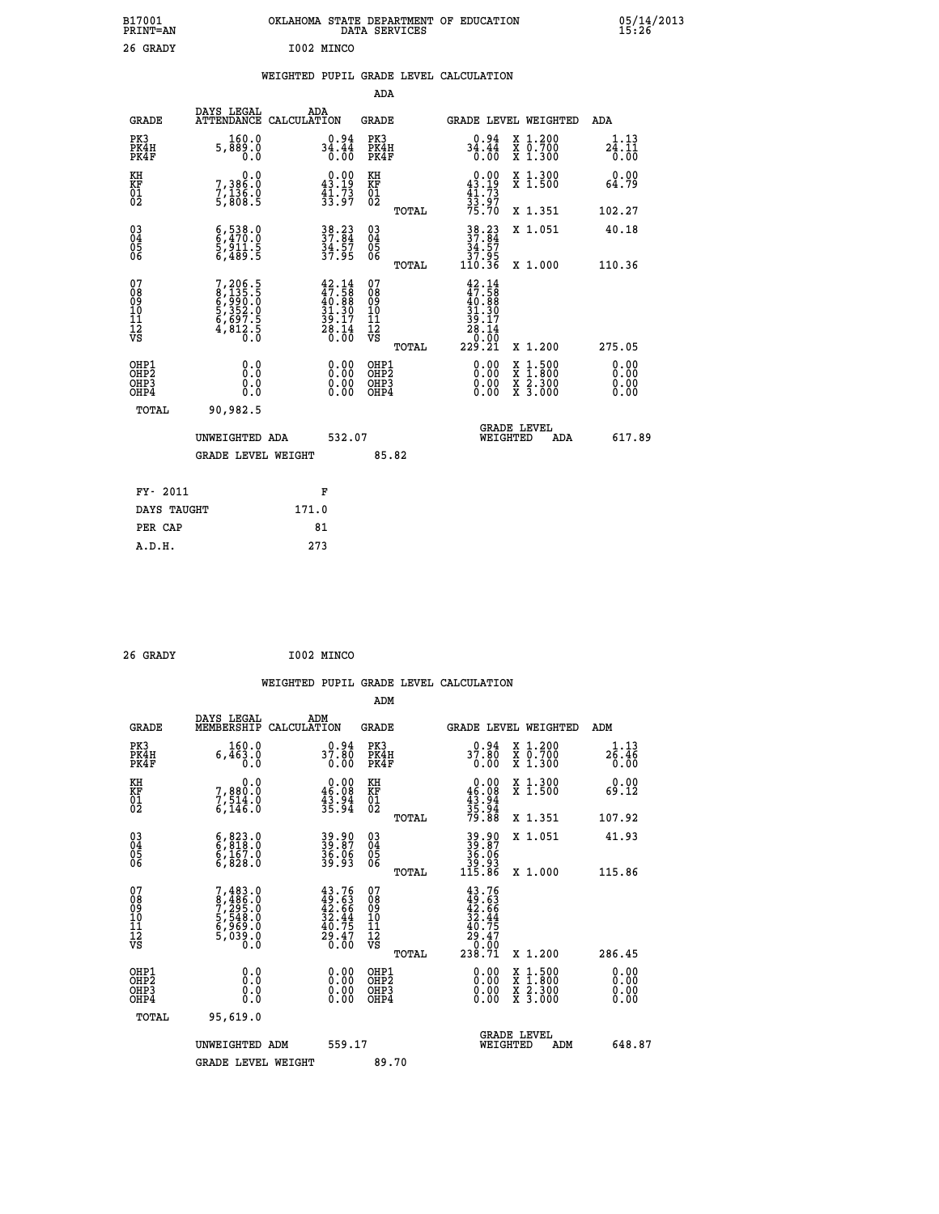| B17001<br>PRINT=AN                                 |                                                                               | OKLAHOMA STATE DEPARTMENT OF EDUCATION<br>DATA SERVICES                                                                        |                                                          |                                                                                     |                                                                       | $05/14/2013$<br>15:26        |
|----------------------------------------------------|-------------------------------------------------------------------------------|--------------------------------------------------------------------------------------------------------------------------------|----------------------------------------------------------|-------------------------------------------------------------------------------------|-----------------------------------------------------------------------|------------------------------|
| 26 GRADY                                           |                                                                               | I002 MINCO                                                                                                                     |                                                          |                                                                                     |                                                                       |                              |
|                                                    |                                                                               | WEIGHTED PUPIL GRADE LEVEL CALCULATION                                                                                         |                                                          |                                                                                     |                                                                       |                              |
|                                                    |                                                                               |                                                                                                                                | ADA                                                      |                                                                                     |                                                                       |                              |
| <b>GRADE</b>                                       | DAYS LEGAL<br>ATTENDANCE CALCULATION                                          | ADA                                                                                                                            | GRADE                                                    |                                                                                     | <b>GRADE LEVEL WEIGHTED</b>                                           | ADA                          |
| PK3<br>PK4H<br>PK4F                                | 160.0<br>5,889.0<br>0.0                                                       | $34.44$<br>$34.44$<br>$0.00$                                                                                                   | PK3<br>PK4H<br>PK4F                                      | $34.44$<br>$34.44$<br>$0.00$                                                        | X 1.200<br>X 0.700<br>X 1.300                                         | 1.13<br>24.11<br>0.00        |
| KH<br>KF<br>01<br>02                               | 0.0<br>7,386:0<br>7,136:0<br>5,808:5                                          | $\begin{smallmatrix} 0.00\\ 43.19\\ 41.73\\ 33.97 \end{smallmatrix}$                                                           | KH<br>KF<br>01<br>02                                     | $\begin{array}{c} 0.00 \\ 43.19 \\ 41.73 \end{array}$                               | X 1.300<br>X 1.500                                                    | 0.00<br>64.79                |
|                                                    |                                                                               |                                                                                                                                | TOTAL                                                    | 33:97<br>75.70                                                                      | X 1.351                                                               | 102.27                       |
| $\begin{matrix} 03 \\ 04 \\ 05 \\ 06 \end{matrix}$ | $\begin{smallmatrix} 6,538.0\\ 6,470.0\\ 5,911.5\\ 6,489.5 \end{smallmatrix}$ | 38.23<br>37.84<br>34.57<br>37.95                                                                                               | 03<br>04<br>05<br>06                                     | 38.23<br>37.84<br>34.57<br>37.95<br>110.36                                          | X 1.051                                                               | 40.18<br>110.36              |
| 07<br>08<br>09<br>10<br>11<br>12<br>VS             | 7,206.5<br>8,135.5<br>8,990.0<br>6,997.0<br>5,352.0<br>6,697.5<br>4,812.5     | $\begin{smallmatrix} 42\cdot 14\\ 47\cdot 58\\ 40\cdot 88\\ 31\cdot 30\\ 39\cdot 17\\ 28\cdot 14\\ 0\cdot 00\end{smallmatrix}$ | TOTAL<br>07<br>08<br>09<br>10<br>11<br>12<br>VS<br>TOTAL | $42.14$<br>$47.58$<br>$40.88$<br>$\frac{31.30}{39.17}$<br>$28.14$<br>0:00<br>229.21 | X 1.000<br>X 1.200                                                    | 275.05                       |
| OHP1<br>OHP2<br>OHP3<br>OHP4<br>TOTAL              | 0.0<br>Ŏ.Ō<br>0.0<br>0.0<br>90,982.5                                          | 0.00<br>0.00<br>0.00                                                                                                           | OHP1<br>OHP <sub>2</sub><br>OHP3<br>OHP4                 | 0.00<br>0.00<br>0.00                                                                | X 1:500<br>X 1:800<br>$\frac{x}{x}$ $\frac{2 \cdot 300}{3 \cdot 000}$ | 0.00<br>0.00<br>0.00<br>0.00 |
|                                                    | UNWEIGHTED ADA<br><b>GRADE LEVEL WEIGHT</b>                                   | 532.07                                                                                                                         | 85.82                                                    | WEIGHTED                                                                            | <b>GRADE LEVEL</b><br>ADA                                             | 617.89                       |
| FY- 2011<br>DAYS TAUGHT                            |                                                                               | F<br>171.0                                                                                                                     |                                                          |                                                                                     |                                                                       |                              |
|                                                    |                                                                               |                                                                                                                                |                                                          |                                                                                     |                                                                       |                              |

| 26 GRADY |  |  | I002 MINCO |
|----------|--|--|------------|

**PER CAP** 81  **A.D.H. 273**

 **WEIGHTED PUPIL GRADE LEVEL CALCULATION ADM DAYS LEGAL ADM GRADE MEMBERSHIP CALCULATION GRADE GRADE LEVEL WEIGHTED ADM PK3 160.0 0.94 PK3 0.94 X 1.200 1.13 PK4H 6,463.0 37.80 PK4H 37.80 X 0.700 26.46 PK4F 0.0 0.00 PK4F 0.00 X 1.300 0.00 KH 0.0 0.00 KH 0.00 X 1.300 0.00 KF 7,880.0 46.08 KF 46.08 X 1.500 69.12** 01 7,514.0 43.94 01 43.94<br>02 6,146.0 35.94 02 <sub>momen</sub> 35.94  **TOTAL 79.88 X 1.351 107.92 03 6,823.0 39.90 03 39.90 X 1.051 41.93 04 6,818.0 39.87 04 39.87 05 6,167.0 36.06 05 36.06 06 6,828.0 39.93 06 39.93 TOTAL 115.86 X 1.000 115.86**  $\begin{array}{cccc} 07 & 7/483.0 & 43.76 & 07 & 43.76 \ 08 & 8/496.0 & 49.63 & 49.63 \ 09 & 7/295.0 & 42.66 & 09 & 42.66 \ 10 & 5/548.0 & 32.44 & 10 & 32.44 \ 11 & 6/959.0 & 40.75 & 11 & 40.75 \ \hline \textrm{vs} & 5/039.0 & 29.47 & 12 & 49.47 \ \hline \textrm{vs} & 5/039.0 & 29.$  $\begin{array}{cccc} 43.76 & 07 & 43.76 & 12111 & 12111 & 12111 & 12111 & 12111 & 12111 & 12111 & 12111 & 12111 & 12111 & 12111 & 12111 & 12111 & 12111 & 1211 & 1211 & 1211 & 1211 & 1211 & 1211 & 1211 & 1211 & 1211 & 1211 & 1211 & 1211 & 1211 & 1211 & 1211 & 1211 &$  **OHP1 0.0 0.00 OHP1 0.00 X 1.500 0.00 OHP2 0.0 0.00 OHP2 0.00 X 1.800 0.00 OHP3 0.0 0.00 OHP3 0.00 X 2.300 0.00 OHP4 0.0 0.00 OHP4 0.00 X 3.000 0.00 TOTAL 95,619.0 GRADE LEVEL UNWEIGHTED ADM 559.17 WEIGHTED ADM 648.87** GRADE LEVEL WEIGHT 89.70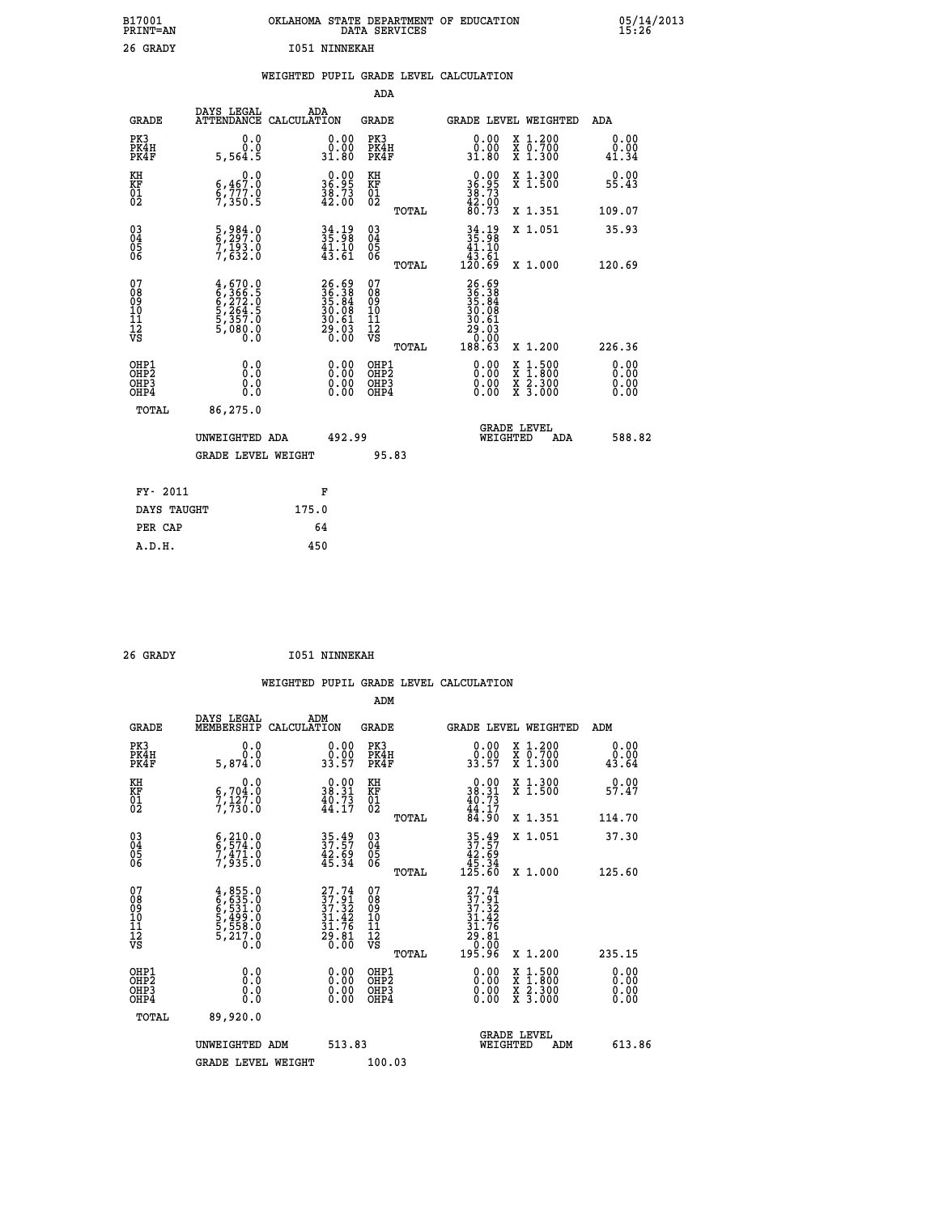| B17001<br>PRINT=AN                                                        |                                                                                                                                   |                                                                      | OKLAHOMA STATE DEPARTMENT OF EDUCATION<br>DATA SERVICES            |                                                                      |                                                                                                  | $05/14/2013$<br>15:26   |  |
|---------------------------------------------------------------------------|-----------------------------------------------------------------------------------------------------------------------------------|----------------------------------------------------------------------|--------------------------------------------------------------------|----------------------------------------------------------------------|--------------------------------------------------------------------------------------------------|-------------------------|--|
| 26 GRADY                                                                  |                                                                                                                                   | <b>I051 NINNEKAH</b>                                                 |                                                                    |                                                                      |                                                                                                  |                         |  |
|                                                                           |                                                                                                                                   |                                                                      | WEIGHTED PUPIL GRADE LEVEL CALCULATION                             |                                                                      |                                                                                                  |                         |  |
|                                                                           |                                                                                                                                   |                                                                      | ADA                                                                |                                                                      |                                                                                                  |                         |  |
| <b>GRADE</b>                                                              | DAYS LEGAL<br>ATTENDANCE CALCULATION                                                                                              | ADA                                                                  | GRADE                                                              |                                                                      | <b>GRADE LEVEL WEIGHTED</b>                                                                      | ADA                     |  |
| PK3<br>PK4H<br>PK4F                                                       | 0.0<br>0.0<br>5,564.5                                                                                                             | 0.00<br>ŏ:ŏŏ<br>31.80                                                | PK3<br>PK4H<br>PK4F                                                | 0.00<br>ŏ:ŏŏ<br>31.80                                                | X 1.200<br>X 0.700<br>X 1.300                                                                    | 0.00<br>$0.00$<br>41.34 |  |
| KH<br>ΚF<br>$\frac{01}{02}$                                               | 0.0<br>6,467.0<br>6,777.0<br>7,350.5                                                                                              | $\begin{smallmatrix} 0.00\\ 36.95\\ 38.73\\ 42.00 \end{smallmatrix}$ | KH<br>KF<br>01<br>02                                               | $36.95$<br>$36.95$<br>$38.73$<br>$42.90$                             | X 1.300<br>X 1.500                                                                               | 0.00<br>55.43           |  |
|                                                                           |                                                                                                                                   |                                                                      | <b>TOTAL</b>                                                       | 80.73                                                                | X 1.351                                                                                          | 109.07                  |  |
| 030404<br>06                                                              | $\frac{5}{6}$ , $\frac{984}{297}$ : 0<br>$7, \overline{1}\overline{9}\overline{3}\overline{1}\overline{0}\overline{0}$<br>7,632.0 | $34.19$<br>$35.98$<br>$41.10$<br>$43.61$                             | $\begin{matrix} 03 \\ 04 \\ 05 \\ 06 \end{matrix}$<br><b>TOTAL</b> | 34.19<br>35.98<br>41.10<br>43.61<br>120.69                           | X 1.051<br>X 1,000                                                                               | 35.93<br>120.69         |  |
| 07<br>08<br>09<br>11<br>11<br>12<br>VS                                    | 4,670.0<br>6,366.5<br>6,272.0<br>5,264.5<br>5,357.0<br>5,080.0<br>0.0                                                             | 26.69<br>36.38<br>35.84<br>30.08<br>30.61<br>29.03<br>0.00           | 07<br>08<br>09<br>10<br>11<br>12<br>VS<br>TOTAL                    | 26.69<br>36.38<br>35.84<br>30.08<br>30.61<br>29.03<br>0.00<br>188.63 | X 1.200                                                                                          | 226.36                  |  |
| OHP1<br>OHP <sub>2</sub><br>OH <sub>P3</sub><br>OH <sub>P4</sub><br>TOTAL | 0.0<br>Ŏ.Ŏ<br>0.0<br>0.0<br>86,275.0                                                                                              | $0.00$<br>$0.00$<br>0.00                                             | OHP1<br>OHP <sub>2</sub><br>OHP3<br>OHP4                           | 0.00<br>0.00<br>0.00                                                 | $\begin{smallmatrix} x & 1 & 500 \\ x & 1 & 800 \\ x & 2 & 300 \\ x & 3 & 000 \end{smallmatrix}$ | 0.00<br>0.00<br>0.00    |  |
|                                                                           | UNWEIGHTED ADA<br><b>GRADE LEVEL WEIGHT</b>                                                                                       | 492.99                                                               | 95.83                                                              | WEIGHTED                                                             | <b>GRADE LEVEL</b><br>ADA                                                                        | 588.82                  |  |
|                                                                           |                                                                                                                                   |                                                                      |                                                                    |                                                                      |                                                                                                  |                         |  |
| FY- 2011                                                                  |                                                                                                                                   | F                                                                    |                                                                    |                                                                      |                                                                                                  |                         |  |
| DAYS TAUGHT                                                               |                                                                                                                                   | 175.0                                                                |                                                                    |                                                                      |                                                                                                  |                         |  |

| FY- 2011    | ю     |
|-------------|-------|
| DAYS TAUGHT | 175.0 |
| PER CAP     | 64    |
| A.D.H.      | 450   |
|             |       |

| 26 GRADY | <b>I051 NINNEKAH</b> |
|----------|----------------------|
|          |                      |

 **WEIGHTED PUPIL GRADE LEVEL CALCULATION ADM DAYS LEGAL ADM GRADE MEMBERSHIP CALCULATION GRADE GRADE LEVEL WEIGHTED ADM PK3 0.0 0.00 PK3 0.00 X 1.200 0.00 PK4H 0.0 0.00 PK4H 0.00 X 0.700 0.00 PK4F 5,874.0 33.57 PK4F 33.57 X 1.300 43.64 KH 0.0 0.00 KH 0.00 X 1.300 0.00 KF 6,704.0 38.31 KF 38.31 X 1.500 57.47 KH**  $\begin{array}{cccc} 0.0 & 0.00 & \text{KH} \\ 6.704.0 & 38.31 & \text{KF} \\ 01 & 7.730.0 & 44.17 & 02 \end{array}$  $02$  7,730.0  $44.17$   $02$   $\frac{44.17}{2}$  **TOTAL 84.90 X 1.351 114.70 03 6,210.0 35.49 03 35.49 X 1.051 37.30 04 6,574.0 37.57 04 37.57 05 7,471.0 42.69 05 42.69 06 7,935.0 45.34 06 45.34 TOTAL 125.60 X 1.000 125.60**  $\begin{array}{cccc} 07 & 4\, , & 855\, . & 27\, . & 9\, 0 & 6\, , & 533\, . & 37\, . & 32\, . & 37\, . & 32\, . & 37\, . & 32\, . & 37\, . & 32\, . & 37\, . & 32\, . & 37\, . & 32\, . & 37\, . & 32\, . & 37\, . & 32\, . & 37\, . & 32\, . & 31\, . & 32\, . & 31\, . & 32\, . & 31\, . & 32\, .$  **TOTAL 195.96 X 1.200 235.15 OHP1 0.0 0.00 OHP1 0.00 X 1.500 0.00 OHP2 0.0 0.00 OHP2 0.00 X 1.800 0.00 OHP3 0.0 0.00 OHP3 0.00 X 2.300 0.00 OHP4 0.0 0.00 OHP4 0.00 X 3.000 0.00 TOTAL 89,920.0 GRADE LEVEL UNWEIGHTED ADM 513.83 WEIGHTED ADM 613.86 GRADE LEVEL WEIGHT 100.03**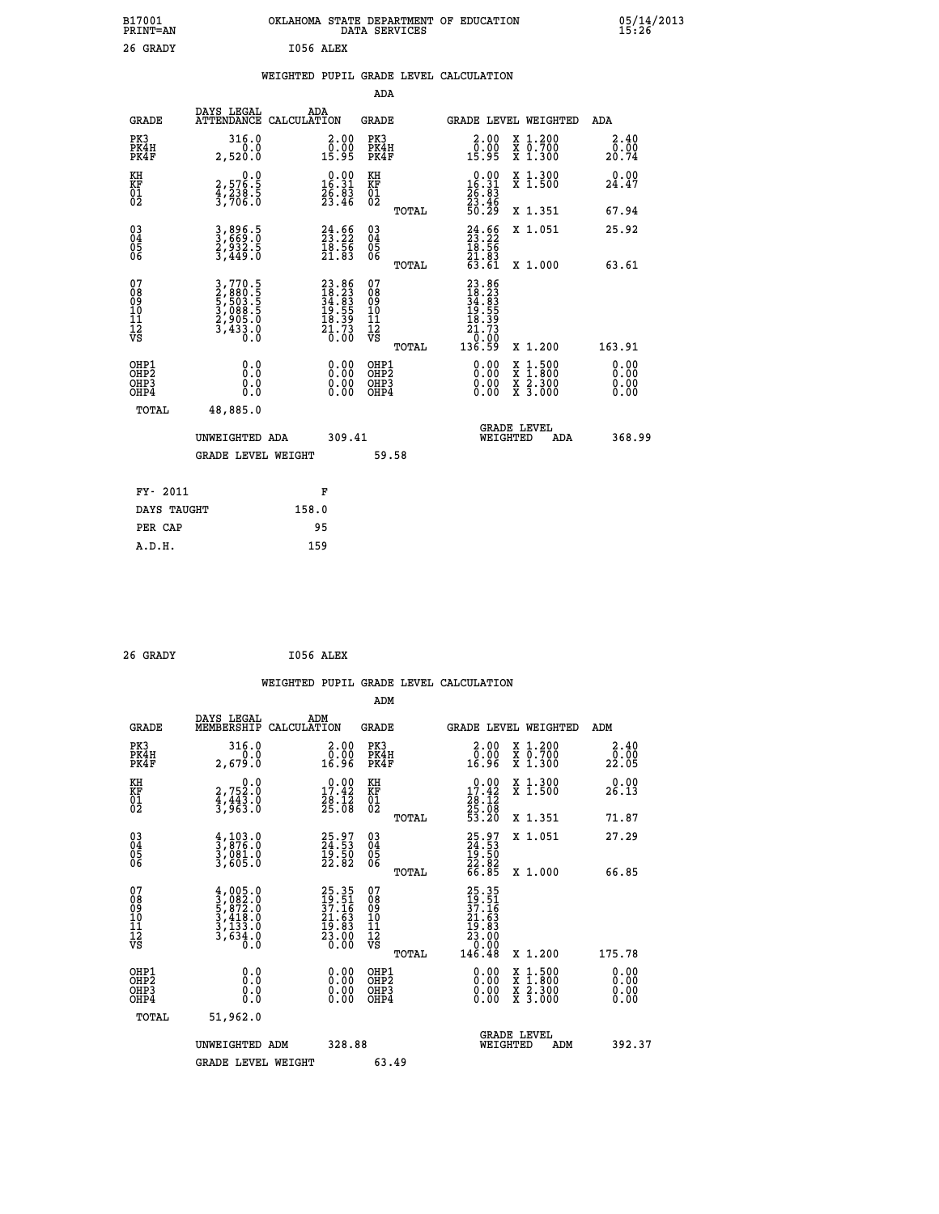| B17001<br>PRINT=AN                     |                                                                           | OKLAHOMA STATE DEPARTMENT OF EDUCATION                                   | DATA SERVICES                                      |                                                                              |                                                                                                  | $05/14/2013$<br>15:26        |
|----------------------------------------|---------------------------------------------------------------------------|--------------------------------------------------------------------------|----------------------------------------------------|------------------------------------------------------------------------------|--------------------------------------------------------------------------------------------------|------------------------------|
| 26 GRADY                               |                                                                           | I056 ALEX                                                                |                                                    |                                                                              |                                                                                                  |                              |
|                                        |                                                                           | WEIGHTED PUPIL GRADE LEVEL CALCULATION                                   |                                                    |                                                                              |                                                                                                  |                              |
|                                        |                                                                           |                                                                          | ADA                                                |                                                                              |                                                                                                  |                              |
| <b>GRADE</b>                           | DAYS LEGAL                                                                | ADA<br>ATTENDANCE CALCULATION                                            | GRADE                                              | <b>GRADE LEVEL WEIGHTED</b>                                                  |                                                                                                  | ADA                          |
| PK3<br>PK4H<br>PK4F                    | 316.0<br>0.0<br>2,520.0                                                   | 2.00<br>0.00<br>15.95                                                    | PK3<br>PK4H<br>PK4F                                | $2.00$<br>$0.00$<br>15.95                                                    | X 1.200<br>X 0.700<br>X 1.300                                                                    | 2.40<br>0.00<br>20.74        |
| KH<br>KF<br>01<br>02                   | $2,576.5$<br>$4,238.5$<br>$3,706.0$                                       | $\begin{smallmatrix} 0.00\\ 16.31\\ 26.83\\ 23.46 \end{smallmatrix}$     | KH<br>KF<br>01<br>02                               | $\begin{smallmatrix} 0.00\\ 16.31\\ 26.83\\ 23.46\\ 50.29 \end{smallmatrix}$ | X 1.300<br>X 1.500                                                                               | 0.00<br>24.47                |
|                                        |                                                                           |                                                                          | TOTAL                                              |                                                                              | X 1.351                                                                                          | 67.94                        |
| $^{03}_{04}$<br>$\frac{05}{06}$        | 3,896.5<br>3,669.0<br>2,932.5<br>3,449.0                                  | $\begin{smallmatrix} 24.66\\ 23.22\\ 18.56\\ 21.83\\ \end{smallmatrix}$  | $\begin{matrix} 03 \\ 04 \\ 05 \\ 06 \end{matrix}$ | $24.52$<br>$23.22$<br>$18.56$<br>$21.83$<br>$63.61$                          | X 1.051                                                                                          | 25.92                        |
|                                        |                                                                           |                                                                          | TOTAL                                              |                                                                              | X 1.000                                                                                          | 63.61                        |
| 07<br>08<br>09<br>10<br>11<br>12<br>VS | 3,770.5<br>2,880.5<br>5,503.5<br>5,508.5<br>3,088.5<br>2,905.0<br>3,433.0 | $23.86$<br>$18.23$<br>$34.83$<br>$19.55$<br>$19.39$<br>$21.73$<br>$0.00$ | 07<br>08<br>09<br>10<br>11<br>12<br>VS<br>TOTAL    | 23.86<br>18.23<br>34.83<br>34.55<br>19.39<br>21.73<br>0.00<br>136.59         | X 1.200                                                                                          | 163.91                       |
| OHP1<br>OHP2<br>OHP3<br>OHP4           | 0.0<br>ŏ:ŏ<br>0.0<br>0.0                                                  | 0.00<br>$\begin{smallmatrix} 0.00 \ 0.00 \end{smallmatrix}$              | OHP1<br>OHP2<br>OHP3<br>OHP4                       | 0.00<br>0.00<br>0.00                                                         | $\begin{smallmatrix} x & 1 & 500 \\ x & 1 & 800 \\ x & 2 & 300 \\ x & 3 & 000 \end{smallmatrix}$ | 0.00<br>0.00<br>0.00<br>0.00 |
| TOTAL                                  | 48,885.0                                                                  |                                                                          |                                                    |                                                                              |                                                                                                  |                              |
|                                        | UNWEIGHTED ADA                                                            | 309.41                                                                   |                                                    | <b>GRADE LEVEL</b><br>WEIGHTED                                               | ADA                                                                                              | 368.99                       |
|                                        | <b>GRADE LEVEL WEIGHT</b>                                                 |                                                                          | 59.58                                              |                                                                              |                                                                                                  |                              |
| FY- 2011                               |                                                                           | F                                                                        |                                                    |                                                                              |                                                                                                  |                              |
| DAYS TAUGHT                            |                                                                           | 158.0                                                                    |                                                    |                                                                              |                                                                                                  |                              |
| PER CAP                                |                                                                           | 95                                                                       |                                                    |                                                                              |                                                                                                  |                              |
| A.D.H.                                 |                                                                           | 159                                                                      |                                                    |                                                                              |                                                                                                  |                              |

| 26 GRADY | I056 ALEX |  |
|----------|-----------|--|
|          |           |  |

|                                          |                                                                                     |                    |                                                                                              |                                          |       | WEIGHTED PUPIL GRADE LEVEL CALCULATION                                                                                                                                                                                                                                         |                                          |                |                      |
|------------------------------------------|-------------------------------------------------------------------------------------|--------------------|----------------------------------------------------------------------------------------------|------------------------------------------|-------|--------------------------------------------------------------------------------------------------------------------------------------------------------------------------------------------------------------------------------------------------------------------------------|------------------------------------------|----------------|----------------------|
|                                          |                                                                                     |                    |                                                                                              | ADM                                      |       |                                                                                                                                                                                                                                                                                |                                          |                |                      |
| <b>GRADE</b>                             | DAYS LEGAL<br>MEMBERSHIP                                                            | ADM<br>CALCULATION |                                                                                              | GRADE                                    |       | GRADE LEVEL WEIGHTED                                                                                                                                                                                                                                                           |                                          | ADM            |                      |
| PK3<br>PK4H<br>PK4F                      | 316.0<br>0.0<br>2,679.0                                                             |                    | $\begin{smallmatrix} 2.00\\ 0.00\\ 16.96 \end{smallmatrix}$                                  | PK3<br>PK4H<br>PK4F                      |       | $\begin{smallmatrix} 2.00\\ 0.00\\ 16.96 \end{smallmatrix}$                                                                                                                                                                                                                    | X 1.200<br>X 0.700<br>X 1.300            | _0.00<br>22.05 | 2.40                 |
| KH<br>KF<br>01<br>02                     | $2,752.0$<br>$4,443.0$<br>$3,963.0$                                                 |                    | $\begin{array}{c} 0.00 \\ 17.42 \\ 28.12 \\ 25.08 \end{array}$                               | KH<br>KF<br>01<br>02                     |       | $\begin{smallmatrix} 0.00\\ 17.42\\ 28.12\\ 25.08\\ 53.20 \end{smallmatrix}$                                                                                                                                                                                                   | X 1.300<br>X 1.500                       | 26.13          | 0.00                 |
|                                          |                                                                                     |                    |                                                                                              |                                          | TOTAL |                                                                                                                                                                                                                                                                                | X 1.351                                  | 71.87          |                      |
| 03<br>04<br>05<br>06                     | $\frac{4}{3}, \frac{103}{876}.0$<br>3,081.0<br>3,605.0                              |                    | 25.97<br>24.53<br>19.50<br>22.82                                                             | 03<br>04<br>05<br>06                     |       | 25.97<br>24.53<br>19.50<br>22.82<br>66.85                                                                                                                                                                                                                                      | X 1.051                                  | 27.29          |                      |
| 07<br>08<br>09<br>101<br>112<br>VS       | $4,005.0$<br>$3,082.0$<br>$5,872.0$<br>$3,418.0$<br>$3,133.0$<br>$3,634.0$<br>$0.0$ |                    | $\begin{smallmatrix} 25.35\\ 19.51\\ 37.16\\ 21.63\\ 19.83\\ 23.00\\ 0.00 \end{smallmatrix}$ | 07<br>08<br>09<br>11<br>11<br>12<br>VS   | TOTAL | $\begin{smallmatrix} 25.35\\ 19.51\\ 37.16\\ 21.63\\ 23.83\\ 23.00\\ 0.00\\ 146.48 \end{smallmatrix}$                                                                                                                                                                          | X 1.000                                  | 66.85          |                      |
|                                          |                                                                                     |                    |                                                                                              |                                          | TOTAL |                                                                                                                                                                                                                                                                                | X 1.200                                  | 175.78         |                      |
| OHP1<br>OHP2<br>OH <sub>P3</sub><br>OHP4 | 0.0<br>0.000                                                                        |                    | $0.00$<br>$0.00$<br>0.00                                                                     | OHP1<br>OHP <sub>2</sub><br>OHP3<br>OHP4 |       | $\begin{smallmatrix} 0.00 & 0.00 & 0.00 & 0.00 & 0.00 & 0.00 & 0.00 & 0.00 & 0.00 & 0.00 & 0.00 & 0.00 & 0.00 & 0.00 & 0.00 & 0.00 & 0.00 & 0.00 & 0.00 & 0.00 & 0.00 & 0.00 & 0.00 & 0.00 & 0.00 & 0.00 & 0.00 & 0.00 & 0.00 & 0.00 & 0.00 & 0.00 & 0.00 & 0.00 & 0.00 & 0.0$ | X 1:500<br>X 1:800<br>X 2:300<br>X 3:000 |                | 0.00<br>0.00<br>0.00 |
| TOTAL                                    | 51,962.0                                                                            |                    |                                                                                              |                                          |       |                                                                                                                                                                                                                                                                                |                                          |                |                      |
|                                          | UNWEIGHTED ADM                                                                      |                    | 328.88                                                                                       |                                          |       | <b>GRADE LEVEL</b><br>WEIGHTED                                                                                                                                                                                                                                                 | ADM                                      |                | 392.37               |
|                                          | <b>GRADE LEVEL WEIGHT</b>                                                           |                    |                                                                                              | 63.49                                    |       |                                                                                                                                                                                                                                                                                |                                          |                |                      |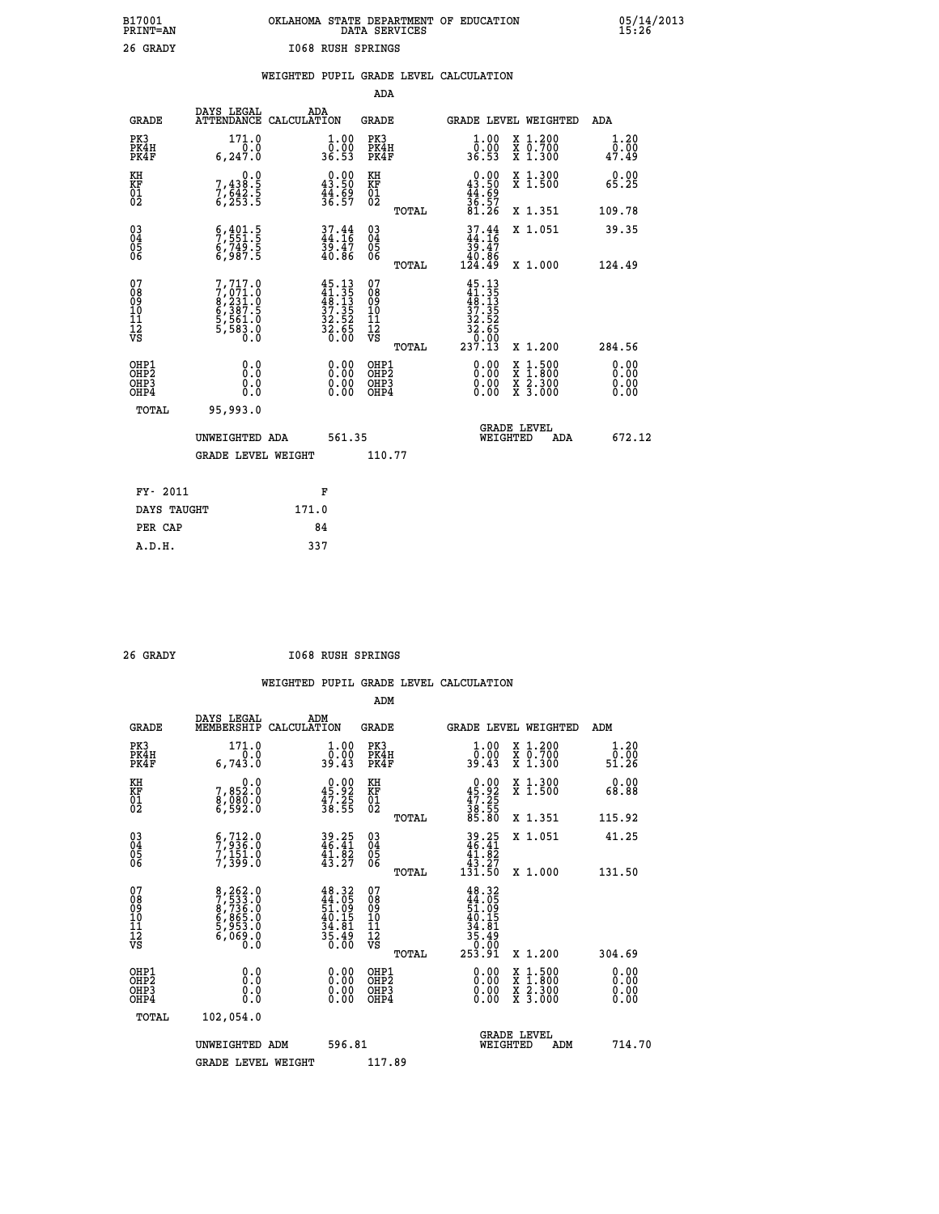|                   | OKLAHOMA STATE DEPARTMENT OF EDUCATION<br>DATA SERVICES |  |
|-------------------|---------------------------------------------------------|--|
| 1068 RUSH SPRINGS |                                                         |  |

|                                                                   |                                                                               |                                                                                                                                                      | ADA                                            |       |                                                                          |                                          |                              |
|-------------------------------------------------------------------|-------------------------------------------------------------------------------|------------------------------------------------------------------------------------------------------------------------------------------------------|------------------------------------------------|-------|--------------------------------------------------------------------------|------------------------------------------|------------------------------|
| <b>GRADE</b>                                                      | DAYS LEGAL<br>ATTENDANCE CALCULATION                                          | ADA                                                                                                                                                  | <b>GRADE</b>                                   |       |                                                                          | GRADE LEVEL WEIGHTED                     | ADA                          |
| PK3<br>PK4H<br>PK4F                                               | 171.0<br>6, 247.0                                                             | $\begin{smallmatrix} 1.00\\ 0.00\\ 36.53 \end{smallmatrix}$                                                                                          | PK3<br>PK4H<br>PK4F                            |       | 1.00<br>ŏ:ŏŏ<br>36.53                                                    | X 1.200<br>X 0.700<br>X 1.300            | 1.20<br>0.00<br>47.49        |
| KH<br><b>KF</b><br>01<br>02                                       | 0.0<br>7,438:5<br>7,642:5<br>6,253:5                                          | $0.00$<br>43.50<br>$\frac{44.69}{36.57}$                                                                                                             | KH<br>KF<br>01<br>02                           |       | $0.00$<br>43.50<br>$\frac{44}{36}$ : 59<br>81.26                         | X 1.300<br>X 1.500                       | 0.00<br>65.25                |
|                                                                   |                                                                               |                                                                                                                                                      |                                                | TOTAL |                                                                          | X 1.351                                  | 109.78                       |
| $^{03}_{04}$<br>Ŏ5<br>06                                          | $\begin{smallmatrix} 6,401.5\\ 7,551.5\\ 6,749.5\\ 6,987.5 \end{smallmatrix}$ | $37.44$<br>$44.16$<br>$39.47$<br>$40.86$                                                                                                             | $\substack{03 \\ 04}$<br>$\substack{05 \\ 06}$ |       | $37.44$<br>$44.16$<br>$39.47$<br>$40.86$<br>$124.49$                     | X 1.051                                  | 39.35                        |
|                                                                   |                                                                               |                                                                                                                                                      |                                                | TOTAL |                                                                          | X 1.000                                  | 124.49                       |
| 07<br>08901112<br>1112<br>VS                                      | 7,717.0<br>7,071.0<br>8,231.0<br>8,387.5<br>6,387.5<br>5,561.0<br>5,583.0     | $\begin{smallmatrix} 4\,5\cdot\,13\\ 4\,1\cdot\,35\\ 4\,8\cdot\,13\\ 3\,7\cdot\,35\\ 3\,2\cdot\,52\\ 3\,2\cdot\,65\\ 0\cdot\,00\\ \end{smallmatrix}$ | 07<br>08<br>09<br>11<br>11<br>12<br>VS         |       | $45.13$<br>$41.35$<br>$48.13$<br>$37.35$<br>$32.52$<br>$32.65$<br>$36.9$ |                                          |                              |
|                                                                   |                                                                               |                                                                                                                                                      |                                                | TOTAL | 237.13                                                                   | X 1.200                                  | 284.56                       |
| OHP1<br>OH <sub>P</sub> 2<br>OH <sub>P3</sub><br>OH <sub>P4</sub> | 0.0<br>0.0<br>0.0                                                             | $\begin{smallmatrix} 0.00 \ 0.00 \ 0.00 \ 0.00 \end{smallmatrix}$                                                                                    | OHP1<br>OH <sub>P</sub> 2<br>OHP3<br>OHP4      |       | 0.00<br>0.00<br>0.00                                                     | X 1:500<br>X 1:800<br>X 2:300<br>X 3:000 | 0.00<br>0.00<br>0.00<br>0.00 |
| TOTAL                                                             | 95,993.0                                                                      |                                                                                                                                                      |                                                |       |                                                                          |                                          |                              |
|                                                                   | UNWEIGHTED ADA                                                                | 561.35                                                                                                                                               |                                                |       |                                                                          | GRADE LEVEL<br>WEIGHTED<br>ADA           | 672.12                       |
|                                                                   | <b>GRADE LEVEL WEIGHT</b>                                                     |                                                                                                                                                      | 110.77                                         |       |                                                                          |                                          |                              |
| FY- 2011                                                          |                                                                               | F                                                                                                                                                    |                                                |       |                                                                          |                                          |                              |
| DAYS TAUGHT                                                       |                                                                               | 171.0                                                                                                                                                |                                                |       |                                                                          |                                          |                              |
| PER CAP                                                           |                                                                               | 84                                                                                                                                                   |                                                |       |                                                                          |                                          |                              |

| ז ב ק |  |
|-------|--|
|       |  |

 **A.D.H. 337**

 **B17001<br>PRINT=AN<br>26 GRADY** 

 **26 GRADY I068 RUSH SPRINGS**

|                                                      |                                                                                                  |                                                                          | ADM                                                 |       |                                                                                                  |                                          |              |                      |
|------------------------------------------------------|--------------------------------------------------------------------------------------------------|--------------------------------------------------------------------------|-----------------------------------------------------|-------|--------------------------------------------------------------------------------------------------|------------------------------------------|--------------|----------------------|
| <b>GRADE</b>                                         | DAYS LEGAL<br>MEMBERSHIP                                                                         | ADM<br>CALCULATION                                                       | <b>GRADE</b>                                        |       | GRADE LEVEL WEIGHTED                                                                             |                                          | ADM          |                      |
| PK3<br>PK4H<br>PK4F                                  | 171.0<br>6,743.0                                                                                 | 1.00<br>ŏ:ŏŏ<br>39:43                                                    | PK3<br>PK4H<br>PK4F                                 |       | $\begin{smallmatrix} 1.00\\ 0.00\\ 39.43 \end{smallmatrix}$                                      | X 1.200<br>X 0.700<br>X 1.300            | ة.5<br>51.26 | 1.20                 |
| KH<br>KF<br>01<br>02                                 | 0.0<br>7,852:0<br>8,080:0<br>6,592:0                                                             | $\begin{smallmatrix} 0.00\\ 45.92\\ 47.25\\ 38.55 \end{smallmatrix}$     | KH<br>KF<br>01<br>02                                |       | $\begin{smallmatrix} 0.00\\ 45.92\\ 47.25\\ 38.55\\ 85.80 \end{smallmatrix}$                     | X 1.300<br>X 1.500                       | 68.88        | 0.00                 |
|                                                      |                                                                                                  |                                                                          |                                                     | TOTAL |                                                                                                  | X 1.351                                  | 115.92       |                      |
| 03<br>04<br>05<br>06                                 | $\begin{smallmatrix} 6 & 712 & 0 \\ 7 & 936 & 0 \\ 7 & 151 & 0 \\ 7 & 399 & 0 \end{smallmatrix}$ | $39.25$<br>$46.41$<br>$41.82$<br>$43.27$                                 | $\begin{array}{c} 03 \\ 04 \\ 05 \\ 06 \end{array}$ |       | $39.25$<br>$46.41$<br>$41.82$<br>$43.27$<br>$131.50$                                             | X 1.051                                  | 41.25        |                      |
|                                                      |                                                                                                  |                                                                          |                                                     | TOTAL |                                                                                                  | X 1.000                                  | 131.50       |                      |
| 07<br>08<br>09<br>101<br>112<br>VS                   | 8,262.0<br>7,533.0<br>8,736.0<br>8,865.0<br>5,953.0<br>6,069.0<br>0.0                            | $48.32$<br>$44.05$<br>$51.09$<br>$40.15$<br>$34.81$<br>$35.49$<br>$0.00$ | 07<br>08<br>09<br>11<br>11<br>12<br>VS              |       | $48.32$<br>$44.05$<br>$51.09$<br>$51.15$<br>$40.15$<br>$34.81$<br>$35.49$<br>$35.49$<br>$253.91$ |                                          |              |                      |
|                                                      |                                                                                                  |                                                                          |                                                     | TOTAL |                                                                                                  | X 1.200                                  | 304.69       |                      |
| OHP1<br>OHP2<br>OHP <sub>3</sub><br>OH <sub>P4</sub> | 0.0<br>$\begin{smallmatrix} 0.0 & 0 \ 0.0 & 0 \end{smallmatrix}$                                 |                                                                          | OHP1<br>OHP2<br>OHP <sub>3</sub>                    |       | $0.00$<br>$0.00$<br>0.00                                                                         | X 1:500<br>X 1:800<br>X 2:300<br>X 3:000 |              | 0.00<br>0.00<br>0.00 |
| TOTAL                                                | 102,054.0                                                                                        |                                                                          |                                                     |       |                                                                                                  |                                          |              |                      |
|                                                      | UNWEIGHTED ADM                                                                                   | 596.81                                                                   |                                                     |       |                                                                                                  | GRADE LEVEL<br>WEIGHTED<br>ADM           |              | 714.70               |
|                                                      | <b>GRADE LEVEL WEIGHT</b>                                                                        |                                                                          | 117.89                                              |       |                                                                                                  |                                          |              |                      |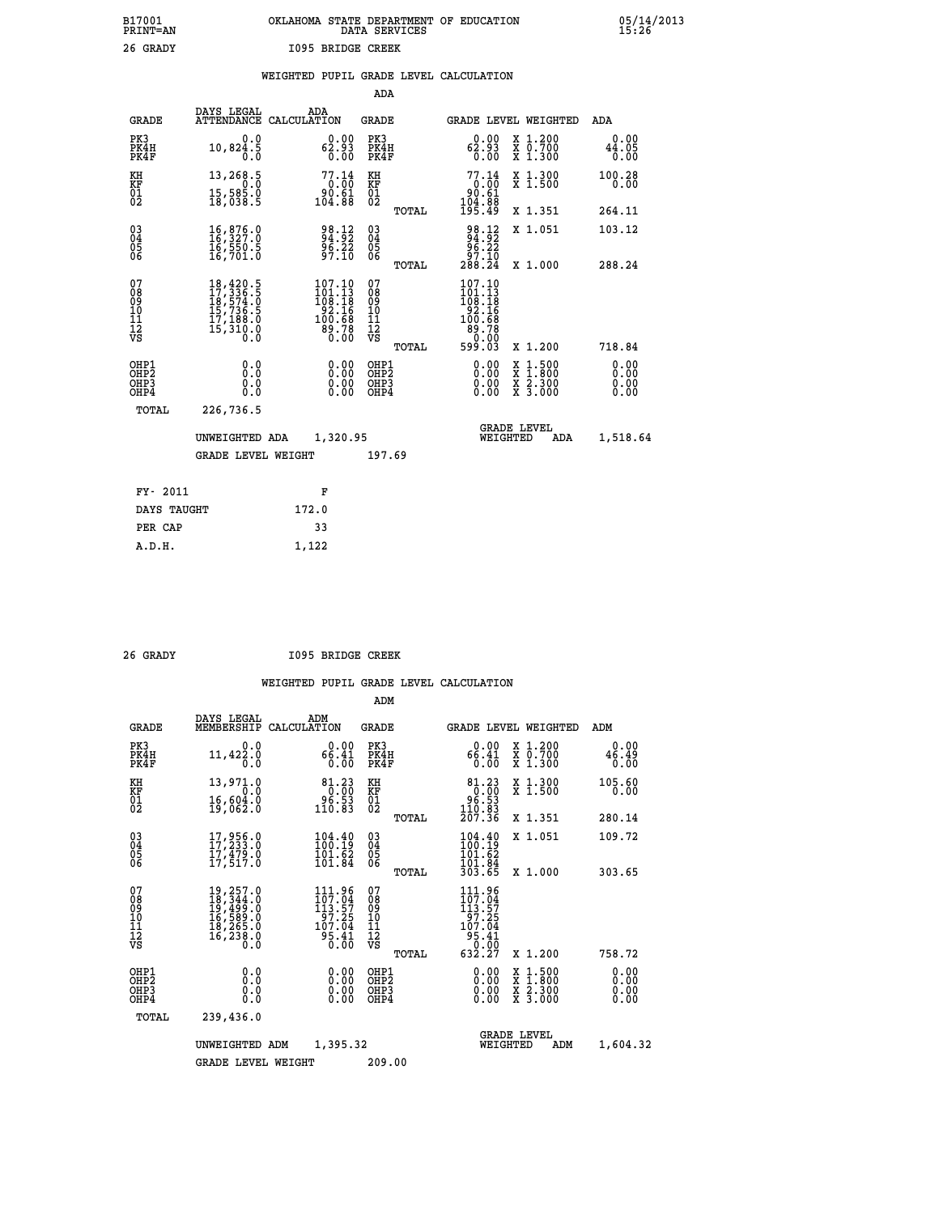# **B17001 OKLAHOMA STATE DEPARTMENT OF EDUCATION 05/14/2013 PRINT=AN DATA SERVICES 15:26 26 GRADY I095 BRIDGE CREEK**

|  |  | WEIGHTED PUPIL GRADE LEVEL CALCULATION |
|--|--|----------------------------------------|
|  |  |                                        |

|                                                                    |                                                                                                                                                                                      |                                                                                                  | ADA                                       |       |                                                                                                               |                                                                                                                                      |                              |
|--------------------------------------------------------------------|--------------------------------------------------------------------------------------------------------------------------------------------------------------------------------------|--------------------------------------------------------------------------------------------------|-------------------------------------------|-------|---------------------------------------------------------------------------------------------------------------|--------------------------------------------------------------------------------------------------------------------------------------|------------------------------|
| <b>GRADE</b>                                                       | DAYS LEGAL                                                                                                                                                                           | ADA<br>ATTENDANCE CALCULATION                                                                    | GRADE                                     |       | <b>GRADE LEVEL WEIGHTED</b>                                                                                   |                                                                                                                                      | ADA                          |
| PK3<br>PK4H<br>PK4F                                                | 0.0<br>10,824.5<br>0.0                                                                                                                                                               | 62.93<br>62.93<br>0.00                                                                           | PK3<br>PK4H<br>PK4F                       |       | 62.93<br>62.93<br>0.00                                                                                        | X 1.200<br>X 0.700<br>X 1.300                                                                                                        | 0.00<br>44.05<br>0.00        |
| KH<br>KF<br>01<br>02                                               | 13,268.5<br>0.0<br>$\frac{15}{18}$ , 585 $\cdot$ 8                                                                                                                                   | $77.14\n0.00\n90.61\n104.88$                                                                     | KH<br>KF<br>01<br>02                      |       | $77.14\n0.00\n90.61\n104.88\n195.49$                                                                          | X 1.300<br>X 1.500                                                                                                                   | 100.28<br>0.00               |
|                                                                    |                                                                                                                                                                                      |                                                                                                  |                                           | TOTAL |                                                                                                               | X 1.351                                                                                                                              | 264.11                       |
| $\begin{smallmatrix} 03 \\[-4pt] 04 \end{smallmatrix}$<br>Ŏ5<br>06 | 16,876.0<br>16,327.0<br>16,550.5<br>16,701.0                                                                                                                                         | 98.12<br>$\frac{56.22}{97.10}$                                                                   | $\substack{03 \\ 04}$<br>05<br>06         |       | 98.12<br>94.92<br>96.22<br>97.10                                                                              | X 1.051                                                                                                                              | 103.12                       |
|                                                                    |                                                                                                                                                                                      |                                                                                                  |                                           | TOTAL | 288.24                                                                                                        | X 1.000                                                                                                                              | 288.24                       |
| 07<br>08<br>09<br>101<br>112<br>VS                                 | $\begin{smallmatrix} 18\,, & 420\,, & 5\\ 17\,, & 336\,, & 5\\ 18\,, & 574\,, & 0\\ 15\,, & 736\,, & 5\\ 17\,, & 188\,, & 0\\ 15\,, & 310\,, & 0\\ 0\,, & 0\,, & 0\end{smallmatrix}$ | $\begin{smallmatrix} 107.10\\101.13\\108.18\\92.16\\92.16\\100.68\\89.78\\0.00\end{smallmatrix}$ | 07<br>08<br>09<br>11<br>11<br>12<br>VS    | TOTAL | $\begin{smallmatrix} 107.10\\101.13\\108.18\\192.16\\92.16\\100.68\\89.78\\0.003 \end{smallmatrix}$<br>599.03 | X 1.200                                                                                                                              | 718.84                       |
| OHP1<br>OH <sub>P</sub> 2<br>OHP3<br>OHP4                          | 0.0<br>Ō.Ō<br>0.0<br>0.0                                                                                                                                                             | 0.00<br>0.00<br>0.00                                                                             | OHP1<br>OH <sub>P</sub> 2<br>OHP3<br>OHP4 |       | 0.00<br>0.00<br>0.00                                                                                          | $\begin{smallmatrix} \mathtt{X} & 1 & 500 \\ \mathtt{X} & 1 & 800 \\ \mathtt{X} & 2 & 300 \\ \mathtt{X} & 3 & 000 \end{smallmatrix}$ | 0.00<br>0.00<br>0.00<br>0.00 |
| TOTAL                                                              | 226,736.5                                                                                                                                                                            |                                                                                                  |                                           |       |                                                                                                               |                                                                                                                                      |                              |
|                                                                    | UNWEIGHTED ADA                                                                                                                                                                       | 1,320.95                                                                                         |                                           |       | WEIGHTED                                                                                                      | <b>GRADE LEVEL</b><br>ADA                                                                                                            | 1,518.64                     |
|                                                                    | <b>GRADE LEVEL WEIGHT</b>                                                                                                                                                            |                                                                                                  | 197.69                                    |       |                                                                                                               |                                                                                                                                      |                              |
| FY- 2011                                                           |                                                                                                                                                                                      | F                                                                                                |                                           |       |                                                                                                               |                                                                                                                                      |                              |
| DAYS TAUGHT                                                        |                                                                                                                                                                                      | 172.0                                                                                            |                                           |       |                                                                                                               |                                                                                                                                      |                              |
| PER CAP                                                            |                                                                                                                                                                                      | 33                                                                                               |                                           |       |                                                                                                               |                                                                                                                                      |                              |
| A.D.H.                                                             |                                                                                                                                                                                      | 1,122                                                                                            |                                           |       |                                                                                                               |                                                                                                                                      |                              |
|                                                                    |                                                                                                                                                                                      |                                                                                                  |                                           |       |                                                                                                               |                                                                                                                                      |                              |

 **26 GRADY I095 BRIDGE CREEK**

|                                          |                                                                                                                                                                   |                    |                                                                                                                                                                                                                                                      | ADM                                                 |       |                                                                                               |          |                                          |                              |
|------------------------------------------|-------------------------------------------------------------------------------------------------------------------------------------------------------------------|--------------------|------------------------------------------------------------------------------------------------------------------------------------------------------------------------------------------------------------------------------------------------------|-----------------------------------------------------|-------|-----------------------------------------------------------------------------------------------|----------|------------------------------------------|------------------------------|
| <b>GRADE</b>                             | DAYS LEGAL<br>MEMBERSHIP                                                                                                                                          | ADM<br>CALCULATION |                                                                                                                                                                                                                                                      | <b>GRADE</b>                                        |       |                                                                                               |          | GRADE LEVEL WEIGHTED                     | ADM                          |
| PK3<br>PK4H<br>PK4F                      | 0.0<br>11,422.0<br>0.0                                                                                                                                            |                    | 0.00<br>66.41<br>0.00                                                                                                                                                                                                                                | PK3<br>PK4H<br>PK4F                                 |       | 0.00<br>66.41<br>0.00                                                                         |          | X 1.200<br>X 0.700<br>X 1.300            | 0.00<br>46.49<br>0.00        |
| KH<br>KF<br>01<br>02                     | 13,971.0<br>0.0<br>16,604.0<br>19,062.0                                                                                                                           |                    | 81.23<br>$\begin{smallmatrix} 0.000 0.000 0.000 0.000 0.000 0.000 0.000 0.000 0.000 0.000 0.000 0.000 0.000 0.000 0.000 0.000 0.000 0.000 0.000 0.000 0.000 0.000 0.000 0.000 0.000 0.000 0.000 0.000 0.000 0.000 0.000 0.000 0.000 0.000 0.000 0.0$ | KH<br>KF<br>01<br>02                                |       | $\begin{smallmatrix}81.23\\0.00\\96.53\\110.83\\207.36\end{smallmatrix}$                      |          | X 1.300<br>X 1.500                       | 105.60<br>0.00               |
|                                          |                                                                                                                                                                   |                    |                                                                                                                                                                                                                                                      |                                                     | TOTAL |                                                                                               |          | X 1.351                                  | 280.14                       |
| 03<br>04<br>05<br>06                     | 17,956.0<br>17,233.0<br>17,479.0<br>17,517.0                                                                                                                      |                    | 104:49<br>101.62<br>101.84                                                                                                                                                                                                                           | $\begin{array}{c} 03 \\ 04 \\ 05 \\ 06 \end{array}$ |       | $\frac{104.40}{100.19}$<br>101.62<br>101.04<br>303.65                                         |          | X 1.051                                  | 109.72                       |
|                                          |                                                                                                                                                                   |                    |                                                                                                                                                                                                                                                      |                                                     | TOTAL |                                                                                               |          | X 1.000                                  | 303.65                       |
| 07<br>08<br>09<br>101<br>112<br>VS       | $\begin{smallmatrix} 19 \,, 257 \,, 0\\ 18 \,, 344 \,, 0\\ 19 \,, 499 \,, 0\\ 16 \,, 589 \,, 0\\ 18 \,, 265 \,, 0\\ 18 \,, 238 \,, 0\\ 0 \,, 0 \end{smallmatrix}$ |                    | $111.96$<br>$107.04$<br>$113.57$<br>$\begin{array}{r} 157.25 \\ 107.04 \\ 95.41 \\ 0.00 \end{array}$                                                                                                                                                 | 07<br>08<br>09<br>101<br>11<br>12<br>VS             | TOTAL | $\begin{array}{c} 111.96\\107.04\\113.57\\97.25\\107.04\\95.41\\0.00\\0\end{array}$<br>632.27 |          | X 1.200                                  | 758.72                       |
| OHP1<br>OHP2<br>OH <sub>P3</sub><br>OHP4 | 0.0<br>0.000                                                                                                                                                      |                    | $0.00$<br>$0.00$<br>0.00                                                                                                                                                                                                                             | OHP1<br>OHP2<br>OHP3<br>OHP4                        |       | $0.00$<br>$0.00$<br>0.00                                                                      |          | X 1:500<br>X 1:800<br>X 2:300<br>X 3:000 | 0.00<br>0.00<br>0.00<br>0.00 |
| TOTAL                                    | 239,436.0                                                                                                                                                         |                    |                                                                                                                                                                                                                                                      |                                                     |       |                                                                                               |          |                                          |                              |
|                                          | UNWEIGHTED ADM                                                                                                                                                    |                    | 1,395.32                                                                                                                                                                                                                                             |                                                     |       |                                                                                               | WEIGHTED | <b>GRADE LEVEL</b><br>ADM                | 1,604.32                     |
|                                          | <b>GRADE LEVEL WEIGHT</b>                                                                                                                                         |                    |                                                                                                                                                                                                                                                      | 209.00                                              |       |                                                                                               |          |                                          |                              |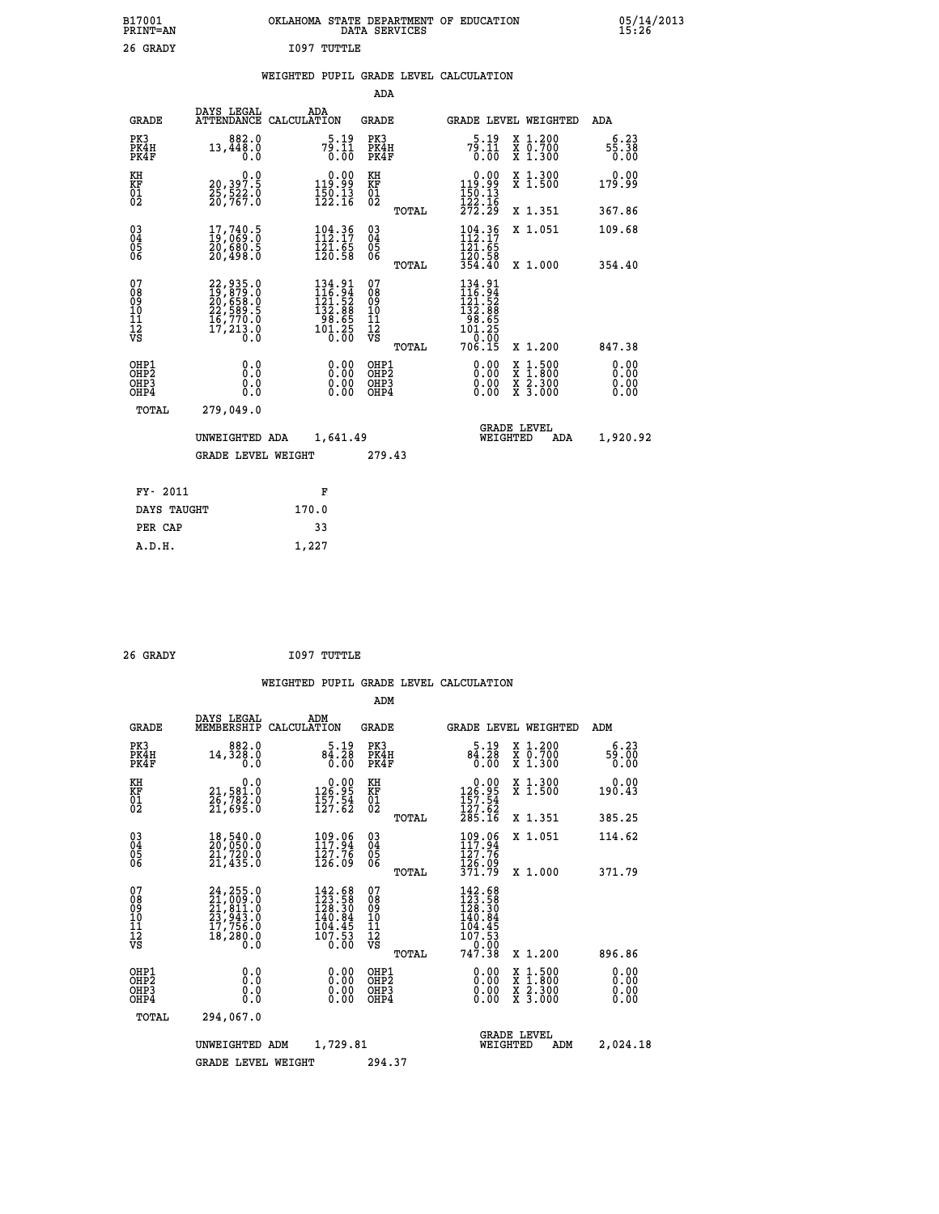| B17001<br><b>PRINT=AN</b> | OKLAHOMA STATE DEPARTMENT OF EDUCATION<br>DATA SERVICES |  |
|---------------------------|---------------------------------------------------------|--|
| 26 GRADY                  | 1097 TUTTLE                                             |  |

### **WEIGHTED PUPIL GRADE LEVEL CALCULATION**

|                                                                    | DAYS LEGAL                                                                                                                                  |                                     |                                                             |                                                                                                                                                                                                                                                                                                                                    |                                                                |                                                                                                            |                                                                                                                                                                                                                                                                                                                         | <b>ADA</b>                                                                                                                                                                                                        |
|--------------------------------------------------------------------|---------------------------------------------------------------------------------------------------------------------------------------------|-------------------------------------|-------------------------------------------------------------|------------------------------------------------------------------------------------------------------------------------------------------------------------------------------------------------------------------------------------------------------------------------------------------------------------------------------------|----------------------------------------------------------------|------------------------------------------------------------------------------------------------------------|-------------------------------------------------------------------------------------------------------------------------------------------------------------------------------------------------------------------------------------------------------------------------------------------------------------------------|-------------------------------------------------------------------------------------------------------------------------------------------------------------------------------------------------------------------|
|                                                                    | 882.0<br>13,448.0<br>0.0                                                                                                                    |                                     |                                                             |                                                                                                                                                                                                                                                                                                                                    |                                                                |                                                                                                            |                                                                                                                                                                                                                                                                                                                         | 6.23<br>55.38<br>0.00                                                                                                                                                                                             |
|                                                                    | 0.0<br>20,397.5                                                                                                                             |                                     |                                                             | KH                                                                                                                                                                                                                                                                                                                                 |                                                                |                                                                                                            |                                                                                                                                                                                                                                                                                                                         | 0.00<br>179.99                                                                                                                                                                                                    |
|                                                                    |                                                                                                                                             |                                     |                                                             |                                                                                                                                                                                                                                                                                                                                    | TOTAL                                                          |                                                                                                            |                                                                                                                                                                                                                                                                                                                         | 367.86                                                                                                                                                                                                            |
| $\begin{smallmatrix} 03 \\[-4pt] 04 \end{smallmatrix}$<br>05<br>ŌĞ | $\begin{smallmatrix} 17 \,, 740 \,, 5 \\ 19 \,, 069 \,, 0 \\ 20 \,, 680 \,, 5 \\ 20 \,, 498 \,, 0 \end{smallmatrix}$                        |                                     |                                                             | $\substack{03 \\ 04}$<br>05<br>06                                                                                                                                                                                                                                                                                                  |                                                                | 121.65                                                                                                     |                                                                                                                                                                                                                                                                                                                         | 109.68<br>354.40                                                                                                                                                                                                  |
| 07                                                                 |                                                                                                                                             |                                     |                                                             | 07                                                                                                                                                                                                                                                                                                                                 |                                                                |                                                                                                            |                                                                                                                                                                                                                                                                                                                         |                                                                                                                                                                                                                   |
|                                                                    |                                                                                                                                             |                                     |                                                             |                                                                                                                                                                                                                                                                                                                                    | TOTAL                                                          |                                                                                                            |                                                                                                                                                                                                                                                                                                                         | 847.38                                                                                                                                                                                                            |
|                                                                    | 0.0<br>0.0<br>Ō.Ō                                                                                                                           |                                     | 0.00<br>$\begin{smallmatrix} 0.00 \ 0.00 \end{smallmatrix}$ |                                                                                                                                                                                                                                                                                                                                    |                                                                |                                                                                                            | $1:500$<br>$1:800$                                                                                                                                                                                                                                                                                                      | 0.00<br>0.00<br>0.00<br>0.00                                                                                                                                                                                      |
| TOTAL                                                              | 279,049.0                                                                                                                                   |                                     |                                                             |                                                                                                                                                                                                                                                                                                                                    |                                                                |                                                                                                            |                                                                                                                                                                                                                                                                                                                         |                                                                                                                                                                                                                   |
|                                                                    |                                                                                                                                             |                                     |                                                             |                                                                                                                                                                                                                                                                                                                                    |                                                                |                                                                                                            | <b>ADA</b>                                                                                                                                                                                                                                                                                                              | 1,920.92                                                                                                                                                                                                          |
|                                                                    |                                                                                                                                             |                                     |                                                             |                                                                                                                                                                                                                                                                                                                                    |                                                                |                                                                                                            |                                                                                                                                                                                                                                                                                                                         |                                                                                                                                                                                                                   |
| FY- 2011                                                           |                                                                                                                                             |                                     |                                                             |                                                                                                                                                                                                                                                                                                                                    |                                                                |                                                                                                            |                                                                                                                                                                                                                                                                                                                         |                                                                                                                                                                                                                   |
|                                                                    |                                                                                                                                             |                                     |                                                             |                                                                                                                                                                                                                                                                                                                                    |                                                                |                                                                                                            |                                                                                                                                                                                                                                                                                                                         |                                                                                                                                                                                                                   |
| PER CAP                                                            |                                                                                                                                             |                                     |                                                             |                                                                                                                                                                                                                                                                                                                                    |                                                                |                                                                                                            |                                                                                                                                                                                                                                                                                                                         |                                                                                                                                                                                                                   |
|                                                                    | <b>GRADE</b><br>PK3<br>PK4H<br>PK4F<br>KH<br>KF<br>01<br>02<br>08<br>09<br>11<br>11<br>12<br>VS<br>OHP1<br>OHP <sub>2</sub><br>OHP3<br>OHP4 | 25,522.0<br>20,767.0<br>DAYS TAUGHT | UNWEIGHTED ADA<br><b>GRADE LEVEL WEIGHT</b>                 | ADA<br>ATTENDANCE CALCULATION<br>$7^5.1^9.11$<br>0.00<br>$0.00$<br>99.91<br>$\frac{150}{122}.$ 13<br>$104.36$<br>$112.17$<br>$\frac{1}{2}$ $\frac{1}{2}$ $\frac{1}{2}$ $\frac{1}{5}$ $\frac{1}{5}$ $\frac{1}{8}$<br>$\begin{smallmatrix} 134.91\\116.94\\121.52\\132.88\\98.65\\101.25\\0.00\end{smallmatrix}$<br>F<br>170.0<br>33 | KF<br>01<br>02<br>08<br>09<br>11<br>11<br>12<br>VS<br>1,641.49 | ADA<br><b>GRADE</b><br>PK3<br>PK4H<br>PK4F<br>TOTAL<br>OHP1<br>OH <sub>P</sub> 2<br>OHP3<br>OHP4<br>279.43 | $7^{5.19}_{0.11}$<br>0.00<br>$\begin{smallmatrix} &0.00\\ 119.99\\ 150.13\\ 122.16\\ 272.29\end{smallmatrix}$<br>104.36<br>120.58<br>354.40<br>$\begin{array}{r} 134\cdot 91 \\ 116\cdot 94 \\ 121\cdot 52 \\ 132\cdot 88 \\ 98\cdot 65 \\ 101\cdot 25 \\ 0\cdot 00 \\ 706\cdot 15 \end{array}$<br>0.00<br>0.00<br>0.00 | GRADE LEVEL WEIGHTED<br>X 1.200<br>X 0.700<br>X 1.300<br>X 1.300<br>X 1.500<br>X 1.351<br>X 1.051<br>X 1.000<br>X 1.200<br>X<br>X<br>$\frac{\ddot{x}}{x}$ $\frac{2.300}{3.000}$<br><b>GRADE LEVEL</b><br>WEIGHTED |

| 26 GRADY | 1097 TUTTLE |
|----------|-------------|

 **A.D.H. 1,227**

 **B17001<br>PRINT=AN** 

|                                                       |                                                                                                 |                    |                                                                          | ADM                                     |       |                                                                                    |                                          |                              |
|-------------------------------------------------------|-------------------------------------------------------------------------------------------------|--------------------|--------------------------------------------------------------------------|-----------------------------------------|-------|------------------------------------------------------------------------------------|------------------------------------------|------------------------------|
| <b>GRADE</b>                                          | DAYS LEGAL<br>MEMBERSHIP                                                                        | ADM<br>CALCULATION |                                                                          | <b>GRADE</b>                            |       |                                                                                    | GRADE LEVEL WEIGHTED                     | ADM                          |
| PK3<br>PK4H<br>PK4F                                   | 882.0<br>14,328.0<br>0.0                                                                        |                    | 5.19<br>84.28<br>0.00                                                    | PK3<br>PK4H<br>PK4F                     |       | 5.19<br>84.28<br>0.00                                                              | X 1.200<br>X 0.700<br>X 1.300            | 6.23<br>59.00<br>0.00        |
| KH<br>KF<br>01<br>02                                  | 0.0<br>21,581.0<br>26,782.0<br>21,695.0                                                         |                    | $\begin{smallmatrix} &0.00\\ 126.95\\ 157.54\\ 127.62\end{smallmatrix}$  | KH<br>KF<br>01<br>02                    |       | $\begin{smallmatrix} &0.00\\ 126.95\\ 157.54\\ 127.62\\ 285.16\end{smallmatrix}$   | X 1.300<br>X 1.500                       | 0.00<br>190.43               |
|                                                       |                                                                                                 |                    |                                                                          |                                         | TOTAL |                                                                                    | X 1.351                                  | 385.25                       |
| 03<br>04<br>05<br>06                                  | 18,540.0<br>20,050.0<br>21,720.0<br>21,435.0                                                    |                    | 109.06<br>117.94<br>127.76<br>126.09                                     | $^{03}_{04}$<br>0500                    |       | 109.06<br>127.76<br>126.09                                                         | X 1.051                                  | 114.62                       |
|                                                       |                                                                                                 |                    |                                                                          |                                         | TOTAL | 371.79                                                                             | X 1.000                                  | 371.79                       |
| 07<br>08<br>09<br>101<br>112<br>VS                    | $24, 255.0$<br>$21, 009.0$<br>$21, 811.0$<br>$23, 943.0$<br>$17, 756.0$<br>$18, 280.0$<br>$0.0$ |                    | $142.68$<br>$123.58$<br>$128.30$<br>$140.84$<br>104.45<br>107.53<br>0.00 | 07<br>08<br>09<br>101<br>11<br>12<br>VS | TOTAL | $142.68$<br>$123.58$<br>$128.30$<br>$140.84$<br>104.45<br>107.53<br>0.00<br>747.38 | X 1.200                                  | 896.86                       |
| OHP1<br>OH <sub>P</sub> 2<br>OH <sub>P3</sub><br>OHP4 | 0.0<br>0.000                                                                                    |                    | $0.00$<br>$0.00$<br>0.00                                                 | OHP1<br>OHP2<br>OHP3<br>OHP4            |       | $0.00$<br>$0.00$<br>0.00                                                           | X 1:500<br>X 1:800<br>X 2:300<br>X 3:000 | 0.00<br>0.00<br>0.00<br>0.00 |
| TOTAL                                                 | 294,067.0                                                                                       |                    |                                                                          |                                         |       |                                                                                    |                                          |                              |
|                                                       | UNWEIGHTED ADM                                                                                  |                    | 1,729.81                                                                 |                                         |       | WEIGHTED                                                                           | <b>GRADE LEVEL</b><br>ADM                | 2,024.18                     |
|                                                       | <b>GRADE LEVEL WEIGHT</b>                                                                       |                    |                                                                          | 294.37                                  |       |                                                                                    |                                          |                              |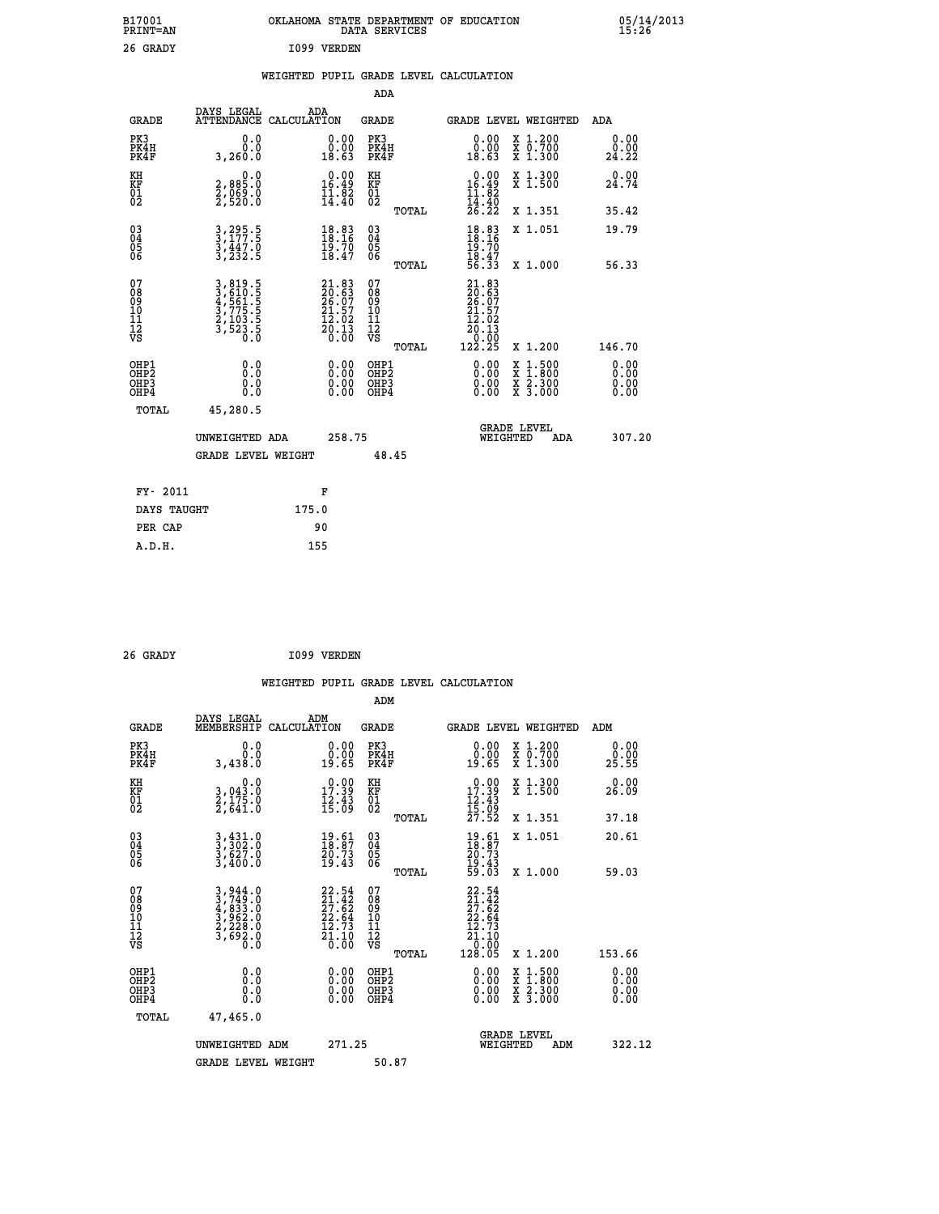| B17001<br>PRINT=AN                                 |                                                                                  | OKLAHOMA STATE DEPARTMENT OF EDUCATION                                                                       | DATA SERVICES                                      |                                                                              |                                                                                                  | 05/14/2013            |  |
|----------------------------------------------------|----------------------------------------------------------------------------------|--------------------------------------------------------------------------------------------------------------|----------------------------------------------------|------------------------------------------------------------------------------|--------------------------------------------------------------------------------------------------|-----------------------|--|
| 26 GRADY                                           |                                                                                  | I099 VERDEN                                                                                                  |                                                    |                                                                              |                                                                                                  |                       |  |
|                                                    |                                                                                  | WEIGHTED PUPIL GRADE LEVEL CALCULATION                                                                       |                                                    |                                                                              |                                                                                                  |                       |  |
|                                                    |                                                                                  |                                                                                                              | ADA                                                |                                                                              |                                                                                                  |                       |  |
| <b>GRADE</b>                                       | DAYS LEGAL                                                                       | ADA<br>ATTENDANCE CALCULATION                                                                                | GRADE                                              | GRADE LEVEL WEIGHTED                                                         |                                                                                                  | ADA                   |  |
| PK3<br>PK4H<br>PK4F                                | 0.0<br>0.0<br>3,260.0                                                            | 0.00<br>$\begin{smallmatrix} 0.00 \ 18.63 \end{smallmatrix}$                                                 | PK3<br>PK4H<br>PK4F                                | 0.00<br>18.63                                                                | X 1.200<br>X 0.700<br>X 1.300                                                                    | 0.00<br>0.00<br>24.22 |  |
| KH<br>KF<br>$\overline{01}$                        | 0.0<br>2,885.0<br>2,069.0<br>2,520.0                                             | $\begin{smallmatrix} 0.00\\ 16.49\\ 11.82\\ 14.40 \end{smallmatrix}$                                         | KH<br>KF<br>01<br>02                               | $0.00$<br>16.49<br>11.82                                                     | X 1.300<br>X 1.500                                                                               | 0.00<br>24.74         |  |
|                                                    |                                                                                  |                                                                                                              | TOTAL                                              | 14:40<br>26.22                                                               | X 1.351                                                                                          | 35.42                 |  |
| $\begin{matrix} 03 \\ 04 \\ 05 \\ 06 \end{matrix}$ | $3, 295.5$<br>$3, 177.5$<br>$\frac{3}{3}, \frac{447}{232}$ .5                    | $18.83$<br>$18.16$<br>$\frac{19.70}{18.47}$                                                                  | $\begin{matrix} 03 \\ 04 \\ 05 \\ 06 \end{matrix}$ | $\frac{18.83}{18.16}$<br>19.70<br>$\frac{18.47}{56.33}$                      | X 1.051                                                                                          | 19.79                 |  |
| 07                                                 |                                                                                  |                                                                                                              | TOTAL<br>07                                        |                                                                              | X 1,000                                                                                          | 56.33                 |  |
| 08<br>09<br>11<br>11<br>12<br>VS                   | 3, 819.5<br>3, 610.5<br>4, 561.5<br>4, 575.5<br>3, 775.5<br>2, 103.5<br>3, 523.5 | $21.83$<br>$20.63$<br>$26.07$<br>$21.57$<br>$\frac{1}{20}$ : $\frac{0}{3}$<br>$\frac{2}{0}$ : $\frac{1}{00}$ | 08<br>09<br>10<br>11<br>12<br>VS<br>TOTAL          | $21.83$<br>$20.63$<br>$26.07$<br>$21.57$<br>12.02<br>20.13<br>0.00<br>122.25 | X 1.200                                                                                          | 146.70                |  |
|                                                    | 0.0                                                                              |                                                                                                              | OHP1                                               |                                                                              |                                                                                                  |                       |  |
| OHP1<br>OHP2<br>OHP3<br>OHP4                       | 0.0<br>0.0<br>0.0                                                                | 0.00<br>0.00<br>0.00                                                                                         | OHP <sub>2</sub><br>OHP3<br>OHP4                   | 0.00<br>0.00<br>0.00                                                         | $\begin{smallmatrix} x & 1 & 500 \\ x & 1 & 800 \\ x & 2 & 300 \\ x & 3 & 000 \end{smallmatrix}$ | 0.00<br>0.00<br>0.00  |  |
| TOTAL                                              | 45,280.5                                                                         |                                                                                                              |                                                    |                                                                              |                                                                                                  |                       |  |
|                                                    | UNWEIGHTED ADA                                                                   | 258.75                                                                                                       |                                                    | WEIGHTED                                                                     | <b>GRADE LEVEL</b><br>ADA                                                                        | 307.20                |  |
|                                                    | <b>GRADE LEVEL WEIGHT</b>                                                        |                                                                                                              | 48.45                                              |                                                                              |                                                                                                  |                       |  |
| FY- 2011                                           |                                                                                  | F                                                                                                            |                                                    |                                                                              |                                                                                                  |                       |  |
| DAYS TAUGHT                                        |                                                                                  | 175.0                                                                                                        |                                                    |                                                                              |                                                                                                  |                       |  |
| PER CAP                                            |                                                                                  | 90                                                                                                           |                                                    |                                                                              |                                                                                                  |                       |  |

| 26 GRADY | I099 VERDEN |
|----------|-------------|
|          |             |

 **WEIGHTED PUPIL GRADE LEVEL CALCULATION ADM DAYS LEGAL ADM GRADE MEMBERSHIP CALCULATION GRADE GRADE LEVEL WEIGHTED ADM PK3 0.0 0.00 PK3 0.00 X 1.200 0.00 PK4H 0.0 0.00 PK4H 0.00 X 0.700 0.00 PK4F 3,438.0 19.65 PK4F 19.65 X 1.300 25.55 KH 0.0 0.00 KH 0.00 X 1.300 0.00 KF 3,043.0 17.39 KF 17.39 X 1.500 26.09 01 2,175.0 12.43 01 12.43 02 2,641.0 15.09 02 15.09 TOTAL 27.52 X 1.351 37.18 03 3,431.0 19.61 03 19.61 X 1.051 20.61 04 3,302.0 18.87 04 18.87 05 3,627.0 20.73 05 20.73** 06 3,400.0 19.43 06 <sub>momas</sub> 19.43  **TOTAL 59.03 X 1.000 59.03**  $\begin{array}{cccc} 07 & 3\,,944\cdot0 & 22\cdot54 & 07 & 22\cdot54\,0\,08 & 3\,,744\cdot0 & 27\cdot62 & 08 & 27\cdot62\,0\,09 & 4\,,833\cdot0 & 27\cdot62 & 09 & 27\cdot62\,0\,10 & 3\,,962\cdot0 & 22\cdot64 & 10 & 22\cdot64\,10\,11 & 2\,,763 & 0 & 12\cdot73 & 11 & 12\cdot73\,0\,08 & 3\,,693\cdot0 & 21\cdot10$  $\begin{array}{cccc} 22.54 & 07 & 22.54 \ 27.42 & 08 & 27.42 \ 22.64 & 10 & 27.42 \ 22.64 & 10 & 22.54 \ 22.64 & 11 & 12.73 \ 21.10 & 12 & 21.10 \ 21.10 & 12 & 21.10 \ 0.00 & 08 & 0.00 \ 0.00 & 08 & 0.00 \ 0.00 & 08 & 0.00 \ 0.00 & 08 & 0.00 \ 0.00 & 08 & 0.00 \ 0.00 &$  **OHP1 0.0 0.00 OHP1 0.00 X 1.500 0.00 OHP2 0.0 0.00 OHP2 0.00 X 1.800 0.00 OHP3 0.0 0.00 OHP3 0.00 X 2.300 0.00 OHP4 0.0 0.00 OHP4 0.00 X 3.000 0.00 TOTAL 47,465.0 GRADE LEVEL UNWEIGHTED ADM 271.25 WEIGHTED ADM 322.12** GRADE LEVEL WEIGHT 50.87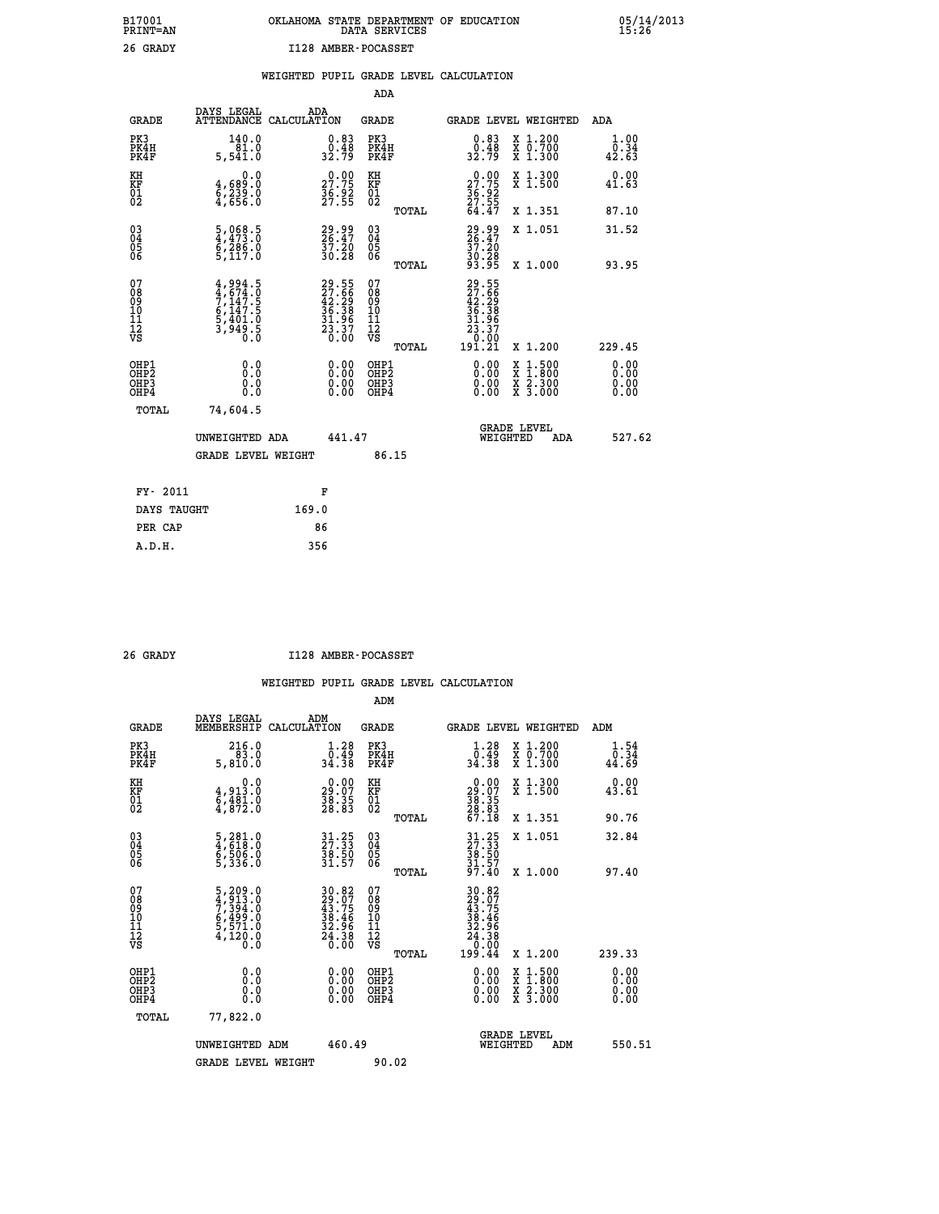# **B17001 OKLAHOMA STATE DEPARTMENT OF EDUCATION 05/14/2013 PRINT=AN DATA SERVICES 15:26 26 GRADY I128 AMBER-POCASSET**

| DAYS LEGAL<br>ADA<br>ATTENDANCE CALCULATION<br><b>GRADE</b><br>GRADE LEVEL WEIGHTED<br><b>GRADE</b><br><b>ADA</b><br>PK3<br>140.0<br>PK3<br>PK4H<br>$\begin{smallmatrix} 0.83\ 0.48\ 32.79 \end{smallmatrix}$<br>X 1.200<br>X 0.700<br>X 1.300<br>$\begin{smallmatrix} 0.83\ 0.48\ 32.79 \end{smallmatrix}$<br>PK4H<br>81.0<br>PK4F<br>PK4F<br>5,541.0<br>$\begin{smallmatrix} 0.00\\ 27.75\\ 36.92\\ 27.55 \end{smallmatrix}$<br>27.75<br>X 1.300<br>X 1.500<br>KH<br>0.0<br>KH<br>KF<br>01<br>02<br>4,689:0<br>6,239:0<br>4,656:0<br>KF<br>01<br>02<br>$\frac{36.92}{27.55}$<br>64.47<br>X 1.351<br>TOTAL<br>$\begin{smallmatrix} 03 \\[-4pt] 04 \end{smallmatrix}$<br>29.99<br>26.47<br>37.20<br>30.28<br>33.95<br>$\frac{5}{4}$ , 068.5<br>29.99<br>26.47<br>$\substack{03 \\ 04}$<br>X 1.051<br>$\frac{7}{5}$ , $\frac{26}{117}$ , 0<br>$\frac{57.20}{30.28}$<br>Ŏ5<br>06<br>$\frac{05}{06}$<br>X 1.000<br>93.95<br>TOTAL |                              |
|--------------------------------------------------------------------------------------------------------------------------------------------------------------------------------------------------------------------------------------------------------------------------------------------------------------------------------------------------------------------------------------------------------------------------------------------------------------------------------------------------------------------------------------------------------------------------------------------------------------------------------------------------------------------------------------------------------------------------------------------------------------------------------------------------------------------------------------------------------------------------------------------------------------------------------|------------------------------|
|                                                                                                                                                                                                                                                                                                                                                                                                                                                                                                                                                                                                                                                                                                                                                                                                                                                                                                                                |                              |
|                                                                                                                                                                                                                                                                                                                                                                                                                                                                                                                                                                                                                                                                                                                                                                                                                                                                                                                                | 1.00<br>0.34<br>42.63        |
|                                                                                                                                                                                                                                                                                                                                                                                                                                                                                                                                                                                                                                                                                                                                                                                                                                                                                                                                | 0.00<br>41.63                |
|                                                                                                                                                                                                                                                                                                                                                                                                                                                                                                                                                                                                                                                                                                                                                                                                                                                                                                                                | 87.10                        |
|                                                                                                                                                                                                                                                                                                                                                                                                                                                                                                                                                                                                                                                                                                                                                                                                                                                                                                                                | 31.52                        |
| 07<br>29.55<br>27.66<br>42.29<br>36.38<br>31.96<br>31.96<br>23.37<br>07<br>$29.55$<br>$27.56$<br>$42.29$<br>$36.38$<br>$31.96$<br>$23.37$<br>$0.001$<br>$191.21$<br>$4,994.5$<br>$7,147.5$<br>$7,147.5$<br>$6,147.5$<br>$5,401.0$<br>$3,949.5$<br>$0.0$<br>08<br>09<br>11<br>11<br>12<br>VS<br>08<br>09<br>11<br>11<br>12<br>VS                                                                                                                                                                                                                                                                                                                                                                                                                                                                                                                                                                                                |                              |
| TOTAL<br>X 1.200                                                                                                                                                                                                                                                                                                                                                                                                                                                                                                                                                                                                                                                                                                                                                                                                                                                                                                               | 229.45                       |
| OHP1<br>OHP1<br>0.00<br>$1:500$<br>$1:800$<br>0.0<br>0.00<br>X<br>X<br>OHP <sub>2</sub><br>OH <sub>P</sub> 2<br>0.00<br>X 2.300<br>X 3.000<br>0.0<br>$\begin{smallmatrix} 0.00 \ 0.00 \end{smallmatrix}$<br>OHP3<br>OHP3<br>0.0<br>OHP4<br>OHP4<br>0.00                                                                                                                                                                                                                                                                                                                                                                                                                                                                                                                                                                                                                                                                        | 0.00<br>0.00<br>0.00<br>0.00 |
| TOTAL<br>74,604.5                                                                                                                                                                                                                                                                                                                                                                                                                                                                                                                                                                                                                                                                                                                                                                                                                                                                                                              |                              |
| <b>GRADE LEVEL</b><br>WEIGHTED<br>441.47<br>UNWEIGHTED ADA<br>ADA                                                                                                                                                                                                                                                                                                                                                                                                                                                                                                                                                                                                                                                                                                                                                                                                                                                              | 527.62                       |
| <b>GRADE LEVEL WEIGHT</b><br>86.15                                                                                                                                                                                                                                                                                                                                                                                                                                                                                                                                                                                                                                                                                                                                                                                                                                                                                             |                              |
| FY- 2011<br>F                                                                                                                                                                                                                                                                                                                                                                                                                                                                                                                                                                                                                                                                                                                                                                                                                                                                                                                  |                              |
| DAYS TAUGHT<br>169.0                                                                                                                                                                                                                                                                                                                                                                                                                                                                                                                                                                                                                                                                                                                                                                                                                                                                                                           |                              |
| 86<br>PER CAP                                                                                                                                                                                                                                                                                                                                                                                                                                                                                                                                                                                                                                                                                                                                                                                                                                                                                                                  |                              |

 **A.D.H. 356**

 **26 GRADY I128 AMBER-POCASSET**

|                                          |                                                                                                                           |                                                                                           | ADM                                                 |                                                                                 |                                          |                                                          |
|------------------------------------------|---------------------------------------------------------------------------------------------------------------------------|-------------------------------------------------------------------------------------------|-----------------------------------------------------|---------------------------------------------------------------------------------|------------------------------------------|----------------------------------------------------------|
| <b>GRADE</b>                             | DAYS LEGAL<br>MEMBERSHIP                                                                                                  | ADM<br>CALCULATION                                                                        | <b>GRADE</b>                                        | GRADE LEVEL WEIGHTED                                                            |                                          | ADM                                                      |
| PK3<br>PK4H<br>PK4F                      | 216.0<br>$\overline{83.0}$<br>5,810.0                                                                                     | $\begin{smallmatrix} 1.28 \\ 0.49 \\ 34.38 \end{smallmatrix}$                             | PK3<br>PK4H<br>PK4F                                 | $\begin{smallmatrix} 1.28 \\ 0.49 \\ 34.38 \end{smallmatrix}$                   | X 1.200<br>X 0.700<br>X 1.300            | $\begin{smallmatrix} 1.54\ 0.34\ 4.69 \end{smallmatrix}$ |
| KH<br>KF<br>01<br>02                     | 0.0<br>$\frac{4}{6}, \frac{913}{81}$ $\cdot \frac{0}{6}$<br>4,872.0                                                       | $\begin{smallmatrix} 0.00\\ 29.07\\ 38.35\\ 28.83 \end{smallmatrix}$                      | KH<br>KF<br>01<br>02                                | $\begin{smallmatrix} 0.00\\29.07\\38.35\\28.83\\67.18 \end{smallmatrix}$        | X 1.300<br>X 1.500                       | 0.00<br>43.61                                            |
|                                          |                                                                                                                           |                                                                                           | TOTAL                                               |                                                                                 | X 1.351                                  | 90.76                                                    |
| 03<br>04<br>05<br>06                     | 5,281.0<br>4,618.0<br>5,506.0<br>5,336.0                                                                                  | 31.25<br>27.33<br>38.50<br>31.57                                                          | $\begin{array}{c} 03 \\ 04 \\ 05 \\ 06 \end{array}$ | $31.25$<br>$37.33$<br>$38.50$<br>$31.57$<br>$97.40$                             | X 1.051                                  | 32.84                                                    |
|                                          |                                                                                                                           |                                                                                           | TOTAL                                               |                                                                                 | X 1.000                                  | 97.40                                                    |
| 07<br>08<br>09<br>101<br>11<br>12<br>VS  | $\begin{smallmatrix}5\,,209\,.0\\4\,,913\,.0\\7\,,394\,.0\\6\,,499\,.0\\5\,,571\,.0\\4\,,120\,.0\\0\,.0\end{smallmatrix}$ | $\begin{array}{l} 30.82 \\ 29.07 \\ 43.75 \\ 38.46 \\ 32.96 \\ 24.38 \\ 0.00 \end{array}$ | 07<br>08<br>09<br>11<br>11<br>12<br>VS<br>TOTAL     | $30.82$<br>$29.075$<br>$43.756$<br>$32.466$<br>$32.966$<br>$24.380$<br>$199.44$ | X 1.200                                  | 239.33                                                   |
| OHP1<br>OHP2<br>OHP <sub>3</sub><br>OHP4 |                                                                                                                           |                                                                                           | OHP1<br>OHP2<br>OHP <sub>3</sub>                    | $0.00$<br>$0.00$<br>0.00                                                        | X 1:500<br>X 1:800<br>X 2:300<br>X 3:000 | 0.00<br>0.00<br>0.00                                     |
| TOTAL                                    | 77,822.0                                                                                                                  |                                                                                           |                                                     |                                                                                 |                                          |                                                          |
|                                          | UNWEIGHTED<br>ADM                                                                                                         | 460.49                                                                                    |                                                     | GRADE LEVEL<br>WEIGHTED                                                         | ADM                                      | 550.51                                                   |
|                                          | <b>GRADE LEVEL WEIGHT</b>                                                                                                 |                                                                                           | 90.02                                               |                                                                                 |                                          |                                                          |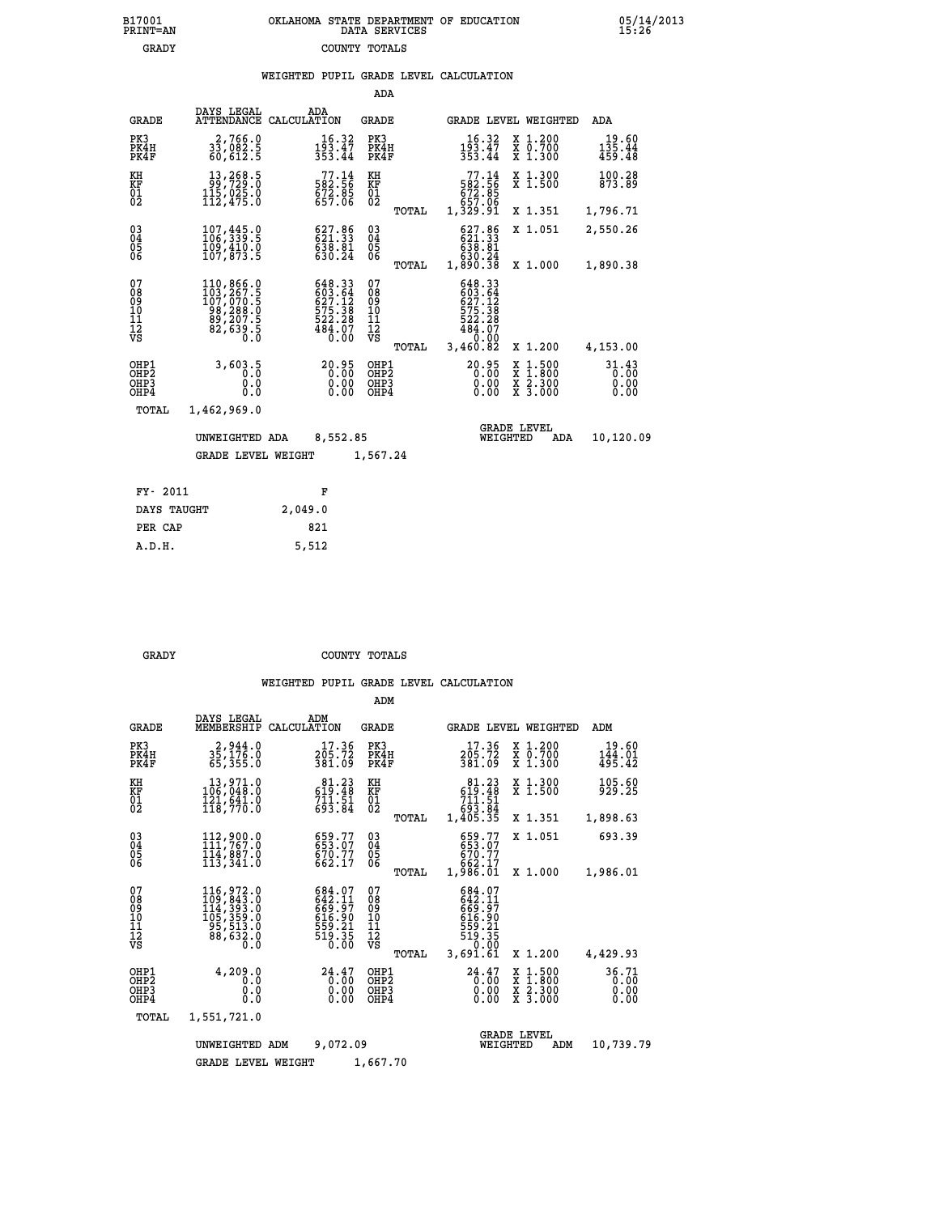### **B17001 OKLAHOMA STATE DEPARTMENT OF EDUCATION 05/14/2013 PRINT=AN DATA SERVICES 15:26 GRADY COUNTY TOTALS**

|  |  | WEIGHTED PUPIL GRADE LEVEL CALCULATION |
|--|--|----------------------------------------|
|  |  |                                        |

|                                                      |                                                                                                                                                          |                                                                                       |                               | ADA                                      |       |                                                                                                                                   |                                |                                                                                                                                           |                               |
|------------------------------------------------------|----------------------------------------------------------------------------------------------------------------------------------------------------------|---------------------------------------------------------------------------------------|-------------------------------|------------------------------------------|-------|-----------------------------------------------------------------------------------------------------------------------------------|--------------------------------|-------------------------------------------------------------------------------------------------------------------------------------------|-------------------------------|
| <b>GRADE</b>                                         | DAYS LEGAL<br><b>ATTENDANCE</b>                                                                                                                          | ADA<br>CALCULATION                                                                    |                               | GRADE                                    |       |                                                                                                                                   |                                | GRADE LEVEL WEIGHTED                                                                                                                      | <b>ADA</b>                    |
| PK3<br>PK4H<br>PK4F                                  | 2,766.0<br>33,082.5<br>60,612.5                                                                                                                          | 193.47<br>353.44                                                                      | 16.32                         | PK3<br>PK4H<br>PK4F                      |       | 16.32<br>$\frac{1\bar{9}\bar{3}\cdot 4\bar{7}}{353.44}$                                                                           |                                | X 1.200<br>X 0.700<br>X 1.300                                                                                                             | 19.60<br>135.44<br>459.48     |
| KH<br><b>KF</b><br>01<br>02                          | 13,268.5<br>99,729.0<br>$1\overline{1}\overline{2}$ , $0\overline{2}\overline{5}$ . 0<br>$1\overline{1}2$ , 475. 0                                       | $\begin{smallmatrix}77.14\\582.56\\672.85\\657.06\end{smallmatrix}$                   |                               | KH<br>KF<br>$\overline{01}$              |       | $77.14$<br>582.56<br>572.85<br>657.06<br>57.06<br>1,329.91                                                                        |                                | X 1.300<br>X 1.500                                                                                                                        | 100.28<br>873.89              |
|                                                      |                                                                                                                                                          |                                                                                       |                               |                                          | TOTAL |                                                                                                                                   |                                | X 1.351                                                                                                                                   | 1,796.71                      |
| $\begin{matrix} 03 \\ 04 \\ 05 \\ 06 \end{matrix}$   | 107, 445.0<br>109,410.0<br>107,873.5                                                                                                                     | $\begin{smallmatrix} 627.86\\ 621.33\\ 638.81\\ 630.24 \end{smallmatrix}$             |                               | 03<br>04<br>05<br>06                     |       | 627.86<br>621.33<br>638.81                                                                                                        |                                | X 1.051                                                                                                                                   | 2,550.26                      |
|                                                      |                                                                                                                                                          |                                                                                       |                               |                                          | TOTAL | 630.24<br>1,890.38                                                                                                                |                                | X 1.000                                                                                                                                   | 1,890.38                      |
| 07<br>08<br>09<br>101<br>11<br>12<br>VS              | $\begin{smallmatrix} 110, 866\cdot 0\\ 103, 267\cdot 5\\ 107, 070\cdot 5\\ 98, 288\cdot 0\\ 89, 207\cdot 5\\ 82, 639\cdot 5\\ 0\cdot 0\end{smallmatrix}$ | 648.33<br>603.64<br>$\begin{array}{r} 575.38 \\ 522.28 \\ 484.07 \\ 0.00 \end{array}$ |                               | 07<br>08<br>09<br>11<br>11<br>12<br>VS   |       | 648.33<br>$603.64$<br>$627.12$<br>$\begin{smallmatrix} 27.12 \\ 575.38 \\ 522.28 \\ 484.07 \\ 0.00 \\ 3,460.82 \end{smallmatrix}$ |                                |                                                                                                                                           |                               |
|                                                      |                                                                                                                                                          |                                                                                       |                               |                                          | TOTAL |                                                                                                                                   |                                | X 1.200                                                                                                                                   | 4,153.00                      |
| OHP1<br>OH <sub>P</sub> <sub>2</sub><br>OHP3<br>OHP4 | 3,603.5<br>0.0<br>0.0                                                                                                                                    |                                                                                       | 0:00<br>0:00<br>50:00<br>0.00 | OHP1<br>OHP <sub>2</sub><br>OHP3<br>OHP4 |       | $20.95$<br>$0.00$<br>$0.00$                                                                                                       | 0.00                           | $\begin{smallmatrix} \mathtt{X} & 1\cdot500\\ \mathtt{X} & 1\cdot800\\ \mathtt{X} & 2\cdot300\\ \mathtt{X} & 3\cdot000 \end{smallmatrix}$ | 31.43<br>0.00<br>0.00<br>0.00 |
| TOTAL                                                | 1,462,969.0                                                                                                                                              |                                                                                       |                               |                                          |       |                                                                                                                                   |                                |                                                                                                                                           |                               |
|                                                      | UNWEIGHTED ADA                                                                                                                                           |                                                                                       | 8,552.85                      |                                          |       |                                                                                                                                   | <b>GRADE LEVEL</b><br>WEIGHTED | ADA                                                                                                                                       | 10,120.09                     |
|                                                      | <b>GRADE LEVEL WEIGHT</b>                                                                                                                                |                                                                                       |                               | 1,567.24                                 |       |                                                                                                                                   |                                |                                                                                                                                           |                               |
|                                                      |                                                                                                                                                          |                                                                                       |                               |                                          |       |                                                                                                                                   |                                |                                                                                                                                           |                               |
| FY- 2011                                             |                                                                                                                                                          | F                                                                                     |                               |                                          |       |                                                                                                                                   |                                |                                                                                                                                           |                               |
| DAYS TAUGHT                                          |                                                                                                                                                          | 2,049.0                                                                               |                               |                                          |       |                                                                                                                                   |                                |                                                                                                                                           |                               |

| . . |  |  |  |
|-----|--|--|--|

**PER CAP** 821  **A.D.H. 5,512**

 **GRADY COUNTY TOTALS**

|                                                    |                                                                                 |                                                                    | ADM                                             |                                                                                         |                                                                                            |                               |
|----------------------------------------------------|---------------------------------------------------------------------------------|--------------------------------------------------------------------|-------------------------------------------------|-----------------------------------------------------------------------------------------|--------------------------------------------------------------------------------------------|-------------------------------|
| <b>GRADE</b>                                       | DAYS LEGAL<br>MEMBERSHIP                                                        | ADM<br>CALCULATION                                                 | <b>GRADE</b>                                    | GRADE LEVEL WEIGHTED                                                                    |                                                                                            | ADM                           |
| PK3<br>PK4H<br>PK4F                                | 2,944.0<br>$3\bar{5}$ , $1\bar{7}\bar{6}$ .0<br>65,355.0                        | 17.36<br>205.72<br>381.09                                          | PK3<br>PK4H<br>PK4F                             | 17.36<br>205.72<br>381.09                                                               | $\begin{smallmatrix} x & 1.200 \\ x & 0.700 \end{smallmatrix}$<br>X 1.300                  | 19.60<br>144.01<br>495.42     |
| KH<br>KF<br>01<br>02                               | 13,971.0<br>106,048.0<br>$\frac{1}{18}$ , $\frac{2}{7}$ , $\frac{2}{18}$        | $81.23$<br>619.48<br>$7\bar{1}1.\bar{5}1$<br>693.84                | KH<br>KF<br>01<br>02                            | $81.23$<br>619.48<br>$\begin{array}{c} \text{711.51} \\ 693.84 \\ 1,405.35 \end{array}$ | X 1.300<br>X 1.500                                                                         | 105.60<br>929.25              |
|                                                    |                                                                                 |                                                                    | TOTAL                                           |                                                                                         | X 1.351                                                                                    | 1,898.63                      |
| $\begin{matrix} 03 \\ 04 \\ 05 \\ 06 \end{matrix}$ | 112,900.0<br>111,767.0<br>114,887.0                                             | 659.77<br>653.07<br>670.77<br>662.17                               | $\substack{03 \\ 04}$<br>$\frac{05}{06}$        | 659.77<br>653.07<br>670.77<br>662.17                                                    | X 1.051                                                                                    | 693.39                        |
|                                                    | 113,341.0                                                                       |                                                                    | TOTAL                                           | 1,986.01                                                                                | X 1.000                                                                                    | 1,986.01                      |
| 07<br>08<br>09<br>10<br>11<br>11<br>12<br>VS       | 116,972.0<br>109,843.0<br>114,393.0<br>105,359.0<br>95,513.0<br>88,632.0<br>0.0 | 684.07<br>642.11<br>642.97<br>659.90<br>659.21<br>559.35<br>519.35 | 07<br>08<br>09<br>11<br>11<br>12<br>VS<br>TOTAL | 684.07<br>642.11<br>642.97<br>659.90<br>659.21<br>550.35<br>50.00<br>3,691.61           | X 1.200                                                                                    | 4,429.93                      |
| OHP1<br>OHP2<br>OHP3<br>OHP4                       | 4,209.0<br>0.0<br>0.0<br>Ŏ.Ŏ                                                    | 24.47<br>0.00<br>0.00<br>0.00                                      | OHP1<br>OHP2<br>OHP3<br>OHP4                    | $^{24}_{0.00}$<br>0.00<br>0.00                                                          | $\begin{array}{c} x & 1.500 \\ x & 1.800 \\ x & 2.300 \end{array}$<br>$\overline{x}$ 3.000 | 36.71<br>0.00<br>0.00<br>0.00 |
| TOTAL                                              | 1,551,721.0                                                                     |                                                                    |                                                 |                                                                                         |                                                                                            |                               |
|                                                    | UNWEIGHTED ADM<br><b>GRADE LEVEL WEIGHT</b>                                     | 9,072.09                                                           | 1,667.70                                        | WEIGHTED                                                                                | <b>GRADE LEVEL</b><br>ADM                                                                  | 10,739.79                     |
|                                                    |                                                                                 |                                                                    |                                                 |                                                                                         |                                                                                            |                               |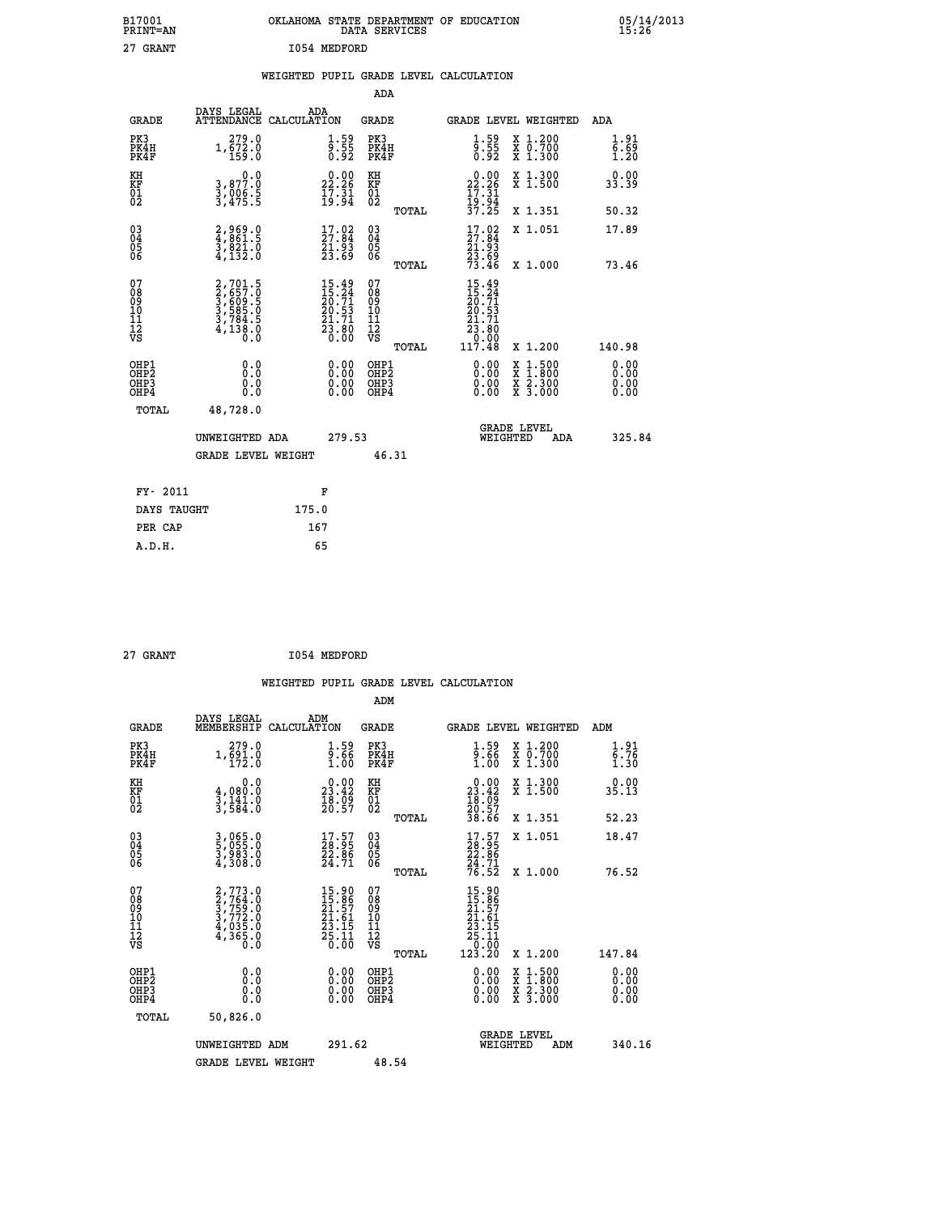| B17001<br>PRINT=AN                       |                                                                       |                                                                                                    | DATA SERVICES                                   | OKLAHOMA STATE DEPARTMENT OF EDUCATION                                                                                  |                                                                                                                                             | 05/14/2013                   |  |
|------------------------------------------|-----------------------------------------------------------------------|----------------------------------------------------------------------------------------------------|-------------------------------------------------|-------------------------------------------------------------------------------------------------------------------------|---------------------------------------------------------------------------------------------------------------------------------------------|------------------------------|--|
| 27 GRANT                                 |                                                                       | 1054 MEDFORD                                                                                       |                                                 |                                                                                                                         |                                                                                                                                             |                              |  |
|                                          |                                                                       |                                                                                                    |                                                 | WEIGHTED PUPIL GRADE LEVEL CALCULATION                                                                                  |                                                                                                                                             |                              |  |
|                                          |                                                                       |                                                                                                    | ADA                                             |                                                                                                                         |                                                                                                                                             |                              |  |
| <b>GRADE</b>                             | DAYS LEGAL<br>ATTENDANCE CALCULATION                                  | ADA                                                                                                | <b>GRADE</b>                                    | GRADE LEVEL WEIGHTED                                                                                                    |                                                                                                                                             | ADA                          |  |
| PK3<br>PK4H<br>PK4F                      | 279.0<br>1,672.0<br>159.0                                             | $\frac{1.59}{9.55}$<br>0.92                                                                        | PK3<br>PK4H<br>PK4F                             | 1.59<br>$\frac{5}{0}$ :55<br>0.92                                                                                       | X 1.200<br>$\begin{smallmatrix} \ddot{x} & \ddot{0} & \ddot{7} & \ddot{0} & \dot{0} \\ \dot{x} & 1 & \dot{0} & 3 & 0 & 0 \end{smallmatrix}$ | 1.91<br>6.69<br>1.20         |  |
| KH<br>KF<br>$\overline{01}$              | 0.0<br>3,877:0<br>3,006:5<br>3,475:5                                  | 22.26<br>$\frac{1}{2}$ $\frac{7}{3}$ $\frac{3}{4}$                                                 | KH<br><b>KF</b><br>01<br>02                     | 22.26<br>17.31                                                                                                          | X 1.300<br>X 1.500                                                                                                                          | 0.00<br>33.39                |  |
|                                          |                                                                       |                                                                                                    | TOTAL                                           | 19:94<br>37:25                                                                                                          | X 1.351                                                                                                                                     | 50.32                        |  |
| $03\overline{4}$<br>Ŏ5<br>06             | 2,969.0<br>4,861.5<br>3,821.0<br>4,132.0                              | $17.02$<br>27.84<br>21.93<br>23.69                                                                 | 03<br>04<br>05<br>06                            | $17.02$<br>27.84<br>21.93                                                                                               | X 1.051                                                                                                                                     | 17.89                        |  |
|                                          |                                                                       |                                                                                                    | TOTAL                                           | $\frac{2\bar{3}\cdot 6\bar{9}}{73.46}$                                                                                  | X 1.000                                                                                                                                     | 73.46                        |  |
| 078901112<br>00010112<br>VS              | 2,701.5<br>2,657.0<br>3,609.5<br>3,588.0<br>3,784.5<br>4,138.0<br>Ō.Ō | $\begin{smallmatrix} 15.49 \\ 15.24 \\ 20.71 \\ 20.53 \\ 21.71 \\ 23.80 \\ 0.00 \end{smallmatrix}$ | 07<br>08<br>09<br>10<br>11<br>12<br>VS<br>TOTAL | 15.49<br>$\frac{15}{20}$ : $\frac{74}{21}$<br>$\frac{20}{29}$ : $\frac{53}{29}$<br>2ī<br>.71<br>23.80<br>0.00<br>117.48 | X 1.200                                                                                                                                     | 140.98                       |  |
| OHP1<br>OHP2<br>OH <sub>P3</sub><br>OHP4 | 0.0<br>Ŏ.Ŏ<br>0.0<br>0.0                                              | 0.00<br>0.00<br>0.00                                                                               | OHP1<br>OHP <sub>2</sub><br>OHP3<br>OHP4        | 0.00<br>0.00<br>0.00                                                                                                    | $\frac{x}{x}$ 1.500<br>$\frac{\overline{x}}{\overline{x}}$ $\frac{2.300}{3.000}$                                                            | 0.00<br>ŏ:ŏŏ<br>0.00<br>0.00 |  |
| TOTAL                                    | 48,728.0                                                              |                                                                                                    |                                                 |                                                                                                                         |                                                                                                                                             |                              |  |
|                                          | UNWEIGHTED ADA                                                        | 279.53                                                                                             |                                                 | WEIGHTED                                                                                                                | <b>GRADE LEVEL</b><br>ADA                                                                                                                   | 325.84                       |  |
|                                          | <b>GRADE LEVEL WEIGHT</b>                                             |                                                                                                    | 46.31                                           |                                                                                                                         |                                                                                                                                             |                              |  |
| FY- 2011                                 |                                                                       | F                                                                                                  |                                                 |                                                                                                                         |                                                                                                                                             |                              |  |

| FY- 2011    | F     |
|-------------|-------|
| DAYS TAUGHT | 175.0 |
| PER CAP     | 167   |
| A.D.H.      | 65    |
|             |       |

| I054 MEDFORD<br>27 GRANT |
|--------------------------|
|--------------------------|

 **WEIGHTED PUPIL GRADE LEVEL CALCULATION ADM DAYS LEGAL ADM GRADE MEMBERSHIP CALCULATION GRADE GRADE LEVEL WEIGHTED ADM PK3 279.0 1.59 PK3 1.59 X 1.200 1.91 PK4H 1,691.0 9.66 PK4H 9.66 X 0.700 6.76 PK4F 172.0 1.00 PK4F 1.00 X 1.300 1.30 KH 0.0 0.00 KH 0.00 X 1.300 0.00 KF 4,080.0 23.42 KF 23.42 X 1.500 35.13 01 3,141.0 18.09 01 18.09 02 3,584.0 20.57 02 20.57 TOTAL 38.66 X 1.351 52.23 03 3,065.0 17.57 03 17.57 X 1.051 18.47 04 5,055.0 28.95 04 28.95 05 3,983.0 22.86 05 22.86** 06  $4,308.0$   $24.71$  06  $_{\text{magnat}}$   $24.71$  **TOTAL 76.52 X 1.000 76.52**  $\begin{array}{cccc} 07 & 2,773.0 & 15.90 & 07 & 15.90 \ 08 & 2,764.0 & 15.90 & 07 & 15.90 \ 09 & 3,759.0 & 21.57 & 09 & 11.57 \ 10 & 3,772.0 & 21.61 & 10 & 21.61 \ 11 & 4,035.0 & 23.15 & 11 & 23.15 \ 12 & 4,365.0 & 23.15 & 12 & 23.15 \ 15 & 61 & 0 & 0 & 0 & 0 & 0 \ 0 &$  **TOTAL 123.20 X 1.200 147.84 OHP1 0.0 0.00 OHP1 0.00 X 1.500 0.00 OHP2 0.0 0.00 OHP2 0.00 X 1.800 0.00 OHP3 0.0 0.00 OHP3 0.00 X 2.300 0.00 OHP4 0.0 0.00 OHP4 0.00 X 3.000 0.00 TOTAL 50,826.0 GRADE LEVEL UNWEIGHTED ADM 291.62 WEIGHTED ADM 340.16** GRADE LEVEL WEIGHT 48.54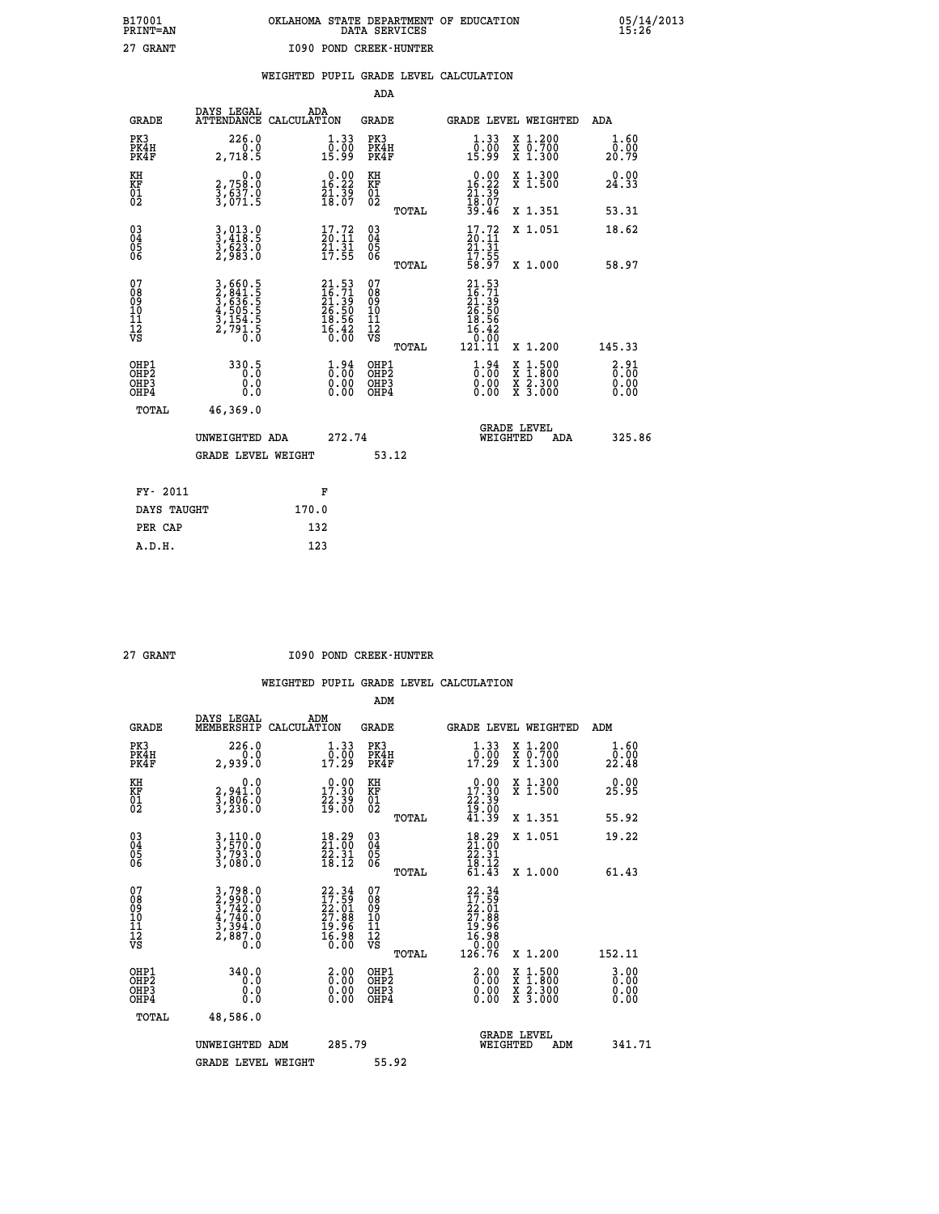|                        | DATA SERVICES | OKLAHOMA STATE DEPARTMENT OF EDUCATION |
|------------------------|---------------|----------------------------------------|
| 1090 POND CREEK-HUNTER |               |                                        |

|                                                    |                                                                                  | WEIGHTED PUPIL GRADE LEVEL CALCULATION                                   |                                              |       |                                                                                                 |                                          |                                                             |
|----------------------------------------------------|----------------------------------------------------------------------------------|--------------------------------------------------------------------------|----------------------------------------------|-------|-------------------------------------------------------------------------------------------------|------------------------------------------|-------------------------------------------------------------|
|                                                    |                                                                                  |                                                                          | ADA                                          |       |                                                                                                 |                                          |                                                             |
| <b>GRADE</b>                                       | DAYS LEGAL                                                                       | <b>ADA</b><br>ATTENDANCE CALCULATION                                     | <b>GRADE</b>                                 |       |                                                                                                 | <b>GRADE LEVEL WEIGHTED</b>              | ADA                                                         |
| PK3<br>PK4H<br>PK4F                                | 226.0<br>2,718.5                                                                 | $\begin{smallmatrix} 1.33\ 0.00\ 15.99 \end{smallmatrix}$                | PK3<br>PK4H<br>PK4F                          |       | $\begin{smallmatrix} 1.33\ 0.00\ 15.99 \end{smallmatrix}$                                       | X 1.200<br>X 0.700<br>X 1.300            | $\frac{1}{0}$ : $\frac{60}{20}$<br>20.79                    |
| KH<br>KF<br>01<br>02                               | $\begin{smallmatrix}&&&0.0\2.758.0\3.637.0\3.071.5\end{smallmatrix}$             | $\begin{smallmatrix} 0.00\\16.22\\21.39\\18.07 \end{smallmatrix}$        | KH<br>KF<br>$\overline{01}$                  |       | $0.00\n16.22\n21.39\n18.07\n39.46$                                                              | X 1.300<br>X 1.500                       | 0.00<br>24.33                                               |
|                                                    |                                                                                  |                                                                          |                                              | TOTAL |                                                                                                 | X 1.351                                  | 53.31                                                       |
| $\begin{matrix} 03 \\ 04 \\ 05 \\ 06 \end{matrix}$ | 3,013.0<br>3,418.5<br>3,623.0<br>2,983.0                                         | $\begin{smallmatrix} 17.72 \\ 20.11 \\ 21.31 \\ 17.55 \end{smallmatrix}$ | $\substack{03 \\ 04}$<br>05<br>06            |       | $\begin{smallmatrix} 17.72\ 20.11\ 21.31\ 17.55\ 58.97 \end{smallmatrix}$                       | X 1.051                                  | 18.62                                                       |
|                                                    |                                                                                  |                                                                          |                                              | TOTAL |                                                                                                 | X 1.000                                  | 58.97                                                       |
| 07<br>08<br>09<br>09<br>10<br>11<br>12<br>VS       | 3,660.5<br>2,841.5<br>3,636.5<br>3,505.5<br>4,505.5<br>3,154.5<br>2,791.5<br>0.0 | $21.53$<br>$21.39$<br>$26.50$<br>$18.56$<br>$16.42$<br>$0.00$            | 07<br>08<br>09<br>01<br>11<br>11<br>12<br>VS | TOTAL | $\begin{smallmatrix} 21.53\ 16.71\ 21.39\ 26.50\ 18.56\ 16.42\ 0.00\ 121.11\ \end{smallmatrix}$ | X 1.200                                  | 145.33                                                      |
| OHP1<br>OHP2<br>OH <sub>P3</sub><br>OHP4           | 330.5<br>Ō.Ō<br>$\substack{0.0 \ 0.0}$                                           | $\begin{smallmatrix} 1.94\ 0.00\ 0.00 \end{smallmatrix}$                 | OHP1<br>OHP2<br>OHP <sub>3</sub>             |       | $\begin{smallmatrix} 1.94\ 0.00\ 0.00 \end{smallmatrix}$                                        | X 1:500<br>X 1:800<br>X 2:300<br>X 3:000 | $\begin{smallmatrix} 2.91\0.00\0.00\0.00 \end{smallmatrix}$ |
| TOTAL                                              | 46.369.0                                                                         |                                                                          |                                              |       |                                                                                                 |                                          |                                                             |

| TUTAL       | 40,309.0           |       |        |       |                                |     |        |
|-------------|--------------------|-------|--------|-------|--------------------------------|-----|--------|
|             | UNWEIGHTED ADA     |       | 272.74 |       | <b>GRADE LEVEL</b><br>WEIGHTED | ADA | 325.86 |
|             | GRADE LEVEL WEIGHT |       |        | 53.12 |                                |     |        |
| FY- 2011    |                    | F     |        |       |                                |     |        |
| DAYS TAUGHT |                    | 170.0 |        |       |                                |     |        |
| PER CAP     |                    | 132   |        |       |                                |     |        |

 **A.D.H. 123**

 **B17001<br>PRINT=AN<br>27 GRANT** 

 **27 GRANT I090 POND CREEK-HUNTER**

|                                          |                                                                        |                                                                          | ADM                                                 |                                                                                    |                                          |                          |
|------------------------------------------|------------------------------------------------------------------------|--------------------------------------------------------------------------|-----------------------------------------------------|------------------------------------------------------------------------------------|------------------------------------------|--------------------------|
| <b>GRADE</b>                             | DAYS LEGAL<br>MEMBERSHIP                                               | ADM<br>CALCULATION                                                       | <b>GRADE</b>                                        | GRADE LEVEL WEIGHTED                                                               |                                          | ADM                      |
| PK3<br>PK4H<br>PK4F                      | 226.0<br>ة:ة--<br>2,939.0                                              | $\begin{smallmatrix} 1.33\ 0.00\ 17.29 \end{smallmatrix}$                | PK3<br>PK4H<br>PK4F                                 | $\begin{smallmatrix} 1.33\ 0.00\ 17.29 \end{smallmatrix}$                          | X 1.200<br>X 0.700<br>X 1.300            | 1.60<br>_0.00<br>22.48   |
| KH<br>KF<br>01<br>02                     | 0.0<br>2,941.0<br>3,806.0<br>3,230.0                                   | $\begin{smallmatrix} 0.00\\ 17.30\\ 22.39\\ 19.00 \end{smallmatrix}$     | KH<br>KF<br>01<br>02                                | $\begin{smallmatrix} 0.00\\ 17.30\\ 22.39\\ 19.00\\ 41.39 \end{smallmatrix}$       | X 1.300<br>X 1.500                       | 0.00<br>25.95            |
|                                          |                                                                        |                                                                          | TOTAL                                               |                                                                                    | X 1.351                                  | 55.92                    |
| 03<br>04<br>05<br>06                     | 3,110.0<br>3,570.0<br>3,793.0<br>3,080.0                               | $\begin{smallmatrix} 18.29\\21.00\\22.31\\18.12 \end{smallmatrix}$       | $\begin{array}{c} 03 \\ 04 \\ 05 \\ 06 \end{array}$ | $\begin{smallmatrix} 18.29\\21.00\\22.31\\18.12\\61.43 \end{smallmatrix}$          | X 1.051                                  | 19.22                    |
|                                          |                                                                        |                                                                          | TOTAL                                               |                                                                                    | X 1.000                                  | 61.43                    |
| 07<br>08<br>09<br>101<br>11<br>12<br>VS  | $3,798.0$<br>$3,742.0$<br>$4,740.0$<br>$3,394.0$<br>$2,887.0$<br>$0.0$ | $22.34$<br>$17.59$<br>$22.01$<br>$27.88$<br>$19.96$<br>$16.98$<br>$6.00$ | 07<br>08<br>09<br>11<br>11<br>12<br>VS<br>TOTAL     | $22.34$<br>$17.59$<br>$22.01$<br>$27.88$<br>$19.96$<br>$16.98$<br>$0.99$<br>126.76 | X 1.200                                  | 152.11                   |
|                                          |                                                                        |                                                                          |                                                     |                                                                                    |                                          |                          |
| OHP1<br>OHP2<br>OH <sub>P3</sub><br>OHP4 | 340.0<br>0.0<br>0.000                                                  | $\begin{smallmatrix} 2.00\ 0.00\ 0.00 \end{smallmatrix}$                 | OHP1<br>OHP2<br>OHP <sub>3</sub>                    | $\begin{smallmatrix} 2.00 \ 0.00 \ 0.00 \end{smallmatrix}$<br>0.00                 | X 1:500<br>X 1:800<br>X 2:300<br>X 3:000 | $0.00$<br>$0.00$<br>0.00 |
| TOTAL                                    | 48,586.0                                                               |                                                                          |                                                     |                                                                                    |                                          |                          |
|                                          | UNWEIGHTED ADM                                                         | 285.79                                                                   |                                                     |                                                                                    | GRADE LEVEL<br>WEIGHTED<br>ADM           | 341.71                   |
|                                          | <b>GRADE LEVEL WEIGHT</b>                                              |                                                                          | 55.92                                               |                                                                                    |                                          |                          |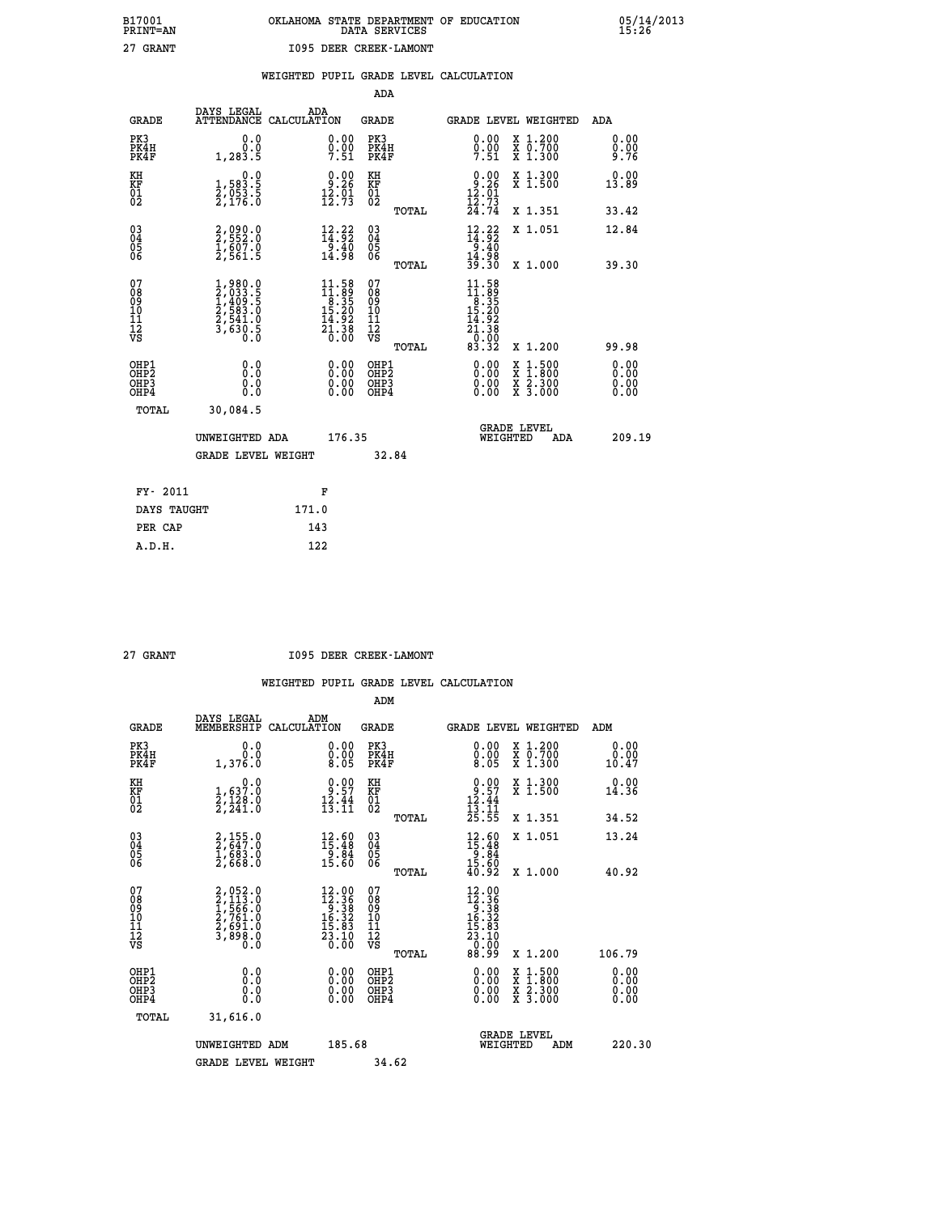| OKLAHOMA STATE DEPARTMENT OF EDUCATION<br>DATA SERVICES |  |
|---------------------------------------------------------|--|
| 1095 DEER CREEK-LAMONT                                  |  |

|  |  | WEIGHTED PUPIL GRADE LEVEL CALCULATION |
|--|--|----------------------------------------|
|  |  |                                        |

|                                                                    |                                                                                     |                                                                                      | ADA                                       |       |                                                                                                                                             |   |                                          |                              |
|--------------------------------------------------------------------|-------------------------------------------------------------------------------------|--------------------------------------------------------------------------------------|-------------------------------------------|-------|---------------------------------------------------------------------------------------------------------------------------------------------|---|------------------------------------------|------------------------------|
| <b>GRADE</b>                                                       | DAYS LEGAL<br><b>ATTENDANCE</b>                                                     | ADA<br>CALCULATION                                                                   | <b>GRADE</b>                              |       | GRADE LEVEL WEIGHTED                                                                                                                        |   |                                          | <b>ADA</b>                   |
| PK3<br>PK4H<br>PK4F                                                | 0.0<br>0.0<br>1, 283.5                                                              | $0.00$<br>$0.00$<br>$7.51$                                                           | PK3<br>PK4H<br>PK4F                       |       | $0.00$<br>$0.00$<br>7.51                                                                                                                    |   | X 1.200<br>X 0.700<br>X 1.300            | 0.00<br>$0.00$<br>9.76       |
| KH<br>KF<br>01<br>02                                               | 0.0<br>1,583.5<br>2,053.5<br>2,176.0                                                | $9.00$<br>9.26<br>$\frac{1}{2}$ : $\frac{1}{2}$                                      | KH<br>KF<br>01<br>02                      |       | $0.00$<br>$12.26$<br>$12.73$<br>$12.73$<br>$24.74$                                                                                          |   | X 1.300<br>X 1.500                       | 0.00<br>13.89                |
|                                                                    |                                                                                     |                                                                                      |                                           | TOTAL |                                                                                                                                             |   | X 1.351                                  | 33.42                        |
| $\begin{smallmatrix} 03 \\[-4pt] 04 \end{smallmatrix}$<br>Ŏ5<br>06 | 2,090.0<br>2,552.0<br>1,607.0<br>2,561.5                                            | $\frac{12}{14}$ : $\frac{22}{92}$<br>$\frac{1}{14}$ . 40<br>14.98                    | $\substack{03 \\ 04}$<br>05<br>06         |       | $12.22$<br>$14.92$<br>$9.40$<br>$14.98$<br>$39.30$                                                                                          |   | X 1.051                                  | 12.84                        |
|                                                                    |                                                                                     |                                                                                      |                                           | TOTAL |                                                                                                                                             |   | X 1.000                                  | 39.30                        |
| 07<br>08<br>09<br>11<br>11<br>12<br>VS                             | $1,980.0$<br>$2,033.5$<br>$1,409.5$<br>$2,583.0$<br>$2,541.0$<br>$3,630.5$<br>$0.0$ | $\begin{smallmatrix} 11.58\\11.89\\8.35\\15.20\\14.92\\21.38\\0.00\end{smallmatrix}$ | 07<br>08<br>09<br>11<br>11<br>12<br>VS    |       | $\begin{array}{c} 11.58 \\[-2pt] 11.59 \\[-2pt] 8.35 \\[-2pt] 15.20 \\[-2pt] 14.92 \\[-2pt] 21.38 \\[-2pt] 0.00 \\[-2pt] 83.32 \end{array}$ |   |                                          |                              |
|                                                                    |                                                                                     |                                                                                      |                                           | TOTAL |                                                                                                                                             |   | X 1.200                                  | 99.98                        |
| OHP1<br>OHP <sub>2</sub><br>OHP3<br>OHP4                           | 0.0<br>0.0<br>0.0                                                                   | 0.00<br>$\begin{smallmatrix} 0.00 \ 0.00 \end{smallmatrix}$                          | OHP1<br>OH <sub>P</sub> 2<br>OHP3<br>OHP4 |       | 0.00<br>0.00<br>0.00                                                                                                                        | X | $1:500$<br>$1:800$<br>X 2.300<br>X 3.000 | 0.00<br>0.00<br>0.00<br>0.00 |
| TOTAL                                                              | 30,084.5                                                                            |                                                                                      |                                           |       |                                                                                                                                             |   |                                          |                              |
|                                                                    | UNWEIGHTED ADA                                                                      | 176.35                                                                               |                                           |       | WEIGHTED                                                                                                                                    |   | <b>GRADE LEVEL</b><br>ADA                | 209.19                       |
|                                                                    | <b>GRADE LEVEL WEIGHT</b>                                                           |                                                                                      | 32.84                                     |       |                                                                                                                                             |   |                                          |                              |
| FY- 2011                                                           |                                                                                     | F                                                                                    |                                           |       |                                                                                                                                             |   |                                          |                              |
| DAYS TAUGHT                                                        |                                                                                     | 171.0                                                                                |                                           |       |                                                                                                                                             |   |                                          |                              |
|                                                                    |                                                                                     |                                                                                      |                                           |       |                                                                                                                                             |   |                                          |                              |
| PER CAP                                                            |                                                                                     | 143                                                                                  |                                           |       |                                                                                                                                             |   |                                          |                              |

| ъ          |
|------------|
| 1.NTM<br>≏ |
|            |

 **B17001<br>PRINT=AN<br>27 GRANT** 

 **27 GRANT I095 DEER CREEK-LAMONT**

|                                           |                                                                           |                                                                                                                                             | ADM                                                 |                                                                                                                                                    |                                          |                              |
|-------------------------------------------|---------------------------------------------------------------------------|---------------------------------------------------------------------------------------------------------------------------------------------|-----------------------------------------------------|----------------------------------------------------------------------------------------------------------------------------------------------------|------------------------------------------|------------------------------|
| <b>GRADE</b>                              | DAYS LEGAL<br>MEMBERSHIP                                                  | ADM<br>CALCULATION                                                                                                                          | <b>GRADE</b>                                        | <b>GRADE LEVEL WEIGHTED</b>                                                                                                                        |                                          | ADM                          |
| PK3<br>PK4H<br>PK4F                       | 0.0<br>0.0<br>1,376.0                                                     | $\begin{smallmatrix} 0.00\\ 0.00\\ 8.05 \end{smallmatrix}$                                                                                  | PK3<br>PK4H<br>PK4F                                 | $\begin{smallmatrix} 0.00\\ 0.00\\ 0.00\\ 8.05 \end{smallmatrix}$                                                                                  | X 1.200<br>X 0.700<br>X 1.300            | 0.00<br>0.00<br>10.47        |
| KH<br>KF<br>01<br>02                      | $\begin{smallmatrix}&&&0.0\\1,637.0\\2,128.0\\2,241.0\end{smallmatrix}$   | $\begin{smallmatrix} 0.00\\ 9.57\\ 12.44\\ 13.11 \end{smallmatrix}$                                                                         | KH<br>KF<br>01<br>02                                | $0.00$<br>$12.44$<br>$13.11$<br>$25.55$                                                                                                            | X 1.300<br>X 1.500                       | 0.00<br>14.36                |
|                                           |                                                                           |                                                                                                                                             | TOTAL                                               |                                                                                                                                                    | X 1.351                                  | 34.52                        |
| 03<br>04<br>05<br>06                      | 2,155.0<br>2,647.0<br>1,683.0<br>2,668.0                                  | $\begin{smallmatrix} 12.60\\ 15.48\\ 9.84\\ 15.60 \end{smallmatrix}$                                                                        | $\begin{array}{c} 03 \\ 04 \\ 05 \\ 06 \end{array}$ | $12.60$<br>$15.48$<br>$9.84$<br>$15.60$<br>$40.92$                                                                                                 | X 1.051                                  | 13.24                        |
|                                           |                                                                           |                                                                                                                                             | TOTAL                                               |                                                                                                                                                    | X 1.000                                  | 40.92                        |
| 07<br>08<br>09<br>101<br>112<br>VS        | 2,052.0<br>2,113.0<br>1,566.0<br>1,566.0<br>2,761.0<br>2,691.0<br>3,898.0 | $\begin{array}{r} 12.00 \\[-2pt] 12.36 \\[-2pt] 9.38 \\[-2pt] 16.32 \\[-2pt] 15.83 \\[-2pt] 23.10 \\[-2pt] 23.10 \\[-2pt] 0.00 \end{array}$ | 07<br>08<br>09<br>11<br>11<br>12<br>VS<br>TOTAL     | $\begin{array}{r} 12\cdot 90 \\ 12\cdot 36 \\ 9\cdot 38 \\ 16\cdot 32 \\ 15\cdot 83 \\ 23\cdot 10 \\ 23\cdot 10 \\ 0.00 \\ 88\cdot 99 \end{array}$ | X 1.200                                  | 106.79                       |
| OHP1<br>OHP2<br>OH <sub>P</sub> 3<br>OHP4 | 0.0<br>0.000                                                              |                                                                                                                                             | OHP1<br>OHP2<br>OHP <sub>3</sub>                    | $0.00$<br>$0.00$<br>0.00                                                                                                                           | X 1:500<br>X 1:800<br>X 2:300<br>X 3:000 | 0.00<br>0.00<br>0.00<br>0.00 |
| TOTAL                                     | 31,616.0                                                                  |                                                                                                                                             |                                                     |                                                                                                                                                    |                                          |                              |
|                                           | UNWEIGHTED ADM                                                            | 185.68                                                                                                                                      |                                                     | <b>GRADE LEVEL</b><br>WEIGHTED                                                                                                                     | ADM                                      | 220.30                       |
|                                           | <b>GRADE LEVEL WEIGHT</b>                                                 |                                                                                                                                             | 34.62                                               |                                                                                                                                                    |                                          |                              |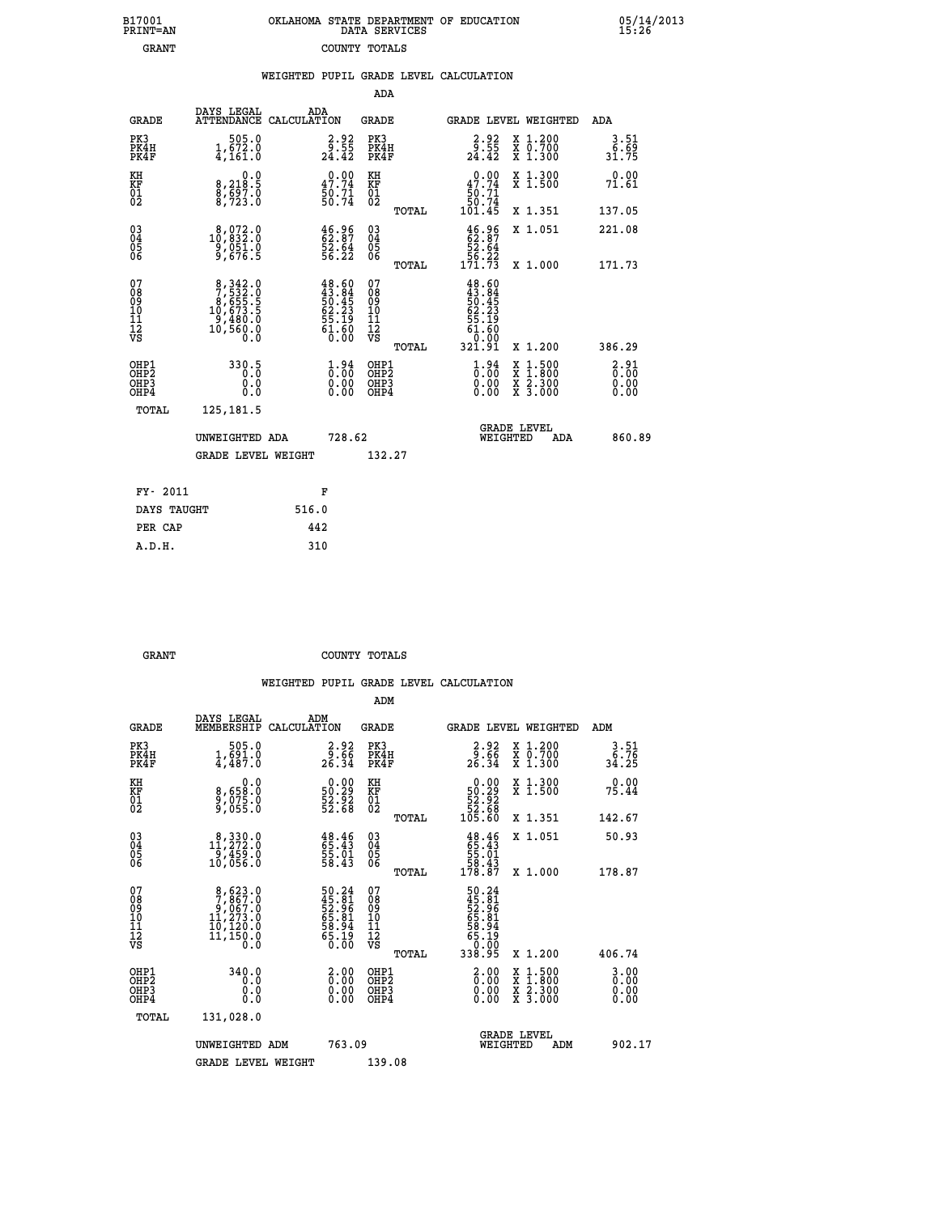| 7001<br>INT=AN | OKLAHOMA STATE DEPARTMENT OF EDUCATION<br>DATA SERVICES |  |  |
|----------------|---------------------------------------------------------|--|--|
| GRANT          | COUNTY TOTALS                                           |  |  |

 **B17001<br>PRINT=AN** 

 **B17001 OKLAHOMA STATE DEPARTMENT OF EDUCATION 05/14/2013**

|                                              |                                                                                              | WEIGHTED PUPIL GRADE LEVEL CALCULATION                                   |                                        |       |                                                                                              |                                                                                        |                       |
|----------------------------------------------|----------------------------------------------------------------------------------------------|--------------------------------------------------------------------------|----------------------------------------|-------|----------------------------------------------------------------------------------------------|----------------------------------------------------------------------------------------|-----------------------|
|                                              |                                                                                              |                                                                          | ADA                                    |       |                                                                                              |                                                                                        |                       |
| <b>GRADE</b>                                 | DAYS LEGAL                                                                                   | ADA<br>ATTENDANCE CALCULATION                                            | <b>GRADE</b>                           |       |                                                                                              | <b>GRADE LEVEL WEIGHTED</b>                                                            | ADA                   |
| PK3<br>PK4H<br>PK4F                          | $\begin{smallmatrix} & 505.0 \ 1,672.0 \ 4,161.0 \end{smallmatrix}$                          | $\frac{2 \cdot 92}{9 \cdot 55}$<br>24.42                                 | PK3<br>PK4H<br>PK4F                    |       | $\frac{2 \cdot 92}{9 \cdot 55}$<br>24.42                                                     | X 1.200<br>X 0.700<br>X 1.300                                                          | 3.51<br>6.69<br>31.75 |
| KH<br>KF<br>01<br>02                         | 8,218.5<br>$\frac{8}{3}, \frac{5}{7}$ $\frac{5}{2}$ $\frac{7}{3}$ $\cdot$ $\frac{8}{0}$      | 47.74<br>$\frac{50.71}{50.74}$                                           | KH<br>KF<br>01<br>02                   |       | 47.74<br>$\frac{50.71}{50.74}$<br>101.45                                                     | X 1.300<br>X 1.500                                                                     | 0.00<br>71.61         |
|                                              |                                                                                              |                                                                          |                                        | TOTAL |                                                                                              | X 1.351                                                                                | 137.05                |
| $^{03}_{04}$<br>05                           | $\substack{8,072.0\\10,832.0\\9,051.0\\9,676.5}$                                             | $\begin{smallmatrix} 46.96\\ 62.87\\ 52.64\\ 56.22 \end{smallmatrix}$    | 03<br>04<br>05<br>06                   |       | $46.96$<br>$52.87$<br>$52.64$<br>$56.22$<br>$171.73$                                         | X 1.051                                                                                | 221.08                |
| 06                                           |                                                                                              |                                                                          |                                        | TOTAL |                                                                                              | X 1.000                                                                                | 171.73                |
| 07<br>08<br>09<br>01<br>11<br>11<br>12<br>VS | $\begin{smallmatrix}8,342.0\\7,532.0\\8,655.5\\10,673.5\\9,480.0\\10,560.0\end{smallmatrix}$ | $48.60$<br>$43.84$<br>$50.45$<br>$62.23$<br>$55.19$<br>$61.60$<br>$0.00$ | 07<br>08<br>09<br>10<br>11<br>12<br>VS | TOTAL | $48.60$<br>$43.84$<br>$50.45$<br>$62.23$<br>$\frac{55}{61}. \frac{19}{60}$<br>0.00<br>321.91 | X 1.200                                                                                | 386.29                |
| OHP1<br>OHP2<br>OHP3<br>OHP4                 | 330.5<br>0.0<br>0.0                                                                          | $\begin{smallmatrix} 1.94\ 0.00\ 0.00\ 0.00 \end{smallmatrix}$           | OHP1<br>OHP2<br>OHP <sub>3</sub>       |       | $\begin{smallmatrix} 1.94\ 0.00\ 0.00 \end{smallmatrix}$                                     | X<br>X<br>X<br>X<br>$\begin{smallmatrix} 1.500\ 1.800\ 2.300\ 3.000 \end{smallmatrix}$ | 3:31<br>0.00          |
| TOTAL                                        | 125, 181.5                                                                                   |                                                                          |                                        |       |                                                                                              |                                                                                        |                       |
|                                              | UNWEIGHTED ADA                                                                               | 728.62                                                                   |                                        |       | <b>WEIGHTED</b>                                                                              | <b>GRADE LEVEL</b><br>ADA                                                              | 860.89                |
|                                              | <b>GRADE LEVEL WEIGHT</b>                                                                    |                                                                          | 132.27                                 |       |                                                                                              |                                                                                        |                       |
| FY- 2011                                     |                                                                                              | F                                                                        |                                        |       |                                                                                              |                                                                                        |                       |
| DAYS TAUGHT                                  |                                                                                              | 516.0                                                                    |                                        |       |                                                                                              |                                                                                        |                       |
| PER CAP                                      |                                                                                              | 442                                                                      |                                        |       |                                                                                              |                                                                                        |                       |

GRANT **GRANT** COUNTY TOTALS

 **A.D.H. 310**

|                                           |                                                                                                    |                                                                      | ADM                                                |       |                                                                            |                                |                                          |                                   |  |
|-------------------------------------------|----------------------------------------------------------------------------------------------------|----------------------------------------------------------------------|----------------------------------------------------|-------|----------------------------------------------------------------------------|--------------------------------|------------------------------------------|-----------------------------------|--|
| <b>GRADE</b>                              | DAYS LEGAL<br>MEMBERSHIP                                                                           | ADM<br>CALCULATION                                                   | <b>GRADE</b>                                       |       | GRADE LEVEL WEIGHTED                                                       |                                |                                          | ADM                               |  |
| PK3<br>PK4H<br>PK4F                       | 505.0<br>$1, \frac{691}{67}$ .0                                                                    | $\frac{2.92}{9.66}$<br>26.34                                         | PK3<br>PK4H<br>PK4F                                |       | $\begin{array}{c} 2.92 \\ 9.66 \\ 26.34 \end{array}$                       |                                | X 1.200<br>X 0.700<br>X 1.300            | 3.51<br>្ត <u>រី : 7</u><br>34.25 |  |
| KH<br>KF<br>01<br>02                      | 0.0<br>8,658:0<br>9,075:0<br>9,055:0                                                               | $\begin{smallmatrix} 0.00\\ 50.29\\ 52.92\\ 52.68 \end{smallmatrix}$ | KH<br>KF<br>01<br>02                               |       | $\begin{smallmatrix} &0.00\ 50.29\ 52.92\ 52.68\ 105.60 \end{smallmatrix}$ |                                | X 1.300<br>X 1.500                       | 0.00<br>75.44                     |  |
|                                           |                                                                                                    |                                                                      |                                                    | TOTAL |                                                                            |                                | X 1.351                                  | 142.67                            |  |
| 03<br>04<br>05<br>06                      | $11,272.0$<br>$11,272.0$<br>$9,459.0$<br>10,056.0                                                  | $\begin{smallmatrix} 48.46\,65.43\,55.01\,58.43 \end{smallmatrix}$   | $\begin{matrix} 03 \\ 04 \\ 05 \\ 06 \end{matrix}$ |       | $48.46$<br>$55.43$<br>$55.01$<br>$58.43$<br>$178.87$                       |                                | X 1.051                                  | 50.93                             |  |
|                                           |                                                                                                    |                                                                      |                                                    | TOTAL |                                                                            |                                | X 1.000                                  | 178.87                            |  |
| 07<br>08<br>09<br>101<br>112<br>VS        | $\begin{smallmatrix}8,623.0\\7,867.0\\9,067.0\\11,273.0\\10,120.0\\11,150.0\\0.0\end{smallmatrix}$ | 50.24<br>45.81<br>52.96<br>52.94<br>65.94<br>58.19<br>65.19          | 07<br>08<br>09<br>11<br>11<br>12<br>VS             | TOTAL | 50.24<br>45.81<br>52.961<br>58.944<br>58.194<br>65.190<br>338.95           |                                | X 1.200                                  | 406.74                            |  |
| OHP1<br>OHP2<br>OH <sub>P</sub> 3<br>OHP4 | 340.0<br>0.0<br>0.000                                                                              | $\begin{smallmatrix} 2.00\ 0.00 \ 0.00 \end{smallmatrix}$<br>0.00    | OHP1<br>OHP2<br>OHP <sub>3</sub>                   |       | $\begin{smallmatrix} 2.00 \ 0.00 \ 0.00 \end{smallmatrix}$<br>0.00         |                                | X 1:500<br>X 1:800<br>X 2:300<br>X 3:000 | $3.00$<br>$0.00$<br>0.00<br>0.00  |  |
| TOTAL                                     | 131,028.0                                                                                          |                                                                      |                                                    |       |                                                                            |                                |                                          |                                   |  |
|                                           | UNWEIGHTED ADM                                                                                     | 763.09                                                               |                                                    |       |                                                                            | <b>GRADE LEVEL</b><br>WEIGHTED | ADM                                      | 902.17                            |  |
|                                           | <b>GRADE LEVEL WEIGHT</b>                                                                          |                                                                      | 139.08                                             |       |                                                                            |                                |                                          |                                   |  |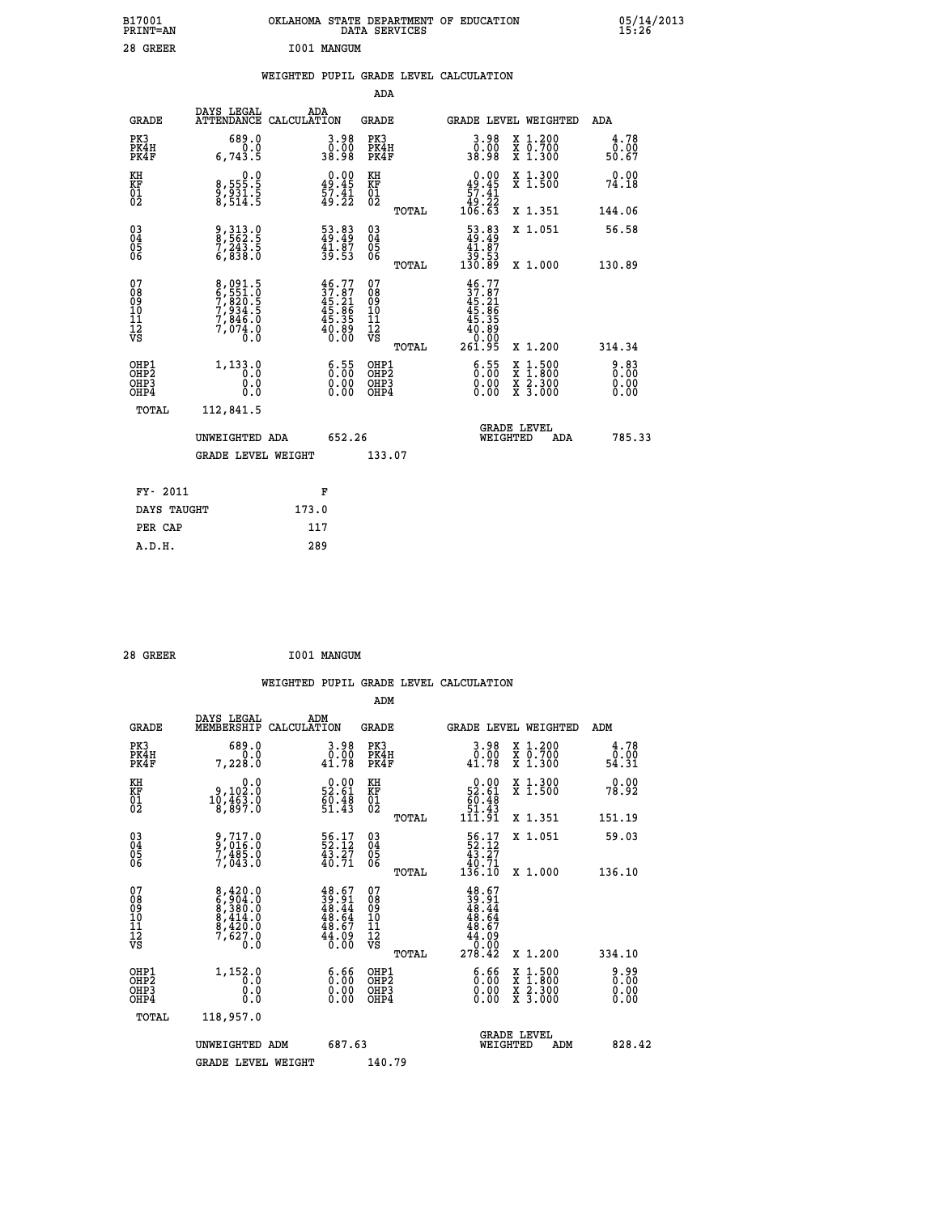| B17001<br>PRINT=AN                             |                                                                | OKLAHOMA STATE DEPARTMENT OF EDUCATION                                   | DATA SERVICES                                      |                                                                                |                                                                                                  | 05/14/2013            |
|------------------------------------------------|----------------------------------------------------------------|--------------------------------------------------------------------------|----------------------------------------------------|--------------------------------------------------------------------------------|--------------------------------------------------------------------------------------------------|-----------------------|
| 28 GREER                                       |                                                                | I001 MANGUM                                                              |                                                    |                                                                                |                                                                                                  |                       |
|                                                |                                                                | WEIGHTED PUPIL GRADE LEVEL CALCULATION                                   |                                                    |                                                                                |                                                                                                  |                       |
|                                                |                                                                |                                                                          | ADA                                                |                                                                                |                                                                                                  |                       |
| <b>GRADE</b>                                   | DAYS LEGAL                                                     | ADA<br>ATTENDANCE CALCULATION                                            | GRADE                                              |                                                                                | GRADE LEVEL WEIGHTED                                                                             | ADA                   |
| PK3<br>PK4H<br>PK4F                            | 689.0<br>0.0<br>6,743.5                                        | $3.98$<br>$0.00$<br>38.98                                                | PK3<br>PK4H<br>PK4F                                | 3.98<br>0.00<br>38.98                                                          | X 1.200<br>X 0.700<br>X 1.300                                                                    | 4.78<br>0.00<br>50.67 |
| KH<br>KF<br>$\frac{01}{02}$                    | 0.0<br>8,555.5<br>9,931.5<br>8,514.5                           | $0.00$<br>$49.45$<br>$57.41$<br>$49.22$                                  | KH<br>KF<br>$\overline{01}$                        | $\begin{array}{c} 0.00 \\ 49.45 \\ 57.41 \\ 49.22 \end{array}$                 | X 1.300<br>X 1.500                                                                               | 0.00<br>74.18         |
|                                                |                                                                |                                                                          | TOTAL                                              | 106.63                                                                         | X 1.351                                                                                          | 144.06                |
| $\substack{03 \\ 04}$<br>$\substack{05 \\ 06}$ | 9, 313.0<br>8, 562.5<br>7, 243.5<br>6, 838.0                   | 53.83<br>49.49<br>$\frac{41.87}{39.53}$                                  | $\begin{matrix} 03 \\ 04 \\ 05 \\ 06 \end{matrix}$ | $\begin{smallmatrix} 53.83\\ 49.49\\ 41.87\\ 39.53\\ 130.89 \end{smallmatrix}$ | X 1.051                                                                                          | 56.58                 |
|                                                |                                                                |                                                                          | TOTAL                                              |                                                                                | X 1.000                                                                                          | 130.89                |
| 07<br>08<br>09<br>11<br>11<br>12<br>VS         | 8,091.5<br>6,551.0<br>7,820.5<br>7,834.5<br>7,846.0<br>7,074.0 | $46.77$<br>$37.87$<br>$45.21$<br>$45.86$<br>$45.35$<br>$40.89$<br>$0.00$ | 07<br>08<br>09<br>101<br>11<br>12<br>VS            | $46.77$<br>$37.87$<br>$45.21$<br>$45.86$<br>$45.35$<br>$40.89$<br>$9.80$       |                                                                                                  |                       |
|                                                |                                                                |                                                                          | TOTAL                                              | 261.95                                                                         | X 1.200                                                                                          | 314.34                |
| OHP1<br>OH <sub>P</sub> 2<br>OHP3<br>OHP4      | 1,133.0<br>0.0<br>0.0<br>0.0                                   | $\begin{smallmatrix} 6.55\ 0.00\ 0.00 \end{smallmatrix}$                 | OHP1<br>OHP2<br>OHP3<br>OHP4                       | 6.55<br>0.00<br>0.00                                                           | $\begin{smallmatrix} x & 1 & 500 \\ x & 1 & 800 \\ x & 2 & 300 \\ x & 3 & 000 \end{smallmatrix}$ | 0.83<br>0.00<br>0.00  |
| TOTAL                                          | 112,841.5                                                      |                                                                          |                                                    |                                                                                |                                                                                                  |                       |
|                                                | UNWEIGHTED ADA                                                 | 652.26                                                                   |                                                    | WEIGHTED                                                                       | <b>GRADE LEVEL</b><br>ADA                                                                        | 785.33                |
|                                                | <b>GRADE LEVEL WEIGHT</b>                                      |                                                                          | 133.07                                             |                                                                                |                                                                                                  |                       |
| FY- 2011                                       |                                                                | F                                                                        |                                                    |                                                                                |                                                                                                  |                       |
| DAYS TAUGHT                                    |                                                                | 173.0                                                                    |                                                    |                                                                                |                                                                                                  |                       |
| PER CAP                                        |                                                                | 117                                                                      |                                                    |                                                                                |                                                                                                  |                       |

| 28 GREER | I001 MANGUM |
|----------|-------------|
|          |             |

 **WEIGHTED PUPIL GRADE LEVEL CALCULATION ADM DAYS LEGAL ADM GRADE MEMBERSHIP CALCULATION GRADE GRADE LEVEL WEIGHTED ADM PK3 689.0 3.98 PK3 3.98 X 1.200 4.78 PK4H 0.0 0.00 PK4H 0.00 X 0.700 0.00 PK4F 7,228.0 41.78 PK4F 41.78 X 1.300 54.31 KH 0.0 0.00 KH 0.00 X 1.300 0.00 KF 9,102.0 52.61 KF 52.61 X 1.500 78.92 01 10,463.0 60.48 01 60.48 02 8,897.0 51.43 02 51.43 TOTAL 111.91 X 1.351 151.19 03 9,717.0 56.17 03 56.17 X 1.051 59.03 04 9,016.0 52.12 04 52.12 05 7,485.0 43.27 05 43.27 06 7,043.0 40.71 06 40.71 TOTAL 136.10 X 1.000 136.10**  $\begin{array}{cccc} 07 & 8,420.0 & 48.67 & 07 & 48.67 \ 08 & 67,904.0 & 39,91 & 08 & 39.91 \ 10 & 8,414.0 & 48.64 & 10 & 48.64 \ 11 & 8,420.0 & 48.64 & 10 & 48.64 \ 12 & 7,627.0 & 48.64 & 10 & 48.64 \ 13 & 12 & 7,627.0 & 46.09 & 12 & 46.09 \ \hline \end{array}$ **8,420.0**<br> **8,904.0**<br> **8,380.0**<br> **8,414.0**<br> **8,414.0**<br> **1,48.64**<br> **1,620.0**<br> **1,152.0**<br> **1,152.0**<br> **1,0**<br> **1,152.0**<br> **1,0**<br> **1,0**<br> **1,152.0**<br> **1,0**<br> **1,152.0**<br> **1,0**<br> **1,0**<br> **1,0**<br> **1,0**<br> **1**<br> **1**<br> **1**<br> **1**<br> **1**<br> **1**<br> **1**<br> OHP1 1,152.0 6.66 OHP1 6.66 X 1.500 9.99<br>OHP2 1,152.0 6.66 OHP2 6.66 X 1.500 9.90<br>OHP3 1,000 0.00 0.00 OHP3 0.00 X 1.500 0.00  $\begin{array}{cccccccc} \text{OHP1} & & 1,152\ .0 & & 6\ .66 & \text{OHP1} & & 6\ .66 & \text{X}\ 1\ .500 & & 9\ .99 \\ \text{OHP2} & & 0.0 & & 0.00 & \text{OHP2} & & 0.00 & \text{X}\ 1\ .800 & & 0.00 \\ \text{OHP3} & & 0.0 & & 0.00 & \text{OHP3} & & 0.00 & \text{X}\ 2\ .300 & & 0.00 \\ \text{OHP4} & & 0.0 & & 0.00 & \text{OHP4} & & 0.00 & \$  **TOTAL 118,957.0 GRADE LEVEL UNWEIGHTED ADM 687.63 WEIGHTED ADM 828.42** GRADE LEVEL WEIGHT 140.79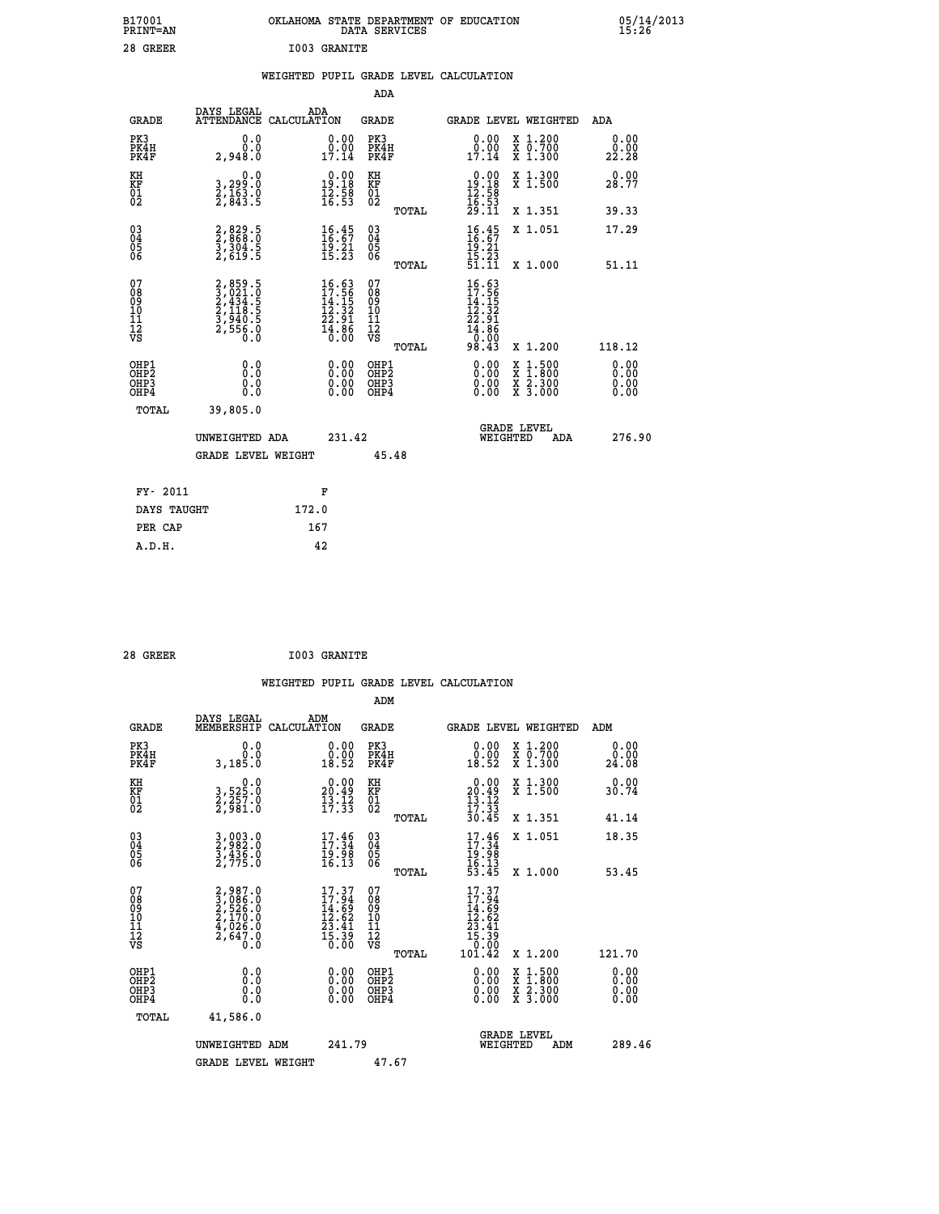| B17001<br><b>PRINT=AN</b> | OKLAHOMA STATE DEPARTMENT OF EDUCATION<br>DATA SERVICES | 05/14/2013<br>15:26 |
|---------------------------|---------------------------------------------------------|---------------------|
| 28<br>GREER               | I003 GRANITE                                            |                     |

#### **WEIGHTED PUPIL GRADE LEVEL CALCULATION**

|                                                                  |                                                                       |                                                                                             | ADA                                                 |       |                                                                                      |                                          |                              |
|------------------------------------------------------------------|-----------------------------------------------------------------------|---------------------------------------------------------------------------------------------|-----------------------------------------------------|-------|--------------------------------------------------------------------------------------|------------------------------------------|------------------------------|
| <b>GRADE</b>                                                     | DAYS LEGAL<br>ATTENDANCE CALCULATION                                  | ADA                                                                                         | <b>GRADE</b>                                        |       | GRADE LEVEL WEIGHTED                                                                 |                                          | ADA                          |
| PK3<br>PK4H<br>PK4F                                              | 0.0<br>0.0<br>2,948.0                                                 | $\begin{smallmatrix} 0.00\\ 0.00\\ 17.14 \end{smallmatrix}$                                 | PK3<br>PK4H<br>PK4F                                 |       | $\begin{smallmatrix} 0.00\\ 0.00\\ 17.14 \end{smallmatrix}$                          | X 1.200<br>X 0.700<br>X 1.300            | 0.00<br>0.00<br>22.28        |
| KH<br>KF<br>01<br>02                                             | 0.0<br>3,299:0<br>2,163:0<br>2,843:5                                  | $\begin{smallmatrix} 0.00\\19.18\\12.58\\16.53 \end{smallmatrix}$                           | KH<br>KF<br>01<br>02                                |       | $\begin{smallmatrix} 0.00\\19.18\\12.58\\16.53\\29.11 \end{smallmatrix}$             | X 1.300<br>X 1.500                       | 0.00<br>28.77                |
|                                                                  |                                                                       |                                                                                             |                                                     | TOTAL |                                                                                      | X 1.351                                  | 39.33                        |
| $\begin{matrix} 03 \\ 04 \\ 05 \\ 06 \end{matrix}$               | 2,829.5<br>2,868.0<br>3,304.5<br>2,619.5                              | $\frac{16.45}{16.67}$<br>$\frac{19.21}{15.23}$                                              | $\begin{array}{c} 03 \\ 04 \\ 05 \\ 06 \end{array}$ | TOTAL | $16.45$<br>$16.67$<br>$19.21$<br>$15.23$<br>$51.11$                                  | X 1.051<br>X 1.000                       | 17.29<br>51.11               |
| 07                                                               |                                                                       |                                                                                             | 07                                                  |       |                                                                                      |                                          |                              |
| 08<br>09<br>11<br>11<br>12<br>VS                                 | 2,859.5<br>3,021.0<br>2,434.5<br>2,118.5<br>3,940.5<br>2,556.0<br>0.0 | $\begin{smallmatrix} 16.63\\ 17.56\\ 14.15\\ 12.32\\ 22.91\\ 4.86\\ 0.00 \end{smallmatrix}$ | 08<br>09<br>11<br>11<br>12<br>VS                    |       | $16.63$<br>$17.56$<br>$14.152$<br>$12.32$<br>$22.91$<br>$14.86$<br>$0.00$<br>$98.43$ |                                          |                              |
|                                                                  |                                                                       |                                                                                             |                                                     | TOTAL |                                                                                      | X 1.200                                  | 118.12                       |
| OHP1<br>OH <sub>P</sub> <sub>2</sub><br>OH <sub>P3</sub><br>OHP4 | 0.0<br>0.0<br>0.0                                                     | $\begin{smallmatrix} 0.00 \ 0.00 \ 0.00 \ 0.00 \end{smallmatrix}$                           | OHP1<br>OHP <sub>2</sub><br>OHP3<br>OHP4            |       |                                                                                      | X 1:500<br>X 1:800<br>X 2:300<br>X 3:000 | 0.00<br>0.00<br>0.00<br>0.00 |
| <b>TOTAL</b>                                                     | 39,805.0                                                              |                                                                                             |                                                     |       |                                                                                      |                                          |                              |
|                                                                  | UNWEIGHTED ADA                                                        | 231.42                                                                                      |                                                     |       | WEIGHTED                                                                             | <b>GRADE LEVEL</b><br>ADA                | 276.90                       |
|                                                                  | <b>GRADE LEVEL WEIGHT</b>                                             |                                                                                             | 45.48                                               |       |                                                                                      |                                          |                              |
| FY- 2011                                                         |                                                                       | F                                                                                           |                                                     |       |                                                                                      |                                          |                              |
| DAYS TAUGHT                                                      |                                                                       | 172.0                                                                                       |                                                     |       |                                                                                      |                                          |                              |
| PER CAP                                                          |                                                                       | 167                                                                                         |                                                     |       |                                                                                      |                                          |                              |
|                                                                  |                                                                       |                                                                                             |                                                     |       |                                                                                      |                                          |                              |

| 28 GREER | <b>I003 GRANITE</b> |
|----------|---------------------|

 **A.D.H. 42**

| <b>GRADE</b>                             | DAYS LEGAL<br>MEMBERSHIP                                                            | ADM<br>CALCULATION                                                       | <b>GRADE</b>                                        |       | <b>GRADE LEVEL WEIGHTED</b>                                                                                                                                                                                                                                                    |                                          | ADM                   |        |
|------------------------------------------|-------------------------------------------------------------------------------------|--------------------------------------------------------------------------|-----------------------------------------------------|-------|--------------------------------------------------------------------------------------------------------------------------------------------------------------------------------------------------------------------------------------------------------------------------------|------------------------------------------|-----------------------|--------|
| PK3<br>PK4H<br>PK4F                      | 0.0<br>3,185.0                                                                      | $\begin{smallmatrix} 0.00\\ 0.00\\ 18.52 \end{smallmatrix}$              | PK3<br>PK4H<br>PK4F                                 |       | $\begin{smallmatrix} 0.00\\ 0.00\\ 18.52 \end{smallmatrix}$                                                                                                                                                                                                                    | X 1.200<br>X 0.700<br>X 1.300            | 0.00<br>0.00<br>24.08 |        |
| KH<br>KF<br>01<br>02                     | $\begin{smallmatrix}&&&0.0\\3.525.0\\2.257.0\\2.981.0\end{smallmatrix}$             | $\begin{smallmatrix} 0.00\\ 20.49\\ 13.12\\ 17.33 \end{smallmatrix}$     | KH<br>KF<br>01<br>02                                |       | $0.00$<br>$20.49$<br>$13.12$<br>$17.33$<br>$30.45$                                                                                                                                                                                                                             | X 1.300<br>X 1.500                       | 0.00<br>30.74         |        |
|                                          |                                                                                     |                                                                          |                                                     | TOTAL |                                                                                                                                                                                                                                                                                | X 1.351                                  | 41.14                 |        |
| 03<br>04<br>05<br>06                     | 3,003.0<br>2,982.0<br>3,436.0<br>2,775.0                                            | $\begin{smallmatrix} 17.46\\ 17.34\\ 19.98\\ 16.13\\ \end{smallmatrix}$  | $\begin{array}{c} 03 \\ 04 \\ 05 \\ 06 \end{array}$ |       | $17.34$<br>$19.34$<br>$19.98$<br>$16.13$<br>$53.45$                                                                                                                                                                                                                            | X 1.051                                  | 18.35                 |        |
|                                          |                                                                                     |                                                                          |                                                     | TOTAL |                                                                                                                                                                                                                                                                                | X 1.000                                  | 53.45                 |        |
| 07<br>08<br>09<br>11<br>11<br>12<br>VS   | $2,987.0$<br>$3,086.0$<br>$2,526.0$<br>$2,170.0$<br>$4,026.0$<br>$2,647.0$<br>$0.0$ | $17.37$<br>$17.94$<br>$14.69$<br>$12.62$<br>$23.41$<br>$15.39$<br>$0.00$ | 07<br>08<br>09<br>11<br>11<br>12<br>VS              | TOTAL | $17.37$<br>$14.69$<br>$14.62$<br>$12.62$<br>$23.41$<br>$15.39$<br>$0.00$<br>$101.42$                                                                                                                                                                                           | X 1.200                                  | 121.70                |        |
| OHP1<br>OHP <sub>2</sub><br>OHP3<br>OHP4 | 0.0<br>0.0<br>0.0                                                                   |                                                                          | OHP1<br>OHP <sub>2</sub><br>OHP3<br>OHP4            |       | $\begin{smallmatrix} 0.00 & 0.00 & 0.00 & 0.00 & 0.00 & 0.00 & 0.00 & 0.00 & 0.00 & 0.00 & 0.00 & 0.00 & 0.00 & 0.00 & 0.00 & 0.00 & 0.00 & 0.00 & 0.00 & 0.00 & 0.00 & 0.00 & 0.00 & 0.00 & 0.00 & 0.00 & 0.00 & 0.00 & 0.00 & 0.00 & 0.00 & 0.00 & 0.00 & 0.00 & 0.00 & 0.0$ | X 1:500<br>X 1:800<br>X 2:300<br>X 3:000 | 0.00<br>0.00<br>0.00  |        |
| TOTAL                                    | 41,586.0                                                                            |                                                                          |                                                     |       |                                                                                                                                                                                                                                                                                |                                          |                       |        |
|                                          | UNWEIGHTED ADM                                                                      | 241.79                                                                   |                                                     |       | <b>GRADE LEVEL</b><br>WEIGHTED                                                                                                                                                                                                                                                 | ADM                                      |                       | 289.46 |
|                                          | <b>GRADE LEVEL WEIGHT</b>                                                           |                                                                          | 47.67                                               |       |                                                                                                                                                                                                                                                                                |                                          |                       |        |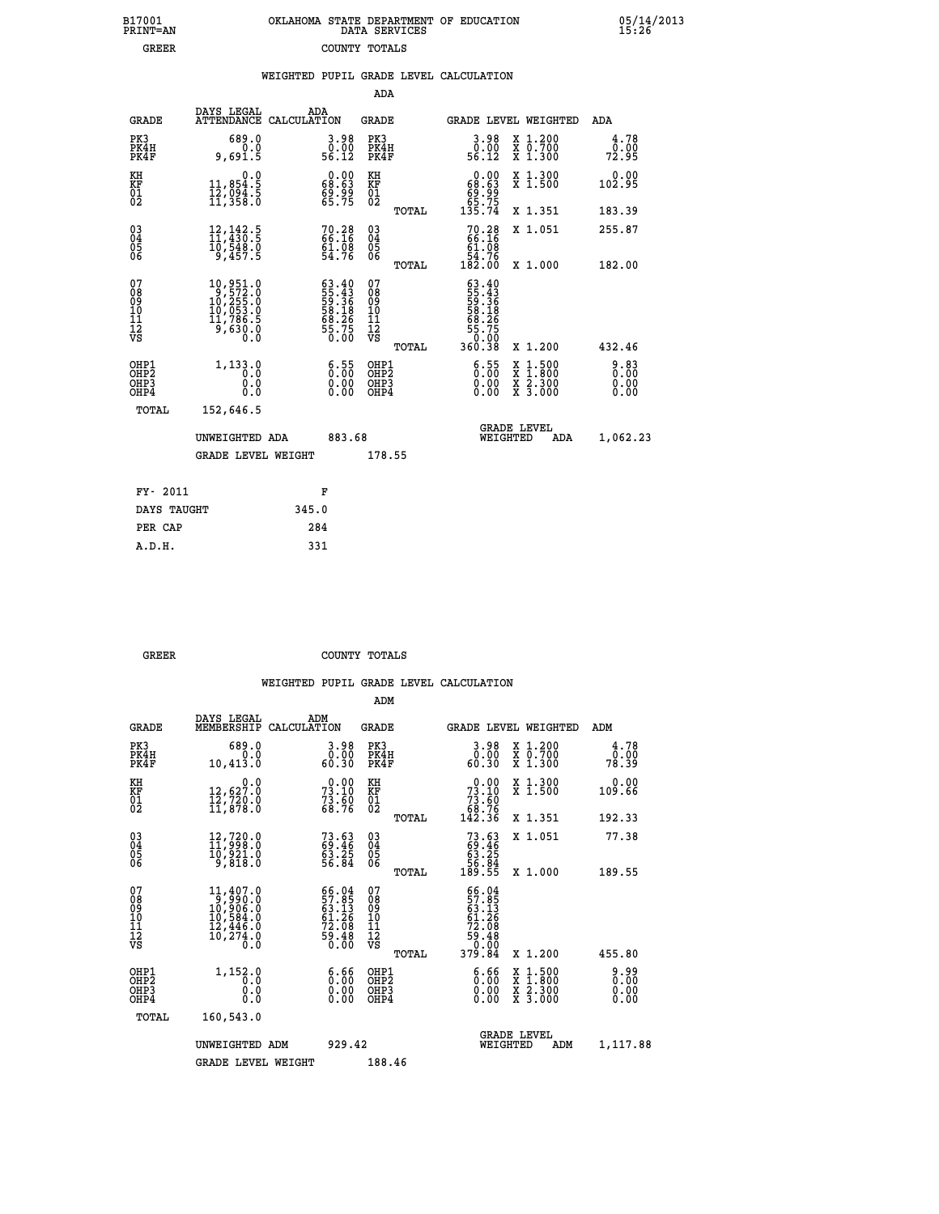|  | OKLAHOMA STATE DEPARTMENT OF EDUCATION<br>DATA SERVICES |  |
|--|---------------------------------------------------------|--|
|  | COUNTY TOTALS                                           |  |

|                                                                    |                                                                                                                      |       |                                                                        | ADA                                      |       |                                                                                                                                                                |                                          |                       |
|--------------------------------------------------------------------|----------------------------------------------------------------------------------------------------------------------|-------|------------------------------------------------------------------------|------------------------------------------|-------|----------------------------------------------------------------------------------------------------------------------------------------------------------------|------------------------------------------|-----------------------|
| <b>GRADE</b>                                                       | DAYS LEGAL<br>ATTENDANCE CALCULATION                                                                                 | ADA   |                                                                        | <b>GRADE</b>                             |       |                                                                                                                                                                | <b>GRADE LEVEL WEIGHTED</b>              | ADA                   |
| PK3<br>PK4H<br>PK4F                                                | 689.0<br>0.0<br>9,691.5                                                                                              |       | $\begin{smallmatrix} 3.98\ 0.00\\ 56.12 \end{smallmatrix}$             | PK3<br>PK4H<br>PK4F                      |       | $\begin{smallmatrix} 3.98\ 0.00\\ 56.12 \end{smallmatrix}$                                                                                                     | X 1.200<br>X 0.700<br>X 1.300            | 4.78<br>0.00<br>72.95 |
| KH<br><b>KF</b><br>01<br>02                                        | 0.0<br>11,854.5<br>12,094.5<br>11,358.0                                                                              |       | $\begin{smallmatrix} 0.00\\ 68.63\\ 69.99\\ 65.75 \end{smallmatrix}$   | KH<br>KF<br>01<br>02                     |       | 0.00<br>$68.63$<br>$69.99$<br>$65.75$<br>$135.74$                                                                                                              | X 1.300<br>X 1.500                       | 0.00<br>102.95        |
|                                                                    |                                                                                                                      |       |                                                                        |                                          | TOTAL |                                                                                                                                                                | X 1.351                                  | 183.39                |
| $\begin{smallmatrix} 03 \\[-4pt] 04 \end{smallmatrix}$<br>05<br>06 | $\begin{smallmatrix} 12\,,\,142\cdot 5\\ 11\,,\,430\cdot 5\\ 10\,,\,548\cdot 0\\ 9\,,\,457\cdot 5 \end{smallmatrix}$ |       | 70.28<br>66.16<br>61.08<br>54.76                                       | $\substack{03 \\ 04}$<br>Ŏ5<br>06        |       | $70.2866.1661.0854.76182.00$                                                                                                                                   | X 1.051                                  | 255.87                |
|                                                                    |                                                                                                                      |       |                                                                        |                                          | TOTAL |                                                                                                                                                                | X 1.000                                  | 182.00                |
| 07<br>08901112<br>1112<br>VS                                       | $\begin{smallmatrix} 10,951.0\\ 9,572.0\\ 10,255.0\\ 10,053.0\\ 11,786.5\\ 9,630.0\\ 0\end{smallmatrix}$             |       | $63.40$<br>55.43<br>59.36<br>58.18<br>58.26<br>68.26<br>55.75<br>50.00 | 07<br>08<br>09<br>11<br>11<br>12<br>VS   |       | $\begin{array}{r} 63 \cdot 40 \\ 55 \cdot 43 \\ 59 \cdot 36 \\ 58 \cdot 136 \\ 58 \cdot 26 \\ 68 \cdot 26 \\ 55 \cdot 750 \\ 0.00 \\ 360 \cdot 38 \end{array}$ |                                          |                       |
|                                                                    |                                                                                                                      |       |                                                                        |                                          | TOTAL |                                                                                                                                                                | X 1.200                                  | 432.46                |
| OHP1<br>OH <sub>P</sub> 2<br>OH <sub>P3</sub><br>OH <sub>P4</sub>  | 1,133.0<br>0.0<br>0.0<br>0.0                                                                                         |       | $\begin{smallmatrix} 6.55\ 0.00\ 0.00 \end{smallmatrix}$               | OHP1<br>OHP <sub>2</sub><br>OHP3<br>OHP4 |       | $\begin{smallmatrix} 6.55\ 0.00\ 0.00 \end{smallmatrix}$                                                                                                       | X 1:500<br>X 1:800<br>X 2:300<br>X 3:000 | 0.83<br>0.00<br>0.00  |
| TOTAL                                                              | 152,646.5                                                                                                            |       |                                                                        |                                          |       |                                                                                                                                                                |                                          |                       |
|                                                                    | UNWEIGHTED ADA                                                                                                       |       | 883.68                                                                 |                                          |       |                                                                                                                                                                | GRADE LEVEL<br>WEIGHTED<br>ADA           | 1,062.23              |
|                                                                    | <b>GRADE LEVEL WEIGHT</b>                                                                                            |       |                                                                        | 178.55                                   |       |                                                                                                                                                                |                                          |                       |
| FY- 2011                                                           |                                                                                                                      | F     |                                                                        |                                          |       |                                                                                                                                                                |                                          |                       |
| DAYS TAUGHT                                                        |                                                                                                                      | 345.0 |                                                                        |                                          |       |                                                                                                                                                                |                                          |                       |
| PER CAP                                                            |                                                                                                                      | 284   |                                                                        |                                          |       |                                                                                                                                                                |                                          |                       |

| GREER | COUNTY TOTALS |  |
|-------|---------------|--|

 **A.D.H. 331**

 **B17001<br>PRINT=AN<br>GREER** 

|                                                       |                                                                                                        |                                                                                              | ADM                                                 |                                                                                     |                                          |                       |
|-------------------------------------------------------|--------------------------------------------------------------------------------------------------------|----------------------------------------------------------------------------------------------|-----------------------------------------------------|-------------------------------------------------------------------------------------|------------------------------------------|-----------------------|
| <b>GRADE</b>                                          | DAYS LEGAL<br>MEMBERSHIP                                                                               | ADM<br>CALCULATION                                                                           | <b>GRADE</b>                                        | GRADE LEVEL WEIGHTED                                                                |                                          | ADM                   |
| PK3<br>PK4H<br>PK4F                                   | 689.0<br>0.0<br>10,413.0                                                                               | 3.98<br>ŏ:ŏŏ<br>60:30                                                                        | PK3<br>PK4H<br>PK4F                                 | $\begin{smallmatrix} 3.98\ 0.00\\ 0.30 \end{smallmatrix}$                           | X 1.200<br>X 0.700<br>X 1.300            | 4.78<br>0.00<br>78.39 |
| KH<br>KF<br>01<br>02                                  | 0.0<br>12,627.0<br>12,720.0<br>11,878.0                                                                | $73.10$<br>$73.10$<br>$73.60$<br>$68.76$                                                     | KH<br>KF<br>01<br>02                                | $\begin{smallmatrix} &0.00\\73.10\\73.60\\68.76\\142.36\end{smallmatrix}$           | X 1.300<br>X 1.500                       | 0.00<br>109.66        |
|                                                       |                                                                                                        |                                                                                              | TOTAL                                               |                                                                                     | X 1.351                                  | 192.33                |
| 03<br>04<br>05<br>06                                  | $\begin{smallmatrix} 12,720.0\\ 11,998.0\\ 10,921.0\\ 9,818.0 \end{smallmatrix}$                       | 73.63<br>69.46<br>63.25<br>56.84                                                             | $\begin{array}{c} 03 \\ 04 \\ 05 \\ 06 \end{array}$ | $73.6369.4663.2556.84189.55$                                                        | X 1.051                                  | 77.38                 |
|                                                       |                                                                                                        |                                                                                              | TOTAL                                               |                                                                                     | X 1.000                                  | 189.55                |
| 07<br>08<br>09<br>101<br>112<br>VS                    | $\begin{smallmatrix} 11,407.0\\9,990.0\\10,906.0\\10,584.0\\12,446.0\\10,274.0\\0.0 \end{smallmatrix}$ | $\begin{smallmatrix} 66.04\\ 57.85\\ 63.13\\ 61.26\\ 72.08\\ 59.48\\ 0.00 \end{smallmatrix}$ | 07<br>08<br>09<br>101<br>11<br>12<br>VS<br>TOTAL    | $66.04$<br>$57.85$<br>$63.13$<br>$61.26$<br>$72.08$<br>$79.48$<br>$90.99$<br>379.84 | X 1.200                                  | 455.80                |
| OHP1<br>OH <sub>P</sub> 2<br>OH <sub>P3</sub><br>OHP4 | 1,152.0<br>0.0<br>0.000                                                                                | $\begin{smallmatrix} 6.66\ 0.00 \end{smallmatrix}$<br>0.00                                   | OHP1<br>OHP2<br>OHP <sub>3</sub>                    | $\begin{smallmatrix} 6.66\\ 0.00 \end{smallmatrix}$<br>0.00                         | X 1:500<br>X 1:800<br>X 2:300<br>X 3:000 | 0.99<br>0.00<br>0.00  |
| TOTAL                                                 | 160,543.0                                                                                              |                                                                                              |                                                     |                                                                                     |                                          |                       |
|                                                       | UNWEIGHTED ADM                                                                                         | 929.42                                                                                       |                                                     | <b>GRADE LEVEL</b><br>WEIGHTED                                                      | ADM                                      | 1,117.88              |
|                                                       | <b>GRADE LEVEL WEIGHT</b>                                                                              |                                                                                              | 188.46                                              |                                                                                     |                                          |                       |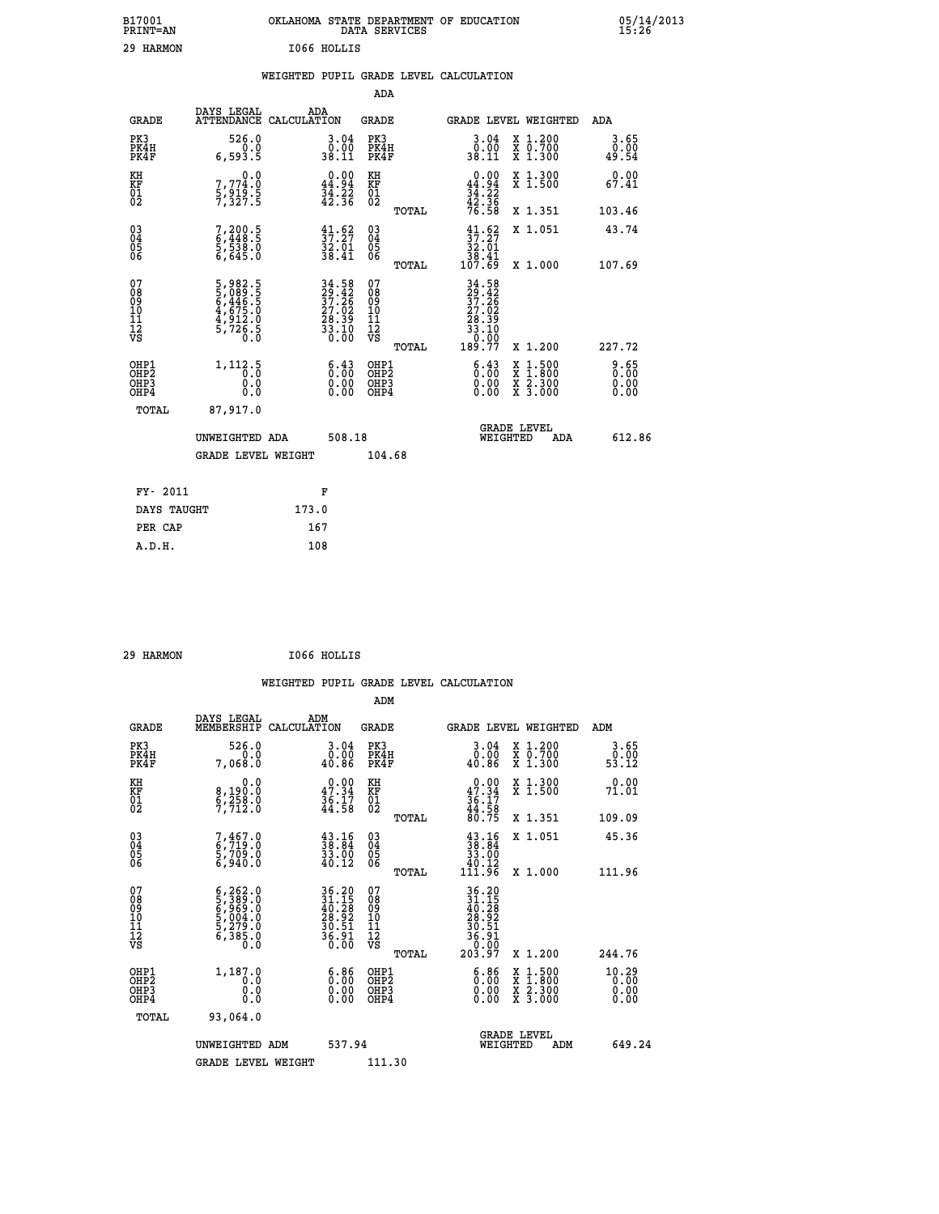| B17001<br><b>PRINT=AN</b> |             | OKLAHOMA STATE DEPARTMENT OF EDUCATION<br>DATA SERVICES |  |
|---------------------------|-------------|---------------------------------------------------------|--|
| 29 HARMON                 | I066 HOLLIS |                                                         |  |

|  |  | WEIGHTED PUPIL GRADE LEVEL CALCULATION |
|--|--|----------------------------------------|
|  |  |                                        |

|                                                                    |                                                                                            |                                                                                           | ADA                                      |       |                                                                                                                                     |                                          |                       |
|--------------------------------------------------------------------|--------------------------------------------------------------------------------------------|-------------------------------------------------------------------------------------------|------------------------------------------|-------|-------------------------------------------------------------------------------------------------------------------------------------|------------------------------------------|-----------------------|
| <b>GRADE</b>                                                       | DAYS LEGAL<br>ATTENDANCE CALCULATION                                                       | ADA                                                                                       | <b>GRADE</b>                             |       |                                                                                                                                     | GRADE LEVEL WEIGHTED                     | ADA                   |
| PK3<br>PK4H<br>PK4F                                                | 526.0<br>0.0<br>6,593.5                                                                    | $\begin{smallmatrix} 3.04\ 0.00\\ 38.11 \end{smallmatrix}$                                | PK3<br>PK4H<br>PK4F                      |       | 3.04<br>$\begin{smallmatrix}0.00\\ 0.00\\ 0.11\end{smallmatrix}$                                                                    | X 1.200<br>X 0.700<br>X 1.300            | 3.65<br>0.00<br>49.54 |
| KH<br><b>KF</b><br>01<br>02                                        | 0.0<br>7,774:0<br>5,919:5<br>7,327:5                                                       | $0.00$<br>44.94<br>$\frac{34}{42}$ $\frac{22}{36}$                                        | KH<br>KF<br>01<br>02                     |       | $0.00$<br>44.94<br>$\frac{34}{42}$ : $\frac{22}{36}$<br>$\frac{42}{76}$ : 58                                                        | X 1.300<br>X 1.500                       | 0.00<br>67.41         |
|                                                                    |                                                                                            |                                                                                           |                                          | TOTAL |                                                                                                                                     | X 1.351                                  | 103.46                |
| $\begin{smallmatrix} 03 \\[-4pt] 04 \end{smallmatrix}$<br>Ŏ5<br>06 | 7,200.5<br>6,448.5<br>5,538.0<br>6,645.0                                                   | $\begin{smallmatrix} 41.62\ 37.27\ 32.01\ 38.41 \end{smallmatrix}$                        | $\substack{03 \\ 04}$<br>05<br>06        |       | $\begin{array}{c} 41.62 \\ 37.27 \\ 32.01 \\ 38.41 \\ 107.69 \end{array}$                                                           | X 1.051                                  | 43.74                 |
| 07                                                                 |                                                                                            |                                                                                           | 07                                       | TOTAL |                                                                                                                                     | X 1.000                                  | 107.69                |
| 08901112<br>1112<br>VS                                             | $\begin{smallmatrix}5,982.5\\5,089.5\\6,446.5\\4,675.0\\4,912.0\\5,726.5\end{smallmatrix}$ | $\begin{array}{l} 34.58 \\ 29.42 \\ 37.26 \\ 27.02 \\ 28.39 \\ 33.10 \\ 0.00 \end{array}$ | 08<br>09<br>11<br>11<br>12<br>VS         |       | $\begin{array}{@{}c@{\hspace{1em}}@{\hspace{1em}}\n 34.58 \\  29.42 \\  37.26 \\  27.02 \\  28.39 \\  33.10 \\  0.99\n \end{array}$ |                                          |                       |
|                                                                    |                                                                                            |                                                                                           |                                          | TOTAL | 189.77                                                                                                                              | X 1.200                                  | 227.72                |
| OHP1<br>OH <sub>P2</sub><br>OH <sub>P3</sub><br>OH <sub>P4</sub>   | 1, 112.5<br>0.0<br>0.0                                                                     | $\begin{smallmatrix} 6.43\ 0.00\ 0.00 \end{smallmatrix}$                                  | OHP1<br>OHP <sub>2</sub><br>OHP3<br>OHP4 |       | $\begin{smallmatrix} 6.43\ 0.00\ 0.00 \end{smallmatrix}$                                                                            | X 1:500<br>X 1:800<br>X 2:300<br>X 3:000 | 8:65<br>0.00<br>0.00  |
| TOTAL                                                              | 87,917.0                                                                                   |                                                                                           |                                          |       |                                                                                                                                     |                                          |                       |
|                                                                    | UNWEIGHTED ADA                                                                             | 508.18                                                                                    |                                          |       |                                                                                                                                     | GRADE LEVEL<br>WEIGHTED<br>ADA           | 612.86                |
|                                                                    | <b>GRADE LEVEL WEIGHT</b>                                                                  |                                                                                           | 104.68                                   |       |                                                                                                                                     |                                          |                       |
| FY- 2011                                                           |                                                                                            | F                                                                                         |                                          |       |                                                                                                                                     |                                          |                       |
| DAYS TAUGHT                                                        |                                                                                            | 173.0                                                                                     |                                          |       |                                                                                                                                     |                                          |                       |
| PER CAP                                                            |                                                                                            | 167                                                                                       |                                          |       |                                                                                                                                     |                                          |                       |

 **29 HARMON I066 HOLLIS**

 **A.D.H. 108**

| <b>GRADE</b>                                         | DAYS LEGAL<br>MEMBERSHIP                                                                                | ADM<br>CALCULATION                                                                                                                    | <b>GRADE</b>                                        |       |                                                                                                                                      | <b>GRADE LEVEL WEIGHTED</b>              | ADM                               |  |
|------------------------------------------------------|---------------------------------------------------------------------------------------------------------|---------------------------------------------------------------------------------------------------------------------------------------|-----------------------------------------------------|-------|--------------------------------------------------------------------------------------------------------------------------------------|------------------------------------------|-----------------------------------|--|
| PK3<br>PK4H<br>PK4F                                  | 526.0<br>7,068.0                                                                                        | 3.04<br>0.00<br>40.86                                                                                                                 | PK3<br>PK4H<br>PK4F                                 |       | 3.04<br>ō:ŏō<br>40.86                                                                                                                | X 1.200<br>X 0.700<br>X 1.300            | 3.65<br>$\frac{0.00}{53.12}$      |  |
| KH<br>KF<br>01<br>02                                 | 0.0<br>8,190:0<br>6,258:0<br>7,712:0                                                                    | $0.00$<br>$47.34$<br>$36.17$<br>$44.58$                                                                                               | KH<br>KF<br>01<br>02                                |       | $0.00$<br>$47.34$<br>$36.17$<br>$44.58$<br>$80.75$                                                                                   | X 1.300<br>X 1.500                       | 0.00<br>71.01                     |  |
|                                                      |                                                                                                         |                                                                                                                                       |                                                     | TOTAL |                                                                                                                                      | X 1.351                                  | 109.09                            |  |
| 03<br>04<br>05<br>06                                 | 7,467.0<br>6,719.0<br>5,709.0<br>6,940.0                                                                | $\begin{smallmatrix} 43.16\\ 38.84\\ 33.00\\ 40.12 \end{smallmatrix}$                                                                 | $\begin{array}{c} 03 \\ 04 \\ 05 \\ 06 \end{array}$ |       | $\begin{smallmatrix} 43\cdot 16\\ 38\cdot 84\\ 33\cdot 00\\ 40\cdot 12\\ 111\cdot 96 \end{smallmatrix}$                              | X 1.051                                  | 45.36                             |  |
|                                                      |                                                                                                         |                                                                                                                                       |                                                     | TOTAL |                                                                                                                                      | X 1.000                                  | 111.96                            |  |
| 07<br>08<br>09<br>11<br>11<br>12<br>VS               | $\begin{smallmatrix} 6,262.0\\ 5,389.0\\ 6,969.0\\ 5,004.0\\ 5,279.0\\ 6,385.0\\ 0.0 \end{smallmatrix}$ | $\begin{array}{l} 36\cdot 20 \\ 31\cdot 15 \\ 40\cdot 28 \\ 28\cdot 92 \\ 30\cdot 51 \\ 36\cdot 91 \\ 36\cdot 90 \\ 0.00 \end{array}$ | 07<br>08<br>09<br>11<br>11<br>12<br>VS              | TOTAL | $\begin{array}{r} 36\cdot20 \\ 31\cdot15 \\ 40\cdot28 \\ 28\cdot92 \\ 30\cdot51 \\ 36\cdot91 \\ 36\cdot90 \\ 203\cdot97 \end{array}$ | X 1.200                                  | 244.76                            |  |
| OHP1<br>OH <sub>P</sub> <sub>2</sub><br>OHP3<br>OHP4 | 1,187.0<br>0.0<br>0.0<br>0.0                                                                            | $\begin{smallmatrix} 6.86\ 0.00\ 0.00 \end{smallmatrix}$                                                                              | OHP1<br>OHP <sub>2</sub><br>OHP3<br>OHP4            |       | $\begin{smallmatrix} 6.86\\ 0.00\\ 0.00\\ 0.00 \end{smallmatrix}$                                                                    | X 1:500<br>X 1:800<br>X 2:300<br>X 3:000 | $10.29$<br>$0.00$<br>0.00<br>0.00 |  |
| TOTAL                                                | 93,064.0                                                                                                |                                                                                                                                       |                                                     |       |                                                                                                                                      |                                          |                                   |  |
|                                                      | UNWEIGHTED ADM                                                                                          | 537.94                                                                                                                                |                                                     |       | WEIGHTED                                                                                                                             | <b>GRADE LEVEL</b><br>ADM                | 649.24                            |  |
|                                                      | <b>GRADE LEVEL WEIGHT</b>                                                                               |                                                                                                                                       | 111.30                                              |       |                                                                                                                                      |                                          |                                   |  |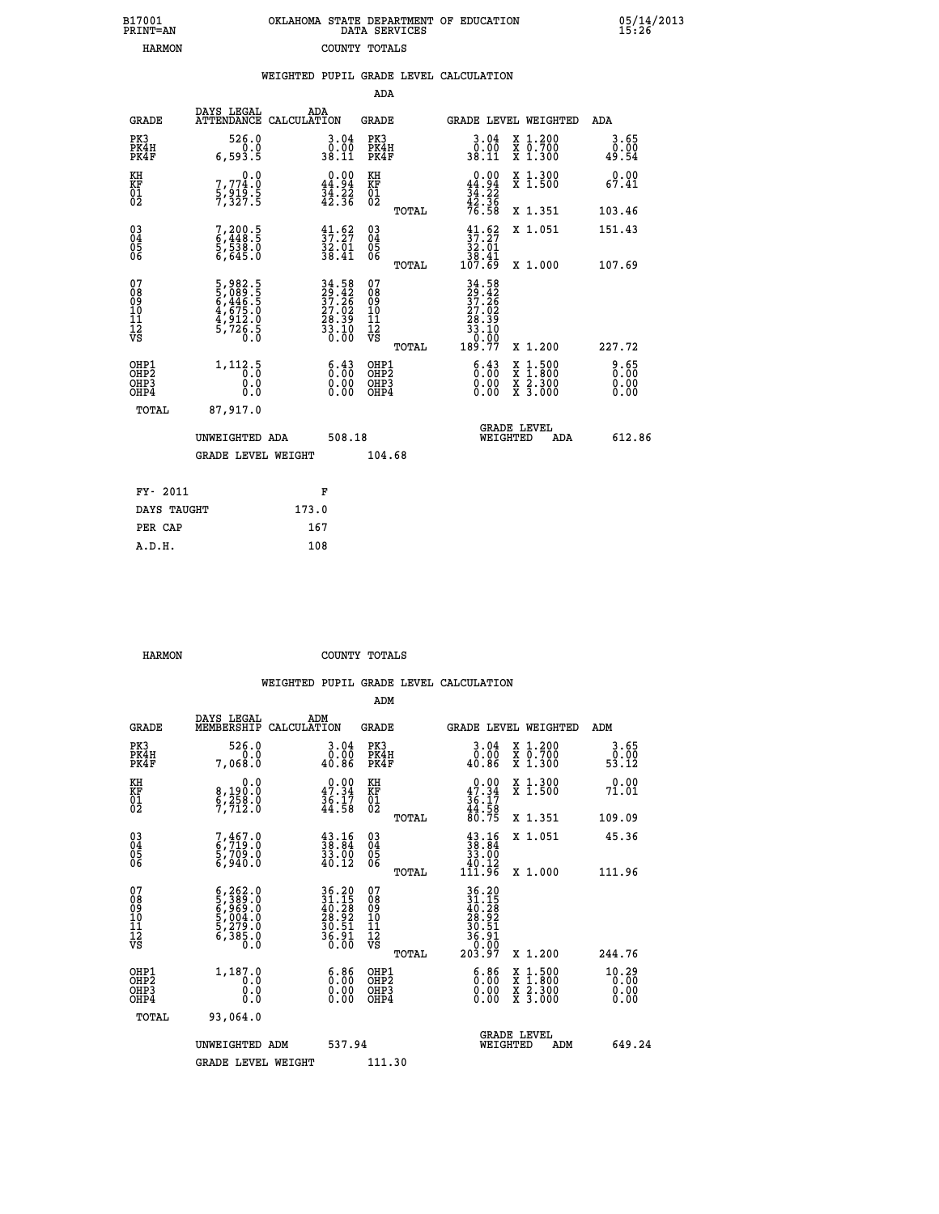| 7001<br>INT=AN | OKLAHOMA STATE DEPARTMENT OF EDUCATION<br>DATA SERVICES |  |
|----------------|---------------------------------------------------------|--|
| <b>HARMON</b>  | COUNTY TOTALS                                           |  |

|                                                       |                                                                      |                                                                                           |                                               | WEIGHTED PUPIL GRADE LEVEL CALCULATION                                                        |                                                                                        |                       |
|-------------------------------------------------------|----------------------------------------------------------------------|-------------------------------------------------------------------------------------------|-----------------------------------------------|-----------------------------------------------------------------------------------------------|----------------------------------------------------------------------------------------|-----------------------|
|                                                       |                                                                      |                                                                                           | <b>ADA</b>                                    |                                                                                               |                                                                                        |                       |
| <b>GRADE</b>                                          | DAYS LEGAL                                                           | ADA<br>ATTENDANCE CALCULATION                                                             | <b>GRADE</b>                                  | <b>GRADE LEVEL WEIGHTED</b>                                                                   |                                                                                        | ADA                   |
| PK3<br>PK4H<br>PK4F                                   | 526.0<br>0.0<br>6,593.5                                              | $\begin{smallmatrix} 3.04\ 0.00\\ 38.11 \end{smallmatrix}$                                | PK3<br>PK4H<br>PK4F                           | $\begin{smallmatrix} 3.04\ 0.00 \ 38.11 \end{smallmatrix}$                                    | X 1.200<br>X 0.700<br>X 1.300                                                          | 3.65<br>0.00<br>49.54 |
| KH<br>KF<br>01<br>02                                  | 7,774.0<br>$\frac{2}{3}, \frac{2}{3}, \frac{1}{2}, \frac{3}{5}$      | $0.00$<br>44.94<br>$\frac{34}{42}$ $\frac{22}{36}$                                        | KH<br>KF<br>01<br>02                          | $0.00$<br>44.94<br>$\frac{34}{42}$ : $\frac{22}{36}$<br>$\frac{42}{76}$ : 58                  | X 1.300<br>X 1.500                                                                     | 0.00<br>67.41         |
|                                                       |                                                                      |                                                                                           | TOTAL                                         |                                                                                               | X 1.351                                                                                | 103.46                |
| $^{03}_{04}$<br>05<br>06                              | 7,200.5<br>6,448.5<br>5,538.0<br>6,645.0                             | $\frac{41.62}{37.27}$<br>32.01<br>38.41                                                   | $^{03}_{04}$<br>0500                          | $\begin{smallmatrix} 41.62\\ 37.27\\ 32.01\\ 38.41\\ 107.69 \end{smallmatrix}$                | X 1.051                                                                                | 151.43                |
|                                                       |                                                                      |                                                                                           | TOTAL                                         |                                                                                               | X 1.000                                                                                | 107.69                |
| 07<br>08<br>09<br>10<br>11<br>11<br>12<br>VS          | 5, 982.5<br>5, 089.5<br>6, 446.5<br>6, 475.0<br>4, 912.0<br>5, 726.5 | $\begin{array}{l} 34.58 \\ 29.42 \\ 37.26 \\ 27.02 \\ 28.39 \\ 33.10 \\ 0.00 \end{array}$ | 078<br>089<br>0011<br>11<br>12<br>VS<br>TOTAL | $\begin{smallmatrix} 34.58\\29.42\\37.26\\27.02\\28.39\\33.10\\0.00\\189.77\end{smallmatrix}$ | X 1.200                                                                                | 227.72                |
| OHP1<br>OHP2<br>OH <sub>P</sub> 3<br>OH <sub>P4</sub> | 1, 112.5<br>0.0<br>0.0                                               | $\begin{smallmatrix} 6.43\ 0.00\ 0.00 \end{smallmatrix}$                                  | OHP1<br>OHP2<br>OHP3<br>OHP4                  | $\begin{smallmatrix} 6 & 4 & 3 \\ 0 & 0 & 0 \\ 0 & 0 & 0 \\ 0 & 0 & 0 \end{smallmatrix}$      | $\begin{smallmatrix} 1.500\ 1.800\ 2.300\ 3.000 \end{smallmatrix}$<br>X<br>X<br>X<br>X | 2.65<br>0.00<br>0.00  |
| TOTAL                                                 | 87,917.0                                                             |                                                                                           |                                               |                                                                                               |                                                                                        |                       |
|                                                       | UNWEIGHTED ADA                                                       | 508.18                                                                                    |                                               | <b>GRADE LEVEL</b><br>WEIGHTED                                                                | ADA                                                                                    | 612.86                |
|                                                       | <b>GRADE LEVEL WEIGHT</b>                                            |                                                                                           | 104.68                                        |                                                                                               |                                                                                        |                       |
| FY- 2011                                              |                                                                      | F                                                                                         |                                               |                                                                                               |                                                                                        |                       |
| DAYS TAUGHT                                           |                                                                      | 173.0                                                                                     |                                               |                                                                                               |                                                                                        |                       |
| PER CAP                                               |                                                                      | 167                                                                                       |                                               |                                                                                               |                                                                                        |                       |

| A.D.H. | 108 |
|--------|-----|
|        |     |
|        |     |

 **B17001<br>PRINT=AN** 

 **HARMON COUNTY TOTALS**

|                                          |                                                                                                         |                                                                                                                                       | ADM                                                 |       |                                                                                                                                              |                                          |                                   |
|------------------------------------------|---------------------------------------------------------------------------------------------------------|---------------------------------------------------------------------------------------------------------------------------------------|-----------------------------------------------------|-------|----------------------------------------------------------------------------------------------------------------------------------------------|------------------------------------------|-----------------------------------|
| <b>GRADE</b>                             | DAYS LEGAL<br>MEMBERSHIP                                                                                | ADM<br>CALCULATION                                                                                                                    | <b>GRADE</b>                                        |       |                                                                                                                                              | GRADE LEVEL WEIGHTED                     | ADM                               |
| PK3<br>PK4H<br>PK4F                      | 526.0<br>7,068.0                                                                                        | 3.04<br>ةة:ة<br>40.86                                                                                                                 | PK3<br>PK4H<br>PK4F                                 |       | $\begin{smallmatrix} 3.04\ 0.00 \ 40.86 \end{smallmatrix}$                                                                                   | X 1.200<br>X 0.700<br>X 1.300            | 3.65<br>ō:ŏō<br>53.12             |
| KH<br>KF<br>01<br>02                     | 0.0<br>8,190:0<br>6,258:0<br>7,712:0                                                                    | $0.00$<br>$47.34$<br>$36.17$<br>$44.58$                                                                                               | KH<br>KF<br>01<br>02                                |       | $0.00$<br>$47.34$<br>$36.17$<br>$44.58$<br>$80.75$                                                                                           | X 1.300<br>X 1.500                       | 0.00<br>71.01                     |
|                                          |                                                                                                         |                                                                                                                                       |                                                     | TOTAL |                                                                                                                                              | X 1.351                                  | 109.09                            |
| 03<br>04<br>05<br>06                     | 7,467.0<br>6,719.0<br>5,709.0<br>6,940.0                                                                | $\begin{smallmatrix} 43.16\\ 38.84\\ 33.00\\ 40.12 \end{smallmatrix}$                                                                 | $\begin{array}{c} 03 \\ 04 \\ 05 \\ 06 \end{array}$ |       | $\begin{smallmatrix} 43\cdot 16\\ 38\cdot 84\\ 33\cdot 00\\ 40\cdot 12\\ 111\cdot 96 \end{smallmatrix}$                                      | X 1.051                                  | 45.36                             |
|                                          |                                                                                                         |                                                                                                                                       |                                                     | TOTAL |                                                                                                                                              | X 1.000                                  | 111.96                            |
| 07<br>08<br>09<br>101<br>112<br>VS       | $\begin{smallmatrix} 6,262.0\\ 5,389.0\\ 6,969.0\\ 5,004.0\\ 5,279.0\\ 6,385.0\\ 0.0 \end{smallmatrix}$ | $\begin{array}{l} 36\cdot 20 \\ 31\cdot 15 \\ 40\cdot 28 \\ 28\cdot 92 \\ 30\cdot 51 \\ 36\cdot 91 \\ 36\cdot 90 \\ 0.00 \end{array}$ | 07<br>08<br>09<br>11<br>11<br>12<br>VS              |       | $\begin{array}{r} 36\cdot20 \\ 31\cdot15 \\ 40\cdot28 \\ 28\cdot92 \\ 36\cdot51 \\ 36\cdot91 \\ 36\cdot90 \\ 0.00 \\ 203\cdot97 \end{array}$ |                                          |                                   |
|                                          |                                                                                                         |                                                                                                                                       |                                                     | TOTAL |                                                                                                                                              | X 1.200                                  | 244.76                            |
| OHP1<br>OHP2<br>OH <sub>P3</sub><br>OHP4 | 1,187.0<br>0.0<br>0.000                                                                                 | $\begin{smallmatrix} 6.86\ 0.00\ 0.00 \end{smallmatrix}$                                                                              | OHP1<br>OHP2<br>OHP <sub>3</sub>                    |       | $\begin{smallmatrix} 6.86\\ 0.00 \end{smallmatrix}$<br>0.00                                                                                  | X 1:500<br>X 1:800<br>X 2:300<br>X 3:000 | $10.29$<br>$0.00$<br>0.00<br>0.00 |
| TOTAL                                    | 93,064.0                                                                                                |                                                                                                                                       |                                                     |       |                                                                                                                                              |                                          |                                   |
|                                          | UNWEIGHTED ADM                                                                                          | 537.94                                                                                                                                |                                                     |       | WEIGHTED                                                                                                                                     | <b>GRADE LEVEL</b><br>ADM                | 649.24                            |
|                                          | <b>GRADE LEVEL WEIGHT</b>                                                                               |                                                                                                                                       | 111.30                                              |       |                                                                                                                                              |                                          |                                   |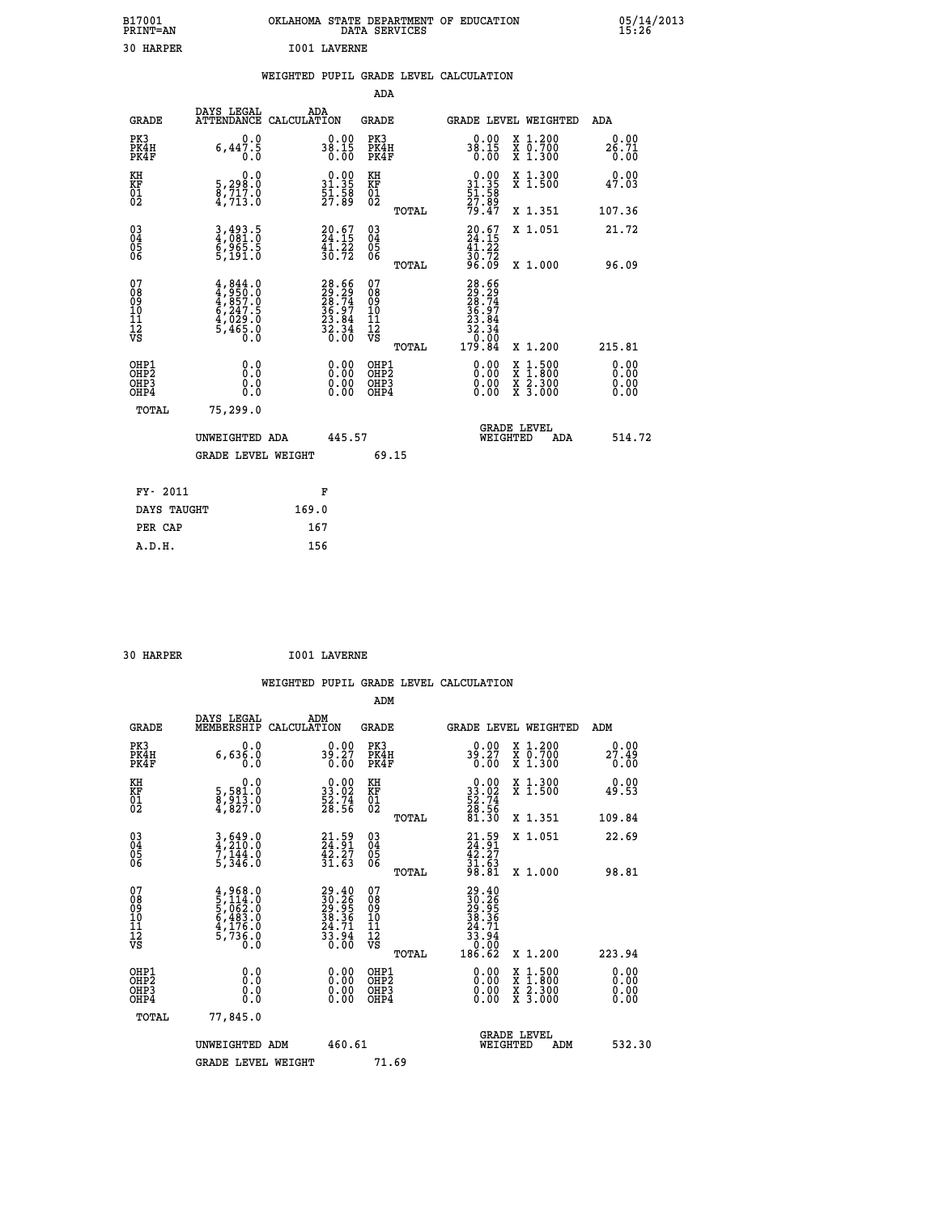| B17001<br><b>PRINT=AN</b> | OKLAHOMA STATE DEPARTMENT OF EDUCATION<br>DATA SERVICES | 05/14/2013<br>15:26 |
|---------------------------|---------------------------------------------------------|---------------------|
| 30<br>HARPER              | <b>I001 LAVERNE</b>                                     |                     |

## **WEIGHTED PUPIL GRADE LEVEL CALCULATION**

|                                                    |                                                                                     |                                                                          | ADA                                       |       |                                                                                      |                                                                |     |                              |
|----------------------------------------------------|-------------------------------------------------------------------------------------|--------------------------------------------------------------------------|-------------------------------------------|-------|--------------------------------------------------------------------------------------|----------------------------------------------------------------|-----|------------------------------|
| <b>GRADE</b>                                       | DAYS LEGAL<br><b>ATTENDANCE</b>                                                     | ADA<br>CALCULATION                                                       | <b>GRADE</b>                              |       | GRADE LEVEL WEIGHTED                                                                 |                                                                |     | <b>ADA</b>                   |
| PK3<br>PK4H<br>PK4F                                | 0.0<br>$6,44\overline{7}\cdot\overline{5}$<br>0.0                                   | $38.15$<br>0.00                                                          | PK3<br>PK4H<br>PK4F                       |       | $38.15$<br>0.00                                                                      | X 1.200<br>X 0.700<br>X 1.300                                  |     | 0.00<br>26.71<br>0.00        |
| KH<br>KF<br>01<br>02                               | 0.0<br>5,298:0<br>8,717:0<br>4,713:0                                                | $\begin{smallmatrix} 0.00\\ 31.35\\ 51.58\\ 27.89 \end{smallmatrix}$     | KH<br>KF<br>01<br>02                      |       | $0.00$<br>$31.35$<br>$51.58$<br>$27.89$<br>$79.47$                                   | X 1.300<br>X 1.500                                             |     | 0.00<br>47.03                |
|                                                    |                                                                                     |                                                                          |                                           | TOTAL |                                                                                      | X 1.351                                                        |     | 107.36                       |
| $\begin{matrix} 03 \\ 04 \\ 05 \\ 06 \end{matrix}$ | 3,493.5<br>4,081.0<br>6,965.5<br>5,191.0                                            | $20.67$<br>$24.15$<br>$\frac{41.22}{30.72}$                              | $\substack{03 \\ 04}$<br>Ŏ5<br>06         | TOTAL | $20.67$<br>$24.15$<br>$\frac{41.22}{30.72}$<br>96.09                                 | X 1.051<br>X 1.000                                             |     | 21.72<br>96.09               |
| 07<br>08<br>09<br>11<br>11<br>12<br>VS             | $4,844.0$<br>$4,850.0$<br>$4,857.0$<br>$6,247.5$<br>$4,029.0$<br>$5,465.0$<br>$0.0$ | $28.66$<br>$29.29$<br>$28.74$<br>$36.97$<br>$23.84$<br>$32.34$<br>$0.00$ | 07<br>08<br>09<br>11<br>11<br>12<br>VS    |       | $28.66$<br>$29.29$<br>$28.74$<br>$28.97$<br>$32.84$<br>$32.34$<br>$0.00$<br>$179.84$ |                                                                |     |                              |
|                                                    |                                                                                     |                                                                          |                                           | TOTAL |                                                                                      | X 1.200                                                        |     | 215.81                       |
| OHP1<br>OHP <sub>2</sub><br>OHP3<br>OHP4           | 0.0<br>0.0<br>0.0                                                                   | 0.00<br>$\begin{smallmatrix} 0.00 \ 0.00 \end{smallmatrix}$              | OHP1<br>OH <sub>P</sub> 2<br>OHP3<br>OHP4 |       | 0.00<br>0.00<br>0.00                                                                 | $1:500$<br>$1:800$<br>X<br>$\frac{x}{x}$ $\frac{5:300}{3:000}$ |     | 0.00<br>0.00<br>0.00<br>0.00 |
| TOTAL                                              | 75,299.0                                                                            |                                                                          |                                           |       |                                                                                      |                                                                |     |                              |
|                                                    | UNWEIGHTED ADA                                                                      | 445.57                                                                   |                                           |       |                                                                                      | <b>GRADE LEVEL</b><br>WEIGHTED                                 | ADA | 514.72                       |
|                                                    | <b>GRADE LEVEL WEIGHT</b>                                                           |                                                                          |                                           | 69.15 |                                                                                      |                                                                |     |                              |
| FY- 2011                                           |                                                                                     | F                                                                        |                                           |       |                                                                                      |                                                                |     |                              |
| DAYS TAUGHT                                        |                                                                                     | 169.0                                                                    |                                           |       |                                                                                      |                                                                |     |                              |
| PER CAP                                            |                                                                                     | 167                                                                      |                                           |       |                                                                                      |                                                                |     |                              |
|                                                    |                                                                                     |                                                                          |                                           |       |                                                                                      |                                                                |     |                              |

| 30 HARPER | <b>I001 LAVERNE</b> |
|-----------|---------------------|

 **A.D.H. 156**

|                                    |                                                                                     |                    |                                                                      |                                        |       | WEIGHTED PUPIL GRADE LEVEL CALCULATION                                                                                                                                                                                                                                         |                                          |        |                       |
|------------------------------------|-------------------------------------------------------------------------------------|--------------------|----------------------------------------------------------------------|----------------------------------------|-------|--------------------------------------------------------------------------------------------------------------------------------------------------------------------------------------------------------------------------------------------------------------------------------|------------------------------------------|--------|-----------------------|
|                                    |                                                                                     |                    |                                                                      | ADM                                    |       |                                                                                                                                                                                                                                                                                |                                          |        |                       |
| <b>GRADE</b>                       | DAYS LEGAL<br>MEMBERSHIP                                                            | ADM<br>CALCULATION |                                                                      | GRADE                                  |       | GRADE LEVEL WEIGHTED                                                                                                                                                                                                                                                           |                                          | ADM    |                       |
| PK3<br>PK4H<br>PK4F                | 0.0<br>6,636.0<br>0.0                                                               |                    | $39.27$<br>0.00                                                      | PK3<br>PK4H<br>PK4F                    |       | $39.27$<br>0.00                                                                                                                                                                                                                                                                | X 1.200<br>X 0.700<br>X 1.300            |        | 0.00<br>27.49<br>0.00 |
| KH<br>KF<br>01<br>02               | 0.0<br>5,581.0<br>8,913.0<br>4,827.0                                                |                    | $\begin{smallmatrix} 0.00\\ 33.02\\ 52.74\\ 28.56 \end{smallmatrix}$ | KH<br>KF<br>01<br>02                   |       | $\begin{smallmatrix} 0.00\\ 33.02\\ 52.74\\ 28.56\\ 81.30 \end{smallmatrix}$                                                                                                                                                                                                   | X 1.300<br>X 1.500                       |        | 0.00<br>49.53         |
|                                    |                                                                                     |                    |                                                                      |                                        | TOTAL |                                                                                                                                                                                                                                                                                | X 1.351                                  | 109.84 |                       |
| 03<br>04<br>05<br>06               | $3,649.0$<br>$4,210.0$<br>$7,144.0$<br>$5,346.0$                                    |                    | $21.59$<br>$24.91$<br>$42.27$<br>$31.63$                             | 03<br>04<br>05<br>06                   |       | $21.59$<br>$42.27$<br>$31.63$<br>$98.81$                                                                                                                                                                                                                                       | X 1.051                                  |        | 22.69                 |
|                                    |                                                                                     |                    |                                                                      |                                        | TOTAL |                                                                                                                                                                                                                                                                                | X 1.000                                  |        | 98.81                 |
| 07<br>08<br>09<br>101<br>112<br>VS | $4,968.0$<br>$5,114.0$<br>$5,062.0$<br>$6,483.0$<br>$4,176.0$<br>$5,736.0$<br>$0.0$ |                    | $29.4030.2629.9538.3624.7133.940.00$                                 | 07<br>08<br>09<br>11<br>11<br>12<br>VS | TOTAL | $\begin{smallmatrix} 29.40\\ 30.26\\ 29.39\\ 29.36\\ 38.36\\ 24.71\\ 33.94\\ 0.00\\ 186.62 \end{smallmatrix}$                                                                                                                                                                  | X 1.200                                  | 223.94 |                       |
| OHP1                               |                                                                                     |                    |                                                                      | OHP1                                   |       |                                                                                                                                                                                                                                                                                |                                          |        |                       |
| OHP2<br>OH <sub>P3</sub><br>OHP4   | 0.0<br>0.000                                                                        |                    | $0.00$<br>$0.00$<br>0.00                                             | OHP <sub>2</sub><br>OHP3<br>OHP4       |       | $\begin{smallmatrix} 0.00 & 0.00 & 0.00 & 0.00 & 0.00 & 0.00 & 0.00 & 0.00 & 0.00 & 0.00 & 0.00 & 0.00 & 0.00 & 0.00 & 0.00 & 0.00 & 0.00 & 0.00 & 0.00 & 0.00 & 0.00 & 0.00 & 0.00 & 0.00 & 0.00 & 0.00 & 0.00 & 0.00 & 0.00 & 0.00 & 0.00 & 0.00 & 0.00 & 0.00 & 0.00 & 0.0$ | X 1:500<br>X 1:800<br>X 2:300<br>X 3:000 |        | 0.00<br>0.00<br>0.00  |
| TOTAL                              | 77,845.0                                                                            |                    |                                                                      |                                        |       |                                                                                                                                                                                                                                                                                |                                          |        |                       |
|                                    | UNWEIGHTED ADM                                                                      |                    | 460.61                                                               |                                        |       | <b>GRADE LEVEL</b><br>WEIGHTED                                                                                                                                                                                                                                                 | ADM                                      |        | 532.30                |
|                                    | <b>GRADE LEVEL WEIGHT</b>                                                           |                    |                                                                      | 71.69                                  |       |                                                                                                                                                                                                                                                                                |                                          |        |                       |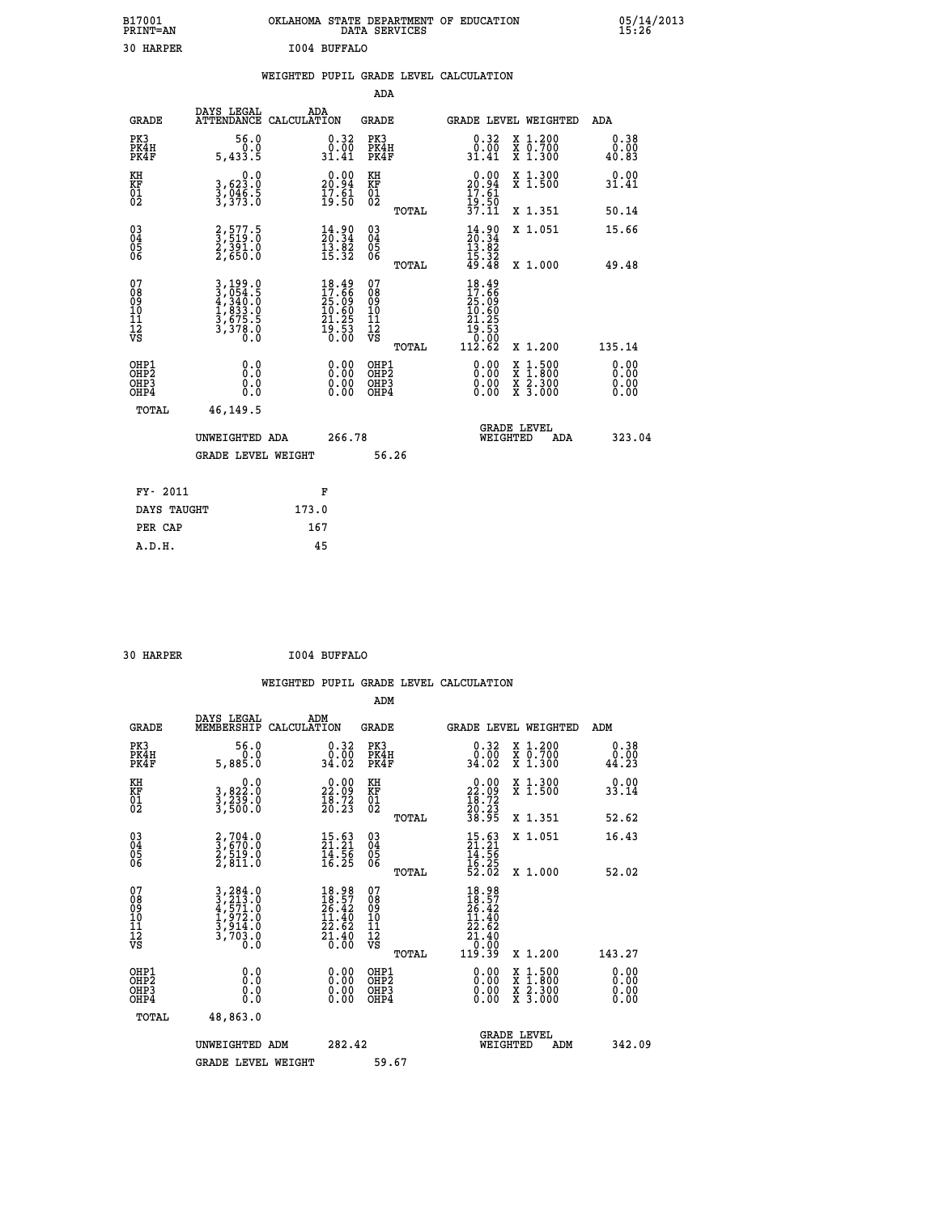| B17001<br><b>PRINT=AN</b> | OKLAHOMA STATE DEPARTMENT OF EDUCATION<br>DATA SERVICES | 05/14/2013<br>15:26 |
|---------------------------|---------------------------------------------------------|---------------------|
| 30 HARPER                 | I004 BUFFALO                                            |                     |

|                                                                  |                                                                             |                                                                                                                                                           | ADA                                      |       |                                                                                                     |                                          |                              |
|------------------------------------------------------------------|-----------------------------------------------------------------------------|-----------------------------------------------------------------------------------------------------------------------------------------------------------|------------------------------------------|-------|-----------------------------------------------------------------------------------------------------|------------------------------------------|------------------------------|
| <b>GRADE</b>                                                     | DAYS LEGAL<br>ATTENDANCE CALCULATION                                        | ADA                                                                                                                                                       | <b>GRADE</b>                             |       | GRADE LEVEL WEIGHTED                                                                                |                                          | ADA                          |
| PK3<br>PK4H<br>PK4F                                              | 56.0<br>0.0<br>5,433.5                                                      | $\begin{smallmatrix} 0.32\ 0.00\ 31.41 \end{smallmatrix}$                                                                                                 | PK3<br>PK4H<br>PK4F                      |       | $\begin{smallmatrix} 0.32\ 0.00\ 31.41 \end{smallmatrix}$                                           | X 1.200<br>X 0.700<br>X 1.300            | 0.38<br>0.00<br>40.83        |
| KH<br>KF<br>01<br>02                                             | 0.0<br>3,623:0<br>3,046:5<br>3,373:0                                        | $\begin{smallmatrix} 0.00\\ 20.94\\ 17.61\\ 19.50 \end{smallmatrix}$                                                                                      | KH<br>KF<br>01<br>02                     |       | $\begin{smallmatrix} 0.00\\ 20.94\\ 17.61\\ 19.50\\ 37.11 \end{smallmatrix}$                        | X 1.300<br>X 1.500                       | 0.00<br>31.41                |
|                                                                  |                                                                             |                                                                                                                                                           |                                          | TOTAL |                                                                                                     | X 1.351                                  | 50.14                        |
| $\begin{matrix} 03 \\ 04 \\ 05 \\ 06 \end{matrix}$               | 2,577.5<br>3,519.0<br>2,391.0<br>2,650.0                                    | $\frac{14.90}{20.34}$<br>$\overline{1}\overline{3}\overline{.}\overline{8}\overline{2}\overline{1}$<br>$\overline{3}\overline{.}\overline{3}\overline{2}$ | $\substack{03 \\ 04}$<br>Ŏ5<br>06        | TOTAL | $14.90$<br>$13.82$<br>$15.32$<br>$15.32$<br>$49.48$                                                 | X 1.051<br>X 1.000                       | 15.66<br>49.48               |
| 07<br>08<br>09<br>11<br>11<br>12<br>VS                           | 3, 199.0<br>3, 054.5<br>4, 340.0<br>4, 833.0<br>3, 675.5<br>3, 378.0<br>0.0 | $18.49$<br>$17.66$<br>$25.09$<br>$10.60$<br>$21.25$<br>$19.53$<br>$0.00$                                                                                  | 07<br>08<br>09<br>11<br>11<br>12<br>VS   |       | 18.49<br>17.66<br>25:09<br>10.60<br>$\begin{array}{r} 21.25 \\ 19.53 \\ 0.00 \\ 112.62 \end{array}$ |                                          |                              |
|                                                                  |                                                                             |                                                                                                                                                           |                                          | TOTAL |                                                                                                     | X 1.200                                  | 135.14                       |
| OHP1<br>OH <sub>P</sub> <sub>2</sub><br>OH <sub>P3</sub><br>OHP4 | 0.0<br>0.0<br>0.0                                                           | $\begin{smallmatrix} 0.00 \ 0.00 \ 0.00 \ 0.00 \end{smallmatrix}$                                                                                         | OHP1<br>OHP <sub>2</sub><br>OHP3<br>OHP4 |       | $0.00$<br>$0.00$<br>0.00                                                                            | X 1:500<br>X 1:800<br>X 2:300<br>X 3:000 | 0.00<br>0.00<br>0.00<br>0.00 |
| <b>TOTAL</b>                                                     | 46,149.5                                                                    |                                                                                                                                                           |                                          |       |                                                                                                     |                                          |                              |
|                                                                  | UNWEIGHTED ADA                                                              | 266.78                                                                                                                                                    |                                          |       | <b>GRADE LEVEL</b><br>WEIGHTED                                                                      | ADA                                      | 323.04                       |
|                                                                  | <b>GRADE LEVEL WEIGHT</b>                                                   |                                                                                                                                                           |                                          | 56.26 |                                                                                                     |                                          |                              |
| FY- 2011                                                         |                                                                             | F                                                                                                                                                         |                                          |       |                                                                                                     |                                          |                              |
| DAYS TAUGHT                                                      |                                                                             | 173.0                                                                                                                                                     |                                          |       |                                                                                                     |                                          |                              |
| PER CAP                                                          |                                                                             | 167                                                                                                                                                       |                                          |       |                                                                                                     |                                          |                              |
|                                                                  |                                                                             |                                                                                                                                                           |                                          |       |                                                                                                     |                                          |                              |

 **ADM**

 **30 HARPER I004 BUFFALO**

| <b>GRADE</b>                                       | DAYS LEGAL<br>MEMBERSHIP CALCULATION                                                                                                                                           | ADM                                                                                          | <b>GRADE</b>                                       |       |                                                                                                    | GRADE LEVEL WEIGHTED                     | ADM                   |
|----------------------------------------------------|--------------------------------------------------------------------------------------------------------------------------------------------------------------------------------|----------------------------------------------------------------------------------------------|----------------------------------------------------|-------|----------------------------------------------------------------------------------------------------|------------------------------------------|-----------------------|
| PK3<br>PK4H<br>PK4F                                | 56.0<br>5,885.0                                                                                                                                                                | $\begin{smallmatrix} 0.32\ 0.00\ 34.02 \end{smallmatrix}$                                    | PK3<br>PK4H<br>PK4F                                |       | 0.32<br>$0.00$<br>34.02                                                                            | X 1.200<br>X 0.700<br>X 1.300            | 0.38<br>0.00<br>44.23 |
| KH<br>KF<br>01<br>02                               | 0.0<br>3,822:0<br>3,239:0<br>3,500:0                                                                                                                                           | $\begin{smallmatrix} 0.00\\ 22.09\\ 18.72\\ 20.23 \end{smallmatrix}$                         | KH<br>KF<br>01<br>02                               |       | $\begin{smallmatrix} 0.00\\ 22.09\\ 18.72\\ 20.23\\ 38.95 \end{smallmatrix}$                       | X 1.300<br>X 1.500                       | 0.00<br>33.14         |
|                                                    |                                                                                                                                                                                |                                                                                              |                                                    | TOTAL |                                                                                                    | X 1.351                                  | 52.62                 |
| $\begin{matrix} 03 \\ 04 \\ 05 \\ 06 \end{matrix}$ | $\begin{smallmatrix} 2,704.0\\ 3,670.0\\ 2,519.0\\ 2,811.0 \end{smallmatrix}$                                                                                                  | $\begin{smallmatrix} 15.63\ 21.21\ 14.56\ 16.25 \end{smallmatrix}$                           | $\begin{matrix} 03 \\ 04 \\ 05 \\ 06 \end{matrix}$ |       | $15.63$<br>$21.21$<br>$14.56$<br>$16.25$<br>$52.02$                                                | X 1.051                                  | 16.43                 |
|                                                    |                                                                                                                                                                                |                                                                                              |                                                    | TOTAL |                                                                                                    | X 1.000                                  | 52.02                 |
| 07<br>08<br>09<br>101<br>11<br>12<br>VS            | $\begin{smallmatrix} 3\,,\,2\,84\,.\,0\\ 3\,,\,2\,13\,. \,0\\ 4\,,\,5\,71\,. \,0\\ 1\,,\,9\,72\,. \,0\\ 3\,,\,9\,14\,. \,0\\ 3\,,\,7\,0\,3\,. \,0\\ 0\,. \,0\end{smallmatrix}$ | $\begin{smallmatrix} 18.98\\ 18.57\\ 26.42\\ 11.40\\ 22.62\\ 21.40\\ 0.00 \end{smallmatrix}$ | 07<br>08<br>09<br>001<br>11<br>11<br>12<br>VS      | TOTAL | $\begin{array}{r} 18.98 \\ 18.57 \\ 26.42 \\ 11.40 \\ 22.62 \\ 21.40 \\ 0.00 \\ 19.39 \end{array}$ | X 1.200                                  | 143.27                |
| OHP1                                               |                                                                                                                                                                                |                                                                                              | OHP1                                               |       |                                                                                                    |                                          |                       |
| OHP <sub>2</sub><br>OH <sub>P3</sub><br>OHP4       | 0.0<br>0.000                                                                                                                                                                   | $\begin{smallmatrix} 0.00 \ 0.00 \ 0.00 \ 0.00 \end{smallmatrix}$                            | OHP <sub>2</sub><br>OHP3<br>OHP4                   |       | 0.00<br>$0.00$<br>0.00                                                                             | X 1:500<br>X 1:800<br>X 2:300<br>X 3:000 | 0.00<br>0.00<br>0.00  |
| TOTAL                                              | 48,863.0                                                                                                                                                                       |                                                                                              |                                                    |       |                                                                                                    |                                          |                       |
|                                                    | UNWEIGHTED<br>ADM                                                                                                                                                              | 282.42                                                                                       |                                                    |       | WEIGHTED                                                                                           | <b>GRADE LEVEL</b><br>ADM                | 342.09                |
|                                                    | <b>GRADE LEVEL WEIGHT</b>                                                                                                                                                      |                                                                                              | 59.67                                              |       |                                                                                                    |                                          |                       |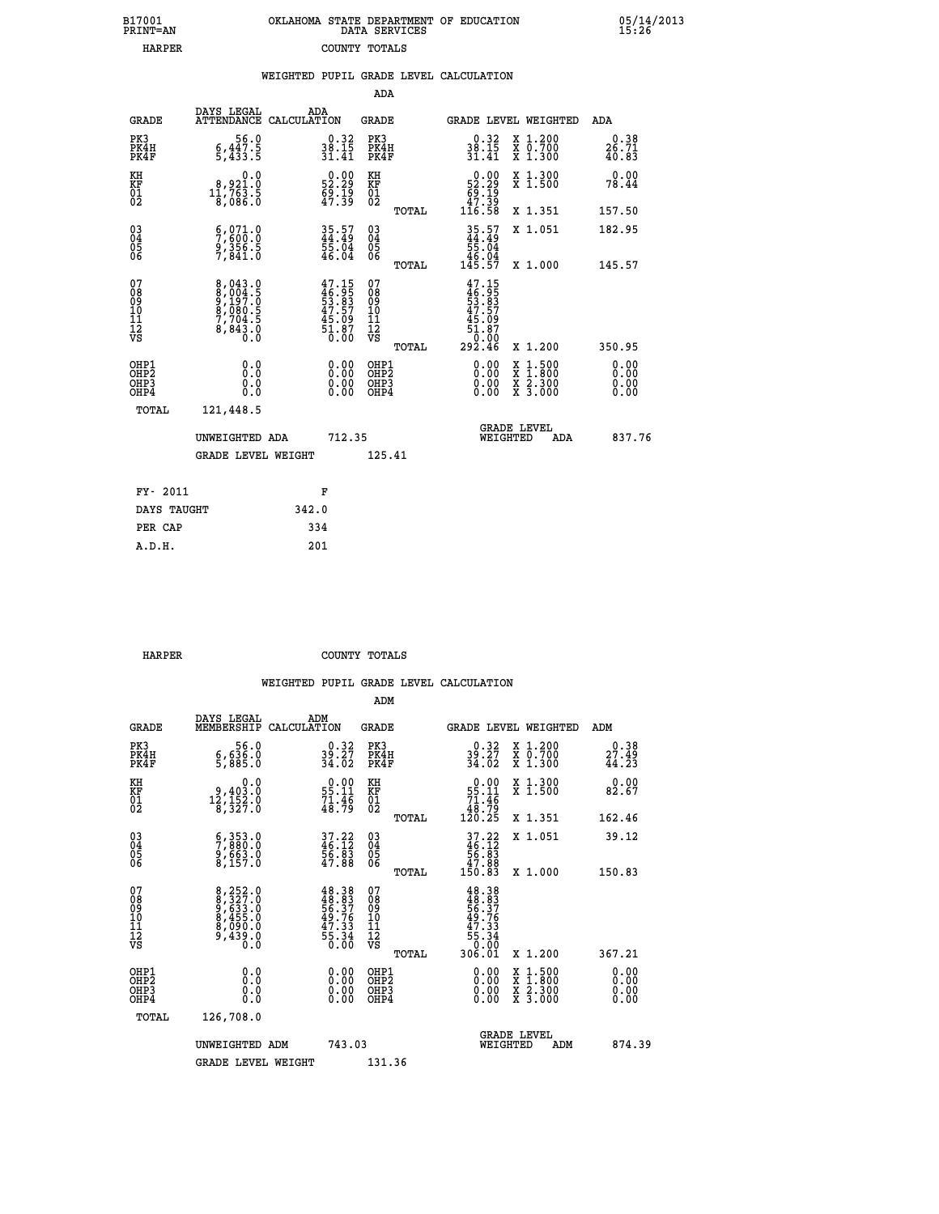| 7001<br>INT=AN | OKLAHOMA STATE DEPARTMENT OF EDUCATION<br>DATA SERVICES |  |
|----------------|---------------------------------------------------------|--|
| <b>HARPER</b>  | COUNTY TOTALS                                           |  |

|                                                       |                                                                                                                                                                | WEIGHTED PUPIL GRADE LEVEL CALCULATION                                    |                                                     |                                                                                                                                                                                                                                                                                |                                          |                        |
|-------------------------------------------------------|----------------------------------------------------------------------------------------------------------------------------------------------------------------|---------------------------------------------------------------------------|-----------------------------------------------------|--------------------------------------------------------------------------------------------------------------------------------------------------------------------------------------------------------------------------------------------------------------------------------|------------------------------------------|------------------------|
|                                                       |                                                                                                                                                                |                                                                           | ADA                                                 |                                                                                                                                                                                                                                                                                |                                          |                        |
| <b>GRADE</b>                                          | DAYS LEGAL                                                                                                                                                     | ADA<br>ATTENDANCE CALCULATION                                             | <b>GRADE</b>                                        | GRADE LEVEL WEIGHTED                                                                                                                                                                                                                                                           |                                          | ADA                    |
| PK3<br>PK4H<br>PK4F                                   | $56.0$<br>5,447.5<br>5,433.5                                                                                                                                   | $\begin{smallmatrix} 0.32\ 38.15\ 31.41 \end{smallmatrix}$                | PK3<br>PK4H<br>PK4F                                 | $\begin{smallmatrix} 0.32\ 38.15\ 31.41 \end{smallmatrix}$                                                                                                                                                                                                                     | X 1.200<br>X 0.700<br>X 1.300            | 0.38<br>26.71<br>40.83 |
| KH<br>KF<br>01<br>02                                  | $\begin{smallmatrix}&&&0.0\\&8.921.0\\11.763.5\\&8.086.0\end{smallmatrix}$                                                                                     | $\begin{smallmatrix} 0.00\\ 52.29\\ 69.19\\ 47.39\\ \end{smallmatrix}$    | KH<br>KF<br>01<br>02                                | $\begin{smallmatrix} &0.00\ 52.29\ 69.19\ 47.39\ 116.58\ \end{smallmatrix}$                                                                                                                                                                                                    | X 1.300<br>X 1.500                       | 0.00<br>78.44          |
|                                                       |                                                                                                                                                                |                                                                           | TOTAL                                               |                                                                                                                                                                                                                                                                                | X 1.351                                  | 157.50                 |
| $^{03}_{04}$<br>Ŏ5<br>06                              | 5,800.0<br>9,356.5<br>7,841.0                                                                                                                                  | 35.57<br>44.49<br>55.04<br>56.04                                          | $\begin{array}{c} 03 \\ 04 \\ 05 \\ 06 \end{array}$ | $35.57$<br>$44.49$<br>$55.04$<br>$46.04$<br>$145.57$                                                                                                                                                                                                                           | X 1.051                                  | 182.95                 |
|                                                       |                                                                                                                                                                |                                                                           | TOTAL                                               |                                                                                                                                                                                                                                                                                | X 1.000                                  | 145.57                 |
| 07<br>08<br>09<br>01<br>11<br>11<br>12<br>VS          | $\begin{smallmatrix} 8\,,\,043\,. \,0\\ 8\,,\,004\,. \,5\\ 9\,,\,197\,. \,0\\ 8\,,\,080\,. \,5\\ 7\,,\,704\,. \,5\\ 8\,,\,843\,. \,0\\ 0\,. \end{smallmatrix}$ | $47.15$<br>$46.95$<br>$53.83$<br>$47.57$<br>$45.09$<br>$51.87$<br>$51.87$ | 07<br>08<br>09<br>101<br>11<br>12<br>VS<br>TOTAL    | $47.15$<br>$46.95$<br>$53.83$<br>$47.57$<br>$45.09$<br>$51.87$<br>10.00<br>292.46                                                                                                                                                                                              | X 1.200                                  | 350.95                 |
| OHP1<br>OH <sub>P</sub> 2<br>OH <sub>P3</sub><br>OHP4 | 0.0<br>0.000                                                                                                                                                   | $\begin{smallmatrix} 0.00 \ 0.00 \ 0.00 \ 0.00 \end{smallmatrix}$         | OHP1<br>OHP <sub>2</sub><br>OHP <sub>3</sub>        | $\begin{smallmatrix} 0.00 & 0.00 & 0.00 & 0.00 & 0.00 & 0.00 & 0.00 & 0.00 & 0.00 & 0.00 & 0.00 & 0.00 & 0.00 & 0.00 & 0.00 & 0.00 & 0.00 & 0.00 & 0.00 & 0.00 & 0.00 & 0.00 & 0.00 & 0.00 & 0.00 & 0.00 & 0.00 & 0.00 & 0.00 & 0.00 & 0.00 & 0.00 & 0.00 & 0.00 & 0.00 & 0.0$ | X 1:500<br>X 1:800<br>X 2:300<br>X 3:000 | 0.00<br>0.00<br>0.00   |
| TOTAL                                                 | 121,448.5                                                                                                                                                      |                                                                           |                                                     |                                                                                                                                                                                                                                                                                |                                          |                        |
|                                                       | UNWEIGHTED ADA                                                                                                                                                 | 712.35                                                                    |                                                     | WEIGHTED                                                                                                                                                                                                                                                                       | <b>GRADE LEVEL</b><br><b>ADA</b>         | 837.76                 |
|                                                       | <b>GRADE LEVEL WEIGHT</b>                                                                                                                                      |                                                                           | 125.41                                              |                                                                                                                                                                                                                                                                                |                                          |                        |
| FY- 2011                                              |                                                                                                                                                                | F                                                                         |                                                     |                                                                                                                                                                                                                                                                                |                                          |                        |
| DAYS TAUGHT                                           |                                                                                                                                                                | 342.0                                                                     |                                                     |                                                                                                                                                                                                                                                                                |                                          |                        |
| PER CAP                                               |                                                                                                                                                                | 334                                                                       |                                                     |                                                                                                                                                                                                                                                                                |                                          |                        |

 **A.D.H. 201**

 **B17001<br>PRINT=AN** 

 **HARPER COUNTY TOTALS**

|                                          |                                                                             |                                                                                                                                                                                      | ADM                                                 |                                                                             |                                                                           |                                          |                            |
|------------------------------------------|-----------------------------------------------------------------------------|--------------------------------------------------------------------------------------------------------------------------------------------------------------------------------------|-----------------------------------------------------|-----------------------------------------------------------------------------|---------------------------------------------------------------------------|------------------------------------------|----------------------------|
| <b>GRADE</b>                             | DAYS LEGAL<br>MEMBERSHIP                                                    | ADM<br>CALCULATION                                                                                                                                                                   | <b>GRADE</b>                                        |                                                                             |                                                                           | GRADE LEVEL WEIGHTED                     | ADM                        |
| PK3<br>PK4H<br>PK4F                      | 6.0<br>5,636.0<br>5,885.0                                                   | $39.37$<br>34.02                                                                                                                                                                     | PK3<br>PK4H<br>PK4F                                 |                                                                             | $39.37$<br>34.02                                                          | X 1.200<br>X 0.700<br>X 1.300            | 0.38<br>$27.49$<br>$44.23$ |
| KH<br>KF<br>01<br>02                     | 0.0<br>$\begin{smallmatrix} 9,403.0\\ 12,152.0\\ 8,327.0 \end{smallmatrix}$ | $\begin{smallmatrix} 0.00\\ 55.11\\ 71.46\\ 48.79 \end{smallmatrix}$                                                                                                                 | KH<br>KF<br>01<br>02                                | $\begin{smallmatrix} &0.00\ 55.11\ 71.46\ 48.79\ 120.25\ \end{smallmatrix}$ |                                                                           | X 1.300<br>X 1.500                       | 0.00<br>82.67              |
|                                          |                                                                             |                                                                                                                                                                                      |                                                     | TOTAL                                                                       |                                                                           | X 1.351                                  | 162.46                     |
| 03<br>04<br>05<br>06                     | 6,353.0<br>7,880.0<br>9,663.0<br>8,157.0                                    | $37.22$<br>$46.12$<br>$56.83$<br>$47.88$                                                                                                                                             | $\begin{array}{c} 03 \\ 04 \\ 05 \\ 06 \end{array}$ | $37.22$<br>$46.12$<br>$56.83$<br>$47.88$<br>$150.83$                        |                                                                           | X 1.051                                  | 39.12                      |
|                                          |                                                                             |                                                                                                                                                                                      | TOTAL                                               |                                                                             |                                                                           | X 1.000                                  | 150.83                     |
| 07<br>08<br>09<br>101<br>11<br>12<br>VS  | 8,252.0<br>8,327.0<br>9,633.0<br>8,455.0<br>8,090.0<br>9,439.0              | $\begin{smallmatrix} 4\,8\cdot\,3\,8\\ 4\,8\cdot\,8\,3\\ 5\,6\cdot\,3\,7\\ 4\,9\cdot\,7\,6\\ 4\,7\cdot\,3\,3\\ 5\,7\cdot\,3\,4\\ 5\,5\cdot\,3\,4\\ 0\cdot\,0\,0\\ \end{smallmatrix}$ | 07<br>08<br>09<br>11<br>11<br>12<br>VS<br>TOTAL     | 306.Ŏľ                                                                      | $48.38$<br>$48.37$<br>$56.37$<br>$49.76$<br>$47.33$<br>$55.34$<br>$56.30$ | X 1.200                                  | 367.21                     |
| OHP1<br>OHP2<br>OH <sub>P3</sub><br>OHP4 |                                                                             |                                                                                                                                                                                      | OHP1<br>OHP2<br>OHP <sub>3</sub>                    |                                                                             | $0.00$<br>$0.00$<br>0.00                                                  | X 1:500<br>X 1:800<br>X 2:300<br>X 3:000 | 0.00<br>0.00<br>0.00       |
| TOTAL                                    | 126,708.0                                                                   |                                                                                                                                                                                      |                                                     |                                                                             |                                                                           |                                          |                            |
|                                          | UNWEIGHTED ADM                                                              | 743.03                                                                                                                                                                               |                                                     |                                                                             | GRADE LEVEL<br>WEIGHTED                                                   | ADM                                      | 874.39                     |
|                                          | <b>GRADE LEVEL WEIGHT</b>                                                   |                                                                                                                                                                                      | 131.36                                              |                                                                             |                                                                           |                                          |                            |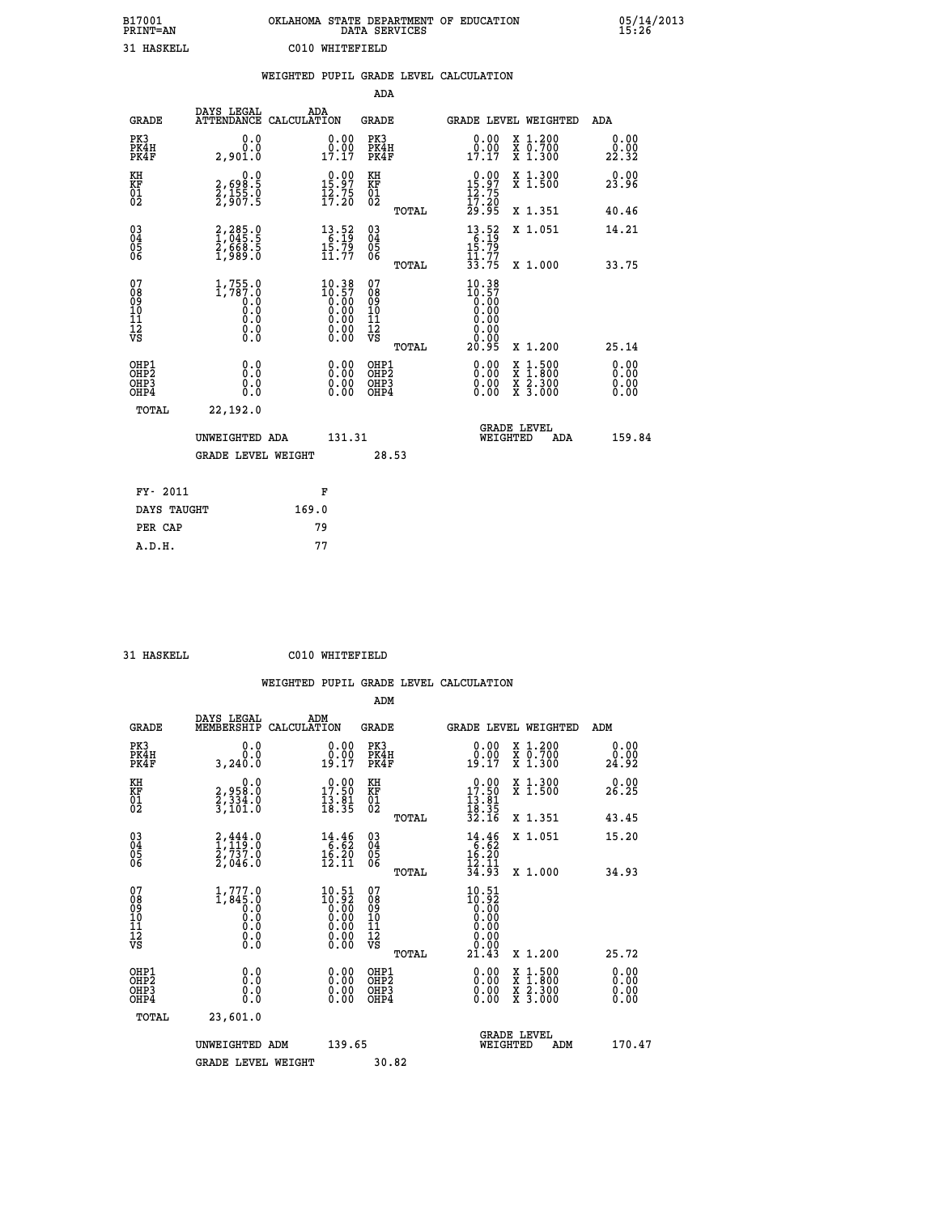| B17001          | OKLAHOMA STATE DEPARTMENT OF EDUCATION |
|-----------------|----------------------------------------|
| <b>PRINT=AN</b> | DATA SERVICES                          |
| 31 HASKELL      | C010 WHITEFIELD                        |

|                                                                    |                                                                                               |       |                                                                   |                                                     |       | WEIGHTED PUPIL GRADE LEVEL CALCULATION                                                                                                                                                                                                                                         |                                          |                                  |
|--------------------------------------------------------------------|-----------------------------------------------------------------------------------------------|-------|-------------------------------------------------------------------|-----------------------------------------------------|-------|--------------------------------------------------------------------------------------------------------------------------------------------------------------------------------------------------------------------------------------------------------------------------------|------------------------------------------|----------------------------------|
|                                                                    |                                                                                               |       |                                                                   | <b>ADA</b>                                          |       |                                                                                                                                                                                                                                                                                |                                          |                                  |
| <b>GRADE</b>                                                       | DAYS LEGAL<br>ATTENDANCE CALCULATION                                                          |       | ADA                                                               | GRADE                                               |       | GRADE LEVEL WEIGHTED                                                                                                                                                                                                                                                           |                                          | ADA                              |
| PK3<br>PK4H<br>PK4F                                                | 0.0<br>0.0<br>2,901.0                                                                         |       | $\begin{smallmatrix} 0.00\\ 0.00\\ 17.17 \end{smallmatrix}$       | PK3<br>PK4H<br>PK4F                                 |       | 0.00<br>$\begin{smallmatrix} 0.00 \\ 17.17 \end{smallmatrix}$                                                                                                                                                                                                                  | X 1.200<br>X 0.700<br>X 1.300            | 0.00<br>0.00<br>22.32            |
| KH<br>KF<br>01<br>02                                               | 0.0<br>$2,698.5$<br>$2,155.0$<br>$2,907.5$                                                    |       | 15.97<br>$\frac{1}{2}$ $\frac{2}{7}$ $\frac{5}{20}$               | KH<br>KF<br>$\overline{01}$                         |       | $0.00$<br>15:97<br>$\frac{15.75}{17.20}$                                                                                                                                                                                                                                       | X 1.300<br>X 1.500                       | 0.00<br>23.96                    |
|                                                                    |                                                                                               |       |                                                                   |                                                     | TOTAL | 29.95                                                                                                                                                                                                                                                                          | X 1.351                                  | 40.46                            |
| $\begin{smallmatrix} 03 \\[-4pt] 04 \end{smallmatrix}$<br>Ŏ5<br>06 | 2,285.0<br>1,045.5<br>2,668.5<br>1,989.0                                                      |       | $\begin{array}{l} 13.52 \\ 6.19 \\ 15.79 \\ 11.77 \end{array}$    | $\begin{array}{c} 03 \\ 04 \\ 05 \\ 06 \end{array}$ |       | $13.52$<br>$6.19$<br>$15.79$                                                                                                                                                                                                                                                   | X 1.051                                  | 14.21                            |
|                                                                    |                                                                                               |       |                                                                   |                                                     | TOTAL | $\frac{1}{3}$ $\frac{1}{3}$ $\frac{1}{7}$                                                                                                                                                                                                                                      | X 1.000                                  | 33.75                            |
| 07<br>08<br>09<br>01<br>11<br>11<br>12<br>VS                       | $1,755.0$<br>1,787.0<br>0.0<br>0.0<br>$\begin{smallmatrix} 0.10\ 0.0 \ 0.0 \end{smallmatrix}$ |       | $10.38\n10.57\n0.00\n0.00\n0.00\n0.00$<br>0.00                    | 07<br>08<br>09<br>11<br>11<br>12<br>VS              | TOTAL | $10.38$<br>$10.57$<br>$0.00$<br>$0.00$<br>0.00<br>0.00<br>0.00<br>20.95                                                                                                                                                                                                        | X 1.200                                  | 25.14                            |
| OHP1<br>OHP2<br>OHP3<br>OHP4                                       | 0.0<br>0.0<br>0.0                                                                             |       | $\begin{smallmatrix} 0.00 \ 0.00 \ 0.00 \ 0.00 \end{smallmatrix}$ | OHP1<br>OHP2<br>OHP3<br>OHP4                        |       | $\begin{smallmatrix} 0.00 & 0.00 & 0.00 & 0.00 & 0.00 & 0.00 & 0.00 & 0.00 & 0.00 & 0.00 & 0.00 & 0.00 & 0.00 & 0.00 & 0.00 & 0.00 & 0.00 & 0.00 & 0.00 & 0.00 & 0.00 & 0.00 & 0.00 & 0.00 & 0.00 & 0.00 & 0.00 & 0.00 & 0.00 & 0.00 & 0.00 & 0.00 & 0.00 & 0.00 & 0.00 & 0.0$ | X 1:500<br>X 1:800<br>X 2:300<br>X 3:000 | 0.00<br>0.00<br>$0.00$<br>$0.00$ |
| TOTAL                                                              | 22,192.0                                                                                      |       |                                                                   |                                                     |       |                                                                                                                                                                                                                                                                                |                                          |                                  |
|                                                                    | UNWEIGHTED ADA                                                                                |       | 131.31                                                            |                                                     |       | <b>GRADE LEVEL</b><br>WEIGHTED                                                                                                                                                                                                                                                 | ADA                                      | 159.84                           |
|                                                                    | <b>GRADE LEVEL WEIGHT</b>                                                                     |       |                                                                   |                                                     | 28.53 |                                                                                                                                                                                                                                                                                |                                          |                                  |
| FY- 2011                                                           |                                                                                               |       | F                                                                 |                                                     |       |                                                                                                                                                                                                                                                                                |                                          |                                  |
| DAYS TAUGHT                                                        |                                                                                               | 169.0 |                                                                   |                                                     |       |                                                                                                                                                                                                                                                                                |                                          |                                  |
| PER CAP                                                            |                                                                                               |       | 79                                                                |                                                     |       |                                                                                                                                                                                                                                                                                |                                          |                                  |

 **A.D.H. 77**

 **31 HASKELL C010 WHITEFIELD**

|                      |                                                   |                                                                  | ADM                         |                                                                                                            |                                                             |
|----------------------|---------------------------------------------------|------------------------------------------------------------------|-----------------------------|------------------------------------------------------------------------------------------------------------|-------------------------------------------------------------|
| GRADE                | DAYS LEGAL<br>MEMBERSHIP                          | ADM<br>CALCULATION                                               | GRADE                       | <b>GRADE LEVEL WEIGHTED</b>                                                                                | ADM                                                         |
| PK3<br>PK4H<br>PK4F  | 0.0<br>3,240.0                                    | 0.00<br>0.00<br>19.17                                            | PK3<br>PK4H<br>PK4F         | X 1.200<br>0.00<br>0.00<br>X 0.700<br>19.I7<br>X 1.300                                                     | $\begin{smallmatrix} 0.00\\ 0.00\\ 24.92 \end{smallmatrix}$ |
| KH<br>KF<br>01<br>02 | 0.0<br>2,958.0<br>$\frac{2}{3}, \frac{3}{101}$ :0 | $0.00$<br>17.50<br>$\frac{1}{3}\cdot\frac{8}{3}\cdot\frac{1}{5}$ | КH<br><b>KF</b><br>01<br>02 | X 1.300<br>0.00<br>17.ŠŎ<br>X <sub>1.500</sub><br>$\frac{13}{18}$ $\cdot \frac{81}{35}$<br>$\frac{32}{16}$ | 26.29                                                       |
|                      |                                                   |                                                                  | TOTAL                       | X 1.351                                                                                                    | 43.45                                                       |
| 03<br>04<br>05       | 2,444.0<br>119<br>2,737.0                         | $14.46$<br>$16.52$<br>$16.20$                                    | 030404                      | X 1.051<br>14.46<br>16.20                                                                                  | 15.20                                                       |

|                                                      | <b>GRADE LEVEL WEIGHT</b>                                                     |                                                                                                   | 30.82                                                       |                                                                                                                                                 |                          |
|------------------------------------------------------|-------------------------------------------------------------------------------|---------------------------------------------------------------------------------------------------|-------------------------------------------------------------|-------------------------------------------------------------------------------------------------------------------------------------------------|--------------------------|
|                                                      | UNWEIGHTED ADM                                                                | 139.65                                                                                            |                                                             | <b>GRADE LEVEL</b><br>WEIGHTED                                                                                                                  | 170.47<br>ADM            |
| TOTAL                                                | 23,601.0                                                                      |                                                                                                   |                                                             |                                                                                                                                                 |                          |
| OHP1<br>OHP <sub>2</sub><br>OH <sub>P3</sub><br>OHP4 |                                                                               | $0.00$<br>$0.00$<br>0.00                                                                          | OHP1<br><b>OHP2</b><br>OHP3<br>OHP4                         | $0.00$<br>$0.00$<br>$\begin{array}{l} \mathtt{X} & 1.500 \\ \mathtt{X} & 1.800 \\ \mathtt{X} & 2.300 \\ \mathtt{X} & 3.000 \end{array}$<br>0.00 | $0.00$<br>$0.00$<br>0.00 |
| 07<br>08<br>09<br>101<br>11<br>12<br>VS              | $1,777.0$<br>$1,845.0$<br>$0.0$<br>$0.0$<br>$0.0$<br>$0.0$<br>$0.0$           | 10.51<br>$\begin{smallmatrix} 10.92 \ 10.00 \ 0.00 \ 0.00 \ 0.00 \ 0.00 \ 0.00 \end{smallmatrix}$ | 078901112<br>111112<br>VS<br>TOTAL                          | 10.51<br>$\begin{smallmatrix} 10.31 \ 10.00 \ 0.00 \ 0.00 \ 0.00 \ 0.00 \ 0.00 \ 0.00 \ 0.143 \end{smallmatrix}$<br>X 1.200                     | 25.72                    |
| 03<br>04<br>05<br>06                                 | $\begin{smallmatrix} 2,444.0\\ 1,119.0\\ 2,737.0\\ 2,046.0 \end{smallmatrix}$ | $\begin{array}{r} 14.46 \\[-4pt] 6.62 \\[-4pt] 16.20 \\[-4pt] 12.11 \end{array}$                  | $\begin{matrix} 03 \\ 04 \\ 05 \\ 06 \end{matrix}$<br>TOTAL | $14.46$<br>$6.62$<br>$16.20$<br>$12.11$<br>X 1.051<br>34.93<br>X 1.000                                                                          | 15.20<br>34.93           |
| KF<br>01<br>02                                       | 2,958:0<br>2,334:0<br>3,101:0                                                 | $\frac{17.50}{13.81}$                                                                             | KF<br>01<br>02<br>TOTAL                                     | $17.50$<br>$13.81$<br>$18.35$<br>$32.16$<br>$\hat{x}$ 1:500<br>X 1.351                                                                          | 26.25<br>43.45           |
| nп                                                   |                                                                               |                                                                                                   |                                                             |                                                                                                                                                 |                          |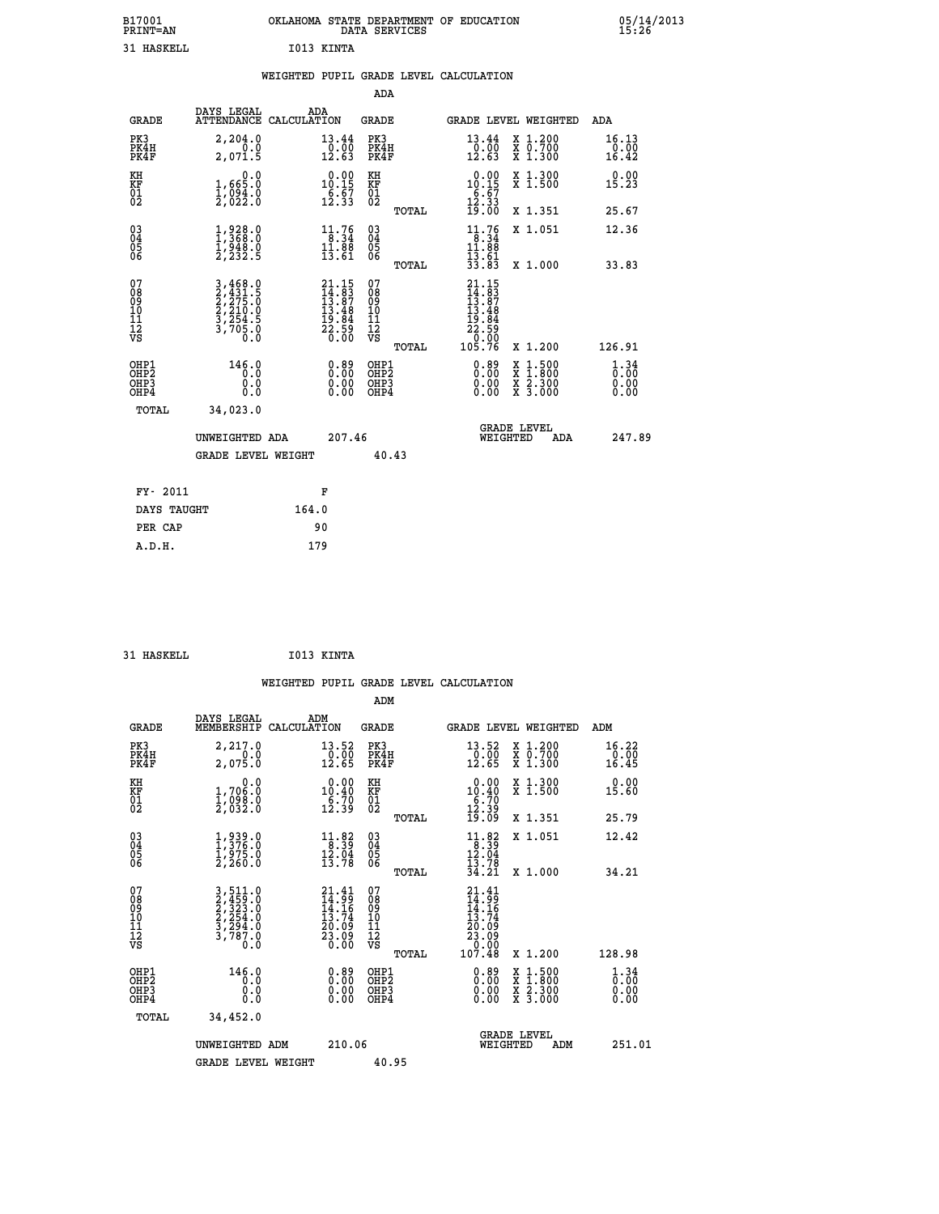| B17001<br><b>PRINT=AN</b> | OKLAHOMA STATE DEPARTMENT OF EDUCATION<br>DATA SERVICES | 05/14/2013<br>15:26 |
|---------------------------|---------------------------------------------------------|---------------------|
| 31<br>' HASKELL           | I013 KINTA                                              |                     |

|                                           |                                                                                                                                                     |                                                                                 |                                                     | WEIGHTED PUPIL GRADE LEVEL CALCULATION                                                                                                        |                              |
|-------------------------------------------|-----------------------------------------------------------------------------------------------------------------------------------------------------|---------------------------------------------------------------------------------|-----------------------------------------------------|-----------------------------------------------------------------------------------------------------------------------------------------------|------------------------------|
|                                           |                                                                                                                                                     |                                                                                 | ADA                                                 |                                                                                                                                               |                              |
| <b>GRADE</b>                              | DAYS LEGAL                                                                                                                                          | ADA<br>ATTENDANCE CALCULATION                                                   | <b>GRADE</b>                                        | GRADE LEVEL WEIGHTED                                                                                                                          | ADA                          |
| PK3<br>PK4H<br>PK4F                       | 2,204.0<br>2,071.5                                                                                                                                  | 13.44<br>$\frac{0.00}{12.63}$                                                   | PK3<br>PK4H<br>PK4F                                 | X 1.200<br>13.44<br>X 0.700<br>X 1.300<br>$\frac{0.00}{12.63}$                                                                                | 16.13<br>0.00<br>16.42       |
| KH<br><b>KF</b><br>01<br>02               | $1,665.0$<br>$1,094.0$<br>$2,022.0$                                                                                                                 | $\begin{smallmatrix} 0.00\\ 10.15\\ 6.57\\ 12.33 \end{smallmatrix}$             | KH<br>KF<br>01<br>02                                | X 1.300<br>X 1.500<br>$\begin{array}{c} 0.00 \\ 10.15 \\ 6.67 \\ 12.33 \\ 19.00 \end{array}$                                                  | 0.00<br>15.23                |
|                                           |                                                                                                                                                     |                                                                                 | TOTAL                                               | X 1.351                                                                                                                                       | 25.67                        |
| 03<br>04<br>05<br>06                      | $1,368.0$<br>$1,368.0$<br>$1,948.0$<br>$2,232.5$                                                                                                    | $\begin{array}{c} 11\cdot 76\\ 8\cdot 34\\ 11\cdot 88\\ 13\cdot 61 \end{array}$ | $\begin{array}{c} 03 \\ 04 \\ 05 \\ 06 \end{array}$ | $11.76$<br>8.34<br>X 1.051<br>$11.88$<br>$13.61$<br>$33.83$                                                                                   | 12.36                        |
|                                           |                                                                                                                                                     |                                                                                 | TOTAL                                               | X 1.000                                                                                                                                       | 33.83                        |
| 07<br>089<br>090<br>1112<br>VS            | $\begin{smallmatrix} 3\,,468\,,\,0\\ 2\,,431\,,\,5\\ 2\,,275\,. \,0\\ 2\,,210\,. \,0\\ 3\,,254\,. \,5\\ 3\,,705\,. \,0\\ 0\,. \,0\end{smallmatrix}$ | $21.15$<br>$14.83$<br>$13.87$<br>$13.48$<br>$19.84$<br>$22.59$<br>22.59         | 07<br>08<br>09<br>10<br>11<br>12<br>VS<br>TOTAL     | $\begin{smallmatrix} 21\cdot 15\\14\cdot 8\\13\cdot 8\\13\cdot 48\\19\cdot 8\\22\cdot 59\\0\cdot 00\\105\cdot 76\end{smallmatrix}$<br>X 1.200 | 126.91                       |
| OHP1<br>OH <sub>P</sub> 2<br>OHP3<br>OHP4 | 146.0<br>0.0<br>0.0<br>0.0                                                                                                                          | 0.89<br>$0.00$<br>0.00                                                          | OHP1<br>OHP2<br>OHP3<br>OHP4                        | $0.89$<br>$0.00$<br>$1:500$<br>$1:800$<br>X<br>X<br>$\frac{x}{x}$ $\frac{5:300}{3:000}$<br>0.00<br>0.00                                       | 1.34<br>0.00<br>0.00<br>0.00 |
| <b>TOTAL</b>                              | 34,023.0                                                                                                                                            |                                                                                 |                                                     |                                                                                                                                               |                              |
|                                           | UNWEIGHTED ADA                                                                                                                                      | 207.46                                                                          |                                                     | <b>GRADE LEVEL</b><br>WEIGHTED<br><b>ADA</b>                                                                                                  | 247.89                       |
|                                           | <b>GRADE LEVEL WEIGHT</b>                                                                                                                           |                                                                                 | 40.43                                               |                                                                                                                                               |                              |
| FY- 2011                                  |                                                                                                                                                     | F                                                                               |                                                     |                                                                                                                                               |                              |
| DAYS TAUGHT                               |                                                                                                                                                     | 164.0                                                                           |                                                     |                                                                                                                                               |                              |
| PER CAP                                   |                                                                                                                                                     | 90                                                                              |                                                     |                                                                                                                                               |                              |

| 31 HASKELL | I013 KINTA |
|------------|------------|
|            |            |

 **WEIGHTED PUPIL GRADE LEVEL CALCULATION ADM DAYS LEGAL ADM GRADE MEMBERSHIP CALCULATION GRADE GRADE LEVEL WEIGHTED ADM PK3 2,217.0 13.52 PK3 13.52 X 1.200 16.22 PK4H 0.0 0.00 PK4H 0.00 X 0.700 0.00 PK4F 2,075.0 12.65 PK4F 12.65 X 1.300 16.45 KH 0.0 0.00 KH 0.00 X 1.300 0.00 KF 1,706.0 10.40 KF 10.40 X 1.500 15.60 01 1,098.0 6.70 01 6.70 02 2,032.0 12.39 02 12.39 TOTAL 19.09 X 1.351 25.79 03 1,939.0 11.82 03 11.82 X 1.051 12.42 04 1,376.0 8.39 04 8.39 05 1,975.0 12.04 05 12.04** 06 2,260.0 13.78 06 <sub>momas</sub> 13.78  **TOTAL 34.21 X 1.000 34.21**  $\begin{array}{cccc} 07 & 3\, ,\, 511 \cdot 0 & 21 \cdot 41 & 07 & 21 \cdot 41 \ 08 & 2\, ,\, 453 \cdot 0 & 14 \cdot 16 & 08 & 14 \cdot 16 \ 09 & 2\, ,\, 323 \cdot 0 & 14 \cdot 16 & 09 & 14 \cdot 16 \ 10 & 2\, ,\, 254 \cdot 0 & 13 \cdot 74 & 10 & 13 \cdot 74 \ 11 & 3\, ,\, 794 \cdot 0 & 20 \cdot 09 & 12 & 20 \cdot 09 \ \hline$ 3,511.0<br>
2,455:0<br>
2,735:0<br>
2,735:0<br>
2,735:0<br>
2,735:0<br>
2,786.0<br>
3,786.0<br>
3,786.0<br>
3,786.0<br>
2,089<br>
2,200<br>
2,00<br>
2,00<br>
2,00<br>
2,00<br>
2,00<br>
2,00<br>
2,00<br>
2,00<br>
2,00<br>
2,00<br>
2,00<br>
2,00<br>
2,00<br>
2,00<br>
2,00<br>
2,00<br>
2,00<br>
2,00<br>
2,00<br>
2,00 OHP1 146.0 0.89 OHP1 0.80 X 1.500 1.34<br>OHP2 0.00 0.00 OHP2 0.00 X 1.500 1.34<br>OHP3 0.00 0.00 OHP3 0.00 X 1.500 1.34 0HP1  $146.0$  0.89 OHP1 0.89 X 1.500 1.34<br>0HP2 0.00 0.00 OHP2 0.000 X 1.800 0.00<br>0HP4 0.00 0.00 OHP4 0.000 X 3.300 0.00<br>0HP4 0.00 0.00 OHP4 0.000 X 3.000 0.00

| TOTAL | 34,452.0           |        |                                       |        |
|-------|--------------------|--------|---------------------------------------|--------|
|       | UNWEIGHTED ADM     | 210.06 | <b>GRADE LEVEL</b><br>ADM<br>WEIGHTED | 251.01 |
|       | GRADE LEVEL WEIGHT | 40.95  |                                       |        |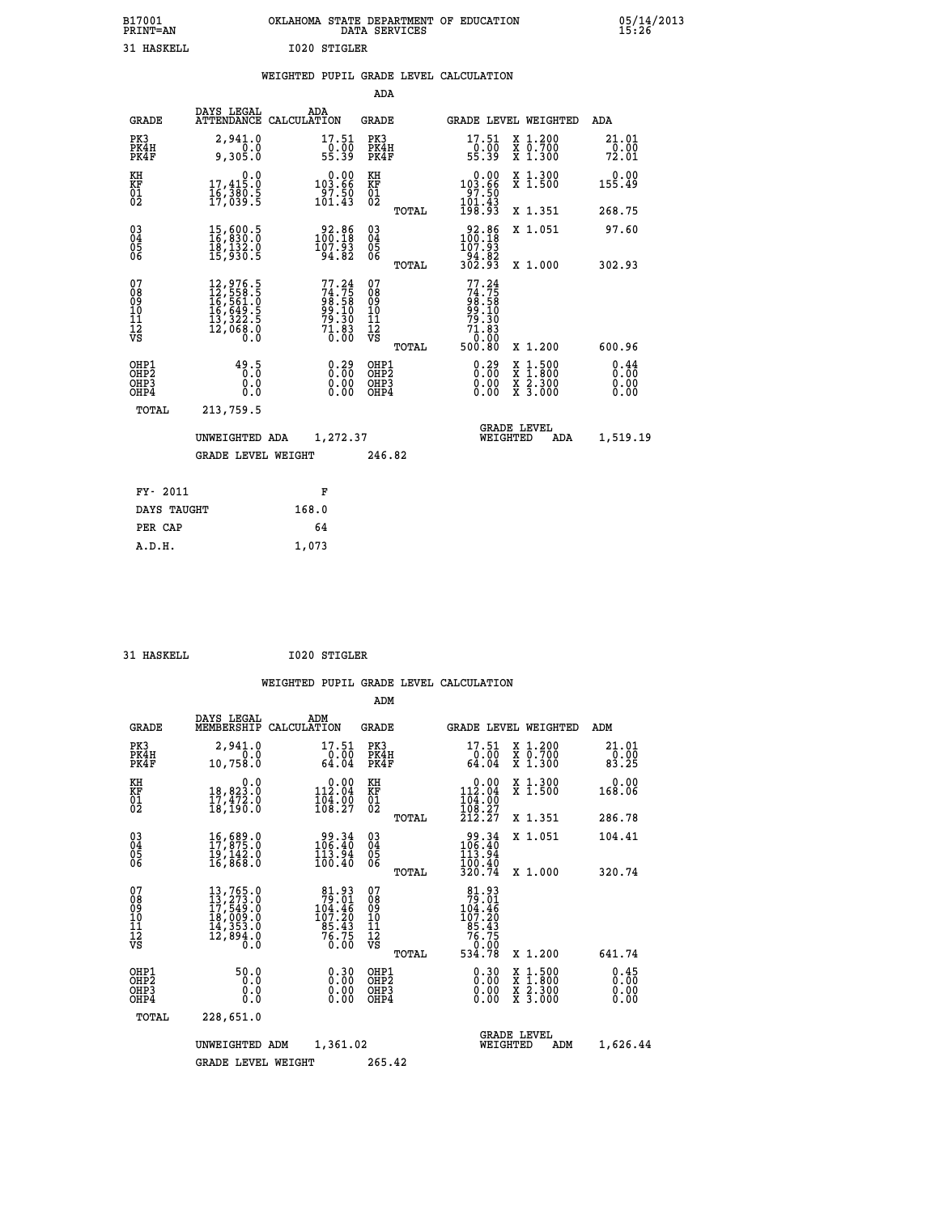| B17001<br><b>PRINT=AN</b> | OKLAHOMA<br>. STATE DEPARTMENT OF EDUCATION<br>DATA SERVICES | 05/14/2013<br>15:26 |
|---------------------------|--------------------------------------------------------------|---------------------|
| 31 HASKELL                | 1020 STIGLER                                                 |                     |

|                                                              |                                                                                                                                                 |       |                                                                          |                                          |       | WEIGHTED PUPIL GRADE LEVEL CALCULATION                          |                                          |                              |
|--------------------------------------------------------------|-------------------------------------------------------------------------------------------------------------------------------------------------|-------|--------------------------------------------------------------------------|------------------------------------------|-------|-----------------------------------------------------------------|------------------------------------------|------------------------------|
|                                                              |                                                                                                                                                 |       |                                                                          | ADA                                      |       |                                                                 |                                          |                              |
| <b>GRADE</b>                                                 | DAYS LEGAL<br>ATTENDANCE CALCULATION                                                                                                            | ADA   |                                                                          | GRADE                                    |       | GRADE LEVEL WEIGHTED                                            |                                          | ADA                          |
| PK3<br>PK4H<br>PK4F                                          | 2,941.0<br>0.0<br>9,305.0                                                                                                                       |       | $\begin{array}{c} 17.51 \\ 0.00 \\ 55.39 \end{array}$                    | PK3<br>PK4H<br>PK4F                      |       | 17.51<br>$\frac{10.00}{55.39}$                                  | X 1.200<br>X 0.700<br>X 1.300            | 21.01<br>0.00<br>72.01       |
| KH<br>KF<br>01<br>02                                         | $\begin{smallmatrix}&&&0.0\\17,415.0\\16,380.5\\17,039.5\end{smallmatrix}$                                                                      |       | $0.00$<br>103.66<br>$\frac{55}{101}.$ 50<br>101.43                       | KH<br>KF<br>01<br>02                     |       | $0.00$<br>103.66<br>$\frac{55}{101}.$ 50                        | X 1.300<br>X 1.500                       | 0.00<br>155.49               |
|                                                              |                                                                                                                                                 |       |                                                                          |                                          | TOTAL | 198.93                                                          | X 1.351                                  | 268.75                       |
| $\begin{smallmatrix} 03 \\[-4pt] 04 \end{smallmatrix}$<br>Ŏ5 | 15,600.5<br>16,830.0<br>18,132.0<br>15,930.5                                                                                                    |       | 92.86<br>100.18<br>107.93                                                | $\substack{03 \\ 04}$<br>05<br>06        |       | $\begin{smallmatrix} 92.86\\ 100.18\\ 107.93 \end{smallmatrix}$ | X 1.051                                  | 97.60                        |
| ŌĞ                                                           |                                                                                                                                                 |       | 94.82                                                                    |                                          | TOTAL | -94:82<br>302.93                                                | X 1.000                                  | 302.93                       |
| 07<br>08<br>09<br>11<br>11<br>12<br>VS                       | $\begin{smallmatrix} 12,976\cdot 5\\ 12,558\cdot 5\\ 16,561\cdot 0\\ 16,649\cdot 5\\ 13,322\cdot 5\\ 12,068\cdot 0\\ 0\cdot 0\end{smallmatrix}$ |       | $77.24$<br>$74.75$<br>$98.58$<br>$99.10$<br>$79.30$<br>$71.83$<br>$0.00$ | 07<br>08<br>09<br>11<br>11<br>12<br>VS   | TOTAL | 77.24<br>$74.75898.58099.10079.30371.830500.80$                 | X 1.200                                  | 600.96                       |
| OHP1<br>OH <sub>P</sub> 2<br>OHP3<br>OHP4                    | 49.5<br>0.0<br>0.0                                                                                                                              |       | $\begin{smallmatrix} 0.29\ 0.00\ 0.00\ 0.00 \end{smallmatrix}$           | OHP1<br>OHP <sub>2</sub><br>OHP3<br>OHP4 |       | $\begin{smallmatrix} 0.29\ 0.00\ 0.00\ 0.00 \end{smallmatrix}$  | X 1:500<br>X 1:800<br>X 2:300<br>X 3:000 | 0.44<br>0.00<br>0.00<br>0.00 |
| TOTAL                                                        | 213,759.5                                                                                                                                       |       |                                                                          |                                          |       |                                                                 |                                          |                              |
|                                                              | UNWEIGHTED ADA                                                                                                                                  |       | 1,272.37                                                                 |                                          |       | WEIGHTED                                                        | <b>GRADE LEVEL</b><br>ADA                | 1,519.19                     |
|                                                              | <b>GRADE LEVEL WEIGHT</b>                                                                                                                       |       |                                                                          | 246.82                                   |       |                                                                 |                                          |                              |
| FY- 2011                                                     |                                                                                                                                                 |       | F                                                                        |                                          |       |                                                                 |                                          |                              |
| DAYS TAUGHT                                                  |                                                                                                                                                 | 168.0 |                                                                          |                                          |       |                                                                 |                                          |                              |
| PER CAP                                                      |                                                                                                                                                 |       | 64                                                                       |                                          |       |                                                                 |                                          |                              |

|  | $TTA$ $ATZTTT$ |  |
|--|----------------|--|

 **A.D.H. 1,073**

 **ADM**

 **31 HASKELL I020 STIGLER**

| <b>GRADE</b>                             | DAYS LEGAL                                                                                        | ADM<br>MEMBERSHIP CALCULATION                                           | <b>GRADE</b>                                           |                                                                                   | GRADE LEVEL WEIGHTED                                                                                                | ADM                          |
|------------------------------------------|---------------------------------------------------------------------------------------------------|-------------------------------------------------------------------------|--------------------------------------------------------|-----------------------------------------------------------------------------------|---------------------------------------------------------------------------------------------------------------------|------------------------------|
| PK3<br>PK4H<br>PK4F                      | 2,941.0<br>0.0<br>10,758.0                                                                        | 17.51<br>0.00<br>64.04                                                  | PK3<br>PK4H<br>PK4F                                    | 17.51<br>0.00<br>64.04                                                            | X 1.200<br>X 0.700<br>X 1.300                                                                                       | 21.01<br>0.00<br>83.25       |
| KH<br>KF<br>01<br>02                     | 0.0<br>$\frac{18}{17}, \frac{823}{472}$ .0<br>$\frac{1}{18}, \frac{472}{190}$ .0                  | $\begin{smallmatrix} &0.00\\ 112.04\\ 104.00\\ 108.27\end{smallmatrix}$ | KH<br>KF<br>01<br>02                                   | $\begin{smallmatrix} &0.00\\ 112.04\\ 104.00\\ 108.27\\ 212.27 \end{smallmatrix}$ | X 1.300<br>X 1.500                                                                                                  | 0.00<br>168.06               |
|                                          |                                                                                                   |                                                                         | TOTAL                                                  |                                                                                   | X 1.351                                                                                                             | 286.78                       |
| 030404<br>06                             | $\begin{smallmatrix} 16 & 689 & 0\\ 17 & 875 & 0\\ 19 & 142 & 0\\ 16 & 868 & 0 \end{smallmatrix}$ | 34.99<br>106.40<br>113.94<br>100.40                                     | 030404<br>06                                           | $\begin{smallmatrix} 99.34\\ 106.40\\ 113.94\\ 100.40\\ 320.74 \end{smallmatrix}$ | X 1.051                                                                                                             | 104.41                       |
|                                          |                                                                                                   |                                                                         | TOTAL                                                  |                                                                                   | X 1.000                                                                                                             | 320.74                       |
| 07<br>08<br>09<br>101<br>11<br>12<br>VS  | 13,765.0<br>13,273.0<br>17,549.0<br>18,009.0<br>14,353.0<br>12,894.0<br>$0.\overline{0}$          | $79.01$<br>104.46<br>107:20<br>85:43<br>76:75<br>0.00                   | 07<br>08<br>09<br>001<br>11<br>11<br>12<br>VS<br>TOTAL | 81.93<br>79.01<br>104.46<br>107.20<br>85.43<br>76.75<br>70.00<br>534.78           | $X_1.200$                                                                                                           | 641.74                       |
| OHP1<br>OHP <sub>2</sub><br>OHP3<br>OHP4 | 50.0<br>0.0<br>0.0<br>0.0                                                                         | $0.30$<br>$0.00$<br>$0.00$<br>0.00                                      | OHP1<br>OHP2<br>OHP3<br>OHP4                           | 0.30<br>0.00<br>0.00                                                              | $\begin{array}{l} \mathtt{X} & 1.500 \\ \mathtt{X} & 1.800 \\ \mathtt{X} & 2.300 \\ \mathtt{X} & 3.000 \end{array}$ | 0.45<br>0.00<br>0.00<br>0.00 |
| TOTAL                                    | 228,651.0                                                                                         |                                                                         |                                                        |                                                                                   |                                                                                                                     |                              |
|                                          | UNWEIGHTED                                                                                        | 1,361.02<br>ADM                                                         |                                                        | WEIGHTED                                                                          | <b>GRADE LEVEL</b><br>ADM                                                                                           | 1,626.44                     |
|                                          | <b>GRADE LEVEL WEIGHT</b>                                                                         |                                                                         | 265.42                                                 |                                                                                   |                                                                                                                     |                              |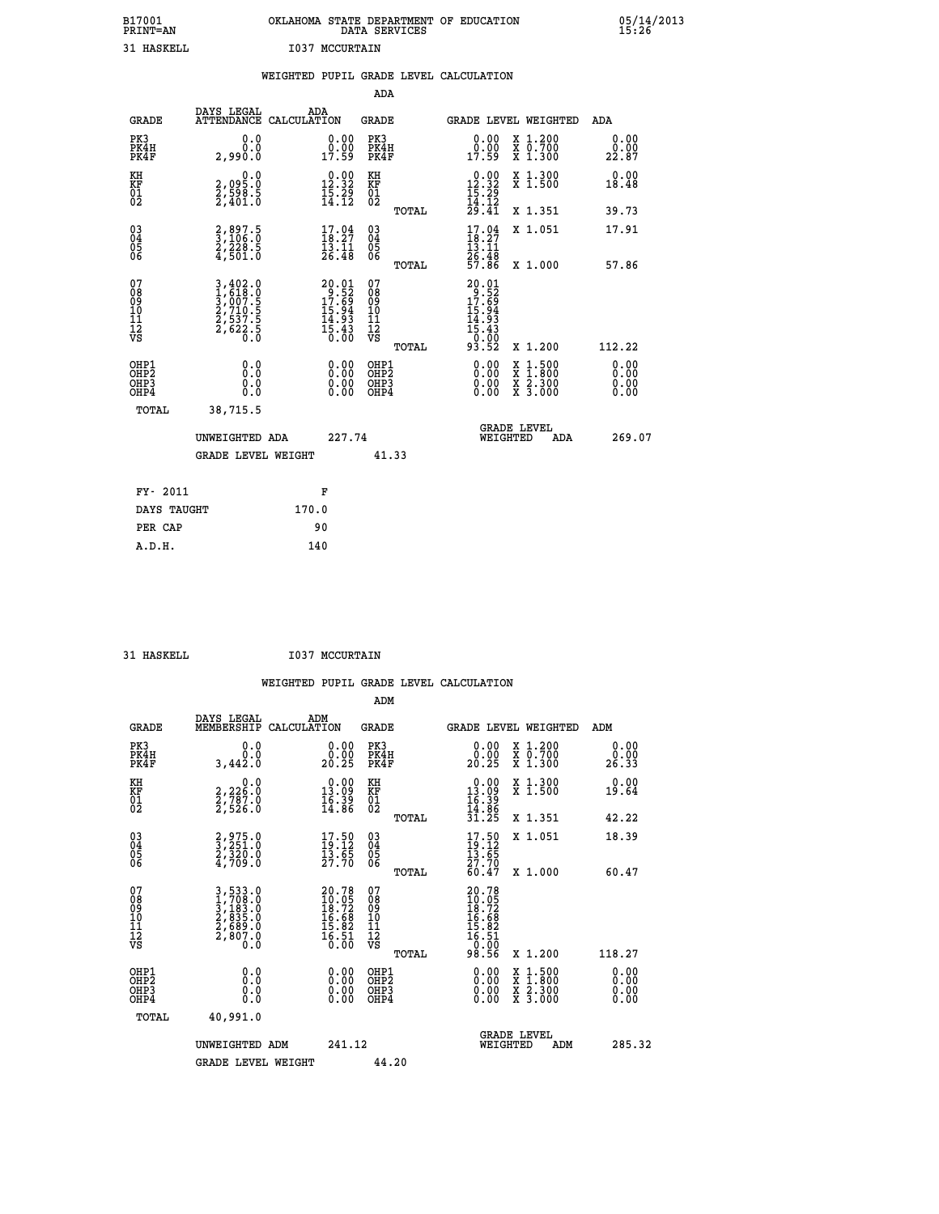| B17001          | OKLAHOMA STATE DEPARTMENT OF EDUCATION |
|-----------------|----------------------------------------|
| <b>PRINT=AN</b> | DATA SERVICES                          |
| 31 HASKELL      | <b>I037 MCCURTAIN</b>                  |

|                                                                    |                                                                       | WEIGHTED PUPIL GRADE LEVEL CALCULATION                                           |                                                 |                                                                                                                                                                                                                                                                                                                            |                              |
|--------------------------------------------------------------------|-----------------------------------------------------------------------|----------------------------------------------------------------------------------|-------------------------------------------------|----------------------------------------------------------------------------------------------------------------------------------------------------------------------------------------------------------------------------------------------------------------------------------------------------------------------------|------------------------------|
|                                                                    |                                                                       |                                                                                  | <b>ADA</b>                                      |                                                                                                                                                                                                                                                                                                                            |                              |
| <b>GRADE</b>                                                       | DAYS LEGAL                                                            | ADA<br>ATTENDANCE CALCULATION                                                    | GRADE                                           | GRADE LEVEL WEIGHTED                                                                                                                                                                                                                                                                                                       | ADA                          |
| PK3<br>PK4H<br>PK4F                                                | 0.0<br>0.0<br>2,990.0                                                 | $\begin{smallmatrix} 0.00\\ 0.00\\ 17.59 \end{smallmatrix}$                      | PK3<br>PK4H<br>PK4F                             | X 1.200<br>X 0.700<br>X 1.300<br>$0.00$<br>0.00<br>17.59                                                                                                                                                                                                                                                                   | 0.00<br>0.00<br>22.87        |
| KH<br>KF<br>01<br>02                                               | $\begin{smallmatrix} 2,095.0\\2,598.5\\2,401.0 \end{smallmatrix}$     | $\begin{array}{c} 0.00 \\[-4pt] 12.32 \\[-4pt] 15.29 \\[-4pt] 14.12 \end{array}$ | KH<br>KF<br>01<br>02                            | $0.00$<br>12.32<br>X 1.300<br>X 1.500                                                                                                                                                                                                                                                                                      | 0.00<br>18.48                |
|                                                                    |                                                                       |                                                                                  | TOTAL                                           | $\frac{15}{14}$ $\cdot\frac{25}{14}$<br>$\frac{25}{29}$ $\cdot\frac{41}{41}$<br>X 1.351                                                                                                                                                                                                                                    | 39.73                        |
| $\begin{smallmatrix} 03 \\[-4pt] 04 \end{smallmatrix}$<br>Ŏ5<br>06 | 2,897.5<br>3,106.0<br>2,228.5<br>4,501.0                              | $17.94$<br>18:27<br>$\frac{13}{26}. \frac{11}{48}$                               | $\substack{03 \\ 04}$<br>Ŏ5<br>06               | $17.04$<br>$18.27$<br>X 1.051<br>13.11                                                                                                                                                                                                                                                                                     | 17.91                        |
|                                                                    |                                                                       |                                                                                  | TOTAL                                           | 26:48<br>57.86<br>X 1.000                                                                                                                                                                                                                                                                                                  | 57.86                        |
| 07<br>08<br>09<br>11<br>11<br>12<br>VS                             | 3,402.0<br>1,618.0<br>3,007.5<br>2,710.5<br>2,537.5<br>2,622.5<br>0.0 | $20.01$<br>$17.52$<br>$17.69$<br>$15.94$<br>$14.93$<br>$15.43$<br>$0.00$         | 07<br>08<br>09<br>11<br>11<br>12<br>VS<br>TOTAL | 20.01<br>$29.529$<br>$17.694$<br>$15.943$<br>$15.433$<br>$0.029$<br>93.52<br>X 1.200                                                                                                                                                                                                                                       | 112.22                       |
| OHP1<br>OH <sub>P</sub> 2<br>OHP3<br>OH <sub>P4</sub>              | 0.0<br>0.0<br>0.0                                                     | $\begin{smallmatrix} 0.00 \ 0.00 \ 0.00 \ 0.00 \end{smallmatrix}$                | OHP1<br>OHP <sub>2</sub><br>OHP3<br>OHP4        | $\begin{smallmatrix} 0.00 & 0.00 & 0.00 & 0.00 & 0.00 & 0.00 & 0.00 & 0.00 & 0.00 & 0.00 & 0.00 & 0.00 & 0.00 & 0.00 & 0.00 & 0.00 & 0.00 & 0.00 & 0.00 & 0.00 & 0.00 & 0.00 & 0.00 & 0.00 & 0.00 & 0.00 & 0.00 & 0.00 & 0.00 & 0.00 & 0.00 & 0.00 & 0.00 & 0.00 & 0.00 & 0.0$<br>X 1:500<br>X 1:800<br>X 2:300<br>X 3:000 | 0.00<br>0.00<br>0.00<br>0.00 |
| TOTAL                                                              | 38,715.5                                                              |                                                                                  |                                                 |                                                                                                                                                                                                                                                                                                                            |                              |
|                                                                    | UNWEIGHTED ADA                                                        | 227.74                                                                           |                                                 | <b>GRADE LEVEL</b><br>WEIGHTED<br><b>ADA</b>                                                                                                                                                                                                                                                                               | 269.07                       |
|                                                                    | <b>GRADE LEVEL WEIGHT</b>                                             |                                                                                  | 41.33                                           |                                                                                                                                                                                                                                                                                                                            |                              |
| FY- 2011                                                           |                                                                       | F                                                                                |                                                 |                                                                                                                                                                                                                                                                                                                            |                              |
|                                                                    | DAYS TAUGHT                                                           | 170.0                                                                            |                                                 |                                                                                                                                                                                                                                                                                                                            |                              |
| PER CAP                                                            |                                                                       | 90                                                                               |                                                 |                                                                                                                                                                                                                                                                                                                            |                              |

 **A.D.H. 140**

31 HASKELL **I037 MCCURTAIN** 

|                                                      |                                                                      | WEIGHTED PUPIL GRADE LEVEL CALCULATION                                   | ADM                                                  |                                                                                     |                                          |                              |
|------------------------------------------------------|----------------------------------------------------------------------|--------------------------------------------------------------------------|------------------------------------------------------|-------------------------------------------------------------------------------------|------------------------------------------|------------------------------|
| <b>GRADE</b>                                         | DAYS LEGAL<br>MEMBERSHIP                                             | ADM<br>CALCULATION                                                       | <b>GRADE</b>                                         | GRADE LEVEL WEIGHTED                                                                |                                          | ADM                          |
| PK3<br>PK4H<br>PK4F                                  | 0.0<br>0.0<br>3,442.0                                                | 0.00<br>0.00<br>20.25                                                    | PK3<br>PK4H<br>PK4F                                  | 0.00<br>0.00<br>20.25                                                               | X 1.200<br>X 0.700<br>X 1.300            | 0.00<br>0.00<br>26.33        |
| KH<br>KF<br>01<br>02                                 | $\begin{smallmatrix}&&&0.0\2,226.0\2,787.0\2,526.0\end{smallmatrix}$ | $\begin{smallmatrix} 0.00\\ 13.09\\ 16.39\\ 14.86 \end{smallmatrix}$     | KH<br>KF<br>01<br>02                                 | $\begin{array}{r} 0.00 \\ 13.09 \\ 16.39 \\ 14.86 \\ 31.25 \end{array}$             | X 1.300<br>X 1.500                       | 0.00<br>19.64                |
|                                                      |                                                                      |                                                                          | TOTAL                                                |                                                                                     | X 1.351                                  | 42.22                        |
| $\begin{matrix} 03 \\ 04 \\ 05 \\ 06 \end{matrix}$   | 2,975.0<br>3,251.0<br>2,320.0<br>4,709.0                             | $\begin{smallmatrix} 17.50\\19.12\\13.65\\27.70 \end{smallmatrix}$       | $\begin{array}{c} 03 \\ 04 \\ 05 \\ 06 \end{array}$  | $\frac{17.50}{19.12}$                                                               | X 1.051                                  | 18.39                        |
|                                                      |                                                                      |                                                                          | TOTAL                                                | 27.70<br>60.47                                                                      | X 1.000                                  | 60.47                        |
| 07<br>08<br>09<br>11<br>11<br>12<br>VS               | 3,533.0<br>1,708.0<br>3,183.0<br>2,835.0<br>2,689.0<br>2,807.0       | $20.78$<br>$10.05$<br>$18.72$<br>$16.68$<br>$15.82$<br>$16.51$<br>$0.00$ | 07<br>08<br>09<br>101<br>11<br>12<br>VS<br>TOTAL     | $20.78$<br>$10.75$<br>$18.72$<br>$16.68$<br>$15.82$<br>$16.51$<br>$0.00$<br>$98.56$ | X 1.200                                  | 118.27                       |
| OHP1<br>OHP <sub>2</sub><br>OH <sub>P3</sub><br>OHP4 | 0.0<br>0.0<br>0.0                                                    | $0.00$<br>$0.00$<br>0.00                                                 | OHP1<br>OHP2<br>OHP <sub>3</sub><br>OHP <sub>4</sub> | 0.00<br>0.00<br>0.00                                                                | X 1:500<br>X 1:800<br>X 2:300<br>X 3:000 | 0.00<br>0.00<br>0.00<br>0.00 |
| TOTAL                                                | 40,991.0                                                             |                                                                          |                                                      |                                                                                     |                                          |                              |
|                                                      | UNWEIGHTED ADM<br>GRADE LEVEL WEIGHT                                 | 241.12                                                                   | 44.20                                                | <b>GRADE LEVEL</b><br>WEIGHTED                                                      | ADM                                      | 285.32                       |
|                                                      |                                                                      |                                                                          |                                                      |                                                                                     |                                          |                              |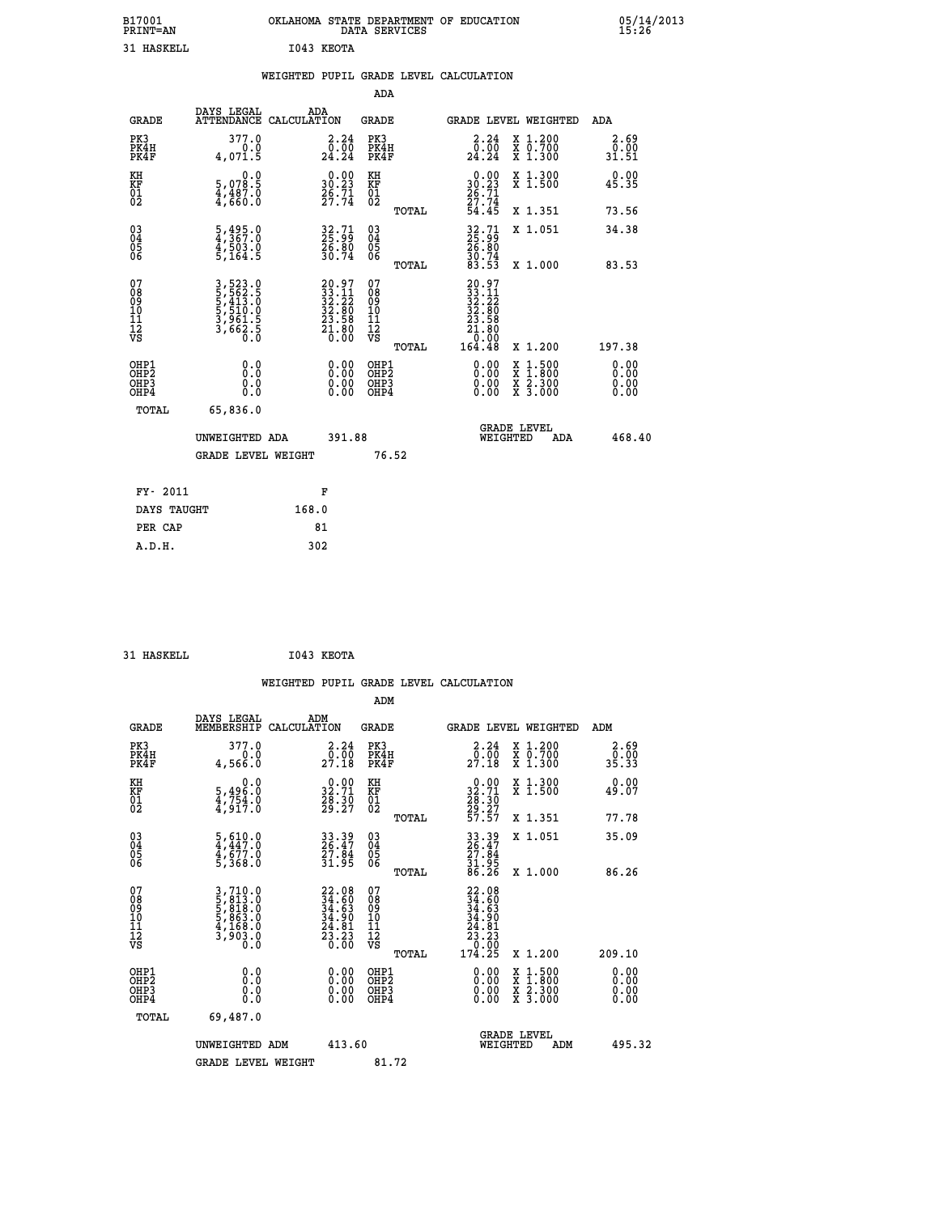| B17001<br>PRINT=AN          |                                                                         | OKLAHOMA                                                             | STATE DEPARTMENT OF<br>DATA SERVICES |       | <b>EDUCATION</b>                                                        |                                              | 05/14/2013<br>15:26   |  |
|-----------------------------|-------------------------------------------------------------------------|----------------------------------------------------------------------|--------------------------------------|-------|-------------------------------------------------------------------------|----------------------------------------------|-----------------------|--|
| 31 HASKELL                  |                                                                         | I043 KEOTA                                                           |                                      |       |                                                                         |                                              |                       |  |
|                             |                                                                         | WEIGHTED PUPIL GRADE LEVEL CALCULATION                               |                                      |       |                                                                         |                                              |                       |  |
|                             |                                                                         |                                                                      | ADA                                  |       |                                                                         |                                              |                       |  |
| GRADE                       | DAYS LEGAL                                                              | ADA<br>ATTENDANCE CALCULATION                                        | GRADE                                |       |                                                                         | GRADE LEVEL WEIGHTED                         | ADA                   |  |
| PK3<br>PK4H<br>PK4F         | 377.0<br>0.0<br>4,071.5                                                 | 2.24<br>$2\overline{4}\cdot\overline{2}\overline{4}$                 | PK3<br>PK4H<br>PK4F                  |       | $\begin{smallmatrix} 2\cdot24\0\cdot00\24\cdot24 \end{smallmatrix}$     | X 1.200<br>$\overline{x}$ 0.700<br>$X$ 1.300 | 2.69<br>0.00<br>31.51 |  |
| KH<br><b>KF</b><br>01<br>02 | $\begin{smallmatrix}&&&0.0\\5,078.5\\4,487.0\\4,660.0\end{smallmatrix}$ | $\begin{smallmatrix} 0.00\\ 30.23\\ 26.71\\ 27.74 \end{smallmatrix}$ | KH<br>KF<br>01<br>02                 |       | $\begin{array}{r} 0.00 \\ 30.23 \\ 26.71 \\ 27.74 \\ 54.45 \end{array}$ | X 1.300<br>X <sub>1.500</sub>                | 0.00<br>45.35         |  |
|                             |                                                                         |                                                                      |                                      | TOTAL |                                                                         | X 1.351                                      | 73.56                 |  |
| 03040405                    | 5,495.0<br>4,367.0<br>4,503.0                                           | $32.71$<br>$25.99$<br><u> វត្ត: ខ្ញុំ</u>                            | 030404                               |       | $32.71$<br>$25.99$<br>26.80                                             | X 1.051                                      | 34.38                 |  |

| 06                                                   | 5,164.5                                                               | 30.74                                                                                        | 06                                                   | TOTAL | $30.74$<br>83.53                                                                                        | X 1.000                                                                                                             | 83.53                                                                                                                                                                                                                                                                          |
|------------------------------------------------------|-----------------------------------------------------------------------|----------------------------------------------------------------------------------------------|------------------------------------------------------|-------|---------------------------------------------------------------------------------------------------------|---------------------------------------------------------------------------------------------------------------------|--------------------------------------------------------------------------------------------------------------------------------------------------------------------------------------------------------------------------------------------------------------------------------|
| 07<br>08<br>09<br>101<br>11<br>12<br>VS              | 3,523.0<br>5,562.5<br>5,413.0<br>5,510.0<br>5,561.5<br>3,662.5<br>0.0 | $\begin{smallmatrix} 20.97\\ 33.11\\ 32.22\\ 32.80\\ 23.58\\ 21.80\\ 0.00 \end{smallmatrix}$ | 078<br>089<br>0011<br>11<br>12<br>VS                 | TOTAL | $\begin{smallmatrix} 20.97\\ 33.11\\ 32.22\\ 32.80\\ 23.580\\ 21.80\\ 0.000\\ 164.48 \end{smallmatrix}$ | X 1.200                                                                                                             | 197.38                                                                                                                                                                                                                                                                         |
| OHP1<br>OHP <sub>2</sub><br>OH <sub>P3</sub><br>OHP4 |                                                                       |                                                                                              | OHP1<br>OHP <sub>2</sub><br>OH <sub>P3</sub><br>OHP4 |       |                                                                                                         | $\begin{array}{l} \mathtt{X} & 1.500 \\ \mathtt{X} & 1.800 \\ \mathtt{X} & 2.300 \\ \mathtt{X} & 3.000 \end{array}$ | $\begin{smallmatrix} 0.00 & 0.00 & 0.00 & 0.00 & 0.00 & 0.00 & 0.00 & 0.00 & 0.00 & 0.00 & 0.00 & 0.00 & 0.00 & 0.00 & 0.00 & 0.00 & 0.00 & 0.00 & 0.00 & 0.00 & 0.00 & 0.00 & 0.00 & 0.00 & 0.00 & 0.00 & 0.00 & 0.00 & 0.00 & 0.00 & 0.00 & 0.00 & 0.00 & 0.00 & 0.00 & 0.0$ |
| TOTAL                                                | 65,836.0                                                              |                                                                                              |                                                      |       |                                                                                                         |                                                                                                                     |                                                                                                                                                                                                                                                                                |
|                                                      | UNWEIGHTED ADA                                                        | 391.88                                                                                       |                                                      |       |                                                                                                         | <b>GRADE LEVEL</b><br>WEIGHTED<br>ADA                                                                               | 468.40                                                                                                                                                                                                                                                                         |
|                                                      | <b>GRADE LEVEL WEIGHT</b>                                             |                                                                                              | 76.52                                                |       |                                                                                                         |                                                                                                                     |                                                                                                                                                                                                                                                                                |
| FY- 2011                                             |                                                                       | F                                                                                            |                                                      |       |                                                                                                         |                                                                                                                     |                                                                                                                                                                                                                                                                                |
| DAVC MANCH                                           | 160 <sub>0</sub>                                                      |                                                                                              |                                                      |       |                                                                                                         |                                                                                                                     |                                                                                                                                                                                                                                                                                |

| DAYS TAUGHT | 168.0 |
|-------------|-------|
| PER CAP     | 81    |
| A.D.H.      | 302   |
|             |       |

```
 31 HASKELL I043 KEOTA
```

|                                                    |                                                                               |                    |                                                                      |                                               |       | WEIGHTED PUPIL GRADE LEVEL CALCULATION                                                                |                                          |                       |        |
|----------------------------------------------------|-------------------------------------------------------------------------------|--------------------|----------------------------------------------------------------------|-----------------------------------------------|-------|-------------------------------------------------------------------------------------------------------|------------------------------------------|-----------------------|--------|
|                                                    |                                                                               |                    |                                                                      | ADM                                           |       |                                                                                                       |                                          |                       |        |
| <b>GRADE</b>                                       | DAYS LEGAL<br>MEMBERSHIP                                                      | ADM<br>CALCULATION |                                                                      | <b>GRADE</b>                                  |       | <b>GRADE LEVEL WEIGHTED</b>                                                                           |                                          | ADM                   |        |
| PK3<br>PK4H<br>PK4F                                | 377.0<br>0.0<br>4,566.0                                                       |                    | $\begin{smallmatrix} 2.24\0.00\\27.18\end{smallmatrix}$              | PK3<br>PK4H<br>PK4F                           |       | $\begin{smallmatrix} 2.24\ 0.00\ 27.18 \end{smallmatrix}$                                             | X 1.200<br>X 0.700<br>X 1.300            | 2.69<br>ō:ŏō<br>35.33 |        |
| KH<br>KF<br>01<br>02                               | 0.0<br>$\frac{5}{4}, \frac{496}{754}$ .0<br>$\frac{4}{4}, \frac{754}{917}$ .0 |                    | $\begin{smallmatrix} 0.00\\ 32.71\\ 28.30\\ 29.27 \end{smallmatrix}$ | KH<br>KF<br>01<br>02                          |       | $\begin{smallmatrix} 0.00\\ 32.71\\ 28.30\\ 29.27\\ 57.57 \end{smallmatrix}$                          | X 1.300<br>X 1.500                       | 0.00<br>49.07         |        |
|                                                    |                                                                               |                    |                                                                      |                                               | TOTAL |                                                                                                       | X 1.351                                  | 77.78                 |        |
| $\begin{matrix} 03 \\ 04 \\ 05 \\ 06 \end{matrix}$ | $\frac{5}{4}, \frac{610}{47}.0$<br>$\frac{4}{5}, \frac{677}{50}.0$<br>5,368.0 |                    | 33.39<br>26.47<br>27.84<br>31.95                                     | 03<br>04<br>05<br>06                          |       | 33.39<br>26.47<br>27.84<br>31.95<br>86.26                                                             | X 1.051                                  | 35.09                 |        |
|                                                    |                                                                               |                    |                                                                      |                                               | TOTAL |                                                                                                       | X 1.000                                  | 86.26                 |        |
| 07<br>0890112<br>1112<br>VS                        | 3,710.0<br>5,813.0<br>5,813.0<br>5,863.0<br>5,863.0<br>4,168.0<br>3,903.0     |                    | $22.0834.6034.6334.9024.8123.230.00$                                 | 07<br>08<br>09<br>001<br>11<br>11<br>12<br>VS | TOTAL | $\begin{smallmatrix} 22.08\\ 34.60\\ 34.63\\ 34.90\\ 24.81\\ 23.23\\ 0.00\\ 174.25 \end{smallmatrix}$ | X 1.200                                  | 209.10                |        |
| OHP1                                               |                                                                               |                    |                                                                      |                                               |       |                                                                                                       |                                          |                       |        |
| OHP <sub>2</sub><br>OH <sub>P3</sub><br>OHP4       | 0.0<br>0.000                                                                  |                    | $0.00$<br>$0.00$<br>0.00                                             | OHP1<br>OHP2<br>OHP <sub>3</sub>              |       | 0.00<br>0.00<br>0.00                                                                                  | X 1:500<br>X 1:800<br>X 2:300<br>X 3:000 | 0.00<br>0.00<br>0.00  |        |
| TOTAL                                              | 69,487.0                                                                      |                    |                                                                      |                                               |       |                                                                                                       |                                          |                       |        |
|                                                    | UNWEIGHTED ADM                                                                |                    | 413.60                                                               |                                               |       | <b>GRADE LEVEL</b><br>WEIGHTED                                                                        | ADM                                      |                       | 495.32 |
|                                                    | <b>GRADE LEVEL WEIGHT</b>                                                     |                    |                                                                      | 81.72                                         |       |                                                                                                       |                                          |                       |        |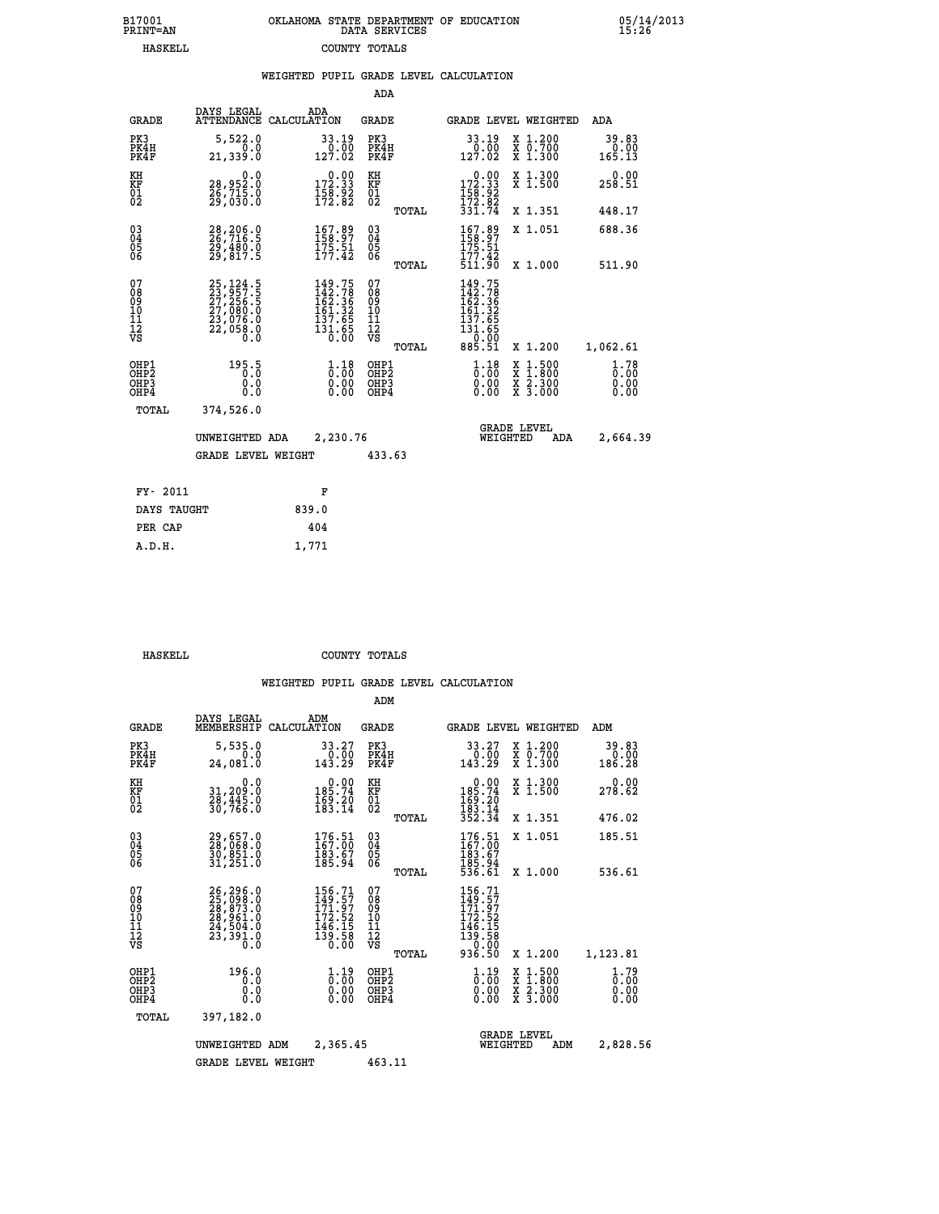| 7001<br>INT=AN | OKLAHOMA STATE DEPARTMENT OF EDUCATION<br>DATA SERVICES |  |
|----------------|---------------------------------------------------------|--|
| HASKELL        | COUNTY TOTALS                                           |  |

|                                                                    |                                                                                   | WEIGHTED PUPIL GRADE LEVEL CALCULATION                                                                                                     |                                               |                                                                                                           |                                                                                                                                           |                                |
|--------------------------------------------------------------------|-----------------------------------------------------------------------------------|--------------------------------------------------------------------------------------------------------------------------------------------|-----------------------------------------------|-----------------------------------------------------------------------------------------------------------|-------------------------------------------------------------------------------------------------------------------------------------------|--------------------------------|
|                                                                    |                                                                                   |                                                                                                                                            | ADA                                           |                                                                                                           |                                                                                                                                           |                                |
| <b>GRADE</b>                                                       | DAYS LEGAL                                                                        | ADA<br>ATTENDANCE CALCULATION                                                                                                              | <b>GRADE</b>                                  | GRADE LEVEL WEIGHTED                                                                                      |                                                                                                                                           | ADA                            |
| PK3<br>PK4H<br>PK4F                                                | 5,522.0<br>0.0<br>21,339.0                                                        | 33.19<br>0.00<br>127.02                                                                                                                    | PK3<br>PK4H<br>PK4F                           | 33.19<br>$\frac{0}{127.02}$                                                                               | X 1.200<br>X 0.700<br>X 1.300                                                                                                             | 39.83<br>$0.00$<br>165.13      |
| KH<br>KF<br>01<br>02                                               | 0.0<br>28,952.0<br>26,715.0<br>29,030.0                                           | $0.00$<br>172.33<br>$\frac{158.92}{172.82}$                                                                                                | KH<br>KF<br>01<br>02                          | $\begin{smallmatrix}&&0.00\\172.33\\158.92\\172.82\\331.74\end{smallmatrix}$                              | X 1.300<br>X 1.500                                                                                                                        | 0.00<br>258.51                 |
|                                                                    |                                                                                   |                                                                                                                                            | TOTAL                                         |                                                                                                           | X 1.351                                                                                                                                   | 448.17                         |
| $\begin{smallmatrix} 03 \\[-4pt] 04 \end{smallmatrix}$<br>05<br>06 | 28,206.0<br>26,716.5<br>29,480.0<br>29,817.5                                      | $\frac{167.89}{158.97}$<br>$\frac{175.51}{177.42}$                                                                                         | $^{03}_{04}$<br>0500                          | 167.89<br>175.51                                                                                          | X 1.051                                                                                                                                   | 688.36                         |
|                                                                    |                                                                                   |                                                                                                                                            | TOTAL                                         | 177.42<br>511.90                                                                                          | X 1.000                                                                                                                                   | 511.90                         |
| 07<br>08<br>09<br>001<br>11<br>11<br>12<br>VS                      | 25, 124.5<br>23, 957.5<br>27, 256.5<br>27, 080.0<br>23, 076.0<br>22, 058.0<br>Ŏ.Ŏ | $\begin{smallmatrix} 149\cdot75\\ 142\cdot78\\ 162\cdot36\\ 161\cdot32\\ 151\cdot36\\ 137\cdot65\\ 131\cdot65\\ 0\cdot00\end{smallmatrix}$ | 078<br>089<br>0011<br>11<br>12<br>VS<br>TOTAL | 149.75<br>142.78<br>162.36<br>161.32<br>$\begin{array}{r} 137.65 \\ 131.65 \\ 0.00 \\ 885.51 \end{array}$ | X 1.200                                                                                                                                   | 1,062.61                       |
| OHP1<br>OHP2<br>OHP3<br>OHP4                                       | 195.5<br>0.0<br>0.0                                                               | $\frac{1}{0}$ : 00<br>$\begin{smallmatrix} 0.00 \ 0.00 \end{smallmatrix}$                                                                  | OHP1<br>OHP2<br>OHP3<br>OHP4                  | $\frac{1}{0}$ : $\frac{18}{00}$<br>0.00                                                                   | $\begin{smallmatrix} \mathtt{X} & 1\cdot500\\ \mathtt{X} & 1\cdot800\\ \mathtt{X} & 2\cdot300\\ \mathtt{X} & 3\cdot000 \end{smallmatrix}$ | $1.78$<br>0:00<br>0.00<br>0.00 |
| TOTAL                                                              | 374,526.0                                                                         |                                                                                                                                            |                                               |                                                                                                           |                                                                                                                                           |                                |
|                                                                    | UNWEIGHTED ADA                                                                    | 2,230.76                                                                                                                                   |                                               | <b>GRADE LEVEL</b><br>WEIGHTED                                                                            | ADA                                                                                                                                       | 2,664.39                       |
|                                                                    | <b>GRADE LEVEL WEIGHT</b>                                                         |                                                                                                                                            | 433.63                                        |                                                                                                           |                                                                                                                                           |                                |
| FY- 2011                                                           |                                                                                   | F                                                                                                                                          |                                               |                                                                                                           |                                                                                                                                           |                                |
| DAYS TAUGHT                                                        |                                                                                   | 839.0                                                                                                                                      |                                               |                                                                                                           |                                                                                                                                           |                                |
| PER CAP                                                            |                                                                                   | 404                                                                                                                                        |                                               |                                                                                                           |                                                                                                                                           |                                |

| CVTT.T. |  |  |  |
|---------|--|--|--|

 **A.D.H. 1,771**

 **B17001<br>PRINT=AN** 

 **HASKELL COUNTY TOTALS**

|                                                       |                                                                                                                                                     |                                                                                | ADM                                     |       |                                                                                  |                                          |                              |
|-------------------------------------------------------|-----------------------------------------------------------------------------------------------------------------------------------------------------|--------------------------------------------------------------------------------|-----------------------------------------|-------|----------------------------------------------------------------------------------|------------------------------------------|------------------------------|
| <b>GRADE</b>                                          | DAYS LEGAL<br>MEMBERSHIP                                                                                                                            | ADM<br>CALCULATION                                                             | <b>GRADE</b>                            |       |                                                                                  | GRADE LEVEL WEIGHTED                     | ADM                          |
| PK3<br>PK4H<br>PK4F                                   | 5,535.0<br>0.0<br>24,081.0                                                                                                                          | 33.27<br>0.00<br>143.29                                                        | PK3<br>PK4H<br>PK4F                     |       | 33.27<br>$\begin{smallmatrix} 0.50 \ 143.29 \end{smallmatrix}$                   | X 1.200<br>X 0.700<br>X 1.300            | 39.83<br>0.00<br>186.28      |
| KH<br>KF<br>01<br>02                                  | 0.0<br>31,209:0<br>28,445:0<br>30,766:0                                                                                                             | $0.00$<br>185.74<br>$\frac{169}{183}. \frac{20}{14}$                           | KH<br>KF<br>01<br>02                    |       | $\begin{smallmatrix} &0.00\\ 185.74\\ 169.20\\ 183.14\\ 352.34\end{smallmatrix}$ | X 1.300<br>X 1.500                       | 0.00<br>278.62               |
|                                                       |                                                                                                                                                     |                                                                                |                                         | TOTAL |                                                                                  | X 1.351                                  | 476.02                       |
| 03<br>04<br>05<br>06                                  | 29,657.0<br>28,068.0<br>30,851.0<br>31,251.0                                                                                                        | 176.51<br>167.00<br>$\frac{183.67}{185.94}$                                    | $^{03}_{04}$<br>0500                    |       | 176.51<br>183.67<br>185.94<br>536.61                                             | X 1.051                                  | 185.51                       |
|                                                       |                                                                                                                                                     |                                                                                |                                         | TOTAL |                                                                                  | X 1.000                                  | 536.61                       |
| 07<br>08<br>09<br>101<br>112<br>VS                    | $\begin{smallmatrix} 26\,,\,296\,.0\\ 25\,,\,098\,.0\\ 28\,,\,873\,.0\\ 28\,,\,961\,.0\\ 24\,,\,504\,.0\\ 23\,,\,391\,.0\\ 0\,.0 \end{smallmatrix}$ | 156.71<br>149.57<br>$\frac{171.97}{172.52}$<br>$\frac{146.15}{139.58}$<br>0.00 | 07<br>08<br>09<br>101<br>11<br>12<br>VS | TOTAL | 156.71<br>149.57<br>171.97<br>172.52<br>146.158<br>139.58<br>0.000<br>936.50     | X 1.200                                  | 1,123.81                     |
| OHP1<br>OH <sub>P</sub> 2<br>OH <sub>P3</sub><br>OHP4 | 196.0<br>0.0<br>0.000                                                                                                                               | $\begin{smallmatrix} 1.19 \ 0.00 \ 0.00 \end{smallmatrix}$<br>0.00             | OHP1<br>OHP2<br>OHP3<br>OHP4            |       | $\begin{smallmatrix} 1.19 \ 0.00 \ 0.00 \end{smallmatrix}$<br>0.00               | X 1:500<br>X 1:800<br>X 2:300<br>X 3:000 | 1.79<br>0.00<br>0.00<br>0.00 |
| TOTAL                                                 | 397,182.0                                                                                                                                           |                                                                                |                                         |       |                                                                                  |                                          |                              |
|                                                       | UNWEIGHTED                                                                                                                                          | 2,365.45<br>ADM                                                                |                                         |       | WEIGHTED                                                                         | <b>GRADE LEVEL</b><br>ADM                | 2,828.56                     |
|                                                       | <b>GRADE LEVEL WEIGHT</b>                                                                                                                           |                                                                                | 463.11                                  |       |                                                                                  |                                          |                              |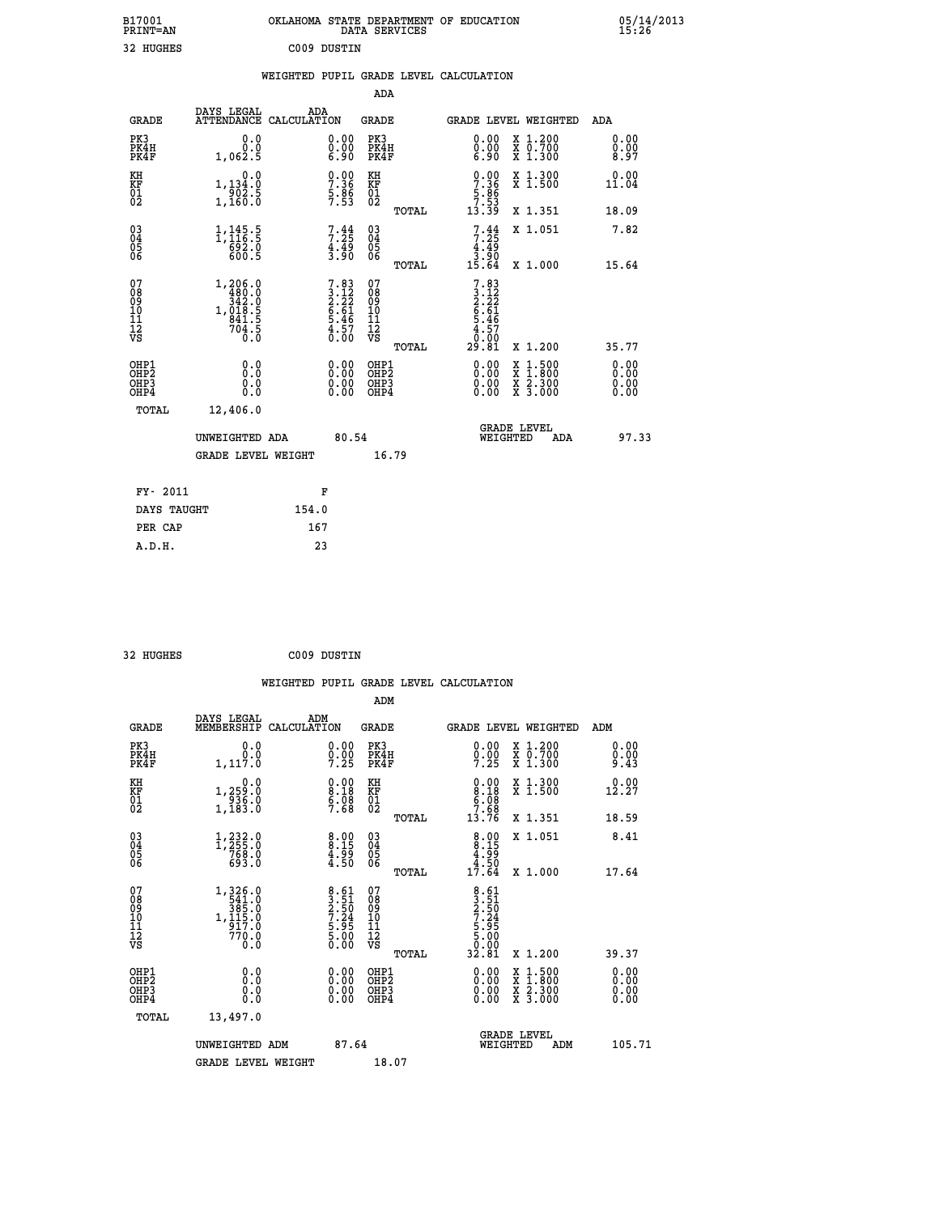| B17001<br><b>PRINT=AN</b> | OKLAHOMA STATE DEPARTMENT OF EDUCATION<br><b>SERVICES</b><br>DATA | 05/14/2013<br>15:26 |
|---------------------------|-------------------------------------------------------------------|---------------------|
| າາ<br>UNCUPC              | COOR DITCHTNI                                                     |                     |

| 32 HUGHES                                                          |                                                                                              |       | C009 DUSTIN                                                 |                                        |       |                                                                           |                                                                                                                                               |                      |
|--------------------------------------------------------------------|----------------------------------------------------------------------------------------------|-------|-------------------------------------------------------------|----------------------------------------|-------|---------------------------------------------------------------------------|-----------------------------------------------------------------------------------------------------------------------------------------------|----------------------|
|                                                                    |                                                                                              |       |                                                             | <b>ADA</b>                             |       | WEIGHTED PUPIL GRADE LEVEL CALCULATION                                    |                                                                                                                                               |                      |
| <b>GRADE</b>                                                       | DAYS LEGAL<br>ATTENDANCE CALCULATION                                                         | ADA   |                                                             | <b>GRADE</b>                           |       |                                                                           | GRADE LEVEL WEIGHTED                                                                                                                          | ADA                  |
| PK3<br>PK4H<br>PK4F                                                | 0.0<br>0.0<br>1,062.5                                                                        |       | 0.00<br>Ŏ.ŎŎ<br>6.90                                        | PK3<br>PK4H<br>PK4F                    |       | 0.00<br>0.00<br>6.90                                                      | X 1.200<br>X 0.700<br>X 1.300                                                                                                                 | 0.00<br>0.00<br>8.97 |
| KH<br>KF<br>$\frac{01}{02}$                                        | 0.0<br>1,134.0<br>$\frac{502.5}{1,160.0}$                                                    |       | $\begin{array}{c} 0.00 \\ 7.36 \\ 5.86 \\ 7.53 \end{array}$ | KH<br>ΚF<br>$\overline{01}$            |       | $0.00$<br>$7.36$<br>$5.86$<br>$7.53$<br>$13.39$                           | X 1.300<br>X 1.500                                                                                                                            | 0.00<br>11.04        |
|                                                                    |                                                                                              |       |                                                             |                                        | TOTAL |                                                                           | X 1.351                                                                                                                                       | 18.09                |
| $\begin{smallmatrix} 03 \\[-4pt] 04 \end{smallmatrix}$<br>Ŏ5<br>06 | 1,145.5<br>ត្ថិទិ៍ - ១<br>600 - 5                                                            |       | $7:35$<br>$4:49$<br>$3:90$                                  | $03\overline{4}$<br>05<br>06           |       | $7:35$<br>$4:49$<br>$3:90$                                                | X 1.051                                                                                                                                       | 7.82                 |
|                                                                    |                                                                                              |       |                                                             |                                        | TOTAL | 15.64                                                                     | X 1.000                                                                                                                                       | 15.64                |
| 07<br>08<br>09<br>10<br>11<br>Ī2<br>VS                             | $\begin{array}{r} 1,206.0 \\ 480.0 \\ 342.0 \\ 1,018.5 \\ 841.5 \\ 704.5 \\ 0.0 \end{array}$ |       | $7.83\n3.12\n2.22\n6.61\n5.46\n4.57\n0.00$                  | 07<br>08<br>09<br>11<br>11<br>12<br>VS | TOTAL | $7.83$<br>$3.12$<br>$2.22$<br>$6.61$<br>$5.46$<br>$1.57$<br>0.00<br>29.81 | X 1.200                                                                                                                                       | 35.77                |
| OHP1<br>OHP2<br>OHP3<br>OHP4                                       | 0.0<br>0.0<br>0.0                                                                            |       | 0.00<br>0.00<br>0.00                                        | OHP1<br>OHP2<br>OHP3<br>OHP4           |       | 0.00<br>0.00<br>0.00                                                      | 1:500<br>$\begin{smallmatrix} \mathtt{X} & 1 & 500 \\ \mathtt{X} & 1 & 800 \\ \mathtt{X} & 2 & 300 \\ \mathtt{X} & 3 & 000 \end{smallmatrix}$ | 0.00<br>0.00<br>0.00 |
| <b>TOTAL</b>                                                       | 12,406.0                                                                                     |       |                                                             |                                        |       |                                                                           |                                                                                                                                               |                      |
|                                                                    | UNWEIGHTED ADA                                                                               |       | 80.54                                                       |                                        |       | WEIGHTED                                                                  | <b>GRADE LEVEL</b><br>ADA                                                                                                                     | 97.33                |
|                                                                    | <b>GRADE LEVEL WEIGHT</b>                                                                    |       |                                                             | 16.79                                  |       |                                                                           |                                                                                                                                               |                      |
| FY- 2011                                                           |                                                                                              |       | F                                                           |                                        |       |                                                                           |                                                                                                                                               |                      |
| DAYS TAUGHT                                                        |                                                                                              | 154.0 |                                                             |                                        |       |                                                                           |                                                                                                                                               |                      |
| PER CAP                                                            |                                                                                              | 167   |                                                             |                                        |       |                                                                           |                                                                                                                                               |                      |
| A.D.H.                                                             |                                                                                              |       | 23                                                          |                                        |       |                                                                           |                                                                                                                                               |                      |

| 32 HUGHES | C009 DUSTIN |
|-----------|-------------|
|           |             |

 **WEIGHTED PUPIL GRADE LEVEL CALCULATION ADM DAYS LEGAL ADM GRADE MEMBERSHIP CALCULATION GRADE GRADE LEVEL WEIGHTED ADM PK3 0.0 0.00 PK3 0.00 X 1.200 0.00 PK4H 0.0 0.00 PK4H 0.00 X 0.700 0.00 PK4F 1,117.0 7.25 PK4F 7.25 X 1.300 9.43 KH 0.0 0.00 KH 0.00 X 1.300 0.00 KF 1,259.0 8.18 KF 8.18 X 1.500 12.27 01 936.0 6.08 01 6.08 02 1,183.0 7.68 02 7.68 TOTAL 13.76 X 1.351 18.59 03 1,232.0 8.00 03 8.00 X 1.051 8.41 04 1,255.0 8.15 04 8.15 05 768.0 4.99 05 4.99** 06 693.0 **4.50 06** 4.50 **4.50 TOTAL 17.64 X 1.000 17.64 07 1,326.0 8.61 07 8.61<br>
08 541.0 3.51 08 3.51<br>
09 385.0 2.50 09 2.55<br>
10 1,115.0 7.24 10 7.24<br>
11 917.0 5.95 11 5.95<br>
770.0 5.00 12<br>
VS 0.0 8.61** 07<br> **2.24** 10<br> **7.24** 10<br> **7.24** 10<br> **5.90 12**<br> **5.90 12**<br> **5.90**<br> **7.24**<br> **5.90**<br> **5.90**<br> **7.24**<br> **5.90**<br> **7.24**<br> **5.90**<br> **7.24**<br> **5.90**<br> **7.24**<br> **5.90**<br> **7.24**<br> **5.90**<br> **5.00**<br> **12**<br> **5.00**<br> **12**<br> **12**<br> **12**<br>  **OHP1 0.0 0.00 OHP1 0.00 X 1.500 0.00 OHP2 0.0 0.00 OHP2 0.00 X 1.800 0.00 OHP3 0.0 0.00 OHP3 0.00 X 2.300 0.00 OHP4 0.0 0.00 OHP4 0.00 X 3.000 0.00 TOTAL 13,497.0 UNWEIGHTED ADM 87.64 UNWEIGHTED ADM 87.64 WEIGHTED ADM 105.71** GRADE LEVEL WEIGHT 18.07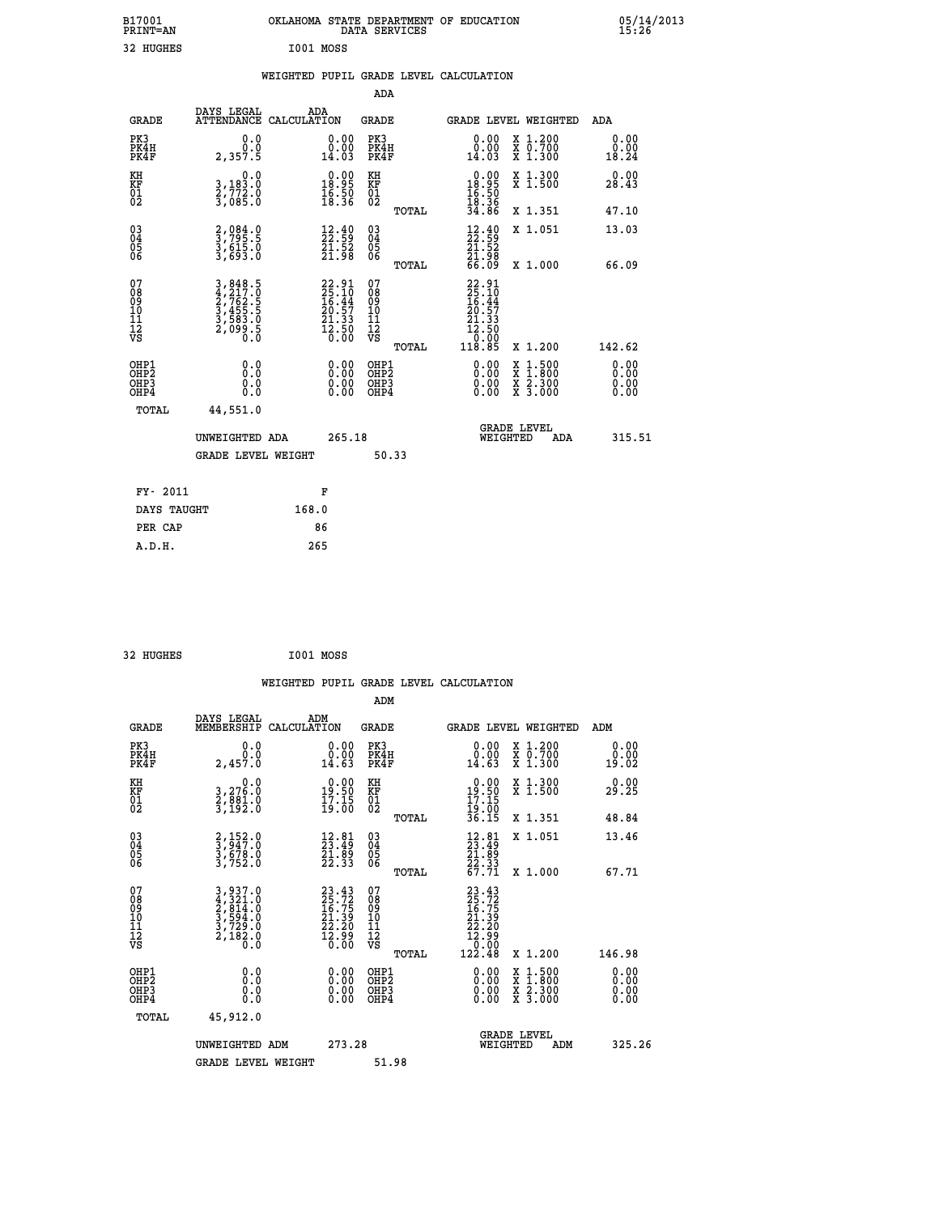| B17001<br><b>PRINT=AN</b>                |                                                                | OKLAHOMA STATE DEPARTMENT OF EDUCATION                                   | DATA SERVICES                                      |                                                                                                                      |                                                                                          | 05/14/2013<br>15:26          |
|------------------------------------------|----------------------------------------------------------------|--------------------------------------------------------------------------|----------------------------------------------------|----------------------------------------------------------------------------------------------------------------------|------------------------------------------------------------------------------------------|------------------------------|
| 32 HUGHES                                |                                                                | I001 MOSS                                                                |                                                    |                                                                                                                      |                                                                                          |                              |
|                                          |                                                                | WEIGHTED PUPIL GRADE LEVEL CALCULATION                                   |                                                    |                                                                                                                      |                                                                                          |                              |
|                                          |                                                                |                                                                          | ADA                                                |                                                                                                                      |                                                                                          |                              |
| <b>GRADE</b>                             | DAYS LEGAL<br>ATTENDANCE CALCULATION                           | ADA                                                                      | GRADE                                              | <b>GRADE LEVEL WEIGHTED</b>                                                                                          |                                                                                          | ADA                          |
| PK3<br>PK4H<br>PK4F                      | 0.0<br>0.0<br>2,357.5                                          | 0.00<br>0.00<br>14.03                                                    | PK3<br>PK4H<br>PK4F                                | 0.00<br>14.03                                                                                                        | X 1.200<br>X 0.700<br>X 1.300                                                            | 0.00<br>0.00<br>18.24        |
| KH<br>KF<br>01<br>02                     | 0.0<br>3,183:0<br>2,772:0<br>3,085:0                           | $\begin{smallmatrix} 0.00\\ 18.95\\ 16.50\\ 18.36 \end{smallmatrix}$     | KH<br>KF<br>01<br>02                               | $\begin{smallmatrix} 0.00\\ 18.95\\ 16.50\\ 19.39 \end{smallmatrix}$                                                 | X 1.300<br>X 1.500                                                                       | 0.00<br>28.43                |
|                                          |                                                                |                                                                          | TOTAL                                              | 34.86                                                                                                                | X 1.351                                                                                  | 47.10                        |
| $\substack{03 \\ 04}$<br>$\frac{05}{06}$ | 2,084.0<br>3,795.5<br>3,615.0<br>3,693.0                       | $\begin{smallmatrix} 12.40\\ 22.59\\ 21.52\\ 21.98 \end{smallmatrix}$    | $\begin{matrix} 03 \\ 04 \\ 05 \\ 06 \end{matrix}$ | $\frac{12.40}{22.59}$<br>21.98<br>66.09                                                                              | X 1.051                                                                                  | 13.03                        |
|                                          |                                                                |                                                                          | TOTAL                                              |                                                                                                                      | X 1.000                                                                                  | 66.09                        |
| 07<br>08<br>09<br>10<br>11<br>Ī2<br>VS   | 3,848.5<br>4,217.0<br>2,762.5<br>3,455.5<br>3,583.0<br>2,099.5 | $22.91$<br>$25.10$<br>$16.44$<br>$20.57$<br>$21.33$<br>$12.50$<br>$0.00$ | 07890112<br>00010112<br>VS<br>TOTAL                | $22.91$<br>$25.10$<br>$16.44$<br>$20.57$<br>$21.33$<br>$\begin{smallmatrix} 12.50\\ 0.00\\ 118.85 \end{smallmatrix}$ | X 1.200                                                                                  | 142.62                       |
| OHP1<br>OHP <sub>2</sub><br>OHP3<br>OHP4 | 0.0<br>ŏ:ŏ<br>0.0<br>0.0                                       | 0.00<br>0.00<br>0.00                                                     | OHP1<br>OH <sub>P</sub> 2<br>OHP3<br>OHP4          | 0.00<br>0.00<br>0.00                                                                                                 | $\begin{smallmatrix} x & 1.500 \\ x & 1.800 \\ x & 2.300 \\ x & 3.000 \end{smallmatrix}$ | 0.00<br>0.00<br>0.00<br>0.00 |
| TOTAL                                    | 44,551.0                                                       |                                                                          |                                                    |                                                                                                                      |                                                                                          |                              |
|                                          | UNWEIGHTED ADA                                                 | 265.18                                                                   |                                                    | WEIGHTED                                                                                                             | <b>GRADE LEVEL</b><br>ADA                                                                | 315.51                       |
|                                          | <b>GRADE LEVEL WEIGHT</b>                                      |                                                                          | 50.33                                              |                                                                                                                      |                                                                                          |                              |
| FY- 2011                                 |                                                                | F                                                                        |                                                    |                                                                                                                      |                                                                                          |                              |
| DAYS TAUGHT                              |                                                                | 168.0                                                                    |                                                    |                                                                                                                      |                                                                                          |                              |
| PER CAP                                  |                                                                | 86                                                                       |                                                    |                                                                                                                      |                                                                                          |                              |

```
 32 HUGHES I001 MOSS
```

|                                                      |                                                                         |                                                                    | WEIGHTED PUPIL GRADE LEVEL CALCULATION              |                                                                                                                                                                                                                                                                                                                            |                              |
|------------------------------------------------------|-------------------------------------------------------------------------|--------------------------------------------------------------------|-----------------------------------------------------|----------------------------------------------------------------------------------------------------------------------------------------------------------------------------------------------------------------------------------------------------------------------------------------------------------------------------|------------------------------|
|                                                      |                                                                         |                                                                    | ADM                                                 |                                                                                                                                                                                                                                                                                                                            |                              |
| <b>GRADE</b>                                         | DAYS LEGAL<br>MEMBERSHIP                                                | ADM<br>CALCULATION                                                 | <b>GRADE</b>                                        | <b>GRADE LEVEL WEIGHTED</b>                                                                                                                                                                                                                                                                                                | ADM                          |
| PK3<br>PK4H<br>PK4F                                  | 0.0<br>0.0<br>2,457.0                                                   | 0.00<br>14.63                                                      | PK3<br>PK4H<br>PK4F                                 | $\begin{smallmatrix} 0.00\\ 0.00\\ 14.63 \end{smallmatrix}$<br>X 1.200<br>X 0.700<br>X 1.300                                                                                                                                                                                                                               | 0.00<br>0.00<br>19.02        |
| KH<br>KF<br>01<br>02                                 | $\begin{smallmatrix}&&&0.0\\3,276.0\\2,881.0\\3,192.0\end{smallmatrix}$ | $\begin{smallmatrix} 0.00\\19.50\\17.15\\19.00 \end{smallmatrix}$  | KH<br>KF<br>01<br>02                                | $\begin{smallmatrix} 0.00\\19.50\\17.15\\19.00\\36.15 \end{smallmatrix}$<br>X 1.300<br>X 1.500                                                                                                                                                                                                                             | 0.00<br>29.25                |
|                                                      |                                                                         |                                                                    | TOTAL                                               | X 1.351                                                                                                                                                                                                                                                                                                                    | 48.84                        |
| $\begin{matrix} 03 \\ 04 \\ 05 \\ 06 \end{matrix}$   | 2,152.0<br>3,947.0<br>3,678.0<br>3,752.0                                | $\begin{smallmatrix} 12.81\ 23.49\ 21.89\ 22.33 \end{smallmatrix}$ | $\begin{array}{c} 03 \\ 04 \\ 05 \\ 06 \end{array}$ | X 1.051<br>$\begin{smallmatrix} 12.81\ 23.49\ 21.89\ 22.33\ 67.71\ \end{smallmatrix}$                                                                                                                                                                                                                                      | 13.46                        |
|                                                      |                                                                         |                                                                    | TOTAL                                               | X 1.000                                                                                                                                                                                                                                                                                                                    | 67.71                        |
| 07<br>08<br>09<br>101<br>112<br>VS                   | 3,937.0<br>4,321.0<br>2,814.0<br>3,594.0<br>3,729.0<br>2,182.0<br>0.0   | $23.4325.7216.7521.3922.2012.9916.00$                              | 07<br>08<br>09<br>11<br>11<br>12<br>VS<br>TOTAL     | $\begin{smallmatrix} 23 & .43 \\ 25 & .72 \\ 16 & .75 \\ 14 & .39 \\ 21 & .39 \\ 22 & .20 \\ 12 & .99 \\ 122 & .48 \end{smallmatrix}$<br>X 1.200                                                                                                                                                                           | 146.98                       |
| OHP1<br>OHP2<br>OH <sub>P3</sub><br>OH <sub>P4</sub> | 0.0<br>0.000                                                            | $\begin{smallmatrix} 0.00 \ 0.00 \ 0.00 \ 0.00 \end{smallmatrix}$  | OHP1<br>OHP2<br>OHP3<br>OHP4                        | $\begin{smallmatrix} 0.00 & 0.00 & 0.00 & 0.00 & 0.00 & 0.00 & 0.00 & 0.00 & 0.00 & 0.00 & 0.00 & 0.00 & 0.00 & 0.00 & 0.00 & 0.00 & 0.00 & 0.00 & 0.00 & 0.00 & 0.00 & 0.00 & 0.00 & 0.00 & 0.00 & 0.00 & 0.00 & 0.00 & 0.00 & 0.00 & 0.00 & 0.00 & 0.00 & 0.00 & 0.00 & 0.0$<br>X 1:500<br>X 1:800<br>X 2:300<br>X 3:000 | 0.00<br>0.00<br>0.00<br>0.00 |
| TOTAL                                                | 45,912.0                                                                |                                                                    |                                                     |                                                                                                                                                                                                                                                                                                                            |                              |
|                                                      | UNWEIGHTED ADM                                                          | 273.28                                                             |                                                     | GRADE LEVEL<br>WEIGHTED                                                                                                                                                                                                                                                                                                    | 325.26<br>ADM                |
|                                                      | <b>GRADE LEVEL WEIGHT</b>                                               |                                                                    | 51.98                                               |                                                                                                                                                                                                                                                                                                                            |                              |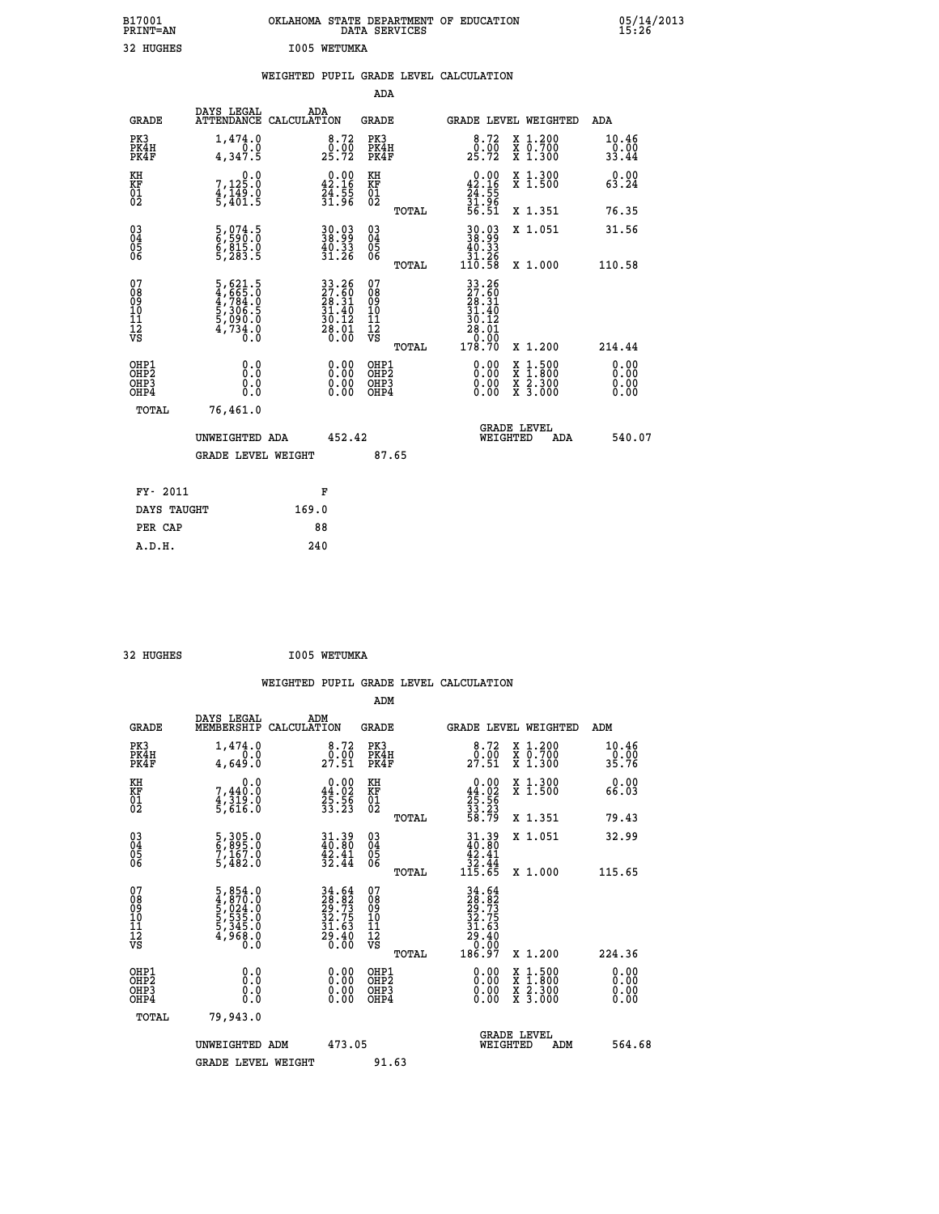| B17001<br>PRINT=AN                       |                                                                           | OKLAHOMA STATE DEPARTMENT OF EDUCATION                                   |                                                    | DATA SERVICES  |                                                                                |                                                                                                  | 05/14/2013                   |
|------------------------------------------|---------------------------------------------------------------------------|--------------------------------------------------------------------------|----------------------------------------------------|----------------|--------------------------------------------------------------------------------|--------------------------------------------------------------------------------------------------|------------------------------|
| 32 HUGHES                                |                                                                           | I005 WETUMKA                                                             |                                                    |                |                                                                                |                                                                                                  |                              |
|                                          |                                                                           | WEIGHTED PUPIL GRADE LEVEL CALCULATION                                   |                                                    | <b>ADA</b>     |                                                                                |                                                                                                  |                              |
| <b>GRADE</b>                             | DAYS LEGAL                                                                | ADA<br>ATTENDANCE CALCULATION                                            | <b>GRADE</b>                                       |                |                                                                                | GRADE LEVEL WEIGHTED                                                                             | ADA                          |
| PK3<br>PK4H<br>PK4F                      | 1,474.0<br>0.0<br>4,347.5                                                 | $\begin{smallmatrix} 8.72\ 0.00\ 25.72 \end{smallmatrix}$                | PK3<br>PK4H<br>PK4F                                |                | 8.72<br>$2\overline{5}\cdot\overline{7}\overline{2}$                           | X 1.200<br>X 0.700<br>X 1.300                                                                    | 10.46<br>0.00<br>33.44       |
| KH<br>KF<br>01<br>02                     | 0.0<br>7,125.0<br>4,149.0<br>5,401.5                                      | $\begin{smallmatrix} 0.00\\ 42.16\\ 24.55\\ 31.96 \end{smallmatrix}$     | KH<br>KF<br>01<br>02                               |                | $\begin{smallmatrix} 0.00\\ 42.16\\ 24.55\\ 31.96\\ 56.51 \end{smallmatrix}$   | X 1.300<br>X 1.500                                                                               | 0.00<br>63.24                |
|                                          |                                                                           |                                                                          |                                                    | TOTAL          |                                                                                | X 1.351                                                                                          | 76.35                        |
| 030404<br>06                             | 5,074.5<br>6,590.0<br>6,815.0<br>5,283.5                                  | $\begin{smallmatrix} 30.03\ 38.99\ 40.33\ 31.26 \end{smallmatrix}$       | $\begin{matrix} 03 \\ 04 \\ 05 \\ 06 \end{matrix}$ |                | 30.03<br>38.99<br>$\begin{smallmatrix} 40.33\ 31.26\ 110.58 \end{smallmatrix}$ | X 1.051                                                                                          | 31.56                        |
| 07<br>08<br>09<br>10<br>11<br>12<br>VS   | 5,621.5<br>4,665.0<br>4,784.0<br>5,306.5<br>5,090.0<br>5,090.0<br>4,734.0 | $33.26$<br>$27.60$<br>$28.31$<br>$31.40$<br>$30.12$<br>$28.01$<br>$0.00$ | 07<br>08<br>09<br>10<br>11<br>12<br>VS             | TOTAL<br>TOTAL | 33.26<br>27.60<br>28.31<br>31.40<br>30.12<br>28.01<br>0.00<br>178.70           | X 1,000<br>X 1.200                                                                               | 110.58<br>214.44             |
| OHP1<br>OHP <sub>2</sub><br>OHP3<br>OHP4 | 0.0<br>Ō.Ō<br>0.0<br>0.0                                                  |                                                                          | OHP1<br>OHP <sub>2</sub><br>OHP3<br>OHP4           |                | 0.00<br>0.00<br>0.00                                                           | $\begin{smallmatrix} x & 1 & 500 \\ x & 1 & 800 \\ x & 2 & 300 \\ x & 3 & 000 \end{smallmatrix}$ | 0.00<br>0.00<br>0.00<br>0.00 |
| TOTAL                                    | 76,461.0                                                                  |                                                                          |                                                    |                |                                                                                |                                                                                                  |                              |
|                                          | UNWEIGHTED ADA                                                            |                                                                          | 452.42                                             |                |                                                                                | <b>GRADE LEVEL</b><br>WEIGHTED<br>ADA                                                            | 540.07                       |
|                                          | <b>GRADE LEVEL WEIGHT</b>                                                 |                                                                          |                                                    | 87.65          |                                                                                |                                                                                                  |                              |
| FY- 2011                                 |                                                                           | F                                                                        |                                                    |                |                                                                                |                                                                                                  |                              |
| DAYS TAUGHT                              |                                                                           | 169.0                                                                    |                                                    |                |                                                                                |                                                                                                  |                              |
| PER CAP                                  |                                                                           | 88                                                                       |                                                    |                |                                                                                |                                                                                                  |                              |

| 32 HUGHES | I005 WETUMKA |
|-----------|--------------|
|           |              |

 **WEIGHTED PUPIL GRADE LEVEL CALCULATION ADM DAYS LEGAL ADM GRADE MEMBERSHIP CALCULATION GRADE GRADE LEVEL WEIGHTED ADM PK3 1,474.0 8.72 PK3 8.72 X 1.200 10.46 PK4H 0.0 0.00 PK4H 0.00 X 0.700 0.00 PK4F 4,649.0 27.51 PK4F 27.51 X 1.300 35.76 KH 0.0 0.00 KH 0.00 X 1.300 0.00 KF 7,440.0 44.02 KF 44.02 X 1.500 66.03 01 4,319.0 25.56 01 25.56 02 5,616.0 33.23 02 33.23 TOTAL 58.79 X 1.351 79.43 03 5,305.0 31.39 03 31.39 X 1.051 32.99 04 6,895.0 40.80 04 40.80 05 7,167.0 42.41 05 42.41 06 5,482.0 32.44 06 32.44 TOTAL 115.65 X 1.000 115.65**  $\begin{array}{cccc} 07 & 5\,,\,854\cdot0 & 34\cdot64 & 07 & 34\cdot64\,69\,9 & 4\,,\,970\cdot0 & 28\cdot82 & 08 & 29\cdot73\,10\,11 & 5\,,\,535\cdot0 & 32\cdot75 & 10 & 32\cdot75\,11 & 5\,,\,535\cdot0 & 32\cdot75 & 10 & 32\cdot75\,12 & 4\,,\,968\cdot0 & 29\cdot40 & 12 & 31\cdot63\,16\,17\,18 & 6\cdot6\,10$  **TOTAL 186.97 X 1.200 224.36 OHP1 0.0 0.00 OHP1 0.00 X 1.500 0.00 OHP2 0.0 0.00 OHP2 0.00 X 1.800 0.00 OHP3 0.0 0.00 OHP3 0.00 X 2.300 0.00 OHP4 0.0 0.00 OHP4 0.00 X 3.000 0.00 TOTAL 79,943.0 GRADE LEVEL UNWEIGHTED ADM 473.05 WEIGHTED ADM 564.68** GRADE LEVEL WEIGHT 91.63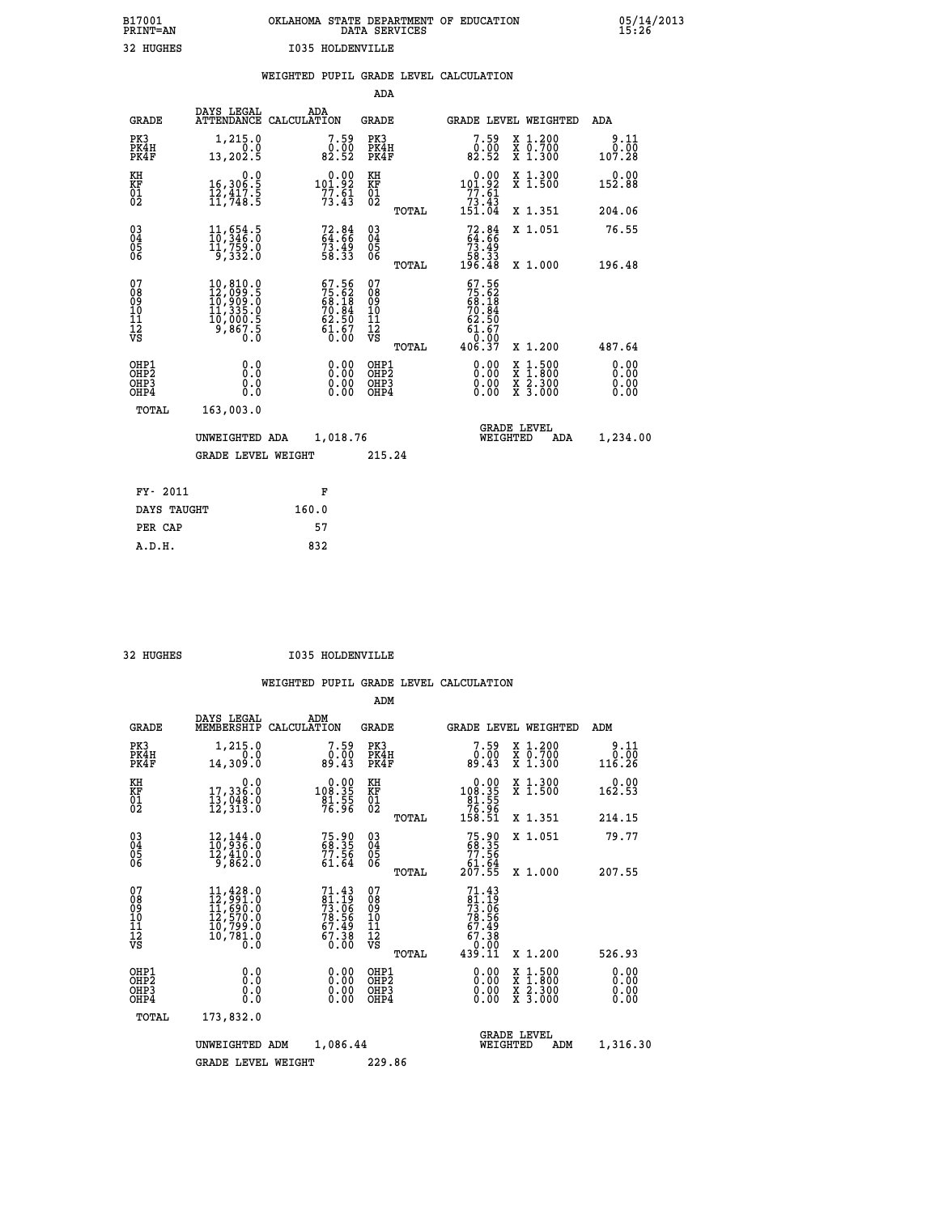| OKLAHOMA STATE DEPARTMENT OF EDUCATION | DATA SERVICES |  |
|----------------------------------------|---------------|--|
| I035 HOLDENVILLE                       |               |  |

|                                                                    |                                                                                                                    | WEIGHTED PUPIL GRADE LEVEL CALCULATION                                   |                                                    |       |                                                                           |                                                                                                                                              |                              |
|--------------------------------------------------------------------|--------------------------------------------------------------------------------------------------------------------|--------------------------------------------------------------------------|----------------------------------------------------|-------|---------------------------------------------------------------------------|----------------------------------------------------------------------------------------------------------------------------------------------|------------------------------|
|                                                                    |                                                                                                                    |                                                                          | ADA                                                |       |                                                                           |                                                                                                                                              |                              |
| <b>GRADE</b>                                                       | DAYS LEGAL                                                                                                         | ADA<br>ATTENDANCE CALCULATION                                            | GRADE                                              |       |                                                                           | GRADE LEVEL WEIGHTED                                                                                                                         | ADA                          |
| PK3<br>PK4H<br>PK4F                                                | 1,215.0<br>0.0<br>13,202.5                                                                                         | $\begin{smallmatrix}7.59\0.00\\82.52\end{smallmatrix}$                   | PK3<br>PK4H<br>PK4F                                |       | 7.59<br>0.00<br>82.52                                                     | X 1.200<br>X 0.700<br>X 1.300                                                                                                                | $0.11$<br>$0.00$<br>107.28   |
| KH<br>KF<br>01<br>02                                               | 0.0<br>16,306:5<br>12,417:5<br>11,748:5                                                                            | $0.00$<br>101.92<br>$77.61$<br>$73.43$                                   | KH<br>KF<br>01<br>02                               |       | 0.00<br>101.92<br>$\begin{array}{r} 77.61 \\ 73.43 \\ 151.04 \end{array}$ | X 1.300<br>X 1.500                                                                                                                           | 0.00<br>152.88               |
|                                                                    |                                                                                                                    |                                                                          |                                                    | TOTAL |                                                                           | X 1.351                                                                                                                                      | 204.06                       |
| $\begin{smallmatrix} 03 \\[-4pt] 04 \end{smallmatrix}$<br>05<br>06 | $\frac{11}{10}$ , $\frac{654}{346}$ ; $\frac{5}{0}$<br>11,759.0<br>9,332.0                                         | 72.84<br>64.66<br>73.49<br>58.33                                         | $\begin{matrix} 03 \\ 04 \\ 05 \\ 06 \end{matrix}$ |       | $72.84$<br>$64.66$<br>$73.49$<br>$58.33$                                  | X 1.051                                                                                                                                      | 76.55                        |
|                                                                    |                                                                                                                    |                                                                          |                                                    | TOTAL | 196.48                                                                    | X 1.000                                                                                                                                      | 196.48                       |
| 07<br>08<br>09<br>10<br>11<br>12<br>VS                             | $\begin{smallmatrix} 10, 810.0\\ 12, 099.5\\ 10, 909.5\\ 11, 335.0\\ 10, 000.5\\ 9, 867.5\\ 0.0 \end{smallmatrix}$ | $57.56$<br>$75.62$<br>$68.18$<br>$70.84$<br>$62.50$<br>$61.67$<br>$0.00$ | 07<br>08<br>09<br>11<br>11<br>12<br>VS             |       | 67.56<br>$75.62$<br>68.18<br>70.84<br>62.50<br>61.67<br>0.00              |                                                                                                                                              |                              |
|                                                                    |                                                                                                                    |                                                                          |                                                    | TOTAL | 406.37                                                                    | X 1.200                                                                                                                                      | 487.64                       |
| OHP1<br>OH <sub>P</sub> 2<br>OHP3<br>OHP4                          | 0.0<br>0.0<br>0.0                                                                                                  | $\begin{smallmatrix} 0.00 \ 0.00 \ 0.00 \ 0.00 \end{smallmatrix}$        | OHP1<br>OHP <sub>2</sub><br>OHP3<br>OHP4           |       | 0.00<br>0.00                                                              | $\begin{smallmatrix} \mathtt{X} & 1\cdot500 \\ \mathtt{X} & 1\cdot800 \\ \mathtt{X} & 2\cdot300 \\ \mathtt{X} & 3\cdot000 \end{smallmatrix}$ | 0.00<br>0.00<br>0.00<br>0.00 |
| TOTAL                                                              | 163,003.0                                                                                                          |                                                                          |                                                    |       |                                                                           |                                                                                                                                              |                              |
|                                                                    | UNWEIGHTED ADA                                                                                                     | 1,018.76                                                                 |                                                    |       | WEIGHTED                                                                  | <b>GRADE LEVEL</b><br>ADA                                                                                                                    | 1,234.00                     |
|                                                                    | <b>GRADE LEVEL WEIGHT</b>                                                                                          |                                                                          | 215.24                                             |       |                                                                           |                                                                                                                                              |                              |
| FY- 2011                                                           |                                                                                                                    | F                                                                        |                                                    |       |                                                                           |                                                                                                                                              |                              |
| DAYS TAUGHT                                                        |                                                                                                                    | 160.0                                                                    |                                                    |       |                                                                           |                                                                                                                                              |                              |
| PER CAP                                                            |                                                                                                                    | 57                                                                       |                                                    |       |                                                                           |                                                                                                                                              |                              |
| A.D.H.                                                             |                                                                                                                    | 832                                                                      |                                                    |       |                                                                           |                                                                                                                                              |                              |

32 HUGHES **I035 HOLDENVILLE** 

B17001<br>PRINT=AN<br>32 HUGHES

|                                          |                                                                                                                                  |                                                                        | ADM                                                |       |                                                                                  |                                          |                        |
|------------------------------------------|----------------------------------------------------------------------------------------------------------------------------------|------------------------------------------------------------------------|----------------------------------------------------|-------|----------------------------------------------------------------------------------|------------------------------------------|------------------------|
| <b>GRADE</b>                             | DAYS LEGAL<br>MEMBERSHIP                                                                                                         | ADM<br>CALCULATION                                                     | <b>GRADE</b>                                       |       |                                                                                  | <b>GRADE LEVEL WEIGHTED</b>              | ADM                    |
| PK3<br>PK4H<br>PK4F                      | 1,215.0<br>0.0<br>14,309.0                                                                                                       | 7.59<br>0.00<br>89.43                                                  | PK3<br>PK4H<br>PK4F                                |       | 7.59<br>0.00<br>89.43                                                            | X 1.200<br>X 0.700<br>X 1.300            | 9.11<br>0.00<br>116.26 |
| KH<br>KF<br>01<br>02                     | 0.0<br>17,336.0<br>13,048.0<br>12,313.0                                                                                          | $\begin{smallmatrix}&&0.00\\108.35\\81.55\\76.96\end{smallmatrix}$     | KH<br>KF<br>01<br>02                               |       | $\begin{array}{c} 0.00 \\ 108.35 \\ 81.55 \\ 76.96 \\ 158.51 \end{array}$        | X 1.300<br>X 1.500                       | 0.00<br>162.53         |
|                                          |                                                                                                                                  |                                                                        |                                                    | TOTAL |                                                                                  | X 1.351                                  | 214.15                 |
| 03<br>04<br>05<br>06                     | $\begin{smallmatrix} 12\,,\,144\cdot\,0\\ 10\,,\,9\,36\cdot\,0\\ 12\,,\,4\,10\cdot\,0\\ 9\,,\,8\,62\cdot\,0 \end{smallmatrix}$   | 75.90<br>68.35<br>77.56<br>61.64                                       | $\begin{matrix} 03 \\ 04 \\ 05 \\ 06 \end{matrix}$ |       | $75.90$<br>$68.35$<br>$77.56$<br>$61.64$<br>$207.55$                             | X 1.051                                  | 79.77                  |
|                                          |                                                                                                                                  |                                                                        |                                                    | TOTAL |                                                                                  | X 1.000                                  | 207.55                 |
| 07<br>08<br>09<br>101<br>112<br>VS       | $\begin{smallmatrix} 11, 428 & 0\\ 12, 991 & 0\\ 11, 690 & 0\\ 12, 570 & 0\\ 10, 799 & 0\\ 10, 781 & 0\\ 0 & 0\end{smallmatrix}$ | $71.43$<br>$81.19$<br>$73.06$<br>$78.56$<br>$67.49$<br>$67.38$<br>0.00 | 07<br>08<br>09<br>11<br>11<br>12<br>VS             | TOTAL | $71.43$<br>$81.19$<br>$73.06$<br>$78.56$<br>$67.49$<br>$67.38$<br>0.00<br>439.11 | X 1.200                                  | 526.93                 |
|                                          |                                                                                                                                  |                                                                        |                                                    |       |                                                                                  |                                          | 0.00                   |
| OHP1<br>OHP2<br>OH <sub>P3</sub><br>OHP4 | 0.0<br>0.000                                                                                                                     | $0.00$<br>$0.00$<br>0.00                                               | OHP1<br>OHP2<br>OHP <sub>3</sub>                   |       | $0.00$<br>$0.00$<br>0.00                                                         | X 1:500<br>X 1:800<br>X 2:300<br>X 3:000 | 0.00<br>0.00<br>0.00   |
| TOTAL                                    | 173,832.0                                                                                                                        |                                                                        |                                                    |       |                                                                                  |                                          |                        |
|                                          | UNWEIGHTED                                                                                                                       | 1,086.44<br>ADM                                                        |                                                    |       |                                                                                  | <b>GRADE LEVEL</b><br>WEIGHTED<br>ADM    | 1,316.30               |
|                                          | <b>GRADE LEVEL WEIGHT</b>                                                                                                        |                                                                        | 229.86                                             |       |                                                                                  |                                          |                        |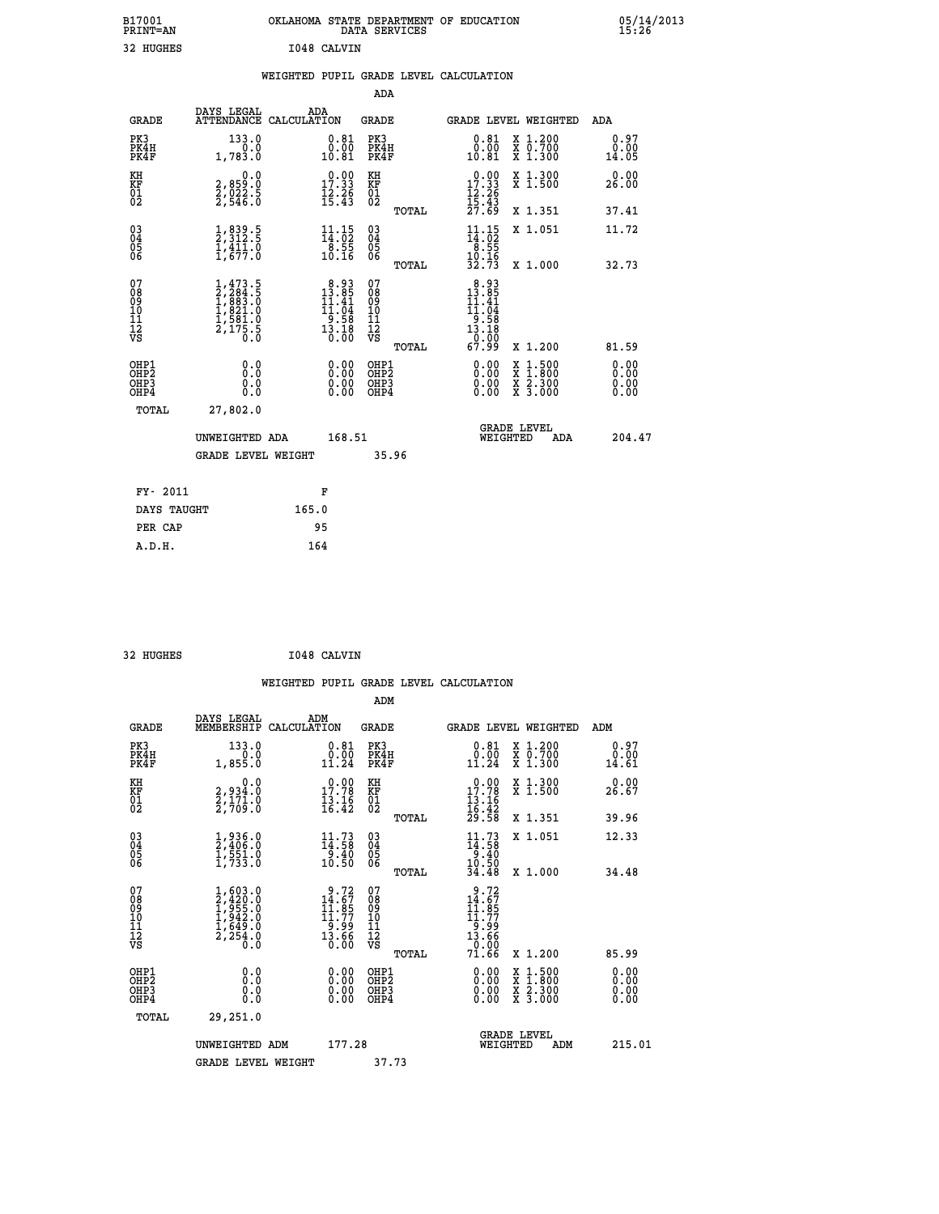|             | OKLAHOMA STATE DEPARTMENT OF EDUCATION<br>DATA SERVICES |  |
|-------------|---------------------------------------------------------|--|
| 1048 CALVIN |                                                         |  |

|  |  | WEIGHTED PUPIL GRADE LEVEL CALCULATION |
|--|--|----------------------------------------|
|  |  |                                        |

|                                                                  |                                                                                       |                                                                                    |                                                             | ADA                                                               |       |                                                                                                                                     |                                                                                                  |                              |
|------------------------------------------------------------------|---------------------------------------------------------------------------------------|------------------------------------------------------------------------------------|-------------------------------------------------------------|-------------------------------------------------------------------|-------|-------------------------------------------------------------------------------------------------------------------------------------|--------------------------------------------------------------------------------------------------|------------------------------|
| <b>GRADE</b>                                                     | DAYS LEGAL<br>ATTENDANCE CALCULATION                                                  | ADA                                                                                |                                                             | <b>GRADE</b>                                                      |       |                                                                                                                                     | GRADE LEVEL WEIGHTED                                                                             | ADA                          |
| PK3<br>PK4H<br>PK4F                                              | 133.0<br>0.0<br>1,783.0                                                               | 10.81                                                                              | $0.81$<br>$0.00$                                            | PK3<br>PK4H<br>PK4F                                               |       | $\begin{smallmatrix} 0.81\\ 0.00\\ 10.81 \end{smallmatrix}$                                                                         | X 1.200<br>X 0.700<br>X 1.300                                                                    | 0.97<br>0.00<br>14.05        |
| KH<br><b>KF</b><br>01<br>02                                      | 0.0<br>2,859:0<br>2,022:5<br>2,546:0                                                  | 17.33<br>$\frac{12.26}{15.43}$                                                     |                                                             | KH<br>KF<br>01<br>02                                              |       | 17.33<br>$\frac{12.26}{15.43}$<br>$\frac{27.69}{27.69}$                                                                             | X 1.300<br>X 1.500                                                                               | 0.00<br>26.00                |
|                                                                  |                                                                                       |                                                                                    |                                                             |                                                                   | TOTAL |                                                                                                                                     | X 1.351                                                                                          | 37.41                        |
| $^{03}_{04}$<br>Ŏ5<br>06                                         | $\frac{1}{2}, \frac{839}{312}$ .<br>$\frac{5}{1}, \frac{411}{677}$ .<br>$\frac{1}{0}$ | $\begin{array}{c} 11\cdot 15\\14\cdot 02\\8\cdot 55\\10\cdot 16\end{array}$        |                                                             | $\substack{03 \\ 04}$<br>$\begin{matrix} 0.5 \\ 0.6 \end{matrix}$ | TOTAL | $\begin{array}{c} 11\cdot 15\\14\cdot 02\\8\cdot 55\\10\cdot 16\\32\cdot 73 \end{array}$                                            | X 1.051<br>X 1.000                                                                               | 11.72<br>32.73               |
| 07<br>08901112<br>1112<br>VS                                     | $1,473.5$<br>$2,284.5$<br>$1,883.0$<br>$1,821.0$<br>$1,581.0$<br>$2,175.5$<br>$0.0$   | $\begin{smallmatrix}8.93\\13.85\\11.41\\11.04\\9.58\\13.18\\0.00\end{smallmatrix}$ |                                                             | 07<br>08901112<br>1112<br>VS                                      |       | $\begin{array}{r} 8\cdot 93 \\ 13\cdot 85 \\ 11\cdot 41 \\ 11\cdot 04 \\ 9\cdot 58 \\ 13\cdot 18 \\ 0.00 \\ 67\cdot 99 \end{array}$ |                                                                                                  |                              |
|                                                                  |                                                                                       |                                                                                    |                                                             |                                                                   | TOTAL |                                                                                                                                     | X 1.200                                                                                          | 81.59                        |
| OHP1<br>OH <sub>P2</sub><br>OH <sub>P3</sub><br>OH <sub>P4</sub> | 0.0<br>0.0<br>0.0                                                                     |                                                                                    | 0.00<br>$\begin{smallmatrix} 0.00 \ 0.00 \end{smallmatrix}$ | OHP1<br>OHP <sub>2</sub><br>OHP3<br>OHP4                          |       | 0.00<br>0.00<br>0.00                                                                                                                | $\begin{smallmatrix} x & 1 & 500 \\ x & 1 & 800 \\ x & 2 & 300 \\ x & 3 & 000 \end{smallmatrix}$ | 0.00<br>0.00<br>0.00<br>0.00 |
| TOTAL                                                            | 27,802.0                                                                              |                                                                                    |                                                             |                                                                   |       |                                                                                                                                     |                                                                                                  |                              |
|                                                                  | UNWEIGHTED ADA                                                                        |                                                                                    | 168.51                                                      |                                                                   |       |                                                                                                                                     | GRADE LEVEL<br>WEIGHTED<br>ADA                                                                   | 204.47                       |
|                                                                  | <b>GRADE LEVEL WEIGHT</b>                                                             |                                                                                    |                                                             | 35.96                                                             |       |                                                                                                                                     |                                                                                                  |                              |
| FY- 2011                                                         |                                                                                       | F                                                                                  |                                                             |                                                                   |       |                                                                                                                                     |                                                                                                  |                              |
| DAYS TAUGHT                                                      |                                                                                       | 165.0                                                                              |                                                             |                                                                   |       |                                                                                                                                     |                                                                                                  |                              |
| PER CAP                                                          |                                                                                       | 95                                                                                 |                                                             |                                                                   |       |                                                                                                                                     |                                                                                                  |                              |

| 32 HUGHES | I048 CALVIN |
|-----------|-------------|
|           |             |

B17001<br>PRINT=AN<br>32 HUGHES

| <b>GRADE</b>                                       | DAYS LEGAL<br>MEMBERSHIP                                                            | ADM<br>CALCULATION                                                       | <b>GRADE</b>                                        |       | <b>GRADE LEVEL WEIGHTED</b>                                                                                |                                          | ADM                   |  |
|----------------------------------------------------|-------------------------------------------------------------------------------------|--------------------------------------------------------------------------|-----------------------------------------------------|-------|------------------------------------------------------------------------------------------------------------|------------------------------------------|-----------------------|--|
| PK3<br>PK4H<br>PK4F                                | 133.0<br>1,855.0                                                                    | 0.81<br>$0.00$<br>11.24                                                  | PK3<br>PK4H<br>PK4F                                 |       | $\substack{0.81 \\ 0.00 \\ 11.24}$                                                                         | X 1.200<br>X 0.700<br>X 1.300            | 0.97<br>0.00<br>14.61 |  |
| KH<br>KF<br>01<br>02                               | 0.0<br>2,934:0<br>2,171:0<br>2,709:0                                                | $\begin{smallmatrix} 0.00\\ 17.78\\ 13.16\\ 16.42 \end{smallmatrix}$     | KH<br>KF<br>01<br>02                                |       | $\begin{array}{r} 0.00 \\ 17.78 \\ 13.16 \\ 16.42 \\ 29.58 \end{array}$                                    | X 1.300<br>X 1.500                       | 0.00<br>26.67         |  |
|                                                    |                                                                                     |                                                                          |                                                     | TOTAL |                                                                                                            | X 1.351                                  | 39.96                 |  |
| $\begin{matrix} 03 \\ 04 \\ 05 \\ 06 \end{matrix}$ | $\frac{1}{2}, \frac{936}{406}.0 \ \frac{1}{1}, \frac{551}{733}.0$                   | $\begin{array}{c} 11\cdot73\\14\cdot58\\9\cdot40\\10\cdot50 \end{array}$ | $\begin{array}{c} 03 \\ 04 \\ 05 \\ 06 \end{array}$ |       | 11.73<br>$14:58$<br>9.40<br>$10:50$<br>34.48                                                               | X 1.051                                  | 12.33                 |  |
|                                                    |                                                                                     |                                                                          |                                                     | TOTAL |                                                                                                            | X 1.000                                  | 34.48                 |  |
| 07<br>08<br>09<br>101<br>112<br>VS                 | $1,603.0$<br>$2,420.0$<br>$1,955.0$<br>$1,942.0$<br>$1,649.0$<br>$2,254.0$<br>$0.0$ | $9.72$<br>$14.67$<br>$11.85$<br>$11.77$<br>$9.99$<br>$13.66$<br>$0.00$   | 07<br>08<br>09<br>11<br>11<br>12<br>VS              | TOTAL | $\begin{smallmatrix} 9.72 \\ 14.67 \\ 11.95 \\ 11.779 \\ 9.99 \\ 13.66 \\ 0.00 \\ 71.66 \end{smallmatrix}$ | X 1.200                                  | 85.99                 |  |
| OHP1<br>OHP2<br>OHP3<br>OHP4                       | 0.0<br>Ō.Ō<br>Ŏ.Ŏ                                                                   |                                                                          | OHP1<br>OHP2<br>OHP3<br>OHP4                        |       |                                                                                                            | X 1:500<br>X 1:800<br>X 2:300<br>X 3:000 | 0.00<br>0.00<br>0.00  |  |
| TOTAL                                              | 29,251.0                                                                            |                                                                          |                                                     |       |                                                                                                            |                                          |                       |  |
|                                                    | UNWEIGHTED ADM                                                                      | 177.28                                                                   |                                                     |       | <b>GRADE LEVEL</b><br>WEIGHTED                                                                             | ADM                                      | 215.01                |  |
|                                                    | <b>GRADE LEVEL WEIGHT</b>                                                           |                                                                          | 37.73                                               |       |                                                                                                            |                                          |                       |  |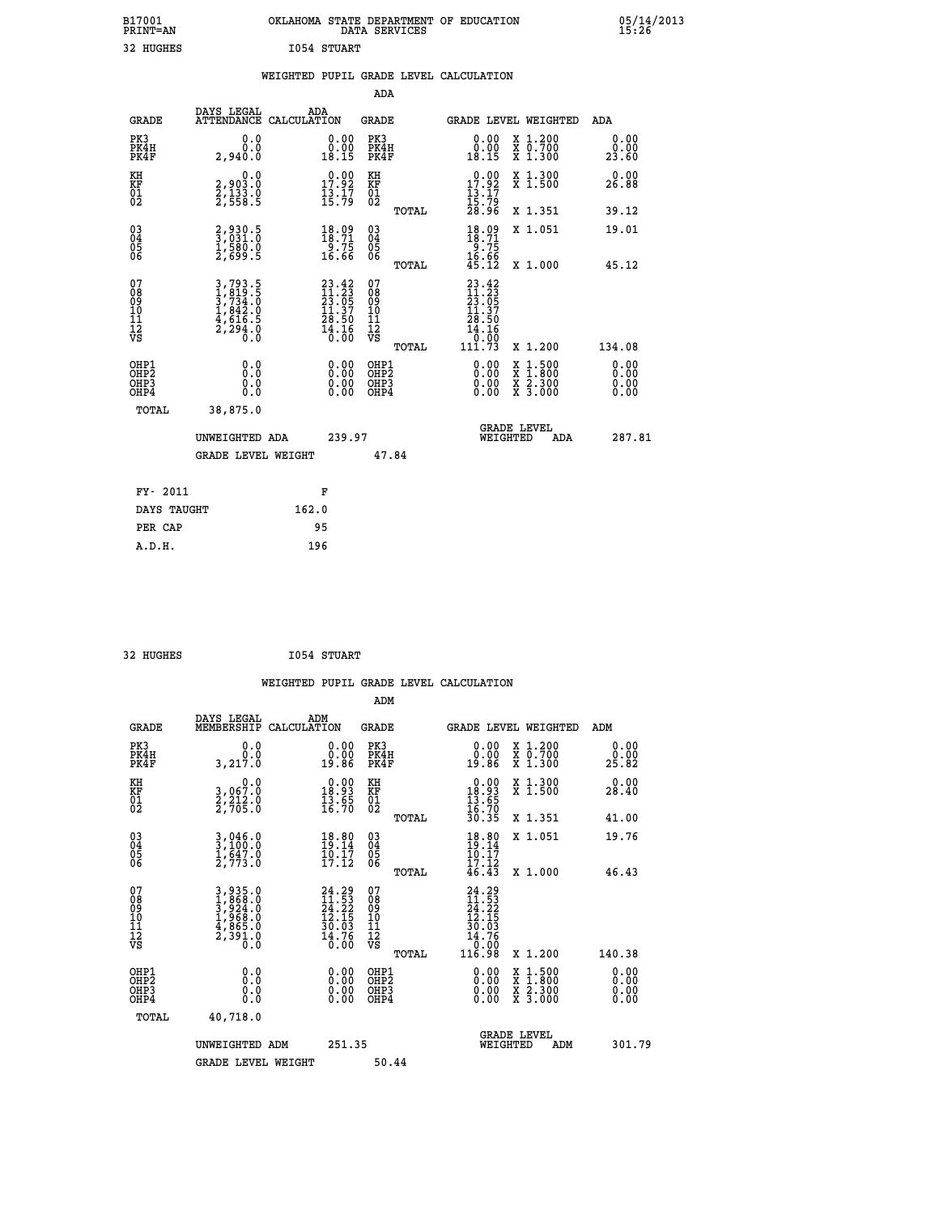|             | OKLAHOMA STATE DEPARTMENT OF EDUCATION<br>DATA SERVICES |  |
|-------------|---------------------------------------------------------|--|
| 1054 STUART |                                                         |  |

|                                                    |                                                                         |                                                                                         | ADA                                      |       |                                                                                                                                                                                                                                                                                |                                          |                                                                     |
|----------------------------------------------------|-------------------------------------------------------------------------|-----------------------------------------------------------------------------------------|------------------------------------------|-------|--------------------------------------------------------------------------------------------------------------------------------------------------------------------------------------------------------------------------------------------------------------------------------|------------------------------------------|---------------------------------------------------------------------|
| <b>GRADE</b>                                       | DAYS LEGAL<br><b>ATTENDANCE</b>                                         | ADA<br>CALCULATION                                                                      | <b>GRADE</b>                             |       | GRADE LEVEL WEIGHTED                                                                                                                                                                                                                                                           |                                          | ADA                                                                 |
| PK3<br>PK4H<br>PK4F                                | 0.0<br>0.0<br>2,940.0                                                   | 0.00<br>0.00<br>18.15                                                                   | PK3<br>PK4H<br>PK4F                      |       | 0.00<br>0.00<br>18.15                                                                                                                                                                                                                                                          | X 1.200<br>X 0.700<br>X 1.300            | 0.00<br>0.00<br>23.60                                               |
| KH<br>KF<br>01<br>02                               | $\begin{smallmatrix}&&&0.0\\2,903.0\\2,133.0\\2,558.5\end{smallmatrix}$ | $\begin{array}{c} 0.00 \\ 17.92 \\ 13.17 \\ 15.79 \end{array}$                          | KH<br>KF<br>01<br>02                     |       | $\begin{array}{c} 0.00 \\ 17.92 \\ 13.17 \\ 15.79 \\ 28.96 \end{array}$                                                                                                                                                                                                        | X 1.300<br>X 1.500                       | 0.00<br>26.88                                                       |
|                                                    |                                                                         |                                                                                         |                                          | TOTAL |                                                                                                                                                                                                                                                                                | X 1.351                                  | 39.12                                                               |
| $\begin{matrix} 03 \\ 04 \\ 05 \\ 06 \end{matrix}$ | 2,930.5<br>3,031.0<br>1,580.0<br>2,699.5                                | $\begin{smallmatrix} 18.09\\18.71\\9.75\\16.66 \end{smallmatrix}$                       | $\substack{03 \\ 04}$<br>Ŏ5<br>06        |       | $18.09$<br>$19.71$<br>$9.75$<br>$16.66$<br>$45.12$                                                                                                                                                                                                                             | X 1.051                                  | 19.01                                                               |
|                                                    |                                                                         |                                                                                         |                                          | TOTAL |                                                                                                                                                                                                                                                                                | X 1.000                                  | 45.12                                                               |
| 07<br>08<br>09<br>10<br>11<br>11<br>17<br>VS       | 3,793.5<br>1,819.5<br>3,734.0<br>1,842.0<br>4,616.5<br>2,294.0<br>0.0   | $\begin{smallmatrix} 23.42\ 11.23\ 23.05\ 11.37\ 28.50\ 14.16\ 16.00 \end{smallmatrix}$ | 07<br>08<br>09<br>11<br>11<br>12<br>VS   | TOTAL | $23.42$<br>$11.23$<br>$23.05$<br>$11.37$<br>28.50<br>14.16                                                                                                                                                                                                                     | X 1.200                                  | 134.08                                                              |
| OHP1<br>OHP2<br>OH <sub>P3</sub><br>OHP4           | 0.0<br>0.000                                                            | $\begin{smallmatrix} 0.00 \ 0.00 \ 0.00 \ 0.00 \end{smallmatrix}$                       | OHP1<br>OHP2<br>OHP <sub>3</sub><br>OHP4 |       | $\begin{smallmatrix} 0.00 & 0.00 & 0.00 & 0.00 & 0.00 & 0.00 & 0.00 & 0.00 & 0.00 & 0.00 & 0.00 & 0.00 & 0.00 & 0.00 & 0.00 & 0.00 & 0.00 & 0.00 & 0.00 & 0.00 & 0.00 & 0.00 & 0.00 & 0.00 & 0.00 & 0.00 & 0.00 & 0.00 & 0.00 & 0.00 & 0.00 & 0.00 & 0.00 & 0.00 & 0.00 & 0.0$ | X 1:500<br>X 1:800<br>X 2:300<br>X 3:000 | 0.00<br>0.00<br>$\begin{smallmatrix} 0.00 \ 0.00 \end{smallmatrix}$ |
| TOTAL                                              | 38,875.0                                                                |                                                                                         |                                          |       |                                                                                                                                                                                                                                                                                |                                          |                                                                     |
|                                                    | UNWEIGHTED ADA                                                          | 239.97                                                                                  |                                          |       | WEIGHTED                                                                                                                                                                                                                                                                       | <b>GRADE LEVEL</b><br>ADA                | 287.81                                                              |
|                                                    | GRADE LEVEL WEIGHT                                                      |                                                                                         |                                          | 47.84 |                                                                                                                                                                                                                                                                                |                                          |                                                                     |
| FY- 2011                                           |                                                                         | F                                                                                       |                                          |       |                                                                                                                                                                                                                                                                                |                                          |                                                                     |
| DAYS TAUGHT                                        |                                                                         | 162.0                                                                                   |                                          |       |                                                                                                                                                                                                                                                                                |                                          |                                                                     |
|                                                    |                                                                         |                                                                                         |                                          |       |                                                                                                                                                                                                                                                                                |                                          |                                                                     |

| 32 HUGHES | <b>I054 STUART</b> |
|-----------|--------------------|
|           |                    |

 **PER CAP 95**

 **A.D.H. 196**

B17001<br>PRINT=AN<br>32 HUGHES

| <b>GRADE</b>                                             | DAYS LEGAL<br>MEMBERSHIP                                              | ADM<br>CALCULATION                                                       | <b>GRADE</b>                                        |       | <b>GRADE LEVEL WEIGHTED</b>                                                              |                                          | ADM                  |  |
|----------------------------------------------------------|-----------------------------------------------------------------------|--------------------------------------------------------------------------|-----------------------------------------------------|-------|------------------------------------------------------------------------------------------|------------------------------------------|----------------------|--|
| PK3<br>PK4H<br>PK4F                                      | 0.0<br>3,217.0                                                        | 0.0000<br>19.86                                                          | PK3<br>PK4H<br>PK4F                                 |       | 0.00<br>ŏ:ŏŏ<br>19:86                                                                    | X 1.200<br>X 0.700<br>X 1.300            | 0.00<br>25.82        |  |
| KH<br>KF<br>01<br>02                                     | 0.0<br>3,067:0<br>2,212:0<br>2,705:0                                  | $\begin{smallmatrix} 0.00\\18.93\\13.65\\16.70 \end{smallmatrix}$        | KH<br>KF<br>01<br>02                                |       | $\begin{array}{r} 0.00 \\ 18.93 \\ 13.65 \\ 16.70 \\ 30.35 \end{array}$                  | X 1.300<br>X 1.500                       | 0.00<br>28.40        |  |
|                                                          |                                                                       |                                                                          |                                                     | TOTAL |                                                                                          | X 1.351                                  | 41.00                |  |
| $\begin{matrix} 03 \\ 04 \\ 05 \\ 06 \end{matrix}$       | $3,046.0$<br>$3,100.0$<br>$1,647.0$<br>$2,773.0$                      | $18.80$<br>$19.14$<br>$10.17$<br>$17.12$                                 | $\begin{array}{c} 03 \\ 04 \\ 05 \\ 06 \end{array}$ |       | 18.80<br>$\frac{16:17}{17:12}\$<br>$46.43$                                               | X 1.051                                  | 19.76                |  |
|                                                          |                                                                       |                                                                          |                                                     | TOTAL |                                                                                          | X 1.000                                  | 46.43                |  |
| 07<br>08<br>09<br>11<br>11<br>12<br>VS                   | 3,935.0<br>1,868.0<br>3,924.0<br>3,966.0<br>4,865.0<br>2,391.0<br>0.0 | $24.29$<br>$11.53$<br>$24.22$<br>$12.15$<br>$30.03$<br>$14.76$<br>$0.00$ | 07<br>08<br>09<br>11<br>11<br>12<br>VS              | TOTAL | $\begin{smallmatrix} 24.29\ 11.53\ 24.22\ 12.15\ 13.03\ 14.76\ 116.98 \end{smallmatrix}$ | X 1.200                                  | 140.38               |  |
| OHP1                                                     |                                                                       |                                                                          | OHP1                                                |       |                                                                                          |                                          | 0.00                 |  |
| OH <sub>P</sub> <sub>2</sub><br>OH <sub>P3</sub><br>OHP4 | 0.0<br>0.0<br>Ŏ.Ŏ                                                     |                                                                          | OHP <sub>2</sub><br>OHP3<br>OHP4                    |       |                                                                                          | X 1:500<br>X 1:800<br>X 2:300<br>X 3:000 | 0.00<br>0.00<br>0.00 |  |
| TOTAL                                                    | 40,718.0                                                              |                                                                          |                                                     |       |                                                                                          |                                          |                      |  |
|                                                          | UNWEIGHTED ADM                                                        | 251.35                                                                   |                                                     |       | WEIGHTED                                                                                 | <b>GRADE LEVEL</b><br>ADM                | 301.79               |  |
|                                                          | <b>GRADE LEVEL WEIGHT</b>                                             |                                                                          | 50.44                                               |       |                                                                                          |                                          |                      |  |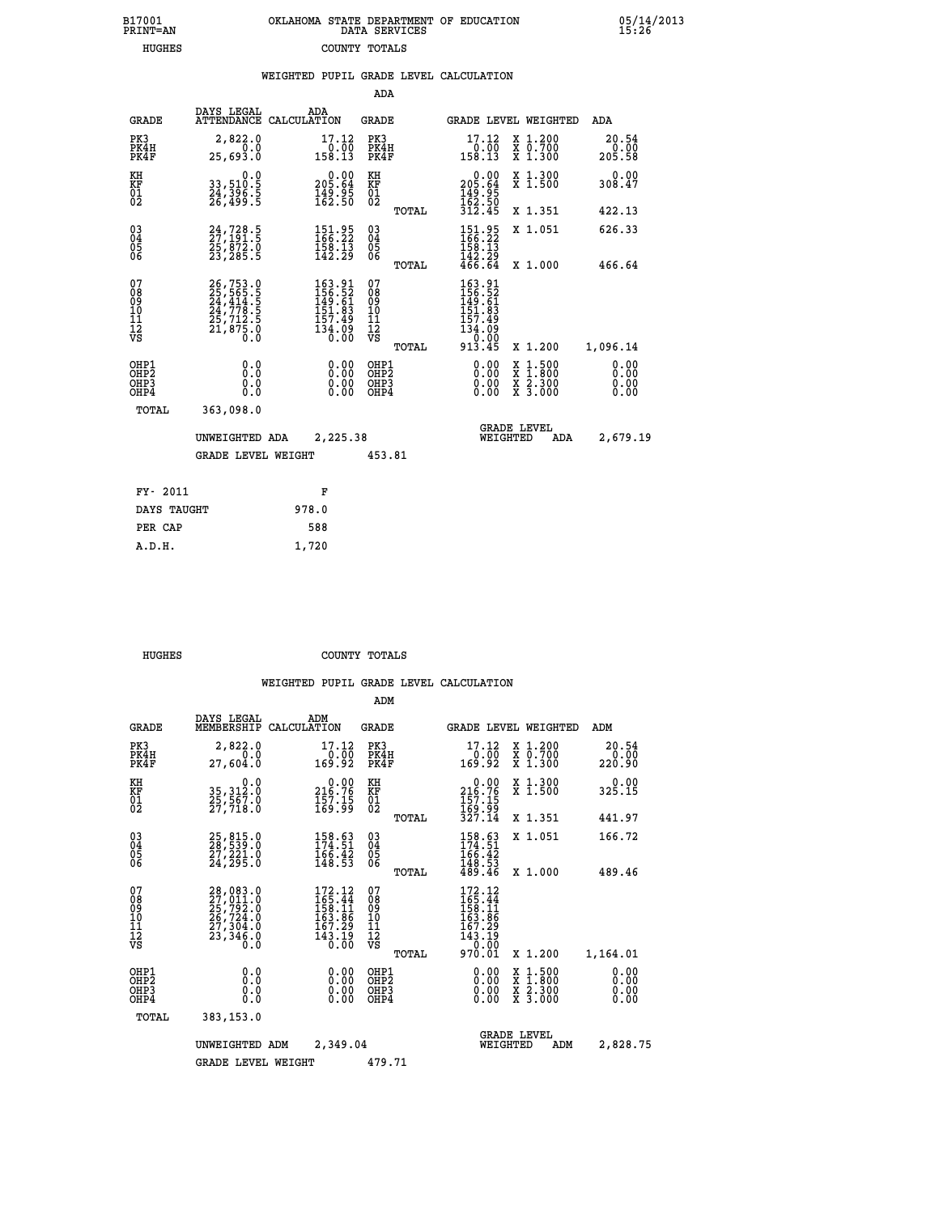| OKLAHOMA STATE DEPARTMENT OF EDUCATION<br>DATA SERVICES |  |
|---------------------------------------------------------|--|
| COUNTY TOTALS                                           |  |

 **WEIGHTED PUPIL GRADE LEVEL CALCULATION**

 **B17001 OKLAHOMA STATE DEPARTMENT OF EDUCATION 05/14/2013**

|                                        |                                                                                                                                                             |                                                                         |                                                                   | ADA                                    |       |                                                                                                                   |                                          |                                |
|----------------------------------------|-------------------------------------------------------------------------------------------------------------------------------------------------------------|-------------------------------------------------------------------------|-------------------------------------------------------------------|----------------------------------------|-------|-------------------------------------------------------------------------------------------------------------------|------------------------------------------|--------------------------------|
| <b>GRADE</b>                           | DAYS LEGAL                                                                                                                                                  | ADA<br>ATTENDANCE CALCULATION                                           |                                                                   | <b>GRADE</b>                           |       | <b>GRADE LEVEL WEIGHTED</b>                                                                                       |                                          | ADA                            |
| PK3<br>PK4H<br>PK4F                    | 2,822.0<br>0.0<br>25,693.0                                                                                                                                  | 17.12<br>$\frac{0.00}{158.13}$                                          |                                                                   | PK3<br>PK4H<br>PK4F                    |       | 17.12<br>$\begin{array}{c} \n 0.00 \\  \hline\n 158.13\n \end{array}$                                             | X 1.200<br>X 0.700<br>X 1.300            | 20.54<br>$\frac{0.00}{205.58}$ |
| KH<br>KF<br>01<br>02                   | $\begin{smallmatrix} & & 0.0\,33\,,510.5\,24\,,396\,.5\,26\,,499\,.5 \end{smallmatrix}$                                                                     | $\begin{smallmatrix} &0.00\ 205.64\ 149.95\ 162.50 \end{smallmatrix}$   |                                                                   | KH<br>KF<br>$\overline{01}$            |       | $\begin{smallmatrix} &0.00\ 205.64\ 149.95\ 162.50\ 312.45\ \end{smallmatrix}$                                    | X 1.300<br>X 1.500                       | 0.00<br>308.47                 |
|                                        |                                                                                                                                                             |                                                                         |                                                                   |                                        | TOTAL |                                                                                                                   | X 1.351                                  | 422.13                         |
| $^{03}_{04}$<br>Ŏ5<br>06               | 24,728.5<br>25,872.0<br>23,285.5                                                                                                                            | 151.95<br>166.22<br>$\frac{158}{142}$ $\frac{13}{29}$                   |                                                                   | $\substack{03 \\ 04}$<br>Ŏ5<br>06      |       | 151.95<br>166.22<br>158.13                                                                                        | X 1.051                                  | 626.33                         |
|                                        |                                                                                                                                                             |                                                                         |                                                                   |                                        | TOTAL | $\frac{142}{466}$ . $\frac{29}{64}$                                                                               | X 1.000                                  | 466.64                         |
| 07<br>08<br>09<br>11<br>11<br>12<br>VS | $\begin{smallmatrix} 26\,,753\cdot 0\\ 25\,,565\cdot 5\\ 24\,,414\cdot 5\\ 24\,,778\cdot 5\\ 25\,,712\cdot 5\\ 21\,,875\cdot 0\\ 0\cdot 0\end{smallmatrix}$ | 163.91<br>156.52<br>149.61<br>151.83<br>157.49<br>$\frac{134.09}{0.00}$ |                                                                   | 07<br>08<br>09<br>11<br>11<br>12<br>VS |       | 163.91<br>$\frac{156}{149}$ $\cdot\frac{52}{61}$<br>$\frac{151}{93}$<br>157.49<br>$\frac{134.09}{0.00}$<br>913.45 | X 1.200                                  | 1,096.14                       |
|                                        |                                                                                                                                                             |                                                                         |                                                                   |                                        | TOTAL |                                                                                                                   |                                          |                                |
| OHP1<br>OHP2<br>OHP3<br>OHP4           | 0.0<br>0.0<br>0.0<br>0.0                                                                                                                                    |                                                                         | $\begin{smallmatrix} 0.00 \ 0.00 \ 0.00 \ 0.00 \end{smallmatrix}$ | OHP1<br>OHP2<br>OHP3<br>OHP4           |       | 0.00<br>0.00<br>0.00                                                                                              | X 1:500<br>X 1:800<br>X 2:300<br>X 3:000 | 0.00<br>0.00<br>0.00<br>0.00   |
| TOTAL                                  | 363,098.0                                                                                                                                                   |                                                                         |                                                                   |                                        |       |                                                                                                                   |                                          |                                |
|                                        | UNWEIGHTED ADA                                                                                                                                              | 2,225.38                                                                |                                                                   |                                        |       | <b>GRADE LEVEL</b><br>WEIGHTED                                                                                    | ADA                                      | 2,679.19                       |
|                                        | <b>GRADE LEVEL WEIGHT</b>                                                                                                                                   |                                                                         |                                                                   | 453.81                                 |       |                                                                                                                   |                                          |                                |
| FY- 2011                               |                                                                                                                                                             | F                                                                       |                                                                   |                                        |       |                                                                                                                   |                                          |                                |
| DAYS TAUGHT                            |                                                                                                                                                             | 978.0                                                                   |                                                                   |                                        |       |                                                                                                                   |                                          |                                |
| PER CAP                                |                                                                                                                                                             | 588                                                                     |                                                                   |                                        |       |                                                                                                                   |                                          |                                |

| DAYS TAUGHT | 978.0 |
|-------------|-------|
| PER CAP     | 588   |
| A.D.H.      | 1,720 |
|             |       |
|             |       |

 **HUGHES COUNTY TOTALS**

 **B17001<br>PRINT=AN HUGHES COUNTY TOTALS**

|                                                       |                                                                                                                                                                               |                                                                                                                                      | ADM                                                |                                                                                  |                                                                                                  |                              |
|-------------------------------------------------------|-------------------------------------------------------------------------------------------------------------------------------------------------------------------------------|--------------------------------------------------------------------------------------------------------------------------------------|----------------------------------------------------|----------------------------------------------------------------------------------|--------------------------------------------------------------------------------------------------|------------------------------|
| <b>GRADE</b>                                          | DAYS LEGAL<br>MEMBERSHIP                                                                                                                                                      | ADM<br>CALCULATION                                                                                                                   | <b>GRADE</b>                                       | GRADE LEVEL WEIGHTED                                                             |                                                                                                  | ADM                          |
| PK3<br>PK4H<br>PK4F                                   | 2,822.0<br>0.0<br>27,604.0                                                                                                                                                    | 17.12<br>0.00<br>169.92                                                                                                              | PK3<br>PK4H<br>PK4F                                | 17.12<br>00:0⊤<br>169:92                                                         | X 1.200<br>X 0.700<br>X 1.300                                                                    | 20.54<br>0.00<br>220.90      |
| KH<br>KF<br>01<br>02                                  | 0.0<br>35, 312:0<br>25, 567:0<br>27, 718:0                                                                                                                                    | $\begin{smallmatrix} &0.00\\ 216.76\\ 157.15\\ 169.99\end{smallmatrix}$                                                              | KH<br>KF<br>01<br>02                               | $\begin{smallmatrix} &0.00\\ 216.76\\ 157.15\\ 169.99\\ 327.14\end{smallmatrix}$ | X 1.300<br>X 1.500                                                                               | 0.00<br>325.15               |
|                                                       |                                                                                                                                                                               |                                                                                                                                      | TOTAL                                              |                                                                                  | X 1.351                                                                                          | 441.97                       |
| 03<br>04<br>05<br>06                                  | 25,815.0<br>28,539.0<br>27,221.0<br>24,295.0                                                                                                                                  | 158.63<br>174.51<br>$\frac{166.42}{148.53}$                                                                                          | $\begin{matrix} 03 \\ 04 \\ 05 \\ 06 \end{matrix}$ | 158.63<br>174.51<br>$\frac{166.42}{148.53}$<br>$\frac{48.53}{489.46}$            | X 1.051                                                                                          | 166.72                       |
|                                                       |                                                                                                                                                                               |                                                                                                                                      | TOTAL                                              |                                                                                  | X 1.000                                                                                          | 489.46                       |
| 07<br>08<br>09<br>101<br>112<br>VS                    | $\begin{smallmatrix} 28\,, & 083\,. & 0\\ 27\,, & 011\,. & 0\\ 25\,, & 792\,. & 0\\ 26\,, & 724\,. & 0\\ 27\,, & 304\,. & 0\\ 23\,, & 346\,. & 0\\ 0\,. & 0\end{smallmatrix}$ | $172.12$<br>$165.44$<br>$158.11$<br>163.86<br>167.29<br>$\bar{1}\bar{4}\bar{3}\,.\bar{1}\bar{9}\,$<br>$\bar{0}\,.\,\bar{0}\,\bar{0}$ | 07<br>08<br>09<br>101<br>11<br>12<br>VS<br>TOTAL   | 172.12<br>165.44<br>158.11<br>163.86<br>167.29<br>143.19<br>20.00<br>970.01      | X 1.200                                                                                          | 1,164.01                     |
| OHP1<br>OH <sub>P</sub> 2<br>OH <sub>P3</sub><br>OHP4 | 0.0<br>0.000                                                                                                                                                                  | $0.00$<br>$0.00$<br>0.00                                                                                                             | OHP1<br>OHP2<br>OHP3<br>OHP4                       | $0.00$<br>$0.00$<br>0.00                                                         | $\begin{smallmatrix} x & 1 & 500 \\ x & 1 & 800 \\ x & 2 & 300 \\ x & 3 & 000 \end{smallmatrix}$ | 0.00<br>0.00<br>0.00<br>0.00 |
| TOTAL                                                 | 383,153.0                                                                                                                                                                     |                                                                                                                                      |                                                    |                                                                                  |                                                                                                  |                              |
|                                                       | UNWEIGHTED ADM                                                                                                                                                                | 2,349.04                                                                                                                             |                                                    | <b>GRADE LEVEL</b><br>WEIGHTED                                                   | ADM                                                                                              | 2,828.75                     |
|                                                       | <b>GRADE LEVEL WEIGHT</b>                                                                                                                                                     |                                                                                                                                      | 479.71                                             |                                                                                  |                                                                                                  |                              |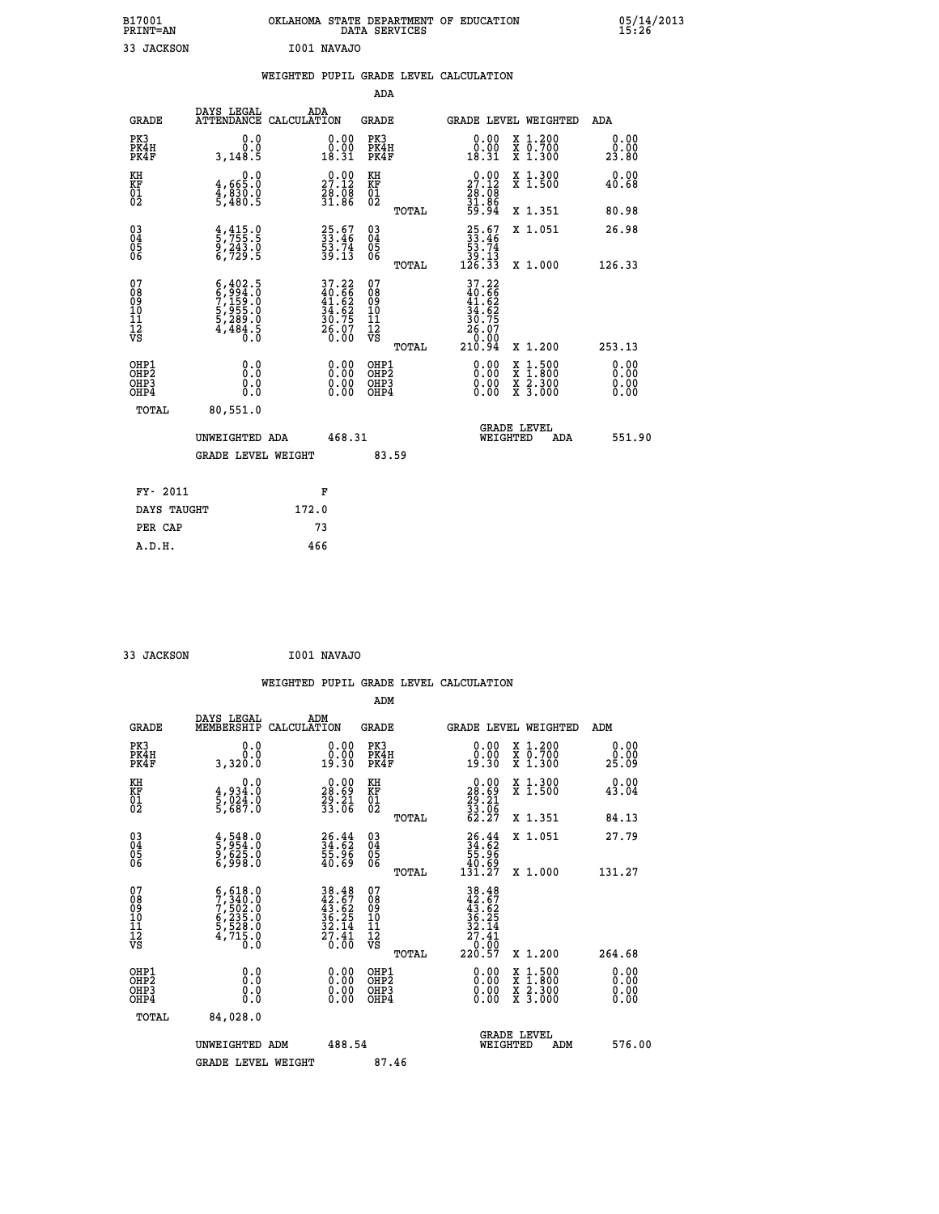| B17001          | OKLAHOMA STATE DEPARTMENT OF EDUCATION | 05/14/2013 |
|-----------------|----------------------------------------|------------|
| <b>PRINT=AN</b> | DATA SERVICES                          | 15.26      |
| JACKSON         | I001 NAVAJO                            |            |

|  |  | WEIGHTED PUPIL GRADE LEVEL CALCULATION |
|--|--|----------------------------------------|
|  |  |                                        |

|                                                                    |                                                                                     |                                                                      |        | ADA                                                 |       |                                                                            |                                          |                               |
|--------------------------------------------------------------------|-------------------------------------------------------------------------------------|----------------------------------------------------------------------|--------|-----------------------------------------------------|-------|----------------------------------------------------------------------------|------------------------------------------|-------------------------------|
| <b>GRADE</b>                                                       | DAYS LEGAL                                                                          | ADA<br>ATTENDANCE CALCULATION                                        |        | <b>GRADE</b>                                        |       | <b>GRADE LEVEL WEIGHTED</b>                                                |                                          | ADA                           |
| PK3<br>PK4H<br>PK4F                                                | 0.0<br>0.0<br>3,148.5                                                               | $\begin{smallmatrix} 0.00\\ 0.00\\ 18.31 \end{smallmatrix}$          |        | PK3<br>PK4H<br>PK4F                                 |       | $\begin{smallmatrix} 0.00\\ 0.00\\ 18.31 \end{smallmatrix}$                | X 1.200<br>X 0.700<br>X 1.300            | 0.00<br>0.00<br>23.80         |
| KH<br>KF<br>01<br>02                                               | $4,665.0$<br>$4,830.0$<br>$5,480.5$                                                 | $\begin{smallmatrix} 0.00\\ 27.12\\ 28.08\\ 31.86 \end{smallmatrix}$ |        | KH<br>KF<br>01<br>02                                |       | $29.00$<br>27.12<br>$\frac{26}{31}$ : $\frac{6}{36}$<br>59.94              | X 1.300<br>X 1.500                       | 0.00<br>40.68                 |
|                                                                    |                                                                                     |                                                                      |        |                                                     | TOTAL |                                                                            | X 1.351                                  | 80.98                         |
| $\begin{smallmatrix} 03 \\[-4pt] 04 \end{smallmatrix}$<br>Ŏ5<br>06 | $\frac{4}{5}, \frac{415}{755}$ .5<br>9, 243.0<br>6, 729.5                           | 25.67<br>33.46<br>53.74<br>59.13                                     |        | $\begin{array}{c} 03 \\ 04 \\ 05 \\ 06 \end{array}$ |       | $\begin{smallmatrix} 25.67\ 33.46\ 53.74\ 39.13\ 126.33 \end{smallmatrix}$ | X 1.051                                  | 26.98                         |
|                                                                    |                                                                                     |                                                                      |        |                                                     | TOTAL |                                                                            | X 1.000                                  | 126.33                        |
| 07<br>08<br>09<br>01<br>11<br>11<br>12<br>VS                       | $6,402.5$<br>$6,994.0$<br>$7,159.0$<br>$5,955.0$<br>$5,289.0$<br>$4,484.5$<br>$0.0$ | 37.22<br>40.66<br>41.62<br>34.62<br>30.75<br>36.07<br>26.07          |        | 07<br>08<br>09<br>11<br>11<br>12<br>VS              |       | 37.22<br>40.66<br>41.62<br>34.62<br>30.75<br>26.070                        |                                          |                               |
|                                                                    |                                                                                     |                                                                      |        |                                                     | TOTAL | 210.94                                                                     | X 1.200                                  | 253.13                        |
| OHP1<br>OHP <sub>2</sub><br>OH <sub>P3</sub><br>OHP4               | 0.0<br>0.000                                                                        | 0.00<br>$\begin{smallmatrix} 0.00 \ 0.00 \end{smallmatrix}$          |        | OHP1<br>OHP2<br>OHP <sub>3</sub>                    |       | 0.00<br>0.00                                                               | X 1:500<br>X 1:800<br>X 2:300<br>X 3:000 | 0.00<br>Ō. ŌŌ<br>0.00<br>0.00 |
| TOTAL                                                              | 80,551.0                                                                            |                                                                      |        |                                                     |       |                                                                            |                                          |                               |
|                                                                    | UNWEIGHTED ADA                                                                      |                                                                      | 468.31 |                                                     |       | WEIGHTED                                                                   | <b>GRADE LEVEL</b><br>ADA                | 551.90                        |
|                                                                    | <b>GRADE LEVEL WEIGHT</b>                                                           |                                                                      |        | 83.59                                               |       |                                                                            |                                          |                               |
| FY- 2011                                                           |                                                                                     | F                                                                    |        |                                                     |       |                                                                            |                                          |                               |
| DAYS TAUGHT                                                        |                                                                                     | 172.0                                                                |        |                                                     |       |                                                                            |                                          |                               |
| PER CAP                                                            |                                                                                     | 73                                                                   |        |                                                     |       |                                                                            |                                          |                               |

 **33 JACKSON I001 NAVAJO WEIGHTED PUPIL GRADE LEVEL CALCULATION ADM DAYS LEGAL ADM GRADE MEMBERSHIP CALCULATION GRADE GRADE LEVEL WEIGHTED ADM PK3 0.0 0.00 PK3 0.00 X 1.200 0.00 PK4H 0.0 0.00 PK4H 0.00 X 0.700 0.00 PK4F 3,320.0 19.30 PK4F 19.30 X 1.300 25.09 KH 0.0 0.00 KH 0.00 X 1.300 0.00 KF 4,934.0 28.69 KF 28.69 X 1.500 43.04 01 5,024.0 29.21 01 29.21**  $02$  5,687.0  $33.06$  02  $_{\text{norm}}$   $33.06$  **TOTAL 62.27 X 1.351 84.13 03 4,548.0 26.44 03 26.44 X 1.051 27.79 04 5,954.0 34.62 04 34.62 05 9,625.0 55.96 05 55.96 06 6,998.0 40.69 06 40.69 TOTAL 131.27 X 1.000 131.27**  $\begin{array}{cccc} 07 & 6,618.0 & 38.48 & 07 & 38.48 \\ 08 & 7,540.0 & 42.67 & 08 & 42.67 \\ 09 & 7,502.0 & 43.62 & 09 & 43.62 \\ 10 & 6,235.0 & 36.25 & 10 & 36.25 \\ 11 & 5,528.0 & 32.14 & 11 & 32.14 \\ 12 & 4,715.0 & 20.60 & \sqrt{3} & \sqrt{3} & 0.0 \\ \sqrt{3} & 4,715.0 & 20.60$ **38.48 07**<br> **22.67 08**<br> **38.48**<br> **36.25 00**<br> **36.25 10**<br> **36.25 10**<br> **36.25**<br> **36.25**<br> **36.25**<br> **36.25**<br> **36.25**<br> **36.25**<br> **36.25**<br> **36.25**<br> **36.25**<br> **36.25**<br> **36.25**<br> **36.25**<br> **36.25**<br> **36.25**<br> **36.25**<br> **36.25**<br> **36.25**<br>  **OHP1 0.0 0.00 OHP1 0.00 X 1.500 0.00 OHP2 0.0 0.00 OHP2 0.00 X 1.800 0.00 OHP3 0.0 0.00 OHP3 0.00 X 2.300 0.00 OHP4 0.0 0.00 OHP4 0.00 X 3.000 0.00 TOTAL 84,028.0 GRADE LEVEL UNWEIGHTED ADM 488.54 WEIGHTED ADM 576.00**

GRADE LEVEL WEIGHT 87.46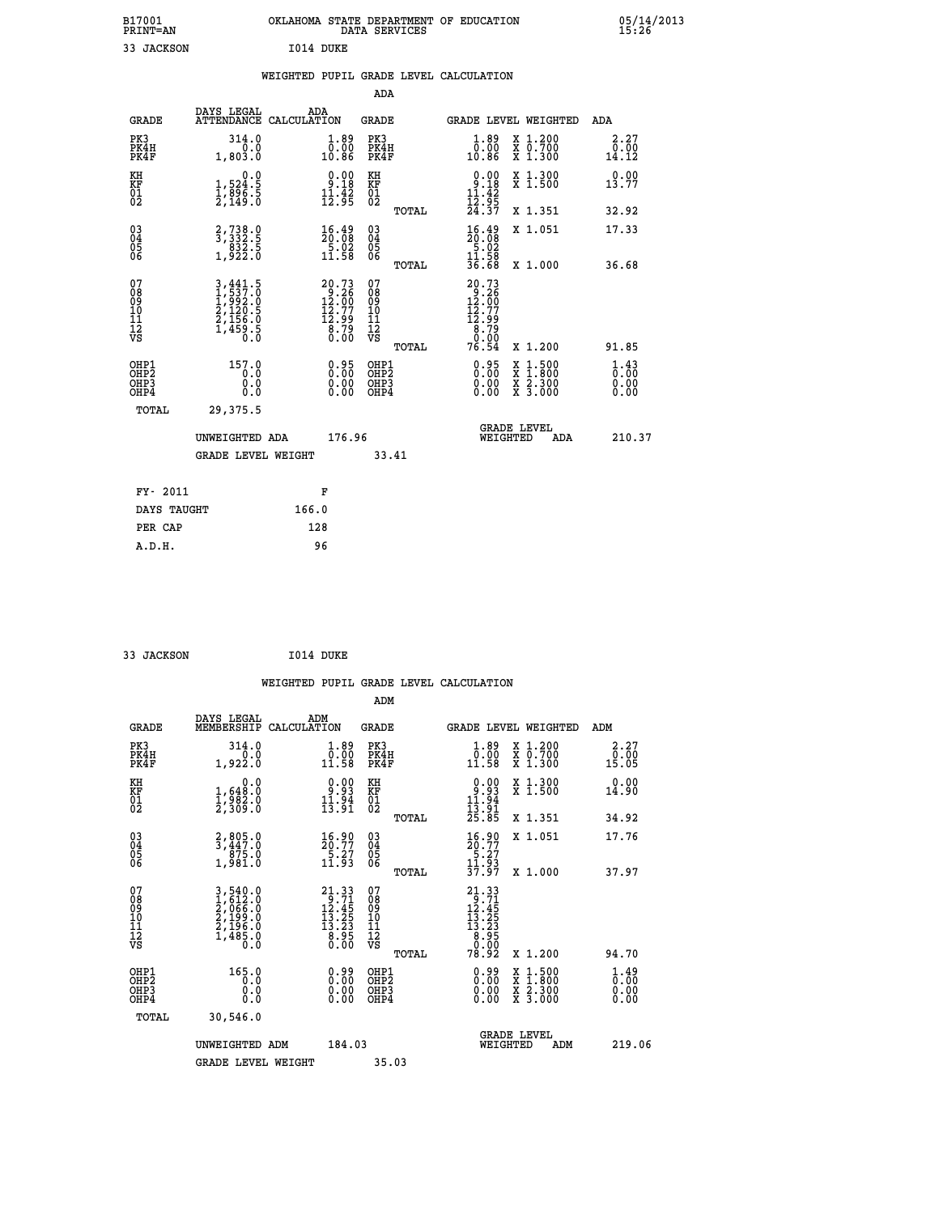| B17001<br><b>PRINT=AN</b> | OKLAHOMA STATE DEPARTMENT OF EDUCATION<br>DATA SERVICES |  |
|---------------------------|---------------------------------------------------------|--|
| 33 JACKSON                | I014 DUKE                                               |  |

|                      |                                                      |                                                                                                                |       |                                                                                    |                                          |       | WEIGHTED PUPIL GRADE LEVEL CALCULATION                                                                               |                                                                                                                                      |                                                 |
|----------------------|------------------------------------------------------|----------------------------------------------------------------------------------------------------------------|-------|------------------------------------------------------------------------------------|------------------------------------------|-------|----------------------------------------------------------------------------------------------------------------------|--------------------------------------------------------------------------------------------------------------------------------------|-------------------------------------------------|
|                      |                                                      |                                                                                                                |       |                                                                                    | <b>ADA</b>                               |       |                                                                                                                      |                                                                                                                                      |                                                 |
|                      | <b>GRADE</b>                                         | DAYS LEGAL<br>ATTENDANCE CALCULATION                                                                           | ADA   |                                                                                    | GRADE                                    |       |                                                                                                                      | GRADE LEVEL WEIGHTED                                                                                                                 | ADA                                             |
|                      | PK3<br>PK4H<br>PK4F                                  | 314.0<br>0.0<br>1,803.0                                                                                        |       | 1.89<br>00.00<br>10.86                                                             | PK3<br>PK4H<br>PK4F                      |       | 1.89<br>0.00<br>10.86                                                                                                | X 1.200<br>X 0.700<br>X 1.300                                                                                                        | 2.27<br>0.00<br>14.12                           |
| KH<br>KF<br>01<br>02 |                                                      | 0.0<br>$\frac{1}{2}, \frac{5}{8}\frac{24}{6}\cdot\frac{5}{5}$<br>$\frac{2}{2}, \frac{149}{16}\cdot\frac{5}{0}$ |       | $0.00$<br>$9.18$<br>$\frac{1}{12}$ $\cdot \frac{1}{9}$ $\frac{2}{5}$               | KH<br>KF<br>01<br>02                     |       | $\begin{array}{c} 0.00 \\ 9.18 \\ 11.42 \\ 12.95 \\ 24.37 \end{array}$                                               | X 1.300<br>X 1.500                                                                                                                   | 0.00<br>13.77                                   |
|                      |                                                      |                                                                                                                |       |                                                                                    |                                          | TOTAL |                                                                                                                      | X 1.351                                                                                                                              | 32.92                                           |
|                      | $^{03}_{04}$<br>Ŏ5                                   | $\begin{smallmatrix}2,738.0\\3,332.5\\832.5\\1,922.0\end{smallmatrix}$                                         |       | $\begin{smallmatrix} 16.49\\ 20.08\\ 5.02\\ 11.58 \end{smallmatrix}$               | $\substack{03 \\ 04}$<br>$\frac{05}{06}$ |       | $\frac{16.49}{20.08}$                                                                                                | X 1.051                                                                                                                              | 17.33                                           |
|                      | 06                                                   |                                                                                                                |       |                                                                                    |                                          | TOTAL | $\frac{11.58}{36.68}$                                                                                                | X 1.000                                                                                                                              | 36.68                                           |
| 07                   | 08901112<br>1112<br>VS                               | 3,441.5<br>1,537.0<br>1,992.0<br>2,120.5<br>2,156.0<br>1,459.5<br>0.0                                          |       | $20.73$<br>$12.26$<br>$12.77$<br>$12.77$<br>$12.99$<br>$\overline{8.79}$<br>$0.00$ | 07<br>08901112<br>1112<br>VS             | TOTAL | $\begin{smallmatrix} 20.73 \\ 9.26 \\ 12.00 \\ 12.77 \\ 12.99 \\ 8.79 \\ 9.00 \\ 9.00 \\ \end{smallmatrix}$<br>76.54 | X 1.200                                                                                                                              | 91.85                                           |
|                      | OHP1<br>OHP <sub>2</sub><br>OH <sub>P3</sub><br>OHP4 | 157.0<br>0.0<br>0.0<br>0.0                                                                                     |       | 0.95<br>0.00<br>0.00                                                               | OHP1<br>OHP2<br>OHP3<br>OHP4             |       | 0.95<br>0.00<br>0.00                                                                                                 | $\begin{smallmatrix} \mathtt{X} & 1 & 500 \\ \mathtt{X} & 1 & 800 \\ \mathtt{X} & 2 & 300 \\ \mathtt{X} & 3 & 000 \end{smallmatrix}$ | $\frac{1}{0}$ : $\frac{43}{00}$<br>0.00<br>0.00 |
|                      | TOTAL                                                | 29,375.5                                                                                                       |       |                                                                                    |                                          |       |                                                                                                                      |                                                                                                                                      |                                                 |
|                      |                                                      | UNWEIGHTED ADA                                                                                                 |       | 176.96                                                                             |                                          |       | WEIGHTED                                                                                                             | <b>GRADE LEVEL</b><br>ADA                                                                                                            | 210.37                                          |
|                      |                                                      | <b>GRADE LEVEL WEIGHT</b>                                                                                      |       |                                                                                    |                                          | 33.41 |                                                                                                                      |                                                                                                                                      |                                                 |
|                      | FY- 2011                                             |                                                                                                                |       | F                                                                                  |                                          |       |                                                                                                                      |                                                                                                                                      |                                                 |
|                      | DAYS TAUGHT                                          |                                                                                                                | 166.0 |                                                                                    |                                          |       |                                                                                                                      |                                                                                                                                      |                                                 |
|                      | PER CAP                                              |                                                                                                                | 128   |                                                                                    |                                          |       |                                                                                                                      |                                                                                                                                      |                                                 |
|                      | A.D.H.                                               |                                                                                                                | 96    |                                                                                    |                                          |       |                                                                                                                      |                                                                                                                                      |                                                 |

 **33 JACKSON I014 DUKE**

 **B17001<br>PRINT=AN** 

|                                                      |                                                                                |                                                                                                                                                           |                                                     | WEIGHTED PUPIL GRADE LEVEL CALCULATION                                                                                                                                                            |                                           |
|------------------------------------------------------|--------------------------------------------------------------------------------|-----------------------------------------------------------------------------------------------------------------------------------------------------------|-----------------------------------------------------|---------------------------------------------------------------------------------------------------------------------------------------------------------------------------------------------------|-------------------------------------------|
|                                                      |                                                                                |                                                                                                                                                           | ADM                                                 |                                                                                                                                                                                                   |                                           |
| <b>GRADE</b>                                         | DAYS LEGAL<br>MEMBERSHIP<br>CALCULATION                                        | ADM                                                                                                                                                       | <b>GRADE</b>                                        | <b>GRADE LEVEL WEIGHTED</b>                                                                                                                                                                       | ADM                                       |
| PK3<br>PK4H<br>PK4F                                  | 314.0<br>0.0<br>1,922.0                                                        | $\begin{smallmatrix} 1.89\ 0.00\\ 1.58 \end{smallmatrix}$                                                                                                 | PK3<br>PK4H<br>PK4F                                 | $1.89$<br>$0.00$<br>X 1.200<br>X 0.700<br>X 1.300<br>11.58                                                                                                                                        | 2.27<br>0∶0ó<br>15.05                     |
| KH<br>KF<br>01<br>02                                 | 0.0<br>$\frac{1}{2}, \frac{648}{982}$ .0<br>2,309.0                            | $\begin{smallmatrix} 0.00\\ -9.93\\ 11.94\\ 13.91 \end{smallmatrix}$                                                                                      | KH<br>KF<br>01<br>02                                | $0.93$<br>$11.94$<br>$13.91$<br>$25.85$<br>X 1.300<br>X 1.500                                                                                                                                     | 0.00<br>14.90                             |
|                                                      |                                                                                |                                                                                                                                                           | TOTAL                                               | X 1.351                                                                                                                                                                                           | 34.92                                     |
| 03<br>04<br>05<br>06                                 | $\begin{smallmatrix} 2, 805.0\\ 3, 447.0\\ 875.0\\ 1, 981.0 \end{smallmatrix}$ | $\frac{16.90}{20.77}$<br>$\frac{5.27}{11.93}$                                                                                                             | $\begin{array}{c} 03 \\ 04 \\ 05 \\ 06 \end{array}$ | X 1.051<br>$\begin{smallmatrix} 16.90\\ 20.77\\ 5.27\\ 11.93\\ 37.97 \end{smallmatrix}$                                                                                                           | 17.76                                     |
|                                                      |                                                                                |                                                                                                                                                           | TOTAL                                               | X 1.000                                                                                                                                                                                           | 37.97                                     |
| 07<br>08<br>09<br>101<br>112<br>VS                   | 3,540.0<br>1,612.0<br>2,066.0<br>2,199.0<br>2,196.0<br>1,485.0<br>0.0          | $\begin{smallmatrix} 21\cdot33\\[-1mm] 9\cdot71\\[-1mm] 12\cdot45\\[-1mm] 13\cdot25\\[-1mm] 13\cdot23\\[-1mm] 8\cdot95\\[-1mm] 0\cdot00\end{smallmatrix}$ | 07<br>08<br>09<br>11<br>11<br>12<br>VS<br>TOTAL     | $\begin{smallmatrix} 21\cdot 33\\[-1.2mm] 9\cdot 71\\[-1.2mm] 12\cdot 45\\[-1.2mm] 13\cdot 25\\[-1.2mm] 13\cdot 23\\[-1.2mm] 8\cdot 95\\[-1.2mm] 0.95\\[-1.2mm] 0.92\end{smallmatrix}$<br>X 1.200 | 94.70                                     |
| OHP1<br>OHP2<br>OH <sub>P3</sub><br>OH <sub>P4</sub> | 165.0<br>0.0<br>0.0<br>0.0                                                     | $0.99$<br>$0.00$<br>$\begin{smallmatrix} 0.00 \ 0.00 \end{smallmatrix}$                                                                                   | OHP1<br>OHP2<br>OHP3<br>OHP4                        | $\begin{smallmatrix} 0.99 \\[-4pt] 0.00 \\[-4pt] 0.00 \\[-4pt] 0.00 \end{smallmatrix}$<br>X 1:500<br>X 1:800<br>X 2:300<br>X 3:000                                                                | $\frac{1}{0}$ : $\frac{49}{00}$<br>0.0000 |
| TOTAL                                                | 30,546.0                                                                       |                                                                                                                                                           |                                                     |                                                                                                                                                                                                   |                                           |
|                                                      | UNWEIGHTED ADM                                                                 | 184.03                                                                                                                                                    |                                                     | <b>GRADE LEVEL</b><br>WEIGHTED<br>ADM                                                                                                                                                             | 219.06                                    |
|                                                      | <b>GRADE LEVEL WEIGHT</b>                                                      |                                                                                                                                                           | 35.03                                               |                                                                                                                                                                                                   |                                           |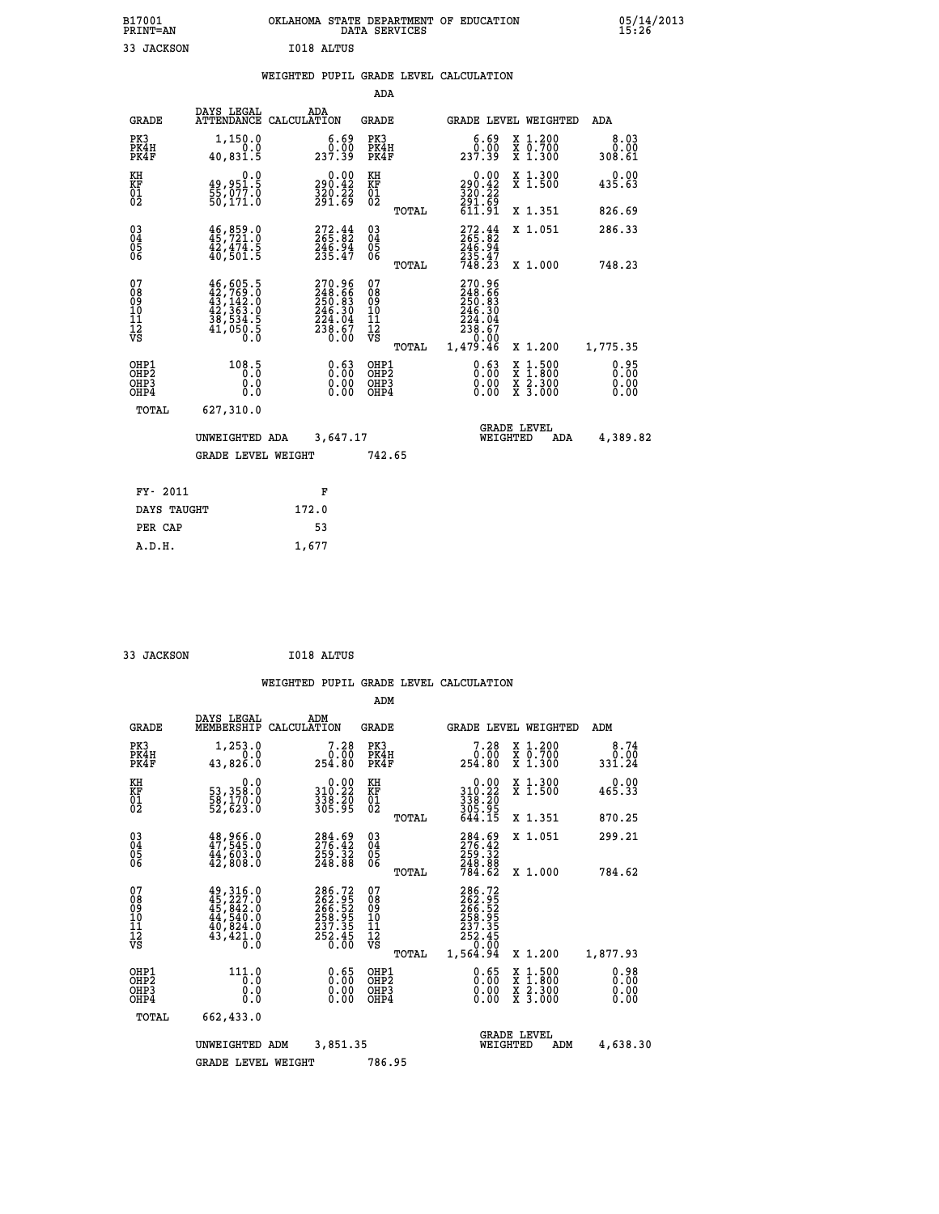| B17001<br>PRINT=AN | OKLAHOMA STATE DEPARTMENT OF EDUCATION<br>SERVICES<br>DATA | 05/14/2013<br>15:26 |
|--------------------|------------------------------------------------------------|---------------------|
| 33<br>JACKSON      | I018 ALTUS                                                 |                     |

|  |  | WEIGHTED PUPIL GRADE LEVEL CALCULATION |
|--|--|----------------------------------------|
|  |  |                                        |

|                                                    |                                                                                                                                                       |                                                                                | ADA                                    |       |                                                                              |                                                                |                              |
|----------------------------------------------------|-------------------------------------------------------------------------------------------------------------------------------------------------------|--------------------------------------------------------------------------------|----------------------------------------|-------|------------------------------------------------------------------------------|----------------------------------------------------------------|------------------------------|
| <b>GRADE</b>                                       | DAYS LEGAL                                                                                                                                            | ADA<br>ATTENDANCE CALCULATION                                                  | <b>GRADE</b>                           |       |                                                                              | GRADE LEVEL WEIGHTED                                           | ADA                          |
| PK3<br>PK4H<br>PK4F                                | 1,150.0<br>0.0<br>40,831.5                                                                                                                            | $\begin{smallmatrix} 6.69\ 0.00\ 237.39 \end{smallmatrix}$                     | PK3<br>PK4H<br>PK4F                    |       | $\begin{smallmatrix}6.69\0.00\\237.39\end{smallmatrix}$                      | X 1.200<br>X 0.700<br>X 1.300                                  | 8.03<br>0.00<br>308.61       |
| KH<br>KF<br>01<br>02                               | 0.0<br>49,951.5<br>55,077.0<br>50,171.0                                                                                                               | $0.00$<br>290.42<br>$\frac{320}{291}. \frac{22}{69}$                           | KH<br>KF<br>01<br>02                   |       | 0.00<br>290.42<br>$\frac{320}{291}$ , $\frac{22}{69}$<br>611.91              | X 1.300<br>X 1.500                                             | 0.00<br>435.63               |
|                                                    |                                                                                                                                                       |                                                                                |                                        | TOTAL |                                                                              | X 1.351                                                        | 826.69                       |
| $\begin{matrix} 03 \\ 04 \\ 05 \\ 06 \end{matrix}$ | 46,859.0<br>$\frac{42}{40}$ , $\frac{474}{501}$ .<br>5                                                                                                | $272.44$<br>$265.82$<br>246.94<br>235.47                                       | 03<br>04<br>05<br>06                   |       | $272.44$<br>$265.82$<br>$246.94$<br>$235.47$<br>$748.23$                     | X 1.051                                                        | 286.33                       |
|                                                    |                                                                                                                                                       |                                                                                |                                        | TOTAL |                                                                              | X 1.000                                                        | 748.23                       |
| 07<br>08<br>09<br>11<br>11<br>12<br>VS             | $\begin{smallmatrix} 46\,,\,605\,.5\\ 42\,,\,769\,.0\\ 43\,,\,142\,.0\\ 42\,,\,363\,.0\\ 38\,,\,534\,.5\\ 41\,,\,050\,.5\\ 0\,.0\\ \end{smallmatrix}$ | $270.96$<br>$248.66$<br>$250.83$<br>$246.30$<br>$224.04$<br>$238.67$<br>$0.00$ | 07<br>08<br>09<br>11<br>11<br>12<br>VS |       | 270.96<br>248.665<br>250.83<br>246.30<br>224.04<br>238.67<br>238.67<br>20.00 |                                                                |                              |
|                                                    |                                                                                                                                                       |                                                                                |                                        | TOTAL | 1.479.46                                                                     | X 1.200                                                        | 1,775.35                     |
| OHP1<br>OHP <sub>2</sub><br>OHP3<br>OHP4           | 108.5<br>0.0<br>0.0                                                                                                                                   | 0.63<br>$\begin{smallmatrix} 0.00 \ 0.00 \end{smallmatrix}$                    | OHP1<br>OHP2<br>OHP3<br>OHP4           |       | $0.63\n0.00$<br>0.00                                                         | $1.500$<br>$1.800$<br>X<br>$\frac{x}{x}$ $\frac{5.300}{3.000}$ | 0.95<br>0.00<br>0.00<br>0.00 |
| TOTAL                                              | 627,310.0                                                                                                                                             |                                                                                |                                        |       |                                                                              |                                                                |                              |
|                                                    | UNWEIGHTED ADA                                                                                                                                        | 3,647.17                                                                       |                                        |       |                                                                              | <b>GRADE LEVEL</b><br>WEIGHTED<br>ADA                          | 4,389.82                     |
|                                                    | <b>GRADE LEVEL WEIGHT</b>                                                                                                                             |                                                                                | 742.65                                 |       |                                                                              |                                                                |                              |
| FY- 2011                                           |                                                                                                                                                       | F                                                                              |                                        |       |                                                                              |                                                                |                              |
| DAYS TAUGHT                                        |                                                                                                                                                       | 172.0                                                                          |                                        |       |                                                                              |                                                                |                              |
|                                                    |                                                                                                                                                       |                                                                                |                                        |       |                                                                              |                                                                |                              |
| PER CAP                                            |                                                                                                                                                       | 53                                                                             |                                        |       |                                                                              |                                                                |                              |

| 33 JACKSON |  | I018 ALTUS |
|------------|--|------------|
|------------|--|------------|

 **A.D.H. 1,677**

 **ADM**

| <b>GRADE</b>                                         | DAYS LEGAL<br>MEMBERSHIP CALCULATION                                             | ADM                                                                            | <b>GRADE</b>                                       |       |                                                                  | GRADE LEVEL WEIGHTED                                                                                                | ADM                          |
|------------------------------------------------------|----------------------------------------------------------------------------------|--------------------------------------------------------------------------------|----------------------------------------------------|-------|------------------------------------------------------------------|---------------------------------------------------------------------------------------------------------------------|------------------------------|
| PK3<br>PK4H<br>PK4F                                  | 1,253.0<br>0.0<br>43,826.0                                                       | 7.28<br>0.00<br>254.80                                                         | PK3<br>PK4H<br>PK4F                                |       | 7.28<br>0.00<br>254.80                                           | X 1.200<br>X 0.700<br>X 1.300                                                                                       | 8.74<br>0.00<br>331.24       |
| KH<br>KF<br>01<br>02                                 | 0.0<br>53,358:0<br>58,170:0<br>52,623:0                                          | $\begin{array}{c} 0.00 \\ 310.22 \\ 338.20 \\ 305.95 \end{array}$              | KH<br>KF<br>01<br>02                               |       | 0.00<br>310:22<br>338:20<br>305:95<br>644.15                     | X 1.300<br>X 1.500                                                                                                  | 0.00<br>465.33               |
|                                                      |                                                                                  |                                                                                |                                                    | TOTAL |                                                                  | X 1.351                                                                                                             | 870.25                       |
| 030404                                               | $48,966.0$<br>$47,545.0$<br>$44,603.0$<br>$42,808.0$                             | $\begin{smallmatrix} 284.69\\ 276.42\\ 259.32\\ 248.88 \end{smallmatrix}$      | $\begin{matrix} 03 \\ 04 \\ 05 \\ 06 \end{matrix}$ |       | $284.69$<br>$276.42$<br>$259.32$<br>$248.88$<br>$784.62$         | X 1.051                                                                                                             | 299.21                       |
| 06                                                   |                                                                                  |                                                                                |                                                    | TOTAL |                                                                  | $X_1.000$                                                                                                           | 784.62                       |
| 07<br>08<br>09<br>101<br>11<br>12<br>VS              | 49,316.0<br>$45, 227.0$<br>$45, 842.0$<br>$44, 540.0$<br>$40, 824.0$<br>43,421.0 | $286.72$<br>$262.95$<br>$266.52$<br>$258.95$<br>$237.35$<br>$252.45$<br>$0.00$ | 078<br>089<br>0011<br>11<br>12<br>VS               |       | 286.72<br>262.95<br>266.52<br>258.95<br>237.35<br>252.45<br>0.00 |                                                                                                                     |                              |
|                                                      |                                                                                  |                                                                                |                                                    | TOTAL | 1,564.94                                                         | X 1.200                                                                                                             | 1,877.93                     |
| OHP1<br>OH <sub>P</sub> <sub>2</sub><br>OHP3<br>OHP4 | 111.0<br>0.0<br>0.0<br>0.0                                                       | 0.65<br>$\begin{smallmatrix} 0.00 \ 0.00 \end{smallmatrix}$                    | OHP1<br>OHP <sub>2</sub><br>OHP3<br>OHP4           |       | 0.65<br>0.00<br>0.00                                             | $\begin{array}{l} \mathtt{X} & 1.500 \\ \mathtt{X} & 1.800 \\ \mathtt{X} & 2.300 \\ \mathtt{X} & 3.000 \end{array}$ | 0.98<br>0.00<br>0.00<br>0.00 |
| TOTAL                                                | 662,433.0                                                                        |                                                                                |                                                    |       |                                                                  |                                                                                                                     |                              |
|                                                      | UNWEIGHTED                                                                       | 3,851.35<br>ADM                                                                |                                                    |       |                                                                  | <b>GRADE LEVEL</b><br>WEIGHTED<br>ADM                                                                               | 4,638.30                     |
|                                                      | <b>GRADE LEVEL WEIGHT</b>                                                        |                                                                                | 786.95                                             |       |                                                                  |                                                                                                                     |                              |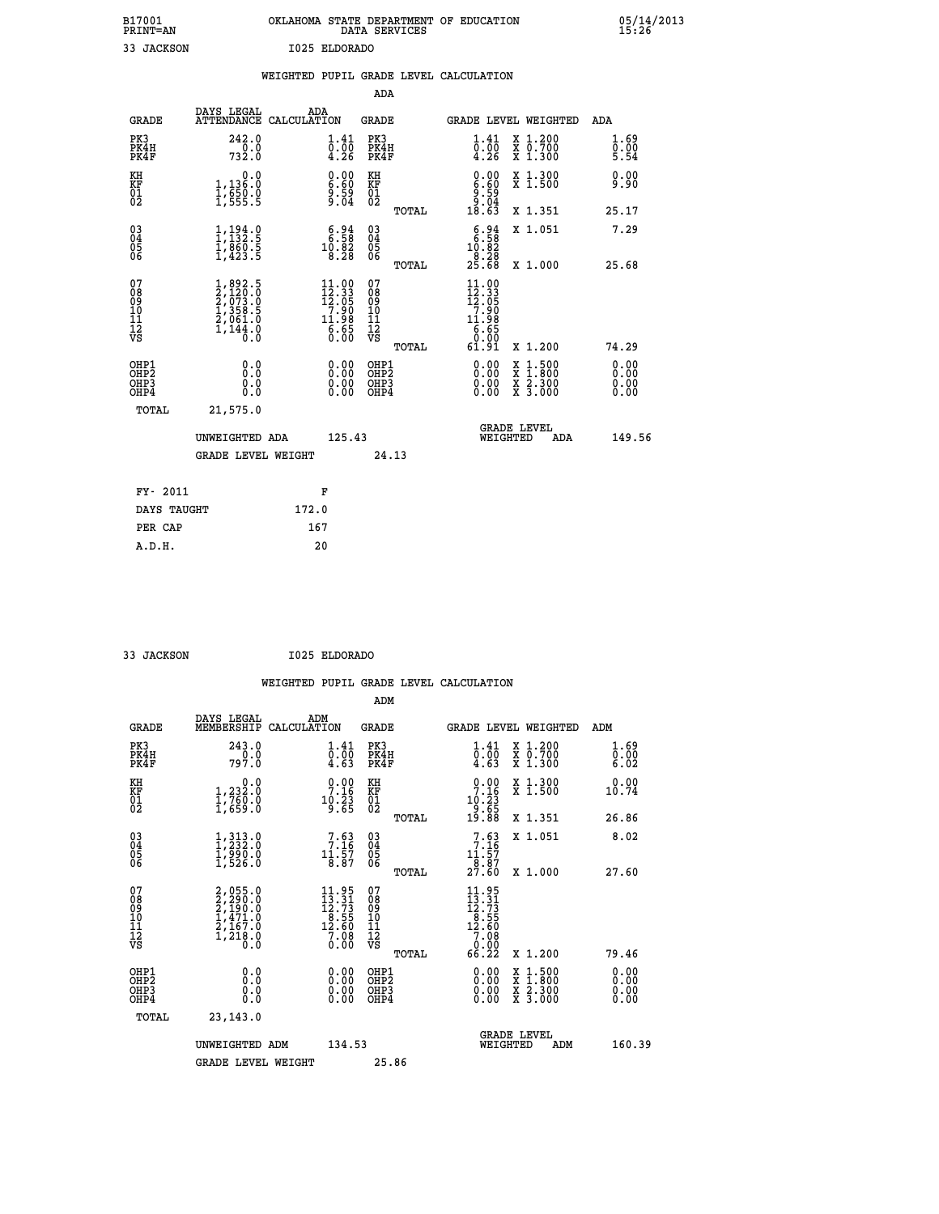| B17001<br><b>PRINT=AN</b> | OKLAHOMA STATE DEPARTMENT OF EDUCATION<br>DATA SERVICES |  |
|---------------------------|---------------------------------------------------------|--|
| 33 JACKSON                | I025 ELDORADO                                           |  |

|                                                                    |                                                                                     | WEIGHTED PUPIL GRADE LEVEL CALCULATION                                                                                                                                              |                                                 |                                                                                                                                                                                                                                                                                                                            |                              |
|--------------------------------------------------------------------|-------------------------------------------------------------------------------------|-------------------------------------------------------------------------------------------------------------------------------------------------------------------------------------|-------------------------------------------------|----------------------------------------------------------------------------------------------------------------------------------------------------------------------------------------------------------------------------------------------------------------------------------------------------------------------------|------------------------------|
|                                                                    |                                                                                     |                                                                                                                                                                                     | <b>ADA</b>                                      |                                                                                                                                                                                                                                                                                                                            |                              |
| <b>GRADE</b>                                                       | DAYS LEGAL                                                                          | ADA<br>ATTENDANCE CALCULATION                                                                                                                                                       | GRADE                                           | GRADE LEVEL WEIGHTED                                                                                                                                                                                                                                                                                                       | ADA                          |
| PK3<br>PK4H<br>PK4F                                                | 242.0<br>732.0                                                                      | $\overset{1}{\overset{0}{\text{.}}} \,\,\overset{41}{\overset{0}{\text{.}}} \,\,\overset{41}{\overset{0}{\text{.}}} \,\,\, \overset{41}{\text{.}} \,\,\overset{1}{\text{.}} \,\,\,$ | PK3<br>PK4H<br>PK4F                             | X 1.200<br>X 0.700<br>X 1.300<br>$\substack{1.41 \\ 0.00 \\ 4.26}$                                                                                                                                                                                                                                                         | 1.69<br>0.00<br>5.54         |
| KH<br>KF<br>01<br>02                                               | 1,136.0<br>$\frac{1}{2}$ , $\frac{255}{555}$ . $\frac{8}{5}$                        | $\begin{smallmatrix} 0.00\ 6.60\ 9.59\ 9.04 \end{smallmatrix}$                                                                                                                      | KH<br>KF<br>01<br>02                            | $0.00$<br>$0.60$<br>$0.50$<br>$0.50$<br>$0.64$<br>X 1.300<br>X 1.500                                                                                                                                                                                                                                                       | 0.00<br>9.90                 |
|                                                                    |                                                                                     |                                                                                                                                                                                     | TOTAL                                           | 18.63<br>X 1.351                                                                                                                                                                                                                                                                                                           | 25.17                        |
| $\begin{smallmatrix} 03 \\[-4pt] 04 \end{smallmatrix}$<br>Ŏ5<br>06 | $1,194.9$<br>$1,132.5$<br>$1,860.5$<br>$1,423.5$                                    | $\begin{smallmatrix} 6.94\ 6.58\ 10.82\ 8.28 \end{smallmatrix}$                                                                                                                     | $\substack{03 \\ 04}$<br>Ŏ5<br>06               | $\begin{array}{c} 6.94 \\ 6.58 \\ 10.82 \end{array}$<br>X 1.051                                                                                                                                                                                                                                                            | 7.29                         |
|                                                                    |                                                                                     |                                                                                                                                                                                     | TOTAL                                           | $\frac{8.28}{25.68}$<br>X 1.000                                                                                                                                                                                                                                                                                            | 25.68                        |
| 07<br>08<br>09<br>11<br>11<br>12<br>VS                             | $1,892.5$<br>$2,120.0$<br>$2,073.0$<br>$1,358.5$<br>$2,061.0$<br>$1,144.0$<br>$0.0$ | $\begin{smallmatrix} 11.00 \\ 12.33 \\ 12.05 \\ 7.90 \\ 11.98 \\ 6.65 \\ \end{smallmatrix}$                                                                                         | 07<br>08<br>09<br>11<br>11<br>12<br>VS<br>TOTAL | 11.00<br>$\frac{12.33}{12.05}$<br>11.98<br>$\overline{6}\cdot\overline{65}$<br>61.91<br>X 1.200                                                                                                                                                                                                                            | 74.29                        |
| OHP1<br>OH <sub>P</sub> 2<br>OHP3<br>OH <sub>P4</sub>              | 0.0<br>0.0<br>0.0                                                                   | $\begin{smallmatrix} 0.00 \ 0.00 \ 0.00 \ 0.00 \end{smallmatrix}$                                                                                                                   | OHP1<br>OHP <sub>2</sub><br>OHP3<br>OHP4        | $\begin{smallmatrix} 0.00 & 0.00 & 0.00 & 0.00 & 0.00 & 0.00 & 0.00 & 0.00 & 0.00 & 0.00 & 0.00 & 0.00 & 0.00 & 0.00 & 0.00 & 0.00 & 0.00 & 0.00 & 0.00 & 0.00 & 0.00 & 0.00 & 0.00 & 0.00 & 0.00 & 0.00 & 0.00 & 0.00 & 0.00 & 0.00 & 0.00 & 0.00 & 0.00 & 0.00 & 0.00 & 0.0$<br>X 1:500<br>X 1:800<br>X 2:300<br>X 3:000 | 0.00<br>0.00<br>0.00<br>0.00 |
| TOTAL                                                              | 21,575.0                                                                            |                                                                                                                                                                                     |                                                 |                                                                                                                                                                                                                                                                                                                            |                              |
|                                                                    | UNWEIGHTED ADA                                                                      | 125.43                                                                                                                                                                              |                                                 | <b>GRADE LEVEL</b><br>WEIGHTED<br>ADA                                                                                                                                                                                                                                                                                      | 149.56                       |
|                                                                    | <b>GRADE LEVEL WEIGHT</b>                                                           |                                                                                                                                                                                     | 24.13                                           |                                                                                                                                                                                                                                                                                                                            |                              |
|                                                                    | FY- 2011                                                                            | F                                                                                                                                                                                   |                                                 |                                                                                                                                                                                                                                                                                                                            |                              |
|                                                                    | DAYS TAUGHT                                                                         | 172.0                                                                                                                                                                               |                                                 |                                                                                                                                                                                                                                                                                                                            |                              |
|                                                                    | PER CAP                                                                             | 167                                                                                                                                                                                 |                                                 |                                                                                                                                                                                                                                                                                                                            |                              |

 **A.D.H. 20**

 **33 JACKSON I025 ELDORADO**

|                                                    |                                                                         | WEIGHTED PUPIL GRADE LEVEL CALCULATION                                                                          |                                                     |       |                                                                                                                                                                                                                                                                                |                                          |                              |
|----------------------------------------------------|-------------------------------------------------------------------------|-----------------------------------------------------------------------------------------------------------------|-----------------------------------------------------|-------|--------------------------------------------------------------------------------------------------------------------------------------------------------------------------------------------------------------------------------------------------------------------------------|------------------------------------------|------------------------------|
|                                                    |                                                                         |                                                                                                                 | ADM                                                 |       |                                                                                                                                                                                                                                                                                |                                          |                              |
| <b>GRADE</b>                                       | DAYS LEGAL<br>MEMBERSHIP                                                | ADM<br>CALCULATION                                                                                              | <b>GRADE</b>                                        |       |                                                                                                                                                                                                                                                                                | GRADE LEVEL WEIGHTED                     | ADM                          |
| PK3<br>PK4H<br>PK4F                                | 243.0<br>797.0                                                          | $\overset{1}{\underset{4}{\text{.}}}\overset{41}{\underset{63}{\text{.}}}$                                      | PK3<br>PK4H<br>PK4F                                 |       | $1.41$<br>$0.00$<br>4.63                                                                                                                                                                                                                                                       | X 1.200<br>X 0.700<br>X 1.300            | 1.69<br>0.00<br>6.02         |
| KH<br>KF<br>01<br>02                               | $\begin{smallmatrix}&&&0.0\\1,232.0\\1,760.0\\1,659.0\end{smallmatrix}$ | $\begin{smallmatrix} 0.00\\ 7.16\\ 10.23\\ 9.65 \end{smallmatrix}$                                              | KH<br>KF<br>01<br>02                                |       | $\begin{array}{c} 0.00 \\ 7.16 \\ 10.23 \\ 9.65 \\ 19.88 \end{array}$                                                                                                                                                                                                          | X 1.300<br>X 1.500                       | 0.00<br>10.74                |
|                                                    |                                                                         |                                                                                                                 |                                                     | TOTAL |                                                                                                                                                                                                                                                                                | X 1.351                                  | 26.86                        |
| $\begin{matrix} 03 \\ 04 \\ 05 \\ 06 \end{matrix}$ | $1,313.0$<br>$1,232.0$<br>$1,990.0$<br>$1,526.0$                        | $7.63$<br>$7.16$<br>$11.57$<br>$8.87$                                                                           | $\begin{array}{c} 03 \\ 04 \\ 05 \\ 06 \end{array}$ |       | 7.16<br>$\frac{11.57}{8.87}$<br>$27.60$                                                                                                                                                                                                                                        | X 1.051                                  | 8.02                         |
|                                                    |                                                                         |                                                                                                                 |                                                     | TOTAL |                                                                                                                                                                                                                                                                                | X 1.000                                  | 27.60                        |
| 07<br>08<br>09<br>11<br>11<br>12<br>VS             | 2,055.0<br>2,290.0<br>2,190.0<br>2,167.0<br>2,167.0<br>1,218.0<br>0.0   | $\begin{smallmatrix} 11\cdot95\\13\cdot31\\12\cdot73\\8\cdot55\\12\cdot60\\7\cdot08\\0\cdot00\end{smallmatrix}$ | 07<br>08<br>09<br>101<br>11<br>12<br>VS             |       | $\begin{smallmatrix} 11.95\\13.31\\12.73\\8.55\\12.60\\7.08\\9\end{smallmatrix}$                                                                                                                                                                                               |                                          |                              |
|                                                    |                                                                         |                                                                                                                 |                                                     | TOTAL | 66.22                                                                                                                                                                                                                                                                          | X 1.200                                  | 79.46                        |
| OHP1<br>OHP2<br>OHP3<br>OHP4                       | 0.0<br>0.000                                                            | $\begin{smallmatrix} 0.00 \ 0.00 \ 0.00 \ 0.00 \end{smallmatrix}$                                               | OHP1<br>OHP2<br>OHP3<br>OHP4                        |       | $\begin{smallmatrix} 0.00 & 0.00 & 0.00 & 0.00 & 0.00 & 0.00 & 0.00 & 0.00 & 0.00 & 0.00 & 0.00 & 0.00 & 0.00 & 0.00 & 0.00 & 0.00 & 0.00 & 0.00 & 0.00 & 0.00 & 0.00 & 0.00 & 0.00 & 0.00 & 0.00 & 0.00 & 0.00 & 0.00 & 0.00 & 0.00 & 0.00 & 0.00 & 0.00 & 0.00 & 0.00 & 0.0$ | X 1:500<br>X 1:800<br>X 2:300<br>X 3:000 | 0.00<br>Ŏ.ŎŎ<br>Q.QQ<br>0.00 |
| TOTAL                                              | 23, 143.0                                                               |                                                                                                                 |                                                     |       |                                                                                                                                                                                                                                                                                |                                          |                              |
|                                                    | UNWEIGHTED ADM<br><b>GRADE LEVEL WEIGHT</b>                             | 134.53                                                                                                          | 25.86                                               |       | WEIGHTED                                                                                                                                                                                                                                                                       | <b>GRADE LEVEL</b><br>ADM                | 160.39                       |
|                                                    |                                                                         |                                                                                                                 |                                                     |       |                                                                                                                                                                                                                                                                                |                                          |                              |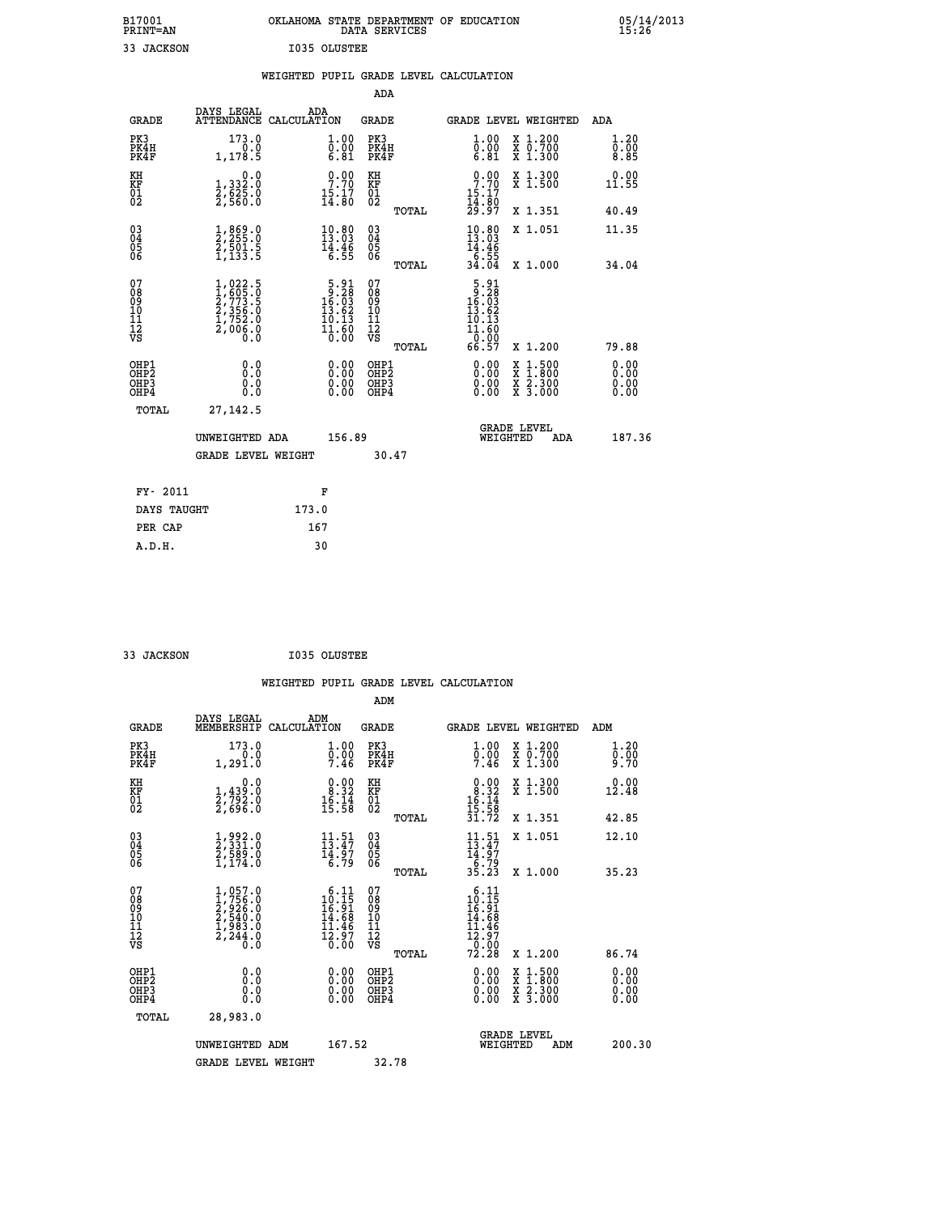| B17001          | OKLAHOMA STATE DEPARTMENT OF EDUCATION | 05/14/2013 |
|-----------------|----------------------------------------|------------|
| <b>PRINT=AN</b> | DATA SERVICES                          | 15.26      |
| JACKSON         | I035 OLUSTEE                           |            |

|                                    |                                                                                                                                           | WEIGHTED PUPIL GRADE LEVEL CALCULATION                                                                             |                                                 |                                                                                                                          |                                                |                              |
|------------------------------------|-------------------------------------------------------------------------------------------------------------------------------------------|--------------------------------------------------------------------------------------------------------------------|-------------------------------------------------|--------------------------------------------------------------------------------------------------------------------------|------------------------------------------------|------------------------------|
|                                    |                                                                                                                                           |                                                                                                                    | <b>ADA</b>                                      |                                                                                                                          |                                                |                              |
| <b>GRADE</b>                       | DAYS LEGAL<br><b>ATTENDANCE</b>                                                                                                           | ADA<br>CALCULATION                                                                                                 | <b>GRADE</b>                                    | GRADE LEVEL WEIGHTED                                                                                                     |                                                | ADA                          |
| PK3<br>PK4H<br>PK4F                | 173.0<br>0.0<br>1,178.5                                                                                                                   | $\begin{smallmatrix} 1.00\ 0.00\ 6.81 \end{smallmatrix}$                                                           | PK3<br>PK4H<br>PK4F                             | 1.00<br>$\overline{0.00}$<br>6.81                                                                                        | X 1.200<br>X 0.700<br>X 1.300                  | 1.20<br>0.00<br>8.85         |
| KH<br>KF<br>01<br>02               | $\begin{smallmatrix}&&&0.0\\1,332.0\\2,625.0\\2,560.0\end{smallmatrix}$                                                                   | $\begin{smallmatrix} 0.00\\ 7.70\\ 15.17\\ 14.80 \end{smallmatrix}$                                                | KH<br>KF<br>01<br>02                            | $\begin{smallmatrix} 0.00\\ 7.70\\ 15.17\\ 14.80\\ 29.97 \end{smallmatrix}$                                              | X 1.300<br>X 1.500                             | 0.00<br>11.55                |
|                                    |                                                                                                                                           |                                                                                                                    | TOTAL                                           |                                                                                                                          | X 1.351                                        | 40.49                        |
| $^{03}_{04}$<br>Ŏ5<br>06           | $\frac{1}{2}$ , $\frac{869}{255}$ : 0<br>$\frac{5}{1}, \frac{5}{133}$ : $\frac{5}{5}$                                                     | $10.80$<br>$13.03$<br>$\frac{14.46}{6.55}$                                                                         | $\substack{03 \\ 04}$<br>Ŏ5<br>06               | $10.80$<br>$13.03$<br>$14.46$<br>$6.55$<br>$34.04$                                                                       | X 1.051                                        | 11.35                        |
|                                    |                                                                                                                                           |                                                                                                                    | TOTAL                                           |                                                                                                                          | X 1.000                                        | 34.04                        |
| 07<br>08<br>09<br>101<br>112<br>VS | $\begin{smallmatrix} 1,022\cdot 5\\ 1,605\cdot 0\\ 2,773\cdot 5\\ 2,356\cdot 0\\ 1,752\cdot 0\\ 2,006\cdot 0\\ 0\cdot 0\end{smallmatrix}$ | $\begin{array}{r} 5 \cdot 91 \\ -16 \cdot 63 \\ 13 \cdot 62 \\ 19 \cdot 13 \\ \end{array}$<br>$\frac{11.60}{0.00}$ | 07<br>08<br>09<br>11<br>11<br>12<br>VS<br>TOTAL | $\begin{array}{r} 5 \cdot 91 \\ 9 \cdot 28 \\ 16 \cdot 03 \\ 13 \cdot 62 \end{array}$<br>10.13<br>11.60<br>0.00<br>66.57 | X 1.200                                        | 79.88                        |
| OHP1<br>OHP2<br>OHP3<br>OHP4       | 0.0<br>0.0<br>Ō.Ō                                                                                                                         | 0.00<br>$\begin{smallmatrix} 0.00 \ 0.00 \end{smallmatrix}$                                                        | OHP1<br>OHP2<br>OHP3<br>OHP4                    | 0.00<br>0.00<br>0.00                                                                                                     | X 1:500<br>$\frac{x}{x}$ $\frac{5:300}{3:000}$ | 0.00<br>Ō.ŎŎ<br>0.00<br>0.00 |
| <b>TOTAL</b>                       | 27, 142.5                                                                                                                                 |                                                                                                                    |                                                 |                                                                                                                          |                                                |                              |
|                                    | UNWEIGHTED ADA                                                                                                                            | 156.89                                                                                                             |                                                 | GRADE LEVEL<br>WEIGHTED                                                                                                  | ADA                                            | 187.36                       |
|                                    | <b>GRADE LEVEL WEIGHT</b>                                                                                                                 |                                                                                                                    | 30.47                                           |                                                                                                                          |                                                |                              |
| FY- 2011                           |                                                                                                                                           | F                                                                                                                  |                                                 |                                                                                                                          |                                                |                              |
|                                    | DAYS TAUGHT                                                                                                                               | 173.0                                                                                                              |                                                 |                                                                                                                          |                                                |                              |
| PER CAP                            |                                                                                                                                           | 167                                                                                                                |                                                 |                                                                                                                          |                                                |                              |

 **33 JACKSON I035 OLUSTEE**

 **WEIGHTED PUPIL GRADE LEVEL CALCULATION ADM DAYS LEGAL ADM GRADE MEMBERSHIP CALCULATION GRADE GRADE LEVEL WEIGHTED ADM PK3 173.0 1.00 PK3 1.00 X 1.200 1.20 PK4H 0.0 0.00 PK4H 0.00 X 0.700 0.00 PK4F 1,291.0 7.46 PK4F 7.46 X 1.300 9.70** 0.00 KH 0.00 0.00 KH 0.00 0.00<br>RF 1,439.0 8.32 KF 9.32 X 1.500 12.48  **01 2,792.0 16.14 01 16.14 02 2,696.0 15.58 02 15.58 TOTAL 31.72 X 1.351 42.85 03 1,992.0 11.51 03 11.51 X 1.051 12.10 04 2,331.0 13.47 04 13.47 05 2,589.0 14.97 05 14.97 06 1,174.0 6.79 06 6.79 TOTAL 35.23 X 1.000 35.23**  $\begin{array}{cccc} 07 & 1,057.0 & 6.11 & 07 & 6.11 \ 08 & 1,756.0 & 16.19 & 08 \ 09 & 2,926.0 & 16.91 & 08 & 16.91 \ 10 & 2,540.0 & 14.68 & 10 & 14.68 \ 11 & 1,983.0 & 12,943.0 & 12.97 & 12 & 12.97 \ \hline \textrm{vs} & 2,244.0 & 10.00 & \textrm{vs} & 2,248.0 \end{array}$  $\begin{array}{cccc} 6.11 & 07 & 6.11\\ 16.15 & 08 & 10\\ 14.68 & 10 & 14.68\\ 11.46 & 11 & 11.46\\ 12.97 & 12 & 12.97\\ 0.00 & \text{Vs} & 72.28 & \text{x} 1.200\\ 8.00 & 0.00 & 0.00\\ 0.00 & 0.00 & 0.00\\ 0.00 & 0.00 & 0.00\\ 0.00 & 0.00 & 0.00\\ 0.00 & 0.00 & 0.00\\ 0.00 &$  **OHP1 0.0 0.00 OHP1 0.00 X 1.500 0.00 OHP2 0.0 0.00 OHP2 0.00 X 1.800 0.00 OHP3 0.0 0.00 OHP3 0.00 X 2.300 0.00 OHP4 0.0 0.00 OHP4 0.00 X 3.000 0.00 TOTAL 28,983.0 UNWEIGHTED ADM 167.52 GRADE LEVEL<br>WEIGHTED ADM 200.30** GRADE LEVEL WEIGHT 32.78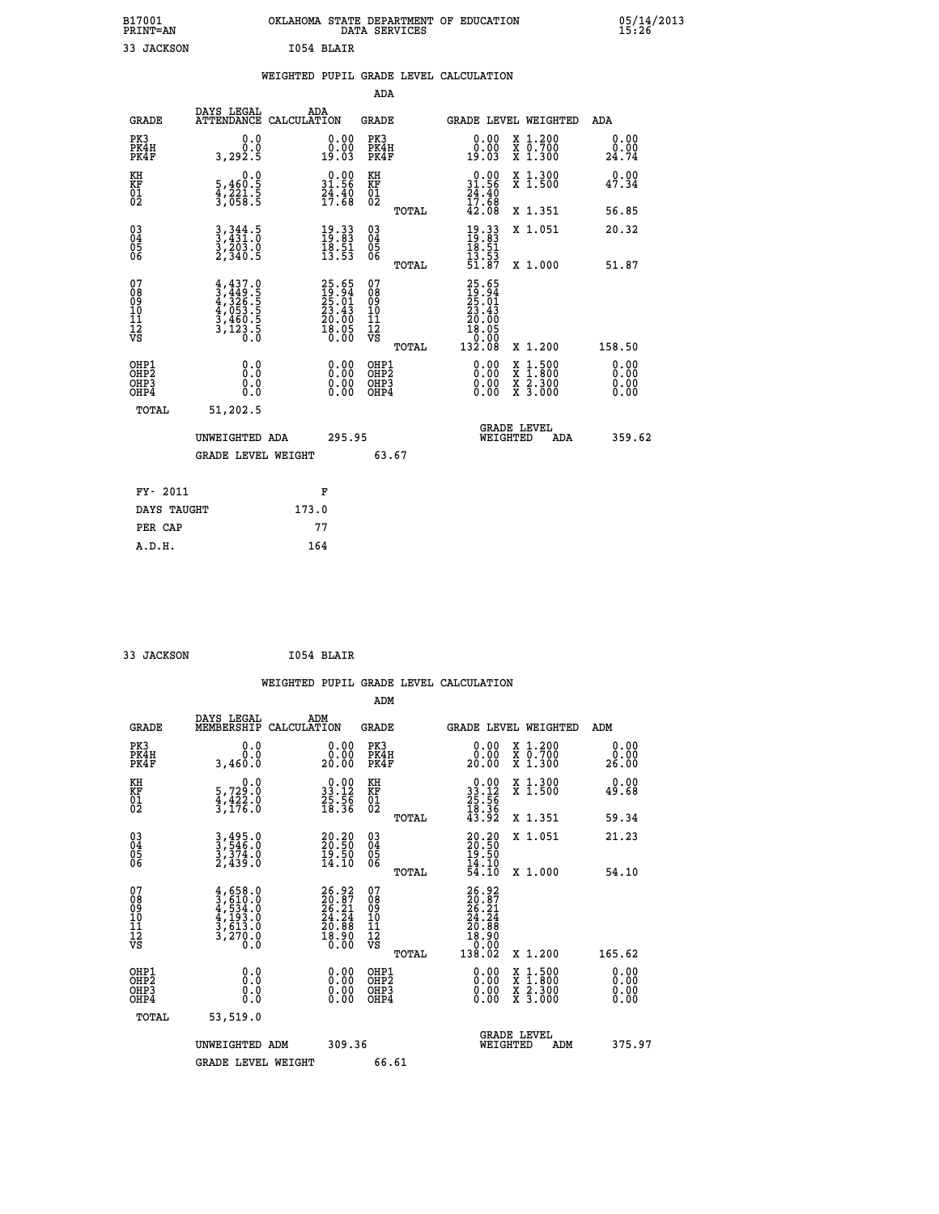| B17001<br><b>PRINT=AN</b> | OKLAHOMA<br>. STATE DEPARTMENT OF EDUCATION<br>DATA<br>SERVICES | 05/14/2013<br>⊥5`:26΄ |
|---------------------------|-----------------------------------------------------------------|-----------------------|
| 33<br>JACKSON             | 1054 BLAIR                                                      |                       |

| 05/14/2013<br>15:26 |  |
|---------------------|--|
|---------------------|--|

|                                          |                                                                                     | WEIGHTED PUPIL GRADE LEVEL CALCULATION                                                       |                                                    |                                                                                                                                                                                                                                                                                                                                                                                                                                |                               |
|------------------------------------------|-------------------------------------------------------------------------------------|----------------------------------------------------------------------------------------------|----------------------------------------------------|--------------------------------------------------------------------------------------------------------------------------------------------------------------------------------------------------------------------------------------------------------------------------------------------------------------------------------------------------------------------------------------------------------------------------------|-------------------------------|
|                                          |                                                                                     |                                                                                              | <b>ADA</b>                                         |                                                                                                                                                                                                                                                                                                                                                                                                                                |                               |
| <b>GRADE</b>                             |                                                                                     | DAYS LEGAL ADA ATTENDANCE CALCULATION                                                        | <b>GRADE</b>                                       | <b>GRADE LEVEL WEIGHTED</b>                                                                                                                                                                                                                                                                                                                                                                                                    | ADA                           |
| PK3<br>PK4H<br>PK4F                      | 0.0<br>3,292.5                                                                      | $\begin{smallmatrix} 0.00\\ 0.00\\ 19.03 \end{smallmatrix}$                                  | PK3<br>PK4H<br>PK4F                                | 0.00<br>X 1.200<br>X 0.700<br>X 1.300<br>ŏ:ŏŏ<br>19:03                                                                                                                                                                                                                                                                                                                                                                         | 0.00<br>0.00<br>24.74         |
| KH<br>KF<br>01<br>02                     | $\begin{smallmatrix}&&&0.0\\5,460.5\\4,221.5\\3,058.5\end{smallmatrix}$             | $\begin{smallmatrix} 0.00\\ 31.56\\ 24.40\\ 17.68 \end{smallmatrix}$                         | KH<br>KF<br>01<br>02                               | $\begin{smallmatrix} 0.00\\ 31.56\\ 24.40\\ 17.68\\ 42.08 \end{smallmatrix}$<br>X 1.300<br>X 1.500                                                                                                                                                                                                                                                                                                                             | 0.00<br>47.34                 |
|                                          |                                                                                     |                                                                                              | TOTAL                                              | X 1.351                                                                                                                                                                                                                                                                                                                                                                                                                        | 56.85                         |
| 030404<br>06                             | $3,344.5$<br>$3,431.0$<br>$3,203.0$<br>$2,340.5$                                    | $\begin{smallmatrix} 19.33\ 19.83\ 18.51\ 13.53 \end{smallmatrix}$                           | $\begin{matrix} 03 \\ 04 \\ 05 \\ 06 \end{matrix}$ | $19.3319.8318.5113.5351.87$<br>X 1.051                                                                                                                                                                                                                                                                                                                                                                                         | 20.32                         |
|                                          |                                                                                     |                                                                                              | TOTAL                                              | X 1.000                                                                                                                                                                                                                                                                                                                                                                                                                        | 51.87                         |
| 07<br>08<br>09<br>11<br>11<br>12<br>VS   | $4,437.0$<br>$4,449.5$<br>$4,326.5$<br>$4,053.5$<br>$3,460.5$<br>$3,123.5$<br>$0.0$ | $\begin{smallmatrix} 25.65\\ 19.94\\ 25.01\\ 23.43\\ 20.00\\ 18.05\\ 0.00 \end{smallmatrix}$ | 07<br>08<br>09<br>11<br>11<br>12<br>VS             | $25.65$<br>$25.01$<br>$25.01$<br>$23.43$<br>$20.00$<br>$18.05$<br>0.00                                                                                                                                                                                                                                                                                                                                                         |                               |
|                                          |                                                                                     |                                                                                              | TOTAL                                              | 132.08<br>X 1.200                                                                                                                                                                                                                                                                                                                                                                                                              | 158.50                        |
| OHP1<br>OHP2<br>OHP3<br>OH <sub>P4</sub> | 0.0<br>0.0<br>0.0                                                                   |                                                                                              | OHP1<br>OHP2<br>OHP3<br>OHP4                       | $\begin{smallmatrix} 0.00 & 0.00 & 0.00 & 0.00 & 0.00 & 0.00 & 0.00 & 0.00 & 0.00 & 0.00 & 0.00 & 0.00 & 0.00 & 0.00 & 0.00 & 0.00 & 0.00 & 0.00 & 0.00 & 0.00 & 0.00 & 0.00 & 0.00 & 0.00 & 0.00 & 0.00 & 0.00 & 0.00 & 0.00 & 0.00 & 0.00 & 0.00 & 0.00 & 0.00 & 0.00 & 0.0$<br>$\begin{smallmatrix} \mathtt{X} & 1\cdot500 \\ \mathtt{X} & 1\cdot800 \\ \mathtt{X} & 2\cdot300 \\ \mathtt{X} & 3\cdot000 \end{smallmatrix}$ | 0.00<br>Ō. ŌŌ<br>0.00<br>0.00 |
| TOTAL                                    | 51,202.5                                                                            |                                                                                              |                                                    | <b>GRADE LEVEL</b>                                                                                                                                                                                                                                                                                                                                                                                                             |                               |
|                                          | UNWEIGHTED ADA                                                                      | 295.95                                                                                       |                                                    | WEIGHTED<br>ADA                                                                                                                                                                                                                                                                                                                                                                                                                | 359.62                        |
|                                          | <b>GRADE LEVEL WEIGHT</b>                                                           |                                                                                              | 63.67                                              |                                                                                                                                                                                                                                                                                                                                                                                                                                |                               |
| FY- 2011                                 |                                                                                     | F                                                                                            |                                                    |                                                                                                                                                                                                                                                                                                                                                                                                                                |                               |
| DAYS TAUGHT                              |                                                                                     | 173.0                                                                                        |                                                    |                                                                                                                                                                                                                                                                                                                                                                                                                                |                               |
| PER CAP                                  |                                                                                     | 77                                                                                           |                                                    |                                                                                                                                                                                                                                                                                                                                                                                                                                |                               |
| A.D.H.                                   |                                                                                     | 164                                                                                          |                                                    |                                                                                                                                                                                                                                                                                                                                                                                                                                |                               |

 **33 JACKSON I054 BLAIR**

|                                                      |                                                                                     |                                                                                    |                                                     | WEIGHTED PUPIL GRADE LEVEL CALCULATION                                                                                                                                                                                                                                                                                     |                       |
|------------------------------------------------------|-------------------------------------------------------------------------------------|------------------------------------------------------------------------------------|-----------------------------------------------------|----------------------------------------------------------------------------------------------------------------------------------------------------------------------------------------------------------------------------------------------------------------------------------------------------------------------------|-----------------------|
|                                                      |                                                                                     |                                                                                    | ADM                                                 |                                                                                                                                                                                                                                                                                                                            |                       |
| <b>GRADE</b>                                         | DAYS LEGAL<br>MEMBERSHIP                                                            | ADM<br>CALCULATION                                                                 | <b>GRADE</b>                                        | <b>GRADE LEVEL WEIGHTED</b>                                                                                                                                                                                                                                                                                                | ADM                   |
| PK3<br>PK4H<br>PK4F                                  | 0.0<br>0.0<br>3,460.0                                                               | $\begin{smallmatrix} 0.00\\ 0.00\\ 20.00 \end{smallmatrix}$                        | PK3<br>PK4H<br>PK4F                                 | 0.00<br>X 1.200<br>X 0.700<br>X 1.300<br>20.00                                                                                                                                                                                                                                                                             | 0.00<br>0.00<br>26.00 |
| KH<br>KF<br>01<br>02                                 | $\begin{smallmatrix}&&&0.0\\5,729.0\\4,422.0\\3,176.0\end{smallmatrix}$             | $\begin{smallmatrix} 0.00\\ 33.12\\ 25.56\\ 18.36 \end{smallmatrix}$               | KH<br>KF<br>01<br>02                                | X 1.300<br>X 1.500<br>$\begin{smallmatrix} 0.00\\ 33.12\\ 25.56\\ 18.36\\ 43.92 \end{smallmatrix}$                                                                                                                                                                                                                         | 0.00<br>49.68         |
|                                                      |                                                                                     |                                                                                    | TOTAL                                               | X 1.351                                                                                                                                                                                                                                                                                                                    | 59.34                 |
| $\begin{matrix} 03 \\ 04 \\ 05 \\ 06 \end{matrix}$   | $3,495.0$<br>$3,546.0$<br>$3,374.0$<br>$2,439.0$                                    | $\begin{smallmatrix} 20.20\\ 20.50\\ 19.50\\ 14.10 \end{smallmatrix}$              | $\begin{array}{c} 03 \\ 04 \\ 05 \\ 06 \end{array}$ | X 1.051<br>20.20<br>20.50<br>19.50<br>14.10                                                                                                                                                                                                                                                                                | 21.23                 |
|                                                      |                                                                                     |                                                                                    | TOTAL                                               | 54.Iŏ<br>X 1.000                                                                                                                                                                                                                                                                                                           | 54.10                 |
| 07<br>08<br>09<br>101<br>112<br>VS                   | $4,658.0$<br>$3,610.0$<br>$4,534.0$<br>$4,193.0$<br>$3,613.0$<br>$3,270.0$<br>$0.0$ | $\begin{smallmatrix} 26.92\ 20.87\ 26.21\ 24.24\ 20.88\ 18.900\ \end{smallmatrix}$ | 07<br>08<br>09<br>11<br>11<br>12<br>VS<br>TOTAL     | $\begin{smallmatrix} 26.92\ 20.87\ 24.21\ 24.24\ 20.88\ 18.900\ 138.02\ \end{smallmatrix}$<br>X 1.200                                                                                                                                                                                                                      | 165.62                |
| OHP1<br>OHP2<br>OH <sub>P3</sub><br>OH <sub>P4</sub> | 0.0<br>0.000                                                                        | $\begin{smallmatrix} 0.00 \ 0.00 \ 0.00 \ 0.00 \end{smallmatrix}$                  | OHP1<br>OHP2<br>OHP3<br>OHP4                        | $\begin{smallmatrix} 0.00 & 0.00 & 0.00 & 0.00 & 0.00 & 0.00 & 0.00 & 0.00 & 0.00 & 0.00 & 0.00 & 0.00 & 0.00 & 0.00 & 0.00 & 0.00 & 0.00 & 0.00 & 0.00 & 0.00 & 0.00 & 0.00 & 0.00 & 0.00 & 0.00 & 0.00 & 0.00 & 0.00 & 0.00 & 0.00 & 0.00 & 0.00 & 0.00 & 0.00 & 0.00 & 0.0$<br>X 1:500<br>X 1:800<br>X 2:300<br>X 3:000 | 0.00<br>0.00<br>0.00  |
| TOTAL                                                | 53,519.0                                                                            |                                                                                    |                                                     |                                                                                                                                                                                                                                                                                                                            |                       |
|                                                      | UNWEIGHTED ADM                                                                      | 309.36                                                                             |                                                     | GRADE LEVEL<br>WEIGHTED<br>ADM                                                                                                                                                                                                                                                                                             | 375.97                |
|                                                      | <b>GRADE LEVEL WEIGHT</b>                                                           |                                                                                    | 66.61                                               |                                                                                                                                                                                                                                                                                                                            |                       |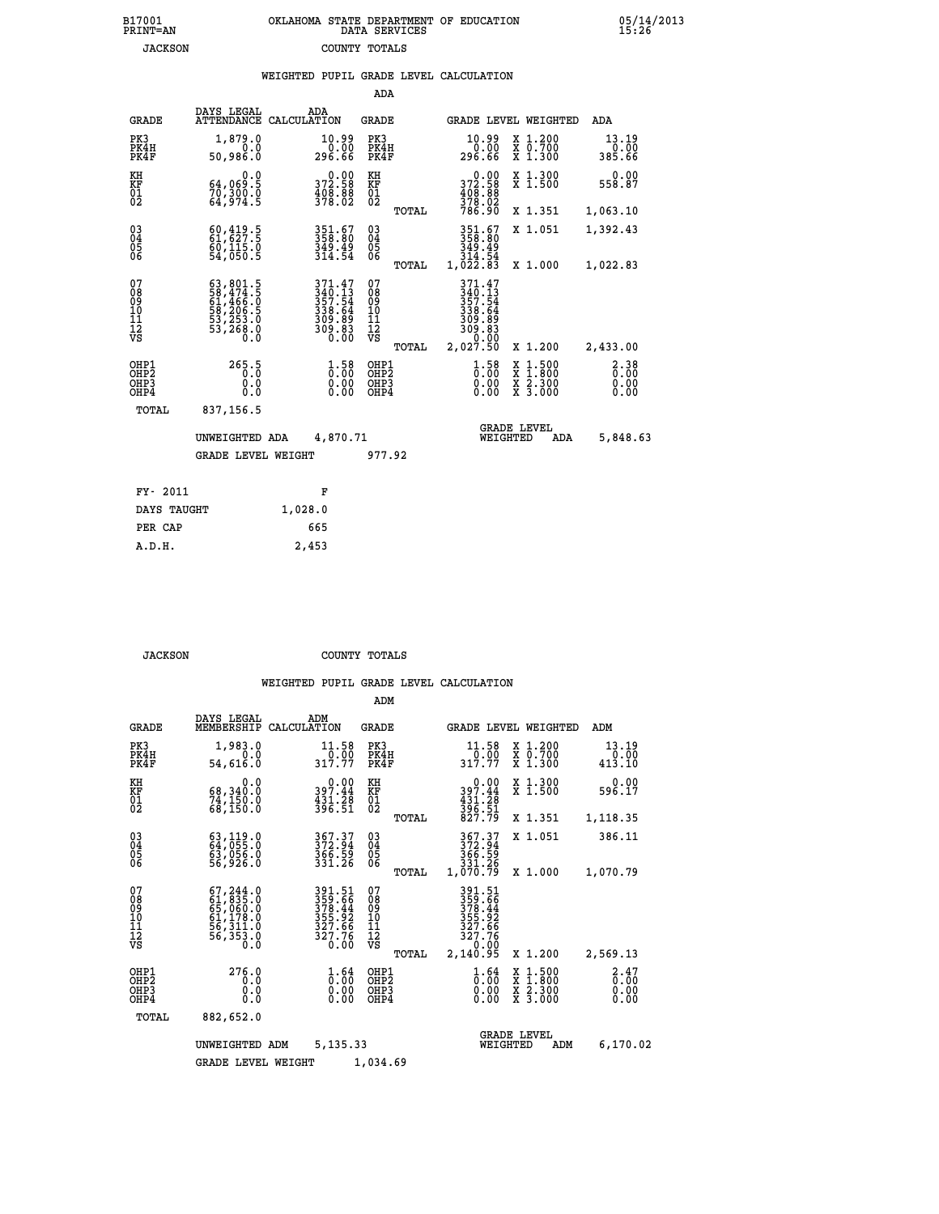| 7001<br>INT=AN | OKLAHOMA STATE DEPARTMENT OF EDUCATION<br>DATA SERVICES |  |
|----------------|---------------------------------------------------------|--|
| <b>JACKSON</b> | COUNTY TOTALS                                           |  |

|                                                                    |                                                                  |         |                                                                                |                                               |       | WEIGHTED PUPIL GRADE LEVEL CALCULATION                                        |                  |                                                                    |                              |
|--------------------------------------------------------------------|------------------------------------------------------------------|---------|--------------------------------------------------------------------------------|-----------------------------------------------|-------|-------------------------------------------------------------------------------|------------------|--------------------------------------------------------------------|------------------------------|
|                                                                    |                                                                  |         |                                                                                | ADA                                           |       |                                                                               |                  |                                                                    |                              |
| <b>GRADE</b>                                                       | DAYS LEGAL<br>ATTENDANCE CALCULATION                             | ADA     |                                                                                | <b>GRADE</b>                                  |       | GRADE LEVEL WEIGHTED                                                          |                  |                                                                    | ADA                          |
| PK3<br>PK4H<br>PK4F                                                | 1,879.0<br>0.0<br>50,986.0                                       |         | 10.99<br>0.00<br>296.66                                                        | PK3<br>PK4H<br>PK4F                           |       | $\begin{smallmatrix} 10.99\ 0.00 \ 296.66 \end{smallmatrix}$                  |                  | X 1.200<br>X 0.700<br>X 1.300                                      | 13.19<br>0.00<br>385.66      |
| KH<br>KF<br>01<br>02                                               | 0.0<br>64,069:5<br>70,300:0<br>64,974:5                          |         | 372.58<br>$\frac{408.88}{378.02}$                                              | KH<br>KF<br>01<br>02                          |       | 372.58                                                                        |                  | X 1.300<br>X 1.500                                                 | 0.00<br>558.87               |
|                                                                    |                                                                  |         |                                                                                |                                               | TOTAL | $\frac{408}{378}$ : 88<br>78: 02<br>786: 90                                   |                  | X 1.351                                                            | 1,063.10                     |
| $\begin{smallmatrix} 03 \\[-4pt] 04 \end{smallmatrix}$<br>05<br>06 | $60,419.5$<br>$61,627.5$<br>$\frac{60}{54}$ , 115.0<br>54, 050.5 |         | 351.67<br>358.80<br>349.49<br>314.54                                           | $^{03}_{04}$<br>0500                          |       | 351.67<br>358.80<br>349.49                                                    |                  | X 1.051                                                            | 1,392.43                     |
|                                                                    |                                                                  |         |                                                                                |                                               | TOTAL | $\frac{314}{1,022}$ .83                                                       |                  | X 1.000                                                            | 1,022.83                     |
| 07<br>08<br>09<br>10<br>11<br>11<br>12<br>VS                       |                                                                  |         | $371.47$<br>$340.13$<br>$357.54$<br>$338.64$<br>$309.89$<br>$309.83$<br>$0.00$ | 07<br>08<br>09<br>001<br>11<br>11<br>12<br>VS | TOTAL | 371.47<br>340.13<br>357.54<br>338.64<br>309.89<br>309.83<br>30.00<br>2,027.50 |                  | X 1.200                                                            | 2,433.00                     |
| OHP1<br>OHP2<br>OH <sub>P</sub> 3<br>OHP4                          | 265.5<br>0.0<br>0.0                                              |         | $1.58$<br>$0.00$<br>$\begin{smallmatrix} 0.00 \ 0.00 \end{smallmatrix}$        | OHP1<br>OHP2<br>OHP3<br>OHP4                  |       | $1.58$<br>$0.00$<br>0.00                                                      | X<br>X<br>X<br>X | $\begin{smallmatrix} 1.500\ 1.800\ 2.300\ 3.000 \end{smallmatrix}$ | 2.38<br>0.00<br>0.00<br>0.00 |
| TOTAL                                                              | 837,156.5                                                        |         |                                                                                |                                               |       |                                                                               |                  |                                                                    |                              |
|                                                                    | UNWEIGHTED ADA                                                   |         | 4,870.71                                                                       |                                               |       | <b>GRADE LEVEL</b><br>WEIGHTED                                                |                  | ADA                                                                | 5,848.63                     |
|                                                                    | <b>GRADE LEVEL WEIGHT</b>                                        |         |                                                                                | 977.92                                        |       |                                                                               |                  |                                                                    |                              |
| FY- 2011                                                           |                                                                  | F       |                                                                                |                                               |       |                                                                               |                  |                                                                    |                              |
| DAYS TAUGHT                                                        |                                                                  | 1,028.0 |                                                                                |                                               |       |                                                                               |                  |                                                                    |                              |
| PER CAP                                                            |                                                                  | 665     |                                                                                |                                               |       |                                                                               |                  |                                                                    |                              |

 **JACKSON COUNTY TOTALS**

 **A.D.H. 2,453**

 **B17001<br>PRINT=AN** 

|                                                       |                                                                                  |                                                                         | ADM                                                |                                                                              |                                          |                              |
|-------------------------------------------------------|----------------------------------------------------------------------------------|-------------------------------------------------------------------------|----------------------------------------------------|------------------------------------------------------------------------------|------------------------------------------|------------------------------|
| <b>GRADE</b>                                          | DAYS LEGAL<br>MEMBERSHIP                                                         | ADM<br>CALCULATION                                                      | <b>GRADE</b>                                       | <b>GRADE LEVEL WEIGHTED</b>                                                  |                                          | ADM                          |
| PK3<br>PK4H<br>PK4F                                   | 1,983.0<br>0.0<br>54,616.0                                                       | 11.58<br>317.77                                                         | PK3<br>PK4H<br>PK4F                                | 11.58<br>$\frac{1}{317.77}$                                                  | X 1.200<br>X 0.700<br>X 1.300            | 13.19<br>0.00<br>413.10      |
| KH<br>KF<br>01<br>02                                  | 0.0<br>68,340.0<br>74,150.0<br>68,150.0                                          | $0.00$<br>397.44<br>$\frac{451.28}{396.51}$                             | KH<br>KF<br>01<br>02                               | 0.00<br>397.44<br>$\frac{431.28}{396.51}$<br>827.79                          | X 1.300<br>X 1.500                       | 0.00<br>596.17               |
|                                                       |                                                                                  |                                                                         | TOTAL                                              |                                                                              | X 1.351                                  | 1,118.35                     |
| 03<br>04<br>05<br>06                                  | 63,119.0<br>64,055.0<br>63,056.0<br>56,926.0                                     | 367.37<br>372.94<br>366.59<br>331.26                                    | $\begin{matrix} 03 \\ 04 \\ 05 \\ 06 \end{matrix}$ | 367.37<br>372.94<br>366.59<br>331.26                                         | X 1.051                                  | 386.11                       |
|                                                       |                                                                                  |                                                                         | TOTAL                                              | 1,070.79                                                                     | X 1.000                                  | 1,070.79                     |
| 07<br>08<br>09<br>11<br>11<br>12<br>VS                | 67, 244.0<br>61, 835.0<br>65, 060.0<br>61, 178.0<br>56, 311.0<br>56,353.0<br>Ŏ.Ŏ | 391.51<br>359.66<br>378.44<br>355.92<br>$\frac{327.66}{327.76}$<br>0.00 | 07<br>08<br>09<br>11<br>11<br>12<br>VS<br>TOTAL    | 391.51<br>359.66<br>378.44<br>355.92<br>327.66<br>327.76<br>0.00<br>2,140.95 | X 1.200                                  | 2,569.13                     |
| OHP1<br>OH <sub>P</sub> 2<br>OH <sub>P3</sub><br>OHP4 | 276.0<br>0.0<br>0.000                                                            | $\frac{1}{0}$ : 00<br>0.00<br>0.00                                      | OHP1<br>OHP2<br>OHP3<br>OHP4                       | $\frac{1}{0}$ : $\frac{64}{00}$<br>0.00                                      | X 1:500<br>X 1:800<br>X 2:300<br>X 3:000 | 2.47<br>0.00<br>0.00<br>0.00 |
| TOTAL                                                 | 882,652.0                                                                        |                                                                         |                                                    |                                                                              |                                          |                              |
|                                                       | UNWEIGHTED ADM                                                                   | 5,135.33                                                                |                                                    | <b>GRADE LEVEL</b><br>WEIGHTED                                               | ADM                                      | 6,170.02                     |
|                                                       | <b>GRADE LEVEL WEIGHT</b>                                                        |                                                                         | 1,034.69                                           |                                                                              |                                          |                              |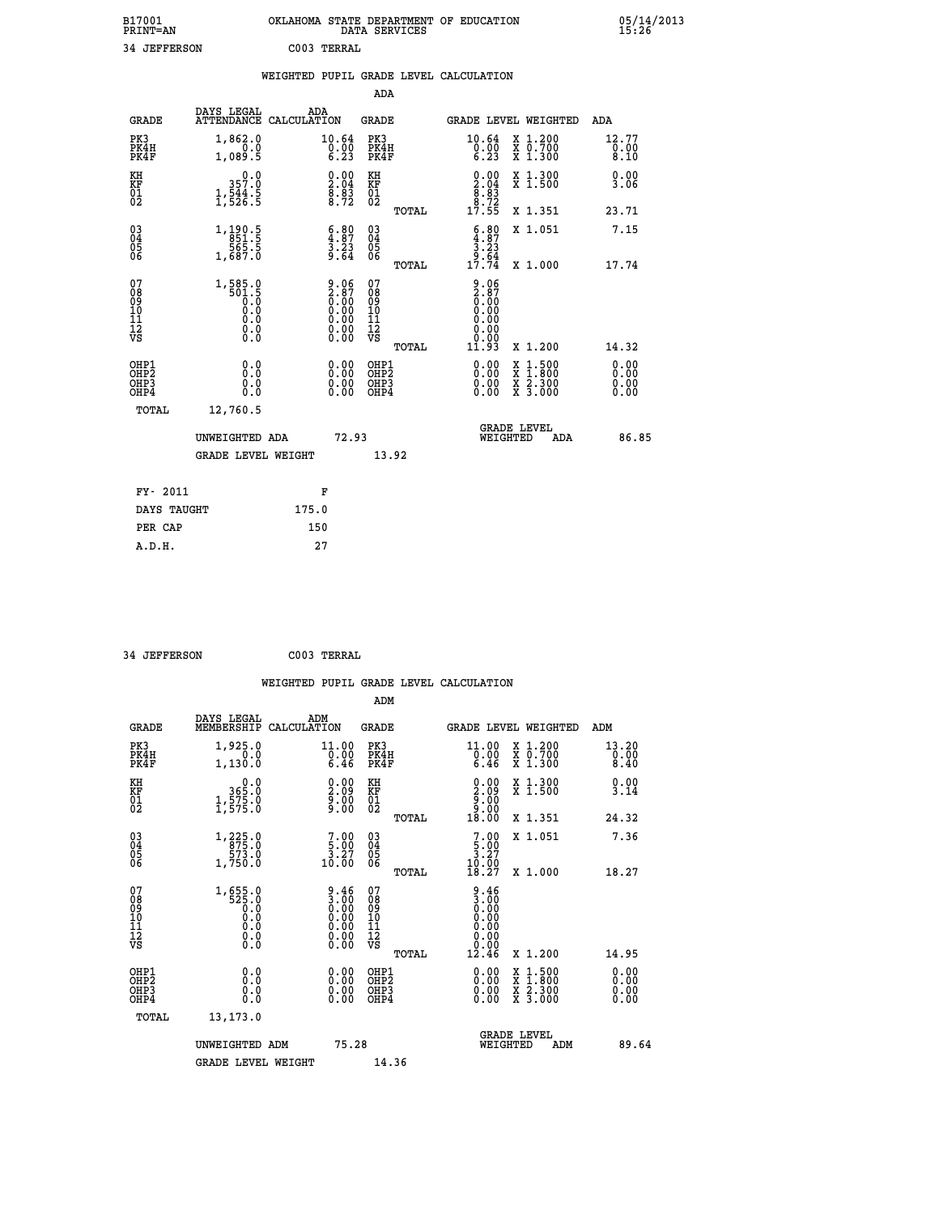| B17001<br><b>PRINT=AN</b> |             | OKLAHOMA STATE DEPARTMENT OF EDUCATION<br>DATA SERVICES |  |
|---------------------------|-------------|---------------------------------------------------------|--|
| 34 JEFFERSON              | C003 TERRAL |                                                         |  |

**FIGHT**  $\frac{05}{15:26}$ 

|                                          |                                                                                                                                                                                                                                                                                                                                                                                                    |                                                                              |                                              |       | WEIGHTED PUPIL GRADE LEVEL CALCULATION                                    |                                          |                               |
|------------------------------------------|----------------------------------------------------------------------------------------------------------------------------------------------------------------------------------------------------------------------------------------------------------------------------------------------------------------------------------------------------------------------------------------------------|------------------------------------------------------------------------------|----------------------------------------------|-------|---------------------------------------------------------------------------|------------------------------------------|-------------------------------|
|                                          |                                                                                                                                                                                                                                                                                                                                                                                                    |                                                                              | <b>ADA</b>                                   |       |                                                                           |                                          |                               |
| <b>GRADE</b>                             | DAYS LEGAL<br>ATTENDANCE CALCULATION                                                                                                                                                                                                                                                                                                                                                               | ADA                                                                          | <b>GRADE</b>                                 |       |                                                                           | GRADE LEVEL WEIGHTED                     | <b>ADA</b>                    |
| PK3<br>PK4H<br>PK4F                      | 1,862.0<br>1,089.5                                                                                                                                                                                                                                                                                                                                                                                 | $\substack{10.64 \\ 0.00 \\ 6.23}$                                           | PK3<br>PK4H<br>PK4F                          |       | $\substack{10.64 \\ 0.00 \\ 6.23}$                                        | X 1.200<br>X 0.700<br>X 1.300            | 12.77<br>$\frac{0.00}{8.10}$  |
| KH<br>KF<br>01<br>02                     | 0.0<br>357:0<br>1,544:5<br>1,526:5                                                                                                                                                                                                                                                                                                                                                                 | $\begin{smallmatrix} 0.00\ 2.04\ 8.83\ 8.72 \end{smallmatrix}$               | KH<br>KF<br>01<br>02                         |       | $\begin{smallmatrix} 0.00\\ 2.04\\ 8.83\\ 8.72\\ 17.55 \end{smallmatrix}$ | X 1.300<br>X 1.500                       | 0.00<br>3.06                  |
|                                          |                                                                                                                                                                                                                                                                                                                                                                                                    |                                                                              |                                              | TOTAL |                                                                           | X 1.351                                  | 23.71                         |
| 03<br>04<br>05<br>06                     | $\begin{array}{r} 1,190.5 \\ 851.5 \\ 565.5 \\ 1,687.0 \end{array}$                                                                                                                                                                                                                                                                                                                                | $\begin{smallmatrix} 6.80\ 4.87\ 3.23\ 9.64 \end{smallmatrix}$               | 03<br>04<br>05<br>06                         |       | $\begin{array}{c} 6.80 \\ 4.87 \\ 3.23 \\ 9.64 \\ 17.74 \end{array}$      | X 1.051                                  | 7.15                          |
|                                          |                                                                                                                                                                                                                                                                                                                                                                                                    |                                                                              |                                              | TOTAL |                                                                           | X 1.000                                  | 17.74                         |
| 07<br>0890112<br>1112<br>VS              | $1, \underset{501.5}{\overset{585.0}{\underset{1.5}{\overset{501.5}{\underset{0.0}{\overset{50.0}{\overset{1.0}{\overset{50.0}{\overset{1.0}{\overset{1.0}{\overset{1.0}{\overset{1.0}{\overset{1.0}{\overset{1.0}{\overset{1.0}{\overset{1.0}{\overset{1.0}{\overset{1.0}{\overset{1.0}{\overset{1.0}{\overset{1.0}{\overset{1.0}{\overset{1.0}{\overset{1.0}{\overset{1.0}{\overset{1.0}{\overs$ | $9.06$<br>$2.87$<br>$0.00$<br>$0.00$<br>$0.00$<br>$0.00$<br>$0.00$<br>$0.00$ | 07<br>08<br>09<br>01<br>11<br>11<br>12<br>VS | TOTAL | 9.06<br>2.87<br>0.00<br>0.00<br>0.00<br>0.00<br>11.93                     | X 1.200                                  | 14.32                         |
| OHP1<br>OHP2<br>OH <sub>P3</sub><br>OHP4 | 0.0<br>0.0<br>0.0                                                                                                                                                                                                                                                                                                                                                                                  | $\begin{smallmatrix} 0.00 \ 0.00 \ 0.00 \ 0.00 \end{smallmatrix}$            | OHP1<br>OHP2<br>OHP3<br>OHP4                 |       | 0.00<br>0.00<br>0.00                                                      | X 1:500<br>X 1:800<br>X 2:300<br>X 3:000 | 0.00<br>Ō. ŌŌ<br>0.00<br>0.00 |
| <b>TOTAL</b>                             | 12,760.5                                                                                                                                                                                                                                                                                                                                                                                           |                                                                              |                                              |       |                                                                           |                                          |                               |
|                                          | UNWEIGHTED ADA                                                                                                                                                                                                                                                                                                                                                                                     |                                                                              | 72.93                                        |       | WEIGHTED                                                                  | <b>GRADE LEVEL</b><br>ADA                | 86.85                         |
|                                          | <b>GRADE LEVEL WEIGHT</b>                                                                                                                                                                                                                                                                                                                                                                          |                                                                              |                                              | 13.92 |                                                                           |                                          |                               |
| FY- 2011                                 |                                                                                                                                                                                                                                                                                                                                                                                                    | F                                                                            |                                              |       |                                                                           |                                          |                               |
| DAYS TAUGHT                              |                                                                                                                                                                                                                                                                                                                                                                                                    | 175.0                                                                        |                                              |       |                                                                           |                                          |                               |
| PER CAP                                  |                                                                                                                                                                                                                                                                                                                                                                                                    | 150                                                                          |                                              |       |                                                                           |                                          |                               |

 **A.D.H. 27**

| 34 JEFFERSON                                       |                                                                                            | C003 TERRAL                                                                              |                                          |                |                                                                                                |                                                                           |                              |
|----------------------------------------------------|--------------------------------------------------------------------------------------------|------------------------------------------------------------------------------------------|------------------------------------------|----------------|------------------------------------------------------------------------------------------------|---------------------------------------------------------------------------|------------------------------|
|                                                    |                                                                                            |                                                                                          | ADM                                      |                | WEIGHTED PUPIL GRADE LEVEL CALCULATION                                                         |                                                                           |                              |
| <b>GRADE</b>                                       | DAYS LEGAL<br>MEMBERSHIP CALCULATION                                                       | ADM                                                                                      | GRADE                                    |                |                                                                                                | GRADE LEVEL WEIGHTED                                                      | ADM                          |
| PK3<br>PK4H<br>PK4F                                | 1,925.0<br>0.0<br>1,130.0                                                                  | 11.00<br>$\bar{0}.\tilde{0}\tilde{0}$<br>6.46                                            | PK3<br>PK4H<br>PK4F                      |                | 11.00<br>$\begin{smallmatrix} 0.00 \ 6.46 \end{smallmatrix}$                                   | X 1.200<br>$\begin{smallmatrix} 7 & 0.700 \\ X & 1.300 \end{smallmatrix}$ | 13.20<br>0.00<br>8.40        |
| KH<br><b>KF</b><br>01<br>02                        | $\begin{smallmatrix} & & 0.0\, 365.0\, 1,575.0\, 1,575.0 \end{smallmatrix}$                | $\begin{smallmatrix} 0.00\\[-1.2mm] 2.09\\[-1.0mm] 9.00\\[-1.0mm] 9.00\end{smallmatrix}$ | KH<br>KF<br>01<br>02                     |                | $\frac{0.00}{2.09}$<br>$\begin{array}{c} 0.008 \\[-4pt] 0.008 \\[-4pt] 0.008 \end{array}$      | X 1.300<br>X 1.500                                                        | 0.00<br>3.14                 |
|                                                    |                                                                                            |                                                                                          |                                          | TOTAL          |                                                                                                | X 1.351                                                                   | 24.32                        |
| $\begin{matrix} 03 \\ 04 \\ 05 \\ 06 \end{matrix}$ | 1, 225.0<br>573.0<br>1,750.0                                                               | $\begin{smallmatrix}7.00\\5.00\\3.27\\10.00\end{smallmatrix}$                            | 03<br>04<br>05<br>06                     |                | $\frac{7.00}{3.27}$<br>$\frac{10.00}{18.27}$                                                   | X 1.051                                                                   | 7.36                         |
| 07<br>08<br>09<br>10<br>11<br>11<br>12<br>VS       | 1,655.0<br>525.0<br>0.0<br>0.0<br>$\begin{smallmatrix} 0.16 \ 0.0 \ 0.0 \end{smallmatrix}$ | $\frac{9.46}{3.00}$<br>0.00<br>0.00<br>0.00                                              | 07<br>08<br>09<br>10<br>11<br>12<br>VS   | TOTAL<br>TOTAL | $\begin{smallmatrix} 9.46\ 3.00\ 0.00\ 0.00\ 0.00\ \end{smallmatrix}$<br>0.00<br>0.00<br>12.46 | X 1.000<br>X 1.200                                                        | 18.27<br>14.95               |
| OHP1<br>OHP2<br>OH <sub>P3</sub><br>OHP4           | 0.00000<br>ŏ.ŏ                                                                             | 0.00<br>0.00<br>0.00                                                                     | OHP1<br>OHP <sub>2</sub><br>OHP3<br>OHP4 |                | $0.00$<br>$0.00$<br>0.00                                                                       | X 1:500<br>X 1:800<br>X 2:300<br>X 3:000                                  | 0.00<br>0.00<br>0.00<br>0.00 |
| TOTAL                                              | 13, 173.0                                                                                  |                                                                                          |                                          |                |                                                                                                |                                                                           |                              |
|                                                    | UNWEIGHTED ADM<br><b>GRADE LEVEL WEIGHT</b>                                                | 75.28                                                                                    | 14.36                                    |                |                                                                                                | GRADE LEVEL<br>WEIGHTED<br>ADM                                            | 89.64                        |
|                                                    |                                                                                            |                                                                                          |                                          |                |                                                                                                |                                                                           |                              |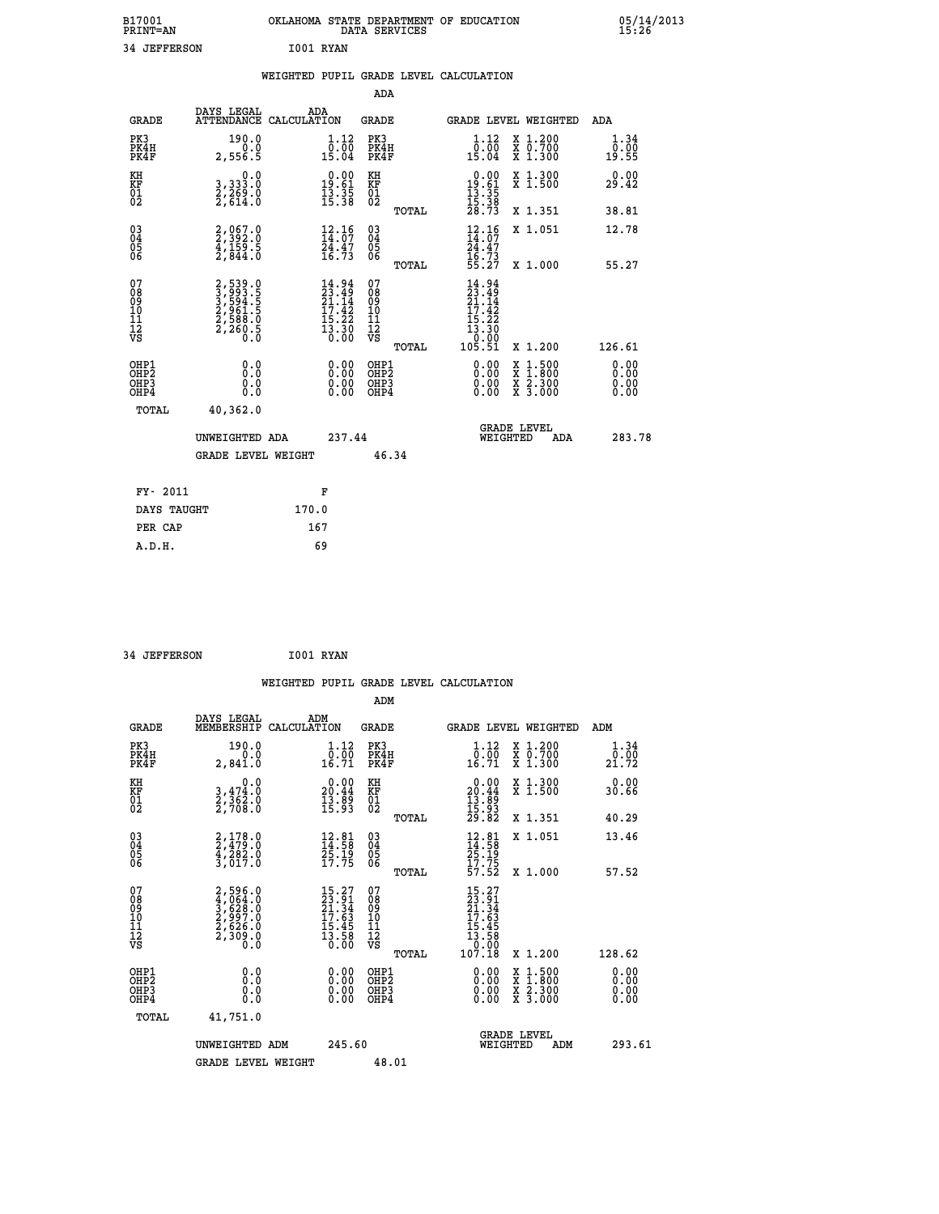| B17001<br>PRINT=AN                           |                                                                | OKLAHOMA STATE DEPARTMENT OF EDUCATION                                   | DATA SERVICES                                      |                                                                                                                     |                                                                                                  | 05/14/2013            |  |
|----------------------------------------------|----------------------------------------------------------------|--------------------------------------------------------------------------|----------------------------------------------------|---------------------------------------------------------------------------------------------------------------------|--------------------------------------------------------------------------------------------------|-----------------------|--|
| <b>34 JEFFERSON</b>                          |                                                                | I001 RYAN                                                                |                                                    |                                                                                                                     |                                                                                                  |                       |  |
|                                              |                                                                | WEIGHTED PUPIL GRADE LEVEL CALCULATION                                   |                                                    |                                                                                                                     |                                                                                                  |                       |  |
|                                              |                                                                |                                                                          | ADA                                                |                                                                                                                     |                                                                                                  |                       |  |
| <b>GRADE</b>                                 | DAYS LEGAL                                                     | ADA<br>ATTENDANCE CALCULATION                                            | GRADE                                              |                                                                                                                     | GRADE LEVEL WEIGHTED                                                                             | ADA                   |  |
| PK3<br>PK4H<br>PK4F                          | 190.0<br>0.0<br>2,556.5                                        | 1.12<br>$\frac{0.00}{15.04}$                                             | PK3<br>PK4H<br>PK4F                                | 1.12<br>$\begin{smallmatrix} \bar{0} \ \bar{0} \ \bar{0} \ \bar{1} \ \bar{5} \ \bar{0} \ \bar{4} \end{smallmatrix}$ | X 1.200<br>X 0.700<br>X 1.300                                                                    | 1.34<br>0.00<br>19.55 |  |
| KH<br>KF<br>01<br>02                         | 0.0<br>3, 333:0<br>2, 269:0<br>2, 614:0                        | $\begin{smallmatrix}&&0.00\\19.61\\13.35\\15.38\end{smallmatrix}$        | KH<br>KF<br>01<br>02                               | $\begin{array}{r} 0.00 \\ 19.61 \\ 13.35 \\ 15.38 \\ 28.73 \end{array}$                                             | X 1.300<br>X 1.500                                                                               | 0.00<br>29.42         |  |
|                                              |                                                                |                                                                          | TOTAL                                              |                                                                                                                     | X 1.351                                                                                          | 38.81                 |  |
| 030404<br>06                                 | $2,392.0$<br>$4,159.5$<br>$2,844.0$                            | $12.16$<br>$14.07$<br>$24.47$<br>$16.73$                                 | $\begin{matrix} 03 \\ 04 \\ 05 \\ 06 \end{matrix}$ | $\frac{12.16}{14.07}$<br>$\frac{24}{16}$ . $\frac{47}{73}$<br>$\frac{55}{327}$                                      | X 1.051                                                                                          | 12.78                 |  |
| 07                                           |                                                                |                                                                          | TOTAL<br>07                                        |                                                                                                                     | X 1,000                                                                                          | 55.27                 |  |
| 08<br>09<br>10<br>īĭ<br>Ī2<br>VS             | 2,539.0<br>3,593.5<br>3,594.5<br>2,588.0<br>2,588.0<br>2,260.5 | $14.94$<br>$23.49$<br>$21.14$<br>$17.42$<br>$15.22$<br>$13.30$<br>$0.00$ | 08<br>09<br>10<br>11<br>Ī2<br>VS                   | $14.94$<br>$23.49$<br>$21.14$<br>$17.42$<br>15.22<br>$\frac{13.30}{0.00}$                                           |                                                                                                  |                       |  |
| OHP1                                         | 0.0                                                            |                                                                          | TOTAL<br>OHP1                                      | 105.51                                                                                                              | X 1.200                                                                                          | 126.61<br>0.00        |  |
| OHP <sub>2</sub><br>OH <sub>P3</sub><br>OHP4 | $0.\check{0}$<br>0.0<br>0.0                                    |                                                                          | OHP <sub>2</sub><br>OHP3<br>OHP4                   | 0.00<br>0.00<br>0.00                                                                                                | $\begin{smallmatrix} x & 1 & 500 \\ x & 1 & 800 \\ x & 2 & 300 \\ x & 3 & 000 \end{smallmatrix}$ | 0.00<br>0.00<br>0.00  |  |
| TOTAL                                        | 40,362.0                                                       |                                                                          |                                                    |                                                                                                                     |                                                                                                  |                       |  |
|                                              | UNWEIGHTED ADA                                                 | 237.44                                                                   |                                                    | WEIGHTED                                                                                                            | <b>GRADE LEVEL</b><br>ADA                                                                        | 283.78                |  |
|                                              | <b>GRADE LEVEL WEIGHT</b>                                      |                                                                          | 46.34                                              |                                                                                                                     |                                                                                                  |                       |  |
| FY- 2011                                     |                                                                | F                                                                        |                                                    |                                                                                                                     |                                                                                                  |                       |  |
| DAYS TAUGHT                                  |                                                                | 170.0                                                                    |                                                    |                                                                                                                     |                                                                                                  |                       |  |
| PER CAP                                      |                                                                | 167                                                                      |                                                    |                                                                                                                     |                                                                                                  |                       |  |

| 34 JEFFERSON | I001 RYAN |
|--------------|-----------|

 **WEIGHTED PUPIL GRADE LEVEL CALCULATION ADM DAYS LEGAL ADM GRADE MEMBERSHIP CALCULATION GRADE GRADE LEVEL WEIGHTED ADM PK3 190.0 1.12 PK3 1.12 X 1.200 1.34 PK4H 0.0 0.00 PK4H 0.00 X 0.700 0.00 PK4F 2,841.0 16.71 PK4F 16.71 X 1.300 21.72 KH 0.0 0.00 KH 0.00 X 1.300 0.00 KF 3,474.0 20.44 KF 20.44 X 1.500 30.66 01 2,362.0 13.89 01 13.89 02 2,708.0 15.93 02 15.93 TOTAL 29.82 X 1.351 40.29 03 2,178.0 12.81 03 12.81 X 1.051 13.46 04 2,479.0 14.58 04 14.58 05 4,282.0 25.19 05 25.19 06 3,017.0 17.75 06 17.75 TOTAL 57.52 X 1.000 57.52**  $\begin{array}{cccc} 07 & 2,596.0 & 15.27 & 07 & 15.27 \ 08 & 4,0628 \ 09 & 2,5628.0 & 21.34 & 08 & 21.34 \ 10 & 2,997.0 & 17.63 & 10 & 17.63 \ 11 & 2,536.0 & 15.45 & 11 & 15.45 \ 12 & 2,536.0 & 15.45 & 12 & 15.45 \ 13 & 2,500 & 0 & 15.6 & 12 & 13.58 \ 13 & 0 & 0 & 0 &$  $\begin{array}{cccc} 15.27 & 07 & 15.27 \ 23.91 & 08 & 23.91 \ 17.63 & 10 & 21.34 \ 17.63 & 11 & 17.63 \ 15.45 & 11 & 15.45 \ 13.58 & 12 & 13.58 \ 0.00 & 08 & 0.00 \ 0.00 & 08 & 0.00 \ 0.00 & 08 & 0.00 \ 0.00 & 08 & 0.00 \ 0.00 & 08 & 0.00 \ 0.00 & 08 & 0.00 \ 0.00 & 08$  **OHP1 0.0 0.00 OHP1 0.00 X 1.500 0.00 OHP2 0.0 0.00 OHP2 0.00 X 1.800 0.00 OHP3 0.0 0.00 OHP3 0.00 X 2.300 0.00 OHP4 0.0 0.00 OHP4 0.00 X 3.000 0.00 TOTAL 41,751.0 GRADE LEVEL UNWEIGHTED ADM 245.60 WEIGHTED ADM 293.61** GRADE LEVEL WEIGHT 48.01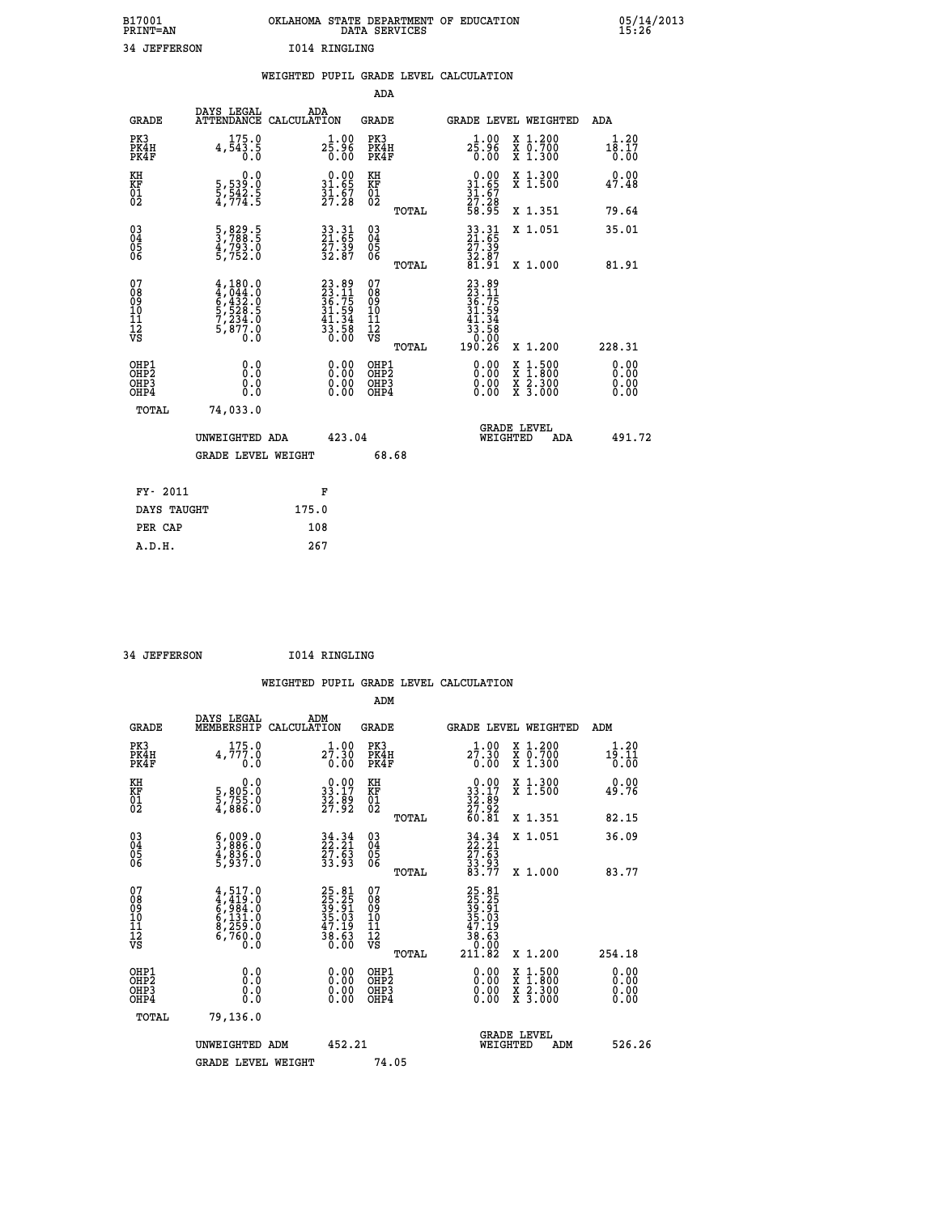| B17001          | OKLAHOMA STATE DEPARTMENT OF EDUCATION |
|-----------------|----------------------------------------|
| <b>PRINT=AN</b> | DATA SERVICES                          |
| 34 JEFFERSON    | 1014 RINGLING                          |

|                                           |                                                                                                        | WEIGHTED PUPIL GRADE LEVEL CALCULATION                                   |                                                    |       |                                                                                                                                                                                                                                                                                |                                                                                                                                           |                       |
|-------------------------------------------|--------------------------------------------------------------------------------------------------------|--------------------------------------------------------------------------|----------------------------------------------------|-------|--------------------------------------------------------------------------------------------------------------------------------------------------------------------------------------------------------------------------------------------------------------------------------|-------------------------------------------------------------------------------------------------------------------------------------------|-----------------------|
|                                           |                                                                                                        |                                                                          | ADA                                                |       |                                                                                                                                                                                                                                                                                |                                                                                                                                           |                       |
| <b>GRADE</b>                              |                                                                                                        | DAYS LEGAL ADA ATTENDANCE CALCULATION                                    | GRADE                                              |       |                                                                                                                                                                                                                                                                                | GRADE LEVEL WEIGHTED                                                                                                                      | ADA                   |
| PK3<br>PK4H<br>PK4F                       | 175.0<br>4,543.5<br>0.0                                                                                | $2\frac{1}{5}\cdot\frac{00}{96}$<br>0.00                                 | PK3<br>PK4H<br>PK4F                                |       | 1.00<br>$2\bar{5}\,\dot{.}\,\dot{9}\,\dot{6}\,\,$<br>$0\,\dot{.}\,00$                                                                                                                                                                                                          | X 1.200<br>X 0.700<br>X 1.300                                                                                                             | 1.20<br>18.17<br>0.00 |
| KH<br>KF<br>01<br>02                      | $\begin{smallmatrix}&&&0\cdot0\\ 5\,,\,539\cdot0\\ 5\,,\,542\cdot5\\ 4\,,\,774\cdot5\end{smallmatrix}$ | $\begin{smallmatrix} 0.00\\ 31.65\\ 31.67\\ 27.28 \end{smallmatrix}$     | KH<br>KF<br>01<br>02                               |       | $0.00$<br>$31.65$<br>$31.67$<br>$27.28$                                                                                                                                                                                                                                        | X 1.300<br>X 1.500                                                                                                                        | 0.00<br>47.48         |
|                                           |                                                                                                        |                                                                          |                                                    | TOTAL | 58.95                                                                                                                                                                                                                                                                          | X 1.351                                                                                                                                   | 79.64                 |
| 03<br>04<br>05<br>06                      | 5,829.5<br>3,788.5<br>4,793.0<br>5,752.0                                                               | 33.31<br>21.65<br>27.39<br>32.87                                         | $\begin{matrix} 03 \\ 04 \\ 05 \\ 06 \end{matrix}$ |       | $\frac{33}{21}.\overline{65}$<br>$\frac{27}{32}$                                                                                                                                                                                                                               | X 1.051                                                                                                                                   | 35.01                 |
|                                           |                                                                                                        |                                                                          |                                                    | TOTAL | 32.07<br>01.91                                                                                                                                                                                                                                                                 | X 1.000                                                                                                                                   | 81.91                 |
| 07<br>0890112<br>1112<br>VS               | 4,180.0<br>4,044.0<br>5,432.0<br>5,528.5<br>7,234.0<br>5,877.0<br>Ó.Ŏ                                  | $23.89$<br>$23.11$<br>$36.75$<br>$31.59$<br>$41.34$<br>$33.58$<br>$0.00$ | 07<br>08<br>09<br>001<br>11<br>11<br>12<br>VS      | TOTAL | 23.89<br>23.11<br>36.75<br>31.59<br>31.34<br>$\frac{33.58}{0.00}$<br>190.26                                                                                                                                                                                                    | X 1.200                                                                                                                                   | 228.31                |
| OHP1<br>OHP2<br>OH <sub>P</sub> 3<br>OHP4 | 0.0<br>0.0<br>Ŏ.Ŏ                                                                                      | $\begin{smallmatrix} 0.00 \ 0.00 \ 0.00 \ 0.00 \end{smallmatrix}$        | OHP1<br>OHP2<br>OHP3<br>OHP4                       |       | $\begin{smallmatrix} 0.00 & 0.00 & 0.00 & 0.00 & 0.00 & 0.00 & 0.00 & 0.00 & 0.00 & 0.00 & 0.00 & 0.00 & 0.00 & 0.00 & 0.00 & 0.00 & 0.00 & 0.00 & 0.00 & 0.00 & 0.00 & 0.00 & 0.00 & 0.00 & 0.00 & 0.00 & 0.00 & 0.00 & 0.00 & 0.00 & 0.00 & 0.00 & 0.00 & 0.00 & 0.00 & 0.0$ | $\begin{smallmatrix} \mathtt{X} & 1\cdot500\\ \mathtt{X} & 1\cdot800\\ \mathtt{X} & 2\cdot300\\ \mathtt{X} & 3\cdot000 \end{smallmatrix}$ | 0.00<br>0.00<br>0.00  |
| TOTAL                                     | 74,033.0                                                                                               |                                                                          |                                                    |       |                                                                                                                                                                                                                                                                                |                                                                                                                                           |                       |
|                                           | UNWEIGHTED ADA                                                                                         | 423.04                                                                   |                                                    |       | WEIGHTED                                                                                                                                                                                                                                                                       | <b>GRADE LEVEL</b><br>ADA                                                                                                                 | 491.72                |
|                                           | <b>GRADE LEVEL WEIGHT</b>                                                                              |                                                                          | 68.68                                              |       |                                                                                                                                                                                                                                                                                |                                                                                                                                           |                       |
| FY- 2011                                  |                                                                                                        | F                                                                        |                                                    |       |                                                                                                                                                                                                                                                                                |                                                                                                                                           |                       |
| DAYS TAUGHT                               |                                                                                                        | 175.0                                                                    |                                                    |       |                                                                                                                                                                                                                                                                                |                                                                                                                                           |                       |
| PER CAP                                   |                                                                                                        | 108                                                                      |                                                    |       |                                                                                                                                                                                                                                                                                |                                                                                                                                           |                       |

 **34 JEFFERSON I014 RINGLING**

 **A.D.H. 267**

 **ADM**

| <b>GRADE</b>                                       | DAYS LEGAL<br>MEMBERSHIP CALCULATION                                         | ADM                                                                  | <b>GRADE</b>                                        |                                                                                                                                          | GRADE LEVEL WEIGHTED                     | ADM                   |
|----------------------------------------------------|------------------------------------------------------------------------------|----------------------------------------------------------------------|-----------------------------------------------------|------------------------------------------------------------------------------------------------------------------------------------------|------------------------------------------|-----------------------|
| PK3<br>PK4H<br>PK4F                                | 175.0<br>4,777.0<br>0.0                                                      | 1.00<br>27.30<br>0.00                                                | PK3<br>PK4H<br>PK4F                                 | 1.00<br>27.30<br>0.00                                                                                                                    | X 1.200<br>X 0.700<br>X 1.300            | 1.20<br>19.11<br>0.00 |
| KH<br>KF<br>01<br>02                               | $\begin{smallmatrix} 0.0 \\ 5,805.0 \\ 5,755.0 \\ 4,886.0 \end{smallmatrix}$ | $\begin{smallmatrix} 0.00\\ 33.17\\ 32.89\\ 27.92 \end{smallmatrix}$ | KH<br>KF<br>01<br>02                                | $\begin{smallmatrix} 0.00\\ 33.17\\ 32.89\\ 27.92\\ 60.81 \end{smallmatrix}$                                                             | X 1.300<br>X 1.500                       | 0.00<br>49.76         |
|                                                    |                                                                              |                                                                      | TOTAL                                               |                                                                                                                                          | X 1.351                                  | 82.15                 |
| $\begin{matrix} 03 \\ 04 \\ 05 \\ 06 \end{matrix}$ | $\frac{5}{3}, \frac{009}{886}.0$<br>$\frac{4}{5}, \frac{836}{937}.0$         | $34.34$<br>$22.21$<br>$27.63$<br>$33.93$                             | $\begin{array}{c} 03 \\ 04 \\ 05 \\ 06 \end{array}$ | $34.34$<br>$22.21$<br>$27.63$<br>$33.93$<br>$83.77$                                                                                      | X 1.051                                  | 36.09                 |
|                                                    |                                                                              |                                                                      | TOTAL                                               |                                                                                                                                          | X 1.000                                  | 83.77                 |
| 07<br>08<br>09<br>101<br>11<br>12<br>VS            | $4,419.0$<br>$6,984.0$<br>$6,131.0$<br>$8,259.0$<br>$6,760.0$<br>$0.0$       | 25.81<br>25.25<br>39.91<br>35.03<br>37.19<br>38.63<br>38.63          | 078<br>089<br>0011<br>11<br>12<br>VS<br>TOTAL       | $\begin{smallmatrix} 25 & 81 \\ 25 & 25 \\ 39 & 31 \\ 39 & 01 \\ 35 & 03 \\ 47 & 19 \\ 38 & 63 \\ 0 & 000 \\ 211 & 82 \end{smallmatrix}$ | X 1.200                                  | 254.18                |
| OHP1<br>OHP2<br>OHP3<br>OHP4                       | 0.0<br>$\begin{smallmatrix} 0.0 & 0 \ 0.0 & 0 \end{smallmatrix}$             |                                                                      | OHP1<br>OHP2<br>OHP3<br>OHP4                        |                                                                                                                                          | X 1:500<br>X 1:800<br>X 2:300<br>X 3:000 | 0.00<br>0.00<br>0.00  |
| TOTAL                                              | 79,136.0                                                                     |                                                                      |                                                     |                                                                                                                                          |                                          |                       |
|                                                    | UNWEIGHTED<br>ADM                                                            | 452.21                                                               |                                                     | WEIGHTED                                                                                                                                 | <b>GRADE LEVEL</b><br>ADM                | 526.26                |
|                                                    | <b>GRADE LEVEL WEIGHT</b>                                                    |                                                                      | 74.05                                               |                                                                                                                                          |                                          |                       |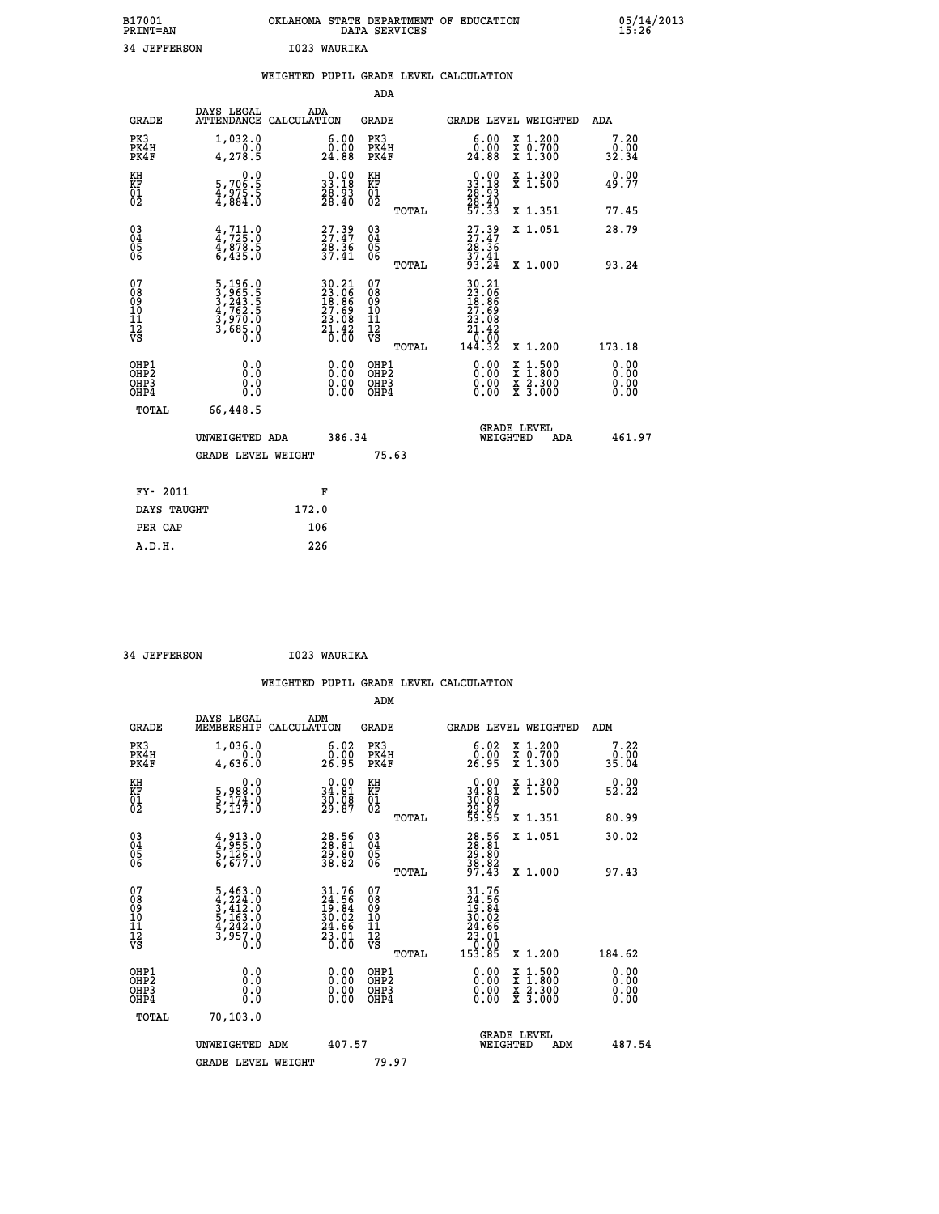| B17001<br><b>PRINT=AN</b> | OKLAHOMA STATE DEPARTMENT OF EDUCATION<br>DATA SERVICES | 05/14/2013<br>15:26 |
|---------------------------|---------------------------------------------------------|---------------------|
| 34<br>JEFFERSON           | 1023<br>WAURIKA                                         |                     |

|                                                                    |                                                                                                 |       |                                                                      |                                        |       | WEIGHTED PUPIL GRADE LEVEL CALCULATION                                          |                                                                                                                                           |                                   |
|--------------------------------------------------------------------|-------------------------------------------------------------------------------------------------|-------|----------------------------------------------------------------------|----------------------------------------|-------|---------------------------------------------------------------------------------|-------------------------------------------------------------------------------------------------------------------------------------------|-----------------------------------|
|                                                                    |                                                                                                 |       |                                                                      | <b>ADA</b>                             |       |                                                                                 |                                                                                                                                           |                                   |
| <b>GRADE</b>                                                       | DAYS LEGAL<br>ATTENDANCE CALCULATION                                                            |       | ADA                                                                  | GRADE                                  |       | GRADE LEVEL WEIGHTED                                                            |                                                                                                                                           | ADA                               |
| PK3<br>PK4H<br>PK4F                                                | 1,032.0<br>0.0<br>4,278.5                                                                       |       | $\substack{6.00\\0.00\\24.88}$                                       | PK3<br>PK4H<br>PK4F                    |       | 0.00<br>24.88                                                                   | X 1.200<br>X 0.700<br>X 1.300                                                                                                             | 7.20<br>0.00<br>32.34             |
| KH<br>KF<br>01<br>02                                               | $\begin{smallmatrix}&&&0.0\\5.706.5\\4.975.5\\4.884.0\end{smallmatrix}$                         |       | $\begin{smallmatrix} 0.00\\ 33.18\\ 28.93\\ 28.40 \end{smallmatrix}$ | KH<br>KF<br>01<br>02                   |       | $\begin{smallmatrix} 0.00\\ 33.18\\ 28.93\\ 28.40\\ 57.33 \end{smallmatrix}$    | X 1.300<br>X 1.500                                                                                                                        | 0.00<br>49.77                     |
|                                                                    |                                                                                                 |       |                                                                      |                                        | TOTAL |                                                                                 | X 1.351                                                                                                                                   | 77.45                             |
| $\begin{smallmatrix} 03 \\[-4pt] 04 \end{smallmatrix}$<br>Ŏ5<br>06 | $4,711.0$<br>$4,725.0$<br>$4,878.5$<br>$6,435.0$                                                |       | 27.39<br>27.47<br>28.36<br>37.41                                     | $\substack{03 \\ 04}$<br>Ŏ5<br>06      |       | 27.39<br>27.47<br>28.36<br>37.41<br>33.24                                       | X 1.051                                                                                                                                   | 28.79                             |
|                                                                    |                                                                                                 |       |                                                                      |                                        | TOTAL |                                                                                 | X 1.000                                                                                                                                   | 93.24                             |
| 07<br>08<br>09<br>01<br>11<br>11<br>12<br>VS                       | $\begin{smallmatrix}5,196.0\\3,965.5\\3,243.5\\4,762.5\\3,970.0\\3,685.0\\0.0\end{smallmatrix}$ |       | 30.21<br>23.06<br>18.86<br>27.69<br>23.08<br>23.08<br>21.42<br>0.00  | 07<br>08<br>09<br>11<br>11<br>12<br>VS | TOTAL | 30.21<br>$23.06$<br>$18.86$<br>$27.69$<br>$23.08$<br>$21.42$<br>10:00<br>144.32 | X 1.200                                                                                                                                   | 173.18                            |
| OHP1<br>OHP2<br>OHP3<br>OHP4                                       | 0.0<br>0.0<br>0.0                                                                               |       | $\begin{smallmatrix} 0.00 \ 0.00 \ 0.00 \ 0.00 \end{smallmatrix}$    | OHP1<br>OHP2<br>OHP3<br>OHP4           |       |                                                                                 | $\begin{smallmatrix} \mathtt{X} & 1\cdot500\\ \mathtt{X} & 1\cdot800\\ \mathtt{X} & 2\cdot300\\ \mathtt{X} & 3\cdot000 \end{smallmatrix}$ | 0.00<br>Ō. ŌŌ<br>$0.00$<br>$0.00$ |
| TOTAL                                                              | 66,448.5                                                                                        |       |                                                                      |                                        |       |                                                                                 |                                                                                                                                           |                                   |
|                                                                    | UNWEIGHTED ADA                                                                                  |       | 386.34                                                               |                                        |       | <b>GRADE LEVEL</b><br>WEIGHTED                                                  | ADA                                                                                                                                       | 461.97                            |
|                                                                    | <b>GRADE LEVEL WEIGHT</b>                                                                       |       |                                                                      |                                        | 75.63 |                                                                                 |                                                                                                                                           |                                   |
| FY- 2011                                                           |                                                                                                 |       | F                                                                    |                                        |       |                                                                                 |                                                                                                                                           |                                   |
| DAYS TAUGHT                                                        |                                                                                                 | 172.0 |                                                                      |                                        |       |                                                                                 |                                                                                                                                           |                                   |
| PER CAP                                                            |                                                                                                 |       | 106                                                                  |                                        |       |                                                                                 |                                                                                                                                           |                                   |

| 34 JEFFERSON | I023 WAURIKA |
|--------------|--------------|

| <b>GRADE</b>                                       | DAYS LEGAL<br>MEMBERSHIP                                                                        | ADM<br>CALCULATION                                                           | <b>GRADE</b>                                        |       | GRADE LEVEL WEIGHTED                                                                                         |                                          | ADM    |                         |
|----------------------------------------------------|-------------------------------------------------------------------------------------------------|------------------------------------------------------------------------------|-----------------------------------------------------|-------|--------------------------------------------------------------------------------------------------------------|------------------------------------------|--------|-------------------------|
| PK3<br>PK4H<br>PK4F                                | 1,036.0<br>4,636.0                                                                              | $\begin{smallmatrix} 6.02\ 0.00\ 26.95 \end{smallmatrix}$                    | PK3<br>PK4H<br>PK4F                                 |       | $\begin{smallmatrix} 6.02\ 0.00\ 26.95 \end{smallmatrix}$                                                    | X 1.200<br>X 0.700<br>X 1.300            |        | 7.22<br>$0.00$<br>35.04 |
| KH<br>KF<br>01<br>02                               | 0.0<br>5,988:0<br>5,174.0<br>5,137:0                                                            | $\begin{smallmatrix} 0.00\\ 34.81\\ 36.81\\ 30.98\\ 29.87 \end{smallmatrix}$ | KH<br>KF<br>01<br>02                                |       | $0.00\n34.81\n30.08\n29.87\n59.95$                                                                           | X 1.300<br>X 1.500                       |        | 0.00<br>52.22           |
|                                                    |                                                                                                 |                                                                              |                                                     | TOTAL |                                                                                                              | X 1.351                                  |        | 80.99                   |
| $\begin{matrix} 03 \\ 04 \\ 05 \\ 06 \end{matrix}$ | 4,913.0<br>4,955.0<br>5,126.0<br>6,677.0                                                        | 28.56<br>28.81<br>29.80<br>38.82                                             | $\begin{array}{c} 03 \\ 04 \\ 05 \\ 06 \end{array}$ |       | 28.56<br>28.81<br>29.80<br>38.82<br>37.43                                                                    | X 1.051                                  |        | 30.02                   |
|                                                    |                                                                                                 |                                                                              |                                                     | TOTAL |                                                                                                              | X 1.000                                  |        | 97.43                   |
| 07<br>08<br>09<br>101<br>112<br>VS                 | $\begin{smallmatrix}5,463.0\\4,224.0\\3,412.0\\5,163.0\\4,242.0\\3,957.0\\0.0\end{smallmatrix}$ | $31.76$<br>$24.56$<br>$19.84$<br>$30.02$<br>$24.66$<br>$23.01$<br>$0.00$     | 07<br>08<br>09<br>11<br>11<br>12<br>VS              | TOTAL | $\begin{smallmatrix} 31.76 \\ 24.56 \\ 19.84 \\ 30.02 \\ 24.66 \\ 23.01 \\ 0.00 \\ 153.85 \end{smallmatrix}$ | X 1.200                                  | 184.62 |                         |
| OHP1<br>OHP2<br>OHP3<br>OHP4                       | 0.0<br>Ō.Ō<br>Ŏ.Ŏ                                                                               |                                                                              | OHP1<br>OHP2<br>OHP3<br>OHP4                        |       |                                                                                                              | X 1:500<br>X 1:800<br>X 2:300<br>X 3:000 |        | 0.00<br>0.00<br>0.00    |
| TOTAL                                              | 70,103.0                                                                                        |                                                                              |                                                     |       |                                                                                                              |                                          |        |                         |
|                                                    | UNWEIGHTED<br>ADM                                                                               | 407.57                                                                       |                                                     |       | <b>GRADE LEVEL</b><br>WEIGHTED                                                                               | ADM                                      |        | 487.54                  |
|                                                    | <b>GRADE LEVEL WEIGHT</b>                                                                       |                                                                              | 79.97                                               |       |                                                                                                              |                                          |        |                         |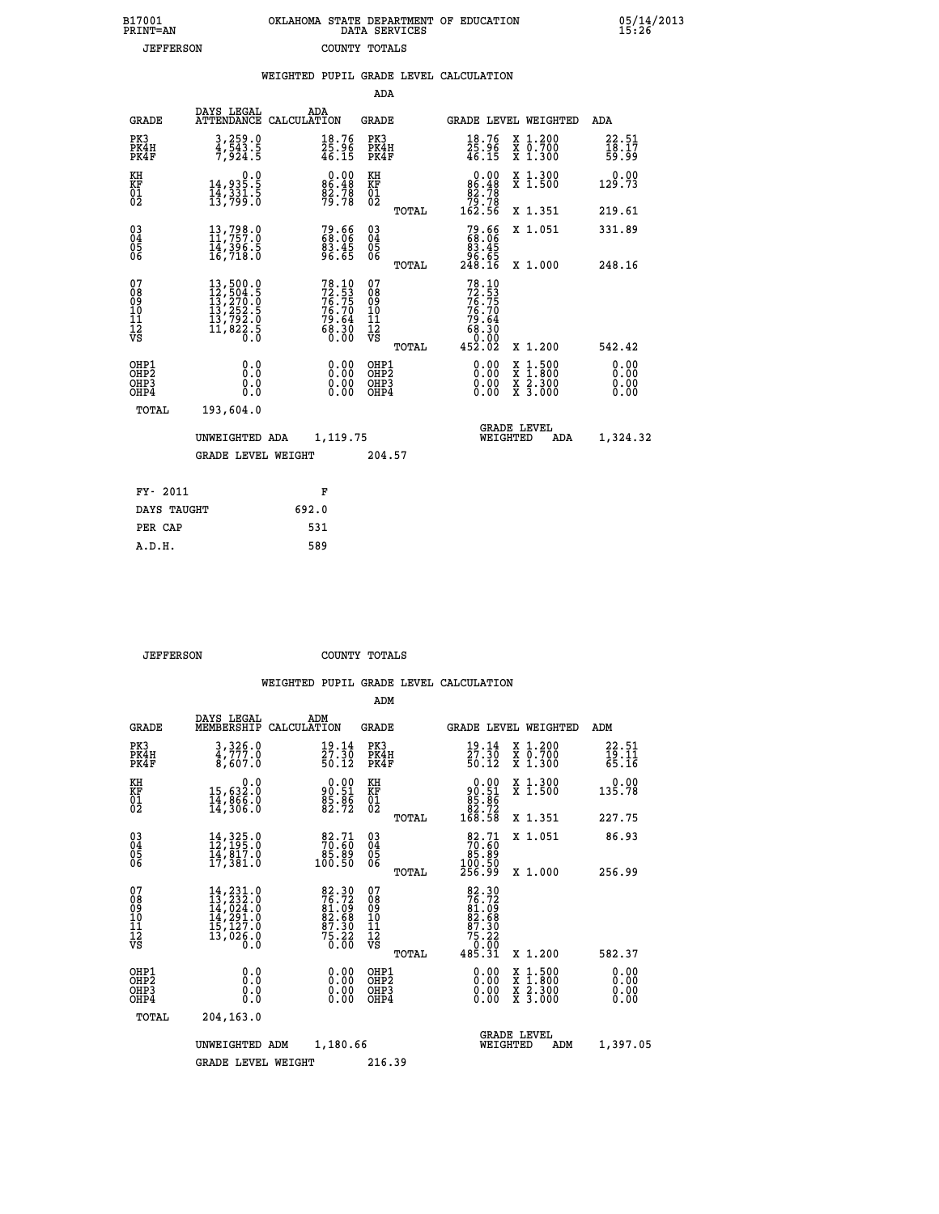| 7001<br>INT=AN   | OKLAHOMA STATE DEPARTMENT OF EDUCATION<br>DATA SERVICES |  |
|------------------|---------------------------------------------------------|--|
| <b>JEFFERSON</b> | COUNTY TOTALS                                           |  |

|                                                              |                                                                                                                                                                        | WEIGHTED PUPIL GRADE LEVEL CALCULATION                               |                                                  |                                                                                                                                                                                                                                                                                                                                                                                                                                |                         |
|--------------------------------------------------------------|------------------------------------------------------------------------------------------------------------------------------------------------------------------------|----------------------------------------------------------------------|--------------------------------------------------|--------------------------------------------------------------------------------------------------------------------------------------------------------------------------------------------------------------------------------------------------------------------------------------------------------------------------------------------------------------------------------------------------------------------------------|-------------------------|
|                                                              |                                                                                                                                                                        |                                                                      | ADA                                              |                                                                                                                                                                                                                                                                                                                                                                                                                                |                         |
| <b>GRADE</b>                                                 | DAYS LEGAL                                                                                                                                                             | ADA<br>ATTENDANCE CALCULATION                                        | <b>GRADE</b>                                     | GRADE LEVEL WEIGHTED                                                                                                                                                                                                                                                                                                                                                                                                           | ADA                     |
| PK3<br>PK4H<br>PK4F                                          | 3,259.0<br>4,543.5<br>7,924.5                                                                                                                                          | $\frac{18.76}{25.96}$<br>46.15                                       | PK3<br>PK4H<br>PK4F                              | $\frac{18.76}{25.96}$<br>46.15<br>X 1.200<br>X 0.700<br>X 1.300                                                                                                                                                                                                                                                                                                                                                                | 22.51<br>18.17<br>59.99 |
| KH<br>KF<br>01<br>02                                         | $\begin{smallmatrix}&&&0.0\\14,935.5\\14,331.5\\13,799.0\end{smallmatrix}$                                                                                             | $0.00$<br>86.48<br>82.78<br>79.78                                    | KH<br>KF<br>01<br>02                             | $0.00\n86.48\n82.78\n79.78\n162.56$<br>X 1.300<br>X 1.500                                                                                                                                                                                                                                                                                                                                                                      | 0.00<br>129.73          |
|                                                              |                                                                                                                                                                        |                                                                      | TOTAL                                            | X 1.351                                                                                                                                                                                                                                                                                                                                                                                                                        | 219.61                  |
| $\begin{smallmatrix} 03 \\[-4pt] 04 \end{smallmatrix}$<br>05 | $\begin{smallmatrix} 13\,,\,798\cdot 0\\ 11\,,\,757\cdot 0\\ 14\,,\,396\cdot 5\\ 16\,,\,718\cdot 0 \end{smallmatrix}$                                                  | 79.66<br>68.06<br>83.45<br>96.65                                     | $^{03}_{04}$<br>0500                             | 79.66<br>68.06<br>83.45<br>X 1.051                                                                                                                                                                                                                                                                                                                                                                                             | 331.89                  |
| 06                                                           |                                                                                                                                                                        |                                                                      | TOTAL                                            | 86.65<br>248.16<br>X 1.000                                                                                                                                                                                                                                                                                                                                                                                                     | 248.16                  |
| 07<br>08<br>09<br>10<br>11<br>11<br>12<br>νs                 | $\begin{smallmatrix} 13\,,\,500\,.\,0\\ 12\,,\,504\,. \,5\\ 13\,,\,270\,. \,0\\ 13\,,\,252\,. \,5\\ 13\,,\,792\,. \,0\\ 11\,,\,822\,. \,5\\ 0\,. \,0\end{smallmatrix}$ | 78.10<br>72.53<br>76.75<br>76.70<br>79.64<br>79.64<br>68.30<br>68.30 | 07<br>08<br>09<br>101<br>11<br>12<br>VS<br>TOTAL | 78.10<br>72.53<br>76.75<br>76.70<br>79.64<br>68.30<br>68.30<br>0.002<br>452.02<br>X 1.200                                                                                                                                                                                                                                                                                                                                      | 542.42                  |
| OHP1<br>OHP2<br>OHP3<br>OHP4                                 | 0.0<br>0.0<br>0.0                                                                                                                                                      | $\begin{smallmatrix} 0.00 \ 0.00 \ 0.00 \ 0.00 \end{smallmatrix}$    | OHP1<br>OHP2<br>OHP <sub>3</sub>                 | $\begin{smallmatrix} 0.00 & 0.00 & 0.00 & 0.00 & 0.00 & 0.00 & 0.00 & 0.00 & 0.00 & 0.00 & 0.00 & 0.00 & 0.00 & 0.00 & 0.00 & 0.00 & 0.00 & 0.00 & 0.00 & 0.00 & 0.00 & 0.00 & 0.00 & 0.00 & 0.00 & 0.00 & 0.00 & 0.00 & 0.00 & 0.00 & 0.00 & 0.00 & 0.00 & 0.00 & 0.00 & 0.0$<br>$\begin{smallmatrix} \mathtt{X} & 1\cdot500 \\ \mathtt{X} & 1\cdot800 \\ \mathtt{X} & 2\cdot300 \\ \mathtt{X} & 3\cdot000 \end{smallmatrix}$ | 0.00<br>0.00            |
| TOTAL                                                        | 193,604.0                                                                                                                                                              |                                                                      |                                                  |                                                                                                                                                                                                                                                                                                                                                                                                                                |                         |
|                                                              | UNWEIGHTED ADA                                                                                                                                                         | 1,119.75                                                             |                                                  | <b>GRADE LEVEL</b><br>WEIGHTED<br>ADA                                                                                                                                                                                                                                                                                                                                                                                          | 1,324.32                |
|                                                              | <b>GRADE LEVEL WEIGHT</b>                                                                                                                                              |                                                                      | 204.57                                           |                                                                                                                                                                                                                                                                                                                                                                                                                                |                         |
| FY- 2011                                                     |                                                                                                                                                                        | F                                                                    |                                                  |                                                                                                                                                                                                                                                                                                                                                                                                                                |                         |
| DAYS TAUGHT                                                  |                                                                                                                                                                        | 692.0                                                                |                                                  |                                                                                                                                                                                                                                                                                                                                                                                                                                |                         |
| PER CAP                                                      |                                                                                                                                                                        | 531                                                                  |                                                  |                                                                                                                                                                                                                                                                                                                                                                                                                                |                         |

 **A.D.H. 589**

 **B17001<br>PRINT=AN** 

 **JEFFERSON COUNTY TOTALS**

|                                          |                                                                                                                                                                               |                                                                | ADM                                                 |       |                                                                               |                                                                                                  |                                |
|------------------------------------------|-------------------------------------------------------------------------------------------------------------------------------------------------------------------------------|----------------------------------------------------------------|-----------------------------------------------------|-------|-------------------------------------------------------------------------------|--------------------------------------------------------------------------------------------------|--------------------------------|
| <b>GRADE</b>                             | DAYS LEGAL<br>MEMBERSHIP                                                                                                                                                      | ADM<br>CALCULATION                                             | <b>GRADE</b>                                        |       |                                                                               | <b>GRADE LEVEL WEIGHTED</b>                                                                      | ADM                            |
| PK3<br>PK4H<br>PK4F                      | 3,326.0<br>4,777.0<br>8,607.0                                                                                                                                                 | 19.14<br>27.30<br>50.12                                        | PK3<br>PK4H<br>PK4F                                 |       | 19.14<br>27.30<br>50.12                                                       | X 1.200<br>X 0.700<br>X 1.300                                                                    | $\frac{22.51}{19.11}$<br>65.16 |
| KH<br>KF<br>01<br>02                     | 0.0<br>15,632:0<br>14,866:0<br>14,306:0                                                                                                                                       | $90.51$<br>$85.86$<br>$82.72$                                  | KH<br>KF<br>01<br>02                                |       | $\begin{smallmatrix} 0.00\\ 90.51\\ 85.86\\ 82.72\\ 168.58 \end{smallmatrix}$ | X 1.300<br>X 1.500                                                                               | 0.00<br>135.78                 |
|                                          |                                                                                                                                                                               |                                                                |                                                     | TOTAL |                                                                               | X 1.351                                                                                          | 227.75                         |
| 03<br>04<br>05<br>06                     | $14,325.0$<br>$12,195.0$<br>$14,817.0$<br>17,381.0                                                                                                                            | $\begin{smallmatrix}82.71\70.60\85.89\100.50\end{smallmatrix}$ | $\begin{array}{c} 03 \\ 04 \\ 05 \\ 06 \end{array}$ |       | $\begin{smallmatrix}82.71\70.60\85.89\100.50\256.99\end{smallmatrix}$         | X 1.051                                                                                          | 86.93                          |
|                                          |                                                                                                                                                                               |                                                                |                                                     | TOTAL |                                                                               | X 1.000                                                                                          | 256.99                         |
| 07<br>08<br>09<br>101<br>112<br>VS       | $\begin{smallmatrix} 14\,, & 231\,. & 0\\ 13\,, & 232\,. & 0\\ 14\,, & 024\,. & 0\\ 14\,, & 291\,. & 0\\ 15\,, & 127\,. & 0\\ 13\,, & 026\,. & 0\\ 0\,. & 0\end{smallmatrix}$ | 82.30<br>76.72<br>81.09<br>82.68<br>87.30<br>75.22<br>75.22    | 07<br>08<br>09<br>11<br>11<br>12<br>VS              | TOTAL | 82.30<br>76.72<br>81.09<br>82.68<br>87.30<br>75.22<br>75.20<br>485.31         | X 1.200                                                                                          | 582.37                         |
| OHP1<br>OHP2<br>OH <sub>P3</sub><br>OHP4 | 0.0<br>0.000                                                                                                                                                                  | $0.00$<br>$0.00$<br>0.00                                       | OHP1<br>OHP2<br>OHP <sub>3</sub>                    |       | $0.00$<br>$0.00$<br>0.00                                                      | $\begin{smallmatrix} x & 1 & 500 \\ x & 1 & 800 \\ x & 2 & 300 \\ x & 3 & 000 \end{smallmatrix}$ | 0.00<br>0.00<br>0.00<br>0.00   |
| TOTAL                                    | 204,163.0                                                                                                                                                                     |                                                                |                                                     |       |                                                                               |                                                                                                  |                                |
|                                          | UNWEIGHTED                                                                                                                                                                    | 1,180.66<br>ADM                                                |                                                     |       | <b>GRADE LEVEL</b><br>WEIGHTED                                                | ADM                                                                                              | 1,397.05                       |
|                                          | <b>GRADE LEVEL WEIGHT</b>                                                                                                                                                     |                                                                | 216.39                                              |       |                                                                               |                                                                                                  |                                |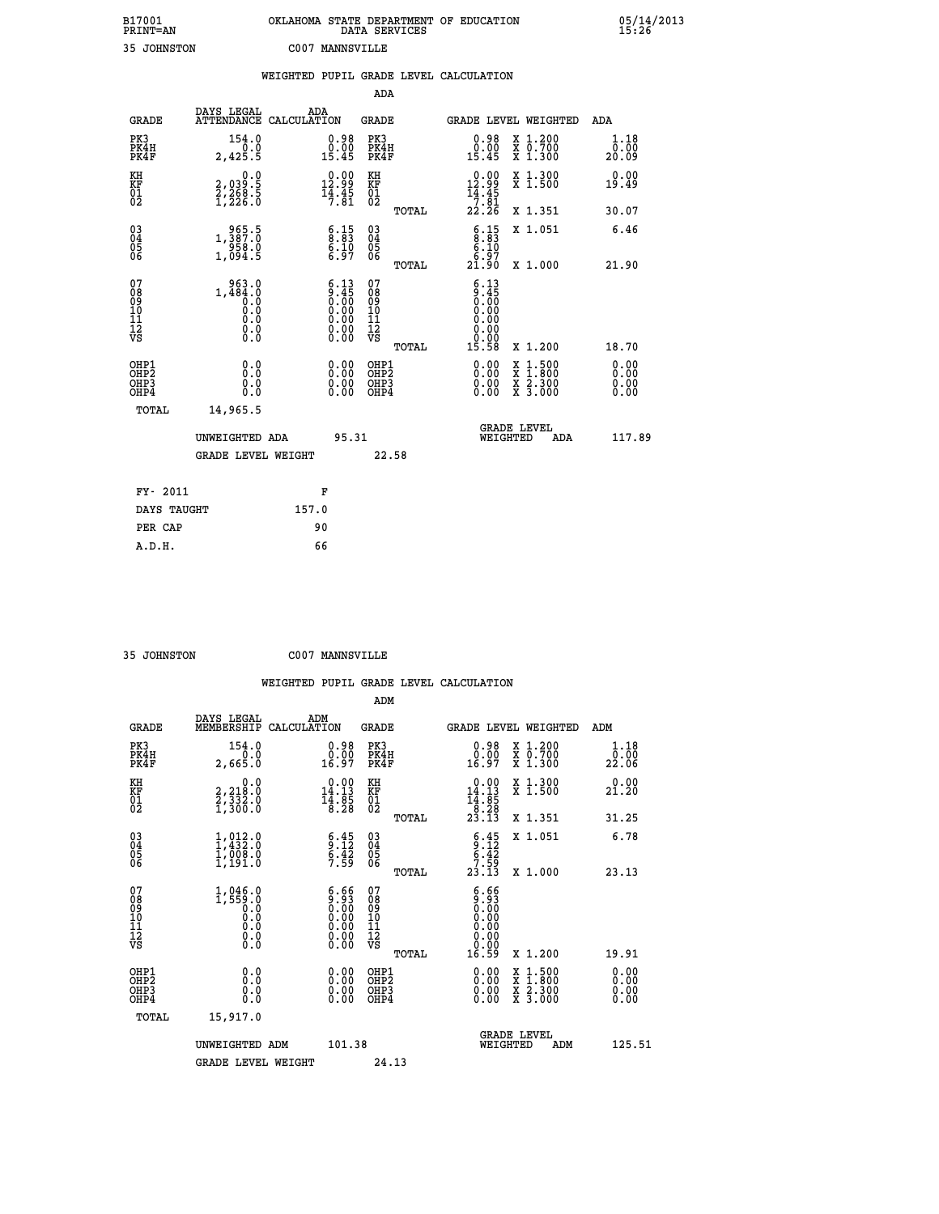| B17001<br><b>PRINT=AN</b> | OKLAHOMA STATE DEPARTMENT OF EDUCATION<br>DATA SERVICES | 05/14/2013<br>15:26 |
|---------------------------|---------------------------------------------------------|---------------------|
| 35<br><b>JOHNSTON</b>     | 2007<br>MANNSVILLE                                      |                     |

|                                    |                                              |                                                                                               |                                                 | WEIGHTED PUPIL GRADE LEVEL CALCULATION                                               |                                                |                              |
|------------------------------------|----------------------------------------------|-----------------------------------------------------------------------------------------------|-------------------------------------------------|--------------------------------------------------------------------------------------|------------------------------------------------|------------------------------|
|                                    |                                              |                                                                                               | ADA                                             |                                                                                      |                                                |                              |
| <b>GRADE</b>                       | DAYS LEGAL                                   | ADA<br>ATTENDANCE CALCULATION                                                                 | <b>GRADE</b>                                    | GRADE LEVEL WEIGHTED                                                                 |                                                | ADA                          |
| PK3<br>PK4H<br>PK4F                | 154.0<br>0.0<br>2,425.5                      | $0.98$<br>$0.00$<br>15.45                                                                     | PK3<br>PK4H<br>PK4F                             | $0.98$<br>$0.00$<br>15.45                                                            | X 1.200<br>X 0.700<br>X 1.300                  | 1.18<br>0.00<br>20.09        |
| KH<br>KF<br>01<br>02               | 0.0<br>2,039:5<br>2,268:5<br>1,226:0         | $\begin{smallmatrix} 0.00\\ 12.99\\ 14.45\\ 7.81 \end{smallmatrix}$                           | KH<br>KF<br>01<br>02                            | $\begin{smallmatrix} &0.00\\ 12.99\\ 14.45\\ 7.81\\ 22.26 \end{smallmatrix}$         | X 1.300<br>X 1.500                             | 0.00<br>19.49                |
|                                    |                                              |                                                                                               | TOTAL                                           |                                                                                      | X 1.351                                        | 30.07                        |
| $^{03}_{04}$<br>Ŏ5<br>06           | 1, 387: 0<br>$\frac{56}{1,094.5}$            | $\frac{6.15}{8.83}$<br>$\frac{6.10}{6.97}$                                                    | $\substack{03 \\ 04}$<br>Ŏ5<br>06               | $\begin{array}{c} 6.15 \\ 8.83 \\ 6.10 \\ 6.97 \end{array}$                          | X 1.051                                        | 6.46                         |
|                                    |                                              |                                                                                               | TOTAL                                           | 21.90                                                                                | X 1.000                                        | 21.90                        |
| 07<br>08<br>09<br>101<br>112<br>VS | 963.0<br>1,484.0<br>0.0<br>Ō.Ō<br>$\S.$ $\S$ | $\begin{smallmatrix} 6.13\ 9.45\ 0.00\ 0.00\ 0.00\ 0.00\ 0.00\ 0.00\ 0.00\ \end{smallmatrix}$ | 07<br>08<br>09<br>11<br>11<br>12<br>VS<br>TOTAL | $\begin{array}{c} 6.13 \\ 9.45 \\ 0.00 \\ 0.00 \end{array}$<br>0.00<br>0.00<br>15.58 | X 1.200                                        | 18.70                        |
| OHP1<br>OHP2<br>OHP3<br>OHP4       | 0.0<br>0.0<br>Ō.Ō                            | 0.00<br>$\begin{smallmatrix} 0.00 \ 0.00 \end{smallmatrix}$                                   | OHP1<br>OHP2<br>OHP3<br>OHP4                    | 0.00<br>0.00<br>0.00                                                                 | X 1:500<br>$\frac{x}{x}$ $\frac{5:300}{3:000}$ | 0.00<br>0.00<br>0.00<br>0.00 |
| <b>TOTAL</b>                       | 14,965.5                                     |                                                                                               |                                                 |                                                                                      |                                                |                              |
|                                    | UNWEIGHTED ADA                               | 95.31                                                                                         |                                                 |                                                                                      | GRADE LEVEL<br>WEIGHTED<br>ADA                 | 117.89                       |
|                                    | <b>GRADE LEVEL WEIGHT</b>                    |                                                                                               | 22.58                                           |                                                                                      |                                                |                              |
| FY- 2011                           |                                              | F                                                                                             |                                                 |                                                                                      |                                                |                              |
|                                    | DAYS TAUGHT                                  | 157.0                                                                                         |                                                 |                                                                                      |                                                |                              |
| PER CAP                            |                                              | 90                                                                                            |                                                 |                                                                                      |                                                |                              |

 **ADM**

 **35 JOHNSTON C007 MANNSVILLE**

| <b>GRADE</b>                                 | DAYS LEGAL<br>MEMBERSHIP                                                | ADM<br>CALCULATION                                                                      | <b>GRADE</b>                                       |       |                                                                                                                                               | GRADE LEVEL WEIGHTED                     | ADM                   |  |
|----------------------------------------------|-------------------------------------------------------------------------|-----------------------------------------------------------------------------------------|----------------------------------------------------|-------|-----------------------------------------------------------------------------------------------------------------------------------------------|------------------------------------------|-----------------------|--|
| PK3<br>PK4H<br>PK4F                          | 154.0<br>2,665.0                                                        | $\begin{smallmatrix} 0.98\ 0.00\\ 0.00\\ 16.97 \end{smallmatrix}$                       | PK3<br>PK4H<br>PK4F                                |       | $\begin{smallmatrix} 0.98\\ 0.00\\ 16.97 \end{smallmatrix}$                                                                                   | X 1.200<br>X 0.700<br>X 1.300            | 1.18<br>0.00<br>22.06 |  |
| KH<br>KF<br>01<br>02                         | $\begin{smallmatrix}&&&0.0\\2,218.0\\2,332.0\\1,300.0\end{smallmatrix}$ | $\begin{smallmatrix} 0.00\\14.13\\14.8\\18.28 \end{smallmatrix}$                        | KH<br>KF<br>$\overline{01}$                        |       | $\begin{array}{c} 0.00 \\ 14.13 \\ 14.85 \\ 8.28 \\ 23.13 \end{array}$                                                                        | X 1.300<br>X 1.500                       | 0.00<br>21.20         |  |
|                                              |                                                                         |                                                                                         |                                                    | TOTAL |                                                                                                                                               | X 1.351                                  | 31.25                 |  |
| 03<br>04<br>05<br>06                         | $1, 012.0$<br>$1, 432.0$<br>$1, 008.0$<br>$1, 191.0$                    | $\begin{array}{c} 6.45 \\ 9.12 \\ 6.42 \\ 7.59 \end{array}$                             | $\begin{matrix} 03 \\ 04 \\ 05 \\ 06 \end{matrix}$ |       | $6.45$<br>$6.42$<br>$7.59$<br>$23.13$                                                                                                         | X 1.051                                  | 6.78                  |  |
|                                              |                                                                         |                                                                                         |                                                    | TOTAL |                                                                                                                                               | X 1.000                                  | 23.13                 |  |
| 07<br>089<br>090<br>1112<br>VS               | $1, 046.0$<br>$1, 559.0$<br>$0.0$<br>$0.0$<br>$0.0$<br>$0.0$<br>$0.0$   | $\begin{smallmatrix} 6.66\ 9.93\ 0.00\ 0.00\ 0.00\ 0.00\ 0.00\ 0.00\ \end{smallmatrix}$ | 07<br>08<br>09<br>01<br>11<br>11<br>12<br>VS       | TOTAL | $\begin{smallmatrix} 6.66\ 9.93\ 0.00\ 0.00\ 0.00\ 0.00\ 0.00\ 0.00\ 0.00\ 0.00\ 0.00\ 0.00\ 0.00\ 0.00\ 0.00\ 0.00\ 0.00\ \end{smallmatrix}$ | X 1.200                                  | 19.91                 |  |
| OHP1                                         |                                                                         |                                                                                         |                                                    |       |                                                                                                                                               |                                          |                       |  |
| OHP <sub>2</sub><br>OH <sub>P3</sub><br>OHP4 | 0.0<br>0.000                                                            | $\begin{smallmatrix} 0.00 \ 0.00 \ 0.00 \ 0.00 \end{smallmatrix}$                       | OHP1<br>OHP2<br>OHP3<br>OHP4                       |       | 0.00<br>0.00                                                                                                                                  | X 1:500<br>X 1:800<br>X 2:300<br>X 3:000 | 0.00<br>0.00<br>0.00  |  |
| TOTAL                                        | 15,917.0                                                                |                                                                                         |                                                    |       |                                                                                                                                               |                                          |                       |  |
|                                              | UNWEIGHTED                                                              | 101.38<br>ADM                                                                           |                                                    |       | WEIGHTED                                                                                                                                      | <b>GRADE LEVEL</b><br>ADM                | 125.51                |  |
|                                              | <b>GRADE LEVEL WEIGHT</b>                                               |                                                                                         | 24.13                                              |       |                                                                                                                                               |                                          |                       |  |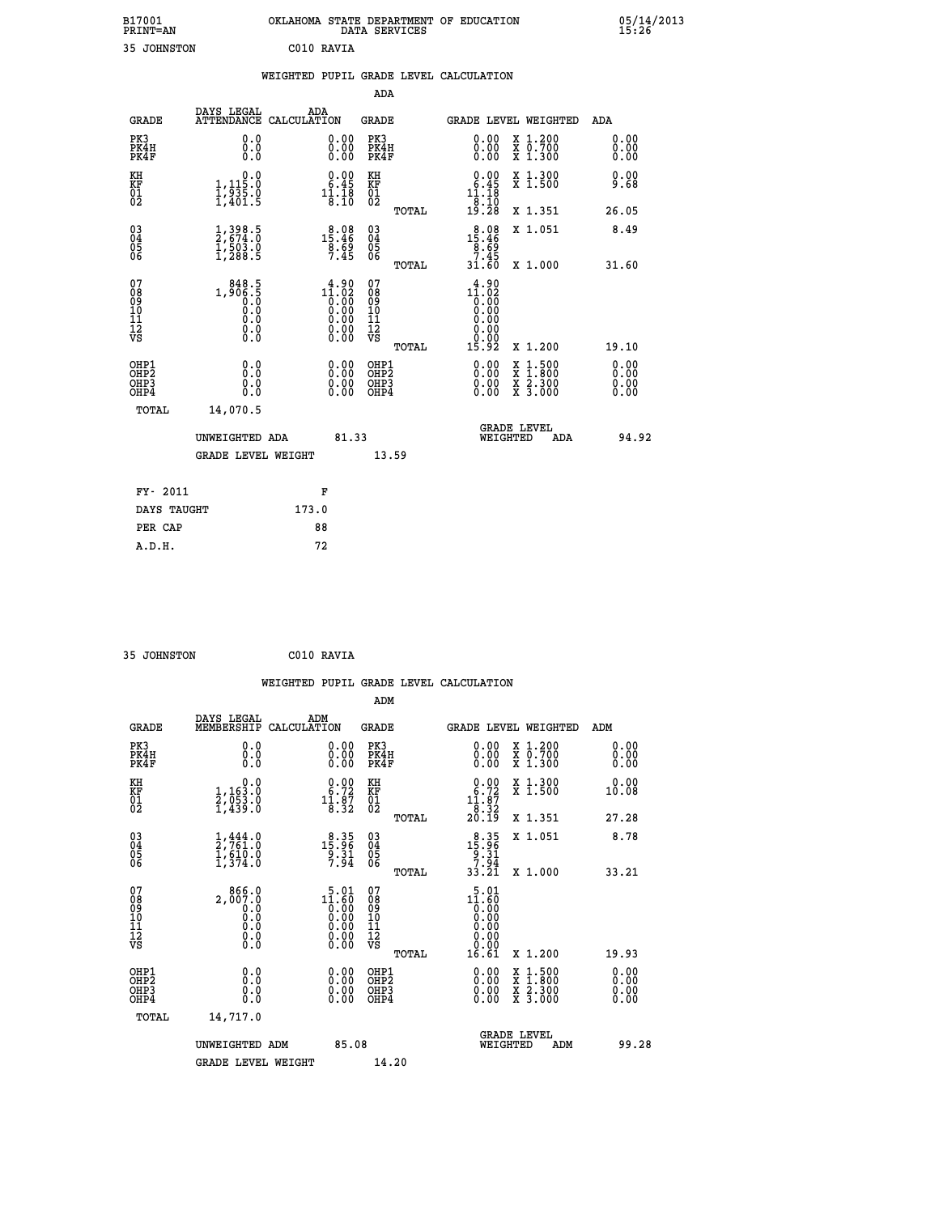|                                                  | OKLAHOMA STATE DEPARTMENT OF EDUCATION<br>DATA SERVICES |  |
|--------------------------------------------------|---------------------------------------------------------|--|
| $\sim$ $\sim$ $\sim$ $\sim$ $\sim$ $\sim$ $\sim$ |                                                         |  |

| B17001<br>PRINT-AN           |                                                                                            | OKLAHOMA STATE DEPARTMENT OF EDUCATION DATA SERVICES |                                                                                                                                                |                              |       |                                                                            |          |                                                                                                                                           | $\frac{05}{15:26}$           |
|------------------------------|--------------------------------------------------------------------------------------------|------------------------------------------------------|------------------------------------------------------------------------------------------------------------------------------------------------|------------------------------|-------|----------------------------------------------------------------------------|----------|-------------------------------------------------------------------------------------------------------------------------------------------|------------------------------|
|                              | 35 JOHNSTON                                                                                |                                                      | C010 RAVIA                                                                                                                                     |                              |       |                                                                            |          |                                                                                                                                           |                              |
|                              |                                                                                            | WEIGHTED PUPIL GRADE LEVEL CALCULATION               |                                                                                                                                                |                              |       |                                                                            |          |                                                                                                                                           |                              |
|                              |                                                                                            |                                                      |                                                                                                                                                | ADA                          |       |                                                                            |          |                                                                                                                                           |                              |
| <b>GRADE</b>                 | DAYS LEGAL<br><b>ATTENDANCE</b>                                                            | ADA<br>CALCULATION                                   |                                                                                                                                                | <b>GRADE</b>                 |       |                                                                            |          | GRADE LEVEL WEIGHTED                                                                                                                      | <b>ADA</b>                   |
| PK3<br>PK4H<br>PK4F          | 0.0<br>0.0<br>Ō.Ō                                                                          |                                                      | 0.00<br>0.00                                                                                                                                   | PK3<br>PK4H<br>PK4F          |       | 0.00<br>0.00<br>0.00                                                       |          | X 1.200<br>X 0.700<br>X 1.300                                                                                                             | 0.00<br>0.00<br>0.00         |
| KH<br>KF<br>01<br>02         | $\begin{smallmatrix}&&&0.0\\1,115.0\\1,935.0\\1,401.5\end{smallmatrix}$                    |                                                      | $\begin{smallmatrix} 0.00\\ 6.45\\ 11.18\\ 8.10 \end{smallmatrix}$                                                                             | KH<br>KF<br>01<br>02         |       | $\begin{smallmatrix} 0.00\\ 6.45\\ 11.18\\ 18.10\\ 9.28 \end{smallmatrix}$ |          | X 1.300<br>X 1.500                                                                                                                        | 0.00<br>9.68                 |
|                              |                                                                                            |                                                      |                                                                                                                                                |                              | TOTAL |                                                                            |          | X 1.351                                                                                                                                   | 26.05                        |
| 03<br>04<br>05<br>06         | $\frac{1}{2}, \frac{398}{674}. \frac{5}{0}$<br>$\frac{1}{1}, \frac{503}{288}. \frac{0}{5}$ |                                                      | $\begin{smallmatrix} & 8 & 0 & 8 \\ 1 & 5 & 4 & 6 \\ 8 & 6 & 9 \\ 7 & 4 & 5 \end{smallmatrix}$                                                 | 030404                       |       | $\begin{array}{r} 8.08 \\ 15.46 \\ 8.69 \\ 7.45 \\ 31.60 \end{array}$      |          | X 1.051                                                                                                                                   | 8.49                         |
|                              |                                                                                            |                                                      |                                                                                                                                                | ŌĞ                           | TOTAL |                                                                            |          | X 1.000                                                                                                                                   | 31.60                        |
| 07<br>08901112<br>1112<br>VS | $1,906.5$<br>0.0<br>0.0<br>0.0<br>0.0<br>$\S.$ $\S$                                        |                                                      | $\begin{smallmatrix} 4.90 \\[-4pt] 1.02 \\[-4pt] 0.00 \\[-4pt] 0.00 \\[-4pt] 0.00 \\[-4pt] 0.00 \\[-4pt] 0.00 \\[-4pt] 0.00 \end{smallmatrix}$ | 07<br>08901112<br>1112<br>VS |       | $11.92\n10.00\n0.00\n0.00\n0.00\n0.00$<br>0.00                             |          |                                                                                                                                           |                              |
|                              |                                                                                            |                                                      |                                                                                                                                                |                              | TOTAL | 15.92                                                                      |          | X 1.200                                                                                                                                   | 19.10                        |
| OHP1<br>OHP2<br>OHP3<br>OHP4 | 0.0<br>0.0<br>Ŏ.Ŏ                                                                          |                                                      | $\begin{smallmatrix} 0.00 \ 0.00 \ 0.00 \ 0.00 \end{smallmatrix}$                                                                              | OHP1<br>OHP2<br>OHP3<br>OHP4 |       | $0.00$<br>$0.00$<br>0.00                                                   |          | $\begin{smallmatrix} \mathtt{X} & 1\cdot500\\ \mathtt{X} & 1\cdot800\\ \mathtt{X} & 2\cdot300\\ \mathtt{X} & 3\cdot000 \end{smallmatrix}$ | 0.00<br>0.00<br>0.00<br>0.00 |
|                              | TOTAL<br>14,070.5                                                                          |                                                      |                                                                                                                                                |                              |       |                                                                            |          |                                                                                                                                           |                              |
|                              | UNWEIGHTED ADA                                                                             |                                                      | 81.33                                                                                                                                          |                              |       |                                                                            | WEIGHTED | <b>GRADE LEVEL</b><br>ADA                                                                                                                 | 94.92                        |

|             | 13.59              |
|-------------|--------------------|
| F           |                    |
| 173.0       |                    |
| 88          |                    |
| 72          |                    |
| DAYS TAUGHT | GRADE LEVEL WEIGHT |

```
 35 JOHNSTON C010 RAVIA
```

|                                                                   |                                                                                                       | WEIGHTED PUPIL GRADE LEVEL CALCULATION                                                          |                                                       |                                                                                                                                                                                                                                                                                |                                                                                                                                           |                              |
|-------------------------------------------------------------------|-------------------------------------------------------------------------------------------------------|-------------------------------------------------------------------------------------------------|-------------------------------------------------------|--------------------------------------------------------------------------------------------------------------------------------------------------------------------------------------------------------------------------------------------------------------------------------|-------------------------------------------------------------------------------------------------------------------------------------------|------------------------------|
|                                                                   |                                                                                                       |                                                                                                 | ADM                                                   |                                                                                                                                                                                                                                                                                |                                                                                                                                           |                              |
| <b>GRADE</b>                                                      | DAYS LEGAL<br>MEMBERSHIP                                                                              | ADM<br>CALCULATION                                                                              | <b>GRADE</b>                                          | GRADE LEVEL WEIGHTED                                                                                                                                                                                                                                                           |                                                                                                                                           | ADM                          |
| PK3<br>PK4H<br>PK4F                                               | 0.0<br>0.000                                                                                          | $\begin{smallmatrix} 0.00 \ 0.00 \ 0.00 \end{smallmatrix}$                                      | PK3<br>PK4H<br>PK4F                                   | 0.00<br>$\begin{smallmatrix} 0.00 & 0 \ 0.00 & 0 \end{smallmatrix}$                                                                                                                                                                                                            | X 1.200<br>X 0.700<br>X 1.300                                                                                                             | 0.00<br>0.00                 |
| KH<br>KF<br>01<br>02                                              | 0.0<br>1,163:0<br>2,053:0<br>1,439:0                                                                  | $\begin{smallmatrix} 0.00\\ 6.72\\ 11.87\\ 8.32 \end{smallmatrix}$                              | KH<br>KF<br>01<br>02                                  | $\begin{smallmatrix} 0.00\\ 6.72\\ 11.87\\ 13.32\\ 20.19 \end{smallmatrix}$                                                                                                                                                                                                    | X 1.300<br>X 1.500                                                                                                                        | 0.00<br>10.08                |
|                                                                   |                                                                                                       |                                                                                                 | TOTAL                                                 |                                                                                                                                                                                                                                                                                | X 1.351                                                                                                                                   | 27.28                        |
| 03<br>04<br>05<br>06                                              | $\frac{1}{2}, \frac{444}{761}.0$<br>$\frac{1}{1}, \frac{610}{374}.0$                                  | $\begin{smallmatrix}&&8\\15&\cdot&35\\9&\cdot&31\\7&\cdot&94\end{smallmatrix}$                  | 03<br>04<br>05<br>06                                  | $\begin{array}{r} 8 \cdot 35 \\ 15 \cdot 96 \\ 9 \cdot 31 \\ 7 \cdot 94 \\ 33 \cdot 21 \end{array}$                                                                                                                                                                            | X 1.051                                                                                                                                   | 8.78                         |
|                                                                   |                                                                                                       |                                                                                                 | TOTAL                                                 |                                                                                                                                                                                                                                                                                | X 1.000                                                                                                                                   | 33.21                        |
| 07<br>08901112<br>1112<br>VS                                      | 866.0<br>2,007.0<br>$\begin{smallmatrix} 0.0 & 0 \ 0.0 & 0 \ 0.0 & 0 \end{smallmatrix}$<br>$\S.$ $\S$ | $1^{\underset{1}{\overset{5}{\phantom{.}}}},01}_{0.00}$<br>0.00<br>0.00<br>0.00<br>0.00<br>0.00 | 07<br>08<br>09<br>01<br>11<br>11<br>12<br>VS<br>TOTAL | $11.60$<br>$0.00$<br>$0.00$<br>0.00<br>$\begin{smallmatrix} 0.00 \ 0.00 \end{smallmatrix}$<br>16.61                                                                                                                                                                            | X 1.200                                                                                                                                   | 19.93                        |
| OHP1<br>OH <sub>P</sub> 2<br>OH <sub>P3</sub><br>OH <sub>P4</sub> | 0.0<br>0.000                                                                                          | 0.00<br>$\begin{smallmatrix} 0.00 \ 0.00 \end{smallmatrix}$                                     | OHP1<br>OH <sub>P</sub> 2<br>OHP3<br>OHP4             | $\begin{smallmatrix} 0.00 & 0.00 & 0.00 & 0.00 & 0.00 & 0.00 & 0.00 & 0.00 & 0.00 & 0.00 & 0.00 & 0.00 & 0.00 & 0.00 & 0.00 & 0.00 & 0.00 & 0.00 & 0.00 & 0.00 & 0.00 & 0.00 & 0.00 & 0.00 & 0.00 & 0.00 & 0.00 & 0.00 & 0.00 & 0.00 & 0.00 & 0.00 & 0.00 & 0.00 & 0.00 & 0.0$ | $\begin{smallmatrix} \mathtt{X} & 1\cdot500\\ \mathtt{X} & 1\cdot800\\ \mathtt{X} & 2\cdot300\\ \mathtt{X} & 3\cdot000 \end{smallmatrix}$ | 0.00<br>0.00<br>0.00<br>0.00 |
|                                                                   | TOTAL<br>14,717.0                                                                                     |                                                                                                 |                                                       |                                                                                                                                                                                                                                                                                |                                                                                                                                           |                              |
|                                                                   | UNWEIGHTED ADM<br><b>GRADE LEVEL WEIGHT</b>                                                           | 85.08                                                                                           | 14.20                                                 | <b>GRADE LEVEL</b><br>WEIGHTED                                                                                                                                                                                                                                                 | ADM                                                                                                                                       | 99.28                        |
|                                                                   |                                                                                                       |                                                                                                 |                                                       |                                                                                                                                                                                                                                                                                |                                                                                                                                           |                              |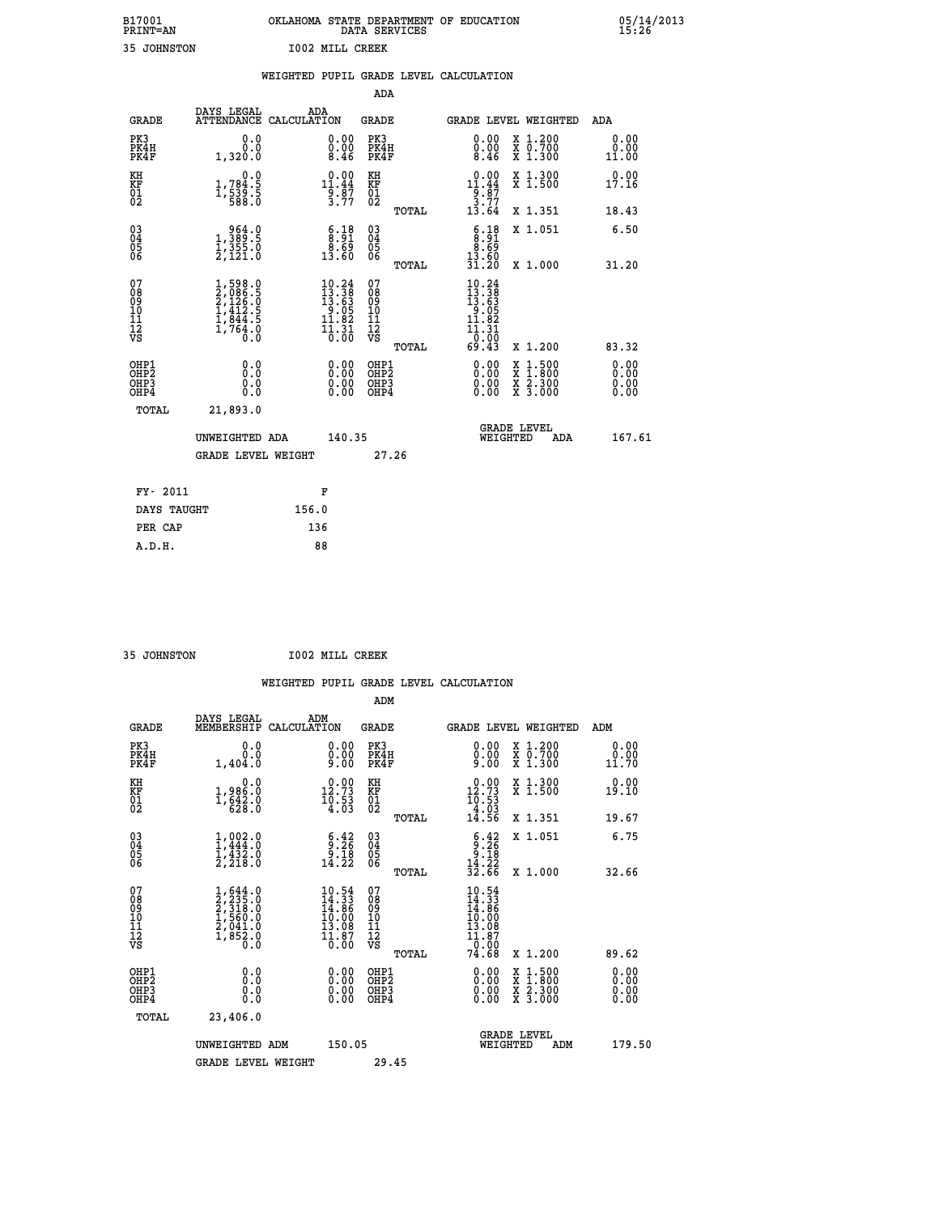| B17001          | OKLAHOMA STATE DEPARTMENT OF EDUCATION |
|-----------------|----------------------------------------|
| <b>PRINT=AN</b> | DATA SERVICES                          |
| 35 JOHNSTON     | <b>IOO2 MILL CREEK</b>                 |

|                                          |                                                                                                      |                                                                                                   |                                                    | WEIGHTED PUPIL GRADE LEVEL CALCULATION                                                                                 |                              |
|------------------------------------------|------------------------------------------------------------------------------------------------------|---------------------------------------------------------------------------------------------------|----------------------------------------------------|------------------------------------------------------------------------------------------------------------------------|------------------------------|
|                                          |                                                                                                      |                                                                                                   | <b>ADA</b>                                         |                                                                                                                        |                              |
| <b>GRADE</b>                             | DAYS LEGAL<br><b>ATTENDANCE</b>                                                                      | ADA<br>CALCULATION                                                                                | <b>GRADE</b>                                       | GRADE LEVEL WEIGHTED                                                                                                   | ADA                          |
| PK3<br>PK4H<br>PK4F                      | 0.0<br>0.0<br>1,320.0                                                                                | $\substack{0.00\\0.00\\8.46}$                                                                     | PK3<br>PK4H<br>PK4F                                | 0.00<br>X 1.200<br>X 0.700<br>X 1.300<br>$\substack{0.00 \\ 8.46}$                                                     | 0.00<br>0.00<br>11.00        |
| KH<br>KF<br>01<br>02                     | 0.0<br>1,784.5<br>1,539.5<br>588.0                                                                   | $\begin{array}{r} 0.00 \\[-4pt] 11.44 \\[-4pt] 9.87 \\[-4pt] 3.77 \end{array}$                    | KH<br>KF<br>01<br>02                               | X 1.300<br>X 1.500<br>$\begin{array}{r} 0.00 \\[-4pt] 11.44 \\[-4pt] 9.87 \\[-4pt] 3.77 \\[-4pt] 13.64 \end{array}$    | 0.00<br>17.16                |
|                                          |                                                                                                      |                                                                                                   | TOTAL                                              | X 1.351                                                                                                                | 18.43                        |
| $^{03}_{04}$<br>Ŏ5<br>06                 | $\begin{smallmatrix} & 9 & 64 & 0\\ 1 & , 389 & 5\\ 1 & , 355 & 0\\ 2 & , 121 & 0 \end{smallmatrix}$ | $\begin{smallmatrix} 6.18\ 8.91\ 8.69\ 13.60 \end{smallmatrix}$                                   | $\begin{matrix} 03 \\ 04 \\ 05 \\ 06 \end{matrix}$ | $\begin{array}{c} 6.18 \\ 8.91 \\ 8.69 \\ 13.60 \end{array}$<br>X 1.051                                                | 6.50                         |
|                                          |                                                                                                      |                                                                                                   | TOTAL                                              | 31.20<br>X 1.000                                                                                                       | 31.20                        |
| 07<br>08<br>09<br>11<br>11<br>12<br>VS   | $1,598.0$<br>$2,086.5$<br>$2,126.0$<br>$1,412.5$<br>$1,844.5$<br>$1,764.0$<br>$0.0$                  | $\begin{smallmatrix} 10.24 \\ 13.38 \\ 13.63 \\ 9.05 \\ 11.82 \\ 11.31 \\ 0.00 \end{smallmatrix}$ | 07<br>08<br>09<br>11<br>11<br>12<br>VS<br>TOTAL    | $\begin{smallmatrix} 10.24 \\ 13.38 \\ 13.63 \\ 9.05 \\ 11.82 \end{smallmatrix}$<br>11.31<br>-0:00<br>69.43<br>X 1.200 | 83.32                        |
| OHP1<br>OHP2<br>OH <sub>P3</sub><br>OHP4 | 0.0<br>Ō.Ō<br>Ō.Ō                                                                                    | 0.00<br>$\begin{smallmatrix} 0.00 \ 0.00 \end{smallmatrix}$                                       | OHP1<br>OHP2<br>OHP3<br>OHP4                       | 0.00<br>$1:500$<br>1:800<br>X 1:500<br>X 1:800<br>X 2:300<br>X 3:000<br>0.00<br>0.00                                   | 0.00<br>0.00<br>0.00<br>0.00 |
| TOTAL                                    | 21,893.0                                                                                             |                                                                                                   |                                                    |                                                                                                                        |                              |
|                                          | UNWEIGHTED ADA                                                                                       | 140.35                                                                                            |                                                    | <b>GRADE LEVEL</b><br>WEIGHTED<br>ADA                                                                                  | 167.61                       |
|                                          | <b>GRADE LEVEL WEIGHT</b>                                                                            |                                                                                                   | 27.26                                              |                                                                                                                        |                              |
|                                          | FY- 2011                                                                                             | F                                                                                                 |                                                    |                                                                                                                        |                              |
|                                          | DAYS TAUGHT                                                                                          | 156.0                                                                                             |                                                    |                                                                                                                        |                              |
|                                          | PER CAP                                                                                              | 136                                                                                               |                                                    |                                                                                                                        |                              |

| MOTRIMENT, 25 |  |
|---------------|--|

 **A.D.H. 88**

 **35 JOHNSTON I002 MILL CREEK**

|                                                    |                                                      |                                                                                     |     |                                                                          |                                                    |       | WEIGHTED PUPIL GRADE LEVEL CALCULATION                                                                                                                             |                                          |                        |  |
|----------------------------------------------------|------------------------------------------------------|-------------------------------------------------------------------------------------|-----|--------------------------------------------------------------------------|----------------------------------------------------|-------|--------------------------------------------------------------------------------------------------------------------------------------------------------------------|------------------------------------------|------------------------|--|
|                                                    |                                                      |                                                                                     |     |                                                                          | ADM                                                |       |                                                                                                                                                                    |                                          |                        |  |
|                                                    | <b>GRADE</b>                                         | DAYS LEGAL<br>MEMBERSHIP CALCULATION                                                | ADM |                                                                          | GRADE                                              |       | GRADE LEVEL WEIGHTED                                                                                                                                               |                                          | ADM                    |  |
|                                                    | PK3<br>PK4H<br>PK4F                                  | 0.0<br>0.0<br>1,404.0                                                               |     | $\begin{smallmatrix} 0.00 \ 0.00 \ 9.00 \end{smallmatrix}$               | PK3<br>PK4H<br>PK4F                                |       | $\begin{smallmatrix} 0.00\\ 0.00\\ 9.00 \end{smallmatrix}$                                                                                                         | X 1.200<br>X 0.700<br>X 1.300            | 0.00<br>0.00<br>11.70  |  |
| KH<br>KF<br>01<br>02                               |                                                      | $1,986.0$<br>1,642.0<br>628.0                                                       |     | $\begin{smallmatrix} 0.00\\ 12.73\\ 10.53\\ 4.03 \end{smallmatrix}$      | KH<br>KF<br>01<br>02                               |       | $\begin{smallmatrix} 0.00\\ 12.73\\ 10.53\\ 4.03\\ 4.56 \end{smallmatrix}$                                                                                         | X 1.300<br>X 1.500                       | 0.00<br>19.10          |  |
|                                                    |                                                      |                                                                                     |     |                                                                          |                                                    | TOTAL |                                                                                                                                                                    | X 1.351                                  | 19.67                  |  |
| $\begin{matrix} 03 \\ 04 \\ 05 \\ 06 \end{matrix}$ |                                                      | $1, 002.0$<br>$1, 444.0$<br>$1, 432.0$<br>$2, 218.0$                                |     | $\begin{smallmatrix} 6.42\ 9.26\ 9.18\ 14.22 \end{smallmatrix}$          | $\begin{matrix} 03 \\ 04 \\ 05 \\ 06 \end{matrix}$ |       | $\begin{array}{r} 6.42 \\ 9.26 \\ 9.18 \\ 14.22 \\ 32.66 \end{array}$                                                                                              | X 1.051                                  | 6.75                   |  |
|                                                    |                                                      |                                                                                     |     |                                                                          |                                                    | TOTAL |                                                                                                                                                                    | X 1.000                                  | 32.66                  |  |
| 07<br>08<br>09<br>101<br>112<br>VS                 |                                                      | $1,644.0$<br>$2,235.0$<br>$2,318.0$<br>$1,560.0$<br>$2,041.0$<br>$1,852.0$<br>$0.0$ |     | $10.54$<br>$14.33$<br>$14.86$<br>$10.00$<br>$13.08$<br>$11.87$<br>$0.00$ | 07<br>08<br>09<br>11<br>11<br>12<br>VS             | TOTAL | $\begin{smallmatrix} 10.54 \\[-4pt] 14.33 \\[-4pt] 14.86 \\[-4pt] 10.00 \\[-4pt] 13.08 \\[-4pt] 1.87 \\[-4pt] 0.00 \\[-4pt] 0.00 \\[-4pt] 74.68 \end{smallmatrix}$ | X 1.200                                  | 89.62                  |  |
|                                                    | OHP1<br>OHP <sub>2</sub><br>OH <sub>P3</sub><br>OHP4 | 0.0<br>0.0<br>Ŏ.Ŏ                                                                   |     | $\begin{smallmatrix} 0.00 \ 0.00 \ 0.00 \ 0.00 \end{smallmatrix}$        | OHP1<br>OHP2<br>OHP <sub>3</sub>                   |       |                                                                                                                                                                    | X 1:500<br>X 1:800<br>X 2:300<br>X 3:000 | 0.00<br>0.00<br>0.0000 |  |
|                                                    | TOTAL                                                | 23,406.0                                                                            |     |                                                                          |                                                    |       |                                                                                                                                                                    |                                          |                        |  |
|                                                    |                                                      | UNWEIGHTED ADM<br><b>GRADE LEVEL WEIGHT</b>                                         |     | 150.05                                                                   | 29.45                                              |       | <b>GRADE LEVEL</b><br>WEIGHTED                                                                                                                                     | ADM                                      | 179.50                 |  |
|                                                    |                                                      |                                                                                     |     |                                                                          |                                                    |       |                                                                                                                                                                    |                                          |                        |  |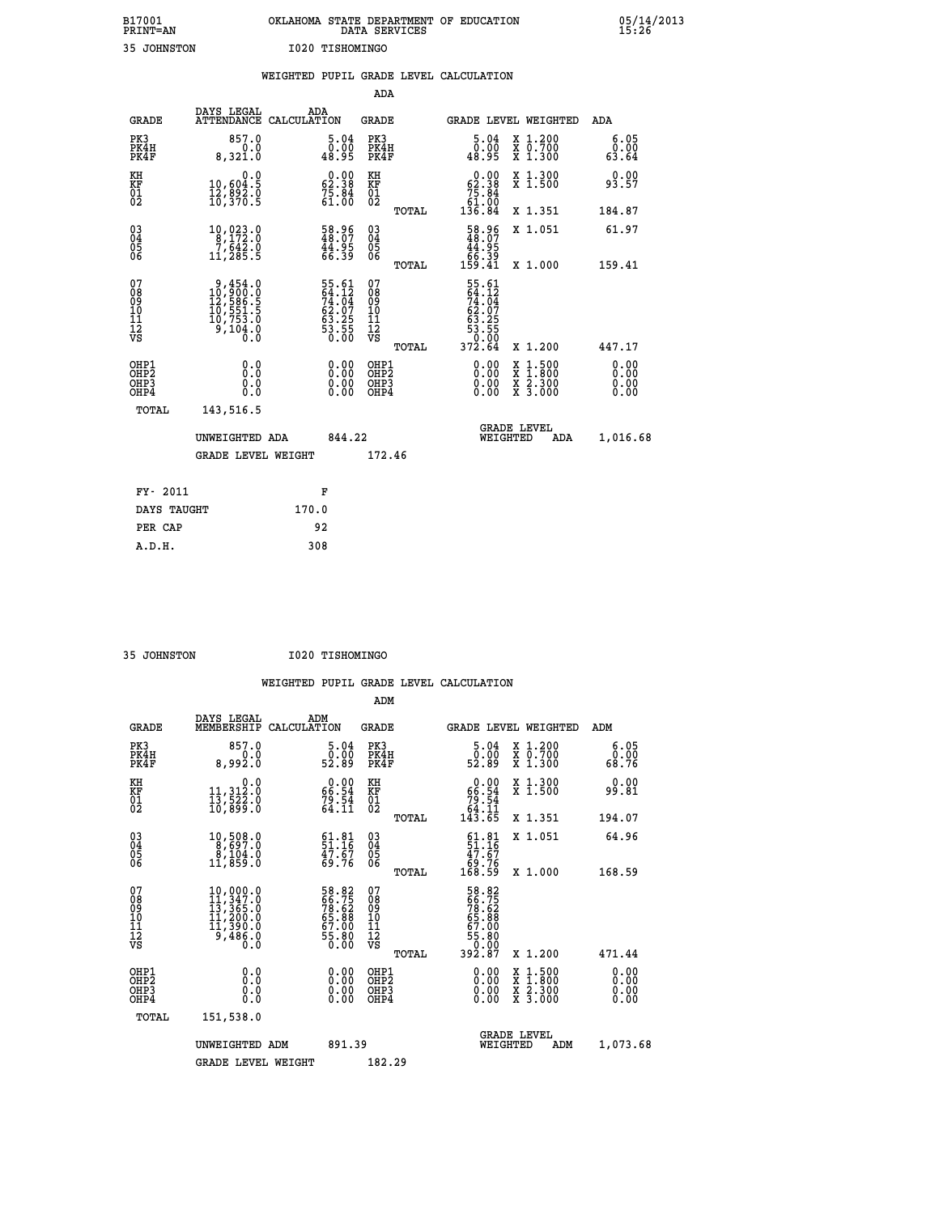| B17001          | OKLAHOMA STATE DEPARTMENT OF EDUCATION |
|-----------------|----------------------------------------|
| <b>PRINT=AN</b> | DATA SERVICES                          |
| 35 JOHNSTON     | I020 TISHOMINGO                        |

|                                                      |                                                                                                     |       |                                                                      |                                                      |       | WEIGHTED PUPIL GRADE LEVEL CALCULATION                                         |                                                                                                                                           |                              |
|------------------------------------------------------|-----------------------------------------------------------------------------------------------------|-------|----------------------------------------------------------------------|------------------------------------------------------|-------|--------------------------------------------------------------------------------|-------------------------------------------------------------------------------------------------------------------------------------------|------------------------------|
|                                                      |                                                                                                     |       |                                                                      | <b>ADA</b>                                           |       |                                                                                |                                                                                                                                           |                              |
| <b>GRADE</b>                                         | DAYS LEGAL<br>ATTENDANCE CALCULATION                                                                |       | ADA                                                                  | <b>GRADE</b>                                         |       |                                                                                | <b>GRADE LEVEL WEIGHTED</b>                                                                                                               | ADA                          |
| PK3<br>PK4H<br>PK4F                                  | 857.0<br>0.0<br>8,321.0                                                                             |       | $\begin{smallmatrix}5.04\0.00\\48.95\end{smallmatrix}$               | PK3<br>PK4H<br>PK4F                                  |       | $\begin{smallmatrix}5.04\0.00\\48.95\end{smallmatrix}$                         | X 1.200<br>X 0.700<br>X 1.300                                                                                                             | 6.05<br>0.00<br>63.64        |
| KH<br>KF<br>01<br>02                                 | 0.0<br>10,604:5<br>12,892.0<br>10,370:5                                                             |       | $\begin{smallmatrix} 0.00\\ 62.38\\ 75.84\\ 61.00 \end{smallmatrix}$ | KH<br>KF<br>01<br>02                                 |       | $\begin{smallmatrix} &0.00\ 62.38\ 75.84\ 61.00\ 136.84\end{smallmatrix}$      | X 1.300<br>X 1.500                                                                                                                        | 0.00<br>93.57                |
|                                                      |                                                                                                     |       |                                                                      |                                                      | TOTAL |                                                                                | X 1.351                                                                                                                                   | 184.87                       |
| 030404<br>ŎĞ                                         | $\begin{smallmatrix} 10,023\cdot 0\\ 8,172\cdot 0\\ 7,642\cdot 0\\ 11,285\cdot 5 \end{smallmatrix}$ |       | 58.96<br>48.07<br>44.95<br>66.39                                     | $\begin{matrix} 03 \\ 04 \\ 05 \\ 06 \end{matrix}$   |       | $\begin{smallmatrix} 58.96\\ 48.07\\ 44.95\\ 66.39\\ 159.41 \end{smallmatrix}$ | X 1.051                                                                                                                                   | 61.97                        |
|                                                      |                                                                                                     |       |                                                                      |                                                      | TOTAL |                                                                                | X 1.000                                                                                                                                   | 159.41                       |
| 07<br>08901112<br>1112<br>VS                         | $9,454.0$<br>$10,900.0$<br>$12,586.5$<br>$10,551.5$<br>$10,753.0$<br>$9,104.0$<br>$0.0$             |       | 55.61<br>64.12<br>74.04<br>62.07<br>63.25<br>63.55<br>53.55<br>0.00  | 07<br>08<br>09<br>11<br>11<br>12<br>VS               |       | 55.61<br>64.12<br>74.04<br>74.07<br>63.255<br>63.550<br>53.550<br>372.64       |                                                                                                                                           |                              |
|                                                      |                                                                                                     |       |                                                                      |                                                      | TOTAL |                                                                                | X 1.200                                                                                                                                   | 447.17                       |
| OHP1<br>OH <sub>P</sub> <sub>2</sub><br>OHP3<br>OHP4 | 0.0<br>0.0<br>0.0                                                                                   |       | 0.00<br>0.00<br>0.00                                                 | OHP1<br>OH <sub>P</sub> <sub>2</sub><br>OHP3<br>OHP4 |       | $0.00$<br>$0.00$<br>0.00                                                       | $\begin{smallmatrix} \mathtt{X} & 1\cdot500\\ \mathtt{X} & 1\cdot800\\ \mathtt{X} & 2\cdot300\\ \mathtt{X} & 3\cdot000 \end{smallmatrix}$ | 0.00<br>0.00<br>0.00<br>0.00 |
| TOTAL                                                | 143,516.5                                                                                           |       |                                                                      |                                                      |       |                                                                                |                                                                                                                                           |                              |
|                                                      | UNWEIGHTED ADA                                                                                      |       | 844.22                                                               |                                                      |       | WEIGHTED                                                                       | <b>GRADE LEVEL</b><br>ADA                                                                                                                 | 1,016.68                     |
|                                                      | <b>GRADE LEVEL WEIGHT</b>                                                                           |       |                                                                      | 172.46                                               |       |                                                                                |                                                                                                                                           |                              |
| FY- 2011                                             |                                                                                                     |       | F                                                                    |                                                      |       |                                                                                |                                                                                                                                           |                              |
| DAYS TAUGHT                                          |                                                                                                     | 170.0 |                                                                      |                                                      |       |                                                                                |                                                                                                                                           |                              |
| PER CAP                                              |                                                                                                     |       | 92                                                                   |                                                      |       |                                                                                |                                                                                                                                           |                              |
| A.D.H.                                               |                                                                                                     |       | 308                                                                  |                                                      |       |                                                                                |                                                                                                                                           |                              |

 **35 JOHNSTON I020 TISHOMINGO**

|                                          |                                                                                                                                                                       |                                                                      | ADM                                                 |       |                                                        |                                |                                          |                       |  |
|------------------------------------------|-----------------------------------------------------------------------------------------------------------------------------------------------------------------------|----------------------------------------------------------------------|-----------------------------------------------------|-------|--------------------------------------------------------|--------------------------------|------------------------------------------|-----------------------|--|
| <b>GRADE</b>                             | DAYS LEGAL<br>MEMBERSHIP                                                                                                                                              | ADM<br>CALCULATION                                                   | <b>GRADE</b>                                        |       | <b>GRADE LEVEL WEIGHTED</b>                            |                                |                                          | ADM                   |  |
| PK3<br>PK4H<br>PK4F                      | 857.0<br>0.0<br>8,992.0                                                                                                                                               | 5.04<br>00.05<br>52.89                                               | PK3<br>PK4H<br>PK4F                                 |       | $\begin{smallmatrix}5.04\0.00\\2.89\end{smallmatrix}$  |                                | X 1.200<br>X 0.700<br>X 1.300            | 6.05<br>ŏ:ŏŏ<br>68.76 |  |
| KH<br>KF<br>01<br>02                     | 0.0<br>11,312:0<br>13,522:0<br>10,899:0                                                                                                                               | $\begin{smallmatrix} 0.00\\ 66.54\\ 79.54\\ 64.11 \end{smallmatrix}$ | KH<br>KF<br>01<br>02                                |       | $0.00\n66.54\n79.54\n64.11\n143.65$                    |                                | X 1.300<br>X 1.500                       | 0.00<br>99.81         |  |
|                                          |                                                                                                                                                                       |                                                                      |                                                     | TOTAL |                                                        |                                | X 1.351                                  | 194.07                |  |
| 03<br>04<br>05<br>06                     | 10,508.0<br>0.599.9<br>ŏ,ĭõ4:ŏ<br>11,859:0                                                                                                                            | $51.81$<br>$51.16$<br>$47.67$<br>$69.76$                             | $\begin{array}{c} 03 \\ 04 \\ 05 \\ 06 \end{array}$ |       | $61.81$<br>51.16<br>47.67<br>45.76<br>69.76<br>168.59  |                                | X 1.051                                  | 64.96                 |  |
|                                          |                                                                                                                                                                       |                                                                      |                                                     | TOTAL |                                                        |                                | X 1.000                                  | 168.59                |  |
| 07<br>08<br>09<br>101<br>112<br>VS       | $\begin{smallmatrix} 10\,,\,000\,.\,0\\ 11\,,\,347\,. \,0\\ 13\,,\,365\,. \,0\\ 11\,,\,200\,. \,0\\ 11\,,\,390\,. \,0\\ 9\,,\,486\,. \,0\\ 0\,. \,0\end{smallmatrix}$ | 58.82<br>66.75<br>78.62<br>78.68<br>65.80<br>55.80<br>55.80          | 07<br>08<br>09<br>11<br>11<br>12<br>VS              |       | 58.825<br>56.755<br>78.62<br>55.88<br>55.800<br>55.800 |                                |                                          |                       |  |
|                                          |                                                                                                                                                                       |                                                                      |                                                     | TOTAL | 392.87                                                 |                                | X 1.200                                  | 471.44                |  |
| OHP1<br>OHP2<br>OH <sub>P3</sub><br>OHP4 | 0.0<br>0.000                                                                                                                                                          | $0.00$<br>$0.00$<br>0.00                                             | OHP1<br>OHP2<br>OHP <sub>3</sub>                    |       | $0.00$<br>$0.00$<br>0.00                               |                                | X 1:500<br>X 1:800<br>X 2:300<br>X 3:000 | 0.00<br>0.00<br>0.00  |  |
| TOTAL                                    | 151,538.0                                                                                                                                                             |                                                                      |                                                     |       |                                                        |                                |                                          |                       |  |
|                                          | UNWEIGHTED<br>ADM                                                                                                                                                     | 891.39                                                               |                                                     |       |                                                        | <b>GRADE LEVEL</b><br>WEIGHTED | ADM                                      | 1,073.68              |  |
|                                          | <b>GRADE LEVEL WEIGHT</b>                                                                                                                                             |                                                                      | 182.29                                              |       |                                                        |                                |                                          |                       |  |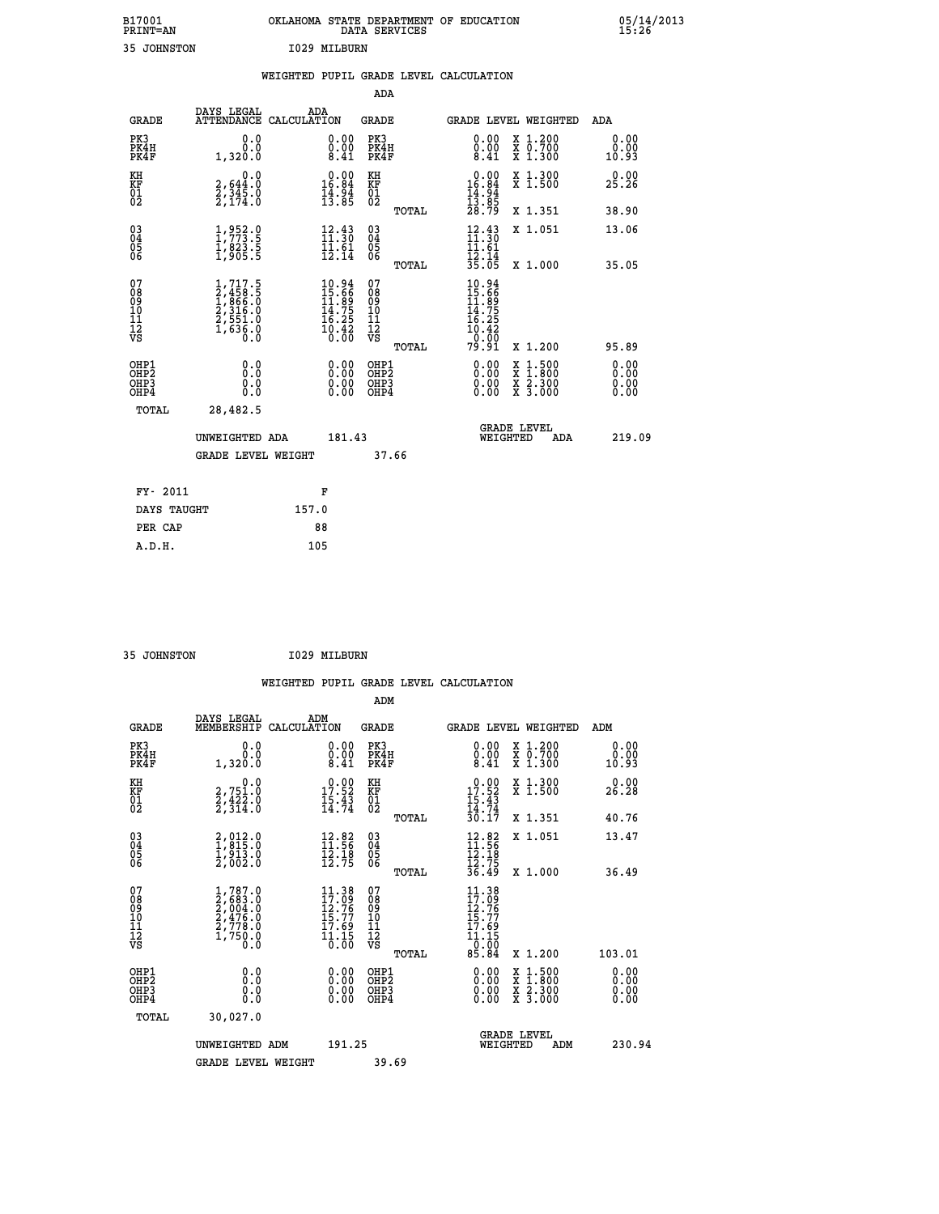| B17001<br><b>PRINT=AN</b> | OKLAHOMA STATE DEPARTMENT OF EDUCATION<br>DATA SERVICES |  |
|---------------------------|---------------------------------------------------------|--|
| 35 JOHNSTON               | I029 MILBURN                                            |  |

|                                                       |                                                                                                  |                                                                             |                                               | WEIGHTED PUPIL GRADE LEVEL CALCULATION                              |                                                                                                                                              |                       |
|-------------------------------------------------------|--------------------------------------------------------------------------------------------------|-----------------------------------------------------------------------------|-----------------------------------------------|---------------------------------------------------------------------|----------------------------------------------------------------------------------------------------------------------------------------------|-----------------------|
|                                                       |                                                                                                  |                                                                             | ADA                                           |                                                                     |                                                                                                                                              |                       |
| <b>GRADE</b>                                          | DAYS LEGAL                                                                                       | ADA<br>ATTENDANCE CALCULATION                                               | GRADE                                         | <b>GRADE LEVEL WEIGHTED</b>                                         |                                                                                                                                              | ADA                   |
| PK3<br>PK4H<br>PK4F                                   | 0.0<br>0.0<br>1,320.0                                                                            | $\substack{0.00\\0.00\\8.41}$                                               | PK3<br>PK4H<br>PK4F                           | 0.00<br>$\begin{smallmatrix} 0.00 \\ 0.41 \end{smallmatrix}$        | X 1.200<br>X 0.700<br>X 1.300                                                                                                                | 0.00<br>0.00<br>10.93 |
| KH<br>KF<br>01<br>02                                  | 0.0<br>$\frac{2}{2}, \frac{644}{345}$ .0<br>2,174.0                                              | $0.00$<br>16.84<br>$\frac{14}{13}$ : $\frac{94}{85}$                        | KH<br>KF<br>01<br>02                          | $0.00$<br>16.84<br>$\frac{14.94}{13.85}$<br>$28.79$                 | X 1.300<br>X 1.500                                                                                                                           | 0.00<br>25.26         |
|                                                       |                                                                                                  |                                                                             | TOTAL                                         |                                                                     | X 1.351                                                                                                                                      | 38.90                 |
| $^{03}_{04}$<br>05<br>06                              | $\frac{1}{1}, \frac{952}{73}.\frac{0}{5} \ \frac{1}{1}, \frac{823}{905}.\frac{5}{5}$             | $\frac{12.43}{11.30}$<br>$\frac{1}{12}$ $\frac{5}{14}$                      | $^{03}_{04}$<br>0500                          | $\frac{12}{11}$<br>$: \frac{43}{30}$<br>11.61                       | X 1.051                                                                                                                                      | 13.06                 |
|                                                       |                                                                                                  |                                                                             | TOTAL                                         | $\frac{1}{35}$ $\frac{1}{35}$                                       | X 1.000                                                                                                                                      | 35.05                 |
| 07<br>08<br>09<br>10<br>11<br>11<br>12<br>VS          | $\begin{smallmatrix} 1,717.5\\2,458.5\\1,866.0\\2,316.0\\2,551.0\\1,636.0\\0.0\end{smallmatrix}$ | $10.94$<br>$15.66$<br>$14.75$<br>$14.75$<br>$16.25$<br>$\frac{10.42}{0.00}$ | 078<br>089<br>0011<br>11<br>12<br>VS<br>TOTAL | 10.94<br>15.66<br>11.89<br>14.75<br>16.25<br>10.42<br>0.00<br>79.91 | X 1.200                                                                                                                                      | 95.89                 |
| OHP1<br>OHP2<br>OH <sub>P</sub> 3<br>OH <sub>P4</sub> | 0.0<br>0.0<br>Ŏ.Ŏ                                                                                | 0.00<br>$\begin{smallmatrix} 0.00 \ 0.00 \end{smallmatrix}$                 | OHP1<br>OHP2<br>OHP3<br>OHP4                  | 0.00<br>0.00                                                        | $\begin{smallmatrix} \mathtt{X} & 1\cdot500 \\ \mathtt{X} & 1\cdot800 \\ \mathtt{X} & 2\cdot300 \\ \mathtt{X} & 3\cdot000 \end{smallmatrix}$ | 0.00<br>0.00<br>0.00  |
| TOTAL                                                 | 28,482.5                                                                                         |                                                                             |                                               |                                                                     |                                                                                                                                              |                       |
|                                                       | UNWEIGHTED ADA                                                                                   | 181.43                                                                      |                                               | WEIGHTED                                                            | <b>GRADE LEVEL</b><br>ADA                                                                                                                    | 219.09                |
|                                                       | <b>GRADE LEVEL WEIGHT</b>                                                                        |                                                                             | 37.66                                         |                                                                     |                                                                                                                                              |                       |
| FY- 2011                                              |                                                                                                  | F                                                                           |                                               |                                                                     |                                                                                                                                              |                       |
| DAYS TAUGHT                                           |                                                                                                  | 157.0                                                                       |                                               |                                                                     |                                                                                                                                              |                       |
| PER CAP                                               |                                                                                                  | 88                                                                          |                                               |                                                                     |                                                                                                                                              |                       |

 **A.D.H. 105**

 **B17001<br>PRINT=AN** 

 **35 JOHNSTON I029 MILBURN**

|                                                      |                                                                                                       |                                                                   |                                                                 | WEIGHTED PUPIL GRADE LEVEL CALCULATION                                                            |                                          |                               |
|------------------------------------------------------|-------------------------------------------------------------------------------------------------------|-------------------------------------------------------------------|-----------------------------------------------------------------|---------------------------------------------------------------------------------------------------|------------------------------------------|-------------------------------|
|                                                      |                                                                                                       |                                                                   | ADM                                                             |                                                                                                   |                                          |                               |
| <b>GRADE</b>                                         | DAYS LEGAL<br>MEMBERSHIP                                                                              | ADM<br>CALCULATION                                                | <b>GRADE</b>                                                    | <b>GRADE LEVEL WEIGHTED</b>                                                                       |                                          | ADM                           |
| PK3<br>PK4H<br>PK4F                                  | 0.0<br>0.0<br>1,320.0                                                                                 | $\substack{0.00\\0.00\\8.41}$                                     | PK3<br>PK4H<br>PK4F                                             | $\begin{smallmatrix} 0.00 \\ 0.00 \\ 8.41 \end{smallmatrix}$                                      | X 1.200<br>X 0.700<br>X 1.300            | 0.00<br>0.00<br>10.93         |
| KH<br>KF<br>01<br>02                                 | 0.0<br>2,751.0<br>2,422.0<br>2,314.0                                                                  | 17.92<br>$\frac{15.43}{14.74}$                                    | KH<br>KF<br>01<br>02                                            | $0.00\n17.52\n15.43\n14.74\n30.17$                                                                | X 1.300<br>X 1.500                       | 0.00<br>26.28                 |
|                                                      |                                                                                                       |                                                                   | TOTAL                                                           |                                                                                                   | X 1.351                                  | 40.76                         |
| $\begin{matrix} 03 \\ 04 \\ 05 \\ 06 \end{matrix}$   | $\begin{smallmatrix} 2, 012\cdot 0\\ 1, 815\cdot 0\\ 1, 913\cdot 0\\ 2, 002\cdot 0 \end{smallmatrix}$ | $\begin{array}{c} 12.82 \\ 11.56 \\ 12.18 \\ 12.75 \end{array}$   | $\begin{array}{c} 03 \\ 04 \\ 05 \\ 06 \end{array}$             | $12.82$<br>$11.56$<br>$12.18$<br>$12.75$<br>$36.49$                                               | X 1.051                                  | 13.47                         |
| 07<br>0890112<br>1112<br>VS                          | $1,787.0$<br>$2,683.0$<br>$2,004.0$<br>$2,476.0$<br>$2,778.0$<br>$1,750.0$<br>Ō.Ō                     | $11.38$<br>$17.09$<br>$12.76$<br>$15.77$<br>$\frac{17.69}{11.15}$ | TOTAL<br>07<br>08<br>09<br>001<br>11<br>11<br>12<br>VS<br>TOTAL | $11.38$<br>$17.09$<br>$\frac{12.76}{15.77}$<br>$\frac{17.69}{11.15}$<br>$\frac{1}{0.00}$<br>85.84 | X 1.000<br>X 1.200                       | 36.49<br>103.01               |
| OHP1<br>OHP <sub>2</sub><br>OH <sub>P3</sub><br>OHP4 | 0.0<br>0.000                                                                                          | $0.00$<br>$0.00$<br>0.00                                          | OHP1<br>OHP <sub>2</sub><br>OHP <sub>3</sub>                    | 0.00<br>0.00<br>0.00                                                                              | X 1:500<br>X 1:800<br>X 2:300<br>X 3:000 | 0.00<br>Ō. ŌŌ<br>0.00<br>0.00 |
| TOTAL                                                | 30,027.0<br>UNWEIGHTED ADM<br><b>GRADE LEVEL WEIGHT</b>                                               | 191.25                                                            | 39.69                                                           | <b>GRADE LEVEL</b><br>WEIGHTED                                                                    | ADM                                      | 230.94                        |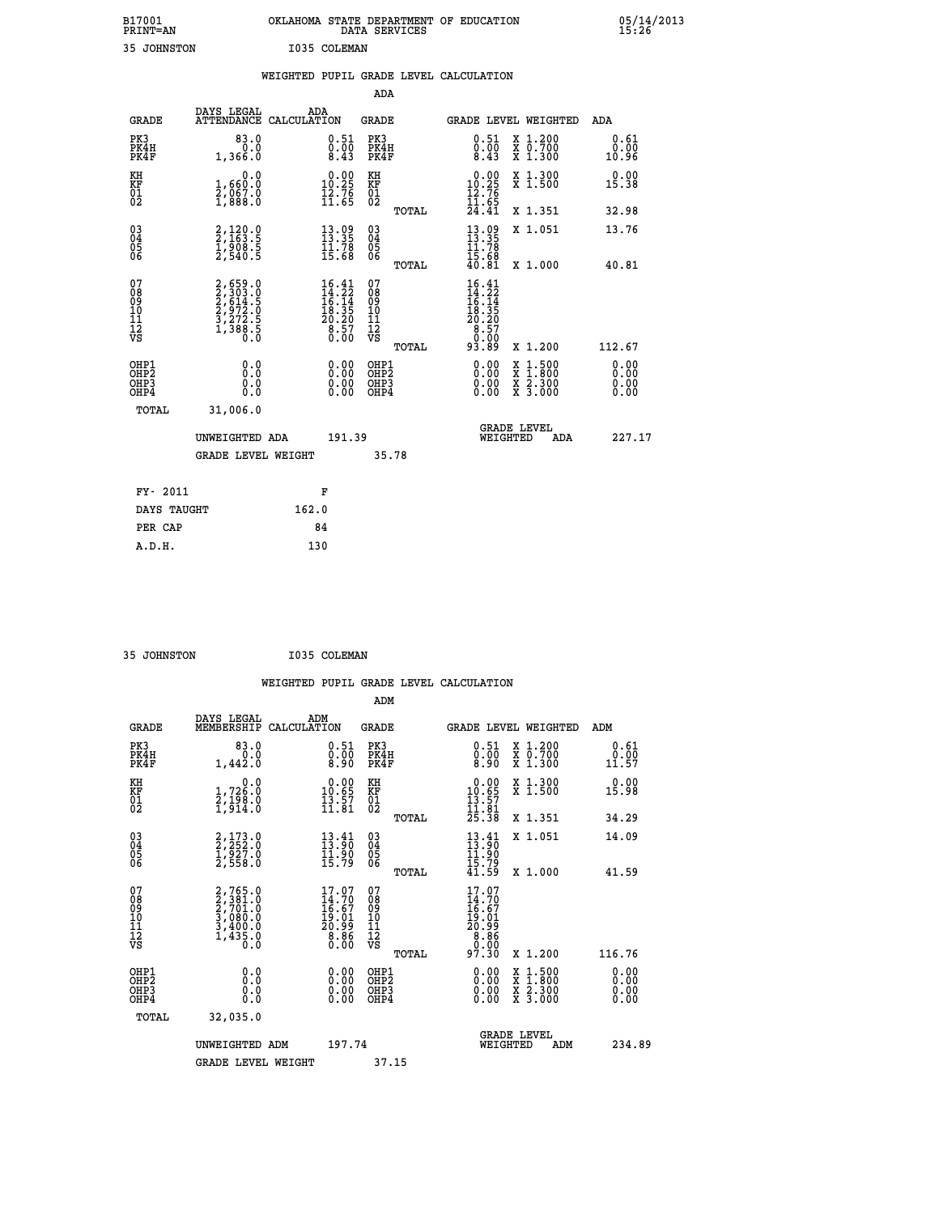| B17001<br><b>PRINT=AN</b> | OKLAHOMA STATE DEPARTMENT OF EDUCATION<br>DATA SERVICES |  |
|---------------------------|---------------------------------------------------------|--|
| 35 JOHNSTON               | I035 COLEMAN                                            |  |

|                                                                    |                                                                           |       |                                                                                                                                                      |                                                     |       | WEIGHTED PUPIL GRADE LEVEL CALCULATION                                                                                                                                                                                                                                         |                                                                                                                                           |                                  |
|--------------------------------------------------------------------|---------------------------------------------------------------------------|-------|------------------------------------------------------------------------------------------------------------------------------------------------------|-----------------------------------------------------|-------|--------------------------------------------------------------------------------------------------------------------------------------------------------------------------------------------------------------------------------------------------------------------------------|-------------------------------------------------------------------------------------------------------------------------------------------|----------------------------------|
|                                                                    |                                                                           |       |                                                                                                                                                      | <b>ADA</b>                                          |       |                                                                                                                                                                                                                                                                                |                                                                                                                                           |                                  |
| <b>GRADE</b>                                                       | DAYS LEGAL<br>ATTENDANCE CALCULATION                                      |       | ADA                                                                                                                                                  | GRADE                                               |       |                                                                                                                                                                                                                                                                                | GRADE LEVEL WEIGHTED                                                                                                                      | ADA                              |
| PK3<br>PK4H<br>PK4F                                                | 83.0<br>0.0<br>1,366.0                                                    |       | $\substack{0.51 \\ 0.00 \\ 8.43}$                                                                                                                    | PK3<br>PK4H<br>PK4F                                 |       | $\substack{0.51 \\ 0.00 \\ 8.43}$                                                                                                                                                                                                                                              | X 1.200<br>X 0.700<br>X 1.300                                                                                                             | 0.61<br>0.00<br>10.96            |
| KH<br>KF<br>01<br>02                                               | 0.0<br>1,660:0<br>2,067.0<br>1,888:0                                      |       | $10.00$<br>10.25<br>$\bar{1}\tilde{2}\cdot\bar{7}\tilde{6}$<br>$\bar{1}\tilde{1}\cdot\tilde{6}\tilde{5}$                                             | KH<br>KF<br>01<br>02                                |       | $\begin{smallmatrix} 0.00\\ 10.25\\ 12.76\\ 11.65\\ 24.41 \end{smallmatrix}$                                                                                                                                                                                                   | X 1.300<br>X 1.500                                                                                                                        | 0.00<br>15.38                    |
|                                                                    |                                                                           |       |                                                                                                                                                      |                                                     | TOTAL |                                                                                                                                                                                                                                                                                | X 1.351                                                                                                                                   | 32.98                            |
| $\begin{smallmatrix} 03 \\[-4pt] 04 \end{smallmatrix}$<br>Ŏ5<br>06 | 2,120.0<br>2,163.5<br>1,908.5<br>2,540.5                                  |       | $\begin{array}{l} 13\cdot 99\\ 13\cdot 35\\ 11\cdot 78\\ 15\cdot 68 \end{array}$                                                                     | $\begin{array}{c} 03 \\ 04 \\ 05 \\ 06 \end{array}$ |       | $\frac{13}{13}$ : 35<br>11.78                                                                                                                                                                                                                                                  | X 1.051                                                                                                                                   | 13.76                            |
|                                                                    |                                                                           |       |                                                                                                                                                      |                                                     | TOTAL | $\bar{1}\bar{5}\cdot\bar{6}\bar{8}\over 40:81$                                                                                                                                                                                                                                 | X 1.000                                                                                                                                   | 40.81                            |
| 07<br>08<br>09<br>01<br>11<br>11<br>12<br>VS                       | 2,659.0<br>2,303.0<br>2,614.5<br>2,972.0<br>3,272.5<br>3,272.5<br>1,388.5 |       | $\begin{smallmatrix} 16.41 \\[-4pt] 14.22 \\[-4pt] 16.14 \\[-4pt] 18.35 \\[-4pt] 20.20 \\[-4pt] 20.57 \\[-4pt] 8.57 \\[-4pt] 0.00 \end{smallmatrix}$ | 07<br>08<br>09<br>11<br>11<br>12<br>VS              | TOTAL | $\begin{array}{l} 16\cdot 4 \\ 14\cdot 22 \\ 16\cdot 14 \\ 18\cdot 35 \\ 20\cdot 29 \\ 8\cdot 57 \\ 9\cdot 90 \\ \end{array}$<br>93.89                                                                                                                                         | X 1.200                                                                                                                                   | 112.67                           |
| OHP1<br>OHP2<br>OHP3<br>OHP4                                       | 0.0<br>0.0<br>0.0                                                         |       | $\begin{smallmatrix} 0.00 \ 0.00 \ 0.00 \ 0.00 \end{smallmatrix}$                                                                                    | OHP1<br>OHP2<br>OHP3<br>OHP4                        |       | $\begin{smallmatrix} 0.00 & 0.00 & 0.00 & 0.00 & 0.00 & 0.00 & 0.00 & 0.00 & 0.00 & 0.00 & 0.00 & 0.00 & 0.00 & 0.00 & 0.00 & 0.00 & 0.00 & 0.00 & 0.00 & 0.00 & 0.00 & 0.00 & 0.00 & 0.00 & 0.00 & 0.00 & 0.00 & 0.00 & 0.00 & 0.00 & 0.00 & 0.00 & 0.00 & 0.00 & 0.00 & 0.0$ | $\begin{smallmatrix} \mathtt{X} & 1\cdot500\\ \mathtt{X} & 1\cdot800\\ \mathtt{X} & 2\cdot300\\ \mathtt{X} & 3\cdot000 \end{smallmatrix}$ | 0.00<br>0.00<br>$0.00$<br>$0.00$ |
| TOTAL                                                              | 31,006.0                                                                  |       |                                                                                                                                                      |                                                     |       |                                                                                                                                                                                                                                                                                |                                                                                                                                           |                                  |
|                                                                    | UNWEIGHTED ADA                                                            |       | 191.39                                                                                                                                               |                                                     |       | WEIGHTED                                                                                                                                                                                                                                                                       | <b>GRADE LEVEL</b><br>ADA                                                                                                                 | 227.17                           |
|                                                                    | <b>GRADE LEVEL WEIGHT</b>                                                 |       |                                                                                                                                                      |                                                     | 35.78 |                                                                                                                                                                                                                                                                                |                                                                                                                                           |                                  |
| FY- 2011                                                           |                                                                           |       | F                                                                                                                                                    |                                                     |       |                                                                                                                                                                                                                                                                                |                                                                                                                                           |                                  |
| DAYS TAUGHT                                                        |                                                                           | 162.0 |                                                                                                                                                      |                                                     |       |                                                                                                                                                                                                                                                                                |                                                                                                                                           |                                  |
| PER CAP                                                            |                                                                           |       | 84                                                                                                                                                   |                                                     |       |                                                                                                                                                                                                                                                                                |                                                                                                                                           |                                  |

 **A.D.H. 130**

 **B17001<br>PRINT=AN** 

 **35 JOHNSTON I035 COLEMAN**

|                                                      |                                                                                     |                    |                                                                         |                                  |       | WEIGHTED PUPIL GRADE LEVEL CALCULATION                                           |                                          |                       |  |
|------------------------------------------------------|-------------------------------------------------------------------------------------|--------------------|-------------------------------------------------------------------------|----------------------------------|-------|----------------------------------------------------------------------------------|------------------------------------------|-----------------------|--|
|                                                      |                                                                                     |                    |                                                                         | ADM                              |       |                                                                                  |                                          |                       |  |
| <b>GRADE</b>                                         | DAYS LEGAL<br>MEMBERSHIP                                                            | ADM<br>CALCULATION |                                                                         | <b>GRADE</b>                     |       | <b>GRADE LEVEL WEIGHTED</b>                                                      |                                          | ADM                   |  |
| PK3<br>PK4H<br>PK4F                                  | 83.0<br>0.0<br>1,442.0                                                              |                    | $\substack{0.51\\0.00\\8.90}$                                           | PK3<br>PK4H<br>PK4F              |       | $\substack{0.51 \\ 0.00 \\ 8.90}$                                                | X 1.200<br>X 0.700<br>X 1.300            | 0.61<br>0.00<br>11.57 |  |
| KH<br>KF<br>01<br>02                                 | $1,726.0$<br>$2,198.0$<br>$1,914.0$                                                 |                    | $\begin{array}{c} 0.00 \\ 10.65 \\ 13.57 \\ 11.81 \end{array}$          | KH<br>KF<br>01<br>02             |       | $\begin{array}{c} 0.00 \\ 10.65 \\ 13.57 \\ 11.81 \\ 25.38 \end{array}$          | X 1.300<br>X 1.500                       | 0.00<br>15.98         |  |
|                                                      |                                                                                     |                    |                                                                         |                                  | TOTAL |                                                                                  | X 1.351                                  | 34.29                 |  |
| $\begin{matrix} 03 \\ 04 \\ 05 \\ 06 \end{matrix}$   | 2,173.0<br>2,252.0<br>1,927.0<br>2,558.0                                            |                    | $\begin{smallmatrix} 13.41\ 13.90\ 11.90\ 15.79 \end{smallmatrix}$      | 03<br>04<br>05<br>06             |       | $13.41$<br>$13.90$<br>$11.90$<br>$15.79$<br>$41.59$                              | X 1.051                                  | 14.09                 |  |
| 07                                                   |                                                                                     |                    |                                                                         | 07                               | TOTAL |                                                                                  | X 1.000                                  | 41.59                 |  |
| 0890112<br>1112<br>VS                                | $2,765.0$<br>$2,381.0$<br>$2,701.0$<br>$3,080.0$<br>$3,400.0$<br>$1,435.0$<br>$0.0$ |                    | $17.07$<br>$14.70$<br>$16.67$<br>$19.01$<br>$20.99$<br>$8.86$<br>$0.00$ | 08901112<br>1112<br>VS           | TOTAL | $17.07$<br>$14.70$<br>$16.67$<br>$19.01$<br>$20.99$<br>$8.86$<br>$0.90$<br>97.30 | X 1.200                                  | 116.76                |  |
| OHP1<br>OHP <sub>2</sub><br>OH <sub>P3</sub><br>OHP4 | 0.0<br>0.000                                                                        |                    | $0.00$<br>$0.00$<br>0.00                                                | OHP1<br>OHP2<br>OHP <sub>3</sub> |       | 0.00<br>0.00<br>0.00                                                             | X 1:500<br>X 1:800<br>X 2:300<br>X 3:000 | 0.00<br>0.00<br>0.00  |  |
| TOTAL                                                | 32,035.0                                                                            |                    |                                                                         |                                  |       |                                                                                  |                                          |                       |  |
|                                                      | UNWEIGHTED ADM                                                                      |                    | 197.74                                                                  |                                  |       | WEIGHTED                                                                         | <b>GRADE LEVEL</b><br>ADM                | 234.89                |  |
|                                                      | <b>GRADE LEVEL WEIGHT</b>                                                           |                    |                                                                         | 37.15                            |       |                                                                                  |                                          |                       |  |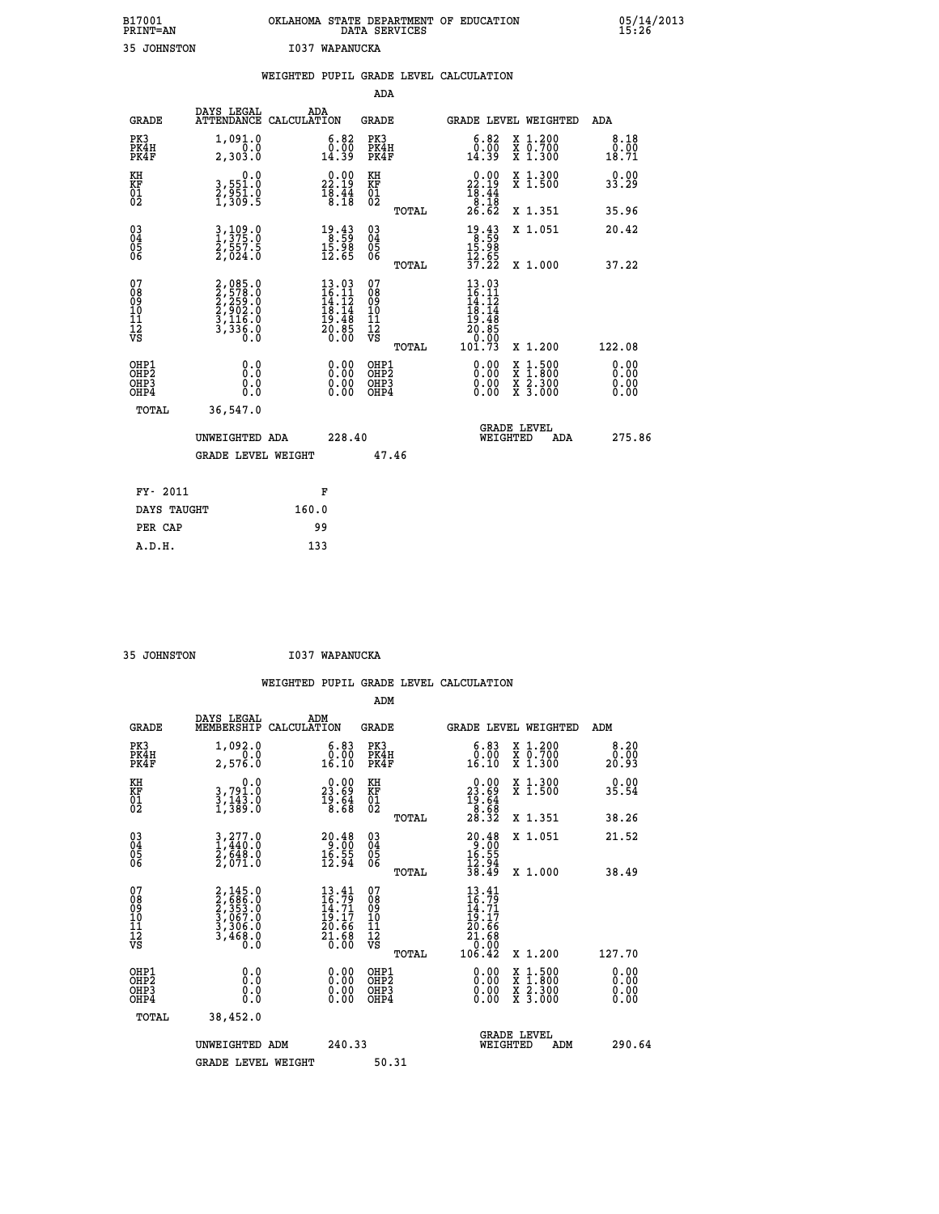| B17001<br><b>PRINT=AN</b> | OKLAHOMA STATE DEPARTMENT OF EDUCATION<br>DATA SERVICES |  |
|---------------------------|---------------------------------------------------------|--|
| 35 JOHNSTON               | I037 WAPANUCKA                                          |  |

|                                                                    |                                                                                                  | WEIGHTED PUPIL GRADE LEVEL CALCULATION                                                                                                                                   |                                        |       |                                                                                                                                           |                                                                                                  |                              |
|--------------------------------------------------------------------|--------------------------------------------------------------------------------------------------|--------------------------------------------------------------------------------------------------------------------------------------------------------------------------|----------------------------------------|-------|-------------------------------------------------------------------------------------------------------------------------------------------|--------------------------------------------------------------------------------------------------|------------------------------|
|                                                                    |                                                                                                  |                                                                                                                                                                          | ADA                                    |       |                                                                                                                                           |                                                                                                  |                              |
| <b>GRADE</b>                                                       | DAYS LEGAL<br>ATTENDANCE CALCULATION                                                             | ADA                                                                                                                                                                      | <b>GRADE</b>                           |       |                                                                                                                                           | GRADE LEVEL WEIGHTED                                                                             | ADA                          |
| PK3<br>PK4H<br>PK4F                                                | 1,091.0<br>0.0<br>2,303.0                                                                        | $\substack{6.82 \\ 0.00 \\ 14.39}$                                                                                                                                       | PK3<br>PK4H<br>PK4F                    |       | 6.82<br>0.00<br>14.39                                                                                                                     | X 1.200<br>X 0.700<br>X 1.300                                                                    | 8.18<br>0.00<br>18.71        |
| KH<br>KF<br>01<br>02                                               | $\begin{smallmatrix}&&&0\cdot0\\3\,,&551\cdot0\\2\,,&951\cdot0\\1\,,&309\cdot5\end{smallmatrix}$ | $\begin{smallmatrix} 0.00\\ 22.19\\ 18.44\\ 8.18 \end{smallmatrix}$                                                                                                      | KH<br>KF<br>01<br>02                   |       | $\begin{smallmatrix} 0.00\\ 22.19\\ 18.44\\ 8.18\\ 26.62 \end{smallmatrix}$                                                               | X 1.300<br>X 1.500                                                                               | 0.00<br>33.29                |
|                                                                    |                                                                                                  |                                                                                                                                                                          |                                        | TOTAL |                                                                                                                                           | X 1.351                                                                                          | 35.96                        |
| $\begin{smallmatrix} 03 \\[-4pt] 04 \end{smallmatrix}$<br>Ŏ5<br>ŎĞ | 3, 109.0<br>$\frac{2}{2}, \frac{5}{0} \frac{5}{2} \frac{7}{0}$ .                                 | 19.43<br>$\frac{15.98}{12.65}$                                                                                                                                           | $\substack{03 \\ 04}$<br>Ŏ5<br>06      |       | $19.43$<br>$8.59$<br>$\frac{15.98}{12.65}$<br>$\frac{17.55}{37.22}$                                                                       | X 1.051                                                                                          | 20.42                        |
|                                                                    |                                                                                                  |                                                                                                                                                                          |                                        | TOTAL |                                                                                                                                           | X 1.000                                                                                          | 37.22                        |
| 07<br>08<br>09<br>101<br>112<br>VS                                 | 2,085.0<br>2,578.0<br>2,259.0<br>2,902.0<br>3,116.0<br>3,336.0<br>0.0                            | $\begin{array}{r} 13\cdot03 \\[-4pt] 16\cdot11 \\[-4pt] 14\cdot12 \\[-4pt] 18\cdot14 \\[-4pt] 19\cdot48 \\[-4pt] 20\cdot85 \\[-4pt] 20\cdot85 \\[-4pt] 0.00 \end{array}$ | 07<br>08<br>09<br>11<br>11<br>12<br>VS | TOTAL | 13.03<br>$\frac{16}{14}$ . $\frac{11}{12}$<br>$\frac{13}{19}$ . $\frac{14}{19}$<br>$\begin{array}{r} 20.85 \\ 0.00 \\ 101.73 \end{array}$ | X 1.200                                                                                          | 122.08                       |
| OHP1<br>OHP2<br>OHP3<br>OHP4                                       | 0.0<br>Ŏ.Ō<br>0.0<br>Ō.Ō                                                                         | 0.00<br>$\begin{smallmatrix} 0.00 \ 0.00 \end{smallmatrix}$                                                                                                              | OHP1<br>OHP2<br>OHP3<br>OHP4           |       | 0.00<br>0.00<br>0.00                                                                                                                      | X 1:500<br>$\begin{array}{c} \hat{x} & \hat{2} \cdot \tilde{3}00 \\ x & 3 \cdot 000 \end{array}$ | 0.00<br>Ō.ŎŎ<br>0.00<br>0.00 |
| <b>TOTAL</b>                                                       | 36,547.0                                                                                         |                                                                                                                                                                          |                                        |       |                                                                                                                                           |                                                                                                  |                              |
|                                                                    | UNWEIGHTED ADA                                                                                   | 228.40                                                                                                                                                                   |                                        |       |                                                                                                                                           | GRADE LEVEL<br>WEIGHTED<br>ADA                                                                   | 275.86                       |
|                                                                    | <b>GRADE LEVEL WEIGHT</b>                                                                        |                                                                                                                                                                          | 47.46                                  |       |                                                                                                                                           |                                                                                                  |                              |
| FY- 2011                                                           |                                                                                                  | F                                                                                                                                                                        |                                        |       |                                                                                                                                           |                                                                                                  |                              |
| DAYS TAUGHT                                                        |                                                                                                  | 160.0                                                                                                                                                                    |                                        |       |                                                                                                                                           |                                                                                                  |                              |
| PER CAP                                                            |                                                                                                  | 99                                                                                                                                                                       |                                        |       |                                                                                                                                           |                                                                                                  |                              |

 **35 JOHNSTON I037 WAPANUCKA**

 **A.D.H. 133**

| <b>GRADE</b>                                         | DAYS LEGAL<br>MEMBERSHIP                                                                                                              | ADM<br>CALCULATION                                                       | <b>GRADE</b>                                        |       |                                                                                                                                                                                                                                                                                | GRADE LEVEL WEIGHTED                     | ADM                   |
|------------------------------------------------------|---------------------------------------------------------------------------------------------------------------------------------------|--------------------------------------------------------------------------|-----------------------------------------------------|-------|--------------------------------------------------------------------------------------------------------------------------------------------------------------------------------------------------------------------------------------------------------------------------------|------------------------------------------|-----------------------|
| PK3<br>PK4H<br>PK4F                                  | 1,092.0<br>2,576.0                                                                                                                    | $\substack{6.83 \\ 0.00 \\ 16.10}$                                       | PK3<br>PK4H<br>PK4F                                 |       | $\begin{smallmatrix} 6 & 83 \\ 0 & 00 \\ 16 & 10 \end{smallmatrix}$                                                                                                                                                                                                            | X 1.200<br>X 0.700<br>X 1.300            | 8.20<br>0.00<br>20.93 |
| KH<br>KF<br>01<br>02                                 | 0.0<br>3,791.0<br>3,143.0<br>1,389.0                                                                                                  | $\begin{smallmatrix} 0.00\\ 23.69\\ 19.64\\ 8.68 \end{smallmatrix}$      | KH<br>KF<br>01<br>02                                |       | $\begin{smallmatrix} 0.00\\ 23.69\\ 19.64\\ 8.68\\ 28.32 \end{smallmatrix}$                                                                                                                                                                                                    | X 1.300<br>X 1.500                       | 0.00<br>35.54         |
|                                                      |                                                                                                                                       |                                                                          |                                                     | TOTAL |                                                                                                                                                                                                                                                                                | X 1.351                                  | 38.26                 |
| 03<br>04<br>05<br>06                                 | $\begin{smallmatrix} 3\,, & 2\,7\,7\,. & 0\\ 1\,, & 4\,4\,0\,. & 0\\ 2\,, & 6\,4\,8\,. & 0\\ 2\,, & 0\,7\,1\,. & 0 \end{smallmatrix}$ | $20.48$<br>$9.00$<br>$16.55$<br>$12.94$                                  | $\begin{array}{c} 03 \\ 04 \\ 05 \\ 06 \end{array}$ |       | $20.489.0016.5512.9438.49$                                                                                                                                                                                                                                                     | X 1.051                                  | 21.52                 |
|                                                      |                                                                                                                                       |                                                                          |                                                     | TOTAL |                                                                                                                                                                                                                                                                                | X 1.000                                  | 38.49                 |
| 07<br>08<br>09<br>11<br>11<br>12<br>VS               | $2,145.0$<br>$2,585.0$<br>$2,353.0$<br>$3,067.0$<br>$3,306.0$<br>$3,468.0$<br>$0.0$                                                   | $13.41$<br>$16.79$<br>$14.71$<br>$19.17$<br>$20.66$<br>$21.68$<br>$0.00$ | 07<br>08<br>09<br>11<br>11<br>12<br>VS              | TOTAL | $\begin{smallmatrix} 13.41\ 16.79\ 14.71\ 19.17\ 19.16\ 20.66\ 21.68\ 0.00\ 106.42\ \end{smallmatrix}$                                                                                                                                                                         | X 1.200                                  | 127.70                |
| OHP1<br>OH <sub>P</sub> <sub>2</sub><br>OHP3<br>OHP4 | 0.0<br>0.0<br>0.0                                                                                                                     |                                                                          | OHP1<br>OHP <sub>2</sub><br>OHP3<br>OHP4            |       | $\begin{smallmatrix} 0.00 & 0.00 & 0.00 & 0.00 & 0.00 & 0.00 & 0.00 & 0.00 & 0.00 & 0.00 & 0.00 & 0.00 & 0.00 & 0.00 & 0.00 & 0.00 & 0.00 & 0.00 & 0.00 & 0.00 & 0.00 & 0.00 & 0.00 & 0.00 & 0.00 & 0.00 & 0.00 & 0.00 & 0.00 & 0.00 & 0.00 & 0.00 & 0.00 & 0.00 & 0.00 & 0.0$ | X 1:500<br>X 1:800<br>X 2:300<br>X 3:000 | 0.00<br>0.00<br>0.00  |
| TOTAL                                                | 38,452.0                                                                                                                              |                                                                          |                                                     |       |                                                                                                                                                                                                                                                                                |                                          |                       |
|                                                      | UNWEIGHTED ADM                                                                                                                        | 240.33                                                                   |                                                     |       | WEIGHTED                                                                                                                                                                                                                                                                       | <b>GRADE LEVEL</b><br>ADM                | 290.64                |
|                                                      | <b>GRADE LEVEL WEIGHT</b>                                                                                                             |                                                                          | 50.31                                               |       |                                                                                                                                                                                                                                                                                |                                          |                       |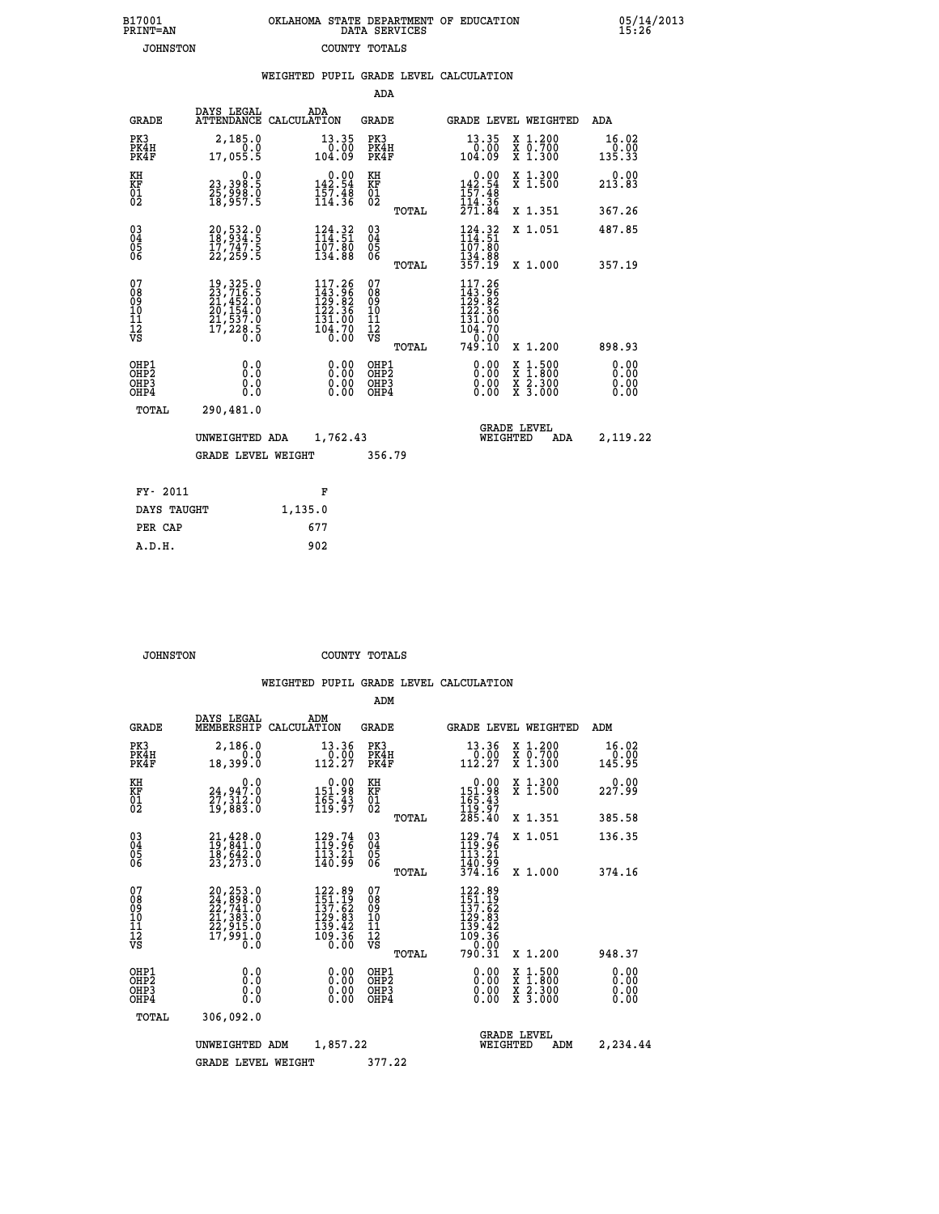| 7001<br>INT=AN  | OKLAHOMA STATE DEPARTMENT OF EDUCATION<br>DATA SERVICES |  |
|-----------------|---------------------------------------------------------|--|
| <b>JOHNSTON</b> | COUNTY TOTALS                                           |  |

|                                                              |                                              | WEIGHTED PUPIL GRADE LEVEL CALCULATION                                                      |                               |       |                                                                                                                                                                                                                                                                                |                                                                                                                                              |                         |
|--------------------------------------------------------------|----------------------------------------------|---------------------------------------------------------------------------------------------|-------------------------------|-------|--------------------------------------------------------------------------------------------------------------------------------------------------------------------------------------------------------------------------------------------------------------------------------|----------------------------------------------------------------------------------------------------------------------------------------------|-------------------------|
|                                                              |                                              |                                                                                             | ADA                           |       |                                                                                                                                                                                                                                                                                |                                                                                                                                              |                         |
| <b>GRADE</b>                                                 | DAYS LEGAL                                   | ADA<br>ATTENDANCE CALCULATION                                                               | <b>GRADE</b>                  |       |                                                                                                                                                                                                                                                                                | <b>GRADE LEVEL WEIGHTED</b>                                                                                                                  | ADA                     |
| PK3<br>PK4H<br>PK4F                                          | 2,185.0<br>0.0<br>17,055.5                   | $13.35$<br>0.00<br>104.09                                                                   | PK3<br>PK4H<br>PK4F           |       | 13.35<br>00.00<br>09.09                                                                                                                                                                                                                                                        | X 1.200<br>X 0.700<br>X 1.300                                                                                                                | 16.02<br>0.00<br>135.33 |
| KH<br>KF<br>01<br>02                                         | 0.0<br>23,398:5<br>25,998:0<br>18,957:5      | $0.00$<br>142.54<br>$157.48$<br>$114.36$                                                    | KH<br>KF<br>01<br>02          |       | $0.00$<br>142.54<br>$\frac{157.48}{114.36}$<br>$\frac{77.48}{271.84}$                                                                                                                                                                                                          | X 1.300<br>X 1.500                                                                                                                           | $0.00$<br>213.83        |
|                                                              |                                              |                                                                                             |                               | TOTAL |                                                                                                                                                                                                                                                                                | X 1.351                                                                                                                                      | 367.26                  |
| $\begin{smallmatrix} 03 \\[-4pt] 04 \end{smallmatrix}$<br>05 | 20,532.0<br>18,934.5<br>17,747.5<br>22,259.5 | $\begin{smallmatrix} 124.32\ 114.51\ 107.80\ 134.88 \end{smallmatrix}$                      | $^{03}_{04}$<br>05            |       | 124.32<br>107.80                                                                                                                                                                                                                                                               | X 1.051                                                                                                                                      | 487.85                  |
| 06                                                           |                                              |                                                                                             | 06                            | TOTAL | $\frac{134.88}{357.19}$                                                                                                                                                                                                                                                        | X 1.000                                                                                                                                      | 357.19                  |
| 07<br>08<br>09<br>10<br>11<br>11<br>12<br>νs                 |                                              | $\begin{smallmatrix} 117.26\\143.96\\129.82\\122.36\\131.00\\104.70\\0.00\end{smallmatrix}$ | 0789901112<br>009011112<br>VS | TOTAL | 117.26<br>$143.966$<br>$129.82$<br>$122.366$<br>$131.00$<br>$104.70$<br>$0.00$<br>$749.10$                                                                                                                                                                                     | X 1.200                                                                                                                                      | 898.93                  |
| OHP1<br>OHP2<br>OHP3<br>OHP4                                 | 0.0<br>0.0<br>0.0                            | $\begin{smallmatrix} 0.00 \ 0.00 \ 0.00 \ 0.00 \end{smallmatrix}$                           | OHP1<br>OHP2<br>OHP3<br>OHP4  |       | $\begin{smallmatrix} 0.00 & 0.00 & 0.00 & 0.00 & 0.00 & 0.00 & 0.00 & 0.00 & 0.00 & 0.00 & 0.00 & 0.00 & 0.00 & 0.00 & 0.00 & 0.00 & 0.00 & 0.00 & 0.00 & 0.00 & 0.00 & 0.00 & 0.00 & 0.00 & 0.00 & 0.00 & 0.00 & 0.00 & 0.00 & 0.00 & 0.00 & 0.00 & 0.00 & 0.00 & 0.00 & 0.0$ | $\begin{smallmatrix} \mathtt{X} & 1\cdot500 \\ \mathtt{X} & 1\cdot800 \\ \mathtt{X} & 2\cdot300 \\ \mathtt{X} & 3\cdot000 \end{smallmatrix}$ | 0.00<br>0.00<br>0.00    |
| TOTAL                                                        | 290,481.0                                    |                                                                                             |                               |       |                                                                                                                                                                                                                                                                                |                                                                                                                                              |                         |
|                                                              | UNWEIGHTED ADA                               | 1,762.43                                                                                    |                               |       | WEIGHTED                                                                                                                                                                                                                                                                       | <b>GRADE LEVEL</b><br>ADA                                                                                                                    | 2,119.22                |
|                                                              | <b>GRADE LEVEL WEIGHT</b>                    |                                                                                             | 356.79                        |       |                                                                                                                                                                                                                                                                                |                                                                                                                                              |                         |
| FY- 2011                                                     |                                              | F                                                                                           |                               |       |                                                                                                                                                                                                                                                                                |                                                                                                                                              |                         |
| DAYS TAUGHT                                                  |                                              | 1,135.0                                                                                     |                               |       |                                                                                                                                                                                                                                                                                |                                                                                                                                              |                         |
| PER CAP                                                      |                                              | 677                                                                                         |                               |       |                                                                                                                                                                                                                                                                                |                                                                                                                                              |                         |

| A.D.H. | 902 |
|--------|-----|
|        |     |

**B17001<br>PRINT=AN** 

 **JOHNSTON COUNTY TOTALS**

|                                                       |                                                                                                 |                                                                                          | ADM                                              |                                                                                                                 |                                          |                              |
|-------------------------------------------------------|-------------------------------------------------------------------------------------------------|------------------------------------------------------------------------------------------|--------------------------------------------------|-----------------------------------------------------------------------------------------------------------------|------------------------------------------|------------------------------|
| <b>GRADE</b>                                          | DAYS LEGAL<br>MEMBERSHIP                                                                        | ADM<br>CALCULATION                                                                       | <b>GRADE</b>                                     |                                                                                                                 | <b>GRADE LEVEL WEIGHTED</b>              | ADM                          |
| PK3<br>PK4H<br>PK4F                                   | 2,186.0<br>0.0<br>18,399.0                                                                      | 13.36<br>$\frac{0.00}{112.27}$                                                           | PK3<br>PK4H<br>PK4F                              | 13.36<br>$\begin{smallmatrix} 0.00 \\ 112.27 \end{smallmatrix}$                                                 | X 1.200<br>X 0.700<br>X 1.300            | 16.02<br>0.00<br>145.95      |
| KH<br>KF<br>01<br>02                                  | 0.0<br>24,947.0<br>27,312.0<br>19,883.0                                                         | $\begin{smallmatrix} &0.00\\ 151.98\\ 165.43\\ 119.97\end{smallmatrix}$                  | KH<br>KF<br>01<br>02                             | 0.00<br>151:98<br>165:43<br>119:97<br>285:40                                                                    | X 1.300<br>X 1.500                       | 0.00<br>227.99               |
|                                                       |                                                                                                 |                                                                                          | TOTAL                                            |                                                                                                                 | X 1.351                                  | 385.58                       |
| 03<br>04<br>05<br>06                                  | $21,428.0$<br>$19,841.0$<br>$18,642.0$<br>23, 273.0                                             | $129.74$<br>$119.96$<br>113.21<br>140.99                                                 | $\substack{03 \\ 04}$<br>0500                    | $129.74$<br>119.96<br>113.21<br>140.99                                                                          | X 1.051                                  | 136.35                       |
|                                                       |                                                                                                 |                                                                                          | TOTAL                                            | 374.16                                                                                                          | X 1.000                                  | 374.16                       |
| 07<br>08<br>09<br>101<br>112<br>VS                    | $20, 253.0$<br>$24, 898.0$<br>$22, 741.0$<br>$21, 383.0$<br>$22, 915.0$<br>$17, 991.0$<br>$0.0$ | 122.89<br>151.19<br>137.62<br>$\frac{129.83}{139.42}$<br>$\frac{139.42}{109.36}$<br>0.00 | 07<br>08<br>09<br>101<br>11<br>12<br>VS<br>TOTAL | $122.89$<br>$151.19$<br>$137.62$<br>$\begin{array}{r} 129.83 \\ 139.42 \\ 109.36 \\ -2.9 \end{array}$<br>790.31 | X 1.200                                  | 948.37                       |
| OHP1<br>OH <sub>P</sub> 2<br>OH <sub>P3</sub><br>OHP4 | 0.0<br>0.000                                                                                    | $0.00$<br>$0.00$<br>0.00                                                                 | OHP1<br>OHP2<br>OHP3<br>OHP4                     | $0.00$<br>$0.00$<br>0.00                                                                                        | X 1:500<br>X 1:800<br>X 2:300<br>X 3:000 | 0.00<br>0.00<br>0.00<br>0.00 |
| TOTAL                                                 | 306,092.0                                                                                       |                                                                                          |                                                  |                                                                                                                 |                                          |                              |
|                                                       | UNWEIGHTED<br>ADM                                                                               | 1,857.22                                                                                 |                                                  | WEIGHTED                                                                                                        | <b>GRADE LEVEL</b><br>ADM                | 2,234.44                     |
|                                                       | <b>GRADE LEVEL WEIGHT</b>                                                                       |                                                                                          | 377.22                                           |                                                                                                                 |                                          |                              |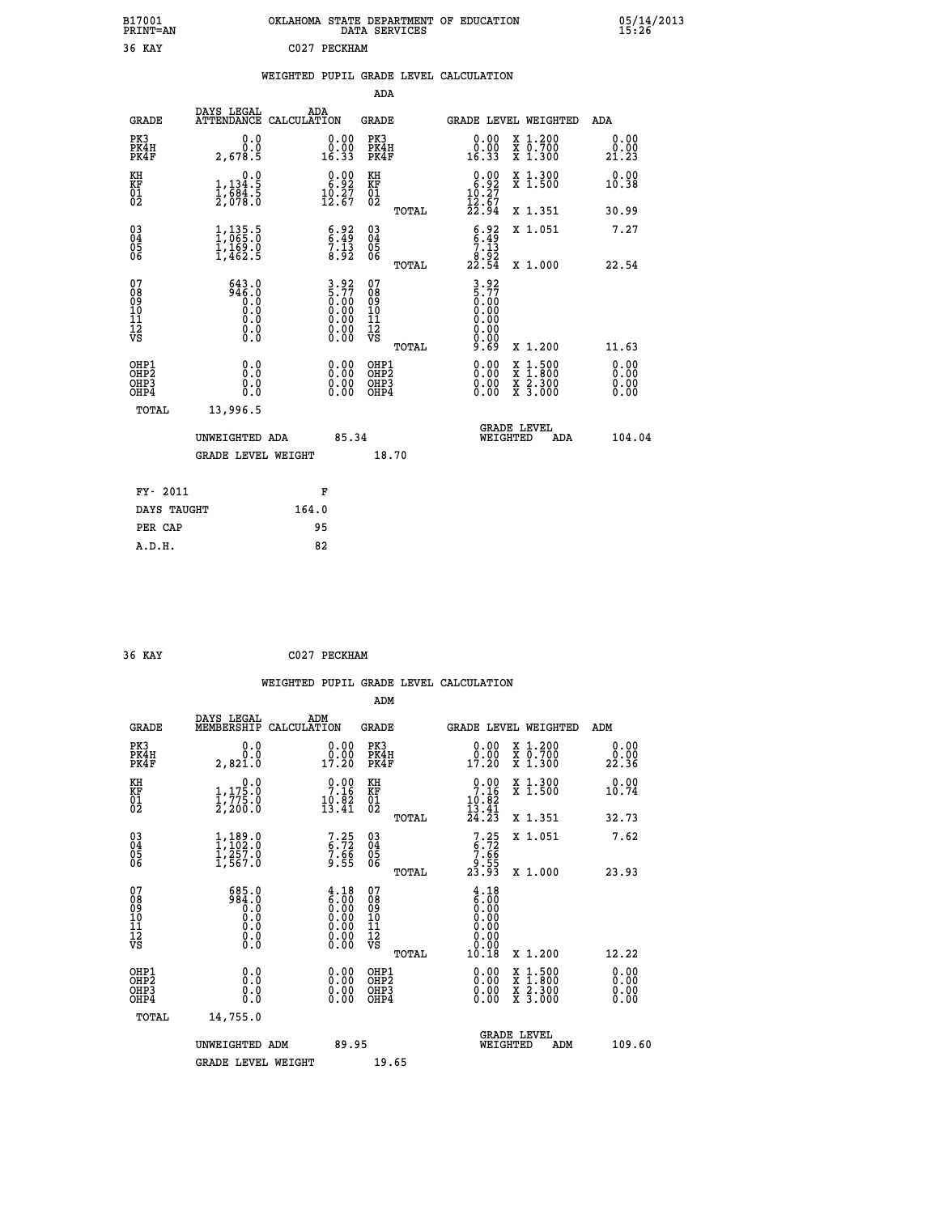| B17001<br><b>PRINT=AN</b> | OKLAHOMA STATE DEPARTMENT OF EDUCATION<br>DATA SERVICES | 05/14/2013<br>15:26 |
|---------------------------|---------------------------------------------------------|---------------------|
| 36 KAY                    | C027 PECKHAM                                            |                     |

|  |  | WEIGHTED PUPIL GRADE LEVEL CALCULATION |
|--|--|----------------------------------------|
|  |  |                                        |

|                                                                    |                                                                  |                                                                                        |                                                                                                       |       | ADA                                                               |       |                                                                             |                                                                                                  |                              |
|--------------------------------------------------------------------|------------------------------------------------------------------|----------------------------------------------------------------------------------------|-------------------------------------------------------------------------------------------------------|-------|-------------------------------------------------------------------|-------|-----------------------------------------------------------------------------|--------------------------------------------------------------------------------------------------|------------------------------|
|                                                                    | <b>GRADE</b>                                                     | DAYS LEGAL                                                                             | ADA<br>ATTENDANCE CALCULATION                                                                         |       | <b>GRADE</b>                                                      |       |                                                                             | GRADE LEVEL WEIGHTED                                                                             | ADA                          |
|                                                                    | PK3<br>PK4H<br>PK4F                                              | 0.0<br>0.0<br>2,678.5                                                                  | $\begin{smallmatrix} 0.00\\ 0.00\\ 16.33 \end{smallmatrix}$                                           |       | PK3<br>PK4H<br>PK4F                                               |       | $\begin{smallmatrix} 0.00\\ 0.00\\ 16.33 \end{smallmatrix}$                 | X 1.200<br>X 0.700<br>X 1.300                                                                    | 0.00<br>0.00<br>21.23        |
| KH<br><b>KF</b><br>01<br>02                                        |                                                                  | 0.0<br>$1,134.5$<br>$1,684.5$<br>$2,078.0$                                             | $\begin{smallmatrix} 0.00\\ 6.92\\ 10.27\\ 12.67 \end{smallmatrix}$                                   |       | KH<br><b>KF</b><br>01<br>02                                       |       | $\begin{smallmatrix} 0.00\\ 6.92\\ 10.27\\ 12.67\\ 22.94 \end{smallmatrix}$ | X 1.300<br>X 1.500                                                                               | 0.00<br>10.38                |
|                                                                    |                                                                  |                                                                                        |                                                                                                       |       |                                                                   | TOTAL |                                                                             | X 1.351                                                                                          | 30.99                        |
| $\begin{smallmatrix} 03 \\[-4pt] 04 \end{smallmatrix}$<br>05<br>06 |                                                                  | $\frac{1}{1}$ , $\frac{135}{065}$ : $\overline{0}$<br>$\frac{1}{1}, \frac{1}{462}$ . 9 | $\begin{array}{c} 6.92 \\ 6.49 \\ 7.13 \\ 8.92 \end{array}$                                           |       | $\substack{03 \\ 04}$<br>$\begin{matrix} 0.5 \\ 0.6 \end{matrix}$ | TOTAL | $\begin{array}{c} 6.92 \\ 6.49 \\ 7.13 \\ 8.92 \\ 22.54 \end{array}$        | X 1.051<br>X 1.000                                                                               | 7.27<br>22.54                |
| 07<br>08<br>09<br>11<br>11<br>12<br>VS                             |                                                                  | $643.0$<br>946.0<br>$\begin{smallmatrix} 0.0 & 0 \ 0.0 & 0 \end{smallmatrix}$<br>$\S.$ | $3.92$<br>$5.77$<br>$0.00$<br>$0.00$<br>$0.00$<br>$\begin{smallmatrix} 0.00 \ 0.00 \end{smallmatrix}$ |       | 07<br>08901112<br>1112<br>VS                                      |       | $3.92$<br>$5.77$<br>$0.00$<br>$0.00$<br>0.00<br>0.00                        |                                                                                                  |                              |
|                                                                    |                                                                  |                                                                                        |                                                                                                       |       |                                                                   | TOTAL | قة: ق                                                                       | X 1.200                                                                                          | 11.63                        |
|                                                                    | OHP1<br>OH <sub>P2</sub><br>OH <sub>P3</sub><br>OH <sub>P4</sub> | 0.0<br>0.0<br>0.0                                                                      | $\begin{smallmatrix} 0.00 \ 0.00 \ 0.00 \ 0.00 \end{smallmatrix}$                                     |       | OHP1<br>OH <sub>P</sub> 2<br>OHP3<br>OHP4                         |       | 0.00<br>0.00<br>0.00                                                        | $\begin{smallmatrix} x & 1 & 500 \\ x & 1 & 800 \\ x & 2 & 300 \\ x & 3 & 000 \end{smallmatrix}$ | 0.00<br>0.00<br>0.00<br>0.00 |
|                                                                    | TOTAL                                                            | 13,996.5                                                                               |                                                                                                       |       |                                                                   |       |                                                                             |                                                                                                  |                              |
|                                                                    |                                                                  | UNWEIGHTED ADA                                                                         |                                                                                                       | 85.34 |                                                                   |       |                                                                             | GRADE LEVEL<br>WEIGHTED<br>ADA                                                                   | 104.04                       |
|                                                                    |                                                                  | <b>GRADE LEVEL WEIGHT</b>                                                              |                                                                                                       |       | 18.70                                                             |       |                                                                             |                                                                                                  |                              |
|                                                                    | FY- 2011                                                         |                                                                                        | F                                                                                                     |       |                                                                   |       |                                                                             |                                                                                                  |                              |
|                                                                    | DAYS TAUGHT                                                      |                                                                                        | 164.0                                                                                                 |       |                                                                   |       |                                                                             |                                                                                                  |                              |
|                                                                    | PER CAP                                                          |                                                                                        | 95                                                                                                    |       |                                                                   |       |                                                                             |                                                                                                  |                              |

 **36 KAY C027 PECKHAM**

 **A.D.H. 82**

|                                           |                                                   |                                                                                               | ADM                                                |       |                                                                                               |                                          |                       |
|-------------------------------------------|---------------------------------------------------|-----------------------------------------------------------------------------------------------|----------------------------------------------------|-------|-----------------------------------------------------------------------------------------------|------------------------------------------|-----------------------|
| <b>GRADE</b>                              | DAYS LEGAL<br>MEMBERSHIP                          | ADM<br>CALCULATION                                                                            | <b>GRADE</b>                                       |       |                                                                                               | GRADE LEVEL WEIGHTED                     | ADM                   |
| PK3<br>PK4H<br>PK4F                       | 0.0<br>0.0<br>2,821.0                             | $\begin{smallmatrix} 0.00\\ 0.00\\ 17.20 \end{smallmatrix}$                                   | PK3<br>PK4H<br>PK4F                                |       | $\begin{smallmatrix} 0.00\\ 0.00\\ 17.20 \end{smallmatrix}$                                   | X 1.200<br>X 0.700<br>X 1.300            | 0.00<br>0.00<br>22.36 |
| KH<br>KF<br>01<br>02                      | 0.0<br>$1,175.0$<br>$1,775.0$<br>2,200.0          | 7.16<br>$19.82$<br>$13.41$                                                                    | KH<br>KF<br>01<br>02                               |       | $\begin{array}{c} 0.00 \\ 7.16 \\ 10.82 \\ 13.41 \\ 24.23 \end{array}$                        | X 1.300<br>X 1.500                       | 0.00<br>10.74         |
|                                           |                                                   |                                                                                               |                                                    | TOTAL |                                                                                               | X 1.351                                  | 32.73                 |
| 03<br>04<br>05<br>06                      | $1,189.0$<br>$1,257.0$<br>$1,257.0$<br>$1,567.0$  | $7.25$<br>$7.66$<br>$9.55$                                                                    | $\begin{matrix} 03 \\ 04 \\ 05 \\ 06 \end{matrix}$ |       | $7.25$<br>$7.66$<br>$9.55$<br>$23.93$                                                         | X 1.051                                  | 7.62                  |
|                                           |                                                   |                                                                                               |                                                    | TOTAL |                                                                                               | X 1.000                                  | 23.93                 |
| 07<br>08<br>09<br>101<br>112<br>VS        | 685.0<br>984.0<br>0:0<br>0:0<br>0:0<br>$\S.$ $\S$ | $\begin{smallmatrix} 4.18\ 6.00\ 0.00\ 0.00\ 0.00\ 0.00\ 0.00\ 0.00\ 0.00\ \end{smallmatrix}$ | 07<br>08<br>09<br>101<br>11<br>12<br>VS            |       | $\begin{smallmatrix} 4.18\ 6.00\ 0.00\ 0.00\ 0.00\ 0.00\ 0.00\ 0.00\ 0.00\ \end{smallmatrix}$ |                                          |                       |
|                                           |                                                   |                                                                                               |                                                    | TOTAL | 10.18                                                                                         | X 1.200                                  | 12.22                 |
| OHP1<br>OHP2<br>OH <sub>P</sub> 3<br>OHP4 | 0.0<br>0.000                                      |                                                                                               | OHP1<br>OHP2<br>OHP <sub>3</sub>                   |       | $0.00$<br>$0.00$<br>0.00                                                                      | X 1:500<br>X 1:800<br>X 2:300<br>X 3:000 | 0.00<br>0.00<br>0.00  |
| TOTAL                                     | 14,755.0                                          |                                                                                               |                                                    |       |                                                                                               |                                          |                       |
|                                           | UNWEIGHTED ADM                                    | 89.95                                                                                         |                                                    |       |                                                                                               | GRADE LEVEL<br>WEIGHTED<br>ADM           | 109.60                |
|                                           | <b>GRADE LEVEL WEIGHT</b>                         |                                                                                               | 19.65                                              |       |                                                                                               |                                          |                       |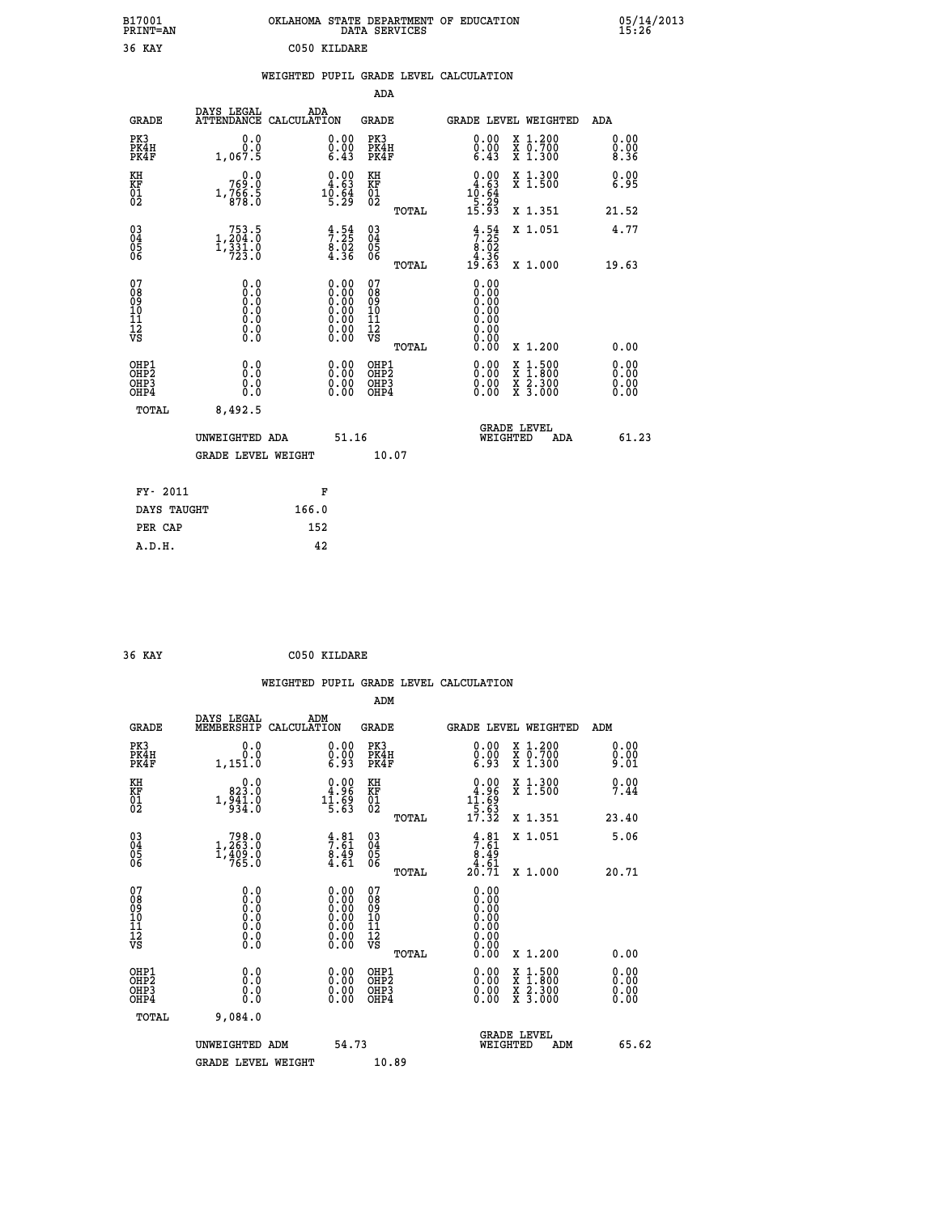| B17001<br><b>PRINT=AN</b> | OKLAHOMA STATE DEPARTMENT OF EDUCATION<br>DATA<br>SERVICES | 05/14/2013<br>15:26 |
|---------------------------|------------------------------------------------------------|---------------------|
| 36<br>KAY                 | C050 KILDARE                                               |                     |

| J 7<br>                                              |                                                                                          | coso winnim                            |                                                                   |                                           |       |                                                                                                                            |                                                                                                                                           |                      |
|------------------------------------------------------|------------------------------------------------------------------------------------------|----------------------------------------|-------------------------------------------------------------------|-------------------------------------------|-------|----------------------------------------------------------------------------------------------------------------------------|-------------------------------------------------------------------------------------------------------------------------------------------|----------------------|
|                                                      |                                                                                          | WEIGHTED PUPIL GRADE LEVEL CALCULATION |                                                                   |                                           |       |                                                                                                                            |                                                                                                                                           |                      |
|                                                      |                                                                                          |                                        |                                                                   | ADA                                       |       |                                                                                                                            |                                                                                                                                           |                      |
| <b>GRADE</b>                                         | DAYS LEGAL ADA ATTENDANCE CALCULATION                                                    |                                        |                                                                   | <b>GRADE</b>                              |       |                                                                                                                            | GRADE LEVEL WEIGHTED                                                                                                                      | ADA                  |
| PK3<br>PK4H<br>PK4F                                  | 0.0<br>0.0<br>1,067.5                                                                    |                                        | $\begin{smallmatrix} 0.00 \ 0.00 \ 6.43 \end{smallmatrix}$        | PK3<br>PK4H<br>PK4F                       |       | 0.00<br>$\begin{smallmatrix} 0.00 \ 6.43 \end{smallmatrix}$                                                                | X 1.200<br>X 0.700<br>X 1.300                                                                                                             | 0.00<br>0.00<br>8.36 |
| KH<br>KF<br>01<br>02                                 | 0.0<br>769.0<br>$1, \frac{7}{8}, \frac{6}{8}$ : 5                                        |                                        | $\frac{0.00}{4.63}$<br>$1\overline{0}:\xi_9^2$                    | KH<br>KF<br>01<br>02                      |       | 0.00<br>4.63<br>$1\overline{0}:\overline{6}\overline{4}\overline{9}\overline{3}\overline{15}\cdot\overline{9}\overline{3}$ | X 1.300<br>X 1.500                                                                                                                        | 0.00<br>6.95         |
|                                                      |                                                                                          |                                        |                                                                   |                                           | TOTAL |                                                                                                                            | X 1.351                                                                                                                                   | 21.52                |
| $^{03}_{04}$<br>Ŏ5<br>06                             | $\underset{7}{\begin{subarray}{c}753.5\\1,204.0\\1,331.0\\723.0\end{subarray}}$          |                                        | $\begin{array}{c} 4.54 \\ 7.25 \\ 8.02 \\ 4.36 \end{array}$       | $\substack{03 \\ 04}$<br>05<br>06         |       | $3.54$<br>$7.25$<br>$8.02$<br>$4.36$<br>$19.63$                                                                            | X 1.051                                                                                                                                   | 4.77                 |
|                                                      |                                                                                          |                                        |                                                                   |                                           | TOTAL |                                                                                                                            | X 1.000                                                                                                                                   | 19.63                |
| 07<br>08<br>09<br>10<br>11<br>11<br>17<br>VS         | 0.0<br>$\begin{smallmatrix} 0.0 & 0 \ 0.0 & 0 \ 0.0 & 0 \end{smallmatrix}$<br>$\S.$ $\S$ |                                        |                                                                   | 07<br>08<br>09<br>11<br>11<br>12<br>VS    | TOTAL | 0.00<br>0.00<br>ŏ.ŏŏ<br>0.00<br>0.00<br>0.00<br>0.00                                                                       | X 1.200                                                                                                                                   | 0.00                 |
| OHP1<br>OHP <sub>2</sub><br>OH <sub>P3</sub><br>OHP4 | 0.0<br>0.0<br>0.0                                                                        |                                        | $\begin{smallmatrix} 0.00 \ 0.00 \ 0.00 \ 0.00 \end{smallmatrix}$ | OHP1<br>OH <sub>P</sub> 2<br>OHP3<br>OHP4 |       | 0.00<br>0.00                                                                                                               | $\begin{smallmatrix} \mathtt{X} & 1\cdot500\\ \mathtt{X} & 1\cdot800\\ \mathtt{X} & 2\cdot300\\ \mathtt{X} & 3\cdot000 \end{smallmatrix}$ | 0.00<br>0.00<br>0.00 |
| TOTAL                                                | 8,492.5                                                                                  |                                        |                                                                   |                                           |       |                                                                                                                            |                                                                                                                                           |                      |
|                                                      | UNWEIGHTED ADA                                                                           |                                        | 51.16                                                             |                                           |       | WEIGHTED                                                                                                                   | <b>GRADE LEVEL</b><br><b>ADA</b>                                                                                                          | 61.23                |
|                                                      | GRADE LEVEL WEIGHT                                                                       |                                        |                                                                   | 10.07                                     |       |                                                                                                                            |                                                                                                                                           |                      |
| FY- 2011                                             |                                                                                          | F                                      |                                                                   |                                           |       |                                                                                                                            |                                                                                                                                           |                      |
| DAYS TAUGHT                                          |                                                                                          | 166.0                                  |                                                                   |                                           |       |                                                                                                                            |                                                                                                                                           |                      |
| PER CAP                                              |                                                                                          | 152                                    |                                                                   |                                           |       |                                                                                                                            |                                                                                                                                           |                      |
| A.D.H.                                               |                                                                                          | 42                                     |                                                                   |                                           |       |                                                                                                                            |                                                                                                                                           |                      |

 **36 KAY C050 KILDARE**

 **WEIGHTED PUPIL GRADE LEVEL CALCULATION ADM DAYS LEGAL ADM GRADE MEMBERSHIP CALCULATION GRADE GRADE LEVEL WEIGHTED ADM PK3 0.0 0.00 PK3 0.00 X 1.200 0.00 PK4H 0.0 0.00 PK4H 0.00 X 0.700 0.00 PK4F 1,151.0 6.93 PK4F 6.93 X 1.300 9.01** 0.00 KH 0.00 RH 0.00 X 1.300<br>RF 923.0 4.96 KF 4.96 X 1.500 7.44 **NH**<br> **KF**<br> **01**<br> **02**<br> **1,941.0**<br> **1,941.0**<br> **1,941.0**<br> **1,041.0**<br> **1,041.0**<br> **1,041.0**<br> **1,041.0**<br> **1,1.09**<br> **1,1.09**<br> **1,050**<br> **1,090**  $02$  934.0 5.63 02  $\frac{5.63}{2}$  **TOTAL 17.32 X 1.351 23.40 03 798.0 4.81 03 4.81 X 1.051 5.06 04 1,263.0 7.61 04 7.61 05 1,409.0 8.49 05 8.49** 06 765.0 **4.61 06** 4.61 24.61  **TOTAL 20.71 X 1.000 20.71 07 0.0 0.00 07 0.00 08 0.0 0.00 08 0.00 03 0.00 0.00 0.000 0.000 10 0.0 0.00 10 0.00 11 0.0 0.00 11 0.00 12 0.0 0.00 12 0.00 VS** 0.0 0.00 VS 0.00 0.00  **TOTAL 0.00 X 1.200 0.00 OHP1 0.0 0.00 OHP1 0.00 X 1.500 0.00 OHP2 0.0 0.00 OHP2 0.00 X 1.800 0.00 OHP3 0.0 0.00 OHP3 0.00 X 2.300 0.00 OHP4 0.0 0.00 OHP4 0.00 X 3.000 0.00 TOTAL 9,084.0 GRADE LEVEL UNWEIGHTED ADM 54.73 WEIGHTED ADM 65.62** GRADE LEVEL WEIGHT 10.89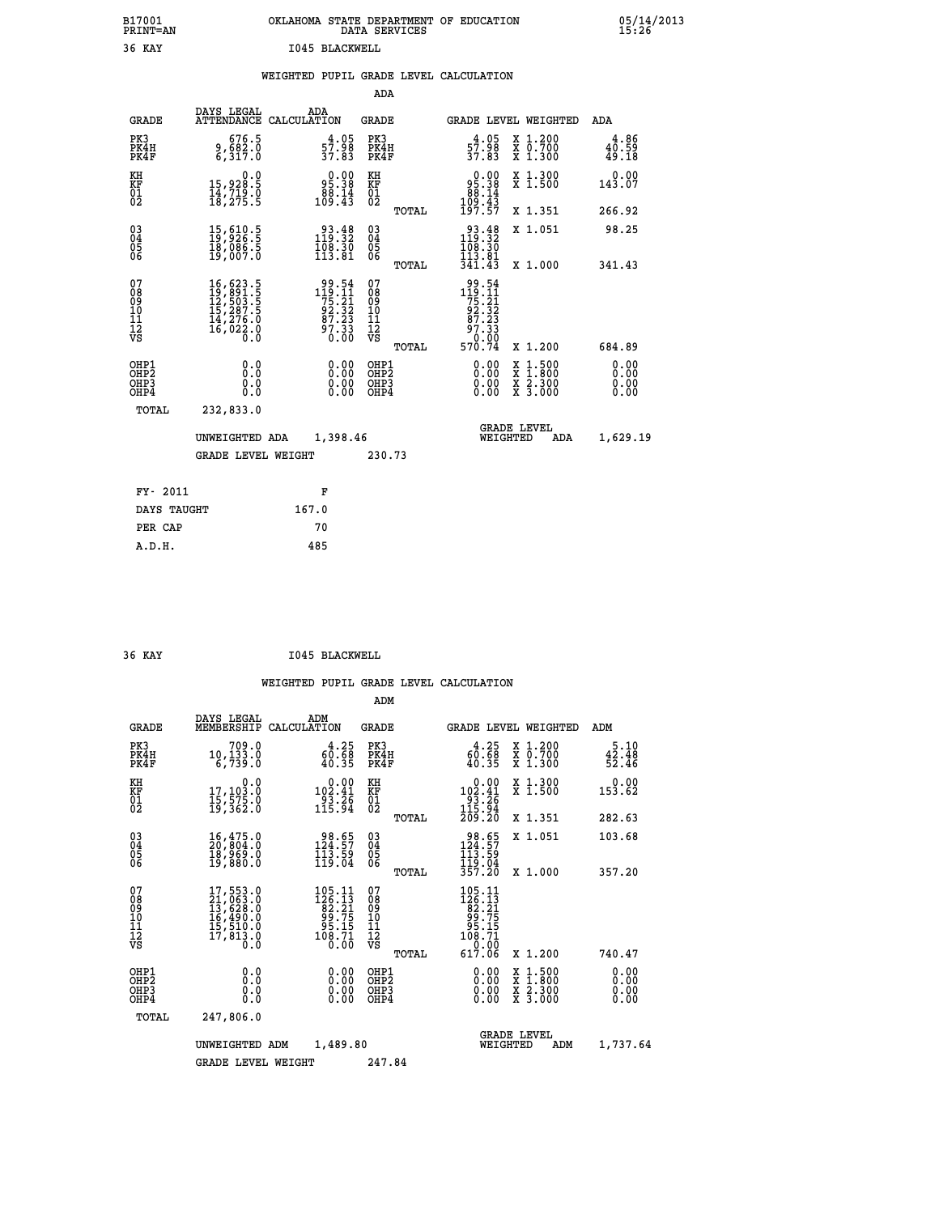## **B17001 OKLAHOMA STATE DEPARTMENT OF EDUCATION 05/14/2013 PRINT=AN DATA SERVICES 15:26 36 KAY I045 BLACKWELL**

|  |  | WEIGHTED PUPIL GRADE LEVEL CALCULATION |
|--|--|----------------------------------------|
|  |  |                                        |

|                                                                    |                                                                                                                                                                                                                             |                                                                                            | ADA                                    |       |                                                                                                         |                                          |                               |
|--------------------------------------------------------------------|-----------------------------------------------------------------------------------------------------------------------------------------------------------------------------------------------------------------------------|--------------------------------------------------------------------------------------------|----------------------------------------|-------|---------------------------------------------------------------------------------------------------------|------------------------------------------|-------------------------------|
| <b>GRADE</b>                                                       | DAYS LEGAL                                                                                                                                                                                                                  | ADA<br>ATTENDANCE CALCULATION                                                              | <b>GRADE</b>                           |       |                                                                                                         | <b>GRADE LEVEL WEIGHTED</b>              | ADA                           |
| PK3<br>PK4H<br>PK4F                                                | 676.5<br>9,682.0<br>6,317.0                                                                                                                                                                                                 | $\frac{4 \cdot 05}{37.83}$                                                                 | PK3<br>PK4H<br>PK4F                    |       | $\frac{4 \cdot 05}{57.98}$<br>37.83                                                                     | X 1.200<br>X 0.700<br>X 1.300            | 4.86<br>$40.59$<br>$49.18$    |
| KH<br>KF<br>01<br>02                                               | 0.0<br>15,928.5<br>14,719.0<br>18,275.5                                                                                                                                                                                     | $\begin{smallmatrix} 0.00\\ 95.38\\ 88.14\\ 109.43 \end{smallmatrix}$                      | KH<br>KF<br>01<br>02                   |       | $\begin{smallmatrix} 0.00\\ 95.38\\ 88.14\\ 109.43\\ 197.57 \end{smallmatrix}$                          | X 1.300<br>X 1.500                       | 0.00<br>143.07                |
|                                                                    |                                                                                                                                                                                                                             |                                                                                            |                                        | TOTAL |                                                                                                         | X 1.351                                  | 266.92                        |
| $\begin{smallmatrix} 03 \\[-4pt] 04 \end{smallmatrix}$<br>Ŏ5<br>06 | $\begin{smallmatrix} 15 \,,\, 610 \,. \ 19 \,,\, 926 \,. \ 5 \ 18 \,,\, 086 \,. \ 5 \ 19 \,,\, 007 \,. \ 0 \end{smallmatrix}$                                                                                               | $\begin{smallmatrix} 93.48\\ 119.32\\ 108.30\\ 113.81 \end{smallmatrix}$                   | $\substack{03 \\ 04}$<br>Ŏ5<br>06      |       | $\begin{smallmatrix} 93.48\\ 119.32\\ 108.30\\ 113.81 \end{smallmatrix}$                                | X 1.051                                  | 98.25                         |
|                                                                    |                                                                                                                                                                                                                             |                                                                                            |                                        | TOTAL | 341.43                                                                                                  | X 1.000                                  | 341.43                        |
| 07<br>08<br>09<br>01<br>11<br>11<br>12<br>VS                       | $\begin{smallmatrix} 16 \, , \, 623 \, . \, 5 \\ 19 \, , \, 891 \, . \, 5 \\ 12 \, , \, 503 \, . \, 5 \\ 15 \, , \, 287 \, . \, 5 \\ 14 \, , \, 276 \, . \, 0 \\ 16 \, , \, 022 \, . \, 0 \\ 0 \, . \, 0 \end{smallmatrix}$ | $\begin{array}{r} 99.54 \\ 119.11 \\ 75.21 \\ 92.32 \\ 87.23 \\ 97.33 \\ 0.00 \end{array}$ | 07<br>08<br>09<br>11<br>11<br>12<br>VS |       | $\begin{array}{r} 99.54 \\ 119.11 \\ 75.21 \\ 92.32 \\ 87.23 \\ 97.33 \\ 90.02 \\ \text{F} \end{array}$ |                                          |                               |
|                                                                    |                                                                                                                                                                                                                             |                                                                                            |                                        | TOTAL | 570.74                                                                                                  | X 1.200                                  | 684.89                        |
| OHP1<br>OHP <sub>2</sub><br>OH <sub>P3</sub><br>OHP4               | 0.0<br>0.000                                                                                                                                                                                                                | 0.00<br>$\begin{smallmatrix} 0.00 \ 0.00 \end{smallmatrix}$                                | OHP1<br>OHP2<br>OHP <sub>3</sub>       |       | 0.00<br>0.00                                                                                            | X 1:500<br>X 1:800<br>X 2:300<br>X 3:000 | 0.00<br>Ō. ŌŌ<br>0.00<br>0.00 |
| TOTAL                                                              | 232,833.0                                                                                                                                                                                                                   |                                                                                            |                                        |       |                                                                                                         |                                          |                               |
|                                                                    | UNWEIGHTED ADA                                                                                                                                                                                                              | 1,398.46                                                                                   |                                        |       |                                                                                                         | <b>GRADE LEVEL</b><br>WEIGHTED<br>ADA    | 1,629.19                      |
|                                                                    | <b>GRADE LEVEL WEIGHT</b>                                                                                                                                                                                                   |                                                                                            | 230.73                                 |       |                                                                                                         |                                          |                               |
| FY- 2011                                                           |                                                                                                                                                                                                                             | F                                                                                          |                                        |       |                                                                                                         |                                          |                               |
| DAYS TAUGHT                                                        |                                                                                                                                                                                                                             | 167.0                                                                                      |                                        |       |                                                                                                         |                                          |                               |
| PER CAP                                                            |                                                                                                                                                                                                                             | 70                                                                                         |                                        |       |                                                                                                         |                                          |                               |

#### **36 KAY I045 BLACKWELL**

 **A.D.H. 485**

|                                          |                                                                                                                                                 |                                                                                                                                         | ADM                                                |                                                                                                         |                                          |                        |
|------------------------------------------|-------------------------------------------------------------------------------------------------------------------------------------------------|-----------------------------------------------------------------------------------------------------------------------------------------|----------------------------------------------------|---------------------------------------------------------------------------------------------------------|------------------------------------------|------------------------|
| <b>GRADE</b>                             | DAYS LEGAL<br>MEMBERSHIP                                                                                                                        | ADM<br>CALCULATION                                                                                                                      | <b>GRADE</b>                                       | GRADE LEVEL WEIGHTED                                                                                    |                                          | ADM                    |
| PK3<br>PK4H<br>PK4F                      | 709.0<br>10, 133.0<br>6,739.0                                                                                                                   | $\begin{smallmatrix} 4.25\ 60.68\ 40.35 \end{smallmatrix}$                                                                              | PK3<br>PK4H<br>PK4F                                | 60.25<br>40.35                                                                                          | X 1.200<br>X 0.700<br>X 1.300            | 5.10<br>42.48<br>52.46 |
| KH<br>KF<br>01<br>02                     | 0.0<br>17,103.0<br>15,575.0<br>19,362.0                                                                                                         | $\begin{array}{c} 0.00 \\ 102.41 \\ 93.26 \\ 115.94 \end{array}$                                                                        | KH<br>KF<br>01<br>02                               | $\begin{array}{c} 0.00 \\ 102.41 \\ 93.26 \\ 115.94 \\ 209.20 \end{array}$                              | X 1.300<br>X 1.500                       | 0.00<br>153.62         |
|                                          |                                                                                                                                                 |                                                                                                                                         | TOTAL                                              |                                                                                                         | X 1.351                                  | 282.63                 |
| 03<br>04<br>05<br>06                     | 16,475.0<br>20,804.0<br>18,969.0<br>19,880.0                                                                                                    | $38.65$<br>124.57<br>113.59<br>119.04                                                                                                   | $\begin{matrix} 03 \\ 04 \\ 05 \\ 06 \end{matrix}$ | 98.65<br>124:57<br>113:59<br>119.04<br>357.20                                                           | X 1.051                                  | 103.68                 |
|                                          |                                                                                                                                                 |                                                                                                                                         | TOTAL                                              |                                                                                                         | X 1.000                                  | 357.20                 |
| 07<br>08<br>09<br>101<br>112<br>VS       | $\begin{smallmatrix} 17,553\cdot 0\\ 21,063\cdot 0\\ 13,628\cdot 0\\ 16,490\cdot 0\\ 15,510\cdot 0\\ 17,813\cdot 0\\ 0\cdot 0\end{smallmatrix}$ | $\begin{smallmatrix} 105\cdot 11\\126\cdot 13\\82\cdot 21\\99\cdot 75\\95\cdot 15\\96\cdot 71\\108\cdot 71\\0\cdot 00\end{smallmatrix}$ | 07<br>08<br>09<br>11<br>11<br>12<br>VS<br>TOTAL    | $\begin{smallmatrix} 105.11\\126.13\\82.21\\99.75\\95.15\\108.71\\108.71\\1\end{smallmatrix}$<br>617.06 | X 1.200                                  | 740.47                 |
|                                          |                                                                                                                                                 |                                                                                                                                         |                                                    |                                                                                                         |                                          | 0.00                   |
| OHP1<br>OHP2<br>OH <sub>P3</sub><br>OHP4 | 0.0<br>0.000                                                                                                                                    | $0.00$<br>$0.00$<br>0.00                                                                                                                | OHP1<br>OHP2<br>OHP <sub>3</sub>                   | $0.00$<br>$0.00$<br>0.00                                                                                | X 1:500<br>X 1:800<br>X 2:300<br>X 3:000 | 0.00<br>0.00<br>0.00   |
|                                          | TOTAL<br>247,806.0                                                                                                                              |                                                                                                                                         |                                                    |                                                                                                         |                                          |                        |
|                                          | UNWEIGHTED ADM                                                                                                                                  | 1,489.80                                                                                                                                |                                                    | <b>GRADE LEVEL</b><br>WEIGHTED                                                                          | ADM                                      | 1,737.64               |
|                                          | <b>GRADE LEVEL WEIGHT</b>                                                                                                                       |                                                                                                                                         | 247.84                                             |                                                                                                         |                                          |                        |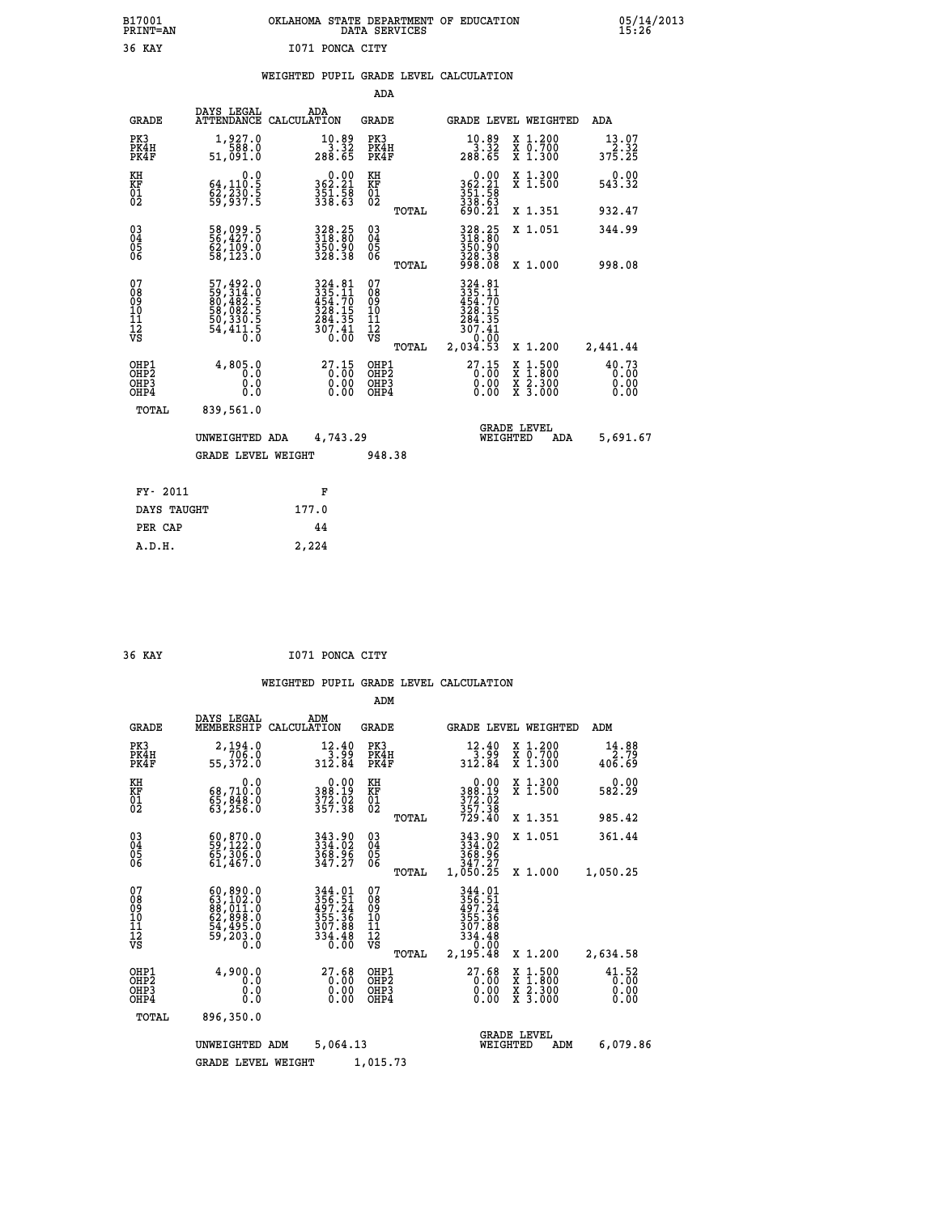## **B17001 OKLAHOMA STATE DEPARTMENT OF EDUCATION 05/14/2013 PRINT=AN DATA SERVICES 15:26 36 KAY I071 PONCA CITY**

|  |  | WEIGHTED PUPIL GRADE LEVEL CALCULATION |
|--|--|----------------------------------------|
|  |  |                                        |

|                                                                    |                                                                      |                                                                                                           | ADA                                       |       |                                                                                  |                                          |                               |
|--------------------------------------------------------------------|----------------------------------------------------------------------|-----------------------------------------------------------------------------------------------------------|-------------------------------------------|-------|----------------------------------------------------------------------------------|------------------------------------------|-------------------------------|
| <b>GRADE</b>                                                       | DAYS LEGAL                                                           | ADA<br>ATTENDANCE CALCULATION                                                                             | <b>GRADE</b>                              |       |                                                                                  | GRADE LEVEL WEIGHTED                     | <b>ADA</b>                    |
| PK3<br>PK4H<br>PK4F                                                | 1,927.0<br>588.0<br>51,091.0                                         | $\begin{array}{r} 10.89 \\ 3.32 \\ 288.65 \end{array}$                                                    | PK3<br>PK4H<br>PK4F                       |       | $10.89$<br>3.32<br>288.65                                                        | X 1.200<br>X 0.700<br>X 1.300            | $13.07$<br>$2.32$<br>375.25   |
| KH<br><b>KF</b><br>01<br>02                                        | 0.0<br>64,110:5<br>62,230:5<br>59,937:5                              | $\begin{smallmatrix} 0.00\\ 362.21\\ 351.58\\ 338.63 \end{smallmatrix}$                                   | KH<br>KF<br>01<br>02                      |       | $\begin{smallmatrix} &0.00\\ 362.21\\ 351.58\\ 338.63\\ 690.21\end{smallmatrix}$ | X 1.300<br>X 1.500                       | 0.00<br>543.32                |
|                                                                    |                                                                      |                                                                                                           |                                           | TOTAL |                                                                                  | X 1.351                                  | 932.47                        |
| $\begin{smallmatrix} 03 \\[-4pt] 04 \end{smallmatrix}$<br>05<br>06 | 58,099.5<br>56,427.0<br>ĞŽ,1Ō9.Ŏ<br>58,123.O                         | 328.25<br>318.80<br>350.90<br>328.38                                                                      | $\substack{03 \\ 04}$<br>05<br>06         | TOTAL | 328.25<br>318.80<br>350.90<br>328.38<br>998.08                                   | X 1.051<br>X 1.000                       | 344.99<br>998.08              |
| 07                                                                 |                                                                      |                                                                                                           | 07                                        |       |                                                                                  |                                          |                               |
| 08<br>09<br>11<br>11<br>12<br>VS                                   | 57,492.0<br>59,314.0<br>80,482.5<br>58,082.5<br>50,330.5<br>54,411.5 | $\begin{array}{r} 324.81 \\ 335.11 \\ 454.70 \\ 428.15 \\ 284.35 \\ 284.35 \\ 307.41 \\ 0.00 \end{array}$ | 08<br>09<br>11<br>11<br>12<br>VS          |       | 324.81<br>335.11<br>454.70<br>454.35<br>284.351<br>307.41<br>0.4.00              |                                          |                               |
|                                                                    |                                                                      |                                                                                                           |                                           | TOTAL | 2,034.53                                                                         | X 1.200                                  | 2,441.44                      |
| OHP1<br>OH <sub>P2</sub><br>OH <sub>P3</sub><br>OH <sub>P4</sub>   | 4,805.0<br>0.0<br>0.0<br>0.0                                         | 27.15<br>0.00<br>0.00<br>0.00                                                                             | OHP1<br>OH <sub>P</sub> 2<br>OHP3<br>OHP4 |       | 27.15<br>0.00<br>0.00                                                            | X 1:500<br>X 1:800<br>X 2:300<br>X 3:000 | 40.73<br>0.00<br>0.00<br>0.00 |
| TOTAL                                                              | 839,561.0                                                            |                                                                                                           |                                           |       |                                                                                  |                                          |                               |
|                                                                    | UNWEIGHTED ADA                                                       | 4,743.29                                                                                                  |                                           |       |                                                                                  | GRADE LEVEL<br>WEIGHTED<br>ADA           | 5,691.67                      |
|                                                                    | <b>GRADE LEVEL WEIGHT</b>                                            |                                                                                                           | 948.38                                    |       |                                                                                  |                                          |                               |
| FY- 2011                                                           |                                                                      | F                                                                                                         |                                           |       |                                                                                  |                                          |                               |
| DAYS TAUGHT                                                        |                                                                      | 177.0                                                                                                     |                                           |       |                                                                                  |                                          |                               |
| PER CAP                                                            |                                                                      | 44                                                                                                        |                                           |       |                                                                                  |                                          |                               |

 **36 KAY I071 PONCA CITY**

 **A.D.H. 2,224**

|                                                       |                                                                                                 |                                                                   | ADM                                              |                                                                                    |                                                                                                  |                               |
|-------------------------------------------------------|-------------------------------------------------------------------------------------------------|-------------------------------------------------------------------|--------------------------------------------------|------------------------------------------------------------------------------------|--------------------------------------------------------------------------------------------------|-------------------------------|
| <b>GRADE</b>                                          | DAYS LEGAL<br>MEMBERSHIP                                                                        | ADM<br>CALCULATION                                                | <b>GRADE</b>                                     | GRADE LEVEL WEIGHTED                                                               |                                                                                                  | ADM                           |
| PK3<br>PK4H<br>PK4F                                   | 2,194.0<br>55,372.0                                                                             | 12.40<br>3.99<br>312.84                                           | PK3<br>PK4H<br>PK4F                              | 12.40<br>3.99<br>312.84                                                            | $\begin{array}{c} x & 1.200 \\ x & 0.700 \end{array}$<br>$X$ 1.300                               | 14.88<br>2.79<br>406.69       |
| KH<br>KF<br>01<br>02                                  | 0.0<br>68,710:0<br>65,848:0<br>63,256:0                                                         | $\begin{array}{c} 0.00 \\ 388.19 \\ 372.02 \\ 357.38 \end{array}$ | KH<br>KF<br>01<br>02                             | 0.00<br>388.19<br>372.02<br>357.38<br>729.40                                       | X 1.300<br>X 1.500                                                                               | 0.00<br>582.29                |
|                                                       |                                                                                                 |                                                                   | TOTAL                                            |                                                                                    | X 1.351                                                                                          | 985.42                        |
| 03<br>04<br>05<br>06                                  | 60,870.0<br>59,122.0<br>65,306.0<br>61,467.0                                                    | 343.90<br>334.02<br>368.96<br>347.27                              | $\substack{03 \\ 04}$<br>05<br>06                | 343.90<br>334.02<br>368.96                                                         | X 1.051                                                                                          | 361.44                        |
|                                                       |                                                                                                 |                                                                   | TOTAL                                            | 347.27<br>1,050.25                                                                 | X 1.000                                                                                          | 1,050.25                      |
| 07<br>08<br>09<br>11<br>11<br>12<br>VS                | $60, 890.0$<br>$63, 102.0$<br>$88, 011.0$<br>$62, 898.0$<br>$54, 495.0$<br>$59, 203.0$<br>$0.0$ | 344.01<br>356.51<br>497.24<br>355.36<br>307.88<br>334.48<br>0.00  | 07<br>08<br>09<br>101<br>11<br>12<br>VS<br>TOTAL | 344.01<br>$356.51$<br>$497.24$<br>$355.36$<br>307.88<br>334.48<br>0.00<br>2,195.48 | X 1.200                                                                                          | 2,634.58                      |
| OHP1<br>OH <sub>P</sub> 2<br>OH <sub>P3</sub><br>OHP4 | 4,900.0<br>0.0<br>0.0<br>Ŏ.Ŏ                                                                    | 27.68<br>0.00<br>0.00                                             | OHP1<br>OHP2<br>OHP3<br>OHP4                     | 27.68<br>0.00<br>0.00                                                              | $\begin{smallmatrix} x & 1 & 500 \\ x & 1 & 800 \\ x & 2 & 300 \\ x & 3 & 000 \end{smallmatrix}$ | 41.52<br>0.00<br>0.00<br>0.00 |
| TOTAL                                                 | 896,350.0                                                                                       |                                                                   |                                                  |                                                                                    |                                                                                                  |                               |
|                                                       | UNWEIGHTED ADM                                                                                  | 5,064.13                                                          |                                                  | <b>GRADE LEVEL</b><br>WEIGHTED                                                     | ADM                                                                                              | 6,079.86                      |
|                                                       | <b>GRADE LEVEL WEIGHT</b>                                                                       |                                                                   | 1,015.73                                         |                                                                                    |                                                                                                  |                               |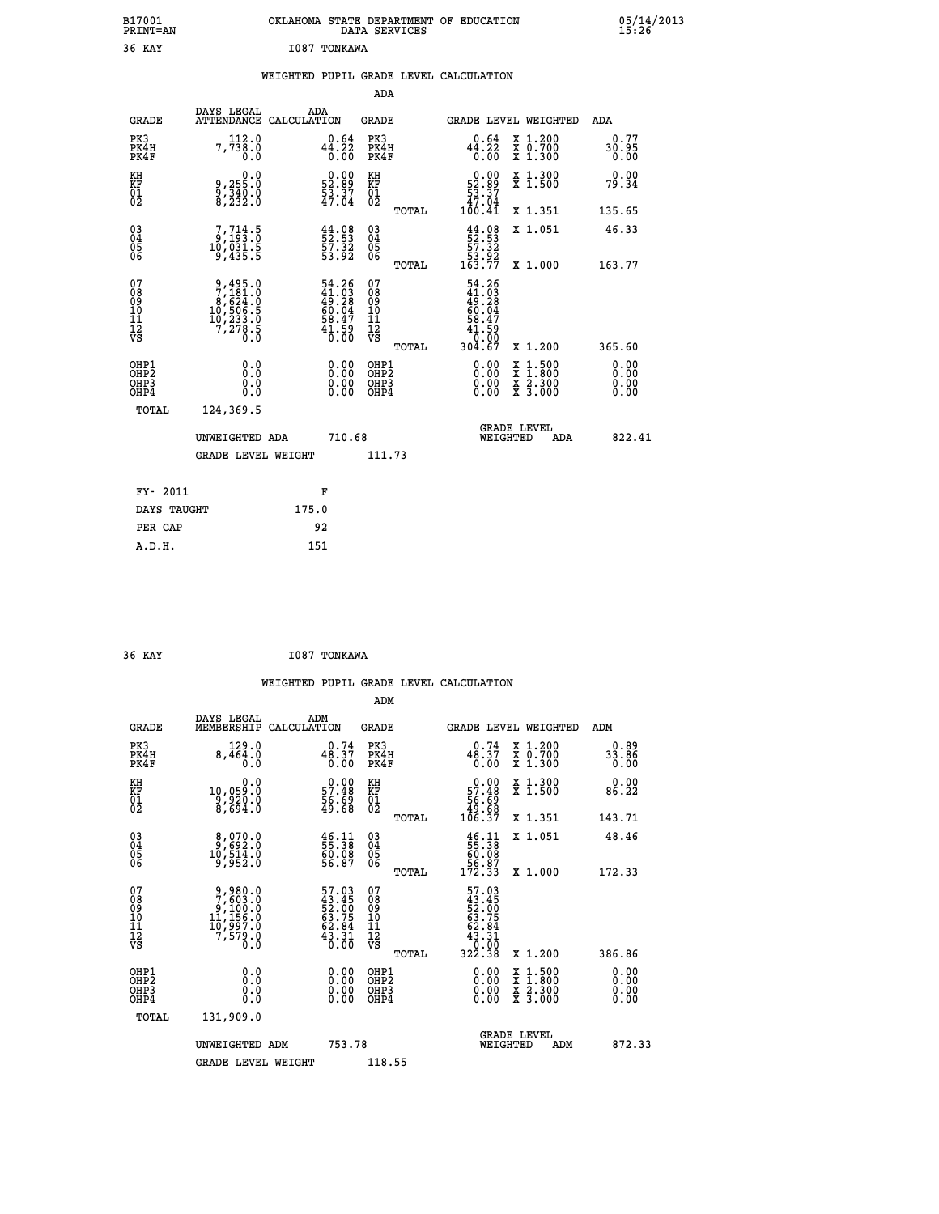## **B17001 OKLAHOMA STATE DEPARTMENT OF EDUCATION 05/14/2013 PRINT=AN DATA SERVICES 15:26 36 KAY I087 TONKAWA**

|  |  | WEIGHTED PUPIL GRADE LEVEL CALCULATION |
|--|--|----------------------------------------|
|  |  |                                        |

|                                                                    |                                                                                              |                                                                        | ADA                                                         |                                                                                                                         |                              |
|--------------------------------------------------------------------|----------------------------------------------------------------------------------------------|------------------------------------------------------------------------|-------------------------------------------------------------|-------------------------------------------------------------------------------------------------------------------------|------------------------------|
| <b>GRADE</b>                                                       | DAYS LEGAL                                                                                   | ADA<br>ATTENDANCE CALCULATION                                          | <b>GRADE</b>                                                | GRADE LEVEL WEIGHTED                                                                                                    | <b>ADA</b>                   |
| PK3<br>PK4H<br>PK4F                                                | 112.0<br>7,738.0<br>0.0                                                                      | $44.22\n0.64\n0.00$                                                    | PK3<br>PK4H<br>PK4F                                         | $44.22$<br>$0.00$<br>X 1.200<br>X 0.700<br>X 1.300                                                                      | 0.77<br>30.95<br>0.00        |
| KH<br>KF<br>01<br>02                                               | $9,255.0$<br>$9,340.0$<br>$8,232.0$                                                          | $\begin{smallmatrix} 0.00\\ 52.89\\ 53.37\\ 47.04 \end{smallmatrix}$   | KH<br>KF<br>01<br>02                                        | $\begin{smallmatrix} &0.00\,52.89\,53.37\,47.04\,100.41\end{smallmatrix}$<br>X 1.300<br>X 1.500                         | 0.00<br>79.34                |
|                                                                    |                                                                                              |                                                                        | TOTAL                                                       | X 1.351                                                                                                                 | 135.65                       |
| $\begin{smallmatrix} 03 \\[-4pt] 04 \end{smallmatrix}$<br>Ŏ5<br>06 | $7,714.5$<br>$9,193.0$<br>$10,031.5$<br>$9,435.5$                                            | $\frac{44.08}{52.53}$<br>$\frac{57.32}{53.92}$                         | $\begin{matrix} 03 \\ 04 \\ 05 \\ 06 \end{matrix}$<br>TOTAL | $\begin{array}{c} 44.08 \\[-4pt] 52.53 \\[-4pt] 57.32 \\[-4pt] 53.92 \\[-4pt] 163.77 \end{array}$<br>X 1.051<br>X 1.000 | 46.33<br>163.77              |
| 07<br>08<br>09<br>11<br>11<br>12<br>VS                             | $\begin{smallmatrix}9,495.0\\7,181.0\\8,624.0\\10,506.5\\10,233.0\\7,278.5\end{smallmatrix}$ | 54.26<br>$41.03$<br>$49.28$<br>$60.04$<br>$58.47$<br>$41.59$<br>$0.00$ | 07<br>08<br>09<br>11<br>11<br>12<br>VS                      | $54.26$<br>$41.03$<br>$49.28$<br>$60.047$<br>$58.479$<br>$1.590$<br>$304.67$                                            |                              |
|                                                                    |                                                                                              |                                                                        | TOTAL                                                       | X 1.200                                                                                                                 | 365.60                       |
| OHP1<br>OHP <sub>2</sub><br>OHP3<br>OHP4                           | 0.0<br>0.0<br>0.0                                                                            | 0.00<br>$\begin{smallmatrix} 0.00 \ 0.00 \end{smallmatrix}$            | OHP1<br>OH <sub>P</sub> 2<br>OHP3<br>OHP4                   | 0.00<br>$1:500$<br>$1:800$<br>X<br>X<br>0.00<br>$\frac{x}{x}$ $\frac{5:300}{3:000}$<br>0.00                             | 0.00<br>0.00<br>0.00<br>0.00 |
| TOTAL                                                              | 124,369.5                                                                                    |                                                                        |                                                             |                                                                                                                         |                              |
|                                                                    | UNWEIGHTED ADA                                                                               | 710.68                                                                 |                                                             | <b>GRADE LEVEL</b><br>WEIGHTED<br>ADA                                                                                   | 822.41                       |
|                                                                    | <b>GRADE LEVEL WEIGHT</b>                                                                    |                                                                        | 111.73                                                      |                                                                                                                         |                              |
|                                                                    | FY- 2011                                                                                     | F                                                                      |                                                             |                                                                                                                         |                              |
|                                                                    | DAYS TAUGHT                                                                                  | 175.0                                                                  |                                                             |                                                                                                                         |                              |
|                                                                    | PER CAP                                                                                      | 92                                                                     |                                                             |                                                                                                                         |                              |

| 36 KAY | I087 TONKAWA |
|--------|--------------|
|        |              |

 **ADM**

 **A.D.H. 151**

| <b>GRADE</b>                                       | DAYS LEGAL<br>MEMBERSHIP                                                    | ADM<br>CALCULATION                                                   | <b>GRADE</b>                                        |       | <b>GRADE LEVEL WEIGHTED</b>                                                                           |          |                                          | ADM                   |
|----------------------------------------------------|-----------------------------------------------------------------------------|----------------------------------------------------------------------|-----------------------------------------------------|-------|-------------------------------------------------------------------------------------------------------|----------|------------------------------------------|-----------------------|
| PK3<br>PK4H<br>PK4F                                | 129.0<br>8,464.0<br>0.0                                                     | 0.74<br>48.37<br>0.00                                                | PK3<br>PK4H<br>PK4F                                 |       | 0.74<br>48.37<br>0.00                                                                                 |          | X 1.200<br>X 0.700<br>X 1.300            | 0.89<br>33.86<br>0.00 |
| KH<br>KF<br>01<br>02                               | 0.0<br>10,059:0<br>9,920:0<br>8,694:0                                       | $\begin{smallmatrix} 0.00\\ 57.48\\ 56.69\\ 49.68 \end{smallmatrix}$ | KH<br>KF<br>01<br>02                                |       | $0.00\n57.48\n56.69\n49.68\n106.37$                                                                   |          | X 1.300<br>X 1.500                       | 0.00<br>86.22         |
|                                                    |                                                                             |                                                                      |                                                     | TOTAL |                                                                                                       |          | X 1.351                                  | 143.71                |
| $\begin{matrix} 03 \\ 04 \\ 05 \\ 06 \end{matrix}$ | $\begin{smallmatrix}8,070.0\\9,692.0\\10,514.0\\9,952.0\end{smallmatrix}$   | $\frac{46}{55}:\frac{11}{38}$<br>60.08<br>56.87                      | $\begin{array}{c} 03 \\ 04 \\ 05 \\ 06 \end{array}$ |       | $\begin{array}{r} 46.11 \\ 55.38 \\ 60.08 \\ 56.87 \\ 172.33 \end{array}$                             |          | X 1.051                                  | 48.46                 |
|                                                    |                                                                             |                                                                      |                                                     | TOTAL |                                                                                                       |          | X 1.000                                  | 172.33                |
| 07<br>08<br>09<br>101<br>11<br>12<br>VS            | 9,980.0<br>7,603.0<br>9,100.0<br>11,156.0<br>10,997.0<br>7,579.0<br>7,579.0 | 57.03<br>43.45<br>52.00<br>53.75<br>63.84<br>62.84<br>43.31          | 07<br>08<br>09<br>001<br>11<br>11<br>12<br>VS       | TOTAL | $\begin{smallmatrix} 57.03\ 43.45\ 52.00\ 52.75\ 63.75\ 62.84\ 3.31\ 0.00\ 322.38\ \end{smallmatrix}$ |          | X 1.200                                  | 386.86                |
| OHP1<br>OHP2<br>OH <sub>P3</sub><br>OHP4           |                                                                             | $\begin{smallmatrix} 0.00 \ 0.00 \ 0.00 \ 0.00 \end{smallmatrix}$    | OHP1<br>OHP2<br>OHP3<br>OHP4                        |       |                                                                                                       |          | X 1:500<br>X 1:800<br>X 2:300<br>X 3:000 | 0.00<br>0.00<br>0.00  |
| TOTAL                                              | 131,909.0                                                                   |                                                                      |                                                     |       |                                                                                                       |          |                                          |                       |
|                                                    | UNWEIGHTED                                                                  | 753.78<br>ADM                                                        |                                                     |       |                                                                                                       | WEIGHTED | <b>GRADE LEVEL</b><br>ADM                | 872.33                |
|                                                    | <b>GRADE LEVEL WEIGHT</b>                                                   |                                                                      | 118.55                                              |       |                                                                                                       |          |                                          |                       |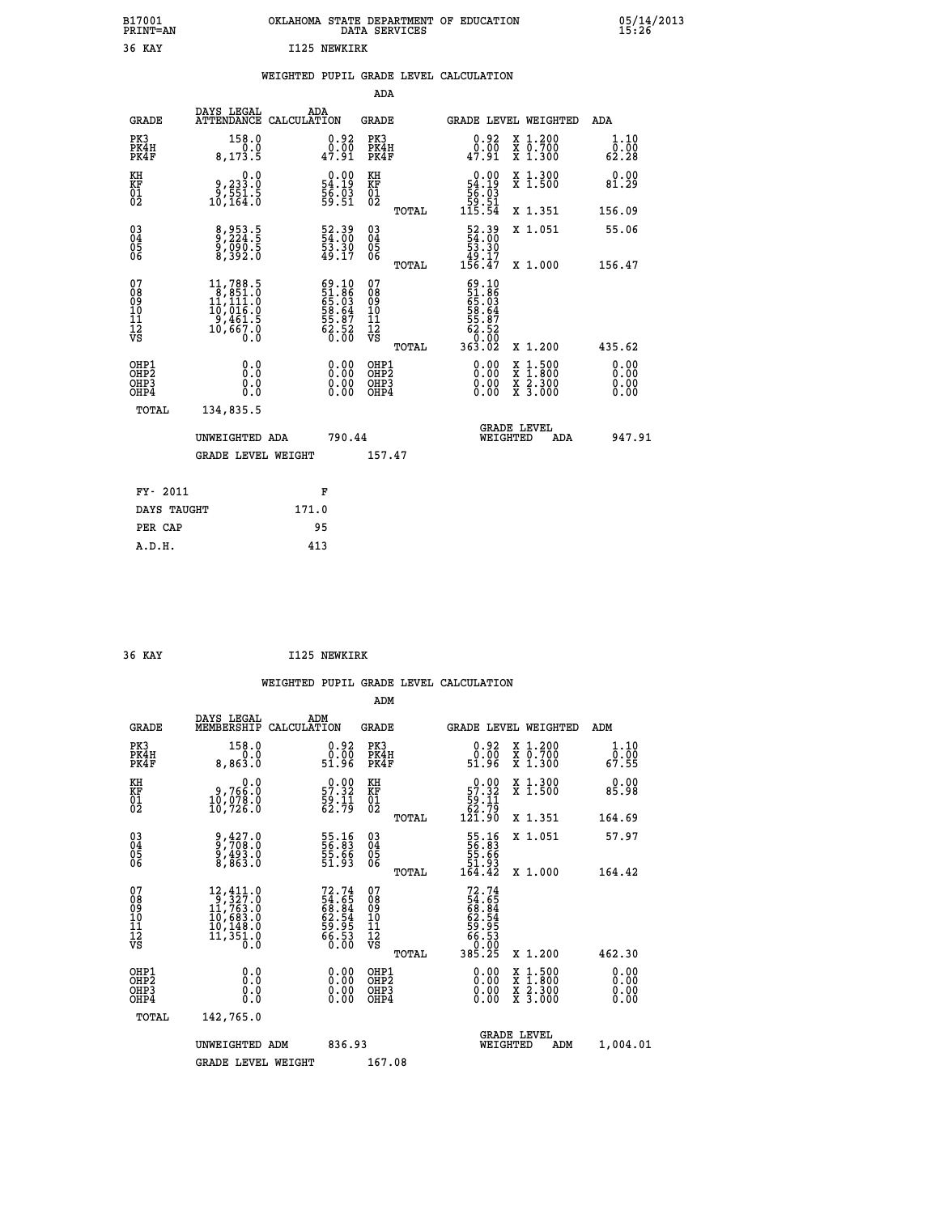| B17001<br><b>PRINT=AN</b> | OKLAHOMA STATE DEPARTMENT OF EDUCATION<br>DATA SERVICES | 05/14/2013<br>15:26 |
|---------------------------|---------------------------------------------------------|---------------------|
| 36 KAY                    | I125 NEWKIRK                                            |                     |

|  |  | WEIGHTED PUPIL GRADE LEVEL CALCULATION |
|--|--|----------------------------------------|
|  |  |                                        |

|                                                      |                                                                                                                                         |                                                                      | ADA                                      |       |                                                                                |                                          |                              |
|------------------------------------------------------|-----------------------------------------------------------------------------------------------------------------------------------------|----------------------------------------------------------------------|------------------------------------------|-------|--------------------------------------------------------------------------------|------------------------------------------|------------------------------|
| <b>GRADE</b>                                         | DAYS LEGAL                                                                                                                              | ADA<br>ATTENDANCE CALCULATION                                        | <b>GRADE</b>                             |       | <b>GRADE LEVEL WEIGHTED</b>                                                    |                                          | ADA                          |
| PK3<br>PK4H<br>PK4F                                  | 158.0<br>8,173.5                                                                                                                        | $\begin{smallmatrix} 0.92\ 0.00\ 47.91 \end{smallmatrix}$            | PK3<br>PK4H<br>PK4F                      |       | $0.92$<br>$0.00$<br>47.91                                                      | X 1.200<br>X 0.700<br>X 1.300            | 1.10<br>0.00<br>62.28        |
| KH<br>KF<br>01<br>02                                 | $\begin{smallmatrix} & & 0.0\, 0\, , & 233.0\, 9\, , & 551.5\, 10\, , & 164.0 \end{smallmatrix}$                                        | $\begin{smallmatrix} 0.00\\ 54.19\\ 56.03\\ 59.51 \end{smallmatrix}$ | KH<br>KF<br>01<br>02                     |       | $\begin{smallmatrix} &0.00\ 54.19\ 56.03\ 59.51\ 115.54\ \end{smallmatrix}$    | X 1.300<br>X 1.500                       | 0.00<br>81.29                |
|                                                      |                                                                                                                                         |                                                                      |                                          | TOTAL |                                                                                | X 1.351                                  | 156.09                       |
| 03<br>04<br>05<br>06                                 | 8,953.5<br>9,224.5<br>9,090.5<br>8,392.0                                                                                                | 52.39<br>54.00<br>53.30<br>49.17                                     | 03<br>04<br>05<br>06                     |       | $\begin{smallmatrix} 52.39\\ 54.00\\ 53.30\\ 49.17\\ 156.47 \end{smallmatrix}$ | X 1.051                                  | 55.06                        |
|                                                      |                                                                                                                                         |                                                                      |                                          | TOTAL |                                                                                | X 1.000                                  | 156.47                       |
| 07<br>08<br>09<br>11<br>11<br>12<br>VS               | $\begin{smallmatrix} 11,788\cdot 5\\8,851\cdot 0\\11,111\cdot 0\\10,016\cdot 0\\9,461\cdot 5\\10,667\cdot 0\\0\cdot 0\end{smallmatrix}$ | 69.10<br>51.86<br>65.03<br>65.64<br>58.87<br>52.52<br>62.52          | 07<br>08<br>09<br>11<br>11<br>12<br>VS   | TOTAL | 69.10<br>51.86<br>65.03<br>68.647<br>55.872<br>62.520<br>63.02                 | X 1.200                                  | 435.62                       |
| OHP1<br>OHP <sub>2</sub><br>OH <sub>P3</sub><br>OHP4 | 0.0<br>0.0<br>0.0                                                                                                                       | 0.00<br>$\begin{smallmatrix} 0.00 \ 0.00 \end{smallmatrix}$          | OHP1<br>OHP <sub>2</sub><br>OHP3<br>OHP4 |       | $0.00$<br>$0.00$<br>0.00                                                       | X 1:500<br>X 1:800<br>X 2:300<br>X 3:000 | 0.00<br>0.00<br>0.00<br>0.00 |
| TOTAL                                                | 134,835.5                                                                                                                               |                                                                      |                                          |       |                                                                                |                                          |                              |
|                                                      | UNWEIGHTED ADA                                                                                                                          | 790.44                                                               |                                          |       | WEIGHTED                                                                       | <b>GRADE LEVEL</b><br>ADA                | 947.91                       |
|                                                      | <b>GRADE LEVEL WEIGHT</b>                                                                                                               |                                                                      | 157.47                                   |       |                                                                                |                                          |                              |
| FY- 2011                                             |                                                                                                                                         | F                                                                    |                                          |       |                                                                                |                                          |                              |
| DAYS TAUGHT                                          |                                                                                                                                         | 171.0                                                                |                                          |       |                                                                                |                                          |                              |
| PER CAP                                              |                                                                                                                                         | 95                                                                   |                                          |       |                                                                                |                                          |                              |
| A.D.H.                                               |                                                                                                                                         | 413                                                                  |                                          |       |                                                                                |                                          |                              |
|                                                      |                                                                                                                                         |                                                                      |                                          |       |                                                                                |                                          |                              |

| 36 KAY | I125 NEWKIRK |
|--------|--------------|

 **ADM**

| <b>GRADE</b>                                       | DAYS LEGAL<br>MEMBERSHIP CALCULATION                                                                   | ADM                                                                  | <b>GRADE</b>                                        |       |                                                                           | <b>GRADE LEVEL WEIGHTED</b>              | ADM                   |
|----------------------------------------------------|--------------------------------------------------------------------------------------------------------|----------------------------------------------------------------------|-----------------------------------------------------|-------|---------------------------------------------------------------------------|------------------------------------------|-----------------------|
| PK3<br>PK4H<br>PK4F                                | 158.0<br>0.0<br>8,863.0                                                                                | $\begin{smallmatrix} 0.92\ 0.00\ 51.96 \end{smallmatrix}$            | PK3<br>PK4H<br>PK4F                                 |       | $\begin{smallmatrix} 0.92\ 0.00\ 51.96 \end{smallmatrix}$                 | X 1.200<br>X 0.700<br>X 1.300            | 1.10<br>ō:ōŏ<br>67.55 |
| KH<br>KF<br>01<br>02                               | 0.0<br>0,766:0<br>10,078:0<br>10,726:0                                                                 | $\begin{smallmatrix} 0.00\\ 57.32\\ 59.11\\ 62.79 \end{smallmatrix}$ | KH<br>KF<br>01<br>02                                |       | $\begin{smallmatrix}&&0.00\\57.32\\59.11\\62.79\\121.90\end{smallmatrix}$ | X 1.300<br>X 1.500                       | 0.00<br>85.98         |
|                                                    |                                                                                                        |                                                                      |                                                     | TOTAL |                                                                           | X 1.351                                  | 164.69                |
| $\begin{matrix} 03 \\ 04 \\ 05 \\ 06 \end{matrix}$ | 9,427.0<br>9,708.0<br>9,493.0<br>8,863.0                                                               | 55.16<br>56.83<br>55.66<br>51.93                                     | $\begin{array}{c} 03 \\ 04 \\ 05 \\ 06 \end{array}$ |       | 55.16<br>56.83<br>55.66<br>51.93<br>164.42                                | X 1.051                                  | 57.97                 |
|                                                    |                                                                                                        |                                                                      |                                                     | TOTAL |                                                                           | $X_1.000$                                | 164.42                |
| 07<br>08<br>09<br>101<br>11<br>12<br>VS            | $12,411.0$<br>$9,327.0$<br>$11,763.0$<br>$10,683.0$<br>$10,149.0$<br>$\overline{11}, \overline{351}.0$ | 72.74<br>54.65<br>68.84<br>62.54<br>62.53<br>56.53<br>66.53          | 078<br>089<br>0011<br>11<br>11<br>12<br>VS          | TOTAL | $72.74$<br>54.65<br>58.844<br>62.545<br>65.53<br>58.75<br>60.00<br>385.25 | X 1.200                                  | 462.30                |
| OHP1<br>OHP2<br>OHP3<br>OHP4                       | 0.0<br>0.000                                                                                           | $0.00$<br>$0.00$<br>0.00                                             | OHP1<br>OHP2<br>OHP3<br>OHP4                        |       | $0.00$<br>$0.00$<br>0.00                                                  | X 1:500<br>X 1:800<br>X 2:300<br>X 3:000 | 0.00<br>0.00<br>0.00  |
| TOTAL                                              | 142,765.0                                                                                              |                                                                      |                                                     |       |                                                                           |                                          |                       |
|                                                    | UNWEIGHTED ADM                                                                                         | 836.93                                                               |                                                     |       | WEIGHTED                                                                  | <b>GRADE LEVEL</b><br>ADM                | 1,004.01              |
|                                                    | <b>GRADE LEVEL WEIGHT</b>                                                                              |                                                                      | 167.08                                              |       |                                                                           |                                          |                       |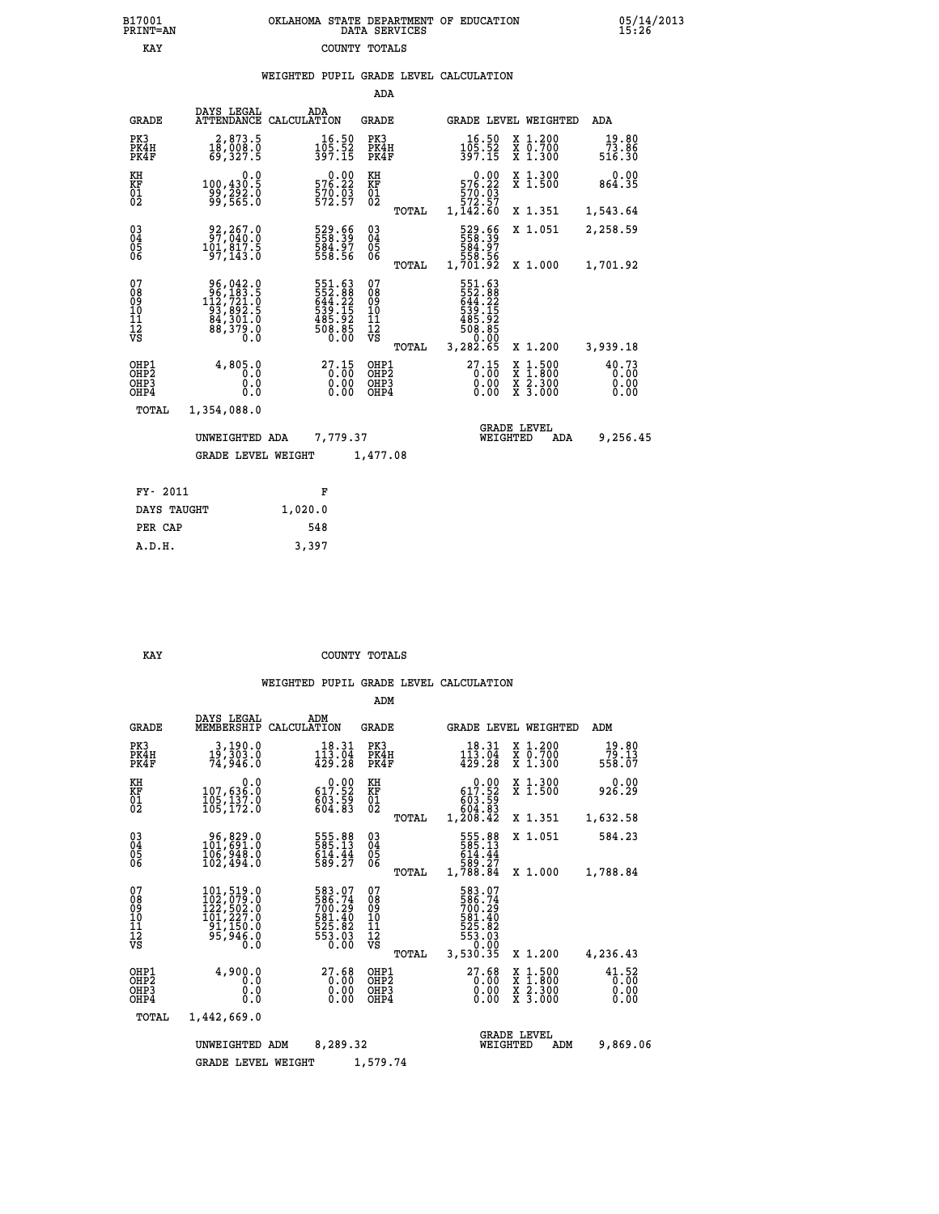## **B17001 OKLAHOMA STATE DEPARTMENT OF EDUCATION 05/14/2013 PRINT=AN DATA SERVICES 15:26 EXAY** COUNTY TOTALS

|  |  | WEIGHTED PUPIL GRADE LEVEL CALCULATION |
|--|--|----------------------------------------|
|  |  |                                        |

|                                                    |                                                                                                                                           |                    |                                                                  | ADA                                                 |       |                                                                               |                                |                                          |                               |
|----------------------------------------------------|-------------------------------------------------------------------------------------------------------------------------------------------|--------------------|------------------------------------------------------------------|-----------------------------------------------------|-------|-------------------------------------------------------------------------------|--------------------------------|------------------------------------------|-------------------------------|
| <b>GRADE</b>                                       | DAYS LEGAL<br><b>ATTENDANCE</b>                                                                                                           | ADA<br>CALCULATION |                                                                  | GRADE                                               |       |                                                                               |                                | <b>GRADE LEVEL WEIGHTED</b>              | <b>ADA</b>                    |
| PK3<br>PK4H<br>PK4F                                | 2,873.5<br>18,008.0<br>69,327.5                                                                                                           |                    | 16.50<br>$105.52$<br>397.15                                      | PK3<br>PK4H<br>PK4F                                 |       | 16.50<br>105.52<br>397.15                                                     |                                | X 1.200<br>X 0.700<br>X 1.300            | 19.80<br>73.86<br>516.30      |
| KH<br><b>KF</b><br>01<br>02                        | 0.0<br>100,430.5<br>99,292.0<br>99,565.0                                                                                                  |                    | 0.00<br>576.22<br>$\frac{570.03}{572.57}$                        | KH<br>KF<br>$\overline{01}$                         |       | $\begin{smallmatrix}576.22\ 570.03\ 572.57\ 1,142.60\end{smallmatrix}$        | 0.00                           | X 1.300<br>$\overline{x}$ 1.500          | 0.00<br>864.35                |
|                                                    |                                                                                                                                           |                    |                                                                  |                                                     | TOTAL |                                                                               |                                | X 1.351                                  | 1,543.64                      |
| $\begin{matrix} 03 \\ 04 \\ 05 \\ 06 \end{matrix}$ | 92,267.0<br>97,040.0<br>101,817.5<br>97,143.0                                                                                             |                    | 529.66<br>558.39<br>584.97<br>558.56                             | $\begin{array}{c} 03 \\ 04 \\ 05 \\ 06 \end{array}$ |       | 529.66<br>558.39<br>584.97<br>558.56<br>1,701.92                              |                                | X 1.051                                  | 2,258.59                      |
|                                                    |                                                                                                                                           |                    |                                                                  |                                                     | TOTAL |                                                                               |                                | X 1.000                                  | 1,701.92                      |
| 07<br>08<br>09<br>11<br>11<br>12<br>VS             | $\begin{smallmatrix} 96,042\cdot 0\\ 96,183\cdot 5\\ 112,721\cdot 0\\ 93,892\cdot 5\\ 84,301\cdot 0\\ 88,379\cdot 0\\ 0\end{smallmatrix}$ |                    | 551.63<br>552.88<br>644.22<br>639.15<br>538.92<br>508.85<br>0.00 | 07<br>08<br>09<br>11<br>11<br>12<br>VS              | TOTAL | 551.63<br>552.88<br>644.22<br>643.15<br>508.85<br>508.85<br>50.00<br>3,282.65 |                                | X 1.200                                  | 3,939.18                      |
| OHP1<br>OHP2<br>OHP3<br>OHP4                       | 4,805.0<br>0.0<br>0.0<br>0.0                                                                                                              |                    | $27.15$<br>$0.00$<br>$0.00$<br>0.00                              | OHP1<br>OHP2<br>OHP3<br>OHP4                        |       | $27.15$<br>$0.00$                                                             | X<br>0.00<br>0.00              | $1.500$<br>$1.800$<br>X 2.300<br>X 3.000 | 40.73<br>0.00<br>0.00<br>0.00 |
| TOTAL                                              | 1,354,088.0                                                                                                                               |                    |                                                                  |                                                     |       |                                                                               |                                |                                          |                               |
|                                                    | UNWEIGHTED ADA                                                                                                                            |                    | 7,779.37                                                         |                                                     |       |                                                                               | <b>GRADE LEVEL</b><br>WEIGHTED | ADA                                      | 9,256.45                      |
|                                                    | <b>GRADE LEVEL WEIGHT</b>                                                                                                                 |                    |                                                                  | 1,477.08                                            |       |                                                                               |                                |                                          |                               |
|                                                    |                                                                                                                                           |                    |                                                                  |                                                     |       |                                                                               |                                |                                          |                               |
| FY- 2011                                           |                                                                                                                                           | F                  |                                                                  |                                                     |       |                                                                               |                                |                                          |                               |
| DAYS TAUGHT                                        |                                                                                                                                           | 1,020.0            |                                                                  |                                                     |       |                                                                               |                                |                                          |                               |

 **PER CAP 548 A.D.H. 3,397**

**KAY** COUNTY TOTALS

|                                                       |                                                                          |                                                                                   | ADM                                              |                                                                                                                                    |                                                                                                  |                               |
|-------------------------------------------------------|--------------------------------------------------------------------------|-----------------------------------------------------------------------------------|--------------------------------------------------|------------------------------------------------------------------------------------------------------------------------------------|--------------------------------------------------------------------------------------------------|-------------------------------|
| <b>GRADE</b>                                          | DAYS LEGAL<br>MEMBERSHIP                                                 | ADM<br>CALCULATION                                                                | <b>GRADE</b>                                     | GRADE LEVEL WEIGHTED                                                                                                               |                                                                                                  | ADM                           |
| PK3<br>PK4H<br>PK4F                                   | 3,190.0<br>19,303.0<br>74,946.0                                          | 18.31<br>113.04<br>429.28                                                         | PK3<br>PK4H<br>PK4F                              | 18.31<br>$1\overline{1}\overline{3}\cdot\overline{0}\overline{4}\overline{4}\overline{2}\overline{9}\cdot\overline{2}\overline{8}$ | X 1.200<br>X 0.700<br>X 1.300                                                                    | 19.80<br>79.13<br>558.07      |
| KH<br>KF<br>01<br>02                                  | 0.0<br>107,636.0<br>105,137.0<br>105,172.0                               | $\begin{smallmatrix} &0.00\\ 617.52\\ 603.59\\ 604.83 \end{smallmatrix}$          | KH<br>KF<br>01<br>02                             | $0.00$<br>617.52<br>55.com<br>604.83<br>1,208.42                                                                                   | X 1.300<br>X 1.500                                                                               | 0.00<br>926.29                |
|                                                       |                                                                          |                                                                                   | TOTAL                                            |                                                                                                                                    | X 1.351                                                                                          | 1,632.58                      |
| 03<br>04<br>05<br>06                                  | 96,829.0<br>101,691.0<br>106,948.0<br>102,494.0                          | 555.88<br>585.13<br>$614.44$<br>589.27                                            | $\substack{03 \\ 04}$<br>05                      | 555.88<br>585.13<br>614.44                                                                                                         | X 1.051                                                                                          | 584.23                        |
|                                                       |                                                                          |                                                                                   | TOTAL                                            | 589.27<br>1,788.84                                                                                                                 | X 1.000                                                                                          | 1,788.84                      |
| 07<br>08<br>09<br>11<br>11<br>12<br>VS                | 101,519.0<br>102,079.0<br>122,502.0<br>101,227.0<br>91,150.0<br>55,946.0 | 583.07<br>586.74<br>700.29<br>$\frac{581.40}{525.82}$<br>525.82<br>553.03<br>0.00 | 07<br>08<br>09<br>101<br>11<br>12<br>VS<br>TOTAL | 583.07<br>586.74<br>700.29<br>581.40<br>525.82<br>553.03<br>5.00<br>3,530.35                                                       | X 1.200                                                                                          | 4,236.43                      |
| OHP1<br>OH <sub>P</sub> 2<br>OH <sub>P3</sub><br>OHP4 | 4,900.0<br>0.0<br>0.0<br>Ŏ.Ŏ                                             | 27.68<br>0.00<br>0.00                                                             | OHP1<br>OHP2<br>OHP3<br>OHP4                     | 27.68<br>0.00<br>0.00                                                                                                              | $\begin{smallmatrix} x & 1 & 500 \\ x & 1 & 800 \\ x & 2 & 300 \\ x & 3 & 000 \end{smallmatrix}$ | 41.52<br>0.00<br>0.00<br>0.00 |
| TOTAL                                                 | 1,442,669.0                                                              |                                                                                   |                                                  |                                                                                                                                    |                                                                                                  |                               |
|                                                       | UNWEIGHTED ADM                                                           | 8,289.32                                                                          |                                                  | WEIGHTED                                                                                                                           | <b>GRADE LEVEL</b><br>ADM                                                                        | 9,869.06                      |
|                                                       | <b>GRADE LEVEL WEIGHT</b>                                                |                                                                                   | 1,579.74                                         |                                                                                                                                    |                                                                                                  |                               |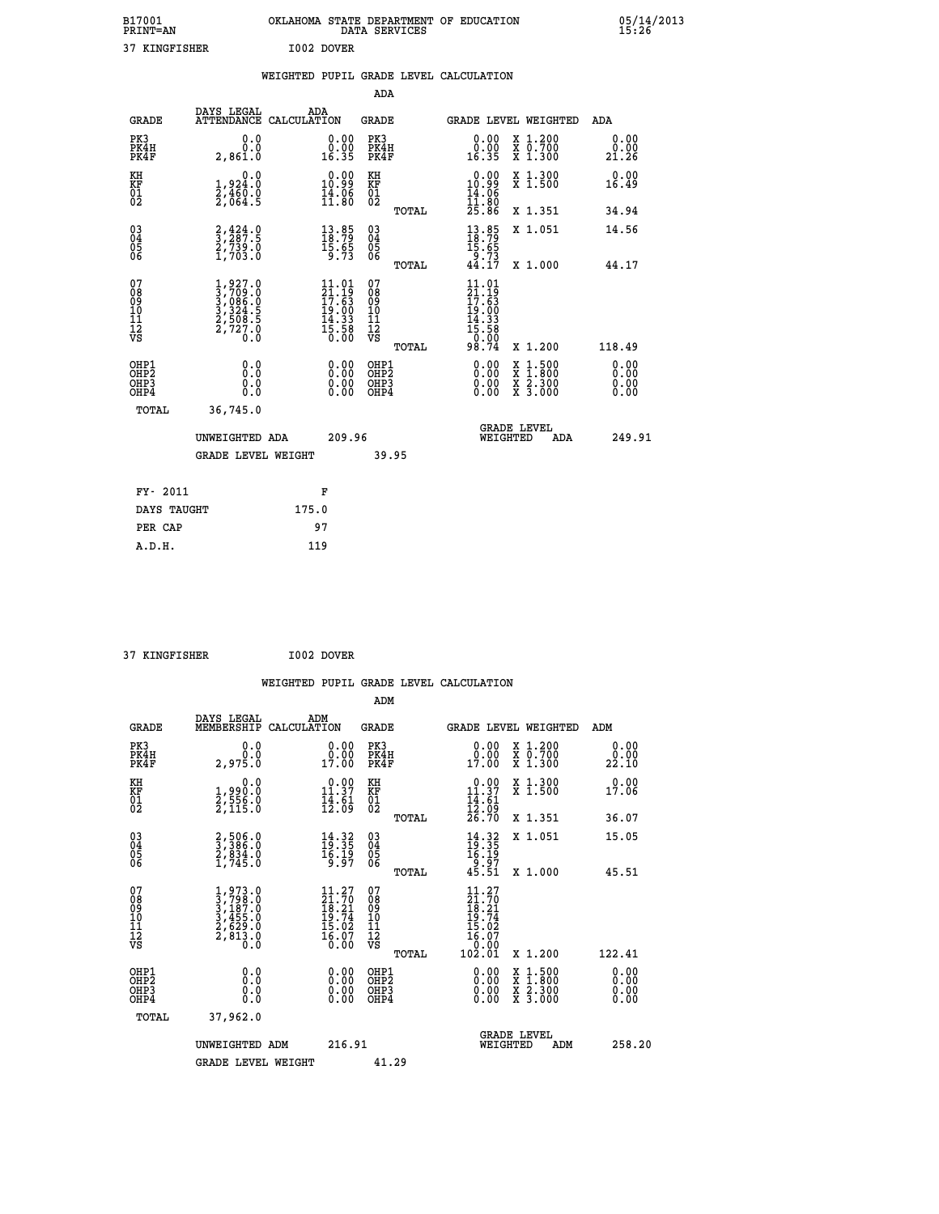| B17001<br><b>PRINT=AN</b> | OKLAHOMA STATE DEPARTMENT OF EDUCATION<br>DATA SERVICES | 05/14/2013<br>15:26 |
|---------------------------|---------------------------------------------------------|---------------------|
| 37<br>KINGFISHER          | I002 DOVER                                              |                     |

|                                          |                                                                                                         |       |                                                                                                   |                                                    |       | WEIGHTED PUPIL GRADE LEVEL CALCULATION                                                           |                                          |                               |
|------------------------------------------|---------------------------------------------------------------------------------------------------------|-------|---------------------------------------------------------------------------------------------------|----------------------------------------------------|-------|--------------------------------------------------------------------------------------------------|------------------------------------------|-------------------------------|
|                                          |                                                                                                         |       |                                                                                                   | ADA                                                |       |                                                                                                  |                                          |                               |
| <b>GRADE</b>                             | DAYS LEGAL ADA ATTENDANCE CALCULATION                                                                   |       |                                                                                                   | <b>GRADE</b>                                       |       |                                                                                                  | GRADE LEVEL WEIGHTED                     | <b>ADA</b>                    |
| PK3<br>PK4H<br>PK4F                      | 0.0<br>0.0<br>2,861.0                                                                                   |       | $\begin{smallmatrix} 0.00\\ 0.00\\ 16.35 \end{smallmatrix}$                                       | PK3<br>PK4H<br>PK4F                                |       | 0.00<br>0.00<br>16.35                                                                            | X 1.200<br>X 0.700<br>X 1.300            | 0.00<br>0.00<br>21.26         |
| KH<br>KF<br>01<br>02                     | 0.0<br>1,924.0<br>2,460.0<br>2,064.5                                                                    |       | 0.00<br>$\frac{10.99}{14.96}$                                                                     | KH<br>KF<br>01<br>02                               |       | 0.00<br>$10.99$<br>$14.96$<br>$11.80$<br>$25.86$                                                 | X 1.300<br>X 1.500                       | 0.00<br>16.49                 |
|                                          |                                                                                                         |       |                                                                                                   |                                                    | TOTAL |                                                                                                  | X 1.351                                  | 34.94                         |
| 030404<br>06                             | $\frac{2}{3}, \frac{4}{287}.5$<br>$\frac{2}{7739}.0$<br>$1,703.0$                                       |       | $\begin{smallmatrix} 13.85\\18.79\\15.65\\9.73 \end{smallmatrix}$                                 | $\begin{matrix} 03 \\ 04 \\ 05 \\ 06 \end{matrix}$ |       | $\frac{13}{18}$ : 79<br>$\frac{15.65}{9.73}$<br>44.17                                            | X 1.051                                  | 14.56                         |
|                                          |                                                                                                         |       |                                                                                                   |                                                    | TOTAL |                                                                                                  | X 1.000                                  | 44.17                         |
| 07<br>08<br>09<br>11<br>11<br>12<br>VS   | $\begin{smallmatrix} 1,927.0\\ 3,709.0\\ 3,086.0\\ 3,324.5\\ 2,508.5\\ 2,727.0\\ 0.0 \end{smallmatrix}$ |       | $\begin{smallmatrix} 11.01 \\ 21.19 \\ 17.63 \\ 19.00 \\ 14.33 \\ 5.58 \\ 0.00 \end{smallmatrix}$ | 07<br>08<br>09<br>11<br>11<br>12<br>VS             |       | 11.01<br>$\frac{21.19}{17.63}$<br>$\begin{array}{c} 19.00 \\ 14.33 \\ 15.58 \\ 0.00 \end{array}$ |                                          |                               |
|                                          |                                                                                                         |       |                                                                                                   |                                                    | TOTAL | 98.74                                                                                            | X 1.200                                  | 118.49                        |
| OHP1<br>OHP <sub>2</sub><br>OHP3<br>OHP4 | 0.0<br>Ō.Ō<br>0.0<br>0.0                                                                                |       | 0.00<br>0.00<br>0.00                                                                              | OHP1<br>OHP <sub>2</sub><br>OHP3<br>OHP4           |       | $0.00$<br>$0.00$<br>0.00                                                                         | X 1:500<br>X 1:800<br>X 2:300<br>X 3:000 | 0.00<br>Ō. ŌŌ<br>0.00<br>0.00 |
| <b>TOTAL</b>                             | 36,745.0                                                                                                |       |                                                                                                   |                                                    |       |                                                                                                  |                                          |                               |
|                                          | UNWEIGHTED ADA                                                                                          |       | 209.96                                                                                            |                                                    |       | WEIGHTED                                                                                         | <b>GRADE LEVEL</b><br>ADA                | 249.91                        |
|                                          | <b>GRADE LEVEL WEIGHT</b>                                                                               |       |                                                                                                   |                                                    | 39.95 |                                                                                                  |                                          |                               |
| FY- 2011                                 |                                                                                                         |       | F                                                                                                 |                                                    |       |                                                                                                  |                                          |                               |
| DAYS TAUGHT                              |                                                                                                         | 175.0 |                                                                                                   |                                                    |       |                                                                                                  |                                          |                               |
| PER CAP                                  |                                                                                                         | 97    |                                                                                                   |                                                    |       |                                                                                                  |                                          |                               |
| A.D.H.                                   |                                                                                                         | 119   |                                                                                                   |                                                    |       |                                                                                                  |                                          |                               |

 **37 KINGFISHER I002 DOVER WEIGHTED PUPIL GRADE LEVEL CALCULATION ADM DAYS LEGAL ADM GRADE MEMBERSHIP CALCULATION GRADE GRADE LEVEL WEIGHTED ADM PK3 0.0 0.00 PK3 0.00 X 1.200 0.00 PK4H 0.0 0.00 PK4H 0.00 X 0.700 0.00 PK4F 2,975.0 17.00 PK4F 17.00 X 1.300 22.10 KH 0.0 0.00 KH 0.00 X 1.300 0.00 KF 1,990.0 11.37 KF 11.37 X 1.500 17.06 01 2,556.0 14.61 01 14.61 02 2,115.0 12.09 02 12.09 TOTAL 26.70 X 1.351 36.07 03 2,506.0 14.32 03 14.32 X 1.051 15.05 04 3,386.0 19.35 04 19.35 05 2,834.0 16.19 05 16.19 06 1,745.0 9.97 06 9.97 TOTAL 45.51 X 1.000 45.51**  $\begin{array}{cccc} 07 & 1,973.0 & 11.27 & 07 & 11.27 \ 08 & 3,798.0 & 21.70 & 08 & 21.70 \ 09 & 3,187.0 & 18.21 & 09 & 18.21 \ 10 & 3,455.0 & 19.74 & 10 & 19.74 \ 11 & 2,629.0 & 15.02 & 11 & 15.02 \ 12 & 5.02 & 313.0 & 15.07 & 12 & 15.02 \ \hline\end{array}$  $\begin{array}{cccc} 11.27 & 07 & 11.27 \ 21.70 & 08 & 21.70 \ 18.21 & 10 & 18.21 \ 15.02 & 11 & 15.02 \ 16.07 & 12 & 15.02 \ 17.02 & 10 & 19.74 \ 16.07 & 12 & 15.02 \ 0.00 & 0.00 & 0.01 & 0.01 \ 0.00 & 0.00 & 0.00 & 0.00 \ 0.00 & 0.00 & 0.00 & 0.00 \ 0.00 & 0.00 & 0.$  **OHP1 0.0 0.00 OHP1 0.00 X 1.500 0.00 OHP2 0.0 0.00 OHP2 0.00 X 1.800 0.00 OHP3 0.0 0.00 OHP3 0.00 X 2.300 0.00 OHP4 0.0 0.00 OHP4 0.00 X 3.000 0.00 TOTAL 37,962.0 GRADE LEVEL UNWEIGHTED ADM 216.91 WEIGHTED ADM 258.20** GRADE LEVEL WEIGHT 41.29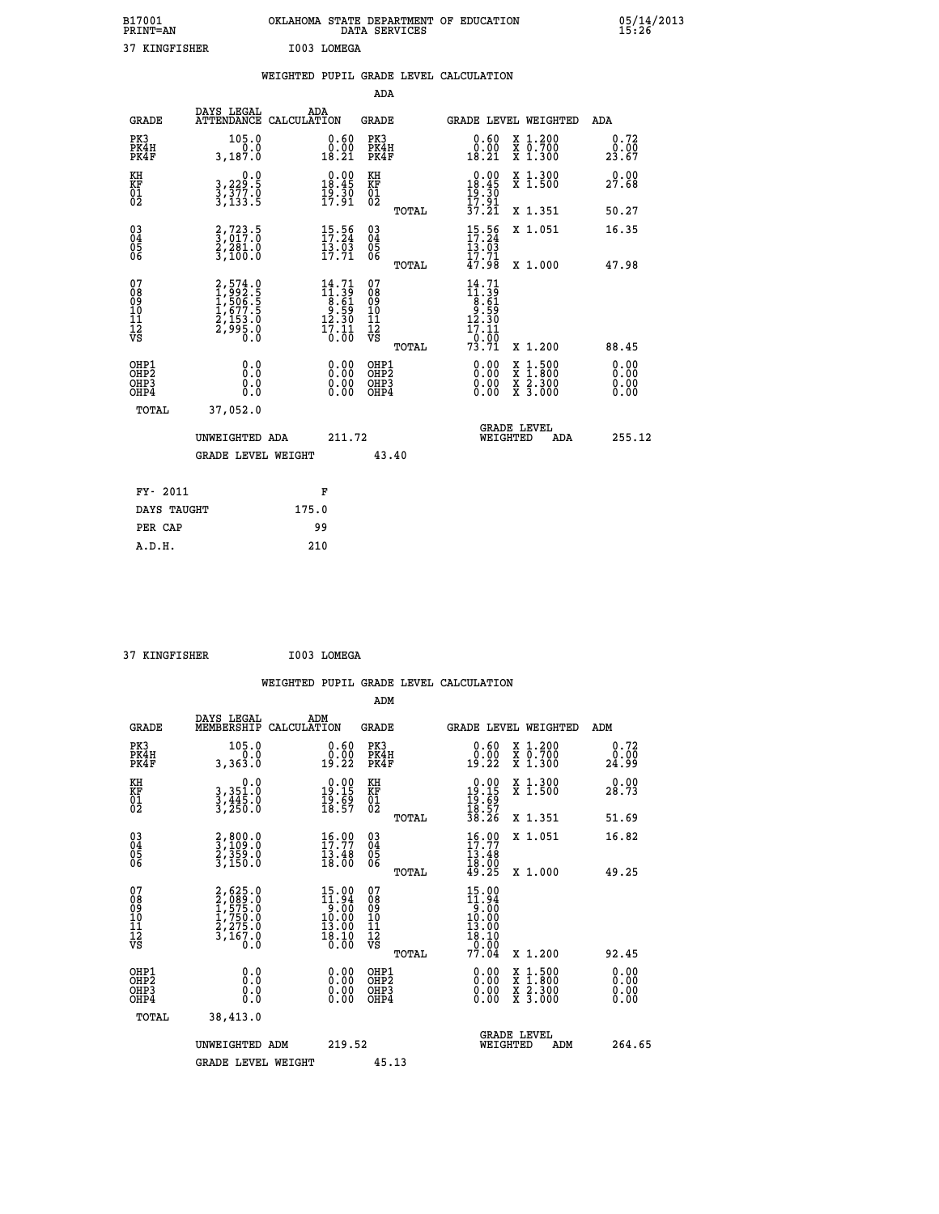| B17001<br><b>PRINT=AN</b> | OKLAHOMA STATE DEPARTMENT OF EDUCATION<br>DATA SERVICES | 05/14/2013<br>15:26 |
|---------------------------|---------------------------------------------------------|---------------------|
| 37<br>KINGFISHER          | I003 LOMEGA                                             |                     |

|                                                    |                                                                        | WEIGHTED PUPIL GRADE LEVEL CALCULATION                                                                          |                                                 |                                                                                                      |                              |
|----------------------------------------------------|------------------------------------------------------------------------|-----------------------------------------------------------------------------------------------------------------|-------------------------------------------------|------------------------------------------------------------------------------------------------------|------------------------------|
|                                                    |                                                                        |                                                                                                                 | ADA                                             |                                                                                                      |                              |
| <b>GRADE</b>                                       | DAYS LEGAL                                                             | ADA<br>ATTENDANCE CALCULATION                                                                                   | <b>GRADE</b>                                    | GRADE LEVEL WEIGHTED                                                                                 | ADA                          |
| PK3<br>PK4H<br>PK4F                                | 105.0<br>0.0<br>3,187.0                                                | 0.60<br>$\begin{smallmatrix} \v{0} \ \v{0} \ \v{1} \ \v{8} \ \v{2} \ \v{1} \end{smallmatrix}$                   | PK3<br>PK4H<br>PK4F                             | 0.60<br>X 1.200<br>X 0.700<br>X 1.300<br>0.00<br>18.21                                               | 0.72<br>0.00<br>23.67        |
| KH<br>KF<br>01<br>02                               | 0.0<br>3, 229:5<br>3, 377:0<br>3, 133:5                                | $\begin{smallmatrix} 0.00\\ 18.45\\ 19.30\\ 17.91 \end{smallmatrix}$                                            | KH<br>KF<br>01<br>02                            | $\begin{array}{c} 0.00 \\ 18.45 \\ 19.30 \\ 17.91 \\ 37.21 \end{array}$<br>X 1.300<br>X 1.500        | 0.00<br>27.68                |
|                                                    |                                                                        |                                                                                                                 | TOTAL                                           | X 1.351                                                                                              | 50.27                        |
| $\begin{matrix} 03 \\ 04 \\ 05 \\ 06 \end{matrix}$ | $\frac{2}{3}, \frac{723}{017}$ .0<br>$\frac{2}{3}, \frac{281}{100}$ .0 | 15:56<br>$\frac{13.03}{17.71}$                                                                                  | 03<br>04<br>05<br>06                            | $15:56$<br>17:24<br>X 1.051<br>$\frac{13.83}{17.71}$<br>47.98                                        | 16.35                        |
|                                                    |                                                                        |                                                                                                                 | TOTAL                                           | X 1.000                                                                                              | 47.98                        |
| 07<br>08901112<br>1112<br>VS                       | 2,574.0<br>1,992.5<br>1,506.5<br>1,577.5<br>2,153.0<br>2,995.0<br>0.0  | $\begin{smallmatrix} 14\cdot71\\11\cdot39\\8\cdot61\\9\cdot59\\12\cdot30\\17\cdot11\\0\cdot00\end{smallmatrix}$ | 07<br>08<br>09<br>11<br>11<br>12<br>VS<br>TOTAL | $14.71$<br>$11.39$<br>$8.61$<br>$9.59$<br>$12.30$<br>$17.11$<br><sup>−6:ōō</sup><br>73:71<br>X 1.200 | 88.45                        |
| OHP1<br>OHP2<br>OH <sub>P3</sub><br>OHP4           | 0.0<br>0.0<br>0.0                                                      | $\begin{smallmatrix} 0.00 \ 0.00 \ 0.00 \ 0.00 \end{smallmatrix}$                                               | OHP1<br>OHP2<br>OHP3<br>OHP4                    | X 1:500<br>X 1:800<br>X 2:300<br>X 3:000                                                             | 0.00<br>0.00<br>0.00<br>0.00 |
|                                                    | TOTAL<br>37,052.0                                                      |                                                                                                                 |                                                 |                                                                                                      |                              |
|                                                    | UNWEIGHTED ADA                                                         | 211.72                                                                                                          |                                                 | <b>GRADE LEVEL</b><br>WEIGHTED                                                                       | 255.12<br>ADA                |
|                                                    | <b>GRADE LEVEL WEIGHT</b>                                              |                                                                                                                 | 43.40                                           |                                                                                                      |                              |
|                                                    | FY- 2011                                                               | F                                                                                                               |                                                 |                                                                                                      |                              |
|                                                    | DAYS TAUGHT                                                            | 175.0                                                                                                           |                                                 |                                                                                                      |                              |
|                                                    | PER CAP                                                                | 99                                                                                                              |                                                 |                                                                                                      |                              |

 **A.D.H. 210**

 **ADM**

 **37 KINGFISHER I003 LOMEGA**

| <b>GRADE</b>                                                     | DAYS LEGAL<br>MEMBERSHIP CALCULATION                                                | ADM                                                                                                                                         | <b>GRADE</b>                                           |                                                                                                                                           |                                | <b>GRADE LEVEL WEIGHTED</b>              | ADM                   |
|------------------------------------------------------------------|-------------------------------------------------------------------------------------|---------------------------------------------------------------------------------------------------------------------------------------------|--------------------------------------------------------|-------------------------------------------------------------------------------------------------------------------------------------------|--------------------------------|------------------------------------------|-----------------------|
| PK3<br>PK4H<br>PK4F                                              | 105.0<br>0.0<br>3,363.0                                                             | $\substack{0.60\\0.00\\19.22}$                                                                                                              | PK3<br>PK4H<br>PK4F                                    | 0.60<br>$\begin{smallmatrix} 0.00\\ 19.22 \end{smallmatrix}$                                                                              |                                | X 1.200<br>X 0.700<br>X 1.300            | 0.72<br>0.00<br>24.99 |
| KH<br>KF<br>01<br>02                                             | 0.0<br>3, 351:0<br>3, 445:0<br>3, 250:0                                             | $\begin{smallmatrix} 0.00\\ 19.15\\ 19.5\\ 18.57 \end{smallmatrix}$                                                                         | KH<br>KF<br>01<br>02                                   | $\begin{array}{c} 0.00 \\ 19.15 \\ 19.69 \\ 18.57 \\ 38.26 \end{array}$                                                                   |                                | X 1.300<br>X 1.500                       | 0.00<br>28.73         |
|                                                                  |                                                                                     |                                                                                                                                             | TOTAL                                                  |                                                                                                                                           |                                | X 1.351                                  | 51.69                 |
| $\begin{matrix} 03 \\ 04 \\ 05 \\ 06 \end{matrix}$               | 2,800.0<br>3,109.0<br>2,359.0<br>3,150.0                                            | 15:99<br>13.48<br>18.00                                                                                                                     | $\begin{array}{c} 03 \\ 04 \\ 05 \\ 06 \end{array}$    | $16.00$<br>$17.77$<br>$13.48$<br>$18.00$<br>$49.25$                                                                                       |                                | X 1.051                                  | 16.82                 |
|                                                                  |                                                                                     |                                                                                                                                             | TOTAL                                                  |                                                                                                                                           |                                | X 1.000                                  | 49.25                 |
| 07<br>08<br>09<br>101<br>11<br>12<br>VS                          | $2,625.0$<br>$2,989.0$<br>$1,575.0$<br>$1,750.0$<br>$2,275.0$<br>$3,167.0$<br>$0.0$ | $\begin{array}{c} 15.00 \\[-4pt] 11.94 \\[-4pt] 9.00 \\[-4pt] 10.00 \\[-4pt] 13.00 \\[-4pt] 18.10 \\[-4pt] 18.10 \\[-4pt] 0.00 \end{array}$ | 07<br>08<br>09<br>001<br>11<br>11<br>12<br>VS<br>TOTAL | $\begin{array}{c} 15\cdot 00 \\ 11\cdot 94 \\ 9\cdot 00 \\ 10\cdot 00 \\ 13\cdot 00 \\ 18\cdot 10 \\ 0\cdot 00 \\ 77\cdot 04 \end{array}$ |                                | X 1.200                                  | 92.45                 |
| OHP1<br>OH <sub>P</sub> <sub>2</sub><br>OH <sub>P3</sub><br>OHP4 | 0.0<br>0.000                                                                        | $\begin{smallmatrix} 0.00 \ 0.00 \ 0.00 \ 0.00 \end{smallmatrix}$                                                                           | OHP1<br>OHP <sub>2</sub><br>OHP3<br>OHP4               | 0.00<br>0.00000                                                                                                                           |                                | X 1:500<br>X 1:800<br>X 2:300<br>X 3:000 | 0.00<br>0.00<br>0.00  |
| TOTAL                                                            | 38,413.0                                                                            |                                                                                                                                             |                                                        |                                                                                                                                           |                                |                                          |                       |
|                                                                  | UNWEIGHTED<br>ADM                                                                   | 219.52                                                                                                                                      |                                                        |                                                                                                                                           | <b>GRADE LEVEL</b><br>WEIGHTED | ADM                                      | 264.65                |
|                                                                  | <b>GRADE LEVEL WEIGHT</b>                                                           |                                                                                                                                             | 45.13                                                  |                                                                                                                                           |                                |                                          |                       |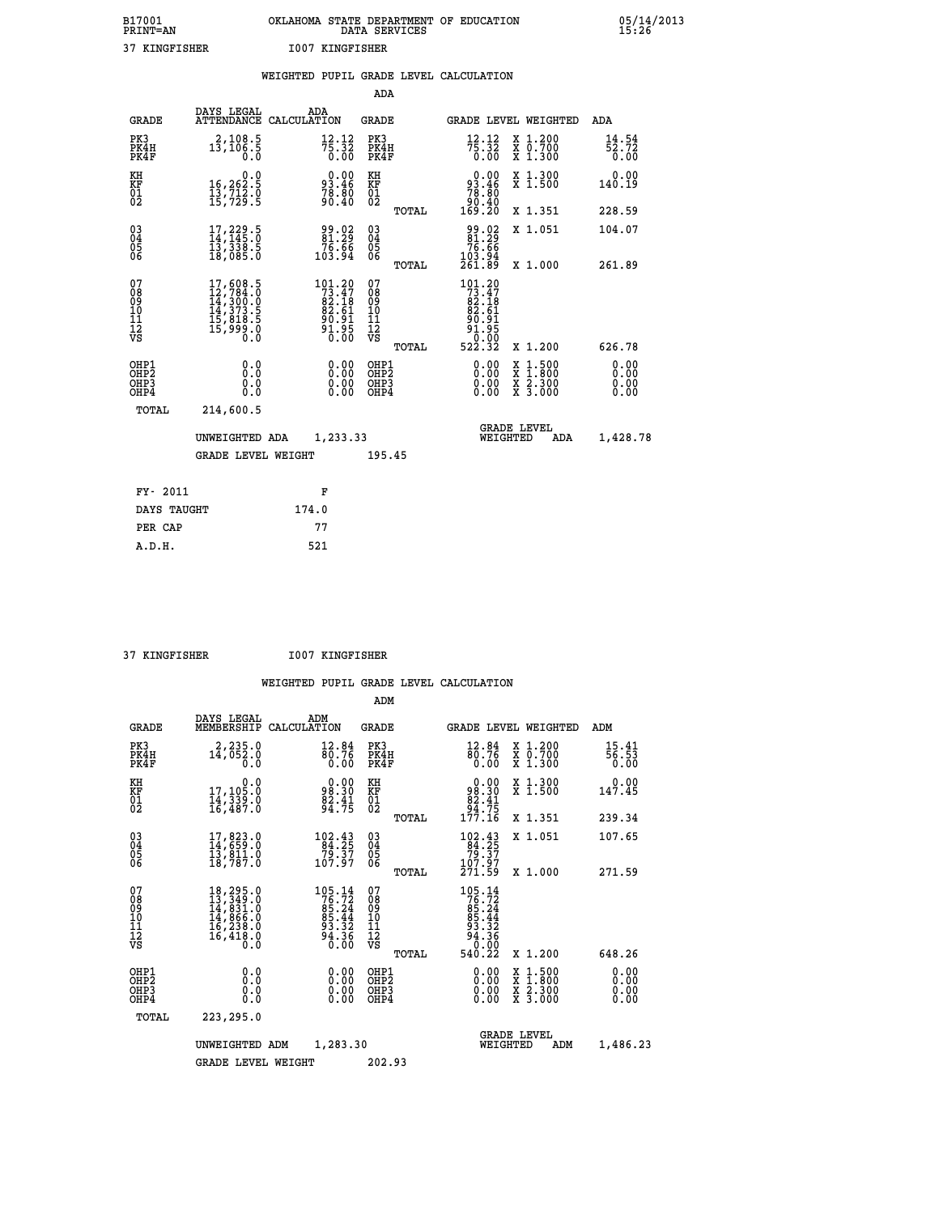| B17001          | OKLAHOMA STATE DEPARTMENT OF EDUCATION |
|-----------------|----------------------------------------|
| <b>PRINT=AN</b> | DATA SERVICES                          |
| 37 KINGFISHER   | 1007 KINGFISHER                        |

 **B17001 OKLAHOMA STATE DEPARTMENT OF EDUCATION 05/14/2013**

|                                                                    |                                                                                                                                                 | WEIGHTED PUPIL GRADE LEVEL CALCULATION                                                        |                                        |       |                                                                               |                                                                     |                              |
|--------------------------------------------------------------------|-------------------------------------------------------------------------------------------------------------------------------------------------|-----------------------------------------------------------------------------------------------|----------------------------------------|-------|-------------------------------------------------------------------------------|---------------------------------------------------------------------|------------------------------|
|                                                                    |                                                                                                                                                 |                                                                                               | <b>ADA</b>                             |       |                                                                               |                                                                     |                              |
| <b>GRADE</b>                                                       | DAYS LEGAL<br><b>ATTENDANCE</b>                                                                                                                 | ADA<br>CALCULATION                                                                            | <b>GRADE</b>                           |       |                                                                               | GRADE LEVEL WEIGHTED                                                | ADA                          |
| PK3<br>PK4H<br>PK4F                                                | $13, 108.5$<br>$13, 106.5$<br>0.0                                                                                                               | $7\frac{1}{5}\cdot\frac{12}{32}$<br>0.00                                                      | PK3<br>PK4H<br>PK4F                    |       | $75.32$<br>$75.32$<br>$0.00$                                                  | X 1.200<br>X 0.700<br>X 1.300                                       | 14.54<br>52.72<br>0.00       |
| KH<br>KF<br>01<br>02                                               | $\begin{smallmatrix}&&&0.0\\16,262.5\\13,712.0\\15,729.5\end{smallmatrix}$                                                                      | 93.46<br>78.80<br>70.40                                                                       | KH<br>KF<br>01<br>02                   |       | $\begin{smallmatrix} &0.00\ 93.46\ 78.80\ 90.40\ 169.20\ \end{smallmatrix}$   | X 1.300<br>X 1.500                                                  | 0.00<br>140.19               |
|                                                                    |                                                                                                                                                 |                                                                                               |                                        | TOTAL |                                                                               | X 1.351                                                             | 228.59                       |
| $\begin{smallmatrix} 03 \\[-4pt] 04 \end{smallmatrix}$<br>Ŏ5<br>06 | 17,229.5<br>14,145.0<br>13,330.5<br>18,085.0                                                                                                    | 99.02<br>81:29<br>76.66<br>103.94                                                             | $\substack{03 \\ 04}$<br>Ŏ5<br>06      |       | 99.02<br>81:29<br>$76.66$<br>103.94<br>261.89                                 | X 1.051                                                             | 104.07                       |
|                                                                    |                                                                                                                                                 |                                                                                               |                                        | TOTAL |                                                                               | X 1.000                                                             | 261.89                       |
| 07<br>08<br>09<br>101<br>112<br>VS                                 | $\begin{smallmatrix} 17,608\cdot 5\\ 12,784\cdot 0\\ 14,300\cdot 0\\ 14,373\cdot 5\\ 15,818\cdot 5\\ 15,999\cdot 0\\ 0\cdot 0\end{smallmatrix}$ | $\begin{smallmatrix} 101.20\\ 73.47\\ 82.18\\ 82.51\\ 90.91\\ 91.95\\ 0.00 \end{smallmatrix}$ | 07<br>08<br>09<br>11<br>11<br>12<br>VS | TOTAL | $101.20$<br>$73.47$<br>$82.18$<br>$82.61$<br>90.91<br>81:95<br>0:00<br>522:32 | X 1.200                                                             | 626.78                       |
| OHP1<br>OHP2<br>OHP3<br>OHP4                                       | 0.0<br>0.0<br>Ō.O                                                                                                                               | 0.00<br>$\begin{smallmatrix} 0.00 \ 0.00 \end{smallmatrix}$                                   | OHP1<br>OHP2<br>OHP3<br>OHP4           |       | 0.00<br>0.00<br>0.00                                                          | $1:500$<br>$1:800$<br>X<br>X<br>$\frac{x}{x}$ $\frac{5:300}{3:000}$ | 0.00<br>0.00<br>0.00<br>0.00 |
| <b>TOTAL</b>                                                       | 214,600.5                                                                                                                                       |                                                                                               |                                        |       |                                                                               |                                                                     |                              |
|                                                                    | UNWEIGHTED ADA                                                                                                                                  | 1,233.33                                                                                      |                                        |       | WEIGHTED                                                                      | <b>GRADE LEVEL</b><br>ADA                                           | 1,428.78                     |
|                                                                    | <b>GRADE LEVEL WEIGHT</b>                                                                                                                       |                                                                                               | 195.45                                 |       |                                                                               |                                                                     |                              |
| FY- 2011                                                           |                                                                                                                                                 | F                                                                                             |                                        |       |                                                                               |                                                                     |                              |
| DAYS TAUGHT                                                        |                                                                                                                                                 | 174.0                                                                                         |                                        |       |                                                                               |                                                                     |                              |
| PER CAP                                                            |                                                                                                                                                 | 77                                                                                            |                                        |       |                                                                               |                                                                     |                              |

 **A.D.H. 521**

 **37 KINGFISHER I007 KINGFISHER**

|                                          |                                                                                                                                                 |                                                                           | ADM                                                |       |                                                                                     |                                          |                              |
|------------------------------------------|-------------------------------------------------------------------------------------------------------------------------------------------------|---------------------------------------------------------------------------|----------------------------------------------------|-------|-------------------------------------------------------------------------------------|------------------------------------------|------------------------------|
| <b>GRADE</b>                             | DAYS LEGAL<br>MEMBERSHIP                                                                                                                        | ADM<br>CALCULATION                                                        | <b>GRADE</b>                                       |       |                                                                                     | GRADE LEVEL WEIGHTED                     | ADM                          |
| PK3<br>PK4H<br>PK4F                      | 2,235.0<br>$1\bar{4}$ , $05\bar{2}$ .0<br>0.0                                                                                                   | 12.84<br>80.76<br>0.00                                                    | PK3<br>PK4H<br>PK4F                                |       | $\frac{12.84}{80.76}$<br>0.00                                                       | X 1.200<br>X 0.700<br>X 1.300            | 15.41<br>56.53<br>0.00       |
| KH<br>KF<br>01<br>02                     | 0.0<br>17,105:0<br>14,339:0<br>16,487:0                                                                                                         | $0.00$<br>$0.00$<br>$\frac{82.41}{94.75}$                                 | KH<br>KF<br>01<br>02                               |       | $\begin{smallmatrix} &0.00\\ &98.30\\ &82.41\\ &94.75\\ 177.16\end{smallmatrix}$    | X 1.300<br>X 1.500                       | 0.00<br>147.45               |
|                                          |                                                                                                                                                 |                                                                           |                                                    | TOTAL |                                                                                     | X 1.351                                  | 239.34                       |
| 03<br>04<br>05<br>06                     | 17,823.0<br>14,659.0<br>13,811.0<br>18,787.0                                                                                                    | $\begin{array}{c} 102.43 \\ 84.25 \\ 79.37 \\ 107.97 \end{array}$         | $\begin{matrix} 03 \\ 04 \\ 05 \\ 06 \end{matrix}$ |       | $\begin{array}{l} 102.43 \\ 84.25 \\ 79.37 \\ 107.97 \end{array}$                   | X 1.051                                  | 107.65                       |
|                                          |                                                                                                                                                 |                                                                           |                                                    | TOTAL | 271.59                                                                              | X 1.000                                  | 271.59                       |
| 07<br>08<br>09<br>101<br>112<br>VS       | $\begin{smallmatrix} 18,295\cdot 0\\ 13,349\cdot 0\\ 14,831\cdot 0\\ 14,866\cdot 0\\ 16,238\cdot 0\\ 16,418\cdot 0\\ 0\cdot 0\end{smallmatrix}$ | $105.14$<br>$76.72$<br>$85.24$<br>$85.44$<br>$93.32$<br>$94.36$<br>$0.00$ | 07<br>08<br>09<br>11<br>11<br>12<br>VS             | TOTAL | $105.14$<br>$76.72$<br>$85.24$<br>$85.44$<br>$93.36$<br>$94.36$<br>$0.02$<br>540.22 | X 1.200                                  | 648.26                       |
| OHP1<br>OHP2<br>OH <sub>P3</sub><br>OHP4 | 0.0<br>0.000                                                                                                                                    | $0.00$<br>$0.00$<br>0.00                                                  | OHP1<br>OHP2<br>OHP3<br>OHP4                       |       | $0.00$<br>$0.00$<br>0.00                                                            | X 1:500<br>X 1:800<br>X 2:300<br>X 3:000 | 0.00<br>0.00<br>0.00<br>0.00 |
| TOTAL                                    | 223,295.0                                                                                                                                       |                                                                           |                                                    |       |                                                                                     |                                          |                              |
|                                          | UNWEIGHTED                                                                                                                                      | 1,283.30<br>ADM                                                           |                                                    |       | WEIGHTED                                                                            | <b>GRADE LEVEL</b><br>ADM                | 1,486.23                     |
|                                          | <b>GRADE LEVEL WEIGHT</b>                                                                                                                       |                                                                           | 202.93                                             |       |                                                                                     |                                          |                              |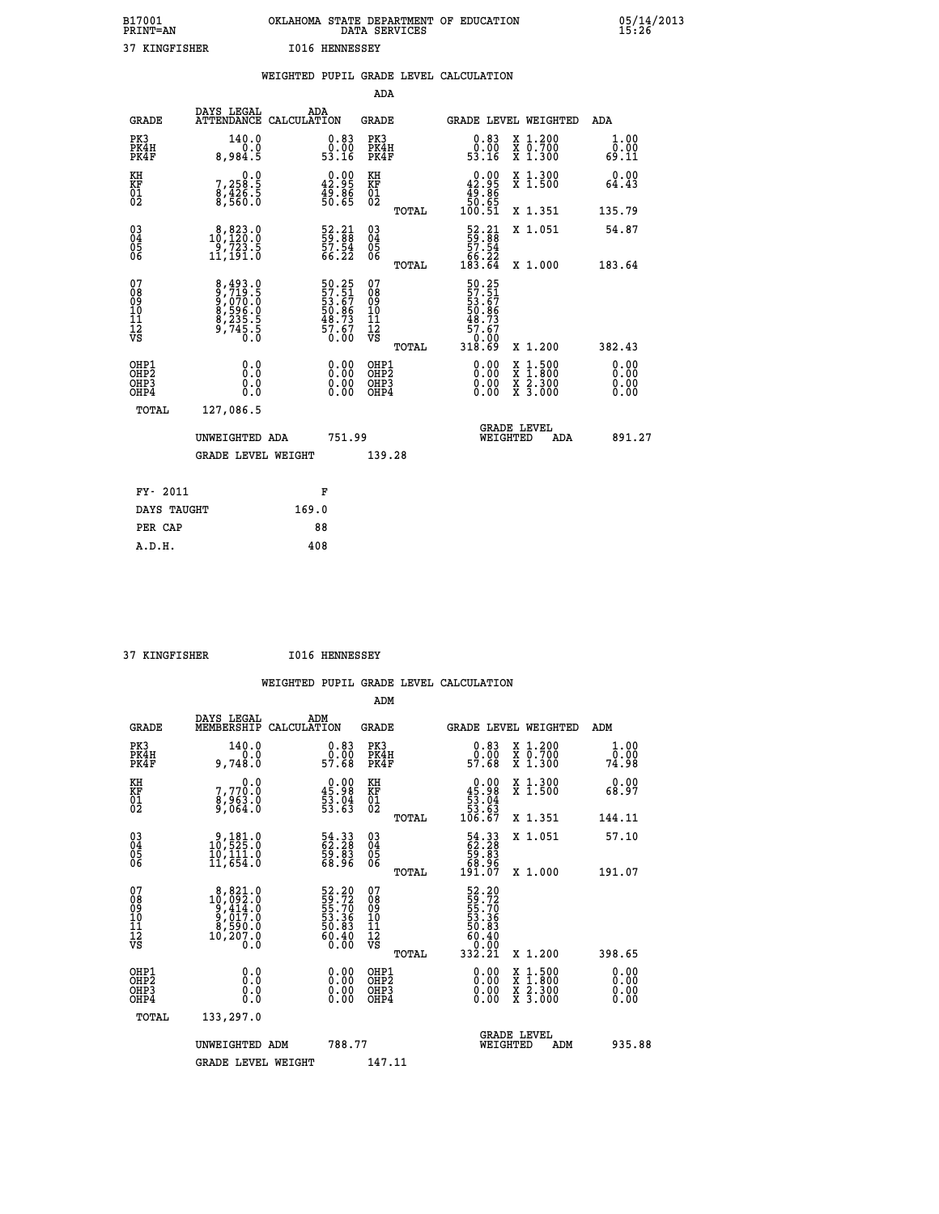| B17001<br>PRINT=AN | OKLAHOMA STATE DEPARTMENT OF EDUCATION<br>DATA SERVICES | 05/14/2013<br>15:26 |
|--------------------|---------------------------------------------------------|---------------------|
| 37 KINGFISHER      | <b>I016 HENNESSEY</b>                                   |                     |
|                    | WEIGHTED PUPIL GRADE LEVEL CALCULATION                  |                     |

|                                                    |                                                                       |                                                                      | ADA                                                |       |                                                                               |                                                |                              |
|----------------------------------------------------|-----------------------------------------------------------------------|----------------------------------------------------------------------|----------------------------------------------------|-------|-------------------------------------------------------------------------------|------------------------------------------------|------------------------------|
| <b>GRADE</b>                                       | DAYS LEGAL<br>ATTENDANCE CALCULATION                                  | ADA                                                                  | <b>GRADE</b>                                       |       | GRADE LEVEL WEIGHTED                                                          |                                                | ADA                          |
| PK3<br>PK4H<br>PK4F                                | 140.0<br>0.0<br>8,984.5                                               | $\begin{smallmatrix} 0.83\ 0.00\ 53.16 \end{smallmatrix}$            | PK3<br>PK4H<br>PK4F                                |       | 0.83<br>õ.õõ<br>53.16                                                         | X 1.200<br>X 0.700<br>X 1.300                  | 1.00<br>0.00<br>69.11        |
| KH<br>KF<br>01<br>02                               | $7,258.5$<br>8,426.5<br>8,560.0                                       | $\begin{smallmatrix} 0.00\\ 42.95\\ 49.86\\ 50.65 \end{smallmatrix}$ | KH<br>KF<br>01<br>02                               |       | $\begin{smallmatrix} &0.00\ 42.95\ 49.86\ 50.65\ 100.51\ \end{smallmatrix}$   | X 1.300<br>X 1.500                             | 0.00<br>64.43                |
|                                                    |                                                                       |                                                                      |                                                    | TOTAL |                                                                               | X 1.351                                        | 135.79                       |
| $\begin{matrix} 03 \\ 04 \\ 05 \\ 06 \end{matrix}$ | $\substack{ \substack{8,923.0 \\ 10,120.0 \\ 9,723.5 \\ 11,191.0 } }$ | 52.21<br>59.88<br>57.54<br>66.22                                     | $\begin{matrix} 03 \\ 04 \\ 05 \\ 06 \end{matrix}$ |       | $\begin{smallmatrix} 52.21\ 59.88\ 57.54\ 66.22\ 183.64\ \end{smallmatrix}$   | X 1.051                                        | 54.87                        |
|                                                    |                                                                       |                                                                      |                                                    | TOTAL |                                                                               | X 1.000                                        | 183.64                       |
| 07<br>08<br>09<br>10<br>11<br>11<br>12<br>VS       | 8,493.0<br>9,719.5<br>9,070.0<br>8,596.0<br>8,235.5<br>9,745.5        | 50.25<br>57.51<br>53.67<br>50.86<br>50.73<br>57.67<br>57.60          | 07<br>08<br>09<br>11<br>11<br>12<br>VS             | TOTAL | 50.25<br>57.51<br>53.67<br>50.86<br>57.67<br>48.73<br>57.67<br>0.00<br>318.69 | X 1.200                                        | 382.43                       |
| OHP1<br>OHP2<br>OH <sub>P3</sub><br>OHP4           | 0.0<br>$\begin{smallmatrix} 0.0 & 0 \ 0.0 & 0 \end{smallmatrix}$      | 0.00<br>$\begin{smallmatrix} 0.00 \ 0.00 \end{smallmatrix}$          | OHP1<br>OHP2<br>OHP3<br>OHP4                       |       |                                                                               | X 1:500<br>$\frac{x}{x}$ $\frac{5:300}{3:000}$ | 0.00<br>0.00<br>0.00<br>0.00 |
| TOTAL                                              | 127,086.5                                                             |                                                                      |                                                    |       |                                                                               |                                                |                              |
|                                                    | UNWEIGHTED ADA                                                        | 751.99                                                               |                                                    |       | WEIGHTED                                                                      | <b>GRADE LEVEL</b><br>ADA                      | 891.27                       |
|                                                    | <b>GRADE LEVEL WEIGHT</b>                                             |                                                                      | 139.28                                             |       |                                                                               |                                                |                              |
| FY- 2011                                           |                                                                       | F                                                                    |                                                    |       |                                                                               |                                                |                              |
| <b>DATE MATIONS</b>                                |                                                                       | 1000                                                                 |                                                    |       |                                                                               |                                                |                              |

| FY- 2011    | F     |
|-------------|-------|
| DAYS TAUGHT | 169.0 |
| PER CAP     | 88    |
| A.D.H.      | 408   |
|             |       |

 **ADM**

 **37 KINGFISHER I016 HENNESSEY**

| <b>GRADE</b>                                         | DAYS LEGAL<br>MEMBERSHIP                                                                                         | ADM<br>CALCULATION                                                     | <b>GRADE</b>                                        |       | GRADE LEVEL WEIGHTED                                                          |                                          | ADM                   |  |
|------------------------------------------------------|------------------------------------------------------------------------------------------------------------------|------------------------------------------------------------------------|-----------------------------------------------------|-------|-------------------------------------------------------------------------------|------------------------------------------|-----------------------|--|
| PK3<br>PK4H<br>PK4F                                  | 140.0<br>9,748.0                                                                                                 | $\begin{smallmatrix} 0.83\ 0.00\ 57.68 \end{smallmatrix}$              | PK3<br>PK4H<br>PK4F                                 |       | $\begin{smallmatrix} 0.83\ 0.00\\ 0.00\\ 57.68 \end{smallmatrix}$             | X 1.200<br>X 0.700<br>X 1.300            | 1.00<br>ō:ŏŏ<br>74:98 |  |
| KH<br>KF<br>01<br>02                                 | 0.0<br>7,770:0<br>8,963:0<br>9,064:0                                                                             | $\begin{smallmatrix} 0.00\\ 45.98\\ 53.04\\ 53.63\\ \end{smallmatrix}$ | KH<br>KF<br>$\overline{01}$                         |       | $0.00\n45.98\n53.04\n53.63\n106.67$                                           | X 1.300<br>X 1.500                       | 0.00<br>68.97         |  |
|                                                      |                                                                                                                  |                                                                        |                                                     | TOTAL |                                                                               | X 1.351                                  | 144.11                |  |
| 03<br>04<br>05<br>06                                 | $\begin{smallmatrix} 9\,,\,181\cdot0\\ 10\,,\,525\cdot0\\ 10\,,\,111\cdot0\\ 11\,,\,654\cdot0 \end{smallmatrix}$ | 54.33<br>62.28<br>59.83<br>68.96                                       | $\begin{array}{c} 03 \\ 04 \\ 05 \\ 06 \end{array}$ |       | $\begin{smallmatrix} 54.33\ 62.28\ 59.83\ 68.96\ 191.07 \end{smallmatrix}$    | X 1.051                                  | 57.10                 |  |
|                                                      |                                                                                                                  |                                                                        |                                                     | TOTAL |                                                                               | X 1.000                                  | 191.07                |  |
| 07<br>08<br>09<br>101<br>11<br>12<br>VS              | $\begin{smallmatrix}8,821.0\\10,092.0\\9,414.0\\9,017.0\\8,590.0\\10,207.0\\0.0\end{smallmatrix}$                | 52.20<br>59.72<br>55.70<br>53.36<br>50.83<br>50.40<br>60.40            | 07<br>08<br>09<br>01<br>11<br>11<br>12<br>VS        | TOTAL | 52.20<br>55.72<br>55.70<br>53.36<br>50.83<br>60.40<br>60.40<br>0.00<br>332.21 | X 1.200                                  | 398.65                |  |
| OHP1<br>OHP2<br>OH <sub>P3</sub><br>OH <sub>P4</sub> | 0.0<br>0.000                                                                                                     | $\begin{smallmatrix} 0.00 \ 0.00 \ 0.00 \ 0.00 \end{smallmatrix}$      | OHP1<br>OHP2<br>OHP3<br>OHP4                        |       | 0.00<br>$0.00$<br>0.00                                                        | X 1:500<br>X 1:800<br>X 2:300<br>X 3:000 | 0.00<br>0.00<br>0.00  |  |
| TOTAL                                                | 133,297.0                                                                                                        |                                                                        |                                                     |       |                                                                               |                                          |                       |  |
|                                                      | UNWEIGHTED<br>ADM                                                                                                | 788.77                                                                 |                                                     |       | WEIGHTED                                                                      | <b>GRADE LEVEL</b><br>ADM                | 935.88                |  |
|                                                      | <b>GRADE LEVEL WEIGHT</b>                                                                                        |                                                                        | 147.11                                              |       |                                                                               |                                          |                       |  |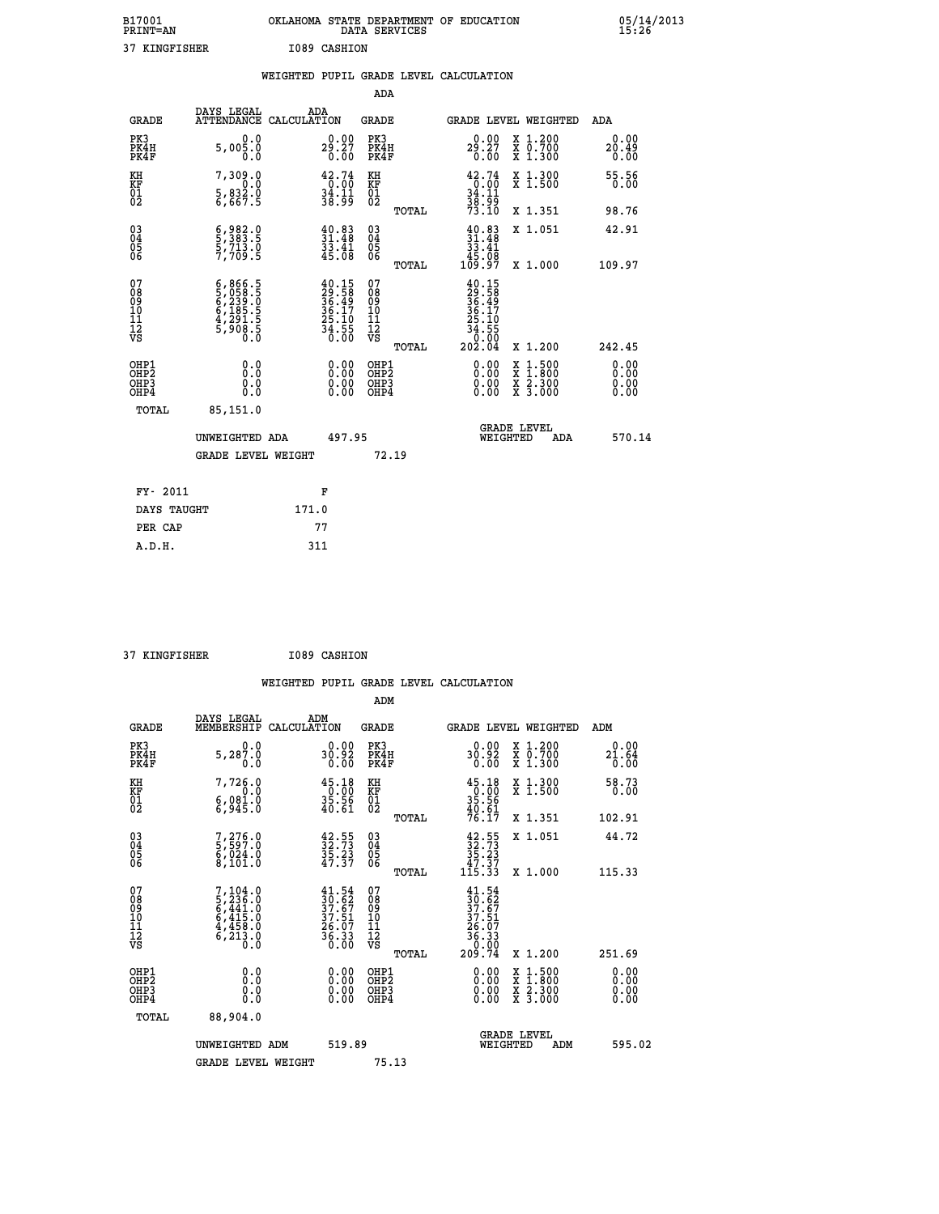| B17001<br><b>PRINT=AN</b> | OKLAHOMA STATE DEPARTMENT OF EDUCATION | DATA SERVICES |  |
|---------------------------|----------------------------------------|---------------|--|
| 37 KINGFISHER             | I089 CASHION                           |               |  |

|                                                                    |                                                                                 |                                                                                         | ADA                                                 |                                                                                               |                              |
|--------------------------------------------------------------------|---------------------------------------------------------------------------------|-----------------------------------------------------------------------------------------|-----------------------------------------------------|-----------------------------------------------------------------------------------------------|------------------------------|
| <b>GRADE</b>                                                       | DAYS LEGAL<br><b>ATTENDANCE</b>                                                 | ADA<br>CALCULATION                                                                      | <b>GRADE</b>                                        | GRADE LEVEL WEIGHTED                                                                          | <b>ADA</b>                   |
| PK3<br>PK4H<br>PK4F                                                | 0.0<br>5,005.0<br>0.0                                                           | 29.27<br>0.00                                                                           | PK3<br>PK4H<br>PK4F                                 | 29.27<br>0.00<br>X 1.200<br>X 0.700<br>X 1.300                                                | 0.00<br>20.49<br>0.00        |
| KH<br>KF<br>01<br>02                                               | 7,309.0<br>0.0<br>$\frac{5}{6}$ , $\frac{832}{67}$ . 9                          | 42.74<br>$\frac{1}{3}\ \frac{1}{3}\ \frac{1}{3}\ \frac{1}{3}\ \frac{1}{3}$              | KH<br>KF<br>01<br>02                                | $\begin{array}{c} 42.74 \\ 0.00 \\ 34.11 \\ 38.99 \\ 73.10 \end{array}$<br>X 1.300<br>X 1.500 | 55.56<br>0.00                |
|                                                                    |                                                                                 |                                                                                         | TOTAL                                               | X 1.351                                                                                       | 98.76                        |
| $\begin{smallmatrix} 03 \\[-4pt] 04 \end{smallmatrix}$<br>Ŏ5<br>06 | $\frac{6}{5}, \frac{982}{383}$ $\frac{8}{3}, \frac{1}{5}$<br>5,713.0<br>7,709.5 | $\frac{40.83}{31.48}$<br>$\frac{3}{45}. \frac{41}{08}$                                  | $\begin{array}{c} 03 \\ 04 \\ 05 \\ 06 \end{array}$ | $\begin{smallmatrix} 40.83\ 31.48\ 33.41\ 45.08\ 109.97 \end{smallmatrix}$<br>X 1.051         | 42.91                        |
| 07                                                                 |                                                                                 |                                                                                         | TOTAL                                               | X 1.000                                                                                       | 109.97                       |
| 08<br>09<br>11<br>11<br>12<br>VS                                   | $6,866.5$<br>5,058.5<br>5,239.0<br>6,239.5<br>6,185.5<br>4,291.5<br>5,908.5     | $\begin{smallmatrix} 40.15\\29.58\\36.49\\36.17\\25.10\\24.55\\34.550\end{smallmatrix}$ | 07<br>08<br>09<br>11<br>11<br>12<br>VS              | $40.15$<br>$29.58$<br>$36.497$<br>$36.17$<br>$25.10$<br>$34.55$<br>$0.004$                    |                              |
|                                                                    |                                                                                 |                                                                                         | TOTAL                                               | X 1.200                                                                                       | 242.45                       |
| OHP1<br>OHP <sub>2</sub><br>OHP3<br>OHP4                           | 0.0<br>0.0<br>0.0                                                               | 0.00<br>$\begin{smallmatrix} 0.00 \ 0.00 \end{smallmatrix}$                             | OHP1<br>OH <sub>P</sub> 2<br>OHP3<br>OHP4           | 0.00<br>$1:500$<br>$1:800$<br>X<br>0.00<br>X 2.300<br>X 3.000<br>0.00                         | 0.00<br>0.00<br>0.00<br>0.00 |
| TOTAL                                                              | 85,151.0                                                                        |                                                                                         |                                                     |                                                                                               |                              |
|                                                                    | UNWEIGHTED ADA                                                                  | 497.95                                                                                  |                                                     | <b>GRADE LEVEL</b><br>WEIGHTED<br>ADA                                                         | 570.14                       |
|                                                                    | <b>GRADE LEVEL WEIGHT</b>                                                       |                                                                                         | 72.19                                               |                                                                                               |                              |
| FY- 2011                                                           |                                                                                 | F                                                                                       |                                                     |                                                                                               |                              |
| DAYS TAUGHT                                                        |                                                                                 | 171.0                                                                                   |                                                     |                                                                                               |                              |
| PER CAP                                                            |                                                                                 | 77                                                                                      |                                                     |                                                                                               |                              |

 **37 KINGFISHER I089 CASHION**

 **A.D.H. 311**

| <b>GRADE</b>                 | DAYS LEGAL<br>MEMBERSHIP                                                    | ADM<br>CALCULATION                                                                                 | <b>GRADE</b>                                       |       | <b>GRADE LEVEL WEIGHTED</b>                                                                     |                                          | ADM                   |  |
|------------------------------|-----------------------------------------------------------------------------|----------------------------------------------------------------------------------------------------|----------------------------------------------------|-------|-------------------------------------------------------------------------------------------------|------------------------------------------|-----------------------|--|
| PK3<br>PK4H<br>PK4F          | 0.0<br>5,287.0<br>0.0                                                       | 30.92<br>0.00                                                                                      | PK3<br>PK4H<br>PK4F                                |       | 0.00<br>30.92<br>0.00                                                                           | X 1.200<br>X 0.700<br>X 1.300            | 0.00<br>21.64<br>0.00 |  |
| KH<br>KF<br>01<br>02         | 7,726.0<br>$6,981.0$<br>$6,981.0$                                           | $\begin{smallmatrix} 4\,5\,.\,1\,8\\ 0\,.\,0\,0\\ 3\,5\,.\,5\,6\\ 4\,0\,.\,6\,1 \end{smallmatrix}$ | KH<br>KF<br>01<br>02                               |       | $\begin{smallmatrix} 45.18\\ 0.00\\ 35.56\\ 40.61\\ 76.17 \end{smallmatrix}$                    | X 1.300<br>X 1.500                       | 58.73<br>0.00         |  |
|                              |                                                                             |                                                                                                    |                                                    | TOTAL |                                                                                                 | X 1.351                                  | 102.91                |  |
| 03<br>04<br>05<br>06         | 7,276.0<br>5,597.0<br>6,024.0<br>8,101.0                                    | $\frac{42.55}{32.73}$<br>$\frac{35.23}{47.37}$                                                     | $\begin{matrix} 03 \\ 04 \\ 05 \\ 06 \end{matrix}$ |       | $\begin{array}{c} 42\cdot 55\\ 32\cdot 73\\ 35\cdot 23\\ 47\cdot 37\\ 115\cdot 33 \end{array}$  | X 1.051                                  | 44.72                 |  |
|                              |                                                                             |                                                                                                    |                                                    | TOTAL |                                                                                                 | X 1.000                                  | 115.33                |  |
| 07<br>08901112<br>1112<br>VS | $7,104.0$<br>5,236.0<br>5,441.0<br>6,415.0<br>4,458.0<br>4,458.0<br>6,213.0 | $\begin{smallmatrix} 41.54\\ 30.62\\ 37.67\\ 37.51\\ 26.07\\ 36.33\\ 0.00 \end{smallmatrix}$       | 07<br>08<br>09<br>01<br>11<br>11<br>12<br>VS       | TOTAL | $\begin{smallmatrix} 41.54\ 30.62\ 37.67\ 37.51\ 26.07\ 36.33\ 0.00\ 209.74\ \end{smallmatrix}$ | X 1.200                                  | 251.69                |  |
| OHP1<br>OHP2<br>OHP3<br>OHP4 | 0.0<br>$\begin{smallmatrix} 0.0 & 0 \ 0.0 & 0 \end{smallmatrix}$            |                                                                                                    | OHP1<br>OHP2<br>OHP3<br>OHP4                       |       |                                                                                                 | X 1:500<br>X 1:800<br>X 2:300<br>X 3:000 | 0.00<br>0.00<br>0.00  |  |
| TOTAL                        | 88,904.0                                                                    |                                                                                                    |                                                    |       |                                                                                                 |                                          |                       |  |
|                              | UNWEIGHTED ADM                                                              | 519.89                                                                                             |                                                    |       | WEIGHTED                                                                                        | <b>GRADE LEVEL</b><br>ADM                | 595.02                |  |
|                              | <b>GRADE LEVEL WEIGHT</b>                                                   |                                                                                                    | 75.13                                              |       |                                                                                                 |                                          |                       |  |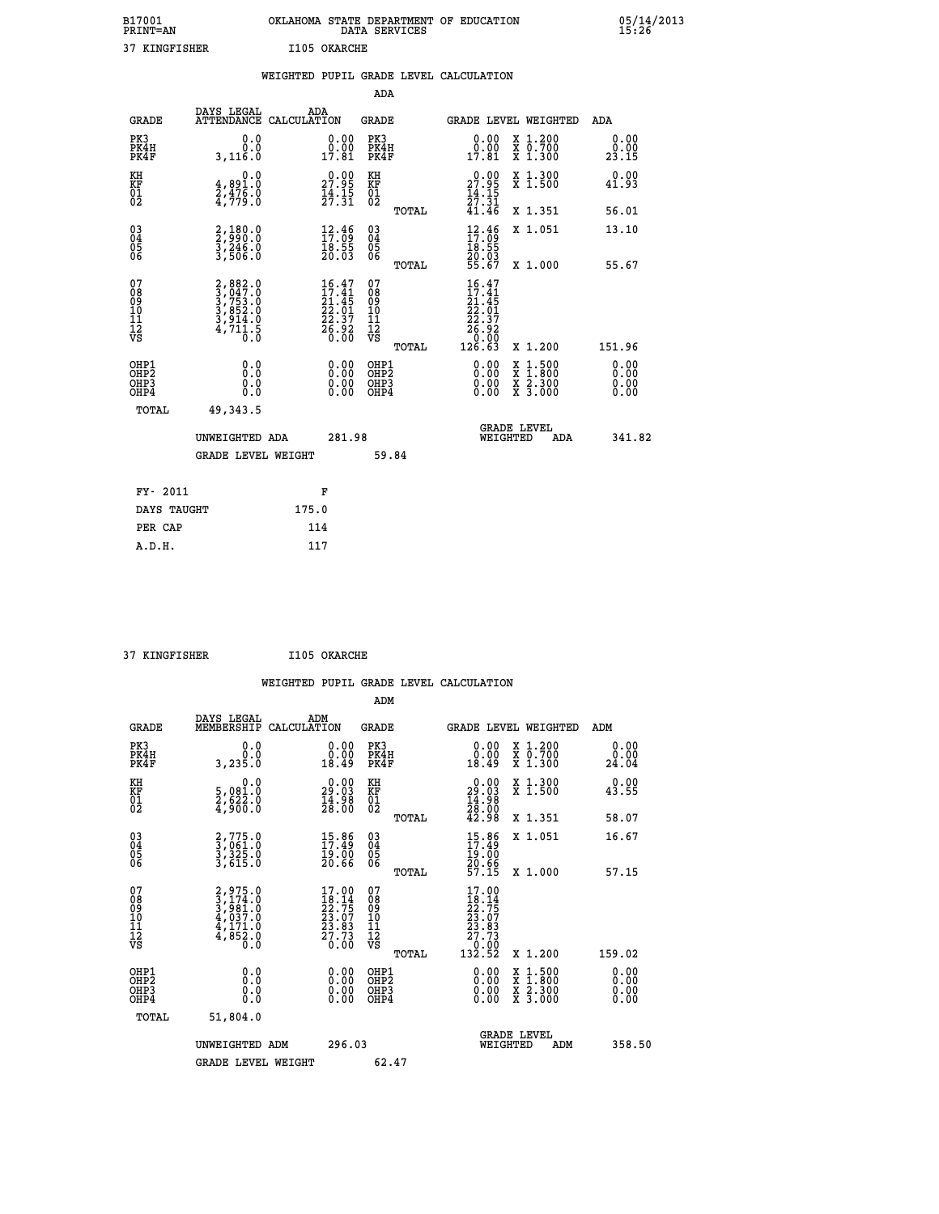| B17001<br><b>PRINT=AN</b> | OKLAHOMA STATE DEPARTMENT OF EDUCATION<br>DATA SERVICES |  |
|---------------------------|---------------------------------------------------------|--|
| 37 KINGFISHER             | I105 OKARCHE                                            |  |

|                                                                    |                                                                                     | WEIGHTED PUPIL GRADE LEVEL CALCULATION                                                    |                                                    |                                                                                                                                                                   |                              |
|--------------------------------------------------------------------|-------------------------------------------------------------------------------------|-------------------------------------------------------------------------------------------|----------------------------------------------------|-------------------------------------------------------------------------------------------------------------------------------------------------------------------|------------------------------|
|                                                                    |                                                                                     |                                                                                           | <b>ADA</b>                                         |                                                                                                                                                                   |                              |
| <b>GRADE</b>                                                       | DAYS LEGAL<br>ATTENDANCE CALCULATION                                                | ADA                                                                                       | <b>GRADE</b>                                       | GRADE LEVEL WEIGHTED                                                                                                                                              | <b>ADA</b>                   |
| PK3<br>PK4H<br>PK4F                                                | 0.0<br>3,116.0                                                                      | $\begin{smallmatrix} 0.00\\ 0.00\\ 17.81 \end{smallmatrix}$                               | PK3<br>PK4H<br>PK4F                                | 0.00<br>X 1.200<br>X 0.700<br>X 1.300<br>$\begin{smallmatrix} 0.00 \\ 17.81 \end{smallmatrix}$                                                                    | 0.00<br>$\frac{0.00}{23.15}$ |
| KH<br>KF<br>01<br>02                                               | 0.0<br>$\frac{4}{2}, \frac{891}{476}$<br>$\frac{7}{4}, \frac{476}{79}$<br>          | $\begin{smallmatrix} 0.00\\ 27.95\\ 14.15\\ 27.31 \end{smallmatrix}$                      | KH<br>KF<br>01<br>02                               | $\begin{smallmatrix} 0.00\\ 27.95\\ 14.15\\ 27.31\\ 41.46 \end{smallmatrix}$<br>X 1.300<br>X 1.500                                                                | 0.00<br>41.93                |
|                                                                    |                                                                                     |                                                                                           | TOTAL                                              | X 1.351                                                                                                                                                           | 56.01                        |
| $\begin{smallmatrix} 03 \\[-4pt] 04 \end{smallmatrix}$<br>05<br>06 | 2,180.0<br>2,990.0<br>3,246.0<br>3,506.0                                            | $\begin{smallmatrix} 12\cdot 46\\ 17\cdot 09\\ 18\cdot 55\\ 20\cdot 03 \end{smallmatrix}$ | $\begin{matrix} 03 \\ 04 \\ 05 \\ 06 \end{matrix}$ | $\begin{smallmatrix} 12\cdot 46\\ 17\cdot 09\\ 18\cdot 55\\ 20\cdot 03\\ 55\cdot 67 \end{smallmatrix}$<br>X 1.051                                                 | 13.10                        |
|                                                                    |                                                                                     |                                                                                           | TOTAL                                              | X 1.000                                                                                                                                                           | 55.67                        |
| 07<br>08<br>09<br>11<br>11<br>12<br>VS                             | $2,882.0$<br>$3,753.0$<br>$3,753.0$<br>$3,852.0$<br>$3,914.0$<br>$4,711.5$<br>$0.0$ | $\begin{smallmatrix} 16.47\\17.41\\21.45\\22.01\\22.37\\26.92\\0.00 \end{smallmatrix}$    | 07<br>08<br>09<br>11<br>11<br>12<br>VS<br>TOTAL    | 16.47<br>17.41<br>$\begin{array}{r} 11.41 \\ 21.45 \\ 22.01 \\ 22.37 \\ 26.92 \\ 0.00 \\ 126.63 \end{array}$<br>X 1.200                                           | 151.96                       |
| OHP1<br>OHP2<br>OH <sub>P3</sub><br>OH <sub>P4</sub>               | 0.0<br>Ō.Ō<br>0.0<br>0.0                                                            | 0.00<br>$0.00$<br>0.00                                                                    | OHP1<br>OHP2<br>OHP3<br>OHP4                       | 0.00<br>$\begin{smallmatrix} \mathtt{X} & 1\cdot500\\ \mathtt{X} & 1\cdot800\\ \mathtt{X} & 2\cdot300\\ \mathtt{X} & 3\cdot000 \end{smallmatrix}$<br>0.00<br>0.00 | 0.00<br>0.00<br>0.00<br>0.00 |
| TOTAL                                                              | 49,343.5                                                                            |                                                                                           |                                                    |                                                                                                                                                                   |                              |
|                                                                    | UNWEIGHTED ADA                                                                      | 281.98                                                                                    |                                                    | <b>GRADE LEVEL</b><br>WEIGHTED                                                                                                                                    | 341.82<br>ADA                |
|                                                                    | GRADE LEVEL WEIGHT                                                                  |                                                                                           | 59.84                                              |                                                                                                                                                                   |                              |
| FY- 2011                                                           |                                                                                     | F                                                                                         |                                                    |                                                                                                                                                                   |                              |
| DAYS TAUGHT                                                        |                                                                                     | 175.0                                                                                     |                                                    |                                                                                                                                                                   |                              |
| PER CAP                                                            |                                                                                     | 114                                                                                       |                                                    |                                                                                                                                                                   |                              |

 **37 KINGFISHER I105 OKARCHE**

 **A.D.H. 117**

 **B17001<br>PRINT=AN** 

 **WEIGHTED PUPIL GRADE LEVEL CALCULATION ADM DAYS LEGAL ADM GRADE MEMBERSHIP CALCULATION GRADE GRADE LEVEL WEIGHTED ADM PK3 0.0 0.00 PK3 0.00 X 1.200 0.00 PK4H 0.0 0.00 PK4H 0.00 X 0.700 0.00 PK4F 3,235.0 18.49 PK4F 18.49 X 1.300 24.04 KH 0.0 0.00 KH 0.00 X 1.300 0.00 KF 5,081.0 29.03 KF 29.03 X 1.500 43.55**

|                                                    | <b>GRADE LEVEL WEIGHT</b>                                                           |                                                                                                              | 62.47                                           |                                                                                                                     |                                                                                                                                                                                                                                                                                |
|----------------------------------------------------|-------------------------------------------------------------------------------------|--------------------------------------------------------------------------------------------------------------|-------------------------------------------------|---------------------------------------------------------------------------------------------------------------------|--------------------------------------------------------------------------------------------------------------------------------------------------------------------------------------------------------------------------------------------------------------------------------|
|                                                    | UNWEIGHTED ADM                                                                      | 296.03                                                                                                       |                                                 | <b>GRADE LEVEL</b><br>WEIGHTED<br>ADM                                                                               | 358.50                                                                                                                                                                                                                                                                         |
| TOTAL                                              | 51,804.0                                                                            |                                                                                                              |                                                 |                                                                                                                     |                                                                                                                                                                                                                                                                                |
| OHP1<br>OHP <sub>2</sub><br>OHP3<br>OHP4           | 0.00000<br>0.0                                                                      |                                                                                                              | OHP1<br>OHP <sub>2</sub><br>OHP3<br>OHP4        | $\begin{array}{l} \mathtt{X} & 1.500 \\ \mathtt{X} & 1.800 \\ \mathtt{X} & 2.300 \\ \mathtt{X} & 3.000 \end{array}$ | $\begin{smallmatrix} 0.00 & 0.00 & 0.00 & 0.00 & 0.00 & 0.00 & 0.00 & 0.00 & 0.00 & 0.00 & 0.00 & 0.00 & 0.00 & 0.00 & 0.00 & 0.00 & 0.00 & 0.00 & 0.00 & 0.00 & 0.00 & 0.00 & 0.00 & 0.00 & 0.00 & 0.00 & 0.00 & 0.00 & 0.00 & 0.00 & 0.00 & 0.00 & 0.00 & 0.00 & 0.00 & 0.0$ |
| 07<br>08<br>09<br>09<br>10<br>11<br>12<br>VS       | $2,975.0$<br>$3,981.0$<br>$3,981.0$<br>$4,037.0$<br>$4,171.0$<br>$4,852.0$<br>$0.0$ | 17.00<br>$\frac{18}{22}$<br>$\frac{23}{23}$<br>$\frac{23}{27}$<br>$\frac{83}{27}$<br>$\frac{23}{27}$<br>0.00 | 07<br>08<br>09<br>11<br>11<br>12<br>VS<br>TOTAL | 17.00<br>X 1.200                                                                                                    | 159.02                                                                                                                                                                                                                                                                         |
| $\begin{matrix} 03 \\ 04 \\ 05 \\ 06 \end{matrix}$ | 2,775.0<br>3,061.0<br>3,325.0<br>3,615.0                                            | 19.00<br>20.66                                                                                               | 030404<br>06<br>TOTAL                           | $15.86$<br>$17.49$<br>$19.00$<br>$20.66$<br>$57.15$<br>X 1.000                                                      | 57.15                                                                                                                                                                                                                                                                          |
|                                                    |                                                                                     | $15.86$<br>$17.49$                                                                                           |                                                 | X 1.051                                                                                                             | 16.67                                                                                                                                                                                                                                                                          |
| $\frac{01}{02}$                                    | $\frac{2}{3}$ , $\frac{2}{3}$ , $\frac{2}{3}$ , $\frac{2}{3}$                       | $\frac{14.98}{28.00}$                                                                                        | $\overline{01}$<br>TOTAL                        | $\frac{14}{28}$ : 00<br>42.98<br>.<br>X 1.351                                                                       | <br>58.07                                                                                                                                                                                                                                                                      |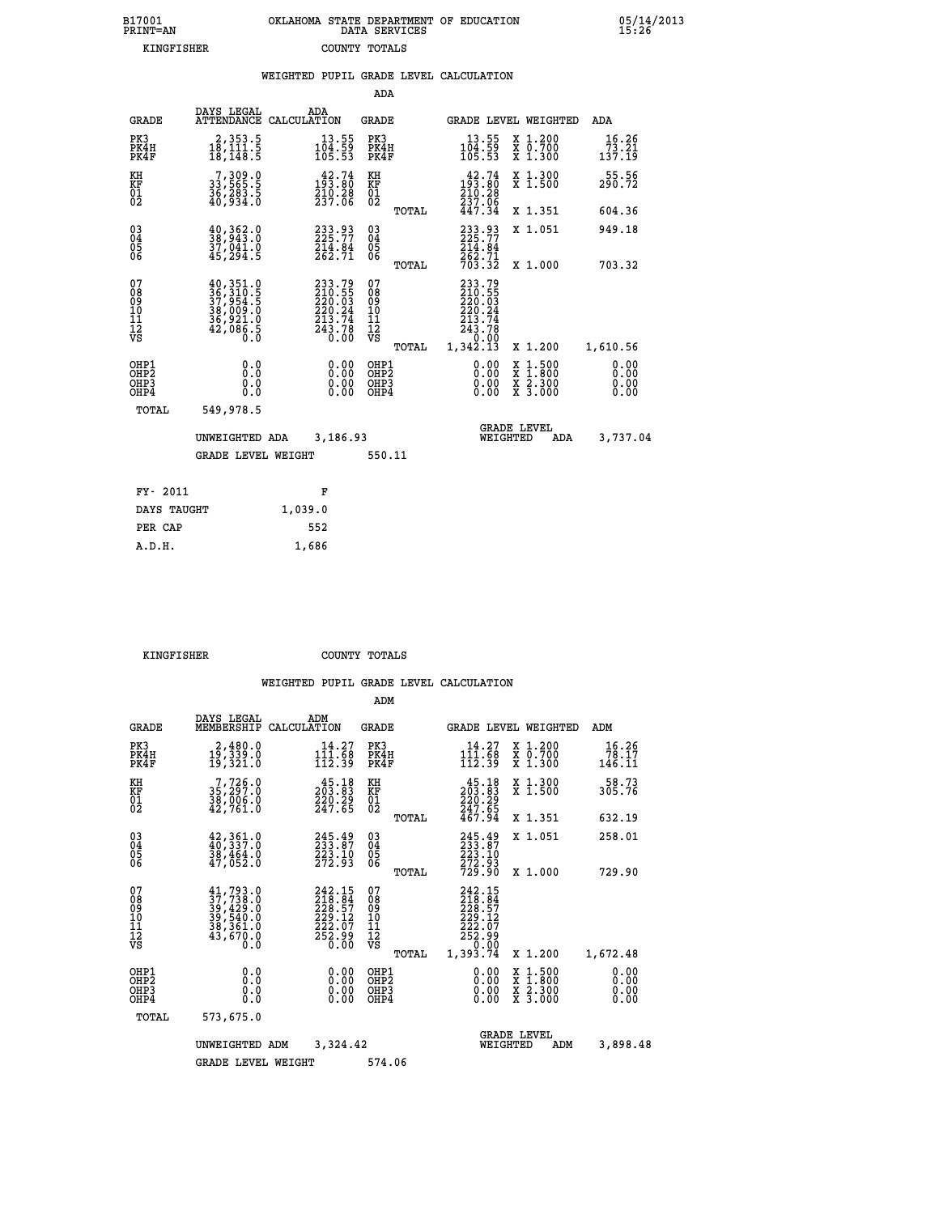| 7001<br>INT=AN |  | OKLAHOMA STATE DEPARTMENT OF EDUCATION<br>DATA SERVICES |  |
|----------------|--|---------------------------------------------------------|--|
| KINGFISHER     |  | COUNTY TOTALS                                           |  |

05/14/2013<br>15:26

|                                                              |                                           |                                                                                                                                                                                   |         |                                                                                                                         |                                                   |       | WEIGHTED PUPIL GRADE LEVEL CALCULATION                                                   |                                          |                                          |
|--------------------------------------------------------------|-------------------------------------------|-----------------------------------------------------------------------------------------------------------------------------------------------------------------------------------|---------|-------------------------------------------------------------------------------------------------------------------------|---------------------------------------------------|-------|------------------------------------------------------------------------------------------|------------------------------------------|------------------------------------------|
|                                                              |                                           |                                                                                                                                                                                   |         |                                                                                                                         | <b>ADA</b>                                        |       |                                                                                          |                                          |                                          |
|                                                              | <b>GRADE</b>                              | DAYS LEGAL<br>ATTENDANCE CALCULATION                                                                                                                                              | ADA     |                                                                                                                         | <b>GRADE</b>                                      |       | GRADE LEVEL WEIGHTED                                                                     |                                          | ADA                                      |
| PK3                                                          | PK4H<br>PK4F                              | $\begin{smallmatrix} 2,353.5\\ 18,111.5\\ 18,148.5 \end{smallmatrix}$                                                                                                             |         | $\begin{smallmatrix} 13.55\\ 104.59\\ 105.53 \end{smallmatrix}$                                                         | PK3<br>PK4H<br>PK4F                               |       | $13.55$<br>$104.59$<br>$105.53$                                                          | X 1.200<br>X 0.700<br>X 1.300            | 16.26<br>$\frac{73}{137}. \frac{21}{19}$ |
| KH<br>KF<br>$\frac{01}{02}$                                  |                                           | 7, 309.0<br>33, 565.5<br>36, 283.5<br>40, 934.0                                                                                                                                   |         | $\begin{smallmatrix} 42\cdot74\\193\cdot80\\210\cdot28\\237\cdot66 \end{smallmatrix}$                                   | KH<br>KF<br>$\begin{matrix} 01 \ 02 \end{matrix}$ |       | $193.80$<br>$210.28$<br>$237.06$                                                         | X 1.300<br>X 1.500                       | 55.56<br>290.72                          |
|                                                              |                                           |                                                                                                                                                                                   |         |                                                                                                                         |                                                   | TOTAL | 447.34                                                                                   | X 1.351                                  | 604.36                                   |
| $\begin{smallmatrix} 03 \\[-4pt] 04 \end{smallmatrix}$<br>Ŏ5 |                                           | $\frac{40}{38}, \frac{362}{943}.0$<br>37,041.0<br>45,294.5                                                                                                                        |         | 233.93<br>225.77<br>214.84<br>262.71                                                                                    | $\substack{03 \\ 04}$<br>05<br>06                 |       | 233.93<br>225.77<br>214.84<br>262.71<br>703.32                                           | X 1.051                                  | 949.18                                   |
| ŌĞ                                                           |                                           |                                                                                                                                                                                   |         |                                                                                                                         |                                                   | TOTAL |                                                                                          | X 1.000                                  | 703.32                                   |
| 07<br>08<br>09<br>11<br>11<br>12<br>VS                       |                                           | $\begin{smallmatrix} 40\,, & 351\cdot 0\\ 36\,, & 310\cdot 5\\ 37\,, & 954\cdot 5\\ 38\,, & 009\cdot 0\\ 36\,, & 921\cdot 0\\ 42\,, & 086\cdot 5\\ 0\cdot 0\\ 0\end{smallmatrix}$ |         | $\begin{smallmatrix} 233\cdot79\\210\cdot55\\220\cdot03\\220\cdot24\\213\cdot74\\243\cdot78\\0\cdot00\end{smallmatrix}$ | 07<br>08<br>09<br>11<br>11<br>12<br>VS            | TOTAL | 233.79<br>$210.55$<br>$220.03$<br>$220.24$<br>$213.74$<br>$243.78$<br>$0.00$<br>1,342.13 | X 1.200                                  | 1,610.56                                 |
|                                                              | OHP1<br>OH <sub>P</sub> 2<br>OHP3<br>OHP4 | 0.0<br>0.0<br>0.0                                                                                                                                                                 |         | $\begin{smallmatrix} 0.00 \ 0.00 \ 0.00 \ 0.00 \end{smallmatrix}$                                                       | OHP1<br>OHP <sub>2</sub><br>OHP3<br>OHP4          |       | 0.00<br>0.00                                                                             | X 1:500<br>X 1:800<br>X 2:300<br>X 3:000 | 0.00<br>0.00<br>0.00<br>0.00             |
|                                                              | TOTAL                                     | 549,978.5                                                                                                                                                                         |         |                                                                                                                         |                                                   |       |                                                                                          |                                          |                                          |
|                                                              |                                           | UNWEIGHTED ADA                                                                                                                                                                    |         | 3,186.93                                                                                                                |                                                   |       | <b>GRADE LEVEL</b><br>WEIGHTED                                                           | <b>ADA</b>                               | 3,737.04                                 |
|                                                              |                                           | <b>GRADE LEVEL WEIGHT</b>                                                                                                                                                         |         |                                                                                                                         | 550.11                                            |       |                                                                                          |                                          |                                          |
|                                                              | FY- 2011                                  |                                                                                                                                                                                   |         | F                                                                                                                       |                                                   |       |                                                                                          |                                          |                                          |
|                                                              | DAYS TAUGHT                               |                                                                                                                                                                                   | 1,039.0 |                                                                                                                         |                                                   |       |                                                                                          |                                          |                                          |
|                                                              | PER CAP                                   |                                                                                                                                                                                   | 552     |                                                                                                                         |                                                   |       |                                                                                          |                                          |                                          |

 **KINGFISHER COUNTY TOTALS**

 **A.D.H. 1,686**

 **B17001<br>PRINT=AN** 

|                                                       |                                                                      |                                                                                                        | ADM                                     |       |                                                                                            |                                                                                                  |                              |
|-------------------------------------------------------|----------------------------------------------------------------------|--------------------------------------------------------------------------------------------------------|-----------------------------------------|-------|--------------------------------------------------------------------------------------------|--------------------------------------------------------------------------------------------------|------------------------------|
| <b>GRADE</b>                                          | DAYS LEGAL<br>MEMBERSHIP                                             | ADM<br>CALCULATION                                                                                     | <b>GRADE</b>                            |       |                                                                                            | <b>GRADE LEVEL WEIGHTED</b>                                                                      | ADM                          |
| PK3<br>PK4H<br>PK4F                                   | 2,480.0<br>19,339.0<br>19,321.0                                      | 14.27<br>$\frac{1\overline{1}\overline{1}\cdot\overline{6}\overline{8}}{112.39}$                       | PK3<br>PK4H<br>PK4F                     |       | 14.27<br>$\frac{1\bar{1}\bar{1}\cdot\bar{6}\dot{8}}{112.39}$                               | x 1.200<br>x 0.700<br>X 1.300                                                                    | 16.26<br>78.17<br>146.11     |
| KH<br>KF<br>01<br>02                                  | $7,726.0$<br>$35,297.0$<br>$38,006.0$<br>$42,761.0$                  | $\begin{smallmatrix} 4\,5\cdot18\\ 2\,0\,3\cdot83\\ 2\,2\,0\cdot29\\ 2\,4\,7\cdot65 \end{smallmatrix}$ | KH<br>KF<br>01<br>02                    |       | $\begin{smallmatrix} 45.18\\ 203.83\\ 220.29\\ 247.65\\ 467.94 \end{smallmatrix}$          | X 1.300<br>X 1.500                                                                               | 58.73<br>305.76              |
|                                                       |                                                                      |                                                                                                        |                                         | TOTAL |                                                                                            | X 1.351                                                                                          | 632.19                       |
| 03<br>04<br>05<br>06                                  | $42,361.0$<br>$40,337.0$<br>38,464.0<br>47,052.0                     | 245.49<br>233.87<br>223.10<br>272.93                                                                   | $\substack{03 \\ 04}$<br>05<br>06       |       | 245.49<br>233.87<br>223.10<br>272.93<br>729.90                                             | X 1.051                                                                                          | 258.01                       |
|                                                       |                                                                      |                                                                                                        |                                         | TOTAL |                                                                                            | X 1.000                                                                                          | 729.90                       |
| 07<br>08<br>09<br>101<br>112<br>VS                    | 41,793.0<br>37,738.0<br>39,429.0<br>39,540.0<br>38,351.0<br>43,670.0 | 242.15<br>218.84<br>228.57<br>229.12<br>$\frac{222.07}{252.99}$                                        | 07<br>08<br>09<br>101<br>11<br>12<br>VS | TOTAL | 242.15<br>218.84<br>228.57<br>229.12<br>222.07<br>252.99<br>$\overline{0}$ .00<br>1,393.74 | X 1.200                                                                                          | 1,672.48                     |
| OHP1<br>OH <sub>P</sub> 2<br>OH <sub>P3</sub><br>OHP4 | 0.0<br>0.000                                                         | $0.00$<br>$0.00$<br>0.00                                                                               | OHP1<br>OHP2<br>OHP3<br>OHP4            |       | $0.00$<br>$0.00$<br>0.00                                                                   | $\begin{smallmatrix} x & 1 & 500 \\ x & 1 & 800 \\ x & 2 & 300 \\ x & 3 & 000 \end{smallmatrix}$ | 0.00<br>0.00<br>0.00<br>0.00 |
| TOTAL                                                 | 573,675.0                                                            |                                                                                                        |                                         |       |                                                                                            |                                                                                                  |                              |
|                                                       | UNWEIGHTED                                                           | 3,324.42<br>ADM                                                                                        |                                         |       |                                                                                            | <b>GRADE LEVEL</b><br>WEIGHTED<br>ADM                                                            | 3,898.48                     |
|                                                       | <b>GRADE LEVEL WEIGHT</b>                                            |                                                                                                        | 574.06                                  |       |                                                                                            |                                                                                                  |                              |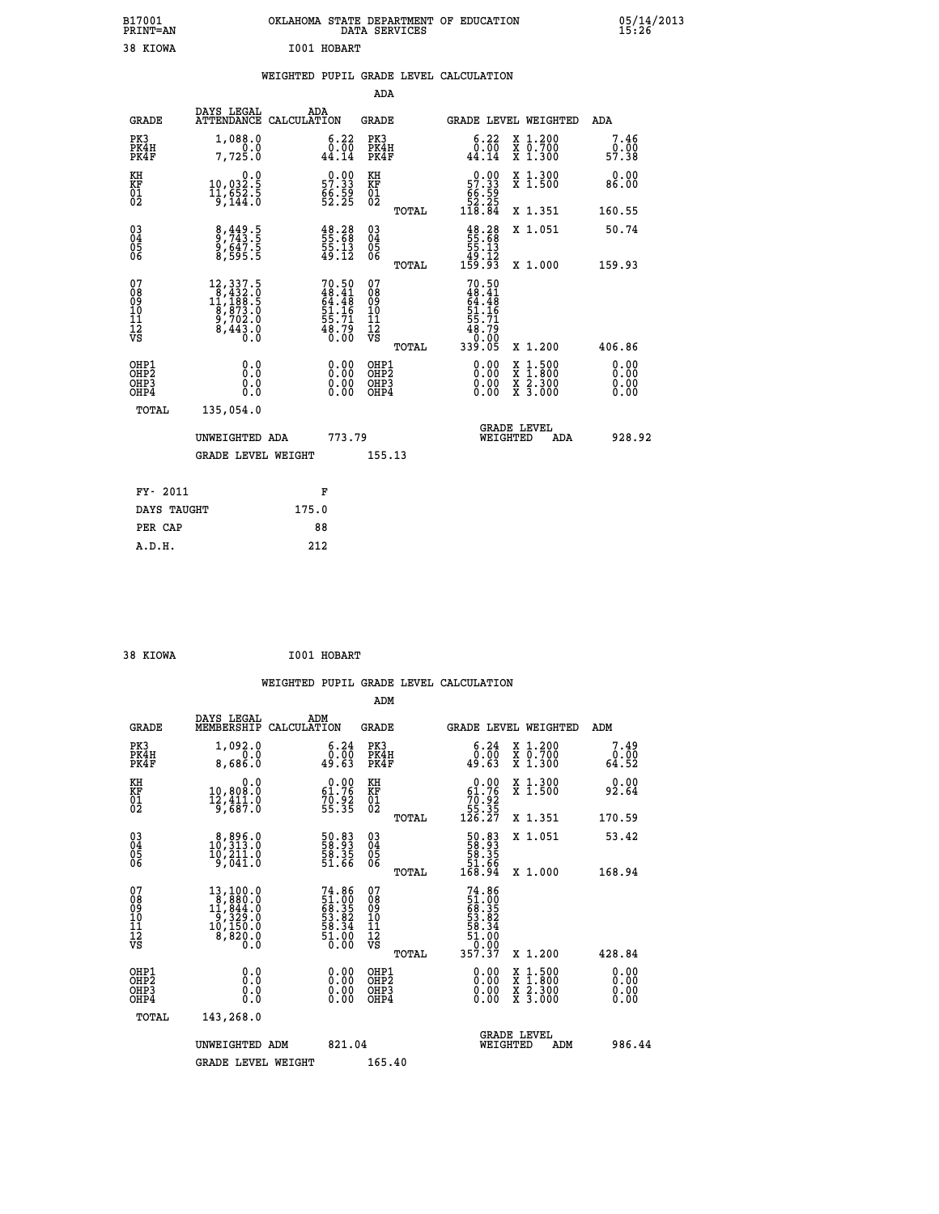| B17001<br>PRINT=AN | OKLAHOMA STATE DEPARTMENT OF EDUCATION<br>DATA SERVICES | 05/14/2013<br>15:26 |
|--------------------|---------------------------------------------------------|---------------------|
| 38 KIOWA           | I001 HOBART                                             |                     |

## **WEIGHTED PUPIL GRADE LEVEL CALCULATION**

|                                                                    |                                                                                                           |                                                                           | ADA                                       |       |                                                                                       |                                                    |                              |
|--------------------------------------------------------------------|-----------------------------------------------------------------------------------------------------------|---------------------------------------------------------------------------|-------------------------------------------|-------|---------------------------------------------------------------------------------------|----------------------------------------------------|------------------------------|
| <b>GRADE</b>                                                       | DAYS LEGAL<br><b>ATTENDANCE</b>                                                                           | ADA<br>CALCULATION                                                        | <b>GRADE</b>                              |       |                                                                                       | GRADE LEVEL WEIGHTED                               | <b>ADA</b>                   |
| PK3<br>PK4H<br>PK4F                                                | 1,088.0<br>0.0<br>7,725.0                                                                                 | $\begin{smallmatrix} 6.22\ 0.00\ 44.14 \end{smallmatrix}$                 | PK3<br>PK4H<br>PK4F                       |       | $\begin{smallmatrix} 6.22\ 0.00\ 44.14 \end{smallmatrix}$                             | X 1.200<br>X 0.700<br>X 1.300                      | 7.46<br>0.00<br>57.38        |
| KH<br>KF<br>01<br>02                                               | 0.0<br>10,032.5<br>11,652.5<br>9,144.0                                                                    | $\begin{smallmatrix} 0.00\\ 57.33\\ 66.59\\ 52.25 \end{smallmatrix}$      | KH<br>KF<br>01<br>02                      |       | $\begin{smallmatrix} &0.00\ 57.33\\ 66.59\\ 62.25\\ 118.84\end{smallmatrix}$          | X 1.300<br>X 1.500                                 | 0.00<br>86.00                |
|                                                                    |                                                                                                           |                                                                           |                                           | TOTAL |                                                                                       | X 1.351                                            | 160.55                       |
| $\begin{smallmatrix} 03 \\[-4pt] 04 \end{smallmatrix}$<br>Ŏ5<br>06 | 8, 449.5<br>9, 743.5<br>9, 647.5<br>8, 595.5                                                              | $\begin{smallmatrix} 48.28\,55.68\,55.13\,59.13\,49.12 \end{smallmatrix}$ | 03<br>04<br>05<br>06                      | TOTAL | $\begin{smallmatrix} 48.28\,55.68\\ 55.68\\ 55.13\\ 49.12\\ 159.93 \end{smallmatrix}$ | X 1.051<br>X 1.000                                 | 50.74<br>159.93              |
| 07<br>08<br>09<br>11<br>11<br>12<br>VS                             | $\begin{smallmatrix} 12,337.5\\ 8,432.0\\ 11,188.5\\ 8,873.0\\ 9,702.0\\ 8,443.0\\ 0.0 \end{smallmatrix}$ | 70.50<br>48.41<br>64.48<br>51.16<br>55.71<br>55.71<br>48.79<br>0.00       | 07<br>08<br>09<br>11<br>11<br>12<br>VS    |       | 70.50<br>$48.41$<br>$64.48$<br>$51.16$<br>$55.71$<br>$58.79$<br>$0.005$<br>$339.05$   |                                                    |                              |
|                                                                    |                                                                                                           |                                                                           |                                           | TOTAL |                                                                                       | X 1.200                                            | 406.86                       |
| OHP1<br>OHP <sub>2</sub><br>OHP3<br>OHP4                           | 0.0<br>0.0<br>0.0                                                                                         | 0.00<br>$\begin{smallmatrix} 0.00 \ 0.00 \end{smallmatrix}$               | OHP1<br>OH <sub>P</sub> 2<br>OHP3<br>OHP4 |       | 0.00<br>0.00<br>0.00                                                                  | $1:500$<br>$1:800$<br>X<br>X<br>X 2.300<br>X 3.000 | 0.00<br>0.00<br>0.00<br>0.00 |
| TOTAL                                                              | 135,054.0                                                                                                 |                                                                           |                                           |       |                                                                                       |                                                    |                              |
|                                                                    | UNWEIGHTED ADA                                                                                            | 773.79                                                                    |                                           |       |                                                                                       | <b>GRADE LEVEL</b><br>WEIGHTED<br>ADA              | 928.92                       |
|                                                                    | <b>GRADE LEVEL WEIGHT</b>                                                                                 |                                                                           | 155.13                                    |       |                                                                                       |                                                    |                              |
| FY- 2011                                                           |                                                                                                           | F                                                                         |                                           |       |                                                                                       |                                                    |                              |
| DAYS TAUGHT                                                        |                                                                                                           | 175.0                                                                     |                                           |       |                                                                                       |                                                    |                              |
| PER CAP                                                            |                                                                                                           | 88                                                                        |                                           |       |                                                                                       |                                                    |                              |
|                                                                    |                                                                                                           |                                                                           |                                           |       |                                                                                       |                                                    |                              |

 **38 KIOWA I001 HOBART**

 **A.D.H. 212**

 **ADM**

| <b>GRADE</b>                                       | DAYS LEGAL<br>MEMBERSHIP CALCULATION                                                                                                                                                                | ADM                                                                    | <b>GRADE</b>                                       |       | GRADE LEVEL WEIGHTED                                                                                                |                                          | ADM                   |
|----------------------------------------------------|-----------------------------------------------------------------------------------------------------------------------------------------------------------------------------------------------------|------------------------------------------------------------------------|----------------------------------------------------|-------|---------------------------------------------------------------------------------------------------------------------|------------------------------------------|-----------------------|
| PK3<br>PK4H<br>PK4F                                | 1,092.0<br>0.0<br>8,686.0                                                                                                                                                                           | 6.24<br>0.00<br>49.63                                                  | PK3<br>PK4H<br>PK4F                                |       | 6.24<br>0.00<br>49.63                                                                                               | X 1.200<br>X 0.700<br>X 1.300            | 7.49<br>0.00<br>64.52 |
| KH<br>KF<br>01<br>02                               | 0.0<br>10,808.0<br>$\frac{12}{9}, \frac{111}{687}.0$                                                                                                                                                | $\begin{smallmatrix} 0.00\\ 61.76\\ 70.92\\ 55.35 \end{smallmatrix}$   | KH<br>KF<br>01<br>02                               |       | $0.00\n61.76\n70.92\n55.35\n126.27$                                                                                 | X 1.300<br>X 1.500                       | 0.00<br>92.64         |
|                                                    |                                                                                                                                                                                                     |                                                                        |                                                    | TOTAL |                                                                                                                     | X 1.351                                  | 170.59                |
| $\begin{matrix} 03 \\ 04 \\ 05 \\ 06 \end{matrix}$ | $\begin{smallmatrix} 8, 896.0\\ 10, 313.0\\ 10, 211.0\\ 9, 041.0 \end{smallmatrix}$                                                                                                                 | 50.83<br>58.93<br>58.35<br>51.66                                       | $\begin{matrix} 03 \\ 04 \\ 05 \\ 06 \end{matrix}$ |       | $\begin{smallmatrix} 50.83\\ 58.93\\ 58.35\\ 51.66\\ 168.94 \end{smallmatrix}$                                      | X 1.051                                  | 53.42                 |
|                                                    |                                                                                                                                                                                                     |                                                                        |                                                    | TOTAL |                                                                                                                     | X 1.000                                  | 168.94                |
| 07<br>08<br>09<br>101<br>11<br>12<br>VS            | $\begin{smallmatrix} 13\,,\,100\,.\,0\\[-1mm] 8\,,\,880\,. \,0\\[-1mm] 1\,,\,844\,. \,0\\[-1mm] 9\,,\,329\,. \,0\\[-1mm] 10\,,\,150\,. \,0\\[-1mm] 8\,,\,820\,. \,0\\[-1mm] 0\,. \end{smallmatrix}$ | $74.86$<br>51.00<br>68.35<br>53.82<br>53.34<br>58.34<br>51.00<br>51.00 | 07<br>08<br>09<br>001<br>11<br>11<br>12<br>VS      | TOTAL | 74.86<br>$\begin{array}{r} 11.000 \\ 51.005 \\ 63.352 \\ 53.824 \\ 54.34 \\ 51.000 \\ 10.000 \\ 357.37 \end{array}$ | X 1.200                                  | 428.84                |
| OHP1<br>OHP2<br>OHP3<br>OHP4                       | 0.0<br>0.0<br>0.0                                                                                                                                                                                   | $0.00$<br>$0.00$<br>0.00                                               | OHP1<br>OHP2<br>OHP3<br>OHP4                       |       | $0.00$<br>$0.00$<br>0.00                                                                                            | X 1:500<br>X 1:800<br>X 2:300<br>X 3:000 | 0.00<br>0.00<br>0.00  |
| TOTAL                                              | 143,268.0                                                                                                                                                                                           |                                                                        |                                                    |       |                                                                                                                     |                                          |                       |
|                                                    | UNWEIGHTED<br>ADM                                                                                                                                                                                   | 821.04                                                                 |                                                    |       | WEIGHTED                                                                                                            | <b>GRADE LEVEL</b><br>ADM                | 986.44                |
|                                                    | <b>GRADE LEVEL WEIGHT</b>                                                                                                                                                                           |                                                                        | 165.40                                             |       |                                                                                                                     |                                          |                       |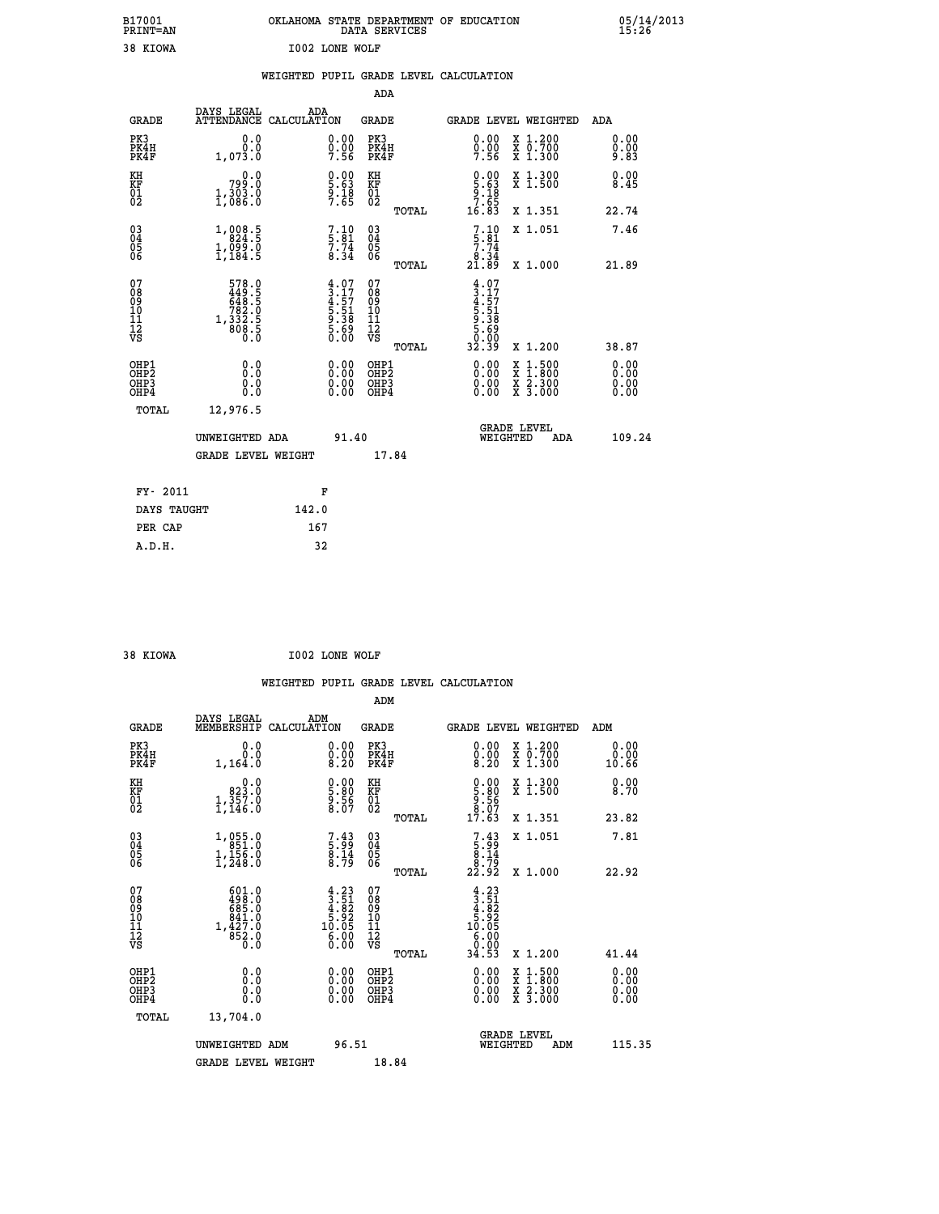|                       | OKLAHOMA STATE DEPARTMENT OF EDUCATION<br>DATA SERVICES |  |
|-----------------------|---------------------------------------------------------|--|
| <b>I002 LONE WOLF</b> |                                                         |  |

05/14/2013<br>15:26

|                                              |                                                                                                     |       |                                                                    |                                                    |       | WEIGHTED PUPIL GRADE LEVEL CALCULATION                                                                                                                                                                                                                                         |                                          |                                   |
|----------------------------------------------|-----------------------------------------------------------------------------------------------------|-------|--------------------------------------------------------------------|----------------------------------------------------|-------|--------------------------------------------------------------------------------------------------------------------------------------------------------------------------------------------------------------------------------------------------------------------------------|------------------------------------------|-----------------------------------|
|                                              |                                                                                                     |       |                                                                    | <b>ADA</b>                                         |       |                                                                                                                                                                                                                                                                                |                                          |                                   |
| <b>GRADE</b>                                 | DAYS LEGAL<br>ATTENDANCE CALCULATION                                                                |       | ADA                                                                | GRADE                                              |       | GRADE LEVEL WEIGHTED                                                                                                                                                                                                                                                           |                                          | ADA                               |
| PK3<br>PK4H<br>PK4F                          | 0.0<br>0.0<br>1,073.0                                                                               |       | $\begin{smallmatrix} 0.00\\ 0.00\\ 7.56 \end{smallmatrix}$         | PK3<br>PK4H<br>PK4F                                |       | $0.00$<br>$0.00$<br>$7.56$                                                                                                                                                                                                                                                     | X 1.200<br>X 0.700<br>X 1.300            | 0.00<br>0.00<br>9.83              |
| KH<br>KF<br>01<br>02                         | 0.0<br>799.O<br>1,303.0                                                                             |       | $\begin{smallmatrix} 0.00\\ 5.63\\ 9.18\\ 7.65 \end{smallmatrix}$  | KH<br>KF<br>01<br>02                               |       | $0.00$<br>5.63<br>9.18<br>7.65                                                                                                                                                                                                                                                 | X 1.300<br>X 1.500                       | 0.00<br>8.45                      |
|                                              |                                                                                                     |       |                                                                    |                                                    | TOTAL | 16.83                                                                                                                                                                                                                                                                          | X 1.351                                  | 22.74                             |
| 03<br>04<br>05<br>06                         | $1,008.5$<br>$824.5$<br>$1,099.0$<br>$1,184.5$                                                      |       | $7.10$<br>$7.74$<br>$8.34$                                         | $\begin{matrix} 03 \\ 04 \\ 05 \\ 06 \end{matrix}$ |       | $7.10$<br>$5.81$<br>$7.74$                                                                                                                                                                                                                                                     | X 1.051                                  | 7.46                              |
|                                              |                                                                                                     |       |                                                                    |                                                    | TOTAL | ة:8.<br>21.89                                                                                                                                                                                                                                                                  | X 1.000                                  | 21.89                             |
| 07<br>08<br>09<br>10<br>11<br>11<br>12<br>VS | $\begin{array}{r} 578.0 \\ 449.5 \\ 648.5 \\ 782.0 \\ 782.0 \\ 1,332.5 \\ 808.5 \\ 0.0 \end{array}$ |       | $4.07$<br>$3.17$<br>$4.57$<br>$5.51$<br>$5.38$<br>$5.69$<br>$0.00$ | 07<br>08<br>09<br>11<br>11<br>12<br>VS             | TOTAL | $4.07$<br>$3.17$<br>$4.57$<br>$5.51$<br>$5.38$<br>$5.69$<br>$5.69$<br>32.39                                                                                                                                                                                                    | X 1.200                                  | 38.87                             |
| OHP1<br>OHP2<br>OH <sub>P3</sub><br>OHP4     | 0.0<br>0.0<br>0.0                                                                                   |       | $\begin{smallmatrix} 0.00 \ 0.00 \ 0.00 \ 0.00 \end{smallmatrix}$  | OHP1<br>OHP2<br>OHP <sub>3</sub>                   |       | $\begin{smallmatrix} 0.00 & 0.00 & 0.00 & 0.00 & 0.00 & 0.00 & 0.00 & 0.00 & 0.00 & 0.00 & 0.00 & 0.00 & 0.00 & 0.00 & 0.00 & 0.00 & 0.00 & 0.00 & 0.00 & 0.00 & 0.00 & 0.00 & 0.00 & 0.00 & 0.00 & 0.00 & 0.00 & 0.00 & 0.00 & 0.00 & 0.00 & 0.00 & 0.00 & 0.00 & 0.00 & 0.0$ | X 1:500<br>X 1:800<br>X 2:300<br>X 3:000 | 0.00<br>Ō. ŌŌ<br>$0.00$<br>$0.00$ |
| TOTAL                                        | 12,976.5                                                                                            |       |                                                                    |                                                    |       |                                                                                                                                                                                                                                                                                |                                          |                                   |
|                                              | UNWEIGHTED ADA                                                                                      |       | 91.40                                                              |                                                    |       | <b>GRADE LEVEL</b><br>WEIGHTED                                                                                                                                                                                                                                                 | ADA                                      | 109.24                            |
|                                              | <b>GRADE LEVEL WEIGHT</b>                                                                           |       |                                                                    |                                                    | 17.84 |                                                                                                                                                                                                                                                                                |                                          |                                   |
| FY- 2011                                     |                                                                                                     |       | F                                                                  |                                                    |       |                                                                                                                                                                                                                                                                                |                                          |                                   |
| DAYS TAUGHT                                  |                                                                                                     | 142.0 |                                                                    |                                                    |       |                                                                                                                                                                                                                                                                                |                                          |                                   |
| PER CAP                                      |                                                                                                     | 167   |                                                                    |                                                    |       |                                                                                                                                                                                                                                                                                |                                          |                                   |

| 38 KIOWA |  | I002 LONE WOLF |  |
|----------|--|----------------|--|
|          |  |                |  |

 **A.D.H. 32**

 **B17001<br>PRINT=AN<br>38 KIOWA** 

|                                          |                                                                   |                    |                                                                                                                                                                                                                                                                                                                                                |                                                     |       | WEIGHTED PUPIL GRADE LEVEL CALCULATION                                                             |                                          |     |                       |        |
|------------------------------------------|-------------------------------------------------------------------|--------------------|------------------------------------------------------------------------------------------------------------------------------------------------------------------------------------------------------------------------------------------------------------------------------------------------------------------------------------------------|-----------------------------------------------------|-------|----------------------------------------------------------------------------------------------------|------------------------------------------|-----|-----------------------|--------|
|                                          |                                                                   |                    |                                                                                                                                                                                                                                                                                                                                                | ADM                                                 |       |                                                                                                    |                                          |     |                       |        |
| <b>GRADE</b>                             | DAYS LEGAL<br>MEMBERSHIP                                          | ADM<br>CALCULATION |                                                                                                                                                                                                                                                                                                                                                | <b>GRADE</b>                                        |       | <b>GRADE LEVEL WEIGHTED</b>                                                                        |                                          |     | ADM                   |        |
| PK3<br>PK4H<br>PK4F                      | 0.0<br>0.0<br>1,164.0                                             |                    | $\substack{0.00\\0.00\\8.20}$                                                                                                                                                                                                                                                                                                                  | PK3<br>PK4H<br>PK4F                                 |       | 0.00<br>$\begin{smallmatrix} 0.00 \\ 8.20 \end{smallmatrix}$                                       | X 1.200<br>X 0.700<br>X 1.300            |     | 0.00<br>0.00<br>10.66 |        |
| KH<br>KF<br>01<br>02                     | 0.0<br>823.0<br>$1,\frac{357}{146}.0$                             |                    | $\begin{smallmatrix} 0.00\ 5.80\ 9.56\ 8.07 \end{smallmatrix}$                                                                                                                                                                                                                                                                                 | KH<br>KF<br>01<br>02                                |       | $\begin{smallmatrix} 0.00\\ 5.80\\ 9.56\\ 8.07\\ 17.63 \end{smallmatrix}$                          | X 1.300<br>X 1.500                       |     | 0.00<br>8.70          |        |
|                                          |                                                                   |                    |                                                                                                                                                                                                                                                                                                                                                |                                                     | TOTAL |                                                                                                    | X 1.351                                  |     | 23.82                 |        |
| 03<br>04<br>05<br>06                     | $1, 055.0$<br>$1, 156.0$<br>$1, 248.0$                            |                    | 7.43<br>5.99<br>8.14<br>8.79                                                                                                                                                                                                                                                                                                                   | $\begin{array}{c} 03 \\ 04 \\ 05 \\ 06 \end{array}$ |       | $\begin{array}{c} 7 \cdot 43 \\ 5 \cdot 99 \\ 8 \cdot 14 \\ 8 \cdot 79 \\ 22 \cdot 92 \end{array}$ | X 1.051                                  |     | 7.81                  |        |
|                                          |                                                                   |                    |                                                                                                                                                                                                                                                                                                                                                |                                                     | TOTAL |                                                                                                    | X 1.000                                  |     | 22.92                 |        |
| 07<br>08<br>09<br>11<br>11<br>12<br>VS   | $\frac{601.0}{498.0}$<br>$1,427.0$<br>$841.0$<br>$852.0$<br>$0.0$ |                    | $\begin{smallmatrix} 4\cdot23\\[-1.2mm] 3\cdot51\\[-1.2mm] 4\cdot82\\[-1.2mm] 5\cdot92\\[-1.2mm] 1\cdot05\\[-1.2mm] 0\cdot05\\[-1.2mm] 0\cdot00\\[-1.2mm] 0\cdot00\\[-1.2mm] 0\cdot00\\[-1.2mm] 0\cdot00\\[-1.2mm] 0\cdot00\\[-1.2mm] 0\cdot00\\[-1.2mm] 0\cdot00\\[-1.2mm] 0\cdot00\\[-1.2mm] 0\cdot00\\[-1.2mm] 0\cdot00\\[-1.2mm] 0\cdot00$ | 07<br>08<br>09<br>11<br>11<br>12<br>VS              | TOTAL | $4.23$<br>$3.51$<br>$4.82$<br>$5.92$<br>$10.05$<br>$6.000$<br>$9.90$<br>34.53                      | X 1.200                                  |     | 41.44                 |        |
|                                          |                                                                   |                    |                                                                                                                                                                                                                                                                                                                                                |                                                     |       |                                                                                                    |                                          |     |                       |        |
| OHP1<br>OHP2<br>OH <sub>P3</sub><br>OHP4 | 0.0<br>0.0<br>Ŏ.Ŏ                                                 |                    | $\begin{smallmatrix} 0.00 \ 0.00 \ 0.00 \ 0.00 \end{smallmatrix}$                                                                                                                                                                                                                                                                              | OHP1<br>OHP2<br>OHP <sub>3</sub>                    |       | 0.00<br>0.00                                                                                       | X 1:500<br>X 1:800<br>X 2:300<br>X 3:000 |     | 0.00<br>0.00<br>0.00  |        |
| TOTAL                                    | 13,704.0                                                          |                    |                                                                                                                                                                                                                                                                                                                                                |                                                     |       |                                                                                                    |                                          |     |                       |        |
|                                          | UNWEIGHTED ADM<br><b>GRADE LEVEL WEIGHT</b>                       |                    | 96.51                                                                                                                                                                                                                                                                                                                                          | 18.84                                               |       | WEIGHTED                                                                                           | <b>GRADE LEVEL</b>                       | ADM |                       | 115.35 |
|                                          |                                                                   |                    |                                                                                                                                                                                                                                                                                                                                                |                                                     |       |                                                                                                    |                                          |     |                       |        |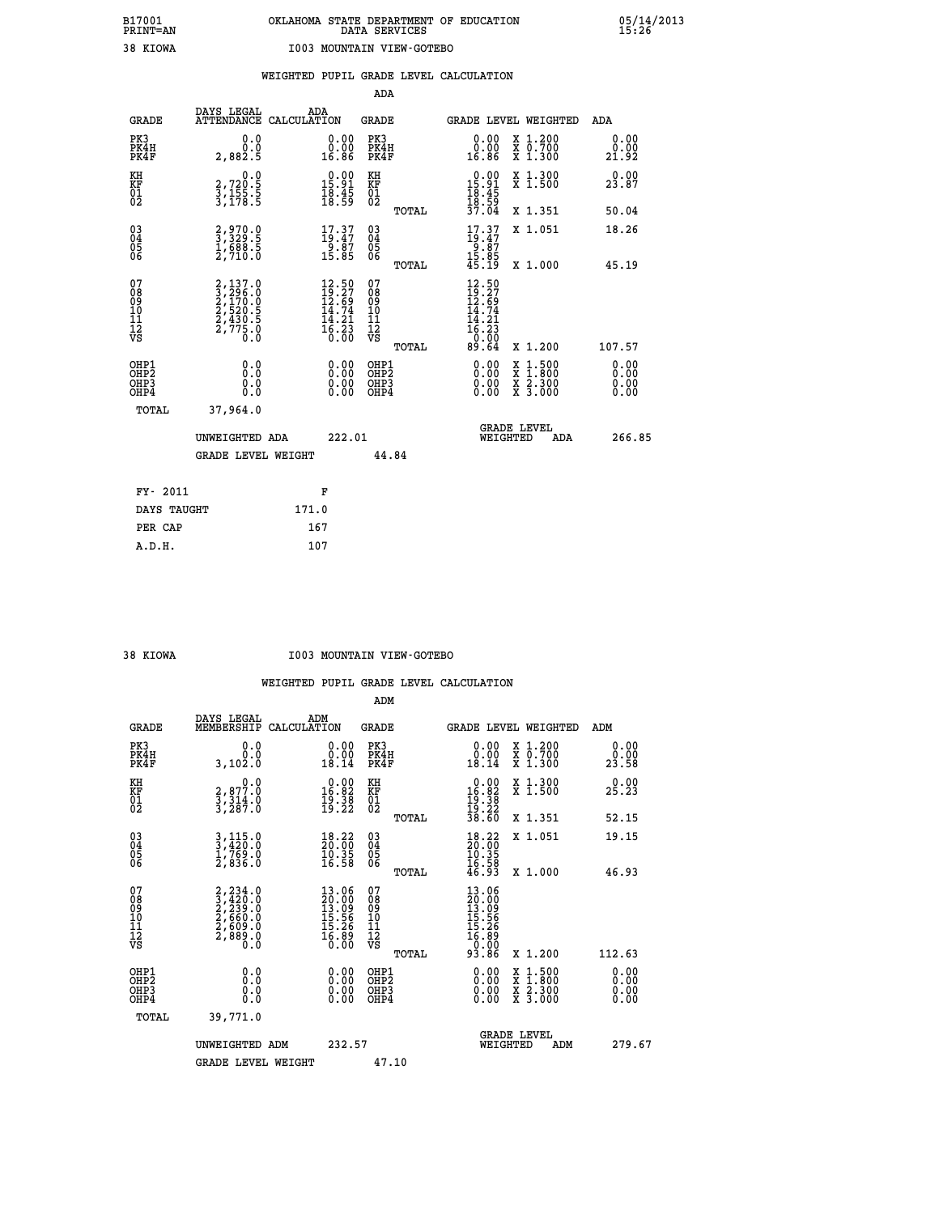|                                                                   |                                                                             |                                                                                                                          | ADA                                       |       |                                                                                                                                    |                                          |                              |
|-------------------------------------------------------------------|-----------------------------------------------------------------------------|--------------------------------------------------------------------------------------------------------------------------|-------------------------------------------|-------|------------------------------------------------------------------------------------------------------------------------------------|------------------------------------------|------------------------------|
| <b>GRADE</b>                                                      | DAYS LEGAL<br>ATTENDANCE CALCULATION                                        | ADA                                                                                                                      | <b>GRADE</b>                              |       | GRADE LEVEL WEIGHTED                                                                                                               |                                          | ADA                          |
| PK3<br>PK4H<br>PK4F                                               | 0.0<br>0.0<br>2,882.5                                                       | $\begin{smallmatrix} 0.00\\ 0.00\\ 16.86 \end{smallmatrix}$                                                              | PK3<br>PK4H<br>PK4F                       |       | 0.00<br>ŏ:ŏŏ<br>16.86                                                                                                              | X 1.200<br>X 0.700<br>X 1.300            | 0.00<br>0.00<br>21.92        |
| KH<br><b>KF</b><br>01<br>02                                       | 0.0<br>$\frac{2}{3}, \frac{720}{155}$ .<br>$\frac{5}{3}, \frac{155}{178}$ . | $\begin{smallmatrix} 0.00\\ 15.91\\ 18.45\\ 18.59 \end{smallmatrix}$                                                     | KH<br>KF<br>01<br>02                      |       | $\begin{array}{r} 0.00 \\[-4pt] 15.91 \\[-4pt] 18.45 \\[-4pt] 18.59 \\[-4pt] 37.04 \end{array}$                                    | X 1.300<br>X 1.500                       | 0.00<br>23.87                |
|                                                                   |                                                                             |                                                                                                                          |                                           | TOTAL |                                                                                                                                    | X 1.351                                  | 50.04                        |
| $^{03}_{04}$<br>Ŏ5<br>06                                          | 2,970.0<br>3,329.5<br>1,688.5<br>2,710.0                                    | $17.37$<br>$19.47$<br>$9.87$<br>$15.85$                                                                                  | $\substack{03 \\ 04}$<br>Ŏ5<br>06         |       | $17.37$<br>$19.47$<br>$9.87$<br>$15.85$<br>$45.19$                                                                                 | X 1.051                                  | 18.26                        |
|                                                                   |                                                                             |                                                                                                                          |                                           | TOTAL |                                                                                                                                    | X 1.000                                  | 45.19                        |
| 07<br>08901112<br>1112<br>VS                                      | 2,137.0<br>3,296.0<br>2,170.0<br>2,520.5<br>2,430.5<br>2,775.0<br>0.0       | $\begin{smallmatrix} 12\cdot50\\ 19\cdot27\\ 12\cdot69\\ 14\cdot74\\ 14\cdot21\\ 16\cdot23\\ 0\cdot00 \end{smallmatrix}$ | 07<br>08<br>09<br>11<br>11<br>12<br>VS    |       | $\begin{array}{c} 12\cdot50 \\ 19\cdot27 \\ 12\cdot69 \\ 14\cdot74 \\ 14\cdot21 \\ 16\cdot23 \\ 0\cdot00 \\ 89\cdot64 \end{array}$ |                                          |                              |
|                                                                   |                                                                             |                                                                                                                          |                                           | TOTAL |                                                                                                                                    | X 1.200                                  | 107.57                       |
| OHP1<br>OH <sub>P</sub> 2<br>OH <sub>P3</sub><br>OH <sub>P4</sub> | 0.0<br>0.0<br>0.0                                                           | $\begin{smallmatrix} 0.00 \ 0.00 \ 0.00 \ 0.00 \end{smallmatrix}$                                                        | OHP1<br>OH <sub>P</sub> 2<br>OHP3<br>OHP4 |       | 0.00<br>0.00<br>0.00                                                                                                               | X 1:500<br>X 1:800<br>X 2:300<br>X 3:000 | 0.00<br>0.00<br>0.00<br>0.00 |
| TOTAL                                                             | 37,964.0                                                                    |                                                                                                                          |                                           |       |                                                                                                                                    |                                          |                              |
|                                                                   | UNWEIGHTED ADA                                                              | 222.01                                                                                                                   |                                           |       |                                                                                                                                    | GRADE LEVEL<br>WEIGHTED<br>ADA           | 266.85                       |
|                                                                   | <b>GRADE LEVEL WEIGHT</b>                                                   |                                                                                                                          | 44.84                                     |       |                                                                                                                                    |                                          |                              |
| FY- 2011                                                          |                                                                             | F                                                                                                                        |                                           |       |                                                                                                                                    |                                          |                              |
| DAYS TAUGHT                                                       |                                                                             | 171.0                                                                                                                    |                                           |       |                                                                                                                                    |                                          |                              |
| PER CAP                                                           |                                                                             | 167                                                                                                                      |                                           |       |                                                                                                                                    |                                          |                              |

 **A.D.H. 107**

#### **38 KIOWA I003 MOUNTAIN VIEW-GOTEBO**

|                                          |                                                                                  |                                                                          | ADM                                                 |                                                                                |                                          |                       |
|------------------------------------------|----------------------------------------------------------------------------------|--------------------------------------------------------------------------|-----------------------------------------------------|--------------------------------------------------------------------------------|------------------------------------------|-----------------------|
| <b>GRADE</b>                             | DAYS LEGAL<br>MEMBERSHIP                                                         | ADM<br>CALCULATION                                                       | <b>GRADE</b>                                        |                                                                                | <b>GRADE LEVEL WEIGHTED</b>              | ADM                   |
| PK3<br>PK4H<br>PK4F                      | 0.0<br>ة:ة<br>3,102.0                                                            | $\begin{smallmatrix} 0.00\\ 0.00\\ 18.14 \end{smallmatrix}$              | PK3<br>PK4H<br>PK4F                                 | $\begin{smallmatrix} 0.00\\ 0.00\\ 18.14 \end{smallmatrix}$                    | X 1.200<br>X 0.700<br>X 1.300            | 0.00<br>0.00<br>23.58 |
| KH<br>KF<br>01<br>02                     | 0.0<br>2,877.0<br>3,314.0<br>3,287.0                                             | $\begin{smallmatrix} 0.00\\16.82\\19.38\\19.22 \end{smallmatrix}$        | KH<br>KF<br>01<br>02                                | $\begin{array}{r} 0.00 \\ 16.82 \\ 19.38 \\ 19.22 \\ 38.60 \end{array}$        | X 1.300<br>X 1.500                       | 0.00<br>25.23         |
|                                          |                                                                                  |                                                                          | TOTAL                                               |                                                                                | X 1.351                                  | 52.15                 |
| 03<br>04<br>05<br>06                     | $3,420.0$<br>$1,769.0$<br>$1,769.0$<br>2,836.0                                   | $\begin{smallmatrix} 18.22\ 20.00\ 10.35\ 16.58 \end{smallmatrix}$       | $\begin{array}{c} 03 \\ 04 \\ 05 \\ 06 \end{array}$ | $\begin{smallmatrix} 18.22\ 20.00\ 10.35\ 16.58\ 46.93 \end{smallmatrix}$      | X 1.051                                  | 19.15                 |
|                                          |                                                                                  |                                                                          | TOTAL                                               |                                                                                | X 1.000                                  | 46.93                 |
| 07<br>08<br>09<br>101<br>11<br>12<br>VS  | $2, 234.0$<br>$2, 239.0$<br>$2, 239.0$<br>$2, 660.0$<br>$2, 609.0$<br>$2, 889.0$ | $13.06$<br>$20.00$<br>$13.09$<br>$15.56$<br>$15.26$<br>$16.89$<br>$0.00$ | 07<br>08<br>09<br>11<br>11<br>12<br>VS              | $13.060$<br>$20.009$<br>$13.996$<br>$15.566$<br>$15.269$<br>$0.000$<br>$93.86$ |                                          |                       |
|                                          |                                                                                  |                                                                          | TOTAL                                               |                                                                                | X 1.200                                  | 112.63                |
| OHP1<br>OHP2<br>OHP <sub>3</sub><br>OHP4 | 0.0<br>$\begin{smallmatrix} 0.16 \ 0.0 \end{smallmatrix}$                        |                                                                          | OHP1<br>OHP2<br>OHP <sub>3</sub>                    | $0.00$<br>$0.00$<br>0.00                                                       | X 1:500<br>X 1:800<br>X 2:300<br>X 3:000 | 0.00<br>0.00<br>0.00  |
| TOTAL                                    | 39,771.0                                                                         |                                                                          |                                                     |                                                                                |                                          |                       |
|                                          | UNWEIGHTED ADM                                                                   | 232.57                                                                   |                                                     |                                                                                | GRADE LEVEL<br>WEIGHTED<br>ADM           | 279.67                |
|                                          | <b>GRADE LEVEL WEIGHT</b>                                                        |                                                                          | 47.10                                               |                                                                                |                                          |                       |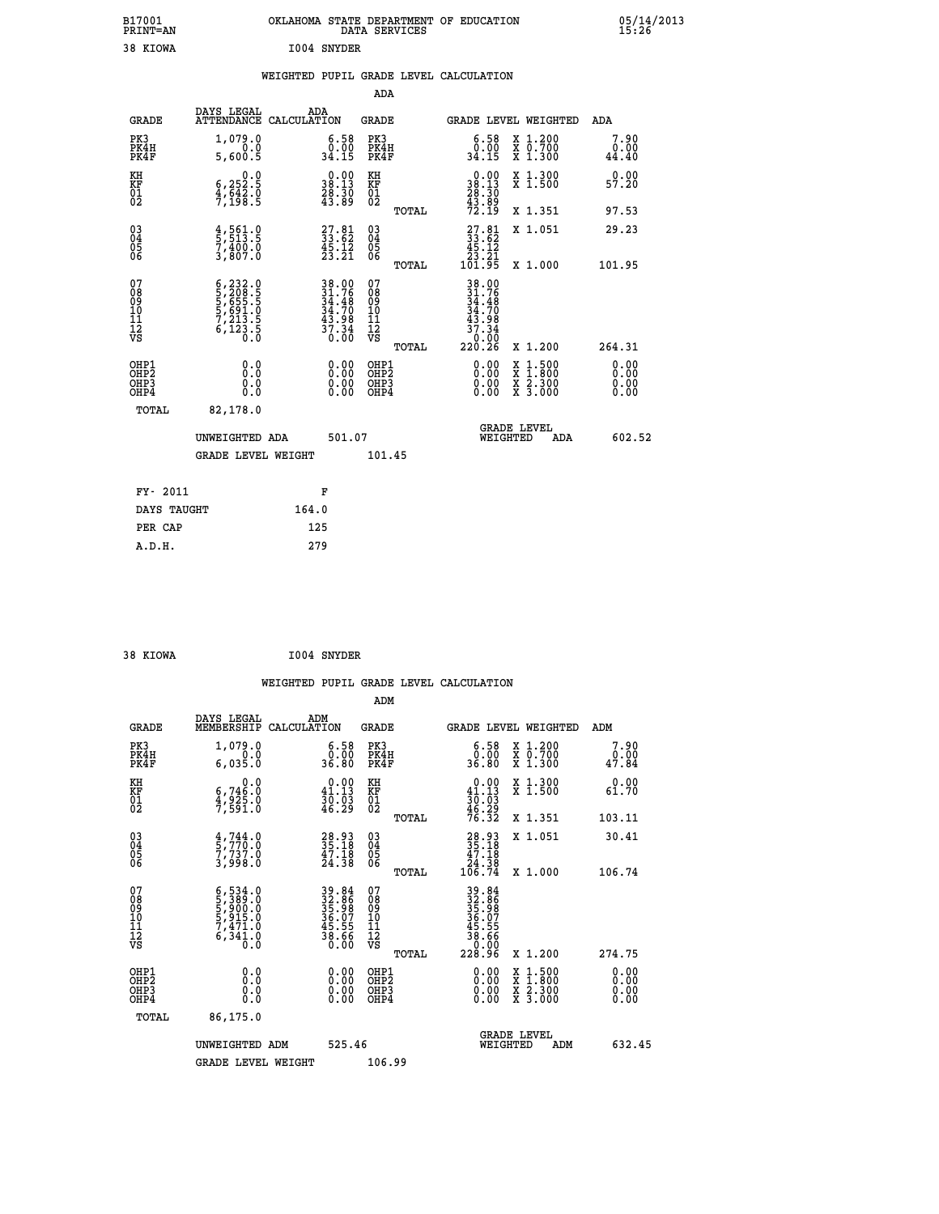| B17001<br>PRINT=AN                        |                                                                                                                                                                                         | OKLAHOMA STATE DEPARTMENT OF EDUCATION                                                    | DATA SERVICES                                               |                                                                              |                                                                                                             | 05/14/2013                             |
|-------------------------------------------|-----------------------------------------------------------------------------------------------------------------------------------------------------------------------------------------|-------------------------------------------------------------------------------------------|-------------------------------------------------------------|------------------------------------------------------------------------------|-------------------------------------------------------------------------------------------------------------|----------------------------------------|
| 38 KIOWA                                  |                                                                                                                                                                                         | 1004 SNYDER                                                                               |                                                             |                                                                              |                                                                                                             |                                        |
|                                           |                                                                                                                                                                                         | WEIGHTED PUPIL GRADE LEVEL CALCULATION                                                    | ADA                                                         |                                                                              |                                                                                                             |                                        |
| <b>GRADE</b>                              | DAYS LEGAL                                                                                                                                                                              | ADA<br>ATTENDANCE CALCULATION                                                             | GRADE                                                       |                                                                              | GRADE LEVEL WEIGHTED                                                                                        | ADA                                    |
| PK3<br>PK4H<br>PK4F                       | 1,079.0<br>0.0<br>5,600.5                                                                                                                                                               | $\begin{smallmatrix} 6.58\\ 0.00\\ 34.15 \end{smallmatrix}$                               | PK3<br>PK4H<br>PK4F                                         | 6.58<br>0.00<br>34.15                                                        | X 1.200<br>X 0.700<br>X 1.300                                                                               | 7.90<br>0.00<br>44.40                  |
| KH<br>KF<br>01<br>02                      | 0.0<br>$\frac{6}{7}, \frac{252}{198}$ $\frac{3}{7}$                                                                                                                                     | $\begin{smallmatrix} 0.00\\ 38.13\\ 28.30\\ 43.89 \end{smallmatrix}$                      | KH<br>KF<br>01<br>02                                        | $\begin{smallmatrix} 0.00\\ 38.13\\ 28.30\\ 43.89\\ 72.19 \end{smallmatrix}$ | X 1.300<br>X 1.500                                                                                          | 0.00<br>57.20                          |
|                                           |                                                                                                                                                                                         |                                                                                           | TOTAL                                                       |                                                                              | X 1.351                                                                                                     | 97.53                                  |
| $\substack{03 \\ 04}$<br>Ŏ5<br>06         | $\frac{4}{5}$ , 561.0<br>7,400.0<br>3,807.0                                                                                                                                             | $\begin{smallmatrix} 27.81\\ 33.62\\ 45.12\\ 23.21 \end{smallmatrix}$                     | $\begin{matrix} 03 \\ 04 \\ 05 \\ 06 \end{matrix}$<br>TOTAL | $\frac{27.81}{33.62}$<br>45.12<br>23.21<br>101.95                            | X 1.051<br>X 1.000                                                                                          | 29.23<br>101.95                        |
| 07<br>08<br>09<br>10<br>11<br>12<br>VS    | $\begin{smallmatrix} 6\,,\,2\,3\,2\,. & 0\\ 5\,,\,2\,0\,8\,. & 5\\ 5\,,\,6\,5\,5\,. & 5\\ 5\,,\,6\,9\,1\,. & 0\\ 7\,,\,2\,13\,. & 5\\ 6\,,\,1\,2\,3\,. & 5\\ 0\,. & 0\end{smallmatrix}$ | $\begin{array}{l} 38.00 \\ 31.76 \\ 34.48 \\ 34.70 \\ 43.98 \\ 37.34 \\ 0.00 \end{array}$ | 07<br>08<br>09<br>11<br>11<br>12<br>VS                      | 38.00<br>31.76<br>34.48<br>34.70<br>43.98<br>$\frac{37.34}{0.00}$            |                                                                                                             |                                        |
| OHP1<br>OH <sub>P</sub> 2<br>OHP3<br>OHP4 | 0.0<br>0.0<br>0.0                                                                                                                                                                       | 0.00<br>$\begin{smallmatrix} 0.00 \ 0.00 \end{smallmatrix}$                               | TOTAL<br>OHP1<br>OH <sub>P</sub> 2<br>OHP3<br>OHP4          | 220.26<br>0.00<br>0.00<br>0.00                                               | X 1.200<br>$\begin{smallmatrix} x & 1 & 500 \\ x & 1 & 800 \\ x & 2 & 300 \\ x & 3 & 000 \end{smallmatrix}$ | 264.31<br>0.00<br>0.00<br>0.00<br>0.00 |
| TOTAL                                     | 82,178.0                                                                                                                                                                                |                                                                                           |                                                             |                                                                              |                                                                                                             |                                        |
|                                           | UNWEIGHTED ADA<br><b>GRADE LEVEL WEIGHT</b>                                                                                                                                             | 501.07                                                                                    | 101.45                                                      | WEIGHTED                                                                     | <b>GRADE LEVEL</b><br>ADA                                                                                   | 602.52                                 |
| FY- 2011                                  |                                                                                                                                                                                         | F                                                                                         |                                                             |                                                                              |                                                                                                             |                                        |
| DAYS TAUGHT                               |                                                                                                                                                                                         | 164.0                                                                                     |                                                             |                                                                              |                                                                                                             |                                        |
| PER CAP                                   |                                                                                                                                                                                         | 125                                                                                       |                                                             |                                                                              |                                                                                                             |                                        |

| I004 SNYDER<br>38 KIOWA |  |  |  |  |
|-------------------------|--|--|--|--|
|-------------------------|--|--|--|--|

 **A.D.H. 279**

 **WEIGHTED PUPIL GRADE LEVEL CALCULATION ADM DAYS LEGAL ADM GRADE MEMBERSHIP CALCULATION GRADE GRADE LEVEL WEIGHTED ADM PK3 1,079.0 6.58 PK3 6.58 X 1.200 7.90 PK4H 0.0 0.00 PK4H 0.00 X 0.700 0.00 PK4F 6,035.0 36.80 PK4F 36.80 X 1.300 47.84 KH 0.0 0.00 KH 0.00 X 1.300 0.00 KF 6,746.0 41.13 KF 41.13 X 1.500 61.70 01 4,925.0 30.03 01 30.03 02 7,591.0 46.29 02 46.29 TOTAL 76.32 X 1.351 103.11 03 4,744.0 28.93 03 28.93 X 1.051 30.41 04 5,770.0 35.18 04 35.18 05 7,737.0 47.18 05 47.18 06 3,998.0 24.38 06 24.38 TOTAL 106.74 X 1.000 106.74 07 6,534.0 39.84 07 39.84 08 5,389.0 32.86 08 32.86 09 5,900.0 35.98 09 35.98 10 5,915.0 36.07 10 36.07 11 7,471.0 45.55 11 45.55 12 6,341.0 38.66 12 38.66 VS 0.0 0.00 VS 0.00**  $\begin{array}{cccc} 6.534 & 0 & 39 & 84 & 07 \\ 5.386 & 0 & 32 & 86 & 08 \\ 5.9015 & 0 & 36 & 07 & 39 & 84 \\ 7.471 & 0 & 45 & 57 & 10 \\ 7.471 & 0 & 45 & 55 & 11 \\ 6.341 & 0 & 38 & 66 & 12 \\ 6.341 & 0 & 0 & 0 & 07 \\ 0.0 & 0.0 & 0.00 & 0.00 \\ 0.0 & 0.00 & 0.00 & 0.00 \\ 0.0 & 0.00 &$  **OHP1 0.0 0.00 OHP1 0.00 X 1.500 0.00 OHP2 0.0 0.00 OHP2 0.00 X 1.800 0.00 OHP3 0.0 0.00 OHP3 0.00 X 2.300 0.00 OHP4 0.0 0.00 OHP4 0.00 X 3.000 0.00 TOTAL 86,175.0 GRADE LEVEL UNWEIGHTED ADM 525.46 WEIGHTED ADM 632.45** GRADE LEVEL WEIGHT 106.99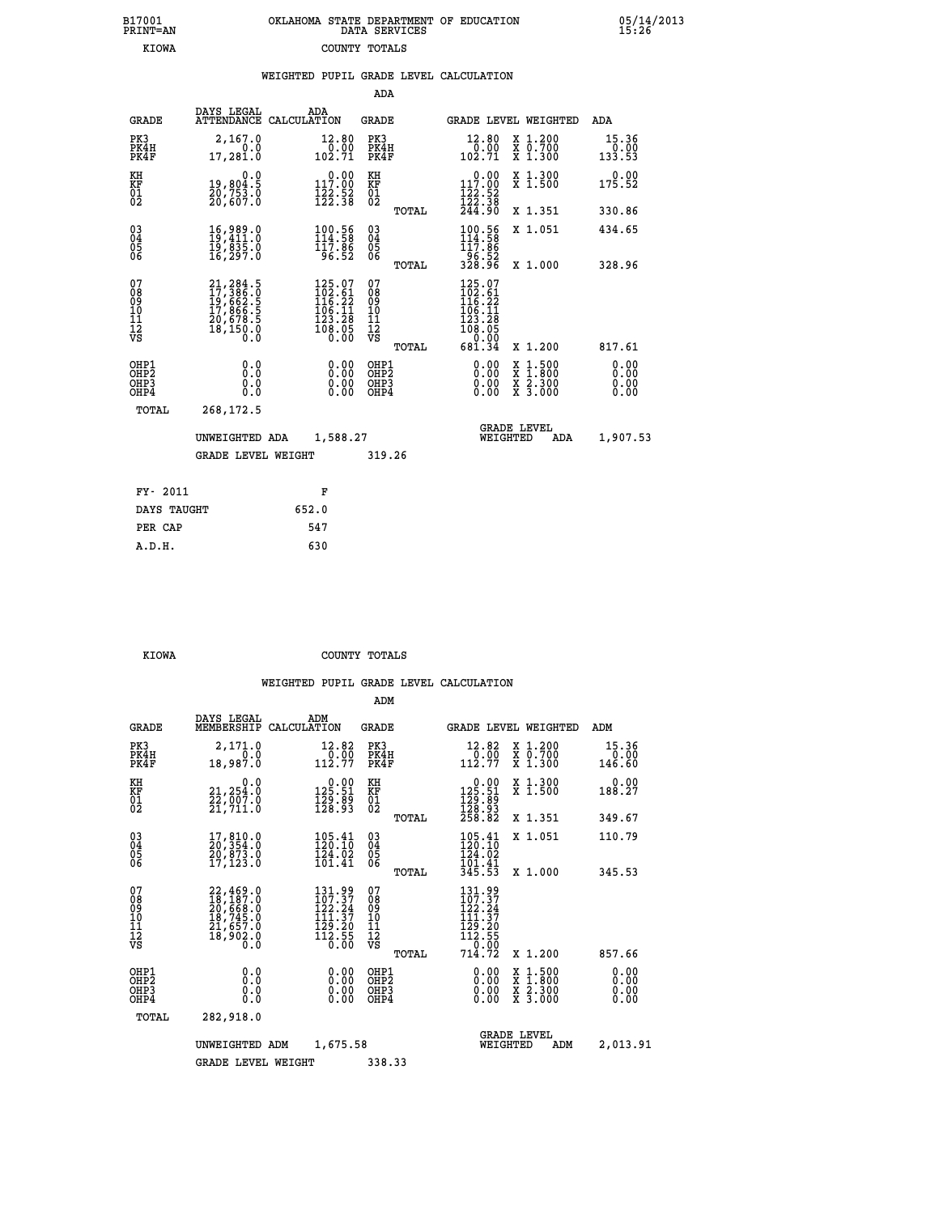| B17001          | OKLAHOMA STATE DEPARTMENT OF EDUCATION |
|-----------------|----------------------------------------|
| <b>PRINT=AN</b> | DATA SERVICES                          |
| KIOWA           | COUNTY TOTALS                          |

 **B17001 OKLAHOMA STATE DEPARTMENT OF EDUCATION 05/14/2013**

|                                                                              |                                                                                   |                                                                                                    | ADA                                              |                                                                                                                                            |                                                                                                                                           |                              |
|------------------------------------------------------------------------------|-----------------------------------------------------------------------------------|----------------------------------------------------------------------------------------------------|--------------------------------------------------|--------------------------------------------------------------------------------------------------------------------------------------------|-------------------------------------------------------------------------------------------------------------------------------------------|------------------------------|
| <b>GRADE</b>                                                                 | DAYS LEGAL                                                                        | ADA<br>ATTENDANCE CALCULATION                                                                      | GRADE                                            |                                                                                                                                            | <b>GRADE LEVEL WEIGHTED</b>                                                                                                               | ADA                          |
| PK3<br>PK4H<br>PK4F                                                          | 2,167.0<br>0.0<br>17,281.0                                                        | 12.80<br>$\frac{0.00}{102.71}$                                                                     | PK3<br>PK4H<br>PK4F                              | 12.80<br>$\frac{0.00}{102.71}$                                                                                                             | X 1.200<br>X 0.700<br>X 1.300                                                                                                             | 15.36<br>$0.00$<br>133.53    |
| KH<br>KF<br>01<br>02                                                         | 0.0<br>19,804.5<br>20,753.0<br>20,607.0                                           | $\begin{smallmatrix} 0.00\\ 117.00\\ 122.52\\ 122.38 \end{smallmatrix}$                            | KH<br>KF<br>01<br>02                             | 117.00<br>$\frac{122}{122}$ : 52<br>$\frac{122}{244}$ : 38                                                                                 | X 1.300<br>X 1.500                                                                                                                        | 0.00<br>175.52               |
|                                                                              |                                                                                   |                                                                                                    | TOTAL                                            |                                                                                                                                            | X 1.351                                                                                                                                   | 330.86                       |
| $^{03}_{04}$<br>Ŏ5<br>06                                                     | 16,989.0<br>19,411.0<br>19,835.0<br>16,297.0                                      | $\frac{100.56}{114.58}$<br>96.52                                                                   | $\substack{03 \\ 04}$<br>$\frac{05}{06}$         | $\frac{100.56}{114.58}$<br>-96.52<br>328.96                                                                                                | X 1.051                                                                                                                                   | 434.65                       |
|                                                                              |                                                                                   |                                                                                                    | TOTAL                                            |                                                                                                                                            | X 1.000                                                                                                                                   | 328.96                       |
| 07<br>08<br>09<br>11<br>11<br>12<br>VS                                       | 21, 284.5<br>17, 386.0<br>19, 662.5<br>17, 866.5<br>20, 678.5<br>20, 678.5<br>Ō.Ō | $\begin{smallmatrix} 125.07\\102.61\\116.22\\116.21\\105.11\\23.28\\108.05\\0.00\end{smallmatrix}$ | 07<br>08<br>09<br>101<br>11<br>12<br>VS<br>TOTAL | $\begin{smallmatrix} 125\cdot07\\ 102\cdot61\\ 116\cdot22\\ 116\cdot11\\ 23\cdot28\\ 108\cdot05\\ 0\cdot00\\ 681\cdot34 \end{smallmatrix}$ | X 1.200                                                                                                                                   | 817.61                       |
| OHP1<br>OH <sub>P</sub> <sub>2</sub><br>OH <sub>P3</sub><br>OH <sub>P4</sub> | 0.0<br>Ō.Ō<br>0.0<br>0.0                                                          | 0.00<br>0.00<br>0.00                                                                               | OHP1<br>OHP2<br>OHP3<br>OHP4                     | 0.00<br>0.00<br>0.00                                                                                                                       | $\begin{smallmatrix} \mathtt{X} & 1\cdot500\\ \mathtt{X} & 1\cdot800\\ \mathtt{X} & 2\cdot300\\ \mathtt{X} & 3\cdot000 \end{smallmatrix}$ | 0.00<br>0.00<br>0.00<br>0.00 |
| TOTAL                                                                        | 268,172.5                                                                         |                                                                                                    |                                                  |                                                                                                                                            |                                                                                                                                           |                              |
|                                                                              | UNWEIGHTED ADA                                                                    | 1,588.27                                                                                           |                                                  | WEIGHTED                                                                                                                                   | <b>GRADE LEVEL</b><br>ADA                                                                                                                 | 1,907.53                     |
|                                                                              | <b>GRADE LEVEL WEIGHT</b>                                                         |                                                                                                    | 319.26                                           |                                                                                                                                            |                                                                                                                                           |                              |
| FY- 2011                                                                     |                                                                                   | F                                                                                                  |                                                  |                                                                                                                                            |                                                                                                                                           |                              |
|                                                                              | DAYS TAUGHT                                                                       | 652.0                                                                                              |                                                  |                                                                                                                                            |                                                                                                                                           |                              |
| PER CAP                                                                      |                                                                                   | 547                                                                                                |                                                  |                                                                                                                                            |                                                                                                                                           |                              |
| A.D.H.                                                                       |                                                                                   | 630                                                                                                |                                                  |                                                                                                                                            |                                                                                                                                           |                              |

B17001<br>PRINT=AN<br>KIOWA

 **KIOWA COUNTY TOTALS**

|                                                       |                                                                                           |                                                                                                            | ADM                                     |       |                                                                                                                                     |                                          |                              |  |
|-------------------------------------------------------|-------------------------------------------------------------------------------------------|------------------------------------------------------------------------------------------------------------|-----------------------------------------|-------|-------------------------------------------------------------------------------------------------------------------------------------|------------------------------------------|------------------------------|--|
| <b>GRADE</b>                                          | DAYS LEGAL<br>MEMBERSHIP                                                                  | ADM<br>CALCULATION                                                                                         | <b>GRADE</b>                            |       |                                                                                                                                     | <b>GRADE LEVEL WEIGHTED</b>              | ADM                          |  |
| PK3<br>PK4H<br>PK4F                                   | 2,171.0<br>0.0<br>18,987.0                                                                | 12.82<br>$\frac{6}{112.77}$                                                                                | PK3<br>PK4H<br>PK4F                     |       | 12.82<br>$\begin{array}{r} 70.00 \\ 112.77 \end{array}$                                                                             | X 1.200<br>X 0.700<br>X 1.300            | 15.36<br>0.00<br>146.60      |  |
| KH<br>KF<br>01<br>02                                  | 0.0<br>21,254.0<br>22,007.0<br>21,711.0                                                   | $0.00$<br>125.51<br>$\frac{1}{2}\frac{2}{3}\cdot\frac{8}{9}\cdot\frac{1}{3}$                               | KH<br>KF<br>01<br>02                    |       | $\begin{smallmatrix} &0.00\\ 125.51\\ 129.89\\ 128.93\\ 258.82 \end{smallmatrix}$                                                   | X 1.300<br>X 1.500                       | 0.00<br>188.27               |  |
|                                                       |                                                                                           |                                                                                                            |                                         | TOTAL |                                                                                                                                     | X 1.351                                  | 349.67                       |  |
| 03<br>04<br>05<br>06                                  | 17,810.0<br>20,354.0<br>20,873.0<br>17, 123.0                                             | $\frac{105.41}{120.10}$<br>124.02<br>101.41                                                                | $\substack{03 \\ 04}$<br>05<br>06       |       | $\frac{105.41}{120.10}$<br>124.02                                                                                                   | X 1.051                                  | 110.79                       |  |
|                                                       |                                                                                           |                                                                                                            |                                         | TOTAL | $\frac{1}{3}\overline{0}\overline{1}\cdot\overline{4}\overline{1}\overline{3}\overline{4}\overline{5}\cdot\overline{5}\overline{3}$ | X 1.000                                  | 345.53                       |  |
| 07<br>08<br>09<br>101<br>112<br>VS                    | $22,469.0$<br>$18,187.0$<br>$20,668.0$<br>$18,745.0$<br>$21,657.0$<br>$18,902.0$<br>$0.0$ | 131.99<br>107.37<br>122.24<br>$\frac{111}{129}. \frac{37}{20}$<br>$\frac{129}{112}. \frac{55}{29}$<br>Ō.ŎŎ | 07<br>08<br>09<br>101<br>11<br>12<br>VS | TOTAL | 131.99<br>107.37<br>122.24<br>111.37<br>129:20<br>112:55<br>--0:00<br>714.72                                                        | X 1.200                                  | 857.66                       |  |
| OHP1<br>OH <sub>P</sub> 2<br>OH <sub>P3</sub><br>OHP4 | 0.0<br>0.000                                                                              | $0.00$<br>$0.00$<br>0.00                                                                                   | OHP1<br>OHP2<br>OHP3<br>OHP4            |       | $0.00$<br>$0.00$<br>0.00                                                                                                            | X 1:500<br>X 1:800<br>X 2:300<br>X 3:000 | 0.00<br>0.00<br>0.00<br>0.00 |  |
|                                                       |                                                                                           |                                                                                                            |                                         |       |                                                                                                                                     |                                          |                              |  |
| TOTAL                                                 | 282,918.0                                                                                 |                                                                                                            |                                         |       |                                                                                                                                     |                                          |                              |  |
|                                                       | UNWEIGHTED                                                                                | 1,675.58<br>ADM                                                                                            |                                         |       | WEIGHTED                                                                                                                            | <b>GRADE LEVEL</b><br>ADM                | 2,013.91                     |  |
|                                                       | <b>GRADE LEVEL WEIGHT</b>                                                                 |                                                                                                            | 338.33                                  |       |                                                                                                                                     |                                          |                              |  |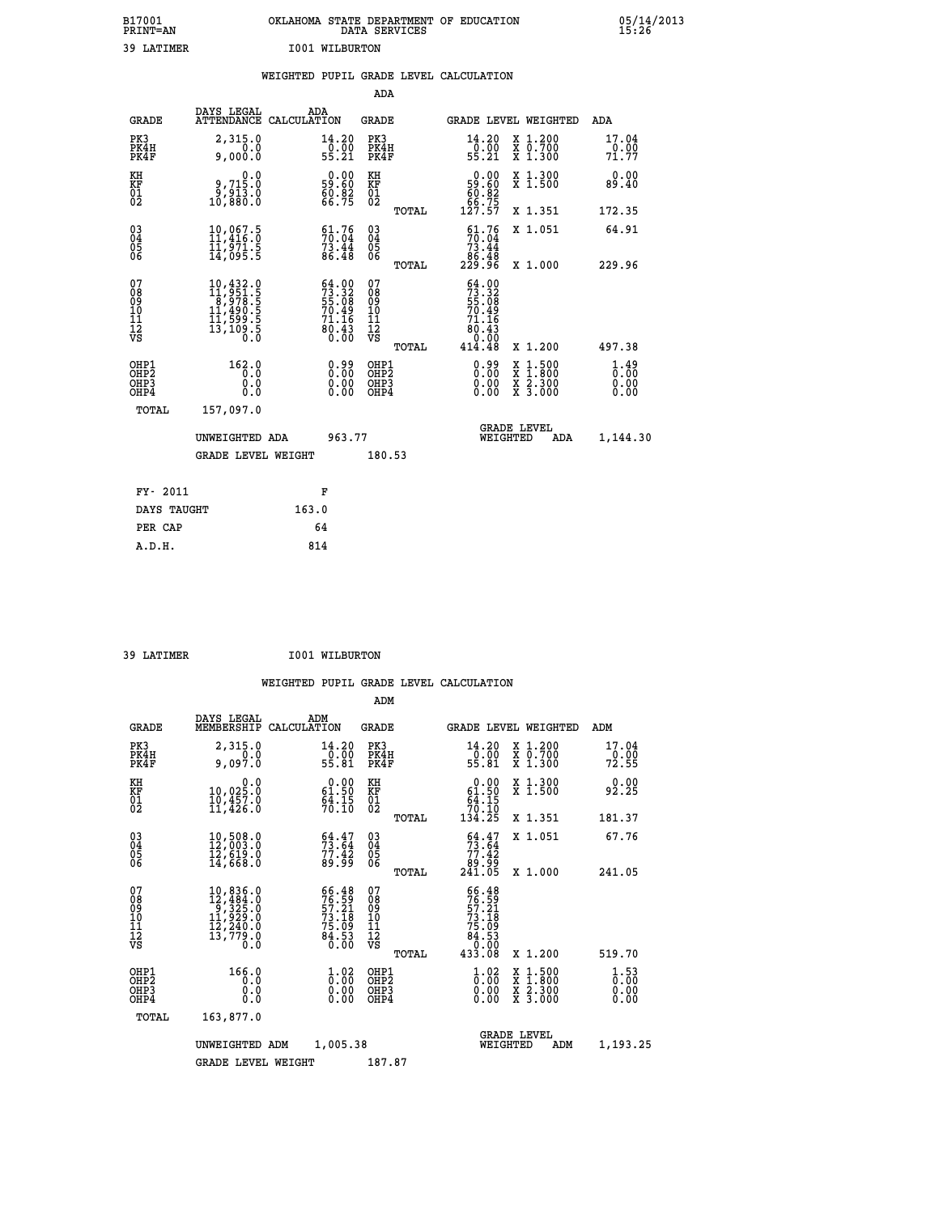| B17001<br><b>PRINT=AN</b> | OKLAHOMA STATE DEPARTMENT OF EDUCATION<br>DATA SERVICES | 05/14/2013<br>15:26 |
|---------------------------|---------------------------------------------------------|---------------------|
| 39 LATIMER                | I001 WILBURTON                                          |                     |

|                                                                    |                                                                                                                                                                                         | WEIGHTED PUPIL GRADE LEVEL CALCULATION                                      |                                                     |       |                                                                                 |                                                    |                                                 |
|--------------------------------------------------------------------|-----------------------------------------------------------------------------------------------------------------------------------------------------------------------------------------|-----------------------------------------------------------------------------|-----------------------------------------------------|-------|---------------------------------------------------------------------------------|----------------------------------------------------|-------------------------------------------------|
|                                                                    |                                                                                                                                                                                         |                                                                             | <b>ADA</b>                                          |       |                                                                                 |                                                    |                                                 |
| <b>GRADE</b>                                                       | <b>DAYS LEGAL<br/>ATTENDANCE</b>                                                                                                                                                        | ADA<br>CALCULATION                                                          | <b>GRADE</b>                                        |       |                                                                                 | GRADE LEVEL WEIGHTED                               | ADA                                             |
| PK3<br>PK4H<br>PK4F                                                | 2,315.0<br>0.00000                                                                                                                                                                      | 14.20<br>$\frac{6.00}{55.21}$                                               | PK3<br>PK4H<br>PK4F                                 |       | 14.20<br>-0.00<br>55.21                                                         | X 1.200<br>X 0.700<br>X 1.300                      | 17.04<br>0.00<br>71.77                          |
| KH<br>KF<br>01<br>02                                               | 0.0<br>0,715.0<br>0,813.0<br>10,880.0                                                                                                                                                   | $\begin{smallmatrix} 0.00\\ 59.60\\ 60.82\\ 66.75 \end{smallmatrix}$        | KH<br>KF<br>01<br>02                                |       | 0.00<br>59:60<br>60:82<br>66:75<br>127:57                                       | X 1.300<br>X 1.500                                 | 0.00<br>89.40                                   |
|                                                                    |                                                                                                                                                                                         |                                                                             |                                                     | TOTAL |                                                                                 | X 1.351                                            | 172.35                                          |
| $\begin{smallmatrix} 03 \\[-4pt] 04 \end{smallmatrix}$<br>05<br>06 | $\begin{smallmatrix} 10,067.5\\ 11,416.0\\ 11,971.5\\ 14,095.5 \end{smallmatrix}$                                                                                                       | $51.76$<br>$70.04$<br>$73.44$<br>86.48                                      | $\begin{array}{c} 03 \\ 04 \\ 05 \\ 06 \end{array}$ |       | $51.76$<br>$70.04$<br>$73.44$<br>$86.48$<br>$229.96$                            | X 1.051                                            | 64.91                                           |
|                                                                    |                                                                                                                                                                                         |                                                                             |                                                     | TOTAL |                                                                                 | X 1.000                                            | 229.96                                          |
| 07<br>08<br>09<br>11<br>11<br>12<br>VS                             | $\begin{smallmatrix} 10\,, & 432\,, & 0\\ 11\,, & 951\,, & 5\\ 8\,, & 978\,, & 5\\ 11\,, & 490\,, & 5\\ 11\,, & 599\,, & 5\\ 13\,, & 109\,, & 5\\ 0\,, & 0\,, & 0\,, \end{smallmatrix}$ | $54.00$<br>$73.32$<br>$55.08$<br>$70.49$<br>$71.16$<br>$\frac{65.43}{0.00}$ | 07<br>08<br>09<br>11<br>11<br>12<br>VS              | TOTAL | $\frac{64.00}{73.32}$<br>55.08<br>70.49<br>.16<br>71<br>80.43<br>0.55<br>414.48 | X 1.200                                            | 497.38                                          |
| OHP1<br>OHP2<br>OHP3<br>OHP4                                       | 162.0<br>0.0<br>0.0<br>0.0                                                                                                                                                              | $0.99$<br>$0.00$<br>$\begin{smallmatrix} 0.00 \ 0.00 \end{smallmatrix}$     | OHP1<br>OHP2<br>OHP3<br>OHP4                        |       | 0.99<br>0.00                                                                    | 1:500<br>X<br>X<br>X<br>X<br>$\frac{2.300}{3.000}$ | $\frac{1}{0}$ : $\frac{49}{00}$<br>0.00<br>0.00 |
| <b>TOTAL</b>                                                       | 157,097.0                                                                                                                                                                               |                                                                             |                                                     |       |                                                                                 |                                                    |                                                 |
|                                                                    | UNWEIGHTED ADA                                                                                                                                                                          | 963.77                                                                      |                                                     |       | WEIGHTED                                                                        | <b>GRADE LEVEL</b><br>ADA                          | 1,144.30                                        |
|                                                                    | <b>GRADE LEVEL WEIGHT</b>                                                                                                                                                               |                                                                             | 180.53                                              |       |                                                                                 |                                                    |                                                 |
| FY- 2011                                                           |                                                                                                                                                                                         | F                                                                           |                                                     |       |                                                                                 |                                                    |                                                 |
| DAYS TAUGHT                                                        |                                                                                                                                                                                         | 163.0                                                                       |                                                     |       |                                                                                 |                                                    |                                                 |
| PER CAP                                                            |                                                                                                                                                                                         | 64                                                                          |                                                     |       |                                                                                 |                                                    |                                                 |

| 39 LATIMER | <b>I001 WILBURTON</b> |
|------------|-----------------------|

 **A.D.H. 814**

 **ADM**

| <b>GRADE</b>                                       | DAYS LEGAL<br>MEMBERSHIP                                                                                                                             | ADM<br>CALCULATION                                                                           | <b>GRADE</b>                                  |       | GRADE LEVEL WEIGHTED                                                                  |                                          | ADM                                |  |
|----------------------------------------------------|------------------------------------------------------------------------------------------------------------------------------------------------------|----------------------------------------------------------------------------------------------|-----------------------------------------------|-------|---------------------------------------------------------------------------------------|------------------------------------------|------------------------------------|--|
| PK3<br>PK4H<br>PK4F                                | 2,315.0<br>9,097.0                                                                                                                                   | 14.20<br>$\frac{0.00}{55.81}$                                                                | PK3<br>PK4H<br>PK4F                           |       | 14.20<br>$\frac{0}{55}.00$<br>55.81                                                   | X 1.200<br>X 0.700<br>X 1.300            | 17.04<br>$\frac{0.00}{72.55}$      |  |
| KH<br>KF<br>$\overline{01}$                        | 0.0<br>10,025.0<br>10,457.0<br>11,426.0                                                                                                              | $\begin{smallmatrix} 0.00\\ 61.50\\ 94.15\\ 70.10 \end{smallmatrix}$                         | KH<br>KF<br>$^{01}_{02}$                      |       | $\begin{smallmatrix}&&0.00\\ 61.50\\ 64.15\\ 70.10\\ 134.25\end{smallmatrix}$         | X 1.300<br>X 1.500                       | 0.00<br>92.25                      |  |
|                                                    |                                                                                                                                                      |                                                                                              |                                               | TOTAL |                                                                                       | X 1.351                                  | 181.37                             |  |
| $\begin{matrix} 03 \\ 04 \\ 05 \\ 06 \end{matrix}$ | 10,508.0<br>12,003.0<br>12,619.0                                                                                                                     | $\frac{64.47}{73.64}$<br>$\frac{77.42}{89.99}$                                               | 030404<br>06                                  |       | $54.47$<br>$73.64$<br>$77.42$<br>$89.99$<br>$241.05$                                  | X 1.051                                  | 67.76                              |  |
|                                                    | 14,668.0                                                                                                                                             |                                                                                              |                                               | TOTAL |                                                                                       | X 1.000                                  | 241.05                             |  |
| 07<br>08<br>09<br>101<br>11<br>12<br>VS            | $\begin{smallmatrix} 10, 836\cdot 0\\ 12, 484\cdot 0\\ 9, 325\cdot 0\\ 11, 929\cdot 0\\ 12, 240\cdot 0\\ 13, 779\cdot 0\\ 0\cdot 0\end{smallmatrix}$ | $\begin{smallmatrix} 66.48\\ 76.59\\ 57.21\\ 73.18\\ 75.09\\ 84.53\\ 0.00 \end{smallmatrix}$ | 07<br>08<br>09<br>001<br>11<br>11<br>12<br>VS | TOTAL | $66.48$<br>$76.59$<br>$57.21$<br>$73.18$<br>$75.09$<br>$84.53$<br>$0.008$<br>$433.08$ | X 1.200                                  | 519.70                             |  |
| OHP1                                               | 166.0                                                                                                                                                |                                                                                              |                                               |       |                                                                                       |                                          |                                    |  |
| OHP2<br>OH <sub>P3</sub><br>OHP4                   | 0.0<br>0.0<br>Ŏ.Ŏ                                                                                                                                    | $\begin{smallmatrix} 1.02 \ 0.00 \ 0.00 \ 0.00 \end{smallmatrix}$                            | OHP1<br>OHP2<br>OHP3<br>OHP4                  |       | $\frac{1}{0}$ :00<br>$\begin{smallmatrix} 0.00 & 0 \ 0.00 & 0 \end{smallmatrix}$      | X 1:500<br>X 1:800<br>X 2:300<br>X 3:000 | $\frac{1}{0}$ : 53<br>0.00<br>0.00 |  |
| TOTAL                                              | 163,877.0                                                                                                                                            |                                                                                              |                                               |       |                                                                                       |                                          |                                    |  |
|                                                    | UNWEIGHTED                                                                                                                                           | 1,005.38<br>ADM                                                                              |                                               |       | WEIGHTED                                                                              | <b>GRADE LEVEL</b><br>ADM                | 1,193.25                           |  |
|                                                    | <b>GRADE LEVEL WEIGHT</b>                                                                                                                            |                                                                                              | 187.87                                        |       |                                                                                       |                                          |                                    |  |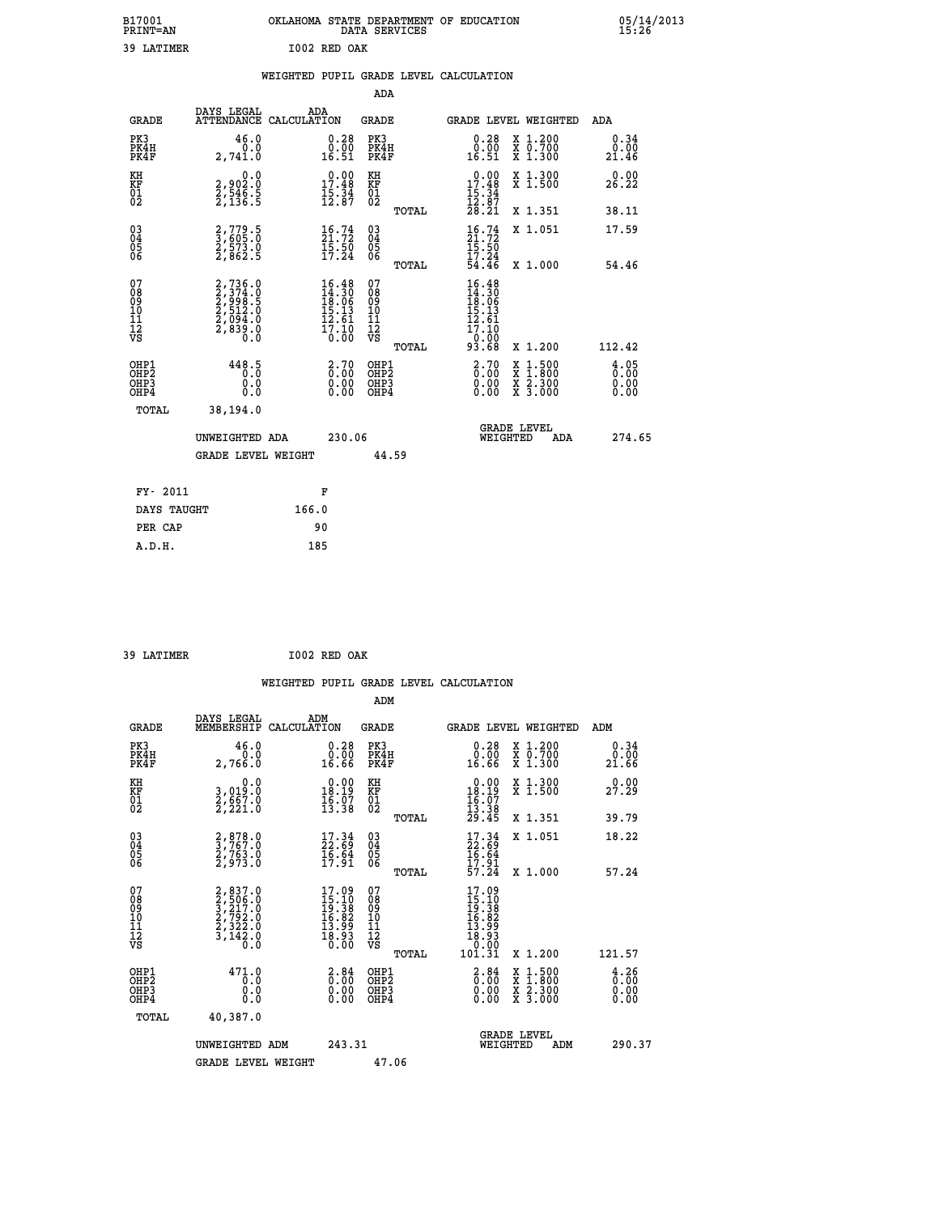| B17001<br><b>PRINT=AN</b> |              | OKLAHOMA STATE DEPARTMENT OF EDUCATION<br>DATA SERVICES |  |
|---------------------------|--------------|---------------------------------------------------------|--|
| 39 LATIMER                | I002 RED OAK |                                                         |  |

|                                                                    |                          |                                                                |                                                                                        |                                        |       | WEIGHTED PUPIL GRADE LEVEL CALCULATION                                        |                                                                          |                                                         |
|--------------------------------------------------------------------|--------------------------|----------------------------------------------------------------|----------------------------------------------------------------------------------------|----------------------------------------|-------|-------------------------------------------------------------------------------|--------------------------------------------------------------------------|---------------------------------------------------------|
|                                                                    |                          |                                                                |                                                                                        | ADA                                    |       |                                                                               |                                                                          |                                                         |
| <b>GRADE</b>                                                       | DAYS LEGAL               | ATTENDANCE CALCULATION                                         | ADA                                                                                    | <b>GRADE</b>                           |       |                                                                               | GRADE LEVEL WEIGHTED                                                     | ADA                                                     |
| PK3<br>PK4H<br>PK4F                                                |                          | 46.0<br>0.0<br>2,741.0                                         | $\substack{0.28 \\ 0.00 \\ 16.51}$                                                     | PK3<br>PK4H<br>PK4F                    |       | 0.28<br>0.00<br>16.51                                                         | X 1.200<br>X 0.700<br>X 1.300                                            | 0.34<br>0.00<br>21.46                                   |
| KH<br>KF<br>01<br>02                                               |                          | 0.0<br>2,902:0<br>2,546:5<br>2,136:5                           | $\begin{smallmatrix} 0.00\\ 17.48\\ 15.34\\ 12.87 \end{smallmatrix}$                   | KH<br>KF<br>01<br>02                   |       | $\begin{array}{r} 0.00 \\ 17.48 \\ 15.34 \\ 12.87 \\ 28.21 \end{array}$       | X 1.300<br>X 1.500                                                       | 0.00<br>26.22                                           |
|                                                                    |                          |                                                                |                                                                                        |                                        | TOTAL |                                                                               | X 1.351                                                                  | 38.11                                                   |
| $\begin{smallmatrix} 03 \\[-4pt] 04 \end{smallmatrix}$<br>Ŏ5<br>06 |                          | 2,779.5<br>3,605.0<br>2,573.0<br>2,862.5                       | $\frac{16}{21}$ : 72<br>$\frac{15.50}{17.24}$                                          | $\substack{03 \\ 04}$<br>05<br>06      |       | $\frac{16}{21}$ : 72<br>$\frac{15.50}{17.24}$                                 | X 1.051                                                                  | 17.59                                                   |
|                                                                    |                          |                                                                |                                                                                        |                                        | TOTAL | 54.46                                                                         | X 1.000                                                                  | 54.46                                                   |
| 07<br>08<br>09<br>101<br>112<br>VS                                 |                          | 2,736.0<br>2,374.0<br>2,998.5<br>2,512.0<br>2,694.0<br>2,839.0 | $\begin{smallmatrix} 16.48\\14.30\\18.06\\15.13\\12.61\\17.10\\0.00 \end{smallmatrix}$ | 07<br>08<br>09<br>11<br>11<br>12<br>VS | TOTAL | $16.48$<br>$14.30$<br>$18.06$<br>$15.13$<br>$12.61$<br>17.10<br>0:00<br>93.68 | X 1.200                                                                  | 112.42                                                  |
| OHP1<br>OHP2<br>OHP3<br>OHP4                                       |                          | 448.5<br>0.0<br>Ō.Ō                                            | 2.70<br>$\begin{smallmatrix} 0.00 \ 0.00 \end{smallmatrix}$                            | OHP1<br>OHP2<br>OHP3<br>OHP4           |       | 2.70<br>0.00<br>0.00                                                          | $1:500$<br>1:800<br>X<br>X<br>$\frac{\ddot{x}}{x}$ $\frac{2.300}{3.000}$ | 4.05<br>$\overline{0}$ . $\overline{0}$<br>0.00<br>0.00 |
|                                                                    | <b>TOTAL</b><br>38,194.0 |                                                                |                                                                                        |                                        |       |                                                                               |                                                                          |                                                         |
|                                                                    |                          | UNWEIGHTED ADA                                                 | 230.06                                                                                 |                                        |       |                                                                               | GRADE LEVEL<br>WEIGHTED<br>ADA                                           | 274.65                                                  |
|                                                                    |                          | <b>GRADE LEVEL WEIGHT</b>                                      |                                                                                        | 44.59                                  |       |                                                                               |                                                                          |                                                         |
|                                                                    | FY- 2011                 |                                                                | F                                                                                      |                                        |       |                                                                               |                                                                          |                                                         |
|                                                                    | DAYS TAUGHT              | 166.0                                                          |                                                                                        |                                        |       |                                                                               |                                                                          |                                                         |
|                                                                    | PER CAP                  |                                                                | 90                                                                                     |                                        |       |                                                                               |                                                                          |                                                         |

 **39 LATIMER I002 RED OAK**

 **A.D.H. 185**

 **ADM**

 **B17001<br>PRINT=AN** 

| <b>GRADE</b>                                       | DAYS LEGAL<br>MEMBERSHIP CALCULATION                                                | ADM                                                                      | <b>GRADE</b>                                       |                                                                                                                                                                                       | GRADE LEVEL WEIGHTED                                                                                                | ADM                                                                |
|----------------------------------------------------|-------------------------------------------------------------------------------------|--------------------------------------------------------------------------|----------------------------------------------------|---------------------------------------------------------------------------------------------------------------------------------------------------------------------------------------|---------------------------------------------------------------------------------------------------------------------|--------------------------------------------------------------------|
| PK3<br>PK4H<br>PK4F                                | 46.0<br>0.0<br>2,766.0                                                              | 0.28<br>ŏ.ōŏ<br>16.66                                                    | PK3<br>PK4H<br>PK4F                                | 0.28<br>ŏ.ōŏ<br>16.66                                                                                                                                                                 | X 1.200<br>X 0.700<br>X 1.300                                                                                       | 0.34<br>0.00<br>21.66                                              |
| KH<br>KF<br>01<br>02                               | 0.0<br>3,019:0<br>2,667:0<br>2,221:0                                                | $\begin{smallmatrix} 0.00\\18.19\\16.07\\13.38 \end{smallmatrix}$        | KH<br>KF<br>01<br>02                               | $\begin{array}{c} 0.00 \\ 18.19 \\ 16.07 \\ 13.38 \\ 29.45 \end{array}$                                                                                                               | X 1.300<br>X 1.500                                                                                                  | 0.00<br>27.29                                                      |
|                                                    |                                                                                     |                                                                          | TOTAL                                              |                                                                                                                                                                                       | X 1.351                                                                                                             | 39.79                                                              |
| $\begin{matrix} 03 \\ 04 \\ 05 \\ 06 \end{matrix}$ | 2,878.0<br>3,767.0<br>2,763.0<br>2,973.0                                            | $\begin{smallmatrix} 17.34 \\ 22.69 \\ 16.64 \\ 17.91 \end{smallmatrix}$ | $\begin{matrix} 03 \\ 04 \\ 05 \\ 06 \end{matrix}$ | $17.34$<br>$22.69$<br>$16.64$<br>$17.91$<br>$57.24$                                                                                                                                   | X 1.051                                                                                                             | 18.22                                                              |
|                                                    |                                                                                     |                                                                          | TOTAL                                              |                                                                                                                                                                                       | X 1.000                                                                                                             | 57.24                                                              |
| 07<br>08<br>09<br>101<br>11<br>12<br>VS            | $2,837.0$<br>$2,506.0$<br>$3,217.0$<br>$2,792.0$<br>$2,322.0$<br>$3,142.0$<br>$0.0$ | $17.09$<br>$15.10$<br>$19.38$<br>$16.82$<br>$13.99$<br>$18.93$<br>$0.00$ | 078<br>089<br>0011<br>11<br>12<br>VS<br>TOTAL      | 17.09<br>$\begin{smallmatrix} 1 & 1 & 1 & 0 \\ 1 & 1 & 1 & 0 \\ 1 & 0 & 0 & 3 \\ 1 & 0 & 0 & 9 \\ 1 & 0 & 0 & 0 \\ 0 & 0 & 0 & 0 \\ 1 & 0 & 1 & 3 \\ 1 & 0 & 0 & 1 \end{smallmatrix}$ | X 1.200                                                                                                             | 121.57                                                             |
| OHP1<br>OHP2<br>OHP3<br>OHP4                       | 471.0<br>0.0<br>0.0<br>0.0                                                          | $\begin{smallmatrix} 2.84\ 0.00 \ 0.00 \end{smallmatrix}$<br>0.00        | OHP1<br>OHP2<br>OHP3<br>OHP4                       | $\begin{smallmatrix} 2.84\ 0.00 \ 0.00 \end{smallmatrix}$<br>0.00                                                                                                                     | $\begin{array}{l} \mathtt{X} & 1.500 \\ \mathtt{X} & 1.800 \\ \mathtt{X} & 2.300 \\ \mathtt{X} & 3.000 \end{array}$ | $\begin{smallmatrix} 4.26 \ 0.00 \ 0.00 \end{smallmatrix}$<br>0.00 |
| TOTAL                                              | 40,387.0                                                                            |                                                                          |                                                    |                                                                                                                                                                                       |                                                                                                                     |                                                                    |
|                                                    | UNWEIGHTED<br>ADM                                                                   | 243.31                                                                   |                                                    | WEIGHTED                                                                                                                                                                              | <b>GRADE LEVEL</b><br>ADM                                                                                           | 290.37                                                             |
|                                                    | <b>GRADE LEVEL WEIGHT</b>                                                           |                                                                          | 47.06                                              |                                                                                                                                                                                       |                                                                                                                     |                                                                    |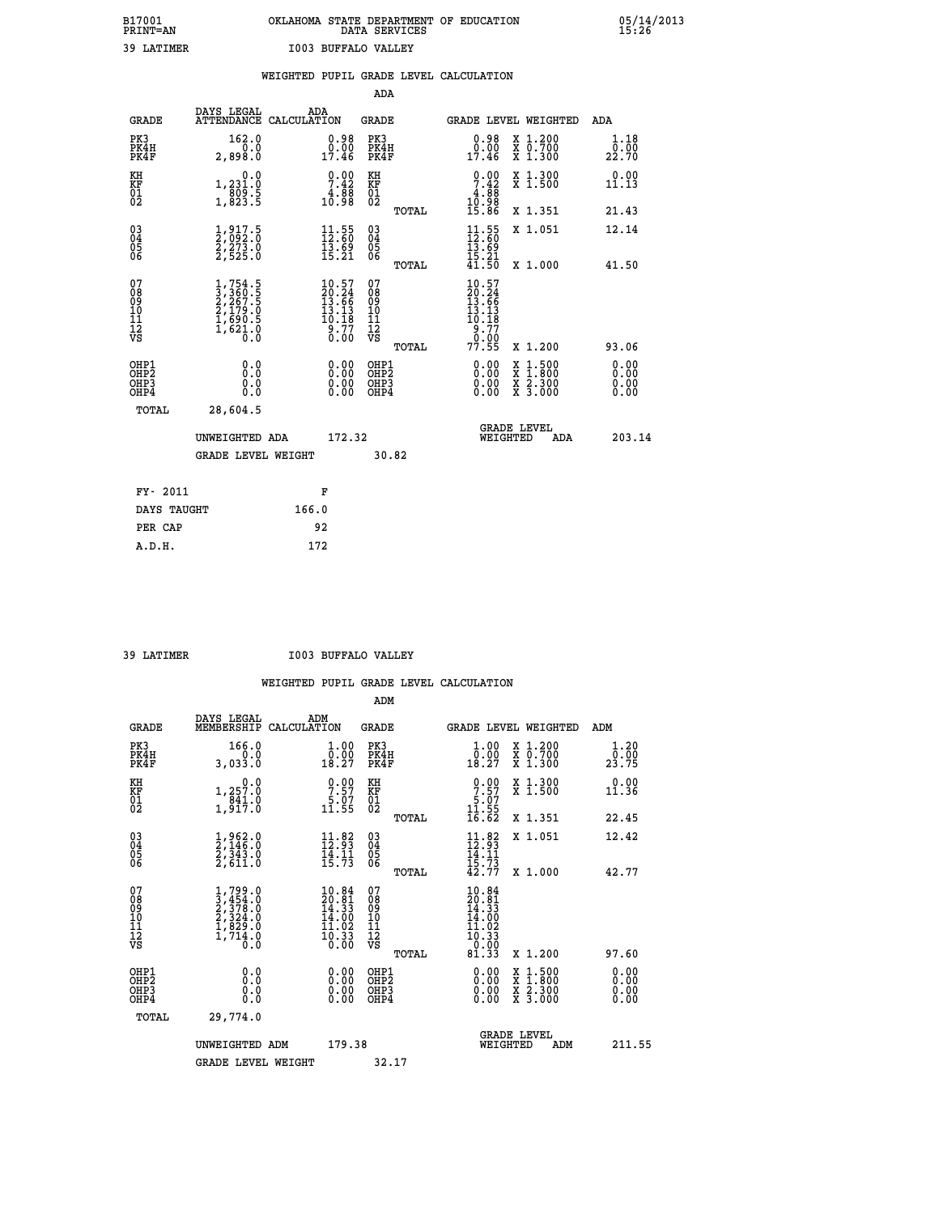# **B17001 OKLAHOMA STATE DEPARTMENT OF EDUCATION 05/14/2013 PRINT=AN DATA SERVICES 15:26 39 LATIMER I003 BUFFALO VALLEY**

|                                        |                                                     |                                                                                     |       |                                                                         |                                                    |       | WEIGHTED PUPIL GRADE LEVEL CALCULATION                                     |                                                                                                                                      |                              |
|----------------------------------------|-----------------------------------------------------|-------------------------------------------------------------------------------------|-------|-------------------------------------------------------------------------|----------------------------------------------------|-------|----------------------------------------------------------------------------|--------------------------------------------------------------------------------------------------------------------------------------|------------------------------|
|                                        |                                                     |                                                                                     |       |                                                                         | <b>ADA</b>                                         |       |                                                                            |                                                                                                                                      |                              |
|                                        | <b>GRADE</b>                                        | DAYS LEGAL<br>ATTENDANCE CALCULATION                                                | ADA   |                                                                         | <b>GRADE</b>                                       |       |                                                                            | GRADE LEVEL WEIGHTED                                                                                                                 | ADA                          |
|                                        | PK3<br>PK4H<br>PK4F                                 | 162.0<br>0.0<br>2,898.0                                                             |       | $\begin{smallmatrix} 0.98\\ 0.00\\ 17.46 \end{smallmatrix}$             | PK3<br>PK4H<br>PK4F                                |       | $\begin{smallmatrix} 0.98\\ 0.00\\ 17.46 \end{smallmatrix}$                | X 1.200<br>X 0.700<br>X 1.300                                                                                                        | 1.18<br>22.70                |
| KH<br>KF<br>01<br>02                   |                                                     | 0.0<br>1,231.0<br>809.5<br>1,823.5                                                  |       | $\begin{smallmatrix} 0.00\\ 7.42\\ 4.88\\ 10.98 \end{smallmatrix}$      | KH<br>KF<br>01<br>02                               |       | $\begin{smallmatrix} 0.00\\ 7.42\\ 4.88\\ 10.98\\ 15.86 \end{smallmatrix}$ | X 1.300<br>X 1.500                                                                                                                   | 0.00<br>11.13                |
|                                        |                                                     |                                                                                     |       |                                                                         |                                                    | TOTAL |                                                                            | X 1.351                                                                                                                              | 21.43                        |
| 030404<br>06                           |                                                     | $\frac{1}{2}, \frac{917}{092}. \frac{5}{0}$<br>$\frac{2}{2}, \frac{273}{525}. 0$    |       | $\begin{smallmatrix} 11.55\\ 12.60\\ 13.69\\ 15.21 \end{smallmatrix}$   | $\begin{matrix} 03 \\ 04 \\ 05 \\ 06 \end{matrix}$ |       | $\frac{11}{12}$ : 55<br>$\frac{5}{13}$ : 59                                | X 1.051                                                                                                                              | 12.14                        |
|                                        |                                                     |                                                                                     |       |                                                                         |                                                    | TOTAL | $\frac{15.21}{41.50}$                                                      | X 1.000                                                                                                                              | 41.50                        |
| 07<br>08<br>09<br>11<br>11<br>12<br>VS |                                                     | $1,754.5$<br>$3,360.5$<br>$2,267.5$<br>$2,179.0$<br>$1,690.5$<br>$1,621.0$<br>$0.0$ |       | $10.57$<br>$20.24$<br>$13.66$<br>$13.13$<br>$10.18$<br>$9.77$<br>$0.00$ | 07<br>08<br>09<br>11<br>11<br>12<br>VS             |       | $10.57$<br>$20.24$<br>$13.66$<br>$13.13$<br>$10.18$<br>$\frac{9}{0}$ : 77  |                                                                                                                                      |                              |
|                                        |                                                     |                                                                                     |       |                                                                         |                                                    | TOTAL | 77.55                                                                      | X 1.200                                                                                                                              | 93.06                        |
|                                        | OHP1<br>OH <sub>P</sub><br>OH <sub>P3</sub><br>OHP4 | 0.0<br>Ō.Ō<br>0.0<br>Ō.Ō                                                            |       | $0.00$<br>$0.00$<br>0.00                                                | OHP1<br>OHP <sub>2</sub><br>OHP3<br>OHP4           |       | $0.00$<br>$0.00$<br>0.00                                                   | $\begin{smallmatrix} \mathtt{X} & 1 & 500 \\ \mathtt{X} & 1 & 800 \\ \mathtt{X} & 2 & 300 \\ \mathtt{X} & 3 & 000 \end{smallmatrix}$ | 0.00<br>0.00<br>0.00<br>0.00 |
|                                        | TOTAL                                               | 28,604.5                                                                            |       |                                                                         |                                                    |       |                                                                            |                                                                                                                                      |                              |
|                                        |                                                     | UNWEIGHTED ADA                                                                      |       | 172.32                                                                  |                                                    |       |                                                                            | <b>GRADE LEVEL</b><br>WEIGHTED<br><b>ADA</b>                                                                                         | 203.14                       |
|                                        |                                                     | <b>GRADE LEVEL WEIGHT</b>                                                           |       |                                                                         | 30.82                                              |       |                                                                            |                                                                                                                                      |                              |
|                                        | FY- 2011                                            |                                                                                     |       | F                                                                       |                                                    |       |                                                                            |                                                                                                                                      |                              |
|                                        | DAYS TAUGHT                                         |                                                                                     | 166.0 |                                                                         |                                                    |       |                                                                            |                                                                                                                                      |                              |
|                                        | PER CAP                                             |                                                                                     | 92    |                                                                         |                                                    |       |                                                                            |                                                                                                                                      |                              |
|                                        | A.D.H.                                              |                                                                                     | 172   |                                                                         |                                                    |       |                                                                            |                                                                                                                                      |                              |

 **39 LATIMER I003 BUFFALO VALLEY**

|                                          |                                                                                     |                                                                                                    | ADM                                                 |                                                                                                                      |                                          |                                                         |
|------------------------------------------|-------------------------------------------------------------------------------------|----------------------------------------------------------------------------------------------------|-----------------------------------------------------|----------------------------------------------------------------------------------------------------------------------|------------------------------------------|---------------------------------------------------------|
| <b>GRADE</b>                             | DAYS LEGAL<br>MEMBERSHIP                                                            | ADM<br>CALCULATION                                                                                 | <b>GRADE</b>                                        |                                                                                                                      | GRADE LEVEL WEIGHTED                     | ADM                                                     |
| PK3<br>PK4H<br>PK4F                      | 166.0<br>0.0<br>3,033.0                                                             | $\begin{smallmatrix} 1.00\\ 0.00\\ 18.27 \end{smallmatrix}$                                        | PK3<br>PK4H<br>PK4F                                 | $\begin{smallmatrix} 1.00\\ 0.00\\ 18.27 \end{smallmatrix}$                                                          | X 1.200<br>X 0.700<br>X 1.300            | 1.20<br>$2\overline{3}\cdot\overline{7}$ $\overline{5}$ |
| KH<br>KF<br>01<br>02                     | 0.0<br>1,257.0<br>841.0<br>1,917.0                                                  | $\begin{smallmatrix} 0.00\\ 7.57\\ 5.07\\ 11.55 \end{smallmatrix}$                                 | KH<br>KF<br>01<br>02                                | $\begin{array}{c} 0.00 \\ 7.57 \\ 5.07 \\ 11.55 \end{array}$                                                         | X 1.300<br>X 1.500                       | 0.00<br>11.36                                           |
|                                          |                                                                                     |                                                                                                    | TOTAL                                               | 16.62                                                                                                                | X 1.351                                  | 22.45                                                   |
| 03<br>04<br>05<br>06                     | $\frac{1}{2}, \frac{962}{146}$ .0<br>$\frac{2}{3}, \frac{343}{34}$ .0<br>$2, 611.0$ | $\frac{11}{12} : 82$<br>$\frac{1}{15}$ $\frac{1}{73}$                                              | $\begin{array}{c} 03 \\ 04 \\ 05 \\ 06 \end{array}$ | $11.82$<br>$12.93$<br>$14.11$<br>$15.73$<br>$42.77$                                                                  | X 1.051                                  | 12.42                                                   |
|                                          |                                                                                     |                                                                                                    | TOTAL                                               |                                                                                                                      | X 1.000                                  | 42.77                                                   |
| 07<br>08<br>09<br>101<br>112<br>VS       | $1,799.0$<br>$2,378.0$<br>$2,324.0$<br>$1,829.0$<br>$1,714.0$<br>$0.0$              | $\begin{smallmatrix} 10.84 \\ 20.81 \\ 14.33 \\ 14.00 \\ 11.02 \\ 10.33 \\ 0.00 \end{smallmatrix}$ | 07<br>08<br>09<br>11<br>11<br>12<br>VS<br>TOTAL     | $\begin{smallmatrix} 10.84 \\ 20.81 \\ 14.33 \\ 14.30 \\ 14.00 \\ 11.02 \\ 10.33 \\ 0.00 \\ 81.33 \end{smallmatrix}$ | X 1.200                                  | 97.60                                                   |
|                                          |                                                                                     |                                                                                                    |                                                     |                                                                                                                      |                                          | 0.00                                                    |
| OHP1<br>OHP2<br>OH <sub>P3</sub><br>OHP4 | 0.0<br>0.000                                                                        | $0.00$<br>$0.00$<br>0.00                                                                           | OHP1<br>OHP2<br>OHP <sub>3</sub>                    | $0.00$<br>$0.00$<br>0.00                                                                                             | X 1:500<br>X 1:800<br>X 2:300<br>X 3:000 | 0.00<br>0.00<br>0.00                                    |
| TOTAL                                    | 29,774.0                                                                            |                                                                                                    |                                                     |                                                                                                                      |                                          |                                                         |
|                                          | UNWEIGHTED ADM                                                                      | 179.38                                                                                             |                                                     | WEIGHTED                                                                                                             | <b>GRADE LEVEL</b><br>ADM                | 211.55                                                  |
|                                          | <b>GRADE LEVEL WEIGHT</b>                                                           |                                                                                                    | 32.17                                               |                                                                                                                      |                                          |                                                         |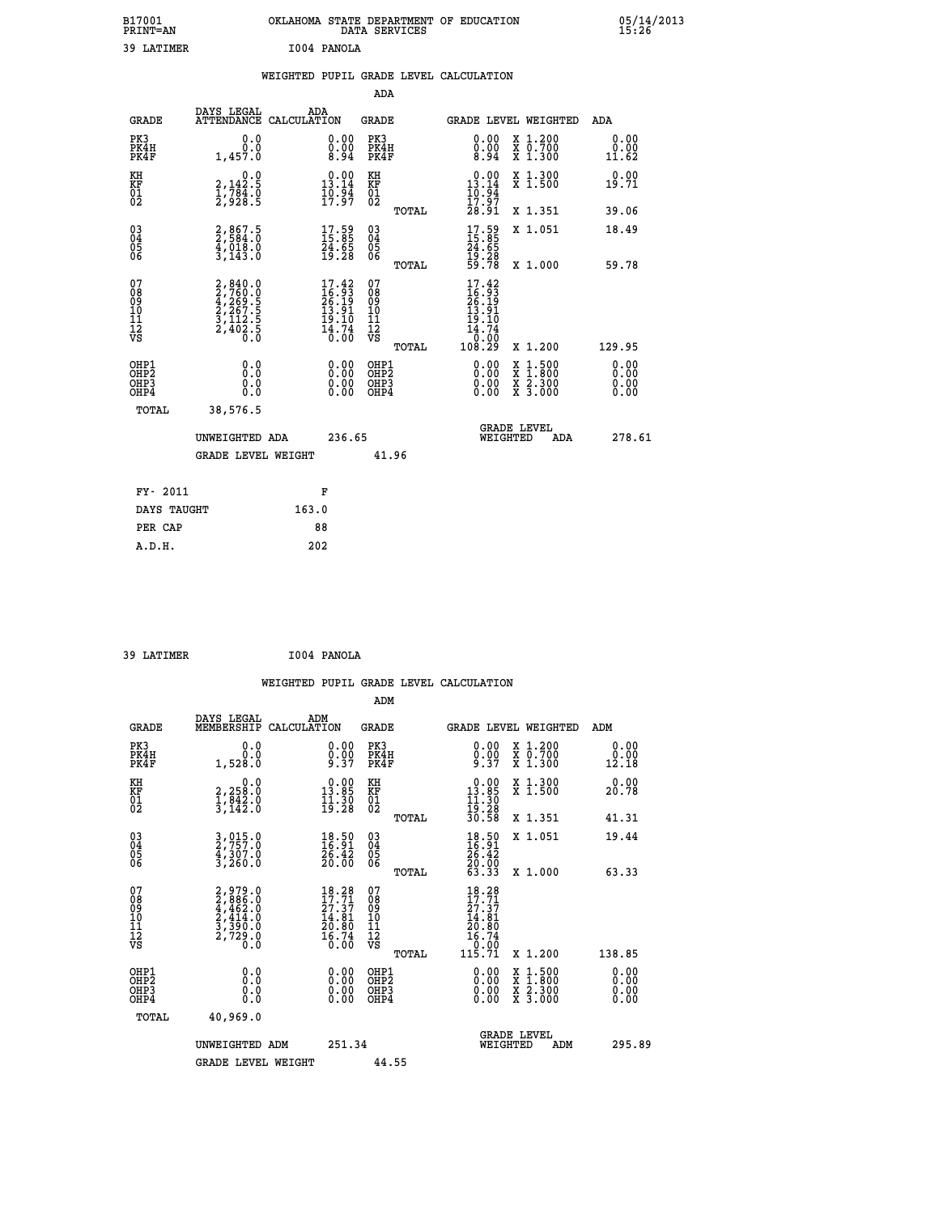| B17001<br>PRINT=AN | OKLAHOMA STATE DEPARTMENT OF EDUCATION<br>DATA SERVICES | 05/14/2013<br>15:26 |
|--------------------|---------------------------------------------------------|---------------------|
| 39 LATIMER         | I004 PANOLA                                             |                     |

|  |  | WEIGHTED PUPIL GRADE LEVEL CALCULATION |
|--|--|----------------------------------------|
|  |  |                                        |

|                                                                    |                                                                                                               |                                                                                         | ADA                                                 |       |                                                                                                         |                                                                                                                                           |                       |
|--------------------------------------------------------------------|---------------------------------------------------------------------------------------------------------------|-----------------------------------------------------------------------------------------|-----------------------------------------------------|-------|---------------------------------------------------------------------------------------------------------|-------------------------------------------------------------------------------------------------------------------------------------------|-----------------------|
| <b>GRADE</b>                                                       | DAYS LEGAL<br>ATTENDANCE CALCULATION                                                                          | ADA                                                                                     | <b>GRADE</b>                                        |       |                                                                                                         | <b>GRADE LEVEL WEIGHTED</b>                                                                                                               | ADA                   |
| PK3<br>PK4H<br>PK4F                                                | 0.0<br>0.0<br>1,457.0                                                                                         | 0.00<br>$\frac{0.00}{8.94}$                                                             | PK3<br>PK4H<br>PK4F                                 |       | 0.00<br>$\frac{0.00}{8.94}$                                                                             | X 1.200<br>X 0.700<br>X 1.300                                                                                                             | 0.00<br>0.00<br>11.62 |
| KH<br>KF<br>01<br>02                                               | 0.0<br>$\frac{2}{1}, \frac{142}{784}$ . 0<br>$\frac{2}{2}, \frac{928}{938}$ . 5                               | $0.00$<br>13.14<br>$\frac{10.94}{17.97}$                                                | KH<br>KF<br>$\overline{01}$                         |       | $0.00$<br>13.14<br>$\frac{10.97}{17.97}$<br>28.91                                                       | X 1.300<br>X 1.500                                                                                                                        | 0.00<br>19.71         |
|                                                                    |                                                                                                               |                                                                                         |                                                     | TOTAL |                                                                                                         | X 1.351                                                                                                                                   | 39.06                 |
| $\begin{smallmatrix} 03 \\[-4pt] 04 \end{smallmatrix}$<br>Ŏ5<br>06 | 2,867.5<br>2,584.0<br>4,018.0<br>3,143.0                                                                      | $\begin{smallmatrix} 17.59\ 15.85\ 24.65\ 19.28 \end{smallmatrix}$                      | $\begin{array}{c} 03 \\ 04 \\ 05 \\ 06 \end{array}$ |       | 17.59<br>15.85<br>24.65<br>19.28<br>59.78                                                               | X 1.051                                                                                                                                   | 18.49                 |
|                                                                    |                                                                                                               |                                                                                         |                                                     | TOTAL |                                                                                                         | X 1.000                                                                                                                                   | 59.78                 |
| 07<br>08<br>09<br>11<br>11<br>12<br>VS                             | $\begin{smallmatrix} 2, 840.0\\ 2, 760.0\\ 4, 269.5\\ 2, 267.5\\ 3, 112.5\\ 2, 402.5\\ 0.0 \end{smallmatrix}$ | $\frac{17.42}{16.93}$<br>$\begin{array}{c} 13.91 \\ 19.10 \\ 14.74 \\ 0.00 \end{array}$ | 07<br>08<br>09<br>11<br>11<br>12<br>VS              |       | 17.42<br>$\frac{16}{26}$ . $\frac{33}{19}$<br>$\frac{13}{19}$ . $\frac{91}{19}$<br>$\frac{14.74}{0.00}$ |                                                                                                                                           |                       |
|                                                                    |                                                                                                               |                                                                                         |                                                     | TOTAL | 108.29                                                                                                  | X 1.200                                                                                                                                   | 129.95                |
| OHP1<br>OHP2<br>OH <sub>P3</sub><br>OHP4                           | 0.0<br>0.0<br>0.0                                                                                             | 0.00<br>0.00<br>0.00                                                                    | OHP1<br>OHP2<br>OHP3<br>OHP4                        |       | 0.00<br>0.00                                                                                            | $\begin{smallmatrix} \mathtt{X} & 1\cdot500\\ \mathtt{X} & 1\cdot800\\ \mathtt{X} & 2\cdot300\\ \mathtt{X} & 3\cdot000 \end{smallmatrix}$ | 0.00<br>0.00<br>0.00  |
| TOTAL                                                              | 38,576.5                                                                                                      |                                                                                         |                                                     |       |                                                                                                         |                                                                                                                                           |                       |
|                                                                    | UNWEIGHTED ADA                                                                                                | 236.65                                                                                  |                                                     |       |                                                                                                         | <b>GRADE LEVEL</b><br>WEIGHTED<br>ADA                                                                                                     | 278.61                |
|                                                                    | <b>GRADE LEVEL WEIGHT</b>                                                                                     |                                                                                         |                                                     | 41.96 |                                                                                                         |                                                                                                                                           |                       |
| FY- 2011                                                           |                                                                                                               | F                                                                                       |                                                     |       |                                                                                                         |                                                                                                                                           |                       |
| DAYS TAUGHT                                                        |                                                                                                               | 163.0                                                                                   |                                                     |       |                                                                                                         |                                                                                                                                           |                       |
| PER CAP                                                            |                                                                                                               | 88                                                                                      |                                                     |       |                                                                                                         |                                                                                                                                           |                       |

| ۹۹ | <b>T.ATTMER</b> |  |
|----|-----------------|--|
|    |                 |  |

 **A.D.H. 202**

 **39 LATIMER I004 PANOLA WEIGHTED PUPIL GRADE LEVEL CALCULATION ADM DAYS LEGAL ADM GRADE MEMBERSHIP CALCULATION GRADE GRADE LEVEL WEIGHTED ADM PK3 0.0 0.00 PK3 0.00 X 1.200 0.00 PK4H 0.0 0.00 PK4H 0.00 X 0.700 0.00 PK4F 1,528.0 9.37 PK4F 9.37 X 1.300 12.18 KH 0.0 0.00 KH 0.00 X 1.300 0.00 KF 2,258.0 13.85 KF 13.85 X 1.500 20.78 01 1,842.0 11.30 01 11.30 02 3,142.0 19.28 02 19.28 TOTAL 30.58 X 1.351 41.31 03 3,015.0 18.50 03 18.50 X 1.051 19.44 04 2,757.0 16.91 04 16.91 05 4,307.0 26.42 05 26.42 06 3,260.0 20.00 06 20.00 TOTAL 63.33 X 1.000 63.33**  $\begin{array}{cccc} 07 & 2,979.0 & 18.28 & 07 & 18.28 \ 08 & 2,886.0 & 17.71 & 08 & 17.71 \ 09 & 2,414.0 & 14.81 & 10 & 14.81 \ 11 & 3,970.0 & 20.80 & 11 & 22.37 \ 12 & 3,720.0 & 20.80 & 11 & 20.80 \ \nabla \mathbf{S} & 2,729.0 & 16.74 & 12 & 16.74 \ 13 & 3,90.0 & 16.76 &$  $\begin{array}{cccc} 18.28 & 07 & 18.28 \ 17.71 & 08 & 17.71 \ 24.81 & 10 & 24.381 \ 20.80 & 11 & 20.80 \ 14.81 & 10 & 14.81 \ 16.74 & 12 & 20.80 \ 10.00 & 08 & 10.74 \ 15.71 & x 1.200 & 138.85 \ 0.00 & 081 \text{p3} & 0.00 & 0.71 \ 0.00 & 0.00 & 0.00 & 0.00 \ 0.00 & 0.0$  **OHP1 0.0 0.00 OHP1 0.00 X 1.500 0.00 OHP2 0.0 0.00 OHP2 0.00 X 1.800 0.00 OHP3 0.0 0.00 OHP3 0.00 X 2.300 0.00 OHP4 0.0 0.00 OHP4 0.00 X 3.000 0.00 TOTAL 40,969.0 GRADE LEVEL UNWEIGHTED ADM 251.34 WEIGHTED ADM 295.89** GRADE LEVEL WEIGHT 44.55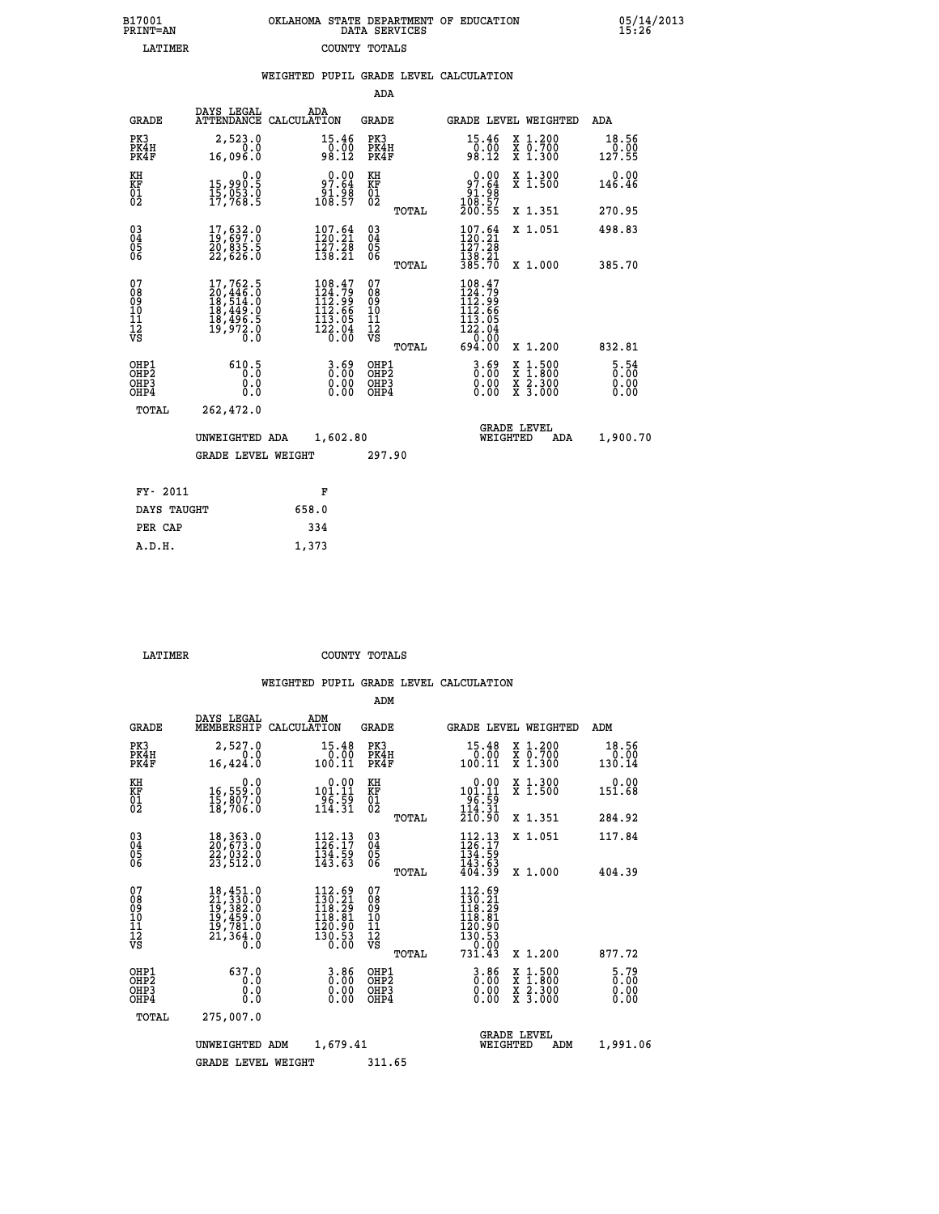| OKLAHOMA STATE DEPARTMENT OF EDUCATION<br>DATA SERVICES |  |
|---------------------------------------------------------|--|
| COUNTY TOTALS                                           |  |

 **B17001 OKLAHOMA STATE DEPARTMENT OF EDUCATION 05/14/2013**

|                                                              |                                                                                                                                                 | WEIGHTED PUPIL GRADE LEVEL CALCULATION                                                      |                                                  |                                                                                                                                                                                                            |                             |
|--------------------------------------------------------------|-------------------------------------------------------------------------------------------------------------------------------------------------|---------------------------------------------------------------------------------------------|--------------------------------------------------|------------------------------------------------------------------------------------------------------------------------------------------------------------------------------------------------------------|-----------------------------|
|                                                              |                                                                                                                                                 |                                                                                             | ADA                                              |                                                                                                                                                                                                            |                             |
| <b>GRADE</b>                                                 | DAYS LEGAL                                                                                                                                      | ADA<br>ATTENDANCE CALCULATION                                                               | <b>GRADE</b>                                     | <b>GRADE LEVEL WEIGHTED</b>                                                                                                                                                                                | ADA                         |
| PK3<br>PK4H<br>PK4F                                          | 2,523.0<br>0.0<br>16,096.0                                                                                                                      | $\begin{smallmatrix} 15.46 \\ 0.00 \\ 98.12 \end{smallmatrix}$                              | PK3<br>PK4H<br>PK4F                              | $\begin{array}{c} 15 \cdot 46 \\ 0 \cdot 00 \\ 98 \cdot 12 \end{array}$<br>X 1.200<br>X 0.700<br>X 1.300                                                                                                   | 18.56<br>0.00<br>127.55     |
| KH<br>KF<br>01<br>02                                         | 0.0<br>15,990.5<br>15,053.0<br>17,768.5                                                                                                         | 97.64<br>88.iĕ<br>108.57                                                                    | KH<br>KF<br>01<br>02                             | 97.64<br>X 1.300<br>X 1.500<br>$\frac{51.98}{108.57}$<br>108.57<br>200.55                                                                                                                                  | 0.00<br>146.46              |
|                                                              |                                                                                                                                                 |                                                                                             | TOTAL                                            | X 1.351                                                                                                                                                                                                    | 270.95                      |
| $\begin{smallmatrix} 03 \\[-4pt] 04 \end{smallmatrix}$<br>05 | $\begin{smallmatrix} 17,632.0\\ 19,697.0\\ 20,835.5\\ 22,626.0 \end{smallmatrix}$                                                               | $107.64$<br>$120.21$<br>$\frac{1}{2}\frac{7}{3}\cdot\frac{2}{2}$<br>138.21                  | $\substack{03 \\ 04}$<br>05                      | $107.64$<br>$120.21$<br>X 1.051<br>127.28                                                                                                                                                                  | 498.83                      |
| 06                                                           |                                                                                                                                                 |                                                                                             | 06<br>TOTAL                                      | $\frac{1}{38}$ $\frac{1}{38}$ $\frac{1}{70}$<br>X 1.000                                                                                                                                                    | 385.70                      |
| 07<br>ŏġ<br>09<br>10<br>īĭ<br>12<br>νs                       | $\begin{smallmatrix} 17,762\cdot 5\\ 20,446\cdot 0\\ 18,514\cdot 0\\ 18,449\cdot 0\\ 18,496\cdot 5\\ 19,972\cdot 0\\ 0\cdot 0\end{smallmatrix}$ | $\begin{smallmatrix} 108.47\\124.79\\112.99\\112.66\\113.05\\122.04\\0.00\end{smallmatrix}$ | 07<br>08<br>09<br>101<br>11<br>12<br>VS<br>TOTAL | 108.47<br>$124.79$<br>$112.99$<br>$112.66$<br>$113.05$<br>$122.04$<br>$0.00$<br>$694.00$<br>X 1.200                                                                                                        | 832.81                      |
| OHP1<br>OHP2<br>OHP3<br>OHP4                                 | 610.5<br>0.0<br>0.0                                                                                                                             | $\begin{smallmatrix} 3.69\ 0.00\ 0.00 \end{smallmatrix}$                                    | OHP1<br>OHP2<br>OHP3<br>OHP4                     | $\begin{smallmatrix} 3.69 \ 0.00 \ 0.00 \end{smallmatrix}$<br>$\begin{smallmatrix} \mathtt{X} & 1\cdot500 \\ \mathtt{X} & 1\cdot800 \\ \mathtt{X} & 2\cdot300 \\ \mathtt{X} & 3\cdot000 \end{smallmatrix}$ | $\frac{5.54}{0.00}$<br>0.00 |
| TOTAL                                                        | 262,472.0                                                                                                                                       |                                                                                             |                                                  |                                                                                                                                                                                                            |                             |
|                                                              | UNWEIGHTED ADA                                                                                                                                  | 1,602.80                                                                                    |                                                  | <b>GRADE LEVEL</b><br>WEIGHTED<br>ADA                                                                                                                                                                      | 1,900.70                    |
|                                                              | <b>GRADE LEVEL WEIGHT</b>                                                                                                                       |                                                                                             | 297.90                                           |                                                                                                                                                                                                            |                             |
| FY- 2011                                                     |                                                                                                                                                 | F                                                                                           |                                                  |                                                                                                                                                                                                            |                             |
| DAYS TAUGHT                                                  |                                                                                                                                                 | 658.0                                                                                       |                                                  |                                                                                                                                                                                                            |                             |
| PER CAP                                                      |                                                                                                                                                 | 334                                                                                         |                                                  |                                                                                                                                                                                                            |                             |

| A.D.H. | 1,373 |
|--------|-------|
|        |       |
|        |       |

 **B17001<br>PRINT=AN LATIMER** 

 **LATIMER COUNTY TOTALS**

|                                                       |                                                                                                                                                                                             |                                                                                                                           | ADM                                                |                                                                                   |                                          |                                     |
|-------------------------------------------------------|---------------------------------------------------------------------------------------------------------------------------------------------------------------------------------------------|---------------------------------------------------------------------------------------------------------------------------|----------------------------------------------------|-----------------------------------------------------------------------------------|------------------------------------------|-------------------------------------|
| <b>GRADE</b>                                          | DAYS LEGAL<br>MEMBERSHIP                                                                                                                                                                    | ADM<br>CALCULATION                                                                                                        | <b>GRADE</b>                                       |                                                                                   | <b>GRADE LEVEL WEIGHTED</b>              | ADM                                 |
| PK3<br>PK4H<br>PK4F                                   | 2,527.0<br>0.0<br>16,424.0                                                                                                                                                                  | 15.48<br>0.00<br>100.11                                                                                                   | PK3<br>PK4H<br>PK4F                                | 15.48<br>0.00<br>100.11                                                           | X 1.200<br>X 0.700<br>X 1.300            | 18.56<br>0.00<br>130.14             |
| KH<br>KF<br>01<br>02                                  | 0.0<br>16,559:0<br>15,807:0<br>18,706:0                                                                                                                                                     | $0.00$<br>101.11<br>$\begin{array}{c} 2\overline{9} & \overline{6} & \overline{5} & \overline{9} \\ 114 & 31 \end{array}$ | KH<br>KF<br>01<br>02                               | 0.00<br>101:11<br>-96:59<br>114:31                                                | X 1.300<br>X 1.500                       | 0.00<br>151.68                      |
|                                                       |                                                                                                                                                                                             |                                                                                                                           | TOTAL                                              | 210.90                                                                            | X 1.351                                  | 284.92                              |
| 03<br>04<br>05<br>06                                  | 18, 363.0<br>20, 673.0<br>22, 032.0<br>23,512.0                                                                                                                                             | $\frac{112}{126}:\frac{13}{17}$<br>134.59<br>143.63                                                                       | $\begin{matrix} 03 \\ 04 \\ 05 \\ 06 \end{matrix}$ | $112.13$<br>$126.17$<br>134.59<br>143.63<br>404.39                                | X 1.051                                  | 117.84                              |
|                                                       |                                                                                                                                                                                             |                                                                                                                           | TOTAL                                              |                                                                                   | X 1.000                                  | 404.39                              |
| 07<br>08<br>09<br>101<br>112<br>VS                    | $\begin{smallmatrix} 18\,, & 451\cdot 0\\ 21\,, & 330\cdot 0\\ 19\,, & 382\cdot 0\\ 19\,, & 459\cdot 0\\ 19\,, & 781\cdot 0\\ 21\,, & 364\cdot 0\\ 0\,\, & 0\,\, & 0\,\, \end{smallmatrix}$ | $\frac{112.69}{130.21}$<br>118.29<br>$\frac{118.81}{120.90}$<br>$\overline{130.53}$<br>0.00                               | 07<br>08<br>09<br>11<br>11<br>12<br>VS<br>TOTAL    | $112.69$<br>$130.21$<br>$118.29$<br>$118.81$<br>$\frac{120.90}{130.53}$<br>731.43 | X 1.200                                  | 877.72                              |
| OHP1<br>OH <sub>P</sub> 2<br>OH <sub>P3</sub><br>OHP4 | 637.0<br>0.0<br>0.000                                                                                                                                                                       | 3.86<br>0.00<br>0.00<br>0.00                                                                                              | OHP1<br>OHP2<br>OHP3<br>OHP4                       | $0.00$<br>$0.00$<br>0.00                                                          | X 1:500<br>X 1:800<br>X 2:300<br>X 3:000 | $\frac{5.79}{0.00}$<br>0.00<br>0.00 |
| TOTAL                                                 | 275,007.0                                                                                                                                                                                   |                                                                                                                           |                                                    |                                                                                   |                                          |                                     |
|                                                       | UNWEIGHTED ADM                                                                                                                                                                              | 1,679.41                                                                                                                  |                                                    | WEIGHTED                                                                          | <b>GRADE LEVEL</b><br>ADM                | 1,991.06                            |
|                                                       | <b>GRADE LEVEL WEIGHT</b>                                                                                                                                                                   |                                                                                                                           | 311.65                                             |                                                                                   |                                          |                                     |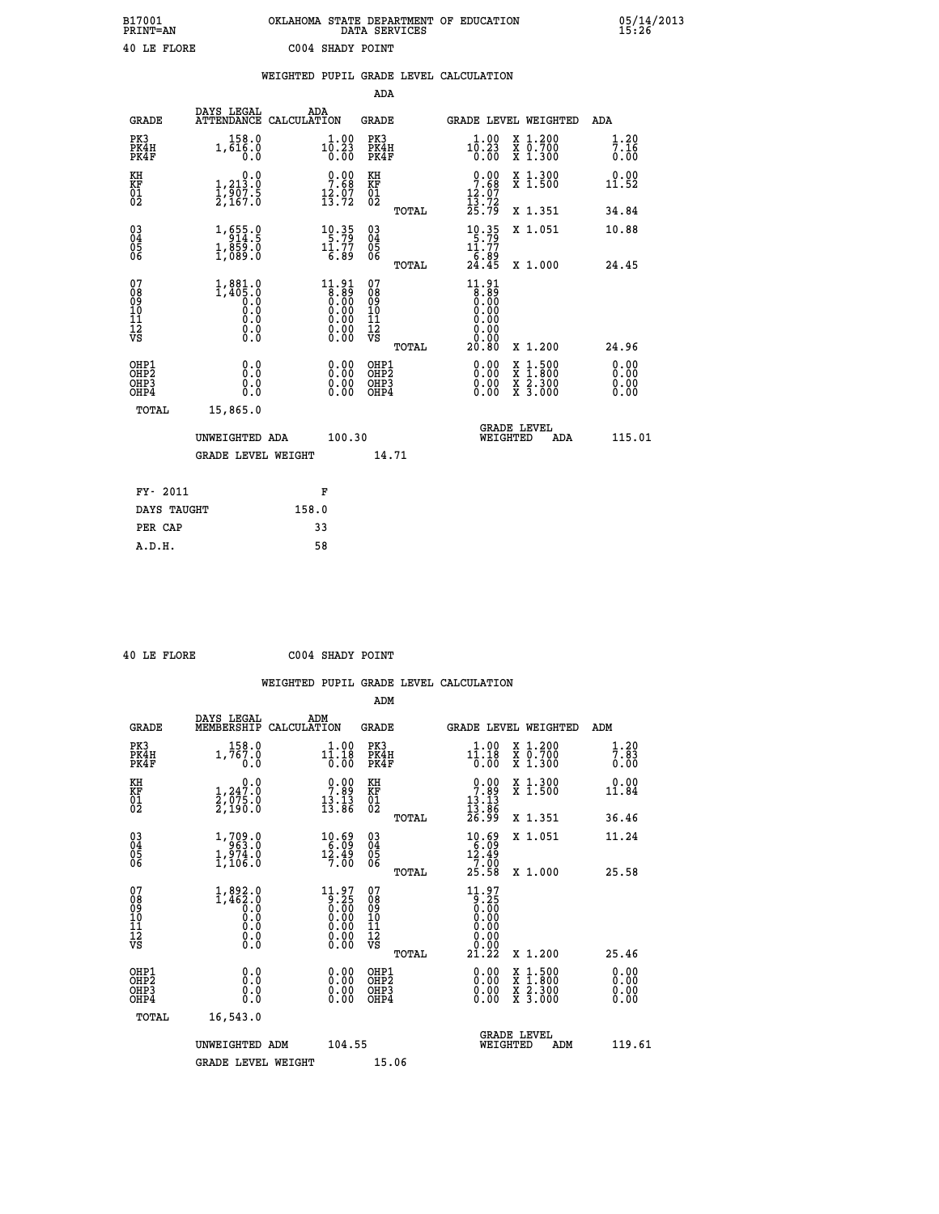## **B17001 OKLAHOMA STATE DEPARTMENT OF EDUCATION 05/14/2013 PRINT=AN DATA SERVICES 15:26 40 LE FLORE C004 SHADY POINT**

|                                        |                                                                                          |       |                                                                                      |                                                     |       | WEIGHTED PUPIL GRADE LEVEL CALCULATION                                              |                                                                                                                                              |                              |
|----------------------------------------|------------------------------------------------------------------------------------------|-------|--------------------------------------------------------------------------------------|-----------------------------------------------------|-------|-------------------------------------------------------------------------------------|----------------------------------------------------------------------------------------------------------------------------------------------|------------------------------|
|                                        |                                                                                          |       |                                                                                      | ADA                                                 |       |                                                                                     |                                                                                                                                              |                              |
| <b>GRADE</b>                           | DAYS LEGAL<br>ATTENDANCE CALCULATION                                                     |       | ADA                                                                                  | <b>GRADE</b>                                        |       | GRADE LEVEL WEIGHTED                                                                |                                                                                                                                              | ADA                          |
| PK3<br>PK4H<br>PK4F                    | 158.0<br>1,616.0<br>0.0                                                                  |       |                                                                                      | PK3<br>PK4H<br>PK4F                                 |       | 10.23<br>0.00                                                                       | X 1.200<br>X 0.700<br>X 1.300                                                                                                                | $\frac{1}{7}$ : 20<br>0.00   |
| KH<br>KF<br>01<br>02                   | $\begin{smallmatrix}&&&0.0\\1,213.0\\1,907.5\\2,167.0\end{smallmatrix}$                  |       | $0.00$<br>7.68<br>$\frac{12.07}{13.72}$                                              | KH<br>KF<br>01<br>02                                |       | $0.00$<br>7.68<br>$\frac{12.07}{13.72}$                                             | X 1.300<br>X 1.500                                                                                                                           | 0.00<br>11.52                |
|                                        |                                                                                          |       |                                                                                      |                                                     | TOTAL | 25.79                                                                               | X 1.351                                                                                                                                      | 34.84                        |
| 03<br>04<br>05<br>06                   | 1,655.9<br>$1,859.0$<br>1,089.0                                                          |       | $10.35$<br>$11.77$                                                                   | $\begin{array}{c} 03 \\ 04 \\ 05 \\ 06 \end{array}$ |       | $10.35$<br>$11.77$                                                                  | X 1.051                                                                                                                                      | 10.88                        |
|                                        |                                                                                          |       | 6.89                                                                                 |                                                     | TOTAL | $\frac{1}{24}$ : $\frac{89}{45}$                                                    | X 1.000                                                                                                                                      | 24.45                        |
| 07<br>08<br>09<br>11<br>11<br>12<br>VS | 1,881.0<br>1,405.0<br>$\begin{smallmatrix} 0.59 \ 0.0 \end{smallmatrix}$<br>0.000<br>Ŏ.Ŏ |       | 11.91<br>$\begin{array}{c} 1.81 \\ 0.00 \\ 0.00 \\ 0.00 \\ 0.00 \\ 0.00 \end{array}$ | 07<br>08<br>09<br>11<br>11<br>12<br>VS              | TOTAL | 11.91<br>$\begin{matrix} 8.85\ 0.00 \ 0.00 \end{matrix}$<br>0.00<br>0.0000<br>20.80 | X 1.200                                                                                                                                      | 24.96                        |
| OHP1<br>OHP2<br>OHP3<br>OHP4           | 0.0<br>Ō.Ō<br>0.0<br>0.0                                                                 |       | $\begin{smallmatrix} 0.00 \ 0.00 \ 0.00 \ 0.00 \end{smallmatrix}$                    | OHP1<br>OHP <sub>2</sub><br>OHP3<br>OHP4            |       | 0.00<br>$0.00$<br>0.00                                                              | $\begin{smallmatrix} \mathtt{X} & 1\cdot500 \\ \mathtt{X} & 1\cdot800 \\ \mathtt{X} & 2\cdot300 \\ \mathtt{X} & 3\cdot000 \end{smallmatrix}$ | 0.00<br>0.00<br>0.00<br>0.00 |
| TOTAL                                  | 15,865.0                                                                                 |       |                                                                                      |                                                     |       |                                                                                     |                                                                                                                                              |                              |
|                                        | UNWEIGHTED ADA                                                                           |       | 100.30                                                                               |                                                     |       | WEIGHTED                                                                            | <b>GRADE LEVEL</b><br>ADA                                                                                                                    | 115.01                       |
|                                        | <b>GRADE LEVEL WEIGHT</b>                                                                |       |                                                                                      |                                                     | 14.71 |                                                                                     |                                                                                                                                              |                              |
| FY- 2011                               |                                                                                          |       | F                                                                                    |                                                     |       |                                                                                     |                                                                                                                                              |                              |
| DAYS TAUGHT                            |                                                                                          | 158.0 |                                                                                      |                                                     |       |                                                                                     |                                                                                                                                              |                              |
| PER CAP                                |                                                                                          |       | 33                                                                                   |                                                     |       |                                                                                     |                                                                                                                                              |                              |

 **A.D.H. 58**

 **ADM**

 **40 LE FLORE C004 SHADY POINT**

| <b>GRADE</b>                                       | DAYS LEGAL<br>MEMBERSHIP CALCULATION                                                                                             | ADM                                                                                                  | <b>GRADE</b>                                       |       |                                                                                                                                                                                                                                                                                | GRADE LEVEL WEIGHTED                     | ADM                        |
|----------------------------------------------------|----------------------------------------------------------------------------------------------------------------------------------|------------------------------------------------------------------------------------------------------|----------------------------------------------------|-------|--------------------------------------------------------------------------------------------------------------------------------------------------------------------------------------------------------------------------------------------------------------------------------|------------------------------------------|----------------------------|
| PK3<br>PK4H<br>PK4F                                | 158.0<br>1,767.0<br>0.0                                                                                                          | 1.00<br>11.18<br>$\overline{0}$ . $\overline{0}$                                                     | PK3<br>PK4H<br>PK4F                                |       | 1.00<br>11.18<br>0.00                                                                                                                                                                                                                                                          | X 1.200<br>X 0.700<br>X 1.300            | $\frac{1}{7}$ : 83<br>0.00 |
| KH<br>KF<br>01<br>02                               | $\begin{smallmatrix}&&&0\, .\, 0\, 1\, ,\, 24\, 7\, .\, 0\, 2\, ,\, 0\, 75\, .\, 0\, 2\, ,\, 19\, 0\, .\, 0\, \end{smallmatrix}$ | $\begin{array}{c} 0.00 \\ 7.89 \\ 13.13 \\ 13.86 \end{array}$                                        | KH<br>KF<br>01<br>02                               |       | $\begin{array}{c} 0.00 \\ 7.89 \\ 13.13 \\ 13.86 \\ 26.99 \end{array}$                                                                                                                                                                                                         | X 1.300<br>X 1.500                       | 0.00<br>11.84              |
|                                                    |                                                                                                                                  |                                                                                                      |                                                    | TOTAL |                                                                                                                                                                                                                                                                                | X 1.351                                  | 36.46                      |
| $\begin{matrix} 03 \\ 04 \\ 05 \\ 06 \end{matrix}$ | 1,709.0<br>$1,974.0$<br>$1,106.0$                                                                                                | $10.69$<br>$12.49$<br>7.00                                                                           | $\begin{matrix} 03 \\ 04 \\ 05 \\ 06 \end{matrix}$ |       | $10.69$<br>$12.49$<br>$7.00$                                                                                                                                                                                                                                                   | X 1.051                                  | 11.24                      |
|                                                    |                                                                                                                                  |                                                                                                      |                                                    | TOTAL | 25.58                                                                                                                                                                                                                                                                          | X 1.000                                  | 25.58                      |
| 07<br>08<br>09<br>101<br>11<br>12<br>VS            | $1,892.0$<br>$1,462.0$<br>$0.0$<br>$0.0$<br>$0.0$<br>$0.0$<br>$0.0$                                                              | $\begin{smallmatrix} 11.97\ 9.25\ 0.00\ 0.00\ 0.00\ 0.00\ 0.00\ 0.00\ 0.00\ 0.00\ \end{smallmatrix}$ | 07<br>08<br>09<br>001<br>11<br>11<br>12<br>VS      | TOTAL | $\begin{smallmatrix} 11.97\\[-1.2mm] 9.250\\[-1.2mm] 0.000\\[-1.2mm] 0.000\\[-1.2mm] 0.000\\[-1.2mm] 21.22\end{smallmatrix}$                                                                                                                                                   | X 1.200                                  | 25.46                      |
| OHP1<br>OHP2<br>OHP3<br>OHP4                       |                                                                                                                                  | $\begin{smallmatrix} 0.00 \ 0.00 \ 0.00 \ 0.00 \end{smallmatrix}$                                    | OHP1<br>OHP2<br>OHP3<br>OHP4                       |       | $\begin{smallmatrix} 0.00 & 0.00 & 0.00 & 0.00 & 0.00 & 0.00 & 0.00 & 0.00 & 0.00 & 0.00 & 0.00 & 0.00 & 0.00 & 0.00 & 0.00 & 0.00 & 0.00 & 0.00 & 0.00 & 0.00 & 0.00 & 0.00 & 0.00 & 0.00 & 0.00 & 0.00 & 0.00 & 0.00 & 0.00 & 0.00 & 0.00 & 0.00 & 0.00 & 0.00 & 0.00 & 0.0$ | X 1:500<br>X 1:800<br>X 2:300<br>X 3:000 | 0.00<br>0.00<br>0.00       |
| TOTAL                                              | 16,543.0                                                                                                                         |                                                                                                      |                                                    |       |                                                                                                                                                                                                                                                                                |                                          |                            |
|                                                    | UNWEIGHTED                                                                                                                       | 104.55<br>ADM                                                                                        |                                                    |       | WEIGHTED                                                                                                                                                                                                                                                                       | <b>GRADE LEVEL</b><br>ADM                | 119.61                     |
|                                                    | <b>GRADE LEVEL WEIGHT</b>                                                                                                        |                                                                                                      | 15.06                                              |       |                                                                                                                                                                                                                                                                                |                                          |                            |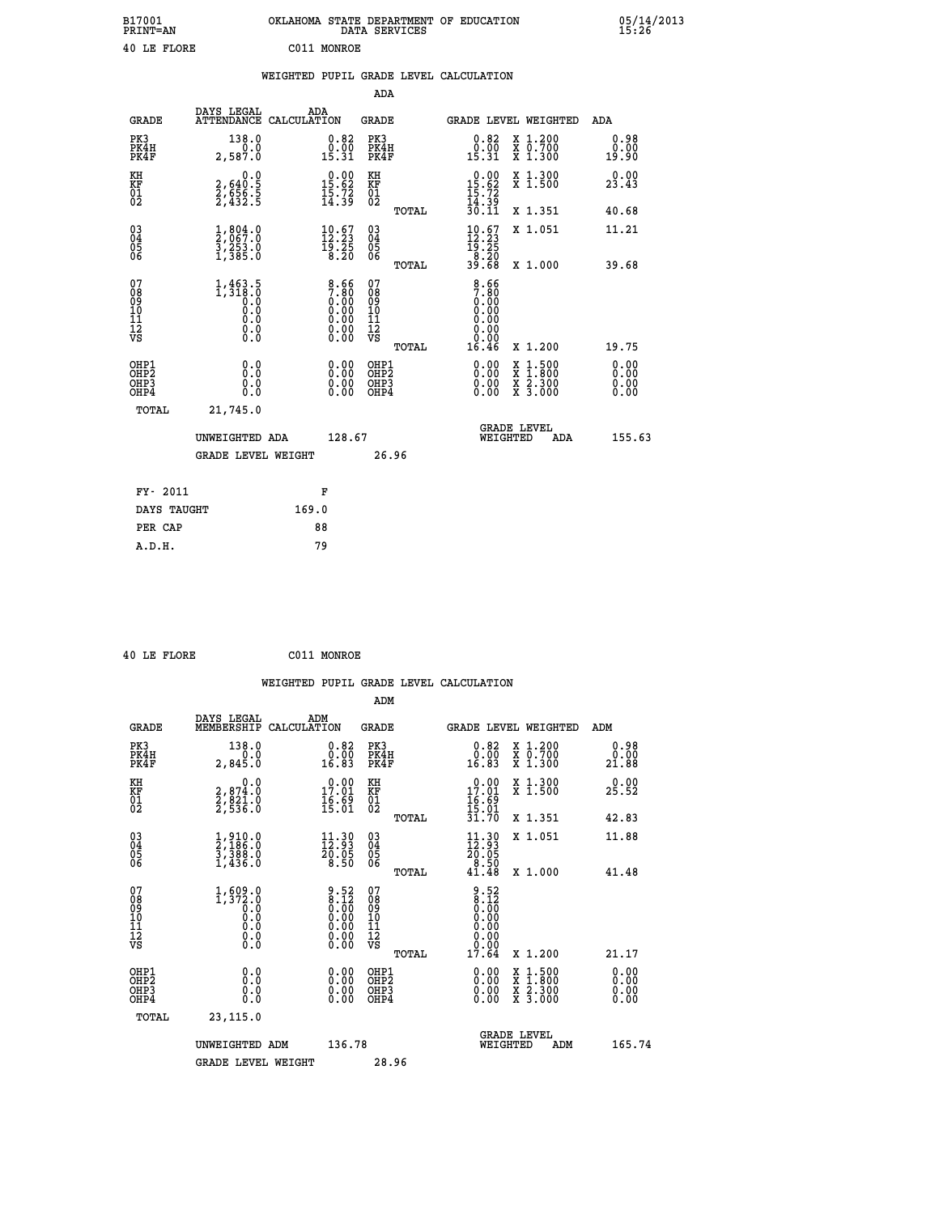| B17001<br><b>PRINT=AN</b> | OKLAHOMA STATE DEPARTMENT OF EDUCATION<br>DATA SERVICES | 05/14/2013<br>15:26 |
|---------------------------|---------------------------------------------------------|---------------------|
| 40 LE FLORE               | C011 MONROE                                             |                     |

|                                                    |                                                            | WEIGHTED PUPIL GRADE LEVEL CALCULATION                                               |                                        |       |                                                                              |                                                                                                                                           |                              |
|----------------------------------------------------|------------------------------------------------------------|--------------------------------------------------------------------------------------|----------------------------------------|-------|------------------------------------------------------------------------------|-------------------------------------------------------------------------------------------------------------------------------------------|------------------------------|
|                                                    |                                                            |                                                                                      | <b>ADA</b>                             |       |                                                                              |                                                                                                                                           |                              |
| <b>GRADE</b>                                       | DAYS LEGAL<br>ATTENDANCE CALCULATION                       | ADA                                                                                  | <b>GRADE</b>                           |       |                                                                              | GRADE LEVEL WEIGHTED                                                                                                                      | ADA                          |
| PK3<br>PK4H<br>PK4F                                | 138.0<br>0.0<br>2,587.0                                    | $\begin{smallmatrix} 0.82\ 0.00\ 15.31 \end{smallmatrix}$                            | PK3<br>PK4H<br>PK4F                    |       | 0.82<br>$\frac{0.00}{15.31}$                                                 | X 1.200<br>X 0.700<br>X 1.300                                                                                                             | 0.98<br>0.00<br>19.90        |
| KH<br>KF<br>01<br>02                               | 0.0<br>2,640:5<br>2,656:5<br>2,432:5                       | $\begin{smallmatrix} 0.00\\ 15.62\\ 15.72\\ 14.39 \end{smallmatrix}$                 | KH<br>KF<br>01<br>02                   |       | $0.00$<br>$15.62$<br>$15.72$<br>$14.39$<br>$30.11$                           | X 1.300<br>X 1.500                                                                                                                        | 0.00<br>23.43                |
|                                                    |                                                            |                                                                                      |                                        | TOTAL |                                                                              | X 1.351                                                                                                                                   | 40.68                        |
| $\begin{matrix} 03 \\ 04 \\ 05 \\ 06 \end{matrix}$ | $\frac{1}{2}$ , 804:0<br>$\frac{5}{2}, \frac{253}{385}$ .0 | $10.67$<br>$12.23$<br>$\begin{array}{c} 15.25 \\ 8.20 \end{array}$                   | 03<br>04<br>05<br>06                   |       | $\begin{smallmatrix} 10.67\\ 12.23\\ 19.25\\ 8.20\\ 39.68 \end{smallmatrix}$ | X 1.051                                                                                                                                   | 11.21                        |
|                                                    |                                                            |                                                                                      |                                        | TOTAL |                                                                              | X 1.000                                                                                                                                   | 39.68                        |
| 07<br>08<br>09<br>101<br>112<br>VS                 | $1, 463.5$<br>$1, 318.0$<br>0.0<br>0.0<br>0.0<br>$\S.$     | $\begin{smallmatrix} 8.66\ 7.80\ 0.00\ 0.00\ 0.00 \end{smallmatrix}$<br>Ŏ.ŎŎ<br>O.OO | 07<br>08<br>09<br>11<br>11<br>12<br>VS | TOTAL | $\frac{8.66}{7.80}$<br>0.00<br>0.00<br>0.00<br>0.00<br>16.46                 | X 1.200                                                                                                                                   | 19.75                        |
| OHP1<br>OHP2<br>OH <sub>P3</sub><br>OHP4           | 0.0<br>0.0<br>0.0                                          | $\begin{smallmatrix} 0.00 \ 0.00 \ 0.00 \ 0.00 \end{smallmatrix}$                    | OHP1<br>OHP2<br>OHP3<br>OHP4           |       |                                                                              | $\begin{smallmatrix} \mathtt{X} & 1\cdot500\\ \mathtt{X} & 1\cdot800\\ \mathtt{X} & 2\cdot300\\ \mathtt{X} & 3\cdot000 \end{smallmatrix}$ | 0.00<br>0.00<br>0.00<br>0.00 |
| TOTAL                                              | 21,745.0                                                   |                                                                                      |                                        |       |                                                                              |                                                                                                                                           |                              |
|                                                    | UNWEIGHTED ADA                                             | 128.67                                                                               |                                        |       | WEIGHTED                                                                     | <b>GRADE LEVEL</b><br>ADA                                                                                                                 | 155.63                       |
|                                                    | <b>GRADE LEVEL WEIGHT</b>                                  |                                                                                      | 26.96                                  |       |                                                                              |                                                                                                                                           |                              |
| FY- 2011                                           |                                                            | F                                                                                    |                                        |       |                                                                              |                                                                                                                                           |                              |
| DAYS TAUGHT                                        |                                                            | 169.0                                                                                |                                        |       |                                                                              |                                                                                                                                           |                              |
| PER CAP                                            |                                                            | 88                                                                                   |                                        |       |                                                                              |                                                                                                                                           |                              |

 **40 LE FLORE C011 MONROE**

 **A.D.H. 79**

| <b>GRADE</b>                                       | DAYS LEGAL<br>MEMBERSHIP                                                 | ADM<br>CALCULATION                                                                            | <b>GRADE</b>                                       |       |                                                                                                                                                                                                                                                                                |          | <b>GRADE LEVEL WEIGHTED</b>              | ADM                                                 |
|----------------------------------------------------|--------------------------------------------------------------------------|-----------------------------------------------------------------------------------------------|----------------------------------------------------|-------|--------------------------------------------------------------------------------------------------------------------------------------------------------------------------------------------------------------------------------------------------------------------------------|----------|------------------------------------------|-----------------------------------------------------|
| PK3<br>PK4H<br>PK4F                                | 138.0<br>2,845.0                                                         | $\substack{0.82 \\ 0.00 \\ 16.83}$                                                            | PK3<br>PK4H<br>PK4F                                |       | $\begin{smallmatrix} 0.82\ 0.00\\ 16.83 \end{smallmatrix}$                                                                                                                                                                                                                     |          | X 1.200<br>X 0.700<br>X 1.300            | 0.98<br>$\overset{\textcolor{red}{\bullet}}{21.88}$ |
| KH<br>KF<br>01<br>02                               | 0.0<br>2,874:0<br>2,821:0<br>2,536:0                                     | $\begin{smallmatrix} 0.00\\ 17.01\\ 16.69\\ 15.01 \end{smallmatrix}$                          | KH<br>KF<br>01<br>02                               |       | $\begin{smallmatrix} 0.00\\ 17.01\\ 16.69\\ 15.01\\ 31.70 \end{smallmatrix}$                                                                                                                                                                                                   |          | X 1.300<br>X 1.500                       | 0.00<br>25.52                                       |
|                                                    |                                                                          |                                                                                               |                                                    | TOTAL |                                                                                                                                                                                                                                                                                |          | X 1.351                                  | 42.83                                               |
| $\begin{matrix} 03 \\ 04 \\ 05 \\ 06 \end{matrix}$ | $\frac{1}{2}, \frac{9}{186}.0\\ \frac{3}{3}, \frac{3}{388}.0\\ 1, 436.0$ | $\begin{array}{c} 11\cdot 30\\ 12\cdot 93\\ 20\cdot 05\\ 8\cdot 50 \end{array}$               | $\begin{matrix} 03 \\ 04 \\ 05 \\ 06 \end{matrix}$ |       | $\begin{smallmatrix} 11\cdot 30\\ 12\cdot 93\\ 20\cdot 05\\ 8\cdot 50\\ 41\cdot 48 \end{smallmatrix}$                                                                                                                                                                          |          | X 1.051                                  | 11.88                                               |
|                                                    |                                                                          |                                                                                               |                                                    | TOTAL |                                                                                                                                                                                                                                                                                |          | X 1.000                                  | 41.48                                               |
| 07<br>089<br>090<br>1112<br>VS                     | $1,509.0$<br>$1,372.0$<br>$0.0$<br>$0.0$<br>$0.0$<br>$0.0$<br>$0.0$      | $\begin{smallmatrix} 9.52\ 8.12\ 0.00\ 0.00\ 0.00\ 0.00\ 0.00\ 0.00\ 0.00\ \end{smallmatrix}$ | 07<br>08901112<br>1112<br>VS                       | TOTAL | $\begin{array}{c} 9.52 \\ 8.12 \\ 0.00 \\ 0.00 \\ 0.00 \\ 0.00 \\ 0.00 \\ 0.00 \\ 17.64 \end{array}$                                                                                                                                                                           |          | X 1.200                                  | 21.17                                               |
| OHP1<br>OHP2<br>OH <sub>P3</sub><br>OHP4           | 0.0<br>0.000                                                             |                                                                                               | OHP1<br>OHP2<br>OHP3<br>OHP4                       |       | $\begin{smallmatrix} 0.00 & 0.00 & 0.00 & 0.00 & 0.00 & 0.00 & 0.00 & 0.00 & 0.00 & 0.00 & 0.00 & 0.00 & 0.00 & 0.00 & 0.00 & 0.00 & 0.00 & 0.00 & 0.00 & 0.00 & 0.00 & 0.00 & 0.00 & 0.00 & 0.00 & 0.00 & 0.00 & 0.00 & 0.00 & 0.00 & 0.00 & 0.00 & 0.00 & 0.00 & 0.00 & 0.0$ |          | X 1:500<br>X 1:800<br>X 2:300<br>X 3:000 | 0.00<br>0.00<br>0.00                                |
| TOTAL                                              | 23,115.0                                                                 |                                                                                               |                                                    |       |                                                                                                                                                                                                                                                                                |          |                                          |                                                     |
|                                                    | UNWEIGHTED                                                               | 136.78<br>ADM                                                                                 |                                                    |       |                                                                                                                                                                                                                                                                                | WEIGHTED | <b>GRADE LEVEL</b><br>ADM                | 165.74                                              |
|                                                    | <b>GRADE LEVEL WEIGHT</b>                                                |                                                                                               | 28.96                                              |       |                                                                                                                                                                                                                                                                                |          |                                          |                                                     |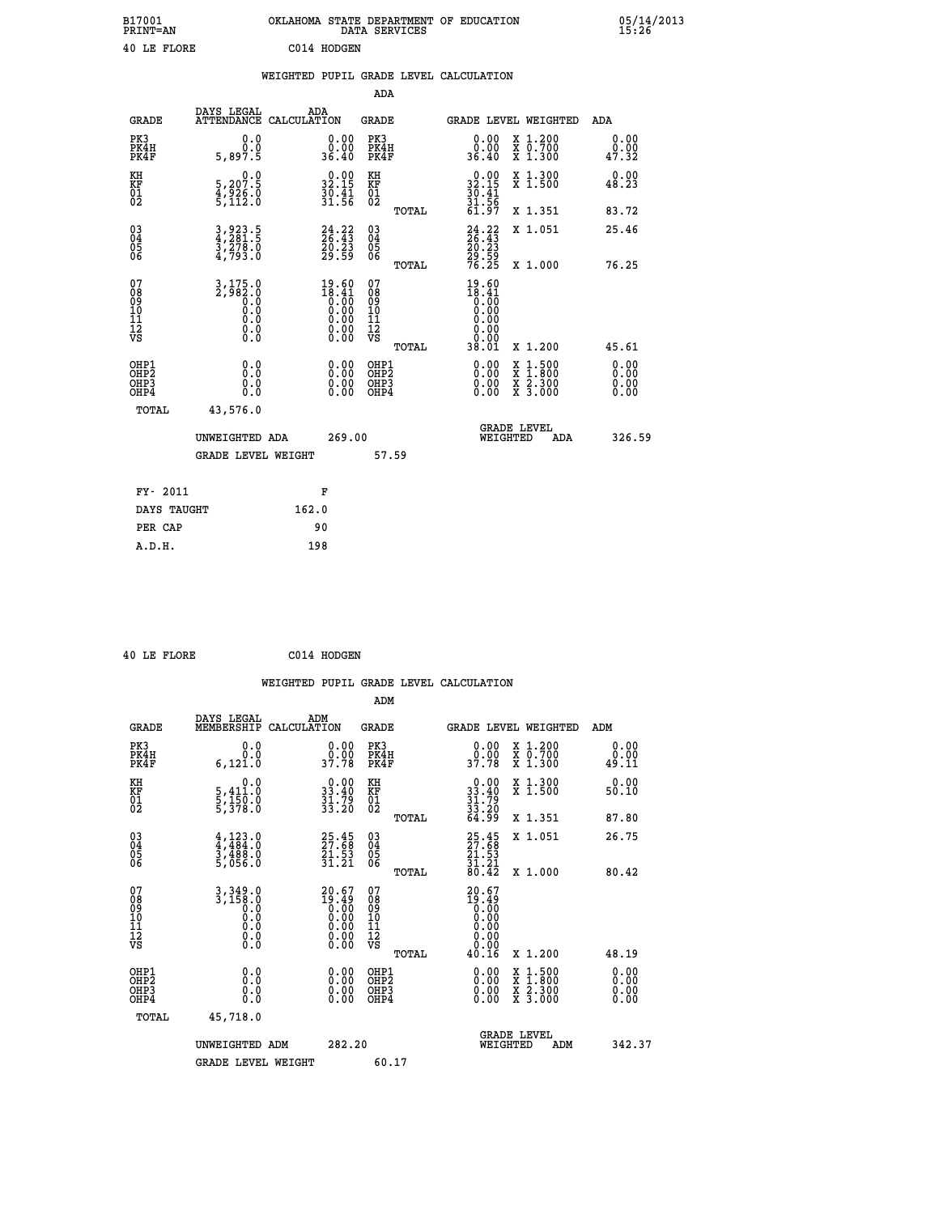| B17001<br><b>PRINT=AN</b> | OKLAHOMA STATE DEPARTMENT OF EDUCATION<br>DATA SERVICES | 05/14/2013<br>15:26 |
|---------------------------|---------------------------------------------------------|---------------------|
| 40 LE FLORE               | C014 HODGEN                                             |                     |

|                                                    |                                                                         |                                                                                                 | ADA                                                |       |                                                                                                            |   |                                                                  |                              |
|----------------------------------------------------|-------------------------------------------------------------------------|-------------------------------------------------------------------------------------------------|----------------------------------------------------|-------|------------------------------------------------------------------------------------------------------------|---|------------------------------------------------------------------|------------------------------|
| <b>GRADE</b>                                       | DAYS LEGAL<br><b>ATTENDANCE</b>                                         | ADA<br>CALCULATION                                                                              | GRADE                                              |       | <b>GRADE LEVEL WEIGHTED</b>                                                                                |   |                                                                  | <b>ADA</b>                   |
| PK3<br>PK4H<br>PK4F                                | 0.0<br>0.0<br>5,897.5                                                   | 0.00<br>ة.ة.<br>36.40                                                                           | PK3<br>PK4H<br>PK4F                                |       | 0.00<br>0.00<br>36.40                                                                                      |   | X 1.200<br>X 0.700<br>X 1.300                                    | 0.00<br>0.00<br>47.32        |
| KH<br><b>KF</b><br>01<br>02                        | $\begin{smallmatrix}&&&0.0\\5,207.5\\4,926.0\\5,112.0\end{smallmatrix}$ | 32.15<br>$\frac{3}{3}\overline{0}\cdot\overline{4}\overline{1}\overline{1}$                     | KH<br>KF<br>01<br>02                               |       | $\begin{smallmatrix} 0.00\\ 32.15\\ 30.41\\ 31.56\\ 61.97 \end{smallmatrix}$                               |   | X 1.300<br>X 1.500                                               | 0.00<br>48.23                |
|                                                    |                                                                         |                                                                                                 |                                                    | TOTAL |                                                                                                            |   | X 1.351                                                          | 83.72                        |
| $\begin{matrix} 03 \\ 04 \\ 05 \\ 06 \end{matrix}$ | 3,923.5<br>4,281.5<br>3,278.0<br>4,793.0                                | $24.22$<br>26.43<br>20.23<br>29.59                                                              | $\begin{matrix} 03 \\ 04 \\ 05 \\ 06 \end{matrix}$ |       | $24.22$<br>$26.43$<br>$20.23$<br>$29.59$<br>$76.25$                                                        |   | X 1.051                                                          | 25.46                        |
|                                                    |                                                                         |                                                                                                 |                                                    | TOTAL |                                                                                                            |   | X 1.000                                                          | 76.25                        |
| 07<br>08<br>09<br>101<br>11<br>12<br>VS            | $3,175.0$<br>$2,982.0$<br>$0.0$<br>0.0<br>0.0<br>$\S.$                  | $\begin{smallmatrix} 19.60\\ 18.41\\ 0.00\\ 0.00\\ 0.00\\ 0.00\\ 0.00\\ 0.00 \end{smallmatrix}$ | 07<br>08<br>09<br>11<br>11<br>12<br>VS             | TOTAL | 19.60<br>$\begin{smallmatrix} 18.41 \ 18.40 \ 0.00 \ 0.00 \ 0.00 \ 0.00 \ 0.00 \end{smallmatrix}$<br>38.01 |   | X 1.200                                                          | 45.61                        |
| OHP1<br>OHP2<br>OHP3<br>OHP4                       | 0.0<br>0.0<br>0.0                                                       | 0.00<br>$0.00$<br>0.00                                                                          | OHP1<br>OHP2<br>OHP3<br>OHP4                       |       | $0.00$<br>$0.00$<br>0.00                                                                                   | X | $1.500$<br>$1.800$<br>$\frac{\ddot{x}}{x}$ $\frac{2.300}{3.000}$ | 0.00<br>0.00<br>0.00<br>0.00 |
| TOTAL                                              | 43,576.0                                                                |                                                                                                 |                                                    |       |                                                                                                            |   |                                                                  |                              |
|                                                    | UNWEIGHTED ADA                                                          | 269.00                                                                                          |                                                    |       | WEIGHTED                                                                                                   |   | <b>GRADE LEVEL</b><br>ADA                                        | 326.59                       |
|                                                    | <b>GRADE LEVEL WEIGHT</b>                                               |                                                                                                 |                                                    | 57.59 |                                                                                                            |   |                                                                  |                              |
| FY- 2011                                           |                                                                         | F                                                                                               |                                                    |       |                                                                                                            |   |                                                                  |                              |
| DAYS TAUGHT                                        |                                                                         | 162.0                                                                                           |                                                    |       |                                                                                                            |   |                                                                  |                              |
|                                                    |                                                                         |                                                                                                 |                                                    |       |                                                                                                            |   |                                                                  |                              |

|  | 40 LE FLORE | C014 HODGEN |
|--|-------------|-------------|
|  |             |             |

PER CAP 90

 **A.D.H. 198**

 **WEIGHTED PUPIL GRADE LEVEL CALCULATION ADM DAYS LEGAL ADM**

| <b>GRADE</b>                                       | MEMBERSHIP                                                                                            | בנשבי<br>CALCULATION                                                                                  | GRADE                                              |       |                                                                                            | GRADE LEVEL WEIGHTED                                                                                                                 | ADM                          |  |
|----------------------------------------------------|-------------------------------------------------------------------------------------------------------|-------------------------------------------------------------------------------------------------------|----------------------------------------------------|-------|--------------------------------------------------------------------------------------------|--------------------------------------------------------------------------------------------------------------------------------------|------------------------------|--|
| PK3<br>PK4H<br>PK4F                                | 0.0<br>0.0<br>6, 121.0                                                                                | $\begin{smallmatrix} 0.00\\ 0.00\\ 37.78 \end{smallmatrix}$                                           | PK3<br>PK4H<br>PK4F                                |       | $\begin{smallmatrix} 0.00\\ 0.00\\ 37.78 \end{smallmatrix}$                                | X 1.200<br>X 0.700<br>X 1.300                                                                                                        | 0.00<br>0.00<br>49.11        |  |
| KH<br>KF<br>01<br>02                               | 0.0<br>5,411:0<br>5,150:0<br>5,378:0                                                                  | $\begin{smallmatrix} 0.00\\ 33.40\\ 31.79\\ 33.20 \end{smallmatrix}$                                  | KH<br>KF<br>01<br>02                               |       | $\begin{smallmatrix} 0.00\\ 33.40\\ 31.79\\ 33.20\\ 64.99 \end{smallmatrix}$               | X 1.300<br>X 1.500                                                                                                                   | 0.00<br>50.10                |  |
|                                                    |                                                                                                       |                                                                                                       |                                                    | TOTAL |                                                                                            | X 1.351                                                                                                                              | 87.80                        |  |
| $\begin{matrix} 03 \\ 04 \\ 05 \\ 06 \end{matrix}$ | $4, 123.0$<br>$4, 484.0$<br>$3, 488.0$<br>$5, 056.0$                                                  | 25.45<br>27.68<br>21.53<br>31.21                                                                      | $\begin{matrix} 03 \\ 04 \\ 05 \\ 06 \end{matrix}$ |       | $25.45$<br>$27.58$<br>$21.53$<br>$31.21$<br>$80.42$                                        | X 1.051                                                                                                                              | 26.75                        |  |
|                                                    |                                                                                                       |                                                                                                       |                                                    | TOTAL |                                                                                            | X 1.000                                                                                                                              | 80.42                        |  |
| 07<br>08<br>09<br>101<br>11<br>12<br>VS            | 3, 349.0<br>3, 150.0<br>$\begin{smallmatrix} 0.1 & 0 \ 0.0 & 0 \ 0.0 & 0 \ 0.0 & 0 \end{smallmatrix}$ | $\begin{smallmatrix} 20.67\ 19.49\ 0.00\ 0.00\ 0.00\ 0.00\ 0.00\ 0.00\ 0.00\ 0.00\ \end{smallmatrix}$ | 07<br>08<br>09<br>11<br>11<br>12<br>VS             |       | 20.67<br>$\begin{smallmatrix} 19.16 \ 10.00 \ 0.00 \ 0.00 \ 0.00 \ 0.00 \end{smallmatrix}$ |                                                                                                                                      |                              |  |
|                                                    |                                                                                                       |                                                                                                       |                                                    | TOTAL | 40.16                                                                                      | X 1.200                                                                                                                              | 48.19                        |  |
| OHP1<br>OHP2<br>OH <sub>P3</sub><br>OHP4           | 0.0<br>0.0<br>Ŏ.Ŏ                                                                                     | $0.00$<br>$0.00$<br>0.00                                                                              | OHP1<br>OHP2<br>OHP <sub>3</sub><br>OHP4           |       | $0.00$<br>$0.00$<br>0.00                                                                   | $\begin{smallmatrix} \mathtt{X} & 1 & 500 \\ \mathtt{X} & 1 & 800 \\ \mathtt{X} & 2 & 300 \\ \mathtt{X} & 3 & 000 \end{smallmatrix}$ | 0.00<br>0.00<br>0.00<br>0.00 |  |
| TOTAL                                              | 45,718.0                                                                                              |                                                                                                       |                                                    |       |                                                                                            |                                                                                                                                      |                              |  |
|                                                    | UNWEIGHTED ADM                                                                                        | 282.20                                                                                                |                                                    |       | WEIGHTED                                                                                   | <b>GRADE LEVEL</b><br>ADM                                                                                                            | 342.37                       |  |
|                                                    | <b>GRADE LEVEL WEIGHT</b>                                                                             |                                                                                                       | 60.17                                              |       |                                                                                            |                                                                                                                                      |                              |  |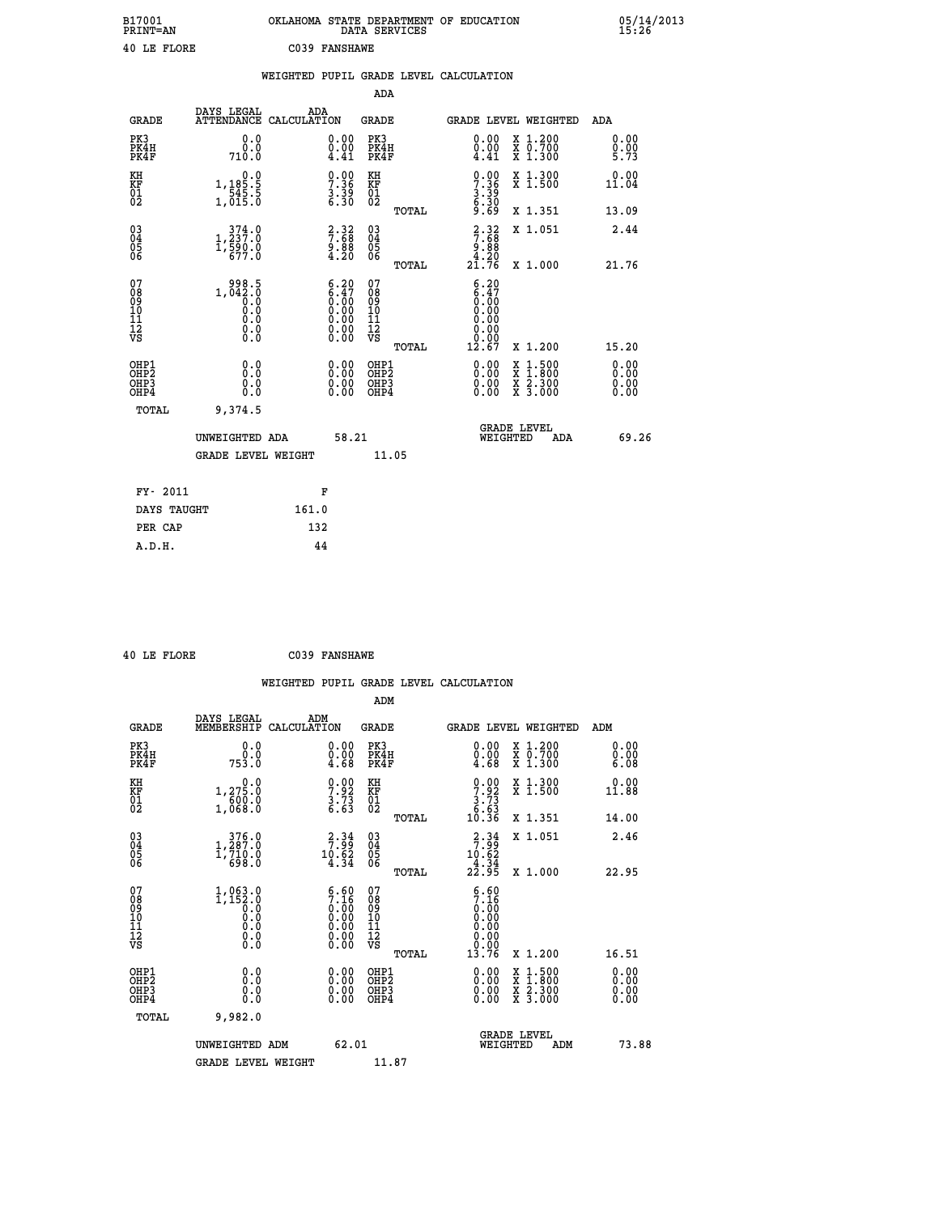| B17001<br><b>PRINT=AN</b> | OKLAHOMA STATE DEPARTMENT OF EDUCATION<br>DATA SERVICES | 05/14/2013<br>15:26 |
|---------------------------|---------------------------------------------------------|---------------------|
| 40 LE FLORE               | C039 FANSHAWE                                           |                     |

|                                                       |                                                                                     |                                                                                               |                                                        | WEIGHTED PUPIL GRADE LEVEL CALCULATION                                                                                                                                                                                                                                         |                                                                                                                                              |                      |
|-------------------------------------------------------|-------------------------------------------------------------------------------------|-----------------------------------------------------------------------------------------------|--------------------------------------------------------|--------------------------------------------------------------------------------------------------------------------------------------------------------------------------------------------------------------------------------------------------------------------------------|----------------------------------------------------------------------------------------------------------------------------------------------|----------------------|
|                                                       |                                                                                     |                                                                                               | ADA                                                    |                                                                                                                                                                                                                                                                                |                                                                                                                                              |                      |
| <b>GRADE</b>                                          | DAYS LEGAL<br>ATTENDANCE CALCULATION                                                | ADA                                                                                           | <b>GRADE</b>                                           | <b>GRADE LEVEL WEIGHTED</b>                                                                                                                                                                                                                                                    |                                                                                                                                              | ADA                  |
| PK3<br>PK4H<br>PK4F                                   | 0.0<br>0.0<br>710.0                                                                 | $\substack{0.00\\0.00\\4.41}$                                                                 | PK3<br>PK4H<br>PK4F                                    | 0.00<br>$\frac{0.00}{4.41}$                                                                                                                                                                                                                                                    | X 1.200<br>X 0.700<br>X 1.300                                                                                                                | 0.00<br>0.00<br>5.73 |
| KH<br>KF<br>01<br>02                                  | $\begin{array}{c} 0.0 \\[-4pt] 1,185.5 \\[-4pt] 545.5 \\[-4pt] 1,015.0 \end{array}$ | $\begin{smallmatrix} 0.00\ 7.36\ 3.39\ 6.30 \end{smallmatrix}$                                | KH<br>KF<br>01<br>02                                   | $\begin{smallmatrix} 0.00\\ 7.36\\ 3.39\\ 6.30\\ 6.69 \end{smallmatrix}$                                                                                                                                                                                                       | X 1.300<br>X 1.500                                                                                                                           | 0.00<br>11.04        |
|                                                       |                                                                                     |                                                                                               | TOTAL                                                  |                                                                                                                                                                                                                                                                                | X 1.351                                                                                                                                      | 13.09                |
| $^{03}_{04}$<br>05<br>06                              | $1, \frac{374}{237}.0 \\ 1, \frac{590}{590}.0 \\ 677.0$                             | $7:88$<br>$9:88$<br>$4:20$                                                                    | $\begin{matrix} 03 \\ 04 \\ 05 \\ 06 \end{matrix}$     | $\begin{array}{c} 2 \cdot 32 \\ 7 \cdot 68 \\ 9 \cdot 88 \\ 4 \cdot 20 \\ 21 \cdot 76 \end{array}$                                                                                                                                                                             | X 1.051                                                                                                                                      | 2.44                 |
|                                                       |                                                                                     |                                                                                               | TOTAL                                                  |                                                                                                                                                                                                                                                                                | X 1.000                                                                                                                                      | 21.76                |
| 07<br>08<br>09<br>10<br>11<br>11<br>12<br>VS          | $1,042.5$<br>0.0<br>0.0<br>0.0<br>0.0<br>0.0<br>0.0                                 | $\begin{smallmatrix} 6.20\ 6.47\ 0.00\ 0.00\ 0.00\ 0.00\ 0.00\ 0.00\ 0.00\ \end{smallmatrix}$ | 07<br>08<br>09<br>001<br>11<br>11<br>12<br>VS<br>TOTAL | $6.20$<br>$6.47$<br>$0.00$<br>0.00<br>0.00<br>0.00<br>0.00<br>12.67                                                                                                                                                                                                            | X 1.200                                                                                                                                      | 15.20                |
| OHP1<br>OHP2<br>OH <sub>P</sub> 3<br>OH <sub>P4</sub> | 0.0<br>0.0<br>0.0                                                                   | $\begin{smallmatrix} 0.00 \ 0.00 \ 0.00 \ 0.00 \end{smallmatrix}$                             | OHP1<br>OHP2<br>OHP3<br>OHP4                           | $\begin{smallmatrix} 0.00 & 0.00 & 0.00 & 0.00 & 0.00 & 0.00 & 0.00 & 0.00 & 0.00 & 0.00 & 0.00 & 0.00 & 0.00 & 0.00 & 0.00 & 0.00 & 0.00 & 0.00 & 0.00 & 0.00 & 0.00 & 0.00 & 0.00 & 0.00 & 0.00 & 0.00 & 0.00 & 0.00 & 0.00 & 0.00 & 0.00 & 0.00 & 0.00 & 0.00 & 0.00 & 0.0$ | $\begin{smallmatrix} \mathtt{X} & 1\cdot500 \\ \mathtt{X} & 1\cdot800 \\ \mathtt{X} & 2\cdot300 \\ \mathtt{X} & 3\cdot000 \end{smallmatrix}$ | 0.00<br>0.00<br>0.00 |
| TOTAL                                                 | 9,374.5                                                                             |                                                                                               |                                                        |                                                                                                                                                                                                                                                                                |                                                                                                                                              |                      |
|                                                       | UNWEIGHTED ADA                                                                      | 58.21                                                                                         |                                                        | WEIGHTED                                                                                                                                                                                                                                                                       | <b>GRADE LEVEL</b><br>ADA                                                                                                                    | 69.26                |
|                                                       | GRADE LEVEL WEIGHT                                                                  |                                                                                               | 11.05                                                  |                                                                                                                                                                                                                                                                                |                                                                                                                                              |                      |
| FY- 2011                                              |                                                                                     | F                                                                                             |                                                        |                                                                                                                                                                                                                                                                                |                                                                                                                                              |                      |
| DAYS TAUGHT                                           |                                                                                     | 161.0                                                                                         |                                                        |                                                                                                                                                                                                                                                                                |                                                                                                                                              |                      |
| PER CAP                                               |                                                                                     | 132                                                                                           |                                                        |                                                                                                                                                                                                                                                                                |                                                                                                                                              |                      |

 **40 LE FLORE C039 FANSHAWE**

 **A.D.H. 44**

|                                                      |                                                                             |                                                                                               |                                                    |       | WEIGHTED PUPIL GRADE LEVEL CALCULATION                                                                            |                                          |                              |
|------------------------------------------------------|-----------------------------------------------------------------------------|-----------------------------------------------------------------------------------------------|----------------------------------------------------|-------|-------------------------------------------------------------------------------------------------------------------|------------------------------------------|------------------------------|
|                                                      |                                                                             |                                                                                               | ADM                                                |       |                                                                                                                   |                                          |                              |
| <b>GRADE</b>                                         | DAYS LEGAL<br>MEMBERSHIP<br>CALCULATION                                     | ADM                                                                                           | <b>GRADE</b>                                       |       |                                                                                                                   | <b>GRADE LEVEL WEIGHTED</b>              | ADM                          |
| PK3<br>PK4H<br>PK4F                                  | 0.0<br>ة:ة<br>753:0                                                         | $\begin{smallmatrix} 0.00 \ 0.00 \ 4.68 \end{smallmatrix}$                                    | PK3<br>PK4H<br>PK4F                                |       | $\begin{smallmatrix} 0.00\\ 0.00\\ 4.68 \end{smallmatrix}$                                                        | X 1.200<br>X 0.700<br>X 1.300            | 0.00<br>0.00<br>6.08         |
| KH<br>KF<br>01<br>02                                 | $1, 27\overline{5}\cdot 0$<br>$\frac{1}{1}$ , $\frac{6}{0}$ , $\frac{6}{0}$ | $\begin{array}{c} 0.00 \\ 7.92 \\ 3.73 \\ 6.63 \end{array}$                                   | KH<br>KF<br>01<br>02                               |       | $\begin{array}{c} 0.00 \\ 7.92 \\ 3.73 \\ 6.63 \\ 10.36 \end{array}$                                              | X 1.300<br>X 1.500                       | 0.00<br>11.88                |
|                                                      |                                                                             |                                                                                               |                                                    | TOTAL |                                                                                                                   | X 1.351                                  | 14.00                        |
| $\begin{matrix} 03 \\ 04 \\ 05 \\ 06 \end{matrix}$   | $\substack{376.0\\1,287.0\\710.0\\698.0}$                                   | $\begin{array}{c} 2 \cdot 34 \\ 7 \cdot 99 \\ 10 \cdot 62 \\ 4 \cdot 34 \end{array}$          | $\begin{matrix} 03 \\ 04 \\ 05 \\ 06 \end{matrix}$ |       | $\begin{array}{r} 2 \cdot 34 \\ 7 \cdot 99 \\ 10 \cdot 62 \\ 4 \cdot 34 \\ 22 \cdot 95 \end{array}$               | X 1.051                                  | 2.46                         |
|                                                      |                                                                             |                                                                                               |                                                    | TOTAL |                                                                                                                   | X 1.000                                  | 22.95                        |
| 07<br>08<br>09<br>10<br>11<br>11<br>12<br>VS         |                                                                             | $\begin{smallmatrix} 6.60\ 7.16\ 0.00\ 0.00\ 0.00\ 0.00\ 0.00\ 0.00\ 0.00\ \end{smallmatrix}$ | 07<br>08<br>09<br>01<br>11<br>11<br>12<br>VS       |       | $\begin{smallmatrix} 6.60\ 7.16\ 0.00\ 0.00\ 0.00\ 0.00\ 0.00\ 0.00\ 0.00\ 0.00\ 0.00\ 0.13.76 \end{smallmatrix}$ |                                          |                              |
|                                                      |                                                                             |                                                                                               |                                                    | TOTAL |                                                                                                                   | X 1.200                                  | 16.51                        |
| OHP1<br>OHP <sub>2</sub><br>OHP3<br>OH <sub>P4</sub> |                                                                             |                                                                                               | OHP1<br>OHP <sub>2</sub><br>OHP <sub>3</sub>       |       | 0.00<br>0.00                                                                                                      | X 1:500<br>X 1:800<br>X 2:300<br>X 3:000 | 0.00<br>0.00<br>0.00<br>0.00 |
| TOTAL                                                | 9,982.0                                                                     |                                                                                               |                                                    |       |                                                                                                                   |                                          |                              |
|                                                      | UNWEIGHTED ADM<br><b>GRADE LEVEL WEIGHT</b>                                 | 62.01                                                                                         | 11.87                                              |       | WEIGHTED                                                                                                          | <b>GRADE LEVEL</b><br>ADM                | 73.88                        |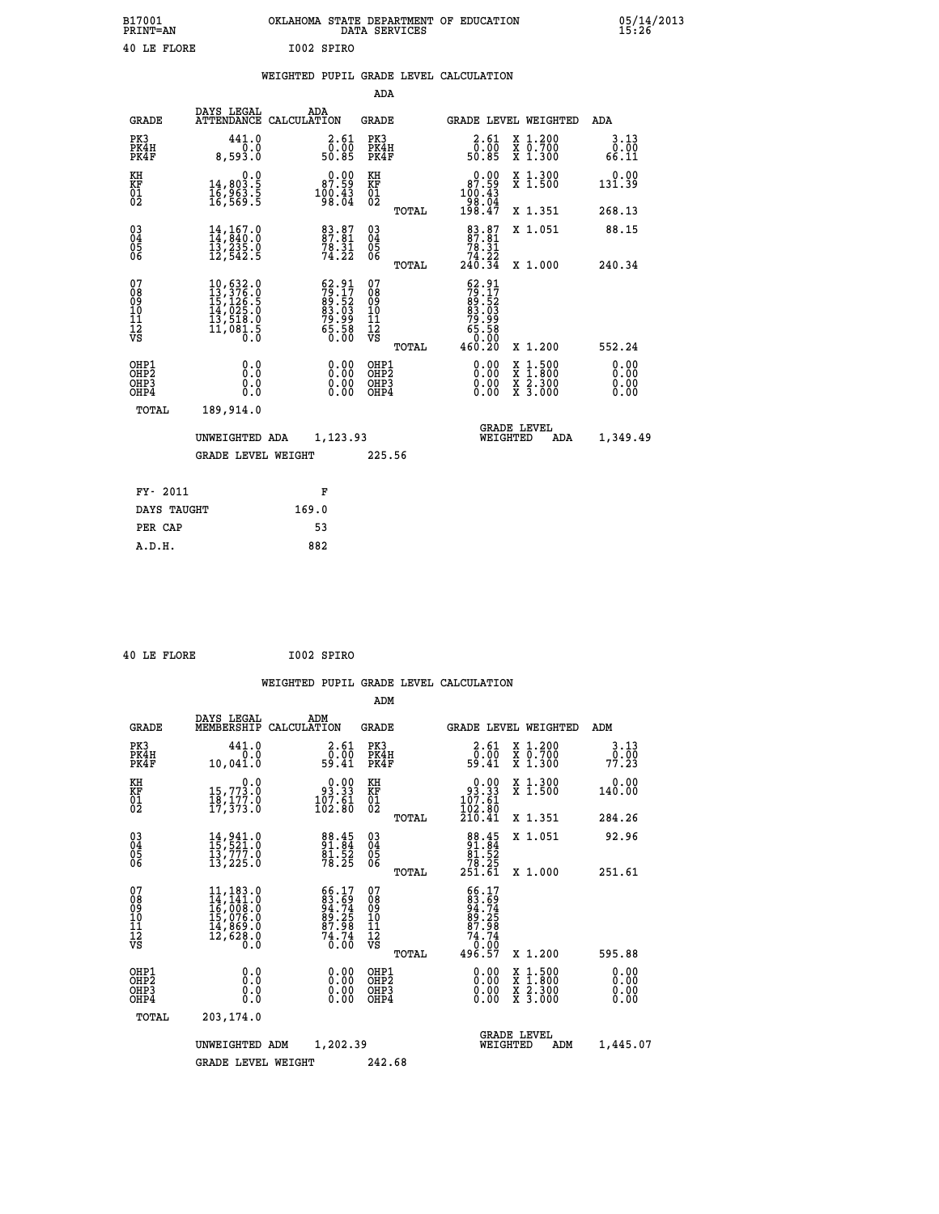| B17001<br><b>PRINT=AN</b> | OKLAHOMA STATE DEPARTMENT OF EDUCATION<br>DATA SERVICES | 05/14/2013<br>15:26 |
|---------------------------|---------------------------------------------------------|---------------------|
| 40 LE FLORE               | I002 SPIRO                                              |                     |

|  |  | WEIGHTED PUPIL GRADE LEVEL CALCULATION |
|--|--|----------------------------------------|
|  |  |                                        |

|                                                                    |                                                                                                                                                          |                                                                           | ADA                                      |       |                                                                                |                                                                                                  |                              |
|--------------------------------------------------------------------|----------------------------------------------------------------------------------------------------------------------------------------------------------|---------------------------------------------------------------------------|------------------------------------------|-------|--------------------------------------------------------------------------------|--------------------------------------------------------------------------------------------------|------------------------------|
| <b>GRADE</b>                                                       | DAYS LEGAL                                                                                                                                               | ADA<br>ATTENDANCE CALCULATION                                             | <b>GRADE</b>                             |       |                                                                                | GRADE LEVEL WEIGHTED                                                                             | ADA                          |
| PK3<br>PK4H<br>PK4F                                                | 441.0<br>0.0<br>8,593.0                                                                                                                                  | $\begin{smallmatrix} 2.61\0.00\\ 50.85 \end{smallmatrix}$                 | PK3<br>PK4H<br>PK4F                      |       | 2.61<br>ō:ŏō<br>50:85                                                          | X 1.200<br>X 0.700<br>X 1.300                                                                    | 3.13<br>0.00<br>66.11        |
| KH<br><b>KF</b><br>01<br>02                                        | 0.0<br>14,803.5<br>16,963.5<br>16,569.5                                                                                                                  | 87.99<br>$^{100}_{98}$ $^{143}_{04}$                                      | KH<br>KF<br>01<br>02                     |       | $\begin{smallmatrix} &0.00\\ 87.59\\ 100.43\\ 98.04\\ 198.47\end{smallmatrix}$ | X 1.300<br>X 1.500                                                                               | 0.00<br>131.39               |
|                                                                    |                                                                                                                                                          |                                                                           |                                          | TOTAL |                                                                                | X 1.351                                                                                          | 268.13                       |
| $\begin{smallmatrix} 03 \\[-4pt] 04 \end{smallmatrix}$<br>05<br>06 | $\begin{smallmatrix} 14\,,\,167\,.0\\ 14\,,\,840\,.0\\ 13\,,\,235\,.0\\ 12\,,\,542\,.5 \end{smallmatrix}$                                                | 83.87<br>87.81<br>$78.31$<br>$74.22$                                      | $\substack{03 \\ 04}$<br>05<br>06        |       | $\begin{smallmatrix}83.87\\87.81\\78.31\\74.22\\240.34\end{smallmatrix}$       | X 1.051                                                                                          | 88.15                        |
|                                                                    |                                                                                                                                                          |                                                                           |                                          | TOTAL |                                                                                | X 1.000                                                                                          | 240.34                       |
| 07<br>08<br>09<br>11<br>11<br>12<br>VS                             | $\begin{smallmatrix} 10, 632\cdot 0\\ 13, 376\cdot 0\\ 15, 126\cdot 5\\ 14, 025\cdot 0\\ 13, 518\cdot 0\\ 11, 081\cdot 5\\ 0\cdot 0\\ \end{smallmatrix}$ | $52.91$<br>$79.17$<br>$89.52$<br>$83.03$<br>$79.99$<br>$75.58$<br>$65.58$ | 07<br>08901112<br>1112<br>VS             |       | $52.91$<br>$79.17$<br>$89.52$<br>$83.03$<br>$79.99$<br>$75.58$<br>$65.58$      |                                                                                                  |                              |
|                                                                    |                                                                                                                                                          |                                                                           |                                          | TOTAL | 460.20                                                                         | X 1.200                                                                                          | 552.24                       |
| OHP1<br>OH <sub>P2</sub><br>OH <sub>P3</sub><br>OH <sub>P4</sub>   | 0.0<br>0.0<br>0.0                                                                                                                                        | 0.00<br>0.00<br>0.00                                                      | OHP1<br>OHP <sub>2</sub><br>OHP3<br>OHP4 |       | 0.00<br>0.00<br>0.00                                                           | $\begin{smallmatrix} x & 1 & 500 \\ x & 1 & 800 \\ x & 2 & 300 \\ x & 3 & 000 \end{smallmatrix}$ | 0.00<br>0.00<br>0.00<br>0.00 |
| TOTAL                                                              | 189,914.0                                                                                                                                                |                                                                           |                                          |       |                                                                                |                                                                                                  |                              |
|                                                                    | UNWEIGHTED ADA                                                                                                                                           | 1,123.93                                                                  |                                          |       |                                                                                | GRADE LEVEL<br>WEIGHTED<br>ADA                                                                   | 1,349.49                     |
|                                                                    | <b>GRADE LEVEL WEIGHT</b>                                                                                                                                |                                                                           | 225.56                                   |       |                                                                                |                                                                                                  |                              |
| FY- 2011                                                           |                                                                                                                                                          | F                                                                         |                                          |       |                                                                                |                                                                                                  |                              |
| DAYS TAUGHT                                                        |                                                                                                                                                          | 169.0                                                                     |                                          |       |                                                                                |                                                                                                  |                              |
| PER CAP                                                            |                                                                                                                                                          | 53                                                                        |                                          |       |                                                                                |                                                                                                  |                              |

 **40 LE FLORE I002 SPIRO**

 **A.D.H. 882**

| <b>GRADE</b>                                         | DAYS LEGAL<br>MEMBERSHIP                                                                                                            | ADM<br>CALCULATION                                                     | <b>GRADE</b>                                       |       | GRADE LEVEL WEIGHTED                                                                                |                                                                                                                     | ADM                          |  |
|------------------------------------------------------|-------------------------------------------------------------------------------------------------------------------------------------|------------------------------------------------------------------------|----------------------------------------------------|-------|-----------------------------------------------------------------------------------------------------|---------------------------------------------------------------------------------------------------------------------|------------------------------|--|
| PK3<br>PK4H<br>PK4F                                  | 441.0<br>0.0<br>10,041.0                                                                                                            | $\begin{smallmatrix} 2.61\0.00\\59.41\end{smallmatrix}$                | PK3<br>PK4H<br>PK4F                                |       | $\begin{smallmatrix} 2.61\0.00\\59.41\end{smallmatrix}$                                             | X 1.200<br>X 0.700<br>X 1.300                                                                                       | 3.13<br>0.00<br>77.23        |  |
| KH<br>KF<br>01<br>02                                 | 0.0<br>15,773.0<br>18,177.0<br>17,373.0                                                                                             | 93.33<br>$\frac{107.61}{102.80}$                                       | KH<br>KF<br>01<br>02                               |       | 0.00<br>$\begin{array}{r} 93.33 \\ 107.61 \\ 102.80 \\ 210.41 \end{array}$                          | X 1.300<br>X 1.500                                                                                                  | 0.00<br>140.00               |  |
|                                                      |                                                                                                                                     |                                                                        |                                                    | TOTAL |                                                                                                     | X 1.351                                                                                                             | 284.26                       |  |
| 03<br>04<br>05<br>06                                 | $14, 941.0$<br>$15, 521.0$<br>$13, 777.0$<br>$13, 225.0$                                                                            | 88.45<br>91.84<br>81.52<br>78.25                                       | $\begin{matrix} 03 \\ 04 \\ 05 \\ 06 \end{matrix}$ |       | $\begin{smallmatrix}88.45\\91.84\\81.52\\78.25\\251.61\end{smallmatrix}$                            | X 1.051                                                                                                             | 92.96                        |  |
|                                                      |                                                                                                                                     |                                                                        |                                                    | TOTAL |                                                                                                     | X 1.000                                                                                                             | 251.61                       |  |
| 07<br>08<br>09<br>11<br>11<br>12<br>VS               | 11, 183.0<br>14, 141.0<br>16, 008.0<br>15, 076.0<br>14, 869.0<br>$\overline{1}\overline{2}, \overline{6}\overline{2}\overline{8}.0$ | $66.17$<br>$83.69$<br>$94.74$<br>$89.25$<br>$87.98$<br>$74.74$<br>0.00 | 07<br>08<br>09<br>10<br>11<br>12<br>νs             | TOTAL | $\begin{array}{r} 66.17 \\ 83.69 \\ 94.74 \\ 89.25 \\ 87.98 \\ 74.74 \\ 0.00 \\ 496.57 \end{array}$ | X 1.200                                                                                                             | 595.88                       |  |
| OHP1<br>OH <sub>P</sub> <sub>2</sub><br>OHP3<br>OHP4 | 0.0<br>0.0<br>0.0                                                                                                                   | $0.00$<br>$0.00$<br>0.00                                               | OHP1<br>OHP <sub>2</sub><br>OHP3<br>OHP4           |       |                                                                                                     | $\begin{array}{l} \mathtt{X} & 1.500 \\ \mathtt{X} & 1.800 \\ \mathtt{X} & 2.300 \\ \mathtt{X} & 3.000 \end{array}$ | 0.00<br>0.00<br>0.00<br>0.00 |  |
| TOTAL                                                | 203,174.0                                                                                                                           |                                                                        |                                                    |       |                                                                                                     |                                                                                                                     |                              |  |
|                                                      | UNWEIGHTED ADM                                                                                                                      | 1,202.39                                                               |                                                    |       | WEIGHTED                                                                                            | <b>GRADE LEVEL</b><br>ADM                                                                                           | 1,445.07                     |  |
|                                                      | <b>GRADE LEVEL WEIGHT</b>                                                                                                           |                                                                        | 242.68                                             |       |                                                                                                     |                                                                                                                     |                              |  |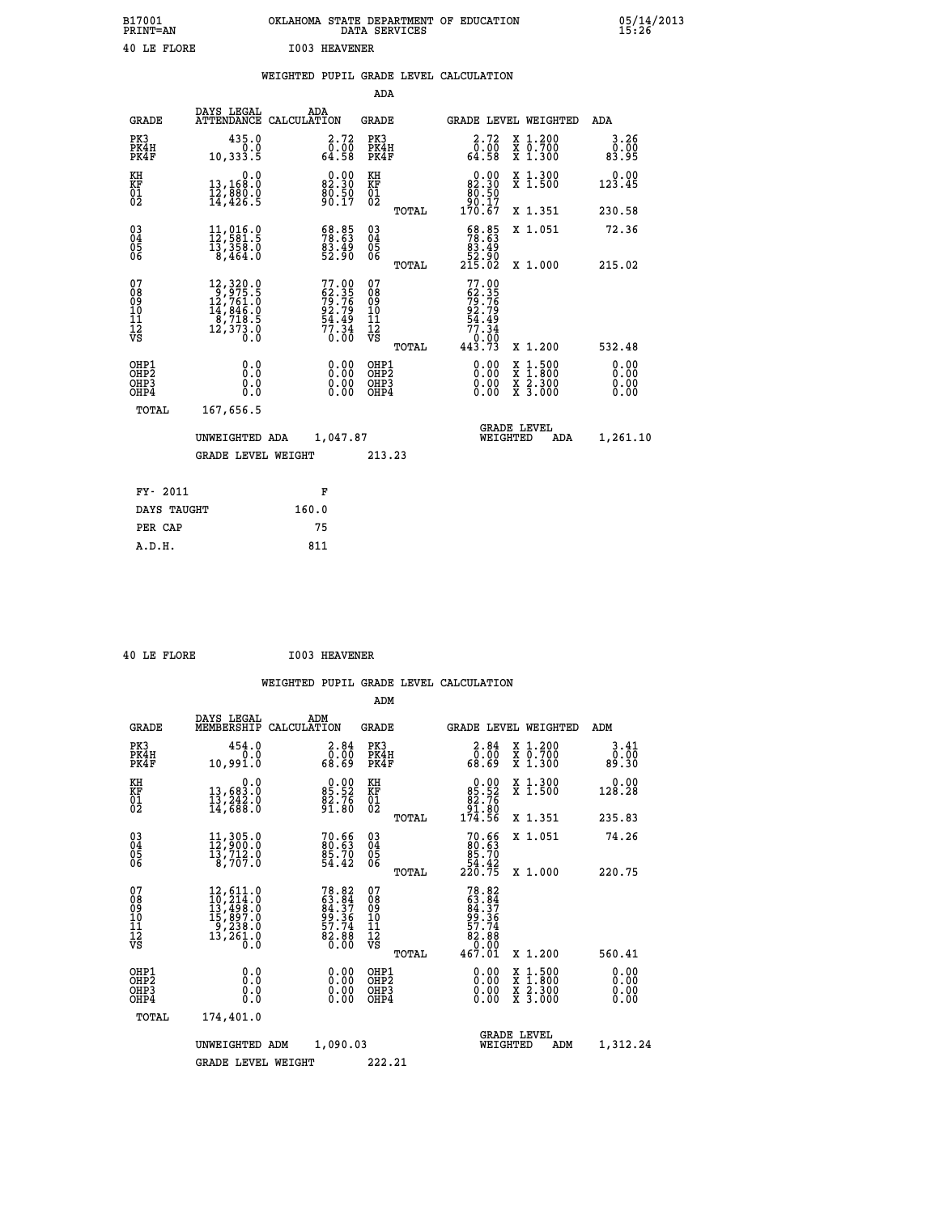| B17001<br><b>PRINT=AN</b> | OKLAHOMA STATE DEPARTMENT OF EDUCATION<br>DATA SERVICES | 05/14/2013<br>15:26 |
|---------------------------|---------------------------------------------------------|---------------------|
| 40 LE FLORE               | <b>I003 HEAVENER</b>                                    |                     |

| שתעש בש                                            |                                                                                                             | אשתש אמשתו כסטב                                                                                                                               |                                                     |       |                                                                                                                                                   |                                                                                                                                                 |                                        |
|----------------------------------------------------|-------------------------------------------------------------------------------------------------------------|-----------------------------------------------------------------------------------------------------------------------------------------------|-----------------------------------------------------|-------|---------------------------------------------------------------------------------------------------------------------------------------------------|-------------------------------------------------------------------------------------------------------------------------------------------------|----------------------------------------|
|                                                    |                                                                                                             |                                                                                                                                               |                                                     |       | WEIGHTED PUPIL GRADE LEVEL CALCULATION                                                                                                            |                                                                                                                                                 |                                        |
|                                                    |                                                                                                             |                                                                                                                                               | <b>ADA</b>                                          |       |                                                                                                                                                   |                                                                                                                                                 |                                        |
| <b>GRADE</b>                                       | DAYS LEGAL<br>ATTENDANCE CALCULATION                                                                        | ADA                                                                                                                                           | GRADE                                               |       |                                                                                                                                                   | GRADE LEVEL WEIGHTED                                                                                                                            | ADA                                    |
| PK3<br>PK4H<br>PK4F                                | 435.0<br>$\begin{smallmatrix} 0.0 \\ 0.1 \\ 0.333.5 \end{smallmatrix}$                                      | 2.72<br>$\begin{smallmatrix} \textcolor{red}{\textbf{0}} \textcolor{black}{\textbf{.05}} \ \textcolor{red}{\textbf{64.58}} \end{smallmatrix}$ | PK3<br>PK4H<br>PK4F                                 |       | 2.72<br>$\begin{smallmatrix} \bar{0} & \bar{0} & \bar{0} \ \bar{0} & \bar{0} & \bar{0} \ \bar{6} & \bar{6} & \bar{6} & \bar{6} \end{smallmatrix}$ | X 1.200<br>X 0.700<br>X 1.300                                                                                                                   | 3.26<br>ŏ:ōŏ<br>83.95                  |
| KH<br>KF<br>01<br>02                               | 0.0<br>13,168:0<br>12,880:0<br>14,426:5                                                                     | 82.30<br>82.30<br>80.50<br>90.17                                                                                                              | KH<br>KF<br>01<br>02                                |       | $\begin{smallmatrix} &0.00\\82.30\\80.50\\90.17\\170.67\end{smallmatrix}$                                                                         | X 1.300<br>X 1.500                                                                                                                              | 0.00<br>123.45                         |
|                                                    |                                                                                                             |                                                                                                                                               |                                                     | TOTAL |                                                                                                                                                   | X 1.351                                                                                                                                         | 230.58                                 |
| $\begin{matrix} 03 \\ 04 \\ 05 \\ 06 \end{matrix}$ | $11,016.0$<br>$12,581.5$<br>$13,358.0$<br>$8,464.0$                                                         | 68.85<br>78.63<br>$\frac{83.49}{52.90}$                                                                                                       | $\begin{array}{c} 03 \\ 04 \\ 05 \\ 06 \end{array}$ |       | $\begin{smallmatrix} 68.85\\ 78.63\\ 83.49\\ 52.90\\ 215.02 \end{smallmatrix}$                                                                    | X 1.051                                                                                                                                         | 72.36                                  |
| 07<br>08901112<br>1112<br>VS                       | $\begin{smallmatrix} 12,320.0\\ 9,975.5\\ 12,761.0\\ 14,846.0\\ 8,718.5\\ 12,373.0\\ 0.0 \end{smallmatrix}$ | 77.00<br>62.35<br>79.76<br>92.79<br>94.49<br>54.34<br>77.34<br>0.00                                                                           | 07<br>08<br>09<br>11<br>11<br>12<br>VS              | TOTAL | $77.00$<br>$62.35$<br>$79.76$<br>$92.79$<br>$54.49$<br>$77.34$<br>$0.000$<br>$443.73$                                                             | X 1.000                                                                                                                                         | 215.02                                 |
| OHP1<br>OHP <sub>2</sub><br>OHP3<br>OHP4           |                                                                                                             |                                                                                                                                               | OHP1<br>OHP <sub>2</sub><br>OHP <sub>3</sub>        | TOTAL |                                                                                                                                                   | X 1.200<br>$\begin{smallmatrix} \mathtt{X} & 1 & 500 \\ \mathtt{X} & 1 & 800 \\ \mathtt{X} & 2 & 300 \\ \mathtt{X} & 3 & 000 \end{smallmatrix}$ | 532.48<br>0.00<br>Ŏ.ŎŎ<br>Q.QQ<br>0.00 |
| TOTAL                                              | 167,656.5                                                                                                   |                                                                                                                                               |                                                     |       |                                                                                                                                                   |                                                                                                                                                 |                                        |
|                                                    | UNWEIGHTED ADA                                                                                              | 1,047.87                                                                                                                                      |                                                     |       | WEIGHTED                                                                                                                                          | <b>GRADE LEVEL</b><br>ADA                                                                                                                       | 1,261.10                               |

 **FY- 2011 F DAYS TAUGHT 160.0** PER CAP 75<br>A.D.H. 811  **A.D.H. 811**

 **ADM**

 **GRADE LEVEL WEIGHT 213.23**

 **40 LE FLORE I003 HEAVENER**

| <b>GRADE</b>                                       | DAYS LEGAL<br>MEMBERSHIP                                                                                           | ADM<br>CALCULATION                                                   | <b>GRADE</b>                           |       | <b>GRADE LEVEL WEIGHTED</b>                                                                      |                                                                           | ADM                   |  |
|----------------------------------------------------|--------------------------------------------------------------------------------------------------------------------|----------------------------------------------------------------------|----------------------------------------|-------|--------------------------------------------------------------------------------------------------|---------------------------------------------------------------------------|-----------------------|--|
| PK3<br>PK4H<br>PK4F                                | 454.0<br>0.0<br>10,991.0                                                                                           | $\frac{2.84}{0.00}$<br>68.69                                         | PK3<br>PK4H<br>PK4F                    |       | $\begin{smallmatrix} 2.84\0.00\\ 68.69 \end{smallmatrix}$                                        | $\begin{smallmatrix} x & 1.200 \\ x & 0.700 \end{smallmatrix}$<br>X 1.300 | 3.41<br>0.00<br>89.30 |  |
| KH<br>KF<br>01<br>02                               | 0.0<br>13,683:0<br>13,242:0<br>14,688:0                                                                            | 85.52<br>85.52<br>82.76<br>91.80                                     | KH<br>KF<br>01<br>02                   |       | $\begin{smallmatrix} &0.00\ 85.52\ 82.76\ 91.80\ 174.56\ \end{smallmatrix}$                      | X 1.300<br>X 1.500                                                        | 0.00<br>128.28        |  |
|                                                    |                                                                                                                    |                                                                      |                                        | TOTAL |                                                                                                  | X 1.351                                                                   | 235.83                |  |
| $\begin{matrix} 03 \\ 04 \\ 05 \\ 06 \end{matrix}$ | $11,305.0$<br>$12,900.0$<br>$13,712.0$<br>8,707.0                                                                  | $70.66$<br>80.63<br>85.70<br>54.42                                   | $\substack{03 \\ 04}$<br>Ŏ5<br>06      |       | $70.66$<br>80.63<br>85.70<br>84.42<br>220.75                                                     | X 1.051                                                                   | 74.26                 |  |
|                                                    |                                                                                                                    |                                                                      |                                        | TOTAL |                                                                                                  | X 1.000                                                                   | 220.75                |  |
| 07<br>08<br>09<br>101<br>11<br>12<br>VS            | $\begin{smallmatrix} 12, 611.0\\ 10, 214.0\\ 13, 498.0\\ 15, 897.0\\ 9, 238.0\\ 13, 261.0\\ 0.0 \end{smallmatrix}$ | 78.82<br>63.84<br>63.37<br>84.37<br>99.36<br>57.74<br>52.88<br>82.88 | 07<br>08<br>09<br>11<br>11<br>12<br>VS | TOTAL | $78.82$<br>$63.84$<br>$84.37$<br>$84.36$<br>$99.36$<br>$57.74$<br>$82.88$<br>$0.000$<br>$467.01$ | X 1.200                                                                   | 560.41                |  |
| OHP1<br>OHP2<br>OHP3<br>OHP4                       | 0.0<br>0.0<br>0.0                                                                                                  | $0.00$<br>$0.00$<br>0.00                                             | OHP1<br>OHP2<br>OHP3<br>OHP4           |       |                                                                                                  | X 1:500<br>X 1:800<br>X 2:300<br>X 3:000                                  | 0.00<br>0.00<br>0.00  |  |
| TOTAL                                              | 174,401.0                                                                                                          |                                                                      |                                        |       |                                                                                                  |                                                                           |                       |  |
|                                                    | UNWEIGHTED                                                                                                         | 1,090.03<br>ADM                                                      |                                        |       | WEIGHTED                                                                                         | <b>GRADE LEVEL</b><br>ADM                                                 | 1,312.24              |  |
|                                                    | <b>GRADE LEVEL WEIGHT</b>                                                                                          |                                                                      | 222.21                                 |       |                                                                                                  |                                                                           |                       |  |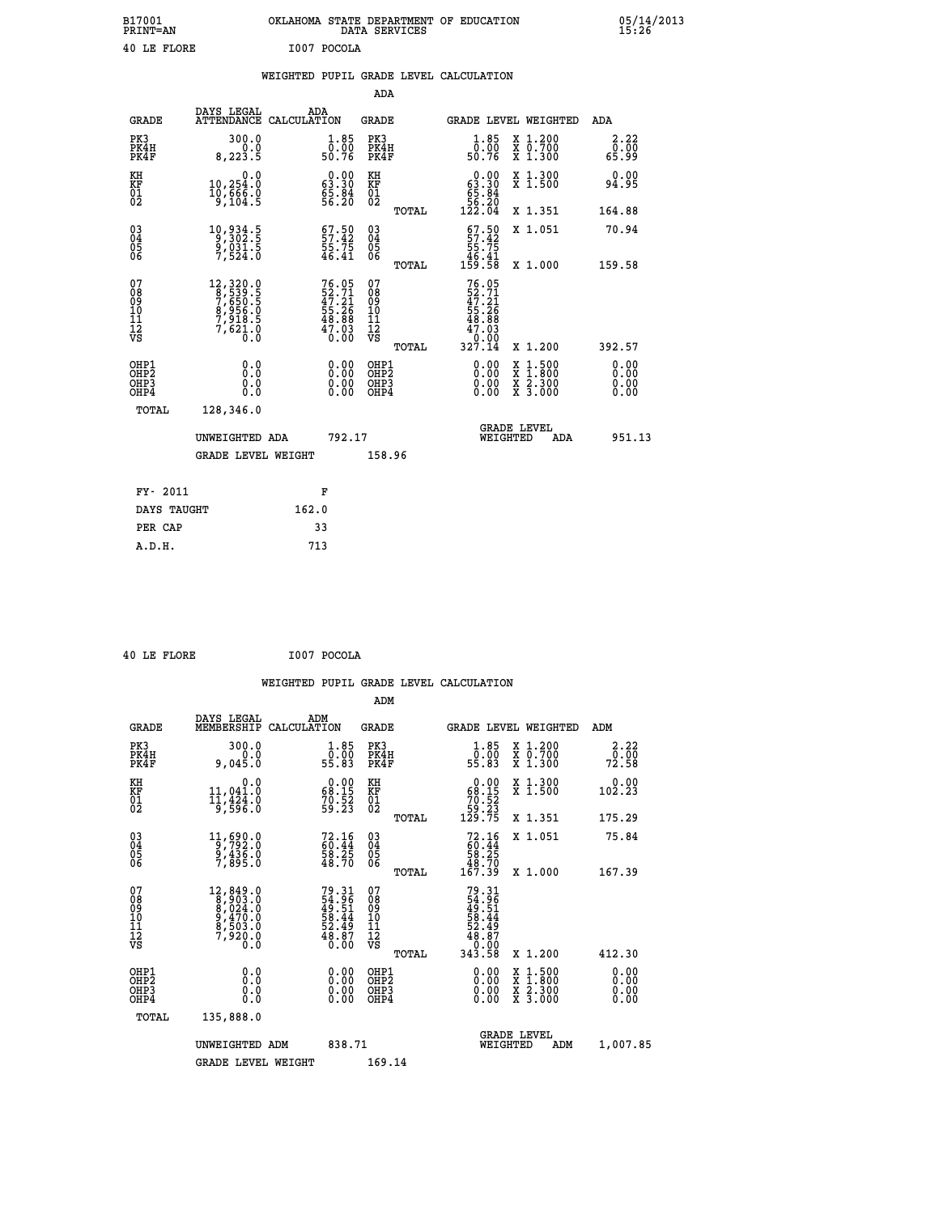| B17001<br><b>PRINT=AN</b> | OKLAHOMA STATE DEPARTMENT OF EDUCATION<br>DATA SERVICES | 05/14/2013<br>15:26 |
|---------------------------|---------------------------------------------------------|---------------------|
| 40 LE FLORE               | I007 POCOLA                                             |                     |

|  |  | WEIGHTED PUPIL GRADE LEVEL CALCULATION |
|--|--|----------------------------------------|
|  |  |                                        |

|                                                                              |                                                                                                                      |                                                                          | ADA                                                |       |                                                                                       |                                                                                                                                              |                              |
|------------------------------------------------------------------------------|----------------------------------------------------------------------------------------------------------------------|--------------------------------------------------------------------------|----------------------------------------------------|-------|---------------------------------------------------------------------------------------|----------------------------------------------------------------------------------------------------------------------------------------------|------------------------------|
| <b>GRADE</b>                                                                 | DAYS LEGAL                                                                                                           | ADA<br>ATTENDANCE CALCULATION                                            | GRADE                                              |       | <b>GRADE LEVEL WEIGHTED</b>                                                           |                                                                                                                                              | ADA                          |
| PK3<br>PK4H<br>PK4F                                                          | 300.0<br>0.0<br>8, 223.5                                                                                             | $1.85$<br>$0.00$<br>50.76                                                | PK3<br>PK4H<br>PK4F                                |       | 1.85<br>0.00<br>50.76                                                                 | X 1.200<br>X 0.700<br>X 1.300                                                                                                                | 2.22<br>0.00<br>65.99        |
| KH<br>KF<br>01<br>02                                                         | 0.0<br>10,254:0<br>10,666:0<br>9,104:5                                                                               | $\begin{smallmatrix} 0.00\\ 63.30\\ 65.84\\ 56.20 \end{smallmatrix}$     | KH<br>KF<br>01<br>02                               |       | $\begin{smallmatrix} &0.00\ 63.30\ 65.84\ 56.20\ 122.04\ \end{smallmatrix}$           | X 1.300<br>X 1.500                                                                                                                           | 0.00<br>94.95                |
|                                                                              |                                                                                                                      |                                                                          |                                                    | TOTAL |                                                                                       | X 1.351                                                                                                                                      | 164.88                       |
| $\begin{matrix} 03 \\ 04 \\ 05 \\ 06 \end{matrix}$                           | 10,934.5<br>9,302.5<br>9,031.5<br>7,524.0                                                                            | $57.50$<br>$55.75$<br>$55.75$<br>$46.41$                                 | $\begin{matrix} 03 \\ 04 \\ 05 \\ 06 \end{matrix}$ |       | $57.50$<br>$57.42$<br>$\frac{55}{46}$ . $\frac{75}{41}$<br>159. 58                    | X 1.051                                                                                                                                      | 70.94                        |
|                                                                              |                                                                                                                      |                                                                          |                                                    | TOTAL |                                                                                       | X 1.000                                                                                                                                      | 159.58                       |
| 07<br>08<br>09<br>11<br>11<br>12<br>VS                                       | $\begin{smallmatrix} 12, 320, 0\\ 8, 539, 5\\ 7, 650, 5\\ 8, 956, 0\\ 7, 918, 5\\ 7, 621, 0\\ 0.0 \end{smallmatrix}$ | $76.05$<br>$52.71$<br>$47.21$<br>$55.26$<br>$48.88$<br>$47.03$<br>$0.00$ | 07<br>08<br>09<br>11<br>11<br>12<br>VS             | TOTAL | $76.05$<br>$52.71$<br>$47.21$<br>$55.26$<br>$48.88$<br>$47.03$<br>$0.000$<br>$327.14$ | X 1.200                                                                                                                                      | 392.57                       |
| OHP1<br>OH <sub>P</sub> <sub>2</sub><br>OH <sub>P3</sub><br>OH <sub>P4</sub> | 0.0<br>Ō.Ō<br>0.0<br>0.0                                                                                             | 0.00<br>$\begin{smallmatrix} 0.00 \ 0.00 \end{smallmatrix}$              | OHP1<br>OHP2<br>OHP3<br>OHP4                       |       | 0.00<br>0.00<br>0.00                                                                  | $\begin{smallmatrix} \mathtt{X} & 1\cdot500 \\ \mathtt{X} & 1\cdot800 \\ \mathtt{X} & 2\cdot300 \\ \mathtt{X} & 3\cdot000 \end{smallmatrix}$ | 0.00<br>0.00<br>0.00<br>0.00 |
| TOTAL                                                                        | 128,346.0                                                                                                            |                                                                          |                                                    |       |                                                                                       |                                                                                                                                              |                              |
|                                                                              | UNWEIGHTED ADA                                                                                                       | 792.17                                                                   |                                                    |       | WEIGHTED                                                                              | <b>GRADE LEVEL</b><br>ADA                                                                                                                    | 951.13                       |
|                                                                              | <b>GRADE LEVEL WEIGHT</b>                                                                                            |                                                                          | 158.96                                             |       |                                                                                       |                                                                                                                                              |                              |
|                                                                              |                                                                                                                      |                                                                          |                                                    |       |                                                                                       |                                                                                                                                              |                              |
| FY- 2011                                                                     |                                                                                                                      | F                                                                        |                                                    |       |                                                                                       |                                                                                                                                              |                              |
| DAYS TAUGHT                                                                  |                                                                                                                      | 162.0                                                                    |                                                    |       |                                                                                       |                                                                                                                                              |                              |
| PER CAP                                                                      |                                                                                                                      | 33                                                                       |                                                    |       |                                                                                       |                                                                                                                                              |                              |
| A.D.H.                                                                       |                                                                                                                      | 713                                                                      |                                                    |       |                                                                                       |                                                                                                                                              |                              |

 **40 LE FLORE I007 POCOLA**

 **A.D.H. 713**

|                                          |                                                                                                        |                                                                      | ADM                                                |       |                                                                                |                                          |                                          |
|------------------------------------------|--------------------------------------------------------------------------------------------------------|----------------------------------------------------------------------|----------------------------------------------------|-------|--------------------------------------------------------------------------------|------------------------------------------|------------------------------------------|
| <b>GRADE</b>                             | DAYS LEGAL<br>MEMBERSHIP                                                                               | ADM<br>CALCULATION                                                   | <b>GRADE</b>                                       |       |                                                                                | <b>GRADE LEVEL WEIGHTED</b>              | ADM                                      |
| PK3<br>PK4H<br>PK4F                      | 300.0<br>0.015.0                                                                                       | $\begin{smallmatrix} 1.85\ 0.00\\ 55.83 \end{smallmatrix}$           | PK3<br>PK4H<br>PK4F                                |       | $\begin{smallmatrix} 1.85\ 0.00\\ 55.83 \end{smallmatrix}$                     | X 1.200<br>X 0.700<br>X 1.300            | 2.22<br>$\frac{5}{72.58}$                |
| KH<br>KF<br>01<br>02                     | 0.0<br>$11,041.0$<br>$11,424.0$<br>$9,596.0$                                                           | $\begin{smallmatrix} 0.00\\ 68.15\\ 70.52\\ 59.23 \end{smallmatrix}$ | KH<br>KF<br>01<br>02                               |       | $\begin{smallmatrix} &0.00\\ 68.15\\ 70.52\\ 59.23\\ 129.75 \end{smallmatrix}$ | X 1.300<br>X 1.500                       | 0.00<br>$10\tilde{2}.\tilde{2}\tilde{3}$ |
|                                          |                                                                                                        |                                                                      |                                                    | TOTAL |                                                                                | X 1.351                                  | 175.29                                   |
| 03<br>04<br>05<br>06                     | $\begin{smallmatrix}11,690.0\\9,792.0\\9,436.0\\7,895.0\end{smallmatrix}$                              | 72.16<br>60.44<br>58.25<br>48.70                                     | $\begin{matrix} 03 \\ 04 \\ 05 \\ 06 \end{matrix}$ |       | $72.1660.4458.2548.70167.39$                                                   | X 1.051                                  | 75.84                                    |
|                                          |                                                                                                        |                                                                      |                                                    | TOTAL |                                                                                | X 1.000                                  | 167.39                                   |
| 07<br>08<br>09<br>101<br>11<br>12<br>VS  | $\begin{smallmatrix}12, 849.0\\8, 903.0\\8, 024.0\\9, 470.0\\8, 503.0\\7, 920.0\\0.0\end{smallmatrix}$ | 79.31<br>54.96<br>49.51<br>58.44<br>52.49<br>52.49<br>48.87          | 07<br>08<br>09<br>11<br>11<br>12<br>VS             | TOTAL | $79.31$<br>$54.96$<br>$49.51$<br>$52.44$<br>$52.497$<br>$48.870$<br>$343.58$   | X 1.200                                  | 412.30                                   |
|                                          |                                                                                                        |                                                                      |                                                    |       |                                                                                |                                          |                                          |
| OHP1<br>OHP2<br>OHP <sub>3</sub><br>OHP4 |                                                                                                        |                                                                      | OHP1<br>OHP2<br>OHP <sub>3</sub>                   |       | $0.00$<br>$0.00$<br>0.00                                                       | X 1:500<br>X 1:800<br>X 2:300<br>X 3:000 | 0.00<br>0.00<br>0.00                     |
| TOTAL                                    | 135,888.0                                                                                              |                                                                      |                                                    |       |                                                                                |                                          |                                          |
|                                          | UNWEIGHTED<br>ADM                                                                                      | 838.71                                                               |                                                    |       |                                                                                | GRADE LEVEL<br>WEIGHTED<br>ADM           | 1,007.85                                 |
|                                          | <b>GRADE LEVEL WEIGHT</b>                                                                              |                                                                      | 169.14                                             |       |                                                                                |                                          |                                          |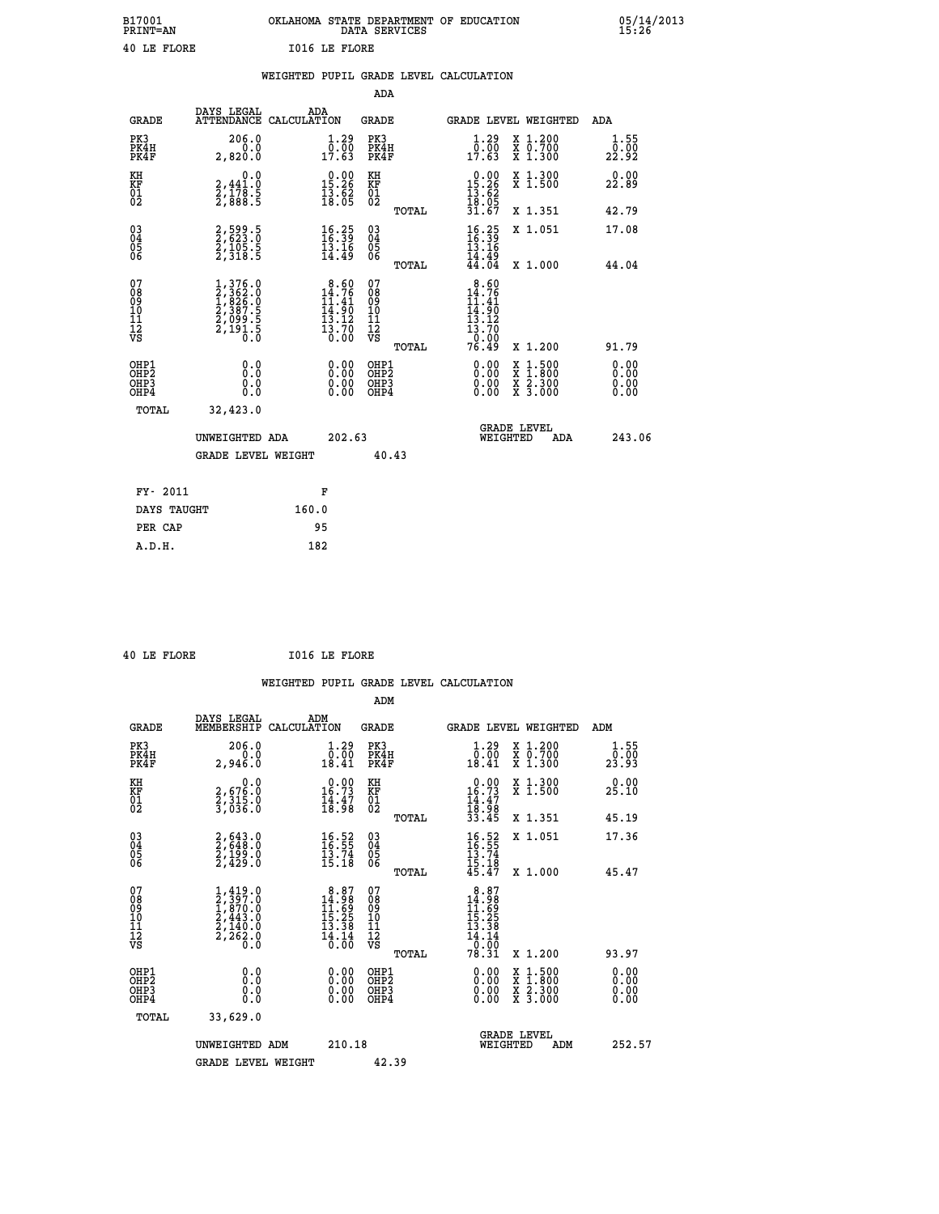| B17001<br><b>PRINT=AN</b> | OKLAHOMA<br>. STATE DEPARTMENT OF EDUCATION<br>DATA SERVICES | 05/14/2013<br>15:26 |
|---------------------------|--------------------------------------------------------------|---------------------|
| 40 LE FLORE               | <b>IO16 LE FLORE</b>                                         |                     |

|                                                                    |                                                                                                         |       |                                                                                      |                                        |       | WEIGHTED PUPIL GRADE LEVEL CALCULATION                                                                                                                                                                                                                                         |                                                                                                                                           |                                  |
|--------------------------------------------------------------------|---------------------------------------------------------------------------------------------------------|-------|--------------------------------------------------------------------------------------|----------------------------------------|-------|--------------------------------------------------------------------------------------------------------------------------------------------------------------------------------------------------------------------------------------------------------------------------------|-------------------------------------------------------------------------------------------------------------------------------------------|----------------------------------|
|                                                                    |                                                                                                         |       |                                                                                      | <b>ADA</b>                             |       |                                                                                                                                                                                                                                                                                |                                                                                                                                           |                                  |
| <b>GRADE</b>                                                       | DAYS LEGAL<br>ATTENDANCE CALCULATION                                                                    |       | ADA                                                                                  | GRADE                                  |       | GRADE LEVEL WEIGHTED                                                                                                                                                                                                                                                           |                                                                                                                                           | ADA                              |
| PK3<br>PK4H<br>PK4F                                                | 206.0<br>0.0<br>2,820.0                                                                                 |       | $\begin{smallmatrix} 1.29 \\ 0.00 \\ 17.63 \end{smallmatrix}$                        | PK3<br>PK4H<br>PK4F                    |       | $\begin{smallmatrix} 1.29 \\ 0.00 \\ 17.63 \end{smallmatrix}$                                                                                                                                                                                                                  | X 1.200<br>X 0.700<br>X 1.300                                                                                                             | 1.55<br>0.00<br>22.92            |
| KH<br>KF<br>01<br>02                                               | 0.0<br>2,441:0<br>2,178:5<br>2,888:5                                                                    |       | 15.26<br>$\frac{13.62}{18.05}$                                                       | KH<br>KF<br>01<br>02                   |       | $\begin{smallmatrix} 0.00\\15.26\\13.62\\18.05\\31.67 \end{smallmatrix}$                                                                                                                                                                                                       | X 1.300<br>X 1.500                                                                                                                        | 0.00<br>22.89                    |
|                                                                    |                                                                                                         |       |                                                                                      |                                        | TOTAL |                                                                                                                                                                                                                                                                                | X 1.351                                                                                                                                   | 42.79                            |
| $\begin{smallmatrix} 03 \\[-4pt] 04 \end{smallmatrix}$<br>Ŏ5<br>06 | 2,599.5<br>2,623.0<br>2,105.5<br>2,318.5                                                                |       | $\frac{16.25}{15.39}$                                                                | $\substack{03 \\ 04}$<br>Ŏ5<br>06      |       | $\frac{16.25}{16.39}$<br>īš.ī6                                                                                                                                                                                                                                                 | X 1.051                                                                                                                                   | 17.08                            |
|                                                                    |                                                                                                         |       | 14.49                                                                                |                                        | TOTAL | $\bar{14}.\bar{49} \over 44.04$                                                                                                                                                                                                                                                | X 1.000                                                                                                                                   | 44.04                            |
| 07<br>08<br>09<br>01<br>11<br>11<br>12<br>VS                       | $\begin{smallmatrix} 1,376.0\\ 2,362.0\\ 1,826.0\\ 2,387.5\\ 2,099.5\\ 2,191.5\\ 0.0 \end{smallmatrix}$ |       | $\begin{smallmatrix} 8.60\\14.76\\11.41\\14.90\\13.12\\13.70\\0.00\end{smallmatrix}$ | 07<br>08<br>09<br>11<br>11<br>12<br>VS | TOTAL | 8.60<br>$\frac{14.76}{14.90}$<br>$\frac{13.12}{13.70}$<br>76.49                                                                                                                                                                                                                | X 1.200                                                                                                                                   | 91.79                            |
| OHP1<br>OHP2<br>OHP3<br>OHP4                                       | 0.0<br>0.0<br>$0.\overline{0}$                                                                          |       | $\begin{smallmatrix} 0.00 \ 0.00 \ 0.00 \ 0.00 \end{smallmatrix}$                    | OHP1<br>OHP2<br>OHP3<br>OHP4           |       | $\begin{smallmatrix} 0.00 & 0.00 & 0.00 & 0.00 & 0.00 & 0.00 & 0.00 & 0.00 & 0.00 & 0.00 & 0.00 & 0.00 & 0.00 & 0.00 & 0.00 & 0.00 & 0.00 & 0.00 & 0.00 & 0.00 & 0.00 & 0.00 & 0.00 & 0.00 & 0.00 & 0.00 & 0.00 & 0.00 & 0.00 & 0.00 & 0.00 & 0.00 & 0.00 & 0.00 & 0.00 & 0.0$ | $\begin{smallmatrix} \mathtt{X} & 1\cdot500\\ \mathtt{X} & 1\cdot800\\ \mathtt{X} & 2\cdot300\\ \mathtt{X} & 3\cdot000 \end{smallmatrix}$ | 0.00<br>0.00<br>$0.00$<br>$0.00$ |
| TOTAL                                                              | 32,423.0                                                                                                |       |                                                                                      |                                        |       |                                                                                                                                                                                                                                                                                |                                                                                                                                           |                                  |
|                                                                    | UNWEIGHTED ADA                                                                                          |       | 202.63                                                                               |                                        |       | <b>GRADE LEVEL</b><br>WEIGHTED                                                                                                                                                                                                                                                 | ADA                                                                                                                                       | 243.06                           |
|                                                                    | <b>GRADE LEVEL WEIGHT</b>                                                                               |       |                                                                                      |                                        | 40.43 |                                                                                                                                                                                                                                                                                |                                                                                                                                           |                                  |
| FY- 2011                                                           |                                                                                                         |       | F                                                                                    |                                        |       |                                                                                                                                                                                                                                                                                |                                                                                                                                           |                                  |
| DAYS TAUGHT                                                        |                                                                                                         | 160.0 |                                                                                      |                                        |       |                                                                                                                                                                                                                                                                                |                                                                                                                                           |                                  |
| PER CAP                                                            |                                                                                                         |       | 95                                                                                   |                                        |       |                                                                                                                                                                                                                                                                                |                                                                                                                                           |                                  |

 **A.D.H. 182**

 **40 LE FLORE I016 LE FLORE**

|                                          |                                                                                     |                                                                                     | ADM                                                 |                                                                                                        |                                          |                              |
|------------------------------------------|-------------------------------------------------------------------------------------|-------------------------------------------------------------------------------------|-----------------------------------------------------|--------------------------------------------------------------------------------------------------------|------------------------------------------|------------------------------|
| <b>GRADE</b>                             | DAYS LEGAL<br>MEMBERSHIP                                                            | ADM<br>CALCULATION                                                                  | <b>GRADE</b>                                        | <b>GRADE LEVEL WEIGHTED</b>                                                                            |                                          | ADM                          |
| PK3<br>PK4H<br>PK4F                      | 206.0<br>0.0<br>2,946.0                                                             | $\begin{smallmatrix} 1.29 \\ 0.00 \\ 18.41 \end{smallmatrix}$                       | PK3<br>PK4H<br>PK4F                                 | $\begin{smallmatrix} 1.29 \\ 0.00 \\ 18.41 \end{smallmatrix}$                                          | X 1.200<br>X 0.700<br>X 1.300            | 1.55<br>_0.00<br>23.93       |
| KH<br>KF<br>01<br>02                     | 0.0<br>2,676:0<br>2,315:0<br>3,036:0                                                | $\begin{smallmatrix} 0.00\\ 16.73\\ 14.47\\ 18.98 \end{smallmatrix}$                | KH<br>KF<br>01<br>02                                | $0.00\n16.73\n14.47\n18.98\n33.45$                                                                     | X 1.300<br>X 1.500                       | 0.00<br>25.10                |
|                                          |                                                                                     |                                                                                     | TOTAL                                               |                                                                                                        | X 1.351                                  | 45.19                        |
| 03<br>04<br>05<br>06                     | 2,643.0<br>2,648.0<br>2,199.0<br>2,429.0                                            | $\begin{smallmatrix} 16.52\ 16.55\ 13.74\ 15.18 \end{smallmatrix}$                  | $\begin{array}{c} 03 \\ 04 \\ 05 \\ 06 \end{array}$ | $16.52$<br>$16.55$<br>$13.74$<br>$15.18$<br>$45.47$                                                    | X 1.051                                  | 17.36                        |
|                                          |                                                                                     |                                                                                     | TOTAL                                               |                                                                                                        | X 1.000                                  | 45.47                        |
| 07<br>08<br>09<br>101<br>11<br>12<br>VS  | $1,419.0$<br>$2,397.0$<br>$1,870.0$<br>$2,443.0$<br>$2,140.0$<br>$2,262.0$<br>$0.0$ | $\begin{smallmatrix}8.87\\14.98\\11.69\\15.25\\13.38\\14.14\\0.00\end{smallmatrix}$ | 07<br>08<br>09<br>11<br>11<br>12<br>VS<br>TOTAL     | $\begin{array}{r} 8.87 \\ 14.98 \\ 11.69 \\ 15.25 \\ 13.38 \\ 14.14 \\ 16.0 \\ 9 \end{array}$<br>78.31 | X 1.200                                  | 93.97                        |
| OHP1<br>OHP2<br>OH <sub>P3</sub><br>OHP4 | 0.0<br>$\begin{smallmatrix} 0.0 & 0 \ 0.0 & 0 \end{smallmatrix}$                    |                                                                                     | OHP1<br>OHP2<br>OHP <sub>3</sub>                    | $0.00$<br>$0.00$<br>0.00                                                                               | X 1:500<br>X 1:800<br>X 2:300<br>X 3:000 | 0.00<br>0.00<br>0.00<br>0.00 |
| TOTAL                                    | 33,629.0                                                                            |                                                                                     |                                                     |                                                                                                        |                                          |                              |
|                                          | UNWEIGHTED ADM                                                                      | 210.18                                                                              |                                                     |                                                                                                        | GRADE LEVEL<br>WEIGHTED<br>ADM           | 252.57                       |
|                                          | <b>GRADE LEVEL WEIGHT</b>                                                           |                                                                                     | 42.39                                               |                                                                                                        |                                          |                              |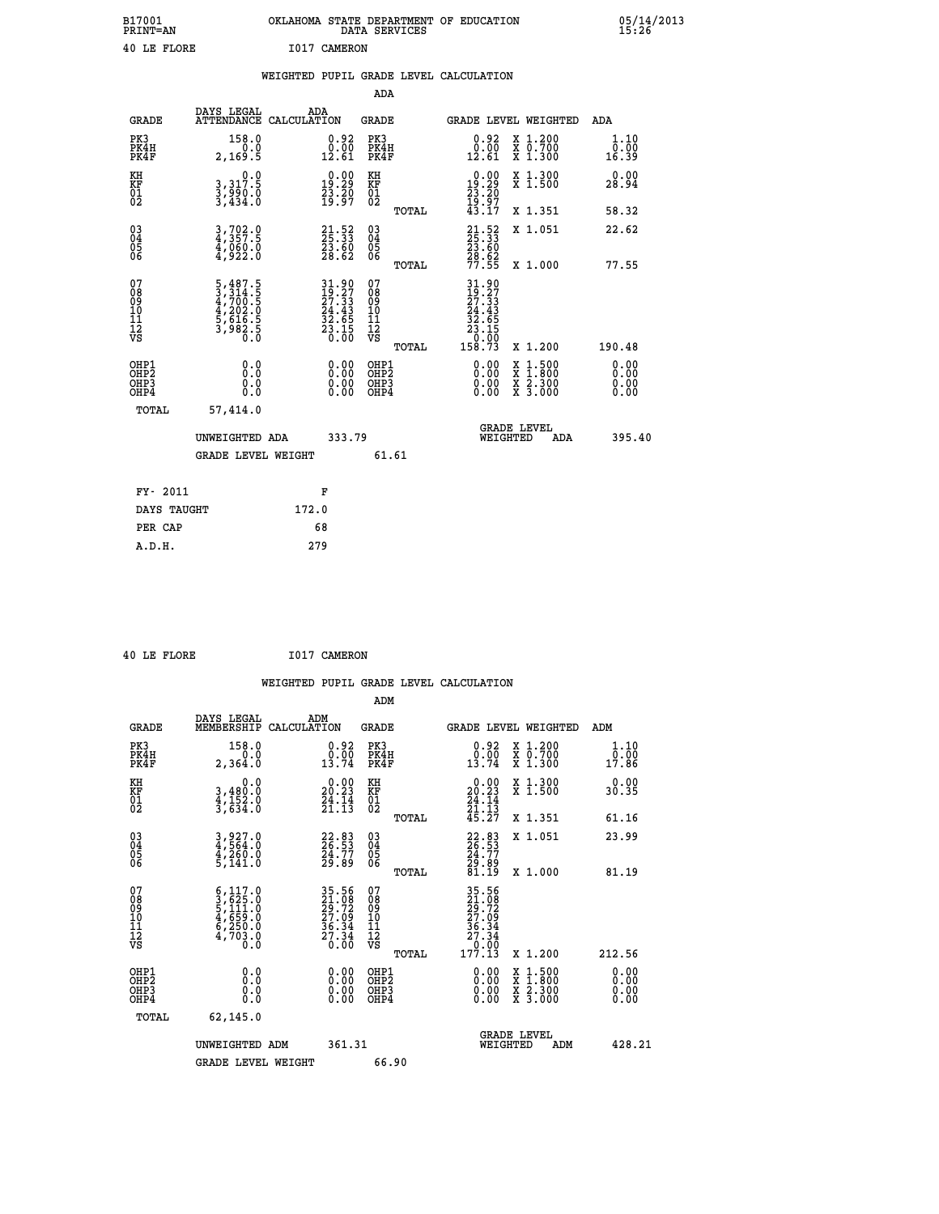| B17001<br>PRINT=AN | OKLAHOMA<br>. STATE DEPARTMENT OF EDUCATION<br>DATA SERVICES | 05/14/2013<br>15:26 |
|--------------------|--------------------------------------------------------------|---------------------|
| 40 LE FLORE        | 1017 CAMERON                                                 |                     |

|                                        |                                                                                     | WEIGHTED PUPIL GRADE LEVEL CALCULATION                                                                                       |                                                     |       |                                                                                            |                                                                                                           |                        |
|----------------------------------------|-------------------------------------------------------------------------------------|------------------------------------------------------------------------------------------------------------------------------|-----------------------------------------------------|-------|--------------------------------------------------------------------------------------------|-----------------------------------------------------------------------------------------------------------|------------------------|
|                                        |                                                                                     |                                                                                                                              | <b>ADA</b>                                          |       |                                                                                            |                                                                                                           |                        |
| <b>GRADE</b>                           |                                                                                     | DAYS LEGAL ADA ATTENDANCE CALCULATION                                                                                        | <b>GRADE</b>                                        |       |                                                                                            | GRADE LEVEL WEIGHTED                                                                                      | ADA                    |
| PK3<br>PK4H<br>PK4F                    | 158.0<br>2,169.5                                                                    | $\begin{smallmatrix} 0.92\ 0.00\ 12.61 \end{smallmatrix}$                                                                    | PK3<br>PK4H<br>PK4F                                 |       | $\begin{smallmatrix} 0.92\ 0.00\\ 12.61 \end{smallmatrix}$                                 | X 1.200<br>X 0.700<br>X 1.300                                                                             | 1.10<br>0.00<br>16.39  |
| KH<br>KF<br>01<br>02                   | $\begin{smallmatrix}&&&0.0\\3,317.5\\3,990.0\\3,434.0\end{smallmatrix}$             | $\begin{smallmatrix} 0.00\\19.29\\23.20\\19.97 \end{smallmatrix}$                                                            | KH<br><b>KF</b><br>01<br>02                         |       | $\begin{smallmatrix} 0.00\\19.29\\23.20\\19.97\\43.17\end{smallmatrix}$                    | X 1.300<br>X 1.500                                                                                        | 0.00<br>28.94          |
|                                        |                                                                                     |                                                                                                                              |                                                     | TOTAL |                                                                                            | X 1.351                                                                                                   | 58.32                  |
| $^{03}_{04}$<br>05<br>06               | 3,702.0<br>4,357.5<br>4,060.0<br>4,922.0                                            | $\begin{smallmatrix} 21\cdot52\25\cdot33\23\cdot60\28\cdot62 \end{smallmatrix}$                                              | $\begin{array}{c} 03 \\ 04 \\ 05 \\ 06 \end{array}$ |       | 21.52<br>25.33<br>23.60<br>28.62<br>77.55                                                  | X 1.051                                                                                                   | 22.62                  |
|                                        |                                                                                     |                                                                                                                              |                                                     | TOTAL |                                                                                            | X 1.000                                                                                                   | 77.55                  |
| 07<br>08<br>09<br>11<br>11<br>12<br>VS | $5,487.5$<br>$3,314.5$<br>$4,700.5$<br>$4,202.0$<br>$5,616.5$<br>$3,982.5$<br>$0.0$ | $\begin{array}{l} 31\cdot 90 \\ 19\cdot 27 \\ 27\cdot 33 \\ 24\cdot 43 \\ 32\cdot 65 \\ 23\cdot 15 \\ 0\cdot 00 \end{array}$ | 07<br>08<br>09<br>11<br>11<br>12<br>VS              | TOTAL | $\begin{smallmatrix} 31.90\19.27\27.33\24.43\22.655\23.150\23.000\158.73\end{smallmatrix}$ | X 1.200                                                                                                   | 190.48                 |
| OHP1<br>OHP2<br>OHP3<br>OHP4           | 0.0<br>Ō.Ō<br>0.0                                                                   | 0.0000<br>$\begin{smallmatrix} 0.00 \ 0.00 \end{smallmatrix}$                                                                | OHP1<br>OHP2<br>OHP3<br>OHP4                        |       | 0.00<br>0.00                                                                               | 1:500<br>$\begin{smallmatrix} x & 1 & 500 \\ x & 1 & 800 \\ x & 2 & 300 \\ x & 3 & 000 \end{smallmatrix}$ | 0.0000<br>0.00<br>0.00 |
| <b>TOTAL</b>                           | 57,414.0                                                                            |                                                                                                                              |                                                     |       |                                                                                            |                                                                                                           |                        |
|                                        | UNWEIGHTED ADA                                                                      | 333.79                                                                                                                       |                                                     |       | WEIGHTED                                                                                   | <b>GRADE LEVEL</b><br>ADA                                                                                 | 395.40                 |
|                                        | <b>GRADE LEVEL WEIGHT</b>                                                           |                                                                                                                              | 61.61                                               |       |                                                                                            |                                                                                                           |                        |
| FY- 2011                               |                                                                                     | F                                                                                                                            |                                                     |       |                                                                                            |                                                                                                           |                        |
| DAYS TAUGHT                            |                                                                                     | 172.0                                                                                                                        |                                                     |       |                                                                                            |                                                                                                           |                        |
| PER CAP                                |                                                                                     | 68                                                                                                                           |                                                     |       |                                                                                            |                                                                                                           |                        |

 **40 LE FLORE I017 CAMERON**

 **A.D.H. 279**

| <b>GRADE</b>                                                     | DAYS LEGAL<br>MEMBERSHIP                                                                                                                                   | ADM<br>CALCULATION                                                   | <b>GRADE</b>                                       |       |                                                                              |          | <b>GRADE LEVEL WEIGHTED</b>              | ADM                          |  |
|------------------------------------------------------------------|------------------------------------------------------------------------------------------------------------------------------------------------------------|----------------------------------------------------------------------|----------------------------------------------------|-------|------------------------------------------------------------------------------|----------|------------------------------------------|------------------------------|--|
| PK3<br>PK4H<br>PK4F                                              | 158.0<br>2,364.0                                                                                                                                           | 0.92<br>$0.00$<br>13.74                                              | PK3<br>PK4H<br>PK4F                                |       | $\begin{smallmatrix} 0.92\ 0.00\ 13.74 \end{smallmatrix}$                    |          | X 1.200<br>X 0.700<br>X 1.300            | 1.10<br>$\frac{0.00}{17.86}$ |  |
| KH<br>KF<br>01<br>02                                             | 0.0<br>3,480:0<br>4,152.0<br>3,634:0                                                                                                                       | $\begin{smallmatrix} 0.00\\ 20.23\\ 24.14\\ 21.13 \end{smallmatrix}$ | KH<br>KF<br>01<br>02                               |       | $\begin{smallmatrix} 0.00\\20.23\\24.14\\21.13\\45.27 \end{smallmatrix}$     |          | X 1.300<br>X 1.500                       | 0.00<br>30.35                |  |
|                                                                  |                                                                                                                                                            |                                                                      |                                                    | TOTAL |                                                                              |          | X 1.351                                  | 61.16                        |  |
| $\begin{matrix} 03 \\ 04 \\ 05 \\ 06 \end{matrix}$               | 3,927.0<br>4,564.0<br>4,260.0<br>5,141.0                                                                                                                   | 22.83<br>26.53<br>24.77<br>29.89                                     | $\begin{matrix} 03 \\ 04 \\ 05 \\ 06 \end{matrix}$ |       | 22.83<br>26.53<br>24.77<br>29.89<br>81.19                                    |          | X 1.051                                  | 23.99                        |  |
|                                                                  |                                                                                                                                                            |                                                                      |                                                    | TOTAL |                                                                              |          | X 1.000                                  | 81.19                        |  |
| 07<br>08<br>09<br>11<br>11<br>12<br>VS                           | $\begin{smallmatrix} 6\,,\,117\,.\,0\\ 3\,,\,625\,.\,0\\ 5\,,\,111\,.\,0\\ 4\,,\,659\,.\,0\\ 6\,,\,250\,.\,0\\ 4\,,\,703\,.\,0\\ 0\,.\,0\end{smallmatrix}$ | 35.56<br>21.08<br>29.72<br>27.09<br>36.34<br>36.34<br>27.34<br>0.00  | 07<br>08<br>09<br>11<br>11<br>12<br>VS             | TOTAL | 35.56<br>21.08<br>29.72<br>27.09<br>36.34<br>27.34<br>0.00<br>0.00<br>177.13 |          | X 1.200                                  | 212.56                       |  |
| OHP1<br>OH <sub>P</sub> <sub>2</sub><br>OH <sub>P3</sub><br>OHP4 | 0.0<br>0.0<br>Ŏ.Ŏ                                                                                                                                          | $0.00$<br>$0.00$<br>0.00                                             | OHP1<br>OHP <sub>2</sub><br>OHP3<br>OHP4           |       |                                                                              |          | X 1:500<br>X 1:800<br>X 2:300<br>X 3:000 | 0.00<br>0.00<br>0.00<br>0.00 |  |
| TOTAL                                                            | 62,145.0                                                                                                                                                   |                                                                      |                                                    |       |                                                                              |          |                                          |                              |  |
|                                                                  | UNWEIGHTED ADM                                                                                                                                             | 361.31                                                               |                                                    |       |                                                                              | WEIGHTED | <b>GRADE LEVEL</b><br>ADM                | 428.21                       |  |
|                                                                  | <b>GRADE LEVEL WEIGHT</b>                                                                                                                                  |                                                                      | 66.90                                              |       |                                                                              |          |                                          |                              |  |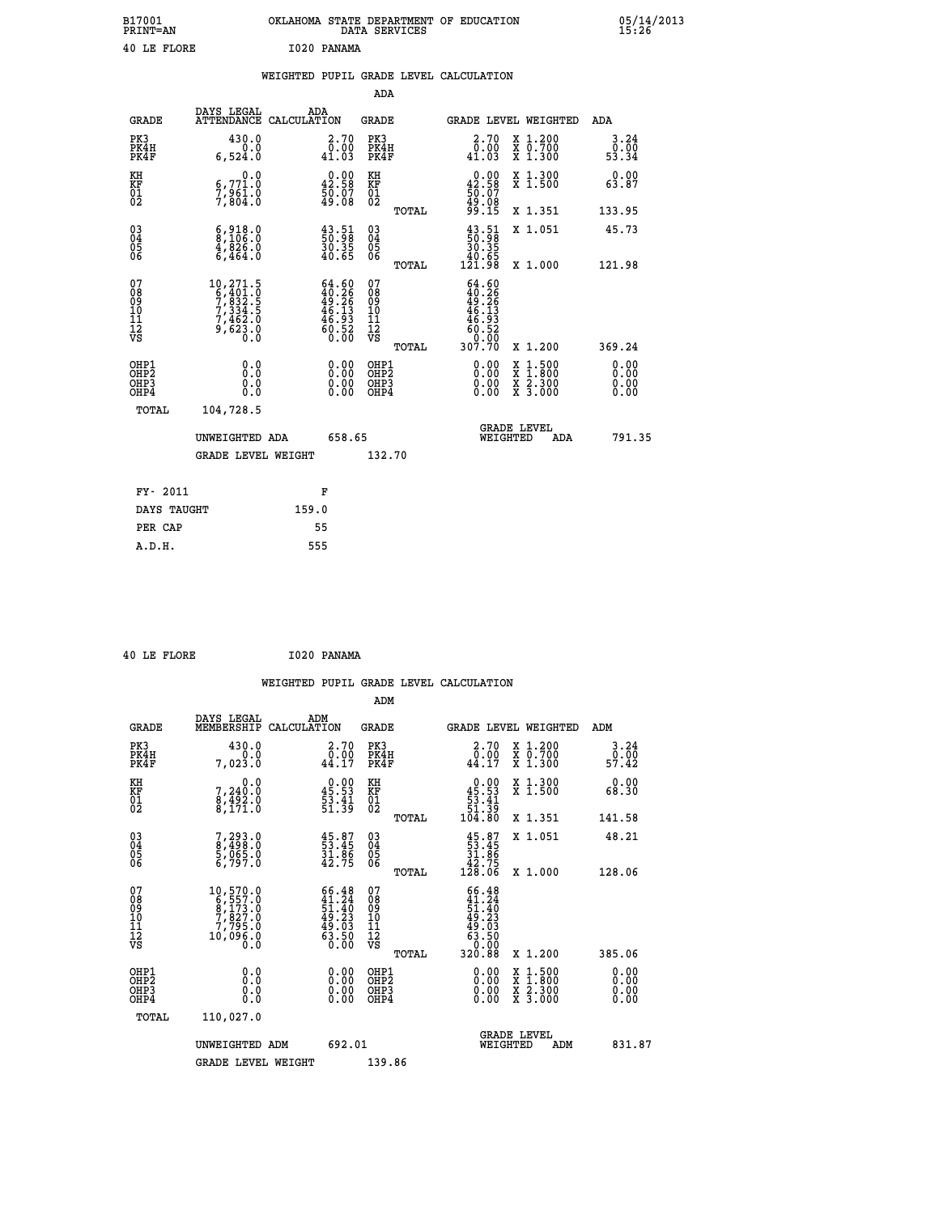| B17001<br><b>PRINT=AN</b> | OKLAHOMA STATE DEPARTMENT OF EDUCATION<br>DATA SERVICES | 05/14/2013<br>15:26 |
|---------------------------|---------------------------------------------------------|---------------------|
| 40 LE FLORE               | I020 PANAMA                                             |                     |

| 40 LE FLORE                                        |                                                                                                                |     | I020 PANAMA                                                                                               |                                                      |       |                                                                                                     |                                                                                                                                              |                       |  |
|----------------------------------------------------|----------------------------------------------------------------------------------------------------------------|-----|-----------------------------------------------------------------------------------------------------------|------------------------------------------------------|-------|-----------------------------------------------------------------------------------------------------|----------------------------------------------------------------------------------------------------------------------------------------------|-----------------------|--|
|                                                    |                                                                                                                |     |                                                                                                           |                                                      |       | WEIGHTED PUPIL GRADE LEVEL CALCULATION                                                              |                                                                                                                                              |                       |  |
|                                                    |                                                                                                                |     |                                                                                                           | <b>ADA</b>                                           |       |                                                                                                     |                                                                                                                                              |                       |  |
| <b>GRADE</b>                                       | DAYS LEGAL<br>ATTENDANCE CALCULATION                                                                           | ADA |                                                                                                           | <b>GRADE</b>                                         |       |                                                                                                     | <b>GRADE LEVEL WEIGHTED</b>                                                                                                                  | ADA                   |  |
| PK3<br>PK4H<br>PK4F                                | 430.0<br>Ō.Ō<br>6,524.0                                                                                        |     | $\begin{smallmatrix} 2.70\0.00\\ 41.03 \end{smallmatrix}$                                                 | PK3<br>PK4H<br>PK4F                                  |       | $\begin{smallmatrix} 2.70\0.00\\ 41.03 \end{smallmatrix}$                                           | X 1.200<br>X 0.700<br>X 1.300                                                                                                                | 3.24<br>0.00<br>53.34 |  |
| KH<br>KF<br>01<br>02                               | 0.0<br>6,771.0<br>7,961.0<br>7,804.0                                                                           |     | $\begin{smallmatrix} 0.00\\ 42.58\\ 50.07\\ 49.08 \end{smallmatrix}$                                      | KH<br>KF<br>01<br>02                                 |       | $\begin{smallmatrix} 0.00\\ 42.58\\ 50.07\\ 9.08\\ 9.15 \end{smallmatrix}$                          | X 1.300<br>X 1.500                                                                                                                           | 0.00<br>63.87         |  |
|                                                    |                                                                                                                |     |                                                                                                           |                                                      | TOTAL |                                                                                                     | X 1.351                                                                                                                                      | 133.95                |  |
| $\begin{matrix} 03 \\ 04 \\ 05 \\ 06 \end{matrix}$ | $\begin{smallmatrix} 6 & 9 & 18 & 0 \\ 8 & 106 & 0 \\ 4 & 8 & 26 & 0 \\ 6 & 4 & 64 & 0 \end{smallmatrix}$      |     | $\begin{smallmatrix} 43.51\ 50.98\ 30.35\ 40.65 \end{smallmatrix}$                                        | 03<br>04<br>05<br>06                                 |       | $\begin{smallmatrix} 43.51\ 50.98\ 30.35\ 40.65\ 121.98 \end{smallmatrix}$                          | X 1.051                                                                                                                                      | 45.73                 |  |
|                                                    |                                                                                                                |     |                                                                                                           |                                                      | TOTAL |                                                                                                     | X 1.000                                                                                                                                      | 121.98                |  |
| 07<br>08<br>09<br>101<br>11<br>12<br>VS            | $\begin{smallmatrix} 10, 271.5\\ 6, 401.0\\ 7, 832.5\\ 7, 334.5\\ 7, 462.0\\ 9, 623.0\\ 0.0 \end{smallmatrix}$ |     | $\begin{smallmatrix} 64.60\\ 40.26\\ 49.26 \end{smallmatrix}$<br>$46.13$<br>$46.93$<br>$60.52$<br>$60.00$ | 07<br>08<br>09<br>001<br>11<br>11<br>12<br>VS        |       | $\begin{array}{r} 64.60 \\ 40.26 \\ 49.26 \\ 46.13 \\ 46.93 \\ 60.52 \\ 0.00 \\ 307.70 \end{array}$ |                                                                                                                                              |                       |  |
|                                                    |                                                                                                                |     |                                                                                                           |                                                      | TOTAL |                                                                                                     | X 1.200                                                                                                                                      | 369.24                |  |
| OHP1<br>OHP2<br>OH <sub>P3</sub><br>OHP4           | 0.0<br>0.000                                                                                                   |     | $\begin{smallmatrix} 0.00 \ 0.00 \ 0.00 \ 0.00 \end{smallmatrix}$                                         | OHP1<br>OHP2<br>OHP <sub>3</sub><br>OHP <sub>4</sub> |       | 0.00<br>0.00                                                                                        | $\begin{smallmatrix} \mathtt{X} & 1\cdot500 \\ \mathtt{X} & 1\cdot800 \\ \mathtt{X} & 2\cdot300 \\ \mathtt{X} & 3\cdot000 \end{smallmatrix}$ | 0.00<br>0.00          |  |
| TOTAL                                              | 104,728.5                                                                                                      |     |                                                                                                           |                                                      |       |                                                                                                     |                                                                                                                                              |                       |  |
|                                                    | UNWEIGHTED ADA                                                                                                 |     | 658.65                                                                                                    |                                                      |       | WEIGHTED                                                                                            | <b>GRADE LEVEL</b><br>ADA                                                                                                                    | 791.35                |  |
|                                                    | <b>GRADE LEVEL WEIGHT</b>                                                                                      |     |                                                                                                           | 132.70                                               |       |                                                                                                     |                                                                                                                                              |                       |  |
|                                                    |                                                                                                                |     |                                                                                                           |                                                      |       |                                                                                                     |                                                                                                                                              |                       |  |

| FY- 2011    | F     |
|-------------|-------|
| DAYS TAUGHT | 159.0 |
| PER CAP     | 55    |
| A.D.H.      | 555   |
|             |       |

 **ADM**

```
 40 LE FLORE I020 PANAMA
```

| <b>GRADE</b>                             | DAYS LEGAL<br>MEMBERSHIP                                                                                        | ADM<br>CALCULATION                                                                           | <b>GRADE</b>                                        |       |                                                                                                     |          | GRADE LEVEL WEIGHTED                     | ADM                   |  |
|------------------------------------------|-----------------------------------------------------------------------------------------------------------------|----------------------------------------------------------------------------------------------|-----------------------------------------------------|-------|-----------------------------------------------------------------------------------------------------|----------|------------------------------------------|-----------------------|--|
| PK3<br>PK4H<br>PK4F                      | 430.0<br>7,023.0                                                                                                | $\begin{smallmatrix} 2.70\0.00\\44.17\end{smallmatrix}$                                      | PK3<br>PK4H<br>PK4F                                 |       | 2.70<br>$\bar{0}.\tilde{0}\,\tilde{0}$<br>44.17                                                     |          | X 1.200<br>X 0.700<br>X 1.300            | 3.24<br>ō:ōō<br>57:42 |  |
| KH<br>KF<br>01<br>02                     | 0.0<br>7,240:0<br>8,492:0<br>8,171:0                                                                            | $\begin{smallmatrix} 0.00\\ 45.53\\ 53.41\\ 51.39 \end{smallmatrix}$                         | KH<br>KF<br>$\overline{01}$                         |       | $0.00\n45.53\n53.41\n51.39\n104.80$                                                                 |          | X 1.300<br>X 1.500                       | 0.00<br>68.30         |  |
|                                          |                                                                                                                 |                                                                                              |                                                     | TOTAL |                                                                                                     |          | X 1.351                                  | 141.58                |  |
| 03<br>04<br>05<br>06                     | 7,293.0<br>8,498.0<br>5,065.0<br>6,797.0                                                                        | $45.87$<br>$53.45$<br>$31.86$<br>$42.75$                                                     | $\begin{array}{c} 03 \\ 04 \\ 05 \\ 06 \end{array}$ |       | $\begin{smallmatrix} 45.87\ 53.45\ 31.86\ 42.75\ 128.06 \end{smallmatrix}$                          |          | X 1.051                                  | 48.21                 |  |
|                                          |                                                                                                                 |                                                                                              |                                                     | TOTAL |                                                                                                     |          | X 1.000                                  | 128.06                |  |
| 07<br>08<br>09<br>101<br>11<br>12<br>VS  | $\begin{smallmatrix} 10, 570.0\\ 6, 557.0\\ 8, 173.0\\ 7, 827.0\\ 7, 795.0\\ 10, 096.0\\ 0.0 \end{smallmatrix}$ | $\begin{smallmatrix} 66.48\\ 41.24\\ 51.40\\ 49.23\\ 49.03\\ 63.50\\ 0.00 \end{smallmatrix}$ | 07<br>08<br>09<br>01<br>11<br>11<br>12<br>VS        | TOTAL | $\begin{array}{r} 66.48 \\ 41.24 \\ 51.40 \\ 49.23 \\ 49.03 \\ 63.50 \\ 0.00 \\ 320.88 \end{array}$ |          | X 1.200                                  | 385.06                |  |
| OHP1<br>OHP2<br>OH <sub>P3</sub><br>OHP4 | 0.0<br>0.000                                                                                                    | $\begin{smallmatrix} 0.00 \ 0.00 \ 0.00 \ 0.00 \end{smallmatrix}$                            | OHP1<br>OHP2<br>OHP3<br>OHP4                        |       | 0.00<br>$0.00$<br>0.00                                                                              |          | X 1:500<br>X 1:800<br>X 2:300<br>X 3:000 | 0.00<br>0.00<br>0.00  |  |
| TOTAL                                    | 110,027.0                                                                                                       |                                                                                              |                                                     |       |                                                                                                     |          |                                          |                       |  |
|                                          | UNWEIGHTED                                                                                                      | 692.01<br>ADM                                                                                |                                                     |       |                                                                                                     | WEIGHTED | <b>GRADE LEVEL</b><br>ADM                | 831.87                |  |
|                                          | <b>GRADE LEVEL WEIGHT</b>                                                                                       |                                                                                              | 139.86                                              |       |                                                                                                     |          |                                          |                       |  |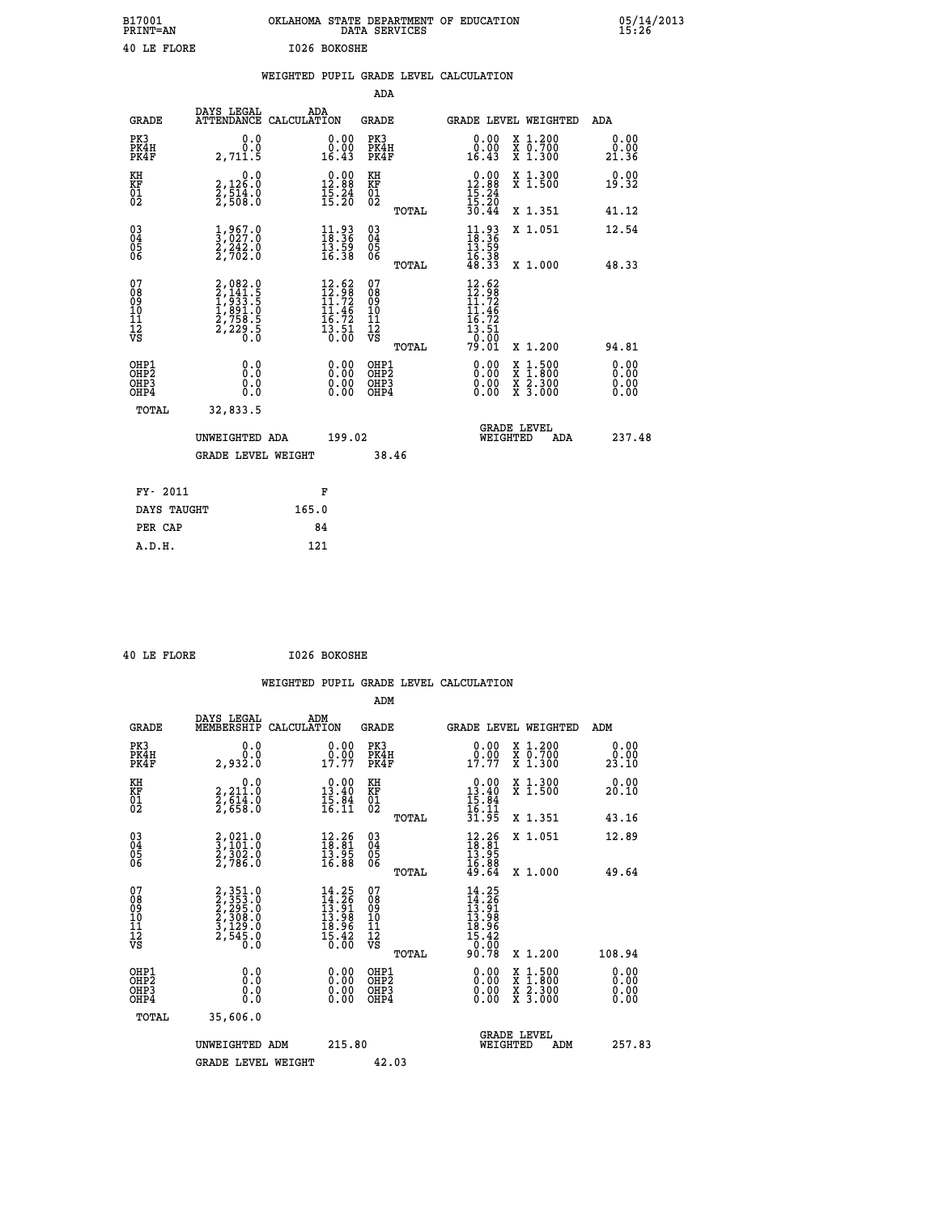| B17001<br><b>PRINT=AN</b> | OKLAHOMA STATE DEPARTMENT OF EDUCATION<br>DATA SERVICES | 05/14/2013<br>15:26 |
|---------------------------|---------------------------------------------------------|---------------------|
| 40 LE FLORE               | I026 BOKOSHE                                            |                     |

|                                        |                                          |                                                                                                                                           |       |                                                                                                                               |                                                    |       | WEIGHTED PUPIL GRADE LEVEL CALCULATION                                                                                                                                                                                                                                         |                  |                                                                    |                              |
|----------------------------------------|------------------------------------------|-------------------------------------------------------------------------------------------------------------------------------------------|-------|-------------------------------------------------------------------------------------------------------------------------------|----------------------------------------------------|-------|--------------------------------------------------------------------------------------------------------------------------------------------------------------------------------------------------------------------------------------------------------------------------------|------------------|--------------------------------------------------------------------|------------------------------|
|                                        |                                          |                                                                                                                                           |       |                                                                                                                               | <b>ADA</b>                                         |       |                                                                                                                                                                                                                                                                                |                  |                                                                    |                              |
|                                        | <b>GRADE</b>                             | DAYS LEGAL<br>ATTENDANCE CALCULATION                                                                                                      | ADA   |                                                                                                                               | <b>GRADE</b>                                       |       |                                                                                                                                                                                                                                                                                |                  | GRADE LEVEL WEIGHTED                                               | ADA                          |
|                                        | PK3<br>PK4H<br>PK4F                      | 0.0<br>0.0<br>2,711.5                                                                                                                     |       | 0.00<br>0.00<br>16.43                                                                                                         | PK3<br>PK4H<br>PK4F                                |       | 0.00<br>0.00<br>16.43                                                                                                                                                                                                                                                          |                  | X 1.200<br>X 0.700<br>X 1.300                                      | 0.00<br>0.00<br>21.36        |
| KH<br>KF<br>01<br>02                   |                                          | 0.0<br>2,126:0<br>2,514:0<br>2,508:0                                                                                                      |       | $\begin{smallmatrix} 0.00\\ 12.88\\ 15.24\\ 15.20 \end{smallmatrix}$                                                          | KH<br>KF<br>01<br>02                               |       | $\begin{array}{r} 0.00 \\ 12.88 \\ 15.24 \\ 15.20 \\ 30.44 \end{array}$                                                                                                                                                                                                        |                  | X 1.300<br>X 1.500                                                 | 0.00<br>19.32                |
|                                        |                                          |                                                                                                                                           |       |                                                                                                                               |                                                    | TOTAL |                                                                                                                                                                                                                                                                                |                  | X 1.351                                                            | 41.12                        |
| 03<br>04<br>05<br>06                   |                                          | $\frac{1}{3}, \frac{967}{027}.0\\ 2, 242.0\\2, 702.0$                                                                                     |       | $\begin{smallmatrix} 11\cdot93\18\cdot36\13\cdot59\16\cdot38 \end{smallmatrix}$                                               | $\begin{matrix} 03 \\ 04 \\ 05 \\ 06 \end{matrix}$ |       | $11.93$<br>$13.36$<br>$13.59$<br>$16.38$<br>$48.33$                                                                                                                                                                                                                            |                  | X 1.051                                                            | 12.54                        |
|                                        |                                          |                                                                                                                                           |       |                                                                                                                               |                                                    | TOTAL |                                                                                                                                                                                                                                                                                |                  | X 1.000                                                            | 48.33                        |
| 07<br>08<br>09<br>11<br>11<br>12<br>VS |                                          | $\begin{smallmatrix} 2,082\cdot 0\\ 2,141\cdot 5\\ 1,933\cdot 5\\ 1,891\cdot 0\\ 2,758\cdot 5\\ 2,229\cdot 5\\ 0\cdot 0\end{smallmatrix}$ |       | $\begin{array}{r} 12.62 \\[-4pt] 12.98 \\[-4pt] 11.72 \\[-4pt] 11.46 \\[-4pt] 15.72 \\[-4pt] 13.51 \\[-4pt] 0.00 \end{array}$ | 07<br>08<br>09<br>11<br>11<br>12<br>VS             |       | 12.62<br>$12.98$<br>$11.72$<br>$11.46$<br>$16.72$<br>$13.51$<br>0.00                                                                                                                                                                                                           |                  |                                                                    |                              |
|                                        |                                          |                                                                                                                                           |       |                                                                                                                               |                                                    | TOTAL | 79.01                                                                                                                                                                                                                                                                          |                  | X 1.200                                                            | 94.81                        |
|                                        | OHP1<br>OHP2<br>OHP3<br>OH <sub>P4</sub> | 0.0<br>0.0<br>0.0                                                                                                                         |       |                                                                                                                               | OHP1<br>OHP2<br>OHP3<br>OHP4                       |       | $\begin{smallmatrix} 0.00 & 0.00 & 0.00 & 0.00 & 0.00 & 0.00 & 0.00 & 0.00 & 0.00 & 0.00 & 0.00 & 0.00 & 0.00 & 0.00 & 0.00 & 0.00 & 0.00 & 0.00 & 0.00 & 0.00 & 0.00 & 0.00 & 0.00 & 0.00 & 0.00 & 0.00 & 0.00 & 0.00 & 0.00 & 0.00 & 0.00 & 0.00 & 0.00 & 0.00 & 0.00 & 0.0$ | X<br>X<br>X<br>X | $\begin{smallmatrix} 1.500\ 1.800\ 2.300\ 3.000 \end{smallmatrix}$ | 0.00<br>0.00<br>0.00<br>0.00 |
|                                        | TOTAL                                    | 32,833.5                                                                                                                                  |       |                                                                                                                               |                                                    |       |                                                                                                                                                                                                                                                                                |                  |                                                                    |                              |
|                                        |                                          | UNWEIGHTED ADA                                                                                                                            |       | 199.02                                                                                                                        |                                                    |       | WEIGHTED                                                                                                                                                                                                                                                                       |                  | <b>GRADE LEVEL</b><br>ADA                                          | 237.48                       |
|                                        |                                          | <b>GRADE LEVEL WEIGHT</b>                                                                                                                 |       |                                                                                                                               | 38.46                                              |       |                                                                                                                                                                                                                                                                                |                  |                                                                    |                              |
|                                        | FY- 2011                                 |                                                                                                                                           |       | F                                                                                                                             |                                                    |       |                                                                                                                                                                                                                                                                                |                  |                                                                    |                              |
|                                        | DAYS TAUGHT                              |                                                                                                                                           | 165.0 |                                                                                                                               |                                                    |       |                                                                                                                                                                                                                                                                                |                  |                                                                    |                              |
|                                        | PER CAP                                  |                                                                                                                                           | 84    |                                                                                                                               |                                                    |       |                                                                                                                                                                                                                                                                                |                  |                                                                    |                              |
|                                        | A.D.H.                                   |                                                                                                                                           | 121   |                                                                                                                               |                                                    |       |                                                                                                                                                                                                                                                                                |                  |                                                                    |                              |

 **40 LE FLORE I026 BOKOSHE**

 **A.D.H. 121**

| <b>GRADE</b>                                       | DAYS LEGAL<br>MEMBERSHIP CALCULATION                                          | ADM                                                                                                                    | <b>GRADE</b>                                       |       |                                                                                                                                            | GRADE LEVEL WEIGHTED                     | ADM                  |
|----------------------------------------------------|-------------------------------------------------------------------------------|------------------------------------------------------------------------------------------------------------------------|----------------------------------------------------|-------|--------------------------------------------------------------------------------------------------------------------------------------------|------------------------------------------|----------------------|
| PK3<br>PK4H<br>PK4F                                | 0.0<br>0.0<br>2,932.0                                                         | $\begin{smallmatrix} 0.00\\ 0.00\\ 17.77 \end{smallmatrix}$                                                            | PK3<br>PK4H<br>PK4F                                |       | 0.00<br>$19.00$<br>$17.77$                                                                                                                 | X 1.200<br>X 0.700<br>X 1.300            | 0.00<br>23.10        |
| KH<br>KF<br>01<br>02                               | 0.0<br>2,211:0<br>2,614:0<br>2,658:0                                          | $\begin{smallmatrix} 0.00\\13.40\\15.84\\16.11 \end{smallmatrix}$                                                      | KH<br><b>KF</b><br>01<br>02                        |       | $\begin{array}{r} 0.00 \\ 13.40 \\ 15.84 \\ 16.11 \\ 31.95 \end{array}$                                                                    | X 1.300<br>X 1.500                       | 0.00<br>20.10        |
|                                                    |                                                                               |                                                                                                                        |                                                    | TOTAL |                                                                                                                                            | X 1.351                                  | 43.16                |
| $\begin{matrix} 03 \\ 04 \\ 05 \\ 06 \end{matrix}$ | $\begin{smallmatrix} 2,021.0\\ 3,101.0\\ 2,302.0\\ 2,786.0 \end{smallmatrix}$ | $\begin{array}{c} 12\cdot 26 \\ 18\cdot 81 \\ 13\cdot 95 \\ 16\cdot 88 \end{array}$                                    | $\begin{matrix} 03 \\ 04 \\ 05 \\ 06 \end{matrix}$ |       | $\begin{smallmatrix} 12\cdot 26\\18\cdot 81\\13\cdot 95\\16\cdot 88\\49\cdot 64\end{smallmatrix}$                                          | X 1.051                                  | 12.89                |
|                                                    |                                                                               |                                                                                                                        |                                                    | TOTAL |                                                                                                                                            | X 1.000                                  | 49.64                |
| 07<br>08<br>09<br>101<br>11<br>12<br>VS            | $2,351.0$<br>$2,353.0$<br>$2,308.0$<br>$3,129.0$<br>$3,129.0$<br>$2,545.0$    | $\begin{array}{c} 14\cdot 25\\ 14\cdot 26\\ 13\cdot 91\\ 13\cdot 98\\ 18\cdot 96\\ 15\cdot 42\\ 0\cdot 00 \end{array}$ | 078<br>089<br>0011<br>11<br>12<br>VS               | TOTAL | $\begin{array}{r} 14\cdot 25 \\ 14\cdot 26 \\ 13\cdot 91 \\ 13\cdot 98 \\ 18\cdot 96 \\ 15\cdot 42 \\ 0\cdot 09 \\ 90\cdot 78 \end{array}$ | X 1.200                                  | 108.94               |
| OHP1<br>OHP2<br>OH <sub>P3</sub><br>OHP4           | 0.0<br>0.000                                                                  | $\begin{smallmatrix} 0.00 \ 0.00 \ 0.00 \ 0.00 \end{smallmatrix}$                                                      | OHP1<br>OHP <sub>2</sub><br>OHP3<br>OHP4           |       | 0.00<br>0.00                                                                                                                               | X 1:500<br>X 1:800<br>X 2:300<br>X 3:000 | 0.00<br>0.00<br>0.00 |
| TOTAL                                              | 35,606.0                                                                      |                                                                                                                        |                                                    |       |                                                                                                                                            |                                          |                      |
|                                                    | UNWEIGHTED<br>ADM                                                             | 215.80                                                                                                                 |                                                    |       | WEIGHTED                                                                                                                                   | <b>GRADE LEVEL</b><br>ADM                | 257.83               |
|                                                    | <b>GRADE LEVEL WEIGHT</b>                                                     |                                                                                                                        | 42.03                                              |       |                                                                                                                                            |                                          |                      |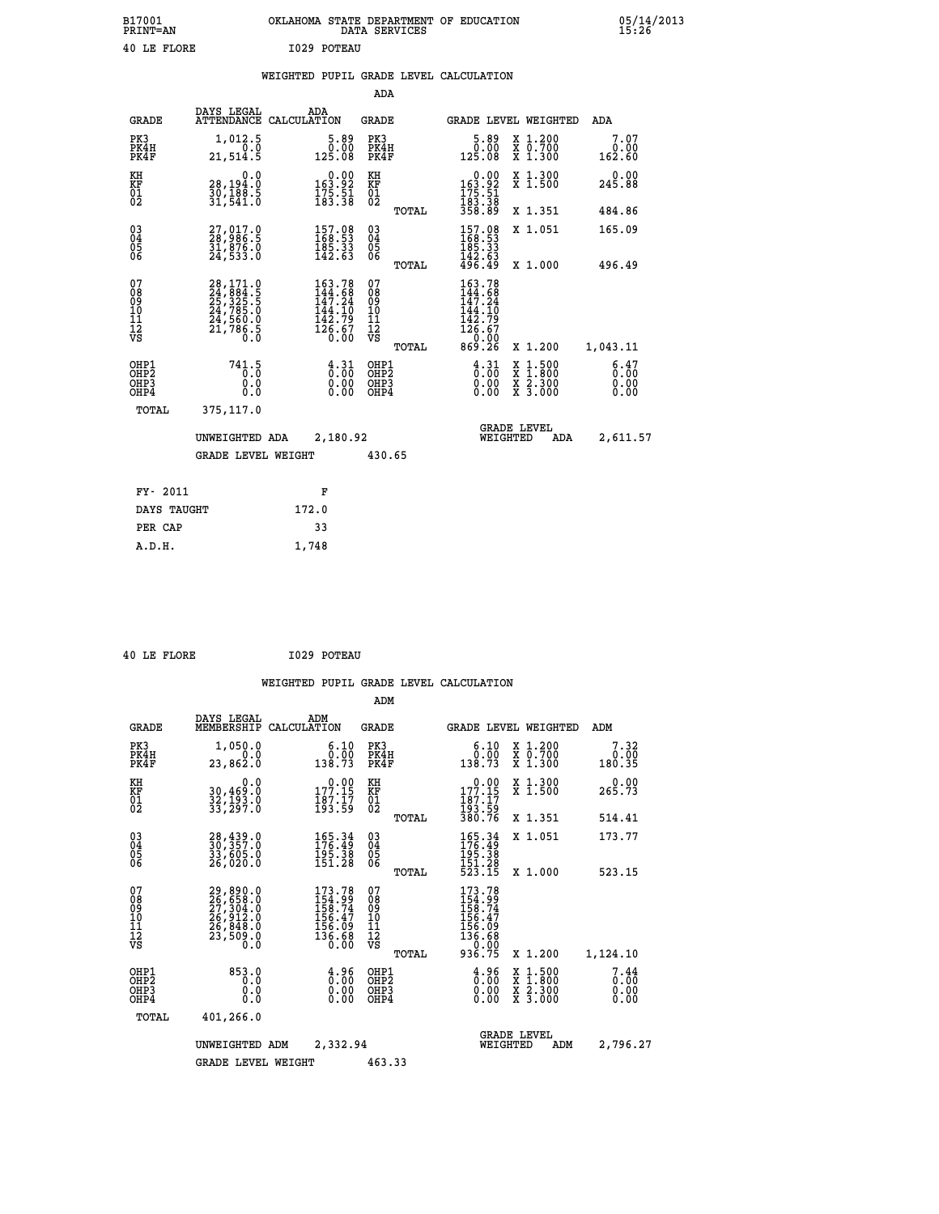| B17001<br>PRINT=AN | OKLAHOMA STATE DEPARTMENT OF EDUCATION<br>DATA SERVICES | 05/14/2013<br>15:26 |
|--------------------|---------------------------------------------------------|---------------------|
| 40 LE FLORE        | I029 POTEAU                                             |                     |

### **WEIGHTED PUPIL GRADE LEVEL CALCULATION**

|                                                                    |                                                                                           |                                                                                                                                                                                                                                                                        | ADA                                     |       |                                                                                                                         |                                                                                                                                              |                              |
|--------------------------------------------------------------------|-------------------------------------------------------------------------------------------|------------------------------------------------------------------------------------------------------------------------------------------------------------------------------------------------------------------------------------------------------------------------|-----------------------------------------|-------|-------------------------------------------------------------------------------------------------------------------------|----------------------------------------------------------------------------------------------------------------------------------------------|------------------------------|
| <b>GRADE</b>                                                       | DAYS LEGAL                                                                                | ADA<br>ATTENDANCE CALCULATION                                                                                                                                                                                                                                          | GRADE                                   |       |                                                                                                                         | GRADE LEVEL WEIGHTED                                                                                                                         | ADA                          |
| PK3<br>PK4H<br>PK4F                                                | 1,012.5<br>0.0<br>21,514.5                                                                | 5.89<br>0.00<br>125.08                                                                                                                                                                                                                                                 | PK3<br>PK4H<br>PK4F                     |       | 5.89<br>00.00<br>125.08                                                                                                 | X 1.200<br>X 0.700<br>X 1.300                                                                                                                | 7.07<br>0.00<br>162.60       |
| KH<br>KF<br>01<br>02                                               | 0.0<br>28,194.0<br>30,100:5<br>31,541:0                                                   | 0.00<br>$\frac{163.92}{175.51}$<br>$\frac{175.51}{183.38}$                                                                                                                                                                                                             | KH<br>KF<br>01<br>02                    |       | 0.00<br>163.92<br>175.51<br>183.38<br>358.89                                                                            | X 1.300<br>X 1.500                                                                                                                           | 0.00<br>245.88               |
|                                                                    |                                                                                           |                                                                                                                                                                                                                                                                        |                                         | TOTAL |                                                                                                                         | X 1.351                                                                                                                                      | 484.86                       |
| $\begin{smallmatrix} 03 \\[-4pt] 04 \end{smallmatrix}$<br>Ŏ5<br>06 | 27,017.0<br>28,986.5<br>31,876.0<br>24,533.0                                              | $\begin{smallmatrix} 157.08\\ 168.53\\ 185.33\\ 142.63 \end{smallmatrix}$                                                                                                                                                                                              | $\substack{03 \\ 04}$<br>05<br>06       |       | $\begin{array}{l} 157\cdot08\\ 168\cdot53\\ 185\cdot33\\ 142\cdot63\\ 496\cdot49 \end{array}$                           | X 1.051                                                                                                                                      | 165.09                       |
|                                                                    |                                                                                           |                                                                                                                                                                                                                                                                        |                                         | TOTAL |                                                                                                                         | X 1.000                                                                                                                                      | 496.49                       |
| 07<br>08<br>09<br>001<br>11<br>11<br>12<br>VS                      | $28,171.0$<br>$24,884.5$<br>$25,325.5$<br>$24,785.0$<br>$24,560.0$<br>$21,786.5$<br>$0.0$ | 163.78<br>144.68<br>147.24<br>$\begin{array}{c} 1\overline{4}\overline{4}\overline{4}\cdot\overline{10}\\ 1\overline{4}\overline{2}\cdot\overline{7}\overline{9}\\ 1\overline{2}\overline{6}\cdot\overline{6}\overline{7}\\ 0\cdot\overline{0}\overline{0}\end{array}$ | 07<br>08<br>09<br>101<br>11<br>12<br>VS | TOTAL | $\begin{array}{c} 163.78 \\ 144.68 \\ 147.24 \\ 144.10 \\ 142.79 \\ 126.67 \end{array}$<br>00.0 <sup>--</sup><br>869.26 | X 1.200                                                                                                                                      | 1,043.11                     |
|                                                                    |                                                                                           |                                                                                                                                                                                                                                                                        |                                         |       |                                                                                                                         |                                                                                                                                              |                              |
| OHP1<br>OHP2<br>OH <sub>P3</sub><br>OHP4                           | 741.5<br>0.0<br>0.0                                                                       | $\frac{4}{0}$ : $\frac{31}{00}$<br>0.00<br>0.00                                                                                                                                                                                                                        | OHP1<br>OHP2<br>OHP3<br>OHP4            |       | $\frac{4}{0}$ : $\frac{31}{00}$<br>0.00<br>0.00                                                                         | $\begin{smallmatrix} \mathtt{X} & 1\cdot500 \\ \mathtt{X} & 1\cdot800 \\ \mathtt{X} & 2\cdot300 \\ \mathtt{X} & 3\cdot000 \end{smallmatrix}$ | 6.47<br>0.00<br>0.00<br>0.00 |
| TOTAL                                                              | 375,117.0                                                                                 |                                                                                                                                                                                                                                                                        |                                         |       |                                                                                                                         |                                                                                                                                              |                              |
| UNWEIGHTED ADA                                                     |                                                                                           |                                                                                                                                                                                                                                                                        | 2,180.92                                |       | <b>GRADE LEVEL</b><br>WEIGHTED                                                                                          | 2,611.57                                                                                                                                     |                              |
| <b>GRADE LEVEL WEIGHT</b>                                          |                                                                                           |                                                                                                                                                                                                                                                                        | 430.65                                  |       |                                                                                                                         |                                                                                                                                              |                              |
| FY- 2011                                                           |                                                                                           | F                                                                                                                                                                                                                                                                      |                                         |       |                                                                                                                         |                                                                                                                                              |                              |
|                                                                    |                                                                                           |                                                                                                                                                                                                                                                                        |                                         |       |                                                                                                                         |                                                                                                                                              |                              |
| DAYS TAUGHT                                                        |                                                                                           | 172.0                                                                                                                                                                                                                                                                  |                                         |       |                                                                                                                         |                                                                                                                                              |                              |
| PER CAP<br>an u                                                    |                                                                                           | 33<br>1.710                                                                                                                                                                                                                                                            |                                         |       |                                                                                                                         |                                                                                                                                              |                              |
|                                                                    |                                                                                           |                                                                                                                                                                                                                                                                        |                                         |       |                                                                                                                         |                                                                                                                                              |                              |

 **40 LE FLORE I029 POTEAU**

 **A.D.H. 1,748**

|                                                       |                                                                                           |                                                                  | ADM                                                 |                                                                            |                                          |                              |
|-------------------------------------------------------|-------------------------------------------------------------------------------------------|------------------------------------------------------------------|-----------------------------------------------------|----------------------------------------------------------------------------|------------------------------------------|------------------------------|
| <b>GRADE</b>                                          | DAYS LEGAL<br>MEMBERSHIP                                                                  | ADM<br>CALCULATION                                               | <b>GRADE</b>                                        | <b>GRADE LEVEL WEIGHTED</b>                                                |                                          | ADM                          |
| PK3<br>PK4H<br>PK4F                                   | 1,050.0<br>0.0<br>23,862.0                                                                | 6.10<br>0.00<br>138.73                                           | PK3<br>PK4H<br>PK4F                                 | 0.10<br>138.73                                                             | X 1.200<br>X 0.700<br>X 1.300            | 7.32<br>0.00<br>180.35       |
| KH<br>KF<br>01<br>02                                  | 0.0<br>30,469:0<br>32,193:0<br>33,297:0                                                   | 177.19<br>$\frac{187.17}{193.59}$                                | KH<br>KF<br>01<br>02                                | 177.15<br>$\frac{187.17}{193.59}$<br>380.76                                | X 1.300<br>X 1.500                       | 0.00<br>265.73               |
|                                                       |                                                                                           |                                                                  | TOTAL                                               |                                                                            | X 1.351                                  | 514.41                       |
| 03<br>04<br>05<br>06                                  | 28,439.0<br>30,357.0<br>33,605.0<br>26,020.0                                              | 165.34<br>176.49<br>195.38<br>151.28                             | $\begin{array}{c} 03 \\ 04 \\ 05 \\ 06 \end{array}$ | $165.34$<br>$176.49$<br>$195.38$<br>$151.28$<br>$523.15$                   | X 1.051                                  | 173.77                       |
|                                                       |                                                                                           |                                                                  | TOTAL                                               |                                                                            | X 1.000                                  | 523.15                       |
| 07<br>08<br>09<br>101<br>112<br>VS                    | $29,890.0$<br>$26,658.0$<br>$27,304.0$<br>$26,912.0$<br>$26,848.0$<br>$23,509.0$<br>$0.0$ | 173.78<br>154.99<br>158.74<br>156.47<br>156.09<br>136.68<br>0.00 | 07<br>08<br>09<br>101<br>11<br>12<br>VS<br>TOTAL    | 173.78<br>154.99<br>158.74<br>156.47<br>156.09<br>136.68<br>0.00<br>936.75 | X 1.200                                  | 1,124.10                     |
| OHP1<br>OH <sub>P</sub> 2<br>OH <sub>P3</sub><br>OHP4 | 853.0<br>0.0<br>0.000                                                                     | $\begin{smallmatrix} 4.96\ 0.00 \end{smallmatrix}$<br>0.00       | OHP1<br>OHP2<br>OHP3<br>OHP4                        | $\begin{smallmatrix} 4.96 \ 0.00 \ 0.00 \end{smallmatrix}$<br>0.00         | X 1:500<br>X 1:800<br>X 2:300<br>X 3:000 | 7.44<br>0.00<br>0.00<br>0.00 |
| TOTAL                                                 | 401,266.0                                                                                 |                                                                  |                                                     |                                                                            |                                          |                              |
|                                                       | UNWEIGHTED                                                                                | 2,332.94<br>ADM                                                  |                                                     | <b>GRADE LEVEL</b><br>WEIGHTED                                             | ADM                                      | 2,796.27                     |
|                                                       | <b>GRADE LEVEL WEIGHT</b>                                                                 |                                                                  | 463.33                                              |                                                                            |                                          |                              |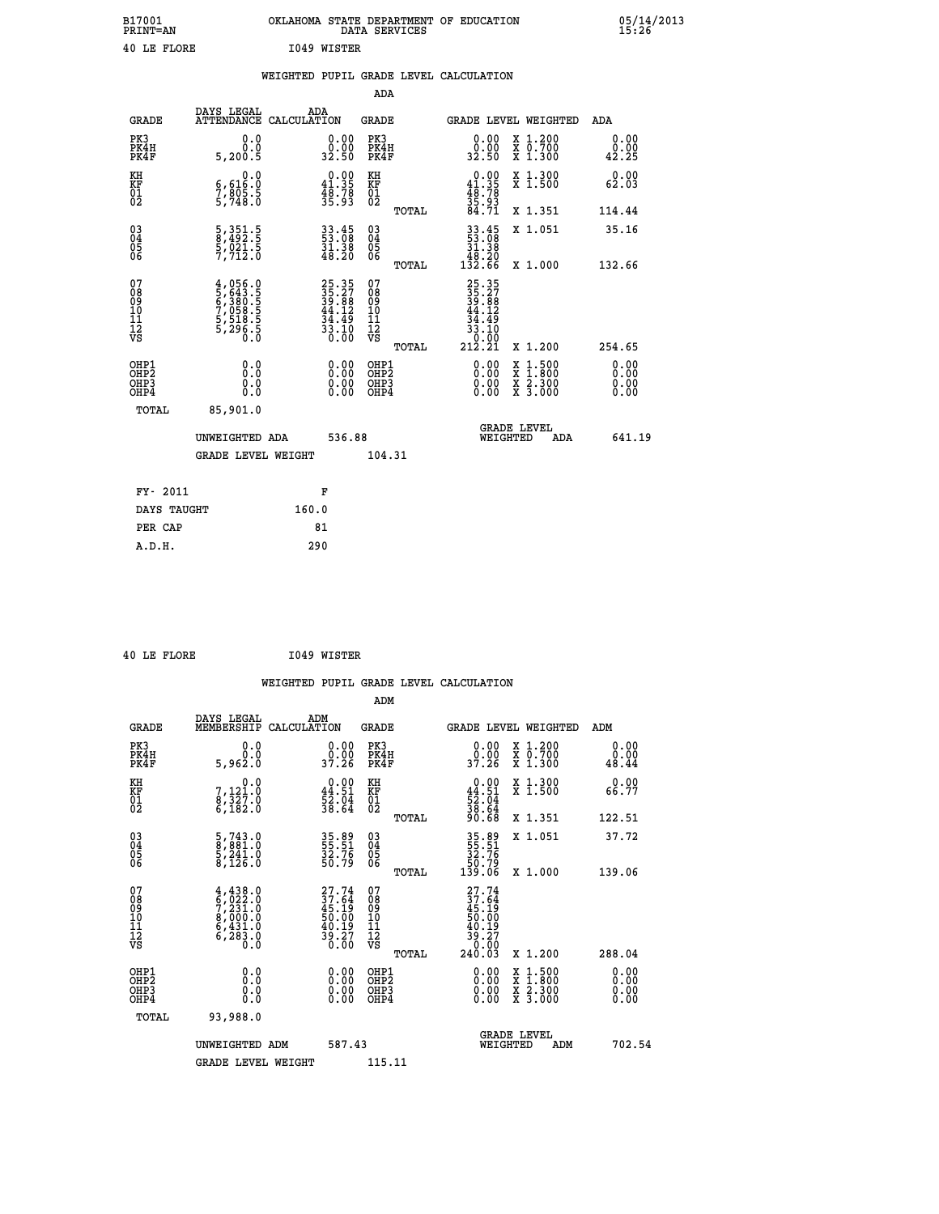| B17001<br>PRINT=AN | OKLAHOMA STATE DEPARTMENT OF EDUCATION<br>DATA SERVICES | 05/14/2013<br>15:26 |
|--------------------|---------------------------------------------------------|---------------------|
| 40 LE FLORE        | 1049 WISTER                                             |                     |

|  |  | WEIGHTED PUPIL GRADE LEVEL CALCULATION |
|--|--|----------------------------------------|
|  |  |                                        |

|                                                                              |                                                                                                                                     |                                                                          | ADA                                                |       |                                                                                                      |                                                                                                                                              |                              |
|------------------------------------------------------------------------------|-------------------------------------------------------------------------------------------------------------------------------------|--------------------------------------------------------------------------|----------------------------------------------------|-------|------------------------------------------------------------------------------------------------------|----------------------------------------------------------------------------------------------------------------------------------------------|------------------------------|
| <b>GRADE</b>                                                                 | DAYS LEGAL                                                                                                                          | ADA<br>ATTENDANCE CALCULATION                                            | GRADE                                              |       | GRADE LEVEL WEIGHTED                                                                                 |                                                                                                                                              | ADA                          |
| PK3<br>PK4H<br>PK4F                                                          | 0.0<br>Ō.Ō<br>5,200.5                                                                                                               | $\begin{smallmatrix} 0.00\\ 0.00\\ 32.50 \end{smallmatrix}$              | PK3<br>PK4H<br>PK4F                                |       | 0.00<br>0.00<br>32.50                                                                                | X 1.200<br>X 0.700<br>X 1.300                                                                                                                | 0.00<br>0.00<br>42.25        |
| KH<br>KF<br>01<br>02                                                         | $\begin{smallmatrix}&&&0\, .\, 0\\ 6\, ,\,6\, 1\, 6\, .\, 0\\ 7\, ,\,8\, 0\, 5\, .\, 5\\ 5\, ,\,7\, 4\, 8\, .\, 0\end{smallmatrix}$ | $\begin{smallmatrix}&&0.00\\41.35\\48.78\\35.93\end{smallmatrix}$        | KH<br>KF<br>01<br>02                               |       | $0.00$<br>$41.35$<br>$48.78$<br>$35.93$<br>$84.71$                                                   | X 1.300<br>X 1.500                                                                                                                           | 0.00<br>62.03                |
|                                                                              |                                                                                                                                     |                                                                          |                                                    | TOTAL |                                                                                                      | X 1.351                                                                                                                                      | 114.44                       |
| $\begin{matrix} 03 \\ 04 \\ 05 \\ 06 \end{matrix}$                           | 5, 351.5<br>8, 492.5<br>5, 021.5<br>7, 712.0                                                                                        | $\begin{smallmatrix} 33.45\ 53.08\ 31.38\ 48.20 \end{smallmatrix}$       | $\begin{matrix} 03 \\ 04 \\ 05 \\ 06 \end{matrix}$ |       | $\begin{array}{r} 33\cdot 45 \\ 53\cdot 08 \\ 31\cdot 38 \\ 48\cdot 20 \\ 132\cdot 66 \end{array}$   | X 1.051                                                                                                                                      | 35.16                        |
|                                                                              |                                                                                                                                     |                                                                          |                                                    | TOTAL |                                                                                                      | X 1.000                                                                                                                                      | 132.66                       |
| 07<br>08<br>09<br>11<br>11<br>12<br>VS                                       | $4,056.0$<br>5,643.5<br>5,380.5<br>6,380.5<br>7,058.5<br>5,518.5<br>5,296.5                                                         | $25.35$<br>$35.27$<br>$39.88$<br>$44.12$<br>$34.49$<br>$33.10$<br>$0.00$ | 07<br>08<br>09<br>11<br>11<br>12<br>VS             | TOTAL | 25.35<br>35.27<br>39.88<br>44.12<br>44.49<br>$\begin{array}{r} 33.10 \\ 30.00 \\ 212.21 \end{array}$ | X 1.200                                                                                                                                      | 254.65                       |
| OHP1<br>OH <sub>P</sub> <sub>2</sub><br>OH <sub>P3</sub><br>OH <sub>P4</sub> | 0.0<br>Ō.Ō<br>0.0<br>0.0                                                                                                            | 0.00<br>$\begin{smallmatrix} 0.00 \ 0.00 \end{smallmatrix}$              | OHP1<br>OHP2<br>OHP3<br>OHP4                       |       | 0.00<br>0.00<br>0.00                                                                                 | $\begin{smallmatrix} \mathtt{X} & 1\cdot500 \\ \mathtt{X} & 1\cdot800 \\ \mathtt{X} & 2\cdot300 \\ \mathtt{X} & 3\cdot000 \end{smallmatrix}$ | 0.00<br>0.00<br>0.00<br>0.00 |
| TOTAL                                                                        | 85,901.0                                                                                                                            |                                                                          |                                                    |       |                                                                                                      |                                                                                                                                              |                              |
|                                                                              | UNWEIGHTED ADA                                                                                                                      | 536.88                                                                   |                                                    |       | WEIGHTED                                                                                             | <b>GRADE LEVEL</b><br>ADA                                                                                                                    | 641.19                       |
|                                                                              | <b>GRADE LEVEL WEIGHT</b>                                                                                                           |                                                                          | 104.31                                             |       |                                                                                                      |                                                                                                                                              |                              |
| FY- 2011                                                                     |                                                                                                                                     | F                                                                        |                                                    |       |                                                                                                      |                                                                                                                                              |                              |
| DAYS TAUGHT                                                                  |                                                                                                                                     | 160.0                                                                    |                                                    |       |                                                                                                      |                                                                                                                                              |                              |
| PER CAP                                                                      |                                                                                                                                     | 81                                                                       |                                                    |       |                                                                                                      |                                                                                                                                              |                              |
| A.D.H.                                                                       |                                                                                                                                     | 290                                                                      |                                                    |       |                                                                                                      |                                                                                                                                              |                              |
|                                                                              |                                                                                                                                     |                                                                          |                                                    |       |                                                                                                      |                                                                                                                                              |                              |

 **40 LE FLORE I049 WISTER**

 **ADM**

 **A.D.H. 290**

| <b>GRADE</b>                                       | DAYS LEGAL<br>MEMBERSHIP CALCULATION                                                | ADM                                                         | <b>GRADE</b>                                        |       |                                                                                                     | GRADE LEVEL WEIGHTED                     | ADM                   |
|----------------------------------------------------|-------------------------------------------------------------------------------------|-------------------------------------------------------------|-----------------------------------------------------|-------|-----------------------------------------------------------------------------------------------------|------------------------------------------|-----------------------|
| PK3<br>PK4H<br>PK4F                                | 0.0<br>0.0<br>5,962.0                                                               | $\begin{smallmatrix} 0.00\\ 0.00\\ 37.26 \end{smallmatrix}$ | PK3<br>PK4H<br>PK4F                                 |       | 0.00<br>_ŏ:ŏŏ<br>37:26                                                                              | X 1.200<br>X 0.700<br>X 1.300            | 0.00<br>0.00<br>48.44 |
| KH<br>KF<br>01<br>02                               | 0.0<br>7,121.0<br>8,327.0<br>6,182.0                                                | $0.00$<br>44.51<br>$\frac{52.04}{38.64}$                    | KH<br>KF<br>01<br>02                                |       | $0.00\n44.51\n52.04\n38.64\n90.68$                                                                  | X 1.300<br>X 1.500                       | 0.00<br>66.77         |
|                                                    |                                                                                     |                                                             |                                                     | TOTAL |                                                                                                     | X 1.351                                  | 122.51                |
| $\begin{matrix} 03 \\ 04 \\ 05 \\ 06 \end{matrix}$ | $\begin{smallmatrix} 5,743.0\\ 8,881.0\\ 5,241.0\\ 8,126.0 \end{smallmatrix}$       | 35.89<br>55.51<br>32.76<br>50.79                            | $\begin{array}{c} 03 \\ 04 \\ 05 \\ 06 \end{array}$ |       | 35.89<br>55.51<br>32.76<br>50.79<br>139.06                                                          | X 1.051                                  | 37.72                 |
|                                                    |                                                                                     |                                                             |                                                     | TOTAL |                                                                                                     | X 1.000                                  | 139.06                |
| 07<br>08<br>09<br>101<br>11<br>12<br>VS            | $4,438.0$<br>$5,022.0$<br>$7,231.0$<br>$8,000.0$<br>$6,431.0$<br>$6,283.0$<br>$0.0$ | 27.74<br>37.64<br>45.19<br>50.00<br>50.19<br>39.27<br>39.20 | 07<br>08<br>09<br>001<br>11<br>11<br>12<br>VS       | TOTAL | $\begin{array}{r} 27.74 \\ 37.64 \\ 45.19 \\ 50.00 \\ 40.19 \\ 39.27 \\ 0.00 \\ 240.03 \end{array}$ | X 1.200                                  | 288.04                |
| OHP1<br>OHP2<br>OHP3<br>OHP4                       | 0.0<br>0.0<br>Ŏ.Ŏ                                                                   | $0.00$<br>$0.00$<br>0.00                                    | OHP1<br>OHP2<br>OHP3<br>OHP4                        |       | $0.00$<br>$0.00$<br>0.00                                                                            | X 1:500<br>X 1:800<br>X 2:300<br>X 3:000 | 0.00<br>0.00<br>0.00  |
| TOTAL                                              | 93,988.0                                                                            |                                                             |                                                     |       |                                                                                                     |                                          |                       |
|                                                    | UNWEIGHTED                                                                          | 587.43<br>ADM                                               |                                                     |       | WEIGHTED                                                                                            | <b>GRADE LEVEL</b><br>ADM                | 702.54                |
|                                                    | <b>GRADE LEVEL WEIGHT</b>                                                           |                                                             | 115.11                                              |       |                                                                                                     |                                          |                       |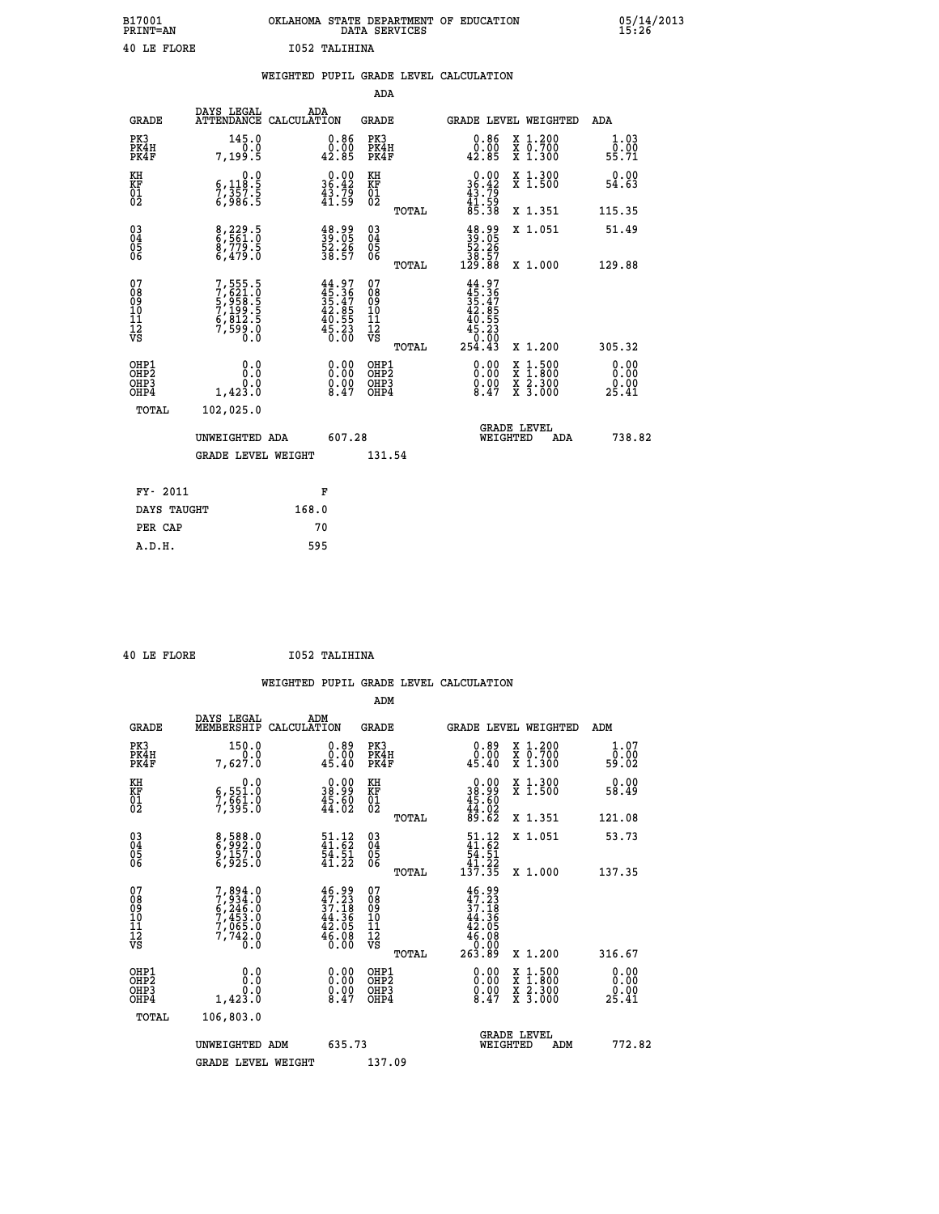| B17001<br><b>PRINT=AN</b> | OKLAHOMA STATE DEPARTMENT OF EDUCATION<br>DATA SERVICES | 05/14/2013<br>15:26 |
|---------------------------|---------------------------------------------------------|---------------------|
| 40 LE FLORE               | 1052 TALIHINA                                           |                     |

|                                                    |                                                                           | WEIGHTED PUPIL GRADE LEVEL CALCULATION                                   |                                        |       |                                                                                  |                                                                                        |                               |
|----------------------------------------------------|---------------------------------------------------------------------------|--------------------------------------------------------------------------|----------------------------------------|-------|----------------------------------------------------------------------------------|----------------------------------------------------------------------------------------|-------------------------------|
|                                                    |                                                                           |                                                                          | ADA                                    |       |                                                                                  |                                                                                        |                               |
| <b>GRADE</b>                                       | DAYS LEGAL                                                                | ADA<br>ATTENDANCE CALCULATION                                            | <b>GRADE</b>                           |       |                                                                                  | GRADE LEVEL WEIGHTED                                                                   | ADA                           |
| PK3<br>PK4H<br>PK4F                                | 145.0<br>0.0<br>7,199.5                                                   | $\substack{0.86\\0.00\\42.85}$                                           | PK3<br>PK4H<br>PK4F                    |       | 0.86<br>0.00<br>42.85                                                            | X 1.200<br>X 0.700<br>X 1.300                                                          | 1.03<br>0.00<br>55.71         |
| KH<br>KF<br>01<br>02                               | 0.0<br>$\frac{6}{7}, \frac{118}{357}$ . 5<br>6,986.5                      | $\begin{smallmatrix} 0.00\\ 36.42\\ 43.79\\ 41.59 \end{smallmatrix}$     | KH<br>KF<br>01<br>02                   |       | $0.00$<br>$36.42$<br>$43.79$<br>$41.59$<br>$85.38$                               | X 1.300<br>X 1.500                                                                     | 0.00<br>54.63                 |
|                                                    |                                                                           |                                                                          |                                        | TOTAL |                                                                                  | X 1.351                                                                                | 115.35                        |
| $\begin{matrix} 03 \\ 04 \\ 05 \\ 06 \end{matrix}$ | 8,229.5<br>8,779.5<br>6,479.0                                             | $\frac{48.99}{39.05}$<br>52.26<br>38.57                                  | 03<br>04<br>05<br>06                   |       | $\begin{smallmatrix} 48.99\\ 39.05\\ 52.26\\ 38.57\\ 129.88 \end{smallmatrix}$   | X 1.051                                                                                | 51.49                         |
|                                                    |                                                                           |                                                                          |                                        | TOTAL |                                                                                  | X 1.000                                                                                | 129.88                        |
| 07<br>08901112<br>1112<br>VS                       | 7,555.5<br>7,621.0<br>5,958.5<br>5,958.5<br>7,199.5<br>6,812.5<br>7,599.0 | $44.97$<br>$35.36$<br>$35.47$<br>$42.85$<br>$40.55$<br>$45.23$<br>$0.00$ | 07<br>08<br>09<br>11<br>11<br>12<br>VS | TOTAL | $44.97$<br>$35.36$<br>$35.47$<br>$42.85$<br>$40.55$<br>$45.23$<br>0.00<br>254.43 | X 1.200                                                                                | 305.32                        |
| OHP1<br>OHP2<br>OHP3<br>OHP4                       | 0.0<br>0.0<br>1,423.0                                                     | $\begin{smallmatrix} 0.00 \ 0.00 \ 0.00 \ 8.47 \end{smallmatrix}$        | OHP1<br>OHP2<br>OHP3<br>OHP4           |       | $\begin{smallmatrix} 0.00 \ 0.00 \ 0.00 \ 8.47 \end{smallmatrix}$                | $\begin{smallmatrix} 1.500\ 1.800\ 2.300\ 3.000 \end{smallmatrix}$<br>X<br>X<br>X<br>X | 0.00<br>0.00<br>0.00<br>25.41 |
| TOTAL                                              | 102,025.0                                                                 |                                                                          |                                        |       |                                                                                  |                                                                                        |                               |
|                                                    | UNWEIGHTED ADA                                                            | 607.28                                                                   |                                        |       | WEIGHTED                                                                         | <b>GRADE LEVEL</b><br>ADA                                                              | 738.82                        |
|                                                    | <b>GRADE LEVEL WEIGHT</b>                                                 |                                                                          | 131.54                                 |       |                                                                                  |                                                                                        |                               |
| FY- 2011                                           |                                                                           | F                                                                        |                                        |       |                                                                                  |                                                                                        |                               |
| DAYS TAUGHT                                        |                                                                           | 168.0                                                                    |                                        |       |                                                                                  |                                                                                        |                               |
| PER CAP                                            |                                                                           | 70                                                                       |                                        |       |                                                                                  |                                                                                        |                               |

 **ADM**

 **40 LE FLORE I052 TALIHINA**

| <b>GRADE</b>                                       | DAYS LEGAL<br>MEMBERSHIP                                                            | ADM<br>CALCULATION                                                       | <b>GRADE</b>                            |       |                                                                                                    | GRADE LEVEL WEIGHTED                     | ADM                   |
|----------------------------------------------------|-------------------------------------------------------------------------------------|--------------------------------------------------------------------------|-----------------------------------------|-------|----------------------------------------------------------------------------------------------------|------------------------------------------|-----------------------|
| PK3<br>PK4H<br>PK4F                                | 150.0<br>0.0<br>7,627.0                                                             | $0.89$<br>0.00<br>45.40                                                  | PK3<br>PK4H<br>PK4F                     |       | $0.89$<br>$0.00$<br>45.40                                                                          | X 1.200<br>X 0.700<br>X 1.300            | 1.07<br>ō:ŏó<br>59:02 |
| KH<br>KF<br>01<br>02                               | 0.0<br>6,551.0<br>7,561.0<br>7,395.0                                                | $\begin{smallmatrix} 0.00\\ 38.99\\ 45.60\\ 44.02 \end{smallmatrix}$     | KH<br>KF<br>01<br>02                    |       | $\begin{smallmatrix} 0.00\\ 38.99\\ 45.60\\ 44.02\\ 89.62 \end{smallmatrix}$                       | X 1.300<br>X 1.500                       | 0.00<br>58.49         |
|                                                    |                                                                                     |                                                                          |                                         | TOTAL |                                                                                                    | X 1.351                                  | 121.08                |
| $\begin{matrix} 03 \\ 04 \\ 05 \\ 06 \end{matrix}$ | 8,588.0<br>6,992.0<br>9,157.0<br>6,925.0                                            | $\frac{51.12}{41.62}$<br>$\frac{41.52}{54.51}$                           | 03<br>04<br>05<br>06                    |       | $\begin{array}{c} 51\cdot 12 \\ 41\cdot 62 \\ 54\cdot 51 \\ 41\cdot 22 \\ 137\cdot 35 \end{array}$ | X 1.051                                  | 53.73                 |
|                                                    |                                                                                     | 41.22                                                                    |                                         | TOTAL |                                                                                                    | X 1.000                                  | 137.35                |
| 07<br>08<br>09<br>101<br>11<br>12<br>VS            | $7,894.0$<br>$7,934.0$<br>$6,246.0$<br>$7,453.0$<br>$7,065.0$<br>$7,742.0$<br>$0.0$ | $46.99$<br>$37.18$<br>$37.18$<br>$44.36$<br>$42.05$<br>$46.08$<br>$0.00$ | 07<br>08<br>09<br>101<br>11<br>12<br>VS | TOTAL | $46.99\n47.23\n37.186\n44.365\n42.05\n46.080\n263.89$                                              | X 1.200                                  | 316.67                |
| OHP1<br>OHP2<br>OH <sub>P3</sub><br>OHP4           | 0.0<br>1,423.0                                                                      | $\begin{smallmatrix} 0.00 \ 0.00 \ 0.00 \ 8.47 \end{smallmatrix}$        | OHP1<br>OHP2<br>OHP3<br>OHP4            |       | $\begin{smallmatrix} 0.00\\ 0.00\\ 0.00\\ 8.47 \end{smallmatrix}$                                  | X 1:500<br>X 1:800<br>X 2:300<br>X 3:000 | 0.00<br>ð:00<br>25.41 |
| TOTAL                                              | 106,803.0                                                                           |                                                                          |                                         |       |                                                                                                    |                                          |                       |
|                                                    | UNWEIGHTED                                                                          | 635.73<br>ADM                                                            |                                         |       | WEIGHTED                                                                                           | <b>GRADE LEVEL</b><br>ADM                | 772.82                |
|                                                    | <b>GRADE LEVEL WEIGHT</b>                                                           |                                                                          | 137.09                                  |       |                                                                                                    |                                          |                       |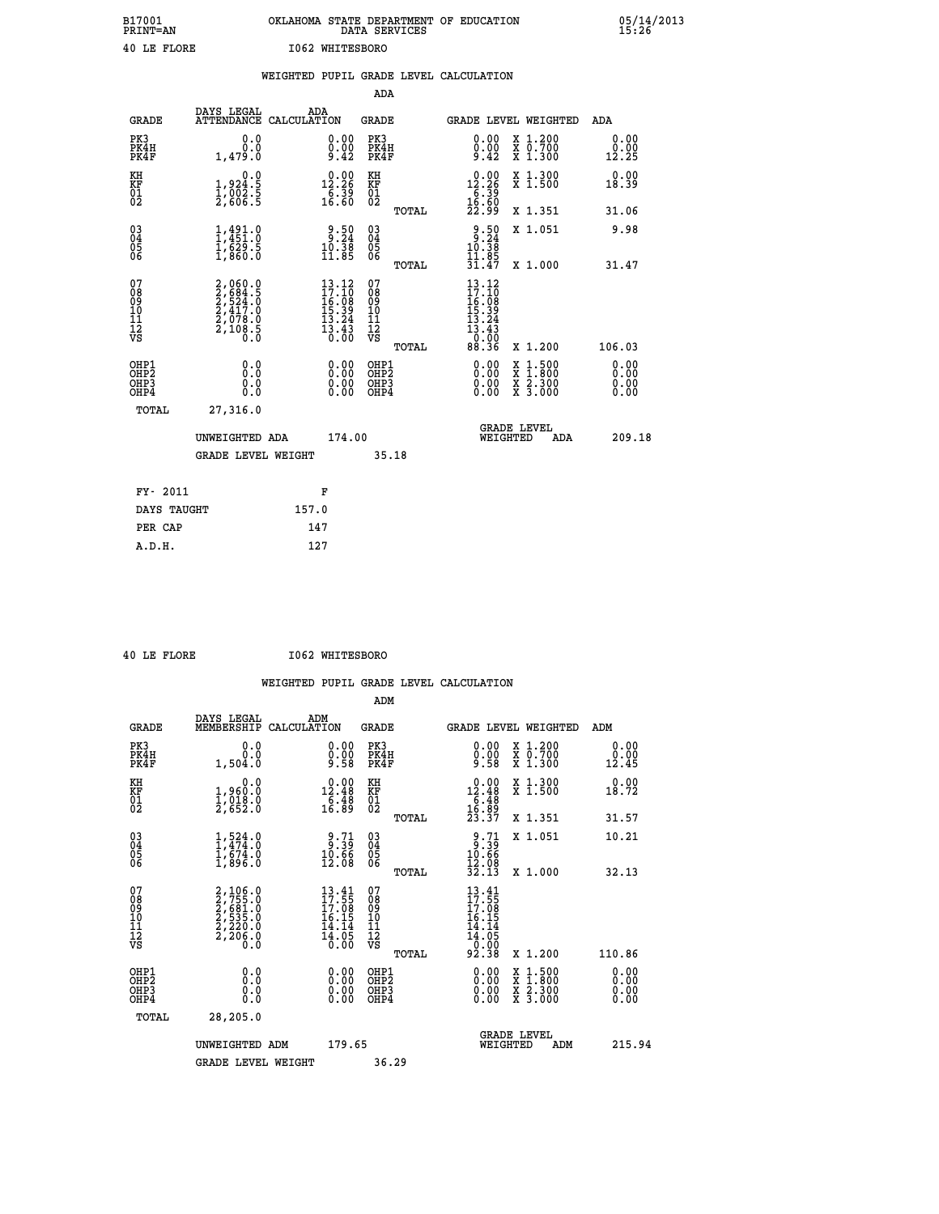| B17001<br><b>PRINT=AN</b> | OKLAHOMA STATE DEPARTMENT OF EDUCATION<br>DATA SERVICES | 05/14/2013<br>15:26 |
|---------------------------|---------------------------------------------------------|---------------------|
| 40 LE FLORE               | 1062 WHITESBORO                                         |                     |

|                                                                    |                                                                                           |       |                                                                             |                                          |       | WEIGHTED PUPIL GRADE LEVEL CALCULATION                                                                                                                                                                                                                                         |                                          |                              |
|--------------------------------------------------------------------|-------------------------------------------------------------------------------------------|-------|-----------------------------------------------------------------------------|------------------------------------------|-------|--------------------------------------------------------------------------------------------------------------------------------------------------------------------------------------------------------------------------------------------------------------------------------|------------------------------------------|------------------------------|
|                                                                    |                                                                                           |       |                                                                             | <b>ADA</b>                               |       |                                                                                                                                                                                                                                                                                |                                          |                              |
| <b>GRADE</b>                                                       | DAYS LEGAL<br>ATTENDANCE CALCULATION                                                      |       | ADA                                                                         | GRADE                                    |       | GRADE LEVEL WEIGHTED                                                                                                                                                                                                                                                           |                                          | ADA                          |
| PK3<br>PK4H<br>PK4F                                                | 0.0<br>0.0<br>1,479.0                                                                     |       | $\substack{0.00\\0.00\\9.42}$                                               | PK3<br>PK4H<br>PK4F                      |       | 0.00<br>$0.00$<br>9.42                                                                                                                                                                                                                                                         | X 1.200<br>X 0.700<br>X 1.300            | 0.00<br>0.00<br>12.25        |
| KH<br>KF<br>01<br>02                                               | 0.0<br>$\frac{1}{2}, \frac{9}{2002}$<br>$\frac{2}{3}, \frac{6}{606}$<br>$\frac{2}{5}$     |       | $0.00$<br>12.26<br>$\frac{7}{16}\cdot\frac{39}{60}$                         | KH<br>KF<br>01<br>02                     |       | 12.26<br>$\frac{1}{16}$ $\frac{539}{60}$                                                                                                                                                                                                                                       | X 1.300<br>X 1.500                       | 0.00<br>18.39                |
|                                                                    |                                                                                           |       |                                                                             |                                          | TOTAL | 22.99                                                                                                                                                                                                                                                                          | X 1.351                                  | 31.06                        |
| $\begin{smallmatrix} 03 \\[-4pt] 04 \end{smallmatrix}$<br>Ŏ5<br>06 | $\frac{1}{1}, \frac{491}{451}.0$<br>$\frac{1}{629}.5$<br>$\frac{1}{1}, \frac{629}{860}.0$ |       | $\begin{array}{r} 9.50 \\ 3.24 \\ 10.38 \\ 11.85 \end{array}$               | $\substack{03 \\ 04}$<br>Ŏ5<br>06        |       | $3:50$<br>$3:24$<br>$10:38$                                                                                                                                                                                                                                                    | X 1.051                                  | 9.98                         |
|                                                                    |                                                                                           |       |                                                                             |                                          | TOTAL | 11.85<br>31.47                                                                                                                                                                                                                                                                 | X 1.000                                  | 31.47                        |
| 07<br>08<br>09<br>11<br>11<br>12<br>VS                             | $2,060.0$<br>$2,684.5$<br>$2,524.0$<br>$2,417.0$<br>$2,078.0$<br>$2,108.5$<br>$0.0$       |       | $13.12$<br>$17.10$<br>$16.08$<br>$15.39$<br>$13.24$<br>$\frac{13.43}{0.00}$ | 07<br>08<br>09<br>11<br>11<br>12<br>VS   | TOTAL | $\frac{13.12}{17.10}$<br>$\begin{array}{c} 16.108 \\ 15.39 \\ 13.24 \\ 13.43 \end{array}$<br>0.00<br>88.36                                                                                                                                                                     | X 1.200                                  | 106.03                       |
| OHP1<br>OH <sub>P</sub> 2<br>OHP3<br>OHP4                          | 0.0<br>0.0<br>0.0                                                                         |       | $\begin{smallmatrix} 0.00 \ 0.00 \ 0.00 \ 0.00 \end{smallmatrix}$           | OHP1<br>OHP <sub>2</sub><br>OHP3<br>OHP4 |       | $\begin{smallmatrix} 0.00 & 0.00 & 0.00 & 0.00 & 0.00 & 0.00 & 0.00 & 0.00 & 0.00 & 0.00 & 0.00 & 0.00 & 0.00 & 0.00 & 0.00 & 0.00 & 0.00 & 0.00 & 0.00 & 0.00 & 0.00 & 0.00 & 0.00 & 0.00 & 0.00 & 0.00 & 0.00 & 0.00 & 0.00 & 0.00 & 0.00 & 0.00 & 0.00 & 0.00 & 0.00 & 0.0$ | X 1:500<br>X 1:800<br>X 2:300<br>X 3:000 | 0.00<br>0.00<br>0.00<br>0.00 |
| TOTAL                                                              | 27,316.0                                                                                  |       |                                                                             |                                          |       |                                                                                                                                                                                                                                                                                |                                          |                              |
|                                                                    | UNWEIGHTED ADA                                                                            |       | 174.00                                                                      |                                          |       | WEIGHTED                                                                                                                                                                                                                                                                       | <b>GRADE LEVEL</b><br><b>ADA</b>         | 209.18                       |
|                                                                    | <b>GRADE LEVEL WEIGHT</b>                                                                 |       |                                                                             |                                          | 35.18 |                                                                                                                                                                                                                                                                                |                                          |                              |
| FY- 2011                                                           |                                                                                           |       | F                                                                           |                                          |       |                                                                                                                                                                                                                                                                                |                                          |                              |
| DAYS TAUGHT                                                        |                                                                                           | 157.0 |                                                                             |                                          |       |                                                                                                                                                                                                                                                                                |                                          |                              |
| PER CAP                                                            |                                                                                           |       | 147                                                                         |                                          |       |                                                                                                                                                                                                                                                                                |                                          |                              |

 **40 LE FLORE I062 WHITESBORO**

|                                                    |                                                                            | WEIGHTED           |                                                                     |                            |       | PUPIL GRADE LEVEL CALCULATION |                                                                        |                                            |                                                             |
|----------------------------------------------------|----------------------------------------------------------------------------|--------------------|---------------------------------------------------------------------|----------------------------|-------|-------------------------------|------------------------------------------------------------------------|--------------------------------------------|-------------------------------------------------------------|
|                                                    |                                                                            |                    |                                                                     | ADM                        |       |                               |                                                                        |                                            |                                                             |
| <b>GRADE</b>                                       | DAYS LEGAL<br>MEMBERSHIP                                                   | ADM<br>CALCULATION |                                                                     | GRADE                      |       |                               |                                                                        | GRADE LEVEL WEIGHTED                       | ADM                                                         |
| PK3<br>PK4H<br>PK4F                                | $0.0$<br>0.0<br>1,504.0                                                    |                    | $0.00$<br>$0.00$<br>9.58                                            | PK3<br>PK4H<br>PK4F        |       |                               | $\begin{smallmatrix} 0.00\\ 0.00\\ 9.58 \end{smallmatrix}$             | X 1.200<br>X 0.700<br>$\overline{x}$ 1.300 | $\begin{smallmatrix} 0.00\\ 0.00\\ 12.45 \end{smallmatrix}$ |
| KH<br>KF<br>01<br>02                               | $\begin{smallmatrix} & & 0.0\ 1,960.0\ 1,018.0\ 2,652.0 \end{smallmatrix}$ |                    | $\begin{smallmatrix} 0.00\\ 12.48\\ 6.48\\ 16.89 \end{smallmatrix}$ | KH<br>KF<br>01<br>02       |       |                               | $\begin{array}{r} 0.00 \\ 12.48 \\ 6.48 \\ 16.39 \\ 23.37 \end{array}$ | X 1.300<br>$\overline{x}$ 1.500            | 18.72                                                       |
|                                                    |                                                                            |                    |                                                                     |                            | TOTAL |                               |                                                                        | X 1.351                                    | 31.57                                                       |
| $\begin{matrix} 03 \\ 04 \\ 05 \\ 06 \end{matrix}$ | $1, 524.0$<br>$1, 474.0$<br>$1, 674.0$<br>$1, 896.0$                       |                    | $\frac{9.71}{10.66}$<br>12.08                                       | 03<br>04<br>05<br>06       |       |                               | 3:35<br>$\frac{10.66}{12.08}$<br>$\frac{32.13}{}$                      | X 1.051                                    | 10.21                                                       |
|                                                    |                                                                            |                    |                                                                     |                            | TOTAL |                               |                                                                        | X 1.000                                    | 32.13                                                       |
| 07<br>08<br>09<br>10<br>10                         | 2,106.0<br>2,755.0<br>2,681.0<br>2,535.0                                   |                    | $13.41$<br>$17.55$<br>$17.08$<br>$16.15$<br>11<br>1 <sub>A</sub>    | 07<br>08<br>09<br>10<br>11 |       | 11                            | $13.41$<br>$17.55$<br>$17.08$<br>$16.15$<br>11                         |                                            |                                                             |

| ΚH<br>KF<br>01<br>02                                 | $\begin{smallmatrix} & & 0.0\ 1,960.0\ 1,018.0\ 2,652.0 \end{smallmatrix}$          | $\begin{smallmatrix} 0.00\\ 12.48\\ 6.48\\ 16.89 \end{smallmatrix}$      | KH<br>KF<br>01<br>02                               |       | $\begin{array}{r} 0.00 \\ 12.48 \\ 6.48 \\ 16.39 \\ 13.37 \end{array}$      | X 1.300<br>X 1.500                       | $0.00$<br>18.72                                                                                                                                                                                                                                                                |
|------------------------------------------------------|-------------------------------------------------------------------------------------|--------------------------------------------------------------------------|----------------------------------------------------|-------|-----------------------------------------------------------------------------|------------------------------------------|--------------------------------------------------------------------------------------------------------------------------------------------------------------------------------------------------------------------------------------------------------------------------------|
|                                                      |                                                                                     |                                                                          |                                                    | TOTAL |                                                                             | X 1.351                                  | 31.57                                                                                                                                                                                                                                                                          |
| $\begin{matrix} 03 \\ 04 \\ 05 \\ 06 \end{matrix}$   | $1, 524.0$<br>$1, 474.0$<br>$1, 674.0$<br>$1, 896.0$                                | $\begin{array}{c} 9.71 \\ 3.39 \\ 10.66 \\ 12.08 \end{array}$            | $\begin{matrix} 03 \\ 04 \\ 05 \\ 06 \end{matrix}$ |       | $\begin{array}{r} 9.71 \\ 9.39 \\ 10.66 \\ 12.98 \end{array}$               | X 1.051                                  | 10.21                                                                                                                                                                                                                                                                          |
|                                                      |                                                                                     |                                                                          |                                                    | TOTAL | 32.13                                                                       | X 1.000                                  | 32.13                                                                                                                                                                                                                                                                          |
| 07<br>08<br>09<br>101<br>11<br>12<br>VS              | $2,755.0$<br>$2,755.0$<br>$2,681.0$<br>$2,535.0$<br>$2,220.0$<br>$2,206.0$<br>$0.0$ | $13.41$<br>$17.55$<br>$17.08$<br>$16.15$<br>$14.14$<br>$14.05$<br>$0.00$ | 07<br>08<br>09<br>001<br>11<br>11<br>17<br>VS      | TOTAL | $13.41$<br>$17.58$<br>$17.08$<br>$16.154$<br>$14.145$<br>$0.000$<br>$92.38$ | X 1.200                                  | 110.86                                                                                                                                                                                                                                                                         |
| OHP1<br>OHP <sub>2</sub><br>OHP <sub>3</sub><br>OHP4 |                                                                                     |                                                                          | OHP1<br>OHP <sub>2</sub><br>OHP3<br>OHP4           |       |                                                                             | X 1:500<br>X 1:800<br>X 2:300<br>X 3:000 | $\begin{smallmatrix} 0.00 & 0.00 & 0.00 & 0.00 & 0.00 & 0.00 & 0.00 & 0.00 & 0.00 & 0.00 & 0.00 & 0.00 & 0.00 & 0.00 & 0.00 & 0.00 & 0.00 & 0.00 & 0.00 & 0.00 & 0.00 & 0.00 & 0.00 & 0.00 & 0.00 & 0.00 & 0.00 & 0.00 & 0.00 & 0.00 & 0.00 & 0.00 & 0.00 & 0.00 & 0.00 & 0.0$ |
| TOTAL                                                | 28,205.0                                                                            |                                                                          |                                                    |       |                                                                             |                                          |                                                                                                                                                                                                                                                                                |
|                                                      | UNWEIGHTED<br>ADM                                                                   | 179.65                                                                   |                                                    |       | WEIGHTED                                                                    | <b>GRADE LEVEL</b><br>ADM                | 215.94                                                                                                                                                                                                                                                                         |
|                                                      | <b>GRADE LEVEL WEIGHT</b>                                                           |                                                                          |                                                    | 36.29 |                                                                             |                                          |                                                                                                                                                                                                                                                                                |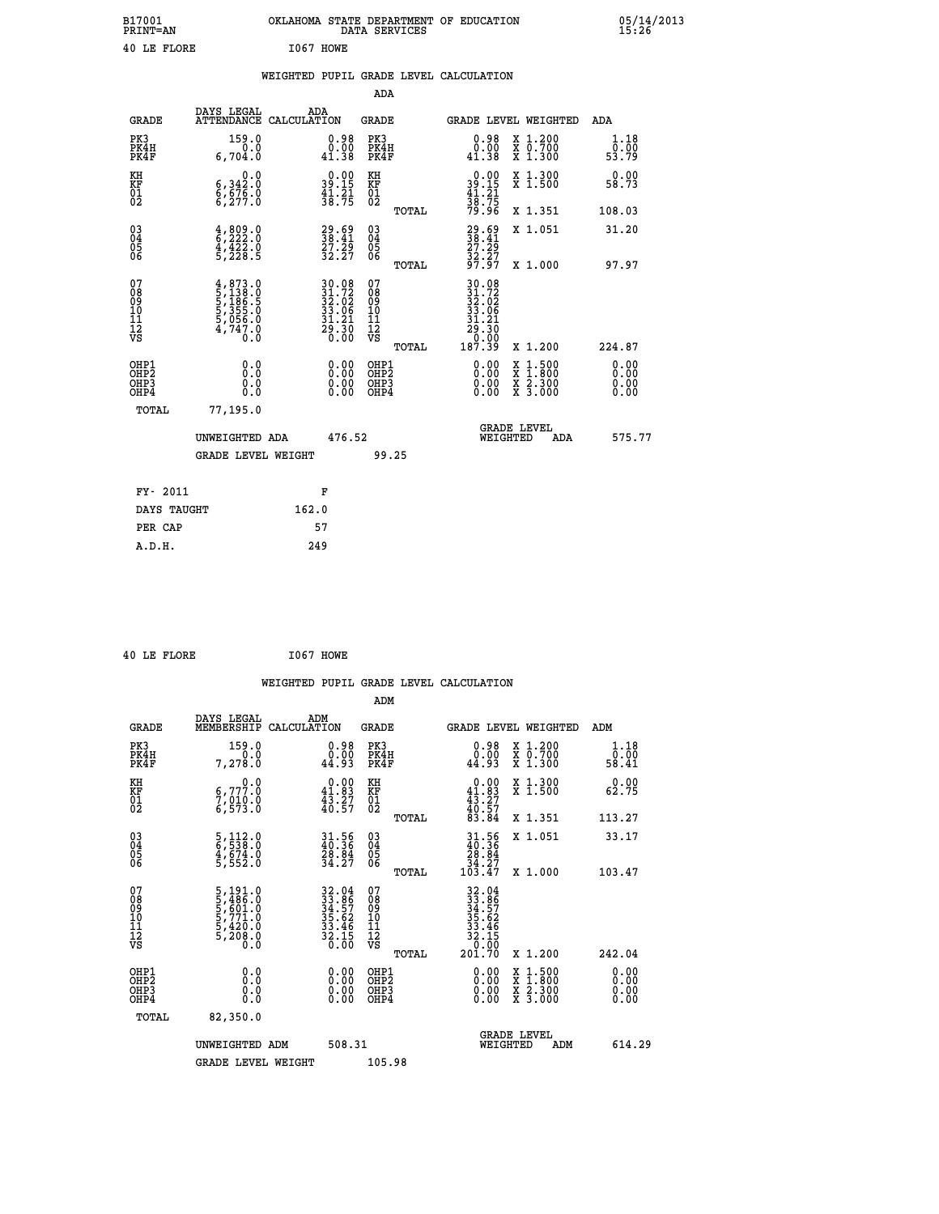| B17001<br><b>PRINT=AN</b> | OKLAHOMA STATE DEPARTMENT OF EDUCATION<br>DATA SERVICES | 05/14/2013<br>15:26 |
|---------------------------|---------------------------------------------------------|---------------------|
| 40 LE FLORE               | I067<br>HOWE                                            |                     |

|                                                                    |                                                                                               | WEIGHTED PUPIL GRADE LEVEL CALCULATION                                              |                                                 |                                                                                                                                             |                                                                                                  |                              |
|--------------------------------------------------------------------|-----------------------------------------------------------------------------------------------|-------------------------------------------------------------------------------------|-------------------------------------------------|---------------------------------------------------------------------------------------------------------------------------------------------|--------------------------------------------------------------------------------------------------|------------------------------|
|                                                                    |                                                                                               |                                                                                     | ADA                                             |                                                                                                                                             |                                                                                                  |                              |
| <b>GRADE</b>                                                       | DAYS LEGAL                                                                                    | ADA<br>ATTENDANCE CALCULATION                                                       | <b>GRADE</b>                                    | GRADE LEVEL WEIGHTED                                                                                                                        |                                                                                                  | ADA                          |
| PK3<br>PK4H<br>PK4F                                                | 159.0<br>0.0<br>6,704.0                                                                       | $\begin{smallmatrix} 0.98\ 0.00\\ 1.38 \end{smallmatrix}$                           | PK3<br>PK4H<br>PK4F                             | $\begin{smallmatrix} 0.98\ 0.00\\ 1.38 \end{smallmatrix}$                                                                                   | X 1.200<br>X 0.700<br>X 1.300                                                                    | 1.18<br>0.00<br>53.79        |
| KH<br><b>KF</b><br>01<br>02                                        | 0.0<br>$\substack{6,342.0\\6,676.0\\6,277.0}$                                                 | $39.15$<br>$41.21$<br>$38.75$                                                       | KH<br>KF<br>01<br>02                            | $\begin{smallmatrix} 0.00\\ 39.15\\ 41.21\\ 38.75\\ 79.96 \end{smallmatrix}$                                                                | X 1.300<br>X 1.500                                                                               | 0.00<br>58.73                |
|                                                                    |                                                                                               |                                                                                     | TOTAL                                           |                                                                                                                                             | X 1.351                                                                                          | 108.03                       |
| $\begin{smallmatrix} 03 \\[-4pt] 04 \end{smallmatrix}$<br>Ŏ5<br>06 | $\begin{smallmatrix} 4 & 809 & 0\\ 6 & 222 & 0\\ 4 & 422 & 0\\ 5 & 228 & 5 \end{smallmatrix}$ | 38.41<br>27.29<br>32.27                                                             | $\substack{03 \\ 04}$<br>05<br>06               | $29.69$<br>$38.41$<br>$27.29$<br>$32.27$<br>$97.97$                                                                                         | X 1.051                                                                                          | 31.20                        |
|                                                                    |                                                                                               |                                                                                     | TOTAL                                           |                                                                                                                                             | X 1.000                                                                                          | 97.97                        |
| 07<br>08<br>09<br>11<br>11<br>12<br>VS                             | $4,873.0$<br>5,138.0<br>5,186.5<br>5,355.0<br>5,056.0<br>4,747.0<br>0.0                       | $\begin{array}{l} 30.08\\ 31.72\\ 32.02\\ 33.06\\ 31.21\\ 29.30\\ 0.00 \end{array}$ | 07<br>08<br>09<br>11<br>11<br>12<br>VS<br>TOTAL | $\begin{array}{r} 30\cdot 08 \\ 31\cdot 72 \\ 32\cdot 02 \\ 33\cdot 06 \\ 31\cdot 21 \\ 29\cdot 30 \\ 0\cdot 00 \\ 187\cdot 39 \end{array}$ | X 1.200                                                                                          | 224.87                       |
| OHP1<br>OH <sub>P</sub> 2<br>OHP3<br>OHP4                          | 0.0<br>0.0<br>0.0                                                                             | $0.00$<br>$0.00$<br>0.00                                                            | OHP1<br>OHP <sub>2</sub><br>OHP3<br>OHP4        | 0.00<br>0.00                                                                                                                                | $\begin{smallmatrix} x & 1 & 500 \\ x & 1 & 800 \\ x & 2 & 300 \\ x & 3 & 000 \end{smallmatrix}$ | 0.00<br>0.00<br>0.00<br>0.00 |
| TOTAL                                                              | 77,195.0                                                                                      |                                                                                     |                                                 |                                                                                                                                             |                                                                                                  |                              |
|                                                                    | UNWEIGHTED ADA                                                                                | 476.52                                                                              |                                                 | <b>GRADE LEVEL</b><br>WEIGHTED                                                                                                              | ADA                                                                                              | 575.77                       |
|                                                                    | <b>GRADE LEVEL WEIGHT</b>                                                                     |                                                                                     | 99.25                                           |                                                                                                                                             |                                                                                                  |                              |
| FY- 2011                                                           |                                                                                               | F                                                                                   |                                                 |                                                                                                                                             |                                                                                                  |                              |
| DAYS TAUGHT                                                        |                                                                                               | 162.0                                                                               |                                                 |                                                                                                                                             |                                                                                                  |                              |
| PER CAP                                                            |                                                                                               | 57                                                                                  |                                                 |                                                                                                                                             |                                                                                                  |                              |

 **40 LE FLORE I067 HOWE**

 **A.D.H. 249**

|                                              |                                                                                                      | WEIGHTED PUPIL GRADE LEVEL CALCULATION                                   |                                                 |                                                                                                                                                                                                                                                                                |                                          |                       |
|----------------------------------------------|------------------------------------------------------------------------------------------------------|--------------------------------------------------------------------------|-------------------------------------------------|--------------------------------------------------------------------------------------------------------------------------------------------------------------------------------------------------------------------------------------------------------------------------------|------------------------------------------|-----------------------|
|                                              |                                                                                                      |                                                                          | ADM                                             |                                                                                                                                                                                                                                                                                |                                          |                       |
| <b>GRADE</b>                                 | DAYS LEGAL<br>MEMBERSHIP                                                                             | ADM<br>CALCULATION                                                       | GRADE                                           | GRADE LEVEL WEIGHTED                                                                                                                                                                                                                                                           |                                          | ADM                   |
| PK3<br>PK4H<br>PK4F                          | 159.0<br>0.0<br>7,278.0                                                                              | $0.98\n0.00\n44.93$                                                      | PK3<br>PK4H<br>PK4F                             | $0.98\n0.00\n44.93$                                                                                                                                                                                                                                                            | X 1.200<br>X 0.700<br>X 1.300            | 1.18<br>0.00<br>58.41 |
| KH<br>KF<br>01<br>02                         | $\begin{smallmatrix}&&&0\cdot0\\ 6\,,777\cdot0\\ 7\,,\,010\cdot0\\ 6\,,\,573\cdot0\end{smallmatrix}$ | $\begin{smallmatrix} 0.00\\ 41.83\\ 43.27\\ 40.57 \end{smallmatrix}$     | KH<br>KF<br>01<br>02                            | $0.00\n41.83\n43.27\n40.57\n83.84$                                                                                                                                                                                                                                             | X 1.300<br>X 1.500                       | 0.00<br>62.75         |
|                                              |                                                                                                      |                                                                          | TOTAL                                           |                                                                                                                                                                                                                                                                                | X 1.351                                  | 113.27                |
| 03<br>04<br>05<br>06                         | 5,112.0<br>6,538.0<br>4,674.0<br>5,552.0                                                             | 31.56<br>40.36<br>28.84<br>34.27                                         | 03<br>04<br>05<br>06                            | $\begin{array}{c} 31.56 \\ 40.36 \\ 28.84 \\ 34.27 \\ 103.47 \end{array}$                                                                                                                                                                                                      | X 1.051                                  | 33.17                 |
|                                              |                                                                                                      |                                                                          | TOTAL                                           |                                                                                                                                                                                                                                                                                | X 1.000                                  | 103.47                |
| 07<br>08<br>09<br>101<br>112<br>VS           | 5,191.0<br>5,486.0<br>5,601.0<br>5,771.0<br>5,420.0<br>5,208.0                                       | $32.04$<br>$33.86$<br>$34.57$<br>$35.62$<br>$33.46$<br>$32.15$<br>$0.00$ | 07<br>08<br>09<br>11<br>11<br>12<br>VS<br>TOTAL | $\begin{array}{r} 32.04 \\ 33.86 \\ 34.57 \\ 35.62 \\ 33.46 \\ 32.15 \\ 0.00 \\ 201.70 \end{array}$                                                                                                                                                                            | X 1.200                                  | 242.04                |
| OHP1                                         |                                                                                                      |                                                                          |                                                 |                                                                                                                                                                                                                                                                                |                                          |                       |
| OHP <sub>2</sub><br>OH <sub>P3</sub><br>OHP4 | 0.0<br>0.000                                                                                         | $0.00$<br>$0.00$<br>0.00                                                 | OHP1<br>OHP2<br>OHP3<br>OHP4                    | $\begin{smallmatrix} 0.00 & 0.00 & 0.00 & 0.00 & 0.00 & 0.00 & 0.00 & 0.00 & 0.00 & 0.00 & 0.00 & 0.00 & 0.00 & 0.00 & 0.00 & 0.00 & 0.00 & 0.00 & 0.00 & 0.00 & 0.00 & 0.00 & 0.00 & 0.00 & 0.00 & 0.00 & 0.00 & 0.00 & 0.00 & 0.00 & 0.00 & 0.00 & 0.00 & 0.00 & 0.00 & 0.0$ | X 1:500<br>X 1:800<br>X 2:300<br>X 3:000 | 0.00<br>0.00<br>0.00  |
|                                              | TOTAL<br>82,350.0                                                                                    |                                                                          |                                                 |                                                                                                                                                                                                                                                                                |                                          |                       |
|                                              | UNWEIGHTED ADM                                                                                       | 508.31                                                                   |                                                 | <b>GRADE LEVEL</b><br>WEIGHTED                                                                                                                                                                                                                                                 | ADM                                      | 614.29                |
|                                              | <b>GRADE LEVEL WEIGHT</b>                                                                            |                                                                          | 105.98                                          |                                                                                                                                                                                                                                                                                |                                          |                       |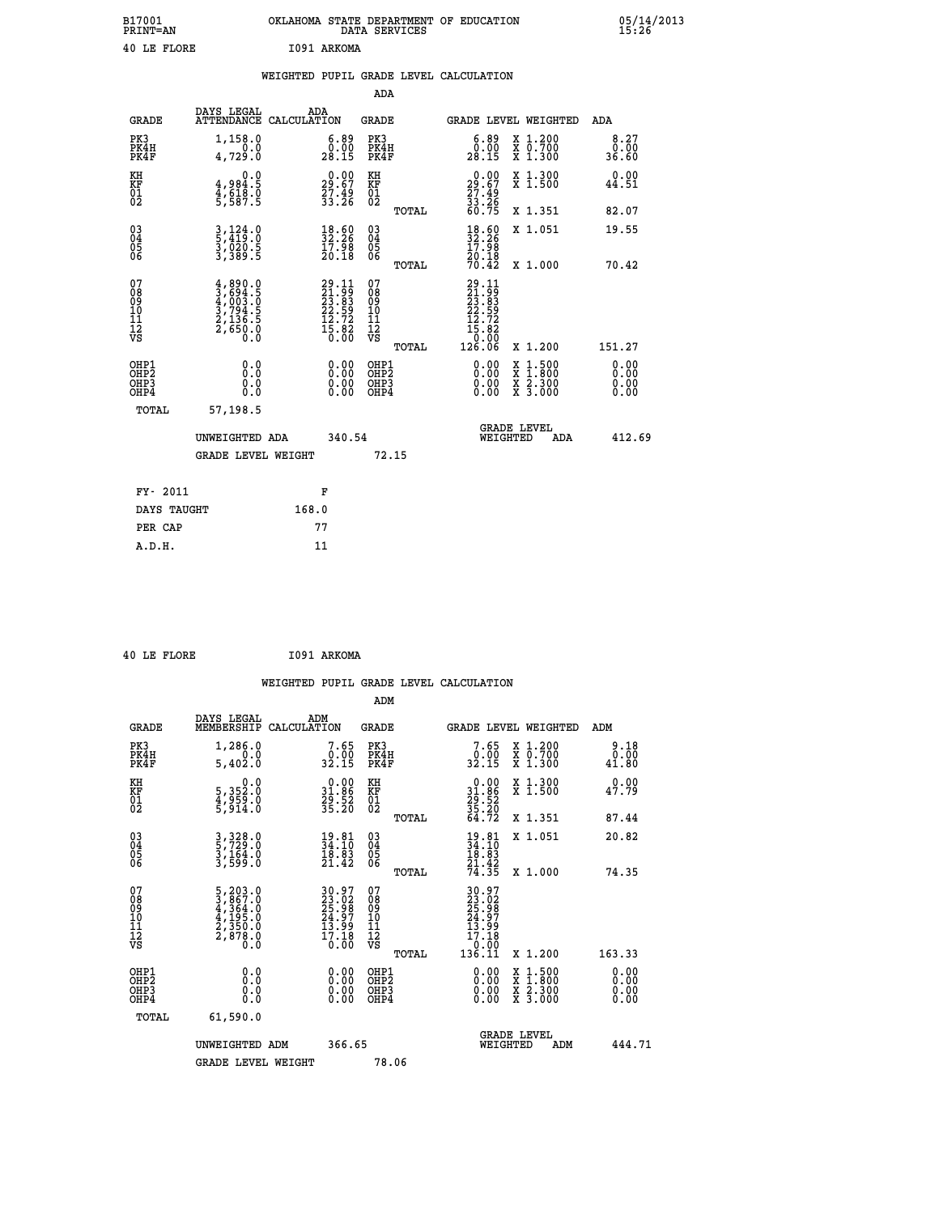| B17001<br><b>PRINT=AN</b> | OKLAHOMA STATE DEPARTMENT OF EDUCATION<br>DATA SERVICES | 05/14/2013<br>15:26 |
|---------------------------|---------------------------------------------------------|---------------------|
| 40 LE FLORE               | I091 ARKOMA                                             |                     |

| 40 LE FLORE                  |                                                                                                     |       | I091 ARKOMA                                                                            |                                                    |       |                                                                                                                                                                                                                                                                                |                                                                                                                                              |                              |
|------------------------------|-----------------------------------------------------------------------------------------------------|-------|----------------------------------------------------------------------------------------|----------------------------------------------------|-------|--------------------------------------------------------------------------------------------------------------------------------------------------------------------------------------------------------------------------------------------------------------------------------|----------------------------------------------------------------------------------------------------------------------------------------------|------------------------------|
|                              |                                                                                                     |       |                                                                                        | <b>ADA</b>                                         |       | WEIGHTED PUPIL GRADE LEVEL CALCULATION                                                                                                                                                                                                                                         |                                                                                                                                              |                              |
| <b>GRADE</b>                 | DAYS LEGAL<br>ATTENDANCE CALCULATION                                                                | ADA   |                                                                                        | <b>GRADE</b>                                       |       |                                                                                                                                                                                                                                                                                | GRADE LEVEL WEIGHTED                                                                                                                         | ADA                          |
| PK3<br>PK4H<br>PK4F          | 1,158.0<br>0.0<br>4,729.0                                                                           |       | $\begin{smallmatrix} 6.89\ 0.00\ 28.15 \end{smallmatrix}$                              | PK3<br>PK4H<br>PK4F                                |       | $\begin{smallmatrix} 6.89\ 0.00\ 28.15 \end{smallmatrix}$                                                                                                                                                                                                                      | X 1.200<br>X 0.700<br>X 1.300                                                                                                                | 8.27<br>0.00<br>36.60        |
| KH<br>KF<br>01<br>02         | 0.0<br>4,984.5<br>4,618.0<br>5,587.5                                                                |       | $29.67$<br>$27.49$<br>$33.26$                                                          | KH<br>KF<br>01<br>02                               |       | $\begin{smallmatrix} 0.00\\29.67\\27.49\\33.26\\60.75 \end{smallmatrix}$                                                                                                                                                                                                       | X 1.300<br>X 1.500                                                                                                                           | 0.00<br>44.51                |
|                              |                                                                                                     |       |                                                                                        |                                                    | TOTAL |                                                                                                                                                                                                                                                                                | X 1.351                                                                                                                                      | 82.07                        |
| 03<br>04<br>05<br>06         | $\frac{3}{5}, \frac{124}{419}.0$<br>$\frac{3}{9}, \frac{020}{29}.5$<br>$\frac{5}{3}, \frac{389}{5}$ |       | $\begin{smallmatrix} 18.60\ 32.26\ 17.98\ 20.18 \end{smallmatrix}$                     | $\begin{matrix} 03 \\ 04 \\ 05 \\ 06 \end{matrix}$ |       | $\frac{18.60}{32.26}$<br>20.18                                                                                                                                                                                                                                                 | X 1.051                                                                                                                                      | 19.55                        |
|                              |                                                                                                     |       |                                                                                        |                                                    | TOTAL | 70.42                                                                                                                                                                                                                                                                          | X 1.000                                                                                                                                      | 70.42                        |
| 07<br>0890112<br>1112<br>VS  | $4,890.0$<br>$3,694.5$<br>$4,003.0$<br>$3,794.5$<br>$2,136.5$<br>$2,650.0$<br>$0.0$                 |       | $\begin{smallmatrix} 29.11\ 21.99\ 23.83\ 22.59\ 12.72\ 15.82\ 0.00 \end{smallmatrix}$ | 07<br>08901112<br>1112<br>VS                       | TOTAL | $\begin{smallmatrix} 29.11\ 21.99\ 23.83\ 22.592\ 12.722\ 15.820\ 126.06\ \end{smallmatrix}$                                                                                                                                                                                   | X 1.200                                                                                                                                      | 151.27                       |
| OHP1<br>OHP2<br>OHP3<br>OHP4 | 0.0<br>Ō.Ō<br>0.0<br>0.0                                                                            |       | $\begin{smallmatrix} 0.00 \ 0.00 \ 0.00 \ 0.00 \end{smallmatrix}$                      | OHP1<br>OHP2<br>OHP3<br>OHP4                       |       | $\begin{smallmatrix} 0.00 & 0.00 & 0.00 & 0.00 & 0.00 & 0.00 & 0.00 & 0.00 & 0.00 & 0.00 & 0.00 & 0.00 & 0.00 & 0.00 & 0.00 & 0.00 & 0.00 & 0.00 & 0.00 & 0.00 & 0.00 & 0.00 & 0.00 & 0.00 & 0.00 & 0.00 & 0.00 & 0.00 & 0.00 & 0.00 & 0.00 & 0.00 & 0.00 & 0.00 & 0.00 & 0.0$ | $\begin{smallmatrix} \mathtt{X} & 1\cdot500 \\ \mathtt{X} & 1\cdot800 \\ \mathtt{X} & 2\cdot300 \\ \mathtt{X} & 3\cdot000 \end{smallmatrix}$ | 0.00<br>0.00<br>0.00<br>0.00 |
| TOTAL                        | 57,198.5                                                                                            |       |                                                                                        |                                                    |       |                                                                                                                                                                                                                                                                                |                                                                                                                                              |                              |
|                              | UNWEIGHTED ADA<br><b>GRADE LEVEL WEIGHT</b>                                                         |       | 340.54                                                                                 | 72.15                                              |       |                                                                                                                                                                                                                                                                                | <b>GRADE LEVEL</b><br>WEIGHTED<br>ADA                                                                                                        | 412.69                       |
|                              |                                                                                                     |       |                                                                                        |                                                    |       |                                                                                                                                                                                                                                                                                |                                                                                                                                              |                              |
| FY- 2011                     |                                                                                                     |       | F                                                                                      |                                                    |       |                                                                                                                                                                                                                                                                                |                                                                                                                                              |                              |
| DAYS TAUGHT                  |                                                                                                     | 168.0 |                                                                                        |                                                    |       |                                                                                                                                                                                                                                                                                |                                                                                                                                              |                              |

**PER CAP** 77<br> **A.D.H.** 11

 **40 LE FLORE I091 ARKOMA**

| <b>GRADE</b>                             | DAYS LEGAL<br>MEMBERSHIP                                                                        | ADM<br>CALCULATION                                                                           | <b>GRADE</b>                                        |       | GRADE LEVEL WEIGHTED                                                        |                                          | ADM                   |  |
|------------------------------------------|-------------------------------------------------------------------------------------------------|----------------------------------------------------------------------------------------------|-----------------------------------------------------|-------|-----------------------------------------------------------------------------|------------------------------------------|-----------------------|--|
| PK3<br>PK4H<br>PK4F                      | 1,286.0<br>5,402.0                                                                              | $7.65$<br>32.00<br>32.15                                                                     | PK3<br>PK4H<br>PK4F                                 |       | 7.65<br>32.15                                                               | X 1.200<br>X 0.700<br>X 1.300            | 9.18<br>0.00<br>41.80 |  |
| KH<br>KF<br>01<br>02                     | $\begin{smallmatrix}&&&0.0\\5,352.0\\4,959.0\\5,914.0\end{smallmatrix}$                         | $\begin{smallmatrix} 0.00\\ 31.86\\ 29.52\\ 35.20 \end{smallmatrix}$                         | KH<br>KF<br>01<br>02                                |       | $\begin{smallmatrix} 0.00\\ 31.86\\ 29.52\\ 35.20\\ 4.72 \end{smallmatrix}$ | X 1.300<br>X 1.500                       | 0.00<br>47.79         |  |
|                                          |                                                                                                 |                                                                                              |                                                     | TOTAL |                                                                             | X 1.351                                  | 87.44                 |  |
| 03<br>04<br>05<br>06                     | 3, 328.0<br>5, 729.0<br>3, 164.0<br>3, 599.0                                                    | $\begin{smallmatrix} 19.81\ 34.10\ 18.83\ 21.42 \end{smallmatrix}$                           | $\begin{array}{c} 03 \\ 04 \\ 05 \\ 06 \end{array}$ |       | $19.81$<br>$34.10$<br>$18.83$<br>$21.42$<br>$74.35$                         | X 1.051                                  | 20.82                 |  |
|                                          |                                                                                                 |                                                                                              |                                                     | TOTAL |                                                                             | X 1.000                                  | 74.35                 |  |
| 07<br>089<br>090<br>1112<br>VS           | $\begin{smallmatrix}5,203.0\\3,867.0\\4,364.0\\4,195.0\\2,350.0\\2,878.0\\0.0\end{smallmatrix}$ | $\begin{smallmatrix} 30.97\\ 23.02\\ 25.98\\ 24.97\\ 13.99\\ 17.18\\ 0.00 \end{smallmatrix}$ | 07<br>08<br>09<br>001<br>11<br>11<br>12<br>VS       | TOTAL | $30.97$<br>$23.02$<br>$24.97$<br>$13.99$<br>$17.18$<br>$0.00$<br>$136.11$   | X 1.200                                  | 163.33                |  |
|                                          |                                                                                                 |                                                                                              |                                                     |       |                                                                             |                                          |                       |  |
| OHP1<br>OHP2<br>OH <sub>P3</sub><br>OHP4 | 0.0<br>0.000                                                                                    |                                                                                              | OHP1<br>OHP2<br>OHP3<br>OHP4                        |       | 0.00<br>0.00                                                                | X 1:500<br>X 1:800<br>X 2:300<br>X 3:000 | 0.00<br>0.00<br>0.00  |  |
| TOTAL                                    | 61,590.0                                                                                        |                                                                                              |                                                     |       |                                                                             |                                          |                       |  |
|                                          | UNWEIGHTED<br>ADM                                                                               | 366.65                                                                                       |                                                     |       | WEIGHTED                                                                    | <b>GRADE LEVEL</b><br>ADM                | 444.71                |  |
|                                          | <b>GRADE LEVEL WEIGHT</b>                                                                       |                                                                                              | 78.06                                               |       |                                                                             |                                          |                       |  |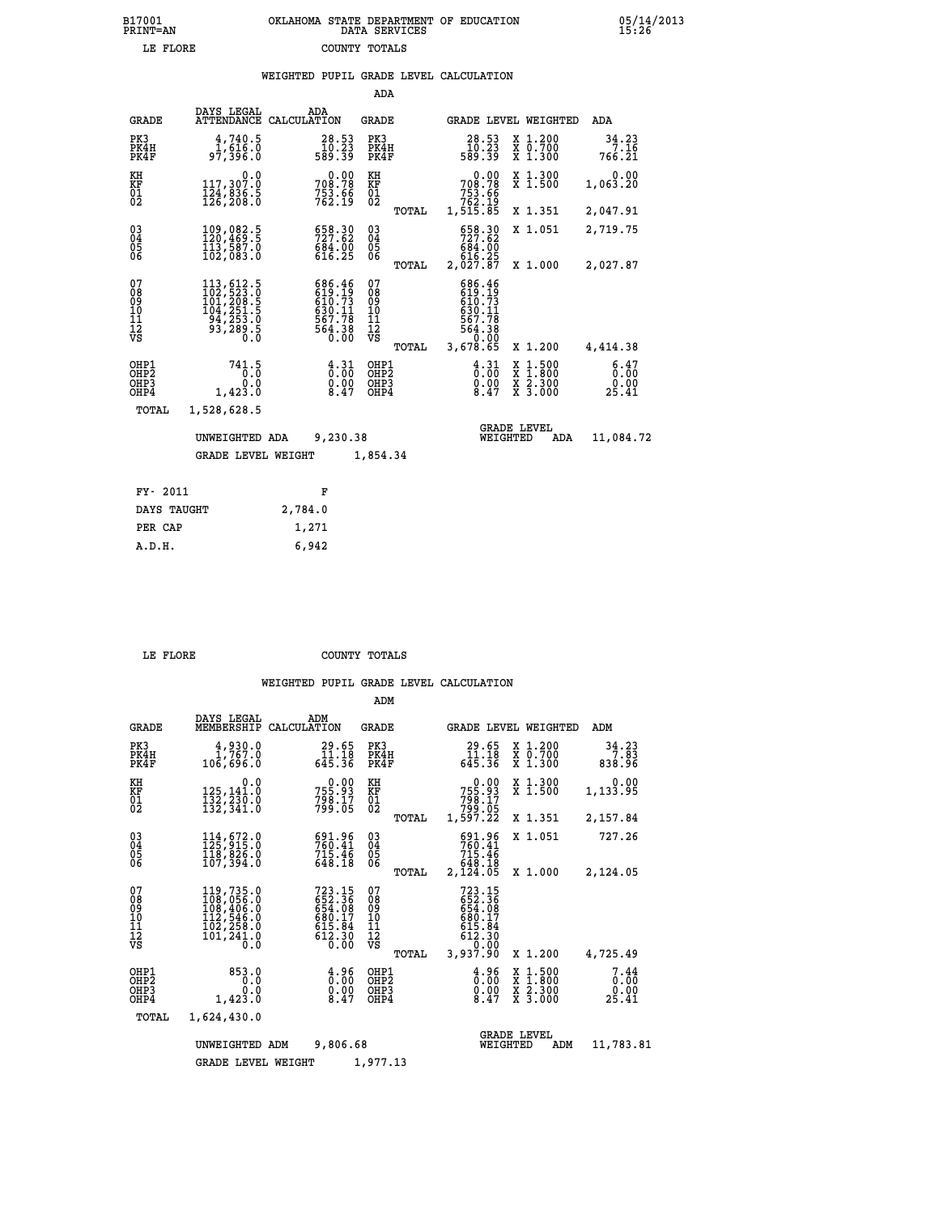## **B17001 OKLAHOMA STATE DEPARTMENT OF EDUCATION 05/14/2013 PRINT=AN DATA SERVICES 15:26 LE FLORE COUNTY TOTALS**

|                                                              |                                                                                                                                                                                                                         | WEIGHTED PUPIL GRADE LEVEL CALCULATION |                                                                    |                                          |       |                                                                        |                                                                                                                                              |                               |
|--------------------------------------------------------------|-------------------------------------------------------------------------------------------------------------------------------------------------------------------------------------------------------------------------|----------------------------------------|--------------------------------------------------------------------|------------------------------------------|-------|------------------------------------------------------------------------|----------------------------------------------------------------------------------------------------------------------------------------------|-------------------------------|
|                                                              |                                                                                                                                                                                                                         |                                        |                                                                    | ADA                                      |       |                                                                        |                                                                                                                                              |                               |
| <b>GRADE</b>                                                 | DAYS LEGAL<br>ATTENDANCE CALCULATION                                                                                                                                                                                    | ADA                                    |                                                                    | GRADE                                    |       |                                                                        | GRADE LEVEL WEIGHTED                                                                                                                         | ADA                           |
| PK3<br>PK4H<br>PK4F                                          | 4,740.5<br>0.ۆ1,61<br>97,396.0                                                                                                                                                                                          |                                        | $28.53$<br>$10.23$<br>589.39                                       | PK3<br>PK4H<br>PK4F                      |       | 28.53<br>10.23<br>589.39                                               | X 1.200<br>X 0.700<br>X 1.300                                                                                                                | 34.23<br>7.16<br>766.21       |
| KH<br>KF<br>$\overline{01}$                                  | 0.0<br>117,307.ŏ<br>$\frac{1}{2}\overline{2}\overline{4}$ , $\overline{8}\overline{3}\overline{6}\cdot\overline{5}$<br>$\overline{1}\overline{2}\overline{6}$ , $\overline{2}\overline{0}\overline{8}\cdot\overline{0}$ |                                        | 708.78<br>753.66<br>762.19                                         | KH<br>KF<br>$\overline{01}$              |       | $\frac{0.00}{708.78}$<br>753.66<br>762.19<br>1,515.85                  | X 1.300<br>X 1.500                                                                                                                           | 0.00<br>1,063.20              |
|                                                              |                                                                                                                                                                                                                         |                                        |                                                                    |                                          | TOTAL |                                                                        | X 1.351                                                                                                                                      | 2,047.91                      |
| $\begin{smallmatrix} 03 \\[-4pt] 04 \end{smallmatrix}$<br>05 | 109,082.5<br>113,587.0                                                                                                                                                                                                  |                                        | 658.30<br>727.62<br>$6\bar{8}\bar{4}\cdot\bar{0}\bar{0}$<br>616.25 | $\substack{03 \\ 04}$<br>05              |       | 658.30                                                                 | X 1.051                                                                                                                                      | 2,719.75                      |
| 06                                                           | 102,083.0                                                                                                                                                                                                               |                                        |                                                                    | 06                                       | TOTAL | 684.00<br>616.25<br>2,027.87                                           | X 1.000                                                                                                                                      | 2,027.87                      |
| 07<br>ŏġ<br>09<br>10<br>īĭ<br>12<br>νs                       | $\begin{smallmatrix} 113\,,\,612\,.5\\ 102\,,\,523\,.0\\ 101\,,\,208\,.5\\ 104\,,\,251\,.5\\ 94\,,\,253\,.0\\ 93\,,\,289\,.5\\ 0\,.0 \end{smallmatrix}$                                                                 |                                        | 686.46<br>$619.73$<br>$610.73$<br>$630.11$<br>$567.78$<br>564.38   | 07<br>08<br>09<br>10<br>11<br>12<br>VS   | TOTAL | 686.46<br>$610.73$<br>$630.11$<br>567.78<br>864:38<br>0.00<br>3,678.65 | X 1.200                                                                                                                                      | 4,414.38                      |
| OHP1<br>OHP2<br>OHP3<br>OHP4                                 | 741.5<br>0.0<br>1,423.0                                                                                                                                                                                                 |                                        | $\begin{smallmatrix} 4.31\ 0.00\ 0.00\ 8.47 \end{smallmatrix}$     | OHP1<br>OHP <sub>2</sub><br>OHP3<br>OHP4 |       | $\frac{4}{0}$ : $\frac{31}{00}$<br>$\frac{0.00}{8.47}$                 | $\begin{smallmatrix} \mathtt{X} & 1\cdot500 \\ \mathtt{X} & 1\cdot800 \\ \mathtt{X} & 2\cdot300 \\ \mathtt{X} & 3\cdot000 \end{smallmatrix}$ | 6.47<br>0.00<br>0.00<br>25.41 |
| TOTAL                                                        | 1,528,628.5                                                                                                                                                                                                             |                                        |                                                                    |                                          |       |                                                                        |                                                                                                                                              |                               |
|                                                              | UNWEIGHTED ADA                                                                                                                                                                                                          |                                        | 9,230.38                                                           |                                          |       |                                                                        | <b>GRADE LEVEL</b><br>WEIGHTED<br>ADA                                                                                                        | 11,084.72                     |
|                                                              | <b>GRADE LEVEL WEIGHT</b>                                                                                                                                                                                               |                                        |                                                                    | 1,854.34                                 |       |                                                                        |                                                                                                                                              |                               |
| FY- 2011                                                     |                                                                                                                                                                                                                         | F                                      |                                                                    |                                          |       |                                                                        |                                                                                                                                              |                               |
| DAYS TAUGHT                                                  |                                                                                                                                                                                                                         | 2,784.0                                |                                                                    |                                          |       |                                                                        |                                                                                                                                              |                               |
| PER CAP                                                      |                                                                                                                                                                                                                         | 1,271                                  |                                                                    |                                          |       |                                                                        |                                                                                                                                              |                               |

 **A.D.H. 6,942**

 **LE FLORE COUNTY TOTALS**

|                                                    |                                                                                               |                                                                    | ADM                                             |                                                                    |                                                                                                  |                               |
|----------------------------------------------------|-----------------------------------------------------------------------------------------------|--------------------------------------------------------------------|-------------------------------------------------|--------------------------------------------------------------------|--------------------------------------------------------------------------------------------------|-------------------------------|
| <b>GRADE</b>                                       | DAYS LEGAL<br>MEMBERSHIP                                                                      | ADM<br>CALCULATION                                                 | <b>GRADE</b>                                    | GRADE LEVEL WEIGHTED                                               |                                                                                                  | ADM                           |
| PK3<br>PK4H<br>PK4F                                | 4,930.0<br>1,767.0<br>106,696.0                                                               | 29.65<br>$\frac{11.18}{645.36}$                                    | PK3<br>PK4H<br>PK4F                             | 29.65<br>$\frac{11.18}{645.36}$                                    | X 1.200<br>X 0.700<br>X 1.300                                                                    | 34.23<br>7.83<br>838.96       |
| KH<br>KF<br>01<br>02                               | 0.0<br>125,141.0<br>$\frac{152}{132}, \frac{230}{341}.$ 0                                     | $0.00$<br>755.93<br>$798.17$<br>$799.05$                           | KH<br>KF<br>01<br>02                            | 0.00<br>755.93<br>$798.17$<br>$799.05$                             | X 1.300<br>X 1.500                                                                               | 0.00<br>1,133.95              |
|                                                    |                                                                                               |                                                                    | TOTAL                                           | 1,597.22                                                           | X 1.351                                                                                          | 2,157.84                      |
| $\begin{matrix} 03 \\ 04 \\ 05 \\ 06 \end{matrix}$ | 114,672.0<br>118,826.0                                                                        | 691.96<br>760.41<br>715.46<br>648.18                               | $\substack{03 \\ 04}$<br>05<br>06               | 691.96<br>760.41<br>715.46<br>648.18                               | X 1.051                                                                                          | 727.26                        |
|                                                    | 107,394.0                                                                                     |                                                                    | TOTAL                                           | 2,124.05                                                           | X 1.000                                                                                          | 2,124.05                      |
| 07<br>08<br>09<br>101<br>11<br>12<br>VS            | 119,735.0<br>$108, 406.0$<br>$108, 406.0$<br>$112, 546.0$<br>$102, 259.0$<br>101,241.0<br>0.0 | 723.15<br>652.36<br>654.08<br>$680.17$<br>615.84<br>612.30<br>0.00 | 07<br>08<br>09<br>11<br>11<br>12<br>VS<br>TOTAL | 723.15<br>652.36<br>680.17<br>615.84<br>612.30<br>0.00<br>3,937.90 | X 1.200                                                                                          | 4,725.49                      |
| OHP1<br>OHP2<br>OH <sub>P3</sub><br>OHP4           | 853.0<br>0.0<br>0.0<br>1,423.0                                                                | $\frac{4.96}{0.00}$<br>8.47                                        | OHP1<br>OHP2<br>OHP3<br>OHP4                    | $\begin{smallmatrix} 4.96\ 0.00\ 0.00\ 8.47 \end{smallmatrix}$     | $\begin{smallmatrix} x & 1 & 500 \\ x & 1 & 800 \\ x & 2 & 300 \\ x & 3 & 000 \end{smallmatrix}$ | 7.44<br>0.00<br>0.00<br>25.41 |
| TOTAL                                              | 1,624,430.0                                                                                   |                                                                    |                                                 |                                                                    |                                                                                                  |                               |
|                                                    | UNWEIGHTED ADM<br><b>GRADE LEVEL WEIGHT</b>                                                   | 9,806.68                                                           | 1,977.13                                        | WEIGHTED                                                           | <b>GRADE LEVEL</b><br>ADM                                                                        | 11,783.81                     |
|                                                    |                                                                                               |                                                                    |                                                 |                                                                    |                                                                                                  |                               |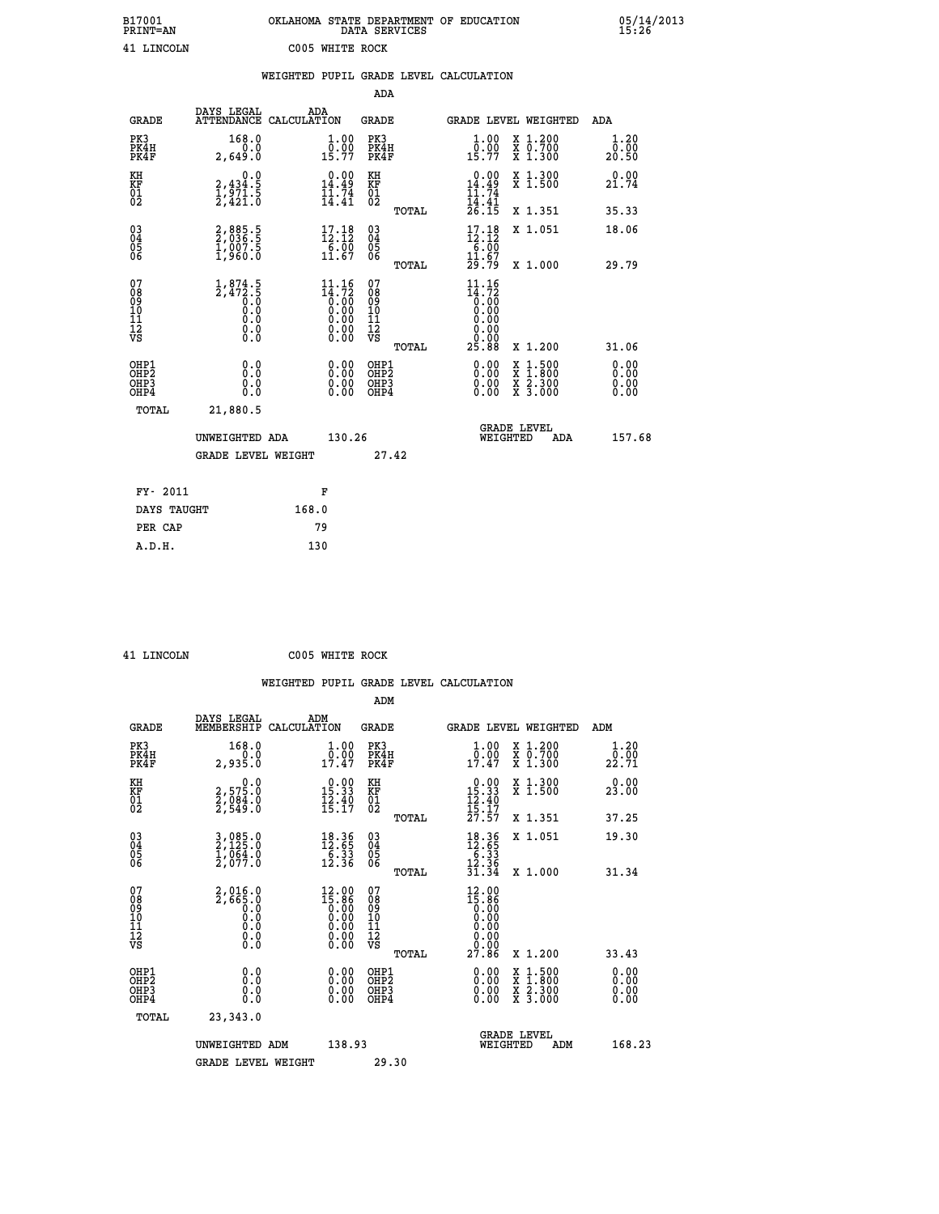| B17001<br><b>PRINT=AN</b> |                                                                         | OKLAHOMA                                                                   | DATA SERVICES                                      | STATE DEPARTMENT | OF<br><b>EDUCATION</b>                                                     |                                                           |     | 05/14/2013<br>15:26   |
|---------------------------|-------------------------------------------------------------------------|----------------------------------------------------------------------------|----------------------------------------------------|------------------|----------------------------------------------------------------------------|-----------------------------------------------------------|-----|-----------------------|
| 41 LINCOLN                |                                                                         | C005<br>WHITE ROCK                                                         |                                                    |                  |                                                                            |                                                           |     |                       |
|                           |                                                                         | WEIGHTED PUPIL GRADE LEVEL CALCULATION                                     |                                                    |                  |                                                                            |                                                           |     |                       |
|                           |                                                                         |                                                                            | ADA                                                |                  |                                                                            |                                                           |     |                       |
| <b>GRADE</b>              | DAYS LEGAL                                                              | ADA<br>ATTENDANCE CALCULATION                                              | GRADE                                              |                  | GRADE LEVEL WEIGHTED                                                       |                                                           | ADA |                       |
| PK3<br>PK4H<br>PK4F       | 168.0<br>2,649.0                                                        | $\begin{smallmatrix} 1.00\\[-1.2mm] 0.00\\[-1.2mm] 15.77\end{smallmatrix}$ | PK3<br>PK4H<br>PK4F                                |                  | $\begin{smallmatrix} 1.00\\[-1.2mm] 0.00\\[-1.2mm] 15.77\end{smallmatrix}$ | X 1.200<br>$\overline{x}$ $\overline{0.700}$<br>$X$ 1.300 |     | 1.20<br>0.00<br>20.50 |
| KH<br>KF<br>01<br>02      | $\begin{smallmatrix}&&&0.0\\2,434.5\\1,971.5\\2,421.0\end{smallmatrix}$ | $\begin{smallmatrix} 0.00\\ 14.49\\ 11.74\\ 14.41 \end{smallmatrix}$       | KH<br>KF<br>01<br>02                               |                  | $0.00$<br>$14.49$<br>$11.74$<br>$14.41$                                    | X 1.300<br>$X$ 1.500                                      |     | 0.00<br>21.74         |
|                           |                                                                         |                                                                            |                                                    | TOTAL            | 26.15                                                                      | X 1.351                                                   |     | 35.33                 |
| 03<br>04<br>05<br>06      | 2,885.5<br>2,036.5<br>1,007.5<br>1,960.0                                | $17.18$<br>$12.12$<br>6.00<br>11.67                                        | $\begin{matrix} 03 \\ 04 \\ 05 \\ 06 \end{matrix}$ |                  | $17.18$<br>$12.12$<br>$\begin{array}{r} -6.00 \\ 11.67 \end{array}$        | X 1.051                                                   |     | 18.06                 |
|                           |                                                                         |                                                                            |                                                    |                  |                                                                            |                                                           |     |                       |

 **TOTAL 29.79 X 1.000 29.79**

 **04 2,036.5 12.12 04 12.12 05 1,007.5 6.00 05 6.00 06 1,960.0 11.67 06 11.67**

| 078901112<br>11112<br>VS                                         | $\frac{1}{2}, \frac{874}{472}$ .<br>5:0<br>0:0<br>0:0<br>0:0 | $\begin{smallmatrix} 11.16\ 14.72\ 0.00\ 0.00\ 0.00\ 0.00\ 0.00\ 0.00\ 0.00\ 0.00\ \end{smallmatrix}$ | 07<br>08<br>09<br>11<br>11<br>12<br>VS<br>TOTAL | $11.16$<br>$14.72$<br>$0.00$<br>$0.00$<br>$0.00$<br>$0.00$<br>$0.00$<br>$0.00$<br>$25.88$ | X 1.200                                                                                          | 31.06                                                                                                                                                                                                                                                                          |
|------------------------------------------------------------------|--------------------------------------------------------------|-------------------------------------------------------------------------------------------------------|-------------------------------------------------|-------------------------------------------------------------------------------------------|--------------------------------------------------------------------------------------------------|--------------------------------------------------------------------------------------------------------------------------------------------------------------------------------------------------------------------------------------------------------------------------------|
| OHP1<br>OH <sub>P</sub> <sub>2</sub><br>OH <sub>P3</sub><br>OHP4 | 0.0<br>0.0<br>0.0                                            |                                                                                                       | OHP1<br>OHP <sub>2</sub><br>OHP3<br>OHP4        |                                                                                           | $\begin{smallmatrix} x & 1 & 500 \\ x & 1 & 800 \\ x & 2 & 300 \\ x & 3 & 000 \end{smallmatrix}$ | $\begin{smallmatrix} 0.00 & 0.00 & 0.00 & 0.00 & 0.00 & 0.00 & 0.00 & 0.00 & 0.00 & 0.00 & 0.00 & 0.00 & 0.00 & 0.00 & 0.00 & 0.00 & 0.00 & 0.00 & 0.00 & 0.00 & 0.00 & 0.00 & 0.00 & 0.00 & 0.00 & 0.00 & 0.00 & 0.00 & 0.00 & 0.00 & 0.00 & 0.00 & 0.00 & 0.00 & 0.00 & 0.0$ |
| TOTAL                                                            | 21,880.5                                                     |                                                                                                       |                                                 |                                                                                           |                                                                                                  |                                                                                                                                                                                                                                                                                |
|                                                                  | UNWEIGHTED ADA                                               | 130.26                                                                                                |                                                 |                                                                                           | <b>GRADE LEVEL</b><br>WEIGHTED<br>ADA                                                            | 157.68                                                                                                                                                                                                                                                                         |
|                                                                  | <b>GRADE LEVEL WEIGHT</b>                                    |                                                                                                       | 27.42                                           |                                                                                           |                                                                                                  |                                                                                                                                                                                                                                                                                |
| FY- 2011                                                         |                                                              | F                                                                                                     |                                                 |                                                                                           |                                                                                                  |                                                                                                                                                                                                                                                                                |
| DAYS TAUGHT                                                      | 168.0                                                        |                                                                                                       |                                                 |                                                                                           |                                                                                                  |                                                                                                                                                                                                                                                                                |
| PER CAP                                                          |                                                              | 79                                                                                                    |                                                 |                                                                                           |                                                                                                  |                                                                                                                                                                                                                                                                                |

 **A.D.H. 130**

 **41 LINCOLN C005 WHITE ROCK**

 **ADM DAYS LEGAL ADM GRADE MEMBERSHIP CALCULATION GRADE GRADE LEVEL WEIGHTED ADM PK3 168.0 1.00 PK3 1.00 X 1.200 1.20 PK4H 0.0 0.00 PK4H 0.00 X 0.700 0.00 PK4F 2,935.0 17.47 PK4F 17.47 X 1.300 22.71**

| ΚH<br>KF<br>01<br>02                               | $\begin{smallmatrix}&&&0.0\2.575.0\2.084.0\2.549.0\end{smallmatrix}$ | $\begin{array}{c} 0.00 \\ 15.33 \\ 12.40 \\ 15.17 \end{array}$                                         | KH<br>KF<br>01<br>02                               | $\begin{array}{r} 0.00 \\ 15.33 \\ 12.40 \\ 15.17 \\ 27.57 \end{array}$                                 | X 1.300<br>X 1.500                                                                                                  | 0.00<br>23.00            |
|----------------------------------------------------|----------------------------------------------------------------------|--------------------------------------------------------------------------------------------------------|----------------------------------------------------|---------------------------------------------------------------------------------------------------------|---------------------------------------------------------------------------------------------------------------------|--------------------------|
|                                                    |                                                                      |                                                                                                        | TOTAL                                              |                                                                                                         | X 1.351                                                                                                             | 37.25                    |
| $\begin{matrix} 03 \\ 04 \\ 05 \\ 06 \end{matrix}$ | 3,085.0<br>2,125.0<br>1,064.0<br>2,077.0                             | $\begin{array}{r} 18.36 \\[-4pt] 12.55 \\[-4pt] 6.33 \\[-4pt] 12.36 \end{array}$                       | $\begin{matrix} 03 \\ 04 \\ 05 \\ 06 \end{matrix}$ | $18.3612.556.3312.3631.34$                                                                              | X 1.051                                                                                                             | 19.30                    |
|                                                    |                                                                      |                                                                                                        | TOTAL                                              |                                                                                                         | X 1.000                                                                                                             | 31.34                    |
| 07<br>08<br>09<br>101<br>11<br>12<br>VS            | $2,0160\n2,6650\n00\n00\n00\n00\n00$                                 | $\begin{smallmatrix} 12.00 \\ 15.86 \\ 0.00 \\ 0.00 \\ 0.00 \\ 0.00 \\ 0.00 \\ 0.00 \end{smallmatrix}$ | 07<br>08<br>09<br>101<br>11<br>12<br>VS<br>TOTAL   | $\begin{smallmatrix} 12.00 \\ 15.86 \\ 0.00 \\ 0.00 \\ 0.00 \\ 0.00 \\ 0.00 \\ 27.86 \end{smallmatrix}$ | X 1.200                                                                                                             | 33.43                    |
| OHP1<br>OHP2<br>OH <sub>P3</sub><br>OHP4           | 0.0<br>0.000                                                         | $0.00$<br>$0.00$<br>0.00                                                                               | OHP1<br>OHP2<br>OHP3<br>OHP4                       | $0.00$<br>$0.00$<br>0.00                                                                                | $\begin{array}{l} \mathtt{X} & 1.500 \\ \mathtt{X} & 1.800 \\ \mathtt{X} & 2.300 \\ \mathtt{X} & 3.000 \end{array}$ | $0.00$<br>$0.00$<br>0.00 |
| TOTAL                                              | 23,343.0                                                             |                                                                                                        |                                                    |                                                                                                         |                                                                                                                     |                          |
|                                                    | UNWEIGHTED ADM                                                       | 138.93                                                                                                 |                                                    |                                                                                                         | <b>GRADE LEVEL</b><br>WEIGHTED<br>ADM                                                                               | 168.23                   |
|                                                    | <b>GRADE LEVEL WEIGHT</b>                                            |                                                                                                        | 29.30                                              |                                                                                                         |                                                                                                                     |                          |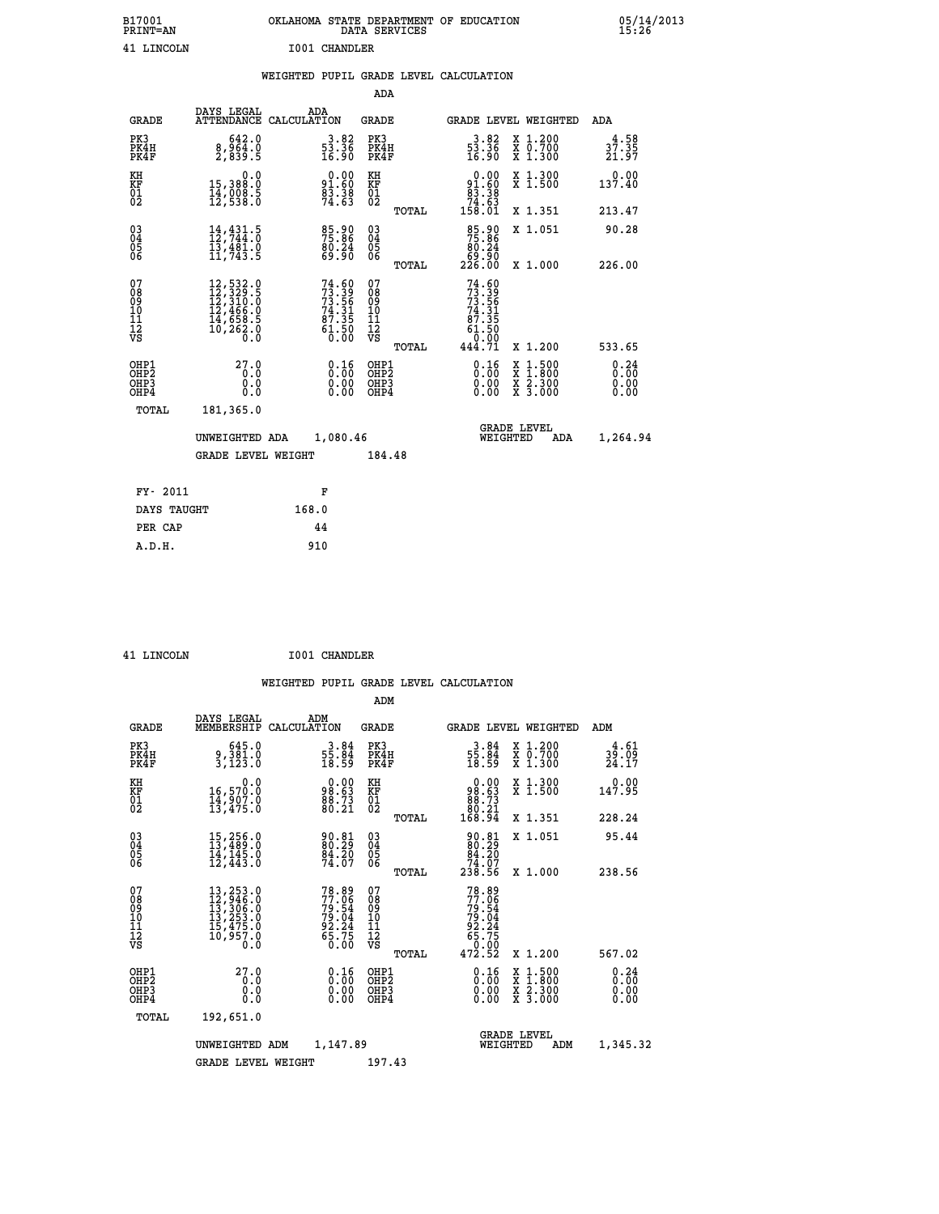| B17001<br><b>PRINT=AN</b>                          |                                                                                                                                                                             | OKLAHOMA STATE DEPARTMENT OF EDUCATION |                                                                          |                                                    | DATA SERVICES |                                                                                    |                                |                                                                                          | 05/14/2013<br>15:26        |  |
|----------------------------------------------------|-----------------------------------------------------------------------------------------------------------------------------------------------------------------------------|----------------------------------------|--------------------------------------------------------------------------|----------------------------------------------------|---------------|------------------------------------------------------------------------------------|--------------------------------|------------------------------------------------------------------------------------------|----------------------------|--|
| 41 LINCOLN                                         |                                                                                                                                                                             |                                        | I001 CHANDLER                                                            |                                                    |               |                                                                                    |                                |                                                                                          |                            |  |
|                                                    |                                                                                                                                                                             | WEIGHTED PUPIL GRADE LEVEL CALCULATION |                                                                          |                                                    |               |                                                                                    |                                |                                                                                          |                            |  |
|                                                    |                                                                                                                                                                             |                                        |                                                                          | ADA                                                |               |                                                                                    |                                |                                                                                          |                            |  |
| <b>GRADE</b>                                       | DAYS LEGAL<br>ATTENDANCE CALCULATION                                                                                                                                        | ADA                                    |                                                                          | <b>GRADE</b>                                       |               |                                                                                    |                                | GRADE LEVEL WEIGHTED                                                                     | ADA                        |  |
| PK3<br>PK4H<br>PK4F                                | 642.0<br>8,964.0<br>2,839.5                                                                                                                                                 |                                        | $\frac{3.82}{53.36}$<br>16.90                                            | PK3<br>PK4H<br>PK4F                                |               | $\frac{3 \cdot 82}{53 \cdot 36}$<br>16.90                                          |                                | X 1.200<br>X 0.700<br>X 1.300                                                            | $3^{4.58}_{7.35}$<br>21.97 |  |
| KH<br>KF<br>01<br>02                               | 0.0<br>15,388:0<br>14,008:5<br>12,538:0                                                                                                                                     |                                        | $0.00$<br>$91.60$<br>$\frac{6}{3}$ : $\frac{3}{6}$<br>74: 63             | KН<br>KF<br>01<br>02                               |               | $\begin{smallmatrix} &0.00\\ &91.60\\ &83.38\\ &74.63\\ &158.01\end{smallmatrix}$  |                                | X 1.300<br>X 1.500                                                                       | 0.00<br>137.40             |  |
|                                                    |                                                                                                                                                                             |                                        |                                                                          |                                                    | TOTAL         |                                                                                    |                                | X 1.351                                                                                  | 213.47                     |  |
| $\begin{matrix} 03 \\ 04 \\ 05 \\ 06 \end{matrix}$ | $\frac{14}{12}$ , $\frac{431}{744}$ : 5<br>13,481.0<br>11,743.5                                                                                                             |                                        | 85.90<br>75.86<br>80.24<br>69.90                                         | $\begin{matrix} 03 \\ 04 \\ 05 \\ 06 \end{matrix}$ |               | 85.90<br>75.86<br>80.24                                                            |                                | X 1.051                                                                                  | 90.28                      |  |
|                                                    |                                                                                                                                                                             |                                        |                                                                          |                                                    | TOTAL         | 50.00<br>226.00                                                                    |                                | X 1.000                                                                                  | 226.00                     |  |
| 07<br>08<br>09<br>10<br>11<br>12<br>νs             | $\begin{smallmatrix} 12\,,\,532\cdot\,0\\ 12\,,\,329\cdot\,5\\ 12\,,\,310\cdot\,0\\ 12\,,\,466\cdot\,0\\ 14\,,\,658\cdot\,5\\ 10\,,\,262\cdot\,0\\ 0\,\,0\end{smallmatrix}$ |                                        | $74.60$<br>$73.39$<br>$73.56$<br>$74.31$<br>$87.35$<br>$61.50$<br>$0.00$ | 07<br>08<br>09<br>10<br>11<br>12<br>VS             | TOTAL         | $74.60$<br>$73.39$<br>$73.56$<br>$74.31$<br>$67.35$<br>$61.50$<br>$0.00$<br>444.71 |                                | X 1.200                                                                                  | 533.65                     |  |
| OHP1<br>OHP2<br>OHP3<br>OHP4                       | 27.0<br>0.0<br>0.0<br>0.0                                                                                                                                                   |                                        | 0.16<br>0.00<br>0.00                                                     | OHP1<br>OHP2<br>OHP3<br>OHP4                       |               | 0.16<br>0.00<br>0.00                                                               |                                | $\begin{smallmatrix} x & 1.500 \\ x & 1.800 \\ x & 2.300 \\ x & 3.000 \end{smallmatrix}$ | 0.24<br>0.00<br>0.00       |  |
| TOTAL                                              | 181,365.0                                                                                                                                                                   |                                        |                                                                          |                                                    |               |                                                                                    |                                |                                                                                          |                            |  |
|                                                    | UNWEIGHTED ADA                                                                                                                                                              |                                        | 1,080.46                                                                 |                                                    |               |                                                                                    | <b>GRADE LEVEL</b><br>WEIGHTED | ADA                                                                                      | 1,264.94                   |  |
|                                                    | <b>GRADE LEVEL WEIGHT</b>                                                                                                                                                   |                                        |                                                                          | 184.48                                             |               |                                                                                    |                                |                                                                                          |                            |  |
| FY- 2011                                           |                                                                                                                                                                             |                                        | F                                                                        |                                                    |               |                                                                                    |                                |                                                                                          |                            |  |
| DAYS TAUGHT                                        |                                                                                                                                                                             | 168.0                                  |                                                                          |                                                    |               |                                                                                    |                                |                                                                                          |                            |  |
| PER CAP                                            |                                                                                                                                                                             |                                        | 44                                                                       |                                                    |               |                                                                                    |                                |                                                                                          |                            |  |
| A.D.H.                                             |                                                                                                                                                                             | 910                                    |                                                                          |                                                    |               |                                                                                    |                                |                                                                                          |                            |  |

| <b>T.TNCOLN</b> |  |
|-----------------|--|

 **ADM**

 **A.D.H. 910**

**1001 CHANDLER** 

| <b>GRADE</b>                                       | DAYS LEGAL                                                                                                                                                                               | ADM<br>MEMBERSHIP CALCULATION                                        | <b>GRADE</b>                                  |       | GRADE LEVEL WEIGHTED                                                                 |                                                                                                                     | ADM                                       |  |
|----------------------------------------------------|------------------------------------------------------------------------------------------------------------------------------------------------------------------------------------------|----------------------------------------------------------------------|-----------------------------------------------|-------|--------------------------------------------------------------------------------------|---------------------------------------------------------------------------------------------------------------------|-------------------------------------------|--|
| PK3<br>PK4H<br>PK4F                                | 645.0<br>9,381.0<br>3,123.0                                                                                                                                                              | $\frac{3.84}{55.84}$<br>18.59                                        | PK3<br>PK4H<br>PK4F                           |       | $\frac{3.84}{55.84}$<br>18.59                                                        | X 1.200<br>X 0.700<br>X 1.300                                                                                       | $3\frac{4}{9}\cdot\frac{61}{09}$<br>24.17 |  |
| KH<br>KF<br>01<br>02                               | 0.0<br>16,570.0<br>14,907.0<br>13,475.0                                                                                                                                                  | 98.63<br>88.73<br>80.21                                              | KH<br><b>KF</b><br>01<br>02                   |       | $\begin{smallmatrix} &0.00\ 98.63\ 88.73\ 80.21\ 168.94\end{smallmatrix}$            | X 1.300<br>X 1.500                                                                                                  | 0.00<br>147.95                            |  |
|                                                    |                                                                                                                                                                                          |                                                                      |                                               | TOTAL |                                                                                      | X 1.351                                                                                                             | 228.24                                    |  |
| $\begin{matrix} 03 \\ 04 \\ 05 \\ 06 \end{matrix}$ | $\begin{smallmatrix} 15,256.0\\ 13,489.0\\ 14,145.0\\ 12,443.0 \end{smallmatrix}$                                                                                                        | 90.81<br>80.29<br>84.20<br>74.07                                     | $\substack{03 \\ 04}$<br>05<br>06             |       | $\begin{smallmatrix} 90.81\\ 80.29\\ 84.20\\ 74.07\\ 238.56 \end{smallmatrix}$       | X 1.051                                                                                                             | 95.44                                     |  |
|                                                    |                                                                                                                                                                                          |                                                                      |                                               | TOTAL |                                                                                      | X 1.000                                                                                                             | 238.56                                    |  |
| 07<br>08<br>09<br>101<br>11<br>12<br>VS            | $\begin{smallmatrix} 13\,, & 253\,. & 0\\ 12\,, & 946\,. & 0\\ 13\,, & 306\,. & 0\\ 13\,, & 253\,. & 0\\ 15\,, & 475\,. & 0\\ 10\,, & 957\,. & 0\\ 0\,. & 0\,. & 0\,. \end{smallmatrix}$ | 78.89<br>77.06<br>79.54<br>79.04<br>79.24<br>92.24<br>65.75<br>65.75 | 07<br>08<br>09<br>001<br>11<br>11<br>12<br>VS | TOTAL | $77.88$<br>$77.06$<br>$79.54$<br>$79.04$<br>$92.24$<br>$65.75$<br>$0.00$<br>$472.52$ | X 1.200                                                                                                             | 567.02                                    |  |
| OHP1                                               | 27.0                                                                                                                                                                                     |                                                                      | OHP1                                          |       |                                                                                      |                                                                                                                     |                                           |  |
| OHP <sub>2</sub><br>OHP3<br>OHP4                   | 0.0<br>0.0<br>0.0                                                                                                                                                                        | $\begin{smallmatrix} 0.16\ 0.00\ 0.00 \end{smallmatrix}$             | OHP <sub>2</sub><br>OHP3<br>OHP4              |       | 0.16<br>0.00<br>0.00                                                                 | $\begin{array}{l} \mathtt{X} & 1.500 \\ \mathtt{X} & 1.800 \\ \mathtt{X} & 2.300 \\ \mathtt{X} & 3.000 \end{array}$ | 0.24<br>0.00<br>0.00                      |  |
| TOTAL                                              | 192,651.0                                                                                                                                                                                |                                                                      |                                               |       |                                                                                      |                                                                                                                     |                                           |  |
|                                                    | UNWEIGHTED                                                                                                                                                                               | 1,147.89<br>ADM                                                      |                                               |       | WEIGHTED                                                                             | <b>GRADE LEVEL</b><br>ADM                                                                                           | 1,345.32                                  |  |
|                                                    | <b>GRADE LEVEL WEIGHT</b>                                                                                                                                                                |                                                                      | 197.43                                        |       |                                                                                      |                                                                                                                     |                                           |  |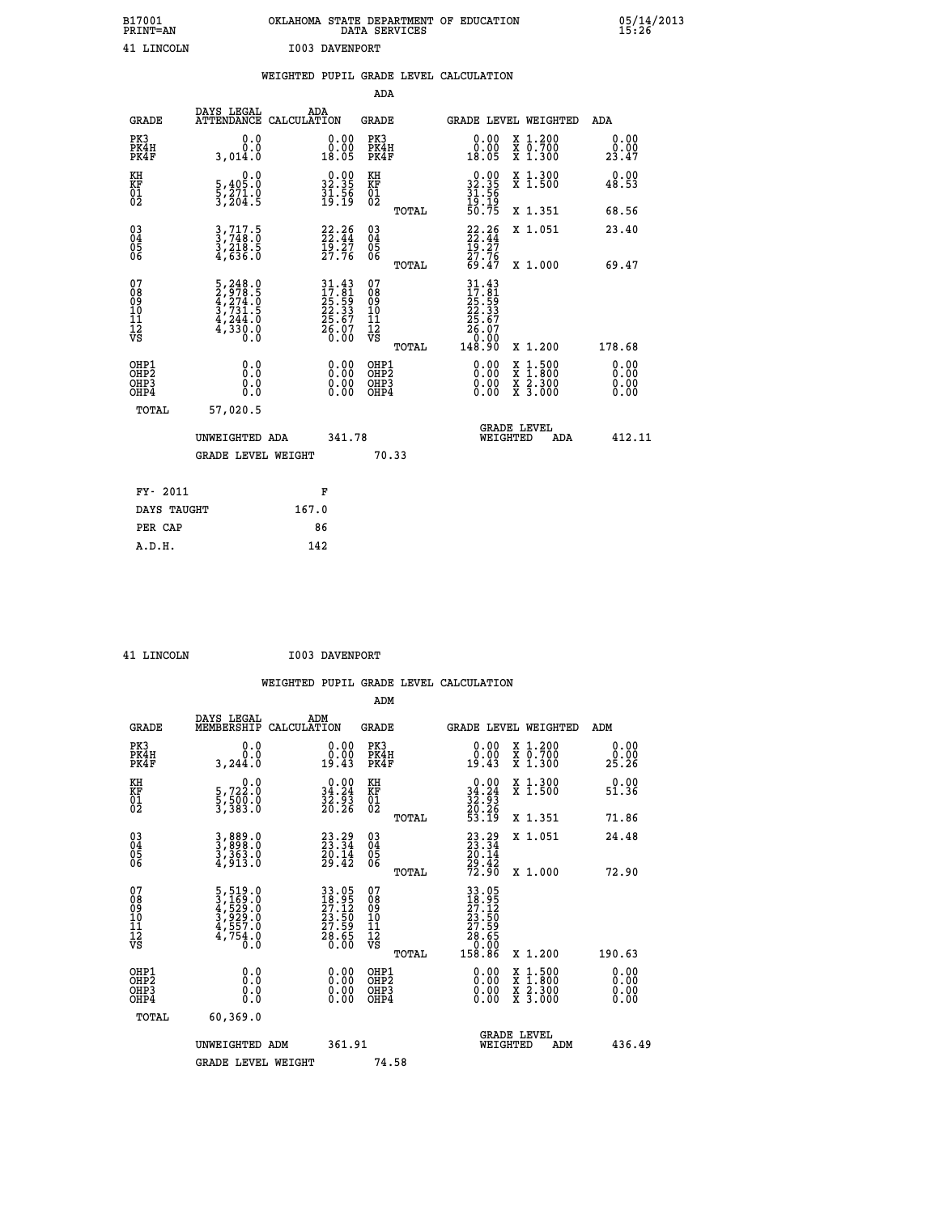| B17001<br>PRINT=AN | OKLAHOMA STATE DEPARTMENT OF EDUCATION<br>DATA SERVICES | 05/14/2013<br>15:26 |
|--------------------|---------------------------------------------------------|---------------------|
| 41 LINCOLN         | I003 DAVENPORT                                          |                     |

|                                    |                                                                                                 | WEIGHTED PUPIL GRADE LEVEL CALCULATION                                        |                                                 |                                                                                                                                                        |                                                    |
|------------------------------------|-------------------------------------------------------------------------------------------------|-------------------------------------------------------------------------------|-------------------------------------------------|--------------------------------------------------------------------------------------------------------------------------------------------------------|----------------------------------------------------|
|                                    |                                                                                                 |                                                                               | ADA                                             |                                                                                                                                                        |                                                    |
| <b>GRADE</b>                       | DAYS LEGAL<br><b>ATTENDANCE</b>                                                                 | ADA<br>CALCULATION                                                            | <b>GRADE</b>                                    | GRADE LEVEL WEIGHTED                                                                                                                                   | ADA                                                |
| PK3<br>PK4H<br>PK4F                | 0.0<br>0.0<br>3,014.0                                                                           | 0.00<br>18.05                                                                 | PK3<br>PK4H<br>PK4F                             | 0.00<br>X 1.200<br>X 0.700<br>X 1.300<br>0.00<br>18.05                                                                                                 | 0.00<br>0.00<br>23.47                              |
| KH<br>KF<br>01<br>02               | 0.0<br>$\frac{5}{3}, \frac{405}{271}$ .0<br>3,204.5                                             | $\begin{smallmatrix} 0.00\\ 32.35\\ 31.56\\ 19.19 \end{smallmatrix}$          | KH<br>KF<br>01<br>02                            | X 1.300<br>X 1.500<br>$\begin{smallmatrix} 0.00\\ 32.35\\ 31.56\\ 19.19\\ 50.75 \end{smallmatrix}$                                                     | 0.00<br>48.53                                      |
|                                    |                                                                                                 |                                                                               | TOTAL                                           | X 1.351                                                                                                                                                | 68.56                                              |
| $^{03}_{04}$<br>Ŏ5<br>06           | $3, 717.5$<br>$3, 748.0$<br>$3, 218.5$<br>$4, 636.0$                                            | $22.26$<br>$22.44$<br>$\frac{1}{2}$ $\frac{5}{7}$ $\frac{5}{7}$ $\frac{7}{7}$ | $\substack{03 \\ 04}$<br>05<br>06               | $22.26$<br>$22.44$<br>$19.27$<br>$27.76$<br>X 1.051                                                                                                    | 23.40                                              |
|                                    |                                                                                                 |                                                                               | TOTAL                                           | 69.47<br>X 1.000                                                                                                                                       | 69.47                                              |
| 07<br>08<br>09<br>101<br>112<br>VS | $\begin{smallmatrix}5,248.0\\2,978.5\\4,274.0\\3,731.5\\4,244.0\\4,330.0\\0.0\end{smallmatrix}$ | 31.43<br>17.81<br>25.59<br>22.33<br>26.67<br>26.07<br>0.00                    | 07<br>08<br>09<br>11<br>11<br>12<br>VS<br>TOTAL | $\begin{array}{r} 31\cdot 43 \\ 17\cdot 81 \\ 25\cdot 59 \\ 22\cdot 33 \\ 25\cdot 67 \\ 26\cdot 07 \\ 0\cdot 00 \\ 148\cdot 90 \end{array}$<br>X 1.200 | 178.68                                             |
| OHP1<br>OHP2<br>OHP3<br>OHP4       | 0.0<br>0.0<br>0.0                                                                               | 0.00<br>$\begin{smallmatrix} 0.00 \ 0.00 \end{smallmatrix}$                   | OHP1<br>OHP2<br>OHP3<br>OHP4                    | 0.00<br>X<br>X<br>$\frac{\ddot{x}}{x}$ $\frac{2.300}{3.000}$<br>0.00<br>0.00                                                                           | $1:500$<br>$1:800$<br>0.00<br>0.00<br>0.00<br>0.00 |
| <b>TOTAL</b>                       | 57,020.5                                                                                        |                                                                               |                                                 |                                                                                                                                                        |                                                    |
|                                    | UNWEIGHTED ADA                                                                                  | 341.78                                                                        |                                                 | GRADE LEVEL<br>WEIGHTED                                                                                                                                | 412.11<br>ADA                                      |
|                                    | <b>GRADE LEVEL WEIGHT</b>                                                                       |                                                                               | 70.33                                           |                                                                                                                                                        |                                                    |
| FY- 2011                           |                                                                                                 | F                                                                             |                                                 |                                                                                                                                                        |                                                    |
|                                    | DAYS TAUGHT                                                                                     | 167.0                                                                         |                                                 |                                                                                                                                                        |                                                    |
| PER CAP                            |                                                                                                 | 86                                                                            |                                                 |                                                                                                                                                        |                                                    |

 **41 LINCOLN I003 DAVENPORT**

|                                                    |                                                                                                 | WEIGHTED           |                                                                      |                                        |       | PUPIL GRADE LEVEL CALCULATION                                                                                                              |                                              |                                                                    |                                                             |
|----------------------------------------------------|-------------------------------------------------------------------------------------------------|--------------------|----------------------------------------------------------------------|----------------------------------------|-------|--------------------------------------------------------------------------------------------------------------------------------------------|----------------------------------------------|--------------------------------------------------------------------|-------------------------------------------------------------|
|                                                    |                                                                                                 |                    |                                                                      | ADM                                    |       |                                                                                                                                            |                                              |                                                                    |                                                             |
| <b>GRADE</b>                                       | DAYS LEGAL<br>MEMBERSHIP                                                                        | ADM<br>CALCULATION |                                                                      | GRADE                                  |       |                                                                                                                                            |                                              | <b>GRADE LEVEL WEIGHTED</b>                                        | ADM                                                         |
| PK3<br>PK4H<br>PK4F                                | 0.0<br>ة:ة<br>3,244.0                                                                           |                    | $\begin{smallmatrix} 0.00\\ 0.00\\ 19.43 \end{smallmatrix}$          | PK3<br>PK4H<br>PK4F                    |       | $\begin{smallmatrix} 0.00\\ 0.00\\ 19.43 \end{smallmatrix}$                                                                                |                                              | X 1.200<br>X 0.700<br>X 1.300                                      | $\begin{smallmatrix} 0.00\\ 0.00\\ 25.26 \end{smallmatrix}$ |
| KH<br>KF<br>01<br>02                               | $\begin{smallmatrix}&&&0\cdot0\\5\,,722\cdot0\\5\,,500\cdot0\\3\,,383\cdot0\end{smallmatrix}$   |                    | $\begin{smallmatrix} 0.00\\ 34.24\\ 32.93\\ 20.26 \end{smallmatrix}$ | KH<br>KF<br>01<br>02                   |       | $\begin{smallmatrix} 0.00\\ 34.24\\ 32.93\\ 20.26\\ 53.19 \end{smallmatrix}$                                                               |                                              | X 1.300<br>X 1.500                                                 | $0.00$<br>51.36                                             |
|                                                    |                                                                                                 |                    |                                                                      |                                        | TOTAL |                                                                                                                                            |                                              | X 1.351                                                            | 71.86                                                       |
| $\begin{matrix} 03 \\ 04 \\ 05 \\ 06 \end{matrix}$ | 3,889.0<br>3,898.0<br>3,363.0<br>4,913.0                                                        |                    | $23.29$<br>$23.34$<br>$20.14$<br>$29.42$                             | $^{03}_{04}$<br>Ŏ5<br>06               |       | $23.29$<br>$23.34$<br>$20.14$<br>$29.42$<br>$72.90$                                                                                        |                                              | X 1.051                                                            | 24.48                                                       |
|                                                    |                                                                                                 |                    |                                                                      |                                        | TOTAL |                                                                                                                                            |                                              | X 1.000                                                            | 72.90                                                       |
| 07<br>08<br>09<br>09<br>10<br>11<br>12<br>VS       | $\begin{smallmatrix}5,519.0\\3,169.0\\4,529.0\\3,929.0\\4,557.0\\4,754.0\\0.0\end{smallmatrix}$ |                    | 33.05<br>18.95<br>27.12<br>23.50<br>27.59<br>28.65<br>28.65          | 07<br>08<br>09<br>11<br>11<br>12<br>VS | TOTAL | $\begin{smallmatrix} 33 & 05 \\ 18 & 95 \\ 27 & 12 \\ 23 & 50 \\ 23 & 59 \\ 27 & 59 \\ 28 & 65 \\ 0 & 0 & 0 \\ 158 & 86 \end{smallmatrix}$ |                                              | X 1.200                                                            | 190.63                                                      |
|                                                    |                                                                                                 |                    |                                                                      |                                        |       |                                                                                                                                            |                                              |                                                                    |                                                             |
| OHP1<br>OHP2<br>OH <sub>P3</sub><br>OHP4           | 0.000000<br>0.0                                                                                 |                    | $0.00$<br>$0.00$<br>0.00                                             | OHP1<br>OHP2<br>OHP3<br>OHP4           |       |                                                                                                                                            | $0.00$<br>$0.00$<br>X<br>X<br>X<br>X<br>0.00 | $\begin{smallmatrix} 1.500\ 1.800\ 2.300\ 3.000 \end{smallmatrix}$ | $0.00$<br>$0.00$<br>0.00                                    |

| ------ |                    |        |                                       |        |
|--------|--------------------|--------|---------------------------------------|--------|
| TOTAL  | 60,369.0           |        |                                       |        |
|        | UNWEIGHTED ADM     | 361.91 | <b>GRADE LEVEL</b><br>ADM<br>WEIGHTED | 436.49 |
|        | GRADE LEVEL WEIGHT | 74.58  |                                       |        |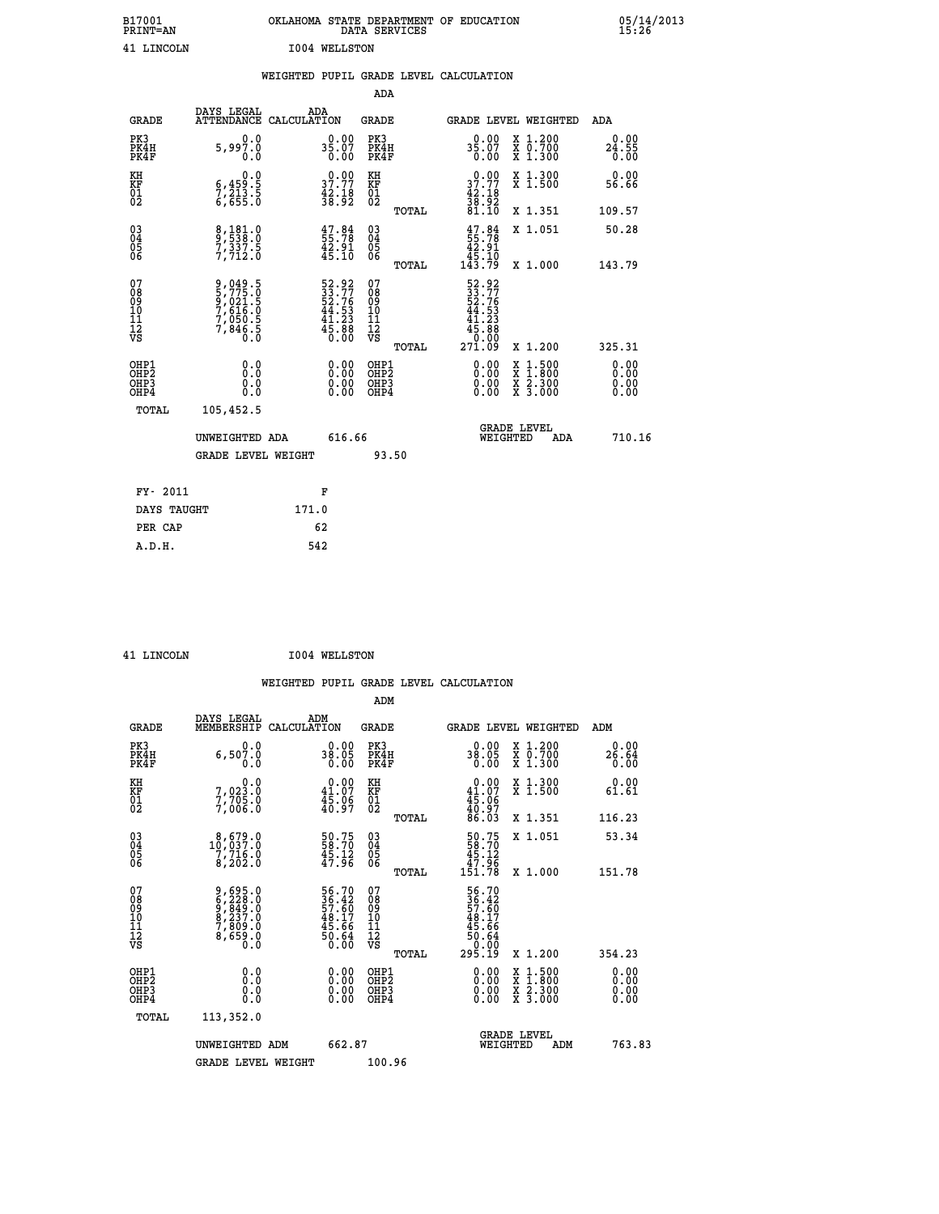| B17001<br><b>PRINT=AN</b> | OKLAHOMA STATE DEPARTMENT OF EDUCATION<br>DATA SERVICES | 05/14/2013<br>15:26 |
|---------------------------|---------------------------------------------------------|---------------------|
| 41<br>LINCOLN             | 1004 WELLSTON                                           |                     |

|  |  | WEIGHTED PUPIL GRADE LEVEL CALCULATION |
|--|--|----------------------------------------|
|  |  |                                        |

|                                                    |                                                                              |                                                                          | ADA                                                 |       |                                                                                                                                       |                                                                                          |                              |
|----------------------------------------------------|------------------------------------------------------------------------------|--------------------------------------------------------------------------|-----------------------------------------------------|-------|---------------------------------------------------------------------------------------------------------------------------------------|------------------------------------------------------------------------------------------|------------------------------|
| <b>GRADE</b>                                       | DAYS LEGAL<br>ATTENDANCE CALCULATION                                         | ADA                                                                      | <b>GRADE</b>                                        |       | GRADE LEVEL WEIGHTED                                                                                                                  |                                                                                          | ADA                          |
| PK3<br>PK4H<br>PK4F                                | 0.0<br>5,997.0<br>0.0                                                        | $35.07$<br>0.00                                                          | PK3<br>PK4H<br>PK4F                                 |       | 0.00<br>35.07<br>0.00                                                                                                                 | X 1.200<br>X 0.700<br>X 1.300                                                            | 0.00<br>$24.55$<br>$0.00$    |
| KH<br>KF<br>01<br>02                               | 0.0<br>$\frac{6}{7}, \frac{459}{213}$ $\cdot \frac{5}{6}$<br>6,655 $\cdot$ 0 | $3^{0.00}_{7.77}$<br>$\frac{42.18}{38.92}$                               | KH<br>KF<br>01<br>02                                |       | $\begin{smallmatrix} 0.00\\ 37.77\\ 42.18\\ 38.92\\ 81.10 \end{smallmatrix}$                                                          | X 1.300<br>X 1.500                                                                       | 0.00<br>56.66                |
|                                                    |                                                                              |                                                                          |                                                     | TOTAL |                                                                                                                                       | X 1.351                                                                                  | 109.57                       |
| $\begin{matrix} 03 \\ 04 \\ 05 \\ 06 \end{matrix}$ | 8,181.0<br>9,538.0<br>7,337.5<br>7,712.0                                     | $\frac{47.84}{55.78}$<br>$\frac{42.91}{45.10}$                           | $\begin{array}{c} 03 \\ 04 \\ 05 \\ 06 \end{array}$ |       | $47.8455.7842.9145.10143.79$                                                                                                          | X 1.051                                                                                  | 50.28                        |
|                                                    |                                                                              |                                                                          |                                                     | TOTAL |                                                                                                                                       | X 1.000                                                                                  | 143.79                       |
| 07<br>08<br>09<br>11<br>11<br>12<br>VS             | 9,049.5<br>5,775.0<br>9,021.5<br>7,616.0<br>7,050.5<br>7,846.5<br>0.0        | $52.92$<br>$33.77$<br>$52.76$<br>$44.53$<br>$41.23$<br>$45.88$<br>$0.00$ | 07<br>08<br>09<br>11<br>11<br>12<br>VS              |       | $\begin{array}{r} 52\cdot 92\\ 33\cdot 77\\ 52\cdot 76\\ 44\cdot 53\\ 41\cdot 23\\ 45\cdot 80\\ 0\cdot 000\\ 271\cdot 09 \end{array}$ |                                                                                          |                              |
|                                                    |                                                                              |                                                                          |                                                     | TOTAL |                                                                                                                                       | X 1.200                                                                                  | 325.31                       |
| OHP1<br>OHP2<br>OHP3<br>OHP4                       | 0.0<br>0.0<br>0.0                                                            | $\begin{smallmatrix} 0.00 \ 0.00 \ 0.00 \ 0.00 \end{smallmatrix}$        | OHP1<br>OHP <sub>2</sub><br>OHP3<br>OHP4            |       |                                                                                                                                       | $\begin{smallmatrix} x & 1.500 \\ x & 1.800 \\ x & 2.300 \\ x & 3.000 \end{smallmatrix}$ | 0.00<br>0.00<br>0.00<br>0.00 |
| <b>TOTAL</b>                                       | 105,452.5                                                                    |                                                                          |                                                     |       |                                                                                                                                       |                                                                                          |                              |
|                                                    | UNWEIGHTED ADA                                                               | 616.66                                                                   |                                                     |       | WEIGHTED                                                                                                                              | <b>GRADE LEVEL</b><br>ADA                                                                | 710.16                       |
|                                                    | <b>GRADE LEVEL WEIGHT</b>                                                    |                                                                          | 93.50                                               |       |                                                                                                                                       |                                                                                          |                              |
|                                                    |                                                                              |                                                                          |                                                     |       |                                                                                                                                       |                                                                                          |                              |
| FY- 2011                                           |                                                                              | F                                                                        |                                                     |       |                                                                                                                                       |                                                                                          |                              |
| DAYS TAUGHT                                        |                                                                              | 171.0                                                                    |                                                     |       |                                                                                                                                       |                                                                                          |                              |
| PER CAP                                            |                                                                              | 62                                                                       |                                                     |       |                                                                                                                                       |                                                                                          |                              |

 **41 LINCOLN I004 WELLSTON**

|                                           |                                                                           |                                                                      | ADM                                                 |       |                                                                           |                                          |                              |
|-------------------------------------------|---------------------------------------------------------------------------|----------------------------------------------------------------------|-----------------------------------------------------|-------|---------------------------------------------------------------------------|------------------------------------------|------------------------------|
| <b>GRADE</b>                              | DAYS LEGAL<br>MEMBERSHIP                                                  | ADM<br>CALCULATION                                                   | <b>GRADE</b>                                        |       |                                                                           | GRADE LEVEL WEIGHTED                     | ADM                          |
| PK3<br>PK4H<br>PK4F                       | 0.0<br>6,507.0<br>0.0                                                     | $0.00$<br>38.05<br>0.00                                              | PK3<br>PK4H<br>PK4F                                 |       | $38.00$<br>38.05<br>0.00                                                  | X 1.200<br>X 0.700<br>X 1.300            | 0.00<br>26.64<br>0.00        |
| KH<br>KF<br>01<br>02                      | 0.0<br>7,023:0<br>7,705:0<br>7,006:0                                      | $\begin{smallmatrix} 0.00\\ 41.07\\ 45.96\\ 40.97 \end{smallmatrix}$ | KH<br>KF<br>01<br>02                                |       | $0.00$<br>$41.07$<br>$45.06$<br>$40.97$<br>$86.03$                        | X 1.300<br>X 1.500                       | 0.00<br>61.61                |
|                                           |                                                                           |                                                                      |                                                     | TOTAL |                                                                           | X 1.351                                  | 116.23                       |
| 03<br>04<br>05<br>06                      | $\substack{8,679.0\\10,037.0\\7,716.0\\8,202.0$                           | $\frac{50.75}{58.70}$<br>$\frac{45.12}{47.96}$                       | $\begin{array}{c} 03 \\ 04 \\ 05 \\ 06 \end{array}$ |       | $\begin{array}{c} 50.75 \\ 58.70 \\ 45.12 \\ 47.96 \\ 151.78 \end{array}$ | X 1.051                                  | 53.34                        |
|                                           |                                                                           |                                                                      |                                                     | TOTAL |                                                                           | X 1.000                                  | 151.78                       |
| 07<br>08<br>09<br>101<br>112<br>VS        | 9,695.0<br>6,228.0<br>9,849.0<br>9,237.0<br>8,399.0<br>7,809.0<br>8,659.0 | 56.70<br>36.42<br>57.60<br>57.66<br>45.66<br>50.64<br>50.64          | 07<br>08<br>09<br>11<br>11<br>12<br>VS              |       | 56.70<br>36.42<br>57.60<br>57.66<br>48.17<br>45.66<br>50.64<br>295.19     |                                          |                              |
|                                           |                                                                           |                                                                      |                                                     | TOTAL |                                                                           | X 1.200                                  | 354.23                       |
| OHP1<br>OHP2<br>OH <sub>P</sub> 3<br>OHP4 | 0.0<br>0.000                                                              | $0.00$<br>$0.00$<br>0.00                                             | OHP1<br>OHP2<br>OHP <sub>3</sub>                    |       | $0.00$<br>$0.00$<br>0.00                                                  | X 1:500<br>X 1:800<br>X 2:300<br>X 3:000 | 0.00<br>0.00<br>0.00<br>0.00 |
| TOTAL                                     | 113,352.0                                                                 |                                                                      |                                                     |       |                                                                           |                                          |                              |
|                                           | UNWEIGHTED ADM                                                            | 662.87                                                               |                                                     |       | WEIGHTED                                                                  | <b>GRADE LEVEL</b><br>ADM                | 763.83                       |
|                                           | <b>GRADE LEVEL WEIGHT</b>                                                 |                                                                      | 100.96                                              |       |                                                                           |                                          |                              |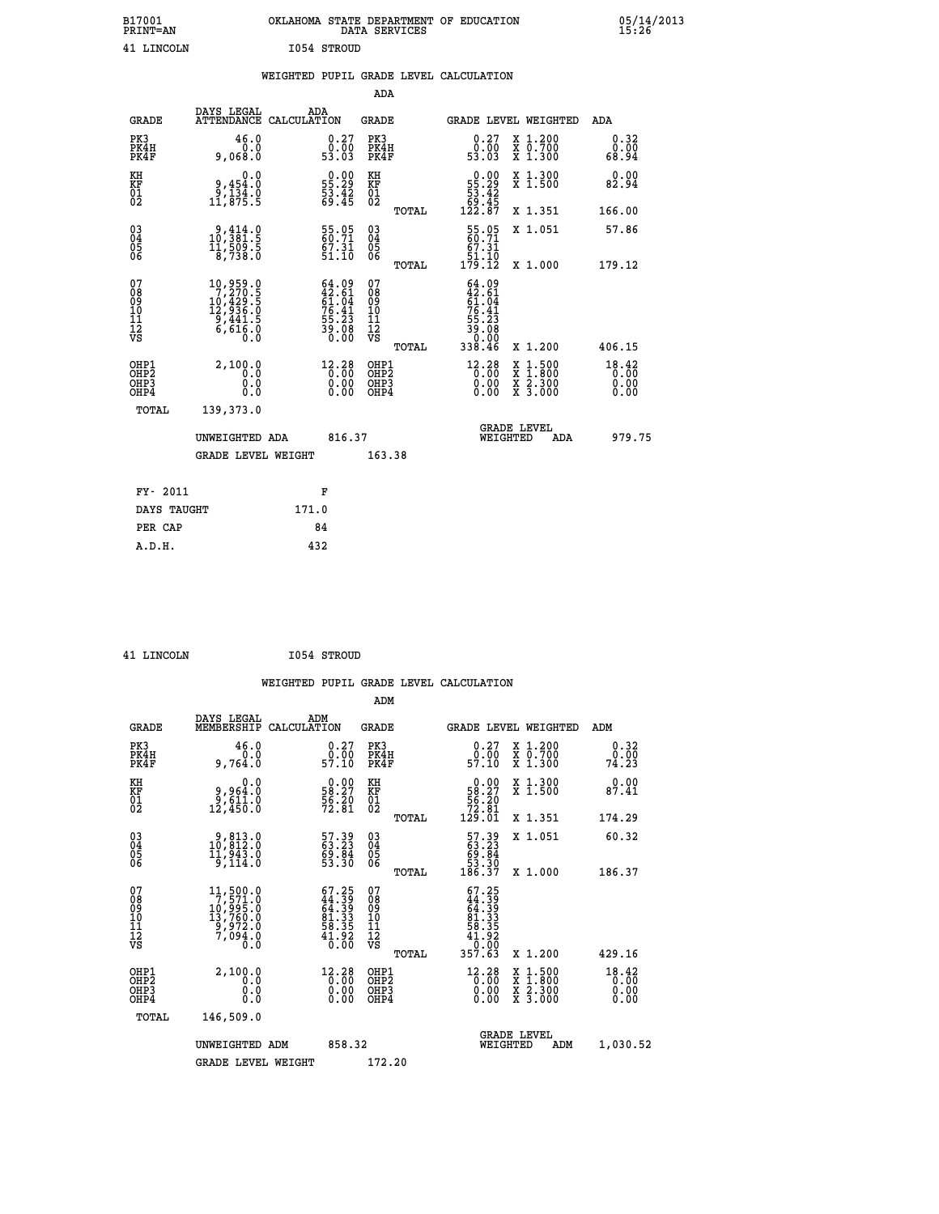|             | OKLAHOMA STATE DEPARTMENT OF EDUCATION<br>DATA SERVICES |  |
|-------------|---------------------------------------------------------|--|
| 1054 STROUD |                                                         |  |

|  |  | WEIGHTED PUPIL GRADE LEVEL CALCULATION |
|--|--|----------------------------------------|
|  |  |                                        |

|                                                       |                                                                                                     |                                                                          | ADA                                      |       |                                                                                        |                                                                                                  |                               |
|-------------------------------------------------------|-----------------------------------------------------------------------------------------------------|--------------------------------------------------------------------------|------------------------------------------|-------|----------------------------------------------------------------------------------------|--------------------------------------------------------------------------------------------------|-------------------------------|
| <b>GRADE</b>                                          | DAYS LEGAL                                                                                          | ADA<br>ATTENDANCE CALCULATION                                            | GRADE                                    |       | <b>GRADE LEVEL WEIGHTED</b>                                                            |                                                                                                  | ADA                           |
| PK3<br>PK4H<br>PK4F                                   | 46.0<br>0.0<br>9,068.0                                                                              | $\begin{smallmatrix} 0.27\ 0.00\ 53.03 \end{smallmatrix}$                | PK3<br>PK4H<br>PK4F                      |       | $\begin{smallmatrix} 0.27\ 0.00\\ 53.03 \end{smallmatrix}$                             | X 1.200<br>X 0.700<br>X 1.300                                                                    | 0.32<br>0.00<br>68.94         |
| KH<br>KF<br>01<br>02                                  | 0.0<br>0,454.0<br>0,134.0<br>11,875.5                                                               | $\begin{smallmatrix} 0.00\\ 55.29\\ 53.42\\ 69.45 \end{smallmatrix}$     | KH<br>KF<br>01<br>02                     |       | $\begin{smallmatrix}&&0.00\\55.29\\53.42\\69.45\\122.87\end{smallmatrix}$              | X 1.300<br>X 1.500                                                                               | 0.00<br>82.94                 |
|                                                       |                                                                                                     |                                                                          |                                          | TOTAL |                                                                                        | X 1.351                                                                                          | 166.00                        |
| 03<br>04<br>05<br>06                                  | 9,414.0<br>$\frac{11}{8}$ , 509.5                                                                   | 55.05<br>60.71<br>$\frac{67.31}{51.10}$                                  | 03<br>04<br>05<br>06                     |       | 55.05<br>$\begin{array}{r} 67.31 \\ 51.10 \\ 179.12 \end{array}$                       | X 1.051                                                                                          | 57.86                         |
|                                                       |                                                                                                     |                                                                          |                                          | TOTAL |                                                                                        | X 1.000                                                                                          | 179.12                        |
| 07<br>08<br>09<br>11<br>11<br>12<br>VS                | $\begin{smallmatrix} 10,959.0\\7,270.5\\10,429.5\\12,936.0\\9,441.5\\6,616.0\\0.0\end{smallmatrix}$ | $64.09$<br>$42.61$<br>$61.04$<br>$76.41$<br>$55.23$<br>$39.08$<br>$0.00$ | 07<br>08<br>09<br>11<br>11<br>12<br>VS   | TOTAL | $64.09$<br>$42.61$<br>$61.04$<br>$76.41$<br>$76.23$<br>$55.23$<br>$39.080$<br>$338.46$ | X 1.200                                                                                          | 406.15                        |
| OHP1<br>OH <sub>P</sub> 2<br>OH <sub>P3</sub><br>OHP4 | 2,100.0<br>0.0<br>0.0<br>Ō.Ō                                                                        | 12.28<br>0.00<br>$\begin{smallmatrix} 0.00 \ 0.00 \end{smallmatrix}$     | OHP1<br>OHP <sub>2</sub><br>OHP3<br>OHP4 |       | $12.28$<br>0.00<br>0.00<br>0.00                                                        | $\begin{smallmatrix} x & 1 & 500 \\ x & 1 & 800 \\ x & 2 & 300 \\ x & 3 & 000 \end{smallmatrix}$ | 18.42<br>0.00<br>0.00<br>0.00 |
| TOTAL                                                 | 139,373.0                                                                                           |                                                                          |                                          |       |                                                                                        |                                                                                                  |                               |
|                                                       | UNWEIGHTED ADA                                                                                      | 816.37                                                                   |                                          |       | WEIGHTED                                                                               | <b>GRADE LEVEL</b><br>ADA                                                                        | 979.75                        |
|                                                       | GRADE LEVEL WEIGHT                                                                                  |                                                                          | 163.38                                   |       |                                                                                        |                                                                                                  |                               |
|                                                       |                                                                                                     |                                                                          |                                          |       |                                                                                        |                                                                                                  |                               |
| FY- 2011                                              |                                                                                                     | F                                                                        |                                          |       |                                                                                        |                                                                                                  |                               |
| DAYS TAUGHT                                           |                                                                                                     | 171.0                                                                    |                                          |       |                                                                                        |                                                                                                  |                               |
| PER CAP                                               |                                                                                                     | 84                                                                       |                                          |       |                                                                                        |                                                                                                  |                               |
| A.D.H.                                                |                                                                                                     | 432                                                                      |                                          |       |                                                                                        |                                                                                                  |                               |

| <b>T.TNCOLN</b> |  |
|-----------------|--|

B17001<br>PRINT=AN<br>41 LINCOLN

**EXECUTE 1054 STROUD** 

| <b>GRADE</b>                                         | DAYS LEGAL<br>MEMBERSHIP<br>CALCULATION                                                                   | ADM                                                                        | <b>GRADE</b>                                        | <b>GRADE LEVEL WEIGHTED</b>                                                             |                                                                                                                     | ADM                               |
|------------------------------------------------------|-----------------------------------------------------------------------------------------------------------|----------------------------------------------------------------------------|-----------------------------------------------------|-----------------------------------------------------------------------------------------|---------------------------------------------------------------------------------------------------------------------|-----------------------------------|
| PK3<br>PK4H<br>PK4F                                  | 46.0<br>0.0<br>9,764.0                                                                                    | $\begin{smallmatrix} 0.27\ 0.00\ 57.10 \end{smallmatrix}$                  | PK3<br>PK4H<br>PK4F                                 | $\begin{smallmatrix} 0.27\ 0.00\ 57.10 \end{smallmatrix}$                               | X 1.200<br>X 0.700<br>X 1.300                                                                                       | 0.32<br>0.00<br>74.23             |
| KH<br>KF<br>01<br>02                                 | 0.0<br>9,964.0<br>$\frac{9}{12}$ , $\frac{6}{450}$ .0                                                     | $\begin{smallmatrix} 0.00\\ 58.27\\ 56.20\\ 72.81 \end{smallmatrix}$       | KH<br>KF<br>01<br>02                                | $\begin{smallmatrix} &0.00\\ 58.27\\ 56.20\\ 72.81\\ 129.01 \end{smallmatrix}$          | X 1.300<br>X 1.500                                                                                                  | 0.00<br>87.41                     |
|                                                      |                                                                                                           |                                                                            | TOTAL                                               |                                                                                         | X 1.351                                                                                                             | 174.29                            |
| 03<br>04<br>05<br>06                                 | 9,813.0<br>10,812.0<br>11,943.0                                                                           | 57.39<br>63.23<br>69.84<br>53.30                                           | $\begin{array}{c} 03 \\ 04 \\ 05 \\ 06 \end{array}$ | $\begin{smallmatrix} 57.39\\ 63.23\\ 69.84\\ 53.30\\ 186.37 \end{smallmatrix}$          | X 1.051                                                                                                             | 60.32                             |
|                                                      | 9,114.0                                                                                                   |                                                                            | TOTAL                                               |                                                                                         | X 1.000                                                                                                             | 186.37                            |
| 07<br>08<br>09<br>11<br>11<br>12<br>VS               | $\begin{smallmatrix} 11, 500.0\\7, 571.0\\10, 995.0\\13, 760.0\\9, 972.0\\7, 094.0\\0.0\end{smallmatrix}$ | $67.25$<br>$44.39$<br>$64.39$<br>$81.33$<br>$81.33$<br>$58.35$<br>$41.920$ | 07<br>08<br>09<br>11<br>11<br>12<br>VS<br>TOTAL     | $67.25$<br>$44.39$<br>$64.39$<br>$61.335$<br>$81.335$<br>$41.920$<br>$10.000$<br>357.63 | X 1.200                                                                                                             | 429.16                            |
| OHP1<br>OH <sub>P</sub> <sub>2</sub><br>OHP3<br>OHP4 | 2,100.0<br>0.0<br>0.0<br>0.0                                                                              | $\begin{smallmatrix} 12.28 \\ 0.00 \\ 0.00 \end{smallmatrix}$<br>0.00      | OHP1<br>OHP <sub>2</sub><br>OHP3<br>OHP4            | $^{12.28}_{0.00}$<br>0.00                                                               | $\begin{array}{l} \mathtt{X} & 1.500 \\ \mathtt{X} & 1.800 \\ \mathtt{X} & 2.300 \\ \mathtt{X} & 3.000 \end{array}$ | $18.42$<br>$0.00$<br>0.00<br>0.00 |
| TOTAL                                                | 146,509.0                                                                                                 |                                                                            |                                                     |                                                                                         |                                                                                                                     |                                   |
|                                                      | UNWEIGHTED ADM                                                                                            | 858.32                                                                     |                                                     | <b>GRADE LEVEL</b><br>WEIGHTED                                                          | ADM                                                                                                                 | 1,030.52                          |
|                                                      | <b>GRADE LEVEL WEIGHT</b>                                                                                 |                                                                            | 172.20                                              |                                                                                         |                                                                                                                     |                                   |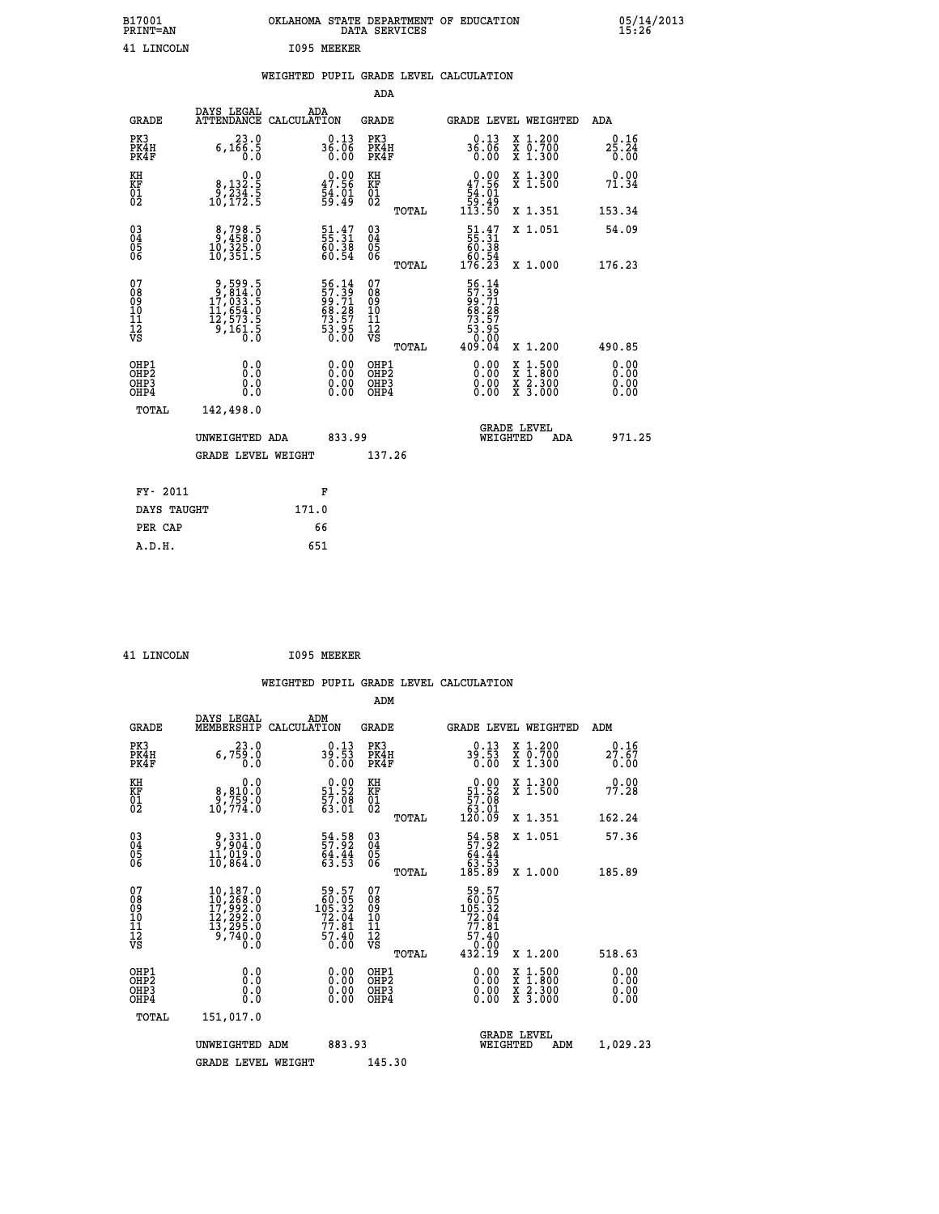| B17001<br><b>PRINT=AN</b> | OKLAHOMA<br>. STATE DEPARTMENT OF EDUCATION<br>DATA SERVICES | 05/14/2013<br>15:26 |
|---------------------------|--------------------------------------------------------------|---------------------|
| 41<br>LINCOLN             | I095<br>MEEKER                                               |                     |

|  |  | WEIGHTED PUPIL GRADE LEVEL CALCULATION |
|--|--|----------------------------------------|
|  |  |                                        |

|                                                                                 |                                                                                                                                                                         | ADA                                                                                |                                                                                                                                                                         |                                                                                                                                                                                                                                                                                                                                           |
|---------------------------------------------------------------------------------|-------------------------------------------------------------------------------------------------------------------------------------------------------------------------|------------------------------------------------------------------------------------|-------------------------------------------------------------------------------------------------------------------------------------------------------------------------|-------------------------------------------------------------------------------------------------------------------------------------------------------------------------------------------------------------------------------------------------------------------------------------------------------------------------------------------|
| DAYS LEGAL                                                                      | ADA                                                                                                                                                                     | <b>GRADE</b>                                                                       | GRADE LEVEL WEIGHTED                                                                                                                                                    | <b>ADA</b>                                                                                                                                                                                                                                                                                                                                |
| 23.0<br>$6,1\bar{6}\,\frac{2}{0}\,\frac{5}{0}$                                  | $36.13\n0.06\n0.00$                                                                                                                                                     | PK3<br>PK4H<br>PK4F                                                                | 0.13<br>X 1.200<br>X 0.700<br>X 1.300<br>$36.06$<br>0.00                                                                                                                | 0.16<br>$2\overline{5}\cdot 24\overline{4}$<br>0.00                                                                                                                                                                                                                                                                                       |
|                                                                                 |                                                                                                                                                                         | KH                                                                                 | X 1.300<br>X 1.500                                                                                                                                                      | 0.00<br>71.34                                                                                                                                                                                                                                                                                                                             |
|                                                                                 |                                                                                                                                                                         |                                                                                    | X 1.351                                                                                                                                                                 | 153.34                                                                                                                                                                                                                                                                                                                                    |
| $\begin{smallmatrix} 8,798.5\\ 9,458.0\\ 10,325.0\\ 10,351.5 \end{smallmatrix}$ | $\frac{51}{55}:\frac{47}{31}$<br>$\frac{60.38}{60.54}$                                                                                                                  | $\begin{matrix} 03 \\ 04 \\ 05 \\ 06 \end{matrix}$                                 | X 1.051                                                                                                                                                                 | 54.09<br>176.23                                                                                                                                                                                                                                                                                                                           |
|                                                                                 |                                                                                                                                                                         | 07<br>08<br>09<br>11<br>11<br>12<br>VS                                             |                                                                                                                                                                         |                                                                                                                                                                                                                                                                                                                                           |
|                                                                                 |                                                                                                                                                                         |                                                                                    |                                                                                                                                                                         | 490.85                                                                                                                                                                                                                                                                                                                                    |
| 0.0<br>0.0                                                                      | $\begin{smallmatrix} 0.00 \ 0.00 \end{smallmatrix}$                                                                                                                     | OH <sub>P</sub> 2<br>OHP3<br>OHP4                                                  | $\frac{x}{x}$ $\frac{5:300}{3:000}$<br>0.00                                                                                                                             | 0.00<br>0.00<br>0.00<br>0.00                                                                                                                                                                                                                                                                                                              |
| 142,498.0                                                                       |                                                                                                                                                                         |                                                                                    |                                                                                                                                                                         |                                                                                                                                                                                                                                                                                                                                           |
|                                                                                 |                                                                                                                                                                         |                                                                                    | <b>GRADE LEVEL</b><br>WEIGHTED<br>ADA                                                                                                                                   | 971.25                                                                                                                                                                                                                                                                                                                                    |
|                                                                                 |                                                                                                                                                                         | 137.26                                                                             |                                                                                                                                                                         |                                                                                                                                                                                                                                                                                                                                           |
|                                                                                 |                                                                                                                                                                         |                                                                                    |                                                                                                                                                                         |                                                                                                                                                                                                                                                                                                                                           |
| DAYS TAUGHT                                                                     | 171.0                                                                                                                                                                   |                                                                                    |                                                                                                                                                                         |                                                                                                                                                                                                                                                                                                                                           |
| PER CAP                                                                         | 66                                                                                                                                                                      |                                                                                    |                                                                                                                                                                         |                                                                                                                                                                                                                                                                                                                                           |
|                                                                                 | $\begin{smallmatrix}&&&0.0\\8,132.5\\9,234.5\\10,172.5\end{smallmatrix}$<br>9,599.5<br>9,814.0<br>17,033.5<br>11,654.0<br>12,573.5<br>9,161.5<br>0.0<br>0.0<br>FY- 2011 | ATTENDANCE CALCULATION<br>0.00<br>UNWEIGHTED ADA<br><b>GRADE LEVEL WEIGHT</b><br>F | $\begin{smallmatrix} 0.00\\ 47.56\\ 54.01\\ 59.49 \end{smallmatrix}$<br>KF<br>01<br>02<br>56.14<br>57.39<br>99.71<br>98.28<br>68.28<br>73.57<br>53.95<br>OHP1<br>833.99 | $\begin{array}{c} 0.00 \\ 47.56 \\ 54.01 \\ 59.49 \\ 113.50 \end{array}$<br>TOTAL<br>$\begin{smallmatrix} 51.47\\ 55.31\\ 60.38\\ 60.54\\ 176.23\\ \end{smallmatrix}$<br>X 1.000<br>TOTAL<br>$56.14$<br>$57.39$<br>$99.71$<br>$68.28$<br>$73.57$<br>$53.95$<br>$0.004$<br>TOTAL<br>X 1.200<br>$0.00$<br>$0.00$<br>$1:500$<br>$1:800$<br>X |

| T.TNCOLN |  |
|----------|--|

**EXECUTE 1095 MEEKER** 

| <b>GRADE</b>                                         | DAYS LEGAL<br>MEMBERSHIP                                                                                     | ADM<br>CALCULATION                                                           | <b>GRADE</b>                                        |       | GRADE LEVEL WEIGHTED                                                                                 |                                          | ADM                          |  |
|------------------------------------------------------|--------------------------------------------------------------------------------------------------------------|------------------------------------------------------------------------------|-----------------------------------------------------|-------|------------------------------------------------------------------------------------------------------|------------------------------------------|------------------------------|--|
| PK3<br>PK4H<br>PK4F                                  | 23.0<br>6,759.0<br>0.0                                                                                       | $39.13$<br>39.53<br>0.00                                                     | PK3<br>PK4H<br>PK4F                                 |       | 0.13<br>39.53<br>0.00                                                                                | X 1.200<br>X 0.700<br>X 1.300            | 0.16<br>27.67<br>0.00        |  |
| KH<br>KF<br>01<br>02                                 | 0.0<br>8,810.0<br>9,759.0<br>10,774.0                                                                        | $\begin{smallmatrix} 0.00\\ 51.52\\ 57.08\\ 63.01 \end{smallmatrix}$         | KH<br>KF<br>01<br>02                                |       | $\begin{smallmatrix} &0.00\ 51.52\ 57.08\ 63.01\ 120.09\ \end{smallmatrix}$                          | X 1.300<br>X 1.500                       | 0.00<br>77.28                |  |
|                                                      |                                                                                                              |                                                                              |                                                     | TOTAL |                                                                                                      | X 1.351                                  | 162.24                       |  |
| $\begin{matrix} 03 \\ 04 \\ 05 \\ 06 \end{matrix}$   | $\begin{smallmatrix} 9,331.0\\ 9,904.0\\ 11,019.0\\ 10,864.0 \end{smallmatrix}$                              | $\begin{array}{c} 54.58 \\ 57.92 \\ 64.44 \\ 63.53 \end{array}$              | $\begin{array}{c} 03 \\ 04 \\ 05 \\ 06 \end{array}$ |       | $\begin{smallmatrix} 54.58\\ 57.92\\ 64.44\\ 63.53\\ 185.89 \end{smallmatrix}$                       | X 1.051                                  | 57.36                        |  |
|                                                      |                                                                                                              |                                                                              |                                                     | TOTAL |                                                                                                      | X 1.000                                  | 185.89                       |  |
| 07<br>08<br>09<br>101<br>112<br>VS                   | $\begin{smallmatrix} 10,187.0\\ 10,268.0\\ 17,992.0\\ 12,292.0\\ 13,295.0\\ 9,740.0\\ 0.0 \end{smallmatrix}$ | $59.57$<br>$60.05$<br>$105.32$<br>$72.04$<br>$77.81$<br>$\frac{57.40}{0.00}$ | 07<br>08<br>09<br>11<br>11<br>12<br>VS              | TOTAL | $\begin{array}{r} 59.57 \\ 60.05 \\ 105.32 \\ 72.04 \\ 77.81 \\ 57.40 \\ 0.00 \\ 432.19 \end{array}$ | X 1.200                                  | 518.63                       |  |
| OHP1<br>OH <sub>P</sub> <sub>2</sub><br>OHP3<br>OHP4 | 0.0<br>0.0<br>Ŏ.Ŏ                                                                                            | $0.00$<br>$0.00$<br>0.00                                                     | OHP1<br>OHP <sub>2</sub><br>OHP3<br>OHP4            |       |                                                                                                      | X 1:500<br>X 1:800<br>X 2:300<br>X 3:000 | 0.00<br>0.00<br>0.00<br>0.00 |  |
| TOTAL                                                | 151,017.0                                                                                                    |                                                                              |                                                     |       |                                                                                                      |                                          |                              |  |
|                                                      | UNWEIGHTED ADM                                                                                               | 883.93                                                                       |                                                     |       | <b>GRADE LEVEL</b><br>WEIGHTED                                                                       | ADM                                      | 1,029.23                     |  |
|                                                      | <b>GRADE LEVEL WEIGHT</b>                                                                                    |                                                                              | 145.30                                              |       |                                                                                                      |                                          |                              |  |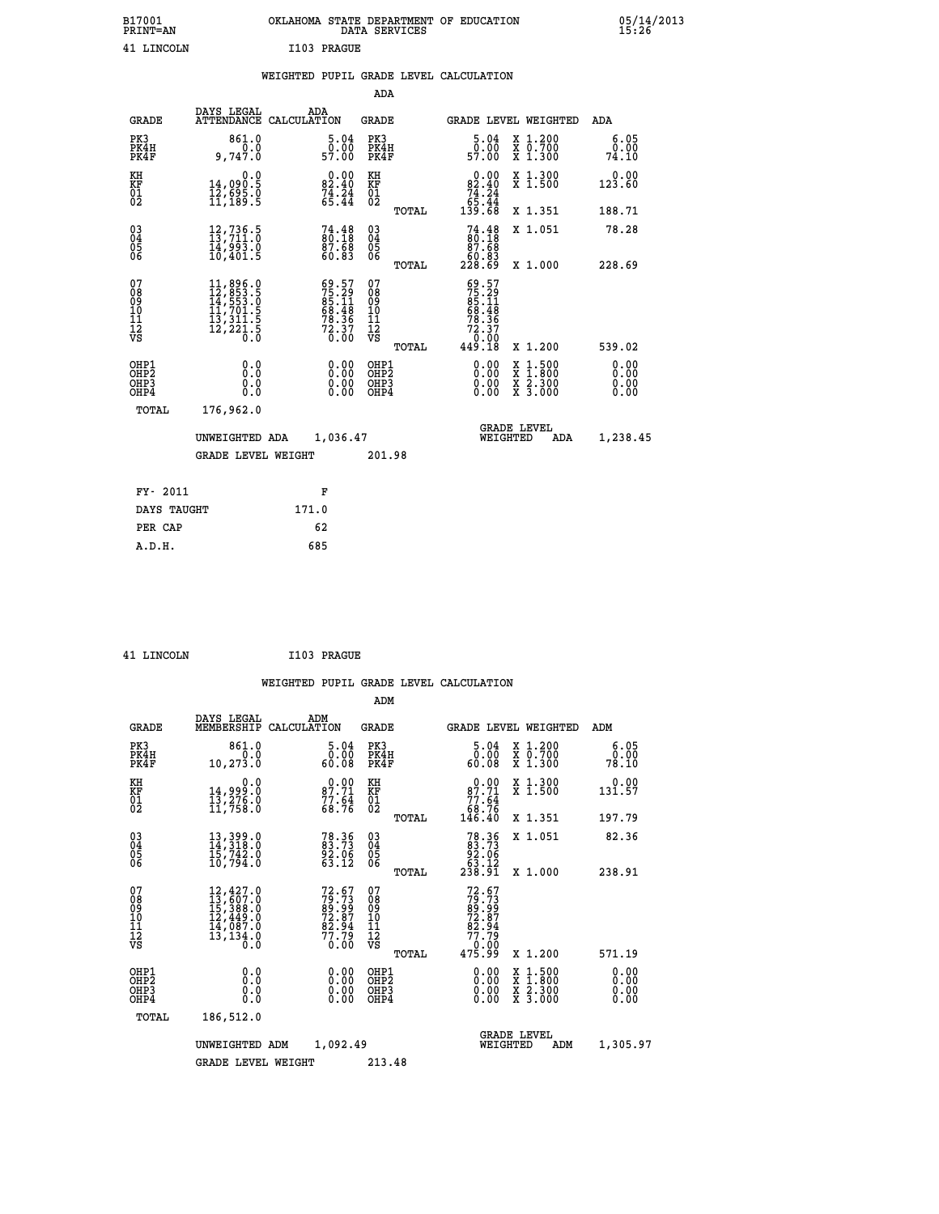| B17001<br><b>PRINT=AN</b> | OKLAHOMA STATE DEPARTMENT OF EDUCATION<br>DATA SERVICES |  |
|---------------------------|---------------------------------------------------------|--|
| 41 LINCOLN                | I103 PRAGUE                                             |  |

|     |                                                                                                                         | ADA                                                                                                                                                                                                                                                                                                                                                                                                  |                                                                                                                                                                                                                                                                                                                                                 |                                                                                                                                                                                              |
|-----|-------------------------------------------------------------------------------------------------------------------------|------------------------------------------------------------------------------------------------------------------------------------------------------------------------------------------------------------------------------------------------------------------------------------------------------------------------------------------------------------------------------------------------------|-------------------------------------------------------------------------------------------------------------------------------------------------------------------------------------------------------------------------------------------------------------------------------------------------------------------------------------------------|----------------------------------------------------------------------------------------------------------------------------------------------------------------------------------------------|
|     | ADA                                                                                                                     | <b>GRADE</b>                                                                                                                                                                                                                                                                                                                                                                                         | GRADE LEVEL WEIGHTED                                                                                                                                                                                                                                                                                                                            | <b>ADA</b>                                                                                                                                                                                   |
|     | 5.04                                                                                                                    | PK3<br>PK4H<br>PK4F                                                                                                                                                                                                                                                                                                                                                                                  | $\begin{smallmatrix}5.04\0.00\\9.00\0.00\end{smallmatrix}$<br>X 1.200<br>X 0.700<br>X 1.300                                                                                                                                                                                                                                                     | 6.05<br>0.00<br>74.10                                                                                                                                                                        |
|     |                                                                                                                         | KH                                                                                                                                                                                                                                                                                                                                                                                                   | 0.00<br>X 1.300<br>X 1.500                                                                                                                                                                                                                                                                                                                      | 0.00<br>123.60                                                                                                                                                                               |
|     |                                                                                                                         | TOTAL                                                                                                                                                                                                                                                                                                                                                                                                | X 1.351                                                                                                                                                                                                                                                                                                                                         | 188.71                                                                                                                                                                                       |
|     |                                                                                                                         | $\substack{03 \\ 04}$<br>$\frac{05}{06}$                                                                                                                                                                                                                                                                                                                                                             | X 1.051                                                                                                                                                                                                                                                                                                                                         | 78.28<br>228.69                                                                                                                                                                              |
|     |                                                                                                                         | 07                                                                                                                                                                                                                                                                                                                                                                                                   |                                                                                                                                                                                                                                                                                                                                                 |                                                                                                                                                                                              |
|     |                                                                                                                         | TOTAL                                                                                                                                                                                                                                                                                                                                                                                                | X 1.200                                                                                                                                                                                                                                                                                                                                         | 539.02                                                                                                                                                                                       |
|     |                                                                                                                         | OHP1<br>OH <sub>P</sub> 2<br>OHP3<br>OHP4                                                                                                                                                                                                                                                                                                                                                            | 0.00<br>$1:500$<br>$1:800$<br>X<br>X<br>0.00<br>$\frac{\ddot{x}}{x}$ $\frac{2.300}{3.000}$<br>0.00                                                                                                                                                                                                                                              | 0.00<br>0.00<br>0.00<br>0.00                                                                                                                                                                 |
|     |                                                                                                                         |                                                                                                                                                                                                                                                                                                                                                                                                      |                                                                                                                                                                                                                                                                                                                                                 |                                                                                                                                                                                              |
|     |                                                                                                                         |                                                                                                                                                                                                                                                                                                                                                                                                      | <b>GRADE LEVEL</b><br>WEIGHTED<br>ADA                                                                                                                                                                                                                                                                                                           | 1,238.45                                                                                                                                                                                     |
|     |                                                                                                                         | 201.98                                                                                                                                                                                                                                                                                                                                                                                               |                                                                                                                                                                                                                                                                                                                                                 |                                                                                                                                                                                              |
|     | F                                                                                                                       |                                                                                                                                                                                                                                                                                                                                                                                                      |                                                                                                                                                                                                                                                                                                                                                 |                                                                                                                                                                                              |
|     | 171.0                                                                                                                   |                                                                                                                                                                                                                                                                                                                                                                                                      |                                                                                                                                                                                                                                                                                                                                                 |                                                                                                                                                                                              |
|     | 62                                                                                                                      |                                                                                                                                                                                                                                                                                                                                                                                                      |                                                                                                                                                                                                                                                                                                                                                 |                                                                                                                                                                                              |
| PK3 | <b>GRADE</b><br>PK4H<br>PK4F<br>OHP1<br>OHP <sub>2</sub><br>OHP3<br>OHP4<br>TOTAL<br>FY- 2011<br>DAYS TAUGHT<br>PER CAP | DAYS LEGAL<br>ATTENDANCE CALCULATION<br>861.0<br>0.0<br>9,747.0<br>0.0<br>14,090.5<br>12,695.0<br>11,189.5<br>12,736.5<br>13,711.0<br>14,993.0<br>10,401.5<br>$\begin{smallmatrix} 11, 896\cdot 0\\ 12, 853\cdot 5\\ 14, 553\cdot 0\\ 11, 701\cdot 5\\ 13, 311\cdot 5\\ 12, 221\cdot 5\\ 0\cdot 0\end{smallmatrix}$<br>0.0<br>0.0<br>0.0<br>176,962.0<br>UNWEIGHTED ADA<br><b>GRADE LEVEL WEIGHT</b> | ō:ŏō<br>57:00<br>$\begin{smallmatrix} 0.00\\ 82.40\\ 74.24\\ 65.44 \end{smallmatrix}$<br>KF<br>01<br>02<br>74.48<br>80.18<br>87.68<br>60.83<br>TOTAL<br>$59.57$<br>$75.29$<br>$85.11$<br>$68.48$<br>$78.36$<br>$72.37$<br>$0.00$<br>08<br>09<br>11<br>11<br>12<br>VS<br>0.00<br>$\begin{smallmatrix} 0.00 \ 0.00 \end{smallmatrix}$<br>1,036.47 | $82.40$<br>$74.24$<br>$65.44$<br>$139.68$<br>$74.4880.1887.6860.83228.69$<br>X 1.000<br>$\begin{smallmatrix} 69.57\\75.29\\85.11\\86.48\\68.48\\78.36\\72.37\\0.00\\449.18\end{smallmatrix}$ |

| T.TNCOLN |
|----------|
|          |

 **ADM**

**1103 PRAGUE** 

| <b>GRADE</b>                                         | DAYS LEGAL                                                                                                    | ADM<br>MEMBERSHIP CALCULATION                                            | <b>GRADE</b>                                  |       | <b>GRADE LEVEL WEIGHTED</b>                                                                                                                                                                                                                                                    |                                          | ADM                   |
|------------------------------------------------------|---------------------------------------------------------------------------------------------------------------|--------------------------------------------------------------------------|-----------------------------------------------|-------|--------------------------------------------------------------------------------------------------------------------------------------------------------------------------------------------------------------------------------------------------------------------------------|------------------------------------------|-----------------------|
| PK3<br>PK4H<br>PK4F                                  | 861.0<br>0.0<br>10, 273.0                                                                                     | 5.04<br>0.00<br>60.08                                                    | PK3<br>PK4H<br>PK4F                           |       | $\frac{5.04}{0.00}$<br>60.08                                                                                                                                                                                                                                                   | X 1.200<br>X 0.700<br>X 1.300            | 6.05<br>0.00<br>78.10 |
| KH<br><b>KF</b><br>01<br>02                          | 0.0<br>14,999:0<br>13,276:0<br>11,758:0                                                                       | $\begin{smallmatrix} 0.00\\ 87.71\\ 77.64\\ 68.76 \end{smallmatrix}$     | KH<br>KF<br>01<br>02                          |       | $0.00\n87.71\n77.64\n68.76\n146.40$                                                                                                                                                                                                                                            | X 1.300<br>X 1.500                       | 0.00<br>131.57        |
|                                                      |                                                                                                               |                                                                          |                                               | TOTAL |                                                                                                                                                                                                                                                                                | X 1.351                                  | 197.79                |
| $\begin{matrix} 03 \\ 04 \\ 05 \\ 06 \end{matrix}$   | $13,399.0$<br>$14,318.0$<br>$15,742.0$<br>$10,794.0$                                                          | 78.36<br>83.73<br>92.06<br>63.12                                         | $\substack{03 \\ 04}$<br>Ŏ5<br>06             |       | $78.3683.7392.0663.12238.91$                                                                                                                                                                                                                                                   | X 1.051                                  | 82.36                 |
|                                                      |                                                                                                               |                                                                          |                                               | TOTAL |                                                                                                                                                                                                                                                                                | X 1.000                                  | 238.91                |
| 07<br>08<br>09<br>101<br>11<br>12<br>VS              | $\begin{smallmatrix} 12,427.0\\ 13,607.0\\ 15,388.0\\ 12,449.0\\ 14,087.0\\ 13,134.0\\ 0.0 \end{smallmatrix}$ | $72.67$<br>$79.73$<br>$89.99$<br>$72.87$<br>$82.94$<br>$77.79$<br>$0.00$ | 07<br>08<br>09<br>001<br>11<br>11<br>12<br>VS | TOTAL | $72.67$<br>$79.73$<br>$89.99$<br>$72.87$<br>$82.94$<br>$77.79$<br>$0.00$<br>$475.99$                                                                                                                                                                                           | X 1.200                                  | 571.19                |
| OHP1<br>OHP <sub>2</sub><br>OH <sub>P3</sub><br>OHP4 | 0.0<br>0.000                                                                                                  | $0.00$<br>$0.00$<br>0.00                                                 | OHP1<br>OHP <sub>2</sub><br>OHP3<br>OHP4      |       | $\begin{smallmatrix} 0.00 & 0.00 & 0.00 & 0.00 & 0.00 & 0.00 & 0.00 & 0.00 & 0.00 & 0.00 & 0.00 & 0.00 & 0.00 & 0.00 & 0.00 & 0.00 & 0.00 & 0.00 & 0.00 & 0.00 & 0.00 & 0.00 & 0.00 & 0.00 & 0.00 & 0.00 & 0.00 & 0.00 & 0.00 & 0.00 & 0.00 & 0.00 & 0.00 & 0.00 & 0.00 & 0.0$ | X 1:500<br>X 1:800<br>X 2:300<br>X 3:000 | 0.00<br>0.00<br>0.00  |
| TOTAL                                                | 186,512.0                                                                                                     |                                                                          |                                               |       |                                                                                                                                                                                                                                                                                |                                          |                       |
|                                                      | UNWEIGHTED                                                                                                    | 1,092.49<br>ADM                                                          |                                               |       | WEIGHTED                                                                                                                                                                                                                                                                       | <b>GRADE LEVEL</b><br>ADM                | 1,305.97              |
|                                                      | <b>GRADE LEVEL WEIGHT</b>                                                                                     |                                                                          | 213.48                                        |       |                                                                                                                                                                                                                                                                                |                                          |                       |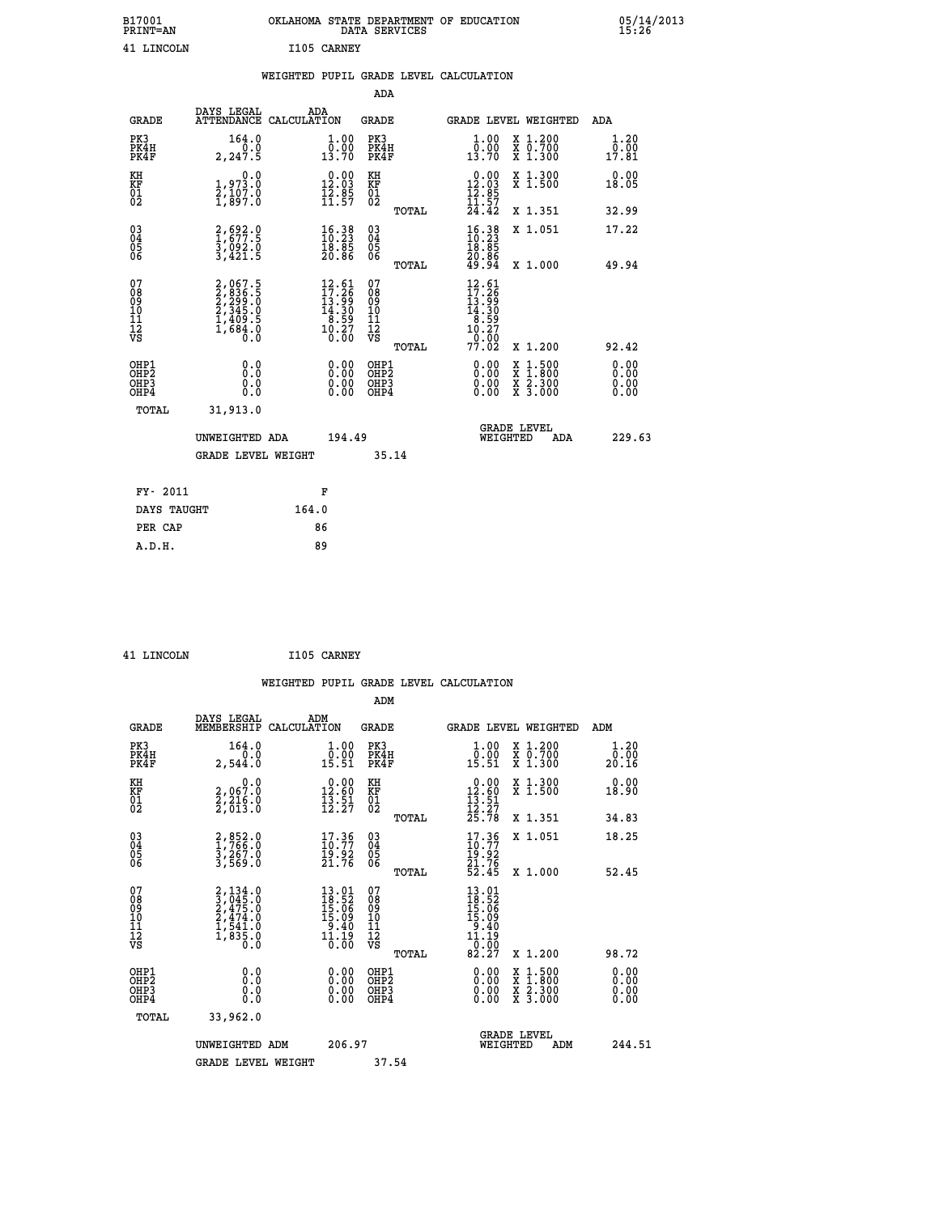| B17001<br><b>PRINT=AN</b> | OKLAHOMA STATE DEPARTMENT OF EDUCATION<br>DATA SERVICES |  |
|---------------------------|---------------------------------------------------------|--|
| 41 LINCOLN                | I105 CARNEY                                             |  |

05/14/2013<br>15**:**26

|                                                                  |                                                                           | WEIGHTED PUPIL GRADE LEVEL CALCULATION                                                            |                                                     |       |                                                                                                          |                                                              |                              |
|------------------------------------------------------------------|---------------------------------------------------------------------------|---------------------------------------------------------------------------------------------------|-----------------------------------------------------|-------|----------------------------------------------------------------------------------------------------------|--------------------------------------------------------------|------------------------------|
|                                                                  |                                                                           |                                                                                                   | <b>ADA</b>                                          |       |                                                                                                          |                                                              |                              |
| <b>GRADE</b>                                                     | DAYS LEGAL                                                                | ADA<br>ATTENDANCE CALCULATION                                                                     | <b>GRADE</b>                                        |       |                                                                                                          | GRADE LEVEL WEIGHTED                                         | ADA                          |
| PK3<br>PK4H<br>PK4F                                              | 164.0<br>0.0<br>2, 247.5                                                  | 1.00<br>$\frac{5.88}{13.70}$                                                                      | PK3<br>PK4H<br>PK4F                                 |       | 1.00<br>$\bar{0}.\tilde{0} \tilde{0}$<br>13.70                                                           | X 1.200<br>X 0.700<br>X 1.300                                | 1.20<br>0.00<br>17.81        |
| KH<br>KF<br>01<br>02                                             | 0.0<br>1,973.0<br>2,107.0<br>1,897.0                                      | $\begin{smallmatrix} 0.00\\ 12.03\\ 12.85\\ 11.57\\ \end{smallmatrix}$                            | KH<br>KF<br>01<br>02                                |       | $\begin{array}{r} 0.00 \\[-4pt] 12.03 \\[-4pt] 12.85 \\[-4pt] 11.57 \\[-4pt] 24.42 \end{array}$          | X 1.300<br>X 1.500                                           | 0.00<br>18.05                |
|                                                                  |                                                                           |                                                                                                   |                                                     | TOTAL |                                                                                                          | X 1.351                                                      | 32.99                        |
| $^{03}_{04}$<br>Ŏ5<br>06                                         | 2,692.0<br>1,677.5<br>3,092.0<br>3,421.5                                  | $\begin{smallmatrix} 16.38\ 10.23\ 18.85\ 20.86 \end{smallmatrix}$                                | $\begin{array}{c} 03 \\ 04 \\ 05 \\ 06 \end{array}$ |       | $\begin{smallmatrix} 16.38\ 10.23\ 18.85\ 20.86\ 49.94 \end{smallmatrix}$                                | X 1.051                                                      | 17.22                        |
|                                                                  |                                                                           |                                                                                                   |                                                     | TOTAL |                                                                                                          | X 1.000                                                      | 49.94                        |
| 07<br>08<br>09<br>11<br>11<br>12<br>VS                           | 2,067.5<br>2,299.0<br>2,299.0<br>2,345.0<br>2,345.0<br>1,409.5<br>1,684.0 | $\begin{smallmatrix} 12.61 \\ 17.26 \\ 13.99 \\ 14.30 \\ 8.59 \\ 10.27 \\ 0.00 \end{smallmatrix}$ | 07<br>08<br>09<br>11<br>11<br>12<br>VS              | TOTAL | $\begin{smallmatrix} 12.61\\ 17.26\\ 13.99\\ 14.309\\ 8.597\\ 10.27\\ 0.002\\ 77.02\\ \end{smallmatrix}$ | X 1.200                                                      | 92.42                        |
| OHP1<br>OH <sub>P</sub> <sub>2</sub><br>OH <sub>P3</sub><br>OHP4 | 0.0<br>0.0<br>Ō.Ō                                                         | 0.00<br>$\begin{smallmatrix} 0.00 \ 0.00 \end{smallmatrix}$                                       | OHP1<br>OHP2<br>OHP3<br>OHP4                        |       | 0.00<br>0.00<br>0.00                                                                                     | $1:500$<br>1:800<br>X 1:500<br>X 1:800<br>X 2:300<br>X 3:000 | 0.00<br>0.00<br>0.00<br>0.00 |
| TOTAL                                                            | 31,913.0                                                                  |                                                                                                   |                                                     |       |                                                                                                          |                                                              |                              |
|                                                                  | UNWEIGHTED ADA                                                            | 194.49                                                                                            |                                                     |       | WEIGHTED                                                                                                 | <b>GRADE LEVEL</b><br>ADA                                    | 229.63                       |
|                                                                  | GRADE LEVEL WEIGHT                                                        |                                                                                                   | 35.14                                               |       |                                                                                                          |                                                              |                              |
| FY- 2011                                                         |                                                                           | F                                                                                                 |                                                     |       |                                                                                                          |                                                              |                              |
| DAYS TAUGHT                                                      |                                                                           | 164.0                                                                                             |                                                     |       |                                                                                                          |                                                              |                              |
| PER CAP                                                          |                                                                           | 86                                                                                                |                                                     |       |                                                                                                          |                                                              |                              |

 **41 LINCOLN I105 CARNEY**

 **A.D.H. 89**

 **ADM DAYS LEGAL ADM GRADE MEMBERSHIP CALCULATION GRADE GRADE LEVEL WEIGHTED ADM PK3 164.0 1.00 PK3 1.00 X 1.200 1.20**

| PK4H<br>PK4F                                         | 0.0<br>2,544.0                                                                      | $\overset{0.00}{\underset{15.51}{}}$                                                                                        | PK4H<br>PK4F                                                | $\begin{smallmatrix} 0.00 \ 15.51 \end{smallmatrix}$                                            | X 0.700<br>X 1.300                                                                                                  | 0.00<br>20.16            |
|------------------------------------------------------|-------------------------------------------------------------------------------------|-----------------------------------------------------------------------------------------------------------------------------|-------------------------------------------------------------|-------------------------------------------------------------------------------------------------|---------------------------------------------------------------------------------------------------------------------|--------------------------|
| KH<br>KF<br>01<br>02                                 | 0.0<br>2,067:0<br>2,216:0<br>2,013:0                                                | $\begin{smallmatrix} 0.00\\ 12.60\\ 13.51\\ 12.27 \end{smallmatrix}$                                                        | KH<br>KF<br>01<br>02                                        | $\begin{array}{r} 0.00 \\[-4pt] 12.60 \\[-4pt] 13.51 \\[-4pt] 12.27 \\[-4pt] 25.78 \end{array}$ | X 1.300<br>X 1.500                                                                                                  | 0.00<br>18.90            |
|                                                      |                                                                                     |                                                                                                                             | TOTAL                                                       |                                                                                                 | X 1.351                                                                                                             | 34.83                    |
| $\begin{matrix} 03 \\ 04 \\ 05 \\ 06 \end{matrix}$   | 2,852.0<br>1,766.0<br>3,267.0<br>3,569.0                                            | $\begin{smallmatrix} 17.36 \\ 10.77 \\ 19.92 \\ 21.76 \end{smallmatrix}$                                                    | $\begin{matrix} 03 \\ 04 \\ 05 \\ 06 \end{matrix}$<br>TOTAL | $\begin{smallmatrix} 17.36 \\ 10.77 \\ 19.92 \\ 21.76 \\ 52.45 \end{smallmatrix}$               | X 1.051<br>X 1.000                                                                                                  | 18.25<br>52.45           |
| 07<br>08<br>09<br>101<br>11<br>12<br>VS              | $2,134.0$<br>$3,045.0$<br>$2,475.0$<br>$2,474.0$<br>$1,541.0$<br>$1,835.0$<br>$0.0$ | $\begin{array}{r} 13.01 \\[-4pt] 18.52 \\[-4pt] 15.06 \\[-4pt] 15.09 \\[-4pt] 9.40 \\[-4pt] 1.19 \\[-4pt] 0.00 \end{array}$ | 078901112<br>111112<br>VS<br>TOTAL                          | $13.01$<br>$18.52$<br>$15.06$<br>$15.09$<br>$9.409$<br>$11.19$<br>$0.007$<br>$82.27$            | X 1.200                                                                                                             | 98.72                    |
| OHP1<br>OHP <sub>2</sub><br>OH <sub>P3</sub><br>OHP4 | 0.000000<br>Ŏ.Ŏ                                                                     | $0.00$<br>$0.00$<br>0.00                                                                                                    | OHP1<br>OHP <sub>2</sub><br>OHP3<br>OHP4                    | $0.00$<br>$0.00$<br>0.00                                                                        | $\begin{array}{l} \mathtt{X} & 1.500 \\ \mathtt{X} & 1.800 \\ \mathtt{X} & 2.300 \\ \mathtt{X} & 3.000 \end{array}$ | $0.00$<br>$0.00$<br>0.00 |
| TOTAL                                                | 33,962.0                                                                            |                                                                                                                             |                                                             |                                                                                                 |                                                                                                                     |                          |
|                                                      | UNWEIGHTED ADM                                                                      | 206.97                                                                                                                      |                                                             |                                                                                                 | <b>GRADE LEVEL</b><br>WEIGHTED<br>ADM                                                                               | 244.51                   |
|                                                      | <b>GRADE LEVEL WEIGHT</b>                                                           |                                                                                                                             | 37.54                                                       |                                                                                                 |                                                                                                                     |                          |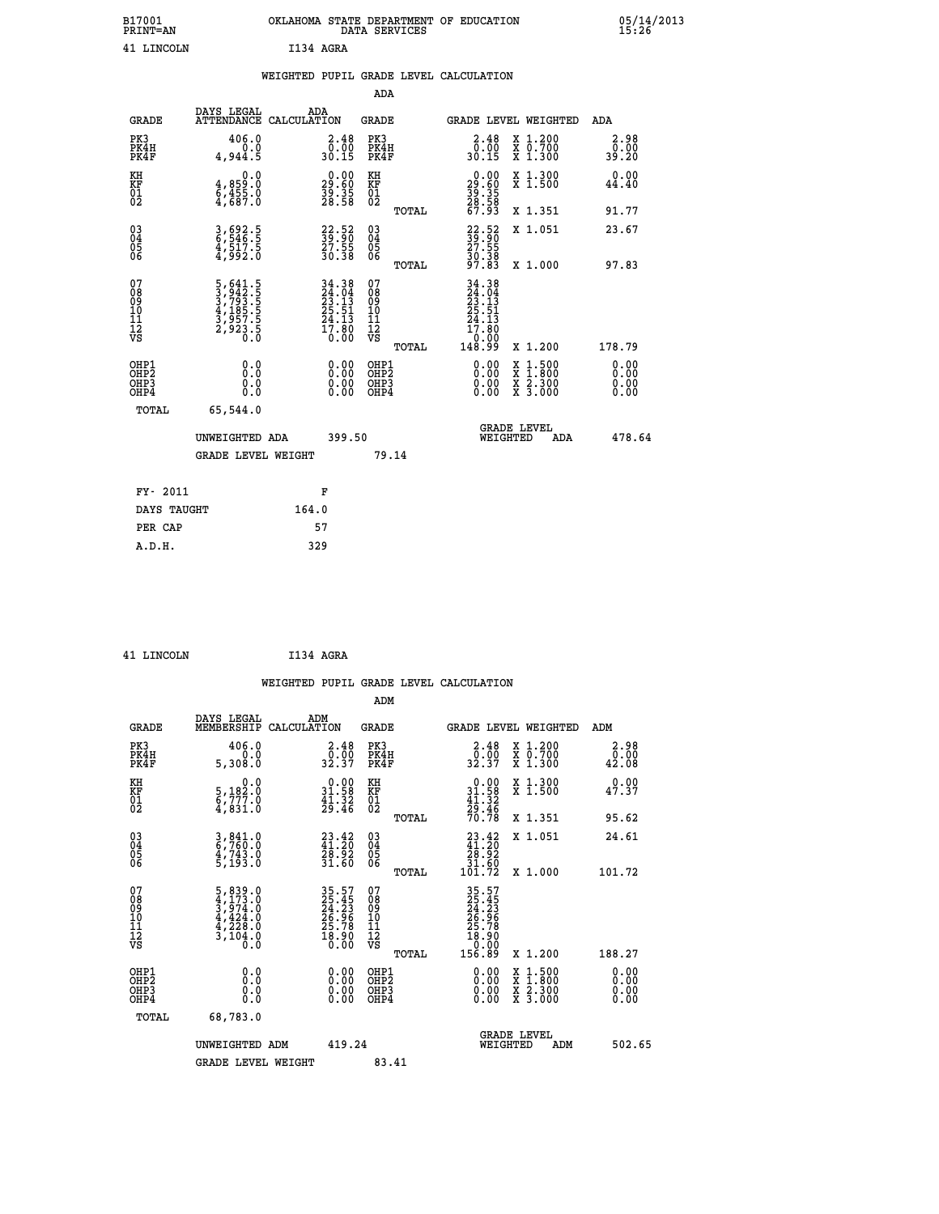|           | OKLAHOMA STATE DEPARTMENT OF EDUCATION<br>DATA SERVICES |  |
|-----------|---------------------------------------------------------|--|
| I134 AGRA |                                                         |  |

|                                          |                                                                                            | WEIGHTED PUPIL GRADE LEVEL CALCULATION                                                    |                                                     |              |                                                                                 |                                                                                          |                       |
|------------------------------------------|--------------------------------------------------------------------------------------------|-------------------------------------------------------------------------------------------|-----------------------------------------------------|--------------|---------------------------------------------------------------------------------|------------------------------------------------------------------------------------------|-----------------------|
|                                          |                                                                                            |                                                                                           | <b>ADA</b>                                          |              |                                                                                 |                                                                                          |                       |
| <b>GRADE</b>                             | DAYS LEGAL                                                                                 | ADA<br>ATTENDANCE CALCULATION                                                             | <b>GRADE</b>                                        |              | GRADE LEVEL WEIGHTED                                                            |                                                                                          | ADA                   |
| PK3<br>PK4H<br>PK4F                      | 406.0<br>$0.0$<br>5.944,5                                                                  | $\begin{smallmatrix} 2.48\ 0.00\\ 30.15 \end{smallmatrix}$                                | PK3<br>PK4H<br>PK4F                                 |              | $\begin{smallmatrix} 2.48\ 0.00\\ 30.15 \end{smallmatrix}$                      | X 1.200<br>X 0.700<br>X 1.300                                                            | 2.98<br>0.00<br>39.20 |
| KH<br>KF<br>01<br>02                     | 0.0<br>4,859:0<br>6,455:0<br>4,687:0                                                       | $\begin{smallmatrix} 0.00\\29.60\\39.35\\28.58 \end{smallmatrix}$                         | KH<br>KF<br>01<br>02                                |              | 0.00<br>$\frac{29.60}{39.35}$<br>$\frac{28.35}{67.93}$                          | X 1.300<br>X 1.500                                                                       | 0.00<br>44.40         |
|                                          |                                                                                            |                                                                                           |                                                     | <b>TOTAL</b> |                                                                                 | X 1.351                                                                                  | 91.77                 |
| 03<br>04<br>05<br>06                     | 3,692.5<br>6,546.5<br>4,517.5<br>4,992.0                                                   | $\frac{22}{39}\cdot\frac{52}{90}$<br>$\frac{27}{30}\cdot\frac{55}{38}$                    | $\begin{array}{c} 03 \\ 04 \\ 05 \\ 06 \end{array}$ |              | $\begin{smallmatrix} 22.52\ 39.90\ 27.55\ 30.38\ 97.83 \end{smallmatrix}$       | X 1.051                                                                                  | 23.67                 |
|                                          |                                                                                            |                                                                                           |                                                     | TOTAL        |                                                                                 | X 1.000                                                                                  | 97.83                 |
| 07<br>0890112<br>1112<br>VS              | $\begin{smallmatrix}5,641.5\\3,942.5\\3,793.5\\4,185.5\\3,957.5\\2,923.5\end{smallmatrix}$ | $\begin{array}{r} 34.38 \\ 24.04 \\ 23.13 \\ 25.51 \\ 24.13 \\ 17.80 \\ 0.00 \end{array}$ | 07<br>08901112<br>1112<br>VS                        | TOTAL        | 34.38<br>$24.04$<br>$23.13$<br>$25.51$<br>$24.13$<br>$17.80$<br>00.01<br>148.99 | X 1.200                                                                                  | 178.79                |
| OHP1<br>OHP2<br>OH <sub>P3</sub><br>OHP4 | 0.0<br>0.0<br>0.0                                                                          | $\begin{smallmatrix} 0.00 \ 0.00 \ 0.00 \ 0.00 \end{smallmatrix}$                         | OHP1<br>OHP2<br>OHP3<br>OHP4                        |              | 0.00<br>0.00                                                                    | $\begin{smallmatrix} x & 1.500 \\ x & 1.800 \\ x & 2.300 \\ x & 3.000 \end{smallmatrix}$ | 0.00<br>0.00<br>0.00  |
| <b>TOTAL</b>                             | 65,544.0                                                                                   |                                                                                           |                                                     |              |                                                                                 |                                                                                          |                       |
|                                          | UNWEIGHTED ADA                                                                             | 399.50                                                                                    |                                                     |              | WEIGHTED                                                                        | <b>GRADE LEVEL</b><br>ADA                                                                | 478.64                |
|                                          | <b>GRADE LEVEL WEIGHT</b>                                                                  |                                                                                           | 79.14                                               |              |                                                                                 |                                                                                          |                       |
| FY- 2011                                 |                                                                                            | F                                                                                         |                                                     |              |                                                                                 |                                                                                          |                       |
| DAYS TAUGHT                              |                                                                                            | 164.0                                                                                     |                                                     |              |                                                                                 |                                                                                          |                       |
| PER CAP                                  |                                                                                            | 57                                                                                        |                                                     |              |                                                                                 |                                                                                          |                       |

| LTNCOLN |  |
|---------|--|
|         |  |

B17001<br>PRINT=AN<br>41 LINCOLN

INCOLN **1134 AGRA** 

|                                                    |                                                                                                                                       |                    |                                                                      |                                               |       | WEIGHTED PUPIL GRADE LEVEL CALCULATION                                               |                                                                                                                     |                                                |  |
|----------------------------------------------------|---------------------------------------------------------------------------------------------------------------------------------------|--------------------|----------------------------------------------------------------------|-----------------------------------------------|-------|--------------------------------------------------------------------------------------|---------------------------------------------------------------------------------------------------------------------|------------------------------------------------|--|
|                                                    |                                                                                                                                       |                    |                                                                      | ADM                                           |       |                                                                                      |                                                                                                                     |                                                |  |
| <b>GRADE</b>                                       | DAYS LEGAL<br>MEMBERSHIP                                                                                                              | ADM<br>CALCULATION |                                                                      | <b>GRADE</b>                                  |       | <b>GRADE LEVEL WEIGHTED</b>                                                          |                                                                                                                     | ADM                                            |  |
| PK3<br>PK4H<br>PK4F                                | 406.0<br>0.0<br>5,308.0                                                                                                               |                    | $\begin{smallmatrix} 2.48\ 0.00\\ 32.37 \end{smallmatrix}$           | PK3<br>PK4H<br>PK4F                           |       | $\begin{smallmatrix} 2.48\ 0.00\\ 2.37 \end{smallmatrix}$                            | X 1.200<br>X 0.700<br>X 1.300                                                                                       | 2.98<br>$\frac{\bar{0}.\bar{0}\bar{0}}{42.08}$ |  |
| KH<br>KF<br>01<br>02                               | 0.0<br>5,182.0<br>$\frac{6}{4}$ , $\frac{777}{831}$ .0                                                                                |                    | $\begin{smallmatrix} 0.00\\ 31.58\\ 41.32\\ 29.46 \end{smallmatrix}$ | KH<br>KF<br>01<br>02                          |       | $0.00\n31.58\n41.32\n29.46\n70.78$                                                   | X 1.300<br>X 1.500                                                                                                  | 0.00<br>47.37                                  |  |
|                                                    |                                                                                                                                       |                    |                                                                      |                                               | TOTAL |                                                                                      | X 1.351                                                                                                             | 95.62                                          |  |
| $\begin{matrix} 03 \\ 04 \\ 05 \\ 06 \end{matrix}$ | 3,841.0<br>6,760.0<br>4,743.0<br>5,193.0                                                                                              |                    | $\begin{smallmatrix} 23.42\ 41.20\ 28.92\ 31.60 \end{smallmatrix}$   | 03<br>04<br>05<br>06                          |       | $\begin{smallmatrix} 23.42\\ 41.20\\ 28.92\\ 31.60\\ 101.72 \end{smallmatrix}$       | X 1.051                                                                                                             | 24.61                                          |  |
|                                                    |                                                                                                                                       |                    |                                                                      |                                               | TOTAL |                                                                                      | X 1.000                                                                                                             | 101.72                                         |  |
| 07<br>0890112<br>1112<br>VS                        | $\begin{smallmatrix}5\,,\,839\,.0\\4\,,\,173\,.0\\3\,,\,974\,.0\\4\,,\,424\,.0\\4\,,\,228\,.0\\3\,,\,104\,.0\\0\,.0\end{smallmatrix}$ |                    | 35.57<br>25.45<br>24.23<br>26.96<br>25.78<br>25.78<br>18.90<br>0.00  | 07<br>08<br>09<br>001<br>11<br>11<br>12<br>VS | TOTAL | $35.57$<br>$24.25$<br>$24.23$<br>$26.96$<br>$25.78$<br>$18.90$<br>$0.00$<br>$156.89$ | X 1.200                                                                                                             | 188.27                                         |  |
| OHP1                                               |                                                                                                                                       |                    |                                                                      |                                               |       |                                                                                      |                                                                                                                     |                                                |  |
| OHP <sub>2</sub><br>OH <sub>P3</sub><br>OHP4       | 0.0<br>0.000                                                                                                                          |                    | $0.00$<br>$0.00$<br>0.00                                             | OHP1<br>OHP2<br>OHP <sub>3</sub>              |       | 0.00<br>0.00<br>0.00                                                                 | $\begin{array}{l} \mathtt{X} & 1.500 \\ \mathtt{X} & 1.800 \\ \mathtt{X} & 2.300 \\ \mathtt{X} & 3.000 \end{array}$ | 0.00<br>0.00<br>0.00                           |  |
| TOTAL                                              | 68,783.0                                                                                                                              |                    |                                                                      |                                               |       |                                                                                      |                                                                                                                     |                                                |  |
|                                                    | UNWEIGHTED ADM                                                                                                                        |                    | 419.24                                                               |                                               |       | WEIGHTED                                                                             | <b>GRADE LEVEL</b><br>ADM                                                                                           | 502.65                                         |  |
|                                                    | <b>GRADE LEVEL WEIGHT</b>                                                                                                             |                    |                                                                      | 83.41                                         |       |                                                                                      |                                                                                                                     |                                                |  |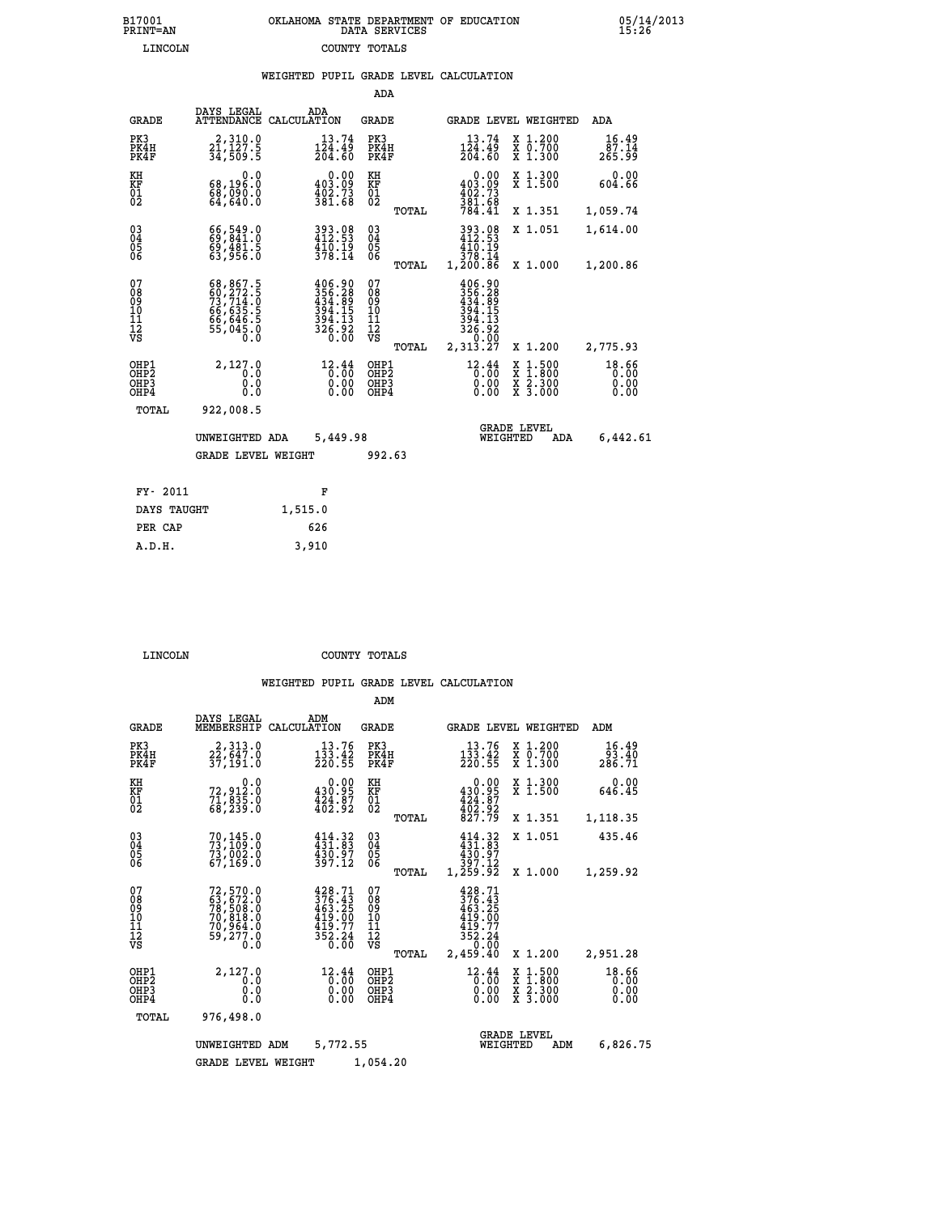|  | OKLAHOMA STATE DEPARTMENT OF EDUCATION<br>DATA SERVICES |  |
|--|---------------------------------------------------------|--|
|  | COUNTY TOTALS                                           |  |

05/14/2013<br>15:26

|                                                    |                                                                                                |                                                                                                             | ADA                                      |       |                                                                                                                                                                                            |                                                                                                  |                               |
|----------------------------------------------------|------------------------------------------------------------------------------------------------|-------------------------------------------------------------------------------------------------------------|------------------------------------------|-------|--------------------------------------------------------------------------------------------------------------------------------------------------------------------------------------------|--------------------------------------------------------------------------------------------------|-------------------------------|
| <b>GRADE</b>                                       | DAYS LEGAL                                                                                     | ADA<br>ATTENDANCE CALCULATION                                                                               | GRADE                                    |       | GRADE LEVEL WEIGHTED                                                                                                                                                                       |                                                                                                  | ADA                           |
| PK3<br>PK4H<br>PK4F                                | 2, 310.0<br>21, 127.5<br>34, 509.5                                                             | 13.74<br>$\frac{1\bar{2}\bar{4}\cdot 4\bar{9}}{204\cdot 60}$                                                | PK3<br>PK4H<br>PK4F                      |       | 13.74<br>$\frac{1\bar{2}\bar{4}\cdot 4\bar{9}}{204\cdot 60}$                                                                                                                               | X 1.200<br>X 0.700<br>X 1.300                                                                    | 16.49<br>87.14<br>265.99      |
| KH<br>KF<br>01<br>02                               | 0.0<br>68,196.0<br>68,090.0<br>64,640.0                                                        | $\begin{smallmatrix} &0.00\ 403.09\ 402.73\ 381.68\ \end{smallmatrix}$                                      | KH<br>KF<br>01<br>02                     |       | $\begin{smallmatrix} &0.00\\ 403.09\\ 402.73\\ 381.68\\ 784.41\end{smallmatrix}$                                                                                                           | X 1.300<br>X 1.500                                                                               | 0.00<br>604.66                |
|                                                    |                                                                                                |                                                                                                             |                                          | TOTAL |                                                                                                                                                                                            | X 1.351                                                                                          | 1,059.74                      |
| $\begin{matrix} 03 \\ 04 \\ 05 \\ 06 \end{matrix}$ | 66,549.0<br>69,481.5<br>63,956.0                                                               | 393.08<br>412.53<br>$\frac{410.19}{378.14}$                                                                 | $^{03}_{04}$<br>0500                     |       | 393.08<br>412.53<br>410.19<br>378.14                                                                                                                                                       | X 1.051                                                                                          | 1,614.00                      |
|                                                    |                                                                                                |                                                                                                             |                                          | TOTAL | 1,200.86                                                                                                                                                                                   | X 1.000                                                                                          | 1,200.86                      |
| 07<br>08<br>09<br>10<br>11<br>12<br>VS             | $68,867.5$<br>$60,272.5$<br>$73,714.0$<br>$66,635.5$<br>$66,646.5$<br>$66,646.5$<br>$55,045.0$ | $\begin{smallmatrix} 406.90\\ 356.28\\ 343.89\\ 434.89\\ 394.15\\ 394.13\\ 326.92\\ 0.00 \end{smallmatrix}$ | 07<br>08<br>09<br>11<br>11<br>12<br>VS   |       | $\begin{smallmatrix} 4\,0\,6\cdot\,9\,0\\ 3\,5\,6\cdot\,2\\ 4\,3\,4\cdot\,8\\ 4\,3\,4\cdot\,1\\ 3\,9\,4\cdot\,1\\ 3\,9\,4\cdot\,1\\ 3\,2\,6\cdot\,9\,2\\ 0\cdot\,0\,0\,0\end{smallmatrix}$ |                                                                                                  |                               |
|                                                    |                                                                                                |                                                                                                             |                                          | TOTAL | 2,313.27                                                                                                                                                                                   | X 1.200                                                                                          | 2,775.93                      |
| OHP1<br>OH <sub>P</sub> 2<br>OHP3<br>OHP4          | 2,127.0<br>0.0<br>0.0<br>0.0                                                                   | 12.44<br>0.00<br>0.00<br>0.00                                                                               | OHP1<br>OHP <sub>2</sub><br>OHP3<br>OHP4 |       | $12.44$<br>$0.00$<br>0.00<br>0.00                                                                                                                                                          | $\begin{smallmatrix} x & 1 & 500 \\ x & 1 & 800 \\ x & 2 & 300 \\ x & 3 & 000 \end{smallmatrix}$ | 18.66<br>0.00<br>0.00<br>0.00 |
| TOTAL                                              | 922,008.5                                                                                      |                                                                                                             |                                          |       |                                                                                                                                                                                            |                                                                                                  |                               |
|                                                    | UNWEIGHTED ADA                                                                                 | 5,449.98                                                                                                    |                                          |       | WEIGHTED                                                                                                                                                                                   | <b>GRADE LEVEL</b><br>ADA                                                                        | 6,442.61                      |
|                                                    | <b>GRADE LEVEL WEIGHT</b>                                                                      |                                                                                                             | 992.63                                   |       |                                                                                                                                                                                            |                                                                                                  |                               |
|                                                    |                                                                                                |                                                                                                             |                                          |       |                                                                                                                                                                                            |                                                                                                  |                               |
| FY- 2011                                           |                                                                                                | F                                                                                                           |                                          |       |                                                                                                                                                                                            |                                                                                                  |                               |
| DAYS TAUGHT                                        |                                                                                                | 1,515.0                                                                                                     |                                          |       |                                                                                                                                                                                            |                                                                                                  |                               |
| PER CAP                                            |                                                                                                | 626                                                                                                         |                                          |       |                                                                                                                                                                                            |                                                                                                  |                               |
| A.D.H.                                             |                                                                                                | 3,910                                                                                                       |                                          |       |                                                                                                                                                                                            |                                                                                                  |                               |

B17001<br>PRINT=AN<br>LINCOLN

 **LINCOLN COUNTY TOTALS**

|                                           |                                                                             |                                                                                                                | ADM                                              |                                                                                                                         |                                                                                                  |                               |
|-------------------------------------------|-----------------------------------------------------------------------------|----------------------------------------------------------------------------------------------------------------|--------------------------------------------------|-------------------------------------------------------------------------------------------------------------------------|--------------------------------------------------------------------------------------------------|-------------------------------|
| <b>GRADE</b>                              | DAYS LEGAL<br>MEMBERSHIP                                                    | ADM<br>CALCULATION                                                                                             | <b>GRADE</b>                                     | GRADE LEVEL WEIGHTED                                                                                                    |                                                                                                  | ADM                           |
| PK3<br>PK4H<br>PK4F                       | 2,313.0<br>22,647.0<br>37,191.0                                             | 13.76<br>133.42<br>220.55                                                                                      | PK3<br>PK4H<br>PK4F                              | 13.76<br>$\frac{1\bar{3}\bar{3}\cdot\bar{4}\bar{2}}{220:55}$                                                            | $\begin{smallmatrix} x & 1.200 \\ x & 0.700 \end{smallmatrix}$<br>X 1.300                        | 16.49<br>93.40<br>286.71      |
| KH<br>KF<br>01<br>02                      | 0.0<br>72,912:0<br>71,835:0<br>68,239:0                                     | 430.00<br>$\frac{1}{402}$ $\frac{1}{92}$                                                                       | KH<br>KF<br>01<br>02                             | 0.00<br>$430.95$<br>$424.87$<br>$402.92$<br>$827.79$                                                                    | X 1.300<br>X 1.500                                                                               | 0.00<br>646.45                |
|                                           |                                                                             |                                                                                                                | TOTAL                                            |                                                                                                                         | X 1.351                                                                                          | 1,118.35                      |
| 03<br>04<br>05<br>06                      | 70,145.0<br>73,109.0<br>73,002.0<br>67,169.0                                | $414.32$<br>$431.83$<br>430.97<br>397.12                                                                       | $\substack{03 \\ 04}$<br>0500                    | $414.32$<br>$431.83$<br>430.97                                                                                          | X 1.051                                                                                          | 435.46                        |
|                                           |                                                                             |                                                                                                                | TOTAL                                            | 12.793<br>1,259.92                                                                                                      | X 1.000                                                                                          | 1,259.92                      |
| 07<br>08<br>09<br>11<br>11<br>12<br>VS    | 72,570.0<br>63,672.0<br>78,508.0<br>70,818.0<br>70,954.0<br>59,277.0<br>0.0 | $\frac{428.71}{376.43}$<br>463.25<br>419.00<br>$\frac{4\bar{1}\bar{9}\cdot\bar{7}\bar{7}}{352\cdot24}$<br>0.00 | 07<br>08<br>09<br>101<br>11<br>12<br>VS<br>TOTAL | 428.71<br>376.43<br>$463.25$<br>$419.00$<br>$\frac{4\bar{1}\bar{9}\cdot\bar{7}\bar{7}}{352\cdot24}$<br>0.00<br>2,459.40 | X 1.200                                                                                          | 2,951.28                      |
| OHP1<br>OH <sub>P</sub> 2<br>OHP3<br>OHP4 | 2,127.0<br>0.0<br>0.0<br>Ŏ.Ŏ                                                | 12.44<br>0.00<br>0.00<br>0.00                                                                                  | OHP1<br>OHP <sub>2</sub><br>OHP3<br>OHP4         | 12.44<br>0.00<br>0.00<br>0.00                                                                                           | $\begin{smallmatrix} x & 1 & 500 \\ x & 1 & 800 \\ x & 2 & 300 \\ x & 3 & 000 \end{smallmatrix}$ | 18.66<br>0.00<br>0.00<br>0.00 |
| TOTAL                                     | 976,498.0                                                                   |                                                                                                                |                                                  |                                                                                                                         |                                                                                                  |                               |
|                                           | UNWEIGHTED ADM                                                              | 5,772.55                                                                                                       |                                                  | WEIGHTED                                                                                                                | <b>GRADE LEVEL</b><br>ADM                                                                        | 6,826.75                      |
|                                           | <b>GRADE LEVEL WEIGHT</b>                                                   |                                                                                                                | 1,054.20                                         |                                                                                                                         |                                                                                                  |                               |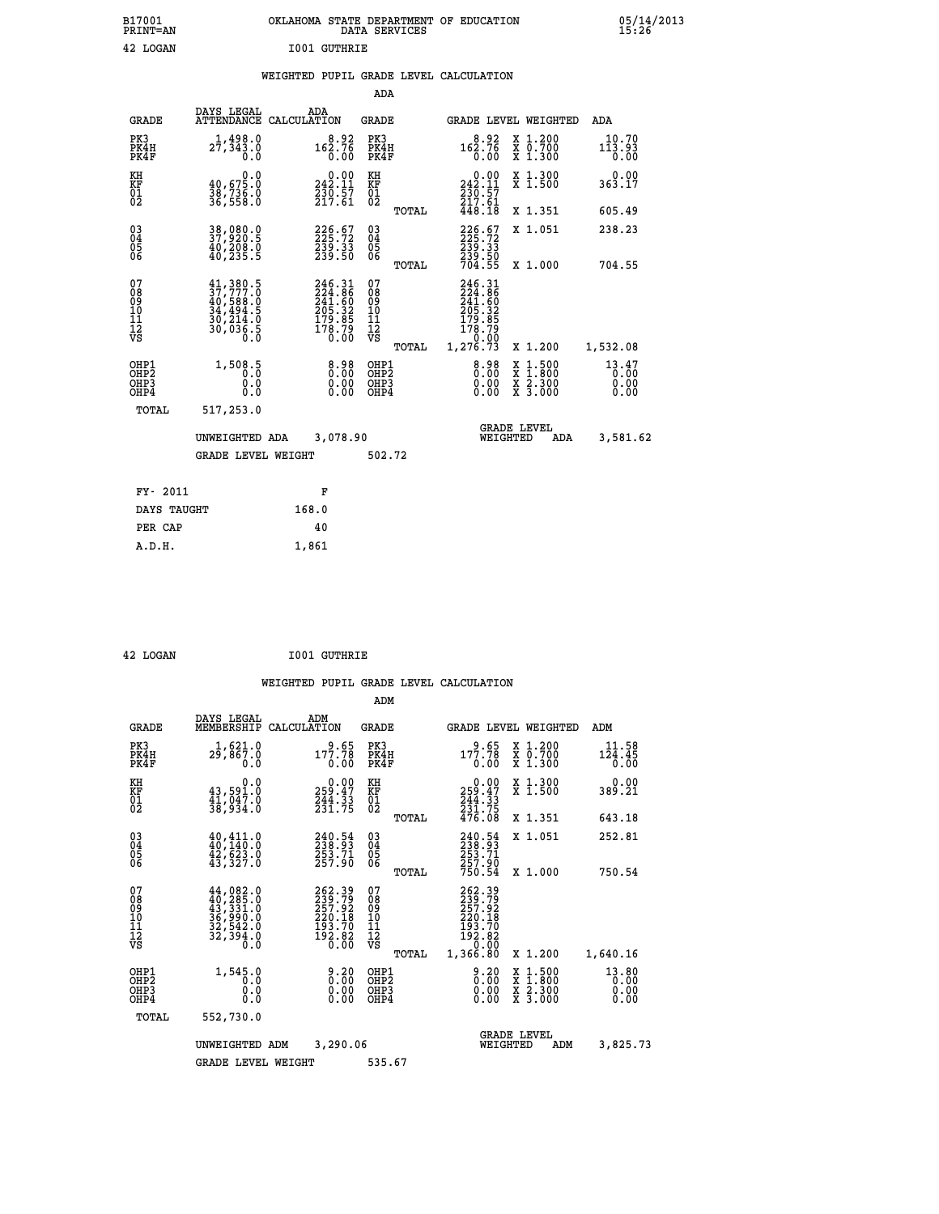| B17001<br><b>PRINT=AN</b> |                     | OKLAHOMA STATE DEPARTMENT OF EDUCATION<br>DATA SERVICES |  |
|---------------------------|---------------------|---------------------------------------------------------|--|
| 42 LOGAN                  | <b>IO01 GUTHRIE</b> |                                                         |  |

## **WEIGHTED PUPIL GRADE LEVEL CALCULATION**

| ADA<br>10.70<br>113.93<br>0.00 |
|--------------------------------|
|                                |
|                                |
| 0.00<br>363.17                 |
| 605.49                         |
| 238.23                         |
| 704.55                         |
| 1,532.08                       |
| 13.47<br>0.00<br>0.00<br>0.00  |
|                                |
| 3,581.62                       |
|                                |
|                                |
|                                |
|                                |
|                                |
|                                |

 **42 LOGAN I001 GUTHRIE**

|                                                    |                                                                                                                                                     |                                                                         | ADM                                                |       |                                                                                                      |                                          |                               |
|----------------------------------------------------|-----------------------------------------------------------------------------------------------------------------------------------------------------|-------------------------------------------------------------------------|----------------------------------------------------|-------|------------------------------------------------------------------------------------------------------|------------------------------------------|-------------------------------|
| <b>GRADE</b>                                       | DAYS LEGAL<br>MEMBERSHIP                                                                                                                            | ADM<br>CALCULATION                                                      | GRADE                                              |       |                                                                                                      | GRADE LEVEL WEIGHTED                     | ADM                           |
| PK3<br>PK4H<br>PK4F                                | 1,621.0<br>29,867.0<br>0.0                                                                                                                          | $9.65$<br>177.78<br>0.00                                                | PK3<br>PK4H<br>PK4F                                |       | $\frac{9.65}{177.78}$<br>0.00                                                                        | X 1.200<br>X 0.700<br>X 1.300            | 11.58<br>124.45<br>0.00       |
| KH<br>KF<br>01<br>02                               | 0.0<br>43,591.0<br>41,047.0<br>38,934.0                                                                                                             | $\begin{smallmatrix} &0.00\\ 259.47\\ 244.33\\ 231.75\end{smallmatrix}$ | KH<br>KF<br>01<br>02                               |       | 0.00<br>259:47<br>244:33<br>231:75<br>476:08                                                         | X 1.300<br>X 1.500                       | 0.00<br>389.21                |
|                                                    |                                                                                                                                                     |                                                                         |                                                    | TOTAL |                                                                                                      | X 1.351                                  | 643.18                        |
| $\begin{matrix} 03 \\ 04 \\ 05 \\ 06 \end{matrix}$ | $\begin{smallmatrix} 40, 411.0\\ 40, 140.0\\ 42, 623.0\\ 43, 327.0 \end{smallmatrix}$                                                               | 240.54<br>238.93<br>253.71<br>257.90                                    | $\begin{matrix} 03 \\ 04 \\ 05 \\ 06 \end{matrix}$ |       | 240:54<br>238:93<br>253:71<br>257:90                                                                 | X 1.051                                  | 252.81                        |
|                                                    |                                                                                                                                                     |                                                                         |                                                    | TOTAL | 750.54                                                                                               | X 1.000                                  | 750.54                        |
| 07<br>08<br>09<br>101<br>112<br>VS                 | $\begin{smallmatrix} 44\,,\,082\,.0\\ 40\,,\,285\,.0\\ 43\,,\,331\,.0\\ 36\,,\,990\,.0\\ 32\,,\,542\,.0\\ 32\,,\,394\,.0\\ 0\,.0 \end{smallmatrix}$ | 262.39<br>239.79<br>257.92<br>220.18<br>193.70<br>$\frac{152.82}{0.00}$ | 07<br>08<br>09<br>11<br>11<br>12<br>VS             | TOTAL | 262.39<br>239.79<br>257.92<br>220.18<br>$\begin{smallmatrix} 193.70\\192.82\\0.00 \end{smallmatrix}$ |                                          |                               |
|                                                    |                                                                                                                                                     |                                                                         |                                                    |       | 1,366.80                                                                                             | X 1.200                                  | 1,640.16                      |
| OHP1<br>OH <sub>P</sub> 2<br>OHP3<br>OHP4          | 1,545.0<br>0.0<br>0.0<br>0.0                                                                                                                        | $\begin{smallmatrix} 9.20\ 0.00\ 0.00 \end{smallmatrix}$                | OHP1<br>OHP <sub>2</sub><br>OHP <sub>3</sub>       |       | 0.20<br>0.00<br>0.00                                                                                 | X 1:500<br>X 1:800<br>X 2:300<br>X 3:000 | 13.80<br>0.00<br>0.00<br>0.00 |
| TOTAL                                              | 552,730.0                                                                                                                                           |                                                                         |                                                    |       |                                                                                                      |                                          |                               |
|                                                    | UNWEIGHTED                                                                                                                                          | 3,290.06<br>ADM                                                         |                                                    |       | WEIGHTED                                                                                             | <b>GRADE LEVEL</b><br>ADM                | 3,825.73                      |
|                                                    | <b>GRADE LEVEL WEIGHT</b>                                                                                                                           |                                                                         | 535.67                                             |       |                                                                                                      |                                          |                               |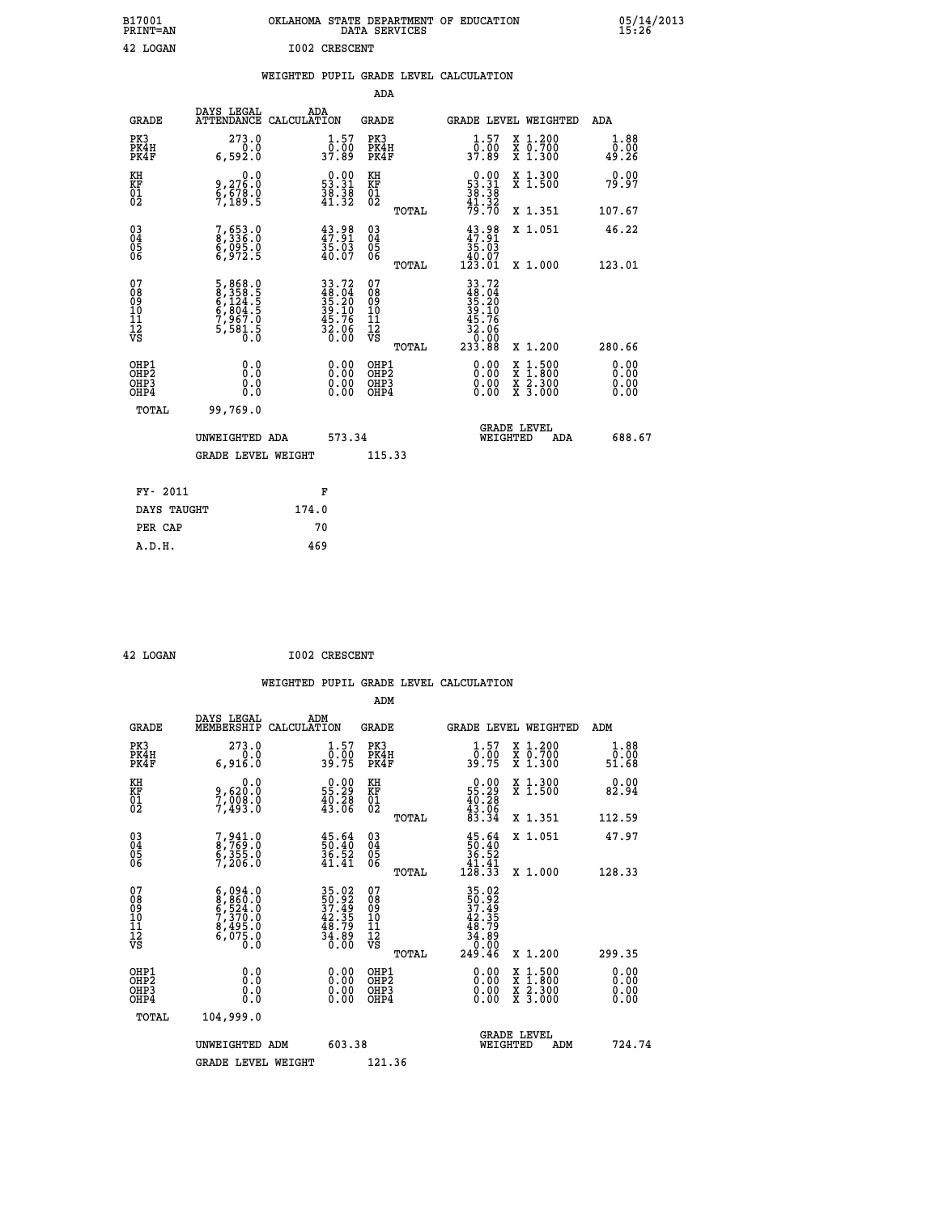| B17001<br>PRINT=AN                     |                                                                                  | OKLAHOMA STATE DEPARTMENT OF EDUCATION                     | DATA SERVICES                                      |                                                                    |                                                                                                  | 05/14/2013            |  |
|----------------------------------------|----------------------------------------------------------------------------------|------------------------------------------------------------|----------------------------------------------------|--------------------------------------------------------------------|--------------------------------------------------------------------------------------------------|-----------------------|--|
| 42 LOGAN                               |                                                                                  | <b>I002 CRESCENT</b>                                       |                                                    |                                                                    |                                                                                                  |                       |  |
|                                        |                                                                                  | WEIGHTED PUPIL GRADE LEVEL CALCULATION                     |                                                    |                                                                    |                                                                                                  |                       |  |
|                                        |                                                                                  |                                                            | ADA                                                |                                                                    |                                                                                                  |                       |  |
| <b>GRADE</b>                           | DAYS LEGAL<br>ATTENDANCE CALCULATION                                             | ADA                                                        | GRADE                                              | <b>GRADE LEVEL WEIGHTED</b>                                        |                                                                                                  | ADA                   |  |
| PK3<br>PK4H<br>PK4F                    | 273.0<br>0.0<br>6,592.0                                                          | $\frac{1}{0}$ : 57<br>37.89                                | PK3<br>PK4H<br>PK4F                                | $\frac{1}{0}$ : 57<br>37.89                                        | X 1.200<br>X 0.700<br>X 1.300                                                                    | 1.88<br>0.00<br>49.26 |  |
| KH<br>KF<br>$\overline{01}$            | 0.0<br>9,276:0<br>6,678:0<br>7,189:5                                             | $0.00$<br>53.31<br>$\frac{38}{41}$ $\frac{38}{32}$         | KH<br>KF<br>$^{01}_{02}$                           | $\begin{array}{r} 0.00 \\ 53.31 \\ 38.38 \\ 41.32 \end{array}$     | X 1.300<br>X 1.500                                                                               | 0.00<br>79.97         |  |
|                                        |                                                                                  |                                                            | TOTAL                                              | 79.70                                                              | X 1.351                                                                                          | 107.67                |  |
| $^{03}_{04}$<br>Ŏ5<br>06               | 7,653.0<br>8,336.0<br>6,095.0<br>6,972.5                                         | $43.98$<br>$47.91$<br>$35.03$<br>$40.07$                   | $\begin{matrix} 03 \\ 04 \\ 05 \\ 06 \end{matrix}$ | 43.98<br>35.03<br>40.07                                            | X 1.051                                                                                          | 46.22                 |  |
|                                        |                                                                                  |                                                            | <b>TOTAL</b>                                       | 123.01                                                             | X 1.000                                                                                          | 123.01                |  |
| 07<br>08<br>09<br>11<br>11<br>12<br>VS | 5, 868.0<br>8, 358.5<br>6, 124.5<br>6, 804.5<br>6, 867.0<br>5, 581.5<br>5, 581.5 | 33.72<br>48.04<br>35.20<br>39.10<br>39.76<br>32.06<br>0.00 | 07<br>08<br>09<br>10<br>11<br>12<br>VS<br>TOTAL    | 33.72<br>48.04<br>35.20<br>39.10<br>.76<br>32.06<br>0.00<br>233.88 | X 1.200                                                                                          | 280.66                |  |
| OHP1<br>OHP2<br>OHP3<br>OHP4<br>TOTAL  | 0.0<br>0.0<br>0.0<br>99,769.0                                                    | 0.00<br>0.00<br>0.00                                       | OHP1<br>OHP2<br>OHP3<br>OHP4                       | 0.00<br>0.00<br>0.00                                               | $\begin{smallmatrix} x & 1 & 500 \\ x & 1 & 800 \\ x & 2 & 300 \\ x & 3 & 000 \end{smallmatrix}$ | 0.00<br>0.00<br>0.00  |  |
|                                        |                                                                                  |                                                            |                                                    | <b>GRADE LEVEL</b>                                                 |                                                                                                  |                       |  |
|                                        | UNWEIGHTED ADA<br>GRADE LEVEL WEIGHT                                             | 573.34                                                     | 115.33                                             | WEIGHTED                                                           | ADA                                                                                              | 688.67                |  |
|                                        |                                                                                  |                                                            |                                                    |                                                                    |                                                                                                  |                       |  |
| FY- 2011                               |                                                                                  | F                                                          |                                                    |                                                                    |                                                                                                  |                       |  |
| DAYS TAUGHT                            |                                                                                  | 174.0                                                      |                                                    |                                                                    |                                                                                                  |                       |  |
| PER CAP                                |                                                                                  | 70                                                         |                                                    |                                                                    |                                                                                                  |                       |  |
| A.D.H.                                 |                                                                                  | 469                                                        |                                                    |                                                                    |                                                                                                  |                       |  |

| 42 LOGAN | <b>I002 CRESCENT</b> |
|----------|----------------------|

 **ADM**

| <b>GRADE</b>                                       | DAYS LEGAL<br>MEMBERSHIP CALCULATION                                                | ADM                                                                  | <b>GRADE</b>                                        |       |                                                                                                                                                                                                                                                                                | GRADE LEVEL WEIGHTED                     | ADM                   |  |
|----------------------------------------------------|-------------------------------------------------------------------------------------|----------------------------------------------------------------------|-----------------------------------------------------|-------|--------------------------------------------------------------------------------------------------------------------------------------------------------------------------------------------------------------------------------------------------------------------------------|------------------------------------------|-----------------------|--|
| PK3<br>PK4H<br>PK4F                                | 273.0<br>0.0<br>6,916.0                                                             | $\frac{1}{0}$ : 57<br>39.75                                          | PK3<br>PK4H<br>PK4F                                 |       | $1.57$<br>$0.00$<br>39.75                                                                                                                                                                                                                                                      | X 1.200<br>X 0.700<br>X 1.300            | 1.88<br>0.00<br>51.68 |  |
| KH<br>KF<br>01<br>02                               | 0.0<br>9,620.0<br>7,008.0<br>7,493.0                                                | $\begin{smallmatrix} 0.00\\ 55.29\\ 40.28\\ 43.06 \end{smallmatrix}$ | KH<br>KF<br>01<br>02                                |       | $\begin{smallmatrix} 0.00\\ 55.29\\ 40.28\\ 43.06\\ 83.34 \end{smallmatrix}$                                                                                                                                                                                                   | X 1.300<br>X 1.500                       | 0.00<br>82.94         |  |
|                                                    |                                                                                     |                                                                      |                                                     | TOTAL |                                                                                                                                                                                                                                                                                | X 1.351                                  | 112.59                |  |
| $\begin{matrix} 03 \\ 04 \\ 05 \\ 06 \end{matrix}$ | 7,941.0<br>8,769.0<br>6,355.0<br>7,206.0                                            | $\frac{45.64}{50.40}$<br>36.52<br>41.41                              | $\begin{array}{c} 03 \\ 04 \\ 05 \\ 06 \end{array}$ |       | $\begin{smallmatrix} 45.64\ 50.40\ 36.52\ 41.41\ 128.33 \end{smallmatrix}$                                                                                                                                                                                                     | X 1.051                                  | 47.97                 |  |
|                                                    |                                                                                     |                                                                      |                                                     | TOTAL |                                                                                                                                                                                                                                                                                | X 1.000                                  | 128.33                |  |
| 07<br>08<br>09<br>101<br>11<br>12<br>VS            | $6,094.0$<br>$8,860.0$<br>$6,524.0$<br>$7,370.0$<br>$8,495.0$<br>$6,075.0$<br>$0.0$ | 35.02<br>50.92<br>37.49<br>37.35<br>48.79<br>34.80<br>34.80          | 07<br>08<br>09<br>001<br>11<br>11<br>12<br>VS       | TOTAL | $35.02$<br>$37.49$<br>$42.35$<br>$48.79$<br>$34.89$<br>$34.09$<br>$249.46$                                                                                                                                                                                                     | X 1.200                                  | 299.35                |  |
| OHP1<br>OHP2<br>OHP3<br>OHP4                       |                                                                                     |                                                                      | OHP1<br>OHP2<br>OHP3<br>OHP4                        |       | $\begin{smallmatrix} 0.00 & 0.00 & 0.00 & 0.00 & 0.00 & 0.00 & 0.00 & 0.00 & 0.00 & 0.00 & 0.00 & 0.00 & 0.00 & 0.00 & 0.00 & 0.00 & 0.00 & 0.00 & 0.00 & 0.00 & 0.00 & 0.00 & 0.00 & 0.00 & 0.00 & 0.00 & 0.00 & 0.00 & 0.00 & 0.00 & 0.00 & 0.00 & 0.00 & 0.00 & 0.00 & 0.0$ | X 1:500<br>X 1:800<br>X 2:300<br>X 3:000 | 0.00<br>0.00<br>0.00  |  |
| TOTAL                                              | 104,999.0                                                                           |                                                                      |                                                     |       |                                                                                                                                                                                                                                                                                |                                          |                       |  |
|                                                    | UNWEIGHTED                                                                          | 603.38<br>ADM                                                        |                                                     |       | WEIGHTED                                                                                                                                                                                                                                                                       | <b>GRADE LEVEL</b><br>ADM                | 724.74                |  |
|                                                    | <b>GRADE LEVEL WEIGHT</b>                                                           |                                                                      | 121.36                                              |       |                                                                                                                                                                                                                                                                                |                                          |                       |  |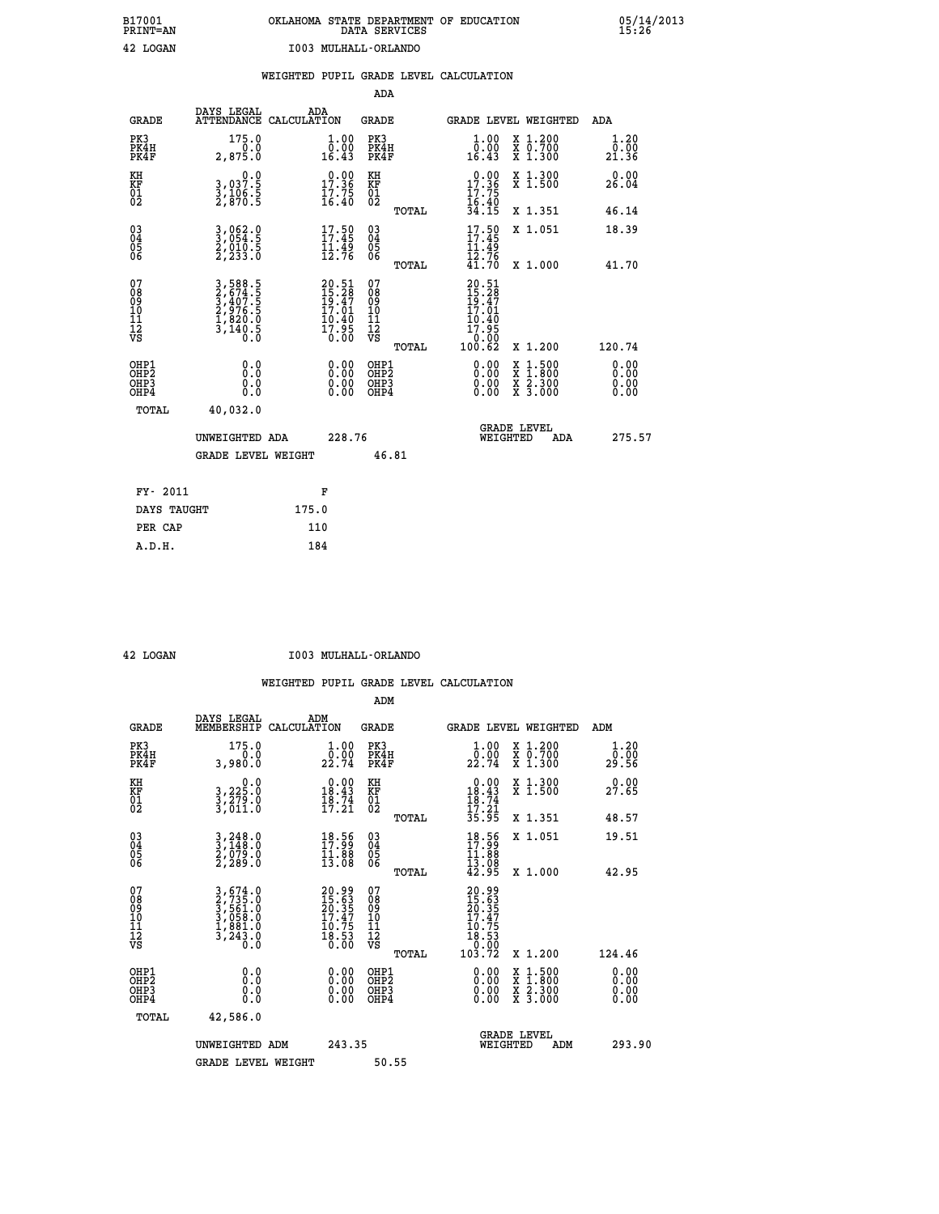| OKLAHOMA STATE DEPARTMENT OF EDUCATION<br>DATA SERVICES |  |
|---------------------------------------------------------|--|
| I003 MULHALL-ORLANDO                                    |  |

 **B17001 OKLAHOMA STATE DEPARTMENT OF EDUCATION 05/14/2013**

|                                                                    |                                                                           |                                                                          | ADA                                               |                                                                                                             |                              |
|--------------------------------------------------------------------|---------------------------------------------------------------------------|--------------------------------------------------------------------------|---------------------------------------------------|-------------------------------------------------------------------------------------------------------------|------------------------------|
| <b>GRADE</b>                                                       | DAYS LEGAL                                                                | ADA<br>ATTENDANCE CALCULATION                                            | <b>GRADE</b>                                      | GRADE LEVEL WEIGHTED                                                                                        | <b>ADA</b>                   |
| PK3<br>PK4H<br>PK4F                                                | 175.0<br>0.0<br>2,875.0                                                   | $\begin{smallmatrix} 1.00\\ 0.00\\ 16.43 \end{smallmatrix}$              | PK3<br>PK4H<br>PK4F                               | 1.00<br>X 1.200<br>X 0.700<br>X 1.300<br>ŏ:ŏŏ<br>16.43                                                      | 1.20<br>0.00<br>21.36        |
| KH<br>KF<br>01<br>02                                               | 0.0<br>3,037:5<br>3,106:5<br>2,870:5                                      | 17.36<br>$\frac{17.75}{16.40}$                                           | KH<br>KF<br>01<br>02                              | 17.36<br>X 1.300<br>X 1.500<br>$\frac{17.75}{16.40}$<br>34.15                                               | 0.00<br>26.04                |
|                                                                    |                                                                           |                                                                          | TOTAL                                             | X 1.351                                                                                                     | 46.14                        |
| $\begin{smallmatrix} 03 \\[-4pt] 04 \end{smallmatrix}$<br>Ŏ5<br>06 | 3,062.0<br>3,054.5<br>2,010.5<br>2,233.0                                  | 17.59<br>$\frac{1}{12}$ $\frac{1}{76}$                                   | $\substack{03 \\ 04}$<br>$\frac{05}{06}$<br>TOTAL | $17.50$<br>$17.45$<br>X 1.051<br><b>11.49</b><br>$\bar{1}\bar{2}.\bar{7}\bar{6}$<br>41.70<br>X 1.000        | 18.39<br>41.70               |
| 07<br>08<br>09<br>11<br>11<br>12<br>VS                             | 3,588.5<br>2,674.5<br>3,407.5<br>2,976.5<br>2,976.5<br>1,820.0<br>3,140.5 | $20.51$<br>$15.28$<br>$19.47$<br>$17.01$<br>$10.40$<br>$17.95$<br>$0.00$ | 07<br>08<br>09<br>11<br>11<br>12<br>VS            | $20.51$<br>$15.28$<br>$19.47$<br>$17.01$<br>$\begin{array}{r} 16.40 \\ 17.95 \\ 0.00 \\ 100.62 \end{array}$ |                              |
|                                                                    |                                                                           |                                                                          | TOTAL                                             | X 1.200                                                                                                     | 120.74                       |
| OHP1<br>OH <sub>P</sub> 2<br>OHP3<br>OHP4                          | 0.0<br>Ō.Ō<br>0.0<br>Ō.Ō                                                  | 0.00<br>$\begin{smallmatrix} 0.00 \ 0.00 \end{smallmatrix}$              | OHP1<br>OH <sub>P</sub> 2<br>OHP3<br>OHP4         | 0.00<br>$1:500$<br>$1:800$<br>X<br>X<br>0.00<br>X 2.300<br>X 3.000<br>0.00                                  | 0.00<br>0.00<br>0.00<br>0.00 |
| TOTAL                                                              | 40,032.0                                                                  |                                                                          |                                                   |                                                                                                             |                              |
|                                                                    | UNWEIGHTED ADA                                                            | 228.76                                                                   |                                                   | <b>GRADE LEVEL</b><br>WEIGHTED<br>ADA                                                                       | 275.57                       |
|                                                                    | <b>GRADE LEVEL WEIGHT</b>                                                 |                                                                          | 46.81                                             |                                                                                                             |                              |
|                                                                    | FY- 2011                                                                  | F                                                                        |                                                   |                                                                                                             |                              |
|                                                                    | DAYS TAUGHT                                                               | 175.0                                                                    |                                                   |                                                                                                             |                              |
| PER CAP                                                            |                                                                           | 110                                                                      |                                                   |                                                                                                             |                              |

 **A.D.H. 184**

**B17001<br>PRINT=AN<br>42 LOGAN** 

 **42 LOGAN I003 MULHALL-ORLANDO**

|                                                      |                                                                                                                                                             |                                                                       | ADM                                                 |                                                                                                              |                          |                                          |                              |
|------------------------------------------------------|-------------------------------------------------------------------------------------------------------------------------------------------------------------|-----------------------------------------------------------------------|-----------------------------------------------------|--------------------------------------------------------------------------------------------------------------|--------------------------|------------------------------------------|------------------------------|
| <b>GRADE</b>                                         | DAYS LEGAL<br>MEMBERSHIP                                                                                                                                    | ADM<br>CALCULATION                                                    | <b>GRADE</b>                                        |                                                                                                              |                          | GRADE LEVEL WEIGHTED                     | ADM                          |
| PK3<br>PK4H<br>PK4F                                  | 175.0<br>0.0<br>3,980.0                                                                                                                                     | $\frac{1}{0}$ : 00<br>22.74                                           | PK3<br>PK4H<br>PK4F                                 | $\frac{1}{0}$ :00<br>22.74                                                                                   |                          | X 1.200<br>X 0.700<br>X 1.300            | 1.20<br>ō:ōŏ<br>29.56        |
| KH<br>KF<br>01<br>02                                 | 0.0<br>3,225:0<br>3,279:0<br>3,011:0                                                                                                                        | $\begin{smallmatrix} 0.00\\18.43\\18.74\\17.21 \end{smallmatrix}$     | KH<br>KF<br>01<br>02                                | $\begin{array}{r} 0.00 \\ 18.43 \\ 18.74 \\ 17.21 \\ 35.95 \end{array}$                                      |                          | X 1.300<br>X 1.500                       | 0.00<br>27.65                |
|                                                      |                                                                                                                                                             |                                                                       | TOTAL                                               |                                                                                                              |                          | X 1.351                                  | 48.57                        |
| 03<br>04<br>05<br>06                                 | $\frac{3}{3}, \frac{248}{148}.0$<br>$\frac{2}{7}, \frac{079}{29}.0$<br>$\frac{2}{7}, \frac{289}{20}.0$                                                      | $\begin{smallmatrix} 18.56\\ 17.99\\ 11.88\\ 13.08 \end{smallmatrix}$ | $\begin{array}{c} 03 \\ 04 \\ 05 \\ 06 \end{array}$ | 18.56<br>$\frac{11.88}{13.08}$<br>$42.95$                                                                    |                          | X 1.051                                  | 19.51                        |
|                                                      |                                                                                                                                                             |                                                                       | TOTAL                                               |                                                                                                              |                          | X 1.000                                  | 42.95                        |
| 07<br>08<br>09<br>101<br>112<br>VS                   | $\begin{smallmatrix} 3\,,\,674\,.\,0\\ 2\,,\,735\,.\,0\\ 3\,,\,561\,.\,0\\ 3\,,\,058\,.\,0\\ 1\,,\,881\,.\,0\\ 3\,,\,243\,.\,0\\ 0\,.\,0 \end{smallmatrix}$ | $20.9915.6320.3517.4710.7518.530.00$                                  | 07<br>08<br>09<br>11<br>11<br>12<br>VS              | $\begin{smallmatrix} 20.99\ 15.63\ 20.357\ 20.377\ 17.475\ 10.753\ 18.530\ 0.002\ 103.72\ \end{smallmatrix}$ |                          |                                          |                              |
|                                                      |                                                                                                                                                             |                                                                       | TOTAL                                               |                                                                                                              |                          | X 1.200                                  | 124.46                       |
| OHP1<br>OHP2<br>OH <sub>P3</sub><br>OH <sub>P4</sub> | 0.0<br>$\begin{smallmatrix} 0.0 & 0 \ 0.0 & 0 \end{smallmatrix}$                                                                                            |                                                                       | OHP1<br>OHP2<br>OHP <sub>3</sub>                    |                                                                                                              | $0.00$<br>$0.00$<br>0.00 | X 1:500<br>X 1:800<br>X 2:300<br>X 3:000 | 0.00<br>0.00<br>0.00<br>0.00 |
| TOTAL                                                | 42,586.0                                                                                                                                                    |                                                                       |                                                     |                                                                                                              |                          |                                          |                              |
|                                                      | UNWEIGHTED ADM                                                                                                                                              | 243.35                                                                |                                                     |                                                                                                              | GRADE LEVEL<br>WEIGHTED  | ADM                                      | 293.90                       |
|                                                      | <b>GRADE LEVEL WEIGHT</b>                                                                                                                                   |                                                                       | 50.55                                               |                                                                                                              |                          |                                          |                              |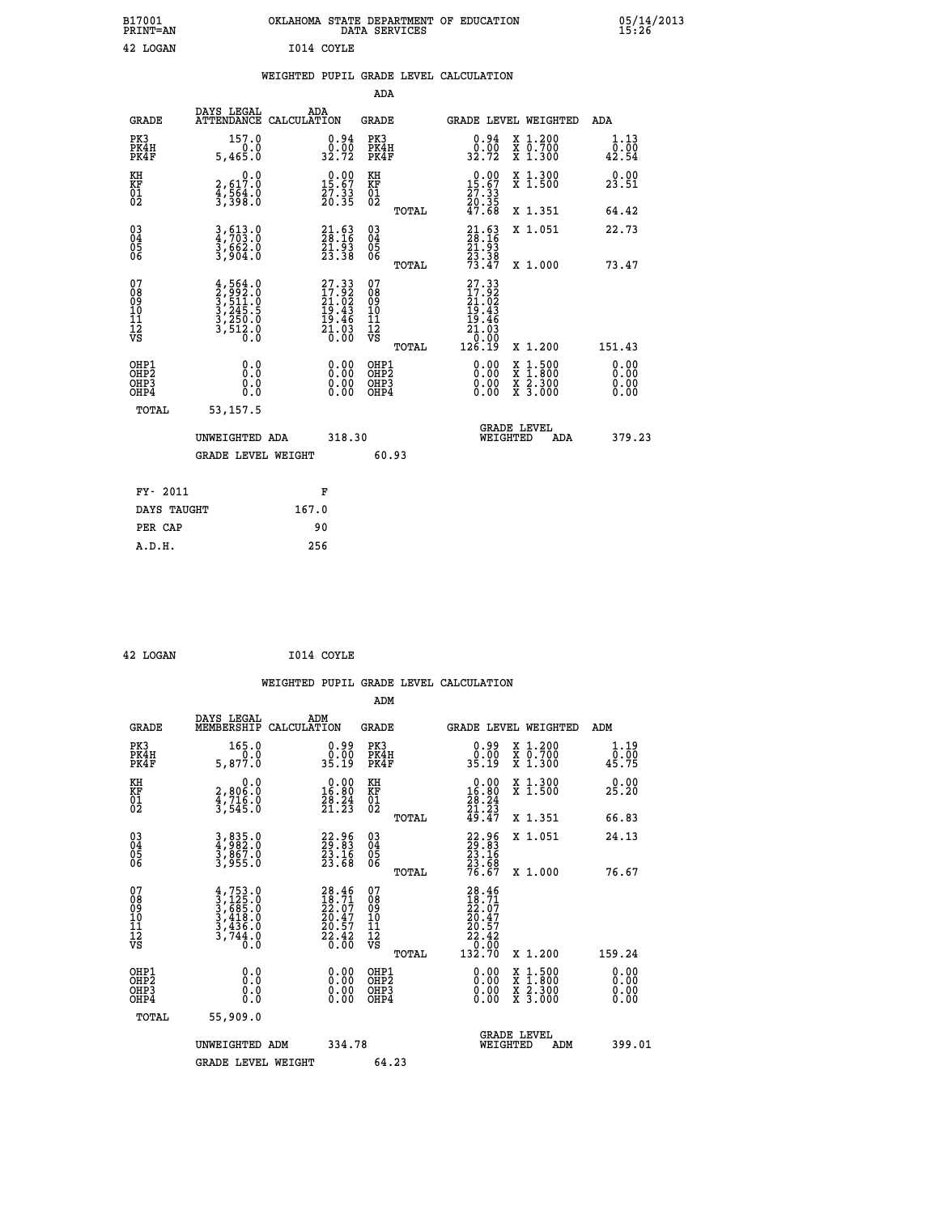| B17001<br><b>PRINT=AN</b> | OKLAHOMA STATE DEPARTMENT OF EDUCATION<br>DATA SERVICES | 05/14/2013<br>15:26 |
|---------------------------|---------------------------------------------------------|---------------------|
| 42 LOGAN                  | I014 COYLE                                              |                     |

|  |  | WEIGHTED PUPIL GRADE LEVEL CALCULATION |
|--|--|----------------------------------------|
|  |  |                                        |

|                                                                    |                                                                                      |                                                                   | ADA                                                 |       |                                                                              |                                                                                                                                           |                                                |
|--------------------------------------------------------------------|--------------------------------------------------------------------------------------|-------------------------------------------------------------------|-----------------------------------------------------|-------|------------------------------------------------------------------------------|-------------------------------------------------------------------------------------------------------------------------------------------|------------------------------------------------|
| <b>GRADE</b>                                                       | DAYS LEGAL                                                                           | ADA<br>ATTENDANCE CALCULATION                                     | <b>GRADE</b>                                        |       |                                                                              | GRADE LEVEL WEIGHTED                                                                                                                      | ADA                                            |
| PK3<br>PK4H<br>PK4F                                                | 157.0<br>0.0<br>5,465.0                                                              | $\begin{smallmatrix} 0.94\ 0.00\\ 32.72 \end{smallmatrix}$        | PK3<br>PK4H<br>PK4F                                 |       | $\begin{smallmatrix} 0.94\ 0.00\\ 32.72 \end{smallmatrix}$                   | X 1.200<br>X 0.700<br>X 1.300                                                                                                             | 1.13<br>$\frac{\bar{0}.\bar{0}\bar{0}}{42.54}$ |
| KH<br>KF<br>01<br>02                                               | 0.0<br>2,617:0<br>4,564:0<br>3,398:0                                                 | $15.00$<br>15.67<br>27:33<br>20:35                                | KH<br>KF<br>01<br>02                                |       | $\begin{smallmatrix} 0.00\\ 15.67\\ 27.33\\ 20.35\\ 47.68 \end{smallmatrix}$ | X 1.300<br>X 1.500                                                                                                                        | 0.00<br>23.51                                  |
|                                                                    |                                                                                      |                                                                   |                                                     | TOTAL |                                                                              | X 1.351                                                                                                                                   | 64.42                                          |
| $\begin{smallmatrix} 03 \\[-4pt] 04 \end{smallmatrix}$<br>Ŏ5<br>06 | 3,613.0<br>4,703.0<br>3,662.0<br>3,904.0                                             | 21.63<br>28.16<br>21.93<br>23.38                                  | $\begin{array}{c} 03 \\ 04 \\ 05 \\ 06 \end{array}$ | TOTAL | $21.6328.1621.9323.3873.47$                                                  | X 1.051<br>X 1.000                                                                                                                        | 22.73<br>73.47                                 |
| 07<br>08<br>09<br>101<br>11<br>12<br>VS                            | $4,564.0$<br>$3,5992.0$<br>$3,511.0$<br>$3,245.5$<br>$3,250.0$<br>$3,512.0$<br>$0.0$ | 27.33<br>17.92<br>21.02<br>19.43<br>19.46<br>$\frac{21.03}{0.00}$ | 07<br>08<br>09<br>11<br>11<br>12<br>VS              |       | $27.33$<br>$17.92$<br>$21.02$<br>$19.43$<br>$19.46$<br>$21.03$<br>$0.90$     |                                                                                                                                           |                                                |
|                                                                    |                                                                                      |                                                                   |                                                     | TOTAL | 126.19                                                                       | X 1.200                                                                                                                                   | 151.43                                         |
| OHP1<br>OHP <sub>2</sub><br>OH <sub>P3</sub><br>OHP4               | 0.0<br>0.000                                                                         | 0.00<br>$\begin{smallmatrix} 0.00 \ 0.00 \end{smallmatrix}$       | OHP1<br>OHP2<br>OHP <sub>3</sub>                    |       | 0.00<br>0.00                                                                 | $\begin{smallmatrix} \mathtt{X} & 1\cdot500\\ \mathtt{X} & 1\cdot800\\ \mathtt{X} & 2\cdot300\\ \mathtt{X} & 3\cdot000 \end{smallmatrix}$ | 0.00<br>Ō. ŌŌ<br>0.00<br>0.00                  |
| TOTAL                                                              | 53, 157.5                                                                            |                                                                   |                                                     |       |                                                                              |                                                                                                                                           |                                                |
|                                                                    | UNWEIGHTED ADA                                                                       | 318.30                                                            |                                                     |       |                                                                              | <b>GRADE LEVEL</b><br>WEIGHTED<br>ADA                                                                                                     | 379.23                                         |
|                                                                    | <b>GRADE LEVEL WEIGHT</b>                                                            |                                                                   |                                                     | 60.93 |                                                                              |                                                                                                                                           |                                                |
| FY- 2011                                                           |                                                                                      | F                                                                 |                                                     |       |                                                                              |                                                                                                                                           |                                                |
| DAYS TAUGHT                                                        |                                                                                      | 167.0                                                             |                                                     |       |                                                                              |                                                                                                                                           |                                                |
| PER CAP                                                            |                                                                                      | 90                                                                |                                                     |       |                                                                              |                                                                                                                                           |                                                |

| 42 LOGAN | I014 COYLE |
|----------|------------|
|          |            |

|                                          |                                                                             |                                                                          | ADM                                                 |       |                                                                                               |                                          |                              |
|------------------------------------------|-----------------------------------------------------------------------------|--------------------------------------------------------------------------|-----------------------------------------------------|-------|-----------------------------------------------------------------------------------------------|------------------------------------------|------------------------------|
| <b>GRADE</b>                             | DAYS LEGAL<br>MEMBERSHIP                                                    | ADM<br>CALCULATION                                                       | <b>GRADE</b>                                        |       |                                                                                               | <b>GRADE LEVEL WEIGHTED</b>              | ADM                          |
| PK3<br>PK4H<br>PK4F                      | 165.0<br>0.0<br>5,877.0                                                     | $0.99$<br>$0.00$<br>35.19                                                | PK3<br>PK4H<br>PK4F                                 |       | $0.99$<br>$0.00$<br>35.19                                                                     | X 1.200<br>X 0.700<br>X 1.300            | 1.19<br>0.00<br>45.75        |
| KH<br>KF<br>01<br>02                     | 0.0<br>2,806:0<br>4,716:0<br>3,545:0                                        | $\begin{smallmatrix} 0.00\\16.80\\28.24\\21.23 \end{smallmatrix}$        | KH<br>KF<br>01<br>02                                |       | $\begin{smallmatrix} 0.00\\16.80\\28.24\\21.23\\49.47 \end{smallmatrix}$                      | X 1.300<br>X 1.500                       | 0.00<br>25.20                |
|                                          |                                                                             |                                                                          |                                                     | TOTAL |                                                                                               | X 1.351                                  | 66.83                        |
| 03<br>04<br>05<br>06                     | 3,835.0<br>4,982.0<br>3,867.0<br>3,955.0                                    | 22.96<br>23.83<br>23.16<br>23.68                                         | $\begin{array}{c} 03 \\ 04 \\ 05 \\ 06 \end{array}$ |       | 22.96<br>23.16<br>23.16<br>23.68<br>76.67                                                     | X 1.051                                  | 24.13                        |
|                                          |                                                                             |                                                                          |                                                     | TOTAL |                                                                                               | X 1.000                                  | 76.67                        |
| 07<br>08901112<br>1112<br>VS             | $4, 753.0$<br>$3, 425.0$<br>$3, 418.0$<br>$3, 436.0$<br>$3, 744.0$<br>$0.0$ | $28.46$<br>$18.71$<br>$22.07$<br>$20.47$<br>$20.57$<br>$22.42$<br>$0.00$ | 07<br>08<br>09<br>01<br>11<br>11<br>12<br>VS        |       | $\begin{smallmatrix} 28.46\\18.71\\22.07\\20.47\\20.57\\22.42\\0.00\\132.70\end{smallmatrix}$ |                                          |                              |
|                                          |                                                                             |                                                                          |                                                     | TOTAL |                                                                                               | X 1.200                                  | 159.24                       |
| OHP1<br>OHP2<br>OH <sub>P3</sub><br>OHP4 |                                                                             |                                                                          | OHP1<br>OHP2<br>OHP <sub>3</sub>                    |       | $0.00$<br>$0.00$<br>0.00                                                                      | X 1:500<br>X 1:800<br>X 2:300<br>X 3:000 | 0.00<br>Ŏ.ŎŎ<br>Q.QQ<br>0.00 |
| TOTAL                                    | 55,909.0                                                                    |                                                                          |                                                     |       |                                                                                               |                                          |                              |
|                                          | UNWEIGHTED ADM                                                              | 334.78                                                                   |                                                     |       |                                                                                               | GRADE LEVEL<br>WEIGHTED<br>ADM           | 399.01                       |
|                                          | <b>GRADE LEVEL WEIGHT</b>                                                   |                                                                          | 64.23                                               |       |                                                                                               |                                          |                              |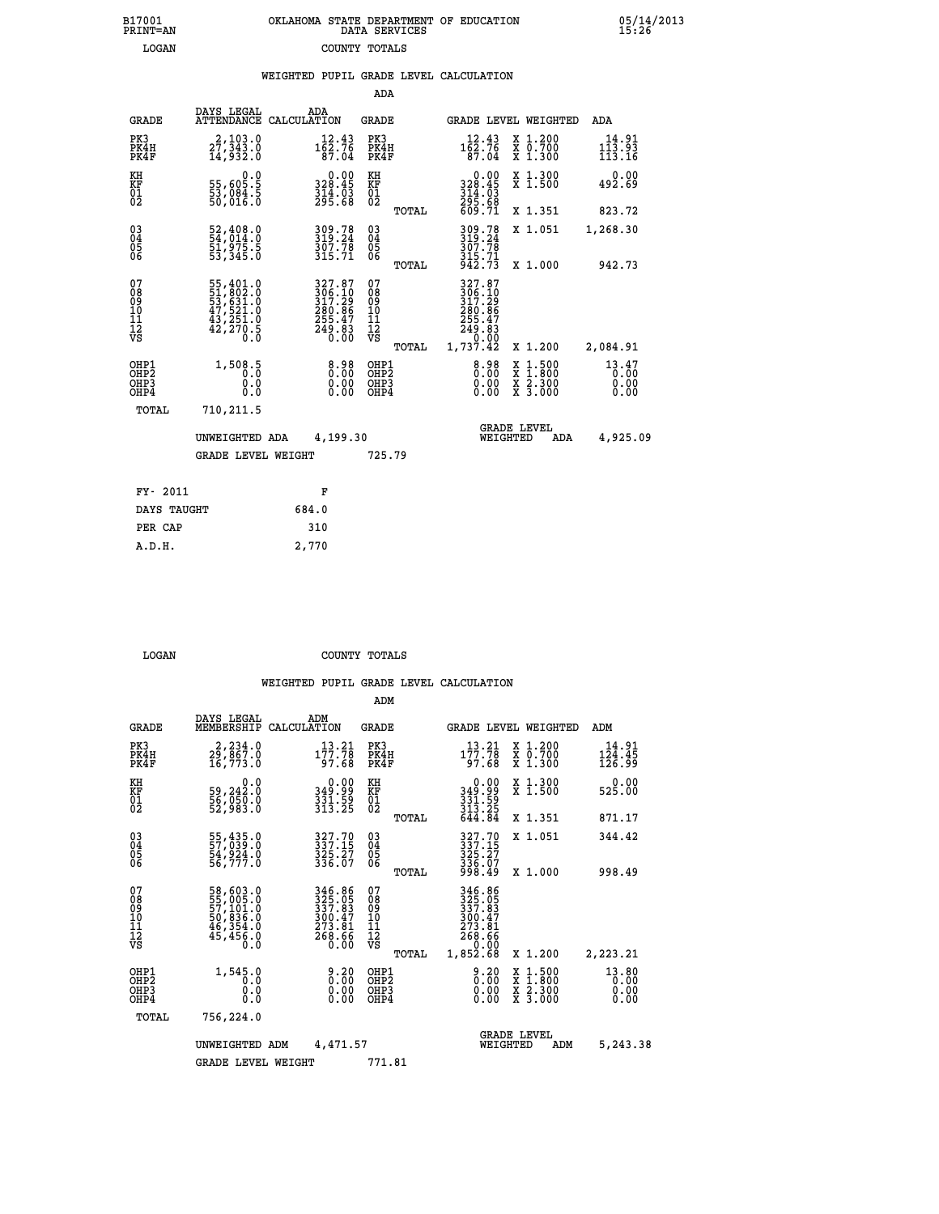| OKLAHOMA STATE DEPARTMENT OF EDUCATION<br>DATA SERVICES |  |
|---------------------------------------------------------|--|
| COUNTY TOTALS                                           |  |

B17001<br>PRINT=AN<br>LOGAN

05/14/2013<br>15:26

|  |  | WEIGHTED PUPIL GRADE LEVEL CALCULATION |
|--|--|----------------------------------------|
|  |  |                                        |

|                                              |                                                                                                                     | ADA                                                                                                |                                                                                                                                                                                                                                                                                        |                                                                                                                                                                                 |                                                                                                              |
|----------------------------------------------|---------------------------------------------------------------------------------------------------------------------|----------------------------------------------------------------------------------------------------|----------------------------------------------------------------------------------------------------------------------------------------------------------------------------------------------------------------------------------------------------------------------------------------|---------------------------------------------------------------------------------------------------------------------------------------------------------------------------------|--------------------------------------------------------------------------------------------------------------|
| DAYS LEGAL                                   | ADA                                                                                                                 | <b>GRADE</b>                                                                                       |                                                                                                                                                                                                                                                                                        |                                                                                                                                                                                 | <b>ADA</b>                                                                                                   |
| 2,103.0<br>27,343.0<br>14,932.0              |                                                                                                                     | PK3<br>PK4H<br>PK4F                                                                                | $1\overline{6}2.76$<br>$1\overline{6}2.76$<br>87.04                                                                                                                                                                                                                                    | X 1.200<br>X 0.700<br>X 1.300                                                                                                                                                   | 14.91<br>113.93<br>113.16                                                                                    |
| 0.0                                          | 0.00<br>328.45                                                                                                      | KH                                                                                                 | 0.00                                                                                                                                                                                                                                                                                   | X 1.300<br>X 1.500                                                                                                                                                              | 0.00<br>492.69                                                                                               |
|                                              |                                                                                                                     | TOTAL                                                                                              |                                                                                                                                                                                                                                                                                        | X 1.351                                                                                                                                                                         | 823.72                                                                                                       |
| 52,408.0<br>54,014.0<br>51,975.5<br>53,345.0 | 309.78<br>319:24<br>307.78<br>315.71                                                                                | $\substack{03 \\ 04}$<br>$\frac{05}{06}$                                                           | 309.78<br>319:24<br>307.78                                                                                                                                                                                                                                                             | X 1.051                                                                                                                                                                         | 1,268.30                                                                                                     |
|                                              |                                                                                                                     |                                                                                                    |                                                                                                                                                                                                                                                                                        |                                                                                                                                                                                 | 942.73                                                                                                       |
|                                              |                                                                                                                     | 08<br>09<br>11<br>11<br>12<br>VS                                                                   | 306.10<br>317.29                                                                                                                                                                                                                                                                       |                                                                                                                                                                                 |                                                                                                              |
|                                              |                                                                                                                     |                                                                                                    |                                                                                                                                                                                                                                                                                        |                                                                                                                                                                                 | 2,084.91                                                                                                     |
| 0.0<br>Ō.Ō                                   |                                                                                                                     | OH <sub>P</sub> 2<br>OHP3<br>OHP4                                                                  | 0.00<br>0.00                                                                                                                                                                                                                                                                           | $\frac{\ddot{x}}{x}$ $\frac{2.300}{3.000}$                                                                                                                                      | 13.47<br>0.00<br>0.00<br>0.00                                                                                |
| 710,211.5                                    |                                                                                                                     |                                                                                                    |                                                                                                                                                                                                                                                                                        |                                                                                                                                                                                 |                                                                                                              |
|                                              |                                                                                                                     |                                                                                                    |                                                                                                                                                                                                                                                                                        | ADA                                                                                                                                                                             | 4,925.09                                                                                                     |
|                                              |                                                                                                                     | 725.79                                                                                             |                                                                                                                                                                                                                                                                                        |                                                                                                                                                                                 |                                                                                                              |
| FY- 2011                                     |                                                                                                                     |                                                                                                    |                                                                                                                                                                                                                                                                                        |                                                                                                                                                                                 |                                                                                                              |
| DAYS TAUGHT                                  | 684.0                                                                                                               |                                                                                                    |                                                                                                                                                                                                                                                                                        |                                                                                                                                                                                 |                                                                                                              |
| PER CAP                                      | 310                                                                                                                 |                                                                                                    |                                                                                                                                                                                                                                                                                        |                                                                                                                                                                                 |                                                                                                              |
|                                              | 55,605.5<br>53,084.5<br>50,016.0<br>55,401.0<br>51,802.0<br>53,631.0<br>47,521.0<br>43,251.0<br>42,270.5<br>1,508.5 | ATTENDANCE CALCULATION<br>$\frac{314}{295.68}$<br>UNWEIGHTED ADA<br><b>GRADE LEVEL WEIGHT</b><br>F | $1\overline{6}2.76$<br>$1\overline{6}2.76$<br>87.04<br>KF<br>01<br>02<br>TOTAL<br>07<br>$\begin{smallmatrix} 327.87\\ 306.10\\ 317.29\\ 280.86\\ 255.47\\ 249.83\\ 0.00 \end{smallmatrix}$<br>TOTAL<br>8.98<br>OHP1<br>$\begin{smallmatrix} 0.00 \ 0.00 \end{smallmatrix}$<br>4,199.30 | 328:45<br>314:03<br>295:68<br>609:71<br>$\frac{315.71}{942.73}$<br>327.87<br>$\begin{smallmatrix} 280.286\ 255.47\ 249.83\ 0.00\ 1,737.42\ \end{smallmatrix}$<br>$8.98$<br>0.00 | GRADE LEVEL WEIGHTED<br>X 1.000<br>X 1.200<br>$1:500$<br>$1:800$<br>X<br>X<br><b>GRADE LEVEL</b><br>WEIGHTED |

 **LOGAN COUNTY TOTALS**

 **A.D.H. 2,770**

|                                    |                                                       |                                                                      |                                                                            | ADM                                                |       |                                                                                  |                                                                                                  |                           |
|------------------------------------|-------------------------------------------------------|----------------------------------------------------------------------|----------------------------------------------------------------------------|----------------------------------------------------|-------|----------------------------------------------------------------------------------|--------------------------------------------------------------------------------------------------|---------------------------|
|                                    | <b>GRADE</b>                                          | DAYS LEGAL<br>MEMBERSHIP                                             | ADM<br>CALCULATION                                                         | <b>GRADE</b>                                       |       |                                                                                  | GRADE LEVEL WEIGHTED                                                                             | ADM                       |
| PK3                                | PK4H<br>PK4F                                          | 2,234.0<br>16,773.0                                                  | 13.21<br>177.78<br>97.68                                                   | PK3<br>PK4H<br>PK4F                                |       | 13.21<br>$1\bar{7}\bar{7}.\bar{7}\bar{8}$<br>97.68                               | $\begin{array}{c} x & 1.200 \\ x & 0.700 \end{array}$<br>$X$ 1.300                               | 14.91<br>124.45<br>126.99 |
| KH<br>KF<br>01<br>02               |                                                       | 0.0<br>59,242:0<br>56,050:0<br>52,983:0                              | 0.00<br>349.99<br>331.59<br>313.25                                         | KH<br>KF<br>01<br>02                               |       | 0.00<br>99.948<br>$\frac{3}{3}\frac{1}{1}\frac{1}{3}\cdot\frac{5}{2}\frac{9}{5}$ | X 1.300<br>X 1.500                                                                               | 0.00<br>525.00            |
|                                    |                                                       |                                                                      |                                                                            |                                                    | TOTAL | 644.84                                                                           | X 1.351                                                                                          | 871.17                    |
| 03<br>04<br>05<br>06               |                                                       | 55,435.0<br>57,039.0<br>54,924.0<br>56,777.0                         | 327.70<br>337.15<br>325.27<br>336.07                                       | $\begin{matrix} 03 \\ 04 \\ 05 \\ 06 \end{matrix}$ |       | 327.70<br>337.15<br>325.27<br>336.07<br>998.49                                   | X 1.051                                                                                          | 344.42                    |
|                                    |                                                       |                                                                      |                                                                            |                                                    | TOTAL |                                                                                  | X 1.000                                                                                          | 998.49                    |
| 07<br>08<br>09<br>101<br>112<br>VS |                                                       | 58,603.0<br>55,005.0<br>57,101.0<br>50,836.0<br>46,354.0<br>45,456.0 | 346.86<br>325.05<br>337.83<br>300.47<br>300.47<br>273.81<br>268.66<br>0.00 | 07<br>08<br>09<br>11<br>11<br>12<br>VS             | TOTAL | 346.86<br>325.05<br>337.83<br>300.47<br>273.81<br>268.66<br>0.00<br>1,852.68     | X 1.200                                                                                          | 2,223.21                  |
|                                    | OHP1<br>OH <sub>P</sub> 2<br>OH <sub>P3</sub><br>OHP4 | 1,545.0<br>0.0<br>0.000                                              | $0.20$<br>$0.00$<br>0.00                                                   | OHP1<br>OHP2<br>OHP3<br>OHP4                       |       | $0.20$<br>$0.00$<br>0.00                                                         | $\begin{smallmatrix} x & 1 & 500 \\ x & 1 & 800 \\ x & 2 & 300 \\ x & 3 & 000 \end{smallmatrix}$ | 13.80<br>0.00<br>0.00     |
|                                    | TOTAL                                                 | 756,224.0                                                            |                                                                            |                                                    |       |                                                                                  |                                                                                                  |                           |
|                                    |                                                       | UNWEIGHTED<br>ADM                                                    | 4,471.57                                                                   |                                                    |       |                                                                                  | <b>GRADE LEVEL</b><br>WEIGHTED<br>ADM                                                            | 5,243.38                  |
|                                    |                                                       | <b>GRADE LEVEL WEIGHT</b>                                            |                                                                            | 771.81                                             |       |                                                                                  |                                                                                                  |                           |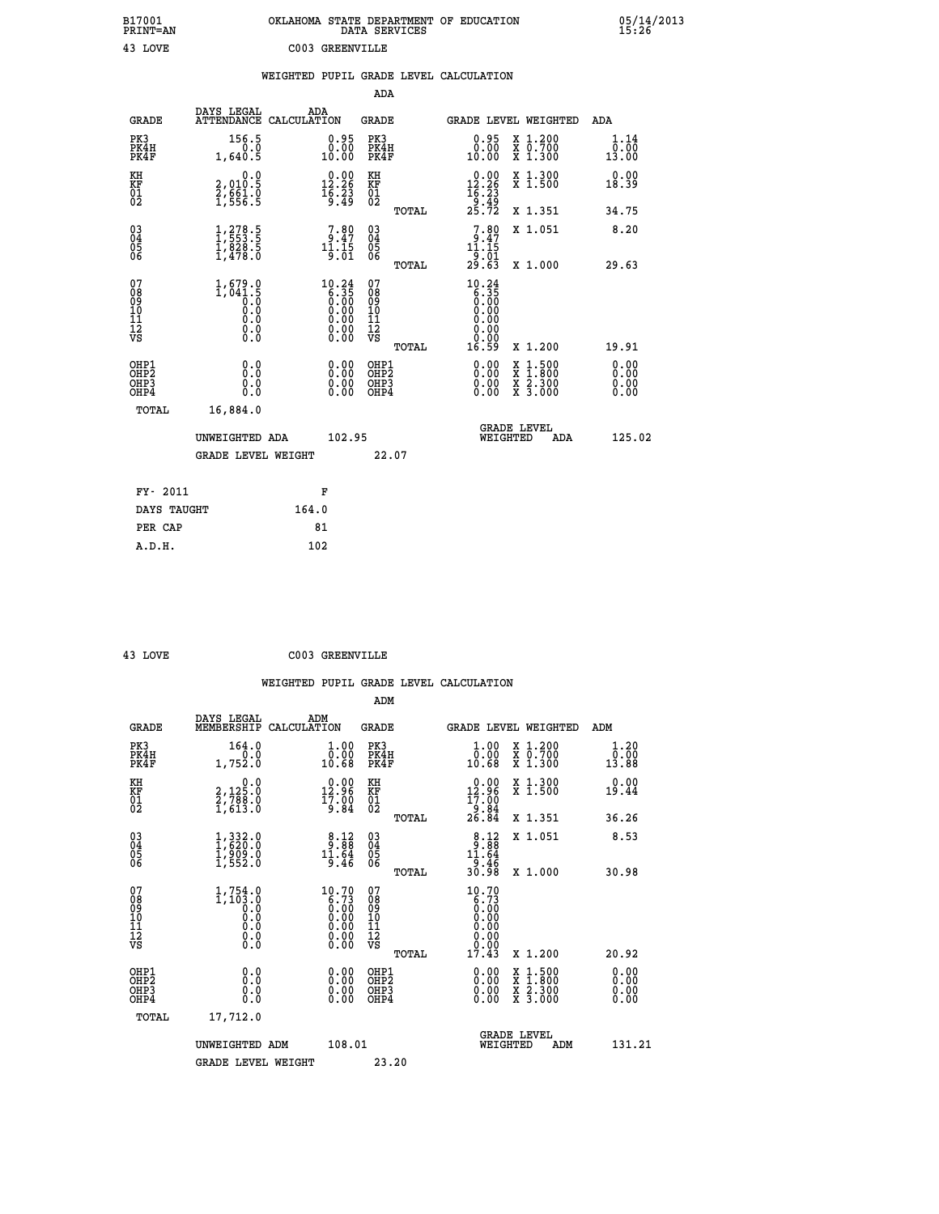| B17001<br>PRINT=AN                                |                                                                                          |                                                                                             | OKLAHOMA STATE DEPARTMENT OF EDUCATION<br>DATA SERVICES |                                                                                    |                                                                                          | $05/14/2013$<br>15:26 |
|---------------------------------------------------|------------------------------------------------------------------------------------------|---------------------------------------------------------------------------------------------|---------------------------------------------------------|------------------------------------------------------------------------------------|------------------------------------------------------------------------------------------|-----------------------|
| 43 LOVE                                           |                                                                                          | C003 GREENVILLE                                                                             |                                                         |                                                                                    |                                                                                          |                       |
|                                                   |                                                                                          |                                                                                             | WEIGHTED PUPIL GRADE LEVEL CALCULATION                  |                                                                                    |                                                                                          |                       |
|                                                   |                                                                                          |                                                                                             | <b>ADA</b>                                              |                                                                                    |                                                                                          |                       |
| <b>GRADE</b>                                      | DAYS LEGAL<br>ATTENDANCE CALCULATION                                                     | ADA                                                                                         | <b>GRADE</b>                                            |                                                                                    | GRADE LEVEL WEIGHTED                                                                     | ADA                   |
| PK3<br>PK4H<br>PK4F                               | 156.5<br>0.0<br>1,640.5                                                                  | $0.95$<br>$0.00$<br>10.00                                                                   | PK3<br>PK4H<br>PK4F                                     | $0.95$<br>$0.00$<br>10.00                                                          | X 1.200<br>X 0.700<br>X 1.300                                                            | 1.14<br>0.00<br>13.00 |
| KH<br>KF<br>$\begin{matrix} 01 \ 02 \end{matrix}$ | 0.0<br>2,010.5<br>$\frac{5}{1}, \frac{6}{5}$ $\frac{6}{5}$ $\frac{1}{5}$                 | $\begin{smallmatrix} 0.00\\ 12.26\\ 16.23\\ 9.49 \end{smallmatrix}$                         | KH<br><b>KF</b><br>01<br>02                             | $\begin{smallmatrix} &0.00\\ 12.26\\ 16.23\\ 9.49\\ 25.72 \end{smallmatrix}$       | X 1.300<br>X 1.500                                                                       | 0.00<br>18.39         |
|                                                   |                                                                                          |                                                                                             | TOTAL                                                   |                                                                                    | X 1.351                                                                                  | 34.75                 |
| 03<br>04<br>05<br>06                              | $\frac{1}{1}, \frac{278}{553}.\frac{5}{5}$<br>$\frac{1}{1}, \frac{828}{478}.\frac{5}{0}$ | $7.80$<br>$11.15$<br>$11.15$<br>$9.01$                                                      | $\begin{matrix} 03 \\ 04 \\ 05 \\ 06 \end{matrix}$      | $\begin{array}{c} 7.80 \\ 9.47 \\ 11.15 \end{array}$<br>$\frac{1}{29}.01$<br>29.63 | X 1.051                                                                                  | 8.20                  |
|                                                   |                                                                                          |                                                                                             | TOTAL                                                   |                                                                                    | X 1.000                                                                                  | 29.63                 |
| 07<br>Ŏġ<br>09<br>10<br>11<br>12<br>VS            | $1,679.0$<br>$1,041.5$<br>$0.0$<br>0.0<br>0.0<br>$\S.$ $\S$                              | $10.24$<br>$6.35$<br>$0.00$<br>0.00<br>$\begin{smallmatrix} 0.00 \\ 0.00 \end{smallmatrix}$ | 07<br>ŏġ<br>09<br>ίÒ<br>īi<br>ĪŽ<br>VŠ<br><b>TOTAL</b>  | $10.24$<br>6.35<br>0.00<br>0.00<br>0.00<br>0.00<br>ŏ:ŏŏ<br>16.59                   | X 1.200                                                                                  | 19.91                 |
| OHP1                                              | 0.0                                                                                      | 0.00                                                                                        | OHP1                                                    | 0.00                                                                               |                                                                                          | 0.00                  |
| OHP <sub>2</sub><br>OH <sub>P3</sub><br>OHP4      | Ō.Ō<br>0.0<br>0.0                                                                        | $\begin{smallmatrix} 0.00 \ 0.00 \end{smallmatrix}$                                         | OHP <sub>2</sub><br>OHP3<br>OHP4                        | 0.00<br>0.00                                                                       | $\begin{smallmatrix} x & 1.500 \\ x & 1.800 \\ x & 2.300 \\ x & 3.000 \end{smallmatrix}$ | 0.00<br>0.00          |
| <b>TOTAL</b>                                      | 16,884.0                                                                                 |                                                                                             |                                                         |                                                                                    |                                                                                          |                       |
|                                                   | UNWEIGHTED ADA                                                                           | 102.95                                                                                      |                                                         | WEIGHTED                                                                           | <b>GRADE LEVEL</b><br>ADA                                                                | 125.02                |
|                                                   | <b>GRADE LEVEL WEIGHT</b>                                                                |                                                                                             | 22.07                                                   |                                                                                    |                                                                                          |                       |
| FY- 2011                                          |                                                                                          | F                                                                                           |                                                         |                                                                                    |                                                                                          |                       |
| DAYS TAUGHT                                       |                                                                                          | 164.0                                                                                       |                                                         |                                                                                    |                                                                                          |                       |
| PER CAP                                           |                                                                                          | 81                                                                                          |                                                         |                                                                                    |                                                                                          |                       |
| A.D.H.                                            |                                                                                          | 102                                                                                         |                                                         |                                                                                    |                                                                                          |                       |

 **43 LOVE C003 GREENVILLE**

| <b>GRADE</b>                                       | DAYS LEGAL<br>MEMBERSHIP                                             | ADM<br>CALCULATION                                                                                   | <b>GRADE</b>                                       |       |                                                                                                                                            |          | <b>GRADE LEVEL WEIGHTED</b>              | ADM                                   |
|----------------------------------------------------|----------------------------------------------------------------------|------------------------------------------------------------------------------------------------------|----------------------------------------------------|-------|--------------------------------------------------------------------------------------------------------------------------------------------|----------|------------------------------------------|---------------------------------------|
| PK3<br>PK4H<br>PK4F                                | 164.0<br>1,752.0                                                     | $\begin{smallmatrix} 1.00\\ 0.00\\ 10.68 \end{smallmatrix}$                                          | PK3<br>PK4H<br>PK4F                                |       | $\begin{smallmatrix} 1.00\\ 0.00\\ 10.68 \end{smallmatrix}$                                                                                |          | X 1.200<br>X 0.700<br>X 1.300            | 1.20<br>$\bar{0}.\bar{0}0\atop 13.88$ |
| KH<br>KF<br>01<br>02                               | $\begin{smallmatrix}&&&0.0\2,125.0\2,788.0\1,613.0\end{smallmatrix}$ | $\begin{smallmatrix} 0.00\\ 12.96\\ 17.90\\ 9.84 \end{smallmatrix}$                                  | KH<br>KF<br>01<br>02                               |       | $\begin{smallmatrix} 0.00\\ 12.96\\ 17.00\\ 9.84\\ 26.84 \end{smallmatrix}$                                                                |          | X 1.300<br>X 1.500                       | 0.00<br>19.44                         |
|                                                    |                                                                      |                                                                                                      |                                                    | TOTAL |                                                                                                                                            |          | X 1.351                                  | 36.26                                 |
| $\begin{matrix} 03 \\ 04 \\ 05 \\ 06 \end{matrix}$ | $1,332.0$<br>$1,620.0$<br>$1,909.0$<br>$1,552.0$                     | $\begin{array}{c} 8.12 \\ 9.88 \\ 11.64 \\ 9.46 \end{array}$                                         | $\begin{matrix} 03 \\ 04 \\ 05 \\ 06 \end{matrix}$ |       | $8:12$<br>$9:88$<br>$11:64$<br>$9:46$<br>$30:98$                                                                                           |          | X 1.051                                  | 8.53                                  |
|                                                    |                                                                      |                                                                                                      |                                                    | TOTAL |                                                                                                                                            |          | X 1.000                                  | 30.98                                 |
| 07<br>089<br>090<br>1112<br>VS                     |                                                                      | $\begin{smallmatrix} 10.70\ 6.73\ 0.00\ 0.00\ 0.00\ 0.00\ 0.00\ 0.00\ 0.00\ 0.00\ \end{smallmatrix}$ | 07<br>08<br>09<br>01<br>11<br>11<br>12<br>VS       |       | $\begin{smallmatrix} 10\cdot70\\ 6\cdot73\\ 0\cdot00\\ 0\cdot00\\ 0\cdot00\\ 0\cdot00\\ 0\cdot00\\ 0\cdot00\\ 17\cdot43 \end{smallmatrix}$ |          |                                          |                                       |
|                                                    |                                                                      |                                                                                                      |                                                    | TOTAL |                                                                                                                                            |          | X 1.200                                  | 20.92                                 |
| OHP1<br>OHP2<br>OH <sub>P3</sub><br>OHP4           | 0.0<br>0.000                                                         |                                                                                                      | OHP1<br>OHP2<br>OHP3<br>OHP4                       |       |                                                                                                                                            |          | X 1:500<br>X 1:800<br>X 2:300<br>X 3:000 | 0.00<br>0.00<br>0.00                  |
| TOTAL                                              | 17,712.0                                                             |                                                                                                      |                                                    |       |                                                                                                                                            |          |                                          |                                       |
|                                                    | UNWEIGHTED                                                           | 108.01<br>ADM                                                                                        |                                                    |       |                                                                                                                                            | WEIGHTED | <b>GRADE LEVEL</b><br>ADM                | 131.21                                |
|                                                    | <b>GRADE LEVEL WEIGHT</b>                                            |                                                                                                      | 23.20                                              |       |                                                                                                                                            |          |                                          |                                       |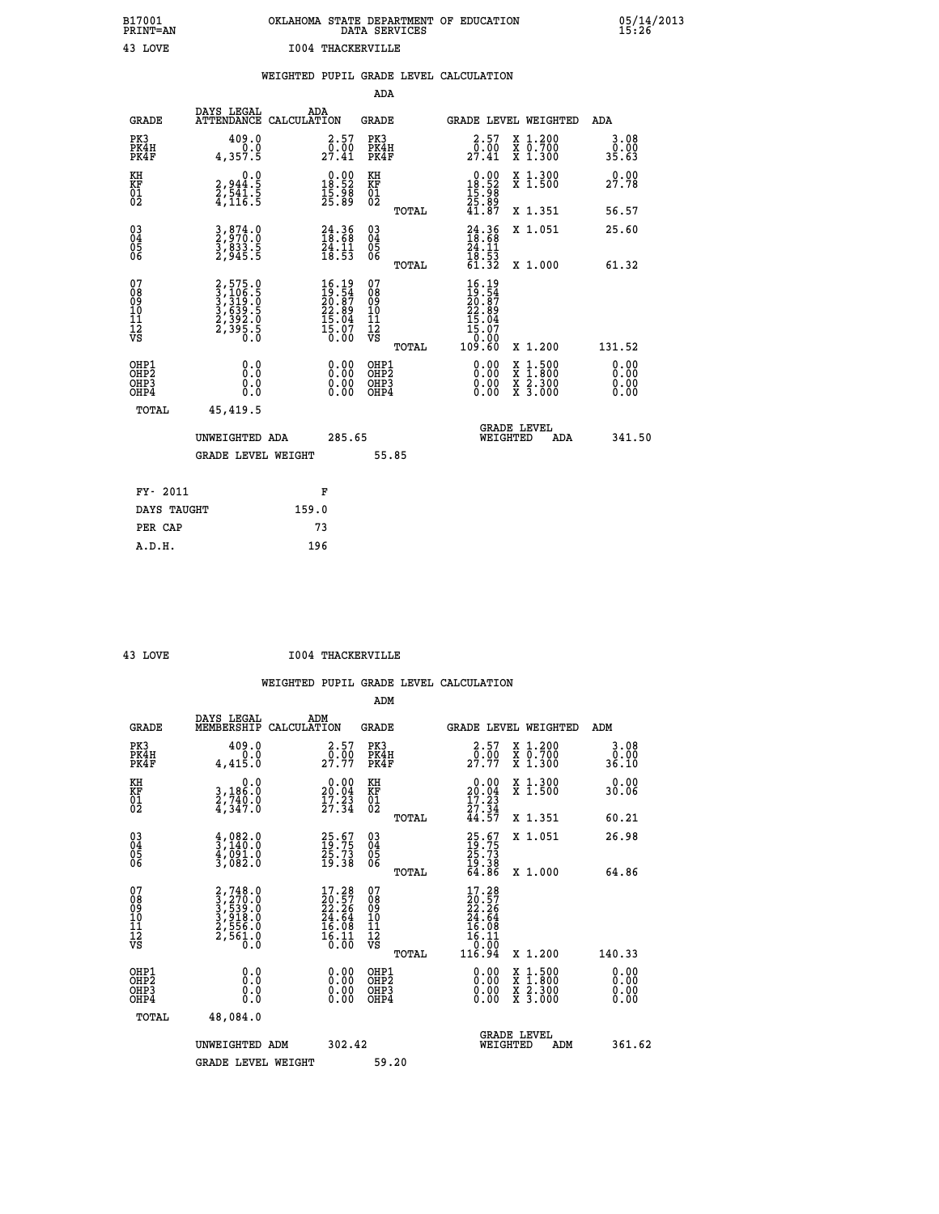| B17001<br><b>PRINT=AN</b> | OKLAHOMA STATE DEPARTMENT OF EDUCATION<br>DATA SERVICES |  |
|---------------------------|---------------------------------------------------------|--|
| 43 LOVE                   | 1004 THACKERVILLE                                       |  |

 **B17001 OKLAHOMA STATE DEPARTMENT OF EDUCATION 05/14/2013**

|  |     | WEIGHTED PUPIL GRADE LEVEL CALCULATION |  |
|--|-----|----------------------------------------|--|
|  | ADA |                                        |  |

| <b>GRADE</b>                             | DAYS LEGAL                                                     | ADA<br>ATTENDANCE CALCULATION                                               | <b>GRADE</b>                             |       |                                                                          | <b>GRADE LEVEL WEIGHTED</b>                                                              | ADA                          |
|------------------------------------------|----------------------------------------------------------------|-----------------------------------------------------------------------------|------------------------------------------|-------|--------------------------------------------------------------------------|------------------------------------------------------------------------------------------|------------------------------|
| PK3<br>PK4H<br>PK4F                      | 409.0<br>0.0<br>4,357.5                                        | $\begin{smallmatrix} 2.57\0.00\\27.41\end{smallmatrix}$                     | PK3<br>PK4H<br>PK4F                      |       | $\frac{2 \cdot 57}{0 \cdot 00}$<br>27.41                                 | X 1.200<br>X 0.700<br>X 1.300                                                            | 3.08<br>0.00<br>35.63        |
| KH<br>KF<br>01<br>02                     | 0.0<br>2,944:5<br>2,541:5<br>4,116:5                           | $\begin{smallmatrix} 0.00\\18.52\\15.98\\25.89 \end{smallmatrix}$           | KH<br>KF<br>01<br>02                     |       | $\begin{smallmatrix} 0.00\\18.52\\15.98\\25.89\\41.87 \end{smallmatrix}$ | X 1.300<br>X 1.500                                                                       | 0.00<br>27.78                |
|                                          |                                                                |                                                                             |                                          | TOTAL |                                                                          | X 1.351                                                                                  | 56.57                        |
| $^{03}_{04}$<br>Ŏ5<br>06                 | 3,874.0<br>2,970.0<br>3,833.5<br>2,945.5                       | 24.36<br>18.68<br>24.11<br>18.53                                            | $\substack{03 \\ 04}$<br>Ŏ5<br>06        |       | $24.36$<br>$18.68$<br>$24.11$<br>$18.53$<br>$61.32$                      | X 1.051                                                                                  | 25.60                        |
|                                          |                                                                |                                                                             |                                          | TOTAL |                                                                          | X 1.000                                                                                  | 61.32                        |
| 07<br>08<br>09<br>11<br>11<br>12<br>VS   | 2,575.0<br>3,106.5<br>3,319.0<br>3,339.5<br>2,392.0<br>2,395.5 | $16.19$<br>$19.54$<br>$20.87$<br>$22.89$<br>$15.04$<br>$\frac{15.07}{0.00}$ | 07<br>08<br>09<br>11<br>11<br>12<br>VS   |       | $16.19\n19.54\n20.87\n22.899\n15.04\n15.07\n10.000\n109.60$              |                                                                                          |                              |
|                                          |                                                                |                                                                             |                                          | TOTAL |                                                                          | X 1.200                                                                                  | 131.52                       |
| OHP1<br>OHP <sub>2</sub><br>OHP3<br>OHP4 | 0.0<br>0.0<br>0.0                                              | $0.00$<br>$0.00$<br>0.00                                                    | OHP1<br>OHP <sub>2</sub><br>OHP3<br>OHP4 |       | 0.00<br>0.00                                                             | $\begin{smallmatrix} x & 1.500 \\ x & 1.800 \\ x & 2.300 \\ x & 3.000 \end{smallmatrix}$ | 0.00<br>0.00<br>0.00<br>0.00 |
| TOTAL                                    | 45,419.5                                                       |                                                                             |                                          |       |                                                                          |                                                                                          |                              |
|                                          | UNWEIGHTED ADA                                                 | 285.65                                                                      |                                          |       | WEIGHTED                                                                 | <b>GRADE LEVEL</b><br>ADA                                                                | 341.50                       |
|                                          | <b>GRADE LEVEL WEIGHT</b>                                      |                                                                             | 55.85                                    |       |                                                                          |                                                                                          |                              |
| FY- 2011                                 |                                                                | F                                                                           |                                          |       |                                                                          |                                                                                          |                              |
| DAYS TAUGHT                              |                                                                | 159.0                                                                       |                                          |       |                                                                          |                                                                                          |                              |
| PER CAP                                  |                                                                | 73                                                                          |                                          |       |                                                                          |                                                                                          |                              |

| OV، |
|-----|
|     |

 **A.D.H. 196**

 **B17001<br>PRINT=AN** 

 **43 LOVE I004 THACKERVILLE**

|                                          |                                                                                                                          |                                                                        | ADM                                                 |                                                                                    |                                          |                       |
|------------------------------------------|--------------------------------------------------------------------------------------------------------------------------|------------------------------------------------------------------------|-----------------------------------------------------|------------------------------------------------------------------------------------|------------------------------------------|-----------------------|
| <b>GRADE</b>                             | DAYS LEGAL<br>MEMBERSHIP                                                                                                 | ADM<br>CALCULATION                                                     | <b>GRADE</b>                                        | GRADE LEVEL WEIGHTED                                                               |                                          | ADM                   |
| PK3<br>PK4H<br>PK4F                      | 409.0<br>0.0<br>4,415.0                                                                                                  | $\frac{2 \cdot 57}{0 \cdot 00}$<br>27.77                               | PK3<br>PK4H<br>PK4F                                 | $\frac{2 \cdot 57}{0 \cdot 00}$<br>27.77                                           | X 1.200<br>X 0.700<br>X 1.300            | 3.08<br>0.00<br>36.10 |
| KH<br>KF<br>01<br>02                     | 0.0<br>$\frac{3}{2}, \frac{186}{740}$ .0<br>4,347.0                                                                      | $\begin{smallmatrix} 0.00\\ 20.04\\ 17.23\\ 27.34 \end{smallmatrix}$   | KH<br>KF<br>01<br>02                                | $\begin{smallmatrix} 0.00\\ 20.04\\ 17.23\\ 27.34\\ 44.57 \end{smallmatrix}$       | X 1.300<br>X 1.500                       | 0.00<br>30.06         |
|                                          |                                                                                                                          |                                                                        | TOTAL                                               |                                                                                    | X 1.351                                  | 60.21                 |
| 03<br>04<br>05<br>06                     | $\begin{smallmatrix} 4 & 0 & 8 & 2 & 0 \\ 3 & 1 & 4 & 0 & 0 \\ 4 & 0 & 9 & 1 & 0 \\ 3 & 0 & 8 & 2 & 0 \end{smallmatrix}$ | 25.67<br>19.75<br>25.73<br>19.38                                       | $\begin{array}{c} 03 \\ 04 \\ 05 \\ 06 \end{array}$ | $25.67$<br>$19.75$<br>25:73<br>19:38                                               | X 1.051                                  | 26.98                 |
|                                          |                                                                                                                          |                                                                        | TOTAL                                               | 64.86                                                                              | X 1.000                                  | 64.86                 |
| 07<br>08<br>09<br>101<br>112<br>VS       | $2,748.0$<br>$3,270.0$<br>$3,539.0$<br>$3,918.0$<br>$2,556.0$<br>$2,561.0$<br>$0.0$                                      | $17.28$<br>$20.57$<br>$22.26$<br>$24.64$<br>$16.08$<br>$16.11$<br>Ŏ.ŌŌ | 07<br>08<br>09<br>11<br>11<br>12<br>VS<br>TOTAL     | $17.28$<br>$20.57$<br>$22.26$<br>$24.64$<br>$16.08$<br>$16.11$<br>$0.09$<br>116.94 | X 1.200                                  | 140.33                |
|                                          |                                                                                                                          |                                                                        |                                                     |                                                                                    |                                          | 0.00                  |
| OHP1<br>OHP2<br>OH <sub>P3</sub><br>OHP4 | 0.0<br>0.000                                                                                                             | $0.00$<br>$0.00$<br>0.00                                               | OHP1<br>OHP2<br>OHP <sub>3</sub>                    | $0.00$<br>$0.00$<br>0.00                                                           | X 1:500<br>X 1:800<br>X 2:300<br>X 3:000 | 0.00<br>0.00<br>0.00  |
| TOTAL                                    | 48,084.0                                                                                                                 |                                                                        |                                                     |                                                                                    |                                          |                       |
|                                          | UNWEIGHTED ADM                                                                                                           | 302.42                                                                 |                                                     | <b>GRADE LEVEL</b><br>WEIGHTED                                                     | ADM                                      | 361.62                |
|                                          | <b>GRADE LEVEL WEIGHT</b>                                                                                                |                                                                        | 59.20                                               |                                                                                    |                                          |                       |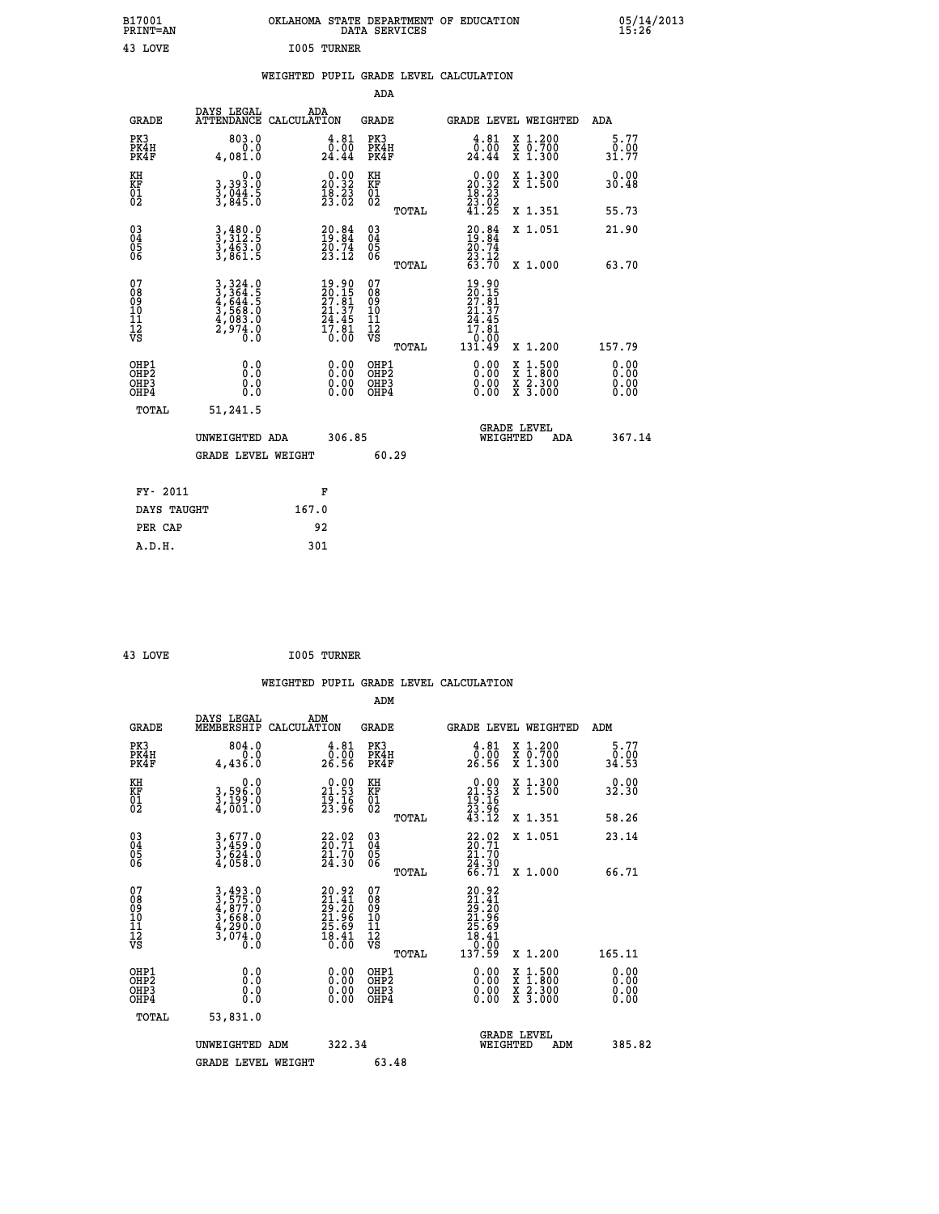| B17001<br>PRINT=AN                                 |                                                                                                          | OKLAHOMA STATE DEPARTMENT OF EDUCATION                                                | DATA SERVICES                                      |                                                                                                     |                                                                             | 05/14/2013            |  |
|----------------------------------------------------|----------------------------------------------------------------------------------------------------------|---------------------------------------------------------------------------------------|----------------------------------------------------|-----------------------------------------------------------------------------------------------------|-----------------------------------------------------------------------------|-----------------------|--|
| 43 LOVE                                            |                                                                                                          | I005 TURNER                                                                           |                                                    |                                                                                                     |                                                                             |                       |  |
|                                                    |                                                                                                          | WEIGHTED PUPIL GRADE LEVEL CALCULATION                                                |                                                    |                                                                                                     |                                                                             |                       |  |
|                                                    |                                                                                                          |                                                                                       | ADA                                                |                                                                                                     |                                                                             |                       |  |
| <b>GRADE</b>                                       | DAYS LEGAL                                                                                               | ADA<br>ATTENDANCE CALCULATION                                                         | GRADE                                              | GRADE LEVEL WEIGHTED                                                                                |                                                                             | ADA                   |  |
| PK3<br>PK4H<br>PK4F                                | 803.0<br>0.0<br>4,081.0                                                                                  | 4.81<br>$\frac{\bar{0} \cdot \bar{0} \bar{0}}{24.44}$                                 | PK3<br>PK4H<br>PK4F                                | $\begin{smallmatrix} 4.81\ 0.00\ 24.44 \end{smallmatrix}$                                           | X 1.200<br>X 0.700<br>X 1.300                                               | 5.77<br>0.00<br>31.77 |  |
| KH<br>KF<br>$\overline{01}$                        | 0.0<br>3,393.0<br>3,044.5<br>3,845.0                                                                     | $\begin{smallmatrix} 0.00\\ 20.32\\ 18.23\\ 23.02 \end{smallmatrix}$                  | KH<br>KF<br>01<br>02                               | $\begin{smallmatrix} 0.00\\ 20.32\\ 18.23\\ 23.02\\ 41.25 \end{smallmatrix}$                        | X 1.300<br>X 1.500                                                          | 0.00<br>30.48         |  |
|                                                    |                                                                                                          |                                                                                       | TOTAL                                              |                                                                                                     | X 1.351                                                                     | 55.73                 |  |
| $\begin{matrix} 03 \\ 04 \\ 05 \\ 06 \end{matrix}$ | 3,480.0<br>3,312.5<br>$\frac{3}{3}, \frac{4}{8}$ $\frac{6}{3}$ $\frac{3}{8}$ $\frac{6}{1}$ $\frac{3}{5}$ | $20.84$<br>$19.84$<br>$20.74$<br>$23.12$                                              | $\begin{matrix} 03 \\ 04 \\ 05 \\ 06 \end{matrix}$ | $20.84$<br>$19.84$<br>$20.74$<br>$23.12$<br>$63.70$                                                 | X 1.051                                                                     | 21.90                 |  |
| 07                                                 |                                                                                                          |                                                                                       | TOTAL                                              |                                                                                                     | X 1.000                                                                     | 63.70                 |  |
| 08<br>09<br>11<br>11<br>12<br>VS                   | 3, 324.0<br>3, 364.5<br>4, 644.5<br>3, 568.0<br>4, 083.0<br>2, 974.0                                     | $\begin{smallmatrix} 19.90\\20.15\\27.81\\21.37\\24.45\\17.81\\0.00\end{smallmatrix}$ | 07<br>08<br>09<br>10<br>11<br>12<br>VS<br>TOTAL    | $\begin{array}{c} 19.90 \\ 20.15 \\ 27.81 \\ 21.37 \end{array}$<br>24.45<br>17.81<br>0.00<br>131.49 | X 1.200                                                                     | 157.79                |  |
|                                                    | 0.0                                                                                                      |                                                                                       | OHP1                                               |                                                                                                     |                                                                             |                       |  |
| OHP1<br>OHP2<br>OHP3<br>OHP4                       | 0.0<br>0.0<br>0.0                                                                                        | 0.00<br>0.00<br>0.00                                                                  | OHP <sub>2</sub><br>OHP3<br>OHP4                   | 0.00<br>0.00<br>0.00                                                                                | $\begin{array}{l} x\,+\,500\\ x\,+\,300\\ x\,+\,2\\ x\,+\,3000 \end{array}$ | 0.00<br>0.00<br>0.00  |  |
| TOTAL                                              | 51,241.5                                                                                                 |                                                                                       |                                                    |                                                                                                     |                                                                             |                       |  |
|                                                    | UNWEIGHTED ADA                                                                                           | 306.85                                                                                |                                                    | WEIGHTED                                                                                            | <b>GRADE LEVEL</b><br>ADA                                                   | 367.14                |  |
|                                                    | <b>GRADE LEVEL WEIGHT</b>                                                                                |                                                                                       | 60.29                                              |                                                                                                     |                                                                             |                       |  |
| FY- 2011                                           |                                                                                                          | F                                                                                     |                                                    |                                                                                                     |                                                                             |                       |  |
| DAYS TAUGHT                                        |                                                                                                          | 167.0                                                                                 |                                                    |                                                                                                     |                                                                             |                       |  |
| PER CAP                                            |                                                                                                          | 92                                                                                    |                                                    |                                                                                                     |                                                                             |                       |  |

| 43 LOVE | I005 TURNER |
|---------|-------------|
|         |             |

 **WEIGHTED PUPIL GRADE LEVEL CALCULATION ADM DAYS LEGAL ADM GRADE MEMBERSHIP CALCULATION GRADE GRADE LEVEL WEIGHTED ADM PK3 804.0 4.81 PK3 4.81 X 1.200 5.77 PK4H 0.0 0.00 PK4H 0.00 X 0.700 0.00 PK4F 4,436.0 26.56 PK4F 26.56 X 1.300 34.53 KH 0.0 0.00 KH 0.00 X 1.300 0.00 KF 3,596.0 21.53 KF 21.53 X 1.500 32.30 01 3,199.0 19.16 01 19.16 02 4,001.0 23.96 02 23.96 TOTAL 43.12 X 1.351 58.26 03 3,677.0 22.02 03 22.02 X 1.051 23.14 04 3,459.0 20.71 04 20.71 05 3,624.0 21.70 05 21.70 06 4,058.0 24.30 06 24.30 TOTAL 66.71 X 1.000 66.71**  $\begin{array}{cccc} 07 & 3,493.0 & 20.92 & 07 & 20.92, 0.92 \\ 08 & 3,575.0 & 29.14 & 08 & 21.41 \\ 09 & 4,877.0 & 29.20 & 09 & 29.20 \\ 10 & 3,668.0 & 21.96 & 10 & 21.96 \\ 11 & 4,290.0 & 25.69 & 11 & 25.69 \\ 12 & 3,007.0 & 18.41 & 12 & 18.41 \\ \sqrt{3} & 0.0 & 0 & 0.0 & \sqrt$ **3,493.0**<br> **3,575.0**<br> **49.575.0**<br> **57.57.0**<br> **57.668.0**<br> **57.668.0**<br> **57.668.0**<br> **57.668.0**<br> **57.668.0**<br> **57.668.0**<br> **57.668.0**<br> **57.90**<br> **57.90**<br> **57.90**<br> **57.90**<br> **57.90**<br> **57.90**<br> **57.90**<br> **57.90**<br> **57.90**<br> **57.90**<br> **57 OHP1 0.0 0.00 OHP1 0.00 X 1.500 0.00 OHP2 0.0 0.00 OHP2 0.00 X 1.800 0.00 OHP3 0.0 0.00 OHP3 0.00 X 2.300 0.00 OHP4 0.0 0.00 OHP4 0.00 X 3.000 0.00 TOTAL 53,831.0 GRADE LEVEL UNWEIGHTED ADM 322.34 WEIGHTED ADM 385.82 GRADE LEVEL WEIGHT 63.48**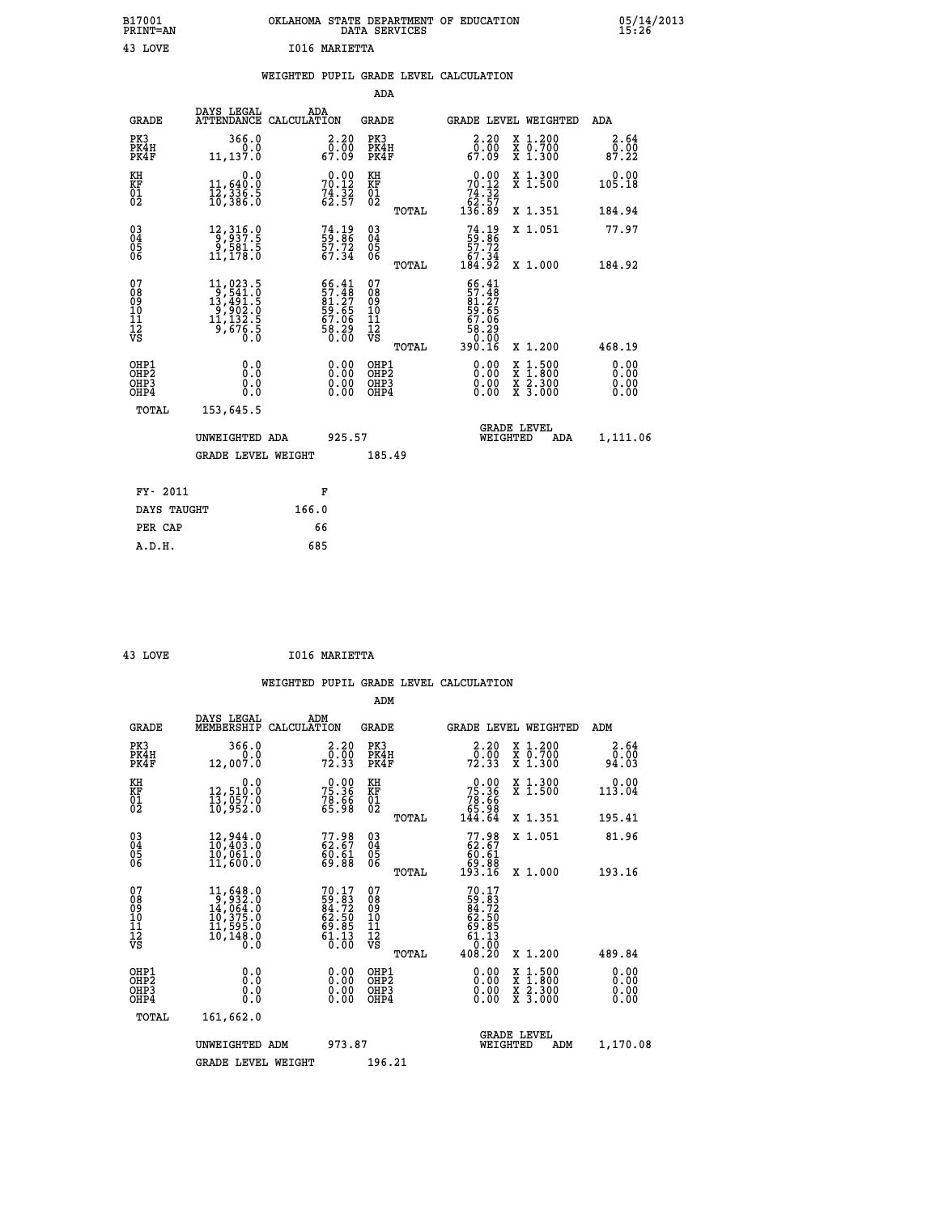| B17001<br>PRINT=AN | OKLAHOMA STATE DEPARTMENT OF EDUCATION<br>DATA SERVICES | 05/14/2013<br>15:26 |
|--------------------|---------------------------------------------------------|---------------------|
| 43 LOVE            | I016 MARIETTA                                           |                     |
|                    | WEIGHTED PUPIL GRADE LEVEL CALCULATION                  |                     |
|                    | ADA                                                     |                     |

| <b>GRADE</b>                                       | DAYS LEGAL<br>ATTENDANCE CALCULATION                                                                                                         | ADA                                                                  | GRADE                                                |       |                                                                            | GRADE LEVEL WEIGHTED                                                                             | ADA                          |
|----------------------------------------------------|----------------------------------------------------------------------------------------------------------------------------------------------|----------------------------------------------------------------------|------------------------------------------------------|-------|----------------------------------------------------------------------------|--------------------------------------------------------------------------------------------------|------------------------------|
| PK3<br>PK4H<br>PK4F                                | 366.0<br>0.0<br>11,137.0                                                                                                                     | $\begin{smallmatrix} 2.20\0.00\0.09\end{smallmatrix}$                | PK3<br>PK4H<br>PK4F                                  |       | $\begin{smallmatrix} 2.20\\ 0.00\\ 67.09 \end{smallmatrix}$                | X 1.200<br>X 0.700<br>X 1.300                                                                    | 2.64<br>0.00<br>87.22        |
| KH<br>KF<br>01<br>02                               | 0.0<br>11,640:0<br>12,336.5<br>10,386.0                                                                                                      | $70.00$<br>70.12<br>$74.32$<br>62.57                                 | KH<br>KF<br>01<br>02                                 |       | 70.00<br>$\begin{array}{r} 74.32 \\ 62.57 \\ 136.89 \end{array}$           | X 1.300<br>X 1.500                                                                               | 0.00<br>105.18               |
|                                                    |                                                                                                                                              |                                                                      |                                                      | TOTAL |                                                                            | X 1.351                                                                                          | 184.94                       |
| $\begin{matrix} 03 \\ 04 \\ 05 \\ 06 \end{matrix}$ | 12, 316.0<br>5.681,0<br>11,178.0                                                                                                             | $74.19$<br>59.86<br>57.72<br>67.34                                   | $\substack{03 \\ 04}$<br>$\substack{05 \\ 06}$       |       | $74.19$<br>59.86<br>57.72<br>57.34<br>67.34<br>184.92                      | X 1.051                                                                                          | 77.97                        |
|                                                    |                                                                                                                                              |                                                                      |                                                      | TOTAL |                                                                            | X 1.000                                                                                          | 184.92                       |
| 07<br>08<br>09<br>101<br>11<br>12<br>VS            | $\begin{smallmatrix} 11,023\cdot 5\\ 9,541\cdot 0\\ 13,491\cdot 5\\ 9,902\cdot 0\\ 11,132\cdot 5\\ 9,676\cdot 5\\ 0\cdot 0\end{smallmatrix}$ | 66.41<br>57.48<br>81.27<br>81.65<br>58.06<br>67.06<br>58.29<br>58.00 | 07<br>08<br>09<br>11<br>11<br>12<br>VS               | TOTAL | $66.41$<br>$81.27$<br>$81.27$<br>$59.65$<br>$67.06$<br>$58.29$<br>$390.16$ | X 1.200                                                                                          | 468.19                       |
| OHP1<br>OHP2<br>OH <sub>P3</sub><br>OHP4           | 0.0<br>0.000                                                                                                                                 | $\begin{smallmatrix} 0.00 \ 0.00 \ 0.00 \ 0.00 \end{smallmatrix}$    | OHP1<br>OHP2<br>OHP <sub>3</sub><br>OHP <sub>4</sub> |       |                                                                            | $\begin{smallmatrix} x & 1 & 500 \\ x & 1 & 800 \\ x & 2 & 300 \\ x & 3 & 000 \end{smallmatrix}$ | 0.00<br>Ŏ.ŎŎ<br>0.00<br>0.00 |
| TOTAL                                              | 153,645.5                                                                                                                                    |                                                                      |                                                      |       |                                                                            |                                                                                                  |                              |
|                                                    | UNWEIGHTED ADA                                                                                                                               | 925.57                                                               |                                                      |       |                                                                            | GRADE LEVEL<br>WEIGHTED<br>ADA                                                                   | 1,111.06                     |
|                                                    | <b>GRADE LEVEL WEIGHT</b>                                                                                                                    |                                                                      | 185.49                                               |       |                                                                            |                                                                                                  |                              |
| FY- 2011                                           |                                                                                                                                              | F                                                                    |                                                      |       |                                                                            |                                                                                                  |                              |
| DAYS TAUGHT                                        |                                                                                                                                              | 166.0                                                                |                                                      |       |                                                                            |                                                                                                  |                              |
|                                                    |                                                                                                                                              |                                                                      |                                                      |       |                                                                            |                                                                                                  |                              |

| 43 LOVE | I016 MARIETTA |
|---------|---------------|
|         |               |

 **PER CAP 66 A.D.H. 685**

|                                          |                                                                                                                                 |                                                            | ADM                                                 |                                                         |                                          |                              |
|------------------------------------------|---------------------------------------------------------------------------------------------------------------------------------|------------------------------------------------------------|-----------------------------------------------------|---------------------------------------------------------|------------------------------------------|------------------------------|
| <b>GRADE</b>                             | DAYS LEGAL<br>MEMBERSHIP                                                                                                        | ADM<br>CALCULATION                                         | <b>GRADE</b>                                        | GRADE LEVEL WEIGHTED                                    |                                          | ADM                          |
| PK3<br>PK4H<br>PK4F                      | 366.0<br>0.0<br>12,007.0                                                                                                        | $\frac{2 \cdot 20}{0 \cdot 00}$<br>72.33                   | PK3<br>PK4H<br>PK4F                                 | $\begin{smallmatrix} 2.20\0.00\\72.33\end{smallmatrix}$ | X 1.200<br>X 0.700<br>X 1.300            | 2.64<br>0.00<br>94.03        |
| KH<br>KF<br>01<br>02                     | 0.0<br>12,510:0<br>13,057:0<br>10,952:0                                                                                         | $75.36$<br>$75.36$<br>$78.66$<br>$65.98$                   | KH<br>KF<br>01<br>02                                | $75.36$<br>$75.36$<br>$78.66$<br>$65.98$<br>$144.64$    | X 1.300<br>X 1.500                       | 0.00<br>113.04               |
|                                          |                                                                                                                                 |                                                            | TOTAL                                               |                                                         | X 1.351                                  | 195.41                       |
| 03<br>04<br>05<br>06                     | 12,944.0<br>10,403.0<br>10,061.0<br>11,600.0                                                                                    | 77.98<br>62.67<br>60.61<br>69.88                           | $\begin{array}{c} 03 \\ 04 \\ 05 \\ 06 \end{array}$ | $77.9862.6760.6169.88193.16$                            | X 1.051                                  | 81.96                        |
|                                          |                                                                                                                                 |                                                            | TOTAL                                               |                                                         | X 1.000                                  | 193.16                       |
| 07<br>08<br>09<br>101<br>112<br>VS       | $\begin{smallmatrix} 11, 648 & 0\\ 9, 932 & 0\\ 14, 064 & 0\\ 10, 375 & 0\\ 11, 595 & 0\\ 10, 148 & 0\\ 0 & 0\end{smallmatrix}$ | 70.17<br>59.83<br>84.72<br>62.50<br>69.85<br>61.13<br>0.00 | 07<br>08<br>09<br>101<br>11<br>12<br>VS<br>TOTAL    | 70.17<br>408.20                                         | X 1.200                                  | 489.84                       |
| OHP1<br>OHP2<br>OH <sub>P3</sub><br>OHP4 | 0.0<br>0.000                                                                                                                    | $0.00$<br>$0.00$<br>0.00                                   | OHP1<br>OHP2<br>OHP <sub>3</sub>                    | $0.00$<br>$0.00$<br>0.00                                | X 1:500<br>X 1:800<br>X 2:300<br>X 3:000 | 0.00<br>0.00<br>0.00<br>0.00 |
| TOTAL                                    | 161,662.0                                                                                                                       |                                                            |                                                     |                                                         |                                          |                              |
|                                          | UNWEIGHTED ADM                                                                                                                  | 973.87                                                     |                                                     | <b>GRADE LEVEL</b><br>WEIGHTED                          | ADM                                      | 1,170.08                     |
|                                          | <b>GRADE LEVEL WEIGHT</b>                                                                                                       |                                                            | 196.21                                              |                                                         |                                          |                              |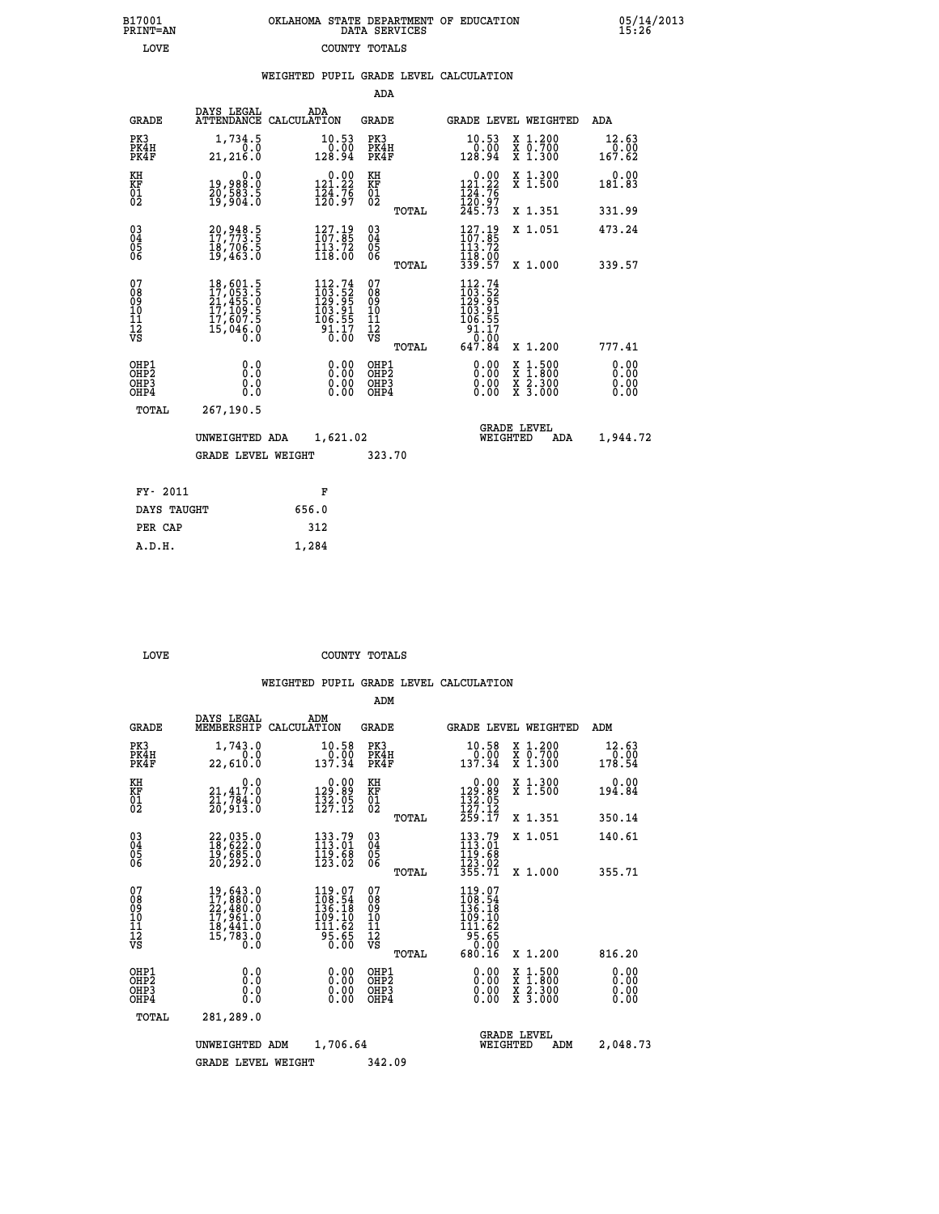| B17001          | OKLAHOMA STATE DEPARTMENT OF EDUCATION |
|-----------------|----------------------------------------|
| <b>PRINT=AN</b> | DATA SERVICES                          |
| LOVE            | COUNTY TOTALS                          |

05/14/2013<br>15:26

|  |  | WEIGHTED PUPIL GRADE LEVEL CALCULATION |
|--|--|----------------------------------------|
|  |  |                                        |

|                                                                    |                                                                      |                                                                                                                                                                                                                         | ADA                                       |       |                                                                             |                                                                                                  |                              |
|--------------------------------------------------------------------|----------------------------------------------------------------------|-------------------------------------------------------------------------------------------------------------------------------------------------------------------------------------------------------------------------|-------------------------------------------|-------|-----------------------------------------------------------------------------|--------------------------------------------------------------------------------------------------|------------------------------|
| <b>GRADE</b>                                                       | DAYS LEGAL                                                           | ADA<br>ATTENDANCE CALCULATION                                                                                                                                                                                           | <b>GRADE</b>                              |       |                                                                             | GRADE LEVEL WEIGHTED                                                                             | ADA                          |
| PK3<br>PK4H<br>PK4F                                                | 1,734.5<br>0.0<br>21,216.0                                           | 10.53<br>0.00<br>128.94                                                                                                                                                                                                 | PK3<br>PK4H<br>PK4F                       |       | 10.53<br>$\begin{smallmatrix} 0.00 & 0.01 \\ 128.94 & \end{smallmatrix}$    | X 1.200<br>X 0.700<br>X 1.300                                                                    | 12.63<br>0.00<br>167.62      |
| KH<br><b>KF</b><br>01<br>02                                        | 0.0<br>19,988.0<br>20,583.5<br>19,904.0                              | $0.00$<br>121.22<br>$\frac{124.75}{120.97}$                                                                                                                                                                             | KH<br>KF<br>01<br>02                      |       | 0.00<br>121.22<br>$\frac{124}{120}$ : $\frac{76}{97}$<br>$245.73$           | X 1.300<br>X 1.500                                                                               | 0.00<br>181.83               |
|                                                                    |                                                                      |                                                                                                                                                                                                                         |                                           | TOTAL |                                                                             | X 1.351                                                                                          | 331.99                       |
| $\begin{smallmatrix} 03 \\[-4pt] 04 \end{smallmatrix}$<br>05<br>06 | 20,948.5<br>17,773.5<br>18,706.5<br>19,463.0                         | $\frac{127.19}{107.85}$<br>$\frac{113.72}{118.00}$                                                                                                                                                                      | $\substack{03 \\ 04}$<br>05<br>06         | TOTAL | $\frac{127.19}{107.85}$<br>$\frac{113.72}{118.00}$<br>339.57                | X 1.051<br>X 1.000                                                                               | 473.24<br>339.57             |
| 07<br>08<br>09<br>11<br>11<br>12<br>VS                             | 18,601.5<br>17,053.5<br>21,455.0<br>17,109.5<br>17,607.5<br>15,046.0 | 112.74<br>$\begin{smallmatrix} 1 & 1 & 2 & 1 & 5 & 2 \\ 1 & 2 & 9 & 9 & 5 \\ 1 & 0 & 3 & 9 & 1 \\ 1 & 0 & 9 & 5 & 5 \end{smallmatrix}$<br>$\overset{\text{\normalsize\texttt{51.17}}}{\text{\normalsize\texttt{0.00}}}$ | 07<br>08<br>09<br>11<br>11<br>12<br>VS    |       | 112.74<br>$103.52$<br>$129.95$<br>$103.91$<br>$106.55$<br>$91.17$<br>$0.00$ |                                                                                                  |                              |
|                                                                    |                                                                      |                                                                                                                                                                                                                         |                                           | TOTAL | 647.84                                                                      | X 1.200                                                                                          | 777.41                       |
| OHP1<br>OH <sub>P</sub> 2<br>OH <sub>P3</sub><br>OH <sub>P4</sub>  | 0.0<br>0.0<br>0.0                                                    | 0.00<br>0.00<br>0.00                                                                                                                                                                                                    | OHP1<br>OH <sub>P</sub> 2<br>OHP3<br>OHP4 |       | 0.00<br>0.00<br>0.00                                                        | $\begin{smallmatrix} x & 1 & 500 \\ x & 1 & 800 \\ x & 2 & 300 \\ x & 3 & 000 \end{smallmatrix}$ | 0.00<br>0.00<br>0.00<br>0.00 |
| TOTAL                                                              | 267,190.5                                                            |                                                                                                                                                                                                                         |                                           |       |                                                                             |                                                                                                  |                              |
|                                                                    | UNWEIGHTED ADA                                                       | 1,621.02                                                                                                                                                                                                                |                                           |       |                                                                             | <b>GRADE LEVEL</b><br>WEIGHTED<br>ADA                                                            | 1,944.72                     |
|                                                                    | <b>GRADE LEVEL WEIGHT</b>                                            |                                                                                                                                                                                                                         | 323.70                                    |       |                                                                             |                                                                                                  |                              |
| FY- 2011                                                           |                                                                      | F                                                                                                                                                                                                                       |                                           |       |                                                                             |                                                                                                  |                              |
| DAYS TAUGHT                                                        |                                                                      | 656.0                                                                                                                                                                                                                   |                                           |       |                                                                             |                                                                                                  |                              |
| PER CAP                                                            |                                                                      | 312                                                                                                                                                                                                                     |                                           |       |                                                                             |                                                                                                  |                              |

 **A.D.H. 1,284**

B17001<br>PRINT=AN<br>LOVE

COUNTY TOTALS

|                                                       |                                                                                                                                                               |                                                                                                      | ADM                                                 |                                                                                                                        |                                          |                              |
|-------------------------------------------------------|---------------------------------------------------------------------------------------------------------------------------------------------------------------|------------------------------------------------------------------------------------------------------|-----------------------------------------------------|------------------------------------------------------------------------------------------------------------------------|------------------------------------------|------------------------------|
| <b>GRADE</b>                                          | DAYS LEGAL<br>MEMBERSHIP                                                                                                                                      | ADM<br>CALCULATION                                                                                   | <b>GRADE</b>                                        | GRADE LEVEL WEIGHTED                                                                                                   |                                          | ADM                          |
| PK3<br>PK4H<br>PK4F                                   | 1,743.0<br>0.0<br>22,610.0                                                                                                                                    | 10.58<br>0.00<br>137.34                                                                              | PK3<br>PK4H<br>PK4F                                 | 10.58<br>$\begin{array}{c} 70.00 \\ 137.34 \end{array}$                                                                | X 1.200<br>X 0.700<br>X 1.300            | 12.63<br>0.00<br>178.54      |
| KH<br>KF<br>01<br>02                                  | 0.0<br>21,417:0<br>21,784:0<br>20,913:0                                                                                                                       | $\begin{smallmatrix} 0.00\\ 129.89\\ 132.05\\ 127.12 \end{smallmatrix}$                              | KH<br>KF<br>01<br>02                                | $\begin{smallmatrix} &0.00\\ 129.89\\ 132.05\\ 127.12\\ 259.17\end{smallmatrix}$                                       | X 1.300<br>X 1.500                       | 0.00<br>194.84               |
|                                                       |                                                                                                                                                               |                                                                                                      | TOTAL                                               |                                                                                                                        | X 1.351                                  | 350.14                       |
| 03<br>04<br>05<br>06                                  | 22,035.0<br>18,622.0<br>19,685.0<br>20, 292.0                                                                                                                 | $\begin{smallmatrix} 133\cdot79\ 113\cdot01\ 119\cdot68\ 123\cdot02 \end{smallmatrix}$               | $\begin{array}{c} 03 \\ 04 \\ 05 \\ 06 \end{array}$ | $133.79$<br>$113.01$<br>$119.68$<br>$123.02$<br>$355.71$                                                               | X 1.051                                  | 140.61                       |
|                                                       |                                                                                                                                                               |                                                                                                      | TOTAL                                               |                                                                                                                        | X 1.000                                  | 355.71                       |
| 07<br>08<br>09<br>101<br>112<br>VS                    | $\begin{smallmatrix}19\,,\,643\,.\,0\\17\,,\,880\,.\,0\\22\,,\,480\,.\,0\\17\,,\,961\,. \,0\\18\,,\,441\,. \,0\\15\,,\,783\,. \,0\\0\,. \,0\end{smallmatrix}$ | $119.07$<br>$108.54$<br>$136.18$<br>$\begin{array}{r} 109.10 \\ 111.62 \\ 95.65 \\ 0.00 \end{array}$ | 07<br>08<br>09<br>11<br>11<br>12<br>VS<br>TOTAL     | $119.07$<br>$108.54$<br>$136.18$<br>$199.10$<br>$\begin{array}{c}\n 111.62 \\  95.65 \\  0.00\n \end{array}$<br>680.16 | X 1.200                                  | 816.20                       |
| OHP1<br>OH <sub>P</sub> 2<br>OH <sub>P3</sub><br>OHP4 | 0.0<br>0.000                                                                                                                                                  | $0.00$<br>$0.00$<br>0.00                                                                             | OHP1<br>OHP2<br>OHP3<br>OHP4                        | $0.00$<br>$0.00$<br>0.00                                                                                               | X 1:500<br>X 1:800<br>X 2:300<br>X 3:000 | 0.00<br>0.00<br>0.00<br>0.00 |
| TOTAL                                                 | 281,289.0                                                                                                                                                     |                                                                                                      |                                                     |                                                                                                                        |                                          |                              |
|                                                       | UNWEIGHTED ADM                                                                                                                                                | 1,706.64                                                                                             |                                                     | <b>GRADE LEVEL</b><br>WEIGHTED                                                                                         | ADM                                      | 2,048.73                     |
|                                                       | <b>GRADE LEVEL WEIGHT</b>                                                                                                                                     |                                                                                                      | 342.09                                              |                                                                                                                        |                                          |                              |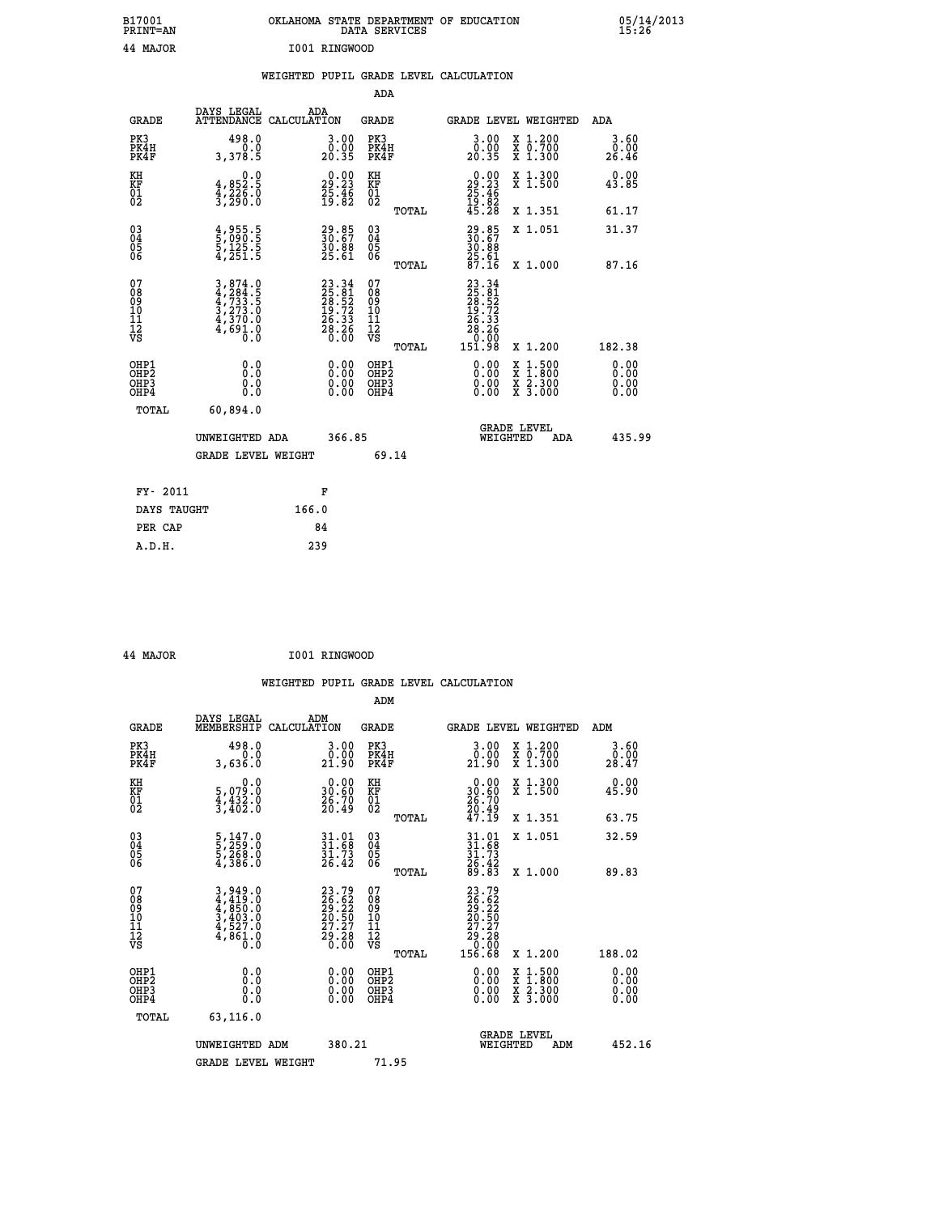| B17001<br><b>PRINT=AN</b>                         |                                                                                                                                               | OKLAHOMA STATE DEPARTMENT OF EDUCATION DATA SERVICES        |                                                    |                                                                          |                                                                                          | $05/14/2013$<br>15:26 |
|---------------------------------------------------|-----------------------------------------------------------------------------------------------------------------------------------------------|-------------------------------------------------------------|----------------------------------------------------|--------------------------------------------------------------------------|------------------------------------------------------------------------------------------|-----------------------|
| 44 MAJOR                                          |                                                                                                                                               | I001 RINGWOOD                                               |                                                    |                                                                          |                                                                                          |                       |
|                                                   |                                                                                                                                               | WEIGHTED PUPIL GRADE LEVEL CALCULATION                      |                                                    |                                                                          |                                                                                          |                       |
|                                                   |                                                                                                                                               |                                                             | <b>ADA</b>                                         |                                                                          |                                                                                          |                       |
| GRADE                                             | DAYS LEGAL<br>ATTENDANCE CALCULATION                                                                                                          | ADA                                                         | GRADE                                              |                                                                          | GRADE LEVEL WEIGHTED                                                                     | ADA                   |
| PK3<br>PK4H<br>PK4F                               | 498.0<br>0.0<br>3,378.5                                                                                                                       | 3.00<br>$20.90$<br>20.35                                    | PK3<br>PK4H<br>PK4F                                | $\begin{smallmatrix} 3.00\\ 0.00\\ 20.35 \end{smallmatrix}$              | X 1.200<br>X 0.700<br>X 1.300                                                            | 3.60<br>0.00<br>26.46 |
| KH<br>KF<br>$\begin{matrix} 01 \ 02 \end{matrix}$ | $4,852.5$<br>$4,226.0$<br>$3,290.0$                                                                                                           | 29.23<br>25.23<br>25.46<br>19.82                            | KH<br><b>KF</b><br>01<br>02                        | $\begin{smallmatrix} 0.00\\29.23\\25.46\\19.82\\45.28 \end{smallmatrix}$ | X 1.300<br>X 1.500                                                                       | 0.00<br>43.85         |
|                                                   |                                                                                                                                               |                                                             | TOTAL                                              |                                                                          | X 1.351                                                                                  | 61.17                 |
| $^{03}_{04}$<br>Ŏ5<br>ŌĞ                          | 4,955.5<br>5,090.5<br>5,125.5<br>4.251.5                                                                                                      | 29.85<br>30.67<br>30.88<br>25.61                            | $\begin{matrix} 03 \\ 04 \\ 05 \\ 06 \end{matrix}$ | 29.85<br>30.67<br>30.88                                                  | X 1.051                                                                                  | 31.37                 |
|                                                   |                                                                                                                                               |                                                             | TOTAL                                              | 25.61<br>87.16                                                           | X 1.000                                                                                  | 87.16                 |
| 07<br>Ŏġ<br>09<br>10<br>11<br>12<br>VS            | $\begin{smallmatrix} 3\,,\,874\,.0\\ 4\,,\,284\,.5\\ 4\,,\,733\,.5\\ 3\,,\,273\,.0\\ 4\,,\,370\,.0\\ 4\,,\,691\,.0\\ 0\,.0 \end{smallmatrix}$ | $23.3425.8128.5219.7226.3328.260.00$                        | 07<br>08<br>09<br>11<br>11<br>12<br>VS             | 23.34<br>25.52<br>28.52<br>19.72<br>26.33<br>28.286.00                   |                                                                                          |                       |
| OHP1                                              | 0.0                                                                                                                                           |                                                             | <b>TOTAL</b><br>OHP1                               | 151.98                                                                   | X 1.200                                                                                  | 182.38                |
| OHP <sub>2</sub><br>OH <sub>P3</sub><br>OHP4      | Ŏ.Ŏ<br>0.0<br>0.0                                                                                                                             | 0.00<br>$\begin{smallmatrix} 0.00 \ 0.00 \end{smallmatrix}$ | OHP <sub>2</sub><br>OHP3<br>OHP4                   | 0.00<br>$0.00$<br>0.00                                                   | $\begin{smallmatrix} x & 1.500 \\ x & 1.800 \\ x & 2.300 \\ x & 3.000 \end{smallmatrix}$ | 0.00<br>0.00<br>0.00  |
| TOTAL                                             | 60,894.0                                                                                                                                      |                                                             |                                                    |                                                                          |                                                                                          |                       |
|                                                   | UNWEIGHTED ADA                                                                                                                                | 366.85                                                      |                                                    | WEIGHTED                                                                 | <b>GRADE LEVEL</b><br>ADA                                                                | 435.99                |
|                                                   | <b>GRADE LEVEL WEIGHT</b>                                                                                                                     |                                                             | 69.14                                              |                                                                          |                                                                                          |                       |
| FY- 2011                                          |                                                                                                                                               | F                                                           |                                                    |                                                                          |                                                                                          |                       |
| DAYS TAUGHT                                       |                                                                                                                                               | 166.0                                                       |                                                    |                                                                          |                                                                                          |                       |
| PER CAP                                           |                                                                                                                                               | 84                                                          |                                                    |                                                                          |                                                                                          |                       |
| A.D.H.                                            |                                                                                                                                               | 239                                                         |                                                    |                                                                          |                                                                                          |                       |

| 44 MAJOR | I001 RINGWOOD |
|----------|---------------|
|          |               |

|                                                    |                                                                                     |                                                                                              | ADM                                                   |                                                                              |                                          |                       |
|----------------------------------------------------|-------------------------------------------------------------------------------------|----------------------------------------------------------------------------------------------|-------------------------------------------------------|------------------------------------------------------------------------------|------------------------------------------|-----------------------|
| <b>GRADE</b>                                       | DAYS LEGAL<br>MEMBERSHIP                                                            | ADM<br>CALCULATION                                                                           | <b>GRADE</b>                                          | <b>GRADE LEVEL WEIGHTED</b>                                                  |                                          | ADM                   |
| PK3<br>PK4H<br>PK4F                                | 498.0<br>0.0<br>3,636.0                                                             | 0.00<br>21.90                                                                                | PK3<br>PK4H<br>PK4F                                   | $3.00$<br>$0.00$<br>21.90                                                    | X 1.200<br>X 0.700<br>X 1.300            | 3.60<br>0.00<br>28.47 |
| KH<br>KF<br>01<br>02                               | 0.0<br>5,079.0<br>4,432.0<br>3,402.0                                                | $\begin{smallmatrix} 0.00\\ 30.60\\ 26.70\\ 20.49 \end{smallmatrix}$                         | KH<br>KF<br>01<br>02                                  | $\begin{smallmatrix} 0.00\\ 30.60\\ 26.70\\ 20.49\\ 47.19 \end{smallmatrix}$ | X 1.300<br>X 1.500                       | 0.00<br>45.90         |
|                                                    |                                                                                     |                                                                                              | TOTAL                                                 |                                                                              | X 1.351                                  | 63.75                 |
| $\begin{matrix} 03 \\ 04 \\ 05 \\ 06 \end{matrix}$ | $\frac{5}{5}, \frac{147}{259}.0$<br>$\frac{5}{4}, \frac{268}{386}.0$                | $31.01$<br>$31.68$<br>$31.73$<br>$26.42$                                                     | 03<br>04<br>05<br>06                                  | $31.01$<br>$31.73$<br>$31.73$<br>$26.42$<br>$89.83$                          | X 1.051                                  | 32.59                 |
|                                                    |                                                                                     |                                                                                              | TOTAL                                                 |                                                                              | X 1.000                                  | 89.83                 |
| 07<br>08<br>09<br>101<br>112<br>VS                 | $3,949.0$<br>$4,419.0$<br>$4,850.0$<br>$3,403.0$<br>$4,527.0$<br>$4,861.0$<br>$0.0$ | $\begin{smallmatrix} 23.79\\ 26.62\\ 29.22\\ 20.50\\ 27.27\\ 29.28\\ 0.00 \end{smallmatrix}$ | 07<br>08<br>09<br>01<br>11<br>11<br>12<br>VS<br>TOTAL | 23.79<br>26.62<br>29.22<br>20.50<br>27.27<br>29.280<br>156.68                |                                          | 188.02                |
|                                                    |                                                                                     |                                                                                              |                                                       |                                                                              | X 1.200                                  |                       |
| OHP1<br>OHP2<br>OH <sub>P3</sub><br>OHP4           | 0.0<br>0.000                                                                        | $0.00$<br>$0.00$<br>0.00                                                                     | OHP1<br>OHP2<br>OHP <sub>3</sub>                      | $0.00$<br>$0.00$<br>0.00                                                     | X 1:500<br>X 1:800<br>X 2:300<br>X 3:000 | 0.00<br>0.00<br>0.00  |
| TOTAL                                              | 63,116.0                                                                            |                                                                                              |                                                       |                                                                              |                                          |                       |
|                                                    | UNWEIGHTED ADM                                                                      | 380.21                                                                                       |                                                       | WEIGHTED                                                                     | <b>GRADE LEVEL</b><br>ADM                | 452.16                |
|                                                    | <b>GRADE LEVEL WEIGHT</b>                                                           |                                                                                              | 71.95                                                 |                                                                              |                                          |                       |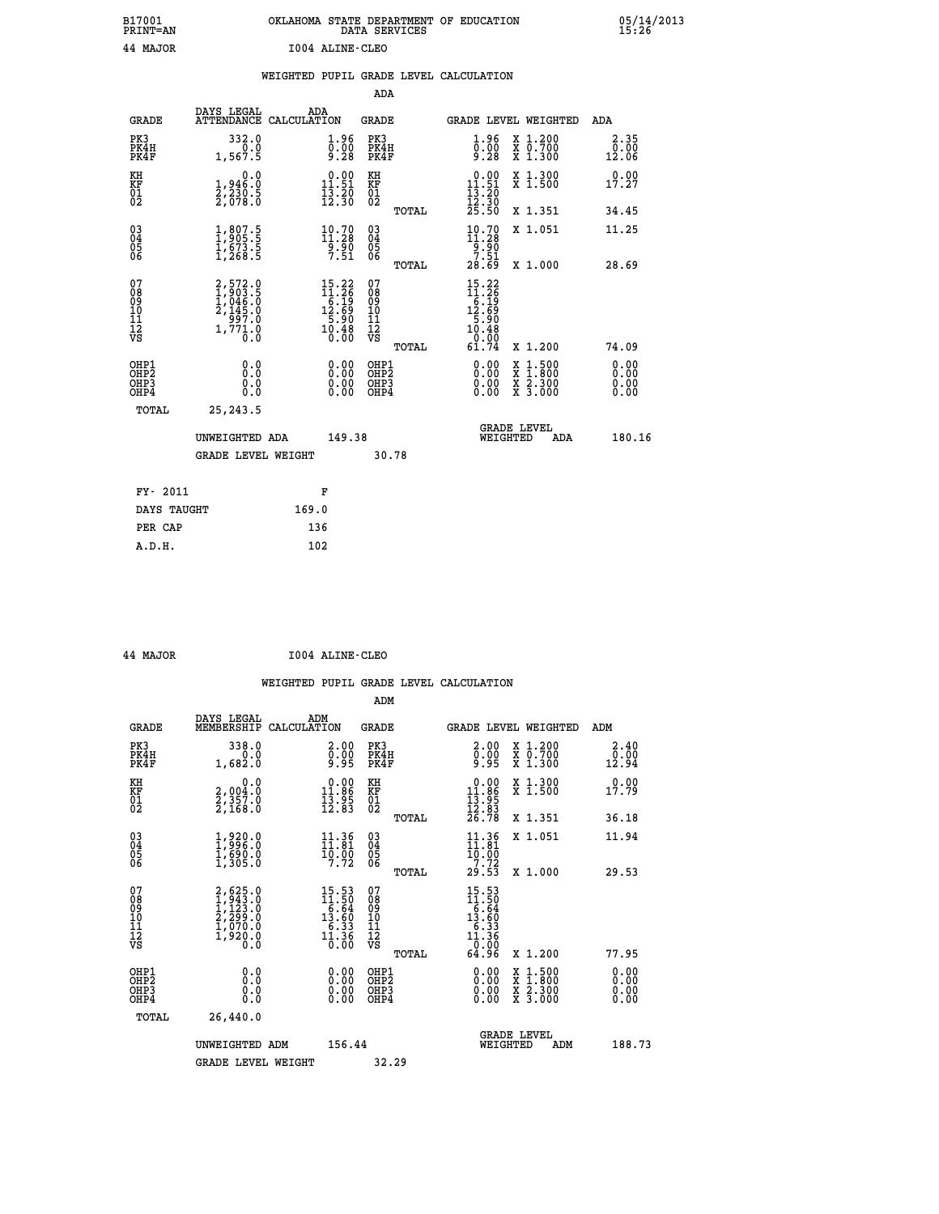| B17001          | OKLAHOMA STATE DEPARTMENT OF EDUCATION |
|-----------------|----------------------------------------|
| <b>PRINT=AN</b> | DATA SERVICES                          |
| 44 MAJOR        | I004 ALINE-CLEO                        |

05/14/2013<br>15**:**26

|                                                              |                                                                                   | WEIGHTED PUPIL GRADE LEVEL CALCULATION                                                                                    |                               |       |                                                                                                                                                                                                                                                                                |                                                                                                                                           |                       |
|--------------------------------------------------------------|-----------------------------------------------------------------------------------|---------------------------------------------------------------------------------------------------------------------------|-------------------------------|-------|--------------------------------------------------------------------------------------------------------------------------------------------------------------------------------------------------------------------------------------------------------------------------------|-------------------------------------------------------------------------------------------------------------------------------------------|-----------------------|
|                                                              |                                                                                   |                                                                                                                           | ADA                           |       |                                                                                                                                                                                                                                                                                |                                                                                                                                           |                       |
| <b>GRADE</b>                                                 | DAYS LEGAL                                                                        | ADA<br>ATTENDANCE CALCULATION                                                                                             | <b>GRADE</b>                  |       |                                                                                                                                                                                                                                                                                | <b>GRADE LEVEL WEIGHTED</b>                                                                                                               | ADA                   |
| PK3<br>PK4H<br>PK4F                                          | 332.0<br>0.0<br>1,567.5                                                           | $\begin{smallmatrix} 1.96\ 0.00\ 9.28 \end{smallmatrix}$                                                                  | PK3<br>PK4H<br>PK4F           |       | $\begin{smallmatrix} 1.96 \\ 0.00 \\ 9.28 \end{smallmatrix}$                                                                                                                                                                                                                   | X 1.200<br>X 0.700<br>X 1.300                                                                                                             | 2.35<br>0.00<br>12.06 |
| KH<br>KF<br>01<br>02                                         | $\begin{smallmatrix}&&&0.0\\1.946.0\\2.230.5\\2.678.0\end{smallmatrix}$           | $0.00$<br>11.51<br>$\frac{1}{12}$ $\frac{5}{30}$                                                                          | KH<br>KF<br>01<br>02          |       | $0.00$<br>11.51<br>$\frac{13}{12}$ $\frac{20}{30}$<br>$\frac{25}{50}$                                                                                                                                                                                                          | X 1.300<br>X 1.500                                                                                                                        | 0.00<br>17.27         |
|                                                              |                                                                                   |                                                                                                                           |                               | TOTAL |                                                                                                                                                                                                                                                                                | X 1.351                                                                                                                                   | 34.45                 |
| $\begin{smallmatrix} 03 \\[-4pt] 04 \end{smallmatrix}$<br>05 | $\begin{smallmatrix} 1,807.5\\ 1,905.5\\ 1,673.5\\ 1,268.5 \end{smallmatrix}$     | $10.70$<br>$11.28$<br>$\frac{5.50}{7.51}$                                                                                 | $^{03}_{04}$<br>0500          |       | $10.70$<br>$11.28$<br>$9.90$<br>$7.51$                                                                                                                                                                                                                                         | X 1.051                                                                                                                                   | 11.25                 |
| 06                                                           |                                                                                   |                                                                                                                           |                               | TOTAL | 28.69                                                                                                                                                                                                                                                                          | X 1.000                                                                                                                                   | 28.69                 |
| 07<br>08<br>09<br>10<br>11<br>11<br>12<br>VS                 | $2,572.0$<br>$1,903.5$<br>$1,046.0$<br>$2,145.0$<br>$997.0$<br>$1,771.0$<br>$0.0$ | $\begin{array}{l} 15\cdot 22 \\ 11\cdot 26 \\ 6\cdot 19 \\ 12\cdot 69 \\ 5\cdot 90 \\ 10\cdot 48 \\ 0\cdot 0 \end{array}$ | 0789901112<br>009011112<br>VS | TOTAL | $\begin{array}{r} 15\cdot 22 \\ 11\cdot 26 \\ 6\cdot 19 \\ 12\cdot 69 \\ 5\cdot 90 \\ 10\cdot 48 \\ \end{array}$<br>$\frac{0.00}{61.74}$                                                                                                                                       | X 1.200                                                                                                                                   | 74.09                 |
| OHP1<br>OHP2<br>OHP3<br>OHP4                                 | 0.0<br>0.0<br>Ō.Ō                                                                 | $\begin{smallmatrix} 0.00 \ 0.00 \ 0.00 \ 0.00 \end{smallmatrix}$                                                         | OHP1<br>OHP2<br>OHP3<br>OHP4  |       | $\begin{smallmatrix} 0.00 & 0.00 & 0.00 & 0.00 & 0.00 & 0.00 & 0.00 & 0.00 & 0.00 & 0.00 & 0.00 & 0.00 & 0.00 & 0.00 & 0.00 & 0.00 & 0.00 & 0.00 & 0.00 & 0.00 & 0.00 & 0.00 & 0.00 & 0.00 & 0.00 & 0.00 & 0.00 & 0.00 & 0.00 & 0.00 & 0.00 & 0.00 & 0.00 & 0.00 & 0.00 & 0.0$ | $\begin{smallmatrix} \mathtt{X} & 1\cdot500\\ \mathtt{X} & 1\cdot800\\ \mathtt{X} & 2\cdot300\\ \mathtt{X} & 3\cdot000 \end{smallmatrix}$ | 0.00<br>0.00          |
| TOTAL                                                        | 25, 243.5                                                                         |                                                                                                                           |                               |       |                                                                                                                                                                                                                                                                                |                                                                                                                                           |                       |
|                                                              | UNWEIGHTED ADA                                                                    | 149.38                                                                                                                    |                               |       | WEIGHTED                                                                                                                                                                                                                                                                       | <b>GRADE LEVEL</b><br>ADA                                                                                                                 | 180.16                |
|                                                              | <b>GRADE LEVEL WEIGHT</b>                                                         |                                                                                                                           | 30.78                         |       |                                                                                                                                                                                                                                                                                |                                                                                                                                           |                       |
| FY- 2011                                                     |                                                                                   | F                                                                                                                         |                               |       |                                                                                                                                                                                                                                                                                |                                                                                                                                           |                       |
| DAYS TAUGHT                                                  |                                                                                   | 169.0                                                                                                                     |                               |       |                                                                                                                                                                                                                                                                                |                                                                                                                                           |                       |
| PER CAP                                                      |                                                                                   | 136                                                                                                                       |                               |       |                                                                                                                                                                                                                                                                                |                                                                                                                                           |                       |

 **44 MAJOR I004 ALINE-CLEO**

 **ADM**

 **A.D.H. 102**

| <b>GRADE</b>                                       | DAYS LEGAL<br>MEMBERSHIP CALCULATION                                                | ADM                                                                                     | <b>GRADE</b>                                       |       |                                                                                 | GRADE LEVEL WEIGHTED                     | ADM                                          |
|----------------------------------------------------|-------------------------------------------------------------------------------------|-----------------------------------------------------------------------------------------|----------------------------------------------------|-------|---------------------------------------------------------------------------------|------------------------------------------|----------------------------------------------|
| PK3<br>PK4H<br>PK4F                                | 338.0<br>1,682.0                                                                    | $\begin{smallmatrix} 2.00\ 0.00\ 9.95 \end{smallmatrix}$                                | PK3<br>PK4H<br>PK4F                                |       | 2.00<br>$\bar{9}:\bar{9}\bar{9}$                                                | X 1.200<br>X 0.700<br>X 1.300            | 2.40<br>$\bar{0}.\bar{0}\bar{0}\overline{1}$ |
| KH<br>KF<br>01<br>02                               | 0.0<br>2,004:0<br>2,357:0<br>2,168:0                                                | $\begin{array}{c} 0.00 \\ 11.86 \\ 13.95 \\ 12.83 \end{array}$                          | KH<br>KF<br>01<br>02                               |       | $\begin{array}{r} 0.00 \\ 11.86 \\ 13.95 \\ 12.83 \\ 26.78 \end{array}$         | X 1.300<br>X 1.500                       | 0.00<br>17.79                                |
|                                                    |                                                                                     |                                                                                         |                                                    | TOTAL |                                                                                 | X 1.351                                  | 36.18                                        |
| $\begin{matrix} 03 \\ 04 \\ 05 \\ 06 \end{matrix}$ | $\begin{smallmatrix} 1,920.0\\ 1,996.0\\ 1,690.0\\ 1,305.0 \end{smallmatrix}$       | $\begin{array}{c} 11\cdot 36\\ 11\cdot 81\\ 10\cdot 90\\ 7\cdot 72 \end{array}$         | $\begin{matrix} 03 \\ 04 \\ 05 \\ 06 \end{matrix}$ |       | $11.36$<br>$10.81$<br>$10.00$<br>$7.72$                                         | X 1.051                                  | 11.94                                        |
|                                                    |                                                                                     |                                                                                         |                                                    | TOTAL | 29.53                                                                           | X 1.000                                  | 29.53                                        |
| 07<br>08<br>09<br>101<br>11<br>12<br>VS            | $2,625.0$<br>$1,943.0$<br>$1,123.0$<br>$2,299.0$<br>$1,070.0$<br>$1,920.0$<br>$0.0$ | $\begin{array}{r} 15.53 \\ 11.50 \\ 6.64 \\ 13.60 \\ 6.33 \\ 11.36 \\ 0.00 \end{array}$ | 07<br>08<br>09<br>001<br>11<br>11<br>12<br>VS      | TOTAL | $15.53$<br>$11.50$<br>$6.64$<br>$13.60$<br>$6.33$<br>$11.36$<br>$0.00$<br>64.96 | X 1.200                                  | 77.95                                        |
| OHP1<br>OHP2<br>OH <sub>P3</sub><br>OHP4           | 0.0<br>0.000                                                                        | $\begin{smallmatrix} 0.00 \ 0.00 \ 0.00 \ 0.00 \end{smallmatrix}$                       | OHP1<br>OHP <sub>2</sub><br>OHP3<br>OHP4           |       | 0.00<br>0.00                                                                    | X 1:500<br>X 1:800<br>X 2:300<br>X 3:000 | 0.00<br>0.00<br>0.00                         |
| TOTAL                                              | 26,440.0                                                                            |                                                                                         |                                                    |       |                                                                                 |                                          |                                              |
|                                                    | UNWEIGHTED<br>ADM                                                                   | 156.44                                                                                  |                                                    |       | WEIGHTED                                                                        | <b>GRADE LEVEL</b><br>ADM                | 188.73                                       |
|                                                    | <b>GRADE LEVEL WEIGHT</b>                                                           |                                                                                         | 32.29                                              |       |                                                                                 |                                          |                                              |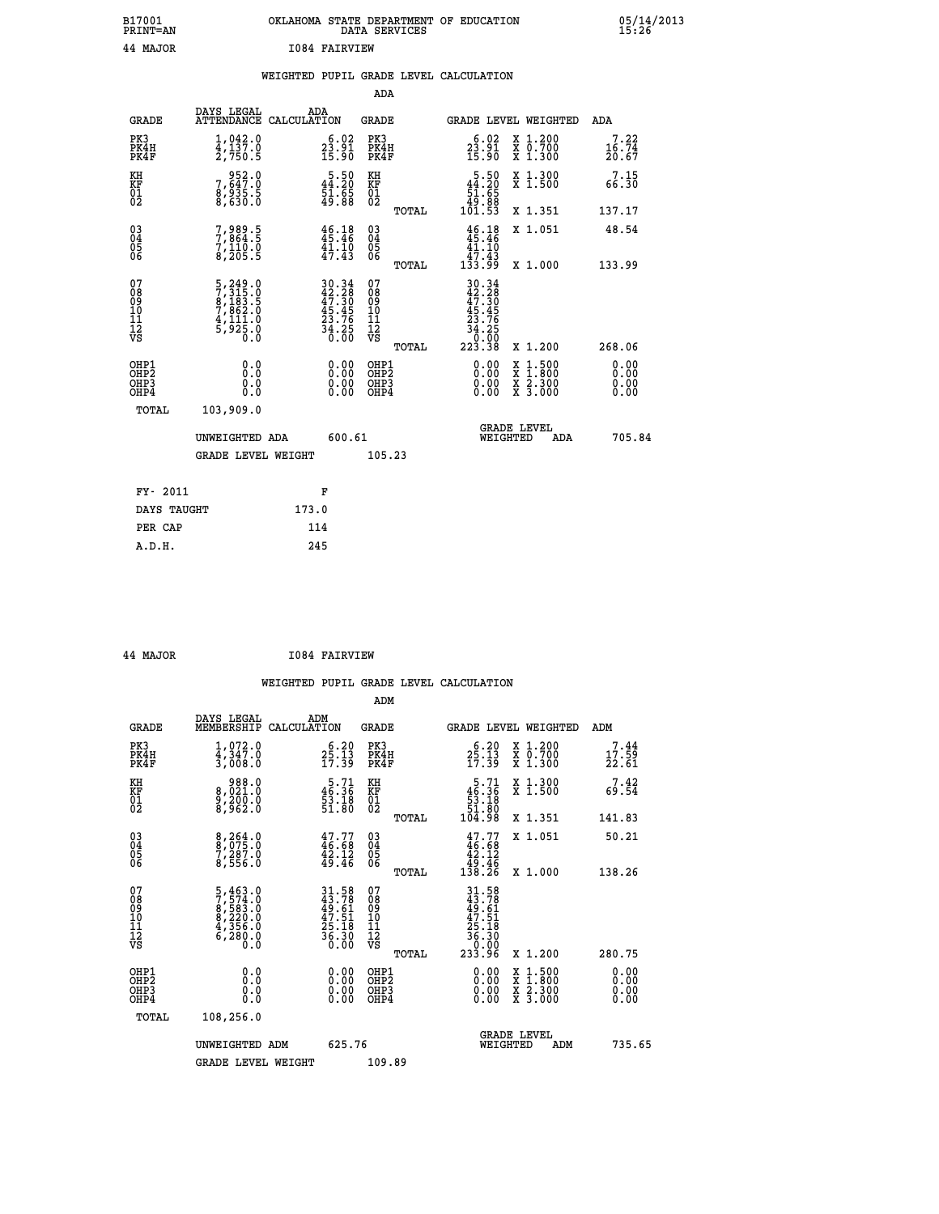| B17001<br><b>PRINT=AN</b> | OKLAHOMA STATE DEPARTMENT OF EDUCATION<br>DATA SERVICES |  |
|---------------------------|---------------------------------------------------------|--|
| 44 MAJOR                  | T084 FATRVTEW                                           |  |

|  |  | WEIGHTED PUPIL GRADE LEVEL CALCULATION |
|--|--|----------------------------------------|
|  |  |                                        |

|                                                                    |                                                                                                 |                                                                                                                               | ADA                                       |       |                                                                                                     |        |                                                                       |                              |
|--------------------------------------------------------------------|-------------------------------------------------------------------------------------------------|-------------------------------------------------------------------------------------------------------------------------------|-------------------------------------------|-------|-----------------------------------------------------------------------------------------------------|--------|-----------------------------------------------------------------------|------------------------------|
| <b>GRADE</b>                                                       | DAYS LEGAL<br>ATTENDANCE CALCULATION                                                            | ADA                                                                                                                           | <b>GRADE</b>                              |       | GRADE LEVEL WEIGHTED                                                                                |        |                                                                       | <b>ADA</b>                   |
| PK3<br>PK4H<br>PK4F                                                | $1,042.0$<br>$4,137.0$<br>2,750.5                                                               | $\begin{smallmatrix} 6.02\\ 23.91\\ 15.90 \end{smallmatrix}$                                                                  | PK3<br>PK4H<br>PK4F                       |       | $23.91$<br>$15.90$                                                                                  |        | X 1.200<br>X 0.700<br>X 1.300                                         | 7.22<br>16.74<br>20.67       |
| KH<br>KF<br>01<br>02                                               | 952.0<br>7,647.0<br>8,935.5<br>8,630.0                                                          | $\begin{smallmatrix}5.50\144.20\51.65\\49.88\end{smallmatrix}$                                                                | KH<br>KF<br>01<br>02                      |       | $\begin{array}{r}5.50\\44.20\\51.65\\49.88\\101.53\end{array}$                                      |        | X 1.300<br>X 1.500                                                    | 7.15<br>66.30                |
|                                                                    |                                                                                                 |                                                                                                                               |                                           | TOTAL |                                                                                                     |        | X 1.351                                                               | 137.17                       |
| $\begin{smallmatrix} 03 \\[-4pt] 04 \end{smallmatrix}$<br>Ŏ5<br>06 | 7,989.5<br>$7,110.0$<br>8,205.5                                                                 | 46.18<br>41.10<br>47.43                                                                                                       | $\substack{03 \\ 04}$<br>$\frac{05}{06}$  |       | $46.18$<br>$45.46$<br>$\begin{array}{c} 41.10 \\ 47.43 \\ 133.99 \end{array}$                       |        | X 1.051                                                               | 48.54                        |
|                                                                    |                                                                                                 |                                                                                                                               |                                           | TOTAL |                                                                                                     |        | X 1.000                                                               | 133.99                       |
| 07<br>08<br>09<br>11<br>11<br>12<br>VS                             | $\begin{smallmatrix}5,249.0\\7,315.0\\8,183.5\\7,862.0\\4,111.0\\5,925.0\\0.0\end{smallmatrix}$ | $\begin{array}{l} 30\cdot 34 \\ 42\cdot 28 \\ 47\cdot 30 \\ 45\cdot 45 \\ 23\cdot 76 \\ 34\cdot 25 \\ 36\cdot 00 \end{array}$ | 07<br>08<br>09<br>11<br>11<br>12<br>VS    |       | $\begin{array}{r} 30.34 \\ 42.38 \\ 47.30 \\ 45.45 \\ 23.76 \\ 34.25 \\ 0.00 \\ 223.38 \end{array}$ |        |                                                                       |                              |
|                                                                    |                                                                                                 |                                                                                                                               |                                           | TOTAL |                                                                                                     |        | X 1.200                                                               | 268.06                       |
| OHP1<br>OHP <sub>2</sub><br>OHP3<br>OHP4                           | 0.0<br>0.0<br>$0.\overline{0}$                                                                  | 0.00<br>$\begin{smallmatrix} 0.00 \ 0.00 \end{smallmatrix}$                                                                   | OHP1<br>OH <sub>P</sub> 2<br>OHP3<br>OHP4 |       | 0.00<br>0.00<br>0.00                                                                                | X<br>X | $1:500$<br>$1:800$<br>$\frac{x}{x}$ $\frac{5}{3}$ : $\frac{500}{000}$ | 0.00<br>0.00<br>0.00<br>0.00 |
| TOTAL                                                              | 103,909.0                                                                                       |                                                                                                                               |                                           |       |                                                                                                     |        |                                                                       |                              |
|                                                                    | UNWEIGHTED ADA                                                                                  | 600.61                                                                                                                        |                                           |       | WEIGHTED                                                                                            |        | <b>GRADE LEVEL</b><br>ADA                                             | 705.84                       |
|                                                                    | <b>GRADE LEVEL WEIGHT</b>                                                                       |                                                                                                                               | 105.23                                    |       |                                                                                                     |        |                                                                       |                              |
| FY- 2011                                                           |                                                                                                 | F                                                                                                                             |                                           |       |                                                                                                     |        |                                                                       |                              |
| DAYS TAUGHT                                                        |                                                                                                 | 173.0                                                                                                                         |                                           |       |                                                                                                     |        |                                                                       |                              |
|                                                                    |                                                                                                 |                                                                                                                               |                                           |       |                                                                                                     |        |                                                                       |                              |
| PER CAP                                                            |                                                                                                 | 114                                                                                                                           |                                           |       |                                                                                                     |        |                                                                       |                              |

| 44 | <b>MAJOR</b> |  |
|----|--------------|--|
|    |              |  |

 **B17001<br>PRINT=AN** 

**AJOR 1084 FAIRVIEW** 

|                                           |                                                                                                  |                                                                      | ADM                                                 |       |                                                                           |                                          |                              |
|-------------------------------------------|--------------------------------------------------------------------------------------------------|----------------------------------------------------------------------|-----------------------------------------------------|-------|---------------------------------------------------------------------------|------------------------------------------|------------------------------|
| <b>GRADE</b>                              | DAYS LEGAL<br>MEMBERSHIP                                                                         | ADM<br>CALCULATION                                                   | <b>GRADE</b>                                        |       |                                                                           | GRADE LEVEL WEIGHTED                     | ADM                          |
| PK3<br>PK4H<br>PK4F                       | 1,072.0<br>4,347.0<br>3,008.0                                                                    | $2\frac{6}{2}, \frac{20}{13}$<br>17.39                               | PK3<br>PK4H<br>PK4F                                 |       | $2\frac{6}{2}\cdot 13$<br>17.39                                           | X 1.200<br>X 0.700<br>X 1.300            | 7.44<br>17.59<br>22.61       |
| KH<br>KF<br>01<br>02                      | 988.0<br>8,021.0<br>9,200.0<br>8,962.0                                                           | $\begin{smallmatrix}5.71\46.36\53.18\51.80\end{smallmatrix}$         | KH<br>KF<br>01<br>02                                |       | $\begin{array}{r}5.71\\46.36\\53.18\\51.80\\104.98\end{array}$            | X 1.300<br>X 1.500                       | 7.42<br>69.54                |
|                                           |                                                                                                  |                                                                      |                                                     | TOTAL |                                                                           | X 1.351                                  | 141.83                       |
| 03<br>04<br>05<br>06                      | 8,264.0<br>8,075.0<br>7,287.0<br>8,556.0                                                         | $47.77$<br>$46.68$<br>$\frac{42.12}{49.46}$                          | $\begin{array}{c} 03 \\ 04 \\ 05 \\ 06 \end{array}$ |       | $47.77\n46.68\n42.12\n49.46\n138.26$                                      | X 1.051                                  | 50.21                        |
|                                           |                                                                                                  |                                                                      |                                                     | TOTAL |                                                                           | X 1.000                                  | 138.26                       |
| 07<br>08<br>09<br>101<br>112<br>VS        | $\begin{smallmatrix} 5,463.0\\7,574.0\\8,583.0\\8,220.0\\4,356.0\\6,280.0\\0.0\end{smallmatrix}$ | 31.58<br>43.78<br>49.61<br>47.51<br>25.18<br>25.18<br>36.30<br>36.30 | 07<br>08<br>09<br>11<br>11<br>12<br>VS              | TOTAL | $31.58$<br>$43.78$<br>$49.61$<br>$47.51$<br>$25.18$<br>$36.30$<br>$33.96$ | X 1.200                                  | 280.75                       |
| OHP1<br>OHP2<br>OH <sub>P</sub> 3<br>OHP4 | 0.0<br>0.000                                                                                     |                                                                      | OHP1<br>OHP2<br>OHP <sub>3</sub>                    |       | $0.00$<br>$0.00$<br>0.00                                                  | X 1:500<br>X 1:800<br>X 2:300<br>X 3:000 | 0.00<br>0.00<br>0.00<br>0.00 |
| TOTAL                                     | 108,256.0                                                                                        |                                                                      |                                                     |       |                                                                           |                                          |                              |
|                                           | UNWEIGHTED ADM                                                                                   | 625.76                                                               |                                                     |       |                                                                           | <b>GRADE LEVEL</b><br>WEIGHTED<br>ADM    | 735.65                       |
|                                           | <b>GRADE LEVEL WEIGHT</b>                                                                        |                                                                      | 109.89                                              |       |                                                                           |                                          |                              |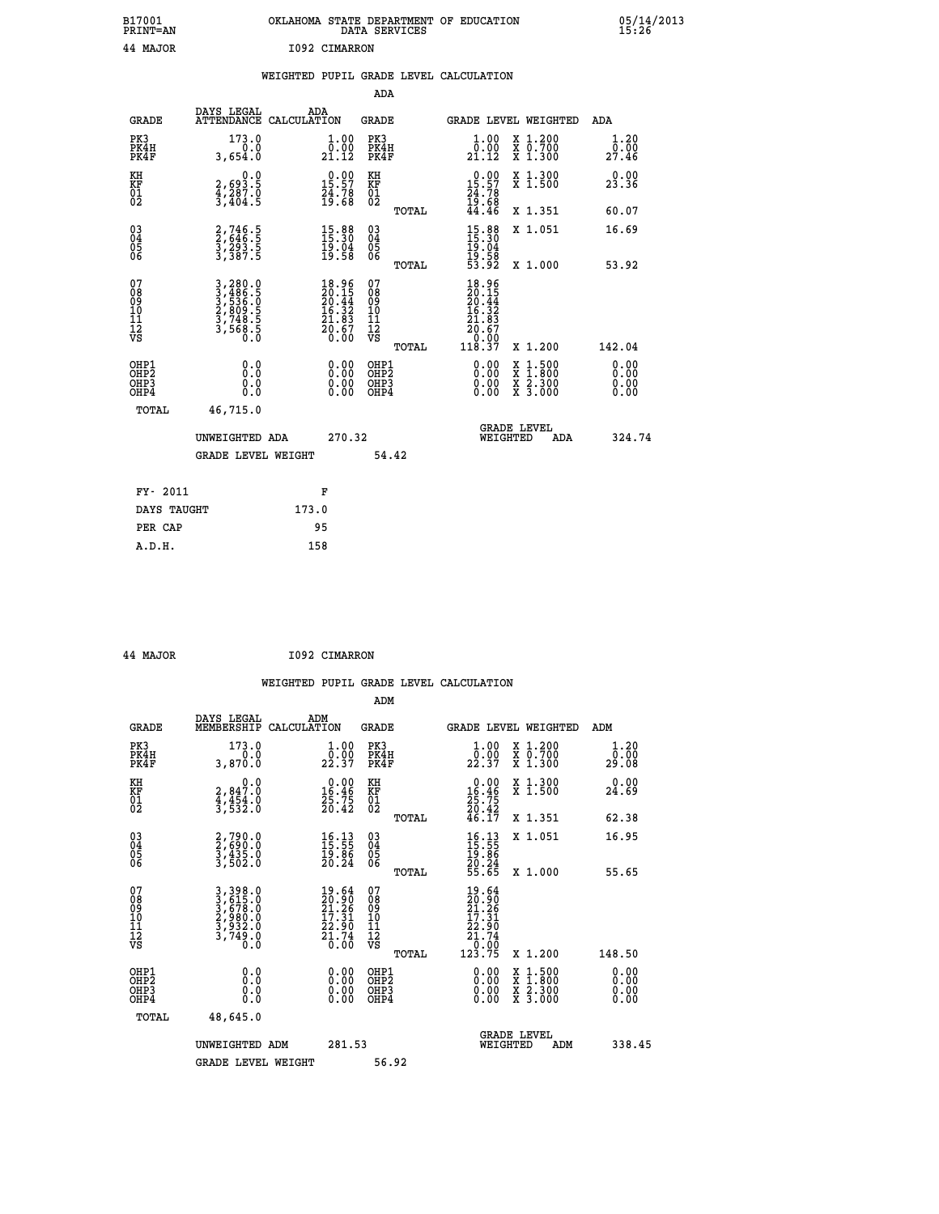| B17001<br>PRINT=AN                                 |                                                                           | OKLAHOMA                                                                                           |                                        | STATE DEPARTMENT OF<br>DATA SERVICES | EDUCATION                                                                                                    |                               | $\frac{05}{15}:26$                       |  |
|----------------------------------------------------|---------------------------------------------------------------------------|----------------------------------------------------------------------------------------------------|----------------------------------------|--------------------------------------|--------------------------------------------------------------------------------------------------------------|-------------------------------|------------------------------------------|--|
| 44 MAJOR                                           |                                                                           | 1092 CIMARRON                                                                                      |                                        |                                      |                                                                                                              |                               |                                          |  |
|                                                    |                                                                           |                                                                                                    |                                        |                                      |                                                                                                              |                               |                                          |  |
|                                                    |                                                                           | WEIGHTED PUPIL GRADE LEVEL CALCULATION                                                             |                                        |                                      |                                                                                                              |                               |                                          |  |
|                                                    |                                                                           |                                                                                                    | ADA                                    |                                      |                                                                                                              |                               |                                          |  |
| <b>GRADE</b>                                       | DAYS LEGAL<br><b>ATTENDANCE</b>                                           | ADA<br>CALCULATION                                                                                 | <b>GRADE</b>                           |                                      | <b>GRADE LEVEL WEIGHTED</b>                                                                                  |                               | ADA                                      |  |
| PK3<br>PK4H<br>PK4F                                | 173.0<br>3,654.0                                                          | $\begin{smallmatrix} 1.00\\[-1mm] 0.00\\[-1mm] 21.12\end{smallmatrix}$                             | PK3<br>PK4H<br>PK4F                    |                                      | $\begin{smallmatrix} 1.00\\[-1mm] 0.00\\[-1mm] 21.12\end{smallmatrix}$                                       | X 1.200<br>X 0.700<br>X 1.300 | $\frac{1}{0}$ : $\frac{20}{00}$<br>27.46 |  |
| KH<br>KF<br>01<br>02                               | $2,693.5$<br>$4,287.0$<br>$3,404.5$                                       | $\begin{smallmatrix} 0.00\\ 15.57\\ 24.78\\ 19.68 \end{smallmatrix}$                               | KH<br>KF<br>01<br>02                   |                                      | $\begin{smallmatrix} 0.00\\ 15.57\\ 24.78\\ 19.68\\ 44.46 \end{smallmatrix}$                                 | X 1.300<br>X 1.500            | 23.36                                    |  |
|                                                    |                                                                           |                                                                                                    |                                        | TOTAL                                |                                                                                                              | X 1.351                       | 60.07                                    |  |
| $\begin{matrix} 03 \\ 04 \\ 05 \\ 06 \end{matrix}$ | 2,746.5<br>2,646.5<br>3,293.5<br>3,387.5                                  | $15.30$<br>$15.30$<br>$19.04$<br>$19.58$                                                           | 03<br>04<br>05<br>06                   |                                      | $15.30$<br>$15.30$<br>$19.04$<br>$19.58$<br>$53.92$                                                          | X 1.051                       | 16.69                                    |  |
|                                                    |                                                                           |                                                                                                    |                                        | TOTAL                                |                                                                                                              | X 1.000                       | 53.92                                    |  |
| 07<br>08<br>09<br>101<br>11<br>12<br>VS            | 3,280.0<br>3,486.5<br>3,536.0<br>3,536.0<br>2,809.5<br>3,748.5<br>3,568.5 | $\begin{smallmatrix} 18.96 \\ 20.15 \\ 20.44 \\ 16.32 \\ 21.83 \\ 20.67 \\ 0.00 \end{smallmatrix}$ | 07<br>08<br>09<br>11<br>11<br>12<br>VS |                                      | $\begin{array}{r} 18.96 \\ 20.15 \\ 20.44 \\ 16.32 \\ 16.32 \\ 21.83 \\ 20.67 \\ 0.00 \\ 118.37 \end{array}$ |                               |                                          |  |
|                                                    |                                                                           |                                                                                                    |                                        | TOTAL                                |                                                                                                              | X 1.200                       | 142.04                                   |  |

05/14/2013<br>15:26

| OHP1<br>OHP <sub>2</sub><br>OHP3<br>OHP4 | 0.0<br>0.0<br>0.0<br>0.0                                | 0.00<br>OHP1<br>OHP <sub>2</sub><br>0.00<br>OHP3<br>0.00<br>OHP4 | 0.00<br>1.500<br>x<br>x<br>.800<br>0.00<br>X <sub>2.300</sub><br>0.00<br>X 3.000 | $\begin{smallmatrix} 0.00 \ 0.00 \ 0.00 \end{smallmatrix}$ |
|------------------------------------------|---------------------------------------------------------|------------------------------------------------------------------|----------------------------------------------------------------------------------|------------------------------------------------------------|
| TOTAL                                    | 46,715.0<br>UNWEIGHTED ADA<br><b>GRADE LEVEL WEIGHT</b> | 270.32<br>54.42                                                  | <b>GRADE LEVEL</b><br>WEIGHTED<br>ADA                                            | 324.74                                                     |
| FY- 2011                                 |                                                         | F                                                                |                                                                                  |                                                            |
| DAYS TAUGHT                              | 173.0                                                   |                                                                  |                                                                                  |                                                            |
| PER CAP                                  |                                                         | 95                                                               |                                                                                  |                                                            |
| A.D.H.                                   | 158                                                     |                                                                  |                                                                                  |                                                            |

| 44 MAJOR | I092 CIMARRON |
|----------|---------------|
|          |               |

|                                          |                                                                       |                                                                                              | ADM                                                 |                                                                                                     |                                          |                              |
|------------------------------------------|-----------------------------------------------------------------------|----------------------------------------------------------------------------------------------|-----------------------------------------------------|-----------------------------------------------------------------------------------------------------|------------------------------------------|------------------------------|
| <b>GRADE</b>                             | DAYS LEGAL<br>MEMBERSHIP                                              | ADM<br>CALCULATION                                                                           | <b>GRADE</b>                                        |                                                                                                     | GRADE LEVEL WEIGHTED                     | ADM                          |
| PK3<br>PK4H<br>PK4F                      | 173.0<br>$0.\overline{0}$<br>3,870.0                                  | $\frac{1}{0}$ : 00<br>22.37                                                                  | PK3<br>PK4H<br>PK4F                                 | $\frac{1}{0}$ : 00<br>22.37                                                                         | X 1.200<br>X 0.700<br>X 1.300            | 1.20<br>00.00<br>29.08       |
| KH<br>KF<br>01<br>02                     | 0.0<br>2,847.0<br>4,454.0<br>3,532.0                                  | $\begin{smallmatrix} 0.00\\16.46\\25.75\\20.42 \end{smallmatrix}$                            | KH<br>KF<br>01<br>02                                | $\begin{smallmatrix} 0.00\\16.46\\25.75\\20.42\\46.17 \end{smallmatrix}$                            | X 1.300<br>X 1.500                       | 0.00<br>24.69                |
|                                          |                                                                       |                                                                                              | TOTAL                                               |                                                                                                     | X 1.351                                  | 62.38                        |
| 03<br>04<br>05<br>06                     | 2,790.0<br>2,690.0<br>3,435.0<br>3,502.0                              | $\begin{smallmatrix} 16.13\ 15.55\ 19.86\ 20.24 \end{smallmatrix}$                           | $\begin{array}{c} 03 \\ 04 \\ 05 \\ 06 \end{array}$ | $16.1315.5519.8620.2455.65$                                                                         | X 1.051                                  | 16.95                        |
|                                          |                                                                       |                                                                                              | TOTAL                                               |                                                                                                     | X 1.000                                  | 55.65                        |
| 07<br>08<br>09<br>101<br>11<br>12<br>VS  | 3,398.0<br>3,615.0<br>3,678.0<br>2,980.0<br>3,932.0<br>3,749.0<br>0.0 | $\begin{smallmatrix} 19.64\\ 20.90\\ 21.26\\ 17.31\\ 22.90\\ 21.74\\ 0.00 \end{smallmatrix}$ | 07<br>08<br>09<br>11<br>11<br>12<br>VS              | $\begin{array}{r} 19.64 \\ 20.90 \\ 21.26 \\ 17.31 \\ 22.90 \\ 21.74 \\ 0.00 \\ 123.75 \end{array}$ |                                          |                              |
|                                          |                                                                       |                                                                                              | TOTAL                                               |                                                                                                     | X 1.200                                  | 148.50                       |
| OHP1<br>OHP2<br>OH <sub>P3</sub><br>OHP4 |                                                                       |                                                                                              | OHP1<br>OHP2<br>OHP <sub>3</sub>                    | $0.00$<br>$0.00$<br>0.00                                                                            | X 1:500<br>X 1:800<br>X 2:300<br>X 3:000 | 0.00<br>0.00<br>0.00<br>0.00 |
| TOTAL                                    | 48,645.0                                                              |                                                                                              |                                                     |                                                                                                     |                                          |                              |
|                                          | UNWEIGHTED<br>ADM                                                     | 281.53                                                                                       |                                                     |                                                                                                     | GRADE LEVEL<br>WEIGHTED<br>ADM           | 338.45                       |
|                                          | <b>GRADE LEVEL WEIGHT</b>                                             |                                                                                              | 56.92                                               |                                                                                                     |                                          |                              |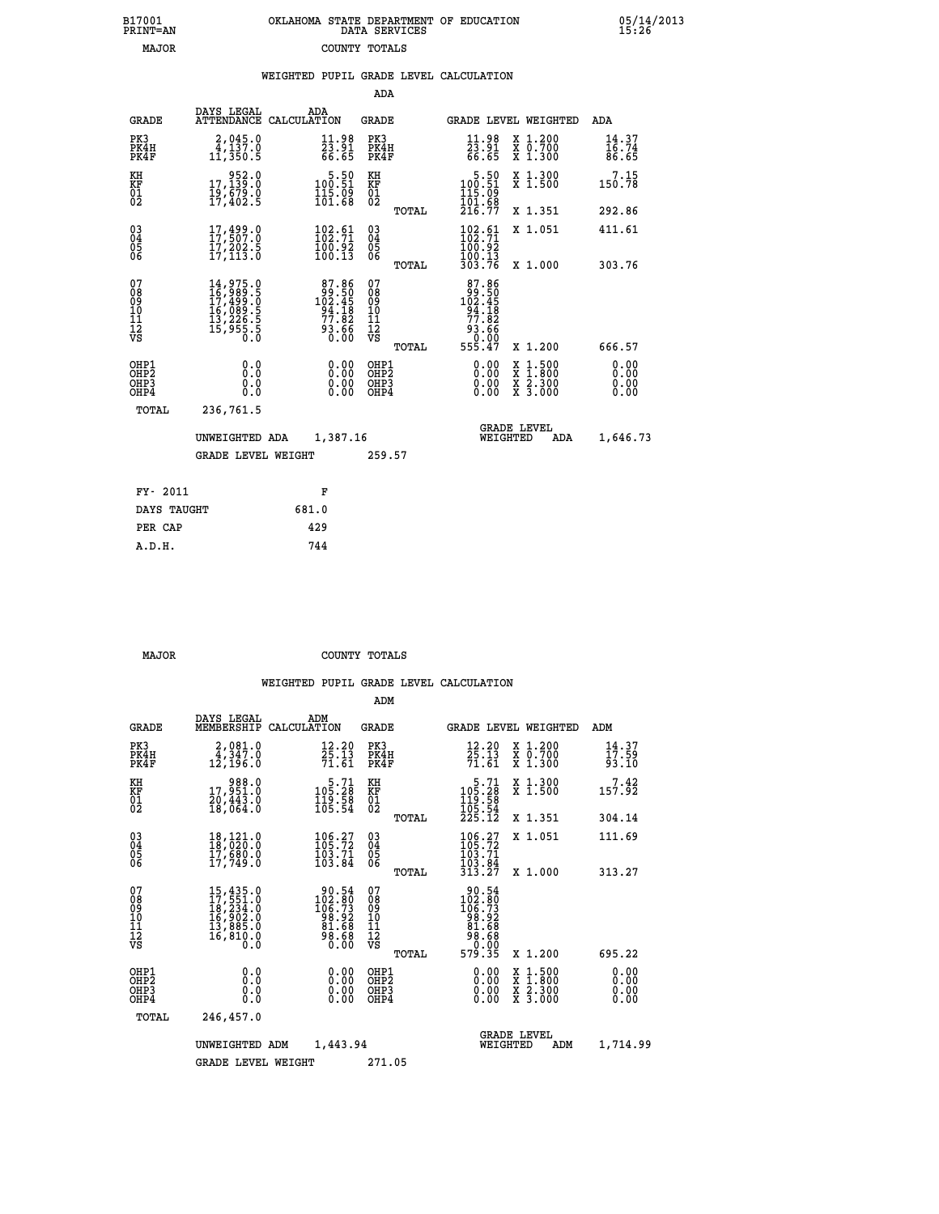| B17001          | OKLAHOMA STATE DEPARTMENT OF EDUCATION |
|-----------------|----------------------------------------|
| <b>PRINT=AN</b> | DATA SERVICES                          |
| <b>MAJOR</b>    | COUNTY TOTALS                          |

05/14/2013<br>15:26

|                                                                  |                                                                                                                                                                               |                                                                                            | ADA                                                         |                                                                                                      |                                                                                                                                           |                              |
|------------------------------------------------------------------|-------------------------------------------------------------------------------------------------------------------------------------------------------------------------------|--------------------------------------------------------------------------------------------|-------------------------------------------------------------|------------------------------------------------------------------------------------------------------|-------------------------------------------------------------------------------------------------------------------------------------------|------------------------------|
| <b>GRADE</b>                                                     | DAYS LEGAL                                                                                                                                                                    | ADA<br>ATTENDANCE CALCULATION                                                              | GRADE                                                       |                                                                                                      | GRADE LEVEL WEIGHTED                                                                                                                      | ADA                          |
| PK3<br>PK4H<br>PK4F                                              | 2,045.0<br>4,137.0<br>11,350.5                                                                                                                                                | $\frac{11.98}{23.91}$<br>66.65                                                             | PK3<br>PK4H<br>PK4F                                         | $\frac{11.98}{23.91}$<br>66.65                                                                       | X 1.200<br>X 0.700<br>X 1.300                                                                                                             | 14.37<br>16.74<br>86.65      |
| KH<br>KF<br>01<br>02                                             | 952.0<br>0.1129.15<br>19,679.0<br>17,402.5                                                                                                                                    | $\begin{smallmatrix}5.50\\100.51\\115.09\\101.68\end{smallmatrix}$                         | KH<br><b>KF</b><br>01<br>02                                 | $\begin{smallmatrix} & 5.50\ 100.51\ 115.09\ 101.68\ 216.77 \end{smallmatrix}$                       | X 1.300<br>X 1.500                                                                                                                        | 7.15<br>150.78               |
|                                                                  |                                                                                                                                                                               |                                                                                            | TOTAL                                                       |                                                                                                      | X 1.351                                                                                                                                   | 292.86                       |
| $^{03}_{04}$<br>Ŏ5<br>06                                         | 17, 499.0<br>Ī7,202.5<br>17,113.0                                                                                                                                             | $\begin{smallmatrix} 102.61\ 102.71\ 100.92\ 100.13 \end{smallmatrix}$                     | $\begin{matrix} 03 \\ 04 \\ 05 \\ 06 \end{matrix}$<br>TOTAL | $\frac{102.61}{102.71}$<br>$\frac{100.13}{303.76}$                                                   | X 1.051<br>X 1.000                                                                                                                        | 411.61<br>303.76             |
|                                                                  |                                                                                                                                                                               |                                                                                            |                                                             |                                                                                                      |                                                                                                                                           |                              |
| 07<br>08<br>09<br>11<br>11<br>12<br>VS                           | $\begin{smallmatrix} 14\,, & 975\,, & 0\\ 16\,, & 989\,, & 5\\ 17\,, & 499\,, & 0\\ 16\,, & 089\,, & 5\\ 13\,, & 226\,, & 5\\ 15\,, & 955\,, & 5\\ 0\,, & 0\end{smallmatrix}$ | $\begin{array}{r} 87.86 \\ 99.50 \\ 102.45 \\ 94.18 \\ 77.82 \\ 93.66 \\ 0.00 \end{array}$ | 07<br>08<br>09<br>11<br>11<br>12<br>VS<br>TOTAL             | $\begin{smallmatrix}87.86\\99.50\\102.45\\94.18\\77.82\end{smallmatrix}$<br>88. ۇۈ<br>0.00<br>555.47 | X 1.200                                                                                                                                   | 666.57                       |
| OHP1<br>OHP <sub>2</sub><br>OH <sub>P3</sub><br>OH <sub>P4</sub> | 0.0<br>Ō.Ō<br>0.0<br>0.0                                                                                                                                                      | 0.00<br>0.00<br>0.00                                                                       | OHP1<br>OHP2<br>OHP3<br>OHP4                                | 0.00<br>0.00<br>0.00                                                                                 | $\begin{smallmatrix} \mathtt{X} & 1\cdot500\\ \mathtt{X} & 1\cdot800\\ \mathtt{X} & 2\cdot300\\ \mathtt{X} & 3\cdot000 \end{smallmatrix}$ | 0.00<br>0.00<br>0.00<br>0.00 |
| TOTAL                                                            | 236,761.5                                                                                                                                                                     |                                                                                            |                                                             |                                                                                                      |                                                                                                                                           |                              |
|                                                                  | UNWEIGHTED ADA                                                                                                                                                                | 1,387.16                                                                                   |                                                             | WEIGHTED                                                                                             | <b>GRADE LEVEL</b><br>ADA                                                                                                                 | 1,646.73                     |
|                                                                  | <b>GRADE LEVEL WEIGHT</b>                                                                                                                                                     |                                                                                            | 259.57                                                      |                                                                                                      |                                                                                                                                           |                              |
| FY- 2011                                                         |                                                                                                                                                                               | F                                                                                          |                                                             |                                                                                                      |                                                                                                                                           |                              |
|                                                                  | DAYS TAUGHT                                                                                                                                                                   | 681.0                                                                                      |                                                             |                                                                                                      |                                                                                                                                           |                              |
| PER CAP                                                          |                                                                                                                                                                               | 429                                                                                        |                                                             |                                                                                                      |                                                                                                                                           |                              |
| A.D.H.                                                           |                                                                                                                                                                               | 744                                                                                        |                                                             |                                                                                                      |                                                                                                                                           |                              |

B17001<br>PRINT=AN<br>MAJOR

 **MAJOR COUNTY TOTALS**

|                                                    |                              |                                                                             |                                                                                                        | ADM                                    |       |                                                                                                                    |                                                                                                                     |                             |  |
|----------------------------------------------------|------------------------------|-----------------------------------------------------------------------------|--------------------------------------------------------------------------------------------------------|----------------------------------------|-------|--------------------------------------------------------------------------------------------------------------------|---------------------------------------------------------------------------------------------------------------------|-----------------------------|--|
|                                                    | <b>GRADE</b>                 | DAYS LEGAL<br>MEMBERSHIP                                                    | ADM<br>CALCULATION                                                                                     | <b>GRADE</b>                           |       | GRADE LEVEL WEIGHTED                                                                                               |                                                                                                                     | ADM                         |  |
| PK3                                                | PK4H<br>PK4F                 | 2,081.0<br>4,347.0<br>12,196.0                                              | $\frac{12.20}{25.13}$<br>71.61                                                                         | PK3<br>PK4H<br>PK4F                    |       | 12.20<br>25:13<br>71:61                                                                                            | X 1.200<br>X 0.700<br>X 1.300                                                                                       | $14.37$<br>$17.59$<br>93.10 |  |
| KH<br>KF<br>01<br>02                               |                              | 988.0<br>17,951.0<br>20,443.0<br>18,064.0                                   | $5.71$<br>105.28<br>$\frac{119}{105}$ $\frac{58}{54}$                                                  | KH<br>KF<br>01<br>02                   |       | $\begin{smallmatrix}5.71\105.28\119.58\105.54\225.12\end{smallmatrix}$                                             | X 1.300<br>X 1.500                                                                                                  | $7.42$<br>157.92            |  |
|                                                    |                              |                                                                             |                                                                                                        |                                        | TOTAL |                                                                                                                    | X 1.351                                                                                                             | 304.14                      |  |
| $\begin{matrix} 03 \\ 04 \\ 05 \\ 06 \end{matrix}$ |                              | 18,121.0<br>18,020.0<br>17,680.0<br>17,749.0                                | 106.27<br>105.72<br>$\frac{103.71}{103.84}$                                                            | $^{03}_{04}$<br>$\frac{05}{06}$        |       | $106.27$<br>$105.72$<br>$103.71$<br>$103.84$<br>$313.27$                                                           | X 1.051                                                                                                             | 111.69                      |  |
|                                                    |                              |                                                                             |                                                                                                        |                                        | TOTAL |                                                                                                                    | X 1.000                                                                                                             | 313.27                      |  |
| 07<br>08<br>09<br>001<br>11<br>11<br>12<br>VS      |                              | 15,435.0<br>17,551.0<br>18,234.0<br>16,902.0<br>13,885.0<br>16,810.0<br>Ō.Ō | $\begin{smallmatrix} 90.54\\ 102.80\\ 106.73\\ 98.92\\ 91.68\\ 81.68\\ 98.68\\ 0.00 \end{smallmatrix}$ | 07<br>08<br>09<br>11<br>11<br>12<br>VS | TOTAL | $\begin{array}{r} 90.54 \\ 102.80 \\ 106.73 \\ 98.92 \\ 81.68 \\ 90.68 \\ 90.00 \\ \text{F} \end{array}$<br>579.35 | X 1.200                                                                                                             | 695.22                      |  |
|                                                    | OHP1<br>OHP2<br>OHP3<br>OHP4 | 0.0<br>0.000                                                                | 0.00<br>0.00<br>0.00                                                                                   | OHP1<br>OHP2<br>OHP3<br>OHP4           |       | $0.00$<br>$0.00$<br>0.00                                                                                           | $\begin{array}{l} \mathtt{X} & 1.500 \\ \mathtt{X} & 1.800 \\ \mathtt{X} & 2.300 \\ \mathtt{X} & 3.000 \end{array}$ | 0.00<br>0.00<br>0.00        |  |
|                                                    | TOTAL                        | 246,457.0                                                                   |                                                                                                        |                                        |       |                                                                                                                    |                                                                                                                     |                             |  |
|                                                    |                              | UNWEIGHTED ADM                                                              | 1,443.94                                                                                               |                                        |       | WEIGHTED                                                                                                           | <b>GRADE LEVEL</b><br>ADM                                                                                           | 1,714.99                    |  |
|                                                    |                              | <b>GRADE LEVEL WEIGHT</b>                                                   |                                                                                                        | 271.05                                 |       |                                                                                                                    |                                                                                                                     |                             |  |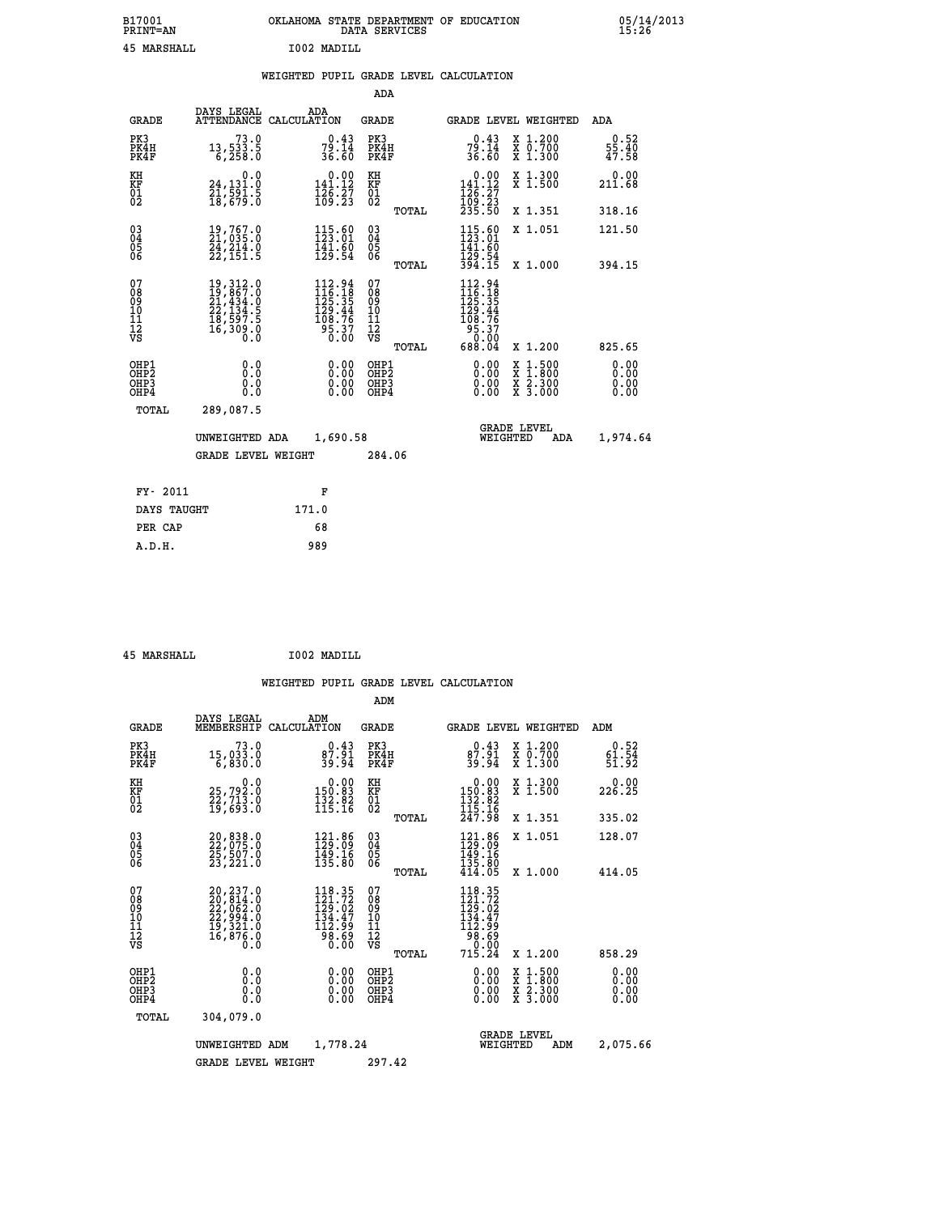## **B17001 OKLAHOMA STATE DEPARTMENT OF EDUCATION 05/14/2013 PRINT=AN DATA SERVICES 15:26 45 MARSHALL I002 MADILL**

## **WEIGHTED PUPIL GRADE LEVEL CALCULATION**

|                                                                    |                                                                                                                                                                                                                             |                                                                                            | ADA                                       |       |                                                                                                     |                                                                            |                              |
|--------------------------------------------------------------------|-----------------------------------------------------------------------------------------------------------------------------------------------------------------------------------------------------------------------------|--------------------------------------------------------------------------------------------|-------------------------------------------|-------|-----------------------------------------------------------------------------------------------------|----------------------------------------------------------------------------|------------------------------|
| <b>GRADE</b>                                                       | DAYS LEGAL                                                                                                                                                                                                                  | ADA<br>ATTENDANCE CALCULATION                                                              | <b>GRADE</b>                              |       |                                                                                                     | GRADE LEVEL WEIGHTED                                                       | ADA                          |
| PK3<br>PK4H<br>PK4F                                                | 73.0<br>13,533.5<br>6,258.0                                                                                                                                                                                                 | $79.14$<br>36.60                                                                           | PK3<br>PK4H<br>PK4F                       |       | $79.14$<br>36.60                                                                                    | X 1.200<br>X 0.700<br>X 1.300                                              | 0.52<br>55.40<br>47.58       |
| KH<br>KF<br>01<br>02                                               | 0.0<br>24,131.0                                                                                                                                                                                                             | $0.00$<br>141.12<br>$\frac{126}{109}$ $\frac{27}{23}$                                      | KH<br>KF<br>$\overline{01}$               |       | $\begin{array}{c} 0.00 \\[-4pt] 141.12 \\[-4pt] 126.27 \\[-4pt] 109.23 \\[-4pt] 235.50 \end{array}$ | X 1.300<br>X 1.500                                                         | 0.00<br>211.68               |
|                                                                    |                                                                                                                                                                                                                             |                                                                                            |                                           | TOTAL |                                                                                                     | X 1.351                                                                    | 318.16                       |
| $\begin{smallmatrix} 03 \\[-4pt] 04 \end{smallmatrix}$<br>05<br>ŌĞ | $\begin{smallmatrix} 19 \,,\, 767 \,. \ 21 \,,\, 035 \,. \ 0 \\ 24 \,,\, 214 \,. \ 0 \\ 24 \,,\, 214 \,. \ 0 \\ 22 \,,\, 151 \,. \ 5 \end{smallmatrix}$                                                                     | $115.60$<br>$123.01$<br>$\frac{141.60}{129.54}$                                            | $\substack{03 \\ 04}$<br>05               |       | $115.60$<br>$123.01$<br>141:60<br>129:54<br>394:15                                                  | X 1.051                                                                    | 121.50                       |
|                                                                    |                                                                                                                                                                                                                             |                                                                                            |                                           | TOTAL |                                                                                                     | X 1.000                                                                    | 394.15                       |
| 07<br>08<br>09<br>11<br>11<br>12<br>VS                             | $\begin{smallmatrix} 19 \, , \, 312 \, . \, 0 \\ 19 \, , \, 867 \, . \, 0 \\ 21 \, , \, 434 \, . \, 0 \\ 22 \, , \, 134 \, . \, 5 \\ 18 \, , \, 597 \, . \, 5 \\ 16 \, , \, 309 \, . \, 0 \\ 0 \, . \, 0 \end{smallmatrix}$ | $\begin{smallmatrix} 112.94\\116.18\\125.35\\129.44\\108.76\\95.37\\0.00\end{smallmatrix}$ | 07<br>08<br>09<br>11<br>11<br>12<br>VS    |       | 112.94<br>$116.18$<br>$125.35$<br>$129.44$<br>$108.76$<br>$95.37$<br>$0.00$<br>$688.04$             |                                                                            |                              |
|                                                                    |                                                                                                                                                                                                                             |                                                                                            |                                           | TOTAL |                                                                                                     | X 1.200                                                                    | 825.65                       |
| OHP1<br>OHP <sub>2</sub><br>OHP3<br>OHP4                           | 0.0<br>Ō.Ō<br>0.0<br>Ō.Ō                                                                                                                                                                                                    | 0.00<br>$\begin{smallmatrix} 0.00 \ 0.00 \end{smallmatrix}$                                | OHP1<br>OH <sub>P</sub> 2<br>OHP3<br>OHP4 |       | 0.00<br>0.00<br>0.00                                                                                | $1:500$<br>$1:800$<br>X<br>X<br>$\frac{\ddot{x}}{x}$ $\frac{2.300}{3.000}$ | 0.00<br>0.00<br>0.00<br>0.00 |
| TOTAL                                                              | 289,087.5                                                                                                                                                                                                                   |                                                                                            |                                           |       |                                                                                                     |                                                                            |                              |
|                                                                    | UNWEIGHTED ADA                                                                                                                                                                                                              | 1,690.58                                                                                   |                                           |       |                                                                                                     | <b>GRADE LEVEL</b><br>WEIGHTED<br>ADA                                      | 1,974.64                     |
|                                                                    | <b>GRADE LEVEL WEIGHT</b>                                                                                                                                                                                                   |                                                                                            | 284.06                                    |       |                                                                                                     |                                                                            |                              |
| FY- 2011                                                           |                                                                                                                                                                                                                             | F                                                                                          |                                           |       |                                                                                                     |                                                                            |                              |
| DAYS TAUGHT                                                        |                                                                                                                                                                                                                             | 171.0                                                                                      |                                           |       |                                                                                                     |                                                                            |                              |
| PER CAP                                                            |                                                                                                                                                                                                                             | 68                                                                                         |                                           |       |                                                                                                     |                                                                            |                              |
|                                                                    |                                                                                                                                                                                                                             |                                                                                            |                                           |       |                                                                                                     |                                                                            |                              |

 **45 MARSHALL I002 MADILL**

 **A.D.H. 989**

|                                                       |                                                                                                 |             |                                                                                                                                 | ADM                                     |       |                                                                                                       |          |                                                                                                  |                               |
|-------------------------------------------------------|-------------------------------------------------------------------------------------------------|-------------|---------------------------------------------------------------------------------------------------------------------------------|-----------------------------------------|-------|-------------------------------------------------------------------------------------------------------|----------|--------------------------------------------------------------------------------------------------|-------------------------------|
| <b>GRADE</b>                                          | DAYS LEGAL<br>MEMBERSHIP                                                                        | CALCULATION | ADM                                                                                                                             | <b>GRADE</b>                            |       |                                                                                                       |          | GRADE LEVEL WEIGHTED                                                                             | ADM                           |
| PK3<br>PK4H<br>PK4F                                   | 73.0<br>15,033.0<br>6,830.0                                                                     |             | 0.43<br>$\frac{87.91}{39.94}$                                                                                                   | PK3<br>PK4H<br>PK4F                     |       | 0.43<br>87.91<br>39.94                                                                                |          | $\begin{smallmatrix} x & 1.200 \\ x & 0.700 \end{smallmatrix}$<br>X 1.300                        | 0.52<br>$\frac{61.54}{51.92}$ |
| KH<br>KF<br>01<br>02                                  | 0.0<br>25,792:0<br>22,713:0<br>19,693:0                                                         |             | $\begin{smallmatrix} &0.00\\ 150.83\\ 132.82\\ 115.16\end{smallmatrix}$                                                         | KH<br>KF<br>01<br>02                    |       | 0.00<br>150:83<br>132:82<br>115:16<br>247:98                                                          |          | X 1.300<br>X 1.500                                                                               | 0.00<br>226.25                |
|                                                       |                                                                                                 |             |                                                                                                                                 |                                         | TOTAL |                                                                                                       |          | X 1.351                                                                                          | 335.02                        |
| 03<br>04<br>05<br>06                                  | 20,838.0<br>22,075.0<br>25,507.0<br>23, 221.0                                                   |             | $\begin{smallmatrix} 121.86 \\ 129.09 \\ 149.16 \\ 135.80 \end{smallmatrix}$                                                    | $^{03}_{04}$<br>05<br>06                |       | $\begin{array}{c} 121.86 \\[-4pt] 129.09 \\[-4pt] 149.16 \\[-4pt] 135.80 \\[-4pt] 414.05 \end{array}$ |          | X 1.051                                                                                          | 128.07                        |
|                                                       |                                                                                                 |             |                                                                                                                                 |                                         | TOTAL |                                                                                                       |          | X 1.000                                                                                          | 414.05                        |
| 07<br>08<br>09<br>101<br>112<br>VS                    | $20, 237.0$<br>$22, 814.0$<br>$22, 062.0$<br>$22, 994.0$<br>$19, 321.0$<br>$16, 876.0$<br>$0.0$ |             | $118.35$<br>$121.72$<br>$129.02$<br>$\frac{1}{1}\overline{3}\overline{4}\cdot\overline{4}\overline{7}\$<br><b>03.80</b><br>00.0 | 07<br>08<br>09<br>101<br>11<br>12<br>VS | TOTAL | 118.35<br>121.72<br>129.02<br>134.47<br>112.99<br>98.69<br>98.00<br>715.24                            |          | X 1.200                                                                                          | 858.29                        |
| OHP1<br>OH <sub>P</sub> 2<br>OH <sub>P3</sub><br>OHP4 | 0.0<br>0.000                                                                                    |             | $0.00$<br>$0.00$<br>0.00                                                                                                        | OHP1<br>OHP2<br>OHP3<br>OHP4            |       | $0.00$<br>$0.00$<br>0.00                                                                              |          | $\begin{smallmatrix} x & 1 & 500 \\ x & 1 & 800 \\ x & 2 & 300 \\ x & 3 & 000 \end{smallmatrix}$ | 0.00<br>0.00<br>0.00<br>0.00  |
| TOTAL                                                 | 304,079.0                                                                                       |             |                                                                                                                                 |                                         |       |                                                                                                       |          |                                                                                                  |                               |
|                                                       | UNWEIGHTED                                                                                      | ADM         | 1,778.24                                                                                                                        |                                         |       |                                                                                                       | WEIGHTED | <b>GRADE LEVEL</b><br>ADM                                                                        | 2,075.66                      |
|                                                       | <b>GRADE LEVEL WEIGHT</b>                                                                       |             |                                                                                                                                 | 297.42                                  |       |                                                                                                       |          |                                                                                                  |                               |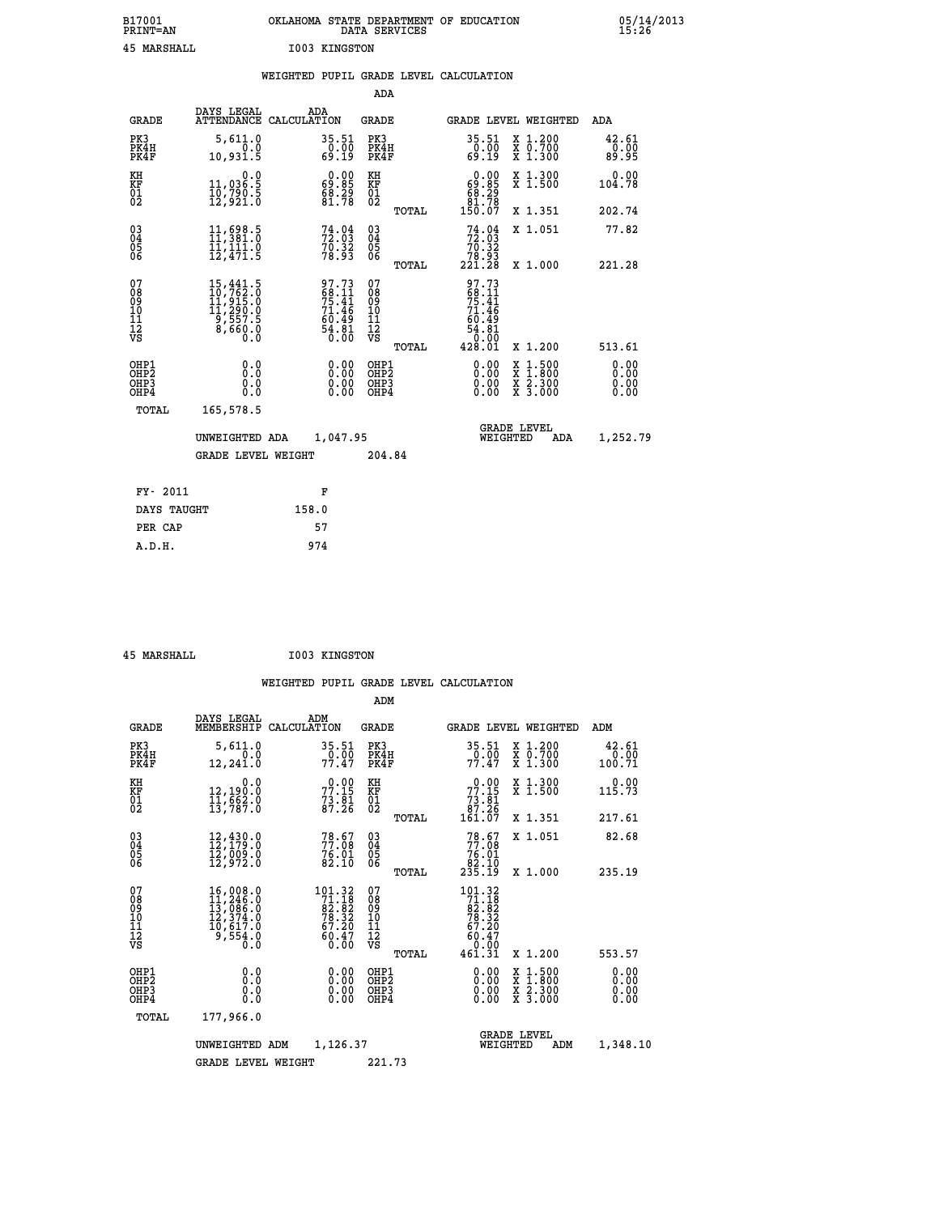| B17001<br><b>PRINT=AN</b> | OKLAHOMA STATE DEPARTMENT OF EDUCATION<br>DATA SERVICES | 05/14/2013<br>15:26 |
|---------------------------|---------------------------------------------------------|---------------------|
| 45<br>MARSHALL            | I003 KINGSTON                                           |                     |

|                                                                    |                                                                                                             | WEIGHTED PUPIL GRADE LEVEL CALCULATION                               |                                                    |                                                                                                                                                                   |                              |
|--------------------------------------------------------------------|-------------------------------------------------------------------------------------------------------------|----------------------------------------------------------------------|----------------------------------------------------|-------------------------------------------------------------------------------------------------------------------------------------------------------------------|------------------------------|
|                                                                    |                                                                                                             |                                                                      | ADA                                                |                                                                                                                                                                   |                              |
| <b>GRADE</b>                                                       | DAYS LEGAL                                                                                                  | ADA<br>ATTENDANCE CALCULATION                                        | <b>GRADE</b>                                       | GRADE LEVEL WEIGHTED                                                                                                                                              | ADA                          |
| PK3<br>PK4H<br>PK4F                                                | 5,611.0<br>10,931.5                                                                                         | $\begin{smallmatrix} 35.51\ 0.00\ 69.19 \end{smallmatrix}$           | PK3<br>PK4H<br>PK4F                                | $35.51$<br>$0.00$<br>$69.19$<br>X 1.200<br>X 0.700<br>X 1.300                                                                                                     | 42.61<br>_0.00<br>89.95      |
| KH<br>KF<br>01<br>02                                               | 0.0<br>11,036:5<br>10,790:5<br>12,921:0                                                                     | $\begin{smallmatrix} 0.00\\ 69.85\\ 68.29\\ 81.78 \end{smallmatrix}$ | KH<br>KF<br>01<br>02                               | 0.00<br>X 1.300<br>X 1.500<br>$\begin{array}{c} 69.85 \\ 69.29 \\ 81.78 \\ 150.07 \end{array}$                                                                    | 0.00<br>104.78               |
|                                                                    |                                                                                                             |                                                                      | TOTAL                                              | X 1.351                                                                                                                                                           | 202.74                       |
| $\begin{smallmatrix} 03 \\[-4pt] 04 \end{smallmatrix}$<br>05<br>06 | 11,698.5<br>11,381.0<br>$\frac{11}{12}, \frac{11}{471}.$ 6                                                  | $74.04$<br>$72.03$<br>$70.32$<br>$78.93$                             | $\begin{matrix} 03 \\ 04 \\ 05 \\ 06 \end{matrix}$ | $74.04$<br>$72.03$<br>$70.32$<br>$78.93$<br>$221.28$<br>X 1.051                                                                                                   | 77.82                        |
|                                                                    |                                                                                                             |                                                                      | TOTAL                                              | X 1.000                                                                                                                                                           | 221.28                       |
| 07<br>08<br>09<br>11<br>11<br>12<br>VS                             | $\begin{smallmatrix} 15,441.5\\ 10,762.0\\ 11,915.0\\ 11,290.0\\ 9,557.5\\ 8,660.0\\ 0.0 \end{smallmatrix}$ | 97.73<br>68.11<br>75.41<br>71.46<br>$60.49$<br>$54.81$<br>$0.00$     | 07<br>08<br>09<br>11<br>11<br>12<br>VS<br>TOTAL    | 97.73<br>$\frac{68.11}{75.41}$<br>$\frac{71.46}{71.46}$<br>$\begin{smallmatrix} 6\,0.4\,9\\ 54.81\\ 0.00\\ 4\,2\,8.01 \end{smallmatrix}$<br>X 1.200               | 513.61                       |
| OHP1<br>OHP2<br>OH <sub>P3</sub><br>OH <sub>P4</sub>               | 0.0<br>Ō.Ō<br>0.0<br>0.0                                                                                    | 0.00<br>$0.00$<br>0.00                                               | OHP1<br>OHP2<br>OHP3<br>OHP4                       | 0.00<br>$\begin{smallmatrix} \mathtt{X} & 1\cdot500\\ \mathtt{X} & 1\cdot800\\ \mathtt{X} & 2\cdot300\\ \mathtt{X} & 3\cdot000 \end{smallmatrix}$<br>0.00<br>0.00 | 0.00<br>0.00<br>0.00<br>0.00 |
| TOTAL                                                              | 165,578.5                                                                                                   |                                                                      |                                                    |                                                                                                                                                                   |                              |
|                                                                    | UNWEIGHTED ADA                                                                                              | 1,047.95                                                             |                                                    | <b>GRADE LEVEL</b><br>WEIGHTED<br>ADA                                                                                                                             | 1,252.79                     |
|                                                                    | <b>GRADE LEVEL WEIGHT</b>                                                                                   |                                                                      | 204.84                                             |                                                                                                                                                                   |                              |
| FY- 2011                                                           |                                                                                                             | F                                                                    |                                                    |                                                                                                                                                                   |                              |
| DAYS TAUGHT                                                        |                                                                                                             | 158.0                                                                |                                                    |                                                                                                                                                                   |                              |
| PER CAP                                                            |                                                                                                             | 57                                                                   |                                                    |                                                                                                                                                                   |                              |

 **45 MARSHALL I003 KINGSTON**

 **A.D.H. 974**

 **ADM**

| <b>GRADE</b>                                       | DAYS LEGAL                                                            | ADM<br>MEMBERSHIP CALCULATION                                                                 | <b>GRADE</b>                                        |                                                                                 | GRADE LEVEL WEIGHTED                                                                                                | ADM                     |
|----------------------------------------------------|-----------------------------------------------------------------------|-----------------------------------------------------------------------------------------------|-----------------------------------------------------|---------------------------------------------------------------------------------|---------------------------------------------------------------------------------------------------------------------|-------------------------|
| PK3<br>PK4H<br>PK4F                                | 5,611.0<br>0.0<br>12,241.0                                            | 35.51<br>0.00<br>77.47                                                                        | PK3<br>PK4H<br>PK4F                                 | 35.51<br>0.00<br>77.47                                                          | X 1.200<br>X 0.700<br>X 1.300                                                                                       | 42.61<br>0.00<br>100.71 |
| KH<br>KF<br>01<br>02                               | 0.0<br>$\frac{12}{13}, \frac{190}{962}$ $\frac{0}{13}, \frac{0}{787}$ | 77.15<br>$\frac{73.81}{87.26}$                                                                | KH<br>KF<br>01<br>02                                | 77.15<br>$\begin{array}{r} 73.81 \\ 87.26 \\ 161.07 \end{array}$                | X 1.300<br>X 1.500                                                                                                  | 0.00<br>115.73          |
|                                                    |                                                                       |                                                                                               | TOTAL                                               |                                                                                 | X 1.351                                                                                                             | 217.61                  |
| $\begin{matrix} 03 \\ 04 \\ 05 \\ 06 \end{matrix}$ | $12, 430.0$<br>$12, 179.0$<br>$12, 009.0$<br>$12, 972.0$              | $78.67$<br>$77.08$<br>$76.01$<br>$82.10$                                                      | $\substack{03 \\ 04}$<br>05<br>06                   | $78.67\n77.08\n76.01\n82.10\n235.19$                                            | X 1.051                                                                                                             | 82.68                   |
|                                                    |                                                                       |                                                                                               | TOTAL                                               |                                                                                 | X 1.000                                                                                                             | 235.19                  |
| 07<br>08<br>09<br>101<br>11<br>12<br>VS            | 16,008.0<br>11,246.0<br>13,086.0<br>12,374.0<br>10,617.0<br>9,554.0   | $\begin{smallmatrix} 101.32\\71.18\\82.82\\78.32\\78.32\\67.20\\60.47\\0.00\end{smallmatrix}$ | 078<br>089<br>0011<br>11<br>11<br>12<br>VS<br>TOTAL | 101.32<br>$71.18$<br>$82.82$<br>$78.32$<br>$67.20$<br>$60.47$<br>0.00<br>461.31 | X 1.200                                                                                                             | 553.57                  |
| OHP1<br>OHP2<br>OHP3<br>OHP4                       | 0.0<br>0.0<br>$0.\overline{0}$                                        | $0.00$<br>$0.00$<br>0.00                                                                      | OHP1<br>OHP <sub>2</sub><br>OHP3<br>OHP4            | 0.00<br>0.00<br>0.00                                                            | $\begin{array}{l} \mathtt{X} & 1.500 \\ \mathtt{X} & 1.800 \\ \mathtt{X} & 2.300 \\ \mathtt{X} & 3.000 \end{array}$ | 0.00<br>0.00<br>0.00    |
| TOTAL                                              | 177,966.0                                                             |                                                                                               |                                                     |                                                                                 |                                                                                                                     |                         |
|                                                    | UNWEIGHTED                                                            | 1,126.37<br>ADM                                                                               |                                                     | WEIGHTED                                                                        | <b>GRADE LEVEL</b><br>ADM                                                                                           | 1,348.10                |
|                                                    | <b>GRADE LEVEL WEIGHT</b>                                             |                                                                                               | 221.73                                              |                                                                                 |                                                                                                                     |                         |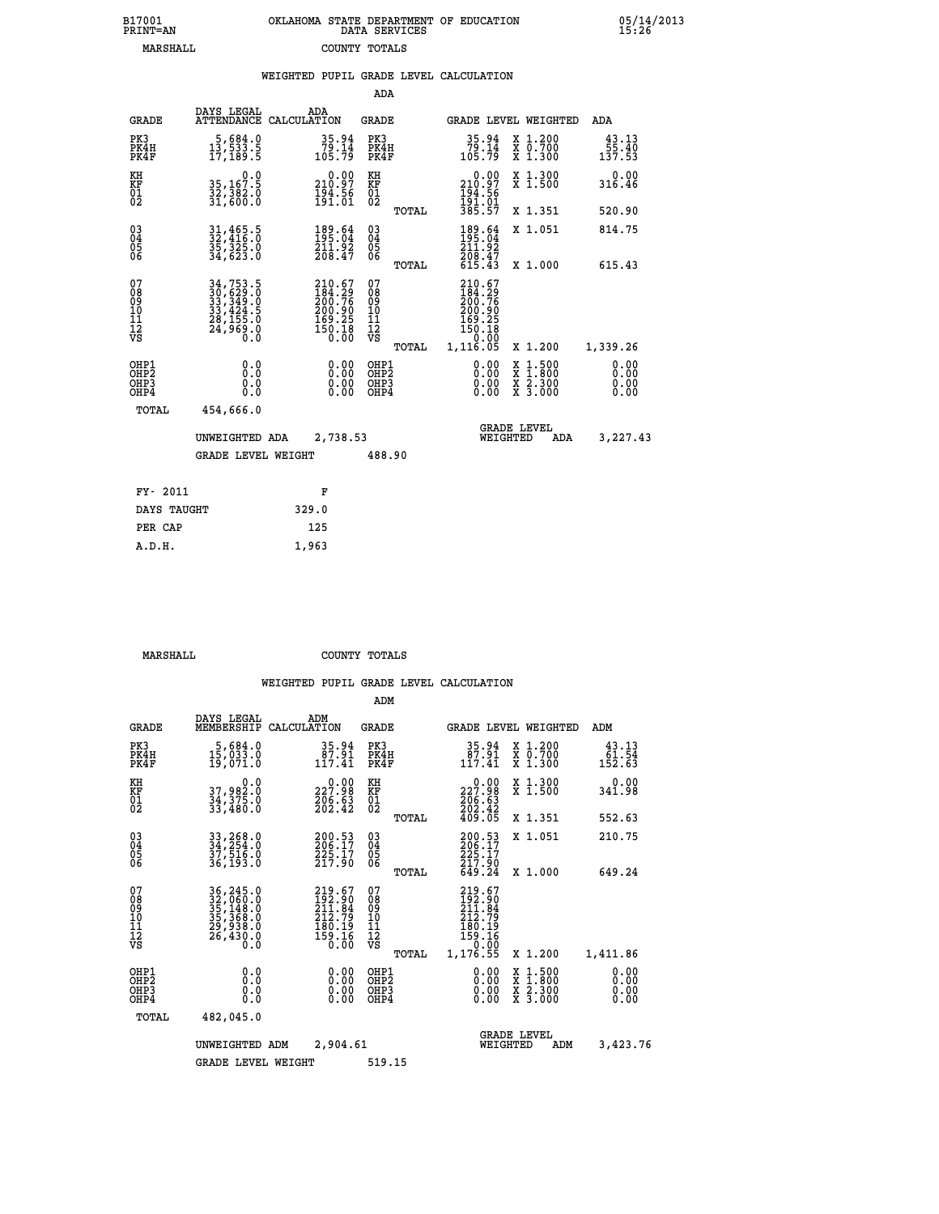| B17001          | OKLAHOMA STATE DEPARTMENT OF EDUCATION |
|-----------------|----------------------------------------|
| <b>PRINT=AN</b> | DATA SERVICES                          |
| MARSHALL        | COUNTY TOTALS                          |

05/14/2013<br>15:26

|                                                                    |                                                                                                                                                    |                                                                          | ADA                                               |       |                                                                            |                                                                            |                                           |
|--------------------------------------------------------------------|----------------------------------------------------------------------------------------------------------------------------------------------------|--------------------------------------------------------------------------|---------------------------------------------------|-------|----------------------------------------------------------------------------|----------------------------------------------------------------------------|-------------------------------------------|
| <b>GRADE</b>                                                       | DAYS LEGAL                                                                                                                                         | ADA<br>ATTENDANCE CALCULATION                                            | <b>GRADE</b>                                      |       |                                                                            | GRADE LEVEL WEIGHTED                                                       | <b>ADA</b>                                |
| PK3<br>PK4H<br>PK4F                                                | 5,684.0<br>13,533.5<br>17,189.5                                                                                                                    | $79.14$<br>105.79                                                        | PK3<br>PK4H<br>PK4F                               |       | 35.94<br>79.14<br>105.79                                                   | X 1.200<br>X 0.700<br>X 1.300                                              | 43.13<br>$\frac{55}{137}$ $\frac{40}{53}$ |
| KH<br>KF<br>01<br>02                                               | 0.0<br>35,167.5<br>32,382.0<br>31,600.0                                                                                                            | 210.00<br>$\frac{194.56}{191.01}$                                        | KH<br>KF<br>$\begin{matrix} 01 \ 02 \end{matrix}$ |       | 0.00<br>210:97<br>194:56<br>191:01<br>385:57                               | X 1.300<br>X 1.500                                                         | 0.00<br>316.46                            |
|                                                                    |                                                                                                                                                    |                                                                          |                                                   | TOTAL |                                                                            | X 1.351                                                                    | 520.90                                    |
| $\begin{smallmatrix} 03 \\[-4pt] 04 \end{smallmatrix}$<br>05<br>06 | 31,465.5<br>32,416.0<br>35,325.0<br>34,623.0                                                                                                       | 189.64<br>211.92<br>208.47                                               | $\substack{03 \\ 04}$<br>$\frac{05}{06}$          |       | 189.64<br>211:92<br>208:47<br>615:43                                       | X 1.051                                                                    | 814.75                                    |
|                                                                    |                                                                                                                                                    |                                                                          |                                                   | TOTAL |                                                                            | X 1.000                                                                    | 615.43                                    |
| 07<br>08<br>09<br>11<br>11<br>12<br>VS                             | $\begin{smallmatrix} 34\,,\,753\,.5\\ 30\,,\,629\,.0\\ 33\,,\,349\,.0\\ 33\,,\,424\,.5\\ 28\,,\,155\,.0\\ 24\,,\,969\,.0\\ 0\,. \end{smallmatrix}$ | 210.67<br>184.29<br>200.76<br>$200.90$<br>$169.25$<br>$150.18$<br>$0.00$ | 07<br>08<br>09<br>11<br>11<br>12<br>VS            |       | 210.67<br>$184.29$<br>$200.76$<br>$200.90$<br>$169.25$<br>$150.18$<br>0.00 |                                                                            |                                           |
|                                                                    |                                                                                                                                                    |                                                                          |                                                   | TOTAL | 1,116.05                                                                   | X 1.200                                                                    | 1,339.26                                  |
| OHP1<br>OH <sub>P</sub> 2<br>OHP3<br>OHP4                          | 0.0<br>Ō.Ō<br>0.0<br>Ō.Ō                                                                                                                           | 0.00<br>$\begin{smallmatrix} 0.00 \ 0.00 \end{smallmatrix}$              | OHP1<br>OH <sub>P</sub> 2<br>OHP3<br>OHP4         |       | 0.00<br>0.00<br>0.00                                                       | $1:500$<br>$1:800$<br>X<br>X<br>$\frac{\ddot{x}}{x}$ $\frac{2.300}{3.000}$ | 0.00<br>0.00<br>0.00<br>0.00              |
| TOTAL                                                              | 454,666.0                                                                                                                                          |                                                                          |                                                   |       |                                                                            |                                                                            |                                           |
|                                                                    | UNWEIGHTED ADA                                                                                                                                     | 2,738.53                                                                 |                                                   |       |                                                                            | <b>GRADE LEVEL</b><br>WEIGHTED<br>ADA                                      | 3,227.43                                  |
|                                                                    | <b>GRADE LEVEL WEIGHT</b>                                                                                                                          |                                                                          | 488.90                                            |       |                                                                            |                                                                            |                                           |
| FY- 2011                                                           |                                                                                                                                                    | F                                                                        |                                                   |       |                                                                            |                                                                            |                                           |
| DAYS TAUGHT                                                        |                                                                                                                                                    | 329.0                                                                    |                                                   |       |                                                                            |                                                                            |                                           |
| PER CAP                                                            |                                                                                                                                                    | 125                                                                      |                                                   |       |                                                                            |                                                                            |                                           |
|                                                                    |                                                                                                                                                    |                                                                          |                                                   |       |                                                                            |                                                                            |                                           |

 **MARSHALL COUNTY TOTALS**

 **A.D.H. 1,963**

|                                                       |                                                                                   |                                                                         | ADM                                              |                                                                             |                                                                                                  |                              |
|-------------------------------------------------------|-----------------------------------------------------------------------------------|-------------------------------------------------------------------------|--------------------------------------------------|-----------------------------------------------------------------------------|--------------------------------------------------------------------------------------------------|------------------------------|
| <b>GRADE</b>                                          | DAYS LEGAL<br>MEMBERSHIP                                                          | ADM<br>CALCULATION                                                      | <b>GRADE</b>                                     | GRADE LEVEL WEIGHTED                                                        |                                                                                                  | ADM                          |
| PK3<br>PK4H<br>PK4F                                   | 5,684.0<br>15,033.0<br>19,071.0                                                   | 35.94<br>87.91<br>117.41                                                | PK3<br>PK4H<br>PK4F                              | $\begin{smallmatrix} 35.94\ 87.91\ 117.41 \end{smallmatrix}$                | X 1.200<br>X 0.700<br>X 1.300                                                                    | 43.13<br>61.54<br>152.63     |
| KH<br>KF<br>01<br>02                                  | 0.0<br>37,982:0<br>34,375:0<br>33,480:0                                           | 227.98<br>$\frac{206}{202}.$ 63                                         | KH<br>KF<br>01<br>02                             | 227.98<br>$\frac{206.63}{202.42}$<br>409.05                                 | X 1.300<br>X 1.500                                                                               | 0.00<br>341.98               |
|                                                       |                                                                                   |                                                                         | TOTAL                                            |                                                                             | X 1.351                                                                                          | 552.63                       |
| 03<br>04<br>05<br>06                                  | 33,268.0<br>34,254.0<br>37,516.0<br>36,193.0                                      | 200.53<br>206.17<br>225.17<br>217.90                                    | $\substack{03 \\ 04}$<br>0500                    | 200.53<br>206.17<br>$\frac{225}{217}$ .90                                   | X 1.051                                                                                          | 210.75                       |
|                                                       |                                                                                   |                                                                         | TOTAL                                            | 649.24                                                                      | X 1.000                                                                                          | 649.24                       |
| 07<br>08<br>09<br>101<br>112<br>VS                    | 36, 245.0<br>32, 060.0<br>35, 148.0<br>35, 368.0<br>29, 938.0<br>26, 430.0<br>0.0 | 219.67<br>192.90<br>211.84<br>212.79<br>$\frac{180.15}{159.16}$<br>0.00 | 07<br>08<br>09<br>101<br>11<br>12<br>VS<br>TOTAL | 219.67<br>192.90<br>211.84<br>212.79<br>$\frac{180.19}{159.16}$<br>1,176.55 | X 1.200                                                                                          | 1,411.86                     |
| OHP1<br>OH <sub>P</sub> 2<br>OH <sub>P3</sub><br>OHP4 | 0.0<br>0.000                                                                      | $0.00$<br>$0.00$<br>0.00                                                | OHP1<br>OHP2<br>OHP3<br>OHP4                     | $0.00$<br>$0.00$<br>0.00                                                    | $\begin{smallmatrix} x & 1 & 500 \\ x & 1 & 800 \\ x & 2 & 300 \\ x & 3 & 000 \end{smallmatrix}$ | 0.00<br>0.00<br>0.00<br>0.00 |
| TOTAL                                                 | 482,045.0                                                                         |                                                                         |                                                  |                                                                             |                                                                                                  |                              |
|                                                       | UNWEIGHTED ADM                                                                    | 2,904.61                                                                |                                                  | <b>GRADE LEVEL</b><br>WEIGHTED                                              | ADM                                                                                              | 3,423.76                     |
|                                                       | <b>GRADE LEVEL WEIGHT</b>                                                         |                                                                         | 519.15                                           |                                                                             |                                                                                                  |                              |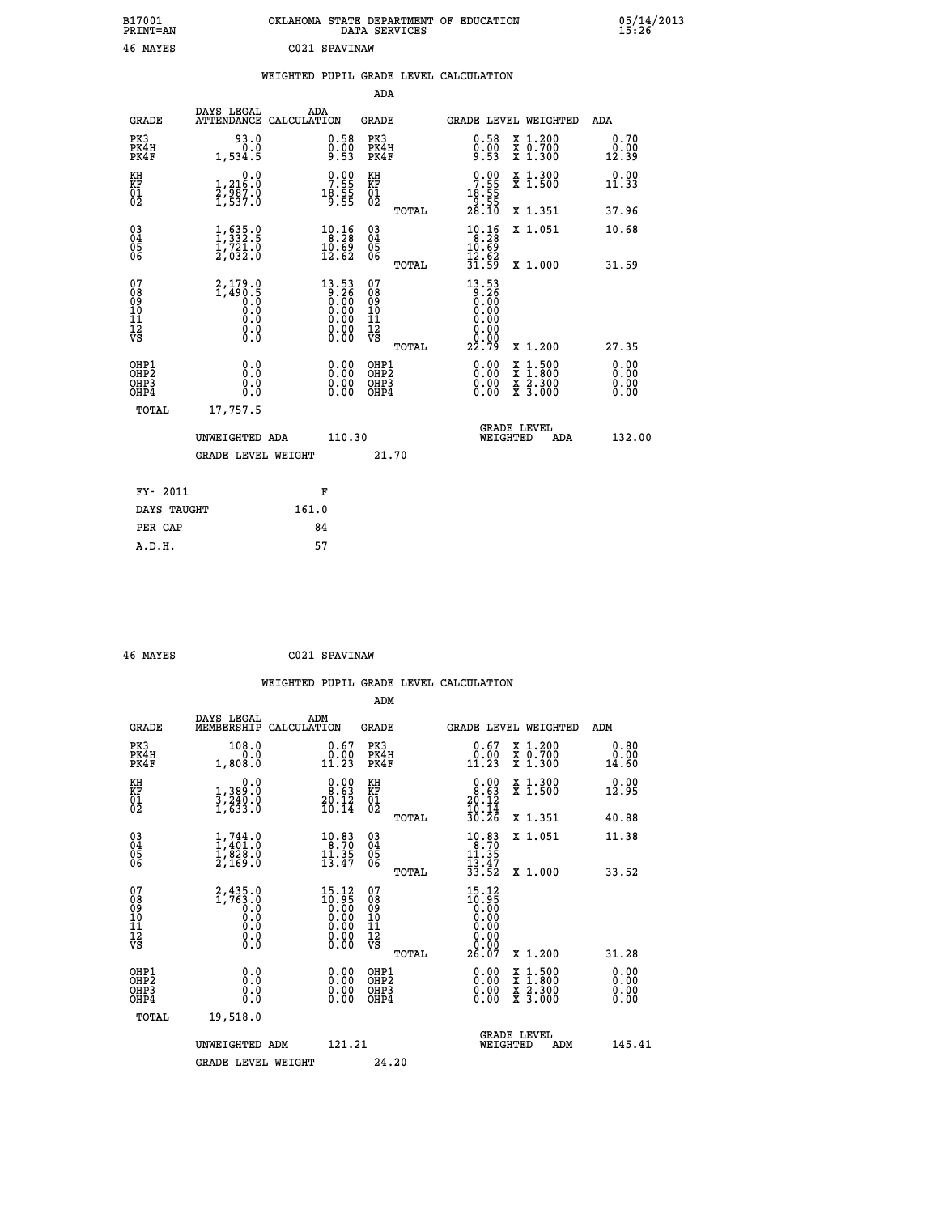| B17001<br><b>PRINT=AN</b> | OKLAHOMA STATE DEPARTMENT OF EDUCATION<br>DATA SERVICES | 05/14/2013<br>15:26 |
|---------------------------|---------------------------------------------------------|---------------------|
| 46<br>MAYES               | C021 SPAVINAW                                           |                     |

|                                          |                                                        | WEIGHTED PUPIL GRADE LEVEL CALCULATION                                                               |                                          |                                                                                            |                              |
|------------------------------------------|--------------------------------------------------------|------------------------------------------------------------------------------------------------------|------------------------------------------|--------------------------------------------------------------------------------------------|------------------------------|
|                                          |                                                        |                                                                                                      | <b>ADA</b>                               |                                                                                            |                              |
| <b>GRADE</b>                             | DAYS LEGAL                                             | ADA<br>ATTENDANCE CALCULATION                                                                        | GRADE                                    | GRADE LEVEL WEIGHTED                                                                       | ADA                          |
| PK3<br>PK4H<br>PK4F                      | 93.0<br>0.0<br>1,534.5                                 | $\begin{smallmatrix} 0.58\ 0.00\ 9.53 \end{smallmatrix}$                                             | PK3<br>PK4H<br>PK4F                      | 0.58<br>X 1.200<br>0.00<br>x ō:7ŏŏ<br>x 1:300<br>9.53                                      | 0.70<br>0.00<br>12.39        |
| KH<br>KF<br>01<br>02                     | 0.0<br>1,216.0<br>2,987.0<br>1,537.0                   | $\begin{smallmatrix} 0.00\\ 7.55\\ 18.55\\ 9.55 \end{smallmatrix}$                                   | KH<br>KF<br>01<br>02                     | $\begin{smallmatrix}0.00\\7.55\\18.55\\9.55\\28.10\end{smallmatrix}$<br>X 1.300<br>X 1.500 | 0.00<br>11.33                |
|                                          |                                                        |                                                                                                      | TOTAL                                    | X 1.351                                                                                    | 37.96                        |
| $^{03}_{04}$<br>05<br>06                 | $\frac{1}{1}, \frac{635}{332}$ .<br>1,721.0<br>2,032.0 | $\begin{smallmatrix} 10.16\\ 8.28\\ 10.69\\ 12.62 \end{smallmatrix}$                                 | $^{03}_{04}$<br>$\frac{05}{06}$          | $10.16$<br>$10.28$<br>$10.69$<br>X 1.051                                                   | 10.68                        |
|                                          |                                                        |                                                                                                      | TOTAL                                    | $\frac{15.82}{31.59}$<br>X 1.000                                                           | 31.59                        |
| 07<br>08<br>09<br>11<br>11<br>12<br>VS   | 2,179.0<br>1,490.5<br>0.0<br>0.0<br>0.0<br>$\S.$       | $\begin{smallmatrix} 13.53\ 9.26\ 0.00\ 0.00\ 0.00\ 0.00\ 0.00\ 0.00\ 0.00\ 0.00\ \end{smallmatrix}$ | 07<br>08<br>09<br>11<br>11<br>12<br>VS   | $13.53$<br>$9.26$<br>$0.00$<br>0.00<br>0.00<br>0.00                                        |                              |
|                                          |                                                        |                                                                                                      | TOTAL                                    | 22.79<br>X 1.200                                                                           | 27.35                        |
| OHP1<br>OHP <sub>2</sub><br>OHP3<br>OHP4 | 0.0<br>0.0<br>0.0                                      | 0.0000<br>0.00<br>0.00                                                                               | OHP1<br>OHP <sub>2</sub><br>OHP3<br>OHP4 | 0.00<br>X 1:500<br>$\frac{x}{x}$ $\frac{2.300}{3.000}$<br>0.00<br>0.00                     | 0.00<br>0.00<br>0.00<br>0.00 |
| TOTAL                                    | 17,757.5                                               |                                                                                                      |                                          |                                                                                            |                              |
|                                          | UNWEIGHTED ADA                                         | 110.30                                                                                               |                                          | <b>GRADE LEVEL</b><br>WEIGHTED<br>ADA                                                      | 132.00                       |
|                                          | <b>GRADE LEVEL WEIGHT</b>                              |                                                                                                      | 21.70                                    |                                                                                            |                              |
|                                          | FY- 2011                                               | F                                                                                                    |                                          |                                                                                            |                              |
|                                          | DAYS TAUGHT                                            | 161.0                                                                                                |                                          |                                                                                            |                              |
|                                          | PER CAP                                                | 84                                                                                                   |                                          |                                                                                            |                              |
|                                          | A.D.H.                                                 | 57                                                                                                   |                                          |                                                                                            |                              |

 **46 MAYES C021 SPAVINAW**

|                                                    |                                                                     |                                                                                         | ADM                                                   |                                                                             |                                          |                          |
|----------------------------------------------------|---------------------------------------------------------------------|-----------------------------------------------------------------------------------------|-------------------------------------------------------|-----------------------------------------------------------------------------|------------------------------------------|--------------------------|
| <b>GRADE</b>                                       | DAYS LEGAL<br>MEMBERSHIP                                            | ADM<br>CALCULATION                                                                      | <b>GRADE</b>                                          | <b>GRADE LEVEL WEIGHTED</b>                                                 |                                          | ADM                      |
| PK3<br>PK4H<br>PK4F                                | 108.0<br>0.0<br>1,808.0                                             | $0.67$<br>$0.00$<br>11.23                                                               | PK3<br>PK4H<br>PK4F                                   | $\begin{smallmatrix} 0.67\ 0.00\\ 1.23 \end{smallmatrix}$                   | X 1.200<br>X 0.700<br>X 1.300            | 0.80<br>0.00<br>14.60    |
| KH<br>KF<br>01<br>02                               | 0.0<br>1,389:0<br>3,240:0<br>1,633:0                                | $\begin{smallmatrix} 0.00\\ 8.63\\ 20.12\\ 10.14 \end{smallmatrix}$                     | KH<br>KF<br>01<br>02                                  | $\begin{smallmatrix} 0.00\\ 8.63\\ 20.12\\ 10.14\\ 30.26 \end{smallmatrix}$ | X 1.300<br>X 1.500                       | 0.00<br>12.95            |
|                                                    |                                                                     |                                                                                         | TOTAL                                                 |                                                                             | X 1.351                                  | 40.88                    |
| $\begin{matrix} 03 \\ 04 \\ 05 \\ 06 \end{matrix}$ | $1, 744.0$<br>$1, 401.0$<br>$1, 828.0$<br>$2, 169.0$                | $10.83$<br>8.70<br>$\frac{11.35}{13.47}$                                                | $\begin{array}{c} 03 \\ 04 \\ 05 \\ 06 \end{array}$   | $10.83$<br>$8.70$<br>1ĭ.35<br>$\frac{1}{3}$ $\frac{3}{5}$ $\frac{4}{2}$     | X 1.051                                  | 11.38                    |
|                                                    |                                                                     |                                                                                         | TOTAL                                                 |                                                                             | X 1.000                                  | 33.52                    |
| 07<br>08<br>09<br>101<br>11<br>12<br>VS            | $2,435.0$<br>$1,763.0$<br>$0.0$<br>$0.0$<br>$0.0$<br>$0.0$<br>$0.0$ | $\begin{smallmatrix} 15.12\ 10.95\ 0.00\ 0.00\ 0.00\ \end{smallmatrix}$<br>0.00<br>0.00 | 07<br>08<br>09<br>01<br>11<br>11<br>12<br>VS<br>TOTAL | 15.12<br>10:95<br>0.00<br>0.00<br>26.07                                     | X 1.200                                  | 31.28                    |
| OHP1<br><b>OHP2</b><br>OH <sub>P3</sub><br>OHP4    | 0.0<br>0.000                                                        | $0.00$<br>$0.00$<br>0.00                                                                | OHP1<br>OHP2<br>OHP3<br>OHP4                          | $0.00$<br>$0.00$<br>0.00                                                    | X 1:500<br>X 1:800<br>X 2:300<br>X 3:000 | $0.00$<br>$0.00$<br>0.00 |
| TOTAL                                              | 19,518.0                                                            |                                                                                         |                                                       |                                                                             |                                          |                          |
|                                                    | UNWEIGHTED<br>ADM<br><b>GRADE LEVEL WEIGHT</b>                      | 121.21                                                                                  | 24.20                                                 | WEIGHTED                                                                    | <b>GRADE LEVEL</b><br>ADM                | 145.41                   |
|                                                    |                                                                     |                                                                                         |                                                       |                                                                             |                                          |                          |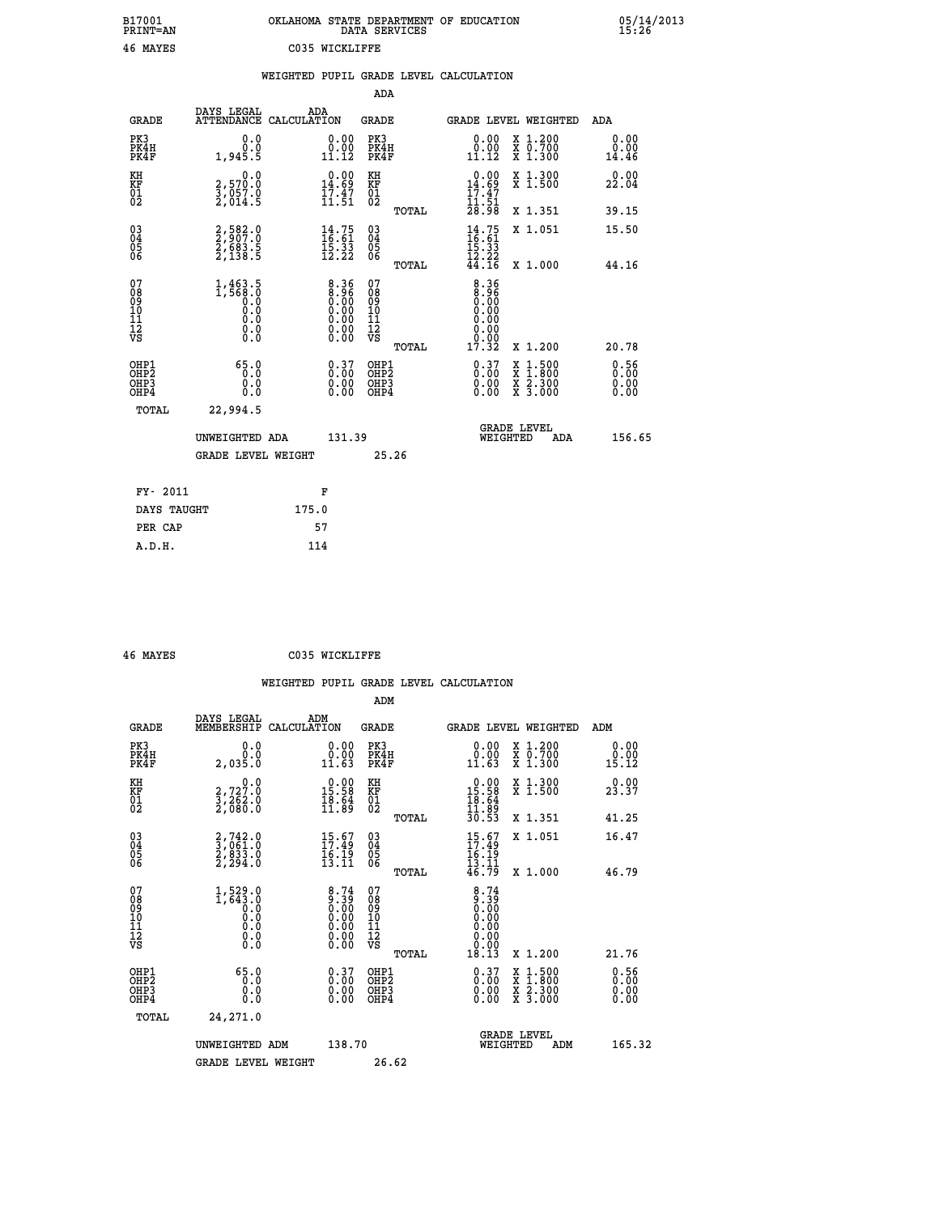| B17001<br><b>PRINT=AN</b> | OKLAHOMA STATE DEPARTMENT OF EDUCATION<br>DATA SERVICES | 05/14/2013<br>15:26 |
|---------------------------|---------------------------------------------------------|---------------------|
| 46<br>MAYES               | C035 WICKLIFFE                                          |                     |

|                                                                    |                                                                                                                                            |                                                                | ADA                                       |       |                                                             |  |                                          |                              |
|--------------------------------------------------------------------|--------------------------------------------------------------------------------------------------------------------------------------------|----------------------------------------------------------------|-------------------------------------------|-------|-------------------------------------------------------------|--|------------------------------------------|------------------------------|
| <b>GRADE</b>                                                       | DAYS LEGAL<br>ATTENDANCE CALCULATION                                                                                                       | ADA                                                            | <b>GRADE</b>                              |       | GRADE LEVEL WEIGHTED                                        |  |                                          | ADA                          |
| PK3<br>PK4H<br>PK4F                                                | 0.0<br>0.0<br>1,945.5                                                                                                                      | $\begin{smallmatrix} 0.00\\ 0.00\\ 11.12 \end{smallmatrix}$    | PK3<br>PK4H<br>PK4F                       |       | $\begin{smallmatrix} 0.00\\ 0.00\\ 11.12 \end{smallmatrix}$ |  | X 1.200<br>X 0.700<br>X 1.300            | 0.00<br>0.00<br>14.46        |
| KH<br><b>KF</b><br>01<br>02                                        | 0.0<br>2,570.0<br>3,057.0<br>2,014.5                                                                                                       | $0.00$<br>14.69<br>$\frac{1}{11}$ $\frac{3}{51}$               | KH<br>KF<br>01<br>02                      |       | $0.00$<br>14.69<br>$\frac{17.47}{11.51}$<br>$28.98$         |  | X 1.300<br>X 1.500                       | 0.00<br>22.04                |
|                                                                    |                                                                                                                                            |                                                                |                                           | TOTAL |                                                             |  | X 1.351                                  | 39.15                        |
| $\begin{smallmatrix} 03 \\[-4pt] 04 \end{smallmatrix}$<br>05<br>06 | 2,582.0<br>2,907.0<br>2,683.5<br>2,138.5                                                                                                   | $14.75$<br>$16.61$<br>$15.33$<br>$12.22$                       | $\substack{03 \\ 04}$<br>05<br>06         |       | $14.75$<br>$16.61$<br>$15.33$<br>$12.22$<br>44.16           |  | X 1.051                                  | 15.50                        |
| 07                                                                 |                                                                                                                                            |                                                                | 07                                        | TOTAL |                                                             |  | X 1.000                                  | 44.16                        |
| 08<br>09<br>11<br>11<br>12<br>VS                                   | 1,463.5<br>1,568.0<br>$\begin{smallmatrix} 0.0 & 0 \ 0.0 & 0 \end{smallmatrix}$<br>$\begin{smallmatrix} 0.10\ 0.0 \ 0.0 \end{smallmatrix}$ | 8:36<br>0:00<br>0:00<br>0:00<br>0.00                           | 08<br>09<br>11<br>11<br>12<br>VS          |       | $8.36$<br>$8.96$<br>$0.00$<br>0.00<br>0.00                  |  |                                          |                              |
|                                                                    |                                                                                                                                            |                                                                |                                           | TOTAL | 17.32                                                       |  | X 1.200                                  | 20.78                        |
| OHP1<br>OH <sub>P2</sub><br>OH <sub>P3</sub><br>OH <sub>P4</sub>   | 65.0<br>0.0<br>0.0<br>0.0                                                                                                                  | $\begin{smallmatrix} 0.37\ 0.00\ 0.00\ 0.00 \end{smallmatrix}$ | OHP1<br>OH <sub>P</sub> 2<br>OHP3<br>OHP4 |       | $0.37\n0.00\n0.00$<br>0.00                                  |  | X 1:500<br>X 1:800<br>X 2:300<br>X 3:000 | 0.56<br>0.00<br>0.00<br>0.00 |
| TOTAL                                                              | 22,994.5                                                                                                                                   |                                                                |                                           |       |                                                             |  |                                          |                              |
|                                                                    |                                                                                                                                            | UNWEIGHTED ADA<br>131.39                                       |                                           |       | GRADE LEVEL<br>WEIGHTED<br>ADA                              |  |                                          | 156.65                       |
|                                                                    | <b>GRADE LEVEL WEIGHT</b>                                                                                                                  |                                                                |                                           | 25.26 |                                                             |  |                                          |                              |
| FY- 2011                                                           |                                                                                                                                            | F                                                              |                                           |       |                                                             |  |                                          |                              |
| DAYS TAUGHT                                                        |                                                                                                                                            | 175.0                                                          |                                           |       |                                                             |  |                                          |                              |
| PER CAP                                                            |                                                                                                                                            | 57                                                             |                                           |       |                                                             |  |                                          |                              |

| 46 MAYES |  |
|----------|--|

**ASSES** COSS WICKLIFFE

| <b>GRADE</b>                             | DAYS LEGAL<br>MEMBERSHIP                                                      | ADM<br>CALCULATION                                                                 | <b>GRADE</b>                                       |       | <b>GRADE LEVEL WEIGHTED</b>                                                                  |                                                                                                                     | ADM                          |  |
|------------------------------------------|-------------------------------------------------------------------------------|------------------------------------------------------------------------------------|----------------------------------------------------|-------|----------------------------------------------------------------------------------------------|---------------------------------------------------------------------------------------------------------------------|------------------------------|--|
| PK3<br>PK4H<br>PK4F                      | 0.0<br>2,035.0                                                                | 0.00<br>$\begin{array}{c} 0.00 \\ 11.63 \end{array}$                               | PK3<br>PK4H<br>PK4F                                |       | $\begin{smallmatrix} 0.00\\ 0.00\\ 11.63 \end{smallmatrix}$                                  | X 1.200<br>X 0.700<br>X 1.300                                                                                       | 0.00<br>0.00<br>15.12        |  |
| KH<br>KF<br>01<br>02                     | 0.0<br>2,727.0<br>3,262.0<br>2,080.0                                          | $\begin{smallmatrix} 0.00\\ 15.58\\ 18.54\\ 11.89 \end{smallmatrix}$               | KH<br>KF<br>01<br>02                               |       | $\begin{array}{r} 0.00 \\ 15.58 \\ 18.64 \\ 11.89 \\ 30.53 \end{array}$                      | X 1.300<br>X 1.500                                                                                                  | 0.00<br>23.37                |  |
|                                          |                                                                               |                                                                                    |                                                    | TOTAL |                                                                                              | X 1.351                                                                                                             | 41.25                        |  |
| 03<br>04<br>05<br>06                     | $\begin{smallmatrix} 2,742.0\\ 3,061.0\\ 2,833.0\\ 2,294.0 \end{smallmatrix}$ | 15.67<br>$\frac{\overline{1}\overline{6}\cdot\overline{1}\overline{9}}{13\cdot11}$ | $\begin{matrix} 03 \\ 04 \\ 05 \\ 06 \end{matrix}$ |       | $15.67$<br>$17.49$<br>$16.19$<br>$13.11$                                                     | X 1.051                                                                                                             | 16.47                        |  |
|                                          |                                                                               |                                                                                    |                                                    | TOTAL | 46.79                                                                                        | X 1.000                                                                                                             | 46.79                        |  |
| 07<br>08<br>09<br>11<br>11<br>12<br>VS   |                                                                               | $8.74\n9.39\n0.00\n0.00\n0.00\n0.00\n0.00$                                         | 07<br>08<br>09<br>11<br>11<br>12<br>VS             | TOTAL | $\begin{smallmatrix} 8\cdot74\0.39\0.00\0.00\0.00\0.00\0.00\0.00\0.01\0.13\end{smallmatrix}$ | X 1.200                                                                                                             | 21.76                        |  |
| OHP1<br>OHP <sub>2</sub><br>OHP3<br>OHP4 | 65.0<br>0.0<br>0.0<br>0.0                                                     | $0.37\n0.00\n0.00$<br>0.00                                                         | OHP1<br>OHP <sub>2</sub><br>OHP3<br>OHP4           |       | $\begin{smallmatrix} 0.37\ 0.00\ 0.00\ 0.00 \end{smallmatrix}$                               | $\begin{array}{l} \mathtt{X} & 1.500 \\ \mathtt{X} & 1.800 \\ \mathtt{X} & 2.300 \\ \mathtt{X} & 3.000 \end{array}$ | 0.56<br>0.00<br>0.00<br>0.00 |  |
| TOTAL                                    | 24,271.0                                                                      |                                                                                    |                                                    |       |                                                                                              |                                                                                                                     |                              |  |
|                                          | UNWEIGHTED ADM                                                                |                                                                                    | 138.70                                             |       | WEIGHTED                                                                                     | <b>GRADE LEVEL</b><br>ADM                                                                                           | 165.32                       |  |
|                                          | <b>GRADE LEVEL WEIGHT</b>                                                     |                                                                                    | 26.62                                              |       |                                                                                              |                                                                                                                     |                              |  |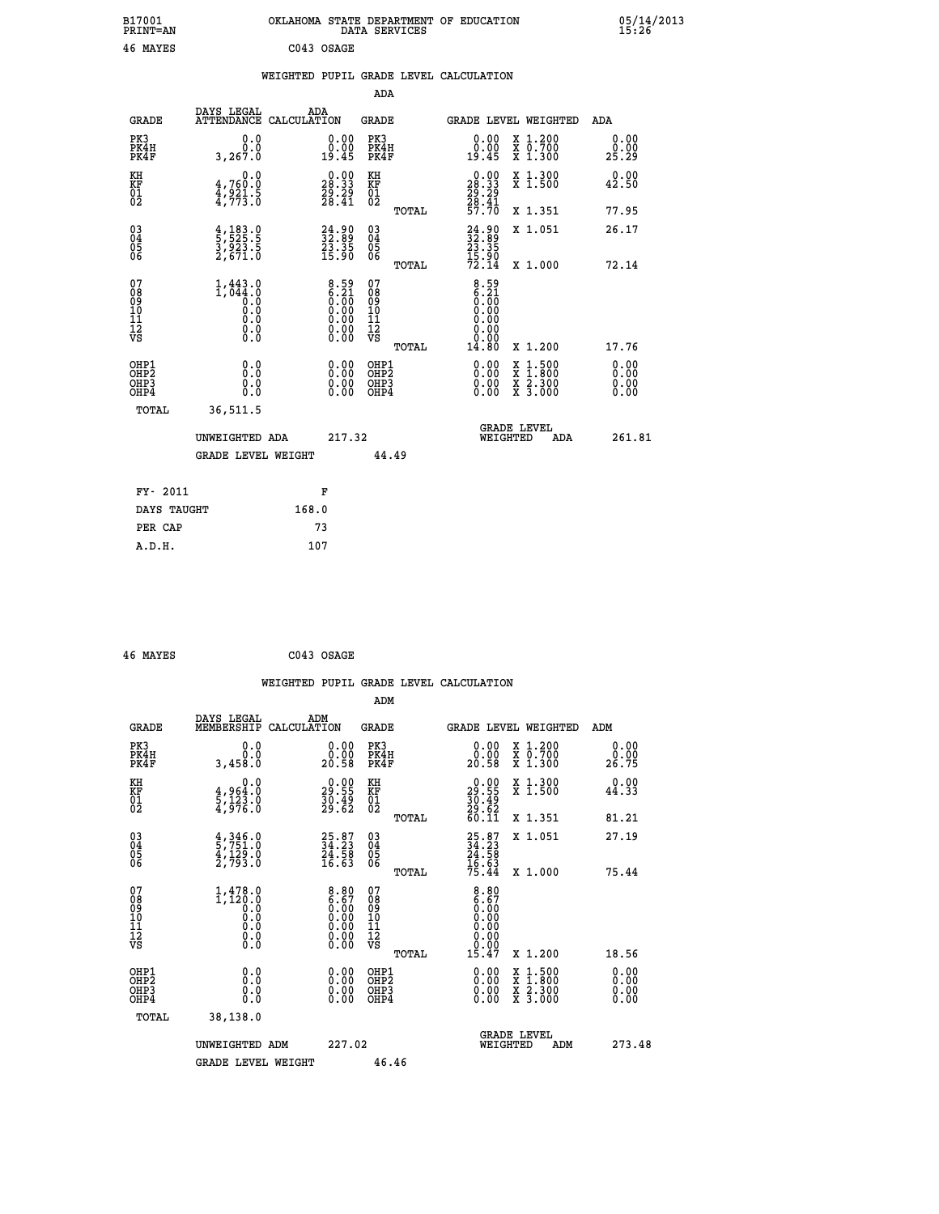| B17001<br><b>PRINT=AN</b>                          |                                                                                            | OKLAHOMA STATE DEPARTMENT OF EDUCATION                                                               | DATA SERVICES                                      |                                                                              |                                                                                                  | 05/14/2013<br>15:26   |  |
|----------------------------------------------------|--------------------------------------------------------------------------------------------|------------------------------------------------------------------------------------------------------|----------------------------------------------------|------------------------------------------------------------------------------|--------------------------------------------------------------------------------------------------|-----------------------|--|
| 46 MAYES                                           |                                                                                            | C043 OSAGE                                                                                           |                                                    |                                                                              |                                                                                                  |                       |  |
|                                                    |                                                                                            | WEIGHTED PUPIL GRADE LEVEL CALCULATION                                                               |                                                    |                                                                              |                                                                                                  |                       |  |
|                                                    |                                                                                            |                                                                                                      | ADA                                                |                                                                              |                                                                                                  |                       |  |
| GRADE                                              | DAYS LEGAL<br>ATTENDANCE CALCULATION                                                       | ADA                                                                                                  | GRADE                                              | GRADE LEVEL WEIGHTED                                                         |                                                                                                  | ADA                   |  |
| PK3<br>PK4H<br>PK4F                                | 0.0<br>0.0<br>3,267.0                                                                      | 0.00<br>0.00<br>19.45                                                                                | PK3<br>PK4H<br>PK4F                                | 0.00<br>0.00<br>19.45                                                        | X 1.200<br>X 0.700<br>X 1.300                                                                    | 0.00<br>0.00<br>25.29 |  |
| KH<br>KF<br>01<br>02                               | 0.0<br>$\frac{4}{4}, \frac{760}{921}$ $\cdot \frac{5}{9}$<br>$\frac{4}{4}, \frac{773}{73}$ | $\begin{smallmatrix} 0.00\\ 28.33\\ 29.29\\ 28.41 \end{smallmatrix}$                                 | KH<br>KF<br>01<br>02                               | $\begin{smallmatrix} 0.00\\ 28.33\\ 29.29\\ 28.41\\ 57.70 \end{smallmatrix}$ | X 1.300<br>X 1.500                                                                               | 0.00<br>42.50         |  |
|                                                    |                                                                                            |                                                                                                      | TOTAL                                              |                                                                              | X 1.351                                                                                          | 77.95                 |  |
| $\begin{matrix} 03 \\ 04 \\ 05 \\ 06 \end{matrix}$ | $\frac{4}{5}, \frac{183}{525}$ .<br>3,923.5<br>2,671.0                                     | $\begin{smallmatrix} 24.90\\ 32.89\\ 23.35\\ 15.90 \end{smallmatrix}$                                | $\begin{matrix} 03 \\ 04 \\ 05 \\ 06 \end{matrix}$ | $\frac{24.90}{32.35}$<br>$\frac{15.90}{72.14}$                               | X 1.051                                                                                          | 26.17                 |  |
|                                                    |                                                                                            |                                                                                                      | <b>TOTAL</b>                                       |                                                                              | X 1.000                                                                                          | 72.14                 |  |
| 07<br>08<br>09<br>10<br>11<br>Ī2<br>VS             | $1, 443.0$<br>$1, 044.0$<br>$0.0$<br>0.0<br>0.0<br>0.0                                     | $8.59$<br>$6.21$<br>$0.00$<br>$0.00$<br>Ŏ.ŎŎ<br>$\begin{smallmatrix} 0.00 \\ 0.00 \end{smallmatrix}$ | 07<br>08<br>09<br>10<br>11<br>ĪŽ<br>VŠ<br>TOTAL    | $8.59$<br>$6.21$<br>$0.00$<br>$0.00$<br>0.00<br>0.00<br>0.00<br>14.80        | X 1.200                                                                                          | 17.76                 |  |
| OHP1                                               |                                                                                            |                                                                                                      | OHP1                                               |                                                                              |                                                                                                  | 0.00                  |  |
| OHP <sub>2</sub><br>OH <sub>P3</sub><br>OHP4       | 0.000<br>0.0<br>0.0                                                                        | 0.00<br>0.00<br>0.00                                                                                 | OH <sub>P</sub> 2<br>OHP3<br>OHP4                  | 0.00<br>0.00<br>0.00                                                         | $\begin{smallmatrix} x & 1 & 500 \\ x & 1 & 800 \\ x & 2 & 300 \\ x & 3 & 000 \end{smallmatrix}$ | 0.00<br>0.00<br>0.00  |  |
| TOTAL                                              | 36,511.5                                                                                   |                                                                                                      |                                                    |                                                                              |                                                                                                  |                       |  |
|                                                    | UNWEIGHTED ADA                                                                             | 217.32                                                                                               |                                                    | <b>GRADE LEVEL</b><br>WEIGHTED                                               | ADA                                                                                              | 261.81                |  |
|                                                    | GRADE LEVEL WEIGHT                                                                         |                                                                                                      | 44.49                                              |                                                                              |                                                                                                  |                       |  |
| FY- 2011                                           |                                                                                            | F                                                                                                    |                                                    |                                                                              |                                                                                                  |                       |  |
| DAYS TAUGHT                                        |                                                                                            | 168.0                                                                                                |                                                    |                                                                              |                                                                                                  |                       |  |
| PER CAP                                            |                                                                                            | 73                                                                                                   |                                                    |                                                                              |                                                                                                  |                       |  |
| A.D.H.                                             |                                                                                            | 107                                                                                                  |                                                    |                                                                              |                                                                                                  |                       |  |

| 46 MAYES | C043 OSAGE |
|----------|------------|
|          |            |

|                                                      |                                                                         | WEIGHTED PUPIL GRADE LEVEL CALCULATION                                                                                                      |                                                     |       |                                                                               |                                                     |                               |
|------------------------------------------------------|-------------------------------------------------------------------------|---------------------------------------------------------------------------------------------------------------------------------------------|-----------------------------------------------------|-------|-------------------------------------------------------------------------------|-----------------------------------------------------|-------------------------------|
|                                                      |                                                                         |                                                                                                                                             | ADM                                                 |       |                                                                               |                                                     |                               |
| <b>GRADE</b>                                         | DAYS LEGAL<br>MEMBERSHIP                                                | ADM<br>CALCULATION                                                                                                                          | <b>GRADE</b>                                        |       |                                                                               | <b>GRADE LEVEL WEIGHTED</b>                         | ADM                           |
| PK3<br>PK4H<br>PK4F                                  | 0.0<br>0.0<br>3,458.0                                                   | $\begin{smallmatrix} 0.00\\ 0.00\\ 20.58 \end{smallmatrix}$                                                                                 | PK3<br>PK4H<br>PK4F                                 |       | $\begin{smallmatrix} 0.00\\ 0.00\\ 20.58 \end{smallmatrix}$                   | X 1.200<br>X 0.700<br>X 1.300                       | 0.00<br>0.00<br>26.75         |
| KH<br>KF<br>01<br>02                                 | $\begin{smallmatrix}&&&0.0\\4.964.0\\5.123.0\\4.976.0\end{smallmatrix}$ | $\begin{smallmatrix} 0.00\\ 29.55\\ 30.49\\ 29.62 \end{smallmatrix}$                                                                        | KH<br>KF<br>01<br>02                                |       | $\begin{smallmatrix} 0.00\\29.55\\30.49\\29.62\\60.11\end{smallmatrix}$       | X 1.300<br>X 1.500                                  | 0.00<br>44.33                 |
|                                                      |                                                                         |                                                                                                                                             |                                                     | TOTAL |                                                                               | X 1.351                                             | 81.21                         |
| $\begin{matrix} 03 \\ 04 \\ 05 \\ 06 \end{matrix}$   | $\frac{4}{5}, \frac{346}{751}$ .0<br>4, 129.0<br>2, 793.0               | 25.87<br>34.23<br>24.58<br>16.63                                                                                                            | $\begin{array}{c} 03 \\ 04 \\ 05 \\ 06 \end{array}$ |       | 25.87<br>34.23<br>24.58<br>16.63<br>15.44                                     | X 1.051<br>X 1.000                                  | 27.19<br>75.44                |
| 07<br>0890112<br>1112<br>VS                          | $1, 478.0$<br>$1, 120.0$<br>$0.0$<br>$0.0$<br>Ō.Ō<br>$\S.$ $\S$         | $\begin{smallmatrix} 8.80\ 6.67\ 0.00\ 0.00\ 0.00\ \end{smallmatrix}$<br>$\begin{smallmatrix} 0.00 & 0.00 \\ 0.00 & 0.00 \end{smallmatrix}$ | 07<br>08<br>09<br>11<br>11<br>12<br>VS              | TOTAL | $\begin{smallmatrix} 8.80\ 6.67\ 0.00\ 0.00\ 0.00\ \end{smallmatrix}$<br>0.00 |                                                     |                               |
| OHP1<br>OHP <sub>2</sub><br>OH <sub>P3</sub><br>OHP4 | 0.0<br>0.000                                                            | $0.00$<br>$0.00$<br>0.00                                                                                                                    | OHP1<br>OHP2<br>OHP <sub>3</sub>                    | TOTAL | 15.47<br>0.00<br>0.00<br>0.00                                                 | X 1.200<br>X 1:500<br>X 1:800<br>X 2:300<br>X 3:000 | 18.56<br>0.00<br>0.00<br>0.00 |
| TOTAL                                                | 38,138.0<br>UNWEIGHTED ADM<br><b>GRADE LEVEL WEIGHT</b>                 | 227.02                                                                                                                                      | 46.46                                               |       | WEIGHTED                                                                      | <b>GRADE LEVEL</b><br>ADM                           | 273.48                        |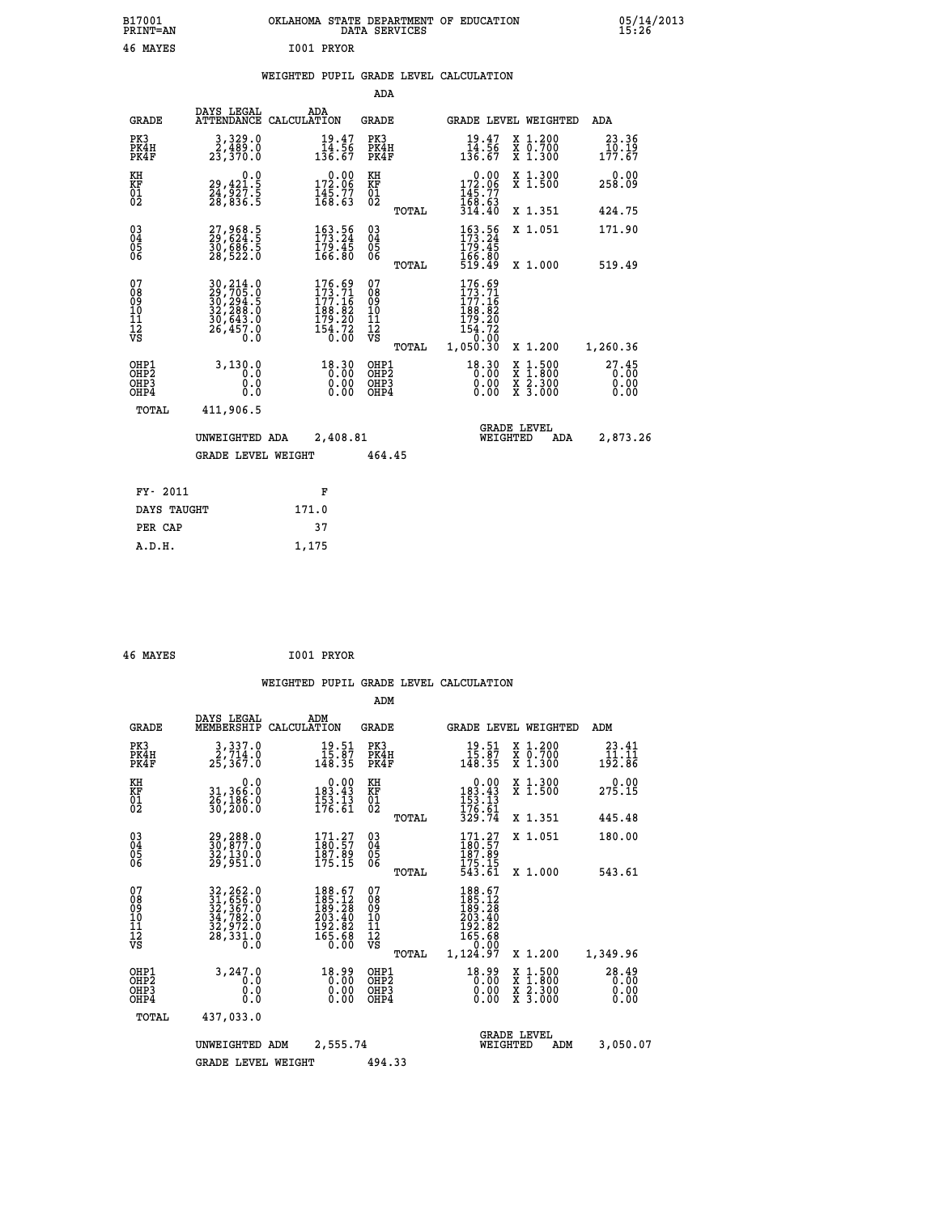| B17001<br>PRINT=AN                             |                                                                                 |                                                                                             | OKLAHOMA STATE DEPARTMENT OF EDUCATION<br>DATA SERVICES |                                                                                     |                                                                                          | $05/14/2013$<br>15:26    |  |
|------------------------------------------------|---------------------------------------------------------------------------------|---------------------------------------------------------------------------------------------|---------------------------------------------------------|-------------------------------------------------------------------------------------|------------------------------------------------------------------------------------------|--------------------------|--|
| 46 MAYES                                       |                                                                                 | I001 PRYOR                                                                                  |                                                         |                                                                                     |                                                                                          |                          |  |
|                                                |                                                                                 |                                                                                             | WEIGHTED PUPIL GRADE LEVEL CALCULATION                  |                                                                                     |                                                                                          |                          |  |
|                                                |                                                                                 |                                                                                             | ADA                                                     |                                                                                     |                                                                                          |                          |  |
| <b>GRADE</b>                                   | DAYS LEGAL<br>ATTENDANCE CALCULATION                                            | ADA                                                                                         | <b>GRADE</b>                                            |                                                                                     | <b>GRADE LEVEL WEIGHTED</b>                                                              | ADA                      |  |
| PK3<br>PK4H<br>PK4F                            | $\substack{3,329.0\\2,489.0\\23,370.0}$                                         | $19.47$<br>$14.56$<br>$136.67$                                                              | PK3<br>PK4H<br>PK4F                                     | $19.47$<br>$14.56$<br>$136.67$                                                      | X 1.200<br>X 0.700<br>X 1.300                                                            | 23.36<br>10.19<br>177.67 |  |
| KH<br>KF<br>$\overline{01}$                    | $\begin{smallmatrix} & & 0.0\ 29,421.5\ 24,927.5\ 28,836.5 \end{smallmatrix}$   | $\begin{smallmatrix} &0.00\\ 172.06\\ 145.77\\ 168.63\end{smallmatrix}$                     | KH<br>KF<br>$\overline{01}_0$                           | 0.00<br>$\frac{172.06}{145.77}$                                                     | X 1.300<br>X 1.500                                                                       | 0.00<br>258.09           |  |
|                                                |                                                                                 |                                                                                             | TOTAL                                                   | 314.40                                                                              | X 1.351                                                                                  | 424.75                   |  |
| $\substack{03 \\ 04}$<br>$\frac{05}{06}$       | 27,968.5<br>29,624.5<br>30,686.5<br>28,522.0                                    | $\begin{smallmatrix} 163.56\\ 173.24\\ 179.45\\ 166.80 \end{smallmatrix}$                   | 03<br>Ŏ5<br>06                                          | 163.56<br>173.24<br>179.45<br>166.80<br>519.49                                      | X 1.051                                                                                  | 171.90                   |  |
| 07                                             |                                                                                 |                                                                                             | TOTAL                                                   |                                                                                     | X 1.000                                                                                  | 519.49                   |  |
| 08<br>09<br>11<br>11<br>12<br>VS               | 30, 214.0<br>29, 705.0<br>30, 294.5<br>32, 288.0<br>$\frac{30,643.0}{26,457.0}$ | $\begin{smallmatrix} 176.69\\173.71\\177.16\\188.82\\179.20\\154.72\\0.00\end{smallmatrix}$ | 07<br>08<br>09<br>10<br>11<br>12<br>VS<br>TOTAL         | 176.69<br>173.71<br>177.16<br>188.82<br>179.20<br>$\frac{154.72}{0.00}$<br>1,050.30 | X 1.200                                                                                  | 1,260.36                 |  |
| OHP1                                           | 3,130.0                                                                         | 18.30                                                                                       | OHP1                                                    | 18.30                                                                               |                                                                                          | $^{27.45}_{0.00}$        |  |
| OH <sub>P</sub> 2<br>OH <sub>P</sub> 3<br>OHP4 | $0.\overline{0}$<br>0.0<br>0.0                                                  | 0.00                                                                                        | OH <sub>P</sub> 2<br>OHP3<br>OHP4                       | 0.00<br>0.00                                                                        | $\begin{smallmatrix} x & 1.500 \\ x & 1.800 \\ x & 2.300 \\ x & 3.000 \end{smallmatrix}$ | 0.00                     |  |
| TOTAL                                          | 411,906.5                                                                       |                                                                                             |                                                         |                                                                                     |                                                                                          |                          |  |
|                                                | UNWEIGHTED ADA                                                                  | 2,408.81                                                                                    |                                                         | WEIGHTED                                                                            | <b>GRADE LEVEL</b><br>ADA                                                                | 2,873.26                 |  |
|                                                | <b>GRADE LEVEL WEIGHT</b>                                                       |                                                                                             | 464.45                                                  |                                                                                     |                                                                                          |                          |  |
| FY- 2011                                       |                                                                                 | F                                                                                           |                                                         |                                                                                     |                                                                                          |                          |  |
| DAYS TAUGHT                                    |                                                                                 | 171.0                                                                                       |                                                         |                                                                                     |                                                                                          |                          |  |

| 46 MAYES | I001 PRYOR |
|----------|------------|
|          |            |

 **PER CAP 37 A.D.H. 1,175**

 **WEIGHTED PUPIL GRADE LEVEL CALCULATION ADM DAYS LEGAL ADM GRADE MEMBERSHIP CALCULATION GRADE GRADE LEVEL WEIGHTED ADM PK3 3,337.0 19.51 PK3 19.51 X 1.200 23.41 PK4H 2,714.0 15.87 PK4H 15.87 X 0.700 11.11 PK4F 25,367.0 148.35 PK4F 148.35 X 1.300 192.86 KH 0.0 0.00 KH 0.00 X 1.300 0.00 KF 31,366.0 183.43 KF 183.43 X 1.500 275.15 01 26,186.0 153.13 01 153.13 02 30,200.0 176.61 02 176.61 TOTAL 329.74 X 1.351 445.48 03 29,288.0 171.27 03 171.27 X 1.051 180.00 04 30,877.0 180.57 04 180.57 05 32,130.0 187.89 05 187.89 06 29,951.0 175.15 06 175.15 TOTAL 543.61 X 1.000 543.61**  $\begin{array}{cccc} 07 & 32, 262.0 & 188.67 & 07 & 188.67 \ 08 & 32, 367.0 & 185.12 & 08 & 188.67 \ 09 & 32, 367.0 & 189.28 & 09 & 189.28 \ 10 & 34, 782.0 & 203.40 & 10 & 203.40 \ 11 & 32, 972.0 & 192.82 & 11 & 192.82 \ 12 & 28, 331.0 & 165.68 & 12 & 165.68 \ 12$  **OHP1 3,247.0 18.99 OHP1 18.99 X 1.500 28.49 OHP2 0.0 0.00 OHP2 0.00 X 1.800 0.00 OHP3 0.0 0.00 OHP3 0.00 X 2.300 0.00 OHP4 0.0 0.00 OHP4 0.00 X 3.000 0.00 TOTAL 437,033.0 GRADE LEVEL UNWEIGHTED ADM 2,555.74 WEIGHTED ADM 3,050.07 GRADE LEVEL WEIGHT 494.33**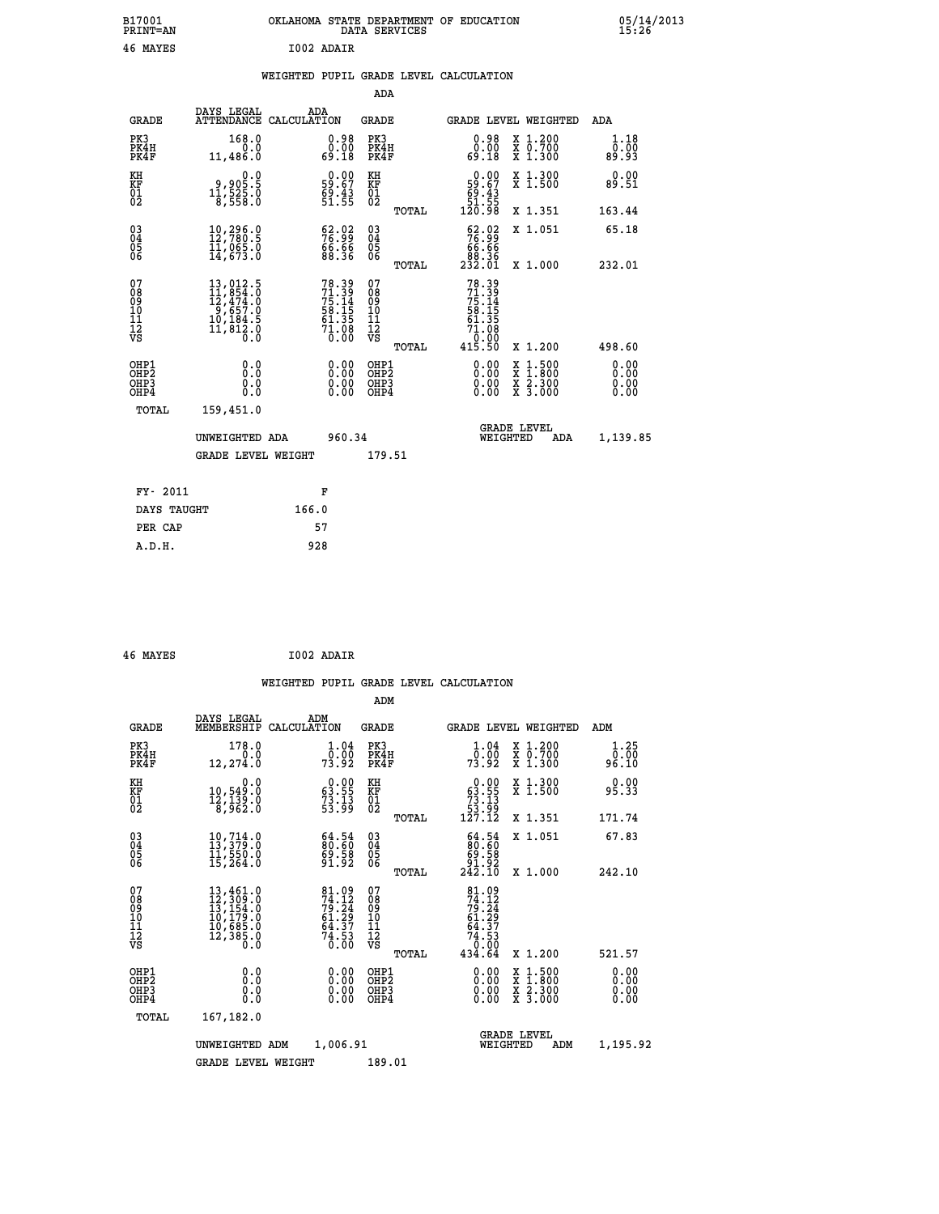| B17001<br><b>PRINT=AN</b> | OKLAHOMA<br>. STATE DEPARTMENT OF EDUCATION<br>DATA SERVICES | 05/14/2013<br>15:26 |
|---------------------------|--------------------------------------------------------------|---------------------|
| 46 MAYES                  | I002 ADAIR                                                   |                     |

|  |  | WEIGHTED PUPIL GRADE LEVEL CALCULATION |
|--|--|----------------------------------------|
|  |  |                                        |

|                                                                    |                                                                                                                                                                                                               |                                                                      | ADA                                                |       |                                                                                  |        |                                          |                              |
|--------------------------------------------------------------------|---------------------------------------------------------------------------------------------------------------------------------------------------------------------------------------------------------------|----------------------------------------------------------------------|----------------------------------------------------|-------|----------------------------------------------------------------------------------|--------|------------------------------------------|------------------------------|
| <b>GRADE</b>                                                       | DAYS LEGAL<br>ATTENDANCE CALCULATION                                                                                                                                                                          | ADA                                                                  | <b>GRADE</b>                                       |       | GRADE LEVEL WEIGHTED                                                             |        |                                          | <b>ADA</b>                   |
| PK3<br>PK4H<br>PK4F                                                | 168.0<br>0.0<br>11,486.0                                                                                                                                                                                      | $\begin{smallmatrix} 0.98\ 0.00\\ 0.00\\ 69.18 \end{smallmatrix}$    | PK3<br>PK4H<br>PK4F                                |       | $\begin{smallmatrix} 0.98\ 0.00\\ 0.00\\ 69.18 \end{smallmatrix}$                |        | X 1.200<br>X 0.700<br>X 1.300            | 1.18<br>0.00<br>89.93        |
| KH<br>KF<br>01<br>02                                               | 0.0<br>9,905.5<br>11,525.0<br>8,558.0                                                                                                                                                                         | $\begin{smallmatrix} 0.00\\ 59.67\\ 69.43\\ 51.55 \end{smallmatrix}$ | KH<br>KF<br>01<br>02                               |       | $\begin{smallmatrix} &0.00\ 59.67\ 69.43\ 51.55\ 120.98\ \end{smallmatrix}$      |        | X 1.300<br>X 1.500                       | 0.00<br>89.51                |
|                                                                    |                                                                                                                                                                                                               |                                                                      |                                                    | TOTAL |                                                                                  |        | X 1.351                                  | 163.44                       |
| $\begin{smallmatrix} 03 \\[-4pt] 04 \end{smallmatrix}$<br>05<br>ŎĞ | $\begin{smallmatrix} 10, 296 & 0 \\ 12, 780 & 5 \\ 11, 065 & 0 \\ 14, 673 & 0 \end{smallmatrix}$                                                                                                              | $\begin{smallmatrix} 62.02\ 76.99\ 66.66\ 88.36 \end{smallmatrix}$   | $\begin{matrix} 03 \\ 04 \\ 05 \\ 06 \end{matrix}$ | TOTAL | $\begin{smallmatrix} 62.02\\ 76.99\\ 66.66\\ 88.36\\ 232.01 \end{smallmatrix}$   |        | X 1.051<br>X 1.000                       | 65.18<br>232.01              |
| 07<br>08<br>09<br>11<br>11<br>12<br>VS                             | $\begin{smallmatrix} 13 \,, & 012 \,. \ 12 \,, & 54 \,. \ 12 \,, & 474 \,. \ 0 \\ 12 \,, & 474 \,. \ 0 \\ 9 \,, & 657 \,. \ 0 \\ 10 \,, & 184 \,. \ 5 \\ 11 \,, & 812 \,. \ 0 \\ 0 \,. & 0 \end{smallmatrix}$ | 78.39<br>71.39<br>75.14<br>75.15<br>58.15<br>61.35<br>71.08<br>0.00  | 07<br>08<br>09<br>11<br>11<br>12<br>VS             |       | $78.39$<br>$71.39$<br>$75.14$<br>$58.15$<br>$61.35$<br>$71.08$<br>0.00<br>415.50 |        |                                          |                              |
|                                                                    |                                                                                                                                                                                                               |                                                                      |                                                    | TOTAL |                                                                                  |        | X 1.200                                  | 498.60                       |
| OHP1<br>OHP <sub>2</sub><br>OHP3<br>OHP4                           | 0.0<br>Ō.Ō<br>0.0<br>$0.\overline{0}$                                                                                                                                                                         | 0.00<br>$\begin{smallmatrix} 0.00 \ 0.00 \end{smallmatrix}$          | OHP1<br>OH <sub>P</sub> 2<br>OHP3<br>OHP4          |       | 0.00<br>0.00<br>0.00                                                             | X<br>X | $1:500$<br>$1:800$<br>X 2.300<br>X 3.000 | 0.00<br>0.00<br>0.00<br>0.00 |
| TOTAL                                                              | 159,451.0                                                                                                                                                                                                     |                                                                      |                                                    |       |                                                                                  |        |                                          |                              |
|                                                                    | UNWEIGHTED ADA                                                                                                                                                                                                | 960.34                                                               |                                                    |       | WEIGHTED                                                                         |        | <b>GRADE LEVEL</b><br>ADA                | 1,139.85                     |
|                                                                    | <b>GRADE LEVEL WEIGHT</b>                                                                                                                                                                                     |                                                                      | 179.51                                             |       |                                                                                  |        |                                          |                              |
| FY- 2011                                                           |                                                                                                                                                                                                               | F                                                                    |                                                    |       |                                                                                  |        |                                          |                              |
| DAYS TAUGHT                                                        |                                                                                                                                                                                                               | 166.0                                                                |                                                    |       |                                                                                  |        |                                          |                              |
| PER CAP                                                            |                                                                                                                                                                                                               | 57                                                                   |                                                    |       |                                                                                  |        |                                          |                              |
|                                                                    |                                                                                                                                                                                                               |                                                                      |                                                    |       |                                                                                  |        |                                          |                              |

| 46 MAYES | I002 ADAIR |
|----------|------------|

| <b>GRADE</b>                                       | DAYS LEGAL<br>MEMBERSHIP                                                                                                                                                                 | ADM<br>CALCULATION                                                   | <b>GRADE</b>                                        |       | <b>GRADE LEVEL WEIGHTED</b>                                                                         |                                                                                                                     | ADM                          |  |
|----------------------------------------------------|------------------------------------------------------------------------------------------------------------------------------------------------------------------------------------------|----------------------------------------------------------------------|-----------------------------------------------------|-------|-----------------------------------------------------------------------------------------------------|---------------------------------------------------------------------------------------------------------------------|------------------------------|--|
| PK3<br>PK4H<br>PK4F                                | 178.0<br>$0.0$<br>12,274.0                                                                                                                                                               | $1.04$<br>$0.00$<br>73.92                                            | PK3<br>PK4H<br>PK4F                                 |       | 1.04<br>_0.00<br>73.92                                                                              | X 1.200<br>X 0.700<br>X 1.300                                                                                       | 1.25<br>0.00<br>96.10        |  |
| KH<br>KF<br>01<br>02                               | 0.0<br>10,549:0<br>12,139:0<br>8,962:0                                                                                                                                                   | $\begin{smallmatrix} 0.00\\ 63.55\\ 73.13\\ 53.99 \end{smallmatrix}$ | KH<br>KF<br>01<br>02                                |       | $\begin{smallmatrix}&&0.00\\ 63.55\\ 73.13\\ 53.99\\ 127.12\end{smallmatrix}$                       | X 1.300<br>X 1.500                                                                                                  | 0.00<br>95.33                |  |
|                                                    |                                                                                                                                                                                          |                                                                      |                                                     | TOTAL |                                                                                                     | X 1.351                                                                                                             | 171.74                       |  |
| $\begin{matrix} 03 \\ 04 \\ 05 \\ 06 \end{matrix}$ | 10,714.0<br>13,379.0<br>11,550.0                                                                                                                                                         | $\begin{smallmatrix} 64.54\ 80.60\ 99.58\ 91.92 \end{smallmatrix}$   | $\begin{array}{c} 03 \\ 04 \\ 05 \\ 06 \end{array}$ |       | $\begin{smallmatrix} 64.54 \\ 80.60 \\ 69.58 \\ 91.92 \\ 242.10 \end{smallmatrix}$                  | X 1.051                                                                                                             | 67.83                        |  |
|                                                    | 15,264.0                                                                                                                                                                                 |                                                                      |                                                     | TOTAL |                                                                                                     | X 1.000                                                                                                             | 242.10                       |  |
| 07<br>08<br>09<br>11<br>11<br>12<br>VS             | $\begin{smallmatrix} 13\,, & 461\,. & 0\\ 12\,, & 309\,. & 0\\ 13\,, & 154\,. & 0\\ 10\,, & 179\,. & 0\\ 10\,, & 685\,. & 0\\ 12\,, & 385\,. & 0\\ 0\,. & 0\,. & 0\,. \end{smallmatrix}$ | 81.09<br>74.12<br>79.24<br>61.29<br>64.37<br>64.37<br>74.53          | 07<br>08<br>09<br>10<br>11<br>12<br>νs              | TOTAL | $\begin{array}{r} 81.09 \\ 74.12 \\ 79.24 \\ 61.29 \\ 64.37 \\ 74.53 \\ 0.00 \\ 434.64 \end{array}$ | X 1.200                                                                                                             | 521.57                       |  |
| OHP1<br>OH <sub>P</sub> 2<br>OHP3<br>OHP4          | 0.0<br>0.0<br>Ŏ.Ŏ                                                                                                                                                                        | $0.00$<br>$0.00$<br>0.00                                             | OHP1<br>OHP <sub>2</sub><br>OHP3<br>OHP4            |       | $0.00$<br>$0.00$<br>0.00                                                                            | $\begin{array}{l} \mathtt{X} & 1.500 \\ \mathtt{X} & 1.800 \\ \mathtt{X} & 2.300 \\ \mathtt{X} & 3.000 \end{array}$ | 0.00<br>0.00<br>0.00<br>0.00 |  |
| TOTAL                                              | 167,182.0                                                                                                                                                                                |                                                                      |                                                     |       |                                                                                                     |                                                                                                                     |                              |  |
|                                                    | UNWEIGHTED ADM                                                                                                                                                                           | 1,006.91                                                             |                                                     |       | <b>GRADE LEVEL</b><br>WEIGHTED                                                                      | ADM                                                                                                                 | 1,195.92                     |  |
|                                                    | <b>GRADE LEVEL WEIGHT</b>                                                                                                                                                                |                                                                      | 189.01                                              |       |                                                                                                     |                                                                                                                     |                              |  |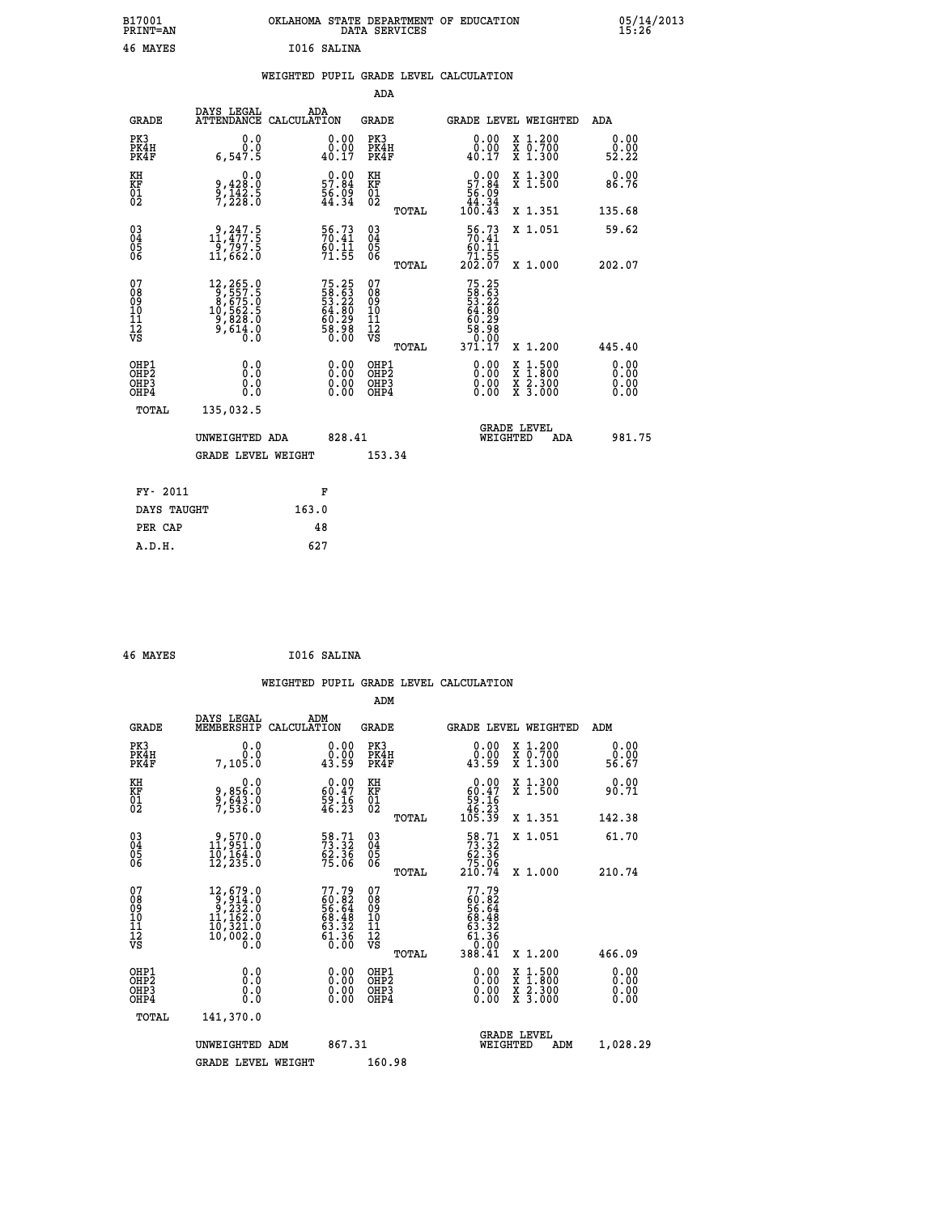| B17001<br><b>PRINT=AN</b> | OKLAHOMA STATE DEPARTMENT OF EDUCATION<br>DATA SERVICES | 05/14/2013<br>15:26 |
|---------------------------|---------------------------------------------------------|---------------------|
| 46<br>MAYES               | I016 SALINA                                             |                     |

### **WEIGHTED PUPIL GRADE LEVEL CALCULATION**

|                                                                    |              |                                                                                                                                             |       |                                                                           | ADA                                       |       |                                                                           |                                          |                              |
|--------------------------------------------------------------------|--------------|---------------------------------------------------------------------------------------------------------------------------------------------|-------|---------------------------------------------------------------------------|-------------------------------------------|-------|---------------------------------------------------------------------------|------------------------------------------|------------------------------|
|                                                                    | <b>GRADE</b> | DAYS LEGAL<br>ATTENDANCE CALCULATION                                                                                                        | ADA   |                                                                           | <b>GRADE</b>                              |       |                                                                           | GRADE LEVEL WEIGHTED                     | ADA                          |
| PK3                                                                | PK4H<br>PK4F | 0.0<br>0.0<br>6,547.5                                                                                                                       |       | $\begin{smallmatrix} 0.00\\ 0.00\\ 40.17 \end{smallmatrix}$               | PK3<br>PK4H<br>PK4F                       |       | 0.00<br>$\begin{smallmatrix} 0.00 \\ 0.17 \end{smallmatrix}$              | X 1.200<br>X 0.700<br>X 1.300            | 0.00<br>0.00<br>52.22        |
| KH<br><b>KF</b><br>01<br>02                                        |              | 0.0<br>9,428:0<br>9,142:5<br>7,228:0                                                                                                        |       | $\begin{smallmatrix} 0.00\\ 57.84\\ 56.09\\ 44.34 \end{smallmatrix}$      | KH<br>KF<br>01<br>02                      |       | $0.00$<br>57.84<br>$\frac{56.09}{44.34}$<br>100.43                        | X 1.300<br>X 1.500                       | 0.00<br>86.76                |
|                                                                    |              |                                                                                                                                             |       |                                                                           |                                           | TOTAL |                                                                           | X 1.351                                  | 135.68                       |
| $\begin{smallmatrix} 03 \\[-4pt] 04 \end{smallmatrix}$<br>05<br>06 |              | $\substack{ \\11, 477.5\\ 9, 797.5\\ 11, 662.0}$                                                                                            |       | 56.73<br>$\frac{60.11}{71.55}$                                            | $\substack{03 \\ 04}$<br>Ŏ5<br>06         | TOTAL | $\begin{array}{c} 56.73 \\ 70.41 \\ 60.11 \\ 71.55 \\ 202.07 \end{array}$ | X 1.051<br>X 1.000                       | 59.62<br>202.07              |
| 07<br>08901112<br>1112<br>VS                                       |              | $\begin{smallmatrix} 12,265\cdot 9\\ 9,557\cdot 5\\ 8,675\cdot 0\\ 10,562\cdot 5\\ 9,828\cdot 0\\ 9,614\cdot 0\\ 0\cdot 0\end{smallmatrix}$ |       | $75.25$<br>$58.63$<br>$53.22$<br>$64.80$<br>$60.29$<br>$58.98$<br>$58.98$ | 07<br>08<br>09<br>11<br>11<br>12<br>VS    |       | 75.25<br>58.63<br>53.22<br>54.80<br>60.29<br>58.98<br>0.00                |                                          |                              |
|                                                                    |              |                                                                                                                                             |       |                                                                           |                                           | TOTAL | 371.17                                                                    | X 1.200                                  | 445.40                       |
| OHP1<br>OH <sub>P</sub> 2<br>OH <sub>P3</sub><br>OH <sub>P4</sub>  |              | 0.0<br>0.0<br>0.0                                                                                                                           |       | $\begin{smallmatrix} 0.00 \ 0.00 \ 0.00 \ 0.00 \end{smallmatrix}$         | OHP1<br>OH <sub>P</sub> 2<br>OHP3<br>OHP4 |       | 0.00<br>0.00<br>0.00                                                      | X 1:500<br>X 1:800<br>X 2:300<br>X 3:000 | 0.00<br>0.00<br>0.00<br>0.00 |
|                                                                    | TOTAL        | 135,032.5                                                                                                                                   |       |                                                                           |                                           |       |                                                                           |                                          |                              |
|                                                                    |              | UNWEIGHTED ADA                                                                                                                              |       | 828.41                                                                    |                                           |       |                                                                           | GRADE LEVEL<br>WEIGHTED<br>ADA           | 981.75                       |
|                                                                    |              | <b>GRADE LEVEL WEIGHT</b>                                                                                                                   |       |                                                                           | 153.34                                    |       |                                                                           |                                          |                              |
|                                                                    | FY- 2011     |                                                                                                                                             | F     |                                                                           |                                           |       |                                                                           |                                          |                              |
|                                                                    | DAYS TAUGHT  |                                                                                                                                             | 163.0 |                                                                           |                                           |       |                                                                           |                                          |                              |
|                                                                    | PER CAP      |                                                                                                                                             | 48    |                                                                           |                                           |       |                                                                           |                                          |                              |

| 46 MAYES |  | I016 SALINA |
|----------|--|-------------|
|----------|--|-------------|

 **A.D.H. 627**

|                                           |                                                                                                                                    |                                                                          | ADM                                                |                                                                                                       |                                          |                              |
|-------------------------------------------|------------------------------------------------------------------------------------------------------------------------------------|--------------------------------------------------------------------------|----------------------------------------------------|-------------------------------------------------------------------------------------------------------|------------------------------------------|------------------------------|
|                                           | DAYS LEGAL<br><b>GRADE</b><br>MEMBERSHIP                                                                                           | ADM<br>CALCULATION                                                       | <b>GRADE</b>                                       | GRADE LEVEL WEIGHTED                                                                                  |                                          | ADM                          |
| PK3<br>PK4H<br>PK4F                       | 0.0<br>0.0<br>7,105.0                                                                                                              | $\begin{smallmatrix} 0.00\\ 0.00\\ 43.59 \end{smallmatrix}$              | PK3<br>PK4H<br>PK4F                                | $\begin{smallmatrix} 0.00\\ 0.00\\ 43.59 \end{smallmatrix}$                                           | X 1.200<br>X 0.700<br>X 1.300            | 0.00<br>ŏ:ŏŏ<br>56.67        |
| KH<br>KF<br>01<br>02                      | 0.0<br>9,856:0<br>9,643.0<br>7,536:0                                                                                               | $\begin{smallmatrix} 0.00\\ 60.47\\ 59.16\\ 46.23 \end{smallmatrix}$     | KH<br>KF<br>01<br>02                               | $\begin{smallmatrix} &0.00\ 60.47\ 59.16\ 46.23\ 105.39\ \end{smallmatrix}$                           | X 1.300<br>X 1.500                       | 0.00<br>90.71                |
|                                           |                                                                                                                                    |                                                                          | TOTAL                                              |                                                                                                       | X 1.351                                  | 142.38                       |
| 03<br>04<br>05<br>06                      | $\begin{smallmatrix} 9, 570.0\\ 11, 951.0\\ 10, 164.0\\ 12, 235.0 \end{smallmatrix}$                                               | 58.71<br>73.32<br>62.36<br>75.06                                         | $\begin{matrix} 03 \\ 04 \\ 05 \\ 06 \end{matrix}$ | $\begin{smallmatrix} 58.71\ 73.32\ 62.36\ 75.06\ 210.74 \end{smallmatrix}$                            | X 1.051                                  | 61.70                        |
|                                           |                                                                                                                                    |                                                                          | TOTAL                                              |                                                                                                       | X 1.000                                  | 210.74                       |
| 07<br>08<br>09<br>101<br>112<br>VS        | $\begin{smallmatrix} 12, 679 & 0\\ 9, 914 & 0\\ 9, 232 & 0\\ 11, 162 & 0\\ 10, 321 & 0\\ 10, 002 & 0\\ 0 & 0 & 0\end{smallmatrix}$ | $77.79$<br>$60.82$<br>$56.64$<br>$68.48$<br>$63.32$<br>$61.36$<br>$0.00$ | 07<br>08<br>09<br>11<br>11<br>12<br>VS<br>TOTAL    | 77.79<br>$\begin{array}{c} 60.82 \\ 60.848 \\ 68.48 \\ 63.32 \\ 61.366 \\ 0.00 \end{array}$<br>388.41 | X 1.200                                  | 466.09                       |
| OHP1<br>OHP2<br>OH <sub>P</sub> 3<br>OHP4 | 0.0<br>0.000                                                                                                                       | $0.00$<br>$0.00$<br>0.00                                                 | OHP1<br>OHP2<br>OHP <sub>3</sub>                   | $0.00$<br>$0.00$<br>0.00                                                                              | X 1:500<br>X 1:800<br>X 2:300<br>X 3:000 | 0.00<br>0.00<br>0.00<br>0.00 |
|                                           | TOTAL<br>141,370.0                                                                                                                 |                                                                          |                                                    |                                                                                                       |                                          |                              |
|                                           | UNWEIGHTED ADM                                                                                                                     | 867.31                                                                   |                                                    | <b>GRADE LEVEL</b><br>WEIGHTED                                                                        | ADM                                      | 1,028.29                     |
|                                           | <b>GRADE LEVEL WEIGHT</b>                                                                                                          |                                                                          | 160.98                                             |                                                                                                       |                                          |                              |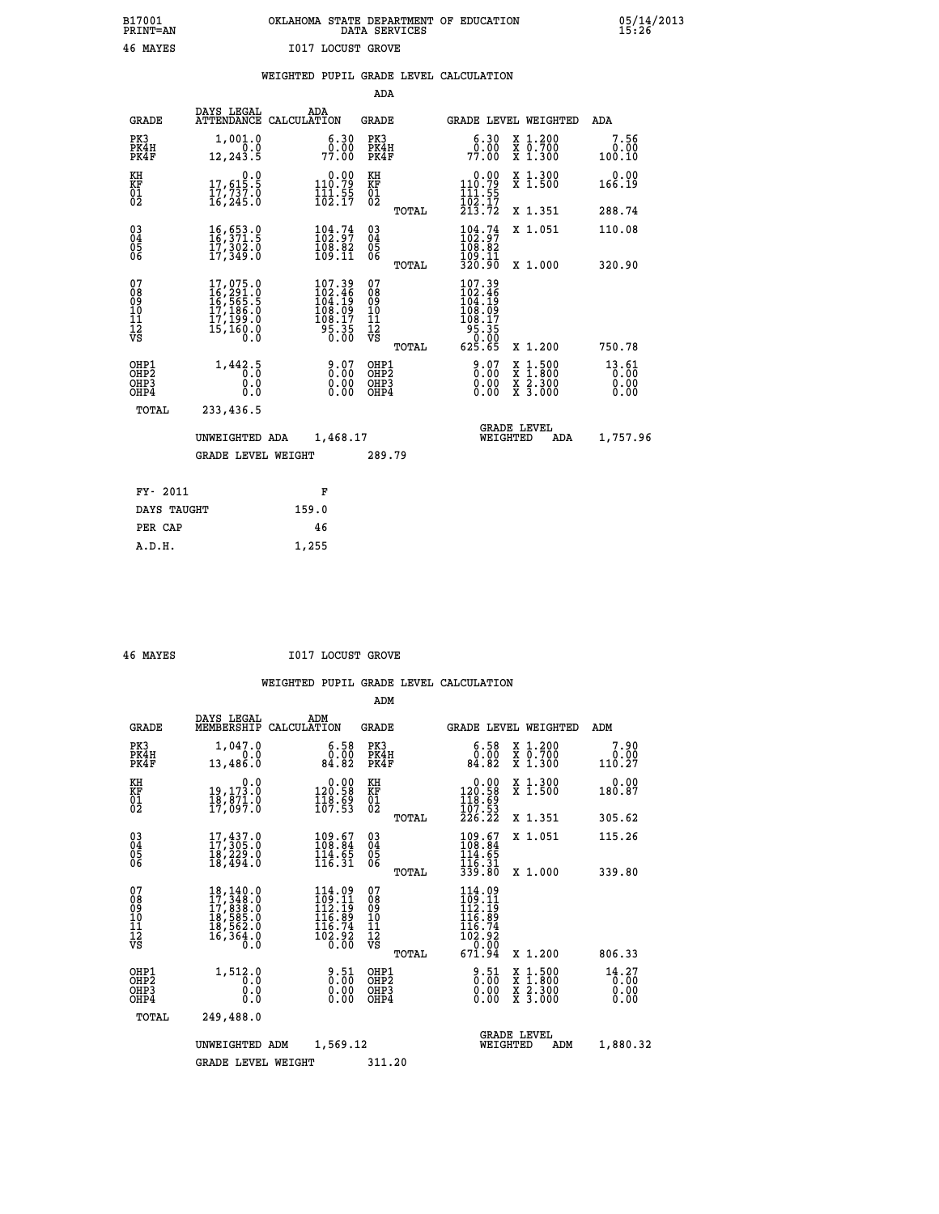### **B17001 OKLAHOMA STATE DEPARTMENT OF EDUCATION 05/14/2013 PRINT=AN DATA SERVICES 15:26 46 MAYES I017 LOCUST GROVE**

|  |  | WEIGHTED PUPIL GRADE LEVEL CALCULATION |
|--|--|----------------------------------------|
|  |  |                                        |

|                                                                    |                                                                             |                                                                               | ADA                                      |       |                                                                                    |                                                                                                                                              |                               |
|--------------------------------------------------------------------|-----------------------------------------------------------------------------|-------------------------------------------------------------------------------|------------------------------------------|-------|------------------------------------------------------------------------------------|----------------------------------------------------------------------------------------------------------------------------------------------|-------------------------------|
| <b>GRADE</b>                                                       | DAYS LEGAL                                                                  | ADA<br>ATTENDANCE CALCULATION                                                 | <b>GRADE</b>                             |       | GRADE LEVEL WEIGHTED                                                               |                                                                                                                                              | ADA                           |
| PK3<br>PK4H<br>PK4F                                                | 1,001.0<br>0.0<br>12,243.5                                                  | 6.30<br>0.00<br>77.00                                                         | PK3<br>PK4H<br>PK4F                      |       | 6.30<br>77.00                                                                      | X 1.200<br>X 0.700<br>X 1.300                                                                                                                | 7.56<br>0.00<br>100.10        |
| KH<br>KF<br>01<br>02                                               | $\begin{smallmatrix}&&&0.0\\17,615.5\\17,737.0\\16,245.0\end{smallmatrix}$  | $0.00$<br>110.79<br>$\frac{1}{102}$ $\frac{1}{17}$                            | KH<br>KF<br>01<br>02                     |       | 0.00<br>110.79<br>$\frac{111}{102}$ : 55<br>$\frac{17}{213}$ : 72                  | X 1.300<br>X 1.500                                                                                                                           | 0.00<br>166.19                |
|                                                                    |                                                                             |                                                                               |                                          | TOTAL |                                                                                    | X 1.351                                                                                                                                      | 288.74                        |
| $\begin{smallmatrix} 03 \\[-4pt] 04 \end{smallmatrix}$<br>Ŏ5<br>06 | 16,653.0<br>16,371.5<br>17,302.0<br>17,349.0                                | $\begin{smallmatrix} 104.74 \\ 102.97 \\ 108.82 \\ 109.11 \end{smallmatrix}$  | $\substack{03 \\ 04}$<br>Ŏ5<br>06        |       | $104.74$<br>$102.97$<br>$108.82$<br>$109.11$<br>$320.90$                           | X 1.051                                                                                                                                      | 110.08                        |
|                                                                    |                                                                             |                                                                               |                                          | TOTAL |                                                                                    | X 1.000                                                                                                                                      | 320.90                        |
| 07<br>08<br>09<br>101<br>11<br>12<br>VS                            | 17,075.0<br>16,291.0<br>16,565.5<br>17,186.0<br>17,199.0<br>15,160.0<br>0.0 | 107.39<br>102.46<br>104.19<br>$\frac{108.09}{108.17}$<br>$\frac{55.35}{0.00}$ | 07<br>08<br>09<br>11<br>11<br>12<br>VS   |       | 107.39<br>$102.469$<br>$104.199$<br>$108.097$<br>$108.175$<br>$95.350$<br>$625.65$ |                                                                                                                                              |                               |
|                                                                    |                                                                             |                                                                               |                                          | TOTAL |                                                                                    | X 1.200                                                                                                                                      | 750.78                        |
| OHP1<br>OHP <sub>2</sub><br>OH <sub>P3</sub><br>OH <sub>P4</sub>   | 1,442.5<br>0.0<br>0.0                                                       | 0.07<br>$\begin{smallmatrix} 0.00 \ 0.00 \end{smallmatrix}$                   | OHP1<br>OHP <sub>2</sub><br>OHP3<br>OHP4 |       | 0.07<br>0.00                                                                       | $\begin{smallmatrix} \mathtt{X} & 1\cdot500 \\ \mathtt{X} & 1\cdot800 \\ \mathtt{X} & 2\cdot300 \\ \mathtt{X} & 3\cdot000 \end{smallmatrix}$ | 13.61<br>0.00<br>0.00<br>0.00 |
| TOTAL                                                              | 233,436.5                                                                   |                                                                               |                                          |       |                                                                                    |                                                                                                                                              |                               |
|                                                                    | UNWEIGHTED ADA                                                              | 1,468.17                                                                      |                                          |       | WEIGHTED                                                                           | <b>GRADE LEVEL</b><br>ADA                                                                                                                    | 1,757.96                      |
|                                                                    | <b>GRADE LEVEL WEIGHT</b>                                                   |                                                                               | 289.79                                   |       |                                                                                    |                                                                                                                                              |                               |
| FY- 2011                                                           |                                                                             | F                                                                             |                                          |       |                                                                                    |                                                                                                                                              |                               |
| DAYS TAUGHT                                                        |                                                                             | 159.0                                                                         |                                          |       |                                                                                    |                                                                                                                                              |                               |
| PER CAP                                                            |                                                                             | 46                                                                            |                                          |       |                                                                                    |                                                                                                                                              |                               |

 **A.D.H. 1,255**

 **46 MAYES I017 LOCUST GROVE**

|                                                       |                                                                                                               |                                                                                                                     | ADM                                                |                                                                                                                   |                                          |                               |
|-------------------------------------------------------|---------------------------------------------------------------------------------------------------------------|---------------------------------------------------------------------------------------------------------------------|----------------------------------------------------|-------------------------------------------------------------------------------------------------------------------|------------------------------------------|-------------------------------|
| <b>GRADE</b>                                          | DAYS LEGAL<br>MEMBERSHIP                                                                                      | ADM<br>CALCULATION                                                                                                  | <b>GRADE</b>                                       | GRADE LEVEL WEIGHTED                                                                                              |                                          | ADM                           |
| PK3<br>PK4H<br>PK4F                                   | 1,047.0<br>0.0<br>13,486.0                                                                                    | 6.58<br>0.00<br>84.82                                                                                               | PK3<br>PK4H<br>PK4F                                | $\begin{smallmatrix} 6.58\ 0.00\\ 84.82 \end{smallmatrix}$                                                        | X 1.200<br>X 0.700<br>X 1.300            | 7.90<br>0.00<br>110.27        |
| KH<br>KF<br>01<br>02                                  | 0.0<br>19,173.0<br>18,871.0<br>17,097.0                                                                       | $\begin{smallmatrix} &0.00\\ 120.58\\ 118.69\\ 107.53\end{smallmatrix}$                                             | KH<br>KF<br>01<br>02                               | $\begin{smallmatrix} &0.00\\ 120.58\\ 118.69\\ 107.53\\ 226.22 \end{smallmatrix}$                                 | X 1.300<br>X 1.500                       | 0.00<br>180.87                |
|                                                       |                                                                                                               |                                                                                                                     | TOTAL                                              |                                                                                                                   | X 1.351                                  | 305.62                        |
| 03<br>04<br>05<br>06                                  | 17, 437.0<br>17, 305.0<br>18, 229.0<br>18,494.0                                                               | $\begin{smallmatrix} 109.67\ 108.84\ 114.65\ 116.31 \end{smallmatrix}$                                              | $\begin{matrix} 03 \\ 04 \\ 05 \\ 06 \end{matrix}$ | $109.67$<br>$108.84$<br>$\frac{114.65}{116.31}$<br>339.80                                                         | X 1.051                                  | 115.26                        |
|                                                       |                                                                                                               |                                                                                                                     | TOTAL                                              |                                                                                                                   | X 1.000                                  | 339.80                        |
| 07<br>08<br>09<br>101<br>112<br>VS                    | $\begin{smallmatrix} 18,140.0\\ 17,348.0\\ 17,838.0\\ 18,585.0\\ 18,562.0\\ 16,364.0\\ 0.0 \end{smallmatrix}$ | $\frac{114.09}{109.11}$<br>112.19<br>$\frac{116}{116}$ $\frac{89}{74}$<br>$\frac{1}{0}$ $\frac{5}{0}$ $\frac{2}{0}$ | 07<br>08<br>09<br>101<br>11<br>12<br>VS<br>TOTAL   | $\frac{114.09}{109.11}$<br>112.19<br>116.89<br>$\begin{array}{c} 116.74 \\ 102.92 \\ -9.00 \end{array}$<br>671.94 | X 1.200                                  | 806.33                        |
| OHP1<br>OH <sub>P</sub> 2<br>OH <sub>P3</sub><br>OHP4 | 1,512.0<br>0.0<br>0.000                                                                                       | $\substack{9.51\\0.00}$<br>0.00                                                                                     | OHP1<br>OHP2<br>OHP3<br>OHP4                       | $0.51$<br>$0.00$<br>$0.00$<br>0.00                                                                                | X 1:500<br>X 1:800<br>X 2:300<br>X 3:000 | 14.27<br>0.00<br>0.00<br>0.00 |
| TOTAL                                                 | 249,488.0                                                                                                     |                                                                                                                     |                                                    |                                                                                                                   |                                          |                               |
|                                                       | UNWEIGHTED                                                                                                    | 1,569.12<br>ADM                                                                                                     |                                                    | WEIGHTED                                                                                                          | <b>GRADE LEVEL</b><br>ADM                | 1,880.32                      |
|                                                       | <b>GRADE LEVEL WEIGHT</b>                                                                                     |                                                                                                                     | 311.20                                             |                                                                                                                   |                                          |                               |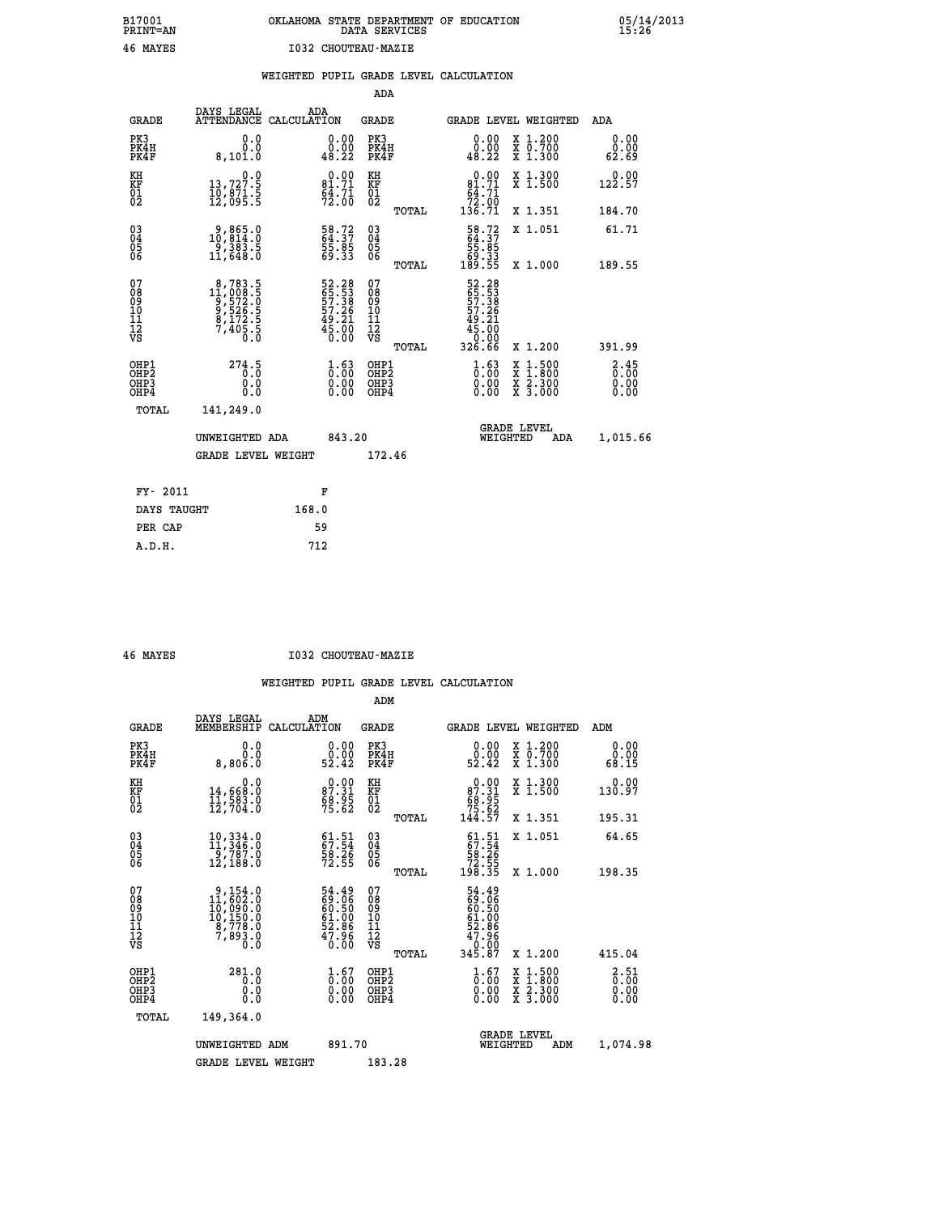# **B17001 OKLAHOMA STATE DEPARTMENT OF EDUCATION 05/14/2013 PRINT=AN DATA SERVICES 15:26 46 MAYES I032 CHOUTEAU-MAZIE**

|                                                                    |                                                                                                                                     |                                                                                        | ADA                                                 |       |                                                                                                     |                                                    |            |                       |
|--------------------------------------------------------------------|-------------------------------------------------------------------------------------------------------------------------------------|----------------------------------------------------------------------------------------|-----------------------------------------------------|-------|-----------------------------------------------------------------------------------------------------|----------------------------------------------------|------------|-----------------------|
| <b>GRADE</b>                                                       | DAYS LEGAL<br><b>ATTENDANCE</b>                                                                                                     | ADA<br>CALCULATION                                                                     | <b>GRADE</b>                                        |       | GRADE LEVEL WEIGHTED                                                                                |                                                    |            | <b>ADA</b>            |
| PK3<br>PK4H<br>PK4F                                                | 0.0<br>0.0<br>8,101.0                                                                                                               | $\begin{smallmatrix} 0.00\\ 0.00\\ 48.22 \end{smallmatrix}$                            | PK3<br>PK4H<br>PK4F                                 |       | $\begin{smallmatrix} 0.00\\ 0.00\\ 48.22 \end{smallmatrix}$                                         | X 1.200<br>X 0.700<br>X 1.300                      |            | 0.00<br>0.00<br>62.69 |
| KH<br>KF<br>01<br>02                                               | $\begin{smallmatrix}&&&0.0\\13,727.5\\10,871.5\\12,095.5\end{smallmatrix}$                                                          | $0.00$<br>81.71<br>$\frac{64.71}{72.00}$                                               | KH<br>KF<br>$\begin{matrix} 01 \ 02 \end{matrix}$   |       | $\begin{smallmatrix}&&0.00\\81.71\\64.71\\72.00\\136.71\end{smallmatrix}$                           | X 1.300<br>X 1.500                                 |            | 0.00<br>122.57        |
|                                                                    |                                                                                                                                     |                                                                                        |                                                     | TOTAL |                                                                                                     | X 1.351                                            |            | 184.70                |
| $\begin{smallmatrix} 03 \\[-4pt] 04 \end{smallmatrix}$<br>Ŏ5<br>06 | 9,865.0<br>10,814.0<br>-9,383.5<br>11,648.0                                                                                         | 58.72<br>64.37<br>55.85<br>59.33                                                       | $\begin{array}{c} 03 \\ 04 \\ 05 \\ 06 \end{array}$ | TOTAL | $\begin{smallmatrix} 58.72\ 64.37\ 55.85\ 69.33\ 189.55 \end{smallmatrix}$                          | X 1.051<br>X 1.000                                 |            | 61.71                 |
| 07                                                                 |                                                                                                                                     |                                                                                        | 07                                                  |       |                                                                                                     |                                                    |            | 189.55                |
| 08<br>09<br>11<br>11<br>12<br>VS                                   | $\begin{smallmatrix}8,783\cdot 5\\11,008\cdot 5\\9,572\cdot 0\\9,526\cdot 5\\8,172\cdot 5\\7,405\cdot 5\\0\cdot 0\end{smallmatrix}$ | 52.28<br>65.53<br>57.38<br>57.26<br>57.26<br>49.21<br>45.00                            | 08<br>09<br>11<br>11<br>12<br>VS                    |       | 52.28<br>65.53<br>57.38<br>57.26<br>$\begin{array}{r} 49.21 \\ 45.00 \\ 0.00 \\ 326.66 \end{array}$ |                                                    |            |                       |
|                                                                    |                                                                                                                                     |                                                                                        |                                                     | TOTAL |                                                                                                     | X 1.200                                            |            | 391.99                |
| OHP1<br>OHP <sub>2</sub><br>OHP3<br>OHP4                           | 274.5<br>0.0<br>0.0                                                                                                                 | $\frac{1}{0}$ : $\frac{63}{00}$<br>$\begin{smallmatrix} 0.00 \ 0.00 \end{smallmatrix}$ | OHP1<br>OH <sub>P</sub> 2<br>OHP3<br>OHP4           |       | $\begin{smallmatrix} 1.63\ 0.00 \ 0.00 \end{smallmatrix}$<br>0.00                                   | $1:500$<br>$1:800$<br>X<br>X<br>X 2.300<br>X 3.000 |            | 3:45<br>0.00<br>0.00  |
| TOTAL                                                              | 141,249.0                                                                                                                           |                                                                                        |                                                     |       |                                                                                                     |                                                    |            |                       |
|                                                                    | UNWEIGHTED ADA                                                                                                                      | 843.20                                                                                 |                                                     |       |                                                                                                     | <b>GRADE LEVEL</b><br>WEIGHTED                     | <b>ADA</b> | 1,015.66              |
|                                                                    | <b>GRADE LEVEL WEIGHT</b>                                                                                                           |                                                                                        | 172.46                                              |       |                                                                                                     |                                                    |            |                       |
| FY- 2011                                                           |                                                                                                                                     | F                                                                                      |                                                     |       |                                                                                                     |                                                    |            |                       |
| DAYS TAUGHT                                                        |                                                                                                                                     | 168.0                                                                                  |                                                     |       |                                                                                                     |                                                    |            |                       |
| PER CAP                                                            |                                                                                                                                     | 59                                                                                     |                                                     |       |                                                                                                     |                                                    |            |                       |
|                                                                    |                                                                                                                                     |                                                                                        |                                                     |       |                                                                                                     |                                                    |            |                       |

 **A.D.H. 712**

 **46 MAYES I032 CHOUTEAU-MAZIE**

|                                          |                                                                                                                                |                                                             | ADM                                                 |       |                                                                                                         |                                          |                                                           |
|------------------------------------------|--------------------------------------------------------------------------------------------------------------------------------|-------------------------------------------------------------|-----------------------------------------------------|-------|---------------------------------------------------------------------------------------------------------|------------------------------------------|-----------------------------------------------------------|
| <b>GRADE</b>                             | DAYS LEGAL<br>MEMBERSHIP                                                                                                       | ADM<br>CALCULATION                                          | <b>GRADE</b>                                        |       |                                                                                                         | GRADE LEVEL WEIGHTED                     | ADM                                                       |
| PK3<br>PK4H<br>PK4F                      | 0.0<br>0.0<br>8,806.0                                                                                                          | $\begin{smallmatrix} 0.00\\ 0.00\\ 52.42 \end{smallmatrix}$ | PK3<br>PK4H<br>PK4F                                 |       | $\begin{smallmatrix} 0.00\\ 0.00\\ 52.42 \end{smallmatrix}$                                             | X 1.200<br>X 0.700<br>X 1.300            | 0.00<br>0.00<br>68.15                                     |
| KH<br>KF<br>01<br>02                     | 0.0<br>14,668:0<br>11,583:0<br>12,704:0                                                                                        | $87.31$<br>$87.31$<br>$68.95$<br>$75.62$                    | KH<br>KF<br>01<br>02                                |       | $0.00\n87.31\n68.95\n75.62\n144.57$                                                                     | X 1.300<br>X 1.500                       | 0.00<br>130.97                                            |
|                                          |                                                                                                                                |                                                             |                                                     | TOTAL |                                                                                                         | X 1.351                                  | 195.31                                                    |
| 03<br>04<br>05<br>06                     | $10,334.0$<br>$11,346.0$<br>$9,787.0$<br>12,188.0                                                                              | $61.51$<br>$67.54$<br>$58.26$<br>$72.55$                    | $\begin{array}{c} 03 \\ 04 \\ 05 \\ 06 \end{array}$ |       | $\begin{smallmatrix} 61\cdot 51\\ 67\cdot 54\\ 58\cdot 26\\ 72\cdot 55\\ 198\cdot 35 \end{smallmatrix}$ | X 1.051                                  | 64.65                                                     |
|                                          |                                                                                                                                |                                                             |                                                     | TOTAL |                                                                                                         | X 1.000                                  | 198.35                                                    |
| 07<br>08<br>09<br>101<br>112<br>VS       | $\begin{smallmatrix}9,154\cdot0\\11,602\cdot0\\10,090\cdot0\\10,150\cdot0\\8,778\cdot0\\7,893\cdot0\\0\cdot0\end{smallmatrix}$ | 54.49<br>69.50<br>60.50<br>61.00<br>52.86<br>57.96<br>47.96 | 07<br>08<br>09<br>11<br>11<br>12<br>VS              |       | 54.49<br>60.50<br>60.50<br>61.00<br>52.86<br>47.960<br>0.00<br>345.87                                   |                                          |                                                           |
|                                          |                                                                                                                                |                                                             |                                                     | TOTAL |                                                                                                         | X 1.200                                  | 415.04                                                    |
| OHP1<br>OHP2<br>OHP <sub>3</sub><br>OHP4 | 281.0<br>0.0<br>0.000                                                                                                          | $\substack{1.67\\0.00}$<br>0.00                             | OHP1<br>OHP2<br>OHP <sub>3</sub>                    |       | $\substack{1.67\\0.00}$<br>0.00                                                                         | X 1:500<br>X 1:800<br>X 2:300<br>X 3:000 | $\begin{smallmatrix} 2.51\0.00 \end{smallmatrix}$<br>0.00 |
| TOTAL                                    | 149,364.0                                                                                                                      |                                                             |                                                     |       |                                                                                                         |                                          |                                                           |
|                                          | UNWEIGHTED ADM                                                                                                                 | 891.70                                                      |                                                     |       | WEIGHTED                                                                                                | <b>GRADE LEVEL</b><br>ADM                | 1,074.98                                                  |
|                                          | <b>GRADE LEVEL WEIGHT</b>                                                                                                      |                                                             | 183.28                                              |       |                                                                                                         |                                          |                                                           |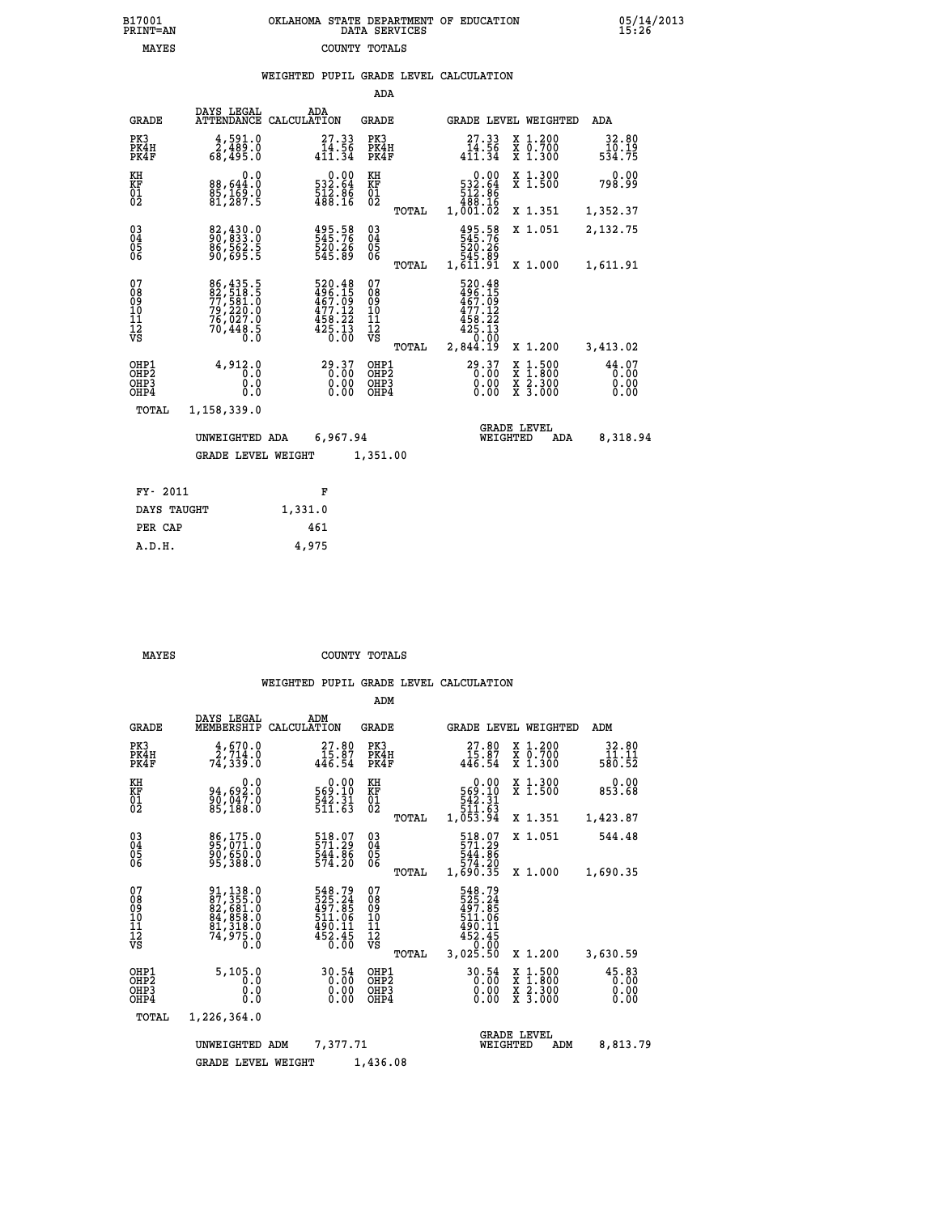| 7001<br>INT=AN | OKLAHOMA STATE DEPARTMENT OF EDUCATION<br>DATA SERVICES |  |
|----------------|---------------------------------------------------------|--|
| MAYES          | COUNTY TOTALS                                           |  |

 **B17001 OKLAHOMA STATE DEPARTMENT OF EDUCATION 05/14/2013**

|  |  | WEIGHTED PUPIL GRADE LEVEL CALCULATION |
|--|--|----------------------------------------|
|  |  |                                        |

|                                                    |                                                                      |             |                                                                        | ADA                                    |       |                                                                                                                                                                                       |                                |                                          |                               |
|----------------------------------------------------|----------------------------------------------------------------------|-------------|------------------------------------------------------------------------|----------------------------------------|-------|---------------------------------------------------------------------------------------------------------------------------------------------------------------------------------------|--------------------------------|------------------------------------------|-------------------------------|
| <b>GRADE</b>                                       | DAYS LEGAL<br><b>ATTENDANCE</b>                                      | CALCULATION | ADA                                                                    | GRADE                                  |       |                                                                                                                                                                                       |                                | GRADE LEVEL WEIGHTED                     | <b>ADA</b>                    |
| PK3<br>PK4H<br>PK4F                                | 4,591.0<br>0.087,2<br>0.089,5                                        |             | 27.33<br>14.56<br>$4\bar{1}\bar{1}\bar{.}\bar{3}\bar{4}$               | PK3<br>PK4H<br>PK4F                    |       | 27.33<br>14.56<br>$4\bar{1}\bar{1}\bar{.}\,3\bar{4}$                                                                                                                                  |                                | X 1.200<br>X 0.700<br>X 1.300            | 32.80<br>10.19<br>534.75      |
| KH<br><b>KF</b><br>01<br>02                        | 0.0<br>88,644.0<br>85,169.0<br>81,287.5                              |             | $\begin{smallmatrix} &0.00\\ 532.64\\ 12.86\\ 488.16\end{smallmatrix}$ | KH<br>KF<br>01<br>02                   |       | 532.64<br>512.86<br>488.16<br>1,001.02                                                                                                                                                | 0.00                           | X 1.300<br>$\overline{x}$ 1.500          | 0.00<br>798.99                |
|                                                    |                                                                      |             |                                                                        |                                        | TOTAL |                                                                                                                                                                                       |                                | X 1.351                                  | 1,352.37                      |
| $\begin{matrix} 03 \\ 04 \\ 05 \\ 06 \end{matrix}$ | 82,430.0<br>90,833.0<br>86,562.5<br>90,695.5                         |             | 495.58<br>545.76<br>520:26<br>545.89                                   | $\substack{03 \\ 04}$<br>05<br>06      |       | 495.58<br>545.76<br>520.26<br>545.89<br>1,611.91                                                                                                                                      |                                | X 1.051                                  | 2,132.75                      |
|                                                    |                                                                      |             |                                                                        |                                        | TOTAL |                                                                                                                                                                                       |                                | X 1.000                                  | 1,611.91                      |
| 07<br>08<br>09<br>11<br>11<br>12<br>VS             | 86,435.5<br>82,518.5<br>77,581.0<br>79,220.0<br>76,027.0<br>76,448.5 |             | 520.48<br>496.15<br>467.09<br>477.12<br>458.22<br>425.13<br>0.00       | 07<br>08<br>09<br>11<br>11<br>12<br>VS | TOTAL | 520.48<br>$\frac{456}{467}$ : $\frac{15}{9}$<br>$\frac{477}{12}$<br>$\frac{1}{4}$ $\frac{5}{8}$ $\cdot \frac{2}{2}$ $\frac{2}{3}$ $\cdot \frac{1}{9}$ $\cdot \frac{1}{9}$<br>2,844.19 |                                | X 1.200                                  | 3,413.02                      |
| OHP1<br>OHP2<br>OHP3<br>OHP4                       | 4,912.0<br>0.0<br>0.0<br>0.0                                         |             | 29.37<br>$0.00$<br>0.00                                                | OHP1<br>OHP2<br>OHP3<br>OHP4           |       | 29.37                                                                                                                                                                                 | X<br>X<br>0.00<br>0.00         | $1.500$<br>$1.800$<br>X 2.300<br>X 3.000 | 44.07<br>0.00<br>0.00<br>0.00 |
| TOTAL                                              | 1,158,339.0                                                          |             |                                                                        |                                        |       |                                                                                                                                                                                       |                                |                                          |                               |
|                                                    | UNWEIGHTED ADA                                                       |             | 6,967.94                                                               |                                        |       |                                                                                                                                                                                       | <b>GRADE LEVEL</b><br>WEIGHTED | ADA                                      | 8,318.94                      |
|                                                    | <b>GRADE LEVEL WEIGHT</b>                                            |             |                                                                        | 1,351.00                               |       |                                                                                                                                                                                       |                                |                                          |                               |
|                                                    |                                                                      |             |                                                                        |                                        |       |                                                                                                                                                                                       |                                |                                          |                               |
| FY- 2011                                           |                                                                      |             | F                                                                      |                                        |       |                                                                                                                                                                                       |                                |                                          |                               |
| DAYS TAUGHT                                        |                                                                      | 1,331.0     |                                                                        |                                        |       |                                                                                                                                                                                       |                                |                                          |                               |

| $1.1111 - 1.11001$ | - <i>,</i> - - |
|--------------------|----------------|
| PER CAP            | 461            |
| A.D.H.             | 4,975          |
|                    |                |

 **ADM**

 **B17001<br>PRINT=AN** 

 **MAYES COUNTY TOTALS**

|  |  | WEIGHTED PUPIL GRADE LEVEL CALCULATION |
|--|--|----------------------------------------|

| <b>GRADE</b>                                                       | DAYS LEGAL<br>MEMBERSHIP                                                                                      | ADM<br>CALCULATION                                                         | <b>GRADE</b>                                                              |                                                                                              | GRADE LEVEL WEIGHTED                                                                                                | ADM                           |
|--------------------------------------------------------------------|---------------------------------------------------------------------------------------------------------------|----------------------------------------------------------------------------|---------------------------------------------------------------------------|----------------------------------------------------------------------------------------------|---------------------------------------------------------------------------------------------------------------------|-------------------------------|
| PK3<br>PK4H<br>PK4F                                                | $\frac{4}{2}$ , 570.0<br>74,339.0                                                                             | 27.80<br>15.87<br>446.54                                                   | PK3<br>PK4H<br>PK4F                                                       | 27.80<br>$\frac{15.87}{446.54}$                                                              | X 1.200<br>X 0.700<br>X 1.300                                                                                       | 32.80<br>11.11<br>580.52      |
| KH<br><b>KF</b><br>01<br>02                                        | 0.0<br>94,692:0<br>90,047:0<br>85,188:0                                                                       | $\begin{smallmatrix} &0.00\\ 569.10\\ 542.31\\ 511.63\end{smallmatrix}$    | KH<br>KF<br>01<br>02                                                      | 0.00<br>569.10<br>542.31<br>511.63<br>1,053.94                                               | X 1.300<br>X 1.500                                                                                                  | 0.00<br>853.68                |
|                                                                    |                                                                                                               |                                                                            | TOTAL                                                                     |                                                                                              | X 1.351                                                                                                             | 1,423.87                      |
| $\begin{smallmatrix} 03 \\[-4pt] 04 \end{smallmatrix}$<br>Ŏ5<br>06 | 86,175.0<br>90,650.0                                                                                          | 518.07<br>571.29<br>544.86<br>574.20                                       | $\begin{smallmatrix} 03 \\[-4pt] 04 \end{smallmatrix}$<br>$\frac{05}{06}$ | 518.07<br>571.29<br>544.86                                                                   | X 1.051                                                                                                             | 544.48                        |
|                                                                    | 95,388.0                                                                                                      |                                                                            | TOTAL                                                                     | 574.20<br>1,690.35                                                                           | X 1.000                                                                                                             | 1,690.35                      |
| 07<br>08<br>09<br>101<br>11<br>12<br>VS                            | $\begin{smallmatrix} 91,138.0\\ 87,355.0\\ 82,681.0\\ 84,858.0\\ 81,318.0\\ 74,975.0\\ 0.0 \end{smallmatrix}$ | 548.79<br>525.24<br>497.85<br>511.06<br>490.11<br>$452.45$<br>$0.00$       | 07<br>08<br>09<br>001<br>11<br>11<br>12<br>VS<br>TOTAL                    | 548.79<br>525.24<br>497.85<br>511.06<br>$4\bar{5}\bar{0}.1\bar{1}\ 452.45\ 0.00$<br>3,025.50 | X 1.200                                                                                                             | 3,630.59                      |
| OHP1<br>OHP <sub>2</sub><br>OHP3<br>OHP4                           | 5,105.0<br>0.0<br>0<br>$\cdot$ 0<br>$0.\overline{0}$                                                          | 30.54<br>$\begin{smallmatrix} 0.00 & 0 \ 0.00 & \end{smallmatrix}$<br>0.00 | OHP1<br>OH <sub>P</sub> 2<br>OHP3<br>OHP4                                 | $\begin{smallmatrix} 30.54\ 0.00\ 0.00\ 0.00 \end{smallmatrix}$                              | $\begin{array}{l} \mathtt{X} & 1.500 \\ \mathtt{X} & 1.800 \\ \mathtt{X} & 2.300 \\ \mathtt{X} & 3.000 \end{array}$ | 45.83<br>0.00<br>0.00<br>0.00 |
| TOTAL                                                              | 1,226,364.0                                                                                                   |                                                                            |                                                                           |                                                                                              |                                                                                                                     |                               |
|                                                                    | UNWEIGHTED                                                                                                    | 7,377.71<br>ADM                                                            |                                                                           |                                                                                              | <b>GRADE LEVEL</b><br>WEIGHTED<br>ADM                                                                               | 8,813.79                      |
|                                                                    | <b>GRADE LEVEL WEIGHT</b>                                                                                     |                                                                            | 1,436.08                                                                  |                                                                                              |                                                                                                                     |                               |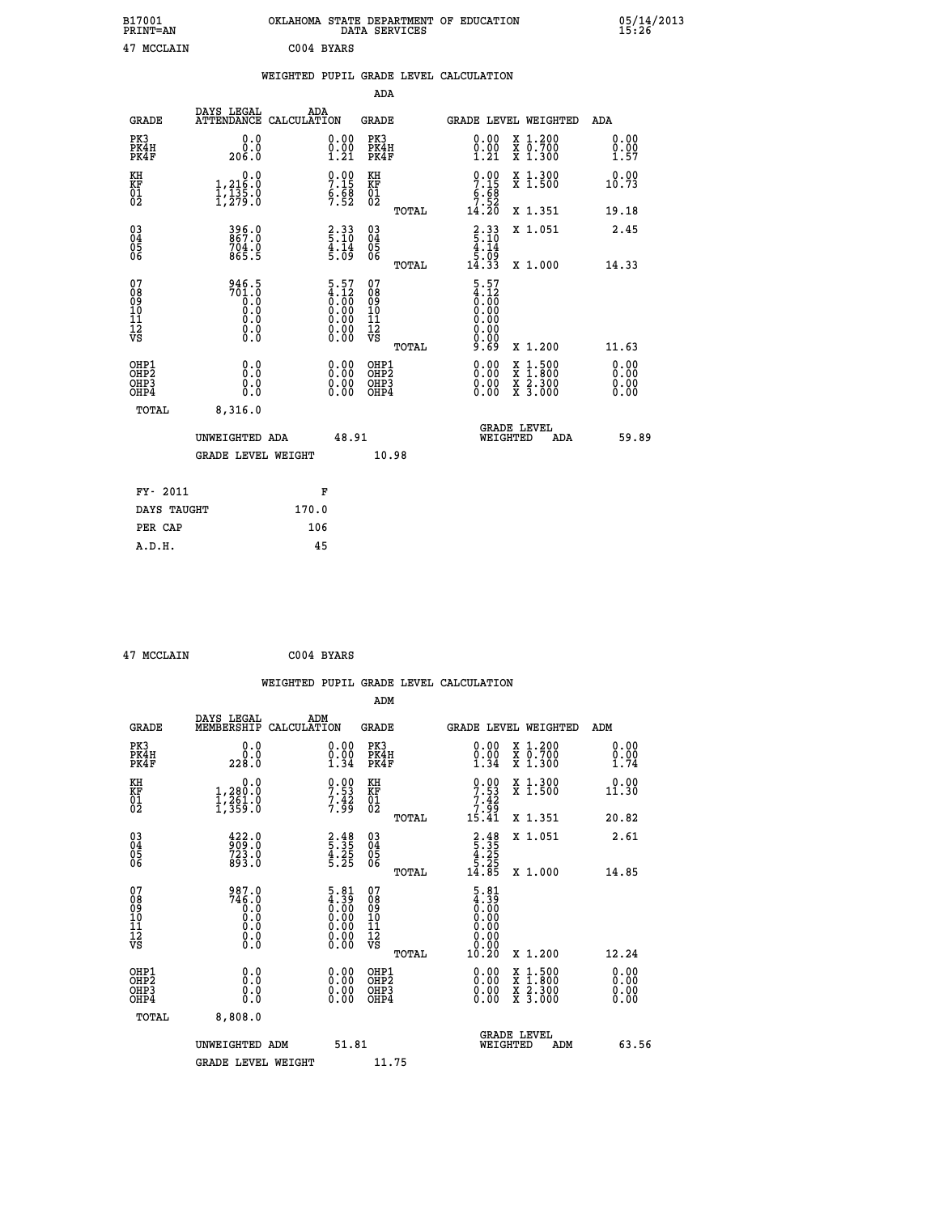|            | OKLAHOMA STATE DEPARTMENT OF EDUCATION<br>DATA SERVICES |  |
|------------|---------------------------------------------------------|--|
| C004 BYARS |                                                         |  |

|                                                      |                                                                         |                                                                                               |                                                     |       | WEIGHTED PUPIL GRADE LEVEL CALCULATION                               |                                                                                                                                              |                      |
|------------------------------------------------------|-------------------------------------------------------------------------|-----------------------------------------------------------------------------------------------|-----------------------------------------------------|-------|----------------------------------------------------------------------|----------------------------------------------------------------------------------------------------------------------------------------------|----------------------|
|                                                      |                                                                         |                                                                                               | ADA                                                 |       |                                                                      |                                                                                                                                              |                      |
| <b>GRADE</b>                                         | DAYS LEGAL<br><b>ATTENDANCE</b>                                         | ADA<br>CALCULATION                                                                            | <b>GRADE</b>                                        |       | GRADE LEVEL WEIGHTED                                                 |                                                                                                                                              | ADA                  |
| PK3<br>PK4H<br>PK4F                                  | 0.0<br>ة:ة<br>206.0                                                     | $\substack{0.00\\0.00\\1.21}$                                                                 | PK3<br>PK4H<br>PK4F                                 |       | 0.00<br>$\begin{smallmatrix} 0.00 \ 1.21 \end{smallmatrix}$          | X 1.200<br>X 0.700<br>X 1.300                                                                                                                | 0.00<br>0.00<br>1.57 |
| KH<br>KF<br>01<br>02                                 | $\begin{smallmatrix}&&&0.0\\1,216.0\\1,135.0\\1,279.0\end{smallmatrix}$ | $7.15$<br>$5.58$<br>$7.52$                                                                    | KH<br>KF<br>01<br>02                                |       | $0.00$<br>$7.15$<br>$6.68$<br>$7.52$<br>$14.20$                      | X 1.300<br>X 1.500                                                                                                                           | 0.00<br>10.73        |
|                                                      |                                                                         |                                                                                               |                                                     | TOTAL |                                                                      | X 1.351                                                                                                                                      | 19.18                |
| $^{03}_{04}$<br>Ŏ5<br>06                             | 396.0<br>867.0<br>704.0<br>865.5                                        | $\frac{2}{5} : \frac{33}{10}$<br>$\frac{4}{5}$ . $\frac{14}{9}$                               | $\begin{array}{c} 03 \\ 04 \\ 05 \\ 06 \end{array}$ |       | $\begin{array}{c} 2.33 \\ 5.10 \\ 4.14 \\ 5.09 \\ 14.33 \end{array}$ | X 1.051                                                                                                                                      | 2.45                 |
|                                                      |                                                                         |                                                                                               |                                                     | TOTAL |                                                                      | X 1.000                                                                                                                                      | 14.33                |
| 07<br>08<br>09<br>11<br>11<br>12<br>VS               | 946.5<br>$701.0$<br>0.0<br>0.0<br>0.0<br>$\S.$ $\S$                     | $\begin{smallmatrix} 5.57\ 4.12\ 0.00\ 0.00\ 0.00\ 0.00\ 0.00\ 0.00\ 0.00\ \end{smallmatrix}$ | 07<br>08<br>09<br>101<br>11<br>12<br>VS             | TOTAL | $5.57$<br>$4.12$<br>$0.00$<br>$0.00$<br>0.00<br>0.00<br>9.69         | X 1.200                                                                                                                                      | 11.63                |
| OHP1<br>OHP <sub>2</sub><br>OH <sub>P3</sub><br>OHP4 | 0.0<br>0.0<br>Ō.Ō                                                       | 0.00<br>$\begin{smallmatrix} 0.00 \ 0.00 \end{smallmatrix}$                                   | OHP1<br>OHP2<br>OHP3<br>OHP4                        |       | 0.00<br>0.00<br>0.00                                                 | $\begin{smallmatrix} \mathtt{X} & 1\cdot500 \\ \mathtt{X} & 1\cdot800 \\ \mathtt{X} & 2\cdot300 \\ \mathtt{X} & 3\cdot000 \end{smallmatrix}$ | 0.00<br>0.00<br>0.00 |
| TOTAL                                                | 8,316.0                                                                 |                                                                                               |                                                     |       |                                                                      |                                                                                                                                              |                      |
|                                                      | UNWEIGHTED ADA                                                          |                                                                                               | 48.91                                               |       | WEIGHTED                                                             | <b>GRADE LEVEL</b><br>ADA                                                                                                                    | 59.89                |
|                                                      | <b>GRADE LEVEL WEIGHT</b>                                               |                                                                                               |                                                     | 10.98 |                                                                      |                                                                                                                                              |                      |
| FY- 2011                                             |                                                                         | F                                                                                             |                                                     |       |                                                                      |                                                                                                                                              |                      |
| DAYS TAUGHT                                          |                                                                         | 170.0                                                                                         |                                                     |       |                                                                      |                                                                                                                                              |                      |
| PER CAP                                              |                                                                         | 106                                                                                           |                                                     |       |                                                                      |                                                                                                                                              |                      |

B17001<br>PRINT=AN<br>47 MCCLAIN

 **47 MCCLAIN C004 BYARS**

|                                                               |                                                     |                                                                                               |                                                          | WEIGHTED PUPIL GRADE LEVEL CALCULATION                                                             |                                          |                      |
|---------------------------------------------------------------|-----------------------------------------------------|-----------------------------------------------------------------------------------------------|----------------------------------------------------------|----------------------------------------------------------------------------------------------------|------------------------------------------|----------------------|
|                                                               |                                                     |                                                                                               | ADM                                                      |                                                                                                    |                                          |                      |
| <b>GRADE</b>                                                  | DAYS LEGAL<br>ADM<br>MEMBERSHIP<br>CALCULATION      |                                                                                               | <b>GRADE</b>                                             | <b>GRADE LEVEL WEIGHTED</b>                                                                        |                                          | ADM                  |
| PK3<br>PK4H<br>PK4F                                           | 0.0<br>ة:ة<br>228:0                                 | $\begin{smallmatrix} 0.00\\ 0.00\\ 1.34 \end{smallmatrix}$                                    | PK3<br>PK4H<br>PK4F                                      | $\begin{smallmatrix} 0.00 \\ 0.00 \\ 1.34 \end{smallmatrix}$                                       | X 1.200<br>X 0.700<br>X 1.300            | 0.00<br>0.00<br>1.74 |
| KH<br>KF<br>01<br>02                                          | 0.0<br>1,280:0<br>1,261:0<br>1,359:0                | $7.53$<br>$7.42$<br>$7.99$                                                                    | KH<br>KF<br>01<br>02                                     | $0.00$<br>$7.53$<br>$7.42$<br>$7.99$<br>$15.41$                                                    | X 1.300<br>X 1.500                       | 0.00<br>11.30        |
|                                                               |                                                     |                                                                                               | TOTAL                                                    |                                                                                                    | X 1.351                                  | 20.82                |
| $\begin{matrix} 03 \\ 04 \\ 05 \\ 06 \end{matrix}$            | 422.0<br>909.0<br>723.0<br>893.0                    | $\begin{array}{c} 2 \cdot 48 \\ 5 \cdot 35 \\ 4 \cdot 25 \\ 5 \cdot 25 \end{array}$           | 03<br>04<br>05<br>06                                     | $\begin{array}{r} 2 \cdot 48 \\ 5 \cdot 35 \\ 4 \cdot 25 \\ 5 \cdot 25 \\ 14 \cdot 85 \end{array}$ | X 1.051<br>X 1.000                       | 2.61<br>14.85        |
| 07<br>0890112<br>1112<br>VS                                   | 987.0<br>$746.0$<br>0.0<br>0.0<br>0.0<br>$\S.$ $\S$ | $\begin{smallmatrix} 5.81\ 4.39\ 0.00\ 0.00\ 0.00\ 0.00\ 0.00\ 0.00\ 0.00\ \end{smallmatrix}$ | TOTAL<br>07<br>08<br>09<br>11<br>11<br>12<br>VS<br>TOTAL | $\begin{smallmatrix} 5.81\ 4.39\ 6.00\ 0.00\ 0.00\ 0.00\ \end{smallmatrix}$<br>0.00<br>10.20       | X 1.200                                  | 12.24                |
| OHP1<br>OHP <sub>2</sub><br>OH <sub>P3</sub><br>OHP4<br>TOTAL | 0.0<br>0.000<br>8,808.0                             | $0.00$<br>$0.00$<br>0.00                                                                      | OHP1<br>OHP <sub>2</sub><br>OHP <sub>3</sub>             | 0.00<br>0.00<br>0.00                                                                               | X 1:500<br>X 1:800<br>X 2:300<br>X 3:000 | 0.00<br>0.00<br>0.00 |
|                                                               | UNWEIGHTED ADM<br><b>GRADE LEVEL WEIGHT</b>         | 51.81                                                                                         | 11.75                                                    | <b>GRADE LEVEL</b><br>WEIGHTED                                                                     | ADM                                      | 63.56                |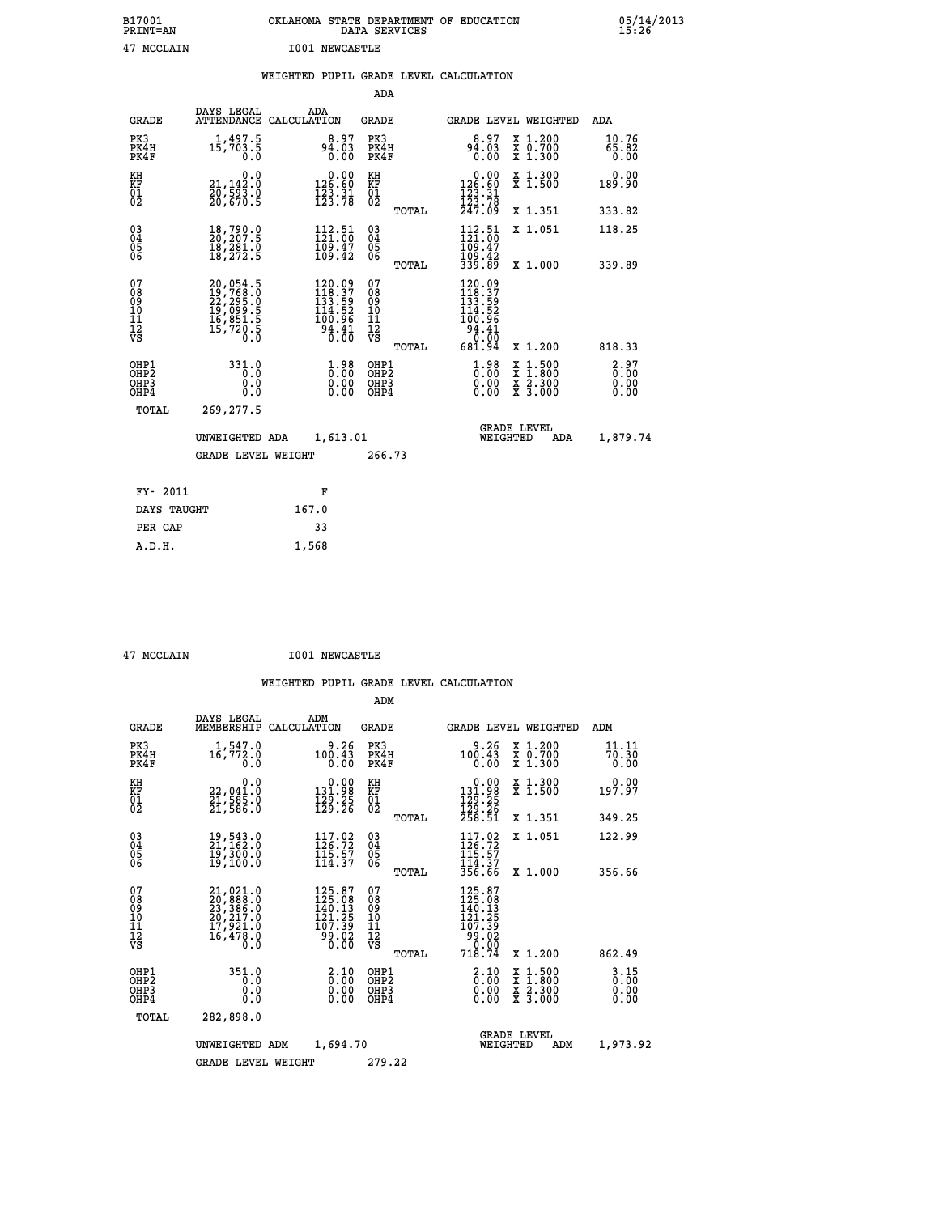| B17001<br><b>PRINT=AN</b> | OKLAHOMA STATE DEPARTMENT OF EDUCATION<br>DATA SERVICES |  |
|---------------------------|---------------------------------------------------------|--|
| 47 MCCLAIN                | <b>I001 NEWCASTLE</b>                                   |  |

 **B17001 OKLAHOMA STATE DEPARTMENT OF EDUCATION 05/14/2013**

|       |                                      | WEIGHTED PUPIL GRADE LEVEL CALCULATION |       |  |             |     |
|-------|--------------------------------------|----------------------------------------|-------|--|-------------|-----|
|       |                                      |                                        | ADA   |  |             |     |
| GRADE | DAYS LEGAL<br>ATTENDANCE CALCULATION | ADA                                    | GRADE |  | GRADE LEVEL | WF. |

| GRADE                                              |                                                                                  | ATTENDANCE CALCULATION                                                                                                        | GRADE                                            | <b>GRADE LEVEL WEIGHTED</b>                                                                                                           |                                                                                                  | ADA                                 |
|----------------------------------------------------|----------------------------------------------------------------------------------|-------------------------------------------------------------------------------------------------------------------------------|--------------------------------------------------|---------------------------------------------------------------------------------------------------------------------------------------|--------------------------------------------------------------------------------------------------|-------------------------------------|
| PK3<br>PK4H<br>PK4F                                | 1,497.5<br>15,703.5<br>0.0                                                       | 8.97<br>04.03<br>0.00                                                                                                         | PK3<br>PK4H<br>PK4F                              | 8.97<br>60.09<br>0.00                                                                                                                 | X 1.200<br>X 0.700<br>X 1.300                                                                    | 10.76<br>$\overline{65.82}$<br>0.00 |
| KH<br>KF<br>01<br>02                               | 0.0<br>$21,142.0$<br>$20,523.0$                                                  | $\begin{smallmatrix} &0.00\\ 126.60\\ 123.31\\ 123.78\end{smallmatrix}$                                                       | KH<br>KF<br>01<br>02                             | $\begin{smallmatrix}&&0.00\\126.60\\123.31\\123.78\\247.09\end{smallmatrix}$                                                          | X 1.300<br>X 1.500                                                                               | 0.00<br>189.90                      |
|                                                    | 20,670.5                                                                         |                                                                                                                               | TOTAL                                            |                                                                                                                                       | X 1.351                                                                                          | 333.82                              |
| $\begin{matrix} 03 \\ 04 \\ 05 \\ 06 \end{matrix}$ | $\frac{18}{20}$ , 790.0<br>18,281.0<br>18,272.5                                  | 112.51<br>121.00<br>$\frac{109.47}{109.42}$                                                                                   | $\substack{03 \\ 04}$<br>Ŏ5<br>06                | 112.51<br>109.47<br>109.42<br>339.89                                                                                                  | X 1.051                                                                                          | 118.25                              |
|                                                    |                                                                                  |                                                                                                                               | TOTAL                                            |                                                                                                                                       | X 1.000                                                                                          | 339.89                              |
| 07<br>08<br>09<br>11<br>11<br>12<br>VS             | 20,054.5<br>19,768.0<br>22,295.0<br>19,099.5<br>16,851.5<br>16,720.5<br>15,720.5 | $\begin{array}{l} 120.09 \\[-4pt] 118.37 \\[-4pt] 133.59 \\[-4pt] 114.52 \\[-4pt] 100.99 \end{array}$<br>$\frac{34.41}{0.00}$ | 07<br>08<br>09<br>101<br>11<br>12<br>VS<br>TOTAL | $120.09$<br>$118.37$<br>$133.59$<br>$114.52$<br>100.96<br>$\left[\begin{smallmatrix} 54.11 \ 0.00 \end{smallmatrix}\right]$<br>681.94 | X 1.200                                                                                          | 818.33                              |
| OHP1<br>OHP <sub>2</sub><br>OHP3<br>OHP4           | 331.0<br>$\overline{0}$ .0<br>0.0<br>0.0                                         | 0.98<br>0.00<br>0.00                                                                                                          | OHP1<br>OHP <sub>2</sub><br>OHP3<br>OHP4         | $1.98$<br>$0.00$<br>0.00<br>0.00                                                                                                      | $\begin{smallmatrix} x & 1 & 500 \\ x & 1 & 800 \\ x & 2 & 300 \\ x & 3 & 000 \end{smallmatrix}$ | 2.97<br>0.00<br>0.00                |
| TOTAL                                              | 269, 277.5                                                                       |                                                                                                                               |                                                  |                                                                                                                                       | <b>GRADE LEVEL</b>                                                                               |                                     |
|                                                    | UNWEIGHTED ADA                                                                   | 1,613.01                                                                                                                      |                                                  | WEIGHTED                                                                                                                              | ADA                                                                                              | 1,879.74                            |
|                                                    | <b>GRADE LEVEL WEIGHT</b>                                                        |                                                                                                                               | 266.73                                           |                                                                                                                                       |                                                                                                  |                                     |
| FY- 2011                                           |                                                                                  | F                                                                                                                             |                                                  |                                                                                                                                       |                                                                                                  |                                     |
| DAYS TAUGHT                                        |                                                                                  | 167.0                                                                                                                         |                                                  |                                                                                                                                       |                                                                                                  |                                     |
| PER CAP                                            |                                                                                  | 33                                                                                                                            |                                                  |                                                                                                                                       |                                                                                                  |                                     |

| 47 MCCLAIN |
|------------|

 **PER CAP 33 A.D.H. 1,568**

 **47 MCCLAIN I001 NEWCASTLE**

|                                               |                                                                      |                    |                                                                         | ADM                                                |       |                                                                                                                                                                                                                                                                                                                                                                                                                                                        |          |                                          |                                  |
|-----------------------------------------------|----------------------------------------------------------------------|--------------------|-------------------------------------------------------------------------|----------------------------------------------------|-------|--------------------------------------------------------------------------------------------------------------------------------------------------------------------------------------------------------------------------------------------------------------------------------------------------------------------------------------------------------------------------------------------------------------------------------------------------------|----------|------------------------------------------|----------------------------------|
| <b>GRADE</b>                                  | DAYS LEGAL<br>MEMBERSHIP                                             | ADM<br>CALCULATION |                                                                         | <b>GRADE</b>                                       |       |                                                                                                                                                                                                                                                                                                                                                                                                                                                        |          | GRADE LEVEL WEIGHTED                     | ADM                              |
| PK3<br>PK4H<br>PK4F                           | 1,547.0<br>$1\bar{6}$ , 772.0<br>0.0                                 |                    | 9.26<br>100.43<br>0.00                                                  | PK3<br>PK4H<br>PK4F                                |       | 9.26<br>100.43<br>0.00                                                                                                                                                                                                                                                                                                                                                                                                                                 |          | x 1.200<br>x 0.700<br>X 1.300            | 11.11<br>70.30<br>0.00           |
| KH<br>KF<br>01<br>02                          | 0.0<br>22,041.0<br>21,585.0<br>21,586.0                              |                    | $\begin{smallmatrix} &0.00\\ 131.98\\ 129.25\\ 129.26\end{smallmatrix}$ | KH<br>KF<br>01<br>02                               |       | $\begin{array}{c} 0.00 \\ 131.98 \\ 129.25 \\ 129.26 \\ 258.51 \end{array}$                                                                                                                                                                                                                                                                                                                                                                            |          | X 1.300<br>X 1.500                       | 0.00<br>197.97                   |
|                                               |                                                                      |                    |                                                                         |                                                    | TOTAL |                                                                                                                                                                                                                                                                                                                                                                                                                                                        |          | X 1.351                                  | 349.25                           |
| 03<br>04<br>05<br>06                          | 19,543.0<br>21,162.0<br>19,300.0<br>19,100.0                         |                    | $117.02$<br>$126.72$<br>115.57<br>114.37                                | $\begin{matrix} 03 \\ 04 \\ 05 \\ 06 \end{matrix}$ |       | $117.92$<br>$126.72$<br>$115.57$<br>114.37                                                                                                                                                                                                                                                                                                                                                                                                             |          | X 1.051                                  | 122.99                           |
|                                               |                                                                      |                    |                                                                         |                                                    | TOTAL | 356.66                                                                                                                                                                                                                                                                                                                                                                                                                                                 |          | X 1.000                                  | 356.66                           |
| 07<br>08<br>09<br>101<br>112<br>VS            | 21,021.0<br>20,888.0<br>23,386.0<br>20,217.0<br>17,921.0<br>16,478.0 |                    | 125.87<br>125.08<br>140.13<br>25<br>121.<br>107.39<br>80.02°<br>0.00    | 07<br>08<br>09<br>101<br>11<br>12<br>VS            | TOTAL | 125.87<br>125.08<br>140.13<br>$\begin{array}{@{}c@{\hspace{1em}}c@{\hspace{1em}}c@{\hspace{1em}}c@{\hspace{1em}}c@{\hspace{1em}}c@{\hspace{1em}}c@{\hspace{1em}}c@{\hspace{1em}}c@{\hspace{1em}}c@{\hspace{1em}}c@{\hspace{1em}}c@{\hspace{1em}}c@{\hspace{1em}}c@{\hspace{1em}}c@{\hspace{1em}}c@{\hspace{1em}}c@{\hspace{1em}}c@{\hspace{1em}}c@{\hspace{1em}}c@{\hspace{1em}}c@{\hspace{1em}}c@{\hspace{1em}}c@{\hspace{1em}}c@{\hspace{$<br>718.74 |          | X 1.200                                  | 862.49                           |
| OHP1                                          | 351.0                                                                |                    |                                                                         |                                                    |       |                                                                                                                                                                                                                                                                                                                                                                                                                                                        |          |                                          |                                  |
| OH <sub>P</sub> 2<br>OH <sub>P3</sub><br>OHP4 | 0.0<br>0.000                                                         |                    | $\begin{smallmatrix} 2.10\0.00 \end{smallmatrix}$<br>0.00               | OHP1<br>OHP2<br>OHP3<br>OHP4                       |       | $\begin{smallmatrix} 2.10\0.00 \ 0.00 \end{smallmatrix}$<br>0.00                                                                                                                                                                                                                                                                                                                                                                                       |          | X 1:500<br>X 1:800<br>X 2:300<br>X 3:000 | $3.15$<br>$0.00$<br>0.00<br>0.00 |
| TOTAL                                         | 282,898.0                                                            |                    |                                                                         |                                                    |       |                                                                                                                                                                                                                                                                                                                                                                                                                                                        |          |                                          |                                  |
|                                               | UNWEIGHTED                                                           | ADM                | 1,694.70                                                                |                                                    |       |                                                                                                                                                                                                                                                                                                                                                                                                                                                        | WEIGHTED | <b>GRADE LEVEL</b><br>ADM                | 1,973.92                         |
|                                               | <b>GRADE LEVEL WEIGHT</b>                                            |                    |                                                                         | 279.22                                             |       |                                                                                                                                                                                                                                                                                                                                                                                                                                                        |          |                                          |                                  |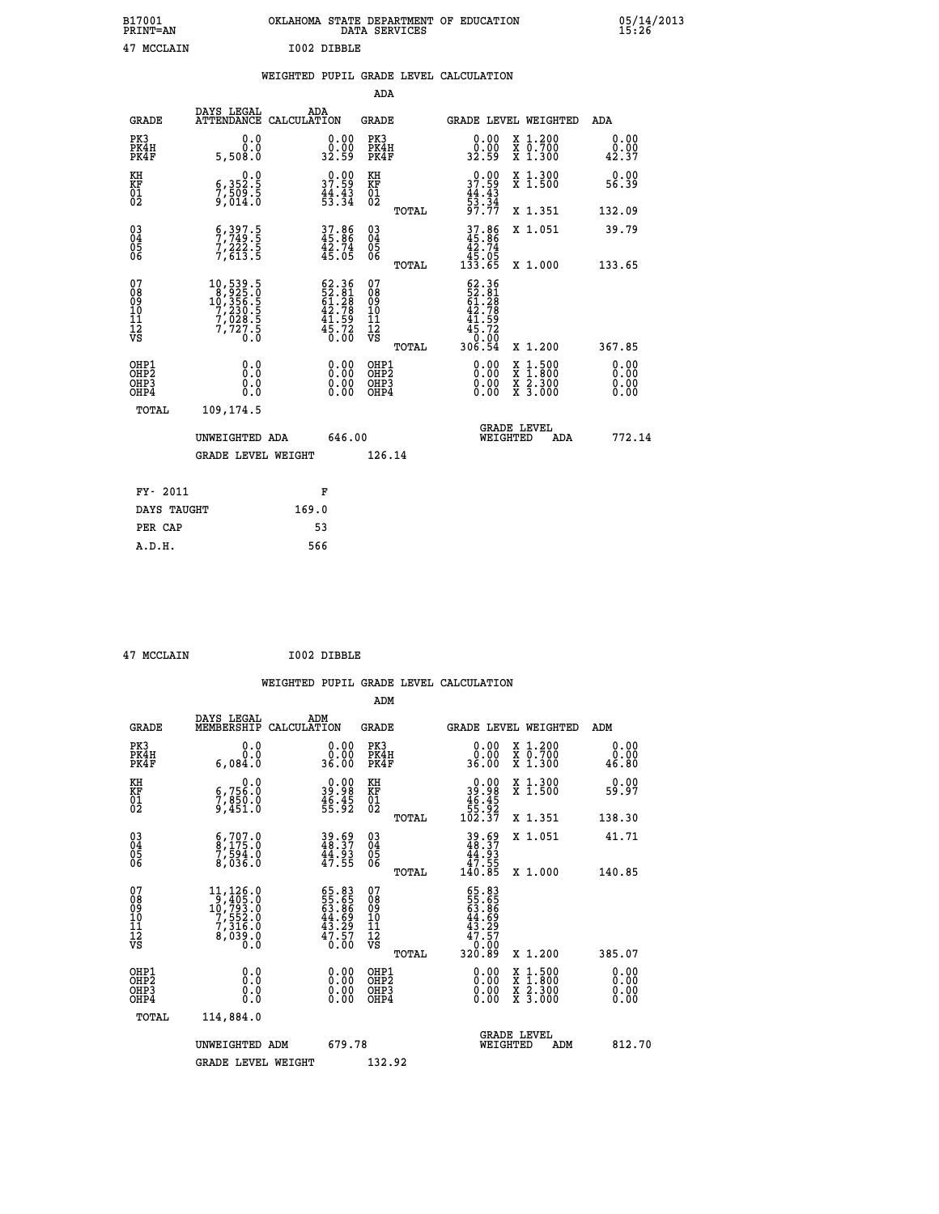| B17001<br><b>PRINT=AN</b> | OKLAHOMA STATE DEPARTMENT OF EDUCATION<br>DATA SERVICES |  |
|---------------------------|---------------------------------------------------------|--|
| 47 MCCLAIN                | T002 DIBBLE                                             |  |

|  |  | WEIGHTED PUPIL GRADE LEVEL CALCULATION |
|--|--|----------------------------------------|
|  |  |                                        |

|                                                                    |                                                                                                   |                                                                                              | ADA                                                     |                                                                                                        |                              |
|--------------------------------------------------------------------|---------------------------------------------------------------------------------------------------|----------------------------------------------------------------------------------------------|---------------------------------------------------------|--------------------------------------------------------------------------------------------------------|------------------------------|
| <b>GRADE</b>                                                       | DAYS LEGAL                                                                                        | ADA<br>ATTENDANCE CALCULATION                                                                | <b>GRADE</b>                                            | GRADE LEVEL WEIGHTED                                                                                   | <b>ADA</b>                   |
| PK3<br>PK4H<br>PK4F                                                | 0.0<br>0.0<br>5,508.0                                                                             | $\begin{smallmatrix} 0.00\\ 0.00\\ 32.59 \end{smallmatrix}$                                  | PK3<br>PK4H<br>PK4F                                     | 0.00<br>X 1.200<br>X 0.700<br>X 1.300<br>89.00<br>32.59                                                | 0.00<br>0.00<br>42.37        |
| KH<br>KF<br>01<br>02                                               | 0.0<br>6,352:5<br>7,509:5<br>9,014:0                                                              | 37.99<br>$\frac{44}{53}$ : $\frac{45}{34}$                                                   | KH<br>KF<br>01<br>02                                    | 37.99<br>X 1.300<br>X 1.500<br>$\frac{44}{53}$ : $\frac{43}{34}$<br>97.77                              | 0.00<br>56.39                |
|                                                                    |                                                                                                   |                                                                                              | TOTAL                                                   | X 1.351                                                                                                | 132.09                       |
| $\begin{smallmatrix} 03 \\[-4pt] 04 \end{smallmatrix}$<br>Ŏ5<br>06 | $\frac{6}{7}, \frac{397}{749}$ :<br>$7,222.5$<br>$7,613.5$                                        | 37.86<br>45.86<br>42.74<br>45.05                                                             | $\substack{03 \\ 04}$<br>$\substack{05 \\ 06}$<br>TOTAL | $37.86$<br>$45.86$<br>$42.74$<br>$45.05$<br>$133.65$<br>X 1.051<br>X 1.000                             | 39.79<br>133.65              |
| 07<br>08<br>09<br>11<br>11<br>12<br>VS                             | $\begin{smallmatrix}10,539.5\\8,925.0\\10,356.5\\7,230.5\\7,028.5\\7,727.5\\0.0\end{smallmatrix}$ | $\begin{smallmatrix} 62.36\\ 52.81\\ 61.28\\ 42.78\\ 41.59\\ 45.72\\ 0.00 \end{smallmatrix}$ | 07<br>08<br>09<br>11<br>11<br>12<br>VS                  | $\begin{smallmatrix} 62.36\\ 52.361\\ 61.28\\ 42.78\\ 41.59\\ 45.72\\ 0.00\\ 306.54 \end{smallmatrix}$ |                              |
|                                                                    |                                                                                                   |                                                                                              | TOTAL                                                   | X 1.200                                                                                                | 367.85                       |
| OHP1<br>OH <sub>P</sub> 2<br>OHP3<br>OHP4                          | 0.0<br>0.0<br>0.0                                                                                 | 0.00<br>$\begin{smallmatrix} 0.00 \ 0.00 \end{smallmatrix}$                                  | OHP1<br>OH <sub>P</sub> 2<br>OHP3<br>OHP4               | 0.00<br>$1:500$<br>$1:800$<br>X<br>X<br>0.00<br>X 2.300<br>X 3.000<br>0.00                             | 0.00<br>0.00<br>0.00<br>0.00 |
| TOTAL                                                              | 109,174.5                                                                                         |                                                                                              |                                                         |                                                                                                        |                              |
|                                                                    | UNWEIGHTED ADA                                                                                    | 646.00                                                                                       |                                                         | <b>GRADE LEVEL</b><br>WEIGHTED<br>ADA                                                                  | 772.14                       |
|                                                                    | <b>GRADE LEVEL WEIGHT</b>                                                                         |                                                                                              | 126.14                                                  |                                                                                                        |                              |
| FY- 2011                                                           |                                                                                                   | F                                                                                            |                                                         |                                                                                                        |                              |
|                                                                    | DAYS TAUGHT                                                                                       | 169.0                                                                                        |                                                         |                                                                                                        |                              |
| PER CAP                                                            |                                                                                                   | 53                                                                                           |                                                         |                                                                                                        |                              |

 **47 MCCLAIN I002 DIBBLE**

 **A.D.H. 566**

 **B17001<br>PRINT=AN** 

| <b>GRADE</b>                                       | DAYS LEGAL<br>MEMBERSHIP                                                                         | ADM<br>CALCULATION                                                   | <b>GRADE</b>                                 |       |                                                                         |          | GRADE LEVEL WEIGHTED                                                                                                                      | ADM                          |  |
|----------------------------------------------------|--------------------------------------------------------------------------------------------------|----------------------------------------------------------------------|----------------------------------------------|-------|-------------------------------------------------------------------------|----------|-------------------------------------------------------------------------------------------------------------------------------------------|------------------------------|--|
| PK3<br>PK4H<br>PK4F                                | 0.0<br>0.0<br>6,084.0                                                                            | 0.00<br>36.00                                                        | PK3<br>PK4H<br>PK4F                          |       | 0.00<br>0.00<br>36.00                                                   |          | X 1.200<br>X 0.700<br>X 1.300                                                                                                             | 0.00<br>0.00<br>46.80        |  |
| KH<br>KF<br>01<br>02                               | 0.0<br>6,756:0<br>7,850:0<br>9,451:0                                                             | $\begin{smallmatrix} 0.00\\ 39.98\\ 46.45\\ 55.92 \end{smallmatrix}$ | KH<br>KF<br>01<br>02                         |       | $0.00$<br>$39.98$<br>$46.45$<br>$55.92$<br>$102.37$                     |          | X 1.300<br>X 1.500                                                                                                                        | 0.00<br>59.97                |  |
|                                                    |                                                                                                  |                                                                      |                                              | TOTAL |                                                                         |          | X 1.351                                                                                                                                   | 138.30                       |  |
| $\begin{matrix} 03 \\ 04 \\ 05 \\ 06 \end{matrix}$ | $\begin{smallmatrix} 6 & 707 & 0 \\ 8 & 175 & 0 \\ 7 & 594 & 0 \\ 8 & 036 & 0 \end{smallmatrix}$ | 39.69<br>48.37<br>44.93<br>47.55                                     | 03<br>04<br>05<br>06                         |       | $39.69$<br>$48.37$<br>$44.93$<br>$47.55$<br>$140.85$                    |          | X 1.051                                                                                                                                   | 41.71                        |  |
|                                                    |                                                                                                  |                                                                      |                                              | TOTAL |                                                                         |          | X 1.000                                                                                                                                   | 140.85                       |  |
| 07<br>08<br>09<br>101<br>112<br>VS                 | $\begin{smallmatrix}11,126.0\\9,405.0\\10,793.0\\7,552.0\\7,316.0\end{smallmatrix}$<br>8,038.8   | 65.83<br>55.65<br>63.86<br>44.69<br>43.29<br>47.57<br>0.00           | 07<br>08<br>09<br>01<br>11<br>11<br>12<br>VS | TOTAL | 65.83<br>55.65<br>63.866<br>63.89<br>43.27<br>47.570<br>0.009<br>320.89 |          | X 1.200                                                                                                                                   | 385.07                       |  |
| OHP1<br>OHP2<br>OH <sub>P3</sub><br>OHP4           | 0.0<br>0.000                                                                                     |                                                                      | OHP1<br>OHP <sub>2</sub><br>OHP <sub>3</sub> |       |                                                                         |          | $\begin{smallmatrix} \mathtt{X} & 1\cdot500\\ \mathtt{X} & 1\cdot800\\ \mathtt{X} & 2\cdot300\\ \mathtt{X} & 3\cdot000 \end{smallmatrix}$ | 0.00<br>0.00<br>0.00<br>0.00 |  |
| TOTAL                                              | 114,884.0                                                                                        |                                                                      |                                              |       |                                                                         |          |                                                                                                                                           |                              |  |
|                                                    | UNWEIGHTED ADM                                                                                   | 679.78                                                               |                                              |       |                                                                         | WEIGHTED | <b>GRADE LEVEL</b><br>ADM                                                                                                                 | 812.70                       |  |
|                                                    | <b>GRADE LEVEL WEIGHT</b>                                                                        |                                                                      | 132.92                                       |       |                                                                         |          |                                                                                                                                           |                              |  |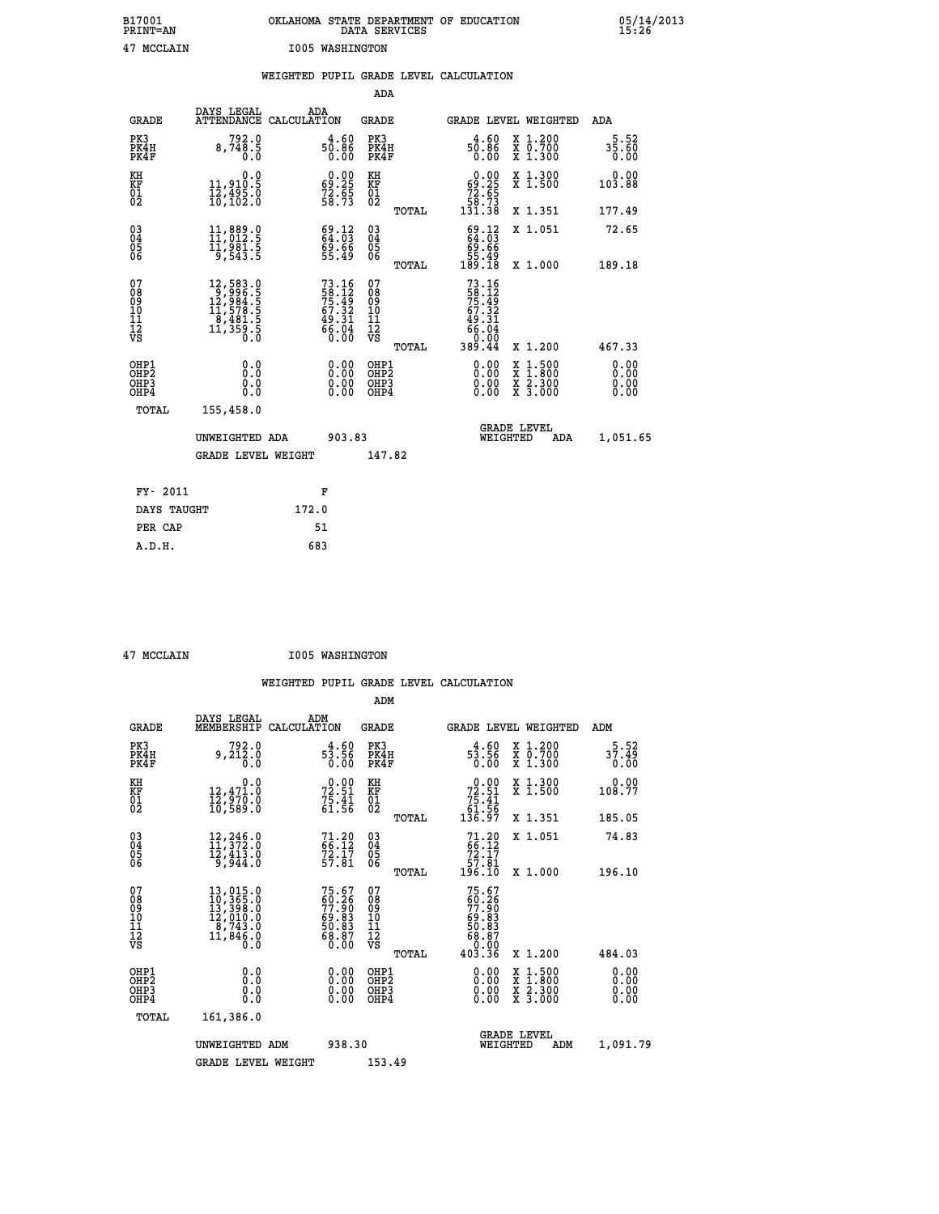| B17001<br><b>PRINT=AN</b> | OKLAHOMA STATE DEPARTMENT OF EDUCATION<br>DATA SERVICES | 05/14/2013<br>15:26 |
|---------------------------|---------------------------------------------------------|---------------------|
| 47<br>MCCLAIN             | 1005 WASHINGTON                                         |                     |

|                                                    |                                                                                                                                |                                                                      | ADA                                                 |       |                                                                                                 |                                          |                              |
|----------------------------------------------------|--------------------------------------------------------------------------------------------------------------------------------|----------------------------------------------------------------------|-----------------------------------------------------|-------|-------------------------------------------------------------------------------------------------|------------------------------------------|------------------------------|
| <b>GRADE</b>                                       | DAYS LEGAL<br>ATTENDANCE CALCULATION                                                                                           | ADA                                                                  | <b>GRADE</b>                                        |       | GRADE LEVEL WEIGHTED                                                                            |                                          | ADA                          |
| PK3<br>PK4H<br>PK4F                                | $8,748.5$<br>0.0                                                                                                               | $50.86$<br>0.00                                                      | PK3<br>PK4H<br>PK4F                                 |       | $50.86$<br>$0.86$                                                                               | X 1.200<br>X 0.700<br>X 1.300            | 5.52<br>$35.60$<br>$0.00$    |
| KH<br>KF<br>01<br>02                               | 0.0<br>11,910.5<br>12,495.0<br>10,102.0                                                                                        | $\begin{smallmatrix} 0.00\\ 69.25\\ 72.65\\ 58.73 \end{smallmatrix}$ | KH<br>KF<br>01<br>02                                |       | $0.00\n69.25\n72.65\n58.73\n131.38$                                                             | X 1.300<br>X 1.500                       | 0.00<br>103.88               |
|                                                    |                                                                                                                                |                                                                      |                                                     | TOTAL |                                                                                                 | X 1.351                                  | 177.49                       |
| $\begin{matrix} 03 \\ 04 \\ 05 \\ 06 \end{matrix}$ | 11,889.0<br>11,981.5<br>9,543.5                                                                                                | $69.12$<br>$64.03$<br>$69.66$<br>$55.49$                             | $\begin{array}{c} 03 \\ 04 \\ 05 \\ 06 \end{array}$ |       | $69.1264.0369.6655.49189.18$                                                                    | X 1.051                                  | 72.65                        |
|                                                    |                                                                                                                                |                                                                      |                                                     | TOTAL |                                                                                                 | X 1.000                                  | 189.18                       |
| 07<br>08<br>09<br>11<br>11<br>12<br>VS             | $\begin{smallmatrix} 12, 583 & 0\\ 9, 996 & 5\\ 12, 984 & 5\\ 11, 578 & 5\\ 8, 481 & 5\\ 11, 359 & 5\\ 0 & 0\end{smallmatrix}$ | 73.16<br>58.12<br>75.49<br>75.32<br>67.32<br>49.31<br>66.04<br>66.04 | 07<br>08<br>09<br>11<br>11<br>12<br>VS              |       | $73.16$<br>$58.12$<br>$75.49$<br>$75.32$<br>$67.32$<br>$49.31$<br>$66.04$<br>$0.00$<br>$389.44$ |                                          |                              |
|                                                    |                                                                                                                                |                                                                      |                                                     | TOTAL |                                                                                                 | X 1.200                                  | 467.33                       |
| OHP1<br>OHP2<br>OHP3<br>OHP4                       | 0.0<br>0.0<br>0.0                                                                                                              | $\begin{smallmatrix} 0.00 \ 0.00 \ 0.00 \ 0.00 \end{smallmatrix}$    | OHP1<br>OHP2<br>OHP3<br>OHP4                        |       |                                                                                                 | X 1:500<br>X 1:800<br>X 2:300<br>X 3:000 | 0.00<br>0.00<br>0.00<br>0.00 |
| <b>TOTAL</b>                                       | 155,458.0                                                                                                                      |                                                                      |                                                     |       |                                                                                                 |                                          |                              |
|                                                    | UNWEIGHTED ADA                                                                                                                 | 903.83                                                               |                                                     |       | WEIGHTED                                                                                        | <b>GRADE LEVEL</b><br>ADA                | 1,051.65                     |
|                                                    | <b>GRADE LEVEL WEIGHT</b>                                                                                                      |                                                                      | 147.82                                              |       |                                                                                                 |                                          |                              |
|                                                    |                                                                                                                                |                                                                      |                                                     |       |                                                                                                 |                                          |                              |
| FY- 2011                                           |                                                                                                                                | F                                                                    |                                                     |       |                                                                                                 |                                          |                              |
| DAYS TAUGHT                                        |                                                                                                                                | 172.0                                                                |                                                     |       |                                                                                                 |                                          |                              |
| PER CAP                                            |                                                                                                                                | 51                                                                   |                                                     |       |                                                                                                 |                                          |                              |

 **ADM**

 **47 MCCLAIN I005 WASHINGTON**

| <b>GRADE</b>                                         | DAYS LEGAL<br>MEMBERSHIP CALCULATION                                                                                                                                         | ADM                                                         | <b>GRADE</b>                                  |       |                                                                                                                                                                                                                                                                                | <b>GRADE LEVEL WEIGHTED</b>              | ADM                      |
|------------------------------------------------------|------------------------------------------------------------------------------------------------------------------------------------------------------------------------------|-------------------------------------------------------------|-----------------------------------------------|-------|--------------------------------------------------------------------------------------------------------------------------------------------------------------------------------------------------------------------------------------------------------------------------------|------------------------------------------|--------------------------|
| PK3<br>PK4H<br>PK4F                                  | 792.0<br>9,212.0<br>0.0                                                                                                                                                      | $3.50$<br>53.56<br>0.00                                     | PK3<br>PK4H<br>PK4F                           |       | $4.60$<br>$5\frac{3}{5}$ :56<br>0.00                                                                                                                                                                                                                                           | X 1.200<br>X 0.700<br>X 1.300            | $37.52$<br>37.49<br>0.00 |
| KH<br>KF<br>01<br>02                                 | 0.0<br>$\frac{12}{12}$ , $\frac{471}{970}$ .0<br>10, 589.0                                                                                                                   | $72.51$<br>$75.41$<br>$75.41$<br>$61.56$                    | KH<br>KF<br>01<br>02                          |       | $\begin{smallmatrix} &0.00\ 72.51\ 75.41\ 61.56\ 136.97\ \end{smallmatrix}$                                                                                                                                                                                                    | X 1.300<br>X 1.500                       | 0.00<br>108.77           |
|                                                      |                                                                                                                                                                              |                                                             |                                               | TOTAL |                                                                                                                                                                                                                                                                                | X 1.351                                  | 185.05                   |
| $\begin{matrix} 03 \\ 04 \\ 05 \\ 06 \end{matrix}$   | $\begin{smallmatrix} 12 & 246 & 0 \\ 11 & 372 & 0 \\ 12 & 413 & 0 \\ 9 & 944 & 0 \end{smallmatrix}$                                                                          | $71.20$<br>$66.12$<br>$72.17$<br>57.81                      | $\substack{03 \\ 04}$<br>05<br>06             |       | $71.2066.1272.1757.81196.10$                                                                                                                                                                                                                                                   | X 1.051                                  | 74.83                    |
|                                                      |                                                                                                                                                                              |                                                             |                                               | TOTAL |                                                                                                                                                                                                                                                                                | X 1.000                                  | 196.10                   |
| 07<br>08<br>09<br>101<br>11<br>12<br>VS              | $\begin{smallmatrix} 13\,, & 015\,, & 0\\ 10\,, & 365\,, & 0\\ 13\,, & 398\,, & 0\\ 12\,, & 010\,, & 0\\ 8\,, & 743\,, & 0\\ 11\,, & 846\,, & 0\\ 0\,. & 0\end{smallmatrix}$ | 75.67<br>60.26<br>77.90<br>69.83<br>50.83<br>68.87<br>68.87 | 07<br>08<br>09<br>001<br>11<br>11<br>12<br>VS | TOTAL | $75.67$<br>$60.26$<br>$77.90$<br>$69.83$<br>$50.83$<br>$68.87$<br>$60.00$<br>$403.36$                                                                                                                                                                                          | X 1.200                                  | 484.03                   |
| OHP1<br>OHP <sub>2</sub><br>OH <sub>P3</sub><br>OHP4 | 0.0<br>0.000                                                                                                                                                                 | $0.00$<br>$0.00$<br>0.00                                    | OHP1<br>OHP <sub>2</sub><br>OHP3<br>OHP4      |       | $\begin{smallmatrix} 0.00 & 0.00 & 0.00 & 0.00 & 0.00 & 0.00 & 0.00 & 0.00 & 0.00 & 0.00 & 0.00 & 0.00 & 0.00 & 0.00 & 0.00 & 0.00 & 0.00 & 0.00 & 0.00 & 0.00 & 0.00 & 0.00 & 0.00 & 0.00 & 0.00 & 0.00 & 0.00 & 0.00 & 0.00 & 0.00 & 0.00 & 0.00 & 0.00 & 0.00 & 0.00 & 0.0$ | X 1:500<br>X 1:800<br>X 2:300<br>X 3:000 | 0.00<br>0.00<br>0.00     |
| TOTAL                                                | 161,386.0                                                                                                                                                                    |                                                             |                                               |       |                                                                                                                                                                                                                                                                                |                                          |                          |
|                                                      | UNWEIGHTED                                                                                                                                                                   | 938.30<br>ADM                                               |                                               |       | WEIGHTED                                                                                                                                                                                                                                                                       | <b>GRADE LEVEL</b><br>ADM                | 1,091.79                 |
|                                                      | <b>GRADE LEVEL WEIGHT</b>                                                                                                                                                    |                                                             | 153.49                                        |       |                                                                                                                                                                                                                                                                                |                                          |                          |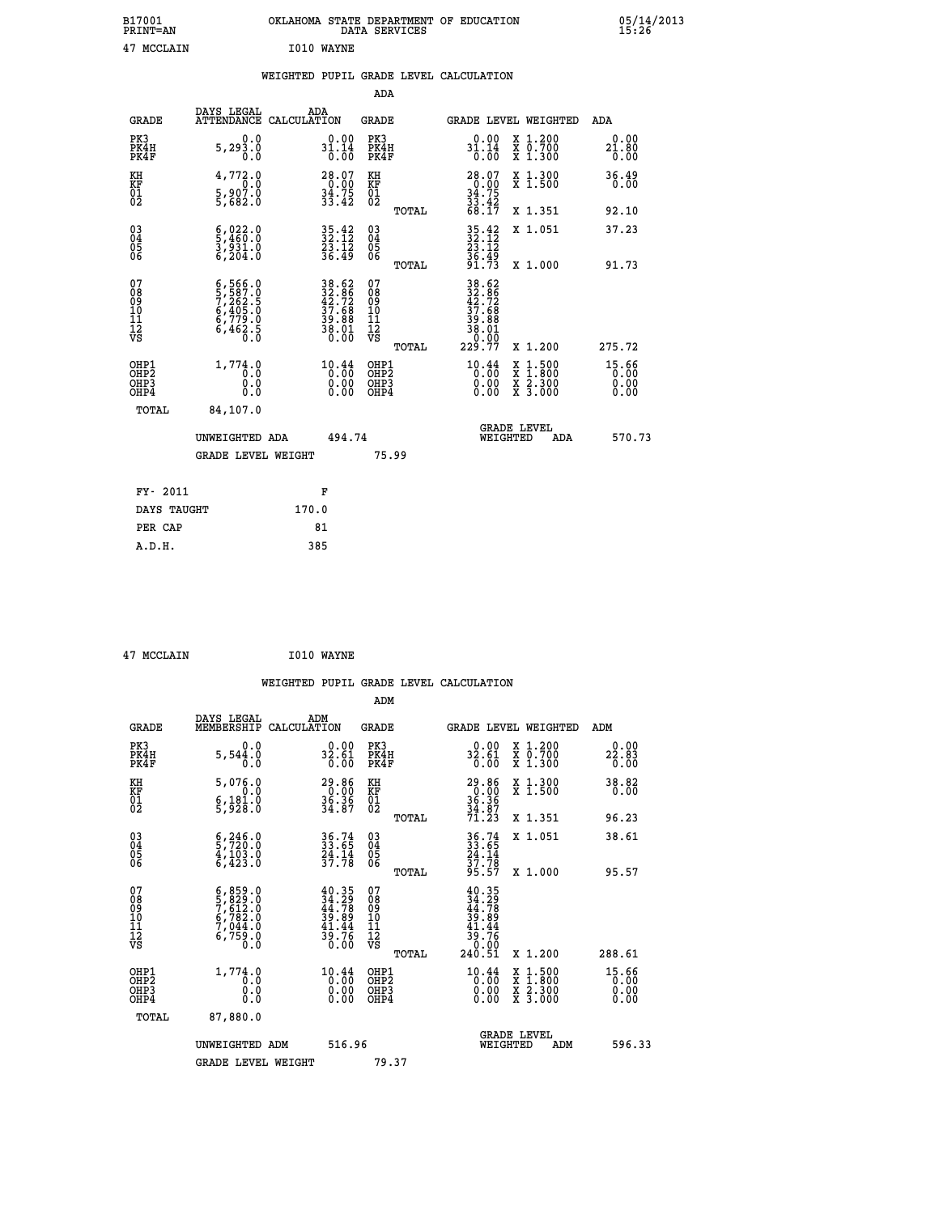| B17001<br><b>PRINT=AN</b> | OKLAHOMA   | STATE DEPARTMENT OF EDUCATION<br>SERVICES<br>DATA |  | 05/14/2013<br>15.26 |
|---------------------------|------------|---------------------------------------------------|--|---------------------|
| 47<br>MCCLAIN             | I010 WAYNE |                                                   |  |                     |

#### **WEIGHTED PUPIL GRADE LEVEL CALCULATION**

|                                                                    |                                                                                                                                                                  |                                                                                                    | ADA                                    |       |                                                                            |                                                                                          |                                 |
|--------------------------------------------------------------------|------------------------------------------------------------------------------------------------------------------------------------------------------------------|----------------------------------------------------------------------------------------------------|----------------------------------------|-------|----------------------------------------------------------------------------|------------------------------------------------------------------------------------------|---------------------------------|
| <b>GRADE</b>                                                       | DAYS LEGAL<br>ATTENDANCE CALCULATION                                                                                                                             | ADA                                                                                                | <b>GRADE</b>                           |       |                                                                            | GRADE LEVEL WEIGHTED                                                                     | ADA                             |
| PK3<br>PK4H<br>PK4F                                                | 0.0<br>5, 293.0<br>0.0                                                                                                                                           | $31.14$<br>0.00<br>0.00                                                                            | PK3<br>PK4H<br>PK4F                    |       | $0.00$<br>31.14<br>$\overline{0}$ .00                                      | X 1.200<br>X 0.700<br>X 1.300                                                            | 0.00<br>21.80<br>0.00           |
| KH<br>KF<br>01<br>02                                               | 4,772.0<br>0.0<br>$\frac{5}{5}$ , $\frac{9}{6}$ , $\frac{0}{2}$ , $\frac{0}{0}$                                                                                  | $28.07\n0.00\n34.75\n33.42$                                                                        | KH<br>KF<br>01<br>02                   |       | $28.07$<br>0.00<br>34.75<br>33.42<br>33.42<br>68.17                        | X 1.300<br>X 1.500                                                                       | 36.49<br>0.00                   |
|                                                                    |                                                                                                                                                                  |                                                                                                    |                                        | TOTAL |                                                                            | X 1.351                                                                                  | 92.10                           |
| $\begin{smallmatrix} 03 \\[-4pt] 04 \end{smallmatrix}$<br>Ŏ5<br>06 | $\frac{6}{5}, \frac{022}{460}.0$<br>3,931.0<br>6,204.0                                                                                                           | $35.42$<br>$32.12$<br>$23.12$<br>$36.49$                                                           | 03<br>04<br>05<br>06                   |       | 35.42<br>32.12<br>23.12<br>36.49<br>91.73                                  | X 1.051                                                                                  | 37.23                           |
|                                                                    |                                                                                                                                                                  |                                                                                                    |                                        | TOTAL |                                                                            | X 1.000                                                                                  | 91.73                           |
| 07<br>08<br>09<br>01<br>11<br>11<br>12<br>VS                       | $\begin{smallmatrix} 6\,,\,566\,,\,0\\ 5\,,\,587\,. \,0\\ 7\,,\,262\,. \,5\\ 6\,,\,405\,. \,0\\ 6\,,\,779\,. \,0\\ 6\,,\,462\,. \,5\\ 0\,. \,0\end{smallmatrix}$ | $\begin{array}{r} 38.62 \\ 32.86 \\ 42.72 \\ 37.68 \\ 39.88 \\ 38.01 \\ 38.00 \\ 0.00 \end{array}$ | 07<br>08<br>09<br>11<br>11<br>12<br>VS |       | 38.62<br>32.72<br>42.72<br>37.68<br>38.881<br>38.010<br>38.99              |                                                                                          |                                 |
|                                                                    |                                                                                                                                                                  |                                                                                                    |                                        | TOTAL | 229.77                                                                     | X 1.200                                                                                  | 275.72                          |
| OHP1<br><b>OHP2</b><br>OH <sub>P3</sub><br>OHP4                    | 1,774.0<br>0.0<br>0.0<br>0.0                                                                                                                                     | $10.44$<br>$0.00$<br>0.00<br>0.00                                                                  | OHP1<br>OHP2<br>OHP3<br>OHP4           |       | $\overset{10\cdot 44}{\underset{0\cdot 00}{\overset{10}{\scriptstyle 0}}}$ | $\begin{smallmatrix} x & 1.500 \\ x & 1.800 \\ x & 2.300 \\ x & 3.000 \end{smallmatrix}$ | $15.66$<br>0.00<br>0.00<br>0.00 |
| TOTAL                                                              | 84,107.0                                                                                                                                                         |                                                                                                    |                                        |       |                                                                            |                                                                                          |                                 |
|                                                                    | UNWEIGHTED ADA                                                                                                                                                   | 494.74                                                                                             |                                        |       |                                                                            | <b>GRADE LEVEL</b><br>WEIGHTED<br>ADA                                                    | 570.73                          |
|                                                                    | <b>GRADE LEVEL WEIGHT</b>                                                                                                                                        |                                                                                                    |                                        | 75.99 |                                                                            |                                                                                          |                                 |
| FY- 2011                                                           |                                                                                                                                                                  | F                                                                                                  |                                        |       |                                                                            |                                                                                          |                                 |
| DAYS TAUGHT                                                        |                                                                                                                                                                  | 170.0                                                                                              |                                        |       |                                                                            |                                                                                          |                                 |
| PER CAP                                                            |                                                                                                                                                                  | 81                                                                                                 |                                        |       |                                                                            |                                                                                          |                                 |

 **47 MCCLAIN I010 WAYNE**

 **A.D.H. 385**

 **WEIGHTED PUPIL GRADE LEVEL CALCULATION ADM DAYS LEGAL ADM GRADE MEMBERSHIP CALCULATION GRADE GRADE LEVEL WEIGHTED ADM PK3 0.0 0.00 PK3 0.00 X 1.200 0.00 PK4H 5,544.0 32.61 PK4H 32.61 X 0.700 22.83 PK4F 0.0 0.00 PK4F 0.00 X 1.300 0.00 KH 5,076.0 29.86 KH 29.86 X 1.300 38.82 KF 0.0 0.00 KF 0.00 X 1.500 0.00 01 6,181.0 36.36 01 36.36 02 5,928.0 34.87 02 34.87 TOTAL 71.23 X 1.351 96.23 03 6,246.0 36.74 03 36.74 X 1.051 38.61 04 5,720.0 33.65 04 33.65 05 4,103.0 24.14 05 24.14 06 6,423.0 37.78 06 37.78 TOTAL 95.57 X 1.000 95.57**  $\begin{array}{cccc} 07 & 6\,,\,859\,.0 & 40\,.35 & 07 & 40\,.35 \ 08 & 5\,,\,829\,.0 & 34\,.78 & 08 & 34\,.78 \ 09 & 5\,,\,612\,.0 & 39\,.89 & 10 & 39\,.89 \ 10 & 6\,,\,782\,.0 & 39\,.89 & 10 & 39\,.89 \ 11 & 7\,,\,044\,.0 & 41\,.4 & 11 & 41\,.4 & 41\,.78 \ 12 & 6\,,\,759\,.0 & 39\,.$  **TOTAL 240.51 X 1.200 288.61 OHP1 1,774.0 10.44 OHP1 10.44 X 1.500 15.66 OHP2 0.0 0.00 OHP2 0.00 X 1.800 0.00 OHP3 0.0 0.00 OHP3 0.00 X 2.300 0.00 OHP4 0.0 0.00 OHP4 0.00 X 3.000 0.00 TOTAL 87,880.0 GRADE LEVEL UNWEIGHTED ADM 516.96 WEIGHTED ADM 596.33** GRADE LEVEL WEIGHT 79.37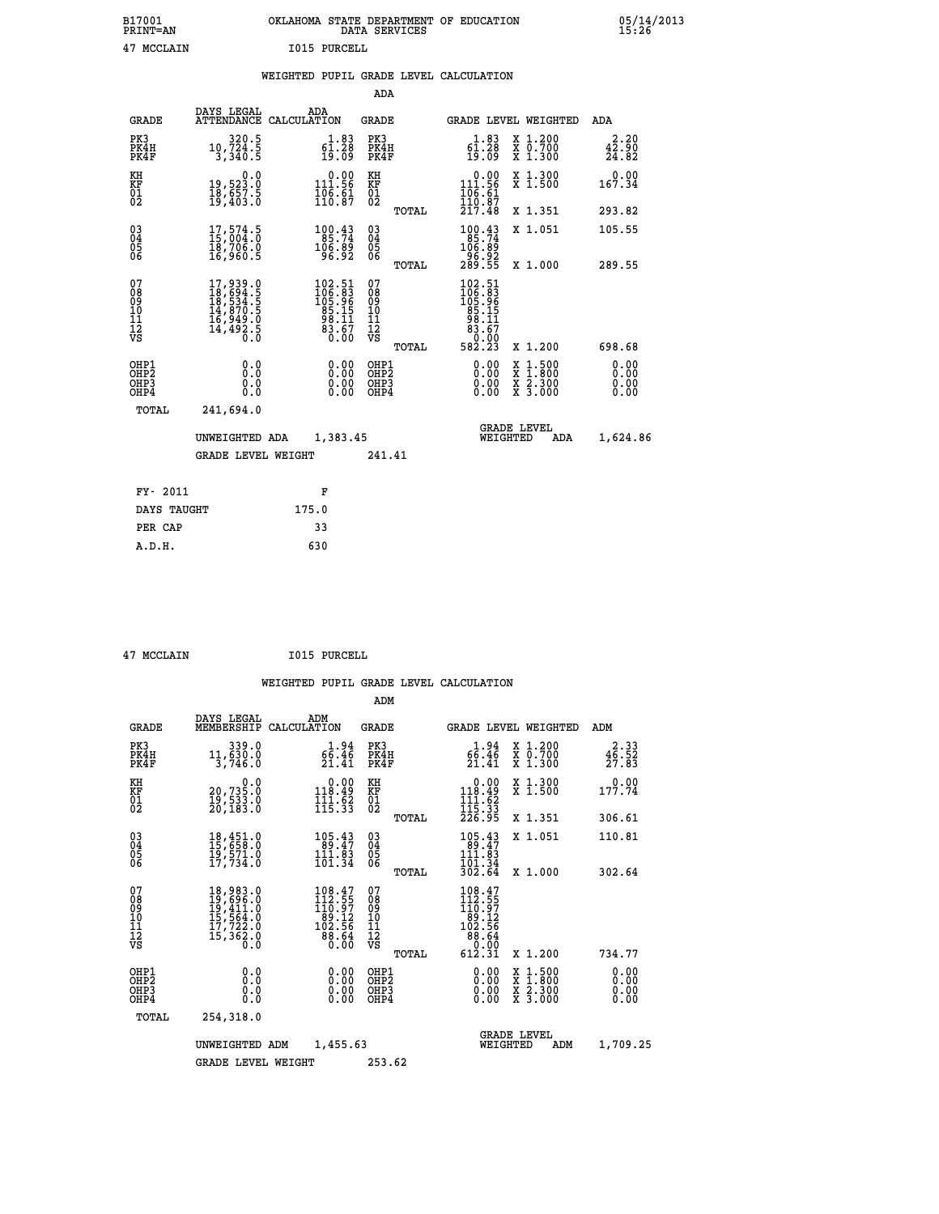## **B17001 OKLAHOMA STATE DEPARTMENT OF EDUCATION 05/14/2013 PRINT=AN DATA SERVICES 15:26 47 MCCLAIN I015 PURCELL**

|  |  | WEIGHTED PUPIL GRADE LEVEL CALCULATION |
|--|--|----------------------------------------|
|  |  |                                        |

|                                                                    |                                                                                                               |                                                                  | ADA                                               |       |                                                                                                                |                                                    |                                                         |
|--------------------------------------------------------------------|---------------------------------------------------------------------------------------------------------------|------------------------------------------------------------------|---------------------------------------------------|-------|----------------------------------------------------------------------------------------------------------------|----------------------------------------------------|---------------------------------------------------------|
| <b>GRADE</b>                                                       | DAYS LEGAL<br><b>ATTENDANCE</b>                                                                               | ADA<br>CALCULATION                                               | <b>GRADE</b>                                      |       |                                                                                                                | GRADE LEVEL WEIGHTED                               | <b>ADA</b>                                              |
| PK3<br>PK4H<br>PK4F                                                | 320.5<br>10,724.5<br>3,340.5                                                                                  | $\begin{smallmatrix} 1.83\ 61.28\ 19.09 \end{smallmatrix}$       | PK3<br>PK4H<br>PK4F                               |       | $\begin{smallmatrix} 1.83\ 61.28\ 19.09 \end{smallmatrix}$                                                     | X 1.200<br>X 0.700<br>X 1.300                      | 2.20<br>$\frac{4\overline{2}\cdot\overline{90}}{24.82}$ |
| KH<br>KF<br>01<br>02                                               | 0.0<br>19,523.0<br>18,657.5<br>19,403.0                                                                       | $0.00$<br>111.56<br>$\frac{106}{110}$ $\frac{61}{87}$            | KH<br>KF<br>$\begin{matrix} 01 \ 02 \end{matrix}$ |       | $\begin{smallmatrix} &0.00\\ 111.56\\ 106.61\\ 110.87\\ 217.48\end{smallmatrix}$                               | X 1.300<br>X 1.500                                 | 0.00<br>167.34                                          |
|                                                                    |                                                                                                               |                                                                  |                                                   | TOTAL |                                                                                                                | X 1.351                                            | 293.82                                                  |
| $\begin{smallmatrix} 03 \\[-4pt] 04 \end{smallmatrix}$<br>05<br>ŌĞ | 17,574.5<br>īĕ,7ŏē.ŏ<br>16,960.5                                                                              | 100.43<br>106.89<br>96.92                                        | $\substack{03 \\ 04}$<br>05<br>06                 |       | 100.43<br>85:74<br>106.89<br>-96.92<br>289.55                                                                  | X 1.051                                            | 105.55                                                  |
|                                                                    |                                                                                                               |                                                                  |                                                   | TOTAL |                                                                                                                | X 1.000                                            | 289.55                                                  |
| 07<br>08<br>09<br>11<br>11<br>12<br>VS                             | $\begin{smallmatrix} 17,939.0\\ 18,694.5\\ 18,534.5\\ 14,870.5\\ 16,949.0\\ 14,492.5\\ 0.0 \end{smallmatrix}$ | $102.51$<br>$106.83$<br>$105.96$<br>$85.15$<br>$83.67$<br>$0.00$ | 07<br>08<br>09<br>11<br>11<br>12<br>VS            |       | $\begin{smallmatrix} 102.51\\ 106.3\\ 105.9\\ 105.9\\ 85.15\\ 98.11\\ 83.67\\ 0.00\\ 582.23 \end{smallmatrix}$ |                                                    |                                                         |
|                                                                    |                                                                                                               |                                                                  |                                                   | TOTAL |                                                                                                                | X 1.200                                            | 698.68                                                  |
| OHP1<br>OHP <sub>2</sub><br>OHP3<br>OHP4                           | 0.0<br>Ō.Ō<br>0.0<br>0.0                                                                                      | 0.00<br>$\begin{smallmatrix} 0.00 \ 0.00 \end{smallmatrix}$      | OHP1<br>OH <sub>P</sub> 2<br>OHP3<br>OHP4         |       | 0.00<br>0.00<br>0.00                                                                                           | $1:500$<br>$1:800$<br>X<br>X<br>X 2.300<br>X 3.000 | 0.00<br>0.00<br>0.00<br>0.00                            |
| TOTAL                                                              | 241,694.0                                                                                                     |                                                                  |                                                   |       |                                                                                                                |                                                    |                                                         |
|                                                                    | UNWEIGHTED ADA                                                                                                | 1,383.45                                                         |                                                   |       |                                                                                                                | <b>GRADE LEVEL</b><br>WEIGHTED<br>ADA              | 1,624.86                                                |
|                                                                    | <b>GRADE LEVEL WEIGHT</b>                                                                                     |                                                                  | 241.41                                            |       |                                                                                                                |                                                    |                                                         |
| FY- 2011                                                           |                                                                                                               | F                                                                |                                                   |       |                                                                                                                |                                                    |                                                         |
| DAYS TAUGHT                                                        |                                                                                                               | 175.0                                                            |                                                   |       |                                                                                                                |                                                    |                                                         |
|                                                                    |                                                                                                               |                                                                  |                                                   |       |                                                                                                                |                                                    |                                                         |
| PER CAP                                                            |                                                                                                               | 33                                                               |                                                   |       |                                                                                                                |                                                    |                                                         |

 **A.D.H. 630**

 **47 MCCLAIN I015 PURCELL**

|                                          |                                                                                                               |                                                                                          | ADM                                                 |                                                                                                    |                                          |                                               |
|------------------------------------------|---------------------------------------------------------------------------------------------------------------|------------------------------------------------------------------------------------------|-----------------------------------------------------|----------------------------------------------------------------------------------------------------|------------------------------------------|-----------------------------------------------|
| <b>GRADE</b>                             | DAYS LEGAL<br>MEMBERSHIP                                                                                      | ADM<br>CALCULATION                                                                       | <b>GRADE</b>                                        | GRADE LEVEL WEIGHTED                                                                               |                                          | ADM                                           |
| PK3<br>PK4H<br>PK4F                      | 339.0<br>11,630.0<br>3,746.0                                                                                  | 1.94<br>66.46<br>21.41                                                                   | PK3<br>PK4H<br>PK4F                                 | 66.94<br>21.41                                                                                     | X 1.200<br>X 0.700<br>X 1.300            | 2.33<br>$\frac{4\bar{6}\cdot\bar{5}2}{27.83}$ |
| KH<br>KF<br>01<br>02                     | 0.0<br>20,735.0<br>19,533.0<br>20,183.0                                                                       | $0.00$<br>118.49<br>$\frac{1}{115}$ $\frac{1}{33}$                                       | KH<br>KF<br>01<br>02                                | $\begin{array}{c} 0.00 \\ 118.49 \\ 111.62 \\ 115.33 \\ 226.95 \end{array}$                        | X 1.300<br>X 1.500                       | 0.00<br>177.74                                |
|                                          |                                                                                                               |                                                                                          | TOTAL                                               |                                                                                                    | X 1.351                                  | 306.61                                        |
| 03<br>04<br>05<br>06                     | $18,451.0$<br>$15,658.0$<br>$19,571.0$<br>$17,734.0$                                                          | 105.43<br>111.83<br>101.34                                                               | $\begin{array}{c} 03 \\ 04 \\ 05 \\ 06 \end{array}$ | 105.43<br>89.47<br>111.83                                                                          | X 1.051                                  | 110.81                                        |
|                                          |                                                                                                               |                                                                                          | TOTAL                                               | 101.34<br>302.64                                                                                   | X 1.000                                  | 302.64                                        |
| 07<br>08<br>09<br>101<br>112<br>VS       | $\begin{smallmatrix} 18,983.0\\ 19,696.0\\ 19,411.0\\ 15,564.0\\ 17,722.0\\ 15,362.0\\ 0.0 \end{smallmatrix}$ | $\begin{smallmatrix} 108.47\\112.55\\110.97\\89.12\\82.56\\88.64\\0.00\end{smallmatrix}$ | 07<br>08<br>09<br>11<br>11<br>12<br>VS<br>TOTAL     | $\begin{smallmatrix} 108.47\\112.57\\110.97\\189.12\\102.56\\88.64\\0.00\\612.31\end{smallmatrix}$ | X 1.200                                  | 734.77                                        |
| OHP1<br>OHP2<br>OH <sub>P3</sub><br>OHP4 | 0.0<br>0.000                                                                                                  | $0.00$<br>$0.00$<br>0.00                                                                 | OHP1<br>OHP2<br>OHP <sub>3</sub>                    | $0.00$<br>$0.00$<br>0.00                                                                           | X 1:500<br>X 1:800<br>X 2:300<br>X 3:000 | 0.00<br>0.00<br>0.00<br>0.00                  |
|                                          | TOTAL<br>254,318.0                                                                                            |                                                                                          |                                                     |                                                                                                    |                                          |                                               |
|                                          | UNWEIGHTED                                                                                                    | 1,455.63<br>ADM                                                                          |                                                     | <b>GRADE LEVEL</b><br>WEIGHTED                                                                     | ADM                                      | 1,709.25                                      |
|                                          | <b>GRADE LEVEL WEIGHT</b>                                                                                     |                                                                                          | 253.62                                              |                                                                                                    |                                          |                                               |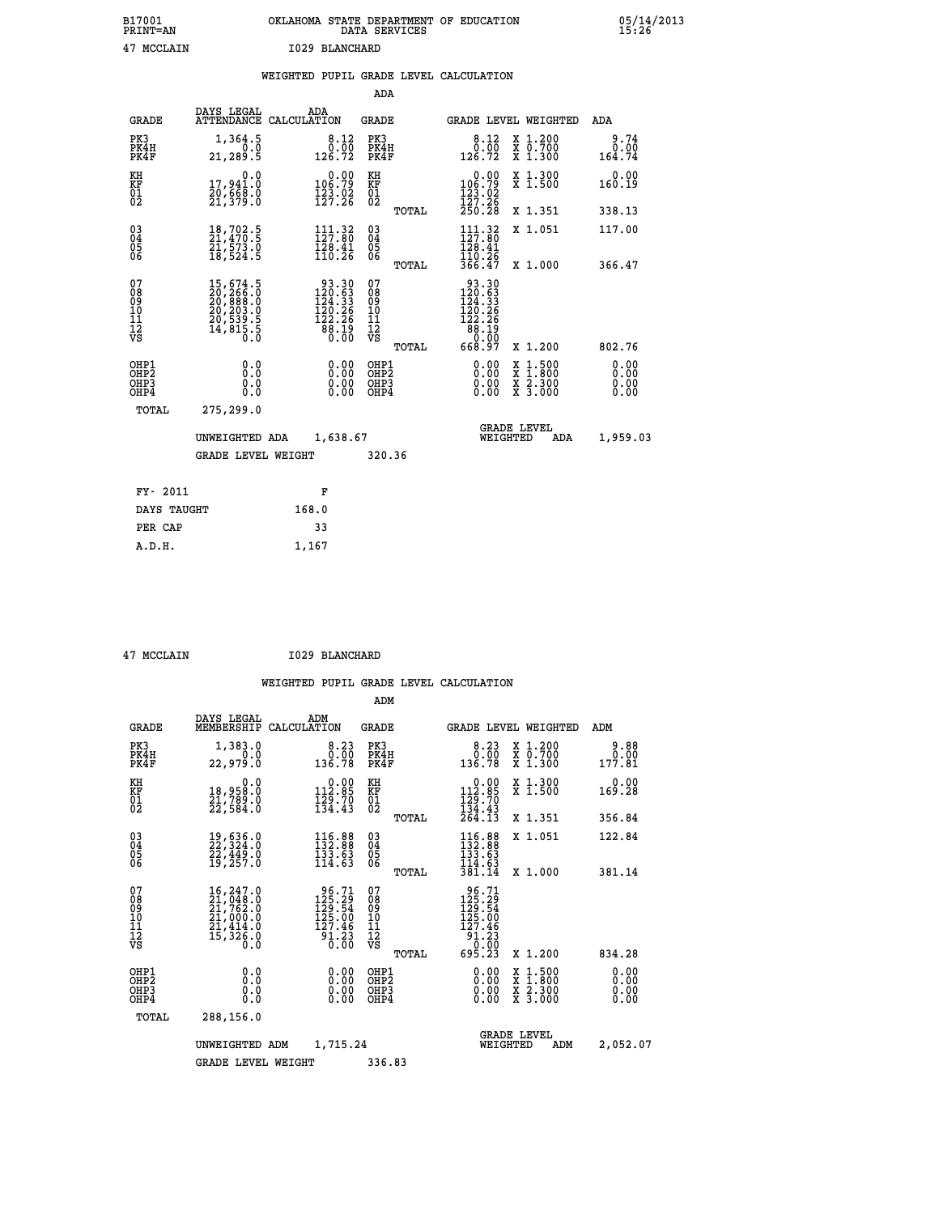| B17001<br><b>PRINT=AN</b> | OKLAHOMA STATE DEPARTMENT OF EDUCATION<br>DATA SERVICES | 05/14/2013<br>15:26 |
|---------------------------|---------------------------------------------------------|---------------------|
| 47<br>MCCLAIN             | 1029 BLANCHARD                                          |                     |

|  |  | WEIGHTED PUPIL GRADE LEVEL CALCULATION |
|--|--|----------------------------------------|
|  |  |                                        |

|                                                                    |                                                                                                                                                                                                                   |                                                                                                           | ADA                                            |       |                                                                                                                    |                                                                            |                              |
|--------------------------------------------------------------------|-------------------------------------------------------------------------------------------------------------------------------------------------------------------------------------------------------------------|-----------------------------------------------------------------------------------------------------------|------------------------------------------------|-------|--------------------------------------------------------------------------------------------------------------------|----------------------------------------------------------------------------|------------------------------|
| <b>GRADE</b>                                                       | DAYS LEGAL                                                                                                                                                                                                        | ADA<br>ATTENDANCE CALCULATION                                                                             | GRADE                                          |       |                                                                                                                    | GRADE LEVEL WEIGHTED                                                       | <b>ADA</b>                   |
| PK3<br>PK4H<br>PK4F                                                | 1,364.5<br>0.0<br>21, 289.5                                                                                                                                                                                       | $\begin{smallmatrix}8.12\0.00\\126.72\end{smallmatrix}$                                                   | PK3<br>PK4H<br>PK4F                            |       | 8.12<br>$\begin{smallmatrix} 0.00 \\ 126.72 \end{smallmatrix}$                                                     | X 1.200<br>X 0.700<br>X 1.300                                              | 9.74<br>0.00<br>164.74       |
| KH<br>KF<br>01<br>02                                               | 0.0<br>17,941.0<br>20,668.0<br>21,379.0                                                                                                                                                                           | $0.00$<br>106.79<br>$\frac{123}{127}.26$                                                                  | KH<br>KF<br>01<br>02                           |       | 0.00<br>$\begin{smallmatrix} 106.79 \\ 123.02 \\ 127.26 \\ 250.28 \end{smallmatrix}$                               | X 1.300<br>X 1.500                                                         | 0.00<br>160.19               |
|                                                                    |                                                                                                                                                                                                                   |                                                                                                           |                                                | TOTAL |                                                                                                                    | X 1.351                                                                    | 338.13                       |
| $\begin{smallmatrix} 03 \\[-4pt] 04 \end{smallmatrix}$<br>05<br>ŌĞ | 18,702.5<br>21,470.5<br>21,573.0<br>18,524.5                                                                                                                                                                      | $111.32$<br>$127.80$<br>$\frac{1}{128} \cdot \frac{1}{41}$<br>$\frac{1}{10} \cdot \frac{2}{6}$            | $\substack{03 \\ 04}$<br>$\substack{05 \\ 06}$ |       | 111.32<br>120.41<br>$\frac{1}{366}$ $\frac{2}{47}$                                                                 | X 1.051                                                                    | 117.00                       |
|                                                                    |                                                                                                                                                                                                                   |                                                                                                           |                                                | TOTAL |                                                                                                                    | X 1.000                                                                    | 366.47                       |
| 07<br>08<br>09<br>11<br>11<br>12<br>VS                             | $\begin{smallmatrix} 15 \,,\, 674 \,. \ 120 \,,\, 266 \,. \ 0 \\ 20 \,,\, 888 \,. \ 0 \\ 20 \,,\, 203 \,. \ 0 \\ 20 \,,\, 539 \,. \ 5 \\ 20 \,,\, 539 \,. \ 5 \\ 14 \,,\, 815 \,. \ 5 \\ 0 \,. \end{smallmatrix}$ | $\begin{smallmatrix} 93.30\\ 120.63\\ 124.33\\ 124.33\\ 120.26\\ 122.26\\ 88.19\\ 0.00 \end{smallmatrix}$ | 07<br>08<br>09<br>11<br>11<br>12<br>VS         |       | $\begin{smallmatrix} 93.30\\ 120.63\\ 124.33\\ 124.33\\ 120.26\\ 122.26\\ 88.19\\ 0.00\\ 668.97 \end{smallmatrix}$ |                                                                            |                              |
|                                                                    |                                                                                                                                                                                                                   |                                                                                                           |                                                | TOTAL |                                                                                                                    | X 1.200                                                                    | 802.76                       |
| OHP1<br>OH <sub>P</sub> 2<br>OHP3<br>OHP4                          | 0.0<br>Ō.Ō<br>0.0<br>Ō.Ō                                                                                                                                                                                          | 0.00<br>$\begin{smallmatrix} 0.00 \ 0.00 \end{smallmatrix}$                                               | OHP1<br>OH <sub>P</sub> 2<br>OHP3<br>OHP4      |       | 0.00<br>0.00<br>0.00                                                                                               | $1:500$<br>$1:800$<br>X<br>X<br>$\frac{\ddot{x}}{x}$ $\frac{2.300}{3.000}$ | 0.00<br>0.00<br>0.00<br>0.00 |
| TOTAL                                                              | 275,299.0                                                                                                                                                                                                         |                                                                                                           |                                                |       |                                                                                                                    |                                                                            |                              |
|                                                                    | UNWEIGHTED ADA                                                                                                                                                                                                    | 1,638.67                                                                                                  |                                                |       |                                                                                                                    | <b>GRADE LEVEL</b><br>WEIGHTED<br>ADA                                      | 1,959.03                     |
|                                                                    | <b>GRADE LEVEL WEIGHT</b>                                                                                                                                                                                         |                                                                                                           | 320.36                                         |       |                                                                                                                    |                                                                            |                              |
| FY- 2011                                                           |                                                                                                                                                                                                                   | F                                                                                                         |                                                |       |                                                                                                                    |                                                                            |                              |
| DAYS TAUGHT                                                        |                                                                                                                                                                                                                   | 168.0                                                                                                     |                                                |       |                                                                                                                    |                                                                            |                              |
|                                                                    |                                                                                                                                                                                                                   |                                                                                                           |                                                |       |                                                                                                                    |                                                                            |                              |
| PER CAP                                                            |                                                                                                                                                                                                                   | 33                                                                                                        |                                                |       |                                                                                                                    |                                                                            |                              |

| 47 MCCLAIN |  |
|------------|--|
|            |  |

 **A.D.H. 1,167**

**MCCLAIN 1029 BLANCHARD** 

|                                                       |                                                                                                               |                                                                                            | ADM                                              |                                                                                                                                                                                                                                                                                                                                                                                                                                                                 |                                                                                                  |                              |
|-------------------------------------------------------|---------------------------------------------------------------------------------------------------------------|--------------------------------------------------------------------------------------------|--------------------------------------------------|-----------------------------------------------------------------------------------------------------------------------------------------------------------------------------------------------------------------------------------------------------------------------------------------------------------------------------------------------------------------------------------------------------------------------------------------------------------------|--------------------------------------------------------------------------------------------------|------------------------------|
| <b>GRADE</b>                                          | DAYS LEGAL<br>MEMBERSHIP                                                                                      | ADM<br>CALCULATION                                                                         | <b>GRADE</b>                                     |                                                                                                                                                                                                                                                                                                                                                                                                                                                                 | GRADE LEVEL WEIGHTED                                                                             | ADM                          |
| PK3<br>PK4H<br>PK4F                                   | 1,383.0<br>0.0<br>22,979.0                                                                                    | 8.23<br>0.00<br>136.78                                                                     | PK3<br>PK4H<br>PK4F                              | $0.23$<br>$0.00$<br>136.78                                                                                                                                                                                                                                                                                                                                                                                                                                      | X 1.200<br>X 0.700<br>X 1.300                                                                    | 9.88<br>0.00<br>177.81       |
| KH<br>KF<br>01<br>02                                  | 0.0<br>18,958.0<br>21,789.0<br>22,584.0                                                                       | $\begin{smallmatrix} 0.00\\ 112.85\\ 129.70\\ 134.43 \end{smallmatrix}$                    | KH<br>KF<br>01<br>02                             | $0.00$<br>112.85<br>$\frac{1}{1}$ $\frac{2}{3}$ $\frac{6}{4}$ $\cdot \frac{7}{13}$ $\frac{3}{2}$ $\frac{4}{6}$ $\cdot \frac{4}{13}$                                                                                                                                                                                                                                                                                                                             | X 1.300<br>X 1.500                                                                               | 0.00<br>169.28               |
|                                                       |                                                                                                               |                                                                                            | TOTAL                                            |                                                                                                                                                                                                                                                                                                                                                                                                                                                                 | X 1.351                                                                                          | 356.84                       |
| 03<br>04<br>05<br>06                                  | 19,636.0<br>22,324.0<br>22,449.0<br>19,257.0                                                                  | $\begin{smallmatrix} 116.88\\ 132.88\\ 133.63\\ 114.63 \end{smallmatrix}$                  | $^{03}_{04}$<br>0500                             | $116.88$<br>$132.88$<br>$133.63$<br>$114.93$                                                                                                                                                                                                                                                                                                                                                                                                                    | X 1.051                                                                                          | 122.84                       |
|                                                       |                                                                                                               |                                                                                            | TOTAL                                            | 381.14                                                                                                                                                                                                                                                                                                                                                                                                                                                          | X 1.000                                                                                          | 381.14                       |
| 07<br>08<br>09<br>101<br>112<br>VS                    | $\begin{smallmatrix} 16,247.0\\ 21,048.0\\ 21,762.0\\ 21,000.0\\ 21,414.0\\ 15,326.0\\ 0.0 \end{smallmatrix}$ | $\frac{96.71}{125.29}$<br>125.00<br>$\begin{array}{r} 127.46 \\ 91.23 \\ 0.00 \end{array}$ | 07<br>08<br>09<br>101<br>11<br>12<br>VS<br>TOTAL | 96.71<br>125.29<br>129.54<br>125.00<br>$\begin{array}{@{}c@{\hspace{1em}}c@{\hspace{1em}}c@{\hspace{1em}}c@{\hspace{1em}}c@{\hspace{1em}}c@{\hspace{1em}}c@{\hspace{1em}}c@{\hspace{1em}}c@{\hspace{1em}}c@{\hspace{1em}}c@{\hspace{1em}}c@{\hspace{1em}}c@{\hspace{1em}}c@{\hspace{1em}}c@{\hspace{1em}}c@{\hspace{1em}}c@{\hspace{1em}}c@{\hspace{1em}}c@{\hspace{1em}}c@{\hspace{1em}}c@{\hspace{1em}}c@{\hspace{1em}}c@{\hspace{1em}}c@{\hspace{$<br>695.23 | X 1.200                                                                                          | 834.28                       |
|                                                       |                                                                                                               |                                                                                            |                                                  |                                                                                                                                                                                                                                                                                                                                                                                                                                                                 |                                                                                                  |                              |
| OHP1<br>OH <sub>P</sub> 2<br>OH <sub>P3</sub><br>OHP4 | 0.0<br>0.000                                                                                                  | $0.00$<br>$0.00$<br>0.00                                                                   | OHP1<br>OHP2<br>OHP3<br>OHP4                     | $0.00$<br>$0.00$<br>0.00                                                                                                                                                                                                                                                                                                                                                                                                                                        | $\begin{smallmatrix} x & 1 & 500 \\ x & 1 & 800 \\ x & 2 & 300 \\ x & 3 & 000 \end{smallmatrix}$ | 0.00<br>0.00<br>0.00<br>0.00 |
| TOTAL                                                 | 288,156.0                                                                                                     |                                                                                            |                                                  |                                                                                                                                                                                                                                                                                                                                                                                                                                                                 |                                                                                                  |                              |
|                                                       | UNWEIGHTED ADM                                                                                                | 1,715.24                                                                                   |                                                  | WEIGHTED                                                                                                                                                                                                                                                                                                                                                                                                                                                        | <b>GRADE LEVEL</b><br>ADM                                                                        | 2,052.07                     |
|                                                       | <b>GRADE LEVEL WEIGHT</b>                                                                                     |                                                                                            | 336.83                                           |                                                                                                                                                                                                                                                                                                                                                                                                                                                                 |                                                                                                  |                              |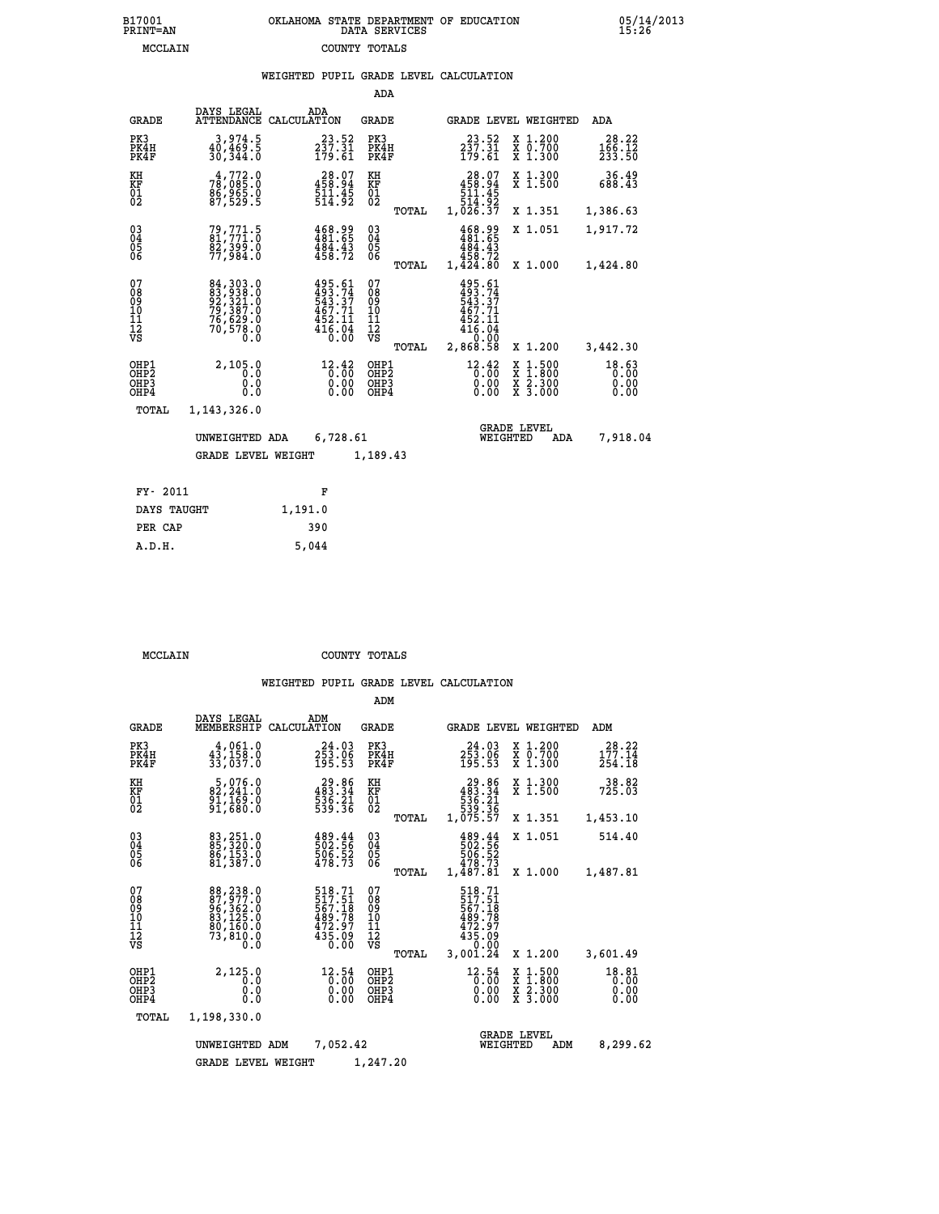|                                                                    |                                                           |             |                                                                              | ADA                                      |       |                                                                                               |                                |                                                                                                  |                               |
|--------------------------------------------------------------------|-----------------------------------------------------------|-------------|------------------------------------------------------------------------------|------------------------------------------|-------|-----------------------------------------------------------------------------------------------|--------------------------------|--------------------------------------------------------------------------------------------------|-------------------------------|
| <b>GRADE</b>                                                       | DAYS LEGAL<br><b>ATTENDANCE</b>                           | CALCULATION | ADA                                                                          | <b>GRADE</b>                             |       |                                                                                               |                                | GRADE LEVEL WEIGHTED                                                                             | <b>ADA</b>                    |
| PK3<br>PK4H<br>PK4F                                                | 3,974.5<br>40,469.5<br>30,344.0                           |             | 23.52<br>$2\bar{3}\tilde{7}\cdot\tilde{3}\bar{1}$<br>179.61                  | PK3<br>PK4H<br>PK4F                      |       | $23.52$<br>$237.31$<br>$179.61$                                                               |                                | X 1.200<br>X 0.700<br>X 1.300                                                                    | 28.22<br>166.12<br>233.50     |
| KH<br><b>KF</b><br>01<br>02                                        | $7\frac{4}{9}$ , 772.0<br>$\frac{85}{87}$ , 529 $\cdot$ 5 |             | 28.07<br>458.94<br>$\frac{511.45}{514.92}$                                   | KH<br>KF<br>01<br>02                     |       | $\begin{smallmatrix} 28.07\\ 458.94\\ 511.45\\ 514.95\\ 54.92\\ 1,026.37 \end{smallmatrix}$   |                                | X 1.300<br>X 1.500                                                                               | 36.49<br>688.43               |
|                                                                    |                                                           |             |                                                                              |                                          | TOTAL |                                                                                               |                                | X 1.351                                                                                          | 1,386.63                      |
| $\begin{smallmatrix} 03 \\[-4pt] 04 \end{smallmatrix}$<br>Ŏ5<br>06 | 79, 771.5<br>81, 771.0<br><u>82,399.0</u><br>77,984.0     |             | $\begin{smallmatrix} 468.99\\ 481.65\\ 484.43\\ 458.72 \end{smallmatrix}$    | $^{03}_{04}$<br>$\substack{05 \\ 06}$    |       | $\begin{smallmatrix} 468.99\\ 481.65\\ 484.43\\ 484.43\\ 458.72\\ 1,424.80 \end{smallmatrix}$ |                                | X 1.051                                                                                          | 1,917.72                      |
|                                                                    |                                                           |             |                                                                              |                                          | TOTAL |                                                                                               |                                | X 1.000                                                                                          | 1,424.80                      |
| 07<br>08<br>09<br>11<br>11<br>12<br>VS                             | 84, 303.0<br>83, 938.0<br>92, 321.0<br>79, 387.0          |             | $495.61$<br>$493.74$<br>$543.37$<br>$467.71$<br>$452.11$<br>$416.04$<br>0.00 | 07<br>089<br>101<br>111<br>VS            | TOTAL | 495.61<br>493.74<br>543.37<br>467.71<br>452.11<br>416.04<br>2,868.58                          |                                | X 1.200                                                                                          | 3,442.30                      |
| OHP1<br>OHP2<br>OHP3<br>OHP4                                       | 2,105.0<br>0.0<br>0.0<br>0.0                              |             | 12.42<br>0.00<br>0.00                                                        | OHP1<br>OHP <sub>2</sub><br>OHP3<br>OHP4 |       | $12.42$<br>$0.00$                                                                             | 0.00<br>0.00                   | $\begin{smallmatrix} x & 1 & 500 \\ x & 1 & 800 \\ x & 2 & 300 \\ x & 3 & 000 \end{smallmatrix}$ | 18.63<br>0.00<br>0.00<br>0.00 |
| <b>TOTAL</b>                                                       | 1,143,326.0                                               |             |                                                                              |                                          |       |                                                                                               |                                |                                                                                                  |                               |
|                                                                    | UNWEIGHTED ADA                                            |             | 6,728.61                                                                     |                                          |       |                                                                                               | <b>GRADE LEVEL</b><br>WEIGHTED | ADA                                                                                              | 7,918.04                      |
|                                                                    | <b>GRADE LEVEL WEIGHT</b>                                 |             |                                                                              | 1,189.43                                 |       |                                                                                               |                                |                                                                                                  |                               |
|                                                                    |                                                           |             |                                                                              |                                          |       |                                                                                               |                                |                                                                                                  |                               |
| FY- 2011                                                           |                                                           |             | F                                                                            |                                          |       |                                                                                               |                                |                                                                                                  |                               |
| DAYS TAUGHT                                                        |                                                           | 1,191.0     |                                                                              |                                          |       |                                                                                               |                                |                                                                                                  |                               |

| אד ב.זי |  |
|---------|--|

 **PER CAP 390 A.D.H. 5,044**

 **MCCLAIN COUNTY TOTALS**

|                                                       |                                                                                 |                                                                          | ADM                                              |                                                                              |                                                                                                  |                               |
|-------------------------------------------------------|---------------------------------------------------------------------------------|--------------------------------------------------------------------------|--------------------------------------------------|------------------------------------------------------------------------------|--------------------------------------------------------------------------------------------------|-------------------------------|
| <b>GRADE</b>                                          | DAYS LEGAL<br>MEMBERSHIP                                                        | ADM<br>CALCULATION                                                       | <b>GRADE</b>                                     | GRADE LEVEL WEIGHTED                                                         |                                                                                                  | ADM                           |
| PK3<br>PK4H<br>PK4F                                   | 4,061.0<br>$4\bar{3}$ , $1\bar{5}\bar{8}$ .0<br>33,037.0                        | 24.03<br>$2\bar{5}3.\tilde{0}\bar{6}$<br>195.53                          | PK3<br>PK4H<br>PK4F                              | 24.03<br>$2\bar{5}\bar{3}\cdot\tilde{0}\bar{6}$<br>195.53                    | X 1.200<br>X 0.700<br>X 1.300                                                                    | 28.22<br>177.14<br>254.18     |
| KH<br>KF<br>01<br>02                                  | $\begin{smallmatrix}5,076.0\\82,241.0\\91,169.0\\91,680.0\end{smallmatrix}$     | $\begin{smallmatrix} 29.86\\ 483.34\\ 536.21\\ 539.36 \end{smallmatrix}$ | KH<br>KF<br>01<br>02                             | $29.86$<br>$483.34$<br>$536.21$<br>$539.36$<br>$1,075.57$                    | X 1.300<br>X 1.500                                                                               | 38.82<br>725.03               |
|                                                       |                                                                                 |                                                                          | TOTAL                                            |                                                                              | X 1.351                                                                                          | 1,453.10                      |
| 03<br>04<br>05<br>06                                  | 83, 251.0<br>85, 320.0<br>86,153.0<br>81,387.0                                  | 489.44<br>502.56<br>506.52<br>478.73                                     | $\substack{03 \\ 04}$<br>05                      | 489.44<br>502.56<br>506.52<br>478.73                                         | X 1.051                                                                                          | 514.40                        |
|                                                       |                                                                                 |                                                                          | TOTAL                                            | 1,487.81                                                                     | X 1.000                                                                                          | 1,487.81                      |
| 07<br>08<br>09<br>11<br>11<br>12<br>VS                | 88,238.0<br>87,977.0<br>96, 362.0<br>83, 125.0<br>80, 160.0<br>73, 810.0<br>0.0 | 518.71<br>517.51<br>567.18<br>489.78<br>472.97<br>435.09<br>0.00         | 07<br>08<br>09<br>101<br>11<br>12<br>VS<br>TOTAL | 518.71<br>517.51<br>567.18<br>489.78<br>472.97<br>435.09<br>0.00<br>3,001.24 | X 1.200                                                                                          | 3,601.49                      |
| OHP1<br>OH <sub>P</sub> 2<br>OH <sub>P3</sub><br>OHP4 | 2,125.0<br>0.0<br>0.000                                                         | 12.54<br>0.00<br>0.00<br>0.00                                            | OHP1<br>OHP <sub>2</sub><br>OHP3<br>OHP4         | 12.54<br>$\overline{0}\overline{0}\overline{0}$<br>0.00                      | $\begin{smallmatrix} x & 1 & 500 \\ x & 1 & 800 \\ x & 2 & 300 \\ x & 3 & 000 \end{smallmatrix}$ | 18.81<br>0.00<br>0.00<br>0.00 |
| TOTAL                                                 | 1,198,330.0                                                                     |                                                                          |                                                  |                                                                              |                                                                                                  |                               |
|                                                       | UNWEIGHTED ADM                                                                  | 7,052.42                                                                 |                                                  | WEIGHTED                                                                     | <b>GRADE LEVEL</b><br>ADM                                                                        | 8,299.62                      |
|                                                       | <b>GRADE LEVEL WEIGHT</b>                                                       |                                                                          | 1,247.20                                         |                                                                              |                                                                                                  |                               |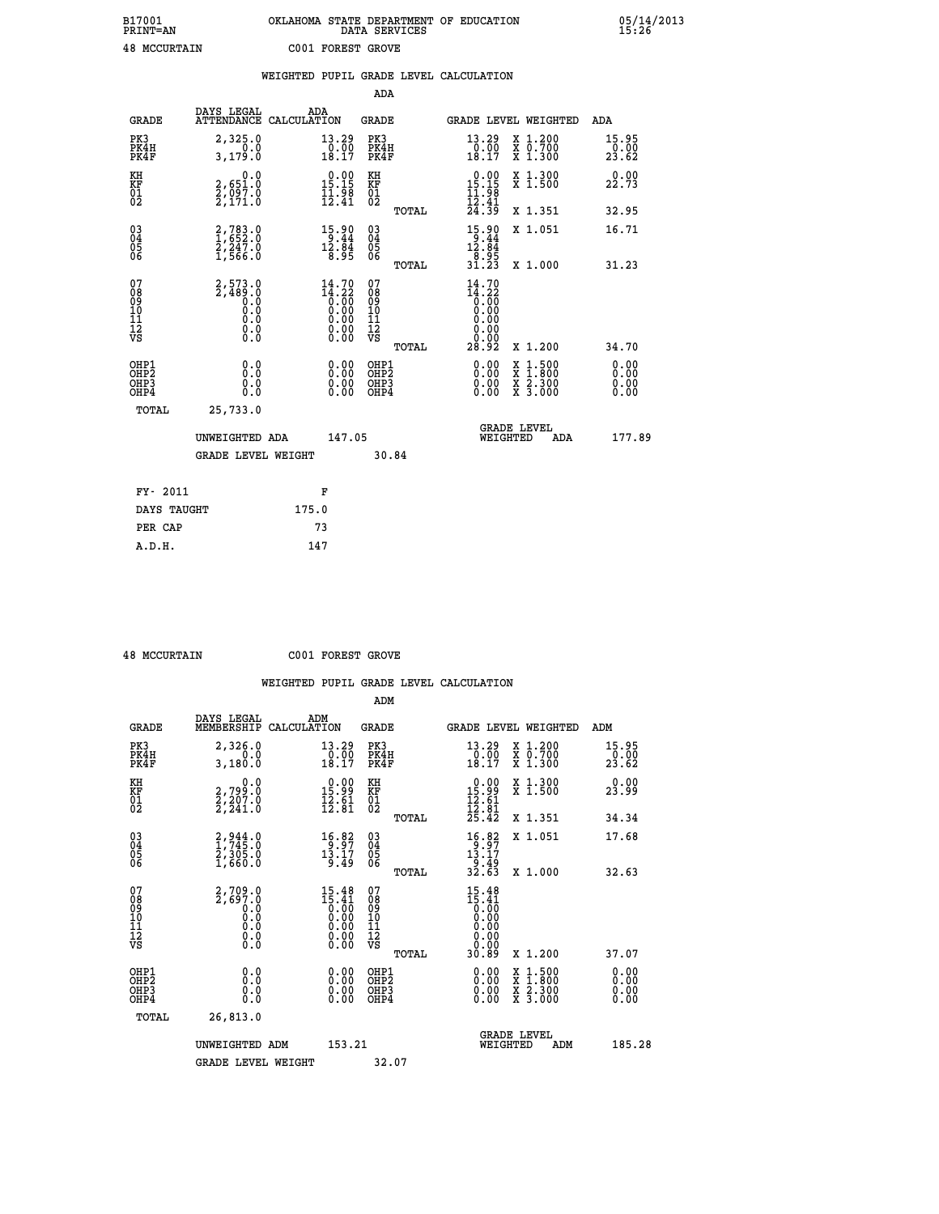## **B17001 OKLAHOMA STATE DEPARTMENT OF EDUCATION 05/14/2013 PRINT=AN DATA SERVICES 15:26 48 MCCURTAIN C001 FOREST GROVE**

|                                                      |                                                                                          | WEIGHTED PUPIL GRADE LEVEL CALCULATION                               |                                                 |                                                                                                                                                                                  |                               |
|------------------------------------------------------|------------------------------------------------------------------------------------------|----------------------------------------------------------------------|-------------------------------------------------|----------------------------------------------------------------------------------------------------------------------------------------------------------------------------------|-------------------------------|
|                                                      |                                                                                          |                                                                      | ADA                                             |                                                                                                                                                                                  |                               |
| <b>GRADE</b>                                         | DAYS LEGAL                                                                               | ADA<br>ATTENDANCE CALCULATION                                        | <b>GRADE</b>                                    | GRADE LEVEL WEIGHTED                                                                                                                                                             | ADA                           |
| PK3<br>PK4H<br>PK4F                                  | 2,325.0<br>0.0<br>3,179.0                                                                | $\substack{13.29 \\ 0.00 \\ 18.17}$                                  | PK3<br>PK4H<br>PK4F                             | 13.29<br>X 1.200<br>X 0.700<br>X 1.300<br>$\frac{10.00}{18.17}$                                                                                                                  | 15.95<br>$\frac{0.00}{23.62}$ |
| KH<br>KF<br>01<br>02                                 | 0.0<br>2,651.0<br>2,097.0<br>2,171.0                                                     | $\begin{smallmatrix} 0.00\\ 15.15\\ 11.98\\ 12.41 \end{smallmatrix}$ | KH<br>KF<br>01<br>02                            | $\begin{array}{r} 0.00 \\ 15.15 \\ 11.98 \\ 12.41 \\ 24.39 \end{array}$<br>X 1.300<br>X 1.500                                                                                    | 0.00<br>22.73                 |
|                                                      |                                                                                          |                                                                      | TOTAL                                           | X 1.351                                                                                                                                                                          | 32.95                         |
| $\begin{matrix} 03 \\ 04 \\ 05 \\ 06 \end{matrix}$   | 2,783.0<br>1,652.0<br>2,247.0<br>1,566.0                                                 | 15.90<br>$\frac{12.84}{8.95}$                                        | 03<br>04<br>05<br>06                            | $\begin{array}{r} 15 \cdot 90 \\[-4pt] 9 \cdot 44 \\[-4pt] 12 \cdot 84 \\[-4pt] 8 \cdot 95 \\[-4pt] 31 \cdot 23 \end{array}$<br>X 1.051                                          | 16.71                         |
|                                                      |                                                                                          |                                                                      | TOTAL                                           | X 1.000                                                                                                                                                                          | 31.23                         |
| 07<br>08<br>09<br>11<br>11<br>12<br>VS               | 2,573.0<br>2,489.0<br>$\begin{smallmatrix} 0.5 & 0 \ 0.0 & 0 \end{smallmatrix}$<br>$\S.$ | $14.70$<br>$14.22$<br>$0.00$<br>$0.00$<br>$0.00$<br>Ŏ.ŎŎ<br>O.OO     | 07<br>08<br>09<br>11<br>11<br>12<br>VS<br>TOTAL | $14.70$<br>$14.22$<br>$0.00$<br>$0.00$<br>0.00<br>0.00<br>28.92<br>X 1.200                                                                                                       | 34.70                         |
| OHP1<br>OHP <sub>2</sub><br>OH <sub>P3</sub><br>OHP4 | 0.0<br>0.0<br>0.0                                                                        | 0.0000<br>$\begin{smallmatrix} 0.00 \ 0.00 \end{smallmatrix}$        | OHP1<br>OHP2<br>OHP3<br>OHP4                    | 0.00<br>$1:500$<br>1:800<br>$\begin{smallmatrix} \mathtt{X} & 1 & 500 \\ \mathtt{X} & 1 & 800 \\ \mathtt{X} & 2 & 300 \\ \mathtt{X} & 3 & 000 \end{smallmatrix}$<br>0.00<br>0.00 | 0.00<br>0.00<br>0.00<br>0.00  |
|                                                      | <b>TOTAL</b><br>25,733.0                                                                 |                                                                      |                                                 |                                                                                                                                                                                  |                               |
|                                                      | UNWEIGHTED ADA                                                                           | 147.05                                                               |                                                 | <b>GRADE LEVEL</b><br>WEIGHTED<br>ADA                                                                                                                                            | 177.89                        |
|                                                      | <b>GRADE LEVEL WEIGHT</b>                                                                |                                                                      | 30.84                                           |                                                                                                                                                                                  |                               |
|                                                      | FY- 2011                                                                                 | F                                                                    |                                                 |                                                                                                                                                                                  |                               |
|                                                      | DAYS TAUGHT                                                                              | 175.0                                                                |                                                 |                                                                                                                                                                                  |                               |
|                                                      | PER CAP                                                                                  | 73                                                                   |                                                 |                                                                                                                                                                                  |                               |

 **A.D.H. 147**

 **48 MCCURTAIN C001 FOREST GROVE**

|                                          |                                                                               |                                                                                                                                                                                                                                                                                                                                                | ADM                                                 |                                                                                                      |                                          |                                     |
|------------------------------------------|-------------------------------------------------------------------------------|------------------------------------------------------------------------------------------------------------------------------------------------------------------------------------------------------------------------------------------------------------------------------------------------------------------------------------------------|-----------------------------------------------------|------------------------------------------------------------------------------------------------------|------------------------------------------|-------------------------------------|
| <b>GRADE</b>                             | DAYS LEGAL<br>MEMBERSHIP<br>CALCULATION                                       | ADM                                                                                                                                                                                                                                                                                                                                            | <b>GRADE</b>                                        | GRADE LEVEL WEIGHTED                                                                                 |                                          | ADM                                 |
| PK3<br>PK4H<br>PK4F                      | 2,326.0<br>0.0<br>3,180.0                                                     | 13.29<br>$\frac{0.00}{18.17}$                                                                                                                                                                                                                                                                                                                  | PK3<br>PK4H<br>PK4F                                 | 13.29<br>$\frac{10.00}{18.17}$                                                                       | X 1.200<br>X 0.700<br>X 1.300            | 15.95<br>$\frac{5}{23}.00$<br>23.62 |
| KH<br>KF<br>01<br>02                     | 0.0<br>2,799:0<br>2,207:0<br>2,241:0                                          | $\begin{array}{c} 0.00 \\ 15.99 \\ 12.61 \\ 12.81 \end{array}$                                                                                                                                                                                                                                                                                 | KH<br>KF<br>01<br>02                                | $\begin{array}{r} 0.00 \\ 15.99 \\ 12.61 \\ 12.81 \\ 25.42 \end{array}$                              | X 1.300<br>X 1.500                       | 0.00<br>23.99                       |
|                                          |                                                                               |                                                                                                                                                                                                                                                                                                                                                | TOTAL                                               |                                                                                                      | X 1.351                                  | 34.34                               |
| 03<br>04<br>05<br>06                     | $\begin{smallmatrix} 2,944.0\\ 1,745.0\\ 2,305.0\\ 1,660.0 \end{smallmatrix}$ | $\begin{array}{c} 16.82 \\ 9.97 \\ 13.17 \\ 9.49 \end{array}$                                                                                                                                                                                                                                                                                  | $\begin{array}{c} 03 \\ 04 \\ 05 \\ 06 \end{array}$ | $\begin{array}{r} 16 \cdot 82 \\ 9 \cdot 97 \\ 13 \cdot 17 \\ 9 \cdot 49 \\ 32 \cdot 63 \end{array}$ | X 1.051                                  | 17.68                               |
|                                          |                                                                               |                                                                                                                                                                                                                                                                                                                                                | TOTAL                                               |                                                                                                      | X 1.000                                  | 32.63                               |
| 07<br>08<br>09<br>101<br>112<br>VS       | $2,709.0$<br>$2,697.0$<br>$0.0$<br>0.0<br>0.0<br>$\S.$                        | $\begin{smallmatrix} 15 & 48 \\ 15 & 41 \\ 0 & 00 \\ 0 & 00 \\ 0 & 00 \\ 0 & 00 \\ 0 & 00 \\ 0 & 00 \\ 0 & 00 \\ 0 & 00 \\ 0 & 00 \\ 0 & 00 \\ 0 & 0 \\ 0 & 0 \\ 0 & 0 \\ 0 & 0 \\ 0 & 0 \\ 0 & 0 \\ 0 & 0 \\ 0 & 0 \\ 0 & 0 \\ 0 & 0 \\ 0 & 0 \\ 0 & 0 \\ 0 & 0 \\ 0 & 0 \\ 0 & 0 \\ 0 & 0 \\ 0 & 0 \\ 0 & 0 \\ 0 & 0 \\ 0 & 0 \\ 0 & 0 \\ 0$ | 07<br>08<br>09<br>11<br>11<br>12<br>VS              | $15.48$<br>$15.41$<br>$0.00$<br>$0.00$<br>$0.00$<br>$0.00$<br>$0.00$                                 |                                          |                                     |
|                                          |                                                                               |                                                                                                                                                                                                                                                                                                                                                | TOTAL                                               | 30.89                                                                                                | X 1.200                                  | 37.07                               |
| OHP1<br>OHP2<br>OH <sub>P3</sub><br>OHP4 | 0.0<br>0.000                                                                  | $0.00$<br>$0.00$<br>0.00                                                                                                                                                                                                                                                                                                                       | OHP1<br>OHP2<br>OHP <sub>3</sub>                    | $0.00$<br>$0.00$<br>0.00                                                                             | X 1:500<br>X 1:800<br>X 2:300<br>X 3:000 | 0.00<br>0.00<br>0.00<br>0.00        |
| TOTAL                                    | 26,813.0                                                                      |                                                                                                                                                                                                                                                                                                                                                |                                                     |                                                                                                      |                                          |                                     |
|                                          | UNWEIGHTED ADM                                                                | 153.21                                                                                                                                                                                                                                                                                                                                         |                                                     | WEIGHTED                                                                                             | <b>GRADE LEVEL</b><br>ADM                | 185.28                              |
|                                          | <b>GRADE LEVEL WEIGHT</b>                                                     |                                                                                                                                                                                                                                                                                                                                                | 32.07                                               |                                                                                                      |                                          |                                     |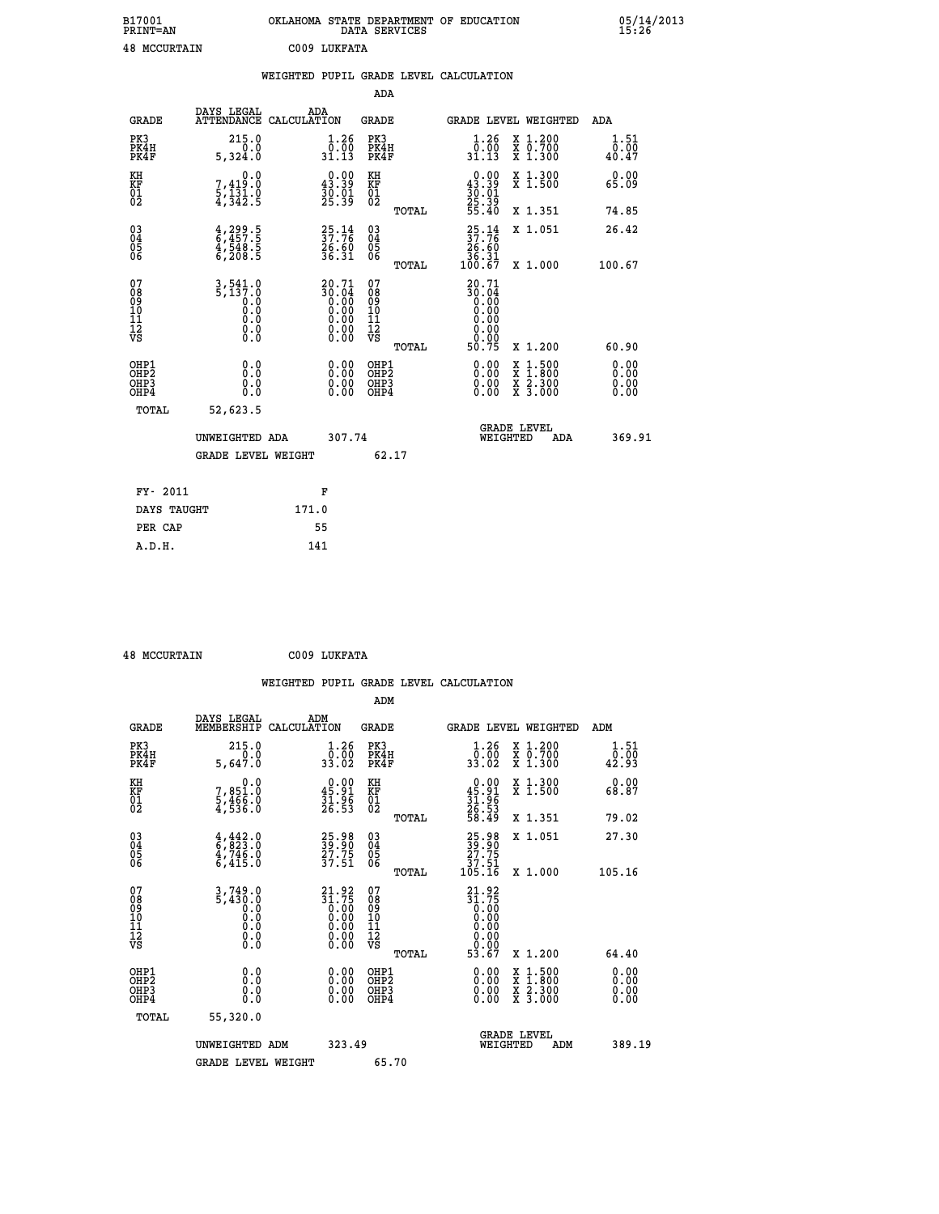| B17001<br><b>PRINT=AN</b> | OKLAHOMA STATE DEPARTMENT OF EDUCATION<br>DATA SERVICES | 05/14/2013<br>15:26 |
|---------------------------|---------------------------------------------------------|---------------------|
| 48<br>MCCURTAIN           | 2009<br>LUKFATA                                         |                     |

|                                                                    |                                                                                                                                                             |       |                                                                                               |                                          |       | WEIGHTED PUPIL GRADE LEVEL CALCULATION                                                                  |                                                                                          |                              |
|--------------------------------------------------------------------|-------------------------------------------------------------------------------------------------------------------------------------------------------------|-------|-----------------------------------------------------------------------------------------------|------------------------------------------|-------|---------------------------------------------------------------------------------------------------------|------------------------------------------------------------------------------------------|------------------------------|
|                                                                    |                                                                                                                                                             |       |                                                                                               | <b>ADA</b>                               |       |                                                                                                         |                                                                                          |                              |
| <b>GRADE</b>                                                       | DAYS LEGAL<br>ATTENDANCE CALCULATION                                                                                                                        |       | ADA                                                                                           | GRADE                                    |       | GRADE LEVEL WEIGHTED                                                                                    |                                                                                          | ADA                          |
| PK3<br>PK4H<br>PK4F                                                | 215.0<br>0.0<br>5,324.0                                                                                                                                     |       | $\begin{smallmatrix} 1.26 \\[-4pt] 0.00\\[-4pt] 31.13\end{smallmatrix}$                       | PK3<br>PK4H<br>PK4F                      |       | $\frac{1}{0}$ : $\frac{26}{00}$<br>31.13                                                                | X 1.200<br>X 0.700<br>X 1.300                                                            | 1.51<br>0.00<br>40.47        |
| KH<br>KF<br>01<br>02                                               | 0.0<br>$7,419.0$<br>$5,131.0$<br>$4,342.5$                                                                                                                  |       | $0.00$<br>43.39<br>$\frac{30.01}{25.39}$                                                      | KH<br>KF<br>01<br>02                     |       | $\begin{smallmatrix} 0.00\\ 43.39\\ 30.91\\ 25.39 \end{smallmatrix}$                                    | X 1.300<br>X 1.500                                                                       | 0.00<br>65.09                |
|                                                                    |                                                                                                                                                             |       |                                                                                               |                                          | TOTAL | 55.40                                                                                                   | X 1.351                                                                                  | 74.85                        |
| $\begin{smallmatrix} 03 \\[-4pt] 04 \end{smallmatrix}$<br>Ŏ5<br>06 | 4,299.5<br>6,457.5<br>4,548.5<br>6,208.5                                                                                                                    |       | $\frac{25}{37}:\frac{14}{76}$<br>26.60<br>36.31                                               | $\substack{03 \\ 04}$<br>Ŏ5<br>06        |       | $\begin{smallmatrix} 25\cdot 14\\ 37\cdot 76\\ 26\cdot 60\\ 36\cdot 31\\ 100\cdot 67 \end{smallmatrix}$ | X 1.051                                                                                  | 26.42                        |
|                                                                    |                                                                                                                                                             |       |                                                                                               |                                          | TOTAL |                                                                                                         | X 1.000                                                                                  | 100.67                       |
| 07<br>08<br>09<br>11<br>11<br>12<br>VS                             | $3,541.0$<br>5,137.0<br>$\begin{smallmatrix} 0.0 & 0 \ 0.0 & 0 \end{smallmatrix}$<br>$\begin{smallmatrix} \textrm{0} \ . \ 0 \ . \ 0 \ . \end{smallmatrix}$ |       | 20.71<br>$\begin{array}{c} 30.64 \\ 0.00 \\ 0.00 \\ 0.00 \\ 0.00 \\ 0.00 \\ 0.00 \end{array}$ | 07<br>08<br>09<br>11<br>11<br>12<br>VS   | TOTAL | 20.71<br>$\begin{array}{c} 50.04 \\ 0.00 \\ 0.00 \end{array}$<br>0.00<br>0.00<br>50.75                  | X 1.200                                                                                  | 60.90                        |
| OHP1<br>OH <sub>P</sub> 2<br>OHP3<br>OH <sub>P4</sub>              | 0.0<br>0.0<br>0.0                                                                                                                                           |       | $\begin{smallmatrix} 0.00 \ 0.00 \ 0.00 \ 0.00 \end{smallmatrix}$                             | OHP1<br>OHP <sub>2</sub><br>OHP3<br>OHP4 |       |                                                                                                         | $\begin{smallmatrix} x & 1.500 \\ x & 1.800 \\ x & 2.300 \\ x & 3.000 \end{smallmatrix}$ | 0.00<br>0.00<br>0.00<br>0.00 |
| TOTAL                                                              | 52,623.5                                                                                                                                                    |       |                                                                                               |                                          |       |                                                                                                         |                                                                                          |                              |
|                                                                    | UNWEIGHTED ADA                                                                                                                                              |       | 307.74                                                                                        |                                          |       | WEIGHTED                                                                                                | <b>GRADE LEVEL</b><br><b>ADA</b>                                                         | 369.91                       |
|                                                                    | <b>GRADE LEVEL WEIGHT</b>                                                                                                                                   |       |                                                                                               |                                          | 62.17 |                                                                                                         |                                                                                          |                              |
| FY- 2011                                                           |                                                                                                                                                             |       | F                                                                                             |                                          |       |                                                                                                         |                                                                                          |                              |
| DAYS TAUGHT                                                        |                                                                                                                                                             | 171.0 |                                                                                               |                                          |       |                                                                                                         |                                                                                          |                              |
| PER CAP                                                            |                                                                                                                                                             |       | 55                                                                                            |                                          |       |                                                                                                         |                                                                                          |                              |

 **48 MCCURTAIN C009 LUKFATA**

 **WEIGHTED PUPIL GRADE LEVEL CALCULATION ADM DAYS LEGAL ADM**

| <b>GRADE</b>                             | MEMBERSHIP CALCULATION                                                                                  |                                                                           | <b>GRADE</b>                                       |       | GRADE LEVEL WEIGHTED                                                           |                                                                                                                                      | ADM                                                   |        |
|------------------------------------------|---------------------------------------------------------------------------------------------------------|---------------------------------------------------------------------------|----------------------------------------------------|-------|--------------------------------------------------------------------------------|--------------------------------------------------------------------------------------------------------------------------------------|-------------------------------------------------------|--------|
| PK3<br>PK4H<br>PK4F                      | 215.0<br>0.0<br>5,647.0                                                                                 | $\begin{smallmatrix} 1.26 \\[-4pt] 0.00 \\[-4pt] 33.02 \end{smallmatrix}$ | PK3<br>PK4H<br>PK4F                                |       | $\begin{array}{c} 1.26 \\ 0.00 \\ 33.02 \end{array}$                           | X 1.200<br>X 0.700<br>X 1.300                                                                                                        | 1.51<br>$\frac{\bar{0} \cdot \bar{0} \bar{0}}{42.93}$ |        |
| KH<br>KF<br>01<br>02                     | 0.0<br>7,851.0<br>5,466.0<br>4,536.0                                                                    | $\begin{smallmatrix} 0.00\\ 45.91\\ 31.96\\ 26.53 \end{smallmatrix}$      | KH<br>KF<br>01<br>02                               |       | $0.00\n45.91\n31.96\n26.53\n58.49$                                             | X 1.300<br>X 1.500                                                                                                                   | 0.00<br>68.87                                         |        |
|                                          |                                                                                                         |                                                                           |                                                    | TOTAL |                                                                                | X 1.351                                                                                                                              | 79.02                                                 |        |
| 03<br>04<br>05<br>06                     | $\begin{smallmatrix} 4\,,\,442\,,\,6\\ 6\,,\,823\,.0\\ 4\,,\,746\,.0\\ 6\,,\,415\,.0 \end{smallmatrix}$ | $\frac{25.98}{39.90}$<br>$\frac{27.75}{37.51}$                            | $\begin{matrix} 03 \\ 04 \\ 05 \\ 06 \end{matrix}$ |       | $\begin{smallmatrix} 25.98\\ 39.90\\ 27.75\\ 37.51\\ 105.16 \end{smallmatrix}$ | X 1.051                                                                                                                              | 27.30                                                 |        |
|                                          |                                                                                                         |                                                                           |                                                    | TOTAL |                                                                                | X 1.000                                                                                                                              | 105.16                                                |        |
| 07<br>0890112<br>1112<br>VS              | 3,749.0<br>5,430.0<br>$\begin{smallmatrix} 0.1 & 0 \ 0.0 & 0 \ 0.0 & 0 \ 0.0 & 0 \end{smallmatrix}$     | $21.9231.750.000.000.000.000.000.00$                                      | 07<br>08<br>09<br>11<br>11<br>12<br>VS             |       | $21.92$<br>$31.75$<br>$0.00$<br>$0.00$<br>$0.00$<br>$0.00$<br>$0.00$           |                                                                                                                                      |                                                       |        |
|                                          |                                                                                                         |                                                                           |                                                    | TOTAL | 53.67                                                                          | X 1.200                                                                                                                              | 64.40                                                 |        |
| OHP1<br>OHP2<br>OH <sub>P3</sub><br>OHP4 | 0.0<br>0.0<br>0.0                                                                                       | 0.00<br>0.00<br>0.00                                                      | OHP1<br>OHP2<br>OHP3<br>OHP4                       |       | $0.00$<br>$0.00$<br>0.00                                                       | $\begin{smallmatrix} \mathtt{X} & 1 & 500 \\ \mathtt{X} & 1 & 800 \\ \mathtt{X} & 2 & 300 \\ \mathtt{X} & 3 & 000 \end{smallmatrix}$ | 0.00<br>0.00<br>0.00                                  |        |
| TOTAL                                    | 55,320.0                                                                                                |                                                                           |                                                    |       |                                                                                |                                                                                                                                      |                                                       |        |
|                                          | UNWEIGHTED ADM                                                                                          | 323.49                                                                    |                                                    |       | WEIGHTED                                                                       | <b>GRADE LEVEL</b><br>ADM                                                                                                            |                                                       | 389.19 |
|                                          | <b>GRADE LEVEL WEIGHT</b>                                                                               |                                                                           | 65.70                                              |       |                                                                                |                                                                                                                                      |                                                       |        |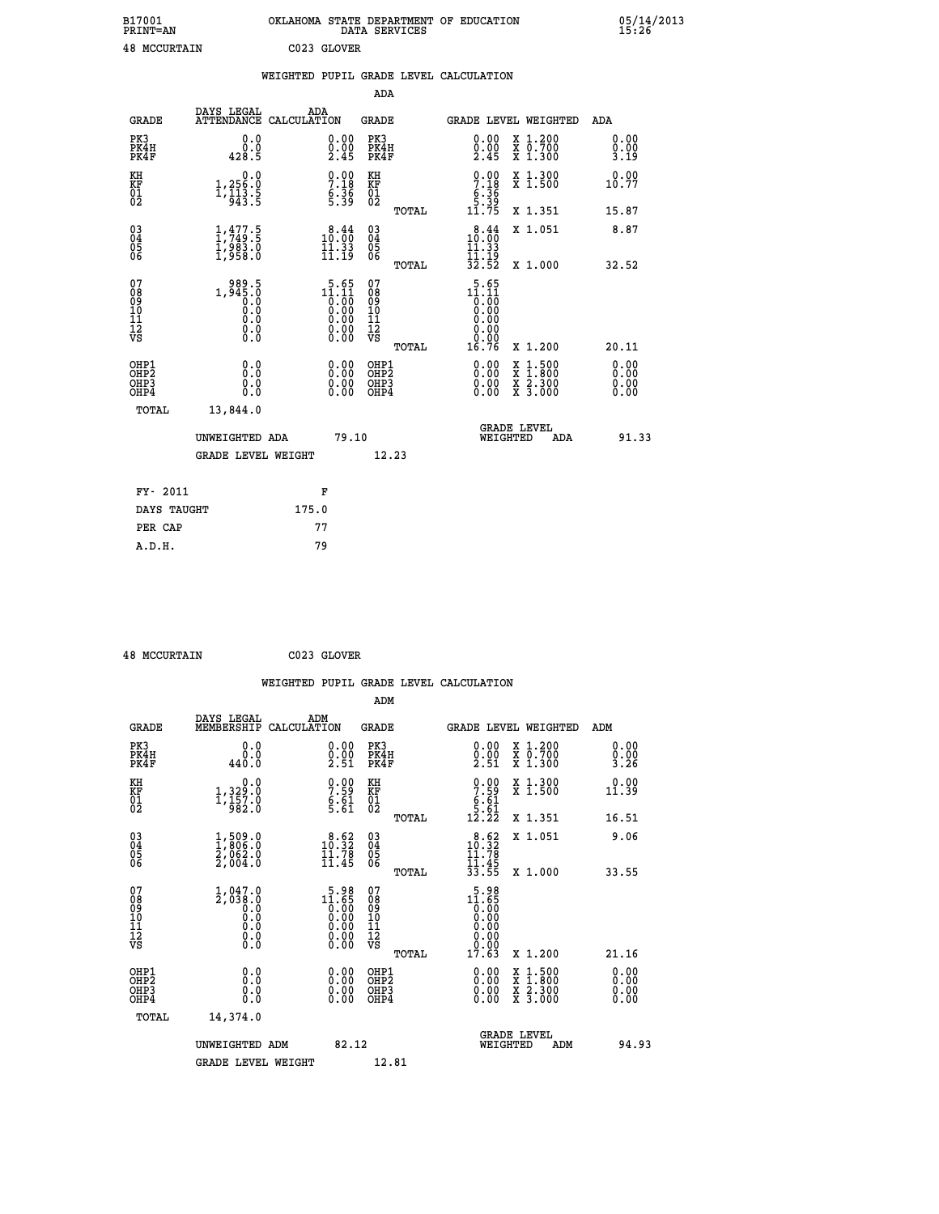| B17001<br>PRINT=AN  | OKLAHOMA STATE DEPARTMENT OF EDUCATION<br>DATA SERVICES | 05/14/2013<br>15:26 |
|---------------------|---------------------------------------------------------|---------------------|
| <b>48 MCCURTAIN</b> | C023 GLOVER                                             |                     |

|                                           |                                                                                                 | WEIGHTED PUPIL GRADE LEVEL CALCULATION                                                   |                                        |                                                                                                              |                              |
|-------------------------------------------|-------------------------------------------------------------------------------------------------|------------------------------------------------------------------------------------------|----------------------------------------|--------------------------------------------------------------------------------------------------------------|------------------------------|
|                                           |                                                                                                 |                                                                                          | ADA                                    |                                                                                                              |                              |
| <b>GRADE</b>                              | DAYS LEGAL                                                                                      | ADA<br>ATTENDANCE CALCULATION                                                            | <b>GRADE</b>                           | GRADE LEVEL WEIGHTED                                                                                         | ADA                          |
| PK3<br>PK4H<br>PK4F                       | 0.0<br>0.0<br>428.5                                                                             | 0.00<br>$\frac{0.00}{2.45}$                                                              | PK3<br>PK4H<br>PK4F                    | 0.00<br>X 1.200<br>X 0.700<br>X 1.300<br>$\frac{0.00}{2.45}$                                                 | 0.00<br>0.00<br>3.19         |
| KH<br><b>KF</b><br>01<br>02               | $\begin{smallmatrix}&&&0.0\\1,256.0\\1,113.5\\943.5\end{smallmatrix}$                           | $7.18$<br>$6.36$<br>$5.39$                                                               | KH<br>KF<br>01<br>02                   | $\begin{smallmatrix} 0.00\\ 7.18\\ 6.36\\ 5.39\\ 11.75 \end{smallmatrix}$<br>X 1.300<br>X 1.500              | 0.00<br>10.77                |
|                                           |                                                                                                 |                                                                                          | TOTAL                                  | X 1.351                                                                                                      | 15.87                        |
| 03<br>04<br>05<br>06                      | $1, 477.5$<br>$1, 749.5$<br>$1, 983.0$<br>$1, 958.0$                                            | 10.44<br>$\frac{11}{11}$ $\frac{33}{19}$                                                 | 03<br>04<br>05<br>06                   | 10.44<br>X 1.051<br>11.33                                                                                    | 8.87                         |
|                                           |                                                                                                 |                                                                                          | TOTAL                                  | $\frac{11}{32}$ $\frac{15}{52}$<br>X 1.000                                                                   | 32.52                        |
| 07<br>08<br>09<br>101<br>11<br>12<br>VS   | 1,989.5<br>1,945.0<br>0.9<br>$\begin{smallmatrix} 0.5 & 0 \ 0.0 & 0 \end{smallmatrix}$<br>$\S.$ | $\begin{smallmatrix} &5&.65\\11&.11\\0&.00\\0&.00\\0&.00\\0&.00\\0&.00\end{smallmatrix}$ | 0789901112<br>009011112<br>VS<br>TOTAL | $\begin{smallmatrix} 5.65\\ 11.11\\ 0.00\\ 0.00\\ 0.00\\ 0.00 \end{smallmatrix}$<br>0.00<br>16.76<br>X 1.200 | 20.11                        |
| OHP1<br>OH <sub>P</sub> 2<br>OHP3<br>OHP4 | 0.0<br>0.0<br>0.0                                                                               | 0.00<br>$0.00$<br>0.00                                                                   | OHP1<br>OHP2<br>OHP3<br>OHP4           | 0.00<br>$1:500$<br>$1:800$<br>X<br>$\frac{x}{x}$ $\frac{5:300}{3:000}$<br>0.00<br>0.00                       | 0.00<br>0.00<br>0.00<br>0.00 |
| <b>TOTAL</b>                              | 13,844.0                                                                                        |                                                                                          |                                        |                                                                                                              |                              |
|                                           | UNWEIGHTED ADA                                                                                  | 79.10                                                                                    |                                        | <b>GRADE LEVEL</b><br>WEIGHTED<br>ADA                                                                        | 91.33                        |
|                                           | <b>GRADE LEVEL WEIGHT</b>                                                                       |                                                                                          | 12.23                                  |                                                                                                              |                              |
| FY- 2011                                  |                                                                                                 | F                                                                                        |                                        |                                                                                                              |                              |
|                                           | DAYS TAUGHT                                                                                     | 175.0                                                                                    |                                        |                                                                                                              |                              |
| PER CAP                                   |                                                                                                 | 77                                                                                       |                                        |                                                                                                              |                              |

 **48 MCCURTAIN C023 GLOVER**

 **A.D.H. 79**

 **WEIGHTED PUPIL GRADE LEVEL CALCULATION ADM DAYS LEGAL ADM GRADE MEMBERSHIP CALCULATION GRADE GRADE LEVEL WEIGHTED ADM PK3 0.0 0.00 PK3 0.00 X 1.200 0.00 PK4H 0.0 0.00 PK4H 0.00 X 0.700 0.00 PK4F 440.0 2.51 PK4F 2.51 X 1.300 3.26 KH 0.0 0.00 KH 0.00 X 1.300 0.00 KF 1,329.0 7.59 KF 7.59 X 1.500 11.39 EXH**<br> **EXE FR**<br> **D1**<br> **D1**<br> **D2**<br> **D2**<br> **D2**<br> **D2**<br> **D32.0**<br> **D32.0**<br> **D5.61**<br> **D32.0**<br> **D5.61**<br> **D3.61**<br> **D3.61**<br> **D4.61**<br> **D4.61**<br> **D5.61**<br> **D4.61** 02 982.0 5.61 02 5.61 5.61  **TOTAL 12.22 X 1.351 16.51 03 1,509.0 8.62 03 8.62 X 1.051 9.06 04 1,806.0 10.32 04 10.32 05 2,062.0 11.78 05 11.78 06 2,004.0 11.45 06 11.45 TOTAL 33.55 X 1.000 33.55 07** 1,047.0 5.98 07<br> **08** 2,038.0 10.60 08 11.65<br>
10 0.0 0.00 10 0.00<br>
11 0.0 0.00 10 0.00<br>
12 0.00 0.00 12 0.00<br>
VS 0.0 0.00 VS 0.00  $\begin{array}{cccc} 5.98 & 07 & 5.98 \ 11.65 & 08 & 11.65 \ 0.000 & 10 & 0.000 \ 0.00 & 11 & 0.000 \ 0.00 & 12 & 0.000 \ 0.00 & 0.00 & 12 & 0.000 \ 0.00 & 0.00 & 12 & 0.00 \ 0.00 & 0.00 & 12 & 0.00 \ 0.00 & 0.00 & 12 & 0.00 \ 0.00 & 0.00 & 12 & 0.00 & 0.21.16 \ 0.00 &$  **OHP1 0.0 0.00 OHP1 0.00 X 1.500 0.00 OHP2 0.0 0.00 OHP2 0.00 X 1.800 0.00 OHP3 0.0 0.00 OHP3 0.00 X 2.300 0.00 OHP4 0.0 0.00 OHP4 0.00 X 3.000 0.00 TOTAL 14,374.0 GRADE LEVEL UNWEIGHTED ADM 82.12 WEIGHTED ADM 94.93** GRADE LEVEL WEIGHT 12.81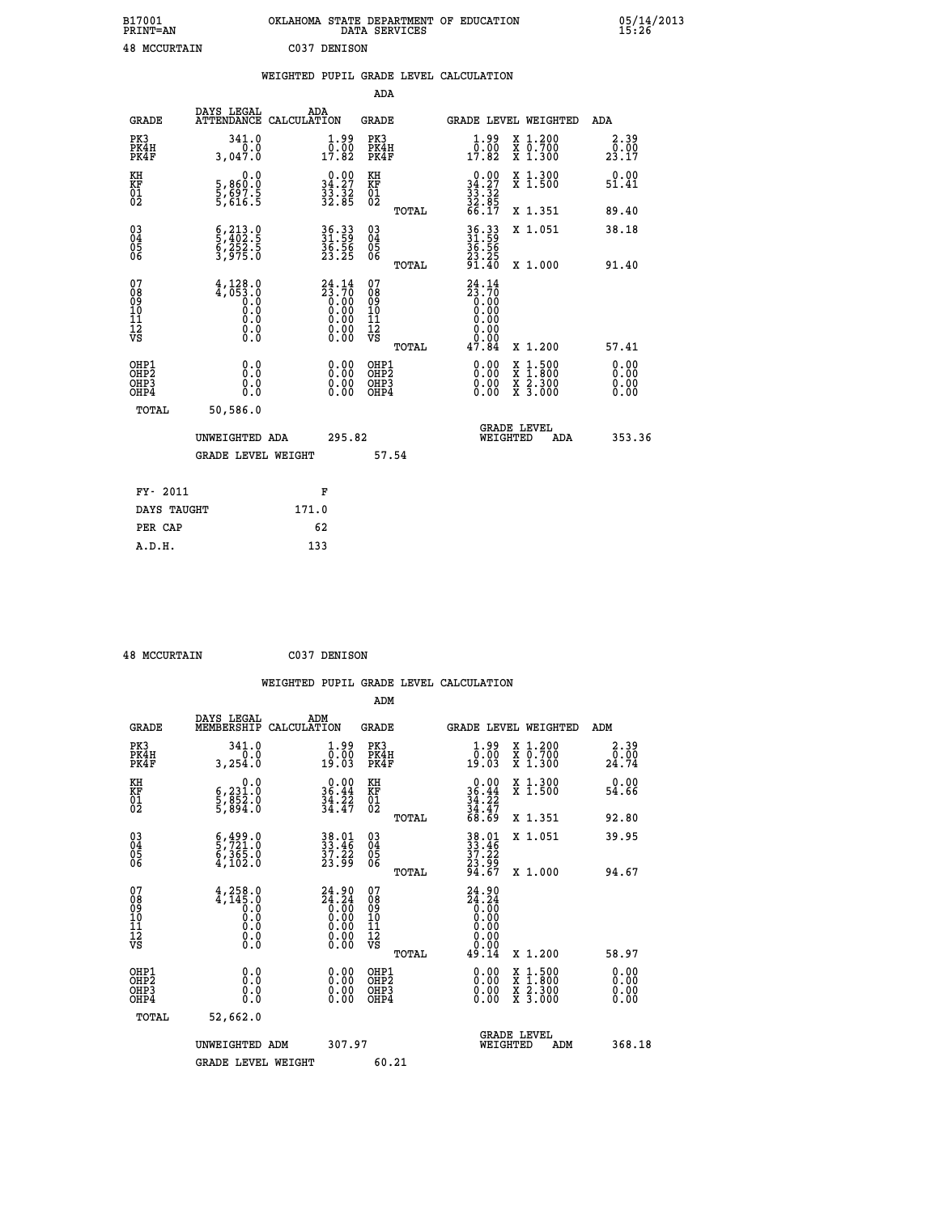| B17001<br><b>PRINT=AN</b> | OKLAHOMA STATE DEPARTMENT OF EDUCATION<br>DATA SERVICES | 05/14/2013<br>15:26 |
|---------------------------|---------------------------------------------------------|---------------------|
| 48<br>MCCURTAIN           | CO37<br>DENISON                                         |                     |

|                                                                    |                                                                                                            | WEIGHTED PUPIL GRADE LEVEL CALCULATION |                                                                                                          |                                        |       |                                                                 |        |                                                           |                              |
|--------------------------------------------------------------------|------------------------------------------------------------------------------------------------------------|----------------------------------------|----------------------------------------------------------------------------------------------------------|----------------------------------------|-------|-----------------------------------------------------------------|--------|-----------------------------------------------------------|------------------------------|
|                                                                    |                                                                                                            |                                        |                                                                                                          | <b>ADA</b>                             |       |                                                                 |        |                                                           |                              |
| <b>GRADE</b>                                                       | DAYS LEGAL<br>ATTENDANCE CALCULATION                                                                       | ADA                                    |                                                                                                          | <b>GRADE</b>                           |       |                                                                 |        | GRADE LEVEL WEIGHTED                                      | ADA                          |
| PK3<br>PK4H<br>PK4F                                                | 341.0<br>0.0<br>3.047.0                                                                                    |                                        | $\begin{smallmatrix} 1.99 \\ 0.00 \\ 17.82 \end{smallmatrix}$                                            | PK3<br>PK4H<br>PK4F                    |       | $1.99$<br>$0.00$<br>17.82                                       |        | X 1.200<br>X 0.700<br>X 1.300                             | 2.39<br>0.00<br>23.17        |
| KH<br>KF<br>01<br>02                                               | 0.0<br>5,860:0<br>5,697.5<br>5,616:5                                                                       |                                        | $\begin{smallmatrix} 0.00\\ 34.27\\ 33.32\\ 32.85 \end{smallmatrix}$                                     | KH<br>KF<br>01<br>02                   |       | $0.0034.2733.3232.8532.8566.17$                                 |        | X 1.300<br>X 1.500                                        | 0.00<br>51.41                |
|                                                                    |                                                                                                            |                                        |                                                                                                          |                                        | TOTAL |                                                                 |        | X 1.351                                                   | 89.40                        |
| $\begin{smallmatrix} 03 \\[-4pt] 04 \end{smallmatrix}$<br>Ŏ5<br>06 | $\frac{6}{5}, \frac{213}{402} . \frac{0}{5}$<br>$\frac{252}{3}, \frac{252}{975} . \frac{5}{0}$             |                                        | 36.33<br>31.59<br>$\frac{36.56}{23.25}$                                                                  | $\substack{03 \\ 04}$<br>Ŏ5<br>06      |       | 36.33<br>31.59<br>36.56<br>23.25<br>21.40                       |        | X 1.051                                                   | 38.18                        |
|                                                                    |                                                                                                            |                                        |                                                                                                          |                                        | TOTAL |                                                                 |        | X 1.000                                                   | 91.40                        |
| 07<br>08<br>09<br>101<br>112<br>VS                                 | $4,128.0$<br>$4,053.0$<br>$0.0$<br>$\begin{smallmatrix} 0.5 & 0 \ 0.0 & 0 \end{smallmatrix}$<br>$\S.$ $\S$ |                                        | $24.14$<br>$23.70$<br>$0.00$<br>$0.00$<br>$0.00$<br>$\begin{smallmatrix} 0.00 \\ 0.00 \end{smallmatrix}$ | 07<br>08<br>09<br>11<br>11<br>12<br>VS | TOTAL | $24.14$<br>$23.70$<br>$0.00$<br>$0.00$<br>0.00<br>0.00<br>47.84 |        | X 1.200                                                   | 57.41                        |
| OHP1<br>OHP2<br>OHP3<br>OHP4                                       | 0.0<br>$0.\overline{0}$<br>0.0                                                                             |                                        | 0.00<br>$\begin{smallmatrix} 0.00 \ 0.00 \end{smallmatrix}$                                              | OHP1<br>OHP2<br>OHP3<br>OHP4           |       | 0.00<br>0.00<br>0.00                                            | X<br>X | $1:500$<br>$1:800$<br>$\frac{x}{x}$ $\frac{5:300}{3:000}$ | 0.00<br>Ō.ŎŎ<br>0.00<br>0.00 |
| <b>TOTAL</b>                                                       | 50,586.0                                                                                                   |                                        |                                                                                                          |                                        |       |                                                                 |        |                                                           |                              |
|                                                                    | UNWEIGHTED ADA                                                                                             |                                        | 295.82                                                                                                   |                                        |       |                                                                 |        | GRADE LEVEL<br>WEIGHTED<br>ADA                            | 353.36                       |
|                                                                    | <b>GRADE LEVEL WEIGHT</b>                                                                                  |                                        |                                                                                                          | 57.54                                  |       |                                                                 |        |                                                           |                              |
| FY- 2011                                                           |                                                                                                            | F                                      |                                                                                                          |                                        |       |                                                                 |        |                                                           |                              |
| DAYS TAUGHT                                                        |                                                                                                            | 171.0                                  |                                                                                                          |                                        |       |                                                                 |        |                                                           |                              |
| PER CAP                                                            |                                                                                                            | 62                                     |                                                                                                          |                                        |       |                                                                 |        |                                                           |                              |

| <b>48 MCCURTAIN</b> | C037 DENISON |
|---------------------|--------------|

| <b>GRADE</b>                                       | DAYS LEGAL<br>MEMBERSHIP                                                                         | ADM<br>CALCULATION                                             | <b>GRADE</b>                                        |       |                                                               |          | <b>GRADE LEVEL WEIGHTED</b>              | ADM                                                   |  |
|----------------------------------------------------|--------------------------------------------------------------------------------------------------|----------------------------------------------------------------|-----------------------------------------------------|-------|---------------------------------------------------------------|----------|------------------------------------------|-------------------------------------------------------|--|
| PK3<br>PK4H<br>PK4F                                | 341.0<br>0.0<br>3,254.0                                                                          | $\begin{smallmatrix} 1.99 \\ 0.00 \\ 19.03 \end{smallmatrix}$  | PK3<br>PK4H<br>PK4F                                 |       | $\begin{smallmatrix} 1.99 \\ 0.00 \\ 19.03 \end{smallmatrix}$ |          | X 1.200<br>X 0.700<br>X 1.300            | 2.39<br>$\frac{\bar{0} \cdot \bar{0} \bar{0}}{24.74}$ |  |
| KH<br>KF<br>01<br>02                               | 0.0<br>6,231:0<br>5,852:0<br>5,894:0                                                             | $\begin{array}{r} 0.00 \\ 36.44 \\ 34.22 \\ 34.47 \end{array}$ | KH<br>KF<br>01<br>02                                |       | $0.0036.4434.2234.4768.69$                                    |          | X 1.300<br>X 1.500                       | 0.00<br>54.66                                         |  |
|                                                    |                                                                                                  |                                                                |                                                     | TOTAL |                                                               |          | X 1.351                                  | 92.80                                                 |  |
| $\begin{matrix} 03 \\ 04 \\ 05 \\ 06 \end{matrix}$ | $\begin{smallmatrix} 6 & 499 & 0 \\ 5 & 721 & 0 \\ 6 & 365 & 0 \\ 4 & 102 & 0 \end{smallmatrix}$ | 38.01<br>33.46<br>37.22<br>23.99                               | $\begin{array}{c} 03 \\ 04 \\ 05 \\ 06 \end{array}$ |       | 38.01<br>33.46<br>37.22<br>23.99<br>24.67                     |          | X 1.051                                  | 39.95                                                 |  |
|                                                    |                                                                                                  |                                                                |                                                     | TOTAL |                                                               |          | X 1.000                                  | 94.67                                                 |  |
| 07<br>089<br>090<br>1112<br>VS                     |                                                                                                  | $24.90\n24.24\n0.00\n0.00\n0.00\n0.00\n0.00$                   | 07<br>08<br>09<br>11<br>11<br>12<br>VS              | TOTAL | $24.24\n24.24\n0.00\n0.00\n0.00\n0.00\n0.00\n0.00\n49.14$     |          | X 1.200                                  | 58.97                                                 |  |
| OHP1<br>OHP2<br>OHP3<br>OHP4                       | 0.0<br>$\begin{smallmatrix} 0.0 & 0 \ 0.0 & 0 \end{smallmatrix}$                                 |                                                                | OHP1<br>OHP2<br>OHP3<br>OHP4                        |       |                                                               |          | X 1:500<br>X 1:800<br>X 2:300<br>X 3:000 | 0.00<br>0.00<br>0.00                                  |  |
| TOTAL                                              | 52,662.0                                                                                         |                                                                |                                                     |       |                                                               |          |                                          |                                                       |  |
|                                                    | UNWEIGHTED                                                                                       | 307.97<br>ADM                                                  |                                                     |       |                                                               | WEIGHTED | <b>GRADE LEVEL</b><br>ADM                | 368.18                                                |  |
|                                                    | <b>GRADE LEVEL WEIGHT</b>                                                                        |                                                                | 60.21                                               |       |                                                               |          |                                          |                                                       |  |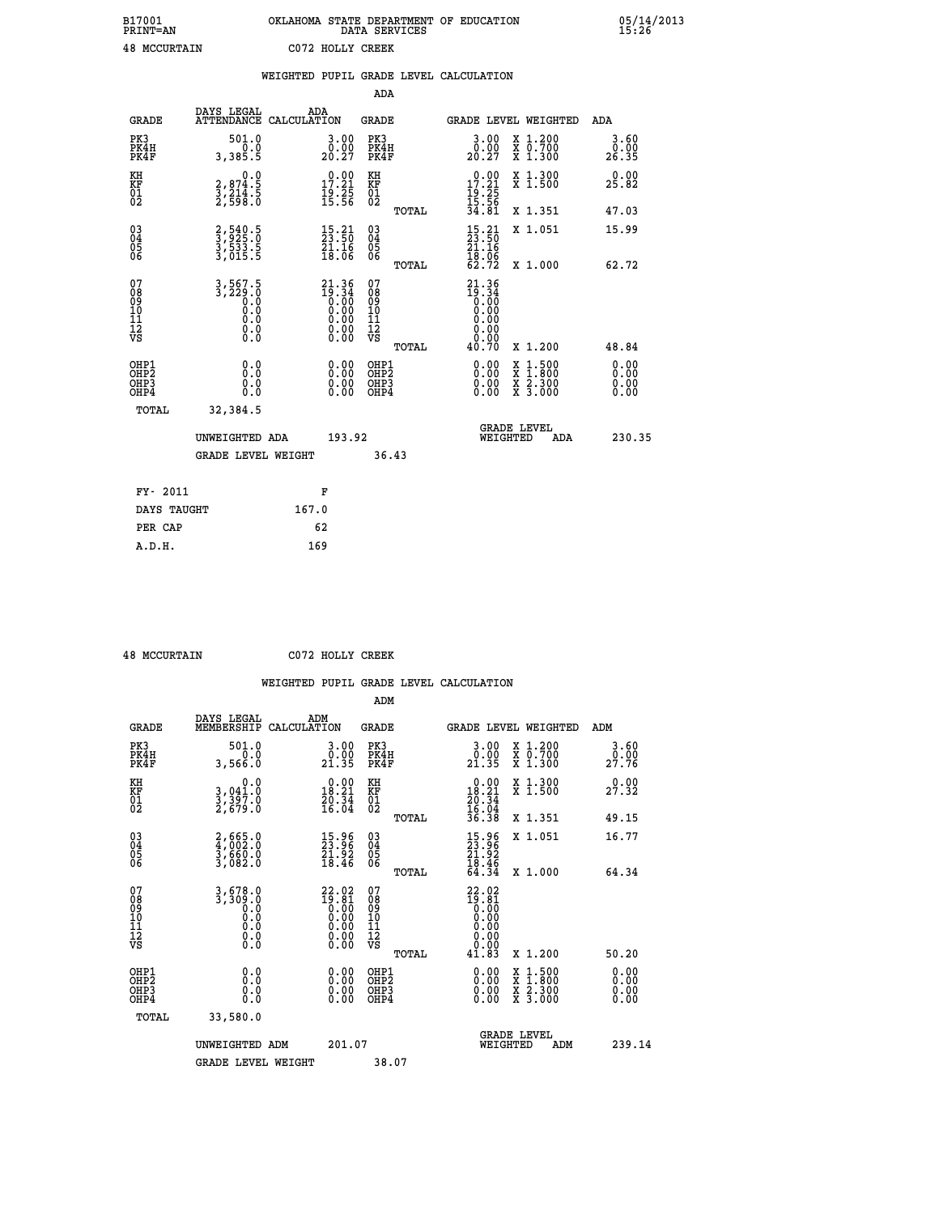| B17001<br><b>PRINT=AN</b> | OKLAHOMA STATE DEPARTMENT OF EDUCATION<br>DATA SERVICES | 05/14/2013<br>15:26 |
|---------------------------|---------------------------------------------------------|---------------------|
| <b>48 MCCURTAIN</b>       | C072 HOLLY CREEK                                        |                     |

|                                          |                                                           | WEIGHTED PUPIL GRADE LEVEL CALCULATION                                                                 |                                          |       |                                                                                                  |                                                                                                                           |                              |
|------------------------------------------|-----------------------------------------------------------|--------------------------------------------------------------------------------------------------------|------------------------------------------|-------|--------------------------------------------------------------------------------------------------|---------------------------------------------------------------------------------------------------------------------------|------------------------------|
|                                          |                                                           |                                                                                                        | <b>ADA</b>                               |       |                                                                                                  |                                                                                                                           |                              |
| <b>GRADE</b>                             | DAYS LEGAL                                                | ADA<br>ATTENDANCE CALCULATION                                                                          | <b>GRADE</b>                             |       |                                                                                                  | GRADE LEVEL WEIGHTED                                                                                                      | ADA                          |
| PK3<br>PK4H<br>PK4F                      | 501.0<br>0.0<br>3,385.5                                   | 3.00<br>$20.00$<br>20.27                                                                               | PK3<br>PK4H<br>PK4F                      |       | 3.00<br>$\substack{\texttt{0.00}\ \texttt{20.27}}$                                               | X 1.200<br>X 0.700<br>X 1.300                                                                                             | 3.60<br>0.00<br>26.35        |
| KH<br>KF<br>01<br>02                     | 0.0<br>2,874.5<br>3,214.5<br>2,598.0                      | $\begin{array}{c} 0.00 \\ 17.21 \\ 19.25 \\ 15.56 \end{array}$                                         | KH<br>KF<br>01<br>02                     |       | $0.00$<br>$17.21$<br>$19.25$<br>$15.56$<br>$34.81$                                               | X 1.300<br>X 1.500                                                                                                        | 0.00<br>25.82                |
|                                          |                                                           |                                                                                                        |                                          | TOTAL |                                                                                                  | X 1.351                                                                                                                   | 47.03                        |
| $^{03}_{04}$<br>Ŏ5<br>06                 | 2,540.5<br>3,533.5<br>3,533.5<br>3,015.5                  | $\frac{15}{23}$ : $\frac{21}{50}$<br>$\frac{51}{18}.\overset{18}{06}$                                  | $\substack{03 \\ 04}$<br>05<br>06        |       | $\frac{15}{23}$ : $\frac{21}{50}$<br>$\frac{21.16}{18.06}$<br>62.72                              | X 1.051                                                                                                                   | 15.99                        |
|                                          |                                                           |                                                                                                        |                                          | TOTAL |                                                                                                  | X 1.000                                                                                                                   | 62.72                        |
| 07<br>08<br>09<br>11<br>11<br>12<br>VS   | $3,567.5$<br>$3,229.0$<br>0.0<br>0.0<br>0.0<br>$\S.$ $\S$ | $21.36$<br>$19.34$<br>$0.00$<br>$0.00$<br>0.00<br>$\begin{smallmatrix} 0.00 \\ 0.00 \end{smallmatrix}$ | 07<br>08<br>09<br>11<br>11<br>12<br>VS   |       | 21.36<br>$\begin{smallmatrix} 19.34 \\[-4pt] 0.00\\[-4pt] 0.00\end{smallmatrix}$<br>0.00<br>0.00 |                                                                                                                           |                              |
|                                          |                                                           |                                                                                                        |                                          | TOTAL | 40.70                                                                                            | X 1.200                                                                                                                   | 48.84                        |
| OHP1<br>OHP <sub>2</sub><br>OHP3<br>OHP4 | 0.0<br>Ō.Ō<br>0.0<br>0.0                                  | $0.00$<br>$0.00$<br>0.00                                                                               | OHP1<br>OHP <sub>2</sub><br>OHP3<br>OHP4 |       | 0.00<br>0.00<br>0.00                                                                             | $\frac{1:500}{2:300}$<br>$\begin{smallmatrix} x & 1 & 500 \\ x & 1 & 800 \\ x & 2 & 300 \\ x & 3 & 000 \end{smallmatrix}$ | 0.00<br>0.00<br>0.00<br>0.00 |
| TOTAL                                    | 32,384.5                                                  |                                                                                                        |                                          |       |                                                                                                  |                                                                                                                           |                              |
|                                          | UNWEIGHTED ADA                                            | 193.92                                                                                                 |                                          |       | WEIGHTED                                                                                         | <b>GRADE LEVEL</b><br>ADA                                                                                                 | 230.35                       |
|                                          | <b>GRADE LEVEL WEIGHT</b>                                 |                                                                                                        | 36.43                                    |       |                                                                                                  |                                                                                                                           |                              |
| FY- 2011                                 |                                                           | F                                                                                                      |                                          |       |                                                                                                  |                                                                                                                           |                              |
| DAYS TAUGHT                              |                                                           | 167.0                                                                                                  |                                          |       |                                                                                                  |                                                                                                                           |                              |
| PER CAP                                  |                                                           | 62                                                                                                     |                                          |       |                                                                                                  |                                                                                                                           |                              |

 **48 MCCURTAIN C072 HOLLY CREEK**

|                                          |                                                          |                                                                                         | ADM                                                 |       |                                                                                   |                                          |                        |
|------------------------------------------|----------------------------------------------------------|-----------------------------------------------------------------------------------------|-----------------------------------------------------|-------|-----------------------------------------------------------------------------------|------------------------------------------|------------------------|
| <b>GRADE</b>                             | DAYS LEGAL<br>MEMBERSHIP                                 | ADM<br>CALCULATION                                                                      | <b>GRADE</b>                                        |       |                                                                                   | GRADE LEVEL WEIGHTED                     | ADM                    |
| PK3<br>PK4H<br>PK4F                      | 501.0<br>0.0<br>3,566.0                                  | $\begin{smallmatrix} 3.00\\ 0.00\\ 21.35 \end{smallmatrix}$                             | PK3<br>PK4H<br>PK4F                                 |       | $\begin{smallmatrix} 3.00\\ 0.00\\ 21.35 \end{smallmatrix}$                       | X 1.200<br>X 0.700<br>X 1.300            | 3.60<br>_ŏ:ŏŏ<br>27:76 |
| KH<br>KF<br>01<br>02                     | 0.0<br>3,041:0<br>3,397:0<br>2,679:0                     | $\begin{smallmatrix} 0.00\\18.21\\20.34\\16.04 \end{smallmatrix}$                       | KH<br>KF<br>01<br>02                                |       | $\begin{array}{r} 0.00 \\ 18.21 \\ 20.34 \\ 16.04 \\ 36.38 \end{array}$           | X 1.300<br>X 1.500                       | 27.32                  |
|                                          |                                                          |                                                                                         |                                                     | TOTAL |                                                                                   | X 1.351                                  | 49.15                  |
| 03<br>04<br>05<br>06                     | $2,665.0$<br>$3,660.0$<br>$3,660.0$<br>$3,082.0$         | $\begin{smallmatrix} 15.96\\ 23.96\\ 21.92\\ 18.46 \end{smallmatrix}$                   | $\begin{array}{c} 03 \\ 04 \\ 05 \\ 06 \end{array}$ |       | $\begin{smallmatrix} 15.96 \\ 23.96 \\ 21.92 \\ 18.46 \\ 64.34 \end{smallmatrix}$ | X 1.051                                  | 16.77                  |
|                                          |                                                          |                                                                                         |                                                     | TOTAL |                                                                                   | X 1.000                                  | 64.34                  |
| 07<br>08<br>09<br>101<br>112<br>VS       | $3, 678.0$<br>$3, 309.0$<br>$0.0$<br>0.0<br>0.0<br>$\S.$ | $\begin{smallmatrix} 22.02\\19.81\\0.00\\0.00\\0.00\\0.00\\0.00\\0.00\end{smallmatrix}$ | 07<br>08<br>09<br>11<br>11<br>12<br>VS              |       | $22.02$<br>$19.81$<br>$0.00$<br>$0.00$<br>$0.00$<br>$0.00$<br>$0.00$              |                                          |                        |
|                                          |                                                          |                                                                                         |                                                     | TOTAL | 41.83                                                                             | X 1.200                                  | 50.20                  |
| OHP1<br>OHP2<br>OH <sub>P3</sub><br>OHP4 | 0.0<br>0.000                                             | $0.00$<br>$0.00$<br>0.00                                                                | OHP1<br>OHP2<br>OHP <sub>3</sub>                    |       | $0.00$<br>$0.00$<br>0.00                                                          | X 1:500<br>X 1:800<br>X 2:300<br>X 3:000 | 0.00<br>0.00<br>0.00   |
| TOTAL                                    | 33,580.0                                                 |                                                                                         |                                                     |       |                                                                                   |                                          |                        |
|                                          | UNWEIGHTED                                               | 201.07<br>ADM                                                                           |                                                     |       | WEIGHTED                                                                          | <b>GRADE LEVEL</b><br>ADM                | 239.14                 |
|                                          | <b>GRADE LEVEL WEIGHT</b>                                |                                                                                         | 38.07                                               |       |                                                                                   |                                          |                        |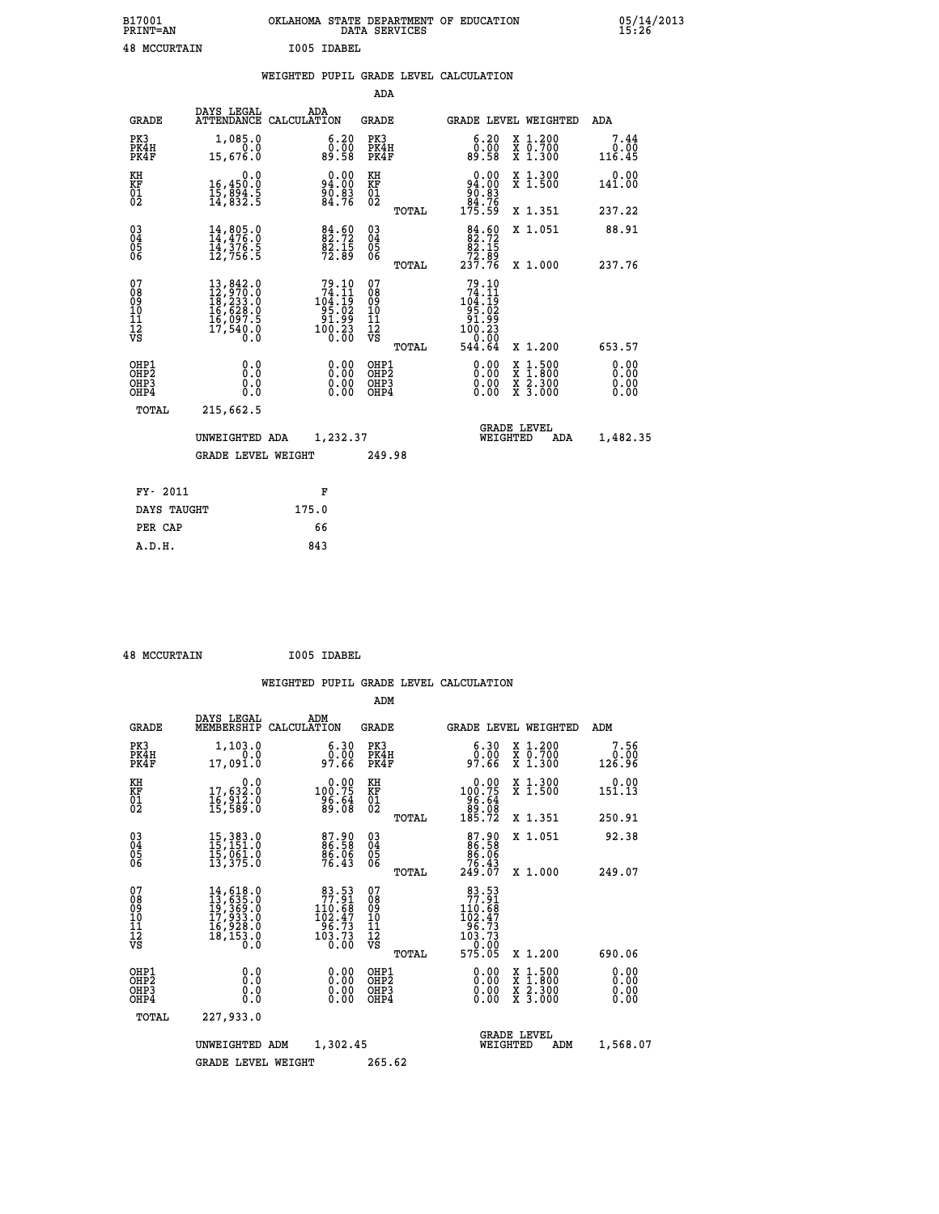| B17001          | OKLAHOMA STATE DEPARTMENT OF EDUCATION |
|-----------------|----------------------------------------|
| <b>PRINT=AN</b> | DATA SERVICES                          |
| 48 MCCURTAIN    | T005 TDAREL                            |

| <b>48 MCCURTAIN</b>                          |                                                                                                                                                                                          |             | I005 IDABEL                                                                             |                                                    |       |                                                                                                         |                                                                                                  |                        |
|----------------------------------------------|------------------------------------------------------------------------------------------------------------------------------------------------------------------------------------------|-------------|-----------------------------------------------------------------------------------------|----------------------------------------------------|-------|---------------------------------------------------------------------------------------------------------|--------------------------------------------------------------------------------------------------|------------------------|
|                                              |                                                                                                                                                                                          |             |                                                                                         |                                                    |       | WEIGHTED PUPIL GRADE LEVEL CALCULATION                                                                  |                                                                                                  |                        |
|                                              |                                                                                                                                                                                          |             |                                                                                         | <b>ADA</b>                                         |       |                                                                                                         |                                                                                                  |                        |
| <b>GRADE</b>                                 | DAYS LEGAL<br><b>ATTENDANCE</b>                                                                                                                                                          | CALCULATION | ADA                                                                                     | <b>GRADE</b>                                       |       |                                                                                                         | GRADE LEVEL WEIGHTED                                                                             | ADA                    |
| PK3<br>PK4H<br>PK4F                          | 1,085.0<br>0.0<br>15,676.0                                                                                                                                                               |             | 6.20<br>ŏÖ.ÖŎ<br>89.58                                                                  | PK3<br>PK4H<br>PK4F                                |       | 6.20<br>ŏÖ.<br>89.58                                                                                    | X 1.200<br>X 0.700<br>X 1.300                                                                    | 7.44<br>0.00<br>116.45 |
| KH<br>KF<br>01<br>02                         | 0.0<br>16,450.0<br>15,894.5<br>14,832.5                                                                                                                                                  |             | $94.00$<br>$94.00$<br>$90.83$<br>$84.76$                                                | KH<br>KF<br>01<br>02                               |       | $0.00\n94.00\n90.83\n84.76\n175.59$                                                                     | X 1.300<br>X 1.500                                                                               | $0.00$<br>141.00       |
|                                              |                                                                                                                                                                                          |             |                                                                                         |                                                    | TOTAL |                                                                                                         | X 1.351                                                                                          | 237.22                 |
| 03<br>04<br>05<br>06                         | $14, 805.0$<br>$14, 476.0$<br>$14, 376.5$<br>$12, 756.5$                                                                                                                                 |             | $84.60$<br>$82.72$<br>$82.15$<br>$72.89$                                                | $\begin{matrix} 03 \\ 04 \\ 05 \\ 06 \end{matrix}$ |       | $\begin{smallmatrix}84.60\\82.72\\82.15\\72.89\\237.76\end{smallmatrix}$                                | X 1.051                                                                                          | 88.91                  |
|                                              |                                                                                                                                                                                          |             |                                                                                         |                                                    | TOTAL |                                                                                                         | X 1.000                                                                                          | 237.76                 |
| 07<br>08<br>09<br>01<br>11<br>11<br>12<br>VS | $\begin{smallmatrix} 13\,, & 842\,. & 0\\ 12\,, & 970\,. & 0\\ 18\,, & 233\,. & 0\\ 16\,, & 628\,. & 0\\ 16\,, & 097\,. & 5\\ 17\,, & 540\,. & 0\\ 0\,. & 0\,. & 0\,. \end{smallmatrix}$ |             | $\begin{smallmatrix}79.10\\74.11\\104.19\\195.02\\91.99\\100.23\\0.00\end{smallmatrix}$ | 07<br>08<br>09<br>001<br>11<br>11<br>12<br>VS      | TOTAL | 79.10<br>$\begin{smallmatrix}74.11\104.19\95.02\91.99\100.23\0.00\0.00\0.00\end{smallmatrix}$<br>544.64 | X 1.200                                                                                          | 653.57                 |
| OHP1<br>OHP2<br>OH <sub>P3</sub><br>OHP4     | 0.0<br>0.0<br>0.0                                                                                                                                                                        |             | $\begin{smallmatrix} 0.00 \ 0.00 \ 0.00 \ 0.00 \end{smallmatrix}$                       | OHP1<br>OHP2<br>OHP3<br>OHP4                       |       |                                                                                                         | $\begin{smallmatrix} x & 1 & 500 \\ x & 1 & 800 \\ x & 2 & 300 \\ x & 3 & 000 \end{smallmatrix}$ | 0.00<br>0.00           |
| TOTAL                                        | 215,662.5                                                                                                                                                                                |             |                                                                                         |                                                    |       |                                                                                                         |                                                                                                  |                        |
|                                              | UNWEIGHTED ADA                                                                                                                                                                           |             | 1,232.37                                                                                |                                                    |       |                                                                                                         | <b>GRADE LEVEL</b><br>WEIGHTED<br>ADA                                                            | 1,482.35               |
|                                              | <b>GRADE LEVEL WEIGHT</b>                                                                                                                                                                |             |                                                                                         | 249.98                                             |       |                                                                                                         |                                                                                                  |                        |
|                                              |                                                                                                                                                                                          |             |                                                                                         |                                                    |       |                                                                                                         |                                                                                                  |                        |

| FY- 2011    | F     |
|-------------|-------|
| DAYS TAUGHT | 175.0 |
| PER CAP     | 66    |
| A.D.H.      | 843   |
|             |       |

 **ADM**

 **48 MCCURTAIN I005 IDABEL**

| <b>GRADE</b>                                       | DAYS LEGAL                                                           | ADM<br>MEMBERSHIP CALCULATION                                                           | <b>GRADE</b>                                       | GRADE LEVEL WEIGHTED                                                                 |                                          | ADM                    |
|----------------------------------------------------|----------------------------------------------------------------------|-----------------------------------------------------------------------------------------|----------------------------------------------------|--------------------------------------------------------------------------------------|------------------------------------------|------------------------|
| PK3<br>PK4H<br>PK4F                                | 1,103.0<br>0.0<br>17,091.0                                           | 6.30<br>ŏ:ŏŏ<br>97.66                                                                   | PK3<br>PK4H<br>PK4F                                | 6.30<br>0.00<br>97.66                                                                | X 1.200<br>X 0.700<br>X 1.300            | 7.56<br>0.00<br>126.96 |
| KH<br>KF<br>01<br>02                               | 0.0<br>17,632:0<br>16,912:0<br>15,589:0                              | $0.00$<br>75.001<br>$\frac{96.64}{89.08}$                                               | KH<br>KF<br>01<br>02                               | 0.00<br>100.75<br>$\frac{96.64}{89.08}$<br>185.72                                    | X 1.300<br>X 1.500                       | 0.00<br>151.13         |
|                                                    |                                                                      |                                                                                         | TOTAL                                              |                                                                                      | X 1.351                                  | 250.91                 |
| $\begin{matrix} 03 \\ 04 \\ 05 \\ 06 \end{matrix}$ | 15, 383.0<br>15, 151.0<br>15, 061.0<br>13, 375.0                     | 87.90<br>86.58<br>86.06<br>76.43                                                        | $\begin{matrix} 03 \\ 04 \\ 05 \\ 06 \end{matrix}$ | 87.90<br>86.58<br>86.06<br>76.43<br>249.07                                           | X 1.051                                  | 92.38                  |
|                                                    |                                                                      |                                                                                         | TOTAL                                              |                                                                                      | X 1.000                                  | 249.07                 |
| 07<br>08<br>09<br>101<br>11<br>12<br>VS            | 14,618.0<br>13,635.0<br>19,369.0<br>17,933.0<br>16,928.0<br>18,153.0 | $\begin{smallmatrix}83.53\\77.91\\110.68\\102.47\\96.73\\103.73\\0.00\end{smallmatrix}$ | 078<br>089<br>0011<br>11<br>12<br>VS<br>TOTAL      | 83.53<br>$77.91$<br>$10.68$<br>$102.47$<br>$96.73$<br>$103.73$<br>$0.00$<br>$575.05$ | X 1.200                                  | 690.06                 |
| OHP1<br>OHP2<br>OHP3                               | 0.0<br>0.0                                                           | $0.00$<br>$0.00$                                                                        | OHP1<br>OHP <sub>2</sub><br>OHP3                   | 0.00<br>0.00                                                                         | X 1:500<br>X 1:800<br>X 2:300<br>X 3:000 | 0.00<br>0.00           |
| OHP4                                               | 0.0                                                                  | 0.00                                                                                    | OHP4                                               | 0.00                                                                                 |                                          | 0.00                   |
| TOTAL                                              | 227,933.0<br>UNWEIGHTED                                              | 1,302.45<br>ADM                                                                         |                                                    | WEIGHTED                                                                             | <b>GRADE LEVEL</b><br>ADM                | 1,568.07               |
|                                                    | <b>GRADE LEVEL WEIGHT</b>                                            |                                                                                         | 265.62                                             |                                                                                      |                                          |                        |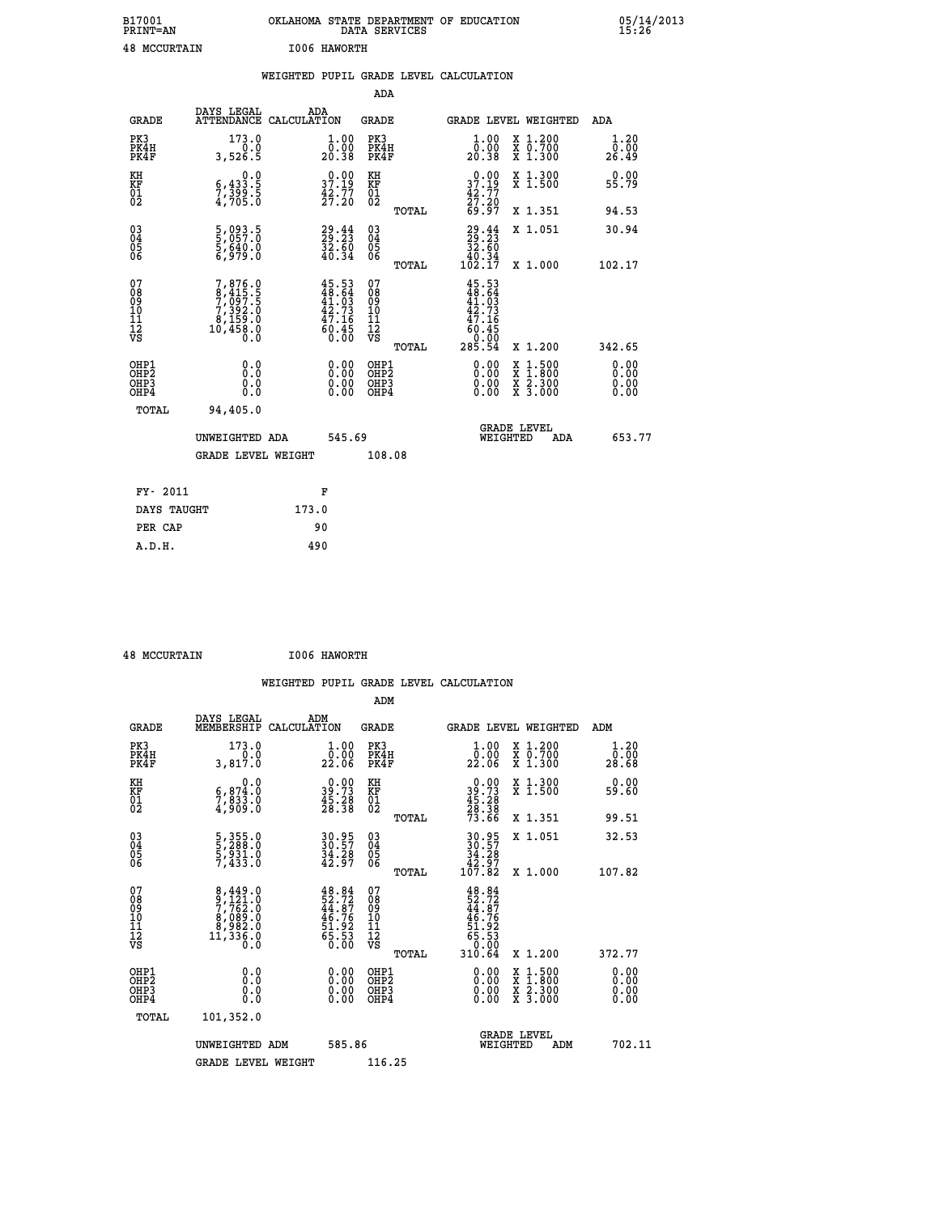| B17001<br><b>PRINT=AN</b> |                   | OKLAHOMA STATE DEPARTMENT OF EDUCATION<br>SERVICES<br>DATA |  | 05/14/2013<br>15:26 |
|---------------------------|-------------------|------------------------------------------------------------|--|---------------------|
| 48                        | I006<br>MCCURTAIN | HAWORTH                                                    |  |                     |

|                                                                    |                                                                                      | WEIGHTED PUPIL GRADE LEVEL CALCULATION                                   |                                                     |       |                                                                               |                                                                                                                                              |                              |
|--------------------------------------------------------------------|--------------------------------------------------------------------------------------|--------------------------------------------------------------------------|-----------------------------------------------------|-------|-------------------------------------------------------------------------------|----------------------------------------------------------------------------------------------------------------------------------------------|------------------------------|
|                                                                    |                                                                                      |                                                                          | <b>ADA</b>                                          |       |                                                                               |                                                                                                                                              |                              |
| <b>GRADE</b>                                                       | <b>DAYS LEGAL<br/>ATTENDANCE</b>                                                     | ADA<br>CALCULATION                                                       | <b>GRADE</b>                                        |       |                                                                               | GRADE LEVEL WEIGHTED                                                                                                                         | ADA                          |
| PK3<br>PK4H<br>PK4F                                                | 173.0<br>3,526.5                                                                     | $\begin{smallmatrix} 1.00\\ 0.00\\ 20.38 \end{smallmatrix}$              | PK3<br>PK4H<br>PK4F                                 |       | 1.00<br>ŏ:ŏŏ<br>20:38                                                         | X 1.200<br>X 0.700<br>X 1.300                                                                                                                | 1.20<br>0.00<br>26.49        |
| KH<br>KF<br>01<br>02                                               | $5,433.5$<br>$7,399.5$<br>$4,705.0$                                                  | $\begin{smallmatrix} 0.00\\ 37.19\\ 42.77\\ 27.20 \end{smallmatrix}$     | KH<br>KF<br>01<br>02                                |       | $\begin{smallmatrix} 0.00\\ 37.19\\ 42.77\\ 27.20\\ 69.97 \end{smallmatrix}$  | X 1.300<br>X 1.500                                                                                                                           | 0.00<br>55.79                |
|                                                                    |                                                                                      |                                                                          |                                                     | TOTAL |                                                                               | X 1.351                                                                                                                                      | 94.53                        |
| $\begin{smallmatrix} 03 \\[-4pt] 04 \end{smallmatrix}$<br>Ŏ5<br>06 | 5,093.5<br>5,057.0<br>5,640.0<br>6,979.0                                             | 29.23<br>29.23<br>32.60<br>40.34                                         | $\begin{array}{c} 03 \\ 04 \\ 05 \\ 06 \end{array}$ |       | $29.44$<br>$29.23$<br>$32.60$<br>$40.34$<br>$102.17$                          | X 1.051                                                                                                                                      | 30.94                        |
|                                                                    |                                                                                      |                                                                          |                                                     | TOTAL |                                                                               | X 1.000                                                                                                                                      | 102.17                       |
| 07<br>08<br>09<br>111<br>12<br>VS                                  | $7,876.0$<br>$8,415.5$<br>$7,097.5$<br>$7,392.0$<br>$8,159.0$<br>$10,458.0$<br>$0.0$ | $45.53$<br>$48.64$<br>$41.03$<br>$42.73$<br>$47.16$<br>$60.45$<br>$0.00$ | 07<br>08901112<br>1112<br>VS                        | TOTAL | $45.53$<br>$48.64$<br>$41.03$<br>$42.736$<br>$47.165$<br>$60.450$<br>$285.54$ | X 1.200                                                                                                                                      | 342.65                       |
| OHP1<br>OHP2<br>OH <sub>P3</sub><br>OHP4                           | 0.0<br>0.0<br>0.0                                                                    | $\begin{smallmatrix} 0.00 \ 0.00 \ 0.00 \ 0.00 \end{smallmatrix}$        | OHP1<br>OHP2<br>OHP3<br>OHP4                        |       | 0.00<br>0.00<br>0.00                                                          | $\begin{smallmatrix} \mathtt{X} & 1\cdot500 \\ \mathtt{X} & 1\cdot800 \\ \mathtt{X} & 2\cdot300 \\ \mathtt{X} & 3\cdot000 \end{smallmatrix}$ | 0.00<br>0.00<br>0.00<br>0.00 |
| <b>TOTAL</b>                                                       | 94,405.0                                                                             |                                                                          |                                                     |       |                                                                               |                                                                                                                                              |                              |
|                                                                    | UNWEIGHTED ADA                                                                       | 545.69                                                                   |                                                     |       | WEIGHTED                                                                      | <b>GRADE LEVEL</b><br>ADA                                                                                                                    | 653.77                       |
|                                                                    | <b>GRADE LEVEL WEIGHT</b>                                                            |                                                                          | 108.08                                              |       |                                                                               |                                                                                                                                              |                              |
| FY- 2011                                                           |                                                                                      | F                                                                        |                                                     |       |                                                                               |                                                                                                                                              |                              |
| DAYS TAUGHT                                                        |                                                                                      | 173.0                                                                    |                                                     |       |                                                                               |                                                                                                                                              |                              |
| PER CAP                                                            |                                                                                      | 90                                                                       |                                                     |       |                                                                               |                                                                                                                                              |                              |

 **48 MCCURTAIN I006 HAWORTH**

 **A.D.H. 490**

| <b>GRADE</b>                             | DAYS LEGAL<br>MEMBERSHIP                                                             | ADM<br>CALCULATION                                                         | <b>GRADE</b>                                       |       |                                                                              |          | <b>GRADE LEVEL WEIGHTED</b>              | ADM                    |
|------------------------------------------|--------------------------------------------------------------------------------------|----------------------------------------------------------------------------|----------------------------------------------------|-------|------------------------------------------------------------------------------|----------|------------------------------------------|------------------------|
| PK3<br>PK4H<br>PK4F                      | 173.0<br>3,817.0                                                                     | $\begin{smallmatrix} 1.00\\[-1.2mm] 0.00\\[-1.0mm] 22.06\end{smallmatrix}$ | PK3<br>PK4H<br>PK4F                                |       | $\begin{smallmatrix} 1.00\\ 0.00\\ 22.06 \end{smallmatrix}$                  |          | X 1.200<br>X 0.700<br>X 1.300            | 1.20<br>ŏÖ.ÖŎ<br>28.68 |
| KH<br>KF<br>01<br>02                     | 0.0<br>$\frac{6}{7}, \frac{874}{833}$ .0<br>4,909.0                                  | $\begin{smallmatrix} 0.00\\ 39.73\\ 45.28\\ 28.38 \end{smallmatrix}$       | KH<br>KF<br>01<br>02                               |       | $\begin{smallmatrix} 0.00\\ 39.73\\ 45.28\\ 28.38\\ 73.66 \end{smallmatrix}$ |          | X 1.300<br>X 1.500                       | 0.00<br>59.60          |
|                                          |                                                                                      |                                                                            |                                                    | TOTAL |                                                                              |          | X 1.351                                  | 99.51                  |
| 03<br>04<br>05<br>06                     | 5,355.0<br>5,288.0<br>5,931.0<br>7,433.0                                             | 30.95<br>30.57<br>34.28<br>42.97                                           | $\begin{matrix} 03 \\ 04 \\ 05 \\ 06 \end{matrix}$ |       | $30.95$<br>$30.57$<br>$34.28$<br>$42.97$<br>$107.82$                         |          | X 1.051                                  | 32.53                  |
|                                          |                                                                                      |                                                                            |                                                    | TOTAL |                                                                              |          | X 1.000                                  | 107.82                 |
| 07<br>089<br>090<br>1112<br>VS           | $8,449.0$<br>$9,121.0$<br>$7,762.0$<br>$8,089.0$<br>$8,982.0$<br>$11,336.0$<br>$0.0$ | $48.84$<br>$52.72$<br>$44.87$<br>$46.76$<br>$51.92$<br>$55.53$<br>$0.00$   | 07<br>08<br>09<br>001<br>11<br>11<br>12<br>VS      | TOTAL | $48.84$<br>$52.72$<br>$44.87$<br>$46.762$<br>$51.923$<br>$65.53$<br>$0.004$  |          | X 1.200                                  | 372.77                 |
| OHP1<br>OHP2<br>OH <sub>P3</sub><br>OHP4 | 0.0<br>0.000                                                                         |                                                                            | OHP1<br>OHP2<br>OHP3<br>OHP4                       |       | 0.00<br>$0.00$<br>0.00                                                       |          | X 1:500<br>X 1:800<br>X 2:300<br>X 3:000 | 0.00<br>0.00<br>0.00   |
| TOTAL                                    | 101,352.0                                                                            |                                                                            |                                                    |       |                                                                              |          |                                          |                        |
|                                          | UNWEIGHTED                                                                           | 585.86<br>ADM                                                              |                                                    |       |                                                                              | WEIGHTED | <b>GRADE LEVEL</b><br>ADM                | 702.11                 |
|                                          | <b>GRADE LEVEL WEIGHT</b>                                                            |                                                                            | 116.25                                             |       |                                                                              |          |                                          |                        |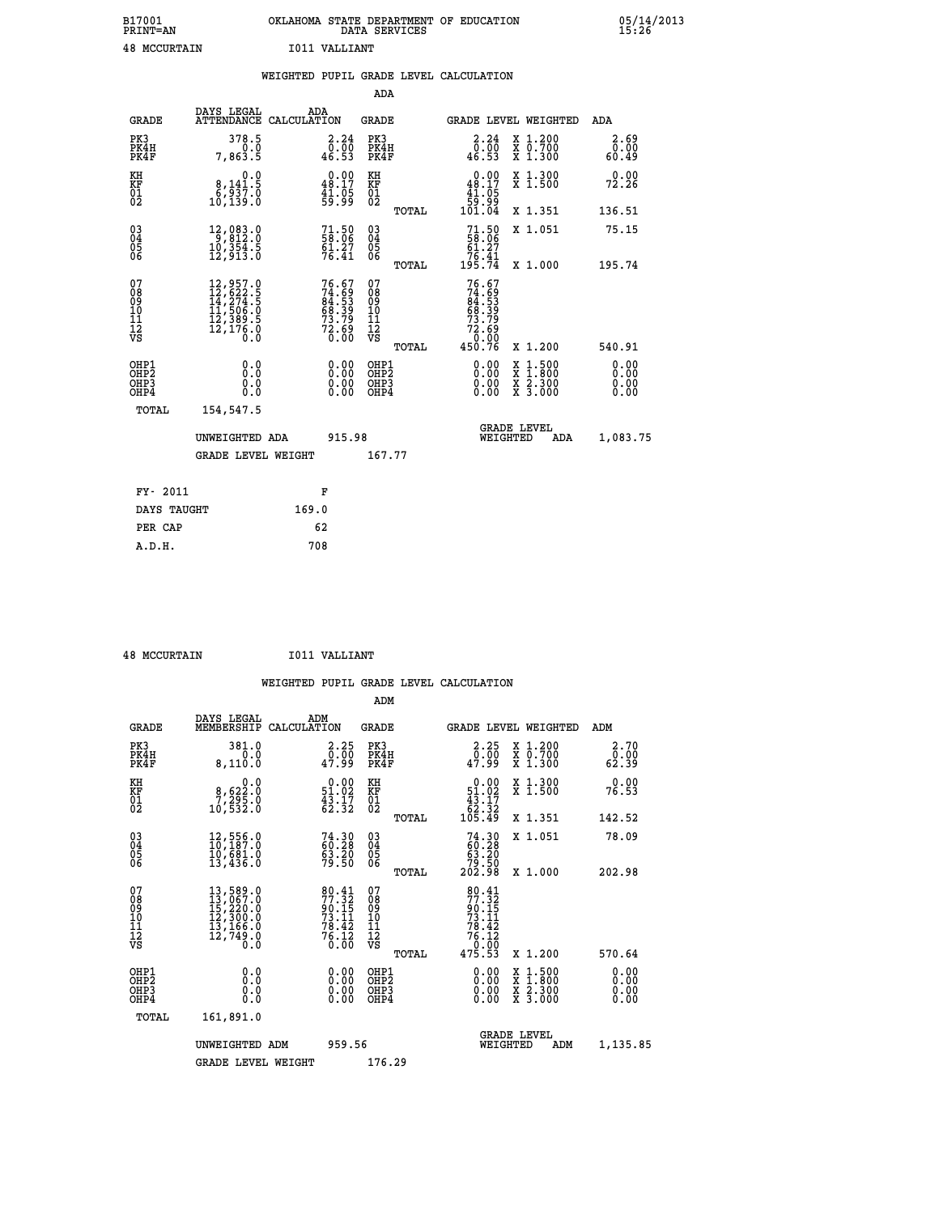| B17001<br><b>PRINT=AN</b> | OKLAHOMA STATE DEPARTMENT OF EDUCATION<br>DATA SERVICES | 05/14/2013<br>15:26 |
|---------------------------|---------------------------------------------------------|---------------------|
| 48<br>MCCURTAIN           | I011 VALLIANT                                           |                     |

|                                                    |                                                                             |                    |                                                                      |                                        |       | WEIGHTED PUPIL GRADE LEVEL CALCULATION                                           |          |                                                                                                                                           |                              |
|----------------------------------------------------|-----------------------------------------------------------------------------|--------------------|----------------------------------------------------------------------|----------------------------------------|-------|----------------------------------------------------------------------------------|----------|-------------------------------------------------------------------------------------------------------------------------------------------|------------------------------|
|                                                    |                                                                             |                    |                                                                      | ADA                                    |       |                                                                                  |          |                                                                                                                                           |                              |
| <b>GRADE</b>                                       | DAYS LEGAL<br><b>ATTENDANCE</b>                                             | ADA<br>CALCULATION |                                                                      | <b>GRADE</b>                           |       |                                                                                  |          | GRADE LEVEL WEIGHTED                                                                                                                      | ADA                          |
| PK3<br>PK4H<br>PK4F                                | 378.5<br>0.0<br>7,863.5                                                     |                    | $\begin{smallmatrix} 2.24\ 0.00\ 46.53 \end{smallmatrix}$            | PK3<br>PK4H<br>PK4F                    |       | 2.24<br>0.00<br>46.53                                                            |          | X 1.200<br>X 0.700<br>X 1.300                                                                                                             | 2.69<br>0.00<br>60.49        |
| KH<br>KF<br>01<br>02                               | 0.0<br>$\begin{smallmatrix} 8,141.5\\ 6,937.0\\ 10,139.0 \end{smallmatrix}$ |                    | $\begin{smallmatrix} 0.00\\ 48.17\\ 41.05\\ 59.99 \end{smallmatrix}$ | KH<br>KF<br>01<br>02                   |       | $\begin{smallmatrix} &0.00\ 48.17\ 41.05\ 59.99\ 101.04\end{smallmatrix}$        |          | X 1.300<br>X 1.500                                                                                                                        | 0.00<br>72.26                |
|                                                    |                                                                             |                    |                                                                      |                                        | TOTAL |                                                                                  |          | X 1.351                                                                                                                                   | 136.51                       |
| $\begin{matrix} 03 \\ 04 \\ 05 \\ 06 \end{matrix}$ | 12,083.0<br>9,812.0<br>10,354.5<br>12,913.0                                 |                    | $71.50$<br>58.06<br>$\frac{61.27}{76.41}$                            | 03<br>04<br>05<br>06                   |       | $71.50$<br>$58.06$<br>$61.27$                                                    |          | X 1.051                                                                                                                                   | 75.15                        |
|                                                    |                                                                             |                    |                                                                      |                                        | TOTAL | 76.41<br>195.74                                                                  |          | X 1.000                                                                                                                                   | 195.74                       |
| 07<br>08<br>09<br>11<br>11<br>12<br>VS             |                                                                             |                    | 76.67<br>74.69<br>84.53<br>68.39<br>68.72.69<br>72.69<br>0.00        | 07<br>08<br>09<br>11<br>11<br>12<br>VS | TOTAL | 76.67<br>$74.69$<br>$84.53$<br>$68.39$<br>$73.79$<br>$72.69$<br>$0.99$<br>450.76 |          | X 1.200                                                                                                                                   | 540.91                       |
| OHP1<br>OHP2<br>OHP3<br>OHP4                       | 0.0<br>0.0<br>0.0                                                           |                    | $\begin{smallmatrix} 0.00 \ 0.00 \ 0.00 \ 0.00 \end{smallmatrix}$    | OHP1<br>OHP2<br>OHP3<br>OHP4           |       | $0.00$<br>$0.00$<br>0.00                                                         |          | $\begin{smallmatrix} \mathtt{X} & 1\cdot500\\ \mathtt{X} & 1\cdot800\\ \mathtt{X} & 2\cdot300\\ \mathtt{X} & 3\cdot000 \end{smallmatrix}$ | 0.00<br>0.00<br>0.00<br>0.00 |
| TOTAL                                              | 154,547.5                                                                   |                    |                                                                      |                                        |       |                                                                                  |          |                                                                                                                                           |                              |
|                                                    | UNWEIGHTED ADA                                                              |                    | 915.98                                                               |                                        |       |                                                                                  | WEIGHTED | <b>GRADE LEVEL</b><br>ADA                                                                                                                 | 1,083.75                     |
|                                                    | <b>GRADE LEVEL WEIGHT</b>                                                   |                    |                                                                      | 167.77                                 |       |                                                                                  |          |                                                                                                                                           |                              |
| FY- 2011                                           |                                                                             | F                  |                                                                      |                                        |       |                                                                                  |          |                                                                                                                                           |                              |
| DAYS TAUGHT                                        |                                                                             | 169.0              |                                                                      |                                        |       |                                                                                  |          |                                                                                                                                           |                              |
| PER CAP                                            |                                                                             | 62                 |                                                                      |                                        |       |                                                                                  |          |                                                                                                                                           |                              |

 **48 MCCURTAIN I011 VALLIANT**

 **A.D.H. 708**

 **ADM**

| <b>GRADE</b>                                       | DAYS LEGAL<br>MEMBERSHIP                                                                                                                            | ADM<br>CALCULATION                                                   | <b>GRADE</b>                             |       | GRADE LEVEL WEIGHTED                                                                 |                                          | ADM                   |  |
|----------------------------------------------------|-----------------------------------------------------------------------------------------------------------------------------------------------------|----------------------------------------------------------------------|------------------------------------------|-------|--------------------------------------------------------------------------------------|------------------------------------------|-----------------------|--|
| PK3<br>PK4H<br>PK4F                                | 381.0<br>0.0<br>8,110.0                                                                                                                             | 2.25<br>00.00<br>47.99                                               | PK3<br>PK4H<br>PK4F                      |       | 2.25<br>$\frac{0}{47.99}$                                                            | X 1.200<br>X 0.700<br>X 1.300            | 2.70<br>0.00<br>62.39 |  |
| KH<br>KF<br>01<br>02                               | 0.0<br>8,622:0<br>7,295:0<br>10,532:0                                                                                                               | $\begin{smallmatrix} 0.00\\ 51.02\\ 43.17\\ 62.32 \end{smallmatrix}$ | KH<br>KF<br>01<br>02                     |       | $\begin{array}{r} 0.00 \\ 51.02 \\ 43.17 \\ 62.32 \\ 105.49 \end{array}$             | X 1.300<br>X 1.500                       | 0.00<br>76.53         |  |
|                                                    |                                                                                                                                                     |                                                                      |                                          | TOTAL |                                                                                      | X 1.351                                  | 142.52                |  |
| $\begin{matrix} 03 \\ 04 \\ 05 \\ 06 \end{matrix}$ | $12,556.0$<br>$10,187.0$<br>$10,681.0$<br>$13,436.0$                                                                                                | 74.30<br>60.28<br>63.20<br>79.50                                     | $\substack{03 \\ 04}$<br>$\frac{05}{06}$ |       | $74.3060.2863.2079.50202.98$                                                         | X 1.051                                  | 78.09                 |  |
|                                                    |                                                                                                                                                     |                                                                      |                                          | TOTAL |                                                                                      | X 1.000                                  | 202.98                |  |
| 07<br>089<br>090<br>1112<br>VS                     | $\begin{smallmatrix} 13\,,\,589\,.0\\ 13\,,\,067\,.0\\ 15\,,\,220\,.0\\ 12\,,\,300\,.0\\ 13\,,\,166\,.0\\ 12\,,\,749\,.0\\ 0\,.0 \end{smallmatrix}$ | 0.00                                                                 | 07<br>08901112<br>1112<br>VS             |       | $80.41$<br>$77.32$<br>$90.15$<br>$73.11$<br>$78.42$<br>$76.12$<br>$0.00$<br>$475.53$ |                                          |                       |  |
|                                                    |                                                                                                                                                     |                                                                      |                                          | TOTAL |                                                                                      | X 1.200                                  | 570.64                |  |
| OHP1<br>OHP2<br>OH <sub>P3</sub><br>OHP4           | 0.0<br>0.000                                                                                                                                        |                                                                      | OHP1<br>OHP2<br>OHP3<br>OHP4             |       | 0.00<br>0.00000                                                                      | X 1:500<br>X 1:800<br>X 2:300<br>X 3:000 | 0.00<br>0.00<br>0.00  |  |
| TOTAL                                              | 161,891.0                                                                                                                                           |                                                                      |                                          |       |                                                                                      |                                          |                       |  |
|                                                    | UNWEIGHTED<br>ADM                                                                                                                                   | 959.56                                                               |                                          |       | WEIGHTED                                                                             | <b>GRADE LEVEL</b><br>ADM                | 1,135.85              |  |
|                                                    | <b>GRADE LEVEL WEIGHT</b>                                                                                                                           |                                                                      | 176.29                                   |       |                                                                                      |                                          |                       |  |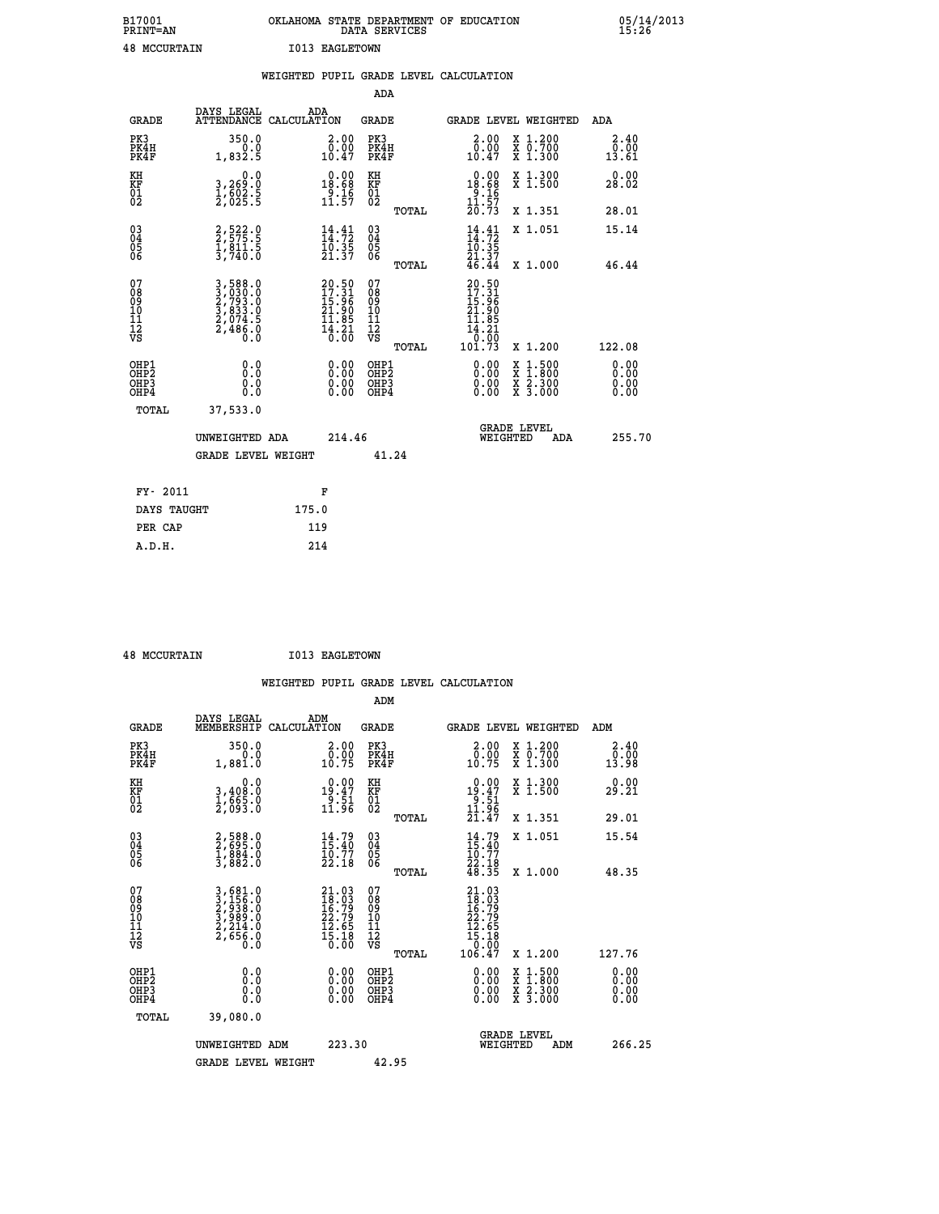| B17001<br>PRINT=AN  | . STATE DEPARTMENT OF EDUCATION<br>OKLAHOMA<br>DATA SERVICES | 05/14/2013<br>15:26 |
|---------------------|--------------------------------------------------------------|---------------------|
| <b>48 MCCURTAIN</b> | <b>I013 EAGLETOWN</b>                                        |                     |

|                                                                    |                                                                           | WEIGHTED PUPIL GRADE LEVEL CALCULATION                             |                                                  |                                                                                                                           |                                                                                                  |                              |
|--------------------------------------------------------------------|---------------------------------------------------------------------------|--------------------------------------------------------------------|--------------------------------------------------|---------------------------------------------------------------------------------------------------------------------------|--------------------------------------------------------------------------------------------------|------------------------------|
|                                                                    |                                                                           |                                                                    | ADA                                              |                                                                                                                           |                                                                                                  |                              |
| <b>GRADE</b>                                                       | DAYS LEGAL                                                                | ADA<br>ATTENDANCE CALCULATION                                      | <b>GRADE</b>                                     | GRADE LEVEL WEIGHTED                                                                                                      |                                                                                                  | ADA                          |
| PK3<br>PK4H<br>PK4F                                                | 350.0<br>0.0<br>1,832.5                                                   | 2.00<br>0.00<br>10.47                                              | PK3<br>PK4H<br>PK4F                              | 2.00<br>0.00<br>10.47                                                                                                     | X 1.200<br>X 0.700<br>X 1.300                                                                    | 2.40<br>0.00<br>13.61        |
| KH<br><b>KF</b><br>01<br>02                                        | 0.0<br>3,269:0<br>1,602:5<br>2,025:5                                      | $\begin{array}{r} 0.00 \\ 18.68 \\ 9.16 \\ 11.57 \end{array}$      | KH<br><b>KF</b><br>01<br>02                      | $\begin{array}{r} 0.00 \\ 18.68 \\ 9.16 \\ 11.57 \\ 20.73 \end{array}$                                                    | X 1.300<br>X 1.500                                                                               | 0.00<br>28.02                |
|                                                                    |                                                                           |                                                                    | TOTAL                                            |                                                                                                                           | X 1.351                                                                                          | 28.01                        |
| $\begin{smallmatrix} 03 \\[-4pt] 04 \end{smallmatrix}$<br>Ŏ5<br>06 | 2,575.9<br>$\frac{1}{3}, \frac{8}{7}\frac{11}{40}$ : 5                    | $\begin{smallmatrix} 14.41\ 14.72\ 10.35\ 21.37 \end{smallmatrix}$ | $\substack{03 \\ 04}$<br>$\frac{05}{06}$         | $\frac{14}{14}$ : $\frac{41}{72}$<br>$\frac{1}{21}$ , $\frac{3}{5}$<br>$\frac{21}{46}$ , $\frac{3}{44}$                   | X 1.051                                                                                          | 15.14                        |
|                                                                    |                                                                           |                                                                    | TOTAL                                            |                                                                                                                           | X 1.000                                                                                          | 46.44                        |
| 07<br>08<br>09<br>11<br>11<br>12<br>VS                             | 3,588.0<br>3,030.0<br>2,793.0<br>3,833.0<br>3,833.0<br>2,074.5<br>2,486.0 | 20.50<br>17.31<br>15.96<br>21.90<br>21.85<br>14.21<br>16.00        | 07<br>08<br>09<br>101<br>11<br>12<br>VS<br>TOTAL | 20.50<br>$\frac{17}{15}$ $\cdot\frac{31}{96}$<br>21.90<br>$\begin{array}{r} 11.85 \\ 14.21 \\ 0.00 \\ 101.73 \end{array}$ | X 1.200                                                                                          | 122.08                       |
| OHP1<br>OH <sub>P</sub> 2<br>OHP3<br>OHP4                          | 0.0<br>0.0<br>0.0                                                         | 0.00<br>0.00<br>0.00                                               | OHP1<br>OH <sub>P</sub> 2<br>OHP3<br>OHP4        | 0.00<br>0.00                                                                                                              | $\begin{smallmatrix} x & 1 & 500 \\ x & 1 & 800 \\ x & 2 & 300 \\ x & 3 & 000 \end{smallmatrix}$ | 0.00<br>0.00<br>0.00<br>0.00 |
| TOTAL                                                              | 37,533.0                                                                  |                                                                    |                                                  |                                                                                                                           |                                                                                                  |                              |
|                                                                    | UNWEIGHTED ADA                                                            | 214.46                                                             |                                                  | <b>GRADE LEVEL</b><br>WEIGHTED                                                                                            | ADA                                                                                              | 255.70                       |
|                                                                    | <b>GRADE LEVEL WEIGHT</b>                                                 |                                                                    | 41.24                                            |                                                                                                                           |                                                                                                  |                              |
| FY- 2011                                                           |                                                                           | F                                                                  |                                                  |                                                                                                                           |                                                                                                  |                              |
| DAYS TAUGHT                                                        |                                                                           | 175.0                                                              |                                                  |                                                                                                                           |                                                                                                  |                              |
| PER CAP                                                            |                                                                           | 119                                                                |                                                  |                                                                                                                           |                                                                                                  |                              |

 **48 MCCURTAIN I013 EAGLETOWN**

 **A.D.H. 214**

 **WEIGHTED PUPIL GRADE LEVEL CALCULATION ADM DAYS LEGAL ADM**

| <b>GRADE</b>                                       | DAIS TEATH<br>MEMBERSHIP                                                                                                                      | שעם<br>CALCULATION                                                                                 | GRADE                                              |       |                                                                                                | <b>GRADE LEVEL WEIGHTED</b>                                                                                                               | ADM                          |  |
|----------------------------------------------------|-----------------------------------------------------------------------------------------------------------------------------------------------|----------------------------------------------------------------------------------------------------|----------------------------------------------------|-------|------------------------------------------------------------------------------------------------|-------------------------------------------------------------------------------------------------------------------------------------------|------------------------------|--|
| PK3<br>PK4H<br>PK4F                                | 350.0<br>0.0<br>1,881.0                                                                                                                       | $\begin{smallmatrix} 2.00\\ 0.00\\ 10.75 \end{smallmatrix}$                                        | PK3<br>PK4H<br>PK4F                                |       | 0.00<br>10.75                                                                                  | X 1.200<br>X 0.700<br>X 1.300                                                                                                             | 2.40<br>0.00<br>13.98        |  |
| KH<br>KF<br>01<br>02                               | $\begin{smallmatrix}&&&0.0\\3,408.0\\1,665.0\\2,093.0\end{smallmatrix}$                                                                       | $\begin{array}{r} 0.00 \\ 19.47 \\ 9.51 \\ 11.96 \end{array}$                                      | KH<br>KF<br>01<br>02                               |       | $19.47$<br>$19.51$<br>$11.96$<br>$21.47$                                                       | X 1.300<br>X 1.500                                                                                                                        | 0.00<br>29.21                |  |
|                                                    |                                                                                                                                               |                                                                                                    |                                                    | TOTAL |                                                                                                | X 1.351                                                                                                                                   | 29.01                        |  |
| $\begin{matrix} 03 \\ 04 \\ 05 \\ 06 \end{matrix}$ | 2,588.0<br>2,695.0<br>1,884.0<br>3,882.0                                                                                                      | $14.79$<br>$15.40$<br>$10.77$<br>$22.18$                                                           | $\begin{matrix} 03 \\ 04 \\ 05 \\ 06 \end{matrix}$ |       | $14.79$<br>$15.40$<br>$10.77$<br>$22.18$<br>$48.35$                                            | X 1.051                                                                                                                                   | 15.54                        |  |
|                                                    |                                                                                                                                               |                                                                                                    |                                                    | TOTAL |                                                                                                | $X_1.000$                                                                                                                                 | 48.35                        |  |
| 07<br>08<br>09<br>101<br>11<br>12<br>VS            | $\begin{smallmatrix} 3\,,\,681\,.0\\ 3\,,\,156\,.0\\ 2\,,\,938\,.0\\ 3\,,\,989\,.0\\ 2\,,\,214\,.0\\ 2\,,\,656\,.0\\ 0\,.0 \end{smallmatrix}$ | $\begin{smallmatrix} 21.03 \\ 18.03 \\ 16.79 \\ 22.79 \\ 12.65 \\ 15.18 \\ 0.00 \end{smallmatrix}$ | 07<br>08<br>09<br>001<br>11<br>11<br>12<br>VS      |       | $\begin{smallmatrix} 21.03\ 18.03\ 16.79\ 22.79\ 12.65\ 15.18\ 0.00\ 106.47 \end{smallmatrix}$ |                                                                                                                                           |                              |  |
|                                                    |                                                                                                                                               |                                                                                                    |                                                    | TOTAL |                                                                                                | X 1.200                                                                                                                                   | 127.76                       |  |
| OHP1<br>OHP2<br>OHP <sub>3</sub><br>OHP4           | 0.0<br>0.000                                                                                                                                  |                                                                                                    | OHP1<br>OHP2<br>OHP3<br>OHP4                       |       |                                                                                                | $\begin{smallmatrix} \mathtt{X} & 1\cdot500\\ \mathtt{X} & 1\cdot800\\ \mathtt{X} & 2\cdot300\\ \mathtt{X} & 3\cdot000 \end{smallmatrix}$ | 0.00<br>0.00<br>0.00<br>0.00 |  |
| TOTAL                                              | 39,080.0                                                                                                                                      |                                                                                                    |                                                    |       |                                                                                                |                                                                                                                                           |                              |  |
|                                                    | UNWEIGHTED ADM                                                                                                                                | 223.30                                                                                             |                                                    |       | WEIGHTED                                                                                       | <b>GRADE LEVEL</b><br>ADM                                                                                                                 | 266.25                       |  |
|                                                    | <b>GRADE LEVEL WEIGHT</b>                                                                                                                     |                                                                                                    | 42.95                                              |       |                                                                                                |                                                                                                                                           |                              |  |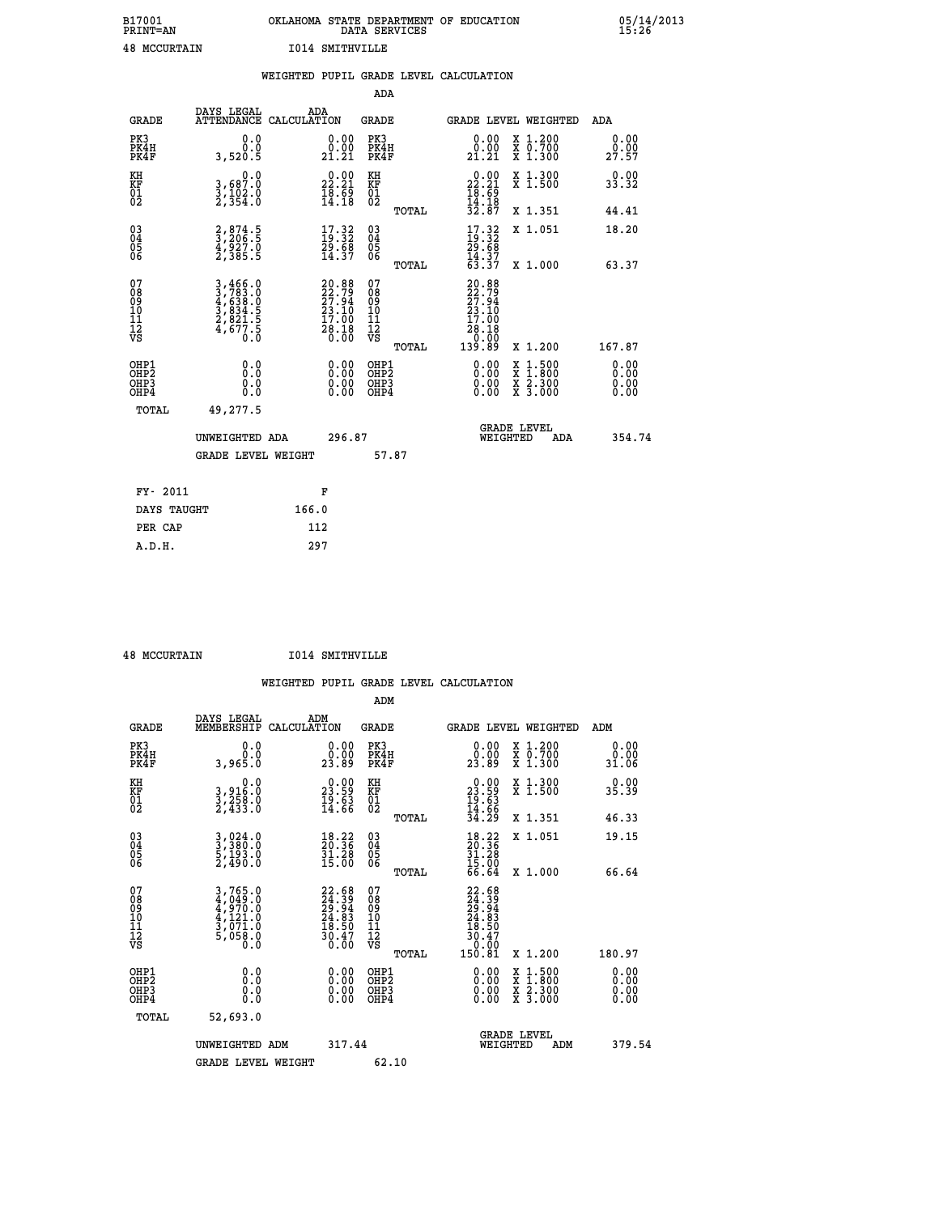| B17001              | OKLAHOMA STATE DEPARTMENT OF EDUCATION |
|---------------------|----------------------------------------|
| <b>PRINT=AN</b>     | DATA SERVICES                          |
| <b>48 MCCURTAIN</b> | <b>I014 SMITHVILLE</b>                 |

 **B17001 OKLAHOMA STATE DEPARTMENT OF EDUCATION 05/14/2013**

|                                                    |                                                                           | WEIGHTED PUPIL GRADE LEVEL CALCULATION                                   |                                        |       |                                                                                                                                                                                                                                                                                |                                                                                                                                           |                              |
|----------------------------------------------------|---------------------------------------------------------------------------|--------------------------------------------------------------------------|----------------------------------------|-------|--------------------------------------------------------------------------------------------------------------------------------------------------------------------------------------------------------------------------------------------------------------------------------|-------------------------------------------------------------------------------------------------------------------------------------------|------------------------------|
|                                                    |                                                                           |                                                                          | <b>ADA</b>                             |       |                                                                                                                                                                                                                                                                                |                                                                                                                                           |                              |
| <b>GRADE</b>                                       | DAYS LEGAL<br><b>ATTENDANCE</b>                                           | ADA<br>CALCULATION                                                       | <b>GRADE</b>                           |       |                                                                                                                                                                                                                                                                                | GRADE LEVEL WEIGHTED                                                                                                                      | ADA                          |
| PK3<br>PK4H<br>PK4F                                | 0.0<br>0.0<br>3,520.5                                                     | $\begin{smallmatrix} 0.00\\ 0.00\\ 21.21 \end{smallmatrix}$              | PK3<br>PK4H<br>PK4F                    |       | 0.00<br>0.00<br>21.21                                                                                                                                                                                                                                                          | X 1.200<br>X 0.700<br>X 1.300                                                                                                             | 0.00<br>0.00<br>27.57        |
| KH<br>KF<br>01<br>02                               | 0.0<br>3,687:0<br>3,102:0<br>2,354:0                                      | $\begin{smallmatrix} 0.00\\ 22.21\\ 18.69\\ 14.18 \end{smallmatrix}$     | KH<br>KF<br>01<br>02                   |       | $\begin{smallmatrix} 0.00\\ 22.21\\ 18.69\\ 14.18\\ 32.87 \end{smallmatrix}$                                                                                                                                                                                                   | X 1.300<br>X 1.500                                                                                                                        | 0.00<br>33.32                |
|                                                    |                                                                           |                                                                          |                                        | TOTAL |                                                                                                                                                                                                                                                                                | X 1.351                                                                                                                                   | 44.41                        |
| $\begin{matrix} 03 \\ 04 \\ 05 \\ 06 \end{matrix}$ | $\frac{2}{3}$ , $\frac{874}{206}$ : 5<br>4,927.0<br>2,385.5               | $\begin{smallmatrix} 17.32\ 19.32\ 29.68\ 14.37 \end{smallmatrix}$       | 03<br>04<br>05<br>06                   |       | $17.32$<br>$19.32$<br>$29.68$<br>$14.37$<br>$63.37$                                                                                                                                                                                                                            | X 1.051                                                                                                                                   | 18.20                        |
|                                                    |                                                                           |                                                                          |                                        | TOTAL |                                                                                                                                                                                                                                                                                | X 1.000                                                                                                                                   | 63.37                        |
| 07<br>08901112<br>1112<br>VS                       | 3,466.0<br>3,783.0<br>4,638.0<br>4,638.5<br>3,834.5<br>2,821.5<br>4,677.5 | $20.88$<br>$22.79$<br>$27.94$<br>$23.10$<br>$17.00$<br>$28.18$<br>$0.00$ | 07<br>08<br>09<br>11<br>11<br>12<br>VS | TOTAL | 20.88<br>22.79<br>27.94<br>23.10<br>17.00<br>18.18<br>0.00<br>139.89                                                                                                                                                                                                           | X 1.200                                                                                                                                   | 167.87                       |
| OHP1<br>OHP2<br>OH <sub>P3</sub><br>OHP4           | 0.0<br>0.0<br>0.0                                                         | $\begin{smallmatrix} 0.00 \ 0.00 \ 0.00 \ 0.00 \end{smallmatrix}$        | OHP1<br>OHP2<br>OHP3<br>OHP4           |       | $\begin{smallmatrix} 0.00 & 0.00 & 0.00 & 0.00 & 0.00 & 0.00 & 0.00 & 0.00 & 0.00 & 0.00 & 0.00 & 0.00 & 0.00 & 0.00 & 0.00 & 0.00 & 0.00 & 0.00 & 0.00 & 0.00 & 0.00 & 0.00 & 0.00 & 0.00 & 0.00 & 0.00 & 0.00 & 0.00 & 0.00 & 0.00 & 0.00 & 0.00 & 0.00 & 0.00 & 0.00 & 0.0$ | $\begin{smallmatrix} \mathtt{X} & 1\cdot500\\ \mathtt{X} & 1\cdot800\\ \mathtt{X} & 2\cdot300\\ \mathtt{X} & 3\cdot000 \end{smallmatrix}$ | 0.00<br>0.00<br>0.00<br>0.00 |
| TOTAL                                              | 49,277.5                                                                  |                                                                          |                                        |       |                                                                                                                                                                                                                                                                                |                                                                                                                                           |                              |
|                                                    | UNWEIGHTED ADA                                                            | 296.87                                                                   |                                        |       | WEIGHTED                                                                                                                                                                                                                                                                       | <b>GRADE LEVEL</b><br>ADA                                                                                                                 | 354.74                       |
|                                                    | <b>GRADE LEVEL WEIGHT</b>                                                 |                                                                          | 57.87                                  |       |                                                                                                                                                                                                                                                                                |                                                                                                                                           |                              |
| FY- 2011                                           |                                                                           | F                                                                        |                                        |       |                                                                                                                                                                                                                                                                                |                                                                                                                                           |                              |
| DAYS TAUGHT                                        |                                                                           | 166.0                                                                    |                                        |       |                                                                                                                                                                                                                                                                                |                                                                                                                                           |                              |
| PER CAP                                            |                                                                           | 112                                                                      |                                        |       |                                                                                                                                                                                                                                                                                |                                                                                                                                           |                              |

| 48 MCCURTAIN |  |
|--------------|--|

 **A.D.H. 297**

 **48 MCCURTAIN I014 SMITHVILLE**

|  |     | WEIGHTED PUPIL GRADE LEVEL CALCULATION |
|--|-----|----------------------------------------|
|  | ADM |                                        |

| <b>GRADE</b>                                             | DAYS LEGAL<br>MEMBERSHIP                                              | ADM<br>CALCULATION                                                       | <b>GRADE</b>                                        |                                                                                                                                             |                                | <b>GRADE LEVEL WEIGHTED</b>              | ADM                   |
|----------------------------------------------------------|-----------------------------------------------------------------------|--------------------------------------------------------------------------|-----------------------------------------------------|---------------------------------------------------------------------------------------------------------------------------------------------|--------------------------------|------------------------------------------|-----------------------|
| PK3<br>PK4H<br>PK4F                                      | 0.0<br>0.0<br>0.0ae,c                                                 | 0.0000<br>23.89                                                          | PK3<br>PK4H<br>PK4F                                 | 0.00<br>0.00<br>23.89                                                                                                                       |                                | X 1.200<br>X 0.700<br>X 1.300            | 0.00<br>0.00<br>31.06 |
| KH<br>KF<br>01<br>02                                     | 0.0<br>3,916:0<br>3,258:0<br>2,433:0                                  | $\begin{smallmatrix} 0.00\\ 23.59\\ 19.63\\ 14.66 \end{smallmatrix}$     | KH<br>KF<br>01<br>02                                | $\begin{smallmatrix} 0.00\\ 23.59\\ 19.63\\ 14.66\\ 34.29 \end{smallmatrix}$                                                                |                                | X 1.300<br>X 1.500                       | 0.00<br>35.39         |
|                                                          |                                                                       |                                                                          | TOTAL                                               |                                                                                                                                             |                                | X 1.351                                  | 46.33                 |
| $\begin{matrix} 03 \\ 04 \\ 05 \\ 06 \end{matrix}$       | 3,024.0<br>3,380.0<br>5,193.0<br>2,490.0                              | $\begin{smallmatrix} 18.22\ 20.36\ 31.28\ 15.00 \end{smallmatrix}$       | $\begin{array}{c} 03 \\ 04 \\ 05 \\ 06 \end{array}$ | $\begin{smallmatrix} 18.22\ 20.36\ 31.28\ 15.00\ 66.64 \end{smallmatrix}$                                                                   |                                | X 1.051                                  | 19.15                 |
|                                                          |                                                                       |                                                                          | TOTAL                                               |                                                                                                                                             |                                | X 1.000                                  | 66.64                 |
| 07<br>08<br>09<br>11<br>11<br>12<br>VS                   | 3,765.0<br>4,049.0<br>4,970.0<br>4,121.0<br>3,071.0<br>5,058.0<br>0.0 | $22.68$<br>$24.39$<br>$29.94$<br>$24.83$<br>$18.50$<br>$30.47$<br>$0.00$ | 07<br>08<br>09<br>11<br>11<br>12<br>VS<br>TOTAL     | $\begin{smallmatrix} 22. & 68 \\ 24 & 39 \\ 29 & 94 \\ 24 & 83 \\ 18 & 50 \\ 18 & 50 \\ 30 & 47 \\ 0 & 00 \\ 150 & 81 \\ \end{smallmatrix}$ |                                | X 1.200                                  | 180.97                |
| OHP1                                                     |                                                                       |                                                                          | OHP1                                                |                                                                                                                                             |                                |                                          | 0.00                  |
| OH <sub>P</sub> <sub>2</sub><br>OH <sub>P3</sub><br>OHP4 | 0.0<br>0.000                                                          |                                                                          | OHP <sub>2</sub><br>OHP3<br>OHP4                    |                                                                                                                                             |                                | X 1:500<br>X 1:800<br>X 2:300<br>X 3:000 | 0.00<br>0.00<br>0.00  |
| TOTAL                                                    | 52,693.0                                                              |                                                                          |                                                     |                                                                                                                                             |                                |                                          |                       |
|                                                          | UNWEIGHTED ADM                                                        | 317.44                                                                   |                                                     |                                                                                                                                             | <b>GRADE LEVEL</b><br>WEIGHTED | ADM                                      | 379.54                |
|                                                          | <b>GRADE LEVEL WEIGHT</b>                                             |                                                                          | 62.10                                               |                                                                                                                                             |                                |                                          |                       |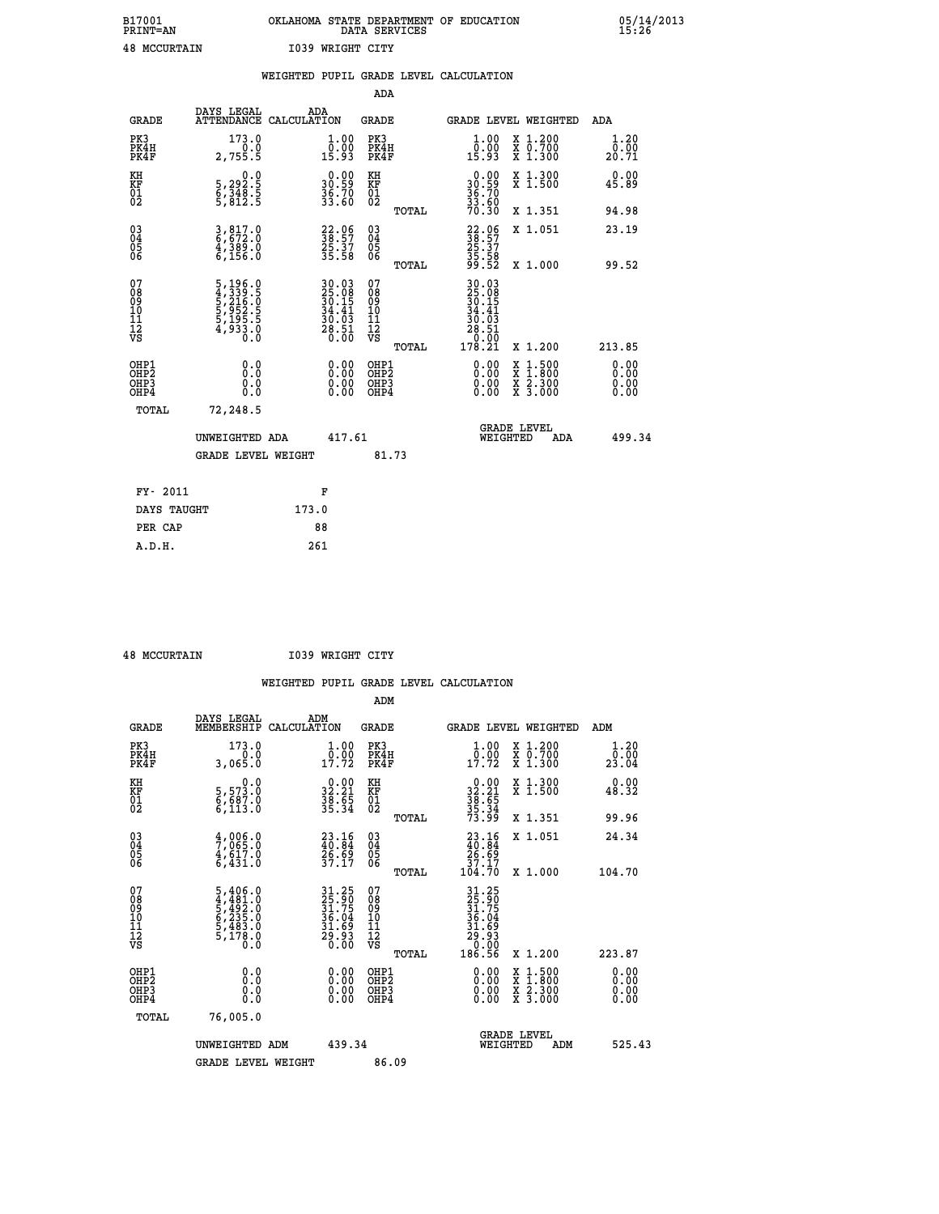| B17001              | OKLAHOMA STATE DEPARTMENT OF EDUCATION |
|---------------------|----------------------------------------|
| <b>PRINT=AN</b>     | DATA SERVICES                          |
| <b>48 MCCURTAIN</b> | 1039 WRIGHT CITY                       |

 **B17001 OKLAHOMA STATE DEPARTMENT OF EDUCATION 05/14/2013**

|                                                                    |                                                                         |                                                                            |                                                 | WEIGHTED PUPIL GRADE LEVEL CALCULATION                                                                         |                                                                                                  |                              |
|--------------------------------------------------------------------|-------------------------------------------------------------------------|----------------------------------------------------------------------------|-------------------------------------------------|----------------------------------------------------------------------------------------------------------------|--------------------------------------------------------------------------------------------------|------------------------------|
|                                                                    |                                                                         |                                                                            | ADA                                             |                                                                                                                |                                                                                                  |                              |
| <b>GRADE</b>                                                       | DAYS LEGAL                                                              | ADA<br>ATTENDANCE CALCULATION                                              | <b>GRADE</b>                                    | GRADE LEVEL WEIGHTED                                                                                           |                                                                                                  | ADA                          |
| PK3<br>PK4H<br>PK4F                                                | 173.0<br>2,755.5                                                        | $\begin{smallmatrix} 1.00\\[-1.2mm] 0.00\\[-1.2mm] 15.93\end{smallmatrix}$ | PK3<br>PK4H<br>PK4F                             | 1.00<br>0.00<br>15.93                                                                                          | X 1.200<br>X 0.700<br>X 1.300                                                                    | 1.20<br>0.00<br>20.71        |
| KH<br><b>KF</b><br>01<br>02                                        | $\begin{smallmatrix}&&&0.0\\5,292.5\\6,348.5\\5,812.5\end{smallmatrix}$ | $\begin{smallmatrix} 0.00\\ 30.59\\ 36.70\\ 33.60 \end{smallmatrix}$       | KH<br>KF<br>01<br>02                            | $0.0030.5936.7033.6070.30$                                                                                     | X 1.300<br>X 1.500                                                                               | 0.00<br>45.89                |
|                                                                    |                                                                         |                                                                            | TOTAL                                           |                                                                                                                | X 1.351                                                                                          | 94.98                        |
| $\begin{smallmatrix} 03 \\[-4pt] 04 \end{smallmatrix}$<br>Ŏ5<br>06 | 3,817.0<br>6,672.0<br>4,389.0<br>6,156.0                                | 22.06<br>38.57<br>25.37<br>35.58                                           | $\substack{03 \\ 04}$<br>05<br>06               | 38:57<br>38:57<br>35:37<br>35:58<br>99:52                                                                      | X 1.051                                                                                          | 23.19                        |
|                                                                    |                                                                         |                                                                            | TOTAL                                           |                                                                                                                | X 1.000                                                                                          | 99.52                        |
| 07<br>08<br>09<br>11<br>11<br>12<br>VS                             | 5, 196.0<br>4, 339.5<br>5, 216.0<br>5, 952.5<br>5, 195.5<br>4, 933.0    | $30.0325.0830.1534.4130.0328.510.00$                                       | 07<br>08<br>09<br>11<br>11<br>12<br>VS<br>TOTAL | $\begin{array}{@{}ll} 30.03 \\ 25.08 \\ 30.15 \\ 34.41 \\ 36.03 \\ 28.51 \end{array}$<br>$\frac{0.00}{178.21}$ | X 1.200                                                                                          | 213.85                       |
| OHP1<br>OH <sub>P</sub> 2<br>OHP3<br>OH <sub>P4</sub>              | 0.0<br>0.0<br>0.0                                                       | $0.00$<br>$0.00$<br>0.00                                                   | OHP1<br>OH <sub>P</sub> 2<br>OHP3<br>OHP4       | 0.00<br>0.00                                                                                                   | $\begin{smallmatrix} x & 1 & 500 \\ x & 1 & 800 \\ x & 2 & 300 \\ x & 3 & 000 \end{smallmatrix}$ | 0.00<br>0.00<br>0.00<br>0.00 |
| TOTAL                                                              | 72,248.5                                                                |                                                                            |                                                 |                                                                                                                |                                                                                                  |                              |
|                                                                    | UNWEIGHTED ADA                                                          | 417.61                                                                     |                                                 | <b>GRADE LEVEL</b><br>WEIGHTED                                                                                 | ADA                                                                                              | 499.34                       |
|                                                                    | <b>GRADE LEVEL WEIGHT</b>                                               |                                                                            | 81.73                                           |                                                                                                                |                                                                                                  |                              |
| FY- 2011                                                           |                                                                         | F                                                                          |                                                 |                                                                                                                |                                                                                                  |                              |
| DAYS TAUGHT                                                        |                                                                         | 173.0                                                                      |                                                 |                                                                                                                |                                                                                                  |                              |
| PER CAP                                                            |                                                                         | 88                                                                         |                                                 |                                                                                                                |                                                                                                  |                              |

 **A.D.H. 261**

 **48 MCCURTAIN I039 WRIGHT CITY**

|                                           |                                                                                                 |                                                                      | ADM                                                 |                                                                                    |                         |                                          |                        |
|-------------------------------------------|-------------------------------------------------------------------------------------------------|----------------------------------------------------------------------|-----------------------------------------------------|------------------------------------------------------------------------------------|-------------------------|------------------------------------------|------------------------|
| <b>GRADE</b>                              | DAYS LEGAL<br>MEMBERSHIP                                                                        | ADM<br>CALCULATION                                                   | <b>GRADE</b>                                        |                                                                                    |                         | GRADE LEVEL WEIGHTED                     | ADM                    |
| PK3<br>PK4H<br>PK4F                       | 173.0<br>3,065.0                                                                                | $\frac{1}{0}$ : 00<br>17.72                                          | PK3<br>PK4H<br>PK4F                                 | $\begin{smallmatrix} 1.00\\ 0.00\\ 17.72 \end{smallmatrix}$                        |                         | X 1.200<br>X 0.700<br>X 1.300            | 1.20<br>0.00≨<br>23.04 |
| KH<br>KF<br>01<br>02                      | 0.0<br>5,573.0<br>6,687.0<br>6,113.0                                                            | $\begin{smallmatrix} 0.00\\ 32.21\\ 38.65\\ 35.34 \end{smallmatrix}$ | KH<br>KF<br>01<br>02                                | $32.21$<br>$38.65$<br>$35.34$<br>$73.99$                                           |                         | X 1.300<br>X 1.500                       | 0.00<br>48.32          |
|                                           |                                                                                                 |                                                                      | TOTAL                                               |                                                                                    |                         | X 1.351                                  | 99.96                  |
| 03<br>04<br>05<br>06                      | $\frac{4}{7}$ , 006.0<br>$\frac{4}{9}$ , 065.0<br>6,431.0                                       | $23.16$<br>$40.84$<br>$26.69$<br>$37.17$                             | $\begin{array}{c} 03 \\ 04 \\ 05 \\ 06 \end{array}$ | $\begin{smallmatrix} 23.16 \\ 40.84 \\ 26.69 \\ 37.17 \\ 104.70 \end{smallmatrix}$ |                         | X 1.051                                  | 24.34                  |
|                                           |                                                                                                 |                                                                      | TOTAL                                               |                                                                                    |                         | X 1.000                                  | 104.70                 |
| 07<br>08<br>09<br>101<br>112<br>VS        | $\begin{smallmatrix}5,406.0\\4,481.0\\5,492.0\\6,235.0\\5,483.0\\5,178.0\\0.0\end{smallmatrix}$ | 31.25<br>25.90<br>31.75<br>36.04<br>31.69<br>29.93<br>29.00          | 07<br>08<br>09<br>11<br>11<br>12<br>VS<br>TOTAL     | 31.25<br>25.90<br>31.75<br>36.04<br>31.69<br>29.93<br>20.00<br>186.56              |                         | X 1.200                                  | 223.87                 |
|                                           |                                                                                                 |                                                                      |                                                     |                                                                                    |                         |                                          | 0.00                   |
| OHP1<br>OHP2<br>OH <sub>P</sub> 3<br>OHP4 |                                                                                                 |                                                                      | OHP1<br>OHP2<br>OHP <sub>3</sub>                    | $0.00$<br>$0.00$<br>0.00                                                           |                         | X 1:500<br>X 1:800<br>X 2:300<br>X 3:000 | 0.00<br>0.00           |
| TOTAL                                     | 76,005.0                                                                                        |                                                                      |                                                     |                                                                                    |                         |                                          |                        |
|                                           | UNWEIGHTED ADM                                                                                  | 439.34                                                               |                                                     |                                                                                    | GRADE LEVEL<br>WEIGHTED | ADM                                      | 525.43                 |
|                                           | <b>GRADE LEVEL WEIGHT</b>                                                                       |                                                                      | 86.09                                               |                                                                                    |                         |                                          |                        |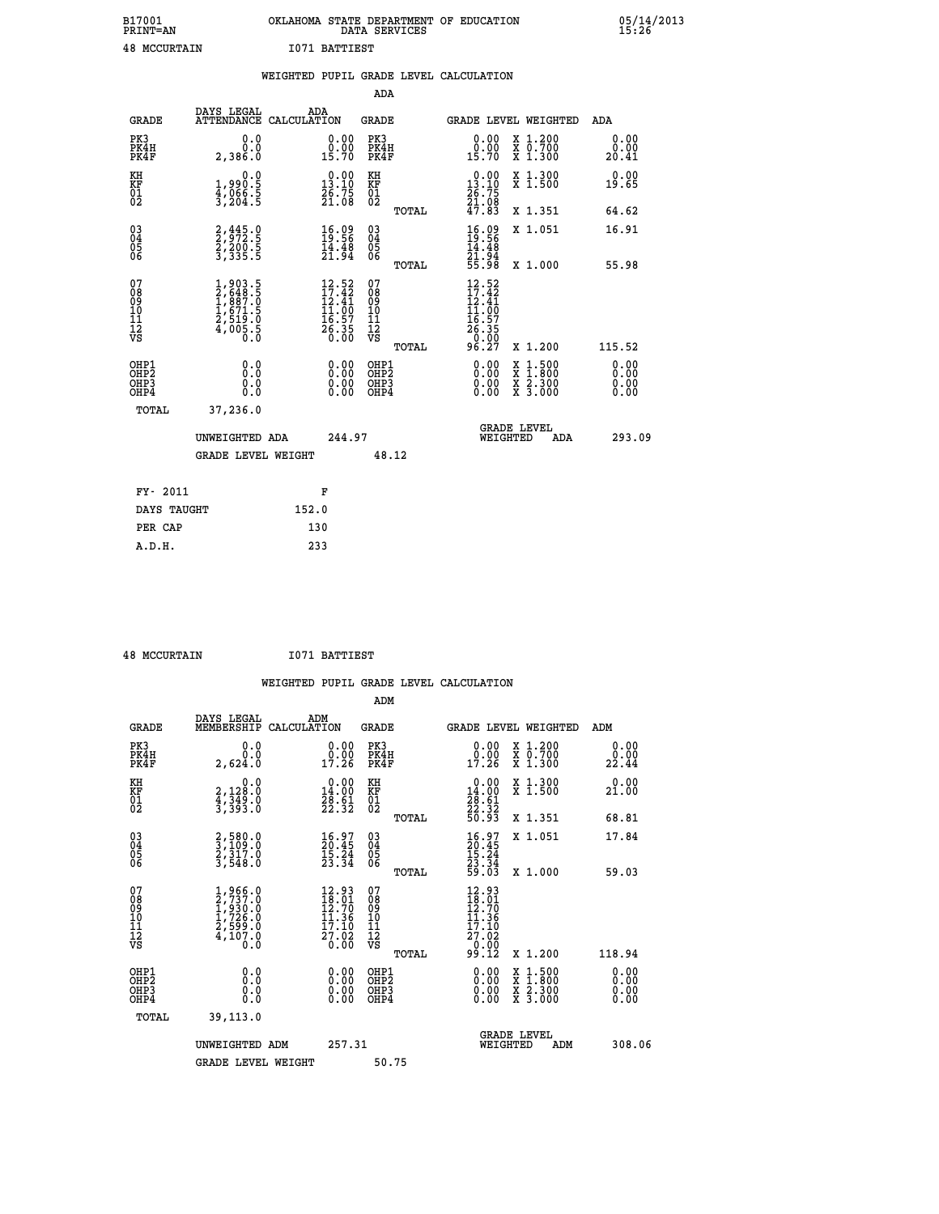| B17001          | OKLAHOMA STATE DEPARTMENT OF EDUCATION | 05/14/2013 |
|-----------------|----------------------------------------|------------|
| <b>PRINT=AN</b> | DATA SERVICES                          | 15:26      |
| 48<br>MCCURTAIN | 1071<br>BATTIEST                       |            |

|                                                                    |                                                                                            | WEIGHTED PUPIL GRADE LEVEL CALCULATION                                                                                  |                                                    |       |                                                                                                                                                                                                                                                                                |                                                                                                                                              |                       |
|--------------------------------------------------------------------|--------------------------------------------------------------------------------------------|-------------------------------------------------------------------------------------------------------------------------|----------------------------------------------------|-------|--------------------------------------------------------------------------------------------------------------------------------------------------------------------------------------------------------------------------------------------------------------------------------|----------------------------------------------------------------------------------------------------------------------------------------------|-----------------------|
|                                                                    |                                                                                            |                                                                                                                         | <b>ADA</b>                                         |       |                                                                                                                                                                                                                                                                                |                                                                                                                                              |                       |
| <b>GRADE</b>                                                       | DAYS LEGAL<br>ATTENDANCE CALCULATION                                                       | ADA                                                                                                                     | <b>GRADE</b>                                       |       | GRADE LEVEL WEIGHTED                                                                                                                                                                                                                                                           |                                                                                                                                              | ADA                   |
| PK3<br>PK4H<br>PK4F                                                | 0.0<br>0.0<br>2,386.0                                                                      | $\begin{smallmatrix} 0.00\\ 0.00\\ 15.70 \end{smallmatrix}$                                                             | PK3<br>PK4H<br>PK4F                                |       | 0.00<br>0.00<br>15.70                                                                                                                                                                                                                                                          | X 1.200<br>X 0.700<br>X 1.300                                                                                                                | 0.00<br>0.00<br>20.41 |
| KH<br>KF<br>01<br>02                                               | $1,990.5$<br>$4,066.5$<br>$3,204.5$                                                        | $\begin{smallmatrix} 0.00\\13.10\\26.75\\21.08 \end{smallmatrix}$                                                       | KH<br>KF<br>01<br>02                               |       | $\begin{smallmatrix} 0.00\\13.10\\26.75\\21.08\\47.83 \end{smallmatrix}$                                                                                                                                                                                                       | X 1.300<br>X 1.500                                                                                                                           | 0.00<br>19.65         |
|                                                                    |                                                                                            |                                                                                                                         |                                                    | TOTAL |                                                                                                                                                                                                                                                                                | X 1.351                                                                                                                                      | 64.62                 |
| $\begin{smallmatrix} 03 \\[-4pt] 04 \end{smallmatrix}$<br>Ŏ5<br>06 | 2, 445.0<br>2, 972.5<br>2, 200.5<br>3, 335.5                                               | $\begin{smallmatrix} 16.09\\19.56\\14.48\\21.94 \end{smallmatrix}$                                                      | $\begin{matrix} 03 \\ 04 \\ 05 \\ 06 \end{matrix}$ |       | $\frac{16.09}{19.56}$                                                                                                                                                                                                                                                          | X 1.051                                                                                                                                      | 16.91                 |
|                                                                    |                                                                                            |                                                                                                                         |                                                    | TOTAL | 21.94<br>55.98                                                                                                                                                                                                                                                                 | X 1.000                                                                                                                                      | 55.98                 |
| 07<br>08<br>09<br>11<br>11<br>12<br>VS                             | $\begin{smallmatrix}1,903.5\\2,648.5\\1,887.0\\1,871.5\\2,519.0\\4,005.5\end{smallmatrix}$ | 12.52<br>$\begin{array}{r} 17.32 \\[-4pt] 12.41 \\[-4pt] 11.00 \\[-4pt] 16.57 \\[-4pt] 26.35 \\[-4pt] 0.00 \end{array}$ | 07<br>08<br>09<br>11<br>11<br>12<br>VS             | TOTAL | 12.52<br>$\frac{17.42}{12.41}$<br>$\frac{17.42}{11.00}$<br>$\begin{array}{r} 16.57 \\ 26.35 \\ 0.00 \\ 96.27 \end{array}$                                                                                                                                                      | X 1.200                                                                                                                                      | 115.52                |
| OHP1<br>OHP2<br>OH <sub>P3</sub><br>OH <sub>P4</sub>               | 0.0<br>0.0<br>Ŏ.Ŏ                                                                          | 0.00<br>$\begin{smallmatrix} 0.00 \ 0.00 \end{smallmatrix}$                                                             | OHP1<br>OHP2<br>OHP3<br>OHP4                       |       | $\begin{smallmatrix} 0.00 & 0.00 & 0.00 & 0.00 & 0.00 & 0.00 & 0.00 & 0.00 & 0.00 & 0.00 & 0.00 & 0.00 & 0.00 & 0.00 & 0.00 & 0.00 & 0.00 & 0.00 & 0.00 & 0.00 & 0.00 & 0.00 & 0.00 & 0.00 & 0.00 & 0.00 & 0.00 & 0.00 & 0.00 & 0.00 & 0.00 & 0.00 & 0.00 & 0.00 & 0.00 & 0.0$ | $\begin{smallmatrix} \mathtt{X} & 1\cdot500 \\ \mathtt{X} & 1\cdot800 \\ \mathtt{X} & 2\cdot300 \\ \mathtt{X} & 3\cdot000 \end{smallmatrix}$ | 0.00<br>0.00<br>0.00  |
| TOTAL                                                              | 37,236.0                                                                                   |                                                                                                                         |                                                    |       |                                                                                                                                                                                                                                                                                |                                                                                                                                              |                       |
|                                                                    | UNWEIGHTED ADA                                                                             | 244.97                                                                                                                  |                                                    |       | WEIGHTED                                                                                                                                                                                                                                                                       | <b>GRADE LEVEL</b><br>ADA                                                                                                                    | 293.09                |
|                                                                    | <b>GRADE LEVEL WEIGHT</b>                                                                  |                                                                                                                         | 48.12                                              |       |                                                                                                                                                                                                                                                                                |                                                                                                                                              |                       |
| FY- 2011                                                           |                                                                                            | F                                                                                                                       |                                                    |       |                                                                                                                                                                                                                                                                                |                                                                                                                                              |                       |
| DAYS TAUGHT                                                        |                                                                                            | 152.0                                                                                                                   |                                                    |       |                                                                                                                                                                                                                                                                                |                                                                                                                                              |                       |
| PER CAP                                                            |                                                                                            | 130                                                                                                                     |                                                    |       |                                                                                                                                                                                                                                                                                |                                                                                                                                              |                       |

 **48 MCCURTAIN I071 BATTIEST**

 **A.D.H. 233**

| <b>GRADE</b>                                             | DAYS LEGAL<br>MEMBERSHIP                                                            | ADM<br>CALCULATION                                                                                 | <b>GRADE</b>                                        |       | <b>GRADE LEVEL WEIGHTED</b>                                                                                                                |                                          | ADM                  |  |
|----------------------------------------------------------|-------------------------------------------------------------------------------------|----------------------------------------------------------------------------------------------------|-----------------------------------------------------|-------|--------------------------------------------------------------------------------------------------------------------------------------------|------------------------------------------|----------------------|--|
| PK3<br>PK4H<br>PK4F                                      | 0.0<br>0.0<br>2,624.0                                                               | 0.00<br>17.26                                                                                      | PK3<br>PK4H<br>PK4F                                 |       | 0.00<br>0.00<br>17.26                                                                                                                      | X 1.200<br>X 0.700<br>X 1.300            | 0.00<br>22.44        |  |
| KH<br>KF<br>01<br>02                                     | 0.0<br>2,128:0<br>4,349:0<br>3,393:0                                                | $\begin{smallmatrix} 0.00\\14.00\\28.61\\22.32 \end{smallmatrix}$                                  | KH<br>KF<br>01<br>02                                |       | $\begin{smallmatrix} 0.00\\14.00\\28.61\\22.32\\50.93 \end{smallmatrix}$                                                                   | X 1.300<br>X 1.500                       | 0.00<br>21.00        |  |
|                                                          |                                                                                     |                                                                                                    |                                                     | TOTAL |                                                                                                                                            | X 1.351                                  | 68.81                |  |
| $\begin{matrix} 03 \\ 04 \\ 05 \\ 06 \end{matrix}$       | 2,580.0<br>3,109.0<br>2,317.0<br>3,548.0                                            | $\begin{smallmatrix} 16.97\ 20.45\ 15.24\ 23.34 \end{smallmatrix}$                                 | $\begin{array}{c} 03 \\ 04 \\ 05 \\ 06 \end{array}$ |       | $16.97$<br>$15.24$<br>$15.24$<br>$23.34$<br>$59.03$                                                                                        | X 1.051                                  | 17.84                |  |
|                                                          |                                                                                     |                                                                                                    |                                                     | TOTAL |                                                                                                                                            | X 1.000                                  | 59.03                |  |
| 07<br>08<br>09<br>11<br>11<br>12<br>VS                   | $1,966.0$<br>$2,737.0$<br>$1,930.0$<br>$1,726.0$<br>$2,599.0$<br>$4,107.0$<br>$0.0$ | $\begin{smallmatrix} 12.93 \\ 18.01 \\ 12.70 \\ 11.36 \\ 17.10 \\ 27.02 \\ 0.00 \end{smallmatrix}$ | 07<br>08<br>09<br>11<br>11<br>12<br>VS              | TOTAL | $\begin{array}{r} 12\cdot 93 \\ 18\cdot 01 \\ 12\cdot 70 \\ 11\cdot 36 \\ 17\cdot 10 \\ 27\cdot 02 \\ 0\cdot 00 \\ 99\cdot 12 \end{array}$ | X 1.200                                  | 118.94               |  |
| OHP1                                                     | 0.0                                                                                 |                                                                                                    | OHP1                                                |       |                                                                                                                                            |                                          | 0.00                 |  |
| OH <sub>P</sub> <sub>2</sub><br>OH <sub>P3</sub><br>OHP4 | 0.0<br>Ŏ.Ŏ                                                                          |                                                                                                    | OHP <sub>2</sub><br>OHP3<br>OHP4                    |       |                                                                                                                                            | X 1:500<br>X 1:800<br>X 2:300<br>X 3:000 | 0.00<br>0.00<br>0.00 |  |
| TOTAL                                                    | 39,113.0                                                                            |                                                                                                    |                                                     |       |                                                                                                                                            |                                          |                      |  |
|                                                          | UNWEIGHTED ADM                                                                      | 257.31                                                                                             |                                                     |       | WEIGHTED                                                                                                                                   | <b>GRADE LEVEL</b><br>ADM                | 308.06               |  |
|                                                          | <b>GRADE LEVEL WEIGHT</b>                                                           |                                                                                                    | 50.75                                               |       |                                                                                                                                            |                                          |                      |  |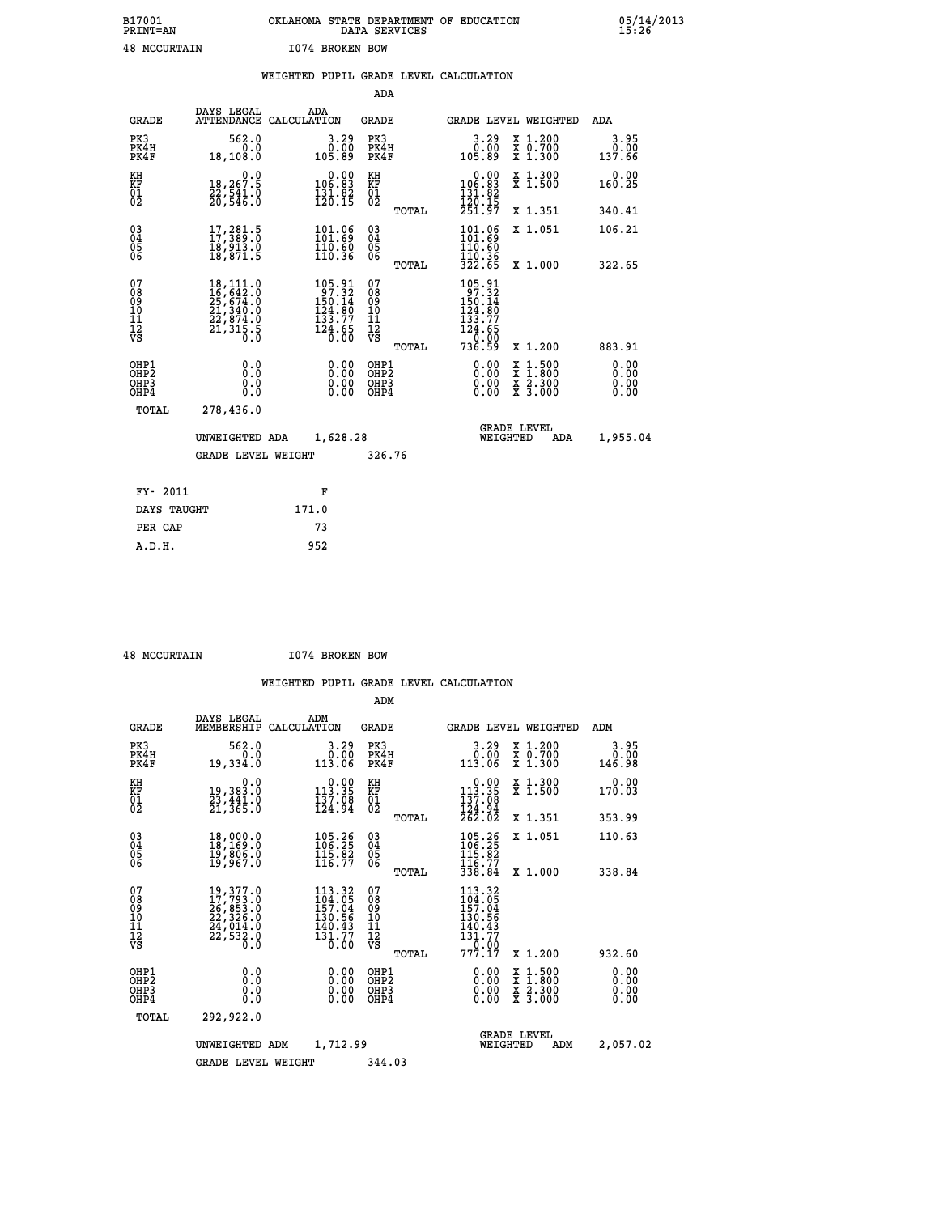| B17001<br><b>PRINT=AN</b> | OKLAHOMA STATE DEPARTMENT OF EDUCATION<br>SERVICES<br>DATA | 05/14/2013<br>15:26 |
|---------------------------|------------------------------------------------------------|---------------------|
| 48<br>MCCURTAIN           | 1074 BROKEN BOW                                            |                     |

|                                                                    |                                                                                                        | WEIGHTED PUPIL GRADE LEVEL CALCULATION                                                            |                                                |       |                                                                                                          |                                                       |                              |
|--------------------------------------------------------------------|--------------------------------------------------------------------------------------------------------|---------------------------------------------------------------------------------------------------|------------------------------------------------|-------|----------------------------------------------------------------------------------------------------------|-------------------------------------------------------|------------------------------|
|                                                                    |                                                                                                        |                                                                                                   | ADA                                            |       |                                                                                                          |                                                       |                              |
| <b>GRADE</b>                                                       | DAYS LEGAL                                                                                             | ADA<br>ATTENDANCE CALCULATION                                                                     | <b>GRADE</b>                                   |       |                                                                                                          | GRADE LEVEL WEIGHTED                                  | ADA                          |
| PK3<br>PK4H<br>PK4F                                                | 562.0<br>0.0<br>18,108.0                                                                               | $3.29$<br>$0.00$<br>105.89                                                                        | PK3<br>PK4H<br>PK4F                            |       | $3.29$<br>$0.00$<br>105.89                                                                               | X 1.200<br>X 0.700<br>X 1.300                         | 3.95<br>0.00<br>137.66       |
| KH<br>KF<br>01<br>02                                               | 0.0<br>18,267.5<br>22,541.0<br>20,546.0                                                                | $\begin{smallmatrix} &0.00\\ 106.83\\ 131.82\\ 120.15\end{smallmatrix}$                           | KH<br>KF<br>01<br>02                           |       | $\begin{smallmatrix} &0.00\\ 106.83\\ 131.82\\ 120.15\\ 251.97 \end{smallmatrix}$                        | X 1.300<br>X 1.500                                    | 0.00<br>160.25               |
|                                                                    |                                                                                                        |                                                                                                   |                                                | TOTAL |                                                                                                          | X 1.351                                               | 340.41                       |
| $\begin{smallmatrix} 03 \\[-4pt] 04 \end{smallmatrix}$<br>05<br>ŎĞ | 17, 281.5<br>ī8,913.0<br>18,871.5                                                                      | 101.06<br>$\frac{110.60}{110.36}$                                                                 | $\substack{03 \\ 04}$<br>$\substack{05 \\ 06}$ |       | 101.06<br>$\frac{110.60}{110.36}$                                                                        | X 1.051                                               | 106.21                       |
|                                                                    |                                                                                                        |                                                                                                   |                                                | TOTAL | 322.65                                                                                                   | X 1.000                                               | 322.65                       |
| 07<br>08<br>09<br>10<br>11<br>12<br>VS                             | $\begin{smallmatrix} 18,111.0\\16,642.0\\25,674.0\\21,340.0\\22,874.0\\21,315.5\\0.0\end{smallmatrix}$ | $\begin{smallmatrix} 105.91\\ 97.32\\ 150.14\\ 124.80\\ 133.77\\ 124.65\\ 0.00 \end{smallmatrix}$ | 07<br>08<br>09<br>11<br>11<br>12<br>VS         | TOTAL | $\begin{array}{c} 105.91 \\ 97.32 \\ 150.14 \\ 124.80 \\ 133.77 \\ 124.65 \end{array}$<br>0.00<br>736.59 | X 1.200                                               | 883.91                       |
| OHP1<br>OHP2<br>OHP3<br>OHP4                                       | 0.0<br>Ŏ.Ō<br>0.0<br>0.0                                                                               | 0.00<br>0.00                                                                                      | OHP1<br>OHP2<br>OHP3<br>OHP4                   |       | 0.00<br>0.00<br>0.00                                                                                     | X 1:500<br>$\frac{\ddot{x}}{x}$ $\frac{2.300}{3.000}$ | 0.00<br>0.00<br>0.00<br>0.00 |
| <b>TOTAL</b>                                                       | 278,436.0                                                                                              |                                                                                                   |                                                |       |                                                                                                          |                                                       |                              |
|                                                                    | UNWEIGHTED ADA                                                                                         | 1,628.28                                                                                          |                                                |       | WEIGHTED                                                                                                 | <b>GRADE LEVEL</b><br>ADA                             | 1,955.04                     |
|                                                                    | <b>GRADE LEVEL WEIGHT</b>                                                                              |                                                                                                   | 326.76                                         |       |                                                                                                          |                                                       |                              |
| FY- 2011                                                           |                                                                                                        | F                                                                                                 |                                                |       |                                                                                                          |                                                       |                              |
| DAYS TAUGHT                                                        |                                                                                                        | 171.0                                                                                             |                                                |       |                                                                                                          |                                                       |                              |
| PER CAP                                                            |                                                                                                        | 73                                                                                                |                                                |       |                                                                                                          |                                                       |                              |

 **48 MCCURTAIN I074 BROKEN BOW**

 **A.D.H. 952**

|                                                       |                                                                                                                                                                                          |                                                                           |                          | ADM                                                |        |                                                                            |                                |                                                                                                  |                              |
|-------------------------------------------------------|------------------------------------------------------------------------------------------------------------------------------------------------------------------------------------------|---------------------------------------------------------------------------|--------------------------|----------------------------------------------------|--------|----------------------------------------------------------------------------|--------------------------------|--------------------------------------------------------------------------------------------------|------------------------------|
| <b>GRADE</b>                                          | DAYS LEGAL<br>MEMBERSHIP                                                                                                                                                                 | ADM<br>CALCULATION                                                        |                          | <b>GRADE</b>                                       |        |                                                                            |                                | GRADE LEVEL WEIGHTED                                                                             | ADM                          |
| PK3<br>PK4H<br>PK4F                                   | 562.0<br>0.0<br>19,334.0                                                                                                                                                                 | 113.06                                                                    | 3.29<br>0.00             | PK3<br>PK4H<br>PK4F                                |        | 3.29<br>0.00<br>113.06                                                     |                                | X 1.200<br>X 0.700<br>X 1.300                                                                    | 3.95<br>0.00<br>146.98       |
| KH<br>KF<br>01<br>02                                  | 0.0<br>19,383.0<br>23,441.0<br>21,365.0                                                                                                                                                  | $\begin{smallmatrix}&&0.00\\113.35\\137.08\\124.94\end{smallmatrix}$      |                          | KH<br>KF<br>01<br>02                               |        | $\begin{array}{c} 0.00 \\ 113.35 \\ 137.08 \end{array}$                    |                                | X 1.300<br>X 1.500                                                                               | 0.00<br>170.03               |
|                                                       |                                                                                                                                                                                          |                                                                           |                          |                                                    | TOTAL  | 124.94<br>262.02                                                           |                                | X 1.351                                                                                          | 353.99                       |
| 03<br>04<br>05<br>06                                  | 18,000.0<br>18,169.0<br>19,806.0<br>19,967.0                                                                                                                                             | $\begin{smallmatrix} 105.26\\ 106.25\\ 115.82\\ 116.77 \end{smallmatrix}$ |                          | $\begin{matrix} 03 \\ 04 \\ 05 \\ 06 \end{matrix}$ |        | $\frac{105.26}{106.25}$                                                    |                                | X 1.051                                                                                          | 110.63                       |
|                                                       |                                                                                                                                                                                          |                                                                           |                          |                                                    | TOTAL  | 116.77<br>338.84                                                           |                                | X 1.000                                                                                          | 338.84                       |
| 07<br>08<br>09<br>101<br>112<br>VS                    | $\begin{smallmatrix} 19\,, & 377\,. & 0\\ 17\,, & 793\,. & 0\\ 26\,, & 853\,. & 0\\ 22\,, & 326\,. & 0\\ 24\,, & 014\,. & 0\\ 22\,, & 532\,. & 0\\ 0\,. & 0\,. & 0\,. \end{smallmatrix}$ | 113.32<br>$\frac{104.05}{157.04}$<br>130.56<br>140.43<br>131.77           | 0.00                     | 07<br>08<br>09<br>11<br>11<br>12<br>VS             |        | 113.32<br>104.05<br>157.04<br>130.56<br>$\frac{140.43}{131.77}$<br>$-0.00$ |                                |                                                                                                  |                              |
|                                                       |                                                                                                                                                                                          |                                                                           |                          |                                                    | TOTAL  | 777.17                                                                     |                                | X 1.200                                                                                          | 932.60                       |
| OHP1<br>OH <sub>P</sub> 2<br>OH <sub>P3</sub><br>OHP4 | 0.0<br>0.000                                                                                                                                                                             |                                                                           | $0.00$<br>$0.00$<br>0.00 | OHP1<br>OHP2<br>OHP3<br>OHP4                       |        | $0.00$<br>$0.00$<br>0.00                                                   |                                | $\begin{smallmatrix} x & 1 & 500 \\ x & 1 & 800 \\ x & 2 & 300 \\ x & 3 & 000 \end{smallmatrix}$ | 0.00<br>0.00<br>0.00<br>0.00 |
| TOTAL                                                 | 292,922.0                                                                                                                                                                                |                                                                           |                          |                                                    |        |                                                                            |                                |                                                                                                  |                              |
|                                                       | UNWEIGHTED                                                                                                                                                                               | ADM                                                                       | 1,712.99                 |                                                    |        |                                                                            | <b>GRADE LEVEL</b><br>WEIGHTED | ADM                                                                                              | 2,057.02                     |
|                                                       | <b>GRADE LEVEL WEIGHT</b>                                                                                                                                                                |                                                                           |                          |                                                    | 344.03 |                                                                            |                                |                                                                                                  |                              |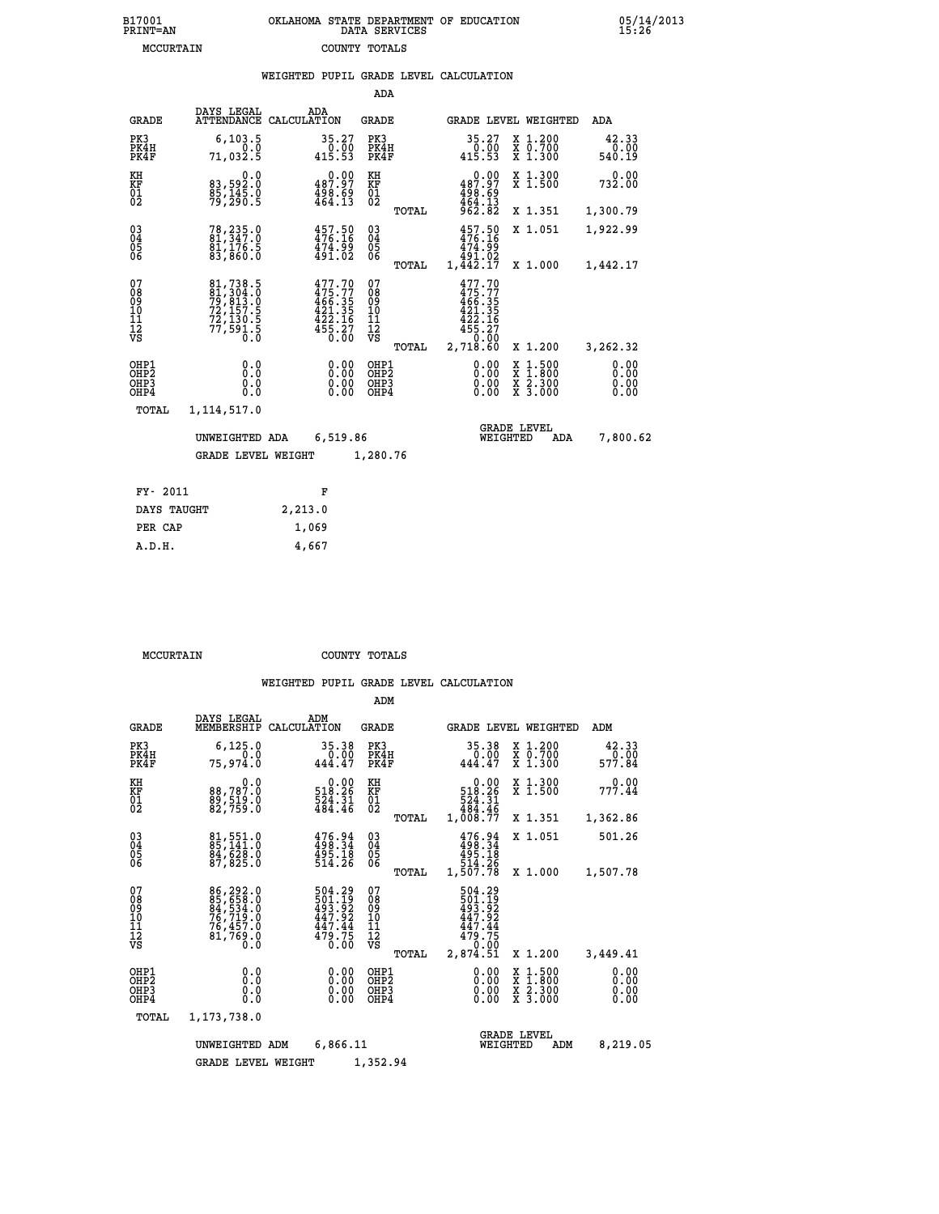| B17001          | OKLAHOMA STATE DEPARTMENT OF EDUCATION |
|-----------------|----------------------------------------|
| <b>PRINT=AN</b> | DATA SERVICES                          |
| MCCURTAIN       | COUNTY TOTALS                          |

05/14/2013<br>15:26

|                                                                    |                                                                             | WEIGHTED PUPIL GRADE LEVEL CALCULATION                                            |                                          |       |                                                                              |                                                                                                                     |                              |
|--------------------------------------------------------------------|-----------------------------------------------------------------------------|-----------------------------------------------------------------------------------|------------------------------------------|-------|------------------------------------------------------------------------------|---------------------------------------------------------------------------------------------------------------------|------------------------------|
|                                                                    |                                                                             |                                                                                   | ADA                                      |       |                                                                              |                                                                                                                     |                              |
| <b>GRADE</b>                                                       | DAYS LEGAL<br><b>ATTENDANCE</b>                                             | ADA<br>CALCULATION                                                                | <b>GRADE</b>                             |       |                                                                              | GRADE LEVEL WEIGHTED                                                                                                | ADA                          |
| PK3<br>PK4H<br>PK4F                                                | 6, 103.5<br>0.0<br>71,032.5                                                 | 35.27<br>$\frac{0.00}{415.53}$                                                    | PK3<br>PK4H<br>PK4F                      |       | 35.27<br>$\frac{0}{415.53}$                                                  | X 1.200<br>X 0.700<br>X 1.300                                                                                       | 42.33<br>0.00<br>540.19      |
| KH<br>KF<br>01<br>02                                               | 0.0<br>83,592:0<br>85,145.0<br>79,290:5                                     | $\begin{smallmatrix} &0.00\\ 487.97\\ -498.69\\ 498.59\\ 464.13\end{smallmatrix}$ | KH<br>KF<br>01<br>02                     |       | $0.00$<br>487.97<br>$\frac{498.69}{464.13}$<br>962.82                        | X 1.300<br>X 1.500                                                                                                  | 0.00<br>732.00               |
|                                                                    |                                                                             |                                                                                   |                                          | TOTAL |                                                                              | X 1.351                                                                                                             | 1,300.79                     |
| $\begin{smallmatrix} 03 \\[-4pt] 04 \end{smallmatrix}$<br>05<br>06 | 78,235.0<br>81,347.0<br>$\frac{81}{176.5}$<br>$\frac{83}{860.0}$            | 457.50<br>476.16<br>474.99<br>491.02                                              | $\substack{03 \\ 04}$<br>$\frac{05}{06}$ |       | $457.50$<br>$476.16$<br>474.99                                               | X 1.051                                                                                                             | 1,922.99                     |
|                                                                    |                                                                             |                                                                                   |                                          | TOTAL | 491.02<br>$1,\overline{4}\overline{4}\overline{2}.1\overline{7}$             | X 1.000                                                                                                             | 1,442.17                     |
| 07<br>08<br>09<br>10<br>11<br>12<br>VS                             | 81,738.5<br>81,304.0<br>79,813.0<br>72,157.5<br>72,130.5<br>77,591.5<br>0.0 | $477.70$<br>$475.77$<br>$466.35$<br>$421.35$<br>$422.16$<br>$455.27$<br>$0.00$    | 07<br>08<br>09<br>11<br>11<br>12<br>VS   | TOTAL | 477.70<br>$475.77$<br>$466.35$<br>$421.35$<br>$422.16$<br>455.27<br>2,718.60 | X 1.200                                                                                                             | 3,262.32                     |
| OHP1<br>OH <sub>P</sub> <sub>2</sub><br>OHP3<br>OHP4               | 0.0<br>0.0<br>0.0                                                           | 0.00<br>0.00                                                                      | OHP1<br>OHP2<br>OHP3<br>OHP4             |       | 0.00<br>0.00<br>0.00                                                         | $1:500$<br>1:800<br>X<br>X<br>$\begin{array}{c} \hat{x} & \hat{2} \cdot \tilde{3}00 \\ x & 3 \cdot 000 \end{array}$ | 0.00<br>0.00<br>0.00<br>0.00 |
| <b>TOTAL</b>                                                       | 1,114,517.0                                                                 |                                                                                   |                                          |       |                                                                              |                                                                                                                     |                              |
|                                                                    | UNWEIGHTED ADA                                                              | 6,519.86                                                                          |                                          |       | WEIGHTED                                                                     | <b>GRADE LEVEL</b><br>ADA                                                                                           | 7,800.62                     |
|                                                                    | <b>GRADE LEVEL WEIGHT</b>                                                   |                                                                                   | 1,280.76                                 |       |                                                                              |                                                                                                                     |                              |
| FY- 2011                                                           |                                                                             | F                                                                                 |                                          |       |                                                                              |                                                                                                                     |                              |
| DAYS TAUGHT                                                        |                                                                             | 2, 213.0                                                                          |                                          |       |                                                                              |                                                                                                                     |                              |
| PER CAP                                                            |                                                                             | 1,069                                                                             |                                          |       |                                                                              |                                                                                                                     |                              |

 **A.D.H. 4,667**

 **MCCURTAIN COUNTY TOTALS**

|                           |                                                    |                                                                                  |                                                                                                 | ADM                                             |                                                                                    |                                                                                                                     |                                |  |  |
|---------------------------|----------------------------------------------------|----------------------------------------------------------------------------------|-------------------------------------------------------------------------------------------------|-------------------------------------------------|------------------------------------------------------------------------------------|---------------------------------------------------------------------------------------------------------------------|--------------------------------|--|--|
|                           | <b>GRADE</b>                                       | DAYS LEGAL<br>MEMBERSHIP                                                         | ADM<br>CALCULATION                                                                              | <b>GRADE</b>                                    | GRADE LEVEL WEIGHTED                                                               |                                                                                                                     | ADM                            |  |  |
|                           | PK3<br>PK4H<br>PK4F                                | 6, 125.0<br>0.0<br>75,974.0                                                      | 35.38<br>0.00<br>444.47                                                                         | PK3<br>PK4H<br>PK4F                             | 35.38<br>$0.00$<br>444.47                                                          | X 1.200<br>X 0.700<br>X 1.300                                                                                       | 42.33<br>$\frac{0.00}{577.84}$ |  |  |
|                           | KH<br>KF<br>01<br>02                               | 0.0<br>88,787.0<br>89,519.0<br>82,759.0                                          | 0.00<br>518.26<br>$\frac{524}{484}.$ $\frac{31}{46}$                                            | KH<br>KF<br>01<br>02                            | 0.00<br>518.26<br>524.31<br>484.46                                                 | X 1.300<br>X 1.500                                                                                                  | 0.00<br>777.44                 |  |  |
|                           |                                                    |                                                                                  |                                                                                                 | TOTAL                                           | 1,008.77                                                                           | X 1.351                                                                                                             | 1,362.86                       |  |  |
|                           | $\begin{matrix} 03 \\ 04 \\ 05 \\ 06 \end{matrix}$ | 81,551.0<br>85,141.0<br>84,628.0                                                 | $476.94$<br>$498.34$<br>$495.18$<br>$514.26$                                                    | $^{03}_{04}$<br>$\frac{05}{06}$                 | $476.94$<br>$498.34$<br>$495.18$<br>$514.26$<br>$1,507.78$                         | X 1.051                                                                                                             | 501.26                         |  |  |
|                           |                                                    | 87,825.0                                                                         |                                                                                                 | TOTAL                                           |                                                                                    | X 1.000                                                                                                             | 1,507.78                       |  |  |
|                           | 07<br>08<br>09<br>10<br>11<br>11<br>12<br>VS       | 86, 292.0<br>85, 658.0<br>84, 534.0<br>76, 719.0<br>75, 457.0<br>81,769.0<br>Ō.Ō | 504.29<br>$\begin{array}{c} 501.19 \\ 493.92 \\ 447.92 \\ 447.44 \\ 479.75 \end{array}$<br>0.00 | 07<br>08<br>09<br>11<br>11<br>12<br>VS<br>TOTAL | 504.29<br>$\frac{501.19}{493.92}$<br>$\frac{447.92}{447.44}$<br>479.75<br>2,874.51 | X 1.200                                                                                                             | 3,449.41                       |  |  |
|                           | OHP1<br>OHP2<br>OHP3<br>OHP4                       | 0.0<br>0.000                                                                     | 0.00<br>0.00<br>0.00                                                                            | OHP1<br>OHP2<br>OHP3<br>OHP4                    |                                                                                    | $\begin{array}{l} \mathtt{X} & 1.500 \\ \mathtt{X} & 1.800 \\ \mathtt{X} & 2.300 \\ \mathtt{X} & 3.000 \end{array}$ | 0.00<br>0.00<br>0.00           |  |  |
|                           | TOTAL                                              | 1,173,738.0                                                                      |                                                                                                 |                                                 |                                                                                    |                                                                                                                     |                                |  |  |
|                           |                                                    | UNWEIGHTED ADM                                                                   | 6,866.11<br>1,352.94                                                                            | WEIGHTED                                        | <b>GRADE LEVEL</b><br>ADM                                                          | 8,219.05                                                                                                            |                                |  |  |
| <b>GRADE LEVEL WEIGHT</b> |                                                    |                                                                                  |                                                                                                 |                                                 |                                                                                    |                                                                                                                     |                                |  |  |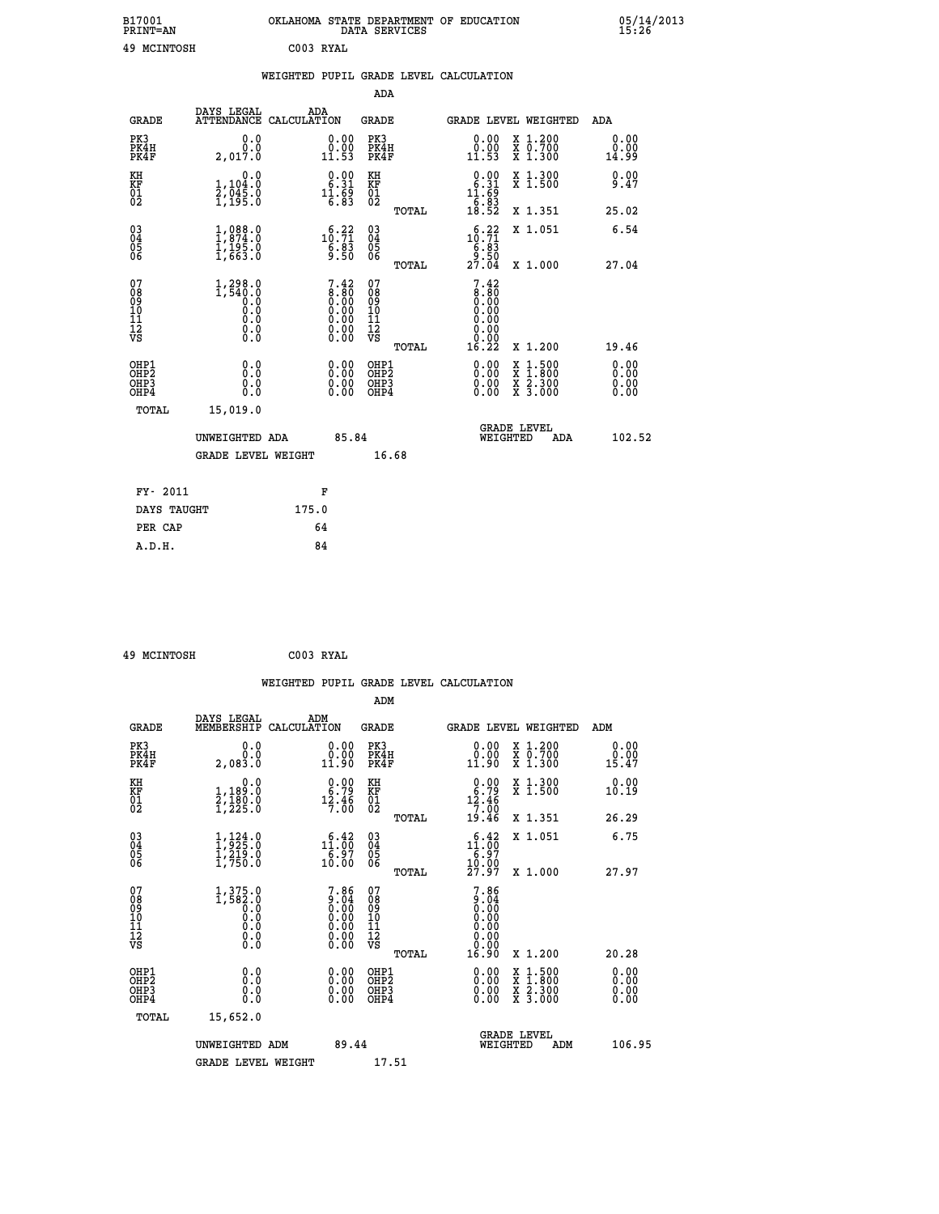| B17001<br><b>PRINT=AN</b> |           | OKLAHOMA STATE DEPARTMENT OF EDUCATION<br>DATA SERVICES |  |
|---------------------------|-----------|---------------------------------------------------------|--|
| 49 MCINTOSH               | C003 RYAL |                                                         |  |

|                                                                    |                                                                       | WEIGHTED PUPIL GRADE LEVEL CALCULATION                              |                                                     |                                                                                           |                                                                                                                                              |                              |
|--------------------------------------------------------------------|-----------------------------------------------------------------------|---------------------------------------------------------------------|-----------------------------------------------------|-------------------------------------------------------------------------------------------|----------------------------------------------------------------------------------------------------------------------------------------------|------------------------------|
|                                                                    |                                                                       |                                                                     | ADA                                                 |                                                                                           |                                                                                                                                              |                              |
| <b>GRADE</b>                                                       | DAYS LEGAL<br><b>ATTENDANCE</b>                                       | ADA<br>CALCULATION                                                  | <b>GRADE</b>                                        |                                                                                           | GRADE LEVEL WEIGHTED                                                                                                                         | ADA                          |
| PK3<br>PK4H<br>PK4F                                                | 0.0<br>0.0<br>2.017.0                                                 | $\begin{smallmatrix} 0.00\\ 0.00\\ 11.53 \end{smallmatrix}$         | PK3<br>PK4H<br>PK4F                                 | 0.00<br>$\substack{0.001 \ 11.53}$                                                        | X 1.200<br>X 0.700<br>X 1.300                                                                                                                | 0.00<br>0.00<br>14.99        |
| KH<br>KF<br>01<br>02                                               | 0.0<br>1,104:0<br>2,045:0<br>1,195:0                                  | $\begin{smallmatrix} 0.00\\ 6.31\\ 11.69\\ 6.83 \end{smallmatrix}$  | KH<br>KF<br>01<br>02                                | $\begin{smallmatrix} 0.00\\ 6.31\\ 11.69\\ 6.83\\ 18.52 \end{smallmatrix}$                | X 1.300<br>X 1.500                                                                                                                           | 0.00<br>9.47                 |
|                                                                    |                                                                       |                                                                     | TOTAL                                               |                                                                                           | X 1.351                                                                                                                                      | 25.02                        |
| $\begin{smallmatrix} 03 \\[-4pt] 04 \end{smallmatrix}$<br>Ŏ5<br>06 | $1,874.0$<br>$1,874.0$<br>$1,195.0$<br>$1,663.0$                      | $\begin{smallmatrix}&&6&.22\\10&.71\\6&.83\\9&.50\end{smallmatrix}$ | $\begin{array}{c} 03 \\ 04 \\ 05 \\ 06 \end{array}$ | $\begin{smallmatrix}&&6&.22\\10&.71\\6&.83\\9&.50\\27&.04\end{smallmatrix}$               | X 1.051                                                                                                                                      | 6.54                         |
|                                                                    |                                                                       |                                                                     | TOTAL                                               |                                                                                           | X 1.000                                                                                                                                      | 27.04                        |
| 07<br>0890112<br>1112<br>VS                                        | $1, 298.0$<br>$1, 540.0$<br>$0.0$<br>$0.0$<br>$0.0$<br>$0.0$<br>$0.0$ | $7.42 \ 8.80 \ 0.00 \ 0.00 \ 0.00 \ 0.00 \ 0.00 \ 0.00 \ 0.00$      | 07<br>08901112<br>1112<br>VS<br>TOTAL               | $\begin{smallmatrix} 7.42\ 8.80\ 9.00 \end{smallmatrix}$<br>0.00<br>0.00<br>0.00<br>16.22 | X 1.200                                                                                                                                      | 19.46                        |
| OHP1<br>OHP2<br>OH <sub>P3</sub><br>OHP4                           | 0.0<br>0.0<br>0.0                                                     | $\begin{smallmatrix} 0.00 \ 0.00 \ 0.00 \ 0.00 \end{smallmatrix}$   | OHP1<br>OHP2<br>OHP3<br>OHP4                        | 0.00<br>0.00<br>0.00                                                                      | $\begin{smallmatrix} \mathtt{X} & 1\cdot500 \\ \mathtt{X} & 1\cdot800 \\ \mathtt{X} & 2\cdot300 \\ \mathtt{X} & 3\cdot000 \end{smallmatrix}$ | 0.00<br>0.00<br>0.00<br>0.00 |
| <b>TOTAL</b>                                                       | 15,019.0                                                              |                                                                     |                                                     |                                                                                           |                                                                                                                                              |                              |
|                                                                    | UNWEIGHTED ADA                                                        | 85.84                                                               |                                                     |                                                                                           | <b>GRADE LEVEL</b><br>WEIGHTED<br>ADA                                                                                                        | 102.52                       |
|                                                                    | <b>GRADE LEVEL WEIGHT</b>                                             |                                                                     | 16.68                                               |                                                                                           |                                                                                                                                              |                              |
| FY- 2011                                                           |                                                                       | F                                                                   |                                                     |                                                                                           |                                                                                                                                              |                              |
| DAYS TAUGHT                                                        |                                                                       | 175.0                                                               |                                                     |                                                                                           |                                                                                                                                              |                              |
| PER CAP                                                            |                                                                       | 64                                                                  |                                                     |                                                                                           |                                                                                                                                              |                              |

|  | 49 MCINTOSH |  | C003 RYAL |
|--|-------------|--|-----------|
|--|-------------|--|-----------|

 **B17001<br>PRINT=AN** 

|                                                      |                                                    |                    |                                                                                                                      |                                                    |       | WEIGHTED PUPIL GRADE LEVEL CALCULATION                                   |                                                                                                                     |                               |  |
|------------------------------------------------------|----------------------------------------------------|--------------------|----------------------------------------------------------------------------------------------------------------------|----------------------------------------------------|-------|--------------------------------------------------------------------------|---------------------------------------------------------------------------------------------------------------------|-------------------------------|--|
|                                                      |                                                    |                    |                                                                                                                      | ADM                                                |       |                                                                          |                                                                                                                     |                               |  |
| <b>GRADE</b>                                         | DAYS LEGAL<br>MEMBERSHIP                           | ADM<br>CALCULATION |                                                                                                                      | <b>GRADE</b>                                       |       | <b>GRADE LEVEL WEIGHTED</b>                                              |                                                                                                                     | ADM                           |  |
| PK3<br>PK4H<br>PK4F                                  | 0.0<br>Ŏ.Ŏ<br>2,083.0                              |                    | 0.0000<br>11.90                                                                                                      | PK3<br>PK4H<br>PK4F                                |       | $\begin{smallmatrix} 0.00\\ 0.00\\ 11.90 \end{smallmatrix}$              | X 1.200<br>X 0.700<br>X 1.300                                                                                       | 0.00<br>0.00<br>15.47         |  |
| KH<br>KF<br>01<br>02                                 | 0.0<br>1,189:0<br>2,180:0<br>1,225:0               |                    | $\begin{smallmatrix} 0.00\\ 6.79\\ 12.46\\ 7.00 \end{smallmatrix}$                                                   | KH<br>KF<br>01<br>02                               |       | $0.00\n6.79\n12.46\n7.00\n19.46$                                         | X 1.300<br>X 1.500                                                                                                  | 0.00<br>10.19                 |  |
|                                                      |                                                    |                    |                                                                                                                      |                                                    | TOTAL |                                                                          | X 1.351                                                                                                             | 26.29                         |  |
| $\begin{matrix} 03 \\ 04 \\ 05 \\ 06 \end{matrix}$   | $1,324.0$<br>$1,219.0$<br>$1,750.0$                |                    | $\begin{smallmatrix} 6\cdot 42\\11\cdot 00\\6\cdot 97\\10\cdot 00\end{smallmatrix}$                                  | $\begin{matrix} 03 \\ 04 \\ 05 \\ 06 \end{matrix}$ |       | $1^{\frac{6}{1} \cdot \frac{42}{00}}_{\frac{6}{27} \cdot \frac{97}{97}}$ | X 1.051                                                                                                             | 6.75                          |  |
|                                                      |                                                    |                    |                                                                                                                      |                                                    | TOTAL |                                                                          | X 1.000                                                                                                             | 27.97                         |  |
| 07<br>0890112<br>1112<br>VS                          | $1,375.0$<br>1,582.0<br>0.0<br>0.0<br>0.0<br>$\S.$ |                    | $7.86$<br>$9.04$<br>$0.00$<br>$0.00$<br>$0.00$<br>$\begin{smallmatrix} 0.00 & 0.00 \\ 0.00 & 0.00 \end{smallmatrix}$ | 07<br>08901112<br>1112<br>VS                       | TOTAL | $\frac{7.86}{9.04}$<br>0.00<br>0.00<br>0.00<br>16.90                     | X 1.200                                                                                                             | 20.28                         |  |
| OHP1<br>OHP <sub>2</sub><br>OH <sub>P3</sub><br>OHP4 | 0.0<br>0.000                                       |                    | $0.00$<br>$0.00$<br>0.00                                                                                             | OHP1<br>OHP <sub>2</sub><br>OHP <sub>3</sub>       |       | 0.00<br>0.00<br>0.00                                                     | $\begin{array}{l} \mathtt{X} & 1.500 \\ \mathtt{X} & 1.800 \\ \mathtt{X} & 2.300 \\ \mathtt{X} & 3.000 \end{array}$ | 0.00<br>Ō. ŌŌ<br>0.00<br>0.00 |  |
| TOTAL                                                | 15,652.0                                           |                    |                                                                                                                      |                                                    |       |                                                                          |                                                                                                                     |                               |  |
|                                                      | UNWEIGHTED ADM                                     |                    | 89.44                                                                                                                |                                                    |       | <b>GRADE LEVEL</b><br>WEIGHTED                                           | ADM                                                                                                                 | 106.95                        |  |
|                                                      | <b>GRADE LEVEL WEIGHT</b>                          |                    |                                                                                                                      | 17.51                                              |       |                                                                          |                                                                                                                     |                               |  |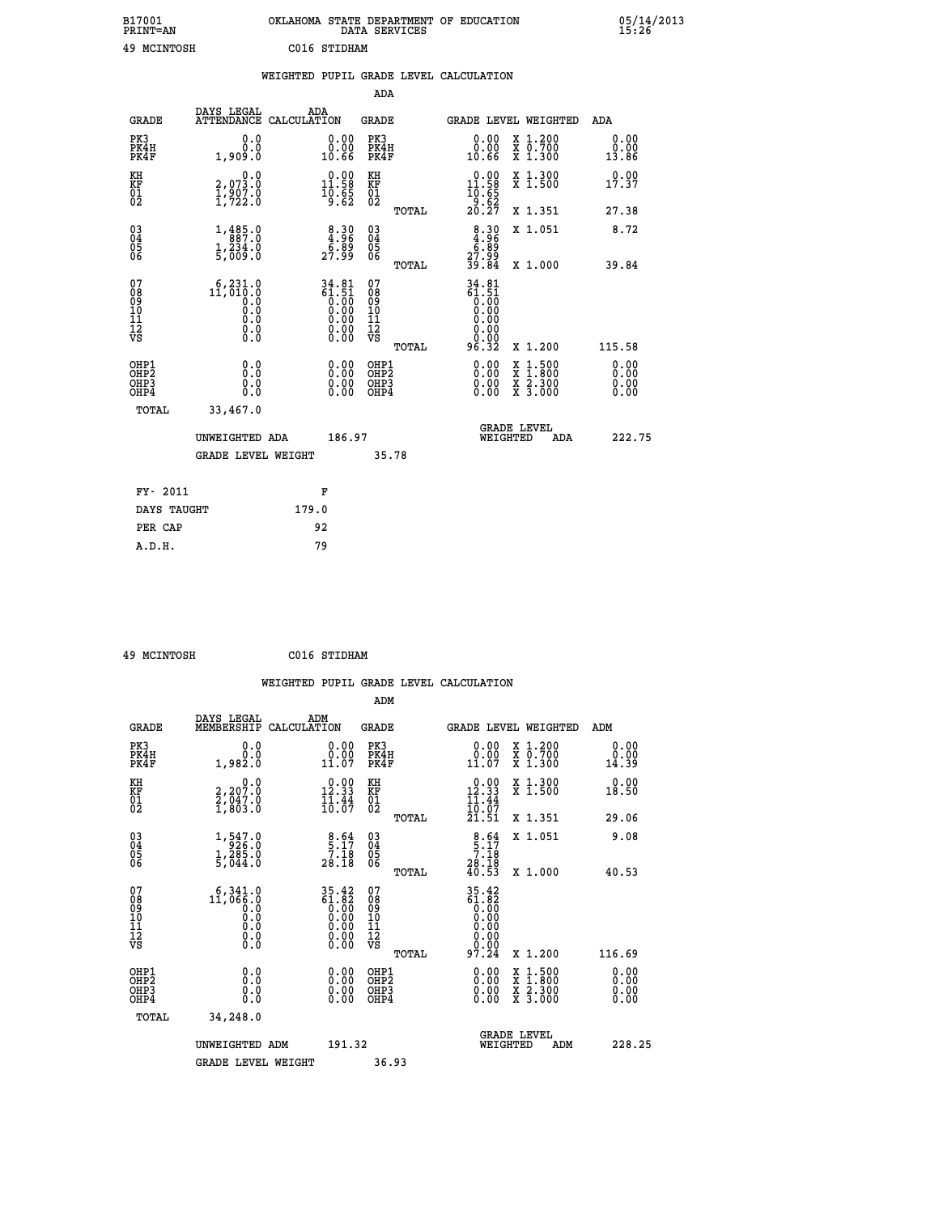| B17001<br><b>PRINT=AN</b> | OKLAHOMA STATE DEPARTMENT OF EDUCATION<br><b>SERVICES</b><br>DATA | 05/14/2013<br>15:26 |
|---------------------------|-------------------------------------------------------------------|---------------------|
| 49<br>MCINTOSH            | C016<br>STIDHAM                                                   |                     |

|                                    |                           |                                                                                            | WEIGHTED PUPIL GRADE LEVEL CALCULATION |                                                                     |                                                     |       |                                                                                                                                               |          |                                                         |                              |
|------------------------------------|---------------------------|--------------------------------------------------------------------------------------------|----------------------------------------|---------------------------------------------------------------------|-----------------------------------------------------|-------|-----------------------------------------------------------------------------------------------------------------------------------------------|----------|---------------------------------------------------------|------------------------------|
|                                    |                           |                                                                                            |                                        |                                                                     | ADA                                                 |       |                                                                                                                                               |          |                                                         |                              |
|                                    | <b>GRADE</b>              | DAYS LEGAL<br>ATTENDANCE CALCULATION                                                       | ADA                                    |                                                                     | <b>GRADE</b>                                        |       |                                                                                                                                               |          | GRADE LEVEL WEIGHTED                                    | ADA                          |
| PK3                                | PK4H<br>PK4F              | 0.0<br>0.0<br>1,909.0                                                                      |                                        | 0.00<br>ŏ:ŏŏ<br>10:66                                               | PK3<br>PK4H<br>PK4F                                 |       | 0.00<br>0.00<br>10.66                                                                                                                         |          | X 1.200<br>X 0.700<br>X 1.300                           | 0.00<br>0.00<br>13.86        |
| KH<br><b>KF</b><br>01<br>02        |                           | 0.0<br>2,073.0<br>1,907.0<br>1,722.0                                                       |                                        | $\begin{smallmatrix} 0.00\\ 11.58\\ 10.58\\ 9.65 \end{smallmatrix}$ | KH<br>KF<br>01<br>02                                |       | $\begin{array}{c} 0.00 \\ 11.58 \\ 10.65 \\ 9.62 \\ 20.27 \end{array}$                                                                        |          | X 1.300<br>X 1.500                                      | 0.00<br>17.37                |
|                                    |                           |                                                                                            |                                        |                                                                     |                                                     | TOTAL |                                                                                                                                               |          | X 1.351                                                 | 27.38                        |
| 03<br>04<br>05<br>06               |                           | 1,485.0<br>$\frac{1}{5}$ , $\frac{234}{009}$ .0                                            |                                        | $\begin{smallmatrix} 8.30\\ 4.96\\ 6.89\\ 27.99 \end{smallmatrix}$  | $\begin{array}{c} 03 \\ 04 \\ 05 \\ 06 \end{array}$ |       | $8.30$<br>$4.30$<br>$5.89$<br>$27.99$<br>$39.84$                                                                                              |          | X 1.051                                                 | 8.72                         |
|                                    |                           |                                                                                            |                                        |                                                                     |                                                     | TOTAL |                                                                                                                                               |          | X 1.000                                                 | 39.84                        |
| 07<br>08<br>09<br>101<br>112<br>VS |                           | $11, 010.0$<br>$0.0$<br>$\begin{smallmatrix} 0.5 & 0 \ 0.0 & 0 \end{smallmatrix}$<br>$\S.$ |                                        | $34.81$<br>$61.51$<br>$0.00$<br>$0.00$<br>$0.00$<br>ŏ:ŏŏ<br>O.OO    | 07<br>08<br>09<br>101<br>11<br>12<br>VS             | TOTAL | $\begin{array}{c} 34.81 \\ 61.51 \\ 0.00 \\ 0.00 \\ 0.00 \\ 0.00 \end{array}$<br>$\begin{smallmatrix} 0.00 \ 0.00 \end{smallmatrix}$<br>96.32 |          | X 1.200                                                 | 115.58                       |
| OHP1<br>OHP3                       | OH <sub>P</sub> 2<br>OHP4 | 0.0<br>0.0<br>0.0                                                                          |                                        | 0.00<br>$0.00$<br>0.00                                              | OHP1<br>OHP2<br>OHP3<br>OHP4                        |       | 0.00<br>0.00<br>0.00                                                                                                                          | X<br>X   | $1:500$<br>1:800<br>$\frac{x}{x}$ $\frac{5:300}{3:000}$ | 0.00<br>0.00<br>0.00<br>0.00 |
|                                    | <b>TOTAL</b>              | 33,467.0                                                                                   |                                        |                                                                     |                                                     |       |                                                                                                                                               |          |                                                         |                              |
|                                    |                           | UNWEIGHTED ADA                                                                             |                                        | 186.97                                                              |                                                     |       |                                                                                                                                               | WEIGHTED | <b>GRADE LEVEL</b><br>ADA                               | 222.75                       |
|                                    |                           | <b>GRADE LEVEL WEIGHT</b>                                                                  |                                        |                                                                     | 35.78                                               |       |                                                                                                                                               |          |                                                         |                              |
|                                    | FY- 2011                  |                                                                                            | F                                      |                                                                     |                                                     |       |                                                                                                                                               |          |                                                         |                              |
|                                    | DAYS TAUGHT               |                                                                                            | 179.0                                  |                                                                     |                                                     |       |                                                                                                                                               |          |                                                         |                              |
|                                    | PER CAP                   |                                                                                            | 92                                     |                                                                     |                                                     |       |                                                                                                                                               |          |                                                         |                              |

 **49 MCINTOSH C016 STIDHAM WEIGHTED PUPIL GRADE LEVEL CALCULATION ADM DAYS LEGAL ADM GRADE MEMBERSHIP CALCULATION GRADE GRADE LEVEL WEIGHTED ADM PK3 0.0 0.00 PK3 0.00 X 1.200 0.00 PK4H 0.0 0.00 PK4H 0.00 X 0.700 0.00 PK4F 1,982.0 11.07 PK4F 11.07 X 1.300 14.39 KH 0.0 0.00 KH 0.00 X 1.300 0.00 KF 2,207.0 12.33 KF 12.33 X 1.500 18.50** 01 2,047.0 11.44 01 11.44<br>02 1,803.0 10.07 02 <sub>nomas</sub> 10.07  **TOTAL 21.51 X 1.351 29.06 03 1,547.0 8.64 03 8.64 X 1.051 9.08 04 926.0 5.17 04 5.17 05 1,285.0 7.18 05 7.18 06 5,044.0 28.18 06 28.18 TOTAL 40.53 X 1.000 40.53** 07 6,341.0 35.42 07 35.42<br>
08 11,066.0 61.82 08 61.82<br>
10 0.0 0.00 10 0.00<br>
11 0.0 0.00 11 0.00<br>
12 0.00 11 0.00<br>
VS 0.0 0.00 12<br>
VS 0.0 **35.42 07**<br> **61.82 08**<br> **0.00 10**<br> **0.00 11**<br> **0.00 11**<br> **0.00 11**<br> **0.00 12**<br> **0.00 12**<br> **0.00 12**<br> **0.00 12**<br> **0.00 12**<br> **0.00 12**<br> **0.00 11**<br> **0.00**<br> **0.00**<br> **0.00**<br> **0.00**<br> **0.00**<br> **0.00**<br> **116.69**<br> **0.00**<br> **116.69**<br>  **OHP1 0.0 0.00 OHP1 0.00 X 1.500 0.00 OHP2 0.0 0.00 OHP2 0.00 X 1.800 0.00 OHP3 0.0 0.00 OHP3 0.00 X 2.300 0.00 OHP4 0.0 0.00 OHP4 0.00 X 3.000 0.00 TOTAL 34,248.0** UNWEIGHTED ADM 191.32  **UNWEIGHTED ADM 191.32 WEIGHTED ADM 228.25 GRADE LEVEL WEIGHT 36.93**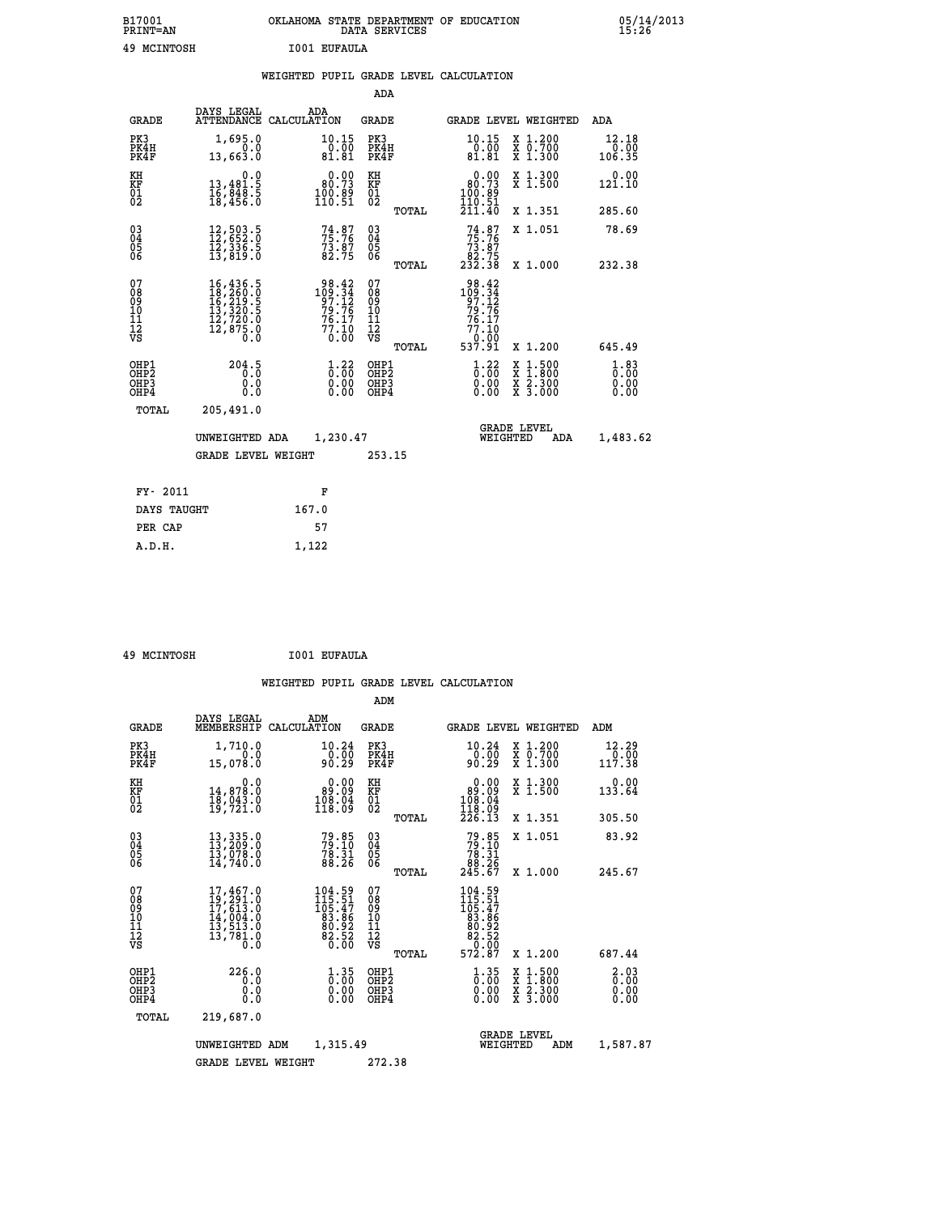| B17001<br><b>PRINT=AN</b> | OKLAHOMA STATE DEPARTMENT OF EDUCATION<br>DATA SERVICES | 05/14/2013<br>15:26 |
|---------------------------|---------------------------------------------------------|---------------------|
| 49 MCINTOSH               | I001 EUFAULA                                            |                     |

|                                                                    |                                                                                                                                                                                          |                                                                | ADA                                       |       |                                                                                    |                                          |                              |
|--------------------------------------------------------------------|------------------------------------------------------------------------------------------------------------------------------------------------------------------------------------------|----------------------------------------------------------------|-------------------------------------------|-------|------------------------------------------------------------------------------------|------------------------------------------|------------------------------|
| <b>GRADE</b>                                                       | DAYS LEGAL                                                                                                                                                                               | ADA<br>ATTENDANCE CALCULATION                                  | <b>GRADE</b>                              |       | GRADE LEVEL WEIGHTED                                                               |                                          | ADA                          |
| PK3<br>PK4H<br>PK4F                                                | 1,695.0<br>0.0<br>13,663.0                                                                                                                                                               | 10.15<br>0.00<br>81.81                                         | PK3<br>PK4H<br>PK4F                       |       | 10.15<br>$\frac{0.00}{81.81}$                                                      | X 1.200<br>X 0.700<br>X 1.300            | 12.18<br>0.00<br>106.35      |
| KH<br><b>KF</b><br>01<br>02                                        | 0.0<br>$\begin{smallmatrix} 13,481.5 \\ 16,848.5 \\ 18,456.0 \end{smallmatrix}$                                                                                                          | $0.00$<br>$80.73$<br>$\frac{100.89}{110.51}$                   | KH<br>KF<br>01<br>02                      |       | 0.00<br>$\begin{smallmatrix} 80.73\ 100.89\ 110.51 \end{smallmatrix}$              | X 1.300<br>X 1.500                       | 0.00<br>121.10               |
|                                                                    |                                                                                                                                                                                          |                                                                |                                           | TOTAL | 211.40                                                                             | X 1.351                                  | 285.60                       |
| $\begin{smallmatrix} 03 \\[-4pt] 04 \end{smallmatrix}$<br>05<br>06 | $\begin{smallmatrix} 12\,,\,503\,.5\\ 12\,,\,652\,.0\\ 12\,,\,336\,.5\\ 13\,,\,819\,.0 \end{smallmatrix}$                                                                                | $74.87$<br>$75.76$<br>$\frac{73.87}{82.75}$                    | $\substack{03 \\ 04}$<br>05<br>06         |       | $74.87$<br>$75.76$<br>$73.87$<br>$82.75$<br>$232.38$                               | X 1.051                                  | 78.69                        |
| 07                                                                 |                                                                                                                                                                                          |                                                                | 07                                        | TOTAL |                                                                                    | X 1.000                                  | 232.38                       |
| 08<br>09<br>11<br>11<br>12<br>VS                                   | $\begin{smallmatrix} 16\,, & 436\,, & 5\\ 18\,, & 260\,, & 0\\ 16\,, & 219\,, & 5\\ 13\,, & 320\,, & 5\\ 12\,, & 720\,, & 0\\ 12\,, & 875\,, & 0\\ 0\,. & 0\,. & 0\,. \end{smallmatrix}$ | $109.34$<br>$97.12$<br>$79.76$<br>$76.17$<br>$77.10$<br>$0.00$ | 08<br>09<br>11<br>11<br>12<br>VS          |       | $\begin{array}{r} 98.42 \\ 109.34 \\ 97.12 \\ 79.76 \\ 76.17 \\ 77.10 \end{array}$ |                                          |                              |
|                                                                    |                                                                                                                                                                                          |                                                                |                                           | TOTAL | 0.00<br>537.91                                                                     | X 1.200                                  | 645.49                       |
| OHP1<br>OH <sub>P2</sub><br>OH <sub>P3</sub><br>OH <sub>P4</sub>   | 204.5<br>0.0<br>0.0                                                                                                                                                                      | $\frac{1}{0}$ : $\frac{22}{0}$<br>0.00<br>0.00                 | OHP1<br>OH <sub>P</sub> 2<br>OHP3<br>OHP4 |       | $\frac{1}{0}$ : $\frac{22}{00}$<br>0.00                                            | X 1:500<br>X 1:800<br>X 2:300<br>X 3:000 | 1.83<br>0.00<br>0.00<br>0.00 |
| TOTAL                                                              | 205,491.0                                                                                                                                                                                |                                                                |                                           |       |                                                                                    |                                          |                              |
|                                                                    | UNWEIGHTED ADA                                                                                                                                                                           | 1,230.47                                                       |                                           |       | WEIGHTED                                                                           | <b>GRADE LEVEL</b><br>ADA                | 1,483.62                     |
| <b>GRADE LEVEL WEIGHT</b>                                          |                                                                                                                                                                                          |                                                                | 253.15                                    |       |                                                                                    |                                          |                              |
| FY- 2011                                                           |                                                                                                                                                                                          | F                                                              |                                           |       |                                                                                    |                                          |                              |
| DAYS TAUGHT                                                        |                                                                                                                                                                                          | 167.0                                                          |                                           |       |                                                                                    |                                          |                              |
| PER CAP                                                            |                                                                                                                                                                                          | 57                                                             |                                           |       |                                                                                    |                                          |                              |

 **49 MCINTOSH I001 EUFAULA**

 **A.D.H. 1,122**

 **ADM**

| <b>GRADE</b>                                       | DAYS LEGAL                                                                                                                                                                                                                  | ADM<br>MEMBERSHIP CALCULATION                                               | <b>GRADE</b>                                  |       |                                                                                   | GRADE LEVEL WEIGHTED                                                                                                | ADM                                 |
|----------------------------------------------------|-----------------------------------------------------------------------------------------------------------------------------------------------------------------------------------------------------------------------------|-----------------------------------------------------------------------------|-----------------------------------------------|-------|-----------------------------------------------------------------------------------|---------------------------------------------------------------------------------------------------------------------|-------------------------------------|
| PK3<br>PK4H<br>PK4F                                | 1,710.0<br>0.0<br>15,078.0                                                                                                                                                                                                  | 10.24<br>0.00<br>90.29                                                      | PK3<br>PK4H<br>PK4F                           |       | 10.24<br>0.00<br>90.29                                                            | X 1.200<br>X 0.700<br>X 1.300                                                                                       | 12.29<br>0.00<br>117.38             |
| KH<br>KF<br>01<br>02                               | 0.0<br>14,878.0<br>18,043.0<br>19,721.0                                                                                                                                                                                     | 0.00<br>89.09<br>108.04<br>118.09                                           | KH<br>KF<br>01<br>02                          |       | $\begin{smallmatrix} 0.00\\ 89.09\\ 108.04\\ 118.09\\ \end{smallmatrix}$          | X 1.300<br>X 1.500                                                                                                  | 0.00<br>133.64                      |
|                                                    |                                                                                                                                                                                                                             |                                                                             |                                               | TOTAL | 226.13                                                                            | X 1.351                                                                                                             | 305.50                              |
| $\begin{matrix} 03 \\ 04 \\ 05 \\ 06 \end{matrix}$ | $\begin{smallmatrix} 13\,,\,335\cdot 0\\ 13\,,\,209\cdot 0\\ 13\,,\,078\cdot 0\\ 14\,,\,740\cdot 0 \end{smallmatrix}$                                                                                                       | $79.85$<br>$79.10$<br>$78.31$<br>$88.26$                                    | $\substack{03 \\ 04}$<br>05<br>06             |       | $79.85$<br>$79.10$<br>$78.31$<br>$88.26$<br>$245.67$                              | X 1.051                                                                                                             | 83.92                               |
|                                                    |                                                                                                                                                                                                                             |                                                                             |                                               | TOTAL |                                                                                   | X 1.000                                                                                                             | 245.67                              |
| 07<br>08<br>09<br>101<br>11<br>12<br>VS            | 17,467.0<br>$\begin{smallmatrix} 1 & 7 & 7 & 9 & 1 & 0 \\ 1 & 7 & 6 & 1 & 3 & 0 \\ 1 & 6 & 1 & 3 & 0 & 0 \\ 1 & 6 & 1 & 3 & 0 & 0 \\ 1 & 3 & 5 & 1 & 3 & 0 \\ 1 & 3 & 7 & 8 & 1 & 0 \\ 0 & 0 & 0 & 0 & 0 \end{smallmatrix}$ | $104.59$<br>$115.51$<br>$105.47$<br>$83.86$<br>$80.92$<br>$82.52$<br>$0.00$ | 07<br>08<br>09<br>001<br>11<br>11<br>12<br>VS | TOTAL | $\begin{array}{r} 104.59\\115.51\\105.47\\83.86\\82.52\\82.52\\72.87 \end{array}$ | X 1.200                                                                                                             | 687.44                              |
| OHP1<br>OHP2<br>OHP3<br>OHP4                       | 226.0<br>0.0<br>0.0<br>0.0                                                                                                                                                                                                  | $\frac{1}{0}$ : $\frac{35}{00}$<br>0.00                                     | OHP1<br>OHP2<br>OHP3<br>OHP4                  |       | $\begin{smallmatrix} 1.35\ 0.00 \ 0.00 \end{smallmatrix}$<br>0.00                 | $\begin{array}{l} \mathtt{X} & 1.500 \\ \mathtt{X} & 1.800 \\ \mathtt{X} & 2.300 \\ \mathtt{X} & 3.000 \end{array}$ | $\frac{2.03}{0.00}$<br>0.00<br>0.00 |
| TOTAL                                              | 219,687.0                                                                                                                                                                                                                   |                                                                             |                                               |       |                                                                                   |                                                                                                                     |                                     |
|                                                    | UNWEIGHTED                                                                                                                                                                                                                  | 1,315.49<br>ADM                                                             |                                               |       | WEIGHTED                                                                          | <b>GRADE LEVEL</b><br>ADM                                                                                           | 1,587.87                            |
|                                                    | <b>GRADE LEVEL WEIGHT</b>                                                                                                                                                                                                   |                                                                             | 272.38                                        |       |                                                                                   |                                                                                                                     |                                     |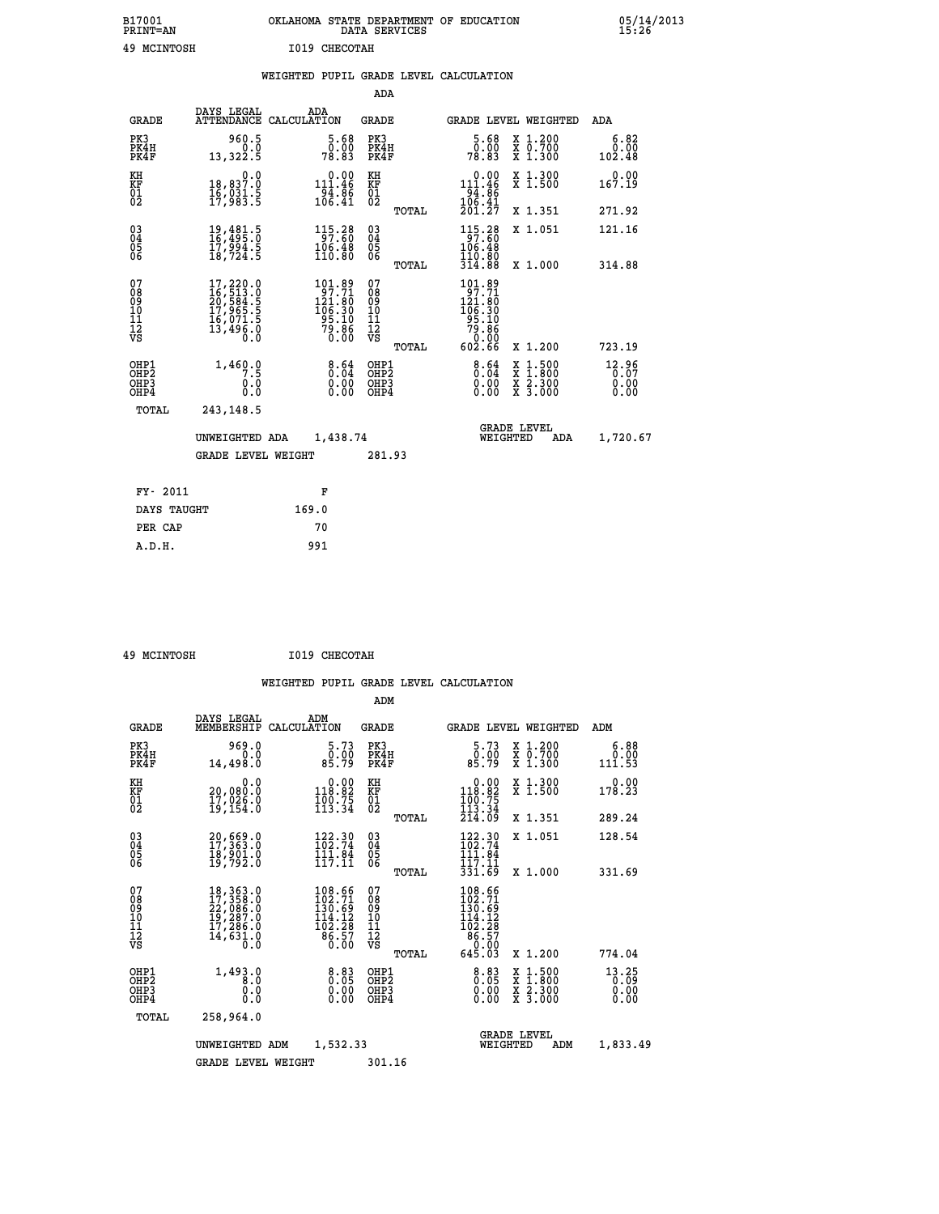| B17001          | OKLAHOMA STATE DEPARTMENT OF EDUCATION |
|-----------------|----------------------------------------|
| <b>PRINT=AN</b> | DATA SERVICES                          |
| 49 MCINTOSH     | I019 CHECOTAH                          |

 **B17001 OKLAHOMA STATE DEPARTMENT OF EDUCATION 05/14/2013**

|                                           |                                                                                                  |       |                                                                                            |                                          |       | WEIGHTED PUPIL GRADE LEVEL CALCULATION                                                                |                                                                                                                                           |                               |
|-------------------------------------------|--------------------------------------------------------------------------------------------------|-------|--------------------------------------------------------------------------------------------|------------------------------------------|-------|-------------------------------------------------------------------------------------------------------|-------------------------------------------------------------------------------------------------------------------------------------------|-------------------------------|
|                                           |                                                                                                  |       |                                                                                            | ADA                                      |       |                                                                                                       |                                                                                                                                           |                               |
| <b>GRADE</b>                              | DAYS LEGAL<br>ATTENDANCE CALCULATION                                                             |       | ADA                                                                                        | GRADE                                    |       |                                                                                                       | GRADE LEVEL WEIGHTED                                                                                                                      | ADA                           |
| PK3<br>PK4H<br>PK4F                       | 960.5<br>0.0<br>13,322.5                                                                         |       | $5.68$<br>$0.00$<br>78.83                                                                  | PK3<br>PK4H<br>PK4F                      |       | $5.68$<br>0.00<br>78.83                                                                               | X 1.200<br>X 0.700<br>X 1.300                                                                                                             | 6.82<br>0.00<br>102.48        |
| KH<br>KF<br>01<br>02                      | 0.0<br>18,837.0<br>16,031.5<br>17,983.5                                                          |       | 0.00<br>$111.46$<br>$94.86$<br>$106.41$                                                    | KH<br>KF<br>01<br>02                     |       | 0.00<br>$111.46$<br>$94.86$<br>$106.41$<br>$201.27$                                                   | X 1.300<br>X 1.500                                                                                                                        | 0.00<br>167.19                |
|                                           |                                                                                                  |       |                                                                                            |                                          | TOTAL |                                                                                                       | X 1.351                                                                                                                                   | 271.92                        |
| $^{03}_{04}$<br>Ŏ5<br>06                  | 19,481.5<br>16,495.0<br>17,994.5<br>18,724.5                                                     |       | $\begin{array}{r} 115 \cdot 28 \\ 97 \cdot 60 \\ 106 \cdot 48 \\ 110 \cdot 80 \end{array}$ | $\substack{03 \\ 04}$<br>$\frac{05}{06}$ |       | $\begin{array}{c} 115\cdot 28 \\ 97\cdot 60 \\ 106\cdot 48 \\ 110\cdot 80 \\ 314\cdot 88 \end{array}$ | X 1.051                                                                                                                                   | 121.16                        |
|                                           |                                                                                                  |       |                                                                                            |                                          | TOTAL |                                                                                                       | X 1.000                                                                                                                                   | 314.88                        |
| 07<br>08<br>09<br>11<br>11<br>12<br>VS    | $\begin{smallmatrix}17,220.0\\16,513.0\\20,584.5\\17,965.5\\16,071.5\\13,496.0\end{smallmatrix}$ |       | $101.89$<br>$97.71$<br>$121.80$<br>$106.30$<br>$95.10$<br>$79.86$<br>$0.00$                | 07<br>08<br>09<br>11<br>11<br>12<br>VS   |       | 101.89<br>97.71<br>$121.80$<br>$106.30$<br>$95.10$<br>$79.86$<br>$0.00$                               |                                                                                                                                           |                               |
|                                           |                                                                                                  |       |                                                                                            |                                          | TOTAL | 602.66                                                                                                | X 1.200                                                                                                                                   | 723.19                        |
| OHP1<br>OH <sub>P</sub> 2<br>OHP3<br>OHP4 | 1,460.0<br>0.0<br>0.0                                                                            |       | $\begin{smallmatrix} 8.64\ 0.04\ 0.00\ 0.00 \end{smallmatrix}$                             | OHP1<br>OHP <sub>2</sub><br>OHP3<br>OHP4 |       | $\frac{8.64}{0.04}$<br>0.00                                                                           | $\begin{smallmatrix} \mathtt{X} & 1\cdot500\\ \mathtt{X} & 1\cdot800\\ \mathtt{X} & 2\cdot300\\ \mathtt{X} & 3\cdot000 \end{smallmatrix}$ | 12.96<br>0.07<br>0.00<br>0.00 |
| TOTAL                                     | 243,148.5                                                                                        |       |                                                                                            |                                          |       |                                                                                                       |                                                                                                                                           |                               |
| UNWEIGHTED ADA                            |                                                                                                  |       | 1,438.74                                                                                   |                                          |       | WEIGHTED                                                                                              | <b>GRADE LEVEL</b><br>ADA                                                                                                                 | 1,720.67                      |
| <b>GRADE LEVEL WEIGHT</b>                 |                                                                                                  |       | 281.93                                                                                     |                                          |       |                                                                                                       |                                                                                                                                           |                               |
| FY- 2011                                  |                                                                                                  |       | F                                                                                          |                                          |       |                                                                                                       |                                                                                                                                           |                               |
| DAYS TAUGHT                               |                                                                                                  | 169.0 |                                                                                            |                                          |       |                                                                                                       |                                                                                                                                           |                               |
| PER CAP                                   |                                                                                                  |       | 70                                                                                         |                                          |       |                                                                                                       |                                                                                                                                           |                               |
| A.D.H.                                    |                                                                                                  |       | 991                                                                                        |                                          |       |                                                                                                       |                                                                                                                                           |                               |

 **49 MCINTOSH I019 CHECOTAH**

 **ADM**

| <b>GRADE</b>                                       | DAYS LEGAL<br>MEMBERSHIP                                                                                      | ADM<br>CALCULATION |                                                                         | <b>GRADE</b>                           |       | <b>GRADE LEVEL WEIGHTED</b>                                                                                 |          |                                                                           | ADM                           |  |
|----------------------------------------------------|---------------------------------------------------------------------------------------------------------------|--------------------|-------------------------------------------------------------------------|----------------------------------------|-------|-------------------------------------------------------------------------------------------------------------|----------|---------------------------------------------------------------------------|-------------------------------|--|
| PK3<br>PK4H<br>PK4F                                | 969.0<br>0.0<br>14,498.0                                                                                      |                    | 5.73<br>0.00<br>85.79                                                   | PK3<br>PK4H<br>PK4F                    |       | $\frac{5.73}{0.00}$<br>85.79                                                                                |          | $\begin{smallmatrix} x & 1.200 \\ x & 0.700 \end{smallmatrix}$<br>X 1.300 | 6.88<br>0.00<br>111.53        |  |
| KH<br>KF<br>01<br>02                               | 0.0<br>20,080:0<br>17,026:0<br>19,154:0                                                                       |                    | $\begin{smallmatrix} &0.00\\ 118.82\\ 100.75\\ 113.34\end{smallmatrix}$ | KH<br>KF<br>01<br>02                   |       | $\begin{smallmatrix} &0.00\\ 118.82\\ 100.75\\ 113.34\\ 214.09\end{smallmatrix}$                            |          | X 1.300<br>X 1.500                                                        | 0.00<br>178.23                |  |
|                                                    |                                                                                                               |                    |                                                                         |                                        | TOTAL |                                                                                                             |          | X 1.351                                                                   | 289.24                        |  |
| $\begin{matrix} 03 \\ 04 \\ 05 \\ 06 \end{matrix}$ | 20,669.0<br>17,363.0<br>18,901.0<br>19,792.0                                                                  |                    | 122.30<br>102.74<br>111.84<br>117.11                                    | $\substack{03 \\ 04}$<br>Ŏ5<br>06      |       | 122.30<br>102.74<br>111.04<br>117.11                                                                        |          | X 1.051                                                                   | 128.54                        |  |
|                                                    |                                                                                                               |                    |                                                                         |                                        | TOTAL | 331.69                                                                                                      |          | X 1.000                                                                   | 331.69                        |  |
| 07<br>08<br>09<br>101<br>11<br>12<br>VS            | 18, 363.0<br>17, 358.0<br>22, 086.0<br>19, 287.0<br>17, 286.0<br>$\overline{1}$ 4, 631.0<br>$\overline{0}$ .0 |                    | $\frac{108.66}{102.71}$<br>114.12                                       | 07<br>08<br>09<br>11<br>11<br>12<br>VS | TOTAL | $\begin{smallmatrix} 108.66\\ 102.71\\ 130.69\\ 114.12\\ 102.28\\ 86.57\\ 0.00 \end{smallmatrix}$<br>645.03 |          | X 1.200                                                                   | 774.04                        |  |
| OHP1<br>OHP <sub>2</sub><br>OHP3<br>OHP4           | 1,493.0<br>8.0<br>0.0<br>Ō.Ō                                                                                  |                    | $0.00$<br>$0.00$<br>0.00                                                | OHP1<br>OHP2<br>OHP3<br>OHP4           |       | $\begin{smallmatrix} 8.83\ 0.05\ 0.00\ 0.00 \end{smallmatrix}$                                              |          | X 1:500<br>X 1:800<br>X 2:300<br>X 3:000                                  | 13.25<br>0.09<br>0.00<br>0.00 |  |
| TOTAL                                              | 258,964.0                                                                                                     |                    |                                                                         |                                        |       |                                                                                                             |          |                                                                           |                               |  |
|                                                    | UNWEIGHTED                                                                                                    | ADM                | 1,532.33                                                                |                                        |       |                                                                                                             | WEIGHTED | <b>GRADE LEVEL</b><br>ADM                                                 | 1,833.49                      |  |
|                                                    | <b>GRADE LEVEL WEIGHT</b>                                                                                     |                    |                                                                         | 301.16                                 |       |                                                                                                             |          |                                                                           |                               |  |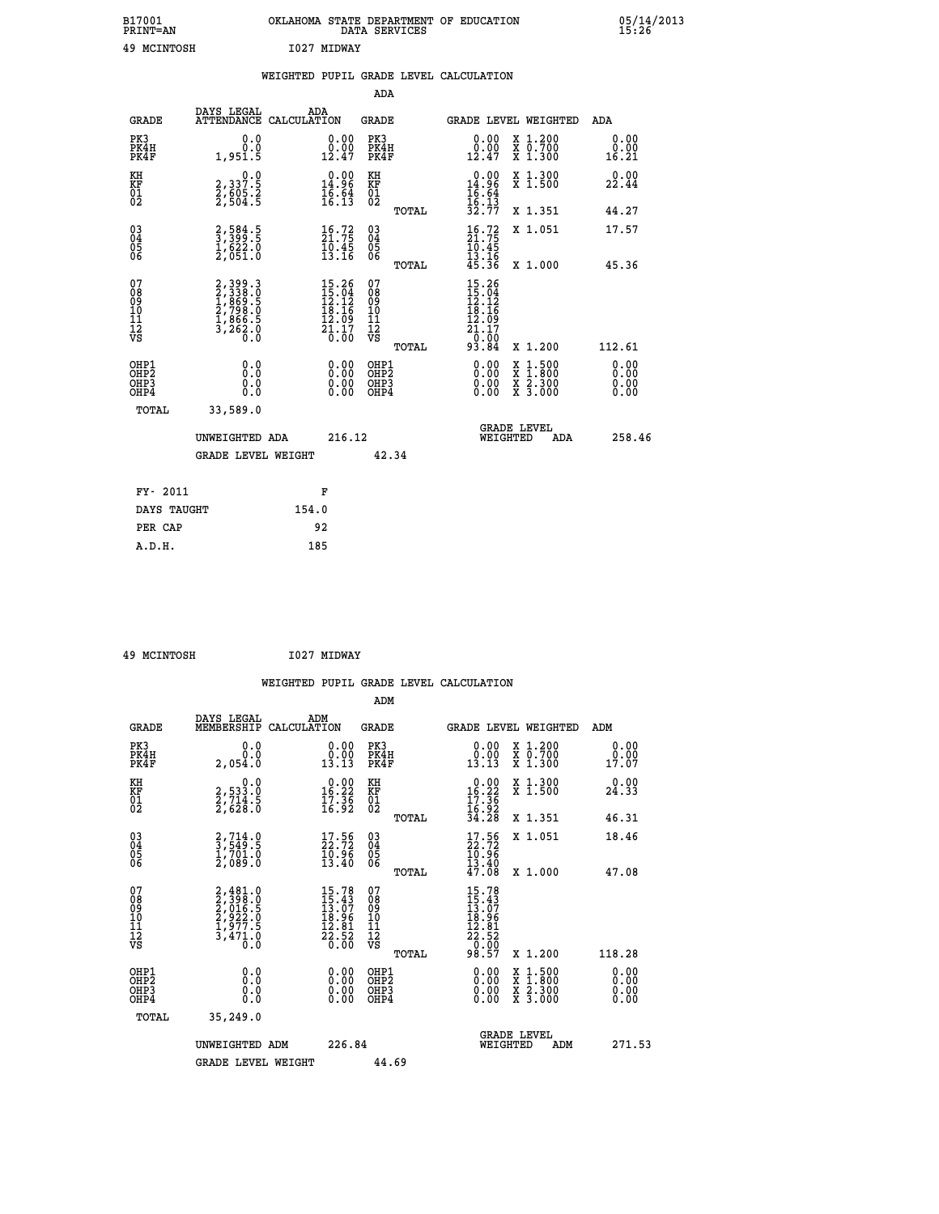| B17001<br><b>PRINT=AN</b> | OKLAHOMA STATE DEPARTMENT OF EDUCATION<br>DATA SERVICES | 05/14/2013<br>15:26 |
|---------------------------|---------------------------------------------------------|---------------------|
| 49<br>MCINTOSH            | 1027 MIDWAY                                             |                     |

|                                                       |                                                                                                         | WEIGHTED PUPIL GRADE LEVEL CALCULATION                                                                                           |                      |                                          |       |                                                                                                 |                                          |                              |
|-------------------------------------------------------|---------------------------------------------------------------------------------------------------------|----------------------------------------------------------------------------------------------------------------------------------|----------------------|------------------------------------------|-------|-------------------------------------------------------------------------------------------------|------------------------------------------|------------------------------|
|                                                       |                                                                                                         |                                                                                                                                  |                      | ADA                                      |       |                                                                                                 |                                          |                              |
| <b>GRADE</b>                                          | DAYS LEGAL                                                                                              | ADA<br>ATTENDANCE CALCULATION                                                                                                    |                      | GRADE                                    |       |                                                                                                 | GRADE LEVEL WEIGHTED                     | ADA                          |
| PK3<br>PK4H<br>PK4F                                   | 0.0<br>0.0<br>1,951.5                                                                                   | 12.47                                                                                                                            | 0.0000               | PK3<br>PK4H<br>PK4F                      |       | 0.0000<br>12.47                                                                                 | X 1.200<br>X 0.700<br>X 1.300            | 0.00<br>0.00<br>16.21        |
| KH<br>KF<br>01<br>02                                  | 0.0<br>2, 337:5<br>2, 605:2<br>2, 504:5                                                                 | $\begin{smallmatrix} 0.00\\ 14.96\\ 16.64\\ 16.13 \end{smallmatrix}$                                                             |                      | KH<br>KF<br>01<br>02                     |       | $\begin{array}{r} 0.00 \\ 14.96 \\ 16.64 \\ 16.13 \\ 32.77 \end{array}$                         | X 1.300<br>X 1.500                       | 0.00<br>22.44                |
|                                                       |                                                                                                         |                                                                                                                                  |                      |                                          | TOTAL |                                                                                                 | X 1.351                                  | 44.27                        |
| $\substack{03 \\ 04}$<br>Ŏ5<br>06                     | $\frac{2}{3}, \frac{584}{399}$ : 5<br>$\frac{1}{2}, \frac{622}{051}$ .0                                 | $\frac{16}{21}$ : 72<br>$\frac{10.45}{13.16}$                                                                                    |                      | $\substack{03 \\ 04}$<br>05<br>ŌĞ        |       | $\frac{16}{21}$ : 72<br>$\frac{10.45}{13.16}$<br>$45.36$                                        | X 1.051                                  | 17.57                        |
|                                                       |                                                                                                         |                                                                                                                                  |                      |                                          | TOTAL |                                                                                                 | X 1.000                                  | 45.36                        |
| 07<br>08<br>09<br>10<br>11<br>12<br>VS                | $\begin{smallmatrix} 2,399.3\\ 2,338.0\\ 1,869.5\\ 2,798.0\\ 1,866.5\\ 3,262.0\\ 0.0 \end{smallmatrix}$ | $\begin{array}{r} 15\cdot 26 \\ 15\cdot 04 \\ 12\cdot 12 \\ 18\cdot 16 \\ 12\cdot 09 \\ 21\cdot 17 \\ 20\cdot 00 \\ \end{array}$ |                      | 07<br>08<br>09<br>11<br>11<br>12<br>VS   |       | $\begin{array}{r} 15.26 \\ 15.04 \\ 12.12 \\ 18.16 \\ 12.09 \\ 21.17 \\ 21.17 \\ 0 \end{array}$ |                                          |                              |
|                                                       |                                                                                                         |                                                                                                                                  |                      |                                          | TOTAL | 93.84                                                                                           | X 1.200                                  | 112.61                       |
| OHP1<br>OH <sub>P</sub> 2<br>OH <sub>P3</sub><br>OHP4 | 0.0<br>0.0<br>0.0                                                                                       |                                                                                                                                  | 0.00<br>0.00<br>0.00 | OHP1<br>OHP <sub>2</sub><br>OHP3<br>OHP4 |       | 0.00<br>0.00<br>0.00                                                                            | X 1:500<br>X 1:800<br>X 2:300<br>X 3:000 | 0.00<br>0.00<br>0.00<br>0.00 |
| TOTAL                                                 | 33,589.0                                                                                                |                                                                                                                                  |                      |                                          |       |                                                                                                 |                                          |                              |
|                                                       | UNWEIGHTED ADA                                                                                          |                                                                                                                                  | 216.12               |                                          |       | WEIGHTED                                                                                        | <b>GRADE LEVEL</b><br>ADA                | 258.46                       |
|                                                       | <b>GRADE LEVEL WEIGHT</b>                                                                               |                                                                                                                                  |                      | 42.34                                    |       |                                                                                                 |                                          |                              |
| FY- 2011                                              |                                                                                                         | F                                                                                                                                |                      |                                          |       |                                                                                                 |                                          |                              |
| DAYS TAUGHT                                           |                                                                                                         | 154.0                                                                                                                            |                      |                                          |       |                                                                                                 |                                          |                              |
| PER CAP                                               |                                                                                                         | 92                                                                                                                               |                      |                                          |       |                                                                                                 |                                          |                              |
| A.D.H.                                                |                                                                                                         | 185                                                                                                                              |                      |                                          |       |                                                                                                 |                                          |                              |

 **49 MCINTOSH I027 MIDWAY**

 **WEIGHTED PUPIL GRADE LEVEL CALCULATION ADM** DAYS\_LEGAL \_\_\_ \_\_\_ ADM

| <b>GRADE</b>                                       | MEMBERSHIP                                                            | CALCULATION                                                            | GRADE                                  |       | GRADE LEVEL WEIGHTED                                                          |                                                                                                                                      |     | ADM                   |  |
|----------------------------------------------------|-----------------------------------------------------------------------|------------------------------------------------------------------------|----------------------------------------|-------|-------------------------------------------------------------------------------|--------------------------------------------------------------------------------------------------------------------------------------|-----|-----------------------|--|
| PK3<br>PK4H<br>PK4F                                | 0.0<br>0.0<br>2,054.0                                                 | $\begin{smallmatrix} 0.00\\ 0.00\\ 13.13 \end{smallmatrix}$            | PK3<br>PK4H<br>PK4F                    |       | 0.00<br>$\begin{smallmatrix} 0.00 \ 1.13 \end{smallmatrix}$                   | X 1.200<br>X 0.700<br>X 1.300                                                                                                        |     | 0.00<br>0.00<br>17.07 |  |
| KH<br>KF<br>01<br>02                               | 0.0<br>2,533.0<br>2,714.5<br>2,628.0                                  | $\begin{smallmatrix} 0.00\\16.22\\17.36\\16.92 \end{smallmatrix}$      | KH<br>KF<br>01<br>02                   |       | $\begin{array}{r} 0.00 \\ 16.22 \\ 17.36 \\ 16.92 \\ 34.28 \end{array}$       | X 1.300<br>X 1.500                                                                                                                   |     | 0.00<br>24.33         |  |
|                                                    |                                                                       |                                                                        |                                        | TOTAL |                                                                               | X 1.351                                                                                                                              |     | 46.31                 |  |
| $\begin{matrix} 03 \\ 04 \\ 05 \\ 06 \end{matrix}$ | $\frac{2}{3}, \frac{714}{549}$ :<br>$\frac{17701.0}{27089.0}$         | $\begin{smallmatrix} 17.56\\ 22.72\\ 10.96\\ 13.40 \end{smallmatrix}$  | $03\overline{4}$<br>05<br>ŌĞ           |       | $\begin{smallmatrix} 17.56\\ 22.72\\ 10.96\\ 13.40\\ 47.08 \end{smallmatrix}$ | X 1.051                                                                                                                              |     | 18.46                 |  |
|                                                    |                                                                       |                                                                        |                                        | TOTAL |                                                                               | X 1.000                                                                                                                              |     | 47.08                 |  |
| 07<br>0890112<br>1112<br>VS                        | 2,481.0<br>2,398.0<br>2,016.5<br>2,922.0<br>1,977.5<br>3,471.0<br>0.0 | 15.78<br>$15.43$<br>$13.07$<br>$18.96$<br>$12.81$<br>$22.52$<br>$0.00$ | 07<br>08<br>09<br>11<br>11<br>12<br>VS |       | 15.78<br>$15.43$<br>$13.07$<br>$18.96$<br>$12.81$<br>$22.52$<br>$0.57$        |                                                                                                                                      |     |                       |  |
|                                                    |                                                                       |                                                                        |                                        | TOTAL |                                                                               | X 1.200                                                                                                                              |     | 118.28                |  |
| OHP1<br>OHP2<br>OH <sub>P3</sub><br>OHP4           | 0.0<br>0.0<br>0.0                                                     | 0.00<br>0.00<br>0.00                                                   | OHP1<br>OHP2<br>OHP3<br>OHP4           |       | $0.00$<br>$0.00$<br>0.00                                                      | $\begin{smallmatrix} \mathtt{X} & 1 & 500 \\ \mathtt{X} & 1 & 800 \\ \mathtt{X} & 2 & 300 \\ \mathtt{X} & 3 & 000 \end{smallmatrix}$ |     | 0.00<br>0.00<br>0.00  |  |
| TOTAL                                              | 35,249.0                                                              |                                                                        |                                        |       |                                                                               |                                                                                                                                      |     |                       |  |
|                                                    | UNWEIGHTED ADM                                                        | 226.84                                                                 |                                        |       | WEIGHTED                                                                      | <b>GRADE LEVEL</b>                                                                                                                   | ADM | 271.53                |  |
|                                                    | <b>GRADE LEVEL WEIGHT</b>                                             |                                                                        | 44.69                                  |       |                                                                               |                                                                                                                                      |     |                       |  |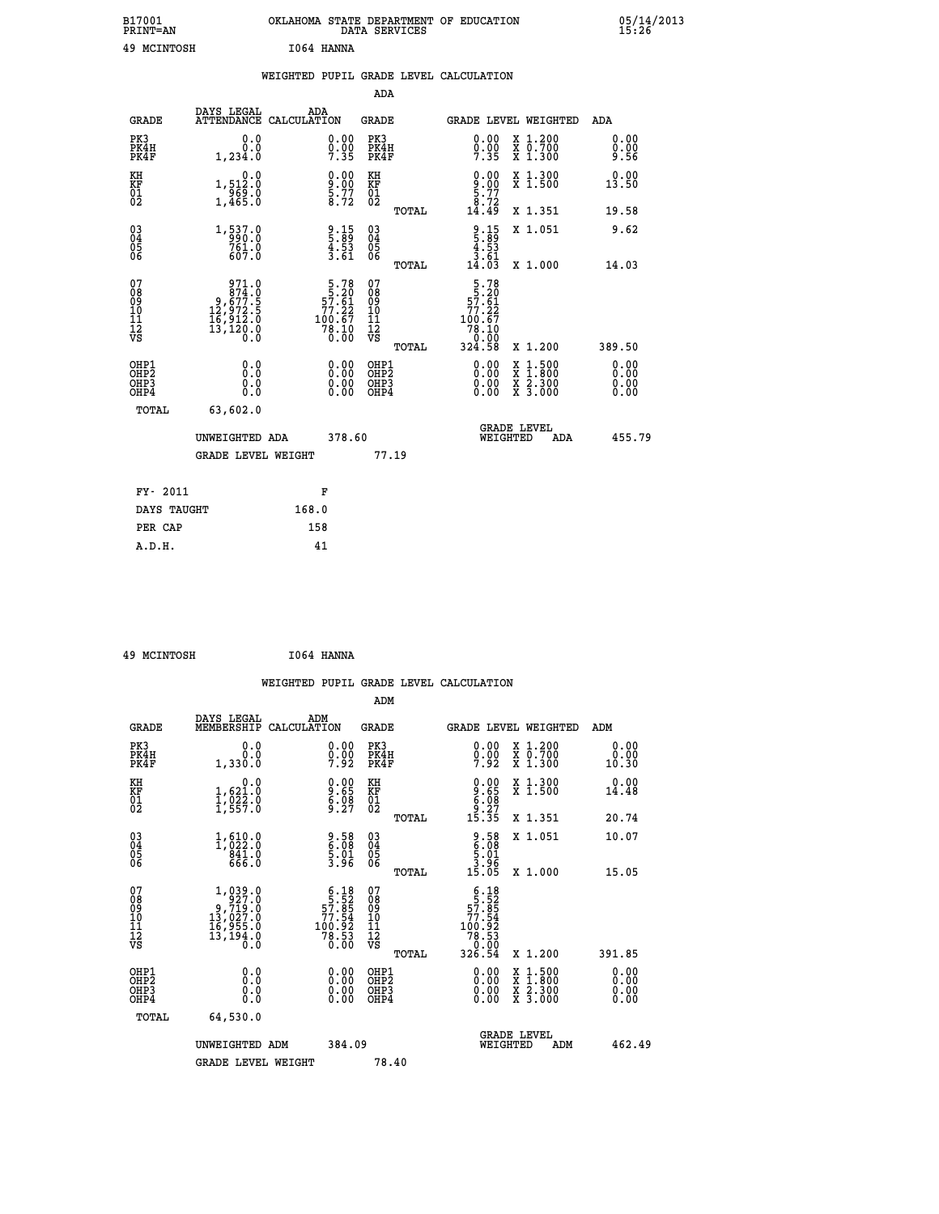| B17001<br><b>PRINT=AN</b> | OKLAHOMA STATE DEPARTMENT OF EDUCATION<br>DATA SERVICES | 05/14/2013<br>15:26 |
|---------------------------|---------------------------------------------------------|---------------------|
| 49<br>MCINTOSH            | 1064 HANNA                                              |                     |

|                                    |                                                                                                              |                    |                                                                                              |                                        |       | WEIGHTED PUPIL GRADE LEVEL CALCULATION                                                             |                                                |                              |
|------------------------------------|--------------------------------------------------------------------------------------------------------------|--------------------|----------------------------------------------------------------------------------------------|----------------------------------------|-------|----------------------------------------------------------------------------------------------------|------------------------------------------------|------------------------------|
|                                    |                                                                                                              |                    |                                                                                              | <b>ADA</b>                             |       |                                                                                                    |                                                |                              |
| <b>GRADE</b>                       | DAYS LEGAL<br><b>ATTENDANCE</b>                                                                              | ADA<br>CALCULATION |                                                                                              | <b>GRADE</b>                           |       |                                                                                                    | <b>GRADE LEVEL WEIGHTED</b>                    | ADA                          |
| PK3<br>PK4H<br>PK4F                | 0.0<br>0.0<br>1,234.0                                                                                        |                    | $\begin{smallmatrix} 0.00\\ 0.00\\ 7.35 \end{smallmatrix}$                                   | PK3<br>PK4H<br>PK4F                    |       | 0.00<br>$0.00$<br>7.35                                                                             | X 1.200<br>X 0.700<br>X 1.300                  | 0.00<br>0.00<br>9.56         |
| KH<br>KF<br>01<br>02               | 0.0<br>1,512:0<br>969:0<br>1,465:0                                                                           |                    | $\frac{9.00}{5.77}$<br>5.77                                                                  | KH<br>KF<br>01<br>02                   |       | $\begin{smallmatrix} 0.00\\ 9.00\\ 5.77\\ 8.72\\ 14.49 \end{smallmatrix}$                          | X 1.300<br>X 1.500                             | 0.00<br>13.50                |
|                                    |                                                                                                              |                    |                                                                                              |                                        | TOTAL |                                                                                                    | X 1.351                                        | 19.58                        |
| $^{03}_{04}$<br>Ŏ5<br>06           | 1,537.0<br>761.0<br>607.0                                                                                    |                    | $\frac{9}{5}:\frac{15}{89}\atop{4.53}\atop{3.61}$                                            | $^{03}_{04}$<br>05<br>06               |       | $\begin{array}{c} 9.15 \\ 5.89 \\ 4.53 \\ 3.61 \\ 14.03 \end{array}$                               | X 1.051                                        | 9.62                         |
|                                    |                                                                                                              |                    |                                                                                              |                                        | TOTAL |                                                                                                    | X 1.000                                        | 14.03                        |
| 07<br>08<br>09<br>101<br>112<br>VS | $\begin{smallmatrix} & 971.0\\ & 874.0\\ & 9,677.5\\ 12,972.5\\ 16,912.0\\ 13,120.0\\ 0.0 \end{smallmatrix}$ |                    | $\begin{array}{r} 5.78 \\ 5.20 \\ 57.61 \\ 77.22 \end{array}$<br>$100.67$<br>$78.10$<br>0.00 | 07<br>08<br>09<br>11<br>11<br>12<br>VS | TOTAL | $\begin{array}{r} 5.78 \\ 5.20 \\ 57.61 \\ 77.22 \end{array}$<br>100.67<br>78.10<br>0.00<br>324.58 | X 1.200                                        | 389.50                       |
| OHP1<br>OHP2<br>OHP3<br>OHP4       | 0.0<br>$0.\overline{0}$<br>Ō.Ō                                                                               |                    | 0.00<br>$\begin{smallmatrix} 0.00 \ 0.00 \end{smallmatrix}$                                  | OHP1<br>OHP2<br>OHP3<br>OHP4           |       | 0.00<br>0.00<br>0.00                                                                               | X 1:500<br>$\frac{x}{x}$ $\frac{5:300}{3:000}$ | 0.00<br>Ō.ŎŎ<br>0.00<br>0.00 |
| <b>TOTAL</b>                       | 63,602.0                                                                                                     |                    |                                                                                              |                                        |       |                                                                                                    |                                                |                              |
|                                    | UNWEIGHTED ADA                                                                                               |                    | 378.60                                                                                       |                                        |       |                                                                                                    | GRADE LEVEL<br>WEIGHTED<br>ADA                 | 455.79                       |
|                                    | <b>GRADE LEVEL WEIGHT</b>                                                                                    |                    |                                                                                              | 77.19                                  |       |                                                                                                    |                                                |                              |
| FY- 2011                           |                                                                                                              | F                  |                                                                                              |                                        |       |                                                                                                    |                                                |                              |
| DAYS TAUGHT                        |                                                                                                              | 168.0              |                                                                                              |                                        |       |                                                                                                    |                                                |                              |
| PER CAP                            |                                                                                                              | 158                |                                                                                              |                                        |       |                                                                                                    |                                                |                              |

| 49 MCINTOSH | I064 HANNA |
|-------------|------------|
|             |            |

|                                                    |                                                                               |                    |                                                                                          |                                               |       | WEIGHTED PUPIL GRADE LEVEL CALCULATION                                                                                                                                                                                                                                         |                                                                                                  |                       |        |
|----------------------------------------------------|-------------------------------------------------------------------------------|--------------------|------------------------------------------------------------------------------------------|-----------------------------------------------|-------|--------------------------------------------------------------------------------------------------------------------------------------------------------------------------------------------------------------------------------------------------------------------------------|--------------------------------------------------------------------------------------------------|-----------------------|--------|
|                                                    |                                                                               |                    |                                                                                          | ADM                                           |       |                                                                                                                                                                                                                                                                                |                                                                                                  |                       |        |
| <b>GRADE</b>                                       | DAYS LEGAL<br>MEMBERSHIP                                                      | ADM<br>CALCULATION |                                                                                          | <b>GRADE</b>                                  |       | GRADE LEVEL WEIGHTED                                                                                                                                                                                                                                                           |                                                                                                  | ADM                   |        |
| PK3<br>PK4H<br>PK4F                                | 0.0<br>0.0<br>1,330.0                                                         |                    | $0.00$<br>$0.00$<br>7.92                                                                 | PK3<br>PK4H<br>PK4F                           |       | $0.00$<br>$0.00$<br>7.92                                                                                                                                                                                                                                                       | X 1.200<br>X 0.700<br>X 1.300                                                                    | 0.00<br>0.00<br>10.30 |        |
| KH<br>KF<br>01<br>02                               | 0.0<br>$\frac{1}{1}, \frac{621}{922}$<br>$\frac{1}{1}, \frac{622}{557}$ .0    |                    | $\begin{smallmatrix} 0.00\\ 9.65\\ 6.08\\ 9.27 \end{smallmatrix}$                        | KH<br>KF<br>01<br>02                          |       | $9.85$<br>$6.88$<br>$9.27$<br>$15.35$                                                                                                                                                                                                                                          | X 1.300<br>X 1.500                                                                               | 0.00<br>14.48         |        |
|                                                    |                                                                               |                    |                                                                                          |                                               | TOTAL |                                                                                                                                                                                                                                                                                | X 1.351                                                                                          | 20.74                 |        |
| $\begin{matrix} 03 \\ 04 \\ 05 \\ 06 \end{matrix}$ | $1,610.0$<br>$1,022.0$<br>$841.0$<br>$666.0$                                  |                    | $\begin{array}{c} 9.58 \\ 6.08 \\ 5.01 \\ 3.96 \end{array}$                              | 03<br>04<br>05<br>06                          |       | $\begin{array}{r} 9.58 \\ 6.08 \\ 5.01 \\ 3.96 \\ 15.05 \end{array}$                                                                                                                                                                                                           | X 1.051                                                                                          | 10.07                 |        |
|                                                    |                                                                               |                    |                                                                                          |                                               | TOTAL |                                                                                                                                                                                                                                                                                | X 1.000                                                                                          | 15.05                 |        |
| 07<br>0890112<br>1112<br>VS                        | $1,039.0$<br>927.0<br>9,719.0<br>13,027.0<br>16,955.0<br>16,194.0<br>13,194.0 |                    | $\begin{array}{r} 6.18 \\ 5.52 \\ 57.85 \\ 77.54 \\ 100.92 \\ 78.53 \\ 0.00 \end{array}$ | 07<br>08<br>09<br>001<br>11<br>11<br>12<br>VS | TOTAL | $\begin{array}{r} 6.18 \\ 5.52 \\ 57.85 \\ 77.54 \\ 100.92 \\ 78.53 \\ 0.00 \\ 326.54 \end{array}$                                                                                                                                                                             | X 1.200                                                                                          | 391.85                |        |
| OHP1<br>OHP2<br>OH <sub>P3</sub><br>OHP4           | 0.0<br>0.000                                                                  |                    | $\begin{smallmatrix} 0.00 \ 0.00 \ 0.00 \ 0.00 \end{smallmatrix}$                        | OHP1<br>OHP2<br>OHP3<br>OHP4                  |       | $\begin{smallmatrix} 0.00 & 0.00 & 0.00 & 0.00 & 0.00 & 0.00 & 0.00 & 0.00 & 0.00 & 0.00 & 0.00 & 0.00 & 0.00 & 0.00 & 0.00 & 0.00 & 0.00 & 0.00 & 0.00 & 0.00 & 0.00 & 0.00 & 0.00 & 0.00 & 0.00 & 0.00 & 0.00 & 0.00 & 0.00 & 0.00 & 0.00 & 0.00 & 0.00 & 0.00 & 0.00 & 0.0$ | $\begin{smallmatrix} x & 1 & 500 \\ x & 1 & 800 \\ x & 2 & 300 \\ x & 3 & 000 \end{smallmatrix}$ | 0.00<br>0.00<br>0.00  |        |
| TOTAL                                              | 64,530.0                                                                      |                    |                                                                                          |                                               |       |                                                                                                                                                                                                                                                                                |                                                                                                  |                       |        |
|                                                    | UNWEIGHTED ADM                                                                |                    | 384.09                                                                                   |                                               |       | WEIGHTED                                                                                                                                                                                                                                                                       | <b>GRADE LEVEL</b><br>ADM                                                                        |                       | 462.49 |
|                                                    | <b>GRADE LEVEL WEIGHT</b>                                                     |                    |                                                                                          | 78.40                                         |       |                                                                                                                                                                                                                                                                                |                                                                                                  |                       |        |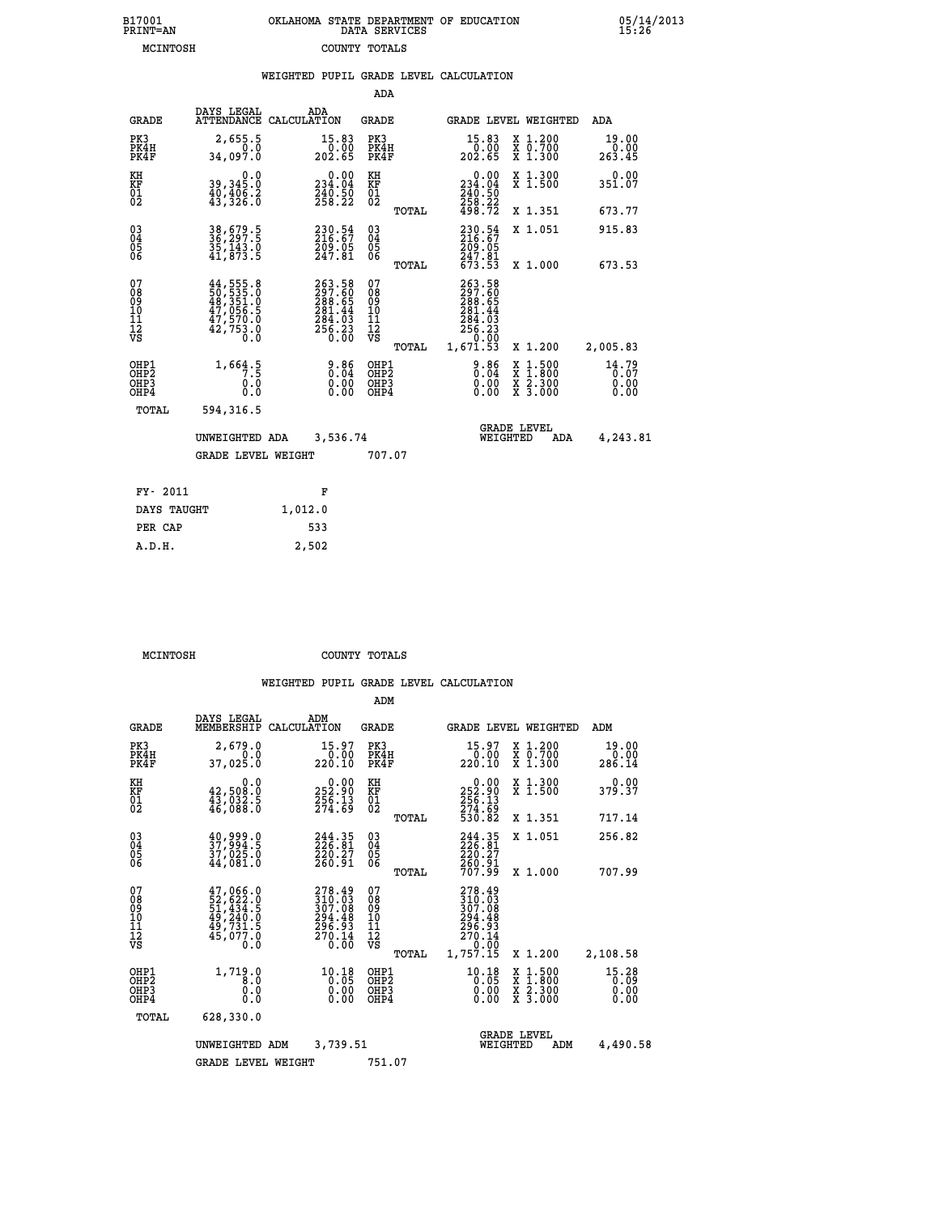| 7001<br>INT=AN | OKLAHOMA STATE DEPARTMENT OF EDUCATION<br>DATA SERVICES |  |  |
|----------------|---------------------------------------------------------|--|--|
| MCINTOSH       | COUNTY TOTALS                                           |  |  |

**B17001<br>PRINT=AN** 

 **B17001 OKLAHOMA STATE DEPARTMENT OF EDUCATION 05/14/2013**

|                                                              |                                                                                                                                                     |                                                                                |                                                 | WEIGHTED PUPIL GRADE LEVEL CALCULATION                                                                                         |                                                                                                                                              |                               |
|--------------------------------------------------------------|-----------------------------------------------------------------------------------------------------------------------------------------------------|--------------------------------------------------------------------------------|-------------------------------------------------|--------------------------------------------------------------------------------------------------------------------------------|----------------------------------------------------------------------------------------------------------------------------------------------|-------------------------------|
|                                                              |                                                                                                                                                     |                                                                                | ADA                                             |                                                                                                                                |                                                                                                                                              |                               |
| <b>GRADE</b>                                                 | DAYS LEGAL                                                                                                                                          | ADA<br>ATTENDANCE CALCULATION                                                  | <b>GRADE</b>                                    | GRADE LEVEL WEIGHTED                                                                                                           |                                                                                                                                              | ADA                           |
| PK3<br>PK4H<br>PK4F                                          | 2,655.5<br>0.0<br>34,097.0                                                                                                                          | 15.83<br>0.00<br>202.65                                                        | PK3<br>PK4H<br>PK4F                             | 15.83<br>ōŏ:ŏō<br>202.65                                                                                                       | X 1.200<br>X 0.700<br>X 1.300                                                                                                                | 19.00<br>$0.00$<br>263.45     |
| KH<br>KF<br>01<br>02                                         | 39,345.0<br>40,406:2<br>43,326:0                                                                                                                    | $0.00$<br>234.04<br>240.50<br>258.22                                           | KH<br>KF<br>01<br>02                            | $0.00$<br>234.04<br>$\frac{240.50}{258.22}$<br>498.72                                                                          | X 1.300<br>X 1.500                                                                                                                           | $0.00$<br>351.07              |
|                                                              |                                                                                                                                                     |                                                                                | TOTAL                                           |                                                                                                                                | X 1.351                                                                                                                                      | 673.77                        |
| $\begin{smallmatrix} 03 \\[-4pt] 04 \end{smallmatrix}$<br>05 | 38,679.5<br>36,297.5<br>35,143.0<br>41,873.5                                                                                                        | 230.54<br>216.67<br>209.05<br>247.81                                           | $^{03}_{04}$<br>05                              | 230.54<br>216.67                                                                                                               | X 1.051                                                                                                                                      | 915.83                        |
| 06                                                           |                                                                                                                                                     |                                                                                | 06<br>TOTAL                                     | 209:05<br>247:81<br>673:53                                                                                                     | X 1.000                                                                                                                                      | 673.53                        |
| 07<br>ŏġ<br>09<br>10<br>īĭ<br>12<br>νs                       | $\begin{smallmatrix} 44\,,\,555\,.8\\ 50\,,\,535\,.0\\ 48\,,\,351\,.0\\ 47\,,\,056\,.5\\ 47\,,\,570\,.0\\ 42\,,\,753\,.0\\ 0\,.0 \end{smallmatrix}$ | $263.58$<br>$297.60$<br>$288.65$<br>$281.44$<br>$284.03$<br>$256.23$<br>$0.00$ | 07<br>08<br>09<br>10<br>11<br>12<br>VS<br>TOTAL | 263.58<br>297.60<br>288.65<br>281.44<br>$\begin{smallmatrix} 284.73 \\ 256.23 \\ 256.23 \\ 0.00 \\ 1,671.53 \end{smallmatrix}$ | X 1.200                                                                                                                                      | 2,005.83                      |
| OHP1<br>OHP2<br>OHP3<br>OHP4                                 | 1,664.5<br>0.0<br>0.0                                                                                                                               | $\begin{smallmatrix} 9.86\ 0.04\ 0.00\ 0.00 \end{smallmatrix}$                 | OHP1<br>OHP2<br>OHP3<br>OHP4                    | $3.86$<br>$0.04$<br>$0.00$<br>0.00                                                                                             | $\begin{smallmatrix} \mathtt{X} & 1\cdot500 \\ \mathtt{X} & 1\cdot800 \\ \mathtt{X} & 2\cdot300 \\ \mathtt{X} & 3\cdot000 \end{smallmatrix}$ | 14.79<br>0.07<br>0.00<br>0.00 |
| TOTAL                                                        | 594,316.5                                                                                                                                           |                                                                                |                                                 |                                                                                                                                |                                                                                                                                              |                               |
|                                                              | UNWEIGHTED ADA                                                                                                                                      | 3,536.74                                                                       |                                                 | <b>GRADE LEVEL</b><br>WEIGHTED                                                                                                 | ADA                                                                                                                                          | 4,243.81                      |
|                                                              | <b>GRADE LEVEL WEIGHT</b>                                                                                                                           |                                                                                | 707.07                                          |                                                                                                                                |                                                                                                                                              |                               |
| FY- 2011                                                     |                                                                                                                                                     | F                                                                              |                                                 |                                                                                                                                |                                                                                                                                              |                               |
| DAYS TAUGHT                                                  |                                                                                                                                                     | 1,012.0                                                                        |                                                 |                                                                                                                                |                                                                                                                                              |                               |
| PER CAP                                                      |                                                                                                                                                     | 533                                                                            |                                                 |                                                                                                                                |                                                                                                                                              |                               |

 **A.D.H. 2,502**

 **MCINTOSH COUNTY TOTALS**

|                                                       |                                                                               |                    |                                                                                          | ADM                                     |       |                                                                                          |          |                                                                                                  |                               |
|-------------------------------------------------------|-------------------------------------------------------------------------------|--------------------|------------------------------------------------------------------------------------------|-----------------------------------------|-------|------------------------------------------------------------------------------------------|----------|--------------------------------------------------------------------------------------------------|-------------------------------|
| <b>GRADE</b>                                          | DAYS LEGAL<br>MEMBERSHIP                                                      | ADM<br>CALCULATION |                                                                                          | <b>GRADE</b>                            |       |                                                                                          |          | GRADE LEVEL WEIGHTED                                                                             | ADM                           |
| PK3<br>PK4H<br>PK4F                                   | 2,679.0<br>0.0<br>37,025.0                                                    |                    | 15.97<br>0.00<br>220.10                                                                  | PK3<br>PK4H<br>PK4F                     |       | 15.97<br>0.00<br>220.10                                                                  |          | X 1.200<br>X 0.700<br>X 1.300                                                                    | 19.00<br>0.00<br>286.14       |
| KH<br>KF<br>01<br>02                                  | 0.0<br>42,508.0<br>$\frac{1}{46}$ , $\frac{5}{88}$ . 5                        |                    | $\begin{smallmatrix} &0.00\\ 252.90\\ 256.13\\ 274.69\end{smallmatrix}$                  | KH<br>KF<br>01<br>02                    |       | $\begin{smallmatrix} &0.00\ 252.90\ 256.13\ 274.69\ 530.82\ \end{smallmatrix}$           |          | X 1.300<br>X 1.500                                                                               | 0.00<br>379.37                |
|                                                       |                                                                               |                    |                                                                                          |                                         | TOTAL |                                                                                          |          | X 1.351                                                                                          | 717.14                        |
| 03<br>04<br>05<br>06                                  | 40,999.0<br>37,994.5<br>37,025.0<br>44,081.0                                  |                    | 244.35<br>226.81<br>220.27<br>260.91                                                     | $^{03}_{04}$<br>0500                    |       | 244.35<br>226.81<br>220.27                                                               |          | X 1.051                                                                                          | 256.82                        |
|                                                       |                                                                               |                    |                                                                                          |                                         | TOTAL | 260.91<br>707.99                                                                         |          | X 1.000                                                                                          | 707.99                        |
| 07<br>08<br>09<br>101<br>112<br>VS                    | $47,066.0$<br>52,622.0<br>51,434.5<br>49,240.0<br>49,731.5<br>45,077.0<br>Ó.Ŏ |                    | 278.49<br>$\frac{310}{307}$ $\frac{03}{294}$ $\frac{03}{48}$<br>296.93<br>270.14<br>0.00 | 07<br>08<br>09<br>101<br>11<br>12<br>VS | TOTAL | $278.49$<br>$310.03$<br>$307.08$<br>$294.48$<br>$296.93$<br>$270.14$<br>0.00<br>1,757.15 |          | X 1.200                                                                                          | 2,108.58                      |
| OHP1<br>OH <sub>P</sub> 2<br>OH <sub>P3</sub><br>OHP4 | 1,719.0<br>8.0<br>0.000                                                       |                    | $10.18$<br>$0.05$<br>0.00<br>0.00                                                        | OHP1<br>OHP2<br>OHP3<br>OHP4            |       | $10.18$<br>$0.05$<br>0.00<br>0.00                                                        |          | $\begin{smallmatrix} x & 1 & 500 \\ x & 1 & 800 \\ x & 2 & 300 \\ x & 3 & 000 \end{smallmatrix}$ | 15.28<br>0.09<br>0.00<br>0.00 |
| TOTAL                                                 | 628,330.0                                                                     |                    |                                                                                          |                                         |       |                                                                                          |          |                                                                                                  |                               |
|                                                       | UNWEIGHTED                                                                    | ADM                | 3,739.51                                                                                 |                                         |       |                                                                                          | WEIGHTED | <b>GRADE LEVEL</b><br>ADM                                                                        | 4,490.58                      |
|                                                       | <b>GRADE LEVEL WEIGHT</b>                                                     |                    |                                                                                          | 751.07                                  |       |                                                                                          |          |                                                                                                  |                               |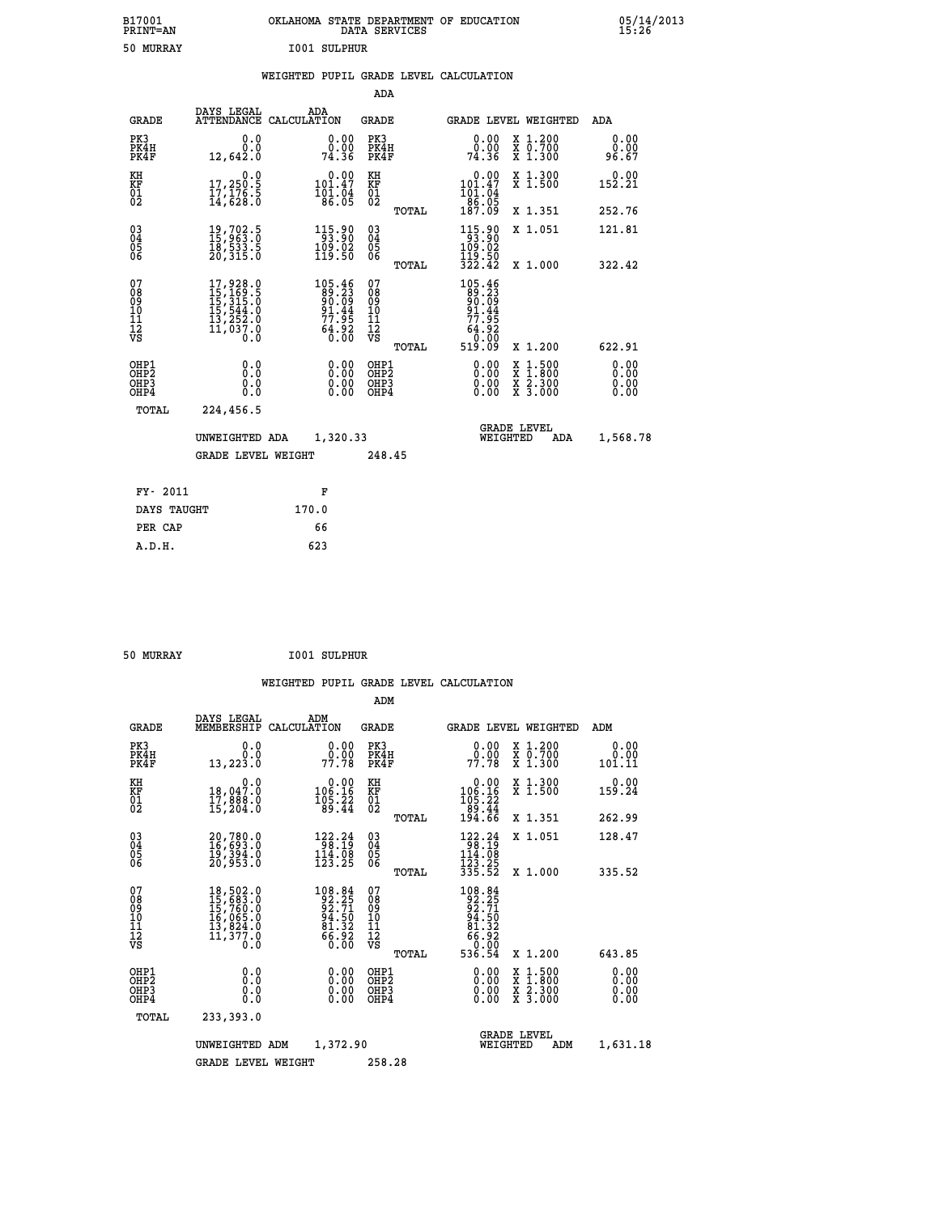| B17001<br><b>PRINT=AN</b> | OKLAHOMA STATE DEPARTMENT OF EDUCATION<br>DATA SERVICES | 05/14/2013<br>15:26 |
|---------------------------|---------------------------------------------------------|---------------------|
| 50<br>MURRAY              | <b>I001 SULPHUR</b>                                     |                     |

|                                                                    |                                                                                                       |                                                                           | ADA                                               |       |                                                                                                       |                                                                            |                              |
|--------------------------------------------------------------------|-------------------------------------------------------------------------------------------------------|---------------------------------------------------------------------------|---------------------------------------------------|-------|-------------------------------------------------------------------------------------------------------|----------------------------------------------------------------------------|------------------------------|
| <b>GRADE</b>                                                       | DAYS LEGAL                                                                                            | ADA<br>ATTENDANCE CALCULATION                                             | <b>GRADE</b>                                      |       |                                                                                                       | GRADE LEVEL WEIGHTED                                                       | <b>ADA</b>                   |
| PK3<br>PK4H<br>PK4F                                                | 0.0<br>0.0<br>12,642.0                                                                                | $\begin{smallmatrix} 0.00\\ 0.00\\ 74.36 \end{smallmatrix}$               | PK3<br>PK4H<br>PK4F                               |       | 0.00<br>ŏ:ŏŏ<br>74:36                                                                                 | X 1.200<br>X 0.700<br>X 1.300                                              | 0.00<br>0.00<br>96.67        |
| KH<br>KF<br>01<br>02                                               | 0.0<br>17,250:5<br>17,176:5<br>14,628:0                                                               | $\begin{smallmatrix} &0.00\\ 101.47\\ 101.04\\ 86.05\end{smallmatrix}$    | KH<br>KF<br>$\begin{matrix} 01 \ 02 \end{matrix}$ |       | 0.00<br>101:47<br>101:04<br>86:05<br>187:09                                                           | X 1.300<br>X 1.500                                                         | 0.00<br>152.21               |
|                                                                    |                                                                                                       |                                                                           |                                                   | TOTAL |                                                                                                       | X 1.351                                                                    | 252.76                       |
| $\begin{smallmatrix} 03 \\[-4pt] 04 \end{smallmatrix}$<br>05<br>ŌĞ | 19,702.5<br>15,963.0<br>18,533.5<br>20,315.0                                                          | 115.90<br>93.90<br>$\frac{109.02}{119.50}$                                | $\substack{03 \\ 04}$<br>05                       | TOTAL | $\begin{array}{c} 115\cdot 90 \\ 93\cdot 90 \\ 109\cdot 02 \\ 119\cdot 50 \\ 322\cdot 42 \end{array}$ | X 1.051<br>X 1.000                                                         | 121.81<br>322.42             |
| 07<br>08<br>09<br>11<br>11<br>12<br>VS                             | $\begin{smallmatrix}17,928.0\\15,169.5\\15,315.0\\15,544.0\\13,252.0\\11,037.0\\0.0\end{smallmatrix}$ | $105.46$<br>$89.23$<br>$90.09$<br>$91.44$<br>$77.95$<br>$64.92$<br>$0.00$ | 07<br>08<br>09<br>11<br>11<br>12<br>VS            |       | 105.46<br>89.23<br>90.09<br>91.445<br>77.952<br>64.920<br>510.000                                     |                                                                            |                              |
|                                                                    |                                                                                                       |                                                                           |                                                   | TOTAL | 519.09                                                                                                | X 1.200                                                                    | 622.91                       |
| OHP1<br>OH <sub>P</sub> 2<br>OHP3<br>OHP4                          | 0.0<br>Ō.Ō<br>0.0<br>$0.\overline{0}$                                                                 | 0.00<br>$\begin{smallmatrix} 0.00 \ 0.00 \end{smallmatrix}$               | OHP1<br>OH <sub>P</sub> 2<br>OHP3<br>OHP4         |       | 0.00<br>0.00<br>0.00                                                                                  | $1:500$<br>$1:800$<br>X<br>X<br>$\frac{\ddot{x}}{x}$ $\frac{2.300}{3.000}$ | 0.00<br>0.00<br>0.00<br>0.00 |
| TOTAL                                                              | 224,456.5                                                                                             |                                                                           |                                                   |       |                                                                                                       |                                                                            |                              |
|                                                                    | UNWEIGHTED ADA                                                                                        | 1,320.33                                                                  |                                                   |       |                                                                                                       | <b>GRADE LEVEL</b><br>WEIGHTED<br>ADA                                      | 1,568.78                     |
|                                                                    | <b>GRADE LEVEL WEIGHT</b>                                                                             |                                                                           | 248.45                                            |       |                                                                                                       |                                                                            |                              |
| FY- 2011                                                           |                                                                                                       | F                                                                         |                                                   |       |                                                                                                       |                                                                            |                              |
| DAYS TAUGHT                                                        |                                                                                                       | 170.0                                                                     |                                                   |       |                                                                                                       |                                                                            |                              |
| PER CAP                                                            |                                                                                                       | 66                                                                        |                                                   |       |                                                                                                       |                                                                            |                              |
|                                                                    |                                                                                                       |                                                                           |                                                   |       |                                                                                                       |                                                                            |                              |

| 50 MURRAY | <b>I001 SULPHUR</b> |
|-----------|---------------------|
|           |                     |

 **A.D.H. 623**

|                                                    |                                                                                    |             |                                                                                            | ADM                                                 |       |                                                                                 |                                          |                              |
|----------------------------------------------------|------------------------------------------------------------------------------------|-------------|--------------------------------------------------------------------------------------------|-----------------------------------------------------|-------|---------------------------------------------------------------------------------|------------------------------------------|------------------------------|
| <b>GRADE</b>                                       | DAYS LEGAL<br>MEMBERSHIP                                                           | CALCULATION | ADM                                                                                        | <b>GRADE</b>                                        |       |                                                                                 | <b>GRADE LEVEL WEIGHTED</b>              | ADM                          |
| PK3<br>PK4H<br>PK4F                                | 0.0<br>0.0<br>13,223.0                                                             |             | $\begin{smallmatrix} 0.00\\ 0.00\\ 77.78 \end{smallmatrix}$                                | PK3<br>PK4H<br>PK4F                                 |       | 0.00<br>0.00<br>77.78                                                           | X 1.200<br>X 0.700<br>X 1.300            | 0.00<br>0.00<br>101.11       |
| KH<br>KF<br>01<br>02                               | 0.0<br>18,047.0<br>17,888.0<br>15,204.0                                            |             | $\begin{smallmatrix}&&0.00\\106.16\\105.22\\99.44\end{smallmatrix}$                        | KH<br>KF<br>01<br>02                                |       | $\begin{smallmatrix} &0.00\\ 106.16\\ 105.22\\ 89.44\\ 194.66\end{smallmatrix}$ | X 1.300<br>X 1.500                       | 0.00<br>159.24               |
|                                                    |                                                                                    |             |                                                                                            |                                                     | TOTAL |                                                                                 | X 1.351                                  | 262.99                       |
| $\begin{matrix} 03 \\ 04 \\ 05 \\ 06 \end{matrix}$ | 20,780.0<br>16,693.0<br>19,394.0<br>20,953.0                                       |             | $\begin{array}{r} 122.24 \\ 98.19 \\ 114.08 \\ 123.25 \end{array}$                         | $\begin{array}{c} 03 \\ 04 \\ 05 \\ 06 \end{array}$ |       | $\begin{array}{r} 122.24 \\ 98.19 \\ 114.08 \\ 123.25 \\ 335.52 \end{array}$    | X 1.051                                  | 128.47                       |
|                                                    |                                                                                    |             |                                                                                            |                                                     | TOTAL |                                                                                 | X 1.000                                  | 335.52                       |
| 07<br>08<br>09<br>11<br>11<br>12<br>VS             | 18,502.0<br>15,683.0<br>15,760.0<br>16,065.0<br>13,824.0<br>$\frac{11,377.0}{0.0}$ |             | 108.84<br>92.25<br>92.71<br>$\begin{array}{c} 24.50 \\ 81.32 \\ 66.92 \\ 0.00 \end{array}$ | 07<br>08<br>09<br>11<br>11<br>12<br>VS              |       | 108.84<br>92.71<br>92.71<br>94.50<br>81.32<br>65.92<br>52.00                    |                                          |                              |
|                                                    |                                                                                    |             |                                                                                            |                                                     | TOTAL | 536.54                                                                          | X 1.200                                  | 643.85                       |
| OHP1<br>OHP <sub>2</sub><br>OHP3<br>OHP4           | 0.0<br>0.000                                                                       |             | $\begin{smallmatrix} 0.00 \ 0.00 \ 0.00 \ 0.00 \end{smallmatrix}$                          | OHP1<br>OHP2<br>OHP3<br>OHP4                        |       | 0.00<br>0.00<br>0.00                                                            | X 1:500<br>X 1:800<br>X 2:300<br>X 3:000 | 0.00<br>0.00<br>0.00<br>0.00 |
| TOTAL                                              | 233,393.0                                                                          |             |                                                                                            |                                                     |       |                                                                                 |                                          |                              |
|                                                    | UNWEIGHTED                                                                         | ADM         | 1,372.90                                                                                   |                                                     |       |                                                                                 | <b>GRADE LEVEL</b><br>WEIGHTED<br>ADM    | 1,631.18                     |
|                                                    | <b>GRADE LEVEL WEIGHT</b>                                                          |             |                                                                                            | 258.28                                              |       |                                                                                 |                                          |                              |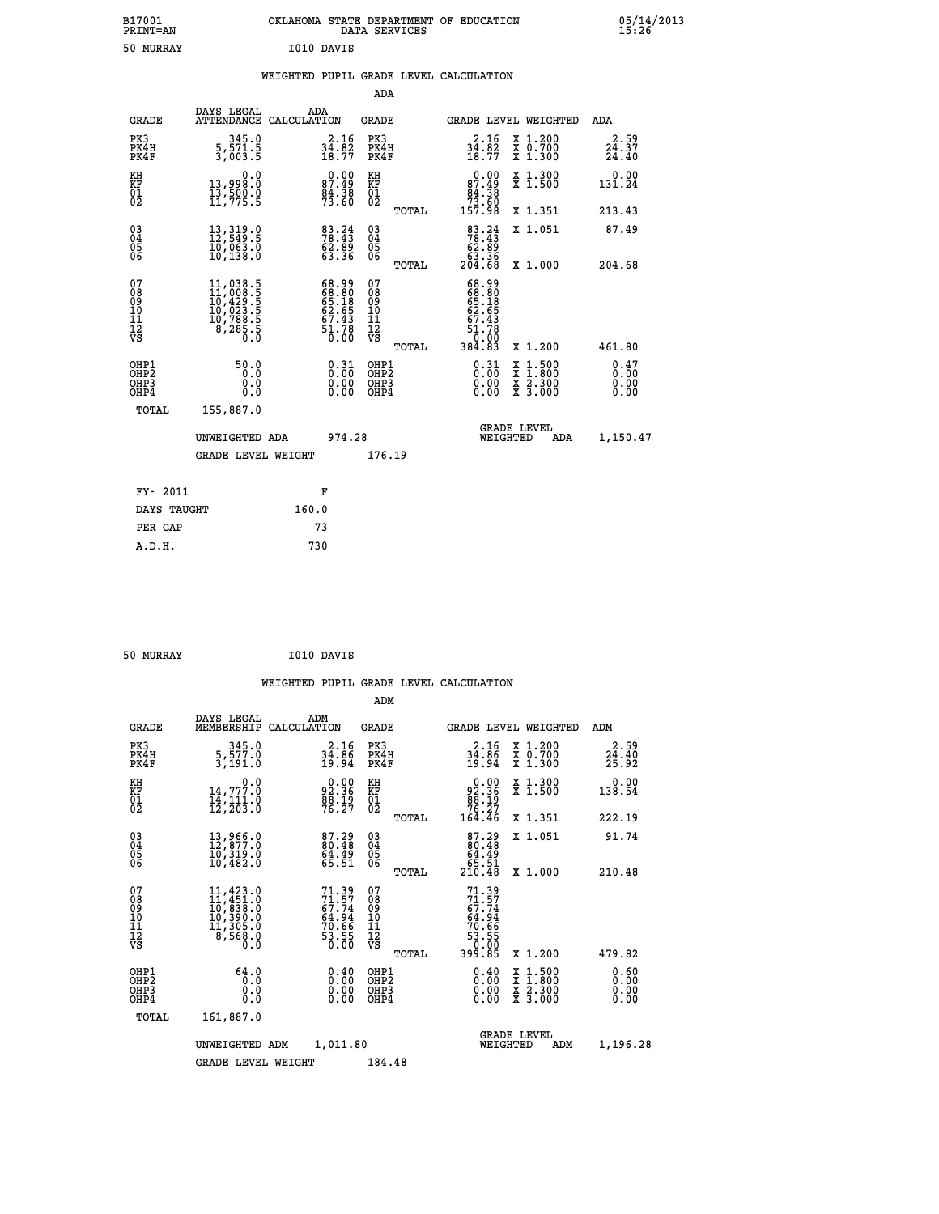| B17001<br>PRINT=AN | OKLAHOMA STATE DEPARTMENT OF EDUCATION<br>DATA SERVICES | 05/14/2013<br>15:26 |
|--------------------|---------------------------------------------------------|---------------------|
| 50 MURRAY          | I010 DAVIS                                              |                     |

|  |  | WEIGHTED PUPIL GRADE LEVEL CALCULATION |
|--|--|----------------------------------------|
|  |  |                                        |

|                                                                    |                                                                                                                                                    |                                                                          | ADA                                                 |       |                                                                          |                                          |                                                     |
|--------------------------------------------------------------------|----------------------------------------------------------------------------------------------------------------------------------------------------|--------------------------------------------------------------------------|-----------------------------------------------------|-------|--------------------------------------------------------------------------|------------------------------------------|-----------------------------------------------------|
| <b>GRADE</b>                                                       | DAYS LEGAL<br>ATTENDANCE CALCULATION                                                                                                               | ADA                                                                      | <b>GRADE</b>                                        |       |                                                                          | <b>GRADE LEVEL WEIGHTED</b>              | ADA                                                 |
| PK3<br>PK4H<br>PK4F                                                | 345.0<br>5, 571.5<br>3, 003.5                                                                                                                      | $34.82$<br>$18.77$                                                       | PK3<br>PK4H<br>PK4F                                 |       | $34.82$<br>$18.77$                                                       | X 1.200<br>X 0.700<br>X 1.300            | 2.59<br>$\frac{2\bar{4}\cdot\bar{3}\bar{7}}{24.40}$ |
| KH<br>KF<br>01<br>02                                               | 0.0<br>13,998.0<br>13,500.0<br>11,775.5                                                                                                            | 87.49<br>87.49<br>84.38<br>73.60                                         | KH<br>KF<br>01<br>02                                |       | 0.00<br>87.49<br>$\begin{array}{r} 84.38 \\ 73.60 \\ 157.98 \end{array}$ | X 1.300<br>X 1.500                       | 0.00<br>131.24                                      |
|                                                                    |                                                                                                                                                    |                                                                          |                                                     | TOTAL |                                                                          | X 1.351                                  | 213.43                                              |
| $\begin{smallmatrix} 03 \\[-4pt] 04 \end{smallmatrix}$<br>Ŏ5<br>06 | $13,319.0$<br>$12,549.5$<br>$10,063.0$<br>$10,138.0$                                                                                               | $\begin{smallmatrix} 83.24 \\ 78.43 \\ 62.89 \\ 63.36 \end{smallmatrix}$ | $\begin{array}{c} 03 \\ 04 \\ 05 \\ 06 \end{array}$ |       | $83.24$<br>$78.43$<br>$62.89$<br>$63.36$<br>$204.68$                     | X 1.051                                  | 87.49                                               |
|                                                                    |                                                                                                                                                    |                                                                          |                                                     | TOTAL |                                                                          | X 1.000                                  | 204.68                                              |
| 07<br>08<br>09<br>01<br>11<br>11<br>12<br>VS                       | $\begin{smallmatrix} 11\,,\,038\,.5\\ 11\,,\,008\,.5\\ 10\,,\,429\,.5\\ 10\,,\,023\,.5\\ 10\,,\,788\,.5\\ 8\,,\,285\,.5\\ 0\,.0 \end{smallmatrix}$ | 68.99<br>68.80<br>65.18<br>65.43<br>67.43<br>51.78<br>51.78              | 07<br>08<br>09<br>11<br>11<br>12<br>VS              |       | 68.90<br>68.80<br>65.185<br>62.65<br>67.43<br>51.780<br>50.00            |                                          |                                                     |
|                                                                    |                                                                                                                                                    |                                                                          |                                                     | TOTAL | 384.83                                                                   | X 1.200                                  | 461.80                                              |
| OHP1<br>OHP2<br>OH <sub>P3</sub><br>OHP4                           | 50.0<br>0.0<br>0.000                                                                                                                               | 0.31<br>$\begin{smallmatrix} 0.00 \ 0.00 \end{smallmatrix}$              | OHP1<br>OHP2<br>OHP <sub>3</sub>                    |       | $\begin{smallmatrix} 0.31\ 0.00\ 0.00\ 0.00 \end{smallmatrix}$           | X 1:500<br>X 1:800<br>X 2:300<br>X 3:000 | 0.47<br>0.00                                        |
| TOTAL                                                              | 155,887.0                                                                                                                                          |                                                                          |                                                     |       |                                                                          |                                          |                                                     |
|                                                                    | UNWEIGHTED ADA                                                                                                                                     | 974.28                                                                   |                                                     |       |                                                                          | <b>GRADE LEVEL</b><br>WEIGHTED<br>ADA    | 1,150.47                                            |
|                                                                    | <b>GRADE LEVEL WEIGHT</b>                                                                                                                          |                                                                          | 176.19                                              |       |                                                                          |                                          |                                                     |
| FY- 2011                                                           |                                                                                                                                                    | F                                                                        |                                                     |       |                                                                          |                                          |                                                     |
| DAYS TAUGHT                                                        |                                                                                                                                                    | 160.0                                                                    |                                                     |       |                                                                          |                                          |                                                     |
| PER CAP                                                            |                                                                                                                                                    | 73                                                                       |                                                     |       |                                                                          |                                          |                                                     |

| 50 MURRAY | I010 DAVIS |
|-----------|------------|
|           |            |

 **WEIGHTED PUPIL GRADE LEVEL CALCULATION ADM DAYS LEGAL ADM GRADE MEMBERSHIP CALCULATION GRADE GRADE LEVEL WEIGHTED ADM PK3 345.0 2.16 PK3 2.16 X 1.200 2.59 PK4H 5,577.0 34.86 PK4H 34.86 X 0.700 24.40 PK4F 3,191.0 19.94 PK4F 19.94 X 1.300 25.92 KH 0.0 0.00 KH 0.00 X 1.300 0.00 KF 14,777.0 92.36 KF 92.36 X 1.500 138.54 01 14,111.0 88.19 01 88.19 02 12,203.0 76.27 02 76.27 TOTAL 164.46 X 1.351 222.19 03 13,966.0 87.29 03 87.29 X 1.051 91.74** 04 12,877.0 80.48 04 04 04 04<br>05 10,319.0 64.49 05<br>06 10,482.0 65.51 06 <sub>Forma</sub> 65.51  **TOTAL 210.48 X 1.000 210.48**  $\begin{array}{cccc} 07 & 11,423.0 & 71.39 & 07 & 71.39 \ 08 & 10,433.0 & 77.74 & 08 & 77.79 \ 09 & 10,338.0 & 67.74 & 09 & 67.74 \ 10 & 10,390.0 & 64.94 & 10 & 64.94 \ 11 & 11,305.0 & 70.66 & 11 & 70.66 \ 12 & 8,568.0 & 53.55 & 12 & 70.66 \ 13 & 75 & 8,568.0 & 53.5$  **TOTAL 399.85 X 1.200 479.82 OHP1 64.0 0.40 OHP1 0.40 X 1.500 0.60 OHP2 0.0 0.00 OHP2 0.00 X 1.800 0.00 OHP3 0.0 0.00 OHP3 0.00 X 2.300 0.00 OHP4 0.0 0.00 OHP4 0.00 X 3.000 0.00 TOTAL 161,887.0 GRADE LEVEL UNWEIGHTED ADM 1,011.80 WEIGHTED ADM 1,196.28 GRADE LEVEL WEIGHT 184.48**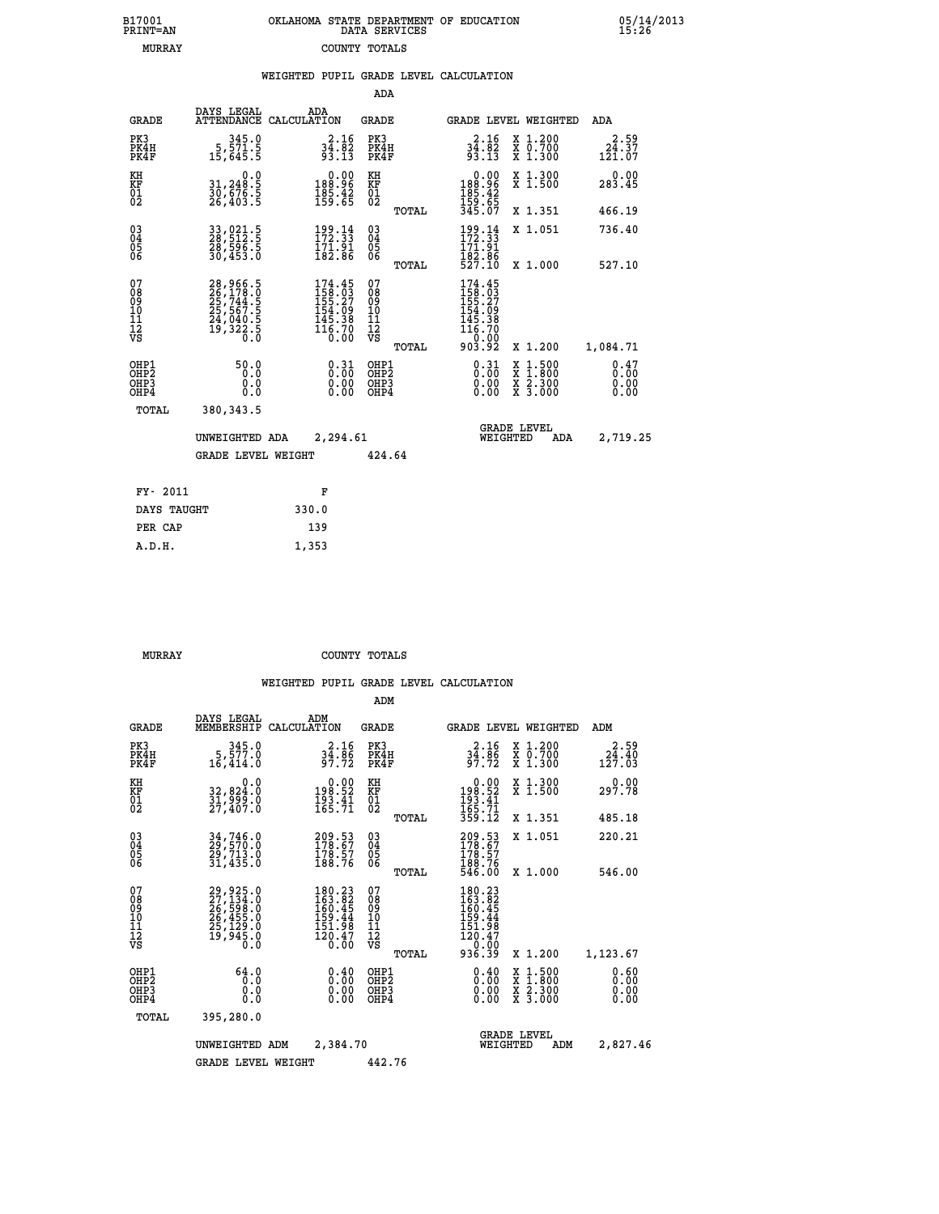| OKLAHOMA STATE DEPARTMENT OF EDUCATION<br>DATA SERVICES |  |
|---------------------------------------------------------|--|
| COUNTY TOTALS                                           |  |

05/14/2013<br>15:26

|                                                              |                                                                            | WEIGHTED PUPIL GRADE LEVEL CALCULATION                                                                                |                                        |       |                                                                                                     |                                                                                                                                              |                                           |
|--------------------------------------------------------------|----------------------------------------------------------------------------|-----------------------------------------------------------------------------------------------------------------------|----------------------------------------|-------|-----------------------------------------------------------------------------------------------------|----------------------------------------------------------------------------------------------------------------------------------------------|-------------------------------------------|
|                                                              |                                                                            |                                                                                                                       | ADA                                    |       |                                                                                                     |                                                                                                                                              |                                           |
| <b>GRADE</b>                                                 | DAYS LEGAL                                                                 | ADA<br>ATTENDANCE CALCULATION                                                                                         | <b>GRADE</b>                           |       | GRADE LEVEL WEIGHTED                                                                                |                                                                                                                                              | ADA                                       |
| PK3<br>PK4H<br>PK4F                                          | $\begin{smallmatrix}&&345.0\\5,571.5\\15,645.5\end{smallmatrix}$           | $34.82$<br>$93.13$                                                                                                    | PK3<br>PK4H<br>PK4F                    |       | $34.82$<br>$93.13$                                                                                  | X 1.200<br>X 0.700<br>X 1.300                                                                                                                | 24.59<br>$1\bar{2}\bar{1}.\bar{0}\bar{7}$ |
| KH<br>KF<br>01<br>02                                         | $\begin{smallmatrix}&&&0.0\\31,248.5\\30,676.5\\26,403.5\end{smallmatrix}$ | 0.00<br>96.981<br>$\frac{185.42}{159.65}$                                                                             | KH<br>KF<br>01<br>02                   |       | $\begin{smallmatrix} &0.00\\ 188.96\\ 185.42\\ 159.65\\ 345.07\end{smallmatrix}$                    | X 1.300<br>X 1.500                                                                                                                           | $0.00$<br>283.45                          |
|                                                              |                                                                            |                                                                                                                       |                                        | TOTAL |                                                                                                     | X 1.351                                                                                                                                      | 466.19                                    |
| $\begin{smallmatrix} 03 \\[-4pt] 04 \end{smallmatrix}$<br>05 | 33,021.5<br>28,512.5<br>28,596.5<br>30,453.0                               | 199.14<br>172.33<br>$\frac{1}{1}\overline{2}\overline{1}\overline{2}\overline{1}\overline{3}\overline{1}\overline{4}$ | $^{03}_{04}$<br>05                     |       | $\frac{199}{172}$ : $\frac{14}{33}$<br>$\frac{171}{291}$                                            | X 1.051                                                                                                                                      | 736.40                                    |
| 06                                                           |                                                                            |                                                                                                                       | 06                                     | TOTAL | 182.86<br>527.10                                                                                    | X 1.000                                                                                                                                      | 527.10                                    |
| 07<br>08<br>09<br>01<br>11<br>11<br>12<br>VS                 | 28,966.5<br>26,178.0<br>25,744.5<br>25,567.5<br>24,040.5<br>19,322.5       | $\begin{smallmatrix} 174.45\\158.03\\155.27\\154.09\\145.38\\145.30\\16.70\\0.00\end{smallmatrix}$                    | 07<br>08<br>09<br>10<br>11<br>12<br>VS | TOTAL | $\begin{smallmatrix} 174.45\\158.03\\155.27\\154.09\\145.38\\146.70\\0.00\\903.92\end{smallmatrix}$ | X 1.200                                                                                                                                      | 1,084.71                                  |
| OHP1<br>OHP2<br>OHP3<br>OHP4                                 | 50.0<br>0.0<br>0.0<br>0.0                                                  | $\begin{smallmatrix} 0.31\ 0.00\ 0.00\ 0.00 \end{smallmatrix}$                                                        | OHP1<br>OHP2<br>OHP <sub>3</sub>       |       | $\begin{smallmatrix} 0.31\ 0.00\ 0.00\ 0.00 \end{smallmatrix}$                                      | $\begin{smallmatrix} \mathtt{X} & 1\cdot500 \\ \mathtt{X} & 1\cdot800 \\ \mathtt{X} & 2\cdot300 \\ \mathtt{X} & 3\cdot000 \end{smallmatrix}$ | 0.47<br>0.00<br>0.00                      |
| TOTAL                                                        | 380, 343.5                                                                 |                                                                                                                       |                                        |       |                                                                                                     |                                                                                                                                              |                                           |
|                                                              | UNWEIGHTED ADA                                                             | 2,294.61                                                                                                              |                                        |       | WEIGHTED                                                                                            | <b>GRADE LEVEL</b><br>ADA                                                                                                                    | 2,719.25                                  |
|                                                              | <b>GRADE LEVEL WEIGHT</b>                                                  |                                                                                                                       | 424.64                                 |       |                                                                                                     |                                                                                                                                              |                                           |
| FY- 2011                                                     |                                                                            | F                                                                                                                     |                                        |       |                                                                                                     |                                                                                                                                              |                                           |
| DAYS TAUGHT                                                  |                                                                            | 330.0                                                                                                                 |                                        |       |                                                                                                     |                                                                                                                                              |                                           |
| PER CAP                                                      |                                                                            | 139                                                                                                                   |                                        |       |                                                                                                     |                                                                                                                                              |                                           |

 **MURRAY COUNTY TOTALS**

 **A.D.H. 1,353**

 **B17001<br>PRINT=AN MURRAY** 

|                                                       |                                                                                         |                                                                         | ADM                                                |                                                                                    |                                          |                              |
|-------------------------------------------------------|-----------------------------------------------------------------------------------------|-------------------------------------------------------------------------|----------------------------------------------------|------------------------------------------------------------------------------------|------------------------------------------|------------------------------|
| <b>GRADE</b>                                          | DAYS LEGAL<br>MEMBERSHIP                                                                | ADM<br>CALCULATION                                                      | <b>GRADE</b>                                       | GRADE LEVEL WEIGHTED                                                               |                                          | ADM                          |
| PK3<br>PK4H<br>PK4F                                   | 345.0<br>5,577.0<br>16,414.0                                                            | $34.86$<br>$97.72$                                                      | PK3<br>PK4H<br>PK4F                                | $34.86$<br>$97.72$                                                                 | X 1.200<br>X 0.700<br>X 1.300            | 2.59<br>24.40<br>127.03      |
| KH<br>KF<br>01<br>02                                  | 0.0<br>32,824:0<br>31,999:0<br>27,407:0                                                 | $\begin{array}{c} 0.00 \\ 198.52 \\ 193.41 \\ 165.71 \end{array}$       | KH<br>KF<br>01<br>02                               | 0.00<br>198:52<br>193:41<br>165:71<br>359:12                                       | X 1.300<br>X 1.500                       | 0.00<br>297.78               |
|                                                       |                                                                                         |                                                                         | TOTAL                                              |                                                                                    | X 1.351                                  | 485.18                       |
| 03<br>04<br>05<br>06                                  | 34, 746.0<br>29, 570.0<br>29, 713.0<br>31,435.0                                         | $\begin{smallmatrix} 209.53\ 178.67\ 178.57\ 188.76 \end{smallmatrix}$  | $\begin{matrix} 03 \\ 04 \\ 05 \\ 06 \end{matrix}$ | 209.53<br>178.67<br>178.57<br>188.76<br>546.00                                     | X 1.051                                  | 220.21                       |
|                                                       |                                                                                         |                                                                         | TOTAL                                              |                                                                                    | X 1.000                                  | 546.00                       |
| 07<br>08<br>09<br>101<br>112<br>VS                    | 29, 925.0<br>27, 134.0<br>26, 598.0<br>26, 455.0<br>25, 129.0<br>25, 129.0<br>19, 945.0 | 180.23<br>163.82<br>160.45<br>159.44<br>151.98<br>$\frac{120.47}{0.00}$ | 07<br>08<br>09<br>101<br>11<br>12<br>VS<br>TOTAL   | $180.23$<br>$163.82$<br>$160.45$<br>$159.44$<br>151:98<br>120.47<br>0.00<br>936.39 | X 1.200                                  | 1,123.67                     |
| OHP1<br>OH <sub>P</sub> 2<br>OH <sub>P3</sub><br>OHP4 | 64.0<br>0.0<br>0.000                                                                    | $0.40$<br>$0.00$<br>$0.00$<br>0.00                                      | OHP1<br>OHP2<br>OHP3<br>OHP4                       | $0.40$<br>$0.00$<br>$0.00$<br>0.00                                                 | X 1:500<br>X 1:800<br>X 2:300<br>X 3:000 | 0.60<br>0.00<br>0.00<br>0.00 |
| TOTAL                                                 | 395,280.0                                                                               |                                                                         |                                                    |                                                                                    |                                          |                              |
|                                                       | UNWEIGHTED                                                                              | 2,384.70<br>ADM                                                         |                                                    | <b>GRADE LEVEL</b><br>WEIGHTED                                                     | ADM                                      | 2,827.46                     |
|                                                       | <b>GRADE LEVEL WEIGHT</b>                                                               |                                                                         | 442.76                                             |                                                                                    |                                          |                              |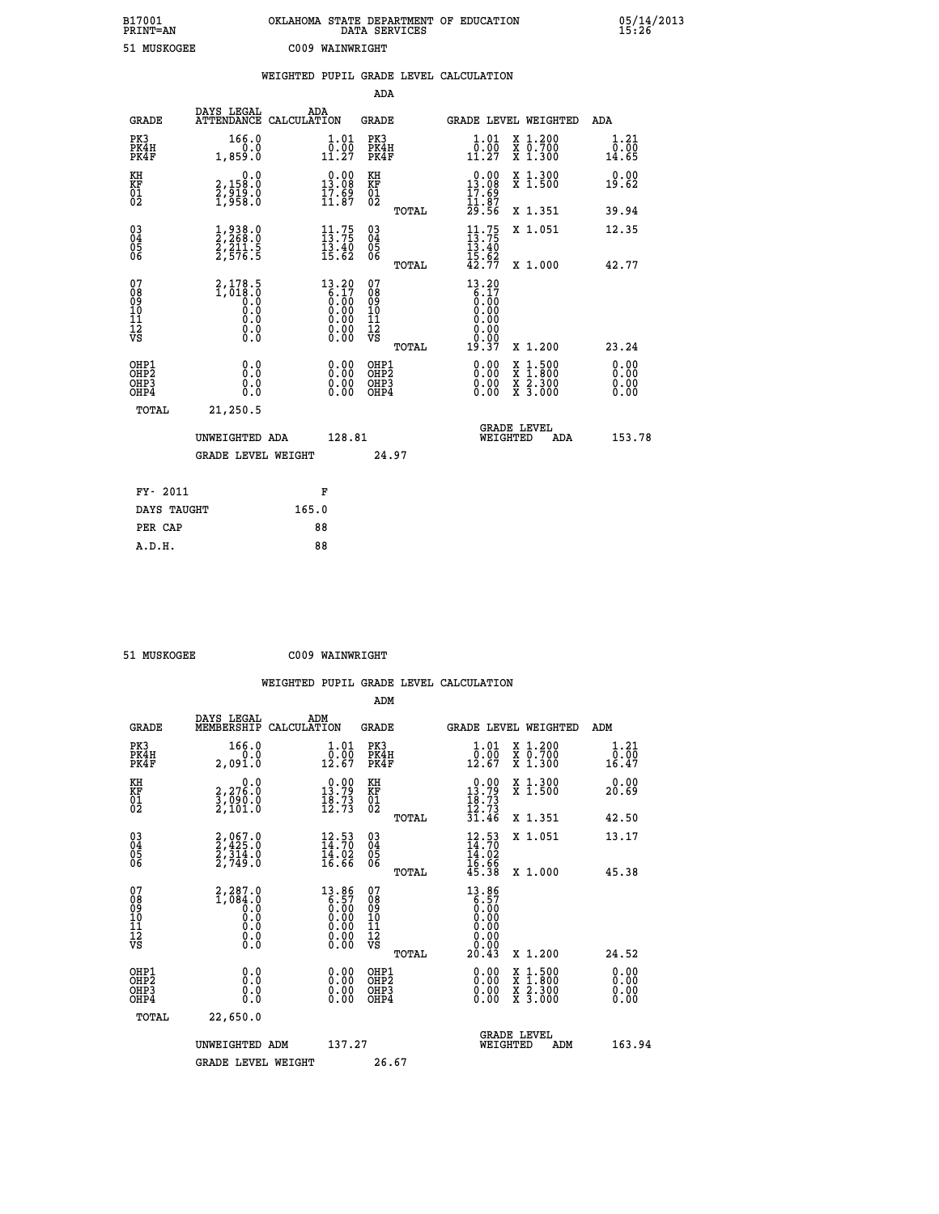| B17001<br>PRINT=AN                     |                                                         | OKLAHOMA STATE DEPARTMENT OF EDUCATION DATA SERVICES                                                 |                                                  |                                                                                                                                                                |                                                                                                                                           | $05/14/2013$<br>15:26        |
|----------------------------------------|---------------------------------------------------------|------------------------------------------------------------------------------------------------------|--------------------------------------------------|----------------------------------------------------------------------------------------------------------------------------------------------------------------|-------------------------------------------------------------------------------------------------------------------------------------------|------------------------------|
| 51 MUSKOGEE                            |                                                         | C009 WAINWRIGHT                                                                                      |                                                  |                                                                                                                                                                |                                                                                                                                           |                              |
|                                        |                                                         | WEIGHTED PUPIL GRADE LEVEL CALCULATION                                                               |                                                  |                                                                                                                                                                |                                                                                                                                           |                              |
|                                        |                                                         |                                                                                                      | ADA                                              |                                                                                                                                                                |                                                                                                                                           |                              |
| <b>GRADE</b>                           | DAYS LEGAL                                              | ADA<br>ATTENDANCE CALCULATION                                                                        | GRADE                                            | <b>GRADE LEVEL WEIGHTED</b>                                                                                                                                    |                                                                                                                                           | ADA                          |
| PK3<br>PK4H<br>PK4F                    | 166.0<br>0.0<br>1,859.0                                 | 1.01<br>$\begin{smallmatrix} \bar{0} & \tilde{0} & \tilde{0} \\ 1 & 1 & 27 \end{smallmatrix}$        | PK3<br>PK4H<br>PK4F                              | 1.01<br>$\begin{array}{c} \textcolor{red}{\textbf{0}} \textcolor{red}{\textbf{.00}} \\ \textcolor{red}{\textbf{11}} \textcolor{red}{\textbf{.27}} \end{array}$ | X 1.200<br>X 0.700<br>X 1.300                                                                                                             | 1.21<br>0.00<br>14.65        |
| KH<br>KF<br>01<br>02                   | 0.0<br>2,158:0<br>2,919:0<br>1,958:0                    | $0.00$<br>13.08<br>$\frac{17.69}{11.87}$                                                             | KH<br>KF<br>01<br>02                             | 0.00<br>13.08<br>$\frac{17.89}{11.87}$                                                                                                                         | X 1.300<br>X 1.500                                                                                                                        | 0.00<br>19.62                |
|                                        |                                                         |                                                                                                      | TOTAL                                            | 29.56                                                                                                                                                          | X 1.351                                                                                                                                   | 39.94                        |
| 03<br>04<br>05<br>06                   | 1,938.0<br>2,268.0<br>2,211.5<br>2,576.5                | $\begin{array}{c} 11.75 \\ 13.75 \\ 13.40 \\ 15.62 \end{array}$                                      | 03<br>04<br>05<br>06<br>TOTAL                    | $\frac{11}{13}$ : 75<br>$\frac{13.40}{15.62}$<br>$42.77$                                                                                                       | X 1.051<br>X 1.000                                                                                                                        | 12.35<br>42.77               |
| 07<br>08<br>09<br>11<br>11<br>12<br>VS | $2,178.5$<br>1,018.0<br>0.0<br>0.0<br>0.0<br>$\S.$ $\S$ | $\begin{smallmatrix} 13.20\ 6.17\ 6.00\ 0.00\ 0.00\ 0.00\ 0.00\ 0.00\ 0.00\ 0.00\ \end{smallmatrix}$ | 07<br>08<br>09<br>101<br>11<br>12<br>VS<br>TOTAL | 13.20<br>$\begin{array}{c} 6.17 \\ 6.00 \\ 0.00 \end{array}$<br>0.00<br>0.00<br>19.37                                                                          | X 1.200                                                                                                                                   | 23.24                        |
| OHP1<br>OHP2<br>OHP3<br>OHP4           | 0.0<br>0.0<br>0.0                                       | 0.00<br>0.00                                                                                         | OHP1<br>OHP <sub>2</sub><br>OHP3<br>OHP4         | 0.00<br>0.00<br>0.00                                                                                                                                           | $\begin{smallmatrix} \mathtt{X} & 1\cdot500\\ \mathtt{X} & 1\cdot800\\ \mathtt{X} & 2\cdot300\\ \mathtt{X} & 3\cdot000 \end{smallmatrix}$ | 0.00<br>0.00<br>0.00<br>0.00 |
| TOTAL                                  | 21,250.5                                                |                                                                                                      |                                                  |                                                                                                                                                                |                                                                                                                                           |                              |
|                                        | UNWEIGHTED ADA<br><b>GRADE LEVEL WEIGHT</b>             | 128.81                                                                                               | 24.97                                            | <b>GRADE LEVEL</b><br>WEIGHTED                                                                                                                                 | ADA                                                                                                                                       | 153.78                       |
| FY- 2011                               |                                                         | F                                                                                                    |                                                  |                                                                                                                                                                |                                                                                                                                           |                              |

 **DAYS TAUGHT 165.0 PER CAP** 88<br> **A.D.H.** 88

 **51 MUSKOGEE C009 WAINWRIGHT**

 **A.D.H. 88**

| <b>GRADE</b>                                       | DAYS LEGAL<br>MEMBERSHIP CALCULATION             | ADM                                                               | <b>GRADE</b>                                  |       |                                                                                                         |          | GRADE LEVEL WEIGHTED                                                                                                | ADM                   |
|----------------------------------------------------|--------------------------------------------------|-------------------------------------------------------------------|-----------------------------------------------|-------|---------------------------------------------------------------------------------------------------------|----------|---------------------------------------------------------------------------------------------------------------------|-----------------------|
| PK3<br>PK4H<br>PK4F                                | 166.0<br>0.0<br>2,091.0                          | 1.01<br>$\overline{0.00}$<br>12.67                                | PK3<br>PK4H<br>PK4F                           |       | 1.01<br>$\begin{smallmatrix} \bar{0} \ \bar{0} \ \bar{1} \ 2 \ \bar{1} \ 6 \ \bar{7} \end{smallmatrix}$ |          | X 1.200<br>X 0.700<br>X 1.300                                                                                       | 1.21<br>0.00<br>16.47 |
| KH<br>KF<br>01<br>02                               | 2,276.0<br>$\frac{3}{2}, \frac{0}{101}.0$        | $0.00$<br>13.79<br>$\frac{18.73}{12.73}$                          | KH<br>KF<br>01<br>02                          |       | $0.00$<br>13.79<br>$\frac{18.73}{12.73}$<br>31.46                                                       |          | X 1.300<br>X 1.500                                                                                                  | 0.00<br>20.69         |
|                                                    |                                                  |                                                                   |                                               | TOTAL |                                                                                                         |          | X 1.351                                                                                                             | 42.50                 |
| $\begin{matrix} 03 \\ 04 \\ 05 \\ 06 \end{matrix}$ | $2,967.0$<br>$2,425.0$<br>$2,314.0$<br>$2,749.0$ | $\begin{array}{c} 12.53 \\ 14.70 \\ 14.02 \\ 16.66 \end{array}$   | $\substack{03 \\ 04}$<br>05<br>06             |       | $12.53$<br>$14.70$<br>$14.02$<br>$16.66$<br>$45.38$                                                     |          | X 1.051                                                                                                             | 13.17                 |
|                                                    |                                                  |                                                                   |                                               | TOTAL |                                                                                                         |          | X 1.000                                                                                                             | 45.38                 |
| 07<br>08<br>09<br>101<br>11<br>12<br>VS            | 2,287.0<br>0:686,1<br>0:6<br>0:9<br>0:9<br>$\S.$ | $13.86\n6.57\n0.00\n0.00\n0.00\n0.00\n0.00$                       | 07<br>08<br>09<br>001<br>11<br>11<br>12<br>VS | TOTAL | $13.86$<br>$6.57$<br>$0.00$<br>$0.00$<br>$0.00$<br>$0.00$<br>$0.00$<br>20.43                            |          | X 1.200                                                                                                             | 24.52                 |
| OHP1                                               |                                                  |                                                                   | OHP1                                          |       |                                                                                                         |          |                                                                                                                     |                       |
| OHP <sub>2</sub><br>OH <sub>P3</sub><br>OHP4       | 0.0<br>0.000                                     | $\begin{smallmatrix} 0.00 \ 0.00 \ 0.00 \ 0.00 \end{smallmatrix}$ | OHP2<br>OHP3<br>OHP4                          |       | 0.00<br>$0.00$<br>0.00                                                                                  |          | $\begin{array}{l} \mathtt{X} & 1.500 \\ \mathtt{X} & 1.800 \\ \mathtt{X} & 2.300 \\ \mathtt{X} & 3.000 \end{array}$ | 0.00<br>0.00<br>0.00  |
| TOTAL                                              | 22,650.0                                         |                                                                   |                                               |       |                                                                                                         |          |                                                                                                                     |                       |
|                                                    | UNWEIGHTED                                       | 137.27<br>ADM                                                     |                                               |       |                                                                                                         | WEIGHTED | <b>GRADE LEVEL</b><br>ADM                                                                                           | 163.94                |
|                                                    | <b>GRADE LEVEL WEIGHT</b>                        |                                                                   | 26.67                                         |       |                                                                                                         |          |                                                                                                                     |                       |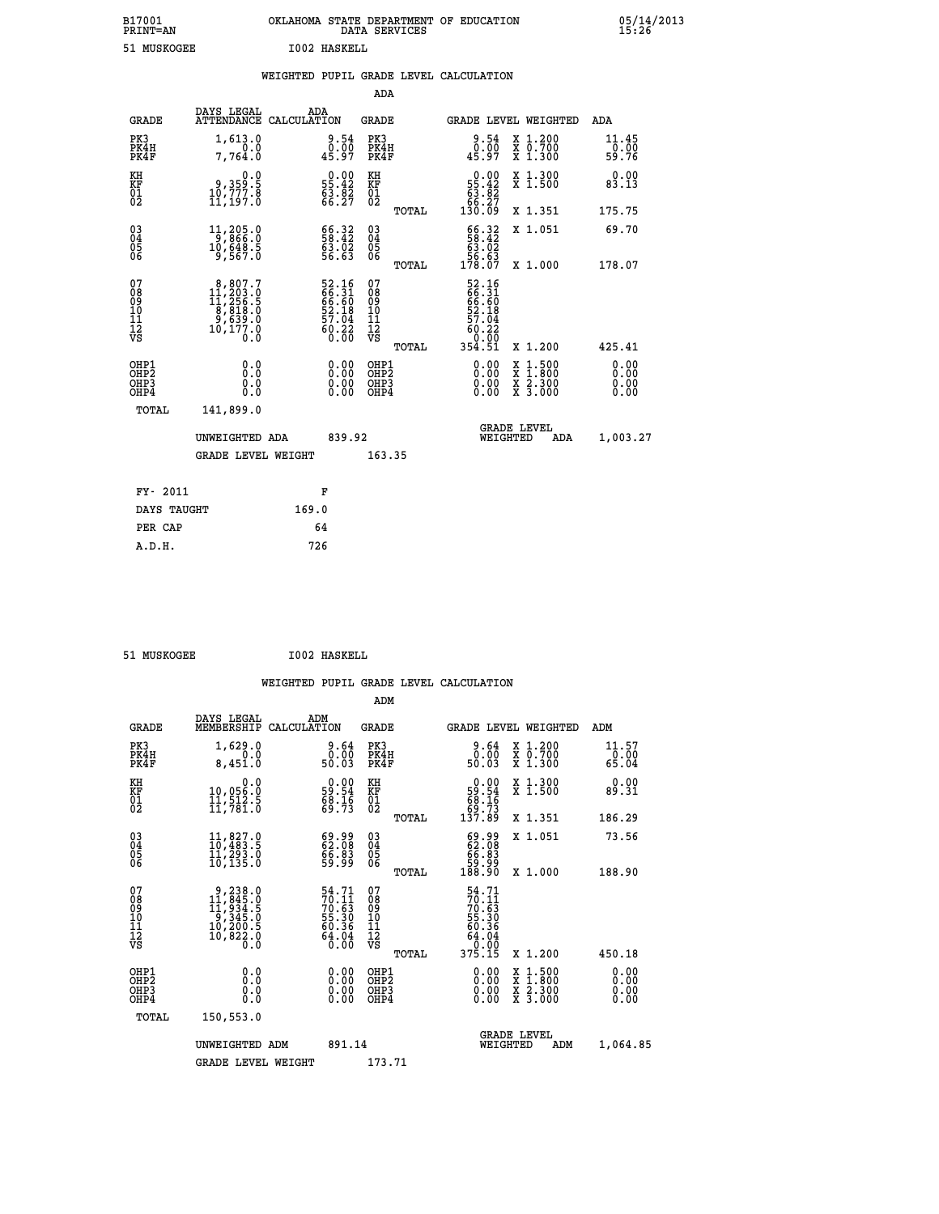# **B17001 OKLAHOMA STATE DEPARTMENT OF EDUCATION 05/14/2013 PRINT=AN DATA SERVICES 15:26** 51 MUSKOGEE **I002 HASKELL**

|  |     | WEIGHTED PUPIL GRADE LEVEL CALCULATION |
|--|-----|----------------------------------------|
|  | ADA |                                        |

| <b>GRADE</b>                             | DAYS LEGAL<br>ATTENDANCE CALCULATION                                                               | ADA                                                                  | <b>GRADE</b>                             |       | <b>GRADE LEVEL WEIGHTED</b>                                                   |                                                                                                  | ADA                          |
|------------------------------------------|----------------------------------------------------------------------------------------------------|----------------------------------------------------------------------|------------------------------------------|-------|-------------------------------------------------------------------------------|--------------------------------------------------------------------------------------------------|------------------------------|
| PK3<br>PK4H<br>PK4F                      | 1,613.0<br>0.0<br>7,764.0                                                                          | $\begin{smallmatrix} 9.54\ 0.00\ 45.97 \end{smallmatrix}$            | PK3<br>PK4H<br>PK4F                      |       | 9.54<br>0:00<br>45:97                                                         | X 1.200<br>X 0.700<br>X 1.300                                                                    | 11.45<br>0.00<br>59.76       |
| KH<br>KF<br>01<br>02                     | 0.0<br>3.359<br>10,777.8<br>11,197.0                                                               | $\begin{smallmatrix} 0.00\\ 55.42\\ 63.82\\ 66.27 \end{smallmatrix}$ | KH<br>KF<br>01<br>02                     |       | $\begin{smallmatrix} &0.00\\ 55.42\\ 63.82\\ 66.27\\ 130.09\end{smallmatrix}$ | X 1.300<br>X 1.500                                                                               | 0.00<br>83.13                |
|                                          |                                                                                                    |                                                                      |                                          | TOTAL |                                                                               | X 1.351                                                                                          | 175.75                       |
| $03\overline{4}$<br>Ŏ5<br>ŌĞ             | 11,205.0<br>10,ĕ4ĕ.š<br>9,567.0                                                                    | 56.32<br>63.02<br>56.63                                              | $\substack{03 \\ 04}$<br>$\frac{05}{06}$ |       | $\begin{array}{c} 66.32 \\ 58.42 \\ 63.02 \\ 56.63 \\ 178.07 \end{array}$     | X 1.051                                                                                          | 69.70                        |
|                                          |                                                                                                    |                                                                      |                                          | TOTAL |                                                                               | X 1.000                                                                                          | 178.07                       |
| 07<br>08<br>09<br>11<br>11<br>12<br>VS   | $\begin{smallmatrix}8,807.7\\11,203.0\\11,256.5\\8,818.0\\9,639.0\\10,177.0\\0.0\end{smallmatrix}$ | 52.16<br>66.31<br>66.60<br>52.18<br>57.04<br>57.04<br>60.22<br>60.32 | 07<br>08<br>09<br>11<br>11<br>12<br>VS   |       | 52.16<br>66.31<br>66.60<br>52.18<br>57.04<br>57.04                            |                                                                                                  |                              |
|                                          |                                                                                                    |                                                                      |                                          | TOTAL | 0.00<br>354.51                                                                | X 1.200                                                                                          | 425.41                       |
| OHP1<br>OHP2<br>OH <sub>P3</sub><br>OHP4 | 0.0<br>0.000                                                                                       | 0.00<br>$\begin{smallmatrix} 0.00 \ 0.00 \end{smallmatrix}$          | OHP1<br>OHP2<br>OHP3<br>OHP4             |       | 0.00<br>0.00                                                                  | $\begin{smallmatrix} x & 1 & 500 \\ x & 1 & 800 \\ x & 2 & 300 \\ x & 3 & 000 \end{smallmatrix}$ | 0.00<br>0.00<br>0.00<br>0.00 |
| TOTAL                                    | 141,899.0                                                                                          |                                                                      |                                          |       |                                                                               |                                                                                                  |                              |
|                                          | UNWEIGHTED ADA                                                                                     | 839.92                                                               |                                          |       | <b>GRADE LEVEL</b><br>WEIGHTED                                                | ADA                                                                                              | 1,003.27                     |
|                                          | <b>GRADE LEVEL WEIGHT</b>                                                                          |                                                                      | 163.35                                   |       |                                                                               |                                                                                                  |                              |
| FY- 2011                                 |                                                                                                    | F                                                                    |                                          |       |                                                                               |                                                                                                  |                              |
| DAYS TAUGHT                              |                                                                                                    | 169.0                                                                |                                          |       |                                                                               |                                                                                                  |                              |
| PER CAP                                  |                                                                                                    | 64                                                                   |                                          |       |                                                                               |                                                                                                  |                              |
|                                          |                                                                                                    |                                                                      |                                          |       |                                                                               |                                                                                                  |                              |

| 51 MUSKOGEE | <b>I002 HASKELL</b> |
|-------------|---------------------|
|-------------|---------------------|

 **A.D.H. 726**

 **ADM**

| <b>GRADE</b>                                       | DAYS LEGAL<br>MEMBERSHIP                                                                            | ADM<br>CALCULATION                                                   | <b>GRADE</b>                                       |       |                                                                                                                                                                                                                                                                                | GRADE LEVEL WEIGHTED                     | ADM                      |  |
|----------------------------------------------------|-----------------------------------------------------------------------------------------------------|----------------------------------------------------------------------|----------------------------------------------------|-------|--------------------------------------------------------------------------------------------------------------------------------------------------------------------------------------------------------------------------------------------------------------------------------|------------------------------------------|--------------------------|--|
| PK3<br>PK4H<br>PK4F                                | 1,629.0<br>0.0<br>8,451.0                                                                           | 0.64<br>50.03                                                        | PK3<br>PK4H<br>PK4F                                |       | 0.64<br>50.03                                                                                                                                                                                                                                                                  | X 1.200<br>X 0.700<br>$X$ 1.300          | $11.57$<br>0.00<br>65.04 |  |
| KH<br>KF<br>01<br>02                               | 0.0<br>10,056:0<br>11,512.5<br>11,781:0                                                             | $\begin{smallmatrix} 0.00\\ 59.54\\ 68.16\\ 69.73 \end{smallmatrix}$ | KH<br>KF<br>01<br>02                               |       | $0.00\n59.54\n68.16\n69.73\n137.89$                                                                                                                                                                                                                                            | X 1.300<br>X 1.500                       | 0.00<br>89.31            |  |
|                                                    |                                                                                                     |                                                                      |                                                    | TOTAL |                                                                                                                                                                                                                                                                                | X 1.351                                  | 186.29                   |  |
| $\begin{matrix} 03 \\ 04 \\ 05 \\ 06 \end{matrix}$ | $\begin{smallmatrix} 11, & 827.0 \\ 10, & 483.5 \\ 11, & 293.0 \\ 10, & 135.0 \end{smallmatrix}$    | $\begin{smallmatrix} 69.99\ 62.08\ 66.83\ 59.99 \end{smallmatrix}$   | $\begin{matrix} 03 \\ 04 \\ 05 \\ 06 \end{matrix}$ |       | $\begin{smallmatrix} 69.99\ 62.08\ 66.83\ 59.99\ 188.90 \end{smallmatrix}$                                                                                                                                                                                                     | X 1.051                                  | 73.56                    |  |
|                                                    |                                                                                                     |                                                                      |                                                    | TOTAL |                                                                                                                                                                                                                                                                                | X 1.000                                  | 188.90                   |  |
| 07<br>08<br>09<br>101<br>11<br>12<br>VS            | $\begin{smallmatrix}9,238.0\\11,845.0\\11,934.5\\9,345.0\\10,200.5\\10,822.0\\0.0\end{smallmatrix}$ | 54.71<br>70.11<br>70.63<br>55.30<br>56.36<br>64.04<br>64.04          | 07<br>08<br>09<br>101<br>11<br>12<br>VS            | TOTAL | 54.71<br>70.11<br>70.63<br>75.30<br>55.30<br>64.04<br>64.04<br>64.04<br>375.15                                                                                                                                                                                                 | X 1.200                                  | 450.18                   |  |
| OHP1<br>OHP2<br>OHP3<br>OHP4                       | 0.0<br>0.000                                                                                        | $0.00$<br>$0.00$<br>0.00                                             | OHP1<br>OHP2<br>OHP3<br>OHP4                       |       | $\begin{smallmatrix} 0.00 & 0.00 & 0.00 & 0.00 & 0.00 & 0.00 & 0.00 & 0.00 & 0.00 & 0.00 & 0.00 & 0.00 & 0.00 & 0.00 & 0.00 & 0.00 & 0.00 & 0.00 & 0.00 & 0.00 & 0.00 & 0.00 & 0.00 & 0.00 & 0.00 & 0.00 & 0.00 & 0.00 & 0.00 & 0.00 & 0.00 & 0.00 & 0.00 & 0.00 & 0.00 & 0.0$ | X 1:500<br>X 1:800<br>X 2:300<br>X 3:000 | 0.00<br>0.00<br>0.00     |  |
| TOTAL                                              | 150,553.0                                                                                           |                                                                      |                                                    |       |                                                                                                                                                                                                                                                                                |                                          |                          |  |
|                                                    | UNWEIGHTED                                                                                          | 891.14<br>ADM                                                        |                                                    |       | WEIGHTED                                                                                                                                                                                                                                                                       | <b>GRADE LEVEL</b><br>ADM                | 1,064.85                 |  |
|                                                    | <b>GRADE LEVEL WEIGHT</b>                                                                           |                                                                      | 173.71                                             |       |                                                                                                                                                                                                                                                                                |                                          |                          |  |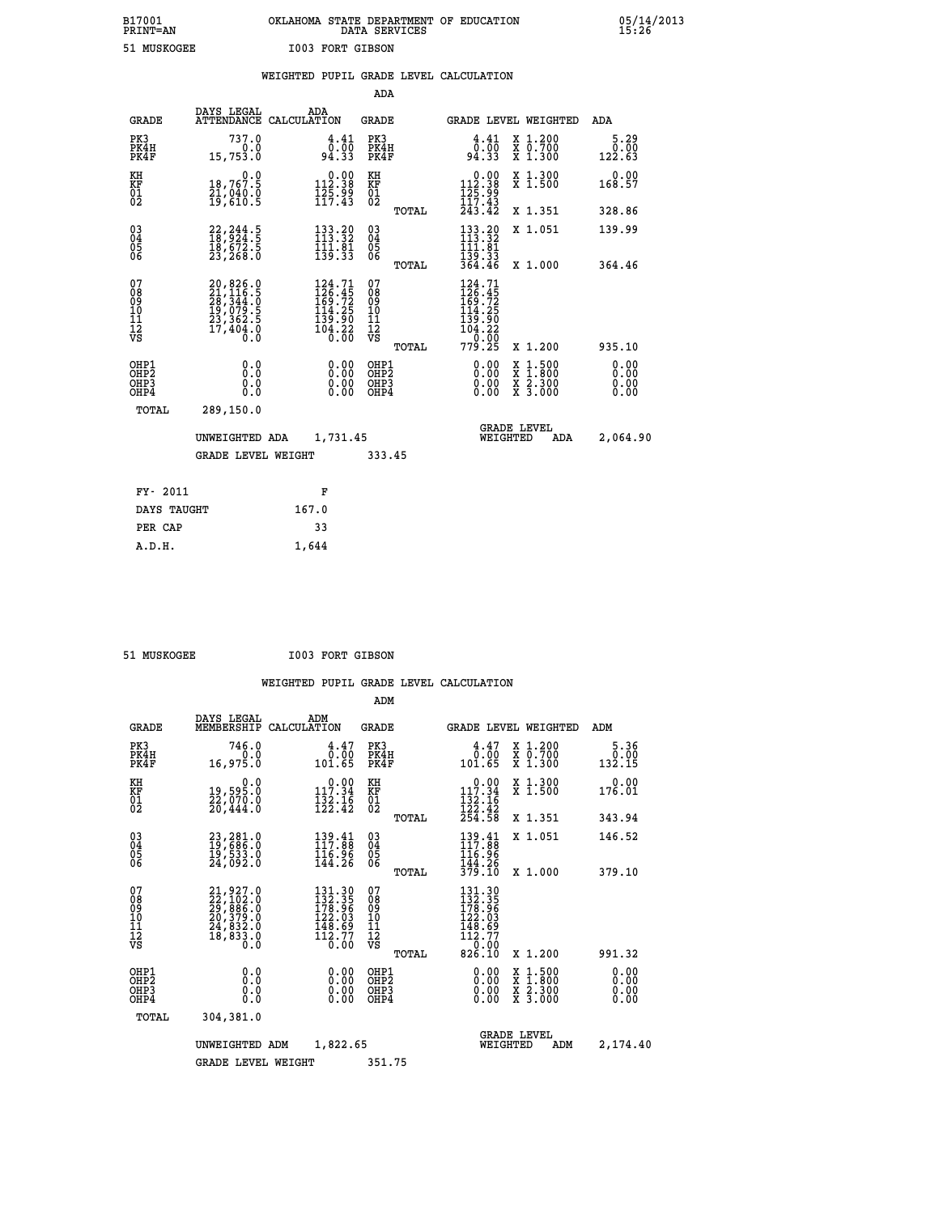# **B17001 OKLAHOMA STATE DEPARTMENT OF EDUCATION 05/14/2013 PRINT=AN DATA SERVICES 15:26 51 MUSKOGEE I003 FORT GIBSON**

|                                                    |                                                                                           | WEIGHTED PUPIL GRADE LEVEL CALCULATION                                                                                        |                                                    |                                                                                                                                                                                                           |                               |
|----------------------------------------------------|-------------------------------------------------------------------------------------------|-------------------------------------------------------------------------------------------------------------------------------|----------------------------------------------------|-----------------------------------------------------------------------------------------------------------------------------------------------------------------------------------------------------------|-------------------------------|
|                                                    |                                                                                           |                                                                                                                               | ADA                                                |                                                                                                                                                                                                           |                               |
| <b>GRADE</b>                                       | DAYS LEGAL                                                                                | ADA<br>ATTENDANCE CALCULATION                                                                                                 | GRADE                                              | GRADE LEVEL WEIGHTED                                                                                                                                                                                      | ADA                           |
| PK3<br>PK4H<br>PK4F                                | 737.0<br>0.0<br>15,753.0                                                                  | 4.41<br>0.00<br>94.33                                                                                                         | PK3<br>PK4H<br>PK4F                                | X 1.200<br>4.41<br>0.00<br><del>Χ</del> Ō:7ŎŎ<br>X 1:300<br>94.33                                                                                                                                         | $\frac{5.29}{0.00}$<br>122.63 |
| KH<br>KF<br>01<br>02                               | 0.0<br>18,767.5<br>21,040:0<br>19,610:5                                                   | $\begin{smallmatrix} 0.00\\ 112.38\\ 125.99\\ 117.43 \end{smallmatrix}$                                                       | KH<br>KF<br>01<br>02                               | $\begin{smallmatrix} &0.00\\ 112.38\\ 125.99\\ 117.43\\ 243.42\end{smallmatrix}$<br>X 1.300<br>X 1.500                                                                                                    | 0.00<br>168.57                |
|                                                    |                                                                                           |                                                                                                                               | TOTAL                                              | X 1.351                                                                                                                                                                                                   | 328.86                        |
| $\begin{matrix} 03 \\ 04 \\ 05 \\ 06 \end{matrix}$ | 22, 244.5<br>18, 924.5<br>18, 672.5<br>23, 268.0                                          | $133.20$<br>$113.32$<br>$\frac{1}{13}$ $\frac{1}{3}$ $\frac{1}{3}$ $\frac{1}{3}$                                              | $\begin{matrix} 03 \\ 04 \\ 05 \\ 06 \end{matrix}$ | $133.20$<br>$113.32$<br>X 1.051<br>$\frac{111}{139}$ $\frac{13}{33}$<br>$\frac{33}{364}$ $\frac{33}{46}$                                                                                                  | 139.99                        |
|                                                    |                                                                                           |                                                                                                                               | TOTAL                                              | X 1.000                                                                                                                                                                                                   | 364.46                        |
| 07<br>08<br>09<br>11<br>11<br>12<br>VS             | $20,826.0$<br>$21,116.5$<br>$28,344.0$<br>$19,079.5$<br>$23,362.5$<br>$17,404.0$<br>$0.0$ | $\begin{smallmatrix} 124\cdot71\\ 126\cdot45\\ 169\cdot72\\ 114\cdot25\\ 139\cdot90\\ 104\cdot22\\ 0\cdot00\end{smallmatrix}$ | 07<br>08<br>09<br>101<br>11<br>12<br>VS            | 124.71<br>$\frac{1}{169}$ : $\frac{4}{72}$<br>$\frac{1}{114}$ : $\frac{2}{5}$<br>$\begin{smallmatrix} 1 & 1 & 3 & 5 & 6 \\ 1 & 3 & 9 & 6 & 6 \\ 1 & 0 & 4 & 2 & 2 \\ 7 & 7 & 9 & 2 & 5 \end{smallmatrix}$ |                               |
|                                                    |                                                                                           |                                                                                                                               | TOTAL                                              | X 1.200                                                                                                                                                                                                   | 935.10                        |
| OHP1<br>OHP2<br>OHP3<br>OHP4                       | 0.0<br>0.0<br>0.0                                                                         | 0.00<br>0.00                                                                                                                  | OHP1<br>OHP2<br>OHP3<br>OHP4                       | 0.00<br>$\begin{smallmatrix} \mathtt{X} & 1 & 500 \\ \mathtt{X} & 1 & 800 \\ \mathtt{X} & 2 & 300 \\ \mathtt{X} & 3 & 000 \end{smallmatrix}$<br>0.00<br>0.00                                              | 0.00<br>0.00<br>0.00<br>0.00  |
| TOTAL                                              | 289,150.0                                                                                 |                                                                                                                               |                                                    |                                                                                                                                                                                                           |                               |
|                                                    | UNWEIGHTED ADA                                                                            | 1,731.45                                                                                                                      |                                                    | <b>GRADE LEVEL</b><br>WEIGHTED<br>ADA                                                                                                                                                                     | 2,064.90                      |
|                                                    | <b>GRADE LEVEL WEIGHT</b>                                                                 |                                                                                                                               | 333.45                                             |                                                                                                                                                                                                           |                               |
| FY- 2011                                           |                                                                                           | F                                                                                                                             |                                                    |                                                                                                                                                                                                           |                               |
|                                                    | DAYS TAUGHT                                                                               | 167.0                                                                                                                         |                                                    |                                                                                                                                                                                                           |                               |
| PER CAP                                            |                                                                                           | 33                                                                                                                            |                                                    |                                                                                                                                                                                                           |                               |
| A.D.H.                                             |                                                                                           | 1,644                                                                                                                         |                                                    |                                                                                                                                                                                                           |                               |

 **51 MUSKOGEE I003 FORT GIBSON**

|                                               |                                                                                           |                                                                                      | ADM                                                 |                                                                            |                                          |                        |
|-----------------------------------------------|-------------------------------------------------------------------------------------------|--------------------------------------------------------------------------------------|-----------------------------------------------------|----------------------------------------------------------------------------|------------------------------------------|------------------------|
| <b>GRADE</b>                                  | DAYS LEGAL<br>MEMBERSHIP                                                                  | ADM<br>CALCULATION                                                                   | <b>GRADE</b>                                        |                                                                            | GRADE LEVEL WEIGHTED                     | ADM                    |
| PK3<br>PK4H<br>PK4F                           | 746.0<br>0.0<br>16,975.0                                                                  | 4.47<br>0.00<br>101.65                                                               | PK3<br>PK4H<br>PK4F                                 | $\frac{4.47}{0.00}$<br>101.65                                              | X 1.200<br>X 0.700<br>X 1.300            | 5.36<br>0.00<br>132.15 |
| KH<br>KF<br>01<br>02                          | 0.0<br>19,595.0<br>22,070.0<br>20,444.0                                                   | $0.00$<br>117.34<br>$\frac{1}{12}$ $\frac{2}{2}$ $\cdot$ $\frac{1}{4}$ $\frac{6}{2}$ | KH<br>KF<br>01<br>02                                | 117.34<br>$\frac{132}{122}$ . $\frac{16}{42}$<br>$\frac{254}{58}$          | X 1.300<br>X 1.500                       | 0.00<br>176.01         |
|                                               |                                                                                           |                                                                                      | TOTAL                                               |                                                                            | X 1.351                                  | 343.94                 |
| 03<br>04<br>05<br>06                          | 23,281.0<br>19,686.0<br>19,533.0<br>24,092.0                                              | 139.41<br>117.88<br>116.96<br>144.26                                                 | $\begin{array}{c} 03 \\ 04 \\ 05 \\ 06 \end{array}$ | $\frac{139}{117} \cdot \frac{41}{88}$<br>116.96                            | X 1.051                                  | 146.52                 |
|                                               |                                                                                           |                                                                                      | TOTAL                                               | 144.26<br>379.10                                                           | X 1.000                                  | 379.10                 |
| 07<br>08<br>09<br>101<br>112<br>VS            | $21,927.0$<br>$22,102.0$<br>$29,886.0$<br>$20,379.0$<br>$24,832.0$<br>$18,833.0$<br>$0.0$ | $131.30$<br>$132.35$<br>$178.96$<br>122.03<br>$\frac{148.69}{112.77}$<br>0.00        | 07<br>08<br>09<br>101<br>11<br>12<br>VS<br>TOTAL    | 131.30<br>178.35<br>178.96<br>122.03<br>148.69<br>112.77<br>0.00<br>826.10 | X 1.200                                  | 991.32                 |
| OHP1<br>OH <sub>P</sub> 2<br>OH <sub>P3</sub> | 0.0                                                                                       | $0.00$<br>$0.00$                                                                     | OHP1<br>OHP2<br>OHP3                                | $0.00$<br>$0.00$                                                           | X 1:500<br>X 1:800<br>X 2:300<br>X 3:000 | 0.00<br>0.00<br>0.00   |
| OHP4                                          | 0.000                                                                                     | 0.00                                                                                 | OHP4                                                | 0.00                                                                       |                                          | 0.00                   |
| TOTAL                                         | 304,381.0                                                                                 |                                                                                      |                                                     |                                                                            |                                          |                        |
|                                               | UNWEIGHTED<br>ADM                                                                         | 1,822.65                                                                             |                                                     | WEIGHTED                                                                   | <b>GRADE LEVEL</b><br>ADM                | 2,174.40               |
|                                               | <b>GRADE LEVEL WEIGHT</b>                                                                 |                                                                                      | 351.75                                              |                                                                            |                                          |                        |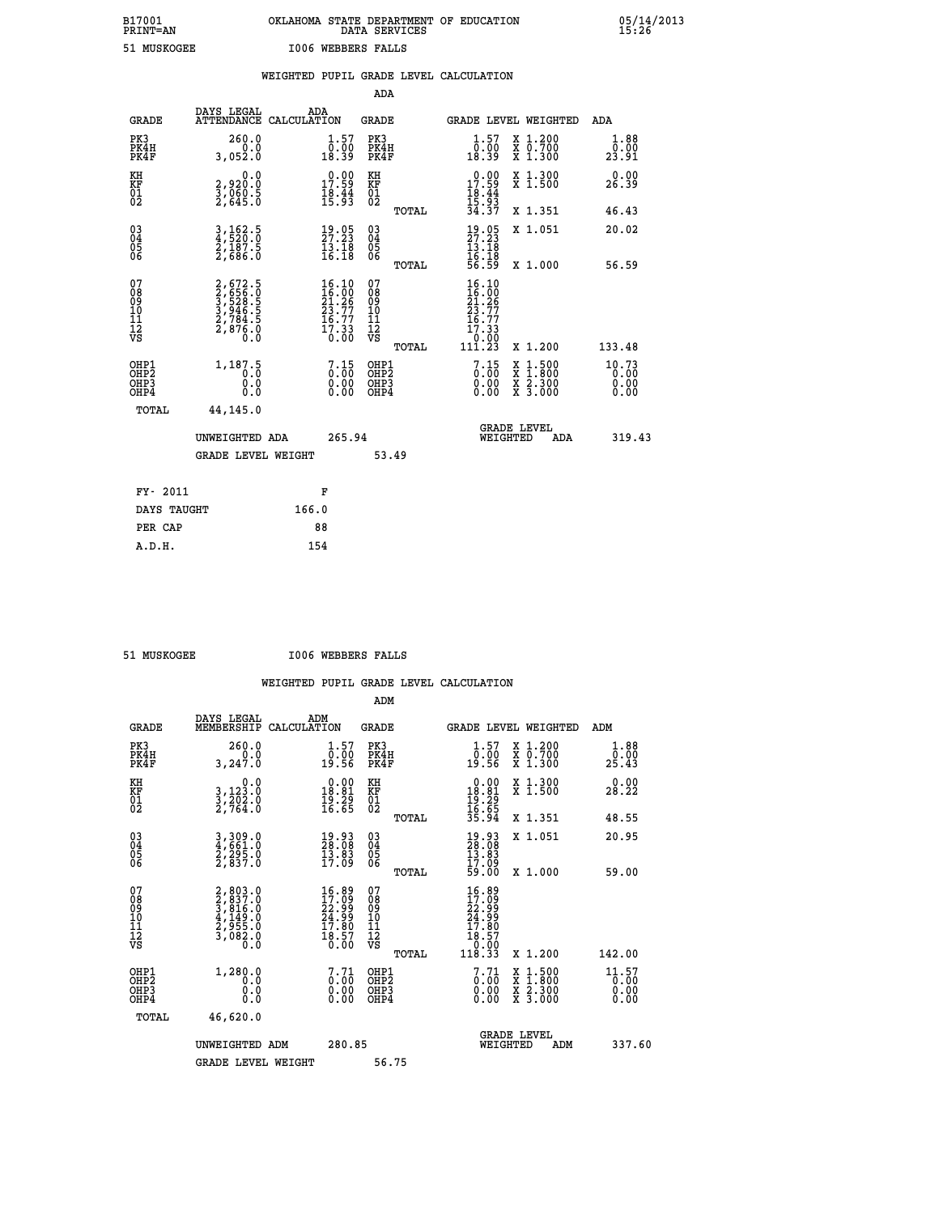# **B17001 OKLAHOMA STATE DEPARTMENT OF EDUCATION 05/14/2013 PRINT=AN DATA SERVICES 15:26 51 MUSKOGEE I006 WEBBERS FALLS**

|                                                                    |                                                                       |       |                                                                                                    |                                          |       | WEIGHTED PUPIL GRADE LEVEL CALCULATION                                                        |                                                                                                                                           |                               |
|--------------------------------------------------------------------|-----------------------------------------------------------------------|-------|----------------------------------------------------------------------------------------------------|------------------------------------------|-------|-----------------------------------------------------------------------------------------------|-------------------------------------------------------------------------------------------------------------------------------------------|-------------------------------|
|                                                                    |                                                                       |       |                                                                                                    | <b>ADA</b>                               |       |                                                                                               |                                                                                                                                           |                               |
| <b>GRADE</b>                                                       | DAYS LEGAL<br>ATTENDANCE CALCULATION                                  |       | ADA                                                                                                | GRADE                                    |       | GRADE LEVEL WEIGHTED                                                                          |                                                                                                                                           | ADA                           |
| PK3<br>PK4H<br>PK4F                                                | 260.0<br>0.0<br>3,052.0                                               |       | $\begin{smallmatrix} 1.57\ 0.00\ 18.39 \end{smallmatrix}$                                          | PK3<br>PK4H<br>PK4F                      |       | $\begin{smallmatrix} 1.57\ 0.00\ 18.39 \end{smallmatrix}$                                     | X 1.200<br>X 0.700<br>X 1.300                                                                                                             | 1.88<br>0.00<br>23.91         |
| KH<br>KF<br>01<br>02                                               | 0.0<br>2,920:0<br>3,060:5<br>2,645:0                                  |       | $\begin{smallmatrix} 0.00\\ 17.59\\ 18.44\\ 15.93 \end{smallmatrix}$                               | KH<br>KF<br>01<br>02                     |       | $0.00\n17.59\n18.44\n15.93\n34.37$                                                            | X 1.300<br>X 1.500                                                                                                                        | 0.00<br>26.39                 |
|                                                                    |                                                                       |       |                                                                                                    |                                          | TOTAL |                                                                                               | X 1.351                                                                                                                                   | 46.43                         |
| $\begin{smallmatrix} 03 \\[-4pt] 04 \end{smallmatrix}$<br>Ŏ5<br>06 | 3,162.5<br>4,520.0<br>2,187.5<br>2,686.0                              |       | $\frac{19}{27}.23$<br>$\frac{13.18}{16.18}$                                                        | $\substack{03 \\ 04}$<br>Ŏ5<br>06        |       | $\frac{19}{27}$ : $\frac{23}{13}$<br>$\frac{19}{13}$ : $\frac{19}{18}$                        | X 1.051                                                                                                                                   | 20.02                         |
|                                                                    |                                                                       |       |                                                                                                    |                                          | TOTAL | 16:18<br>56:59                                                                                | X 1.000                                                                                                                                   | 56.59                         |
| 07<br>08<br>09<br>11<br>11<br>12<br>VS                             | 2,672.5<br>3,656.0<br>3,528.5<br>3,946.5<br>3,946.5<br>2,876.0<br>0.0 |       | $\begin{smallmatrix} 16.10 \\ 16.00 \\ 21.26 \\ 23.77 \\ 16.77 \\ 17.33 \\ 0.00 \end{smallmatrix}$ | 07<br>08<br>09<br>11<br>11<br>12<br>VS   | TOTAL | 16.10<br>$\frac{16}{21}$ . $\frac{50}{23}$<br>$\frac{23}{16}$ . 77<br>17:33<br>0:00<br>111:23 | X 1.200                                                                                                                                   | 133.48                        |
| OHP1<br>OHP <sub>2</sub><br>OHP3<br>OHP4                           | 1, 187.5<br>0.0<br>0.0                                                |       | $\begin{smallmatrix} 7.15\0.00\0.00 \end{smallmatrix}$                                             | OHP1<br>OHP <sub>2</sub><br>OHP3<br>OHP4 |       | $\begin{smallmatrix} 7.15\0.00\0.00 \end{smallmatrix}$                                        | $\begin{smallmatrix} \mathtt{X} & 1\cdot500\\ \mathtt{X} & 1\cdot800\\ \mathtt{X} & 2\cdot300\\ \mathtt{X} & 3\cdot000 \end{smallmatrix}$ | 10.73<br>0.00<br>0.00<br>0.00 |
| TOTAL                                                              | 44,145.0                                                              |       |                                                                                                    |                                          |       |                                                                                               |                                                                                                                                           |                               |
|                                                                    | UNWEIGHTED ADA                                                        |       | 265.94                                                                                             |                                          |       | WEIGHTED                                                                                      | <b>GRADE LEVEL</b><br><b>ADA</b>                                                                                                          | 319.43                        |
|                                                                    | <b>GRADE LEVEL WEIGHT</b>                                             |       |                                                                                                    |                                          | 53.49 |                                                                                               |                                                                                                                                           |                               |
| FY- 2011                                                           |                                                                       |       | F                                                                                                  |                                          |       |                                                                                               |                                                                                                                                           |                               |
| DAYS TAUGHT                                                        |                                                                       | 166.0 |                                                                                                    |                                          |       |                                                                                               |                                                                                                                                           |                               |
| PER CAP                                                            |                                                                       |       | 88                                                                                                 |                                          |       |                                                                                               |                                                                                                                                           |                               |

 **A.D.H. 154**

 **51 MUSKOGEE I006 WEBBERS FALLS**

|                                                    |                                                                                     |                                                                    | ADM                                                    |                                                                                             |                                          |                                         |
|----------------------------------------------------|-------------------------------------------------------------------------------------|--------------------------------------------------------------------|--------------------------------------------------------|---------------------------------------------------------------------------------------------|------------------------------------------|-----------------------------------------|
| <b>GRADE</b>                                       | DAYS LEGAL<br>MEMBERSHIP                                                            | ADM<br>CALCULATION                                                 | <b>GRADE</b>                                           |                                                                                             | GRADE LEVEL WEIGHTED                     | ADM                                     |
| PK3<br>PK4H<br>PK4F                                | 260.0<br>3,247.0                                                                    | $\begin{smallmatrix} 1.57\ 0.00\ 19.56 \end{smallmatrix}$          | PK3<br>PK4H<br>PK4F                                    | $\begin{smallmatrix} 1.57\ 0.00\ 19.56 \end{smallmatrix}$                                   | X 1.200<br>X 0.700<br>X 1.300            | 1.88<br>$2\bar{5}\,.\,\bar{2}\bar{3}\,$ |
| KH<br>KF<br>01<br>02                               | 0.0<br>3,123:0<br>3,202:0<br>2,764:0                                                | $\begin{array}{c} 0.00 \\ 18.81 \\ 19.29 \\ 16.65 \end{array}$     | KH<br>KF<br>01<br>02                                   | $\begin{array}{r} 0.00 \\ 18.81 \\ 19.29 \\ 16.65 \\ 35.94 \end{array}$                     | X 1.300<br>X 1.500                       | 0.00<br>28.22                           |
|                                                    |                                                                                     |                                                                    | TOTAL                                                  |                                                                                             | X 1.351                                  | 48.55                                   |
| $\begin{matrix} 03 \\ 04 \\ 05 \\ 06 \end{matrix}$ | 3,309.0<br>4,661.0<br>2,295.0<br>2,837.0                                            | $\begin{smallmatrix} 19.93\ 28.08\ 13.83\ 17.09 \end{smallmatrix}$ | $\begin{matrix} 03 \\ 04 \\ 05 \\ 06 \end{matrix}$     | $\begin{smallmatrix} 19.93\ 28.08\ 13.83\ 17.09\ 59.00 \end{smallmatrix}$                   | X 1.051                                  | 20.95                                   |
|                                                    |                                                                                     |                                                                    | TOTAL                                                  |                                                                                             | X 1.000                                  | 59.00                                   |
| 07<br>08<br>09<br>001<br>11<br>11<br>12<br>VS      | $2,803.0$<br>$2,837.0$<br>$3,816.0$<br>$4,149.0$<br>$2,955.0$<br>$3,082.0$<br>$0.0$ | $16.89$<br>$22.99$<br>$24.99$<br>$17.80$<br>$18.57$<br>$0.00$      | 07<br>08<br>09<br>001<br>11<br>11<br>12<br>VS<br>TOTAL | $\begin{smallmatrix} 16.89\ 17.099\ 22.999\ 24.999\ 17.80\ 18.570\ 18.33 \end{smallmatrix}$ | X 1.200                                  | 142.00                                  |
| OHP1<br>OHP2<br>OH <sub>P3</sub><br>OHP4           | 1,280.0<br>Ō.Ō<br>0.000                                                             | $\begin{smallmatrix} 7.71\ 0.00\ 0.00\ 0.00 \end{smallmatrix}$     | OHP1<br>OHP2<br>OHP3<br>OHP4                           | $\begin{smallmatrix} 7.71\ 0.00\ 0.00\ 0.00 \end{smallmatrix}$                              | X 1:500<br>X 1:800<br>X 2:300<br>X 3:000 | $11.57$<br>$0.00$<br>0.00<br>0.00       |
| TOTAL                                              | 46,620.0                                                                            |                                                                    |                                                        |                                                                                             |                                          |                                         |
|                                                    | UNWEIGHTED ADM                                                                      | 280.85                                                             |                                                        | WEIGHTED                                                                                    | <b>GRADE LEVEL</b><br>ADM                | 337.60                                  |
|                                                    | <b>GRADE LEVEL WEIGHT</b>                                                           |                                                                    | 56.75                                                  |                                                                                             |                                          |                                         |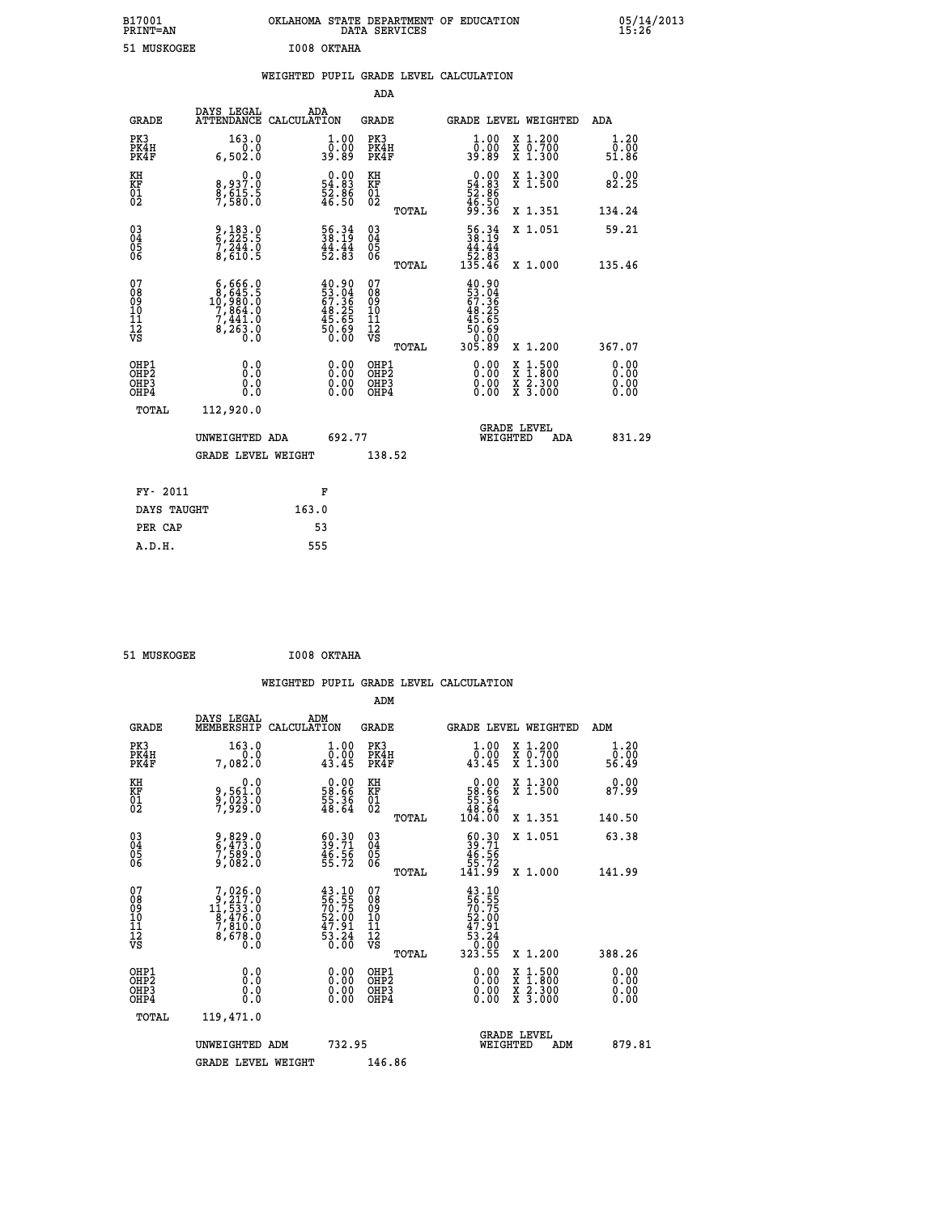| B17001<br><b>PRINT=AN</b> | OKLAHOMA<br>. STATE DEPARTMENT OF EDUCATION<br>DATA SERVICES | 05/14/2013<br>15:26 |
|---------------------------|--------------------------------------------------------------|---------------------|
| 51 MUSKOGEE               | I008 OKTAHA                                                  |                     |

|  |  | WEIGHTED PUPIL GRADE LEVEL CALCULATION |
|--|--|----------------------------------------|
|  |  |                                        |

|                                                                              |                                                              |                                                                      | ADA                                       |       |                                                                              |                                          |                              |
|------------------------------------------------------------------------------|--------------------------------------------------------------|----------------------------------------------------------------------|-------------------------------------------|-------|------------------------------------------------------------------------------|------------------------------------------|------------------------------|
| <b>GRADE</b>                                                                 | DAYS LEGAL<br>ATTENDANCE CALCULATION                         | ADA                                                                  | <b>GRADE</b>                              |       |                                                                              | GRADE LEVEL WEIGHTED                     | ADA                          |
| PK3<br>PK4H<br>PK4F                                                          | 163.0<br>0.0<br>6,502.0                                      | $\begin{smallmatrix} 1.00\\ 0.00\\ 39.89 \end{smallmatrix}$          | PK3<br>PK4H<br>PK4F                       |       | 1.00<br>ŏ:ŏŏ<br>89:89                                                        | X 1.200<br>X 0.700<br>X 1.300            | 1.20<br>0.00<br>51.86        |
| KH<br><b>KF</b><br>01<br>02                                                  | 0.0<br>8,937:0<br>8,615:5<br>7,580:0                         | $\begin{smallmatrix} 0.00\\ 54.83\\ 52.86\\ 46.50 \end{smallmatrix}$ | KH<br>KF<br>01<br>02                      |       | $\begin{smallmatrix} 0.00\\ 54.83\\ 52.86\\ 46.50\\ 99.36 \end{smallmatrix}$ | X 1.300<br>X 1.500                       | 0.00<br>82.25                |
|                                                                              |                                                              |                                                                      |                                           | TOTAL |                                                                              | X 1.351                                  | 134.24                       |
| $\begin{smallmatrix} 03 \\[-4pt] 04 \end{smallmatrix}$<br>Ŏ5<br>06           | 9,183.0<br>6,225.5<br>7,244.0<br>8,610.5                     | 56.34<br>38.19<br>$\frac{44}{52}$ : $\frac{44}{83}$                  | $\substack{03 \\ 04}$<br>Ŏ5<br>06         | TOTAL | $\begin{array}{r} 56.34 \\ 38.19 \\ 44.44 \\ 52.83 \\ 135.46 \end{array}$    | X 1.051<br>X 1.000                       | 59.21<br>135.46              |
| 07<br>08901112<br>1112<br>VS                                                 | $6,666.0$<br>$10,980.0$<br>$7,864.0$<br>$7,441.0$<br>8,263.8 | $40.90$<br>53.04<br>67.36<br>67.36<br>48.25<br>45.65<br>50.690       | 07<br>08<br>09<br>11<br>11<br>12<br>VS    |       | $40.90$<br>$53.04$<br>$67.36$<br>$48.25$<br>$45.65$<br>$50.69$<br>$0.90$     |                                          |                              |
|                                                                              |                                                              |                                                                      |                                           | TOTAL | 305.89                                                                       | X 1.200                                  | 367.07                       |
| OHP1<br>OH <sub>P</sub> <sub>2</sub><br>OH <sub>P3</sub><br>OH <sub>P4</sub> | 0.0<br>0.0<br>0.0                                            | $\begin{smallmatrix} 0.00 \ 0.00 \ 0.00 \ 0.00 \end{smallmatrix}$    | OHP1<br>OH <sub>P</sub> 2<br>OHP3<br>OHP4 |       | 0.00<br>0.00<br>0.00                                                         | X 1:500<br>X 1:800<br>X 2:300<br>X 3:000 | 0.00<br>0.00<br>0.00<br>0.00 |
| TOTAL                                                                        | 112,920.0                                                    |                                                                      |                                           |       |                                                                              |                                          |                              |
|                                                                              | UNWEIGHTED ADA                                               | 692.77                                                               |                                           |       |                                                                              | GRADE LEVEL<br>WEIGHTED<br>ADA           | 831.29                       |
|                                                                              | <b>GRADE LEVEL WEIGHT</b>                                    |                                                                      | 138.52                                    |       |                                                                              |                                          |                              |
| FY- 2011                                                                     |                                                              | F                                                                    |                                           |       |                                                                              |                                          |                              |
| DAYS TAUGHT                                                                  |                                                              | 163.0                                                                |                                           |       |                                                                              |                                          |                              |
| PER CAP                                                                      |                                                              | 53                                                                   |                                           |       |                                                                              |                                          |                              |

| 51 MUSKOGEE | I008 OKTAHA |
|-------------|-------------|
|             |             |

| <b>GRADE</b>                                         | DAYS LEGAL<br>MEMBERSHIP                                                                                                     | ADM<br>CALCULATION                                                   | <b>GRADE</b>                                        |       |                                                                                        |          | <b>GRADE LEVEL WEIGHTED</b>              | ADM                   |  |
|------------------------------------------------------|------------------------------------------------------------------------------------------------------------------------------|----------------------------------------------------------------------|-----------------------------------------------------|-------|----------------------------------------------------------------------------------------|----------|------------------------------------------|-----------------------|--|
| PK3<br>PK4H<br>PK4F                                  | 163.0<br>7,082.0                                                                                                             | $\begin{smallmatrix} 1.00\\ 0.00\\ 43.45 \end{smallmatrix}$          | PK3<br>PK4H<br>PK4F                                 |       | 1.00<br>$\frac{0.00}{43.45}$                                                           |          | X 1.200<br>X 0.700<br>X 1.300            | 1.20<br>0.00<br>56.49 |  |
| KH<br>KF<br>01<br>02                                 | 0.0<br>9,561:0<br>9,023:0<br>7,929:0                                                                                         | $\begin{smallmatrix} 0.00\\ 58.66\\ 55.36\\ 48.64 \end{smallmatrix}$ | KH<br>KF<br>01<br>02                                |       | $\begin{smallmatrix} &0.00\\ 58.66\\ 55.36\\ 48.64\\ 104.00\end{smallmatrix}$          |          | X 1.300<br>X 1.500                       | 0.00<br>87.99         |  |
|                                                      |                                                                                                                              |                                                                      |                                                     | TOTAL |                                                                                        |          | X 1.351                                  | 140.50                |  |
| $\begin{matrix} 03 \\ 04 \\ 05 \\ 06 \end{matrix}$   | 9,829.0<br>6,473.0<br>7,589.0<br>9,082.0                                                                                     | $\begin{smallmatrix} 60.30\ 39.71\ 46.56\ 55.72 \end{smallmatrix}$   | $\begin{array}{c} 03 \\ 04 \\ 05 \\ 06 \end{array}$ |       | $\begin{smallmatrix} 60.30\\ 39.71\\ 46.56\\ 55.72\\ 141.99 \end{smallmatrix}$         |          | X 1.051                                  | 63.38                 |  |
|                                                      |                                                                                                                              |                                                                      |                                                     | TOTAL |                                                                                        |          | X 1.000                                  | 141.99                |  |
| 07<br>08<br>09<br>11<br>11<br>12<br>VS               | $\begin{smallmatrix}7,026\cdot0\\9,217\cdot0\\11,533\cdot0\\8,476\cdot0\\7,810\cdot0\\8,678\cdot0\\0\cdot0\end{smallmatrix}$ | 43.10<br>56.55<br>70.75<br>52.00<br>47.91<br>43.24<br>53.24          | 07<br>08<br>09<br>11<br>11<br>12<br>VS              | TOTAL | $43.10$<br>$56.55$<br>$70.75$<br>$52.001$<br>$47.91$<br>$53.24$<br>$0.000$<br>$323.55$ |          | X 1.200                                  | 388.26                |  |
| OHP1<br>OHP <sub>2</sub><br>OH <sub>P3</sub><br>OHP4 | 0.0<br>0.000                                                                                                                 |                                                                      | OHP1<br>OHP <sub>2</sub><br>OHP3<br>OHP4            |       |                                                                                        |          | X 1:500<br>X 1:800<br>X 2:300<br>X 3:000 | 0.00<br>0.00<br>0.00  |  |
| TOTAL                                                | 119,471.0                                                                                                                    |                                                                      |                                                     |       |                                                                                        |          |                                          |                       |  |
|                                                      | UNWEIGHTED ADM                                                                                                               | 732.95                                                               |                                                     |       |                                                                                        | WEIGHTED | <b>GRADE LEVEL</b><br>ADM                | 879.81                |  |
|                                                      | <b>GRADE LEVEL WEIGHT</b>                                                                                                    |                                                                      | 146.86                                              |       |                                                                                        |          |                                          |                       |  |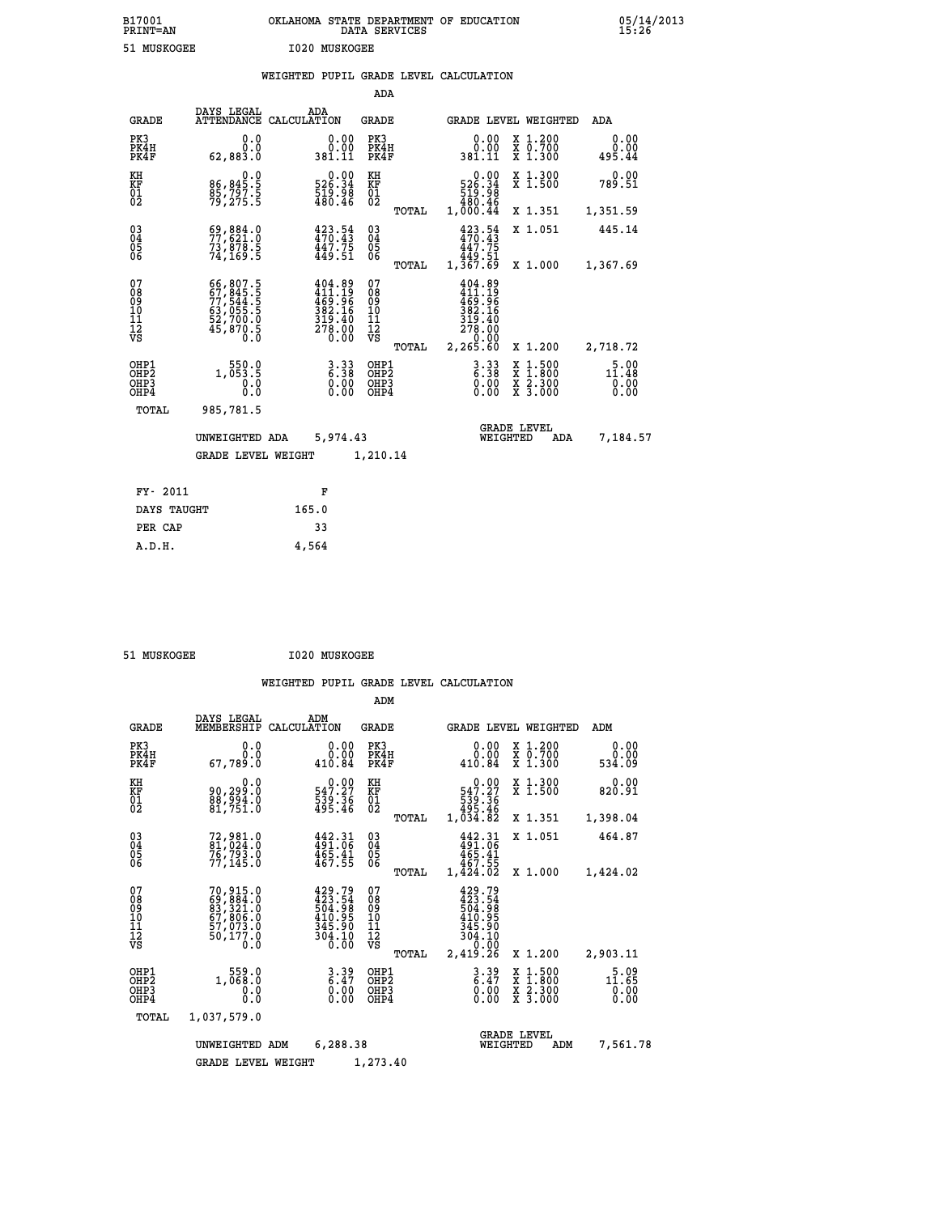| B17001          | OKLAHOMA STATE DEPARTMENT OF EDUCATION |
|-----------------|----------------------------------------|
| <b>PRINT=AN</b> | DATA SERVICES                          |
| 51 MUSKOGEE     | 1020 MUSKOGEE                          |

05/14/2013<br>15**:**26

|  |  | WEIGHTED PUPIL GRADE LEVEL CALCULATION |
|--|--|----------------------------------------|
|  |  |                                        |

|                                                                    |                                                                      |                                                                                       | ADA                                       |       |                                                                                |                                                                                                                       |                        |
|--------------------------------------------------------------------|----------------------------------------------------------------------|---------------------------------------------------------------------------------------|-------------------------------------------|-------|--------------------------------------------------------------------------------|-----------------------------------------------------------------------------------------------------------------------|------------------------|
| <b>GRADE</b>                                                       | DAYS LEGAL                                                           | ADA<br>ATTENDANCE CALCULATION                                                         | GRADE                                     |       |                                                                                | GRADE LEVEL WEIGHTED                                                                                                  | ADA                    |
| PK3<br>PK4H<br>PK4F                                                | 0.0<br>0.0<br>62,883.0                                               | 0.00<br>381.11                                                                        | PK3<br>PK4H<br>PK4F                       |       | 0.00<br>ةة.ة<br>381.11                                                         | X 1.200<br>X 0.700<br>X 1.300                                                                                         | 0.00<br>0.00<br>495.44 |
| KH<br>KF<br>01<br>02                                               | 0.0<br>86,845:5<br>85,797:5<br>79,275:5                              | $0.00$<br>526.34<br>$\frac{519.98}{480.46}$                                           | KH<br>KF<br>$\overline{01}$               |       | $\begin{array}{c} 0.00 \\ 526.34 \\ 519.98 \\ 480.49 \end{array}$              | X 1.300<br>X 1.500                                                                                                    | 0.00<br>789.51         |
|                                                                    |                                                                      |                                                                                       |                                           | TOTAL | 1,000.44                                                                       | X 1.351                                                                                                               | 1,351.59               |
| $\begin{smallmatrix} 03 \\[-4pt] 04 \end{smallmatrix}$<br>05<br>ŌĞ | $69,884.0$<br>$77,621.0$<br>73,878.5<br>74,169.5                     | 423.54<br>470.43<br>$\frac{1}{44}$ $\frac{1}{2}$ $\frac{75}{51}$                      | $03\overline{4}$<br>05                    |       | $423.54$<br>$470.43$<br>447.75<br>1,449.61<br>1,367.69                         | X 1.051                                                                                                               | 445.14                 |
|                                                                    |                                                                      |                                                                                       |                                           | TOTAL |                                                                                | X 1.000                                                                                                               | 1,367.69               |
| 07<br>08<br>09<br>11<br>11<br>12<br>VS                             | 66,807.5<br>67,845.5<br>77,544.5<br>63,055.5<br>52,700.0<br>45,870.5 | 404.89<br>$411.19$<br>$469.96$<br>$382.16$<br>$319.40$<br>$278.00$<br>$0.00$          | 07<br>08<br>09<br>11<br>11<br>12<br>VS    |       | 404.89<br>411.19<br>$\frac{165.56}{382.16}$<br>$\frac{319.40}{278.00}$<br>0.00 |                                                                                                                       |                        |
|                                                                    |                                                                      |                                                                                       |                                           | TOTAL | 2,265.60                                                                       | X 1.200                                                                                                               | 2,718.72               |
| OHP1<br>OH <sub>P</sub> 2<br>OHP3<br>OHP4                          | 1, 550.0<br>0.0<br>Ō.Ō                                               | $\frac{3}{6}$ : $\frac{33}{8}$<br>$\begin{smallmatrix} 0.00 \ 0.00 \end{smallmatrix}$ | OHP1<br>OH <sub>P</sub> 2<br>OHP3<br>OHP4 |       | $3.33$<br>$6.38$<br>0.00<br>0.00                                               | $1:500$<br>$1:800$<br>X<br>X<br>$\begin{array}{c} \hat{x} & \hat{2} \cdot \tilde{3}00 \\ x & 3 \cdot 000 \end{array}$ | 11.48<br>0.00<br>0.00  |
| TOTAL                                                              | 985,781.5                                                            |                                                                                       |                                           |       |                                                                                |                                                                                                                       |                        |
|                                                                    | UNWEIGHTED ADA                                                       | 5,974.43                                                                              |                                           |       |                                                                                | <b>GRADE LEVEL</b><br>WEIGHTED<br>ADA                                                                                 | 7,184.57               |
|                                                                    | <b>GRADE LEVEL WEIGHT</b>                                            |                                                                                       | 1,210.14                                  |       |                                                                                |                                                                                                                       |                        |
| FY- 2011                                                           |                                                                      | F                                                                                     |                                           |       |                                                                                |                                                                                                                       |                        |
| DAYS TAUGHT                                                        |                                                                      | 165.0                                                                                 |                                           |       |                                                                                |                                                                                                                       |                        |
| PER CAP                                                            |                                                                      | 33                                                                                    |                                           |       |                                                                                |                                                                                                                       |                        |

| 51 MIISKOCEE |
|--------------|

 **A.D.H. 4,564**

 **B17001<br>PRINT=AN** 

 **51 MUSKOGEE I020 MUSKOGEE**

|                                                       |                                                                                  |                                                                   | ADM                                                                             |                                                                                              |                                                                             |                                                                   |
|-------------------------------------------------------|----------------------------------------------------------------------------------|-------------------------------------------------------------------|---------------------------------------------------------------------------------|----------------------------------------------------------------------------------------------|-----------------------------------------------------------------------------|-------------------------------------------------------------------|
| <b>GRADE</b>                                          | DAYS LEGAL<br>MEMBERSHIP                                                         | ADM<br>CALCULATION                                                | <b>GRADE</b>                                                                    | GRADE LEVEL WEIGHTED                                                                         |                                                                             | ADM                                                               |
| PK3<br>PK4H<br>PK4F                                   | 0.0<br>0.0<br>67,789.0                                                           | 0.00<br>0.00<br>410.84                                            | PK3<br>PK4H<br>PK4F                                                             | 0.00<br>0.00<br>410.84                                                                       | $\begin{smallmatrix} x & 1.200 \\ x & 0.700 \end{smallmatrix}$<br>$X$ 1.300 | 0.00<br>0.00<br>534.09                                            |
| KH<br>KF<br>01<br>02                                  | 0.0<br>90,299.0<br>$\frac{88}{81}, \frac{554}{751}.0$                            | $0.00$<br>547.27<br>539.36<br>495.46                              | KH<br>KF<br>01<br>02                                                            | $0.00$<br>547.27<br>36: 539<br>495.46<br>1,034.82                                            | X 1.300<br>X 1.500                                                          | 0.00<br>820.91                                                    |
|                                                       |                                                                                  |                                                                   | TOTAL                                                                           |                                                                                              | X 1.351                                                                     | 1,398.04                                                          |
| 03<br>04<br>05<br>06                                  | 72,981.0<br>81,024.0<br>76,793.0<br>77, 145.0                                    | $442.31$<br>$491.06$<br>$465.41$<br>467.55                        | $\substack{03 \\ 04}$<br>$\begin{smallmatrix} 0 & 5 \\ 0 & 6 \end{smallmatrix}$ | $442.31$<br>$491.06$<br>$465.41$<br>467.55                                                   | X 1.051                                                                     | 464.87                                                            |
|                                                       |                                                                                  |                                                                   | TOTAL                                                                           | 1,424.02                                                                                     | X 1.000                                                                     | 1,424.02                                                          |
| 07<br>08<br>09<br>11<br>11<br>12<br>VS                | 70, 915.0<br>69, 884.0<br>83, 321.0<br>67, 806.0<br>57, 973.0<br>50,177.0<br>0.0 | 429.79<br>423.54<br>504.98<br>410.95<br>345.90<br>304.10<br>Ō. ŌŎ | 07<br>08<br>09<br>101<br>11<br>12<br>VS<br>TOTAL                                | 429.79<br>$\frac{123}{504}$ . 54<br>504.98<br>410.95<br>345.90<br>304.10<br>0.00<br>2,419.26 | X 1.200                                                                     | 2,903.11                                                          |
| OHP1<br>OH <sub>P</sub> 2<br>OHP <sub>3</sub><br>OHP4 | 1,060:0<br>0.0<br>Ŏ.Ŏ                                                            | 3.39<br>6.47<br>0.00<br>0.00                                      | OHP1<br>OHP2<br>OHP3<br>OHP4                                                    | $3.39$<br>$6.47$<br>$0.00$<br>0.00                                                           | X 1:500<br>X 1:800<br>X 2:300<br>X 3:000                                    | $1\overline{1} \cdot \overline{6} \overline{5}$<br>$0.00$<br>0.00 |
| TOTAL                                                 | 1,037,579.0                                                                      |                                                                   |                                                                                 |                                                                                              |                                                                             |                                                                   |
|                                                       | UNWEIGHTED ADM                                                                   | 6,288.38                                                          |                                                                                 | WEIGHTED                                                                                     | <b>GRADE LEVEL</b><br>ADM                                                   | 7,561.78                                                          |
|                                                       | <b>GRADE LEVEL WEIGHT</b>                                                        |                                                                   | 1,273.40                                                                        |                                                                                              |                                                                             |                                                                   |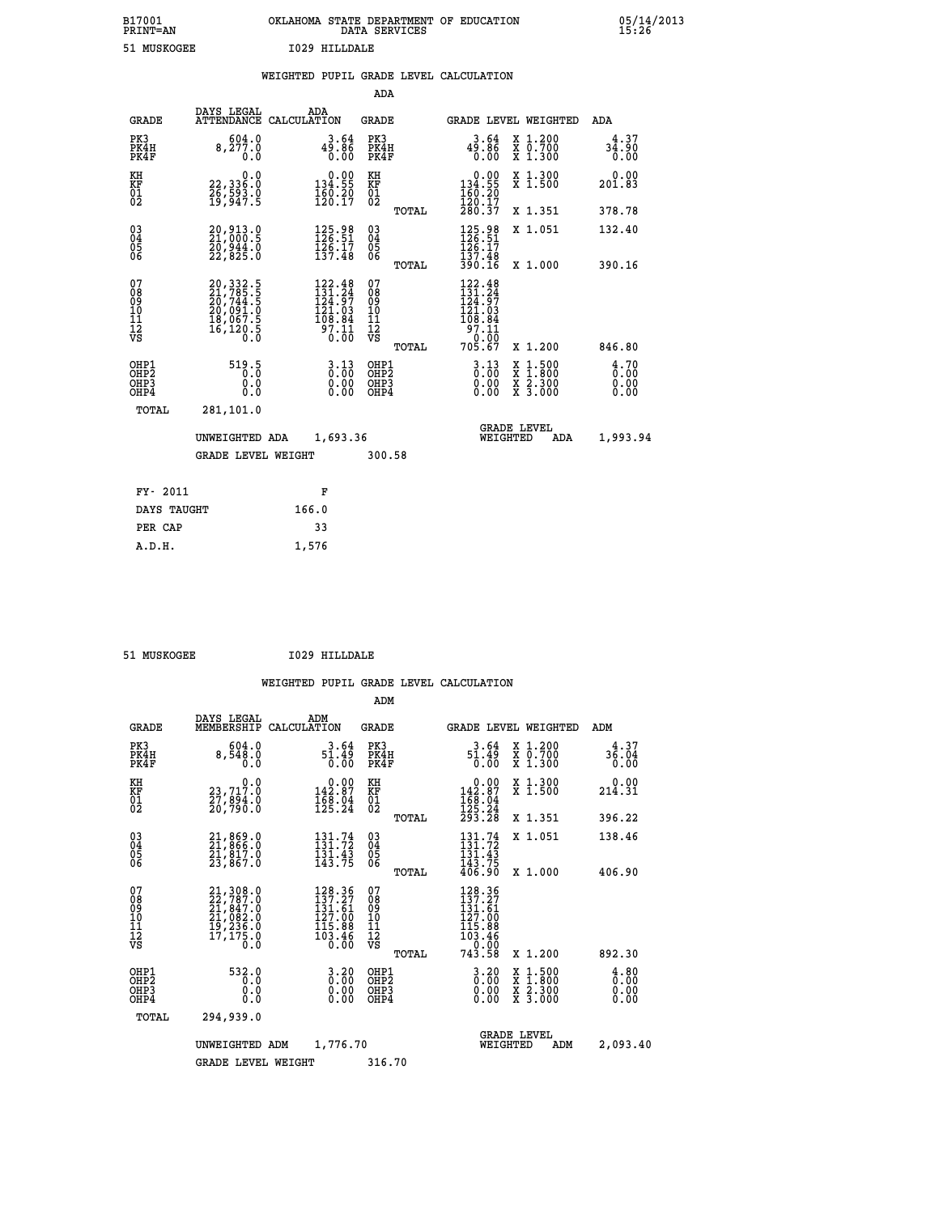# **B17001 OKLAHOMA STATE DEPARTMENT OF EDUCATION 05/14/2013 PRINT=AN DATA SERVICES 15:26 51 MUSKOGEE I029 HILLDALE**

|  |  | WEIGHTED PUPIL GRADE LEVEL CALCULATION |
|--|--|----------------------------------------|
|  |  |                                        |

|                                          |                                                                                                                                                  | ADA                                                                                                                                                                                                                                                                                                                                                                                                    |                                                                                                                                                                                                                                                                                                                |                                                                                                                                                      |
|------------------------------------------|--------------------------------------------------------------------------------------------------------------------------------------------------|--------------------------------------------------------------------------------------------------------------------------------------------------------------------------------------------------------------------------------------------------------------------------------------------------------------------------------------------------------------------------------------------------------|----------------------------------------------------------------------------------------------------------------------------------------------------------------------------------------------------------------------------------------------------------------------------------------------------------------|------------------------------------------------------------------------------------------------------------------------------------------------------|
|                                          | ADA                                                                                                                                              | <b>GRADE</b>                                                                                                                                                                                                                                                                                                                                                                                           | GRADE LEVEL WEIGHTED                                                                                                                                                                                                                                                                                           | <b>ADA</b>                                                                                                                                           |
|                                          |                                                                                                                                                  | PK3<br>PK4H<br>PK4F                                                                                                                                                                                                                                                                                                                                                                                    | 3.64<br>X 1.200<br>X 0.700<br>X 1.300<br>$\begin{smallmatrix} 4\bar{9} \ . \ 8\bar{6} \ 0 \ . \ 00 \end{smallmatrix}$                                                                                                                                                                                          | 4.37<br>34.90<br>0.00                                                                                                                                |
|                                          |                                                                                                                                                  | KH<br>KF                                                                                                                                                                                                                                                                                                                                                                                               | 0.00<br>X 1.300<br>X 1.500<br>134.55                                                                                                                                                                                                                                                                           | 0.00<br>201.83                                                                                                                                       |
|                                          |                                                                                                                                                  | TOTAL                                                                                                                                                                                                                                                                                                                                                                                                  | X 1.351                                                                                                                                                                                                                                                                                                        | 378.78                                                                                                                                               |
|                                          | 125.98<br>126.51<br>$\frac{1}{2}\overline{5}\cdot\overline{1}\overline{7}\overline{1}$<br>$\frac{1}{3}\overline{7}\cdot\overline{4}\overline{8}$ | $\substack{03 \\ 04}$<br>$\frac{05}{06}$                                                                                                                                                                                                                                                                                                                                                               | 125.98<br>126.51<br>X 1.051<br>126.17<br>137.48                                                                                                                                                                                                                                                                | 132.40<br>390.16                                                                                                                                     |
|                                          | 122.48                                                                                                                                           | 07                                                                                                                                                                                                                                                                                                                                                                                                     | 122.48<br>131.24<br>124.97<br>121.03                                                                                                                                                                                                                                                                           |                                                                                                                                                      |
|                                          |                                                                                                                                                  | TOTAL                                                                                                                                                                                                                                                                                                                                                                                                  | X 1.200                                                                                                                                                                                                                                                                                                        | 846.80                                                                                                                                               |
|                                          | $3.13$<br>$0.00$                                                                                                                                 | OHP1<br>OH <sub>P</sub> 2<br>OHP3<br>OHP4                                                                                                                                                                                                                                                                                                                                                              | $3.13$<br>$0.00$<br>$1:500$<br>$1:800$<br>X<br>X<br>0.00<br>X 2.300<br>X 3.000<br>0.00                                                                                                                                                                                                                         | 4.70<br>0.00<br>0.00<br>0.00                                                                                                                         |
|                                          |                                                                                                                                                  |                                                                                                                                                                                                                                                                                                                                                                                                        |                                                                                                                                                                                                                                                                                                                |                                                                                                                                                      |
|                                          |                                                                                                                                                  |                                                                                                                                                                                                                                                                                                                                                                                                        | <b>GRADE LEVEL</b><br>WEIGHTED<br>ADA                                                                                                                                                                                                                                                                          | 1,993.94                                                                                                                                             |
|                                          |                                                                                                                                                  | 300.58                                                                                                                                                                                                                                                                                                                                                                                                 |                                                                                                                                                                                                                                                                                                                |                                                                                                                                                      |
|                                          | F                                                                                                                                                |                                                                                                                                                                                                                                                                                                                                                                                                        |                                                                                                                                                                                                                                                                                                                |                                                                                                                                                      |
|                                          | 166.0                                                                                                                                            |                                                                                                                                                                                                                                                                                                                                                                                                        |                                                                                                                                                                                                                                                                                                                |                                                                                                                                                      |
|                                          | 33                                                                                                                                               |                                                                                                                                                                                                                                                                                                                                                                                                        |                                                                                                                                                                                                                                                                                                                |                                                                                                                                                      |
| OHP1<br>OHP <sub>2</sub><br>OHP3<br>OHP4 | <b>GRADE</b><br>PK4H<br>PK4F<br>TOTAL<br>FY- 2011<br>DAYS TAUGHT<br>PER CAP                                                                      | DAYS LEGAL<br>ATTENDANCE CALCULATION<br>604.0<br>8,277.0<br>0.0<br>0.0<br>22,336:0<br>26,593.0<br>19,947:5<br>20,913.0<br>21,000.5<br>20,944.0<br>22,825.0<br>$\begin{smallmatrix} 20, 332\cdot 5\\ 21, 785\cdot 5\\ 20, 744\cdot 5\\ 20, 091\cdot 0\\ 18, 067\cdot 5\\ 16, 120\cdot 5\\ 0\cdot 0\end{smallmatrix}$<br>519.5<br>0.0<br>0.0<br>281,101.0<br>UNWEIGHTED ADA<br><b>GRADE LEVEL WEIGHT</b> | $49.86$<br>0.00<br>$0.00$<br>134.55<br>$\frac{160.20}{120.17}$<br>$\begin{matrix} 01 \ 02 \end{matrix}$<br>TOTAL<br>$\begin{smallmatrix} 151.24\ 124.97\ 121.03\ 108.84\ 97.11\ 0.00 \end{smallmatrix}$<br>08<br>09<br>11<br>11<br>12<br>VS<br>$\begin{smallmatrix} 0.00 \ 0.00 \end{smallmatrix}$<br>1,693.36 | $\frac{160.20}{120.17}$<br>280.37<br>390.16<br>X 1.000<br>$\begin{array}{r} 1 \overline{0} \overline{8} : 84 \\ 97.11 \\ 0.00 \\ 705.67 \end{array}$ |

 **A.D.H. 1,576**

 **51 MUSKOGEE I029 HILLDALE**

|                                               |                                                                            |                                                                         |                          | ADM                                     |       |                                                                              |          |                                                                                                  |                       |
|-----------------------------------------------|----------------------------------------------------------------------------|-------------------------------------------------------------------------|--------------------------|-----------------------------------------|-------|------------------------------------------------------------------------------|----------|--------------------------------------------------------------------------------------------------|-----------------------|
| <b>GRADE</b>                                  | DAYS LEGAL<br>MEMBERSHIP                                                   | ADM<br>CALCULATION                                                      |                          | <b>GRADE</b>                            |       |                                                                              |          | GRADE LEVEL WEIGHTED                                                                             | ADM                   |
| PK3<br>PK4H<br>PK4F                           | 604.0<br>8,548.0<br>0.0                                                    | 3.64<br>51.49<br>0.00                                                   |                          | PK3<br>PK4H<br>PK4F                     |       | 3.64<br>51.49<br>0.00                                                        |          | X 1.200<br>X 0.700<br>X 1.300                                                                    | 4.37<br>36.04<br>0.00 |
| KH<br>KF<br>01<br>02                          | 0.0<br>23,717:0<br>27,894:0<br>20,790:0                                    | $\begin{smallmatrix} &0.00\\ 142.87\\ 168.04\\ 125.24\end{smallmatrix}$ |                          | KH<br>KF<br>01<br>02                    |       | $\begin{array}{c} 0.00 \\ 142.87 \\ 168.04 \\ 125.24 \\ 293.28 \end{array}$  |          | X 1.300<br>X 1.500                                                                               | 0.00<br>214.31        |
|                                               |                                                                            |                                                                         |                          |                                         | TOTAL |                                                                              |          | X 1.351                                                                                          | 396.22                |
| 03<br>04<br>05<br>06                          | 21,869.0<br>21,866.0<br>21,817.0<br>23,867.0                               | 131:72<br>$\frac{131.43}{143.75}$                                       |                          | $\substack{03 \\ 04}$<br>0500           |       | $131.74$<br>$131.72$<br>$\frac{131.43}{143.75}$                              |          | X 1.051                                                                                          | 138.46                |
|                                               |                                                                            |                                                                         |                          |                                         | TOTAL | 406.90                                                                       |          | X 1.000                                                                                          | 406.90                |
| 07<br>08<br>09<br>101<br>112<br>VS            | 21, 308.0<br>22, 787.0<br>21, 847.0<br>21, 082.0<br>19, 235.0<br>17, 175.0 | 128.36<br>137.27<br>131.61<br>$\frac{127.00}{115.88}$<br>103.46         | 0.00                     | 07<br>08<br>09<br>101<br>11<br>12<br>VS | TOTAL | 128.36<br>137.27<br>131.61<br>127.00<br>115.00<br>103.46<br>- 0.00<br>743.58 |          | X 1.200                                                                                          | 892.30                |
| OHP1                                          | 532.0                                                                      |                                                                         |                          |                                         |       |                                                                              |          |                                                                                                  | 4.80                  |
| OH <sub>P</sub> 2<br>OH <sub>P3</sub><br>OHP4 | 0.0<br>0.0<br>Ŏ.Ŏ                                                          |                                                                         | $0.20$<br>$0.00$<br>0.00 | OHP1<br>OHP2<br>OHP3<br>OHP4            |       | $\begin{smallmatrix} 3.20 \ 0.00 \ 0.00 \end{smallmatrix}$<br>0.00           |          | $\begin{smallmatrix} x & 1 & 500 \\ x & 1 & 800 \\ x & 2 & 300 \\ x & 3 & 000 \end{smallmatrix}$ | 0.00<br>0.00<br>0.00  |
| TOTAL                                         | 294,939.0                                                                  |                                                                         |                          |                                         |       |                                                                              |          |                                                                                                  |                       |
|                                               | UNWEIGHTED ADM                                                             | 1,776.70                                                                |                          |                                         |       |                                                                              | WEIGHTED | <b>GRADE LEVEL</b><br>ADM                                                                        | 2,093.40              |
|                                               | <b>GRADE LEVEL WEIGHT</b>                                                  |                                                                         |                          | 316.70                                  |       |                                                                              |          |                                                                                                  |                       |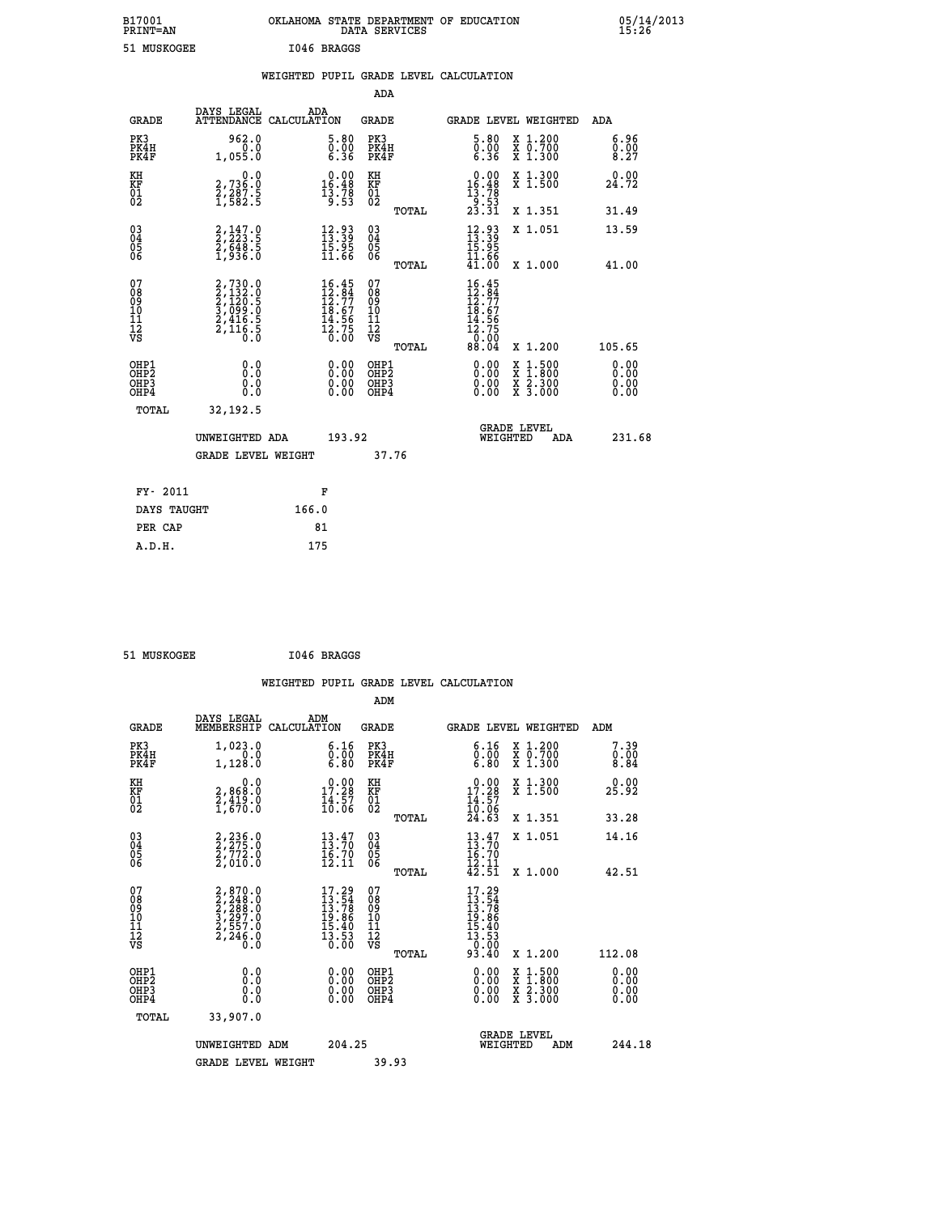| B17001          | OKLAHOMA STATE DEPARTMENT OF EDUCATION |
|-----------------|----------------------------------------|
| <b>PRINT=AN</b> | DATA SERVICES                          |
| 51 MUSKOGEE     | I046 BRAGGS                            |

|                                                      |                                                                           | WEIGHTED PUPIL GRADE LEVEL CALCULATION                                                                                       |                                                     |       |                                                                                                              |                                          |                              |
|------------------------------------------------------|---------------------------------------------------------------------------|------------------------------------------------------------------------------------------------------------------------------|-----------------------------------------------------|-------|--------------------------------------------------------------------------------------------------------------|------------------------------------------|------------------------------|
|                                                      |                                                                           |                                                                                                                              | <b>ADA</b>                                          |       |                                                                                                              |                                          |                              |
| <b>GRADE</b>                                         | DAYS LEGAL<br><b>ATTENDANCE</b>                                           | ADA<br>CALCULATION                                                                                                           | <b>GRADE</b>                                        |       |                                                                                                              | GRADE LEVEL WEIGHTED                     | ADA                          |
| PK3<br>PK4H<br>PK4F                                  | 962.0<br>1,055.0                                                          | $\begin{smallmatrix} 5.80\ 0.00\ 6.36 \end{smallmatrix}$                                                                     | PK3<br>PK4H<br>PK4F                                 |       | 5.80<br>$\substack{\texttt{0.00}}\,6.36$                                                                     | X 1.200<br>X 0.700<br>X 1.300            | 6.96<br>0.008.27             |
| KH<br>KF<br>01<br>02                                 | $\begin{smallmatrix}&&&0.0\\2,736.0\\2,287.5\\1,582.5\end{smallmatrix}$   | $\begin{smallmatrix} 0.00\\ 16.48\\ 13.78\\ 13.78\\ 9.53 \end{smallmatrix}$                                                  | KH<br>KF<br>01<br>02                                |       | $\begin{smallmatrix} &0.00\\[-1.2mm] 16.48\\[-1.2mm] 13.78\\[-1.2mm] 9.53\\[-1.2mm] 23.31 \end{smallmatrix}$ | X 1.300<br>X 1.500                       | 0.00<br>24.72                |
|                                                      |                                                                           |                                                                                                                              |                                                     | TOTAL |                                                                                                              | X 1.351                                  | 31.49                        |
| $03\overline{4}$<br>Ŏ5<br>06                         | $2,223.5$<br>$2,648.5$<br>$1,936.0$                                       | $\begin{smallmatrix} 12.93\ 13.39\ 15.95\ 11.66 \end{smallmatrix}$                                                           | $\begin{array}{c} 03 \\ 04 \\ 05 \\ 06 \end{array}$ |       | $\begin{smallmatrix} 12\cdot 93\ 13\cdot 39\ 15\cdot 95\ 11\cdot 66\ 41\cdot 00 \end{smallmatrix}$           | X 1.051                                  | 13.59                        |
|                                                      |                                                                           |                                                                                                                              |                                                     | TOTAL |                                                                                                              | X 1.000                                  | 41.00                        |
| 07<br>08<br>09<br>11<br>11<br>12<br>VS               | 2,730.0<br>2,132.0<br>2,120.5<br>3,099.0<br>3,099.0<br>2,416.5<br>2,116.5 | $\begin{array}{r} 16\cdot 45 \\ 12\cdot 84 \\ 12\cdot 77 \\ 18\cdot 67 \\ 14\cdot 56 \\ 12\cdot 75 \\ 0\cdot 00 \end{array}$ | 07<br>08<br>09<br>101<br>11<br>12<br>VS             | TOTAL | 16.45<br>12.84<br>12.77<br>18.67<br>14.56<br>$\frac{1}{2}$ $\frac{3}{2}$ $\frac{75}{20}$<br>88.04            | X 1.200                                  | 105.65                       |
| OHP1<br>OHP <sub>2</sub><br>OH <sub>P3</sub><br>OHP4 | 0.0<br>Ō.Ō<br>Ō.Ō                                                         | 0.00<br>$\begin{smallmatrix} 0.00 \ 0.00 \end{smallmatrix}$                                                                  | OHP1<br>OHP2<br>OHP3<br>OHP4                        |       | 0.00<br>0.00<br>0.00                                                                                         | X 1:500<br>X 1:800<br>X 2:300<br>X 3:000 | 0.00<br>0.00<br>0.00<br>0.00 |
| TOTAL                                                | 32,192.5                                                                  |                                                                                                                              |                                                     |       |                                                                                                              |                                          |                              |
|                                                      | UNWEIGHTED ADA                                                            | 193.92                                                                                                                       |                                                     |       | WEIGHTED                                                                                                     | <b>GRADE LEVEL</b><br>ADA                | 231.68                       |
|                                                      | <b>GRADE LEVEL WEIGHT</b>                                                 |                                                                                                                              | 37.76                                               |       |                                                                                                              |                                          |                              |
| FY- 2011                                             |                                                                           | F                                                                                                                            |                                                     |       |                                                                                                              |                                          |                              |
| DAYS TAUGHT                                          |                                                                           | 166.0                                                                                                                        |                                                     |       |                                                                                                              |                                          |                              |
| PER CAP                                              |                                                                           | 81                                                                                                                           |                                                     |       |                                                                                                              |                                          |                              |

| 51 MUSKOGEE | I046 BRAGGS |
|-------------|-------------|
|             |             |

| <b>GRADE</b>                                                     | DAYS LEGAL<br>MEMBERSHIP                                                            | ADM<br>CALCULATION                                                       | <b>GRADE</b>                                        |       |                                                                                       |          | <b>GRADE LEVEL WEIGHTED</b>              | ADM                          |  |
|------------------------------------------------------------------|-------------------------------------------------------------------------------------|--------------------------------------------------------------------------|-----------------------------------------------------|-------|---------------------------------------------------------------------------------------|----------|------------------------------------------|------------------------------|--|
| PK3<br>PK4H<br>PK4F                                              | 1,023.0<br>1,128.0                                                                  | $\begin{smallmatrix} 6.16\ 0.00\ 6.80 \end{smallmatrix}$                 | PK3<br>PK4H<br>PK4F                                 |       | 6.16<br>$\begin{smallmatrix} \v{0} \ \v{0} \ \v{6} \ \v{0} \end{smallmatrix}$         |          | X 1.200<br>X 0.700<br>X 1.300            | 7.39<br>0.00<br>8.84         |  |
| KH<br>KF<br>01<br>02                                             | 0.0<br>2,868:0<br>2,419:0<br>1,670:0                                                | $\begin{smallmatrix} 0.00\\ 17.28\\ 14.57\\ 16.06 \end{smallmatrix}$     | KH<br>KF<br>01<br>02                                |       | $\begin{smallmatrix} 0.00\\ 17.28\\ 14.57\\ 10.06\\ 24.63 \end{smallmatrix}$          |          | X 1.300<br>X 1.500                       | 0.00<br>25.92                |  |
|                                                                  |                                                                                     |                                                                          |                                                     | TOTAL |                                                                                       |          | X 1.351                                  | 33.28                        |  |
| $\begin{matrix} 03 \\ 04 \\ 05 \\ 06 \end{matrix}$               | $2, 236.0$<br>$2, 772.0$<br>$2, 010.0$                                              | $\begin{smallmatrix} 13.47\ 13.70\ 16.70\ 12.11 \end{smallmatrix}$       | $\begin{array}{c} 03 \\ 04 \\ 05 \\ 06 \end{array}$ |       | $13.70$<br>$16.70$<br>$12.11$<br>$42.51$                                              |          | X 1.051                                  | 14.16                        |  |
|                                                                  |                                                                                     |                                                                          |                                                     | TOTAL |                                                                                       |          | X 1.000                                  | 42.51                        |  |
| 07<br>08<br>09<br>11<br>11<br>12<br>VS                           | $2,870.0$<br>$2,248.0$<br>$2,288.0$<br>$3,297.0$<br>$2,557.0$<br>$2,246.0$<br>$0.0$ | $17.29$<br>$13.78$<br>$13.78$<br>$19.86$<br>$15.40$<br>$13.53$<br>$0.00$ | 07<br>08<br>09<br>11<br>11<br>12<br>VS              | TOTAL | $17.29$<br>$13.784$<br>$13.786$<br>$19.86$<br>$15.40$<br>$13.53$<br>$0.00$<br>$93.40$ |          | X 1.200                                  | 112.08                       |  |
| OHP1<br>OH <sub>P</sub> <sub>2</sub><br>OH <sub>P3</sub><br>OHP4 | 0.0<br>0.0<br>Ŏ.Ŏ                                                                   | $0.00$<br>$0.00$<br>0.00                                                 | OHP1<br>OHP <sub>2</sub><br>OHP3<br>OHP4            |       |                                                                                       |          | X 1:500<br>X 1:800<br>X 2:300<br>X 3:000 | 0.00<br>0.00<br>0.00<br>0.00 |  |
| TOTAL                                                            | 33,907.0                                                                            |                                                                          |                                                     |       |                                                                                       |          |                                          |                              |  |
|                                                                  | UNWEIGHTED ADM                                                                      | 204.25                                                                   |                                                     |       |                                                                                       | WEIGHTED | <b>GRADE LEVEL</b><br>ADM                | 244.18                       |  |
|                                                                  | <b>GRADE LEVEL WEIGHT</b>                                                           |                                                                          | 39.93                                               |       |                                                                                       |          |                                          |                              |  |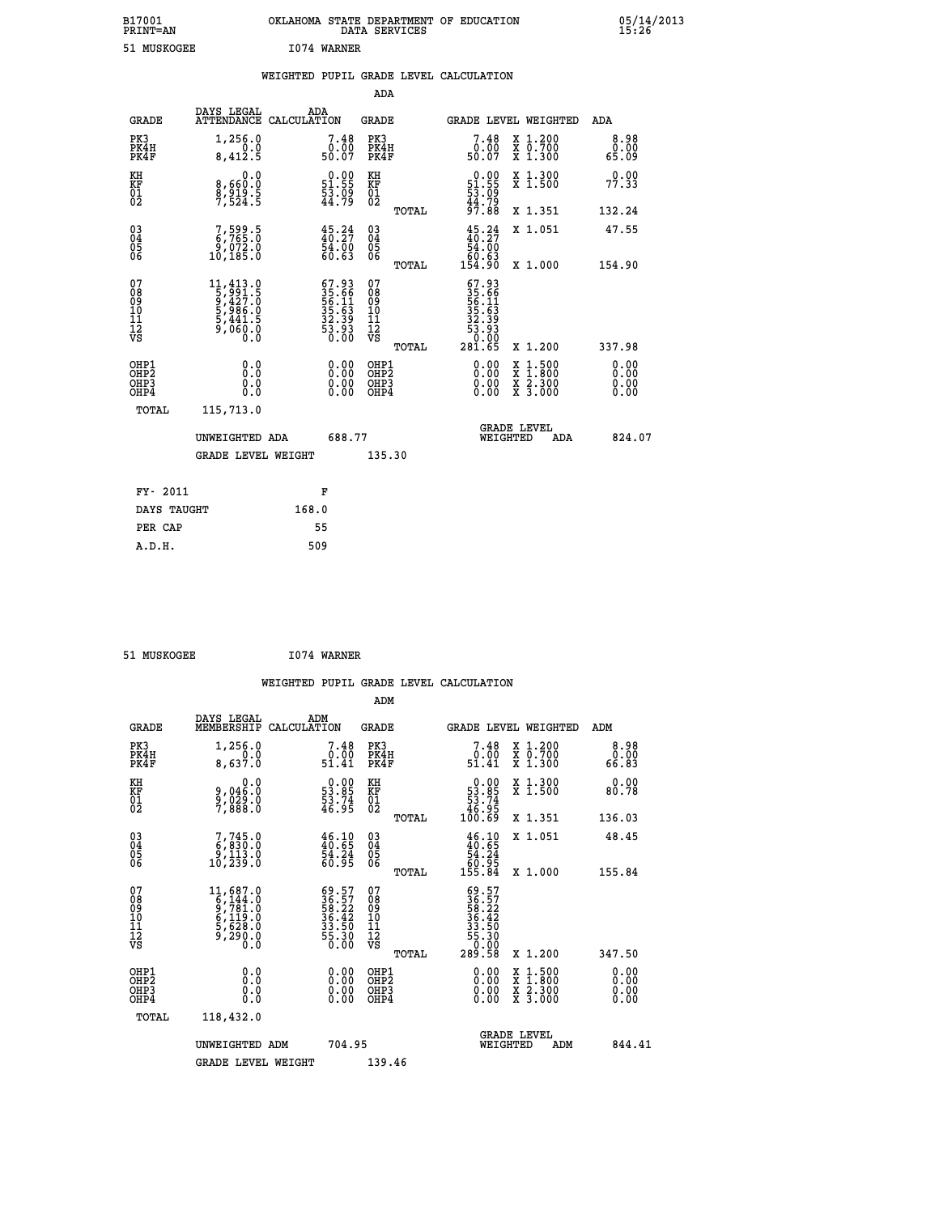| B17001<br><b>PRINT=AN</b> | OKLAHOMA STATE DEPARTMENT OF EDUCATION<br>DATA SERVICES | 05/14/2013<br>15:26 |
|---------------------------|---------------------------------------------------------|---------------------|
| 51 MUSKOGEE               | 1074 WARNER                                             |                     |

|  |  | WEIGHTED PUPIL GRADE LEVEL CALCULATION |
|--|--|----------------------------------------|
|  |  |                                        |

|                              |                                                                    |                                                                                                                                    |       |                                                                           | ADA                                       |       |                                                                                                      |                                                                                                  |                              |
|------------------------------|--------------------------------------------------------------------|------------------------------------------------------------------------------------------------------------------------------------|-------|---------------------------------------------------------------------------|-------------------------------------------|-------|------------------------------------------------------------------------------------------------------|--------------------------------------------------------------------------------------------------|------------------------------|
|                              | <b>GRADE</b>                                                       | DAYS LEGAL<br>ATTENDANCE CALCULATION                                                                                               | ADA   |                                                                           | <b>GRADE</b>                              |       |                                                                                                      | GRADE LEVEL WEIGHTED                                                                             | <b>ADA</b>                   |
|                              | PK3<br>PK4H<br>PK4F                                                | 1,256.0<br>0.0<br>8,412.5                                                                                                          |       | 7.48<br>ŏ:ōŏ<br>50:07                                                     | PK3<br>PK4H<br>PK4F                       |       | $7.48\n0.00\n50.07$                                                                                  | X 1.200<br>X 0.700<br>X 1.300                                                                    | 8.98<br>0.00<br>65.09        |
| KH<br><b>KF</b><br>01<br>02  |                                                                    | 0.0<br>8,660:0<br>8,919.5<br>7,524:5                                                                                               |       | $\begin{smallmatrix} 0.00\\ 51.55\\ 53.09\\ 44.79 \end{smallmatrix}$      | KH<br>KF<br>01<br>02                      |       | $\begin{array}{c} 0.00 \\ 51.55 \\ 53.09 \\ 44.79 \end{array}$                                       | X 1.300<br>X 1.500                                                                               | 0.00<br>77.33                |
|                              |                                                                    |                                                                                                                                    |       |                                                                           |                                           | TOTAL | 97.88                                                                                                | X 1.351                                                                                          | 132.24                       |
|                              | $\begin{smallmatrix} 03 \\[-4pt] 04 \end{smallmatrix}$<br>05<br>06 | 7,599.5<br>ŏ,óžž.ŏ<br>10,185.0                                                                                                     |       | $\frac{45.24}{40.27}$<br>54.00<br>60.63                                   | $\substack{03 \\ 04}$<br>05<br>06         | TOTAL | $45.24\n40.27\n54.00\n60.63\n154.90$                                                                 | X 1.051<br>X 1.000                                                                               | 47.55<br>154.90              |
| 07<br>08901112<br>1112<br>VS |                                                                    | $\begin{smallmatrix} 11, 413 & .0\\ 5, 991 & .5\\ 9, 427 & .0\\ 5, 986 & .0\\ 5, 441 & .5\\ 9, 060 & .0\\ 0 & .0\end{smallmatrix}$ |       | $67.93$<br>$35.66$<br>$56.11$<br>$35.63$<br>$32.39$<br>$33.93$<br>$50.00$ | 07<br>08<br>09<br>11<br>11<br>12<br>VS    |       | $\begin{smallmatrix} 67.93\ 35.66\ 35.611\ 55.11\ 32.393\ 32.393\ 50.005\ 281.65\ \end{smallmatrix}$ |                                                                                                  |                              |
|                              |                                                                    |                                                                                                                                    |       |                                                                           |                                           | TOTAL |                                                                                                      | X 1.200                                                                                          | 337.98                       |
|                              | OHP1<br>OH <sub>P</sub> 2<br>OH <sub>P3</sub><br>OH <sub>P4</sub>  | 0.0<br>0.0<br>0.0                                                                                                                  |       | $\begin{smallmatrix} 0.00 \ 0.00 \ 0.00 \ 0.00 \end{smallmatrix}$         | OHP1<br>OH <sub>P</sub> 2<br>OHP3<br>OHP4 |       | 0.00<br>0.00<br>0.00                                                                                 | $\begin{smallmatrix} x & 1 & 500 \\ x & 1 & 800 \\ x & 2 & 300 \\ x & 3 & 000 \end{smallmatrix}$ | 0.00<br>0.00<br>0.00<br>0.00 |
|                              | TOTAL                                                              | 115,713.0                                                                                                                          |       |                                                                           |                                           |       |                                                                                                      |                                                                                                  |                              |
|                              |                                                                    | UNWEIGHTED ADA                                                                                                                     |       | 688.77                                                                    |                                           |       |                                                                                                      | GRADE LEVEL<br>WEIGHTED<br>ADA                                                                   | 824.07                       |
|                              |                                                                    | <b>GRADE LEVEL WEIGHT</b>                                                                                                          |       |                                                                           | 135.30                                    |       |                                                                                                      |                                                                                                  |                              |
|                              | FY- 2011                                                           |                                                                                                                                    |       | F                                                                         |                                           |       |                                                                                                      |                                                                                                  |                              |
|                              | DAYS TAUGHT                                                        |                                                                                                                                    | 168.0 |                                                                           |                                           |       |                                                                                                      |                                                                                                  |                              |
|                              | PER CAP                                                            |                                                                                                                                    | 55    |                                                                           |                                           |       |                                                                                                      |                                                                                                  |                              |

| 51 MUSKOGEE | 1074 WARNER |
|-------------|-------------|
|             |             |

 **ADM**

| <b>GRADE</b>                                         | DAYS LEGAL<br>MEMBERSHIP                                                                                       | ADM<br>CALCULATION                                                                      | <b>GRADE</b>                                       |       | GRADE LEVEL WEIGHTED                                                                                    |                                          | ADM                   |  |
|------------------------------------------------------|----------------------------------------------------------------------------------------------------------------|-----------------------------------------------------------------------------------------|----------------------------------------------------|-------|---------------------------------------------------------------------------------------------------------|------------------------------------------|-----------------------|--|
| PK3<br>PK4H<br>PK4F                                  | 1,256.0<br>8,637.0                                                                                             | $\begin{smallmatrix}7\cdot48\0\cdot00\51.41\end{smallmatrix}$                           | PK3<br>PK4H<br>PK4F                                |       | $\begin{smallmatrix}7.48\0.00\\51.41\end{smallmatrix}$                                                  | X 1.200<br>X 0.700<br>X 1.300            | 8.98<br>0.00<br>66.83 |  |
| KH<br>KF<br>01<br>02                                 | 0.0<br>9,046.0<br>9,029.0<br>7,888.0                                                                           | $\begin{smallmatrix} 0.00\\ 53.85\\ 53.74\\ 46.95 \end{smallmatrix}$                    | KH<br>KF<br>$\overline{01}$                        |       | $\begin{smallmatrix} &0.00\ 53.85\ 53.74\ 46.95\ 100.69\ \end{smallmatrix}$                             | X 1.300<br>X 1.500                       | 0.00<br>80.78         |  |
|                                                      |                                                                                                                |                                                                                         |                                                    | TOTAL |                                                                                                         | X 1.351                                  | 136.03                |  |
| 03<br>04<br>05<br>06                                 | $7,745.0$<br>$6,830.0$<br>$9,113.0$<br>$10,239.0$                                                              | $\begin{smallmatrix} 46.10\\ 40.65\\ 54.24\\ 60.95 \end{smallmatrix}$                   | $\begin{matrix} 03 \\ 04 \\ 05 \\ 06 \end{matrix}$ |       | $46.10\n40.65\n54.24\n60.95\n155.84$                                                                    | X 1.051                                  | 48.45                 |  |
|                                                      |                                                                                                                |                                                                                         |                                                    | TOTAL |                                                                                                         | X 1.000                                  | 155.84                |  |
| 07<br>089<br>090<br>1112<br>VS                       | $\begin{smallmatrix} 11, 687.0\\ 6, 144.0\\ 9, 781.0\\ 6, 119.0\\ 5, 628.0\\ 9, 290.0\\ 0.0 \end{smallmatrix}$ | $\begin{smallmatrix} 69.57\ 36.57\ 58.22\ 36.42\ 31.50\ 55.30\ 50.00 \end{smallmatrix}$ | 07<br>08<br>09<br>01<br>11<br>11<br>12<br>VS       | TOTAL | $\begin{smallmatrix} 69.57\ 36.57\ 58.22\ 58.42\ 35.42\ 33.50\ 55.30\ 50.00\ 289.58\ \end{smallmatrix}$ | X 1.200                                  | 347.50                |  |
| OHP1<br>OHP <sub>2</sub><br>OH <sub>P3</sub><br>OHP4 | 0.0<br>0.000                                                                                                   |                                                                                         | OHP1<br>OHP2<br>OHP3<br>OHP4                       |       | 0.00<br>0.00                                                                                            | X 1:500<br>X 1:800<br>X 2:300<br>X 3:000 | 0.00<br>0.00<br>0.00  |  |
| TOTAL                                                | 118,432.0                                                                                                      |                                                                                         |                                                    |       |                                                                                                         |                                          |                       |  |
|                                                      | UNWEIGHTED<br>ADM                                                                                              | 704.95                                                                                  |                                                    |       | WEIGHTED                                                                                                | <b>GRADE LEVEL</b><br>ADM                | 844.41                |  |
|                                                      | <b>GRADE LEVEL WEIGHT</b>                                                                                      |                                                                                         | 139.46                                             |       |                                                                                                         |                                          |                       |  |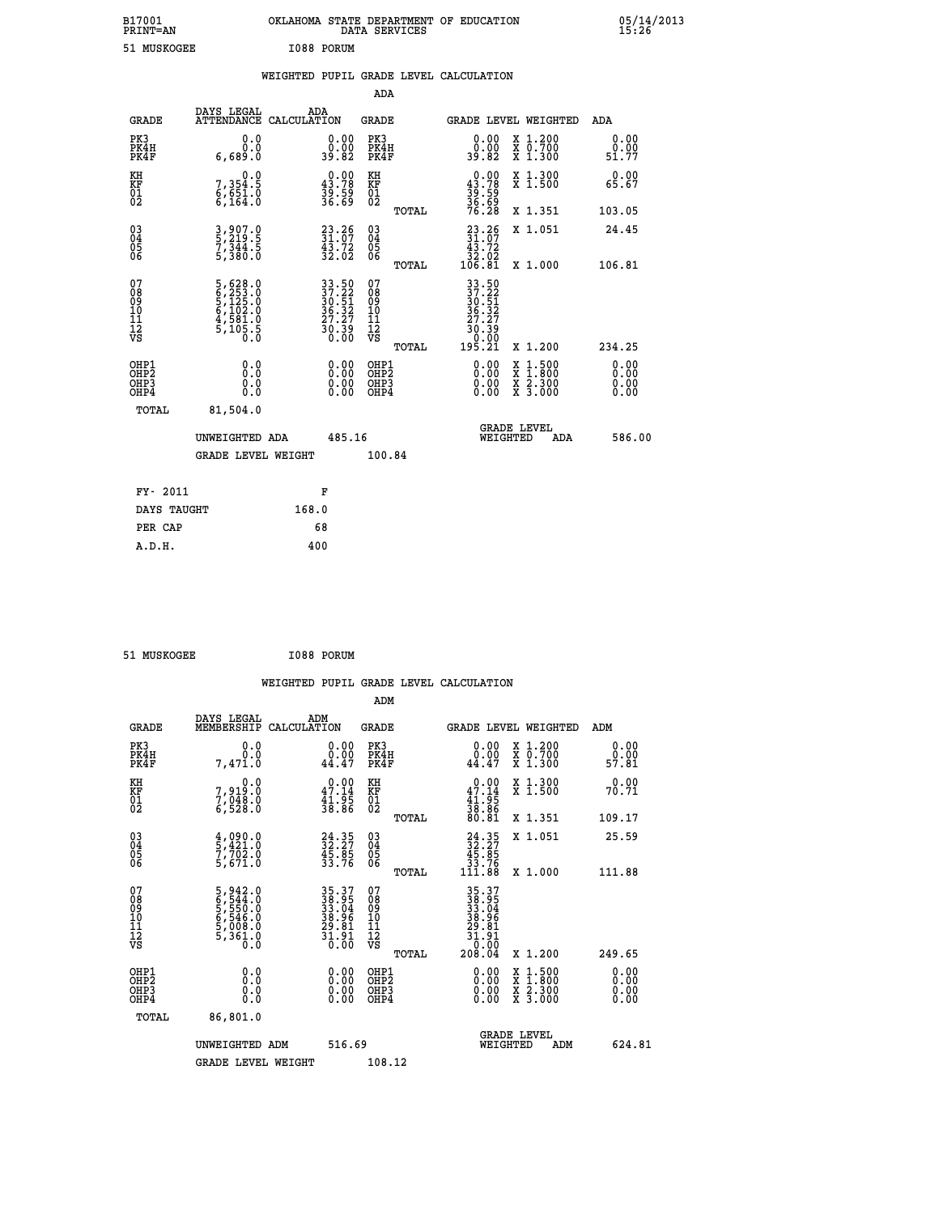| B17001<br><b>PRINT=AN</b> | OKLAHOMA STATE DEPARTMENT OF EDUCATION<br>DATA SERVICES | 05/14/2013<br>15:26 |
|---------------------------|---------------------------------------------------------|---------------------|
| 51 MUSKOGEE               | I088 PORUM                                              |                     |

|  |  | WEIGHTED PUPIL GRADE LEVEL CALCULATION |
|--|--|----------------------------------------|
|  |  |                                        |

|                                                       |                                                                                     |                                                                          | ADA                                      |       |                                                                                       |                                          |                              |
|-------------------------------------------------------|-------------------------------------------------------------------------------------|--------------------------------------------------------------------------|------------------------------------------|-------|---------------------------------------------------------------------------------------|------------------------------------------|------------------------------|
| <b>GRADE</b>                                          | DAYS LEGAL                                                                          | ADA<br>ATTENDANCE CALCULATION                                            | GRADE                                    |       | <b>GRADE LEVEL WEIGHTED</b>                                                           |                                          | ADA                          |
| PK3<br>PK4H<br>PK4F                                   | 0.0<br>0.0<br>6,689.0                                                               | $\begin{smallmatrix} 0.00\\ 0.00\\ 39.82 \end{smallmatrix}$              | PK3<br>PK4H<br>PK4F                      |       | 0.00<br>0.00<br>39.82                                                                 | X 1.200<br>X 0.700<br>X 1.300            | 0.00<br>0.00<br>51.77        |
| KH<br>KF<br>01<br>02                                  | 0.0<br>7,354:5<br>6,651:0<br>6,164:0                                                | $\begin{smallmatrix} 0.00\\ 43.78\\ 39.59\\ 36.69 \end{smallmatrix}$     | KH<br>KF<br>01<br>02                     |       | $0.00$<br>$43.78$<br>$39.59$<br>$36.69$<br>$76.28$                                    | X 1.300<br>X 1.500                       | 0.00<br>65.67                |
|                                                       |                                                                                     |                                                                          |                                          | TOTAL |                                                                                       | X 1.351                                  | 103.05                       |
| 03<br>04<br>05<br>06                                  | 3,907.0<br>5,219.5<br>7,344.5<br>5,380.0                                            | $23.26$<br>$31.07$<br>$43.72$<br>$32.02$                                 | 03<br>04<br>05<br>06                     |       | $\begin{smallmatrix} 23.26\\ 31.07\\ 43.72\\ 32.02\\ 106.81 \end{smallmatrix}$        | X 1.051                                  | 24.45                        |
|                                                       |                                                                                     |                                                                          |                                          | TOTAL |                                                                                       | X 1.000                                  | 106.81                       |
| 07<br>08<br>09<br>11<br>11<br>12<br>VS                | $5,628.0$<br>$6,253.0$<br>$5,125.0$<br>$6,102.0$<br>$4,581.0$<br>$5,105.5$<br>$0.0$ | $33.50$<br>$37.22$<br>$30.51$<br>$36.32$<br>$27.27$<br>$30.39$<br>$0.00$ | 07<br>08<br>09<br>11<br>11<br>12<br>VS   | TOTAL | $33.50$<br>$37.22$<br>$30.51$<br>$36.32$<br>$27.27$<br>$\frac{50.59}{0.00}$<br>195.21 | X 1.200                                  | 234.25                       |
| OHP1<br>OH <sub>P</sub> 2<br>OH <sub>P3</sub><br>OHP4 | 0.0<br>0.0<br>0.0                                                                   | 0.00<br>$\begin{smallmatrix} 0.00 \ 0.00 \end{smallmatrix}$              | OHP1<br>OHP <sub>2</sub><br>OHP3<br>OHP4 |       | 0.00<br>0.00<br>0.00                                                                  | X 1:500<br>X 1:800<br>X 2:300<br>X 3:000 | 0.00<br>0.00<br>0.00<br>0.00 |
| TOTAL                                                 | 81,504.0                                                                            |                                                                          |                                          |       |                                                                                       |                                          |                              |
|                                                       | UNWEIGHTED ADA                                                                      | 485.16                                                                   |                                          |       | WEIGHTED                                                                              | <b>GRADE LEVEL</b><br>ADA                | 586.00                       |
|                                                       | <b>GRADE LEVEL WEIGHT</b>                                                           |                                                                          | 100.84                                   |       |                                                                                       |                                          |                              |
|                                                       |                                                                                     |                                                                          |                                          |       |                                                                                       |                                          |                              |
| FY- 2011                                              |                                                                                     | F                                                                        |                                          |       |                                                                                       |                                          |                              |
| DAYS TAUGHT                                           |                                                                                     | 168.0                                                                    |                                          |       |                                                                                       |                                          |                              |
| PER CAP                                               |                                                                                     | 68                                                                       |                                          |       |                                                                                       |                                          |                              |
| A.D.H.                                                |                                                                                     | 400                                                                      |                                          |       |                                                                                       |                                          |                              |

| 51 MUSKOGEE | I088 PORUM |
|-------------|------------|
|             |            |

| <b>GRADE</b>                                       | DAYS LEGAL<br>MEMBERSHIP                                                  | ADM<br>CALCULATION                                                       | <b>GRADE</b>                                 |       |                                                                                                                | GRADE LEVEL WEIGHTED                                                                                                                      | ADM                          |  |
|----------------------------------------------------|---------------------------------------------------------------------------|--------------------------------------------------------------------------|----------------------------------------------|-------|----------------------------------------------------------------------------------------------------------------|-------------------------------------------------------------------------------------------------------------------------------------------|------------------------------|--|
| PK3<br>PK4H<br>PK4F                                | 0.0<br>0.0<br>7,471.0                                                     | 0.00<br>0.00<br>44.47                                                    | PK3<br>PK4H<br>PK4F                          |       | 0.00<br>0.00<br>44.47                                                                                          | X 1.200<br>X 0.700<br>X 1.300                                                                                                             | 0.00<br>0.00<br>57.81        |  |
| KH<br>KF<br>01<br>02                               | 0.0<br>7,919:0<br>7,048:0<br>6,528:0                                      | $\begin{smallmatrix} 0.00\\ 47.14\\ 41.95\\ 38.86 \end{smallmatrix}$     | KH<br>KF<br>01<br>02                         |       | $0.00$<br>$47.14$<br>$41.95$<br>$38.86$<br>$80.81$                                                             | X 1.300<br>X 1.500                                                                                                                        | 0.00<br>70.71                |  |
|                                                    |                                                                           |                                                                          |                                              | TOTAL |                                                                                                                | X 1.351                                                                                                                                   | 109.17                       |  |
| $\begin{matrix} 03 \\ 04 \\ 05 \\ 06 \end{matrix}$ | $\frac{4}{5}, \frac{090}{421}.0$<br>7,702.0<br>5,671.0                    | $24.35$<br>$32.27$<br>$45.85$<br>$33.76$                                 | 03<br>04<br>05<br>06                         |       | $\begin{smallmatrix} 24.35\\ 32.27\\ 45.85\\ 33.76\\ 111.88 \end{smallmatrix}$                                 | X 1.051                                                                                                                                   | 25.59                        |  |
|                                                    |                                                                           |                                                                          |                                              | TOTAL |                                                                                                                | X 1.000                                                                                                                                   | 111.88                       |  |
| 07<br>08<br>09<br>101<br>112<br>VS                 | 5,942.0<br>6,544.0<br>5,550.0<br>5,546.0<br>6,546.0<br>5,008.0<br>5,361.0 | $35.37$<br>$38.95$<br>$33.04$<br>$38.96$<br>$29.81$<br>$31.91$<br>$0.00$ | 07<br>08<br>09<br>01<br>11<br>11<br>12<br>VS | TOTAL | $\begin{array}{r} 35.37 \\ 38.305 \\ 33.044 \\ 38.964 \\ 29.81 \\ 21.91 \\ 1.01 \\ 0.00 \\ 208.04 \end{array}$ | X 1.200                                                                                                                                   | 249.65                       |  |
| OHP1                                               |                                                                           |                                                                          | OHP1                                         |       |                                                                                                                |                                                                                                                                           |                              |  |
| OHP <sub>2</sub><br>OH <sub>P3</sub><br>OHP4       | 0.0<br>0.0<br>0.0                                                         | $\begin{smallmatrix} 0.00 \ 0.00 \ 0.00 \ 0.00 \end{smallmatrix}$        | OHP <sub>2</sub><br>OHP3<br>OHP4             |       |                                                                                                                | $\begin{smallmatrix} \mathtt{X} & 1\cdot500\\ \mathtt{X} & 1\cdot800\\ \mathtt{X} & 2\cdot300\\ \mathtt{X} & 3\cdot000 \end{smallmatrix}$ | 0.00<br>0.00<br>0.00<br>0.00 |  |
| TOTAL                                              | 86,801.0                                                                  |                                                                          |                                              |       |                                                                                                                |                                                                                                                                           |                              |  |
|                                                    | UNWEIGHTED ADM                                                            | 516.69                                                                   |                                              |       | WEIGHTED                                                                                                       | <b>GRADE LEVEL</b><br>ADM                                                                                                                 | 624.81                       |  |
|                                                    | <b>GRADE LEVEL WEIGHT</b>                                                 |                                                                          | 108.12                                       |       |                                                                                                                |                                                                                                                                           |                              |  |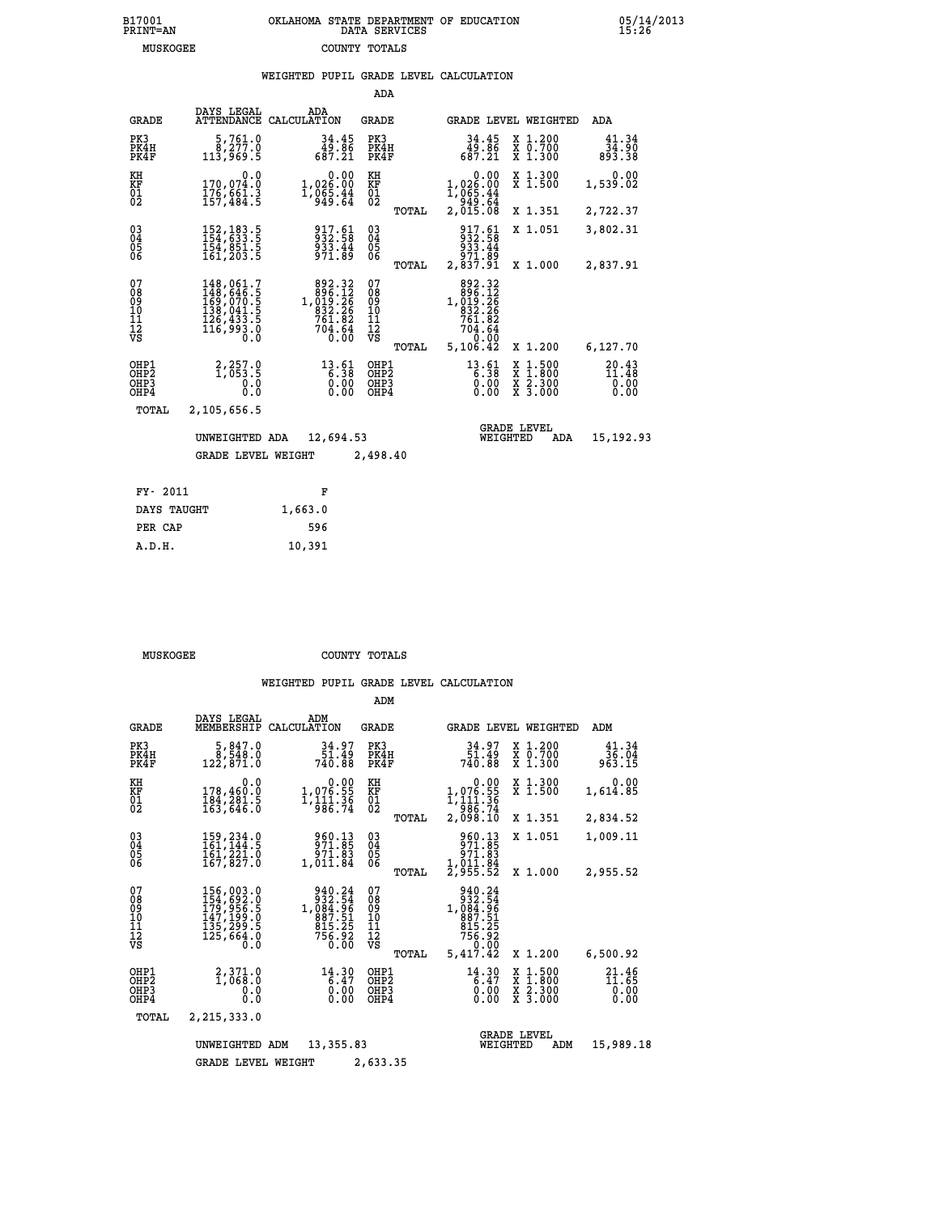# **B17001 OKLAHOMA STATE DEPARTMENT OF EDUCATION 05/14/2013 PRINT=AN DATA SERVICES 15:26**

|                                                        | <b>MUSKOGEE</b>                                       |                                                                                                                                                                                                    |                                                                                              | COUNTY TOTALS                          |                                          |                                                                                              |                                          |     |                                                 |
|--------------------------------------------------------|-------------------------------------------------------|----------------------------------------------------------------------------------------------------------------------------------------------------------------------------------------------------|----------------------------------------------------------------------------------------------|----------------------------------------|------------------------------------------|----------------------------------------------------------------------------------------------|------------------------------------------|-----|-------------------------------------------------|
|                                                        |                                                       |                                                                                                                                                                                                    | WEIGHTED PUPIL GRADE LEVEL CALCULATION                                                       |                                        | ADA                                      |                                                                                              |                                          |     |                                                 |
|                                                        | <b>GRADE</b>                                          | DAYS LEGAL                                                                                                                                                                                         | ADA<br>ATTENDANCE CALCULATION                                                                | <b>GRADE</b>                           |                                          | GRADE LEVEL WEIGHTED                                                                         |                                          |     | ADA                                             |
|                                                        | PK3<br>PK4H<br>PK4F                                   | 5,761.0<br>8,277.0<br>113,969.5                                                                                                                                                                    | $34.45$<br>$49.86$<br>$687.21$                                                               | PK3                                    | PK4H<br>PK4F                             | $34.45$<br>$49.86$<br>$687.21$                                                               | X 1.200<br>X 0.700<br>X 1.300            |     | 41.34<br>$\frac{3\bar{4}\cdot 90}{893\cdot 38}$ |
| KH<br>KF<br>01<br>02                                   |                                                       | 0.0<br>170,074.0<br>$\frac{1}{157}, \frac{6}{484}$ $\frac{1}{5}$                                                                                                                                   | $1,026.00$<br>$1,026.00$<br>$1,065.44$<br>$949.64$                                           | KH<br>KF<br>01<br>02                   |                                          | $1,026.00$<br>$1,065.44$<br>$1,965.44$<br>$242.64$                                           | X 1.300<br>X 1.500                       |     | 0.00<br>1,539.02                                |
|                                                        |                                                       |                                                                                                                                                                                                    |                                                                                              |                                        | TOTAL                                    | 2,015.08                                                                                     | X 1.351                                  |     | 2,722.37                                        |
| $^{03}_{04}$<br>$\begin{matrix} 05 \\ 06 \end{matrix}$ |                                                       | 152, 183.5<br>154, 633.5<br>154, 851.5<br>161, 203.5                                                                                                                                               | 917.61<br>932.58<br>933.44<br>971.89                                                         | $^{03}_{04}$<br>$\frac{05}{06}$        |                                          | 917.61<br>932.58<br>933.44                                                                   | X 1.051                                  |     | 3,802.31                                        |
|                                                        |                                                       |                                                                                                                                                                                                    |                                                                                              |                                        | TOTAL                                    | 89.Iبَوَّ<br>2,837.91                                                                        | X 1.000                                  |     | 2,837.91                                        |
| 07<br>08<br>09<br>101<br>112<br>VS                     |                                                       | $\begin{smallmatrix} 148\,, & 061\,. \ 148\,, & 646\,. \ 5\\ 169\,, & 070\,. \ 5\\ 159\,, & 041\,. \ 5\\ 138\,, & 041\,. \ 5\\ 126\,, & 433\,. \ 5\\ 116\,, & 993\,. \ 0\\ 0\,. \end{smallmatrix}$ | $\begin{smallmatrix}892.32\\896.12\\1,019.26\\832.26\\761.82\\704.64\\0.00\end{smallmatrix}$ | 07<br>08<br>09<br>11<br>11<br>12<br>VS | TOTAL                                    | 892.32<br>$1,896.12$<br>$1,919.26$<br>$832.26$<br>$761.82$<br>$704.64$<br>$5,90$<br>5,106.42 | X 1.200                                  |     | 6,127.70                                        |
|                                                        | OHP1<br>OH <sub>P</sub> 2<br>OH <sub>P3</sub><br>OHP4 | 2,257.9<br>0.0<br>0.0                                                                                                                                                                              | $13.61$<br>$6.38$<br>$0.00$<br>0.00                                                          |                                        | OHP1<br>OHP <sub>2</sub><br>OHP3<br>OHP4 | $13.61$<br>$6.38$<br>0.00<br>0.00                                                            | X 1:500<br>X 1:800<br>X 2:300<br>X 3:000 |     | $20.43$<br>$11.48$<br>0.00<br>0.00              |
|                                                        | <b>TOTAL</b>                                          | 2,105,656.5                                                                                                                                                                                        |                                                                                              |                                        |                                          |                                                                                              |                                          |     |                                                 |
|                                                        |                                                       | UNWEIGHTED ADA<br><b>GRADE LEVEL WEIGHT</b>                                                                                                                                                        | 12,694.53                                                                                    |                                        | 2,498.40                                 |                                                                                              | <b>GRADE LEVEL</b><br>WEIGHTED           | ADA | 15,192.93                                       |
|                                                        |                                                       |                                                                                                                                                                                                    |                                                                                              |                                        |                                          |                                                                                              |                                          |     |                                                 |
|                                                        | FY- 2011                                              |                                                                                                                                                                                                    | F                                                                                            |                                        |                                          |                                                                                              |                                          |     |                                                 |
|                                                        | DAYS TAUGHT                                           |                                                                                                                                                                                                    | 1,663.0                                                                                      |                                        |                                          |                                                                                              |                                          |     |                                                 |

| MUSKOGEE | COUNTY TOTALS |  |
|----------|---------------|--|

 **PER CAP 596 A.D.H. 10,391**

|                                           |                                                                                                                                                |                                                                     | ADM                                             |                                                                                    |                                                                                                  |                                |
|-------------------------------------------|------------------------------------------------------------------------------------------------------------------------------------------------|---------------------------------------------------------------------|-------------------------------------------------|------------------------------------------------------------------------------------|--------------------------------------------------------------------------------------------------|--------------------------------|
| <b>GRADE</b>                              | DAYS LEGAL<br>MEMBERSHIP                                                                                                                       | ADM<br>CALCULATION                                                  | <b>GRADE</b>                                    | GRADE LEVEL WEIGHTED                                                               |                                                                                                  | ADM                            |
| PK3<br>PK4H<br>PK4F                       | 5,847.0<br>8,548.0<br>122,871.0                                                                                                                | 34.97<br>51.49<br>740.88                                            | PK3<br>PK4H<br>PK4F                             | 34.97<br>49.Iğ<br>740.B8                                                           | $\begin{smallmatrix} x & 1.200 \\ x & 0.700 \end{smallmatrix}$<br>X 1.300                        | 41.34<br>36.04<br>963.15       |
| KH<br>KF<br>01<br>02                      | 0.0<br>178,460.0<br>184,281.5<br>163,646.0                                                                                                     | $1,076.55$<br>1,076.55<br>1,111.36<br>986.74                        | KH<br>KF<br>01<br>02                            | $\begin{smallmatrix}&&0.00\\1,076.55\\1,111.36\\986.74\\2,098.10\end{smallmatrix}$ | X 1.300<br>X 1.500                                                                               | 0.00<br>1,614.85               |
|                                           |                                                                                                                                                |                                                                     | TOTAL                                           |                                                                                    | X 1.351                                                                                          | 2,834.52                       |
| 03<br>04<br>05<br>06                      | 159, 234.0<br>161, 144.5<br>161, 221.0<br>167,827.0                                                                                            | 960.13<br>971.85<br>971.83<br>1,011.84                              | $\substack{03 \\ 04}$<br>05                     | 960.13<br>971.85<br>ةة:179<br>1,011.84                                             | X 1.051                                                                                          | 1,009.11                       |
|                                           |                                                                                                                                                |                                                                     | TOTAL                                           | 2,955.52                                                                           | X 1.000                                                                                          | 2,955.52                       |
| 07<br>08<br>09<br>11<br>11<br>12<br>VS    | $\begin{smallmatrix} 156,003\cdot0\\ 154,692\cdot0\\ 179,956\cdot5\\ 147,199\cdot0\\ 135,299\cdot5\\ 125,664\cdot0\\ 0\cdot0\end{smallmatrix}$ | 940.24<br>332:54<br>1,0884:56<br>887:51<br>815:25<br>756:92<br>0.00 | 07<br>08<br>09<br>11<br>11<br>12<br>VS<br>TOTAL | 940.24<br>932.54<br>1,084.96<br>887.51<br>815.25<br>756.92<br>0.00<br>5,417.42     | X 1.200                                                                                          | 6,500.92                       |
| OHP1<br>OH <sub>P</sub> 2<br>OHP3<br>OHP4 | 2,371.0<br>1,068.0<br>0.0<br>Ŏ.Ŏ                                                                                                               | $14.30$<br>6.47<br>0.00<br>0.00                                     | OHP1<br>OH <sub>P</sub> 2<br>OHP3<br>OHP4       | 14.30<br>$\frac{6.47}{0.00}$<br>0.00                                               | $\begin{smallmatrix} x & 1 & 500 \\ x & 1 & 800 \\ x & 2 & 300 \\ x & 3 & 000 \end{smallmatrix}$ | 21.46<br>11.65<br>0.00<br>0.00 |
| TOTAL                                     | 2,215,333.0                                                                                                                                    |                                                                     |                                                 |                                                                                    |                                                                                                  |                                |
|                                           | UNWEIGHTED                                                                                                                                     | 13, 355, 83<br>ADM                                                  |                                                 | WEIGHTED                                                                           | <b>GRADE LEVEL</b><br>ADM                                                                        | 15,989.18                      |
|                                           | <b>GRADE LEVEL WEIGHT</b>                                                                                                                      |                                                                     | 2,633.35                                        |                                                                                    |                                                                                                  |                                |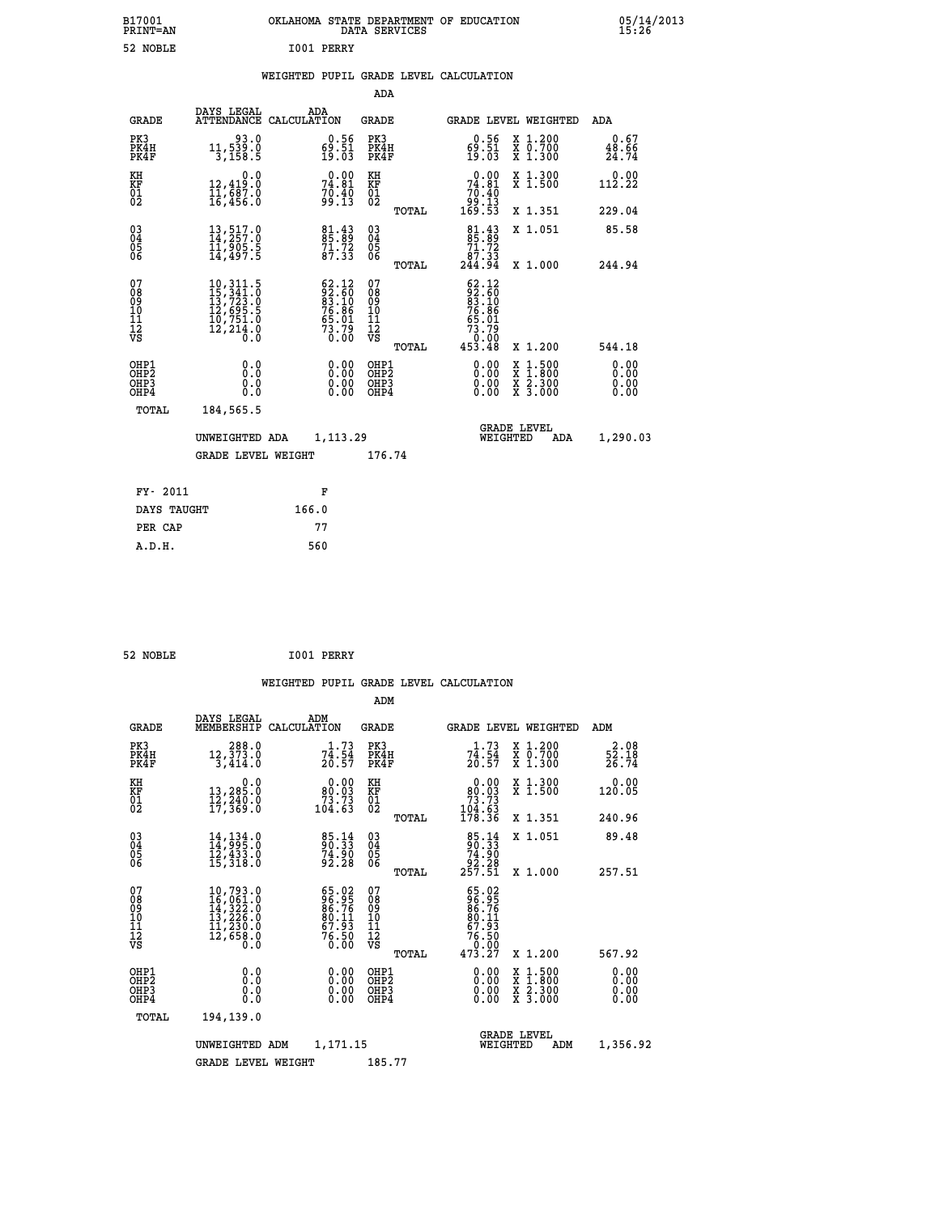| B17001<br><b>PRINT=AN</b> | OKLAHOMA STATE DEPARTMENT OF EDUCATION<br>DATA SERVICES | 05/14/2013<br>15:26 |
|---------------------------|---------------------------------------------------------|---------------------|
| 52 NOBLE                  | I001 PERRY                                              |                     |

|                                                                    |                                                                                                                                                                                                                                                                                                                            |                                                                                             | ADA                                                               |       |                                                                                                               |                                                                                                  |                               |
|--------------------------------------------------------------------|----------------------------------------------------------------------------------------------------------------------------------------------------------------------------------------------------------------------------------------------------------------------------------------------------------------------------|---------------------------------------------------------------------------------------------|-------------------------------------------------------------------|-------|---------------------------------------------------------------------------------------------------------------|--------------------------------------------------------------------------------------------------|-------------------------------|
| <b>GRADE</b>                                                       | DAYS LEGAL                                                                                                                                                                                                                                                                                                                 | ADA<br>ATTENDANCE CALCULATION                                                               | <b>GRADE</b>                                                      |       |                                                                                                               | GRADE LEVEL WEIGHTED                                                                             | ADA                           |
| PK3<br>PK4H<br>PK4F                                                | 93.0<br>11,539.0<br>3,158.5                                                                                                                                                                                                                                                                                                | $\begin{smallmatrix} 0.56\\ 69.51\\ 19.03 \end{smallmatrix}$                                | PK3<br>PK4H<br>PK4F                                               |       | $\begin{smallmatrix} 0.56 \\ 69.51 \\ 19.03 \end{smallmatrix}$                                                | X 1.200<br>X 0.700<br>X 1.300                                                                    | 0.67<br>$\frac{48.66}{24.74}$ |
| KH<br><b>KF</b><br>01<br>02                                        | 0.0<br>12,419.0<br>11,687.0<br>16,456.0                                                                                                                                                                                                                                                                                    | 74.81<br>$70.40$<br>99.13                                                                   | KH<br>KF<br>01<br>02                                              |       | 74.81<br>$\begin{array}{c} 7\overline{0}.4\overline{0} \\ 99.13 \\ 169.53 \end{array}$                        | X 1.300<br>X 1.500                                                                               | 0.00<br>112.22                |
|                                                                    |                                                                                                                                                                                                                                                                                                                            |                                                                                             |                                                                   | TOTAL |                                                                                                               | X 1.351                                                                                          | 229.04                        |
| $\begin{smallmatrix} 03 \\[-4pt] 04 \end{smallmatrix}$<br>05<br>06 | 13,517.0<br>14,257.0<br>11,905.5<br>14,497.5                                                                                                                                                                                                                                                                               | 81.43<br>85.89<br>71.72<br>87.33                                                            | $\substack{03 \\ 04}$<br>$\begin{matrix} 0.5 \\ 0.6 \end{matrix}$ |       | $\begin{smallmatrix}81\cdot 43\\85\cdot 89\\71\cdot 72\\87\cdot 33\\244\cdot 94\end{smallmatrix}$             | X 1.051                                                                                          | 85.58                         |
|                                                                    |                                                                                                                                                                                                                                                                                                                            |                                                                                             |                                                                   | TOTAL |                                                                                                               | X 1.000                                                                                          | 244.94                        |
| 07<br>08<br>09<br>11<br>11<br>12<br>VS                             | $\begin{smallmatrix} 10\,, & 311\cdot5\\ 15\,, & 341\cdot0\\ 13\,, & 723\cdot0\\ 12\,, & 695\cdot5\\ 10\,, & 751\cdot0\\ 12\,, & 214\cdot0\\ 0\,\, & 0\,\, & 0\,\, & 0\,\, & 0\,\, & 0\,\, & 0\,\, & 0\,\, & 0\,\, & 0\,\, & 0\,\, & 0\,\, & 0\,\, & 0\,\, & 0\,\, & 0\,\, & 0\,\, & 0\,\, & 0\,\, & 0\,\, & 0\,\, & 0\,\$ | $\begin{smallmatrix} 62.12\\ 92.60\\ 83.10\\ 76.86\\ 5.01\\ 73.79\\ 0.00 \end{smallmatrix}$ | 07<br>08<br>09<br>11<br>11<br>12<br>VS                            |       | $\begin{smallmatrix} 62.12\\ 92.50\\ 83.50\\ 76.86\\ 76.86\\ 65.01\\ 73.79\\ 0.00\\ 453.48 \end{smallmatrix}$ |                                                                                                  |                               |
|                                                                    |                                                                                                                                                                                                                                                                                                                            |                                                                                             |                                                                   | TOTAL |                                                                                                               | X 1.200                                                                                          | 544.18                        |
| OHP1<br>OH <sub>P</sub> 2<br>OH <sub>P3</sub><br>OH <sub>P4</sub>  | 0.0<br>0.0<br>0.0                                                                                                                                                                                                                                                                                                          | 0.00<br>0.00<br>0.00                                                                        | OHP1<br>OH <sub>P</sub> 2<br>OHP3<br>OHP4                         |       | 0.00<br>0.00<br>0.00                                                                                          | $\begin{smallmatrix} x & 1 & 500 \\ x & 1 & 800 \\ x & 2 & 300 \\ x & 3 & 000 \end{smallmatrix}$ | 0.00<br>0.00<br>0.00<br>0.00  |
| TOTAL                                                              | 184,565.5                                                                                                                                                                                                                                                                                                                  |                                                                                             |                                                                   |       |                                                                                                               |                                                                                                  |                               |
|                                                                    | UNWEIGHTED ADA                                                                                                                                                                                                                                                                                                             | 1,113.29                                                                                    |                                                                   |       |                                                                                                               | GRADE LEVEL<br>WEIGHTED<br>ADA                                                                   | 1,290.03                      |
|                                                                    | <b>GRADE LEVEL WEIGHT</b>                                                                                                                                                                                                                                                                                                  |                                                                                             | 176.74                                                            |       |                                                                                                               |                                                                                                  |                               |
| FY- 2011                                                           |                                                                                                                                                                                                                                                                                                                            | F                                                                                           |                                                                   |       |                                                                                                               |                                                                                                  |                               |
| DAYS TAUGHT                                                        |                                                                                                                                                                                                                                                                                                                            | 166.0                                                                                       |                                                                   |       |                                                                                                               |                                                                                                  |                               |
| PER CAP                                                            |                                                                                                                                                                                                                                                                                                                            | 77                                                                                          |                                                                   |       |                                                                                                               |                                                                                                  |                               |
|                                                                    |                                                                                                                                                                                                                                                                                                                            |                                                                                             |                                                                   |       |                                                                                                               |                                                                                                  |                               |

| 52 NOBLE | I001 PERRY |
|----------|------------|

 **A.D.H. 560**

|                                                                                                          |                                                                                                                                                       |     |                                                                                     |                                                      |       | WEIGHTED PUPIL GRADE LEVEL CALCULATION                                     |                                                                                                  |                              |
|----------------------------------------------------------------------------------------------------------|-------------------------------------------------------------------------------------------------------------------------------------------------------|-----|-------------------------------------------------------------------------------------|------------------------------------------------------|-------|----------------------------------------------------------------------------|--------------------------------------------------------------------------------------------------|------------------------------|
|                                                                                                          |                                                                                                                                                       |     |                                                                                     | ADM                                                  |       |                                                                            |                                                                                                  |                              |
| <b>GRADE</b>                                                                                             | DAYS LEGAL<br>MEMBERSHIP CALCULATION                                                                                                                  | ADM |                                                                                     | <b>GRADE</b>                                         |       | GRADE LEVEL WEIGHTED                                                       |                                                                                                  | ADM                          |
| PK3<br>PK4H<br>PK4F                                                                                      | 288.0<br>12,373.0<br>3,414.0                                                                                                                          |     | 1.73<br>$7\overline{4}\cdot\overline{5}\overline{4}\overline{20}\cdot\overline{57}$ | PK3<br>PK4H<br>PK4F                                  |       | 1.73<br>74.54<br>20.57                                                     | X 1.200<br>X 0.700<br>X 1.300                                                                    | $2.08$<br>52.18<br>26.74     |
| KH<br>KF<br>01<br>02                                                                                     | 0.0<br>13,285.0<br>12,240.0<br>17,369.0                                                                                                               |     | $\begin{smallmatrix} &0.00\\ 80.03\\ 73.73\\ 104.63\end{smallmatrix}$               | KH<br>KF<br>01<br>02                                 |       | $\begin{smallmatrix} &0.00\ 80.03\ 73.73\ 104.63\ 178.36\end{smallmatrix}$ | X 1.300<br>X 1.500                                                                               | 0.00<br>120.05               |
|                                                                                                          |                                                                                                                                                       |     |                                                                                     |                                                      | TOTAL |                                                                            | X 1.351                                                                                          | 240.96                       |
| $\begin{smallmatrix} 03 \\[-4pt] 04 \end{smallmatrix}$<br>$\begin{matrix} 0 \\ 0 \\ 0 \\ 6 \end{matrix}$ | $14,134.0$<br>$14,995.0$<br>$12,433.0$<br>$15,318.0$                                                                                                  |     | 85.14<br>90.33<br>74.90<br>92.28                                                    | $\substack{03 \\ 04}$<br>05<br>06                    |       | $\frac{85.14}{74.90}$                                                      | X 1.051                                                                                          | 89.48                        |
|                                                                                                          |                                                                                                                                                       |     |                                                                                     |                                                      | TOTAL | ةَ 23.2<br>257.51                                                          | X 1.000                                                                                          | 257.51                       |
| 07<br>08<br>09<br>10<br>11<br>11<br>12<br>VS                                                             | $\begin{smallmatrix} 10\,,793\cdot 0\\16\,,061\cdot 0\\14\,,322\cdot 0\\13\,,226\cdot 0\\11\,,230\cdot 0\\12\,,658\cdot 0\\0\cdot 0\end{smallmatrix}$ |     | 65.02<br>96.95<br>86.76<br>80.11<br>87.93<br>76.50<br>76.50                         | 07<br>08901112<br>1112<br>VS                         |       | 65.02<br>$\frac{86.95}{86.76}$<br>76.50<br>0.00<br>473.27                  |                                                                                                  |                              |
|                                                                                                          |                                                                                                                                                       |     |                                                                                     |                                                      | TOTAL |                                                                            | X 1.200                                                                                          | 567.92                       |
| OHP1<br>OHP2<br>OHP3<br>OHP4                                                                             | 0.0<br>0.0<br>0.0                                                                                                                                     |     | 0.00<br>$\begin{smallmatrix} 0.00 \ 0.00 \end{smallmatrix}$                         | OHP1<br>OHP2<br>OHP <sub>3</sub><br>OHP <sub>4</sub> |       | 0.00<br>0.00                                                               | $\begin{smallmatrix} x & 1 & 500 \\ x & 1 & 800 \\ x & 2 & 300 \\ x & 3 & 000 \end{smallmatrix}$ | 0.00<br>ŏ:ŏŏ<br>0.00<br>0.00 |
| TOTAL                                                                                                    | 194,139.0                                                                                                                                             |     |                                                                                     |                                                      |       |                                                                            |                                                                                                  |                              |
|                                                                                                          | UNWEIGHTED ADM                                                                                                                                        |     | 1,171.15                                                                            |                                                      |       | WEIGHTED                                                                   | <b>GRADE LEVEL</b><br>ADM                                                                        | 1,356.92                     |
|                                                                                                          | <b>GRADE LEVEL WEIGHT</b>                                                                                                                             |     |                                                                                     | 185.77                                               |       |                                                                            |                                                                                                  |                              |
|                                                                                                          |                                                                                                                                                       |     |                                                                                     |                                                      |       |                                                                            |                                                                                                  |                              |
|                                                                                                          |                                                                                                                                                       |     |                                                                                     |                                                      |       |                                                                            |                                                                                                  |                              |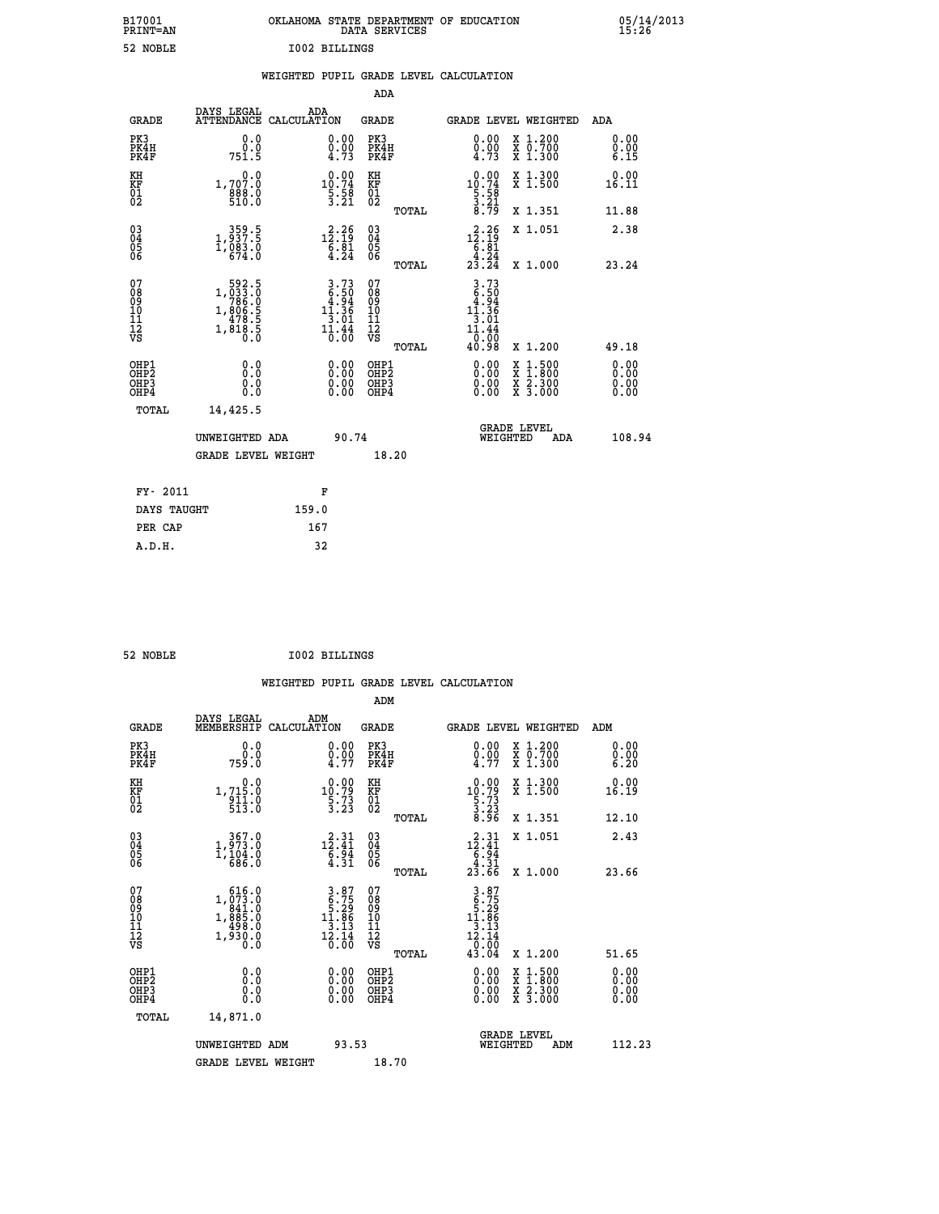| B17001<br><b>PRINT=AN</b> | OKLAHOMA STATE DEPARTMENT OF EDUCATION<br>DATA SERVICES | 05/14/2013<br>15:26 |
|---------------------------|---------------------------------------------------------|---------------------|
| 52 NOBLE                  | I002 BILLINGS                                           |                     |

|                                                                    |                                          |                                                                                                   |       |                                                                                                    | ADA                                       |       |                                                                                |          |                                          |                              |
|--------------------------------------------------------------------|------------------------------------------|---------------------------------------------------------------------------------------------------|-------|----------------------------------------------------------------------------------------------------|-------------------------------------------|-------|--------------------------------------------------------------------------------|----------|------------------------------------------|------------------------------|
|                                                                    | <b>GRADE</b>                             | DAYS LEGAL<br>ATTENDANCE CALCULATION                                                              | ADA   |                                                                                                    | <b>GRADE</b>                              |       |                                                                                |          | GRADE LEVEL WEIGHTED                     | <b>ADA</b>                   |
|                                                                    | PK3<br>PK4H<br>PK4F                      | 0.0<br>0.0<br>751.5                                                                               |       | $\begin{smallmatrix} 0.00 \ 0.00 \ 4.73 \end{smallmatrix}$                                         | PK3<br>PK4H<br>PK4F                       |       | 0.00<br>$\frac{0.00}{4.73}$                                                    |          | X 1.200<br>X 0.700<br>X 1.300            | 0.00<br>0.00<br>6.15         |
| KH<br>KF<br>01<br>02                                               |                                          | 0.0<br>1,707.0<br>888.0<br>510.0                                                                  |       | $\begin{smallmatrix} 0.00\\10.74\\5.58\\3.21 \end{smallmatrix}$                                    | KH<br>KF<br>01<br>02                      |       | $\begin{array}{r} 0.00 \\ 10.74 \\ 5.58 \\ 3.21 \\ 8.79 \end{array}$           |          | X 1.300<br>X 1.500                       | 0.00<br>16.11                |
|                                                                    |                                          |                                                                                                   |       |                                                                                                    |                                           | TOTAL |                                                                                |          | X 1.351                                  | 11.88                        |
| $\begin{smallmatrix} 03 \\[-4pt] 04 \end{smallmatrix}$<br>Ŏ5<br>06 |                                          | $\begin{smallmatrix} & 359.5\\ 1,937.5\\ 1,083.0\\ 674.0 \end{smallmatrix}$                       |       | 12.26<br>$\begin{smallmatrix} 6.81\ 4.24 \end{smallmatrix}$                                        | $\substack{03 \\ 04}$<br>05<br>06         | TOTAL | $\begin{array}{r} \n 2.26 \\  12.19 \\  6.81 \\  4.24 \\  23.24\n \end{array}$ |          | X 1.051<br>X 1.000                       | 2.38<br>23.24                |
| 07<br>08<br>09<br>11<br>11<br>12<br>VS                             |                                          | $\begin{smallmatrix} &592.5\\ 1,033.0\\ 786.0\\ 1,806.5\\ 478.5\\ 1,818.5\\ 0.0\end{smallmatrix}$ |       | $\begin{array}{c} 3.73 \\ 6.50 \\ 4.94 \\ 11.36 \end{array}$<br>$\frac{1}{3}$ :01<br>11:44<br>0.00 | 07<br>08<br>09<br>11<br>11<br>12<br>VS    |       | $3.73$<br>$6.50$<br>$4.94$<br>$11.36$<br>$\frac{1}{11.44}$                     |          |                                          |                              |
|                                                                    |                                          |                                                                                                   |       |                                                                                                    |                                           | TOTAL | $\frac{1}{40}$ :00<br>40.98                                                    |          | X 1.200                                  | 49.18                        |
|                                                                    | OHP1<br>OHP <sub>2</sub><br>OHP3<br>OHP4 | 0.0<br>0.0<br>0.0                                                                                 |       | 0.00<br>$\begin{smallmatrix} 0.00 \ 0.00 \end{smallmatrix}$                                        | OHP1<br>OH <sub>P</sub> 2<br>OHP3<br>OHP4 |       | 0.00<br>0.00<br>0.00                                                           | X<br>X   | $1:500$<br>$1:800$<br>X 2.300<br>X 3.000 | 0.00<br>0.00<br>0.00<br>0.00 |
|                                                                    | TOTAL                                    | 14,425.5                                                                                          |       |                                                                                                    |                                           |       |                                                                                |          |                                          |                              |
|                                                                    |                                          | UNWEIGHTED ADA                                                                                    |       | 90.74                                                                                              |                                           |       |                                                                                | WEIGHTED | <b>GRADE LEVEL</b><br>ADA                | 108.94                       |
|                                                                    |                                          | <b>GRADE LEVEL WEIGHT</b>                                                                         |       |                                                                                                    | 18.20                                     |       |                                                                                |          |                                          |                              |
|                                                                    | FY- 2011                                 |                                                                                                   | F     |                                                                                                    |                                           |       |                                                                                |          |                                          |                              |
|                                                                    | DAYS TAUGHT                              |                                                                                                   | 159.0 |                                                                                                    |                                           |       |                                                                                |          |                                          |                              |
|                                                                    | PER CAP                                  |                                                                                                   | 167   |                                                                                                    |                                           |       |                                                                                |          |                                          |                              |

| 52 NOBLE | <b>I002 BILLINGS</b> |
|----------|----------------------|

 **A.D.H. 32**

| <b>GRADE</b>                                       | DAYS LEGAL<br>MEMBERSHIP                                                  | ADM<br>CALCULATION                                                                                | <b>GRADE</b>                                 |       | <b>GRADE LEVEL WEIGHTED</b>                                                                                  |                                                                                                                                           | ADM                          |  |
|----------------------------------------------------|---------------------------------------------------------------------------|---------------------------------------------------------------------------------------------------|----------------------------------------------|-------|--------------------------------------------------------------------------------------------------------------|-------------------------------------------------------------------------------------------------------------------------------------------|------------------------------|--|
| PK3<br>PK4H<br>PK4F                                | 0.0<br>0.0<br>759.0                                                       | $\substack{0.00\\0.00\\4.77}$                                                                     | PK3<br>PK4H<br>PK4F                          |       | $\begin{smallmatrix} 0.00 \\ 0.00 \\ 4.77 \end{smallmatrix}$                                                 | X 1.200<br>X 0.700<br>X 1.300                                                                                                             | 0.00<br>0.00<br>6.20         |  |
| KH<br>KF<br>01<br>02                               | 0.0<br>1,715:0<br>911:0<br>513:0                                          | $\begin{smallmatrix} 0.00\\10.79\\5.73\\3.23 \end{smallmatrix}$                                   | KH<br>KF<br>01<br>02                         |       | $\begin{smallmatrix} 0.00\\ 10.79\\ 5.73\\ 3.23\\ 8.96 \end{smallmatrix}$                                    | X 1.300<br>X 1.500                                                                                                                        | 0.00<br>16.19                |  |
|                                                    |                                                                           |                                                                                                   |                                              | TOTAL |                                                                                                              | X 1.351                                                                                                                                   | 12.10                        |  |
| $\begin{matrix} 03 \\ 04 \\ 05 \\ 06 \end{matrix}$ | $\begin{smallmatrix} 367.0\\ 1,973.0\\ 1,104.0\\ 686.0 \end{smallmatrix}$ | $\begin{array}{r} \mathbf{12.31} \\ \mathbf{12.41} \\ \mathbf{6.94} \\ \mathbf{4.31} \end{array}$ | 03<br>04<br>05<br>06                         |       | $\begin{array}{r} \n 2 \cdot 31 \\  12 \cdot 41 \\  6 \cdot 94 \\  4 \cdot 31 \\  23 \cdot 66\n \end{array}$ | X 1.051                                                                                                                                   | 2.43                         |  |
|                                                    |                                                                           |                                                                                                   |                                              | TOTAL |                                                                                                              | X 1.000                                                                                                                                   | 23.66                        |  |
| 07<br>089<br>090<br>1112<br>VS                     | 616.0<br>$1, \substack{073 \\ 841 \\ 885 \\ 498 \\ 1,980 \\ 0.0 \\ 0.0$   | $3.87$<br>$6.75$<br>$1.86$<br>$3.13$<br>$12.14$<br>0.00                                           | 07<br>08<br>09<br>01<br>11<br>11<br>12<br>VS | TOTAL | $\begin{array}{r} 3.87 \\ 6.75 \\ 5.29 \\ 11.86 \\ 13.13 \\ 12.14 \\ 0.00 \\ 43.04 \end{array}$              | X 1.200                                                                                                                                   | 51.65                        |  |
| OHP1<br>OHP2<br>OH <sub>P3</sub><br>OHP4           | 0.0<br>0.0<br>0.0                                                         | $\begin{smallmatrix} 0.00 \ 0.00 \ 0.00 \ 0.00 \end{smallmatrix}$                                 | OHP1<br>OHP <sub>2</sub><br>OHP <sub>3</sub> |       |                                                                                                              | $\begin{smallmatrix} \mathtt{X} & 1\cdot500\\ \mathtt{X} & 1\cdot800\\ \mathtt{X} & 2\cdot300\\ \mathtt{X} & 3\cdot000 \end{smallmatrix}$ | 0.00<br>Ŏ.ŎŎ<br>Q.QQ<br>0.00 |  |
| TOTAL                                              | 14,871.0                                                                  |                                                                                                   |                                              |       |                                                                                                              |                                                                                                                                           |                              |  |
|                                                    | UNWEIGHTED ADM                                                            | 93.53                                                                                             |                                              |       | WEIGHTED                                                                                                     | <b>GRADE LEVEL</b><br>ADM                                                                                                                 | 112.23                       |  |
|                                                    | <b>GRADE LEVEL WEIGHT</b>                                                 |                                                                                                   | 18.70                                        |       |                                                                                                              |                                                                                                                                           |                              |  |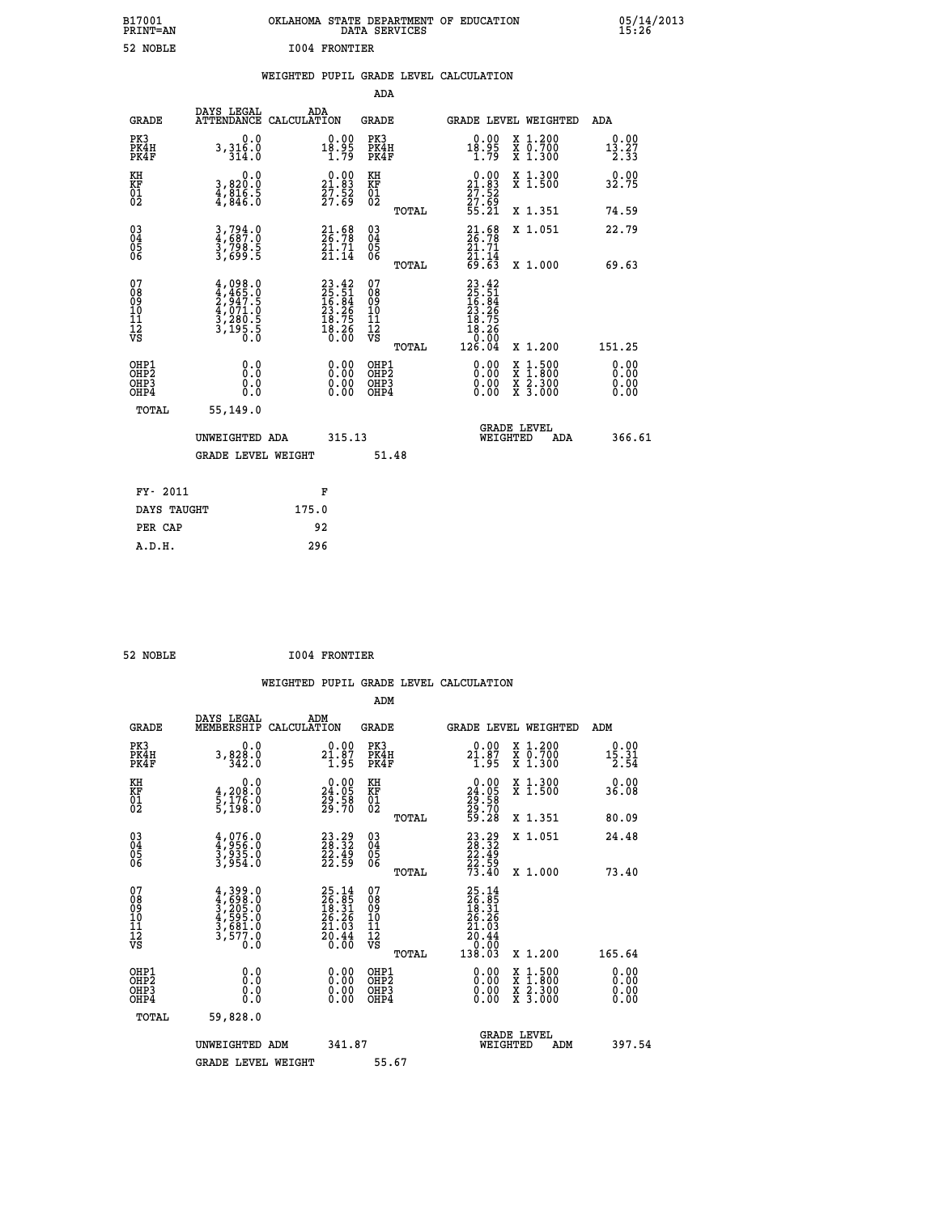| B17001<br><b>PRINT=AN</b> | OKLAHOMA STATE DEPARTMENT OF EDUCATION<br>DATA SERVICES | 05/14/2013<br>15:26 |
|---------------------------|---------------------------------------------------------|---------------------|
| 52<br>NOBLE               | 1004 FRONTIER                                           |                     |

|                                                                    |                                                                                     |                                                                          | ADA                                       |       |                                                                                                                                         |        |                                                           |                                                        |
|--------------------------------------------------------------------|-------------------------------------------------------------------------------------|--------------------------------------------------------------------------|-------------------------------------------|-------|-----------------------------------------------------------------------------------------------------------------------------------------|--------|-----------------------------------------------------------|--------------------------------------------------------|
| <b>GRADE</b>                                                       | DAYS LEGAL<br>ATTENDANCE CALCULATION                                                | ADA                                                                      | <b>GRADE</b>                              |       | GRADE LEVEL WEIGHTED                                                                                                                    |        |                                                           | <b>ADA</b>                                             |
| PK3<br>PK4H<br>PK4F                                                | 0.0<br>3,316.0<br>314.0                                                             | $18.95$<br>$1.79$                                                        | PK3<br>PK4H<br>PK4F                       |       | $18.95$<br>$1.79$                                                                                                                       |        | X 1.200<br>X 0.700<br>X 1.300                             | 0.00<br>$\frac{1\bar{3}\cdot\bar{2}\bar{7}}{2\cdot33}$ |
| KH<br>KF<br>01<br>02                                               | 0.0<br>3,820:0<br>4,816.5<br>4,846:0                                                | $\begin{smallmatrix} 0.00\\21.83\\27.52\\27.69 \end{smallmatrix}$        | KH<br>KF<br>01<br>02                      |       | $\begin{smallmatrix} 0.00\\ 21.83\\ 27.52\\ 27.69\\ 55.21 \end{smallmatrix}$                                                            |        | X 1.300<br>X 1.500                                        | 0.00<br>32.75                                          |
|                                                                    |                                                                                     |                                                                          |                                           | TOTAL |                                                                                                                                         |        | X 1.351                                                   | 74.59                                                  |
| $\begin{smallmatrix} 03 \\[-4pt] 04 \end{smallmatrix}$<br>Ŏ5<br>06 | 3,794.0<br>4,687.0<br>3,798.5<br>3,699.5                                            | $21.98$<br>26.78<br>$\frac{21.71}{21.14}$                                | $\substack{03 \\ 04}$<br>Ŏ5<br>06         | TOTAL | $21.58$<br>$26.78$<br>$21.71$<br>$21.14$<br>$69.63$                                                                                     |        | X 1.051<br>X 1.000                                        | 22.79<br>69.63                                         |
| 07<br>08<br>09<br>11<br>11<br>12<br>VS                             | $4,098.0$<br>$4,465.0$<br>$2,947.5$<br>$4,071.0$<br>$3,280.5$<br>$3,195.5$<br>$0.0$ | $23.42$<br>$25.51$<br>$16.84$<br>$23.26$<br>$18.75$<br>$18.26$<br>$0.00$ | 07<br>08<br>09<br>11<br>11<br>12<br>VS    |       | $\begin{smallmatrix} 23 & 42 \\ 25 & 51 \\ 16 & 84 \\ 13 & 26 \\ 23 & 26 \\ 18 & 75 \\ 18 & 26 \\ 0 & 00 \\ 126 & 04 \end{smallmatrix}$ |        |                                                           |                                                        |
|                                                                    |                                                                                     |                                                                          |                                           | TOTAL |                                                                                                                                         |        | X 1.200                                                   | 151.25                                                 |
| OHP1<br>OHP <sub>2</sub><br>OHP3<br>OHP4                           | 0.0<br>0.0<br>0.0                                                                   | 0.00<br>$\begin{smallmatrix} 0.00 \ 0.00 \end{smallmatrix}$              | OHP1<br>OH <sub>P</sub> 2<br>OHP3<br>OHP4 |       | 0.00<br>0.00<br>0.00                                                                                                                    | X<br>X | $1:500$<br>$1:800$<br>$\frac{x}{x}$ $\frac{5:300}{3:000}$ | 0.00<br>0.00<br>0.00<br>0.00                           |
| TOTAL                                                              | 55,149.0                                                                            |                                                                          |                                           |       |                                                                                                                                         |        |                                                           |                                                        |
|                                                                    | UNWEIGHTED ADA                                                                      | 315.13                                                                   |                                           |       | <b>GRADE LEVEL</b><br>WEIGHTED                                                                                                          |        | ADA                                                       | 366.61                                                 |
|                                                                    | <b>GRADE LEVEL WEIGHT</b>                                                           |                                                                          | 51.48                                     |       |                                                                                                                                         |        |                                                           |                                                        |
| FY- 2011                                                           |                                                                                     | F                                                                        |                                           |       |                                                                                                                                         |        |                                                           |                                                        |
| DAYS TAUGHT                                                        |                                                                                     | 175.0                                                                    |                                           |       |                                                                                                                                         |        |                                                           |                                                        |
| PER CAP                                                            |                                                                                     | 92                                                                       |                                           |       |                                                                                                                                         |        |                                                           |                                                        |
|                                                                    |                                                                                     |                                                                          |                                           |       |                                                                                                                                         |        |                                                           |                                                        |

 **52 NOBLE I004 FRONTIER**

 **ADM**

 **A.D.H. 296**

| <b>GRADE</b>                                       | DAYS LEGAL<br>MEMBERSHIP                                                            | ADM<br>CALCULATION                                                       | <b>GRADE</b>                                       | <b>GRADE LEVEL WEIGHTED</b>                                                                                                                                                                                                                                                    |                                          | ADM                                                                  |
|----------------------------------------------------|-------------------------------------------------------------------------------------|--------------------------------------------------------------------------|----------------------------------------------------|--------------------------------------------------------------------------------------------------------------------------------------------------------------------------------------------------------------------------------------------------------------------------------|------------------------------------------|----------------------------------------------------------------------|
| PK3<br>PK4H<br>PK4F                                | $3, 828.0$<br>$342.0$                                                               | $2_1^{0.00}_{1.87}$                                                      | PK3<br>PK4H<br>PK4F                                | $21.87$<br>$1.95$                                                                                                                                                                                                                                                              | X 1.200<br>X 0.700<br>X 1.300            | 0.00<br>$1\overline{5}\cdot 3\overline{1}\over 2\cdot 5\overline{4}$ |
| KH<br>KF<br>01<br>02                               | 0.0<br>4,208:0<br>5,176:0<br>5,198:0                                                | $\begin{smallmatrix} 0.00\\24.05\\29.58\\29.70 \end{smallmatrix}$        | KH<br>KF<br>01<br>02                               | $\begin{smallmatrix} 0.00\\24.05\\29.58\\29.70\\59.28 \end{smallmatrix}$                                                                                                                                                                                                       | X 1.300<br>X 1.500                       | 0.00<br>36.08                                                        |
|                                                    |                                                                                     |                                                                          | TOTAL                                              |                                                                                                                                                                                                                                                                                | X 1.351                                  | 80.09                                                                |
| $\begin{matrix} 03 \\ 04 \\ 05 \\ 06 \end{matrix}$ | $4,976.0$<br>$3,935.0$<br>$3,935.0$<br>$3,954.0$                                    | 23.29<br>28.32<br>22.49<br>22.59                                         | $\begin{matrix} 03 \\ 04 \\ 05 \\ 06 \end{matrix}$ | $\begin{smallmatrix} 23 & 29 \\ 28 & 32 \\ 22 & 49 \\ 22 & 59 \\ 73 & 40 \end{smallmatrix}$                                                                                                                                                                                    | X 1.051                                  | 24.48                                                                |
|                                                    |                                                                                     |                                                                          | TOTAL                                              |                                                                                                                                                                                                                                                                                | X 1.000                                  | 73.40                                                                |
| 07<br>08<br>09<br>101<br>11<br>12<br>VS            | $4,399.0$<br>$4,698.0$<br>$3,205.0$<br>$4,595.0$<br>$3,681.0$<br>$3,577.0$<br>$0.0$ | $25.14$<br>$26.85$<br>$18.31$<br>$26.26$<br>$21.03$<br>$20.44$<br>$0.00$ | 07<br>08<br>09<br>11<br>11<br>12<br>VS<br>TOTAL    | $\begin{smallmatrix} 25.14\ 26.85\ 18.31\ 18.31\ 26.26\ 21.03\ 20.44\ 0.003\ 138.03\ \end{smallmatrix}$                                                                                                                                                                        | X 1.200                                  | 165.64                                                               |
| OHP1<br>OHP2<br>OH <sub>P3</sub><br>OHP4           |                                                                                     | $0.00$<br>$0.00$<br>0.00                                                 | OHP1<br>OHP2<br>OHP3<br>OHP4                       | $\begin{smallmatrix} 0.00 & 0.00 & 0.00 & 0.00 & 0.00 & 0.00 & 0.00 & 0.00 & 0.00 & 0.00 & 0.00 & 0.00 & 0.00 & 0.00 & 0.00 & 0.00 & 0.00 & 0.00 & 0.00 & 0.00 & 0.00 & 0.00 & 0.00 & 0.00 & 0.00 & 0.00 & 0.00 & 0.00 & 0.00 & 0.00 & 0.00 & 0.00 & 0.00 & 0.00 & 0.00 & 0.0$ | X 1:500<br>X 1:800<br>X 2:300<br>X 3:000 | 0.00<br>0.00<br>0.00                                                 |
| TOTAL                                              | 59,828.0                                                                            |                                                                          |                                                    |                                                                                                                                                                                                                                                                                |                                          |                                                                      |
|                                                    | UNWEIGHTED<br>ADM                                                                   | 341.87                                                                   |                                                    | <b>GRADE LEVEL</b><br>WEIGHTED                                                                                                                                                                                                                                                 | ADM                                      | 397.54                                                               |
|                                                    | <b>GRADE LEVEL WEIGHT</b>                                                           |                                                                          | 55.67                                              |                                                                                                                                                                                                                                                                                |                                          |                                                                      |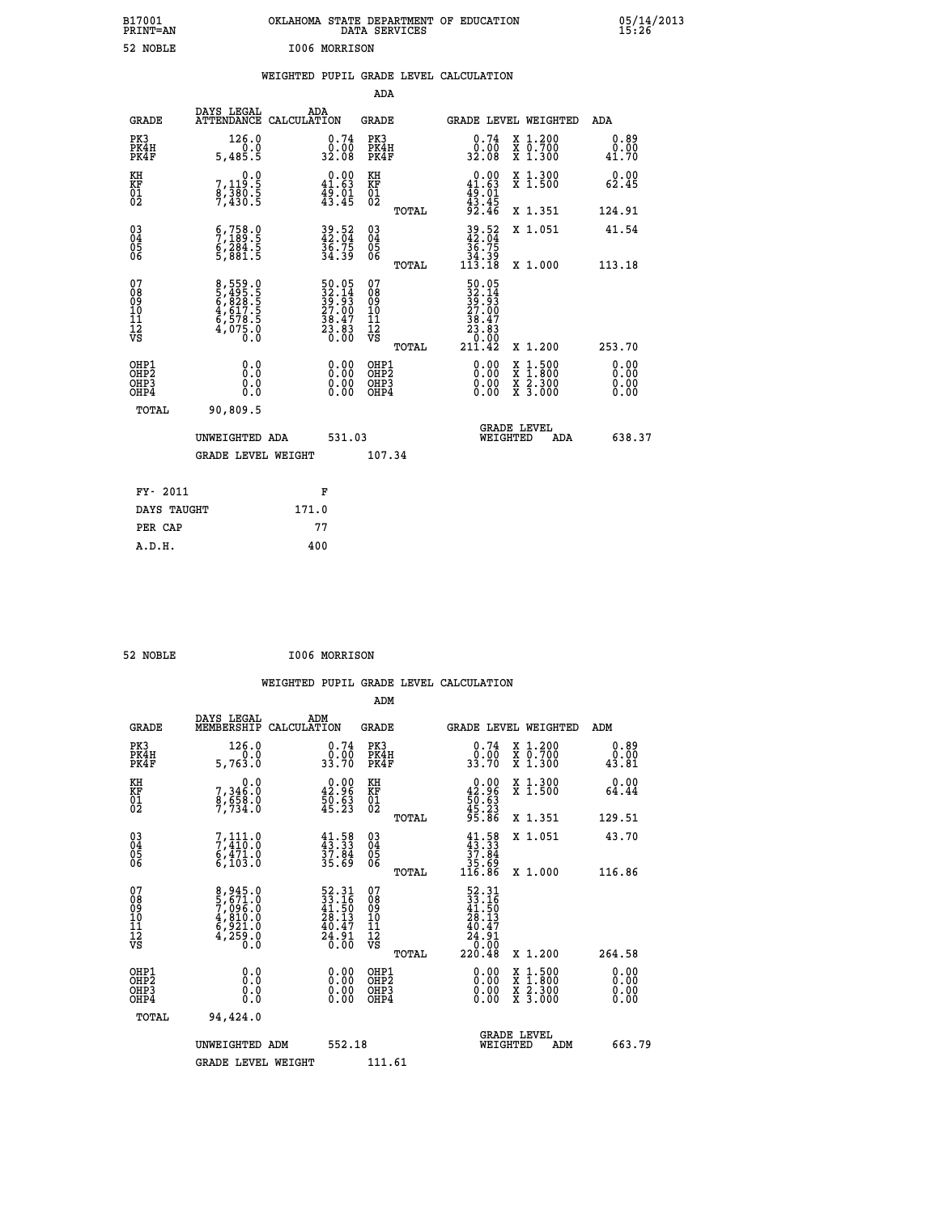| B17001<br>PRINT=AN<br>52 NOBLE           |                                                                                                  | OKLAHOMA STATE DEPARTMENT OF EDUCATION<br>1006 MORRISON                                      | DATA SERVICES                                   |                                                                                                         |                                                                                          | 05/14/2013            |
|------------------------------------------|--------------------------------------------------------------------------------------------------|----------------------------------------------------------------------------------------------|-------------------------------------------------|---------------------------------------------------------------------------------------------------------|------------------------------------------------------------------------------------------|-----------------------|
|                                          |                                                                                                  | WEIGHTED PUPIL GRADE LEVEL CALCULATION                                                       | ADA                                             |                                                                                                         |                                                                                          |                       |
| <b>GRADE</b>                             | DAYS LEGAL                                                                                       | ADA<br>ATTENDANCE CALCULATION                                                                | GRADE                                           |                                                                                                         | GRADE LEVEL WEIGHTED                                                                     | ADA                   |
| PK3<br>PK4H<br>PK4F                      | 126.0<br>0.0<br>5,485.5                                                                          | 0.74<br>0.00<br>32.08                                                                        | PK3<br>PK4H<br>PK4F                             | 0.74<br>0.00<br>32.08                                                                                   | X 1.200<br>X 0.700<br>X 1.300                                                            | 0.89<br>0.00<br>41.70 |
| KH<br>KF<br>$\overline{01}$              | 0.0<br>7,119:5<br>8,380:5<br>7,430:5                                                             | $0.00$<br>41.63<br>$\frac{45.01}{43.45}$                                                     | KH<br>KF<br>$\overline{01}_0$                   | $0.00$<br>41.63<br>$43.45$<br>$43.45$<br>$92.46$                                                        | X 1.300<br>X 1.500                                                                       | 0.00<br>62.45         |
|                                          |                                                                                                  |                                                                                              | TOTAL                                           |                                                                                                         | X 1.351                                                                                  | 124.91                |
| $\substack{03 \\ 04}$<br>$\frac{05}{06}$ | $\begin{smallmatrix} 6 & 758 & 0 \\ 7 & 189 & 5 \\ 6 & 284 & 5 \\ 5 & 881 & 5 \end{smallmatrix}$ | 39.52<br>36.75<br>34.39                                                                      | 03<br>04<br>05<br>06                            | $39.52$<br>$42.04$<br>36.75                                                                             | X 1.051                                                                                  | 41.54                 |
|                                          |                                                                                                  |                                                                                              | TOTAL                                           | 34:39<br>113.18                                                                                         | X 1.000                                                                                  | 113.18                |
| 07<br>08<br>09<br>11<br>11<br>12<br>VS   | 8,559.0<br>5,495.5<br>6,828.5<br>6,578.5<br>6,578.5<br>4,075.0                                   | $\begin{smallmatrix} 50.05\\ 32.14\\ 39.93\\ 27.00\\ 38.47\\ 23.83\\ 0.00 \end{smallmatrix}$ | 07<br>08<br>09<br>11<br>11<br>12<br>VS<br>TOTAL | $50.05$<br>$32.14$<br>$39.93$<br>$27.00$<br>$38.47$<br>$23.83$<br>$\frac{3}{0}.\overline{8}3$<br>211.42 | X 1.200                                                                                  | 253.70                |
| OHP1<br>OHP2<br>OHP3<br>OHP4             | 0.0<br>0.0<br>0.0                                                                                |                                                                                              | OHP1<br>OHP2<br>OHP3<br>OHP4                    |                                                                                                         | $\begin{smallmatrix} x & 1.500 \\ x & 1.800 \\ x & 2.300 \\ x & 3.000 \end{smallmatrix}$ | 0.00<br>0.00<br>0.00  |
| TOTAL                                    | 90,809.5                                                                                         |                                                                                              |                                                 |                                                                                                         |                                                                                          |                       |
|                                          | UNWEIGHTED ADA                                                                                   | 531.03                                                                                       |                                                 | WEIGHTED                                                                                                | <b>GRADE LEVEL</b><br>ADA                                                                | 638.37                |
|                                          | <b>GRADE LEVEL WEIGHT</b>                                                                        |                                                                                              | 107.34                                          |                                                                                                         |                                                                                          |                       |
| FY- 2011                                 |                                                                                                  | F                                                                                            |                                                 |                                                                                                         |                                                                                          |                       |
| DAYS TAUGHT                              |                                                                                                  | 171.0                                                                                        |                                                 |                                                                                                         |                                                                                          |                       |
| PER CAP                                  |                                                                                                  | 77                                                                                           |                                                 |                                                                                                         |                                                                                          |                       |
| A.D.H.                                   |                                                                                                  | 400                                                                                          |                                                 |                                                                                                         |                                                                                          |                       |

| 52 NOBLE | <b>I006 MORRISON</b> |
|----------|----------------------|

|                                                      |                                                                |                                                                          | ADM                                           |       |                                                                                                                                             |                                          |                                                    |
|------------------------------------------------------|----------------------------------------------------------------|--------------------------------------------------------------------------|-----------------------------------------------|-------|---------------------------------------------------------------------------------------------------------------------------------------------|------------------------------------------|----------------------------------------------------|
| <b>GRADE</b>                                         | DAYS LEGAL<br>MEMBERSHIP                                       | ADM<br>CALCULATION                                                       | GRADE                                         |       |                                                                                                                                             | GRADE LEVEL WEIGHTED                     | ADM                                                |
| PK3<br>PK4H<br>PK4F                                  | 126.0<br>5,763.0                                               | $\begin{smallmatrix} 0.74\ 0.00\\ 33.70 \end{smallmatrix}$               | PK3<br>PK4H<br>PK4F                           |       | 0.74<br>0:00<br>33.70                                                                                                                       | X 1.200<br>X 0.700<br>X 1.300            | 0.89<br>$\overset{0.00}{\phantom{00.00}}\,\,43.81$ |
| KH<br>KF<br>01<br>02                                 | 0.0<br>7, 346:0<br>8, 658:0<br>7, 734:0                        | $\begin{smallmatrix} 0.00\\ 42.96\\ 50.63\\ 45.23 \end{smallmatrix}$     | KH<br>KF<br>01<br>02                          |       | $0.00\n42.96\n50.63\n45.23\n95.86$                                                                                                          | X 1.300<br>X 1.500                       | 0.00<br>64.44                                      |
|                                                      |                                                                |                                                                          |                                               | TOTAL |                                                                                                                                             | X 1.351                                  | 129.51                                             |
| $\begin{matrix} 03 \\ 04 \\ 05 \\ 06 \end{matrix}$   | 7,111.0<br>$6,471.0$<br>$6,103.0$                              | $41.58$<br>$43.33$<br>$37.84$<br>$35.69$                                 | 03<br>04<br>05<br>06                          |       | $41.58$<br>$37.84$<br>$35.69$<br>$116.86$                                                                                                   | X 1.051                                  | 43.70                                              |
|                                                      |                                                                |                                                                          |                                               | TOTAL |                                                                                                                                             | X 1.000                                  | 116.86                                             |
| 07<br>08<br>09<br>10<br>11<br>11<br>12<br>VS         | 8,945.0<br>5,671.0<br>7,096.0<br>4,810.0<br>6,921.0<br>4,259.0 | $52.31$<br>$33.16$<br>$41.50$<br>$28.13$<br>$40.47$<br>$24.91$<br>$0.00$ | 07<br>08<br>09<br>001<br>11<br>11<br>12<br>VS |       | $\begin{array}{r} 52\cdot 31 \\ 33\cdot 16 \\ 41\cdot 50 \\ 28\cdot 13 \\ 40\cdot 47 \\ 24\cdot 91 \\ 0\cdot 00 \\ 220\cdot 48 \end{array}$ |                                          |                                                    |
|                                                      |                                                                |                                                                          |                                               | TOTAL |                                                                                                                                             | X 1.200                                  | 264.58                                             |
| OHP1<br>OH <sub>P</sub> <sub>2</sub><br>OHP3<br>OHP4 |                                                                |                                                                          | OHP1<br>OHP2<br>OHP3<br>OHP4                  |       | 0.00<br>0.00                                                                                                                                | X 1:500<br>X 1:800<br>X 2:300<br>X 3:000 | $0.00$<br>$0.00$<br>0.00                           |
| TOTAL                                                | 94,424.0                                                       |                                                                          |                                               |       |                                                                                                                                             |                                          |                                                    |
|                                                      | UNWEIGHTED<br>ADM                                              | 552.18                                                                   |                                               |       | WEIGHTED                                                                                                                                    | <b>GRADE LEVEL</b><br>ADM                | 663.79                                             |
|                                                      | <b>GRADE LEVEL WEIGHT</b>                                      |                                                                          | 111.61                                        |       |                                                                                                                                             |                                          |                                                    |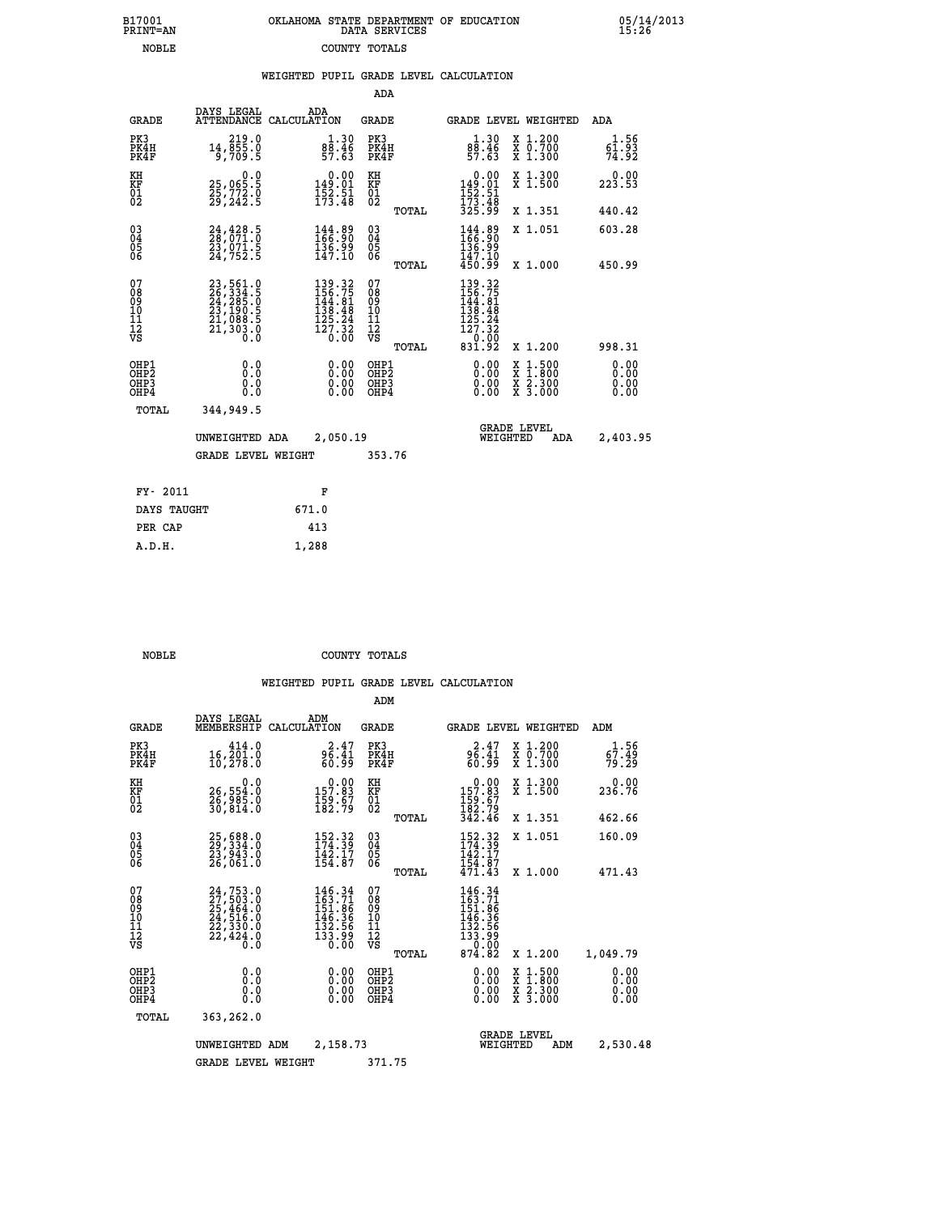| B17001<br><b>PRINT=AN</b> | OKLAHOMA STATE DEPARTMENT OF EDUCATION<br>DATA SERVICES |  |
|---------------------------|---------------------------------------------------------|--|
| <b>NOBLE</b>              | COUNTY TOTALS                                           |  |

05/14/2013<br>15:26

|  |  | WEIGHTED PUPIL GRADE LEVEL CALCULATION |
|--|--|----------------------------------------|
|  |  |                                        |

| DAYS LEGAL                         | ADA                                                                                                                                                                                                                                                  | GRADE                                                                                                                                                                                                                                                                                                      | <b>GRADE LEVEL WEIGHTED</b>                                                                                              | ADA                                                                                                                                                                                                                                                         |
|------------------------------------|------------------------------------------------------------------------------------------------------------------------------------------------------------------------------------------------------------------------------------------------------|------------------------------------------------------------------------------------------------------------------------------------------------------------------------------------------------------------------------------------------------------------------------------------------------------------|--------------------------------------------------------------------------------------------------------------------------|-------------------------------------------------------------------------------------------------------------------------------------------------------------------------------------------------------------------------------------------------------------|
| 14, 219.0<br>14, 855.0<br>5, 709.5 | $\begin{smallmatrix} 1.30\\ 88.46\\ 57.63 \end{smallmatrix}$                                                                                                                                                                                         | PK3<br>PK4H<br>PK4F                                                                                                                                                                                                                                                                                        | $\begin{smallmatrix} 1.30\\ 88.46\\ 57.63 \end{smallmatrix}$<br>X 1.200<br>X 0.700<br>X 1.300                            | 1.56<br>$\frac{6\bar{1}\cdot93}{74\cdot92}$                                                                                                                                                                                                                 |
| 0.0                                |                                                                                                                                                                                                                                                      |                                                                                                                                                                                                                                                                                                            | X 1.300<br>X 1.500                                                                                                       | 0.00<br>223.53                                                                                                                                                                                                                                              |
|                                    |                                                                                                                                                                                                                                                      | TOTAL                                                                                                                                                                                                                                                                                                      | X 1.351                                                                                                                  | 440.42                                                                                                                                                                                                                                                      |
|                                    | 144.89<br>166.90                                                                                                                                                                                                                                     |                                                                                                                                                                                                                                                                                                            | 144.89<br>166.90<br>X 1.051                                                                                              | 603.28                                                                                                                                                                                                                                                      |
|                                    |                                                                                                                                                                                                                                                      |                                                                                                                                                                                                                                                                                                            |                                                                                                                          | 450.99                                                                                                                                                                                                                                                      |
|                                    |                                                                                                                                                                                                                                                      | 07<br>08<br>09<br>11<br>11<br>12<br>VS<br>TOTAL                                                                                                                                                                                                                                                            | X 1.200                                                                                                                  | 998.31                                                                                                                                                                                                                                                      |
| 0.0<br>0.0<br>$0.\overline{0}$     | 0.00<br>0.00                                                                                                                                                                                                                                         | OHP1<br>OHP <sub>2</sub><br>OHP3<br>OHP4                                                                                                                                                                                                                                                                   | 0.00<br>$\begin{smallmatrix} x & 1 & 500 \\ x & 1 & 800 \\ x & 2 & 300 \\ x & 3 & 000 \end{smallmatrix}$<br>0.00<br>0.00 | 0.00<br>0.00<br>0.00<br>0.00                                                                                                                                                                                                                                |
| 344,949.5                          |                                                                                                                                                                                                                                                      |                                                                                                                                                                                                                                                                                                            |                                                                                                                          |                                                                                                                                                                                                                                                             |
|                                    |                                                                                                                                                                                                                                                      |                                                                                                                                                                                                                                                                                                            | <b>GRADE LEVEL</b><br>WEIGHTED<br>ADA                                                                                    | 2,403.95                                                                                                                                                                                                                                                    |
|                                    |                                                                                                                                                                                                                                                      |                                                                                                                                                                                                                                                                                                            |                                                                                                                          |                                                                                                                                                                                                                                                             |
| FY- 2011                           | F                                                                                                                                                                                                                                                    |                                                                                                                                                                                                                                                                                                            |                                                                                                                          |                                                                                                                                                                                                                                                             |
| DAYS TAUGHT                        | 671.0                                                                                                                                                                                                                                                |                                                                                                                                                                                                                                                                                                            |                                                                                                                          |                                                                                                                                                                                                                                                             |
| PER CAP                            | 413                                                                                                                                                                                                                                                  |                                                                                                                                                                                                                                                                                                            |                                                                                                                          |                                                                                                                                                                                                                                                             |
|                                    | 1,288                                                                                                                                                                                                                                                |                                                                                                                                                                                                                                                                                                            |                                                                                                                          |                                                                                                                                                                                                                                                             |
|                                    | 25,065:5<br>25,772:0<br>29,242:5<br>24,428.5<br>28,071.0<br>23,071.5<br>24,752.5<br>$\begin{smallmatrix} 23\,,\,561\cdot0\\ 26\,,\,334\cdot5\\ 24\,,\,285\cdot0\\ 23\,,\,190\cdot5\\ 21\,,\,088\cdot5\\ 21\,,\,303\cdot0\\ 0\quad0\end{smallmatrix}$ | ATTENDANCE CALCULATION<br>$\begin{smallmatrix}&&0.00\\149.01\\152.51\\173.48\end{smallmatrix}$<br>$\frac{136.99}{147.10}$<br>$\begin{smallmatrix} 139\cdot 32\\156\cdot 75\\144\cdot 81\\138\cdot 48\\125\cdot 24\\127\cdot 32\\0\cdot 00\end{smallmatrix}$<br>UNWEIGHTED ADA<br><b>GRADE LEVEL WEIGHT</b> | ADA<br>KH<br>KF<br>01<br>02<br>03<br>04<br>05<br>06<br>TOTAL<br>2,050.19<br>353.76                                       | $\begin{array}{c} 0.00 \\ 149.01 \\ 152.51 \\ 173.48 \\ 325.99 \end{array}$<br>136.99<br>147.10<br>450.99<br>X 1.000<br>$\begin{smallmatrix} 139 & .32\\ 156 & .75\\ 144 & .81\\ 138 & .48\\ 125 & .24\\ 127 & .32\\ 0 & .00\\ 831 & .92 \end{smallmatrix}$ |

B17001<br>PRINT=AN<br>NOBLE

 **NOBLE COUNTY TOTALS**

|                                                       |                                                                                                 |                                                                          | ADM                                     |       |                                                                             |                                                                                                  |                              |  |
|-------------------------------------------------------|-------------------------------------------------------------------------------------------------|--------------------------------------------------------------------------|-----------------------------------------|-------|-----------------------------------------------------------------------------|--------------------------------------------------------------------------------------------------|------------------------------|--|
| <b>GRADE</b>                                          | DAYS LEGAL<br>MEMBERSHIP                                                                        | ADM<br>CALCULATION                                                       | <b>GRADE</b>                            |       | GRADE LEVEL WEIGHTED                                                        |                                                                                                  | ADM                          |  |
| PK3<br>PK4H<br>PK4F                                   | 414.0<br>16,201.0<br>10,278.0                                                                   | 2.47<br>96.41<br>60.99                                                   | PK3<br>PK4H<br>PK4F                     |       | $2.47$<br>$96.41$<br>$60.99$                                                | X 1.200<br>X 0.700<br>X 1.300                                                                    | 1.56<br>67.49<br>79.29       |  |
| KH<br>KF<br>01<br>02                                  | 0.0<br>26,554:0<br>26,985:0<br>30,814:0                                                         | $\begin{smallmatrix} &0.00\\ 157.83\\ 159.67\\ 182.79\end{smallmatrix}$  | KH<br>KF<br>01<br>02                    |       | $0.00$<br>$157.83$<br>$159.67$<br>$182.79$<br>$342.46$                      | X 1.300<br>X 1.500                                                                               | 0.00<br>236.76               |  |
|                                                       |                                                                                                 |                                                                          |                                         | TOTAL |                                                                             | X 1.351                                                                                          | 462.66                       |  |
| 03<br>04<br>05<br>06                                  | 25,688.0<br>29,334.0<br>23,943.0<br>26,061.0                                                    | 152.32<br>174.39<br>$\frac{1}{4}\frac{2}{2}\cdot\frac{1}{8}\frac{7}{7}$  | $\substack{03 \\ 04}$<br>0500           |       | 152.32<br>142.17<br>154.87                                                  | X 1.051                                                                                          | 160.09                       |  |
|                                                       |                                                                                                 |                                                                          |                                         | TOTAL | 471.43                                                                      | X 1.000                                                                                          | 471.43                       |  |
| 07<br>08<br>09<br>101<br>112<br>VS                    | $24, 753.0$<br>$27, 503.0$<br>$25, 464.0$<br>$24, 516.0$<br>$22, 330.0$<br>$22, 424.0$<br>$0.0$ | 146.34<br>163.71<br>151.86<br>$146.36$<br>$132.56$<br>$133.99$<br>$0.00$ | 07<br>08<br>09<br>101<br>11<br>12<br>VS | TOTAL | 146.34<br>163.71<br>151:86<br>146.36<br>132.56<br>133.99<br>13.00<br>874.82 | X 1.200                                                                                          | 1,049.79                     |  |
| OHP1<br>OH <sub>P</sub> 2<br>OH <sub>P3</sub><br>OHP4 | 0.0<br>0.000                                                                                    | $0.00$<br>$0.00$<br>0.00                                                 | OHP1<br>OHP2<br>OHP3<br>OHP4            |       | $0.00$<br>$0.00$<br>0.00                                                    | $\begin{smallmatrix} x & 1 & 500 \\ x & 1 & 800 \\ x & 2 & 300 \\ x & 3 & 000 \end{smallmatrix}$ | 0.00<br>0.00<br>0.00<br>0.00 |  |
| TOTAL                                                 | 363,262.0                                                                                       |                                                                          |                                         |       |                                                                             |                                                                                                  |                              |  |
|                                                       | UNWEIGHTED                                                                                      | 2,158.73<br>ADM                                                          |                                         |       | WEIGHTED                                                                    | <b>GRADE LEVEL</b><br>ADM                                                                        | 2,530.48                     |  |
|                                                       | <b>GRADE LEVEL WEIGHT</b>                                                                       |                                                                          | 371.75                                  |       |                                                                             |                                                                                                  |                              |  |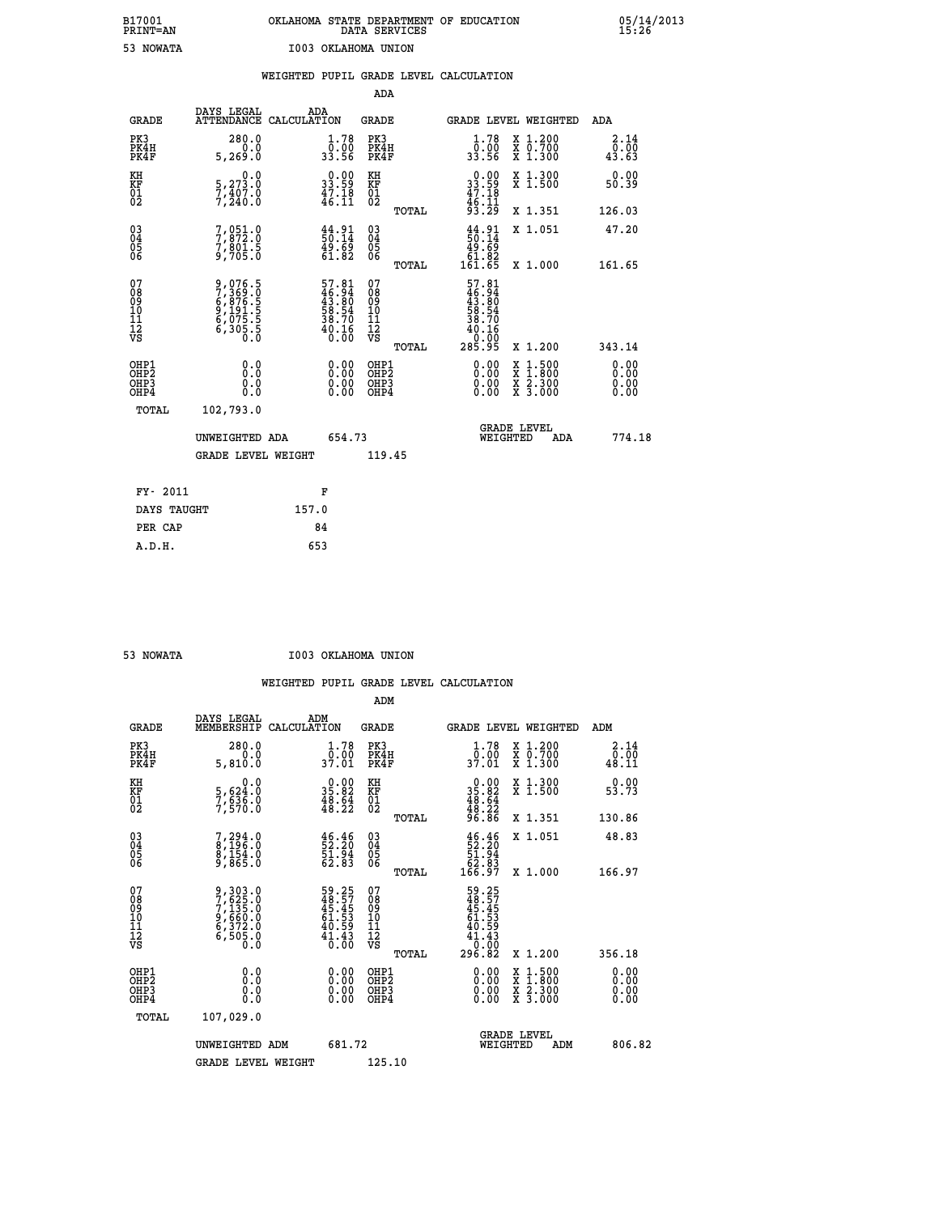| B17001          | OKLAHOMA STATE DEPARTMENT OF EDUCATION |
|-----------------|----------------------------------------|
| <b>PRINT=AN</b> | DATA SERVICES                          |
| 53 NOWATA       | I003 OKLAHOMA UNION                    |

 **B17001 OKLAHOMA STATE DEPARTMENT OF EDUCATION 05/14/2013**

|  |  | WEIGHTED PUPIL GRADE LEVEL CALCULATION |
|--|--|----------------------------------------|
|  |  |                                        |

|                                                                    |                                                                |                                                                                   | ADA                                                 |       |                                                                                           |                                                                                          |                              |
|--------------------------------------------------------------------|----------------------------------------------------------------|-----------------------------------------------------------------------------------|-----------------------------------------------------|-------|-------------------------------------------------------------------------------------------|------------------------------------------------------------------------------------------|------------------------------|
| <b>GRADE</b>                                                       | DAYS LEGAL<br>ATTENDANCE CALCULATION                           | ADA                                                                               | <b>GRADE</b>                                        |       |                                                                                           | GRADE LEVEL WEIGHTED                                                                     | ADA                          |
| PK3<br>PK4H<br>PK4F                                                | 280.0<br>0.0<br>5, 269.0                                       | $\frac{1 \cdot 78}{0 \cdot 00}$<br>33.56                                          | PK3<br>PK4H<br>PK4F                                 |       | $\frac{1 \cdot 78}{0 \cdot 00}$<br>33.56                                                  | X 1.200<br>X 0.700<br>X 1.300                                                            | 2.14<br>0.00<br>43.63        |
| KH<br>KF<br>01<br>02                                               | 0.0<br>5,273.0<br>7,407.0<br>7,240.0                           | $\begin{smallmatrix} 0.00\\ 33.59\\ 47.18\\ 46.11\\ \end{smallmatrix}$            | KH<br>KF<br>01<br>02                                |       | $\begin{smallmatrix} 0.00\\ 33.59\\ 47.18\\ 46.11\\ 93.29 \end{smallmatrix}$              | X 1.300<br>X 1.500                                                                       | 0.00<br>50.39                |
|                                                                    |                                                                |                                                                                   |                                                     | TOTAL |                                                                                           | X 1.351                                                                                  | 126.03                       |
| $\begin{smallmatrix} 03 \\[-4pt] 04 \end{smallmatrix}$<br>Ŏ5<br>06 | 7,051.0<br>7,872.0<br>7,801.5<br>9,705.0                       | $\begin{smallmatrix} 44.91\ 50.14\ 49.69\ 61.82 \end{smallmatrix}$                | $\begin{array}{c} 03 \\ 04 \\ 05 \\ 06 \end{array}$ |       | $\begin{array}{c} 44.91 \\ 50.14 \\ 49.69 \\ 61.82 \end{array}$                           | X 1.051                                                                                  | 47.20                        |
|                                                                    |                                                                |                                                                                   |                                                     | TOTAL | 161.65                                                                                    | X 1.000                                                                                  | 161.65                       |
| 07<br>08<br>09<br>101<br>11<br>12<br>VS                            | 9,076.5<br>7,369.0<br>6,876.5<br>6,075.5<br>6,075.5<br>6,305.5 | $57.81$<br>$46.94$<br>$43.80$<br>$58.54$<br>$58.70$<br>$38.70$<br>$40.16$<br>0.00 | 07<br>08<br>09<br>11<br>11<br>12<br>VS              |       | 57.81<br>$\begin{array}{c} 46.94 \\ 43.80 \\ 58.54 \\ 38.70 \end{array}$<br>40.16<br>0.00 |                                                                                          |                              |
|                                                                    |                                                                |                                                                                   |                                                     | TOTAL | 285.95                                                                                    | X 1.200                                                                                  | 343.14                       |
| OHP1<br>OHP <sub>2</sub><br>OH <sub>P3</sub><br>OHP4               | 0.0<br>0.000                                                   | 0.00<br>$\begin{smallmatrix} 0.00 \ 0.00 \end{smallmatrix}$                       | OHP1<br>OHP2<br>OHP <sub>3</sub>                    |       |                                                                                           | $\begin{smallmatrix} x & 1.500 \\ x & 1.800 \\ x & 2.300 \\ x & 3.000 \end{smallmatrix}$ | 0.00<br>0.00<br>0.00<br>0.00 |
| TOTAL                                                              | 102,793.0                                                      |                                                                                   |                                                     |       |                                                                                           |                                                                                          |                              |
|                                                                    | UNWEIGHTED ADA                                                 | 654.73                                                                            |                                                     |       |                                                                                           | <b>GRADE LEVEL</b><br>WEIGHTED<br>ADA                                                    | 774.18                       |
|                                                                    | <b>GRADE LEVEL WEIGHT</b>                                      |                                                                                   | 119.45                                              |       |                                                                                           |                                                                                          |                              |
| FY- 2011                                                           |                                                                | F                                                                                 |                                                     |       |                                                                                           |                                                                                          |                              |
| DAYS TAUGHT                                                        |                                                                | 157.0                                                                             |                                                     |       |                                                                                           |                                                                                          |                              |
| PER CAP                                                            |                                                                | 84                                                                                |                                                     |       |                                                                                           |                                                                                          |                              |

| NOWATA |
|--------|

 **A.D.H. 653**

 **53 NOWATA I003 OKLAHOMA UNION**

|                                                       |                                                                       |                                                                      | ADM                                                 |       |                                                                            |                                          |        |                              |
|-------------------------------------------------------|-----------------------------------------------------------------------|----------------------------------------------------------------------|-----------------------------------------------------|-------|----------------------------------------------------------------------------|------------------------------------------|--------|------------------------------|
| <b>GRADE</b>                                          | DAYS LEGAL<br>MEMBERSHIP                                              | ADM<br>CALCULATION                                                   | <b>GRADE</b>                                        |       |                                                                            | GRADE LEVEL WEIGHTED                     | ADM    |                              |
| PK3<br>PK4H<br>PK4F                                   | 280.0<br>0.0<br>5,810.0                                               | 1.78<br>ַסְ0:00<br>37:01                                             | PK3<br>PK4H<br>PK4F                                 |       | 1.78<br>ַסְ0:00<br>37:01                                                   | X 1.200<br>X 0.700<br>X 1.300            | 48.11  | 2.14<br>0.00                 |
| KH<br>KF<br>01<br>02                                  | 0.0<br>5,624:0<br>7,636:0<br>7,570:0                                  | $\begin{smallmatrix} 0.00\\ 35.82\\ 48.64\\ 48.22 \end{smallmatrix}$ | KH<br>KF<br>01<br>02                                |       | $\begin{array}{r} 0.00 \\ 35.82 \\ 48.64 \\ 48.22 \\ 96.86 \end{array}$    | X 1.300<br>X 1.500                       | 53.73  | 0.00                         |
|                                                       |                                                                       |                                                                      |                                                     | TOTAL |                                                                            | X 1.351                                  | 130.86 |                              |
| 03<br>04<br>05<br>06                                  | 7,294.0<br>8,196.0<br>8,154.0<br>9,865.0                              | $\begin{smallmatrix} 46.46\,52.20\,51.94\,62.83 \end{smallmatrix}$   | $\begin{array}{c} 03 \\ 04 \\ 05 \\ 06 \end{array}$ |       | $\begin{smallmatrix} 46.46\,52.20\,51.94\,62.83\,166.97 \end{smallmatrix}$ | X 1.051                                  | 48.83  |                              |
|                                                       |                                                                       |                                                                      |                                                     | TOTAL |                                                                            | X 1.000                                  | 166.97 |                              |
| 07<br>08<br>09<br>101<br>112<br>VS                    | 9,303.0<br>7,625.0<br>7,135.0<br>9,660.0<br>6,372.0<br>6,505.0<br>0.0 | 59.257<br>48.57<br>45.45<br>61.53<br>61.59<br>40.43<br>41.43         | 07<br>08<br>09<br>11<br>11<br>12<br>VS              | TOTAL | 59.257<br>48.575<br>45.453<br>61.539<br>40.593<br>41.433<br>296.82         | X 1.200                                  | 356.18 |                              |
| OHP1<br>OHP2<br>OH <sub>P</sub> 3<br>OH <sub>P4</sub> | 0.0<br>$\begin{smallmatrix} 0.16 \ 0.0 \end{smallmatrix}$             |                                                                      | OHP1<br>OHP2<br>OHP <sub>3</sub>                    |       | $0.00$<br>$0.00$<br>0.00                                                   | X 1:500<br>X 1:800<br>X 2:300<br>X 3:000 |        | 0.00<br>0.00<br>0.00<br>0.00 |
| TOTAL                                                 | 107,029.0                                                             |                                                                      |                                                     |       |                                                                            |                                          |        |                              |
|                                                       | UNWEIGHTED ADM                                                        | 681.72                                                               |                                                     |       |                                                                            | GRADE LEVEL<br>WEIGHTED<br>ADM           |        | 806.82                       |
|                                                       | <b>GRADE LEVEL WEIGHT</b>                                             |                                                                      | 125.10                                              |       |                                                                            |                                          |        |                              |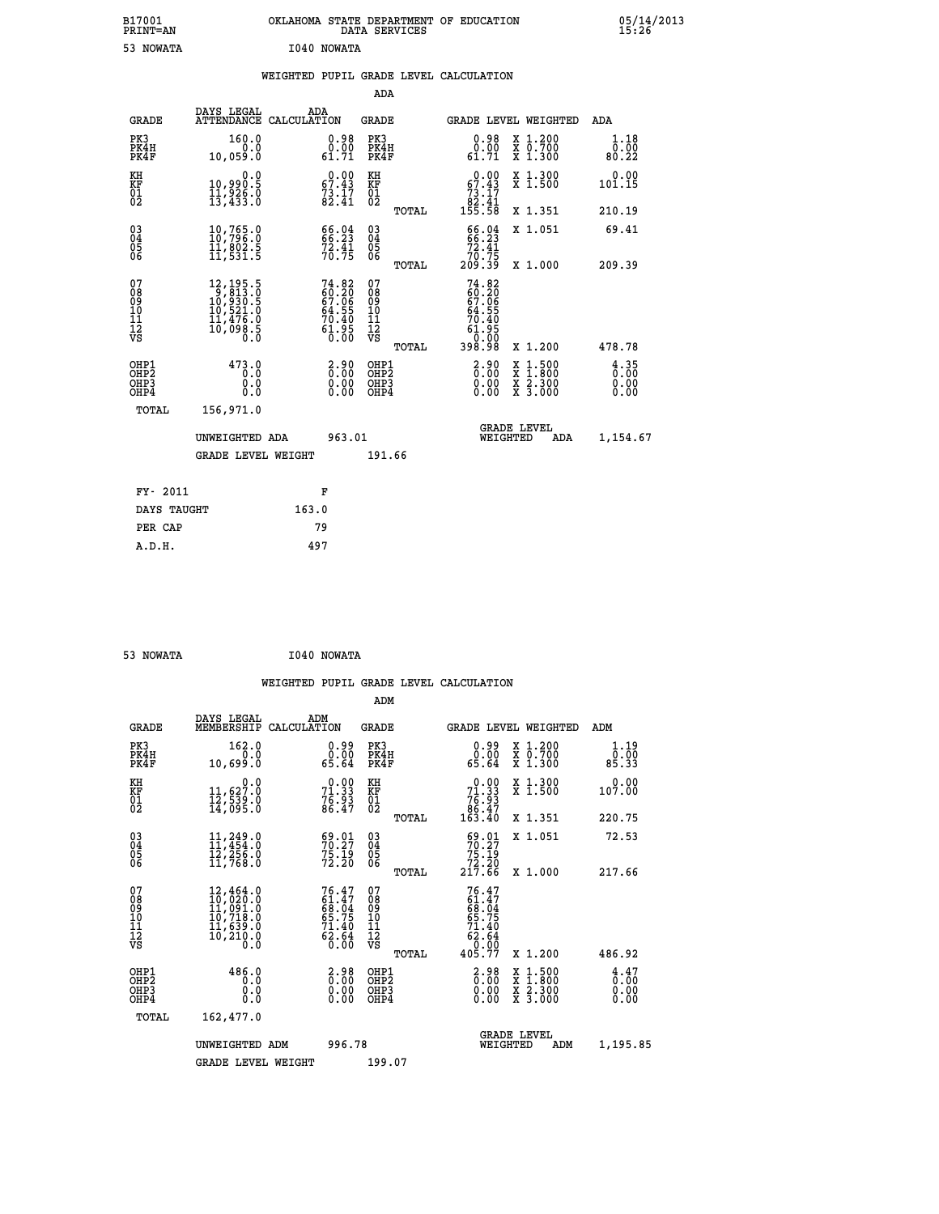| B17001<br>PRINT=AN                                    |                                                                                                              | OKLAHOMA STATE DEPARTMENT OF EDUCATION                                   | DATA SERVICES                                   |                                                                            |                                                                                                  | 05/14/2013                         |  |
|-------------------------------------------------------|--------------------------------------------------------------------------------------------------------------|--------------------------------------------------------------------------|-------------------------------------------------|----------------------------------------------------------------------------|--------------------------------------------------------------------------------------------------|------------------------------------|--|
| 53 NOWATA                                             |                                                                                                              | I040 NOWATA                                                              |                                                 |                                                                            |                                                                                                  |                                    |  |
|                                                       |                                                                                                              | WEIGHTED PUPIL GRADE LEVEL CALCULATION                                   |                                                 |                                                                            |                                                                                                  |                                    |  |
|                                                       |                                                                                                              |                                                                          | ADA                                             |                                                                            |                                                                                                  |                                    |  |
| <b>GRADE</b>                                          | DAYS LEGAL                                                                                                   | ADA<br>ATTENDANCE CALCULATION                                            | GRADE                                           | GRADE LEVEL WEIGHTED                                                       |                                                                                                  | ADA                                |  |
| PK3<br>PK4H<br>PK4F                                   | 160.0<br>0.0<br>10,059.0                                                                                     | $0.98$<br>$0.00$<br>61.71                                                | PK3<br>PK4H<br>PK4F                             | 0.98<br>0.00<br>61.71                                                      | X 1.200<br>X 0.700<br>X 1.300                                                                    | 1.18<br>0.00<br>80.22              |  |
| KH<br>KF<br>$\overline{01}$                           | 0.0<br>10,990.5<br>11,926.0<br>13,433.0                                                                      | $\begin{smallmatrix} 0.00\\ 67.43\\ 73.17\\ 82.41 \end{smallmatrix}$     | KH<br>KF<br>01<br>02                            | 67.43<br>$\begin{smallmatrix}73.17\02.41\05.58\end{smallmatrix}$           | X 1.300<br>X 1.500                                                                               | 0.00<br>101.15                     |  |
|                                                       |                                                                                                              |                                                                          | TOTAL                                           |                                                                            | X 1.351                                                                                          | 210.19                             |  |
| $\substack{03 \\ 04}$<br>$\frac{05}{06}$              | 10,765.0<br>īĭ,ĕōž.š<br>11,531.5                                                                             | 66.94<br>$72.41$<br>$70.75$                                              | $03\overline{4}$<br>$\substack{05 \\ 06}$       | 66.04<br>72.41<br>70.75                                                    | X 1.051                                                                                          | 69.41                              |  |
|                                                       |                                                                                                              |                                                                          | TOTAL                                           | 209.39                                                                     | X 1.000                                                                                          | 209.39                             |  |
| 07<br>08<br>09<br>11<br>11<br>12<br>VS                | $\begin{smallmatrix} 12,195.5\\ 9,813.0\\ 10,930.5\\ 10,521.0\\ 11,476.0\\ 10,098.5\\ 0.0 \end{smallmatrix}$ | $74.82$<br>$60.20$<br>$67.06$<br>$64.55$<br>$70.40$<br>$61.95$<br>$0.00$ | 07<br>08<br>09<br>10<br>11<br>12<br>VS<br>TOTAL | $74.82$<br>$60.20$<br>$67.06$<br>64.55<br>70.40<br>61.95<br>0.00<br>398.98 | X 1.200                                                                                          | 478.78                             |  |
| OHP1<br>OH <sub>P</sub> 2<br>OH <sub>P3</sub><br>OHP4 | 473.0<br>0.0<br>0.0<br>0.0                                                                                   | 2.90<br>0.00<br>0.00                                                     | OHP1<br>OHP <sub>2</sub><br>OHP3<br>OHP4        | 2.90<br>0.00<br>0.00                                                       | $\begin{smallmatrix} x & 1 & 500 \\ x & 1 & 800 \\ x & 2 & 300 \\ x & 3 & 000 \end{smallmatrix}$ | $\frac{4}{0}$ : 35<br>0.00<br>0.00 |  |
| TOTAL                                                 | 156,971.0                                                                                                    |                                                                          |                                                 |                                                                            |                                                                                                  |                                    |  |
|                                                       | UNWEIGHTED ADA                                                                                               | 963.01                                                                   |                                                 | <b>GRADE LEVEL</b><br>WEIGHTED                                             | ADA                                                                                              | 1,154.67                           |  |
|                                                       | <b>GRADE LEVEL WEIGHT</b>                                                                                    |                                                                          | 191.66                                          |                                                                            |                                                                                                  |                                    |  |
| FY- 2011                                              |                                                                                                              | F                                                                        |                                                 |                                                                            |                                                                                                  |                                    |  |
| DAYS TAUGHT                                           |                                                                                                              | 163.0                                                                    |                                                 |                                                                            |                                                                                                  |                                    |  |

| 53 NOWATA | I040 NOWATA |
|-----------|-------------|
|           |             |

 **PER CAP 79 A.D.H. 497**

 **WEIGHTED PUPIL GRADE LEVEL CALCULATION ADM DAYS LEGAL ADM GRADE MEMBERSHIP CALCULATION GRADE GRADE LEVEL WEIGHTED ADM PK3 162.0 0.99 PK3 0.99 X 1.200 1.19 PK4H 0.0 0.00 PK4H 0.00 X 0.700 0.00 PK4F 10,699.0 65.64 PK4F 65.64 X 1.300 85.33 KH 0.0 0.00 KH 0.00 X 1.300 0.00 KF 11,627.0 71.33 KF 71.33 X 1.500 107.00 01 12,539.0 76.93 01 76.93 02 14,095.0 86.47 02 86.47 TOTAL 163.40 X 1.351 220.75 03 11,249.0 69.01 03 69.01 X 1.051 72.53 04 11,454.0 70.27 04 70.27 05 12,256.0 75.19 05 75.19 06 11,768.0 72.20 06 72.20 TOTAL 217.66 X 1.000 217.66**  $\begin{array}{cccc} 07 & 12,464.0 & 76.47 & 07 & 76.47 \ 08 & 10,020.0 & 61.47 & 08 & 61.47 \ 09 & 11,091.0 & 68.04 & 09 & 61.47 \ 10 & 10,718.0 & 65.75 & 10 & 65.75 \ 11 & 11,639.0 & 71.40 & 11 & 41.40 \ 12 & 10,210.0 & 62.64 & 12 & 71.40 \ 13 & 0.0 & 6 & 0.0 & 0.0$  **TOTAL 405.77 X 1.200 486.92** OHP1 486.0 2.98 OHP1 2... 0.00 X 1.500 4.47<br>OHP2 0.0 2.98 OHP1 2... 00 X 1.500 4.47<br>OHP2 0.00 0.000 OHP2 0.000 1.500  **OHP4 0.0 0.00 OHP4 0.00 X 3.000 0.00 TOTAL 162,477.0 GRADE LEVEL UNWEIGHTED ADM 996.78 WEIGHTED ADM 1,195.85** GRADE LEVEL WEIGHT 199.07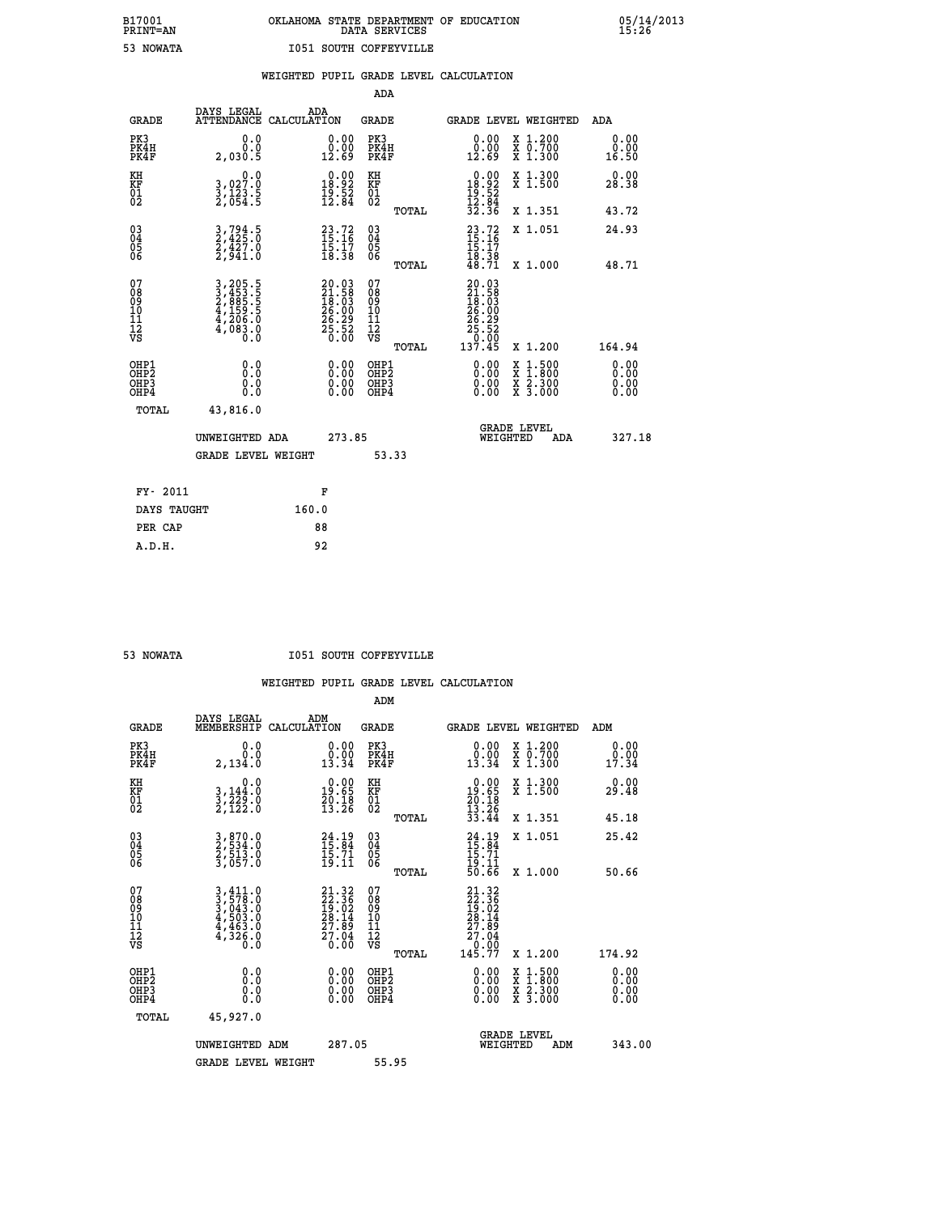# **B17001 OKLAHOMA STATE DEPARTMENT OF EDUCATION 05/14/2013 PRINT=AN DATA SERVICES 15:26 53 NOWATA I051 SOUTH COFFEYVILLE**

|                                                                    |                                          |                                                                                                                                                                                                          |       |                                                                                       | ADA                                                |       |                                                                                                          |          |                                          |                              |
|--------------------------------------------------------------------|------------------------------------------|----------------------------------------------------------------------------------------------------------------------------------------------------------------------------------------------------------|-------|---------------------------------------------------------------------------------------|----------------------------------------------------|-------|----------------------------------------------------------------------------------------------------------|----------|------------------------------------------|------------------------------|
|                                                                    | <b>GRADE</b>                             | DAYS LEGAL<br>ATTENDANCE CALCULATION                                                                                                                                                                     | ADA   |                                                                                       | <b>GRADE</b>                                       |       |                                                                                                          |          | GRADE LEVEL WEIGHTED                     | <b>ADA</b>                   |
| PK3                                                                | PK4H<br>PK4F                             | 0.0<br>0.0<br>2,030.5                                                                                                                                                                                    |       | $\begin{smallmatrix} 0.00\\ 0.00\\ 12.69 \end{smallmatrix}$                           | PK3<br>PK4H<br>PK4F                                |       | $\begin{smallmatrix} 0.00\\ 0.00\\ 12.69 \end{smallmatrix}$                                              |          | X 1.200<br>X 0.700<br>X 1.300            | 0.00<br>0.00<br>16.50        |
| KH<br>KF<br>01<br>02                                               |                                          | 0.0<br>3,027:0<br>3,123:5<br>2,054:5                                                                                                                                                                     |       | $\begin{smallmatrix} 0.00\\18.92\\19.52\\12.84 \end{smallmatrix}$                     | KH<br>KF<br>01<br>02                               |       | $\begin{array}{c} 0.00 \\ 18.92 \\ 19.52 \\ 12.84 \\ 32.36 \end{array}$                                  |          | X 1.300<br>X 1.500                       | 0.00<br>28.38                |
|                                                                    |                                          |                                                                                                                                                                                                          |       |                                                                                       |                                                    | TOTAL |                                                                                                          |          | X 1.351                                  | 43.72                        |
| $\begin{smallmatrix} 03 \\[-4pt] 04 \end{smallmatrix}$<br>Ŏ5<br>06 |                                          | $\frac{3}{2}, \frac{794}{425}$ .0<br>$\frac{2}{427}$ .0<br>$\frac{427}{2,941}$ .0                                                                                                                        |       | $23.72$<br>15:16<br>$\frac{15:17}{18:38}$                                             | $\begin{matrix} 03 \\ 04 \\ 05 \\ 06 \end{matrix}$ | TOTAL | $23.72$<br>$15.16$<br>$15.17$<br>$18.38$<br>$48.71$                                                      |          | X 1.051<br>X 1.000                       | 24.93<br>48.71               |
| 07<br>08<br>09<br>11<br>11<br>12<br>VS                             |                                          | $\begin{smallmatrix} 3\,,\,2\,0\,5\,. \ 5\,\\ 2\,,\,4\,5\,3\,. \ 5\,\\ 2\,,\,8\,8\,5\,. \ 5\,\\ 4\,,\,1\,5\,9\,. \ 5\,\\ 4\,,\,2\,0\,6\,. \ 0\,\\ 4\,,\,0\,8\,3\,. \ 0\,\\ 0\,. \ 0\, \end{smallmatrix}$ |       | $\begin{smallmatrix} 20.03\\21.58\\18.03\\26.00\\26.29\\25.52\\0.00\end{smallmatrix}$ | 07<br>08<br>09<br>11<br>11<br>12<br>VS             | TOTAL | $\begin{smallmatrix} 20.03\\ 21.58\\ 18.503\\ 18.030\\ 26.29\\ 25.52\\ 25.52\\ 137.45 \end{smallmatrix}$ |          | X 1.200                                  | 164.94                       |
|                                                                    | OHP1<br>OHP <sub>2</sub><br>OHP3<br>OHP4 | 0.0<br>0.0<br>0.0                                                                                                                                                                                        |       | 0.00<br>$\begin{smallmatrix} 0.00 \ 0.00 \end{smallmatrix}$                           | OHP1<br>OH <sub>P</sub> 2<br>OHP3<br>OHP4          |       | 0.00<br>0.00<br>0.00                                                                                     | X<br>X   | $1:500$<br>$1:800$<br>X 2.300<br>X 3.000 | 0.00<br>0.00<br>0.00<br>0.00 |
|                                                                    | TOTAL                                    | 43,816.0<br>UNWEIGHTED ADA                                                                                                                                                                               |       | 273.85                                                                                |                                                    |       |                                                                                                          | WEIGHTED | <b>GRADE LEVEL</b><br>ADA                | 327.18                       |
|                                                                    |                                          | <b>GRADE LEVEL WEIGHT</b>                                                                                                                                                                                |       |                                                                                       | 53.33                                              |       |                                                                                                          |          |                                          |                              |
|                                                                    | FY- 2011                                 |                                                                                                                                                                                                          |       | F                                                                                     |                                                    |       |                                                                                                          |          |                                          |                              |
|                                                                    | DAYS TAUGHT                              |                                                                                                                                                                                                          | 160.0 |                                                                                       |                                                    |       |                                                                                                          |          |                                          |                              |
|                                                                    | PER CAP                                  |                                                                                                                                                                                                          |       | 88                                                                                    |                                                    |       |                                                                                                          |          |                                          |                              |

 **A.D.H. 92**

#### **53 NOWATA I051 SOUTH COFFEYVILLE**

|                                                    |                                                                                        |                                                                   | ADM                                                    |                                                                                                                                                                                                                                                                                |                                          |                       |
|----------------------------------------------------|----------------------------------------------------------------------------------------|-------------------------------------------------------------------|--------------------------------------------------------|--------------------------------------------------------------------------------------------------------------------------------------------------------------------------------------------------------------------------------------------------------------------------------|------------------------------------------|-----------------------|
| <b>GRADE</b>                                       | DAYS LEGAL<br>MEMBERSHIP                                                               | ADM<br>CALCULATION                                                | <b>GRADE</b>                                           |                                                                                                                                                                                                                                                                                | GRADE LEVEL WEIGHTED                     | ADM                   |
| PK3<br>PK4H<br>PK4F                                | 0.0<br>0.0<br>2,134.0                                                                  | 0.0000<br>13.34                                                   | PK3<br>PK4H<br>PK4F                                    | $\begin{smallmatrix} 0.00\\ 0.00\\ 13.34 \end{smallmatrix}$                                                                                                                                                                                                                    | X 1.200<br>X 0.700<br>X 1.300            | 0.00<br>0.00<br>17.34 |
| KH<br>KF<br>01<br>02                               | 0.0<br>$\frac{3}{2}, \frac{144}{22}, \frac{0}{0}$<br>$\frac{2}{2}, \frac{122}{122}$ .0 | $\begin{smallmatrix} 0.00\\19.65\\20.18\\13.26 \end{smallmatrix}$ | KH<br>KF<br>01<br>02                                   | $0.00\n19.65\n20.18\n13.26\n33.44$                                                                                                                                                                                                                                             | X 1.300<br>X 1.500                       | 0.00<br>29.48         |
|                                                    |                                                                                        |                                                                   | TOTAL                                                  |                                                                                                                                                                                                                                                                                | X 1.351                                  | 45.18                 |
| $\begin{matrix} 03 \\ 04 \\ 05 \\ 06 \end{matrix}$ | 3,870.0<br>2,534.0<br>2,513.0<br>3,057.0                                               | $24.19$<br>$15.84$<br>$15.71$<br>$19.11$                          | $\begin{array}{c} 03 \\ 04 \\ 05 \\ 06 \end{array}$    | $24.19$<br>$15.84$<br>$15.71$<br>$19.11$<br>$50.66$                                                                                                                                                                                                                            | X 1.051                                  | 25.42                 |
|                                                    |                                                                                        |                                                                   | TOTAL                                                  |                                                                                                                                                                                                                                                                                | X 1.000                                  | 50.66                 |
| 07<br>08<br>09<br>001<br>11<br>11<br>12<br>VS      |                                                                                        | $21.3222.3619.0228.1427.8927.040.00$                              | 07<br>08<br>09<br>001<br>11<br>11<br>12<br>VS<br>TOTAL | $21.32$<br>$22.36$<br>$19.02$<br>$28.14$<br>$27.89$<br>$27.04$<br>$0.00$<br>$145.77$                                                                                                                                                                                           | X 1.200                                  | 174.92                |
| OHP1<br>OHP2<br>OH <sub>P3</sub><br>OHP4           | 0.0<br>0.000                                                                           | $\begin{smallmatrix} 0.00 \ 0.00 \ 0.00 \ 0.00 \end{smallmatrix}$ | OHP1<br>OHP2<br>OHP3<br>OHP4                           | $\begin{smallmatrix} 0.00 & 0.00 & 0.00 & 0.00 & 0.00 & 0.00 & 0.00 & 0.00 & 0.00 & 0.00 & 0.00 & 0.00 & 0.00 & 0.00 & 0.00 & 0.00 & 0.00 & 0.00 & 0.00 & 0.00 & 0.00 & 0.00 & 0.00 & 0.00 & 0.00 & 0.00 & 0.00 & 0.00 & 0.00 & 0.00 & 0.00 & 0.00 & 0.00 & 0.00 & 0.00 & 0.0$ | X 1:500<br>X 1:800<br>X 2:300<br>X 3:000 | 0.00<br>0.00<br>0.00  |
| TOTAL                                              | 45,927.0                                                                               |                                                                   |                                                        |                                                                                                                                                                                                                                                                                |                                          |                       |
|                                                    | UNWEIGHTED ADM                                                                         | 287.05                                                            |                                                        | WEIGHTED                                                                                                                                                                                                                                                                       | <b>GRADE LEVEL</b><br>ADM                | 343.00                |
|                                                    | <b>GRADE LEVEL WEIGHT</b>                                                              |                                                                   | 55.95                                                  |                                                                                                                                                                                                                                                                                |                                          |                       |
|                                                    |                                                                                        |                                                                   |                                                        |                                                                                                                                                                                                                                                                                |                                          |                       |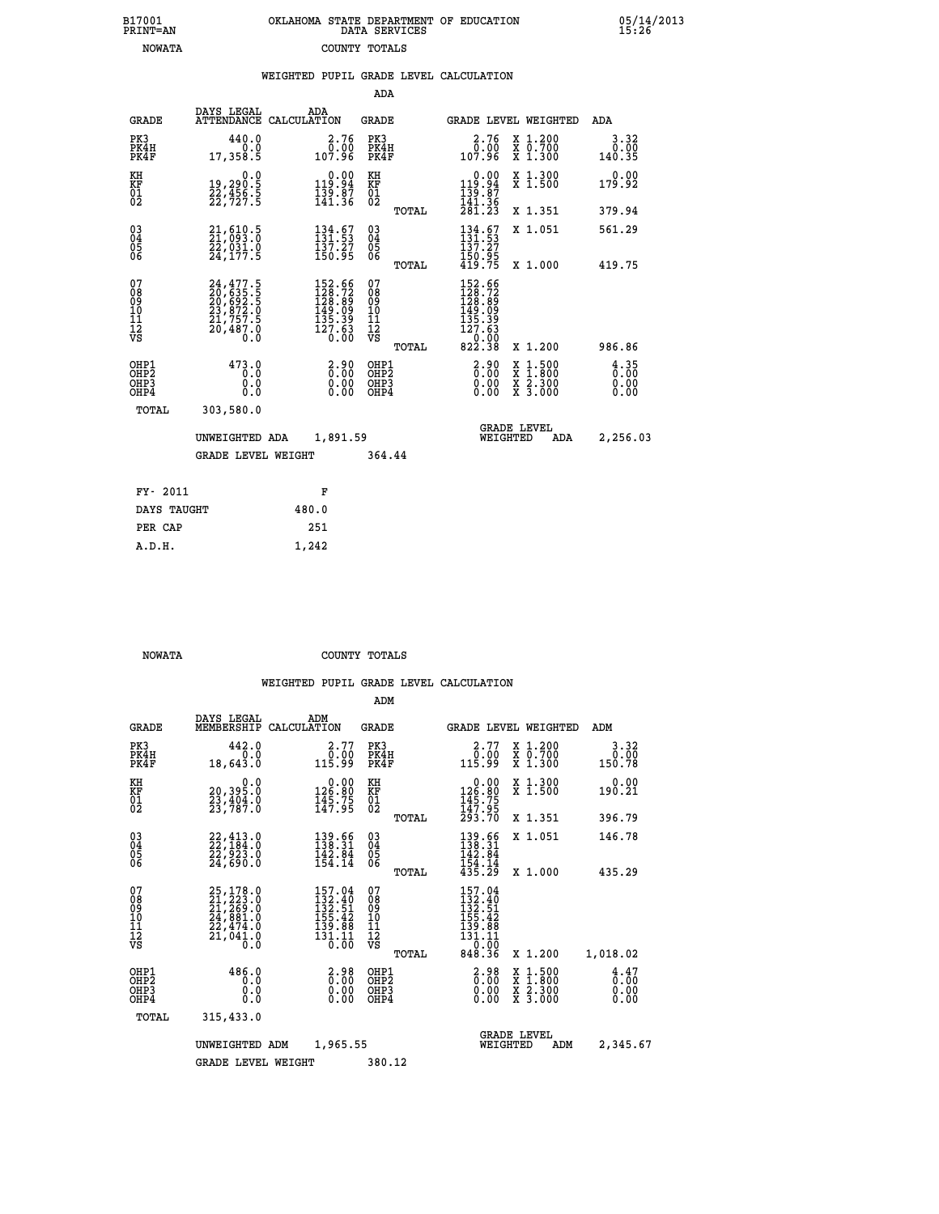|  | OKLAHOMA STATE DEPARTMENT OF EDUCATION<br>DATA SERVICES |  |
|--|---------------------------------------------------------|--|
|  | COUNTY TOTALS                                           |  |

05/14/2013<br>15:26

|                                                              |                                                                                                                                         |                                                                                                    |                                                  | WEIGHTED PUPIL GRADE LEVEL CALCULATION                                                                                                                                                                |                            |
|--------------------------------------------------------------|-----------------------------------------------------------------------------------------------------------------------------------------|----------------------------------------------------------------------------------------------------|--------------------------------------------------|-------------------------------------------------------------------------------------------------------------------------------------------------------------------------------------------------------|----------------------------|
|                                                              |                                                                                                                                         |                                                                                                    | ADA                                              |                                                                                                                                                                                                       |                            |
| <b>GRADE</b>                                                 | DAYS LEGAL                                                                                                                              | ADA<br>ATTENDANCE CALCULATION                                                                      | <b>GRADE</b>                                     | <b>GRADE LEVEL WEIGHTED</b>                                                                                                                                                                           | ADA                        |
| PK3<br>PK4H<br>PK4F                                          | 440.0<br>0.0<br>17,358.5                                                                                                                | 2.76<br>ةة∶ة<br>107.96                                                                             | PK3<br>PK4H<br>PK4F                              | 2.76<br>X 1.200<br>X 0.700<br>X 1.300<br>0.00<br>107.96                                                                                                                                               | 3.32<br>0.00<br>140.35     |
| KH<br>KF<br>01<br>02                                         | 0.0<br>19,290:5<br>22,456:5<br>22,727:5                                                                                                 | $0.00$<br>94.91<br>$\frac{1}{1}\overline{3}\overline{9}\cdot\overline{9}\overline{7}\$             | KH<br>KF<br>01<br>02                             | $\begin{smallmatrix} &0.00\\ 119.94\\ 139.87\\ 141.36\\ 281.23 \end{smallmatrix}$<br>X 1.300<br>X 1.500                                                                                               | 0.00<br>179.92             |
|                                                              |                                                                                                                                         |                                                                                                    | TOTAL                                            | X 1.351                                                                                                                                                                                               | 379.94                     |
| $\begin{smallmatrix} 03 \\[-4pt] 04 \end{smallmatrix}$<br>05 | $21,610.5$<br>$21,093.0$<br>$22,031.0$<br>$24,177.5$                                                                                    | $\begin{array}{l} 134.67\\131.53\\137.27\\150.95 \end{array}$                                      | $^{03}_{04}$<br>0500                             | $134.67$<br>$131.53$<br>$137.27$<br>X 1.051                                                                                                                                                           | 561.29                     |
| 06                                                           |                                                                                                                                         |                                                                                                    | TOTAL                                            | $\frac{150.95}{419.75}$<br>X 1.000                                                                                                                                                                    | 419.75                     |
| 07<br>08<br>09<br>10<br>İĭ<br>12<br>VS                       | $\begin{smallmatrix} 24\,,477\,.5\\ 20\,,635\,.5\\ 20\,,692\,.5\\ 23\,,872\,.0\\ 21\,,757\,.5\\ 20\,,487\,.0\\ 0\,.0 \end{smallmatrix}$ | $\begin{smallmatrix} 152.66\\ 128.72\\ 128.89\\ 149.09\\ 135.39\\ 127.63\\ 0.00 \end{smallmatrix}$ | 07<br>08<br>09<br>101<br>11<br>12<br>VS<br>TOTAL | $\begin{array}{r} 152.66 \\ 128.72 \\ 128.89 \\ 149.09 \\ 135.39 \\ 127.63 \end{array}$<br>$\begin{smallmatrix} -0.00 \ 822.38 \end{smallmatrix}$<br>X 1.200                                          | 986.86                     |
| OHP1<br>OHP2<br>OHP3<br>OHP4                                 | 473.0<br>0.0<br>0.0<br>0.0                                                                                                              | $\begin{smallmatrix} 2.90\0.00\0.00 \end{smallmatrix}$                                             | OHP1<br>OHP2<br>OHP3<br>OHP4                     | $\begin{smallmatrix} 2.90\ 0.00\ 0.00 \end{smallmatrix}$<br>$\begin{smallmatrix} \mathtt{X} & 1\cdot500\\ \mathtt{X} & 1\cdot800\\ \mathtt{X} & 2\cdot300\\ \mathtt{X} & 3\cdot000 \end{smallmatrix}$ | $\frac{4}{0}$ : 35<br>0.00 |
| TOTAL                                                        | 303,580.0                                                                                                                               |                                                                                                    |                                                  |                                                                                                                                                                                                       |                            |
|                                                              | UNWEIGHTED ADA                                                                                                                          | 1,891.59                                                                                           |                                                  | <b>GRADE LEVEL</b><br>WEIGHTED                                                                                                                                                                        | 2,256.03<br>ADA            |
|                                                              | <b>GRADE LEVEL WEIGHT</b>                                                                                                               |                                                                                                    | 364.44                                           |                                                                                                                                                                                                       |                            |
| FY- 2011                                                     |                                                                                                                                         | F                                                                                                  |                                                  |                                                                                                                                                                                                       |                            |
| DAYS TAUGHT                                                  |                                                                                                                                         | 480.0                                                                                              |                                                  |                                                                                                                                                                                                       |                            |
| PER CAP                                                      |                                                                                                                                         | 251                                                                                                |                                                  |                                                                                                                                                                                                       |                            |

 **NOWATA COUNTY TOTALS**

 **A.D.H. 1,242**

 **B17001<br>PRINT=AN NOWATA** 

|                                                       |                                                                                                               |                                                                                             | ADM                                     |       |                                                                                                                       |                                          |                              |
|-------------------------------------------------------|---------------------------------------------------------------------------------------------------------------|---------------------------------------------------------------------------------------------|-----------------------------------------|-------|-----------------------------------------------------------------------------------------------------------------------|------------------------------------------|------------------------------|
| <b>GRADE</b>                                          | DAYS LEGAL<br>MEMBERSHIP                                                                                      | ADM<br>CALCULATION                                                                          | <b>GRADE</b>                            |       |                                                                                                                       | GRADE LEVEL WEIGHTED                     | ADM                          |
| PK3<br>PK4H<br>PK4F                                   | 442.0<br>0.0<br>18,643.0                                                                                      | 2.77<br>$\frac{\bar{0} \cdot 00}{115.99}$                                                   | PK3<br>PK4H<br>PK4F                     |       | 2.77<br>ۋۇ∶ۇ<br>115.99                                                                                                | X 1.200<br>X 0.700<br>X 1.300            | 3.32<br>0.00<br>150.78       |
| KH<br>KF<br>01<br>02                                  | 0.0<br>20,395.0<br>23,404.0<br>23,787.0                                                                       | $\begin{smallmatrix} &0.00\\ 126.80\\ 145.75\\ 147.95 \end{smallmatrix}$                    | KH<br>KF<br>01<br>02                    |       | $\begin{smallmatrix} &0.00\\ 126.80\\ 145.75\\ 147.95\\ 293.70 \end{smallmatrix}$                                     | X 1.300<br>X 1.500                       | 0.00<br>190.21               |
|                                                       |                                                                                                               |                                                                                             |                                         | TOTAL |                                                                                                                       | X 1.351                                  | 396.79                       |
| 03<br>04<br>05<br>06                                  | 22, 413.0<br>22, 184.0<br>22, 923.0<br>24,690.0                                                               | 139.66<br>138.31<br>$\frac{142}{154}. \frac{84}{14}$                                        | $^{03}_{04}$<br>05<br>06                |       | 139.66<br>138.31<br>142.84                                                                                            | X 1.051                                  | 146.78                       |
|                                                       |                                                                                                               |                                                                                             |                                         | TOTAL | $\frac{154}{435}.$ $\frac{14}{29}$                                                                                    | X 1.000                                  | 435.29                       |
| 07<br>08<br>09<br>101<br>112<br>VS                    | $\begin{smallmatrix} 25,178.0\\ 21,223.0\\ 21,269.0\\ 24,881.0\\ 22,474.0\\ 21,041.0\\ 0.0 \end{smallmatrix}$ | 157.04<br>132.40<br>132.51<br>155.42<br>139.88<br>131.11<br>$\overline{0}$ . $\overline{0}$ | 07<br>08<br>09<br>101<br>11<br>12<br>VS | TOTAL | $\begin{smallmatrix} 157.04\\ 132.40\\ 132.51\\ 155.42\\ 155.42\\ 139.88\\ 131.11\\ 0.00 \end{smallmatrix}$<br>848.36 | X 1.200                                  | 1,018.02                     |
| OHP1<br>OH <sub>P</sub> 2<br>OH <sub>P3</sub><br>OHP4 | 486.0<br>0.0<br>0.000                                                                                         | $\begin{smallmatrix} 2.98\ 0.00 \ 0.00 \end{smallmatrix}$<br>0.00                           | OHP1<br>OHP2<br>OHP3<br>OHP4            |       | $\begin{smallmatrix} 2.98 \\ 0.00 \\ 0.00 \end{smallmatrix}$<br>0.00                                                  | X 1:500<br>X 1:800<br>X 2:300<br>X 3:000 | 4.47<br>0.00<br>0.00<br>0.00 |
| TOTAL                                                 | 315,433.0                                                                                                     |                                                                                             |                                         |       |                                                                                                                       |                                          |                              |
|                                                       | UNWEIGHTED ADM                                                                                                | 1,965.55                                                                                    |                                         |       | WEIGHTED                                                                                                              | <b>GRADE LEVEL</b><br>ADM                | 2,345.67                     |
|                                                       | <b>GRADE LEVEL WEIGHT</b>                                                                                     |                                                                                             | 380.12                                  |       |                                                                                                                       |                                          |                              |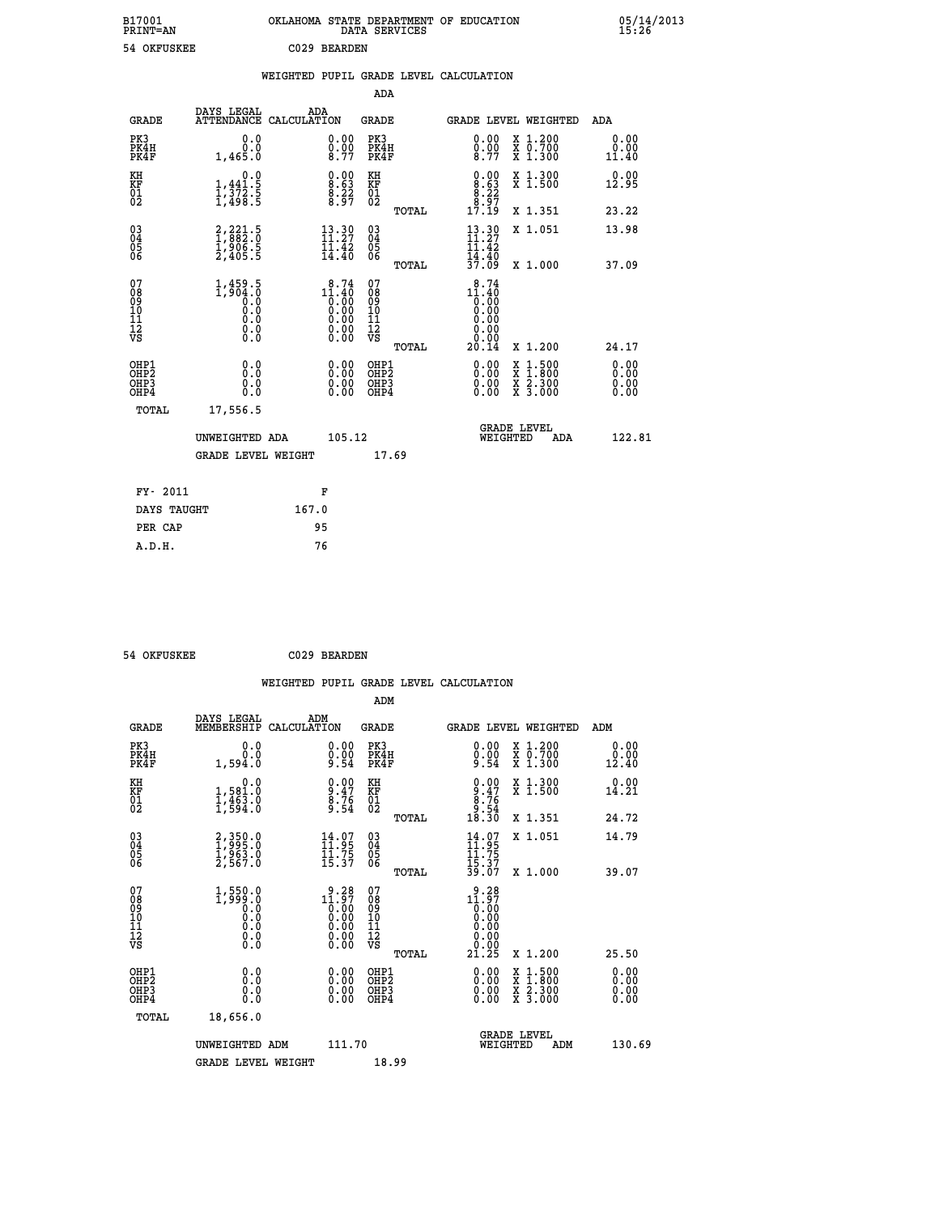| B17001<br><b>PRINT=AN</b> | OKLAHOMA STATE DEPARTMENT OF EDUCATION<br>DATA SERVICES | 05/14/2013<br>15:26 |
|---------------------------|---------------------------------------------------------|---------------------|
| 54 OKFUSKEE               | C029 BEARDEN                                            |                     |

|                                                    |                                                                               |                    |                                                                                              |                                                     |       | WEIGHTED PUPIL GRADE LEVEL CALCULATION                                |                                                                                                                                      |                              |
|----------------------------------------------------|-------------------------------------------------------------------------------|--------------------|----------------------------------------------------------------------------------------------|-----------------------------------------------------|-------|-----------------------------------------------------------------------|--------------------------------------------------------------------------------------------------------------------------------------|------------------------------|
|                                                    |                                                                               |                    |                                                                                              | <b>ADA</b>                                          |       |                                                                       |                                                                                                                                      |                              |
| <b>GRADE</b>                                       | DAYS LEGAL<br><b>ATTENDANCE</b>                                               | ADA<br>CALCULATION |                                                                                              | <b>GRADE</b>                                        |       |                                                                       | GRADE LEVEL WEIGHTED                                                                                                                 | ADA                          |
| PK3<br>PK4H<br>PK4F                                | 0.0<br>$0.0$<br>1,465.0                                                       |                    | $\begin{smallmatrix} 0.00 \ 0.00 \ 8.77 \end{smallmatrix}$                                   | PK3<br>PK4H<br>PK4F                                 |       | $\begin{smallmatrix} 0.00 \ 0.00 \ 8.77 \end{smallmatrix}$            | X 1.200<br>X 0.700<br>X 1.300                                                                                                        | 0.00<br>0.00<br>11.40        |
| KH<br>KF<br>01<br>02                               | 0.0<br>$1, 441.5$<br>$1, 372.5$<br>$1, 498.5$                                 |                    | $\begin{smallmatrix} 0.00\ 8.63\ 8.22\ 8.97 \end{smallmatrix}$                               | KH<br>KF<br>01<br>02                                |       | $\begin{smallmatrix} 0.00\\8.63\\8.22\\8.97\\17.19 \end{smallmatrix}$ | X 1.300<br>X 1.500                                                                                                                   | 0.00<br>12.95                |
|                                                    |                                                                               |                    |                                                                                              |                                                     | TOTAL |                                                                       | X 1.351                                                                                                                              | 23.22                        |
| $\begin{matrix} 03 \\ 04 \\ 05 \\ 06 \end{matrix}$ | $\begin{smallmatrix} 2,221.5\\ 1,882.0\\ 1,906.5\\ 2,405.5 \end{smallmatrix}$ |                    | $13.30$<br>$11.27$<br>11.42<br>14.40                                                         | $\begin{array}{c} 03 \\ 04 \\ 05 \\ 06 \end{array}$ |       | $13.30$<br>$11.27$<br>$\frac{11.42}{14.40}$<br>$\frac{37.09}{}$       | X 1.051                                                                                                                              | 13.98                        |
|                                                    |                                                                               |                    |                                                                                              |                                                     | TOTAL |                                                                       | X 1.000                                                                                                                              | 37.09                        |
| 07<br>0890112<br>1112<br>VS                        | $1,459.5$<br>$1,904.0$<br>$0.0$<br>$0.0$<br>$0.0$<br>$0.0$<br>$0.0$           |                    | 8.74<br>11.40<br>$\begin{smallmatrix} 1.700 0.000 0.000 0.000 0.000 0.000 \end{smallmatrix}$ | 07<br>08<br>09<br>001<br>11<br>11<br>12<br>VS       | TOTAL | 8.74<br>$11.40$<br>0.00<br>0.00<br>0.00<br>0.00<br>20.14              | X 1.200                                                                                                                              | 24.17                        |
| OHP1<br>OHP2<br>OHP3<br>OHP4                       | 0.0<br>0.0<br>0.0                                                             |                    | $\begin{smallmatrix} 0.00 \ 0.00 \ 0.00 \ 0.00 \end{smallmatrix}$                            | OHP1<br>OHP2<br>OHP3<br>OHP4                        |       | 0.00<br>0.00<br>0.00                                                  | $\begin{smallmatrix} \mathtt{X} & 1 & 500 \\ \mathtt{X} & 1 & 800 \\ \mathtt{X} & 2 & 300 \\ \mathtt{X} & 3 & 000 \end{smallmatrix}$ | 0.00<br>0.00<br>0.00<br>0.00 |
| <b>TOTAL</b>                                       | 17,556.5                                                                      |                    |                                                                                              |                                                     |       |                                                                       |                                                                                                                                      |                              |
|                                                    | UNWEIGHTED ADA                                                                |                    | 105.12                                                                                       |                                                     |       | WEIGHTED                                                              | <b>GRADE LEVEL</b><br>ADA                                                                                                            | 122.81                       |
|                                                    | <b>GRADE LEVEL WEIGHT</b>                                                     |                    |                                                                                              | 17.69                                               |       |                                                                       |                                                                                                                                      |                              |
| FY- 2011                                           |                                                                               | F                  |                                                                                              |                                                     |       |                                                                       |                                                                                                                                      |                              |
| DAYS TAUGHT                                        |                                                                               | 167.0              |                                                                                              |                                                     |       |                                                                       |                                                                                                                                      |                              |
| PER CAP                                            |                                                                               | 95                 |                                                                                              |                                                     |       |                                                                       |                                                                                                                                      |                              |

 **54 OKFUSKEE C029 BEARDEN**

 **A.D.H. 76**

|                                                      |                                                                  |                                                                                                                                                                                                                                                                                                                                                 | WEIGHTED PUPIL GRADE LEVEL CALCULATION        |                                                                                                 |                       |
|------------------------------------------------------|------------------------------------------------------------------|-------------------------------------------------------------------------------------------------------------------------------------------------------------------------------------------------------------------------------------------------------------------------------------------------------------------------------------------------|-----------------------------------------------|-------------------------------------------------------------------------------------------------|-----------------------|
|                                                      |                                                                  |                                                                                                                                                                                                                                                                                                                                                 | ADM                                           |                                                                                                 |                       |
| <b>GRADE</b>                                         | DAYS LEGAL<br>MEMBERSHIP<br>CALCULATION                          | ADM                                                                                                                                                                                                                                                                                                                                             | <b>GRADE</b>                                  | <b>GRADE LEVEL WEIGHTED</b>                                                                     | ADM                   |
| PK3<br>PK4H<br>PK4F                                  | 0.0<br>0.0<br>1,594.0                                            | $\begin{smallmatrix} 0.00\\ 0.00\\ 9.54 \end{smallmatrix}$                                                                                                                                                                                                                                                                                      | PK3<br>PK4H<br>PK4F                           | $0.00$<br>$0.00$<br>$9.54$<br>X 1.200<br>X 0.700<br>X 1.300                                     | 0.00<br>0.00<br>12.40 |
| KH<br>KF<br>01<br>02                                 | 0.0<br>1,581.0<br>1,463.0<br>1,594.0                             | $\begin{array}{c} 0.00 \\ 9.47 \\ 8.76 \\ 9.54 \end{array}$                                                                                                                                                                                                                                                                                     | KH<br>KF<br>01<br>02                          | $\begin{array}{c} 0.00 \\ 9.47 \\ 8.76 \\ 9.54 \\ 18.30 \end{array}$<br>X 1.300<br>X 1.500      | 0.00<br>14.21         |
|                                                      |                                                                  |                                                                                                                                                                                                                                                                                                                                                 | TOTAL                                         | X 1.351                                                                                         | 24.72                 |
| $\begin{matrix} 03 \\ 04 \\ 05 \\ 06 \end{matrix}$   | 2,350.0<br>1,995.0<br>1,963.0<br>2,567.0                         | $\begin{smallmatrix} 14.07\ 11.95\ 11.75\ 15.37 \end{smallmatrix}$                                                                                                                                                                                                                                                                              | 03<br>04<br>05<br>06                          | X 1.051<br>$14.95$<br>$11.75$<br>$15.37$<br>$15.37$<br>$39.07$                                  | 14.79                 |
|                                                      |                                                                  |                                                                                                                                                                                                                                                                                                                                                 | TOTAL                                         | X 1.000                                                                                         | 39.07                 |
| 07<br>08<br>09<br>01<br>11<br>11<br>12<br>VS         |                                                                  | $\begin{smallmatrix} 9 & 28 \\ 11 & 97 \\ 0 & 00 \\ 0 & 00 \\ 0 & 00 \\ 0 & 00 \\ 0 & 00 \\ 0 & 00 \\ 0 & 00 \\ 0 & 00 \\ 0 & 00 \\ 0 & 00 \\ 0 & 0 \\ 0 & 0 \\ 0 & 0 \\ 0 & 0 \\ 0 & 0 \\ 0 & 0 \\ 0 & 0 \\ 0 & 0 \\ 0 & 0 \\ 0 & 0 \\ 0 & 0 \\ 0 & 0 \\ 0 & 0 \\ 0 & 0 \\ 0 & 0 \\ 0 & 0 \\ 0 & 0 \\ 0 & 0 \\ 0 & 0 \\ 0 & 0 \\ 0 & 0 \\ 0 &$ | 07<br>08<br>09<br>001<br>11<br>11<br>12<br>VS | $11.97$<br>$11.97$<br>$0.00$<br>$0.00$                                                          |                       |
|                                                      |                                                                  |                                                                                                                                                                                                                                                                                                                                                 | TOTAL                                         | 21.25<br>X 1.200                                                                                | 25.50                 |
| OHP1<br>OHP2<br>OH <sub>P3</sub><br>OH <sub>P4</sub> | 0.0<br>$\begin{smallmatrix} 0.0 & 0 \ 0.0 & 0 \end{smallmatrix}$ | 0.00<br>$\begin{smallmatrix} 0.00 \ 0.00 \end{smallmatrix}$                                                                                                                                                                                                                                                                                     | OHP1<br>OHP2<br>OHP3<br>OHP4                  | $0.00$<br>$0.00$<br>$1.500$<br>$1.900$<br>X<br>X<br>$\frac{x}{x}$ $\frac{5:300}{3:000}$<br>0.00 | 0.00<br>0.00<br>0.00  |
| TOTAL                                                | 18,656.0                                                         |                                                                                                                                                                                                                                                                                                                                                 |                                               |                                                                                                 |                       |
|                                                      | UNWEIGHTED<br>ADM                                                | 111.70                                                                                                                                                                                                                                                                                                                                          |                                               | <b>GRADE LEVEL</b><br>WEIGHTED                                                                  | 130.69<br>ADM         |
|                                                      | <b>GRADE LEVEL WEIGHT</b>                                        |                                                                                                                                                                                                                                                                                                                                                 | 18.99                                         |                                                                                                 |                       |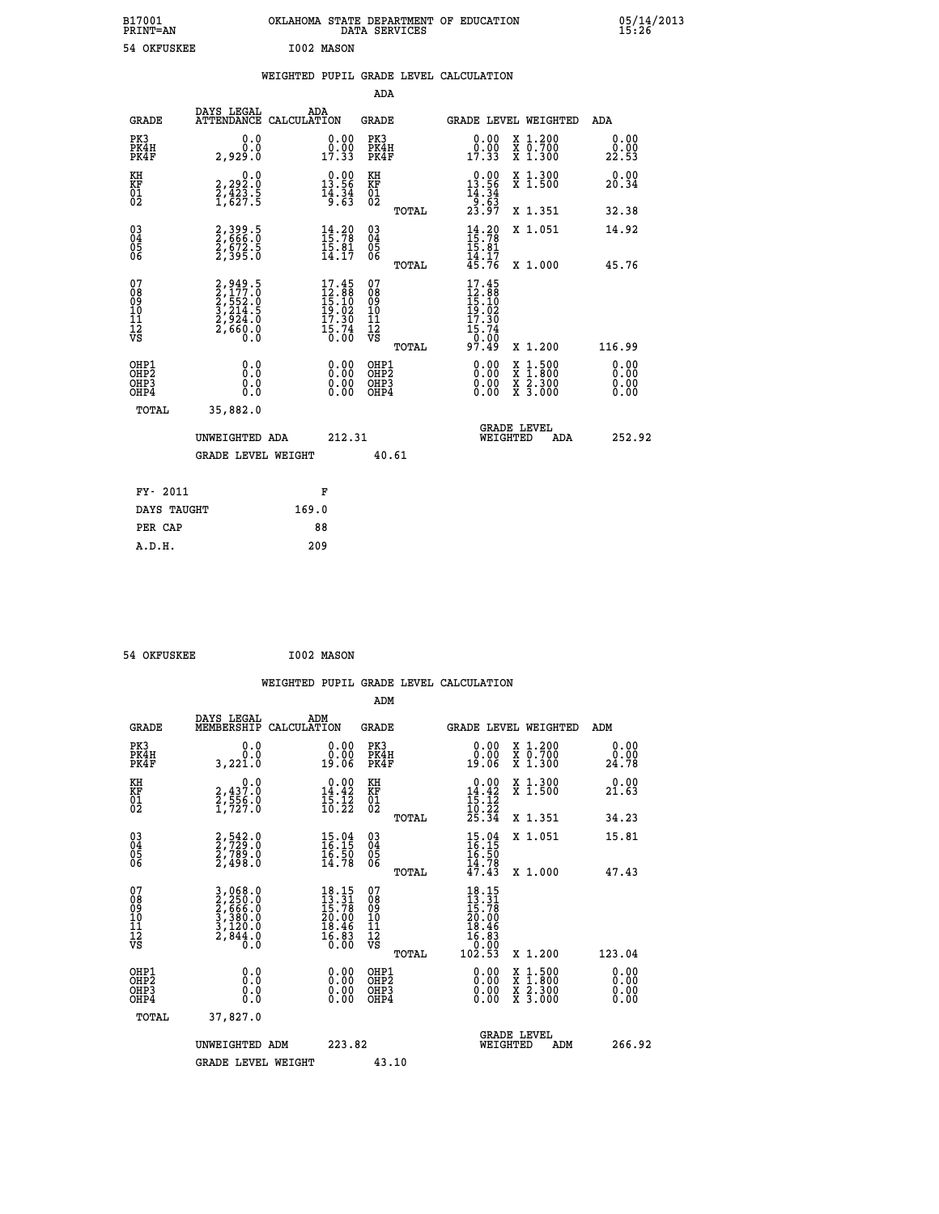| B17001<br><b>PRINT=AN</b> | OKLAHOMA STATE DEPARTMENT OF EDUCATION<br>DATA SERVICES | 05/14/2013<br>15:26 |
|---------------------------|---------------------------------------------------------|---------------------|
| 54 OKFUSKEE               | I002 MASON                                              |                     |

|  |  | WEIGHTED PUPIL GRADE LEVEL CALCULATION |
|--|--|----------------------------------------|
|  |  |                                        |

|                                                                              |                                                                |                                                                                                                              | ADA                                             |                                                                                                           |                                                                                                                                           |                              |
|------------------------------------------------------------------------------|----------------------------------------------------------------|------------------------------------------------------------------------------------------------------------------------------|-------------------------------------------------|-----------------------------------------------------------------------------------------------------------|-------------------------------------------------------------------------------------------------------------------------------------------|------------------------------|
| <b>GRADE</b>                                                                 | DAYS LEGAL                                                     | ADA<br>ATTENDANCE CALCULATION                                                                                                | GRADE                                           |                                                                                                           | <b>GRADE LEVEL WEIGHTED</b>                                                                                                               | ADA                          |
| PK3<br>PK4H<br>PK4F                                                          | 0.0<br>0.0<br>2,929.0                                          | 0.00<br>$\frac{0.00}{17.33}$                                                                                                 | PK3<br>PK4H<br>PK4F                             | 0.00<br>$0.00$<br>17.33                                                                                   | X 1.200<br>X 0.700<br>X 1.300                                                                                                             | 0.00<br>0.00<br>22.53        |
| KH<br>KF<br>01<br>02                                                         | 0.0<br>2,292:0<br>2,423:5<br>1,627:5                           | $\begin{smallmatrix} 0.00\\ 13.56\\ 14.34\\ 9.63 \end{smallmatrix}$                                                          | KH<br>KF<br>01<br>02                            | $\begin{array}{r} 0.00 \\ 13.56 \\ 14.34 \\ 9.63 \\ 23.97 \end{array}$                                    | X 1.300<br>X 1.500                                                                                                                        | 0.00<br>20.34                |
|                                                                              |                                                                |                                                                                                                              | TOTAL                                           |                                                                                                           | X 1.351                                                                                                                                   | 32.38                        |
| $^{03}_{04}$<br>Ŏ5<br>06                                                     | 2,399.5<br>2,666.0<br>2,672.5<br>2,395.0                       | $14.20$<br>$15.78$<br>$15.81$<br>$14.17$                                                                                     | 03<br>04<br>05<br>06                            | $14.20$<br>$15.78$<br>$15.81$<br>14.17<br>45.76                                                           | X 1.051                                                                                                                                   | 14.92                        |
|                                                                              |                                                                |                                                                                                                              | TOTAL                                           |                                                                                                           | X 1.000                                                                                                                                   | 45.76                        |
| 07<br>08<br>09<br>11<br>11<br>12<br>VS                                       | 2,949.5<br>2,177.0<br>2,552.0<br>3,214.5<br>2,924.0<br>2,660.0 | $\begin{array}{c} 17\cdot 45 \\ 12\cdot 88 \\ 15\cdot 10 \\ 19\cdot 02 \\ 17\cdot 30 \\ 15\cdot 74 \\ 0\cdot 00 \end{array}$ | 07<br>08<br>09<br>11<br>11<br>12<br>VS<br>TOTAL | 17.45<br>$\begin{array}{c} 12.38 \\ 15.10 \\ 19.02 \\ 17.39 \end{array}$<br>$\frac{15.74}{0.00}$<br>97.49 | X 1.200                                                                                                                                   | 116.99                       |
| OHP1<br>OH <sub>P</sub> <sub>2</sub><br>OH <sub>P3</sub><br>OH <sub>P4</sub> | 0.0<br>Ō.Ō<br>0.0<br>0.0                                       | 0.00<br>0.00<br>0.00                                                                                                         | OHP1<br>OHP2<br>OHP3<br>OHP4                    | 0.00<br>0.00<br>0.00                                                                                      | $\begin{smallmatrix} \mathtt{X} & 1\cdot500\\ \mathtt{X} & 1\cdot800\\ \mathtt{X} & 2\cdot300\\ \mathtt{X} & 3\cdot000 \end{smallmatrix}$ | 0.00<br>0.00<br>0.00<br>0.00 |
| TOTAL                                                                        | 35,882.0                                                       |                                                                                                                              |                                                 |                                                                                                           |                                                                                                                                           |                              |
|                                                                              | UNWEIGHTED ADA                                                 | 212.31                                                                                                                       |                                                 | WEIGHTED                                                                                                  | <b>GRADE LEVEL</b><br>ADA                                                                                                                 | 252.92                       |
|                                                                              | <b>GRADE LEVEL WEIGHT</b>                                      |                                                                                                                              | 40.61                                           |                                                                                                           |                                                                                                                                           |                              |
|                                                                              | FY- 2011                                                       | F                                                                                                                            |                                                 |                                                                                                           |                                                                                                                                           |                              |
|                                                                              | DAYS TAUGHT                                                    | 169.0                                                                                                                        |                                                 |                                                                                                           |                                                                                                                                           |                              |
|                                                                              | PER CAP                                                        | 88                                                                                                                           |                                                 |                                                                                                           |                                                                                                                                           |                              |
| A.D.H.                                                                       |                                                                | 209                                                                                                                          |                                                 |                                                                                                           |                                                                                                                                           |                              |

 **54 OKFUSKEE I002 MASON**

 **A.D.H. 209**

| <b>GRADE</b>                                         | DAYS LEGAL<br>MEMBERSHIP                                              | ADM<br>CALCULATION                                                                    | <b>GRADE</b>                             |       | <b>GRADE LEVEL WEIGHTED</b>                                                                     |                                                                                                                                           | ADM                          |        |
|------------------------------------------------------|-----------------------------------------------------------------------|---------------------------------------------------------------------------------------|------------------------------------------|-------|-------------------------------------------------------------------------------------------------|-------------------------------------------------------------------------------------------------------------------------------------------|------------------------------|--------|
| PK3<br>PK4H<br>PK4F                                  | 0.0<br>0.0<br>3,221.0                                                 | 0.00<br>19.06                                                                         | PK3<br>PK4H<br>PK4F                      |       | 0.00<br>0.00<br>19.06                                                                           | $\begin{smallmatrix} x & 1.200 \\ x & 0.700 \end{smallmatrix}$<br>X 1.300                                                                 | 0.00<br>0.00<br>24.78        |        |
| KH<br>KF<br>01<br>02                                 | 0.0<br>2,437.0<br>2,556.0<br>1,727.0                                  | $\begin{smallmatrix} 0.00\\14.42\\15.12\\10.22 \end{smallmatrix}$                     | KH<br>KF<br>01<br>02                     |       | $\begin{array}{r} 0.00 \\[-4pt] 14.42 \\[-4pt] 15.12 \\[-4pt] 10.22 \\[-4pt] 25.34 \end{array}$ | X 1.300<br>X 1.500                                                                                                                        | 0.00<br>21.63                |        |
|                                                      |                                                                       |                                                                                       |                                          | TOTAL |                                                                                                 | X 1.351                                                                                                                                   | 34.23                        |        |
| $\begin{matrix} 03 \\ 04 \\ 05 \\ 06 \end{matrix}$   | 2,542.0<br>2,729.0<br>2,789.0<br>2,498.0                              | $15.04$<br>$16.15$<br>$16.50$<br>$14.78$                                              | 03<br>04<br>05<br>06                     |       | $15.04$<br>$16.15$<br>$16.50$<br>$14.78$<br>$47.43$                                             | X 1.051                                                                                                                                   | 15.81                        |        |
|                                                      |                                                                       |                                                                                       |                                          | TOTAL |                                                                                                 | X 1.000                                                                                                                                   | 47.43                        |        |
| 07<br>08<br>09<br>101<br>112<br>VS                   | 3,068.0<br>2,250.0<br>2,666.0<br>3,380.0<br>3,120.0<br>2,844.0<br>Ō.Ō | $\begin{smallmatrix} 18.15\\13.31\\15.78\\20.00\\18.46\\16.83\\0.00\end{smallmatrix}$ | 07<br>08901112<br>1112<br>VS             |       | $\begin{smallmatrix} 18.15\ 13.31\ 15.78\ 20.00\ 18.46\ 16.83\ 0.02.53 \end{smallmatrix}$       |                                                                                                                                           |                              |        |
|                                                      |                                                                       |                                                                                       |                                          | TOTAL |                                                                                                 | X 1.200                                                                                                                                   | 123.04                       |        |
| OHP1<br>OHP <sub>2</sub><br>OH <sub>P3</sub><br>OHP4 | 0.0<br>0.0<br>0.0                                                     | $0.00$<br>$0.00$<br>0.00                                                              | OHP1<br>OHP <sub>2</sub><br>OHP3<br>OHP4 |       |                                                                                                 | $\begin{smallmatrix} \mathtt{X} & 1\cdot500\\ \mathtt{X} & 1\cdot800\\ \mathtt{X} & 2\cdot300\\ \mathtt{X} & 3\cdot000 \end{smallmatrix}$ | 0.00<br>0.00<br>0.00<br>0.00 |        |
| TOTAL                                                | 37,827.0                                                              |                                                                                       |                                          |       |                                                                                                 |                                                                                                                                           |                              |        |
|                                                      | UNWEIGHTED ADM                                                        | 223.82                                                                                |                                          |       | WEIGHTED                                                                                        | <b>GRADE LEVEL</b><br>ADM                                                                                                                 |                              | 266.92 |
|                                                      | <b>GRADE LEVEL WEIGHT</b>                                             |                                                                                       | 43.10                                    |       |                                                                                                 |                                                                                                                                           |                              |        |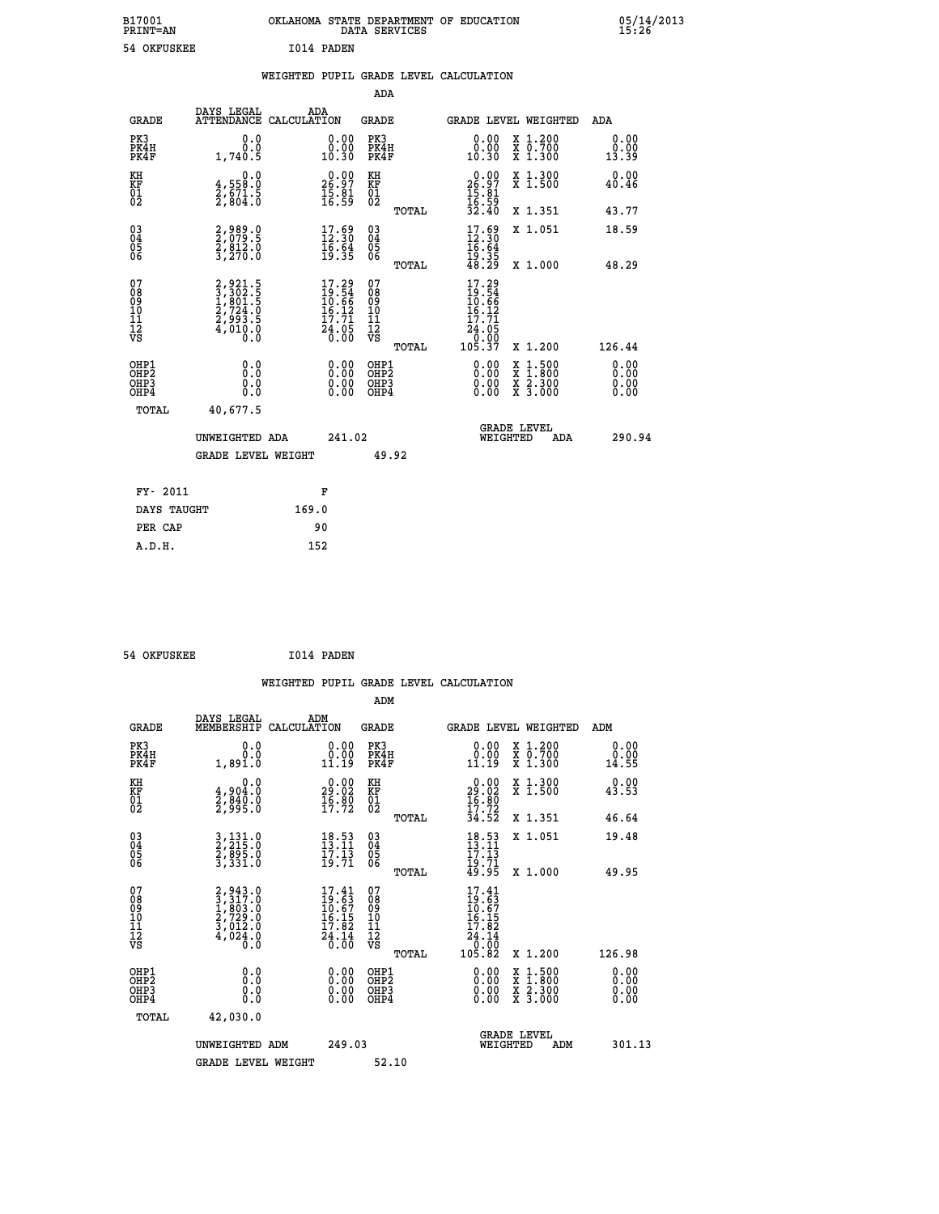| B17001<br><b>PRINT=AN</b> | OKLAHOMA STATE DEPARTMENT OF EDUCATION<br>DATA SERVICES | 05/14/2013<br>15:26 |
|---------------------------|---------------------------------------------------------|---------------------|
| 54 OKFUSKEE               | I014 PADEN                                              |                     |

|  |  | WEIGHTED PUPIL GRADE LEVEL CALCULATION |
|--|--|----------------------------------------|
|  |  |                                        |

|                                                                  |                                                                |                                                                          | ADA                                      |       |                                                                                            |                                                                                          |     |                              |
|------------------------------------------------------------------|----------------------------------------------------------------|--------------------------------------------------------------------------|------------------------------------------|-------|--------------------------------------------------------------------------------------------|------------------------------------------------------------------------------------------|-----|------------------------------|
| <b>GRADE</b>                                                     | DAYS LEGAL<br>ATTENDANCE CALCULATION                           | ADA                                                                      | <b>GRADE</b>                             |       | GRADE LEVEL WEIGHTED                                                                       |                                                                                          |     | ADA                          |
| PK3<br>PK4H<br>PK4F                                              | 0.0<br>0.0<br>1,740.5                                          | $\begin{smallmatrix} 0.00\\ 0.00\\ 10.30 \end{smallmatrix}$              | PK3<br>PK4H<br>PK4F                      |       | $\begin{smallmatrix} 0.00\\ 0.00\\ 10.30 \end{smallmatrix}$                                | X 1.200<br>X 0.700<br>X 1.300                                                            |     | 0.00<br>0.00<br>13.39        |
| KH<br>KF<br>01<br>02                                             | 0.0<br>$\frac{4}{2}, \frac{558}{671}$ . 5<br>2,804.0           | $\begin{smallmatrix} 0.00\\ 26.97\\ 15.81\\ 16.59 \end{smallmatrix}$     | KH<br>KF<br>01<br>02                     |       | $26.97$<br>$15.81$<br>$16.59$<br>$32.40$                                                   | X 1.300<br>X 1.500                                                                       |     | 0.00<br>40.46                |
|                                                                  |                                                                |                                                                          |                                          | TOTAL |                                                                                            | X 1.351                                                                                  |     | 43.77                        |
| $\begin{matrix} 03 \\ 04 \\ 05 \\ 06 \end{matrix}$               | 2,989.0<br>2,079.5<br>2,812.0<br>3,270.0                       | $17.59$<br>$12.30$<br>$\frac{16.64}{19.35}$                              | $\substack{03 \\ 04}$<br>Ŏ5<br>06        |       | $17.69$<br>$12.30$<br>$16.64$<br>$19.35$<br>$48.29$                                        | X 1.051                                                                                  |     | 18.59                        |
| 07                                                               |                                                                |                                                                          | 07                                       | TOTAL | 17.29                                                                                      | X 1.000                                                                                  |     | 48.29                        |
| 08<br>09<br>11<br>11<br>12<br>VS                                 | 2,921.5<br>3,302.5<br>1,801.5<br>2,724.0<br>2,993.5<br>4,010.0 | $17.29$<br>$19.54$<br>$10.66$<br>$16.12$<br>$17.71$<br>$24.05$<br>$0.00$ | 08<br>09<br>11<br>11<br>12<br>VS         |       | $\begin{array}{r} 13.54 \\ 10.56 \\ 10.66 \\ 15.17 \\ 24.05 \\ 0.00 \\ 105.37 \end{array}$ |                                                                                          |     |                              |
|                                                                  |                                                                |                                                                          |                                          | TOTAL |                                                                                            | X 1.200                                                                                  |     | 126.44                       |
| OHP1<br>OH <sub>P</sub> <sub>2</sub><br>OH <sub>P3</sub><br>OHP4 | 0.0<br>0.0<br>0.0                                              | $\begin{smallmatrix} 0.00 \ 0.00 \ 0.00 \ 0.00 \end{smallmatrix}$        | OHP1<br>OHP <sub>2</sub><br>OHP3<br>OHP4 |       | $0.00$<br>$0.00$<br>0.00                                                                   | $\begin{smallmatrix} x & 1.500 \\ x & 1.800 \\ x & 2.300 \\ x & 3.000 \end{smallmatrix}$ |     | 0.00<br>0.00<br>0.00<br>0.00 |
| <b>TOTAL</b>                                                     | 40,677.5                                                       |                                                                          |                                          |       |                                                                                            |                                                                                          |     |                              |
|                                                                  | UNWEIGHTED ADA                                                 | 241.02                                                                   |                                          |       |                                                                                            | <b>GRADE LEVEL</b><br>WEIGHTED                                                           | ADA | 290.94                       |
|                                                                  | <b>GRADE LEVEL WEIGHT</b>                                      |                                                                          | 49.92                                    |       |                                                                                            |                                                                                          |     |                              |
|                                                                  |                                                                |                                                                          |                                          |       |                                                                                            |                                                                                          |     |                              |
| FY- 2011                                                         |                                                                | F                                                                        |                                          |       |                                                                                            |                                                                                          |     |                              |
| DAYS TAUGHT                                                      |                                                                | 169.0                                                                    |                                          |       |                                                                                            |                                                                                          |     |                              |
| PER CAP                                                          |                                                                | 90                                                                       |                                          |       |                                                                                            |                                                                                          |     |                              |

 **54 OKFUSKEE I014 PADEN**

 **A.D.H. 152**

| <b>GRADE</b>                                       | DAYS LEGAL<br>MEMBERSHIP                                                 | ADM<br>CALCULATION                                                                                 | <b>GRADE</b>                           |       |                                                                                                 | GRADE LEVEL WEIGHTED                                                                                                                      | ADM                   |
|----------------------------------------------------|--------------------------------------------------------------------------|----------------------------------------------------------------------------------------------------|----------------------------------------|-------|-------------------------------------------------------------------------------------------------|-------------------------------------------------------------------------------------------------------------------------------------------|-----------------------|
| PK3<br>PK4H<br>PK4F                                | 0.0<br>0.0<br>1,891.0                                                    | 0.00<br>11.19                                                                                      | PK3<br>PK4H<br>PK4F                    |       | 0.00<br>$\begin{smallmatrix} 0.00 \ 11.19 \end{smallmatrix}$                                    | X 1.200<br>X 0.700<br>X 1.300                                                                                                             | 0.00<br>0.00<br>14.55 |
| KH<br>KF<br>01<br>02                               | 0.0<br>4,904:0<br>2,840:0<br>2,995:0                                     | $\begin{smallmatrix} 0.00\\29.02\\16.80\\17.72 \end{smallmatrix}$                                  | KH<br>KF<br>01<br>02                   |       | $\begin{smallmatrix} 0.00\\29.02\\16.80\\17.72\\34.52 \end{smallmatrix}$                        | X 1.300<br>X 1.500                                                                                                                        | 0.00<br>43.53         |
|                                                    |                                                                          |                                                                                                    |                                        | TOTAL |                                                                                                 | X 1.351                                                                                                                                   | 46.64                 |
| $\begin{matrix} 03 \\ 04 \\ 05 \\ 06 \end{matrix}$ | 3,131.0<br>2,215.0<br>2,895.0<br>3,331.0                                 | $\begin{smallmatrix} 18.53\ 13.11\ 17.13\ 19.71 \end{smallmatrix}$                                 | 03<br>04<br>05<br>06                   |       | $18.53$<br>$13.11$<br>$17.13$<br>$19.71$<br>$49.95$                                             | X 1.051                                                                                                                                   | 19.48                 |
|                                                    |                                                                          |                                                                                                    |                                        | TOTAL |                                                                                                 | X 1.000                                                                                                                                   | 49.95                 |
| 07<br>08<br>09<br>101<br>11<br>12<br>VS            | $2,943.0$<br>$3,317.0$<br>$1,803.0$<br>$2,729.0$<br>$3,012.0$<br>4,024.0 | $\begin{smallmatrix} 17.41 \\ 19.63 \\ 10.67 \\ 16.15 \\ 17.82 \\ 24.14 \\ 0.00 \end{smallmatrix}$ | 07<br>08<br>09<br>11<br>11<br>12<br>VS |       | $\begin{smallmatrix} 17.41\ 19.63\ 10.67\ 10.15\ 17.82\ 24.14\ 0.00\ 105.82\ \end{smallmatrix}$ |                                                                                                                                           |                       |
|                                                    |                                                                          |                                                                                                    |                                        | TOTAL |                                                                                                 | X 1.200                                                                                                                                   | 126.98                |
| OHP1<br>OHP2<br>OHP3<br>OHP4                       | 0.0<br>0.000                                                             | $0.00$<br>$0.00$<br>0.00                                                                           | OHP1<br>OHP2<br>OHP3<br>OHP4           |       | $0.00$<br>$0.00$<br>0.00                                                                        | $\begin{smallmatrix} \mathtt{X} & 1\cdot500\\ \mathtt{X} & 1\cdot800\\ \mathtt{X} & 2\cdot300\\ \mathtt{X} & 3\cdot000 \end{smallmatrix}$ | 0.00<br>0.00<br>0.00  |
| TOTAL                                              | 42,030.0                                                                 |                                                                                                    |                                        |       |                                                                                                 |                                                                                                                                           |                       |
|                                                    | UNWEIGHTED ADM                                                           | 249.03                                                                                             |                                        |       | WEIGHTED                                                                                        | <b>GRADE LEVEL</b><br>ADM                                                                                                                 | 301.13                |
|                                                    | <b>GRADE LEVEL WEIGHT</b>                                                |                                                                                                    | 52.10                                  |       |                                                                                                 |                                                                                                                                           |                       |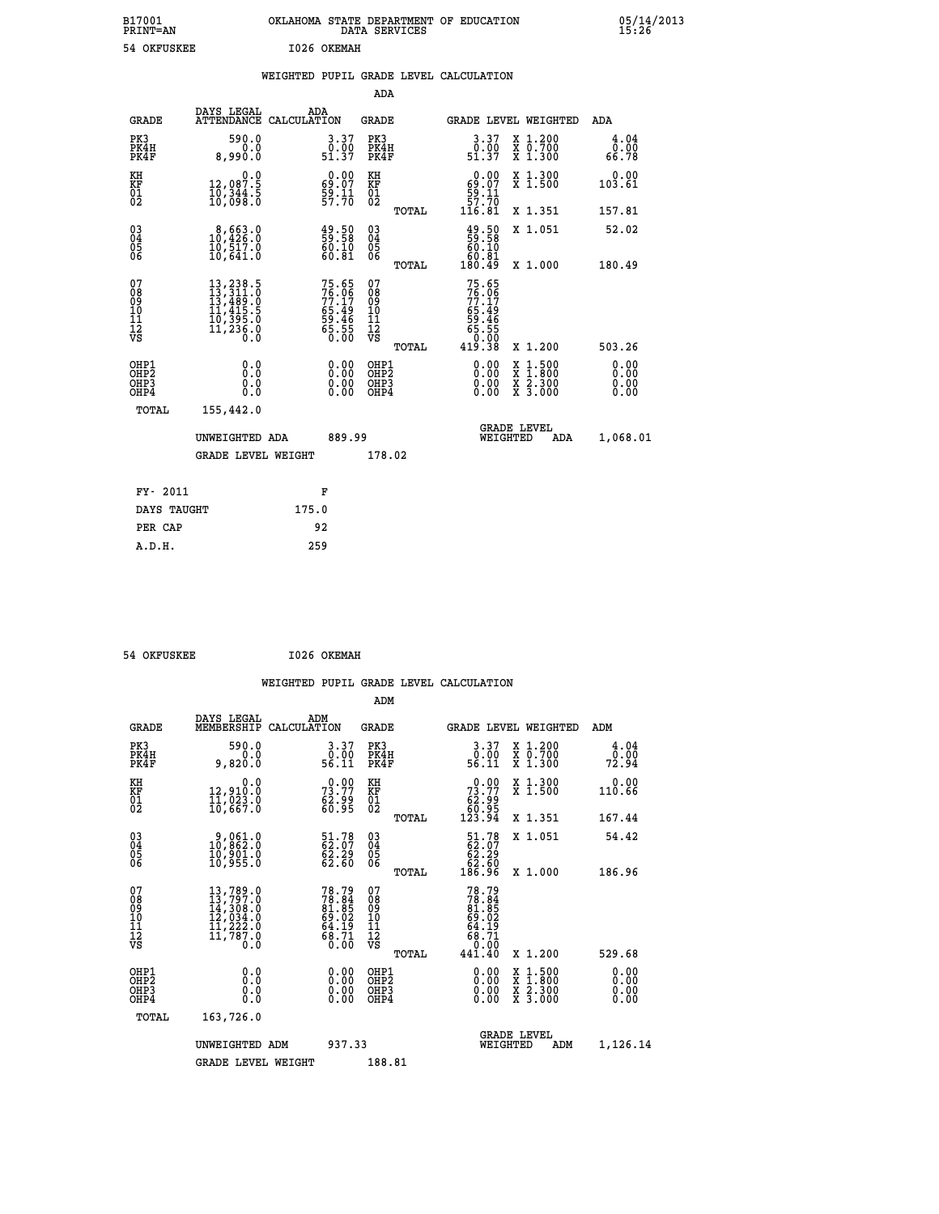| B17001<br>PRINT=AN | <b>OKLAHOMA</b><br>STATE DEPARTMENT OF EDUCATION<br>DATA SERVICES | 05/14/2013<br>15:26 |
|--------------------|-------------------------------------------------------------------|---------------------|
| 54 OKFUSKEE        | 1026 OKEMAH                                                       |                     |

|  |  | WEIGHTED PUPIL GRADE LEVEL CALCULATION |
|--|--|----------------------------------------|
|  |  |                                        |

|                                                                  |                                                                                                                                                                                          |                                                                      | ADA                                                |       |                                                                           |                                                                                                                                              |                              |
|------------------------------------------------------------------|------------------------------------------------------------------------------------------------------------------------------------------------------------------------------------------|----------------------------------------------------------------------|----------------------------------------------------|-------|---------------------------------------------------------------------------|----------------------------------------------------------------------------------------------------------------------------------------------|------------------------------|
| <b>GRADE</b>                                                     | DAYS LEGAL                                                                                                                                                                               | ADA<br>ATTENDANCE CALCULATION                                        | GRADE                                              |       | <b>GRADE LEVEL WEIGHTED</b>                                               |                                                                                                                                              | ADA                          |
| PK3<br>PK4H<br>PK4F                                              | 590.0<br>0.0<br>8,990.0                                                                                                                                                                  | $\begin{smallmatrix} 3.37\ 0.00\ 51.37 \end{smallmatrix}$            | PK3<br>PK4H<br>PK4F                                |       | 3.37<br>ة:ة<br>51.37                                                      | X 1.200<br>X 0.700<br>X 1.300                                                                                                                | 4.04<br>0.00<br>66.78        |
| KH<br>KF<br>01<br>02                                             | 0.0<br>12,087.5<br>10,344.5<br>10,098.0                                                                                                                                                  | $\begin{smallmatrix} 0.00\\ 69.07\\ 59.11\\ 57.70 \end{smallmatrix}$ | KH<br>KF<br>01<br>02                               |       | $\begin{smallmatrix} &0.00\ 69.07\ 59.11\ 57.70\ 116.81\end{smallmatrix}$ | X 1.300<br>X 1.500                                                                                                                           | 0.00<br>103.61               |
|                                                                  |                                                                                                                                                                                          |                                                                      |                                                    | TOTAL |                                                                           | X 1.351                                                                                                                                      | 157.81                       |
| $^{03}_{04}$<br>Ŏ5<br>06                                         | $\begin{smallmatrix} 8,663.0\\ 10,426.0\\ 10,517.0\\ 10,641.0 \end{smallmatrix}$                                                                                                         | $\frac{49.50}{59.58}$<br>60.81                                       | $\begin{matrix} 03 \\ 04 \\ 05 \\ 06 \end{matrix}$ |       | 49.50<br>59.58<br>60.10<br>60.81                                          | X 1.051                                                                                                                                      | 52.02                        |
|                                                                  |                                                                                                                                                                                          |                                                                      |                                                    | TOTAL | 180.49                                                                    | X 1.000                                                                                                                                      | 180.49                       |
| 07<br>08<br>09<br>11<br>11<br>12<br>VS                           | $\begin{smallmatrix} 13\,, & 238\,, & 5\\ 13\,, & 311\,, & 0\\ 13\,, & 489\,, & 0\\ 11\,, & 415\,, & 5\\ 10\,, & 395\,, & 0\\ 11\,, & 236\,, & 0\\ 0\,, & 0\,, & 0\,, \end{smallmatrix}$ | 75.65<br>76.06<br>77.17<br>65.49<br>59.46<br>55.55<br>65.55          | 07<br>08<br>09<br>11<br>11<br>12<br>VS             | TOTAL | 75.65<br>76.06<br>77.17<br>$65.49$<br>59.46<br>55.55<br>65.00<br>419.38   | X 1.200                                                                                                                                      | 503.26                       |
| OHP1<br>OHP <sub>2</sub><br>OH <sub>P3</sub><br>OH <sub>P4</sub> | 0.0<br>0.0<br>0.0                                                                                                                                                                        | 0.00<br>0.00<br>0.00                                                 | OHP1<br>OHP2<br>OHP3<br>OHP4                       |       | 0.00<br>0.00<br>0.00                                                      | $\begin{smallmatrix} \mathtt{X} & 1\cdot500 \\ \mathtt{X} & 1\cdot800 \\ \mathtt{X} & 2\cdot300 \\ \mathtt{X} & 3\cdot000 \end{smallmatrix}$ | 0.00<br>0.00<br>0.00<br>0.00 |
| TOTAL                                                            | 155,442.0                                                                                                                                                                                |                                                                      |                                                    |       |                                                                           |                                                                                                                                              |                              |
|                                                                  | UNWEIGHTED ADA                                                                                                                                                                           | 889.99                                                               |                                                    |       | WEIGHTED                                                                  | <b>GRADE LEVEL</b><br>ADA                                                                                                                    | 1,068.01                     |
|                                                                  | <b>GRADE LEVEL WEIGHT</b>                                                                                                                                                                |                                                                      | 178.02                                             |       |                                                                           |                                                                                                                                              |                              |
|                                                                  |                                                                                                                                                                                          |                                                                      |                                                    |       |                                                                           |                                                                                                                                              |                              |
| FY- 2011                                                         |                                                                                                                                                                                          | F                                                                    |                                                    |       |                                                                           |                                                                                                                                              |                              |
| DAYS TAUGHT                                                      |                                                                                                                                                                                          | 175.0                                                                |                                                    |       |                                                                           |                                                                                                                                              |                              |
| PER CAP                                                          |                                                                                                                                                                                          | 92                                                                   |                                                    |       |                                                                           |                                                                                                                                              |                              |
| A.D.H.                                                           |                                                                                                                                                                                          | 259                                                                  |                                                    |       |                                                                           |                                                                                                                                              |                              |

 **ADM**

 **A.D.H. 259**

| <b>GRADE</b>                                                       | DAYS LEGAL<br>MEMBERSHIP CALCULATION                                                                                                                        | ADM                                                                | <b>GRADE</b>                             |       |                                                                                        |          | GRADE LEVEL WEIGHTED                                                                                                | ADM                   |  |
|--------------------------------------------------------------------|-------------------------------------------------------------------------------------------------------------------------------------------------------------|--------------------------------------------------------------------|------------------------------------------|-------|----------------------------------------------------------------------------------------|----------|---------------------------------------------------------------------------------------------------------------------|-----------------------|--|
| PK3<br>PK4H<br>PK4F                                                | 590.0<br>0.0<br>9,820.0                                                                                                                                     | 3.37<br>0.00<br>56.11                                              | PK3<br>PK4H<br>PK4F                      |       | 3.37<br>$\begin{array}{c} 0.00 \\ 56.11 \end{array}$                                   |          | X 1.200<br>X 0.700<br>X 1.300                                                                                       | 4.04<br>0.00<br>72.94 |  |
| KH<br>KF<br>01<br>02                                               | 0.0<br>12,910:0<br>11,023.0<br>10,667.0                                                                                                                     | 73.90<br>éž:99<br>60:95                                            | KH<br>KF<br>$\overline{01}$              |       | $\begin{smallmatrix} &0.00\ 73.77\ 62.99\ 60.95\ 123.94\end{smallmatrix}$              |          | X 1.300<br>X 1.500                                                                                                  | 0.00<br>110.66        |  |
|                                                                    |                                                                                                                                                             |                                                                    |                                          | TOTAL |                                                                                        |          | X 1.351                                                                                                             | 167.44                |  |
| $\begin{smallmatrix} 03 \\[-4pt] 04 \end{smallmatrix}$<br>Ŏ5<br>ŌĞ | $\begin{smallmatrix} 9,061.0\\ 10,862.0\\ 10,901.0\\ 10,955.0 \end{smallmatrix}$                                                                            | $\begin{smallmatrix} 51.78\ 62.07\ 62.29\ 62.60 \end{smallmatrix}$ | $\substack{03 \\ 04}$<br>05<br>06        |       | $\begin{smallmatrix} 51.78\\ 62.07\\ 62.29\\ 62.60\\ 62.60\\ 186.96 \end{smallmatrix}$ |          | X 1.051                                                                                                             | 54.42                 |  |
|                                                                    |                                                                                                                                                             |                                                                    |                                          | TOTAL |                                                                                        |          | X 1.000                                                                                                             | 186.96                |  |
| 07<br>08<br>09<br>101<br>11<br>12<br>VS                            | $\begin{smallmatrix} 13\,,789\cdot 0\\ 13\,,797\cdot 0\\ 14\,,308\cdot 0\\ 12\,,034\cdot 0\\ 11\,,222\cdot 0\\ 11\,,787\cdot 0\\ 0\cdot 0\end{smallmatrix}$ | 78.79<br>78.84<br>81.85<br>69.02<br>64.19<br>68.71<br>0.00         | 078<br>089<br>0011<br>11<br>12<br>VS     |       | 78.79<br>78.84<br>81.85<br>69.02<br>64.19<br>68.710<br>68.710                          |          |                                                                                                                     |                       |  |
|                                                                    |                                                                                                                                                             |                                                                    |                                          | TOTAL | 441.40                                                                                 |          | X 1.200                                                                                                             | 529.68                |  |
| OHP1<br>OHP <sub>2</sub><br>OHP3<br>OHP4                           | 0.0<br>0.0<br>0.0                                                                                                                                           |                                                                    | OHP1<br>OHP <sub>2</sub><br>OHP3<br>OHP4 |       | 0.00<br>0.00<br>0.00                                                                   |          | $\begin{array}{l} \mathtt{X} & 1.500 \\ \mathtt{X} & 1.800 \\ \mathtt{X} & 2.300 \\ \mathtt{X} & 3.000 \end{array}$ | 0.00<br>0.00<br>0.00  |  |
| TOTAL                                                              | 163,726.0                                                                                                                                                   |                                                                    |                                          |       |                                                                                        |          |                                                                                                                     |                       |  |
|                                                                    | UNWEIGHTED                                                                                                                                                  | 937.33<br>ADM                                                      |                                          |       |                                                                                        | WEIGHTED | <b>GRADE LEVEL</b><br>ADM                                                                                           | 1,126.14              |  |
|                                                                    | <b>GRADE LEVEL WEIGHT</b>                                                                                                                                   |                                                                    | 188.81                                   |       |                                                                                        |          |                                                                                                                     |                       |  |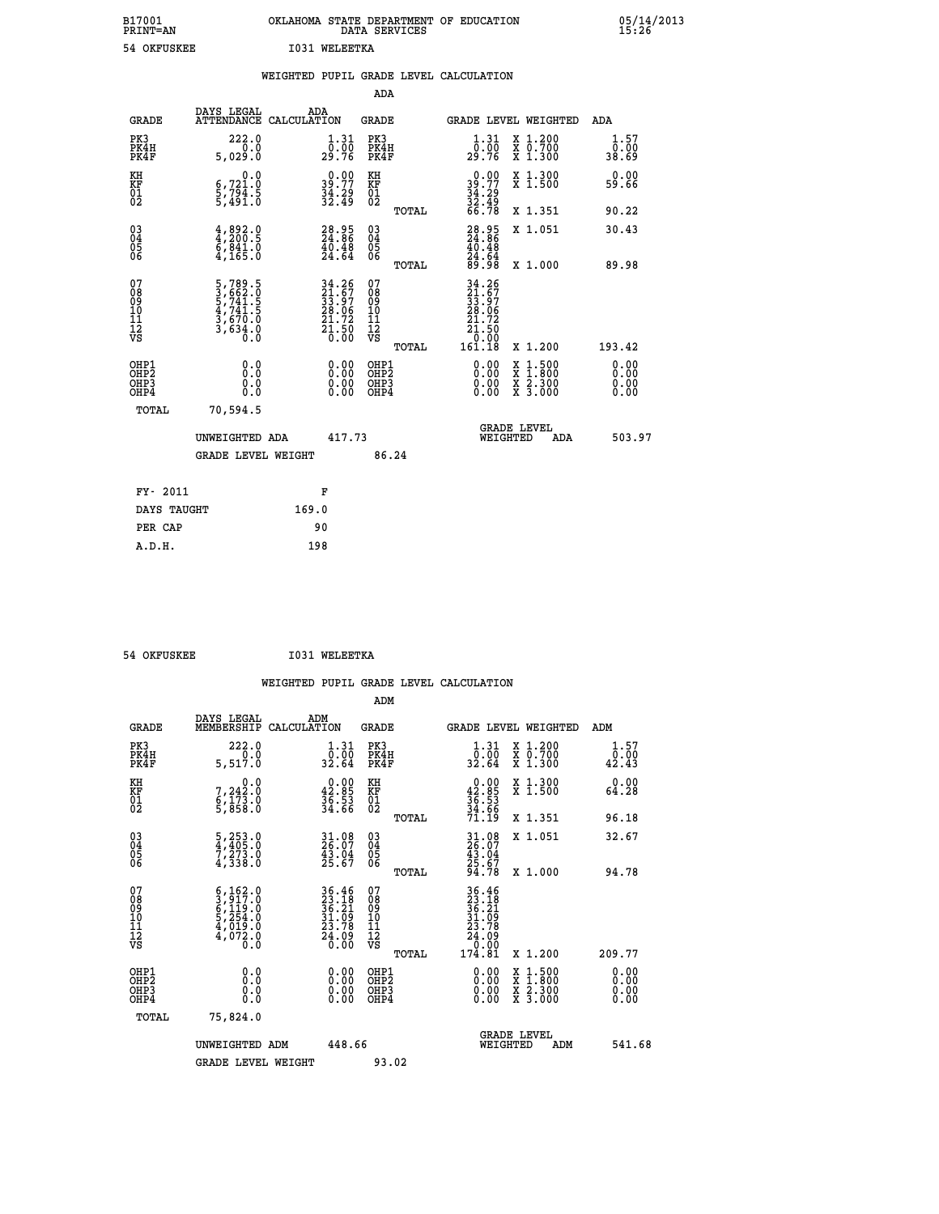| B17001<br><b>PRINT=AN</b> | OKLAHOMA STATE DEPARTMENT OF EDUCATION<br>DATA SERVICES | 05/14/2013<br>15:26 |
|---------------------------|---------------------------------------------------------|---------------------|
| 54 OKFUSKEE               | I031<br>WELEETKA                                        |                     |

|                                         |                                                                                                 | WEIGHTED PUPIL GRADE LEVEL CALCULATION                                                    |                                                     |       |                                                                            |                                                                   |                              |
|-----------------------------------------|-------------------------------------------------------------------------------------------------|-------------------------------------------------------------------------------------------|-----------------------------------------------------|-------|----------------------------------------------------------------------------|-------------------------------------------------------------------|------------------------------|
|                                         |                                                                                                 |                                                                                           | ADA                                                 |       |                                                                            |                                                                   |                              |
| <b>GRADE</b>                            | DAYS LEGAL                                                                                      | ADA<br>ATTENDANCE CALCULATION                                                             | <b>GRADE</b>                                        |       |                                                                            | GRADE LEVEL WEIGHTED                                              | ADA                          |
| PK3<br>PK4H<br>PK4F                     | 222.0<br>0.0<br>5,029.0                                                                         | 1.31<br>_0:00<br>29:76                                                                    | PK3<br>PK4H<br>PK4F                                 |       | 1.31<br>0.00<br>29.76                                                      | X 1.200<br>X 0.700<br>X 1.300                                     | 1.57<br>0.00<br>38.69        |
| KH<br><b>KF</b><br>01<br>02             | 0.0<br>6,721.0<br>5,794.5<br>5,491.0                                                            | $39.77$<br>$34.29$<br>$32.49$                                                             | KH<br>KF<br>01<br>02                                |       | $0.00$<br>$39.77$<br>$34.29$<br>$32.49$<br>$66.78$                         | X 1.300<br>X 1.500                                                | 0.00<br>59.66                |
|                                         |                                                                                                 |                                                                                           |                                                     | TOTAL |                                                                            | X 1.351                                                           | 90.22                        |
| 03<br>04<br>05<br>06                    | $\begin{smallmatrix} 4 & 892 & 0\\ 4 & 200 & 5\\ 6 & 841 & 0\\ 4 & 165 & 0\\ \end{smallmatrix}$ | $28.95$<br>$24.86$<br>$40.48$<br>$24.64$                                                  | $\begin{array}{c} 03 \\ 04 \\ 05 \\ 06 \end{array}$ |       | $28.95$<br>$24.86$<br>$40.48$<br>$24.64$<br>$29.98$                        | X 1.051                                                           | 30.43                        |
|                                         |                                                                                                 |                                                                                           |                                                     | TOTAL |                                                                            | X 1.000                                                           | 89.98                        |
| 07<br>08<br>09<br>101<br>11<br>12<br>VS | $\begin{smallmatrix}5,789.5\\3,662.0\\5,741.5\\4,741.5\\3,670.0\\3,634.0\\0.0\end{smallmatrix}$ | $\begin{array}{l} 34.26 \\ 21.67 \\ 33.97 \\ 28.06 \\ 21.72 \\ 21.50 \\ 0.00 \end{array}$ | 07<br>08<br>09<br>101<br>11<br>12<br>VS             | TOTAL | $34.26$<br>$21.67$<br>$33.97$<br>$28.06$<br>72<br>21.50<br>10.00<br>161.18 | X 1.200                                                           | 193.42                       |
| OHP1<br>OHP2<br>OHP3<br>OHP4            | 0.0<br>0.0<br>0.0                                                                               | 0.00<br>$0.00$<br>0.00                                                                    | OHP1<br>OHP2<br>OHP3<br>OHP4                        |       | 0.00<br>0.00<br>0.00                                                       | $1:500$<br>1:800<br>X<br>X<br>$\frac{x}{x}$ $\frac{5:300}{3:000}$ | 0.00<br>0.00<br>0.00<br>0.00 |
| <b>TOTAL</b>                            | 70,594.5                                                                                        |                                                                                           |                                                     |       |                                                                            |                                                                   |                              |
|                                         | UNWEIGHTED ADA                                                                                  | 417.73                                                                                    |                                                     |       | WEIGHTED                                                                   | <b>GRADE LEVEL</b><br><b>ADA</b>                                  | 503.97                       |
|                                         | GRADE LEVEL WEIGHT                                                                              |                                                                                           | 86.24                                               |       |                                                                            |                                                                   |                              |
| FY- 2011                                |                                                                                                 | F                                                                                         |                                                     |       |                                                                            |                                                                   |                              |
| DAYS TAUGHT                             |                                                                                                 | 169.0                                                                                     |                                                     |       |                                                                            |                                                                   |                              |
| PER CAP                                 |                                                                                                 | 90                                                                                        |                                                     |       |                                                                            |                                                                   |                              |

 **54 OKFUSKEE I031 WELEETKA**

 **A.D.H. 198**

 **WEIGHTED PUPIL GRADE LEVEL CALCULATION ADM DAYS LEGAL ADM GRADE MEMBERSHIP CALCULATION GRADE GRADE LEVEL WEIGHTED ADM**

| ם שמא                                                | MEMBERSHIP CALCOLATION                                                              |                                                                                                                         | ם שמא                                              | GRADE DEVEL WEIGHTED                                                                 |                                          | שעת                            |
|------------------------------------------------------|-------------------------------------------------------------------------------------|-------------------------------------------------------------------------------------------------------------------------|----------------------------------------------------|--------------------------------------------------------------------------------------|------------------------------------------|--------------------------------|
| PK3<br>PK4H<br>PK4F                                  | 222.0<br>0.0<br>5,517.0                                                             | $\begin{smallmatrix} 1.31\ 0.00\\ 32.64 \end{smallmatrix}$                                                              | PK3<br>PK4H<br>PK4F                                | $\begin{smallmatrix}1.31\0.00\\32.64\end{smallmatrix}$                               | X 1.200<br>X 0.700<br>X 1.300            | $\substack{1.57\\0.00\\42.43}$ |
| KH<br>KF<br>01<br>02                                 | 0.0<br>7,242:0<br>6,173:0<br>5,858:0                                                | $\begin{smallmatrix} 0.00\\ 42.85\\ 36.53\\ 34.66 \end{smallmatrix}$                                                    | KH<br>KF<br>01<br>02                               | $0.00\n42.85\n36.53\n34.66\n71.19$                                                   | X 1.300<br>X 1.500                       | 0.00<br>64.28                  |
|                                                      |                                                                                     |                                                                                                                         | TOTAL                                              |                                                                                      | X 1.351                                  | 96.18                          |
| $\begin{matrix} 03 \\ 04 \\ 05 \\ 06 \end{matrix}$   | $\frac{5}{4}, \frac{253}{405}.0 \ \frac{7}{7}, \frac{273}{273}.0 \ \frac{4}{338}.0$ | 31.08<br>26.07<br>43.04<br>25.67                                                                                        | $\begin{matrix} 03 \\ 04 \\ 05 \\ 06 \end{matrix}$ | $31.08$<br>$26.07$<br>$43.04$<br>$25.67$<br>$94.78$                                  | X 1.051                                  | 32.67                          |
|                                                      |                                                                                     |                                                                                                                         | TOTAL                                              |                                                                                      | X 1.000                                  | 94.78                          |
| 07<br>08<br>09<br>101<br>11<br>12<br>VS              | $6,162.0$<br>$3,917.0$<br>$6,119.0$<br>$5,254.0$<br>$4,019.0$<br>$4,072.0$<br>Ō.Ō   | $\begin{array}{r} 36\cdot 46 \\ 23\cdot 18 \\ 36\cdot 21 \\ 31\cdot 09 \\ 23\cdot 78 \\ 24\cdot 09 \\ 0.00 \end{array}$ | 07<br>08<br>09<br>001<br>11<br>11<br>12<br>VS      | $36.46$<br>$23.18$<br>$36.21$<br>$31.09$<br>$23.78$<br>$24.09$<br>$0.00$<br>$174.81$ |                                          |                                |
|                                                      |                                                                                     |                                                                                                                         | TOTAL                                              |                                                                                      | X 1.200                                  | 209.77                         |
| OHP1<br>OHP <sub>2</sub><br>OH <sub>P3</sub><br>OHP4 |                                                                                     | $0.00$<br>$0.00$<br>0.00                                                                                                | OHP1<br>OHP <sub>2</sub><br>OHP3<br>OHP4           |                                                                                      | X 1:500<br>X 1:800<br>X 2:300<br>X 3:000 | $0.00$<br>$0.00$<br>0.00       |
| TOTAL                                                | 75,824.0                                                                            |                                                                                                                         |                                                    |                                                                                      |                                          |                                |
|                                                      | UNWEIGHTED ADM                                                                      | 448.66                                                                                                                  |                                                    | <b>GRADE LEVEL</b><br>WEIGHTED                                                       | ADM                                      | 541.68                         |
|                                                      | <b>GRADE LEVEL WEIGHT</b>                                                           |                                                                                                                         | 93.02                                              |                                                                                      |                                          |                                |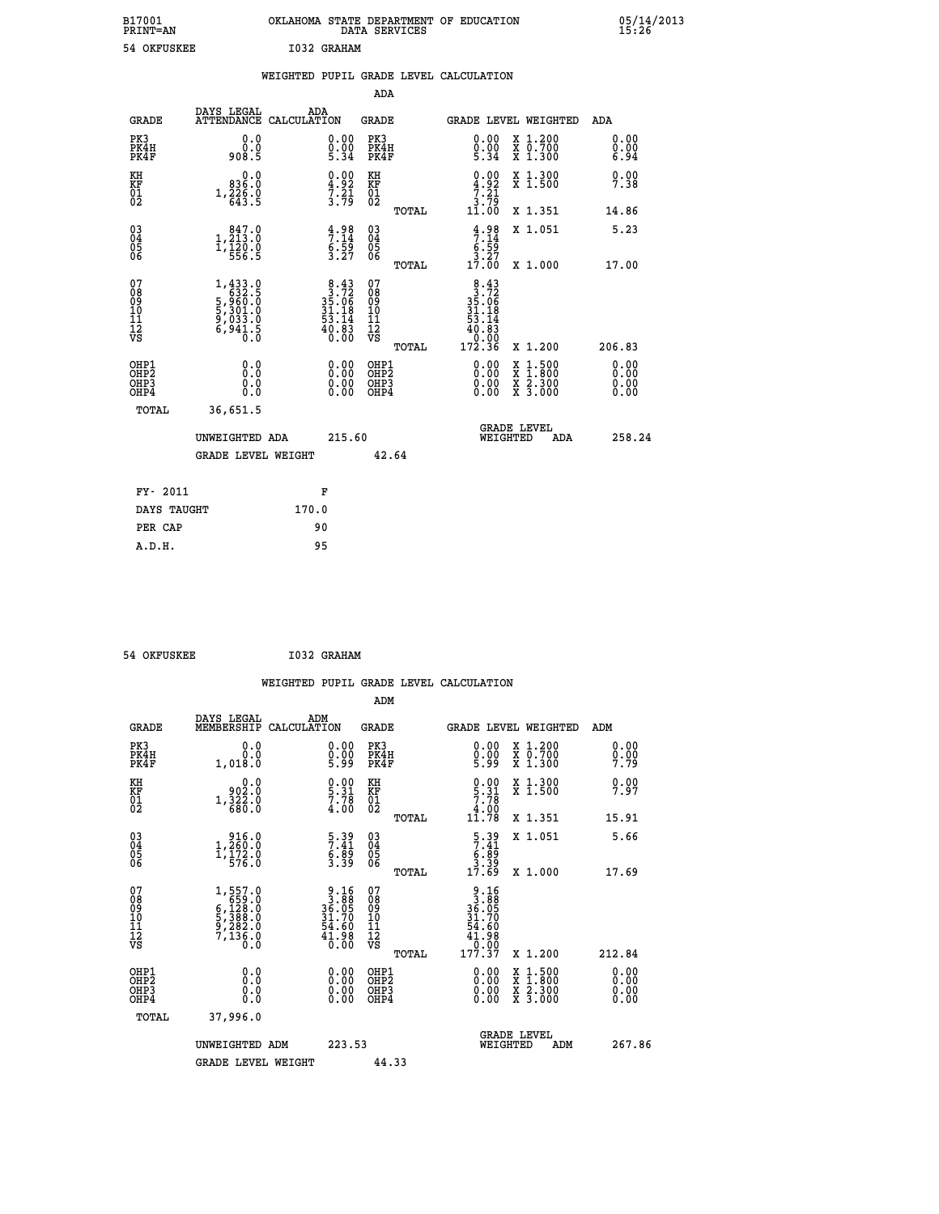| B17001<br>PRINT=AN | OKLAHOMA STATE DEPARTMENT OF EDUCATION<br>DATA SERVICES | 05/14/2013<br>15:26 |
|--------------------|---------------------------------------------------------|---------------------|
| 54 OKFUSKEE        | I032 GRAHAM                                             |                     |

|                                         |                                                                                                       | WEIGHTED PUPIL GRADE LEVEL CALCULATION                                                    |                                                    |       |                                                                               |                                                                     |                              |
|-----------------------------------------|-------------------------------------------------------------------------------------------------------|-------------------------------------------------------------------------------------------|----------------------------------------------------|-------|-------------------------------------------------------------------------------|---------------------------------------------------------------------|------------------------------|
|                                         |                                                                                                       |                                                                                           | ADA                                                |       |                                                                               |                                                                     |                              |
| <b>GRADE</b>                            | DAYS LEGAL                                                                                            | ADA<br>ATTENDANCE CALCULATION                                                             | <b>GRADE</b>                                       |       |                                                                               | GRADE LEVEL WEIGHTED                                                | ADA                          |
| PK3<br>PK4H<br>PK4F                     | 0.0<br>0.0<br>908.5                                                                                   | 0.00<br>$0.00$<br>5.34                                                                    | PK3<br>PK4H<br>PK4F                                |       | 0.00<br>$0.00$<br>5.34                                                        | X 1.200<br>X 0.700<br>X 1.300                                       | 0.00<br>0.00<br>6.94         |
| KH<br><b>KF</b><br>01<br>02             | 0.0<br>0.936<br>$1,\frac{226}{643}\cdot\frac{6}{5}$                                                   | $\frac{4.92}{3.21}$                                                                       | KH<br>KF<br>01<br>02                               |       | $\begin{array}{c} 0.00 \\ 4.92 \\ 7.21 \\ 3.79 \\ 11.00 \end{array}$          | X 1.300<br>X 1.500                                                  | 0.00<br>7.38                 |
|                                         |                                                                                                       |                                                                                           |                                                    | TOTAL |                                                                               | X 1.351                                                             | 14.86                        |
| 03<br>04<br>05<br>06                    | $\begin{smallmatrix} & 847.0 \\ 1,213.0 \\ 1,120.0 \\ 556.5 \end{smallmatrix}$                        | $\frac{4.98}{7.14}$<br>6.59<br>3.27                                                       | $\begin{matrix} 03 \\ 04 \\ 05 \\ 06 \end{matrix}$ |       | $4.98$<br>$7.14$<br>$6.59$<br>$3.27$<br>$17.00$                               | X 1.051                                                             | 5.23                         |
|                                         |                                                                                                       |                                                                                           |                                                    | TOTAL |                                                                               | X 1.000                                                             | 17.00                        |
| 07<br>08<br>09<br>101<br>11<br>12<br>VS | $\begin{smallmatrix} 1,433.0\\ 632.5\\ 5,960.0\\ 5,301.0\\ 9,033.0\\ 6,941.5\\ 0.0 \end{smallmatrix}$ | $\begin{smallmatrix}8&.43\\3&.72\\35&.06\\31&.18\\53&.14\\40&.83\\0&.00\end{smallmatrix}$ | 07<br>08<br>09<br>101<br>11<br>12<br>VS            | TOTAL | $8.43$<br>$35.72$<br>$35.06$<br>$31.18$<br>$53.14$<br>40:83<br>0:00<br>172:36 | X 1.200                                                             | 206.83                       |
| OHP1<br>OHP2<br>OHP3<br>OHP4            | 0.0<br>0.0<br>0.0                                                                                     | 0.00<br>$0.00$<br>0.00                                                                    | OHP1<br>OHP2<br>OHP3<br>OHP4                       |       | 0.00<br>0.00<br>0.00                                                          | $1:500$<br>$1:800$<br>X<br>X<br>$\frac{x}{x}$ $\frac{5:300}{3:000}$ | 0.00<br>0.00<br>0.00<br>0.00 |
| <b>TOTAL</b>                            | 36,651.5                                                                                              |                                                                                           |                                                    |       |                                                                               |                                                                     |                              |
|                                         | UNWEIGHTED ADA                                                                                        | 215.60                                                                                    |                                                    |       | WEIGHTED                                                                      | <b>GRADE LEVEL</b><br><b>ADA</b>                                    | 258.24                       |
|                                         | <b>GRADE LEVEL WEIGHT</b>                                                                             |                                                                                           | 42.64                                              |       |                                                                               |                                                                     |                              |
| FY- 2011                                |                                                                                                       | F                                                                                         |                                                    |       |                                                                               |                                                                     |                              |
| DAYS TAUGHT                             |                                                                                                       | 170.0                                                                                     |                                                    |       |                                                                               |                                                                     |                              |
| PER CAP                                 |                                                                                                       | 90                                                                                        |                                                    |       |                                                                               |                                                                     |                              |

 **54 OKFUSKEE I032 GRAHAM WEIGHTED PUPIL GRADE LEVEL CALCULATION ADM DAYS LEGAL ADM GRADE MEMBERSHIP CALCULATION GRADE GRADE LEVEL WEIGHTED ADM PK3 0.0 0.00 PK3 0.00 X 1.200 0.00 PK4H 0.0 0.00 PK4H 0.00 X 0.700 0.00 PK4F 1,018.0 5.99 PK4F 5.99 X 1.300 7.79 KH 0.0 0.00 KH 0.00 X 1.300 0.00 KF 902.0 5.31 KF 5.31 X 1.500 7.97 EXH**<br> **EXE FOR STRIP 1,322.0**<br>
02 1,322.0 7.31 <br>
02 1,322.0 4.00 02 02 680.0 4.00 02 4.00 4 1.00<br>**TOTAL** 11.78 X 1.351 15.91  **03 916.0 5.39 03 5.39 X 1.051 5.66 04 1,260.0 7.41 04 7.41 05 1,172.0 6.89 05 6.89 06 576.0 3.39 06 3.39 TOTAL 17.69 X 1.000 17.69**  $\begin{array}{cccc} 07 & 1,557.0 & 9.16 & 07 & 9.16 \ 08 & 6,529.0 & 36.05 & 08 & 36.05 \ 09 & 6,128.0 & 36.05 & 09 & 36.05 \ 10 & 5,388.0 & 31.70 & 10 & 31.70 \ 11 & 9,282.0 & 54.60 & 11 & 54.60 \ 12 & 7,135.0 & 41.98 & 12 & 41.98 \ \hline \end{array}$  **TOTAL 177.37 X 1.200 212.84 OHP1 0.0 0.00 OHP1 0.00 X 1.500 0.00 OHP2 0.0 0.00 OHP2 0.00 X 1.800 0.00 OHP3 0.0 0.00 OHP3 0.00 X 2.300 0.00 OHP4 0.0 0.00 OHP4 0.00 X 3.000 0.00 TOTAL 37,996.0 GRADE LEVEL UNWEIGHTED ADM 223.53 WEIGHTED ADM 267.86** GRADE LEVEL WEIGHT 44.33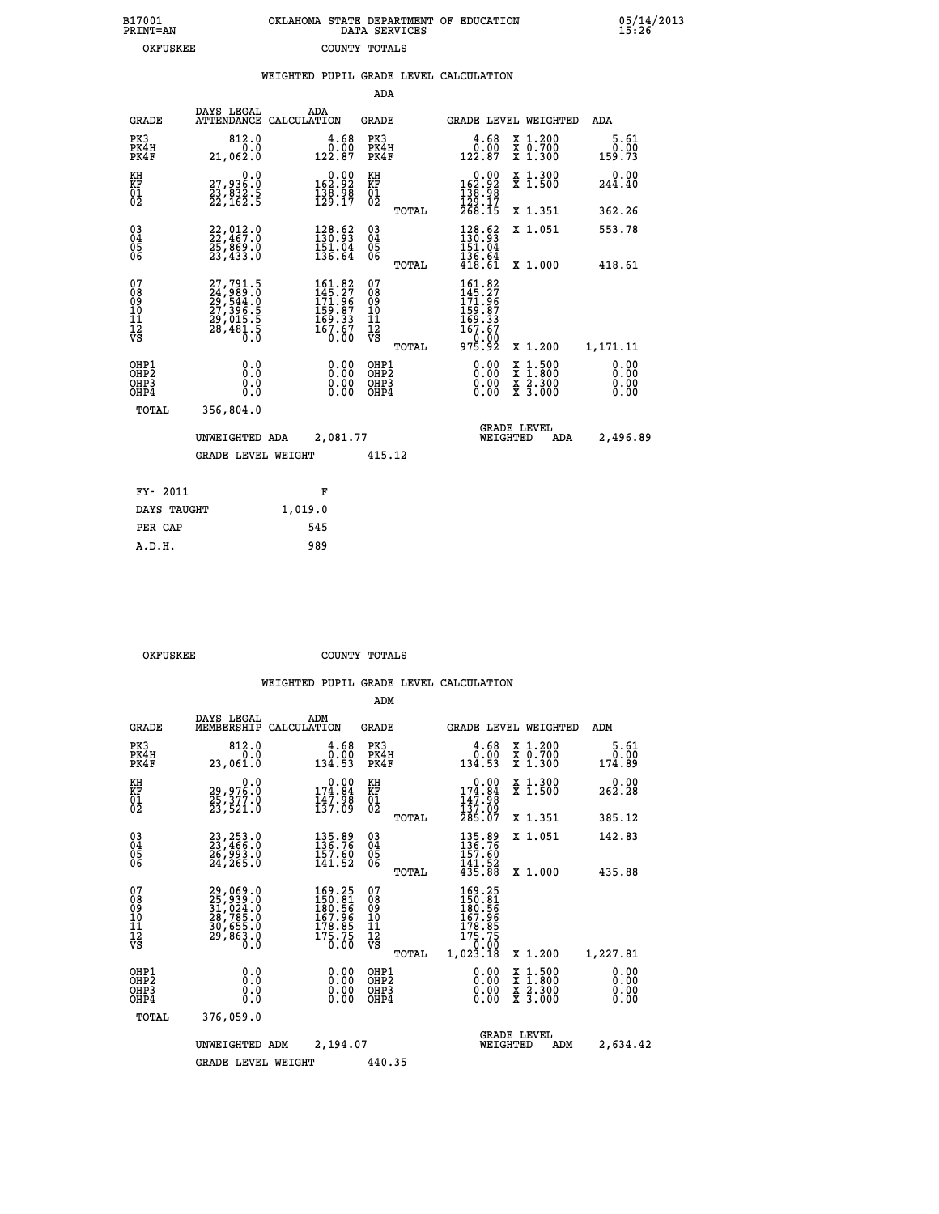| 7001<br>[NT=AN | OKLAHOMA STATE DEPARTMENT OF EDUCATION<br>DATA SERVICES |  |
|----------------|---------------------------------------------------------|--|
| OKFUSKEE       | COUNTY TOTALS                                           |  |

 **B17001<br>PRINT=AN** 

 **B17001 OKLAHOMA STATE DEPARTMENT OF EDUCATION 05/14/2013**

|                                                                    |                                                                                                             | WEIGHTED PUPIL GRADE LEVEL CALCULATION                                                      |                                               |                                                                                      |                                                                                                                                              |                        |
|--------------------------------------------------------------------|-------------------------------------------------------------------------------------------------------------|---------------------------------------------------------------------------------------------|-----------------------------------------------|--------------------------------------------------------------------------------------|----------------------------------------------------------------------------------------------------------------------------------------------|------------------------|
|                                                                    |                                                                                                             |                                                                                             | ADA                                           |                                                                                      |                                                                                                                                              |                        |
| <b>GRADE</b>                                                       | DAYS LEGAL                                                                                                  | ADA<br>ATTENDANCE CALCULATION                                                               | <b>GRADE</b>                                  | <b>GRADE LEVEL WEIGHTED</b>                                                          |                                                                                                                                              | ADA                    |
| PK3<br>PK4H<br>PK4F                                                | 812.0<br>0.0<br>21,062.0                                                                                    | $\begin{smallmatrix} 4.68\ 0.00\\ 2.87 \end{smallmatrix}$                                   | PK3<br>PK4H<br>PK4F                           | $\frac{4.68}{0.00}$<br>122.87                                                        | X 1.200<br>X 0.700<br>X 1.300                                                                                                                | 5.61<br>0.00<br>159.73 |
| KH<br>KF<br>01<br>02                                               | $\begin{smallmatrix} & & 0 & .0\ 27 & , & 936 & .0\ 23 & , & 832 & .5\ 22 & , & 162 & .5 \end{smallmatrix}$ | $0.00$<br>162.92<br>$\frac{138.98}{129.17}$                                                 | KH<br>KF<br>01<br>02                          | $0.00$<br>162.92<br>$\frac{136.98}{129.17}$<br>$\frac{268.15}{268.15}$               | X 1.300<br>X 1.500                                                                                                                           | $0.00$<br>244.40       |
|                                                                    |                                                                                                             |                                                                                             | TOTAL                                         |                                                                                      | X 1.351                                                                                                                                      | 362.26                 |
| $\begin{smallmatrix} 03 \\[-4pt] 04 \end{smallmatrix}$<br>05<br>06 | 22,012.0<br>22,467.0<br>25,869.0<br>23,433.0                                                                | $\begin{smallmatrix} 128.62\\130.93\\151.04\\136.64 \end{smallmatrix}$                      | $^{03}_{04}$<br>0500                          | 128.62<br>151.04                                                                     | X 1.051                                                                                                                                      | 553.78                 |
|                                                                    |                                                                                                             |                                                                                             | TOTAL                                         | $\frac{136.64}{418.61}$                                                              | X 1.000                                                                                                                                      | 418.61                 |
| 07<br>08<br>09<br>10<br>11<br>11<br>12<br>VS                       | 27,791.5<br>24,989.0<br>29,544.0<br>27,396.5<br>29,015.5<br>28,481.5                                        | $\begin{smallmatrix} 161.82\\145.27\\171.96\\159.87\\169.33\\167.67\\0.00\end{smallmatrix}$ | 078<br>089<br>0011<br>11<br>12<br>VS<br>TOTAL | 161.82<br>$145.27$<br>$171.96$<br>$159.87$<br>$169.33$<br>$167.67$<br>0.00<br>975.92 | X 1.200                                                                                                                                      | 1,171.11               |
| OHP1<br>OHP2<br>OHP3<br>OHP4                                       | 0.0<br>0.0<br>0.0                                                                                           | 0.00<br>$\begin{smallmatrix} 0.00 \ 0.00 \end{smallmatrix}$                                 | OHP1<br>OHP2<br>OHP3<br>OHP4                  | 0.00<br>0.00                                                                         | $\begin{smallmatrix} \mathtt{X} & 1\cdot500 \\ \mathtt{X} & 1\cdot800 \\ \mathtt{X} & 2\cdot300 \\ \mathtt{X} & 3\cdot000 \end{smallmatrix}$ | 0.00<br>0.00<br>0.00   |
| TOTAL                                                              | 356,804.0                                                                                                   |                                                                                             |                                               |                                                                                      |                                                                                                                                              |                        |
|                                                                    | UNWEIGHTED ADA                                                                                              | 2,081.77                                                                                    |                                               | <b>GRADE LEVEL</b><br>WEIGHTED                                                       | ADA                                                                                                                                          | 2,496.89               |
|                                                                    | <b>GRADE LEVEL WEIGHT</b>                                                                                   |                                                                                             | 415.12                                        |                                                                                      |                                                                                                                                              |                        |
| FY- 2011                                                           |                                                                                                             | F                                                                                           |                                               |                                                                                      |                                                                                                                                              |                        |
| DAYS TAUGHT                                                        |                                                                                                             | 1,019.0                                                                                     |                                               |                                                                                      |                                                                                                                                              |                        |
| PER CAP                                                            |                                                                                                             | 545                                                                                         |                                               |                                                                                      |                                                                                                                                              |                        |

| OKFUSKEE | COUNTY TOTALS |  |
|----------|---------------|--|

 **A.D.H. 989**

|                                                       |                                                                      |                                                                                                      | ADM                                    |        |                                                                                |                                          |                              |
|-------------------------------------------------------|----------------------------------------------------------------------|------------------------------------------------------------------------------------------------------|----------------------------------------|--------|--------------------------------------------------------------------------------|------------------------------------------|------------------------------|
| <b>GRADE</b>                                          | DAYS LEGAL<br>MEMBERSHIP                                             | ADM<br>CALCULATION                                                                                   | <b>GRADE</b>                           |        |                                                                                | GRADE LEVEL WEIGHTED                     | ADM                          |
| PK3<br>PK4H<br>PK4F                                   | 812.0<br>0.0<br>23,061.0                                             | 4.68<br>0.00<br>134.53                                                                               | PK3<br>PK4H<br>PK4F                    |        | 0.68<br>134.53                                                                 | X 1.200<br>X 0.700<br>X 1.300            | 5.61<br>0.00<br>174.89       |
| KH<br>KF<br>01<br>02                                  | 0.0<br>29,976.0<br>25,377.0<br>23,521.0                              | $\begin{smallmatrix} &0.00\\ 174.84\\ 147.98\\ 137.09\end{smallmatrix}$                              | KH<br>KF<br>01<br>02                   |        | $0.00$<br>$174.84$<br>$147.98$<br>$137.09$<br>$285.07$                         | X 1.300<br>X 1.500                       | 0.00<br>262.28               |
|                                                       |                                                                      |                                                                                                      |                                        | TOTAL  |                                                                                | X 1.351                                  | 385.12                       |
| 03<br>04<br>05<br>06                                  | 23,253.0<br>23,466.0<br>26,993.0<br>24,265.0                         | 135.89<br>136.76<br>157.60<br>141.52                                                                 | $^{03}_{04}$<br>05<br>06               |        | 135.89<br>136.76<br>157.60                                                     | X 1.051                                  | 142.83                       |
|                                                       |                                                                      |                                                                                                      |                                        | TOTAL  | 141.52<br>435.88                                                               | X 1.000                                  | 435.88                       |
| 07<br>08<br>09<br>101<br>112<br>VS                    | 29,069.0<br>25,939.0<br>31,024.0<br>30,785.0<br>30,655.0<br>29,863.0 | $\begin{smallmatrix} 169.25\\150.81\\180.56\\187.96\\178.85\\178.85\\175.75\\0.00 \end{smallmatrix}$ | 07<br>08<br>09<br>11<br>11<br>12<br>VS | TOTAL  | 169.25<br>150.81<br>180.56<br>167.96<br>178.85<br>175.75<br>--0.00<br>1,023.18 | X 1.200                                  | 1,227.81                     |
| OHP1<br>OH <sub>P</sub> 2<br>OH <sub>P3</sub><br>OHP4 | 0.0<br>0.000                                                         | $0.00$<br>$0.00$<br>0.00                                                                             | OHP1<br>OHP2<br>OHP3<br>OHP4           |        | $0.00$<br>$0.00$<br>0.00                                                       | X 1:500<br>X 1:800<br>X 2:300<br>X 3:000 | 0.00<br>0.00<br>0.00<br>0.00 |
| TOTAL                                                 | 376,059.0                                                            |                                                                                                      |                                        |        |                                                                                |                                          |                              |
|                                                       | UNWEIGHTED                                                           | 2,194.07<br>ADM                                                                                      |                                        |        | WEIGHTED                                                                       | <b>GRADE LEVEL</b><br>ADM                | 2,634.42                     |
|                                                       | <b>GRADE LEVEL WEIGHT</b>                                            |                                                                                                      |                                        | 440.35 |                                                                                |                                          |                              |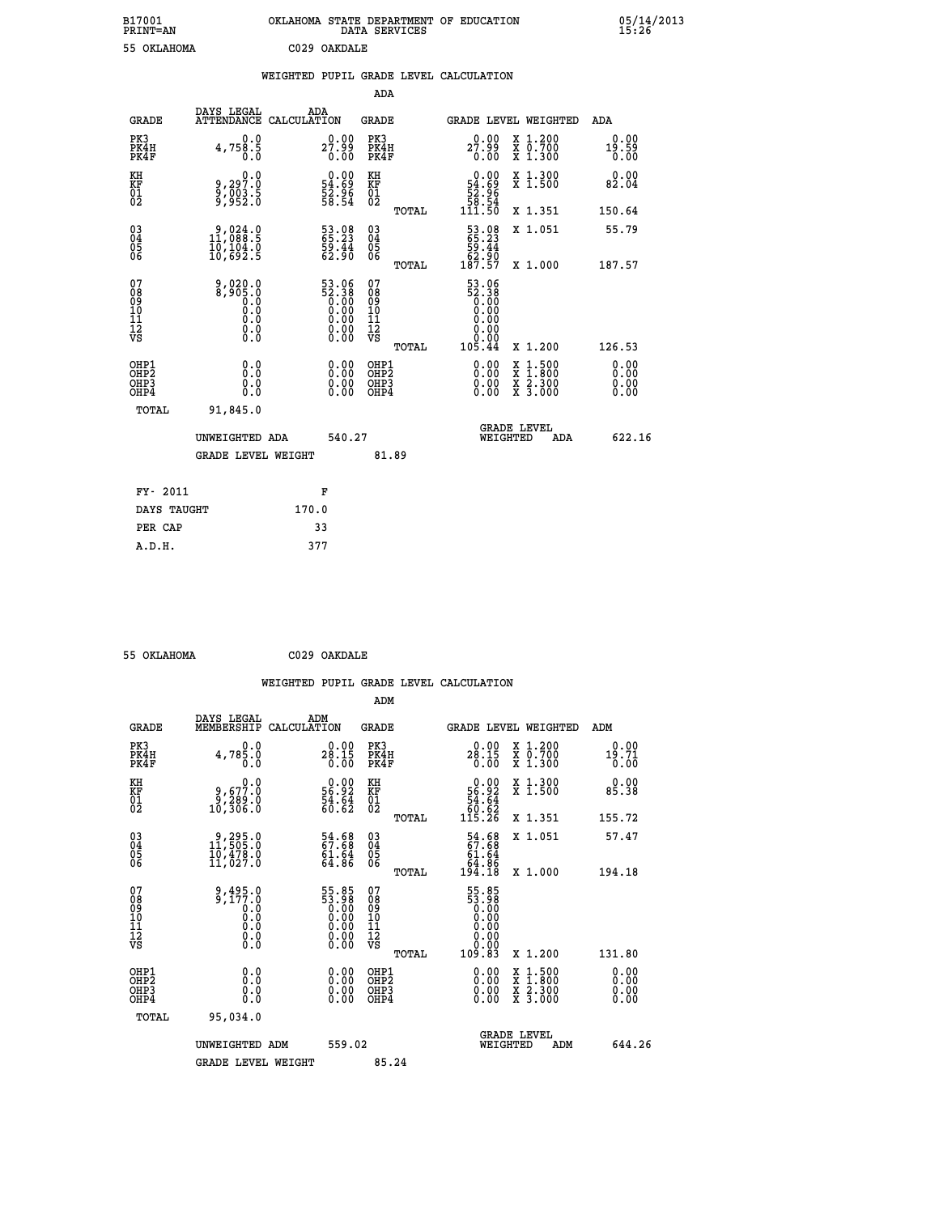| B17001<br><b>PRINT=AN</b> | OKLAHOMA STATE DEPARTMENT OF EDUCATION<br>SERVICES<br>DATA | 05/14/2013<br>15:26 |
|---------------------------|------------------------------------------------------------|---------------------|
| 55<br>OKLAHOMA            | C029 OAKDALE                                               |                     |

|  |  | WEIGHTED PUPIL GRADE LEVEL CALCULATION |
|--|--|----------------------------------------|
|  |  |                                        |

|                                                                    |                                                                                  |                                                                      | ADA                                            |       |                                                                                           |                                                                                                                                           |                       |
|--------------------------------------------------------------------|----------------------------------------------------------------------------------|----------------------------------------------------------------------|------------------------------------------------|-------|-------------------------------------------------------------------------------------------|-------------------------------------------------------------------------------------------------------------------------------------------|-----------------------|
| <b>GRADE</b>                                                       | DAYS LEGAL<br>ATTENDANCE CALCULATION                                             | ADA                                                                  | <b>GRADE</b>                                   |       |                                                                                           | <b>GRADE LEVEL WEIGHTED</b>                                                                                                               | ADA                   |
| PK3<br>PK4H<br>PK4F                                                | 0.0<br>4,758.5<br>0.0                                                            | 27.99<br>0.00                                                        | PK3<br>PK4H<br>PK4F                            |       | 27.99<br>0.00                                                                             | X 1.200<br>X 0.700<br>X 1.300                                                                                                             | 0.00<br>19.59<br>0.00 |
| KH<br>KF<br>01<br>02                                               | 0.0<br>9,297:0<br>9,003:5<br>9,952:0                                             | $\begin{smallmatrix} 0.00\\ 54.69\\ 52.96\\ 58.54 \end{smallmatrix}$ | KH<br>KF<br>01<br>02                           |       | 0.00<br>$\begin{array}{r} 54.69 \\ 54.96 \\ 58.54 \\ 111.50 \end{array}$                  | X 1.300<br>X 1.500                                                                                                                        | 0.00<br>82.04         |
|                                                                    |                                                                                  |                                                                      |                                                | TOTAL |                                                                                           | X 1.351                                                                                                                                   | 150.64                |
| $\begin{smallmatrix} 03 \\[-4pt] 04 \end{smallmatrix}$<br>Ŏ5<br>06 | $\begin{smallmatrix} 9,024.0\\ 11,088.5\\ 10,104.0\\ 10,692.5 \end{smallmatrix}$ | 53.08<br>65.23<br>59.44<br>62.90                                     | $\substack{03 \\ 04}$<br>$\substack{05 \\ 06}$ |       | 53.08<br>55.23<br>59.44<br>52.90<br>62.97                                                 | X 1.051                                                                                                                                   | 55.79                 |
|                                                                    |                                                                                  |                                                                      |                                                | TOTAL |                                                                                           | X 1.000                                                                                                                                   | 187.57                |
| 07<br>08<br>09<br>11<br>11<br>12<br>VS                             | 9,020.0<br>8,905.0<br>Ŏ:Ŏ<br>O:Ŏ<br>Q:Q<br>$\S.$                                 | 53.96<br>52.38<br>0.00<br>0.00<br>Ŏ.ŎŎ<br>O.OO                       | 07<br>08<br>09<br>11<br>11<br>12<br>VS         |       | 53.06<br>$\begin{smallmatrix} 52.38 \\ 0.38 \\ 0.00 \\ 0.00 \\ \end{smallmatrix}$<br>0.00 |                                                                                                                                           |                       |
|                                                                    |                                                                                  |                                                                      |                                                | TOTAL | 105.44                                                                                    | X 1.200                                                                                                                                   | 126.53                |
| OHP1<br>OHP2<br>OH <sub>P3</sub><br>OHP4                           | 0.0<br>0.0<br>0.0                                                                | $0.00$<br>$0.00$<br>0.00                                             | OHP1<br>OHP2<br>OHP3<br>OHP4                   |       |                                                                                           | $\begin{smallmatrix} \mathtt{X} & 1\cdot500\\ \mathtt{X} & 1\cdot800\\ \mathtt{X} & 2\cdot300\\ \mathtt{X} & 3\cdot000 \end{smallmatrix}$ | 0.00<br>0.00<br>0.00  |
| TOTAL                                                              | 91,845.0                                                                         |                                                                      |                                                |       |                                                                                           |                                                                                                                                           |                       |
|                                                                    | UNWEIGHTED ADA                                                                   | 540.27                                                               |                                                |       |                                                                                           | <b>GRADE LEVEL</b><br>WEIGHTED<br>ADA                                                                                                     | 622.16                |
|                                                                    | <b>GRADE LEVEL WEIGHT</b>                                                        |                                                                      |                                                | 81.89 |                                                                                           |                                                                                                                                           |                       |
| FY- 2011                                                           |                                                                                  | F                                                                    |                                                |       |                                                                                           |                                                                                                                                           |                       |
| DAYS TAUGHT                                                        |                                                                                  | 170.0                                                                |                                                |       |                                                                                           |                                                                                                                                           |                       |
| PER CAP                                                            |                                                                                  | 33                                                                   |                                                |       |                                                                                           |                                                                                                                                           |                       |

 **55 OKLAHOMA C029 OAKDALE WEIGHTED PUPIL GRADE LEVEL CALCULATION ADM DAYS LEGAL ADM GRADE MEMBERSHIP CALCULATION GRADE GRADE LEVEL WEIGHTED ADM PK3 0.0 0.00 PK3 0.00 X 1.200 0.00 PK4H 4,785.0 28.15 PK4H 28.15 X 0.700 19.71 PK4F 0.0 0.00 PK4F 0.00 X 1.300 0.00** 0.00 KH و 0.00 KH<br>KH و 9,677.0 56.92 KF 56.92 X 1.500 85.38  **01 9,289.0 54.64 01 54.64 02 10,306.0 60.62 02 60.62 TOTAL 115.26 X 1.351 155.72 03 9,295.0 54.68 03 54.68 X 1.051 57.47 04 11,505.0 67.68 04 67.68 05 10,478.0 61.64 05 61.64 06 11,027.0 64.86 06 64.86 TOTAL 194.18 X 1.000 194.18 07** 9,495.0 55.85 07<br>
08 9,177.0 53.98 08 53.98<br>
10 0.0 0.00 10 0.00<br>
11 0.0 0.00 11 0.00<br>
12 0.00 0.00 12<br>
VS 0.0 0.00 VS 0.00  $\begin{array}{cccccc} 9,495 \ .0 & 55 \ .85 & 07 \ .0 & 0.00 & 0.00 & 0.00 & 0.00 & 0.00 & 0.00 & 0.00 & 0.00 & 0.00 & 0.00 & 0.00 & 0.00 & 0.00 & 0.00 & 0.00 & 0.00 & 0.00 & 0.00 & 0.00 & 0.00 & 0.00 & 0.00 & 0.00 & 0.00 & 0.00 & 0.00 & 0.00 & 0.00 & 0.00 & 0.00 & 0.00 &$  **OHP1 0.0 0.00 OHP1 0.00 X 1.500 0.00 OHP2 0.0 0.00 OHP2 0.00 X 1.800 0.00 OHP3 0.0 0.00 OHP3 0.00 X 2.300 0.00 OHP4 0.0 0.00 OHP4 0.00 X 3.000 0.00 TOTAL 95,034.0 GRADE LEVEL UNWEIGHTED ADM 559.02 WEIGHTED ADM 644.26** GRADE LEVEL WEIGHT 85.24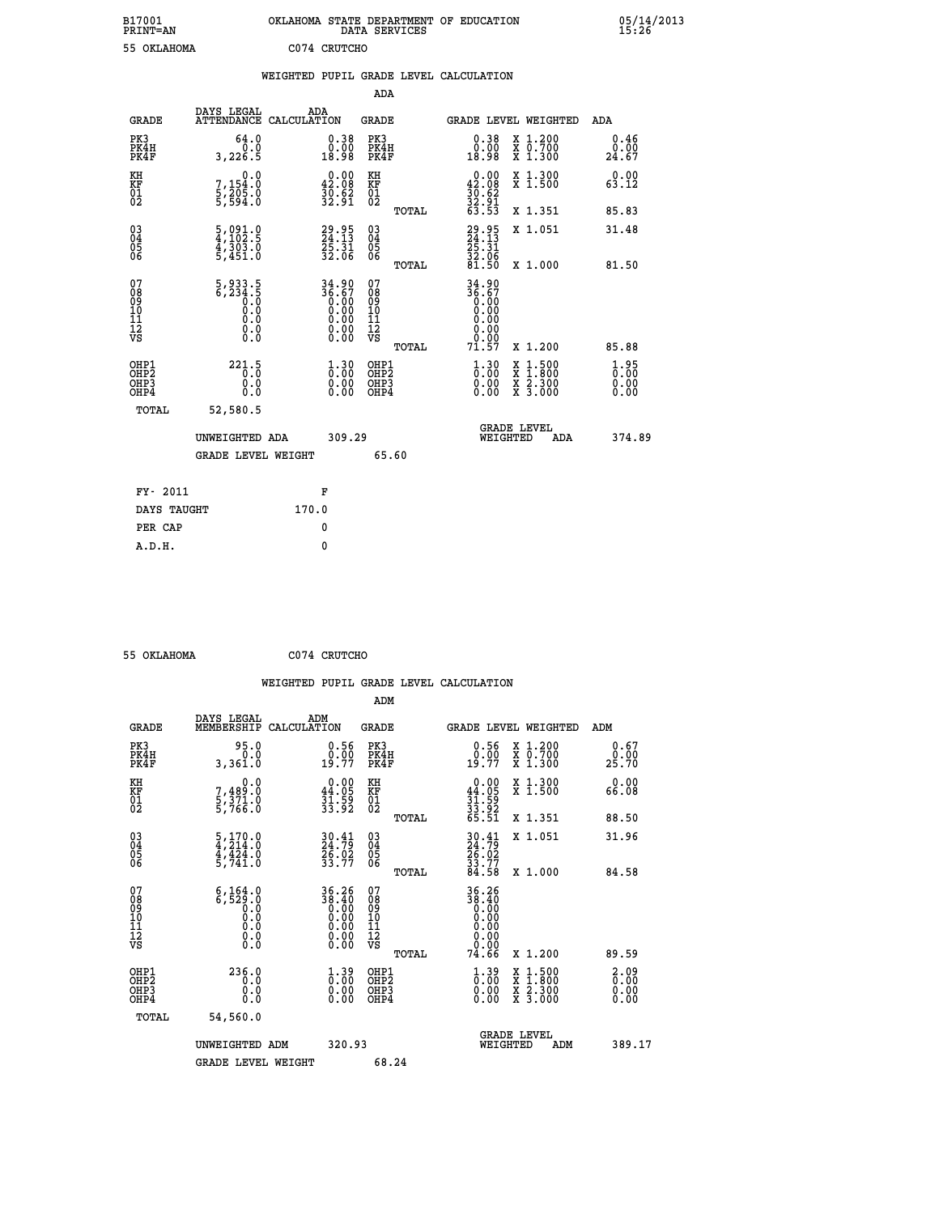| B17001<br><b>PRINT=AN</b> | OKLAHOMA STATE DEPARTMENT OF EDUCATION<br>DATA SERVICES | 05/14/2013<br>15:26 |
|---------------------------|---------------------------------------------------------|---------------------|
| 55<br><b>OKLAHOMA</b>     | C074<br>CRUTCHO                                         |                     |

| 55 OKLAHOMA                                        |                                                                                                                                                  |       | C074 CRUTCHO                                                         |                                                    |       |                                                         |                                                                                                                                              |                                  |
|----------------------------------------------------|--------------------------------------------------------------------------------------------------------------------------------------------------|-------|----------------------------------------------------------------------|----------------------------------------------------|-------|---------------------------------------------------------|----------------------------------------------------------------------------------------------------------------------------------------------|----------------------------------|
|                                                    |                                                                                                                                                  |       |                                                                      |                                                    |       | WEIGHTED PUPIL GRADE LEVEL CALCULATION                  |                                                                                                                                              |                                  |
|                                                    |                                                                                                                                                  |       |                                                                      | ADA                                                |       |                                                         |                                                                                                                                              |                                  |
| <b>GRADE</b>                                       | DAYS LEGAL<br>ATTENDANCE CALCULATION                                                                                                             |       | ADA                                                                  | <b>GRADE</b>                                       |       |                                                         | GRADE LEVEL WEIGHTED                                                                                                                         | <b>ADA</b>                       |
| PK3<br>PK4H<br>PK4F                                | 64.0<br>0.0<br>3,226.5                                                                                                                           |       | $\begin{smallmatrix} 0.38\\ 0.00\\ 18.98 \end{smallmatrix}$          | PK3<br>PK4H<br>PK4F                                |       | $0.38$<br>$0.00$<br>18.98                               | X 1.200<br>X 0.700<br>X 1.300                                                                                                                | 0.46<br>0.00<br>24.67            |
| KH<br>KF<br>01<br>02                               | 0.0<br>7,154:0<br>5,205:0<br>5,594:0                                                                                                             |       | $\begin{smallmatrix} 0.00\\ 42.08\\ 30.62\\ 32.91 \end{smallmatrix}$ | KH<br>KF<br>01<br>02                               |       | 0.00<br>$42.08$<br>$30.62$<br>$32.91$<br>$63.53$        | X 1.300<br>X 1.500                                                                                                                           | 0.00<br>63.12                    |
|                                                    |                                                                                                                                                  |       |                                                                      |                                                    | TOTAL |                                                         | X 1.351                                                                                                                                      | 85.83                            |
| $\begin{matrix} 03 \\ 04 \\ 05 \\ 06 \end{matrix}$ | $\frac{5}{4}, \frac{091}{102}.\frac{0}{5}$<br>$\frac{4}{303}.\frac{0}{0}$<br>$5, 451.0$                                                          |       | 29.95<br>24.13<br>25.31<br>32.06                                     | $\begin{matrix} 03 \\ 04 \\ 05 \\ 06 \end{matrix}$ |       | $29.95$<br>$24.13$<br>$25.31$<br>$32.06$<br>$81.50$     | X 1.051                                                                                                                                      | 31.48                            |
|                                                    |                                                                                                                                                  |       |                                                                      |                                                    | TOTAL |                                                         | X 1.000                                                                                                                                      | 81.50                            |
| 07<br>08<br>09<br>11<br>11<br>12<br>VS             | $\frac{5}{6}, \frac{933}{234}, \frac{5}{6}$<br>$\frac{0}{6}, \frac{0}{6}$<br>$\begin{smallmatrix} 0.0 & 0 \ 0.0 & 0 \ 0.0 & 0 \end{smallmatrix}$ |       | $34.90\n36.67\n0.00\n0.00\n0.00\n0.00\n0.00$                         | 07<br>08<br>09<br>11<br>11<br>12<br>VS             | TOTAL | 34.90<br>36.67<br>0.00<br>0.00<br>0.00<br>0.00<br>71.57 | X 1.200                                                                                                                                      | 85.88                            |
| OHP1<br>OHP2<br>OHP3<br>OHP4                       | $221.5$<br>0:0<br>0.0                                                                                                                            |       | $\frac{1}{0}$ : $\frac{30}{00}$<br>0.00                              | OHP1<br>OHP2<br>OHP3<br>OHP4                       |       | $\frac{1}{0}$ : 00<br>0.00<br>0.00                      | $\begin{smallmatrix} \mathtt{X} & 1\cdot500 \\ \mathtt{X} & 1\cdot800 \\ \mathtt{X} & 2\cdot300 \\ \mathtt{X} & 3\cdot000 \end{smallmatrix}$ | $1.95$<br>$0.00$<br>0.00<br>0.00 |
| TOTAL                                              | 52,580.5                                                                                                                                         |       |                                                                      |                                                    |       |                                                         |                                                                                                                                              |                                  |
|                                                    | UNWEIGHTED ADA                                                                                                                                   |       | 309.29                                                               |                                                    |       | WEIGHTED                                                | <b>GRADE LEVEL</b><br>ADA                                                                                                                    | 374.89                           |
|                                                    | <b>GRADE LEVEL WEIGHT</b>                                                                                                                        |       |                                                                      |                                                    | 65.60 |                                                         |                                                                                                                                              |                                  |
| FY- 2011                                           |                                                                                                                                                  |       | F                                                                    |                                                    |       |                                                         |                                                                                                                                              |                                  |
| DAYS TAUGHT                                        |                                                                                                                                                  | 170.0 |                                                                      |                                                    |       |                                                         |                                                                                                                                              |                                  |
| PER CAP                                            |                                                                                                                                                  |       | 0                                                                    |                                                    |       |                                                         |                                                                                                                                              |                                  |
| A.D.H.                                             |                                                                                                                                                  |       | $\mathbf{0}$                                                         |                                                    |       |                                                         |                                                                                                                                              |                                  |

| 55 OKLAHOMA                                        |                                                                                    | C074 CRUTCHO                                                         |                                          |       |                                           |                                                                                                                                      |                              |  |
|----------------------------------------------------|------------------------------------------------------------------------------------|----------------------------------------------------------------------|------------------------------------------|-------|-------------------------------------------|--------------------------------------------------------------------------------------------------------------------------------------|------------------------------|--|
|                                                    |                                                                                    |                                                                      |                                          |       | WEIGHTED PUPIL GRADE LEVEL CALCULATION    |                                                                                                                                      |                              |  |
|                                                    |                                                                                    |                                                                      | ADM                                      |       |                                           |                                                                                                                                      |                              |  |
| <b>GRADE</b>                                       | DAYS LEGAL<br>MEMBERSHIP CALCULATION                                               | ADM                                                                  | GRADE                                    |       |                                           | GRADE LEVEL WEIGHTED                                                                                                                 | ADM                          |  |
| PK3<br>PK4H<br>PK4F                                | 95.0<br>0.0<br>3,361.0                                                             | 0.56<br>0.00<br>19.77                                                | PK3<br>PK4H<br>PK4F                      |       | 0.56<br>0.00<br>19.77                     | X 1.200<br>X 0.700<br>X 1.300                                                                                                        | 0.67<br>0.00<br>25.70        |  |
| KH<br>KF<br>01<br>02                               | 0.0<br>7,489:0<br>5,371:0<br>5,766:0                                               | $\begin{smallmatrix} 0.00\\ 44.05\\ 31.59\\ 33.92 \end{smallmatrix}$ | KH<br>KF<br>01<br>02                     |       | $0.00\n44.05\n31.59\n33.92\n65.51$        | X 1.300<br>X 1.500                                                                                                                   | 0.00<br>66.08                |  |
|                                                    |                                                                                    |                                                                      |                                          | TOTAL |                                           | X 1.351                                                                                                                              | 88.50                        |  |
| $\begin{matrix} 03 \\ 04 \\ 05 \\ 06 \end{matrix}$ | $\frac{5}{4}, \frac{170}{214}.0$<br>$\frac{4}{4}, \frac{424}{424}.0$<br>$5, 741.0$ | $30.41$<br>$24.79$<br>$26.02$<br>$33.77$                             | $\substack{03 \\ 04}$<br>Ŏ5<br>06        |       | 30.41<br>24.79<br>26.02<br>33.77<br>34.58 | X 1.051                                                                                                                              | 31.96                        |  |
|                                                    |                                                                                    |                                                                      |                                          | TOTAL |                                           | X 1.000                                                                                                                              | 84.58                        |  |
| 07<br>08<br>09<br>11<br>11<br>12<br>VS             | $6,164.0$<br>$6,529.0$<br>$0.0$<br>$0.0$<br>0.0<br>Ŏ.Ŏ                             | 36.26                                                                | 07<br>08<br>09<br>11<br>11<br>12<br>VS   | TOTAL | 36.26<br>38:40<br>0.00<br>0.00<br>74.66   | X 1.200                                                                                                                              | 89.59                        |  |
| OHP1<br>OH <sub>P</sub> 2<br>OHP3<br>OHP4          | 236.0<br>0.0<br>0.0<br>0.0                                                         | $1.39$<br>$0.00$<br>0.00<br>0.00                                     | OHP1<br>OHP <sub>2</sub><br>OHP3<br>OHP4 |       | $1.39$<br>$0.00$<br>0.00                  | $\begin{smallmatrix} \mathtt{X} & 1 & 500 \\ \mathtt{X} & 1 & 800 \\ \mathtt{X} & 2 & 300 \\ \mathtt{X} & 3 & 000 \end{smallmatrix}$ | 2.09<br>0.00<br>0.00<br>0.00 |  |
| TOTAL                                              | 54,560.0                                                                           |                                                                      |                                          |       |                                           |                                                                                                                                      |                              |  |
|                                                    | UNWEIGHTED ADM                                                                     | 320.93                                                               |                                          |       | WEIGHTED                                  | <b>GRADE LEVEL</b><br>ADM                                                                                                            | 389.17                       |  |
|                                                    | <b>GRADE LEVEL WEIGHT</b>                                                          |                                                                      | 68.24                                    |       |                                           |                                                                                                                                      |                              |  |
|                                                    |                                                                                    |                                                                      |                                          |       |                                           |                                                                                                                                      |                              |  |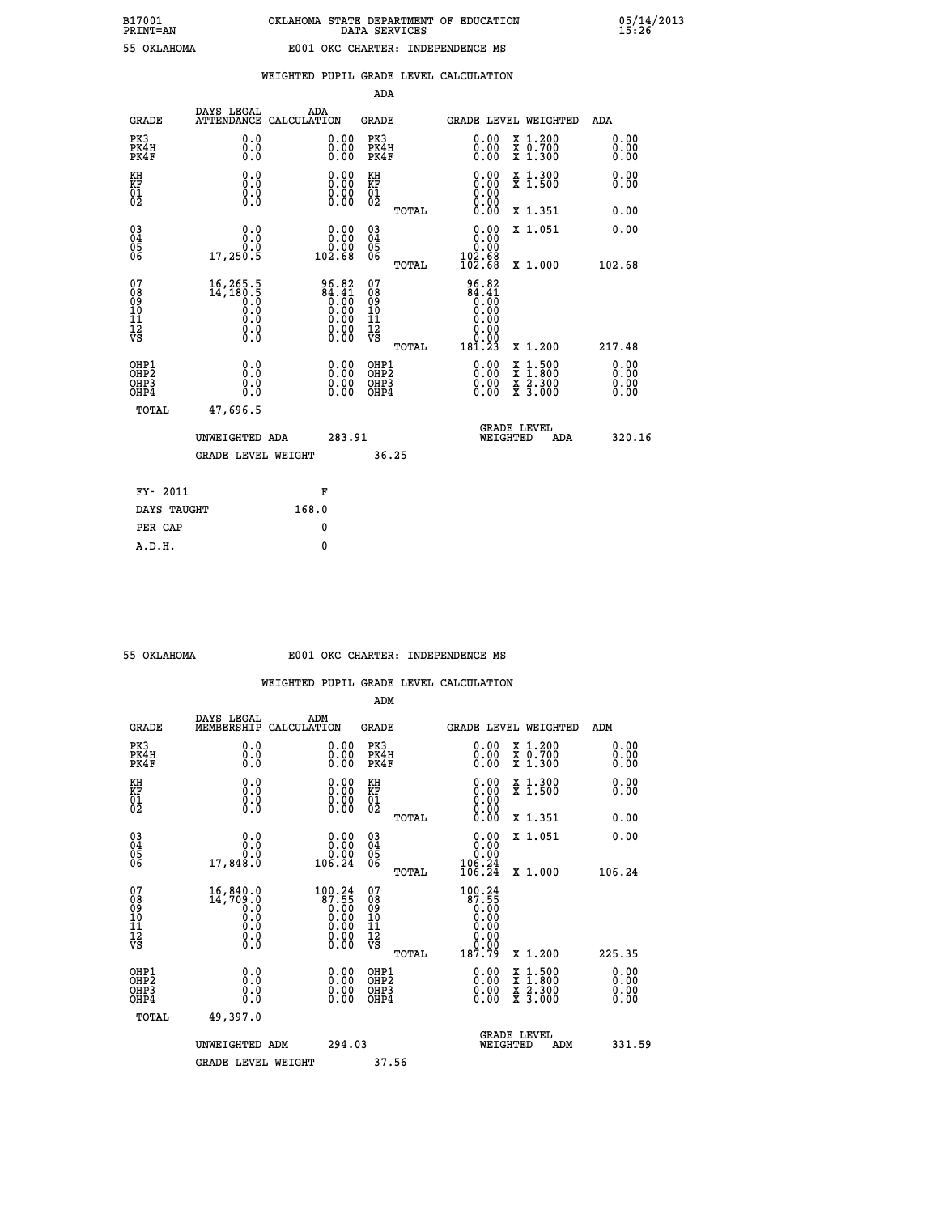|                                                                    |                                                    |                                                                                                              | ADA                                      |       |                                                              |                                                                                                  |                              |
|--------------------------------------------------------------------|----------------------------------------------------|--------------------------------------------------------------------------------------------------------------|------------------------------------------|-------|--------------------------------------------------------------|--------------------------------------------------------------------------------------------------|------------------------------|
| <b>GRADE</b>                                                       | DAYS LEGAL<br><b>ATTENDANCE</b>                    | ADA<br>CALCULATION                                                                                           | <b>GRADE</b>                             |       |                                                              | <b>GRADE LEVEL WEIGHTED</b>                                                                      | ADA                          |
| PK3<br>PK4H<br>PK4F                                                | 0.0<br>0.0<br>0.0                                  | $\begin{smallmatrix} 0.00 \ 0.00 \ 0.00 \end{smallmatrix}$                                                   | PK3<br>PK4H<br>PK4F                      |       | $\begin{smallmatrix} 0.00 \\ 0.00 \\ 0.00 \end{smallmatrix}$ | X 1.200<br>X 0.700<br>X 1.300                                                                    | 0.00<br>0.00<br>0.00         |
| KH<br><b>KF</b><br>01<br>02                                        | 0.0<br>0.0<br>$\S.$                                | 0.0000<br>$\begin{smallmatrix} 0.00 & 0.00 \\ 0.00 & 0.00 \end{smallmatrix}$                                 | KH<br>KF<br>01<br>02                     |       | 0.00<br>0.00                                                 | X 1.300<br>X 1.500                                                                               | 0.00<br>0.00                 |
|                                                                    |                                                    |                                                                                                              |                                          | TOTAL |                                                              | X 1.351                                                                                          | 0.00                         |
| $\begin{smallmatrix} 03 \\[-4pt] 04 \end{smallmatrix}$<br>05<br>06 | 0.0<br>0.0<br>17, 250.5                            | 0.00<br>ة.ة<br>102.68                                                                                        | $\substack{03 \\ 04}$<br>05<br>06        | TOTAL | 0.00<br>0.00<br>102.68<br>102.68                             | X 1.051<br>X 1.000                                                                               | 0.00<br>102.68               |
| 07<br>08901112<br>1112<br>VS                                       | 16,265.5<br>14,180.5<br>0.0<br>0.0<br>0.0<br>$\S.$ | 96.82<br>84.41<br>0.00<br>0.00<br>0.00<br>$\begin{smallmatrix} 0.00 & 0.00 \\ 0.00 & 0.00 \end{smallmatrix}$ | 07<br>08<br>09<br>11<br>11<br>12<br>VS   |       | 96.82<br>$64.41$<br>$0.00$<br>$0.00$<br>0.00<br>0.00         |                                                                                                  |                              |
|                                                                    |                                                    |                                                                                                              |                                          | TOTAL | 181.23                                                       | X 1.200                                                                                          | 217.48                       |
| OHP1<br>OH <sub>P2</sub><br>OH <sub>P3</sub><br>OH <sub>P4</sub>   | 0.0<br>0.0<br>0.0                                  | 0.00<br>$\begin{smallmatrix} 0.00 \ 0.00 \end{smallmatrix}$                                                  | OHP1<br>OHP <sub>2</sub><br>OHP3<br>OHP4 |       | 0.00<br>0.00<br>0.00                                         | $\begin{smallmatrix} x & 1 & 500 \\ x & 1 & 800 \\ x & 2 & 300 \\ x & 3 & 000 \end{smallmatrix}$ | 0.00<br>0.00<br>0.00<br>0.00 |
| TOTAL                                                              | 47,696.5                                           |                                                                                                              |                                          |       |                                                              |                                                                                                  |                              |
|                                                                    | UNWEIGHTED ADA                                     | 283.91                                                                                                       |                                          |       |                                                              | GRADE LEVEL<br>WEIGHTED<br>ADA                                                                   | 320.16                       |
|                                                                    | <b>GRADE LEVEL WEIGHT</b>                          |                                                                                                              |                                          | 36.25 |                                                              |                                                                                                  |                              |
| FY- 2011                                                           |                                                    | F                                                                                                            |                                          |       |                                                              |                                                                                                  |                              |
| DAYS TAUGHT                                                        |                                                    | 168.0                                                                                                        |                                          |       |                                                              |                                                                                                  |                              |
| PER CAP                                                            |                                                    | 0                                                                                                            |                                          |       |                                                              |                                                                                                  |                              |

| 55 OKTAHOMA |  |
|-------------|--|

## **55 OKLAHOMA E001 OKC CHARTER: INDEPENDENCE MS**

|                                                    |                                                                                                                                           |                                                                                                                          | ADM                                                 |       |                                                                                                                                                                                                |                                          |     |                      |  |
|----------------------------------------------------|-------------------------------------------------------------------------------------------------------------------------------------------|--------------------------------------------------------------------------------------------------------------------------|-----------------------------------------------------|-------|------------------------------------------------------------------------------------------------------------------------------------------------------------------------------------------------|------------------------------------------|-----|----------------------|--|
| <b>GRADE</b>                                       | DAYS LEGAL<br>MEMBERSHIP                                                                                                                  | ADM<br>CALCULATION                                                                                                       | <b>GRADE</b>                                        |       | GRADE LEVEL WEIGHTED                                                                                                                                                                           |                                          |     | ADM                  |  |
| PK3<br>PK4H<br>PK4F                                | 0.0<br>0.000                                                                                                                              | $\begin{smallmatrix} 0.00 \ 0.00 \ 0.00 \end{smallmatrix}$                                                               | PK3<br>PK4H<br>PK4F                                 |       | $\begin{smallmatrix} 0.00 \\ 0.00 \\ 0.00 \end{smallmatrix}$                                                                                                                                   | X 1.200<br>X 0.700<br>X 1.300            |     | 0.00<br>0.00<br>0.00 |  |
| KH<br>KF<br>01<br>02                               | 0.0<br>$\begin{smallmatrix} 0.0 & 0 \ 0.0 & 0 \ 0.0 & 0 \end{smallmatrix}$                                                                | $\begin{smallmatrix} 0.00 \ 0.00 \ 0.00 \ 0.00 \end{smallmatrix}$                                                        | KH<br><b>KF</b><br>01<br>02                         |       | $0.00$<br>$0.00$<br>$0.00$                                                                                                                                                                     | X 1.300<br>X 1.500                       |     | 0.00<br>0.00         |  |
|                                                    |                                                                                                                                           |                                                                                                                          |                                                     | TOTAL | 0.00                                                                                                                                                                                           | X 1.351                                  |     | 0.00                 |  |
| $\begin{matrix} 03 \\ 04 \\ 05 \\ 06 \end{matrix}$ | 0.00000                                                                                                                                   | $\begin{smallmatrix} &0.00\0.00\0.00\0.24\end{smallmatrix}$                                                              | $\begin{array}{c} 03 \\ 04 \\ 05 \\ 06 \end{array}$ |       | $\begin{smallmatrix} 0.00\\ 0.00\\ 0.00\\ 106.24\\ 106.24 \end{smallmatrix}$                                                                                                                   | X 1.051                                  |     | 0.00                 |  |
|                                                    | 17,848.0                                                                                                                                  |                                                                                                                          |                                                     | TOTAL |                                                                                                                                                                                                | X 1.000                                  |     | 106.24               |  |
| 07<br>08<br>09<br>101<br>11<br>12<br>VS            | $\begin{smallmatrix} 16\,, & 840\,. & 0\\ 14\,, & 709\,. & 0\\ 0\,. & 0\\ 0\,. & 0\\ 0\,. & 0\\ 0\,. & 0\\ 0\,. & 0\,. \end{smallmatrix}$ | $\begin{smallmatrix} 100.24\ 87.55\ 0.00\ 0.00\ 0.00\ 0.00\ 0.00\ 0.00\ 0.00\ 0.00\ 0.00\ 0.00\ 0.00\ \end{smallmatrix}$ | 07<br>08<br>09<br>11<br>11<br>12<br>VS              | TOTAL | 100.24<br>$\begin{smallmatrix} 87.55\ 0.00 \ 0.00 \end{smallmatrix}$<br>0.00<br>$\begin{array}{c} \text{\scriptsize{0.00}}\ \text{\scriptsize{0.00}}\ \text{\scriptsize{187.79}}\ \end{array}$ | X 1.200                                  |     | 225.35               |  |
| OHP1<br>OHP2<br>OHP3<br>OHP4                       |                                                                                                                                           |                                                                                                                          | OHP1<br>OHP2<br>OHP3<br>OHP4                        |       | 0.00<br>0.00                                                                                                                                                                                   | X 1:500<br>X 1:800<br>X 2:300<br>X 3:000 |     | 0.00<br>0.00<br>0.00 |  |
| TOTAL                                              | 49,397.0                                                                                                                                  |                                                                                                                          |                                                     |       |                                                                                                                                                                                                |                                          |     |                      |  |
|                                                    | UNWEIGHTED<br>ADM                                                                                                                         | 294.03                                                                                                                   |                                                     |       | WEIGHTED                                                                                                                                                                                       | <b>GRADE LEVEL</b>                       | ADM | 331.59               |  |
|                                                    | <b>GRADE LEVEL WEIGHT</b>                                                                                                                 |                                                                                                                          | 37.56                                               |       |                                                                                                                                                                                                |                                          |     |                      |  |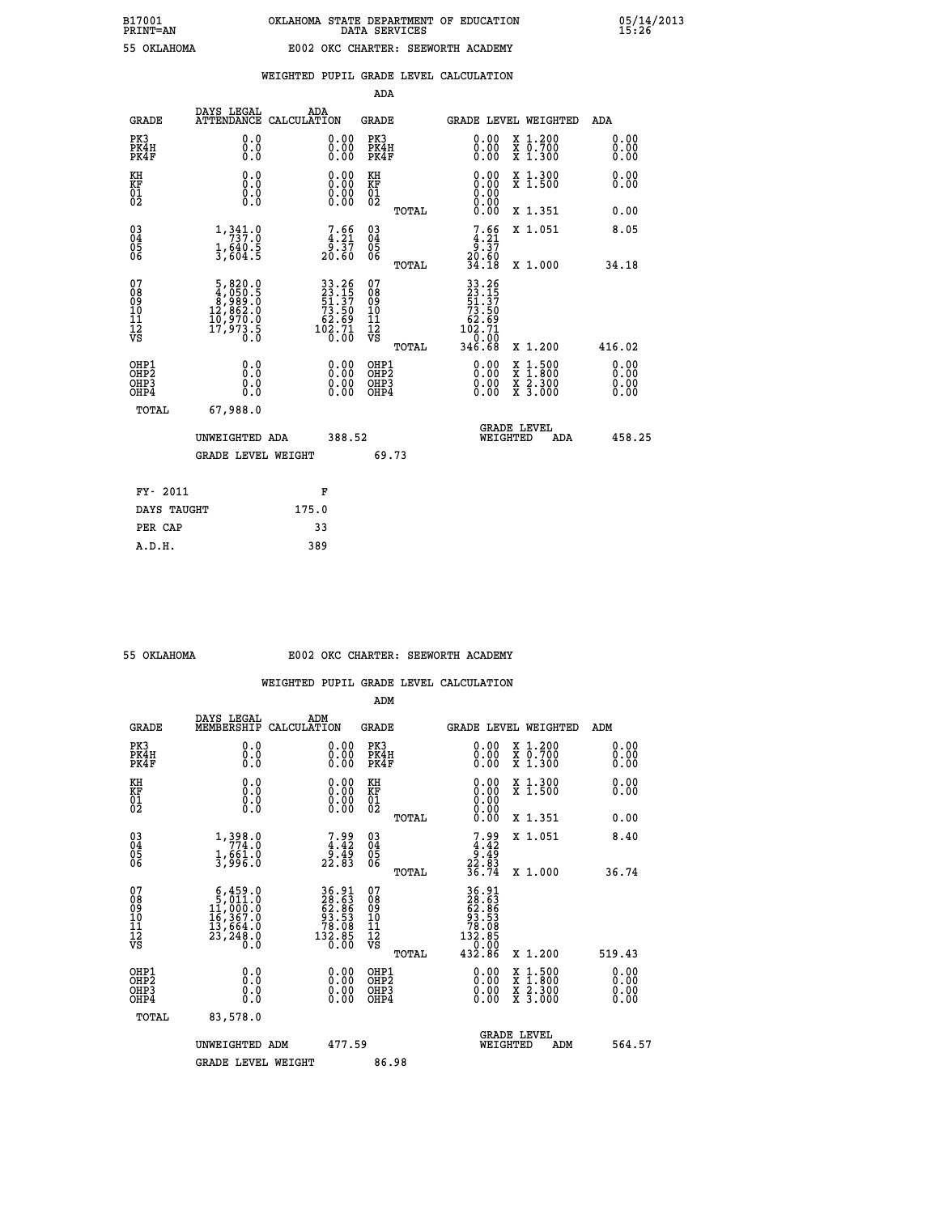| --------        |  |
|-----------------|--|
| <b>OVI AUOM</b> |  |

|                                                                    |                                                                                               |                                                                                                                        | ADA                                           |       |                                                                       |                                                                                                                                              |                               |
|--------------------------------------------------------------------|-----------------------------------------------------------------------------------------------|------------------------------------------------------------------------------------------------------------------------|-----------------------------------------------|-------|-----------------------------------------------------------------------|----------------------------------------------------------------------------------------------------------------------------------------------|-------------------------------|
| <b>GRADE</b>                                                       | DAYS LEGAL                                                                                    | ADA<br>ATTENDANCE CALCULATION                                                                                          | <b>GRADE</b>                                  |       |                                                                       | GRADE LEVEL WEIGHTED                                                                                                                         | ADA                           |
| PK3<br>PK4H<br>PK4F                                                | 0.0<br>0.0<br>Ō.Ō                                                                             | 0.00<br>$\begin{smallmatrix} 0.00 \ 0.00 \end{smallmatrix}$                                                            | PK3<br>PK4H<br>PK4F                           |       | 0.00<br>0.00                                                          | X 1.200<br>X 0.700<br>X 1.300                                                                                                                | 0.00<br>0.00<br>0.00          |
| KH<br>KF<br>01<br>02                                               | 0.0<br>0.0<br>$\S.$                                                                           | 0.0000<br>$\begin{smallmatrix} 0.00 \\ 0.00 \end{smallmatrix}$                                                         | KH<br>KF<br>01<br>02                          |       | 0.00                                                                  | X 1.300<br>X 1.500                                                                                                                           | 0.00<br>0.00                  |
|                                                                    |                                                                                               |                                                                                                                        |                                               | TOTAL | 0.00                                                                  | X 1.351                                                                                                                                      | 0.00                          |
| $\begin{smallmatrix} 03 \\[-4pt] 04 \end{smallmatrix}$<br>Ŏ5<br>06 | 1,341.0<br>$\frac{1}{3}$ , $\frac{640}{604}$ . 5                                              | $\begin{smallmatrix}7.66\\4.21\\9.37\\20.60\end{smallmatrix}$                                                          | $\substack{03 \\ 04}$<br>Ŏ5<br>06             |       | $7.66$<br>$4.21$<br>$9.37$<br>$20.60$<br>$34.18$                      | X 1.051                                                                                                                                      | 8.05                          |
|                                                                    |                                                                                               |                                                                                                                        |                                               | TOTAL |                                                                       | X 1.000                                                                                                                                      | 34.18                         |
| 07<br>08<br>09<br>101<br>11<br>12<br>VS                            | $\begin{smallmatrix}5,820.0\\4,050.5\\8,989.0\\12,862.0\\10,970.0\\17,973.5\end{smallmatrix}$ | $\begin{array}{r} 33\cdot26 \\ 23\cdot15 \\ 51\cdot37 \\ 73\cdot50 \\ 62\cdot69 \\ 102\cdot71 \\ 0\cdot00 \end{array}$ | 07<br>08<br>09<br>001<br>11<br>11<br>12<br>VS |       | 33.26<br>23.157<br>51.37<br>53.50<br>73.50<br>62.71<br>102.71<br>2.00 |                                                                                                                                              |                               |
|                                                                    |                                                                                               |                                                                                                                        |                                               | TOTAL | 346.68                                                                | X 1.200                                                                                                                                      | 416.02                        |
| OHP1<br>OHP <sub>2</sub><br>OH <sub>P3</sub><br>OHP4               | 0.0<br>0.0<br>$0.\overline{0}$                                                                | 0.00<br>$\begin{smallmatrix} 0.00 \ 0.00 \end{smallmatrix}$                                                            | OHP1<br>OHP2<br>OHP <sub>3</sub>              |       | 0.00<br>0.00                                                          | $\begin{smallmatrix} \mathtt{X} & 1\cdot500 \\ \mathtt{X} & 1\cdot800 \\ \mathtt{X} & 2\cdot300 \\ \mathtt{X} & 3\cdot000 \end{smallmatrix}$ | 0.00<br>Ō. ŌŌ<br>0.00<br>0.00 |
| TOTAL                                                              | 67,988.0                                                                                      |                                                                                                                        |                                               |       |                                                                       |                                                                                                                                              |                               |
|                                                                    | UNWEIGHTED ADA                                                                                | 388.52                                                                                                                 |                                               |       |                                                                       | <b>GRADE LEVEL</b><br>WEIGHTED<br>ADA                                                                                                        | 458.25                        |
|                                                                    | <b>GRADE LEVEL WEIGHT</b>                                                                     |                                                                                                                        |                                               | 69.73 |                                                                       |                                                                                                                                              |                               |
| FY- 2011                                                           |                                                                                               | F                                                                                                                      |                                               |       |                                                                       |                                                                                                                                              |                               |
| DAYS TAUGHT                                                        |                                                                                               | 175.0                                                                                                                  |                                               |       |                                                                       |                                                                                                                                              |                               |
| PER CAP                                                            |                                                                                               | 33                                                                                                                     |                                               |       |                                                                       |                                                                                                                                              |                               |

 **A.D.H. 389**

#### **55 OKLAHOMA E002 OKC CHARTER: SEEWORTH ACADEMY**

|                                           |                                                                                                     |                                                                                                  | ADM                                                 |       |                                                                              |                                          |                      |
|-------------------------------------------|-----------------------------------------------------------------------------------------------------|--------------------------------------------------------------------------------------------------|-----------------------------------------------------|-------|------------------------------------------------------------------------------|------------------------------------------|----------------------|
| <b>GRADE</b>                              | DAYS LEGAL<br>MEMBERSHIP                                                                            | ADM<br>CALCULATION                                                                               | <b>GRADE</b>                                        |       |                                                                              | GRADE LEVEL WEIGHTED                     | ADM                  |
| PK3<br>PK4H<br>PK4F                       | 0.0<br>0.0<br>0.0                                                                                   | 0.00<br>$\begin{smallmatrix} 0.00 \ 0.00 \end{smallmatrix}$                                      | PK3<br>PK4H<br>PK4F                                 |       | $\begin{smallmatrix} 0.00 \\ 0.00 \\ 0.00 \end{smallmatrix}$                 | X 1.200<br>X 0.700<br>X 1.300            | 0.00<br>0.00<br>0.00 |
| KH<br>KF<br>01<br>02                      | 0.0<br>0.0<br>$\S.$                                                                                 | $\begin{smallmatrix} 0.00 \ 0.00 \ 0.00 \ 0.00 \end{smallmatrix}$                                | KH<br>KF<br>01<br>02                                |       | $0.00$<br>$0.00$<br>$0.00$                                                   | X 1.300<br>X 1.500                       | 0.00<br>0.00         |
|                                           |                                                                                                     |                                                                                                  |                                                     | TOTAL | 0.00                                                                         | X 1.351                                  | 0.00                 |
| 03<br>04<br>05<br>06                      | 1,398.0<br>$\frac{1}{3}, \frac{661}{96}$ :0                                                         | $7.99$<br>$4.42$<br>$9.49$<br>$22.83$                                                            | $\begin{array}{c} 03 \\ 04 \\ 05 \\ 06 \end{array}$ |       | $7.99$<br>$4.42$<br>$9.49$<br>$22.83$<br>$36.74$                             | X 1.051                                  | 8.40                 |
|                                           |                                                                                                     |                                                                                                  |                                                     | TOTAL |                                                                              | X 1.000                                  | 36.74                |
| 07<br>08<br>09<br>101<br>112<br>VS        | $\begin{smallmatrix}6,459.0\\5,011.0\\11,000.0\\16,367.0\\13,664.0\\23,248.0\\0.0\end{smallmatrix}$ | $\begin{smallmatrix} 36.91\ 28.63\ 62.63\ 63.58\ 93.53\ 78.085\ 132.85\ 0.00\ \end{smallmatrix}$ | 07<br>08<br>09<br>11<br>11<br>12<br>VS              |       | 36.91<br>28.63<br>62.636<br>63.538<br>78.085<br>78.085<br>132.850<br>132.000 |                                          |                      |
|                                           |                                                                                                     |                                                                                                  |                                                     | TOTAL | 432.86                                                                       | X 1.200                                  | 519.43               |
| OHP1<br>OHP2<br>OH <sub>P</sub> 3<br>OHP4 | 0.0<br>0.000                                                                                        |                                                                                                  | OHP1<br>OHP2<br>OHP <sub>3</sub>                    |       | $0.00$<br>$0.00$<br>0.00                                                     | X 1:500<br>X 1:800<br>X 2:300<br>X 3:000 | 0.00<br>0.00<br>0.00 |
| TOTAL                                     | 83,578.0                                                                                            |                                                                                                  |                                                     |       |                                                                              |                                          |                      |
|                                           | UNWEIGHTED ADM                                                                                      | 477.59                                                                                           |                                                     |       |                                                                              | GRADE LEVEL<br>WEIGHTED<br>ADM           | 564.57               |
|                                           | <b>GRADE LEVEL WEIGHT</b>                                                                           |                                                                                                  | 86.98                                               |       |                                                                              |                                          |                      |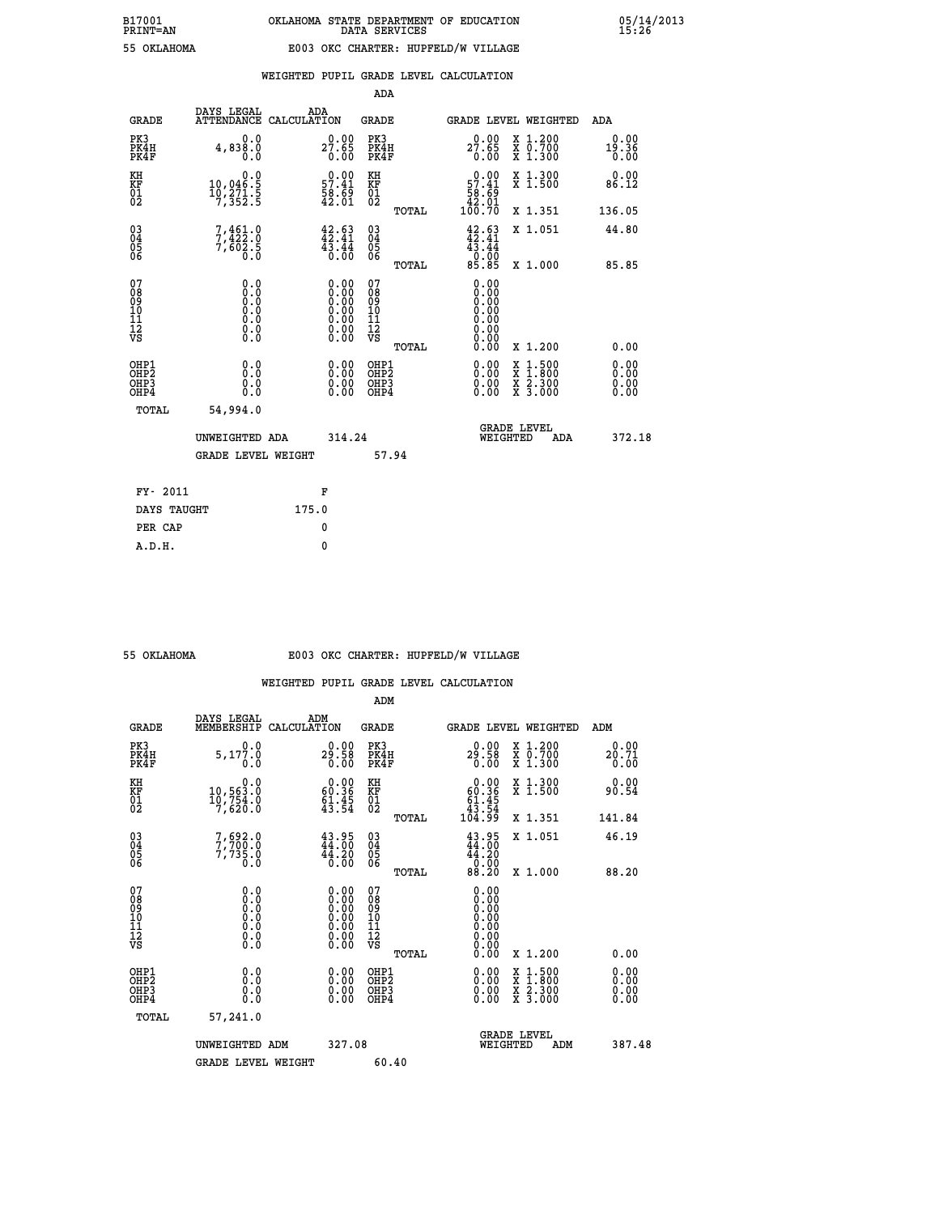|                                                                    |                                                                                                   |                                                                                               | ADA                                    |       |                                                                                                                                                                                                                                                                                |                                                                                                                                           |                              |
|--------------------------------------------------------------------|---------------------------------------------------------------------------------------------------|-----------------------------------------------------------------------------------------------|----------------------------------------|-------|--------------------------------------------------------------------------------------------------------------------------------------------------------------------------------------------------------------------------------------------------------------------------------|-------------------------------------------------------------------------------------------------------------------------------------------|------------------------------|
| <b>GRADE</b>                                                       | DAYS LEGAL<br>ATTENDANCE CALCULATION                                                              | ADA                                                                                           | <b>GRADE</b>                           |       |                                                                                                                                                                                                                                                                                | GRADE LEVEL WEIGHTED                                                                                                                      | ADA                          |
| PK3<br>PK4H<br>PK4F                                                | 0.0<br>4,838.0<br>0.0                                                                             | $27.65$<br>0.00                                                                               | PK3<br>PK4H<br>PK4F                    |       | 27.89<br>0.00                                                                                                                                                                                                                                                                  | X 1.200<br>X 0.700<br>X 1.300                                                                                                             | 0.00<br>19.36<br>0.00        |
| KH<br>KF<br>01<br>02                                               | 0.0<br>10,046:5<br>10,271:5<br>7,352:5                                                            | $\begin{smallmatrix} 0.00\\ 57.41\\ 58.69\\ 42.01 \end{smallmatrix}$                          | KH<br>KF<br>01<br>02                   |       | $0.00$<br>57.41<br>$\frac{56}{42}$ $\frac{65}{01}$<br>100.70                                                                                                                                                                                                                   | X 1.300<br>X 1.500                                                                                                                        | 0.00<br>86.12                |
|                                                                    |                                                                                                   |                                                                                               |                                        | TOTAL |                                                                                                                                                                                                                                                                                | X 1.351                                                                                                                                   | 136.05                       |
| $\begin{smallmatrix} 03 \\[-4pt] 04 \end{smallmatrix}$<br>Ŏ5<br>06 | $7,461.0$<br>$7,422.0$<br>$7,602.5$<br>$0.0$                                                      | $42.63$<br>$42.41$<br>$\frac{4\bar{3}\cdot\bar{4}\bar{4}}{0.00}$                              | $\substack{03 \\ 04}$<br>Ŏ5<br>06      |       | $42.63$<br>$42.41$<br>$43.44$<br>$0.00$<br>$85.85$                                                                                                                                                                                                                             | X 1.051                                                                                                                                   | 44.80                        |
|                                                                    |                                                                                                   |                                                                                               |                                        | TOTAL |                                                                                                                                                                                                                                                                                | X 1.000                                                                                                                                   | 85.85                        |
| 07<br>08<br>09<br>01<br>11<br>11<br>12<br>VS                       | $\begin{smallmatrix} 0.0 & 0 \ 0.0 & 0 \ 0.0 & 0 \ 0.0 & 0 \ 0.0 & 0 \ 0.0 & 0 \end{smallmatrix}$ | $\begin{smallmatrix} 0.00\ 0.00\ 0.00\ 0.00\ 0.00\ 0.00\ 0.00\ 0.00\ 0.00\ \end{smallmatrix}$ | 07<br>08<br>09<br>11<br>11<br>12<br>VS |       | 0.00<br>0.00<br>0.00<br>0.00<br>0.00<br>0.00                                                                                                                                                                                                                                   |                                                                                                                                           |                              |
|                                                                    |                                                                                                   |                                                                                               |                                        | TOTAL | 0.00                                                                                                                                                                                                                                                                           | X 1.200                                                                                                                                   | 0.00                         |
| OHP1<br>OHP <sub>2</sub><br>OH <sub>P3</sub><br>OHP4               | 0.0<br>0.000                                                                                      | 0.00<br>$\begin{smallmatrix} 0.00 \ 0.00 \end{smallmatrix}$                                   | OHP1<br>OHP2<br>OHP <sub>3</sub>       |       | $\begin{smallmatrix} 0.00 & 0.00 & 0.00 & 0.00 & 0.00 & 0.00 & 0.00 & 0.00 & 0.00 & 0.00 & 0.00 & 0.00 & 0.00 & 0.00 & 0.00 & 0.00 & 0.00 & 0.00 & 0.00 & 0.00 & 0.00 & 0.00 & 0.00 & 0.00 & 0.00 & 0.00 & 0.00 & 0.00 & 0.00 & 0.00 & 0.00 & 0.00 & 0.00 & 0.00 & 0.00 & 0.0$ | $\begin{smallmatrix} \mathtt{X} & 1\cdot500\\ \mathtt{X} & 1\cdot800\\ \mathtt{X} & 2\cdot300\\ \mathtt{X} & 3\cdot000 \end{smallmatrix}$ | 0.00<br>0.00<br>0.00<br>0.00 |
| TOTAL                                                              | 54,994.0                                                                                          |                                                                                               |                                        |       |                                                                                                                                                                                                                                                                                |                                                                                                                                           |                              |
|                                                                    | UNWEIGHTED ADA                                                                                    | 314.24                                                                                        |                                        |       |                                                                                                                                                                                                                                                                                | <b>GRADE LEVEL</b><br>WEIGHTED<br>ADA                                                                                                     | 372.18                       |
|                                                                    | GRADE LEVEL WEIGHT                                                                                |                                                                                               |                                        | 57.94 |                                                                                                                                                                                                                                                                                |                                                                                                                                           |                              |
| FY- 2011                                                           |                                                                                                   | F                                                                                             |                                        |       |                                                                                                                                                                                                                                                                                |                                                                                                                                           |                              |
| DAYS TAUGHT                                                        |                                                                                                   | 175.0                                                                                         |                                        |       |                                                                                                                                                                                                                                                                                |                                                                                                                                           |                              |
| PER CAP                                                            |                                                                                                   | 0                                                                                             |                                        |       |                                                                                                                                                                                                                                                                                |                                                                                                                                           |                              |

| OKLAHOMA |
|----------|
|          |

 **ADM**

#### **55 OKLAHOMA E003 OKC CHARTER: HUPFELD/W VILLAGE**

| <b>GRADE</b>                                       | DAYS LEGAL<br>MEMBERSHIP CALCULATION                                                              | ADM                                                                                           | <b>GRADE</b>                                        |       |                                                                           | GRADE LEVEL WEIGHTED                                                                                                | ADM    |                      |
|----------------------------------------------------|---------------------------------------------------------------------------------------------------|-----------------------------------------------------------------------------------------------|-----------------------------------------------------|-------|---------------------------------------------------------------------------|---------------------------------------------------------------------------------------------------------------------|--------|----------------------|
| PK3<br>PK4H<br>PK4F                                | 0.0<br>5,177.0<br>0.0                                                                             | 29.98<br>0.00                                                                                 | PK3<br>PK4H<br>PK4F                                 |       | 0.00<br>29.58<br>0.00                                                     | X 1.200<br>X 0.700<br>X 1.300                                                                                       | 20.71  | 0.00<br>0.00         |
| KH<br>KF<br>01<br>02                               | 0.0<br>$10,563.0$<br>$10,754.0$<br>$7,620.0$                                                      | $\begin{smallmatrix} 0.00\\ 60.36\\ 61.45\\ 43.54 \end{smallmatrix}$                          | KH<br>KF<br>01<br>02                                |       | $\begin{smallmatrix} &0.00\ 60.36\ 61.45\ 43.54\ 104.99\end{smallmatrix}$ | X 1.300<br>X 1.500                                                                                                  | 90.54  | 0.00                 |
|                                                    |                                                                                                   |                                                                                               |                                                     | TOTAL |                                                                           | X 1.351                                                                                                             | 141.84 |                      |
| $\begin{matrix} 03 \\ 04 \\ 05 \\ 06 \end{matrix}$ | 7,692.0<br>7,700.0<br>7,735.0<br>0.0                                                              | $43.95$<br>$44.00$<br>$44.20$<br>0.00                                                         | $\begin{array}{c} 03 \\ 04 \\ 05 \\ 06 \end{array}$ |       | $43.95$<br>$44.20$<br>$44.20$<br>$0.00$<br>$88.20$                        | X 1.051                                                                                                             | 46.19  |                      |
|                                                    |                                                                                                   |                                                                                               |                                                     | TOTAL |                                                                           | X 1.000                                                                                                             | 88.20  |                      |
| 07<br>08<br>09<br>101<br>11<br>12<br>VS            | $\begin{smallmatrix} 0.0 & 0 \ 0.0 & 0 \ 0.0 & 0 \ 0.0 & 0 \ 0.0 & 0 \ 0.0 & 0 \end{smallmatrix}$ | $\begin{smallmatrix} 0.00\ 0.00\ 0.00\ 0.00\ 0.00\ 0.00\ 0.00\ 0.00\ 0.00\ \end{smallmatrix}$ | 07<br>08<br>09<br>001<br>11<br>11<br>12<br>VS       |       | 0.00<br>0.00<br>0:00<br>0:00<br>0:00<br>0:00                              |                                                                                                                     |        |                      |
|                                                    |                                                                                                   |                                                                                               |                                                     | TOTAL | 0.00                                                                      | X 1.200                                                                                                             |        | 0.00                 |
| OHP1<br>OHP2<br>OHP3<br>OHP4                       | 0.0<br>0.000                                                                                      | $\begin{smallmatrix} 0.00 \ 0.00 \ 0.00 \ 0.00 \end{smallmatrix}$                             | OHP1<br>OHP2<br>OHP3<br>OHP4                        |       | $0.00$<br>$0.00$<br>0.00                                                  | $\begin{array}{l} \mathtt{X} & 1.500 \\ \mathtt{X} & 1.800 \\ \mathtt{X} & 2.300 \\ \mathtt{X} & 3.000 \end{array}$ |        | 0.00<br>0.00<br>0.00 |
| TOTAL                                              | 57,241.0                                                                                          |                                                                                               |                                                     |       |                                                                           |                                                                                                                     |        |                      |
|                                                    | UNWEIGHTED                                                                                        | 327.08<br>ADM                                                                                 |                                                     |       | WEIGHTED                                                                  | <b>GRADE LEVEL</b><br>ADM                                                                                           |        | 387.48               |
|                                                    | <b>GRADE LEVEL WEIGHT</b>                                                                         |                                                                                               | 60.40                                               |       |                                                                           |                                                                                                                     |        |                      |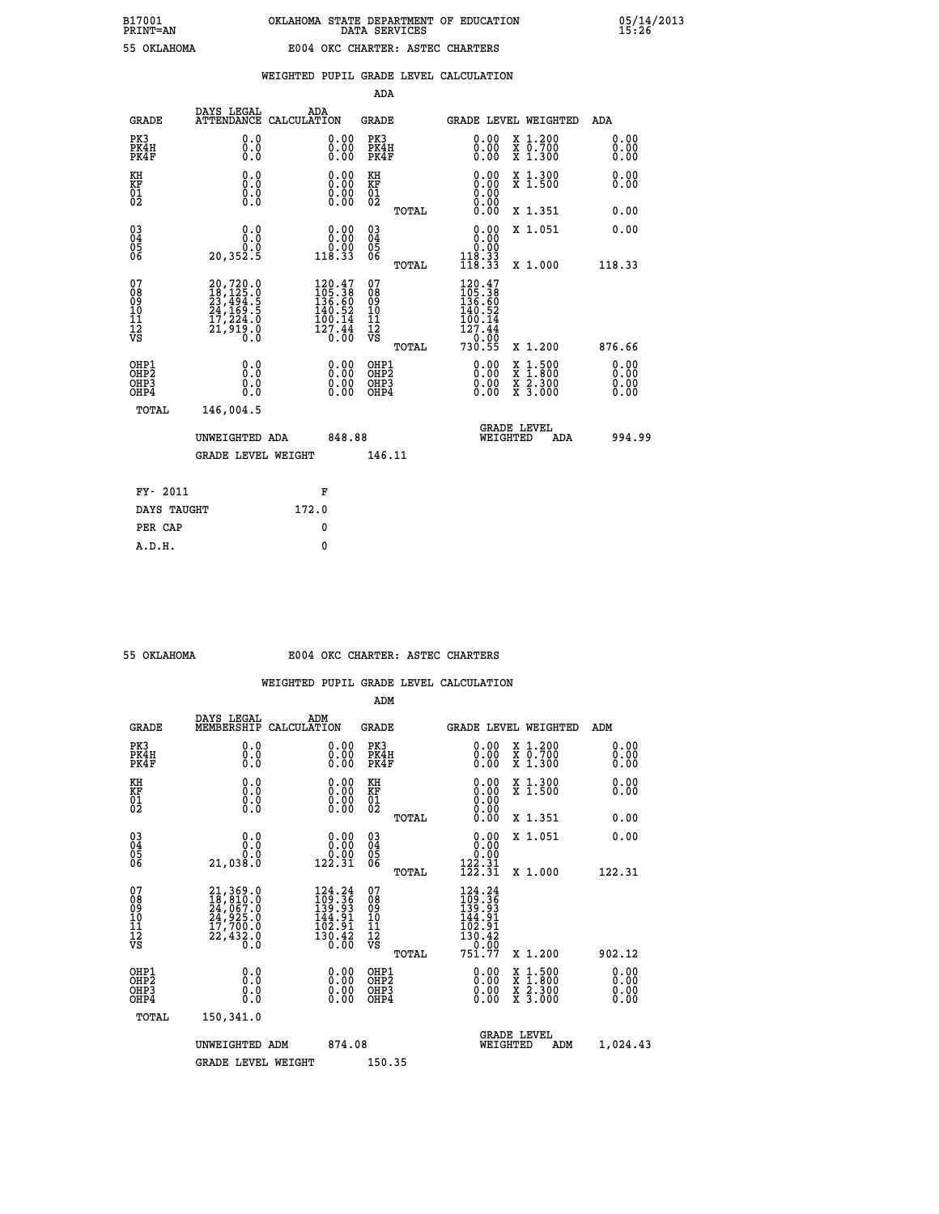|                                                                    |                                                                                                               |                                                                               | ADA                                       |       |                                                                                                                                                    |                                                                                                  |                              |
|--------------------------------------------------------------------|---------------------------------------------------------------------------------------------------------------|-------------------------------------------------------------------------------|-------------------------------------------|-------|----------------------------------------------------------------------------------------------------------------------------------------------------|--------------------------------------------------------------------------------------------------|------------------------------|
| <b>GRADE</b>                                                       | DAYS LEGAL<br><b>ATTENDANCE</b>                                                                               | ADA<br>CALCULATION                                                            | <b>GRADE</b>                              |       |                                                                                                                                                    | <b>GRADE LEVEL WEIGHTED</b>                                                                      | ADA                          |
| PK3<br>PK4H<br>PK4F                                                | 0.0<br>0.0<br>0.0                                                                                             | 0.00<br>$0.00$<br>0.00                                                        | PK3<br>PK4H<br>PK4F                       |       | 0.00<br>0.00                                                                                                                                       | X 1.200<br>X 0.700<br>X 1.300                                                                    | 0.00<br>0.00<br>0.00         |
| KH<br><b>KF</b><br>01<br>02                                        | 0.0<br>0.0<br>$\S.$                                                                                           | 0.0000<br>$\begin{smallmatrix} 0.00 & 0.00 \\ 0.00 & 0.00 \end{smallmatrix}$  | KH<br>KF<br>01<br>02                      |       | 0.00<br>0.00                                                                                                                                       | X 1.300<br>X 1.500                                                                               | 0.00<br>0.00                 |
|                                                                    |                                                                                                               |                                                                               |                                           | TOTAL |                                                                                                                                                    | X 1.351                                                                                          | 0.00                         |
| $\begin{smallmatrix} 03 \\[-4pt] 04 \end{smallmatrix}$<br>05<br>06 | 0.0<br>0.0<br>20, 352.5                                                                                       | 0.00<br>ةة.ة<br>118.33                                                        | $\substack{03 \\ 04}$<br>05<br>06         |       | 0.00<br>$\begin{smallmatrix} &0.00\ 118.33\ 118.33\ \end{smallmatrix}$                                                                             | X 1.051                                                                                          | 0.00                         |
|                                                                    |                                                                                                               |                                                                               |                                           | TOTAL |                                                                                                                                                    | X 1.000                                                                                          | 118.33                       |
| 07<br>08<br>09<br>11<br>11<br>12<br>VS                             | $\begin{smallmatrix} 20,720.0\\ 18,125.0\\ 23,494.5\\ 24,169.5\\ 17,224.0\\ 21,919.0\\ 0.0 \end{smallmatrix}$ | 120.47<br>$1405.38$<br>$136.60$<br>$140.52$<br>$100.14$<br>$127.44$<br>$0.00$ | 07<br>08<br>09<br>11<br>11<br>12<br>VS    |       | 120.47<br>$\frac{105}{136}$ $\frac{36}{60}$<br>$\frac{140}{52}$<br>$\frac{1}{12}$ $\frac{0}{12}$ $\frac{1}{4}$ $\frac{4}{4}$<br>$730.00$<br>730.55 |                                                                                                  |                              |
|                                                                    |                                                                                                               |                                                                               |                                           | TOTAL |                                                                                                                                                    | X 1.200                                                                                          | 876.66                       |
| OHP1<br>OH <sub>P2</sub><br>OH <sub>P3</sub><br>OH <sub>P4</sub>   | 0.0<br>0.0<br>0.0                                                                                             | 0.00<br>0.00<br>0.00                                                          | OHP1<br>OH <sub>P</sub> 2<br>OHP3<br>OHP4 |       | 0.00<br>0.00<br>0.00                                                                                                                               | $\begin{smallmatrix} x & 1 & 500 \\ x & 1 & 800 \\ x & 2 & 300 \\ x & 3 & 000 \end{smallmatrix}$ | 0.00<br>0.00<br>0.00<br>0.00 |
| TOTAL                                                              | 146,004.5                                                                                                     |                                                                               |                                           |       |                                                                                                                                                    |                                                                                                  |                              |
|                                                                    | UNWEIGHTED ADA                                                                                                | 848.88                                                                        |                                           |       |                                                                                                                                                    | GRADE LEVEL<br>WEIGHTED<br>ADA                                                                   | 994.99                       |
|                                                                    | <b>GRADE LEVEL WEIGHT</b>                                                                                     |                                                                               | 146.11                                    |       |                                                                                                                                                    |                                                                                                  |                              |
| FY- 2011                                                           |                                                                                                               | F                                                                             |                                           |       |                                                                                                                                                    |                                                                                                  |                              |
| DAYS TAUGHT                                                        |                                                                                                               | 172.0                                                                         |                                           |       |                                                                                                                                                    |                                                                                                  |                              |
| PER CAP                                                            |                                                                                                               | 0                                                                             |                                           |       |                                                                                                                                                    |                                                                                                  |                              |

 **A.D.H. 0**

#### **55 OKLAHOMA E004 OKC CHARTER: ASTEC CHARTERS**

|                                          |                                                                                                                                                 |                                                                          | ADM                                                 |                                                                            |                                          |                      |
|------------------------------------------|-------------------------------------------------------------------------------------------------------------------------------------------------|--------------------------------------------------------------------------|-----------------------------------------------------|----------------------------------------------------------------------------|------------------------------------------|----------------------|
| <b>GRADE</b>                             | DAYS LEGAL<br>MEMBERSHIP                                                                                                                        | ADM<br>CALCULATION                                                       | <b>GRADE</b>                                        |                                                                            | GRADE LEVEL WEIGHTED                     | ADM                  |
| PK3<br>PK4H<br>PK4F                      | 0.0<br>0.0<br>0.0                                                                                                                               | 0.00<br>$\begin{smallmatrix} 0.00 \ 0.00 \end{smallmatrix}$              | PK3<br>PK4H<br>PK4F                                 | $\begin{smallmatrix} 0.00 \\ 0.00 \\ 0.00 \end{smallmatrix}$               | X 1.200<br>X 0.700<br>X 1.300            | 0.00<br>0.00<br>0.00 |
| KH<br>KF<br>01<br>02                     | 0.0<br>0.0<br>$\S.$                                                                                                                             | $\begin{smallmatrix} 0.00 \ 0.00 \ 0.00 \ 0.00 \end{smallmatrix}$        | KH<br>KF<br>01<br>02                                | $0.00$<br>$0.00$<br>$0.00$                                                 | X 1.300<br>X 1.500                       | 0.00<br>0.00         |
|                                          |                                                                                                                                                 |                                                                          | TOTAL                                               | 0.00                                                                       | X 1.351                                  | 0.00                 |
| 03<br>04<br>05<br>06                     | 0.0<br>ة:ة<br>21,038.0                                                                                                                          | $\begin{smallmatrix} 0.00\\ 0.00\\ 0.00\\ 122.31 \end{smallmatrix}$      | $\begin{array}{c} 03 \\ 04 \\ 05 \\ 06 \end{array}$ | 0.00<br>0.00                                                               | X 1.051                                  | 0.00                 |
|                                          |                                                                                                                                                 |                                                                          | TOTAL                                               | 122.31<br>122.31                                                           | X 1.000                                  | 122.31               |
| 07<br>08<br>09<br>101<br>112<br>VS       | $\begin{smallmatrix} 21,369\cdot 0\\ 18,810\cdot 0\\ 24,067\cdot 0\\ 24,925\cdot 0\\ 17,700\cdot 0\\ 22,432\cdot 0\\ 0\cdot 0\end{smallmatrix}$ | $\frac{124.24}{109.36}$<br>31.<br>144<br>102.91<br>$\frac{130.42}{0.00}$ | 07<br>08<br>09<br>11<br>11<br>12<br>VS<br>TOTAL     | $124.24$<br>$109.36$<br>$139.93$<br>$144.91$<br>102:91<br>130:42<br>751:77 | X 1.200                                  | 902.12               |
|                                          |                                                                                                                                                 |                                                                          |                                                     |                                                                            |                                          | 0.00                 |
| OHP1<br>OHP2<br>OH <sub>P3</sub><br>OHP4 | 0.0<br>0.000                                                                                                                                    | $0.00$<br>$0.00$<br>0.00                                                 | OHP1<br>OHP2<br>OHP <sub>3</sub>                    | $0.00$<br>$0.00$<br>0.00                                                   | X 1:500<br>X 1:800<br>X 2:300<br>X 3:000 | 0.00<br>0.00<br>0.00 |
| TOTAL                                    | 150,341.0                                                                                                                                       |                                                                          |                                                     |                                                                            |                                          |                      |
|                                          | UNWEIGHTED ADM                                                                                                                                  | 874.08                                                                   |                                                     | WEIGHTED                                                                   | <b>GRADE LEVEL</b><br>ADM                | 1,024.43             |
|                                          | <b>GRADE LEVEL WEIGHT</b>                                                                                                                       |                                                                          | 150.35                                              |                                                                            |                                          |                      |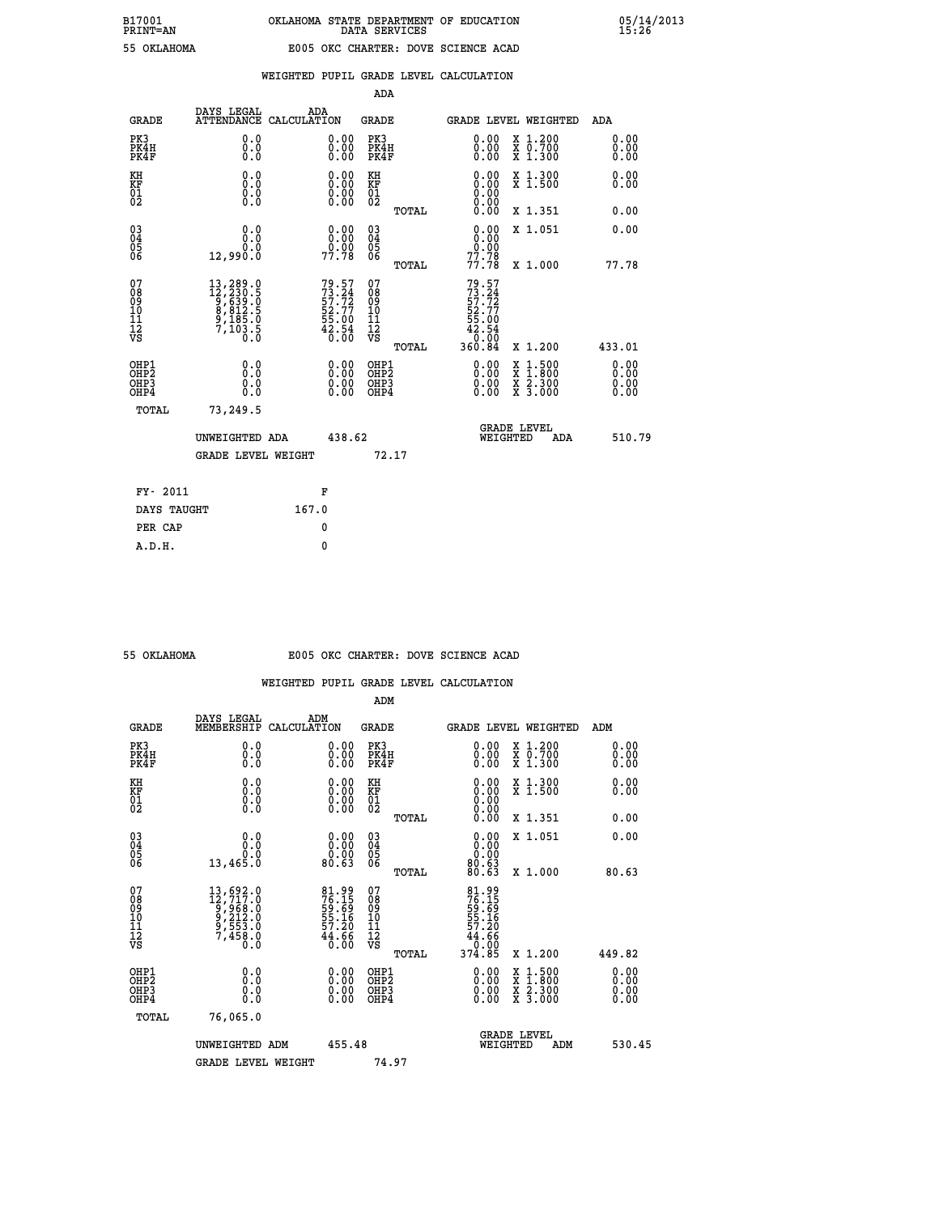| AHOMA |  |  |
|-------|--|--|
|       |  |  |

|                                                                    |                                                                                                                                                                                      |                                                                          | ADA                                    |       |                                                                        |                                          |                               |
|--------------------------------------------------------------------|--------------------------------------------------------------------------------------------------------------------------------------------------------------------------------------|--------------------------------------------------------------------------|----------------------------------------|-------|------------------------------------------------------------------------|------------------------------------------|-------------------------------|
| <b>GRADE</b>                                                       | DAYS LEGAL<br><b>ATTENDANCE</b>                                                                                                                                                      | ADA<br>CALCULATION                                                       | <b>GRADE</b>                           |       | <b>GRADE LEVEL WEIGHTED</b>                                            |                                          | ADA                           |
| PK3<br>PK4H<br>PK4F                                                | 0.0<br>0.0<br>Ō.Ō                                                                                                                                                                    | 0.00<br>$0.00$<br>0.00                                                   | PK3<br>PK4H<br>PK4F                    |       | $\begin{smallmatrix} 0.00 \\ 0.00 \\ 0.00 \end{smallmatrix}$           | X 1.200<br>X 0.700<br>X 1.300            | 0.00<br>0.00<br>0.00          |
| KH<br>KF<br>01<br>02                                               | 0.0<br>0.0<br>$\S.$                                                                                                                                                                  | $\begin{smallmatrix} 0.00 \ 0.00 \ 0.00 \ 0.00 \end{smallmatrix}$        | KH<br>KF<br>01<br>02                   |       | 0.00                                                                   | X 1.300<br>X 1.500                       | 0.00<br>0.00                  |
|                                                                    |                                                                                                                                                                                      |                                                                          |                                        | TOTAL | 0.00                                                                   | X 1.351                                  | 0.00                          |
| $\begin{smallmatrix} 03 \\[-4pt] 04 \end{smallmatrix}$<br>Ŏ5<br>06 | 0.0<br>0.0<br>12,990.0                                                                                                                                                               | $\begin{smallmatrix} 0.00\\ 0.00\\ -0.00\\ 77.78 \end{smallmatrix}$      | $\substack{03 \\ 04}$<br>Ŏ5<br>06      |       | 0.00<br>$\frac{0.00}{77.78}$                                           | X 1.051                                  | 0.00                          |
|                                                                    |                                                                                                                                                                                      |                                                                          |                                        | TOTAL |                                                                        | X 1.000                                  | 77.78                         |
| 07<br>08<br>09<br>101<br>11<br>12<br>VS                            | $\begin{smallmatrix} 13\,, & 289\ .\ 12\,, & 230\ .\ 5\,, & 639\ .\ 6\,, & 639\ .\ 6\,, & 812\ .\ 5\,, & 812\ .\ 5\,, & 185\ .\ 0\,, & 103\ .\ 5\,, & 0\,. & 0\,. \end{smallmatrix}$ | $79.57$<br>$73.24$<br>$57.72$<br>$52.77$<br>$55.00$<br>$42.54$<br>$0.00$ | 07<br>08<br>09<br>11<br>11<br>12<br>VS |       | $79.57$<br>$73.24$<br>$57.72$<br>$52.77$<br>$55.00$<br>$42.54$<br>0.00 |                                          |                               |
|                                                                    |                                                                                                                                                                                      |                                                                          |                                        | TOTAL | 360.84                                                                 | X 1.200                                  | 433.01                        |
| OHP1<br>OHP <sub>2</sub><br>OH <sub>P3</sub><br>OHP4               | 0.0<br>0.0<br>0.0                                                                                                                                                                    | 0.00<br>$\begin{smallmatrix} 0.00 \ 0.00 \end{smallmatrix}$              | OHP1<br>OHP2<br>OHP <sub>3</sub>       |       | 0.00<br>0.00                                                           | X 1:500<br>X 1:800<br>X 2:300<br>X 3:000 | 0.00<br>Ō. ŌŌ<br>0.00<br>0.00 |
| TOTAL                                                              | 73,249.5                                                                                                                                                                             |                                                                          |                                        |       |                                                                        |                                          |                               |
|                                                                    | UNWEIGHTED ADA                                                                                                                                                                       | 438.62                                                                   |                                        |       | WEIGHTED                                                               | <b>GRADE LEVEL</b><br>ADA                | 510.79                        |
|                                                                    | <b>GRADE LEVEL WEIGHT</b>                                                                                                                                                            |                                                                          | 72.17                                  |       |                                                                        |                                          |                               |
| FY- 2011                                                           |                                                                                                                                                                                      | F                                                                        |                                        |       |                                                                        |                                          |                               |
| DAYS TAUGHT                                                        |                                                                                                                                                                                      | 167.0                                                                    |                                        |       |                                                                        |                                          |                               |
| PER CAP                                                            |                                                                                                                                                                                      | 0                                                                        |                                        |       |                                                                        |                                          |                               |

 **A.D.H. 0**

#### **55 OKLAHOMA E005 OKC CHARTER: DOVE SCIENCE ACAD**

|                                                    |                                                                                                                                                                                        |                                                                   | ADM                                                 |       |                                                                                     |                                                                                                  |     |                          |  |
|----------------------------------------------------|----------------------------------------------------------------------------------------------------------------------------------------------------------------------------------------|-------------------------------------------------------------------|-----------------------------------------------------|-------|-------------------------------------------------------------------------------------|--------------------------------------------------------------------------------------------------|-----|--------------------------|--|
| <b>GRADE</b>                                       | DAYS LEGAL<br>MEMBERSHIP                                                                                                                                                               | ADM<br>CALCULATION                                                | <b>GRADE</b>                                        |       | <b>GRADE LEVEL WEIGHTED</b>                                                         |                                                                                                  |     | ADM                      |  |
| PK3<br>PK4H<br>PK4F                                | 0.0<br>0.000                                                                                                                                                                           | $\begin{smallmatrix} 0.00 \ 0.00 \ 0.00 \end{smallmatrix}$        | PK3<br>PK4H<br>PK4F                                 |       | $\begin{smallmatrix} 0.00 \\ 0.00 \\ 0.00 \end{smallmatrix}$                        | X 1.200<br>X 0.700<br>X 1.300                                                                    |     | 0.00<br>0.00<br>0.00     |  |
| KH<br>KF<br>01<br>02                               | 0.0<br>$\begin{smallmatrix} 0.0 & 0 \ 0.0 & 0 \ 0.0 & 0 \end{smallmatrix}$                                                                                                             | $\begin{smallmatrix} 0.00 \ 0.00 \ 0.00 \ 0.00 \end{smallmatrix}$ | KH<br>KF<br>01<br>02                                |       |                                                                                     | X 1.300<br>X 1.500                                                                               |     | 0.00<br>0.00             |  |
|                                                    |                                                                                                                                                                                        |                                                                   |                                                     | TOTAL | 0.00                                                                                | X 1.351                                                                                          |     | 0.00                     |  |
| $\begin{matrix} 03 \\ 04 \\ 05 \\ 06 \end{matrix}$ | 0.0<br>ة:ة<br>13,465.0                                                                                                                                                                 | $0.00$<br>$0.00$<br>80.63                                         | $\begin{array}{c} 03 \\ 04 \\ 05 \\ 06 \end{array}$ |       | $\begin{smallmatrix} 0.00\\ 0.00\\ 0.00\\ 0.63\\ 80.63\\ 80.63\\ \end{smallmatrix}$ | X 1.051                                                                                          |     | 0.00                     |  |
|                                                    |                                                                                                                                                                                        |                                                                   |                                                     | TOTAL |                                                                                     | X 1.000                                                                                          |     | 80.63                    |  |
| 07<br>08<br>09<br>101<br>11<br>12<br>VS            | $\begin{smallmatrix} 13 \,, & 692 \,. & 0\\ 12 \,, & 717 \,. & 0\\ 9 \,, & 968 \,. & 0\\ 9 \,, & 212 \,. & 0\\ 9 \,, & 553 \,. & 0\\ 7 \,, & 458 \,. & 0\\ 0 \,. & 0\end{smallmatrix}$ | 81.99<br>76.15<br>59.69<br>55.16<br>57.20<br>44.66<br>40.00       | 07<br>08<br>09<br>001<br>11<br>11<br>12<br>VS       | TOTAL | 81.99<br>76.15<br>59.69<br>55.16<br>57.20<br>44.660<br>0.00<br>374.85               | X 1.200                                                                                          |     | 449.82                   |  |
| OHP1<br>OHP2<br>OHP3<br>OHP4                       |                                                                                                                                                                                        | $0.00$<br>$0.00$<br>0.00                                          | OHP1<br>OHP2<br>OHP <sub>3</sub><br>OHP4            |       | $0.00$<br>$0.00$<br>0.00                                                            | $\begin{smallmatrix} x & 1 & 500 \\ x & 1 & 800 \\ x & 2 & 300 \\ x & 3 & 000 \end{smallmatrix}$ |     | $0.00$<br>$0.00$<br>0.00 |  |
| TOTAL                                              | 76,065.0                                                                                                                                                                               |                                                                   |                                                     |       |                                                                                     |                                                                                                  |     |                          |  |
|                                                    | UNWEIGHTED ADM                                                                                                                                                                         | 455.48                                                            |                                                     |       | <b>GRADE LEVEL</b><br>WEIGHTED                                                      |                                                                                                  | ADM | 530.45                   |  |
|                                                    | <b>GRADE LEVEL WEIGHT</b>                                                                                                                                                              |                                                                   | 74.97                                               |       |                                                                                     |                                                                                                  |     |                          |  |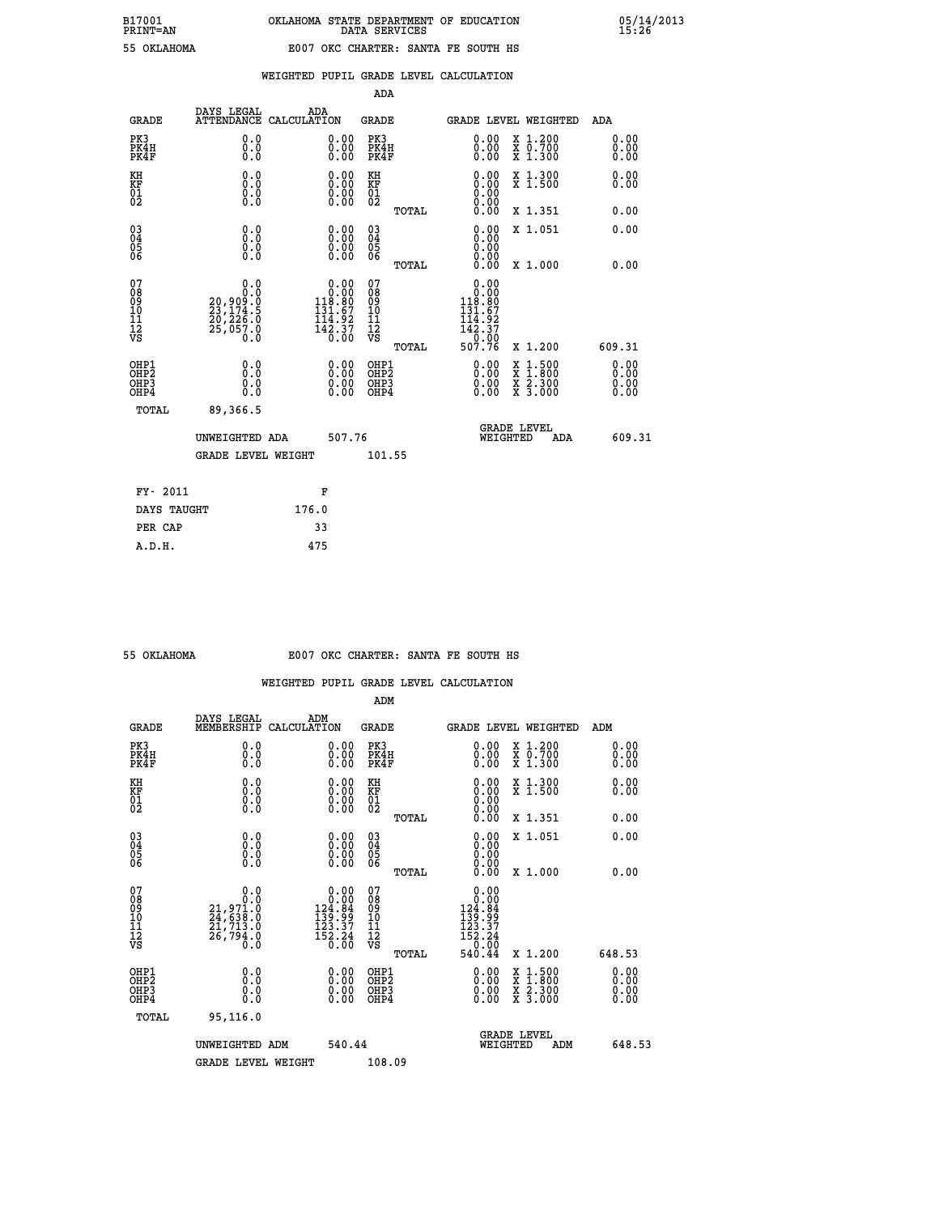| PRINT-AN |             |
|----------|-------------|
|          | EE OUT AUOM |

|  |  | WEIGHTED PUPIL GRADE LEVEL CALCULATION |
|--|--|----------------------------------------|
|  |  |                                        |

|                                                                    |                                                                   |                                                                                                            | ADA                                    |       |                                                                                                                 |                                                                                                                                           |                      |
|--------------------------------------------------------------------|-------------------------------------------------------------------|------------------------------------------------------------------------------------------------------------|----------------------------------------|-------|-----------------------------------------------------------------------------------------------------------------|-------------------------------------------------------------------------------------------------------------------------------------------|----------------------|
| <b>GRADE</b>                                                       | DAYS LEGAL                                                        | ADA<br>ATTENDANCE CALCULATION                                                                              | <b>GRADE</b>                           |       |                                                                                                                 | <b>GRADE LEVEL WEIGHTED</b>                                                                                                               | ADA                  |
| PK3<br>PK4H<br>PK4F                                                | 0.0<br>0.0<br>0.0                                                 | 0.00<br>$0.00$<br>0.00                                                                                     | PK3<br>PK4H<br>PK4F                    |       | $\begin{smallmatrix} 0.00 \\ 0.00 \\ 0.00 \end{smallmatrix}$                                                    | X 1.200<br>X 0.700<br>X 1.300                                                                                                             | 0.00<br>0.00<br>0.00 |
| KH<br>KF<br>01<br>02                                               | 0.0<br>0.0<br>$\S.$                                               | 0.0000<br>$\begin{smallmatrix} 0.00 \\ 0.00 \end{smallmatrix}$                                             | KH<br>KF<br>01<br>02                   |       | 0.00                                                                                                            | X 1.300<br>X 1.500                                                                                                                        | 0.00<br>0.00         |
|                                                                    |                                                                   |                                                                                                            |                                        | TOTAL | 0.00                                                                                                            | X 1.351                                                                                                                                   | 0.00                 |
| $\begin{smallmatrix} 03 \\[-4pt] 04 \end{smallmatrix}$<br>Ŏ5<br>06 | 0.0<br>0.000                                                      |                                                                                                            | $\substack{03 \\ 04}$<br>Ŏ5<br>06      |       | 0.00<br>0.00<br>0.00                                                                                            | X 1.051                                                                                                                                   | 0.00                 |
|                                                                    |                                                                   |                                                                                                            |                                        | TOTAL | 0.00                                                                                                            | X 1.000                                                                                                                                   | 0.00                 |
| 07<br>08<br>09<br>101<br>11<br>12<br>VS                            | 0.0<br>0.0<br>20,909:0<br>23,174.5<br>20,226.0<br>25,057.0<br>0.0 | $\begin{smallmatrix} 0.00\\ 0.00\\ 118.80 \end{smallmatrix}$<br>$131.67$<br>$114.92$<br>$142.37$<br>$0.00$ | 07<br>08<br>09<br>11<br>11<br>12<br>VS | TOTAL | 0.00<br>$\begin{smallmatrix} &0.000\ 118.80\ 131.67\ 114.92\ \end{smallmatrix}$<br>$142.37$<br>$0.00$<br>507.76 | X 1.200                                                                                                                                   | 609.31               |
| OHP1                                                               |                                                                   |                                                                                                            |                                        |       |                                                                                                                 |                                                                                                                                           | 0.00                 |
| OHP <sub>2</sub><br>OH <sub>P3</sub><br>OHP4                       | 0.0<br>0.0<br>0.0                                                 | 0.00<br>$\begin{smallmatrix} 0.00 \ 0.00 \end{smallmatrix}$                                                | OHP1<br>OHP2<br>OHP <sub>3</sub>       |       | 0.00<br>0.00                                                                                                    | $\begin{smallmatrix} \mathtt{X} & 1\cdot500\\ \mathtt{X} & 1\cdot800\\ \mathtt{X} & 2\cdot300\\ \mathtt{X} & 3\cdot000 \end{smallmatrix}$ | 0.00<br>0.00         |
| TOTAL                                                              | 89,366.5                                                          |                                                                                                            |                                        |       |                                                                                                                 |                                                                                                                                           |                      |
|                                                                    | UNWEIGHTED ADA                                                    | 507.76                                                                                                     |                                        |       |                                                                                                                 | <b>GRADE LEVEL</b><br>WEIGHTED<br>ADA                                                                                                     | 609.31               |
|                                                                    | <b>GRADE LEVEL WEIGHT</b>                                         |                                                                                                            | 101.55                                 |       |                                                                                                                 |                                                                                                                                           |                      |
| FY- 2011                                                           |                                                                   | F                                                                                                          |                                        |       |                                                                                                                 |                                                                                                                                           |                      |
| DAYS TAUGHT                                                        |                                                                   | 176.0                                                                                                      |                                        |       |                                                                                                                 |                                                                                                                                           |                      |
| PER CAP                                                            |                                                                   | 33                                                                                                         |                                        |       |                                                                                                                 |                                                                                                                                           |                      |

| 55 OKTAHOMA |  |
|-------------|--|

 **A.D.H. 475**

# **55 OKLAHOMA E007 OKC CHARTER: SANTA FE SOUTH HS**

|                                                    |                                                                                                                                                            |                                                                                                       | ADM                                                 |       |                                                                                                                                                                                                                                                                                |                                          |                      |
|----------------------------------------------------|------------------------------------------------------------------------------------------------------------------------------------------------------------|-------------------------------------------------------------------------------------------------------|-----------------------------------------------------|-------|--------------------------------------------------------------------------------------------------------------------------------------------------------------------------------------------------------------------------------------------------------------------------------|------------------------------------------|----------------------|
| <b>GRADE</b>                                       | DAYS LEGAL<br>MEMBERSHIP                                                                                                                                   | ADM<br>CALCULATION                                                                                    | <b>GRADE</b>                                        |       |                                                                                                                                                                                                                                                                                | GRADE LEVEL WEIGHTED                     | ADM                  |
| PK3<br>PK4H<br>PK4F                                | 0.0<br>0.000                                                                                                                                               | $\begin{smallmatrix} 0.00 \ 0.00 \ 0.00 \end{smallmatrix}$                                            | PK3<br>PK4H<br>PK4F                                 |       | $\begin{smallmatrix} 0.00 \\ 0.00 \\ 0.00 \end{smallmatrix}$                                                                                                                                                                                                                   | X 1.200<br>X 0.700<br>X 1.300            | 0.00<br>0.00<br>0.00 |
| KH<br>KF<br>01<br>02                               | 0.0<br>$\begin{smallmatrix} 0.0 & 0 \ 0.0 & 0 \ 0.0 & 0 \end{smallmatrix}$                                                                                 | $\begin{smallmatrix} 0.00 \ 0.00 \ 0.00 \ 0.00 \end{smallmatrix}$                                     | KH<br>KF<br>01<br>02                                |       | $\begin{smallmatrix} 0.00 \ 0.00 \ 0.00 \ 0.00 \ 0.00 \ 0.00 \end{smallmatrix}$                                                                                                                                                                                                | X 1.300<br>X 1.500                       | 0.00<br>0.00         |
|                                                    |                                                                                                                                                            |                                                                                                       |                                                     | TOTAL |                                                                                                                                                                                                                                                                                | X 1.351                                  | 0.00                 |
| $\begin{matrix} 03 \\ 04 \\ 05 \\ 06 \end{matrix}$ |                                                                                                                                                            |                                                                                                       | $\begin{array}{c} 03 \\ 04 \\ 05 \\ 06 \end{array}$ |       | $0.00$<br>$0.00$                                                                                                                                                                                                                                                               | X 1.051                                  | 0.00                 |
|                                                    |                                                                                                                                                            |                                                                                                       |                                                     | TOTAL | 0.00                                                                                                                                                                                                                                                                           | X 1.000                                  | 0.00                 |
| 07<br>08<br>09<br>10<br>11<br>11<br>12<br>VS       | 0.0<br>$\begin{smallmatrix} & & & & 0 & .0 \\ & 21 & , & 971 & .0 \\ 24 & , & 638 & .0 \\ 21 & , & 713 & .0 \\ 26 & , & 794 & .0 \end{smallmatrix}$<br>Ō.Ō | $\begin{array}{r} 0.00 \\ 0.00 \\ 124.84 \\ 139.99 \\ 133.37 \\ 123.37 \\ 152.24 \\ 0.00 \end{array}$ | 07<br>08<br>09<br>01<br>11<br>11<br>12<br>VS        | TOTAL | $\begin{array}{r} 0.00 \\ 0.00 \\ 124.84 \\ 139.99 \\ 133.37 \\ 123.37 \\ 152.24 \\ 0.00 \\ 540.44 \end{array}$                                                                                                                                                                | X 1.200                                  | 648.53               |
| OHP1<br>OHP2<br>OH <sub>P3</sub><br>OHP4           | 0.0<br>0.000                                                                                                                                               | $\begin{smallmatrix} 0.00 \ 0.00 \ 0.00 \ 0.00 \end{smallmatrix}$                                     | OHP1<br>OHP2<br>OHP3<br>OHP4                        |       | $\begin{smallmatrix} 0.00 & 0.00 & 0.00 & 0.00 & 0.00 & 0.00 & 0.00 & 0.00 & 0.00 & 0.00 & 0.00 & 0.00 & 0.00 & 0.00 & 0.00 & 0.00 & 0.00 & 0.00 & 0.00 & 0.00 & 0.00 & 0.00 & 0.00 & 0.00 & 0.00 & 0.00 & 0.00 & 0.00 & 0.00 & 0.00 & 0.00 & 0.00 & 0.00 & 0.00 & 0.00 & 0.0$ | X 1:500<br>X 1:800<br>X 2:300<br>X 3:000 | 0.00<br>0.00<br>0.00 |
| TOTAL                                              | 95,116.0                                                                                                                                                   |                                                                                                       |                                                     |       |                                                                                                                                                                                                                                                                                |                                          |                      |
|                                                    | UNWEIGHTED ADM                                                                                                                                             | 540.44                                                                                                |                                                     |       | WEIGHTED                                                                                                                                                                                                                                                                       | <b>GRADE LEVEL</b><br>ADM                | 648.53               |
|                                                    | <b>GRADE LEVEL WEIGHT</b>                                                                                                                                  |                                                                                                       | 108.09                                              |       |                                                                                                                                                                                                                                                                                |                                          |                      |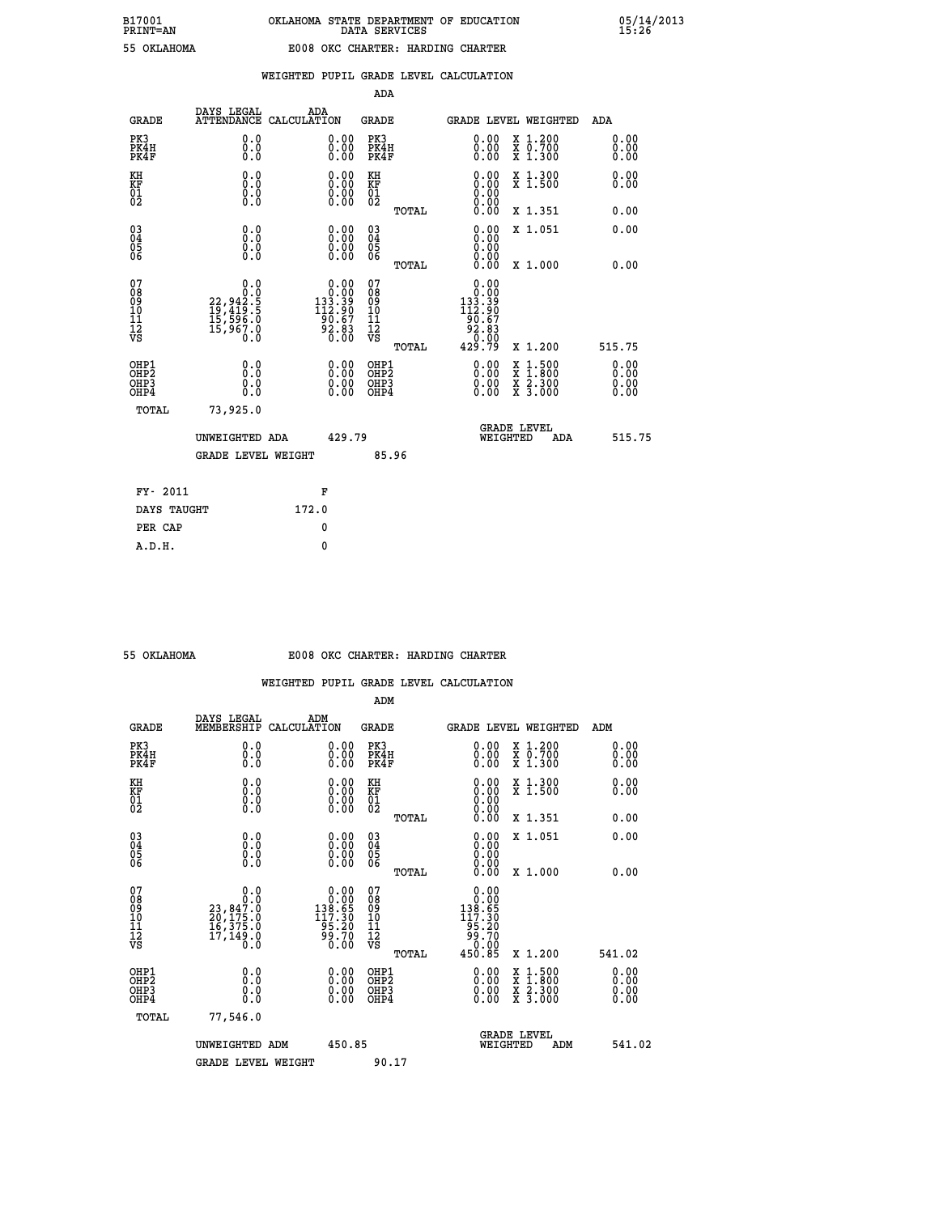| OKLAHOMA |  |
|----------|--|
|          |  |

|                                                                    |                                                                                           |                                                                                                                                              | ADA                                           |       |                                                                                                                 |                                          |                               |
|--------------------------------------------------------------------|-------------------------------------------------------------------------------------------|----------------------------------------------------------------------------------------------------------------------------------------------|-----------------------------------------------|-------|-----------------------------------------------------------------------------------------------------------------|------------------------------------------|-------------------------------|
| <b>GRADE</b>                                                       | DAYS LEGAL<br><b>ATTENDANCE</b>                                                           | ADA<br>CALCULATION                                                                                                                           | <b>GRADE</b>                                  |       |                                                                                                                 | <b>GRADE LEVEL WEIGHTED</b>              | ADA                           |
| PK3<br>PK4H<br>PK4F                                                | 0.0<br>0.0<br>Ō.Ō                                                                         | $\begin{smallmatrix} 0.00 \ 0.00 \ 0.00 \end{smallmatrix}$                                                                                   | PK3<br>PK4H<br>PK4F                           |       | $\begin{smallmatrix} 0.00 \\ 0.00 \\ 0.00 \end{smallmatrix}$                                                    | X 1.200<br>X 0.700<br>X 1.300            | 0.00<br>0.00<br>0.00          |
| KH<br>KF<br>01<br>02                                               | 0.0<br>0.0<br>$\S.$ $\S$                                                                  | $\begin{smallmatrix} 0.00 \ 0.00 \ 0.00 \ 0.00 \end{smallmatrix}$                                                                            | KH<br>KF<br>01<br>02                          |       | 0.00<br>0.0000000000                                                                                            | X 1.300<br>X 1.500                       | 0.00<br>0.00                  |
|                                                                    |                                                                                           |                                                                                                                                              |                                               | TOTAL | 0.00                                                                                                            | X 1.351                                  | 0.00                          |
| $\begin{smallmatrix} 03 \\[-4pt] 04 \end{smallmatrix}$<br>Ŏ5<br>06 | 0.0<br>0.000                                                                              | $\begin{smallmatrix} 0.00 \ 0.00 \ 0.00 \ 0.00 \end{smallmatrix}$                                                                            | $\substack{03 \\ 04}$<br>Ŏ5<br>06             |       | 0.00<br>0.00<br>0.00                                                                                            | X 1.051                                  | 0.00                          |
|                                                                    |                                                                                           |                                                                                                                                              |                                               | TOTAL | 0.00                                                                                                            | X 1.000                                  | 0.00                          |
| 07<br>08<br>09<br>101<br>11<br>12<br>VS                            | $\begin{smallmatrix}&&&0.0\\22,942.5\\19,419.5\\15,596.0\\15,967.0\\0.0\end{smallmatrix}$ | $\begin{smallmatrix} &0.00\\[-1.2mm] 0.00\\[-1.2mm] 133.39\\[-1.2mm] 112.90\\[-1.2mm] 90.67\\[-1.2mm] 92.83\\[-1.2mm] 0.00\end{smallmatrix}$ | 07<br>08<br>09<br>001<br>11<br>11<br>12<br>VS |       | 0.00<br>$\begin{smallmatrix} 0.000\ 1.33.390\ 1.33.390\ 112.907\ 90.67\ 92.83\ 0.000\ 429.79 \end{smallmatrix}$ |                                          |                               |
|                                                                    |                                                                                           |                                                                                                                                              |                                               | TOTAL |                                                                                                                 | X 1.200                                  | 515.75                        |
| OHP1<br>OHP2<br>OH <sub>P3</sub><br>OHP4                           | 0.0<br>0.0<br>0.0                                                                         | 0.00<br>$\begin{smallmatrix} 0.00 \ 0.00 \end{smallmatrix}$                                                                                  | OHP1<br>OHP2<br>OHP <sub>3</sub>              |       | 0.00<br>0.00                                                                                                    | X 1:500<br>X 1:800<br>X 2:300<br>X 3:000 | 0.00<br>Ō. ŌŌ<br>0.00<br>0.00 |
| TOTAL                                                              | 73,925.0                                                                                  |                                                                                                                                              |                                               |       |                                                                                                                 |                                          |                               |
|                                                                    | UNWEIGHTED ADA                                                                            | 429.79                                                                                                                                       |                                               |       |                                                                                                                 | <b>GRADE LEVEL</b><br>WEIGHTED<br>ADA    | 515.75                        |
|                                                                    | <b>GRADE LEVEL WEIGHT</b>                                                                 |                                                                                                                                              |                                               | 85.96 |                                                                                                                 |                                          |                               |
| FY- 2011                                                           |                                                                                           | F                                                                                                                                            |                                               |       |                                                                                                                 |                                          |                               |
| DAYS TAUGHT                                                        |                                                                                           | 172.0                                                                                                                                        |                                               |       |                                                                                                                 |                                          |                               |
| PER CAP                                                            |                                                                                           | 0                                                                                                                                            |                                               |       |                                                                                                                 |                                          |                               |

 **A.D.H. 0**

#### **55 OKLAHOMA E008 OKC CHARTER: HARDING CHARTER**

|                                                    |                                                                                                        |                                                                                                                                              | ADM                                                   |                                                                                                                                                              |                                          |                      |
|----------------------------------------------------|--------------------------------------------------------------------------------------------------------|----------------------------------------------------------------------------------------------------------------------------------------------|-------------------------------------------------------|--------------------------------------------------------------------------------------------------------------------------------------------------------------|------------------------------------------|----------------------|
| <b>GRADE</b>                                       | DAYS LEGAL<br>MEMBERSHIP                                                                               | ADM<br>CALCULATION                                                                                                                           | <b>GRADE</b>                                          |                                                                                                                                                              | GRADE LEVEL WEIGHTED                     | ADM                  |
| PK3<br>PK4H<br>PK4F                                | 0.0<br>0.000                                                                                           | $\begin{smallmatrix} 0.00 \ 0.00 \ 0.00 \end{smallmatrix}$                                                                                   | PK3<br>PK4H<br>PK4F                                   | $\begin{smallmatrix} 0.00 \\ 0.00 \\ 0.00 \end{smallmatrix}$                                                                                                 | X 1.200<br>X 0.700<br>X 1.300            | 0.00<br>0.00<br>0.00 |
| KH<br>KF<br>01<br>02                               | 0.0<br>$\begin{smallmatrix} 0.0 & 0 \ 0.0 & 0 \ 0.0 & 0 \end{smallmatrix}$                             | $\begin{smallmatrix} 0.00 \ 0.00 \ 0.00 \ 0.00 \end{smallmatrix}$                                                                            | KH<br>KF<br>01<br>02                                  | $\begin{smallmatrix} 0.00 \ 0.00 \ 0.00 \ 0.00 \ 0.00 \ 0.00 \end{smallmatrix}$                                                                              | X 1.300<br>X 1.500                       | 0.00<br>0.00         |
|                                                    |                                                                                                        |                                                                                                                                              | TOTAL                                                 |                                                                                                                                                              | X 1.351                                  | 0.00                 |
| $\begin{matrix} 03 \\ 04 \\ 05 \\ 06 \end{matrix}$ |                                                                                                        |                                                                                                                                              | $\begin{matrix} 03 \\ 04 \\ 05 \\ 06 \end{matrix}$    | $0.00$<br>$0.00$                                                                                                                                             | X 1.051                                  | 0.00                 |
|                                                    |                                                                                                        |                                                                                                                                              | TOTAL                                                 | 0.00                                                                                                                                                         | X 1.000                                  | 0.00                 |
| 07<br>08<br>09<br>10<br>11<br>11<br>12<br>VS       | 0.0<br>$\begin{smallmatrix} & & & 0.10\ 23,847.0\ 20,175.0\ 16,375.0\ 17,149.0\ 0.0 \end{smallmatrix}$ | $\begin{smallmatrix} &0.00\\[-1.2mm] 0.00\\[-1.2mm] 138.65\\[-1.2mm] 117.30\\[-1.2mm] 95.20\\[-1.2mm] 99.70\\[-1.2mm] 0.00\end{smallmatrix}$ | 07<br>08<br>09<br>01<br>11<br>11<br>12<br>VS<br>TOTAL | $\begin{smallmatrix} 0.00\\ 0.00\\ 138.65\\ 112.30 \end{smallmatrix}$<br>$\begin{array}{r} 1\,9\,5\,.2\,0\\ 9\,9\,.70\\ 0\,.00\\ 4\,5\,0\,.8\,5 \end{array}$ | X 1.200                                  | 541.02               |
| OHP1<br>OHP2<br>OH <sub>P3</sub><br>OHP4           | 0.0<br>0.000                                                                                           | $\begin{smallmatrix} 0.00 \ 0.00 \ 0.00 \ 0.00 \end{smallmatrix}$                                                                            | OHP1<br>OHP2<br>OHP3<br>OHP4                          |                                                                                                                                                              | X 1:500<br>X 1:800<br>X 2:300<br>X 3:000 | 0.00<br>0.00<br>0.00 |
| TOTAL                                              | 77,546.0                                                                                               |                                                                                                                                              |                                                       |                                                                                                                                                              |                                          |                      |
|                                                    | UNWEIGHTED ADM                                                                                         | 450.85                                                                                                                                       |                                                       | WEIGHTED                                                                                                                                                     | <b>GRADE LEVEL</b><br>ADM                | 541.02               |
|                                                    | <b>GRADE LEVEL WEIGHT</b>                                                                              |                                                                                                                                              | 90.17                                                 |                                                                                                                                                              |                                          |                      |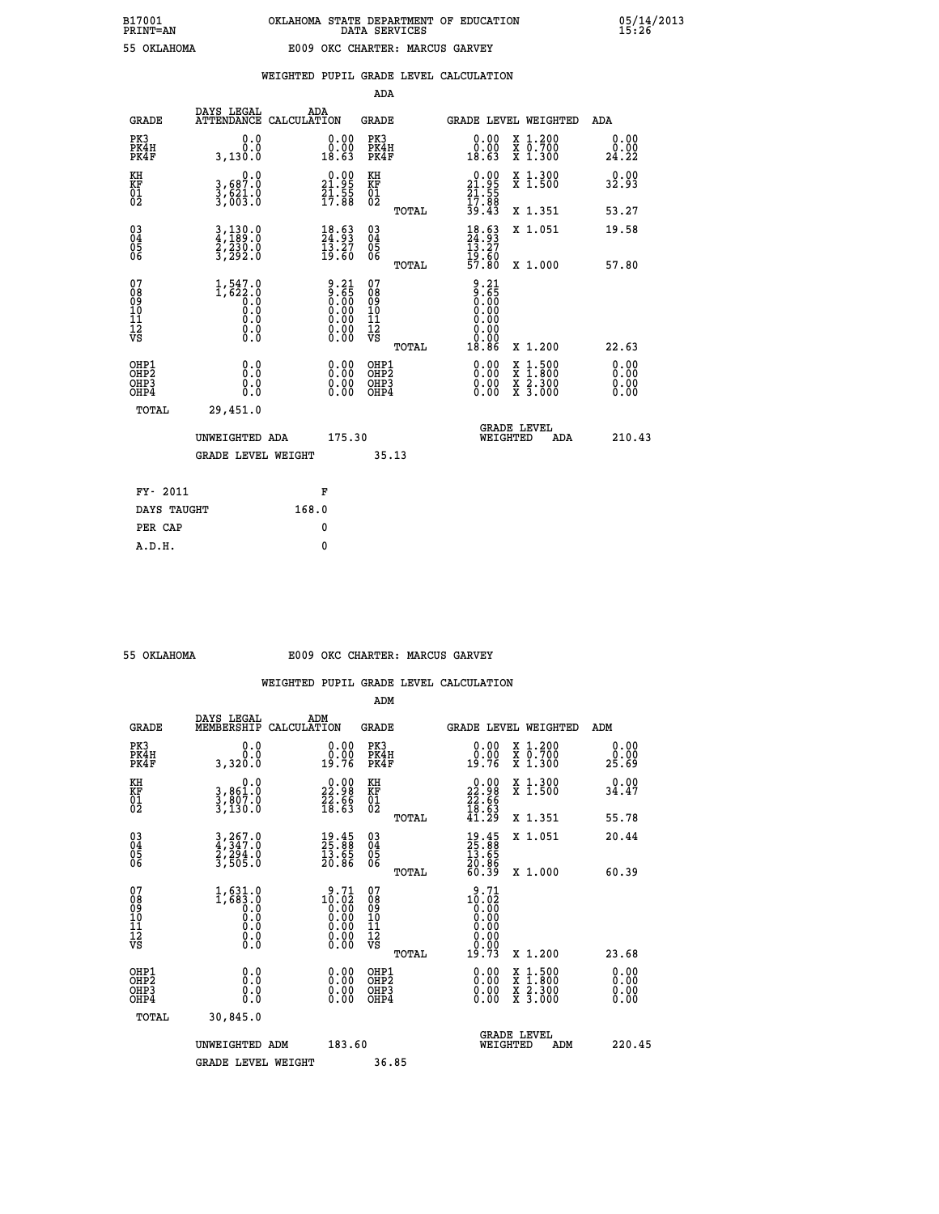|  |  | WEIGHTED PUPIL GRADE LEVEL CALCULATION |
|--|--|----------------------------------------|

|                                                    |                                                                      |                                                                    | ADA                                    |       |                                                                                      |                         |                                          |                                                                       |
|----------------------------------------------------|----------------------------------------------------------------------|--------------------------------------------------------------------|----------------------------------------|-------|--------------------------------------------------------------------------------------|-------------------------|------------------------------------------|-----------------------------------------------------------------------|
| <b>GRADE</b>                                       | DAYS LEGAL<br><b>ATTENDANCE</b>                                      | ADA<br>CALCULATION                                                 | <b>GRADE</b>                           |       | GRADE LEVEL WEIGHTED                                                                 |                         |                                          | <b>ADA</b>                                                            |
| PK3<br>PK4H<br>PK4F                                | 0.0<br>0.0<br>3,130.0                                                | 0.00<br>0.00<br>18.63                                              | PK3<br>PK4H<br>PK4F                    |       | 0.00<br>0.00<br>18.63                                                                |                         | X 1.200<br>X 0.700<br>X 1.300            | 0.00<br>0.00<br>24.22                                                 |
| KH<br>KF<br>01<br>02                               | 0.0<br>3,687:0<br>3,621:0<br>3,003:0                                 | $\begin{smallmatrix} 0.00\\21.95\\21.55\\17.88 \end{smallmatrix}$  | KH<br>KF<br>01<br>02                   |       | $\begin{smallmatrix} 0.00\\21.95\\21.55\\17.88\\39.43 \end{smallmatrix}$             |                         | X 1.300<br>X 1.500                       | 0.00<br>32.93                                                         |
|                                                    |                                                                      |                                                                    |                                        | TOTAL |                                                                                      |                         | X 1.351                                  | 53.27                                                                 |
| $\begin{matrix} 03 \\ 04 \\ 05 \\ 06 \end{matrix}$ | $\frac{3}{4}, \frac{130}{189}.0$<br>$\frac{2}{3}, \frac{230}{292}.0$ | 18.63<br>24.93<br>$\frac{13.27}{19.60}$                            | 03<br>04<br>05<br>06                   |       | $18.63$<br>$13.27$<br>$19.60$<br>$57.80$                                             |                         | X 1.051                                  | 19.58                                                                 |
|                                                    |                                                                      |                                                                    |                                        | TOTAL |                                                                                      |                         | X 1.000                                  | 57.80                                                                 |
| 07<br>08<br>09<br>101<br>11<br>12<br>VS            | $1,547.0$<br>$1,622.0$<br>$0.0$<br>$0.0$<br>$0.0$<br>$\S.$           | $9.21$<br>$9.65$<br>$0.00$<br>$0.00$<br>$0.00$<br>$0.00$<br>$0.00$ | 07<br>08<br>09<br>11<br>11<br>12<br>VS | TOTAL | $\begin{array}{c} 9.21 \\ 9.65 \\ 0.00 \\ 0.00 \\ 0.00 \end{array}$<br>0.00<br>18.86 |                         | X 1.200                                  | 22.63                                                                 |
| OHP1<br>OHP <sub>2</sub><br>OHP3<br>OHP4           | 0.0<br>Ŏ.Ŏ<br>0.0<br>0.0                                             | $\begin{smallmatrix} 0.00 \ 0.00 \ 0.00 \ 0.00 \end{smallmatrix}$  | OHP1<br>OHP2<br>OHP3<br>OHP4           |       | $0.00$<br>$0.00$<br>0.00                                                             |                         | X 1:500<br>X 1:800<br>X 2:300<br>X 3:000 | 0.00<br>$\begin{smallmatrix} 0.0000 0.0000 \end{smallmatrix}$<br>0.00 |
| TOTAL                                              | 29,451.0                                                             |                                                                    |                                        |       |                                                                                      |                         |                                          |                                                                       |
|                                                    | UNWEIGHTED ADA                                                       | 175.30                                                             |                                        |       |                                                                                      | GRADE LEVEL<br>WEIGHTED | ADA                                      | 210.43                                                                |
|                                                    | <b>GRADE LEVEL WEIGHT</b>                                            |                                                                    |                                        | 35.13 |                                                                                      |                         |                                          |                                                                       |
| FY- 2011                                           |                                                                      | F                                                                  |                                        |       |                                                                                      |                         |                                          |                                                                       |
| DAYS TAUGHT                                        |                                                                      | 168.0                                                              |                                        |       |                                                                                      |                         |                                          |                                                                       |
|                                                    |                                                                      |                                                                    |                                        |       |                                                                                      |                         |                                          |                                                                       |

| 55 OKTAHOMA |  |
|-------------|--|
|             |  |

 **PER CAP 0 A.D.H. 0**

## **55 OKLAHOMA E009 OKC CHARTER: MARCUS GARVEY**

|                                                    |                                                                     |                                                                                                                                             | ADM                                                   |                                                                                  |                                          |                       |
|----------------------------------------------------|---------------------------------------------------------------------|---------------------------------------------------------------------------------------------------------------------------------------------|-------------------------------------------------------|----------------------------------------------------------------------------------|------------------------------------------|-----------------------|
| <b>GRADE</b>                                       | DAYS LEGAL<br>MEMBERSHIP                                            | ADM<br>CALCULATION                                                                                                                          | <b>GRADE</b>                                          |                                                                                  | <b>GRADE LEVEL WEIGHTED</b>              | ADM                   |
| PK3<br>PK4H<br>PK4F                                | 0.0<br>0.0<br>3,320.0                                               | $\begin{smallmatrix} 0.00\\ 0.00\\ 19.76 \end{smallmatrix}$                                                                                 | PK3<br>PK4H<br>PK4F                                   | $\begin{smallmatrix} 0.00\\ 0.00\\ 19.76 \end{smallmatrix}$                      | X 1.200<br>X 0.700<br>X 1.300            | 0.00<br>ŏ:ŏŏ<br>25.69 |
| KH<br>KF<br>01<br>02                               | 0.0<br>3,861:0<br>3,807:0<br>3,130:0                                | $\begin{smallmatrix} 0.00\\ 22.98\\ 22.66\\ 18.63 \end{smallmatrix}$                                                                        | KH<br>KF<br>01<br>02                                  | $\begin{smallmatrix} 0.00\\ 22.98\\ 22.66\\ 18.63\\ 41.29 \end{smallmatrix}$     | X 1.300<br>X 1.500                       | 0.00<br>34.47         |
|                                                    |                                                                     |                                                                                                                                             | TOTAL                                                 |                                                                                  | X 1.351                                  | 55.78                 |
| $\begin{matrix} 03 \\ 04 \\ 05 \\ 06 \end{matrix}$ | 3,267.0<br>4,347.0<br>2,294.0<br>3,505.0                            | $\begin{smallmatrix} 19.45\ 25.88\ 13.65\ 20.86 \end{smallmatrix}$                                                                          | $\begin{array}{c} 03 \\ 04 \\ 05 \\ 06 \end{array}$   | $\begin{smallmatrix} 19.45\ 25.88\ 13.65\ 13.65\ 20.86\ 60.39 \end{smallmatrix}$ | X 1.051                                  | 20.44                 |
|                                                    |                                                                     |                                                                                                                                             | TOTAL                                                 |                                                                                  | X 1.000                                  | 60.39                 |
| 07<br>08<br>09<br>10<br>11<br>11<br>12<br>VS       | $1,631.0$<br>$1,683.0$<br>$0.0$<br>$0.0$<br>$0.0$<br>$0.0$<br>$0.0$ | $\begin{smallmatrix} 9 & .71 \\ 10 & .02 \\ 0 & .00 \\ 0 & .00 \\ 0 & .00 \\ 0 & .00 \\ 0 & .00 \\ 0 & .00 \\ 0 & .00 \\ \end{smallmatrix}$ | 07<br>08<br>09<br>01<br>11<br>11<br>12<br>VS<br>TOTAL | 9.71<br>$10.02$<br>0.00<br>0.00<br>0.00<br>0.00<br>19.73                         | X 1.200                                  | 23.68                 |
| OHP1<br>OHP2<br>OH <sub>P3</sub><br>OHP4           | 0.0<br>0.000                                                        | $\begin{smallmatrix} 0.00 \ 0.00 \ 0.00 \ 0.00 \end{smallmatrix}$                                                                           | OHP1<br>OHP2<br>OHP3<br>OHP4                          |                                                                                  | X 1:500<br>X 1:800<br>X 2:300<br>X 3:000 | 0.00<br>0.00<br>0.00  |
| TOTAL                                              | 30,845.0                                                            |                                                                                                                                             |                                                       |                                                                                  |                                          |                       |
|                                                    | UNWEIGHTED ADM                                                      | 183.60                                                                                                                                      |                                                       |                                                                                  | <b>GRADE LEVEL</b><br>WEIGHTED<br>ADM    | 220.45                |
|                                                    | <b>GRADE LEVEL WEIGHT</b>                                           |                                                                                                                                             | 36.85                                                 |                                                                                  |                                          |                       |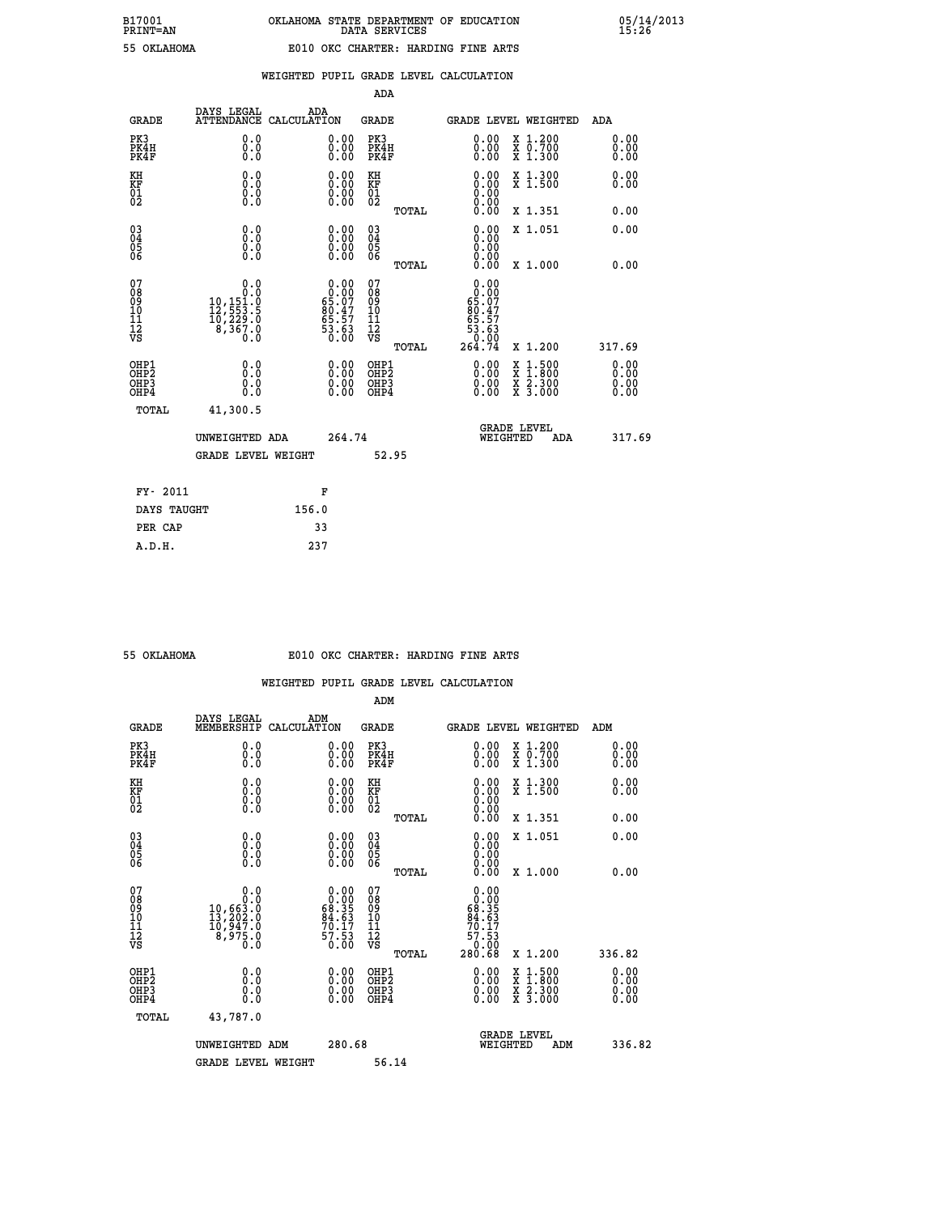| OKLAHOMA |
|----------|
|----------|

|                                                                    |                                                                                                           |                                                                   | ADA                                    |       |                                                                                                |                                                                                                                                           |                      |
|--------------------------------------------------------------------|-----------------------------------------------------------------------------------------------------------|-------------------------------------------------------------------|----------------------------------------|-------|------------------------------------------------------------------------------------------------|-------------------------------------------------------------------------------------------------------------------------------------------|----------------------|
| <b>GRADE</b>                                                       | DAYS LEGAL                                                                                                | ADA<br>ATTENDANCE CALCULATION                                     | <b>GRADE</b>                           |       |                                                                                                | <b>GRADE LEVEL WEIGHTED</b>                                                                                                               | ADA                  |
| PK3<br>PK4H<br>PK4F                                                | 0.0<br>0.0<br>0.0                                                                                         | 0.00<br>$0.00$<br>0.00                                            | PK3<br>PK4H<br>PK4F                    |       | $\begin{smallmatrix} 0.00 \ 0.00 \ 0.00 \end{smallmatrix}$                                     | X 1.200<br>X 0.700<br>X 1.300                                                                                                             | 0.00<br>0.00<br>0.00 |
| KH<br>KF<br>01<br>02                                               | 0.0<br>0.0<br>$\S.$                                                                                       | $\begin{smallmatrix} 0.00 \ 0.00 \ 0.00 \ 0.00 \end{smallmatrix}$ | KH<br>KF<br>01<br>02                   |       | 0.00                                                                                           | X 1.300<br>X 1.500                                                                                                                        | 0.00<br>0.00         |
|                                                                    |                                                                                                           |                                                                   |                                        | TOTAL | 0.00                                                                                           | X 1.351                                                                                                                                   | 0.00                 |
| $\begin{smallmatrix} 03 \\[-4pt] 04 \end{smallmatrix}$<br>Ŏ5<br>06 | 0.0<br>0.000                                                                                              | $\begin{smallmatrix} 0.00 \ 0.00 \ 0.00 \ 0.00 \end{smallmatrix}$ | $\substack{03 \\ 04}$<br>Ŏ5<br>06      |       | 0.00<br>0.00                                                                                   | X 1.051                                                                                                                                   | 0.00                 |
|                                                                    |                                                                                                           |                                                                   |                                        | TOTAL | 0.00                                                                                           | X 1.000                                                                                                                                   | 0.00                 |
| 07<br>08<br>09<br>101<br>11<br>12<br>VS                            | 0.0<br>$\begin{smallmatrix} &0.0\\ 0.0\\ 10,151.0\\ 12,553.5\\ 10,229.0\\ 8,367.0\\ 0.0\end{smallmatrix}$ | $0.00\n65.07\n80.47\n65.57\n53.63\n0.00$                          | 07<br>08<br>09<br>11<br>11<br>12<br>VS |       | 0.00<br>$\begin{array}{c} 0.00 \\ 65.07 \\ 80.47 \\ 65.57 \end{array}$<br>$\frac{53.63}{0.00}$ |                                                                                                                                           |                      |
|                                                                    |                                                                                                           |                                                                   |                                        | TOTAL | 264.74                                                                                         | X 1.200                                                                                                                                   | 317.69               |
| OHP1<br>OHP <sub>2</sub><br>OH <sub>P3</sub><br>OHP4               | 0.0<br>0.0<br>0.0                                                                                         | 0.00<br>$\begin{smallmatrix} 0.00 \ 0.00 \end{smallmatrix}$       | OHP1<br>OHP2<br>OHP <sub>3</sub>       |       | 0.00<br>0.00                                                                                   | $\begin{smallmatrix} \mathtt{X} & 1\cdot500\\ \mathtt{X} & 1\cdot800\\ \mathtt{X} & 2\cdot300\\ \mathtt{X} & 3\cdot000 \end{smallmatrix}$ | 0.00<br>0.00<br>0.00 |
| TOTAL                                                              | 41,300.5                                                                                                  |                                                                   |                                        |       |                                                                                                |                                                                                                                                           |                      |
|                                                                    | UNWEIGHTED ADA                                                                                            | 264.74                                                            |                                        |       |                                                                                                | <b>GRADE LEVEL</b><br>WEIGHTED<br>ADA                                                                                                     | 317.69               |
|                                                                    | GRADE LEVEL WEIGHT                                                                                        |                                                                   |                                        | 52.95 |                                                                                                |                                                                                                                                           |                      |
| FY- 2011                                                           |                                                                                                           | F                                                                 |                                        |       |                                                                                                |                                                                                                                                           |                      |
| DAYS TAUGHT                                                        |                                                                                                           | 156.0                                                             |                                        |       |                                                                                                |                                                                                                                                           |                      |
| PER CAP                                                            |                                                                                                           | 33                                                                |                                        |       |                                                                                                |                                                                                                                                           |                      |

 **A.D.H. 237**

### **55 OKLAHOMA E010 OKC CHARTER: HARDING FINE ARTS**

|                                    |                                                                                                           |                                                                   | ADM                                                |       |                                                                                                     |                                          |                      |
|------------------------------------|-----------------------------------------------------------------------------------------------------------|-------------------------------------------------------------------|----------------------------------------------------|-------|-----------------------------------------------------------------------------------------------------|------------------------------------------|----------------------|
| <b>GRADE</b>                       | DAYS LEGAL<br>MEMBERSHIP                                                                                  | ADM<br>CALCULATION                                                | <b>GRADE</b>                                       |       |                                                                                                     | <b>GRADE LEVEL WEIGHTED</b>              | ADM                  |
| PK3<br>PK4H<br>PK4F                | 0.0<br>0.0<br>0.0                                                                                         | $\begin{smallmatrix} 0.00 \ 0.00 \ 0.00 \end{smallmatrix}$        | PK3<br>PK4H<br>PK4F                                |       | $\begin{smallmatrix} 0.00 \\ 0.00 \\ 0.00 \end{smallmatrix}$                                        | X 1.200<br>X 0.700<br>X 1.300            | 0.00<br>0.00<br>0.00 |
| KH<br>KF<br>01<br>02               | 0.0<br>$\begin{smallmatrix} 0.0 & 0 \ 0.0 & 0 \ 0.0 & 0 \end{smallmatrix}$                                | $\begin{smallmatrix} 0.00 \ 0.00 \ 0.00 \ 0.00 \end{smallmatrix}$ | KH<br>KF<br>01<br>02                               |       | $\begin{smallmatrix} 0.00 \ 0.00 \ 0.00 \ 0.00 \ 0.00 \ 0.00 \end{smallmatrix}$                     | X 1.300<br>X 1.500                       | 0.00<br>0.00         |
|                                    |                                                                                                           |                                                                   |                                                    | TOTAL |                                                                                                     | X 1.351                                  | 0.00                 |
| 03<br>04<br>05<br>06               |                                                                                                           | $\begin{smallmatrix} 0.00 \ 0.00 \ 0.00 \ 0.00 \end{smallmatrix}$ | $\begin{matrix} 03 \\ 04 \\ 05 \\ 06 \end{matrix}$ |       | $0.00$<br>$0.00$<br>0.00                                                                            | X 1.051                                  | 0.00                 |
|                                    |                                                                                                           |                                                                   |                                                    | TOTAL | 0.00                                                                                                | X 1.000                                  | 0.00                 |
| 07<br>08<br>09<br>101<br>112<br>VS | 0.0<br>$\begin{smallmatrix} & & & 0.10\ 10, 663.0\ 13, 202.0\ 10, 947.0\ 8, 975.0\ 0.0 \end{smallmatrix}$ | $0.0068.3584.6370.1757.530.00$                                    | 07<br>08<br>09<br>11<br>11<br>12<br>VS             | TOTAL | $\begin{smallmatrix}&&0.00\\0.00\\68.35\\68.35\\84.63\\70.17\\57.53\\0.00\\280.68\end{smallmatrix}$ | X 1.200                                  | 336.82               |
|                                    |                                                                                                           |                                                                   |                                                    |       |                                                                                                     |                                          |                      |
| OHP1<br>OHP2<br>OHP3<br>OHP4       | 0.0<br>0.000                                                                                              |                                                                   | OHP1<br>OHP2<br>OHP <sub>3</sub>                   |       | $0.00$<br>$0.00$<br>0.00                                                                            | X 1:500<br>X 1:800<br>X 2:300<br>X 3:000 | 0.00<br>0.00<br>0.00 |
| TOTAL                              | 43,787.0                                                                                                  |                                                                   |                                                    |       |                                                                                                     |                                          |                      |
|                                    | UNWEIGHTED ADM                                                                                            | 280.68                                                            |                                                    |       | WEIGHTED                                                                                            | <b>GRADE LEVEL</b><br>ADM                | 336.82               |
|                                    | <b>GRADE LEVEL WEIGHT</b>                                                                                 |                                                                   | 56.14                                              |       |                                                                                                     |                                          |                      |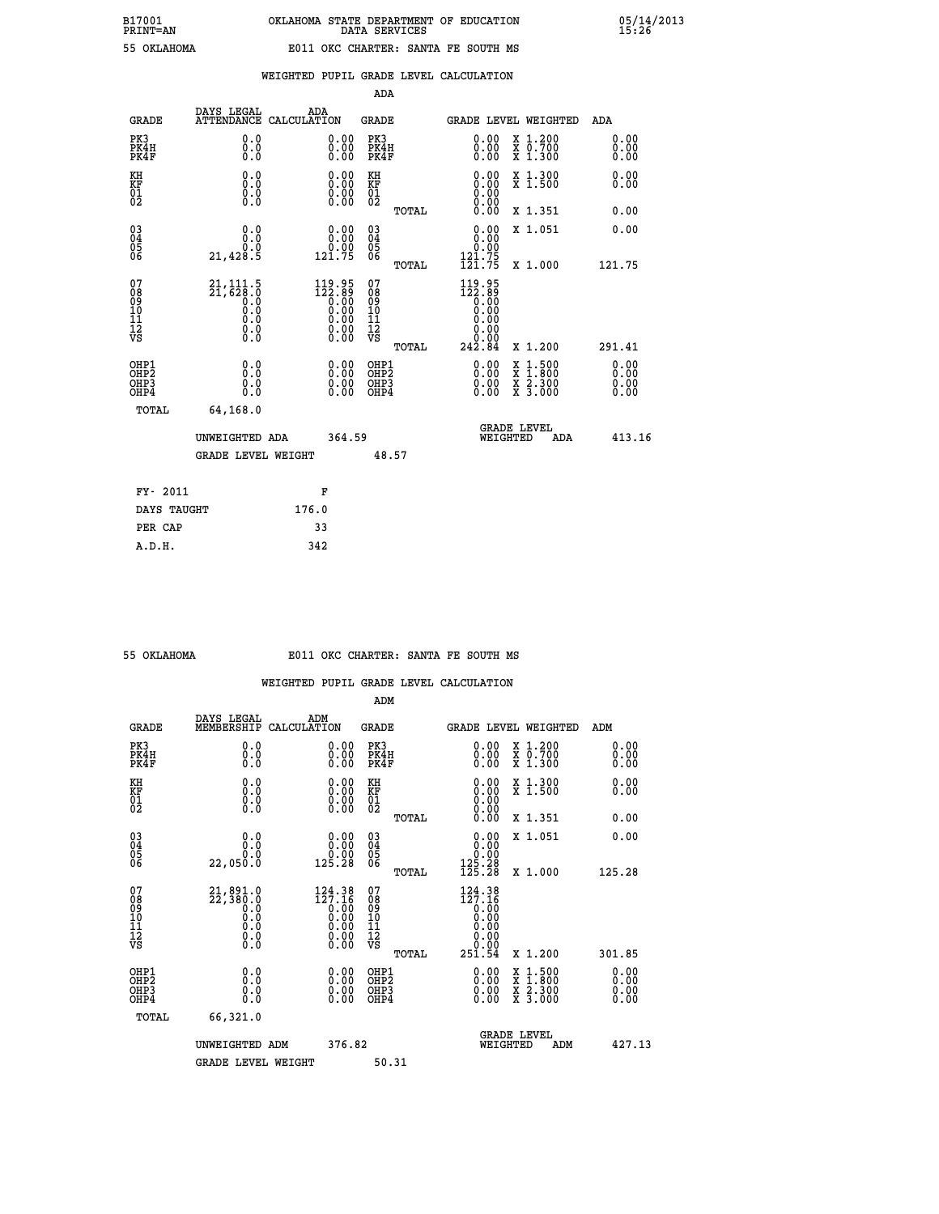| .<br>----<br>the contract of the contract of |  |
|----------------------------------------------|--|
|                                              |  |
|                                              |  |
|                                              |  |
|                                              |  |

|                                                                    |                                                               |                                                                                                         | ADA                                          |       |                                                            |                                                                                                                                           |                              |
|--------------------------------------------------------------------|---------------------------------------------------------------|---------------------------------------------------------------------------------------------------------|----------------------------------------------|-------|------------------------------------------------------------|-------------------------------------------------------------------------------------------------------------------------------------------|------------------------------|
| <b>GRADE</b>                                                       | DAYS LEGAL                                                    | ADA<br>ATTENDANCE CALCULATION                                                                           | <b>GRADE</b>                                 |       |                                                            | <b>GRADE LEVEL WEIGHTED</b>                                                                                                               | ADA                          |
| PK3<br>PK4H<br>PK4F                                                | 0.0<br>0.0<br>0.0                                             | 0.00<br>$0.00$<br>0.00                                                                                  | PK3<br>PK4H<br>PK4F                          |       | $\begin{smallmatrix} 0.00 \ 0.00 \ 0.00 \end{smallmatrix}$ | X 1.200<br>X 0.700<br>X 1.300                                                                                                             | 0.00<br>0.00<br>0.00         |
| KH<br>KF<br>01<br>02                                               | 0.0<br>0.0<br>$\S.$                                           | 0.0000<br>$\begin{smallmatrix} 0.00 \\ 0.00 \end{smallmatrix}$                                          | KH<br>KF<br>01<br>02                         |       | 0.00                                                       | X 1.300<br>X 1.500                                                                                                                        | 0.00<br>0.00                 |
|                                                                    |                                                               |                                                                                                         |                                              | TOTAL | 0.00                                                       | X 1.351                                                                                                                                   | 0.00                         |
| $\begin{smallmatrix} 03 \\[-4pt] 04 \end{smallmatrix}$<br>Ŏ5<br>06 | 0.0<br>0.0<br>21,428.5                                        | 0.00<br>ŏ:ŏŏ<br>121.75                                                                                  | $\substack{03 \\ 04}$<br>Ŏ5<br>06            |       | 0.00<br>ŏ:ŏŏ<br>121.75                                     | X 1.051                                                                                                                                   | 0.00                         |
|                                                                    |                                                               |                                                                                                         |                                              | TOTAL | 121.75                                                     | X 1.000                                                                                                                                   | 121.75                       |
| 07<br>08<br>09<br>101<br>11<br>12<br>VS                            | $21,111.5$<br>$21,628.0$<br>$0.0$<br>0.0<br>Ō.Ō<br>$\S.$ $\S$ | $\begin{smallmatrix} 119.95\\ 122.89\\ 0.00\\ 0.00\\ 0.00\\ 0.00\\ 0.00\\ 0.00\\ 0.00\end{smallmatrix}$ | 07<br>08<br>09<br>11<br>11<br>12<br>VS       |       | $119.95$<br>$122.89$<br>$0.00$<br>$0.00$<br>0.00<br>0.00   |                                                                                                                                           |                              |
|                                                                    |                                                               |                                                                                                         |                                              | TOTAL | 242.84                                                     | X 1.200                                                                                                                                   | 291.41                       |
| OHP1<br>OHP <sub>2</sub><br>OH <sub>P3</sub><br>OHP4               | 0.0<br>0.0<br>$0.\overline{0}$                                | 0.00<br>$\begin{smallmatrix} 0.00 \ 0.00 \end{smallmatrix}$                                             | OHP1<br>OHP <sub>2</sub><br>OHP <sub>3</sub> |       | 0.00<br>0.00                                               | $\begin{smallmatrix} \mathtt{X} & 1\cdot500\\ \mathtt{X} & 1\cdot800\\ \mathtt{X} & 2\cdot300\\ \mathtt{X} & 3\cdot000 \end{smallmatrix}$ | 0.00<br>0.00<br>0.00<br>0.00 |
| TOTAL                                                              | 64,168.0                                                      |                                                                                                         |                                              |       |                                                            |                                                                                                                                           |                              |
|                                                                    | UNWEIGHTED ADA                                                | 364.59                                                                                                  |                                              |       |                                                            | <b>GRADE LEVEL</b><br>WEIGHTED<br>ADA                                                                                                     | 413.16                       |
|                                                                    | <b>GRADE LEVEL WEIGHT</b>                                     |                                                                                                         |                                              | 48.57 |                                                            |                                                                                                                                           |                              |
| FY- 2011                                                           |                                                               | F                                                                                                       |                                              |       |                                                            |                                                                                                                                           |                              |
| DAYS TAUGHT                                                        |                                                               | 176.0                                                                                                   |                                              |       |                                                            |                                                                                                                                           |                              |
| PER CAP                                                            |                                                               | 33                                                                                                      |                                              |       |                                                            |                                                                                                                                           |                              |

 **A.D.H. 342**

### **55 OKLAHOMA E011 OKC CHARTER: SANTA FE SOUTH MS**

|                                                    |                                                                                                 |                                                                                                            | ADM                                                 |       |                                                                                 |                                                                                                                     |                      |
|----------------------------------------------------|-------------------------------------------------------------------------------------------------|------------------------------------------------------------------------------------------------------------|-----------------------------------------------------|-------|---------------------------------------------------------------------------------|---------------------------------------------------------------------------------------------------------------------|----------------------|
| <b>GRADE</b>                                       | DAYS LEGAL<br>MEMBERSHIP                                                                        | ADM<br>CALCULATION                                                                                         | <b>GRADE</b>                                        |       | GRADE LEVEL WEIGHTED                                                            |                                                                                                                     | ADM                  |
| PK3<br>PK4H<br>PK4F                                | 0.0<br>0.000                                                                                    | 0.00<br>$\begin{smallmatrix} 0.00 \ 0.00 \end{smallmatrix}$                                                | PK3<br>PK4H<br>PK4F                                 |       | $\begin{smallmatrix} 0.00 \\ 0.00 \\ 0.00 \end{smallmatrix}$                    | X 1.200<br>X 0.700<br>X 1.300                                                                                       | 0.00<br>0.00<br>0.00 |
| KH<br>KF<br>01<br>02                               | 0.0<br>$\begin{smallmatrix} 0.0 & 0 \ 0.0 & 0 \ 0.0 & 0 \end{smallmatrix}$                      | $\begin{smallmatrix} 0.00 \ 0.00 \ 0.00 \ 0.00 \end{smallmatrix}$                                          | KH<br>KF<br>01<br>02                                |       | $\begin{smallmatrix} 0.00 \ 0.00 \ 0.00 \ 0.00 \ 0.00 \ 0.00 \end{smallmatrix}$ | X 1.300<br>X 1.500                                                                                                  | 0.00<br>0.00         |
|                                                    |                                                                                                 |                                                                                                            |                                                     | TOTAL |                                                                                 | X 1.351                                                                                                             | 0.00                 |
| $\begin{matrix} 03 \\ 04 \\ 05 \\ 06 \end{matrix}$ | 0.0<br>0.0                                                                                      | $\begin{smallmatrix} &0.00\0.00\0.00\0.25.28\end{smallmatrix}$                                             | $\begin{array}{c} 03 \\ 04 \\ 05 \\ 06 \end{array}$ |       | $\begin{smallmatrix} 0.00\\ 0.00\\ 0.00\\ 125.28\\ 125.28 \end{smallmatrix}$    | X 1.051                                                                                                             | 0.00                 |
|                                                    | 22,050.0                                                                                        |                                                                                                            |                                                     | TOTAL |                                                                                 | X 1.000                                                                                                             | 125.28               |
| 07<br>08<br>09<br>001<br>11<br>11<br>12<br>VS      | $\begin{smallmatrix} 21,891.0\\ 22,380.0\\ 0.0\\ 0.0\\ 0.0\\ 0.0\\ 0.0\\ 0.0 \end{smallmatrix}$ | $\begin{smallmatrix} 124.38\\ 127.16\\ 0.00\\ 0.00\\ 0.00\\ 0.00\\ 0.00\\ 0.00\\ 0.00\\ \end{smallmatrix}$ | 07<br>08<br>09<br>001<br>11<br>11<br>12<br>VS       | TOTAL | 124.38<br>127.16<br>0.00<br>0.00<br>0.00<br>251.54                              | X 1.200                                                                                                             | 301.85               |
| OHP1<br>OHP2<br>OH <sub>P3</sub><br>OHP4           | 0.0<br>0.000                                                                                    | $\begin{smallmatrix} 0.00 \ 0.00 \ 0.00 \ 0.00 \end{smallmatrix}$                                          | OHP1<br>OHP2<br>OHP3<br>OHP4                        |       |                                                                                 | $\begin{array}{l} \mathtt{X} & 1.500 \\ \mathtt{X} & 1.800 \\ \mathtt{X} & 2.300 \\ \mathtt{X} & 3.000 \end{array}$ | 0.00<br>0.00<br>0.00 |
| TOTAL                                              | 66,321.0                                                                                        |                                                                                                            |                                                     |       |                                                                                 |                                                                                                                     |                      |
|                                                    | UNWEIGHTED ADM                                                                                  | 376.82                                                                                                     |                                                     |       | WEIGHTED                                                                        | <b>GRADE LEVEL</b><br>ADM                                                                                           | 427.13               |
|                                                    | <b>GRADE LEVEL WEIGHT</b>                                                                       |                                                                                                            | 50.31                                               |       |                                                                                 |                                                                                                                     |                      |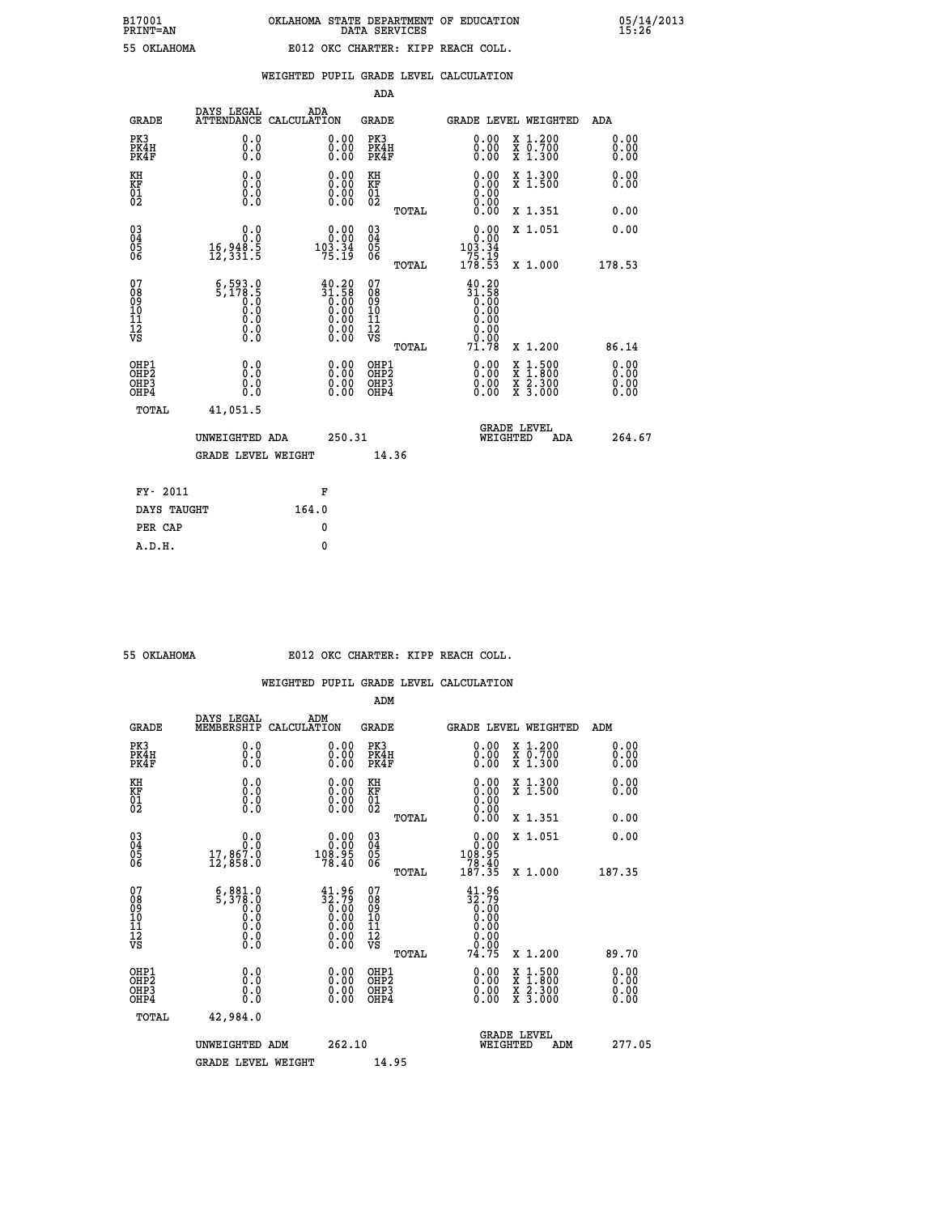# **B17001 OKLAHOMA STATE DEPARTMENT OF EDUCATION 05/14/2013 PRINT=AN DATA SERVICES 15:26 55 OKLAHOMA E012 OKC CHARTER: KIPP REACH COLL.**

|                                                                    |                                                                                                                                   |                                                                                                                       | ADA                                      |       |                                                                           |                                                                                                                                      |                              |
|--------------------------------------------------------------------|-----------------------------------------------------------------------------------------------------------------------------------|-----------------------------------------------------------------------------------------------------------------------|------------------------------------------|-------|---------------------------------------------------------------------------|--------------------------------------------------------------------------------------------------------------------------------------|------------------------------|
| <b>GRADE</b>                                                       | DAYS LEGAL                                                                                                                        | ADA<br>ATTENDANCE CALCULATION                                                                                         | <b>GRADE</b>                             |       |                                                                           | <b>GRADE LEVEL WEIGHTED</b>                                                                                                          | ADA                          |
| PK3<br>PK4H<br>PK4F                                                | 0.0<br>0.0<br>Ō.Ō                                                                                                                 | $\begin{smallmatrix} 0.00 \ 0.00 \ 0.00 \end{smallmatrix}$                                                            | PK3<br>PK4H<br>PK4F                      |       | $\begin{smallmatrix} 0.00 \\ 0.00 \\ 0.00 \end{smallmatrix}$              | X 1.200<br>X 0.700<br>X 1.300                                                                                                        | 0.00<br>0.00<br>0.00         |
| KH<br>KF<br>01<br>02                                               | 0.0<br>0.0<br>$\S.$                                                                                                               | 0.0000<br>$\begin{smallmatrix} 0.00 & 0.00 \\ 0.00 & 0.00 \end{smallmatrix}$                                          | KH<br>KF<br>01<br>02                     |       | 0.00                                                                      | X 1.300<br>X 1.500                                                                                                                   | 0.00<br>0.00                 |
|                                                                    |                                                                                                                                   |                                                                                                                       |                                          | TOTAL |                                                                           | X 1.351                                                                                                                              | 0.00                         |
| $\begin{smallmatrix} 03 \\[-4pt] 04 \end{smallmatrix}$<br>05<br>06 | 0.0<br>16,948.Š<br>12,331.5                                                                                                       | 0.0000<br>$10\overline{3}\cdot 3\overline{4}$<br>75.19                                                                | $\substack{03 \\ 04}$<br>05<br>06        | TOTAL | $\begin{smallmatrix}&&0.00\\0.00\\103.34\\75.19\\178.53\end{smallmatrix}$ | X 1.051<br>X 1.000                                                                                                                   | 0.00<br>178.53               |
| 07<br>08901112<br>1112<br>VS                                       | $\begin{smallmatrix} 6,593.0\\ 5,178.5\\ 0.0\\ 0.0 \end{smallmatrix}$<br>$\begin{smallmatrix} 0.16 \ 0.0 \ 0.0 \end{smallmatrix}$ | $31.58$<br>$0.00$<br>$0.00$<br>$0.00$<br>$0.00$<br>$\begin{smallmatrix} 0.00 & 0.00 \\ 0.00 & 0.00 \end{smallmatrix}$ | 07<br>08901112<br>1112<br>VS             |       | 40.20<br>$31.58$<br>0.00<br>0.00<br>0.00                                  |                                                                                                                                      |                              |
|                                                                    |                                                                                                                                   |                                                                                                                       |                                          | TOTAL | 71.78                                                                     | X 1.200                                                                                                                              | 86.14                        |
| OHP1<br>OH <sub>P</sub> 2<br>OH <sub>P3</sub><br>OH <sub>P4</sub>  | 0.0<br>0.0<br>0.0                                                                                                                 | $\begin{smallmatrix} 0.00 \ 0.00 \ 0.00 \ 0.00 \end{smallmatrix}$                                                     | OHP1<br>OHP <sub>2</sub><br>OHP3<br>OHP4 |       | 0.00<br>0.00<br>0.00                                                      | $\begin{smallmatrix} \mathtt{X} & 1 & 500 \\ \mathtt{X} & 1 & 800 \\ \mathtt{X} & 2 & 300 \\ \mathtt{X} & 3 & 000 \end{smallmatrix}$ | 0.00<br>0.00<br>0.00<br>0.00 |
| TOTAL                                                              | 41,051.5                                                                                                                          |                                                                                                                       |                                          |       |                                                                           |                                                                                                                                      |                              |
|                                                                    | UNWEIGHTED ADA                                                                                                                    | 250.31                                                                                                                |                                          |       |                                                                           | GRADE LEVEL<br>WEIGHTED<br>ADA                                                                                                       | 264.67                       |
|                                                                    | <b>GRADE LEVEL WEIGHT</b>                                                                                                         |                                                                                                                       |                                          | 14.36 |                                                                           |                                                                                                                                      |                              |
| FY- 2011                                                           |                                                                                                                                   | F                                                                                                                     |                                          |       |                                                                           |                                                                                                                                      |                              |
| DAYS TAUGHT                                                        |                                                                                                                                   | 164.0                                                                                                                 |                                          |       |                                                                           |                                                                                                                                      |                              |
| PER CAP                                                            |                                                                                                                                   | 0                                                                                                                     |                                          |       |                                                                           |                                                                                                                                      |                              |

| OKLAHOMA |  |
|----------|--|
|          |  |

 **A.D.H. 0**

#### **E012 OKC CHARTER: KIPP REACH COLL.**

|                                    |                                                            |                                                                                                        | ADM                                                |       |                                                                                          |                                          |                              |
|------------------------------------|------------------------------------------------------------|--------------------------------------------------------------------------------------------------------|----------------------------------------------------|-------|------------------------------------------------------------------------------------------|------------------------------------------|------------------------------|
| <b>GRADE</b>                       | DAYS LEGAL<br>MEMBERSHIP                                   | ADM<br>CALCULATION                                                                                     | <b>GRADE</b>                                       |       |                                                                                          | <b>GRADE LEVEL WEIGHTED</b>              | ADM                          |
| PK3<br>PK4H<br>PK4F                | 0.0<br>0.0<br>0.0                                          | 0.00<br>$\begin{smallmatrix} 0.00 \ 0.00 \end{smallmatrix}$                                            | PK3<br>PK4H<br>PK4F                                |       | $\begin{smallmatrix} 0.00 \\ 0.00 \\ 0.00 \end{smallmatrix}$                             | X 1.200<br>X 0.700<br>X 1.300            | 0.00<br>0.00<br>0.00         |
| KH<br>KF<br>01<br>02               | 0.0<br>0.0<br>$\S.$                                        | $\begin{smallmatrix} 0.00 \ 0.00 \ 0.00 \ 0.00 \end{smallmatrix}$                                      | KH<br>KF<br>01<br>02                               |       | $0.00$<br>$0.00$<br>$0.00$                                                               | X 1.300<br>X 1.500                       | 0.00<br>0.00                 |
|                                    |                                                            |                                                                                                        |                                                    | TOTAL | 0.00                                                                                     | X 1.351                                  | 0.00                         |
| 03<br>04<br>05<br>06               | 0.0<br>17,867.0<br>12,858.0                                | $\begin{smallmatrix} &0.00\\0.00\\108.95\\78.40\end{smallmatrix}$                                      | $\begin{matrix} 03 \\ 04 \\ 05 \\ 06 \end{matrix}$ |       | 0.00<br>108:95<br>78:40<br>187:35                                                        | X 1.051                                  | 0.00                         |
|                                    |                                                            |                                                                                                        |                                                    | TOTAL |                                                                                          | X 1.000                                  | 187.35                       |
| 07<br>08<br>09<br>101<br>112<br>VS | $5,378.0$<br>$5,378.0$<br>$0.0$<br>$0.0$<br>$0.0$<br>$\S.$ | $\begin{smallmatrix} 41.96 \\ 32.79 \\ 0.00 \\ 0.00 \\ 0.00 \\ 0.00 \\ 0.00 \\ 0.00 \end{smallmatrix}$ | 07<br>08<br>09<br>11<br>11<br>12<br>VS             |       | $\begin{smallmatrix} 41.96 \\[-4pt] 32.79 \\[-4pt] 0.00 \\[-4pt] 0.00 \end{smallmatrix}$ |                                          |                              |
|                                    |                                                            |                                                                                                        |                                                    | TOTAL | 74.75                                                                                    | X 1.200                                  | 89.70                        |
| OHP1<br>OHP2<br>OHP3<br>OHP4       | 0.0<br>0.000                                               |                                                                                                        | OHP1<br>OHP2<br>OHP <sub>3</sub>                   |       | $0.00$<br>$0.00$<br>0.00                                                                 | X 1:500<br>X 1:800<br>X 2:300<br>X 3:000 | 0.00<br>Ŏ.ŎŎ<br>Q.QQ<br>0.00 |
| TOTAL                              | 42,984.0                                                   |                                                                                                        |                                                    |       |                                                                                          |                                          |                              |
|                                    | UNWEIGHTED ADM                                             | 262.10                                                                                                 |                                                    |       | WEIGHTED                                                                                 | <b>GRADE LEVEL</b><br>ADM                | 277.05                       |
|                                    | <b>GRADE LEVEL WEIGHT</b>                                  |                                                                                                        | 14.95                                              |       |                                                                                          |                                          |                              |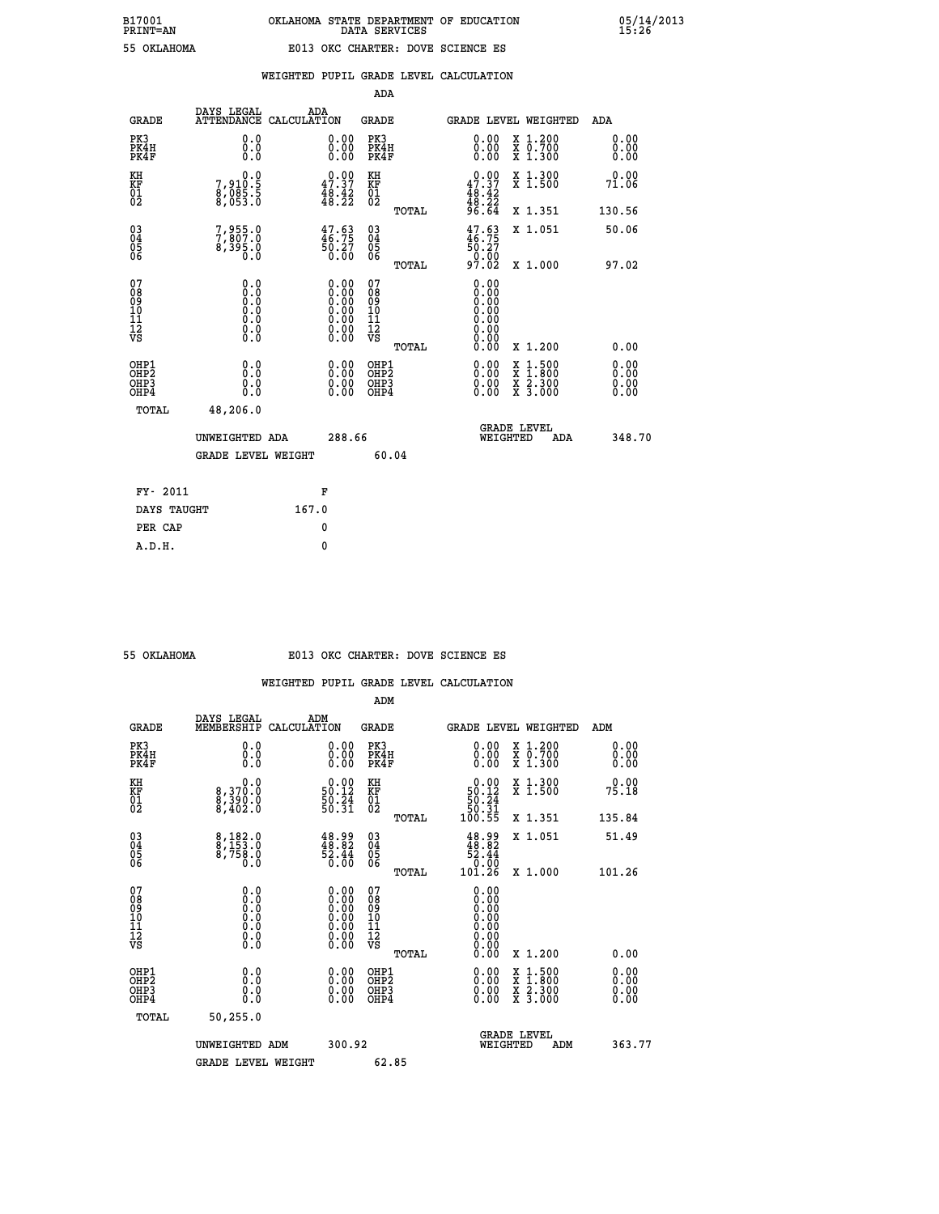|  |  | WEIGHTED PUPIL GRADE LEVEL CALCULATION |
|--|--|----------------------------------------|
|  |  |                                        |

|                                                                    |                                                                                                   |                                                                                               | ADA                                                |       |                                                                                                                                                                                                                                                                                |                                                                                                                                           |                                  |
|--------------------------------------------------------------------|---------------------------------------------------------------------------------------------------|-----------------------------------------------------------------------------------------------|----------------------------------------------------|-------|--------------------------------------------------------------------------------------------------------------------------------------------------------------------------------------------------------------------------------------------------------------------------------|-------------------------------------------------------------------------------------------------------------------------------------------|----------------------------------|
| <b>GRADE</b>                                                       | DAYS LEGAL<br><b>ATTENDANCE</b>                                                                   | ADA<br>CALCULATION                                                                            | <b>GRADE</b>                                       |       |                                                                                                                                                                                                                                                                                | <b>GRADE LEVEL WEIGHTED</b>                                                                                                               | ADA                              |
| PK3<br>PK4H<br>PK4F                                                | 0.0<br>0.0<br>Ō.Ō                                                                                 | $\begin{smallmatrix} 0.00 \ 0.00 \ 0.00 \end{smallmatrix}$                                    | PK3<br>PK4H<br>PK4F                                |       | $\begin{smallmatrix} 0.00 \\ 0.00 \\ 0.00 \end{smallmatrix}$                                                                                                                                                                                                                   | X 1.200<br>X 0.700<br>X 1.300                                                                                                             | 0.00<br>0.00<br>0.00             |
| KH<br>KF<br>01<br>02                                               | $\begin{smallmatrix}&&&0.0\\7,910.5\\8,085.5\\8,053.0\end{smallmatrix}$                           | 47.37<br>$\frac{48.42}{48.22}$                                                                | KH<br>KF<br>01<br>02                               |       | $0.00\n47.37\n48.42\n48.22\n96.64$                                                                                                                                                                                                                                             | X 1.300<br>X 1.500                                                                                                                        | 0.00<br>71.06                    |
|                                                                    |                                                                                                   |                                                                                               |                                                    | TOTAL |                                                                                                                                                                                                                                                                                | X 1.351                                                                                                                                   | 130.56                           |
| $\begin{smallmatrix} 03 \\[-4pt] 04 \end{smallmatrix}$<br>Ŏ5<br>06 | 7,955.0<br>7,807.0<br>8,395.0<br>0.0                                                              | $47.63\n46.75\n50.27\n0.00$                                                                   | $\begin{matrix} 03 \\ 04 \\ 05 \\ 06 \end{matrix}$ |       | $\frac{47.63}{46.75}$<br>$\frac{1}{50}$ . 27<br>97.02                                                                                                                                                                                                                          | X 1.051                                                                                                                                   | 50.06                            |
|                                                                    |                                                                                                   |                                                                                               |                                                    | TOTAL |                                                                                                                                                                                                                                                                                | X 1.000                                                                                                                                   | 97.02                            |
| 07<br>08<br>09<br>101<br>11<br>12<br>VS                            | $\begin{smallmatrix} 0.0 & 0 \ 0.0 & 0 \ 0.0 & 0 \ 0.0 & 0 \ 0.0 & 0 \ 0.0 & 0 \end{smallmatrix}$ | $\begin{smallmatrix} 0.00\ 0.00\ 0.00\ 0.00\ 0.00\ 0.00\ 0.00\ 0.00\ 0.00\ \end{smallmatrix}$ | 07<br>08<br>09<br>11<br>11<br>12<br>VS             |       | 0.00<br>0.00<br>0.00<br>0.00<br>0.00<br>0.00                                                                                                                                                                                                                                   |                                                                                                                                           |                                  |
|                                                                    |                                                                                                   |                                                                                               |                                                    | TOTAL | 0.00                                                                                                                                                                                                                                                                           | X 1.200                                                                                                                                   | 0.00                             |
| OHP1<br>OHP <sub>2</sub><br>OH <sub>P3</sub><br>OHP4               | 0.0<br>0.000                                                                                      | 0.00<br>$\begin{smallmatrix} 0.00 \ 0.00 \end{smallmatrix}$                                   | OHP1<br>OHP2<br>OHP <sub>3</sub>                   |       | $\begin{smallmatrix} 0.00 & 0.00 & 0.00 & 0.00 & 0.00 & 0.00 & 0.00 & 0.00 & 0.00 & 0.00 & 0.00 & 0.00 & 0.00 & 0.00 & 0.00 & 0.00 & 0.00 & 0.00 & 0.00 & 0.00 & 0.00 & 0.00 & 0.00 & 0.00 & 0.00 & 0.00 & 0.00 & 0.00 & 0.00 & 0.00 & 0.00 & 0.00 & 0.00 & 0.00 & 0.00 & 0.0$ | $\begin{smallmatrix} \mathtt{X} & 1\cdot500\\ \mathtt{X} & 1\cdot800\\ \mathtt{X} & 2\cdot300\\ \mathtt{X} & 3\cdot000 \end{smallmatrix}$ | 0.00<br>0.00<br>$0.00$<br>$0.00$ |
| TOTAL                                                              | 48,206.0                                                                                          |                                                                                               |                                                    |       |                                                                                                                                                                                                                                                                                |                                                                                                                                           |                                  |
|                                                                    | UNWEIGHTED ADA                                                                                    | 288.66                                                                                        |                                                    |       |                                                                                                                                                                                                                                                                                | <b>GRADE LEVEL</b><br>WEIGHTED<br>ADA                                                                                                     | 348.70                           |
|                                                                    | <b>GRADE LEVEL WEIGHT</b>                                                                         |                                                                                               |                                                    | 60.04 |                                                                                                                                                                                                                                                                                |                                                                                                                                           |                                  |
| FY- 2011                                                           |                                                                                                   | F                                                                                             |                                                    |       |                                                                                                                                                                                                                                                                                |                                                                                                                                           |                                  |
| DAYS TAUGHT                                                        |                                                                                                   | 167.0                                                                                         |                                                    |       |                                                                                                                                                                                                                                                                                |                                                                                                                                           |                                  |
| PER CAP                                                            |                                                                                                   | 0                                                                                             |                                                    |       |                                                                                                                                                                                                                                                                                |                                                                                                                                           |                                  |

 **A.D.H. 0**

### **55 OKLAHOMA E013 OKC CHARTER: DOVE SCIENCE ES**

|                                                    |                                                                                                   |                                                                                               | ADM                                                |       |                                                                                                                                                                                                                                                                                |                                          |                                                                                                                                                                                                                                                                                |
|----------------------------------------------------|---------------------------------------------------------------------------------------------------|-----------------------------------------------------------------------------------------------|----------------------------------------------------|-------|--------------------------------------------------------------------------------------------------------------------------------------------------------------------------------------------------------------------------------------------------------------------------------|------------------------------------------|--------------------------------------------------------------------------------------------------------------------------------------------------------------------------------------------------------------------------------------------------------------------------------|
| <b>GRADE</b>                                       | DAYS LEGAL<br>MEMBERSHIP                                                                          | ADM<br>CALCULATION                                                                            | <b>GRADE</b>                                       |       |                                                                                                                                                                                                                                                                                | GRADE LEVEL WEIGHTED                     | ADM                                                                                                                                                                                                                                                                            |
| PK3<br>PK4H<br>PK4F                                | 0.0<br>0.000                                                                                      | $\begin{smallmatrix} 0.00 \ 0.00 \ 0.00 \end{smallmatrix}$                                    | PK3<br>PK4H<br>PK4F                                |       | $\begin{smallmatrix} 0.00 \\ 0.00 \\ 0.00 \end{smallmatrix}$                                                                                                                                                                                                                   | X 1.200<br>X 0.700<br>X 1.300            | 0.00<br>0.00<br>0.00                                                                                                                                                                                                                                                           |
| KH<br>KF<br>01<br>02                               | 0.0<br>8,370.0<br>8,390.0<br>8,402.0                                                              | $0.00$<br>50.12<br>$\frac{50.24}{50.31}$                                                      | KH<br>KF<br>01<br>02                               |       | $\begin{array}{c} 0.00 \\ 50.12 \\ 50.24 \\ 50.31 \\ 100.55 \end{array}$                                                                                                                                                                                                       | X 1.300<br>X 1.500                       | 0.00<br>75.18                                                                                                                                                                                                                                                                  |
|                                                    |                                                                                                   |                                                                                               |                                                    | TOTAL |                                                                                                                                                                                                                                                                                | X 1.351                                  | 135.84                                                                                                                                                                                                                                                                         |
| $\begin{matrix} 03 \\ 04 \\ 05 \\ 06 \end{matrix}$ | 8,182.0<br>8,153.0<br>8,758.0<br>0.0                                                              | $\begin{smallmatrix} 48.99\\ 48.82\\ 52.44\\ 0.00 \end{smallmatrix}$                          | $\begin{matrix} 03 \\ 04 \\ 05 \\ 06 \end{matrix}$ |       | $\begin{smallmatrix} 48.99\\ 48.82\\ 52.44\\ 0.00\\ 101.26 \end{smallmatrix}$                                                                                                                                                                                                  | X 1.051                                  | 51.49                                                                                                                                                                                                                                                                          |
|                                                    |                                                                                                   |                                                                                               |                                                    | TOTAL |                                                                                                                                                                                                                                                                                | X 1.000                                  | 101.26                                                                                                                                                                                                                                                                         |
| 07<br>08<br>09<br>10<br>11<br>11<br>12<br>VS       | $\begin{smallmatrix} 0.0 & 0 \ 0.0 & 0 \ 0.0 & 0 \ 0.0 & 0 \ 0.0 & 0 \ 0.0 & 0 \end{smallmatrix}$ | $\begin{smallmatrix} 0.00\ 0.00\ 0.00\ 0.00\ 0.00\ 0.00\ 0.00\ 0.00\ 0.00\ \end{smallmatrix}$ | 07<br>08<br>09<br>01<br>11<br>11<br>12<br>VS       | TOTAL | 0.00<br>000:00<br>000:00<br>00:00<br>00:00<br>0.00                                                                                                                                                                                                                             | X 1.200                                  | 0.00                                                                                                                                                                                                                                                                           |
| OHP1<br>OHP2<br>OH <sub>P3</sub><br>OHP4           | 0.0<br>0.000                                                                                      | $\begin{smallmatrix} 0.00 \ 0.00 \ 0.00 \ 0.00 \end{smallmatrix}$                             | OHP1<br>OHP2<br>OHP3<br>OHP4                       |       | $\begin{smallmatrix} 0.00 & 0.00 & 0.00 & 0.00 & 0.00 & 0.00 & 0.00 & 0.00 & 0.00 & 0.00 & 0.00 & 0.00 & 0.00 & 0.00 & 0.00 & 0.00 & 0.00 & 0.00 & 0.00 & 0.00 & 0.00 & 0.00 & 0.00 & 0.00 & 0.00 & 0.00 & 0.00 & 0.00 & 0.00 & 0.00 & 0.00 & 0.00 & 0.00 & 0.00 & 0.00 & 0.0$ | X 1:500<br>X 1:800<br>X 2:300<br>X 3:000 | $\begin{smallmatrix} 0.00 & 0.00 & 0.00 & 0.00 & 0.00 & 0.00 & 0.00 & 0.00 & 0.00 & 0.00 & 0.00 & 0.00 & 0.00 & 0.00 & 0.00 & 0.00 & 0.00 & 0.00 & 0.00 & 0.00 & 0.00 & 0.00 & 0.00 & 0.00 & 0.00 & 0.00 & 0.00 & 0.00 & 0.00 & 0.00 & 0.00 & 0.00 & 0.00 & 0.00 & 0.00 & 0.0$ |
| TOTAL                                              | 50,255.0                                                                                          |                                                                                               |                                                    |       |                                                                                                                                                                                                                                                                                |                                          |                                                                                                                                                                                                                                                                                |
|                                                    | UNWEIGHTED ADM                                                                                    | 300.92                                                                                        |                                                    |       |                                                                                                                                                                                                                                                                                | <b>GRADE LEVEL</b><br>WEIGHTED<br>ADM    | 363.77                                                                                                                                                                                                                                                                         |
|                                                    | <b>GRADE LEVEL WEIGHT</b>                                                                         |                                                                                               |                                                    | 62.85 |                                                                                                                                                                                                                                                                                |                                          |                                                                                                                                                                                                                                                                                |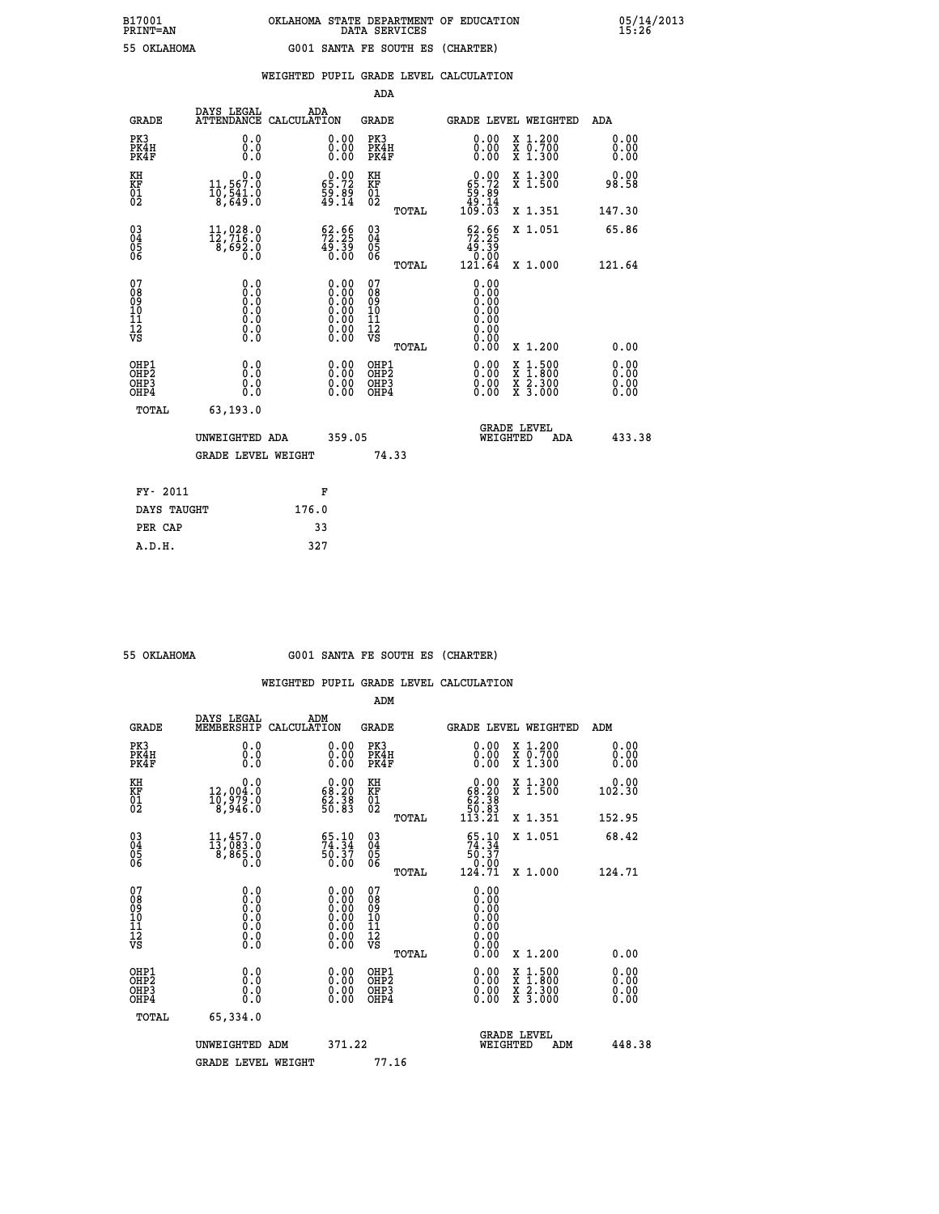| B17001          | OKLAHOMA STATE DEPARTMENT OF EDUCATION |
|-----------------|----------------------------------------|
| <b>PRINT=AN</b> | DATA SERVICES                          |
| 55 OKLAHOMA     | G001 SANTA FE SOUTH ES (CHARTER)       |

 **B17001 OKLAHOMA STATE DEPARTMENT OF EDUCATION 05/14/2013**

|                                                                    |                                                                             |                                                                                               |        | ADA                                                 |       |                                                                               |                                                                                                                                           |                                  |
|--------------------------------------------------------------------|-----------------------------------------------------------------------------|-----------------------------------------------------------------------------------------------|--------|-----------------------------------------------------|-------|-------------------------------------------------------------------------------|-------------------------------------------------------------------------------------------------------------------------------------------|----------------------------------|
| <b>GRADE</b>                                                       | DAYS LEGAL<br>ATTENDANCE CALCULATION                                        | ADA                                                                                           |        | <b>GRADE</b>                                        |       | <b>GRADE LEVEL WEIGHTED</b>                                                   |                                                                                                                                           | ADA                              |
| PK3<br>PK4H<br>PK4F                                                | 0.0<br>0.0<br>0.0                                                           | $\begin{smallmatrix} 0.00 \ 0.00 \ 0.00 \end{smallmatrix}$                                    |        | PK3<br>PK4H<br>PK4F                                 |       | 0.00<br>0.00                                                                  | X 1.200<br>X 0.700<br>X 1.300                                                                                                             | 0.00<br>0.00<br>0.00             |
| KH<br>KF<br>01<br>02                                               | 0.0<br>$11,567.0$<br>$10,541.0$<br>$8,649.0$                                | $\begin{smallmatrix} 0.00\\ 65.72\\ 59.89\\ 49.14 \end{smallmatrix}$                          |        | KH<br>KF<br>01<br>02                                |       | $\begin{smallmatrix} &0.00\ 65.72\ 59.89\ 49.14\ 109.03\ \end{smallmatrix}$   | X 1.300<br>X 1.500                                                                                                                        | 0.00<br>98.58                    |
|                                                                    |                                                                             |                                                                                               |        |                                                     | TOTAL |                                                                               | X 1.351                                                                                                                                   | 147.30                           |
| $\begin{smallmatrix} 03 \\[-4pt] 04 \end{smallmatrix}$<br>Ŏ5<br>06 | $\begin{smallmatrix} 11,028.0\\ 12,716.0\\ 8,692.0\\ 0.0 \end{smallmatrix}$ | $\begin{smallmatrix} 62.66\\ 72.25\\ 49.39\\ 0.00 \end{smallmatrix}$                          |        | $\begin{array}{c} 03 \\ 04 \\ 05 \\ 06 \end{array}$ |       | $\begin{smallmatrix} 62.66\\ 72.25\\ 49.39\\ 0.00\\ 121.64 \end{smallmatrix}$ | X 1.051                                                                                                                                   | 65.86                            |
|                                                                    |                                                                             |                                                                                               |        |                                                     | TOTAL |                                                                               | X 1.000                                                                                                                                   | 121.64                           |
| 07<br>08<br>09<br>01<br>11<br>11<br>12<br>VS                       | 0.0                                                                         | $\begin{smallmatrix} 0.00\ 0.00\ 0.00\ 0.00\ 0.00\ 0.00\ 0.00\ 0.00\ 0.00\ \end{smallmatrix}$ |        | 07<br>08<br>09<br>11<br>11<br>12<br>VS              |       | 0.00<br>0.00<br>0.00<br>0.00<br>0.00                                          |                                                                                                                                           |                                  |
|                                                                    |                                                                             |                                                                                               |        |                                                     | TOTAL | 0.00                                                                          | X 1.200                                                                                                                                   | 0.00                             |
| OHP1<br>OHP <sub>2</sub><br>OH <sub>P3</sub><br>OHP4               | 0.0<br>0.0<br>0.0                                                           | 0.00<br>$\begin{smallmatrix} 0.00 \ 0.00 \end{smallmatrix}$                                   |        | OHP1<br>OHP <sub>2</sub><br>OHP <sub>3</sub>        |       | 0.00<br>0.00                                                                  | $\begin{smallmatrix} \mathtt{X} & 1\cdot500\\ \mathtt{X} & 1\cdot800\\ \mathtt{X} & 2\cdot300\\ \mathtt{X} & 3\cdot000 \end{smallmatrix}$ | 0.00<br>0.00<br>$0.00$<br>$0.00$ |
| TOTAL                                                              | 63, 193, 0                                                                  |                                                                                               |        |                                                     |       |                                                                               |                                                                                                                                           |                                  |
|                                                                    | UNWEIGHTED ADA                                                              |                                                                                               | 359.05 |                                                     |       | WEIGHTED                                                                      | <b>GRADE LEVEL</b><br>ADA                                                                                                                 | 433.38                           |
|                                                                    | <b>GRADE LEVEL WEIGHT</b>                                                   |                                                                                               |        | 74.33                                               |       |                                                                               |                                                                                                                                           |                                  |
| FY- 2011                                                           |                                                                             | F                                                                                             |        |                                                     |       |                                                                               |                                                                                                                                           |                                  |
| DAYS TAUGHT                                                        |                                                                             | 176.0                                                                                         |        |                                                     |       |                                                                               |                                                                                                                                           |                                  |
| PER CAP                                                            |                                                                             | 33                                                                                            |        |                                                     |       |                                                                               |                                                                                                                                           |                                  |

| 55 OKTAHOMA |  |
|-------------|--|
|             |  |

 **A.D.H. 327**

 **B17001<br>PRINT=AN** 

# **55 OKLAHOMA G001 SANTA FE SOUTH ES (CHARTER)**

|                                    |                                                                                                   |                                                                                               | ADM                                                |       |                                                                                                   |                                          |        |                      |
|------------------------------------|---------------------------------------------------------------------------------------------------|-----------------------------------------------------------------------------------------------|----------------------------------------------------|-------|---------------------------------------------------------------------------------------------------|------------------------------------------|--------|----------------------|
| <b>GRADE</b>                       | DAYS LEGAL<br>MEMBERSHIP                                                                          | ADM<br>CALCULATION                                                                            | <b>GRADE</b>                                       |       |                                                                                                   | <b>GRADE LEVEL WEIGHTED</b>              | ADM    |                      |
| PK3<br>PK4H<br>PK4F                | 0.0<br>0.0<br>0.0                                                                                 | $\begin{smallmatrix} 0.00 \ 0.00 \ 0.00 \end{smallmatrix}$                                    | PK3<br>PK4H<br>PK4F                                |       | $\begin{smallmatrix} 0.00 \\ 0.00 \\ 0.00 \end{smallmatrix}$                                      | X 1.200<br>X 0.700<br>X 1.300            |        | 0.00<br>0.00<br>0.00 |
| KH<br>KF<br>01<br>02               | 0.0<br>12,004:0<br>10,979:0<br>8,946:0                                                            | $\begin{smallmatrix} 0.00\\ 68.20\\ 62.38\\ 50.83 \end{smallmatrix}$                          | KH<br>KF<br>01<br>02                               |       | $\begin{smallmatrix} &0.00\ 68.20\ 62.38\ 50.83\ 113.21\end{smallmatrix}$                         | X 1.300<br>X 1.500                       | 102.30 | 0.00                 |
|                                    |                                                                                                   |                                                                                               |                                                    | TOTAL |                                                                                                   | X 1.351                                  | 152.95 |                      |
| 03<br>04<br>05<br>06               | $11,457.0$<br>$13,083.0$<br>$8,865.0$<br>0.0                                                      | 55.10<br>50.37<br>0.00                                                                        | $\begin{matrix} 03 \\ 04 \\ 05 \\ 06 \end{matrix}$ |       | $\frac{65.10}{74.34}$<br>$\begin{array}{r} 5\overline{0}.3\overline{7}\ 0.00\ 124.71 \end{array}$ | X 1.051                                  | 68.42  |                      |
|                                    |                                                                                                   |                                                                                               |                                                    | TOTAL |                                                                                                   | X 1.000                                  | 124.71 |                      |
| 07<br>08<br>09<br>101<br>112<br>VS | $\begin{smallmatrix} 0.0 & 0 \ 0.0 & 0 \ 0.0 & 0 \ 0.0 & 0 \ 0.0 & 0 \ 0.0 & 0 \end{smallmatrix}$ | $\begin{smallmatrix} 0.00\ 0.00\ 0.00\ 0.00\ 0.00\ 0.00\ 0.00\ 0.00\ 0.00\ \end{smallmatrix}$ | 07<br>08<br>09<br>101<br>11<br>12<br>VS            |       | 0.00<br>0.00<br>0.00                                                                              |                                          |        |                      |
|                                    |                                                                                                   |                                                                                               |                                                    | TOTAL | 0.00                                                                                              | X 1.200                                  |        | 0.00                 |
| OHP1<br>OHP2<br>OHP3<br>OHP4       | 0.0<br>0.000                                                                                      | $0.00$<br>$0.00$<br>0.00                                                                      | OHP1<br>OHP2<br>OHP <sub>3</sub>                   |       | $0.00$<br>$0.00$<br>0.00                                                                          | X 1:500<br>X 1:800<br>X 2:300<br>X 3:000 |        | 0.00<br>0.00<br>0.00 |
| TOTAL                              | 65,334.0                                                                                          |                                                                                               |                                                    |       |                                                                                                   |                                          |        |                      |
|                                    | UNWEIGHTED ADM                                                                                    | 371.22                                                                                        |                                                    |       | WEIGHTED                                                                                          | <b>GRADE LEVEL</b><br>ADM                |        | 448.38               |
|                                    | <b>GRADE LEVEL WEIGHT</b>                                                                         |                                                                                               | 77.16                                              |       |                                                                                                   |                                          |        |                      |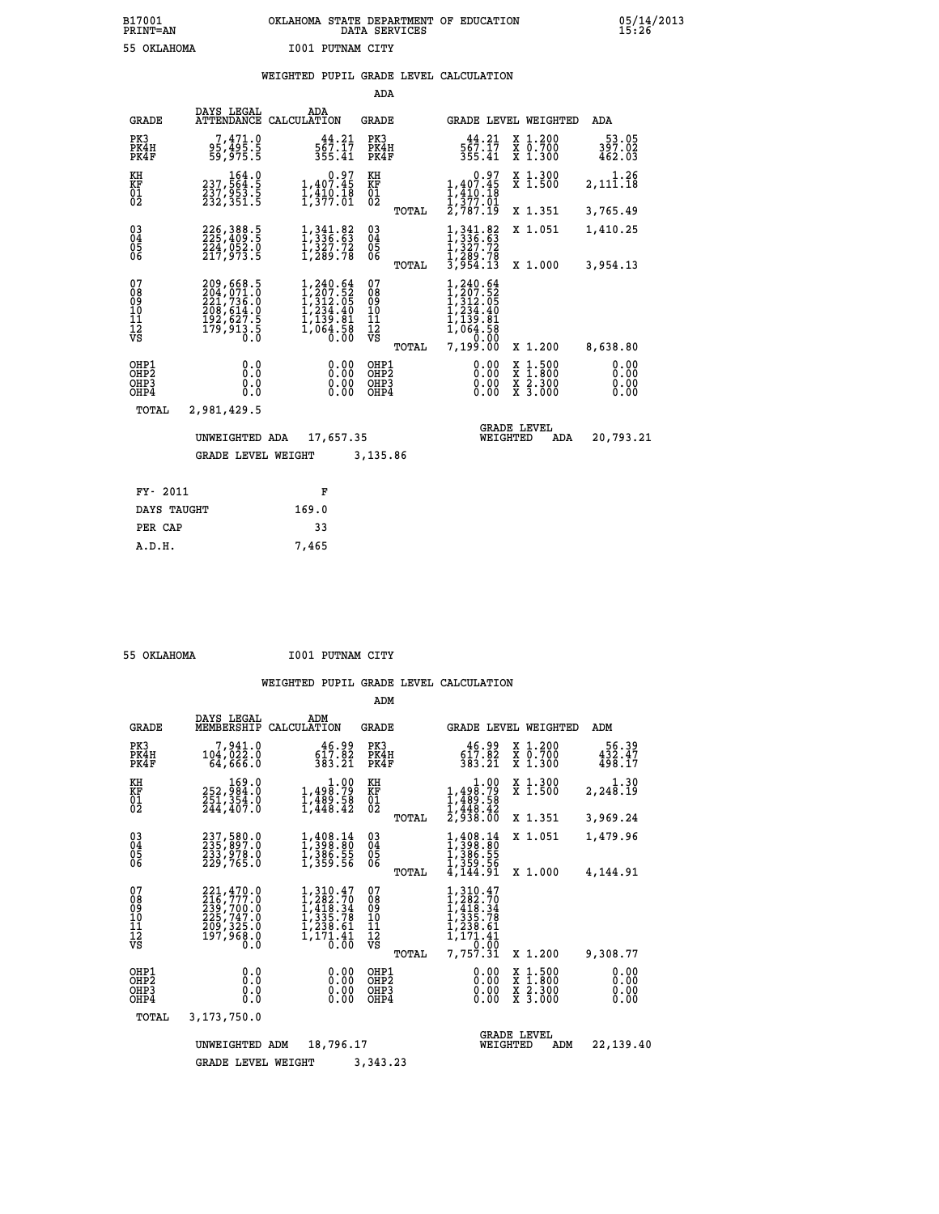# **B17001 OKLAHOMA STATE DEPARTMENT OF EDUCATION 05/14/2013 PRINT=AN DATA SERVICES 15:26 55 OKLAHOMA I001 PUTNAM CITY**

## **WEIGHTED PUPIL GRADE LEVEL CALCULATION**

|                                                                    |                                                                            |                                                                                                                                       | ADA                                       |       |                                                                                                                                                                                                                       |                                                       |                              |
|--------------------------------------------------------------------|----------------------------------------------------------------------------|---------------------------------------------------------------------------------------------------------------------------------------|-------------------------------------------|-------|-----------------------------------------------------------------------------------------------------------------------------------------------------------------------------------------------------------------------|-------------------------------------------------------|------------------------------|
| <b>GRADE</b>                                                       | DAYS LEGAL<br>ATTENDANCE                                                   | ADA<br>CALCULATION                                                                                                                    | GRADE                                     |       |                                                                                                                                                                                                                       | GRADE LEVEL WEIGHTED                                  | ADA                          |
| PK3<br>PK4H<br>PK4F                                                | 7,471.0<br>95,495.5<br>59,975.5                                            | 44.21<br>567.17<br>355.41                                                                                                             | PK3<br>PK4H<br>PK4F                       |       | 44.21<br>567.17<br>355.41                                                                                                                                                                                             | X 1.200<br>X 0.700<br>X 1.300                         | 53.05<br>397.02<br>462.03    |
| KH<br>KF<br>$\overline{01}$                                        | 164.0<br>237,564.5<br>237,953.5<br>232,351.5                               | 0.97<br>1,407.45<br>$\frac{1}{1}, \frac{1}{3}, \frac{1}{7}, \frac{1}{3}$                                                              | KH<br>KF<br>$\overline{01}$               |       | 0.97<br>1,407.45<br>$\frac{1}{2}, \frac{4}{3}$ $\frac{1}{7}$<br>$\frac{3}{7}$<br>$\frac{7}{1}$<br>$\frac{3}{7}$<br>$\frac{1}{1}$<br>$\frac{3}{7}$<br>$\frac{1}{1}$<br>$\frac{3}{7}$<br>$\frac{1}{1}$<br>$\frac{3}{7}$ | X 1.300<br>$\overline{x}$ 1.500                       | 1.26<br>2,111.18             |
|                                                                    |                                                                            |                                                                                                                                       |                                           | TOTAL |                                                                                                                                                                                                                       | X 1.351                                               | 3,765.49                     |
| $\begin{smallmatrix} 03 \\[-4pt] 04 \end{smallmatrix}$<br>05<br>06 | 226, 388.5<br>224,052.0<br>217.973.5                                       | $\frac{1}{1}, \frac{341}{336}.\frac{82}{63} \newline \frac{1}{1}, \frac{327}{367}.\frac{72}{78} \newline \frac{1}{1}, \frac{289}{78}$ | $\substack{03 \\ 04}$<br>$\frac{05}{06}$  |       | 1, 341.82<br>1, 336.63<br>$\frac{1}{3}\frac{3}{2}\frac{3}{7}\frac{7}{2}\n\frac{2}{3}\n\frac{1}{9}\n\frac{2}{5}\n\frac{4}{1}\n\frac{7}{3}\n\end{bmatrix}$                                                              | X 1.051                                               | 1,410.25                     |
|                                                                    |                                                                            |                                                                                                                                       |                                           | TOTAL |                                                                                                                                                                                                                       | X 1.000                                               | 3,954.13                     |
| 07<br>08<br>09<br>11<br>11<br>12<br>VS                             | 209,668.5<br>204,071.0<br>221,736.0<br>208,614.0<br>192,627.5<br>179,913.5 | $\begin{smallmatrix} 1,240.64\\ 1,207.52\\ 1,312.05\\ 1,234.40\\ 1,139.81\\ 1,064.58\\ 0.00 \end{smallmatrix}$                        | 07<br>08<br>09<br>11<br>11<br>12<br>VS    |       | 1,240.64<br>$\begin{smallmatrix} 1,207.52\ 1,312.05\ 1,234.40\ 1,139.81\ 1,064.58\ 1,20.00\ \end{smallmatrix}$<br>7,199.00                                                                                            |                                                       |                              |
|                                                                    |                                                                            |                                                                                                                                       |                                           | TOTAL |                                                                                                                                                                                                                       | X 1.200                                               | 8,638.80                     |
| OHP1<br>OHP2<br>OHP3<br>OHP4                                       | 0.0<br>0.0<br>0.0<br>0.0                                                   | 0.00<br>0.00<br>0.00                                                                                                                  | OHP1<br>OH <sub>P</sub> 2<br>OHP3<br>OHP4 |       | 0.00<br>0.00<br>0.00<br>0.00                                                                                                                                                                                          | $\frac{x}{x}$ $\frac{1.500}{x}$<br>X 2.300<br>X 3.000 | 0.00<br>0.00<br>0.00<br>0.00 |
| TOTAL                                                              | 2,981,429.5                                                                |                                                                                                                                       |                                           |       |                                                                                                                                                                                                                       |                                                       |                              |
|                                                                    | UNWEIGHTED ADA                                                             | 17,657.35                                                                                                                             |                                           |       | WEIGHTED                                                                                                                                                                                                              | <b>GRADE LEVEL</b><br>ADA                             | 20,793.21                    |
|                                                                    | <b>GRADE LEVEL WEIGHT</b>                                                  |                                                                                                                                       | 3,135.86                                  |       |                                                                                                                                                                                                                       |                                                       |                              |
|                                                                    |                                                                            |                                                                                                                                       |                                           |       |                                                                                                                                                                                                                       |                                                       |                              |
| FY- 2011                                                           |                                                                            | F                                                                                                                                     |                                           |       |                                                                                                                                                                                                                       |                                                       |                              |
| DAYS TAUGHT                                                        |                                                                            | 169.0                                                                                                                                 |                                           |       |                                                                                                                                                                                                                       |                                                       |                              |

 **PER CAP 33 A.D.H. 7,465**

 **55 OKLAHOMA I001 PUTNAM CITY**

|                                           |                                                                                   |                                                                                                                          | ADM                                             |                                                                                                    |                                                                                                  |                              |
|-------------------------------------------|-----------------------------------------------------------------------------------|--------------------------------------------------------------------------------------------------------------------------|-------------------------------------------------|----------------------------------------------------------------------------------------------------|--------------------------------------------------------------------------------------------------|------------------------------|
| <b>GRADE</b>                              | DAYS LEGAL<br>MEMBERSHIP                                                          | ADM<br>CALCULATION                                                                                                       | <b>GRADE</b>                                    |                                                                                                    | <b>GRADE LEVEL WEIGHTED</b>                                                                      | ADM                          |
| PK3<br>PK4H<br>PK4F                       | 7,941.0<br>104,022.0<br>64,666.0                                                  | 46.99<br>617.82<br>383.21                                                                                                | PK3<br>PK4H<br>PK4F                             | 46.99<br>617.82<br>383.21                                                                          | $\begin{smallmatrix} x & 1.200 \\ x & 0.700 \end{smallmatrix}$<br>X 1.300                        | 56.39<br>432.47<br>498.17    |
| KH<br>KF<br>01<br>02                      | 169.0<br>252,984:0<br>251,354.0<br>244,407:0                                      | $\begin{smallmatrix}&&&1.00\\1,498.79\\1,489.58\\1,448.42\end{smallmatrix}$                                              | KH<br>KF<br>01<br>02                            | 1.00<br>$1,498.79$<br>$1,489.58$<br>$1,448.42$<br>$2,938.00$                                       | X 1.300<br>X 1.500                                                                               | 1.30<br>2, 248.19            |
|                                           |                                                                                   |                                                                                                                          | TOTAL                                           |                                                                                                    | X 1.351                                                                                          | 3,969.24                     |
| 03<br>04<br>05<br>06                      | 237,580.0<br>235,897.0<br>233,978.0<br>229,765.0                                  | 1, 408.14<br>1, 398.80<br>1, 386.55<br>1,359.56                                                                          | $\substack{03 \\ 04}$<br>05                     | 1,408.14<br>1,386.55<br>1,359.56                                                                   | X 1.051                                                                                          | 1,479.96                     |
|                                           |                                                                                   |                                                                                                                          | TOTAL                                           | 4,144.91                                                                                           | X 1.000                                                                                          | 4,144.91                     |
| 07<br>08<br>09<br>11<br>11<br>12<br>VS    | 221,470.0<br>216,777.0<br>239,700:0<br>225,747.0<br>209,325.0<br>197,968.0<br>Ō.Ō | $1,310.47$<br>$1,282.70$<br>$1,418.34$<br>$1,335.78$<br>1,238.61<br>$\frac{1}{1}, \frac{1}{1}, \frac{1}{0}, \frac{4}{0}$ | 07<br>08<br>09<br>11<br>11<br>12<br>VS<br>TOTAL | $1,310.47$<br>$1,282.70$<br>$1,418.34$<br>$1,335.78$<br>$1,233.61$<br>1,171.41<br>0.00<br>7,757.31 | X 1.200                                                                                          | 9,308.77                     |
| OHP1<br>OH <sub>P</sub> 2<br>OHP3<br>OHP4 | 0.0<br>0.0<br>Ŏ.Ŏ                                                                 | 0.00<br>0.00<br>0.00                                                                                                     | OHP1<br>OHP <sub>2</sub><br>OHP3<br>OHP4        | 0.00<br>0.00<br>0.00                                                                               | $\begin{smallmatrix} x & 1 & 500 \\ x & 1 & 800 \\ x & 2 & 300 \\ x & 3 & 000 \end{smallmatrix}$ | 0.00<br>0.00<br>0.00<br>0.00 |
| TOTAL                                     | 3,173,750.0                                                                       |                                                                                                                          |                                                 |                                                                                                    |                                                                                                  |                              |
|                                           | UNWEIGHTED                                                                        | 18,796.17<br>ADM                                                                                                         |                                                 | WEIGHTED                                                                                           | <b>GRADE LEVEL</b><br>ADM                                                                        | 22,139.40                    |
|                                           | <b>GRADE LEVEL WEIGHT</b>                                                         |                                                                                                                          | 3,343.23                                        |                                                                                                    |                                                                                                  |                              |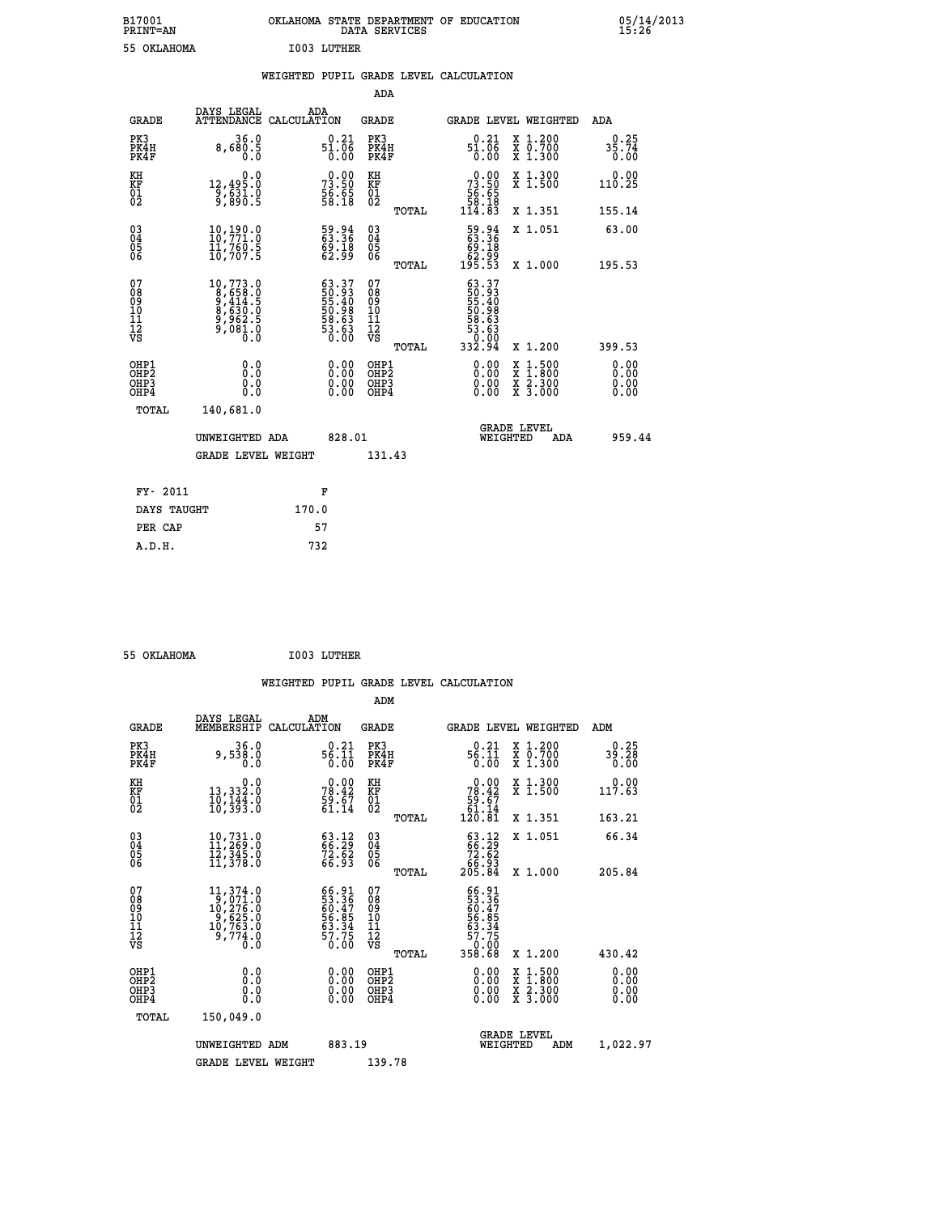| B17001<br><b>PRINT=AN</b> | OKLAHOMA STATE DEPARTMENT OF EDUCATION<br>DATA SERVICES |  |
|---------------------------|---------------------------------------------------------|--|
| 55 OKLAHOMA               | <b>I003 LUTHER</b>                                      |  |

 **B17001 OKLAHOMA STATE DEPARTMENT OF EDUCATION 05/14/2013**

|  |  | WEIGHTED PUPIL GRADE LEVEL CALCULATION |
|--|--|----------------------------------------|
|  |  |                                        |

|                                                    |                                                                                                  |                                                                                         | ADA                                    |       |                                                                                                   |                                          |                              |
|----------------------------------------------------|--------------------------------------------------------------------------------------------------|-----------------------------------------------------------------------------------------|----------------------------------------|-------|---------------------------------------------------------------------------------------------------|------------------------------------------|------------------------------|
| <b>GRADE</b>                                       | DAYS LEGAL<br>ATTENDANCE CALCULATION                                                             | ADA                                                                                     | <b>GRADE</b>                           |       |                                                                                                   | GRADE LEVEL WEIGHTED                     | ADA                          |
| PK3<br>PK4H<br>PK4F                                | 36.0<br>8,680.5                                                                                  | $51.06$<br>$51.06$<br>$0.00$                                                            | PK3<br>PK4H<br>PK4F                    |       | $51.06$<br>$51.06$<br>$0.00$                                                                      | X 1.200<br>X 0.700<br>X 1.300            | 0.25<br>$35.74$<br>$0.00$    |
| KH<br>KF<br>01<br>02                               | 0.0<br>12,495.0<br>9,631.0<br>9,890.5                                                            | $73.50$<br>$56.65$<br>$58.18$                                                           | KH<br>KF<br>01<br>02                   |       | $\begin{smallmatrix} &0.00\\73.50\\56.65\\58.18\\114.83\end{smallmatrix}$                         | X 1.300<br>X 1.500                       | 0.00<br>110.25               |
|                                                    |                                                                                                  |                                                                                         |                                        | TOTAL |                                                                                                   | X 1.351                                  | 155.14                       |
| $\begin{matrix} 03 \\ 04 \\ 05 \\ 06 \end{matrix}$ | 10,190.0<br>10,771.0<br>ĪĬ,76Ō.Š<br>10,707.5                                                     | 59.94<br>63.36<br>69:18<br>62:99                                                        | 03<br>04<br>05<br>06                   |       | 59.94<br>63.36<br>69.18<br>62.99<br>195.53                                                        | X 1.051                                  | 63.00                        |
|                                                    |                                                                                                  |                                                                                         |                                        | TOTAL |                                                                                                   | X 1.000                                  | 195.53                       |
| 07<br>08<br>09<br>11<br>11<br>12<br>VS             | $\begin{smallmatrix}10,773.0\\8,658.0\\9,414.5\\8,630.0\\9,962.5\\9,081.0\\0.0\end{smallmatrix}$ | $\begin{smallmatrix} 63.37\ 50.93\ 55.40\ 50.98\ 50.63\ 53.63\ 50.00 \end{smallmatrix}$ | 07<br>08<br>09<br>11<br>11<br>12<br>VS |       | $\begin{smallmatrix} 63.37\ 50.93\ 51.40\ 55.40\ 50.98\ 53.63\ 53.000\ 332.94\ \end{smallmatrix}$ |                                          |                              |
|                                                    |                                                                                                  |                                                                                         |                                        | TOTAL |                                                                                                   | X 1.200                                  | 399.53                       |
| OHP1<br>OHP2<br>OHP3<br>OHP4                       | 0.0<br>0.0<br>0.0                                                                                | $\begin{smallmatrix} 0.00 \ 0.00 \ 0.00 \ 0.00 \end{smallmatrix}$                       | OHP1<br>OHP2<br>OHP3<br>OHP4           |       |                                                                                                   | X 1:500<br>X 1:800<br>X 2:300<br>X 3:000 | 0.00<br>0.00<br>0.00<br>0.00 |
| <b>TOTAL</b>                                       | 140,681.0                                                                                        |                                                                                         |                                        |       |                                                                                                   |                                          |                              |
|                                                    | UNWEIGHTED ADA                                                                                   | 828.01                                                                                  |                                        |       |                                                                                                   | <b>GRADE LEVEL</b><br>WEIGHTED<br>ADA    | 959.44                       |
|                                                    | <b>GRADE LEVEL WEIGHT</b>                                                                        |                                                                                         | 131.43                                 |       |                                                                                                   |                                          |                              |
|                                                    |                                                                                                  |                                                                                         |                                        |       |                                                                                                   |                                          |                              |
| FY- 2011                                           |                                                                                                  | F                                                                                       |                                        |       |                                                                                                   |                                          |                              |
| DAYS TAUGHT                                        |                                                                                                  | 170.0                                                                                   |                                        |       |                                                                                                   |                                          |                              |
| PER CAP                                            |                                                                                                  | 57                                                                                      |                                        |       |                                                                                                   |                                          |                              |

 **55 OKLAHOMA I003 LUTHER**

 **A.D.H. 732**

 **ADM**

 **B17001<br>PRINT=AN** 

| <b>GRADE</b>                                       | DAYS LEGAL<br>MEMBERSHIP                                                                                                 | ADM<br>CALCULATION                                                 | <b>GRADE</b>                                 |       | GRADE LEVEL WEIGHTED                                                                                |                                                                                                                     | ADM                  |  |
|----------------------------------------------------|--------------------------------------------------------------------------------------------------------------------------|--------------------------------------------------------------------|----------------------------------------------|-------|-----------------------------------------------------------------------------------------------------|---------------------------------------------------------------------------------------------------------------------|----------------------|--|
| PK3<br>PK4H<br>PK4F                                | 36.0<br>9,538.0<br>0.0                                                                                                   | $56.21$<br>$56.11$<br>$0.00$                                       | PK3<br>PK4H<br>PK4F                          |       | $56.11$<br>$56.11$<br>$0.00$                                                                        | X 1.200<br>X 0.700<br>X 1.300                                                                                       | $39.28$<br>0.00      |  |
| KH<br>KF<br>$\overline{01}$                        | 0.0<br>0.§33,33<br>10,144.0<br>10,393.0                                                                                  | $78.42$<br>$59.67$<br>$51.14$                                      | KH<br>KF<br>$^{01}_{02}$                     |       | $\begin{smallmatrix} &0.00\\ 78.42\\ 59.67\\ 61.14\\ 120.81\end{smallmatrix}$                       | X 1.300<br>X 1.500                                                                                                  | 0.00<br>117.63       |  |
|                                                    |                                                                                                                          |                                                                    |                                              | TOTAL |                                                                                                     | X 1.351                                                                                                             | 163.21               |  |
| $\begin{matrix} 03 \\ 04 \\ 05 \\ 06 \end{matrix}$ | $\begin{smallmatrix} 10, 731.0 \\ 11, 269.0 \\ 12, 345.0 \\ 11, 378.0 \end{smallmatrix}$                                 | $\begin{smallmatrix} 63.12\ 66.29\ 72.62\ 66.93 \end{smallmatrix}$ | 030404<br>06                                 |       | $\begin{smallmatrix} 63.12\\ 66.29\\ 72.62\\ 66.93\\ 205.84 \end{smallmatrix}$                      | X 1.051                                                                                                             | 66.34                |  |
|                                                    |                                                                                                                          |                                                                    |                                              | TOTAL |                                                                                                     | X 1.000                                                                                                             | 205.84               |  |
| 07<br>08<br>09<br>101<br>11<br>12<br>VS            | $\begin{smallmatrix} 11,374\ .0\\ 9,071\ .0\\ 10,276\ .0\\ 9,625\ .0\\ 10,763\ .0\\ 9,774\ .0\\ 0\ .0 \end{smallmatrix}$ | 66.91<br>53.36<br>60.47<br>66.85<br>53.34<br>57.75<br>57.75        | 07<br>08<br>09<br>01<br>11<br>11<br>12<br>VS |       | $\begin{array}{r} 66.91 \\ 53.36 \\ 60.47 \\ 66.85 \\ 56.34 \\ 57.75 \\ 0.00 \\ 358.68 \end{array}$ |                                                                                                                     |                      |  |
|                                                    |                                                                                                                          |                                                                    |                                              | TOTAL |                                                                                                     | X 1.200                                                                                                             | 430.42               |  |
| OHP1<br>OHP2<br>OH <sub>P3</sub><br>OHP4           | 0.0<br>0.000                                                                                                             |                                                                    | OHP1<br>OHP2<br>OHP3<br>OHP4                 |       | 0.00<br>$\begin{smallmatrix} 0.00 & 0 \ 0.00 & 0 \end{smallmatrix}$                                 | $\begin{array}{l} \mathtt{X} & 1.500 \\ \mathtt{X} & 1.800 \\ \mathtt{X} & 2.300 \\ \mathtt{X} & 3.000 \end{array}$ | 0.00<br>0.00<br>0.00 |  |
| TOTAL                                              | 150,049.0                                                                                                                |                                                                    |                                              |       |                                                                                                     |                                                                                                                     |                      |  |
|                                                    | UNWEIGHTED<br>ADM                                                                                                        | 883.19                                                             |                                              |       | WEIGHTED                                                                                            | <b>GRADE LEVEL</b><br>ADM                                                                                           | 1,022.97             |  |
|                                                    | <b>GRADE LEVEL WEIGHT</b>                                                                                                |                                                                    | 139.78                                       |       |                                                                                                     |                                                                                                                     |                      |  |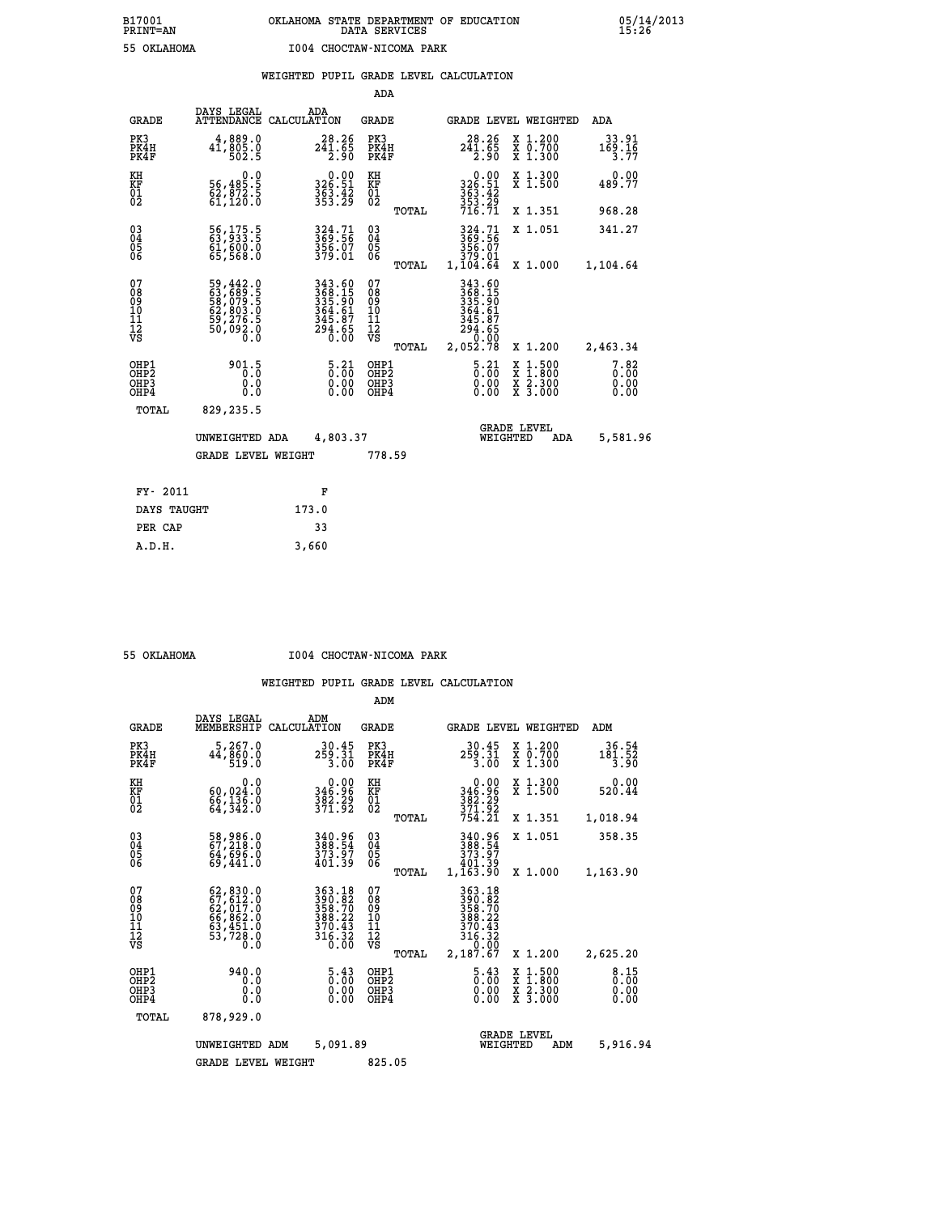|  |  | WEIGHTED PUPIL GRADE LEVEL CALCULATION |
|--|--|----------------------------------------|

|                                                                    |                                                                      |                                                                                        | ADA                                                 |       |                                                                  |                                          |                               |
|--------------------------------------------------------------------|----------------------------------------------------------------------|----------------------------------------------------------------------------------------|-----------------------------------------------------|-------|------------------------------------------------------------------|------------------------------------------|-------------------------------|
| <b>GRADE</b>                                                       | DAYS LEGAL<br><b>ATTENDANCE</b>                                      | ADA<br>CALCULATION                                                                     | <b>GRADE</b>                                        |       |                                                                  | GRADE LEVEL WEIGHTED                     | ADA                           |
| PK3<br>PK4H<br>PK4F                                                | 4,889.0<br>41,005.0<br>502.5                                         | $28.26$<br>$241.65$<br>$2.90$                                                          | PK3<br>PK4H<br>PK4F                                 |       | $241.65$<br>$241.65$<br>$2.90$                                   | X 1.200<br>X 0.700<br>X 1.300            | $33.91$<br>$169.16$<br>$3.77$ |
| KH<br>KF<br>01<br>02                                               | 0.0<br>56,485.5<br>62,872.5<br>61,120.0                              | $326.51$<br>$363.42$<br>$353.29$                                                       | KH<br>KF<br>01<br>02                                |       | $0.00$<br>$326.51$<br>$363.42$<br>$353.29$<br>$716.71$           | X 1.300<br>X 1.500                       | 0.00<br>489.77                |
|                                                                    |                                                                      |                                                                                        |                                                     | TOTAL |                                                                  | X 1.351                                  | 968.28                        |
| $\begin{smallmatrix} 03 \\[-4pt] 04 \end{smallmatrix}$<br>Ŏ5<br>06 | 56,175.5<br>63,933.5<br>61,600.0<br>65,568.0                         | 324.71<br>369.56<br>356.07<br>379.01                                                   | $\begin{array}{c} 03 \\ 04 \\ 05 \\ 06 \end{array}$ |       | 324.71<br>369.56<br>356.07<br>379.01<br>1,104.64                 | X 1.051                                  | 341.27                        |
|                                                                    |                                                                      |                                                                                        |                                                     | TOTAL |                                                                  | X 1.000                                  | 1,104.64                      |
| 07<br>08<br>09<br>01<br>11<br>11<br>12<br>VS                       | 59,442.0<br>63,689.5<br>58,079.5<br>52,803.0<br>59,276.5<br>50,092.0 | 343.60<br>368.15<br>335.90<br>3364.61<br>345.87<br>294.65<br>0.00                      | 07<br>08<br>09<br>11<br>11<br>12<br>VS              |       | 343.60<br>368.15<br>335.90<br>364.61<br>345.87<br>294.65<br>0.00 |                                          |                               |
|                                                                    |                                                                      |                                                                                        |                                                     | TOTAL | 2,052.78                                                         | X 1.200                                  | 2,463.34                      |
| OHP1<br>OHP <sub>2</sub><br>OH <sub>P3</sub><br>OHP4               | 901.5<br>0.0<br>0.0                                                  | $\frac{5 \cdot 21}{0 \cdot 00}$<br>$\begin{smallmatrix} 0.00 \ 0.00 \end{smallmatrix}$ | OHP1<br>OHP2<br>OHP <sub>3</sub>                    |       | $\frac{5 \cdot 21}{0 \cdot 00}$<br>0.00                          | X 1:500<br>X 1:800<br>X 2:300<br>X 3:000 | 7.82<br>0.00<br>0.00<br>0.00  |
| TOTAL                                                              | 829,235.5                                                            |                                                                                        |                                                     |       |                                                                  |                                          |                               |
|                                                                    | UNWEIGHTED ADA                                                       | 4,803.37                                                                               |                                                     |       |                                                                  | <b>GRADE LEVEL</b><br>WEIGHTED<br>ADA    | 5,581.96                      |
|                                                                    | <b>GRADE LEVEL WEIGHT</b>                                            |                                                                                        | 778.59                                              |       |                                                                  |                                          |                               |
| FY- 2011                                                           |                                                                      | F                                                                                      |                                                     |       |                                                                  |                                          |                               |
| DAYS TAUGHT                                                        |                                                                      | 173.0                                                                                  |                                                     |       |                                                                  |                                          |                               |
| PER CAP                                                            |                                                                      | 33                                                                                     |                                                     |       |                                                                  |                                          |                               |

 **A.D.H. 3,660**

 **55 OKLAHOMA I004 CHOCTAW-NICOMA PARK**

|                                                       |                                                                                                                     |                                                                      | ADM                                                |                                       |                                                                                 |  |                                          |                              |
|-------------------------------------------------------|---------------------------------------------------------------------------------------------------------------------|----------------------------------------------------------------------|----------------------------------------------------|---------------------------------------|---------------------------------------------------------------------------------|--|------------------------------------------|------------------------------|
| <b>GRADE</b>                                          | DAYS LEGAL<br>MEMBERSHIP                                                                                            | ADM<br>CALCULATION                                                   | <b>GRADE</b>                                       |                                       |                                                                                 |  | <b>GRADE LEVEL WEIGHTED</b>              | ADM                          |
| PK3<br>PK4H<br>PK4F                                   | 5,267.0<br>44,860.0<br>519.0                                                                                        | 30.45<br>259.31<br>3.00                                              | PK3<br>PK4H<br>PK4F                                |                                       | 30.45<br>259.31<br>3.00                                                         |  | X 1.200<br>X 0.700<br>X 1.300            | 36.54<br>$181.52$<br>3.90    |
| KH<br>KF<br>01<br>02                                  | 0.0<br>60,024.0<br>66,136.0<br>64,342.0                                                                             | 0.00<br>96.96<br>382.29<br>371.92                                    | KH<br>KF<br>01<br>02                               |                                       | 0.00<br>346.96<br>382:29<br>371:92<br>754:21                                    |  | X 1.300<br>X 1.500                       | 0.00<br>520.44               |
|                                                       |                                                                                                                     |                                                                      |                                                    | TOTAL                                 |                                                                                 |  | X 1.351                                  | 1,018.94                     |
| 03<br>04<br>05<br>06                                  | 58,986.0<br>67,218.0<br>64,696.0<br>69,441.0                                                                        | 340.96<br>388.54<br>373.97<br>401.39                                 | $\begin{matrix} 03 \\ 04 \\ 05 \\ 06 \end{matrix}$ |                                       | 340.96<br>388.54<br>373.97<br>401.39                                            |  | X 1.051                                  | 358.35                       |
|                                                       |                                                                                                                     |                                                                      |                                                    | TOTAL                                 | 1,163.90                                                                        |  | X 1.000                                  | 1,163.90                     |
| 07<br>08<br>09<br>101<br>112<br>VS                    | $\begin{smallmatrix} 62, 830.0\\ 67, 612.0\\ 62, 017.0\\ 66, 862.0\\ 63, 451.0\\ 53, 728.0\\ 0.0 \end{smallmatrix}$ | 363.18<br>390.82<br>358.70<br>388.22<br>370.43<br>$316.32$<br>$0.00$ | 07<br>08<br>09<br>101<br>11<br>12<br>VS            | TOTAL                                 | 363.18<br>390.82<br>358.70<br>388.22<br>370.43<br>316.32<br>0.00<br>2,187.67    |  | X 1.200                                  | 2,625.20                     |
| OHP1<br>OH <sub>P</sub> 2<br>OH <sub>P3</sub><br>OHP4 | 940.0<br>0.0<br>0.0<br>Ŏ.Ŏ                                                                                          | $\frac{5.43}{0.00}$<br>0.00<br>0.00                                  | OHP1<br>OHP2<br>OHP3<br>OHP4                       |                                       | $\begin{smallmatrix} 5\cdot 43\ 0\cdot 00\ 0\cdot 00 \end{smallmatrix}$<br>0.00 |  | X 1:500<br>X 1:800<br>X 2:300<br>X 3:000 | 8.15<br>0.00<br>0.00<br>0.00 |
| TOTAL                                                 | 878,929.0                                                                                                           |                                                                      |                                                    |                                       |                                                                                 |  |                                          |                              |
|                                                       | 5,091.89<br>UNWEIGHTED<br>ADM                                                                                       |                                                                      |                                                    | <b>GRADE LEVEL</b><br>WEIGHTED<br>ADM |                                                                                 |  |                                          | 5,916.94                     |
|                                                       | <b>GRADE LEVEL WEIGHT</b>                                                                                           |                                                                      |                                                    | 825.05                                |                                                                                 |  |                                          |                              |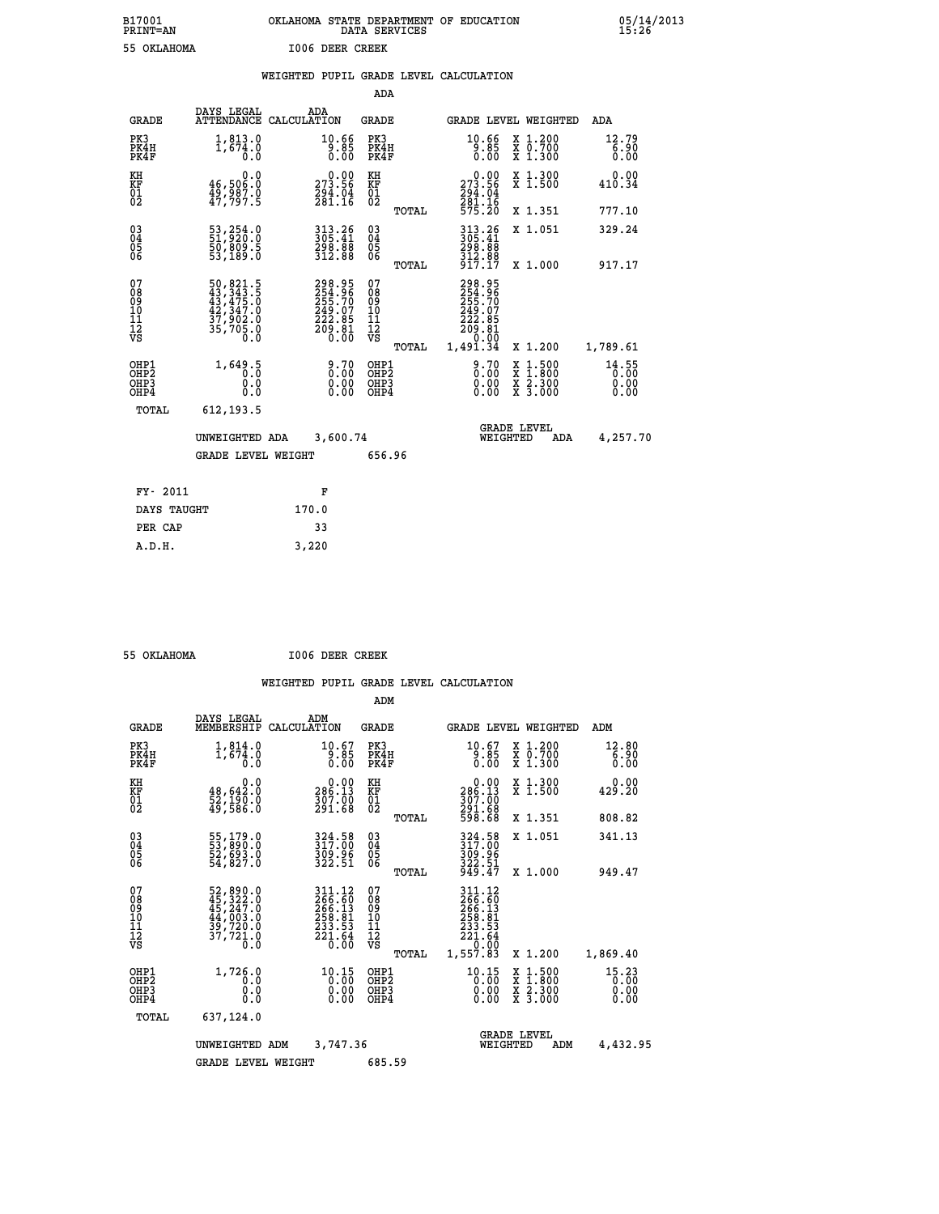| B17001<br><b>PRINT=AN</b> | OKLAHOMA STATE DEPARTMENT OF EDUCATION<br>DATA SERVICES |  |
|---------------------------|---------------------------------------------------------|--|
| 55 OKLAHOMA               | <b>I006 DEER CREEK</b>                                  |  |

 **B17001 OKLAHOMA STATE DEPARTMENT OF EDUCATION 05/14/2013**

|  |  | WEIGHTED PUPIL GRADE LEVEL CALCULATION |
|--|--|----------------------------------------|
|  |  |                                        |

|                                                    |                                                                                                                      |                                                                            | ADA                                |       |                                                                                   |                                                                                                  |                               |
|----------------------------------------------------|----------------------------------------------------------------------------------------------------------------------|----------------------------------------------------------------------------|------------------------------------|-------|-----------------------------------------------------------------------------------|--------------------------------------------------------------------------------------------------|-------------------------------|
| <b>GRADE</b>                                       | DAYS LEGAL                                                                                                           | ADA<br>ATTENDANCE CALCULATION                                              | <b>GRADE</b>                       |       |                                                                                   | GRADE LEVEL WEIGHTED                                                                             | ADA                           |
| PK3<br>PK4H<br>PK4F                                | 1,813.0<br>1,674.0<br>0.0                                                                                            | $\frac{10.66}{9.85}$<br>0.00                                               | PK3<br>PK4H<br>PK4F                |       | $\frac{10.66}{9.85}$<br>0.00                                                      | X 1.200<br>X 0.700<br>X 1.300                                                                    | 12.79<br>6.90<br>0.00         |
| KH<br>KF<br>01<br>02                               | 0.0<br>46,506.0<br>49,987.0<br>47,797.5                                                                              | $\begin{smallmatrix} &0.00\\ 273.56\\ 294.04\\ 281.16\end{smallmatrix}$    | KH<br>KF<br>01<br>02               |       | $\begin{smallmatrix} &0.00\\ 273.56\\ 294.04\\ 281.16\\ 575.20 \end{smallmatrix}$ | X 1.300<br>X 1.500                                                                               | 0.00<br>410.34                |
|                                                    |                                                                                                                      |                                                                            |                                    | TOTAL |                                                                                   | X 1.351                                                                                          | 777.10                        |
| $\begin{matrix} 03 \\ 04 \\ 05 \\ 06 \end{matrix}$ | 53,254.0<br>51,920.0<br>50,809.5<br>53,189.0                                                                         | 313.26<br>305.41<br>$\frac{298}{312}.88$                                   | $\substack{03 \\ 04}$<br>Ŏ5<br>06  |       | 313.26<br>305.41<br>298:88<br>312:88<br>917:17                                    | X 1.051                                                                                          | 329.24                        |
|                                                    |                                                                                                                      |                                                                            |                                    | TOTAL |                                                                                   | X 1.000                                                                                          | 917.17                        |
| 07<br>08<br>09<br>101<br>112<br>VS                 | $\begin{smallmatrix} 50, 821.5\\ 43, 343.5\\ 43, 475.0\\ 42, 347.0\\ 37, 902.0\\ 35, 705.0\\ 0\,. \end{smallmatrix}$ | 298.95<br>254.96<br>255.70<br>255.70<br>249.07<br>222.85<br>209.81<br>0.00 | 07<br>08<br>09<br>101<br>112<br>VS |       | 298.95<br>$254.96$<br>$255.70$<br>$249.07$<br>$222.85$<br>$209.81$<br>$0.00$      |                                                                                                  |                               |
|                                                    |                                                                                                                      |                                                                            |                                    | TOTAL | 1,491.34                                                                          | X 1.200                                                                                          | 1,789.61                      |
| OHP1<br>OHP2<br>OHP3<br>OHP4                       | 1,649.5<br>0.0<br>0.0                                                                                                | $\begin{smallmatrix} 9.70\ 0.00\ 0.00\ 0.00 \end{smallmatrix}$             | OHP1<br>OHP2<br>OHP3<br>OHP4       |       | $\begin{smallmatrix} 9.70\ 0.00\ 0.00\ 0.00 \end{smallmatrix}$                    | $\begin{smallmatrix} x & 1 & 500 \\ x & 1 & 800 \\ x & 2 & 300 \\ x & 3 & 000 \end{smallmatrix}$ | 14.55<br>0.00<br>0.00<br>0.00 |
| <b>TOTAL</b>                                       | 612,193.5                                                                                                            |                                                                            |                                    |       |                                                                                   |                                                                                                  |                               |
|                                                    | UNWEIGHTED ADA                                                                                                       | 3,600.74                                                                   |                                    |       |                                                                                   | <b>GRADE LEVEL</b><br>WEIGHTED<br>ADA                                                            | 4,257.70                      |
|                                                    | <b>GRADE LEVEL WEIGHT</b>                                                                                            |                                                                            | 656.96                             |       |                                                                                   |                                                                                                  |                               |
|                                                    |                                                                                                                      |                                                                            |                                    |       |                                                                                   |                                                                                                  |                               |
| FY- 2011                                           |                                                                                                                      | F                                                                          |                                    |       |                                                                                   |                                                                                                  |                               |
| DAYS TAUGHT                                        |                                                                                                                      | 170.0                                                                      |                                    |       |                                                                                   |                                                                                                  |                               |
| PER CAP                                            |                                                                                                                      | 33                                                                         |                                    |       |                                                                                   |                                                                                                  |                               |

 **55 OKLAHOMA I006 DEER CREEK**

 **A.D.H. 3,220**

 **B17001<br>PRINT=AN** 

|                                                       |                                                                      |                                                                                                                         | ADM                                     |       |                                                                                           |                                                                                                  |                               |
|-------------------------------------------------------|----------------------------------------------------------------------|-------------------------------------------------------------------------------------------------------------------------|-----------------------------------------|-------|-------------------------------------------------------------------------------------------|--------------------------------------------------------------------------------------------------|-------------------------------|
| <b>GRADE</b>                                          | DAYS LEGAL<br>MEMBERSHIP                                             | ADM<br>CALCULATION                                                                                                      | <b>GRADE</b>                            |       |                                                                                           | <b>GRADE LEVEL WEIGHTED</b>                                                                      | ADM                           |
| PK3<br>PK4H<br>PK4F                                   | $1,814.0$<br>1,674.0<br>0.0                                          | 10.67<br>9.85<br>0.00                                                                                                   | PK3<br>PK4H<br>PK4F                     |       | 10.67<br>9.85<br>0.00                                                                     | X 1.200<br>X 0.700<br>X 1.300                                                                    | 12.80<br>6.90<br>0.00         |
| KH<br>KF<br>01<br>02                                  | 0.0<br>48,642.0<br>52,190.0<br>49,586.0                              | $\begin{smallmatrix} &0.00\ 286.13\ 307.00\ 291.68\ \end{smallmatrix}$                                                  | KH<br>KF<br>01<br>02                    |       | $\begin{smallmatrix} &0.00\\ 286.13\\ 307.00\\ 291.68\\ 598.68 \end{smallmatrix}$         | X 1.300<br>X 1.500                                                                               | 0.00<br>429.20                |
|                                                       |                                                                      |                                                                                                                         |                                         | TOTAL |                                                                                           | X 1.351                                                                                          | 808.82                        |
| 03<br>04<br>05<br>06                                  | 55,179.0<br>53,890.0<br>52,693.0<br>54,827.0                         | 324.58<br>317.00<br>309.96<br>322.51                                                                                    | $^{03}_{04}$<br>05<br>06                |       | 324.58<br>317.00<br>309.96<br>322.51<br>949.47                                            | X 1.051                                                                                          | 341.13                        |
|                                                       |                                                                      |                                                                                                                         |                                         | TOTAL |                                                                                           | X 1.000                                                                                          | 949.47                        |
| 07<br>08<br>09<br>101<br>112<br>VS                    | 52,890.0<br>45,322.0<br>45,247.0<br>44,003.0<br>39,729.0<br>37,721.0 | 311.12<br>266.60<br>266.13<br>$\begin{array}{r} 258 \cdot 81 \\ 233 \cdot 53 \\ 221 \cdot 64 \\ 0 \cdot 00 \end{array}$ | 07<br>08<br>09<br>101<br>11<br>12<br>VS | TOTAL | 311.12<br>$266.60$<br>$256.13$<br>$258.81$<br>$233.53$<br>$221.64$<br>$-1.00$<br>1,557.83 | X 1.200                                                                                          | 1,869.40                      |
| OHP1<br>OH <sub>P</sub> 2<br>OH <sub>P3</sub><br>OHP4 | 1,726.0<br>0.0<br>0.000                                              | $10.15$<br>$0.00$<br>$0.00$<br>0.00                                                                                     | OHP1<br>OHP2<br>OHP3<br>OHP4            |       | $10.15$<br>$0.00$<br>$0.00$<br>0.00                                                       | $\begin{smallmatrix} x & 1 & 500 \\ x & 1 & 800 \\ x & 2 & 300 \\ x & 3 & 000 \end{smallmatrix}$ | 15.23<br>0.00<br>0.00<br>0.00 |
| TOTAL                                                 | 637,124.0                                                            |                                                                                                                         |                                         |       |                                                                                           |                                                                                                  |                               |
|                                                       | UNWEIGHTED                                                           | 3,747.36<br>ADM                                                                                                         |                                         |       |                                                                                           | <b>GRADE LEVEL</b><br>WEIGHTED<br>ADM                                                            | 4,432.95                      |
|                                                       | <b>GRADE LEVEL WEIGHT</b>                                            |                                                                                                                         | 685.59                                  |       |                                                                                           |                                                                                                  |                               |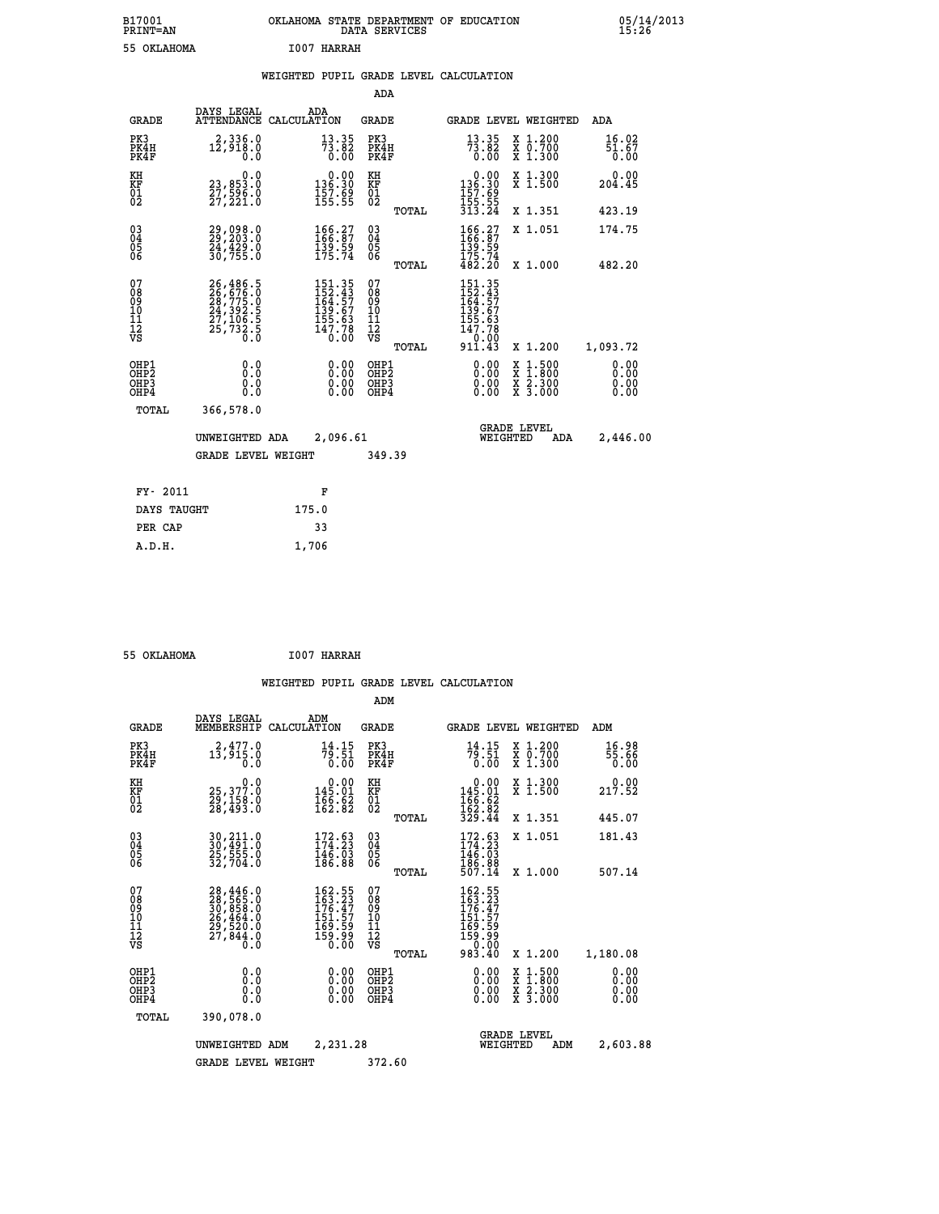| B17001<br><b>PRINT=AN</b> | OKLAHOMA STATE DEPARTMENT OF EDUCATION<br>DATA SERVICES |  |
|---------------------------|---------------------------------------------------------|--|
| 55 OKLAHOMA               | T007 HARRAH                                             |  |

**DN**<br>15:26<br>15:26

# **WEIGHTED PUPIL GRADE LEVEL CALCULATION**

|                                                                    |                                                                      |                                                                                             | ADA                                       |       |                                                                                              |                                                                            |                               |
|--------------------------------------------------------------------|----------------------------------------------------------------------|---------------------------------------------------------------------------------------------|-------------------------------------------|-------|----------------------------------------------------------------------------------------------|----------------------------------------------------------------------------|-------------------------------|
| <b>GRADE</b>                                                       | DAYS LEGAL                                                           | ADA<br>ATTENDANCE CALCULATION                                                               | <b>GRADE</b>                              |       |                                                                                              | GRADE LEVEL WEIGHTED                                                       | <b>ADA</b>                    |
| PK3<br>PK4H<br>PK4F                                                | 2,336.0<br>12,918.0<br>0.0                                           | $73.82$<br>$73.82$<br>0.00                                                                  | PK3<br>PK4H<br>PK4F                       |       | $\frac{13}{73}$ : 82<br>0.00                                                                 | X 1.200<br>X 0.700<br>X 1.300                                              | 16.02<br>$\frac{51.67}{0.00}$ |
| KH<br>KF<br>01<br>02                                               | 0.0<br>23,853.0<br>27,596.0<br>27,221.0                              | $0.00$<br>136.30<br>$\frac{157.69}{155.55}$                                                 | KH<br>KF<br>01<br>02                      |       | $\begin{smallmatrix} &0.00\\ 136.30\\ 157.69\\ 155.55\\ 313.24\end{smallmatrix}$             | X 1.300<br>X 1.500                                                         | 0.00<br>204.45                |
|                                                                    |                                                                      |                                                                                             |                                           | TOTAL |                                                                                              | X 1.351                                                                    | 423.19                        |
| $\begin{smallmatrix} 03 \\[-4pt] 04 \end{smallmatrix}$<br>05<br>ŌĞ | 29,098.0<br>$\frac{24}{30}$ , $\frac{429}{755}$ .0                   | 166:27<br>166:87<br>139:59<br>175:74                                                        | $\substack{03 \\ 04}$<br>$\frac{05}{06}$  |       | $\begin{array}{c} 166.27\\166.87\\139.59\\175.74\\482.20 \end{array}$                        | X 1.051                                                                    | 174.75                        |
|                                                                    |                                                                      |                                                                                             |                                           | TOTAL |                                                                                              | X 1.000                                                                    | 482.20                        |
| 07<br>08<br>09<br>11<br>11<br>12<br>VS                             | 26,486.5<br>26,676.0<br>28,775.0<br>24,392.5<br>27,106.5<br>25,732.5 | $\begin{smallmatrix} 151.35\\152.43\\164.57\\139.67\\155.63\\147.78\\0.00\end{smallmatrix}$ | 07<br>08<br>09<br>11<br>11<br>12<br>VS    |       | 151.35<br>152.43<br>164.57<br>139.67<br>155.63<br>155.63<br>147.78<br>$\frac{11000}{911.43}$ |                                                                            |                               |
|                                                                    |                                                                      |                                                                                             |                                           | TOTAL |                                                                                              | X 1.200                                                                    | 1,093.72                      |
| OHP1<br>OHP <sub>2</sub><br>OHP3<br>OHP4                           | 0.0<br>0.0<br>Ŏ.Ŏ                                                    | 0.00<br>$\begin{smallmatrix} 0.00 \ 0.00 \end{smallmatrix}$                                 | OHP1<br>OH <sub>P</sub> 2<br>OHP3<br>OHP4 |       | 0.00<br>0.00<br>0.00                                                                         | $1:500$<br>$1:800$<br>X<br>X<br>$\frac{\ddot{x}}{x}$ $\frac{2.300}{3.000}$ | 0.00<br>0.00<br>0.00<br>0.00  |
| TOTAL                                                              | 366,578.0                                                            |                                                                                             |                                           |       |                                                                                              |                                                                            |                               |
|                                                                    | UNWEIGHTED ADA                                                       | 2,096.61                                                                                    |                                           |       |                                                                                              | <b>GRADE LEVEL</b><br>WEIGHTED<br>ADA                                      | 2,446.00                      |
|                                                                    | <b>GRADE LEVEL WEIGHT</b>                                            |                                                                                             | 349.39                                    |       |                                                                                              |                                                                            |                               |
| FY- 2011                                                           |                                                                      | F                                                                                           |                                           |       |                                                                                              |                                                                            |                               |
|                                                                    |                                                                      |                                                                                             |                                           |       |                                                                                              |                                                                            |                               |
| DAYS TAUGHT                                                        |                                                                      | 175.0                                                                                       |                                           |       |                                                                                              |                                                                            |                               |
| PER CAP                                                            |                                                                      | 33                                                                                          |                                           |       |                                                                                              |                                                                            |                               |

 **55 OKLAHOMA I007 HARRAH**

 **A.D.H. 1,706**

 **ADM**

 **B17001<br>PRINT=AN** 

| <b>GRADE</b>                                       | DAYS LEGAL                                                                                                                                                       | ADM<br>MEMBERSHIP CALCULATION                                                                 | <b>GRADE</b>                                  |       |                                                                                                                                                                                                                                                                                |          | <b>GRADE LEVEL WEIGHTED</b>              | ADM                          |
|----------------------------------------------------|------------------------------------------------------------------------------------------------------------------------------------------------------------------|-----------------------------------------------------------------------------------------------|-----------------------------------------------|-------|--------------------------------------------------------------------------------------------------------------------------------------------------------------------------------------------------------------------------------------------------------------------------------|----------|------------------------------------------|------------------------------|
| PK3<br>PK4H<br>PK4F                                | 2,477.0<br>13,915.0<br>0.0                                                                                                                                       | 14.15<br>79.51<br>0.00                                                                        | PK3<br>PK4H<br>PK4F                           |       | 14.15<br>79.51<br>0.00                                                                                                                                                                                                                                                         |          | X 1.200<br>X 0.700<br>X 1.300            | 16.98<br>55.66<br>0.00       |
| KH<br>KF<br>01<br>02                               | $\begin{smallmatrix} & & 0.0\ 25,377.0\ 29,158.0\ 28,493.0 \end{smallmatrix}$                                                                                    | $\begin{smallmatrix} &0.00\\ 145.01\\ 165.62\\ 162.82 \end{smallmatrix}$                      | KH<br>KF<br>01<br>02                          |       | $\begin{array}{c} 0.00 \\ 145.01 \\ 166.62 \\ 162.82 \\ 329.44 \end{array}$                                                                                                                                                                                                    |          | X 1.300<br>X 1.500                       | 0.00<br>217.52               |
|                                                    |                                                                                                                                                                  |                                                                                               |                                               | TOTAL |                                                                                                                                                                                                                                                                                |          | X 1.351                                  | 445.07                       |
| $\begin{matrix} 03 \\ 04 \\ 05 \\ 06 \end{matrix}$ | 30,211.0<br>30,491.0<br>25,555.0<br>32,704.0                                                                                                                     | $\begin{smallmatrix} 172\cdot 63\\ 174\cdot 23\\ 146\cdot 03\\ 186\cdot 88 \end{smallmatrix}$ | $\substack{03 \\ 04}$<br>$\frac{05}{06}$      |       | 172.63<br>174.23<br>146.03<br>186.88                                                                                                                                                                                                                                           |          | X 1.051                                  | 181.43                       |
|                                                    |                                                                                                                                                                  |                                                                                               |                                               | TOTAL | 507.14                                                                                                                                                                                                                                                                         |          | X 1.000                                  | 507.14                       |
| 07<br>08<br>09<br>101<br>11<br>12<br>VS            | $\begin{smallmatrix} 28\,,\,446\,. \ 28\,,\,565\,. \ 0\\ 30\,,\,858\,. \ 0\\ 26\,,\,464\,. \ 0\\ 29\,,\,520\,. \ 0\\ 27\,,\,844\,. \ 0\\ 0\,. \end{smallmatrix}$ | 162.55<br>163.23<br>176.47<br>151.57<br>169.59<br>$\frac{159.99}{0.00}$                       | 07<br>08<br>09<br>001<br>11<br>11<br>12<br>VS |       | $\begin{smallmatrix} 162.55\\ 163.23\\ 176.47\\ 176.47\\ 151.57\\ 169.59\\ 159.99\\ 0.00\\ 983.40 \end{smallmatrix}$                                                                                                                                                           |          |                                          |                              |
|                                                    |                                                                                                                                                                  |                                                                                               |                                               | TOTAL |                                                                                                                                                                                                                                                                                |          | X 1.200                                  | 1,180.08                     |
| OHP1<br>OHP <sub>2</sub><br>OHP3<br>OHP4           | 0.0<br>0.000                                                                                                                                                     | $0.00$<br>$0.00$<br>0.00                                                                      | OHP1<br>OHP <sub>2</sub><br>OHP3<br>OHP4      |       | $\begin{smallmatrix} 0.00 & 0.00 & 0.00 & 0.00 & 0.00 & 0.00 & 0.00 & 0.00 & 0.00 & 0.00 & 0.00 & 0.00 & 0.00 & 0.00 & 0.00 & 0.00 & 0.00 & 0.00 & 0.00 & 0.00 & 0.00 & 0.00 & 0.00 & 0.00 & 0.00 & 0.00 & 0.00 & 0.00 & 0.00 & 0.00 & 0.00 & 0.00 & 0.00 & 0.00 & 0.00 & 0.0$ |          | X 1:500<br>X 1:800<br>X 2:300<br>X 3:000 | 0.00<br>0.00<br>0.00<br>0.00 |
| TOTAL                                              | 390,078.0                                                                                                                                                        |                                                                                               |                                               |       |                                                                                                                                                                                                                                                                                |          |                                          |                              |
|                                                    | UNWEIGHTED                                                                                                                                                       | 2,231.28<br>ADM                                                                               |                                               |       |                                                                                                                                                                                                                                                                                | WEIGHTED | <b>GRADE LEVEL</b><br>ADM                | 2,603.88                     |
|                                                    | <b>GRADE LEVEL WEIGHT</b>                                                                                                                                        |                                                                                               | 372.60                                        |       |                                                                                                                                                                                                                                                                                |          |                                          |                              |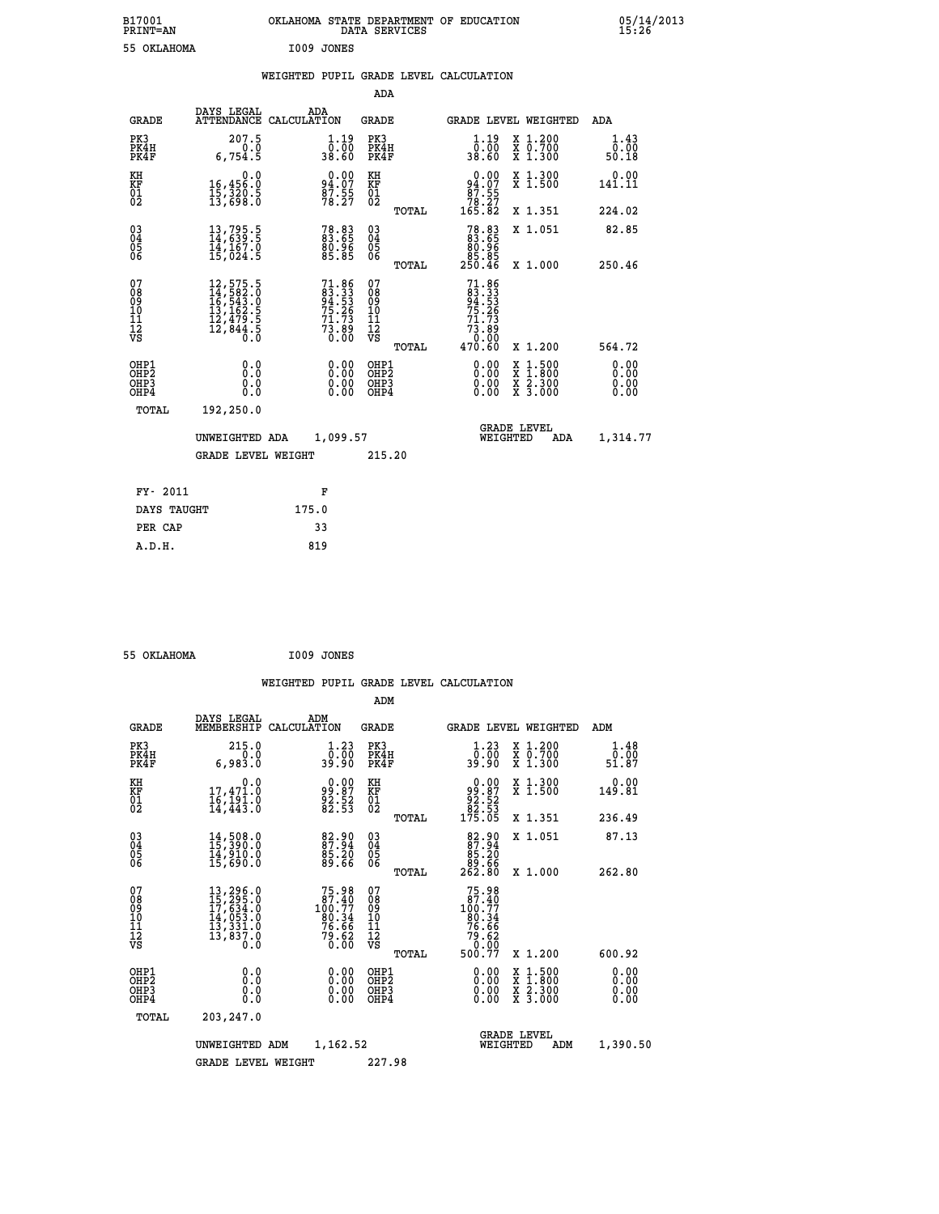| B17001<br><b>PRINT=AN</b>                             |                                                                                                                                                     | OKLAHOMA STATE DEPARTMENT OF EDUCATION                                            | DATA SERVICES                                      |                                                                                 |                                                                                                  | 05/14/2013                   |  |
|-------------------------------------------------------|-----------------------------------------------------------------------------------------------------------------------------------------------------|-----------------------------------------------------------------------------------|----------------------------------------------------|---------------------------------------------------------------------------------|--------------------------------------------------------------------------------------------------|------------------------------|--|
| 55 OKLAHOMA                                           |                                                                                                                                                     | I009 JONES                                                                        |                                                    |                                                                                 |                                                                                                  |                              |  |
|                                                       |                                                                                                                                                     | WEIGHTED PUPIL GRADE LEVEL CALCULATION                                            |                                                    |                                                                                 |                                                                                                  |                              |  |
|                                                       |                                                                                                                                                     |                                                                                   | ADA                                                |                                                                                 |                                                                                                  |                              |  |
| <b>GRADE</b>                                          | DAYS LEGAL                                                                                                                                          | ADA<br>ATTENDANCE CALCULATION                                                     | GRADE                                              |                                                                                 | GRADE LEVEL WEIGHTED                                                                             | ADA                          |  |
| PK3<br>PK4H<br>PK4F                                   | 207.5<br>0.0<br>6,754.5                                                                                                                             | 1.19<br>00:00<br>8.60                                                             | PK3<br>PK4H<br>PK4F                                | 1.19<br>00:00<br>00.86                                                          | X 1.200<br>X 0.700<br>X 1.300                                                                    | 1.43<br>0.00<br>50.18        |  |
| KH<br>KF<br>01<br>02                                  | 0.0<br>16,456:0<br>15,320:5<br>13,698:0                                                                                                             | $94.07$<br>$87.55$<br>$78.27$                                                     | KH<br>KF<br>01<br>02                               | $0.00$<br>94.07<br>$\begin{array}{r} 87.55 \\ 78.27 \\ 165.82 \end{array}$      | X 1.300<br>X 1.500                                                                               | 0.00<br>141.11               |  |
|                                                       |                                                                                                                                                     |                                                                                   | TOTAL                                              |                                                                                 | X 1.351                                                                                          | 224.02                       |  |
| 030404<br>06                                          | $13, 795.5$<br>$14, 639.5$<br>$14, 167.0$<br>$15, 024.5$                                                                                            | 78.83<br>83.65<br>80.96<br>85.85                                                  | $\begin{matrix} 03 \\ 04 \\ 05 \\ 06 \end{matrix}$ | 78.83<br>83.65<br>80.96<br>85.85<br>250.46                                      | X 1.051                                                                                          | 82.85                        |  |
| 07                                                    |                                                                                                                                                     |                                                                                   | TOTAL                                              |                                                                                 | X 1.000                                                                                          | 250.46                       |  |
| 08<br>09<br>10<br>īĭ<br>Ī2<br>VS                      | $\begin{smallmatrix} 12\,,\,575\,.5\\ 14\,,\,582\,.0\\ 16\,,\,543\,.0\\ 13\,,\,162\,.5\\ 12\,,\,479\,.5\\ 12\,,\,844\,.5\\ 0\,.0 \end{smallmatrix}$ | $71.86$<br>$83.33$<br>$94.53$<br>$75.26$<br>$75.26$<br>$71.73$<br>$73.89$<br>0.00 | 07<br>08<br>09<br>10<br>11<br>ĪŻ<br>VŜ             | $71.86$<br>$83.33$<br>$94.53$<br>$75.26$<br>71.73<br>$7\bar{3}\ .89$<br>$-0.00$ |                                                                                                  |                              |  |
|                                                       |                                                                                                                                                     |                                                                                   | TOTAL                                              | 470.60                                                                          | X 1.200                                                                                          | 564.72                       |  |
| OHP1<br>OH <sub>P</sub> 2<br>OH <sub>P3</sub><br>OHP4 | 0.0<br>Ŏ.Ŏ<br>0.0<br>0.0                                                                                                                            | $\begin{smallmatrix} 0.00 \ 0.00 \ 0.00 \ 0.00 \end{smallmatrix}$                 | OHP1<br>OHP <sub>2</sub><br>OHP3<br>OHP4           | 0.00<br>0.00<br>0.00                                                            | $\begin{smallmatrix} x & 1 & 500 \\ x & 1 & 800 \\ x & 2 & 300 \\ x & 3 & 000 \end{smallmatrix}$ | 0.00<br>0.00<br>0.00<br>0.00 |  |
| TOTAL                                                 | 192,250.0                                                                                                                                           |                                                                                   |                                                    |                                                                                 |                                                                                                  |                              |  |
|                                                       | UNWEIGHTED ADA                                                                                                                                      | 1,099.57                                                                          |                                                    | WEIGHTED                                                                        | <b>GRADE LEVEL</b><br>ADA                                                                        | 1,314.77                     |  |
|                                                       | <b>GRADE LEVEL WEIGHT</b>                                                                                                                           |                                                                                   | 215.20                                             |                                                                                 |                                                                                                  |                              |  |
| FY- 2011                                              |                                                                                                                                                     | F                                                                                 |                                                    |                                                                                 |                                                                                                  |                              |  |
| DAYS TAUGHT                                           |                                                                                                                                                     | 175.0                                                                             |                                                    |                                                                                 |                                                                                                  |                              |  |
| PER CAP                                               |                                                                                                                                                     | 33                                                                                |                                                    |                                                                                 |                                                                                                  |                              |  |

| 55 OKLAHOMA | I009 JONES |
|-------------|------------|

 **A.D.H. 819**

 **WEIGHTED PUPIL GRADE LEVEL CALCULATION ADM DAYS LEGAL ADM GRADE MEMBERSHIP CALCULATION GRADE GRADE LEVEL WEIGHTED ADM PK3 215.0 1.23 PK3 1.23 X 1.200 1.48 PK4H 0.0 0.00 PK4H 0.00 X 0.700 0.00 PK4F 6,983.0 39.90 PK4F 39.90 X 1.300 51.87 KH 0.0 0.00 KH 0.00 X 1.300 0.00 KF 17,471.0 99.87 KF 99.87 X 1.500 149.81 01 16,191.0 92.52 01 92.52 02 14,443.0 82.53 02 82.53 TOTAL 175.05 X 1.351 236.49 03 14,508.0 82.90 03 82.90 X 1.051 87.13 04 15,390.0 87.94 04 87.94 05 14,910.0 85.20 05 85.20 06 15,690.0 89.66 06 89.66 TOTAL 262.80 X 1.000 262.80**  $\begin{array}{cccc} 07 & 13, 296.0 & 75.98 & 07 & 75.98 \ 08 & 15, 295.0 & 87.40 & 08 & 80.41 \ 09 & 17, 634.0 & 80.34 & 10 & 100.77 \ 10 & 14, 053.0 & 80.34 & 10 & 80.34 \ 11 & 13, 331.0 & 76.66 & 11 & 76.66 \ \hline \texttt{vs} & 13, 837.0 & 79.66 & 12 & 79.66 \ 08 & 12 &$ **TE. 98 07<br>
187.47 08 38 1.47**<br>
180.34 10<br>
180.34 10<br>
78.66 11<br>
78.66 12<br>
79.66 12<br>
TOTAL 500.77 x 1.200 600.92<br>
80.00 0HP1<br>
80.77 x 1.200 600.92<br>
80.00 0HP2<br>
80.00 0HP2<br>
80.00 x 1.500 0.00<br>
80.00 0HP2<br>
80.00 x 2.300 0.00<br>  **OHP1 0.0 0.00 OHP1 0.00 X 1.500 0.00 OHP2 0.0 0.00 OHP2 0.00 X 1.800 0.00 OHP3 0.0 0.00 OHP3 0.00 X 2.300 0.00 OHP4 0.0 0.00 OHP4 0.00 X 3.000 0.00 TOTAL 203,247.0 GRADE LEVEL UNWEIGHTED ADM 1,162.52 WEIGHTED ADM 1,390.50 GRADE LEVEL WEIGHT 227.98**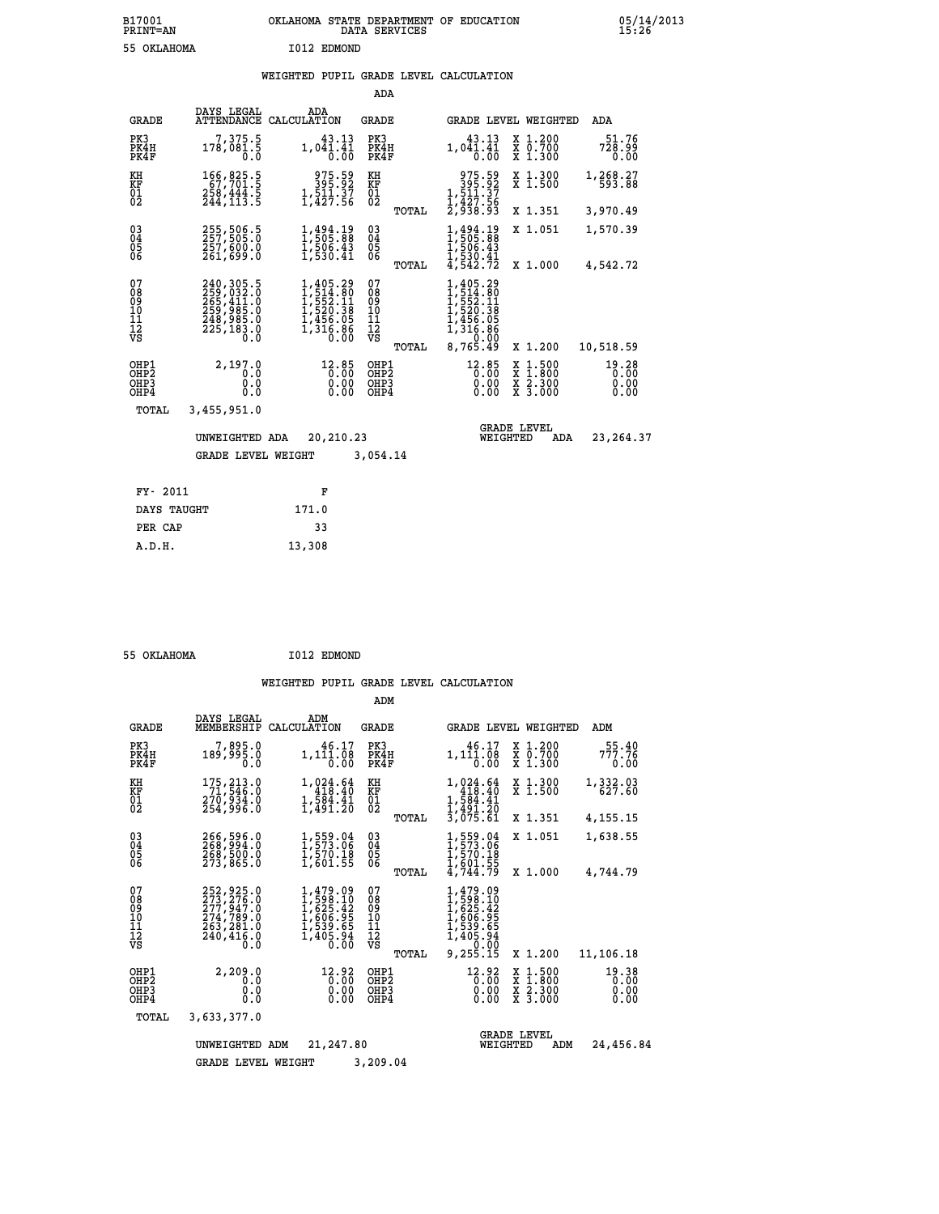|                                        |                                                                                          |                                                                                                                                                                                       | ADA                                      |       |                                                                                    |                                                                            |                               |
|----------------------------------------|------------------------------------------------------------------------------------------|---------------------------------------------------------------------------------------------------------------------------------------------------------------------------------------|------------------------------------------|-------|------------------------------------------------------------------------------------|----------------------------------------------------------------------------|-------------------------------|
| <b>GRADE</b>                           | DAYS LEGAL<br>ATTENDANCE                                                                 | ADA<br>CALCULATION                                                                                                                                                                    | GRADE                                    |       |                                                                                    | GRADE LEVEL WEIGHTED                                                       | ADA                           |
| PK3<br>PK4H<br>PK4F                    | 7,375.5<br>178,081.5<br>0.0                                                              | 43.13<br>$1,041.\overline{41}$<br>$0.00$                                                                                                                                              | PK3<br>PK4H<br>PK4F                      |       | 43.13<br>$1,041.41$<br>$0.00$                                                      | X 1.200<br>X 0.700<br>X 1.300                                              | 51.76<br>728.99<br>0.00       |
| KH<br><b>KF</b><br>01<br>02            | $\begin{smallmatrix} 166, 825.5\\ 67, 701.5\\ 258, 444.5\\ 244, 113.5 \end{smallmatrix}$ | 975.59<br>395.92<br>$1,\frac{5}{4}\frac{1}{2}\cdot\frac{5}{5}\cdot\frac{7}{6}$                                                                                                        | KH<br>KF<br>$\overline{01}$              |       | $\begin{smallmatrix}975.59\\395.92\\1,511.37\\1,427.56\\2,938.93\end{smallmatrix}$ | X 1.300<br>$\overline{x}$ 1.500                                            | 1,268.27<br>593.88            |
|                                        |                                                                                          |                                                                                                                                                                                       |                                          | TOTAL |                                                                                    | X 1.351                                                                    | 3,970.49                      |
| $^{03}_{04}$<br>05<br>06               | 255,506.5<br>257,505.0<br>257,600.0<br>261,699.0                                         | 1,494.19<br>1,505.88<br>$\frac{1}{1}$ , 506.43<br>1, 530.41                                                                                                                           | $\substack{03 \\ 04}$<br>0500            |       | 1,494.19<br>1,505.88<br>$\frac{1}{5}$ , 506:43<br>1, 530:41<br>4, 542:72           | X 1.051                                                                    | 1,570.39                      |
|                                        |                                                                                          |                                                                                                                                                                                       |                                          | TOTAL |                                                                                    | X 1.000                                                                    | 4,542.72                      |
| 07<br>08<br>09<br>11<br>11<br>12<br>VS | 240, 305.5<br>259, 032.0<br>265, 411.0<br>259, 985.0<br>248, 985.0<br>225, 183.0<br>0.0  | $\begin{smallmatrix} 1,405\cdot29\\[-1.2mm] 1,514\cdot80\\[-1.2mm] 1,552\cdot11\\[-1.2mm] 1,520\cdot38\\[-1.2mm] 1,456\cdot05\\[-1.2mm] 1,316\cdot86\\[-1.2mm] 0.00\end{smallmatrix}$ | 07<br>089<br>101<br>111<br>VS            | TOTAL | 1,405.29<br>0.00<br>8,765.49                                                       | X 1.200                                                                    | 10,518.59                     |
| OHP1<br>OHP2<br>OHP3<br>OHP4           | 2,197.0<br>0.0<br>0.0<br>0.0                                                             | 12.85<br>0.00000                                                                                                                                                                      | OHP1<br>OHP <sub>2</sub><br>OHP3<br>OHP4 |       | 12.85<br>0.00<br>0.00<br>0.00                                                      | $\frac{x}{x}$ $\frac{1.500}{1.800}$<br>$\frac{x}{x}$ $\frac{2.300}{3.000}$ | 19.28<br>0.00<br>0.00<br>0.00 |
| TOTAL                                  | 3,455,951.0                                                                              |                                                                                                                                                                                       |                                          |       |                                                                                    |                                                                            |                               |
|                                        | UNWEIGHTED ADA                                                                           | 20,210.23                                                                                                                                                                             |                                          |       | <b>GRADE LEVEL</b><br>WEIGHTED                                                     | ADA                                                                        | 23, 264.37                    |
|                                        | <b>GRADE LEVEL WEIGHT</b>                                                                |                                                                                                                                                                                       | 3,054.14                                 |       |                                                                                    |                                                                            |                               |
|                                        |                                                                                          |                                                                                                                                                                                       |                                          |       |                                                                                    |                                                                            |                               |
| FY- 2011                               |                                                                                          | F                                                                                                                                                                                     |                                          |       |                                                                                    |                                                                            |                               |
| DAYS TAUGHT                            |                                                                                          | 171.0                                                                                                                                                                                 |                                          |       |                                                                                    |                                                                            |                               |

| 55 OKLAHOMA | I012 EDMOND |
|-------------|-------------|
|             |             |

 **PER CAP 33 A.D.H. 13,308**

|                                                      |                                                                                                     |                                                                                    | ADM                                             |                                                                                             |                                                      |                               |
|------------------------------------------------------|-----------------------------------------------------------------------------------------------------|------------------------------------------------------------------------------------|-------------------------------------------------|---------------------------------------------------------------------------------------------|------------------------------------------------------|-------------------------------|
| <b>GRADE</b>                                         | DAYS LEGAL<br>MEMBERSHIP                                                                            | ADM<br>CALCULATION                                                                 | <b>GRADE</b>                                    | <b>GRADE LEVEL WEIGHTED</b>                                                                 |                                                      | ADM                           |
| PK3<br>PK4H<br>PK4F                                  | 7,895.0<br>189,995.0<br>0.0                                                                         | 46.17<br>1,111.08<br>0.00                                                          | PK3<br>PK4H<br>PK4F                             | 46.17<br>1,111.08<br>0.00                                                                   | X 1.200<br>X 0.700<br>X 1.300                        | 55.40<br>777.76<br>0.00       |
| KH<br>KF<br>01<br>02                                 | 175, 213.0<br>71, 546.0<br>270,934.0<br>254,996.0                                                   | 1,024.64<br>418.40<br>$\frac{1}{1}$ , $\frac{5}{8}$ $\frac{4}{1}$ , $\frac{1}{20}$ | KH<br>KF<br>$^{01}_{02}$                        | 1,024.64<br>418.40<br>$1,584.41$<br>$1,491.20$                                              | X 1.300<br>X <sub>1.500</sub>                        | 1,332.03<br>627.60            |
|                                                      |                                                                                                     |                                                                                    | TOTAL                                           | 3,075.61                                                                                    | X 1.351                                              | 4,155.15                      |
| $\begin{matrix} 03 \\ 04 \\ 05 \\ 06 \end{matrix}$   | 266,596.0<br>268,500.0                                                                              | 1,559.04<br>1,573.06<br>1,570.18                                                   | $\substack{03 \\ 04}$<br>05                     | 1,559.04<br>1,573.06<br>1,570.18<br>1,601.55                                                | X 1.051                                              | 1,638.55                      |
|                                                      | 273,865.0                                                                                           | 1,601.55                                                                           | TOTAL                                           | 4,744.79                                                                                    | X 1.000                                              | 4,744.79                      |
| 07<br>08<br>09<br>101<br>11<br>12<br>VS              | 252, 925.0<br>273, 276.0<br>277, 947.0<br>274, 789.0<br>263, 281.0<br>240,416.0<br>$0.\overline{0}$ | 1,479.09<br>1,598.10<br>1,625.42<br>1,606.95<br>1,539.65<br>1,405.94<br>0.00       | 07<br>08<br>09<br>11<br>11<br>12<br>VS<br>TOTAL | 1,479.09<br>1,598.10<br>1,625.42<br>1,606.95<br>1,539.65<br>1,405.94<br>2,05.94<br>9,255.15 | X 1.200                                              | 11,106.18                     |
| OHP1<br>OH <sub>P</sub> <sub>2</sub><br>OHP3<br>OHP4 | 2,209.0<br>0.0<br>0.0<br>Ŏ.Ŏ                                                                        | 12.92<br>0.00<br>0.00<br>0.00                                                      | OHP1<br>OHP2<br>OHP3<br>OHP4                    | $^{12.92}_{0.00}$<br>0.00<br>0.00                                                           | x 1:500<br>x 1:800<br>x 2:300<br>$X\overline{3.000}$ | 19.38<br>0.00<br>0.00<br>0.00 |
| TOTAL                                                | 3,633,377.0                                                                                         |                                                                                    |                                                 |                                                                                             |                                                      |                               |
|                                                      | UNWEIGHTED                                                                                          | 21,247.80<br>ADM                                                                   |                                                 | WEIGHTED                                                                                    | <b>GRADE LEVEL</b><br>ADM                            | 24,456.84                     |
|                                                      | <b>GRADE LEVEL WEIGHT</b>                                                                           |                                                                                    | 3,209.04                                        |                                                                                             |                                                      |                               |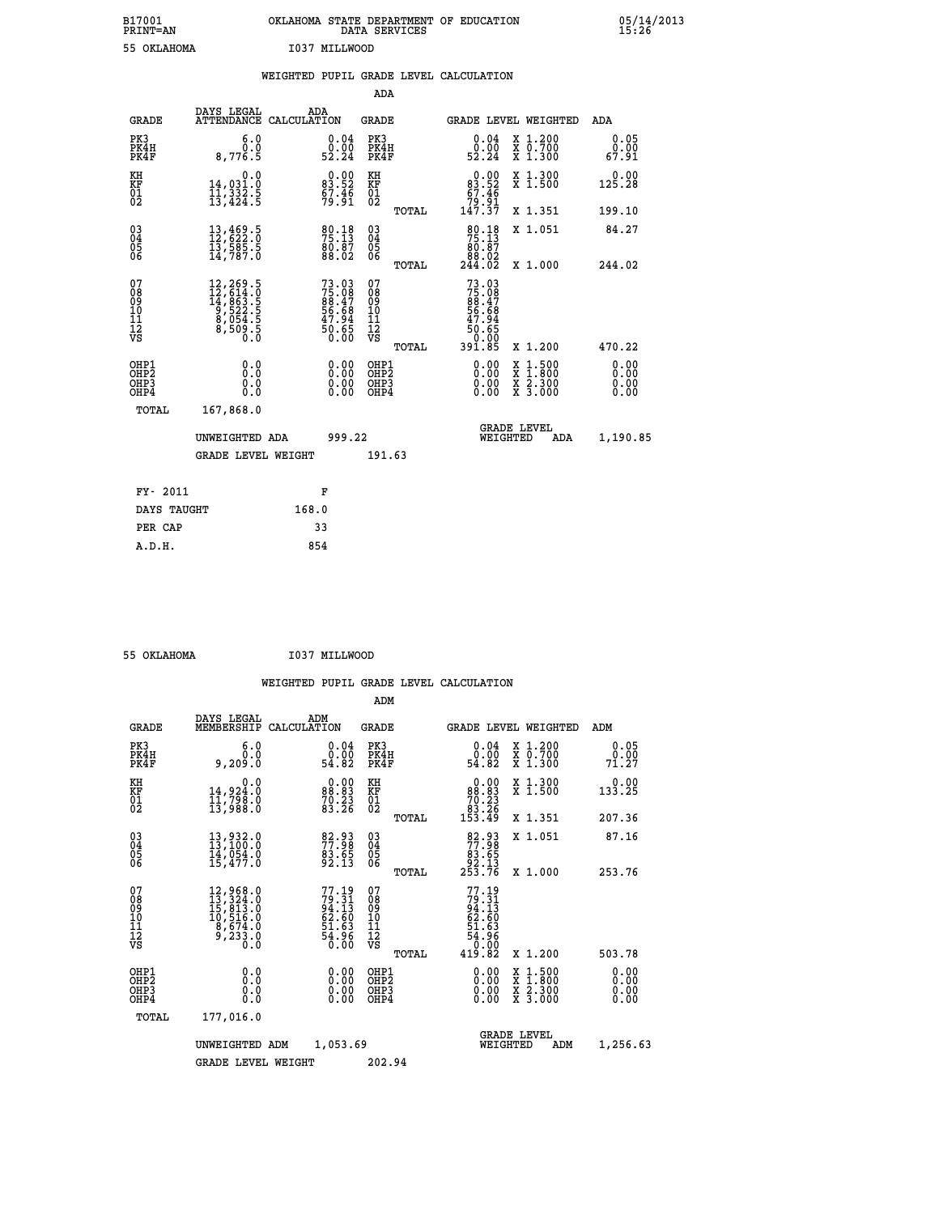|    |               | OKLAHOMA STATE DEPARTMENT OF EDUCATION<br>DATA SERVICES |  |
|----|---------------|---------------------------------------------------------|--|
| ΜА | T037 MTLLWOOD |                                                         |  |

| B17001<br><b>PRINT=AN</b>                                          |                                                                                                                                                                                   | OKLAHOMA STATE DEPARTMENT OF EDUCATION DATA SERVICES                  |                                                    |                                                                                                                  |                                                                                          | 25.28                 |
|--------------------------------------------------------------------|-----------------------------------------------------------------------------------------------------------------------------------------------------------------------------------|-----------------------------------------------------------------------|----------------------------------------------------|------------------------------------------------------------------------------------------------------------------|------------------------------------------------------------------------------------------|-----------------------|
|                                                                    | 55 OKLAHOMA                                                                                                                                                                       | I037 MILLWOOD                                                         |                                                    |                                                                                                                  |                                                                                          |                       |
|                                                                    |                                                                                                                                                                                   | WEIGHTED PUPIL GRADE LEVEL CALCULATION                                | <b>ADA</b>                                         |                                                                                                                  |                                                                                          |                       |
| <b>GRADE</b>                                                       | DAYS LEGAL                                                                                                                                                                        | ADA<br>ATTENDANCE CALCULATION                                         | GRADE                                              | GRADE LEVEL WEIGHTED                                                                                             |                                                                                          | ADA                   |
| PK3<br>PK4H<br>PK4F                                                | 6.0<br>0.0<br>8,776.5                                                                                                                                                             | $\substack{0.04 \\ 0.00 \\ 52.24}$                                    | PK3<br>PK4H<br>PK4F                                | $\substack{0.04 \\ 0.00 \\ 52.24}$                                                                               | X 1.200<br>X 0.700<br>X 1.300                                                            | 0.05<br>0.00<br>67.91 |
| KH<br>KF<br>01<br>02                                               | 0.0<br>14,031.0<br>11,332.5<br>13,424.5                                                                                                                                           | $\begin{smallmatrix} 0.00\\83.52\\67.46\\79.91 \end{smallmatrix}$     | KH<br>KF<br>01<br>02                               | $0.00\n83.52\n67.46\n79.91\n147.37$                                                                              | X 1.300<br>X 1.500                                                                       | 0.00<br>125.28        |
|                                                                    |                                                                                                                                                                                   |                                                                       | TOTAL                                              |                                                                                                                  | X 1.351                                                                                  | 199.10                |
| $\begin{smallmatrix} 03 \\[-4pt] 04 \end{smallmatrix}$<br>Ŏ5<br>06 | $\begin{smallmatrix} 13\,,\,469\,.5\\ 12\,,\,622\,.0\\ 13\,,\,585\,.5\\ 14\,,\,787\,.0 \end{smallmatrix}$                                                                         | $\begin{smallmatrix} 80.18\\ 75.13\\ 80.87\\ 88.02 \end{smallmatrix}$ | $\begin{matrix} 03 \\ 04 \\ 05 \\ 06 \end{matrix}$ | 80.18<br>80:87<br>88.02<br>244.02                                                                                | X 1.051                                                                                  | 84.27                 |
|                                                                    |                                                                                                                                                                                   |                                                                       | TOTAL                                              |                                                                                                                  | X 1.000                                                                                  | 244.02                |
| 07<br>08<br>09<br>11<br>11<br>12<br>VS                             | $\begin{smallmatrix} 12\,, & 269\,, & 5\\ 12\,, & 614\,, & 0\\ 14\,, & 863\,, & 5\\ 9\,, & 522\,, & 5\\ 8\,, & 054\,, & 5\\ 8\,, & 509\,, & 5\\ 0\,, & 0\,, & 0\end{smallmatrix}$ | 73.03<br>75.08<br>88.47<br>86.68<br>56.68<br>47.94<br>50.65<br>0.00   | 07<br>08<br>09<br>101<br>11<br>12<br>VS<br>TOTAL   | 73.03<br>$75.08$<br>$88.47$<br>56.68<br>$\begin{array}{r} 47.94 \\ 47.94 \\ 50.65 \\ 0.00 \\ 391.85 \end{array}$ | X 1.200                                                                                  | 470.22                |
| OHP1<br>OHP <sub>2</sub><br>OHP3<br>OHP4                           | 0.0<br>Ō.Ō<br>0.0<br>0.0                                                                                                                                                          | 0.00<br>0.00<br>0.00                                                  | OHP1<br>OHP <sub>2</sub><br>OHP3<br>OHP4           | $0.00$<br>$0.00$<br>0.00                                                                                         | $\begin{smallmatrix} x & 1.500 \\ x & 1.800 \\ x & 2.300 \\ x & 3.000 \end{smallmatrix}$ | 0.00<br>0.00<br>0.00  |
| TOTAL                                                              | 167,868.0                                                                                                                                                                         |                                                                       |                                                    |                                                                                                                  |                                                                                          |                       |
|                                                                    | UNWEIGHTED ADA                                                                                                                                                                    | 999.22                                                                |                                                    | <b>GRADE LEVEL</b><br>WEIGHTED                                                                                   | ADA                                                                                      | 1,190.85              |
|                                                                    | <b>GRADE LEVEL WEIGHT</b>                                                                                                                                                         |                                                                       | 191.63                                             |                                                                                                                  |                                                                                          |                       |
|                                                                    | FY- 2011                                                                                                                                                                          | F                                                                     |                                                    |                                                                                                                  |                                                                                          |                       |
|                                                                    | DAYS TAUGHT                                                                                                                                                                       | 168.0                                                                 |                                                    |                                                                                                                  |                                                                                          |                       |
| PER CAP                                                            |                                                                                                                                                                                   | 33                                                                    |                                                    |                                                                                                                  |                                                                                          |                       |

 **55 OKLAHOMA I037 MILLWOOD**

 **A.D.H. 854**

| <b>GRADE</b>                                       | DAYS LEGAL<br>MEMBERSHIP                                                                                                     | ADM<br>CALCULATION                                                       | <b>GRADE</b>                                       |       | GRADE LEVEL WEIGHTED                                                                                                                                                                                                                                                           |                                          |     | ADM                   |  |
|----------------------------------------------------|------------------------------------------------------------------------------------------------------------------------------|--------------------------------------------------------------------------|----------------------------------------------------|-------|--------------------------------------------------------------------------------------------------------------------------------------------------------------------------------------------------------------------------------------------------------------------------------|------------------------------------------|-----|-----------------------|--|
| PK3<br>PK4H<br>PK4F                                | 6.0<br>ة: و<br>9,209:0                                                                                                       | 0.04<br>ةْ:ۆ<br>54.82                                                    | PK3<br>PK4H<br>PK4F                                |       | $\begin{smallmatrix} 0.04\ 0.00\\ 2.00\\ 54.82 \end{smallmatrix}$                                                                                                                                                                                                              | X 1.200<br>X 0.700<br>X 1.300            |     | 0.05<br>0.00<br>71.27 |  |
| KH<br>KF<br>01<br>02                               | 0.0<br>14,924.0<br>11,798.0<br>13,988.0                                                                                      | $\begin{smallmatrix} 0.00\\ 88.83\\ 70.23\\ 83.26 \end{smallmatrix}$     | KH<br>KF<br>01<br>02                               |       | $\begin{smallmatrix} &0.00\\ &88.83\\ &70.23\\ &83.26\\ &153.49\end{smallmatrix}$                                                                                                                                                                                              | X 1.300<br>X 1.500                       |     | 0.00<br>133.25        |  |
|                                                    |                                                                                                                              |                                                                          |                                                    | TOTAL |                                                                                                                                                                                                                                                                                | X 1.351                                  |     | 207.36                |  |
| $\begin{matrix} 03 \\ 04 \\ 05 \\ 06 \end{matrix}$ | $\begin{smallmatrix} 13\,, & 932\ . & 0 \\ 13\,, & 100\ . & 0 \\ 14\,, & 054\ . & 0 \\ 15\,, & 477\ . & 0 \end{smallmatrix}$ | 82.93<br>77.98<br>83.65<br>92.13                                         | $\begin{matrix} 03 \\ 04 \\ 05 \\ 06 \end{matrix}$ |       | $\begin{smallmatrix}82.93\\77.98\\83.65\\92.13\\253.76\end{smallmatrix}$                                                                                                                                                                                                       | X 1.051                                  |     | 87.16                 |  |
|                                                    |                                                                                                                              |                                                                          |                                                    | TOTAL |                                                                                                                                                                                                                                                                                | X 1.000                                  |     | 253.76                |  |
| 07<br>08901112<br>1112<br>VS                       | $\begin{smallmatrix} 12,968.0\\ 13,324.0\\ 15,813.0\\ 10,516.0\\ 8,674.0\\ 9,233.0\\ 0.0 \end{smallmatrix}$                  | $77.19$<br>$79.31$<br>$94.13$<br>$62.60$<br>$51.63$<br>$54.96$<br>$0.00$ | 07<br>08<br>09<br>11<br>11<br>12<br>VS             | TOTAL | $77.19$<br>$79.31$<br>$94.13$<br>$62.60$<br>$51.63$<br>$54.96$<br>$0.00$<br>$419.82$                                                                                                                                                                                           | X 1.200                                  |     | 503.78                |  |
| OHP1<br>OHP2<br>OHP3<br>OHP4                       | 0.0<br>0.000                                                                                                                 |                                                                          | OHP1<br>OHP2<br>OHP3<br>OHP4                       |       | $\begin{smallmatrix} 0.00 & 0.00 & 0.00 & 0.00 & 0.00 & 0.00 & 0.00 & 0.00 & 0.00 & 0.00 & 0.00 & 0.00 & 0.00 & 0.00 & 0.00 & 0.00 & 0.00 & 0.00 & 0.00 & 0.00 & 0.00 & 0.00 & 0.00 & 0.00 & 0.00 & 0.00 & 0.00 & 0.00 & 0.00 & 0.00 & 0.00 & 0.00 & 0.00 & 0.00 & 0.00 & 0.0$ | X 1:500<br>X 1:800<br>X 2:300<br>X 3:000 |     | 0.00<br>0.00<br>0.00  |  |
| TOTAL                                              | 177,016.0                                                                                                                    |                                                                          |                                                    |       |                                                                                                                                                                                                                                                                                |                                          |     |                       |  |
|                                                    | UNWEIGHTED                                                                                                                   | 1,053.69<br>ADM                                                          |                                                    |       | WEIGHTED                                                                                                                                                                                                                                                                       | <b>GRADE LEVEL</b>                       | ADM | 1,256.63              |  |
|                                                    | <b>GRADE LEVEL WEIGHT</b>                                                                                                    |                                                                          | 202.94                                             |       |                                                                                                                                                                                                                                                                                |                                          |     |                       |  |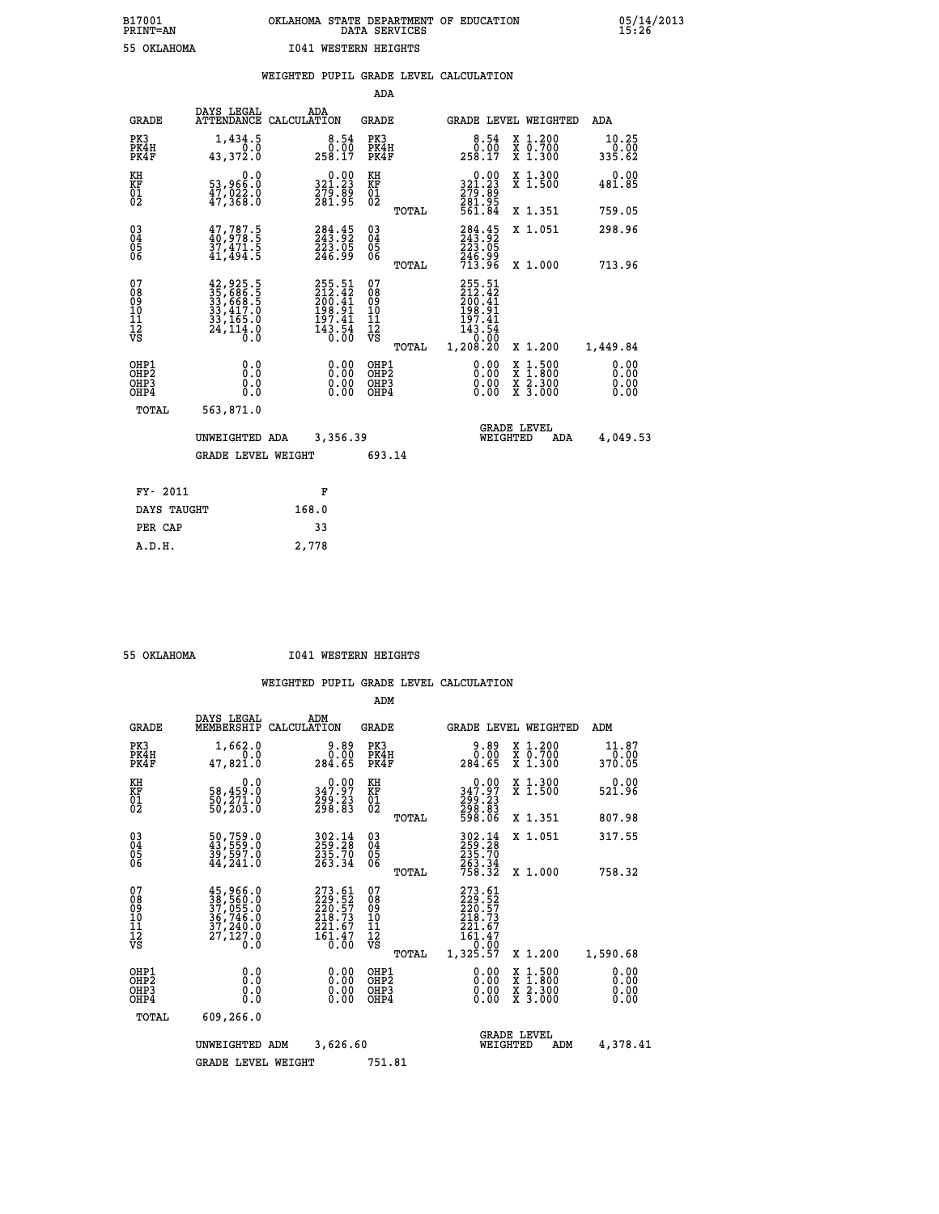|                                                                  |                                                                                                               |                                                                            | ADA                                      |       |                                                                                          |                                                                                                  |                              |
|------------------------------------------------------------------|---------------------------------------------------------------------------------------------------------------|----------------------------------------------------------------------------|------------------------------------------|-------|------------------------------------------------------------------------------------------|--------------------------------------------------------------------------------------------------|------------------------------|
| <b>GRADE</b>                                                     | DAYS LEGAL                                                                                                    | ADA<br>ATTENDANCE CALCULATION                                              | <b>GRADE</b>                             |       |                                                                                          | GRADE LEVEL WEIGHTED                                                                             | ADA                          |
| PK3<br>PK4H<br>PK4F                                              | 1,434.5<br>0.0<br>43,372.0                                                                                    | $\begin{smallmatrix}8.54\0.00\\0.00\\258.17\end{smallmatrix}$              | PK3<br>PK4H<br>PK4F                      |       | $\begin{smallmatrix}8.54\0.00\\0.00\\258.17\end{smallmatrix}$                            | X 1.200<br>X 0.700<br>X 1.300                                                                    | 10.25<br>0.00<br>335.62      |
| KH<br>KF<br>01<br>02                                             | 0.0<br>53,966:0<br>47,022:0<br>47,368:0                                                                       | $\begin{smallmatrix} 0.00\\ 321.23\\ 279.89\\ 281.95 \end{smallmatrix}$    | KH<br>KF<br>01<br>02                     |       | 0.00<br>321:23<br>279:89<br>281:95<br>561:84                                             | X 1.300<br>X 1.500                                                                               | 0.00<br>481.85               |
|                                                                  |                                                                                                               |                                                                            |                                          | TOTAL |                                                                                          | X 1.351                                                                                          | 759.05                       |
| $\begin{matrix} 03 \\ 04 \\ 05 \\ 06 \end{matrix}$               | $47,787.5$<br>$40,978.5$<br>37,471.5<br>41,494.5                                                              | 284.45<br>243.92<br>223.05<br>246.99                                       | $\substack{03 \\ 04}$<br>05<br>06        |       | 284:45<br>$\frac{2\bar{2}\bar{3}\cdot\bar{0}\bar{5}}{246\cdot99}\ \frac{713.96}{713.96}$ | X 1.051                                                                                          | 298.96                       |
|                                                                  |                                                                                                               |                                                                            |                                          | TOTAL |                                                                                          | X 1.000                                                                                          | 713.96                       |
| 07<br>08<br>09<br>10<br>11<br>12<br>VS                           | $\begin{smallmatrix} 42,925.5\\ 35,686.5\\ 33,668.5\\ 33,417.0\\ 33,165.0\\ 24,114.0\\ 0.0 \end{smallmatrix}$ | 255.51<br>212.42<br>200.41<br>200.41<br>197.41<br>197.41<br>143.54<br>0.00 | 07<br>08<br>09<br>101<br>112<br>VS       |       | 255.51<br>212.42<br>200.41<br>$198.91$<br>$197.41$<br>$143.54$<br>$0.00$                 |                                                                                                  |                              |
|                                                                  |                                                                                                               |                                                                            |                                          | TOTAL | 1,208.20                                                                                 | X 1.200                                                                                          | 1,449.84                     |
| OHP1<br>OH <sub>P</sub> <sub>2</sub><br>OH <sub>P3</sub><br>OHP4 | 0.0<br>0.0<br>0.0                                                                                             | $0.00$<br>$0.00$<br>0.00                                                   | OHP1<br>OHP <sub>2</sub><br>OHP3<br>OHP4 |       | $0.00$<br>$0.00$<br>0.00                                                                 | $\begin{smallmatrix} x & 1 & 500 \\ x & 1 & 800 \\ x & 2 & 300 \\ x & 3 & 000 \end{smallmatrix}$ | 0.00<br>0.00<br>0.00<br>0.00 |
| <b>TOTAL</b>                                                     | 563,871.0                                                                                                     |                                                                            |                                          |       |                                                                                          |                                                                                                  |                              |
|                                                                  | UNWEIGHTED ADA                                                                                                | 3,356.39                                                                   |                                          |       |                                                                                          | <b>GRADE LEVEL</b><br>WEIGHTED<br>ADA                                                            | 4,049.53                     |
|                                                                  | <b>GRADE LEVEL WEIGHT</b>                                                                                     |                                                                            | 693.14                                   |       |                                                                                          |                                                                                                  |                              |
| FY- 2011                                                         |                                                                                                               | F                                                                          |                                          |       |                                                                                          |                                                                                                  |                              |
| DAYS TAUGHT                                                      |                                                                                                               | 168.0                                                                      |                                          |       |                                                                                          |                                                                                                  |                              |
| PER CAP                                                          |                                                                                                               | 33                                                                         |                                          |       |                                                                                          |                                                                                                  |                              |
|                                                                  |                                                                                                               |                                                                            |                                          |       |                                                                                          |                                                                                                  |                              |

 **A.D.H. 2,778**

 **55 OKLAHOMA I041 WESTERN HEIGHTS**

|                                                       |                                                                             |                    |                                                                                             | ADM                                    |       |                                                                                                                                               |                                |                                          |                              |
|-------------------------------------------------------|-----------------------------------------------------------------------------|--------------------|---------------------------------------------------------------------------------------------|----------------------------------------|-------|-----------------------------------------------------------------------------------------------------------------------------------------------|--------------------------------|------------------------------------------|------------------------------|
| <b>GRADE</b>                                          | DAYS LEGAL<br>MEMBERSHIP                                                    | ADM<br>CALCULATION |                                                                                             | <b>GRADE</b>                           |       |                                                                                                                                               |                                | <b>GRADE LEVEL WEIGHTED</b>              | ADM                          |
| PK3<br>PK4H<br>PK4F                                   | 1,662.0<br>0.0<br>47,821.0                                                  |                    | 9.89<br>0.00<br>284.65                                                                      | PK3<br>PK4H<br>PK4F                    |       | 9.89<br>0.00<br>284.65                                                                                                                        |                                | X 1.200<br>X 0.700<br>X 1.300            | 11.87<br>0.00<br>370.05      |
| KH<br>KF<br>01<br>02                                  | 0.0<br>58,459:0<br>50,271:0<br>50,203:0                                     |                    | 347.97<br>299.23<br>298.83                                                                  | KH<br>KF<br>01<br>02                   |       | $\begin{smallmatrix} &0.00\\ 347.97\\ 299.23\\ 298.83\\ 598.06\end{smallmatrix}$                                                              |                                | X 1.300<br>X 1.500                       | 0.00<br>521.96               |
|                                                       |                                                                             |                    |                                                                                             |                                        | TOTAL |                                                                                                                                               |                                | X 1.351                                  | 807.98                       |
| 03<br>04<br>05<br>06                                  | 50,759.0<br>43,559.0<br>39,597.0<br>44,241.0                                |                    | 303.14<br>259.28<br>235.70<br>263.34                                                        | $^{03}_{04}$<br>05<br>06               |       | 302.14<br>259.28<br>235.70<br>263.34<br>758.32                                                                                                |                                | X 1.051                                  | 317.55                       |
|                                                       |                                                                             |                    |                                                                                             |                                        | TOTAL |                                                                                                                                               |                                | X 1.000                                  | 758.32                       |
| 07<br>08<br>09<br>101<br>112<br>VS                    | 45,966.0<br>38,560.0<br>37,055.0<br>36,746.0<br>37,240.0<br>27,127.0<br>Ó.Ŏ |                    | 273.61<br>229.52<br>220.57<br>219.73<br>221.67<br>$\frac{1}{6}$ $\frac{1}{6}$ $\frac{3}{6}$ | 07<br>08<br>09<br>11<br>11<br>12<br>VS | TOTAL | 273.61<br>229.52<br>220.57<br>219.73<br>221.67<br>$\overline{1}\overline{6}\overline{1}\cdot\overline{4}\overline{7}\overline{0}$<br>1,325.57 |                                | X 1.200                                  | 1,590.68                     |
| OHP1<br>OH <sub>P</sub> 2<br>OH <sub>P3</sub><br>OHP4 | 0.0<br>0.000                                                                |                    | $0.00$<br>$0.00$<br>0.00                                                                    | OHP1<br>OHP2<br>OHP3<br>OHP4           |       | $0.00$<br>$0.00$<br>0.00                                                                                                                      |                                | X 1:500<br>X 1:800<br>X 2:300<br>X 3:000 | 0.00<br>0.00<br>0.00<br>0.00 |
| TOTAL                                                 | 609,266.0                                                                   |                    |                                                                                             |                                        |       |                                                                                                                                               |                                |                                          |                              |
|                                                       | UNWEIGHTED                                                                  | ADM                | 3,626.60                                                                                    |                                        |       |                                                                                                                                               | <b>GRADE LEVEL</b><br>WEIGHTED | ADM                                      | 4,378.41                     |
|                                                       | <b>GRADE LEVEL WEIGHT</b>                                                   |                    |                                                                                             | 751.81                                 |       |                                                                                                                                               |                                |                                          |                              |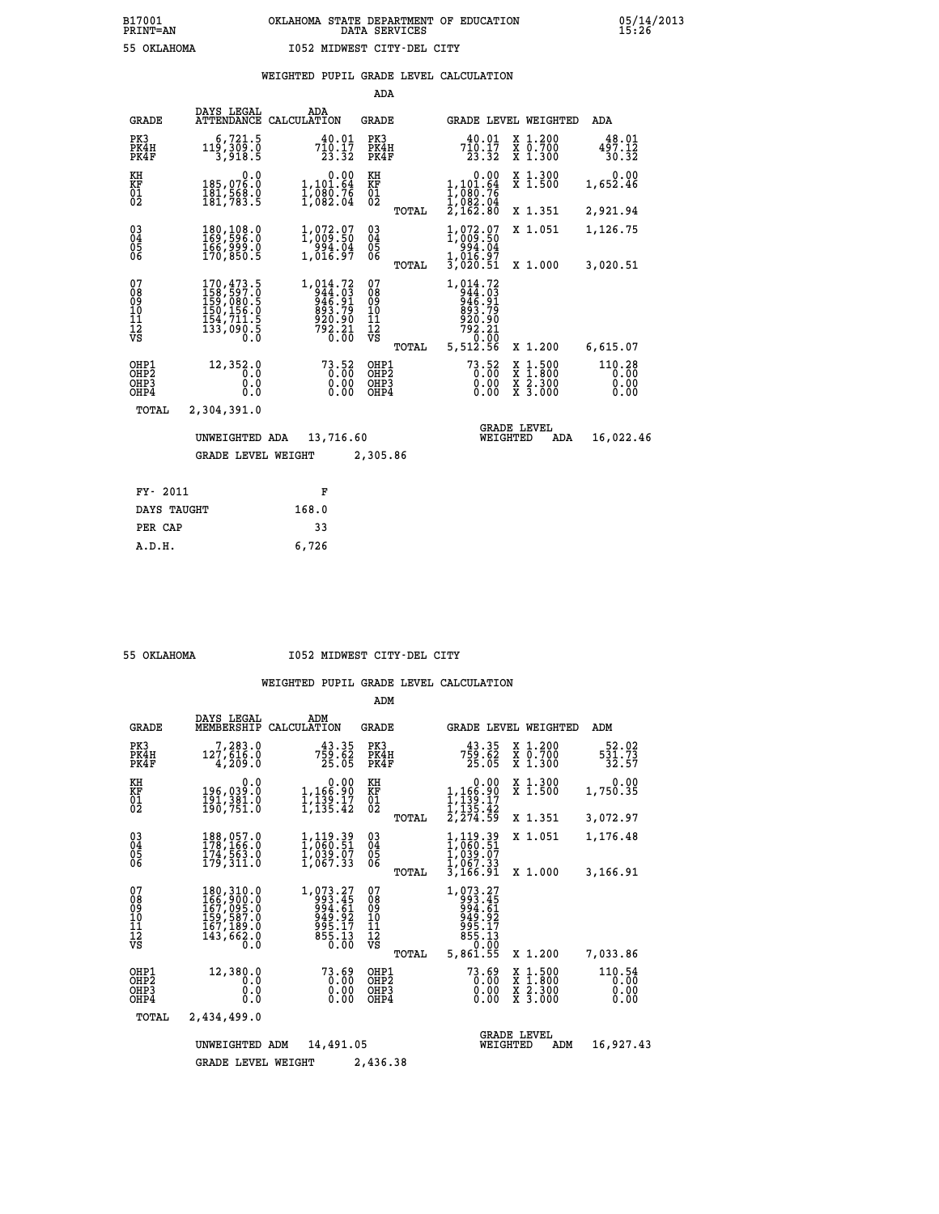|                                        |                                                                                           |                                                                                                            | ADA                                       |       |                                                                                                      |          |                                                       |                                |
|----------------------------------------|-------------------------------------------------------------------------------------------|------------------------------------------------------------------------------------------------------------|-------------------------------------------|-------|------------------------------------------------------------------------------------------------------|----------|-------------------------------------------------------|--------------------------------|
| <b>GRADE</b>                           | DAYS LEGAL<br>ATTENDANCE                                                                  | ADA<br>CALCULATION                                                                                         | GRADE                                     |       |                                                                                                      |          | GRADE LEVEL WEIGHTED                                  | ADA                            |
| PK3<br>PK4H<br>PK4F                    | 6,721.5<br>119,309.0<br>3,918.5                                                           | 40.01<br>$\begin{array}{r} 7\bar{1}\bar{0}\cdot \bar{1}\bar{7}\\ 2\bar{3}\cdot \bar{3}\bar{2} \end{array}$ | PK3<br>PK4H<br>PK4F                       |       | 40.01<br>710.17<br>23.32                                                                             |          | X 1.200<br>X 0.700<br>X 1.300                         | 48.01<br>497.12<br>30.32       |
| KH<br><b>KF</b><br>01<br>02            | 0.0<br>185,076.0<br>181,568.0<br>181,783.5                                                | 0.00<br>1,101.64<br>1,080.76<br>1,082.04                                                                   | KH<br>KF<br>$\overline{01}$               |       | 0.00<br>1,101.64<br>$\frac{1}{2}$ , $\frac{080}{082}$ . $\frac{04}{2}$ , $\frac{082}{162}$ . $80$    |          | X 1.300<br>$\bar{x}$ 1.500                            | 0.00<br>1,652.46               |
|                                        |                                                                                           |                                                                                                            |                                           | TOTAL |                                                                                                      |          | X 1.351                                               | 2,921.94                       |
| $^{03}_{04}$<br>05<br>06               | 180,108.0<br>169,596.0<br>166,999.0<br>170,850.5                                          | 1,072.07<br>1,009.50<br>$\frac{1}{1,016.97}$                                                               | $\substack{03 \\ 04}$<br>$\frac{05}{06}$  |       | 1,072.07<br>1,009.50<br>-′994.04<br>1,016.97                                                         |          | X 1.051                                               | 1,126.75                       |
|                                        |                                                                                           |                                                                                                            |                                           | TOTAL | 3,020.51                                                                                             |          | X 1.000                                               | 3,020.51                       |
| 07<br>08<br>09<br>11<br>11<br>12<br>VS | 170,473.5<br>$158, 597.0$<br>$159, 080.5$<br>$150, 156.0$<br>$154, 711.5$<br>$133, 090.5$ | 1,014.72<br>344:03<br>946:91<br>893.79<br>920:90<br>792:21<br>792:21                                       | 07<br>08<br>09<br>11<br>11<br>12<br>VS    |       | 1,014.72<br>$1.754403$<br>$94403$<br>$94691$<br>$89379$<br>$92090$<br>$79221$<br>$7000$<br>$5,51256$ |          |                                                       |                                |
|                                        |                                                                                           |                                                                                                            |                                           | TOTAL |                                                                                                      |          | X 1.200                                               | 6,615.07                       |
| OHP1<br>OHP2<br>OHP3<br>OHP4           | 12,352.0<br>0.0<br>0.0<br>0.0                                                             | $73.52$<br>0:00<br>0.00<br>0.00                                                                            | OHP1<br>OH <sub>P</sub> 2<br>OHP3<br>OHP4 |       | $73.52$<br>$0.00$<br>0.00<br>0.00                                                                    |          | $\frac{x}{x}$ $\frac{1.500}{x}$<br>X 2.300<br>X 3.000 | 110.28<br>0.00<br>0.00<br>0.00 |
| TOTAL                                  | 2,304,391.0                                                                               |                                                                                                            |                                           |       |                                                                                                      |          |                                                       |                                |
|                                        | UNWEIGHTED ADA                                                                            | 13,716.60                                                                                                  |                                           |       |                                                                                                      | WEIGHTED | <b>GRADE LEVEL</b><br>ADA                             | 16,022.46                      |
|                                        | <b>GRADE LEVEL WEIGHT</b>                                                                 |                                                                                                            | 2,305.86                                  |       |                                                                                                      |          |                                                       |                                |
|                                        |                                                                                           |                                                                                                            |                                           |       |                                                                                                      |          |                                                       |                                |
| FY- 2011                               |                                                                                           | F                                                                                                          |                                           |       |                                                                                                      |          |                                                       |                                |
| DAYS TAUGHT                            |                                                                                           | 168.0                                                                                                      |                                           |       |                                                                                                      |          |                                                       |                                |

 **PER CAP 33 A.D.H. 6,726**

 **55 OKLAHOMA I052 MIDWEST CITY-DEL CITY**

|                                                    |                                                                                   |                                                                    | ADM                                             |                                                                                  |                                                                                |                                 |
|----------------------------------------------------|-----------------------------------------------------------------------------------|--------------------------------------------------------------------|-------------------------------------------------|----------------------------------------------------------------------------------|--------------------------------------------------------------------------------|---------------------------------|
|                                                    | DAYS LEGAL<br><b>GRADE</b><br>MEMBERSHIP                                          | ADM<br>CALCULATION                                                 | <b>GRADE</b>                                    | <b>GRADE LEVEL WEIGHTED</b>                                                      |                                                                                | ADM                             |
| PK3<br>PK4H<br>PK4F                                | 7,283.0<br>127,616.0<br>4,209.0                                                   | 43.35<br>$7\bar{5}\bar{9}\cdot\bar{6}\bar{2}\ 25\cdot05$           | PK3<br>PK4H<br>PK4F                             | 43.35<br>759.62<br>25.05                                                         | $\begin{smallmatrix} x & 1.200 \\ x & 0.700 \end{smallmatrix}$<br>X 1.300      | 52.02<br>$\frac{531.73}{32.57}$ |
| KH<br>KF<br>01<br>02                               | 0.0<br>196,039.0<br>191,301.0<br>190,751.0                                        | 0.00<br>1,166.90<br>1,139.17<br>1,135.42                           | KH<br>KF<br>01<br>02                            | 0.00<br>1,166.90<br>1,139.17<br>1,135.42<br>2,274.59                             | X 1.300<br>X 1.500                                                             | 0.00<br>1,750.35                |
|                                                    |                                                                                   |                                                                    | TOTAL                                           |                                                                                  | X 1.351                                                                        | 3,072.97                        |
| $\begin{matrix} 03 \\ 04 \\ 05 \\ 06 \end{matrix}$ | 188,057.0<br>178,166.0<br>174,563.0<br>179,311.0                                  | 1,119.39<br>1,060.51<br>1,039.07<br>1,067.33                       | $^{03}_{04}$<br>$\frac{05}{06}$                 | 1,119.39<br>1,060.51<br>1,039.07<br>1,067.33                                     | X 1.051                                                                        | 1,176.48                        |
|                                                    |                                                                                   |                                                                    | TOTAL                                           | 3,166.91                                                                         | X 1.000                                                                        | 3,166.91                        |
| 07<br>08<br>09<br>101<br>11<br>12<br>VS            | 180,310.0<br>166,900.0<br>167,095.0<br>159,587.0<br>167,189.0<br>143,662.0<br>0.0 | 1,073.27<br>993.45<br>994.61<br>949.92<br>995.17<br>855.13<br>0.00 | 07<br>08<br>09<br>11<br>11<br>12<br>VS<br>TOTAL | 1,073.27<br>993.45<br>994.61<br>949.92<br>995.17<br>855.13<br>8.0.00<br>5,861.55 | X 1.200                                                                        | 7,033.86                        |
| OHP1<br>OHP2<br>OHP3<br>OHP4                       | 12,380.0<br>0.0<br>0.0<br>0.0                                                     | 73.69<br>0.00<br>0.00<br>0.00                                      | OHP1<br>OHP2<br>OHP3<br>OHP4                    | 73.69<br>0.00<br>0.00<br>0.00                                                    | $\frac{x}{x}$ $\frac{1.500}{1.800}$<br>$\bar{x}$ 2.300<br>$\overline{x}$ 3.000 | 110.54<br>0.00<br>0.00<br>0.00  |
|                                                    | TOTAL<br>2,434,499.0                                                              |                                                                    |                                                 |                                                                                  |                                                                                |                                 |
|                                                    | UNWEIGHTED                                                                        | <b>GRADE LEVEL</b><br>WEIGHTED                                     | ADM                                             | 16,927.43                                                                        |                                                                                |                                 |
|                                                    | <b>GRADE LEVEL WEIGHT</b>                                                         |                                                                    |                                                 |                                                                                  |                                                                                |                                 |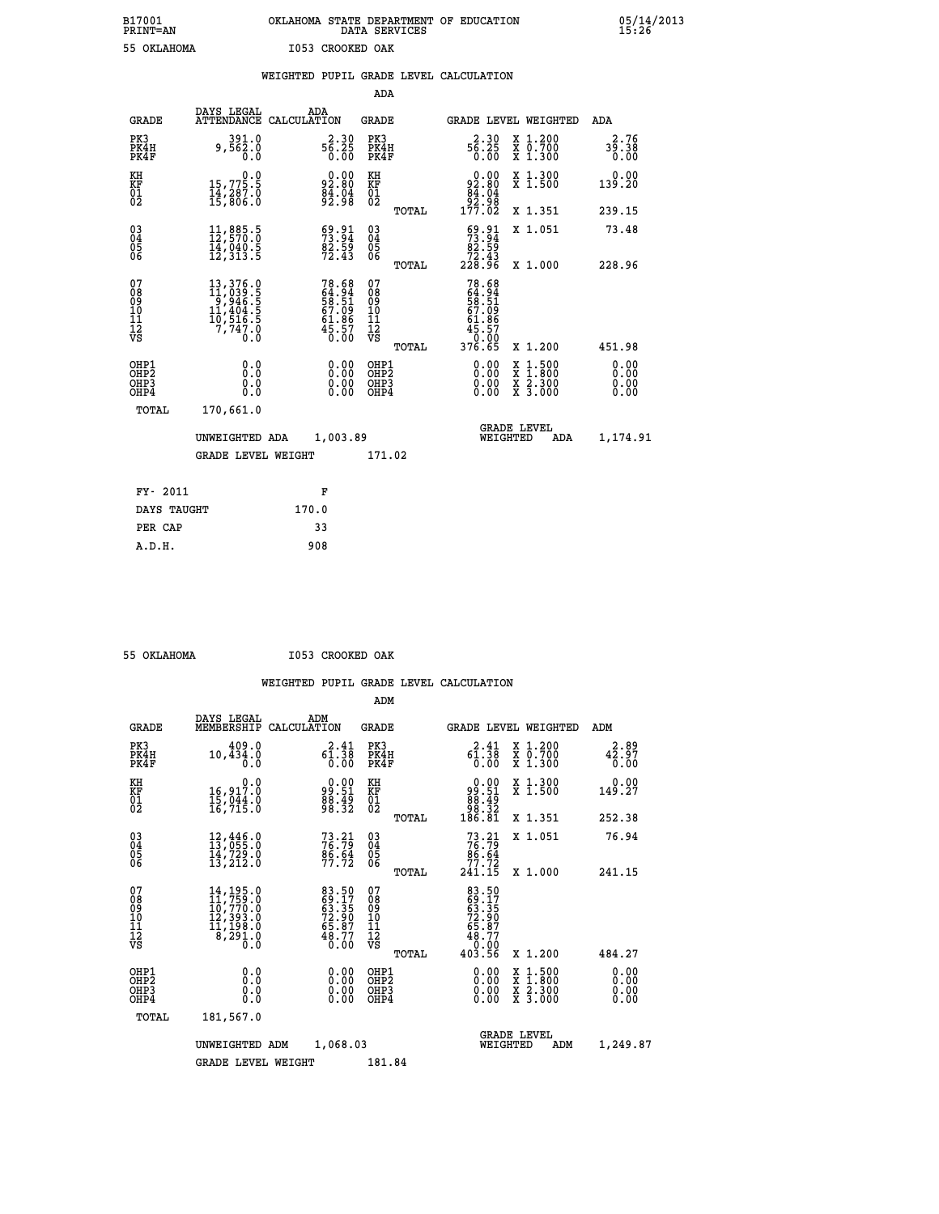# **B17001 OKLAHOMA STATE DEPARTMENT OF EDUCATION 05/14/2013 PRINT=AN DATA SERVICES 15:26 55 OKLAHOMA I053 CROOKED OAK**

|                                                    |                                                                                                                                                                             |                                                                   | ADA                                                 |       |                                                               |                                                                                          |                              |
|----------------------------------------------------|-----------------------------------------------------------------------------------------------------------------------------------------------------------------------------|-------------------------------------------------------------------|-----------------------------------------------------|-------|---------------------------------------------------------------|------------------------------------------------------------------------------------------|------------------------------|
| <b>GRADE</b>                                       | DAYS LEGAL                                                                                                                                                                  | ADA<br>ATTENDANCE CALCULATION                                     | <b>GRADE</b>                                        |       |                                                               | GRADE LEVEL WEIGHTED                                                                     | ADA                          |
| PK3<br>PK4H<br>PK4F                                | 391.0<br>9,562.0<br>0.0                                                                                                                                                     | $56.30$<br>$56.25$<br>0.00                                        | PK3<br>PK4H<br>PK4F                                 |       | $56.30$<br>$56.25$<br>0.00                                    | X 1.200<br>X 0.700<br>X 1.300                                                            | 2.76<br>39.38<br>0.00        |
| KH<br>KF<br>01<br>02                               | 0.0<br>15,775.5<br>14,287.0<br>15,806.0                                                                                                                                     | $92.80$<br>$84.04$<br>$92.98$                                     | KH<br>KF<br>01<br>02                                |       | $0.00\n92.80\n84.04\n92.98\n177.02$                           | X 1.300<br>X 1.500                                                                       | 0.00<br>139.20               |
|                                                    |                                                                                                                                                                             |                                                                   |                                                     | TOTAL |                                                               | X 1.351                                                                                  | 239.15                       |
| $\begin{matrix} 03 \\ 04 \\ 05 \\ 06 \end{matrix}$ | 11,885.5<br>12,570.0<br>ī4,ŏ4ŏ.š<br>12,313.5                                                                                                                                | 53.91<br>$\frac{82.59}{72.43}$                                    | $\begin{array}{c} 03 \\ 04 \\ 05 \\ 06 \end{array}$ |       | 69.91<br>$\frac{62.55}{72.43}$<br>228.96                      | X 1.051                                                                                  | 73.48                        |
|                                                    |                                                                                                                                                                             |                                                                   |                                                     | TOTAL |                                                               | X 1.000                                                                                  | 228.96                       |
| 07<br>08<br>09<br>11<br>11<br>12<br>VS             | $\begin{smallmatrix} 13\,, & 376\,, & 0\\ 11\,, & 039\,, & 5\\ 9\,, & 946\,, & 5\\ 11\,, & 404\,, & 5\\ 10\,, & 516\,, & 5\\ 7\,, & 747\,, & 0\\ 0\,. & 0\end{smallmatrix}$ | 78.68<br>64.94<br>58.51<br>57.09<br>61.86<br>45.57<br>45.50       | 07<br>08<br>09<br>101<br>112<br>VS                  |       | 78.68<br>64.94<br>58.51<br>57.0967.061.86<br>45.570<br>376.65 |                                                                                          |                              |
|                                                    |                                                                                                                                                                             |                                                                   |                                                     | TOTAL |                                                               | X 1.200                                                                                  | 451.98                       |
| OHP1<br>OHP2<br>OHP3<br>OHP4                       | 0.0<br>0.0<br>0.0                                                                                                                                                           | $\begin{smallmatrix} 0.00 \ 0.00 \ 0.00 \ 0.00 \end{smallmatrix}$ | OHP1<br>OHP2<br>OHP3<br>OHP4                        |       |                                                               | $\begin{smallmatrix} x & 1.500 \\ x & 1.800 \\ x & 2.300 \\ x & 3.000 \end{smallmatrix}$ | 0.00<br>0.00<br>0.00<br>0.00 |
| <b>TOTAL</b>                                       | 170,661.0                                                                                                                                                                   |                                                                   |                                                     |       |                                                               |                                                                                          |                              |
|                                                    | UNWEIGHTED ADA                                                                                                                                                              | 1,003.89                                                          |                                                     |       |                                                               | <b>GRADE LEVEL</b><br>WEIGHTED<br>ADA                                                    | 1,174.91                     |
|                                                    | <b>GRADE LEVEL WEIGHT</b>                                                                                                                                                   |                                                                   | 171.02                                              |       |                                                               |                                                                                          |                              |
| FY- 2011                                           |                                                                                                                                                                             | F                                                                 |                                                     |       |                                                               |                                                                                          |                              |
|                                                    |                                                                                                                                                                             |                                                                   |                                                     |       |                                                               |                                                                                          |                              |
| DAYS TAUGHT                                        |                                                                                                                                                                             | 170.0                                                             |                                                     |       |                                                               |                                                                                          |                              |
| PER CAP                                            |                                                                                                                                                                             | 33                                                                |                                                     |       |                                                               |                                                                                          |                              |

 **A.D.H. 908**

 **55 OKLAHOMA I053 CROOKED OAK**

|                                          |                                                                                                                                                    |                                                                      | ADM                                                 |                                                                                 |                                          |                              |
|------------------------------------------|----------------------------------------------------------------------------------------------------------------------------------------------------|----------------------------------------------------------------------|-----------------------------------------------------|---------------------------------------------------------------------------------|------------------------------------------|------------------------------|
| <b>GRADE</b>                             | DAYS LEGAL<br>MEMBERSHIP                                                                                                                           | ADM<br>CALCULATION                                                   | <b>GRADE</b>                                        | <b>GRADE LEVEL WEIGHTED</b>                                                     |                                          | ADM                          |
| PK3<br>PK4H<br>PK4F                      | 409.0<br>10,434.0<br>0.0                                                                                                                           | 2.41<br>$6\overline{1}\cdot 3\overline{8}$<br>$0.00$                 | PK3<br>PK4H<br>PK4F                                 | 2.41<br>$6\overline{1}.3\overline{8}$<br>0.00                                   | X 1.200<br>X 0.700<br>X 1.300            | 2.89<br>42.97<br>0.00        |
| KH<br>KF<br>01<br>02                     | 0.0<br>16,917.0<br>15,044.0<br>16,715.0                                                                                                            | $\begin{smallmatrix} 0.00\\ 99.51\\ 88.49\\ 98.32 \end{smallmatrix}$ | KH<br>KF<br>01<br>02                                | $\begin{smallmatrix} 0.00\\ 99.51\\ 88.49\\ 98.32\\ 186.81\\ \end{smallmatrix}$ | X 1.300<br>X 1.500                       | 0.00<br>149.27               |
|                                          |                                                                                                                                                    |                                                                      | TOTAL                                               |                                                                                 | X 1.351                                  | 252.38                       |
| 03<br>04<br>05<br>06                     | 12,446.0<br>13,055.0<br>14,729.0<br>13,212.0                                                                                                       | $73.21$<br>$76.79$<br>$86.64$<br>$77.72$                             | $\begin{array}{c} 03 \\ 04 \\ 05 \\ 06 \end{array}$ | $73.21$<br>$76.79$<br>$86.64$<br>$77.72$<br>$241.15$                            | X 1.051                                  | 76.94                        |
|                                          |                                                                                                                                                    |                                                                      | TOTAL                                               |                                                                                 | X 1.000                                  | 241.15                       |
| 07<br>08<br>09<br>101<br>112<br>VS       | $\begin{smallmatrix} 14\,,\,195\,.0\\ 11\,,\,759\,.0\\ 10\,,\,770\,.0\\ 12\,,\,393\,.0\\ 11\,,\,198\,.0\\ 8\,,\,291\,.0\\ 0\,.0 \end{smallmatrix}$ | 83.50<br>69.17<br>63.35<br>72.90<br>72.87<br>48.77<br>0.00           | 07<br>08<br>09<br>11<br>11<br>12<br>VS              | 83.50<br>63.35<br>63.35<br>72.90<br>72.87<br>65.77<br>48.70<br>403.56           |                                          |                              |
|                                          |                                                                                                                                                    |                                                                      | TOTAL                                               |                                                                                 | X 1.200                                  | 484.27                       |
| OHP1<br>OHP2<br>OH <sub>P3</sub><br>OHP4 | 0.0<br>0.000                                                                                                                                       | $0.00$<br>$0.00$<br>0.00                                             | OHP1<br>OHP2<br>OHP <sub>3</sub>                    | $0.00$<br>$0.00$<br>0.00                                                        | X 1:500<br>X 1:800<br>X 2:300<br>X 3:000 | 0.00<br>0.00<br>0.00<br>0.00 |
| TOTAL                                    | 181,567.0                                                                                                                                          |                                                                      |                                                     |                                                                                 |                                          |                              |
|                                          | UNWEIGHTED ADM                                                                                                                                     | 1,068.03                                                             |                                                     | <b>GRADE LEVEL</b><br>WEIGHTED                                                  | ADM                                      | 1,249.87                     |
|                                          | <b>GRADE LEVEL WEIGHT</b>                                                                                                                          |                                                                      | 181.84                                              |                                                                                 |                                          |                              |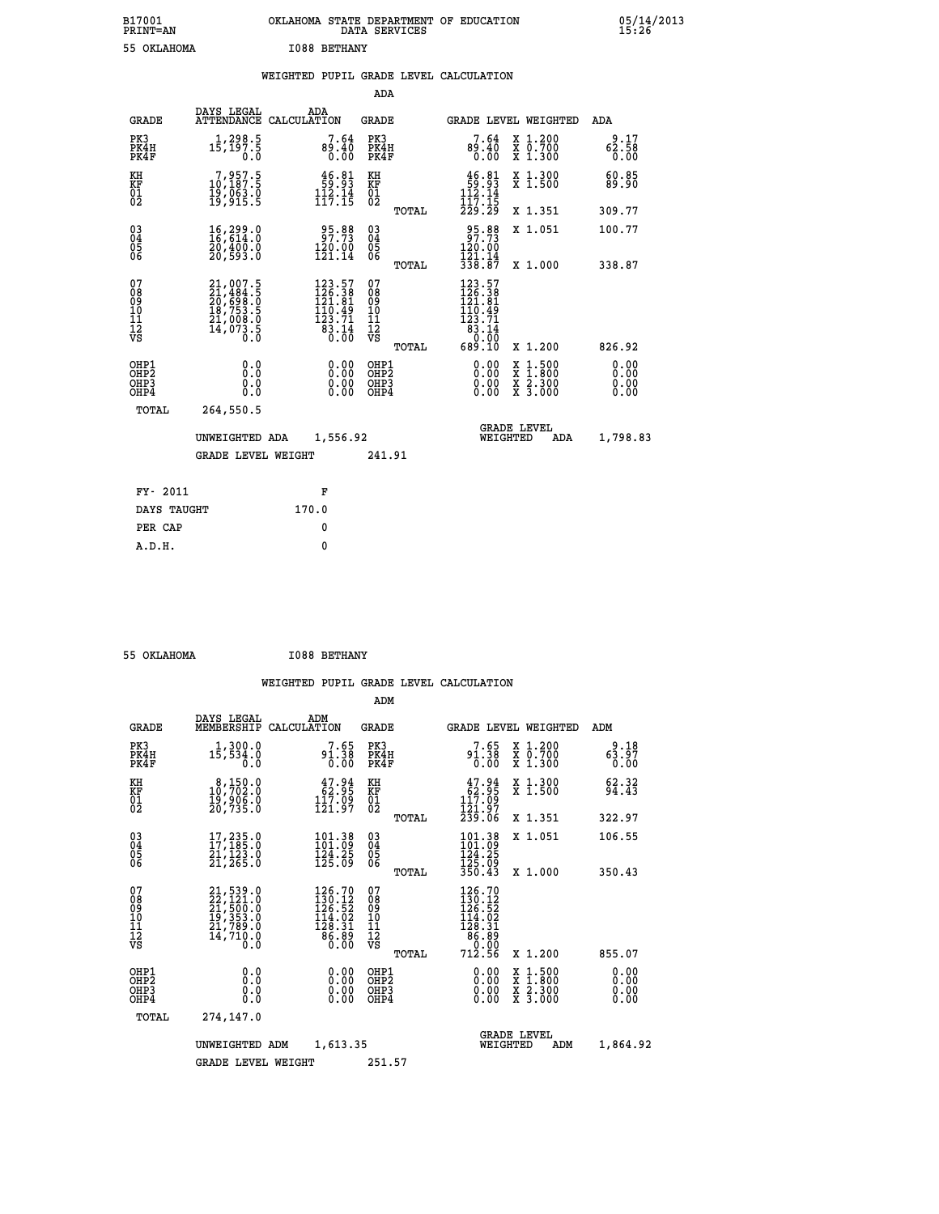# **B17001 OKLAHOMA STATE DEPARTMENT OF EDUCATION 05/14/2013 PRINT=AN DATA SERVICES 15:26 55 OKLAHOMA I088 BETHANY**

|  |  | WEIGHTED PUPIL GRADE LEVEL CALCULATION |
|--|--|----------------------------------------|
|  |  |                                        |

|                                                                  |                                                                                                               |                                                                                                   | ADA                                      |       |                                                                                                            |                                                                                                                                           |                              |
|------------------------------------------------------------------|---------------------------------------------------------------------------------------------------------------|---------------------------------------------------------------------------------------------------|------------------------------------------|-------|------------------------------------------------------------------------------------------------------------|-------------------------------------------------------------------------------------------------------------------------------------------|------------------------------|
| <b>GRADE</b>                                                     | DAYS LEGAL                                                                                                    | ADA<br>ATTENDANCE CALCULATION                                                                     | GRADE                                    |       |                                                                                                            | <b>GRADE LEVEL WEIGHTED</b>                                                                                                               | ADA                          |
| PK3<br>PK4H<br>PK4F                                              | 1,298.5<br>15,197.5<br>0.0                                                                                    | 7.64<br>89.40<br>0.00                                                                             | PK3<br>PK4H<br>PK4F                      |       | 7.64<br>0.40<br>0.00                                                                                       | X 1.200<br>X 0.700<br>X 1.300                                                                                                             | 9.17<br>62.58<br>0.00        |
| KH<br>KF<br>01<br>02                                             | 7,957.5<br>10,187.5<br>19,063.0<br>19,915.5                                                                   | $\begin{array}{c} 46.81 \\ 59.93 \\ 112.14 \\ 117.15 \end{array}$                                 | KH<br><b>KF</b><br>01<br>02              |       | $46.81$<br>$59.93$<br>$112.14$<br>$117.15$                                                                 | X 1.300<br>X 1.500                                                                                                                        | 60.85<br>89.90               |
|                                                                  |                                                                                                               |                                                                                                   |                                          | TOTAL | 229.29                                                                                                     | X 1.351                                                                                                                                   | 309.77                       |
| $^{03}_{04}$<br>Ŏ5<br>06                                         | 16,299.0<br>16,614.0<br>20,400.0<br>20,593.0                                                                  | 95.88<br>97.73<br>120.00<br>121.14                                                                | $\substack{03 \\ 04}$<br>$\frac{05}{06}$ |       | 95.88<br>97.73<br>120.00<br>121.14                                                                         | X 1.051                                                                                                                                   | 100.77                       |
|                                                                  |                                                                                                               |                                                                                                   |                                          | TOTAL | 338.87                                                                                                     | X 1.000                                                                                                                                   | 338.87                       |
| 07<br>08<br>09<br>11<br>11<br>12<br>VS                           | $\begin{smallmatrix} 21,007.5\\ 21,484.5\\ 20,698.0\\ 18,753.5\\ 21,008.0\\ 14,073.5\\ 0.0 \end{smallmatrix}$ | $\begin{smallmatrix} 123.57\\ 126.38\\ 121.81\\ 110.49\\ 123.71\\ 83.14\\ 0.00 \end{smallmatrix}$ | 07<br>08<br>09<br>11<br>11<br>12<br>VS   | TOTAL | $\begin{smallmatrix} 123.57\\ 126.38\\ 121.81\\ 110.49\\ 123.71\\ 83.14\\ 0.00\\ 689.10 \end{smallmatrix}$ | X 1.200                                                                                                                                   | 826.92                       |
| OHP1<br>OHP <sub>2</sub><br>OH <sub>P3</sub><br>OH <sub>P4</sub> | 0.0<br>Ō.Ō<br>0.0<br>0.0                                                                                      | 0.00<br>0.00<br>0.00                                                                              | OHP1<br>OHP2<br>OHP3<br>OHP4             |       | 0.00<br>0.00<br>0.00                                                                                       | $\begin{smallmatrix} \mathtt{X} & 1\cdot500\\ \mathtt{X} & 1\cdot800\\ \mathtt{X} & 2\cdot300\\ \mathtt{X} & 3\cdot000 \end{smallmatrix}$ | 0.00<br>0.00<br>0.00<br>0.00 |
| TOTAL                                                            | 264,550.5                                                                                                     |                                                                                                   |                                          |       |                                                                                                            |                                                                                                                                           |                              |
|                                                                  | UNWEIGHTED ADA                                                                                                | 1,556.92                                                                                          |                                          |       | WEIGHTED                                                                                                   | <b>GRADE LEVEL</b><br>ADA                                                                                                                 | 1,798.83                     |
|                                                                  | <b>GRADE LEVEL WEIGHT</b>                                                                                     |                                                                                                   | 241.91                                   |       |                                                                                                            |                                                                                                                                           |                              |
| FY- 2011                                                         |                                                                                                               | F                                                                                                 |                                          |       |                                                                                                            |                                                                                                                                           |                              |
| DAYS TAUGHT                                                      |                                                                                                               | 170.0                                                                                             |                                          |       |                                                                                                            |                                                                                                                                           |                              |
|                                                                  |                                                                                                               |                                                                                                   |                                          |       |                                                                                                            |                                                                                                                                           |                              |
| PER CAP                                                          |                                                                                                               | 0                                                                                                 |                                          |       |                                                                                                            |                                                                                                                                           |                              |
| A.D.H.                                                           |                                                                                                               | $\mathbf{0}$                                                                                      |                                          |       |                                                                                                            |                                                                                                                                           |                              |

| 55 OKLAHOMA |  | <b>I088 BETHANY</b> |
|-------------|--|---------------------|
|-------------|--|---------------------|

|                                                       |                                                                                             |                    |                                                                                                     | ADM                                    |       |                                                                                                           |                           |                                                                                                                                           |                              |
|-------------------------------------------------------|---------------------------------------------------------------------------------------------|--------------------|-----------------------------------------------------------------------------------------------------|----------------------------------------|-------|-----------------------------------------------------------------------------------------------------------|---------------------------|-------------------------------------------------------------------------------------------------------------------------------------------|------------------------------|
| <b>GRADE</b>                                          | DAYS LEGAL<br>MEMBERSHIP                                                                    | ADM<br>CALCULATION |                                                                                                     | <b>GRADE</b>                           |       |                                                                                                           |                           | <b>GRADE LEVEL WEIGHTED</b>                                                                                                               | ADM                          |
| PK3<br>PK4H<br>PK4F                                   | 1,300.0<br>15,534.0<br>0.0                                                                  |                    | 7.65<br>$91.38$<br>$0.00$                                                                           | PK3<br>PK4H<br>PK4F                    |       | 7.65<br>91.38<br>0.00                                                                                     |                           | X 1.200<br>X 0.700<br>X 1.300                                                                                                             | 9.18<br>63.97<br>0.00        |
| KH<br>KF<br>01<br>02                                  | $\begin{smallmatrix}8,150.0\\10,702.0\\19,906.0\\20,735.0\end{smallmatrix}$                 |                    | $\begin{array}{c} 47.94 \\ 62.95 \\ 117.09 \\ 121.97 \end{array}$                                   | KH<br>KF<br>01<br>02                   |       | $\begin{smallmatrix} 47.94 \\ 62.95 \\ 117.09 \\ 121.97 \\ 239.06 \end{smallmatrix}$                      |                           | X 1.300<br>X 1.500                                                                                                                        | 62.32<br>94.43               |
|                                                       |                                                                                             |                    |                                                                                                     |                                        | TOTAL |                                                                                                           |                           | X 1.351                                                                                                                                   | 322.97                       |
| 03<br>04<br>05<br>06                                  | $\frac{17}{17}$ , $\frac{235}{185}$ .<br>$\frac{21}{21}$ , $\frac{123}{123}$ .<br>21, 265.0 |                    | 101.38<br>101.09<br>$\frac{124}{125}$ $\frac{25}{09}$                                               | $^{03}_{04}$<br>0500                   |       | 101.38<br>$\frac{124.25}{125.09}$                                                                         |                           | X 1.051                                                                                                                                   | 106.55                       |
|                                                       |                                                                                             |                    |                                                                                                     |                                        | TOTAL | 350.43                                                                                                    |                           | X 1.000                                                                                                                                   | 350.43                       |
| 07<br>08<br>09<br>101<br>112<br>VS                    | $21,539.0$<br>$22,121.0$<br>$21,500.0$<br>$19,353.0$<br>$21,789.0$<br>$14,710.0$<br>$0.0$   |                    | $126.70$<br>$130.12$<br>$126.52$<br>$\frac{114.02}{128.31}$<br>$\bar{8}\,\bar{8}\,\bar{3}\,\bar{8}$ | 07<br>08<br>09<br>11<br>11<br>12<br>VS | TOTAL | $\begin{smallmatrix} 126.70\\130.12\\126.52\\124.52\\114.02\\128.31\\86.89\\9\end{smallmatrix}$<br>712.56 |                           | X 1.200                                                                                                                                   | 855.07                       |
| OHP1<br>OH <sub>P</sub> 2<br>OH <sub>P3</sub><br>OHP4 | 0.0<br>0.000                                                                                |                    | $0.00$<br>$0.00$<br>0.00                                                                            | OHP1<br>OHP2<br>OHP3<br>OHP4           |       | $0.00$<br>$0.00$<br>0.00                                                                                  |                           | $\begin{smallmatrix} \mathtt{X} & 1\cdot500\\ \mathtt{X} & 1\cdot800\\ \mathtt{X} & 2\cdot300\\ \mathtt{X} & 3\cdot000 \end{smallmatrix}$ | 0.00<br>0.00<br>0.00<br>0.00 |
| TOTAL                                                 | 274,147.0                                                                                   |                    |                                                                                                     |                                        |       |                                                                                                           |                           |                                                                                                                                           |                              |
|                                                       | 1,613.35<br>UNWEIGHTED ADM                                                                  |                    |                                                                                                     |                                        |       | WEIGHTED                                                                                                  | <b>GRADE LEVEL</b><br>ADM | 1,864.92                                                                                                                                  |                              |
|                                                       | <b>GRADE LEVEL WEIGHT</b>                                                                   |                    |                                                                                                     | 251.57                                 |       |                                                                                                           |                           |                                                                                                                                           |                              |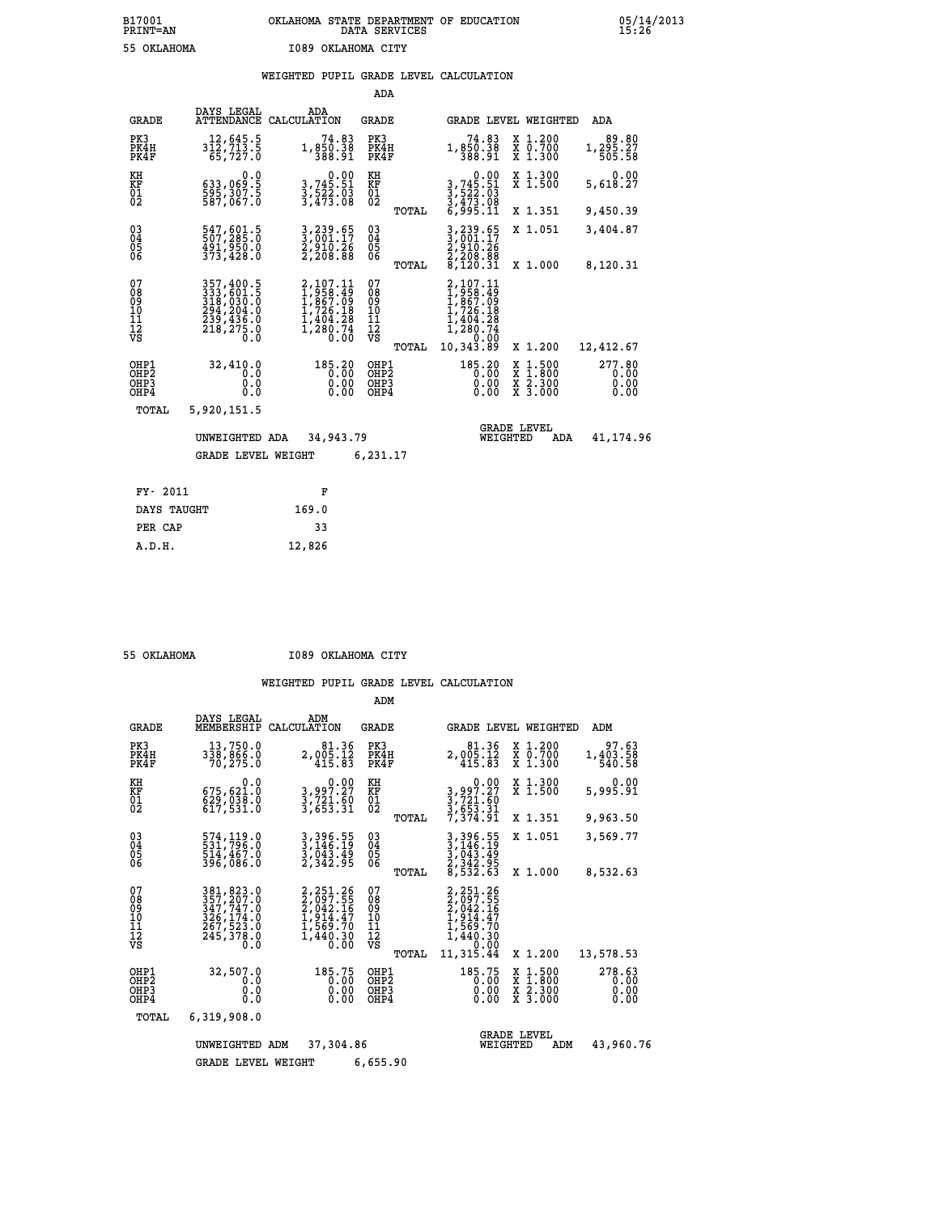|                                                                    |                                                                                   |                                                                                    | ADA                                                               |                                                                                                              |                                          |                                |
|--------------------------------------------------------------------|-----------------------------------------------------------------------------------|------------------------------------------------------------------------------------|-------------------------------------------------------------------|--------------------------------------------------------------------------------------------------------------|------------------------------------------|--------------------------------|
| <b>GRADE</b>                                                       | DAYS LEGAL                                                                        | ADA<br>ATTENDANCE CALCULATION                                                      | <b>GRADE</b>                                                      | GRADE LEVEL WEIGHTED                                                                                         |                                          | ADA                            |
| PK3<br>PK4H<br>PK4F                                                | 12,645.5<br>312,713.5<br>65,727.0                                                 | 74.83<br>1,850.38<br>388.91                                                        | PK3<br>PK4H<br>PK4F                                               | 74.83<br>1,850.38<br>388.91                                                                                  | X 1.200<br>X 0.700<br>X 1.300            | 1,295.27<br>505.58             |
| KH<br><b>KF</b><br>01<br>02                                        | 0.0<br>633,069.5<br>$\frac{2}{587}$ , $\frac{307}{67}$ . $\frac{5}{0}$            | $\begin{smallmatrix}&&0.00\\3,745.51\\3,522.03\\3,473.08\end{smallmatrix}$         | KH<br>KF<br>01<br>02                                              | 0.00<br>3,745.51<br>3,522.03<br>3,473.08<br>6,995.11                                                         | X 1.300<br>X 1.500                       | 0.00<br>5,618.27               |
|                                                                    |                                                                                   |                                                                                    | TOTAL                                                             |                                                                                                              | X 1.351                                  | 9,450.39                       |
| $\begin{smallmatrix} 03 \\[-4pt] 04 \end{smallmatrix}$<br>Ŏ5<br>06 | 547,601.5<br>507,285.0<br>491,950.0<br>373,428.0                                  | 3,239.65<br>3,001.17<br>2,910.26<br>2,208.88                                       | $\substack{03 \\ 04}$<br>$\begin{matrix} 0.5 \\ 0.6 \end{matrix}$ | 3,239.65<br>3,001.17<br>2,910.26<br>2,208.88<br>8,120.31                                                     | X 1.051                                  | 3,404.87                       |
|                                                                    |                                                                                   |                                                                                    | TOTAL                                                             |                                                                                                              | X 1.000                                  | 8,120.31                       |
| 07<br>08<br>09<br>101<br>11<br>12<br>VS                            | 357,400.5<br>333,601.5<br>318,030.0<br>294,204.0<br>239,436.0<br>218,275.0<br>0.0 | 2, 107.11<br>1, 958.49<br>1, 867.09<br>1, 726.18<br>1, 404.28<br>1, 280.74<br>0.00 | 07<br>08<br>09<br>101<br>11<br>12<br>VS                           | 2,107.11<br>$\begin{smallmatrix} 1,958.19\ 1,867.09\ 1,726.18 \end{smallmatrix}$<br>404.28<br>280.74<br>0.00 |                                          |                                |
|                                                                    |                                                                                   |                                                                                    | TOTAL                                                             | 10,343.89                                                                                                    | X 1.200                                  | 12,412.67                      |
| OHP1<br>OHP <sub>2</sub><br>OH <sub>P3</sub><br>OHP4               | 32,410.0<br>0.0<br>0.0<br>$0.\overline{0}$                                        | 185.20<br>0.00<br>0.00                                                             | OHP1<br>OHP <sub>2</sub><br>OHP3<br>OHP4                          | 185.20<br>0.00<br>0.00                                                                                       | X 1:500<br>X 1:800<br>X 2:300<br>X 3:000 | 277.80<br>0.00<br>0.00<br>0.00 |
| TOTAL                                                              | 5,920,151.5                                                                       |                                                                                    |                                                                   |                                                                                                              |                                          |                                |
|                                                                    | UNWEIGHTED ADA                                                                    | 34,943.79                                                                          |                                                                   | <b>GRADE LEVEL</b><br>WEIGHTED                                                                               | ADA                                      | 41, 174, 96                    |
|                                                                    | <b>GRADE LEVEL WEIGHT</b>                                                         |                                                                                    | 6,231.17                                                          |                                                                                                              |                                          |                                |
| FY- 2011                                                           |                                                                                   | F                                                                                  |                                                                   |                                                                                                              |                                          |                                |
| DAYS TAUGHT                                                        |                                                                                   | 169.0                                                                              |                                                                   |                                                                                                              |                                          |                                |
| PER CAP                                                            |                                                                                   | 33                                                                                 |                                                                   |                                                                                                              |                                          |                                |

 **A.D.H. 12,826**

 **55 OKLAHOMA I089 OKLAHOMA CITY**

|                                                    |                                                                                                     |                                                                                      | ADM                                                  |                                                                                                            |                                                                                            |                                |
|----------------------------------------------------|-----------------------------------------------------------------------------------------------------|--------------------------------------------------------------------------------------|------------------------------------------------------|------------------------------------------------------------------------------------------------------------|--------------------------------------------------------------------------------------------|--------------------------------|
| <b>GRADE</b>                                       | DAYS LEGAL<br>MEMBERSHIP                                                                            | ADM<br>CALCULATION                                                                   | <b>GRADE</b>                                         | <b>GRADE LEVEL WEIGHTED</b>                                                                                |                                                                                            | ADM                            |
| PK3<br>PK4H<br>PK4F                                | 13,750.0<br>338,866.0<br>70,275.0                                                                   | 81.36<br>2,005.12<br>415.83                                                          | PK3<br>PK4H<br>PK4F                                  | 81.36<br>2,005.12<br>415.83                                                                                | X 1.200<br>X 0.700<br>X 1.300                                                              | 97.63<br>1,403.58<br>540.58    |
| KH<br>KF<br>01<br>02                               | 0.0<br>675,621.0<br>$\frac{629}{617}, \frac{038}{531}.$ 0                                           | 0.00<br>3,997.27<br>$\frac{3}{3}, \frac{721}{653}$ $\frac{50}{31}$                   | KH<br>KF<br>01<br>02                                 | 0.00<br>3,997.27<br>$\frac{3}{7}$ , $\frac{721}{53}$ , $\frac{6}{31}$<br>$\frac{7}{374}$ , $\frac{31}{91}$ | X 1.300<br>X 1.500                                                                         | 0.00<br>5,995.91               |
|                                                    |                                                                                                     |                                                                                      | TOTAL                                                |                                                                                                            | X 1.351                                                                                    | 9,963.50                       |
| $\begin{matrix} 03 \\ 04 \\ 05 \\ 06 \end{matrix}$ | 574,119.0<br>531,796.0<br>514,467.0                                                                 | 3, 396. 55<br>3, 146. 19<br>3, 043. 49                                               | $\substack{03 \\ 04}$<br>$\frac{05}{06}$             | 3, 396.55<br>3, 146.19<br>3, 043.49<br>2, 342.95<br>8, 532.63                                              | X 1.051                                                                                    | 3,569.77                       |
|                                                    | 396,086.0                                                                                           | 2,342.95                                                                             | TOTAL                                                |                                                                                                            | X 1.000                                                                                    | 8,532.63                       |
| 07<br>08<br>09<br>101<br>11<br>12<br>VS            | 381, 823.0<br>357, 207.0<br>347, 747.0<br>326, 174.0<br>267, 523.0<br>245,378.0<br>$0.\overline{0}$ | 2,251.26<br>$2,097.55$<br>$2,042.16$<br>$1,914.47$<br>$1,569.70$<br>1,440.30<br>0.00 | 07<br>08<br>09<br>10<br>11<br>$\frac{1}{3}$<br>TOTAL | 2, 251.26<br>2, 097.55<br>2, 042.16<br>2, 914.47<br>1, 569.70<br>1,440.30<br>0.00<br>11,315.44             | X 1.200                                                                                    | 13,578.53                      |
| OHP1<br>OHP2<br>OHP3<br>OHP4                       | 32,507.0<br>0.0<br>0.0<br>Ŏ.Ŏ                                                                       | 185.75<br>0.00<br>0.00<br>0.00                                                       | OHP1<br>OHP2<br>OHP3<br>OHP4                         | 185.75<br>0.00<br>0.00<br>0.00                                                                             | $\begin{array}{c} x & 1.500 \\ x & 1.800 \\ x & 2.300 \end{array}$<br>$\overline{x}$ 3.000 | 278.63<br>0.00<br>0.00<br>0.00 |
| TOTAL                                              | 6,319,908.0                                                                                         |                                                                                      |                                                      |                                                                                                            |                                                                                            |                                |
| 37,304.86<br>UNWEIGHTED<br>ADM<br>6,655.90         |                                                                                                     |                                                                                      |                                                      |                                                                                                            | <b>GRADE LEVEL</b><br>WEIGHTED<br>ADM                                                      | 43,960.76                      |
|                                                    | <b>GRADE LEVEL WEIGHT</b>                                                                           |                                                                                      |                                                      |                                                                                                            |                                                                                            |                                |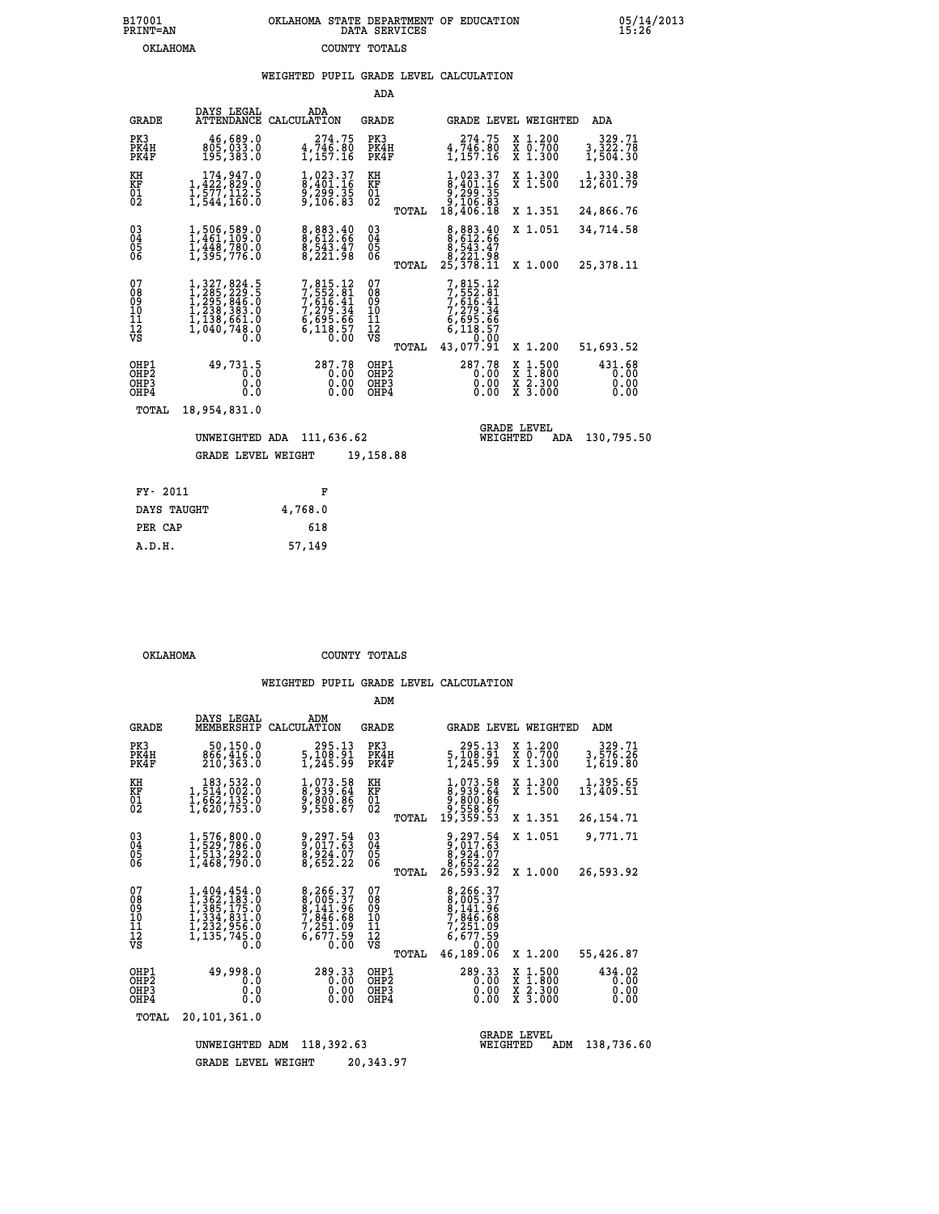# **B17001 OKLAHOMA STATE DEPARTMENT OF EDUCATION 05/14/2013 PRINT=AN DATA SERVICES 15:26 OKLAHOMA COUNTY TOTALS**

## **WEIGHTED PUPIL GRADE LEVEL CALCULATION**

|                                                              |                                                                                                                      |                                                                                        | ADA                                             |                                                                                                   |                                                                                                  |                                |
|--------------------------------------------------------------|----------------------------------------------------------------------------------------------------------------------|----------------------------------------------------------------------------------------|-------------------------------------------------|---------------------------------------------------------------------------------------------------|--------------------------------------------------------------------------------------------------|--------------------------------|
| <b>GRADE</b>                                                 | DAYS LEGAL<br>ATTENDANCE CALCULATION                                                                                 | ADA                                                                                    | <b>GRADE</b>                                    |                                                                                                   | GRADE LEVEL WEIGHTED                                                                             | ADA                            |
| PK3<br>PK4H<br>PK4F                                          | 46,689.0<br>805,033.0<br>195,383.0                                                                                   | 274.75<br>4,746.80<br>1,157.16                                                         | PK3<br>PK4H<br>PK4F                             | 274.75<br>4,746.80<br>1,157.16                                                                    | X 1.200<br>X 0.700<br>X 1.300                                                                    | 329.71<br>3,322.78<br>1,504.30 |
| KH<br>KF<br>$\overline{01}$                                  | 174,947.0<br>1,422,829:0<br>1,577,112:5<br>1,544,160:0                                                               | 1,023.37<br>8,401.16<br>$\frac{5}{2}$ , $\frac{299}{106}$ . $\frac{35}{83}$            | KH<br>ΚF<br>$^{01}_{02}$                        | 1,023.37<br>8,401.16<br>0,299.35<br>9,106.83                                                      | X 1.300<br>X 1.500                                                                               | 1,330.38<br>12,601.79          |
|                                                              |                                                                                                                      |                                                                                        | TOTAL                                           | 18,406.18                                                                                         | X 1.351                                                                                          | 24,866.76                      |
| $\begin{smallmatrix} 03 \\[-4pt] 04 \end{smallmatrix}$<br>05 | 1,506,589.0<br>1,461,109.0<br>1,448,780.0                                                                            | 8,883.40<br>0,612.66<br>8,543.47                                                       | 03<br>04<br>05                                  | 8,883.40<br>0,612.66<br>8,543.47<br>8,221.98                                                      | X 1.051                                                                                          | 34,714.58                      |
| 06                                                           | 1,395,776.0                                                                                                          | 8,221.98                                                                               | 06<br>TOTAL                                     | 25,378.11                                                                                         | X 1.000                                                                                          | 25,378.11                      |
| 07<br>08<br>09<br>11<br>11<br>12<br>VS                       | 1,327,824.5<br>$1,285,223.5$<br>$1,295,846.5$<br>$1,238,383.0$<br>$1,138,661.0$<br>$1,040,748.0$<br>$0.\overline{0}$ | 7,815.12<br>7,552.81<br>$7,816.41$<br>$7,279.34$<br>$6,695.66$<br>$6,118.57$<br>$0.00$ | 07<br>08<br>09<br>10<br>11<br>12<br>VS<br>TOTAL | 7,815.12<br>7,552.81<br>$7,616.41$<br>$7,279.34$<br>$6,695.66$<br>$6,118.57$<br>0.00<br>43,077.91 | X 1.200                                                                                          | 51,693.52                      |
| OHP1<br>OH <sub>P</sub> <sub>2</sub><br>OHP3<br>OHP4         | 49,731.5<br>0.0<br>0<br>$\cdot$ 0<br>0.0                                                                             | 287.78<br>0.00<br>0.00<br>0.00                                                         | OHP1<br>OHP <sub>2</sub><br>OHP3<br>OHP4        | 287.78<br>0.00<br>0.00<br>0.00                                                                    | $\begin{smallmatrix} x & 1 & 500 \\ x & 1 & 800 \\ x & 2 & 300 \\ x & 3 & 000 \end{smallmatrix}$ | 431.68<br>0.00<br>0.00<br>0.00 |
| TOTAL                                                        | 18,954,831.0                                                                                                         |                                                                                        |                                                 |                                                                                                   |                                                                                                  |                                |
|                                                              | UNWEIGHTED ADA<br>GRADE LEVEL WEIGHT                                                                                 | 111,636.62                                                                             | 19,158.88                                       | WEIGHTED                                                                                          | <b>GRADE LEVEL</b><br>ADA                                                                        | 130,795.50                     |
|                                                              |                                                                                                                      |                                                                                        |                                                 |                                                                                                   |                                                                                                  |                                |
| FY-<br>2011                                                  |                                                                                                                      | F                                                                                      |                                                 |                                                                                                   |                                                                                                  |                                |

| F       |
|---------|
| 4,768.0 |
| 618     |
| 57,149  |
|         |

 **ADM**

 **OKLAHOMA COUNTY TOTALS**

| <b>GRADE</b>                                                       | DAYS LEGAL<br>MEMBERSHIP                                                                                                                                                                                                     | ADM<br>CALCULATION                                                   | <b>GRADE</b>                              |                                                                                                                           | GRADE LEVEL WEIGHTED                                                          | ADM                            |
|--------------------------------------------------------------------|------------------------------------------------------------------------------------------------------------------------------------------------------------------------------------------------------------------------------|----------------------------------------------------------------------|-------------------------------------------|---------------------------------------------------------------------------------------------------------------------------|-------------------------------------------------------------------------------|--------------------------------|
| PK3<br>PK4H<br>PK4F                                                | 50,150.0<br>866,416.0<br>210,363.0                                                                                                                                                                                           | 295.13<br>5,108.91<br>1,245.99                                       | PK3<br>PK4H<br>PK4F                       | 295.13<br>5,108.91<br>1,245.99                                                                                            | X 1.200<br>X 0.700<br>X 1.300                                                 | 329.71<br>3,576.26<br>1,619.80 |
| KH<br><b>KF</b><br>01<br>02                                        | 183,532.0<br>1,514,002.0<br>1,662,135.0<br>1,620,753.0                                                                                                                                                                       | 1,073.58<br>8,939.64<br>9,800.86<br>9,558.67                         | ΚH<br>KF<br>01<br>02                      | 1,073.58<br>8,939.64<br>9,800.86<br>9,558.67<br>19,359.53                                                                 | X 1.300<br>X 1.500                                                            | 1,395.65<br>13,409.51          |
|                                                                    |                                                                                                                                                                                                                              |                                                                      | TOTAL                                     |                                                                                                                           | X 1.351                                                                       | 26, 154.71                     |
| $\begin{smallmatrix} 03 \\[-4pt] 04 \end{smallmatrix}$<br>05<br>06 | 1,576,800.0<br>1,529,786.0<br>1,513,292.0<br>1,468,790.0                                                                                                                                                                     | 9, 297.54<br>9, 017.63<br>8,924.07<br>8,652.22                       | $\substack{03 \\ 04}$<br>$\frac{05}{06}$  | 9, 297.54<br>9, 017.63<br>8,924.07<br>8,652.22                                                                            | X 1.051                                                                       | 9,771.71                       |
|                                                                    |                                                                                                                                                                                                                              |                                                                      | TOTAL                                     | 26,593.92                                                                                                                 | X 1.000                                                                       | 26,593.92                      |
| 07<br>08<br>09<br>101<br>11<br>12<br>VS                            | 1,404,454.0<br>$\begin{smallmatrix} 1, 362, 183 \ 1, 385, 175 \ 1, 334, 831 \ 1, 232, 956 \end{smallmatrix}$<br>$\overline{1}, \overline{1} \overline{3} \overline{5}, \overline{7} \overline{4} \overline{5}. \overline{0}$ | 8,266.37<br>8,005.37<br>8,141.96<br>7,846.68<br>7,251.09<br>6,677.59 | 07<br>089<br>101<br>111<br>VS<br>TOTAL    | 8,266.37<br>$\begin{array}{c} 8,005.37 \\ 8,141.96 \\ 7,845.68 \end{array}$<br>7,251.09<br>6,677.59<br>0.00<br>46, 189.06 | X 1.200                                                                       | 55,426.87                      |
| OHP1<br>OH <sub>P</sub> 2<br>OHP3<br>OHP4                          | 49,998.0<br>0.0<br>0<br>$\cdot$ 0<br>0.0                                                                                                                                                                                     | 289.33<br>0.00<br>0.00<br>0.00                                       | OHP1<br>OH <sub>P</sub> 2<br>OHP3<br>OHP4 | 289.33<br>0.00<br>0.00<br>0.00                                                                                            | $\begin{array}{c} x & 1.500 \\ x & 1.800 \\ x & 2.300 \end{array}$<br>X 3.000 | 434.02<br>0.00<br>0.00<br>0.00 |
| TOTAL                                                              | 20,101,361.0                                                                                                                                                                                                                 |                                                                      |                                           |                                                                                                                           |                                                                               |                                |
|                                                                    | UNWEIGHTED                                                                                                                                                                                                                   | 118,392.63<br>ADM                                                    |                                           | WEIGHTED                                                                                                                  | <b>GRADE LEVEL</b><br>ADM                                                     | 138,736.60                     |
|                                                                    | <b>GRADE LEVEL WEIGHT</b>                                                                                                                                                                                                    |                                                                      | 20,343.97                                 |                                                                                                                           |                                                                               |                                |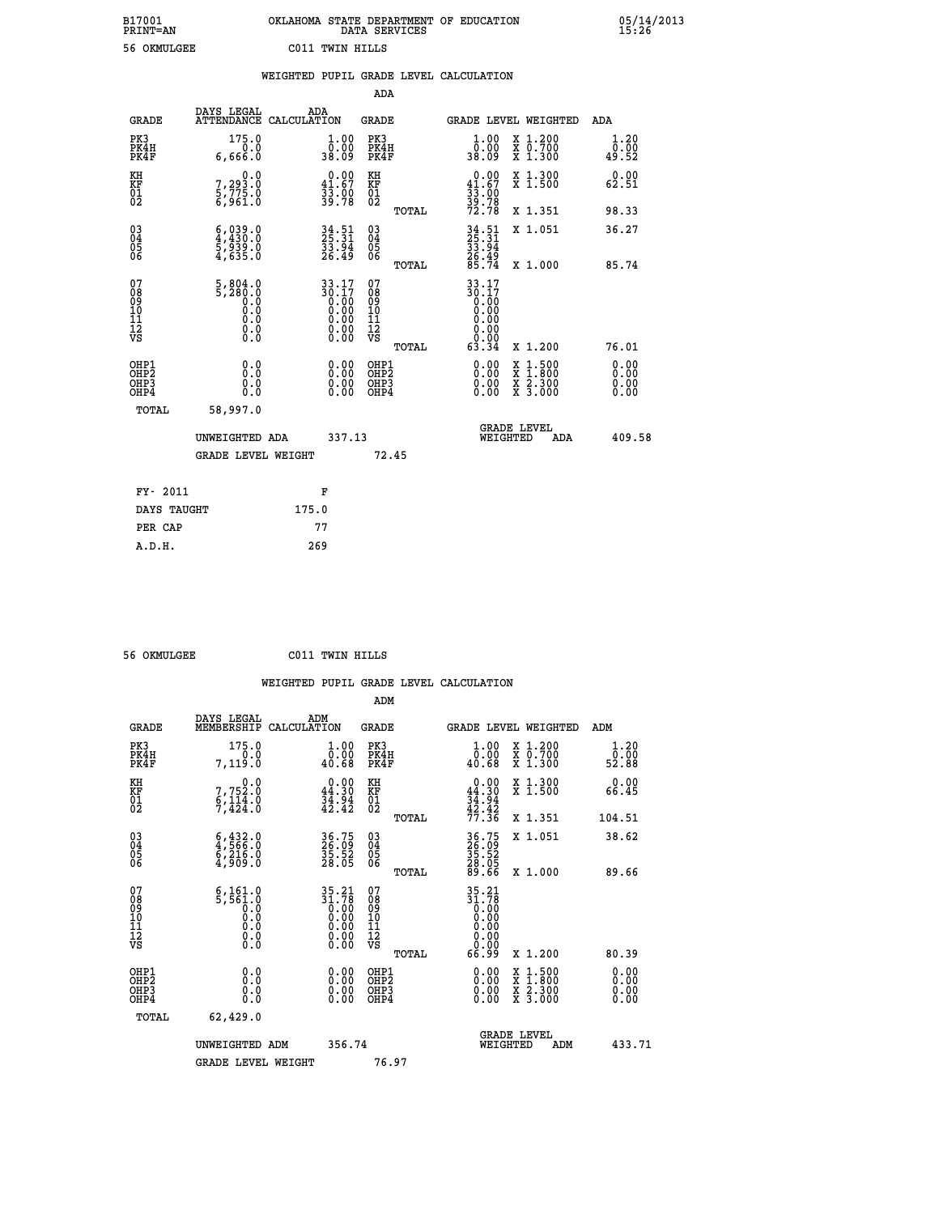|                 | OKLAHOMA STATE DEPARTMENT OF EDUCATION<br>DATA SERVICES |  |
|-----------------|---------------------------------------------------------|--|
| C011 TWIN HILLS |                                                         |  |

 **B17001 OKLAHOMA STATE DEPARTMENT OF EDUCATION 05/14/2013**

|                                                    |                                                                | WEIGHTED PUPIL GRADE LEVEL CALCULATION                                                            |                                                 |                                                                                                                                           |                              |
|----------------------------------------------------|----------------------------------------------------------------|---------------------------------------------------------------------------------------------------|-------------------------------------------------|-------------------------------------------------------------------------------------------------------------------------------------------|------------------------------|
|                                                    |                                                                |                                                                                                   | ADA                                             |                                                                                                                                           |                              |
| <b>GRADE</b>                                       | DAYS LEGAL                                                     | ADA<br>ATTENDANCE CALCULATION                                                                     | <b>GRADE</b>                                    | GRADE LEVEL WEIGHTED                                                                                                                      | ADA                          |
| PK3<br>PK4H<br>PK4F                                | 175.0<br>0.0<br>6,666.0                                        | $\begin{smallmatrix} 1.00\\ 0.00\\ 38.09 \end{smallmatrix}$                                       | PK3<br>PK4H<br>PK4F                             | 1.00<br>X 1.200<br>X 0.700<br>X 1.300<br>$\overline{0}$ .00<br>38.09                                                                      | 1.20<br>0.00<br>49.52        |
| KH<br>KF<br>01<br>02                               | 0.0<br>$\frac{7}{5}, \frac{293}{775}$ .0<br>6,961.0            | $\begin{smallmatrix} 0.00\\ 41.67\\ 33.00\\ 39.78 \end{smallmatrix}$                              | KH<br>KF<br>01<br>02                            | $0.00\n41.67\n33.00\n39.78\n72.78$<br>X 1.300<br>X 1.500                                                                                  | 0.00<br>62.51                |
|                                                    |                                                                |                                                                                                   | TOTAL                                           | X 1.351                                                                                                                                   | 98.33                        |
| $\begin{matrix} 03 \\ 04 \\ 05 \\ 06 \end{matrix}$ | $6,039.0$<br>4,430.0<br>5,939.0<br>4,635.0                     | $34.51$<br>$25.31$<br>$\frac{53.94}{26.49}$                                                       | 03<br>04<br>05<br>06                            | 34.51<br>25.31<br>33.94<br>36.49<br>26.74<br>X 1.051                                                                                      | 36.27                        |
|                                                    |                                                                |                                                                                                   | TOTAL                                           | X 1.000                                                                                                                                   | 85.74                        |
| 07<br>08<br>09<br>101<br>112<br>VS                 | $\frac{5}{5}, \frac{804}{280}.0$<br>0.0<br>0.0<br>0.0<br>$\S.$ | $\begin{array}{@{}ll} 33.17 \\ 30.17 \\ 0.00 \\ 0.00 \\ 0.00 \\ 0.00 \end{array}$<br>Ŏ.ŎŎ<br>O.OO | 07<br>08<br>09<br>11<br>11<br>12<br>VS<br>TOTAL | 33.17<br>30:17<br>0.00<br>0.00<br>0.00<br>0.00<br>63.34<br>X 1.200                                                                        | 76.01                        |
| OHP1<br>OHP2<br>OH <sub>P3</sub><br>OHP4           | 0.0<br>0.0<br>0.0                                              | $\begin{smallmatrix} 0.00 \ 0.00 \ 0.00 \ 0.00 \end{smallmatrix}$                                 | OHP1<br>OHP2<br>OHP3<br>OHP4                    | $\begin{smallmatrix} \mathtt{X} & 1\cdot500\\ \mathtt{X} & 1\cdot800\\ \mathtt{X} & 2\cdot300\\ \mathtt{X} & 3\cdot000 \end{smallmatrix}$ | 0.00<br>0.00<br>0.00<br>0.00 |
| TOTAL                                              | 58,997.0                                                       |                                                                                                   |                                                 |                                                                                                                                           |                              |
|                                                    | UNWEIGHTED ADA                                                 | 337.13                                                                                            |                                                 | <b>GRADE LEVEL</b><br>WEIGHTED                                                                                                            | 409.58<br>ADA                |
|                                                    | <b>GRADE LEVEL WEIGHT</b>                                      |                                                                                                   | 72.45                                           |                                                                                                                                           |                              |
| FY- 2011                                           |                                                                | F                                                                                                 |                                                 |                                                                                                                                           |                              |
|                                                    | DAYS TAUGHT                                                    | 175.0                                                                                             |                                                 |                                                                                                                                           |                              |
| PER CAP                                            |                                                                | 77                                                                                                |                                                 |                                                                                                                                           |                              |

| E AVMII APP |  |
|-------------|--|

 **A.D.H. 269**

 **ADM**

B17001<br>PRINT=AN<br>56 OKMULGEE

 **56 OKMULGEE C011 TWIN HILLS**

| <b>GRADE</b>                                       | DAYS LEGAL<br>MEMBERSHIP                                                                                                   | ADM<br>CALCULATION                                                                                | <b>GRADE</b>                                       |       |                                                                                                                                                     | GRADE LEVEL WEIGHTED                     | ADM                   |  |
|----------------------------------------------------|----------------------------------------------------------------------------------------------------------------------------|---------------------------------------------------------------------------------------------------|----------------------------------------------------|-------|-----------------------------------------------------------------------------------------------------------------------------------------------------|------------------------------------------|-----------------------|--|
| PK3<br>PK4H<br>PK4F                                | 175.0<br>7, 119.0                                                                                                          | $\begin{smallmatrix} 1.00\\ 0.00\\ 40.68 \end{smallmatrix}$                                       | PK3<br>PK4H<br>PK4F                                |       | $\begin{smallmatrix} 1.00\\ 0.00\\ 40.68 \end{smallmatrix}$                                                                                         | X 1.200<br>X 0.700<br>X 1.300            | 1.20<br>ō:ōŏ<br>52.88 |  |
| KH<br>KF<br>01<br>02                               | 0.0<br>7,752.0<br>6,114.0                                                                                                  | $\begin{smallmatrix} 0.00\\ 44.30\\ 34.94\\ 42.42 \end{smallmatrix}$                              | KH<br>KF<br>01<br>02                               |       | $0.00\n44.30\n34.94\n42.42\n77.36$                                                                                                                  | X 1.300<br>X 1.500                       | 0.00<br>66.45         |  |
|                                                    |                                                                                                                            |                                                                                                   |                                                    | TOTAL |                                                                                                                                                     | X 1.351                                  | 104.51                |  |
| $\begin{matrix} 03 \\ 04 \\ 05 \\ 06 \end{matrix}$ | $\begin{smallmatrix} 6 & 432 & 0\\ 4 & 566 & 0\\ 6 & 216 & 0\\ 4 & 909 & 0 \end{smallmatrix}$                              | 36.75<br>26.09<br>35.52<br>28.05                                                                  | $\begin{matrix} 03 \\ 04 \\ 05 \\ 06 \end{matrix}$ |       | 36.75<br>26.09<br>35.52<br>28.05<br>89.66                                                                                                           | X 1.051                                  | 38.62                 |  |
|                                                    |                                                                                                                            |                                                                                                   |                                                    | TOTAL |                                                                                                                                                     | X 1.000                                  | 89.66                 |  |
| 07<br>089<br>090<br>1112<br>VS                     | $\begin{smallmatrix} 6\,,\,161\,.\,0\\ 5\,,\,561\,.\,0\\ 0\,\,.0\\ 0\,\,.0\\ 0\,\,.0\\ 0\,\,.0\\ 0\,\,.0\end{smallmatrix}$ | $\begin{smallmatrix} 35.21\\ 31.78\\ 0.00\\ 0.00\\ 0.00\\ 0.00 \end{smallmatrix}$<br>Ŏ.ŎŎ<br>O.OO | 07<br>08901112<br>1112<br>VS                       | TOTAL | $\begin{array}{c} 35\cdot 21 \\ 31\cdot 78 \\ 0\cdot 00 \\ 0\cdot 00 \\ 0\cdot 00 \\ 0\cdot 00 \\ 0\cdot 00 \\ 0\cdot 00 \\ 66\cdot 99 \end{array}$ | X 1.200                                  | 80.39                 |  |
| OHP1<br>OHP2<br>OHP3<br>OHP4                       | 0.0<br>$\begin{smallmatrix} 0.0 & 0 \ 0.0 & 0 \end{smallmatrix}$                                                           |                                                                                                   | OHP1<br>OHP2<br>OHP3<br>OHP4                       |       |                                                                                                                                                     | X 1:500<br>X 1:800<br>X 2:300<br>X 3:000 | 0.00<br>0.00<br>0.00  |  |
| TOTAL                                              | 62,429.0                                                                                                                   |                                                                                                   |                                                    |       |                                                                                                                                                     |                                          |                       |  |
|                                                    | UNWEIGHTED                                                                                                                 | 356.74<br>ADM                                                                                     |                                                    |       | WEIGHTED                                                                                                                                            | <b>GRADE LEVEL</b><br>ADM                | 433.71                |  |
|                                                    | <b>GRADE LEVEL WEIGHT</b>                                                                                                  |                                                                                                   | 76.97                                              |       |                                                                                                                                                     |                                          |                       |  |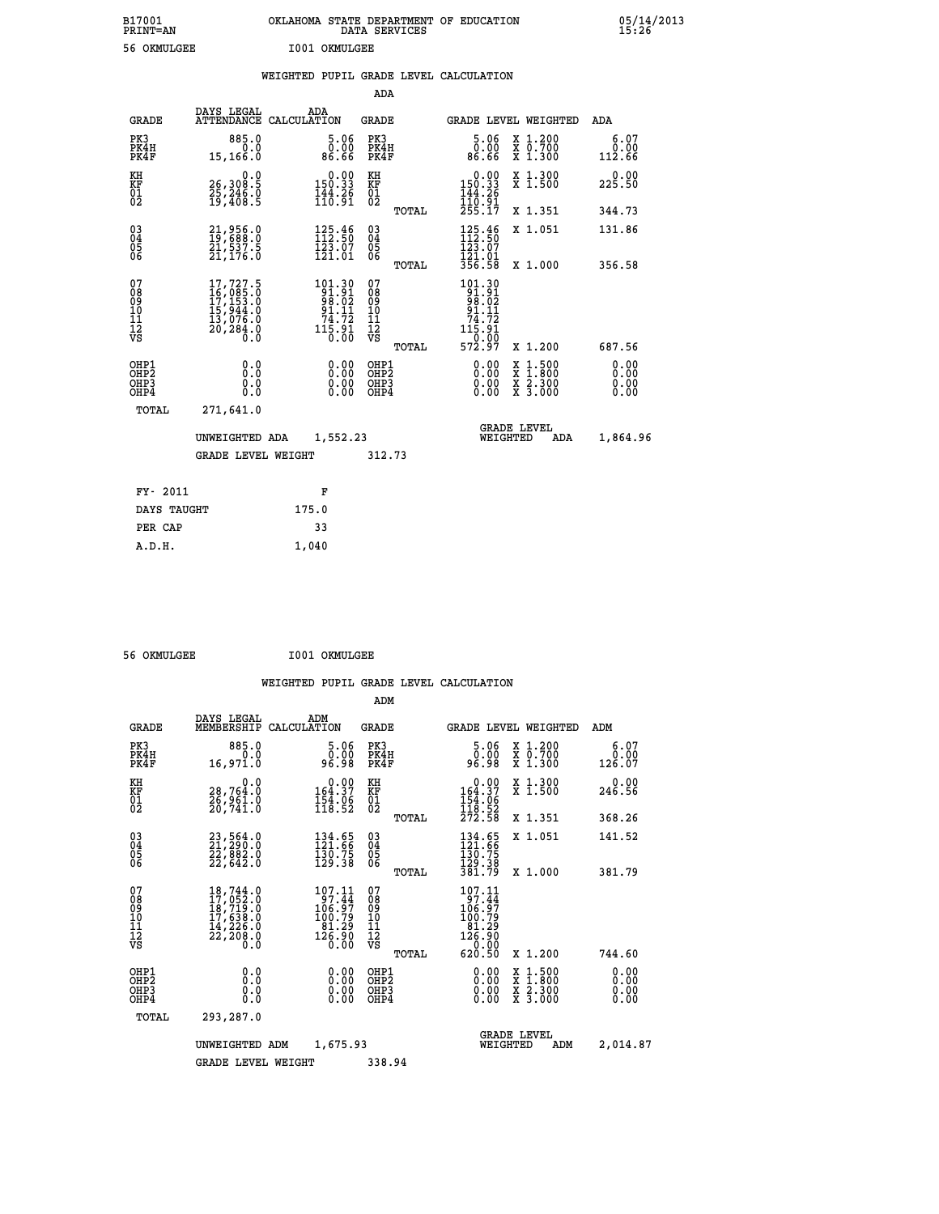| B17001<br>PRINT=AN                                    |                                                                                        | OKLAHOMA STATE DEPARTMENT OF EDUCATION                                                                          | DATA SERVICES                                                       |                                                                                                                                                                     |                                                                                                  | 05/14/2013                   |
|-------------------------------------------------------|----------------------------------------------------------------------------------------|-----------------------------------------------------------------------------------------------------------------|---------------------------------------------------------------------|---------------------------------------------------------------------------------------------------------------------------------------------------------------------|--------------------------------------------------------------------------------------------------|------------------------------|
| 56 OKMULGEE                                           |                                                                                        | I001 OKMULGEE                                                                                                   |                                                                     |                                                                                                                                                                     |                                                                                                  |                              |
|                                                       |                                                                                        | WEIGHTED PUPIL GRADE LEVEL CALCULATION                                                                          |                                                                     |                                                                                                                                                                     |                                                                                                  |                              |
|                                                       |                                                                                        |                                                                                                                 | ADA                                                                 |                                                                                                                                                                     |                                                                                                  |                              |
| <b>GRADE</b>                                          | DAYS LEGAL                                                                             | ADA<br>ATTENDANCE CALCULATION                                                                                   | GRADE                                                               | GRADE LEVEL WEIGHTED                                                                                                                                                |                                                                                                  | ADA                          |
| PK3<br>PK4H<br>PK4F                                   | 885.0<br>0.0<br>15, 166.0                                                              | 5.06<br>0.00<br>86.66                                                                                           | PK3<br>PK4H<br>PK4F                                                 | 5.06<br>0.00<br>86.66                                                                                                                                               | X 1.200<br>X 0.700<br>X 1.300                                                                    | 6.07<br>0.00<br>112.66       |
| KH<br>KF<br>01<br>02                                  | 0.0<br>26,308:5<br>25,246:0<br>19,408:5                                                | $\begin{smallmatrix} 0.00\\ 150.33\\ 144.26\\ 110.91 \end{smallmatrix}$                                         | KH<br>KF<br>01<br>02                                                | $0.00$<br>150.33<br>144.26                                                                                                                                          | X 1.300<br>$\bar{x}$ 1.500                                                                       | 0.00<br>225.50               |
|                                                       |                                                                                        |                                                                                                                 | TOTAL                                                               | 110.91<br>255.17                                                                                                                                                    | X 1.351                                                                                          | 344.73                       |
| 030404<br>ŎĞ                                          | 21,956.0<br>19,688.0<br>21,537.5<br>21,176.0                                           | $\begin{smallmatrix} 125\cdot\frac{46}{50}\\ 112\cdot\frac{56}{50}\\ 123\cdot07\\ 121\cdot01 \end{smallmatrix}$ | $\begin{matrix} 03 \\ 04 \\ 05 \\ 06 \end{matrix}$                  | 125.46<br>112.50<br>123.07<br>121.01                                                                                                                                | X 1.051                                                                                          | 131.86                       |
|                                                       |                                                                                        |                                                                                                                 | <b>TOTAL</b>                                                        | 356.58                                                                                                                                                              | X 1.000                                                                                          | 356.58                       |
| 07<br>08<br>09<br>10<br>11<br>12<br>VS                | 17,727.5<br>$167085.0$<br>$177153.0$<br>$157944.0$<br>$137076.0$<br>$20784.0$<br>$0.0$ | 101.30<br>91.91<br>99.02<br>91.11<br>$\frac{7\ddot{4}\cdot 7\ddot{2}}{11\ddot{5}\cdot 91}$                      | 07<br>08<br>09<br>10<br>$\frac{11}{12}$<br>$\frac{12}{18}$<br>TOTAL | 101.30<br>91.91<br>99.02<br>91.11<br>$\substack{\textcolor{red}{\textbf{74.72}}\textcolor{white}{\textbf{7}}\\ \textcolor{red}{\textbf{115.91}}}$<br>0.00<br>572.97 | X 1.200                                                                                          | 687.56                       |
| OHP1<br>OH <sub>P</sub> 2<br>OH <sub>P3</sub><br>OHP4 | 0.0<br>Ō.Ō<br>0.0<br>0.0                                                               | 0.00<br>0.00                                                                                                    | OHP1<br>OH <sub>P</sub> 2<br>OHP3<br>OHP4                           | 0.00<br>0.00<br>0.00                                                                                                                                                | $\begin{smallmatrix} x & 1 & 500 \\ x & 1 & 800 \\ x & 2 & 300 \\ x & 3 & 000 \end{smallmatrix}$ | 0.00<br>0.00<br>0.00<br>0.00 |
| TOTAL                                                 | 271,641.0                                                                              |                                                                                                                 |                                                                     |                                                                                                                                                                     |                                                                                                  |                              |
|                                                       | UNWEIGHTED ADA                                                                         | 1,552.23                                                                                                        |                                                                     | <b>GRADE LEVEL</b><br>WEIGHTED                                                                                                                                      | ADA                                                                                              | 1,864.96                     |
|                                                       | GRADE LEVEL WEIGHT                                                                     |                                                                                                                 | 312.73                                                              |                                                                                                                                                                     |                                                                                                  |                              |
| FY- 2011                                              |                                                                                        | F                                                                                                               |                                                                     |                                                                                                                                                                     |                                                                                                  |                              |
| DAYS TAUGHT                                           |                                                                                        | 175.0                                                                                                           |                                                                     |                                                                                                                                                                     |                                                                                                  |                              |
| PER CAP                                               |                                                                                        | 33                                                                                                              |                                                                     |                                                                                                                                                                     |                                                                                                  |                              |
| A.D.H.                                                |                                                                                        | 1,040                                                                                                           |                                                                     |                                                                                                                                                                     |                                                                                                  |                              |

| A.D.H. | 1,040 |
|--------|-------|
|        |       |
|        |       |

 **56 OKMULGEE I001 OKMULGEE**

|                                                       |                                                                                                                                                 |                                                                                               | ADM                                     |                                                                                              |                                                                                                  |                              |
|-------------------------------------------------------|-------------------------------------------------------------------------------------------------------------------------------------------------|-----------------------------------------------------------------------------------------------|-----------------------------------------|----------------------------------------------------------------------------------------------|--------------------------------------------------------------------------------------------------|------------------------------|
| <b>GRADE</b>                                          | DAYS LEGAL<br>MEMBERSHIP                                                                                                                        | ADM<br>CALCULATION                                                                            | <b>GRADE</b>                            | <b>GRADE LEVEL WEIGHTED</b>                                                                  |                                                                                                  | ADM                          |
| PK3<br>PK4H<br>PK4F                                   | 885.0<br>0.0<br>16,971.0                                                                                                                        | 5.06<br>0.00<br>96.98                                                                         | PK3<br>PK4H<br>PK4F                     | 5.06<br>ŏŏ:ŏ<br>8ê:âe                                                                        | X 1.200<br>X 0.700<br>X 1.300                                                                    | 6.07<br>0.00<br>126.07       |
| KH<br>KF<br>01<br>02                                  | 0.0<br>28,764.0<br>26,961.0<br>20,741.0                                                                                                         | $\begin{smallmatrix}&&0.00\\164.37\\154.06\\118.52\end{smallmatrix}$                          | KH<br>KF<br>01<br>02                    | $\begin{array}{c} 0.00 \\ 164.37 \\ 154.06 \\ 118.52 \\ 272.58 \end{array}$                  | X 1.300<br>X 1.500                                                                               | 0.00<br>246.56               |
|                                                       |                                                                                                                                                 |                                                                                               | TOTAL                                   |                                                                                              | X 1.351                                                                                          | 368.26                       |
| 03<br>04<br>05<br>06                                  | $23,564.0$<br>$22,882.0$<br>22,642.0                                                                                                            | $\begin{smallmatrix} 134.65\\ 121.66\\ 130.75\\ 129.38 \end{smallmatrix}$                     | $\substack{03 \\ 04}$<br>0500           | 134.65<br>121.66<br>130.75<br>129.38                                                         | X 1.051                                                                                          | 141.52                       |
|                                                       |                                                                                                                                                 |                                                                                               | TOTAL                                   | 381.79                                                                                       | X 1.000                                                                                          | 381.79                       |
| 07<br>08<br>09<br>101<br>112<br>VS                    | $\begin{smallmatrix} 18,744\cdot 0\\ 17,052\cdot 0\\ 18,719\cdot 0\\ 17,638\cdot 0\\ 14,226\cdot 0\\ 22,208\cdot 0\\ 0\cdot 0\end{smallmatrix}$ | 107.11<br>97.44<br>106.97<br>100.79<br>$\begin{array}{c} 81.29 \\ 126.90 \\ 0.00 \end{array}$ | 07<br>08<br>09<br>101<br>11<br>12<br>VS | 107.11<br>$\frac{187.44}{106.97}$<br>$\begin{array}{c} 181.29 \\ 126.90 \\ 0.00 \end{array}$ |                                                                                                  |                              |
|                                                       |                                                                                                                                                 |                                                                                               | TOTAL                                   | 620.50                                                                                       | X 1.200                                                                                          | 744.60                       |
| OHP1<br>OH <sub>P</sub> 2<br>OH <sub>P3</sub><br>OHP4 | 0.0<br>0.000                                                                                                                                    | $0.00$<br>$0.00$<br>0.00                                                                      | OHP1<br>OHP2<br>OHP3<br>OHP4            | $0.00$<br>$0.00$<br>0.00                                                                     | $\begin{smallmatrix} x & 1 & 500 \\ x & 1 & 800 \\ x & 2 & 300 \\ x & 3 & 000 \end{smallmatrix}$ | 0.00<br>0.00<br>0.00<br>0.00 |
| TOTAL                                                 | 293,287.0                                                                                                                                       |                                                                                               |                                         |                                                                                              |                                                                                                  |                              |
|                                                       | UNWEIGHTED ADM                                                                                                                                  | 1,675.93                                                                                      |                                         | WEIGHTED                                                                                     | <b>GRADE LEVEL</b><br>ADM                                                                        | 2,014.87                     |
|                                                       | <b>GRADE LEVEL WEIGHT</b>                                                                                                                       |                                                                                               | 338.94                                  |                                                                                              |                                                                                                  |                              |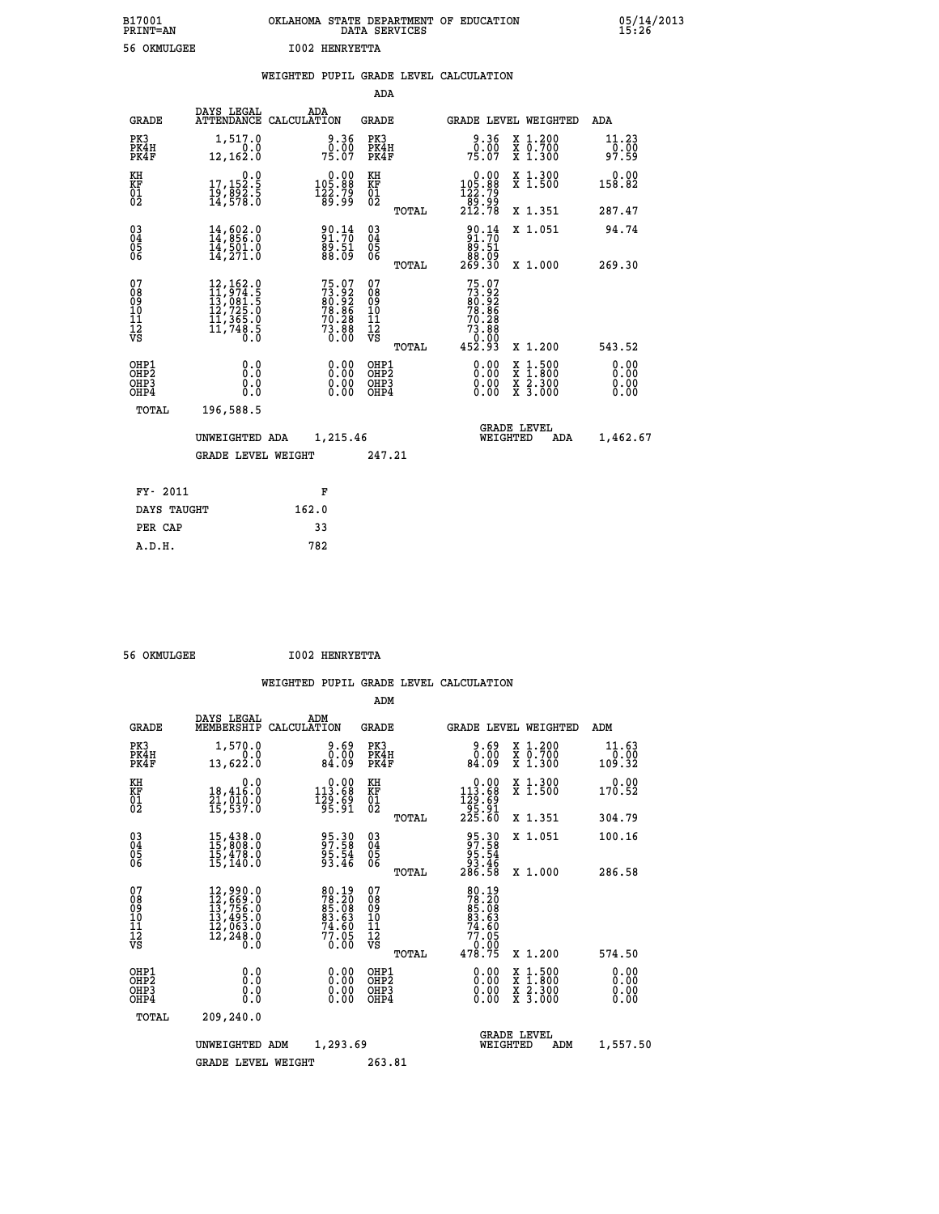| B17001<br><b>PRINT=AN</b> | OKLAHOMA STATE DEPARTMENT OF EDUCATION<br>DATA SERVICES | 05/14/2013<br>15:26 |
|---------------------------|---------------------------------------------------------|---------------------|
| 56<br>OKMULGEE            | <b>I002 HENRYETTA</b>                                   |                     |

|                                                                    |                                                                                                                                                 | WEIGHTED PUPIL GRADE LEVEL CALCULATION                                   |                                        |       |                                                                                                                 |                                                                                                                                                          |                              |
|--------------------------------------------------------------------|-------------------------------------------------------------------------------------------------------------------------------------------------|--------------------------------------------------------------------------|----------------------------------------|-------|-----------------------------------------------------------------------------------------------------------------|----------------------------------------------------------------------------------------------------------------------------------------------------------|------------------------------|
|                                                                    |                                                                                                                                                 |                                                                          | <b>ADA</b>                             |       |                                                                                                                 |                                                                                                                                                          |                              |
| <b>GRADE</b>                                                       | DAYS LEGAL                                                                                                                                      | ADA<br>ATTENDANCE CALCULATION                                            | <b>GRADE</b>                           |       |                                                                                                                 | GRADE LEVEL WEIGHTED                                                                                                                                     | ADA                          |
| PK3<br>PK4H<br>PK4F                                                | 1,517.0<br>12,162.0                                                                                                                             | 9.36<br>75.00                                                            | PK3<br>PK4H<br>PK4F                    |       | 9.36<br>0.00<br>75.07                                                                                           | X 1.200<br>X 0.700<br>X 1.300                                                                                                                            | 11.23<br>0.00<br>97.59       |
| KH<br>KF<br>01<br>02                                               | $\begin{smallmatrix}&&&0.0\\17,152.5\\19,892.5\\14,578.0\end{smallmatrix}$                                                                      | $\begin{smallmatrix} &0.00\\ 105.88\\ 122.79\\ 89.99\end{smallmatrix}$   | KH<br>KF<br>01<br>02                   |       | $\begin{smallmatrix}&&0.00\\105.88\\122.79\\89.99\\212.78\end{smallmatrix}$                                     | X 1.300<br>X 1.500                                                                                                                                       | 0.00<br>158.82               |
|                                                                    |                                                                                                                                                 |                                                                          |                                        | TOTAL |                                                                                                                 | X 1.351                                                                                                                                                  | 287.47                       |
| $\begin{smallmatrix} 03 \\[-4pt] 04 \end{smallmatrix}$<br>05<br>06 | $14,602.0$<br>$14,856.0$<br>$14,501.0$<br>$14,271.0$                                                                                            | 90.14<br>91.70<br>89.51<br>88.09                                         | $\substack{03 \\ 04}$<br>Ŏ5<br>06      |       | $\begin{smallmatrix} 90.14 \\ 91.70 \\ 89.51 \\ 88.09 \\ 269.30 \end{smallmatrix}$                              | X 1.051                                                                                                                                                  | 94.74                        |
|                                                                    |                                                                                                                                                 |                                                                          |                                        | TOTAL |                                                                                                                 | X 1.000                                                                                                                                                  | 269.30                       |
| 07<br>08<br>09<br>11<br>11<br>12<br>VS                             | $\begin{smallmatrix} 12,162\cdot 0\\ 11,974\cdot 5\\ 13,081\cdot 5\\ 12,725\cdot 0\\ 11,365\cdot 0\\ 11,748\cdot 5\\ 0\cdot 0\end{smallmatrix}$ | $75.07$<br>$73.92$<br>$80.92$<br>$78.86$<br>$70.28$<br>$73.88$<br>$0.00$ | 07<br>08<br>09<br>11<br>11<br>12<br>VS | TOTAL | 75.07<br>73.92<br>80.92<br>78.86<br>70.28<br>$7\overline{3}\cdot\overline{8}\overline{8}\overline{6}$<br>452.93 | X 1.200                                                                                                                                                  | 543.52                       |
| OHP1<br>OHP2<br>OH <sub>P3</sub><br>OHP4                           | 0.0<br>0.0<br>Ŏ.Ŏ                                                                                                                               | 0.00<br>$\begin{smallmatrix} 0.00 \ 0.00 \end{smallmatrix}$              | OHP1<br>OHP2<br>OHP3<br>OHP4           |       | 0.00<br>0.00<br>0.00                                                                                            | $1:500$<br>1:800<br>$\begin{smallmatrix} \mathtt{X} & 1 & 500 \\ \mathtt{X} & 1 & 800 \\ \mathtt{X} & 2 & 300 \\ \mathtt{X} & 3 & 000 \end{smallmatrix}$ | 0.00<br>0.00<br>0.00<br>0.00 |
| TOTAL                                                              | 196,588.5                                                                                                                                       |                                                                          |                                        |       |                                                                                                                 |                                                                                                                                                          |                              |
|                                                                    | UNWEIGHTED ADA                                                                                                                                  | 1,215.46                                                                 |                                        |       | WEIGHTED                                                                                                        | <b>GRADE LEVEL</b><br>ADA                                                                                                                                | 1,462.67                     |
|                                                                    | <b>GRADE LEVEL WEIGHT</b>                                                                                                                       |                                                                          | 247.21                                 |       |                                                                                                                 |                                                                                                                                                          |                              |
| FY- 2011                                                           |                                                                                                                                                 | F                                                                        |                                        |       |                                                                                                                 |                                                                                                                                                          |                              |
| DAYS TAUGHT                                                        |                                                                                                                                                 | 162.0                                                                    |                                        |       |                                                                                                                 |                                                                                                                                                          |                              |
| PER CAP                                                            |                                                                                                                                                 | 33                                                                       |                                        |       |                                                                                                                 |                                                                                                                                                          |                              |

 **A.D.H. 782**

 **56 OKMULGEE I002 HENRYETTA**

|                                    |                                          |                                                                                                                                                                                          |                                                                        |                          | ADM                                                 |       |                                                                                  |          |                                          |                              |
|------------------------------------|------------------------------------------|------------------------------------------------------------------------------------------------------------------------------------------------------------------------------------------|------------------------------------------------------------------------|--------------------------|-----------------------------------------------------|-------|----------------------------------------------------------------------------------|----------|------------------------------------------|------------------------------|
|                                    | <b>GRADE</b>                             | DAYS LEGAL<br>MEMBERSHIP                                                                                                                                                                 | ADM<br>CALCULATION                                                     |                          | <b>GRADE</b>                                        |       |                                                                                  |          | <b>GRADE LEVEL WEIGHTED</b>              | ADM                          |
|                                    | PK3<br>PK4H<br>PK4F                      | 1,570.0<br>0.0<br>13,622.0                                                                                                                                                               | 84.09                                                                  | 9.69<br>0.00             | PK3<br>PK4H<br>PK4F                                 |       | 0.00<br>84.09                                                                    |          | X 1.200<br>X 0.700<br>X 1.300            | 11.63<br>0.00<br>109.32      |
| KH<br>KF<br>01<br>02               |                                          | 0.0<br>18,416.0<br>21,010.0<br>15,537.0                                                                                                                                                  | $\begin{smallmatrix} &0.00\\ 113.68\\ 129.69\\ 95.91\end{smallmatrix}$ |                          | KH<br>KF<br>01<br>02                                |       | $\begin{smallmatrix}&&0.00\\113.68\\129.69\\95.91\\225.60\end{smallmatrix}$      |          | X 1.300<br>X 1.500                       | 0.00<br>170.52               |
|                                    |                                          |                                                                                                                                                                                          |                                                                        |                          |                                                     | TOTAL |                                                                                  |          | X 1.351                                  | 304.79                       |
| 03<br>04<br>05<br>06               |                                          | 15,438.0<br>15,808.0<br>15,478.0<br>15, 140.0                                                                                                                                            | 95.30<br>97.58<br>95.54<br>93.46                                       |                          | $\begin{array}{c} 03 \\ 04 \\ 05 \\ 06 \end{array}$ |       | 95.30<br>97.58<br>95.54<br>93.46<br>286.58                                       |          | X 1.051                                  | 100.16                       |
|                                    |                                          |                                                                                                                                                                                          |                                                                        |                          |                                                     | TOTAL |                                                                                  |          | X 1.000                                  | 286.58                       |
| 07<br>08<br>09<br>101<br>112<br>VS |                                          | $\begin{smallmatrix} 12\,, & 990\,. & 0\\ 12\,, & 669\,. & 0\\ 13\,, & 756\,. & 0\\ 13\,, & 495\,. & 0\\ 12\,, & 063\,. & 0\\ 12\,, & 248\,. & 0\\ 0\,. & 0\,. & 0\,. \end{smallmatrix}$ | 80.19<br>78.20<br>85.08<br>83.63<br>83.63<br>74.605<br>77.05<br>0.00   |                          | 07<br>08<br>09<br>101<br>11<br>12<br>VS             | TOTAL | 80.19<br>78.208<br>85.08<br>83.63<br>74.605<br>77.05<br>77.05<br>70.90<br>478.75 |          | X 1.200                                  | 574.50                       |
|                                    |                                          |                                                                                                                                                                                          |                                                                        |                          |                                                     |       |                                                                                  |          |                                          |                              |
|                                    | OHP1<br>OHP2<br>OH <sub>P3</sub><br>OHP4 | 0.0<br>0.000                                                                                                                                                                             |                                                                        | $0.00$<br>$0.00$<br>0.00 | OHP1<br>OHP2<br>OHP <sub>3</sub>                    |       | $0.00$<br>$0.00$<br>0.00                                                         |          | X 1:500<br>X 1:800<br>X 2:300<br>X 3:000 | 0.00<br>0.00<br>0.00<br>0.00 |
|                                    | TOTAL                                    | 209,240.0                                                                                                                                                                                |                                                                        |                          |                                                     |       |                                                                                  |          |                                          |                              |
|                                    |                                          | UNWEIGHTED                                                                                                                                                                               | 1,293.69<br>ADM                                                        |                          |                                                     |       |                                                                                  | WEIGHTED | <b>GRADE LEVEL</b><br>ADM                | 1,557.50                     |
|                                    |                                          | <b>GRADE LEVEL WEIGHT</b>                                                                                                                                                                |                                                                        |                          | 263.81                                              |       |                                                                                  |          |                                          |                              |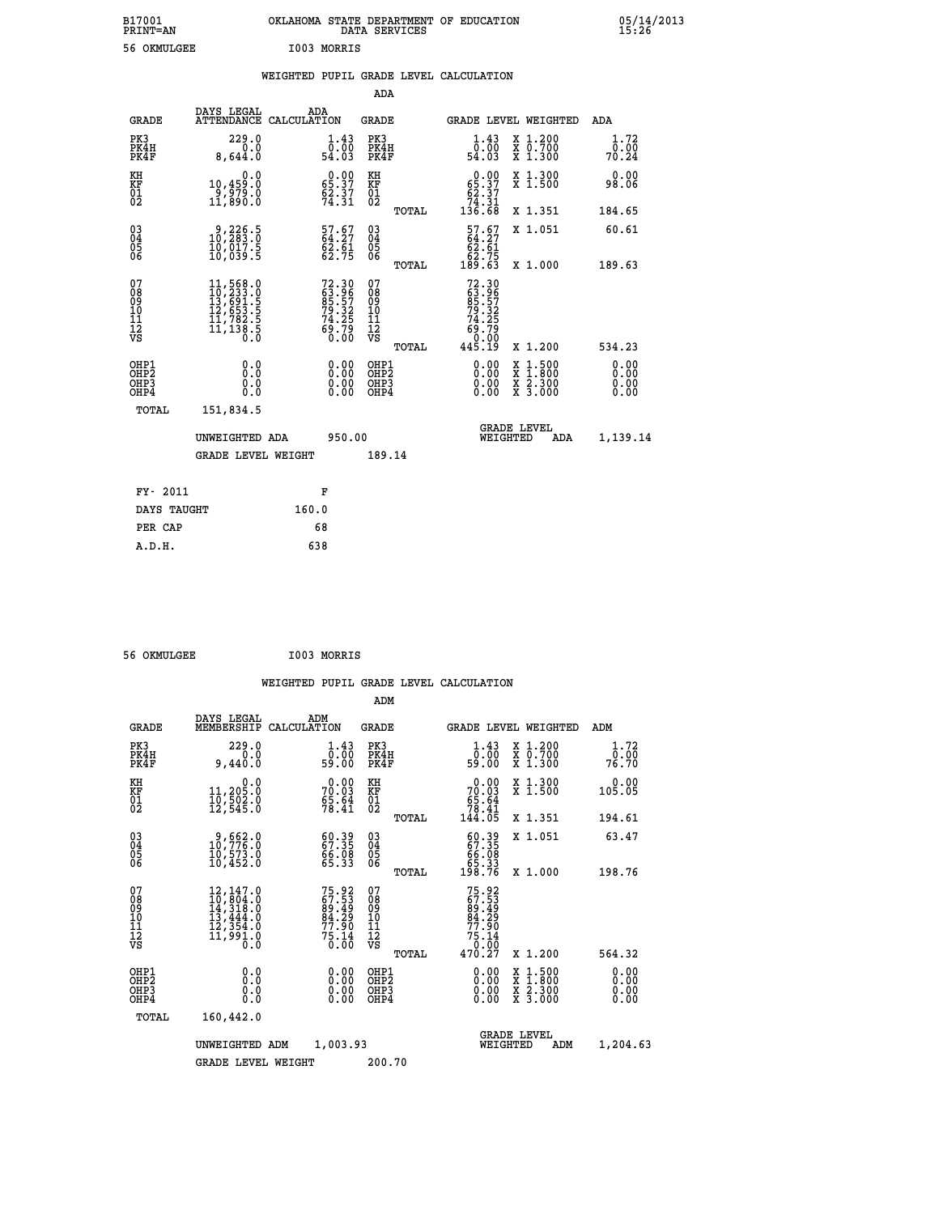| B17001<br><b>PRINT=AN</b> |             | OKLAHOMA STATE DEPARTMENT OF EDUCATION<br>DATA SERVICES |  |
|---------------------------|-------------|---------------------------------------------------------|--|
| 56 OKMULGEE               | I003 MORRIS |                                                         |  |

|  |  | WEIGHTED PUPIL GRADE LEVEL CALCULATION |
|--|--|----------------------------------------|
|  |  |                                        |

| DAYS LEGAL                                  | ADA                                                                                                                                                                                                           | <b>GRADE</b>                                                                                                                                                                | GRADE LEVEL WEIGHTED                                                                                                       | <b>ADA</b>                                                                                                                                                                                                                                                                                 |
|---------------------------------------------|---------------------------------------------------------------------------------------------------------------------------------------------------------------------------------------------------------------|-----------------------------------------------------------------------------------------------------------------------------------------------------------------------------|----------------------------------------------------------------------------------------------------------------------------|--------------------------------------------------------------------------------------------------------------------------------------------------------------------------------------------------------------------------------------------------------------------------------------------|
| 229.0<br>0.0<br>8,644.0                     | $\begin{smallmatrix}1\cdot43\0\cdot00\54\cdot03\end{smallmatrix}$                                                                                                                                             | PK3<br>PK4H<br>PK4F                                                                                                                                                         | $\begin{smallmatrix} 1\cdot 43\\[-1.2mm] 0\cdot 00\\[-1.2mm] 54\cdot 03\end{smallmatrix}$<br>X 1.200<br>X 0.700<br>X 1.300 | 1.72<br>$70.00$<br>70.24                                                                                                                                                                                                                                                                   |
| 0.0<br>10,459.0                             | $0.00$<br>65.37                                                                                                                                                                                               | KH                                                                                                                                                                          | X 1.300<br>X 1.500                                                                                                         | 0.00<br>98.06                                                                                                                                                                                                                                                                              |
|                                             |                                                                                                                                                                                                               |                                                                                                                                                                             | X 1.351                                                                                                                    | 184.65                                                                                                                                                                                                                                                                                     |
| 9,226.5<br>10,283.0<br>īŏ,ōĭ7.š<br>10,039.5 | $57.67$<br>64.27<br>$\frac{62.61}{62.75}$                                                                                                                                                                     | $\substack{03 \\ 04}$<br>$\substack{05 \\ 06}$                                                                                                                              | X 1.051                                                                                                                    | 60.61                                                                                                                                                                                                                                                                                      |
|                                             |                                                                                                                                                                                                               |                                                                                                                                                                             |                                                                                                                            | 189.63                                                                                                                                                                                                                                                                                     |
|                                             |                                                                                                                                                                                                               |                                                                                                                                                                             |                                                                                                                            |                                                                                                                                                                                                                                                                                            |
|                                             |                                                                                                                                                                                                               |                                                                                                                                                                             | X 1.200                                                                                                                    | 534.23                                                                                                                                                                                                                                                                                     |
| 0.0<br>Ō.Ō<br>0.0<br>Ō.Ō                    | 0.00<br>$\begin{smallmatrix} 0.00 \ 0.00 \end{smallmatrix}$                                                                                                                                                   | OHP1<br>OH <sub>P</sub> 2<br>OHP3<br>OHP4                                                                                                                                   | 0.00<br>$1:500$<br>$1:800$<br>X<br>X<br>0.00<br>X 2.300<br>X 3.000<br>0.00                                                 | 0.00<br>0.00<br>0.00<br>0.00                                                                                                                                                                                                                                                               |
| 151,834.5                                   |                                                                                                                                                                                                               |                                                                                                                                                                             |                                                                                                                            |                                                                                                                                                                                                                                                                                            |
|                                             |                                                                                                                                                                                                               |                                                                                                                                                                             | <b>GRADE LEVEL</b><br>WEIGHTED<br>ADA                                                                                      | 1,139.14                                                                                                                                                                                                                                                                                   |
|                                             |                                                                                                                                                                                                               | 189.14                                                                                                                                                                      |                                                                                                                            |                                                                                                                                                                                                                                                                                            |
|                                             |                                                                                                                                                                                                               |                                                                                                                                                                             |                                                                                                                            |                                                                                                                                                                                                                                                                                            |
| DAYS TAUGHT                                 | 160.0                                                                                                                                                                                                         |                                                                                                                                                                             |                                                                                                                            |                                                                                                                                                                                                                                                                                            |
| PER CAP                                     | 68                                                                                                                                                                                                            |                                                                                                                                                                             |                                                                                                                            |                                                                                                                                                                                                                                                                                            |
|                                             | -ĕ´,ē̃79.ŏ<br>11,890.O<br>$\begin{smallmatrix} 11\,,\,568\cdot 0\\ 10\,,\,233\cdot 0\\ 13\,,\,691\cdot 5\\ 12\,,\,653\cdot 5\\ 11\,,\,782\cdot 5\\ 11\,,\,138\cdot 5\\ 0\cdot 0\end{smallmatrix}$<br>FY- 2011 | ATTENDANCE CALCULATION<br>$\frac{62.37}{74.31}$<br>72.30<br>63.96<br>85.57<br>79.32<br>79.32<br>74.25<br>69.79<br>60.00<br>UNWEIGHTED ADA<br><b>GRADE LEVEL WEIGHT</b><br>F | ADA<br>KF<br>01<br>02<br>07<br>08<br>09<br>11<br>11<br>12<br>VS<br>950.00                                                  | $\begin{smallmatrix} &0.00\\ 65.37\\ 62.37\\ 74.31\\ 136.68\end{smallmatrix}$<br>TOTAL<br>$\begin{smallmatrix} 57.67\ 64.27\ 62.61\ 62.75\ 189.63 \end{smallmatrix}$<br>X 1.000<br>TOTAL<br>$72.30$<br>$63.96$<br>$85.57$<br>$74.25$<br>$74.25$<br>$69.79$<br>$60.00$<br>$445.19$<br>TOTAL |

 **56 OKMULGEE I003 MORRIS**

 **A.D.H. 638**

| <b>GRADE</b>                                       | DAYS LEGAL<br>MEMBERSHIP                                                                                       | ADM<br>CALCULATION                                                                 | <b>GRADE</b>                                        |       |                                                                            | <b>GRADE LEVEL WEIGHTED</b>                                                                                         | ADM                          |
|----------------------------------------------------|----------------------------------------------------------------------------------------------------------------|------------------------------------------------------------------------------------|-----------------------------------------------------|-------|----------------------------------------------------------------------------|---------------------------------------------------------------------------------------------------------------------|------------------------------|
| PK3<br>PK4H<br>PK4F                                | 229.0<br>0.0<br>9,440.0                                                                                        | 1.43<br>0.00<br>59.00                                                              | PK3<br>PK4H<br>PK4F                                 |       | 1.43<br>ōō:ōŏ<br>59:00                                                     | X 1.200<br>X 0.700<br>X 1.300                                                                                       | 1.72<br>0.00<br>76.70        |
| KH<br>KF<br>01<br>02                               | 0.0<br>11,205.0<br>10,502.0<br>12,545.0                                                                        | $70.03$<br>$55.64$<br>$78.41$                                                      | KH<br>KF<br>01<br>02                                |       | 0.00<br>$70.03$<br>$55.64$<br>$78.41$<br>$144.05$                          | X 1.300<br>X 1.500                                                                                                  | 0.00<br>105.05               |
|                                                    |                                                                                                                |                                                                                    |                                                     | TOTAL |                                                                            | X 1.351                                                                                                             | 194.61                       |
| $\begin{matrix} 03 \\ 04 \\ 05 \\ 06 \end{matrix}$ | 9,662.0<br>10,776.0<br>10,573.0                                                                                | 67.35<br>67.35<br>66.08<br>65.33                                                   | $\begin{array}{c} 03 \\ 04 \\ 05 \\ 06 \end{array}$ |       | $60.3967.3566.0865.33198.76$                                               | X 1.051                                                                                                             | 63.47                        |
|                                                    | 10,452.0                                                                                                       |                                                                                    |                                                     | TOTAL |                                                                            | X 1.000                                                                                                             | 198.76                       |
| 07<br>08<br>09<br>101<br>112<br>VS                 | $\begin{smallmatrix} 12,147.0\\ 10,804.0\\ 14,318.0\\ 13,444.0\\ 12,354.0\\ 11,991.0 \end{smallmatrix}$<br>Ō.O | 75.92<br>67.53<br>89.49<br>84.29<br>77.90<br>75.14<br>$0.\overline{0}\overline{0}$ | 07<br>08<br>09<br>10<br>11<br>12<br>νs              | TOTAL | 75.92<br>67.53<br>89.49<br>84.29<br>77.90<br>$75.14$<br>$0.00$<br>$470.27$ | X 1.200                                                                                                             | 564.32                       |
| OHP1<br>OH <sub>P</sub> 2<br>OHP3<br>OHP4          | 0.0<br>0.0<br>Ŏ.Ŏ                                                                                              | $0.00$<br>$0.00$<br>0.00                                                           | OHP1<br>OHP <sub>2</sub><br>OHP3<br>OHP4            |       | $0.00$<br>$0.00$<br>0.00                                                   | $\begin{array}{l} \mathtt{X} & 1.500 \\ \mathtt{X} & 1.800 \\ \mathtt{X} & 2.300 \\ \mathtt{X} & 3.000 \end{array}$ | 0.00<br>0.00<br>0.00<br>0.00 |
| TOTAL                                              | 160,442.0                                                                                                      |                                                                                    |                                                     |       |                                                                            |                                                                                                                     |                              |
|                                                    | UNWEIGHTED                                                                                                     | 1,003.93<br>ADM                                                                    |                                                     |       | WEIGHTED                                                                   | <b>GRADE LEVEL</b><br>ADM                                                                                           | 1,204.63                     |
|                                                    | <b>GRADE LEVEL WEIGHT</b>                                                                                      |                                                                                    | 200.70                                              |       |                                                                            |                                                                                                                     |                              |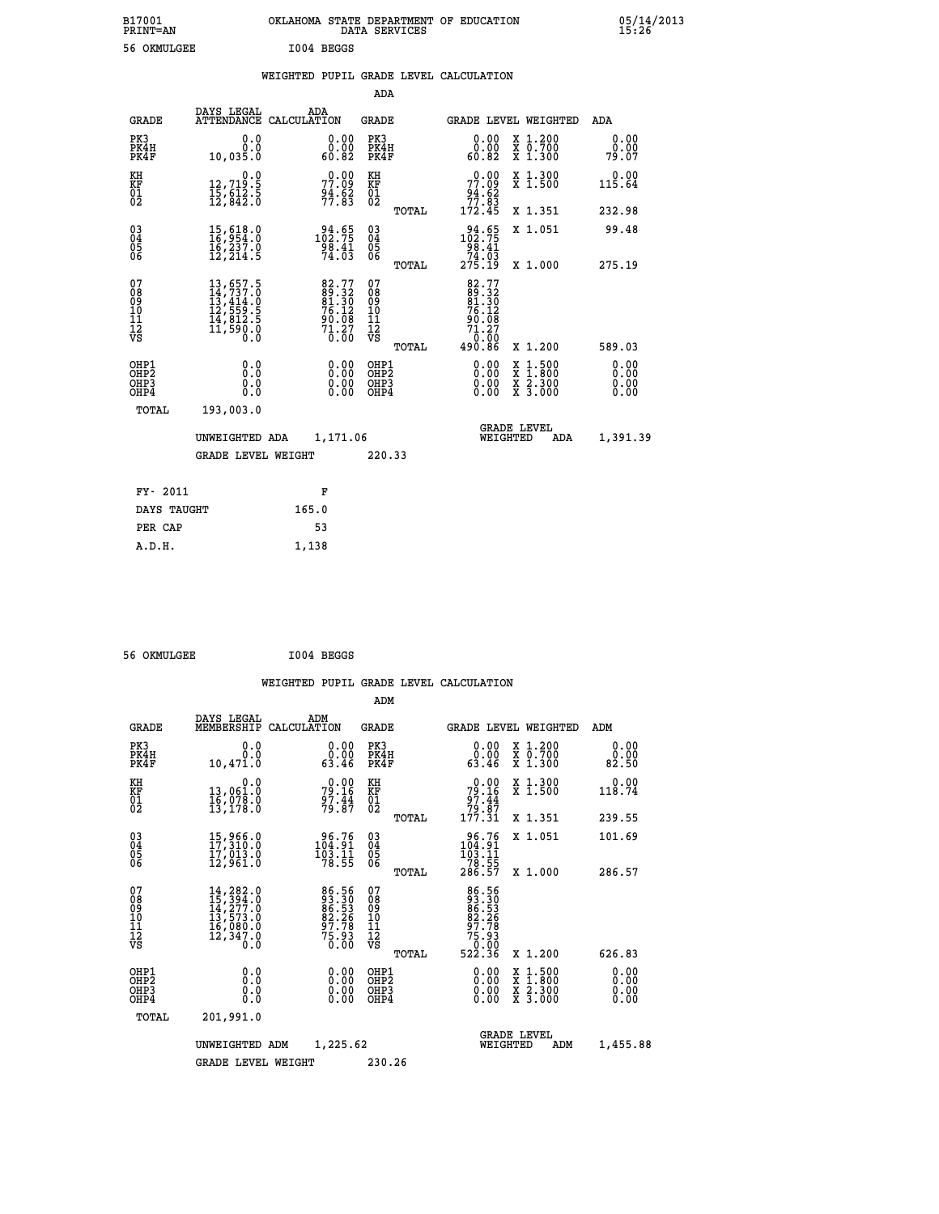| B17001<br>PRINT=AN                       |                                                                                                                                                                                          | OKLAHOMA STATE DEPARTMENT OF EDUCATION DATA SERVICES                                                                     |                                                    |                                                                                                                                              |                                                                                                                                           | $05/14/2013$<br>15:26        |  |
|------------------------------------------|------------------------------------------------------------------------------------------------------------------------------------------------------------------------------------------|--------------------------------------------------------------------------------------------------------------------------|----------------------------------------------------|----------------------------------------------------------------------------------------------------------------------------------------------|-------------------------------------------------------------------------------------------------------------------------------------------|------------------------------|--|
| 56 OKMULGEE                              |                                                                                                                                                                                          | I004 BEGGS                                                                                                               |                                                    |                                                                                                                                              |                                                                                                                                           |                              |  |
|                                          |                                                                                                                                                                                          | WEIGHTED PUPIL GRADE LEVEL CALCULATION                                                                                   |                                                    |                                                                                                                                              |                                                                                                                                           |                              |  |
|                                          |                                                                                                                                                                                          |                                                                                                                          | ADA                                                |                                                                                                                                              |                                                                                                                                           |                              |  |
| <b>GRADE</b>                             |                                                                                                                                                                                          | DAYS LEGAL ADA ATTENDANCE CALCULATION                                                                                    | <b>GRADE</b>                                       | GRADE LEVEL WEIGHTED                                                                                                                         |                                                                                                                                           | ADA                          |  |
| PK3<br>PK4H<br>PK4F                      | 0.0<br>0.0<br>10,035.0                                                                                                                                                                   | 0.00<br>0.00<br>60.82                                                                                                    | PK3<br>PK4H<br>PK4F                                | 0.00<br>ŏÖ.ÖÖ<br>82.0a                                                                                                                       | X 1.200<br>X 0.700<br>X 1.300                                                                                                             | 0.00<br>0.00<br>79.07        |  |
| KH<br>KF<br>01<br>02                     | $\begin{smallmatrix}&&&0.0\\12,719.5\\15,612.5\\12,842.0\end{smallmatrix}$                                                                                                               | 77.09<br>$\frac{94.62}{77.83}$                                                                                           | KH<br>KF<br>01<br>02                               | 77.09<br>$\frac{94.62}{77.83}$<br>172.45                                                                                                     | X 1.300<br>X 1.500                                                                                                                        | 0.00<br>115.64               |  |
|                                          |                                                                                                                                                                                          |                                                                                                                          | TOTAL                                              |                                                                                                                                              | X 1.351                                                                                                                                   | 232.98                       |  |
| 03<br>04<br>05<br>06                     | 15,618.0<br>16,954.0<br>16,237.0<br>12, 214.5                                                                                                                                            | $\substack{1021.65 \\ 102.75 \\ 98.41 \\ 74.03}$                                                                         | $\begin{matrix} 03 \\ 04 \\ 05 \\ 06 \end{matrix}$ | $\begin{array}{r} 94.65 \\ 102.75 \\ 98.41 \\ 74.03 \\ 275.19 \end{array}$                                                                   | X 1.051                                                                                                                                   | 99.48                        |  |
|                                          |                                                                                                                                                                                          |                                                                                                                          | TOTAL                                              |                                                                                                                                              | X 1.000                                                                                                                                   | 275.19                       |  |
| 07<br>08<br>09<br>11<br>11<br>12<br>VS   | $\begin{smallmatrix} 13\,, & 657\,. & 5\\ 14\,, & 737\,. & 0\\ 13\,, & 414\,. & 0\\ 12\,, & 559\,. & 5\\ 14\,, & 812\,. & 5\\ 11\,, & 590\,. & 0\\ 0\,. & 0\,. & 0\,. \end{smallmatrix}$ | $\begin{smallmatrix} 82\cdot77\\ 89\cdot32\\ 81\cdot30\\ 76\cdot12\\ 90\cdot08\\ 71\cdot27\\ 0\cdot00 \end{smallmatrix}$ | 078<br>089<br>0011<br>11<br>12<br>VS<br>TOTAL      | $\begin{array}{l} 82\cdot 77 \\ 89\cdot 32 \\ 81\cdot 30 \\ 76\cdot 12 \\ 90\cdot 08 \\ 71\cdot 27 \\ 0 \\ \circ 0 \\ \end{array}$<br>490.86 | X 1.200                                                                                                                                   | 589.03                       |  |
| OHP1<br>OHP2<br>OH <sub>P3</sub><br>OHP4 | 0.0<br>0.0<br>0.0                                                                                                                                                                        |                                                                                                                          | OHP1<br>OH <sub>P</sub> 2<br>OHP3<br>OHP4          |                                                                                                                                              | $\begin{smallmatrix} \mathtt{X} & 1\cdot500\\ \mathtt{X} & 1\cdot800\\ \mathtt{X} & 2\cdot300\\ \mathtt{X} & 3\cdot000 \end{smallmatrix}$ | 0.00<br>0.00<br>0.00<br>0.00 |  |
| TOTAL                                    | 193,003.0                                                                                                                                                                                |                                                                                                                          |                                                    |                                                                                                                                              |                                                                                                                                           |                              |  |

| 101.QU<br><b>179,009.0</b> |                           |        |                                       |          |
|----------------------------|---------------------------|--------|---------------------------------------|----------|
| UNWEIGHTED ADA             | 1,171.06                  |        | <b>GRADE LEVEL</b><br>ADA<br>WEIGHTED | 1,391.39 |
|                            | <b>GRADE LEVEL WEIGHT</b> | 220.33 |                                       |          |
| FY- 2011                   | F                         |        |                                       |          |
| DAYS TAUGHT                | 165.0                     |        |                                       |          |
| PER CAP                    | 53                        |        |                                       |          |
| A.D.H.                     | 1,138                     |        |                                       |          |

| 56 OKMULGEE | I004 BEGGS |
|-------------|------------|
|             |            |

|                                                      |                                                                                                                                                                                          |                                                             | ADM                                          |       |                                                                             |                                          |     |                              |  |
|------------------------------------------------------|------------------------------------------------------------------------------------------------------------------------------------------------------------------------------------------|-------------------------------------------------------------|----------------------------------------------|-------|-----------------------------------------------------------------------------|------------------------------------------|-----|------------------------------|--|
| <b>GRADE</b>                                         | DAYS LEGAL<br>MEMBERSHIP                                                                                                                                                                 | ADM<br>CALCULATION                                          | <b>GRADE</b>                                 |       | <b>GRADE LEVEL WEIGHTED</b>                                                 |                                          |     | ADM                          |  |
| PK3<br>PK4H<br>PK4F                                  | 0.0<br>0.0<br>10,471.0                                                                                                                                                                   | 0.00<br>0.00<br>63.46                                       | PK3<br>PK4H<br>PK4F                          |       | 0.00<br>0.00<br>63.46                                                       | X 1.200<br>X 0.700<br>X 1.300            |     | 0.00<br>0.00<br>82.50        |  |
| KH<br>KF<br>01<br>02                                 | 0.0<br>13,061.0<br>16,078.0<br>13,178.0                                                                                                                                                  | $79.16$<br>$79.16$<br>$97.44$<br>$79.87$                    | KH<br>KF<br>01<br>02                         |       | $79.16$<br>$97.44$<br>$79.87$<br>$177.31$                                   | X 1.300<br>X 1.500                       |     | 0.00<br>118.74               |  |
|                                                      |                                                                                                                                                                                          |                                                             |                                              | TOTAL |                                                                             | X 1.351                                  |     | 239.55                       |  |
| $\begin{matrix} 03 \\ 04 \\ 05 \\ 06 \end{matrix}$   | 15,966.0<br>17,310.0<br>17,013.0<br>12,961.0                                                                                                                                             | 96.76<br>104.91<br>$\frac{103.11}{78.55}$                   | $\substack{03 \\ 04}$<br>Ŏ5<br>06            |       | $\begin{array}{r} 96.76 \\ 104.91 \\ 103.11 \\ 78.55 \\ 286.57 \end{array}$ | X 1.051                                  |     | 101.69                       |  |
|                                                      |                                                                                                                                                                                          |                                                             |                                              | TOTAL |                                                                             | X 1.000                                  |     | 286.57                       |  |
| 07<br>08901112<br>1112<br>VS                         | $\begin{smallmatrix} 14\,, & 282\,. & 0\\ 15\,, & 394\,. & 0\\ 14\,, & 277\,. & 0\\ 13\,, & 573\,. & 0\\ 16\,, & 080\,. & 0\\ 12\,, & 347\,. & 0\\ 0\,. & 0\,. & 0\,. \end{smallmatrix}$ | 86.56<br>83.30<br>86.53<br>82.26<br>87.78<br>75.93<br>75.93 | 07<br>08<br>09<br>01<br>11<br>11<br>12<br>VS |       | 86.56<br>88.53<br>88.53<br>82.266<br>97.75.93<br>75.93                      |                                          |     |                              |  |
|                                                      |                                                                                                                                                                                          |                                                             |                                              | TOTAL | 522.36                                                                      | X 1.200                                  |     | 626.83                       |  |
| OHP1<br>OHP <sub>2</sub><br>OH <sub>P3</sub><br>OHP4 | 0.0<br>0.000                                                                                                                                                                             | $0.00$<br>$0.00$<br>0.00                                    | OHP1<br>OHP2<br>OHP <sub>3</sub>             |       | $0.00$<br>$0.00$<br>0.00                                                    | X 1:500<br>X 1:800<br>X 2:300<br>X 3:000 |     | 0.00<br>0.00<br>0.00<br>0.00 |  |
| TOTAL                                                | 201,991.0                                                                                                                                                                                |                                                             |                                              |       |                                                                             |                                          |     |                              |  |
|                                                      | UNWEIGHTED                                                                                                                                                                               | 1,225.62<br>ADM                                             |                                              |       | WEIGHTED                                                                    | <b>GRADE LEVEL</b>                       | ADM | 1,455.88                     |  |
|                                                      | <b>GRADE LEVEL WEIGHT</b>                                                                                                                                                                |                                                             | 230.26                                       |       |                                                                             |                                          |     |                              |  |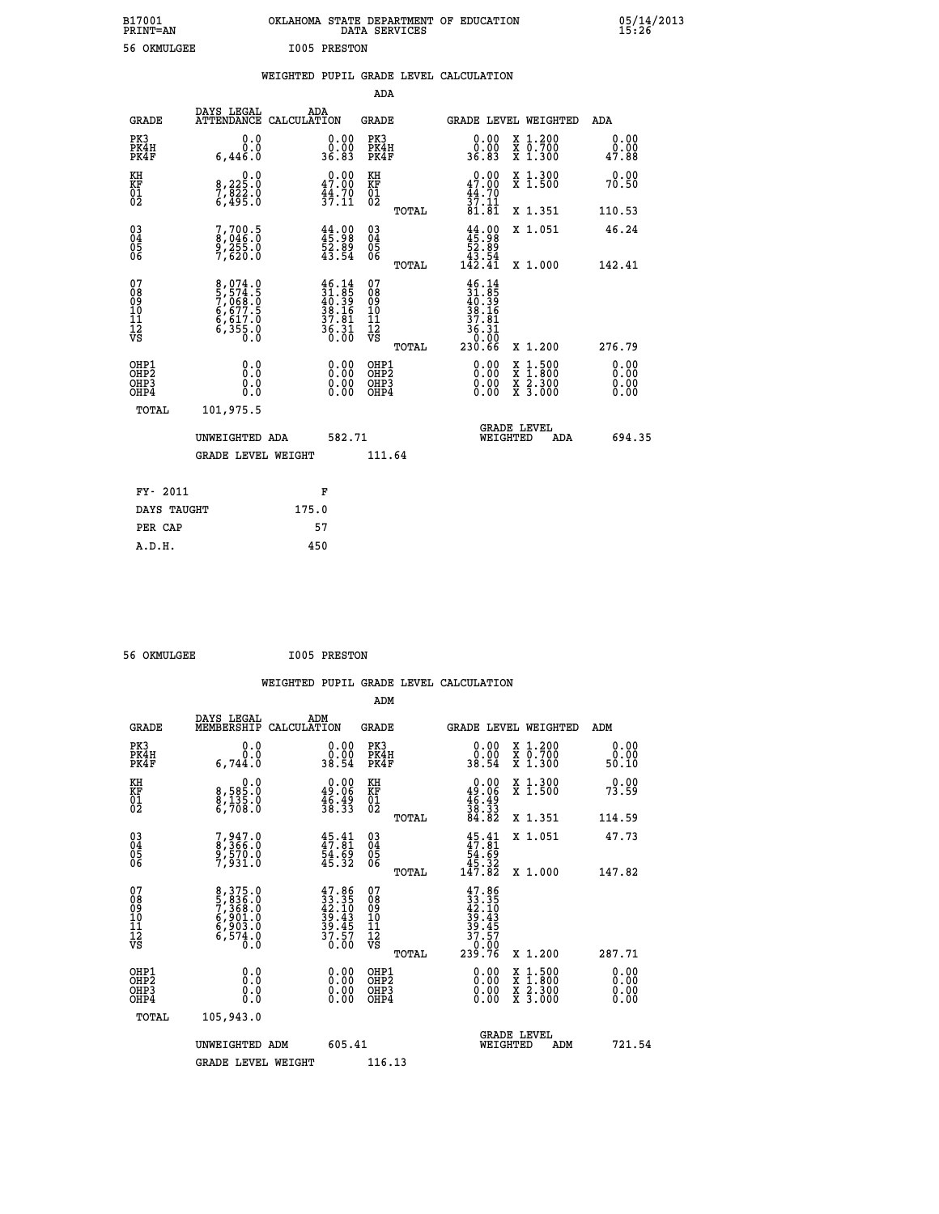| B17001          | OKLAHOMA STATE DEPARTMENT OF EDUCATION |
|-----------------|----------------------------------------|
| <b>PRINT=AN</b> | DATA SERVICES                          |
| 56 OKMULGEE     | <b>I005 PRESTON</b>                    |

 **B17001 OKLAHOMA STATE DEPARTMENT OF EDUCATION 05/14/2013**

|  |  | WEIGHTED PUPIL GRADE LEVEL CALCULATION |
|--|--|----------------------------------------|
|  |  |                                        |

|                                                                    |                                                                |                                                                                                                                                                                                                            | ADA                                                               |       |                                                                      |                                                                                                  |     |                              |
|--------------------------------------------------------------------|----------------------------------------------------------------|----------------------------------------------------------------------------------------------------------------------------------------------------------------------------------------------------------------------------|-------------------------------------------------------------------|-------|----------------------------------------------------------------------|--------------------------------------------------------------------------------------------------|-----|------------------------------|
| <b>GRADE</b>                                                       | DAYS LEGAL<br>ATTENDANCE CALCULATION                           | ADA                                                                                                                                                                                                                        | <b>GRADE</b>                                                      |       | GRADE LEVEL WEIGHTED                                                 |                                                                                                  |     | ADA                          |
| PK3<br>PK4H<br>PK4F                                                | 0.0<br>0.0<br>6,446.0                                          | $\begin{smallmatrix} 0.00\\ 0.00\\ 36.83 \end{smallmatrix}$                                                                                                                                                                | PK3<br>PK4H<br>PK4F                                               |       | 0.00<br>ŏ:ŏŏ<br>36.83                                                | X 1.200<br>X 0.700<br>X 1.300                                                                    |     | 0.00<br>0.00<br>47.88        |
| KH<br><b>KF</b><br>01<br>02                                        | 0.0<br>8,225:0<br>7,822:0<br>6,495:0                           | 47.00<br>$\frac{44.70}{37.11}$                                                                                                                                                                                             | KH<br>KF<br>01<br>02                                              |       | 0.00<br>47.00<br>$\frac{44}{37}$ : $\frac{70}{81}$<br>81.81          | X 1.300<br>X 1.500                                                                               |     | 0.00<br>70.50                |
|                                                                    |                                                                |                                                                                                                                                                                                                            |                                                                   | TOTAL |                                                                      | X 1.351                                                                                          |     | 110.53                       |
| $\begin{smallmatrix} 03 \\[-4pt] 04 \end{smallmatrix}$<br>05<br>06 | 7,700.5<br>8,046.0<br>9,255.0<br>7,620.0                       | $44.98$<br>$45.98$<br>$52.89$<br>$43.54$                                                                                                                                                                                   | $\substack{03 \\ 04}$<br>$\begin{matrix} 0.5 \\ 0.6 \end{matrix}$ |       | $44.00\n45.98\n52.89\n43.54\n142.41$                                 | X 1.051                                                                                          |     | 46.24                        |
|                                                                    |                                                                |                                                                                                                                                                                                                            |                                                                   | TOTAL |                                                                      | X 1.000                                                                                          |     | 142.41                       |
| 07<br>08<br>09<br>11<br>11<br>12<br>VS                             | 8,074.0<br>5,574.5<br>7,068.0<br>6,677.5<br>6,617.0<br>6,355.0 | $\begin{smallmatrix} 4\,6\cdot\,14\\[-1.2mm] 3\,1\cdot\,85\\[-1.2mm] 4\,0\cdot\,39\\[-1.2mm] 3\,8\cdot\,16\\[-1.2mm] 3\,7\cdot\,81\\[-1.2mm] 3\,6\cdot\,31\\[-1.2mm] 3\,6\cdot\,31\\[-1.2mm] 0\cdot\,00 \end{smallmatrix}$ | 07<br>08<br>09<br>11<br>11<br>12<br>VS                            |       | $46.14$<br>$31.85$<br>$40.39$<br>$38.16$<br>$37.81$<br>36.31<br>0.00 |                                                                                                  |     |                              |
|                                                                    |                                                                |                                                                                                                                                                                                                            |                                                                   | TOTAL | 230.66                                                               | X 1.200                                                                                          |     | 276.79                       |
| OHP1<br>OH <sub>P</sub> 2<br>OH <sub>P3</sub><br>OH <sub>P4</sub>  | 0.0<br>0.0<br>0.0                                              | 0.00<br>$\begin{smallmatrix} 0.00 \ 0.00 \end{smallmatrix}$                                                                                                                                                                | OHP1<br>OH <sub>P</sub> 2<br>OHP3<br>OHP4                         |       | 0.00<br>0.00<br>0.00                                                 | $\begin{smallmatrix} x & 1 & 500 \\ x & 1 & 800 \\ x & 2 & 300 \\ x & 3 & 000 \end{smallmatrix}$ |     | 0.00<br>0.00<br>0.00<br>0.00 |
| TOTAL                                                              | 101,975.5                                                      |                                                                                                                                                                                                                            |                                                                   |       |                                                                      |                                                                                                  |     |                              |
|                                                                    | UNWEIGHTED ADA                                                 | 582.71                                                                                                                                                                                                                     |                                                                   |       |                                                                      | GRADE LEVEL<br>WEIGHTED                                                                          | ADA | 694.35                       |
|                                                                    | <b>GRADE LEVEL WEIGHT</b>                                      |                                                                                                                                                                                                                            | 111.64                                                            |       |                                                                      |                                                                                                  |     |                              |
| FY- 2011                                                           |                                                                | F                                                                                                                                                                                                                          |                                                                   |       |                                                                      |                                                                                                  |     |                              |
| DAYS TAUGHT                                                        |                                                                | 175.0                                                                                                                                                                                                                      |                                                                   |       |                                                                      |                                                                                                  |     |                              |
| PER CAP                                                            |                                                                | 57                                                                                                                                                                                                                         |                                                                   |       |                                                                      |                                                                                                  |     |                              |
|                                                                    |                                                                |                                                                                                                                                                                                                            |                                                                   |       |                                                                      |                                                                                                  |     |                              |

 **56 OKMULGEE I005 PRESTON**

 **A.D.H. 450**

| <b>GRADE</b>                                       | DAYS LEGAL<br>MEMBERSHIP                                                        | ADM<br>CALCULATION                                                       | <b>GRADE</b>                                 |       |                                                                                                               |          | GRADE LEVEL WEIGHTED                                                                                                                      | ADM                      |  |
|----------------------------------------------------|---------------------------------------------------------------------------------|--------------------------------------------------------------------------|----------------------------------------------|-------|---------------------------------------------------------------------------------------------------------------|----------|-------------------------------------------------------------------------------------------------------------------------------------------|--------------------------|--|
| PK3<br>PK4H<br>PK4F                                | 0.0<br>0.0<br>6,744.0                                                           | $\begin{smallmatrix} 0.00\\ 0.00\\ 38.54 \end{smallmatrix}$              | PK3<br>PK4H<br>PK4F                          |       | 0.00<br>0.00<br>38.54                                                                                         |          | X 1.200<br>X 0.700<br>X 1.300                                                                                                             | 0.00<br>0.00<br>50.10    |  |
| KH<br>KF<br>01<br>02                               | 0.0<br>8,585:0<br>8,135:0<br>6,708:0                                            | $\begin{smallmatrix} 0.00\\ 49.06\\ 46.49\\ 38.33 \end{smallmatrix}$     | KH<br>KF<br>01<br>02                         |       | $0.00\n49.06\n46.49\n38.33\n34.82$                                                                            |          | X 1.300<br>X 1.500                                                                                                                        | 0.00<br>73.59            |  |
|                                                    |                                                                                 |                                                                          |                                              | TOTAL |                                                                                                               |          | X 1.351                                                                                                                                   | 114.59                   |  |
| $\begin{matrix} 03 \\ 04 \\ 05 \\ 06 \end{matrix}$ | 7,947.0<br>8,366.0<br>9,570.0<br>7,931.0                                        | $45.41$<br>$47.81$<br>$54.69$<br>$45.32$                                 | 03<br>04<br>05<br>06                         |       | $45.41$<br>$54.69$<br>$45.32$<br>$147.82$                                                                     |          | X 1.051                                                                                                                                   | 47.73                    |  |
|                                                    |                                                                                 |                                                                          |                                              | TOTAL |                                                                                                               |          | X 1.000                                                                                                                                   | 147.82                   |  |
| 07<br>08<br>09<br>101<br>11<br>12<br>VS            | 8,375.0<br>5,836.0<br>7,368.0<br>6,901.0<br>6,903.0<br>$6,57\frac{3}{6}\cdot 0$ | $47.86$<br>$33.35$<br>$42.10$<br>$39.43$<br>$39.45$<br>$37.57$<br>$0.00$ | 07<br>08<br>09<br>01<br>11<br>11<br>12<br>VS |       | $\begin{smallmatrix} 47.86\\ 33.35\\ 42.10\\ 42.10\\ 39.43\\ 39.45\\ 37.57\\ 0.00\\ 239.76 \end{smallmatrix}$ |          |                                                                                                                                           |                          |  |
|                                                    |                                                                                 |                                                                          |                                              | TOTAL |                                                                                                               |          | X 1.200                                                                                                                                   | 287.71                   |  |
| OHP1<br>OHP2<br>OHP3<br>OHP4                       | 0.0<br>$\begin{smallmatrix} 0.0 & 0 \ 0.0 & 0 \end{smallmatrix}$                | $0.00$<br>$0.00$<br>0.00                                                 | OHP1<br>OHP2<br>OHP3<br>OHP4                 |       | $0.00$<br>$0.00$<br>0.00                                                                                      |          | $\begin{smallmatrix} \mathtt{X} & 1\cdot500\\ \mathtt{X} & 1\cdot800\\ \mathtt{X} & 2\cdot300\\ \mathtt{X} & 3\cdot000 \end{smallmatrix}$ | $0.00$<br>$0.00$<br>0.00 |  |
| TOTAL                                              | 105,943.0                                                                       |                                                                          |                                              |       |                                                                                                               |          |                                                                                                                                           |                          |  |
|                                                    | UNWEIGHTED ADM                                                                  | 605.41                                                                   |                                              |       |                                                                                                               | WEIGHTED | <b>GRADE LEVEL</b><br>ADM                                                                                                                 | 721.54                   |  |
|                                                    | <b>GRADE LEVEL WEIGHT</b>                                                       |                                                                          | 116.13                                       |       |                                                                                                               |          |                                                                                                                                           |                          |  |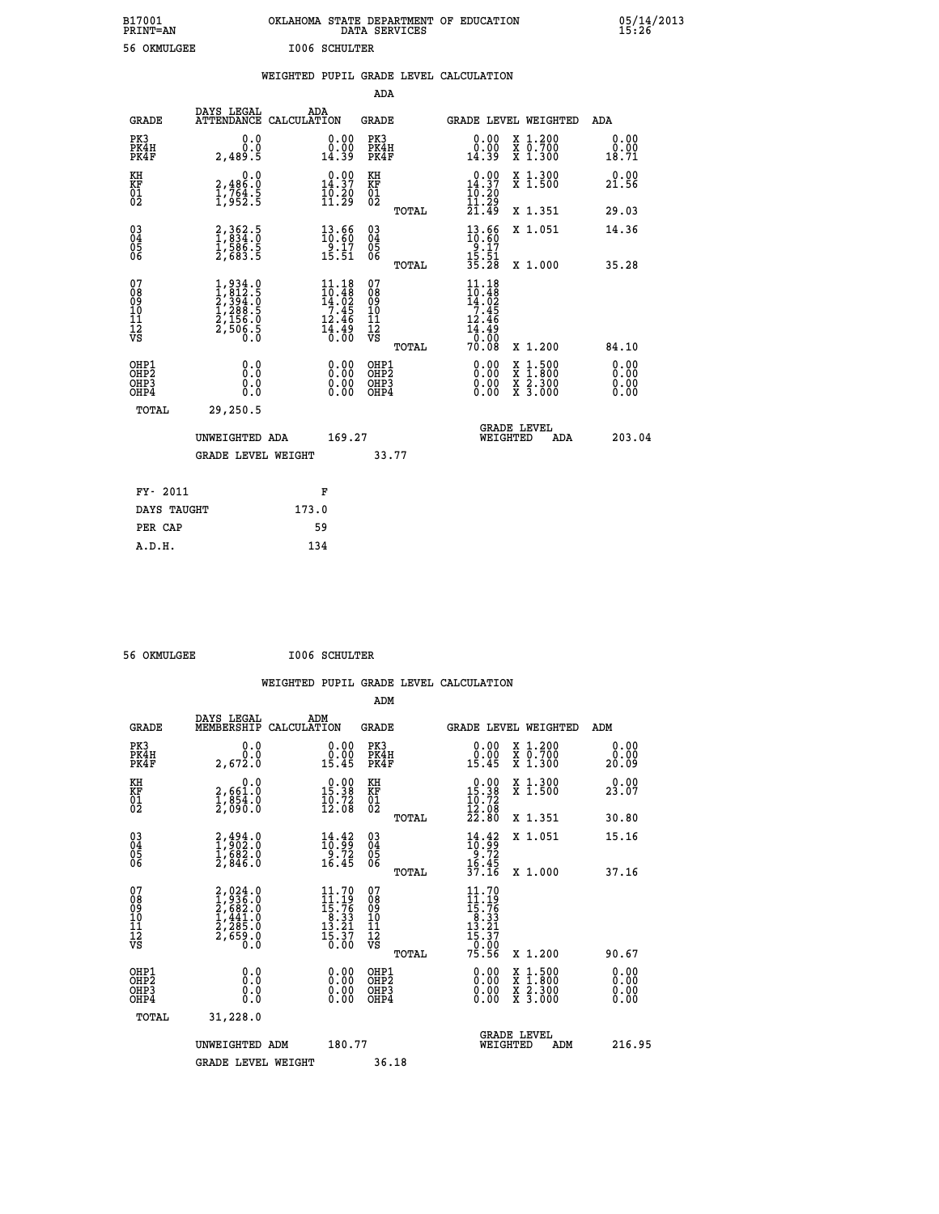| B17001<br><b>PRINT=AN</b> | OKLAHOMA STATE DEPARTMENT OF EDUCATION<br>DATA SERVICES | 05/14/2013<br>15:26 |
|---------------------------|---------------------------------------------------------|---------------------|
| 56 OKMULGEE               | <b>I006 SCHULTER</b>                                    |                     |

|                                                                    |                                                                            |       |                                                                                                                          |                                                     |       | WEIGHTED PUPIL GRADE LEVEL CALCULATION                                                                 |                                                                                          |     |                                  |
|--------------------------------------------------------------------|----------------------------------------------------------------------------|-------|--------------------------------------------------------------------------------------------------------------------------|-----------------------------------------------------|-------|--------------------------------------------------------------------------------------------------------|------------------------------------------------------------------------------------------|-----|----------------------------------|
|                                                                    |                                                                            |       |                                                                                                                          | <b>ADA</b>                                          |       |                                                                                                        |                                                                                          |     |                                  |
| <b>GRADE</b>                                                       | DAYS LEGAL<br>ATTENDANCE CALCULATION                                       | ADA   |                                                                                                                          | <b>GRADE</b>                                        |       | GRADE LEVEL WEIGHTED                                                                                   |                                                                                          |     | ADA                              |
| PK3<br>PK4H<br>PK4F                                                | 0.0<br>0.0<br>2,489.5                                                      |       | $\begin{smallmatrix} 0.00\\ 0.00\\ 14.39 \end{smallmatrix}$                                                              | PK3<br>PK4H<br>PK4F                                 |       | 0.00<br>ă:ŏŏ<br>14:39                                                                                  | X 1.200<br>X 0.700<br>X 1.300                                                            |     | 0.00<br>0.00<br>18.71            |
| KH<br>KF<br>01<br>02                                               | $\begin{smallmatrix}&&&0.0\\2,486.0\\1,764.5\\1,952.5\end{smallmatrix}$    |       | $0.00$<br>14.37<br>$\frac{10.20}{11.29}$                                                                                 | KH<br>KF<br>01<br>02                                |       | $0.00$<br>14.37<br>10:20<br>11:29                                                                      | X 1.300<br>X 1.500                                                                       |     | 0.00<br>21.56                    |
|                                                                    |                                                                            |       |                                                                                                                          |                                                     | TOTAL | 21.49                                                                                                  | X 1.351                                                                                  |     | 29.03                            |
| $\begin{smallmatrix} 03 \\[-4pt] 04 \end{smallmatrix}$<br>Ŏ5<br>06 | 2,362.5<br>1,834.0<br>1,586.5<br>2,683.5                                   |       | $\begin{smallmatrix} 13.66 \\ 10.60 \\ 9.17 \\ 15.51 \end{smallmatrix}$                                                  | $\begin{array}{c} 03 \\ 04 \\ 05 \\ 06 \end{array}$ |       | $13.66$<br>$10.60$<br>$9.17$<br>$15.51$<br>$35.28$                                                     | X 1.051                                                                                  |     | 14.36                            |
|                                                                    |                                                                            |       |                                                                                                                          |                                                     | TOTAL |                                                                                                        | X 1.000                                                                                  |     | 35.28                            |
| 07<br>08<br>09<br>01<br>11<br>11<br>12<br>VS                       | $1,812.5$<br>$2,394.5$<br>$2,394.5$<br>$1,288.5$<br>$2,156.0$<br>$2,506.5$ |       | $11.18$<br>$10.48$<br>$14.02$<br>$7.45$<br>$12.46$<br>$\bar{1}\bar{4}\cdot\bar{4}\bar{9}\over\bar{0}\cdot\bar{0}\bar{0}$ | 07<br>08<br>09<br>11<br>11<br>12<br>VS              | TOTAL | $11.18$<br>$10.48$<br>$14.02$<br>$7.45$<br>12.46<br>$\frac{1}{4}$ $\frac{3}{8}$ $\frac{3}{8}$<br>70.08 | X 1.200                                                                                  |     | 84.10                            |
| OHP1<br>OHP2<br>OHP3<br>OHP4                                       | 0.0<br>0.0<br>0.0                                                          |       | $\begin{smallmatrix} 0.00 \ 0.00 \ 0.00 \ 0.00 \end{smallmatrix}$                                                        | OHP1<br>OHP2<br>OHP3<br>OHP4                        |       | 0.00<br>0.00                                                                                           | $\begin{smallmatrix} x & 1.500 \\ x & 1.800 \\ x & 2.300 \\ x & 3.000 \end{smallmatrix}$ |     | 0.00<br>0.00<br>$0.00$<br>$0.00$ |
| TOTAL                                                              | 29,250.5                                                                   |       |                                                                                                                          |                                                     |       |                                                                                                        |                                                                                          |     |                                  |
|                                                                    | UNWEIGHTED ADA                                                             |       | 169.27                                                                                                                   |                                                     |       | WEIGHTED                                                                                               | <b>GRADE LEVEL</b>                                                                       | ADA | 203.04                           |
|                                                                    | <b>GRADE LEVEL WEIGHT</b>                                                  |       |                                                                                                                          |                                                     | 33.77 |                                                                                                        |                                                                                          |     |                                  |
| FY- 2011                                                           |                                                                            |       | F                                                                                                                        |                                                     |       |                                                                                                        |                                                                                          |     |                                  |
| DAYS TAUGHT                                                        |                                                                            | 173.0 |                                                                                                                          |                                                     |       |                                                                                                        |                                                                                          |     |                                  |
| PER CAP                                                            |                                                                            |       | 59                                                                                                                       |                                                     |       |                                                                                                        |                                                                                          |     |                                  |

 **56 OKMULGEE I006 SCHULTER**

 **A.D.H. 134**

| <b>GRADE</b>                             | DAYS LEGAL<br>MEMBERSHIP                                                            | ADM<br>CALCULATION                                                                                                                                                      | <b>GRADE</b>                                          |                                                                                                                                                                                                                                                                                |                                | GRADE LEVEL WEIGHTED                     | ADM                   |  |
|------------------------------------------|-------------------------------------------------------------------------------------|-------------------------------------------------------------------------------------------------------------------------------------------------------------------------|-------------------------------------------------------|--------------------------------------------------------------------------------------------------------------------------------------------------------------------------------------------------------------------------------------------------------------------------------|--------------------------------|------------------------------------------|-----------------------|--|
| PK3<br>PK4H<br>PK4F                      | 0.0<br>2,672.0                                                                      | $\begin{smallmatrix} 0.00\\ 0.00\\ 15.45 \end{smallmatrix}$                                                                                                             | PK3<br>PK4H<br>PK4F                                   | $\begin{smallmatrix} 0.00\\ 0.00\\ 15.45 \end{smallmatrix}$                                                                                                                                                                                                                    |                                | X 1.200<br>X 0.700<br>X 1.300            | 0.00<br>0.00<br>20.09 |  |
| KH<br>KF<br>01<br>02                     | 0.0<br>2,661.0<br>1,854.0<br>2,090.0                                                | $\begin{smallmatrix} 0.00\\ 15.38\\ 10.72\\ 12.08 \end{smallmatrix}$                                                                                                    | KH<br>KF<br>01<br>02                                  | $\begin{smallmatrix} 0.00\\ 15.38\\ 10.72\\ 12.08\\ 22.80 \end{smallmatrix}$                                                                                                                                                                                                   |                                | X 1.300<br>X 1.500                       | 0.00<br>23.07         |  |
|                                          |                                                                                     |                                                                                                                                                                         | TOTAL                                                 |                                                                                                                                                                                                                                                                                |                                | X 1.351                                  | 30.80                 |  |
| 03<br>04<br>05<br>06                     | $2,494.0$<br>$1,902.0$<br>$1,682.0$<br>$2,846.0$                                    | $\begin{smallmatrix} 14.42\ 10.99\ 9.72\ 16.45 \end{smallmatrix}$                                                                                                       | $\begin{matrix} 03 \\ 04 \\ 05 \\ 06 \end{matrix}$    | $14.42$<br>$10.99$<br>$9.72$<br>$16.45$<br>$37.16$                                                                                                                                                                                                                             |                                | X 1.051                                  | 15.16                 |  |
|                                          |                                                                                     |                                                                                                                                                                         | TOTAL                                                 |                                                                                                                                                                                                                                                                                |                                | X 1.000                                  | 37.16                 |  |
| 07<br>089<br>090<br>1112<br>VS           | $2,024.0$<br>$1,936.0$<br>$2,682.0$<br>$1,441.0$<br>$2,285.0$<br>$2,659.0$<br>$0.0$ | $\begin{array}{l} 11\cdot70 \\[-4pt] 11\cdot19 \\[-4pt] 15\cdot76 \\[-4pt] 8\cdot33 \\[-4pt] 13\cdot21 \\[-4pt] 15\cdot37 \\[-4pt] 15\cdot30 \\[-4pt] 0.00 \end{array}$ | 07<br>08<br>09<br>01<br>11<br>11<br>12<br>VS<br>TOTAL | $\begin{array}{c} 11\cdot70 \\ 11\cdot19 \\ 15\cdot76 \\ 8\cdot33 \\ 13\cdot21 \\ 15\cdot37 \\ 0\cdot00 \\ 75\cdot56 \end{array}$                                                                                                                                              |                                | X 1.200                                  | 90.67                 |  |
| OHP1<br>OHP2<br>OH <sub>P3</sub><br>OHP4 | 0.0<br>0.000                                                                        | $\begin{smallmatrix} 0.00 \ 0.00 \ 0.00 \ 0.00 \end{smallmatrix}$                                                                                                       | OHP1<br>OHP2<br>OHP3<br>OHP4                          | $\begin{smallmatrix} 0.00 & 0.00 & 0.00 & 0.00 & 0.00 & 0.00 & 0.00 & 0.00 & 0.00 & 0.00 & 0.00 & 0.00 & 0.00 & 0.00 & 0.00 & 0.00 & 0.00 & 0.00 & 0.00 & 0.00 & 0.00 & 0.00 & 0.00 & 0.00 & 0.00 & 0.00 & 0.00 & 0.00 & 0.00 & 0.00 & 0.00 & 0.00 & 0.00 & 0.00 & 0.00 & 0.0$ |                                | X 1:500<br>X 1:800<br>X 2:300<br>X 3:000 | 0.00<br>0.00<br>0.00  |  |
| TOTAL                                    | 31,228.0                                                                            |                                                                                                                                                                         |                                                       |                                                                                                                                                                                                                                                                                |                                |                                          |                       |  |
|                                          | UNWEIGHTED<br>ADM                                                                   | 180.77                                                                                                                                                                  |                                                       |                                                                                                                                                                                                                                                                                | <b>GRADE LEVEL</b><br>WEIGHTED | ADM                                      | 216.95                |  |
|                                          | <b>GRADE LEVEL WEIGHT</b>                                                           |                                                                                                                                                                         | 36.18                                                 |                                                                                                                                                                                                                                                                                |                                |                                          |                       |  |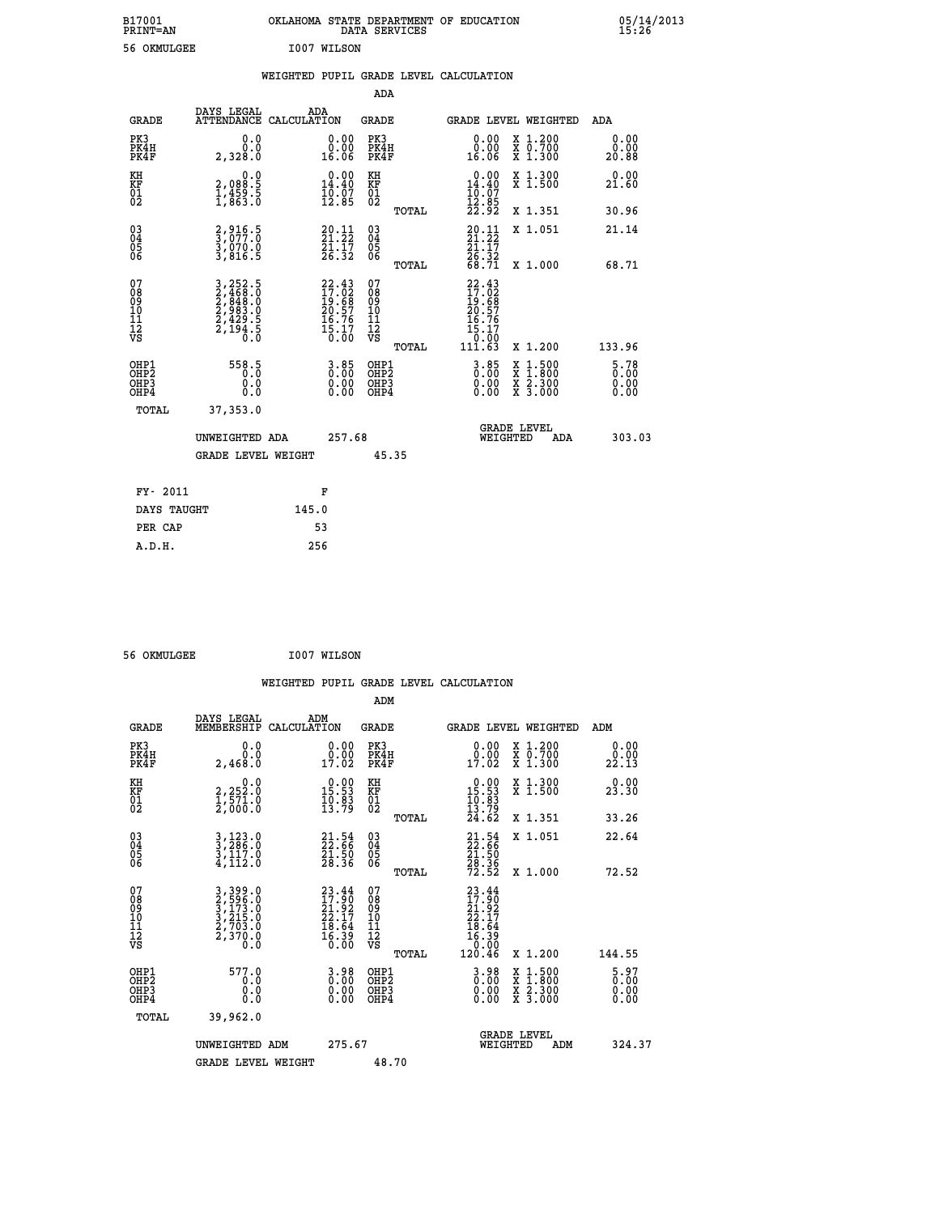| B17001<br><b>PRINT=AN</b> | OKLAHOMA STATE DEPARTMENT OF EDUCATION<br>SERVICES<br>DATA | 05/14/2013<br>15:26 |
|---------------------------|------------------------------------------------------------|---------------------|
| OKMULGEE<br>56            | I007 WILSON                                                |                     |

|  |  | WEIGHTED PUPIL GRADE LEVEL CALCULATION |
|--|--|----------------------------------------|
|  |  |                                        |

|                                                                    |                                                                                                                                               |                                                                          | ADA                                                |       |                                                                                    |                                                                                          |                                  |
|--------------------------------------------------------------------|-----------------------------------------------------------------------------------------------------------------------------------------------|--------------------------------------------------------------------------|----------------------------------------------------|-------|------------------------------------------------------------------------------------|------------------------------------------------------------------------------------------|----------------------------------|
| <b>GRADE</b>                                                       | DAYS LEGAL<br>ATTENDANCE CALCULATION                                                                                                          | ADA                                                                      | <b>GRADE</b>                                       |       |                                                                                    | GRADE LEVEL WEIGHTED                                                                     | ADA                              |
| PK3<br>PK4H<br>PK4F                                                | 0.0<br>0.0<br>2,328.0                                                                                                                         | 0.00<br>0.00<br>16.06                                                    | PK3<br>PK4H<br>PK4F                                |       | 0.00<br>$0.00$<br>16.06                                                            | X 1.200<br>X 0.700<br>X 1.300                                                            | 0.00<br>0.00<br>20.88            |
| KH<br>KF<br>01<br>02                                               | 0.0<br>2,088:5<br>1,459:5<br>1,863:0                                                                                                          | $0.00$<br>14.40<br>$\frac{1}{12}$ . $\frac{5}{2}$                        | KH<br>KF<br>$\overline{01}$                        |       | $0.00$<br>14.40<br>$\frac{1}{12}$ . $\frac{1}{9}$<br>$\frac{2}{2}$ . $\frac{9}{2}$ | X 1.300<br>X 1.500                                                                       | 0.00<br>21.60                    |
|                                                                    |                                                                                                                                               |                                                                          |                                                    | TOTAL |                                                                                    | X 1.351                                                                                  | 30.96                            |
| $\begin{smallmatrix} 03 \\[-4pt] 04 \end{smallmatrix}$<br>Ŏ5<br>06 | 2,916.5<br>3,077.0<br>3,070.0<br>3,816.5                                                                                                      | $20.11$<br>$21.22$<br>$\frac{21}{26}$ : $\frac{17}{32}$                  | $\begin{matrix} 03 \\ 04 \\ 05 \\ 06 \end{matrix}$ |       | $20.11$<br>$21.22$<br>$\frac{21.17}{26.32}$<br>68.71                               | X 1.051                                                                                  | 21.14                            |
|                                                                    |                                                                                                                                               |                                                                          |                                                    | TOTAL |                                                                                    | X 1.000                                                                                  | 68.71                            |
| 07<br>08<br>09<br>11<br>11<br>12<br>VS                             | $\begin{smallmatrix} 3\,,\,252\,.5\\ 2\,,\,468\,.0\\ 2\,,\,848\,.0\\ 2\,,\,983\,.0\\ 2\,,\,429\,.5\\ 2\,,\,194\,.5\\ 0\,.0 \end{smallmatrix}$ | $22.43$<br>$17.02$<br>$19.68$<br>$20.57$<br>$16.76$<br>$15.17$<br>$0.00$ | 07<br>08<br>09<br>11<br>11<br>12<br>VS             |       | 22.43<br>17.02<br>19.68<br>20.57<br>20.76<br>15.17<br>15.17                        |                                                                                          |                                  |
|                                                                    |                                                                                                                                               |                                                                          |                                                    | TOTAL | 111.63                                                                             | X 1.200                                                                                  | 133.96                           |
| OHP1<br>OHP2<br>OH <sub>P3</sub><br>OHP4                           | 558.5<br>0.0<br>0.0                                                                                                                           | $3.85$<br>$0.00$<br>0.00<br>0.00                                         | OHP1<br>OHP2<br>OHP3<br>OHP4                       |       | $\begin{smallmatrix} 3.85\ 0.00\ 0.00 \end{smallmatrix}$                           | $\begin{smallmatrix} x & 1.500 \\ x & 1.800 \\ x & 2.300 \\ x & 3.000 \end{smallmatrix}$ | $5.78$<br>$0.00$<br>0.00<br>0.00 |
| TOTAL                                                              | 37, 353, 0                                                                                                                                    |                                                                          |                                                    |       |                                                                                    |                                                                                          |                                  |
|                                                                    | UNWEIGHTED ADA                                                                                                                                | 257.68                                                                   |                                                    |       |                                                                                    | <b>GRADE LEVEL</b><br>WEIGHTED<br>ADA                                                    | 303.03                           |
|                                                                    | <b>GRADE LEVEL WEIGHT</b>                                                                                                                     |                                                                          |                                                    | 45.35 |                                                                                    |                                                                                          |                                  |
| FY- 2011                                                           |                                                                                                                                               | F                                                                        |                                                    |       |                                                                                    |                                                                                          |                                  |
| DAYS TAUGHT                                                        |                                                                                                                                               | 145.0                                                                    |                                                    |       |                                                                                    |                                                                                          |                                  |
| PER CAP                                                            |                                                                                                                                               | 53                                                                       |                                                    |       |                                                                                    |                                                                                          |                                  |

 **56 OKMULGEE I007 WILSON**

 **A.D.H. 256**

 **WEIGHTED PUPIL GRADE LEVEL CALCULATION ADM DAYS LEGAL ADM GRADE MEMBERSHIP CALCULATION GRADE GRADE LEVEL WEIGHTED ADM PK3 0.0 0.00 PK3 0.00 X 1.200 0.00 PK4H 0.0 0.00 PK4H 0.00 X 0.700 0.00 PK4F 2,468.0 17.02 PK4F 17.02 X 1.300 22.13 KH 0.0 0.00 KH 0.00 X 1.300 0.00 KF 2,252.0 15.53 KF 15.53 X 1.500 23.30 01 1,571.0 10.83 01 10.83 02 2,000.0 13.79 02 13.79 TOTAL 24.62 X 1.351 33.26 03 3,123.0 21.54 03 21.54 X 1.051 22.64 04 3,286.0 22.66 04 22.66 05 3,117.0 21.50 05 21.50**  $06 \qquad 4,112.0 \qquad 28.36 \quad 06 \qquad 28.36$  **TOTAL 72.52 X 1.000 72.52**  $\begin{array}{cccc} 07 & 3 & 399.0 & 23.44 & 07 & 23.44 \ 08 & 2 & 2 & 596.0 & 17.90 & 08 & 17.90 \ 09 & 3 & 71.3.0 & 21.92 & 09 & 21.92 \ 10 & 3 & 215.0 & 22.17 & 10 & 22.17 \ 11 & 2 & 703.0 & 18.64 & 11 & 18.64 \ \hline \textrm{vs} & 2 & 370.0 & 16.39 & 12 & 16.39 \ 0.0 & 0.0 &$  $\begin{array}{cccc} \texttt{399.0} & \texttt{23.44} & \texttt{07} & \texttt{23.44} & \texttt{27.15.0} & \texttt{23.45} & \texttt{24.17} & \texttt{30.86} & \texttt{25.86} & \texttt{26.87} & \texttt{27.86} & \texttt{28.87} & \texttt{29.88} & \texttt{21.87} & \texttt{20.87} & \texttt{21.88} & \texttt{22.817} & \texttt{23.81} & \texttt{24.84} & \texttt{$  **OHP1 577.0 3.98 OHP1 3.98 X 1.500 5.97 OHP2 0.0 0.00 OHP2 0.00 X 1.800 0.00 OHP3 0.0 0.00 OHP3 0.00 X 2.300 0.00 OHP4 0.0 0.00 OHP4 0.00 X 3.000 0.00**

| TOTAL | 39,962.0           |        |                                       |        |
|-------|--------------------|--------|---------------------------------------|--------|
|       | UNWEIGHTED ADM     | 275.67 | <b>GRADE LEVEL</b><br>ADM<br>WEIGHTED | 324.37 |
|       | GRADE LEVEL WEIGHT | 48.70  |                                       |        |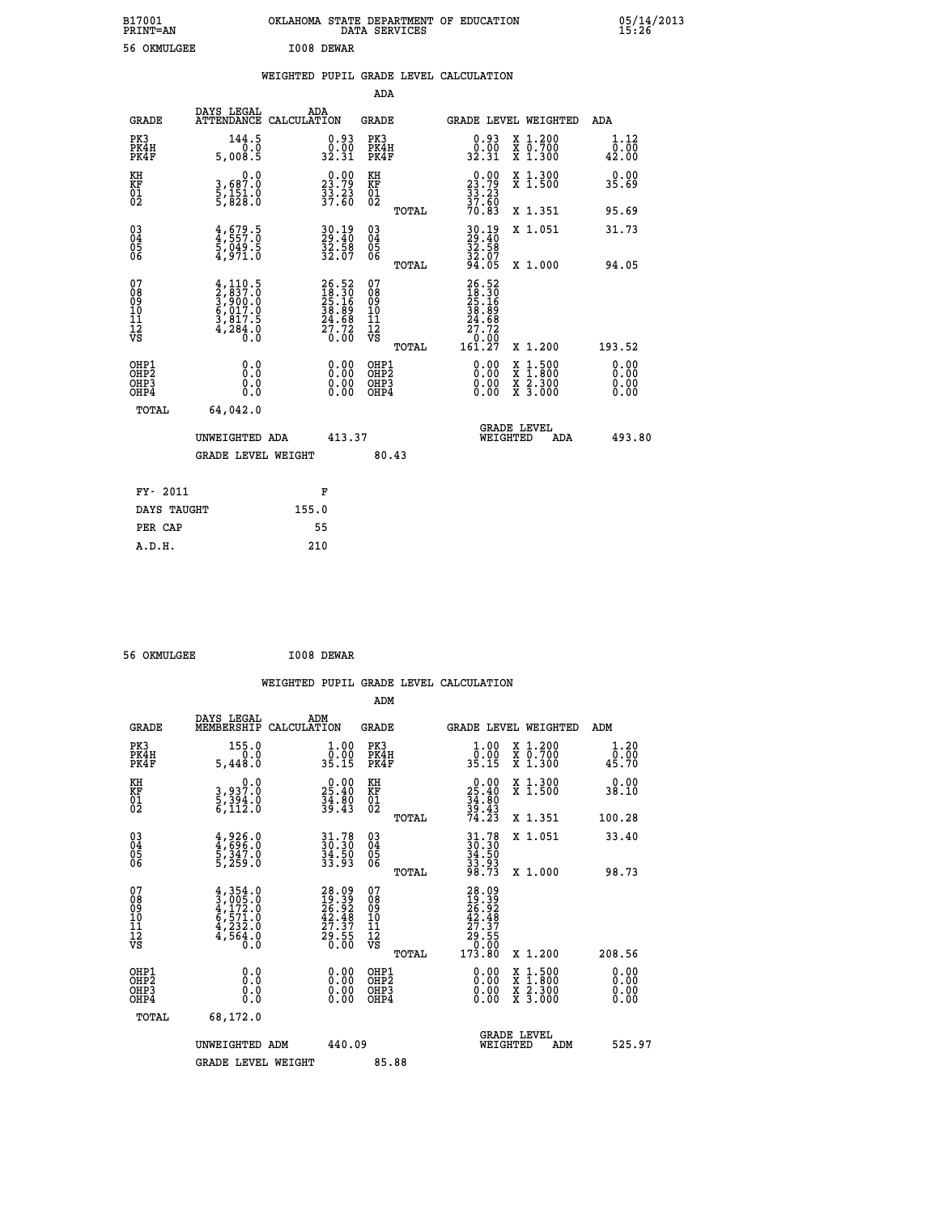| B17001<br>PRINT=AN | <b>OKLAHOMA</b><br>STATE DEPARTMENT OF EDUCATION<br>SERVICES<br>DATA | 05/14/2013<br>15:26 |
|--------------------|----------------------------------------------------------------------|---------------------|
| 56<br>OKMULGEE     | I008<br><b>DEWAR</b>                                                 |                     |

|  |  | WEIGHTED PUPIL GRADE LEVEL CALCULATION |
|--|--|----------------------------------------|
|  |  |                                        |

|                                                                  |                                                                                     |                                                                      | ADA                                                 |       |                                                                                                  |                                                                                          |                              |
|------------------------------------------------------------------|-------------------------------------------------------------------------------------|----------------------------------------------------------------------|-----------------------------------------------------|-------|--------------------------------------------------------------------------------------------------|------------------------------------------------------------------------------------------|------------------------------|
| <b>GRADE</b>                                                     | DAYS LEGAL<br>ATTENDANCE CALCULATION                                                | ADA                                                                  | <b>GRADE</b>                                        |       | GRADE LEVEL WEIGHTED                                                                             |                                                                                          | ADA                          |
| PK3<br>PK4H<br>PK4F                                              | $144.5$<br>$0.0$<br>5,008.5                                                         | $\begin{smallmatrix} 0.93\ 0.00\\ 32.31 \end{smallmatrix}$           | PK3<br>PK4H<br>PK4F                                 |       | $\begin{smallmatrix} 0.93 \\ 0.00 \\ 32.31 \end{smallmatrix}$                                    | X 1.200<br>X 0.700<br>X 1.300                                                            | 1.12<br>0.00<br>42.00        |
| KH<br>KF<br>01<br>02                                             | 0.0<br>3,687:0<br>5,151:0<br>5,828:0                                                | $\begin{smallmatrix} 0.00\\ 23.79\\ 33.23\\ 37.60 \end{smallmatrix}$ | KH<br>KF<br>01<br>02                                |       | $\begin{smallmatrix} 0.00\\ 23.79\\ 33.23\\ 37.60\\ 70.83 \end{smallmatrix}$                     | X 1.300<br>X 1.500                                                                       | 0.00<br>35.69                |
|                                                                  |                                                                                     |                                                                      |                                                     | TOTAL |                                                                                                  | X 1.351                                                                                  | 95.69                        |
| $\begin{matrix} 03 \\ 04 \\ 05 \\ 06 \end{matrix}$               | $4,679.5$<br>$5,049.5$<br>$5,049.5$<br>$4,971.0$                                    | $30.19$<br>29:40<br>$\frac{32.58}{32.07}$                            | $\begin{array}{c} 03 \\ 04 \\ 05 \\ 06 \end{array}$ |       | 30.19<br>29.40<br>32.58<br>32.07<br>34.05                                                        | X 1.051                                                                                  | 31.73                        |
|                                                                  |                                                                                     |                                                                      |                                                     | TOTAL |                                                                                                  | X 1.000                                                                                  | 94.05                        |
| 07<br>08<br>09<br>11<br>11<br>12<br>VS                           | $4,110.5$<br>$2,837.0$<br>$3,900.0$<br>$6,017.0$<br>$3,817.5$<br>$4,284.0$<br>$0.0$ | $26.52\n18.30\n25.16\n38.89\n24.68\n27.72\n0.00$                     | 07<br>08<br>09<br>11<br>11<br>12<br>VS              |       | $\begin{smallmatrix} 26.52\ 18.30\ 25.16\ 25.69\ 24.69\ 27.72\ 0.007\ 161.27\ \end{smallmatrix}$ |                                                                                          |                              |
|                                                                  |                                                                                     |                                                                      |                                                     | TOTAL |                                                                                                  | X 1.200                                                                                  | 193.52                       |
| OHP1<br>OH <sub>P</sub> <sub>2</sub><br>OH <sub>P3</sub><br>OHP4 | 0.0<br>0.0<br>0.0                                                                   | $\begin{smallmatrix} 0.00 \ 0.00 \ 0.00 \ 0.00 \end{smallmatrix}$    | OHP1<br>OHP <sub>2</sub><br>OHP3<br>OHP4            |       | $0.00$<br>$0.00$<br>0.00                                                                         | $\begin{smallmatrix} x & 1.500 \\ x & 1.800 \\ x & 2.300 \\ x & 3.000 \end{smallmatrix}$ | 0.00<br>0.00<br>0.00<br>0.00 |
| <b>TOTAL</b>                                                     | 64,042.0                                                                            |                                                                      |                                                     |       |                                                                                                  |                                                                                          |                              |
|                                                                  | UNWEIGHTED ADA                                                                      | 413.37                                                               |                                                     |       | WEIGHTED                                                                                         | <b>GRADE LEVEL</b><br>ADA                                                                | 493.80                       |
|                                                                  | <b>GRADE LEVEL WEIGHT</b>                                                           |                                                                      | 80.43                                               |       |                                                                                                  |                                                                                          |                              |
| FY- 2011                                                         |                                                                                     |                                                                      |                                                     |       |                                                                                                  |                                                                                          |                              |
|                                                                  |                                                                                     | F                                                                    |                                                     |       |                                                                                                  |                                                                                          |                              |
| DAYS TAUGHT                                                      |                                                                                     | 155.0                                                                |                                                     |       |                                                                                                  |                                                                                          |                              |
| PER CAP                                                          |                                                                                     | 55                                                                   |                                                     |       |                                                                                                  |                                                                                          |                              |

 **56 OKMULGEE I008 DEWAR**

 **A.D.H. 210**

|                                                    |                                                                                     |                                                                            | WEIGHTED PUPIL GRADE LEVEL CALCULATION                |                                                                                                                                                                                                                                                                                |                                          |                          |
|----------------------------------------------------|-------------------------------------------------------------------------------------|----------------------------------------------------------------------------|-------------------------------------------------------|--------------------------------------------------------------------------------------------------------------------------------------------------------------------------------------------------------------------------------------------------------------------------------|------------------------------------------|--------------------------|
|                                                    |                                                                                     |                                                                            | ADM                                                   |                                                                                                                                                                                                                                                                                |                                          |                          |
| <b>GRADE</b>                                       | DAYS LEGAL<br>MEMBERSHIP<br>CALCULATION                                             | ADM                                                                        | <b>GRADE</b>                                          | <b>GRADE LEVEL WEIGHTED</b>                                                                                                                                                                                                                                                    |                                          | ADM                      |
| PK3<br>PK4H<br>PK4F                                | 155.0<br>0.0<br>5,448.0                                                             | $\begin{smallmatrix} 1.00\\[-1.2mm] 0.00\\[-1.2mm] 35.15\end{smallmatrix}$ | PK3<br>PK4H<br>PK4F                                   | $\begin{smallmatrix} 1.00\\[-1.2mm] 0.00\\[-1.2mm] 35.15\end{smallmatrix}$                                                                                                                                                                                                     | X 1.200<br>X 0.700<br>X 1.300            | 1.20<br>0.00<br>45.70    |
| KH<br>KF<br>01<br>02                               | 0.0<br>3,937.0<br>5,394.0<br>6,112.0                                                | $\begin{smallmatrix} 0.00\\ 25.40\\ 34.80\\ 39.43 \end{smallmatrix}$       | KH<br>KF<br>01<br>02                                  | $\begin{smallmatrix} 0.00\\ 25.40\\ 34.80\\ 39.43\\ 74.23 \end{smallmatrix}$                                                                                                                                                                                                   | X 1.300<br>X 1.500                       | 0.00<br>38.10            |
|                                                    |                                                                                     |                                                                            | TOTAL                                                 |                                                                                                                                                                                                                                                                                | X 1.351                                  | 100.28                   |
| $\begin{matrix} 03 \\ 04 \\ 05 \\ 06 \end{matrix}$ | $4,926.0$<br>$5,347.0$<br>$5,259.0$                                                 | 31.78<br>30.30<br>34.50<br>33.93                                           | $\begin{array}{c} 03 \\ 04 \\ 05 \\ 06 \end{array}$   | $31.7830.3034.5033.9398.73$                                                                                                                                                                                                                                                    | X 1.051                                  | 33.40                    |
|                                                    |                                                                                     |                                                                            | TOTAL                                                 |                                                                                                                                                                                                                                                                                | X 1.000                                  | 98.73                    |
| 07<br>08<br>09<br>101<br>11<br>12<br>VS            | $4,354.0$<br>$3,005.0$<br>$4,172.0$<br>$6,571.0$<br>$4,232.0$<br>$4,564.0$<br>$0.0$ | $28.09$<br>$19.39$<br>$26.92$<br>$42.48$<br>$27.37$<br>$29.55$<br>$0.00$   | 07<br>08<br>09<br>01<br>11<br>11<br>12<br>VS<br>TOTAL | $\begin{array}{r} 28.09 \\ 19.39 \\ 26.92 \\ 27.37 \\ 29.55 \\ 0.00 \\ 173.80 \end{array}$                                                                                                                                                                                     | X 1.200                                  | 208.56                   |
| OHP1<br>OHP2<br>OHP3<br>OHP4                       |                                                                                     | $\begin{smallmatrix} 0.00 \ 0.00 \ 0.00 \ 0.00 \end{smallmatrix}$          | OHP1<br>OHP2<br>OHP3<br>OHP4                          | $\begin{smallmatrix} 0.00 & 0.00 & 0.00 & 0.00 & 0.00 & 0.00 & 0.00 & 0.00 & 0.00 & 0.00 & 0.00 & 0.00 & 0.00 & 0.00 & 0.00 & 0.00 & 0.00 & 0.00 & 0.00 & 0.00 & 0.00 & 0.00 & 0.00 & 0.00 & 0.00 & 0.00 & 0.00 & 0.00 & 0.00 & 0.00 & 0.00 & 0.00 & 0.00 & 0.00 & 0.00 & 0.0$ | X 1:500<br>X 1:800<br>X 2:300<br>X 3:000 | $0.00$<br>$0.00$<br>0.00 |
| TOTAL                                              | 68,172.0                                                                            |                                                                            |                                                       |                                                                                                                                                                                                                                                                                |                                          |                          |
|                                                    | UNWEIGHTED ADM                                                                      | 440.09                                                                     |                                                       | <b>GRADE LEVEL</b><br>WEIGHTED                                                                                                                                                                                                                                                 | ADM                                      | 525.97                   |
|                                                    | <b>GRADE LEVEL WEIGHT</b>                                                           |                                                                            | 85.88                                                 |                                                                                                                                                                                                                                                                                |                                          |                          |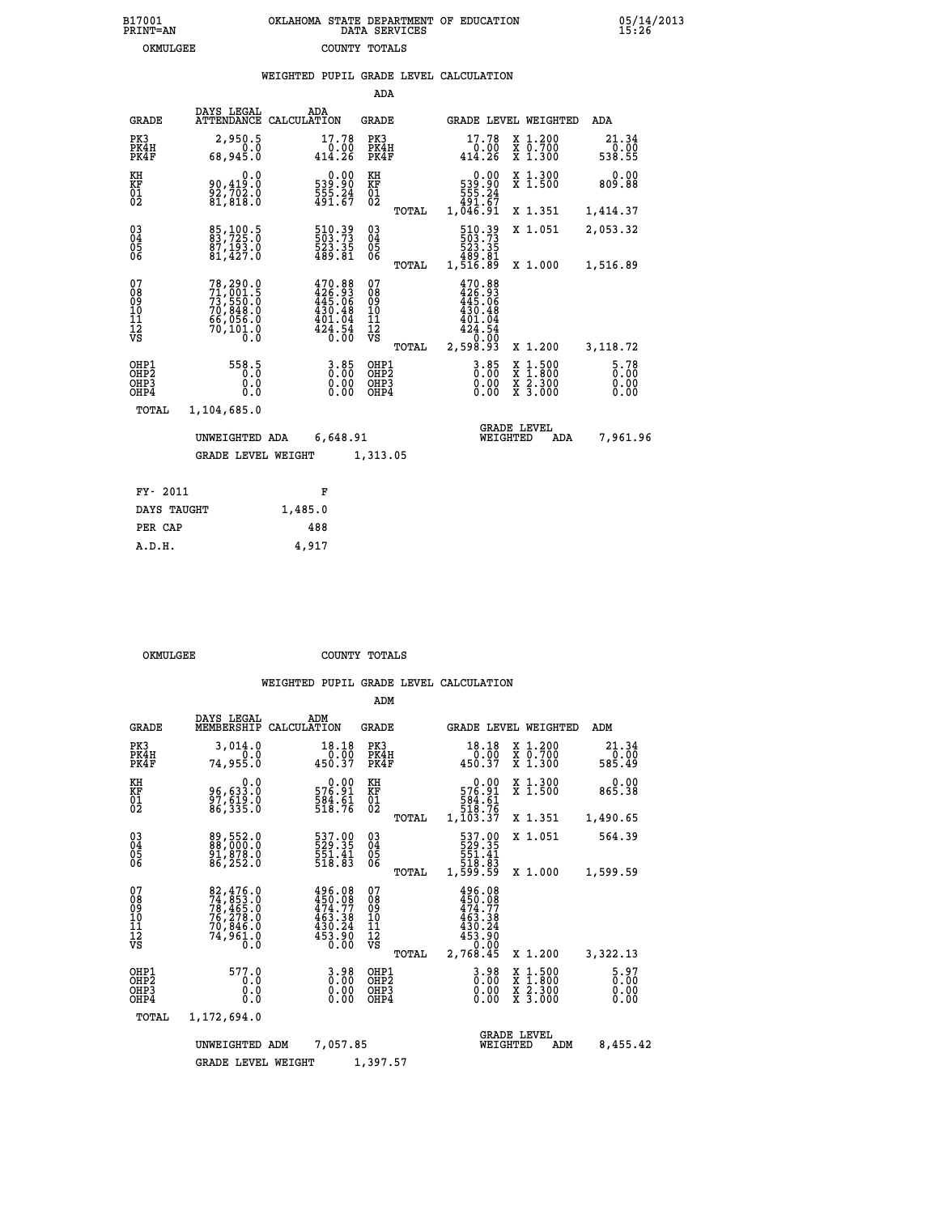|  | OKLAHOMA STATE DEPARTMENT OF EDUCATION<br>DATA SERVICES |  |
|--|---------------------------------------------------------|--|
|  | COUNTY TOTALS                                           |  |

05/14/2013<br>15:26

|  |  | WEIGHTED PUPIL GRADE LEVEL CALCULATION |
|--|--|----------------------------------------|
|  |  |                                        |

|                                                                    |                                                                                  |             |                                                                                | ADA                                       |       |                                                                                             |                                  |                                          |                         |
|--------------------------------------------------------------------|----------------------------------------------------------------------------------|-------------|--------------------------------------------------------------------------------|-------------------------------------------|-------|---------------------------------------------------------------------------------------------|----------------------------------|------------------------------------------|-------------------------|
| <b>GRADE</b>                                                       | DAYS LEGAL<br><b>ATTENDANCE</b>                                                  | CALCULATION | ADA                                                                            | <b>GRADE</b>                              |       |                                                                                             |                                  | <b>GRADE LEVEL WEIGHTED</b>              | <b>ADA</b>              |
| PK3<br>PK4H<br>PK4F                                                | 2,950.5<br>0.0<br>68,945.0                                                       |             | 17.78<br>$0.00$<br>414.26                                                      | PK3<br>PK4H<br>PK4F                       |       | 17.78<br>$0.00$<br>414.26                                                                   |                                  | X 1.200<br>X 0.700<br>X 1.300            | 21.34<br>0.00<br>538.55 |
| KH<br>KF<br>01<br>02                                               | 0.0<br>90,419:0<br>92,702:0<br>81,818:0                                          |             | 0.00<br>539:90<br>555:24<br>491:67                                             | KH<br>KF<br>01<br>02                      |       | 539.90<br>555.24<br>555.24<br>491.67<br>1,046.91                                            | 0.00                             | X 1.300<br>X 1.500                       | 0.00<br>809.88          |
|                                                                    |                                                                                  |             |                                                                                |                                           | TOTAL |                                                                                             |                                  | X 1.351                                  | 1,414.37                |
| $\begin{smallmatrix} 03 \\[-4pt] 04 \end{smallmatrix}$<br>Ŏ5<br>06 | 85,100.5<br>83,725.0<br>87,193.0<br>81,427.0                                     |             | 510.39<br>503.73<br>523.35<br>489.81                                           | 03<br>04<br>05<br>06                      |       | 510.39<br>503.73<br>523.35<br>523.35<br>489.81<br>1,516.89                                  |                                  | X 1.051                                  | 2,053.32                |
|                                                                    |                                                                                  |             |                                                                                |                                           | TOTAL |                                                                                             |                                  | X 1.000                                  | 1,516.89                |
| 07<br>08<br>09<br>11<br>11<br>12<br>VS                             | 78,290.0<br>71,001.5<br>73,550.0<br>70,848.0<br>66,056.0<br>66,056.0<br>70,101.0 |             | $470.88$<br>$426.93$<br>$445.06$<br>$430.48$<br>$401.04$<br>$424.54$<br>$0.00$ | 07<br>08<br>09<br>11<br>11<br>12<br>VS    |       | $470.88$<br>$426.93$<br>$445.06$<br>$430.48$<br>$401.04$<br>$424.54$<br>$-0.00$<br>2,598.93 |                                  | X 1.200                                  |                         |
|                                                                    |                                                                                  |             |                                                                                |                                           | TOTAL |                                                                                             |                                  |                                          | 3,118.72                |
| OHP1<br>OHP2<br>OH <sub>P3</sub><br>OHP4                           | 558.5<br>0.0<br>0.0                                                              |             | $3.85$<br>$0.00$<br>0.00<br>0.00                                               | OHP1<br>OH <sub>P</sub> 2<br>OHP3<br>OHP4 |       |                                                                                             | $3.85$<br>$0.00$<br>0.00<br>0.00 | X 1:500<br>X 1:800<br>X 2:300<br>X 3:000 | 5.78<br>0.00<br>0.00    |
| <b>TOTAL</b>                                                       | 1,104,685.0                                                                      |             |                                                                                |                                           |       |                                                                                             |                                  |                                          |                         |
|                                                                    | UNWEIGHTED ADA                                                                   |             | 6,648.91                                                                       |                                           |       |                                                                                             | <b>GRADE LEVEL</b><br>WEIGHTED   | ADA                                      | 7,961.96                |
|                                                                    | <b>GRADE LEVEL WEIGHT</b>                                                        |             |                                                                                | 1,313.05                                  |       |                                                                                             |                                  |                                          |                         |
|                                                                    |                                                                                  |             |                                                                                |                                           |       |                                                                                             |                                  |                                          |                         |
| FY- 2011                                                           |                                                                                  |             | F                                                                              |                                           |       |                                                                                             |                                  |                                          |                         |
| DAYS TAUGHT                                                        |                                                                                  | 1,485.0     |                                                                                |                                           |       |                                                                                             |                                  |                                          |                         |

| A.D.H. | 4,917 |
|--------|-------|
|        |       |
|        |       |

 **PER CAP 488**

B17001<br>PRINT=AN<br>OKMULGEE

OKMULGEE COUNTY TOTALS

|                                                    |                                                                             |                                                                            | ADM                                             |                                                                                           |                                                                                            |                         |
|----------------------------------------------------|-----------------------------------------------------------------------------|----------------------------------------------------------------------------|-------------------------------------------------|-------------------------------------------------------------------------------------------|--------------------------------------------------------------------------------------------|-------------------------|
| <b>GRADE</b>                                       | DAYS LEGAL<br>MEMBERSHIP                                                    | ADM<br>CALCULATION                                                         | <b>GRADE</b>                                    | <b>GRADE LEVEL WEIGHTED</b>                                                               |                                                                                            | ADM                     |
| PK3<br>PK4H<br>PK4F                                | 3,014.0<br>0.0<br>74,955.Ŏ                                                  | 18.18<br>$-0.00$<br>450.37                                                 | PK3<br>PK4H<br>PK4F                             | 18.18<br>$\frac{0.00}{450.37}$                                                            | X 1.200<br>X 0.700<br>X 1.300                                                              | 21.34<br>0.00<br>585.49 |
| KH<br>KF<br>01<br>02                               | 0.0<br>96,633.0<br>$\frac{57}{86}$ , $\frac{519}{335}$ .0                   | 0.00<br>576.91<br>$\frac{584.61}{518.76}$                                  | KH<br>KF<br>01<br>02                            | 0.00<br>576.91<br>584.61<br>518.76                                                        | X 1.300<br>X 1.500                                                                         | 0.00<br>865.38          |
|                                                    |                                                                             |                                                                            | TOTAL                                           | 1,103.37                                                                                  | X 1.351                                                                                    | 1,490.65                |
| $\begin{matrix} 03 \\ 04 \\ 05 \\ 06 \end{matrix}$ | 89,552.0<br>88,000.0<br>91,878.0                                            | 537.00<br>529.35<br>551.41<br>518.83                                       | $\substack{03 \\ 04}$<br>$\frac{05}{06}$        | 537.00<br>529.35<br>551.41<br>518.83<br>1,599.59                                          | X 1.051                                                                                    | 564.39                  |
|                                                    | 86,252.0                                                                    |                                                                            | TOTAL                                           |                                                                                           | X 1.000                                                                                    | 1,599.59                |
| 07<br>08<br>09<br>10<br>11<br>11<br>12<br>VS       | 82,476.0<br>74,853.0<br>78,465.0<br>76,278.0<br>70,845.0<br>74,961.0<br>0.0 | 496.08<br>$450.08$<br>$474.77$<br>$463.38$<br>$430.24$<br>$453.90$<br>0.00 | 07<br>08<br>09<br>11<br>11<br>12<br>VS<br>TOTAL | 496.08<br>$450.08$<br>$474.77$<br>$463.38$<br>$430.24$<br>$453.90$<br>$-0.00$<br>2,768.45 | X 1.200                                                                                    | 3,322.13                |
| OHP1<br>OHP2<br>OHP3<br>OHP4                       | 577.0<br>0.0<br>0.0<br>$0.\overline{0}$                                     | 3.98<br>0.00<br>0.00                                                       | OHP1<br>OHP2<br>OHP3<br>OHP4                    | 3.98<br>$0.00$<br>0.00                                                                    | $\begin{array}{c} x & 1.500 \\ x & 1.800 \\ x & 2.300 \end{array}$<br>$\overline{x}$ 3.000 | 5.97<br>0.00<br>0.00    |
| TOTAL                                              | 1,172,694.0                                                                 |                                                                            |                                                 |                                                                                           |                                                                                            |                         |
|                                                    | UNWEIGHTED ADM<br><b>GRADE LEVEL WEIGHT</b>                                 | 7,057.85                                                                   | 1,397.57                                        | WEIGHTED                                                                                  | <b>GRADE LEVEL</b><br>ADM                                                                  | 8,455.42                |
|                                                    |                                                                             |                                                                            |                                                 |                                                                                           |                                                                                            |                         |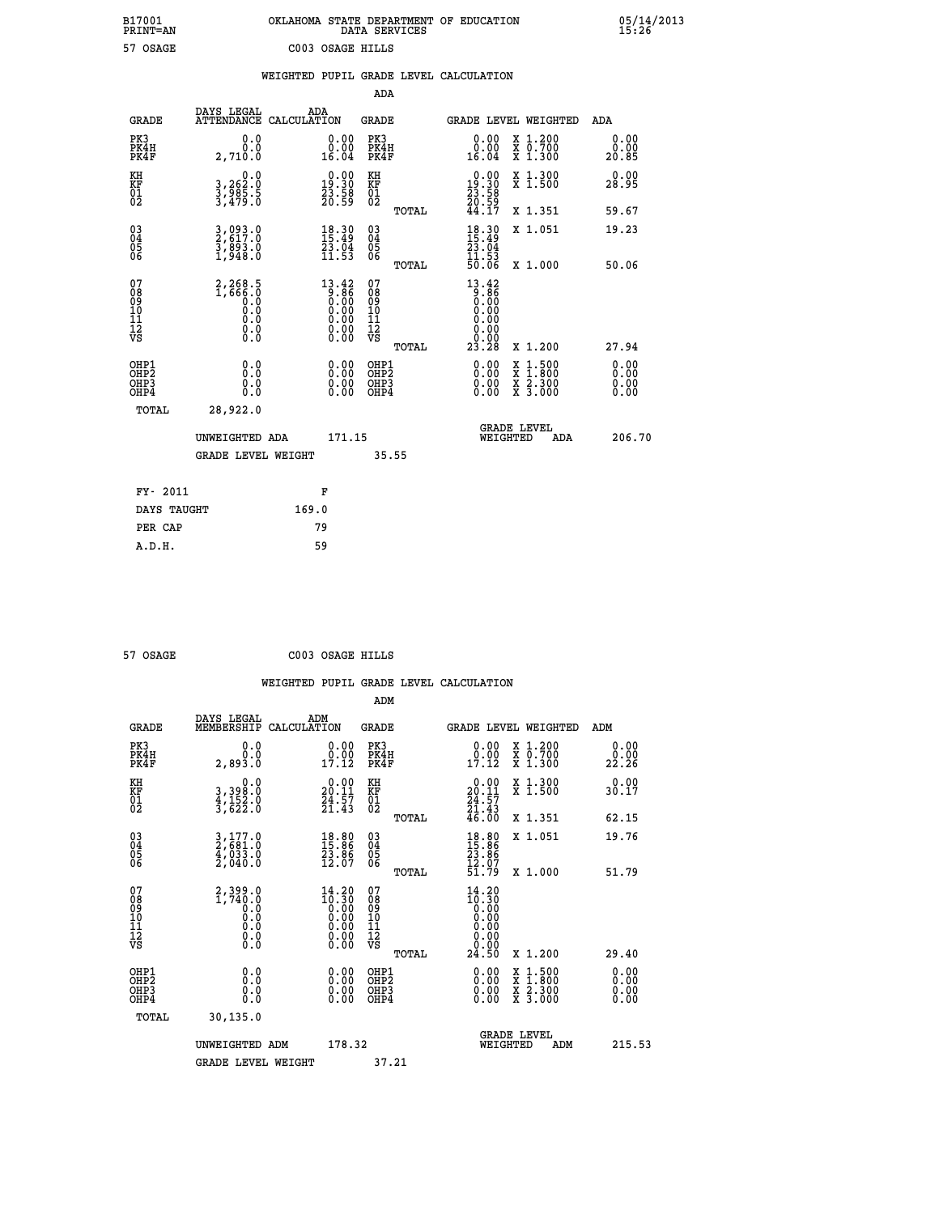| OKLAHOMA STATE DEPARTMENT OF EDUCATION | DATA SERVICES |  |
|----------------------------------------|---------------|--|
| C003 OSAGE HILLS                       |               |  |

 **B17001 OKLAHOMA STATE DEPARTMENT OF EDUCATION 05/14/2013**

|                                                                    |                                                                       | WEIGHTED PUPIL GRADE LEVEL CALCULATION                            |                                                     |       |                                                                          |                                                                                                                                           |                              |
|--------------------------------------------------------------------|-----------------------------------------------------------------------|-------------------------------------------------------------------|-----------------------------------------------------|-------|--------------------------------------------------------------------------|-------------------------------------------------------------------------------------------------------------------------------------------|------------------------------|
|                                                                    |                                                                       |                                                                   | <b>ADA</b>                                          |       |                                                                          |                                                                                                                                           |                              |
| <b>GRADE</b>                                                       | DAYS LEGAL<br><b>ATTENDANCE</b>                                       | ADA<br>CALCULATION                                                | <b>GRADE</b>                                        |       |                                                                          | GRADE LEVEL WEIGHTED                                                                                                                      | ADA                          |
| PK3<br>PK4H<br>PK4F                                                | 0.0<br>0.0<br>2,710.0                                                 | $\begin{smallmatrix} 0.00\\ 0.00\\ 16.04 \end{smallmatrix}$       | PK3<br>PK4H<br>PK4F                                 |       | 0.00<br>ăČ:ŏ<br>16.04                                                    | X 1.200<br>X 0.700<br>X 1.300                                                                                                             | 0.00<br>0.00<br>20.85        |
| KH<br>KF<br>01<br>02                                               | 0.0<br>3,262:0<br>3,985:5<br>3,479:0                                  | $\begin{smallmatrix} 0.00\\19.30\\23.58\\20.59 \end{smallmatrix}$ | KH<br>KF<br>01<br>02                                |       | $\begin{smallmatrix} 0.00\\19.30\\23.58\\20.59\\44.17 \end{smallmatrix}$ | X 1.300<br>X 1.500                                                                                                                        | 0.00<br>28.95                |
|                                                                    |                                                                       |                                                                   |                                                     | TOTAL |                                                                          | X 1.351                                                                                                                                   | 59.67                        |
| $\begin{smallmatrix} 03 \\[-4pt] 04 \end{smallmatrix}$<br>Ŏ5<br>06 | 3,093.0<br>2,617.0<br>3,893.0<br>1,948.0                              | 18.30<br>$\frac{23.04}{11.53}$                                    | $\begin{array}{c} 03 \\ 04 \\ 05 \\ 06 \end{array}$ |       | $18.30$<br>$15.49$<br>$23.04$<br>$11.53$<br>$50.06$                      | X 1.051                                                                                                                                   | 19.23                        |
|                                                                    |                                                                       |                                                                   |                                                     | TOTAL |                                                                          | X 1.000                                                                                                                                   | 50.06                        |
| 07<br>08<br>09<br>111<br>12<br>VS                                  | $2, 268.5$<br>$1, 666.0$<br>$0.0$<br>$0.0$<br>$0.0$<br>$0.0$<br>$0.0$ | $13.42\n9.86\n0.00\n0.00\n0.00\n0.00\n0.00$                       | 07<br>08901112<br>1112<br>VS                        | TOTAL | $13.42$<br>0.86<br>0.00<br>0.00<br>0.00<br>0.00<br>23.28                 | X 1.200                                                                                                                                   | 27.94                        |
| OHP1<br>OHP2<br>OH <sub>P3</sub><br>OHP4                           | 0.0<br>0.0<br>0.0                                                     | $\begin{smallmatrix} 0.00 \ 0.00 \ 0.00 \ 0.00 \end{smallmatrix}$ | OHP1<br>OHP2<br>OHP3<br>OHP4                        |       | 0.00<br>0.00<br>0.00                                                     | $\begin{smallmatrix} \mathtt{X} & 1\cdot500\\ \mathtt{X} & 1\cdot800\\ \mathtt{X} & 2\cdot300\\ \mathtt{X} & 3\cdot000 \end{smallmatrix}$ | 0.00<br>0.00<br>0.00<br>0.00 |
| TOTAL                                                              | 28,922.0                                                              |                                                                   |                                                     |       |                                                                          |                                                                                                                                           |                              |
|                                                                    | UNWEIGHTED ADA                                                        | 171.15                                                            |                                                     |       | WEIGHTED                                                                 | <b>GRADE LEVEL</b><br>ADA                                                                                                                 | 206.70                       |
|                                                                    | <b>GRADE LEVEL WEIGHT</b>                                             |                                                                   | 35.55                                               |       |                                                                          |                                                                                                                                           |                              |
| FY- 2011                                                           |                                                                       | F                                                                 |                                                     |       |                                                                          |                                                                                                                                           |                              |
| DAYS TAUGHT                                                        |                                                                       | 169.0                                                             |                                                     |       |                                                                          |                                                                                                                                           |                              |
| PER CAP                                                            |                                                                       | 79                                                                |                                                     |       |                                                                          |                                                                                                                                           |                              |

 **57 OSAGE C003 OSAGE HILLS**

 **ADM**

 **A.D.H. 59**

 **B17001<br>PRINT=AN<br>57 OSAGE** 

| <b>GRADE</b>                             | DAYS LEGAL<br>MEMBERSHIP                         | ADM<br>CALCULATION                                                                                                              | <b>GRADE</b>                                       |       | <b>GRADE LEVEL WEIGHTED</b>                                                                                                                                                                                                                                                    |                                          | ADM                  |  |
|------------------------------------------|--------------------------------------------------|---------------------------------------------------------------------------------------------------------------------------------|----------------------------------------------------|-------|--------------------------------------------------------------------------------------------------------------------------------------------------------------------------------------------------------------------------------------------------------------------------------|------------------------------------------|----------------------|--|
| PK3<br>PK4H<br>PK4F                      | 0.0<br>2,893.0                                   | $\begin{smallmatrix} 0.00\\ 0.00\\ 17.12 \end{smallmatrix}$                                                                     | PK3<br>PK4H<br>PK4F                                |       | $\begin{smallmatrix} 0.00\\ 0.00\\ 17.12 \end{smallmatrix}$                                                                                                                                                                                                                    | X 1.200<br>X 0.700<br>X 1.300            | 0.00<br>22.26        |  |
| KH<br>KF<br>01<br>02                     | 0.0<br>3,398:0<br>4,152:0<br>3,622:0             | $\begin{smallmatrix} 0.00\\ 20.11\\ 24.57\\ 21.43 \end{smallmatrix}$                                                            | KH<br>KF<br>01<br>02                               |       | $\begin{smallmatrix} 0.00\\20.11\\24.57\\21.43\\46.00 \end{smallmatrix}$                                                                                                                                                                                                       | X 1.300<br>X 1.500                       | 0.00<br>30.17        |  |
|                                          |                                                  |                                                                                                                                 |                                                    | TOTAL |                                                                                                                                                                                                                                                                                | X 1.351                                  | 62.15                |  |
| 03<br>04<br>05<br>06                     | $3,177.0$<br>$2,681.0$<br>$4,033.0$<br>$2,040.0$ | $\begin{smallmatrix} 18.80\\ 15.86\\ 23.86\\ 12.07 \end{smallmatrix}$                                                           | $\begin{matrix} 03 \\ 04 \\ 05 \\ 06 \end{matrix}$ |       | $18.80$<br>$15.86$<br>$23.86$<br>$12.07$<br>$51.79$                                                                                                                                                                                                                            | X 1.051                                  | 19.76                |  |
|                                          |                                                  |                                                                                                                                 |                                                    | TOTAL |                                                                                                                                                                                                                                                                                | X 1.000                                  | 51.79                |  |
| 07<br>089<br>090<br>1112<br>VS           |                                                  | $\begin{smallmatrix} 14\cdot 20\\10\cdot 30\\0\cdot 00\\0\cdot 00\\0\cdot 00\\0\cdot 00\\0\cdot 00\\0\cdot 00\end{smallmatrix}$ | 07<br>08<br>09<br>01<br>11<br>11<br>12<br>VS       | TOTAL | $\begin{smallmatrix} 14\cdot 20\\10\cdot 30\\0\cdot 00\\0\cdot 00\\0\cdot 00\\0\cdot 00\\0\cdot 00\\24\cdot 50\end{smallmatrix}$                                                                                                                                               | X 1.200                                  | 29.40                |  |
| OHP1<br>OHP2<br>OH <sub>P3</sub><br>OHP4 | 0.0<br>0.000                                     |                                                                                                                                 | OHP1<br>OHP2<br>OHP3<br>OHP4                       |       | $\begin{smallmatrix} 0.00 & 0.00 & 0.00 & 0.00 & 0.00 & 0.00 & 0.00 & 0.00 & 0.00 & 0.00 & 0.00 & 0.00 & 0.00 & 0.00 & 0.00 & 0.00 & 0.00 & 0.00 & 0.00 & 0.00 & 0.00 & 0.00 & 0.00 & 0.00 & 0.00 & 0.00 & 0.00 & 0.00 & 0.00 & 0.00 & 0.00 & 0.00 & 0.00 & 0.00 & 0.00 & 0.0$ | X 1:500<br>X 1:800<br>X 2:300<br>X 3:000 | 0.00<br>0.00<br>0.00 |  |
| TOTAL                                    | 30,135.0                                         |                                                                                                                                 |                                                    |       |                                                                                                                                                                                                                                                                                |                                          |                      |  |
|                                          | UNWEIGHTED                                       | 178.32<br>ADM                                                                                                                   |                                                    |       | WEIGHTED                                                                                                                                                                                                                                                                       | <b>GRADE LEVEL</b><br>ADM                | 215.53               |  |
|                                          | <b>GRADE LEVEL WEIGHT</b>                        |                                                                                                                                 | 37.21                                              |       |                                                                                                                                                                                                                                                                                |                                          |                      |  |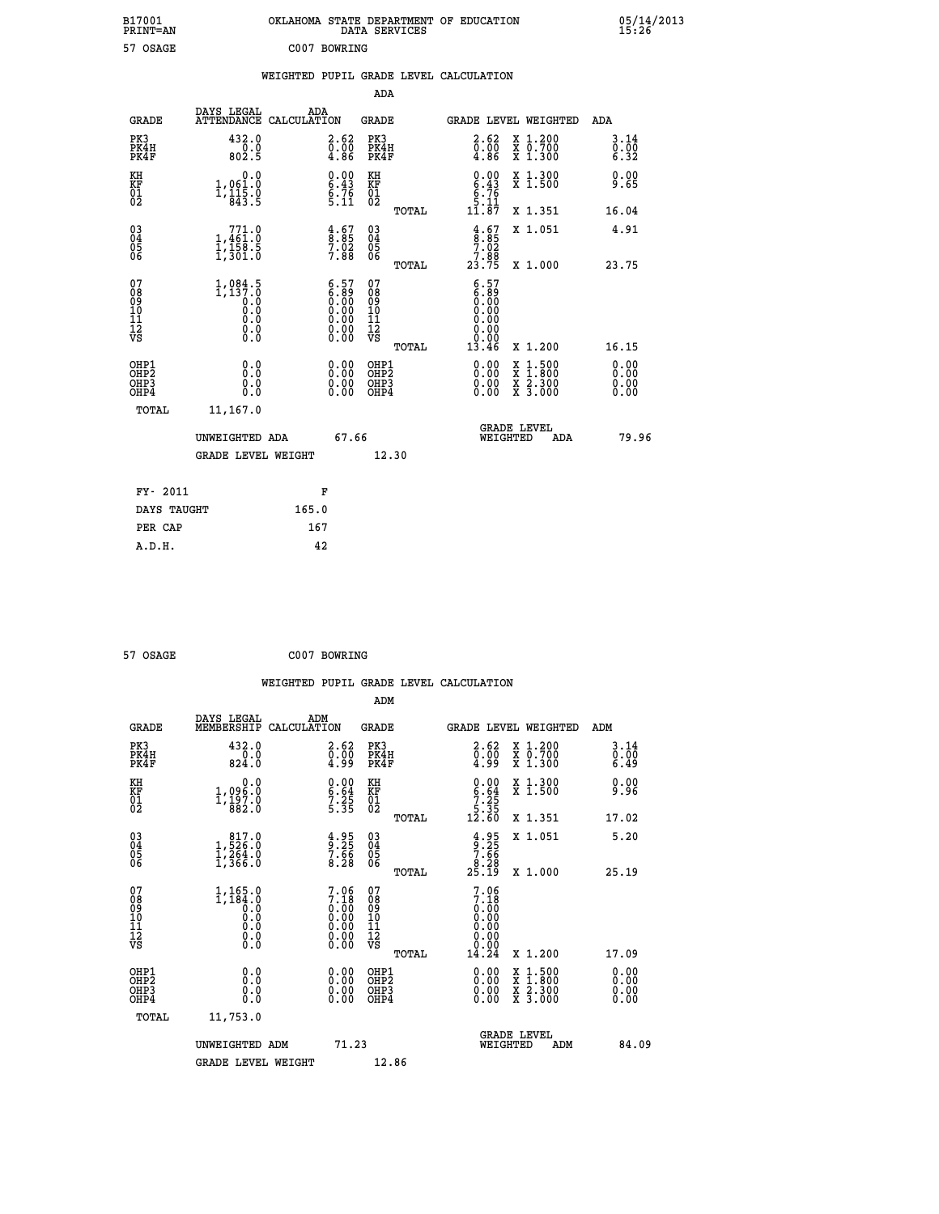| B17001<br><b>PRINT=AN</b> | OKLAHOMA STATE DEPARTMENT OF EDUCATION<br>DATA SERVICES |  |
|---------------------------|---------------------------------------------------------|--|
| 57 OSAGE                  | C007 BOWRING                                            |  |

05/14/2013<br>15:26

|                                                    |                                                                                                                                               |                                                                                               | ADA                                      |       |                                                                                                                                                                                                                                                                                |                                                                                                                                           |                                                                     |
|----------------------------------------------------|-----------------------------------------------------------------------------------------------------------------------------------------------|-----------------------------------------------------------------------------------------------|------------------------------------------|-------|--------------------------------------------------------------------------------------------------------------------------------------------------------------------------------------------------------------------------------------------------------------------------------|-------------------------------------------------------------------------------------------------------------------------------------------|---------------------------------------------------------------------|
| <b>GRADE</b>                                       | DAYS LEGAL                                                                                                                                    | ADA<br>ATTENDANCE CALCULATION                                                                 | <b>GRADE</b>                             |       |                                                                                                                                                                                                                                                                                | GRADE LEVEL WEIGHTED                                                                                                                      | ADA                                                                 |
| PK3<br>PK4H<br>PK4F                                | 432.0<br>0.0<br>802.5                                                                                                                         | $\overset{2\cdot}{\underset{4\cdot}{\text{.00}}} \ \ \overset{62}{\text{.00}}$                | PK3<br>PK4H<br>PK4F                      |       | $\begin{smallmatrix} 2.62\ 0.00\ 4.86 \end{smallmatrix}$                                                                                                                                                                                                                       | X 1.200<br>X 0.700<br>X 1.300                                                                                                             | 3.14<br>0.00<br>6.32                                                |
| KH<br>KF<br>01<br>02                               | 0.0<br>1,061.0<br>1,115.0<br>843.5                                                                                                            | $0.00$<br>6.43<br>6.76<br>5.11                                                                | KH<br>KF<br>01<br>02                     |       | $0.00$<br>$6.43$<br>$6.76$<br>$5.11$<br>$11.87$                                                                                                                                                                                                                                | X 1.300<br>X 1.500                                                                                                                        | 0.00<br>9.65                                                        |
|                                                    |                                                                                                                                               |                                                                                               |                                          | TOTAL |                                                                                                                                                                                                                                                                                | X 1.351                                                                                                                                   | 16.04                                                               |
| $\begin{matrix} 03 \\ 04 \\ 05 \\ 06 \end{matrix}$ | $\begin{smallmatrix} & 771.0\\1,461.0\\1,158.5\\1,301.0 \end{smallmatrix}$                                                                    | $\begin{smallmatrix} 4.67\ 8.85\ 7.02\ 7.88 \end{smallmatrix}$                                | $\substack{03 \\ 04}$<br>05<br>06        |       | $\begin{array}{c} 4.67 \\ 8.85 \\ 7.02 \\ 7.88 \\ 23.75 \end{array}$                                                                                                                                                                                                           | X 1.051                                                                                                                                   | 4.91                                                                |
|                                                    |                                                                                                                                               |                                                                                               |                                          | TOTAL |                                                                                                                                                                                                                                                                                | X 1.000                                                                                                                                   | 23.75                                                               |
| 07<br>089<br>090<br>111<br>VS                      | 1,084.5<br>$\begin{smallmatrix} 1,137.8\\ 0.0\\ 0.0 \end{smallmatrix}$<br>$\begin{smallmatrix} 0.0 & 0 \ 0.0 & 0 \ 0.0 & 0 \end{smallmatrix}$ | $\begin{smallmatrix} 6.57\ 6.89\ 0.00\ 0.00\ 0.00\ 0.00\ 0.00\ 0.00\ 0.00\ \end{smallmatrix}$ | 07<br>08<br>09<br>11<br>11<br>12<br>VS   | TOTAL | $\begin{smallmatrix} 6.57\ 6.89\ 0.00 \end{smallmatrix}$<br>0.00<br>0.00<br>0.00<br>13.46                                                                                                                                                                                      | X 1.200                                                                                                                                   | 16.15                                                               |
| OHP1<br>OHP2<br>OHP3<br>OHP4                       | 0.0<br>0.0<br>0.0                                                                                                                             | $\begin{smallmatrix} 0.00 \ 0.00 \ 0.00 \ 0.00 \end{smallmatrix}$                             | OHP1<br>OHP2<br>OHP <sub>3</sub><br>OHP4 |       | $\begin{smallmatrix} 0.00 & 0.00 & 0.00 & 0.00 & 0.00 & 0.00 & 0.00 & 0.00 & 0.00 & 0.00 & 0.00 & 0.00 & 0.00 & 0.00 & 0.00 & 0.00 & 0.00 & 0.00 & 0.00 & 0.00 & 0.00 & 0.00 & 0.00 & 0.00 & 0.00 & 0.00 & 0.00 & 0.00 & 0.00 & 0.00 & 0.00 & 0.00 & 0.00 & 0.00 & 0.00 & 0.0$ | $\begin{smallmatrix} \mathtt{X} & 1\cdot500\\ \mathtt{X} & 1\cdot800\\ \mathtt{X} & 2\cdot300\\ \mathtt{X} & 3\cdot000 \end{smallmatrix}$ | 0.00<br>0.00<br>$\begin{smallmatrix} 0.00 \ 0.00 \end{smallmatrix}$ |
| TOTAL                                              | 11,167.0                                                                                                                                      |                                                                                               |                                          |       |                                                                                                                                                                                                                                                                                |                                                                                                                                           |                                                                     |
|                                                    | UNWEIGHTED ADA                                                                                                                                | 67.66                                                                                         |                                          |       |                                                                                                                                                                                                                                                                                | <b>GRADE LEVEL</b><br>WEIGHTED<br>ADA                                                                                                     | 79.96                                                               |
|                                                    | <b>GRADE LEVEL WEIGHT</b>                                                                                                                     |                                                                                               |                                          | 12.30 |                                                                                                                                                                                                                                                                                |                                                                                                                                           |                                                                     |
| FY- 2011                                           |                                                                                                                                               | F                                                                                             |                                          |       |                                                                                                                                                                                                                                                                                |                                                                                                                                           |                                                                     |
| DAYS TAUGHT                                        |                                                                                                                                               | 165.0                                                                                         |                                          |       |                                                                                                                                                                                                                                                                                |                                                                                                                                           |                                                                     |
|                                                    |                                                                                                                                               |                                                                                               |                                          |       |                                                                                                                                                                                                                                                                                |                                                                                                                                           |                                                                     |

 **57 OSAGE C007 BOWRING**

 **A.D.H. 42**

**PER CAP** 167

 **WEIGHTED PUPIL GRADE LEVEL CALCULATION ADM DAYS LEGAL ADM**

| <b>GRADE</b>                                       | MEMBERSHIP CALCULATION                                                           |                                                             | GRADE                                   |       |                                                                      |          | GRADE LEVEL WEIGHTED                                                                                                                 | ADM                          |  |
|----------------------------------------------------|----------------------------------------------------------------------------------|-------------------------------------------------------------|-----------------------------------------|-------|----------------------------------------------------------------------|----------|--------------------------------------------------------------------------------------------------------------------------------------|------------------------------|--|
| PK3<br>PK4H<br>PK4F                                | 432.0<br>824.0                                                                   | $\substack{2.62 \\ 0.00 \\ 4.99}$                           | PK3<br>PK4H<br>PK4F                     |       | $\substack{2.62 \\ 0.00 \\ 4.99}$                                    |          | X 1.200<br>X 0.700<br>X 1.300                                                                                                        | 3.14<br>$\frac{0.00}{6.49}$  |  |
| KH<br>KF<br>01<br>02                               | 0.0<br>1,096.0<br>1,197.0<br>882.0                                               | $\begin{array}{c} 0.00 \\ 6.64 \\ 7.25 \\ 5.35 \end{array}$ | KH<br>KF<br>01<br>02                    |       | $\begin{array}{c} 0.00 \\ 6.64 \\ 7.25 \\ 5.35 \\ 12.60 \end{array}$ |          | X 1.300<br>X 1.500                                                                                                                   | 0.00<br>9.96                 |  |
|                                                    |                                                                                  |                                                             |                                         | TOTAL |                                                                      |          | X 1.351                                                                                                                              | 17.02                        |  |
| $\begin{matrix} 03 \\ 04 \\ 05 \\ 06 \end{matrix}$ | $\begin{smallmatrix} & 817.0 \\ 1,526.0 \\ 1,264.0 \\ 1,366.0 \end{smallmatrix}$ | $\frac{4.95}{9.25}$<br>7.66<br>8.28                         | $\substack{03 \\ 04}$<br>Ŏ5<br>06       |       | $3.25$<br>$7.66$<br>$8.28$<br>$25.19$                                |          | X 1.051                                                                                                                              | 5.20                         |  |
|                                                    |                                                                                  |                                                             |                                         | TOTAL |                                                                      |          | X 1.000                                                                                                                              | 25.19                        |  |
| 07<br>08<br>09<br>101<br>11<br>12<br>VS            | $1,165.0$<br>$0.184.0$<br>$0.0$<br>0.0<br>0.0<br>$\S.$                           | $7.067.180.000.000.000.000.000.00$                          | 07<br>08<br>09<br>101<br>11<br>12<br>VS |       | $7.06$<br>$7.18$<br>$0.00$<br>$0.00$<br>$0.00$<br>$0.00$<br>$0.00$   |          |                                                                                                                                      |                              |  |
|                                                    |                                                                                  |                                                             |                                         | TOTAL | 14.24                                                                |          | X 1.200                                                                                                                              | 17.09                        |  |
| OHP1<br>OHP2<br>OH <sub>P3</sub><br>OHP4           | 0.0<br>0.0<br>Ŏ.Ŏ                                                                | $0.00$<br>$0.00$<br>0.00                                    | OHP1<br>OHP2<br>OHP3<br>OHP4            |       | $0.00$<br>$0.00$<br>0.00                                             |          | $\begin{smallmatrix} \mathtt{X} & 1 & 500 \\ \mathtt{X} & 1 & 800 \\ \mathtt{X} & 2 & 300 \\ \mathtt{X} & 3 & 000 \end{smallmatrix}$ | 0.00<br>0.00<br>0.00<br>0.00 |  |
| TOTAL                                              | 11,753.0                                                                         |                                                             |                                         |       |                                                                      |          |                                                                                                                                      |                              |  |
|                                                    | UNWEIGHTED ADM                                                                   | 71.23                                                       |                                         |       |                                                                      | WEIGHTED | <b>GRADE LEVEL</b><br>ADM                                                                                                            | 84.09                        |  |
|                                                    | <b>GRADE LEVEL WEIGHT</b>                                                        |                                                             |                                         | 12.86 |                                                                      |          |                                                                                                                                      |                              |  |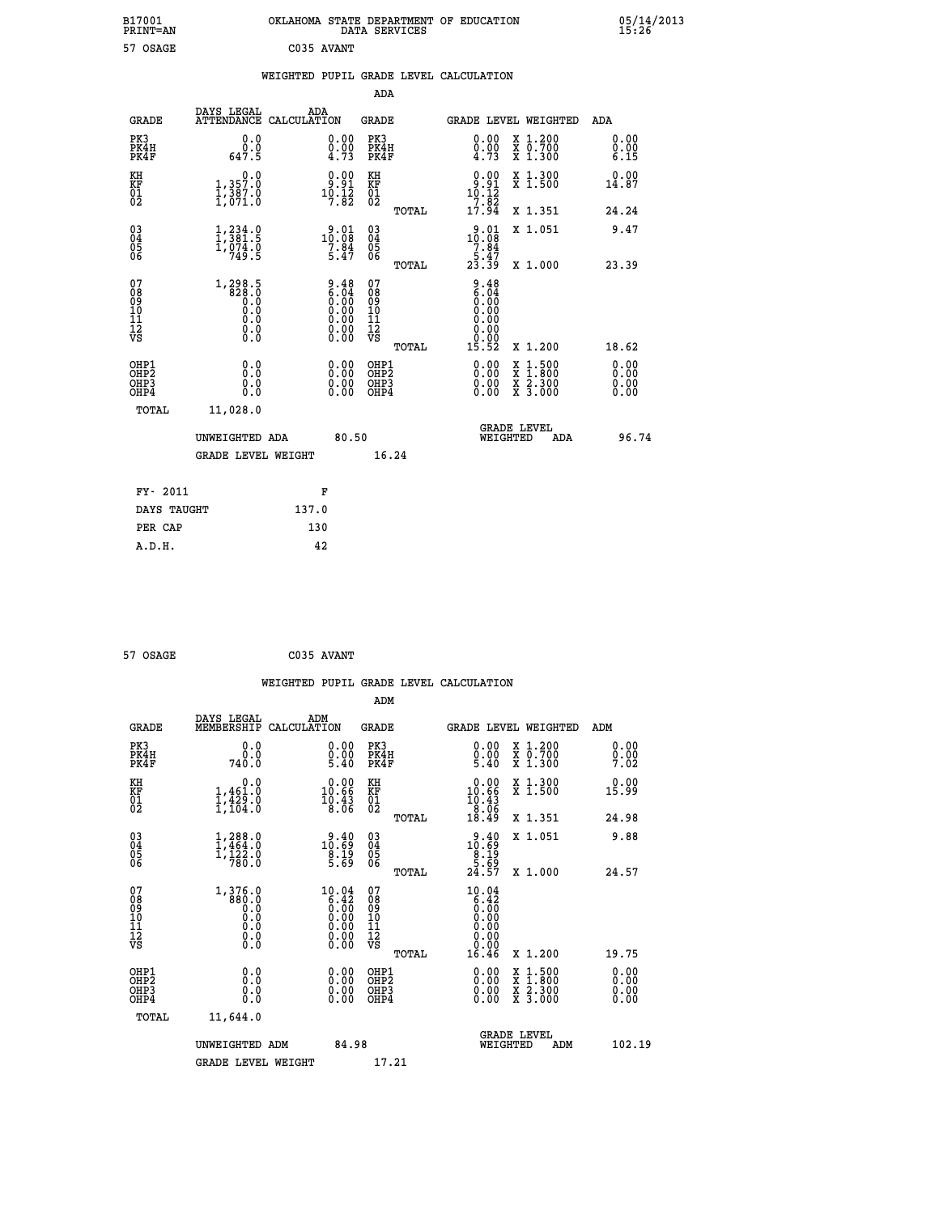| B17001<br>PRINT=AN | OKLAHOMA STATE DEPARTMENT OF EDUCATION<br>DATA SERVICES | 05/14/2013<br>15:26 |
|--------------------|---------------------------------------------------------|---------------------|
| 57 OSAGE           | C035 AVANT                                              |                     |

|  |  | WEIGHTED PUPIL GRADE LEVEL CALCULATION |
|--|--|----------------------------------------|
|  |  |                                        |

|                                                                    |                                                                             |                                                                                               | ADA                                          |       |                                                                                  |                                                                                                                                              |                              |
|--------------------------------------------------------------------|-----------------------------------------------------------------------------|-----------------------------------------------------------------------------------------------|----------------------------------------------|-------|----------------------------------------------------------------------------------|----------------------------------------------------------------------------------------------------------------------------------------------|------------------------------|
| <b>GRADE</b>                                                       | DAYS LEGAL<br>ATTENDANCE CALCULATION                                        | ADA                                                                                           | <b>GRADE</b>                                 |       |                                                                                  | GRADE LEVEL WEIGHTED                                                                                                                         | <b>ADA</b>                   |
| PK3<br>PK4H<br>PK4F                                                | 0.0<br>$\frac{0}{647.5}$                                                    | $\begin{smallmatrix} 0.00 \ 0.00 \ 4.73 \end{smallmatrix}$                                    | PK3<br>PK4H<br>PK4F                          |       | 0.00<br>$\frac{0.00}{4.73}$                                                      | X 1.200<br>X 0.700<br>X 1.300                                                                                                                | 0.00<br>0.00<br>6.15         |
| KH<br>KF<br>01<br>02                                               | 0.0<br>1,357.0<br>1,387.0<br>1,071.0                                        | $\begin{smallmatrix} 0.00\\ 9.91\\ 10.12\\ 7.82 \end{smallmatrix}$                            | KH<br>KF<br>01<br>02                         |       | $\begin{array}{c} 0.00 \\ 9.91 \\ 10.12 \\ 7.82 \end{array}$                     | X 1.300<br>X 1.500                                                                                                                           | 0.00<br>14.87                |
|                                                                    |                                                                             |                                                                                               |                                              | TOTAL | 17.94                                                                            | X 1.351                                                                                                                                      | 24.24                        |
| $\begin{smallmatrix} 03 \\[-4pt] 04 \end{smallmatrix}$<br>Ŏ5<br>06 | $\begin{smallmatrix} 1,234.0\\ 1,381.5\\ 1,074.0\\ 749.5 \end{smallmatrix}$ | 10.01<br>$7.\overline{84}$<br>5.47                                                            | $\substack{03 \\ 04}$<br>Ŏ5<br>06            |       | $10.01$<br>10.08<br>$\begin{array}{r} 7.84 \\ 7.47 \\ 5.47 \\ 23.39 \end{array}$ | X 1.051                                                                                                                                      | 9.47                         |
|                                                                    |                                                                             |                                                                                               |                                              | TOTAL |                                                                                  | X 1.000                                                                                                                                      | 23.39                        |
| 07<br>08<br>09<br>101<br>11<br>12<br>VS                            |                                                                             | $\begin{smallmatrix} 9.48\ 6.04\ 0.00\ 0.00\ 0.00\ 0.00\ 0.00\ 0.00\ 0.00\ \end{smallmatrix}$ | 07<br>08<br>09<br>11<br>11<br>12<br>VS       |       | $0.48$<br>$0.04$<br>$0.00$<br>0.00<br>0.00<br>0.00                               |                                                                                                                                              |                              |
|                                                                    |                                                                             |                                                                                               |                                              | TOTAL | 15.52                                                                            | X 1.200                                                                                                                                      | 18.62                        |
| OHP1<br>OHP <sub>2</sub><br>OH <sub>P3</sub><br>OHP4               | 0.0<br>0.0<br>$0.\overline{0}$                                              | 0.00<br>$\begin{smallmatrix} 0.00 \ 0.00 \end{smallmatrix}$                                   | OHP1<br>OHP <sub>2</sub><br>OHP <sub>3</sub> |       | 0.00<br>0.00                                                                     | $\begin{smallmatrix} \mathtt{X} & 1\cdot500 \\ \mathtt{X} & 1\cdot800 \\ \mathtt{X} & 2\cdot300 \\ \mathtt{X} & 3\cdot000 \end{smallmatrix}$ | 0.00<br>0.00<br>0.00<br>0.00 |
| TOTAL                                                              | 11,028.0                                                                    |                                                                                               |                                              |       |                                                                                  |                                                                                                                                              |                              |
|                                                                    | UNWEIGHTED ADA                                                              | 80.50                                                                                         |                                              |       |                                                                                  | <b>GRADE LEVEL</b><br>WEIGHTED<br>ADA                                                                                                        | 96.74                        |
|                                                                    | <b>GRADE LEVEL WEIGHT</b>                                                   |                                                                                               |                                              | 16.24 |                                                                                  |                                                                                                                                              |                              |
| FY- 2011                                                           |                                                                             | F                                                                                             |                                              |       |                                                                                  |                                                                                                                                              |                              |
| DAYS TAUGHT                                                        |                                                                             | 137.0                                                                                         |                                              |       |                                                                                  |                                                                                                                                              |                              |
| PER CAP                                                            |                                                                             | 130                                                                                           |                                              |       |                                                                                  |                                                                                                                                              |                              |

| 57 OSAGE | C035 AVANT |
|----------|------------|
|          |            |

 **A.D.H. 42**

 **WEIGHTED PUPIL GRADE LEVEL CALCULATION ADM DAYS LEGAL ADM GRADE MEMBERSHIP CALCULATION GRADE GRADE LEVEL WEIGHTED ADM PK3 0.0 0.00 PK3 0.00 X 1.200 0.00 PK4H 0.0 0.00 PK4H 0.00 X 0.700 0.00 PK4F 740.0 5.40 PK4F 5.40 X 1.300 7.02 KH 0.0 0.00 KH 0.00 X 1.300 0.00 KF 1,461.0 10.66 KF 10.66 X 1.500 15.99** 01 1,429.0 10.43 01 10.43<br>
02 1,104.0 8.06 02 **10.43 TOTAL 18.49 X 1.351 24.98 03 1,288.0 9.40 03 9.40 X 1.051 9.88 04 1,464.0 10.69 04 10.69 05 1,122.0 8.19 05 8.19 06 780.0 5.69 06 5.69 TOTAL 24.57 X 1.000 24.57 07 1,376.0 10.04 07 10.04 08 880.0 6.42 08 6.42 09 0.0 0.00 09 0.00 10 0.0 0.00 10 0.00 11 0.0 0.00 11 0.00 12 0.0 0.00 12 0.00 VS 0.0 0.00 VS 0.00 TOTAL 16.46 X 1.200 19.75 OHP1 0.0 0.00 OHP1 0.00 X 1.500 0.00 OHP2 0.0 0.00 OHP2 0.00 X 1.800 0.00 OHP3 0.0 0.00 OHP3 0.00 X 2.300 0.00 OHP4 0.0 0.00 OHP4 0.00 X 3.000 0.00 TOTAL 11,644.0 GRADE LEVEL UNWEIGHTED ADM 84.98 WEIGHTED ADM 102.19** GRADE LEVEL WEIGHT 17.21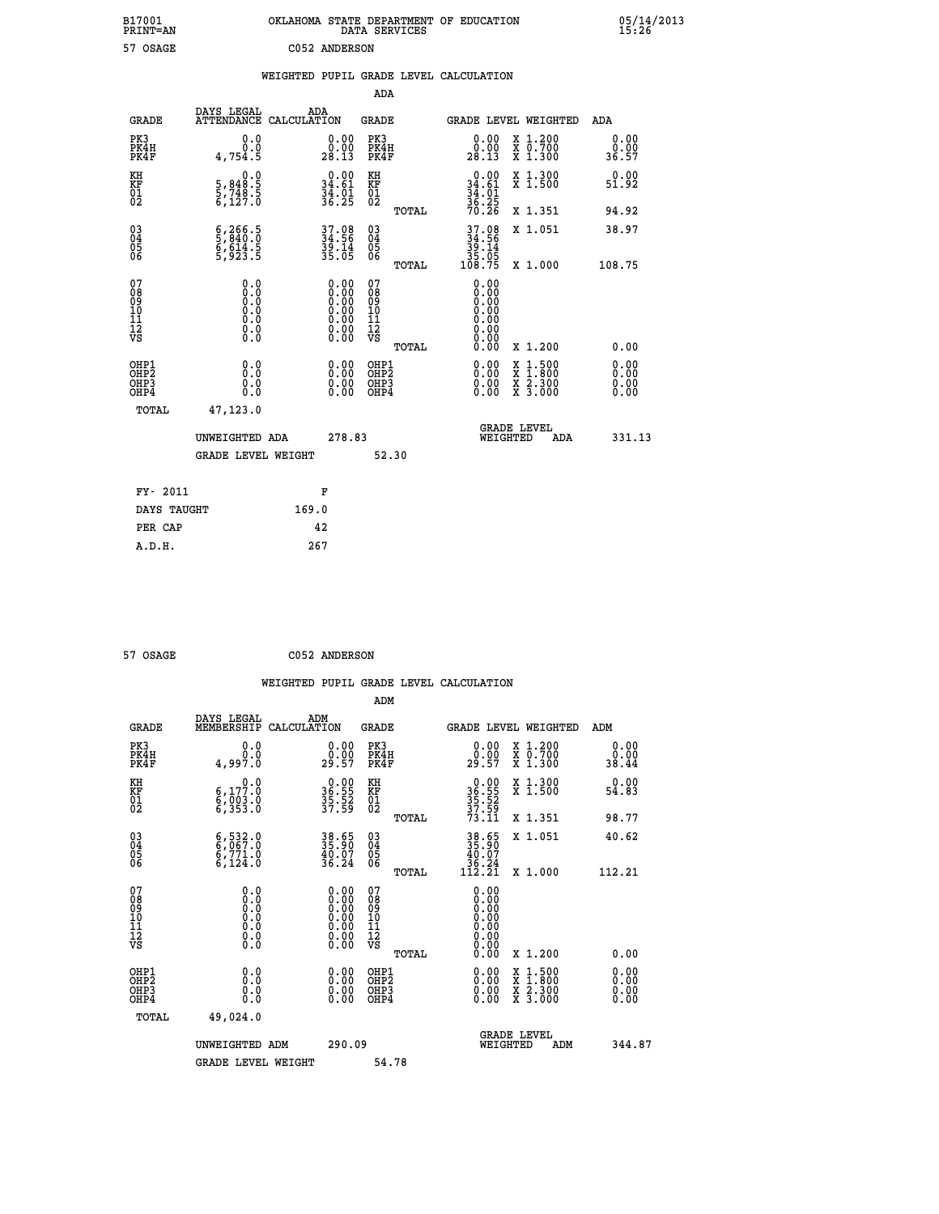| B17001<br>PRINT=AN              |                                                                                            | OKLAHOMA STATE DEPARTMENT OF EDUCATION                                                        | DATA SERVICES                                      |                                                      |                                                                                                  | $05/14/2013$<br>15:26 |  |
|---------------------------------|--------------------------------------------------------------------------------------------|-----------------------------------------------------------------------------------------------|----------------------------------------------------|------------------------------------------------------|--------------------------------------------------------------------------------------------------|-----------------------|--|
| 57 OSAGE                        |                                                                                            | C052 ANDERSON                                                                                 |                                                    |                                                      |                                                                                                  |                       |  |
|                                 |                                                                                            | WEIGHTED PUPIL GRADE LEVEL CALCULATION                                                        |                                                    |                                                      |                                                                                                  |                       |  |
|                                 |                                                                                            |                                                                                               | ADA                                                |                                                      |                                                                                                  |                       |  |
| <b>GRADE</b>                    | DAYS LEGAL<br>ATTENDANCE CALCULATION                                                       | ADA                                                                                           | GRADE                                              | GRADE LEVEL WEIGHTED                                 |                                                                                                  | ADA                   |  |
| PK3<br>PK4H<br>PK4F             | 0.0<br>0.0<br>4,754.5                                                                      | 0.00<br>$\frac{0.00}{28.13}$                                                                  | PK3<br>PK4H<br>PK4F                                | 0.00<br>0:00<br>28:13                                | X 1.200<br>X 0.700<br>X 1.300                                                                    | 0.00<br>0.00<br>36.57 |  |
| KH<br>KF<br>01<br>02            | 0.0<br>$\frac{5}{5}, \frac{848}{748}$<br>5,748.5<br>6,127.0                                | 0.00<br>$34.61$<br>$34.01$<br>$36.25$                                                         | KH<br>KF<br>01<br>02                               | $0.00$<br>$34.61$<br>$34.01$<br>$36.25$<br>$70.26$   | X 1.300<br>X 1.500                                                                               | 0.00<br>51.92         |  |
|                                 |                                                                                            |                                                                                               | TOTAL                                              |                                                      | X 1.351                                                                                          | 94.92                 |  |
| $^{03}_{04}$<br>$\frac{05}{06}$ | $\frac{6}{5}, \frac{266}{840}. \frac{5}{0}$<br>$\frac{6}{5}, \frac{614}{923}. \frac{5}{5}$ | 37.08<br>34.56<br>39.14<br>35.05                                                              | $\begin{matrix} 03 \\ 04 \\ 05 \\ 06 \end{matrix}$ | 37.08<br>34.56<br>$\frac{39.14}{35.05}$              | X 1.051                                                                                          | 38.97                 |  |
|                                 |                                                                                            |                                                                                               | TOTAL                                              | 108.75                                               | X 1.000                                                                                          | 108.75                |  |
| 078901112<br>00901112<br>VS     | 0.0<br>$\S$ : 0<br>0.0<br>0.000                                                            | $\begin{smallmatrix} 0.00\ 0.00\ 0.00\ 0.00\ 0.00\ 0.00\ 0.00\ 0.00\ 0.00\ \end{smallmatrix}$ | 07<br>08<br>09<br>10<br>11<br>12<br>VS             | 0.00<br>0.00<br>0.00<br>0.00<br>0.00<br>0.00<br>0.00 |                                                                                                  |                       |  |
| OHP1                            | 0.0                                                                                        |                                                                                               | TOTAL<br>OHP1                                      | 0.00                                                 | X 1.200                                                                                          | 0.00                  |  |
| OHP2<br>OHP3<br>OHP4            | ŏ:ŏ<br>0.0<br>0.0                                                                          | 0.00<br>$\begin{smallmatrix} 0.00 \ 0.00 \end{smallmatrix}$                                   | OHP <sub>2</sub><br>OHP3<br>OHP4                   | 0.00<br>0.00<br>0.00                                 | $\begin{smallmatrix} x & 1 & 500 \\ x & 1 & 800 \\ x & 2 & 300 \\ x & 3 & 000 \end{smallmatrix}$ | 0.00<br>0.00<br>0.00  |  |
| TOTAL                           | 47,123.0                                                                                   |                                                                                               |                                                    |                                                      |                                                                                                  |                       |  |
|                                 | UNWEIGHTED ADA                                                                             | 278.83                                                                                        |                                                    | <b>GRADE LEVEL</b><br>WEIGHTED                       | ADA                                                                                              | 331.13                |  |
|                                 | <b>GRADE LEVEL WEIGHT</b>                                                                  |                                                                                               | 52.30                                              |                                                      |                                                                                                  |                       |  |
| FY- 2011                        |                                                                                            | F                                                                                             |                                                    |                                                      |                                                                                                  |                       |  |
| DAYS TAUGHT                     |                                                                                            | 169.0                                                                                         |                                                    |                                                      |                                                                                                  |                       |  |
| PER CAP                         |                                                                                            | 42                                                                                            |                                                    |                                                      |                                                                                                  |                       |  |
| A.D.H.                          |                                                                                            | 267                                                                                           |                                                    |                                                      |                                                                                                  |                       |  |

| 57 OSAGE | C052 ANDERSON |
|----------|---------------|

|                                                    |                                                                                      |                    |                                                                                               |                                                     |       | WEIGHTED PUPIL GRADE LEVEL CALCULATION                      |                                          |                       |        |
|----------------------------------------------------|--------------------------------------------------------------------------------------|--------------------|-----------------------------------------------------------------------------------------------|-----------------------------------------------------|-------|-------------------------------------------------------------|------------------------------------------|-----------------------|--------|
|                                                    |                                                                                      |                    |                                                                                               | ADM                                                 |       |                                                             |                                          |                       |        |
| <b>GRADE</b>                                       | DAYS LEGAL<br>MEMBERSHIP                                                             | ADM<br>CALCULATION |                                                                                               | <b>GRADE</b>                                        |       |                                                             | GRADE LEVEL WEIGHTED                     | ADM                   |        |
| PK3<br>PK4H<br>PK4F                                | 0.0<br>0.0<br>4,997.0                                                                |                    | $\begin{smallmatrix} 0.00\\ 0.00\\ 29.57 \end{smallmatrix}$                                   | PK3<br>PK4H<br>PK4F                                 |       | $\begin{smallmatrix} 0.00\\ 0.00\\ 29.57 \end{smallmatrix}$ | X 1.200<br>X 0.700<br>X 1.300            | 0.00<br>0.00<br>38.44 |        |
| KH<br>KF<br>01<br>02                               | 0.0<br>6,177.0<br>6,003.0<br>6,353.0                                                 |                    | 36.90<br>36.55<br>35.52<br>37.59                                                              | KH<br>KF<br>01<br>02                                |       | $36.90$<br>$35.52$<br>$37.59$<br>$73.11$                    | X 1.300<br>X 1.500                       | 0.00<br>54.83         |        |
|                                                    |                                                                                      |                    |                                                                                               |                                                     | TOTAL |                                                             | X 1.351                                  | 98.77                 |        |
| $\begin{matrix} 03 \\ 04 \\ 05 \\ 06 \end{matrix}$ | 6, 532.0<br>$\frac{6}{6}, \frac{771}{124}.0$                                         |                    | 38.65<br>35.90<br>40.07<br>36.24                                                              | $\begin{array}{c} 03 \\ 04 \\ 05 \\ 06 \end{array}$ |       | $38.65$<br>$35.90$<br>$40.07$<br>$36.24$<br>$112.21$        | X 1.051                                  | 40.62                 |        |
|                                                    |                                                                                      |                    |                                                                                               |                                                     | TOTAL |                                                             | X 1.000                                  | 112.21                |        |
| 07<br>08<br>09<br>11<br>11<br>12<br>VS             | 0.0<br>$\begin{smallmatrix} 0.0 & 0 \ 0.0 & 0 \ 0.0 & 0 \ 0.0 & 0 \end{smallmatrix}$ |                    | $\begin{smallmatrix} 0.00\ 0.00\ 0.00\ 0.00\ 0.00\ 0.00\ 0.00\ 0.00\ 0.00\ \end{smallmatrix}$ | 07<br>08<br>09<br>11<br>11<br>12<br>VS              | TOTAL | 0.00<br>0.00<br>0.00                                        | X 1.200                                  | 0.00                  |        |
| OHP1<br>OHP <sub>2</sub><br>OHP3<br>OHP4           | 0.0<br>0.000                                                                         |                    | $0.00$<br>$0.00$<br>0.00                                                                      | OHP1<br>OHP2<br>OHP <sub>3</sub>                    |       | 0.00<br>0.00<br>0.00                                        | X 1:500<br>X 1:800<br>X 2:300<br>X 3:000 | 0.00<br>0.00<br>0.00  |        |
| TOTAL                                              | 49,024.0                                                                             |                    |                                                                                               |                                                     |       |                                                             |                                          |                       |        |
|                                                    | UNWEIGHTED ADM                                                                       |                    | 290.09                                                                                        |                                                     |       | WEIGHTED                                                    | <b>GRADE LEVEL</b><br>ADM                |                       | 344.87 |
|                                                    | <b>GRADE LEVEL WEIGHT</b>                                                            |                    |                                                                                               | 54.78                                               |       |                                                             |                                          |                       |        |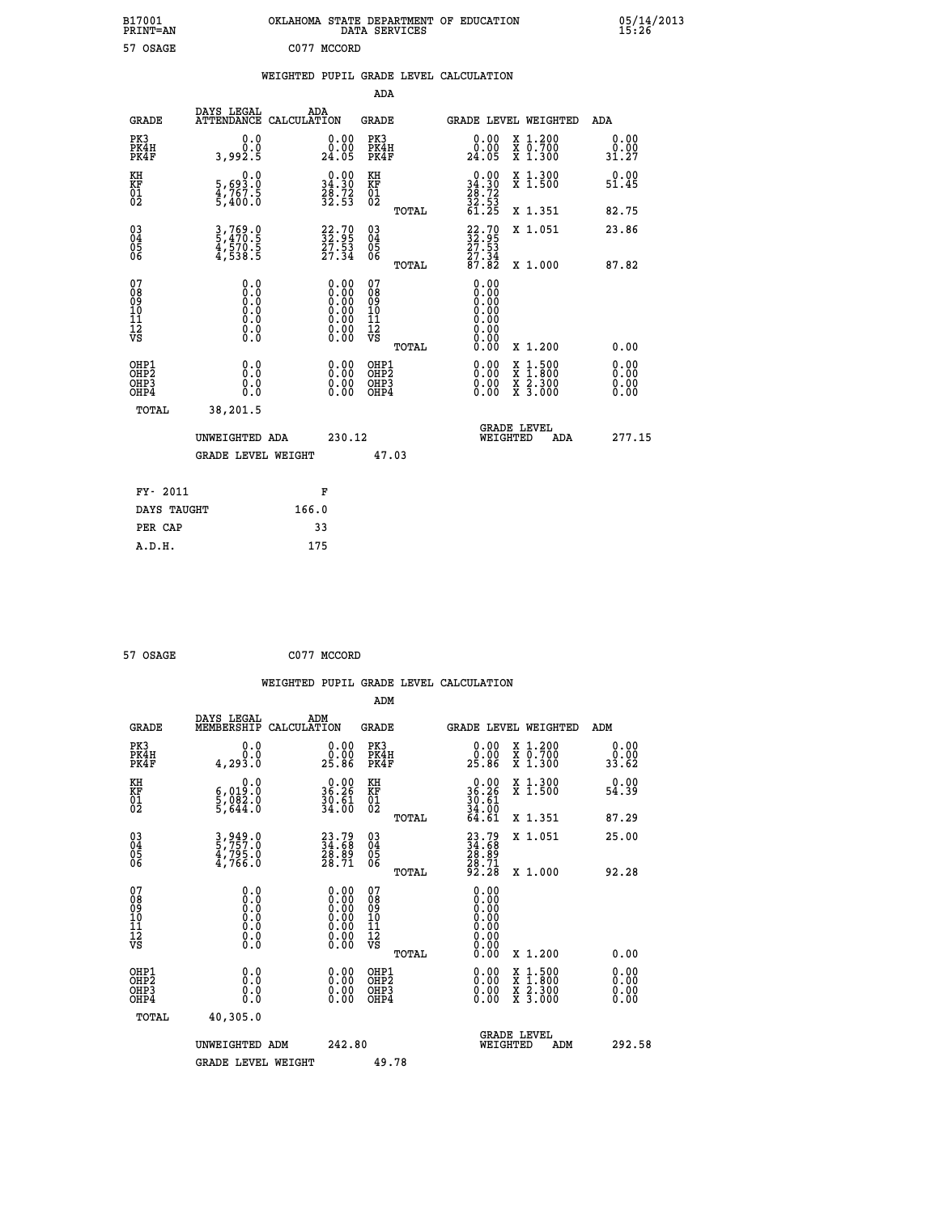| B17001<br>PRINT=AN                                   |                                          | OKLAHOMA STATE DEPARTMENT OF EDUCATION DATA SERVICES                                          |                                                    |                                                                              |                                                                                                  | 05/14/2013           |
|------------------------------------------------------|------------------------------------------|-----------------------------------------------------------------------------------------------|----------------------------------------------------|------------------------------------------------------------------------------|--------------------------------------------------------------------------------------------------|----------------------|
| 57 OSAGE                                             |                                          | C077 MCCORD                                                                                   |                                                    |                                                                              |                                                                                                  |                      |
|                                                      |                                          | WEIGHTED PUPIL GRADE LEVEL CALCULATION                                                        |                                                    |                                                                              |                                                                                                  |                      |
|                                                      |                                          |                                                                                               | ADA                                                |                                                                              |                                                                                                  |                      |
| <b>GRADE</b>                                         | DAYS LEGAL                               | ADA<br>ATTENDANCE CALCULATION                                                                 | GRADE                                              | GRADE LEVEL WEIGHTED                                                         |                                                                                                  | ADA                  |
| PK3<br>PK4H<br>PK4F                                  | 0.0<br>0.0<br>3,992.5                    | 0.00<br>$\begin{smallmatrix} 0.00 \\ 24.05 \end{smallmatrix}$                                 | PK3<br>PK4H<br>PK4F                                | $\begin{smallmatrix} 0.00\\ 0.00\\ 24.05 \end{smallmatrix}$                  | X 1.200<br>X 0.700<br>X 1.300                                                                    | 0.00<br>31.27        |
| KH<br>KF<br>$\overline{01}$                          | 0.0<br>5,693.0<br>4,767.5<br>5,400.0     | $\begin{smallmatrix} 0.00\\ 34.30\\ 28.72\\ 32.53 \end{smallmatrix}$                          | KH<br>KF<br>01<br>02                               | $\begin{smallmatrix} 0.00\\ 34.30\\ 28.72\\ 32.53\\ 61.25 \end{smallmatrix}$ | X 1.300<br>X <sub>1.500</sub>                                                                    | 0.00<br>51.45        |
|                                                      |                                          |                                                                                               | TOTAL                                              |                                                                              | X 1.351                                                                                          | 82.75                |
| 03 <sub>4</sub><br>0500                              | 3,769.0<br>5,470.5<br>4,570.5<br>4,538.5 | $\begin{smallmatrix} 22.70\\ 32.95\\ 27.53\\ 27.34 \end{smallmatrix}$                         | $\begin{matrix} 03 \\ 04 \\ 05 \\ 06 \end{matrix}$ | $\begin{array}{c} 22.70 \\ 32.95 \\ 27.53 \\ 27.34 \end{array}$              | X 1.051                                                                                          | 23.86                |
|                                                      |                                          |                                                                                               | TOTAL                                              | 87.82                                                                        | X 1.000                                                                                          | 87.82                |
| 07<br>08<br>09<br>10<br>11<br>12<br>VS               | 0.0<br>0.0<br>Ō.Ō<br>0.0<br>Ō.Ō<br>0.000 | $\begin{smallmatrix} 0.00\ 0.00\ 0.00\ 0.00\ 0.00\ 0.00\ 0.00\ 0.00\ 0.00\ \end{smallmatrix}$ | 07<br>08<br>09<br>10<br>11<br>12<br>VS             | 0.00<br>0.00<br>0.00<br>Ŏ.ŎŎ<br>O.OO<br>0.00<br>ŏ.ŏŏ                         |                                                                                                  |                      |
|                                                      |                                          |                                                                                               | TOTAL                                              | 0.00                                                                         | X 1.200                                                                                          | 0.00                 |
| OHP1<br>OHP <sub>2</sub><br>OH <sub>P3</sub><br>OHP4 | 0.0<br>Ō.Ō<br>0.0<br>0.0                 | $0.00$<br>$0.00$<br>0.00                                                                      | OHP1<br>OHP <sub>2</sub><br>OHP3<br>OHP4           | 0.00<br>0.00<br>0.00                                                         | $\begin{smallmatrix} x & 1 & 500 \\ x & 1 & 800 \\ x & 2 & 300 \\ x & 3 & 000 \end{smallmatrix}$ | 0.00<br>0.00<br>0.00 |
| TOTAL                                                | 38,201.5                                 |                                                                                               |                                                    |                                                                              |                                                                                                  |                      |
|                                                      | UNWEIGHTED ADA                           | 230.12                                                                                        |                                                    | WEIGHTED                                                                     | <b>GRADE LEVEL</b><br>ADA                                                                        | 277.15               |
|                                                      | <b>GRADE LEVEL WEIGHT</b>                |                                                                                               | 47.03                                              |                                                                              |                                                                                                  |                      |
| FY- 2011                                             |                                          | F                                                                                             |                                                    |                                                                              |                                                                                                  |                      |
| DAYS TAUGHT                                          |                                          | 166.0                                                                                         |                                                    |                                                                              |                                                                                                  |                      |
| PER CAP                                              |                                          | 33                                                                                            |                                                    |                                                                              |                                                                                                  |                      |

| 57 OSAGE | C077 MCCORD |
|----------|-------------|
|          |             |

 **WEIGHTED PUPIL GRADE LEVEL CALCULATION ADM DAYS LEGAL ADM GRADE MEMBERSHIP CALCULATION GRADE GRADE LEVEL WEIGHTED ADM PK3 0.0 0.00 PK3 0.00 X 1.200 0.00 PK4H 0.0 0.00 PK4H 0.00 X 0.700 0.00 PK4F 4,293.0 25.86 PK4F 25.86 X 1.300 33.62** 0.00 KH 0.00 RH 0.00 X 1.300<br>RF 6,019.0 36.26 KF 36.26 X 1.500 54.39  **01 5,082.0 30.61 01 30.61 02 5,644.0 34.00 02 34.00 TOTAL 64.61 X 1.351 87.29 03 3,949.0 23.79 03 23.79 X 1.051 25.00 04 5,757.0 34.68 04 34.68 05 4,795.0 28.89 05 28.89** 06 **4,766.0** 28.71 06 <sub>momas</sub> 28.71  **TOTAL 92.28 X 1.000 92.28 07** 0.0 0.00 07<br>
08 0.0 0.00 08 0.00<br>
10 0.0 0.00 10 0.00<br>
11 0.0 0.00 11 0.00<br>
12 0.0 0.00 11 0.00<br>
VS 0.0 0.00 VS 0.00  $\begin{array}{cccccccc} 07 & 0.0 & 0.0 & 0.0 & 0.0 & 0.00 & 0.00 & 0.00 & 0.00 & 0.00 & 0.00 & 0.00 & 0.00 & 0.00 & 0.00 & 0.00 & 0.00 & 0.00 & 0.00 & 0.00 & 0.00 & 0.00 & 0.00 & 0.00 & 0.00 & 0.00 & 0.00 & 0.00 & 0.00 & 0.00 & 0.00 & 0.00 & 0.00 & 0.00 & 0.00 & 0.00 & 0$  **OHP1 0.0 0.00 OHP1 0.00 X 1.500 0.00 OHP2 0.0 0.00 OHP2 0.00 X 1.800 0.00 OHP3 0.0 0.00 OHP3 0.00 X 2.300 0.00 OHP4 0.0 0.00 OHP4 0.00 X 3.000 0.00 TOTAL 40,305.0 GRADE LEVEL UNWEIGHTED ADM 242.80 WEIGHTED ADM 292.58** GRADE LEVEL WEIGHT 49.78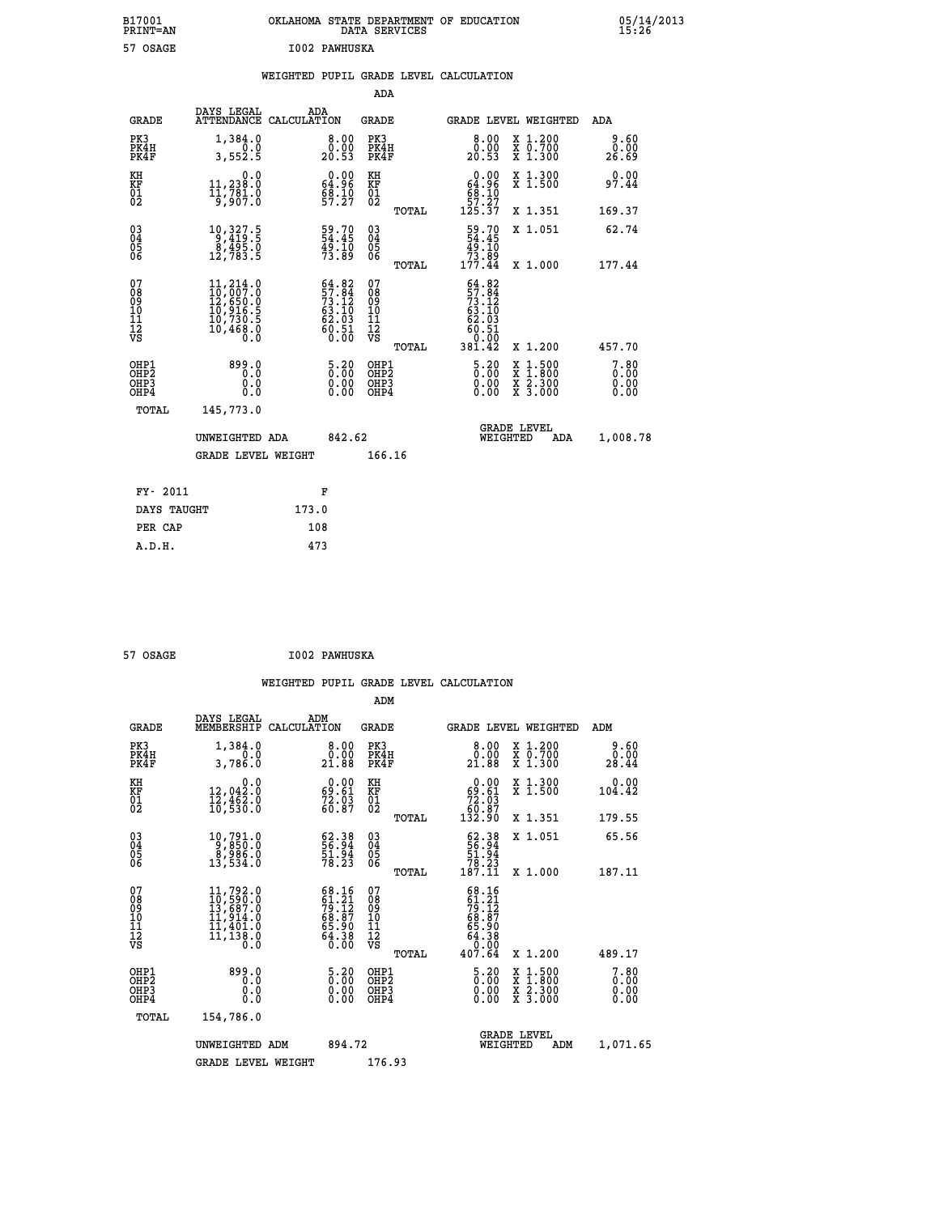| B17001<br>PRINT=AN                       |                                                                                                                                  |                                                                          |                                                          | OKLAHOMA STATE DEPARTMENT OF EDUCATION<br>DATA SERVICES                                                                    | 05/14/2013            |
|------------------------------------------|----------------------------------------------------------------------------------------------------------------------------------|--------------------------------------------------------------------------|----------------------------------------------------------|----------------------------------------------------------------------------------------------------------------------------|-----------------------|
| 57 OSAGE                                 |                                                                                                                                  | I002 PAWHUSKA                                                            |                                                          |                                                                                                                            |                       |
|                                          |                                                                                                                                  |                                                                          |                                                          | WEIGHTED PUPIL GRADE LEVEL CALCULATION                                                                                     |                       |
|                                          |                                                                                                                                  |                                                                          | ADA                                                      |                                                                                                                            |                       |
| GRADE                                    | DAYS LEGAL<br>ATTENDANCE CALCULATION                                                                                             | ADA                                                                      | GRADE                                                    | GRADE LEVEL WEIGHTED                                                                                                       | ADA                   |
| PK3<br>PK4H<br>PK4F                      | 1,384.0<br>0.0<br>3,552.5                                                                                                        | 8.00<br>0.00<br>20.53                                                    | PK3<br>PK4H<br>PK4F                                      | 8.00<br>X 1.200<br>X 0.700<br>X 1.300<br>ŏ:ŏŏ<br>20:53                                                                     | 9.60<br>0.00<br>26.69 |
| KH<br>KF<br>$\overline{01}$              | 0.0<br>11,238.0<br>$\frac{11}{9}$ , $\frac{781}{907}$ .                                                                          | $0.00$<br>64.96<br>68.10<br>57.27                                        | KH<br>KF<br>01<br>02                                     | 0.00<br>X 1.300<br>X 1.500<br>$64.96$<br>$68.10$                                                                           | 0.00<br>97.44         |
|                                          |                                                                                                                                  |                                                                          | TOTAL                                                    | 57.27<br>125.37<br>X 1.351                                                                                                 | 169.37                |
| $\substack{03 \\ 04}$<br>$\frac{05}{06}$ | $\begin{smallmatrix}10,327.5\\9,419.5\\8,495.0\\12,783.5\end{smallmatrix}$                                                       | 59.70<br>54.45<br>49.10<br>73.89                                         | 03<br>04<br>05<br>06                                     | 59.70<br>X 1.051<br>49.10<br>73.89<br>177.44                                                                               | 62.74                 |
| 07<br>08<br>09<br>10<br>11<br>īā<br>VS   | $\begin{smallmatrix} 11, 214 & 0\\ 10, 007 & 0\\ 12, 650 & 0\\ 10, 916 & 5\\ 10, 730 & 5\\ 10, 468 & 0\\ 0 & 0\end{smallmatrix}$ | $64.82$<br>$57.84$<br>$73.12$<br>$63.10$<br>$62.03$<br>$60.51$<br>$0.00$ | TOTAL<br>07<br>08<br>09<br>10<br>11<br>ĪŽ<br>VŠ<br>TOTAL | X 1,000<br>$57.84$<br>$73.12$<br>63.10<br>62.03<br>60.51<br>0.00<br>381.42<br>X 1.200                                      | 177.44<br>457.70      |
| OHP1<br>OHP2<br>OHP3<br>OHP4<br>TOTAL    | 899.0<br>0.0<br>0.0<br>145,773.0                                                                                                 | 5.20<br>0.00<br>0.00                                                     | OHP1<br>OHP <sub>2</sub><br>OHP3<br>OHP4                 | $5.20$<br>$0.00$<br>$\frac{x}{x}$ $\frac{1.500}{1.800}$<br>$\frac{x}{x}$ $\frac{2 \cdot 300}{3 \cdot 000}$<br>0.00<br>0.00 | 7.80<br>0.00<br>0.00  |
|                                          | UNWEIGHTED ADA<br><b>GRADE LEVEL WEIGHT</b>                                                                                      | 842.62                                                                   | 166.16                                                   | <b>GRADE LEVEL</b><br>WEIGHTED<br>ADA                                                                                      | 1,008.78              |
| FY- 2011                                 |                                                                                                                                  | F                                                                        |                                                          |                                                                                                                            |                       |
| DAYS TAUGHT                              |                                                                                                                                  | 173.0                                                                    |                                                          |                                                                                                                            |                       |

| 57 OSAGE |  |  | <b>I002 PAWHUSKA</b> |
|----------|--|--|----------------------|
|          |  |  |                      |

 **ADM**

PER CAP 108<br>A.D.H. 473

 **A.D.H. 473**

| <b>GRADE</b>                                       | DAYS LEGAL<br>MEMBERSHIP CALCULATION                                                                                                            | ADM                                                                            | <b>GRADE</b>                                        |       |                                                                                                                       |          | <b>GRADE LEVEL WEIGHTED</b>              | ADM                                                                             |
|----------------------------------------------------|-------------------------------------------------------------------------------------------------------------------------------------------------|--------------------------------------------------------------------------------|-----------------------------------------------------|-------|-----------------------------------------------------------------------------------------------------------------------|----------|------------------------------------------|---------------------------------------------------------------------------------|
| PK3<br>PK4H<br>PK4F                                | 1,384.0<br>0.0<br>3,786.0                                                                                                                       | 0.0000<br>21.88                                                                | PK3<br>PK4H<br>PK4F                                 |       | $\begin{smallmatrix} 8.00\\ 0.00\\ 21.88 \end{smallmatrix}$                                                           |          | X 1.200<br>X 0.700<br>X 1.300            | 9.60<br>$\overset{\textcolor{red}{\textbf{0.00}}\, \textcolor{red}{0}}_{28.44}$ |
| KH<br>KF<br>01<br>02                               | 0.0<br>12,042:0<br>12,462:0<br>10,530:0                                                                                                         | $\begin{smallmatrix} 0.00\\ 69.61\\ 72.03\\ 60.87 \end{smallmatrix}$           | KH<br>KF<br>01<br>02                                |       | 0.00<br>$\begin{smallmatrix} 69.61\ 72.03\ 60.87\ 132.90 \end{smallmatrix}$                                           |          | X 1.300<br>X 1.500                       | 0.00<br>104.42                                                                  |
|                                                    |                                                                                                                                                 |                                                                                |                                                     | TOTAL |                                                                                                                       |          | X 1.351                                  | 179.55                                                                          |
| $\begin{matrix} 03 \\ 04 \\ 05 \\ 06 \end{matrix}$ | $\begin{smallmatrix} 10,791.0\\ 9,850.0\\ 8,986.0\\ 13,534.0 \end{smallmatrix}$                                                                 | $\begin{smallmatrix} 62.38\\ 56.94\\ 51.94\\ 78.23 \end{smallmatrix}$          | $\begin{array}{c} 03 \\ 04 \\ 05 \\ 06 \end{array}$ |       | $62.38$<br>56.94<br>51.94<br>78.23<br>78.11                                                                           |          | X 1.051                                  | 65.56                                                                           |
|                                                    |                                                                                                                                                 |                                                                                |                                                     | TOTAL |                                                                                                                       |          | X 1.000                                  | 187.11                                                                          |
| 07<br>08<br>09<br>101<br>11<br>12<br>VS            | $\begin{smallmatrix} 11,792\cdot 0\\ 10,590\cdot 0\\ 13,687\cdot 0\\ 11,914\cdot 0\\ 11,401\cdot 0\\ 11,138\cdot 0\\ 0\cdot 0\end{smallmatrix}$ | $68.16$<br>$61.21$<br>$79.12$<br>$68.87$<br>$65.90$<br>$64.38$<br>$0.00$       | 07<br>08<br>09<br>001<br>11<br>11<br>12<br>VS       | TOTAL | 68.16<br>$\begin{smallmatrix} 61.21 \\ 79.12 \\ 79.12 \\ 68.87 \\ 65.90 \\ 64.38 \\ 0.00 \\ 407.64 \end{smallmatrix}$ |          | X 1.200                                  | 489.17                                                                          |
| OHP1<br>OHP2<br>OHP3<br>OHP4                       | 899.0<br>0.0<br>0.000                                                                                                                           | $\begin{smallmatrix} 5\cdot 20\0\cdot 00\0\cdot 00\0\cdot 00\end{smallmatrix}$ | OHP1<br>OHP2<br>OHP3<br>OHP4                        |       | $\begin{smallmatrix} 5 & 20 \\ 0 & 00 \\ 0 & 00 \\ 0 & 00 \end{smallmatrix}$                                          |          | X 1:500<br>X 1:800<br>X 2:300<br>X 3:000 | 7.80<br>0.00<br>0.00<br>0.00                                                    |
| TOTAL                                              | 154,786.0                                                                                                                                       |                                                                                |                                                     |       |                                                                                                                       |          |                                          |                                                                                 |
|                                                    | UNWEIGHTED                                                                                                                                      | 894.72<br>ADM                                                                  |                                                     |       |                                                                                                                       | WEIGHTED | <b>GRADE LEVEL</b><br>ADM                | 1,071.65                                                                        |
|                                                    | <b>GRADE LEVEL WEIGHT</b>                                                                                                                       |                                                                                | 176.93                                              |       |                                                                                                                       |          |                                          |                                                                                 |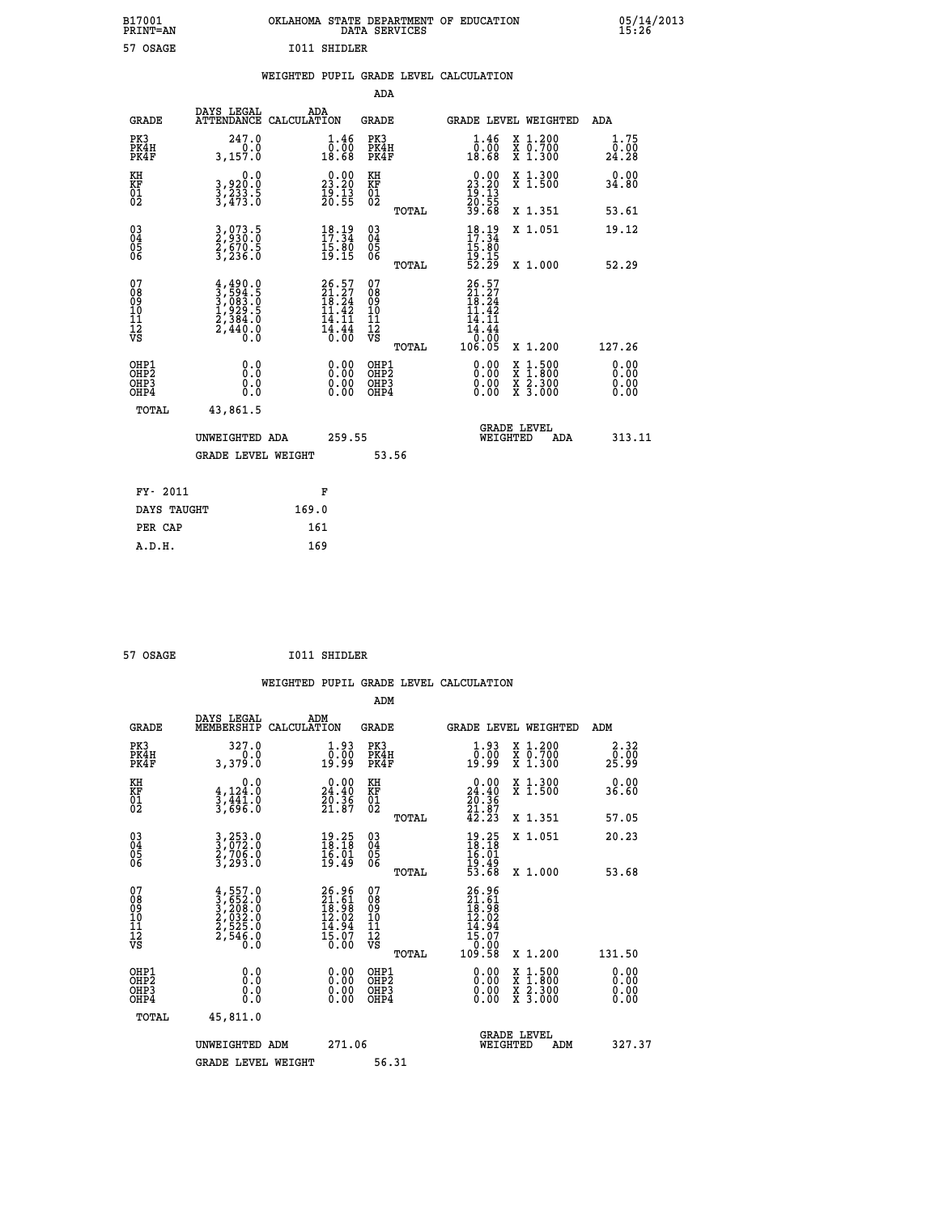| B17001          | OKLAHOMA STATE DEPARTMENT OF EDUCATION |
|-----------------|----------------------------------------|
| <b>PRINT=AN</b> | DATA SERVICES                          |
| 57 OSAGE        | <b>I011 SHIDLER</b>                    |

|  |  | WEIGHTED PUPIL GRADE LEVEL CALCULATION |
|--|--|----------------------------------------|
|  |  |                                        |

|                                                                    |                                                                                     |                                                                            | ADA                                       |       |                                                                                                         |                                               |                              |
|--------------------------------------------------------------------|-------------------------------------------------------------------------------------|----------------------------------------------------------------------------|-------------------------------------------|-------|---------------------------------------------------------------------------------------------------------|-----------------------------------------------|------------------------------|
| <b>GRADE</b>                                                       | DAYS LEGAL<br>ATTENDANCE CALCULATION                                                | ADA                                                                        | <b>GRADE</b>                              |       |                                                                                                         | GRADE LEVEL WEIGHTED                          | <b>ADA</b>                   |
| PK3<br>PK4H<br>PK4F                                                | 247.0<br>0.0<br>3,157.0                                                             | $\begin{smallmatrix} 1.46 \\ 0.00 \\ 18.68 \end{smallmatrix}$              | PK3<br>PK4H<br>PK4F                       |       | $\begin{smallmatrix} 1.46 \\[-1.2mm] 0.00 \\[-1.2mm] 18.68 \end{smallmatrix}$                           | X 1.200<br>X 0.700<br>X 1.300                 | 1.75<br>0.00<br>24.28        |
| KH<br>KF<br>01<br>02                                               | 0.0<br>3,920:0<br>3,233:5<br>3,473:0                                                | $\begin{smallmatrix} 0.00\\ 23.20\\ 19.13\\ 20.55 \end{smallmatrix}$       | KH<br>KF<br>01<br>02                      |       | $\begin{smallmatrix} 0.00\\ 23.20\\ 19.13\\ 20.55\\ 39.68 \end{smallmatrix}$                            | X 1.300<br>X 1.500                            | 0.00<br>34.80                |
|                                                                    |                                                                                     |                                                                            |                                           | TOTAL |                                                                                                         | X 1.351                                       | 53.61                        |
| $\begin{smallmatrix} 03 \\[-4pt] 04 \end{smallmatrix}$<br>Ŏ5<br>06 | 3,073.5<br>2,930.0<br>2,670.5<br>3,236.0                                            | 18.19<br>$\bar{1}\bar{5}\cdot\bar{8}\bar{0}$<br>19.15                      | $\substack{03 \\ 04}$<br>Ŏ5<br>06         | TOTAL | $18.19$<br>$17.34$<br>$\frac{15.80}{19.15}$<br>52.29                                                    | X 1.051<br>X 1.000                            | 19.12<br>52.29               |
| 07<br>08<br>09<br>11<br>11<br>12<br>VS                             | $4,490.0$<br>$3,594.5$<br>$3,083.0$<br>$1,929.5$<br>$2,384.0$<br>$2,440.0$<br>$0.0$ | $26.57$<br>$21.27$<br>$18.24$<br>42<br>11<br>14.11<br><b>14:44</b><br>0.00 | 07<br>08<br>09<br>11<br>11<br>12<br>VS    |       | 26.57<br>21.27<br>īē.24<br>11<br>.42<br>$\begin{array}{r} 14.11 \\ 14.44 \\ 0.60 \\ 106.05 \end{array}$ |                                               |                              |
|                                                                    |                                                                                     |                                                                            |                                           | TOTAL |                                                                                                         | X 1.200                                       | 127.26                       |
| OHP1<br>OHP <sub>2</sub><br>OHP3<br>OHP4                           | 0.0<br>0.0<br>0.0                                                                   | 0.00<br>$\begin{smallmatrix} 0.00 \ 0.00 \end{smallmatrix}$                | OHP1<br>OH <sub>P</sub> 2<br>OHP3<br>OHP4 |       | 0.00<br>0.00<br>0.00                                                                                    | $1:500$<br>$1:800$<br>X<br>X 2.300<br>X 3.000 | 0.00<br>0.00<br>0.00<br>0.00 |
| TOTAL                                                              | 43,861.5                                                                            |                                                                            |                                           |       |                                                                                                         |                                               |                              |
|                                                                    | UNWEIGHTED ADA                                                                      | 259.55                                                                     |                                           |       |                                                                                                         | <b>GRADE LEVEL</b><br>WEIGHTED<br>ADA         | 313.11                       |
|                                                                    | <b>GRADE LEVEL WEIGHT</b>                                                           |                                                                            | 53.56                                     |       |                                                                                                         |                                               |                              |
| FY- 2011                                                           |                                                                                     | F                                                                          |                                           |       |                                                                                                         |                                               |                              |
| DAYS TAUGHT                                                        |                                                                                     | 169.0                                                                      |                                           |       |                                                                                                         |                                               |                              |
| PER CAP                                                            |                                                                                     | 161                                                                        |                                           |       |                                                                                                         |                                               |                              |
|                                                                    |                                                                                     |                                                                            |                                           |       |                                                                                                         |                                               |                              |

| 57 OSAGE | I011 SHIDLER |
|----------|--------------|
|          |              |

 **A.D.H. 169**

| <b>GRADE</b>                 | DAYS LEGAL<br>MEMBERSHIP                                                            | ADM<br>CALCULATION                                                       | <b>GRADE</b>                                       |       | <b>GRADE LEVEL WEIGHTED</b>                                                                           |                                          | ADM                   |  |
|------------------------------|-------------------------------------------------------------------------------------|--------------------------------------------------------------------------|----------------------------------------------------|-------|-------------------------------------------------------------------------------------------------------|------------------------------------------|-----------------------|--|
| PK3<br>PK4H<br>PK4F          | 327.0<br>3,379.0                                                                    | $\begin{smallmatrix} 1.93\ 0.00\ 19.99 \end{smallmatrix}$                | PK3<br>PK4H<br>PK4F                                |       | $\begin{smallmatrix} 1.93\ 0.00\ 19.99 \end{smallmatrix}$                                             | X 1.200<br>X 0.700<br>X 1.300            | 2.32<br>ō:ŏō<br>25:99 |  |
| KH<br>KF<br>01<br>02         | 0.0<br>$\frac{4}{3}, \frac{124}{441}$ .0<br>3,441.0<br>3,696.0                      | $\begin{smallmatrix} 0.00\\24.40\\20.36\\21.87 \end{smallmatrix}$        | KH<br>KF<br>01<br>02                               |       | $\begin{smallmatrix} 0.00\\24.40\\20.36\\21.87\\42.23 \end{smallmatrix}$                              | X 1.300<br>X 1.500                       | 0.00<br>36.60         |  |
|                              |                                                                                     |                                                                          |                                                    | TOTAL |                                                                                                       | X 1.351                                  | 57.05                 |  |
| 03<br>04<br>05<br>06         | 3,253.0<br>3,072.0<br>2,706.0<br>3,293.0                                            | $\begin{smallmatrix} 19.25\\18.18\\16.01\\19.49 \end{smallmatrix}$       | $\begin{matrix} 03 \\ 04 \\ 05 \\ 06 \end{matrix}$ |       | $19.25$<br>$18.18$<br>$16.01$<br>$19.49$<br>$53.68$                                                   | X 1.051                                  | 20.23                 |  |
|                              |                                                                                     |                                                                          |                                                    | TOTAL |                                                                                                       | X 1.000                                  | 53.68                 |  |
| 07<br>08901112<br>1112<br>VS | $4,557.0$<br>$3,652.0$<br>$3,208.0$<br>$2,632.0$<br>$2,525.0$<br>$2,546.0$<br>$0.0$ | $26.96$<br>$21.61$<br>$18.98$<br>$12.02$<br>$14.94$<br>$15.07$<br>$0.00$ | 07<br>08<br>09<br>01<br>11<br>11<br>12<br>VS       | TOTAL | $\begin{smallmatrix} 26.96\\ 21.61\\ 18.98\\ 12.02\\ 14.94\\ 15.07\\ 0.00\\ 109.58 \end{smallmatrix}$ | X 1.200                                  | 131.50                |  |
| OHP1<br>OHP2<br>OHP3<br>OHP4 | 0.0<br>$\begin{smallmatrix} 0.0 & 0 \ 0.0 & 0 \end{smallmatrix}$                    |                                                                          | OHP1<br>OHP2<br>OHP3<br>OHP4                       |       |                                                                                                       | X 1:500<br>X 1:800<br>X 2:300<br>X 3:000 | 0.00<br>0.00<br>0.00  |  |
| TOTAL                        | 45,811.0                                                                            |                                                                          |                                                    |       |                                                                                                       |                                          |                       |  |
|                              | UNWEIGHTED ADM                                                                      | 271.06                                                                   |                                                    |       | <b>GRADE LEVEL</b><br>WEIGHTED                                                                        | ADM                                      | 327.37                |  |
|                              | <b>GRADE LEVEL WEIGHT</b>                                                           |                                                                          | 56.31                                              |       |                                                                                                       |                                          |                       |  |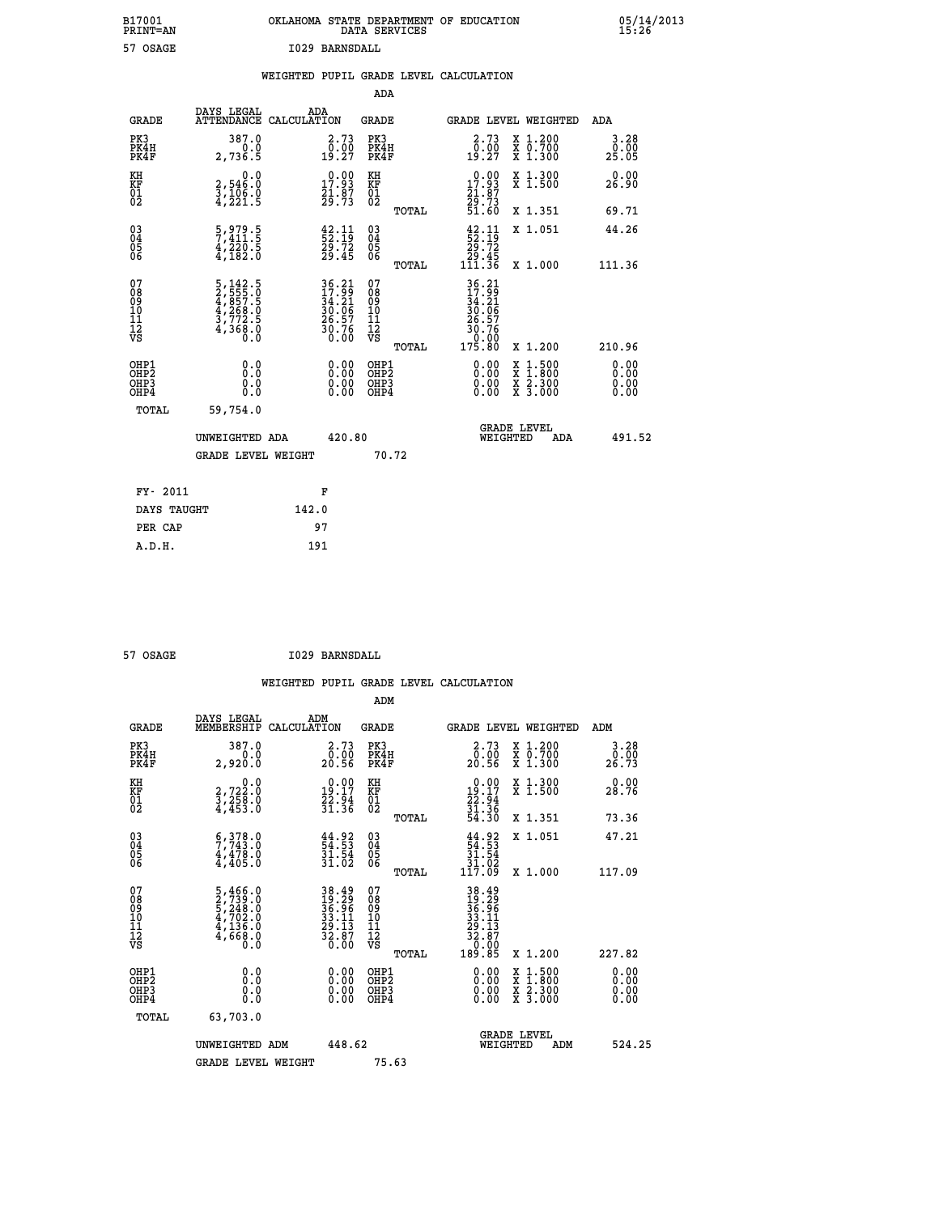| B17001<br><b>PRINT=AN</b> | OKLAHOMA STATE DEPARTMENT OF EDUCATION<br>DATA SERVICES | 05/14/2013<br>15:26 |
|---------------------------|---------------------------------------------------------|---------------------|
| 57 OSAGE                  | 1029 BARNSDALL                                          |                     |

|                                                                  |                                                                                                                                       |                                                                      | ADA                                                 |       |                                                                                                                                            |                                          |     |                              |
|------------------------------------------------------------------|---------------------------------------------------------------------------------------------------------------------------------------|----------------------------------------------------------------------|-----------------------------------------------------|-------|--------------------------------------------------------------------------------------------------------------------------------------------|------------------------------------------|-----|------------------------------|
| <b>GRADE</b>                                                     | DAYS LEGAL<br>ATTENDANCE CALCULATION                                                                                                  | ADA                                                                  | <b>GRADE</b>                                        |       | GRADE LEVEL WEIGHTED                                                                                                                       |                                          |     | ADA                          |
| PK3<br>PK4H<br>PK4F                                              | 387.0<br>0.0<br>2,736.5                                                                                                               | 2.73<br>$\frac{0.00}{19.27}$                                         | PK3<br>PK4H<br>PK4F                                 |       | $\begin{smallmatrix} 2.73 \\ 0.00 \\ 19.27 \end{smallmatrix}$                                                                              | X 1.200<br>X 0.700<br>X 1.300            |     | 3.28<br>0.00<br>25.05        |
| KH<br>KF<br>01<br>02                                             | 0.0<br>2,546:0<br>3,106:0<br>4,221:5                                                                                                  | $\begin{smallmatrix} 0.00\\ 17.93\\ 21.87\\ 29.73 \end{smallmatrix}$ | KH<br>KF<br>01<br>02                                |       | $\begin{smallmatrix} 0.00\\ 17.93\\ 21.87\\ 29.73\\ 51.60 \end{smallmatrix}$                                                               | X 1.300<br>X 1.500                       |     | 0.00<br>26.90                |
|                                                                  |                                                                                                                                       |                                                                      |                                                     | TOTAL |                                                                                                                                            | X 1.351                                  |     | 69.71                        |
| $\begin{matrix} 03 \\ 04 \\ 05 \\ 06 \end{matrix}$               | 5,979.5<br>7,411.5<br>$\frac{4720.5}{47182.0}$                                                                                        | $\frac{42}{52}:\frac{11}{19}$<br>29.72<br>29.45                      | $\begin{array}{c} 03 \\ 04 \\ 05 \\ 06 \end{array}$ |       | $\begin{array}{c} 42\cdot 11 \\ 52\cdot 19 \\ 29\cdot 72 \\ 29\cdot 45 \\ 111\cdot 36 \end{array}$                                         | X 1.051                                  |     | 44.26                        |
|                                                                  |                                                                                                                                       |                                                                      |                                                     | TOTAL |                                                                                                                                            | X 1.000                                  |     | 111.36                       |
| 07<br>08<br>09<br>11<br>11<br>12<br>VS                           | $\begin{smallmatrix}5\,,\,142\,.5\\2\,,\,555\,.0\\4\,,\,857\,.5\\4\,,\,268\,.0\\3\,,\,772\,.5\\4\,,\,368\,.0\\0\,.0\end{smallmatrix}$ | 36.21<br>17.99<br>34.21<br>30.06<br>26.57<br>30.76<br>0.00           | 07<br>08<br>09<br>11<br>11<br>12<br>VS              |       | $\begin{array}{r} 36\cdot 21 \\ 17\cdot 9 \\ 34\cdot 21 \\ 36\cdot 06 \\ 26\cdot 57 \\ 30\cdot 76 \\ 0\cdot 00 \\ 175\cdot 80 \end{array}$ |                                          |     |                              |
|                                                                  |                                                                                                                                       |                                                                      |                                                     | TOTAL |                                                                                                                                            | X 1.200                                  |     | 210.96                       |
| OHP1<br>OH <sub>P</sub> <sub>2</sub><br>OH <sub>P3</sub><br>OHP4 | 0.0<br>0.0<br>0.0                                                                                                                     | $\begin{smallmatrix} 0.00 \ 0.00 \ 0.00 \ 0.00 \end{smallmatrix}$    | OHP1<br>OHP <sub>2</sub><br>OHP3<br>OHP4            |       |                                                                                                                                            | X 1:500<br>X 1:800<br>X 2:300<br>X 3:000 |     | 0.00<br>0.00<br>0.00<br>0.00 |
| <b>TOTAL</b>                                                     | 59,754.0                                                                                                                              |                                                                      |                                                     |       |                                                                                                                                            |                                          |     |                              |
|                                                                  | UNWEIGHTED ADA                                                                                                                        | 420.80                                                               |                                                     |       |                                                                                                                                            | <b>GRADE LEVEL</b><br>WEIGHTED           | ADA | 491.52                       |
|                                                                  | <b>GRADE LEVEL WEIGHT</b>                                                                                                             |                                                                      |                                                     | 70.72 |                                                                                                                                            |                                          |     |                              |
| FY- 2011                                                         |                                                                                                                                       | F                                                                    |                                                     |       |                                                                                                                                            |                                          |     |                              |
| DAYS TAUGHT                                                      |                                                                                                                                       | 142.0                                                                |                                                     |       |                                                                                                                                            |                                          |     |                              |
| PER CAP                                                          |                                                                                                                                       | 97                                                                   |                                                     |       |                                                                                                                                            |                                          |     |                              |
|                                                                  |                                                                                                                                       |                                                                      |                                                     |       |                                                                                                                                            |                                          |     |                              |

 **ADM**

57 OSAGE **I029 BARNSDALL** 

| <b>GRADE</b>                                       | DAYS LEGAL<br>MEMBERSHIP CALCULATION                                                                    | ADM                                                                                                | <b>GRADE</b>                                        |                                                                                                                                                                                                                                                                                | GRADE LEVEL WEIGHTED                     | ADM                   |
|----------------------------------------------------|---------------------------------------------------------------------------------------------------------|----------------------------------------------------------------------------------------------------|-----------------------------------------------------|--------------------------------------------------------------------------------------------------------------------------------------------------------------------------------------------------------------------------------------------------------------------------------|------------------------------------------|-----------------------|
| PK3<br>PK4H<br>PK4F                                | 387.0<br>0.0<br>2,920.0                                                                                 | 2.73<br>0:00<br>20:56                                                                              | PK3<br>PK4H<br>PK4F                                 | 2.73<br>00.00<br>20.56                                                                                                                                                                                                                                                         | X 1.200<br>X 0.700<br>X 1.300            | 3.28<br>0.00<br>26.73 |
| KH<br>KF<br>01<br>02                               | 0.0<br>2,722:0<br>3,258:0<br>4,453:0                                                                    | $\begin{smallmatrix} 0.00\\19.17\\22.94\\31.36 \end{smallmatrix}$                                  | KH<br>KF<br>01<br>02                                | $\begin{smallmatrix} 0.00\\19.17\\22.94\\31.36\\54.30 \end{smallmatrix}$                                                                                                                                                                                                       | X 1.300<br>X 1.500                       | 0.00<br>28.76         |
|                                                    |                                                                                                         |                                                                                                    | TOTAL                                               |                                                                                                                                                                                                                                                                                | X 1.351                                  | 73.36                 |
| $\begin{matrix} 03 \\ 04 \\ 05 \\ 06 \end{matrix}$ | $\begin{smallmatrix} 6 & 378 & 0 \\ 7 & 743 & 0 \\ 4 & 478 & 0 \\ 4 & 405 & 0 \end{smallmatrix}$        | $\begin{smallmatrix} 44.92\ 54.53\ 31.54\ 31.02 \end{smallmatrix}$                                 | $\begin{array}{c} 03 \\ 04 \\ 05 \\ 06 \end{array}$ | $\begin{array}{r} 44.92 \\ 54.53 \\ 31.54 \\ 31.02 \\ 117.09 \end{array}$                                                                                                                                                                                                      | X 1.051                                  | 47.21                 |
|                                                    |                                                                                                         |                                                                                                    | TOTAL                                               |                                                                                                                                                                                                                                                                                | X 1.000                                  | 117.09                |
| 07<br>08<br>09<br>101<br>11<br>12<br>VS            | $\begin{smallmatrix} 5,466.0\\ 2,739.0\\ 5,248.0\\ 4,702.0\\ 4,136.0\\ 4,668.0\\ 0.0 \end{smallmatrix}$ | $\begin{array}{r} 38.49 \\ 19.29 \\ 36.96 \\ 33.11 \\ 29.13 \\ 29.13 \\ 32.87 \\ 0.00 \end{array}$ | 078<br>089<br>0011<br>11<br>12<br>VS<br>TOTAL       | $38.49$<br>$19.29$<br>$36.96$<br>$32.11$<br>$29.13$<br>$32.87$<br>$0.00$<br>$189.85$                                                                                                                                                                                           | X 1.200                                  | 227.82                |
| OHP1<br>OHP2<br>OHP3<br>OHP4                       | 0.0<br>$\begin{smallmatrix} 0.0 & 0 \ 0.0 & 0 \end{smallmatrix}$                                        |                                                                                                    | OHP1<br>OHP2<br>OHP3<br>OHP4                        | $\begin{smallmatrix} 0.00 & 0.00 & 0.00 & 0.00 & 0.00 & 0.00 & 0.00 & 0.00 & 0.00 & 0.00 & 0.00 & 0.00 & 0.00 & 0.00 & 0.00 & 0.00 & 0.00 & 0.00 & 0.00 & 0.00 & 0.00 & 0.00 & 0.00 & 0.00 & 0.00 & 0.00 & 0.00 & 0.00 & 0.00 & 0.00 & 0.00 & 0.00 & 0.00 & 0.00 & 0.00 & 0.0$ | X 1:500<br>X 1:800<br>X 2:300<br>X 3:000 | 0.00<br>0.00<br>0.00  |
| TOTAL                                              | 63,703.0                                                                                                |                                                                                                    |                                                     |                                                                                                                                                                                                                                                                                |                                          |                       |
|                                                    | UNWEIGHTED<br>ADM                                                                                       | 448.62                                                                                             |                                                     | WEIGHTED                                                                                                                                                                                                                                                                       | <b>GRADE LEVEL</b><br>ADM                | 524.25                |
|                                                    | <b>GRADE LEVEL WEIGHT</b>                                                                               |                                                                                                    | 75.63                                               |                                                                                                                                                                                                                                                                                |                                          |                       |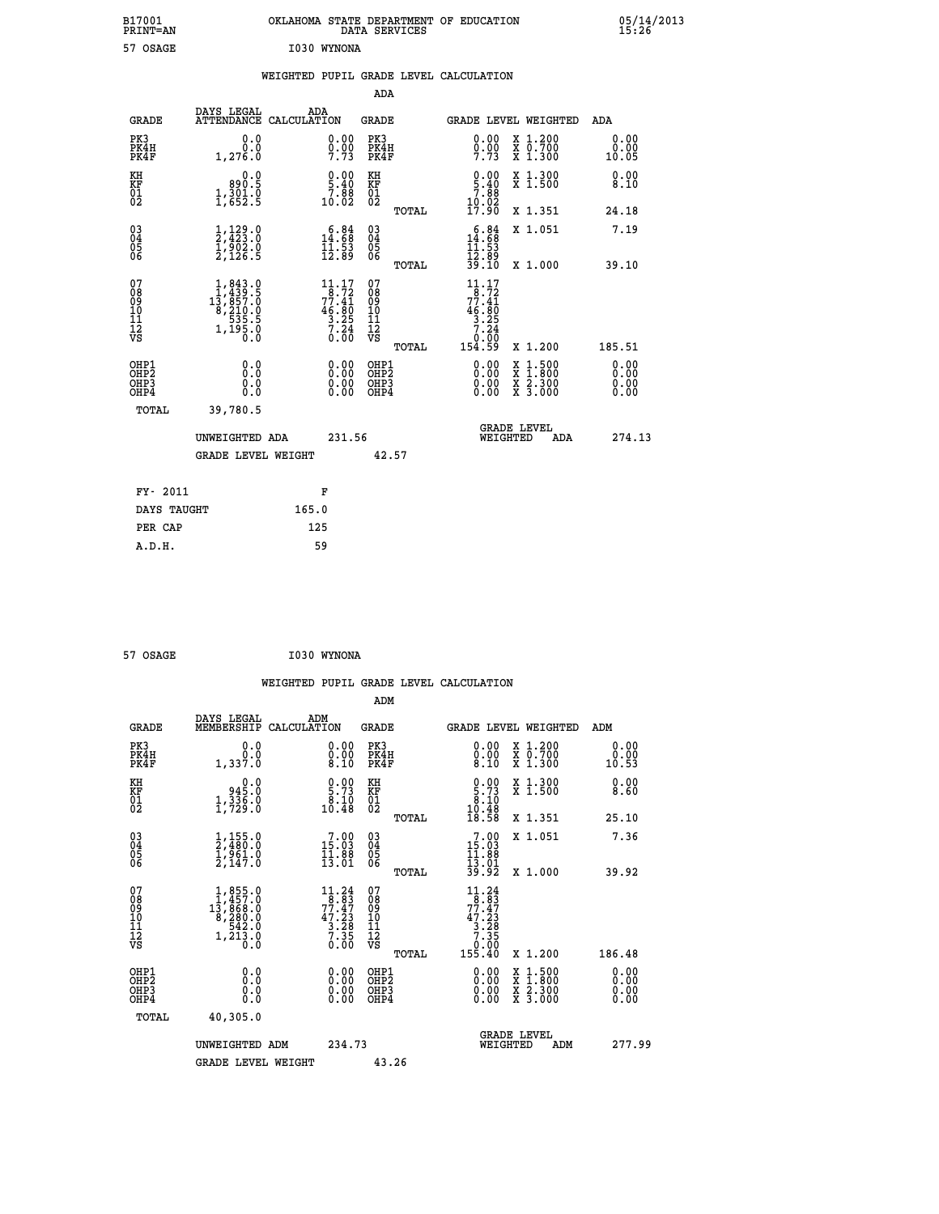| B17001<br>PRINT=AN | OKLAHOMA STATE DEPARTMENT OF EDUCATION<br>DATA SERVICES | 05/14/2013<br>15:26 |
|--------------------|---------------------------------------------------------|---------------------|
| 57 OSAGE           | I030 WYNONA                                             |                     |

|  |  | WEIGHTED PUPIL GRADE LEVEL CALCULATION |
|--|--|----------------------------------------|
|  |  |                                        |

|                                                                    |                                                                                                                                          |                                                                                                                               | ADA                                                |       |                                                                                                                                                                                                                                |                                          |                               |
|--------------------------------------------------------------------|------------------------------------------------------------------------------------------------------------------------------------------|-------------------------------------------------------------------------------------------------------------------------------|----------------------------------------------------|-------|--------------------------------------------------------------------------------------------------------------------------------------------------------------------------------------------------------------------------------|------------------------------------------|-------------------------------|
| <b>GRADE</b>                                                       | DAYS LEGAL                                                                                                                               | ADA<br>ATTENDANCE CALCULATION                                                                                                 | <b>GRADE</b>                                       |       |                                                                                                                                                                                                                                | GRADE LEVEL WEIGHTED                     | ADA                           |
| PK3<br>PK4H<br>PK4F                                                | 0.0<br>0.0<br>1,276.0                                                                                                                    | $0.00$<br>$0.00$<br>7.73                                                                                                      | PK3<br>PK4H<br>PK4F                                |       | 0.00<br>$0.00$<br>7.73                                                                                                                                                                                                         | X 1.200<br>X 0.700<br>X 1.300            | 0.00<br>0.00<br>10.05         |
| KH<br>KF<br>01<br>02                                               | 0.0<br>890.5<br>$\frac{1}{2}, \frac{3}{6}$ $\frac{6}{2}$ $\frac{3}{5}$                                                                   | $\begin{smallmatrix} 0.00\\ 5.40\\ 7.88\\ 10.02 \end{smallmatrix}$                                                            | KH<br>KF<br>01<br>02                               |       | $\begin{smallmatrix} 0.00\\ 5.40\\ 7.88\\ 10.02\\ 17.90 \end{smallmatrix}$                                                                                                                                                     | X 1.300<br>X 1.500                       | 0.00<br>8.10                  |
|                                                                    |                                                                                                                                          |                                                                                                                               |                                                    | TOTAL |                                                                                                                                                                                                                                | X 1.351                                  | 24.18                         |
| $\begin{smallmatrix} 03 \\[-4pt] 04 \end{smallmatrix}$<br>Ŏ5<br>06 |                                                                                                                                          | $\begin{smallmatrix} 6.84\ 14.68\ 11.53\ 12.89 \end{smallmatrix}$                                                             | $\begin{matrix} 03 \\ 04 \\ 05 \\ 06 \end{matrix}$ |       | $\begin{array}{c} 6.84 \\ 14.68 \\ 11.53 \\ 12.89 \end{array}$                                                                                                                                                                 | X 1.051                                  | 7.19                          |
|                                                                    |                                                                                                                                          |                                                                                                                               |                                                    | TOTAL | 39.10                                                                                                                                                                                                                          | X 1.000                                  | 39.10                         |
| 07<br>08<br>09<br>101<br>11<br>12<br>VS                            | $\begin{smallmatrix} 1,843\cdot 0\\ 1,439\cdot 5\\ 13,857\cdot 0\\ 8,210\cdot 0\\ 535\cdot 5\\ 1,195\cdot 0\\ 0\cdot 0\end{smallmatrix}$ | $\begin{smallmatrix} 11\cdot 17\\ -8\cdot 72\\ 77\cdot 41\\ 46\cdot 80\\ 3\cdot 25\\ 7\cdot 24\\ 0\cdot 00 \end{smallmatrix}$ | 07<br>08<br>09<br>101<br>11<br>12<br>VS            |       | $\begin{array}{@{}c@{\hspace{1em}}c@{\hspace{1em}}}\n 1 & 1 & 7 \\  7 & 8 & 7 & 2 \\  7 & 7 & 4 & 1 \\  4 & 6 & 8 & 0 \\  3 & 2 & 5 & 4 \\  7 & 2 & 4 & 0 \\  7 & 2 & 4 & 0 \\  8 & 0 & 0 & 0 \\  9 & 0 & 0 & 0\n \end{array}$ |                                          |                               |
|                                                                    |                                                                                                                                          |                                                                                                                               |                                                    | TOTAL | 154.59                                                                                                                                                                                                                         | X 1.200                                  | 185.51                        |
| OHP1<br>OHP <sub>2</sub><br>OH <sub>P3</sub><br>OHP4               | 0.0<br>0.000                                                                                                                             | 0.00<br>$\begin{smallmatrix} 0.00 \ 0.00 \end{smallmatrix}$                                                                   | OHP1<br>OHP <sub>2</sub><br>OHP <sub>3</sub>       |       | 0.00<br>0.00                                                                                                                                                                                                                   | X 1:500<br>X 1:800<br>X 2:300<br>X 3:000 | 0.00<br>Ō. ŌŌ<br>0.00<br>0.00 |
| TOTAL                                                              | 39,780.5                                                                                                                                 |                                                                                                                               |                                                    |       |                                                                                                                                                                                                                                |                                          |                               |
|                                                                    | UNWEIGHTED ADA                                                                                                                           | 231.56                                                                                                                        |                                                    |       |                                                                                                                                                                                                                                | <b>GRADE LEVEL</b><br>WEIGHTED<br>ADA    | 274.13                        |
|                                                                    | <b>GRADE LEVEL WEIGHT</b>                                                                                                                |                                                                                                                               |                                                    | 42.57 |                                                                                                                                                                                                                                |                                          |                               |
| FY- 2011                                                           |                                                                                                                                          | F                                                                                                                             |                                                    |       |                                                                                                                                                                                                                                |                                          |                               |
| DAYS TAUGHT                                                        |                                                                                                                                          | 165.0                                                                                                                         |                                                    |       |                                                                                                                                                                                                                                |                                          |                               |
| PER CAP                                                            |                                                                                                                                          | 125                                                                                                                           |                                                    |       |                                                                                                                                                                                                                                |                                          |                               |

| 57 OSAGE | I030 WYNONA |
|----------|-------------|
|          |             |

 **WEIGHTED PUPIL GRADE LEVEL CALCULATION ADM DAYS LEGAL ADM GRADE MEMBERSHIP CALCULATION GRADE GRADE LEVEL WEIGHTED ADM PK3 0.0 0.00 PK3 0.00 X 1.200 0.00 PK4H 0.0 0.00 PK4H 0.00 X 0.700 0.00 PK4F 1,337.0 8.10 PK4F 8.10 X 1.300 10.53 KH 0.0 0.00 KH 0.00 X 1.300 0.00 KF 945.0 5.73 KF 5.73 X 1.500 8.60** 01 1,336.0 8.10 01 8.10<br>02 1,729.0 10.48 02 <sub>nomaa</sub> 10.48  **TOTAL 18.58 X 1.351 25.10 03 1,155.0 7.00 03 7.00 X 1.051 7.36 04 2,480.0 15.03 04 15.03 05 1,961.0 11.88 05 11.88** 06 2,147.0 13.01 06 <sub>nome</sub> 13.01  **TOTAL 39.92 X 1.000 39.92** 07 1,855.0 11.24 07 11.24<br>
08 13,468.0 77.47 09 77.47<br>
10 8,280.0 47.23 10 47.23<br>
11 542.0 3.28 11 3.28<br>
12 1,213.0 7.35 12<br>
VS 1,213.0 0.00 VS 0.00  **TOTAL 155.40 X 1.200 186.48 OHP1 0.0 0.00 OHP1 0.00 X 1.500 0.00 OHP2 0.0 0.00 OHP2 0.00 X 1.800 0.00 OHP3 0.0 0.00 OHP3 0.00 X 2.300 0.00 OHP4 0.0 0.00 OHP4 0.00 X 3.000 0.00 TOTAL 40,305.0 GRADE LEVEL UNWEIGHTED ADM 234.73 WEIGHTED ADM 277.99** GRADE LEVEL WEIGHT 43.26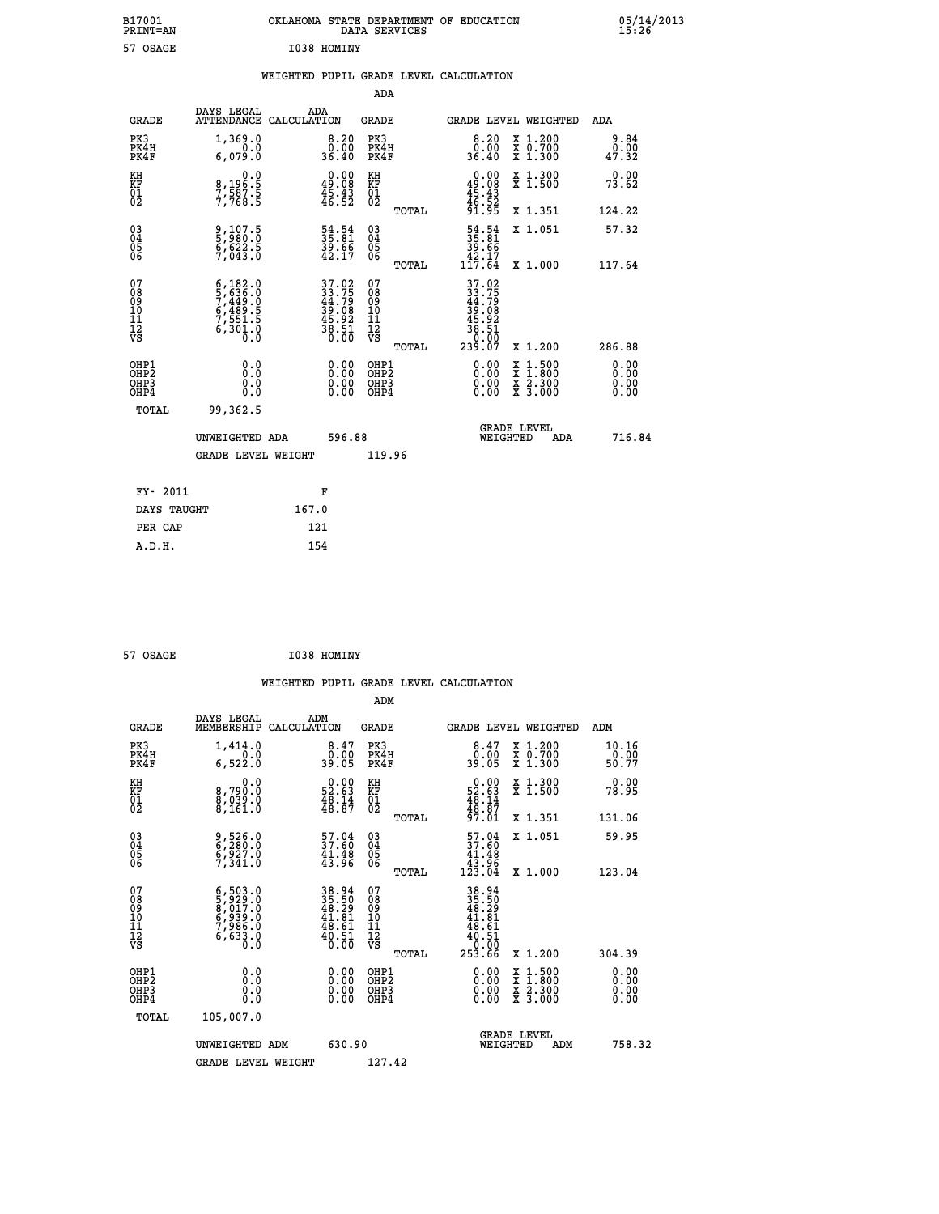| B17001<br><b>PRINT=AN</b> | OKLAHOMA STATE DEPARTMENT OF EDUCATION<br>DATA SERVICES | 05/14/2013<br>15:26 |
|---------------------------|---------------------------------------------------------|---------------------|
| 57 OSAGE                  | I038 HOMINY                                             |                     |

## **WEIGHTED PUPIL GRADE LEVEL CALCULATION**

|                                                                    |                                                                                                                                                               |                                                                      | ADA                                                 |       |                                                                            |                                          |                              |
|--------------------------------------------------------------------|---------------------------------------------------------------------------------------------------------------------------------------------------------------|----------------------------------------------------------------------|-----------------------------------------------------|-------|----------------------------------------------------------------------------|------------------------------------------|------------------------------|
| <b>GRADE</b>                                                       | DAYS LEGAL<br><b>ATTENDANCE</b>                                                                                                                               | ADA<br>CALCULATION                                                   | <b>GRADE</b>                                        |       |                                                                            | <b>GRADE LEVEL WEIGHTED</b>              | ADA                          |
| PK3<br>PK4H<br>PK4F                                                | 1,369.0<br>0.0<br>6,079.0                                                                                                                                     | $\begin{smallmatrix}8.20\0.00\\36.40\end{smallmatrix}$               | PK3<br>PK4H<br>PK4F                                 |       | $\begin{smallmatrix} 8.20\ 0.00\ 36.40 \end{smallmatrix}$                  | X 1.200<br>X 0.700<br>X 1.300            | 9.84<br>0.00<br>47.32        |
| KH<br><b>KF</b><br>01<br>02                                        | 0.0<br>8,196:5<br>7,587:5<br>7,768:5                                                                                                                          | $\begin{smallmatrix} 0.00\\ 49.08\\ 45.43\\ 46.52 \end{smallmatrix}$ | KH<br>KF<br>01<br>02                                |       | 0.00<br>$49.08$<br>$45.43$<br>$46.52$<br>$91.95$                           | X 1.300<br>X 1.500                       | 0.00<br>73.62                |
|                                                                    |                                                                                                                                                               |                                                                      |                                                     | TOTAL |                                                                            | X 1.351                                  | 124.22                       |
| $\begin{smallmatrix} 03 \\[-4pt] 04 \end{smallmatrix}$<br>Ŏ5<br>06 | 9,107.5<br>5,980.0<br>6,622.5<br>7,043.0                                                                                                                      | 54.54<br>35.81<br>39.66<br>42.17                                     | $\begin{array}{c} 03 \\ 04 \\ 05 \\ 06 \end{array}$ | TOTAL | $\begin{smallmatrix} 54.54\ 35.81\ 39.66\ 42.17\ 117.64 \end{smallmatrix}$ | X 1.051<br>X 1.000                       | 57.32<br>117.64              |
| 07<br>08901112<br>1112<br>VS                                       | $\begin{smallmatrix} 6\,,\,182\,.0\\ 5\,,\,636\,.0\\ 7\,,\,449\,.0\\ 6\,,\,489\,.5\\ 6\,,\,489\,.5\\ 7\,,\,551\,.5\\ 6\,,\,301\,.0\\ 0\,.0 \end{smallmatrix}$ | 37.02<br>33.75<br>44.79<br>45.08<br>38.92<br>38.51<br>38.51          | 07<br>08901112<br>1112<br>VS                        |       | 37.02<br>33.75<br>44.79<br>39.08<br>38.51<br>38.51<br>38.50                |                                          |                              |
|                                                                    |                                                                                                                                                               |                                                                      |                                                     | TOTAL | 239.07                                                                     | X 1.200                                  | 286.88                       |
| OHP1<br>OH <sub>P</sub> 2<br>OH <sub>P3</sub><br>OH <sub>P4</sub>  | 0.0<br>0.000                                                                                                                                                  | $\begin{smallmatrix} 0.00 \ 0.00 \ 0.00 \ 0.00 \end{smallmatrix}$    | OHP1<br>OHP <sub>2</sub><br>OHP3<br>OHP4            |       | 0.00<br>0.00<br>0.00                                                       | X 1:500<br>X 1:800<br>X 2:300<br>X 3:000 | 0.00<br>0.00<br>0.00<br>0.00 |
| TOTAL                                                              | 99,362.5                                                                                                                                                      |                                                                      |                                                     |       |                                                                            |                                          |                              |
|                                                                    | UNWEIGHTED ADA                                                                                                                                                | 596.88                                                               |                                                     |       |                                                                            | GRADE LEVEL<br>WEIGHTED<br>ADA           | 716.84                       |
|                                                                    | <b>GRADE LEVEL WEIGHT</b>                                                                                                                                     |                                                                      | 119.96                                              |       |                                                                            |                                          |                              |
| FY- 2011                                                           |                                                                                                                                                               | F                                                                    |                                                     |       |                                                                            |                                          |                              |
| DAYS TAUGHT                                                        |                                                                                                                                                               | 167.0                                                                |                                                     |       |                                                                            |                                          |                              |
| PER CAP                                                            |                                                                                                                                                               | 121                                                                  |                                                     |       |                                                                            |                                          |                              |

| 57 OSAGE | I038 HOMINY |
|----------|-------------|

 **ADM**

 **A.D.H. 154**

| <b>GRADE</b>                                       | DAYS LEGAL<br>MEMBERSHIP CALCULATION                                                                    | ADM                                                                  | <b>GRADE</b>                                        |       | GRADE LEVEL WEIGHTED                                                                                                                                                                                                                                                           |          |                                          |     | ADM                           |        |
|----------------------------------------------------|---------------------------------------------------------------------------------------------------------|----------------------------------------------------------------------|-----------------------------------------------------|-------|--------------------------------------------------------------------------------------------------------------------------------------------------------------------------------------------------------------------------------------------------------------------------------|----------|------------------------------------------|-----|-------------------------------|--------|
| PK3<br>PK4H<br>PK4F                                | 1,414.0<br>6,522.0                                                                                      | $\begin{smallmatrix}8.47\0.00\\9.00\end{smallmatrix}$                | PK3<br>PK4H<br>PK4F                                 |       | $\begin{smallmatrix}8.47\0.00\\9.00\end{smallmatrix}$                                                                                                                                                                                                                          |          | X 1.200<br>X 0.700<br>X 1.300            |     | 10.16<br>$\frac{0.00}{50.77}$ |        |
| KH<br>KF<br>01<br>02                               | 0.0<br>8,790:0<br>8,039:0<br>8,161:0                                                                    | $\begin{smallmatrix} 0.00\\ 52.63\\ 48.14\\ 48.87 \end{smallmatrix}$ | KH<br>KF<br>01<br>02                                |       | $\begin{smallmatrix} 0.00\\ 52.63\\ 48.14\\ 48.87\\ 97.01 \end{smallmatrix}$                                                                                                                                                                                                   |          | X 1.300<br>X 1.500                       |     | 0.00<br>78.95                 |        |
|                                                    |                                                                                                         |                                                                      |                                                     | TOTAL |                                                                                                                                                                                                                                                                                |          | X 1.351                                  |     | 131.06                        |        |
| $\begin{matrix} 03 \\ 04 \\ 05 \\ 06 \end{matrix}$ | 9,526.0<br>6,280.0<br>6,927.0<br>7,341.0                                                                | $\begin{smallmatrix}57.04\\37.60\\41.48\\43.96\end{smallmatrix}$     | $\begin{array}{c} 03 \\ 04 \\ 05 \\ 06 \end{array}$ |       | $\begin{smallmatrix}57.04\\37.60\\41.48\\43.96\\123.04\end{smallmatrix}$                                                                                                                                                                                                       |          | X 1.051                                  |     | 59.95                         |        |
|                                                    |                                                                                                         |                                                                      |                                                     | TOTAL |                                                                                                                                                                                                                                                                                |          | X 1.000                                  |     | 123.04                        |        |
| 07<br>08<br>09<br>101<br>11<br>12<br>VS            | $\begin{smallmatrix} 6,503.0\\ 5,929.0\\ 8,017.0\\ 6,939.0\\ 7,986.0\\ 6,633.0\\ 0.0 \end{smallmatrix}$ | 38.94<br>35.50<br>48.29<br>48.61<br>48.51<br>0.00                    | 07<br>08<br>09<br>001<br>11<br>11<br>12<br>VS       | TOTAL | $\begin{array}{r} 38.94 \\ 35.50 \\ 48.29 \\ 41.81 \\ 48.61 \\ 40.51 \\ 0.00 \\ 253.66 \end{array}$                                                                                                                                                                            |          | X 1.200                                  |     | 304.39                        |        |
| OHP1<br>OHP2<br>OHP3<br>OHP4                       |                                                                                                         | $\begin{smallmatrix} 0.00 \ 0.00 \ 0.00 \ 0.00 \end{smallmatrix}$    | OHP1<br>OHP2<br>OHP3<br>OHP4                        |       | $\begin{smallmatrix} 0.00 & 0.00 & 0.00 & 0.00 & 0.00 & 0.00 & 0.00 & 0.00 & 0.00 & 0.00 & 0.00 & 0.00 & 0.00 & 0.00 & 0.00 & 0.00 & 0.00 & 0.00 & 0.00 & 0.00 & 0.00 & 0.00 & 0.00 & 0.00 & 0.00 & 0.00 & 0.00 & 0.00 & 0.00 & 0.00 & 0.00 & 0.00 & 0.00 & 0.00 & 0.00 & 0.0$ |          | X 1:500<br>X 1:800<br>X 2:300<br>X 3:000 |     | 0.00<br>0.00<br>0.00          |        |
| TOTAL                                              | 105,007.0                                                                                               |                                                                      |                                                     |       |                                                                                                                                                                                                                                                                                |          |                                          |     |                               |        |
|                                                    | UNWEIGHTED                                                                                              | 630.90<br>ADM                                                        |                                                     |       |                                                                                                                                                                                                                                                                                | WEIGHTED | <b>GRADE LEVEL</b>                       | ADM |                               | 758.32 |
|                                                    | <b>GRADE LEVEL WEIGHT</b>                                                                               |                                                                      | 127.42                                              |       |                                                                                                                                                                                                                                                                                |          |                                          |     |                               |        |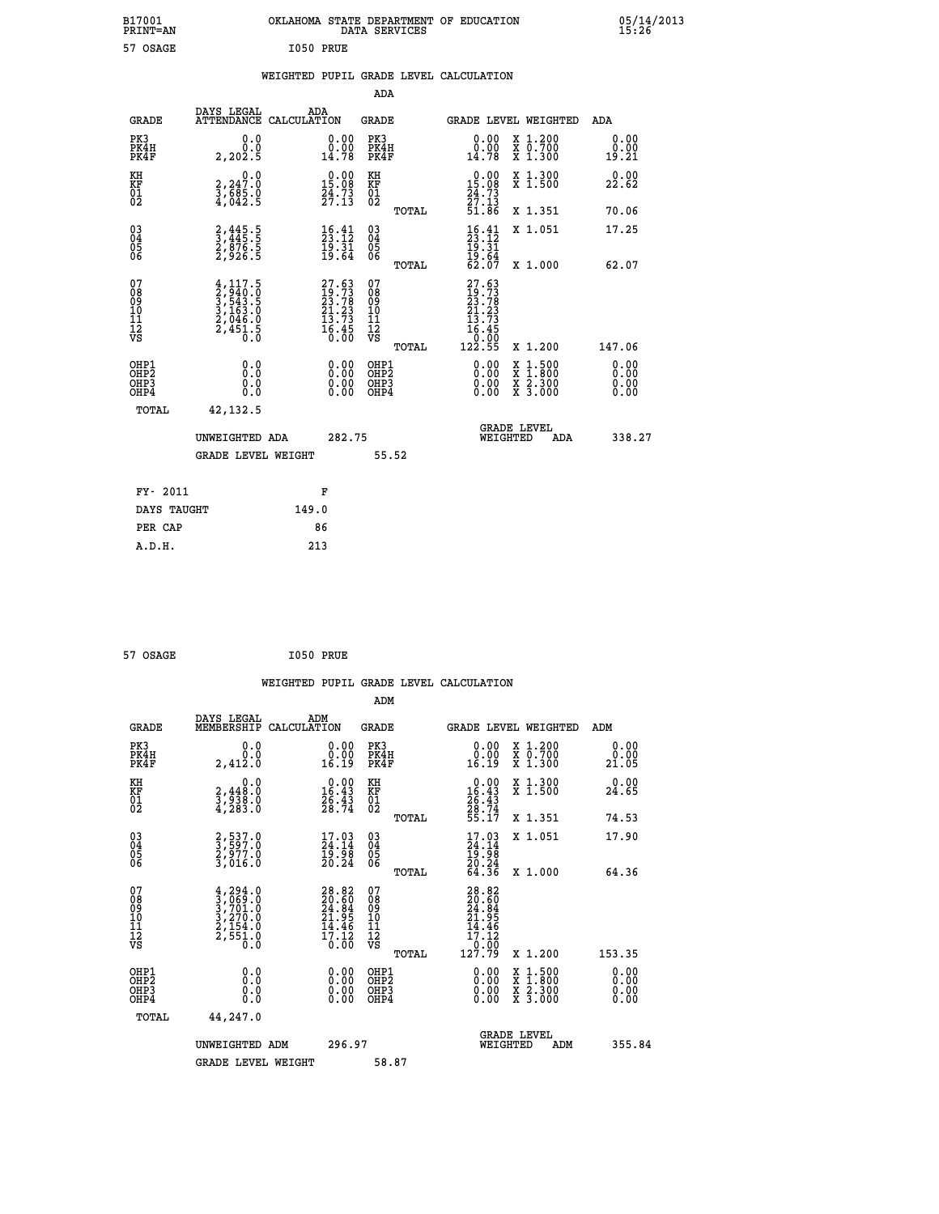| B17001<br>PRINT=AN                                   |                                                                                     | OKLAHOMA STATE DEPARTMENT OF EDUCATION                               | DATA SERVICES                                      |                                                                               |                                                                                                  | 05/14/2013<br>15:26          |  |
|------------------------------------------------------|-------------------------------------------------------------------------------------|----------------------------------------------------------------------|----------------------------------------------------|-------------------------------------------------------------------------------|--------------------------------------------------------------------------------------------------|------------------------------|--|
| 57 OSAGE                                             |                                                                                     | I050 PRUE                                                            |                                                    |                                                                               |                                                                                                  |                              |  |
|                                                      |                                                                                     | WEIGHTED PUPIL GRADE LEVEL CALCULATION                               |                                                    |                                                                               |                                                                                                  |                              |  |
|                                                      |                                                                                     |                                                                      | ADA                                                |                                                                               |                                                                                                  |                              |  |
| GRADE                                                | DAYS LEGAL<br>ATTENDANCE CALCULATION                                                | ADA                                                                  | GRADE                                              | GRADE LEVEL WEIGHTED                                                          |                                                                                                  | ADA                          |  |
| PK3<br>PK4H<br>PK4F                                  | 0.0<br>0.0<br>2, 202.5                                                              | 0.00<br>0.00<br>14.78                                                | PK3<br>PK4H<br>PK4F                                | 0.00<br>0.00<br>14.78                                                         | X 1.200<br>X 0.700<br>X 1.300                                                                    | 0.00<br>0.00<br>19.21        |  |
| KH<br>KF<br>01<br>02                                 | 0.0<br>2,247:0<br>3,685:0<br>4,042:5                                                | $\begin{smallmatrix} 0.00\\ 15.08\\ 24.73\\ 27.13 \end{smallmatrix}$ | KH<br>KF<br>01<br>02                               | $\begin{array}{c} 0.00 \\ 15.08 \\ 24.73 \\ 27.13 \end{array}$                | X 1.300<br>X 1.500                                                                               | 0.00<br>22.62                |  |
|                                                      |                                                                                     |                                                                      | TOTAL                                              | 51.86                                                                         | X 1.351                                                                                          | 70.06                        |  |
| $\begin{matrix} 03 \\ 04 \\ 05 \\ 06 \end{matrix}$   | 2,445.5<br>3,445.5<br>2,876.5<br>2,926.5                                            | $\begin{smallmatrix} 16.41\ 23.12\ 19.31\ 19.64 \end{smallmatrix}$   | $\begin{matrix} 03 \\ 04 \\ 05 \\ 06 \end{matrix}$ | $\frac{16}{23}$ : $\frac{41}{12}$<br>$\frac{19}{21}$<br>$\frac{19.64}{62.07}$ | X 1.051                                                                                          | 17.25                        |  |
|                                                      |                                                                                     |                                                                      | <b>TOTAL</b>                                       |                                                                               | X 1.000                                                                                          | 62.07                        |  |
| 07<br>08<br>09<br>10<br>11<br>Ī2<br>VS               | $4,117.5$<br>$2,940.0$<br>$3,543.5$<br>$3,163.0$<br>$2,046.0$<br>$2,451.5$<br>$0.0$ | $27.63$<br>$19.73$<br>$23.78$<br>$21.23$<br>$13.73$<br>$16.45$       | 07<br>08<br>09<br>10<br>11<br>ĪŽ<br>VŠ<br>TOTAL    | $27.63$<br>$19.73$<br>$23.78$<br>$21.23$<br>13.73<br>16.45<br>0.00<br>122.55  | X 1.200                                                                                          | 147.06                       |  |
| OHP1<br>OHP <sub>2</sub><br>OH <sub>P3</sub><br>OHP4 | 0.0<br>Ō.Ō<br>0.0<br>0.0                                                            | 0.00<br>0.00<br>0.00                                                 | OHP1<br>OH <sub>P</sub> 2<br>OHP3<br>OHP4          | 0.00<br>0.00<br>0.00                                                          | $\begin{smallmatrix} x & 1 & 500 \\ x & 1 & 800 \\ x & 2 & 300 \\ x & 3 & 000 \end{smallmatrix}$ | 0.00<br>0.00<br>0.00<br>0.00 |  |
| TOTAL                                                | 42, 132.5                                                                           |                                                                      |                                                    |                                                                               |                                                                                                  |                              |  |
|                                                      | UNWEIGHTED ADA                                                                      | 282.75                                                               |                                                    | <b>GRADE LEVEL</b><br>WEIGHTED                                                | ADA                                                                                              | 338.27                       |  |
|                                                      | <b>GRADE LEVEL WEIGHT</b>                                                           |                                                                      | 55.52                                              |                                                                               |                                                                                                  |                              |  |
| FY- 2011                                             |                                                                                     | F                                                                    |                                                    |                                                                               |                                                                                                  |                              |  |
| DAYS TAUGHT                                          |                                                                                     | 149.0                                                                |                                                    |                                                                               |                                                                                                  |                              |  |
| PER CAP                                              |                                                                                     | 86                                                                   |                                                    |                                                                               |                                                                                                  |                              |  |
| A.D.H.                                               |                                                                                     | 213                                                                  |                                                    |                                                                               |                                                                                                  |                              |  |

| 57 OSAGE | I050 PRUE |  |
|----------|-----------|--|
|          |           |  |

|                                                      |                                                                                      |                                                                      |                                                     | WEIGHTED PUPIL GRADE LEVEL CALCULATION                                                                                                                                                                                                                                         |                                          |                       |
|------------------------------------------------------|--------------------------------------------------------------------------------------|----------------------------------------------------------------------|-----------------------------------------------------|--------------------------------------------------------------------------------------------------------------------------------------------------------------------------------------------------------------------------------------------------------------------------------|------------------------------------------|-----------------------|
|                                                      |                                                                                      |                                                                      | ADM                                                 |                                                                                                                                                                                                                                                                                |                                          |                       |
| <b>GRADE</b>                                         | DAYS LEGAL<br>MEMBERSHIP                                                             | ADM<br>CALCULATION                                                   | <b>GRADE</b>                                        | GRADE LEVEL WEIGHTED                                                                                                                                                                                                                                                           |                                          | ADM                   |
| PK3<br>PK4H<br>PK4F                                  | 0.0<br>0.0<br>2,412.0                                                                | $\begin{smallmatrix} 0.00\\ 0.00\\ 16.19 \end{smallmatrix}$          | PK3<br>PK4H<br>PK4F                                 | $\begin{smallmatrix} 0.00\\ 0.00\\ 16.19 \end{smallmatrix}$                                                                                                                                                                                                                    | X 1.200<br>X 0.700<br>X 1.300            | 0.00<br>0.00<br>21.05 |
| KH<br>KF<br>01<br>02                                 | 0.0<br>$\frac{2}{3}, \frac{448}{938}$ .0<br>4,283.0                                  | $\begin{smallmatrix} 0.00\\ 16.43\\ 26.43\\ 28.74 \end{smallmatrix}$ | KH<br>KF<br>01<br>02                                | $\begin{smallmatrix} 0.00\\16.43\\26.43\\28.74\\55.17 \end{smallmatrix}$                                                                                                                                                                                                       | X 1.300<br>X 1.500                       | 0.00<br>24.65         |
|                                                      |                                                                                      |                                                                      | TOTAL                                               |                                                                                                                                                                                                                                                                                | X 1.351                                  | 74.53                 |
| $\begin{matrix} 03 \\ 04 \\ 05 \\ 06 \end{matrix}$   | 2,537.0<br>3,597.0<br>2,977.0<br>3,016.0                                             | $\frac{17.03}{24.14}$<br>19.98<br>20.24                              | $\begin{array}{c} 03 \\ 04 \\ 05 \\ 06 \end{array}$ | $17.03$<br>$24.14$<br>$19.98$<br>$20.24$<br>$64.36$                                                                                                                                                                                                                            | X 1.051                                  | 17.90                 |
|                                                      |                                                                                      |                                                                      | TOTAL                                               |                                                                                                                                                                                                                                                                                | X 1.000                                  | 64.36                 |
| 07<br>08<br>09<br>101<br>112<br>VS                   | $4,294.0$<br>$3,7069.0$<br>$3,701.0$<br>$3,270.0$<br>$2,154.0$<br>$2,551.0$<br>$0.0$ | 28.82<br>20.60<br>24.84<br>21.95<br>14.46<br>$\frac{17.12}{0.00}$    | 07<br>08<br>09<br>11<br>11<br>12<br>VS<br>TOTAL     | 28.82<br>20.60<br>24.84<br>21.95<br>14.46<br>17.12<br>$\frac{0.00}{127.79}$                                                                                                                                                                                                    | X 1.200                                  | 153.35                |
|                                                      |                                                                                      |                                                                      | OHP1                                                |                                                                                                                                                                                                                                                                                |                                          | 0.00                  |
| OHP1<br>OHP2<br>OH <sub>P3</sub><br>OH <sub>P4</sub> | 0.0<br>0.000                                                                         | 0.00<br>0.00<br>0.00                                                 | OH <sub>P</sub> 2<br>OHP3<br>OHP4                   | $\begin{smallmatrix} 0.00 & 0.00 & 0.00 & 0.00 & 0.00 & 0.00 & 0.00 & 0.00 & 0.00 & 0.00 & 0.00 & 0.00 & 0.00 & 0.00 & 0.00 & 0.00 & 0.00 & 0.00 & 0.00 & 0.00 & 0.00 & 0.00 & 0.00 & 0.00 & 0.00 & 0.00 & 0.00 & 0.00 & 0.00 & 0.00 & 0.00 & 0.00 & 0.00 & 0.00 & 0.00 & 0.0$ | X 1:500<br>X 1:800<br>X 2:300<br>X 3:000 | 0.00<br>0.00<br>0.00  |
| TOTAL                                                | 44,247.0                                                                             |                                                                      |                                                     |                                                                                                                                                                                                                                                                                |                                          |                       |
|                                                      | UNWEIGHTED ADM                                                                       | 296.97                                                               |                                                     | <b>GRADE LEVEL</b><br>WEIGHTED                                                                                                                                                                                                                                                 | ADM                                      | 355.84                |
|                                                      | <b>GRADE LEVEL WEIGHT</b>                                                            |                                                                      | 58.87                                               |                                                                                                                                                                                                                                                                                |                                          |                       |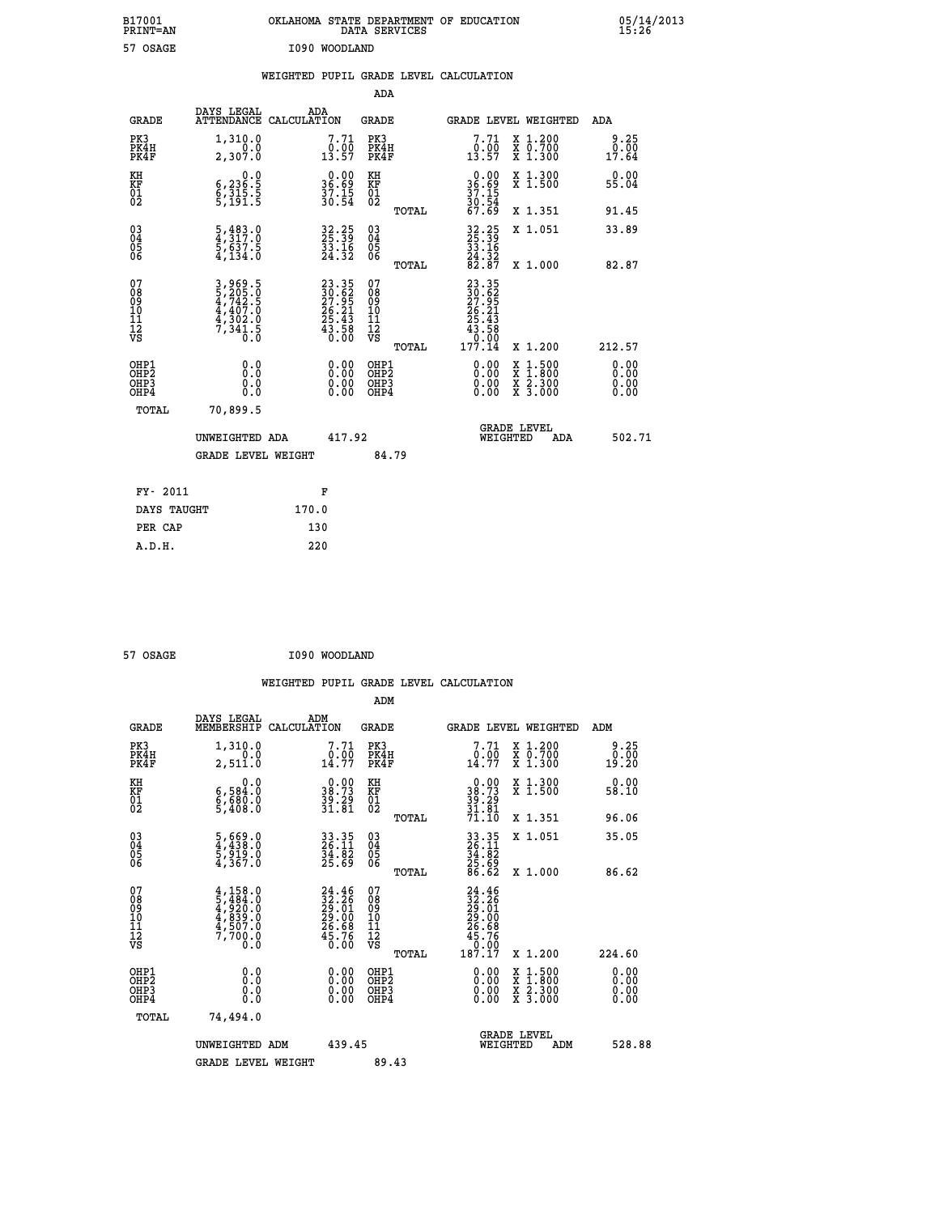| B17001<br>PRINT=AN                                   |                                                                                   | OKLAHOMA STATE DEPARTMENT OF EDUCATION                                                 | DATA SERVICES                                      |                                                                                                        |                                                                                                  | 05/14/2013                   |  |
|------------------------------------------------------|-----------------------------------------------------------------------------------|----------------------------------------------------------------------------------------|----------------------------------------------------|--------------------------------------------------------------------------------------------------------|--------------------------------------------------------------------------------------------------|------------------------------|--|
| 57 OSAGE                                             |                                                                                   | I090 WOODLAND                                                                          |                                                    |                                                                                                        |                                                                                                  |                              |  |
|                                                      |                                                                                   | WEIGHTED PUPIL GRADE LEVEL CALCULATION                                                 |                                                    |                                                                                                        |                                                                                                  |                              |  |
|                                                      |                                                                                   |                                                                                        | ADA                                                |                                                                                                        |                                                                                                  |                              |  |
| <b>GRADE</b>                                         | DAYS LEGAL                                                                        | ADA<br>ATTENDANCE CALCULATION                                                          | GRADE                                              |                                                                                                        | GRADE LEVEL WEIGHTED                                                                             | ADA                          |  |
| PK3<br>PK4H<br>PK4F                                  | 1,310.0<br>0.0<br>2,307.0                                                         | 7.71<br>$\frac{0.00}{13.57}$                                                           | PK3<br>PK4H<br>PK4F                                | 7.71<br>$\frac{0.00}{13.57}$                                                                           | X 1.200<br>X 0.700<br>X 1.300                                                                    | 9.25<br>0.00<br>17.64        |  |
| KH<br>KF<br>01<br>02                                 | 0.0<br>6,236.5<br>6,315.5<br>5,191.5                                              | $36.89$<br>$37.15$<br>$37.15$<br>$30.54$                                               | KH<br>KF<br>01<br>02                               | $\begin{array}{c} 0.00 \\ 36.69 \\ 37.15 \\ 30.54 \end{array}$                                         | X 1.300<br>X 1.500                                                                               | 0.00<br>55.04                |  |
|                                                      |                                                                                   |                                                                                        | TOTAL                                              | 67.69                                                                                                  | X 1.351                                                                                          | 91.45                        |  |
| 030404<br>06                                         | $\frac{5}{4}, \frac{483}{317}$ .0<br>$\frac{5}{5}, \frac{637}{631}$ .5<br>4,134.0 | 32.25<br>25.39<br>33.16<br>24.32                                                       | $\begin{matrix} 03 \\ 04 \\ 05 \\ 06 \end{matrix}$ | 32.25<br>25.39<br>33.16<br>$\frac{24}{82}$ $\frac{32}{87}$                                             | X 1.051                                                                                          | 33.89                        |  |
| 07<br>08<br>09<br>10<br>10<br>11                     |                                                                                   |                                                                                        | TOTAL<br>07<br>08<br>09<br>10<br>11                | 23.35<br>30.62<br>27.95<br>26.21                                                                       | X 1,000                                                                                          | 82.87                        |  |
| Ī2<br>VS                                             | 3, 969.5<br>5, 205.0<br>4, 742.5<br>4, 407.0<br>4, 302.0<br>7, 341.5              | $\begin{smallmatrix} 23.35\ 30.62\ 27.95\ 26.21\ 25.43\ 43.58\ 0.00 \end{smallmatrix}$ | Ī2<br>VS                                           | 25.43<br>$\begin{smallmatrix} 4\bar{3} & \bar{5} & \bar{8} \\ 0 & 0 & 0 \\ 177 & 14 \end{smallmatrix}$ |                                                                                                  |                              |  |
|                                                      |                                                                                   |                                                                                        | TOTAL                                              |                                                                                                        | X 1.200                                                                                          | 212.57                       |  |
| OHP1<br>OHP <sub>2</sub><br>OH <sub>P3</sub><br>OHP4 | 0.0<br>Ŏ.Ŏ<br>0.0<br>0.0                                                          | $\begin{smallmatrix} 0.00 \ 0.00 \ 0.00 \ 0.00 \end{smallmatrix}$                      | OHP1<br>OHP <sub>2</sub><br>OHP3<br>OHP4           | 0.00<br>0.00<br>0.00                                                                                   | $\begin{smallmatrix} x & 1 & 500 \\ x & 1 & 800 \\ x & 2 & 300 \\ x & 3 & 000 \end{smallmatrix}$ | 0.00<br>0.00<br>0.00<br>0.00 |  |
| TOTAL                                                | 70,899.5                                                                          |                                                                                        |                                                    |                                                                                                        |                                                                                                  |                              |  |
|                                                      | UNWEIGHTED ADA                                                                    | 417.92                                                                                 |                                                    | WEIGHTED                                                                                               | <b>GRADE LEVEL</b><br>ADA                                                                        | 502.71                       |  |
|                                                      | <b>GRADE LEVEL WEIGHT</b>                                                         |                                                                                        | 84.79                                              |                                                                                                        |                                                                                                  |                              |  |
| FY- 2011                                             |                                                                                   | F                                                                                      |                                                    |                                                                                                        |                                                                                                  |                              |  |
| DAYS TAUGHT                                          |                                                                                   | 170.0                                                                                  |                                                    |                                                                                                        |                                                                                                  |                              |  |
| PER CAP                                              |                                                                                   | 130                                                                                    |                                                    |                                                                                                        |                                                                                                  |                              |  |

| 57 OSAGE | I090 WOODLAND |
|----------|---------------|
|          |               |

 **WEIGHTED PUPIL GRADE LEVEL CALCULATION ADM DAYS LEGAL ADM GRADE MEMBERSHIP CALCULATION GRADE GRADE LEVEL WEIGHTED ADM PK3 1,310.0 7.71 PK3 7.71 X 1.200 9.25 PK4H 0.0 0.00 PK4H 0.00 X 0.700 0.00 PK4F 2,511.0 14.77 PK4F 14.77 X 1.300 19.20** 0.0 0.00 KH 0.00 KH 0.00 KH<br>RF 9,584.0 38.73 KF 38.73 X 1.500 58.10  **01 6,680.0 39.29 01 39.29 02 5,408.0 31.81 02 31.81 TOTAL 71.10 X 1.351 96.06 03 5,669.0 33.35 03 33.35 X 1.051 35.05 04 4,438.0 26.11 04 26.11 05 5,919.0 34.82 05 34.82 06 4,367.0 25.69 06 25.69 TOTAL 86.62 X 1.000 86.62**  $\begin{array}{cccc} 07 & 4,158.0 & 24.46 & 07 & 24.46 \ 08 & 5,484.0 & 32.26 & 08 & 32.526 \ 09 & 4,920.0 & 29.01 & 09 & 29.01 \ 10 & 4,839.0 & 29.00 & 10 & 29.00 \ 11 & 4,707.0 & 26.68 & 11 & 26.68 \ 12 & 7,700.0 & 45.76 & 12 & 45.76 \ \hline \end{array}$  $\begin{array}{cccc} 24.46 & 07 & 24.46 & 17.11 & 17.12 & 17.13 \ 23.26 & 08 & 23.26 & 29.00 & 10 & 29.00 & 29.00 & 29.00 & 29.00 & 29.00 & 29.00 & 29.00 & 29.00 & 29.00 & 29.00 & 29.00 & 29.00 & 29.00 & 29.00 & 29.00 & 29.00 & 29.00 & 29.00 & 29.00 & 29.00 & 29.0$  **OHP1 0.0 0.00 OHP1 0.00 X 1.500 0.00 OHP2 0.0 0.00 OHP2 0.00 X 1.800 0.00 OHP3 0.0 0.00 OHP3 0.00 X 2.300 0.00 OHP4 0.0 0.00 OHP4 0.00 X 3.000 0.00 TOTAL 74,494.0 GRADE LEVEL UNWEIGHTED ADM 439.45 WEIGHTED ADM 528.88** GRADE LEVEL WEIGHT 89.43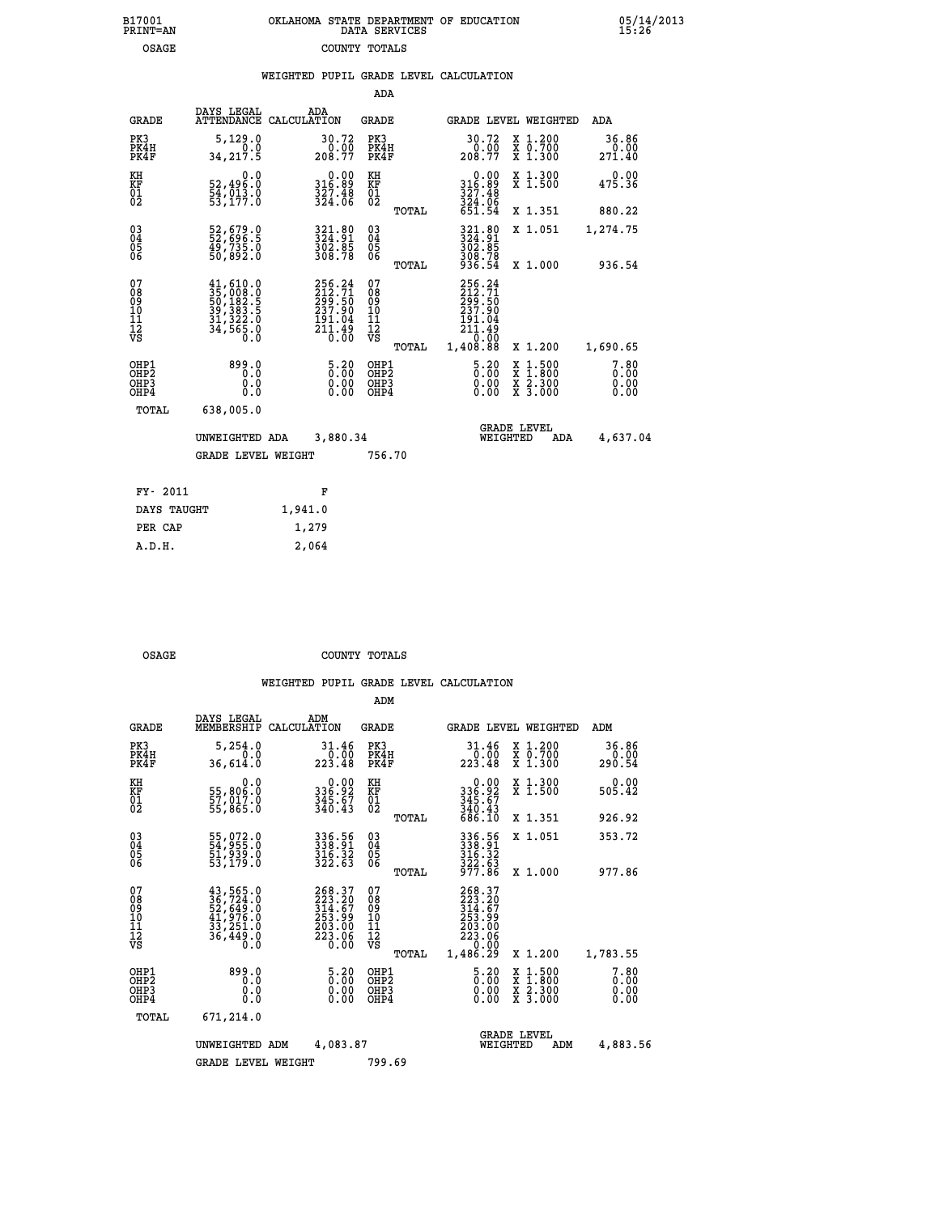| OKLAHOMA STATE DEPARTMENT OF EDUCATION<br>DATA SERVICES |  |
|---------------------------------------------------------|--|
| COUNTY TOTALS                                           |  |

 **B17001 OKLAHOMA STATE DEPARTMENT OF EDUCATION 05/14/2013**

| B17001<br><b>PRINT=AN</b>                                          |                                                                                                                     | OKLAHOMA STATE DEPARTMENT OF EDUCATION                                    | DATA SERVICES                           |                |                                                                                                                              |          |                                                                                                  | $\frac{05}{15:26}$           |  |
|--------------------------------------------------------------------|---------------------------------------------------------------------------------------------------------------------|---------------------------------------------------------------------------|-----------------------------------------|----------------|------------------------------------------------------------------------------------------------------------------------------|----------|--------------------------------------------------------------------------------------------------|------------------------------|--|
| <b>OSAGE</b>                                                       |                                                                                                                     |                                                                           | COUNTY TOTALS                           |                |                                                                                                                              |          |                                                                                                  |                              |  |
|                                                                    |                                                                                                                     | WEIGHTED PUPIL GRADE LEVEL CALCULATION                                    |                                         |                |                                                                                                                              |          |                                                                                                  |                              |  |
|                                                                    |                                                                                                                     |                                                                           | ADA                                     |                |                                                                                                                              |          |                                                                                                  |                              |  |
| <b>GRADE</b>                                                       | DAYS LEGAL                                                                                                          | ADA<br>ATTENDANCE CALCULATION                                             | <b>GRADE</b>                            |                |                                                                                                                              |          | GRADE LEVEL WEIGHTED                                                                             | ADA                          |  |
| PK3<br>PK4H<br>PK4F                                                | 5,129.0<br>0.0<br>34, 217.5                                                                                         | 30.72<br>208.77                                                           | PK3<br>PK4H<br>PK4F                     |                | 30.72<br>0.00<br>208.77                                                                                                      |          | X 1.200<br>X 0.700<br>X 1.300                                                                    | 36.86<br>0.00<br>271.40      |  |
| KH<br>KF<br>01<br>02                                               | 0.0<br>52,496.0<br>54,013.0<br>53,177.0                                                                             | 0.00<br>0.09<br>$\frac{3\bar{2}\tilde{7}\cdot\tilde{4}\tilde{8}}{324:06}$ | KH<br>KF<br>01<br>02                    |                | 0.00<br>316:89<br>327:48<br>324:06<br>651:54                                                                                 |          | X 1.300<br>X 1.500                                                                               | 0.00<br>475.36               |  |
|                                                                    |                                                                                                                     |                                                                           |                                         | TOTAL          |                                                                                                                              |          | X 1.351                                                                                          | 880.22                       |  |
| $\begin{smallmatrix} 03 \\[-4pt] 04 \end{smallmatrix}$<br>Ŏ5<br>06 | 52,679.0<br>52,696.5<br>49,735.0<br>50,892.0                                                                        | 324.80<br>324.91<br>302.85<br>308.78                                      | $^{03}_{04}$<br>05<br>06                |                | 321.80<br>324.91<br>302.85<br>308.78<br>936.54                                                                               |          | X 1.051                                                                                          | 1,274.75                     |  |
| 07<br>08<br>09<br>11<br>11<br>12<br>VS                             | $\begin{smallmatrix} 41, 610.0\\ 35, 008.0\\ 50, 182.5\\ 39, 383.5\\ 31, 322.0\\ 34, 565.0\\ 0.0 \end{smallmatrix}$ | 256.24<br>212.71<br>299.50<br>237.90<br>$\frac{191.04}{211.49}$           | 07<br>08<br>09<br>101<br>11<br>12<br>VS | TOTAL<br>TOTAL | 256.24<br>212.71<br>299.50<br>237.90<br>191.04<br>$\begin{smallmatrix} 211.49\\ -211.49\\ 0.00\\ 1.408.88 \end{smallmatrix}$ |          | X 1.000<br>X 1.200                                                                               | 936.54<br>1,690.65           |  |
| OHP1<br>OHP <sub>2</sub><br>OHP3<br>OHP4                           | 899.0<br>0.0<br>0.0                                                                                                 | $5.20$<br>$0.00$<br>$\begin{smallmatrix} 0.00 \ 0.00 \end{smallmatrix}$   | OHP1<br>OHP2<br>OHP3<br>OHP4            |                | $5.20$<br>$0.00$<br>0.00<br>0.00                                                                                             |          | $\begin{smallmatrix} x & 1 & 500 \\ x & 1 & 800 \\ x & 2 & 300 \\ x & 3 & 000 \end{smallmatrix}$ | 7.80<br>0.00<br>0.00<br>0.00 |  |
| TOTAL                                                              | 638,005.0                                                                                                           |                                                                           |                                         |                |                                                                                                                              |          |                                                                                                  |                              |  |
|                                                                    | UNWEIGHTED ADA                                                                                                      | 3,880.34                                                                  |                                         |                |                                                                                                                              | WEIGHTED | <b>GRADE LEVEL</b><br>ADA                                                                        | 4,637.04                     |  |
|                                                                    | <b>GRADE LEVEL WEIGHT</b>                                                                                           |                                                                           | 756.70                                  |                |                                                                                                                              |          |                                                                                                  |                              |  |
|                                                                    |                                                                                                                     |                                                                           |                                         |                |                                                                                                                              |          |                                                                                                  |                              |  |

| FY- 2011    | F       |
|-------------|---------|
| DAYS TAUGHT | 1,941.0 |
| PER CAP     | 1,279   |
| A.D.H.      | 2,064   |
|             |         |

OSAGE COUNTY TOTALS

|                                                       |                                                                                   |                                                                  | ADM                                                 |                                                                                                             |                                          |                              |
|-------------------------------------------------------|-----------------------------------------------------------------------------------|------------------------------------------------------------------|-----------------------------------------------------|-------------------------------------------------------------------------------------------------------------|------------------------------------------|------------------------------|
| <b>GRADE</b>                                          | DAYS LEGAL<br>MEMBERSHIP                                                          | ADM<br>CALCULATION                                               | <b>GRADE</b>                                        | GRADE LEVEL WEIGHTED                                                                                        |                                          | ADM                          |
| PK3<br>PK4H<br>PK4F                                   | 5,254.0<br>0.0<br>36,614.0                                                        | 31.46<br>0.00<br>223.48                                          | PK3<br>PK4H<br>PK4F                                 | 31.46<br>$\frac{0.00}{223.48}$                                                                              | X 1.200<br>X 0.700<br>X 1.300            | 36.86<br>0.00<br>290.54      |
| KH<br>KF<br>01<br>02                                  | 0.0<br>55,806:0<br>57,017.0<br>55,865:0                                           | $336.92$<br>$345.67$<br>$340.43$                                 | KH<br>KF<br>01<br>02                                | 0.00<br>336.92<br>345.67<br>340.43<br>686.10                                                                | X 1.300<br>X 1.500                       | 0.00<br>505.42               |
|                                                       |                                                                                   |                                                                  | TOTAL                                               |                                                                                                             | X 1.351                                  | 926.92                       |
| 03<br>04<br>05<br>06                                  | 55,072.0<br>54,955.0<br>51,939.0<br>53,179.0                                      | 336.56<br>338.91<br>316.32<br>322.63                             | $\begin{array}{c} 03 \\ 04 \\ 05 \\ 06 \end{array}$ | 336.56<br>338.91<br>$\frac{316}{322}$ $\frac{32}{63}$<br>$\frac{977}{66}$                                   | X 1.051                                  | 353.72                       |
|                                                       |                                                                                   |                                                                  | TOTAL                                               |                                                                                                             | X 1.000                                  | 977.86                       |
| 07<br>08<br>09<br>101<br>112<br>VS                    | 43, 565.0<br>36, 724.0<br>52, 649.0<br>41, 976.0<br>33, 251.0<br>36, 449.0<br>Õ.Ŏ | 268.37<br>223.20<br>314.67<br>253.99<br>203.00<br>223.06<br>0.00 | 07<br>08<br>09<br>11<br>11<br>12<br>VS<br>TOTAL     | 268.37<br>223.20<br>$\begin{array}{l} 314.67 \\ 253.99 \\ 203.00 \\ 223.06 \end{array}$<br>0.00<br>1,486.29 | X 1.200                                  | 1,783.55                     |
| OHP1<br>OH <sub>P</sub> 2<br>OH <sub>P3</sub><br>OHP4 | 899.0<br>0.0<br>0.000                                                             | $\begin{smallmatrix} 5.20\ 0.00 \end{smallmatrix}$<br>0.00       | OHP1<br>OHP2<br>OHP3<br>OHP4                        | $\begin{smallmatrix} 5.20\ 0.00 \ 0.00 \end{smallmatrix}$<br>0.00                                           | X 1:500<br>X 1:800<br>X 2:300<br>X 3:000 | 7.80<br>0.00<br>0.00<br>0.00 |
| TOTAL                                                 | 671,214.0                                                                         |                                                                  |                                                     |                                                                                                             |                                          |                              |
|                                                       | UNWEIGHTED                                                                        | 4,083.87<br>ADM                                                  |                                                     | <b>GRADE LEVEL</b><br>WEIGHTED                                                                              | ADM                                      | 4,883.56                     |
|                                                       | <b>GRADE LEVEL WEIGHT</b>                                                         |                                                                  | 799.69                                              |                                                                                                             |                                          |                              |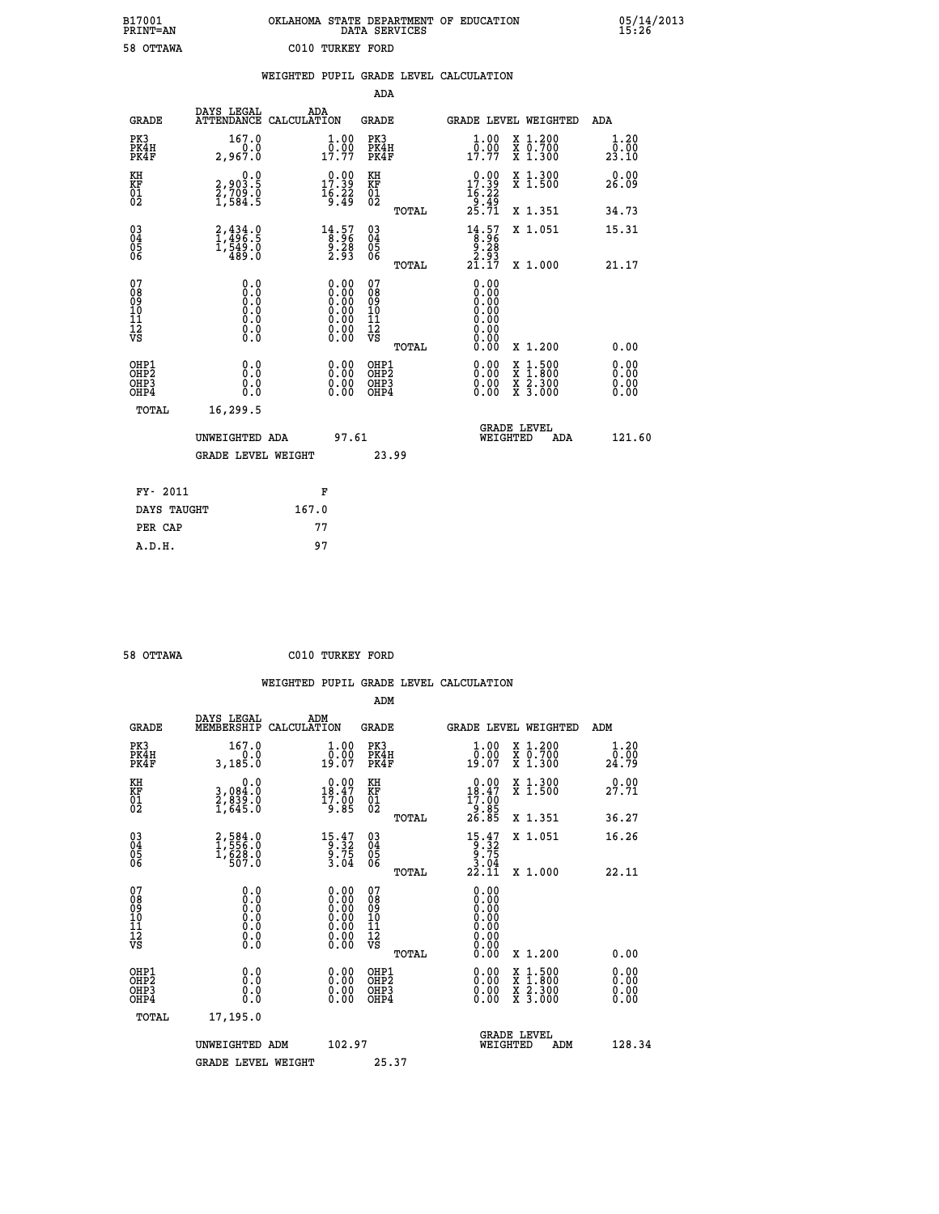| OKLAHOMA STATE DEPARTMENT OF EDUCATION<br>DATA SERVICES |  |
|---------------------------------------------------------|--|
| C010 TURKEY FORD                                        |  |

 **B17001 OKLAHOMA STATE DEPARTMENT OF EDUCATION 05/14/2013**

|                                        |                                                                                          | WEIGHTED PUPIL GRADE LEVEL CALCULATION                                                        |                                                    |       |                                                                                               |                                                                   |                        |
|----------------------------------------|------------------------------------------------------------------------------------------|-----------------------------------------------------------------------------------------------|----------------------------------------------------|-------|-----------------------------------------------------------------------------------------------|-------------------------------------------------------------------|------------------------|
|                                        |                                                                                          |                                                                                               | <b>ADA</b>                                         |       |                                                                                               |                                                                   |                        |
| <b>GRADE</b>                           |                                                                                          | DAYS LEGAL ADA ATTENDANCE CALCULATION                                                         | <b>GRADE</b>                                       |       |                                                                                               | GRADE LEVEL WEIGHTED                                              | ADA                    |
| PK3<br>PK4H<br>PK4F                    | 167.0<br>2,967.0                                                                         | $\frac{1}{0}$ : 00<br>17.77                                                                   | PK3<br>PK4H<br>PK4F                                |       | 1.00<br>0.00<br>17.77                                                                         | X 1.200<br>X 0.700<br>X 1.300                                     | 1.20<br>0.00<br>23.10  |
| KH<br>KF<br>01<br>02                   | $2,903.5$<br>$2,709.0$<br>$1,584.5$                                                      | $\begin{smallmatrix} 0.00\\ 17.39\\ 16.22\\ 9.49 \end{smallmatrix}$                           | KH<br><b>KF</b><br>01<br>02                        |       | $\begin{smallmatrix} 0.00\\ 17.39\\ 16.22\\ 9.49\\ 25.71 \end{smallmatrix}$                   | X 1.300<br>X 1.500                                                | 0.00<br>26.09          |
|                                        |                                                                                          |                                                                                               |                                                    | TOTAL |                                                                                               | X 1.351                                                           | 34.73                  |
| $^{03}_{04}$<br>05<br>06               | 2,434.0<br>1,496.5<br>1,549.0<br>489.0                                                   | $\begin{smallmatrix} 14.57\\[-1.2mm] 8.96\\[-1.2mm] 9.28\\[-1.2mm] 2.93\end{smallmatrix}$     | $\begin{matrix} 03 \\ 04 \\ 05 \\ 06 \end{matrix}$ |       | $\begin{array}{c} 14.57 \\[-4pt] 8.96 \\[-4pt] 9.28 \\[-4pt] 2.93 \\[-4pt] 21.17 \end{array}$ | X 1.051                                                           | 15.31                  |
|                                        |                                                                                          |                                                                                               |                                                    | TOTAL |                                                                                               | X 1.000                                                           | 21.17                  |
| 07<br>08<br>09<br>11<br>11<br>12<br>VS | 0.0<br>$\begin{smallmatrix} 0.0 & 0 \ 0.0 & 0 \ 0.0 & 0 \end{smallmatrix}$<br>$\S.$ $\S$ | $\begin{smallmatrix} 0.00\ 0.00\ 0.00\ 0.00\ 0.00\ 0.00\ 0.00\ 0.00\ 0.00\ \end{smallmatrix}$ | 07<br>08<br>09<br>11<br>11<br>12<br>VS             | TOTAL | 0.00<br>0.00<br>0.00<br>0.00<br>0.00<br>0.00<br>0.00                                          | X 1.200                                                           | 0.00                   |
| OHP1<br>OHP2<br>OHP3<br>OHP4           | 0.0<br>0.0<br>Ō.Ō                                                                        | 0.0000<br>$0.00$<br>0.00                                                                      | OHP1<br>OHP2<br>OHP3<br>OHP4                       |       | 0.00<br>0.00<br>0.00                                                                          | $1:500$<br>1:800<br>X<br>X<br>$\frac{x}{x}$ $\frac{5:300}{3:000}$ | 0.0000<br>0.00<br>0.00 |
| <b>TOTAL</b>                           | 16,299.5                                                                                 |                                                                                               |                                                    |       |                                                                                               |                                                                   |                        |
|                                        | UNWEIGHTED ADA                                                                           | 97.61                                                                                         |                                                    |       |                                                                                               | GRADE LEVEL<br>WEIGHTED<br>ADA                                    | 121.60                 |
|                                        | <b>GRADE LEVEL WEIGHT</b>                                                                |                                                                                               | 23.99                                              |       |                                                                                               |                                                                   |                        |
| FY- 2011                               |                                                                                          | F                                                                                             |                                                    |       |                                                                                               |                                                                   |                        |
| DAYS TAUGHT                            |                                                                                          | 167.0                                                                                         |                                                    |       |                                                                                               |                                                                   |                        |
| PER CAP                                |                                                                                          | 77                                                                                            |                                                    |       |                                                                                               |                                                                   |                        |

 **ADM**

 **A.D.H. 97**

 **B17001<br>PRINT=AN<br>58 OTTAWA** 

 **58 OTTAWA C010 TURKEY FORD**

| <b>GRADE</b>                                       | DAYS LEGAL                                                                                        | ADM<br>MEMBERSHIP CALCULATION                                                                                                                                                                                                                                                  | <b>GRADE</b>                                        |       |                                                                                                      |          | GRADE LEVEL WEIGHTED                     | ADM                   |
|----------------------------------------------------|---------------------------------------------------------------------------------------------------|--------------------------------------------------------------------------------------------------------------------------------------------------------------------------------------------------------------------------------------------------------------------------------|-----------------------------------------------------|-------|------------------------------------------------------------------------------------------------------|----------|------------------------------------------|-----------------------|
| PK3<br>PK4H<br>PK4F                                | 167.0<br>3,185.0                                                                                  | 0.000<br>19.07                                                                                                                                                                                                                                                                 | PK3<br>PK4H<br>PK4F                                 |       | $1.00$<br>$0.00$<br>19.07                                                                            |          | X 1.200<br>X 0.700<br>X 1.300            | 1.20<br>ō:ōŏ<br>24.79 |
| KH<br>KF<br>01<br>02                               | 0.0<br>3,084:0<br>2,839:0<br>1,645:0                                                              | $\begin{smallmatrix} 0.00\\18.47\\17.00\\9.85 \end{smallmatrix}$                                                                                                                                                                                                               | KH<br>KF<br>01<br>02                                |       | $\begin{smallmatrix} 0.00\\18.47\\17.00\\9.85\\26.85 \end{smallmatrix}$                              |          | X 1.300<br>X 1.500                       | 0.00<br>27.71         |
|                                                    |                                                                                                   |                                                                                                                                                                                                                                                                                |                                                     | TOTAL |                                                                                                      |          | X 1.351                                  | 36.27                 |
| $\begin{matrix} 03 \\ 04 \\ 05 \\ 06 \end{matrix}$ | 2,584.0<br>1,556.0<br>1,628.0<br>507.0                                                            | $15.47$<br>$9.32$<br>$9.75$<br>$3.04$                                                                                                                                                                                                                                          | $\begin{array}{c} 03 \\ 04 \\ 05 \\ 06 \end{array}$ |       | $\begin{array}{c} 15 \cdot 47 \\ 9 \cdot 32 \\ 9 \cdot 75 \\ 3 \cdot 04 \\ 22 \cdot 11 \end{array}$  |          | X 1.051                                  | 16.26                 |
|                                                    |                                                                                                   |                                                                                                                                                                                                                                                                                |                                                     | TOTAL |                                                                                                      |          | X 1.000                                  | 22.11                 |
| 07<br>08<br>09<br>101<br>11<br>12<br>VS            | $\begin{smallmatrix} 0.0 & 0 \ 0.0 & 0 \ 0.0 & 0 \ 0.0 & 0 \ 0.0 & 0 \ 0.0 & 0 \end{smallmatrix}$ | $\begin{smallmatrix} 0.00 \ 0.00 \ 0.00 \ 0.00 \ 0.00 \ 0.00 \ 0.00 \ 0.00 \ 0.00 \end{smallmatrix}$                                                                                                                                                                           | 07<br>08<br>09<br>001<br>11<br>11<br>12<br>VS       |       | $\begin{smallmatrix} 0.00 \ 0.00 \ 0.00 \ 0.00 \ 0.00 \ 0.00 \ 0.00 \ 0.00 \ 0.00 \end{smallmatrix}$ |          |                                          |                       |
|                                                    |                                                                                                   |                                                                                                                                                                                                                                                                                |                                                     | TOTAL | 0.00                                                                                                 |          | X 1.200                                  | 0.00                  |
| OHP1<br>OHP2<br>OHP3<br>OHP4                       |                                                                                                   | $\begin{smallmatrix} 0.00 & 0.00 & 0.00 & 0.00 & 0.00 & 0.00 & 0.00 & 0.00 & 0.00 & 0.00 & 0.00 & 0.00 & 0.00 & 0.00 & 0.00 & 0.00 & 0.00 & 0.00 & 0.00 & 0.00 & 0.00 & 0.00 & 0.00 & 0.00 & 0.00 & 0.00 & 0.00 & 0.00 & 0.00 & 0.00 & 0.00 & 0.00 & 0.00 & 0.00 & 0.00 & 0.0$ | OHP1<br>OHP2<br>OHP3<br>OHP4                        |       |                                                                                                      |          | X 1:500<br>X 1:800<br>X 2:300<br>X 3:000 | 0.00<br>0.00<br>0.00  |
| TOTAL                                              | 17,195.0                                                                                          |                                                                                                                                                                                                                                                                                |                                                     |       |                                                                                                      |          |                                          |                       |
|                                                    | UNWEIGHTED                                                                                        | 102.97<br>ADM                                                                                                                                                                                                                                                                  |                                                     |       |                                                                                                      | WEIGHTED | <b>GRADE LEVEL</b><br>ADM                | 128.34                |
|                                                    | <b>GRADE LEVEL WEIGHT</b>                                                                         |                                                                                                                                                                                                                                                                                | 25.37                                               |       |                                                                                                      |          |                                          |                       |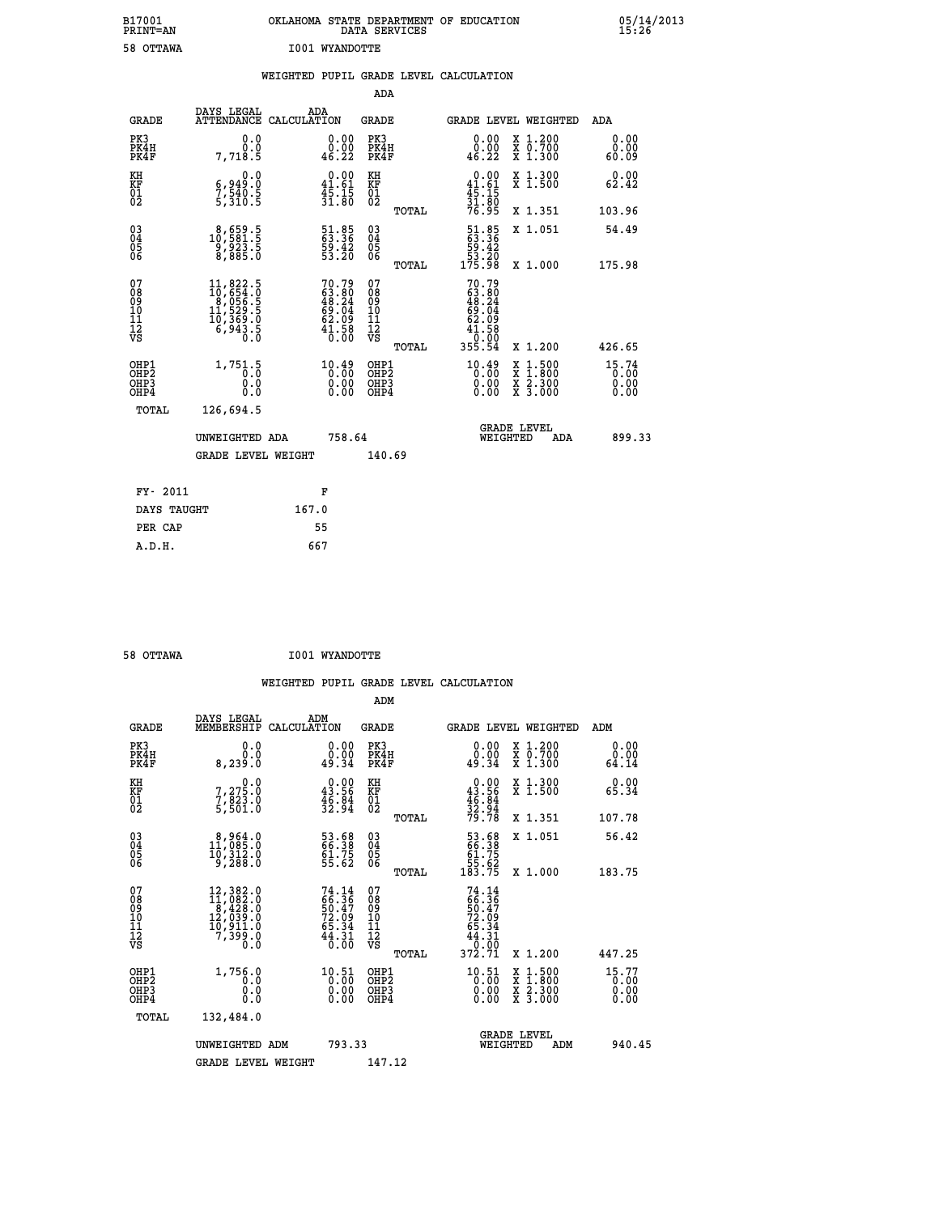| B17001<br>PRINT=AN | OKLAHOMA STATE DEPARTMENT OF EDUCATION<br>DATA SERVICES | 05/14/2013<br>15:26 |
|--------------------|---------------------------------------------------------|---------------------|
| 58 OTTAWA          | I001 WYANDOTTE                                          |                     |
|                    | WEIGHTED PUPIL GRADE LEVEL CALCULATION                  |                     |

| <b>GRADE</b>                             | DAYS LEGAL<br><b>ATTENDANCE</b>                                             | ADA                                                                                                                                                                                                                                                     |                                                                                                                                                                                                                                                     |                                                  |                                                                        |                                                                                                                                                                                                                                                |     | <b>ADA</b>                                                                                                                                                                                                             |
|------------------------------------------|-----------------------------------------------------------------------------|---------------------------------------------------------------------------------------------------------------------------------------------------------------------------------------------------------------------------------------------------------|-----------------------------------------------------------------------------------------------------------------------------------------------------------------------------------------------------------------------------------------------------|--------------------------------------------------|------------------------------------------------------------------------|------------------------------------------------------------------------------------------------------------------------------------------------------------------------------------------------------------------------------------------------|-----|------------------------------------------------------------------------------------------------------------------------------------------------------------------------------------------------------------------------|
| PK3<br>PK4H<br>PK4F                      | 0.0<br>0.0<br>7,718.5                                                       | 0.00<br>0.00<br>46.22                                                                                                                                                                                                                                   | PK3                                                                                                                                                                                                                                                 |                                                  | 0.00<br>ةْ:ة<br>46.22                                                  |                                                                                                                                                                                                                                                |     | 0.00<br>0.00<br>60.09                                                                                                                                                                                                  |
| KH                                       | 0.0                                                                         |                                                                                                                                                                                                                                                         | KH                                                                                                                                                                                                                                                  |                                                  |                                                                        |                                                                                                                                                                                                                                                |     | 0.00<br>62.42                                                                                                                                                                                                          |
|                                          |                                                                             |                                                                                                                                                                                                                                                         |                                                                                                                                                                                                                                                     | TOTAL                                            |                                                                        |                                                                                                                                                                                                                                                |     | 103.96                                                                                                                                                                                                                 |
|                                          |                                                                             |                                                                                                                                                                                                                                                         |                                                                                                                                                                                                                                                     |                                                  |                                                                        |                                                                                                                                                                                                                                                |     | 54.49                                                                                                                                                                                                                  |
|                                          |                                                                             |                                                                                                                                                                                                                                                         |                                                                                                                                                                                                                                                     | TOTAL                                            |                                                                        |                                                                                                                                                                                                                                                |     | 175.98                                                                                                                                                                                                                 |
| 07<br>08<br>09<br>101<br>11<br>12<br>VS  |                                                                             |                                                                                                                                                                                                                                                         | 07<br>08<br>09<br>11<br>11<br>12<br>VS                                                                                                                                                                                                              | TOTAL                                            |                                                                        |                                                                                                                                                                                                                                                |     | 426.65                                                                                                                                                                                                                 |
| OHP1<br>OHP2<br>OHP3<br>OH <sub>P4</sub> | 1,751.5<br>0.000                                                            | $10.49$<br>$0.00$<br>$0.00$<br>0.00                                                                                                                                                                                                                     |                                                                                                                                                                                                                                                     |                                                  | $^{10.49}_{0.00}$<br>0.00                                              | X                                                                                                                                                                                                                                              |     | 15.74<br>0.00<br>0.00                                                                                                                                                                                                  |
| TOTAL                                    | 126,694.5                                                                   |                                                                                                                                                                                                                                                         |                                                                                                                                                                                                                                                     |                                                  |                                                                        |                                                                                                                                                                                                                                                |     |                                                                                                                                                                                                                        |
|                                          |                                                                             |                                                                                                                                                                                                                                                         |                                                                                                                                                                                                                                                     |                                                  |                                                                        |                                                                                                                                                                                                                                                | ADA | 899.33                                                                                                                                                                                                                 |
|                                          |                                                                             |                                                                                                                                                                                                                                                         |                                                                                                                                                                                                                                                     |                                                  |                                                                        |                                                                                                                                                                                                                                                |     |                                                                                                                                                                                                                        |
| FY- 2011                                 |                                                                             | F                                                                                                                                                                                                                                                       |                                                                                                                                                                                                                                                     |                                                  |                                                                        |                                                                                                                                                                                                                                                |     |                                                                                                                                                                                                                        |
|                                          |                                                                             | 167.0                                                                                                                                                                                                                                                   |                                                                                                                                                                                                                                                     |                                                  |                                                                        |                                                                                                                                                                                                                                                |     |                                                                                                                                                                                                                        |
|                                          | <b>KF</b><br>01<br>02<br>$\begin{matrix} 03 \\ 04 \\ 05 \\ 06 \end{matrix}$ | 6,949:0<br>7,540:5<br>5,310:5<br>$\substack{8,659.5\\10,581.5\\9,923.5\\8,885.0}$<br>$\begin{smallmatrix} 11, 822\cdot 5\\ 10, 654\cdot 0\\ 8, 056\cdot 5\\ 11, 529\cdot 5\\ 10, 369\cdot 0\\ 6, 943\cdot 5\\ 0\cdot 0\end{smallmatrix}$<br>DAYS TAUGHT | CALCULATION<br>$\begin{smallmatrix} &0.00\\ 41.61\\ 45.15\\ 31.80 \end{smallmatrix}$<br>51.85<br>63.36<br>59.42<br>53.20<br>$70.79$<br>$63.80$<br>$48.24$<br>$69.04$<br>$62.09$<br>$41.58$<br>$0.00$<br>UNWEIGHTED ADA<br><b>GRADE LEVEL WEIGHT</b> | KF<br>01<br>02<br>03<br>04<br>05<br>06<br>758.64 | ADA<br>GRADE<br>PK4H<br>PK4F<br>OHP1<br>OHP2<br>OHP3<br>OHP4<br>140.69 | $\begin{array}{r} 0.00 \\ 41.61 \\ 45.15 \\ 31.80 \\ 76.95 \end{array}$<br>$\begin{smallmatrix} 51.85\ 63.36\ 59.42\ 53.20\ 175.98 \end{smallmatrix}$<br>$70.79$<br>$63.80$<br>$48.24$<br>$69.04$<br>$62.09$<br>$41.58$<br>$0.000$<br>$355.54$ |     | GRADE LEVEL WEIGHTED<br>X 1.200<br>X 0.700<br>X 1.300<br>X 1.300<br>X 1.500<br>X 1.351<br>X 1.051<br>X 1.000<br>X 1.200<br>$1.500$<br>$1.800$<br>$\frac{x}{x}$ $\frac{5.300}{3.000}$<br><b>GRADE LEVEL</b><br>WEIGHTED |

| 58 OTTAWA | <b>I001 WYANDOTTE</b> |
|-----------|-----------------------|

 **PER CAP 55 A.D.H. 667**

| <b>GRADE</b>                                       | DAYS LEGAL<br>MEMBERSHIP                                                                                                                      | ADM<br>CALCULATION                                                       | <b>GRADE</b>                                        |       | GRADE LEVEL WEIGHTED                                                                                |                                                                                                  | ADM                   |        |
|----------------------------------------------------|-----------------------------------------------------------------------------------------------------------------------------------------------|--------------------------------------------------------------------------|-----------------------------------------------------|-------|-----------------------------------------------------------------------------------------------------|--------------------------------------------------------------------------------------------------|-----------------------|--------|
| PK3<br>PK4H<br>PK4F                                | 0.0<br>0.0<br>8,239.0                                                                                                                         | 0.00<br>49.34                                                            | PK3<br>PK4H<br>PK4F                                 |       | $\begin{smallmatrix} 0.00\\ 0.00\\ 49.34 \end{smallmatrix}$                                         | X 1.200<br>X 0.700<br>$\overline{x}$ 1.300                                                       | 0.00<br>0.00<br>64.14 |        |
| KH<br>KF<br>01<br>02                               | 0.0<br>7,275.0<br>7,823.0<br>5,501.0                                                                                                          | $\begin{smallmatrix} 0.00\\ 43.56\\ 46.84\\ 32.94 \end{smallmatrix}$     | KH<br>KF<br>01<br>02                                |       | $0.00$<br>$43.56$<br>$46.84$<br>$32.94$<br>$79.78$                                                  | X 1.300<br>X 1.500                                                                               | 0.00<br>65.34         |        |
|                                                    |                                                                                                                                               |                                                                          |                                                     | TOTAL |                                                                                                     | X 1.351                                                                                          | 107.78                |        |
| $\begin{matrix} 03 \\ 04 \\ 05 \\ 06 \end{matrix}$ | $\begin{smallmatrix}8,964.0\\11,085.0\\10,312.0\\9,288.0\end{smallmatrix}$                                                                    | 53.68<br>66.38<br>61.75<br>55.62                                         | $\begin{array}{c} 03 \\ 04 \\ 05 \\ 06 \end{array}$ |       | 53.68<br>66.38<br>61.75<br>55.62<br>183.75                                                          | X 1.051                                                                                          | 56.42                 |        |
|                                                    |                                                                                                                                               |                                                                          |                                                     | TOTAL |                                                                                                     | X 1.000                                                                                          | 183.75                |        |
| 07<br>08<br>09<br>11<br>11<br>12<br>VS             | $\begin{smallmatrix} 12,382\cdot 0\\ 11,082\cdot 0\\ 8,428\cdot 0\\ 12,039\cdot 0\\ 10,911\cdot 0\\ 7,399\cdot 0\\ 0\cdot 0\end{smallmatrix}$ | $74.14$<br>$66.36$<br>$50.47$<br>$72.09$<br>$65.34$<br>$44.31$<br>$0.00$ | 07<br>08<br>09<br>10<br>11<br>12<br>νs              |       | $\begin{smallmatrix}74.14\\ 66.36\\ 50.47\\ 72.09\\ 65.34\\ 44.31\\ 0.00\\ 372.71\end{smallmatrix}$ |                                                                                                  |                       |        |
|                                                    |                                                                                                                                               |                                                                          |                                                     | TOTAL |                                                                                                     | X 1.200                                                                                          | 447.25                |        |
| OHP1<br>OHP2<br>OHP3<br>OHP4                       | 1,756.0<br>0.0<br>0.000                                                                                                                       | $10.51$<br>$0.00$<br>0.00<br>0.00                                        | OHP1<br>OHP2<br>OHP3<br>OHP4                        |       | $10.51$<br>$0.00$<br>0.00<br>0.00                                                                   | $\begin{smallmatrix} x & 1 & 500 \\ x & 1 & 800 \\ x & 2 & 300 \\ x & 3 & 000 \end{smallmatrix}$ | 15.77<br>0.00<br>0.00 |        |
| TOTAL                                              | 132,484.0                                                                                                                                     |                                                                          |                                                     |       |                                                                                                     |                                                                                                  |                       |        |
|                                                    | UNWEIGHTED ADM                                                                                                                                | 793.33                                                                   |                                                     |       | WEIGHTED                                                                                            | <b>GRADE LEVEL</b><br>ADM                                                                        |                       | 940.45 |
|                                                    | <b>GRADE LEVEL WEIGHT</b>                                                                                                                     |                                                                          | 147.12                                              |       |                                                                                                     |                                                                                                  |                       |        |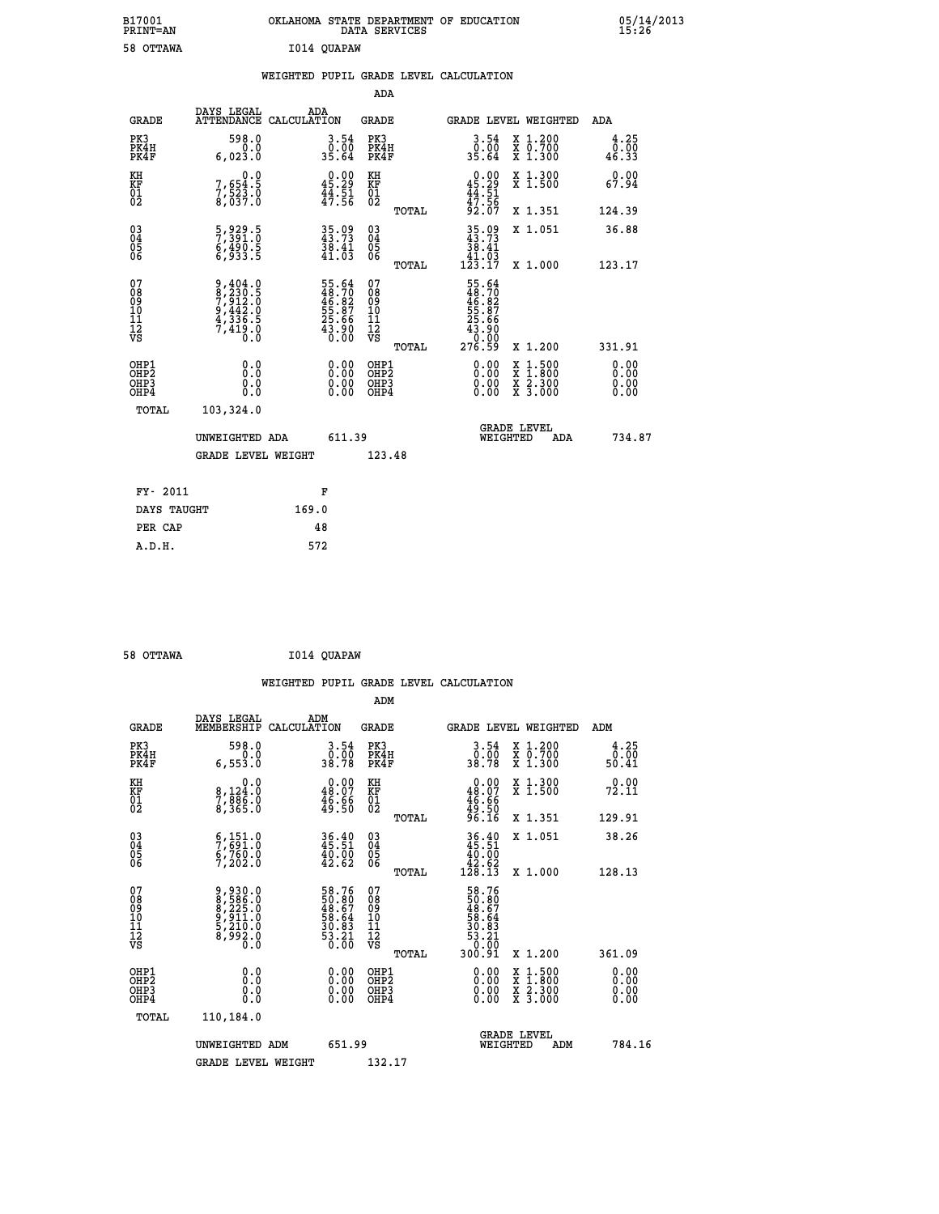| B17001<br><b>PRINT=AN</b> | OKLAHOMA STATE DEPARTMENT OF EDUCATION<br>DATA SERVICES | 05/14/2013<br>15:26 |
|---------------------------|---------------------------------------------------------|---------------------|
| 58 OTTAWA                 | I014 QUAPAW                                             |                     |

|                                                                    |                                                                                     |                                                              | ADA                                       |       |                                                                                |                                                                     |                              |
|--------------------------------------------------------------------|-------------------------------------------------------------------------------------|--------------------------------------------------------------|-------------------------------------------|-------|--------------------------------------------------------------------------------|---------------------------------------------------------------------|------------------------------|
| <b>GRADE</b>                                                       | DAYS LEGAL<br>ATTENDANCE CALCULATION                                                | ADA                                                          | <b>GRADE</b>                              |       |                                                                                | GRADE LEVEL WEIGHTED                                                | <b>ADA</b>                   |
| PK3<br>PK4H<br>PK4F                                                | 598.0<br>0.0<br>6,023.0                                                             | $3.54$<br>$35.64$                                            | PK3<br>PK4H<br>PK4F                       |       | $3.54$<br>$0.00$<br>$35.64$                                                    | X 1.200<br>X 0.700<br>X 1.300                                       | $\frac{4.25}{0.00}$<br>46.33 |
| KH<br>KF<br>01<br>02                                               | 0.0<br>7,654:5<br>7,523:0<br>8,037:0                                                | $0.00$<br>45.29<br>$\frac{44}{17}$ $\frac{51}{56}$           | KH<br>KF<br>01<br>02                      |       | $0.00$<br>$45.29$<br>$44.51$<br>$47.56$<br>$92.07$                             | X 1.300<br>X 1.500                                                  | 0.00<br>67.94                |
|                                                                    |                                                                                     |                                                              |                                           | TOTAL |                                                                                | X 1.351                                                             | 124.39                       |
| $\begin{smallmatrix} 03 \\[-4pt] 04 \end{smallmatrix}$<br>Ŏ5<br>06 | 5,929.5<br>7,391.0<br>6,490.5<br>6,933.5                                            | 35.09<br>43.73<br>$\frac{38.41}{41.03}$                      | 03<br>04<br>05<br>06                      | TOTAL | $\begin{smallmatrix} 35.09\\ 43.73\\ 38.41\\ 41.03\\ 123.17 \end{smallmatrix}$ | X 1.051<br>X 1.000                                                  | 36.88<br>123.17              |
| 07<br>08<br>09<br>11<br>11<br>12<br>VS                             | $9,404.0$<br>$7,912.0$<br>$9,442.0$<br>$9,442.0$<br>$4,336.5$<br>$7,419.0$<br>$0.0$ | 55.64<br>48.70<br>46.82<br>55.87<br>55.66<br>25.66<br>43.900 | 07<br>08<br>09<br>11<br>11<br>12<br>VS    |       | 55.64<br>48.702<br>46.827<br>55.87<br>55.66<br>276.59                          |                                                                     |                              |
|                                                                    |                                                                                     |                                                              |                                           | TOTAL |                                                                                | X 1.200                                                             | 331.91                       |
| OHP1<br>OHP <sub>2</sub><br>OHP3<br>OHP4                           | 0.0<br>0.0<br>0.0                                                                   | 0.00<br>$\begin{smallmatrix} 0.00 \ 0.00 \end{smallmatrix}$  | OHP1<br>OH <sub>P</sub> 2<br>OHP3<br>OHP4 |       | 0.00<br>0.00<br>0.00                                                           | $1:500$<br>$1:800$<br>X<br>X<br>$\frac{x}{x}$ $\frac{5:300}{3:000}$ | 0.00<br>0.00<br>0.00<br>0.00 |
| TOTAL                                                              | 103,324.0                                                                           |                                                              |                                           |       |                                                                                |                                                                     |                              |
|                                                                    | UNWEIGHTED ADA                                                                      | 611.39                                                       |                                           |       | WEIGHTED                                                                       | <b>GRADE LEVEL</b><br>ADA                                           | 734.87                       |
|                                                                    | <b>GRADE LEVEL WEIGHT</b>                                                           |                                                              | 123.48                                    |       |                                                                                |                                                                     |                              |
| FY- 2011                                                           |                                                                                     | F                                                            |                                           |       |                                                                                |                                                                     |                              |
| DAYS TAUGHT                                                        |                                                                                     | 169.0                                                        |                                           |       |                                                                                |                                                                     |                              |
| PER CAP                                                            |                                                                                     | 48                                                           |                                           |       |                                                                                |                                                                     |                              |
|                                                                    |                                                                                     |                                                              |                                           |       |                                                                                |                                                                     |                              |

 **58 OTTAWA I014 QUAPAW**

 **A.D.H. 572**

|                                                    |                                                                               |                           |                                                                      |                                              |       | WEIGHTED PUPIL GRADE LEVEL CALCULATION                               |                                                                                                  |                        |
|----------------------------------------------------|-------------------------------------------------------------------------------|---------------------------|----------------------------------------------------------------------|----------------------------------------------|-------|----------------------------------------------------------------------|--------------------------------------------------------------------------------------------------|------------------------|
|                                                    |                                                                               |                           |                                                                      | ADM                                          |       |                                                                      |                                                                                                  |                        |
|                                                    | DAYS LEGAL<br>MEMBERSHIP<br><b>GRADE</b>                                      | ADM<br>CALCULATION        |                                                                      | <b>GRADE</b>                                 |       |                                                                      | <b>GRADE LEVEL WEIGHTED</b>                                                                      | ADM                    |
| PK3<br>PK4H<br>PK4F                                | 6,553.0                                                                       | 598.0<br>0.0              | $\begin{smallmatrix} 3.54\ 0.00\\ 38.78 \end{smallmatrix}$           | PK3<br>PK4H<br>PK4F                          |       | $\frac{3 \cdot 54}{0 \cdot 00}$<br>38.78                             | X 1.200<br>X 0.700<br>X 1.300                                                                    | 4.25<br>0.00.<br>50.41 |
| KH<br>KF<br>01<br>02                               | 8,124:0<br>7,886:0<br>8,365:0                                                 | 0.0                       | $\begin{smallmatrix} 0.00\\ 48.07\\ 46.66\\ 49.50 \end{smallmatrix}$ | KH<br>KF<br>01<br>02                         |       | $\begin{smallmatrix} &0.00\48.07\46.66\49.50\96.16\end{smallmatrix}$ | X 1.300<br>X 1.500                                                                               | 0.00<br>72.11          |
|                                                    |                                                                               |                           |                                                                      |                                              | TOTAL |                                                                      | X 1.351                                                                                          | 129.91                 |
| $\begin{matrix} 03 \\ 04 \\ 05 \\ 06 \end{matrix}$ | $\begin{smallmatrix} 6,151.0\\ 7,691.0\\ 6,760.0\\ 7,202.0 \end{smallmatrix}$ |                           | $36.40$<br>$45.51$<br>$40.00$<br>$42.62$                             | $^{03}_{04}$<br>Ŏ5<br>06                     |       | $36.40\n45.51\n40.00\n42.62\n128.13$                                 | X 1.051                                                                                          | 38.26                  |
|                                                    |                                                                               |                           |                                                                      |                                              | TOTAL |                                                                      | X 1.000                                                                                          | 128.13                 |
| 07<br>0890112<br>1112<br>VS                        | 9,930.0<br>8,586.0<br>8,225.0<br>9,911.0<br>5,210.0<br>8,992.0<br>0.0         |                           | 58.76<br>50.80<br>48.67<br>58.64<br>53.83<br>53.21<br>50.00          | 07<br>08<br>09<br>09<br>10<br>11<br>12<br>VS | TOTAL | 58.76<br>50.807<br>48.67<br>58.64<br>53.21<br>53.21<br>50.00.91      | X 1.200                                                                                          | 361.09                 |
|                                                    |                                                                               |                           |                                                                      |                                              |       |                                                                      |                                                                                                  |                        |
| OHP1<br>OHP2<br>OHP <sub>3</sub><br>OHP4           |                                                                               | 0.0<br>0.000              | $\begin{smallmatrix} 0.00 \ 0.00 \ 0.00 \ 0.00 \end{smallmatrix}$    | OHP1<br>OHP2<br>OHP3<br>OHP4                 |       |                                                                      | $\begin{smallmatrix} x & 1 & 500 \\ x & 1 & 800 \\ x & 2 & 300 \\ x & 3 & 000 \end{smallmatrix}$ | 0.00<br>0.00<br>0.00   |
|                                                    | TOTAL<br>110,184.0                                                            |                           |                                                                      |                                              |       |                                                                      |                                                                                                  |                        |
|                                                    | UNWEIGHTED ADM                                                                |                           | 651.99                                                               |                                              |       |                                                                      | <b>GRADE LEVEL</b><br>WEIGHTED<br>ADM                                                            | 784.16                 |
|                                                    |                                                                               | <b>GRADE LEVEL WEIGHT</b> |                                                                      | 132.17                                       |       |                                                                      |                                                                                                  |                        |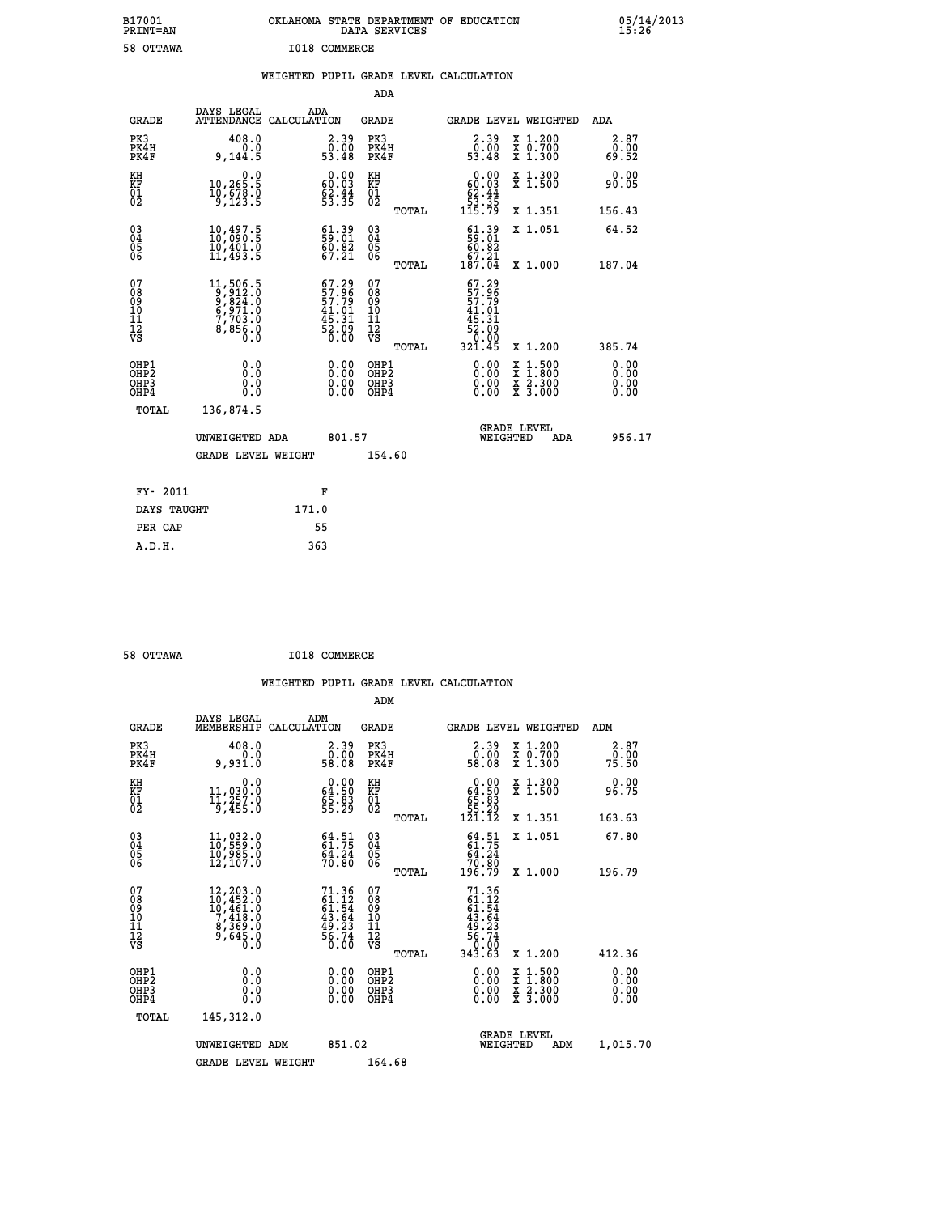| B17001<br>PRINT=AN                                 |                                                                                     |               |                                                                    |                                                    | DATA SERVICES | OKLAHOMA STATE DEPARTMENT OF EDUCATION                                                  |                                                                                          |                        | 05/14/2013<br>15:26 |
|----------------------------------------------------|-------------------------------------------------------------------------------------|---------------|--------------------------------------------------------------------|----------------------------------------------------|---------------|-----------------------------------------------------------------------------------------|------------------------------------------------------------------------------------------|------------------------|---------------------|
| 58 OTTAWA                                          |                                                                                     | I018 COMMERCE |                                                                    |                                                    |               |                                                                                         |                                                                                          |                        |                     |
|                                                    |                                                                                     |               |                                                                    |                                                    |               | WEIGHTED PUPIL GRADE LEVEL CALCULATION                                                  |                                                                                          |                        |                     |
|                                                    |                                                                                     |               |                                                                    | ADA                                                |               |                                                                                         |                                                                                          |                        |                     |
| GRADE                                              | DAYS LEGAL<br>ATTENDANCE CALCULATION                                                | ADA           |                                                                    | GRADE                                              |               | <b>GRADE LEVEL WEIGHTED</b>                                                             |                                                                                          | ADA                    |                     |
| PK3<br>PK4H<br>PK4F                                | 408.0<br>0.0<br>9,144.5                                                             |               | $\begin{smallmatrix} 2.39\0.00\\0.00\\53.48\end{smallmatrix}$      | PK3<br>PK4H<br>PK4F                                |               | $\begin{smallmatrix} 2.39\0.00\\0.00\\53.48\end{smallmatrix}$                           | X 1.200<br>X 0.700<br>X 1.300                                                            | 2.87<br>0.00<br>69.52  |                     |
| KH<br>KF<br>01<br>02                               | 0.0<br>$\begin{smallmatrix} 10,265.5 \ 10,678.0 \ 9,123.5 \end{smallmatrix}$        |               | 0.00<br>$\frac{60.03}{62.44}$<br>53.35                             | KH<br>KF<br>01<br>02                               |               | 0.00<br>60.03<br>$\begin{array}{r} 62.44 \\ 53.35 \\ 115.79 \end{array}$                | X 1.300<br>$\overline{x}$ 1.500                                                          | 0.00<br>90.05          |                     |
|                                                    |                                                                                     |               |                                                                    |                                                    | TOTAL         |                                                                                         | X 1.351                                                                                  | 156.43                 |                     |
| $\begin{matrix} 03 \\ 04 \\ 05 \\ 06 \end{matrix}$ | $\begin{smallmatrix} 10,497.5\\ 10,090.5\\ 10,401.0\\ 11,493.5 \end{smallmatrix}$   |               | $\begin{smallmatrix} 61.39\ 59.01\ 60.82\ 67.21 \end{smallmatrix}$ | $\begin{matrix} 03 \\ 04 \\ 05 \\ 06 \end{matrix}$ |               | $\frac{61.39}{60.82}$<br>67.21                                                          | X 1.051                                                                                  | 64.52                  |                     |
|                                                    |                                                                                     |               |                                                                    |                                                    | TOTAL         | 187.04                                                                                  | X 1.000                                                                                  | 187.04                 |                     |
| 07<br>08<br>09<br>10<br>11<br>12<br>VS             | 11,506.5<br>9,812.0<br>9,824.0<br>6,971.0<br>7,703.0<br>8,856.0<br>$0.\overline{0}$ |               | $67.29$<br>57.96<br>57.79<br>57.31<br>45.31<br>52.09<br>6.00       | 07<br>08<br>09<br>10<br>11<br>12<br>VS             | TOTAL         | $57.29$<br>$57.96$<br>$57.79$<br>$41.01$<br>45<br>.31<br>$\frac{52.09}{0.00}$<br>321.45 | X 1.200                                                                                  | 385.74                 |                     |
| OHP1<br>OHP <sub>2</sub><br>OHP3<br>OHP4           | 0.0<br>0.0<br>0.0                                                                   |               | 0.00<br>0.00                                                       | OHP1<br>OHP <sub>2</sub><br>OHP3<br>OHP4           |               | 0.00<br>0.00<br>0.00                                                                    | $\begin{smallmatrix} x & 1.500 \\ x & 1.800 \\ x & 2.300 \\ x & 3.000 \end{smallmatrix}$ | 0.00<br>0.00<br>0.0000 |                     |
| TOTAL                                              | 136,874.5                                                                           |               |                                                                    |                                                    |               |                                                                                         |                                                                                          |                        |                     |
|                                                    | UNWEIGHTED ADA                                                                      |               | 801.57                                                             |                                                    |               |                                                                                         | <b>GRADE LEVEL</b><br>WEIGHTED                                                           | 956.17<br>ADA          |                     |
|                                                    | <b>GRADE LEVEL WEIGHT</b>                                                           |               |                                                                    | 154.60                                             |               |                                                                                         |                                                                                          |                        |                     |
| FY- 2011                                           |                                                                                     | F             |                                                                    |                                                    |               |                                                                                         |                                                                                          |                        |                     |
| DAYS TAUGHT                                        |                                                                                     | 171.0         |                                                                    |                                                    |               |                                                                                         |                                                                                          |                        |                     |
| PER CAP                                            |                                                                                     | 55            |                                                                    |                                                    |               |                                                                                         |                                                                                          |                        |                     |

| 58 OTTAWA | I018 COMMERCE |
|-----------|---------------|

|                                                    |                                                                                                                                              |                                                                          | ADM                                          |       |                                                                                                                                                                                                                                                                                |                                          |                              |
|----------------------------------------------------|----------------------------------------------------------------------------------------------------------------------------------------------|--------------------------------------------------------------------------|----------------------------------------------|-------|--------------------------------------------------------------------------------------------------------------------------------------------------------------------------------------------------------------------------------------------------------------------------------|------------------------------------------|------------------------------|
| <b>GRADE</b>                                       | DAYS LEGAL<br>MEMBERSHIP                                                                                                                     | ADM<br>CALCULATION                                                       | <b>GRADE</b>                                 |       |                                                                                                                                                                                                                                                                                | GRADE LEVEL WEIGHTED                     | ADM                          |
| PK3<br>PK4H<br>PK4F                                | 408.0<br>0.0<br>9,931.0                                                                                                                      | $\begin{smallmatrix} 2.39\0.00\\ 58.08 \end{smallmatrix}$                | PK3<br>PK4H<br>PK4F                          |       | 2.39<br>0.00<br>58.08                                                                                                                                                                                                                                                          | X 1.200<br>X 0.700<br>X 1.300            | 2.87<br>0.00<br>75.50        |
| KH<br>KF<br>01<br>02                               | 0.0<br>11,030:0<br>11,257:0<br>9,455:0                                                                                                       | $\begin{smallmatrix} 0.00\\ 64.50\\ 65.83\\ 55.29 \end{smallmatrix}$     | KH<br>KF<br>01<br>02                         |       | $\begin{smallmatrix} &0.00\ 64.50\ 65.83\ 55.29\ 121.12\ \end{smallmatrix}$                                                                                                                                                                                                    | X 1.300<br>X 1.500                       | 0.00<br>96.75                |
|                                                    |                                                                                                                                              |                                                                          |                                              | TOTAL |                                                                                                                                                                                                                                                                                | X 1.351                                  | 163.63                       |
| $\begin{matrix} 03 \\ 04 \\ 05 \\ 06 \end{matrix}$ | $\begin{smallmatrix} 11,032\cdot 0\\ 10,559\cdot 0\\ 10,985\cdot 0\\ 12,107\cdot 0 \end{smallmatrix}$                                        | $64.51$<br>$61.75$<br>$\frac{6\bar{4}\cdot2\bar{4}}{70.80}$              | 03<br>04<br>05<br>06                         |       | $64.51$<br>$64.24$<br>$70.80$<br>$196.79$                                                                                                                                                                                                                                      | X 1.051                                  | 67.80                        |
|                                                    |                                                                                                                                              |                                                                          |                                              | TOTAL |                                                                                                                                                                                                                                                                                | X 1.000                                  | 196.79                       |
| 07<br>08901112<br>1112<br>VS                       | $\begin{smallmatrix} 12,203\cdot 0\\ 10,452\cdot 0\\ 10,461\cdot 0\\ 7,418\cdot 0\\ 8,369\cdot 0\\ 9,645\cdot 0\\ 0\cdot 0\end{smallmatrix}$ | $71.36$<br>$61.12$<br>$61.54$<br>$43.64$<br>$49.23$<br>$56.74$<br>$0.00$ | 07<br>08<br>09<br>01<br>11<br>11<br>12<br>VS |       | $71.3661.1261.5443.6449.2356.7456.79$                                                                                                                                                                                                                                          |                                          |                              |
|                                                    |                                                                                                                                              |                                                                          |                                              | TOTAL | 343.63                                                                                                                                                                                                                                                                         | X 1.200                                  | 412.36                       |
| OHP1<br>OHP2<br>OH <sub>P3</sub><br>OHP4           | $\begin{smallmatrix} 0.0 \ 0.0 \ 0.0 \end{smallmatrix}$                                                                                      |                                                                          | OHP1<br>OHP2<br>OHP <sub>3</sub>             |       | $\begin{smallmatrix} 0.00 & 0.00 & 0.00 & 0.00 & 0.00 & 0.00 & 0.00 & 0.00 & 0.00 & 0.00 & 0.00 & 0.00 & 0.00 & 0.00 & 0.00 & 0.00 & 0.00 & 0.00 & 0.00 & 0.00 & 0.00 & 0.00 & 0.00 & 0.00 & 0.00 & 0.00 & 0.00 & 0.00 & 0.00 & 0.00 & 0.00 & 0.00 & 0.00 & 0.00 & 0.00 & 0.0$ | X 1:500<br>X 1:800<br>X 2:300<br>X 3:000 | 0.00<br>0.00<br>0.00<br>0.00 |
| TOTAL                                              | 145,312.0                                                                                                                                    |                                                                          |                                              |       |                                                                                                                                                                                                                                                                                |                                          |                              |
|                                                    | UNWEIGHTED ADM                                                                                                                               | 851.02                                                                   |                                              |       |                                                                                                                                                                                                                                                                                | <b>GRADE LEVEL</b><br>WEIGHTED<br>ADM    | 1,015.70                     |
|                                                    | <b>GRADE LEVEL WEIGHT</b>                                                                                                                    |                                                                          | 164.68                                       |       |                                                                                                                                                                                                                                                                                |                                          |                              |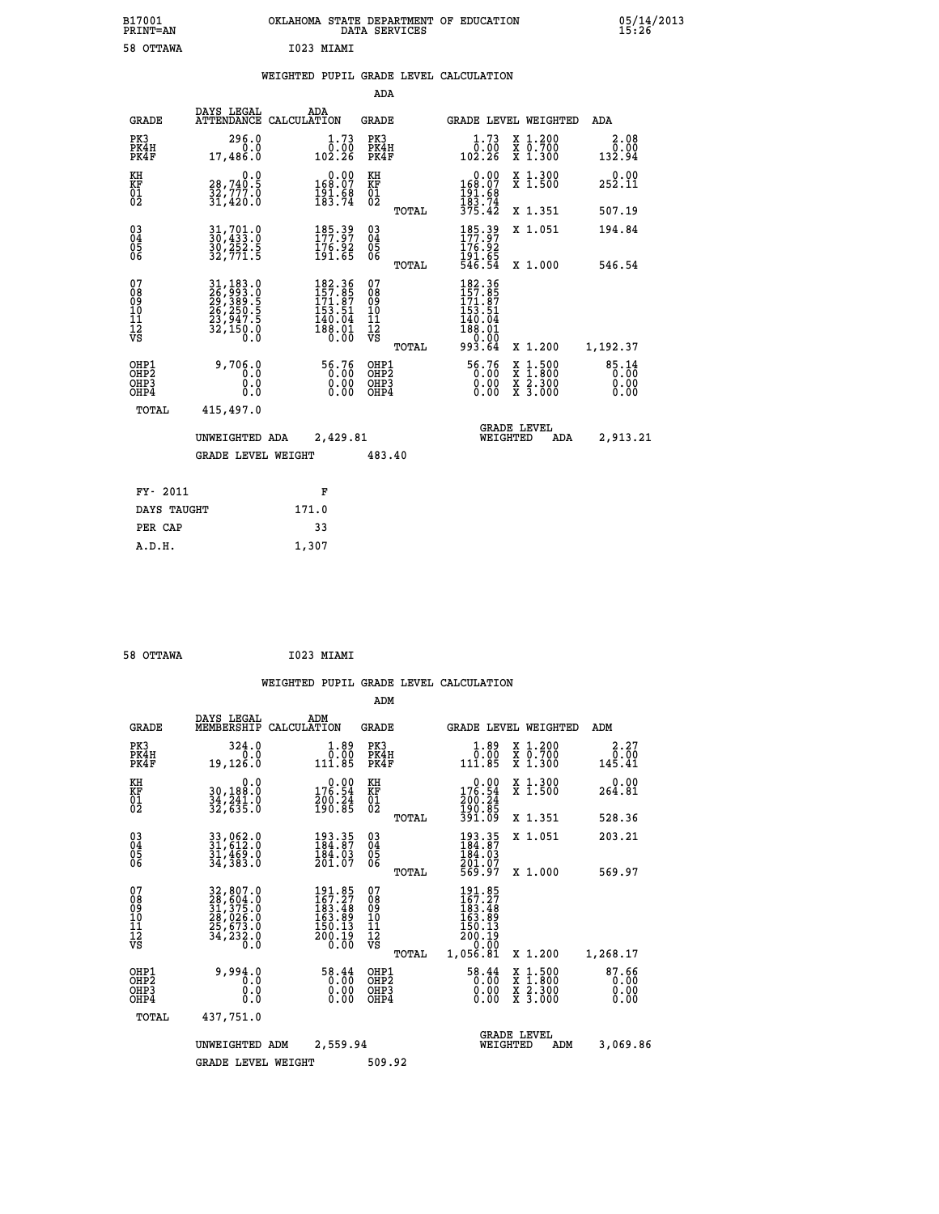| B17001<br><b>PRINT=AN</b>                 |                                                                                   | OKLAHOMA STATE DEPARTMENT OF EDUCATION                                   | DATA SERVICES                                                                |                                                |                                                                                                  | $05/14/2013$<br>15:26         |  |
|-------------------------------------------|-----------------------------------------------------------------------------------|--------------------------------------------------------------------------|------------------------------------------------------------------------------|------------------------------------------------|--------------------------------------------------------------------------------------------------|-------------------------------|--|
| 58 OTTAWA                                 |                                                                                   | I023 MIAMI                                                               |                                                                              |                                                |                                                                                                  |                               |  |
|                                           |                                                                                   | WEIGHTED PUPIL GRADE LEVEL CALCULATION                                   |                                                                              |                                                |                                                                                                  |                               |  |
|                                           |                                                                                   |                                                                          | <b>ADA</b>                                                                   |                                                |                                                                                                  |                               |  |
| <b>GRADE</b>                              | DAYS LEGAL                                                                        | ADA<br>ATTENDANCE CALCULATION                                            | GRADE                                                                        | GRADE LEVEL WEIGHTED                           |                                                                                                  | ADA                           |  |
| PK3<br>PK4H<br>PK4F                       | 296.0<br>0.0<br>17,486.0                                                          | 1.73<br>0.00<br>102.26                                                   | PK3<br>PK4H<br>PK4F                                                          | 1.73<br>0.00<br>102.26                         | X 1.200<br>$\begin{array}{c} \overline{x} & 0.700 \\ x & 1.300 \end{array}$                      | 2.08<br>0.00<br>132.94        |  |
| KH<br>KF<br>$^{01}_{02}$                  | 0.0<br>28,740.5<br>$\frac{32}{31}$ , $\frac{777}{30}$ .0                          | $0.00$<br>168.07<br>$\frac{191.68}{183.74}$                              | KH<br>KF<br>$\overline{01}$                                                  | $0.00$<br>168.07<br>191.68<br>183.74<br>375.42 | X 1.300<br>X 1.500                                                                               | 0.00<br>252.11                |  |
|                                           |                                                                                   |                                                                          | TOTAL                                                                        |                                                | X 1.351                                                                                          | 507.19                        |  |
| 03040405<br>ŎĞ                            | $31,701.0$<br>$30,433.0$<br>30,252.5<br>32,771.5                                  | 185.39<br>176.92<br>191.65                                               | $\begin{matrix} 03 \\ 04 \\ 05 \\ 06 \end{matrix}$                           | 185.39<br>176.92<br>191.65<br>546.54           | X 1.051                                                                                          | 194.84                        |  |
| 07                                        |                                                                                   | 182.36<br>157.85<br>171.87                                               | <b>TOTAL</b><br>07<br>$\begin{smallmatrix} 0 & 8 \\ 0 & 9 \end{smallmatrix}$ | 182.36<br>157.85<br>171.87                     | X 1,000                                                                                          | 546.54                        |  |
| 08<br>09<br>10<br>11<br>12<br>VS          | 31, 183.0<br>26, 993.0<br>29, 389.5<br>26, 250.5<br>23, 947.5<br>32, 150.0<br>Ō.Ō | 153.51<br>$\begin{smallmatrix} 140.04 \ 188.01 \ 0.00 \end{smallmatrix}$ | ΊŌ<br>$\frac{11}{12}$<br>$\frac{12}{18}$                                     | 153.51<br>140.04<br>188.01<br>0.00             |                                                                                                  |                               |  |
|                                           |                                                                                   |                                                                          | TOTAL                                                                        | 993.64                                         | X 1.200                                                                                          | 1,192.37                      |  |
| OHP1<br>OH <sub>P</sub> 2<br>OHP3<br>OHP4 | 9,706.0<br>0.0<br>0.0<br>0.0                                                      | $56.76\n0.00\n0.00\n0.00$                                                | OHP1<br>OHP <sub>2</sub><br>OHP3<br>OHP4                                     | 56.76<br>0.00<br>0.00                          | $\begin{smallmatrix} x & 1 & 500 \\ x & 1 & 800 \\ x & 2 & 300 \\ x & 3 & 000 \end{smallmatrix}$ | 85.14<br>0.00<br>0.00<br>0.00 |  |
| TOTAL                                     | 415,497.0                                                                         |                                                                          |                                                                              |                                                |                                                                                                  |                               |  |
|                                           | UNWEIGHTED ADA                                                                    | 2,429.81                                                                 |                                                                              | WEIGHTED                                       | <b>GRADE LEVEL</b><br>ADA                                                                        | 2,913.21                      |  |
|                                           | GRADE LEVEL WEIGHT                                                                |                                                                          | 483.40                                                                       |                                                |                                                                                                  |                               |  |
| FY- 2011                                  |                                                                                   | F                                                                        |                                                                              |                                                |                                                                                                  |                               |  |
| DAYS TAUGHT                               |                                                                                   | 171.0                                                                    |                                                                              |                                                |                                                                                                  |                               |  |
| PER CAP                                   |                                                                                   | 33                                                                       |                                                                              |                                                |                                                                                                  |                               |  |

| 58 OTTAWA | $\sim$ | I023 MIAMI |
|-----------|--------|------------|
|           |        |            |

 **A.D.H. 1,307**

 **WEIGHTED PUPIL GRADE LEVEL CALCULATION ADM DAYS LEGAL ADM GRADE MEMBERSHIP CALCULATION GRADE GRADE LEVEL WEIGHTED ADM PK3 324.0 1.89 PK3 1.89 X 1.200 2.27 PK4H 0.0 0.00 PK4H 0.00 X 0.700 0.00 PK4F 19,126.0 111.85 PK4F 111.85 X 1.300 145.41 KH 0.0 0.00 KH 0.00 X 1.300 0.00 KF 30,188.0 176.54 KF 176.54 X 1.500 264.81** 01 34,241.0 200.24 01 200.24<br>02 32,635.0 190.85 02 <sub>-----</sub> 190.85  **TOTAL 391.09 X 1.351 528.36 03 33,062.0 193.35 03 193.35 X 1.051 203.21 04 31,612.0 184.87 04 184.87 05 31,469.0 184.03 05 184.03 06 34,383.0 201.07 06 201.07 TOTAL 569.97 X 1.000 569.97**  $\begin{array}{cccc} 07 & 32,807.0 & 191.85 & 07 & 191.85 \ 08 & 28,604.0 & 167.27 & 08 & 167.27 \ 09 & 31,375.0 & 163.48 & 09 & 163.48 \ 10 & 28,026.0 & 163.89 & 10 & 163.89 \ 11 & 25,673.0 & 150.13 & 11 & 150.13 \ 12 & 34,233.0 & 200.19 & 12 & 200.19 \ \hline \end{array}$  **TOTAL 1,056.81 X 1.200 1,268.17 OHP1 9,994.0 58.44 OHP1 58.44 X 1.500 87.66 OHP2 0.0 0.00 OHP2 0.00 X 1.800 0.00 OHP3 0.0 0.00 OHP3 0.00 X 2.300 0.00 OHP4 0.0 0.00 OHP4 0.00 X 3.000 0.00 TOTAL 437,751.0 GRADE LEVEL UNWEIGHTED ADM 2,559.94 WEIGHTED ADM 3,069.86 GRADE LEVEL WEIGHT 509.92**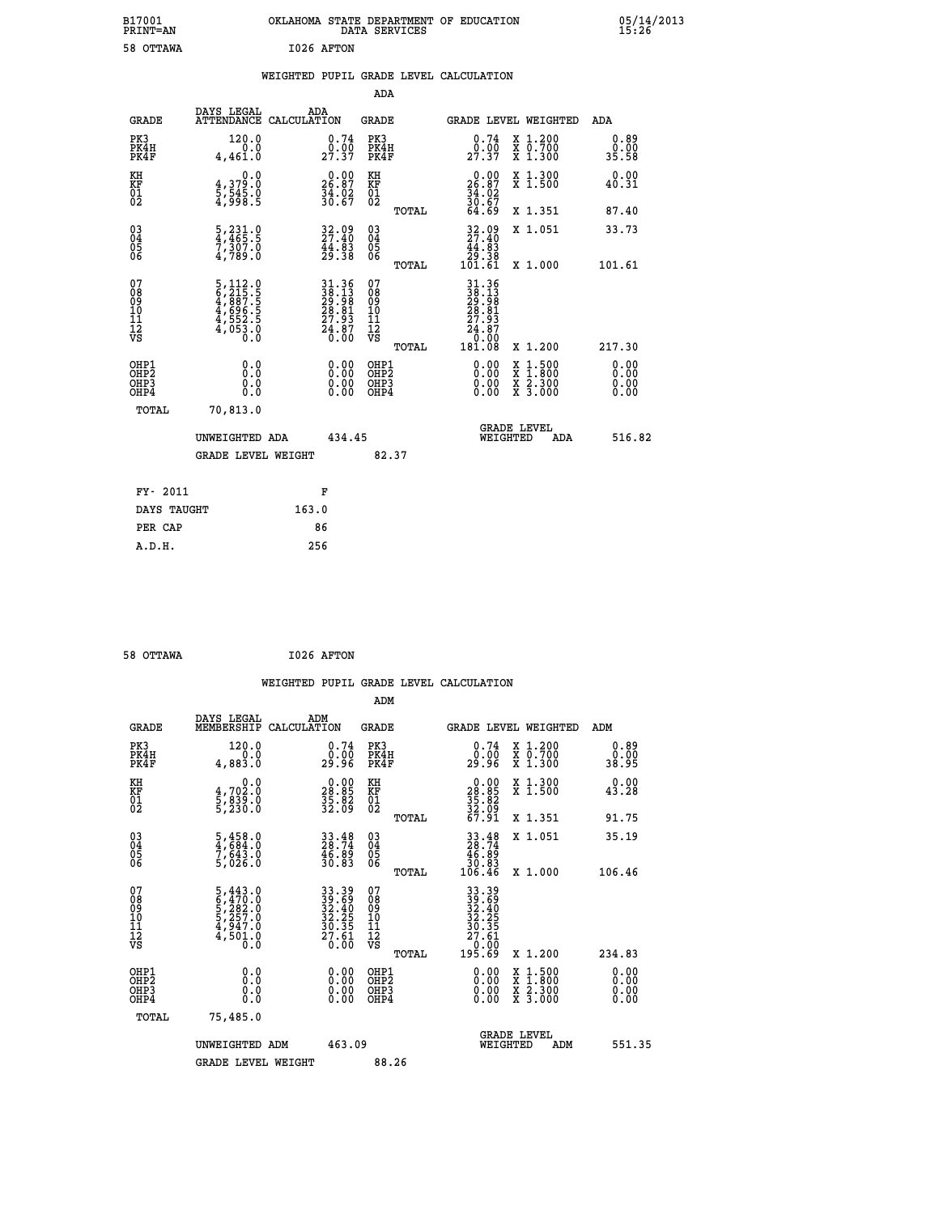| B17001<br>PRINT=AN                                 |                                                                                                          | OKLAHOMA STATE DEPARTMENT OF EDUCATION                      | DATA SERVICES                                      |                                                                      |                                                                                          | 05/14/2013<br>15:26          |  |
|----------------------------------------------------|----------------------------------------------------------------------------------------------------------|-------------------------------------------------------------|----------------------------------------------------|----------------------------------------------------------------------|------------------------------------------------------------------------------------------|------------------------------|--|
| 58 OTTAWA                                          |                                                                                                          | I026 AFTON                                                  |                                                    |                                                                      |                                                                                          |                              |  |
|                                                    |                                                                                                          | WEIGHTED PUPIL GRADE LEVEL CALCULATION                      |                                                    |                                                                      |                                                                                          |                              |  |
|                                                    |                                                                                                          |                                                             | <b>ADA</b>                                         |                                                                      |                                                                                          |                              |  |
| <b>GRADE</b>                                       | DAYS LEGAL                                                                                               | ADA<br>ATTENDANCE CALCULATION                               | GRADE                                              | <b>GRADE LEVEL WEIGHTED</b>                                          |                                                                                          | ADA                          |  |
| PK3<br>PK4H<br>PK4F                                | 120.0<br>0.0<br>4,461.0                                                                                  | 0.74<br>$29.90$<br>$27.37$                                  | PK3<br>PK4H<br>PK4F                                | 0.74<br>29.90                                                        | X 1.200<br>X 0.700<br>X 1.300                                                            | 0.89<br>0.00<br>35.58        |  |
| KH<br>KF<br>01<br>02                               | 0.0<br>4,379:0<br>5,545:0<br>4,998:5                                                                     | 0.00<br>$\frac{26.87}{34.02}$<br>$\frac{34.02}{30.67}$      | KH<br><b>KF</b><br>01<br>02                        | 26.87<br>$\frac{34}{30}$ : 62<br>$\frac{36}{64}$ : 67                | X 1.300<br>X 1.500                                                                       | 0.00<br>40.31                |  |
|                                                    |                                                                                                          |                                                             | TOTAL                                              |                                                                      | X 1.351                                                                                  | 87.40                        |  |
| $\begin{matrix} 03 \\ 04 \\ 05 \\ 06 \end{matrix}$ | $\frac{5}{4}, \frac{231}{465}.\frac{0}{5}$<br>$\frac{7}{7}, \frac{307}{309}.\frac{0}{0}$                 | 32.09<br>27.40<br>$\frac{44}{29}.$ $\frac{83}{38}$          | $\begin{matrix} 03 \\ 04 \\ 05 \\ 06 \end{matrix}$ | 32.09<br>27.40<br>44.83<br>38.38<br>101.61                           | X 1.051                                                                                  | 33.73                        |  |
|                                                    |                                                                                                          |                                                             | TOTAL                                              |                                                                      | X 1.000                                                                                  | 101.61                       |  |
| 0789011128                                         | $\begin{smallmatrix}5,112.0\\6,215.5\\4,887.5\\4,696.5\\4,696.5\\4,552.5\\4,053.0\\0.0\end{smallmatrix}$ | 31.36<br>38.13<br>29.98<br>28.81<br>27.93<br>24.87<br>24.87 | 078901112<br>00010112<br>VS<br>TOTAL               | 31.36<br>38.13<br>29.98<br>28.81<br>27.93<br>24.87<br>0.00<br>181.08 | X 1.200                                                                                  | 217.30                       |  |
| OHP1<br>OHP2<br>OHP3<br>OHP4                       | 0.0<br>Ŏ.Ŏ<br>0.0<br>0.0                                                                                 | 0.00<br>0.00<br>0.00                                        | OHP1<br>OHP <sub>2</sub><br>OHP3<br>OHP4           | 0.00<br>0.00<br>0.00                                                 | $\begin{smallmatrix} x & 1.500 \\ x & 1.800 \\ x & 2.300 \\ x & 3.000 \end{smallmatrix}$ | 0.00<br>ŏ.ŏŏ<br>0.00<br>0.00 |  |
| <b>TOTAL</b>                                       | 70,813.0                                                                                                 |                                                             |                                                    |                                                                      |                                                                                          |                              |  |
|                                                    | UNWEIGHTED ADA                                                                                           | 434.45                                                      |                                                    | <b>GRADE LEVEL</b><br>WEIGHTED                                       | ADA                                                                                      | 516.82                       |  |
|                                                    | <b>GRADE LEVEL WEIGHT</b>                                                                                |                                                             | 82.37                                              |                                                                      |                                                                                          |                              |  |
| FY- 2011                                           |                                                                                                          | F                                                           |                                                    |                                                                      |                                                                                          |                              |  |
| DAYS TAUGHT                                        |                                                                                                          | 163.0                                                       |                                                    |                                                                      |                                                                                          |                              |  |
| PER CAP                                            |                                                                                                          | 86                                                          |                                                    |                                                                      |                                                                                          |                              |  |

```
 58 OTTAWA I026 AFTON
```
 **WEIGHTED PUPIL GRADE LEVEL CALCULATION ADM DAYS LEGAL ADM GRADE MEMBERSHIP CALCULATION GRADE GRADE LEVEL WEIGHTED ADM PK3 120.0 0.74 PK3 0.74 X 1.200 0.89 PK4H 0.0 0.00 PK4H 0.00 X 0.700 0.00 PK4F 4,883.0 29.96 PK4F 29.96 X 1.300 38.95 KH 0.0 0.00 KH 0.00 X 1.300 0.00 KF 4,702.0 28.85 KF 28.85 X 1.500 43.28 01 5,839.0 35.82 01 35.82 02 5,230.0 32.09 02 32.09 TOTAL 67.91 X 1.351 91.75 03 5,458.0 33.48 03 33.48 X 1.051 35.19 04 4,684.0 28.74 04 28.74 05 7,643.0 46.89 05 46.89 06 5,026.0 30.83 06 30.83 TOTAL 106.46 X 1.000 106.46**  $\begin{array}{cccc} 07 & 5,443.0 & 33.39 & 07 & 33.39 \\ 08 & 6,470.0 & 32.40 & 08 & 39.63 \\ 09 & 5,282.0 & 32.40 & 08 & 32.40 \\ 10 & 5,257.0 & 32.25 & 10 & 32.25 \\ 11 & 4,947.0 & 30.35 & 11 & 30.35 \\ 12 & 4,501.0 & 20.61 & 12 & 30.35 \\ \sqrt{3} & 0.0 & 0 & \sqrt{3} & 0.00 \\ \$  $\begin{array}{cccc} 33.39 & 07 & 33.39 \\ 32.68 & 08 & 33.39 \\ 32.25 & 10 & 32.25 \\ 32.25 & 11 & 30.23 \\ 27.51 & 12 & 27.561 \\ 27.51 & 12 & 27.561 \\ 0.00 & 081P3 & 0.00 & 0 & 0 & 0.00 \\ 0.00 & 081P2 & 0.00 & 0 & 1.500 & 0.00 \\ 0.00 & 081P4 & 0.00 & 0 & 0 & 0.00 \\ 0.00 &$  **OHP1 0.0 0.00 OHP1 0.00 X 1.500 0.00 OHP2 0.0 0.00 OHP2 0.00 X 1.800 0.00 OHP3 0.0 0.00 OHP3 0.00 X 2.300 0.00 OHP4 0.0 0.00 OHP4 0.00 X 3.000 0.00 TOTAL 75,485.0 GRADE LEVEL UNWEIGHTED ADM 463.09 WEIGHTED ADM 551.35** GRADE LEVEL WEIGHT 88.26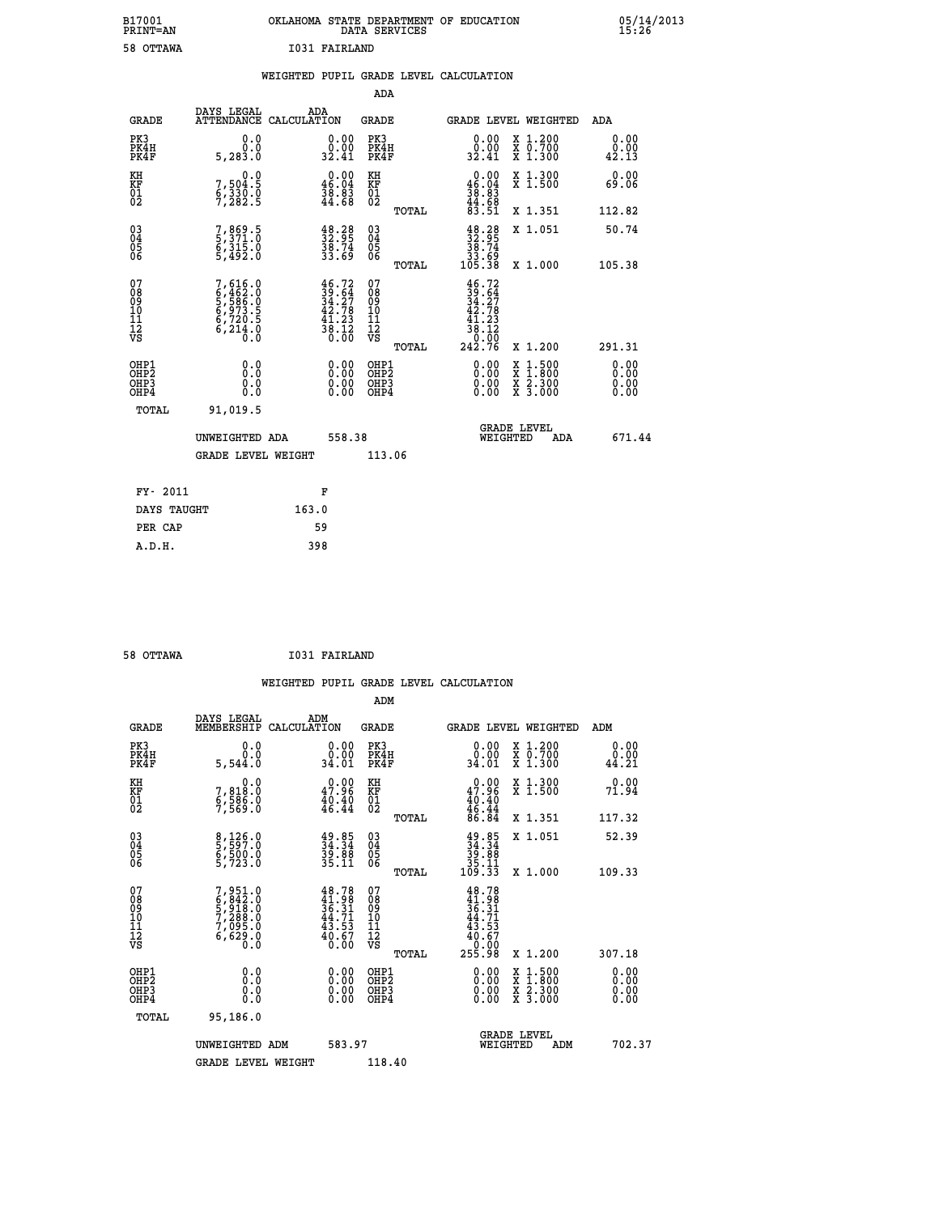| B17001          | OKLAHOMA STATE DEPARTMENT OF EDUCATION |
|-----------------|----------------------------------------|
| <b>PRINT=AN</b> | DATA SERVICES                          |
| 58 OTTAWA       | 1031 FAIRLAND                          |

 **B17001<br>PRINT=AN** 

 **B17001 OKLAHOMA STATE DEPARTMENT OF EDUCATION 05/14/2013**

|                                                               |                                                                                     | WEIGHTED PUPIL GRADE LEVEL CALCULATION                                    |                                          |                                                                              |                                                                                          |                              |
|---------------------------------------------------------------|-------------------------------------------------------------------------------------|---------------------------------------------------------------------------|------------------------------------------|------------------------------------------------------------------------------|------------------------------------------------------------------------------------------|------------------------------|
|                                                               |                                                                                     |                                                                           | <b>ADA</b>                               |                                                                              |                                                                                          |                              |
| <b>GRADE</b>                                                  | DAYS LEGAL                                                                          | ADA<br>ATTENDANCE CALCULATION                                             | GRADE                                    | GRADE LEVEL WEIGHTED                                                         |                                                                                          | ADA                          |
| PK3<br>PK4H<br>PK4F                                           | 0.0<br>0.0<br>5,283.0                                                               | 0.00<br>0.00<br>32.41                                                     | PK3<br>PK4H<br>PK4F                      | 0.00<br>o.oo<br>32.41                                                        | X 1.200<br>X 0.700<br>X 1.300                                                            | 0.00<br>0.00<br>42.13        |
| KH<br>KF<br>01<br>02                                          | 0.0<br>7,504:5<br>6,330.0<br>7,282:5                                                | $\begin{smallmatrix} 0.00\\ 46.04\\ 38.83\\ 44.68 \end{smallmatrix}$      | KH<br>KF<br>01<br>02                     | $\begin{smallmatrix} 0.00\\ 46.04\\ 38.83\\ 44.68\\ 83.51 \end{smallmatrix}$ | X 1.300<br>X 1.500                                                                       | 0.00<br>69.06                |
|                                                               |                                                                                     |                                                                           | TOTAL                                    |                                                                              | X 1.351                                                                                  | 112.82                       |
| 03<br>04<br>05<br>06                                          | 7,869.5<br>5,371.0<br>6,315.0<br>5,492.0                                            | $\begin{smallmatrix} 48.28\ 32.95\ 38.74\ 33.69 \end{smallmatrix}$        | $^{03}_{04}$<br>05<br>06                 | $\begin{array}{c} 48.28 \\ 32.95 \\ 38.74 \\ 33.69 \\ 105.38 \end{array}$    | X 1.051                                                                                  | 50.74                        |
|                                                               |                                                                                     |                                                                           | TOTAL                                    |                                                                              | X 1.000                                                                                  | 105.38                       |
| 07<br>08<br>09<br>101<br>11<br>12<br>VS                       | $7,616.0$<br>$6,462.0$<br>$5,586.0$<br>$6,973.5$<br>$6,720.5$<br>$6,214.0$<br>$0.0$ | $46.72$<br>$39.64$<br>$34.27$<br>$42.78$<br>$\frac{41.23}{38.12}$<br>0.00 | 07<br>08<br>09<br>11<br>11<br>12<br>VS   | $46.72$<br>$39.64$<br>$34.27$<br>$42.78$<br>$\frac{41.23}{38.12}$            |                                                                                          |                              |
|                                                               |                                                                                     |                                                                           | TOTAL                                    | 242.76                                                                       | X 1.200                                                                                  | 291.31                       |
| OHP1<br>OHP <sub>2</sub><br>OH <sub>P3</sub><br>OHP4<br>TOTAL | 0.0<br>Ō.Ō<br>0.0<br>0.0<br>91,019.5                                                | 0.00<br>0.00<br>0.00                                                      | OHP1<br>OHP <sub>2</sub><br>OHP3<br>OHP4 | $0.00$<br>$0.00$<br>0.00                                                     | $\begin{smallmatrix} x & 1.500 \\ x & 1.800 \\ x & 2.300 \\ x & 3.000 \end{smallmatrix}$ | 0.00<br>0.00<br>0.00<br>0.00 |
|                                                               |                                                                                     |                                                                           |                                          | <b>GRADE LEVEL</b>                                                           |                                                                                          |                              |
|                                                               | UNWEIGHTED ADA                                                                      | 558.38                                                                    |                                          | WEIGHTED                                                                     | ADA                                                                                      | 671.44                       |
|                                                               | <b>GRADE LEVEL WEIGHT</b>                                                           |                                                                           | 113.06                                   |                                                                              |                                                                                          |                              |
| FY- 2011                                                      |                                                                                     | F                                                                         |                                          |                                                                              |                                                                                          |                              |
| DAYS TAUGHT                                                   |                                                                                     | 163.0                                                                     |                                          |                                                                              |                                                                                          |                              |
| PER CAP                                                       |                                                                                     | 59                                                                        |                                          |                                                                              |                                                                                          |                              |
| A.D.H.                                                        |                                                                                     | 398                                                                       |                                          |                                                                              |                                                                                          |                              |

**58 OTTAWA 1031 FAIRLAND** 

| 58 OTTAWA                                    |                                                                                     | 1031 FAIRLAND                                                               |                                                       |                                                                                 |                                                                                          |                       |
|----------------------------------------------|-------------------------------------------------------------------------------------|-----------------------------------------------------------------------------|-------------------------------------------------------|---------------------------------------------------------------------------------|------------------------------------------------------------------------------------------|-----------------------|
|                                              |                                                                                     |                                                                             |                                                       | WEIGHTED PUPIL GRADE LEVEL CALCULATION                                          |                                                                                          |                       |
|                                              |                                                                                     |                                                                             | ADM                                                   |                                                                                 |                                                                                          |                       |
| <b>GRADE</b>                                 | DAYS LEGAL<br>MEMBERSHIP                                                            | ADM<br>CALCULATION                                                          | <b>GRADE</b>                                          | GRADE LEVEL WEIGHTED                                                            |                                                                                          | ADM                   |
| PK3<br>PK4H<br>PK4F                          | 0.0<br>0.0<br>5,544.0                                                               | $\begin{smallmatrix} 0.00\\ 0.00\\ 34.01 \end{smallmatrix}$                 | PK3<br>PK4H<br>PK4F                                   | 0.00<br>0.00<br>34.01                                                           | X 1.200<br>X 0.700<br>X 1.300                                                            | 0.00<br>0.00<br>44.21 |
| KH<br>KF<br>01<br>02                         | $\begin{smallmatrix}&&&0.0\\7,818.0\\6,586.0\\7,569.0\end{smallmatrix}$             | 47.96<br>$\frac{40.40}{46.44}$                                              | KH<br>KF<br>01<br>02                                  | $0.00$<br>$47.96$<br>$40.40$<br>$46.44$<br>$86.84$                              | X 1.300<br>X 1.500                                                                       | 0.00<br>71.94         |
|                                              |                                                                                     |                                                                             | TOTAL                                                 |                                                                                 | X 1.351                                                                                  | 117.32                |
| 03<br>04<br>05<br>06                         | 8,126.0<br>5,597.0<br>6,500.0<br>5,723.0                                            | $34.34$<br>$34.34$<br>$39.88$<br>$35.11$                                    | 03<br>04<br>05<br>06                                  | $34.34$<br>$39.84$<br>$39.88$<br>$35.11$<br>$109.33$                            | X 1.051                                                                                  | 52.39                 |
|                                              |                                                                                     |                                                                             | TOTAL                                                 |                                                                                 | X 1.000                                                                                  | 109.33                |
| 07<br>08<br>09<br>01<br>11<br>11<br>12<br>VS | $7,951.0$<br>$6,842.0$<br>$5,918.0$<br>$7,288.0$<br>$7,095.0$<br>$6,629.0$<br>$0.0$ | $48.78$<br>$41.98$<br>$36.31$<br>$44.71$<br>$43.53$<br>$\frac{40.67}{0.00}$ | 07<br>08<br>09<br>01<br>11<br>11<br>12<br>VS<br>TOTAL | 48.78<br>$41.98$<br>$36.31$<br>$44.71$<br>$43.53$<br>$40.67$<br>00.01<br>255.98 | X 1.200                                                                                  | 307.18                |
| OHP1<br>OHP2<br>OH <sub>P3</sub>             | 0.0                                                                                 | $\begin{smallmatrix} 0.00 \ 0.00 \ 0.00 \ 0.00 \end{smallmatrix}$           | OHP1<br>OHP2                                          |                                                                                 | $\begin{smallmatrix} x & 1.500 \\ x & 1.800 \\ x & 2.300 \\ x & 3.000 \end{smallmatrix}$ | 0.00<br>0.00          |
| OHP4                                         | 0.0<br>0.0                                                                          |                                                                             | OHP <sub>3</sub>                                      |                                                                                 |                                                                                          | 0.00<br>0.00          |
| <b>TOTAL</b>                                 | 95,186.0                                                                            |                                                                             |                                                       |                                                                                 |                                                                                          |                       |
|                                              | UNWEIGHTED ADM                                                                      | 583.97                                                                      |                                                       | <b>GRADE LEVEL</b><br>WEIGHTED                                                  | ADM                                                                                      | 702.37                |
|                                              | <b>GRADE LEVEL WEIGHT</b>                                                           |                                                                             | 118.40                                                |                                                                                 |                                                                                          |                       |
|                                              |                                                                                     |                                                                             |                                                       |                                                                                 |                                                                                          |                       |
|                                              |                                                                                     |                                                                             |                                                       |                                                                                 |                                                                                          |                       |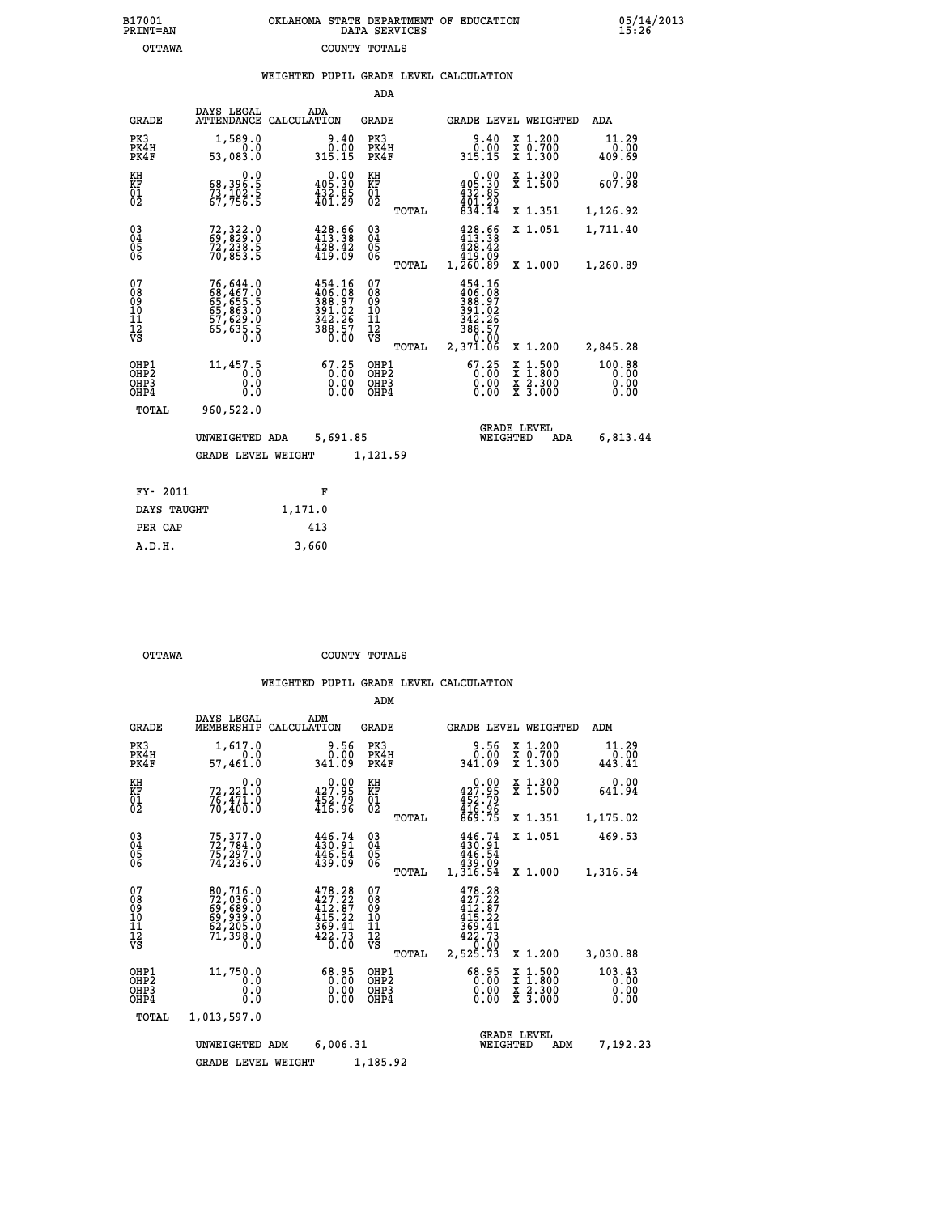| OKLAHOMA STATE DEPARTMENT OF EDUCATION<br>DATA SERVICES |  |
|---------------------------------------------------------|--|
| COUNTY TOTALS                                           |  |

|                                                              |                                                                      |                                                                                |                                                 | WEIGHTED PUPIL GRADE LEVEL CALCULATION                                                 |                                                                    |                                |
|--------------------------------------------------------------|----------------------------------------------------------------------|--------------------------------------------------------------------------------|-------------------------------------------------|----------------------------------------------------------------------------------------|--------------------------------------------------------------------|--------------------------------|
|                                                              |                                                                      |                                                                                | ADA                                             |                                                                                        |                                                                    |                                |
| <b>GRADE</b>                                                 | DAYS LEGAL                                                           | ADA<br>ATTENDANCE CALCULATION                                                  | <b>GRADE</b>                                    | GRADE LEVEL WEIGHTED                                                                   |                                                                    | ADA                            |
| PK3<br>PK4H<br>PK4F                                          | 1,589.0<br>0.0<br>53,083.0                                           | $0.40$<br>$0.00$<br>315.15                                                     | PK3<br>PK4H<br>PK4F                             | $0.40$<br>$0.00$<br>315.15                                                             | X 1.200<br>X 0.700<br>X 1.300                                      | 11.29<br>0.00<br>409.69        |
| KH<br>KF<br>01<br>02                                         | $\begin{smallmatrix}68,396.5\\73,102.5\\67,756.5\end{smallmatrix}$   | $0.00$<br>405.30<br>$\frac{132.85}{401.29}$                                    | KH<br>KF<br>01<br>02                            | $0.00$<br>$0.00$<br>$432.85$<br>$401.29$<br>$834.14$                                   | X 1.300<br>X 1.500                                                 | 0.00<br>607.98                 |
|                                                              |                                                                      |                                                                                | TOTAL                                           |                                                                                        | X 1.351                                                            | 1,126.92                       |
| $\begin{smallmatrix} 03 \\[-4pt] 04 \end{smallmatrix}$<br>05 | 72, 322.0<br>69, 829.0<br>72, 238.5<br>70, 853.5                     | $\begin{array}{l} 428.56 \\ 413.38 \\ 428.42 \\ 419.09 \end{array}$            | $^{03}_{04}$<br>05                              | 428.66<br>413.38<br>$\frac{1}{4}$ $\frac{2}{9}$ $\frac{3}{9}$ $\frac{3}{9}$            | X 1.051                                                            | 1,711.40                       |
| 06                                                           |                                                                      |                                                                                | 06<br>TOTAL                                     | 1,260.89                                                                               | X 1.000                                                            | 1,260.89                       |
| 07<br>08<br>09<br>11<br>11<br>12<br>VS                       | 76,644.0<br>68,467.0<br>65,655.5<br>65,863.0<br>57,629.0<br>65,635.5 | $454.16$<br>$406.08$<br>$388.97$<br>$391.02$<br>$342.26$<br>$388.57$<br>$0.00$ | 07<br>08<br>09<br>10<br>11<br>12<br>VS<br>TOTAL | 454.16<br>406:08<br>388:97<br>391.02<br>$342.26$<br>$388.57$<br>$-9.00$<br>2,37ĭ.ŎĞ    | X 1.200                                                            | 2,845.28                       |
| OHP1<br>OHP2<br>OHP3<br>OHP4                                 | 11,457.5<br>0.0<br>0.0<br>0.0                                        | $\begin{smallmatrix} 67.25\\ 0.00\\ 0.00\\ 0.00\\ 0.00 \end{smallmatrix}$      | OHP1<br>OHP2<br>OHP3<br>OHP4                    | $\begin{smallmatrix} 67.25\\ 0.00\\ 0.00\\ 0.00 \end{smallmatrix}$<br>X<br>X<br>X<br>X | $\begin{smallmatrix} 1.500\ 1.800\ 2.300\ 3.000 \end{smallmatrix}$ | 100.88<br>0.00<br>0.00<br>0.00 |
| TOTAL                                                        | 960,522.0                                                            |                                                                                |                                                 |                                                                                        |                                                                    |                                |
|                                                              | UNWEIGHTED ADA                                                       | 5,691.85                                                                       |                                                 | <b>GRADE LEVEL</b><br>WEIGHTED                                                         | ADA                                                                | 6,813.44                       |
|                                                              | <b>GRADE LEVEL WEIGHT</b>                                            |                                                                                | 1,121.59                                        |                                                                                        |                                                                    |                                |
| FY- 2011                                                     |                                                                      | F                                                                              |                                                 |                                                                                        |                                                                    |                                |
| DAYS TAUGHT                                                  |                                                                      | 1,171.0                                                                        |                                                 |                                                                                        |                                                                    |                                |
| PER CAP                                                      |                                                                      | 413                                                                            |                                                 |                                                                                        |                                                                    |                                |

 **A.D.H. 3,660**

B17001<br>PRINT=AN<br>OTTAWA

 **OTTAWA COUNTY TOTALS**

|                                                       |                                                                             |                                                                        | ADM                                              |                                                                             |                                                                                                  |                                |
|-------------------------------------------------------|-----------------------------------------------------------------------------|------------------------------------------------------------------------|--------------------------------------------------|-----------------------------------------------------------------------------|--------------------------------------------------------------------------------------------------|--------------------------------|
| <b>GRADE</b>                                          | DAYS LEGAL<br>MEMBERSHIP                                                    | ADM<br>CALCULATION                                                     | <b>GRADE</b>                                     | GRADE LEVEL WEIGHTED                                                        |                                                                                                  | ADM                            |
| PK3<br>PK4H<br>PK4F                                   | 1,617.0<br>0.0<br>57,461.0                                                  | 9.56<br>0.00<br>341.09                                                 | PK3<br>PK4H<br>PK4F                              | 9.56<br>0.00<br>341.09                                                      | X 1.200<br>X 0.700<br>$X$ 1.300                                                                  | 11.29<br>0.00<br>443.41        |
| KH<br>KF<br>01<br>02                                  | 0.0<br>72,221.0<br>76,471.0<br>70,400.0                                     | $0.00$<br>427.95<br>$\frac{452.79}{416.96}$                            | KH<br>KF<br>01<br>02                             | $0.00$<br>427.95<br>$452.79$<br>$416.96$<br>$869.75$                        | X 1.300<br>X 1.500                                                                               | 0.00<br>641.94                 |
|                                                       |                                                                             |                                                                        | TOTAL                                            |                                                                             | X 1.351                                                                                          | 1,175.02                       |
| 03<br>04<br>05<br>06                                  | 75, 377.0<br>72, 784.0<br>75, 297.0<br>74, 236.0                            | 446.74<br>430.91<br>446.54<br>439.09                                   | $\substack{03 \\ 04}$<br>0500                    | $446.74$<br>$430.91$<br>446.54<br>439.09                                    | X 1.051                                                                                          | 469.53                         |
|                                                       |                                                                             |                                                                        | TOTAL                                            | 1,316.54                                                                    | X 1.000                                                                                          | 1,316.54                       |
| 07<br>08<br>09<br>11<br>11<br>12<br>VS                | 80,716.0<br>72,036.0<br>69,689.0<br>69,939.0<br>62,205.0<br>71,398.0<br>Ŏ.Ŏ | 478.28<br>427.22<br>$\frac{412.87}{415.22}$<br>$\frac{369.41}{422.73}$ | 07<br>08<br>09<br>101<br>11<br>12<br>VS<br>TOTAL | 478.28<br>427.22<br>412.07<br>415.22<br>$\frac{369.41}{422.73}$<br>2,525.73 | X 1.200                                                                                          | 3,030.88                       |
| OHP1<br>OH <sub>P</sub> 2<br>OHP <sub>3</sub><br>OHP4 | 11,750.0<br>0.0<br>0.000                                                    | 68.95<br>0.00<br>0.00<br>0.00                                          | OHP1<br>OHP2<br>OHP3<br>OHP4                     | $68.95$<br>0.00<br>0.00                                                     | $\begin{smallmatrix} x & 1 & 500 \\ x & 1 & 800 \\ x & 2 & 300 \\ x & 3 & 000 \end{smallmatrix}$ | 103.43<br>0.00<br>0.00<br>0.00 |
| TOTAL                                                 | 1,013,597.0                                                                 |                                                                        |                                                  |                                                                             |                                                                                                  |                                |
|                                                       | UNWEIGHTED ADM                                                              | 6,006.31                                                               |                                                  | WEIGHTED                                                                    | <b>GRADE LEVEL</b><br>ADM                                                                        | 7,192.23                       |
|                                                       | <b>GRADE LEVEL WEIGHT</b>                                                   |                                                                        | 1,185.92                                         |                                                                             |                                                                                                  |                                |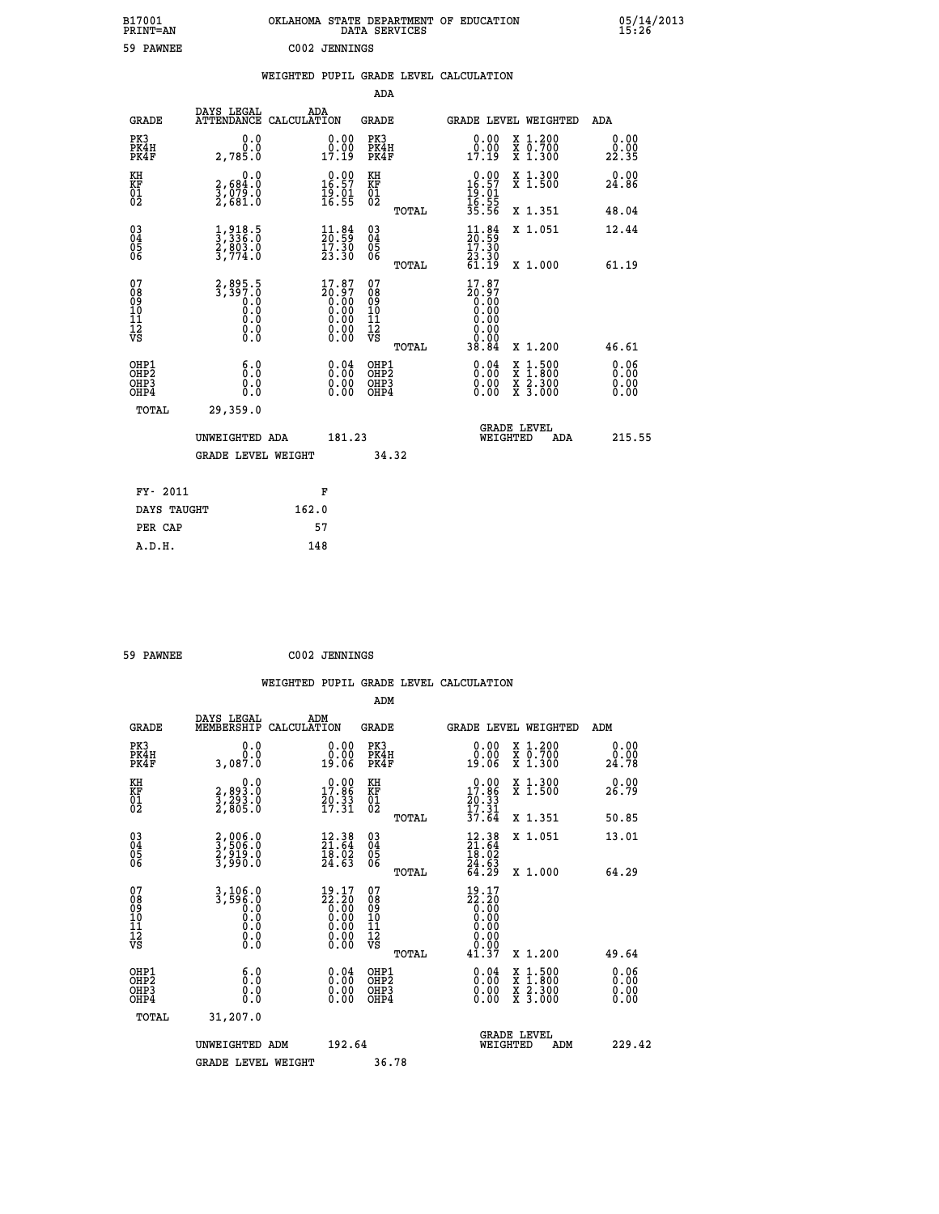| B17001<br>PRINT=AN                             |                                                                        | OKLAHOMA STATE DEPARTMENT OF EDUCATION                                                                | DATA SERVICES                                      |                                                                              |                                                                                                  | 05/14/2013            |
|------------------------------------------------|------------------------------------------------------------------------|-------------------------------------------------------------------------------------------------------|----------------------------------------------------|------------------------------------------------------------------------------|--------------------------------------------------------------------------------------------------|-----------------------|
| 59 PAWNEE                                      |                                                                        | C002 JENNINGS                                                                                         |                                                    |                                                                              |                                                                                                  |                       |
|                                                |                                                                        | WEIGHTED PUPIL GRADE LEVEL CALCULATION                                                                |                                                    |                                                                              |                                                                                                  |                       |
|                                                |                                                                        |                                                                                                       | ADA                                                |                                                                              |                                                                                                  |                       |
| GRADE                                          | DAYS LEGAL                                                             | ADA<br>ATTENDANCE CALCULATION                                                                         | GRADE                                              | GRADE LEVEL WEIGHTED                                                         |                                                                                                  | ADA                   |
| PK3<br>PK4H<br>PK4F                            | 0.0<br>0.0<br>2,785.0                                                  | 0.00<br>0.00<br>17.19                                                                                 | PK3<br>PK4H<br>PK4F                                | 0.00<br>$0.00$<br>17.19                                                      | X 1.200<br>X 0.700<br>X 1.300                                                                    | 0.00<br>0.00<br>22.35 |
| KH<br>KF<br>$\frac{01}{02}$                    | 0.0<br>2,684.0<br>3,ŏŽ9:Ŏ<br>2,681:O                                   | $\begin{smallmatrix} 0.00\\ 16.57\\ 19.01\\ 16.55 \end{smallmatrix}$                                  | KH<br>KF<br>$^{01}_{02}$                           | $0.00$<br>16.57<br>$\frac{19}{16}$ : $\frac{61}{55}$<br>$\frac{16}{35}$ : 56 | X 1.300<br>X 1.500                                                                               | 0.00<br>24.86         |
|                                                |                                                                        |                                                                                                       | TOTAL                                              |                                                                              | X 1.351                                                                                          | 48.04                 |
| $\substack{03 \\ 04}$<br>$\substack{05 \\ 06}$ | $\frac{1}{3}, \frac{918}{336}$ .0<br>$\frac{2}{3}, \frac{803}{774}$ .0 | $\begin{smallmatrix} 11\cdot 84\\ 20\cdot 59\\ 17\cdot 30\\ 23\cdot 30 \end{smallmatrix}$             | $\begin{matrix} 03 \\ 04 \\ 05 \\ 06 \end{matrix}$ | $\frac{11.84}{20.59}$                                                        | X 1.051                                                                                          | 12.44                 |
|                                                |                                                                        |                                                                                                       | TOTAL                                              | 23.30<br>61.19                                                               | X 1.000                                                                                          | 61.19                 |
| 07<br>08<br>09<br>11<br>11<br>12<br>VS         | 2,895.5<br>3,397.0<br>0.0<br>0.0<br>0.0<br>0.0                         | $\begin{smallmatrix} 17.87\ 20.97\ 0.00\ 0.00\ 0.00\ 0.00\ 0.00\ 0.00\ 0.00\ 0.00\ \end{smallmatrix}$ | 07<br>08<br>09<br>101<br>11<br>12<br>VS            | 17.87<br>20.97<br>0.00<br>0.00<br>0.00<br>0.00<br>0.00                       |                                                                                                  |                       |
|                                                |                                                                        |                                                                                                       | TOTAL                                              | 38.84                                                                        | X 1.200                                                                                          | 46.61                 |
| OHP1<br>OH <sub>P</sub> 2<br>OHP3<br>OHP4      | 6.0<br>0.0<br>0.0                                                      | $\begin{smallmatrix} 0.04\ 0.00\ 0.00 \end{smallmatrix}$                                              | OHP1<br>OHP <sub>2</sub><br>OHP3<br>OHP4           | 0.04<br>0.00<br>0.00                                                         | $\begin{smallmatrix} x & 1 & 500 \\ x & 1 & 800 \\ x & 2 & 300 \\ x & 3 & 000 \end{smallmatrix}$ | 0.06<br>0.00<br>0.00  |
| TOTAL                                          | 29,359.0                                                               |                                                                                                       |                                                    |                                                                              |                                                                                                  |                       |
|                                                | UNWEIGHTED ADA                                                         | 181.23                                                                                                |                                                    | WEIGHTED                                                                     | <b>GRADE LEVEL</b><br>ADA                                                                        | 215.55                |
|                                                | <b>GRADE LEVEL WEIGHT</b>                                              |                                                                                                       | 34.32                                              |                                                                              |                                                                                                  |                       |
| FY- 2011                                       |                                                                        | F                                                                                                     |                                                    |                                                                              |                                                                                                  |                       |
| DAYS TAUGHT                                    |                                                                        | 162.0                                                                                                 |                                                    |                                                                              |                                                                                                  |                       |
| PER CAP                                        |                                                                        | 57                                                                                                    |                                                    |                                                                              |                                                                                                  |                       |

| 59 PAWNEE |  | C002 JENNINGS |
|-----------|--|---------------|
|-----------|--|---------------|

 **WEIGHTED PUPIL GRADE LEVEL CALCULATION ADM DAYS LEGAL ADM GRADE MEMBERSHIP CALCULATION GRADE GRADE LEVEL WEIGHTED ADM PK3 0.0 0.00 PK3 0.00 X 1.200 0.00 PK4H 0.0 0.00 PK4H 0.00 X 0.700 0.00 PK4F 3,087.0 19.06 PK4F 19.06 X 1.300 24.78 KH 0.0 0.00 KH 0.00 X 1.300 0.00 KF 2,893.0 17.86 KF 17.86 X 1.500 26.79 01 20.33 1 20.33**<br>**02 2,805.0 17.31 02 17.34 TOTAL 37.64 X 1.351 50.85 03 2,006.0 12.38 03 12.38 X 1.051 13.01 04 3,506.0 21.64 04 21.64 05 2,919.0 18.02 05 18.02 06 3,990.0 24.63 06 24.63 TOTAL 64.29 X 1.000 64.29** 07 3,106.0 19.17 07 19.17<br>
08 3,596.0 22.20 08 22.20<br>
10 0.0 0.00 10 0.00<br>
11 0.0 0.00 11 0.00<br>
12 0.00 0.00 12<br>
VS 0.0 0.00 VS 0.00  **TOTAL 41.37 X 1.200 49.64 OHP1 6.0 0.04 OHP1 0.04 X 1.500 0.06 OHP2 0.0 0.00 OHP2 0.00 X 1.800 0.00 OHP3 0.0 0.00 OHP3 0.00 X 2.300 0.00 OHP4 0.0 0.00 OHP4 0.00 X 3.000 0.00 TOTAL 31,207.0 GRADE LEVEL UNWEIGHTED ADM 192.64 WEIGHTED ADM 229.42** GRADE LEVEL WEIGHT 36.78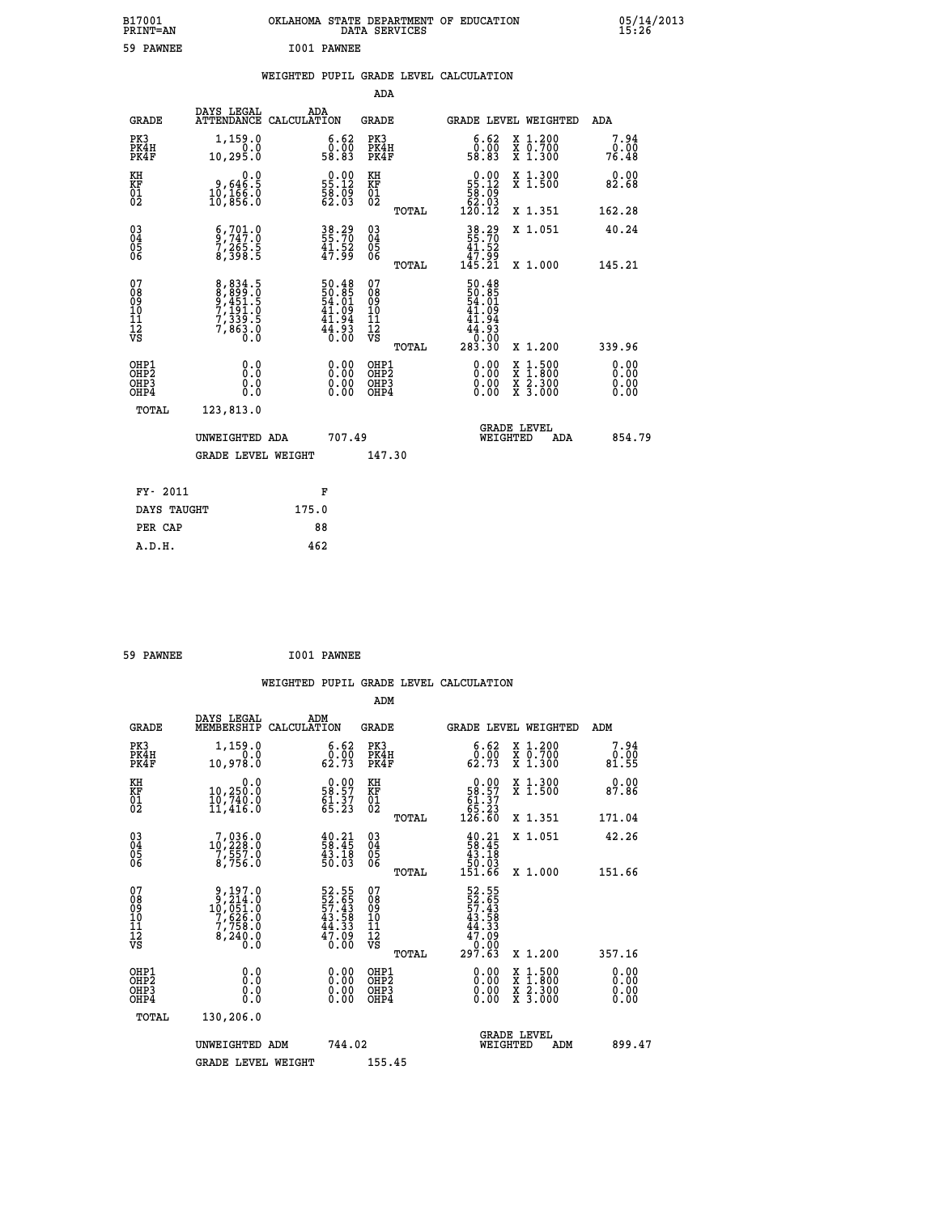| B17001<br>PRINT=AN                                   |                                                                | OKLAHOMA STATE DEPARTMENT OF EDUCATION                                 | DATA SERVICES                                               |                                                            |                                                                                                  | 05/14/2013                   |  |
|------------------------------------------------------|----------------------------------------------------------------|------------------------------------------------------------------------|-------------------------------------------------------------|------------------------------------------------------------|--------------------------------------------------------------------------------------------------|------------------------------|--|
| 59 PAWNEE                                            |                                                                | I001 PAWNEE                                                            |                                                             |                                                            |                                                                                                  |                              |  |
|                                                      |                                                                | WEIGHTED PUPIL GRADE LEVEL CALCULATION                                 |                                                             |                                                            |                                                                                                  |                              |  |
|                                                      |                                                                |                                                                        | ADA                                                         |                                                            |                                                                                                  |                              |  |
| <b>GRADE</b>                                         | DAYS LEGAL                                                     | ADA<br>ATTENDANCE CALCULATION                                          | GRADE                                                       |                                                            | GRADE LEVEL WEIGHTED                                                                             | ADA                          |  |
| PK3<br>PK4H<br>PK4F                                  | 1,159.0<br>0.0<br>10,295.0                                     | 6.62<br>0.05<br>58.83                                                  | PK3<br>PK4H<br>PK4F                                         | 6.62<br>0.05<br>58.83                                      | X 1.200<br>X 0.700<br>X 1.300                                                                    | 7.94<br>0.00<br>76.48        |  |
| KH<br>KF<br>01<br>02                                 | 0.0<br>9,646.5<br>10,166.0<br>10,856.0                         | $\begin{smallmatrix} 0.00\\ 55.12\\ 58.09\\ 62.03\\ \end{smallmatrix}$ | KH<br>KF<br>01<br>02                                        | $0.00$<br>55.12<br>58:09<br>62.03                          | X 1.300<br>X 1.500                                                                               | 0.00<br>82.68                |  |
|                                                      |                                                                |                                                                        | TOTAL                                                       | 120.12                                                     | X 1.351                                                                                          | 162.28                       |  |
| 030404<br>06                                         | $\frac{6}{9}, \frac{701}{747}$ : 0<br>7, 265: 5<br>8, 398: 5   | 38.29<br>55.70<br>$\frac{41.52}{47.99}$                                | $\begin{matrix} 03 \\ 04 \\ 05 \\ 06 \end{matrix}$<br>TOTAL | 38.29<br>55.70<br>41.52<br>99.74<br>145.21                 | X 1.051<br>X 1.000                                                                               | 40.24<br>145.21              |  |
| 07<br>08<br>09<br>10<br>īĭ<br>Ī2<br>VS               | 8,834.5<br>8,899.0<br>9,451.5<br>7,131.0<br>7,339.5<br>7,863.0 | 50.48<br>50.85<br>54.01<br>41.09<br>41.94<br>44.93<br>0.00             | 07<br>08<br>09<br>10<br>11<br>Ī2<br>VS                      | 50.48<br>50.85<br>54.01<br>41.09<br>41.94<br>44.93<br>0.00 |                                                                                                  |                              |  |
|                                                      |                                                                |                                                                        | TOTAL                                                       | 283.30                                                     | X 1.200                                                                                          | 339.96                       |  |
| OHP1<br>OHP <sub>2</sub><br>OH <sub>P3</sub><br>OHP4 | 0.0<br>$0.\check{0}$<br>0.0<br>0.0                             |                                                                        | OHP1<br>OHP <sub>2</sub><br>OHP3<br>OHP4                    | 0.00<br>0.00<br>0.00                                       | $\begin{smallmatrix} x & 1 & 500 \\ x & 1 & 800 \\ x & 2 & 300 \\ x & 3 & 000 \end{smallmatrix}$ | 0.00<br>0.00<br>0.00<br>0.00 |  |
| TOTAL                                                | 123,813.0                                                      |                                                                        |                                                             |                                                            |                                                                                                  |                              |  |
|                                                      | UNWEIGHTED ADA                                                 | 707.49                                                                 |                                                             | WEIGHTED                                                   | <b>GRADE LEVEL</b><br>ADA                                                                        | 854.79                       |  |
|                                                      | <b>GRADE LEVEL WEIGHT</b>                                      |                                                                        | 147.30                                                      |                                                            |                                                                                                  |                              |  |
| FY- 2011                                             |                                                                | F                                                                      |                                                             |                                                            |                                                                                                  |                              |  |
| DAYS TAUGHT                                          |                                                                | 175.0                                                                  |                                                             |                                                            |                                                                                                  |                              |  |
| PER CAP                                              |                                                                | 88                                                                     |                                                             |                                                            |                                                                                                  |                              |  |

| 59 PAWNEE | I001 PAWNEE |
|-----------|-------------|

 **WEIGHTED PUPIL GRADE LEVEL CALCULATION ADM DAYS LEGAL ADM GRADE MEMBERSHIP CALCULATION GRADE GRADE LEVEL WEIGHTED ADM PK3 1,159.0 6.62 PK3 6.62 X 1.200 7.94 PK4H 0.0 0.00 PK4H 0.00 X 0.700 0.00 PK4F 10,978.0 62.73 PK4F 62.73 X 1.300 81.55** 0.00 KH 10,250.0 58.57 KF 58.57 KH 58.57 X 1.300<br>RF 10,250.0 58.57 KF 58.57 X 1.500 87.86  **01 10,740.0 61.37 01 61.37 02 11,416.0 65.23 02 65.23 TOTAL 126.60 X 1.351 171.04 03 7,036.0 40.21 03 40.21 X 1.051 42.26 04 10,228.0 58.45 04 58.45 05 7,557.0 43.18 05 43.18 06 8,756.0 50.03 06 50.03 TOTAL 151.66 X 1.000 151.66**  $\begin{array}{cccc} 07 & 9,197.0 & 52.55 & 07 & 52.55 \ 08 & 9 & 10,7651.0 & 57.43 & 08 & 57.43 \ 10 & 7,626.0 & 43.58 & 10 & 43.58 \ 11 & 7,758.0 & 44.33 & 11 & 47.39 \ \hline \textrm{vs} & 8,240.0 & 6 & 40.00 & \textrm{vs} & 0.00 \end{array}$  $\begin{array}{cccc} 52.55 & 07 & 52.55 \\ 52.65 & 08 & 52.55 \\ 43.58 & 10 & 43.53 \\ 43.58 & 10 & 43.53 \\ 44.33 & 11 & 44.33 \\ 47.09 & 12 & 47.09 \\ 0.00 & 0 \text{Hp1} & 297.63 & \texttt{x} & 1.200 \\ 0.00 & 0 \text{Hp2} & 0.00 & \texttt{x} & 1.500 & 0.00 \\ 0.00 & 0.00 & 0.00 & \texttt{x} & 1.$  **OHP1 0.0 0.00 OHP1 0.00 X 1.500 0.00 OHP2 0.0 0.00 OHP2 0.00 X 1.800 0.00 OHP3 0.0 0.00 OHP3 0.00 X 2.300 0.00 OHP4 0.0 0.00 OHP4 0.00 X 3.000 0.00 TOTAL 130,206.0 GRADE LEVEL UNWEIGHTED ADM 744.02 WEIGHTED ADM 899.47 GRADE LEVEL WEIGHT 155.45**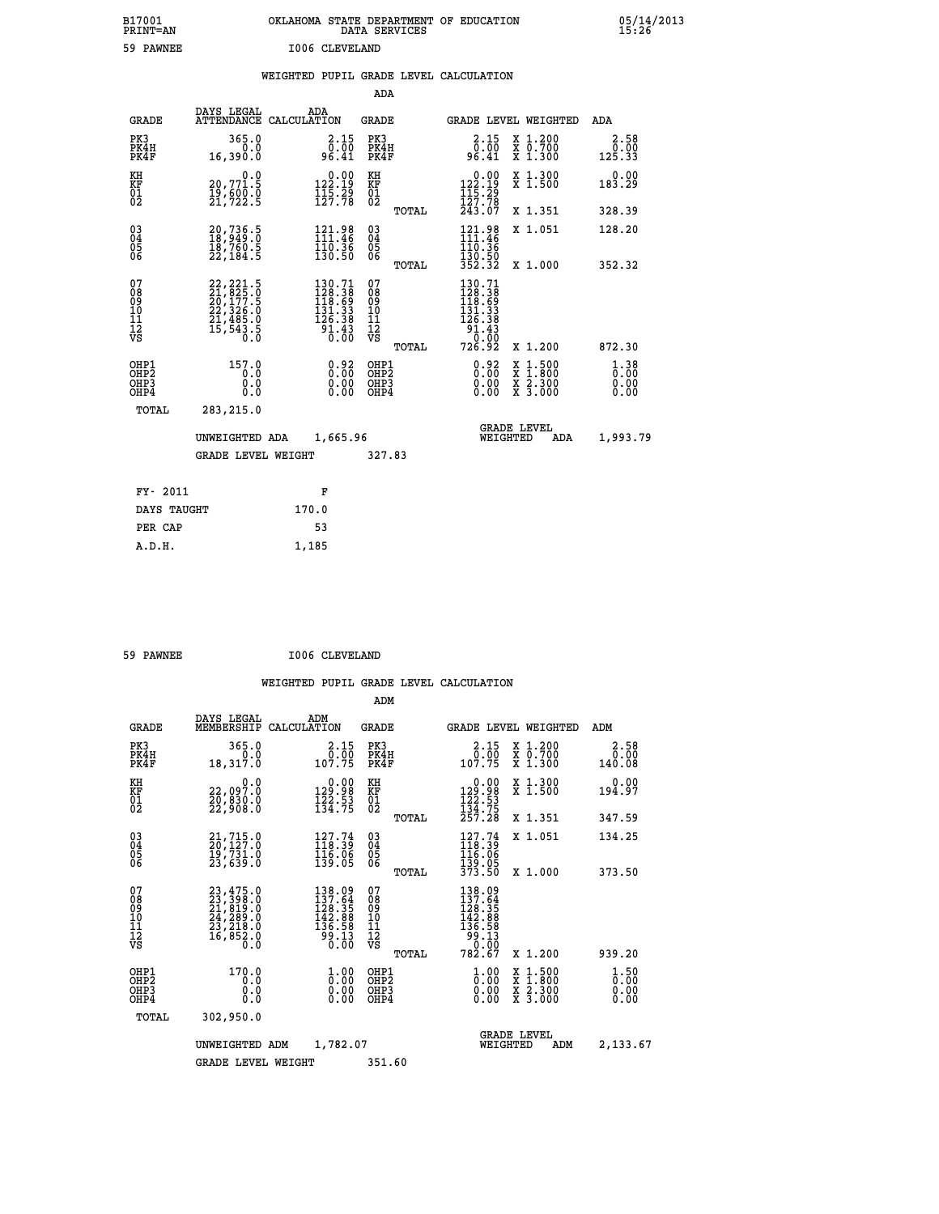| B17001<br><b>PRINT=AN</b> | OKLAHOMA STATE DEPARTMENT OF EDUCATION<br>DATA SERVICES | 05/14/2013<br>15:26 |
|---------------------------|---------------------------------------------------------|---------------------|
| 59<br><b>PAWNEE</b>       | I006 CLEVELAND                                          |                     |

|                                           |                                                                                                                     |       |                                                                                                            |                                                    |       | WEIGHTED PUPIL GRADE LEVEL CALCULATION                                                                        |                                                                                                                                           |                                  |
|-------------------------------------------|---------------------------------------------------------------------------------------------------------------------|-------|------------------------------------------------------------------------------------------------------------|----------------------------------------------------|-------|---------------------------------------------------------------------------------------------------------------|-------------------------------------------------------------------------------------------------------------------------------------------|----------------------------------|
|                                           |                                                                                                                     |       |                                                                                                            | ADA                                                |       |                                                                                                               |                                                                                                                                           |                                  |
| <b>GRADE</b>                              | DAYS LEGAL ADA ATTENDANCE CALCULATION                                                                               |       |                                                                                                            | GRADE                                              |       |                                                                                                               | GRADE LEVEL WEIGHTED                                                                                                                      | ADA                              |
| PK3<br>PK4H<br>PK4F                       | 365.0<br>$0.0$<br>16,390.0                                                                                          |       | 2.15<br>ةة:ة<br>96.41                                                                                      | PK3<br>PK4H<br>PK4F                                |       | 2.15<br>00.00<br>41.0€                                                                                        | X 1.200<br>X 0.700<br>X 1.300                                                                                                             | 2.58<br>0.00<br>125.33           |
| KH<br>KF<br>01<br>02                      | 0.0<br>20,771.5<br>19,600.0<br>21,722.5                                                                             |       | $\begin{smallmatrix} 0.00\\ 122.19\\ 115.29\\ 127.78 \end{smallmatrix}$                                    | KH<br>KF<br>01<br>02                               |       | $\begin{smallmatrix} &0.00\\ 122.19\\ 115.29\\ 127.78\\ 243.07\end{smallmatrix}$                              | X 1.300<br>X 1.500                                                                                                                        | 0.00<br>183.29                   |
|                                           |                                                                                                                     |       |                                                                                                            |                                                    | TOTAL |                                                                                                               | X 1.351                                                                                                                                   | 328.39                           |
| 03<br>04<br>05<br>06                      | 20,736.5<br>18,949.0<br>18,760.5<br>22,184.5                                                                        |       | $\begin{array}{l} 121.98 \\[-4pt] 111.46 \\[-4pt] 110.36 \\[-4pt] 130.50 \end{array}$                      | $\begin{matrix} 03 \\ 04 \\ 05 \\ 06 \end{matrix}$ |       | 121.98<br>111.46<br>110.36                                                                                    | X 1.051                                                                                                                                   | 128.20                           |
|                                           |                                                                                                                     |       |                                                                                                            |                                                    | TOTAL | 130.50<br>352.32                                                                                              | X 1.000                                                                                                                                   | 352.32                           |
| 07<br>08<br>09<br>11<br>11<br>12<br>VS    | $\begin{smallmatrix} 22, 221.5\\ 21, 825.0\\ 20, 177.5\\ 22, 326.0\\ 21, 485.0\\ 15, 543.5\\ 0.0 \end{smallmatrix}$ |       | $\begin{smallmatrix} 130.71\\ 128.38\\ 118.69\\ 131.33\\ 131.33\\ 126.38\\ 91.43\\ 0.00 \end{smallmatrix}$ | 07<br>08<br>09<br>11<br>11<br>12<br>VS             |       | $\begin{smallmatrix} 130.71\\ 128.38\\ 118.69\\ 131.33\\ 131.33\\ 126.38\\ 91.43\\ 0\\ 0\\ \end{smallmatrix}$ |                                                                                                                                           |                                  |
|                                           |                                                                                                                     |       |                                                                                                            |                                                    | TOTAL | 726.92                                                                                                        | X 1.200                                                                                                                                   | 872.30                           |
| OHP1<br>OH <sub>P</sub> 2<br>OHP3<br>OHP4 | 157.0<br>0.0<br>0.0<br>0.0                                                                                          |       | $\begin{smallmatrix} 0.92\ 0.00\ 0.00\ 0.00 \end{smallmatrix}$                                             | OHP1<br>OH <sub>P</sub> 2<br>OHP3<br>OHP4          |       | 0.92<br>0.00                                                                                                  | $\begin{smallmatrix} \mathtt{X} & 1\cdot500\\ \mathtt{X} & 1\cdot800\\ \mathtt{X} & 2\cdot300\\ \mathtt{X} & 3\cdot000 \end{smallmatrix}$ | $1.38$<br>$0.00$<br>0.00<br>0.00 |
| TOTAL                                     | 283, 215.0                                                                                                          |       |                                                                                                            |                                                    |       |                                                                                                               |                                                                                                                                           |                                  |
|                                           | UNWEIGHTED ADA                                                                                                      |       | 1,665.96                                                                                                   |                                                    |       |                                                                                                               | GRADE LEVEL<br>WEIGHTED<br>ADA                                                                                                            | 1,993.79                         |
|                                           | <b>GRADE LEVEL WEIGHT</b>                                                                                           |       |                                                                                                            | 327.83                                             |       |                                                                                                               |                                                                                                                                           |                                  |
| FY- 2011                                  |                                                                                                                     | F     |                                                                                                            |                                                    |       |                                                                                                               |                                                                                                                                           |                                  |
| DAYS TAUGHT                               |                                                                                                                     | 170.0 |                                                                                                            |                                                    |       |                                                                                                               |                                                                                                                                           |                                  |
| PER CAP                                   |                                                                                                                     | 53    |                                                                                                            |                                                    |       |                                                                                                               |                                                                                                                                           |                                  |
| A.D.H.                                    |                                                                                                                     | 1,185 |                                                                                                            |                                                    |       |                                                                                                               |                                                                                                                                           |                                  |

| 59 PAWNEE |  | I006 CLEVELAND |
|-----------|--|----------------|
|           |  |                |

|                                                       |                                                                                           |                                                                                                                     | ADM                                                |                                                                                                                                                                                                                                                                                                                                              |                                          |                              |
|-------------------------------------------------------|-------------------------------------------------------------------------------------------|---------------------------------------------------------------------------------------------------------------------|----------------------------------------------------|----------------------------------------------------------------------------------------------------------------------------------------------------------------------------------------------------------------------------------------------------------------------------------------------------------------------------------------------|------------------------------------------|------------------------------|
| <b>GRADE</b>                                          | DAYS LEGAL<br>MEMBERSHIP                                                                  | ADM<br>CALCULATION                                                                                                  | <b>GRADE</b>                                       | GRADE LEVEL WEIGHTED                                                                                                                                                                                                                                                                                                                         |                                          | ADM                          |
| PK3<br>PK4H<br>PK4F                                   | 365.0<br>0.0<br>18,317.0                                                                  | 2.15<br>$\frac{0}{0}$ : $\frac{0}{7}$ 5                                                                             | PK3<br>PK4H<br>PK4F                                | 2.15<br>$\begin{smallmatrix} & 0 & 0 & 0 \\ 0 & 0 & 0 & 0 \\ 0 & 0 & 0 & 0 \\ 0 & 0 & 0 & 0 \\ 0 & 0 & 0 & 0 \\ 0 & 0 & 0 & 0 \\ 0 & 0 & 0 & 0 \\ 0 & 0 & 0 & 0 \\ 0 & 0 & 0 & 0 \\ 0 & 0 & 0 & 0 \\ 0 & 0 & 0 & 0 \\ 0 & 0 & 0 & 0 \\ 0 & 0 & 0 & 0 \\ 0 & 0 & 0 & 0 \\ 0 & 0 & 0 & 0 & 0 \\ 0 & 0 & 0 & 0 & 0 \\ 0 & 0 & 0 & 0 & 0 \\ 0 &$ | X 1.200<br>X 0.700<br>X 1.300            | 2.58<br>0.00<br>140.08       |
| KH<br>KF<br>01<br>02                                  | 0.0<br>22,097.0<br>20,830.0<br>22,908.0                                                   | $\begin{smallmatrix} &0.00\\ 129.98\\ 122.53\\ 134.75 \end{smallmatrix}$                                            | KH<br>KF<br>01<br>02                               | $\begin{array}{c} 0.00 \\ 129.98 \\ 122.53 \\ 134.75 \\ 257.28 \end{array}$                                                                                                                                                                                                                                                                  | X 1.300<br>X 1.500                       | 0.00<br>194.97               |
|                                                       |                                                                                           |                                                                                                                     | TOTAL                                              |                                                                                                                                                                                                                                                                                                                                              | X 1.351                                  | 347.59                       |
| 03<br>04<br>05<br>06                                  | $21,715.0$<br>$20,127.0$<br>19,731.0<br>23,639.0                                          | $\begin{smallmatrix} 127.74 \\[-4pt] 118.39 \\[-4pt] 116.06 \\[-4pt] 139.05 \end{smallmatrix}$                      | $\begin{matrix} 03 \\ 04 \\ 05 \\ 06 \end{matrix}$ | $127.74$<br>$118.39$<br>116:06<br>139:05<br>373:50                                                                                                                                                                                                                                                                                           | X 1.051                                  | 134.25                       |
|                                                       |                                                                                           |                                                                                                                     | TOTAL                                              |                                                                                                                                                                                                                                                                                                                                              | X 1.000                                  | 373.50                       |
| 07<br>08<br>09<br>101<br>112<br>VS                    | $23,475.0$<br>$23,398.0$<br>$21,819.0$<br>$24,289.0$<br>$23,218.0$<br>$16,852.0$<br>$0.0$ | $\begin{array}{l} 138.09 \\ 137.64 \\ 128.35 \\ 142.88 \\ 136.58 \end{array}$<br>13.00<br>0.00                      | 07<br>08<br>09<br>101<br>11<br>12<br>VS<br>TOTAL   | 138.09<br>137.64<br>$\begin{array}{r} 126.35 \\ 142.88 \\ 136.58 \\ 99.13 \\ 0.00 \end{array}$<br>782.67                                                                                                                                                                                                                                     | X 1.200                                  | 939.20                       |
|                                                       |                                                                                           |                                                                                                                     |                                                    |                                                                                                                                                                                                                                                                                                                                              |                                          |                              |
| OHP1<br>OH <sub>P</sub> 2<br>OH <sub>P3</sub><br>OHP4 | 170.0<br>0.0<br>0.000                                                                     | $\overset{1}{\underset{0}{0}}\,\overset{0}{\cdots}\,\overset{0}{\underset{0}{0}}\,\overset{0}{\phantom{0}}$<br>0.00 | OHP1<br>OHP2<br>OHP3<br>OHP4                       | $\frac{1}{0}$ :00<br>0.00<br>0.00                                                                                                                                                                                                                                                                                                            | X 1:500<br>X 1:800<br>X 2:300<br>X 3:000 | 1.50<br>0.00<br>0.00<br>0.00 |
| TOTAL                                                 | 302,950.0                                                                                 |                                                                                                                     |                                                    |                                                                                                                                                                                                                                                                                                                                              |                                          |                              |
|                                                       | UNWEIGHTED ADM                                                                            | 1,782.07                                                                                                            |                                                    | <b>GRADE LEVEL</b><br>WEIGHTED                                                                                                                                                                                                                                                                                                               | ADM                                      | 2,133.67                     |
|                                                       | <b>GRADE LEVEL WEIGHT</b>                                                                 |                                                                                                                     | 351.60                                             |                                                                                                                                                                                                                                                                                                                                              |                                          |                              |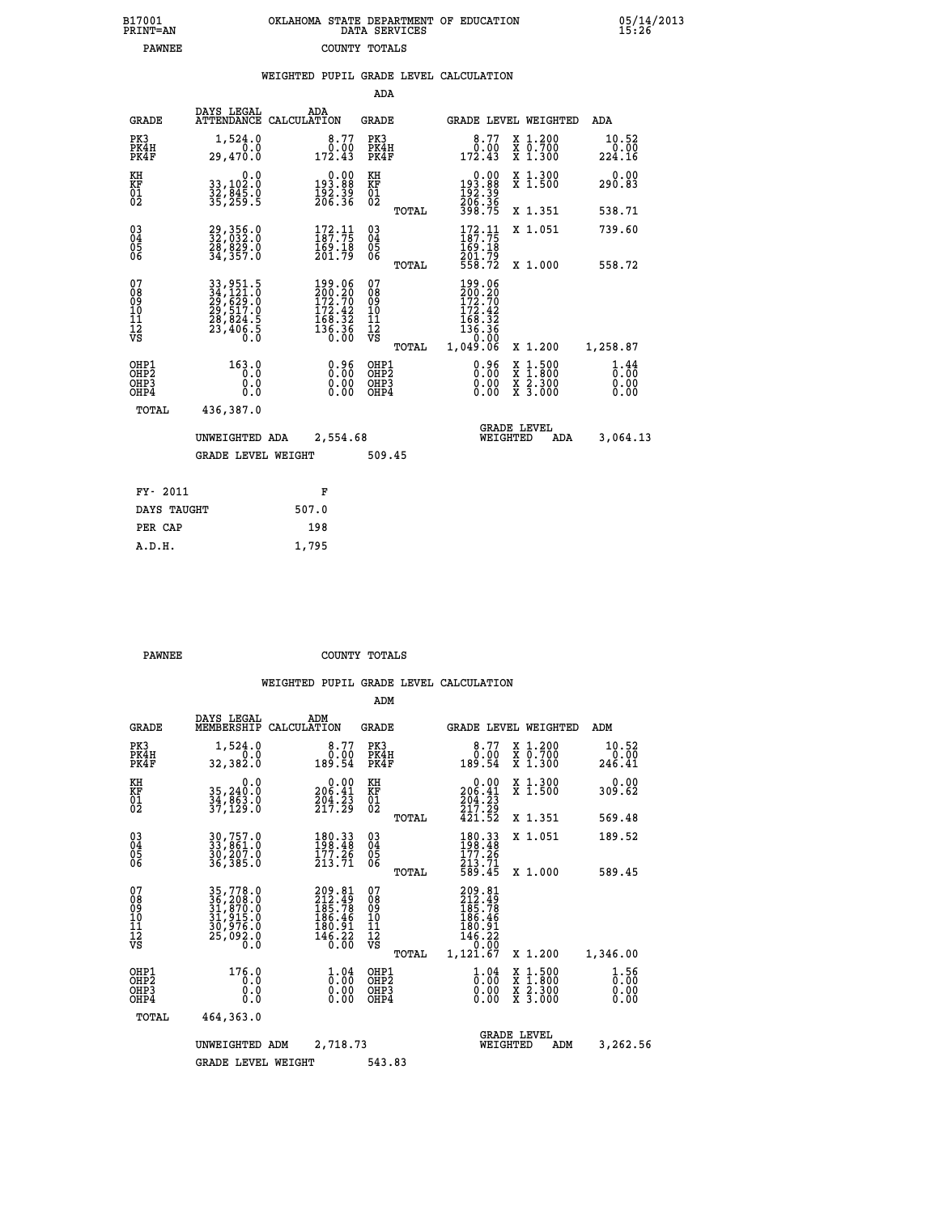| 7001<br>INT=AN |  | OKLAHOMA STATE DEPARTMENT OF EDUCATION<br>DATA SERVICES |  |
|----------------|--|---------------------------------------------------------|--|
| <b>PAWNEE</b>  |  | COUNTY TOTALS                                           |  |

|  |  | WEIGHTED PUPIL GRADE LEVEL CALCULATION |
|--|--|----------------------------------------|
|  |  |                                        |

|                                                                    |                                                                            |                                                                                             | ADA                                      |       |                                                                              |                                          |                              |
|--------------------------------------------------------------------|----------------------------------------------------------------------------|---------------------------------------------------------------------------------------------|------------------------------------------|-------|------------------------------------------------------------------------------|------------------------------------------|------------------------------|
| <b>GRADE</b>                                                       | DAYS LEGAL<br>ATTENDANCE                                                   | ADA<br>CALCULATION                                                                          | <b>GRADE</b>                             |       |                                                                              | <b>GRADE LEVEL WEIGHTED</b>              | ADA                          |
| PK3<br>PK4H<br>PK4F                                                | 1,524.0<br>0.0<br>29,470.0                                                 | 8.77<br>0.00<br>172.43                                                                      | PK3<br>PK4H<br>PK4F                      |       | 8.77<br>0.00<br>172.43                                                       | X 1.200<br>X 0.700<br>X 1.300            | 10.52<br>0.00<br>224.16      |
| KH<br><b>KF</b><br>01<br>02                                        | 0.0<br>33,102:0<br>32,845.0<br>35,259:5                                    | $\begin{smallmatrix} &0.00\\ 193.88\\ 192.39\\ 206.36\end{smallmatrix}$                     | KH<br>KF<br>01<br>02                     |       | $\begin{smallmatrix}&&0.00\\193.88\\192.39\\206.36\\398.75\end{smallmatrix}$ | X 1.300<br>X 1.500                       | 0.00<br>290.83               |
|                                                                    |                                                                            |                                                                                             |                                          | TOTAL |                                                                              | X 1.351                                  | 538.71                       |
| $\begin{smallmatrix} 03 \\[-4pt] 04 \end{smallmatrix}$<br>05<br>06 | 29, 356.0<br>32, 032.0<br>28, 829.0<br>34, 357.0                           | $\frac{172}{187}.$ 75<br>169.18<br>201.79                                                   | $\substack{03 \\ 04}$<br>05<br>06        | TOTAL | $172.11$<br>$187.75$<br>$\frac{169.18}{201.79}$<br>558.72                    | X 1.051<br>X 1.000                       | 739.60<br>558.72             |
| 07<br>08901112<br>1112<br>VS                                       | 33, 951.5<br>34, 121.0<br>29, 629.0<br>29, 517.0<br>28, 824.5<br>23, 406.5 | $\begin{smallmatrix} 199.06\\200.20\\172.70\\172.42\\168.32\\136.36\\0.00\end{smallmatrix}$ | 07<br>08<br>09<br>11<br>11<br>12<br>VS   |       | 199.06<br>200.20<br>172.70<br>172.42<br>168.32<br>136.36<br>0.00             |                                          |                              |
|                                                                    |                                                                            |                                                                                             |                                          | TOTAL | 1,049.06                                                                     | X 1.200                                  | 1,258.87                     |
| OHP1<br>OH <sub>P</sub> 2<br>OH <sub>P3</sub><br>OH <sub>P4</sub>  | 163.0<br>0.0<br>0.0<br>0.0                                                 | 0.96<br>0.00<br>0.00                                                                        | OHP1<br>OHP <sub>2</sub><br>OHP3<br>OHP4 |       | 0.96<br>0.00<br>0.00                                                         | X 1:500<br>X 1:800<br>X 2:300<br>X 3:000 | 1.44<br>0.00<br>0.00<br>0.00 |
| TOTAL                                                              | 436,387.0                                                                  |                                                                                             |                                          |       |                                                                              |                                          |                              |
|                                                                    | UNWEIGHTED ADA                                                             | 2,554.68                                                                                    |                                          |       |                                                                              | <b>GRADE LEVEL</b><br>WEIGHTED<br>ADA    | 3,064.13                     |
|                                                                    | <b>GRADE LEVEL WEIGHT</b>                                                  |                                                                                             | 509.45                                   |       |                                                                              |                                          |                              |
| FY- 2011                                                           |                                                                            | F                                                                                           |                                          |       |                                                                              |                                          |                              |
| DAYS TAUGHT                                                        |                                                                            | 507.0                                                                                       |                                          |       |                                                                              |                                          |                              |
| PER CAP                                                            |                                                                            | 198                                                                                         |                                          |       |                                                                              |                                          |                              |

 **A.D.H. 1,795**

 **B17001<br>PRINT=AN** 

**PAWNEE COUNTY TOTALS** 

|                                                       |                                                                             |                                                                                                      | ADM                                             |                                                                              |                                                                  |                              |
|-------------------------------------------------------|-----------------------------------------------------------------------------|------------------------------------------------------------------------------------------------------|-------------------------------------------------|------------------------------------------------------------------------------|------------------------------------------------------------------|------------------------------|
| <b>GRADE</b>                                          | DAYS LEGAL<br>MEMBERSHIP                                                    | ADM<br>CALCULATION                                                                                   | <b>GRADE</b>                                    | GRADE LEVEL WEIGHTED                                                         |                                                                  | ADM                          |
| PK3<br>PK4H<br>PK4F                                   | 1,524.0<br>0.0<br>32,382.0                                                  | 8.77<br>0.00<br>189.54                                                                               | PK3<br>PK4H<br>PK4F                             | 8.77<br>0.00<br>189.54                                                       | $\begin{array}{c} x & 1.200 \\ x & 0.700 \end{array}$<br>X 1.300 | 10.52<br>0.00<br>246.41      |
| KH<br>KF<br>01<br>02                                  | 0.0<br>35,240:0<br>34,863:0<br>37,129:0                                     | $\begin{array}{c} 0.00 \\ 206.41 \end{array}$<br>$\frac{204}{217}$ : $\frac{23}{29}$                 | KH<br>KF<br>01<br>02                            | 0.00<br>206:41<br>204:23<br>217:29                                           | X 1.300<br>X 1.500                                               | 0.00<br>309.62               |
|                                                       |                                                                             |                                                                                                      | TOTAL                                           | 421.52                                                                       | X 1.351                                                          | 569.48                       |
| 03<br>04<br>05<br>06                                  | 30,757.0<br>33,861.0<br>30,207.0<br>36,385.0                                | $\begin{array}{l} 180\cdot 33 \\ 198\cdot 48 \\ 177\cdot 26 \\ 213\cdot 71 \end{array}$              | $^{03}_{04}$<br>0500                            | $\frac{180.33}{198.48}$<br>177.26<br>213.71                                  | X 1.051                                                          | 189.52                       |
|                                                       |                                                                             |                                                                                                      | TOTAL                                           | 589.45                                                                       | X 1.000                                                          | 589.45                       |
| 07<br>08<br>09<br>101<br>112<br>VS                    | 35,778.0<br>36,208.0<br>31,870.0<br>31,915.0<br>30,976.0<br>25,092.0<br>0.0 | 209.81<br>212.49<br>185.78<br>186.46<br>180.91<br>$146.22$<br>$0.00$                                 | 07<br>08<br>09<br>11<br>11<br>12<br>VS<br>TOTAL | 209.81<br>212.49<br>185.78<br>186.46<br>180.91<br>146.22<br>0.00<br>1,121.67 | X 1.200                                                          | 1,346.00                     |
| OHP1<br>OH <sub>P</sub> 2<br>OH <sub>P3</sub><br>OHP4 | 176.0<br>0.0<br>0.000                                                       | $\overset{1}{\underset{0}{0}}\,\overset{04}{\underset{0}{0}}\,\overset{04}{\underset{0}{0}}$<br>0.00 | OHP1<br>OHP2<br>OHP3<br>OHP4                    | $\frac{1}{0}$ :00<br>0.00<br>0.00                                            | X 1:500<br>X 1:800<br>X 2:300<br>X 3:000                         | 1.56<br>0.00<br>0.00<br>0.00 |
| TOTAL                                                 | 464,363.0                                                                   |                                                                                                      |                                                 |                                                                              |                                                                  |                              |
|                                                       | UNWEIGHTED                                                                  | 2,718.73<br>ADM                                                                                      |                                                 | <b>GRADE LEVEL</b><br>WEIGHTED                                               | ADM                                                              | 3,262.56                     |
|                                                       | <b>GRADE LEVEL WEIGHT</b>                                                   |                                                                                                      | 543.83                                          |                                                                              |                                                                  |                              |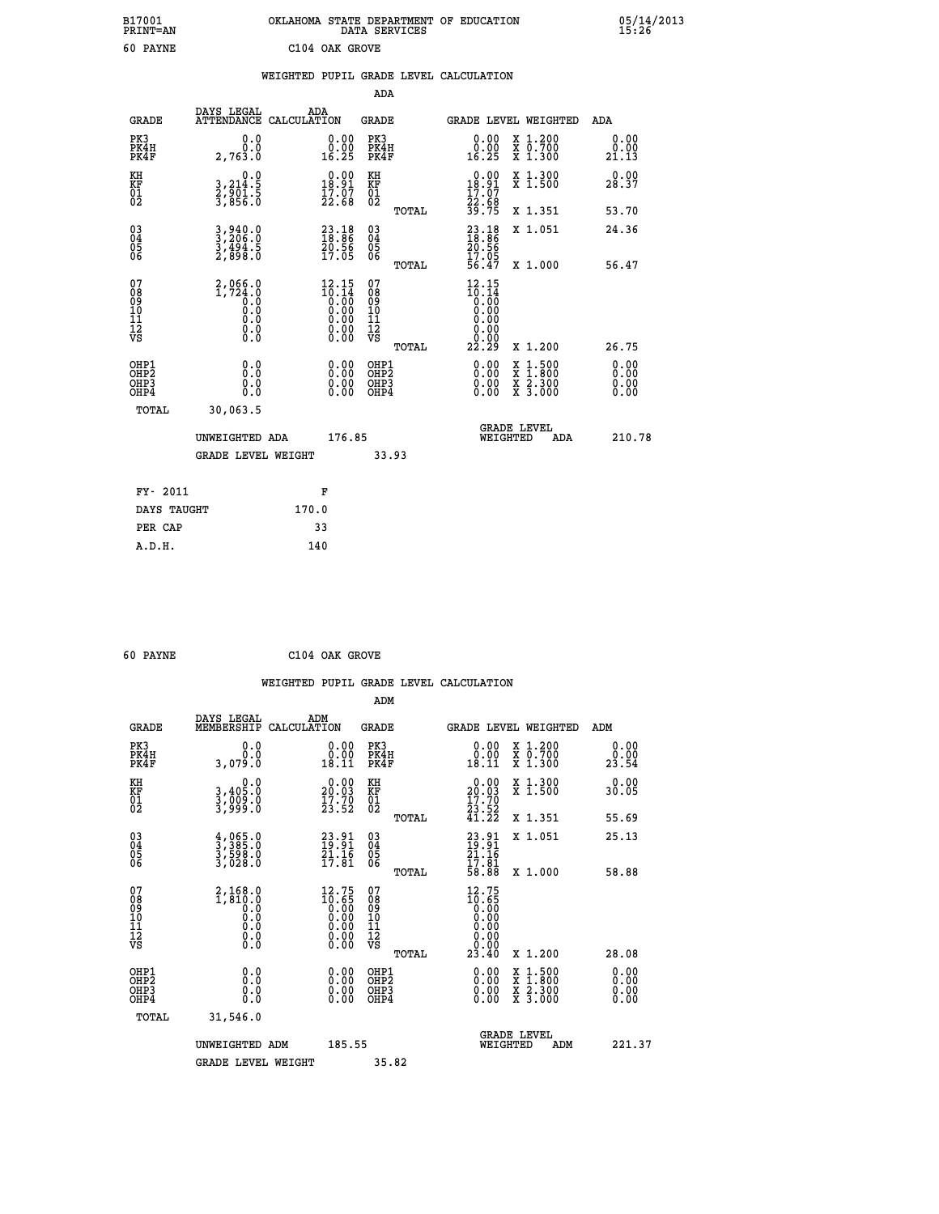|                | OKLAHOMA STATE DEPARTMENT OF EDUCATION<br>DATA SERVICES |  |
|----------------|---------------------------------------------------------|--|
| C104 OAK GROVE |                                                         |  |

|                                                                    |                                                         |                                                                                                        | ADA                                                 |       |                                                                         |                                                                                                                                           |                              |
|--------------------------------------------------------------------|---------------------------------------------------------|--------------------------------------------------------------------------------------------------------|-----------------------------------------------------|-------|-------------------------------------------------------------------------|-------------------------------------------------------------------------------------------------------------------------------------------|------------------------------|
| <b>GRADE</b>                                                       | DAYS LEGAL<br>ATTENDANCE CALCULATION                    | ADA                                                                                                    | <b>GRADE</b>                                        |       |                                                                         | <b>GRADE LEVEL WEIGHTED</b>                                                                                                               | ADA                          |
| PK3<br>PK4H<br>PK4F                                                | 0.0<br>0.0<br>2,763.0                                   | $\begin{smallmatrix} 0.00\\ 0.00\\ 16.25 \end{smallmatrix}$                                            | PK3<br>PK4H<br>PK4F                                 |       | 0.00<br>ă:ŏ)<br>16.25                                                   | X 1.200<br>X 0.700<br>X 1.300                                                                                                             | 0.00<br>0.00<br>21.13        |
| KH<br>KF<br>01<br>02                                               | 0.0<br>3,214:5<br>2,901:5<br>3,856:0                    | $0.00$<br>18.91<br>$\frac{17.07}{22.68}$                                                               | KH<br>KF<br>01<br>02                                |       | $\begin{array}{c} 0.00 \\ 18.91 \\ 17.07 \\ 22.68 \\ 39.75 \end{array}$ | X 1.300<br>X 1.500                                                                                                                        | 0.00<br>28.37                |
|                                                                    |                                                         |                                                                                                        |                                                     | TOTAL |                                                                         | X 1.351                                                                                                                                   | 53.70                        |
| $\begin{smallmatrix} 03 \\[-4pt] 04 \end{smallmatrix}$<br>Ŏ5<br>06 | $3, 206.0$<br>$3, 206.0$<br>$3, 494.5$<br>$2, 898.0$    | $\begin{smallmatrix} 23.18\\18.86\\20.56\\17.05 \end{smallmatrix}$                                     | $\begin{array}{c} 03 \\ 04 \\ 05 \\ 06 \end{array}$ | TOTAL | 23.18<br>18.86<br>20.56<br>20.56<br>17.05<br>56.47                      | X 1.051<br>X 1.000                                                                                                                        | 24.36<br>56.47               |
| 07<br>08<br>09<br>101<br>11<br>12<br>VS                            | $2,066.0$<br>1,724.0<br>0.0<br>0.0<br>Ō.Ō<br>$\S.$ $\S$ | $\begin{smallmatrix} 12.15 \\ 10.14 \\ 0.00 \\ 0.00 \\ 0.00 \\ 0.00 \\ 0.00 \\ 0.00 \end{smallmatrix}$ | 07<br>08<br>09<br>11<br>11<br>12<br>VS              |       | $12.15$<br>$10.14$<br>$0.00$<br>$0.00$<br>0.00<br>0.00                  |                                                                                                                                           |                              |
|                                                                    |                                                         |                                                                                                        |                                                     | TOTAL | 22.29                                                                   | X 1.200                                                                                                                                   | 26.75                        |
| OHP1<br>OHP <sub>2</sub><br>OH <sub>P3</sub><br>OHP4               | 0.0<br>0.000                                            | 0.00<br>$\begin{smallmatrix} 0.00 \ 0.00 \end{smallmatrix}$                                            | OHP1<br>OHP <sub>2</sub><br>OHP <sub>3</sub>        |       |                                                                         | $\begin{smallmatrix} \mathtt{X} & 1\cdot500\\ \mathtt{X} & 1\cdot800\\ \mathtt{X} & 2\cdot300\\ \mathtt{X} & 3\cdot000 \end{smallmatrix}$ | 0.00<br>0.00<br>0.00<br>0.00 |
| TOTAL                                                              | 30,063.5                                                |                                                                                                        |                                                     |       |                                                                         |                                                                                                                                           |                              |
|                                                                    | UNWEIGHTED ADA                                          | 176.85                                                                                                 |                                                     |       |                                                                         | <b>GRADE LEVEL</b><br>WEIGHTED<br>ADA                                                                                                     | 210.78                       |
|                                                                    | <b>GRADE LEVEL WEIGHT</b>                               |                                                                                                        |                                                     | 33.93 |                                                                         |                                                                                                                                           |                              |
| FY- 2011                                                           |                                                         | F                                                                                                      |                                                     |       |                                                                         |                                                                                                                                           |                              |
| DAYS TAUGHT                                                        |                                                         | 170.0                                                                                                  |                                                     |       |                                                                         |                                                                                                                                           |                              |
| PER CAP                                                            |                                                         | 33                                                                                                     |                                                     |       |                                                                         |                                                                                                                                           |                              |

| 60 | <b>PAYNE</b> |  |
|----|--------------|--|
|    |              |  |

 **A.D.H. 140**

 **ADM**

 **B17001<br>PRINT=AN<br>60 PAYNE** 

 **60 PAYNE C104 OAK GROVE**

| <b>GRADE</b>                 | DAYS LEGAL<br>MEMBERSHIP                                                                             | ADM<br>CALCULATION                                                                                     | <b>GRADE</b>                                        |       |                                                                              | <b>GRADE LEVEL WEIGHTED</b>              | ADM                      |  |
|------------------------------|------------------------------------------------------------------------------------------------------|--------------------------------------------------------------------------------------------------------|-----------------------------------------------------|-------|------------------------------------------------------------------------------|------------------------------------------|--------------------------|--|
| PK3<br>PK4H<br>PK4F          | 0.0<br>0.0<br>0.079 3                                                                                | $\begin{smallmatrix} 0.00\\ 0.00\\ 18.11 \end{smallmatrix}$                                            | PK3<br>PK4H<br>PK4F                                 |       | 0.00<br>$\begin{smallmatrix} 0.00 \ 18.11 \end{smallmatrix}$                 | X 1.200<br>X 0.700<br>X 1.300            | 0.00<br>23.54            |  |
| KH<br>KF<br>01<br>02         | 0.0<br>3,405:0<br>3,009:0<br>3,999:0                                                                 | $\begin{smallmatrix} 0.00\\ 20.03\\ 17.70\\ 23.52 \end{smallmatrix}$                                   | KH<br>KF<br>01<br>02                                |       | $\begin{smallmatrix} 0.00\\ 20.03\\ 17.70\\ 23.52\\ 41.22 \end{smallmatrix}$ | X 1.300<br>X 1.500                       | 0.00<br>30.05            |  |
|                              |                                                                                                      |                                                                                                        |                                                     | TOTAL |                                                                              | X 1.351                                  | 55.69                    |  |
| 03<br>04<br>05<br>06         | $\frac{4}{3}, \frac{065}{385}.0$<br>$\frac{3}{3}, \frac{598}{028}.0$<br>$\frac{3}{3}, \frac{028}{0}$ | $23.91$<br>$19.91$<br>$21.16$<br>$17.81$                                                               | $\begin{array}{c} 03 \\ 04 \\ 05 \\ 06 \end{array}$ |       | $23.91$<br>$19.16$<br>$21.16$<br>$17.81$<br>$58.88$                          | X 1.051                                  | 25.13                    |  |
|                              |                                                                                                      |                                                                                                        |                                                     | TOTAL |                                                                              | X 1.000                                  | 58.88                    |  |
| 07<br>08901112<br>1112<br>VS |                                                                                                      | $\begin{smallmatrix} 12.75 \\ 10.65 \\ 0.00 \\ 0.00 \\ 0.00 \\ 0.00 \\ 0.00 \\ 0.00 \end{smallmatrix}$ | 07<br>08901112<br>1112<br>VS                        | TOTAL | 12.75<br>$16.65$<br>0.000<br>0.000<br>0.000<br>0.000<br>23.40                | X 1.200                                  | 28.08                    |  |
| OHP1<br>OHP2<br>OHP3<br>OHP4 | 0.0<br>0.000                                                                                         |                                                                                                        | OHP1<br>OHP2<br>OHP3<br>OHP4                        |       |                                                                              | X 1:500<br>X 1:800<br>X 2:300<br>X 3:000 | $0.00$<br>$0.00$<br>0.00 |  |
| TOTAL                        | 31,546.0                                                                                             |                                                                                                        |                                                     |       |                                                                              |                                          |                          |  |
|                              | UNWEIGHTED ADM                                                                                       | 185.55                                                                                                 |                                                     |       | WEIGHTED                                                                     | <b>GRADE LEVEL</b><br>ADM                | 221.37                   |  |
|                              | <b>GRADE LEVEL WEIGHT</b>                                                                            |                                                                                                        | 35.82                                               |       |                                                                              |                                          |                          |  |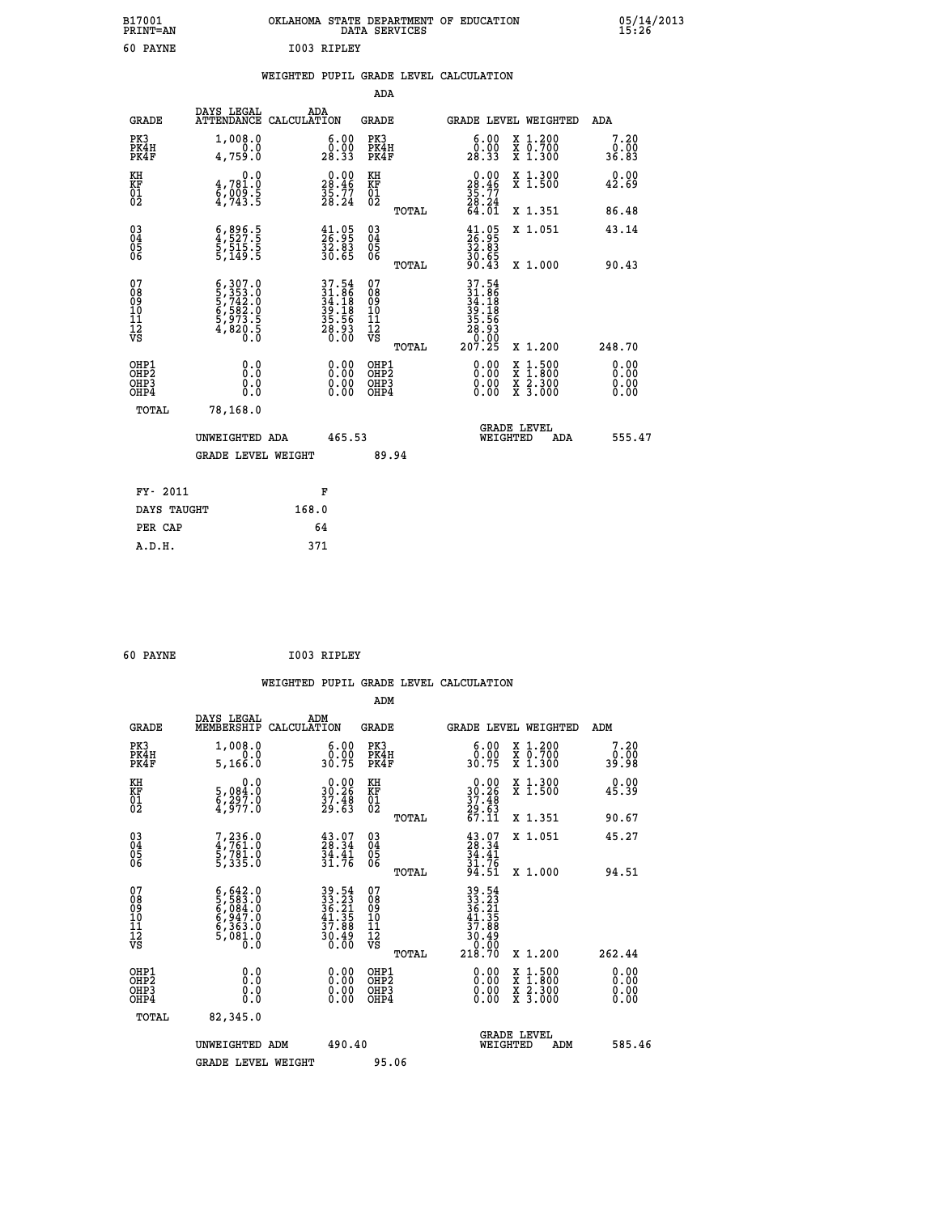| B17001<br><b>PRINT=AN</b> | OKLAHOMA STATE DEPARTMENT OF EDUCATION<br>DATA SERVICES | 05/14/2013<br>15:26 |
|---------------------------|---------------------------------------------------------|---------------------|
| 60 PAYNE                  | I003 RIPLEY                                             |                     |

|  |  | WEIGHTED PUPIL GRADE LEVEL CALCULATION |
|--|--|----------------------------------------|
|  |  |                                        |

|                                                                              |                                                                                                                                                                                |                                                                           | ADA                                                         |                                                                                                                                                                      |                              |
|------------------------------------------------------------------------------|--------------------------------------------------------------------------------------------------------------------------------------------------------------------------------|---------------------------------------------------------------------------|-------------------------------------------------------------|----------------------------------------------------------------------------------------------------------------------------------------------------------------------|------------------------------|
| <b>GRADE</b>                                                                 | DAYS LEGAL                                                                                                                                                                     | ADA<br>ATTENDANCE CALCULATION                                             | GRADE                                                       | <b>GRADE LEVEL WEIGHTED</b>                                                                                                                                          | ADA                          |
| PK3<br>PK4H<br>PK4F                                                          | 1,008.0<br>4,759.0                                                                                                                                                             | $\begin{smallmatrix} 6.00\ 0.00\ 28.33 \end{smallmatrix}$                 | PK3<br>PK4H<br>PK4F                                         | X 1.200<br>X 0.700<br>X 1.300<br>6.00<br>0.00<br>28.33                                                                                                               | 7.20<br>0.00<br>36.83        |
| KH<br>KF<br>01<br>02                                                         | 0.0<br>4,781:0<br>6,009:5<br>4,743:5                                                                                                                                           | $\begin{smallmatrix} 0.00\\ 28.46\\ 35.77\\ 28.24 \end{smallmatrix}$      | KH<br>KF<br>01<br>02                                        | $\begin{smallmatrix} 0.00\\ 28.46\\ 35.77\\ 28.24\\ 64.01 \end{smallmatrix}$<br>X 1.300<br>X 1.500                                                                   | 0.00<br>42.69                |
|                                                                              |                                                                                                                                                                                |                                                                           | TOTAL                                                       | X 1.351                                                                                                                                                              | 86.48                        |
| $\begin{matrix} 03 \\ 04 \\ 05 \\ 06 \end{matrix}$                           | $\frac{6}{4}, \frac{896}{527}$ : 5<br>5, 515: 5<br>5, 149: 5                                                                                                                   | $\frac{41.95}{26.95}$<br>$\frac{32.83}{30.65}$                            | $\begin{matrix} 03 \\ 04 \\ 05 \\ 06 \end{matrix}$<br>TOTAL | $\begin{smallmatrix} 41.05\\26.95\\32.83\\30.65\\90.43\\ \end{smallmatrix}$<br>X 1.051<br>X 1.000                                                                    | 43.14<br>90.43               |
| 07<br>08<br>09<br>11<br>11<br>12<br>VS                                       | $\begin{smallmatrix} 6\,, & 307\,, & 0\\ 5\,, & 353\,. & 0\\ 5\,, & 742\,. & 0\\ 6\,, & 582\,. & 0\\ 5\,, & 973\,. & 5\\ 4\,, & 820\,. & 0\\ 0\,. & 0\,. & 0\end{smallmatrix}$ | $37.54$<br>$31.86$<br>$34.18$<br>$39.18$<br>$35.56$<br>$35.56$<br>$28.93$ | 07<br>08<br>09<br>11<br>11<br>12<br>VS<br>TOTAL             | $\begin{array}{r} 37.54 \\ 31.86 \\ 34.18 \\ 39.18 \\ 35.56 \\ 28.9 \\ 0.00 \\ 207.25 \end{array}$<br>X 1.200                                                        | 248.70                       |
| OHP1<br>OH <sub>P</sub> <sub>2</sub><br>OH <sub>P3</sub><br>OH <sub>P4</sub> | 0.0<br>Ō.Ō<br>0.0<br>0.0<br>TOTAL<br>78,168.0                                                                                                                                  | 0.00<br>$\begin{smallmatrix} 0.00 \ 0.00 \end{smallmatrix}$               | OHP1<br>OHP2<br>OHP3<br>OHP4                                | 0.00<br>$\begin{smallmatrix} \mathtt{X} & 1\cdot500 \\ \mathtt{X} & 1\cdot800 \\ \mathtt{X} & 2\cdot300 \\ \mathtt{X} & 3\cdot000 \end{smallmatrix}$<br>0.00<br>0.00 | 0.00<br>0.00<br>0.00<br>0.00 |
|                                                                              | UNWEIGHTED ADA<br><b>GRADE LEVEL WEIGHT</b>                                                                                                                                    | 465.53                                                                    | 89.94                                                       | <b>GRADE LEVEL</b><br>WEIGHTED<br>ADA                                                                                                                                | 555.47                       |
|                                                                              | FY- 2011                                                                                                                                                                       | F                                                                         |                                                             |                                                                                                                                                                      |                              |
|                                                                              | DAYS TAUGHT                                                                                                                                                                    | 168.0                                                                     |                                                             |                                                                                                                                                                      |                              |
|                                                                              | PER CAP                                                                                                                                                                        | 64                                                                        |                                                             |                                                                                                                                                                      |                              |
|                                                                              | A.D.H.                                                                                                                                                                         | 371                                                                       |                                                             |                                                                                                                                                                      |                              |

| 60 PAYNE | I003 RIPLEY |
|----------|-------------|
|          |             |

| <b>GRADE</b>                                         | DAYS LEGAL<br>MEMBERSHIP                                                                                | ADM<br>CALCULATION                                                       | <b>GRADE</b>                                 |       | <b>GRADE LEVEL WEIGHTED</b>                                                                                                          |                                          | ADM    |                          |
|------------------------------------------------------|---------------------------------------------------------------------------------------------------------|--------------------------------------------------------------------------|----------------------------------------------|-------|--------------------------------------------------------------------------------------------------------------------------------------|------------------------------------------|--------|--------------------------|
| PK3<br>PK4H<br>PK4F                                  | 1,008.0<br>5,166.0                                                                                      | $\begin{smallmatrix} 6.00\\ 0.00\\ 30.75 \end{smallmatrix}$              | PK3<br>PK4H<br>PK4F                          |       | 0.00<br>30.75                                                                                                                        | X 1.200<br>X 0.700<br>X 1.300            |        | 7.20<br>0.00<br>39.98    |
| KH<br>KF<br>01<br>02                                 | 0.0<br>5,084:0<br>6,297:0<br>4,977:0                                                                    | $\begin{smallmatrix} 0.00\\ 30.26\\ 37.48\\ 29.63 \end{smallmatrix}$     | KH<br>KF<br>01<br>02                         |       | $\begin{smallmatrix} 0.00\\ 30.26\\ 37.48\\ 29.63\\ 67.11 \end{smallmatrix}$                                                         | X 1.300<br>X 1.500                       |        | 0.00<br>45.39            |
|                                                      |                                                                                                         |                                                                          |                                              | TOTAL |                                                                                                                                      | X 1.351                                  |        | 90.67                    |
| $\begin{matrix} 03 \\ 04 \\ 05 \\ 06 \end{matrix}$   | 7,236.0<br>4,761.0<br>5,781.0<br>5,335.0                                                                | $\begin{smallmatrix} 43.07\\ 28.34\\ 34.41\\ 31.76 \end{smallmatrix}$    | 03<br>04<br>05<br>06                         |       | $43.07$<br>$28.34$<br>$34.41$<br>$31.76$<br>$94.51$                                                                                  | X 1.051                                  |        | 45.27                    |
|                                                      |                                                                                                         |                                                                          |                                              | TOTAL |                                                                                                                                      | X 1.000                                  |        | 94.51                    |
| 078901112<br>00010112<br>VS                          | $\begin{smallmatrix} 6,642.0\\ 5,583.0\\ 6,084.0\\ 6,947.0\\ 6,363.0\\ 5,081.0\\ 0.0 \end{smallmatrix}$ | $39.54$<br>$33.23$<br>$36.21$<br>$41.35$<br>$37.88$<br>$30.49$<br>$0.00$ | 07<br>08<br>09<br>01<br>11<br>11<br>12<br>VS |       | $\begin{array}{r} 39\cdot 54\\ 33\cdot 23\\ 36\cdot 21\\ 41\cdot 35\\ 37\cdot 88\\ 30\cdot 49\\ 0\cdot 00\\ 218\cdot 70 \end{array}$ |                                          |        |                          |
|                                                      |                                                                                                         |                                                                          |                                              | TOTAL |                                                                                                                                      | X 1.200                                  | 262.44 |                          |
| OHP1<br>OHP <sub>2</sub><br>OH <sub>P3</sub><br>OHP4 |                                                                                                         | $\begin{smallmatrix} 0.00 \ 0.00 \ 0.00 \ 0.00 \end{smallmatrix}$        | OHP1<br>OHP <sub>2</sub><br>OHP3<br>OHP4     |       |                                                                                                                                      | X 1:500<br>X 1:800<br>X 2:300<br>X 3:000 |        | $0.00$<br>$0.00$<br>0.00 |
| TOTAL                                                | 82,345.0                                                                                                |                                                                          |                                              |       |                                                                                                                                      |                                          |        |                          |
|                                                      | UNWEIGHTED ADM                                                                                          | 490.40                                                                   |                                              |       | WEIGHTED                                                                                                                             | <b>GRADE LEVEL</b><br>ADM                |        | 585.46                   |
|                                                      | <b>GRADE LEVEL WEIGHT</b>                                                                               |                                                                          | 95.06                                        |       |                                                                                                                                      |                                          |        |                          |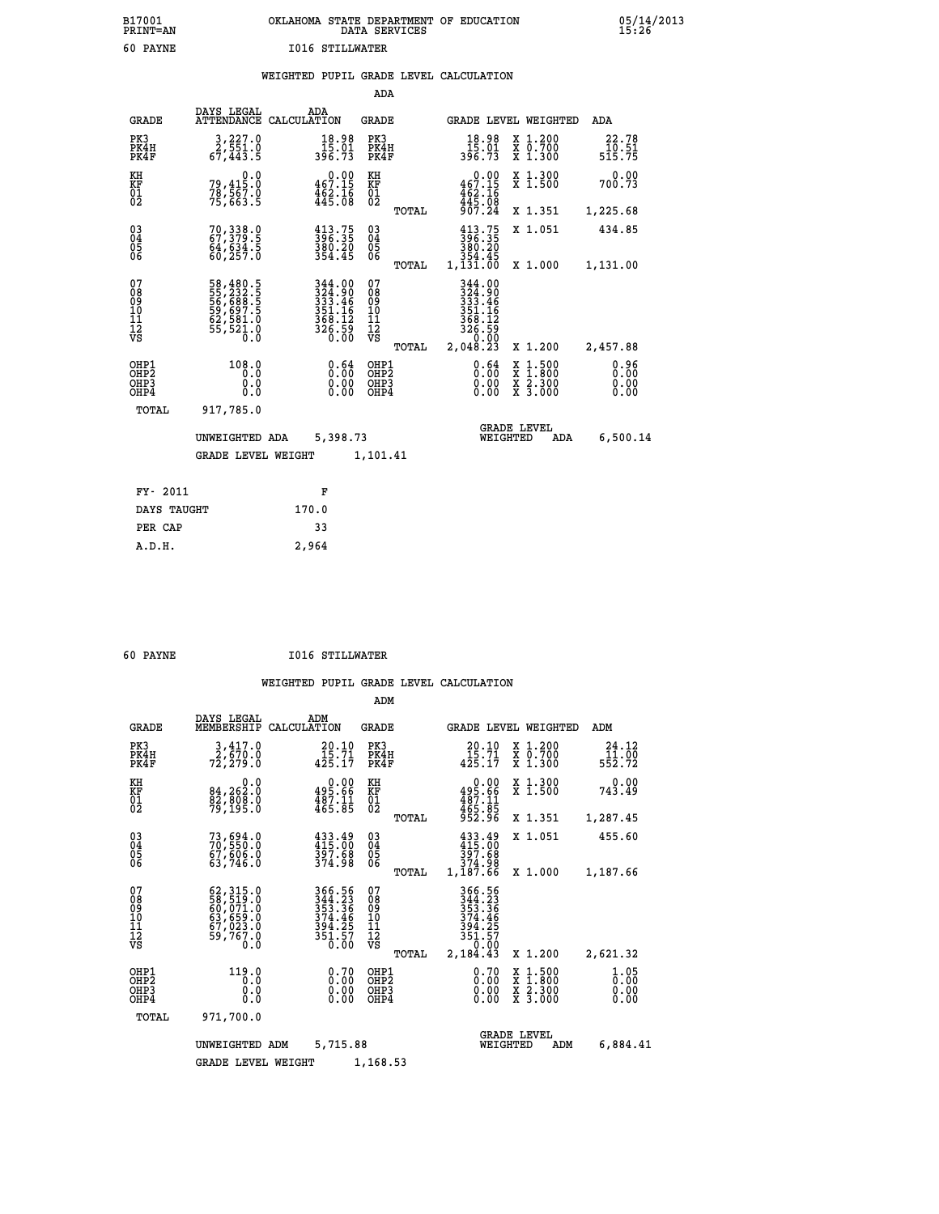| B17001<br><b>PRINT=AN</b> | OKLAHOMA STATE DEPARTMENT OF EDUCATION<br>DATA SERVICES |  |
|---------------------------|---------------------------------------------------------|--|
| 60 PAYNE                  | <b>I016 STILLWATER</b>                                  |  |

 **B17001 OKLAHOMA STATE DEPARTMENT OF EDUCATION 05/14/2013**

|  |  | WEIGHTED PUPIL GRADE LEVEL CALCULATION |
|--|--|----------------------------------------|
|  |  |                                        |

|                                                                    |                                                                                   |                                                                                                                                              | ADA                                      |       |                                                                             |                                                                                                  |                              |
|--------------------------------------------------------------------|-----------------------------------------------------------------------------------|----------------------------------------------------------------------------------------------------------------------------------------------|------------------------------------------|-------|-----------------------------------------------------------------------------|--------------------------------------------------------------------------------------------------|------------------------------|
| <b>GRADE</b>                                                       | DAYS LEGAL<br><b>ATTENDANCE</b>                                                   | ADA<br>CALCULATION                                                                                                                           | <b>GRADE</b>                             |       |                                                                             | GRADE LEVEL WEIGHTED                                                                             | ADA                          |
| PK3<br>PK4H<br>PK4F                                                | $\begin{smallmatrix} 3,227.0\\ 2,551.0\\ 67,443.5 \end{smallmatrix}$              | $\begin{smallmatrix} 18.98\\ 15.01\\ 396.73 \end{smallmatrix}$                                                                               | PK3<br>PK4H<br>PK4F                      |       | $\begin{array}{c} 18.98 \\ 15.01 \\ 396.73 \end{array}$                     | X 1.200<br>X 0.700<br>X 1.300                                                                    | 22.78<br>10.51<br>515.75     |
| KH<br><b>KF</b><br>01<br>02                                        | 0.0<br>79,415:0<br>78,567.0<br>75,663:5                                           | $0.00$<br>467.15<br>$\frac{1}{462}$ $\frac{2}{16}$                                                                                           | KH<br>KF<br>01<br>02                     |       | $0.00$<br>467.15<br>$\frac{462}{445}$ : 16<br>$\frac{445}{907}$ : 24        | X 1.300<br>X 1.500                                                                               | 0.00<br>700.73               |
|                                                                    |                                                                                   |                                                                                                                                              |                                          | TOTAL |                                                                             | X 1.351                                                                                          | 1,225.68                     |
| $\begin{smallmatrix} 03 \\[-4pt] 04 \end{smallmatrix}$<br>05<br>06 | 70, 338.0<br>67, 379.5<br>64,634.5<br>60,257.0                                    | $\frac{413\cdot75}{396\cdot35}$<br>380.20<br>354.45                                                                                          | $\substack{03 \\ 04}$<br>05<br>06        | TOTAL | $413.75$<br>$396.35$<br>380.20<br>354.45<br>1,131.00                        | X 1.051<br>X 1.000                                                                               | 434.85<br>1,131.00           |
| 07<br>08<br>09<br>11<br>11<br>12<br>VS                             | 58,480.5<br>55,2332.5<br>56,688.5<br>59,697.5<br>62,581.0<br>62,581.0<br>55,521.0 | $\begin{array}{r} 344\cdot 00\\ 324\cdot 90\\ 333\cdot 46\\ 351\cdot 16\\ 354\cdot 12\\ 368\cdot 12\\ 326\cdot 59\\ 0\cdot 00\\ \end{array}$ | 07<br>08<br>09<br>11<br>11<br>12<br>VS   |       | 344.00<br>$3333.46$<br>$351.16$<br>$368.12$<br>$368.12$<br>$326.59$<br>0.00 |                                                                                                  |                              |
|                                                                    |                                                                                   |                                                                                                                                              |                                          | TOTAL | 2,048.23                                                                    | X 1.200                                                                                          | 2,457.88                     |
| OHP1<br>OH <sub>P</sub> 2<br>OH <sub>P3</sub><br>OH <sub>P4</sub>  | 108.0<br>0.0<br>0.0<br>0.0                                                        | 0.64<br>0.00<br>0.00                                                                                                                         | OHP1<br>OHP <sub>2</sub><br>OHP3<br>OHP4 |       | 0.64<br>0.00<br>0.00                                                        | $\begin{smallmatrix} x & 1 & 500 \\ x & 1 & 800 \\ x & 2 & 300 \\ x & 3 & 000 \end{smallmatrix}$ | 0.96<br>0.00<br>0.00<br>0.00 |
| TOTAL                                                              | 917,785.0                                                                         |                                                                                                                                              |                                          |       |                                                                             |                                                                                                  |                              |
|                                                                    | UNWEIGHTED ADA                                                                    | 5,398.73                                                                                                                                     |                                          |       |                                                                             | <b>GRADE LEVEL</b><br>WEIGHTED<br>ADA                                                            | 6,500.14                     |
|                                                                    | <b>GRADE LEVEL WEIGHT</b>                                                         |                                                                                                                                              | 1,101.41                                 |       |                                                                             |                                                                                                  |                              |
| FY- 2011                                                           |                                                                                   | F                                                                                                                                            |                                          |       |                                                                             |                                                                                                  |                              |
| DAYS TAUGHT                                                        |                                                                                   | 170.0                                                                                                                                        |                                          |       |                                                                             |                                                                                                  |                              |
| PER CAP                                                            |                                                                                   | 33                                                                                                                                           |                                          |       |                                                                             |                                                                                                  |                              |

| - - |  |  |  |  |
|-----|--|--|--|--|

 **A.D.H. 2,964**

 **B17001<br>PRINT=AN** 

 **60 PAYNE I016 STILLWATER**

|                                                       |                                                                                                                 |                                                                                                       | ADM                                     |       |                                                                              |                                                                                                  |                              |
|-------------------------------------------------------|-----------------------------------------------------------------------------------------------------------------|-------------------------------------------------------------------------------------------------------|-----------------------------------------|-------|------------------------------------------------------------------------------|--------------------------------------------------------------------------------------------------|------------------------------|
| <b>GRADE</b>                                          | DAYS LEGAL<br>MEMBERSHIP                                                                                        | ADM<br>CALCULATION                                                                                    | <b>GRADE</b>                            |       | GRADE LEVEL WEIGHTED                                                         |                                                                                                  | ADM                          |
| PK3<br>PK4H<br>PK4F                                   | 3,417.0<br>2,670.0<br>72,279.0                                                                                  | 20.10<br>$425.71$<br>$425.17$                                                                         | PK3<br>PK4H<br>PK4F                     |       | 20.10<br>$\frac{15.71}{425.17}$                                              | $\begin{array}{c} x & 1.200 \\ x & 0.700 \end{array}$<br>$X$ 1.300                               | 24.12<br>11.00<br>552.72     |
| KH<br>KF<br>01<br>02                                  | 0.0<br>84,262:0<br>82,808:0<br>79,195:0                                                                         | $\begin{smallmatrix} &0.00\\ 495.66\\ 487.11\\ 465.85 \end{smallmatrix}$                              | KH<br>KF<br>01<br>02                    |       | 0.00<br>495.66<br>487.11<br>465.85<br>952.96                                 | X 1.300<br>X 1.500                                                                               | 0.00<br>743.49               |
|                                                       |                                                                                                                 |                                                                                                       |                                         | TOTAL |                                                                              | X 1.351                                                                                          | 1,287.45                     |
| 03<br>04<br>05<br>06                                  | 73,694.0<br>70,550.0<br>67,606.0<br>63,746.0                                                                    | 433.49<br>415.00<br>397.68<br>374.98                                                                  | $\substack{03 \\ 04}$<br>05<br>06       |       | 433.49<br>415.00<br>397.68<br>374.98                                         | X 1.051                                                                                          | 455.60                       |
|                                                       |                                                                                                                 |                                                                                                       |                                         | TOTAL | 1,187.66                                                                     | X 1.000                                                                                          | 1,187.66                     |
| 07<br>08<br>09<br>11<br>11<br>12<br>VS                | $\begin{smallmatrix} 62,315.0\\ 58,519.0\\ 60,071.0\\ 63,659.0\\ 67,023.0\\ 59,767.0\\ 0.0\\ \end{smallmatrix}$ | 366.56<br>$344.23$<br>$353.36$<br>$374.46$<br>$\frac{39\bar{4}\cdot\bar{25}}{35\bar{1}\cdot\bar{5}7}$ | 07<br>08<br>09<br>101<br>11<br>12<br>VS | TOTAL | 366.56<br>344.23<br>353.36<br>374.46<br>394.25<br>351.57<br>0.00<br>2,184.43 | X 1.200                                                                                          | 2,621.32                     |
| OHP1<br>OH <sub>P</sub> 2<br>OH <sub>P3</sub><br>OHP4 | 119.0<br>0.0<br>0.000                                                                                           | $0.70$<br>$0.00$<br>$0.00$<br>0.00                                                                    | OHP1<br>OHP2<br>OHP3<br>OHP4            |       | $0.70$<br>$0.00$<br>$0.00$<br>0.00                                           | $\begin{smallmatrix} x & 1 & 500 \\ x & 1 & 800 \\ x & 2 & 300 \\ x & 3 & 000 \end{smallmatrix}$ | 1.05<br>0.00<br>0.00<br>0.00 |
| TOTAL                                                 | 971,700.0                                                                                                       |                                                                                                       |                                         |       |                                                                              |                                                                                                  |                              |
|                                                       | UNWEIGHTED ADM                                                                                                  | 5,715.88                                                                                              |                                         |       | WEIGHTED                                                                     | <b>GRADE LEVEL</b><br>ADM                                                                        | 6,884.41                     |
|                                                       | <b>GRADE LEVEL WEIGHT</b>                                                                                       |                                                                                                       | 1,168.53                                |       |                                                                              |                                                                                                  |                              |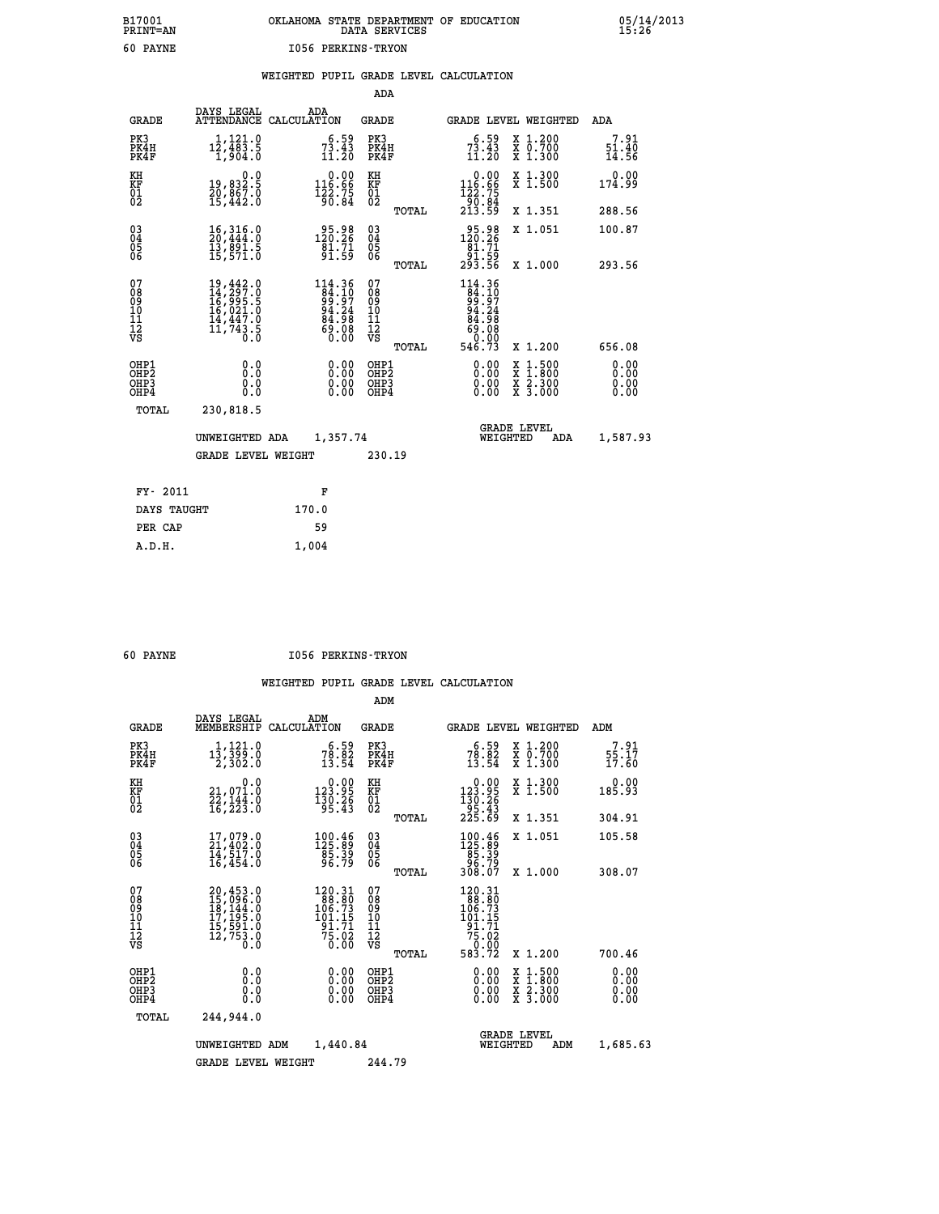# **B17001 OKLAHOMA STATE DEPARTMENT OF EDUCATION 05/14/2013 PRINT=AN DATA SERVICES 15:26 60 PAYNE I056 PERKINS-TRYON**

|  |  | WEIGHTED PUPIL GRADE LEVEL CALCULATION |
|--|--|----------------------------------------|
|  |  |                                        |

|                                                                    |                                                                                                                                                                                 |                                                                           | ADA                                       |       |                                                                                                       |                                                                            |                              |
|--------------------------------------------------------------------|---------------------------------------------------------------------------------------------------------------------------------------------------------------------------------|---------------------------------------------------------------------------|-------------------------------------------|-------|-------------------------------------------------------------------------------------------------------|----------------------------------------------------------------------------|------------------------------|
| <b>GRADE</b>                                                       | DAYS LEGAL                                                                                                                                                                      | ADA<br>ATTENDANCE CALCULATION                                             | <b>GRADE</b>                              |       |                                                                                                       | GRADE LEVEL WEIGHTED                                                       | ADA                          |
| PK3<br>PK4H<br>PK4F                                                | $1,121.0$<br>12,483.5<br>1,904.0                                                                                                                                                | $7^6 \cdot 5^9$<br>$1^3 \cdot 4^3$<br>$11 \cdot 2^0$                      | PK3<br>PK4H<br>PK4F                       |       | $7^5.59$<br>$1^3.43$<br>$11.20$                                                                       | X 1.200<br>X 0.700<br>X 1.300                                              | 7.91<br>51.40<br>14.56       |
| KH<br>KF<br>01<br>02                                               | 0.0<br>19,832.5<br>20,867.0<br>15,442.0                                                                                                                                         | $\begin{smallmatrix} &0.00\\ 116.66\\ 122.75\\ 90.84\end{smallmatrix}$    | KH<br>KF<br>01<br>02                      |       | 0.00<br>$116.86$<br>$122.75$<br>$90.84$<br>$213.59$                                                   | X 1.300<br>X 1.500                                                         | 0.00<br>174.99               |
|                                                                    |                                                                                                                                                                                 |                                                                           |                                           | TOTAL |                                                                                                       | X 1.351                                                                    | 288.56                       |
| $\begin{smallmatrix} 03 \\[-4pt] 04 \end{smallmatrix}$<br>05<br>ŌĞ | 16, 316.0<br>20, 444.0<br>īš, ēšī.š<br>15,571.0                                                                                                                                 | $\frac{95.98}{120.26}$<br>$\frac{1}{91.59}$                               | $\substack{03 \\ 04}$<br>$\frac{05}{06}$  | TOTAL | 120.28<br>$\begin{array}{r} 181.71 \\ 81.59 \\ 91.59 \\ 293.56 \end{array}$                           | X 1.051<br>X 1.000                                                         | 100.87<br>293.56             |
| 07<br>08<br>09<br>11<br>11<br>12<br>VS                             | $\begin{smallmatrix} 19\,, 442\, . \ 10\, 14\,, 297\, . \ 0 \\ 16\,, 995\, . \ 5 \\ 16\,, 021\, . \ 0 \\ 14\,, 447\, . \ 0 \\ 11\,, 743\, . \ 5 \\ 0\, . \ 0 \end{smallmatrix}$ | $114.36$<br>$84.10$<br>$99.97$<br>$94.24$<br>$84.98$<br>$69.08$<br>$0.00$ | 07<br>08<br>09<br>11<br>11<br>12<br>VS    |       | $\begin{array}{r} 114.36 \\ 84.10 \\ 99.97 \\ 94.24 \\ 84.98 \\ 69.08 \\ 0.000 \\ 546.73 \end{array}$ |                                                                            |                              |
|                                                                    |                                                                                                                                                                                 |                                                                           |                                           | TOTAL |                                                                                                       | X 1.200                                                                    | 656.08                       |
| OHP1<br>OHP <sub>2</sub><br>OHP3<br>OHP4                           | 0.0<br>Ō.Ō<br>0.0<br>Ō.Ō                                                                                                                                                        | 0.00<br>$\begin{smallmatrix} 0.00 \ 0.00 \end{smallmatrix}$               | OHP1<br>OH <sub>P</sub> 2<br>OHP3<br>OHP4 |       | 0.00<br>0.00<br>0.00                                                                                  | $1:500$<br>$1:800$<br>X<br>X<br>$\frac{\ddot{x}}{x}$ $\frac{2.300}{3.000}$ | 0.00<br>0.00<br>0.00<br>0.00 |
| TOTAL                                                              | 230,818.5                                                                                                                                                                       |                                                                           |                                           |       |                                                                                                       |                                                                            |                              |
|                                                                    | UNWEIGHTED ADA                                                                                                                                                                  | 1,357.74                                                                  |                                           |       |                                                                                                       | <b>GRADE LEVEL</b><br>WEIGHTED<br>ADA                                      | 1,587.93                     |
|                                                                    | <b>GRADE LEVEL WEIGHT</b>                                                                                                                                                       |                                                                           | 230.19                                    |       |                                                                                                       |                                                                            |                              |
| FY- 2011                                                           |                                                                                                                                                                                 | F                                                                         |                                           |       |                                                                                                       |                                                                            |                              |
|                                                                    |                                                                                                                                                                                 |                                                                           |                                           |       |                                                                                                       |                                                                            |                              |
| DAYS TAUGHT                                                        |                                                                                                                                                                                 | 170.0                                                                     |                                           |       |                                                                                                       |                                                                            |                              |
| PER CAP                                                            |                                                                                                                                                                                 | 59                                                                        |                                           |       |                                                                                                       |                                                                            |                              |

 **A.D.H. 1,004**

 **60 PAYNE I056 PERKINS-TRYON**

|                                          |                                                                                                                                                 |                                                                                                                                      |                                                    | ADM    |                                                                                |                                          |                              |
|------------------------------------------|-------------------------------------------------------------------------------------------------------------------------------------------------|--------------------------------------------------------------------------------------------------------------------------------------|----------------------------------------------------|--------|--------------------------------------------------------------------------------|------------------------------------------|------------------------------|
| <b>GRADE</b>                             | DAYS LEGAL<br>MEMBERSHIP                                                                                                                        | ADM<br>CALCULATION                                                                                                                   | <b>GRADE</b>                                       |        |                                                                                | GRADE LEVEL WEIGHTED                     | ADM                          |
| PK3<br>PK4H<br>PK4F                      | 1,121.0<br>$1\bar{3}, \bar{3}\bar{9}\bar{9}.0$<br>2,302.0                                                                                       | $78.59$<br>$13.54$                                                                                                                   | PK3<br>PK4F                                        | PK4H   | $78.59$<br>$13.54$                                                             | X 1.200<br>X 0.700<br>X 1.300            | 7.91<br>55.17<br>17.60       |
| KH<br>KF<br>01<br>02                     | 0.0<br>21,071.0<br>22,144.0<br>16,223.0                                                                                                         | $\substack{ \textcolor{red}{0} . \, \textcolor{red}{0} 0 \, \textcolor{red}{\mathbf{123 \cdot 95}} \\ 130 \cdot 26 \\ 95 \cdot 43 }$ | KH<br>KF<br>01<br>02                               |        | $\begin{smallmatrix}&&0.00\\123.95\\130.26\\95.43\\225.69\end{smallmatrix}$    | X 1.300<br>X 1.500                       | 0.00<br>185.93               |
|                                          |                                                                                                                                                 |                                                                                                                                      |                                                    | TOTAL  |                                                                                | X 1.351                                  | 304.91                       |
| 03<br>04<br>05<br>06                     | 17,079.0<br>21,402.0<br>14,517.0<br>16, 454.0                                                                                                   | $\begin{smallmatrix} 100.46\\125.89\\85.39\\96.79 \end{smallmatrix}$                                                                 | $\begin{matrix} 03 \\ 04 \\ 05 \\ 06 \end{matrix}$ |        | $100.46$<br>$125.89$<br>$85.39$<br>$96.79$<br>$308.07$                         | X 1.051                                  | 105.58                       |
|                                          |                                                                                                                                                 |                                                                                                                                      |                                                    | TOTAL  |                                                                                | X 1.000                                  | 308.07                       |
| 07<br>08<br>09<br>101<br>112<br>VS       | $\begin{smallmatrix} 20,453\cdot 0\\ 15,096\cdot 0\\ 18,144\cdot 0\\ 17,195\cdot 0\\ 15,591\cdot 0\\ 12,753\cdot 0\\ 0\cdot 0\end{smallmatrix}$ | $\begin{smallmatrix} 120.31\\ 88.80\\ 106.73\\ 101.15\\ 91.71\\ 75.02\\ 0.00 \end{smallmatrix}$                                      | 07<br>08<br>09<br>11<br>11<br>12<br>VS             | TOTAL  | $120.31$<br>$88.80$<br>$106.73$<br>$101.15$<br>$\frac{91.71}{75.02}$<br>583.72 | X 1.200                                  | 700.46                       |
|                                          |                                                                                                                                                 |                                                                                                                                      |                                                    |        |                                                                                |                                          |                              |
| OHP1<br>OHP2<br>OH <sub>P3</sub><br>OHP4 | 0.0<br>0.000                                                                                                                                    | $0.00$<br>$0.00$<br>0.00                                                                                                             | OHP1<br>OHP2<br>OHP3<br>OHP4                       |        | $0.00$<br>$0.00$<br>0.00                                                       | X 1:500<br>X 1:800<br>X 2:300<br>X 3:000 | 0.00<br>0.00<br>0.00<br>0.00 |
| TOTAL                                    | 244,944.0                                                                                                                                       |                                                                                                                                      |                                                    |        |                                                                                |                                          |                              |
|                                          | UNWEIGHTED                                                                                                                                      | 1,440.84<br>ADM                                                                                                                      |                                                    |        | WEIGHTED                                                                       | <b>GRADE LEVEL</b><br>ADM                | 1,685.63                     |
|                                          | GRADE LEVEL WEIGHT                                                                                                                              |                                                                                                                                      |                                                    | 244.79 |                                                                                |                                          |                              |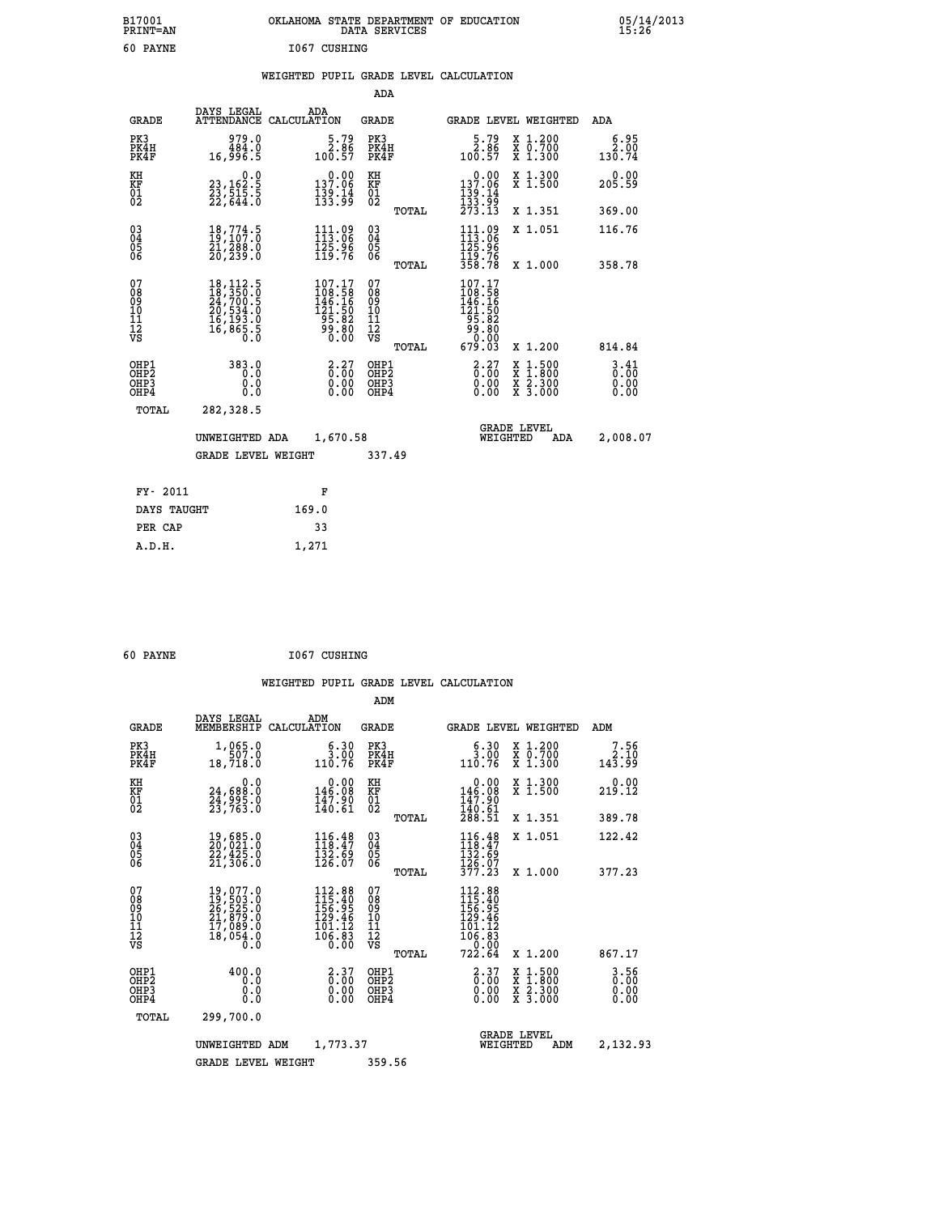| B17001<br><b>PRINT=AN</b> | OKLAHOMA STATE DEPARTMENT OF EDUCATION<br>DATA SERVICES | 05/14/2013<br>15:26 |
|---------------------------|---------------------------------------------------------|---------------------|
| 60<br>PAYNE               | 1067<br>CUSHING                                         |                     |

## **WEIGHTED PUPIL GRADE LEVEL CALCULATION**

|                                          |                                                                                                               |                                                                                 | ADA                                    |       |                                                                                             |                                                                                                                                           |                              |
|------------------------------------------|---------------------------------------------------------------------------------------------------------------|---------------------------------------------------------------------------------|----------------------------------------|-------|---------------------------------------------------------------------------------------------|-------------------------------------------------------------------------------------------------------------------------------------------|------------------------------|
| <b>GRADE</b>                             | DAYS LEGAL                                                                                                    | ADA<br>ATTENDANCE CALCULATION                                                   | <b>GRADE</b>                           |       |                                                                                             | GRADE LEVEL WEIGHTED                                                                                                                      | ADA                          |
| PK3<br>PK4H<br>PK4F                      | 979.0<br>484.0<br>16,996.5                                                                                    | $\begin{smallmatrix}5.79\\2.86\\100.57\end{smallmatrix}$                        | PK3<br>PK4H<br>PK4F                    |       | $\begin{smallmatrix}5.79\\2.86\\100.57\end{smallmatrix}$                                    | X 1.200<br>X 0.700<br>X 1.300                                                                                                             | 6.95<br>2.00<br>130.74       |
| KH<br>KF<br>01<br>02                     | 0.0<br>23,162:5<br>23,515:5<br>22,644:0                                                                       | $\begin{array}{c} 0.00 \\ 137.06 \\ 139.14 \\ 133.99 \end{array}$               | KH<br>KF<br>01<br>02                   |       | $\begin{array}{c} 0.00 \\ 137.06 \\ 139.14 \\ 133.99 \\ 273.13 \end{array}$                 | X 1.300<br>X 1.500                                                                                                                        | 0.00<br>205.59               |
|                                          |                                                                                                               |                                                                                 |                                        | TOTAL |                                                                                             | X 1.351                                                                                                                                   | 369.00                       |
| $\substack{03 \\ 04}$<br>Ŏ5<br>06        | $\begin{smallmatrix} 18\,,774\cdot5\\ 19\,,107\cdot0\\ 21\,,288\cdot0\\ 20\,,239\cdot0 \end{smallmatrix}$     | 111.09<br>113.06<br>$\frac{125.96}{119.76}$                                     | $\substack{03 \\ 04}$<br>05<br>06      |       | $111.09$<br>$113.06$<br>$125.96$<br>$119.76$<br>$358.78$                                    | X 1.051                                                                                                                                   | 116.76                       |
|                                          |                                                                                                               |                                                                                 |                                        | TOTAL |                                                                                             | X 1.000                                                                                                                                   | 358.78                       |
| 07<br>0890112<br>1112<br>VS              | $\begin{smallmatrix} 18,112.5\\ 18,350.0\\ 24,700.5\\ 20,534.0\\ 16,193.0\\ 16,865.5\\ 0.0 \end{smallmatrix}$ | $\begin{smallmatrix} 107.17\\108.58\\146.16\\121.50\\95.82\\9\end{smallmatrix}$ | 07<br>08<br>09<br>11<br>11<br>12<br>VS | TOTAL | $\begin{smallmatrix} 107.17\\108.58\\146.16\\21.50\\95.82\\90.80\\679.03 \end{smallmatrix}$ | X 1.200                                                                                                                                   | 814.84                       |
| OHP1<br>OHP2<br>OH <sub>P3</sub><br>OHP4 | 383.0<br>0.0<br>0.0<br>0.0                                                                                    | $\begin{smallmatrix} 2.27\0.00\0.00\0.00 \end{smallmatrix}$                     | OHP1<br>OHP2<br>OHP3<br>OHP4           |       | $\begin{smallmatrix} 2.27\0.00\0.00\0.00 \end{smallmatrix}$                                 | $\begin{smallmatrix} \mathtt{X} & 1\cdot500\\ \mathtt{X} & 1\cdot800\\ \mathtt{X} & 2\cdot300\\ \mathtt{X} & 3\cdot000 \end{smallmatrix}$ | 3.41<br>0.00<br>0.00<br>0.00 |
| TOTAL                                    | 282,328.5                                                                                                     |                                                                                 |                                        |       |                                                                                             |                                                                                                                                           |                              |
|                                          | UNWEIGHTED ADA                                                                                                | 1,670.58                                                                        |                                        |       |                                                                                             | <b>GRADE LEVEL</b><br>WEIGHTED<br>ADA                                                                                                     | 2,008.07                     |
|                                          | <b>GRADE LEVEL WEIGHT</b>                                                                                     |                                                                                 | 337.49                                 |       |                                                                                             |                                                                                                                                           |                              |
| FY- 2011                                 |                                                                                                               | F                                                                               |                                        |       |                                                                                             |                                                                                                                                           |                              |
| DAYS TAUGHT                              |                                                                                                               | 169.0                                                                           |                                        |       |                                                                                             |                                                                                                                                           |                              |
|                                          |                                                                                                               |                                                                                 |                                        |       |                                                                                             |                                                                                                                                           |                              |

| 60 PAYNE | 1067 CUSHING |
|----------|--------------|

PER CAP 33  **A.D.H. 1,271**

|                                                                  |                                                                                                                                      |                                                                             | ADM                                           |       |                                                                                                                                                   |                                          |                                  |
|------------------------------------------------------------------|--------------------------------------------------------------------------------------------------------------------------------------|-----------------------------------------------------------------------------|-----------------------------------------------|-------|---------------------------------------------------------------------------------------------------------------------------------------------------|------------------------------------------|----------------------------------|
| <b>GRADE</b>                                                     | DAYS LEGAL<br>MEMBERSHIP                                                                                                             | ADM<br>CALCULATION                                                          | <b>GRADE</b>                                  |       |                                                                                                                                                   | <b>GRADE LEVEL WEIGHTED</b>              | ADM                              |
| PK3<br>PK4H<br>PK4F                                              | 1,065.0<br>507.0<br>18,718.0                                                                                                         | 6.30<br>3.00<br>110.76                                                      | PK3<br>PK4H<br>PK4F                           |       | 6.30<br>$\frac{3.00}{110.76}$                                                                                                                     | X 1.200<br>X 0.700<br>X 1.300            | 7.56<br>143.99                   |
| KH<br>KF<br>01<br>02                                             | 0.0<br>24,688:0<br>24,995:0<br>23,763:0                                                                                              | $\begin{smallmatrix} &0.00\\ 146.08\\ 147.90\\ 140.61 \end{smallmatrix}$    | KH<br>KF<br>01<br>02                          |       | $\begin{smallmatrix} &0.00\ 146.08\ 147.90\ 140.61\ 288.51\ \end{smallmatrix}$                                                                    | X 1.300<br>X 1.500                       | 0.00<br>219.12                   |
|                                                                  |                                                                                                                                      |                                                                             |                                               | TOTAL |                                                                                                                                                   | X 1.351                                  | 389.78                           |
| $\begin{matrix} 03 \\ 04 \\ 05 \\ 06 \end{matrix}$               | $\begin{smallmatrix} 19 \ , & 685 \ . & 0 \\ 20 \ , & 021 \ . & 0 \\ 22 \ , & 425 \ . & 0 \\ 21 \ , & 306 \ . & 0 \end{smallmatrix}$ | $116.48$<br>$118.47$<br>$\frac{1}{12}$ $\frac{2}{5}$ $\cdot$ $\frac{69}{7}$ | $\substack{03 \\ 04}$<br>Ŏ5<br>06             |       | $116.48$<br>$118.47$<br>$132.69$<br>$126.07$<br>$377.23$                                                                                          | X 1.051                                  | 122.42                           |
|                                                                  |                                                                                                                                      |                                                                             |                                               | TOTAL |                                                                                                                                                   | X 1.000                                  | 377.23                           |
| 07<br>08<br>09<br>101<br>11<br>12<br>VS                          | 19,077.0<br>19,503.0<br>26,525.0<br>21,879.0<br>17,089.0<br>18,054.0<br>$\overline{0}$ .0                                            | $112.88$<br>$115.40$<br>$156.95$<br>$129.46$<br>101.12<br>106.83<br>0.00    | 07<br>08<br>09<br>001<br>11<br>11<br>12<br>VS |       | $\begin{array}{r} 112\cdot 88 \\ 115\cdot 40 \\ 156\cdot 95 \\ 129\cdot 46 \\ 101\cdot 12 \\ 106\cdot 83 \\ 0\cdot 00 \\ 722\cdot 64 \end{array}$ |                                          |                                  |
|                                                                  |                                                                                                                                      |                                                                             |                                               | TOTAL |                                                                                                                                                   | X 1.200                                  | 867.17                           |
| OHP1<br>OHP <sub>2</sub><br>OH <sub>P3</sub><br>OH <sub>P4</sub> | 400.0<br>0.0<br>0.0<br>0.0                                                                                                           | $\begin{smallmatrix} 2.37\0.00\0.00\0.00 \end{smallmatrix}$                 | OHP1<br>OHP2<br>OHP3<br>OHP4                  |       | $\begin{smallmatrix} 2.37\0.00\0.00 \end{smallmatrix}$<br>0.00                                                                                    | X 1:500<br>X 1:800<br>X 2:300<br>X 3:000 | $3.56$<br>$0.00$<br>0.00<br>0.00 |
| TOTAL                                                            | 299,700.0                                                                                                                            |                                                                             |                                               |       |                                                                                                                                                   |                                          |                                  |
|                                                                  | UNWEIGHTED                                                                                                                           | 1,773.37<br>ADM                                                             |                                               |       | WEIGHTED                                                                                                                                          | <b>GRADE LEVEL</b><br>ADM                | 2,132.93                         |
|                                                                  | <b>GRADE LEVEL WEIGHT</b>                                                                                                            |                                                                             | 359.56                                        |       |                                                                                                                                                   |                                          |                                  |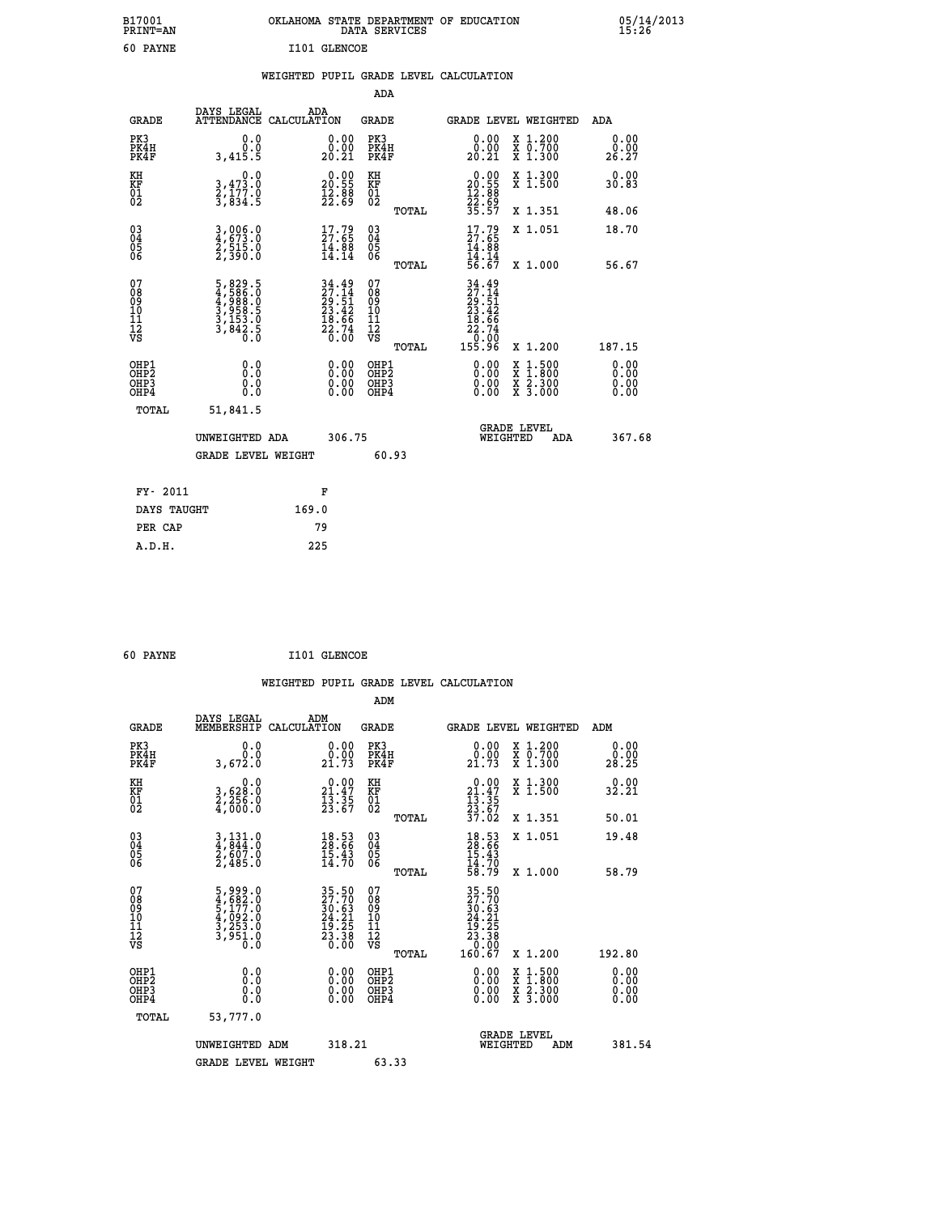| B17001<br><b>PRINT=AN</b> | OKLAHOMA STATE DEPARTMENT OF EDUCATION<br>DATA SERVICES | 05/14/2013<br>15:26 |
|---------------------------|---------------------------------------------------------|---------------------|
| 60<br>PAYNE               | I101 GLENCOE                                            |                     |

#### **WEIGHTED PUPIL GRADE LEVEL CALCULATION**

|                                                                    |                                                                                                                                                           |                                                                          | ADA                                       |       |                                                                                      |                                                    |                              |
|--------------------------------------------------------------------|-----------------------------------------------------------------------------------------------------------------------------------------------------------|--------------------------------------------------------------------------|-------------------------------------------|-------|--------------------------------------------------------------------------------------|----------------------------------------------------|------------------------------|
| <b>GRADE</b>                                                       | DAYS LEGAL<br>ATTENDANCE CALCULATION                                                                                                                      | ADA                                                                      | <b>GRADE</b>                              |       |                                                                                      | GRADE LEVEL WEIGHTED                               | <b>ADA</b>                   |
| PK3<br>PK4H<br>PK4F                                                | 0.0<br>0.0<br>3,415.5                                                                                                                                     | $\begin{smallmatrix} 0.00\\ 0.00\\ 20.21 \end{smallmatrix}$              | PK3<br>PK4H<br>PK4F                       |       | $\begin{smallmatrix} 0.00\\ 0.00\\ 20.21 \end{smallmatrix}$                          | X 1.200<br>X 0.700<br>X 1.300                      | 0.00<br>0.00<br>26.27        |
| KH<br>KF<br>01<br>02                                               | 0.0<br>3,473.0<br>2,177.0<br>3,834.5                                                                                                                      | $\begin{smallmatrix} 0.00\\ 20.55\\ 12.88\\ 22.69 \end{smallmatrix}$     | KH<br>KF<br>01<br>02                      |       | $\begin{smallmatrix} 0.00\\ 20.55\\ 12.88\\ 22.69\\ 35.57 \end{smallmatrix}$         | X 1.300<br>X 1.500                                 | 0.00<br>30.83                |
|                                                                    |                                                                                                                                                           |                                                                          |                                           | TOTAL |                                                                                      | X 1.351                                            | 48.06                        |
| $\begin{smallmatrix} 03 \\[-4pt] 04 \end{smallmatrix}$<br>Ŏ5<br>06 | 3,006.0<br>4,673.0<br>2,515.0<br>2,390.0                                                                                                                  | $\begin{smallmatrix} 17.79 \\ 27.65 \\ 14.88 \\ 14.14 \end{smallmatrix}$ | 03<br>04<br>05<br>06                      | TOTAL | $17.79$<br>$27.65$<br>$14.88$<br>$14.14$<br>$56.67$                                  | X 1.051<br>X 1.000                                 | 18.70<br>56.67               |
| 07<br>08<br>09<br>11<br>11<br>12<br>VS                             | $\begin{smallmatrix}5\,,\,829\,.\,5\\4\,,\,586\,. \,0\\4\,,\,988\,. \,0\\3\,,\,958\,. \,5\\3\,,\,153\,. \,0\\3\,,\,842\,. \,5\\0\,. \,0\end{smallmatrix}$ | $34.49$<br>$27.14$<br>$29.51$<br>$23.42$<br>$18.66$<br>$22.74$<br>$0.00$ | 07<br>08<br>09<br>11<br>11<br>12<br>VS    |       | $34.49$<br>$27.14$<br>$29.51$<br>$23.42$<br>$18.66$<br>$22.74$<br>$0.00$<br>$155.96$ |                                                    |                              |
|                                                                    |                                                                                                                                                           |                                                                          |                                           | TOTAL |                                                                                      | X 1.200                                            | 187.15                       |
| OHP1<br>OHP <sub>2</sub><br>OHP3<br>OHP4                           | 0.0<br>0.0<br>0.0                                                                                                                                         | 0.00<br>$\begin{smallmatrix} 0.00 \ 0.00 \end{smallmatrix}$              | OHP1<br>OH <sub>P</sub> 2<br>OHP3<br>OHP4 |       | 0.00<br>0.00<br>0.00                                                                 | $1:500$<br>$1:800$<br>X<br>X<br>X 2.300<br>X 3.000 | 0.00<br>0.00<br>0.00<br>0.00 |
| TOTAL                                                              | 51,841.5                                                                                                                                                  |                                                                          |                                           |       |                                                                                      |                                                    |                              |
|                                                                    | UNWEIGHTED ADA                                                                                                                                            | 306.75                                                                   |                                           |       |                                                                                      | <b>GRADE LEVEL</b><br>WEIGHTED<br>ADA              | 367.68                       |
|                                                                    | <b>GRADE LEVEL WEIGHT</b>                                                                                                                                 |                                                                          | 60.93                                     |       |                                                                                      |                                                    |                              |
| FY- 2011                                                           |                                                                                                                                                           | F                                                                        |                                           |       |                                                                                      |                                                    |                              |
| DAYS TAUGHT                                                        |                                                                                                                                                           | 169.0                                                                    |                                           |       |                                                                                      |                                                    |                              |
| PER CAP                                                            |                                                                                                                                                           | 79                                                                       |                                           |       |                                                                                      |                                                    |                              |
|                                                                    |                                                                                                                                                           |                                                                          |                                           |       |                                                                                      |                                                    |                              |

 **60 PAYNE I101 GLENCOE**

 **A.D.H. 225**

 **WEIGHTED PUPIL GRADE LEVEL CALCULATION ADM DAYS LEGAL ADM GRADE MEMBERSHIP CALCULATION GRADE GRADE LEVEL WEIGHTED ADM**

| PK3<br>PK4H<br>PK4F                                | 0.0<br>0.0<br>3,672.0                                                     | $\begin{smallmatrix} 0.00\\ 0.00\\ 21.73 \end{smallmatrix}$                                                               | PK3<br>PK4H<br>PK4F                          | 0.0000<br>21.73                                                                               | X 1.200<br>X 0.700<br>X 1.300            | 0.00<br>0.00<br>28.25 |
|----------------------------------------------------|---------------------------------------------------------------------------|---------------------------------------------------------------------------------------------------------------------------|----------------------------------------------|-----------------------------------------------------------------------------------------------|------------------------------------------|-----------------------|
| KH<br>KF<br>01<br>02                               | 0.0<br>3,628:0<br>2,256:0<br>4,000:0                                      | $\begin{smallmatrix} 0.00\\ 21.47\\ 13.35\\ 23.67 \end{smallmatrix}$                                                      | KH<br>KF<br>01<br>02                         | $\begin{array}{r} 0.00 \\ 21.47 \\ 13.35 \\ 23.67 \\ 37.02 \end{array}$                       | X 1.300<br>X 1.500                       | 0.00<br>32.21         |
|                                                    |                                                                           |                                                                                                                           | TOTAL                                        |                                                                                               | X 1.351                                  | 50.01                 |
| $\begin{matrix} 03 \\ 04 \\ 05 \\ 06 \end{matrix}$ | $3,131.0$<br>$4,844.0$<br>$2,607.0$<br>$2,485.0$                          | $\begin{smallmatrix} 18.53\ 28.66\ 15.43\ 14.70 \end{smallmatrix}$                                                        | 03<br>04<br>05<br>06                         | $18.53$<br>$28.66$<br>$15.43$<br>$14.70$<br>$58.79$                                           | X 1.051                                  | 19.48                 |
|                                                    |                                                                           |                                                                                                                           | TOTAL                                        |                                                                                               | X 1.000                                  | 58.79                 |
| 07<br>08<br>09<br>10<br>11<br>11<br>17<br>VS       | 5,999.0<br>4,682.0<br>5,177.0<br>5,177.0<br>4,092.0<br>3,253.0<br>3,951.0 | $\begin{array}{l} 35\cdot50 \\ 27\cdot70 \\ 30\cdot63 \\ 24\cdot21 \\ 19\cdot25 \\ 23\cdot38 \\ 23\cdot30 \\ \end{array}$ | 07<br>08<br>09<br>01<br>11<br>11<br>17<br>VS | $\begin{smallmatrix} 35.50\\ 27.70\\ 30.63\\ 24.21\\ 23.38\\ 0.00\\ 160.67 \end{smallmatrix}$ |                                          |                       |
|                                                    |                                                                           |                                                                                                                           | TOTAL                                        |                                                                                               | X 1.200                                  | 192.80                |
| OHP1<br>OHP2<br>OH <sub>P3</sub><br>OHP4           | $\begin{smallmatrix} 0.0 \ 0.0 \ 0.0 \end{smallmatrix}$                   | $0.00$<br>$0.00$<br>0.00                                                                                                  | OHP1<br>OHP2<br>OHP3<br>OHP4                 | $0.00$<br>$0.00$<br>0.00                                                                      | x 1:500<br>x 1:800<br>x 2:300<br>X 3.000 | 0.00<br>0.00<br>0.00  |
| TOTAL                                              | 53,777.0                                                                  |                                                                                                                           |                                              |                                                                                               |                                          |                       |
|                                                    | UNWEIGHTED ADM                                                            | 318.21                                                                                                                    |                                              | WEIGHTED                                                                                      | <b>GRADE LEVEL</b><br>ADM                | 381.54                |
|                                                    | <b>GRADE LEVEL WEIGHT</b>                                                 |                                                                                                                           | 63.33                                        |                                                                                               |                                          |                       |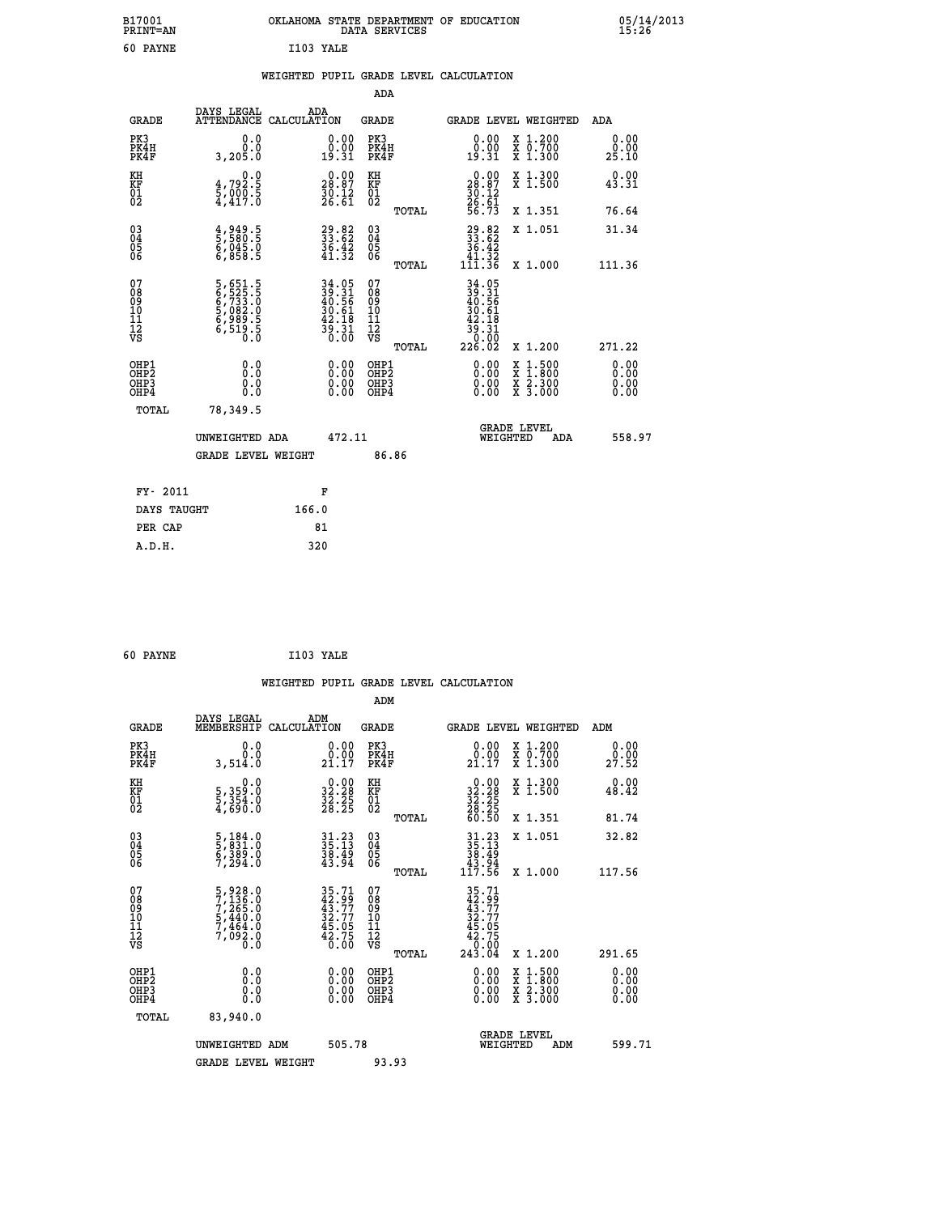|           | OKLAHOMA STATE DEPARTMENT OF EDUCATION<br>DATA SERVICES |  |
|-----------|---------------------------------------------------------|--|
| T103 YALE |                                                         |  |

## **WEIGHTED PUPIL GRADE LEVEL CALCULATION**

|                                                                              |              |                                                                           |                                                                          | ADA                                                 |       |                                                                                      |                                          |                              |
|------------------------------------------------------------------------------|--------------|---------------------------------------------------------------------------|--------------------------------------------------------------------------|-----------------------------------------------------|-------|--------------------------------------------------------------------------------------|------------------------------------------|------------------------------|
|                                                                              | <b>GRADE</b> | DAYS LEGAL<br>ATTENDANCE CALCULATION                                      | ADA                                                                      | <b>GRADE</b>                                        |       |                                                                                      | GRADE LEVEL WEIGHTED                     | ADA                          |
| PK3<br>PK4H<br>PK4F                                                          |              | 0.0<br>3,205.0                                                            | $\begin{smallmatrix} 0.00\\ 0.00\\ 19.31 \end{smallmatrix}$              | PK3<br>PK4H<br>PK4F                                 |       | $\begin{smallmatrix} 0.00\\ 0.00\\ 19.31 \end{smallmatrix}$                          | X 1.200<br>X 0.700<br>X 1.300            | 0.00<br>0.00<br>25.10        |
| KH<br><b>KF</b><br>01<br>02                                                  |              | 0.0<br>$\frac{4}{5}, \frac{792}{90}.$<br>$\frac{5}{4}, \frac{417}{90}.$   | $\begin{smallmatrix} 0.00\\ 28.87\\ 30.12\\ 26.61 \end{smallmatrix}$     | KH<br>KF<br>01<br>02                                |       | $\begin{smallmatrix} 0.00\\ 28.87\\ 30.12\\ 26.61\\ 56.73 \end{smallmatrix}$         | X 1.300<br>X 1.500                       | 0.00<br>43.31                |
|                                                                              |              |                                                                           |                                                                          |                                                     | TOTAL |                                                                                      | X 1.351                                  | 76.64                        |
| $^{03}_{04}$<br>Ŏ5<br>06                                                     |              | 4,949.5<br>5,580.5<br>6,045.0<br>6,858.5                                  | $\begin{smallmatrix} 29.82\ 33.62\ 36.42\ 41.32 \end{smallmatrix}$       | $\begin{array}{c} 03 \\ 04 \\ 05 \\ 06 \end{array}$ | TOTAL | $\begin{smallmatrix} 29.82\ 33.62\ 36.42\ 41.32\ 111.36 \end{smallmatrix}$           | X 1.051<br>X 1.000                       | 31.34<br>111.36              |
| 07<br>08901112<br>1112<br>VS                                                 |              | 5,651.5<br>6,525.5<br>6,733.0<br>5,082.0<br>5,989.5<br>6,519.5<br>6,519.5 | $34.05$<br>$39.31$<br>$40.56$<br>$30.61$<br>$42.18$<br>$39.31$<br>$0.00$ | 07<br>08901112<br>1112<br>VS                        |       | $34.05$<br>$39.31$<br>$40.56$<br>$30.61$<br>$42.18$<br>$39.31$<br>$0.00$<br>$226.02$ |                                          |                              |
|                                                                              |              |                                                                           |                                                                          |                                                     | TOTAL |                                                                                      | X 1.200                                  | 271.22                       |
| OHP1<br>OH <sub>P</sub> <sub>2</sub><br>OH <sub>P3</sub><br>OH <sub>P4</sub> |              | 0.0<br>0.000                                                              | $\begin{smallmatrix} 0.00 \ 0.00 \ 0.00 \ 0.00 \end{smallmatrix}$        | OHP1<br>OHP <sub>2</sub><br>OHP3<br>OHP4            |       |                                                                                      | X 1:500<br>X 1:800<br>X 2:300<br>X 3:000 | 0.00<br>0.00<br>0.00<br>0.00 |
|                                                                              | TOTAL        | 78,349.5                                                                  |                                                                          |                                                     |       |                                                                                      |                                          |                              |
|                                                                              |              | UNWEIGHTED ADA                                                            | 472.11                                                                   |                                                     |       |                                                                                      | GRADE LEVEL<br>WEIGHTED<br>ADA           | 558.97                       |
|                                                                              |              | <b>GRADE LEVEL WEIGHT</b>                                                 |                                                                          | 86.86                                               |       |                                                                                      |                                          |                              |
|                                                                              | FY- 2011     |                                                                           | F                                                                        |                                                     |       |                                                                                      |                                          |                              |
|                                                                              | DAYS TAUGHT  | 166.0                                                                     |                                                                          |                                                     |       |                                                                                      |                                          |                              |
|                                                                              | PER CAP      |                                                                           | 81                                                                       |                                                     |       |                                                                                      |                                          |                              |

| 60 PAYNE | I103 YALE |  |
|----------|-----------|--|
|          |           |  |

 **A.D.H. 320**

 **B17001<br>PRINT=AN<br>60 PAYNE** 

|                                                    |                                                                                     |                    |                                                                      |                                                    |       | WEIGHTED PUPIL GRADE LEVEL CALCULATION                                                                                                              |                                                                                                  |     |                        |
|----------------------------------------------------|-------------------------------------------------------------------------------------|--------------------|----------------------------------------------------------------------|----------------------------------------------------|-------|-----------------------------------------------------------------------------------------------------------------------------------------------------|--------------------------------------------------------------------------------------------------|-----|------------------------|
|                                                    |                                                                                     |                    |                                                                      | ADM                                                |       |                                                                                                                                                     |                                                                                                  |     |                        |
| <b>GRADE</b>                                       | DAYS LEGAL<br>MEMBERSHIP                                                            | ADM<br>CALCULATION |                                                                      | <b>GRADE</b>                                       |       | <b>GRADE LEVEL WEIGHTED</b>                                                                                                                         |                                                                                                  |     | ADM                    |
| PK3<br>PK4H<br>PK4F                                | 0.0<br>0.0<br>3,514.0                                                               |                    | $\begin{smallmatrix} 0.00\\ 0.00\\ 21.17 \end{smallmatrix}$          | PK3<br>PK4H<br>PK4F                                |       | $\begin{smallmatrix} 0.00\\ 0.00\\ 21.17 \end{smallmatrix}$                                                                                         | X 1.200<br>X 0.700<br>X 1.300                                                                    |     | 0.00<br>29.00<br>27.52 |
| KH<br>KF<br>01<br>02                               | 0.0<br>5,359:0<br>5,354:0<br>4,690:0                                                |                    | $\begin{smallmatrix} 0.00\\ 32.28\\ 32.25\\ 28.25 \end{smallmatrix}$ | KH<br>KF<br>01<br>02                               |       | $\begin{smallmatrix} 0.00\\ 32.28\\ 32.25\\ 28.25\\ 28.25\\ 60.50 \end{smallmatrix}$                                                                | X 1.300<br>X 1.500                                                                               |     | 0.00<br>48.42          |
|                                                    |                                                                                     |                    |                                                                      |                                                    | TOTAL |                                                                                                                                                     | X 1.351                                                                                          |     | 81.74                  |
| $\begin{matrix} 03 \\ 04 \\ 05 \\ 06 \end{matrix}$ | $\frac{5}{5}, \frac{184}{831}.0$<br>$\frac{6}{7}, \frac{389}{294}.0$                |                    | 31.23<br>35.13<br>38.49<br>43.94                                     | $\begin{matrix} 03 \\ 04 \\ 05 \\ 06 \end{matrix}$ |       | $31.23\n35.13\n38.49\n43.94\n117.56$                                                                                                                | X 1.051                                                                                          |     | 32.82                  |
|                                                    |                                                                                     |                    |                                                                      |                                                    | TOTAL |                                                                                                                                                     | X 1.000                                                                                          |     | 117.56                 |
| 07<br>0890112<br>1112<br>VS                        | $5,928.0$<br>$7,265.0$<br>$7,265.0$<br>$5,440.0$<br>$7,464.0$<br>$7,092.0$<br>$0.0$ |                    | 35.71<br>42.99<br>43.77<br>32.77<br>32.75<br>45.05<br>42.75<br>0.00  | 07<br>08<br>09<br>01<br>11<br>11<br>12<br>VS       |       | $\begin{array}{r} 35 \cdot 71 \\ 42 \cdot 97 \\ 43 \cdot 77 \\ 32 \cdot 77 \\ 45 \cdot 05 \\ 42 \cdot 75 \\ 0 \cdot 00 \\ 243 \cdot 04 \end{array}$ |                                                                                                  |     |                        |
|                                                    |                                                                                     |                    |                                                                      |                                                    | TOTAL |                                                                                                                                                     | X 1.200                                                                                          |     | 291.65                 |
| OHP1<br>OHP2<br>OH <sub>P3</sub><br>OHP4           | 0.0<br>0.000                                                                        |                    | $\begin{smallmatrix} 0.00 \ 0.00 \ 0.00 \ 0.00 \end{smallmatrix}$    | OHP1<br>OHP2<br>OHP <sub>3</sub>                   |       | $0.00$<br>$0.00$<br>0.00                                                                                                                            | $\begin{smallmatrix} x & 1 & 500 \\ x & 1 & 800 \\ x & 2 & 300 \\ x & 3 & 000 \end{smallmatrix}$ |     | 0.00<br>0.00<br>0.00   |
| TOTAL                                              | 83,940.0                                                                            |                    |                                                                      |                                                    |       |                                                                                                                                                     |                                                                                                  |     |                        |
|                                                    | UNWEIGHTED ADM                                                                      |                    | 505.78                                                               |                                                    |       |                                                                                                                                                     | <b>GRADE LEVEL</b><br>WEIGHTED                                                                   | ADM | 599.71                 |
|                                                    | <b>GRADE LEVEL WEIGHT</b>                                                           |                    |                                                                      | 93.93                                              |       |                                                                                                                                                     |                                                                                                  |     |                        |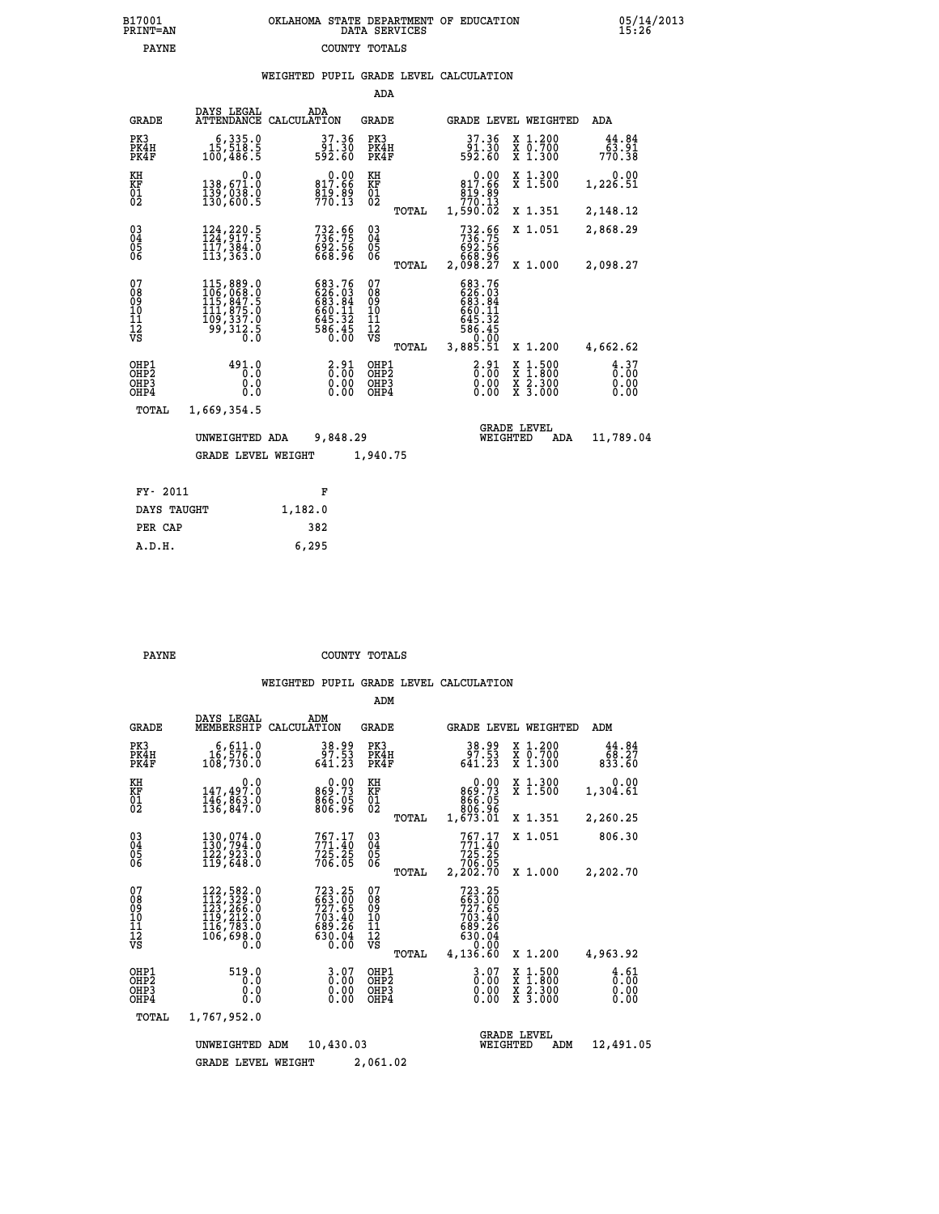|  | OKLAHOMA STATE DEPARTMENT OF EDUCATION<br>DATA SERVICES |  |
|--|---------------------------------------------------------|--|
|  | COUNTY TOTALS                                           |  |

| B17001<br>PRINT=AN                     |                                                                                                                                        | OKLAHOMA STATE DEPARTMENT OF EDUCATION                                                                      | DATA SERVICES                                      |                                                                                            |                                                                                          | 25.28                              |
|----------------------------------------|----------------------------------------------------------------------------------------------------------------------------------------|-------------------------------------------------------------------------------------------------------------|----------------------------------------------------|--------------------------------------------------------------------------------------------|------------------------------------------------------------------------------------------|------------------------------------|
| <b>PAYNE</b>                           |                                                                                                                                        |                                                                                                             | COUNTY TOTALS                                      |                                                                                            |                                                                                          |                                    |
|                                        |                                                                                                                                        | WEIGHTED PUPIL GRADE LEVEL CALCULATION                                                                      | <b>ADA</b>                                         |                                                                                            |                                                                                          |                                    |
| <b>GRADE</b>                           | DAYS LEGAL                                                                                                                             | ADA<br>ATTENDANCE CALCULATION                                                                               | GRADE                                              | GRADE LEVEL WEIGHTED                                                                       |                                                                                          | ADA                                |
| PK3<br>PK4H<br>PK4F                    | 6,335.0<br>15,518.5<br>100,486.5                                                                                                       | 37.36<br>91.30<br>592.60                                                                                    | PK3<br>PK4H<br>PK4F                                | 37.36<br>91.30<br>592.60                                                                   | X 1.200<br>X 0.700<br>X 1.300                                                            | 44.84<br>63.91<br>770.38           |
| KH<br>KF<br>01<br>02                   | 0.0<br>138,671.0<br>139,038.0<br>130,600.5                                                                                             | 817.66<br>$\frac{819}{770.13}$                                                                              | KH<br>KF<br>01<br>02                               | $0.00$<br>$817.66$<br>00.010<br>770.13<br>1,590.02                                         | X 1.300<br>X 1.500                                                                       | 0.00<br>1,226.51                   |
|                                        |                                                                                                                                        |                                                                                                             | TOTAL                                              |                                                                                            | X 1.351                                                                                  | 2,148.12                           |
| $\substack{03 \\ 04}$<br>05<br>06      | 124, 220.5<br>124, 917.5<br>$\overline{1}\overline{1}\overline{7}$ , $\overline{3}\overline{8}\overline{4}\overline{.0}$<br>113, 363.0 | $732.66$<br>$736.75$<br>$692.56$<br>$668.96$                                                                | $\begin{matrix} 03 \\ 04 \\ 05 \\ 06 \end{matrix}$ | 732.66<br>736.75<br>692.56<br>668.96<br>2,098.27                                           | X 1.051                                                                                  | 2,868.29                           |
|                                        |                                                                                                                                        |                                                                                                             | TOTAL                                              |                                                                                            | X 1.000                                                                                  | 2,098.27                           |
| 07<br>08<br>09<br>10<br>11<br>12<br>VS | $\begin{smallmatrix} 115, 889 & 0\\ 106, 068 & 0\\ 115, 847 & 5\\ 111, 875 & 0\\ 109, 337 & 0\\ 99, 312 & 5\\ 0 & 0 \end{smallmatrix}$ | $\begin{smallmatrix} 683.76\\ 626.03\\ 683.84\\ 663.84\\ 660.11\\ 645.32\\ 586.45\\ 0.00 \end{smallmatrix}$ | 07<br>08<br>09<br>11<br>11<br>12<br>VS<br>TOTAL    | 683.76<br>626:03<br>6883:84<br>6660:11<br>645:32<br>586.45<br>0.0 <sup>1</sup><br>3,885.51 | X 1.200                                                                                  | 4,662.62                           |
| OHP1<br>OHP2<br>OHP3<br>OHP4           | 491.0<br>0.0<br>0.0<br>0.0                                                                                                             | $\frac{2.91}{0.00}$<br>0.00<br>0.00                                                                         | OHP1<br>OHP2<br>OHP3<br>OHP4                       | $2.91$<br>$0.00$<br>0.00<br>0.00                                                           | $\begin{smallmatrix} x & 1.500 \\ x & 1.800 \\ x & 2.300 \\ x & 3.000 \end{smallmatrix}$ | $\frac{4}{0}$ : 37<br>0.00<br>0.00 |
| TOTAL                                  | 1,669,354.5                                                                                                                            |                                                                                                             |                                                    |                                                                                            |                                                                                          |                                    |
|                                        | UNWEIGHTED ADA<br>GRADE LEVEL WEIGHT                                                                                                   | 9,848.29                                                                                                    | 1,940.75                                           | <b>GRADE LEVEL</b><br>WEIGHTED                                                             | ADA                                                                                      | 11,789.04                          |
|                                        |                                                                                                                                        |                                                                                                             |                                                    |                                                                                            |                                                                                          |                                    |
| FY- 2011                               |                                                                                                                                        | F                                                                                                           |                                                    |                                                                                            |                                                                                          |                                    |
| DAYS TAUGHT                            |                                                                                                                                        | 1,182.0                                                                                                     |                                                    |                                                                                            |                                                                                          |                                    |
| PER CAP                                |                                                                                                                                        | 382                                                                                                         |                                                    |                                                                                            |                                                                                          |                                    |

 **A.D.H. 6,295**

**PAYNE COUNTY TOTALS** 

|                                                    |                                                                                                     |                                                                                                   | ADM                                             |                                                                                                              |                                                                   |                              |
|----------------------------------------------------|-----------------------------------------------------------------------------------------------------|---------------------------------------------------------------------------------------------------|-------------------------------------------------|--------------------------------------------------------------------------------------------------------------|-------------------------------------------------------------------|------------------------------|
| <b>GRADE</b>                                       | DAYS LEGAL<br>MEMBERSHIP                                                                            | ADM<br>CALCULATION                                                                                | <b>GRADE</b>                                    | GRADE LEVEL WEIGHTED                                                                                         |                                                                   | ADM                          |
| PK3<br>PK4H<br>PK4F                                | 6,611.0<br>16,576.0<br>108,730.0                                                                    | 38.99<br>97.53<br>641.23                                                                          | PK3<br>PK4H<br>PK4F                             | 38.99<br>97.53<br>641.23                                                                                     | X 1.200<br>X 0.700<br>X 1.300                                     | 44.84<br>68.27<br>833.60     |
| KH<br>KF<br>01<br>02                               | 0.0<br>147,497.0<br>$\frac{146}{136}, \frac{863}{847}.8$                                            | 0.00<br>869.73<br>866.05<br>806.96                                                                | KH<br>KF<br>01<br>02                            | 0.00<br>869.73<br>806.05                                                                                     | X 1.300<br>X 1.500                                                | 0.00<br>1,304.61             |
|                                                    |                                                                                                     |                                                                                                   | TOTAL                                           | 1,673.01                                                                                                     | X 1.351                                                           | 2,260.25                     |
| $\begin{matrix} 03 \\ 04 \\ 05 \\ 06 \end{matrix}$ | 130,074.0<br>130,794.0<br>122,923.0                                                                 | $767.17$<br>$771.40$<br>$725.25$<br>$706.05$                                                      | $\substack{03 \\ 04}$<br>05                     | 767.17<br>771.40<br>725.25                                                                                   | X 1.051                                                           | 806.30                       |
|                                                    | 119,648.0                                                                                           |                                                                                                   | TOTAL                                           | 706.05<br>2,202.70                                                                                           | X 1.000                                                           | 2,202.70                     |
| 07<br>08<br>09<br>001<br>11<br>11<br>12<br>VS      | 122, 582.0<br>112, 329.0<br>123, 266.0<br>119, 212.0<br>116, 783.0<br>106,698.0<br>$0.\overline{0}$ | 723.25<br>$6\bar{6}\bar{3}\cdot\bar{0}\bar{0}$<br>$7\overline{0}3.40$<br>689.26<br>630.04<br>0.00 | 07<br>08<br>09<br>11<br>11<br>12<br>VS<br>TOTAL | 723.25<br>$\begin{array}{r} 723.700 \\ 727.65 \\ 703.40 \\ 689.26 \\ 630.04 \end{array}$<br>0.00<br>4,136.60 | X 1.200                                                           | 4,963.92                     |
| OHP1<br>OHP2<br>OHP3<br>OHP4                       | 519.0<br>0.0<br>0.0<br>Ŏ.Ŏ                                                                          | 3.07<br>0.00<br>0.00                                                                              | OHP1<br>OHP2<br>OHP3<br>OHP4                    | 3.07<br>0.00<br>0.00                                                                                         | $\frac{x}{x}$ $\frac{1.500}{1.800}$<br>$\bar{x}$ 2.300<br>X 3.000 | 4.61<br>0.00<br>0.00<br>0.00 |
|                                                    | TOTAL<br>1,767,952.0                                                                                |                                                                                                   |                                                 |                                                                                                              |                                                                   |                              |
|                                                    | UNWEIGHTED ADM                                                                                      | 10,430.03                                                                                         |                                                 | <b>GRADE LEVEL</b><br>WEIGHTED                                                                               | ADM                                                               | 12,491.05                    |
|                                                    | <b>GRADE LEVEL WEIGHT</b>                                                                           |                                                                                                   | 2,061.02                                        |                                                                                                              |                                                                   |                              |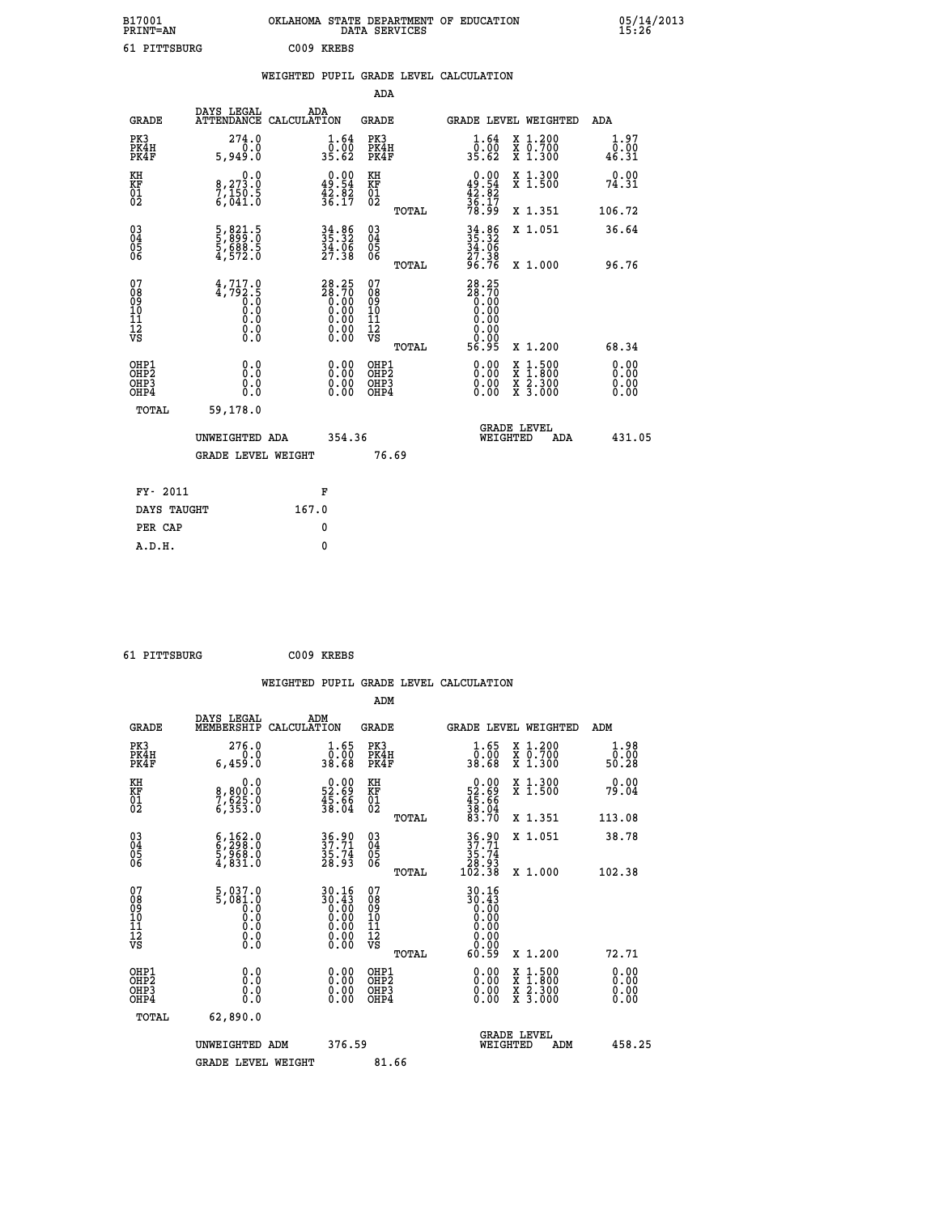| B17001<br><b>PRINT=AN</b>                          |                                                           | OKLAHOMA STATE DEPARTMENT OF EDUCATION                                                                                                                                                                                                                                                                                                                                                                                          | DATA SERVICES                                      |                                                        |                                                                                                                                      | 05/14/2013<br>15:26   |  |
|----------------------------------------------------|-----------------------------------------------------------|---------------------------------------------------------------------------------------------------------------------------------------------------------------------------------------------------------------------------------------------------------------------------------------------------------------------------------------------------------------------------------------------------------------------------------|----------------------------------------------------|--------------------------------------------------------|--------------------------------------------------------------------------------------------------------------------------------------|-----------------------|--|
| 61 PITTSBURG                                       |                                                           | C009 KREBS                                                                                                                                                                                                                                                                                                                                                                                                                      |                                                    |                                                        |                                                                                                                                      |                       |  |
|                                                    |                                                           | WEIGHTED PUPIL GRADE LEVEL CALCULATION                                                                                                                                                                                                                                                                                                                                                                                          |                                                    |                                                        |                                                                                                                                      |                       |  |
|                                                    |                                                           |                                                                                                                                                                                                                                                                                                                                                                                                                                 | ADA                                                |                                                        |                                                                                                                                      |                       |  |
| <b>GRADE</b>                                       | DAYS LEGAL<br>ATTENDANCE CALCULATION                      | ADA                                                                                                                                                                                                                                                                                                                                                                                                                             | GRADE                                              | <b>GRADE LEVEL WEIGHTED</b>                            |                                                                                                                                      | ADA                   |  |
| PK3<br>PK4H<br>PK4F                                | 274.0<br>0.0<br>5,949.0                                   | 1.64<br>0.00<br>35.62                                                                                                                                                                                                                                                                                                                                                                                                           | PK3<br>PK4H<br>PK4F                                | 1.64<br>ō:ŏō<br>35.62                                  | X 1.200<br>X 0.700<br>X 1.300                                                                                                        | 1.97<br>0.00<br>46.31 |  |
| KH<br>KF<br>$\overline{01}$                        | 0.0<br>8,273.0<br>$7,150.5$<br>6,041.0                    | $\begin{smallmatrix} 0.00\\ 49.54\\ 42.82\\ 36.17 \end{smallmatrix}$                                                                                                                                                                                                                                                                                                                                                            | KH<br>KF<br>01<br>02                               | $0.00$<br>$49.54$<br>$42.82$<br>$36.17$<br>$78.99$     | X 1.300<br>X 1.500                                                                                                                   | 0.00<br>74.31         |  |
|                                                    |                                                           |                                                                                                                                                                                                                                                                                                                                                                                                                                 | TOTAL                                              |                                                        | X 1.351                                                                                                                              | 106.72                |  |
| $\begin{matrix} 03 \\ 04 \\ 05 \\ 06 \end{matrix}$ | 5,821.5<br>5,899.0<br>5,688.5<br>4,572.0                  | 34.86<br>35.32<br>34.06<br>27.38                                                                                                                                                                                                                                                                                                                                                                                                | $\begin{matrix} 03 \\ 04 \\ 05 \\ 06 \end{matrix}$ | $34.86$<br>$35.32$<br>$34.06$<br>27.38<br>96.76        | X 1.051                                                                                                                              | 36.64                 |  |
|                                                    |                                                           |                                                                                                                                                                                                                                                                                                                                                                                                                                 | TOTAL                                              |                                                        | X 1.000                                                                                                                              | 96.76                 |  |
| 078901112<br>00010112<br>VS                        | $\frac{4}{3}, \frac{717}{792}$ . 5<br>Ŏ.Ŏ<br>0.0<br>$\S.$ | $\overset{28}{\phantom{0}28}\,\overset{25}{\phantom{0}0}\,\overset{70}{\phantom{0}0}\,\overset{8}{\phantom{0}0}\,\overset{70}{\phantom{0}0}\,\overset{80}{\phantom{0}0}\,\overset{70}{\phantom{0}0}\,\overset{80}{\phantom{0}0}\,\overset{70}{\phantom{0}0}\,\overset{80}{\phantom{0}0}\,\overset{70}{\phantom{0}0}\,\overset{80}{\phantom{0}0}\,\overset{70}{\phantom{0}0}\,\overset{80}{\phantom{0}0}\,\overset{80}{\phantom$ | 078901112<br>00010112<br>VS                        | 28.25<br>28.70<br>0.00<br>0.00<br>0.00<br>0.00<br>0.00 |                                                                                                                                      |                       |  |
|                                                    |                                                           |                                                                                                                                                                                                                                                                                                                                                                                                                                 | TOTAL                                              | 56.95                                                  | X 1.200                                                                                                                              | 68.34                 |  |
| OHP1<br>OHP2<br>OHP <sub>3</sub><br>OHP4           | 0.0<br>Ō.Ō<br>0.0<br>0.0                                  | 0.00<br>0.00                                                                                                                                                                                                                                                                                                                                                                                                                    | OHP1<br>OHP <sub>2</sub><br>OHP3<br>OHP4           | 0.00<br>0.00<br>0.00                                   | $\begin{smallmatrix} \mathtt{X} & 1 & 500 \\ \mathtt{X} & 1 & 800 \\ \mathtt{X} & 2 & 300 \\ \mathtt{X} & 3 & 000 \end{smallmatrix}$ | 0.00<br>0.00<br>0.00  |  |
| TOTAL                                              | 59,178.0                                                  |                                                                                                                                                                                                                                                                                                                                                                                                                                 |                                                    |                                                        |                                                                                                                                      |                       |  |
|                                                    | UNWEIGHTED ADA                                            | 354.36                                                                                                                                                                                                                                                                                                                                                                                                                          |                                                    | <b>GRADE LEVEL</b><br>WEIGHTED                         | ADA                                                                                                                                  | 431.05                |  |
|                                                    | GRADE LEVEL WEIGHT                                        |                                                                                                                                                                                                                                                                                                                                                                                                                                 | 76.69                                              |                                                        |                                                                                                                                      |                       |  |
| FY- 2011                                           |                                                           | F                                                                                                                                                                                                                                                                                                                                                                                                                               |                                                    |                                                        |                                                                                                                                      |                       |  |
| DAYS TAUGHT                                        |                                                           | 167.0                                                                                                                                                                                                                                                                                                                                                                                                                           |                                                    |                                                        |                                                                                                                                      |                       |  |
|                                                    |                                                           |                                                                                                                                                                                                                                                                                                                                                                                                                                 |                                                    |                                                        |                                                                                                                                      |                       |  |

| FY- 2011    | F     |
|-------------|-------|
| DAYS TAUGHT | 167.0 |
| PER CAP     | 0     |
| A.D.H.      | 0     |
|             |       |

| 61 PITTSBURG | C009 KREBS |
|--------------|------------|
|              |            |

| <b>GRADE</b>                             | DAYS LEGAL<br>MEMBERSHIP                                                                                              | ADM<br>CALCULATION                                                   | <b>GRADE</b>                                        |       |                                                                                                                                                                                                                                                                                | <b>GRADE LEVEL WEIGHTED</b>              | ADM                       |  |
|------------------------------------------|-----------------------------------------------------------------------------------------------------------------------|----------------------------------------------------------------------|-----------------------------------------------------|-------|--------------------------------------------------------------------------------------------------------------------------------------------------------------------------------------------------------------------------------------------------------------------------------|------------------------------------------|---------------------------|--|
| PK3<br>PK4H<br>PK4F                      | 276.0<br>6,459.0                                                                                                      | $\frac{1}{0}$ : $\frac{65}{00}$<br>38.68                             | PK3<br>PK4H<br>PK4F                                 |       | $\frac{1}{0}$ : $\frac{65}{00}$<br>38.68                                                                                                                                                                                                                                       | X 1.200<br>X 0.700<br>X 1.300            | $1.98$<br>$0.00$<br>50.28 |  |
| KH<br>KF<br>01<br>02                     | 0.0<br>8,800:0<br>7,625.0<br>6,353:0                                                                                  | $\begin{smallmatrix} 0.00\\ 52.69\\ 45.66\\ 38.04 \end{smallmatrix}$ | KH<br>KF<br>01<br>02                                |       | $\begin{smallmatrix} 0.00\\ 52.69\\ 45.66\\ 38.04\\ 33.70 \end{smallmatrix}$                                                                                                                                                                                                   | X 1.300<br>X 1.500                       | 0.00<br>79.04             |  |
|                                          |                                                                                                                       |                                                                      |                                                     | TOTAL |                                                                                                                                                                                                                                                                                | X 1.351                                  | 113.08                    |  |
| 03<br>04<br>05<br>06                     | $\begin{smallmatrix} 6\,, & 162\,, & 0\\ 6\,, & 298\,. & 0\\ 5\,, & 968\,. & 0\\ 4\,, & 831\,. & 0 \end{smallmatrix}$ | 36.90<br>37.71<br>35.74<br>28.93                                     | $\begin{array}{c} 03 \\ 04 \\ 05 \\ 06 \end{array}$ |       | $\begin{array}{c} 36.90 \\ 37.71 \\ 35.74 \\ 28.93 \\ 102.38 \end{array}$                                                                                                                                                                                                      | X 1.051                                  | 38.78                     |  |
|                                          |                                                                                                                       |                                                                      |                                                     | TOTAL |                                                                                                                                                                                                                                                                                | X 1.000                                  | 102.38                    |  |
| 07<br>089<br>090<br>1112<br>VS           | $\begin{smallmatrix} 5,037.0 & 0\\ 5,081.0 & 0\\ 0.0 & 0\\ 0.0 & 0\\ 0.0 & 0\\ 0.0 & 0\\ 0.0 & 0\end{smallmatrix}$    | $30.16\n30.43\n0.00\n0.00\n0.00\n0.00\n0.00$                         | 07<br>08<br>09<br>001<br>11<br>11<br>12<br>VS       |       | $\begin{smallmatrix} 30.16\\ 30.43\\ 0.00\\ 0.00\\ 0.00\\ 0.00\\ 0.00\\ 0.00\\ 0.59 \end{smallmatrix}$                                                                                                                                                                         |                                          |                           |  |
|                                          |                                                                                                                       |                                                                      |                                                     | TOTAL |                                                                                                                                                                                                                                                                                | X 1.200                                  | 72.71                     |  |
| OHP1<br>OHP2<br>OH <sub>P3</sub><br>OHP4 | 0.0<br>0.000                                                                                                          |                                                                      | OHP1<br>OHP2<br>OHP3<br>OHP4                        |       | $\begin{smallmatrix} 0.00 & 0.00 & 0.00 & 0.00 & 0.00 & 0.00 & 0.00 & 0.00 & 0.00 & 0.00 & 0.00 & 0.00 & 0.00 & 0.00 & 0.00 & 0.00 & 0.00 & 0.00 & 0.00 & 0.00 & 0.00 & 0.00 & 0.00 & 0.00 & 0.00 & 0.00 & 0.00 & 0.00 & 0.00 & 0.00 & 0.00 & 0.00 & 0.00 & 0.00 & 0.00 & 0.0$ | X 1:500<br>X 1:800<br>X 2:300<br>X 3:000 | 0.00<br>0.00<br>0.00      |  |
| TOTAL                                    | 62,890.0                                                                                                              |                                                                      |                                                     |       |                                                                                                                                                                                                                                                                                |                                          |                           |  |
|                                          | UNWEIGHTED                                                                                                            | 376.59<br>ADM                                                        |                                                     |       | WEIGHTED                                                                                                                                                                                                                                                                       | <b>GRADE LEVEL</b><br>ADM                | 458.25                    |  |
|                                          | <b>GRADE LEVEL WEIGHT</b>                                                                                             |                                                                      | 81.66                                               |       |                                                                                                                                                                                                                                                                                |                                          |                           |  |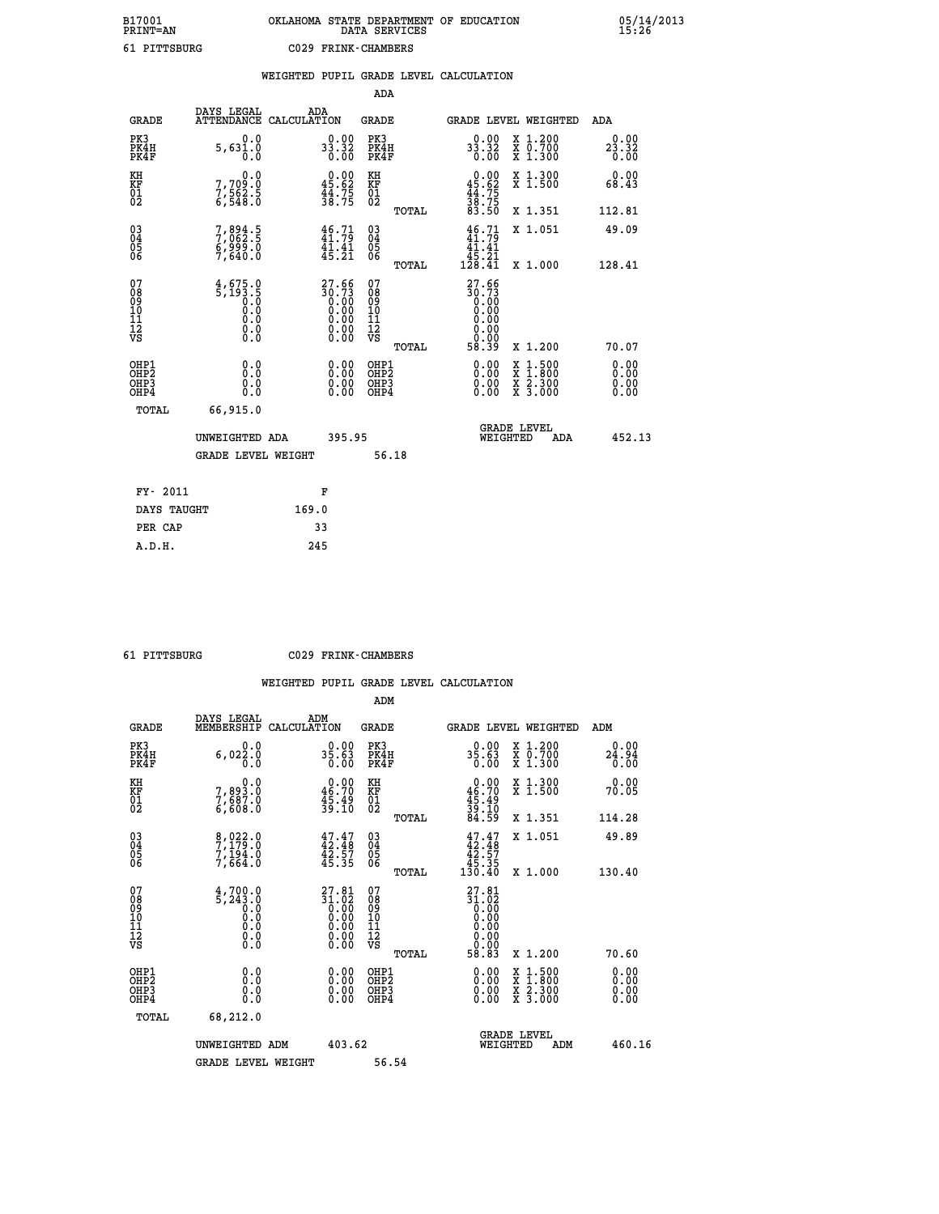# **B17001 OKLAHOMA STATE DEPARTMENT OF EDUCATION 05/14/2013 PRINT=AN DATA SERVICES 15:26 61 PITTSBURG C029 FRINK-CHAMBERS**

|            |                |     | WEIGHTED PUPIL GRADE LEVEL CALCULATION |  |
|------------|----------------|-----|----------------------------------------|--|
|            |                | ADA |                                        |  |
| DAVG TEGAT | $\overline{ }$ |     |                                        |  |

| <b>GRADE</b>                                       | DAYS LEGAL<br><b>ATTENDANCE</b>                                                                                       | ADA<br>CALCULATION |                                                                      | <b>GRADE</b>                           |       |                                                                                                                                                                                                                                                                                | <b>GRADE LEVEL WEIGHTED</b>                                                                      | ADA                          |
|----------------------------------------------------|-----------------------------------------------------------------------------------------------------------------------|--------------------|----------------------------------------------------------------------|----------------------------------------|-------|--------------------------------------------------------------------------------------------------------------------------------------------------------------------------------------------------------------------------------------------------------------------------------|--------------------------------------------------------------------------------------------------|------------------------------|
| PK3<br>PK4H<br>PK4F                                | 0.0<br>5,631.0                                                                                                        |                    | 33.32<br>0.00                                                        | PK3<br>PK4H<br>PK4F                    |       | $33.32$<br>0.00                                                                                                                                                                                                                                                                | X 1.200<br>X 0.700<br>X 1.300                                                                    | 0.00<br>23.32<br>0.00        |
| KH<br>KF<br>01<br>02                               | 0.0<br>7,709:0<br>7,562:5<br>6,548:0                                                                                  |                    | $\begin{smallmatrix} 0.00\\ 45.62\\ 44.75\\ 38.75 \end{smallmatrix}$ | KH<br>KF<br>01<br>02                   |       | $0.00\n45.62\n44.75\n38.75\n38.50$                                                                                                                                                                                                                                             | X 1.300<br>X 1.500                                                                               | 0.00<br>68.43                |
|                                                    |                                                                                                                       |                    |                                                                      |                                        | TOTAL |                                                                                                                                                                                                                                                                                | X 1.351                                                                                          | 112.81                       |
| $\begin{matrix} 03 \\ 04 \\ 05 \\ 06 \end{matrix}$ | 7,894.5<br>7,062.5<br>6,999.0<br>7,640.0                                                                              |                    | $\frac{46}{11.79}$<br>$\frac{41.41}{45.21}$                          | $\substack{03 \\ 04}$<br>05<br>06      |       | 46.71<br>41.41<br>$\frac{45.21}{128.41}$                                                                                                                                                                                                                                       | X 1.051                                                                                          | 49.09                        |
| 07                                                 |                                                                                                                       |                    |                                                                      |                                        | TOTAL |                                                                                                                                                                                                                                                                                | X 1.000                                                                                          | 128.41                       |
| 08<br>09<br>11<br>11<br>12<br>VS                   | $\frac{4}{5}, \frac{675}{193}$ $\cdot \frac{5}{0}$<br>0.0<br>$\begin{smallmatrix} 0.16 \ 0.0 \ 0.0 \end{smallmatrix}$ |                    | $27.66$<br>$30.73$                                                   | 07<br>08<br>09<br>11<br>11<br>12<br>VS |       | 27.66<br>30:73<br>0.00<br>0.00<br>0.00<br>0.00                                                                                                                                                                                                                                 |                                                                                                  |                              |
|                                                    |                                                                                                                       |                    |                                                                      |                                        | TOTAL | 58.39                                                                                                                                                                                                                                                                          | X 1.200                                                                                          | 70.07                        |
| OHP1<br>OHP2<br>OHP3<br>OHP4                       | 0.0<br>0.000                                                                                                          |                    | $\begin{smallmatrix} 0.00 \ 0.00 \ 0.00 \ 0.00 \end{smallmatrix}$    | OHP1<br>OHP2<br>OHP3<br>OHP4           |       | $\begin{smallmatrix} 0.00 & 0.00 & 0.00 & 0.00 & 0.00 & 0.00 & 0.00 & 0.00 & 0.00 & 0.00 & 0.00 & 0.00 & 0.00 & 0.00 & 0.00 & 0.00 & 0.00 & 0.00 & 0.00 & 0.00 & 0.00 & 0.00 & 0.00 & 0.00 & 0.00 & 0.00 & 0.00 & 0.00 & 0.00 & 0.00 & 0.00 & 0.00 & 0.00 & 0.00 & 0.00 & 0.0$ | $\begin{smallmatrix} x & 1 & 500 \\ x & 1 & 800 \\ x & 2 & 300 \\ x & 3 & 000 \end{smallmatrix}$ | 0.00<br>Ŏ.ŎŎ<br>0.00<br>0.00 |
| <b>TOTAL</b>                                       | 66,915.0                                                                                                              |                    |                                                                      |                                        |       |                                                                                                                                                                                                                                                                                |                                                                                                  |                              |
|                                                    | UNWEIGHTED ADA                                                                                                        |                    | 395.95                                                               |                                        |       | WEIGHTED                                                                                                                                                                                                                                                                       | <b>GRADE LEVEL</b><br>ADA                                                                        | 452.13                       |
|                                                    | <b>GRADE LEVEL WEIGHT</b>                                                                                             |                    |                                                                      | 56.18                                  |       |                                                                                                                                                                                                                                                                                |                                                                                                  |                              |
| FY- 2011                                           |                                                                                                                       |                    | F                                                                    |                                        |       |                                                                                                                                                                                                                                                                                |                                                                                                  |                              |
| DAYS TAUGHT                                        |                                                                                                                       | 169.0              |                                                                      |                                        |       |                                                                                                                                                                                                                                                                                |                                                                                                  |                              |
|                                                    |                                                                                                                       |                    |                                                                      |                                        |       |                                                                                                                                                                                                                                                                                |                                                                                                  |                              |

| <b>DITTERIIRC</b> |  |
|-------------------|--|

 **PER CAP 33 A.D.H. 245**

 **61 PITTSBURG C029 FRINK-CHAMBERS**

|                                                    |                                                                                                       |                                                                                                              | ADM                                                |       |                                                                  |                                                                                                                                           |                              |  |
|----------------------------------------------------|-------------------------------------------------------------------------------------------------------|--------------------------------------------------------------------------------------------------------------|----------------------------------------------------|-------|------------------------------------------------------------------|-------------------------------------------------------------------------------------------------------------------------------------------|------------------------------|--|
| <b>GRADE</b>                                       | DAYS LEGAL<br>MEMBERSHIP                                                                              | ADM<br>CALCULATION                                                                                           | <b>GRADE</b>                                       |       | GRADE LEVEL WEIGHTED                                             |                                                                                                                                           | ADM                          |  |
| PK3<br>PK4H<br>PK4F                                | 0.0<br>$6,02\frac{3}{6}\cdot\frac{6}{6}$                                                              | 35.63<br>0.00                                                                                                | PK3<br>PK4H<br>PK4F                                |       | 35.63<br>0.00                                                    | X 1.200<br>X 0.700<br>X 1.300                                                                                                             | 0.00<br>24.94<br>0.00        |  |
| KH<br>KF<br>01<br>02                               | $7,893.0$<br>$7,687.0$<br>$6,608.0$                                                                   | $\begin{smallmatrix} 0.00\\ 46.70\\ 45.49\\ 39.10 \end{smallmatrix}$                                         | KH<br>KF<br>01<br>02                               |       | $0.00\n46.70\n45.49\n39.10\n84.59$                               | X 1.300<br>X 1.500                                                                                                                        | 0.00<br>70.05                |  |
|                                                    |                                                                                                       |                                                                                                              |                                                    | TOTAL |                                                                  | X 1.351                                                                                                                                   | 114.28                       |  |
| $\begin{matrix} 03 \\ 04 \\ 05 \\ 06 \end{matrix}$ | 8,022.0<br>7,179.0<br>7,194.0<br>7,664.0                                                              | $47.47$<br>$42.48$<br>$\frac{42.57}{45.35}$                                                                  | $\begin{matrix} 03 \\ 04 \\ 05 \\ 06 \end{matrix}$ |       | $47.47\n42.48\n42.57\n45.35\n130.40$                             | X 1.051                                                                                                                                   | 49.89                        |  |
|                                                    |                                                                                                       |                                                                                                              |                                                    | TOTAL |                                                                  | X 1.000                                                                                                                                   | 130.40                       |  |
| 07<br>08<br>09<br>101<br>11<br>12<br>VS            | $\frac{4}{5}$ , 700.0<br>$\begin{smallmatrix} 0.0 & 0 \ 0.0 & 0 \ 0.0 & 0 \end{smallmatrix}$<br>$\S.$ | ${\footnotesize\begin{array}{c} 27.81\\ 31.02\\ 0.00\\ 0.00\\ 0.00\\ 0.00\\ 0.00\\ 0.00\\ 0.00 \end{array}}$ | 07<br>08<br>09<br>11<br>11<br>12<br>VS             |       | $27.81$<br>$31.02$<br>$0.00$<br>$0.00$<br>$0.00$<br>≬:≬≬<br>≬:≬≬ |                                                                                                                                           |                              |  |
|                                                    |                                                                                                       |                                                                                                              |                                                    | TOTAL | 58.83                                                            | X 1.200                                                                                                                                   | 70.60                        |  |
| OHP1<br>OHP2<br>OH <sub>P3</sub><br>OHP4           | 0.0<br>$\begin{smallmatrix} 0.0 & 0 \ 0.0 & 0 \end{smallmatrix}$                                      | $0.00$<br>$0.00$<br>0.00                                                                                     | OHP1<br>OHP2<br>OHP <sub>3</sub>                   |       | $0.00$<br>$0.00$<br>0.00                                         | $\begin{smallmatrix} \mathtt{X} & 1\cdot500\\ \mathtt{X} & 1\cdot800\\ \mathtt{X} & 2\cdot300\\ \mathtt{X} & 3\cdot000 \end{smallmatrix}$ | 0.00<br>Ŏ.ŎŎ<br>Q.QQ<br>0.00 |  |
| TOTAL                                              | 68,212.0                                                                                              |                                                                                                              |                                                    |       |                                                                  |                                                                                                                                           |                              |  |
|                                                    | UNWEIGHTED ADM                                                                                        | 403.62                                                                                                       |                                                    |       | <b>GRADE LEVEL</b><br>WEIGHTED                                   | ADM                                                                                                                                       | 460.16                       |  |
|                                                    | <b>GRADE LEVEL WEIGHT</b>                                                                             |                                                                                                              | 56.54                                              |       |                                                                  |                                                                                                                                           |                              |  |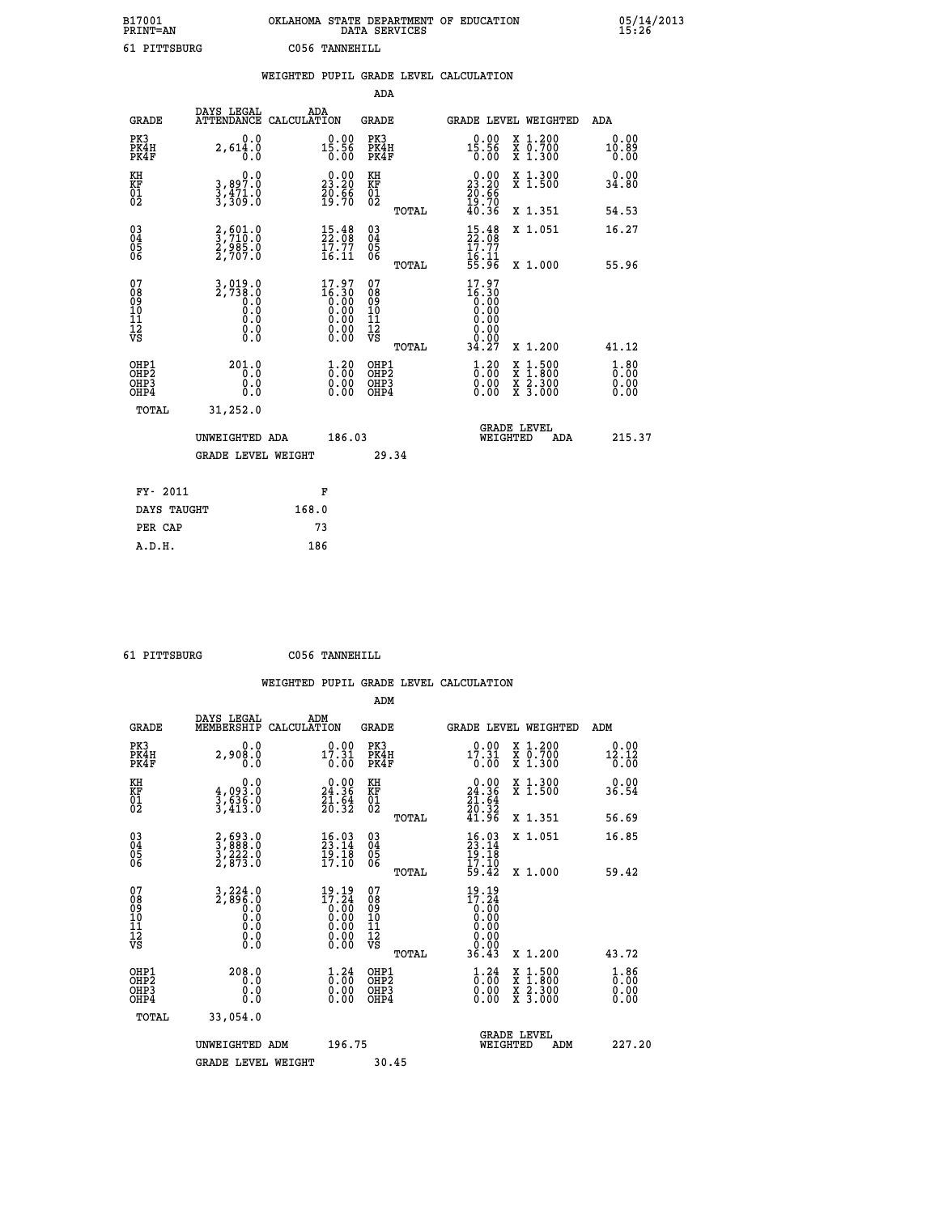| B17001<br><b>PRINT=AN</b> | OKLAHOMA STATE DEPARTMENT OF EDUCATION<br>DATA SERVICES |  |
|---------------------------|---------------------------------------------------------|--|
| 61 PITTSBURG              | C056 TANNEHILL                                          |  |

|                             |                                                 | WEIGHTED |                                |                             |       | PUPIL GRADE LEVEL CALCULATION |              |                               |                                                              |
|-----------------------------|-------------------------------------------------|----------|--------------------------------|-----------------------------|-------|-------------------------------|--------------|-------------------------------|--------------------------------------------------------------|
|                             |                                                 |          |                                | ADA                         |       |                               |              |                               |                                                              |
| <b>GRADE</b>                | DAYS LEGAL<br>ATTENDANCE CALCULATION            | ADA      |                                | GRADE                       |       |                               |              | <b>GRADE LEVEL WEIGHTED</b>   | ADA                                                          |
| PK3<br>PK4H<br>PK4F         | 0.0<br>2,614.0                                  |          | $0.00$<br>15.56<br>0.00        | PK3<br>PK4H<br>PK4F         |       | 15.56                         | 0.00<br>0.00 | X 1.200<br>X 0.700<br>X 1.300 | $\begin{smallmatrix} 0.00 \ 10.89 \end{smallmatrix}$<br>0.00 |
| ΚH<br><b>KF</b><br>01<br>02 | 0.0<br>3,897<br>3<br>3<br>$\frac{471.0}{309.0}$ |          | 23.20<br>$\frac{20.56}{19.70}$ | КH<br>KF<br>$\overline{01}$ |       | 23<br>$\frac{70.56}{19.70}$   | 0.00<br>.20  | X 1.300<br>X <sub>1.500</sub> | $0.00$<br>34.80                                              |
|                             |                                                 |          |                                |                             | TOTAL | 40 <sub>1</sub>               | . 36         | 1.351                         | 54.53                                                        |

| $\begin{matrix} 03 \\ 04 \\ 05 \\ 06 \end{matrix}$            | 2,601.0<br>3,710.0<br>2,985.0<br>2,707.0    | $\begin{smallmatrix} 15.48\\ 22.08\\ 17.77\\ 16.11 \end{smallmatrix}$                                 | $\begin{matrix} 03 \\ 04 \\ 05 \\ 06 \end{matrix}$<br>TOTAL      | $15.48$<br>$17.77$<br>$16.11$<br>$55.96$                                                        |                                | X 1.051<br>X 1.000                       | 16.27<br>55.96                                           |
|---------------------------------------------------------------|---------------------------------------------|-------------------------------------------------------------------------------------------------------|------------------------------------------------------------------|-------------------------------------------------------------------------------------------------|--------------------------------|------------------------------------------|----------------------------------------------------------|
| 07<br>08<br>09<br>101<br>11<br>12<br>VS                       |                                             | $\begin{smallmatrix} 17.97\ 16.30\ 0.00\ 0.00\ 0.00\ 0.00\ 0.00\ 0.00\ 0.00\ 0.00\ \end{smallmatrix}$ | 07<br>08<br>09<br>001<br>11<br>11<br>12<br>VS<br>TOTAL           | $\begin{smallmatrix} 17.97\\16.30\\0.00\\0.00\\0.00\\0.00\\0.00\\0.10\\34.27 \end{smallmatrix}$ |                                | X 1.200                                  | 41.12                                                    |
| OHP1<br>OHP <sub>2</sub><br>OH <sub>P3</sub><br>OHP4<br>TOTAL | 201.0<br>0.0<br>Ŏ.Ŏ<br>31,252.0             | $\begin{smallmatrix} 1.20\ 0.00\ 0.00 \end{smallmatrix}$                                              | OHP1<br>OHP <sub>2</sub><br>OHP <sub>3</sub><br>OHP <sub>4</sub> | $\begin{smallmatrix} 1.20\ 0.00\ 0.00 \end{smallmatrix}$                                        |                                | X 1:500<br>X 1:800<br>X 2:300<br>X 3:000 | $\begin{smallmatrix} 1.80\ 0.00\ 0.00 \end{smallmatrix}$ |
|                                                               | UNWEIGHTED ADA<br><b>GRADE LEVEL WEIGHT</b> | 186.03                                                                                                | 29.34                                                            |                                                                                                 | <b>GRADE LEVEL</b><br>WEIGHTED | ADA                                      | 215.37                                                   |
| FY- 2011                                                      |                                             | F                                                                                                     |                                                                  |                                                                                                 |                                |                                          |                                                          |

| --<br>----  |       |
|-------------|-------|
| DAYS TAUGHT | 168.0 |
| PER CAP     | 73    |
| A.D.H.      | 186   |
|             |       |

 **ADM**

 **61 PITTSBURG C056 TANNEHILL**

 **B17001<br>PRINT=AN** 

| <b>GRADE</b>                             | DAYS LEGAL<br>MEMBERSHIP                                                     | ADM<br>CALCULATION                                                 | <b>GRADE</b>                                       |       | <b>GRADE LEVEL WEIGHTED</b>                                                                                                                   |                                          | ADM                                |
|------------------------------------------|------------------------------------------------------------------------------|--------------------------------------------------------------------|----------------------------------------------------|-------|-----------------------------------------------------------------------------------------------------------------------------------------------|------------------------------------------|------------------------------------|
| PK3<br>PK4H<br>PK4F                      | 0.0<br>2,908.0<br>0.0                                                        | 17.31<br>0.00                                                      | PK3<br>PK4H<br>PK4F                                |       | 17.31<br>0.00                                                                                                                                 | X 1.200<br>X 0.700<br>X 1.300            | $0.00$<br>12.12<br>0.00            |
| KH<br>KF<br>01<br>02                     | $\begin{smallmatrix} 0.0 \\ 4.093.0 \\ 3.636.0 \\ 3.413.0 \end{smallmatrix}$ | $\begin{smallmatrix} 0.00\\24.36\\21.64\\20.32 \end{smallmatrix}$  | KH<br>KF<br>01<br>02                               |       | 24.36<br>$\frac{21.64}{20.32}$<br>41.96                                                                                                       | X 1.300<br>X 1.500                       | 0.00<br>36.54                      |
|                                          |                                                                              |                                                                    |                                                    | TOTAL |                                                                                                                                               | X 1.351                                  | 56.69                              |
| 03<br>04<br>05<br>06                     | 2,693.0<br>3,888.0<br>3,222.0<br>2,873.0                                     | $\begin{smallmatrix} 16.03\ 23.14\ 19.18\ 17.10 \end{smallmatrix}$ | $\begin{matrix} 03 \\ 04 \\ 05 \\ 06 \end{matrix}$ |       | $16.03$<br>$23.14$<br>$19.18$<br>$17.10$<br>$59.42$                                                                                           | X 1.051                                  | 16.85                              |
|                                          |                                                                              |                                                                    |                                                    | TOTAL |                                                                                                                                               | X 1.000                                  | 59.42                              |
| 07<br>089<br>090<br>1112<br>VS           |                                                                              | $19.19\n17.24\n0.00\n0.00\n0.00\n0.00\n0.00$                       | 07<br>08<br>09<br>11<br>11<br>12<br>VS             | TOTAL | $\begin{smallmatrix} 19 & .19 \\ 17 & .24 \\ 0 & .00 \\ 0 & .00 \\ 0 & .00 \\ 0 & .00 \\ 0 & .00 \\ 0 & .00 \\ 36 & .43 \\ \end{smallmatrix}$ | X 1.200                                  | 43.72                              |
|                                          | 208.0                                                                        |                                                                    |                                                    |       |                                                                                                                                               |                                          |                                    |
| OHP1<br>OHP2<br>OH <sub>P3</sub><br>OHP4 | 0.0<br>0.000                                                                 | $\begin{smallmatrix} 1\cdot 24\0.00\0.00 \end{smallmatrix}$        | OHP1<br>OHP2<br>OHP3<br>OHP4                       |       | $\begin{smallmatrix} 1\ 0.24\ 0.00\ 0.00\ 0.00 \end{smallmatrix}$                                                                             | X 1:500<br>X 1:800<br>X 2:300<br>X 3:000 | $\frac{1}{0}$ : 00<br>0.00<br>0.00 |
| TOTAL                                    | 33,054.0                                                                     |                                                                    |                                                    |       |                                                                                                                                               |                                          |                                    |
|                                          | UNWEIGHTED                                                                   | 196.75<br>ADM                                                      |                                                    |       | WEIGHTED                                                                                                                                      | <b>GRADE LEVEL</b><br>ADM                | 227.20                             |
|                                          | <b>GRADE LEVEL WEIGHT</b>                                                    |                                                                    | 30.45                                              |       |                                                                                                                                               |                                          |                                    |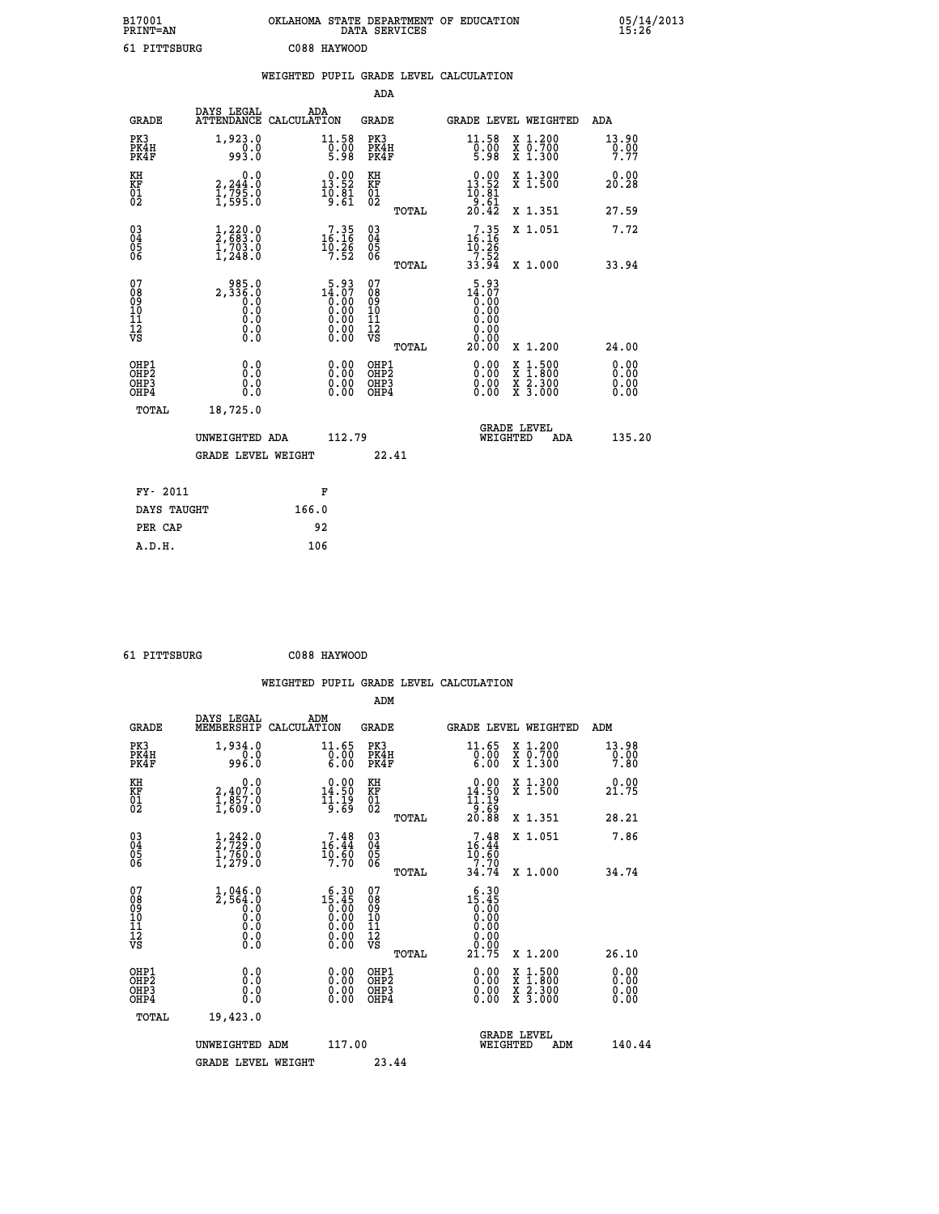| B17001<br><b>PRINT=AN</b> | OKLAHOMA STATE DEPARTMENT OF EDUCATION<br>DATA SERVICES | 05/14/2013<br>15:26 |
|---------------------------|---------------------------------------------------------|---------------------|
| 61 PITTSBURG              | C088 HAYWOOD                                            |                     |

|                                                    |                                                                        | WEIGHTED PUPIL GRADE LEVEL CALCULATION                                                                                |                                        |       |                                                          |                                                                                                                                           |                              |
|----------------------------------------------------|------------------------------------------------------------------------|-----------------------------------------------------------------------------------------------------------------------|----------------------------------------|-------|----------------------------------------------------------|-------------------------------------------------------------------------------------------------------------------------------------------|------------------------------|
|                                                    |                                                                        |                                                                                                                       | ADA                                    |       |                                                          |                                                                                                                                           |                              |
| <b>GRADE</b>                                       | DAYS LEGAL                                                             | ADA<br>ATTENDANCE CALCULATION                                                                                         | <b>GRADE</b>                           |       | GRADE LEVEL WEIGHTED                                     |                                                                                                                                           | ADA                          |
| PK3<br>PK4H<br>PK4F                                | 1,923.0<br>993.0                                                       | $\begin{array}{c} 11.58 \\ 0.00 \\ 5.98 \end{array}$                                                                  | PK3<br>PK4H<br>PK4F                    |       | 11.58<br>$\frac{0}{5}.00$<br>5.98                        | X 1.200<br>X 0.700<br>X 1.300                                                                                                             | 13.90<br>0.00<br>7.77        |
| KH<br>KF<br>01<br>02                               | $\begin{smallmatrix} 0.0\\2,244.0\\1,795.0\\1,595.0 \end{smallmatrix}$ | $\begin{smallmatrix} 0.00\\13.52\\10.81\\9.61 \end{smallmatrix}$                                                      | KH<br>KF<br>01<br>02                   |       | $0.00$<br>13.52<br>$\frac{10.81}{9.61}$<br>$20.42$       | X 1.300<br>X 1.500                                                                                                                        | 0.00<br>20.28                |
|                                                    |                                                                        |                                                                                                                       |                                        | TOTAL |                                                          | X 1.351                                                                                                                                   | 27.59                        |
| $\begin{matrix} 03 \\ 04 \\ 05 \\ 06 \end{matrix}$ | $\frac{1}{2}$ , $\frac{220}{683}$ : 0<br>$\frac{1}{1}$ , 703.0         | $\begin{smallmatrix}7.35\\16.16\\10.26\\7.52\end{smallmatrix}$                                                        | $\substack{03 \\ 04}$<br>Ŏ5<br>06      |       | $7.35$<br>$16.16$<br>$10.26$<br>$7.52$<br>$33.94$        | X 1.051                                                                                                                                   | 7.72                         |
|                                                    |                                                                        |                                                                                                                       |                                        | TOTAL |                                                          | X 1.000                                                                                                                                   | 33.94                        |
| 07<br>08<br>09<br>101<br>112<br>VS                 | 985.0<br>2,336.8<br>0.0<br>$\S.$                                       | $14.07$<br>$0.00$<br>$0.00$<br>$0.00$<br>$0.00$<br>$\begin{smallmatrix} 0.00 & 0.00 \\ 0.00 & 0.00 \end{smallmatrix}$ | 07<br>08<br>09<br>11<br>11<br>12<br>VS | TOTAL | 5.93<br>$14.07$<br>0.00<br>0.00<br>0.00<br>0.00<br>20.00 | X 1.200                                                                                                                                   | 24.00                        |
| OHP1<br>OHP2<br>OH <sub>P3</sub><br>OHP4           | 0.0<br>Ō.Ō<br>0.0<br>0.0                                               | $\begin{smallmatrix} 0.00 \ 0.00 \ 0.00 \ 0.00 \end{smallmatrix}$                                                     | OHP1<br>OHP2<br>OHP3<br>OHP4           |       |                                                          | $\begin{smallmatrix} \mathtt{X} & 1\cdot500\\ \mathtt{X} & 1\cdot800\\ \mathtt{X} & 2\cdot300\\ \mathtt{X} & 3\cdot000 \end{smallmatrix}$ | 0.00<br>0.00<br>0.00<br>0.00 |
| TOTAL                                              | 18,725.0                                                               |                                                                                                                       |                                        |       |                                                          |                                                                                                                                           |                              |
|                                                    | UNWEIGHTED ADA                                                         | 112.79                                                                                                                |                                        |       | WEIGHTED                                                 | <b>GRADE LEVEL</b><br>ADA                                                                                                                 | 135.20                       |
|                                                    | <b>GRADE LEVEL WEIGHT</b>                                              |                                                                                                                       | 22.41                                  |       |                                                          |                                                                                                                                           |                              |
| FY- 2011                                           |                                                                        | F                                                                                                                     |                                        |       |                                                          |                                                                                                                                           |                              |
| DAYS TAUGHT                                        |                                                                        | 166.0                                                                                                                 |                                        |       |                                                          |                                                                                                                                           |                              |
| PER CAP                                            |                                                                        | 92                                                                                                                    |                                        |       |                                                          |                                                                                                                                           |                              |

 **ADM**

 **61 PITTSBURG C088 HAYWOOD**

| <b>GRADE</b>                                       | DAYS LEGAL<br>MEMBERSHIP                                                   | ADM<br>CALCULATION                                                                                                                                                                                                                                                                                                                        | <b>GRADE</b>                             |       |                                                                                                                                                         |          | GRADE LEVEL WEIGHTED                     | ADM                   |
|----------------------------------------------------|----------------------------------------------------------------------------|-------------------------------------------------------------------------------------------------------------------------------------------------------------------------------------------------------------------------------------------------------------------------------------------------------------------------------------------|------------------------------------------|-------|---------------------------------------------------------------------------------------------------------------------------------------------------------|----------|------------------------------------------|-----------------------|
| PK3<br>PK4H<br>PK4F                                | 1,934.0<br>0.0<br>0.0ee                                                    | 11.65<br>$\left[\begin{smallmatrix}\bar{0} & \bar{0} & \bar{0} \ \bar{0} & \bar{0} & \bar{0} \ 6 & \bar{0} & \bar{0} \end{smallmatrix}\right]$                                                                                                                                                                                            | PK3<br>PK4H<br>PK4F                      |       | 11.65<br>$\begin{matrix} 0.00 \\ 6.00 \end{matrix}$                                                                                                     |          | X 1.200<br>X 0.700<br>X 1.300            | 13.98<br>0.00<br>7.80 |
| KH<br>KF<br>01<br>02                               | $\begin{smallmatrix} & & 0.0\ 2.407.0\ 1.857.0\ 1.609.0 \end{smallmatrix}$ | $0.00$<br>14.50<br>1]:19<br>9∶59                                                                                                                                                                                                                                                                                                          | KH<br>KF<br>01<br>02                     |       | $\begin{array}{c} 0.00 \\ 14.50 \\ 11.19 \\ 9.69 \\ 20.88 \end{array}$                                                                                  |          | X 1.300<br>X 1.500                       | 0.00<br>21.75         |
|                                                    |                                                                            |                                                                                                                                                                                                                                                                                                                                           |                                          | TOTAL |                                                                                                                                                         |          | X 1.351                                  | 28.21                 |
| $\begin{matrix} 03 \\ 04 \\ 05 \\ 06 \end{matrix}$ | $\frac{1}{2}$ , $\frac{242}{729}$ . 0<br>1, 760. 0<br>1, 279. 0            | $\begin{smallmatrix}7.48\\16.44\\10.60\\7.70\end{smallmatrix}$                                                                                                                                                                                                                                                                            | $\substack{03 \\ 04}$<br>$\frac{05}{06}$ |       | $16.44$<br>$16.44$<br>$10.60$<br>$7.70$                                                                                                                 |          | X 1.051                                  | 7.86                  |
|                                                    |                                                                            |                                                                                                                                                                                                                                                                                                                                           |                                          | TOTAL | 34.74                                                                                                                                                   |          | X 1.000                                  | 34.74                 |
| 07<br>089<br>090<br>1112<br>VS                     | $1,046.0$<br>$2,564.0$<br>$0.0$<br>$0.0$<br>$0.0$<br>$0.0$<br>$0.0$        | $\begin{smallmatrix} 6 & 3 & 0 \\ 1 & 5 & 4 & 5 \\ 0 & 0 & 0 \\ 0 & 0 & 0 \\ 0 & 0 & 0 \\ 0 & 0 & 0 \\ 0 & 0 & 0 \\ 0 & 0 & 0 \\ 0 & 0 & 0 \\ 0 & 0 & 0 \\ 0 & 0 & 0 \\ 0 & 0 & 0 \\ 0 & 0 & 0 \\ 0 & 0 & 0 \\ 0 & 0 & 0 \\ 0 & 0 & 0 \\ 0 & 0 & 0 \\ 0 & 0 & 0 \\ 0 & 0 & 0 \\ 0 & 0 & 0 \\ 0 & 0 & 0 \\ 0 & 0 & 0 \\ 0 & 0 & 0 \\ 0 & $ | 07<br>08901112<br>1112<br>VS             | TOTAL | $\begin{smallmatrix} 6 & 3 & 0 \\ 1 & 5 & 4 & 5 \\ 0 & 0 & 0 & 0 \\ 0 & 0 & 0 & 0 \\ 0 & 0 & 0 & 0 \\ 0 & 0 & 0 & 0 \\ 2 & 1 & 7 & 5 \end{smallmatrix}$ |          | X 1.200                                  | 26.10                 |
|                                                    |                                                                            |                                                                                                                                                                                                                                                                                                                                           |                                          |       |                                                                                                                                                         |          |                                          |                       |
| OHP1<br>OHP2<br>OH <sub>P3</sub><br>OHP4           | 0.0<br>0.000                                                               | $\begin{smallmatrix} 0.00 & 0.00 & 0.00 & 0.00 & 0.00 & 0.00 & 0.00 & 0.00 & 0.00 & 0.00 & 0.00 & 0.00 & 0.00 & 0.00 & 0.00 & 0.00 & 0.00 & 0.00 & 0.00 & 0.00 & 0.00 & 0.00 & 0.00 & 0.00 & 0.00 & 0.00 & 0.00 & 0.00 & 0.00 & 0.00 & 0.00 & 0.00 & 0.00 & 0.00 & 0.00 & 0.0$                                                            | OHP1<br>OHP2<br>OHP3<br>OHP4             |       |                                                                                                                                                         |          | X 1:500<br>X 1:800<br>X 2:300<br>X 3:000 | 0.00<br>0.00<br>0.00  |
| TOTAL                                              | 19,423.0                                                                   |                                                                                                                                                                                                                                                                                                                                           |                                          |       |                                                                                                                                                         |          |                                          |                       |
|                                                    | UNWEIGHTED ADM                                                             | 117.00                                                                                                                                                                                                                                                                                                                                    |                                          |       |                                                                                                                                                         | WEIGHTED | <b>GRADE LEVEL</b><br>ADM                | 140.44                |
|                                                    | <b>GRADE LEVEL WEIGHT</b>                                                  |                                                                                                                                                                                                                                                                                                                                           | 23.44                                    |       |                                                                                                                                                         |          |                                          |                       |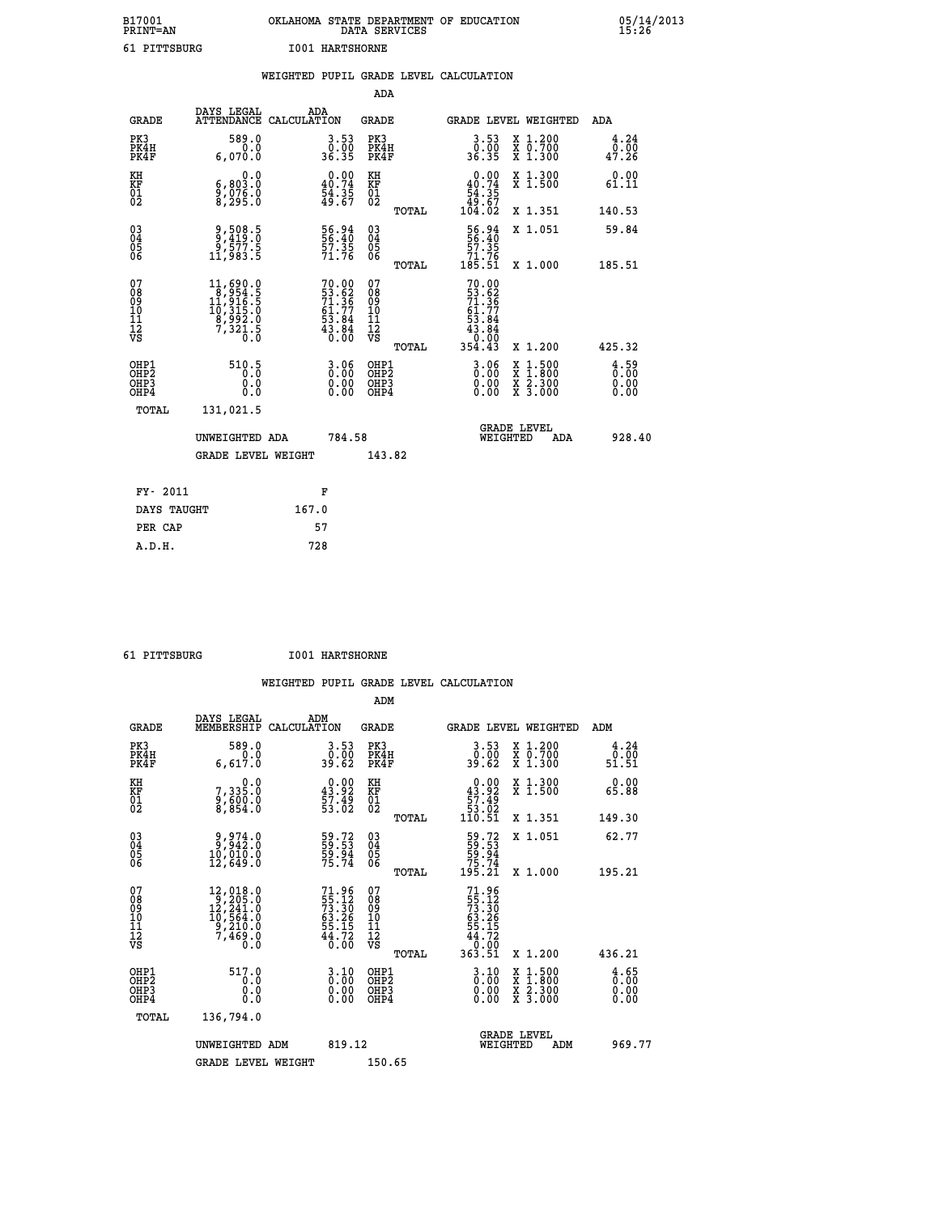| B17001<br><b>PRINT=AN</b> |              | OKLAHOMA STATE DEPARTMENT OF EDUCATION | DATA SERVICES |  |
|---------------------------|--------------|----------------------------------------|---------------|--|
|                           | 61 PITTSBURG | <b>I001 HARTSHORNE</b>                 |               |  |

|                                                              |                                                                                                                  |       |                                                                        |                                          |       | WEIGHTED PUPIL GRADE LEVEL CALCULATION                     |                                                                                                                                           |                                     |
|--------------------------------------------------------------|------------------------------------------------------------------------------------------------------------------|-------|------------------------------------------------------------------------|------------------------------------------|-------|------------------------------------------------------------|-------------------------------------------------------------------------------------------------------------------------------------------|-------------------------------------|
|                                                              |                                                                                                                  |       |                                                                        | <b>ADA</b>                               |       |                                                            |                                                                                                                                           |                                     |
| <b>GRADE</b>                                                 | DAYS LEGAL<br>ATTENDANCE CALCULATION                                                                             |       | ADA                                                                    | GRADE                                    |       | GRADE LEVEL WEIGHTED                                       |                                                                                                                                           | ADA                                 |
| PK3<br>PK4H<br>PK4F                                          | 589.0<br>0.0<br>6,070.0                                                                                          |       | $3.53$<br>$36.35$                                                      | PK3<br>PK4H<br>PK4F                      |       | $3.53$<br>$0.00$<br>36.35                                  | X 1.200<br>X 0.700<br>X 1.300                                                                                                             | 4.24<br>0.00<br>47.26               |
| KH<br>KF<br>01<br>02                                         | 0.0<br>6,803.0<br>$\frac{5}{8}$ , $\frac{576}{295}$ . $\frac{8}{8}$                                              |       | $\begin{smallmatrix} 0.00\\ 40.74\\ 54.35\\ 49.67 \end{smallmatrix}$   | KH<br>KF<br>01<br>02                     |       | 0.00<br>$40.74$<br>54.35<br>$49.67$<br>104.02              | X 1.300<br>X 1.500                                                                                                                        | 0.00<br>61.11                       |
|                                                              |                                                                                                                  |       |                                                                        |                                          | TOTAL |                                                            | X 1.351                                                                                                                                   | 140.53                              |
| $\begin{smallmatrix} 03 \\[-4pt] 04 \end{smallmatrix}$<br>Ŏ5 | 9,508.5<br>9,419.0<br>9,577.5<br>11,983.5                                                                        |       | 56.94<br>56.40<br>57.35<br>71.76                                       | $\substack{03 \\ 04}$<br>Ŏ5<br>06        |       | $\frac{56.94}{57.35}$<br>$\frac{71.76}{71.76}$<br>$185.51$ | X 1.051                                                                                                                                   | 59.84                               |
| ŌĞ                                                           |                                                                                                                  |       |                                                                        |                                          | TOTAL |                                                            | X 1.000                                                                                                                                   | 185.51                              |
| 07<br>08<br>09<br>11<br>11<br>12<br>VS                       | $\begin{smallmatrix} 11, 690.0\\ 8, 954.5\\ 11, 916.5\\ 10, 315.0\\ 8, 992.0\\ 7, 321.5\\ 0.0 \end{smallmatrix}$ |       | $70.00$<br>53.62<br>71.36<br>71.77<br>61.77<br>53.84<br>43.84<br>43.84 | 07<br>08<br>09<br>11<br>11<br>12<br>VS   | TOTAL | 70.00                                                      | X 1.200                                                                                                                                   | 425.32                              |
| OHP1<br>OH <sub>P</sub><br>OHP3<br>OHP4                      | 510.5<br>0.0<br>0.0                                                                                              |       | $\begin{smallmatrix} 3.06\ 0.00\ 0.00 \end{smallmatrix}$               | OHP1<br>OHP <sub>2</sub><br>OHP3<br>OHP4 |       | $\begin{smallmatrix} 3.06\ 0.00\ 0.00 \end{smallmatrix}$   | $\begin{smallmatrix} \mathtt{X} & 1\cdot500\\ \mathtt{X} & 1\cdot800\\ \mathtt{X} & 2\cdot300\\ \mathtt{X} & 3\cdot000 \end{smallmatrix}$ | $\frac{4.59}{0.00}$<br>0.00<br>0.00 |
| TOTAL                                                        | 131,021.5                                                                                                        |       |                                                                        |                                          |       |                                                            |                                                                                                                                           |                                     |
|                                                              | UNWEIGHTED ADA                                                                                                   |       | 784.58                                                                 |                                          |       | WEIGHTED                                                   | <b>GRADE LEVEL</b><br><b>ADA</b>                                                                                                          | 928.40                              |
|                                                              | <b>GRADE LEVEL WEIGHT</b>                                                                                        |       |                                                                        | 143.82                                   |       |                                                            |                                                                                                                                           |                                     |
| FY- 2011                                                     |                                                                                                                  |       | F                                                                      |                                          |       |                                                            |                                                                                                                                           |                                     |
| DAYS TAUGHT                                                  |                                                                                                                  | 167.0 |                                                                        |                                          |       |                                                            |                                                                                                                                           |                                     |
| PER CAP                                                      |                                                                                                                  |       | 57                                                                     |                                          |       |                                                            |                                                                                                                                           |                                     |

 **61 PITTSBURG I001 HARTSHORNE**

 **A.D.H. 728**

 **WEIGHTED PUPIL GRADE LEVEL CALCULATION ADM DAYS LEGAL ADM**

| <b>GRADE</b>                                       | MEMBERSHIP CALCULATION                                                                        |                                                                        | GRADE                                        |       |                                                                                      | GRADE LEVEL WEIGHTED                                                                                                                 | ADM                                             |  |
|----------------------------------------------------|-----------------------------------------------------------------------------------------------|------------------------------------------------------------------------|----------------------------------------------|-------|--------------------------------------------------------------------------------------|--------------------------------------------------------------------------------------------------------------------------------------|-------------------------------------------------|--|
| PK3<br>PK4H<br>PK4F                                | 589.0<br>0.0<br>6,617.0                                                                       | 3.53<br>0.00<br>39.62                                                  | PK3<br>PK4H<br>PK4F                          |       | $3.53$<br>$39.62$                                                                    | X 1.200<br>X 0.700<br>X 1.300                                                                                                        | 4.24<br>0.00<br>51.51                           |  |
| KH<br>KF<br>01<br>02                               | 0.0<br>7,335:0<br>9,600:0<br>8,854:0                                                          | $\begin{smallmatrix} 0.00\\ 43.92\\ 57.49\\ 53.02 \end{smallmatrix}$   | KH<br>KF<br>01<br>02                         |       | $\begin{smallmatrix}&&0.00\\43.92\\57.49\\53.02\\110.51\end{smallmatrix}$            | X 1.300<br>X 1.500                                                                                                                   | 0.00<br>65.88                                   |  |
|                                                    |                                                                                               |                                                                        |                                              | TOTAL |                                                                                      | X 1.351                                                                                                                              | 149.30                                          |  |
| $\begin{matrix} 03 \\ 04 \\ 05 \\ 06 \end{matrix}$ | $\begin{smallmatrix} 9,974.0\\ 9,942.0\\ 10,010.0\\ 12,649.0 \end{smallmatrix}$               | 59.72<br>59.53<br>59.94<br>75.74                                       | 030404<br>06                                 |       | 59.72<br>59.53<br>59.94<br>75.74<br>195.21                                           | X 1.051                                                                                                                              | 62.77                                           |  |
|                                                    |                                                                                               |                                                                        |                                              | TOTAL |                                                                                      | X 1.000                                                                                                                              | 195.21                                          |  |
| 07<br>08<br>09<br>101<br>11<br>12<br>VS            | $\begin{smallmatrix}12,018.0\\9,205.0\\12,241.0\\10,564.0\\9,210.0\\7,469.0\end{smallmatrix}$ | $71.96$<br>$73.30$<br>$73.30$<br>$63.26$<br>$55.15$<br>$44.72$<br>0.00 | 07<br>08<br>09<br>09<br>10<br>11<br>12<br>VS |       | $71.96$<br>$55.12$<br>$73.30$<br>$63.26$<br>$55.15$<br>$44.72$<br>$0.00$<br>$363.51$ |                                                                                                                                      |                                                 |  |
|                                                    |                                                                                               |                                                                        |                                              | TOTAL |                                                                                      | X 1.200                                                                                                                              | 436.21                                          |  |
| OHP1<br>OHP2<br>OH <sub>P3</sub><br>OHP4           | 517.0<br>0.0<br>0.0<br>Ŏ.Ŏ                                                                    | $\begin{smallmatrix} 3.10\ 0.00 \end{smallmatrix}$<br>0.00             | OHP1<br>OHP2<br>OHP3<br>OHP4                 |       | $\begin{smallmatrix} 3.10\ 0.00 \end{smallmatrix}$<br>0.00                           | $\begin{smallmatrix} \mathtt{X} & 1 & 500 \\ \mathtt{X} & 1 & 800 \\ \mathtt{X} & 2 & 300 \\ \mathtt{X} & 3 & 000 \end{smallmatrix}$ | $\frac{4}{0}$ : $\frac{65}{00}$<br>0.00<br>0.00 |  |
| TOTAL                                              | 136,794.0                                                                                     |                                                                        |                                              |       |                                                                                      |                                                                                                                                      |                                                 |  |
|                                                    | UNWEIGHTED ADM                                                                                | 819.12                                                                 |                                              |       | WEIGHTED                                                                             | <b>GRADE LEVEL</b><br>ADM                                                                                                            | 969.77                                          |  |
|                                                    | <b>GRADE LEVEL WEIGHT</b>                                                                     |                                                                        | 150.65                                       |       |                                                                                      |                                                                                                                                      |                                                 |  |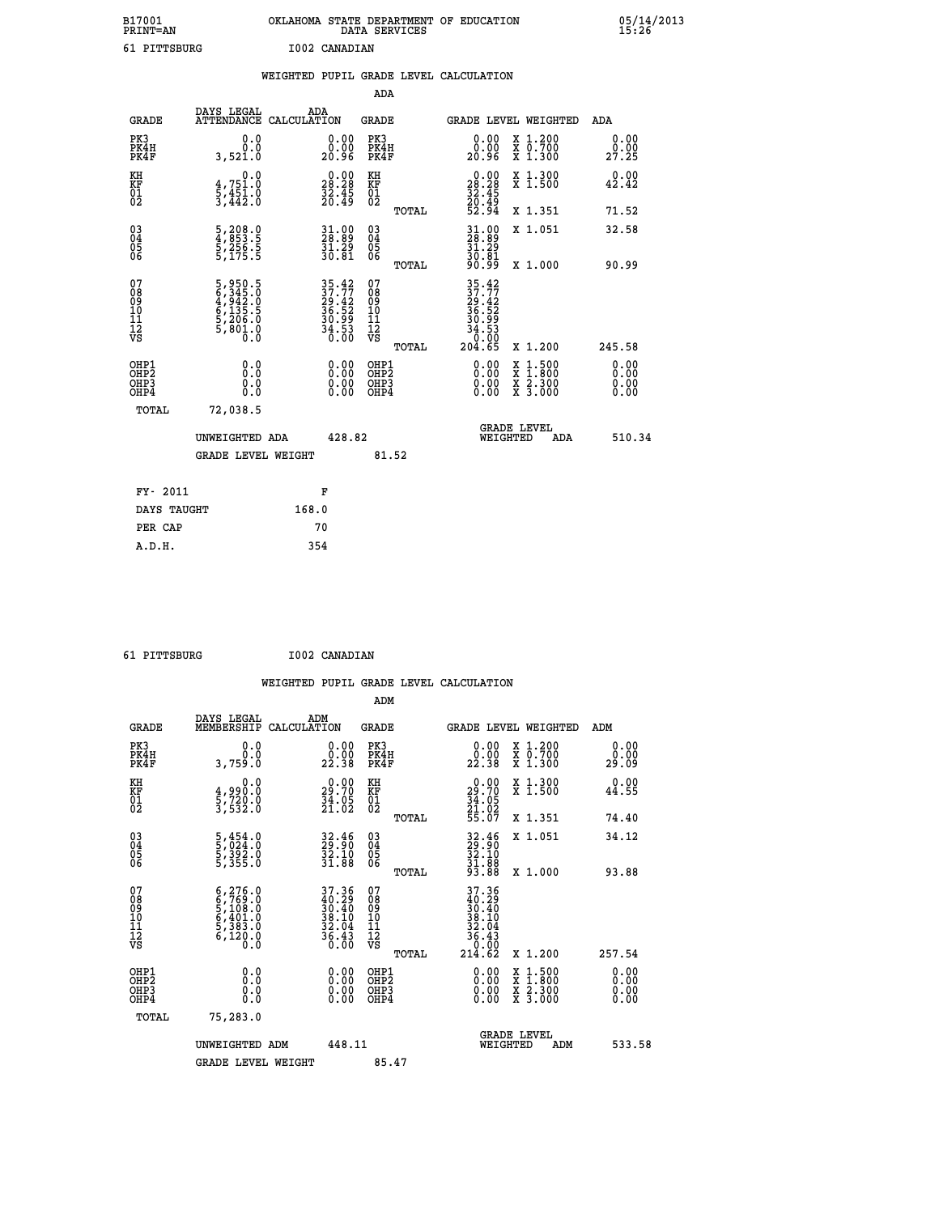| B17001<br>PRINT=AN | OKLAHOMA STATE DEPARTMENT OF EDUCATION<br>DATA SERVICES | 05/14/2013<br>15:26 |
|--------------------|---------------------------------------------------------|---------------------|
| 61 PITTSBURG       | I002 CANADIAN                                           |                     |

|                                |                                                                           |                                                                          |                                                     |       | WEIGHTED PUPIL GRADE LEVEL CALCULATION                                                                                                             |                                                    |                              |
|--------------------------------|---------------------------------------------------------------------------|--------------------------------------------------------------------------|-----------------------------------------------------|-------|----------------------------------------------------------------------------------------------------------------------------------------------------|----------------------------------------------------|------------------------------|
|                                |                                                                           |                                                                          | <b>ADA</b>                                          |       |                                                                                                                                                    |                                                    |                              |
| <b>GRADE</b>                   | DAYS LEGAL<br><b>ATTENDANCE</b>                                           | ADA<br>CALCULATION                                                       | <b>GRADE</b>                                        |       |                                                                                                                                                    | GRADE LEVEL WEIGHTED                               | ADA                          |
| PK3<br>PK4H<br>PK4F            | 0.0<br>0.0<br>3,521.0                                                     | $\begin{smallmatrix} 0.00\\ 0.00\\ 20.96 \end{smallmatrix}$              | PK3<br>PK4H<br>PK4F                                 |       | 0.00<br>0.00<br>20.96                                                                                                                              | X 1.200<br>X 0.700<br>X 1.300                      | 0.00<br>0.00<br>27.25        |
| KH<br>KF<br>01<br>02           | $\begin{smallmatrix}&&&0.0\\4.751.0\\5.451.0\\3.442.0\end{smallmatrix}$   | $\begin{smallmatrix} 0.00\\ 28.28\\ 32.45\\ 20.49 \end{smallmatrix}$     | KH<br>KF<br>01<br>02                                |       | $\begin{smallmatrix} 0.00\\ 28.28\\ 32.45\\ 20.49\\ 52.94 \end{smallmatrix}$                                                                       | X 1.300<br>X 1.500                                 | 0.00<br>42.42                |
|                                |                                                                           |                                                                          |                                                     | TOTAL |                                                                                                                                                    | X 1.351                                            | 71.52                        |
| $^{03}_{04}$<br>Ŏ5<br>06       | 5,208.0<br>4,853.5<br>5,256.5<br>5,175.5                                  | $\frac{31.00}{28.89}$<br>$\frac{51.29}{30.81}$                           | $\begin{array}{c} 03 \\ 04 \\ 05 \\ 06 \end{array}$ |       | $\begin{smallmatrix} 31.00\\ 28.89\\ 31.29\\ 30.81\\ 90.99 \end{smallmatrix}$                                                                      | X 1.051                                            | 32.58                        |
|                                |                                                                           |                                                                          |                                                     | TOTAL |                                                                                                                                                    | X 1.000                                            | 90.99                        |
| 07<br>089<br>090<br>1112<br>VS | 5,950.5<br>6,345.0<br>4,942.0<br>4,942.0<br>5,135.5<br>5,206.0<br>5,801.0 | $35.42$<br>$37.77$<br>$29.42$<br>$36.52$<br>$30.99$<br>$34.53$<br>$0.00$ | 07<br>08901112<br>1112<br>VS                        | TOTAL | $\begin{smallmatrix} 35 & .42 \\ 37 & .77 \\ 29 & .42 \\ 36 & .52 \\ 36 & .59 \\ 34 & .53 \\ 4 & .53 \\ 0 & .00 \\ 204 & .65 \\ \end{smallmatrix}$ | X 1.200                                            | 245.58                       |
| OHP1<br>OHP2<br>OHP3<br>OHP4   | 0.0<br>0.0<br>Ō.Ō                                                         | 0.00<br>$\begin{smallmatrix} 0.00 \ 0.00 \end{smallmatrix}$              | OHP1<br>OHP2<br>OHP3<br>OHP4                        |       | 0.00<br>0.00<br>0.00                                                                                                                               | $1:500$<br>$1:800$<br>X<br>X<br>X 2.300<br>X 3.000 | 0.00<br>0.00<br>0.00<br>0.00 |
| <b>TOTAL</b>                   | 72,038.5                                                                  |                                                                          |                                                     |       |                                                                                                                                                    |                                                    |                              |
|                                | UNWEIGHTED ADA                                                            |                                                                          | 428.82                                              |       |                                                                                                                                                    | GRADE LEVEL<br>WEIGHTED<br>ADA                     | 510.34                       |
|                                | <b>GRADE LEVEL WEIGHT</b>                                                 |                                                                          |                                                     | 81.52 |                                                                                                                                                    |                                                    |                              |
| FY- 2011                       |                                                                           | F                                                                        |                                                     |       |                                                                                                                                                    |                                                    |                              |
| DAYS TAUGHT                    |                                                                           | 168.0                                                                    |                                                     |       |                                                                                                                                                    |                                                    |                              |
| PER CAP                        |                                                                           | 70                                                                       |                                                     |       |                                                                                                                                                    |                                                    |                              |

 **61 PITTSBURG I002 CANADIAN WEIGHTED PUPIL GRADE LEVEL CALCULATION ADM DAYS LEGAL ADM GRADE MEMBERSHIP CALCULATION GRADE GRADE LEVEL WEIGHTED ADM PK3 0.0 0.00 PK3 0.00 X 1.200 0.00 PK4H 0.0 0.00 PK4H 0.00 X 0.700 0.00 PK4F 3,759.0 22.38 PK4F 22.38 X 1.300 29.09 KH 0.0 0.00 KH 0.00 X 1.300 0.00 KF 4,990.0 29.70 KF 29.70 X 1.500 44.55 EXH**<br> **KF**<br> **01**<br> **5,720.0**<br> **5,532.0**<br> **5,532.0**<br> **21.02**<br> **5,532.0**<br> **21.02**<br> **21.02 02 3,532.0 21.02 02 21.02 TOTAL 55.07 X 1.351 74.40 03 5,454.0 32.46 03 32.46 X 1.051 34.12 04 5,024.0 29.90 04 29.90 05 5,392.0 32.10 05 32.10 06 5,355.0 31.88 06 31.88 TOTAL 93.88 X 1.000 93.88**  $\begin{array}{cccc} 07 & 6\,, 276\,.0 & 37\,.36 & 07 & 37\,.36\,08 & 6\,, 769\,.0 & 40\,.09 & 6\,, 108\,.0 & 40\,.0 & 38\,.10 & 38\,.10 & 38\,.10 & 10 & 38\,.10\,.11 & 5\,, 383\,.0 & 32\,.04 & 11 & 38\,.10\,.12 & 6\,.120\,.0 & 36\,.4 & 12 & 32\,.0 & 32\,.0 & 36\,.0 & 37\,.0 & 36\,.0 &$ **37.36** 07<br> **37.36** 07<br> **36.40** 08<br> **38.10** 10<br> **36.43** 11<br> **36.43** 11<br> **56.43** 12<br> **10**<br> **10**<br> **10**<br> **36.43**<br> **10**<br> **36.43**<br> **10**<br> **36.43**<br> **10**<br> **36.43**<br> **10**<br> **36.43**<br> **10**<br> **36.43**<br> **10**<br> **36.43**<br> **10**<br> **10**<br> **10**<br> **10 OHP1 0.0 0.00 OHP1 0.00 X 1.500 0.00 OHP2 0.0 0.00 OHP2 0.00 X 1.800 0.00 OHP3 0.0 0.00 OHP3 0.00 X 2.300 0.00 OHP4 0.0 0.00 OHP4 0.00 X 3.000 0.00 TOTAL 75,283.0** UNWEIGHTED ADM 448.11 GRADE LEVEL<br>WEIGHTED ADM 533.58 GRADE LEVEL WEIGHT 85.47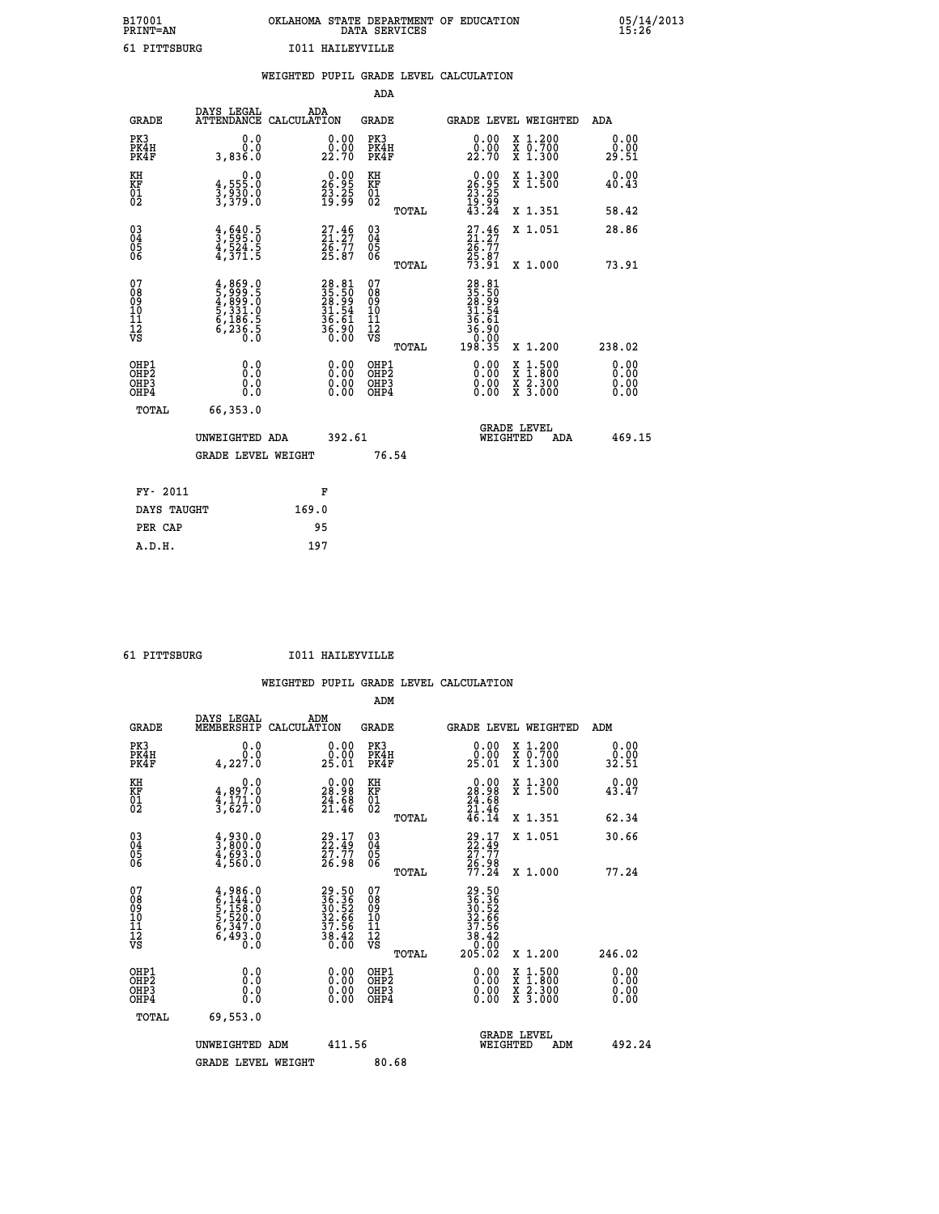## **B17001 OKLAHOMA STATE DEPARTMENT OF EDUCATION 05/14/2013 PRINT=AN DATA SERVICES 15:26 61 PITTSBURG I011 HAILEYVILLE**

|                                         |                                                                                                                                                          | WEIGHTED PUPIL GRADE LEVEL CALCULATION                                   |                                                     |       |                                                                          |                                                                     |                              |
|-----------------------------------------|----------------------------------------------------------------------------------------------------------------------------------------------------------|--------------------------------------------------------------------------|-----------------------------------------------------|-------|--------------------------------------------------------------------------|---------------------------------------------------------------------|------------------------------|
|                                         |                                                                                                                                                          |                                                                          | ADA                                                 |       |                                                                          |                                                                     |                              |
| <b>GRADE</b>                            | DAYS LEGAL                                                                                                                                               | ADA<br>ATTENDANCE CALCULATION                                            | <b>GRADE</b>                                        |       |                                                                          | GRADE LEVEL WEIGHTED                                                | ADA                          |
| PK3<br>PK4H<br>PK4F                     | 0.0<br>0.0<br>3,836.0                                                                                                                                    | 0.00<br>22.70                                                            | PK3<br>PK4H<br>PK4F                                 |       | 0.00<br>0.00<br>22.70                                                    | X 1.200<br>X 0.700<br>X 1.300                                       | 0.00<br>0.00<br>29.51        |
| KH<br><b>KF</b><br>01<br>02             | $3, 555.0$<br>$3, 930.0$<br>$3, 379.0$                                                                                                                   | $\begin{smallmatrix} 0.00\\ 26.95\\ 23.25\\ 19.99 \end{smallmatrix}$     | KH<br>KF<br>01<br>02                                |       | $26.95$<br>$23.25$<br>$19.99$<br>$43.24$                                 | X 1.300<br>X 1.500                                                  | 0.00<br>40.43                |
|                                         |                                                                                                                                                          |                                                                          |                                                     | TOTAL |                                                                          | X 1.351                                                             | 58.42                        |
| 03<br>04<br>05<br>06                    | $\frac{4}{3}, \frac{640}{595}$ .0<br>4,524.5<br>4,371.5                                                                                                  | $27.46$<br>$21.27$<br>$26.77$<br>$25.87$                                 | $\begin{array}{c} 03 \\ 04 \\ 05 \\ 06 \end{array}$ |       | $27.46$<br>$24.77$<br>$25.87$<br>$25.87$<br>$73.91$                      | X 1.051                                                             | 28.86                        |
|                                         |                                                                                                                                                          |                                                                          |                                                     | TOTAL |                                                                          | X 1.000                                                             | 73.91                        |
| 07<br>08<br>09<br>101<br>11<br>12<br>VS | $\begin{smallmatrix} 4\,,\,869\,,\,0\\ 5\,,\,999\,,\,5\\ 4\,,\,899\,,\,0\\ 5\,,\,331\,,\,0\\ 6\,,\,186\,,\,5\\ 6\,,\,236\,,\,5\\ 0\,.0\end{smallmatrix}$ | $28.81$<br>$35.50$<br>$28.99$<br>$31.54$<br>$36.61$<br>$36.90$<br>$0.00$ | 07<br>08<br>09<br>10<br>11<br>12<br>VS              | TOTAL | 28.81<br>35.50<br>28.99<br>31.54<br>36<br>ĞĪ<br>36:30<br>00:00<br>198:35 | X 1.200                                                             | 238.02                       |
| OHP1<br>OHP2<br>OHP3<br>OHP4            | 0.0<br>0.0<br>0.0                                                                                                                                        | 0.00<br>$0.00$<br>0.00                                                   | OHP1<br>OHP2<br>OHP3<br>OHP4                        |       | 0.00<br>0.00<br>0.00                                                     | $1:500$<br>$1:800$<br>X<br>X<br>$\frac{x}{x}$ $\frac{5:300}{3:000}$ | 0.00<br>0.00<br>0.00<br>0.00 |
| <b>TOTAL</b>                            | 66,353.0                                                                                                                                                 |                                                                          |                                                     |       |                                                                          |                                                                     |                              |
|                                         | UNWEIGHTED ADA                                                                                                                                           | 392.61                                                                   |                                                     |       | WEIGHTED                                                                 | <b>GRADE LEVEL</b><br>ADA                                           | 469.15                       |
|                                         | GRADE LEVEL WEIGHT                                                                                                                                       |                                                                          | 76.54                                               |       |                                                                          |                                                                     |                              |
| FY- 2011                                |                                                                                                                                                          | F                                                                        |                                                     |       |                                                                          |                                                                     |                              |
| DAYS TAUGHT                             |                                                                                                                                                          | 169.0                                                                    |                                                     |       |                                                                          |                                                                     |                              |
| PER CAP                                 |                                                                                                                                                          | 95                                                                       |                                                     |       |                                                                          |                                                                     |                              |

 **A.D.H. 197**

 **61 PITTSBURG I011 HAILEYVILLE**

|                                          |                                                                                     |                                                                      | ADM                                                |                                                                                      |                                          |                              |
|------------------------------------------|-------------------------------------------------------------------------------------|----------------------------------------------------------------------|----------------------------------------------------|--------------------------------------------------------------------------------------|------------------------------------------|------------------------------|
| <b>GRADE</b>                             | DAYS LEGAL<br>MEMBERSHIP                                                            | ADM<br>CALCULATION                                                   | <b>GRADE</b>                                       | <b>GRADE LEVEL WEIGHTED</b>                                                          |                                          | ADM                          |
| PK3<br>PK4H<br>PK4F                      | 0.0<br>4,227.0                                                                      | $\begin{smallmatrix} 0.00\\ 0.00\\ 25.01 \end{smallmatrix}$          | PK3<br>PK4H<br>PK4F                                | $\begin{smallmatrix} 0.00\\ 0.00\\ 25.01 \end{smallmatrix}$                          | X 1.200<br>X 0.700<br>X 1.300            | 0.00<br>0.00<br>32.51        |
| KH<br>KF<br>01<br>02                     | 0.0<br>$\frac{4}{3}, \frac{897.0}{627.0}$                                           | $\begin{smallmatrix} 0.00\\ 28.98\\ 24.68\\ 21.46 \end{smallmatrix}$ | KH<br>KF<br>01<br>02                               | $\begin{smallmatrix} 0.00\\ 28.98\\ 24.68\\ 21.46\\ 21.46\\ 46.14 \end{smallmatrix}$ | X 1.300<br>X 1.500                       | 0.00<br>43.47                |
|                                          |                                                                                     |                                                                      | TOTAL                                              |                                                                                      | X 1.351                                  | 62.34                        |
| 03<br>04<br>05<br>06                     | $\frac{4}{3}, \frac{930}{800}.0$<br>$\frac{4}{4}, \frac{693}{560}.0$                | $29.17$<br>$22.49$<br>$27.77$<br>$26.98$                             | $\begin{matrix} 03 \\ 04 \\ 05 \\ 06 \end{matrix}$ | 29:17<br>22:49<br>27:77<br>26:98<br>77:24                                            | X 1.051                                  | 30.66                        |
|                                          |                                                                                     |                                                                      | TOTAL                                              |                                                                                      | X 1.000                                  | 77.24                        |
| 07<br>08<br>09<br>101<br>112<br>VS       | $4,986.0$<br>$6,144.0$<br>$5,158.0$<br>$5,520.0$<br>$6,347.0$<br>$6,493.0$<br>$0.0$ | 29.50<br>36.36<br>30.52<br>32.66<br>37.56<br>38.42<br>38.42          | 07<br>08<br>09<br>11<br>11<br>12<br>VS<br>TOTAL    | 29.50<br>36.362<br>30.52<br>32.566<br>37.566<br>38.420<br>0.000<br>205.02            | X 1.200                                  | 246.02                       |
|                                          |                                                                                     |                                                                      |                                                    |                                                                                      |                                          |                              |
| OHP1<br>OHP2<br>OH <sub>P3</sub><br>OHP4 | 0.0<br>0.000                                                                        | $0.00$<br>$0.00$<br>0.00                                             | OHP1<br>OHP2<br>OHP <sub>3</sub>                   | $0.00$<br>$0.00$<br>0.00                                                             | X 1:500<br>X 1:800<br>X 2:300<br>X 3:000 | 0.00<br>0.00<br>0.00<br>0.00 |
| TOTAL                                    | 69,553.0                                                                            |                                                                      |                                                    |                                                                                      |                                          |                              |
|                                          | UNWEIGHTED ADM                                                                      | 411.56                                                               |                                                    | <b>GRADE LEVEL</b><br>WEIGHTED                                                       | ADM                                      | 492.24                       |
|                                          | <b>GRADE LEVEL WEIGHT</b>                                                           |                                                                      | 80.68                                              |                                                                                      |                                          |                              |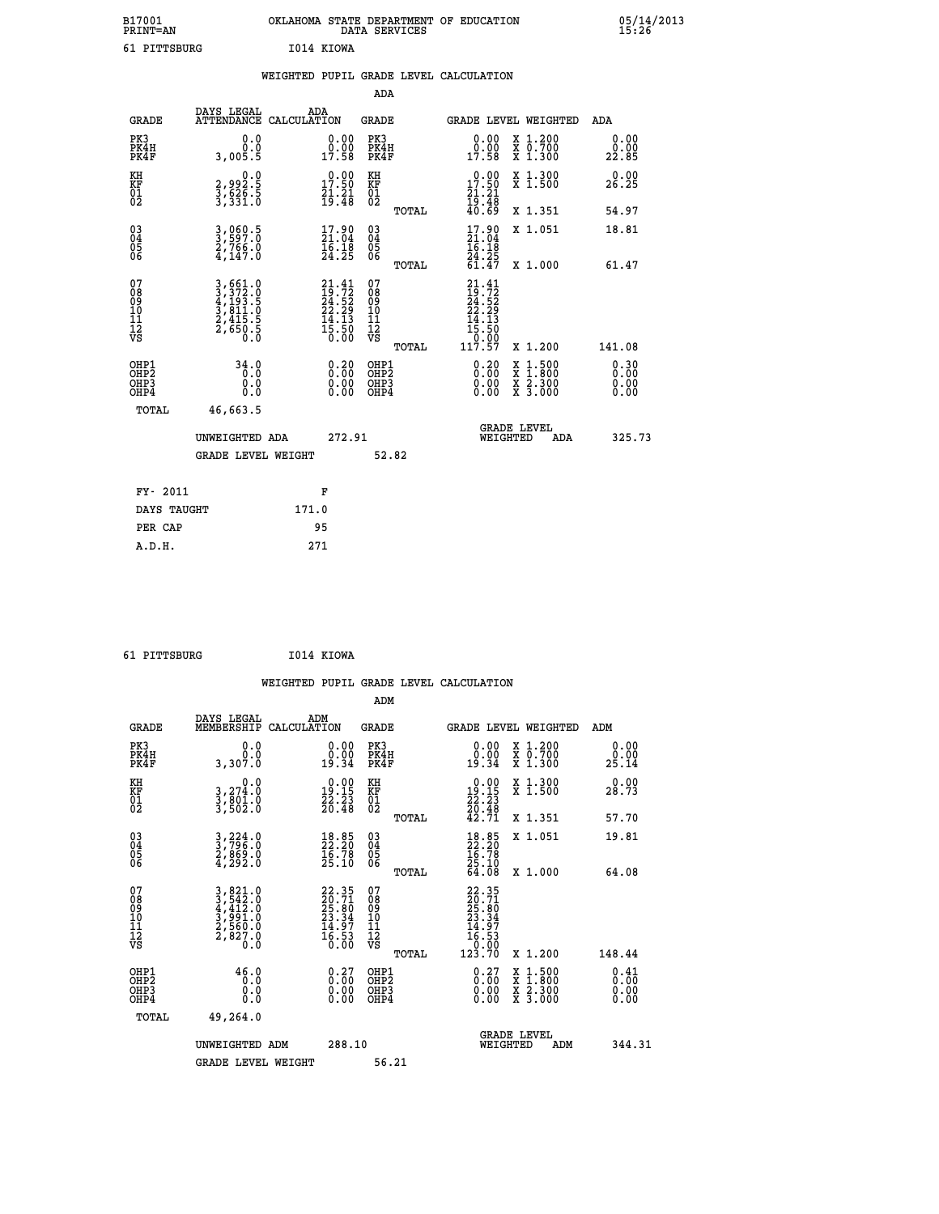| B17001<br>PRINT=AN |            | OKLAHOMA STATE DEPARTMENT OF EDUCATION<br>DATA SERVICES |  |
|--------------------|------------|---------------------------------------------------------|--|
| 61 PITTSBURG       | I014 KIOWA |                                                         |  |

|                                                    |                                                                        | WEIGHTED PUPIL GRADE LEVEL CALCULATION                                                             |                                                 |                                                                                                      |                       |
|----------------------------------------------------|------------------------------------------------------------------------|----------------------------------------------------------------------------------------------------|-------------------------------------------------|------------------------------------------------------------------------------------------------------|-----------------------|
|                                                    |                                                                        |                                                                                                    | ADA                                             |                                                                                                      |                       |
| <b>GRADE</b>                                       | DAYS LEGAL                                                             | ADA<br>ATTENDANCE CALCULATION                                                                      | <b>GRADE</b>                                    | GRADE LEVEL WEIGHTED                                                                                 | ADA                   |
| PK3<br>PK4H<br>PK4F                                | 0.0<br>0.0<br>3,005.5                                                  | $\begin{smallmatrix} 0.00\\ 0.00\\ 17.58 \end{smallmatrix}$                                        | PK3<br>PK4H<br>PK4F                             | 0.00<br>X 1.200<br>X 0.700<br>X 1.300<br>0.00<br>17.58                                               | 0.00<br>0.00<br>22.85 |
| KH<br>KF<br>01<br>02                               | 0.0<br>2,992.5<br>3,626.5<br>3,331.0                                   | $\begin{smallmatrix} 0.00\\ 17.50\\ 21.21\\ 19.48 \end{smallmatrix}$                               | KH<br>KF<br>01<br>02                            | $\begin{smallmatrix} 0.00\\ 17.50\\ 21.21\\ 19.48\\ 40.69 \end{smallmatrix}$<br>X 1.300<br>X 1.500   | 0.00<br>26.25         |
|                                                    |                                                                        |                                                                                                    | TOTAL                                           | X 1.351                                                                                              | 54.97                 |
| $\begin{matrix} 03 \\ 04 \\ 05 \\ 06 \end{matrix}$ | 3,969.5<br>2,766.0<br>4,147.0                                          | $\begin{smallmatrix} 17.90\\ 21.04\\ 16.18\\ 24.25 \end{smallmatrix}$                              | 03<br>04<br>05<br>06                            | $17.90$<br>$21.04$<br>$16.18$<br>$24.25$<br>$61.47$<br>X 1.051                                       | 18.81                 |
|                                                    |                                                                        |                                                                                                    | TOTAL                                           | X 1.000                                                                                              | 61.47                 |
| 07<br>08901112<br>1112<br>VS                       | 3,661.0<br>3,372.0<br>4,193.5<br>5,811.0<br>3,415.5<br>2,4550.5<br>0.0 | $\begin{smallmatrix} 21.41 \\ 19.72 \\ 24.52 \\ 22.29 \\ 14.13 \\ 15.50 \\ 0.00 \end{smallmatrix}$ | 07<br>08<br>09<br>11<br>11<br>12<br>VS<br>TOTAL | $21.41$<br>$19.72$<br>$24.52$<br>$22.29$<br>$14.13$<br>$15.50$<br>0.00<br>117.57<br>X 1.200          | 141.08                |
| OHP1<br>OHP2<br>OH <sub>P3</sub><br>OHP4           | 34.0<br>0.0<br>0.0<br>0.0                                              | $\begin{smallmatrix} 0.20\ 0.00\ 0.00\ 0.00 \end{smallmatrix}$                                     | OHP1<br>OHP2<br>OHP3<br>OHP4                    | $\begin{smallmatrix} 0.20\ 0.00\ 0.00 \end{smallmatrix}$<br>X 1:500<br>X 1:800<br>X 2:300<br>X 3:000 | 0.30<br>0.00<br>0.00  |
| TOTAL                                              | 46,663.5                                                               |                                                                                                    |                                                 |                                                                                                      |                       |
|                                                    | UNWEIGHTED ADA                                                         | 272.91                                                                                             |                                                 | <b>GRADE LEVEL</b><br>WEIGHTED                                                                       | 325.73<br>ADA         |
|                                                    | <b>GRADE LEVEL WEIGHT</b>                                              |                                                                                                    | 52.82                                           |                                                                                                      |                       |
| FY- 2011                                           |                                                                        | F                                                                                                  |                                                 |                                                                                                      |                       |
|                                                    | DAYS TAUGHT                                                            | 171.0                                                                                              |                                                 |                                                                                                      |                       |
| PER CAP                                            |                                                                        | 95                                                                                                 |                                                 |                                                                                                      |                       |

| 61 PITTSBURG | I014 KIOWA |
|--------------|------------|

 **B17001<br>PRINT=AN** 

|                                                      |                                                                                                                                                            |                                                                          |                                                     | WEIGHTED PUPIL GRADE LEVEL CALCULATION                                                                                                        |                                          |                              |
|------------------------------------------------------|------------------------------------------------------------------------------------------------------------------------------------------------------------|--------------------------------------------------------------------------|-----------------------------------------------------|-----------------------------------------------------------------------------------------------------------------------------------------------|------------------------------------------|------------------------------|
|                                                      |                                                                                                                                                            |                                                                          | ADM                                                 |                                                                                                                                               |                                          |                              |
| <b>GRADE</b>                                         | DAYS LEGAL<br>MEMBERSHIP<br>CALCULATION                                                                                                                    | ADM                                                                      | GRADE                                               | <b>GRADE LEVEL WEIGHTED</b>                                                                                                                   |                                          | ADM                          |
| PK3<br>PK4H<br>PK4F                                  | 0.0<br>0.0<br>3,307.0                                                                                                                                      | 0.00<br>19.34                                                            | PK3<br>PK4H<br>PK4F                                 | 0.00<br>19.34                                                                                                                                 | X 1.200<br>X 0.700<br>X 1.300            | 0.00<br>0.00<br>25.14        |
| KH<br>KF<br>01<br>02                                 | 0.0<br>3,274:0<br>3,801:0<br>3,502:0                                                                                                                       | $\begin{smallmatrix} 0.00\\19.15\\22.23\\20.48 \end{smallmatrix}$        | KH<br>KF<br>01<br>02                                | 0.00<br>$\begin{array}{c} 19.15 \\ 22.23 \\ 26.48 \\ 42.71 \end{array}$                                                                       | X 1.300<br>X 1.500                       | 0.00<br>28.73                |
|                                                      |                                                                                                                                                            |                                                                          | TOTAL                                               |                                                                                                                                               | X 1.351                                  | 57.70                        |
| $\begin{matrix} 03 \\ 04 \\ 05 \\ 06 \end{matrix}$   | $\frac{3}{2}, \frac{224}{796}$ .0<br>2,869.0<br>4,292.0                                                                                                    | $\begin{smallmatrix} 18.85\ 22.20\ 16.78\ 25.10 \end{smallmatrix}$       | $\begin{array}{c} 03 \\ 04 \\ 05 \\ 06 \end{array}$ | $18.85$<br>$22.20$<br>$16.78$<br>$25.10$<br>$64.08$                                                                                           | X 1.051                                  | 19.81                        |
|                                                      |                                                                                                                                                            |                                                                          | TOTAL                                               |                                                                                                                                               | X 1.000                                  | 64.08                        |
| 07<br>08<br>09<br>101<br>11<br>12<br>VS              | $\begin{smallmatrix} 3\,,\,821\,.\,0\\ 3\,,\,542\,.\,0\\ 4\,,\,412\,.\,0\\ 3\,,\,991\,.\,0\\ 2\,,\,560\,.\,0\\ 2\,,\,827\,.\,0\\ 0\,.\,0\end{smallmatrix}$ | $22.35$<br>$29.71$<br>$25.80$<br>$23.34$<br>$14.97$<br>$16.53$<br>$0.00$ | 07<br>08<br>09<br>001<br>11<br>11<br>12<br>VS       | 22.35<br>$\begin{smallmatrix} 22 & 3 & 3 & 1 \ 20 & 7 & 10 \ 23 & 3 & 3 & 4 \ 23 & 3 & 4 & 9 \ 16 & 5 & 3 & 0 \ 123 & 70 & \end{smallmatrix}$ |                                          | 148.44                       |
|                                                      |                                                                                                                                                            |                                                                          | TOTAL                                               |                                                                                                                                               | X 1.200                                  |                              |
| OHP1<br>OHP <sub>2</sub><br>OH <sub>P3</sub><br>OHP4 | 46.0<br>0.0<br>0.000                                                                                                                                       | $\begin{smallmatrix} 0.27 \ 0.00 \ 0.00 \ 0.00 \end{smallmatrix}$        | OHP1<br>OHP2<br>OHP3<br>OHP4                        | $0.27\n0.00\n0.00$<br>0.00                                                                                                                    | X 1:500<br>X 1:800<br>X 2:300<br>X 3:000 | 0.41<br>0.00<br>0.00<br>0.00 |
| TOTAL                                                | 49,264.0                                                                                                                                                   |                                                                          |                                                     |                                                                                                                                               |                                          |                              |
|                                                      | UNWEIGHTED ADM                                                                                                                                             | 288.10                                                                   |                                                     | <b>GRADE LEVEL</b><br>WEIGHTED                                                                                                                | ADM                                      | 344.31                       |
|                                                      | <b>GRADE LEVEL WEIGHT</b>                                                                                                                                  |                                                                          | 56.21                                               |                                                                                                                                               |                                          |                              |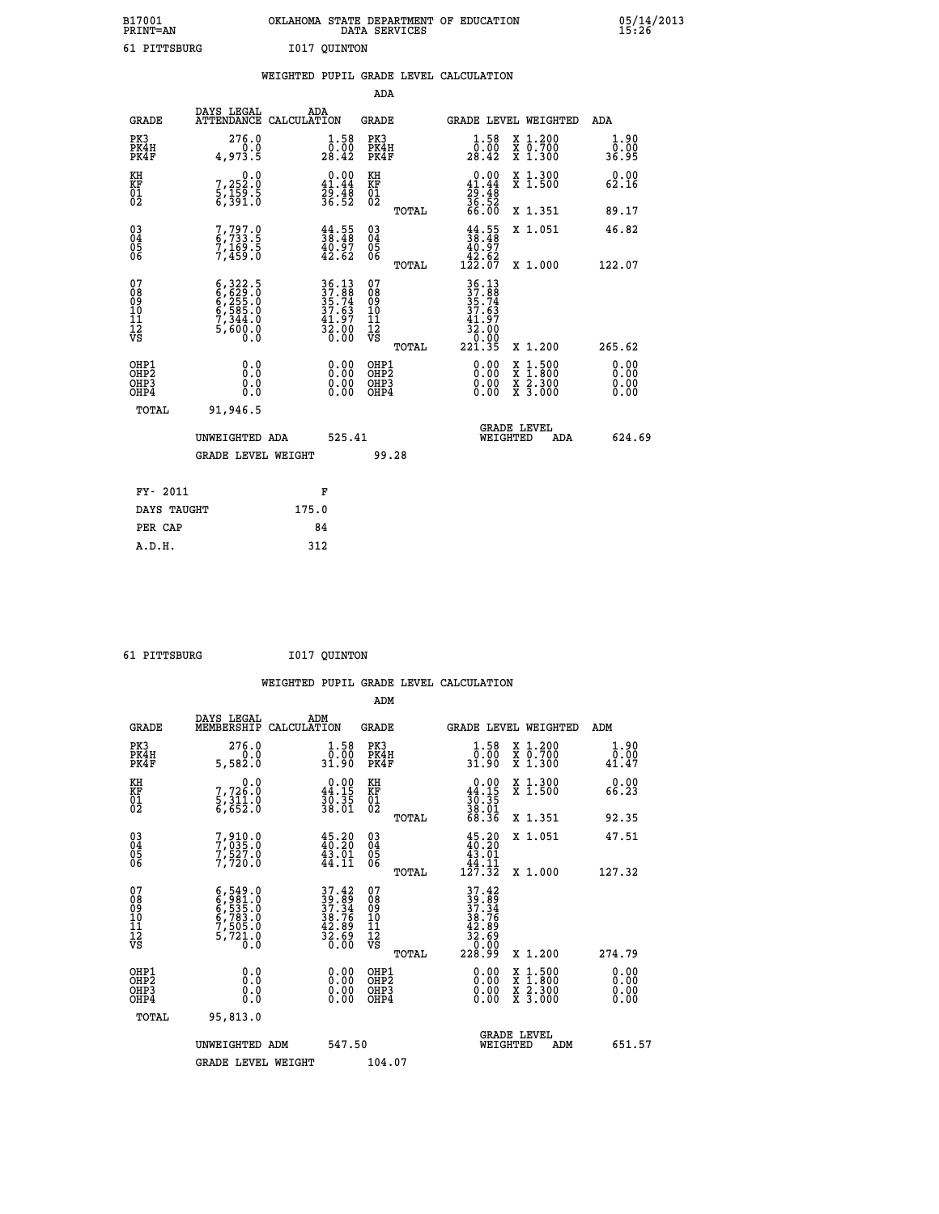|      | OKLAHOMA STATE DEPARTMENT OF EDUCATION<br>DATA SERVICES |  |
|------|---------------------------------------------------------|--|
| TTRG | T017 OUTNTON                                            |  |

05/14/2013<br>15:26

| 61 PITTSBURG                                       |                                                                                     |       | I017 QUINTON                                                                                                                 |                                                     |       |                                                                                |                                                                                                                                              |                              |
|----------------------------------------------------|-------------------------------------------------------------------------------------|-------|------------------------------------------------------------------------------------------------------------------------------|-----------------------------------------------------|-------|--------------------------------------------------------------------------------|----------------------------------------------------------------------------------------------------------------------------------------------|------------------------------|
|                                                    |                                                                                     |       |                                                                                                                              | ADA                                                 |       | WEIGHTED PUPIL GRADE LEVEL CALCULATION                                         |                                                                                                                                              |                              |
| GRADE                                              | DAYS LEGAL<br>ATTENDANCE CALCULATION                                                |       | ADA                                                                                                                          | <b>GRADE</b>                                        |       |                                                                                | GRADE LEVEL WEIGHTED                                                                                                                         | ADA                          |
| PK3<br>PK4H<br>PK4F                                | 276.0<br>4,973.5                                                                    |       | $\substack{1.58 \\ 0.00 \\ 28.42}$                                                                                           | PK3<br>PK4H<br>PK4F                                 |       | $\substack{1.58 \\ 0.00 \\ 28.42}$                                             | X 1.200<br>X 0.700<br>X 1.300                                                                                                                | 1.90<br>0.00<br>36.95        |
| KH<br>KF<br>01<br>02                               | $\begin{smallmatrix}&&&0.0\\7,252.0\\5,159.5\\6,391.0\end{smallmatrix}$             |       | $0.00$<br>$41.44$<br>$29.48$<br>$36.52$                                                                                      | KH<br>KF<br>01<br>02                                |       | $0.00$<br>$41.44$<br>$29.48$<br>$36.52$<br>$66.00$                             | X 1.300<br>X 1.500                                                                                                                           | 0.00<br>62.16                |
|                                                    |                                                                                     |       |                                                                                                                              |                                                     | TOTAL |                                                                                | X 1.351                                                                                                                                      | 89.17                        |
| $\begin{matrix} 03 \\ 04 \\ 05 \\ 06 \end{matrix}$ | 7,797.0<br>6,733.5<br>7,169.5<br>7,459.0                                            |       | $\frac{44}{38}. \frac{55}{48}$<br>$\frac{48}{42}. \frac{7}{62}$                                                              | $\begin{array}{c} 03 \\ 04 \\ 05 \\ 06 \end{array}$ |       | $\begin{smallmatrix} 44.55\\ 38.48\\ 40.97\\ 42.62\\ 122.07 \end{smallmatrix}$ | X 1.051                                                                                                                                      | 46.82                        |
|                                                    |                                                                                     |       |                                                                                                                              |                                                     | TOTAL |                                                                                | X 1.000                                                                                                                                      | 122.07                       |
| 07<br>08<br>09<br>11<br>11<br>12<br>VS             | $6,322.5$<br>$6,629.0$<br>$6,255.0$<br>$6,585.0$<br>$7,344.0$<br>$5,600.0$<br>$0.0$ |       | $\begin{array}{c} 36\cdot 13 \\ 37\cdot 88 \\ 35\cdot 74 \\ 37\cdot 63 \\ 41\cdot 97 \\ 32\cdot 00 \\ 0\cdot 00 \end{array}$ | 07<br>08<br>09<br>101<br>11<br>12<br>VS             | TOTAL | 36.13<br>37.88<br>35.74<br>37.63<br>41.97<br>32:00<br>0.00<br>221.35           | X 1.200                                                                                                                                      | 265.62                       |
| OHP1<br>OHP2<br>OHP3<br>OHP4                       | 0.0<br>0.0<br>0.0                                                                   |       | $0.00$<br>$0.00$<br>0.00                                                                                                     | OHP1<br>OHP2<br>OHP3<br>OHP4                        |       | 0.00<br>0.00<br>0.00                                                           | $\begin{smallmatrix} \mathtt{X} & 1\cdot500 \\ \mathtt{X} & 1\cdot800 \\ \mathtt{X} & 2\cdot300 \\ \mathtt{X} & 3\cdot000 \end{smallmatrix}$ | 0.00<br>0.00<br>0.00<br>0.00 |
| TOTAL                                              | 91,946.5<br>UNWEIGHTED ADA                                                          |       | 525.41                                                                                                                       |                                                     |       | WEIGHTED                                                                       | <b>GRADE LEVEL</b><br>ADA                                                                                                                    | 624.69                       |
|                                                    | <b>GRADE LEVEL WEIGHT</b>                                                           |       |                                                                                                                              | 99.28                                               |       |                                                                                |                                                                                                                                              |                              |
| FY- 2011                                           |                                                                                     |       | F                                                                                                                            |                                                     |       |                                                                                |                                                                                                                                              |                              |
| DAYS TAUGHT                                        |                                                                                     | 175.0 |                                                                                                                              |                                                     |       |                                                                                |                                                                                                                                              |                              |
| PER CAP                                            |                                                                                     |       | 84                                                                                                                           |                                                     |       |                                                                                |                                                                                                                                              |                              |

 **61 PITTSBURG I017 QUINTON**

 **A.D.H. 312**

 **ADM**

 **B17001<br>PRINT=AN** 

| <b>GRADE</b>                                       | DAYS LEGAL<br>MEMBERSHIP CALCULATION                                                      | ADM                                                                      | <b>GRADE</b>                                        |       | GRADE LEVEL WEIGHTED                                                                                                                                                                                                                                                           |                                          | ADM                          |
|----------------------------------------------------|-------------------------------------------------------------------------------------------|--------------------------------------------------------------------------|-----------------------------------------------------|-------|--------------------------------------------------------------------------------------------------------------------------------------------------------------------------------------------------------------------------------------------------------------------------------|------------------------------------------|------------------------------|
| PK3<br>PK4H<br>PK4F                                | 276.0<br>5,582.0                                                                          | $\begin{smallmatrix} 1.58\ 0.00\\ 31.90 \end{smallmatrix}$               | PK3<br>PK4H<br>PK4F                                 |       | $\begin{smallmatrix} 1.58\\[-1.2mm] 0.00\\[-1.2mm] 31.90\end{smallmatrix}$                                                                                                                                                                                                     | X 1.200<br>X 0.700<br>X 1.300            | 1.90<br>$\frac{0.00}{41.47}$ |
| KH<br>KF<br>01<br>02                               | 0.0<br>7,726:0<br>5,311:0<br>6,652:0                                                      | $\begin{smallmatrix} 0.00\\ 44.15\\ 30.35\\ 38.01 \end{smallmatrix}$     | KH<br>KF<br>01<br>02                                |       | $0.00\n44.15\n30.35\n38.01\n68.36$                                                                                                                                                                                                                                             | X 1.300<br>X 1.500                       | 0.00<br>66.23                |
|                                                    |                                                                                           |                                                                          |                                                     | TOTAL |                                                                                                                                                                                                                                                                                | X 1.351                                  | 92.35                        |
| $\begin{matrix} 03 \\ 04 \\ 05 \\ 06 \end{matrix}$ | 7,910.0<br>7,035.0<br>7,527.0<br>7,720.0                                                  | $45.20$<br>$40.20$<br>$43.01$<br>$44.11$                                 | $\begin{array}{c} 03 \\ 04 \\ 05 \\ 06 \end{array}$ |       | $\begin{smallmatrix} 4\,5\cdot20\\ 4\,0\cdot20\\ 4\,3\cdot01\\ 4\,4\cdot11\\ 1\,2\,7\cdot3\,2 \end{smallmatrix}$                                                                                                                                                               | X 1.051                                  | 47.51                        |
|                                                    |                                                                                           |                                                                          |                                                     | TOTAL |                                                                                                                                                                                                                                                                                | X 1.000                                  | 127.32                       |
| 07<br>08<br>09<br>101<br>11<br>12<br>VS            | $6, 549.0$<br>$6, 535.0$<br>$6, 535.0$<br>$6, 783.0$<br>$7, 505.0$<br>$5, 721.0$<br>$0.0$ | $37.42$<br>$39.89$<br>$37.34$<br>$38.76$<br>$42.89$<br>$32.69$<br>$0.00$ | 07<br>08<br>09<br>001<br>11<br>11<br>12<br>VS       | TOTAL | $\begin{smallmatrix} 37.42\ 39.89\ 37.34\ 37.34\ 38.769\ 42.899\ 32.690\ 228.99\ \end{smallmatrix}$                                                                                                                                                                            | X 1.200                                  | 274.79                       |
| OHP1<br>OHP2<br>OHP3<br>OHP4                       |                                                                                           | $\begin{smallmatrix} 0.00 \ 0.00 \ 0.00 \ 0.00 \end{smallmatrix}$        | OHP1<br>OHP2<br>OHP3<br>OHP4                        |       | $\begin{smallmatrix} 0.00 & 0.00 & 0.00 & 0.00 & 0.00 & 0.00 & 0.00 & 0.00 & 0.00 & 0.00 & 0.00 & 0.00 & 0.00 & 0.00 & 0.00 & 0.00 & 0.00 & 0.00 & 0.00 & 0.00 & 0.00 & 0.00 & 0.00 & 0.00 & 0.00 & 0.00 & 0.00 & 0.00 & 0.00 & 0.00 & 0.00 & 0.00 & 0.00 & 0.00 & 0.00 & 0.0$ | X 1:500<br>X 1:800<br>X 2:300<br>X 3:000 | 0.00<br>0.00<br>0.00         |
| TOTAL                                              | 95,813.0                                                                                  |                                                                          |                                                     |       |                                                                                                                                                                                                                                                                                |                                          |                              |
|                                                    | UNWEIGHTED<br>ADM                                                                         | 547.50                                                                   |                                                     |       | WEIGHTED                                                                                                                                                                                                                                                                       | <b>GRADE LEVEL</b><br>ADM                | 651.57                       |
|                                                    | <b>GRADE LEVEL WEIGHT</b>                                                                 |                                                                          | 104.07                                              |       |                                                                                                                                                                                                                                                                                |                                          |                              |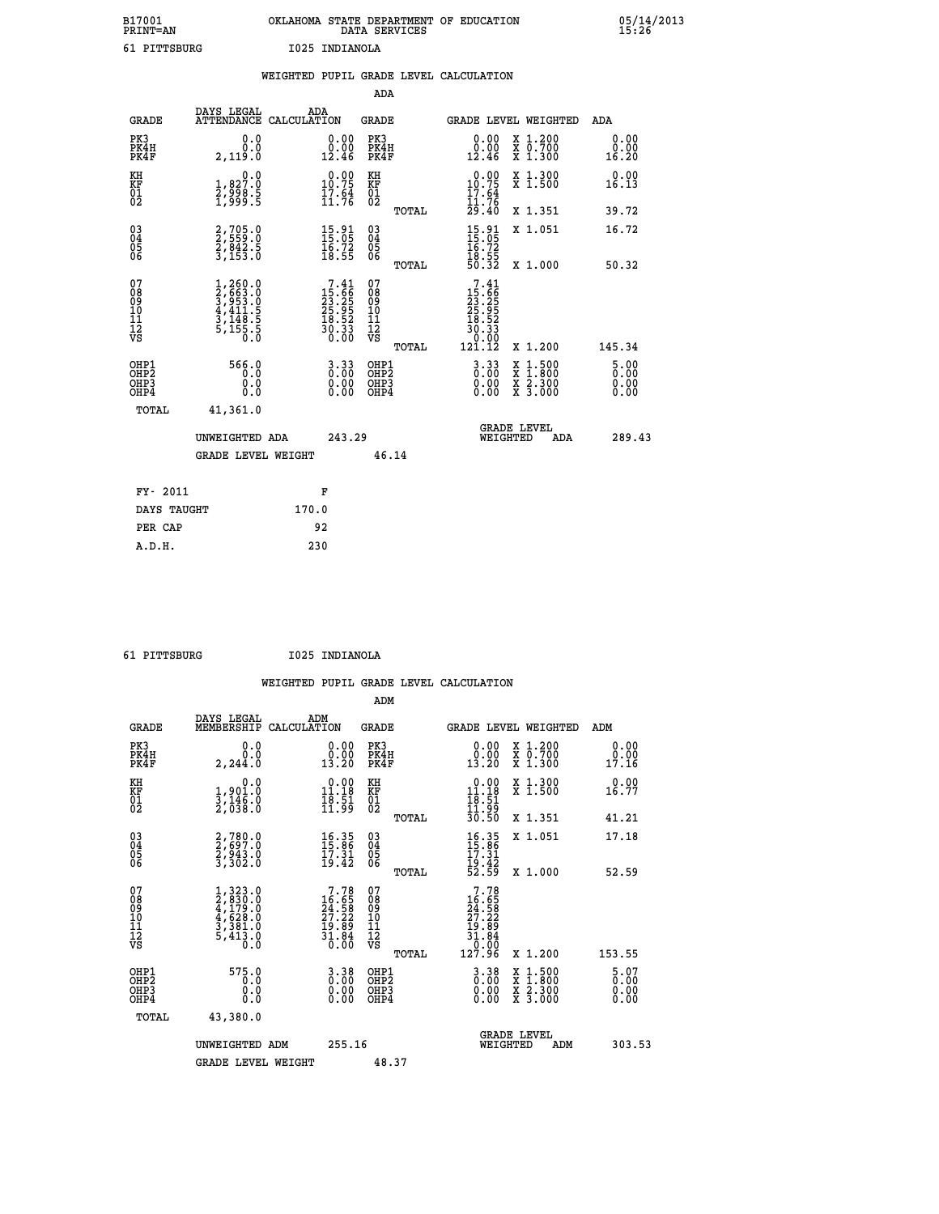| B17001          | OKLAHOMA STATE DEPARTMENT OF EDUCATION |
|-----------------|----------------------------------------|
| <b>PRINT=AN</b> | DATA SERVICES                          |
| 61 PITTSBURG    | I025 INDIANOLA                         |

|                                         |              |                                                                                     |       |                                                                         |                                         |       | WEIGHTED PUPIL GRADE LEVEL CALCULATION                                                                 |                                |                                                           |                       |
|-----------------------------------------|--------------|-------------------------------------------------------------------------------------|-------|-------------------------------------------------------------------------|-----------------------------------------|-------|--------------------------------------------------------------------------------------------------------|--------------------------------|-----------------------------------------------------------|-----------------------|
|                                         |              |                                                                                     |       |                                                                         | ADA                                     |       |                                                                                                        |                                |                                                           |                       |
|                                         | <b>GRADE</b> | DAYS LEGAL<br>ATTENDANCE CALCULATION                                                | ADA   |                                                                         | <b>GRADE</b>                            |       |                                                                                                        |                                | GRADE LEVEL WEIGHTED                                      | ADA                   |
| PK3<br>PK4H<br>PK4F                     |              | 0.0<br>0.0<br>2,119.0                                                               |       | 0.00<br>0.00<br>12.46                                                   | PK3<br>PK4H<br>PK4F                     |       | 0.00<br>0.00<br>12.46                                                                                  |                                | X 1.200<br>X 0.700<br>X 1.300                             | 0.00<br>0.00<br>16.20 |
| KH<br><b>KF</b><br>01<br>02             |              | $\begin{smallmatrix}&&&0.0\\1,827.0\\2,998.5\\1,999.5\end{smallmatrix}$             |       | $\begin{smallmatrix} 0.00\\ 10.75\\ 17.5\\ 11.76 \end{smallmatrix}$     | KH<br>KF<br>01<br>02                    |       | $0.00\n10.75\n17.64\n11.76\n29.40$                                                                     |                                | X 1.300<br>X 1.500                                        | 0.00<br>16.13         |
|                                         |              |                                                                                     |       |                                                                         |                                         | TOTAL |                                                                                                        |                                | X 1.351                                                   | 39.72                 |
| 03<br>04<br>05<br>06                    |              | 2,705.0<br>2,559.0<br>2,842.5<br>3,153.0                                            |       | $\begin{smallmatrix} 15.91\ 15.05\ 16.72\ 18.55 \end{smallmatrix}$      | 03<br>04<br>05<br>06                    |       | $\begin{array}{c} 15 \cdot 91 \\ 15 \cdot 05 \\ 16 \cdot 72 \\ 18 \cdot 55 \\ 50 \cdot 32 \end{array}$ |                                | X 1.051                                                   | 16.72                 |
|                                         |              |                                                                                     |       |                                                                         |                                         | TOTAL |                                                                                                        |                                | X 1.000                                                   | 50.32                 |
| 07<br>08<br>09<br>101<br>11<br>12<br>VS |              | $1,260.0$<br>$2,663.0$<br>$3,953.0$<br>$4,411.5$<br>$3,148.5$<br>$5,155.5$<br>$0.0$ |       | $7.41$<br>$25.66$<br>$23.25$<br>$25.95$<br>$18.52$<br>$30.33$<br>$0.00$ | 07<br>08<br>09<br>101<br>11<br>12<br>VS | TOTAL | $\begin{smallmatrix}7.41\15.66\23.23\ .25.952\ 18.523\ 18.523\ 10.002\ 121.12\end{smallmatrix}$        |                                | X 1.200                                                   | 145.34                |
| OHP1<br>OHP2<br>OHP3<br>OHP4            |              | 566.0<br>0.0<br>0.0<br>0.0                                                          |       | $3.33$<br>$0.00$<br>$\begin{smallmatrix} 0.00 \ 0.00 \end{smallmatrix}$ | OHP1<br>OHP2<br>OHP3<br>OHP4            |       | $3.33$<br>$0.00$<br>0.00                                                                               | X<br>X                         | $1:500$<br>$1:800$<br>$\frac{x}{x}$ $\frac{5:300}{3:000}$ | 5.00<br>0.00<br>0.00  |
|                                         | <b>TOTAL</b> | 41,361.0                                                                            |       |                                                                         |                                         |       |                                                                                                        |                                |                                                           |                       |
|                                         |              | UNWEIGHTED ADA                                                                      |       | 243.29                                                                  |                                         |       |                                                                                                        | <b>GRADE LEVEL</b><br>WEIGHTED | <b>ADA</b>                                                | 289.43                |
|                                         |              | <b>GRADE LEVEL WEIGHT</b>                                                           |       |                                                                         | 46.14                                   |       |                                                                                                        |                                |                                                           |                       |
|                                         | FY- 2011     |                                                                                     |       | F                                                                       |                                         |       |                                                                                                        |                                |                                                           |                       |
|                                         | DAYS TAUGHT  |                                                                                     | 170.0 |                                                                         |                                         |       |                                                                                                        |                                |                                                           |                       |
|                                         | PER CAP      |                                                                                     |       | 92                                                                      |                                         |       |                                                                                                        |                                |                                                           |                       |

 **ADM**

 **61 PITTSBURG I025 INDIANOLA**

| <b>GRADE</b>                             | DAYS LEGAL<br>MEMBERSHIP                                                            | ADM<br>CALCULATION                                                                                                         | <b>GRADE</b>                                       |       | <b>GRADE LEVEL WEIGHTED</b>                                                                                                                                                                                                                         |                                          | ADM                                                                       |  |
|------------------------------------------|-------------------------------------------------------------------------------------|----------------------------------------------------------------------------------------------------------------------------|----------------------------------------------------|-------|-----------------------------------------------------------------------------------------------------------------------------------------------------------------------------------------------------------------------------------------------------|------------------------------------------|---------------------------------------------------------------------------|--|
| PK3<br>PK4H<br>PK4F                      | 0.0<br>$0.\overline{0}$<br>2,244.0                                                  | $\begin{smallmatrix} 0.00\\ 0.00\\ 13.20 \end{smallmatrix}$                                                                | PK3<br>PK4H<br>PK4F                                |       | 0.00<br>$\begin{smallmatrix} 0.001 0.001 0.001 0.001 0.001 0.001 0.001 0.001 0.001 0.001 0.001 0.001 0.001 0.001 0.001 0.001 0.001 0.001 0.001 0.001 0.001 0.001 0.001 0.001 0.001 0.001 0.001 0.001 0.001 0.001 0.001 0.001 0.001 0.001 0.001 0.0$ | X 1.200<br>X 0.700<br>X 1.300            | 0.00<br>0.00<br>17.16                                                     |  |
| KH<br>KF<br>01<br>02                     | 0.0<br>1,901.0<br>3,146.0<br>2,038.0                                                | $\begin{smallmatrix} 0.00\\ 11.18\\ 18.51\\ 11.99 \end{smallmatrix}$                                                       | KH<br>KF<br>01<br>02                               |       | $\begin{array}{r} 0.00 \\ 11.18 \\ 18.51 \\ 11.99 \\ 30.50 \end{array}$                                                                                                                                                                             | X 1.300<br>X 1.500                       | 0.00<br>16.77                                                             |  |
|                                          |                                                                                     |                                                                                                                            |                                                    | TOTAL |                                                                                                                                                                                                                                                     | X 1.351                                  | 41.21                                                                     |  |
| 03<br>04<br>05<br>06                     | 2,780.0<br>2,697.0<br>2,943.0<br>3,302.0                                            | $16.35$<br>$15.86$<br>$17.31$<br>$19.42$                                                                                   | $\begin{matrix} 03 \\ 04 \\ 05 \\ 06 \end{matrix}$ |       | $16.35$<br>$15.36$<br>$17.31$<br>$19.42$<br>$52.59$                                                                                                                                                                                                 | X 1.051                                  | 17.18                                                                     |  |
|                                          |                                                                                     |                                                                                                                            |                                                    | TOTAL |                                                                                                                                                                                                                                                     | X 1.000                                  | 52.59                                                                     |  |
| 07<br>08901112<br>1112<br>VS             | $1,323.0$<br>$2,830.0$<br>$4,179.0$<br>$4,628.0$<br>$3,381.0$<br>$5,413.0$<br>$0.0$ | $\begin{smallmatrix}7\cdot78\\16\cdot65\\24\cdot58\\27\cdot22\\19\cdot89\\31\cdot84\\31\cdot86\\0\cdot00\end{smallmatrix}$ | 07<br>08<br>09<br>01<br>11<br>11<br>12<br>VS       | TOTAL | $7.78$<br>$16.65$<br>$24.58$<br>$27.22$<br>$19.89$<br>$31.84$<br>$0.00$<br>$127.96$                                                                                                                                                                 | X 1.200                                  | 153.55                                                                    |  |
| OHP1<br>OHP2<br>OH <sub>P3</sub><br>OHP4 | 575.0<br>0.0<br>0.000                                                               | $\begin{smallmatrix} 3 & 3 & 8 \\ 0 & 0 & 0 \\ 0 & 0 & 0 \\ 0 & 0 & 0 \end{smallmatrix}$                                   | OHP1<br>OHP2<br>OHP3<br>OHP4                       |       | $\begin{smallmatrix} 3 & 3 & 8 \\ 0 & 0 & 0 \\ 0 & 0 & 0 \\ 0 & 0 & 0 \end{smallmatrix}$                                                                                                                                                            | X 1:500<br>X 1:800<br>X 2:300<br>X 3:000 | $\begin{smallmatrix} 5 & 07 \ 0 & 00 \ 0 & 00 \ 0 & 00 \end{smallmatrix}$ |  |
| TOTAL                                    | 43,380.0                                                                            |                                                                                                                            |                                                    |       |                                                                                                                                                                                                                                                     |                                          |                                                                           |  |
|                                          | UNWEIGHTED ADM                                                                      | 255.16                                                                                                                     |                                                    |       | <b>GRADE LEVEL</b><br>WEIGHTED                                                                                                                                                                                                                      | ADM                                      | 303.53                                                                    |  |
|                                          | <b>GRADE LEVEL WEIGHT</b>                                                           |                                                                                                                            | 48.37                                              |       |                                                                                                                                                                                                                                                     |                                          |                                                                           |  |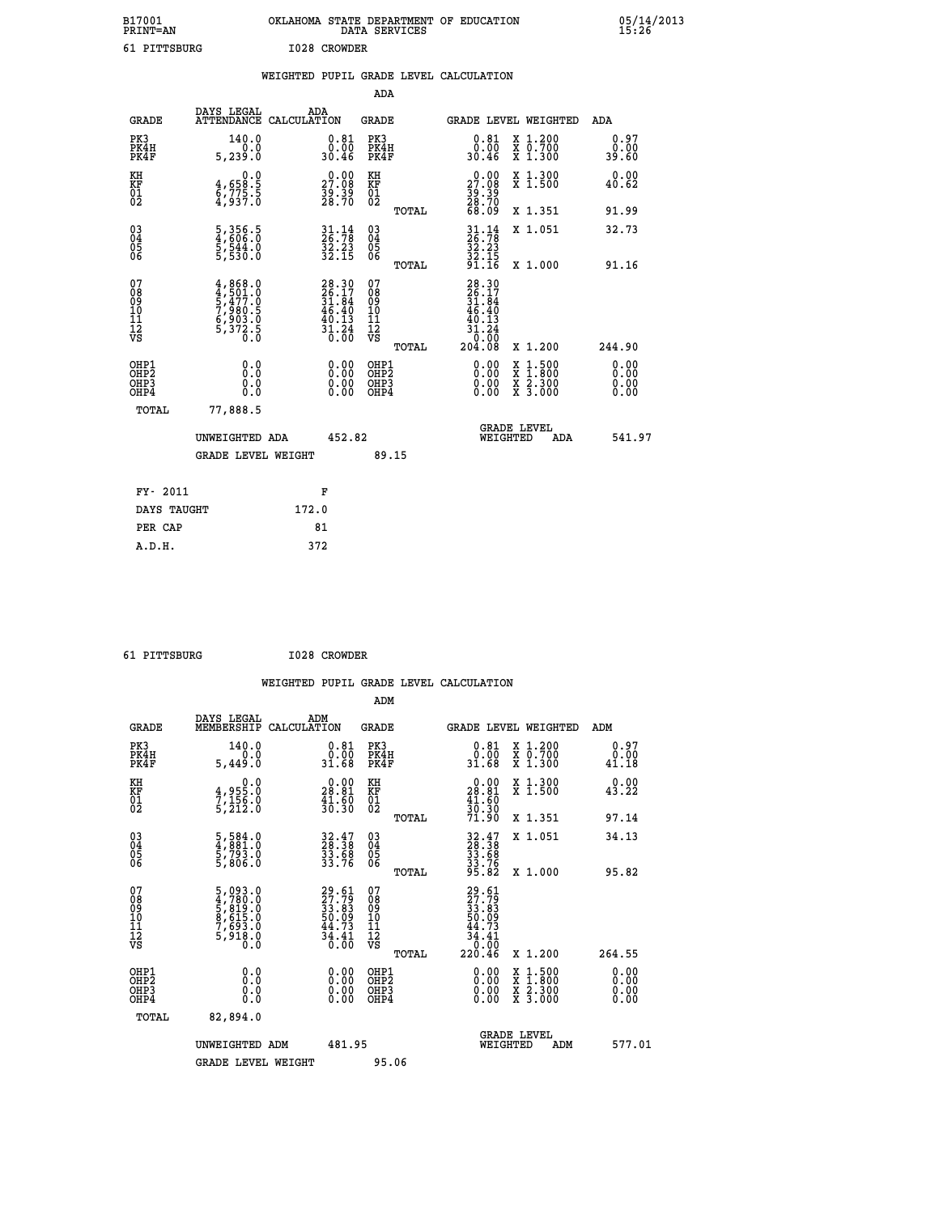| B17001          | OKLAHOMA STATE DEPARTMENT OF EDUCATION | 05/14/2013 |
|-----------------|----------------------------------------|------------|
| <b>PRINT=AN</b> | DATA SERVICES                          | 15:26      |
| 61<br>PITTSBURG | I028 CROWDER                           |            |

|                                                                    |                                                                                        | WEIGHTED PUPIL GRADE LEVEL CALCULATION                                   |                                                 |                                                                                  |                                                       |                              |
|--------------------------------------------------------------------|----------------------------------------------------------------------------------------|--------------------------------------------------------------------------|-------------------------------------------------|----------------------------------------------------------------------------------|-------------------------------------------------------|------------------------------|
|                                                                    |                                                                                        |                                                                          | ADA                                             |                                                                                  |                                                       |                              |
| <b>GRADE</b>                                                       | DAYS LEGAL                                                                             | ADA<br>ATTENDANCE CALCULATION                                            | <b>GRADE</b>                                    | GRADE LEVEL WEIGHTED                                                             |                                                       | ADA                          |
| PK3<br>PK4H<br>PK4F                                                | 140.0<br>0.0<br>5, 239.0                                                               | $0.81$<br>$0.00$<br>30.46                                                | PK3<br>PK4H<br>PK4F                             | 0.81<br>0.00<br>30.46                                                            | X 1.200<br>X 0.700<br>X 1.300                         | 0.97<br>0.00<br>39.60        |
| KH<br>KF<br>01<br>02                                               | 0.0<br>$\frac{4}{6}, \frac{658}{735}$ .<br>4,937.0                                     | $\begin{smallmatrix} 0.00\\ 27.08\\ 39.39\\ 28.70 \end{smallmatrix}$     | KH<br>KF<br>01<br>02                            | $29.00$<br>27.08<br>$\frac{39}{28}\cdot\frac{39}{70}$<br>68.09                   | X 1.300<br>X 1.500                                    | 0.00<br>40.62                |
|                                                                    |                                                                                        |                                                                          | TOTAL                                           |                                                                                  | X 1.351                                               | 91.99                        |
| $\begin{smallmatrix} 03 \\[-4pt] 04 \end{smallmatrix}$<br>Ŏ5<br>06 | $\frac{5}{4}$ , $\frac{356}{606}$ : $\frac{5}{0}$<br>$\frac{5}{5}, \frac{544}{530}$ .0 | $\frac{31}{26}:\frac{14}{78}$<br>$\frac{52.23}{32.15}$                   | $\substack{03 \\ 04}$<br>Ŏ5<br>06               | $31.14$<br>$32.23$<br>$32.15$<br>$31.15$                                         | X 1.051                                               | 32.73                        |
|                                                                    |                                                                                        |                                                                          | TOTAL                                           |                                                                                  | X 1.000                                               | 91.16                        |
| 07<br>08<br>09<br>101<br>112<br>VS                                 | $4,868.0$<br>$5,477.0$<br>$5,477.0$<br>$7,980.5$<br>$6,903.0$<br>$5,372.5$<br>0.0      | $28.30$<br>$26.17$<br>$31.84$<br>$46.40$<br>$40.13$<br>$31.24$<br>$0.00$ | 07<br>08<br>09<br>11<br>11<br>12<br>VS<br>TOTAL | $28.30$<br>$26.17$<br>$31.84$<br>$46.40$<br>$40.13$<br>$31.24$<br>0.00<br>204.08 | X 1.200                                               | 244.90                       |
| OHP1<br>OHP2<br>OHP3<br>OHP4                                       | 0.0<br>0.0<br>Ō.Ō                                                                      | 0.00<br>$\begin{smallmatrix} 0.00 \ 0.00 \end{smallmatrix}$              | OHP1<br>OHP2<br>OHP3<br>OHP4                    | 0.00<br>0.00<br>0.00                                                             | X 1:500<br>$\frac{\ddot{x}}{x}$ $\frac{2.300}{3.000}$ | 0.00<br>0.00<br>0.00<br>0.00 |
| <b>TOTAL</b>                                                       | 77,888.5                                                                               |                                                                          |                                                 |                                                                                  |                                                       |                              |
|                                                                    | UNWEIGHTED ADA                                                                         | 452.82                                                                   |                                                 | GRADE LEVEL<br>WEIGHTED                                                          | ADA                                                   | 541.97                       |
|                                                                    | <b>GRADE LEVEL WEIGHT</b>                                                              |                                                                          | 89.15                                           |                                                                                  |                                                       |                              |
| FY- 2011                                                           |                                                                                        | F                                                                        |                                                 |                                                                                  |                                                       |                              |
| DAYS TAUGHT                                                        |                                                                                        | 172.0                                                                    |                                                 |                                                                                  |                                                       |                              |
| PER CAP                                                            |                                                                                        | 81                                                                       |                                                 |                                                                                  |                                                       |                              |

 **61 PITTSBURG I028 CROWDER**

 **A.D.H. 372**

 **WEIGHTED PUPIL GRADE LEVEL CALCULATION ADM DAYS LEGAL ADM GRADE MEMBERSHIP CALCULATION GRADE GRADE LEVEL WEIGHTED ADM PK3 140.0 0.81 PK3 0.81 X 1.200 0.97 PK4H 0.0 0.00 PK4H 0.00 X 0.700 0.00 PK4F 5,449.0 31.68 PK4F 31.68 X 1.300 41.18 KH 0.0 0.00 KH 0.00 X 1.300 0.00 KF 4,955.0 28.81 KF 28.81 X 1.500 43.22**  $\begin{array}{cccc} \text{KH} & \text{0.0} & \text{0.00} & \text{KH} \\ \text{KF} & \text{4,955.0} & \text{28.81} & \text{KF} \\ \text{02} & \text{5,212.0} & \text{31.30} & \text{02} \end{array}$  $02$  5,212.0  $30.30$   $02$   $22.0$  **TOTAL 71.90 X 1.351 97.14 03 5,584.0 32.47 03 32.47 X 1.051 34.13 04 4,881.0 28.38 04 28.38 05 5,793.0 33.68 05 33.68 06** 5,806.0 33.76 06 <sub>momas</sub> 33.76  **TOTAL 95.82 X 1.000 95.82 07 5,093.0 29.61 07 29.61 08 4,780.0 27.79 08 27.79 09 5,819.0 33.83 09 33.83 10 8,615.0 50.09 10 50.09 11 7,693.0 44.73 11 44.73 12 5,918.0 34.41 12 34.41 VS 0.0 0.00 VS 0.00 TOTAL 220.46 X 1.200 264.55 OHP1 0.0 0.00 OHP1 0.00 X 1.500 0.00 OHP2 0.0 0.00 OHP2 0.00 X 1.800 0.00 OHP3 0.0 0.00 OHP3 0.00 X 2.300 0.00 OHP4 0.0 0.00 OHP4 0.00 X 3.000 0.00 TOTAL 82,894.0** GRADE LEVEL<br>WEIGHTED ADM 577.01

UNWEIGHTED ADM 481.95 GRADE LEVEL WEIGHT 95.06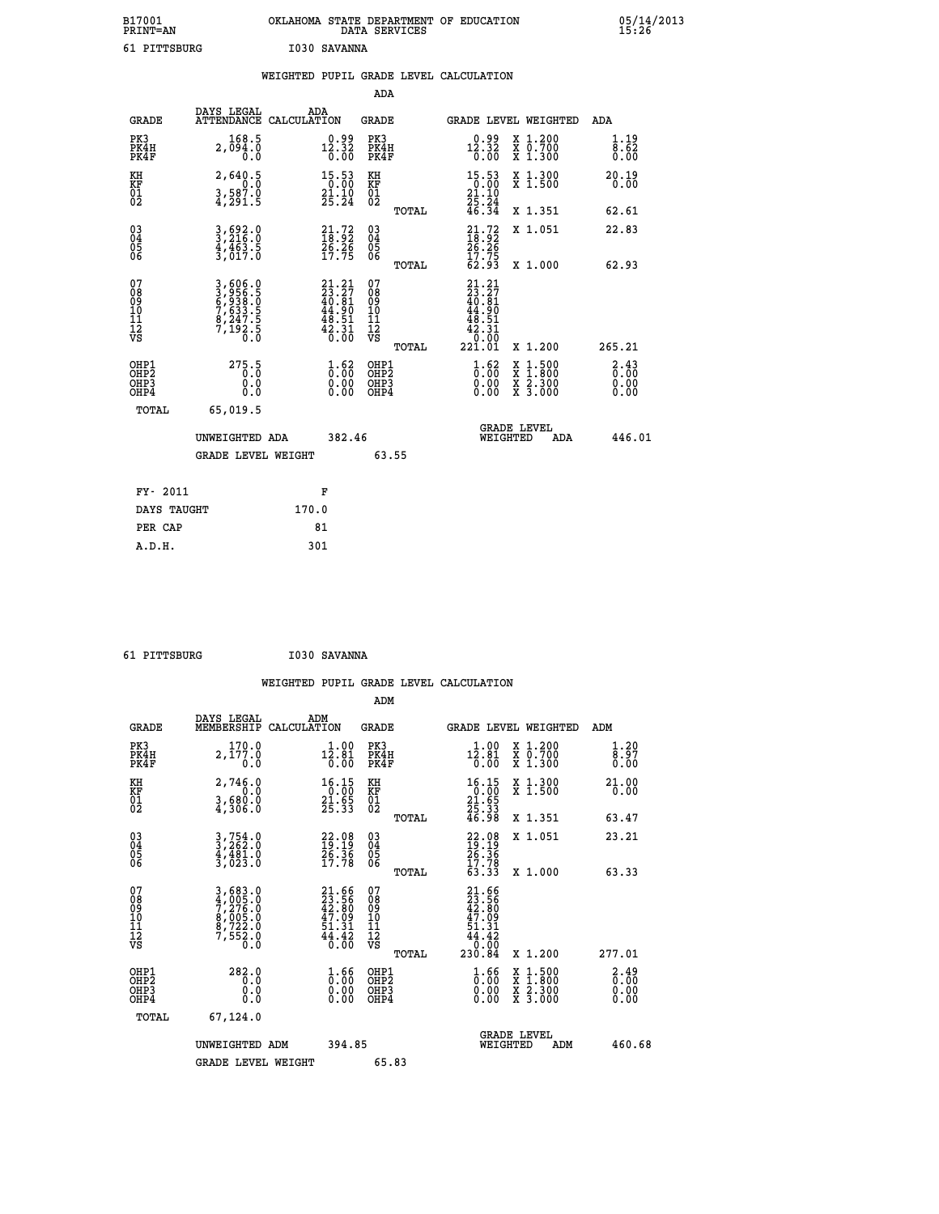| B17001<br><b>PRINT=AN</b> | OKLAHOMA<br>. STATE DEPARTMENT OF EDUCATION<br>DATA SERVICES | 05/14/2013<br>15:26 |
|---------------------------|--------------------------------------------------------------|---------------------|
| 61 PITTSBURG              | I030 SAVANNA                                                 |                     |

|  |  | WEIGHTED PUPIL GRADE LEVEL CALCULATION |
|--|--|----------------------------------------|
|  |  |                                        |

|                                                                    |                                                                           |                                                                                        | ADA                                               |       |                                                                                                                     |        |                                                           |                                     |
|--------------------------------------------------------------------|---------------------------------------------------------------------------|----------------------------------------------------------------------------------------|---------------------------------------------------|-------|---------------------------------------------------------------------------------------------------------------------|--------|-----------------------------------------------------------|-------------------------------------|
| <b>GRADE</b>                                                       | DAYS LEGAL<br>ATTENDANCE CALCULATION                                      | ADA                                                                                    | <b>GRADE</b>                                      |       | GRADE LEVEL WEIGHTED                                                                                                |        |                                                           | <b>ADA</b>                          |
| PK3<br>PK4H<br>PK4F                                                | 168.5<br>2,094.0<br>0.0                                                   | $12.32\n0.32\n0.00$                                                                    | PK3<br>PK4H<br>PK4F                               |       | $12.32$<br>$0.32$<br>$0.00$                                                                                         |        | X 1.200<br>X 0.700<br>X 1.300                             | 1.19<br>8.62<br>0.00                |
| KH<br>KF<br>01<br>02                                               | 2,640.5<br>0.0<br>$\frac{3}{4}$ , $\frac{587.0}{291.5}$                   | $\begin{array}{c} 15\cdot 53 \\ 0\cdot 00 \\ 21\cdot 10 \\ 25\cdot 24 \end{array}$     | KH<br>KF<br>$\begin{matrix} 01 \ 02 \end{matrix}$ |       | $\begin{array}{r} 15\cdot 53 \\ 0\cdot 00 \\ 21\cdot 10 \\ 25\cdot 24 \\ 46\cdot 34 \end{array}$                    |        | X 1.300<br>X 1.500                                        | 20.19<br>0.00                       |
|                                                                    |                                                                           |                                                                                        |                                                   | TOTAL |                                                                                                                     |        | X 1.351                                                   | 62.61                               |
| $\begin{smallmatrix} 03 \\[-4pt] 04 \end{smallmatrix}$<br>Ŏ5<br>06 | 3,692.0<br>3,216.0<br>4,463.5<br>3,017.0                                  | $21.72$<br>$18.92$<br>$26.26$<br>$17.75$                                               | $\substack{03 \\ 04}$<br>Ŏ5<br>06                 | TOTAL | $21.72$<br>$18.92$<br>$26.26$<br>$17.75$<br>62.93                                                                   |        | X 1.051<br>X 1.000                                        | 22.83<br>62.93                      |
| 07<br>08<br>09<br>11<br>11<br>12<br>VS                             | 3,606.0<br>3,956.5<br>6,938.0<br>6,833.5<br>7,633.5<br>8,247.5<br>7,192.5 | 21.21<br>$23.27$<br>$40.81$<br>$44.90$<br>$48.51$<br>$42.31$<br>$0.00$                 | 07<br>08<br>09<br>11<br>11<br>12<br>VS            | TOTAL | 21.21<br>$\begin{smallmatrix} 21.2 \\ 23.2 \\ 40.81 \\ 44.90 \\ 44.51 \\ 42.31 \\ 0.00 \\ 221.01 \end{smallmatrix}$ |        | X 1.200                                                   | 265.21                              |
| OHP1<br>OHP <sub>2</sub><br>OHP3<br>OHP4                           | 275.5<br>0.0<br>Ō.Ō                                                       | $\frac{1}{0}$ : $\frac{62}{00}$<br>$\begin{smallmatrix} 0.00 \ 0.00 \end{smallmatrix}$ | OHP1<br>OH <sub>P</sub> 2<br>OHP3<br>OHP4         |       | $\begin{smallmatrix} 1.62 \ 0.00 \ 0.00 \end{smallmatrix}$<br>0.00                                                  | X<br>X | $1:500$<br>$1:800$<br>$\frac{x}{x}$ $\frac{5:300}{3:000}$ | $\frac{2.43}{0.00}$<br>0.00<br>0.00 |
| TOTAL                                                              | 65,019.5<br>UNWEIGHTED ADA<br><b>GRADE LEVEL WEIGHT</b>                   | 382.46                                                                                 |                                                   | 63.55 | WEIGHTED                                                                                                            |        | <b>GRADE LEVEL</b><br>ADA                                 | 446.01                              |
|                                                                    |                                                                           |                                                                                        |                                                   |       |                                                                                                                     |        |                                                           |                                     |
| FY- 2011                                                           |                                                                           | F                                                                                      |                                                   |       |                                                                                                                     |        |                                                           |                                     |
| DAYS TAUGHT                                                        |                                                                           | 170.0                                                                                  |                                                   |       |                                                                                                                     |        |                                                           |                                     |
| PER CAP                                                            |                                                                           | 81                                                                                     |                                                   |       |                                                                                                                     |        |                                                           |                                     |

 **61 PITTSBURG I030 SAVANNA**

 **A.D.H. 301**

| <b>GRADE</b>                                       | DAYS LEGAL<br>MEMBERSHIP                                              | ADM<br>CALCULATION                                             | <b>GRADE</b>                                       |       | GRADE LEVEL WEIGHTED                                                                                  |                                                                                                                     | ADM    |                                     |
|----------------------------------------------------|-----------------------------------------------------------------------|----------------------------------------------------------------|----------------------------------------------------|-------|-------------------------------------------------------------------------------------------------------|---------------------------------------------------------------------------------------------------------------------|--------|-------------------------------------|
| PK3<br>PK4H<br>PK4F                                | 170.0<br>2,177.0<br>0.0                                               | $12.80$<br>12.81<br>0.00                                       | PK3<br>PK4H<br>PK4F                                |       | 1.00<br>$1\bar{2}.\bar{8}1$<br>0.00                                                                   | X 1.200<br>X 0.700<br>X 1.300                                                                                       |        | 1.20<br>8.97<br>0.00                |
| KH<br>KF<br>01<br>02                               | 2,746.0<br>0.0<br>$3,680.0$<br>$4,306.0$                              | $\begin{array}{r} 16.15 \\ 0.00 \\ 21.65 \\ 25.33 \end{array}$ | KH<br>KF<br>01<br>02                               |       | $\begin{array}{r} 16.15 \\ 0.00 \\ 21.65 \\ 25.33 \\ 46.98 \end{array}$                               | X 1.300<br>X 1.500                                                                                                  |        | 21.00<br>0.00                       |
|                                                    |                                                                       |                                                                |                                                    | TOTAL |                                                                                                       | X 1.351                                                                                                             |        | 63.47                               |
| $\begin{matrix} 03 \\ 04 \\ 05 \\ 06 \end{matrix}$ | $3,754.0$<br>$3,262.0$<br>$4,481.0$<br>$3,023.0$                      | $22.08$<br>$19.19$<br>$26.36$<br>$17.78$                       | $\begin{matrix} 03 \\ 04 \\ 05 \\ 06 \end{matrix}$ |       | $22.08$<br>$19.19$<br>$26.36$<br>$17.78$<br>$63.33$                                                   | X 1.051                                                                                                             |        | 23.21                               |
|                                                    |                                                                       |                                                                |                                                    | TOTAL |                                                                                                       | X 1.000                                                                                                             |        | 63.33                               |
| 07<br>08<br>09<br>101<br>112<br>VS                 | 3,683.0<br>4,005.0<br>7,276.0<br>8,005.0<br>8,722.0<br>7,552.0<br>0.0 | $21.6623.5642.8047.0951.3144.420.00$                           | 07<br>08<br>09<br>11<br>11<br>12<br>VS             | TOTAL | $\begin{smallmatrix} 21.66\\ 23.56\\ 42.80\\ 47.09\\ 51.31\\ 44.42\\ 0.00\\ 230.84 \end{smallmatrix}$ | X 1.200                                                                                                             | 277.01 |                                     |
| OHP1<br>OHP <sub>2</sub><br>OHP3<br>OHP4           | 282.0<br>0.0<br>0.0<br>0.0                                            | $\begin{smallmatrix} 1.66\ 0.00\ 0.00 \end{smallmatrix}$       | OHP1<br>OHP <sub>2</sub><br>OHP3<br>OHP4           |       | $\begin{smallmatrix} 1.66\ 0.00\ 0.00 \end{smallmatrix}$                                              | $\begin{array}{l} \mathtt{X} & 1.500 \\ \mathtt{X} & 1.800 \\ \mathtt{X} & 2.300 \\ \mathtt{X} & 3.000 \end{array}$ |        | $\frac{2.49}{0.00}$<br>0.00<br>0.00 |
| TOTAL                                              | 67,124.0                                                              |                                                                |                                                    |       |                                                                                                       |                                                                                                                     |        |                                     |
|                                                    | UNWEIGHTED ADM                                                        | 394.85                                                         |                                                    |       | <b>GRADE LEVEL</b><br>WEIGHTED                                                                        | ADM                                                                                                                 |        | 460.68                              |
|                                                    | <b>GRADE LEVEL WEIGHT</b>                                             |                                                                | 65.83                                              |       |                                                                                                       |                                                                                                                     |        |                                     |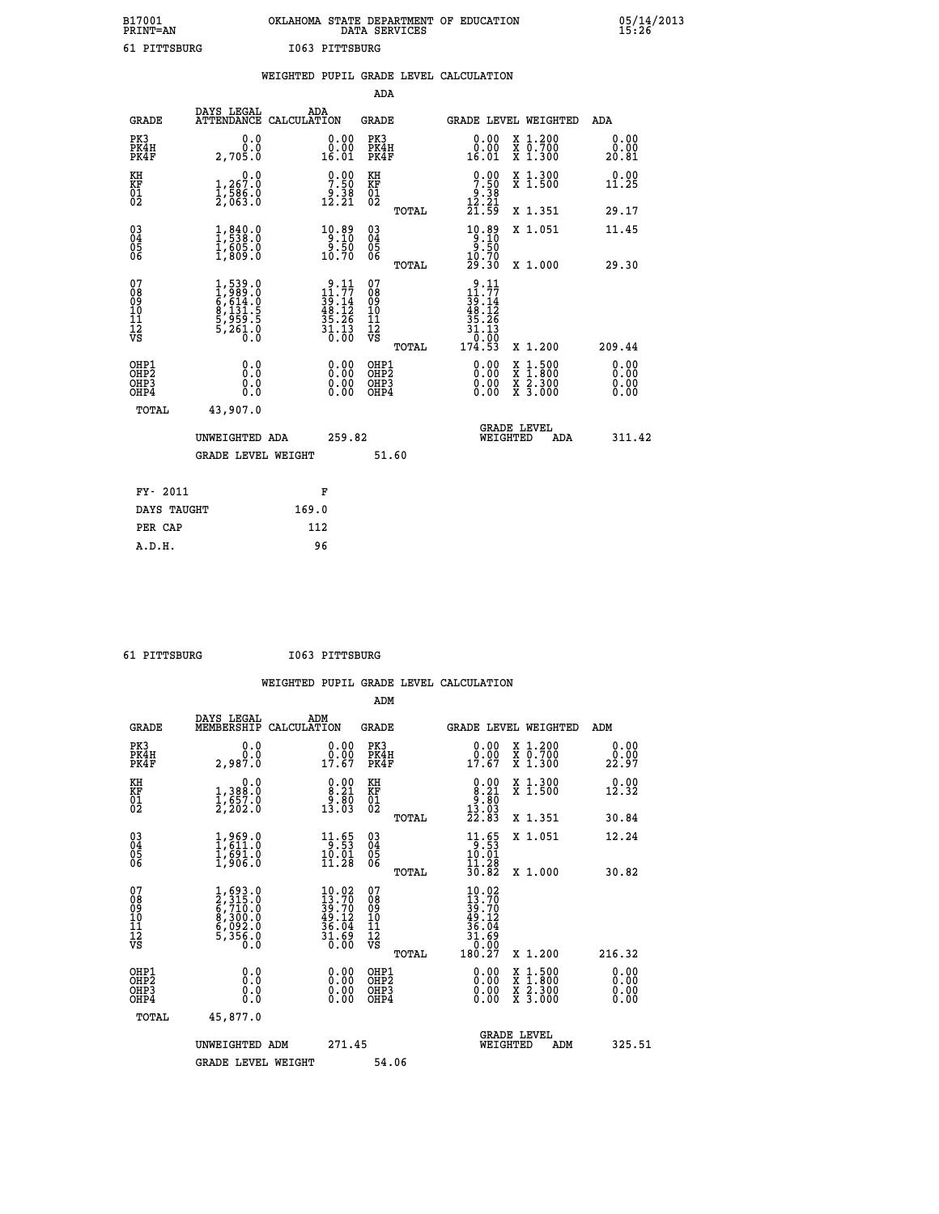| B17001          | OKLAHOMA STATE DEPARTMENT OF EDUCATION |
|-----------------|----------------------------------------|
| <b>PRINT=AN</b> | DATA SERVICES                          |
| 61 PITTSBURG    | I063 PITTSBURG                         |

 **B17001 OKLAHOMA STATE DEPARTMENT OF EDUCATION 05/14/2013**

|                                                                    |                                                                            |       |                                                                                          |                                          |       | WEIGHTED PUPIL GRADE LEVEL CALCULATION                                                                                                                                                                                                                                         |                                          |                              |
|--------------------------------------------------------------------|----------------------------------------------------------------------------|-------|------------------------------------------------------------------------------------------|------------------------------------------|-------|--------------------------------------------------------------------------------------------------------------------------------------------------------------------------------------------------------------------------------------------------------------------------------|------------------------------------------|------------------------------|
|                                                                    |                                                                            |       |                                                                                          | <b>ADA</b>                               |       |                                                                                                                                                                                                                                                                                |                                          |                              |
| <b>GRADE</b>                                                       | DAYS LEGAL<br>ATTENDANCE CALCULATION                                       | ADA   |                                                                                          | GRADE                                    |       | GRADE LEVEL WEIGHTED                                                                                                                                                                                                                                                           |                                          | ADA                          |
| PK3<br>PK4H<br>PK4F                                                | 0.0<br>0.0<br>2,705.0                                                      |       | $0.00$<br>$0.00$<br>16.01                                                                | PK3<br>PK4H<br>PK4F                      |       | 0.00<br>0.00<br>16.01                                                                                                                                                                                                                                                          | X 1.200<br>X 0.700<br>X 1.300            | 0.00<br>0.00<br>20.81        |
| KH<br>KF<br>01<br>02                                               | 1, 267.0<br>$\frac{1}{2}, \frac{1}{663}$ :0                                |       | $\begin{smallmatrix} 0.00\\ 7.50\\ 9.38\\ 12.21 \end{smallmatrix}$                       | KH<br>KF<br>01<br>02                     |       | $\begin{smallmatrix}0.00\\7.50\\9.38\\12.21\\21.59\end{smallmatrix}$                                                                                                                                                                                                           | X 1.300<br>X 1.500                       | 0.00<br>11.25                |
|                                                                    |                                                                            |       |                                                                                          |                                          | TOTAL |                                                                                                                                                                                                                                                                                | X 1.351                                  | 29.17                        |
| $\begin{smallmatrix} 03 \\[-4pt] 04 \end{smallmatrix}$<br>Ŏ5<br>06 | 1, 840.0<br>$\frac{1}{1}$ , $\frac{605}{809}$ .0                           |       | $\begin{array}{r} 10.89 \\ 9.10 \\ 9.50 \\ 10.70 \end{array}$                            | $\substack{03 \\ 04}$<br>Ŏ5<br>06        |       | $\begin{array}{r} 10.89 \\ 9.10 \\ 9.50 \\ 10.70 \\ 29.30 \end{array}$                                                                                                                                                                                                         | X 1.051                                  | 11.45                        |
|                                                                    |                                                                            |       |                                                                                          |                                          | TOTAL |                                                                                                                                                                                                                                                                                | X 1.000                                  | 29.30                        |
| 07<br>08<br>09<br>01<br>11<br>11<br>12<br>VS                       | 1,539.0<br>1,989.0<br>6,614.0<br>6,5131.5<br>8,131.5<br>5,959.5<br>5,261.0 |       | $\begin{array}{r} 9.11 \\ 11.77 \\ 39.14 \\ 48.12 \\ 35.26 \\ 31.13 \\ 0.00 \end{array}$ | 07<br>08<br>09<br>11<br>11<br>12<br>VS   | TOTAL | .11<br>9<br>11<br>.77<br>$\frac{1}{39}:\stackrel{1}{12}$<br>$\frac{48}{35}:\stackrel{1}{26}$<br>$\frac{31}{31}:\stackrel{1}{13}$<br>10:00<br>174.53                                                                                                                            | X 1.200                                  | 209.44                       |
| OHP1<br>OH <sub>P</sub> 2<br>OHP3<br>OHP4                          | 0.0<br>0.0<br>0.0                                                          |       | $\begin{smallmatrix} 0.00 \ 0.00 \ 0.00 \ 0.00 \end{smallmatrix}$                        | OHP1<br>OHP <sub>2</sub><br>OHP3<br>OHP4 |       | $\begin{smallmatrix} 0.00 & 0.00 & 0.00 & 0.00 & 0.00 & 0.00 & 0.00 & 0.00 & 0.00 & 0.00 & 0.00 & 0.00 & 0.00 & 0.00 & 0.00 & 0.00 & 0.00 & 0.00 & 0.00 & 0.00 & 0.00 & 0.00 & 0.00 & 0.00 & 0.00 & 0.00 & 0.00 & 0.00 & 0.00 & 0.00 & 0.00 & 0.00 & 0.00 & 0.00 & 0.00 & 0.0$ | X 1:500<br>X 1:800<br>X 2:300<br>X 3:000 | 0.00<br>0.00<br>0.00<br>0.00 |
| TOTAL                                                              | 43,907.0                                                                   |       |                                                                                          |                                          |       |                                                                                                                                                                                                                                                                                |                                          |                              |
|                                                                    | UNWEIGHTED ADA                                                             |       | 259.82                                                                                   |                                          |       | <b>GRADE LEVEL</b><br>WEIGHTED                                                                                                                                                                                                                                                 | <b>ADA</b>                               | 311.42                       |
|                                                                    | <b>GRADE LEVEL WEIGHT</b>                                                  |       |                                                                                          |                                          | 51.60 |                                                                                                                                                                                                                                                                                |                                          |                              |
| FY- 2011                                                           |                                                                            |       | F                                                                                        |                                          |       |                                                                                                                                                                                                                                                                                |                                          |                              |
| DAYS TAUGHT                                                        |                                                                            | 169.0 |                                                                                          |                                          |       |                                                                                                                                                                                                                                                                                |                                          |                              |
| PER CAP                                                            |                                                                            | 112   |                                                                                          |                                          |       |                                                                                                                                                                                                                                                                                |                                          |                              |

 **61 PITTSBURG I063 PITTSBURG**

 **A.D.H. 96**

| <b>GRADE</b>                                         | DAYS LEGAL<br>MEMBERSHIP                                                  | ADM<br>CALCULATION                                                                     | <b>GRADE</b>                                        |       | GRADE LEVEL WEIGHTED                                                                                                                                                                                                                                                           |                                          |     | ADM                   |  |
|------------------------------------------------------|---------------------------------------------------------------------------|----------------------------------------------------------------------------------------|-----------------------------------------------------|-------|--------------------------------------------------------------------------------------------------------------------------------------------------------------------------------------------------------------------------------------------------------------------------------|------------------------------------------|-----|-----------------------|--|
| PK3<br>PK4H<br>PK4F                                  | 0.0<br>0.0<br>2,987.0                                                     | $\begin{smallmatrix} 0.00\\ 0.00\\ 17.67 \end{smallmatrix}$                            | PK3<br>PK4H<br>PK4F                                 |       | $\begin{smallmatrix} 0.00\\ 0.00\\ 17.67 \end{smallmatrix}$                                                                                                                                                                                                                    | X 1.200<br>X 0.700<br>X 1.300            |     | 0.00<br>0.00<br>22.97 |  |
| KH<br>KF<br>01<br>02                                 | 0.0<br>1,388:0<br>1,657.0<br>2,202:0                                      | $\begin{smallmatrix} 0.00\\ 8.21\\ 9.80\\ 13.03 \end{smallmatrix}$                     | KH<br>KF<br>01<br>02                                |       | $\begin{smallmatrix} 0.00\\ 8.21\\ 9.80\\ 13.03\\ 22.83 \end{smallmatrix}$                                                                                                                                                                                                     | X 1.300<br>X 1.500                       |     | 0.00<br>12.32         |  |
|                                                      |                                                                           |                                                                                        |                                                     | TOTAL |                                                                                                                                                                                                                                                                                | X 1.351                                  |     | 30.84                 |  |
| 03<br>04<br>05<br>06                                 | $1,969.0$<br>$1,611.0$<br>$1,691.0$<br>$1,906.0$                          | $\begin{array}{r} 11.65 \\ 9.53 \\ 10.01 \\ 11.28 \end{array}$                         | $\begin{array}{c} 03 \\ 04 \\ 05 \\ 06 \end{array}$ |       | 11.65<br>$\frac{1\bar{0} \cdot \bar{0}\bar{1}}{11 \cdot 2\bar{8}}$                                                                                                                                                                                                             | X 1.051                                  |     | 12.24                 |  |
|                                                      |                                                                           |                                                                                        |                                                     | TOTAL | 30.82                                                                                                                                                                                                                                                                          | X 1.000                                  |     | 30.82                 |  |
| 07<br>08<br>09<br>11<br>11<br>12<br>VS               | 1,693.0<br>2,315.0<br>6,710.0<br>6,710.0<br>8,300.0<br>6,092.0<br>5,356.0 | $\begin{smallmatrix} 10.02\\13.70\\39.70\\49.12\\36.04\\31.69\\0.00 \end{smallmatrix}$ | 07<br>08<br>09<br>11<br>11<br>12<br>VS              | TOTAL | $10.02$<br>$13.70$<br>$39.70$<br>$49.12$<br>$36.04$<br>$31.69$<br>$0.00$<br>$180.27$                                                                                                                                                                                           | X 1.200                                  |     | 216.32                |  |
| OHP1<br>OH <sub>P</sub> <sub>2</sub><br>OHP3<br>OHP4 | 0.0<br>0.0<br>0.0                                                         |                                                                                        | OHP1<br>OHP <sub>2</sub><br>OHP3<br>OHP4            |       | $\begin{smallmatrix} 0.00 & 0.00 & 0.00 & 0.00 & 0.00 & 0.00 & 0.00 & 0.00 & 0.00 & 0.00 & 0.00 & 0.00 & 0.00 & 0.00 & 0.00 & 0.00 & 0.00 & 0.00 & 0.00 & 0.00 & 0.00 & 0.00 & 0.00 & 0.00 & 0.00 & 0.00 & 0.00 & 0.00 & 0.00 & 0.00 & 0.00 & 0.00 & 0.00 & 0.00 & 0.00 & 0.0$ | X 1:500<br>X 1:800<br>X 2:300<br>X 3:000 |     | 0.00<br>0.00<br>0.00  |  |
| TOTAL                                                | 45,877.0                                                                  |                                                                                        |                                                     |       |                                                                                                                                                                                                                                                                                |                                          |     |                       |  |
|                                                      | UNWEIGHTED ADM                                                            | 271.45                                                                                 |                                                     |       | WEIGHTED                                                                                                                                                                                                                                                                       | <b>GRADE LEVEL</b>                       | ADM | 325.51                |  |
|                                                      | <b>GRADE LEVEL WEIGHT</b>                                                 |                                                                                        | 54.06                                               |       |                                                                                                                                                                                                                                                                                |                                          |     |                       |  |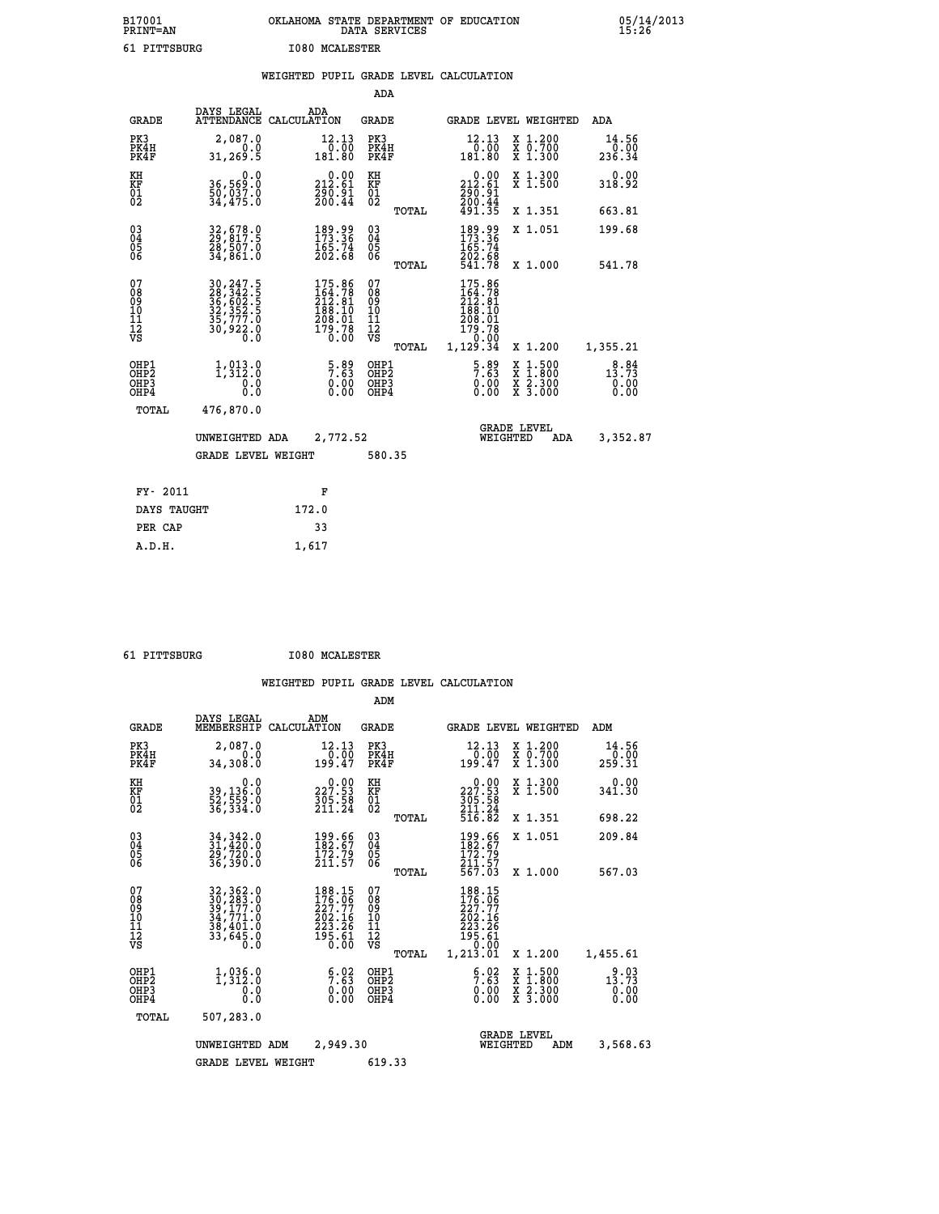| B17001<br>PRINT=AN                     |                                                                                   | OKLAHOMA STATE DEPARTMENT OF EDUCATION                                                                                                                                               | DATA SERVICES                                     |                                                                       |                                                                                          | 05/14/2013              |  |
|----------------------------------------|-----------------------------------------------------------------------------------|--------------------------------------------------------------------------------------------------------------------------------------------------------------------------------------|---------------------------------------------------|-----------------------------------------------------------------------|------------------------------------------------------------------------------------------|-------------------------|--|
| 61 PITTSBURG                           |                                                                                   | <b>I080 MCALESTER</b>                                                                                                                                                                |                                                   |                                                                       |                                                                                          |                         |  |
|                                        |                                                                                   | WEIGHTED PUPIL GRADE LEVEL CALCULATION                                                                                                                                               |                                                   |                                                                       |                                                                                          |                         |  |
|                                        |                                                                                   |                                                                                                                                                                                      | ADA                                               |                                                                       |                                                                                          |                         |  |
| <b>GRADE</b>                           | DAYS LEGAL<br>ATTENDANCE CALCULATION                                              | ADA                                                                                                                                                                                  | GRADE                                             | GRADE LEVEL WEIGHTED                                                  |                                                                                          | ADA                     |  |
| PK3<br>PK4H<br>PK4F                    | 2,087.0<br>0.0<br>31, 269.5                                                       | 12.13<br>0.00<br>181.80                                                                                                                                                              | PK3<br>PK4H<br>PK4F                               | 12.13<br>0.00<br>181.80                                               | X 1.200<br>X 0.700<br>X 1.300                                                            | 14.56<br>0.00<br>236.34 |  |
| KH<br>KF<br>$\overline{01}$            | 0.0<br>36,569:0<br>50,037:0<br>34,475:0                                           | $0.00$<br>212.61<br>$\frac{290.91}{200.44}$                                                                                                                                          | KH<br>KF<br>$\begin{matrix} 01 \ 02 \end{matrix}$ | $\frac{0.00}{212.61}$<br>290.91                                       | X 1.300<br>X 1.500                                                                       | 0.00<br>318.92          |  |
|                                        |                                                                                   |                                                                                                                                                                                      | TOTAL                                             | 200:44<br>491.35                                                      | X 1.351                                                                                  | 663.81                  |  |
| $\substack{03 \\ 04}$<br>Ŏ5<br>06      | 32,678.0<br>29,817.5<br>28,507.0<br>34,861.0                                      | $\frac{189.99}{173.36}$<br>$\frac{165.74}{202.68}$                                                                                                                                   | $03\overline{4}$<br>Ŏ5<br>06                      | 189.99<br>173.36<br>165.74<br>202.68                                  | X 1.051                                                                                  | 199.68                  |  |
|                                        |                                                                                   |                                                                                                                                                                                      | TOTAL                                             | 541.78                                                                | X 1,000                                                                                  | 541.78                  |  |
| 07<br>08<br>09<br>10<br>11<br>12<br>VS | 30, 247.5<br>28, 342.5<br>36, 602.5<br>32, 352.5<br>35, 777.0<br>30, 922.0<br>0.0 | 175.86<br>164.78<br>212.81<br>188.10<br>198.91<br>$\begin{array}{c}\n\textcolor{red}{\mathbf{179}}\cdot\textcolor{red}{\mathbf{78}}\n\\ \textcolor{red}{\mathbf{0.00}}\n\end{array}$ | 07<br>08<br>09<br>10<br>11<br>12<br>VS<br>TOTAL   | 175.86<br>164.78<br>212.81<br>188.10<br>208.01<br>179.78<br>1, 129.34 | X 1.200                                                                                  | 1,355.21                |  |
| OHP1<br>OHP2                           | 1, 913.0                                                                          | $\frac{5.89}{7.63}$                                                                                                                                                                  | OHP1                                              | $\frac{5.89}{7.63}$                                                   |                                                                                          | 13.73                   |  |
| OHP3<br>OHP4                           | 0.0<br>0.0                                                                        | 0.00<br>0.00                                                                                                                                                                         | OHP <sub>2</sub><br>OHP3<br>OHP4                  | 0.00<br>0.00                                                          | $\begin{smallmatrix} x & 1.500 \\ x & 1.800 \\ x & 2.300 \\ x & 3.000 \end{smallmatrix}$ | 0.00<br>0.00            |  |
| TOTAL                                  | 476,870.0                                                                         |                                                                                                                                                                                      |                                                   |                                                                       |                                                                                          |                         |  |
|                                        | UNWEIGHTED ADA                                                                    | 2,772.52                                                                                                                                                                             |                                                   | WEIGHTED                                                              | <b>GRADE LEVEL</b><br>ADA                                                                | 3,352.87                |  |
|                                        | <b>GRADE LEVEL WEIGHT</b>                                                         |                                                                                                                                                                                      | 580.35                                            |                                                                       |                                                                                          |                         |  |
| FY- 2011                               |                                                                                   | F                                                                                                                                                                                    |                                                   |                                                                       |                                                                                          |                         |  |
| DAYS TAUGHT                            |                                                                                   | 172.0                                                                                                                                                                                |                                                   |                                                                       |                                                                                          |                         |  |
| PER CAP                                |                                                                                   | 33                                                                                                                                                                                   |                                                   |                                                                       |                                                                                          |                         |  |

| 61 | <b>DTTTTSRIIRC</b> |  |  |  |
|----|--------------------|--|--|--|

 **A.D.H. 1,617**

 **61 PITTSBURG I080 MCALESTER**

|                                                       |              |                                                                                                               |                                                                                                      | ADM                                                 |       |                                                                                                              |                                          |                           |
|-------------------------------------------------------|--------------|---------------------------------------------------------------------------------------------------------------|------------------------------------------------------------------------------------------------------|-----------------------------------------------------|-------|--------------------------------------------------------------------------------------------------------------|------------------------------------------|---------------------------|
|                                                       | <b>GRADE</b> | DAYS LEGAL<br>MEMBERSHIP<br>CALCULATION                                                                       | ADM                                                                                                  | <b>GRADE</b>                                        |       |                                                                                                              | <b>GRADE LEVEL WEIGHTED</b>              | ADM                       |
| PK3<br>PK4F                                           | PK4H         | 2,087.0<br>0.0<br>34,308.0                                                                                    | 12.13<br>0.00<br>199.47                                                                              | PK3<br>PK4H<br>PK4F                                 |       | 12.13<br>$\frac{1}{199}.00$<br>199.47                                                                        | X 1.200<br>X 0.700<br>X 1.300            | 14.56<br>0.00<br>259.31   |
| KH<br>KF<br>01<br>02                                  |              | 0.0<br>39,136.0<br>52,559.0<br>36,334.0                                                                       | $\begin{smallmatrix} 0.00\\ 227.53\\ 305.58\\ 211.24 \end{smallmatrix}$                              | KH<br>KF<br>01<br>02                                |       | 227.90<br>$\frac{3}{2}$ $\frac{6}{1}$ ; $\frac{5}{2}$<br>$\frac{8}{2}$                                       | X 1.300<br>X 1.500                       | 0.00<br>341.30            |
|                                                       |              |                                                                                                               |                                                                                                      |                                                     | TOTAL | 516.82                                                                                                       | X 1.351                                  | 698.22                    |
| 03<br>04<br>05<br>06                                  |              | 34, 342.0<br>31, 420.0<br>29, 720.0<br>36,390.0                                                               | $\begin{smallmatrix} 199.66\\ 182.67\\ 172.79\\ 211.57 \end{smallmatrix}$                            | $\begin{array}{c} 03 \\ 04 \\ 05 \\ 06 \end{array}$ |       | 199.66<br>182.67<br>172.79<br>211.57                                                                         | X 1.051                                  | 209.84                    |
|                                                       |              |                                                                                                               |                                                                                                      |                                                     | TOTAL | 567.03                                                                                                       | X 1.000                                  | 567.03                    |
| 07<br>08<br>09<br>101<br>112<br>VS                    |              | $\begin{smallmatrix} 32,362.0\\ 30,283.0\\ 39,177.0\\ 34,771.0\\ 38,401.0\\ 33,645.0\\ 0.0 \end{smallmatrix}$ | 188.15<br>176.06<br>227.77<br>202.16<br>223.26<br>$\frac{1}{9}$ $\frac{5}{6}$ $\cdot$ $\frac{5}{60}$ | 07<br>08<br>09<br>11<br>11<br>12<br>VS              | TOTAL | 188.15<br>176.06<br>227.77<br>$\begin{array}{r} 262.16 \\ 223.26 \\ 195.61 \\ .0.09 \end{array}$<br>1,213.01 | X 1.200                                  | 1,455.61                  |
| OHP1<br>OH <sub>P</sub> 2<br>OH <sub>P3</sub><br>OHP4 |              | 1,335.0<br>$\overline{0}$ :0                                                                                  | $\begin{smallmatrix} 6.02\ 7.63\ 0.00\ 0.00 \end{smallmatrix}$                                       | OHP1<br>OHP2<br>OHP3<br>OHP4                        |       | $\frac{6.02}{0.00}$<br>0.00                                                                                  | X 1:500<br>X 1:800<br>X 2:300<br>X 3:000 | $13:73$<br>$0.00$<br>0.00 |
|                                                       | TOTAL        | 507,283.0                                                                                                     |                                                                                                      |                                                     |       |                                                                                                              |                                          |                           |
|                                                       |              | UNWEIGHTED<br>ADM                                                                                             | 2,949.30                                                                                             |                                                     |       | WEIGHTED                                                                                                     | <b>GRADE LEVEL</b><br>ADM                | 3,568.63                  |
|                                                       |              | <b>GRADE LEVEL WEIGHT</b>                                                                                     |                                                                                                      | 619.33                                              |       |                                                                                                              |                                          |                           |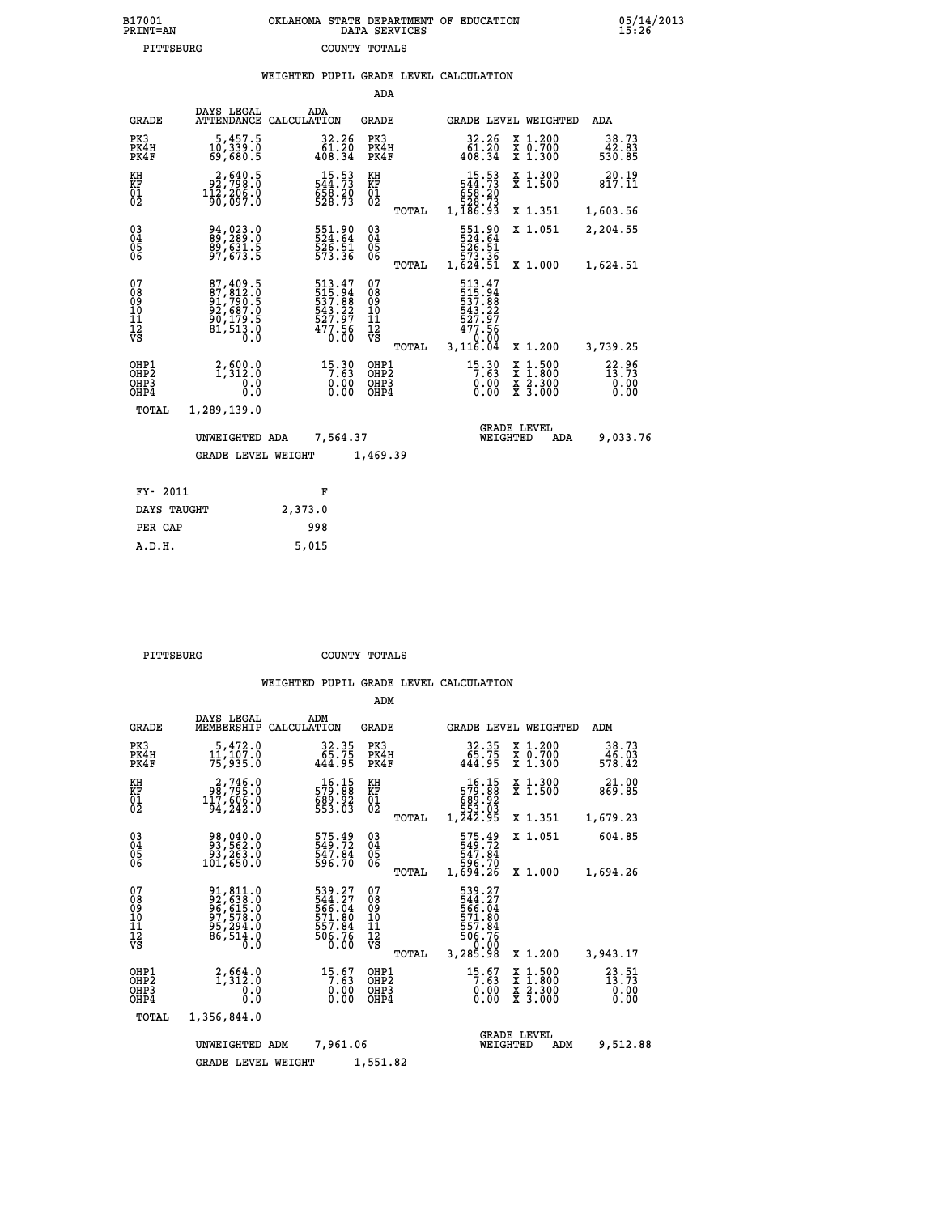## **B17001 OKLAHOMA STATE DEPARTMENT OF EDUCATION 05/14/2013 PRINT=AN DATA SERVICES 15:26 PITTSBURG COUNTY TOTALS**

|                                                       |                                                                              |                    |                                                                  |                                                                                 |       | WEIGHTED PUPIL GRADE LEVEL CALCULATION                                                                                                    |                                              |                                    |
|-------------------------------------------------------|------------------------------------------------------------------------------|--------------------|------------------------------------------------------------------|---------------------------------------------------------------------------------|-------|-------------------------------------------------------------------------------------------------------------------------------------------|----------------------------------------------|------------------------------------|
|                                                       |                                                                              |                    |                                                                  | ADA                                                                             |       |                                                                                                                                           |                                              |                                    |
| <b>GRADE</b>                                          | DAYS LEGAL<br>ATTENDANCE                                                     | ADA<br>CALCULATION |                                                                  | <b>GRADE</b>                                                                    |       |                                                                                                                                           | <b>GRADE LEVEL WEIGHTED</b>                  | ADA                                |
| PK3<br>PK4H<br>PK4F                                   | $\begin{smallmatrix}5,457.5\\10,339.0\\69,680.5\end{smallmatrix}$            |                    | $\begin{smallmatrix} 32.26 \\ 61.20 \\ 408.34 \end{smallmatrix}$ | PK3<br>PK4H<br>PK4F                                                             |       | $32.26\n61.20\n408.34$                                                                                                                    | X 1.200<br>X 0.700<br>X 1.300                | 38.73<br>83.83<br>530.85           |
| KH<br>KF<br>$\overline{01}$                           | 2,640.5<br>92,798.0<br>$1\bar{1}\bar{2}\,$ , $2\bar{0}\bar{6}\,$ . $\bar{0}$ |                    | $15.53$<br>544.73<br>$558.20$<br>528.73                          | KH<br>KF<br>$\overline{01}$                                                     |       | $15.53$<br>$544.73$<br>$558.20$<br>$528.73$                                                                                               | X 1.300<br>X 1.500                           | 20.19<br>817.11                    |
|                                                       |                                                                              |                    |                                                                  |                                                                                 | TOTAL | 1,186.93                                                                                                                                  | X 1.351                                      | 1,603.56                           |
| 03<br>04<br>05<br>06                                  | 89,289.0<br>89,631.5<br>97,673.5                                             |                    | 551.90<br>524.64<br>526.51<br>573.36                             | $\substack{03 \\ 04}$<br>$\begin{smallmatrix} 0 & 5 \\ 0 & 6 \end{smallmatrix}$ |       | 551.90<br>524.64<br>526.51<br>573.36<br>1,624.51                                                                                          | X 1.051                                      | 2,204.55                           |
|                                                       |                                                                              |                    |                                                                  |                                                                                 | TOTAL |                                                                                                                                           | X 1.000                                      | 1,624.51                           |
| 07<br>08<br>09<br>11<br>11<br>12<br>VS                | 87, 409.5<br>87, 812.0<br>91, 790.5<br>92, 687.0<br>90, 179.5<br>81, 513.0   |                    | 513.47<br>515.94<br>537.88<br>543:22<br>527:97<br>477:56<br>0.00 | 07<br>089<br>101<br>111<br>VS                                                   | TOTAL | 513.47<br>$\begin{array}{r} 515 \cdot 34 \\ 537 \cdot 88 \\ 543 \cdot 22 \\ 527 \cdot 97 \\ 477 \cdot 56 \end{array}$<br>0.00<br>3,116.04 | X 1.200                                      | 3,739.25                           |
| OHP1<br>OH <sub>P</sub> 2<br>OH <sub>P3</sub><br>OHP4 | $2,600.0$<br>1,312.0<br>0.0<br>0.0                                           |                    | $15.30$<br>7.63<br>0.00<br>0.00                                  | OHP1<br>OHP <sub>2</sub><br>OHP3<br>OHP4                                        |       | $15.30$<br>7.63<br>0.00<br>0.00                                                                                                           | X 1:500<br>X 1:800<br>X 2:300<br>X 3:000     | $22.96$<br>$13.73$<br>0.00<br>0.00 |
| TOTAL                                                 | 1,289,139.0                                                                  |                    |                                                                  |                                                                                 |       |                                                                                                                                           |                                              |                                    |
|                                                       | UNWEIGHTED ADA                                                               |                    | 7,564.37                                                         |                                                                                 |       |                                                                                                                                           | <b>GRADE LEVEL</b><br>WEIGHTED<br><b>ADA</b> | 9,033.76                           |
|                                                       | <b>GRADE LEVEL WEIGHT</b>                                                    |                    |                                                                  | 1,469.39                                                                        |       |                                                                                                                                           |                                              |                                    |
| FY- 2011                                              |                                                                              |                    | F                                                                |                                                                                 |       |                                                                                                                                           |                                              |                                    |
| DAYS TAUGHT                                           |                                                                              | 2,373.0            |                                                                  |                                                                                 |       |                                                                                                                                           |                                              |                                    |
| PER CAP                                               |                                                                              | 998                |                                                                  |                                                                                 |       |                                                                                                                                           |                                              |                                    |

 **A.D.H. 5,015**

 **PITTSBURG COUNTY TOTALS**

|                                                                        |                                                                             |                                                                         | ADM                                                |                                                                                |                                          |                                    |
|------------------------------------------------------------------------|-----------------------------------------------------------------------------|-------------------------------------------------------------------------|----------------------------------------------------|--------------------------------------------------------------------------------|------------------------------------------|------------------------------------|
| <b>GRADE</b>                                                           | DAYS LEGAL<br>MEMBERSHIP                                                    | ADM<br>CALCULATION                                                      | <b>GRADE</b>                                       | <b>GRADE LEVEL WEIGHTED</b>                                                    |                                          | ADM                                |
| PK3<br>PK4H<br>PK4F                                                    | $5,472.0$<br>11,107.0<br>75,935.0                                           | 32.35<br>65.75<br>444.95                                                | PK3<br>PK4H<br>PK4F                                | $32.35$<br>$65.75$<br>$444.95$                                                 | X 1.200<br>X 0.700<br>X 1.300            | 38.73<br>46.03<br>578.42           |
| KH<br>KF<br>01<br>02                                                   | 2,746.0<br>98,795.0<br>117,606.0<br>94,242.0                                | $\begin{smallmatrix} 16.15\\579.88\\689.92\\553.03\\ \end{smallmatrix}$ | KH<br>KF<br>01<br>02                               | $\begin{array}{r} 16.15 \\ 579.88 \\ 689.92 \\ 553.03 \\ 1,242.95 \end{array}$ | X 1.300<br>X 1.500                       | 21.00<br>869.85                    |
|                                                                        |                                                                             |                                                                         | TOTAL                                              |                                                                                | X 1.351                                  | 1,679.23                           |
| $\begin{matrix} 03 \\ 04 \\ 05 \\ 06 \end{matrix}$                     | 98,040.0<br>93,562.0<br>93,263.0                                            | 575.49<br>549.72<br>547.84<br>596.70                                    | $\begin{matrix} 03 \\ 04 \\ 05 \\ 06 \end{matrix}$ | 575.49<br>549.72<br>547.84<br>596.70                                           | X 1.051                                  | 604.85                             |
|                                                                        | 101,650.0                                                                   |                                                                         | TOTAL                                              | 1,694.26                                                                       | X 1.000                                  | 1,694.26                           |
| 07<br>08<br>09<br>10<br>11<br>11<br>12<br>VS                           | 91,811.0<br>92,638.0<br>96,615.0<br>97,578.0<br>95,294.0<br>86,514.0<br>0.0 | 539.27<br>544.27<br>566.04<br>571.80<br>557.84<br>506.76<br>0.00        | 07<br>08<br>09<br>11<br>11<br>12<br>VS<br>TOTAL    | 539.27<br>544.27<br>566.04<br>571.80<br>557.84<br>506.76<br>--0:00<br>3,285.98 | X 1.200                                  | 3,943.17                           |
| OHP1<br>OHP2<br>OHP3<br>OHP4                                           | 2,564.0<br>$\overline{0}$ :0                                                | $15.67$<br>7:63<br>0.00000                                              | OHP1<br>OHP2<br>OHP3<br>OHP4                       | $15.67$<br>7:63<br>0.00                                                        | X 1:500<br>X 1:800<br>X 2:300<br>X 3:000 | $23.51$<br>$13.73$<br>0.00<br>0.00 |
| TOTAL                                                                  | 1,356,844.0                                                                 |                                                                         |                                                    |                                                                                |                                          |                                    |
| 7,961.06<br>UNWEIGHTED<br>ADM<br>1,551.82<br><b>GRADE LEVEL WEIGHT</b> |                                                                             |                                                                         |                                                    | WEIGHTED                                                                       | <b>GRADE LEVEL</b><br>ADM                | 9,512.88                           |
|                                                                        |                                                                             |                                                                         |                                                    |                                                                                |                                          |                                    |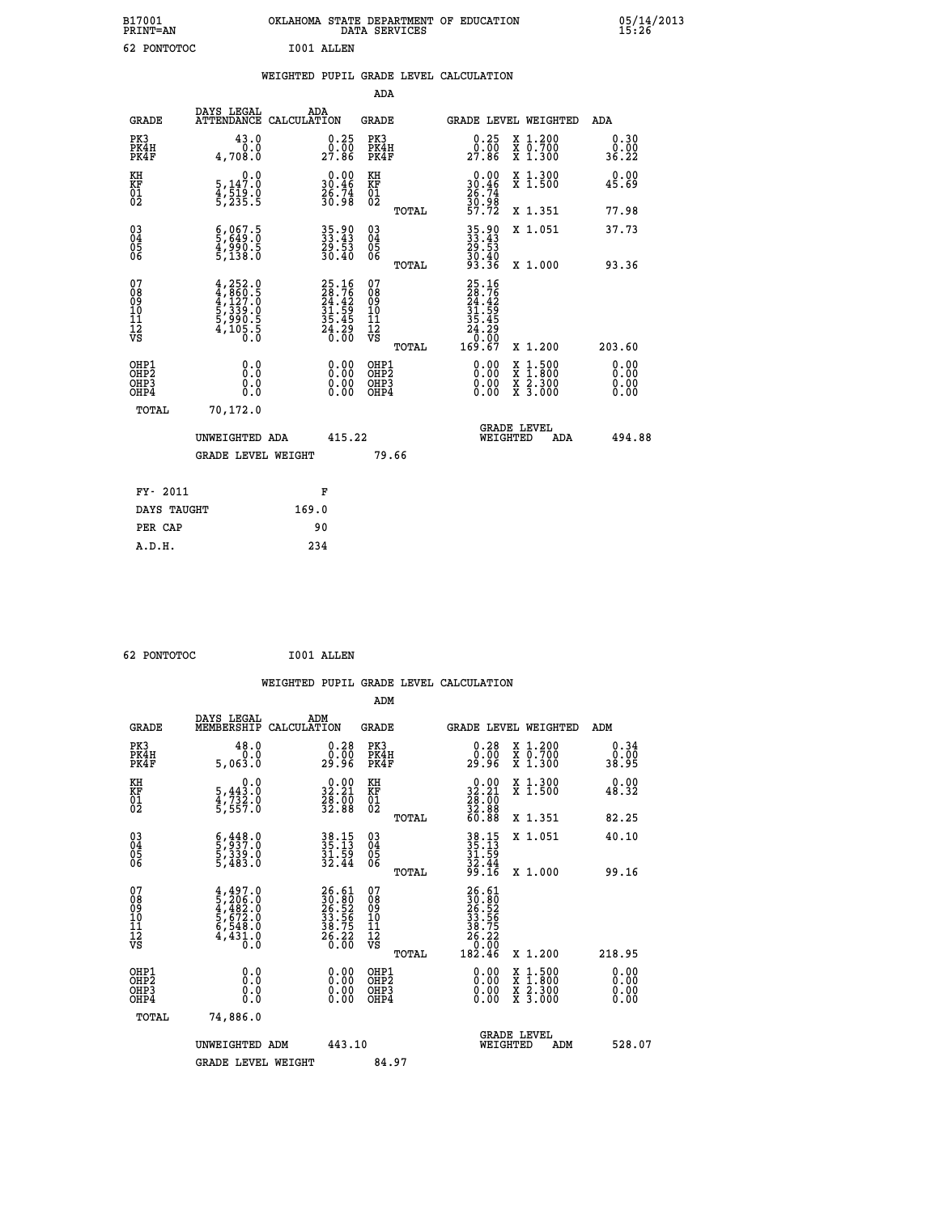| B17001<br>PRINT=AN | OKLAHOMA   | STATE DEPARTMENT OF EDUCATION<br>DATA SERVICES | 05/14/2013<br>15:26 |
|--------------------|------------|------------------------------------------------|---------------------|
| 62<br>PONTOTOC     | I001 ALLEN |                                                |                     |

|                                                                    |                                                                                                                                                               |                                                             | ADA                                    |       |                                                                              |                                          |                       |
|--------------------------------------------------------------------|---------------------------------------------------------------------------------------------------------------------------------------------------------------|-------------------------------------------------------------|----------------------------------------|-------|------------------------------------------------------------------------------|------------------------------------------|-----------------------|
| <b>GRADE</b>                                                       | DAYS LEGAL<br>ATTENDANCE CALCULATION                                                                                                                          | ADA                                                         | <b>GRADE</b>                           |       |                                                                              | GRADE LEVEL WEIGHTED                     | ADA                   |
| PK3<br>PK4H<br>PK4F                                                | 43.0<br>0.0<br>4,708.0                                                                                                                                        | $0.25$<br>$0.00$<br>27.86                                   | PK3<br>PK4H<br>PK4F                    |       | 0.25<br>$27.\overline{86}$                                                   | X 1.200<br>X 0.700<br>X 1.300            | 0.30<br>0.00<br>36.22 |
| KH<br>KF<br>01<br>02                                               | 0.0<br>5,147:0<br>4,519:0<br>5,235:5                                                                                                                          | $0.00$<br>30.46<br>$\frac{26}{30.98}$                       | KH<br>KF<br>01<br>02                   |       | $\begin{smallmatrix} 0.00\\ 30.46\\ 26.74\\ 30.98\\ 57.72 \end{smallmatrix}$ | X 1.300<br>X 1.500                       | 0.00<br>45.69         |
|                                                                    |                                                                                                                                                               |                                                             |                                        | TOTAL |                                                                              | X 1.351                                  | 77.98                 |
| $\begin{smallmatrix} 03 \\[-4pt] 04 \end{smallmatrix}$<br>Ŏ5<br>06 | $\frac{6}{5}, \frac{067}{649}. \frac{5}{0}$<br>$\frac{4}{5}, \frac{990}{138}. \frac{5}{0}$                                                                    | 35.90<br>33.43<br>29.53<br>30.40                            | 03<br>04<br>05<br>06                   |       | 35.90<br>33.43<br>29.53<br>30.40<br>33.36                                    | X 1.051                                  | 37.73                 |
|                                                                    |                                                                                                                                                               |                                                             |                                        | TOTAL |                                                                              | X 1.000                                  | 93.36                 |
| 07<br>08<br>09<br>01<br>11<br>11<br>12<br>VS                       | $\begin{smallmatrix} 4\,,\,252\cdot0\\ 4\,,\,860\cdot5\\ 4\,,\,127\cdot0\\ 5\,,\,339\cdot0\\ 5\,,\,990\cdot5\\ 4\,,\,105\cdot5\\ 0\cdot0\\ \end{smallmatrix}$ | 25.16<br>28.76<br>24.42<br>31.59<br>35.45<br>35.45<br>24.20 | 07<br>08<br>09<br>11<br>11<br>12<br>VS |       | 25.16<br>28.76<br>24.42<br>24.595<br>35.45<br>24.20<br>0.00<br>169.67        |                                          |                       |
|                                                                    |                                                                                                                                                               |                                                             |                                        | TOTAL |                                                                              | X 1.200                                  | 203.60                |
| OHP1<br>OHP2<br>OH <sub>P3</sub><br>OHP4                           | 0.0<br>0.0<br>0.0                                                                                                                                             | $0.00$<br>$0.00$<br>0.00                                    | OHP1<br>OHP2<br>OHP3<br>OHP4           |       |                                                                              | X 1:500<br>X 1:800<br>X 2:300<br>X 3:000 | 0.00<br>0.00<br>0.00  |
| TOTAL                                                              | 70,172.0                                                                                                                                                      |                                                             |                                        |       |                                                                              |                                          |                       |
|                                                                    | UNWEIGHTED ADA                                                                                                                                                | 415.22                                                      |                                        |       |                                                                              | <b>GRADE LEVEL</b><br>WEIGHTED<br>ADA    | 494.88                |
|                                                                    | <b>GRADE LEVEL WEIGHT</b>                                                                                                                                     |                                                             |                                        | 79.66 |                                                                              |                                          |                       |
| FY- 2011                                                           |                                                                                                                                                               | F                                                           |                                        |       |                                                                              |                                          |                       |
| DAYS TAUGHT                                                        |                                                                                                                                                               | 169.0                                                       |                                        |       |                                                                              |                                          |                       |
| PER CAP                                                            |                                                                                                                                                               | 90                                                          |                                        |       |                                                                              |                                          |                       |

 **62 PONTOTOC I001 ALLEN**

 **A.D.H. 234**

 **WEIGHTED PUPIL GRADE LEVEL CALCULATION ADM DAYS LEGAL ADM GRADE MEMBERSHIP CALCULATION GRADE GRADE LEVEL WEIGHTED ADM PK3 48.0 0.28 PK3 0.28 X 1.200 0.34 PK4H 0.0 0.00 PK4H 0.00 X 0.700 0.00 PK4F 5,063.0 29.96 PK4F 29.96 X 1.300 38.95 KH 0.0 0.00 KH 0.00 X 1.300 0.00 KF 5,443.0 32.21 KF 32.21 X 1.500 48.32**  $\begin{array}{cccc} \text{KH} & \hspace{1.5cm} 0.0 & \hspace{1.5cm} 0.00 & \text{KH} \\ \text{KF} & \hspace{1.5cm} 5,443 \,,0 & \hspace{1.5cm} 32 \,.21 & \text{KF} \\ 01 & \hspace{1.5cm} 4,732 \,,0 & \hspace{1.5cm} 28 \,.00 & \hspace{1.5cm} 02 \\ \text{5},557 \,.0 & \hspace{1.5cm} 32 \,.88 & \hspace{1.5cm} 02 \\ \end{array}$  $02$  5,557.0  $32.88$   $02$   $\frac{1}{22.88}$  **TOTAL 60.88 X 1.351 82.25 03 6,448.0 38.15 03 38.15 X 1.051 40.10 04 5,937.0 35.13 04 35.13 05 5,339.0 31.59 05 31.59 06 5,483.0 32.44 06 32.44 TOTAL 99.16 X 1.000 99.16**  $\begin{array}{cccc} 07 & 4,497.0 & 26.61 & 07 & 26.61 \ 08 & 5,206.0 & 30.80 & 30.80 \ 09 & 5,672.0 & 33.56 & 10 & 33.56 \ 10 & 5,672.0 & 33.56 & 10 & 33.56 \ 11 & 6,548.0 & 38.75 & 11 & 38.75 \ 12 & 4,431.0 & 26.20 & 76.20 \ \hline \end{array}$  **TOTAL 182.46 X 1.200 218.95 OHP1 0.0 0.00 OHP1 0.00 X 1.500 0.00 OHP2 0.0 0.00 OHP2 0.00 X 1.800 0.00 OHP3 0.0 0.00 OHP3 0.00 X 2.300 0.00 OHP4 0.0 0.00 OHP4 0.00 X 3.000 0.00 TOTAL 74,886.0 GRADE LEVEL UNWEIGHTED ADM 443.10 WEIGHTED ADM 528.07** GRADE LEVEL WEIGHT 84.97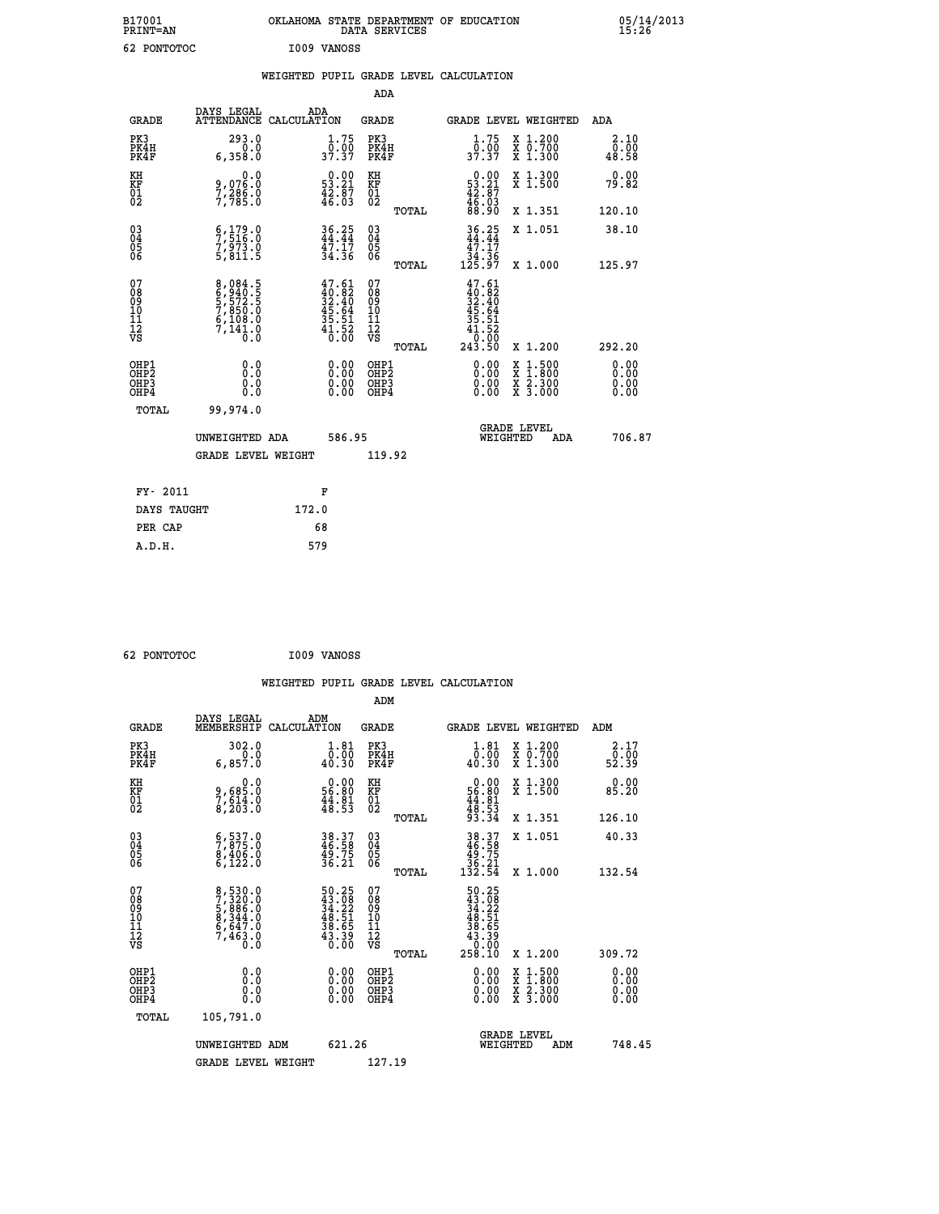| B17001          | OKLAHOMA STATE DEPARTMENT OF EDUCATION | 05/14/2013 |
|-----------------|----------------------------------------|------------|
| <b>PRINT=AN</b> | DATA SERVICES                          | 15:26      |
| 62<br>PONTOTOC  | I009 VANOSS                            |            |

|  |  | WEIGHTED PUPIL GRADE LEVEL CALCULATION |
|--|--|----------------------------------------|
|  |  |                                        |

|                                                                    |                                                                                                  |                                                                          | ADA                                    |       |                                                                              |                                          |                              |
|--------------------------------------------------------------------|--------------------------------------------------------------------------------------------------|--------------------------------------------------------------------------|----------------------------------------|-------|------------------------------------------------------------------------------|------------------------------------------|------------------------------|
| <b>GRADE</b>                                                       | DAYS LEGAL<br>ATTENDANCE CALCULATION                                                             | ADA                                                                      | <b>GRADE</b>                           |       |                                                                              | GRADE LEVEL WEIGHTED                     | <b>ADA</b>                   |
| PK3<br>PK4H<br>PK4F                                                | 293.0<br>0.0<br>6,358.0                                                                          | $\frac{1 \cdot 75}{0 \cdot 00}$<br>37.37                                 | PK3<br>PK4H<br>PK4F                    |       | $\frac{1}{0}$ : 75<br>37.37                                                  | X 1.200<br>X 0.700<br>X 1.300            | 2.10<br>0.00<br>48.58        |
| KH<br>KF<br>01<br>02                                               | 0.0<br>9,07ĕ:ŏ<br>7,28§:0<br>7,785:0                                                             | $0.00$<br>53.21<br>$\frac{42.87}{46.03}$                                 | KH<br>KF<br>01<br>02                   |       | $\begin{smallmatrix} 0.00\\ 53.21\\ 42.87\\ 46.03\\ 88.90 \end{smallmatrix}$ | X 1.300<br>X 1.500                       | 0.00<br>79.82                |
|                                                                    |                                                                                                  |                                                                          |                                        | TOTAL |                                                                              | X 1.351                                  | 120.10                       |
| $\begin{smallmatrix} 03 \\[-4pt] 04 \end{smallmatrix}$<br>Ŏ5<br>06 | $\begin{smallmatrix} 6 & 179 & 0 \\ 7 & 516 & 0 \\ 7 & 973 & 0 \\ 5 & 811 & 5 \end{smallmatrix}$ | $36.25$<br>$44.44$<br>$47.17$<br>$34.36$                                 | $\substack{03 \\ 04}$<br>Ŏ5<br>06      |       | $36.25$<br>$44.44$<br>$47.17$<br>$34.36$<br>$125.97$                         | X 1.051                                  | 38.10                        |
|                                                                    |                                                                                                  |                                                                          |                                        | TOTAL |                                                                              | X 1.000                                  | 125.97                       |
| 07<br>08<br>09<br>101<br>11<br>12<br>VS                            | 8,084.5<br>6,940.5<br>5,572.5<br>7,850.0<br>6,108.0<br>7,141.0<br>0.0                            | $47.61$<br>$40.82$<br>$32.40$<br>$45.64$<br>$35.51$<br>$41.52$<br>$0.00$ | 07<br>08<br>09<br>11<br>11<br>12<br>VS |       | $47.61$<br>$32.40$<br>$32.40$<br>$45.64$<br>$35.51$<br>$41.52$<br>0.00       |                                          |                              |
|                                                                    |                                                                                                  |                                                                          |                                        | TOTAL | 243.50                                                                       | X 1.200                                  | 292.20                       |
| OHP1<br>OHP <sub>2</sub><br>OH <sub>P3</sub><br>OHP4               | 0.0<br>0.000                                                                                     | 0.00<br>$\begin{smallmatrix} 0.00 \ 0.00 \end{smallmatrix}$              | OHP1<br>OHP2<br>OHP <sub>3</sub>       |       | 0.00<br>0.00                                                                 | X 1:500<br>X 1:800<br>X 2:300<br>X 3:000 | 0.00<br>0.00<br>0.00<br>0.00 |
| TOTAL                                                              | 99,974.0                                                                                         |                                                                          |                                        |       |                                                                              |                                          |                              |
|                                                                    | UNWEIGHTED ADA                                                                                   | 586.95                                                                   |                                        |       |                                                                              | <b>GRADE LEVEL</b><br>WEIGHTED<br>ADA    | 706.87                       |
|                                                                    | <b>GRADE LEVEL WEIGHT</b>                                                                        |                                                                          | 119.92                                 |       |                                                                              |                                          |                              |
| FY- 2011                                                           |                                                                                                  | F                                                                        |                                        |       |                                                                              |                                          |                              |
| DAYS TAUGHT                                                        |                                                                                                  | 172.0                                                                    |                                        |       |                                                                              |                                          |                              |
| PER CAP                                                            |                                                                                                  | 68                                                                       |                                        |       |                                                                              |                                          |                              |

| 62 PONTOTOC | I009 VANOSS |
|-------------|-------------|
|             |             |

 **WEIGHTED PUPIL GRADE LEVEL CALCULATION ADM DAYS LEGAL ADM GRADE MEMBERSHIP CALCULATION GRADE GRADE LEVEL WEIGHTED ADM PK3 302.0 1.81 PK3 1.81 X 1.200 2.17 PK4H 0.0 0.00 PK4H 0.00 X 0.700 0.00 PK4F 6,857.0 40.30 PK4F 40.30 X 1.300 52.39 KH 0.0 0.00 KH 0.00 X 1.300 0.00 KF 9,685.0 56.80 KF 56.80 X 1.500 85.20 01 7,614.0 44.81 01 44.81 02 8,203.0 48.53 02 48.53 TOTAL 93.34 X 1.351 126.10 03 6,537.0 38.37 03 38.37 X 1.051 40.33 04 7,875.0 46.58 04 46.58 05 8,406.0 49.75 05 49.75 06 6,122.0 36.21 06 36.21 TOTAL 132.54 X 1.000 132.54**  $\begin{array}{cccc} 07 & 8/530.0 & 50.25 & 07 & 50.25 \ 08 & 7/320.0 & 43.28 & 08 & 43.08 \ 09 & 5/386.0 & 34.22 & 09 & 34.22 \ 10 & 8/344.0 & 48.51 & 10 & 48.51 \ 11 & 6/647.0 & 38.65 & 11 & 38.65 \ 12 & 7/463.0 & 43.39 & 12 & 38.65 \ 13 & 7/463.0 & 43.39 & 12 & 43$  $\begin{array}{cccc} 50.25 & 07 & 50.25 \\ 43.28 & 08 & 43.29 \\ 34.27 & 20 & 48.51 \\ 48.51 & 10 & 48.51 \\ 43.39 & 12 & 38.59 \\ 48.55 & 11 & 38.39 \\ 43.39 & 12 & 43.39 \\ 0.00 & 081 \text{p12} & 0.00 & \text{X } 1.200 \\ 0.00 & 081 \text{p2} & 0.00 & \text{X } 1.500 & 0.00 \\ 0.00 & 0.0$  **OHP1 0.0 0.00 OHP1 0.00 X 1.500 0.00 OHP2 0.0 0.00 OHP2 0.00 X 1.800 0.00 OHP3 0.0 0.00 OHP3 0.00 X 2.300 0.00 OHP4 0.0 0.00 OHP4 0.00 X 3.000 0.00 TOTAL 105,791.0 GRADE LEVEL UNWEIGHTED ADM 621.26 WEIGHTED ADM 748.45** GRADE LEVEL WEIGHT 127.19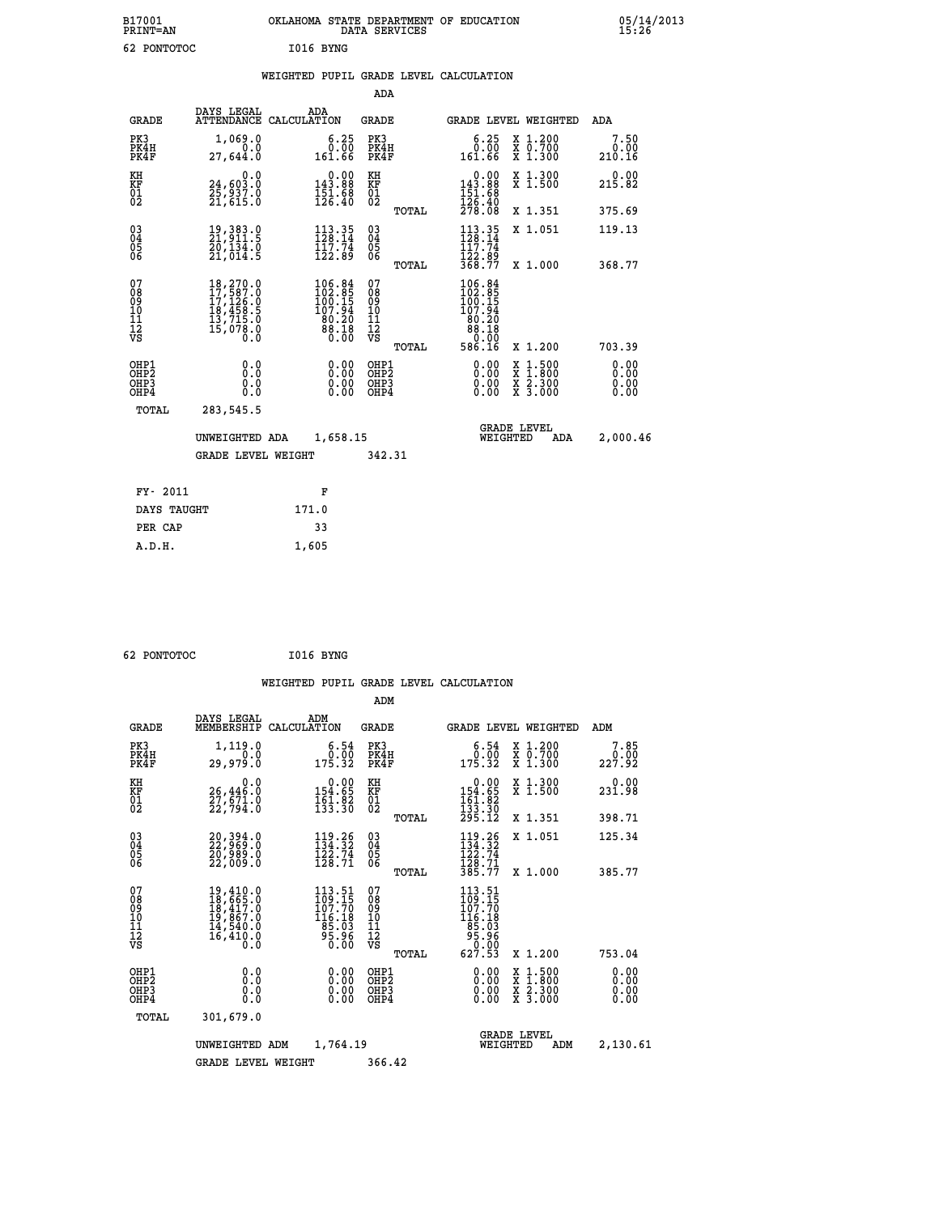| B17001<br><b>PRINT=AN</b> | OKLAHOMA STATE DEPARTMENT OF EDUCATION<br>DATA SERVICES | 05/14/2013<br>15:26 |
|---------------------------|---------------------------------------------------------|---------------------|
| 62<br>PONTOTOC            | I016 BYNG                                               |                     |

|  |  | WEIGHTED PUPIL GRADE LEVEL CALCULATION |
|--|--|----------------------------------------|
|  |  |                                        |

|                                                    |                                                                                                                                                 |                                                                                                                                    | ADA                                                               |       |                                                                                                             |                                                                               |                              |
|----------------------------------------------------|-------------------------------------------------------------------------------------------------------------------------------------------------|------------------------------------------------------------------------------------------------------------------------------------|-------------------------------------------------------------------|-------|-------------------------------------------------------------------------------------------------------------|-------------------------------------------------------------------------------|------------------------------|
| <b>GRADE</b>                                       | DAYS LEGAL                                                                                                                                      | ADA<br>ATTENDANCE CALCULATION                                                                                                      | <b>GRADE</b>                                                      |       |                                                                                                             | GRADE LEVEL WEIGHTED                                                          | <b>ADA</b>                   |
| PK3<br>PK4H<br>PK4F                                | 1,069.0<br>0.0<br>27,644.0                                                                                                                      | $\begin{smallmatrix} 6.25\ 0.00\ 161.66 \end{smallmatrix}$                                                                         | PK3<br>PK4H<br>PK4F                                               |       | 6.25<br>00.00<br>161.66                                                                                     | X 1.200<br>X 0.700<br>X 1.300                                                 | 7.50<br>0.00<br>210.16       |
| KH<br>KF<br>01<br>02                               | 0.0<br>24,603.0<br>25,937.0<br>21,615.0                                                                                                         | $0.00$<br>143.88<br>$\frac{151}{126}.$ $\frac{88}{10}$                                                                             | KH<br>KF<br>01<br>02                                              |       | $\begin{smallmatrix} &0.00\\ 143.88\\ 151.68\\ 126.40\\ 278.08 \end{smallmatrix}$                           | X 1.300<br>X 1.500                                                            | 0.00<br>215.82               |
|                                                    |                                                                                                                                                 |                                                                                                                                    |                                                                   | TOTAL |                                                                                                             | X 1.351                                                                       | 375.69                       |
| $\begin{matrix} 03 \\ 04 \\ 05 \\ 06 \end{matrix}$ | 19,383.0<br>21,911.5<br>20,134.0<br>21,014.5                                                                                                    | $113.35$<br>$128.14$<br>$\frac{117.74}{122.89}$                                                                                    | $\substack{03 \\ 04}$<br>$\begin{matrix} 0.5 \\ 0.6 \end{matrix}$ |       | $113.35$<br>$128.14$<br>117.74<br>122.89<br>368.77                                                          | X 1.051                                                                       | 119.13                       |
|                                                    |                                                                                                                                                 |                                                                                                                                    |                                                                   | TOTAL |                                                                                                             | X 1.000                                                                       | 368.77                       |
| 07<br>08<br>09<br>11<br>11<br>12<br>VS             | $\begin{smallmatrix} 18,270\, . \ 17,587\, . \ 0\\ 17,126\, . \ 0\\ 18,458\, . \ 5\\ 13,715\, . \ 0\\ 15,078\, . \ 0\\ 0\, . \end{smallmatrix}$ | $\begin{smallmatrix} 106\cdot 84\\ 102\cdot 85\\ 100\cdot 15\\ 107\cdot 94\\ 80\cdot 20\\ 88\cdot 18\\ 0\cdot 00\end{smallmatrix}$ | 07<br>08<br>09<br>11<br>11<br>12<br>VS                            |       | $\begin{smallmatrix} 106.84\\ 102.85\\ 100.15\\ 107.94\\ 80.20\\ 88.18\\ 0.00\\ 586.16\\ \end{smallmatrix}$ |                                                                               |                              |
|                                                    |                                                                                                                                                 |                                                                                                                                    |                                                                   | TOTAL |                                                                                                             | X 1.200                                                                       | 703.39                       |
| OHP1<br>OHP <sub>2</sub><br>OHP3<br>OHP4           | 0.0<br>0.0<br>Ō.Ō                                                                                                                               | 0.00<br>$\begin{smallmatrix} 0.00 \ 0.00 \end{smallmatrix}$                                                                        | OHP1<br>OHP <sub>2</sub><br>OHP3<br>OHP4                          |       | 0.00<br>0.00<br>0.00                                                                                        | $\frac{x}{x}$ $\frac{1.500}{x}$<br>$\frac{\ddot{x}}{x}$ $\frac{2.300}{3.000}$ | 0.00<br>0.00<br>0.00<br>0.00 |
| TOTAL                                              | 283,545.5                                                                                                                                       |                                                                                                                                    |                                                                   |       |                                                                                                             |                                                                               |                              |
|                                                    | UNWEIGHTED ADA                                                                                                                                  | 1,658.15                                                                                                                           |                                                                   |       |                                                                                                             | <b>GRADE LEVEL</b><br>WEIGHTED<br><b>ADA</b>                                  | 2,000.46                     |
|                                                    | <b>GRADE LEVEL WEIGHT</b>                                                                                                                       |                                                                                                                                    | 342.31                                                            |       |                                                                                                             |                                                                               |                              |
|                                                    |                                                                                                                                                 |                                                                                                                                    |                                                                   |       |                                                                                                             |                                                                               |                              |
| FY- 2011                                           |                                                                                                                                                 | F                                                                                                                                  |                                                                   |       |                                                                                                             |                                                                               |                              |
| DAYS TAUGHT                                        |                                                                                                                                                 | 171.0                                                                                                                              |                                                                   |       |                                                                                                             |                                                                               |                              |
| PER CAP                                            |                                                                                                                                                 | 33                                                                                                                                 |                                                                   |       |                                                                                                             |                                                                               |                              |

| 62 PONTOTOC | I016 BYNG |  |
|-------------|-----------|--|
|             |           |  |

 **A.D.H. 1,605**

 **WEIGHTED PUPIL GRADE LEVEL CALCULATION ADM DAYS LEGAL ADM**

| <b>GRADE</b>                                       | unio unghu<br>MEMBERSHIP                                                                                                                                                                                 | שעת<br>CALCULATION                                                              | <b>GRADE</b>                      |       | GRADE LEVEL WEIGHTED                                                          |                                                                                                                     | ADM                          |  |
|----------------------------------------------------|----------------------------------------------------------------------------------------------------------------------------------------------------------------------------------------------------------|---------------------------------------------------------------------------------|-----------------------------------|-------|-------------------------------------------------------------------------------|---------------------------------------------------------------------------------------------------------------------|------------------------------|--|
| PK3<br>PK4H<br>PK4F                                | 1,119.0<br>0.0<br>29,979.0                                                                                                                                                                               | 6.54<br>0.00<br>175.32                                                          | PK3<br>PK4H<br>PK4F               |       | $\begin{smallmatrix} 6.54\ 0.00\ 175.32 \end{smallmatrix}$                    | X 1.200<br>X 0.700<br>X 1.300                                                                                       | 7.85<br>0.00<br>227.92       |  |
| KH<br>KF<br>01<br>02                               | 0.0<br>26,446.0<br>27,671.0<br>22,794.0                                                                                                                                                                  | $0.00$<br>154.65<br>$\frac{161.82}{133.30}$                                     | KH<br>KF<br>01<br>02              |       | 0.00<br>$154.65$<br>$161.82$<br>$133.30$<br>$295.12$                          | X 1.300<br>X 1.500                                                                                                  | 0.00<br>231.98               |  |
|                                                    |                                                                                                                                                                                                          |                                                                                 |                                   | TOTAL |                                                                               | X 1.351                                                                                                             | 398.71                       |  |
| $\begin{matrix} 03 \\ 04 \\ 05 \\ 06 \end{matrix}$ | $\begin{smallmatrix} 20,394.0\\ 22,969.0\\ 20,989.0\\ 22,009.0 \end{smallmatrix}$                                                                                                                        | $119.26$<br>$134.32$<br>$122.74$<br>$128.71$                                    | $\substack{03 \\ 04}$<br>Ŏ5<br>06 |       | $\begin{array}{c} 119.26 \\ 134.32 \\ 122.74 \\ 128.71 \\ 385.77 \end{array}$ | X 1.051                                                                                                             | 125.34                       |  |
|                                                    |                                                                                                                                                                                                          |                                                                                 |                                   | TOTAL |                                                                               | $X_1.000$                                                                                                           | 385.77                       |  |
| 07<br>08<br>09<br>101<br>11<br>12<br>VS            | $\begin{smallmatrix} 19\,, & 410\, . \ 10\,, & 65\,, & 0\\ 18\,, & 65\,, & 0\\ 18\,, & 417\,, & 0\\ 19\,, & 867\,, & 0\\ 14\,, & 540\,, & 0\\ 16\,, & 410\,, & 0\\ 0\,. & 0\,. & 0\,. \end{smallmatrix}$ | $\frac{113.51}{109.15}$<br>$\frac{116.18}{85.03}$<br>95.98<br>$0.\overline{00}$ | 078<br>089<br>1011<br>1112<br>νs  |       | 113.51<br>$\frac{1}{109}$ $\frac{3}{70}$<br>$116.1885.0395.960.00627.53$      |                                                                                                                     |                              |  |
|                                                    |                                                                                                                                                                                                          |                                                                                 |                                   | TOTAL |                                                                               | X 1.200                                                                                                             | 753.04                       |  |
| OHP1<br>OHP2<br>OH <sub>P3</sub><br>OHP4           | 0.0<br>0.0<br>0.0                                                                                                                                                                                        | $0.00$<br>$0.00$<br>0.00                                                        | OHP1<br>OHP2<br>OHP3<br>OHP4      |       | $0.00$<br>$0.00$<br>0.00                                                      | $\begin{array}{l} \mathtt{X} & 1.500 \\ \mathtt{X} & 1.800 \\ \mathtt{X} & 2.300 \\ \mathtt{X} & 3.000 \end{array}$ | 0.00<br>0.00<br>0.00<br>0.00 |  |
| TOTAL                                              | 301,679.0                                                                                                                                                                                                |                                                                                 |                                   |       |                                                                               |                                                                                                                     |                              |  |
|                                                    | UNWEIGHTED ADM                                                                                                                                                                                           | 1,764.19                                                                        |                                   |       | <b>GRADE LEVEL</b><br>WEIGHTED                                                | ADM                                                                                                                 | 2,130.61                     |  |
|                                                    | <b>GRADE LEVEL WEIGHT</b>                                                                                                                                                                                |                                                                                 | 366.42                            |       |                                                                               |                                                                                                                     |                              |  |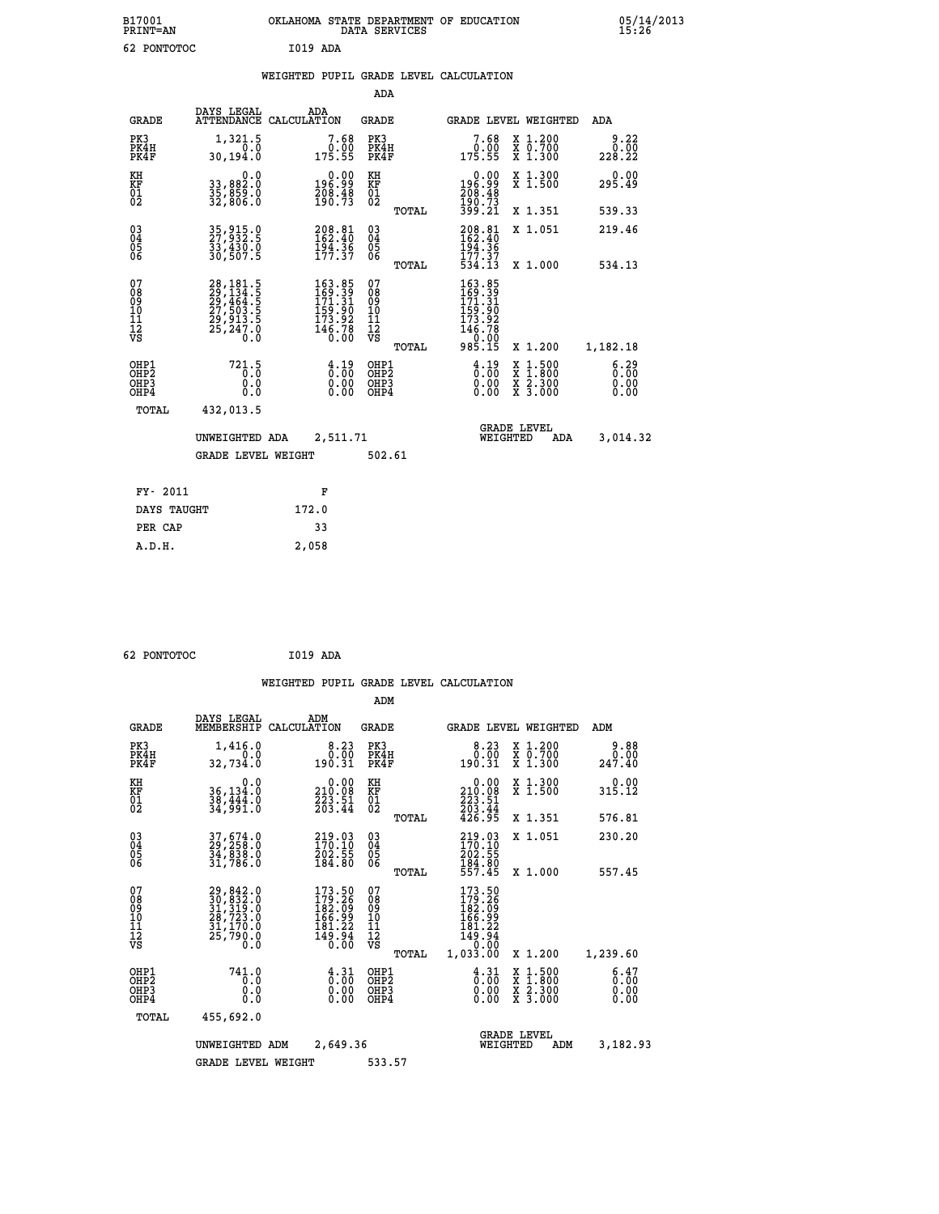| B17001<br>PRINT=AN                       |                                                                                                | OKLAHOMA STATE DEPARTMENT OF EDUCATION DATA SERVICES                                               |                                                    |                                                                                   |                                                                                                  | $05/14/2013$<br>15:26        |  |
|------------------------------------------|------------------------------------------------------------------------------------------------|----------------------------------------------------------------------------------------------------|----------------------------------------------------|-----------------------------------------------------------------------------------|--------------------------------------------------------------------------------------------------|------------------------------|--|
| 62 PONTOTOC                              |                                                                                                | <b>I019 ADA</b>                                                                                    |                                                    |                                                                                   |                                                                                                  |                              |  |
|                                          |                                                                                                | WEIGHTED PUPIL GRADE LEVEL CALCULATION                                                             |                                                    |                                                                                   |                                                                                                  |                              |  |
|                                          |                                                                                                |                                                                                                    | ADA                                                |                                                                                   |                                                                                                  |                              |  |
| <b>GRADE</b>                             | DAYS LEGAL                                                                                     | ADA<br>ATTENDANCE CALCULATION                                                                      | <b>GRADE</b>                                       | GRADE LEVEL WEIGHTED                                                              |                                                                                                  | ADA                          |  |
| PK3<br>PK4H<br>PK4F                      | 1,321.5<br>0.0<br>30,194.0                                                                     | 7.68<br>$0.00$<br>175.55                                                                           | PK3<br>PK4H<br>PK4F                                | 7.68<br>$\begin{array}{c} 0.00 \\ 175.55 \end{array}$                             | X 1.200<br>X 0.700<br>X 1.300                                                                    | 9.22<br>0.00<br>228.22       |  |
| KH<br>KF<br>01<br>02                     | 0.0<br>33,882:0<br>35,859:0<br>32,806:0                                                        | $\begin{smallmatrix} &0.00\196.99\208.48\190.73\end{smallmatrix}$                                  | KH<br><b>KF</b><br>01<br>02                        | $\begin{smallmatrix} &0.00\\ 196.99\\ 208.48\\ 190.73\\ 399.21\end{smallmatrix}$  | X 1.300<br>X 1.500                                                                               | 0.00<br>295.49               |  |
|                                          |                                                                                                |                                                                                                    | TOTAL                                              |                                                                                   | X 1.351                                                                                          | 539.33                       |  |
| 03<br>04<br>05<br>06                     | 35, 915.0<br>27, 932.5<br>33, 430.0<br>30, 507.5                                               | $208.81$<br>$162.40$<br>$194.36$<br>$177.37$                                                       | $\begin{matrix} 03 \\ 04 \\ 05 \\ 06 \end{matrix}$ | $208.81$<br>$162.40$<br>$194.36$<br>$177.37$<br>$534.13$                          | X 1.051                                                                                          | 219.46                       |  |
|                                          |                                                                                                |                                                                                                    | TOTAL                                              |                                                                                   | X 1.000                                                                                          | 534.13                       |  |
| 078901112<br>00010112<br>VS              | 28, 181.5<br>29, 134.5<br>29, 464.5<br>27, 503.5<br>27, 503.5<br>29, 913.5<br>25, 247.0<br>0.0 | $\begin{smallmatrix} 163.85\\ 169.39\\ 171.31\\ 159.90\\ 173.92\\ 146.78\\ 0.00 \end{smallmatrix}$ | 0789011128<br>TOTAL                                | 163.85<br>169.39<br>171.31<br>173.92<br>173.92<br>146.78<br>$\frac{0.00}{985.15}$ | X 1.200                                                                                          | 1,182.18                     |  |
| OHP1<br>OHP2<br>OH <sub>P3</sub><br>OHP4 | 721.5<br>0.0<br>0.0<br>0.0                                                                     | $\begin{smallmatrix} 4.19\ 0.00\ 0.00\ 0.00 \end{smallmatrix}$                                     | OHP1<br>OHP2<br>OHP3<br>OHP4                       | $\frac{4.19}{0.00}$<br>0.00<br>0.00                                               | $\begin{smallmatrix} x & 1 & 500 \\ x & 1 & 800 \\ x & 2 & 300 \\ x & 3 & 000 \end{smallmatrix}$ | 6.29<br>0.00<br>0.00<br>0.00 |  |
| TOTAL                                    | 432,013.5                                                                                      |                                                                                                    |                                                    |                                                                                   |                                                                                                  |                              |  |
|                                          | UNWEIGHTED ADA                                                                                 | 2.511.71                                                                                           |                                                    | <b>GRADE LEVEL</b><br>WEIGHTED                                                    | ADA                                                                                              | 3.014.32                     |  |

 **UNWEIGHTED ADA 2,511.71 WEIGHTED ADA 3,014.32** GRADE LEVEL WEIGHT 502.61  **FY- 2011 F DAYS TAUGHT 172.0 PER CAP 33**

 **62 PONTOTOC I019 ADA**

 **A.D.H. 2,058**

 **WEIGHTED PUPIL GRADE LEVEL CALCULATION ADM DAYS LEGAL ADM GRADE MEMBERSHIP CALCULATION GRADE GRADE LEVEL WEIGHTED ADM PK3 1,416.0 8.23 PK3 8.23 X 1.200 9.88 PK4H 0.0 0.00 PK4H 0.00 X 0.700 0.00 PK4F 32,734.0 190.31 PK4F 190.31 X 1.300 247.40 KH 0.0 0.00 KH 0.00 X 1.300 0.00 KF 36,134.0 210.08 KF 210.08 X 1.500 315.12** 01 38,444.0 223.51 01 223.51<br>02 34,991.0 203.44 02 <sub>2011</sub> 203.54  **TOTAL 426.95 X 1.351 576.81 03 37,674.0 219.03 03 219.03 X 1.051 230.20 04 29,258.0 170.10 04 170.10 05 34,838.0 202.55 05 202.55 06 31,786.0 184.80 06 184.80 TOTAL 557.45 X 1.000 557.45**  $\begin{array}{cccc} 07 & 29, 842\cdot 0 & 173\cdot 56 & 07 & 173\cdot 56 \ 08 & 31, 312\cdot 0 & 182\cdot 09 & 183\cdot 09 \ 31, 312\cdot 0 & 182\cdot 09 & 182\cdot 09 \ 10 & 28, 723\cdot 0 & 166\cdot 99 & 162\cdot 09 \ 11 & 31, 170\cdot 0 & 161\cdot 22 & 11 & 181\cdot 22 \ 12 & 25, 790\cdot 0 & 149\cdot$  **OHP1 741.0 4.31 OHP1 4.31 X 1.500 6.47 OHP2 0.0 0.00 OHP2 0.00 X 1.800 0.00 OHP3 0.0 0.00 OHP3 0.00 X 2.300 0.00 OHP4 0.0 0.00 OHP4 0.00 X 3.000 0.00 TOTAL 455,692.0 GRADE LEVEL UNWEIGHTED ADM 2,649.36 WEIGHTED ADM 3,182.93 GRADE LEVEL WEIGHT 533.57**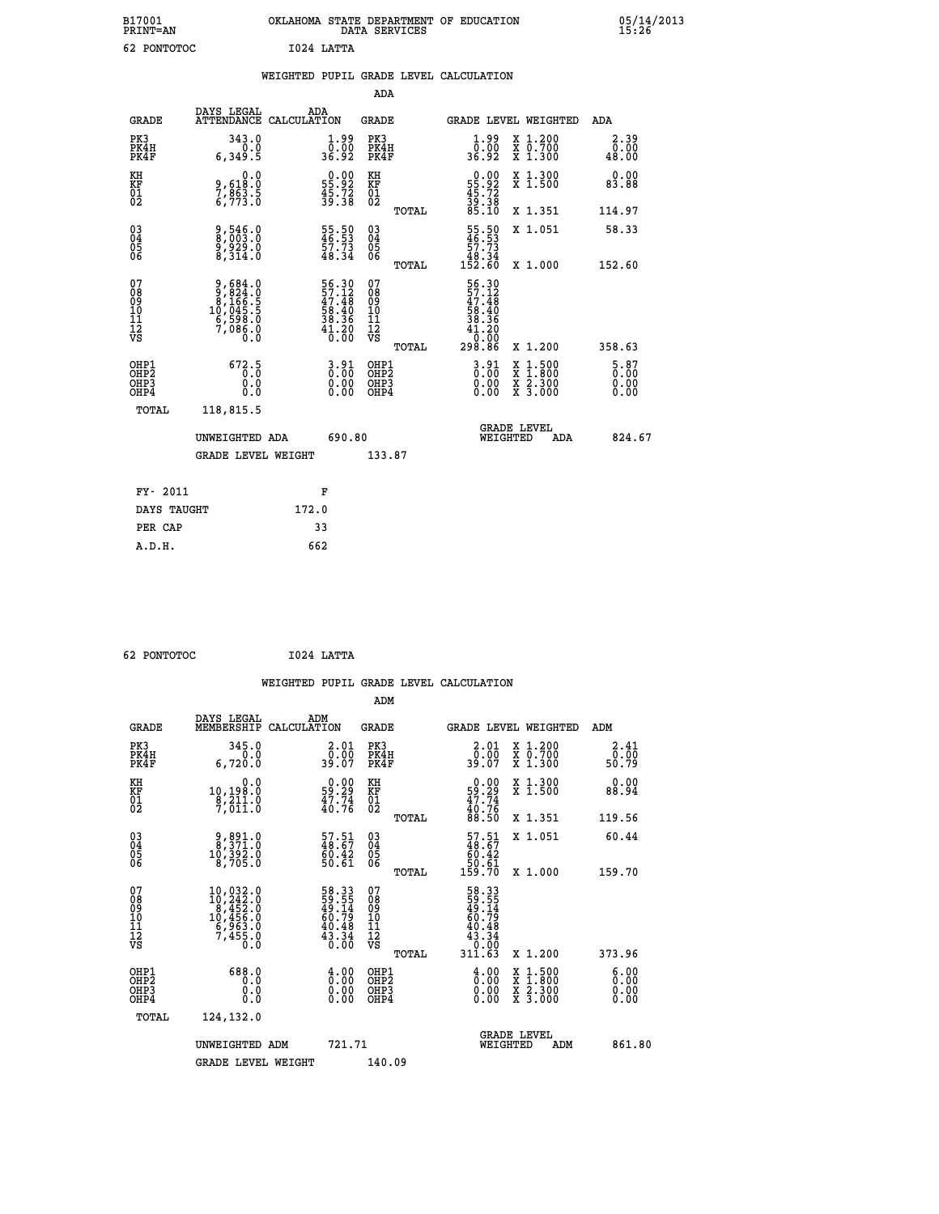| B17001<br><b>PRINT=AN</b>    | OKLAHOMA STATE DEPARTMENT OF EDUCATION<br><b>SERVICES</b><br>DATA | 05/14/2013<br>15:26 |
|------------------------------|-------------------------------------------------------------------|---------------------|
| $\epsilon$<br><b>DOMMORO</b> | TO 24 TAMMA                                                       |                     |

| 62 PONTOTOC                                        |                                                                                       |       | I024 LATTA                                                                                     |                                                    |       |                                                                                |                                          |                       |
|----------------------------------------------------|---------------------------------------------------------------------------------------|-------|------------------------------------------------------------------------------------------------|----------------------------------------------------|-------|--------------------------------------------------------------------------------|------------------------------------------|-----------------------|
|                                                    |                                                                                       |       |                                                                                                |                                                    |       | WEIGHTED PUPIL GRADE LEVEL CALCULATION                                         |                                          |                       |
|                                                    |                                                                                       |       |                                                                                                | ADA                                                |       |                                                                                |                                          |                       |
| <b>GRADE</b>                                       | DAYS LEGAL ADA ATTENDANCE CALCULATION                                                 |       |                                                                                                | <b>GRADE</b>                                       |       |                                                                                | GRADE LEVEL WEIGHTED                     | ADA                   |
| PK3<br>PK4H<br>PK4F                                | 343.0<br>0.0<br>6,349.5                                                               |       | $\frac{1}{0}$ : 00<br>36.92                                                                    | PK3<br>PK4H<br>PK4F                                |       | $\frac{1}{0}$ :00<br>36.92                                                     | X 1.200<br>X 0.700<br>X 1.300            | 2.39<br>0.00<br>48.00 |
| KH<br>KF<br>01<br>02                               | $9,618.0$<br>$7,863.5$<br>$6,773.0$                                                   |       | $\begin{smallmatrix} 0.00\\ 55.92\\ 45.72\\ 39.38 \end{smallmatrix}$                           | KH<br>KF<br>01<br>02                               |       | $\begin{smallmatrix} 0.00\\55.92\\45.72\\39.38\\85.10\end{smallmatrix}$        | X 1.300<br>X 1.500                       | 0.00<br>83.88         |
|                                                    |                                                                                       |       |                                                                                                |                                                    | TOTAL |                                                                                | X 1.351                                  | 114.97                |
| $\begin{matrix} 03 \\ 04 \\ 05 \\ 06 \end{matrix}$ | 9,546.0<br>8,003.0<br>9,929.0<br>8,314.0                                              |       | 55.50<br>46.53<br>57.73<br>48.34                                                               | $\begin{matrix} 03 \\ 04 \\ 05 \\ 06 \end{matrix}$ |       | $\begin{smallmatrix} 55.50\\ 46.53\\ 57.73\\ 48.34\\ 152.60 \end{smallmatrix}$ | X 1.051                                  | 58.33                 |
|                                                    |                                                                                       |       |                                                                                                |                                                    | TOTAL |                                                                                | X 1.000                                  | 152.60                |
| 07<br>08901112<br>1112<br>VS                       | $9,684.0$<br>$9,824.0$<br>$8,166.5$<br>$10,045.5$<br>$16,598.0$<br>$7,086.0$<br>$0.0$ |       | 56.30<br>57.12<br>47.48<br>58.40<br>58.36<br>38.36<br>41.20<br>$\overline{0}$ . $\overline{0}$ | 07<br>08901112<br>1112<br>VS                       | TOTAL | 56.30<br>57.12<br>47.48<br>58.40<br>$\frac{38.36}{41.20}$<br>ŏō:ōŏ<br>298.86   | X 1.200                                  | 358.63                |
| OHP1<br>OHP2<br>OHP3<br>OHP4                       | 672.5<br>0.0<br>0.0                                                                   |       | $3.91$<br>$0.00$<br>$0.00$<br>0.00                                                             | OHP1<br>OHP2<br>OHP3<br>OHP4                       |       | $3.91$<br>$0.00$<br>0.00                                                       | X 1:500<br>X 1:800<br>X 2:300<br>X 3:000 | 5.87<br>0.00<br>0.00  |
| <b>TOTAL</b>                                       | 118,815.5                                                                             |       |                                                                                                |                                                    |       |                                                                                |                                          |                       |
|                                                    | UNWEIGHTED ADA                                                                        |       | 690.80                                                                                         |                                                    |       |                                                                                | GRADE LEVEL<br>WEIGHTED<br>ADA           | 824.67                |
|                                                    | <b>GRADE LEVEL WEIGHT</b>                                                             |       |                                                                                                | 133.87                                             |       |                                                                                |                                          |                       |
| FY- 2011                                           |                                                                                       |       | F                                                                                              |                                                    |       |                                                                                |                                          |                       |
| DAYS TAUGHT                                        |                                                                                       | 172.0 |                                                                                                |                                                    |       |                                                                                |                                          |                       |
| PER CAP                                            |                                                                                       |       | 33                                                                                             |                                                    |       |                                                                                |                                          |                       |

 **62 PONTOTOC I024 LATTA**

 **A.D.H. 662**

 **WEIGHTED PUPIL GRADE LEVEL CALCULATION ADM DAYS LEGAL ADM GRADE MEMBERSHIP CALCULATION GRADE GRADE LEVEL WEIGHTED ADM PK3 345.0 2.01 PK3 2.01 X 1.200 2.41 PK4H 0.0 0.00 PK4H 0.00 X 0.700 0.00 PK4F 6,720.0 39.07 PK4F 39.07 X 1.300 50.79 KH 0.0 0.00 KH 0.00 X 1.300 0.00 KF 10,198.0 59.29 KF 59.29 X 1.500 88.94 01 8,211.0 47.74 01 47.74 02 7,011.0 40.76 02 40.76 TOTAL 88.50 X 1.351 119.56 03 9,891.0 57.51 03 57.51 X 1.051 60.44 04 8,371.0 48.67 04 48.67 05 10,392.0 60.42 05 60.42 06 8,705.0 50.61 06 50.61 TOTAL 159.70 X 1.000 159.70**  $\begin{array}{cccc} 07 & 10,032.0 & 58.33 & 07 & 58.33 \ 08 & 10,242.0 & 59,555 & 08 & 59.55 \ 09 & 6,452.0 & 49.14 & 08 & 59.14 \ 10 & 10,456.0 & 60.79 & 10 & 60.79 \ 11 & 6,963.0 & 40.48 & 11 & 40.48 \ 12 & 7,455.0 & 43.34 & 12 & 43.34 \ 13 & 75 & 7 & 50.0 & 30.0 &$ **58.33** 07<br> **59.55** 08<br> **59.55** 08<br> **60.79** 10<br> **60.79**<br> **60.79**<br> **60.79**<br> **60.79**<br> **60.79**<br> **60.79**<br> **60.79**<br> **60.79**<br> **60.79**<br> **60.79**<br> **60.79**<br> **60.79**<br> **60.79**<br> **60.79**<br> **60.79**<br> **60.79**<br> **60.79**<br> **60.79**<br> **60.79**<br> **60 OHP1 688.0 4.00 OHP1 4.00 X 1.500 6.00 OHP2 0.0 0.00 OHP2 0.00 X 1.800 0.00 OHP3 0.0 0.00 OHP3 0.00 X 2.300 0.00 OHP4 0.0 0.00 OHP4 0.00 X 3.000 0.00 TOTAL 124,132.0 GRADE LEVEL UNWEIGHTED ADM 721.71 WEIGHTED ADM 861.80 GRADE LEVEL WEIGHT 140.09**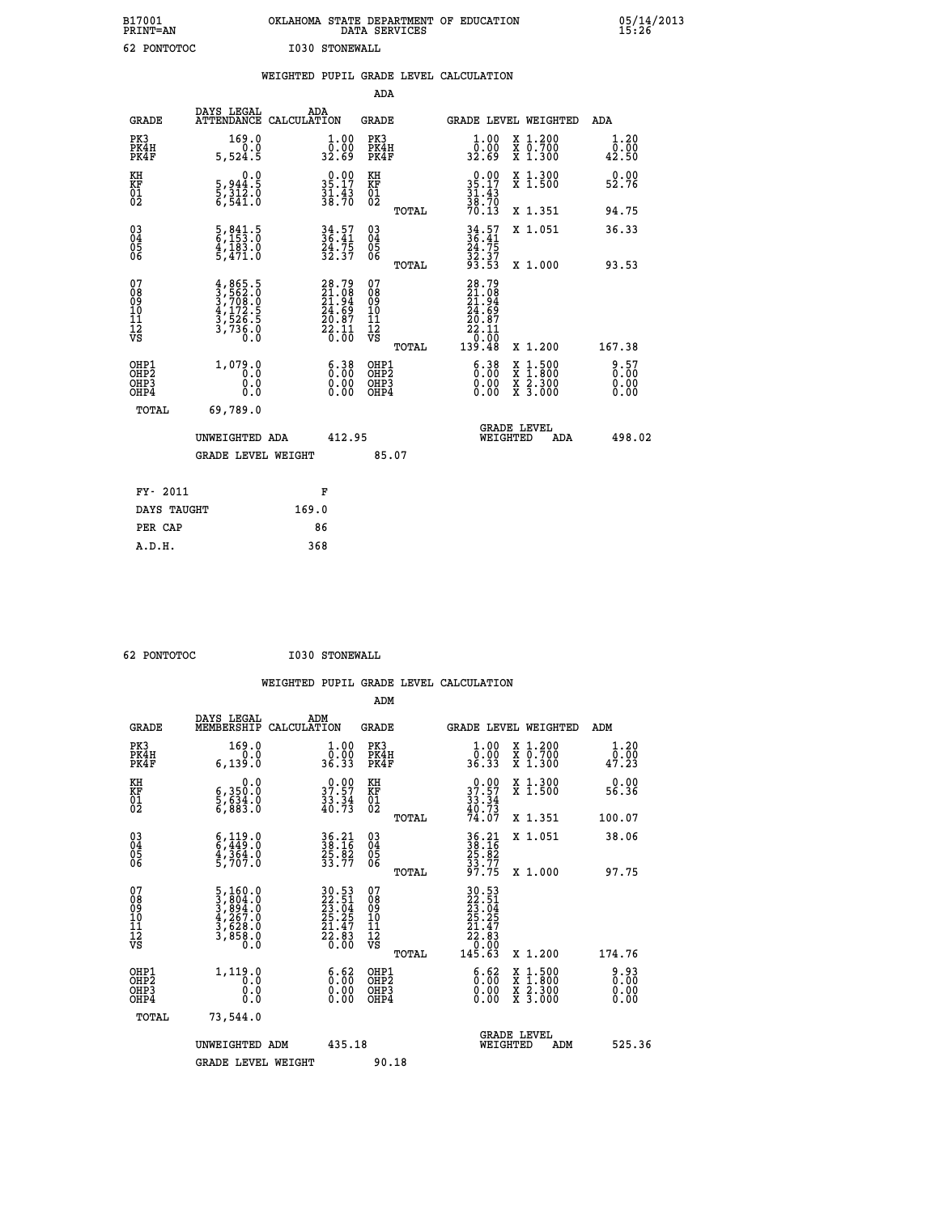| B17001<br><b>PRINT=AN</b> | OKLAHOMA STATE DEPARTMENT OF EDUCATION<br>DATA SERVICES | 05/14/2013<br>15:26 |
|---------------------------|---------------------------------------------------------|---------------------|
| 62<br>PONTOTOC            | I030 STONEWALL                                          |                     |

|                                                      |                                                                                     | WEIGHTED PUPIL GRADE LEVEL CALCULATION                                   |                                        |       |                                                                                                              |                                                              |                       |
|------------------------------------------------------|-------------------------------------------------------------------------------------|--------------------------------------------------------------------------|----------------------------------------|-------|--------------------------------------------------------------------------------------------------------------|--------------------------------------------------------------|-----------------------|
|                                                      |                                                                                     |                                                                          | <b>ADA</b>                             |       |                                                                                                              |                                                              |                       |
| <b>GRADE</b>                                         | DAYS LEGAL<br>ATTENDANCE CALCULATION                                                | ADA                                                                      | <b>GRADE</b>                           |       |                                                                                                              | GRADE LEVEL WEIGHTED                                         | ADA                   |
| PK3<br>PK4H<br>PK4F                                  | 169.0<br>0.0<br>5,524.5                                                             | $\begin{smallmatrix} 1.00\\ 0.00\\ 32.69 \end{smallmatrix}$              | PK3<br>PK4H<br>PK4F                    |       | 1.00<br>ŏ:ŏŏ<br>32:69                                                                                        | X 1.200<br>X 0.700<br>X 1.300                                | 1.20<br>0.00<br>42.50 |
| KH<br>KF<br>01<br>02                                 | $\begin{smallmatrix}&&&0.0\\5,944.5\\5,312.0\\6,541.0\end{smallmatrix}$             | $35.17$<br>$31.43$<br>$38.70$                                            | KH<br>KF<br>01<br>02                   |       | $0.00$<br>$35.17$<br>$31.43$<br>$38.70$<br>$70.13$                                                           | X 1.300<br>X 1.500                                           | 0.00<br>52.76         |
|                                                      |                                                                                     |                                                                          |                                        | TOTAL |                                                                                                              | X 1.351                                                      | 94.75                 |
| $\begin{matrix} 03 \\ 04 \\ 05 \\ 06 \end{matrix}$   | $\frac{5}{6}$ , $\frac{841}{153}$ : 0<br>$\frac{4}{5}$ , $\frac{183}{471}$ .0       | $34.57$<br>$36.41$<br>$24.75$<br>$32.37$                                 | 03<br>04<br>05<br>06                   |       | $34.57$<br>$36.41$<br>$24.75$<br>$32.37$<br>$93.53$                                                          | X 1.051                                                      | 36.33                 |
|                                                      |                                                                                     |                                                                          |                                        | TOTAL |                                                                                                              | X 1.000                                                      | 93.53                 |
| 07<br>08901112<br>1112<br>VS                         | $4,865.5$<br>$3,708.0$<br>$3,708.0$<br>$4,172.5$<br>$3,526.5$<br>$3,736.0$<br>$0.0$ | $28.79$<br>$21.98$<br>$21.94$<br>$24.69$<br>$20.87$<br>$22.11$<br>$0.00$ | 07<br>08<br>09<br>11<br>11<br>12<br>VS | TOTAL | $\begin{smallmatrix} 28.79 \\ 21.08 \\ 21.94 \\ 24.89 \\ 26.87 \\ 22.11 \\ 0.00 \\ 139.48 \end{smallmatrix}$ | X 1.200                                                      | 167.38                |
| OHP1<br>OHP <sub>2</sub><br>OH <sub>P3</sub><br>OHP4 | 1,079.0<br>0.0<br>0.0                                                               | $6.38$<br>$0.00$<br>$\begin{smallmatrix} 0.00 \ 0.00 \end{smallmatrix}$  | OHP1<br>OHP2<br>OHP3<br>OHP4           |       | 6.38<br>0.00                                                                                                 | $1:500$<br>1:800<br>X 1:500<br>X 1:800<br>X 2:300<br>X 3:000 | 8:57<br>0.00<br>0.00  |
| <b>TOTAL</b>                                         | 69,789.0                                                                            |                                                                          |                                        |       |                                                                                                              |                                                              |                       |
|                                                      | UNWEIGHTED ADA                                                                      | 412.95                                                                   |                                        |       | WEIGHTED                                                                                                     | <b>GRADE LEVEL</b><br>ADA                                    | 498.02                |
|                                                      | <b>GRADE LEVEL WEIGHT</b>                                                           |                                                                          | 85.07                                  |       |                                                                                                              |                                                              |                       |
| FY- 2011                                             |                                                                                     | F                                                                        |                                        |       |                                                                                                              |                                                              |                       |
| DAYS TAUGHT                                          |                                                                                     | 169.0                                                                    |                                        |       |                                                                                                              |                                                              |                       |
| PER CAP                                              |                                                                                     | 86                                                                       |                                        |       |                                                                                                              |                                                              |                       |

| 62 PONTOTOC |
|-------------|

 **ADM**

 **62 PONTOTOC I030 STONEWALL**

| <b>GRADE</b>                                         | DAYS LEGAL<br>MEMBERSHIP                                                                        | ADM<br>CALCULATION                                                   | <b>GRADE</b>                                       |       | GRADE LEVEL WEIGHTED                                                                    |                                          | ADM                                                      |  |
|------------------------------------------------------|-------------------------------------------------------------------------------------------------|----------------------------------------------------------------------|----------------------------------------------------|-------|-----------------------------------------------------------------------------------------|------------------------------------------|----------------------------------------------------------|--|
| PK3<br>PK4H<br>PK4F                                  | 169.0<br>0.0<br>6, 139.0                                                                        | $\begin{smallmatrix} 1.00\\ 0.00\\ 36.33 \end{smallmatrix}$          | PK3<br>PK4H<br>PK4F                                |       | $\begin{smallmatrix} 1.00\\ 0.00\\ 36.33 \end{smallmatrix}$                             | X 1.200<br>X 0.700<br>X 1.300            | 1.20<br>$\bar{0}.\bar{0}\bar{0}\ \phantom{0}47.\bar{2}3$ |  |
| KH<br>KF<br>01<br>02                                 | 0.0<br>6,350.0<br>5,634.0<br>6,883.0                                                            | $\begin{smallmatrix} 0.00\\ 37.57\\ 33.34\\ 40.73 \end{smallmatrix}$ | KH<br>KF<br>$\overline{01}$                        |       | $37.57$<br>$33.34$<br>$40.73$<br>$74.07$                                                | X 1.300<br>X 1.500                       | 0.00<br>56.36                                            |  |
|                                                      |                                                                                                 |                                                                      |                                                    | TOTAL |                                                                                         | X 1.351                                  | 100.07                                                   |  |
| 03<br>04<br>05<br>06                                 | $6, 119.0$<br>$6, 449.0$<br>$4, 364.0$<br>$5, 707.0$                                            | 36.21<br>38.16<br>25.82<br>33.77                                     | $\begin{matrix} 03 \\ 04 \\ 05 \\ 06 \end{matrix}$ |       | 36.21<br>38.16<br>25.82<br>33.77<br>37.75                                               | X 1.051                                  | 38.06                                                    |  |
|                                                      |                                                                                                 |                                                                      |                                                    | TOTAL |                                                                                         | X 1.000                                  | 97.75                                                    |  |
| 07<br>08<br>09<br>101<br>11<br>12<br>VS              | $\begin{smallmatrix}5,160.0\\3,804.0\\3,894.0\\4,267.0\\3,628.0\\3,858.0\\0.0\end{smallmatrix}$ | 30.53<br>22.51<br>23.04<br>25.25<br>21.47<br>22.83<br>26.00          | 07<br>08<br>09<br>01<br>11<br>11<br>12<br>VS       | TOTAL | $\begin{smallmatrix} 30.53\22.51\23.04\25.25\21.47\22.83\0.00\145.63 \end{smallmatrix}$ | X 1.200                                  | 174.76                                                   |  |
| OHP1<br>OHP <sub>2</sub><br>OH <sub>P3</sub><br>OHP4 | 1,119.0<br>0.0<br>0.000                                                                         | $\begin{smallmatrix} 6.62\ 0.00\ 0.00 \end{smallmatrix}$             | OHP1<br>OHP2<br>OHP3<br>OHP4                       |       | 6.62<br>$0.00$<br>0.00                                                                  | X 1:500<br>X 1:800<br>X 2:300<br>X 3:000 | 0.93<br>0.00<br>0.00                                     |  |
| TOTAL                                                | 73,544.0                                                                                        |                                                                      |                                                    |       |                                                                                         |                                          |                                                          |  |
|                                                      | UNWEIGHTED<br>ADM                                                                               | 435.18                                                               |                                                    |       | WEIGHTED                                                                                | <b>GRADE LEVEL</b><br>ADM                | 525.36                                                   |  |
|                                                      | <b>GRADE LEVEL WEIGHT</b>                                                                       |                                                                      | 90.18                                              |       |                                                                                         |                                          |                                                          |  |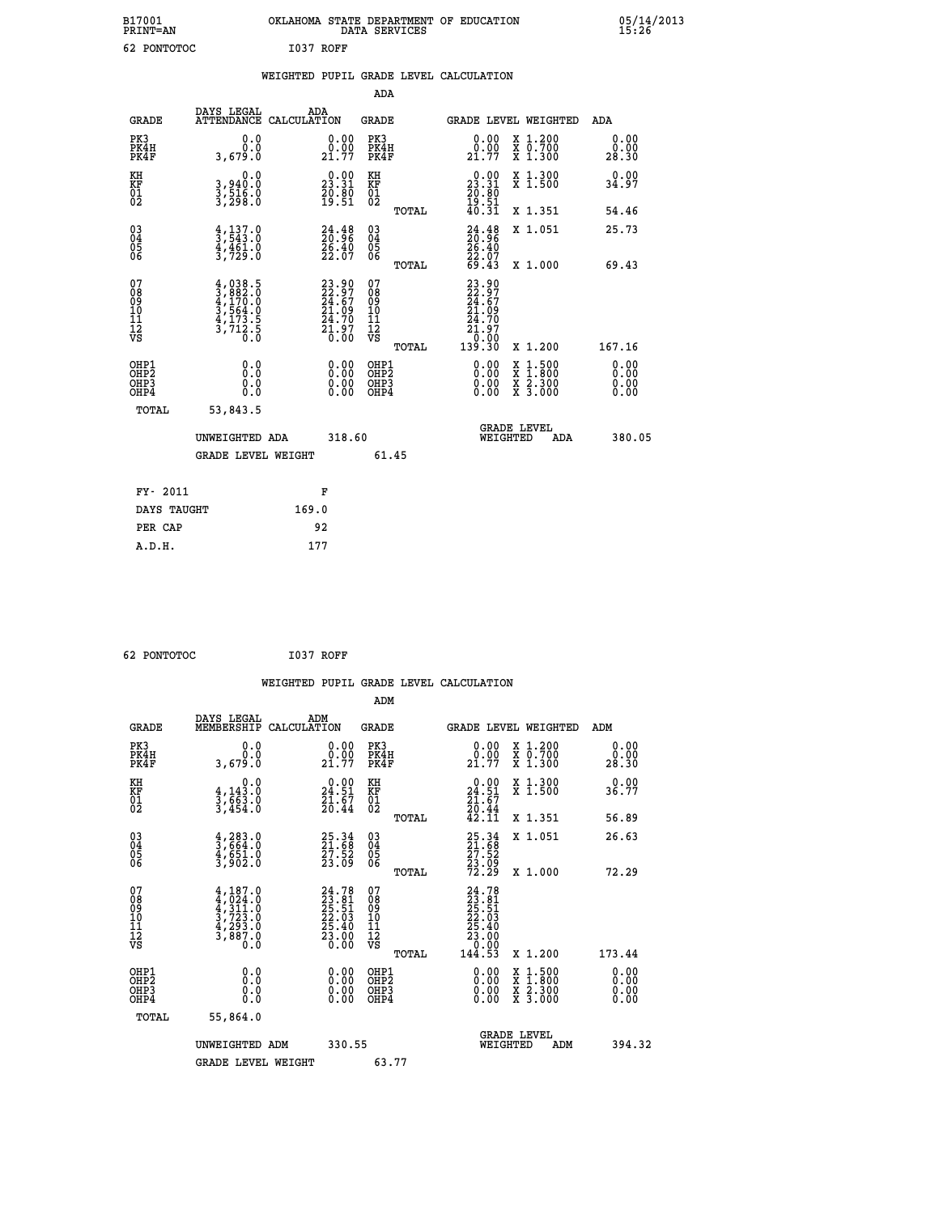| B17001<br><b>PRINT=AN</b> | OKLAHOMA STATE DEPARTMENT OF EDUCATION<br>DATA SERVICES |  |
|---------------------------|---------------------------------------------------------|--|
| 62 PONTOTOC               | I037 ROFF                                               |  |

|                                                                    |                                                                                     |                                                                          | ADA                                       |       |                                                                                                        |        |                                          |                              |
|--------------------------------------------------------------------|-------------------------------------------------------------------------------------|--------------------------------------------------------------------------|-------------------------------------------|-------|--------------------------------------------------------------------------------------------------------|--------|------------------------------------------|------------------------------|
| <b>GRADE</b>                                                       | DAYS LEGAL<br>ATTENDANCE CALCULATION                                                | ADA                                                                      | <b>GRADE</b>                              |       | GRADE LEVEL WEIGHTED                                                                                   |        |                                          | <b>ADA</b>                   |
| PK3<br>PK4H<br>PK4F                                                | 0.0<br>0.0<br>3,679.0                                                               | $\begin{smallmatrix} 0.00\\ 0.00\\ 21.77 \end{smallmatrix}$              | PK3<br>PK4H<br>PK4F                       |       | $\begin{smallmatrix} 0.00\\ 0.00\\ 21.77 \end{smallmatrix}$                                            |        | X 1.200<br>X 0.700<br>X 1.300            | 0.00<br>0.00<br>28.30        |
| KH<br>KF<br>01<br>02                                               | 0.0<br>3,940:0<br>3,516:0<br>3,298:0                                                | 23.31<br>$\frac{70.80}{19.51}$                                           | KH<br>KF<br>01<br>02                      |       | $\begin{smallmatrix} 0.00\\ 23.31\\ 20.80\\ 19.51\\ 40.31 \end{smallmatrix}$                           |        | X 1.300<br>X 1.500                       | 0.00<br>34.97                |
|                                                                    |                                                                                     |                                                                          |                                           | TOTAL |                                                                                                        |        | X 1.351                                  | 54.46                        |
| $\begin{smallmatrix} 03 \\[-4pt] 04 \end{smallmatrix}$<br>Ŏ5<br>06 | $\frac{4}{3}, \frac{137}{543}$ :0<br>$\frac{4}{3}, \frac{4}{7}$ $\frac{61}{9}$ : 0  | $24.48$<br>$20.96$<br>$\frac{26.40}{22.07}$                              | $\substack{03 \\ 04}$<br>$\frac{05}{06}$  | TOTAL | $24.48$<br>$26.40$<br>$22.07$<br>$69.43$                                                               |        | X 1.051<br>X 1.000                       | 25.73<br>69.43               |
| 07<br>08<br>09<br>11<br>11<br>12<br>VS                             | $4,038.5$<br>$3,882.0$<br>$4,170.0$<br>$3,564.0$<br>$4,173.5$<br>$3,712.5$<br>$0.0$ | $23.90$<br>$22.97$<br>$24.67$<br>$21.09$<br>$24.70$<br>$21.97$<br>$0.00$ | 07<br>08<br>09<br>11<br>11<br>12<br>VS    |       | 23.90<br>22.97<br>24.67<br>21.09<br>$\begin{smallmatrix} 24.70\ 21.97\ 0.00\ 139.30 \end{smallmatrix}$ |        |                                          |                              |
|                                                                    |                                                                                     |                                                                          |                                           | TOTAL |                                                                                                        |        | X 1.200                                  | 167.16                       |
| OHP1<br>OH <sub>P</sub> 2<br>OHP3<br>OHP4                          | 0.0<br>Ō.Ō<br>0.0<br>Ō.Ō                                                            | 0.00<br>$\begin{smallmatrix} 0.00 \ 0.00 \end{smallmatrix}$              | OHP1<br>OH <sub>P</sub> 2<br>OHP3<br>OHP4 |       | 0.00<br>0.00<br>0.00                                                                                   | X<br>X | $1:500$<br>$1:800$<br>X 2.300<br>X 3.000 | 0.00<br>0.00<br>0.00<br>0.00 |
| TOTAL                                                              | 53,843.5                                                                            |                                                                          |                                           |       |                                                                                                        |        |                                          |                              |
|                                                                    | UNWEIGHTED ADA                                                                      | 318.60                                                                   |                                           |       | WEIGHTED                                                                                               |        | <b>GRADE LEVEL</b><br>ADA                | 380.05                       |
|                                                                    | <b>GRADE LEVEL WEIGHT</b>                                                           |                                                                          | 61.45                                     |       |                                                                                                        |        |                                          |                              |
| FY- 2011                                                           |                                                                                     | F                                                                        |                                           |       |                                                                                                        |        |                                          |                              |
| DAYS TAUGHT                                                        |                                                                                     | 169.0                                                                    |                                           |       |                                                                                                        |        |                                          |                              |
| PER CAP                                                            |                                                                                     | 92                                                                       |                                           |       |                                                                                                        |        |                                          |                              |
|                                                                    |                                                                                     |                                                                          |                                           |       |                                                                                                        |        |                                          |                              |

```
 62 PONTOTOC I037 ROFF
```
 **B17001<br>PRINT=AN** 

|                                                      |                                                                                                                                                                 |                                                                   |                                                     | WEIGHTED PUPIL GRADE LEVEL CALCULATION                                                                                                                                                                                                                                         |                                          |                              |
|------------------------------------------------------|-----------------------------------------------------------------------------------------------------------------------------------------------------------------|-------------------------------------------------------------------|-----------------------------------------------------|--------------------------------------------------------------------------------------------------------------------------------------------------------------------------------------------------------------------------------------------------------------------------------|------------------------------------------|------------------------------|
|                                                      |                                                                                                                                                                 |                                                                   | ADM                                                 |                                                                                                                                                                                                                                                                                |                                          |                              |
| <b>GRADE</b>                                         | DAYS LEGAL<br>MEMBERSHIP                                                                                                                                        | ADM<br>CALCULATION                                                | <b>GRADE</b>                                        | <b>GRADE LEVEL WEIGHTED</b>                                                                                                                                                                                                                                                    |                                          | ADM                          |
| PK3<br>PK4H<br>PK4F                                  | 0.0<br>0.0<br>3,679.0                                                                                                                                           | $\begin{smallmatrix} 0.00\\ 0.00\\ 21.77 \end{smallmatrix}$       | PK3<br>PK4H<br>PK4F                                 | 0.00<br>21.77                                                                                                                                                                                                                                                                  | X 1.200<br>X 0.700<br>X 1.300            | 0.00<br>0.00<br>28.30        |
| KH<br>KF<br>01<br>02                                 | 0.0<br>$\frac{4}{3}, \frac{143}{663}$ .0<br>3,454.0                                                                                                             | $\begin{smallmatrix} 0.00\\24.51\\21.67\\20.44 \end{smallmatrix}$ | KH<br>KF<br>01<br>02                                | $\begin{smallmatrix} 0.00\\24.51\\21.67\\20.44\\42.11 \end{smallmatrix}$                                                                                                                                                                                                       | X 1.300<br>X 1.500                       | 0.00<br>36.77                |
|                                                      |                                                                                                                                                                 |                                                                   | TOTAL                                               |                                                                                                                                                                                                                                                                                | X 1.351                                  | 56.89                        |
| $\begin{matrix} 03 \\ 04 \\ 05 \\ 06 \end{matrix}$   | $\begin{smallmatrix} 4,283.0\\ 3,664.0\\ 4,651.0\\ 3,902.0 \end{smallmatrix}$                                                                                   | 25.34<br>21.68<br>27.52<br>23.09                                  | $\begin{array}{c} 03 \\ 04 \\ 05 \\ 06 \end{array}$ | 25.34<br>21.68<br>27.52<br>23.09<br>72.29                                                                                                                                                                                                                                      | X 1.051                                  | 26.63                        |
|                                                      |                                                                                                                                                                 |                                                                   | TOTAL                                               |                                                                                                                                                                                                                                                                                | X 1.000                                  | 72.29                        |
| 07<br>08<br>09<br>101<br>112<br>VS                   | $\begin{smallmatrix} 4\,,\,187\,.\,0\\ 4\,,\,024\,.\,0\\ 4\,,\,311\,. \,0\\ 3\,,\,723\,. \,0\\ 4\,,\,293\,. \,0\\ 3\,,\,887\,. \,0\\ 0\,. \,0\end{smallmatrix}$ | $24.7823.8125.5122.0325.4023.0023.00$                             | 07<br>08<br>09<br>11<br>11<br>12<br>VS<br>TOTAL     | $\begin{smallmatrix} 24.78\ 23.81\ 25.51\ 22.03\ 25.40\ 23.00\ 23.00\ 0.00\ 144.53\ \end{smallmatrix}$                                                                                                                                                                         | X 1.200                                  | 173.44                       |
|                                                      |                                                                                                                                                                 |                                                                   |                                                     |                                                                                                                                                                                                                                                                                |                                          |                              |
| OHP1<br>OHP2<br>OH <sub>P3</sub><br>OH <sub>P4</sub> | 0.0<br>0.000                                                                                                                                                    | 0.00<br>$\begin{smallmatrix} 0.00 \ 0.00 \end{smallmatrix}$       | OHP1<br>OHP2<br>OHP3<br>OHP4                        | $\begin{smallmatrix} 0.00 & 0.00 & 0.00 & 0.00 & 0.00 & 0.00 & 0.00 & 0.00 & 0.00 & 0.00 & 0.00 & 0.00 & 0.00 & 0.00 & 0.00 & 0.00 & 0.00 & 0.00 & 0.00 & 0.00 & 0.00 & 0.00 & 0.00 & 0.00 & 0.00 & 0.00 & 0.00 & 0.00 & 0.00 & 0.00 & 0.00 & 0.00 & 0.00 & 0.00 & 0.00 & 0.0$ | X 1:500<br>X 1:800<br>X 2:300<br>X 3:000 | 0.00<br>0.00<br>0.00<br>0.00 |
| TOTAL                                                | 55,864.0                                                                                                                                                        |                                                                   |                                                     |                                                                                                                                                                                                                                                                                |                                          |                              |
|                                                      | UNWEIGHTED ADM                                                                                                                                                  | 330.55                                                            |                                                     | <b>GRADE LEVEL</b><br>WEIGHTED                                                                                                                                                                                                                                                 | ADM                                      | 394.32                       |
|                                                      | <b>GRADE LEVEL WEIGHT</b>                                                                                                                                       |                                                                   | 63.77                                               |                                                                                                                                                                                                                                                                                |                                          |                              |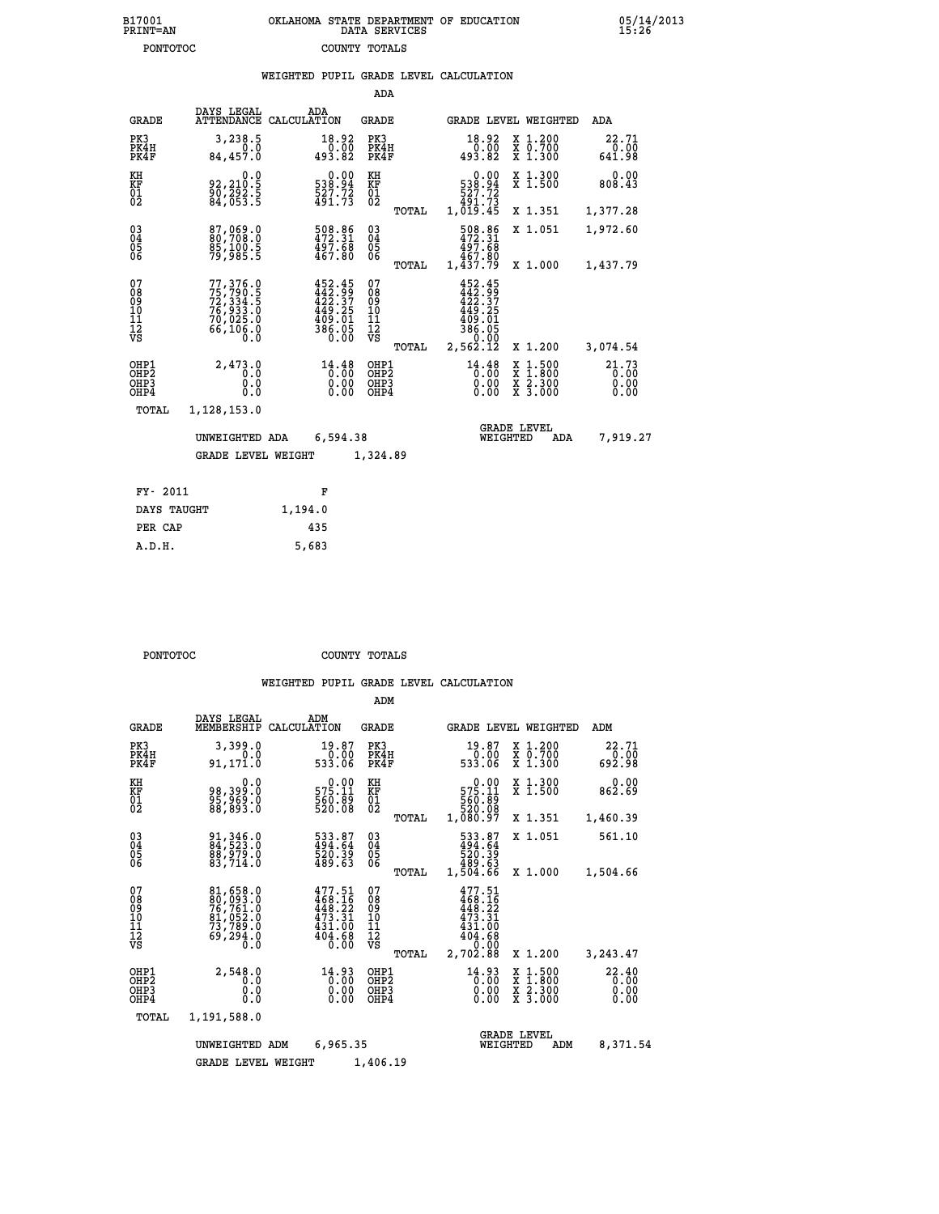| 7001<br>INT=AN | OKLAHOMA STATE DEPARTMENT OF EDUCATION<br>DATA SERVICES |  |
|----------------|---------------------------------------------------------|--|
| PONTOTOC       | COUNTY TOTALS                                           |  |

**B17001<br>PRINT=AN** 

05/14/2013<br>15:26

|                                                       |                                                                                               |         |                                                                                |                                          |       | WEIGHTED PUPIL GRADE LEVEL CALCULATION                                                 |                                          |                               |
|-------------------------------------------------------|-----------------------------------------------------------------------------------------------|---------|--------------------------------------------------------------------------------|------------------------------------------|-------|----------------------------------------------------------------------------------------|------------------------------------------|-------------------------------|
|                                                       |                                                                                               |         |                                                                                | ADA                                      |       |                                                                                        |                                          |                               |
| <b>GRADE</b>                                          | DAYS LEGAL<br>ATTENDANCE CALCULATION                                                          | ADA     |                                                                                | <b>GRADE</b>                             |       | <b>GRADE LEVEL WEIGHTED</b>                                                            |                                          | ADA                           |
| PK3<br>PK4H<br>PK4F                                   | 3,238.5<br>0.0<br>84, 457.0                                                                   |         | $\begin{smallmatrix} 18.92\ 0.00\ 493.82 \end{smallmatrix}$                    | PK3<br>PK4H<br>PK4F                      |       | $\begin{smallmatrix} 18.92\ 0.00\ 493.82 \end{smallmatrix}$                            | X 1.200<br>X 0.700<br>X 1.300            | 22.71<br>$0.00$<br>641.98     |
| KH<br>KF<br>$\overline{01}$                           | 0.0<br>92,210.5<br>$\frac{5}{84}$ , $\frac{7}{83}$ : $\frac{5}{5}$                            |         | 0.00<br>94.855<br>$\frac{527.72}{491.73}$                                      | KH<br>KF<br>$\overline{01}$              |       | 0.00<br>94.855<br>$\frac{527.72}{491.73}$                                              | X 1.300<br>X 1.500                       | 0.00<br>808.43                |
|                                                       |                                                                                               |         |                                                                                |                                          | TOTAL | 1,019.45                                                                               | X 1.351                                  | 1,377.28                      |
| 03<br>04<br>05<br>06                                  | 87, 969.0<br>85,100.5<br>79,985.5                                                             |         | $\frac{508.86}{472.31}$<br>$\frac{497.68}{467.80}$                             | $\substack{03 \\ 04}$<br>05<br>06        |       | 508.86<br>472.31<br>497.68                                                             | X 1.051                                  | 1,972.60                      |
|                                                       |                                                                                               |         |                                                                                |                                          | TOTAL | 467.80<br>1,437.79                                                                     | X 1.000                                  | 1,437.79                      |
| 07<br>08<br>09<br>11<br>11<br>12<br>VS                | 77,376.0<br>$75', 790.5$<br>$72', 334.5$<br>$76', 933.0$<br>$70, 025.0$<br>$66, 106.0$<br>0.0 |         | $452.45$<br>$442.99$<br>$422.37$<br>$449.25$<br>$409.01$<br>$386.05$<br>$0.00$ | 07<br>089<br>101<br>111<br>VS            | TOTAL | 452.45<br>$442.99$<br>$442.37$<br>$449.25$<br>$409.01$<br>$386.05$<br>0.00<br>2,562.12 | X 1.200                                  | 3,074.54                      |
| OHP1<br>OH <sub>P</sub> 2<br>OH <sub>P3</sub><br>OHP4 | 2,473.0<br>0.0<br>0.0<br>0.0                                                                  |         | $14.48$<br>$0.00$<br>0.00<br>0.00                                              | OHP1<br>OHP <sub>2</sub><br>OHP3<br>OHP4 |       | $14.48$<br>$0.00$<br>0.00<br>0.00                                                      | X 1:500<br>X 1:800<br>X 2:300<br>X 3:000 | 21.73<br>0.00<br>0.00<br>0.00 |
| TOTAL                                                 | 1,128,153.0                                                                                   |         |                                                                                |                                          |       |                                                                                        |                                          |                               |
|                                                       | UNWEIGHTED ADA                                                                                |         | 6,594.38                                                                       |                                          |       | WEIGHTED                                                                               | <b>GRADE LEVEL</b><br><b>ADA</b>         | 7,919.27                      |
|                                                       | GRADE LEVEL WEIGHT                                                                            |         |                                                                                | 1,324.89                                 |       |                                                                                        |                                          |                               |
| FY- 2011                                              |                                                                                               |         | F                                                                              |                                          |       |                                                                                        |                                          |                               |
| DAYS TAUGHT                                           |                                                                                               | 1,194.0 |                                                                                |                                          |       |                                                                                        |                                          |                               |
| PER CAP                                               |                                                                                               | 435     |                                                                                |                                          |       |                                                                                        |                                          |                               |

 **A.D.H. 5,683**

**PONTOTOC** COUNTY TOTALS

|                                                      |                                                                              |                                                                                         | ADM                                                |                                                                                              |                                          |                                   |
|------------------------------------------------------|------------------------------------------------------------------------------|-----------------------------------------------------------------------------------------|----------------------------------------------------|----------------------------------------------------------------------------------------------|------------------------------------------|-----------------------------------|
| <b>GRADE</b>                                         | DAYS LEGAL<br>MEMBERSHIP                                                     | ADM<br>CALCULATION                                                                      | <b>GRADE</b>                                       | <b>GRADE LEVEL WEIGHTED</b>                                                                  |                                          | ADM                               |
| PK3<br>PK4H<br>PK4F                                  | 3,399.0<br>0.0<br>91, 171.0                                                  | 19.87<br>0.00<br>533.06                                                                 | PK3<br>PK4H<br>PK4F                                | 19.87<br>0.00<br>533.06                                                                      | X 1.200<br>X 0.700<br>X 1.300            | 22.71<br>$\frac{0.00}{0.92.98}$   |
| KH<br>KF<br>01<br>02                                 | 0.0<br>0. 199. 199<br>0. 1999<br>0. 1993                                     | $0.00$<br>575.11<br>$\frac{560}{520}$ .08                                               | KH<br>KF<br>01<br>02                               | 0.00<br>575.11<br>560.89<br>520.08                                                           | X 1.300<br>X 1.500                       | 0.00<br>862.69                    |
|                                                      |                                                                              |                                                                                         | TOTAL                                              | 1,080.97                                                                                     | X 1.351                                  | 1,460.39                          |
| $\begin{matrix} 03 \\ 04 \\ 05 \\ 06 \end{matrix}$   | 91, 346.0<br>84, 523.0<br>88, 979.0<br>83, 714.0                             | 533.87<br>494.64<br>520.39<br>489.63                                                    | $\begin{matrix} 03 \\ 04 \\ 05 \\ 06 \end{matrix}$ | 533.87<br>494.64                                                                             | X 1.051                                  | 561.10                            |
|                                                      |                                                                              |                                                                                         | TOTAL                                              | 63.025<br>489.63<br>1,504.66                                                                 | X 1.000                                  | 1,504.66                          |
| 07<br>08<br>09<br>101<br>11<br>12<br>VS              | 81,658.0<br>80,093.0<br>76,761.0<br>81,052.0<br>73,789.0<br>69, 294.0<br>Ō.Ō | 477.51<br>$\frac{468.16}{448.22}$<br>$\frac{473.31}$<br>431.00<br>$\frac{404.68}{0.00}$ | 07<br>08<br>09<br>11<br>11<br>12<br>VS<br>TOTAL    | 477.51<br>$\frac{468.16}{448.22}$<br>$\frac{473.31}$<br>431.00<br>88:404<br>0.00<br>2,702.88 | X 1.200                                  | 3,243.47                          |
| OHP1<br>OH <sub>P</sub> <sub>2</sub><br>OHP3<br>OHP4 | 2,548.0<br>Ō.Ō<br>0.000                                                      | $\begin{smallmatrix} 14.93\ 0.000000\ 0.0000000 \end{smallmatrix}$                      | OHP1<br>OHP2<br>OHP3<br>OHP4                       | $14.93$<br>$0.00$<br>$0.00$<br>0.00                                                          | X 1:500<br>X 1:800<br>X 2:300<br>X 3:000 | $^{22.40}_{0.00}$<br>0.00<br>0.00 |
| TOTAL                                                | 1,191,588.0                                                                  |                                                                                         |                                                    |                                                                                              |                                          |                                   |
|                                                      | UNWEIGHTED<br><b>GRADE LEVEL WEIGHT</b>                                      | 6,965.35<br>ADM                                                                         | 1,406.19                                           | WEIGHTED                                                                                     | <b>GRADE LEVEL</b><br>ADM                | 8,371.54                          |
|                                                      |                                                                              |                                                                                         |                                                    |                                                                                              |                                          |                                   |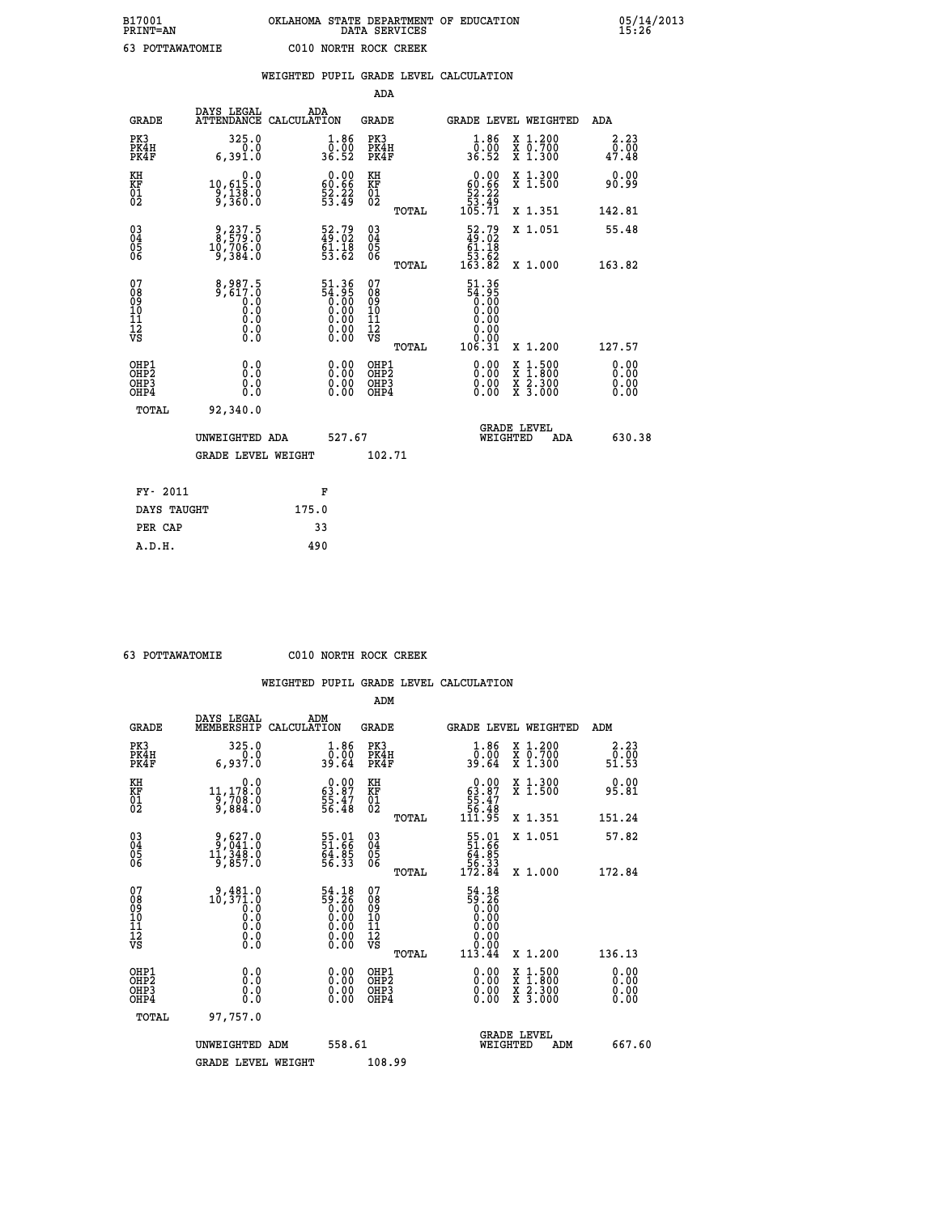|  |     | WEIGHTED PUPIL GRADE LEVEL CALCULATION |  |
|--|-----|----------------------------------------|--|
|  | ADA |                                        |  |

| <b>GRADE</b>                                         | DAYS LEGAL<br>ATTENDANCE CALCULATION                                                               | ADA   |                                                                                                                                       | <b>GRADE</b>                                       |       |                                                                                    |                                | GRADE LEVEL WEIGHTED                                                                                                                      | ADA                           |
|------------------------------------------------------|----------------------------------------------------------------------------------------------------|-------|---------------------------------------------------------------------------------------------------------------------------------------|----------------------------------------------------|-------|------------------------------------------------------------------------------------|--------------------------------|-------------------------------------------------------------------------------------------------------------------------------------------|-------------------------------|
| PK3<br>PK4H<br>PK4F                                  | 325.0<br>0.0<br>6,391.0                                                                            |       | $\frac{1.86}{0.00}$<br>36.52                                                                                                          | PK3<br>PK4H<br>PK4F                                |       | $\frac{1}{0}$ : $\frac{86}{36}$ . 52                                               |                                | X 1.200<br>X 0.700<br>X 1.300                                                                                                             | 2.23<br>0.00<br>47.48         |
| KH<br>KF<br>01<br>02                                 | $\begin{smallmatrix}&&&0.0\\10,615.0\\9,138.0\\9,360.0\end{smallmatrix}$                           |       | $\begin{smallmatrix} 0.00\\ 60.66\\ 52.22\\ 53.49 \end{smallmatrix}$                                                                  | KH<br>KF<br>01<br>02                               |       | $\begin{smallmatrix}&&0.00\\60.66\\52.22\\53.49\\105.71\end{smallmatrix}$          |                                | X 1.300<br>X 1.500                                                                                                                        | 0.00<br>90.99                 |
|                                                      |                                                                                                    |       |                                                                                                                                       |                                                    | TOTAL |                                                                                    |                                | X 1.351                                                                                                                                   | 142.81                        |
| 03<br>04<br>05<br>06                                 | $\begin{smallmatrix} 9,237.5\\ 8,579.0\\ 10,706.0\\ 9,384.0 \end{smallmatrix}$                     |       | $\begin{smallmatrix} 52.79\\ 49.02\\ 61.18\\ 53.62 \end{smallmatrix}$                                                                 | $\begin{matrix} 03 \\ 04 \\ 05 \\ 06 \end{matrix}$ |       | $\begin{smallmatrix} 52.79 \\ 49.02 \\ 61.18 \\ 53.62 \\ 163.82 \end{smallmatrix}$ |                                | X 1.051                                                                                                                                   | 55.48                         |
|                                                      |                                                                                                    |       |                                                                                                                                       |                                                    | TOTAL |                                                                                    |                                | X 1.000                                                                                                                                   | 163.82                        |
| 07<br>08<br>09<br>11<br>11<br>12<br>VS               | $\begin{smallmatrix} 8,987.5\\ 9,617.0\\ 0.0\\ 0.0\\ 0.0\\ 0.0\\ 0.0\\ \end{smallmatrix}$<br>$\S.$ |       | $\begin{smallmatrix} 51.36 \\ 54.95 \\ 0.00 \\ 0.00 \\ 0.00 \end{smallmatrix}$<br>$\begin{smallmatrix} 0.00 \ 0.00 \end{smallmatrix}$ | 07<br>08<br>09<br>101<br>11<br>12<br>VS            |       | 51.36<br>38:35<br>0.00<br>0.00<br>0.00<br>0.00                                     |                                |                                                                                                                                           |                               |
|                                                      |                                                                                                    |       |                                                                                                                                       |                                                    | TOTAL | 106.31                                                                             |                                | X 1.200                                                                                                                                   | 127.57                        |
| OHP1<br>OHP2<br>OH <sub>P3</sub><br>OH <sub>P4</sub> | 0.0<br>0.000                                                                                       |       | 0.00<br>$\begin{smallmatrix} 0.00 \ 0.00 \end{smallmatrix}$                                                                           | OHP1<br>OHP2<br>OHP3<br>OHP4                       |       |                                                                                    |                                | $\begin{smallmatrix} \mathtt{X} & 1\cdot500\\ \mathtt{X} & 1\cdot800\\ \mathtt{X} & 2\cdot300\\ \mathtt{X} & 3\cdot000 \end{smallmatrix}$ | 0.00<br>Ō. ŌŌ<br>0.00<br>0.00 |
| TOTAL                                                | 92,340.0                                                                                           |       |                                                                                                                                       |                                                    |       |                                                                                    |                                |                                                                                                                                           |                               |
|                                                      | UNWEIGHTED ADA                                                                                     |       | 527.67                                                                                                                                |                                                    |       |                                                                                    | <b>GRADE LEVEL</b><br>WEIGHTED | ADA                                                                                                                                       | 630.38                        |
|                                                      | <b>GRADE LEVEL WEIGHT</b>                                                                          |       |                                                                                                                                       | 102.71                                             |       |                                                                                    |                                |                                                                                                                                           |                               |
| FY- 2011                                             |                                                                                                    | F     |                                                                                                                                       |                                                    |       |                                                                                    |                                |                                                                                                                                           |                               |
| DAYS TAUGHT                                          |                                                                                                    | 175.0 |                                                                                                                                       |                                                    |       |                                                                                    |                                |                                                                                                                                           |                               |
|                                                      |                                                                                                    |       |                                                                                                                                       |                                                    |       |                                                                                    |                                |                                                                                                                                           |                               |

| 63 POTTAWATOMIE |
|-----------------|

 **PER CAP 33 A.D.H. 490**

**C010 NORTH ROCK CREEK** 

|                                           |                                                                                                                 |                                                                      | ADM                                                 |       |                                                                             |          |                                          |                              |        |
|-------------------------------------------|-----------------------------------------------------------------------------------------------------------------|----------------------------------------------------------------------|-----------------------------------------------------|-------|-----------------------------------------------------------------------------|----------|------------------------------------------|------------------------------|--------|
| <b>GRADE</b>                              | DAYS LEGAL<br>MEMBERSHIP                                                                                        | ADM<br>CALCULATION                                                   | <b>GRADE</b>                                        |       |                                                                             |          | GRADE LEVEL WEIGHTED                     | ADM                          |        |
| PK3<br>PK4H<br>PK4F                       | 325.0<br>6,937.0                                                                                                | $\begin{smallmatrix} 1.86 \\ 0.00 \\ 39.64 \end{smallmatrix}$        | PK3<br>PK4H<br>PK4F                                 |       | $\begin{smallmatrix} 1.86 \\ 0.00 \\ 39.64 \end{smallmatrix}$               |          | X 1.200<br>X 0.700<br>X 1.300            | 2.23<br>ō:ōŏ<br>51.53        |        |
| KH<br>KF<br>01<br>02                      | 0.0<br>11,178.0<br>9,708.0<br>9,884.0                                                                           | $\begin{smallmatrix} 0.00\\ 63.87\\ 55.47\\ 56.48 \end{smallmatrix}$ | KH<br>KF<br>01<br>02                                |       | $0.00\n63.87\n55.47\n56.48\n111.95$                                         |          | X 1.300<br>X 1.500                       | 0.00<br>95.81                |        |
|                                           |                                                                                                                 |                                                                      |                                                     | TOTAL |                                                                             |          | X 1.351                                  | 151.24                       |        |
| 03<br>04<br>05<br>06                      | $\begin{smallmatrix} 9,627.0\\ 9,041.0\\ 11,348.0\\ 9,857.0 \end{smallmatrix}$                                  | 55.01<br>51.66<br>64.85<br>56.33                                     | $\begin{array}{c} 03 \\ 04 \\ 05 \\ 06 \end{array}$ |       | $\begin{smallmatrix} 55.01\ 51.66\ 64.85\ 56.33\ 172.84\ \end{smallmatrix}$ |          | X 1.051                                  | 57.82                        |        |
|                                           |                                                                                                                 |                                                                      |                                                     | TOTAL |                                                                             |          | X 1.000                                  | 172.84                       |        |
| 07<br>08<br>09<br>101<br>112<br>VS        | $\begin{smallmatrix} &9,481.0\\ &10,371.0\\ &&&0.0\\ &&&0.0\\ &&&0.0\\ &&&0.0\\ 0.0\\ &&&0.0 \end{smallmatrix}$ | $54.18\n59.26\n0.00\n0.00\n0.00\n0.00\n0.00$                         | 07<br>08<br>09<br>11<br>11<br>12<br>VS              |       | $59.26$<br>$0.00$<br>$0.00$<br>$0.00$<br>$0.00$<br>$0.00$                   |          |                                          |                              |        |
|                                           |                                                                                                                 |                                                                      |                                                     | TOTAL | 113.44                                                                      |          | X 1.200                                  | 136.13                       |        |
| OHP1<br>OHP2<br>OH <sub>P</sub> 3<br>OHP4 | 0.0<br>0.000                                                                                                    |                                                                      | OHP1<br>OHP2<br>OHP <sub>3</sub>                    |       | $0.00$<br>$0.00$<br>0.00                                                    |          | X 1:500<br>X 1:800<br>X 2:300<br>X 3:000 | 0.00<br>0.00<br>0.00<br>0.00 |        |
| TOTAL                                     | 97,757.0                                                                                                        |                                                                      |                                                     |       |                                                                             |          |                                          |                              |        |
|                                           | UNWEIGHTED ADM                                                                                                  | 558.61                                                               |                                                     |       |                                                                             | WEIGHTED | <b>GRADE LEVEL</b><br>ADM                |                              | 667.60 |
|                                           | <b>GRADE LEVEL WEIGHT</b>                                                                                       |                                                                      | 108.99                                              |       |                                                                             |          |                                          |                              |        |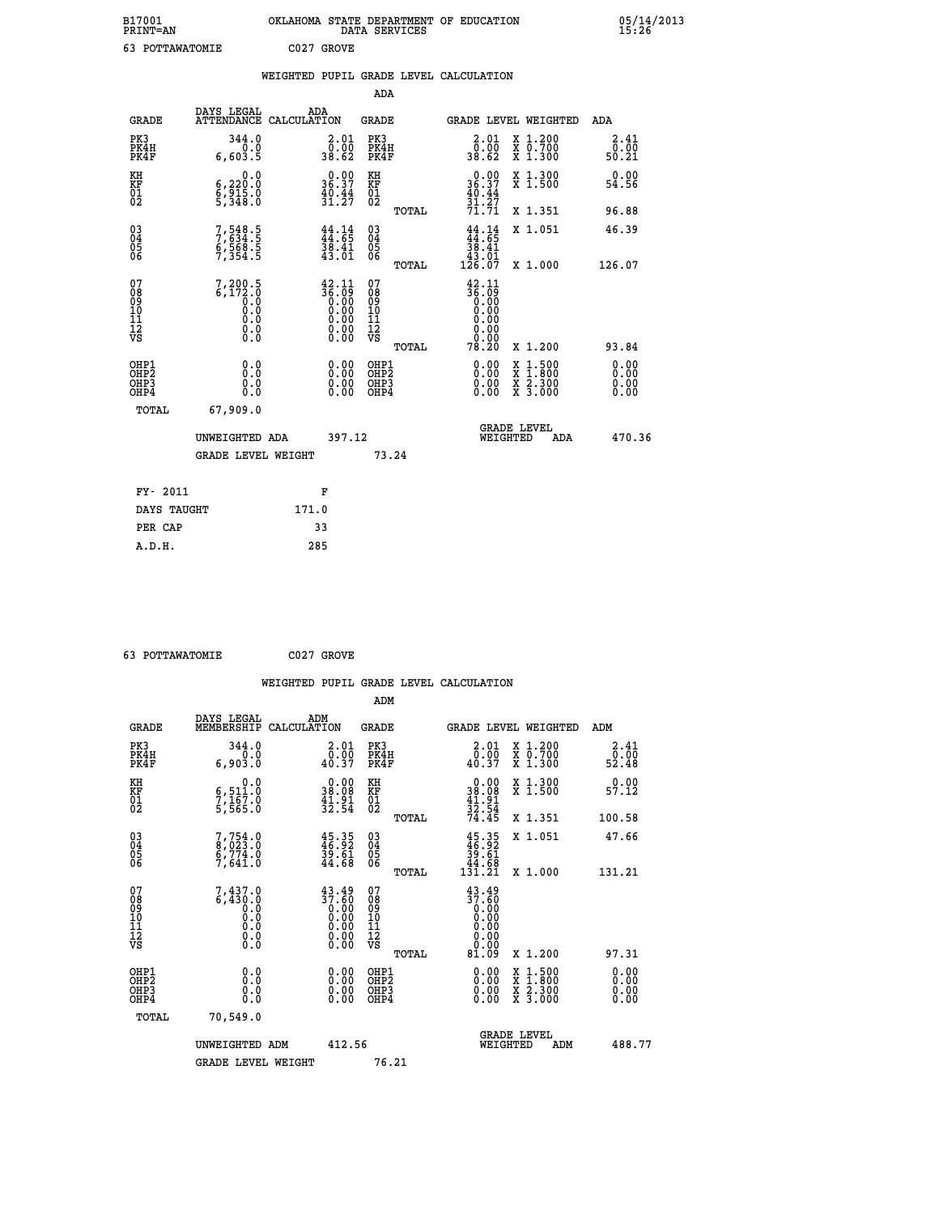| B17001<br><b>PRINT=AN</b>                            |                                                    | OKLAHOMA STATE DEPARTMENT OF EDUCATION                                                                                                             | DATA SERVICES                                    |                                                                        |                                                                                                  | 05/14/2013<br>15:26          |  |
|------------------------------------------------------|----------------------------------------------------|----------------------------------------------------------------------------------------------------------------------------------------------------|--------------------------------------------------|------------------------------------------------------------------------|--------------------------------------------------------------------------------------------------|------------------------------|--|
| 63 POTTAWATOMIE                                      |                                                    | C027 GROVE                                                                                                                                         |                                                  |                                                                        |                                                                                                  |                              |  |
|                                                      |                                                    | WEIGHTED PUPIL GRADE LEVEL CALCULATION                                                                                                             |                                                  |                                                                        |                                                                                                  |                              |  |
|                                                      |                                                    |                                                                                                                                                    | ADA                                              |                                                                        |                                                                                                  |                              |  |
| <b>GRADE</b>                                         | DAYS LEGAL                                         | ADA<br>ATTENDANCE CALCULATION                                                                                                                      | GRADE                                            | GRADE LEVEL WEIGHTED                                                   |                                                                                                  | ADA                          |  |
| PK3<br>PK4H<br>PK4F                                  | 344.0<br>0.0<br>6,603.5                            | 2.01<br>50:00<br>38.62                                                                                                                             | PK3<br>PK4H<br>PK4F                              | $\begin{smallmatrix} 2.01\0.00\\38.62\end{smallmatrix}$                | X 1.200<br>X 0.700<br>X 1.300                                                                    | 2.41<br>0.00<br>50.21        |  |
| KH<br>KF<br>$^{01}_{02}$                             | 0.0<br>6,220:0<br>6,915:0<br>5,348:0               | $0.00$<br>36.37<br>$\frac{40.44}{31.27}$                                                                                                           | КH<br>KF<br>01<br>02                             | $0.00$<br>36.37<br>$\frac{40.44}{31.27}$<br>71.71                      | X 1.300<br>X 1.500                                                                               | 0.00<br>54.56                |  |
|                                                      |                                                    |                                                                                                                                                    | TOTAL                                            |                                                                        | X 1.351                                                                                          | 96.88                        |  |
| $\substack{03 \\ 04}$<br>0500                        | 7,548.5<br>$6,568.5$<br>7,354.5                    | $\frac{44}{44}$ : $\frac{14}{65}$<br>$\frac{38.41}{43.01}$                                                                                         | $03\overline{4}$<br>$\substack{05 \\ 06}$        | $\frac{44}{44}:\frac{14}{65}$<br>38.41<br>$\frac{43.01}{126.07}$       | X 1.051                                                                                          | 46.39                        |  |
|                                                      |                                                    |                                                                                                                                                    | TOTAL                                            |                                                                        | X 1.000                                                                                          | 126.07                       |  |
| 07<br>08<br>09<br>11<br>11<br>12<br>VS               | $7,200.5$<br>6,172.0<br>0.0<br>0.0<br>0.0<br>$\S.$ | $\begin{smallmatrix} 42\cdot 11\\ 36\cdot 09\\ 0\cdot 00\\ 0\cdot 00\\ 0\cdot 00\\ 0\cdot 00\\ 0\cdot 00\\ 0\cdot 00\\ 0\cdot 00\end{smallmatrix}$ | 07<br>08<br>09<br>11<br>11<br>VS<br><b>TOTAL</b> | 42.11<br>$\frac{36.09}{0.00}$<br>0.00<br>0.00<br>0.00<br>0.00<br>78.20 | X 1.200                                                                                          | 93.84                        |  |
| OHP1<br>OHP <sub>2</sub><br>OH <sub>P3</sub><br>OHP4 | 0.0<br>0.0<br>0.0<br>0.0                           | 0.00<br>0.00<br>0.00                                                                                                                               | OHP1<br>OH <sub>P</sub> 2<br>OHP3<br>OHP4        | 0.00<br>0.00<br>0.00                                                   | $\begin{smallmatrix} x & 1 & 500 \\ x & 1 & 800 \\ x & 2 & 300 \\ x & 3 & 000 \end{smallmatrix}$ | 0.00<br>0.00<br>0.00<br>0.00 |  |
| TOTAL                                                | 67,909.0                                           |                                                                                                                                                    |                                                  |                                                                        |                                                                                                  |                              |  |
|                                                      | UNWEIGHTED ADA                                     | 397.12                                                                                                                                             |                                                  | <b>GRADE LEVEL</b><br>WEIGHTED                                         | ADA                                                                                              | 470.36                       |  |
|                                                      | <b>GRADE LEVEL WEIGHT</b>                          |                                                                                                                                                    | 73.24                                            |                                                                        |                                                                                                  |                              |  |
| FY- 2011                                             |                                                    | F                                                                                                                                                  |                                                  |                                                                        |                                                                                                  |                              |  |
| DAYS TAUGHT                                          |                                                    | 171.0                                                                                                                                              |                                                  |                                                                        |                                                                                                  |                              |  |
| PER CAP                                              |                                                    | 33                                                                                                                                                 |                                                  |                                                                        |                                                                                                  |                              |  |

 **63 POTTAWATOMIE C027 GROVE**

|                                                    |                                                                                                          |                    |                                                                                                 |                              |       | WEIGHTED PUPIL GRADE LEVEL CALCULATION                  |                                                                                                  |                        |  |
|----------------------------------------------------|----------------------------------------------------------------------------------------------------------|--------------------|-------------------------------------------------------------------------------------------------|------------------------------|-------|---------------------------------------------------------|--------------------------------------------------------------------------------------------------|------------------------|--|
|                                                    |                                                                                                          |                    |                                                                                                 | ADM                          |       |                                                         |                                                                                                  |                        |  |
| <b>GRADE</b>                                       | DAYS LEGAL<br>MEMBERSHIP                                                                                 | ADM<br>CALCULATION |                                                                                                 | <b>GRADE</b>                 |       |                                                         | <b>GRADE LEVEL WEIGHTED</b>                                                                      | ADM                    |  |
| PK3<br>PK4H<br>PK4F                                | 344.0<br>0.0<br>6,903.0                                                                                  |                    | $\begin{smallmatrix} 2.01\0.00\\40.37 \end{smallmatrix}$                                        | PK3<br>PK4H<br>PK4F          |       | $\begin{smallmatrix} 2.01\0.00\\0.37 \end{smallmatrix}$ | X 1.200<br>X 0.700<br>X 1.300                                                                    | 2.41<br>52.00<br>52.48 |  |
| KH<br>KF<br>01<br>02                               | 0.0<br>6,511.0<br>7,167.0<br>5,565.0                                                                     |                    | $\begin{smallmatrix} 0.00\\ 38.08\\ 41.91\\ 32.54 \end{smallmatrix}$                            | KH<br>KF<br>01<br>02         |       | $0.00$<br>$38.08$<br>$41.91$<br>$32.54$<br>$74.45$      | X 1.300<br>X 1.500                                                                               | 0.00<br>57.12          |  |
|                                                    |                                                                                                          |                    |                                                                                                 |                              | TOTAL |                                                         | X 1.351                                                                                          | 100.58                 |  |
| $\begin{matrix} 03 \\ 04 \\ 05 \\ 06 \end{matrix}$ | $7,754.0$<br>8,023.0<br>6,774.0<br>7,641.0                                                               |                    | $45.35$<br>$46.92$<br>$39.61$<br>$44.68$                                                        | $^{03}_{04}$<br>Ŏ5<br>06     |       | $45.35$<br>$39.61$<br>$39.61$<br>$44.68$<br>$131.21$    | X 1.051                                                                                          | 47.66                  |  |
|                                                    |                                                                                                          |                    |                                                                                                 |                              | TOTAL |                                                         | X 1.000                                                                                          | 131.21                 |  |
| 07<br>0890112<br>1112<br>VS                        | $7,437.0$<br>6,430.0<br>0.0<br>0.0<br>$\begin{smallmatrix} \textrm{0} \ . \ 0 \ . \ 0 \end{smallmatrix}$ |                    | $\begin{smallmatrix} 43.49\ 37.60\ 0.00\ 0.00\ 0.00\ 0.00\ 0.00\ 0.00\ 0.00\ \end{smallmatrix}$ | 07<br>08901123<br>1112<br>VS | TOTAL | $\frac{43.49}{37.60}$<br>0.00<br>0.00<br>81.09          | $X_1.200$                                                                                        | 97.31                  |  |
|                                                    |                                                                                                          |                    |                                                                                                 |                              |       |                                                         |                                                                                                  |                        |  |
| OHP1<br>OHP2<br>OH <sub>P3</sub><br>OHP4           | 0.0<br>0.000                                                                                             |                    | $\begin{smallmatrix} 0.00 \ 0.00 \ 0.00 \ 0.00 \end{smallmatrix}$                               | OHP1<br>OHP2<br>OHP3<br>OHP4 |       |                                                         | $\begin{smallmatrix} x & 1 & 500 \\ x & 1 & 800 \\ x & 2 & 300 \\ x & 3 & 000 \end{smallmatrix}$ | 0.00<br>0.00<br>0.00   |  |
| TOTAL                                              | 70,549.0                                                                                                 |                    |                                                                                                 |                              |       |                                                         |                                                                                                  |                        |  |
|                                                    | UNWEIGHTED ADM                                                                                           |                    | 412.56                                                                                          |                              |       | WEIGHTED                                                | <b>GRADE LEVEL</b><br>ADM                                                                        | 488.77                 |  |
|                                                    | <b>GRADE LEVEL WEIGHT</b>                                                                                |                    |                                                                                                 | 76.21                        |       |                                                         |                                                                                                  |                        |  |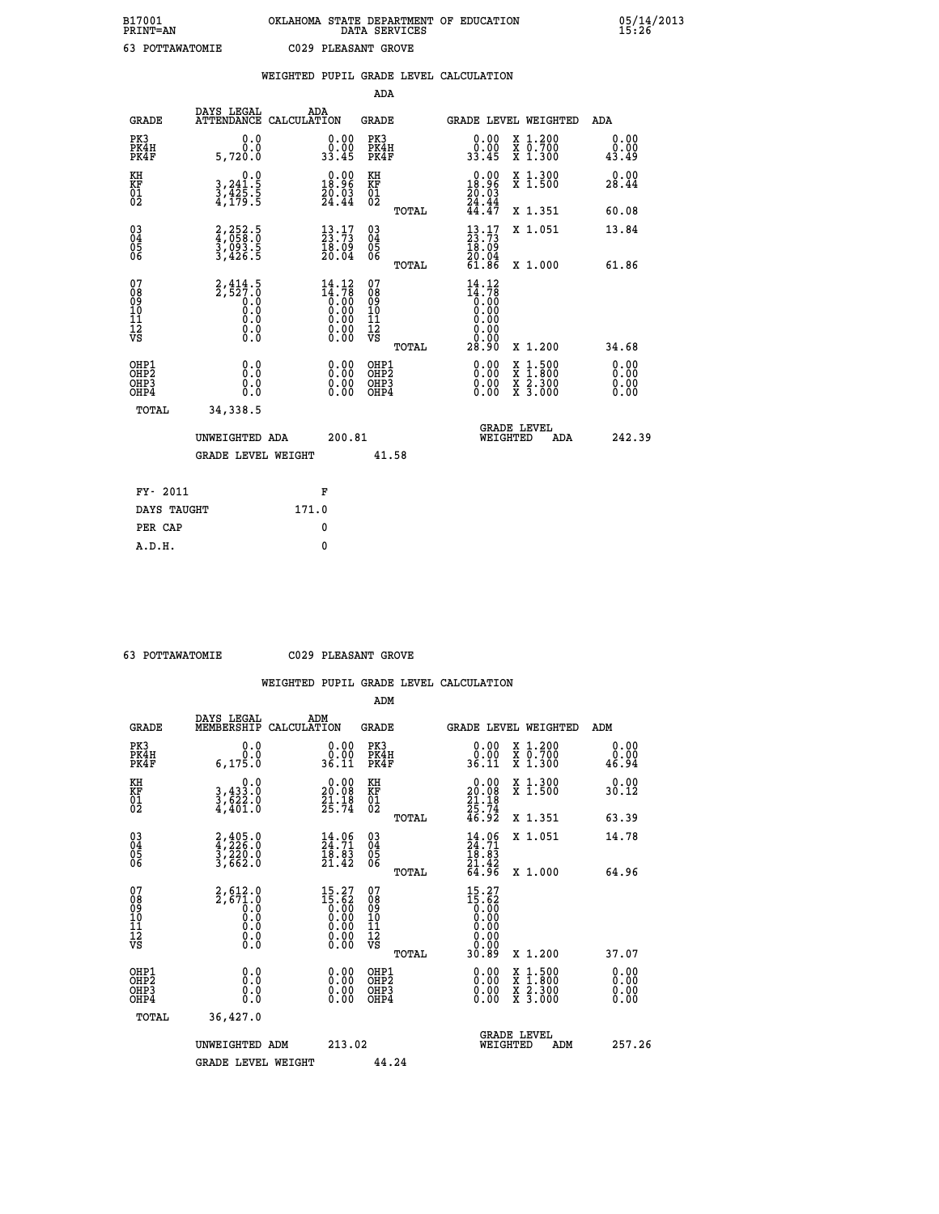|                                                                    |                                                                                           |       |                                                                                                     |                                          |       | WEIGHTED PUPIL GRADE LEVEL CALCULATION                                                                                                                                                                                                                                         |                               |                                                                                                                                           |                                  |
|--------------------------------------------------------------------|-------------------------------------------------------------------------------------------|-------|-----------------------------------------------------------------------------------------------------|------------------------------------------|-------|--------------------------------------------------------------------------------------------------------------------------------------------------------------------------------------------------------------------------------------------------------------------------------|-------------------------------|-------------------------------------------------------------------------------------------------------------------------------------------|----------------------------------|
|                                                                    |                                                                                           |       |                                                                                                     | <b>ADA</b>                               |       |                                                                                                                                                                                                                                                                                |                               |                                                                                                                                           |                                  |
| <b>GRADE</b>                                                       | DAYS LEGAL<br>ATTENDANCE CALCULATION                                                      |       | ADA                                                                                                 | GRADE                                    |       | GRADE LEVEL WEIGHTED                                                                                                                                                                                                                                                           |                               |                                                                                                                                           | ADA                              |
| PK3<br>PK4H<br>PK4F                                                | 0.0<br>0.0<br>5,720.0                                                                     |       | $\begin{smallmatrix} 0.00\\ 0.00\\ 33.45 \end{smallmatrix}$                                         | PK3<br>PK4H<br>PK4F                      |       | 0.00<br>0.00<br>33.45                                                                                                                                                                                                                                                          | X 1.200<br>X 0.700<br>X 1.300 |                                                                                                                                           | 0.00<br>0.00<br>43.49            |
| KH<br>KF<br>01<br>02                                               | 0.0<br>3,241:5<br>3,425:5<br>4,179:5                                                      |       | 18.96<br>20.03<br>24.44                                                                             | KH<br>KF<br>01<br>02                     |       | 0.00<br>18.96<br>$\frac{20.03}{24.44}$<br>44.47                                                                                                                                                                                                                                | X 1.300<br>X 1.500            |                                                                                                                                           | 0.00<br>28.44                    |
|                                                                    |                                                                                           |       |                                                                                                     |                                          | TOTAL |                                                                                                                                                                                                                                                                                | X 1.351                       |                                                                                                                                           | 60.08                            |
| $\begin{smallmatrix} 03 \\[-4pt] 04 \end{smallmatrix}$<br>Ŏ5<br>06 | 2,252.5<br>4,058.0<br>3,093.5<br>3,426.5                                                  |       | $\begin{smallmatrix} 13\cdot 17\\ 23\cdot 73\\ 18\cdot 09\\ 20\cdot 04 \end{smallmatrix}$           | $\substack{03 \\ 04}$<br>$\frac{05}{06}$ |       | $\frac{13}{23}$ : $\frac{17}{73}$<br>18.09                                                                                                                                                                                                                                     | X 1.051                       |                                                                                                                                           | 13.84                            |
|                                                                    |                                                                                           |       |                                                                                                     |                                          | TOTAL | 20.04<br>61.86                                                                                                                                                                                                                                                                 |                               | X 1.000                                                                                                                                   | 61.86                            |
| 07<br>08<br>09<br>01<br>11<br>11<br>12<br>VS                       | $2, 414.5$<br>2,527.0<br>$\begin{smallmatrix}0.0 \ 0.0 \end{smallmatrix}$<br>0.0<br>$\S.$ |       | $\begin{smallmatrix} 14\cdot 12\\14\cdot 78\\0.00\\0.00\\0.00\\0.00\\0.00\end{smallmatrix}$<br>0.00 | 07<br>08<br>09<br>11<br>11<br>12<br>VS   | TOTAL | 14.12<br>$\begin{smallmatrix} 11.76 \\[-4pt] 0.00\\[-4pt] 0.00\end{smallmatrix}$<br>0.00<br>0.00<br>0.00<br>28.90                                                                                                                                                              |                               | X 1.200                                                                                                                                   | 34.68                            |
| OHP1<br>OHP2<br>OHP3<br>OHP4                                       | 0.0<br>0.0<br>$0.\overline{0}$                                                            |       | $\begin{smallmatrix} 0.00 \ 0.00 \ 0.00 \ 0.00 \end{smallmatrix}$                                   | OHP1<br>OHP2<br>OHP3<br>OHP4             |       | $\begin{smallmatrix} 0.00 & 0.00 & 0.00 & 0.00 & 0.00 & 0.00 & 0.00 & 0.00 & 0.00 & 0.00 & 0.00 & 0.00 & 0.00 & 0.00 & 0.00 & 0.00 & 0.00 & 0.00 & 0.00 & 0.00 & 0.00 & 0.00 & 0.00 & 0.00 & 0.00 & 0.00 & 0.00 & 0.00 & 0.00 & 0.00 & 0.00 & 0.00 & 0.00 & 0.00 & 0.00 & 0.0$ |                               | $\begin{smallmatrix} \mathtt{X} & 1\cdot500\\ \mathtt{X} & 1\cdot800\\ \mathtt{X} & 2\cdot300\\ \mathtt{X} & 3\cdot000 \end{smallmatrix}$ | 0.00<br>0.00<br>$0.00$<br>$0.00$ |
| TOTAL                                                              | 34,338.5                                                                                  |       |                                                                                                     |                                          |       |                                                                                                                                                                                                                                                                                |                               |                                                                                                                                           |                                  |
|                                                                    | UNWEIGHTED ADA                                                                            |       | 200.81                                                                                              |                                          |       | <b>GRADE LEVEL</b><br>WEIGHTED                                                                                                                                                                                                                                                 |                               | ADA                                                                                                                                       | 242.39                           |
|                                                                    | <b>GRADE LEVEL WEIGHT</b>                                                                 |       |                                                                                                     |                                          | 41.58 |                                                                                                                                                                                                                                                                                |                               |                                                                                                                                           |                                  |
| FY- 2011                                                           |                                                                                           |       | F                                                                                                   |                                          |       |                                                                                                                                                                                                                                                                                |                               |                                                                                                                                           |                                  |
| DAYS TAUGHT                                                        |                                                                                           | 171.0 |                                                                                                     |                                          |       |                                                                                                                                                                                                                                                                                |                               |                                                                                                                                           |                                  |
| PER CAP                                                            |                                                                                           |       | 0                                                                                                   |                                          |       |                                                                                                                                                                                                                                                                                |                               |                                                                                                                                           |                                  |

 **63 POTTAWATOMIE C029 PLEASANT GROVE**

|                                          |                                                        |                                                                                                                                                                                                                                                                                                                                                | ADM                                                 |       |                                                                                                          |                                          |                       |
|------------------------------------------|--------------------------------------------------------|------------------------------------------------------------------------------------------------------------------------------------------------------------------------------------------------------------------------------------------------------------------------------------------------------------------------------------------------|-----------------------------------------------------|-------|----------------------------------------------------------------------------------------------------------|------------------------------------------|-----------------------|
| <b>GRADE</b>                             | DAYS LEGAL<br>MEMBERSHIP                               | ADM<br>CALCULATION                                                                                                                                                                                                                                                                                                                             | <b>GRADE</b>                                        |       |                                                                                                          | <b>GRADE LEVEL WEIGHTED</b>              | ADM                   |
| PK3<br>PK4H<br>PK4F                      | 0.0<br>0.0<br>6, 175.0                                 | $\begin{smallmatrix} 0.00\\ 0.00\\ 36.11 \end{smallmatrix}$                                                                                                                                                                                                                                                                                    | PK3<br>PK4H<br>PK4F                                 |       | $\begin{smallmatrix} 0.00\\ 0.00\\ 36.11 \end{smallmatrix}$                                              | X 1.200<br>X 0.700<br>X 1.300            | 0.00<br>0.00<br>46.94 |
| KH<br>KF<br>01<br>02                     | 0.0<br>$\frac{3}{3}, \frac{433}{622}$ .0<br>4,401.0    | $\begin{smallmatrix} 0.00\\ 20.08\\ 21.18\\ 25.74 \end{smallmatrix}$                                                                                                                                                                                                                                                                           | KH<br>KF<br>01<br>02                                |       | $0.00$<br>$20.08$<br>$21.18$<br>$25.74$<br>$46.92$                                                       | X 1.300<br>X 1.500                       | 0.00<br>30.12         |
|                                          |                                                        |                                                                                                                                                                                                                                                                                                                                                |                                                     | TOTAL |                                                                                                          | X 1.351                                  | 63.39                 |
| 03<br>04<br>05<br>06                     | $2,405.0$<br>$4,226.0$<br>$3,220.0$<br>$3,662.0$       | $\begin{smallmatrix} 14.06 \\ 24.71 \\ 18.83 \\ 21.42 \end{smallmatrix}$                                                                                                                                                                                                                                                                       | $\begin{array}{c} 03 \\ 04 \\ 05 \\ 06 \end{array}$ |       | $\frac{14}{24}$ : 71<br>$\frac{18}{18}$ : 83<br>21.42<br>64.96                                           | X 1.051                                  | 14.78                 |
|                                          |                                                        |                                                                                                                                                                                                                                                                                                                                                |                                                     | TOTAL |                                                                                                          | X 1.000                                  | 64.96                 |
| 07<br>08<br>09<br>101<br>112<br>VS       | $2,612.0$<br>$2,671.0$<br>$0.0$<br>0.0<br>0.0<br>$\S.$ | $\begin{smallmatrix} 15 & 27 \\ 15 & 62 \\ 0 & 00 \\ 0 & 00 \\ 0 & 00 \\ 0 & 00 \\ 0 & 00 \\ 0 & 00 \\ 0 & 00 \\ 0 & 00 \\ 0 & 00 \\ 0 & 00 \\ 0 & 0 \\ 0 & 0 \\ 0 & 0 \\ 0 & 0 \\ 0 & 0 \\ 0 & 0 \\ 0 & 0 \\ 0 & 0 \\ 0 & 0 \\ 0 & 0 \\ 0 & 0 \\ 0 & 0 \\ 0 & 0 \\ 0 & 0 \\ 0 & 0 \\ 0 & 0 \\ 0 & 0 \\ 0 & 0 \\ 0 & 0 \\ 0 & 0 \\ 0 & 0 \\ 0$ | 07<br>08<br>09<br>11<br>11<br>12<br>VS              |       | 15.27<br>$\begin{smallmatrix} 15.62 \ 15.60 \ 0.00 \ 0.00 \ 0.00 \ 0.00 \ 0.00 \ 0.00 \end{smallmatrix}$ |                                          |                       |
|                                          |                                                        |                                                                                                                                                                                                                                                                                                                                                |                                                     | TOTAL | 30.89                                                                                                    | X 1.200                                  | 37.07                 |
| OHP1<br>OHP2<br>OH <sub>P3</sub><br>OHP4 | 0.0<br>0.000                                           | $0.00$<br>$0.00$<br>0.00                                                                                                                                                                                                                                                                                                                       | OHP1<br>OHP2<br>OHP <sub>3</sub>                    |       | $0.00$<br>$0.00$<br>0.00                                                                                 | X 1:500<br>X 1:800<br>X 2:300<br>X 3:000 | 0.00<br>0.00<br>0.00  |
| TOTAL                                    | 36,427.0                                               |                                                                                                                                                                                                                                                                                                                                                |                                                     |       |                                                                                                          |                                          |                       |
|                                          | UNWEIGHTED ADM                                         | 213.02                                                                                                                                                                                                                                                                                                                                         |                                                     |       | WEIGHTED                                                                                                 | <b>GRADE LEVEL</b><br>ADM                | 257.26                |
|                                          | <b>GRADE LEVEL WEIGHT</b>                              |                                                                                                                                                                                                                                                                                                                                                | 44.24                                               |       |                                                                                                          |                                          |                       |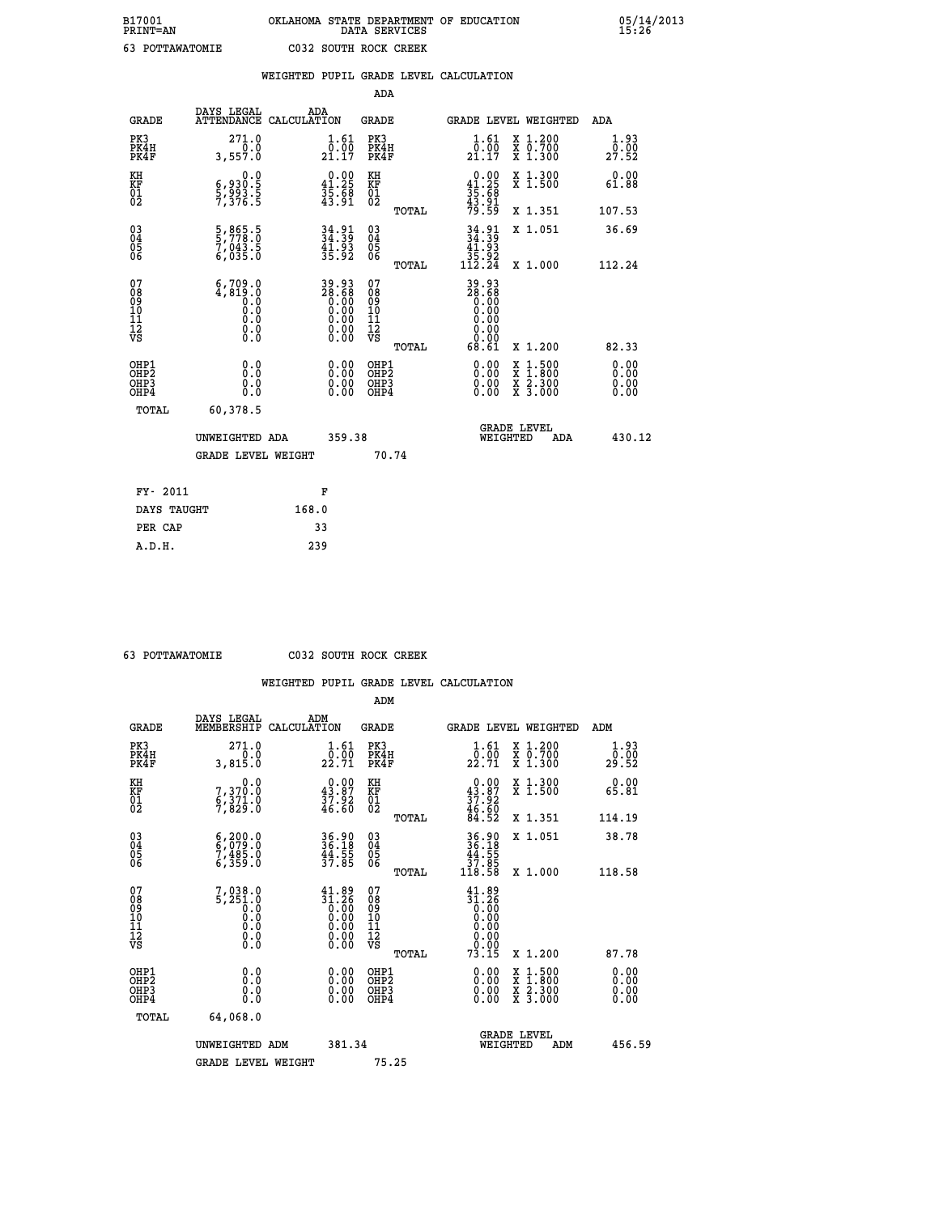| B17001<br>PRINT=AN | OKLAHOMA STATE DEPARTMENT OF EDUCATION<br>DATA SERVICES | 05/14/2013<br>15:26 |
|--------------------|---------------------------------------------------------|---------------------|
| 63<br>POTTAWATOMIE | C032 SOUTH ROCK CREEK                                   |                     |

|                                              |                                                                                                                                                                                                                                                                                                                                  | WEIGHTED PUPIL GRADE LEVEL CALCULATION                                                                |                                                    |       |                                                                                                                                                                                                                                                                                |                                                                                                                                              |                       |
|----------------------------------------------|----------------------------------------------------------------------------------------------------------------------------------------------------------------------------------------------------------------------------------------------------------------------------------------------------------------------------------|-------------------------------------------------------------------------------------------------------|----------------------------------------------------|-------|--------------------------------------------------------------------------------------------------------------------------------------------------------------------------------------------------------------------------------------------------------------------------------|----------------------------------------------------------------------------------------------------------------------------------------------|-----------------------|
|                                              |                                                                                                                                                                                                                                                                                                                                  |                                                                                                       | ADA                                                |       |                                                                                                                                                                                                                                                                                |                                                                                                                                              |                       |
| <b>GRADE</b>                                 | DAYS LEGAL                                                                                                                                                                                                                                                                                                                       | ADA<br>ATTENDANCE CALCULATION                                                                         | <b>GRADE</b>                                       |       |                                                                                                                                                                                                                                                                                | GRADE LEVEL WEIGHTED                                                                                                                         | ADA                   |
| PK3<br>PK4H<br>PK4F                          | 271.0<br>0.0<br>3,557.0                                                                                                                                                                                                                                                                                                          | $\frac{1}{0}$ : $\frac{61}{00}$<br>21.17                                                              | PK3<br>PK4H<br>PK4F                                |       | $\frac{1}{0}$ : $\frac{61}{00}$<br>21.17                                                                                                                                                                                                                                       | X 1.200<br>X 0.700<br>X 1.300                                                                                                                | 1.93<br>0.00<br>27.52 |
| KH<br>KF<br>01<br>02                         | 0.0<br>$\frac{6}{5}, \frac{930}{93}.$ $\frac{5}{5}$                                                                                                                                                                                                                                                                              | $0.00$<br>41.25<br>$\frac{35.58}{43.91}$                                                              | KH<br>KF<br>01<br>02                               |       | $0.00$<br>41.25<br>$\frac{35.68}{43.91}$<br>$\frac{43.591}{79.59}$                                                                                                                                                                                                             | X 1.300<br>X 1.500                                                                                                                           | 0.00<br>61.88         |
|                                              |                                                                                                                                                                                                                                                                                                                                  |                                                                                                       |                                                    | TOTAL |                                                                                                                                                                                                                                                                                | X 1.351                                                                                                                                      | 107.53                |
| $^{03}_{04}$<br>Ŏ5                           | 5,865.5<br>5,778.0<br>7,043.5<br>6,035.0                                                                                                                                                                                                                                                                                         | $34.39$<br>$34.39$<br>$41.93$<br>$35.92$                                                              | $\begin{matrix} 03 \\ 04 \\ 05 \\ 06 \end{matrix}$ |       | $34.39$<br>$41.93$                                                                                                                                                                                                                                                             | X 1.051                                                                                                                                      | 36.69                 |
| 06                                           |                                                                                                                                                                                                                                                                                                                                  |                                                                                                       |                                                    | TOTAL | 35.92<br>112.24                                                                                                                                                                                                                                                                | X 1.000                                                                                                                                      | 112.24                |
| 07<br>08<br>09<br>01<br>11<br>11<br>12<br>VS | $\left( \begin{smallmatrix} 6 & 7 & 0 & 9 & 0 & 0 \\ 4 & 8 & 1 & 9 & 0 & 0 \\ 0 & 1 & 0 & 0 & 0 & 0 \\ 0 & 0 & 0 & 0 & 0 & 0 \\ 0 & 0 & 0 & 0 & 0 & 0 \\ 0 & 0 & 0 & 0 & 0 & 0 \\ 0 & 0 & 0 & 0 & 0 & 0 \\ 0 & 0 & 0 & 0 & 0 & 0 \\ 0 & 0 & 0 & 0 & 0 & 0 \\ 0 & 0 & 0 & 0 & 0 & 0 \\ 0 & 0 & 0 & 0 & 0 & 0 \\ 0 & 0 & 0 & 0 & $ | $\begin{smallmatrix} 39.93\ 28.68\ 0.00\ 0.00\ 0.00\ 0.00\ 0.00\ 0.00\ 0.00\ 0.00\ \end{smallmatrix}$ | 0789901112<br>009011112<br>VS                      | TOTAL | 39.93<br>28.68<br>0.00<br>0.00<br>0.00<br>0.00<br>ŏ.ŏŏ<br>68.61                                                                                                                                                                                                                | X 1.200                                                                                                                                      | 82.33                 |
| OHP1<br>OHP2<br>OHP3<br>OHP4                 | 0.0<br>0.000                                                                                                                                                                                                                                                                                                                     | $\begin{smallmatrix} 0.00 \ 0.00 \ 0.00 \ 0.00 \end{smallmatrix}$                                     | OHP1<br>OHP2<br>OHP <sub>3</sub>                   |       | $\begin{smallmatrix} 0.00 & 0.00 & 0.00 & 0.00 & 0.00 & 0.00 & 0.00 & 0.00 & 0.00 & 0.00 & 0.00 & 0.00 & 0.00 & 0.00 & 0.00 & 0.00 & 0.00 & 0.00 & 0.00 & 0.00 & 0.00 & 0.00 & 0.00 & 0.00 & 0.00 & 0.00 & 0.00 & 0.00 & 0.00 & 0.00 & 0.00 & 0.00 & 0.00 & 0.00 & 0.00 & 0.0$ | $\begin{smallmatrix} \mathtt{X} & 1\cdot500 \\ \mathtt{X} & 1\cdot800 \\ \mathtt{X} & 2\cdot300 \\ \mathtt{X} & 3\cdot000 \end{smallmatrix}$ | 0.00<br>0.00          |
| TOTAL                                        | 60,378.5                                                                                                                                                                                                                                                                                                                         |                                                                                                       |                                                    |       |                                                                                                                                                                                                                                                                                |                                                                                                                                              |                       |
|                                              | UNWEIGHTED ADA                                                                                                                                                                                                                                                                                                                   | 359.38                                                                                                |                                                    |       | WEIGHTED                                                                                                                                                                                                                                                                       | <b>GRADE LEVEL</b><br>ADA                                                                                                                    | 430.12                |
|                                              | <b>GRADE LEVEL WEIGHT</b>                                                                                                                                                                                                                                                                                                        |                                                                                                       |                                                    | 70.74 |                                                                                                                                                                                                                                                                                |                                                                                                                                              |                       |
| FY- 2011                                     |                                                                                                                                                                                                                                                                                                                                  | F                                                                                                     |                                                    |       |                                                                                                                                                                                                                                                                                |                                                                                                                                              |                       |
| DAYS TAUGHT                                  |                                                                                                                                                                                                                                                                                                                                  | 168.0                                                                                                 |                                                    |       |                                                                                                                                                                                                                                                                                |                                                                                                                                              |                       |
| PER CAP                                      |                                                                                                                                                                                                                                                                                                                                  | 33                                                                                                    |                                                    |       |                                                                                                                                                                                                                                                                                |                                                                                                                                              |                       |

 **63 POTTAWATOMIE C032 SOUTH ROCK CREEK**

|                                          |                                                                                                  |                                                                                                       | ADM                                                 |       |                                                                                                                   |                                          |                       |
|------------------------------------------|--------------------------------------------------------------------------------------------------|-------------------------------------------------------------------------------------------------------|-----------------------------------------------------|-------|-------------------------------------------------------------------------------------------------------------------|------------------------------------------|-----------------------|
| <b>GRADE</b>                             | DAYS LEGAL<br>MEMBERSHIP                                                                         | ADM<br>CALCULATION                                                                                    | <b>GRADE</b>                                        |       |                                                                                                                   | <b>GRADE LEVEL WEIGHTED</b>              | ADM                   |
| PK3<br>PK4H<br>PK4F                      | 271.0<br>3,815.0                                                                                 | $\frac{1}{0}$ : $\frac{61}{00}$<br>22.71                                                              | PK3<br>PK4H<br>PK4F                                 |       | $\frac{1}{0}$ : $\frac{61}{00}$<br>22.71                                                                          | X 1.200<br>X 0.700<br>X 1.300            | 1.93<br>0.00<br>29.52 |
| KH<br>KF<br>01<br>02                     | 0.0<br>7,370.0<br>6,371.0<br>7,829.0                                                             | $\begin{smallmatrix} 0.00\\ 43.87\\ 37.92\\ 46.60 \end{smallmatrix}$                                  | KH<br>KF<br>01<br>02                                |       | $0.00\n43.87\n37.92\n46.60\n84.52$                                                                                | X 1.300<br>X 1.500                       | 0.00<br>65.81         |
|                                          |                                                                                                  |                                                                                                       |                                                     | TOTAL |                                                                                                                   | X 1.351                                  | 114.19                |
| 03<br>04<br>05<br>06                     | $\begin{smallmatrix} 6 & 200 & 0 \\ 6 & 079 & 0 \\ 7 & 485 & 0 \\ 6 & 359 & 0 \end{smallmatrix}$ | 36.90<br>36.18<br>44.55<br>37.85                                                                      | $\begin{array}{c} 03 \\ 04 \\ 05 \\ 06 \end{array}$ |       | $\begin{array}{r} 36.90 \\ 36.18 \\ 44.55 \\ 37.85 \\ 118.58 \end{array}$                                         | X 1.051                                  | 38.78                 |
|                                          |                                                                                                  |                                                                                                       |                                                     | TOTAL |                                                                                                                   | X 1.000                                  | 118.58                |
| 07<br>08<br>09<br>101<br>112<br>VS       | $7,038.0$<br>5,251.0<br>0.0<br>0.0<br>0.0<br>$\S.$                                               | $\begin{smallmatrix} 41.89\ 31.26\ 0.00\ 0.00\ 0.00\ 0.00\ 0.00\ 0.00\ 0.00\ 0.00\ \end{smallmatrix}$ | 07<br>08<br>09<br>11<br>11<br>12<br>VS              |       | $\begin{smallmatrix} 41.89 \\ 31.26 \\ 0.00 \\ 0.00 \\ 0.00 \\ 0.00 \\ 0.00 \\ 0.00 \\ 0.00 \\ \end{smallmatrix}$ |                                          |                       |
|                                          |                                                                                                  |                                                                                                       |                                                     | TOTAL | 73.15                                                                                                             | X 1.200                                  | 87.78                 |
| OHP1<br>OHP2<br>OH <sub>P3</sub><br>OHP4 | 0.0<br>0.000                                                                                     |                                                                                                       | OHP1<br>OHP2<br>OHP <sub>3</sub>                    |       | $0.00$<br>$0.00$<br>0.00                                                                                          | X 1:500<br>X 1:800<br>X 2:300<br>X 3:000 | 0.00<br>0.00<br>0.00  |
| TOTAL                                    | 64,068.0                                                                                         |                                                                                                       |                                                     |       |                                                                                                                   |                                          |                       |
|                                          | UNWEIGHTED ADM                                                                                   | 381.34                                                                                                |                                                     |       | WEIGHTED                                                                                                          | <b>GRADE LEVEL</b><br>ADM                | 456.59                |
|                                          | <b>GRADE LEVEL WEIGHT</b>                                                                        |                                                                                                       | 75.25                                               |       |                                                                                                                   |                                          |                       |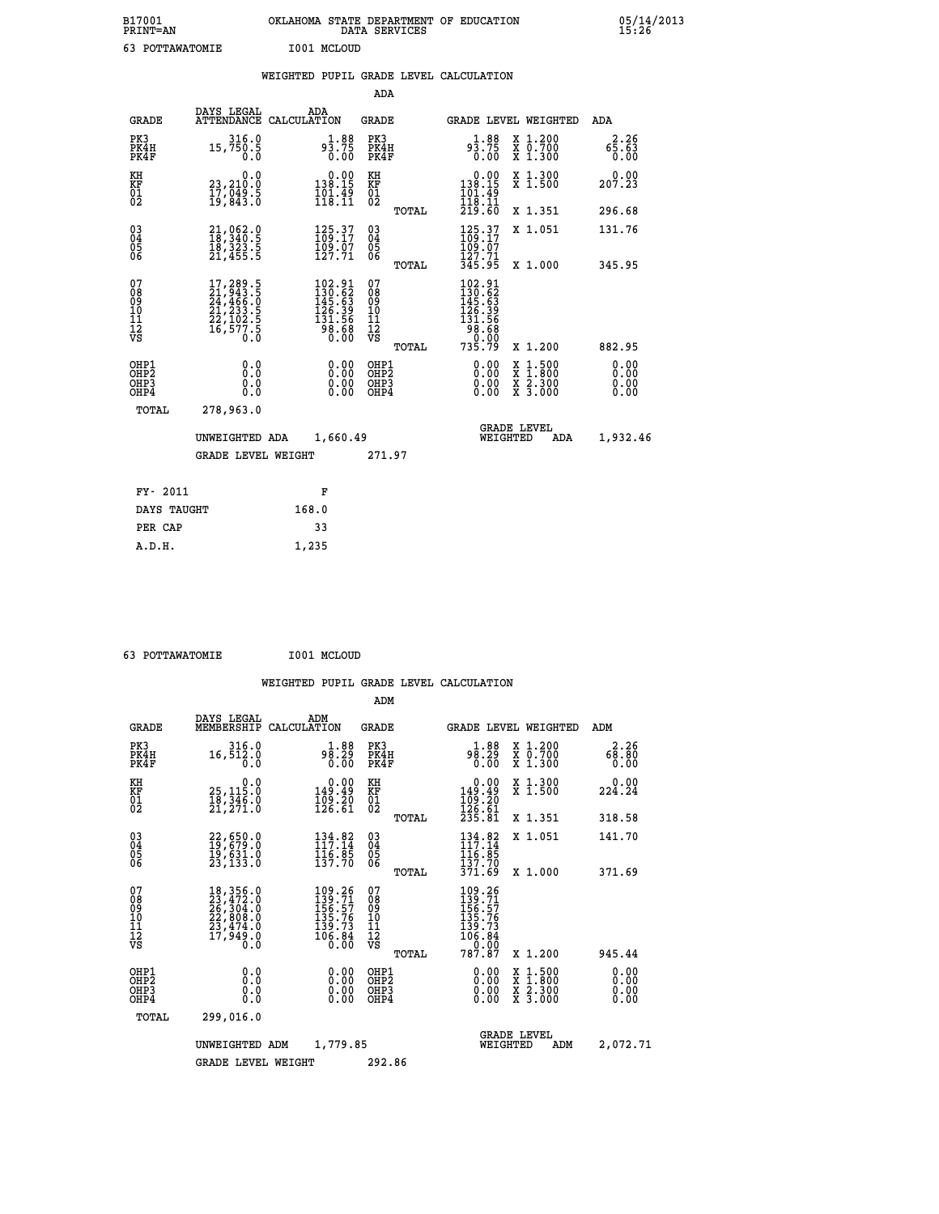| B17001<br><b>PRINT=AN</b> | OKLAHOMA STATE DEPARTMENT OF EDUCATION<br>DATA SERVICES | 05/14/2013<br>15:26 |
|---------------------------|---------------------------------------------------------|---------------------|
| 63<br>POTTAWATOMIE        | I001 MCLOUD                                             |                     |

|  |  | WEIGHTED PUPIL GRADE LEVEL CALCULATION |
|--|--|----------------------------------------|
|  |  |                                        |

|                                                    |                                                                                                                                           |                                                                                                    | ADA                                      |       |                                                                                   |                                                                                                  |                              |
|----------------------------------------------------|-------------------------------------------------------------------------------------------------------------------------------------------|----------------------------------------------------------------------------------------------------|------------------------------------------|-------|-----------------------------------------------------------------------------------|--------------------------------------------------------------------------------------------------|------------------------------|
| <b>GRADE</b>                                       | DAYS LEGAL                                                                                                                                | ADA<br>ATTENDANCE CALCULATION                                                                      | <b>GRADE</b>                             |       | GRADE LEVEL WEIGHTED                                                              |                                                                                                  | ADA                          |
| PK3<br>PK4H<br>PK4F                                | 316.0<br>15,750.5<br>0.0                                                                                                                  | $9\frac{1}{3}\cdot\frac{88}{75}$<br>0.00                                                           | PK3<br>PK4H<br>PK4F                      |       | $9\frac{1}{3}\cdot\frac{88}{75}$<br>0.00                                          | X 1.200<br>X 0.700<br>X 1.300                                                                    | 2.26<br>65.63<br>0.00        |
| KH<br>KF<br>01<br>02                               | 0.0<br>23,210:0<br>17,049:5<br>19,843:0                                                                                                   | $\begin{smallmatrix} &0.00\\ 138.15\\ 101.49\\ 118.11 \end{smallmatrix}$                           | KH<br>KF<br>01<br>02                     |       | $\begin{smallmatrix} &0.00\\ 138.15\\ 101.49\\ 118.11\\ 219.60 \end{smallmatrix}$ | X 1.300<br>X 1.500                                                                               | 0.00<br>207.23               |
|                                                    |                                                                                                                                           |                                                                                                    |                                          | TOTAL |                                                                                   | X 1.351                                                                                          | 296.68                       |
| $\begin{matrix} 03 \\ 04 \\ 05 \\ 06 \end{matrix}$ | 21,062.0<br>18,340.5<br>īš, š23.5<br>21,455.5                                                                                             | 125.37<br>$\frac{109}{127}.71$                                                                     | $\substack{03 \\ 04}$<br>Ŏ5<br>06        |       | 125.37<br>$\frac{109}{127}.71$<br>345.95                                          | X 1.051                                                                                          | 131.76                       |
| 07                                                 |                                                                                                                                           |                                                                                                    | 07                                       | TOTAL | 102.91                                                                            | X 1.000                                                                                          | 345.95                       |
| 08<br>09<br>11<br>11<br>12<br>VS                   | $\begin{smallmatrix} 17,289\cdot 5\\21,943\cdot 5\\24,466\cdot 0\\21,233\cdot 5\\22,102\cdot 5\\16,577\cdot 5\\0\cdot 0\end{smallmatrix}$ | $\begin{smallmatrix} 102.91\\130.62\\145.63\\126.39\\126.39\\131.56\\98.68\\0.00\end{smallmatrix}$ | 08<br>09<br>101<br>112<br>VS             |       | $130.62$<br>$145.63$<br>$126.39$<br>$131.56$<br>$98.68$<br>$0.00$<br>$735.79$     |                                                                                                  |                              |
|                                                    |                                                                                                                                           |                                                                                                    |                                          | TOTAL |                                                                                   | X 1.200                                                                                          | 882.95                       |
| OHP1<br>OHP2<br>OHP3<br>OHP4                       | 0.0<br>0.0<br>0.0                                                                                                                         | $\begin{smallmatrix} 0.00 \ 0.00 \ 0.00 \ 0.00 \end{smallmatrix}$                                  | OHP1<br>OHP <sub>2</sub><br>OHP3<br>OHP4 |       | $0.00$<br>$0.00$<br>0.00                                                          | $\begin{smallmatrix} x & 1 & 500 \\ x & 1 & 800 \\ x & 2 & 300 \\ x & 3 & 000 \end{smallmatrix}$ | 0.00<br>0.00<br>0.00<br>0.00 |
| <b>TOTAL</b>                                       | 278,963.0                                                                                                                                 |                                                                                                    |                                          |       |                                                                                   |                                                                                                  |                              |
|                                                    | UNWEIGHTED ADA                                                                                                                            | 1,660.49                                                                                           |                                          |       | <b>GRADE LEVEL</b><br>WEIGHTED                                                    | ADA                                                                                              | 1,932.46                     |
|                                                    | <b>GRADE LEVEL WEIGHT</b>                                                                                                                 |                                                                                                    | 271.97                                   |       |                                                                                   |                                                                                                  |                              |
| FY- 2011                                           |                                                                                                                                           | F                                                                                                  |                                          |       |                                                                                   |                                                                                                  |                              |
| DAYS TAUGHT                                        |                                                                                                                                           | 168.0                                                                                              |                                          |       |                                                                                   |                                                                                                  |                              |
|                                                    |                                                                                                                                           | 33                                                                                                 |                                          |       |                                                                                   |                                                                                                  |                              |
| PER CAP                                            |                                                                                                                                           |                                                                                                    |                                          |       |                                                                                   |                                                                                                  |                              |

 **63 POTTAWATOMIE I001 MCLOUD**

 **A.D.H. 1,235**

 **ADM**

| <b>GRADE</b>                                         | DAYS LEGAL<br>MEMBERSHIP CALCULATION                                                                                                                                                     | ADM                                                                                                    | <b>GRADE</b>                                       |                                                                                                                                            | GRADE LEVEL WEIGHTED                                             | ADM                   |
|------------------------------------------------------|------------------------------------------------------------------------------------------------------------------------------------------------------------------------------------------|--------------------------------------------------------------------------------------------------------|----------------------------------------------------|--------------------------------------------------------------------------------------------------------------------------------------------|------------------------------------------------------------------|-----------------------|
| PK3<br>PK4H<br>PK4F                                  | 316.0<br>16,512.0<br>0.0                                                                                                                                                                 | 1.88<br>98.29<br>0.00                                                                                  | PK3<br>PK4H<br>PK4F                                | 1.88<br>98.29<br>0.00                                                                                                                      | $\begin{array}{c} x & 1.200 \\ x & 0.700 \end{array}$<br>X 1.300 | 2.26<br>68.80<br>0.00 |
| KH<br>KF<br>01<br>02                                 | $\begin{smallmatrix} & & 0 & 0 \\ 25 & 115 & 0 \\ 18 & 346 & 0 \\ 21 & 271 & 0 \end{smallmatrix}$                                                                                        | 0.00<br>49.49<br>$\frac{109}{126}. \frac{20}{61}$                                                      | KH<br>KF<br>01<br>02                               | $\begin{smallmatrix} &0.00\\ 149.49\\ 109.20\\ 126.61\\ 235.81 \end{smallmatrix}$                                                          | X 1.300<br>X 1.500                                               | 0.00<br>224.24        |
|                                                      |                                                                                                                                                                                          |                                                                                                        | TOTAL                                              |                                                                                                                                            | X 1.351                                                          | 318.58                |
| $\begin{matrix} 03 \\ 04 \\ 05 \\ 06 \end{matrix}$   | 22,650.0<br>19,679.0<br>19,631.0<br>23,133.0                                                                                                                                             | $\begin{array}{l} 134.82 \\[-4pt] 117.14 \\[-4pt] 116.85 \\[-4pt] 137.70 \end{array}$                  | $\begin{matrix} 03 \\ 04 \\ 05 \\ 06 \end{matrix}$ | 134.82<br>116.05<br>137.70                                                                                                                 | X 1.051                                                          | 141.70                |
|                                                      |                                                                                                                                                                                          |                                                                                                        | TOTAL                                              | 371.69                                                                                                                                     | $X_1.000$                                                        | 371.69                |
| 07<br>08<br>09<br>101<br>11<br>12<br>VS              | $\begin{smallmatrix} 18\,, & 356\,, & 0\\ 23\,, & 472\,, & 0\\ 26\,, & 304\,, & 0\\ 22\,, & 808\,, & 0\\ 23\,, & 474\,, & 0\\ 17\,, & 949\,, & 0\\ 0\,. & 0\,. & 0\,. \end{smallmatrix}$ | $\begin{array}{c} 109.26 \\ 139.71 \\ 156.57 \\ 135.76 \\ 139.73 \end{array}$<br>$\frac{106.84}{0.00}$ | 078<br>089<br>0011<br>11<br>12<br>VS<br>TOTAL      | $\begin{array}{r} 109\cdot 26\\ 139\cdot 71\\ 156\cdot 57\\ 135\cdot 76\\ 139\cdot 73\\ 106\cdot 84\\ 0\cdot 00\\ 787\cdot 87 \end{array}$ | X 1.200                                                          | 945.44                |
| OHP1<br>OH <sub>P</sub> <sub>2</sub><br>OHP3<br>OHP4 | 0.0<br>0.000                                                                                                                                                                             |                                                                                                        | OHP1<br>OHP <sub>2</sub><br>OHP3<br>OHP4           | 0.00<br>0.00<br>0.00                                                                                                                       | X 1:500<br>X 1:800<br>X 2:300<br>X 3:000                         | 0.00<br>0.00<br>0.00  |
| TOTAL                                                | 299,016.0                                                                                                                                                                                |                                                                                                        |                                                    |                                                                                                                                            |                                                                  |                       |
|                                                      | UNWEIGHTED                                                                                                                                                                               | 1,779.85<br>ADM                                                                                        |                                                    | WEIGHTED                                                                                                                                   | <b>GRADE LEVEL</b><br>ADM                                        | 2,072.71              |
|                                                      | <b>GRADE LEVEL WEIGHT</b>                                                                                                                                                                |                                                                                                        | 292.86                                             |                                                                                                                                            |                                                                  |                       |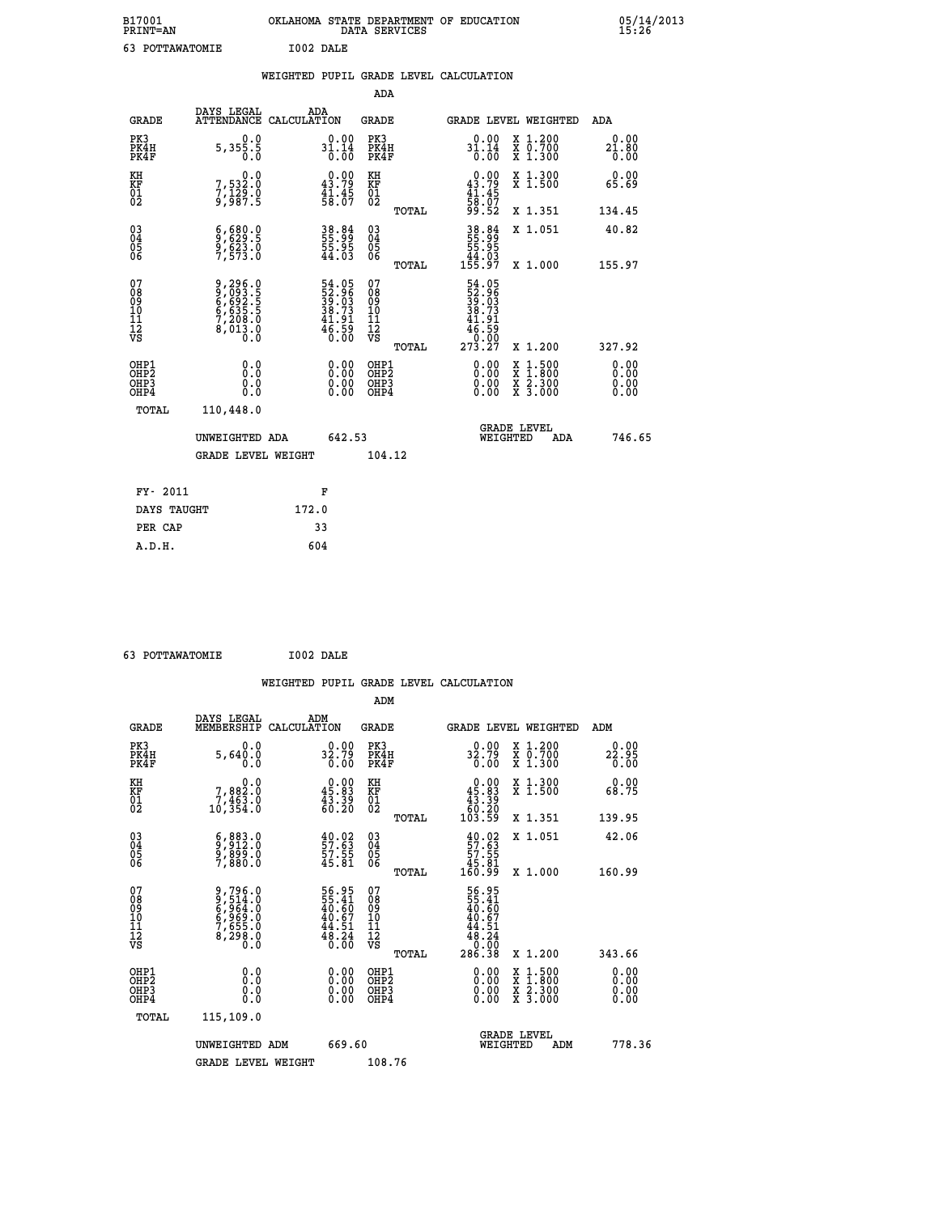| B17001<br>PRINT=AN | OKLAHOMA STATE DEPARTMENT OF EDUCATION<br>DATA SERVICES | 05/14/2013<br>15:26 |
|--------------------|---------------------------------------------------------|---------------------|
| 63<br>POTTAWATOMIE | I002 DALE                                               |                     |

|  |  | WEIGHTED PUPIL GRADE LEVEL CALCULATION |
|--|--|----------------------------------------|
|  |  |                                        |

|                                                    |                                                                                    |                                                                      | ADA                                                 |       |                                                                   |   |                                          |                              |
|----------------------------------------------------|------------------------------------------------------------------------------------|----------------------------------------------------------------------|-----------------------------------------------------|-------|-------------------------------------------------------------------|---|------------------------------------------|------------------------------|
| <b>GRADE</b>                                       | DAYS LEGAL<br><b>ATTENDANCE</b>                                                    | ADA<br>CALCULATION                                                   | <b>GRADE</b>                                        |       | GRADE LEVEL WEIGHTED                                              |   |                                          | <b>ADA</b>                   |
| PK3<br>PK4H<br>PK4F                                | 0.0<br>5,355.5                                                                     | $31.14$<br>0.00<br>0.00                                              | PK3<br>PK4H<br>PK4F                                 |       | $31.14$<br>0.00<br>0.00                                           |   | X 1.200<br>X 0.700<br>X 1.300            | 0.00<br>$21.80$<br>$0.00$    |
| KH<br>KF<br>01<br>02                               | 0.0<br>7,532:0<br>7,129:0<br>9,987:5                                               | $\begin{smallmatrix} 0.00\\ 43.79\\ 41.45\\ 58.07 \end{smallmatrix}$ | KH<br>KF<br>01<br>02                                |       | $0.00\n43.79\n41.45\n58.07\n59.52$                                |   | X 1.300<br>X 1.500                       | 0.00<br>65.69                |
|                                                    |                                                                                    |                                                                      |                                                     | TOTAL |                                                                   |   | X 1.351                                  | 134.45                       |
| $\begin{matrix} 03 \\ 04 \\ 05 \\ 06 \end{matrix}$ | $\frac{6}{9}, \frac{680}{629} . \frac{0}{5}$<br>$\frac{9}{7}, \frac{623}{573} . 0$ | 38.84<br>55.95<br>55.95<br>44.03                                     | $\begin{array}{c} 03 \\ 04 \\ 05 \\ 06 \end{array}$ | TOTAL | 38.84<br>55.99<br>55.95<br>44.03<br>155.97                        |   | X 1.051<br>X 1.000                       | 40.82<br>155.97              |
| 07<br>08<br>09<br>11<br>11<br>12<br>VS             | 9,296.0<br>8,093.5<br>6,693.5<br>6,635.5<br>7,208.0<br>8,013.0<br>0.0              | 54.05<br>52.96<br>39.03<br>38.73<br>41.91<br>46.59<br>6.00           | 07<br>08<br>09<br>11<br>11<br>12<br>VS              |       | 54.05<br>52.963<br>39.033<br>38.731<br>46.590<br>46.590<br>273.27 |   |                                          |                              |
|                                                    |                                                                                    |                                                                      |                                                     | TOTAL |                                                                   |   | X 1.200                                  | 327.92                       |
| OHP1<br>OHP <sub>2</sub><br>OHP3<br>OHP4           | 0.0<br>0.0<br>Ŏ.Ŏ                                                                  | 0.00<br>$\begin{smallmatrix} 0.00 \ 0.00 \end{smallmatrix}$          | OHP1<br>OH <sub>P</sub> 2<br>OHP3<br>OHP4           |       | 0.00<br>0.00<br>0.00                                              | X | $1:500$<br>$1:800$<br>X 2.300<br>X 3.000 | 0.00<br>0.00<br>0.00<br>0.00 |
| TOTAL                                              | 110,448.0                                                                          |                                                                      |                                                     |       |                                                                   |   |                                          |                              |
|                                                    | UNWEIGHTED ADA                                                                     | 642.53                                                               |                                                     |       | WEIGHTED                                                          |   | <b>GRADE LEVEL</b><br>ADA                | 746.65                       |
|                                                    | <b>GRADE LEVEL WEIGHT</b>                                                          |                                                                      | 104.12                                              |       |                                                                   |   |                                          |                              |
| FY- 2011                                           |                                                                                    | F                                                                    |                                                     |       |                                                                   |   |                                          |                              |
| DAYS TAUGHT                                        |                                                                                    | 172.0                                                                |                                                     |       |                                                                   |   |                                          |                              |
| PER CAP                                            |                                                                                    | 33                                                                   |                                                     |       |                                                                   |   |                                          |                              |
|                                                    |                                                                                    |                                                                      |                                                     |       |                                                                   |   |                                          |                              |

 **63 POTTAWATOMIE I002 DALE**

|                                                      |                                                                                                                                               |                    |                                                                            |                                               |       | WEIGHTED PUPIL GRADE LEVEL CALCULATION                                      |                                          |        |                              |
|------------------------------------------------------|-----------------------------------------------------------------------------------------------------------------------------------------------|--------------------|----------------------------------------------------------------------------|-----------------------------------------------|-------|-----------------------------------------------------------------------------|------------------------------------------|--------|------------------------------|
|                                                      |                                                                                                                                               |                    |                                                                            | ADM                                           |       |                                                                             |                                          |        |                              |
| <b>GRADE</b>                                         | DAYS LEGAL<br>MEMBERSHIP                                                                                                                      | ADM<br>CALCULATION |                                                                            | <b>GRADE</b>                                  |       | <b>GRADE LEVEL WEIGHTED</b>                                                 |                                          | ADM    |                              |
| PK3<br>PK4H<br>PK4F                                  | 0.0<br>5,640.0<br>0.0                                                                                                                         |                    | $32.79$<br>0.00                                                            | PK3<br>PK4H<br>PK4F                           |       | $32.79$<br>0.00                                                             | X 1.200<br>X 0.700<br>X 1.300            |        | 0.00<br>$22.95$<br>$0.00$    |
| KH<br>KF<br>01<br>02                                 | 0.0<br>7,882.0<br>7,463.0<br>10,354.0                                                                                                         |                    | $\begin{smallmatrix} 0.00\\ 45.83\\ 43.39\\ 60.20 \end{smallmatrix}$       | KH<br>KF<br>01<br>02                          |       | $\begin{smallmatrix} &0.00\ 45.83\ 43.39\ 60.20\ 103.59\ \end{smallmatrix}$ | X 1.300<br>X 1.500                       |        | 0.00<br>68.75                |
|                                                      |                                                                                                                                               |                    |                                                                            |                                               | TOTAL |                                                                             | X 1.351                                  | 139.95 |                              |
| $\begin{matrix} 03 \\ 04 \\ 05 \\ 06 \end{matrix}$   | $\begin{smallmatrix} 6 & , & 8 & 3 & . & 0 \\ 9 & , & 9 & 12 & . & 0 \\ 9 & , & 8 & 9 & . & 0 \\ 7 & , & 8 & 8 & 0 & . & 0 \end{smallmatrix}$ |                    | $\begin{smallmatrix} 40.02\ 57.63\ 57.55\ 57.55\ 45.81\ \end{smallmatrix}$ | 03<br>04<br>05<br>06                          |       | $\begin{smallmatrix} 40.02\ 57.63\ 57.55\ 45.81\ 460.99 \end{smallmatrix}$  | X 1.051                                  |        | 42.06                        |
|                                                      |                                                                                                                                               |                    |                                                                            |                                               | TOTAL |                                                                             | X 1.000                                  | 160.99 |                              |
| 07<br>08<br>09<br>001<br>11<br>11<br>12<br>VS        | 9,796.0<br>9,514.0<br>6,964.0<br>6,969.0<br>7,655.0<br>8,298.0                                                                                |                    | 56.95<br>55.41<br>40.60<br>40.67<br>44.51<br>48.24<br>0.00                 | 07<br>08<br>09<br>001<br>11<br>11<br>12<br>VS | TOTAL | 56.95<br>55.41<br>40.67<br>40.51<br>48.24<br>48.24<br>0.00<br>286.38        | X 1.200                                  | 343.66 |                              |
| OHP1<br>OHP <sub>2</sub><br>OHP3<br>OH <sub>P4</sub> |                                                                                                                                               |                    | $\begin{smallmatrix} 0.00 \ 0.00 \ 0.00 \ 0.00 \end{smallmatrix}$          | OHP1<br>OHP <sub>2</sub><br>OHP <sub>3</sub>  |       | 0.00<br>0.00                                                                | X 1:500<br>X 1:800<br>X 2:300<br>X 3:000 |        | 0.00<br>Ŏ.ŎŎ<br>Q.QQ<br>0.00 |
| TOTAL                                                | 115,109.0                                                                                                                                     |                    |                                                                            |                                               |       |                                                                             |                                          |        |                              |
|                                                      | UNWEIGHTED ADM                                                                                                                                |                    | 669.60                                                                     |                                               |       | WEIGHTED                                                                    | <b>GRADE LEVEL</b><br>ADM                |        | 778.36                       |
|                                                      | <b>GRADE LEVEL WEIGHT</b>                                                                                                                     |                    |                                                                            | 108.76                                        |       |                                                                             |                                          |        |                              |
|                                                      |                                                                                                                                               |                    |                                                                            |                                               |       |                                                                             |                                          |        |                              |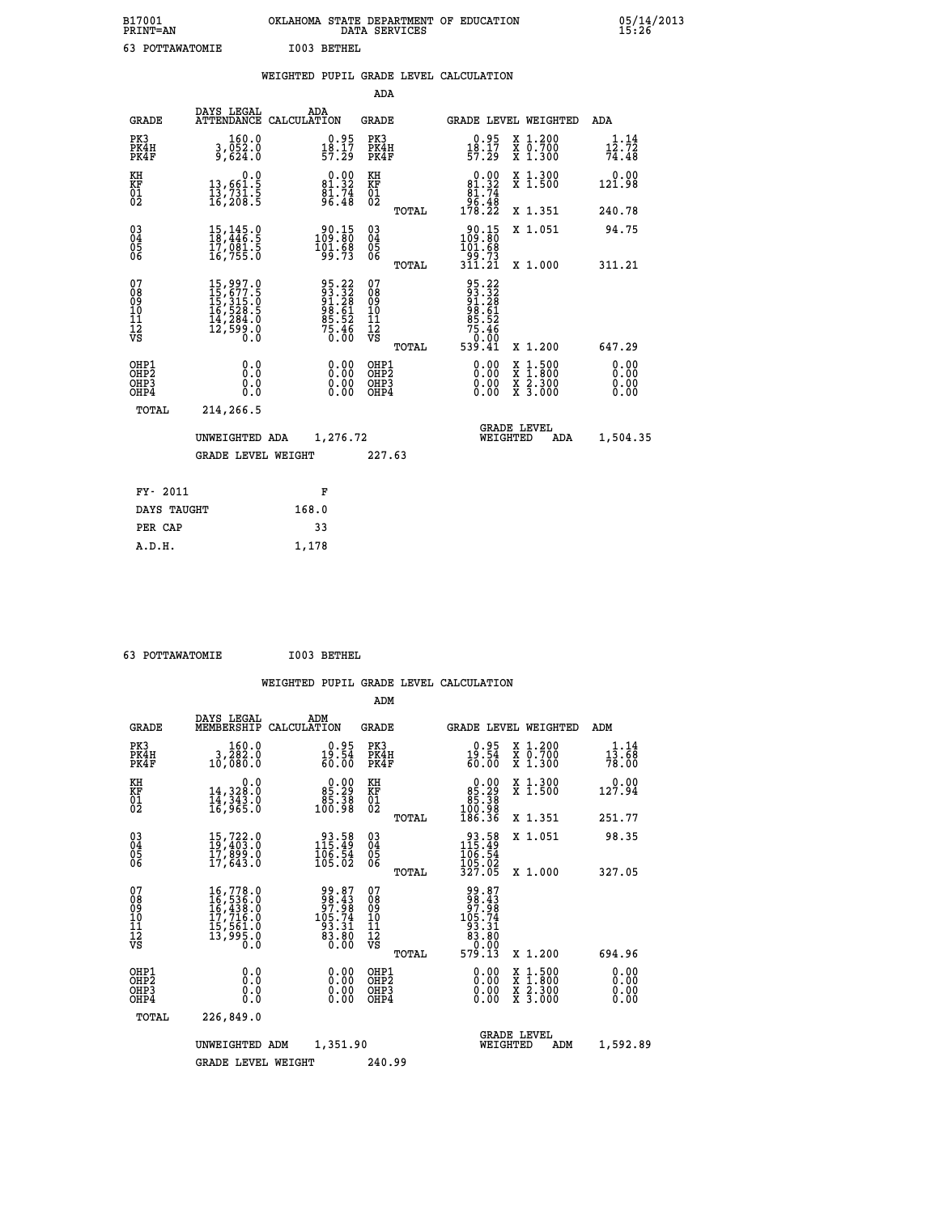| B17001<br><b>PRINT=AN</b> | OKLAHOMA<br>. STATE DEPARTMENT OF EDUCATION<br>DATA SERVICES | 95/14/2013<br>15:26 |
|---------------------------|--------------------------------------------------------------|---------------------|
| POTTAWATOMIE              | I003<br>BETHEL                                               |                     |

|                                                              |                                                                                                                       | WEIGHTED PUPIL GRADE LEVEL CALCULATION                            |                                  |       |                                                                                                                                                                                                                                                                                |                                                                                                                                              |                        |
|--------------------------------------------------------------|-----------------------------------------------------------------------------------------------------------------------|-------------------------------------------------------------------|----------------------------------|-------|--------------------------------------------------------------------------------------------------------------------------------------------------------------------------------------------------------------------------------------------------------------------------------|----------------------------------------------------------------------------------------------------------------------------------------------|------------------------|
|                                                              |                                                                                                                       |                                                                   | ADA                              |       |                                                                                                                                                                                                                                                                                |                                                                                                                                              |                        |
| <b>GRADE</b>                                                 | DAYS LEGAL                                                                                                            | ADA<br>ATTENDANCE CALCULATION                                     | <b>GRADE</b>                     |       |                                                                                                                                                                                                                                                                                | <b>GRADE LEVEL WEIGHTED</b>                                                                                                                  | ADA                    |
| PK3<br>PK4H<br>PK4F                                          | 160.0<br>3,052.0<br>9,624.0                                                                                           | $\begin{smallmatrix} 0.95\\18.17\\57.29 \end{smallmatrix}$        | PK3<br>PK4H<br>PK4F              |       | $\begin{smallmatrix} 0.95\\18.17\\57.29 \end{smallmatrix}$                                                                                                                                                                                                                     | X 1.200<br>X 0.700<br>X 1.300                                                                                                                | 1.14<br>12.72<br>74.48 |
| KH<br>KF<br>01<br>02                                         | $\begin{smallmatrix}&&&0.0\\13,661.5\\13,731.5\\16,208.5\end{smallmatrix}$                                            | $0.00$<br>81.32<br>$\frac{8\bar{1}\cdot74}{96.48}$                | KH<br>KF<br>01<br>02             |       | $0.00$<br>81.32<br>$\begin{array}{r} 81.74 \\ 96.48 \\ 178.22 \end{array}$                                                                                                                                                                                                     | X 1.300<br>X 1.500                                                                                                                           | $0.00$<br>121.98       |
|                                                              |                                                                                                                       |                                                                   |                                  | TOTAL |                                                                                                                                                                                                                                                                                | X 1.351                                                                                                                                      | 240.78                 |
| $\begin{smallmatrix} 03 \\[-4pt] 04 \end{smallmatrix}$<br>05 | $\begin{smallmatrix} 15\,,\,145\,. \ 18\,,\,446\,. \ 5\, \ 17\,,\,081\,. \ 5\, \ 16\,,\,755\,. \ 0 \end{smallmatrix}$ | 90.15<br>109.80<br>101.68<br>99.73                                | $^{03}_{04}$<br>0500             |       | $\frac{90.15}{109.80}$                                                                                                                                                                                                                                                         | X 1.051                                                                                                                                      | 94.75                  |
| 06                                                           |                                                                                                                       |                                                                   |                                  | TOTAL | 795.73<br>311.21                                                                                                                                                                                                                                                               | X 1.000                                                                                                                                      | 311.21                 |
| 07<br>08<br>09<br>01<br>11<br>11<br>12<br>VS                 | $\begin{smallmatrix} 15,997.0\\ 15,677.5\\ 15,315.0\\ 16,528.5\\ 14,284.0\\ 12,599.0\\ 0.0 \end{smallmatrix}$         | 95.22<br>93.32<br>91.28<br>98.61<br>95.52<br>75.46<br>75.46       | 0789901112<br>009011112<br>VS    | TOTAL | 95.22<br>93.32<br>94.28<br>98.61<br>95.52<br>75.46<br>75.46<br>539.41                                                                                                                                                                                                          | X 1.200                                                                                                                                      | 647.29                 |
| OHP1<br>OHP2<br>OHP3<br>OHP4                                 | 0.0<br>0.000                                                                                                          | $\begin{smallmatrix} 0.00 \ 0.00 \ 0.00 \ 0.00 \end{smallmatrix}$ | OHP1<br>OHP2<br>OHP <sub>3</sub> |       | $\begin{smallmatrix} 0.00 & 0.00 & 0.00 & 0.00 & 0.00 & 0.00 & 0.00 & 0.00 & 0.00 & 0.00 & 0.00 & 0.00 & 0.00 & 0.00 & 0.00 & 0.00 & 0.00 & 0.00 & 0.00 & 0.00 & 0.00 & 0.00 & 0.00 & 0.00 & 0.00 & 0.00 & 0.00 & 0.00 & 0.00 & 0.00 & 0.00 & 0.00 & 0.00 & 0.00 & 0.00 & 0.0$ | $\begin{smallmatrix} \mathtt{X} & 1\cdot500 \\ \mathtt{X} & 1\cdot800 \\ \mathtt{X} & 2\cdot300 \\ \mathtt{X} & 3\cdot000 \end{smallmatrix}$ | 0.00<br>0.00           |
| TOTAL                                                        | 214,266.5                                                                                                             |                                                                   |                                  |       |                                                                                                                                                                                                                                                                                |                                                                                                                                              |                        |
|                                                              | UNWEIGHTED ADA                                                                                                        | 1,276.72                                                          |                                  |       | WEIGHTED                                                                                                                                                                                                                                                                       | <b>GRADE LEVEL</b><br>ADA                                                                                                                    | 1,504.35               |
|                                                              | <b>GRADE LEVEL WEIGHT</b>                                                                                             |                                                                   | 227.63                           |       |                                                                                                                                                                                                                                                                                |                                                                                                                                              |                        |
| FY- 2011                                                     |                                                                                                                       | F                                                                 |                                  |       |                                                                                                                                                                                                                                                                                |                                                                                                                                              |                        |
| DAYS TAUGHT                                                  |                                                                                                                       | 168.0                                                             |                                  |       |                                                                                                                                                                                                                                                                                |                                                                                                                                              |                        |
| PER CAP                                                      |                                                                                                                       | 33                                                                |                                  |       |                                                                                                                                                                                                                                                                                |                                                                                                                                              |                        |

 **63 POTTAWATOMIE I003 BETHEL**

 **A.D.H. 1,178**

| <b>GRADE</b>                                         | DAYS LEGAL<br>MEMBERSHIP                                                                                                                | ADM<br>CALCULATION                                                       | <b>GRADE</b>                                        |       | GRADE LEVEL WEIGHTED                                                                                 |                                                                                                                     |     | ADM                                                 |
|------------------------------------------------------|-----------------------------------------------------------------------------------------------------------------------------------------|--------------------------------------------------------------------------|-----------------------------------------------------|-------|------------------------------------------------------------------------------------------------------|---------------------------------------------------------------------------------------------------------------------|-----|-----------------------------------------------------|
| PK3<br>PK4H<br>PK4F                                  | 160.0<br>3,202.0<br>10,080.0                                                                                                            | $0.95$<br>19.54<br>60.00                                                 | PK3<br>PK4H<br>PK4F                                 |       | $0.95$<br>19.54<br>60.00                                                                             | X 1.200<br>X 0.700<br>X 1.300                                                                                       |     | 1.14<br>$\frac{1\bar{3}\cdot\bar{6}\bar{8}}{78.00}$ |
| KH<br>KF<br>01<br>02                                 | 0.0<br>14,328.0<br>14,343.0<br>16,965.0                                                                                                 | $\begin{smallmatrix} &0.00\ 85.29\ 85.38\ 100.98\ \end{smallmatrix}$     | KH<br>KF<br>01<br>02                                |       | $\begin{smallmatrix} &0.00\ 85.29\ 85.38\ 100.98\ 186.36\ \end{smallmatrix}$                         | X 1.300<br>X 1.500                                                                                                  |     | 0.00<br>127.94                                      |
|                                                      |                                                                                                                                         |                                                                          |                                                     | TOTAL |                                                                                                      | X 1.351                                                                                                             |     | 251.77                                              |
| $\begin{matrix} 03 \\ 04 \\ 05 \\ 06 \end{matrix}$   | $15, 722.0$<br>$19, 403.0$<br>$17, 899.0$<br>$17, 643.0$                                                                                | $\begin{smallmatrix} 93.58\\ 115.49\\ 106.54\\ 105.02 \end{smallmatrix}$ | $\begin{array}{c} 03 \\ 04 \\ 05 \\ 06 \end{array}$ |       | $\begin{array}{r} 93.58 \\ 115.49 \\ 106.54 \\ 105.02 \\ 327.05 \end{array}$                         | X 1.051                                                                                                             |     | 98.35                                               |
|                                                      |                                                                                                                                         |                                                                          |                                                     | TOTAL |                                                                                                      | X 1.000                                                                                                             |     | 327.05                                              |
| 07<br>08<br>09<br>101<br>112<br>VS                   | $\begin{smallmatrix} 16\,,778\,.0\\ 16\,,536\,.0\\ 16\,,438\,.0\\ 17\,,716\,.0\\ 15\,,561\,.0\\ 13\,,995\,.0\\ 0\,.0 \end{smallmatrix}$ | 99.87<br>98.43<br>97.98<br>97.74<br>105.74<br>93.31<br>83.80<br>0.00     | 07<br>08<br>09<br>11<br>11<br>12<br>VS              |       | $\begin{array}{r} 99.87 \\ 98.43 \\ 97.98 \\ 105.74 \\ 93.31 \\ 83.80 \\ 0.00 \\ 579.13 \end{array}$ |                                                                                                                     |     |                                                     |
|                                                      |                                                                                                                                         |                                                                          |                                                     | TOTAL |                                                                                                      | X 1.200                                                                                                             |     | 694.96                                              |
| OHP1<br>OH <sub>P</sub> <sub>2</sub><br>OHP3<br>OHP4 | 0.0<br>0.0<br>0.0                                                                                                                       | $0.00$<br>$0.00$<br>0.00                                                 | OHP1<br>OHP <sub>2</sub><br>OHP3<br>OHP4            |       | $0.00$<br>$0.00$<br>0.00                                                                             | $\begin{array}{l} \mathtt{X} & 1.500 \\ \mathtt{X} & 1.800 \\ \mathtt{X} & 2.300 \\ \mathtt{X} & 3.000 \end{array}$ |     | 0.00<br>0.00<br>0.00                                |
| TOTAL                                                | 226,849.0                                                                                                                               |                                                                          |                                                     |       |                                                                                                      |                                                                                                                     |     |                                                     |
|                                                      | UNWEIGHTED                                                                                                                              | 1,351.90<br>ADM                                                          |                                                     |       |                                                                                                      | <b>GRADE LEVEL</b><br>WEIGHTED                                                                                      | ADM | 1,592.89                                            |
|                                                      | <b>GRADE LEVEL WEIGHT</b>                                                                                                               |                                                                          | 240.99                                              |       |                                                                                                      |                                                                                                                     |     |                                                     |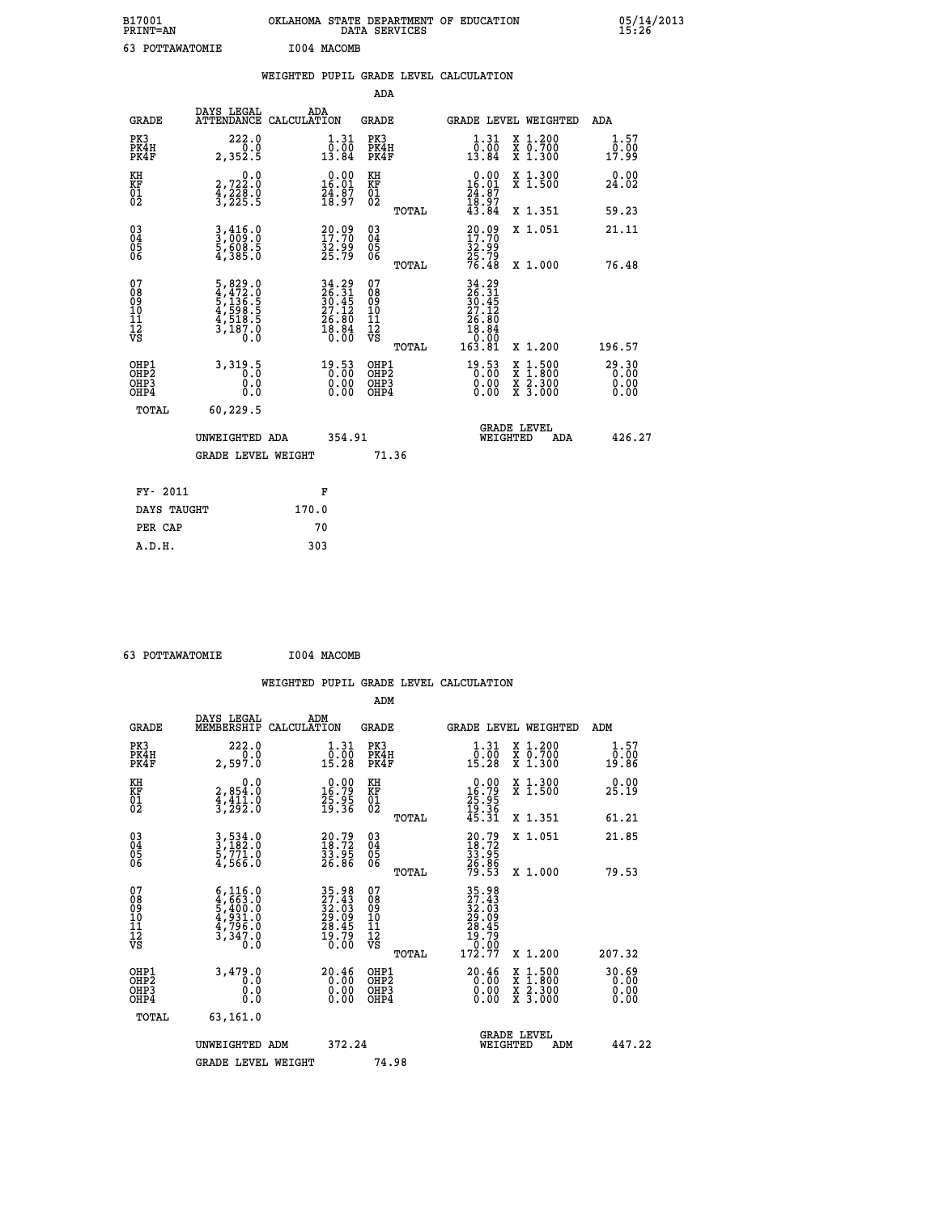| B17001<br>PRINT=AN                                       |                                                                                                                                       | OKLAHOMA STATE DEPARTMENT OF EDUCATION                                   | DATA SERVICES                          |                                                                   |                                                                                          | $05/14/2013$<br>15:26 |  |
|----------------------------------------------------------|---------------------------------------------------------------------------------------------------------------------------------------|--------------------------------------------------------------------------|----------------------------------------|-------------------------------------------------------------------|------------------------------------------------------------------------------------------|-----------------------|--|
| 63 POTTAWATOMIE                                          |                                                                                                                                       | I004 MACOMB                                                              |                                        |                                                                   |                                                                                          |                       |  |
|                                                          |                                                                                                                                       | WEIGHTED PUPIL GRADE LEVEL CALCULATION                                   |                                        |                                                                   |                                                                                          |                       |  |
|                                                          |                                                                                                                                       |                                                                          | ADA                                    |                                                                   |                                                                                          |                       |  |
| <b>GRADE</b>                                             | DAYS LEGAL                                                                                                                            | ADA<br>ATTENDANCE CALCULATION                                            | GRADE                                  | GRADE LEVEL WEIGHTED                                              |                                                                                          | ADA                   |  |
| PK3<br>PK4H<br>PK4F                                      | 222.0<br>0.0<br>2,352.5                                                                                                               | 1.31<br>$\overline{0.00}$<br>13.84                                       | PK3<br>PK4H<br>PK4F                    | 1.31<br>0.00<br>13.84                                             | X 1.200<br>X 0.700<br>X 1.300                                                            | 1.57<br>0.00<br>17.99 |  |
| KH<br>KF<br>$\overline{01}$                              | 0.0<br>2,722:0<br>4,228:0<br>3,225:5                                                                                                  | $0.00$<br>16.01<br>$\frac{24}{18}$ : $\frac{87}{97}$                     | KH<br>KF<br>01<br>02                   | $0.00$<br>16.01<br>$\frac{24}{18}$ : $\frac{87}{97}$<br>43.84     | X 1.300<br>X 1.500                                                                       | 0.00<br>24.02         |  |
|                                                          |                                                                                                                                       |                                                                          | TOTAL                                  |                                                                   | X 1.351                                                                                  | 59.23                 |  |
| $\begin{matrix} 03 \\ 04 \\ 05 \\ 06 \end{matrix}$       | $\frac{3}{2}, \frac{416}{99}$ : 0<br>5,608.5<br>4,385.0                                                                               | $\begin{smallmatrix} 20.09\ 17.70\ 32.99\ 25.79 \end{smallmatrix}$       | 03<br>04<br>05<br>06                   | 20.09<br>17.70<br>32.99<br>25.79<br>76.48                         | X 1.051                                                                                  | 21.11                 |  |
|                                                          |                                                                                                                                       |                                                                          | TOTAL                                  |                                                                   | X 1.000                                                                                  | 76.48                 |  |
| 07<br>08<br>09<br>11<br>11<br>12<br>VS                   | $\begin{smallmatrix}5\,,\,829\,.0\\4\,,\,472\,.0\\5\,,\,136\,.5\\4\,,\,598\,.5\\4\,,\,518\,.5\\3\,,\,187\,.0\\0\,.0\end{smallmatrix}$ | $34.29$<br>$26.31$<br>$30.45$<br>$27.12$<br>$26.80$<br>$18.84$<br>$0.00$ | 07<br>08<br>09<br>10<br>11<br>12<br>VS | $34.29$<br>$26.31$<br>$30.45$<br>$27.12$<br>$\frac{26.80}{18.84}$ |                                                                                          |                       |  |
| OHP1                                                     |                                                                                                                                       |                                                                          | TOTAL<br>OHP1                          | 163.81                                                            | X 1.200                                                                                  | 196.57<br>29.30       |  |
| OH <sub>P</sub> <sub>2</sub><br>OH <sub>P3</sub><br>OHP4 | 3,319.5<br>0.0<br>0.0                                                                                                                 | $19.53$<br>$0.00$<br>0.00                                                | OHP <sub>2</sub><br>OHP3<br>OHP4       | $19.53$<br>$0.00$<br>0.00<br>0.00                                 | $\begin{smallmatrix} x & 1.500 \\ x & 1.800 \\ x & 2.300 \\ x & 3.000 \end{smallmatrix}$ | 0.00<br>0.00          |  |
| TOTAL                                                    | 60,229.5                                                                                                                              |                                                                          |                                        |                                                                   |                                                                                          |                       |  |
|                                                          | UNWEIGHTED ADA                                                                                                                        | 354.91                                                                   |                                        | WEIGHTED                                                          | <b>GRADE LEVEL</b><br>ADA                                                                | 426.27                |  |
|                                                          | GRADE LEVEL WEIGHT                                                                                                                    |                                                                          | 71.36                                  |                                                                   |                                                                                          |                       |  |
| FY- 2011                                                 |                                                                                                                                       | F                                                                        |                                        |                                                                   |                                                                                          |                       |  |
| DAYS TAUGHT                                              |                                                                                                                                       | 170.0                                                                    |                                        |                                                                   |                                                                                          |                       |  |
| PER CAP                                                  |                                                                                                                                       | 70                                                                       |                                        |                                                                   |                                                                                          |                       |  |

 **63 POTTAWATOMIE I004 MACOMB**

 **WEIGHTED PUPIL GRADE LEVEL CALCULATION ADM DAYS LEGAL ADM GRADE MEMBERSHIP CALCULATION GRADE GRADE LEVEL WEIGHTED ADM PK3 222.0 1.31 PK3 1.31 X 1.200 1.57 PK4H 0.0 0.00 PK4H 0.00 X 0.700 0.00 PK4F 2,597.0 15.28 PK4F 15.28 X 1.300 19.86 KH 0.0 0.00 KH 0.00 X 1.300 0.00 KF 2,854.0 16.79 KF 16.79 X 1.500 25.19 01 4,411.0 25.95 01 25.95 02 3,292.0 19.36 02 19.36 TOTAL 45.31 X 1.351 61.21 03 3,534.0 20.79 03 20.79 X 1.051 21.85 04 3,182.0 18.72 04 18.72 05 5,771.0 33.95 05 33.95 06 4,566.0 26.86 06 26.86 TOTAL 79.53 X 1.000 79.53**  $\begin{array}{cccc} 07 & 6,116.0 & 35.98 & 07 & 35.98 \\ 08 & 4,663.0 & 27.43 & 08 & 27.43 \\ 09 & 5,640.0 & 32.03 & 09 & 22.03 \\ 10 & 4,931.0 & 29.09 & 10 & 29.09 \\ 11 & 4,796.0 & 28.45 & 11 & 28.45 \\ 12 & 3,347.0 & 29.09 & 72 & 28.45 \\ \sqrt{5} & 3,347.0 & 10.00 & \sqrt{5}$  $\begin{array}{cccc} 6,116.0 & 35.98 & 07 \\ 2,663.0 & 27.43 & 08 \\ 5,4931.0 & 32.09 & 10 \\ 4,931.0 & 28.45 & 11 \\ 3,347.0 & 28.45 & 11 \\ 3,347.0 & 28.45 & 12 \\ 3,479.0 & 0.00 & 0.00 \\ 0.0 & 0.00 & 0.00 & 0.00 \\ 0.0 & 0.00 & 0.00 & 0.00 \\ 0.0 & 0.00 & 0.00 & 0.00 \\ 0$  **OHP1 3,479.0 20.46 OHP1 20.46 X 1.500 30.69 OHP2 0.0 0.00 OHP2 0.00 X 1.800 0.00 OHP3 0.0 0.00 OHP3 0.00 X 2.300 0.00 OHP4 0.0 0.00 OHP4 0.00 X 3.000 0.00 TOTAL 63,161.0 GRADE LEVEL UNWEIGHTED ADM 372.24 WEIGHTED ADM 447.22** GRADE LEVEL WEIGHT 74.98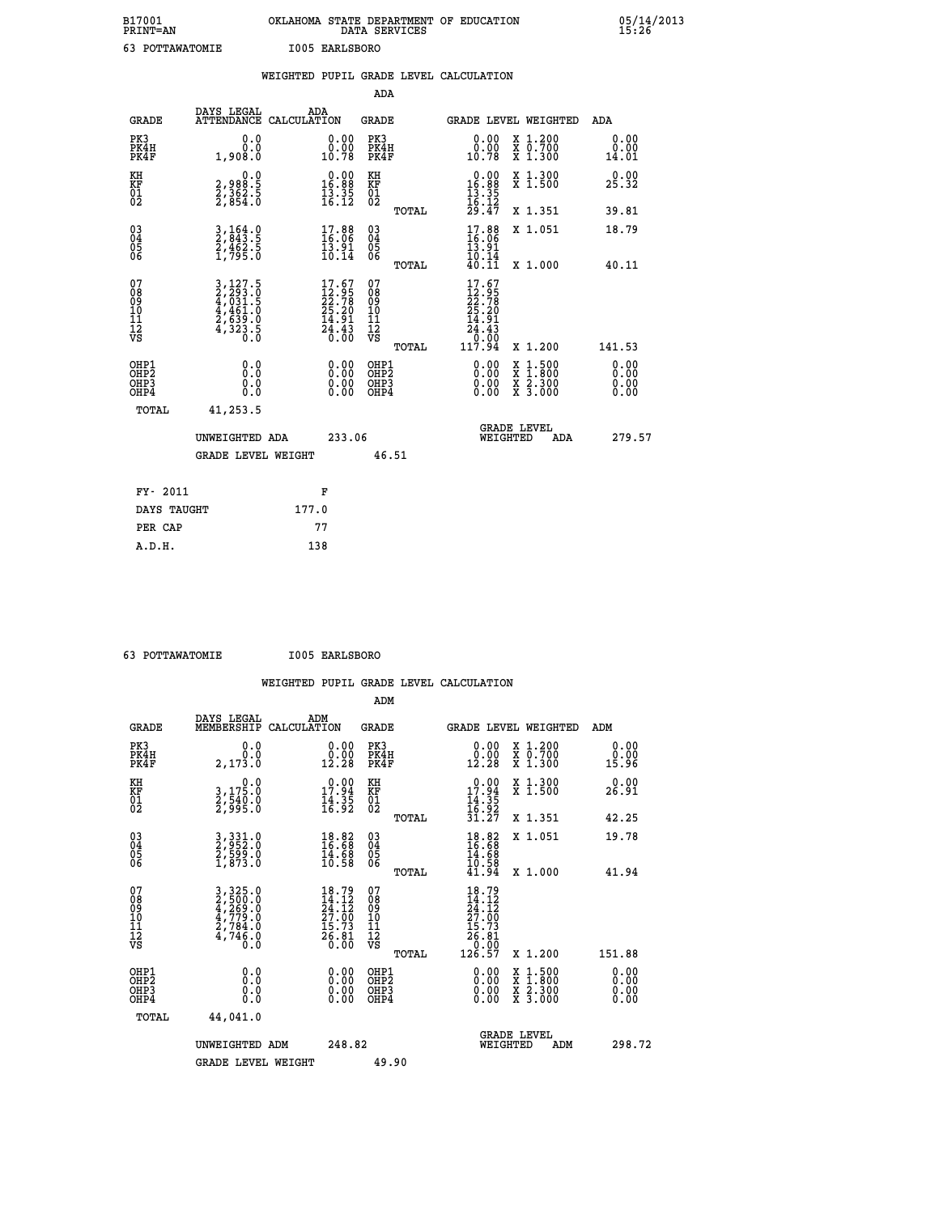| B17001<br><b>PRINT=AN</b> | OKLAHOMA STATE DEPARTMENT OF EDUCATION<br>DATA<br>SERVICES | 05/14/2013<br>15:26 |
|---------------------------|------------------------------------------------------------|---------------------|
| 63<br>POTTAWATOMIE        | I005 EARLSBORO                                             |                     |

|                                                                    |                                                                | WEIGHTED PUPIL GRADE LEVEL CALCULATION                                   |                                                 |                                                                                                    |                              |
|--------------------------------------------------------------------|----------------------------------------------------------------|--------------------------------------------------------------------------|-------------------------------------------------|----------------------------------------------------------------------------------------------------|------------------------------|
|                                                                    |                                                                |                                                                          | <b>ADA</b>                                      |                                                                                                    |                              |
| <b>GRADE</b>                                                       | DAYS LEGAL<br><b>ATTENDANCE</b>                                | ADA<br>CALCULATION                                                       | <b>GRADE</b>                                    | GRADE LEVEL WEIGHTED                                                                               | ADA                          |
| PK3<br>PK4H<br>PK4F                                                | 0.0<br>0.0<br>1,908.0                                          | $\begin{smallmatrix} 0.00\\ 0.00\\ 10.78 \end{smallmatrix}$              | PK3<br>PK4H<br>PK4F                             | 0.00<br>X 1.200<br>X 0.700<br>X 1.300<br>0.00<br>10.78                                             | 0.00<br>0.00<br>14.01        |
| KH<br>KF<br>01<br>02                                               | 0.0<br>2,988:5<br>2,362:5<br>2,854:0                           | $\begin{smallmatrix} 0.00\\ 16.88\\ 13.35\\ 16.12 \end{smallmatrix}$     | KH<br>KF<br>01<br>02                            | X 1.300<br>X 1.500<br>$\begin{array}{r} 0.00 \\ 16.88 \\ 13.35 \\ 16.12 \\ 29.47 \end{array}$      | 0.00<br>25.32                |
|                                                                    |                                                                |                                                                          | TOTAL                                           | X 1.351                                                                                            | 39.81                        |
| $\begin{smallmatrix} 03 \\[-4pt] 04 \end{smallmatrix}$<br>Ŏ5<br>06 | 3, 164.0<br>2, 843.5<br>2, 462.5<br>1, 795.0                   | $17.88$<br>16:06<br>$\frac{13.91}{10.14}$                                | $\substack{03 \\ 04}$<br>Ŏ5<br>06               | 17.88<br>X 1.051<br>$\frac{13.91}{10.14}$                                                          | 18.79                        |
|                                                                    |                                                                |                                                                          | TOTAL                                           | 40.11<br>X 1.000                                                                                   | 40.11                        |
| 07<br>08<br>09<br>101<br>112<br>VS                                 | 3,127.5<br>2,293.0<br>4,031.5<br>4,461.0<br>2,639.0<br>4,323.5 | $17.67$<br>$12.95$<br>$22.78$<br>$25.20$<br>$14.91$<br>$24.43$<br>$0.00$ | 07<br>08<br>09<br>11<br>11<br>12<br>VS<br>TOTAL | $17.67$<br>$12.95$<br>$22.78$<br>$25.20$<br>$14.91$<br>24.43<br>00:07<br>117.94<br>X 1.200         | 141.53                       |
| OHP1<br>OHP2<br>OHP3<br>OHP4                                       | 0.0<br>0.0<br>0.0                                              | 0.00<br>$\begin{smallmatrix} 0.00 \ 0.00 \end{smallmatrix}$              | OHP1<br>OHP2<br>OHP3<br>OHP4                    | 0.00<br>$1:500$<br>$1:800$<br>X<br>X<br>$\frac{\ddot{x}}{x}$ $\frac{2.300}{3.000}$<br>0.00<br>0.00 | 0.00<br>0.00<br>0.00<br>0.00 |
|                                                                    | <b>TOTAL</b><br>41,253.5                                       |                                                                          |                                                 |                                                                                                    |                              |
|                                                                    | UNWEIGHTED ADA                                                 | 233.06                                                                   |                                                 | GRADE LEVEL<br>WEIGHTED<br>ADA                                                                     | 279.57                       |
|                                                                    | <b>GRADE LEVEL WEIGHT</b>                                      |                                                                          | 46.51                                           |                                                                                                    |                              |
|                                                                    | FY- 2011                                                       | F                                                                        |                                                 |                                                                                                    |                              |
|                                                                    | DAYS TAUGHT                                                    | 177.0                                                                    |                                                 |                                                                                                    |                              |
|                                                                    | PER CAP                                                        | 77                                                                       |                                                 |                                                                                                    |                              |

 **63 POTTAWATOMIE I005 EARLSBORO**

 **A.D.H. 138**

 **WEIGHTED PUPIL GRADE LEVEL CALCULATION ADM DAYS LEGAL ADM GRADE MEMBERSHIP CALCULATION GRADE GRADE LEVEL WEIGHTED ADM PK3 0.0 0.00 PK3 0.00 X 1.200 0.00 PK4H 0.0 0.00 PK4H 0.00 X 0.700 0.00 PK4F 2,173.0 12.28 PK4F 12.28 X 1.300 15.96 KH 0.0 0.00 KH 0.00 X 1.300 0.00 KF 3,175.0 17.94 KF 17.94 X 1.500 26.91 01 2,540.0 14.35 01 14.35 02 2,995.0 16.92 02 16.92 TOTAL 31.27 X 1.351 42.25 03 3,331.0 18.82 03 18.82 X 1.051 19.78 04 2,952.0 16.68 04 16.68 05 2,599.0 14.68 05 14.68 06** 1,873.0 **10.58 06** 1,873.0  **TOTAL 41.94 X 1.000 41.94**  $\begin{array}{cccc} 07 & 3,325.0 & 18.79 & 07 & 18.79 \ 08 & 2,500.0 & 14.12 & 08 & 14.12 \ 09 & 4,269.0 & 24.12 & 09 & 24.12 \ 10 & 4,779.0 & 27.00 & 10 & 27.00 \ 11 & 2,784.0 & 15.73 & 11 & 15.73 \ \hline \textrm{vs} & 4,744.0 & 15.73 & 12 & 15.73 \ \hline \textrm{vs} & 4,746.0 &$  $\begin{array}{cccc} 18.79 & 07 & 18.79 \ 24.12 & 08 & 14.12 \ 27.00 & 10 & 27.100 \ 25.12 & 11 & 15.73 \ 27.00 & 11 & 151.88 \ 26.81 & 12 & 156.81 \ 26.81 & 12 & 156.81 \ 27.00 & 0191 & 126.57 & 12.00 \ 28.81 & 126.57 & 12.200 & 151.88 \ 0.00 & 0.00 & 0.00 & 0.00 &$  **OHP1 0.0 0.00 OHP1 0.00 X 1.500 0.00 OHP2 0.0 0.00 OHP2 0.00 X 1.800 0.00 OHP3 0.0 0.00 OHP3 0.00 X 2.300 0.00 OHP4 0.0 0.00 OHP4 0.00 X 3.000 0.00 TOTAL 44,041.0 GRADE LEVEL UNWEIGHTED ADM 248.82 WEIGHTED ADM 298.72** GRADE LEVEL WEIGHT 49.90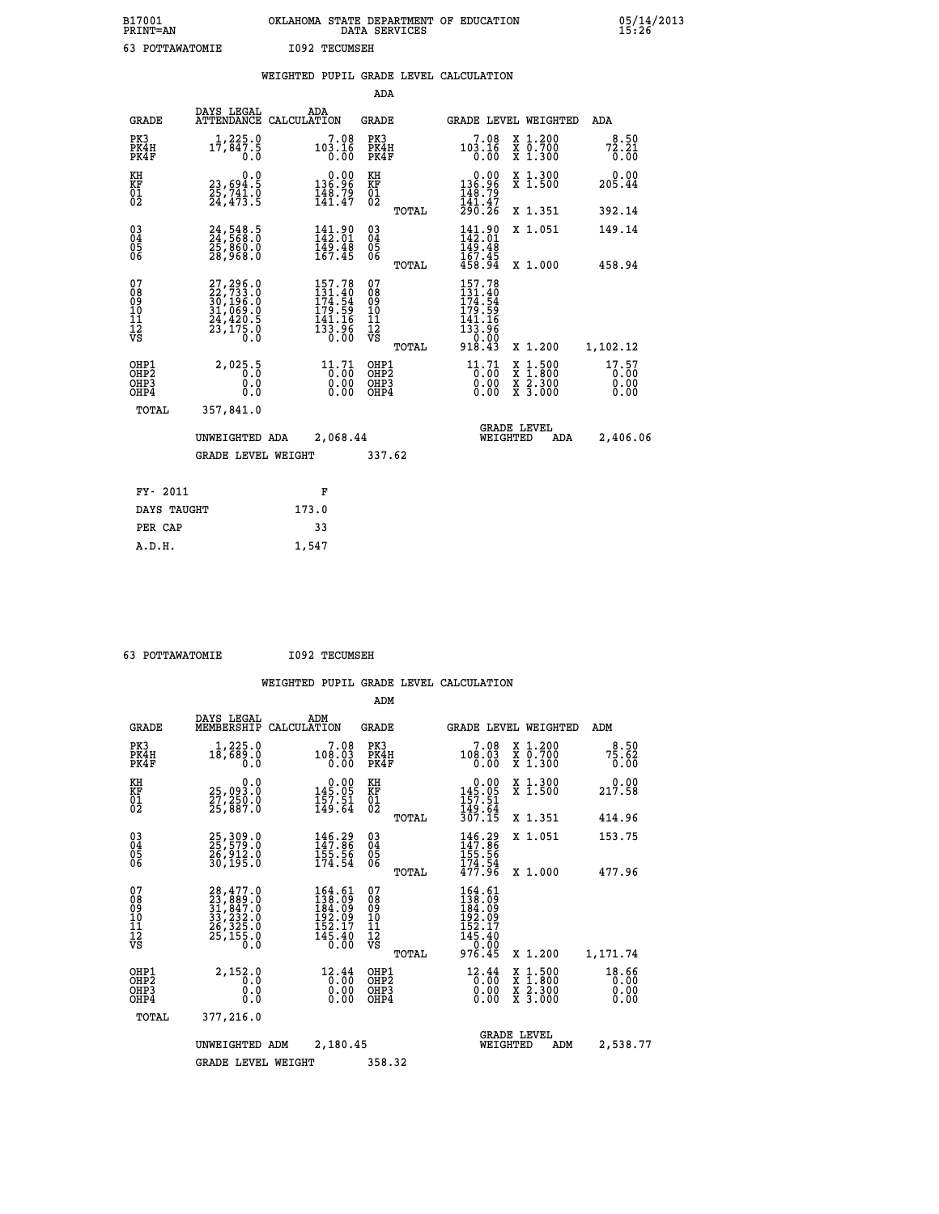| B17001<br><b>PRINT=AN</b> | OKLAHOMA STATE DEPARTMENT OF EDUCATION<br>DATA SERVICES | 05/14/2013<br>15:26 |
|---------------------------|---------------------------------------------------------|---------------------|
| POTTAWATOMIE              | 1092 TECUMSEH                                           |                     |

|  |  | WEIGHTED PUPIL GRADE LEVEL CALCULATION |
|--|--|----------------------------------------|
|  |  |                                        |

|                                                    |                                                                                           |                                                                                                     | ADA                                            |       |                                                                                                                          |                                                                                                  |                               |
|----------------------------------------------------|-------------------------------------------------------------------------------------------|-----------------------------------------------------------------------------------------------------|------------------------------------------------|-------|--------------------------------------------------------------------------------------------------------------------------|--------------------------------------------------------------------------------------------------|-------------------------------|
| <b>GRADE</b>                                       | DAYS LEGAL                                                                                | ADA<br>ATTENDANCE CALCULATION                                                                       | <b>GRADE</b>                                   |       |                                                                                                                          | GRADE LEVEL WEIGHTED                                                                             | ADA                           |
| PK3<br>PK4H<br>PK4F                                | 17,847.9<br>0.0                                                                           | $7.08$<br>103.16<br>0.00                                                                            | PK3<br>PK4H<br>PK4F                            |       | 7.08<br>$\begin{smallmatrix} 103.16 \ 0.00 \end{smallmatrix}$                                                            | X 1.200<br>X 0.700<br>X 1.300                                                                    | 8.50<br>72.21<br>0.00         |
| KH<br>KF<br>01<br>02                               | 0.0<br>23,694.5<br>25,741.0<br>24,473.5                                                   | $0.00$<br>96.96<br>$\frac{148.79}{141.47}$                                                          | KH<br>KF<br>01<br>02                           |       | $\begin{smallmatrix} &0.00\\ 136.96\\ 148.79\\ 141.47\\ 290.26\end{smallmatrix}$                                         | X 1.300<br>X 1.500                                                                               | 0.00<br>205.44                |
|                                                    |                                                                                           |                                                                                                     |                                                | TOTAL |                                                                                                                          | X 1.351                                                                                          | 392.14                        |
| $\begin{matrix} 03 \\ 04 \\ 05 \\ 06 \end{matrix}$ | 24,548.5<br>25,860.0<br>28,968.0                                                          | 141.90<br>142.01<br>$\frac{149.48}{167.45}$                                                         | $\substack{03 \\ 04}$<br>$\substack{05 \\ 06}$ |       | 141.90<br>149.48<br>167.45                                                                                               | X 1.051                                                                                          | 149.14                        |
|                                                    |                                                                                           |                                                                                                     |                                                | TOTAL | 458.94                                                                                                                   | X 1.000                                                                                          | 458.94                        |
| 07<br>08<br>09<br>10<br>11<br>12<br>VS             | $27,296.0$<br>$22,733.0$<br>$30,196.0$<br>$31,069.0$<br>$24,420.5$<br>$23,175.0$<br>$0.0$ | 157.78<br>$131.40$<br>$174.54$<br>$179.59$<br>$141.16$<br>$133.96$<br>$0.00$                        | 07<br>08<br>09<br>11<br>11<br>12<br>VS         |       | 157.78<br>$131 \cdot 400$<br>$174 \cdot 54$<br>$179 \cdot 59$<br>$141 \cdot 166$<br>$133 \cdot 96$<br>$0.00$<br>$918.43$ |                                                                                                  |                               |
|                                                    |                                                                                           |                                                                                                     |                                                | TOTAL |                                                                                                                          | X 1.200                                                                                          | 1,102.12                      |
| OHP1<br>OHP2<br>OHP3<br>OHP4                       | 2,025.5<br>0.0<br>0.0                                                                     | $\begin{smallmatrix} 11\cdot71\\[-4pt] 0\cdot00\\[-4pt] 0\cdot00\\[-4pt] 0\cdot00\end{smallmatrix}$ | OHP1<br>OHP <sub>2</sub><br>OHP3<br>OHP4       |       | $\begin{smallmatrix} 11\cdot71\\[-4pt] 0\cdot00\\[-4pt] 0\cdot00\\[-4pt] 0\cdot00\end{smallmatrix}$                      | $\begin{smallmatrix} x & 1 & 500 \\ x & 1 & 800 \\ x & 2 & 300 \\ x & 3 & 000 \end{smallmatrix}$ | 17.57<br>0.00<br>0.00<br>0.00 |
| <b>TOTAL</b>                                       | 357,841.0                                                                                 |                                                                                                     |                                                |       |                                                                                                                          |                                                                                                  |                               |
|                                                    | UNWEIGHTED ADA                                                                            | 2,068.44                                                                                            |                                                |       | WEIGHTED                                                                                                                 | <b>GRADE LEVEL</b><br>ADA                                                                        | 2,406.06                      |
|                                                    | <b>GRADE LEVEL WEIGHT</b>                                                                 |                                                                                                     | 337.62                                         |       |                                                                                                                          |                                                                                                  |                               |
| FY- 2011                                           |                                                                                           | F                                                                                                   |                                                |       |                                                                                                                          |                                                                                                  |                               |
| DAYS TAUGHT                                        |                                                                                           | 173.0                                                                                               |                                                |       |                                                                                                                          |                                                                                                  |                               |
| PER CAP                                            |                                                                                           | 33                                                                                                  |                                                |       |                                                                                                                          |                                                                                                  |                               |
|                                                    |                                                                                           |                                                                                                     |                                                |       |                                                                                                                          |                                                                                                  |                               |

 **63 POTTAWATOMIE I092 TECUMSEH**

 **A.D.H. 1,547**

|                                                       |                                                                                           |                                                                                                                | ADM                                                |                                                                            |                                                                  |                               |
|-------------------------------------------------------|-------------------------------------------------------------------------------------------|----------------------------------------------------------------------------------------------------------------|----------------------------------------------------|----------------------------------------------------------------------------|------------------------------------------------------------------|-------------------------------|
| <b>GRADE</b>                                          | DAYS LEGAL<br>MEMBERSHIP                                                                  | ADM<br>CALCULATION                                                                                             | <b>GRADE</b>                                       | <b>GRADE LEVEL WEIGHTED</b>                                                |                                                                  | ADM                           |
| PK3<br>PK4H<br>PK4F                                   | 1,225.0<br>18,689.0<br>0.0                                                                | 7.08<br>108.03<br>0.00                                                                                         | PK3<br>PK4H<br>PK4F                                | 7.08<br>108.03<br>0.00                                                     | $\begin{array}{c} x & 1.200 \\ x & 0.700 \end{array}$<br>X 1.300 | 8.50<br>75.62<br>0.00         |
| KH<br>KF<br>01<br>02                                  | 0.0<br>25,093.0<br>27,250.0<br>25,887.0                                                   | $\begin{smallmatrix} &0.00\\ 145.05\\ 157.51\\ 149.64\end{smallmatrix}$                                        | KH<br>KF<br>01<br>02                               | $0.00$<br>$145.05$<br>$157.51$<br>$149.64$<br>$307.15$                     | X 1.300<br>X 1.500                                               | 0.00<br>217.58                |
|                                                       |                                                                                           |                                                                                                                | TOTAL                                              |                                                                            | X 1.351                                                          | 414.96                        |
| 03<br>04<br>05<br>06                                  | 25, 309.0<br>25, 579.0<br>26, 912.0<br>30, 195.0                                          | 146.29<br>147.86<br>155.56<br>174.54                                                                           | $\begin{matrix} 03 \\ 04 \\ 05 \\ 06 \end{matrix}$ | 146.29<br>156.56<br>174.54<br>477.96                                       | X 1.051                                                          | 153.75                        |
|                                                       |                                                                                           |                                                                                                                | TOTAL                                              |                                                                            | X 1.000                                                          | 477.96                        |
| 07<br>08<br>09<br>101<br>112<br>VS                    | $28,477.0$<br>$23,889.0$<br>$31,847.0$<br>$33,232.0$<br>$26,325.0$<br>$25,155.0$<br>$0.0$ | 164.61<br>138.09<br>184.09<br>192.09<br>$\bar{1}\bar{5}\bar{2}\,.\,\bar{1}\bar{7} \\ 14\bar{5}\,.\,40$<br>0.00 | 07<br>08<br>09<br>101<br>11<br>12<br>VS<br>TOTAL   | 164.61<br>138.09<br>184.09<br>192.09<br>152.17<br>145.40<br>0.00<br>976.45 | X 1.200                                                          | 1,171.74                      |
| OHP1<br>OH <sub>P</sub> 2<br>OH <sub>P3</sub><br>OHP4 | 2,152.0<br>0.0<br>0.000                                                                   | 12.44<br>$\overline{0}$ :00<br>0.00<br>0.00                                                                    | OHP1<br>OHP2<br>OHP3<br>OHP4                       | $\frac{12.44}{0.00}$<br>0.00                                               | X 1:500<br>X 1:800<br>X 2:300<br>X 3:000                         | 18.66<br>0.00<br>0.00<br>0.00 |
| TOTAL                                                 | 377,216.0                                                                                 |                                                                                                                |                                                    |                                                                            |                                                                  |                               |
|                                                       | UNWEIGHTED ADM                                                                            | 2,180.45                                                                                                       |                                                    | <b>GRADE LEVEL</b><br>WEIGHTED                                             | ADM                                                              | 2,538.77                      |
|                                                       | <b>GRADE LEVEL WEIGHT</b>                                                                 |                                                                                                                | 358.32                                             |                                                                            |                                                                  |                               |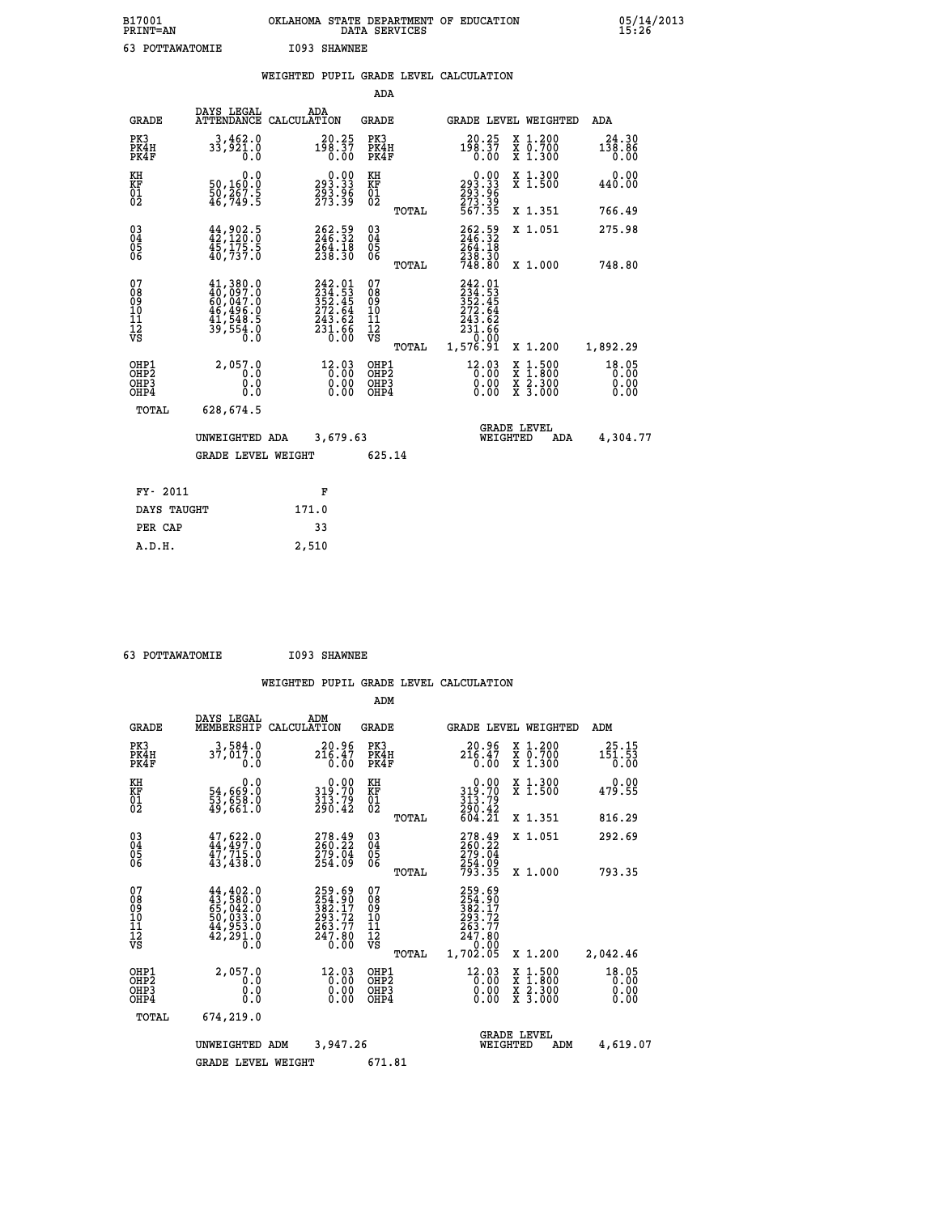| B17001<br><b>PRINT=AN</b> | OKLAHOMA STATE DEPARTMENT OF EDUCATION<br>DATA SERVICES | 05/14/2013<br>15:26 |
|---------------------------|---------------------------------------------------------|---------------------|
| 63<br>POTTAWATOMIE        | I093 SHAWNEE                                            |                     |

|  |  | WEIGHTED PUPIL GRADE LEVEL CALCULATION |
|--|--|----------------------------------------|
|  |  |                                        |

|                                                    |                                                                                                               |                                                                                | ADA                                    |       |                                                                              |                                                                     |                               |
|----------------------------------------------------|---------------------------------------------------------------------------------------------------------------|--------------------------------------------------------------------------------|----------------------------------------|-------|------------------------------------------------------------------------------|---------------------------------------------------------------------|-------------------------------|
| <b>GRADE</b>                                       | DAYS LEGAL                                                                                                    | ADA<br>ATTENDANCE CALCULATION                                                  | <b>GRADE</b>                           |       |                                                                              | GRADE LEVEL WEIGHTED                                                | <b>ADA</b>                    |
| PK3<br>PK4H<br>PK4F                                | 3,462.0<br>$3\overline{3}, \overline{5}2\overline{1}.0$                                                       | $198.37$<br>$0.00$                                                             | PK3<br>PK4H<br>PK4F                    |       | $198.37$<br>$0.00$                                                           | X 1.200<br>X 0.700<br>X 1.300                                       | 24.30<br>138.86<br>0.00       |
| KH<br>KF<br>01<br>02                               | 0.0<br>50,160:0<br>50,267.5<br>46,749:5                                                                       | 0.00<br>33.33<br>293.96<br>273.39                                              | KH<br>KF<br>01<br>02                   |       | $\begin{smallmatrix} &0.00\,293.33\,293.96\,273.39\,567.35\end{smallmatrix}$ | X 1.300<br>X 1.500                                                  | 0.00<br>440.00                |
|                                                    |                                                                                                               |                                                                                |                                        | TOTAL |                                                                              | X 1.351                                                             | 766.49                        |
| $\begin{matrix} 03 \\ 04 \\ 05 \\ 06 \end{matrix}$ | $44,902.5$<br>$42,120.0$<br>45,175.5<br>40,737.0                                                              | 262.59<br>246.32<br>264.18<br>238.30                                           | 03<br>04<br>05<br>06                   |       | 262.59<br>246.32<br>264.18<br>238.30<br>748.80                               | X 1.051                                                             | 275.98                        |
|                                                    |                                                                                                               |                                                                                |                                        | TOTAL |                                                                              | X 1.000                                                             | 748.80                        |
| 07<br>08<br>09<br>11<br>11<br>12<br>VS             | $\begin{smallmatrix} 41,380.0\\ 40,097.0\\ 60,047.0\\ 46,496.0\\ 41,548.5\\ 39,554.0\\ 0.0 \end{smallmatrix}$ | $242.01$<br>$234.53$<br>$352.45$<br>$272.64$<br>$243.62$<br>$231.66$<br>$0.00$ | 07<br>08<br>09<br>11<br>11<br>12<br>VS |       | 242.01<br>$234.53$<br>$352.45$<br>$272.64$<br>$243.62$<br>$231.66$<br>$0.00$ |                                                                     |                               |
|                                                    |                                                                                                               |                                                                                |                                        | TOTAL | 1,576.91                                                                     | X 1.200                                                             | 1,892.29                      |
| OHP1<br>OHP2<br>OHP3<br>OHP4                       | 2,057.0<br>0.0<br>0.0<br>0.0                                                                                  | $12.03$<br>$0.00$<br>0.00                                                      | OHP1<br>OHP2<br>OHP3<br>OHP4           |       | $12.03$<br>$0.00$<br>0.00<br>0.00                                            | $1.500$<br>$1.800$<br>X<br>X<br>$\frac{x}{x}$ $\frac{5.300}{3.000}$ | 18.05<br>0.00<br>0.00<br>0.00 |
| TOTAL                                              | 628,674.5                                                                                                     |                                                                                |                                        |       |                                                                              |                                                                     |                               |
|                                                    | UNWEIGHTED ADA                                                                                                | 3,679.63                                                                       |                                        |       |                                                                              | <b>GRADE LEVEL</b><br>WEIGHTED<br><b>ADA</b>                        | 4,304.77                      |
|                                                    | <b>GRADE LEVEL WEIGHT</b>                                                                                     |                                                                                | 625.14                                 |       |                                                                              |                                                                     |                               |
| FY- 2011                                           |                                                                                                               | F                                                                              |                                        |       |                                                                              |                                                                     |                               |
| DAYS TAUGHT                                        |                                                                                                               | 171.0                                                                          |                                        |       |                                                                              |                                                                     |                               |
| PER CAP                                            |                                                                                                               | 33                                                                             |                                        |       |                                                                              |                                                                     |                               |
|                                                    |                                                                                                               |                                                                                |                                        |       |                                                                              |                                                                     |                               |

 **63 POTTAWATOMIE I093 SHAWNEE**

 **A.D.H. 2,510**

|                                                       |                                                                                                                                                                                          |                                                                                               | ADM                                              |                                                                              |                                                                                                  |                               |
|-------------------------------------------------------|------------------------------------------------------------------------------------------------------------------------------------------------------------------------------------------|-----------------------------------------------------------------------------------------------|--------------------------------------------------|------------------------------------------------------------------------------|--------------------------------------------------------------------------------------------------|-------------------------------|
| <b>GRADE</b>                                          | DAYS LEGAL<br>MEMBERSHIP                                                                                                                                                                 | ADM<br>CALCULATION                                                                            | <b>GRADE</b>                                     | <b>GRADE LEVEL WEIGHTED</b>                                                  |                                                                                                  | ADM                           |
| PK3<br>PK4H<br>PK4F                                   | 3,584.0<br>37,017.0<br>0.0                                                                                                                                                               | 20.96<br>216.47<br>0.00                                                                       | PK3<br>PK4H<br>PK4F                              | 20.96<br>$2\bar{1}\bar{6}.\bar{4}\bar{7}$<br>0.00                            | X 1.200<br>X 0.700<br>X 1.300                                                                    | 25.15<br>151.53<br>0.00       |
| KH<br>KF<br>01<br>02                                  | 0.0<br>54,669:0<br>53,658:0<br>49,661:0                                                                                                                                                  | $\begin{smallmatrix} 0.00\\ 319.70\\ 313.79\\ 290.42 \end{smallmatrix}$                       | KH<br>KF<br>01<br>02                             | $319.00$<br>319.70<br>$\frac{313.79}{290.42}$<br>604.21                      | X 1.300<br>X 1.500                                                                               | 0.00<br>479.55                |
|                                                       |                                                                                                                                                                                          |                                                                                               | TOTAL                                            |                                                                              | X 1.351                                                                                          | 816.29                        |
| 03<br>04<br>05<br>06                                  | $47,622.0$<br>$44,497.0$<br>$47,715.0$<br>43,438.0                                                                                                                                       | $\begin{smallmatrix} 278\cdot 49\\ 260\cdot 22\\ 279\cdot 04\\ 254\cdot 09 \end{smallmatrix}$ | $\substack{03 \\ 04}$<br>05<br>06                | 278.49<br>260.22<br>279.04<br>254.09<br>793.35                               | X 1.051                                                                                          | 292.69                        |
|                                                       |                                                                                                                                                                                          |                                                                                               | TOTAL                                            |                                                                              | X 1.000                                                                                          | 793.35                        |
| 07<br>08<br>09<br>101<br>112<br>VS                    | $\begin{smallmatrix} 44\,, & 402\,. & 0\\ 43\,, & 580\,. & 0\\ 65\,, & 042\,. & 0\\ 50\,, & 033\,. & 0\\ 44\,, & 953\,. & 0\\ 42\,, & 291\,. & 0\\ 0\,. & 0\,. & 0\,. \end{smallmatrix}$ | 259.69<br>254.90<br>382.17<br>293.72<br>263.77<br>247.80<br>0.00                              | 07<br>08<br>09<br>101<br>11<br>12<br>VS<br>TOTAL | 259.69<br>254.90<br>382.17<br>293.72<br>263.77<br>247.80<br>0.00<br>1,702.05 | X 1.200                                                                                          | 2,042.46                      |
| OHP1<br>OH <sub>P</sub> 2<br>OH <sub>P3</sub><br>OHP4 | 2,057.0<br>0.0<br>0.000                                                                                                                                                                  | $\begin{smallmatrix} 12.03\0.00 \ 0.00 \end{smallmatrix}$<br>0.00                             | OHP1<br>OHP2<br>OHP3<br>OHP4                     | $^{12}_{0.00}$<br>$^{0.00}_{0.00}$<br>0.00                                   | $\begin{smallmatrix} x & 1 & 500 \\ x & 1 & 800 \\ x & 2 & 300 \\ x & 3 & 000 \end{smallmatrix}$ | 18.05<br>0.00<br>0.00<br>0.00 |
| TOTAL                                                 | 674,219.0                                                                                                                                                                                |                                                                                               |                                                  |                                                                              |                                                                                                  |                               |
|                                                       | UNWEIGHTED                                                                                                                                                                               | 3,947.26<br>ADM                                                                               |                                                  | <b>GRADE LEVEL</b><br>WEIGHTED                                               | ADM                                                                                              | 4,619.07                      |
|                                                       | <b>GRADE LEVEL WEIGHT</b>                                                                                                                                                                |                                                                                               | 671.81                                           |                                                                              |                                                                                                  |                               |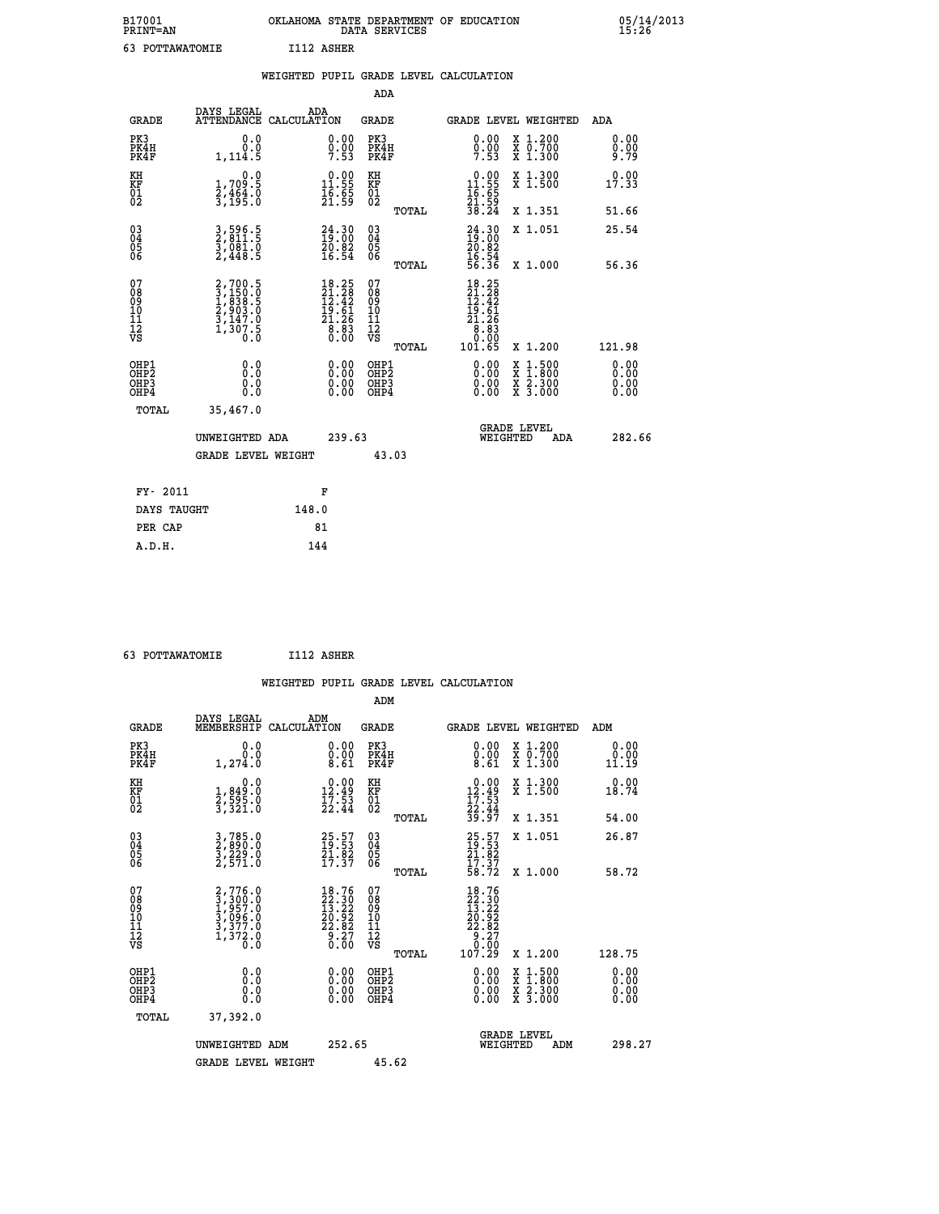| B17001<br><b>PRINT=AN</b> | OKLAHOMA STATE DEPARTMENT OF EDUCATION<br>DATA SERVICES | 05/14/2013<br>15:26 |
|---------------------------|---------------------------------------------------------|---------------------|
| 63<br>POTTAWATOMIE        | I112 ASHER                                              |                     |

|                                                                    |                                                                                     | WEIGHTED PUPIL GRADE LEVEL CALCULATION                                               |                                                     |       |                                                                                                                                                  |                                                                                                                                              |                               |
|--------------------------------------------------------------------|-------------------------------------------------------------------------------------|--------------------------------------------------------------------------------------|-----------------------------------------------------|-------|--------------------------------------------------------------------------------------------------------------------------------------------------|----------------------------------------------------------------------------------------------------------------------------------------------|-------------------------------|
|                                                                    |                                                                                     |                                                                                      | <b>ADA</b>                                          |       |                                                                                                                                                  |                                                                                                                                              |                               |
| <b>GRADE</b>                                                       | DAYS LEGAL<br><b>ATTENDANCE</b>                                                     | ADA<br>CALCULATION                                                                   | <b>GRADE</b>                                        |       |                                                                                                                                                  | GRADE LEVEL WEIGHTED                                                                                                                         | ADA                           |
| PK3<br>PK4H<br>PK4F                                                | 0.0<br>0.0<br>1,114.5                                                               | $0.00$<br>$0.00$<br>7.53                                                             | PK3<br>PK4H<br>PK4F                                 |       | 0.00<br>$0.00$<br>7.53                                                                                                                           | X 1.200<br>X 0.700<br>X 1.300                                                                                                                | 0.00<br>9:99                  |
| KH<br>KF<br>01<br>02                                               | 0.0<br>$\frac{1}{2}, \frac{709}{464}$ . 0<br>3,195. 0                               | $\begin{smallmatrix} 0.00\\ 11.55\\ 16.55\\ 21.59 \end{smallmatrix}$                 | KH<br>KF<br>01<br>02                                |       | $0.00$<br>$11.55$<br>$16.65$<br>$21.59$<br>$38.24$                                                                                               | X 1.300<br>X 1.500                                                                                                                           | 0.00<br>17.33                 |
|                                                                    |                                                                                     |                                                                                      |                                                     | TOTAL |                                                                                                                                                  | X 1.351                                                                                                                                      | 51.66                         |
| $\begin{smallmatrix} 03 \\[-4pt] 04 \end{smallmatrix}$<br>Ŏ5<br>06 | 3,596.5<br>2,811.5<br>3,081.0<br>2,448.5                                            | $\begin{smallmatrix} 24.30\19.00\20.82\16.54 \end{smallmatrix}$                      | $\begin{array}{c} 03 \\ 04 \\ 05 \\ 06 \end{array}$ |       | $24.3019.0020.8216.5456.36$                                                                                                                      | X 1.051                                                                                                                                      | 25.54                         |
|                                                                    |                                                                                     |                                                                                      |                                                     | TOTAL |                                                                                                                                                  | X 1.000                                                                                                                                      | 56.36                         |
| 07<br>0890112<br>1112<br>VS                                        | $2,700.5$<br>$3,150.0$<br>$1,838.5$<br>$2,903.0$<br>$3,147.0$<br>$1,307.5$<br>$0.0$ | $\begin{smallmatrix} 18.25\\21.28\\12.42\\19.61\\21.26\\8.83\\0.00\end{smallmatrix}$ | 07<br>08901112<br>1112<br>VS                        | TOTAL | $\begin{array}{r} 18\cdot25 \\ 21\cdot28 \\ 12\cdot42 \\ 19\cdot61 \\ 21\cdot26 \\ 21\cdot26 \\ 30\cdot80 \\ 0\cdot00 \\ 101\cdot65 \end{array}$ | X 1.200                                                                                                                                      | 121.98                        |
| OHP1<br>OHP2<br>OH <sub>P3</sub><br>OHP4                           | 0.0<br>0.0<br>0.0                                                                   | $\begin{smallmatrix} 0.00 \ 0.00 \ 0.00 \ 0.00 \end{smallmatrix}$                    | OHP1<br>OHP2<br>OHP3<br>OHP4                        |       | 0.00<br>0.00<br>0.00                                                                                                                             | $\begin{smallmatrix} \mathtt{X} & 1\cdot500 \\ \mathtt{X} & 1\cdot800 \\ \mathtt{X} & 2\cdot300 \\ \mathtt{X} & 3\cdot000 \end{smallmatrix}$ | 0.00<br>Ō. ŌŌ<br>0.00<br>0.00 |
| TOTAL                                                              | 35,467.0                                                                            |                                                                                      |                                                     |       |                                                                                                                                                  |                                                                                                                                              |                               |
|                                                                    | UNWEIGHTED ADA                                                                      | 239.63                                                                               |                                                     |       | WEIGHTED                                                                                                                                         | <b>GRADE LEVEL</b><br>ADA                                                                                                                    | 282.66                        |
|                                                                    | <b>GRADE LEVEL WEIGHT</b>                                                           |                                                                                      |                                                     | 43.03 |                                                                                                                                                  |                                                                                                                                              |                               |
| FY- 2011                                                           |                                                                                     | F                                                                                    |                                                     |       |                                                                                                                                                  |                                                                                                                                              |                               |
| DAYS TAUGHT                                                        |                                                                                     | 148.0                                                                                |                                                     |       |                                                                                                                                                  |                                                                                                                                              |                               |
| PER CAP                                                            |                                                                                     | 81                                                                                   |                                                     |       |                                                                                                                                                  |                                                                                                                                              |                               |

| 63 POTTAWATOMIE | I112 ASHER |
|-----------------|------------|
|                 |            |

|                                                      |                                                                       |                                                                                      | WEIGHTED PUPIL GRADE LEVEL CALCULATION       |                                                                                                                                                 |                                                           |                       |
|------------------------------------------------------|-----------------------------------------------------------------------|--------------------------------------------------------------------------------------|----------------------------------------------|-------------------------------------------------------------------------------------------------------------------------------------------------|-----------------------------------------------------------|-----------------------|
|                                                      |                                                                       |                                                                                      | ADM                                          |                                                                                                                                                 |                                                           |                       |
| <b>GRADE</b>                                         | DAYS LEGAL<br>MEMBERSHIP<br>CALCULATION                               | ADM                                                                                  | <b>GRADE</b>                                 | <b>GRADE LEVEL WEIGHTED</b>                                                                                                                     |                                                           | ADM                   |
| PK3<br>PK4H<br>PK4F                                  | 0.0<br>0.0<br>1,274.0                                                 | $\begin{smallmatrix} 0.00\\ 0.00\\ 8.61 \end{smallmatrix}$                           | PK3<br>PK4H<br>PK4F                          | $\begin{smallmatrix} 0.00 \\ 0.00 \\ 8.61 \end{smallmatrix}$                                                                                    | X 1.200<br>X 0.700<br>X 1.300                             | 0.00<br>0.00<br>11.19 |
| KH<br>KF<br>01<br>02                                 | 0.0<br>1,849:0<br>2,595:0<br>3,321:0                                  | $\begin{smallmatrix} 0.00\\ 12.49\\ 17.53\\ 22.44 \end{smallmatrix}$                 | KH<br>KF<br>01<br>02                         | $\begin{smallmatrix} 0.00\\ 12.49\\ 17.53\\ 22.44\\ 39.97 \end{smallmatrix}$                                                                    | X 1.300<br>X 1.500                                        | 0.00<br>18.74         |
|                                                      |                                                                       |                                                                                      | TOTAL                                        |                                                                                                                                                 | X 1.351                                                   | 54.00                 |
| $\begin{matrix} 03 \\ 04 \\ 05 \\ 06 \end{matrix}$   | 3,785.0<br>2,890.0<br>3,229.0<br>2,571.0                              | $25.57$<br>$19.53$<br>$21.82$<br>$17.37$                                             | 03<br>04<br>05<br>06                         | $25.57$<br>$19.53$<br>$21.82$<br>$17.37$<br>$58.72$                                                                                             | X 1.051                                                   | 26.87                 |
|                                                      |                                                                       |                                                                                      | TOTAL                                        |                                                                                                                                                 | X 1.000                                                   | 58.72                 |
| 07<br>08<br>09<br>01<br>11<br>11<br>12<br>VS         | 2,776.0<br>3,300.0<br>1,957.0<br>3,096.0<br>3,377.0<br>1,372.0<br>0.0 | $\begin{smallmatrix} 18.76\\22.30\\13.22\\20.92\\22.82\\6.37\\0.60\end{smallmatrix}$ | 07<br>08<br>09<br>01<br>11<br>11<br>12<br>VS | 18.76<br>$\begin{smallmatrix} 12 & 3 & 3 & 0 \ 23 & 3 & 2 & 2 \ 20 & 9 & 2 & 2 \ 22 & 8 & 2 & 2 \ 9 & 2 & 7 & 0 \ 107 & 29 & \end{smallmatrix}$ |                                                           |                       |
|                                                      |                                                                       |                                                                                      | TOTAL                                        |                                                                                                                                                 | X 1.200                                                   | 128.75                |
| OHP1<br>OHP2<br>OH <sub>P3</sub><br>OH <sub>P4</sub> | 0.0<br>$\begin{smallmatrix} 0.0 & 0 \ 0.0 & 0 \end{smallmatrix}$      | 0.00<br>$\begin{smallmatrix} 0.00 \ 0.00 \end{smallmatrix}$                          | OHP1<br>OHP2<br>OHP3<br>OHP4                 | $0.00$<br>$0.00$<br>X<br>X<br>0.00                                                                                                              | $1.500$<br>$1.800$<br>$\frac{x}{x}$ $\frac{5:300}{3:000}$ | 0.00<br>0.00<br>0.00  |
| TOTAL                                                | 37,392.0                                                              |                                                                                      |                                              |                                                                                                                                                 |                                                           |                       |
|                                                      | UNWEIGHTED<br>ADM                                                     | 252.65                                                                               |                                              | <b>GRADE LEVEL</b><br>WEIGHTED                                                                                                                  | ADM                                                       | 298.27                |
|                                                      | <b>GRADE LEVEL WEIGHT</b>                                             |                                                                                      | 45.62                                        |                                                                                                                                                 |                                                           |                       |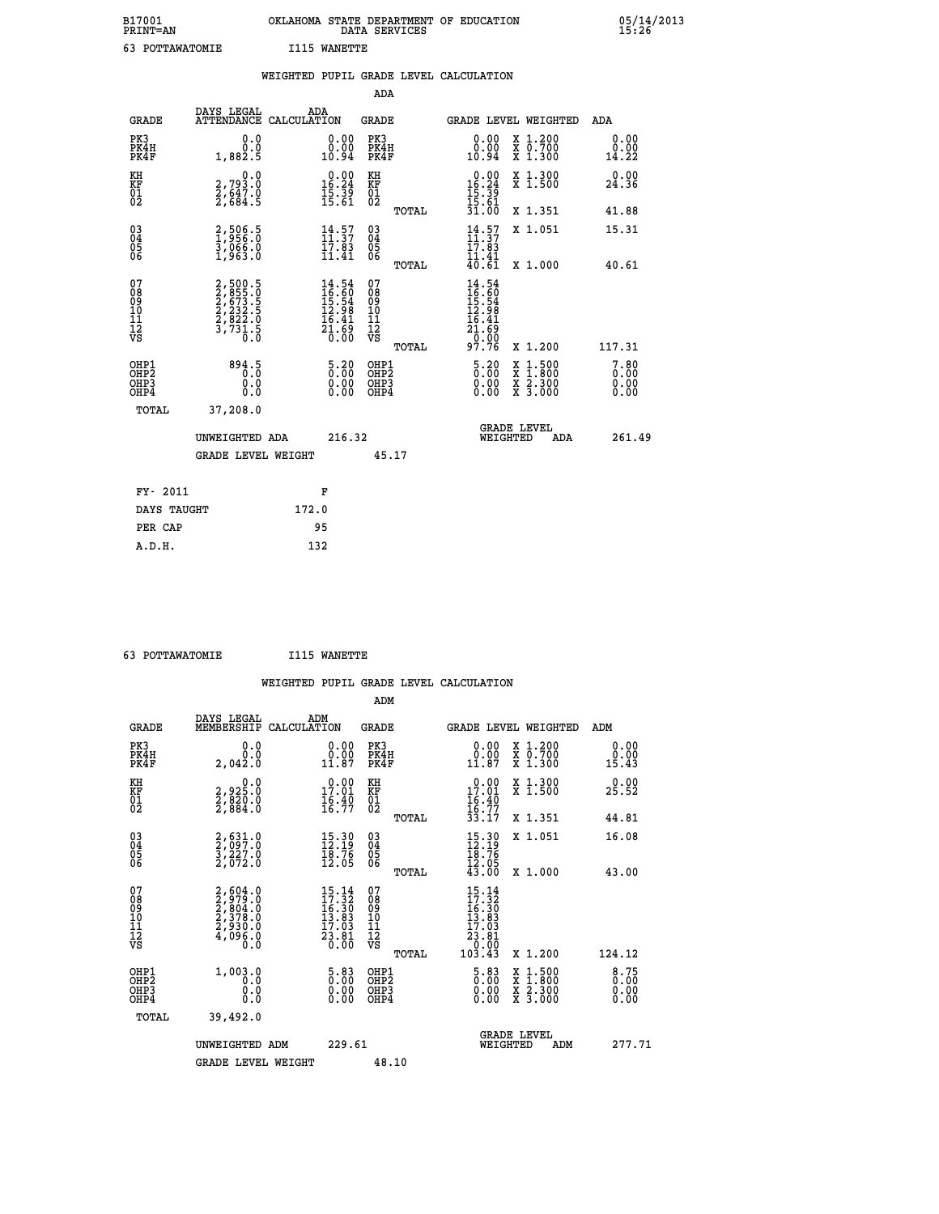| B17001<br><b>PRINT=AN</b> | OKLAHOMA STATE DEPARTMENT OF EDUCATION<br>DATA SERVICES | 05/14/2013<br>15:26 |
|---------------------------|---------------------------------------------------------|---------------------|
| POTTAWATOMIE              | WANETTE<br>I115                                         |                     |

|                                                                    |                                                                       | WEIGHTED PUPIL GRADE LEVEL CALCULATION                                   |                                                 |                                                                                               |                              |
|--------------------------------------------------------------------|-----------------------------------------------------------------------|--------------------------------------------------------------------------|-------------------------------------------------|-----------------------------------------------------------------------------------------------|------------------------------|
|                                                                    |                                                                       |                                                                          | <b>ADA</b>                                      |                                                                                               |                              |
| <b>GRADE</b>                                                       | DAYS LEGAL<br><b>ATTENDANCE</b>                                       | ADA<br>CALCULATION                                                       | <b>GRADE</b>                                    | GRADE LEVEL WEIGHTED                                                                          | ADA                          |
| PK3<br>PK4H<br>PK4F                                                | 0.0<br>0.0<br>1,882.5                                                 | $\begin{smallmatrix} 0.00\\ 0.00\\ 10.94 \end{smallmatrix}$              | PK3<br>PK4H<br>PK4F                             | 0.00<br>X 1.200<br>X 0.700<br>X 1.300<br>0.00<br>10.94                                        | 0.00<br>0.00<br>14.22        |
| KH<br>KF<br>01<br>02                                               | $\begin{smallmatrix} 0.0\\2.793.0\\2.647.0\\2.684.5\end{smallmatrix}$ | $\begin{smallmatrix} 0.00\\ 16.24\\ 15.39\\ 15.61 \end{smallmatrix}$     | KH<br>KF<br>01<br>02                            | X 1.300<br>X 1.500<br>$\begin{array}{r} 0.00 \\ 16.24 \\ 15.39 \\ 15.61 \\ 31.00 \end{array}$ | 0.00<br>24.36                |
|                                                                    |                                                                       |                                                                          | TOTAL                                           | X 1.351                                                                                       | 41.88                        |
| $\begin{smallmatrix} 03 \\[-4pt] 04 \end{smallmatrix}$<br>Ŏ5<br>06 | 2,506.5<br>3,066.0<br>1,963.0                                         | 14:57<br>$\frac{17.83}{11.41}$                                           | $\substack{03 \\ 04}$<br>Ŏ5<br>06               | $\frac{14}{11}$ : $\frac{57}{37}$<br>X 1.051<br>17.83                                         | 15.31                        |
|                                                                    |                                                                       |                                                                          | TOTAL                                           | $\frac{11}{40}. \frac{41}{61}$<br>X 1.000                                                     | 40.61                        |
| 07<br>08<br>09<br>101<br>112<br>VS                                 | 2,500.5<br>2,855.0<br>2,673.5<br>2,232.5<br>2,822.0<br>3,731.5<br>0.0 | $14.54$<br>$16.60$<br>$15.54$<br>$12.98$<br>$16.41$<br>$21.69$<br>$0.00$ | 07<br>08<br>09<br>11<br>11<br>12<br>VS<br>TOTAL | $14.54$<br>$16.60$<br>$15.54$<br>$12.98$<br>$16.41$<br>$21.69$<br>$9.96$<br>97.76<br>X 1.200  | 117.31                       |
| OHP1<br>OHP2<br>OHP3<br>OHP4                                       | 894.5<br>Ō.Ŏ<br>0.0<br>Ō.Ō                                            | $5.20$<br>$0.00$<br>$\begin{smallmatrix} 0.00 \ 0.00 \end{smallmatrix}$  | OHP1<br>OHP2<br>OHP3<br>OHP4                    | 5.20<br>$1:500$<br>1:800<br>X<br>X<br>0.00<br>X 2.300<br>X 3.000<br>0.00                      | 7.80<br>0.00<br>0.00<br>0.00 |
| <b>TOTAL</b>                                                       | 37,208.0                                                              |                                                                          |                                                 |                                                                                               |                              |
|                                                                    | UNWEIGHTED ADA                                                        | 216.32                                                                   |                                                 | <b>GRADE LEVEL</b><br>WEIGHTED                                                                | 261.49<br>ADA                |
|                                                                    | <b>GRADE LEVEL WEIGHT</b>                                             |                                                                          | 45.17                                           |                                                                                               |                              |
|                                                                    | FY- 2011                                                              | F                                                                        |                                                 |                                                                                               |                              |
|                                                                    | DAYS TAUGHT                                                           | 172.0                                                                    |                                                 |                                                                                               |                              |
|                                                                    | PER CAP                                                               | 95                                                                       |                                                 |                                                                                               |                              |

 **63 POTTAWATOMIE I115 WANETTE**

|                                                    |                                                                       | WEIGHTED PUPIL GRADE LEVEL CALCULATION                                                                                          |                                                                           |                                                                                                                                      |                                                                                                                                           |                              |
|----------------------------------------------------|-----------------------------------------------------------------------|---------------------------------------------------------------------------------------------------------------------------------|---------------------------------------------------------------------------|--------------------------------------------------------------------------------------------------------------------------------------|-------------------------------------------------------------------------------------------------------------------------------------------|------------------------------|
|                                                    |                                                                       |                                                                                                                                 | ADM                                                                       |                                                                                                                                      |                                                                                                                                           |                              |
| <b>GRADE</b>                                       | DAYS LEGAL<br>MEMBERSHIP CALCULATION                                  | ADM                                                                                                                             | <b>GRADE</b>                                                              |                                                                                                                                      | GRADE LEVEL WEIGHTED                                                                                                                      | ADM                          |
| PK3<br>PK4H<br>PK4F                                | 0.0<br>0.0<br>2.042.0                                                 | 0.00<br>0.00<br>11.87                                                                                                           | PK3<br>PK4H<br>PK4F                                                       | 0.00<br>0.00<br>11.87                                                                                                                | $\begin{smallmatrix} x & 1 & 200 \\ x & 0 & 700 \end{smallmatrix}$<br>$\overline{x}$ 1.300                                                | 0.00<br>0.00<br>15.43        |
| KH<br>KF<br>01<br>02                               | 0.0<br>2,925.0<br>2,820.0<br>2,884.0                                  | 0.00<br>17.01<br>$\frac{16.40}{16.77}$                                                                                          | KH<br>KF<br>01<br>02                                                      | 17.00<br>$\frac{16.40}{16.77}$<br>33.17                                                                                              | X 1.300<br>X 1.500                                                                                                                        | 0.00<br>25.52                |
|                                                    |                                                                       |                                                                                                                                 | TOTAL                                                                     |                                                                                                                                      | X 1.351                                                                                                                                   | 44.81                        |
| $\begin{matrix} 03 \\ 04 \\ 05 \\ 06 \end{matrix}$ | 2,631.0<br>$\frac{3}{2}, \frac{25}{072}.0$                            | $15.30$<br>$12.19$<br>$\bar{18}\cdot\bar{76}\atop 12\cdot05$                                                                    | $\begin{smallmatrix} 03 \\[-4pt] 04 \end{smallmatrix}$<br>$\frac{05}{06}$ | $\begin{array}{l} 15\cdot 30 \\ 12\cdot 19 \\ 18\cdot 76 \\ 12\cdot 05 \\ 43\cdot 00 \end{array}$                                    | X 1.051                                                                                                                                   | 16.08                        |
|                                                    |                                                                       |                                                                                                                                 | TOTAL                                                                     |                                                                                                                                      | X 1.000                                                                                                                                   | 43.00                        |
| 07<br>08<br>09<br>11<br>11<br>12<br>VS             | 2,604.0<br>2,979.0<br>2,804.0<br>2,378.0<br>2,930.0<br>4,096.0<br>Ŏ.Ŏ | $\begin{smallmatrix} 15\cdot 14\\ 17\cdot 32\\ 16\cdot 30\\ 13\cdot 83\\ 17\cdot 03\\ 23\cdot 81\\ 0\cdot 00 \end{smallmatrix}$ | 07<br>08<br>09<br>11<br>11<br>12<br>VS                                    | $\begin{array}{r} 15\cdot 14\\ 17\cdot 32\\ 16\cdot 30\\ 13\cdot 83\\ 17\cdot 03\\ 23\cdot 81\\ 0\cdot 00\\ 103\cdot 43 \end{array}$ |                                                                                                                                           |                              |
|                                                    |                                                                       |                                                                                                                                 | TOTAL                                                                     |                                                                                                                                      | X 1.200                                                                                                                                   | 124.12                       |
| OHP1<br>OH <sub>P</sub> 2<br>OHP3<br>OHP4          | 1,003.0<br>0.0<br>0.0<br>Ō.Ō                                          | $5.83$<br>$0.00$<br>0.00<br>0.00                                                                                                | OHP1<br>OHP <sub>2</sub><br>OHP3<br>OHP4                                  | $5.83$<br>$0.00$<br>0.00<br>0.00                                                                                                     | $\begin{smallmatrix} \mathtt{X} & 1\cdot500\\ \mathtt{X} & 1\cdot800\\ \mathtt{X} & 2\cdot300\\ \mathtt{X} & 3\cdot000 \end{smallmatrix}$ | 8.75<br>0.00<br>0.00<br>0.00 |
| TOTAL                                              | 39,492.0                                                              |                                                                                                                                 |                                                                           |                                                                                                                                      |                                                                                                                                           |                              |
|                                                    | UNWEIGHTED ADM                                                        | 229.61                                                                                                                          |                                                                           | WEIGHTED                                                                                                                             | <b>GRADE LEVEL</b><br>ADM                                                                                                                 | 277.71                       |
|                                                    | <b>GRADE LEVEL WEIGHT</b>                                             |                                                                                                                                 | 48.10                                                                     |                                                                                                                                      |                                                                                                                                           |                              |
|                                                    |                                                                       |                                                                                                                                 |                                                                           |                                                                                                                                      |                                                                                                                                           |                              |
|                                                    |                                                                       |                                                                                                                                 |                                                                           |                                                                                                                                      |                                                                                                                                           |                              |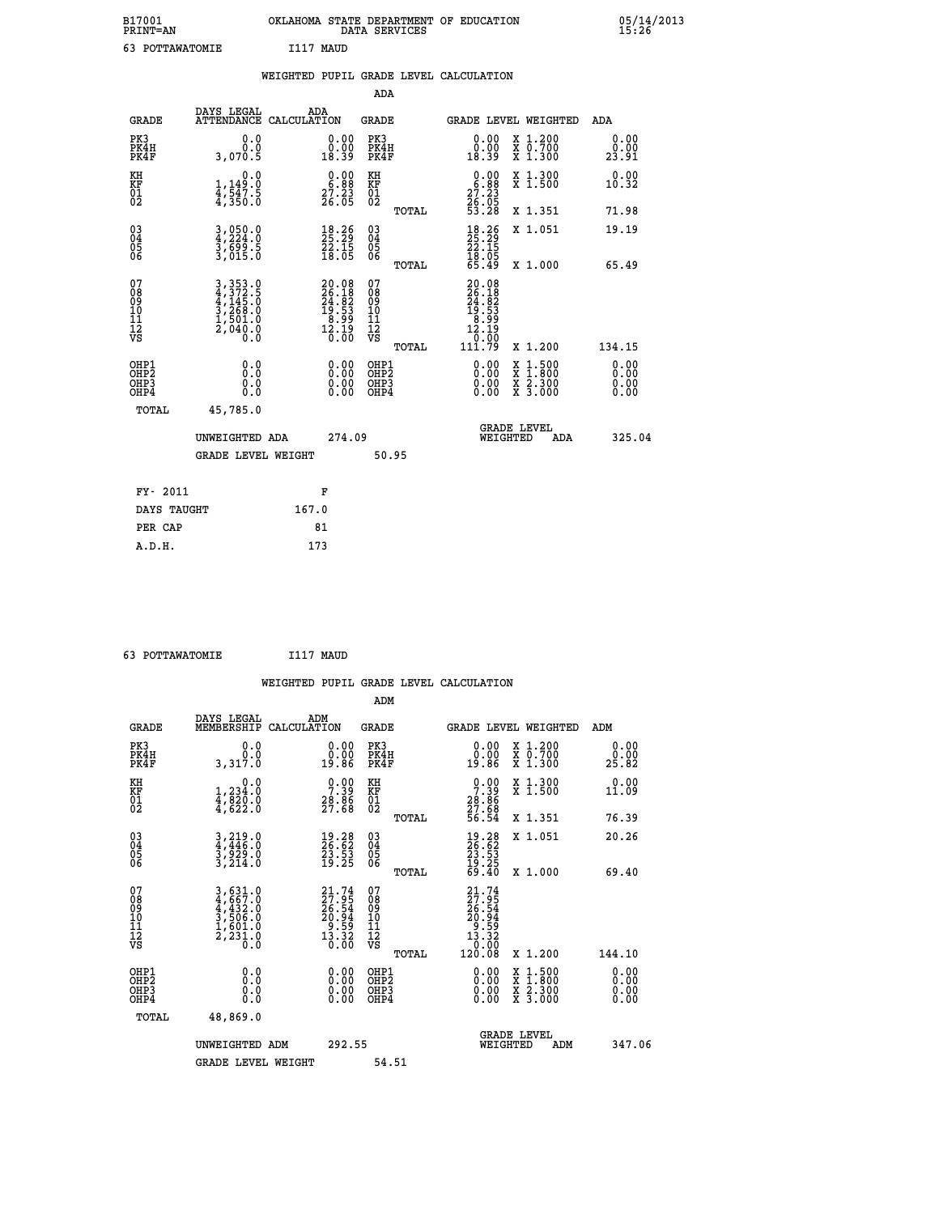| B17001<br><b>PRINT=AN</b> | OKLAHOMA STATE DEPARTMENT OF EDUCATION<br>DATA SERVICES | 05/14/2013<br>15:26 |
|---------------------------|---------------------------------------------------------|---------------------|
| POTTAWATOMIE              | I117<br>MAUD                                            |                     |

|                                              |                                                                      | WEIGHTED PUPIL GRADE LEVEL CALCULATION                                  |                                                    |       |                                                                                   |                                                                                        |                       |
|----------------------------------------------|----------------------------------------------------------------------|-------------------------------------------------------------------------|----------------------------------------------------|-------|-----------------------------------------------------------------------------------|----------------------------------------------------------------------------------------|-----------------------|
|                                              |                                                                      |                                                                         | ADA                                                |       |                                                                                   |                                                                                        |                       |
| <b>GRADE</b>                                 | DAYS LEGAL                                                           | ADA<br>ATTENDANCE CALCULATION                                           | <b>GRADE</b>                                       |       |                                                                                   | GRADE LEVEL WEIGHTED                                                                   | ADA                   |
| PK3<br>PK4H<br>PK4F                          | 0.0<br>Ō.Ō<br>3,070.5                                                | $\begin{smallmatrix} 0.00\\ 0.00\\ 18.39 \end{smallmatrix}$             | PK3<br>PK4H<br>PK4F                                |       | $\begin{smallmatrix} 0.00\\ 0.00\\ 18.39 \end{smallmatrix}$                       | X 1.200<br>X 0.700<br>X 1.300                                                          | 0.00<br>0.00<br>23.91 |
| KH<br>KF<br>01<br>02                         | 0.0<br>$\frac{1}{4}, \frac{1}{5}\frac{4}{5}, \frac{1}{5}\frac{1}{5}$ | $\begin{smallmatrix} 0.00\\ 6.88\\ 27.23\\ 26.05 \end{smallmatrix}$     | KH<br>KF<br>01<br>02                               |       | $0.00$<br>$25.23$<br>$26.05$<br>$53.28$                                           | X 1.300<br>X 1.500                                                                     | 0.00<br>10.32         |
|                                              |                                                                      |                                                                         |                                                    | TOTAL |                                                                                   | X 1.351                                                                                | 71.98                 |
| $^{03}_{04}$<br>05                           | 3,050.0<br>4,224.0<br>3,699.5<br>3,015.0                             | $\begin{smallmatrix} 18.26\\ 25.29\\ 22.15\\ 18.05 \end{smallmatrix}$   | $\begin{matrix} 03 \\ 04 \\ 05 \\ 06 \end{matrix}$ |       | $\begin{smallmatrix} 18.26 \\ 25.29 \\ 22.15 \\ 18.05 \\ 65.49 \end{smallmatrix}$ | X 1.051                                                                                | 19.19                 |
| 06                                           |                                                                      |                                                                         |                                                    | TOTAL |                                                                                   | X 1.000                                                                                | 65.49                 |
| 07<br>08<br>09<br>01<br>11<br>11<br>12<br>VS |                                                                      | $20.08$<br>$26.18$<br>$24.82$<br>$19.53$<br>$8.99$<br>$12.19$<br>$0.00$ | 0789901112<br>009011112<br>VS                      | TOTAL | 20.08<br>26.18<br>24.82<br>19.53<br>19.99<br>12.19<br>50.01<br>111.79             | X 1.200                                                                                | 134.15                |
| OHP1<br>OHP2<br>OHP3<br>OHP4                 | 0.0<br>0.0<br>0.0                                                    | $\begin{smallmatrix} 0.00 \ 0.00 \ 0.00 \ 0.00 \end{smallmatrix}$       | OHP1<br>OHP2<br>OHP <sub>3</sub>                   |       |                                                                                   | $\begin{smallmatrix} 1.500\ 1.800\ 2.300\ 3.000 \end{smallmatrix}$<br>X<br>X<br>X<br>X | 0.00<br>0.00<br>0.00  |
| TOTAL                                        | 45,785.0                                                             |                                                                         |                                                    |       |                                                                                   |                                                                                        |                       |
|                                              | UNWEIGHTED ADA                                                       | 274.09                                                                  |                                                    |       | <b>WEIGHTED</b>                                                                   | <b>GRADE LEVEL</b><br>ADA                                                              | 325.04                |
|                                              | <b>GRADE LEVEL WEIGHT</b>                                            |                                                                         |                                                    | 50.95 |                                                                                   |                                                                                        |                       |
| FY- 2011                                     |                                                                      | F                                                                       |                                                    |       |                                                                                   |                                                                                        |                       |
| DAYS TAUGHT                                  |                                                                      | 167.0                                                                   |                                                    |       |                                                                                   |                                                                                        |                       |
| PER CAP                                      |                                                                      | 81                                                                      |                                                    |       |                                                                                   |                                                                                        |                       |

| 63 POTTAWATOMIE | I117 MAUD |  |
|-----------------|-----------|--|

|                                                    |                                                                                                                                               |                    |                                                                         |                                              |       | WEIGHTED PUPIL GRADE LEVEL CALCULATION                                                                                   |                                                                                                  |        |                      |
|----------------------------------------------------|-----------------------------------------------------------------------------------------------------------------------------------------------|--------------------|-------------------------------------------------------------------------|----------------------------------------------|-------|--------------------------------------------------------------------------------------------------------------------------|--------------------------------------------------------------------------------------------------|--------|----------------------|
|                                                    |                                                                                                                                               |                    |                                                                         | ADM                                          |       |                                                                                                                          |                                                                                                  |        |                      |
| <b>GRADE</b>                                       | DAYS LEGAL<br>MEMBERSHIP                                                                                                                      | ADM<br>CALCULATION |                                                                         | <b>GRADE</b>                                 |       | <b>GRADE LEVEL WEIGHTED</b>                                                                                              |                                                                                                  | ADM    |                      |
| PK3<br>PK4H<br>PK4F                                | 0.0<br>0.0<br>3,317.0                                                                                                                         |                    | $\begin{smallmatrix} 0.00\\ 0.00\\ 19.86 \end{smallmatrix}$             | PK3<br>PK4H<br>PK4F                          |       | $\begin{smallmatrix} 0.00\\ 0.00\\ 19.86 \end{smallmatrix}$                                                              | X 1.200<br>X 0.700<br>X 1.300                                                                    | 25.82  | 0.00                 |
| KH<br>KF<br>01<br>02                               | 0.0<br>$\frac{1}{4}, \frac{234}{820}$ .0<br>$\frac{4}{4}, \frac{820}{622}$ .0                                                                 |                    | $\begin{smallmatrix} 0.00\\ 7.39\\ 28.86\\ 27.68 \end{smallmatrix}$     | KH<br>KF<br>01<br>02                         |       | $0.00$<br>$7.39$<br>$28.86$<br>$27.68$<br>$56.54$                                                                        | X 1.300<br>X 1.500                                                                               | 11.09  | 0.00                 |
|                                                    |                                                                                                                                               |                    |                                                                         |                                              | TOTAL |                                                                                                                          | X 1.351                                                                                          | 76.39  |                      |
| $\begin{matrix} 03 \\ 04 \\ 05 \\ 06 \end{matrix}$ | $3, 219.0$<br>$3, 929.0$<br>$3, 214.0$                                                                                                        |                    | 19.28<br>26.62<br>23.53<br>19.25                                        | 03<br>04<br>05<br>06                         |       | $\begin{smallmatrix} 19.28\ 26.62\ 23.53\ 19.25\ 69.40 \end{smallmatrix}$                                                | X 1.051                                                                                          | 20.26  |                      |
|                                                    |                                                                                                                                               |                    |                                                                         |                                              | TOTAL |                                                                                                                          | X 1.000                                                                                          | 69.40  |                      |
| 07<br>0890112<br>1112<br>VS                        | $\begin{smallmatrix} 3\,,\,631\,.0\\ 4\,,\,667\,.0\\ 4\,,\,432\,.0\\ 3\,,\,506\,.0\\ 1\,,\,601\,.0\\ 2\,,\,231\,.0\\ 0\,.0 \end{smallmatrix}$ |                    | $21.74$<br>$27.95$<br>$26.54$<br>$20.94$<br>$9.59$<br>$13.32$<br>$0.00$ | 07<br>08<br>09<br>09<br>10<br>11<br>12<br>VS | TOTAL | $\begin{smallmatrix} 21\cdot74\27\cdot95\426\cdot54\20\cdot94\9\cdot59\13\cdot32\0\cdot00\0\120\cdot08\end{smallmatrix}$ | $X_1.200$                                                                                        | 144.10 |                      |
| OHP1<br>OHP2<br>OHP <sub>3</sub><br>OHP4           | 0.0<br>0.000                                                                                                                                  |                    | $\begin{smallmatrix} 0.00 \ 0.00 \ 0.00 \ 0.00 \end{smallmatrix}$       | OHP1<br>OHP2<br>OHP3<br>OHP4                 |       |                                                                                                                          | $\begin{smallmatrix} x & 1 & 500 \\ x & 1 & 800 \\ x & 2 & 300 \\ x & 3 & 000 \end{smallmatrix}$ |        | 0.00<br>0.00<br>0.00 |
| TOTAL                                              | 48,869.0                                                                                                                                      |                    |                                                                         |                                              |       |                                                                                                                          |                                                                                                  |        |                      |
|                                                    | UNWEIGHTED ADM                                                                                                                                |                    | 292.55                                                                  |                                              |       | WEIGHTED                                                                                                                 | <b>GRADE LEVEL</b><br>ADM                                                                        |        | 347.06               |
|                                                    | <b>GRADE LEVEL WEIGHT</b>                                                                                                                     |                    |                                                                         | 54.51                                        |       |                                                                                                                          |                                                                                                  |        |                      |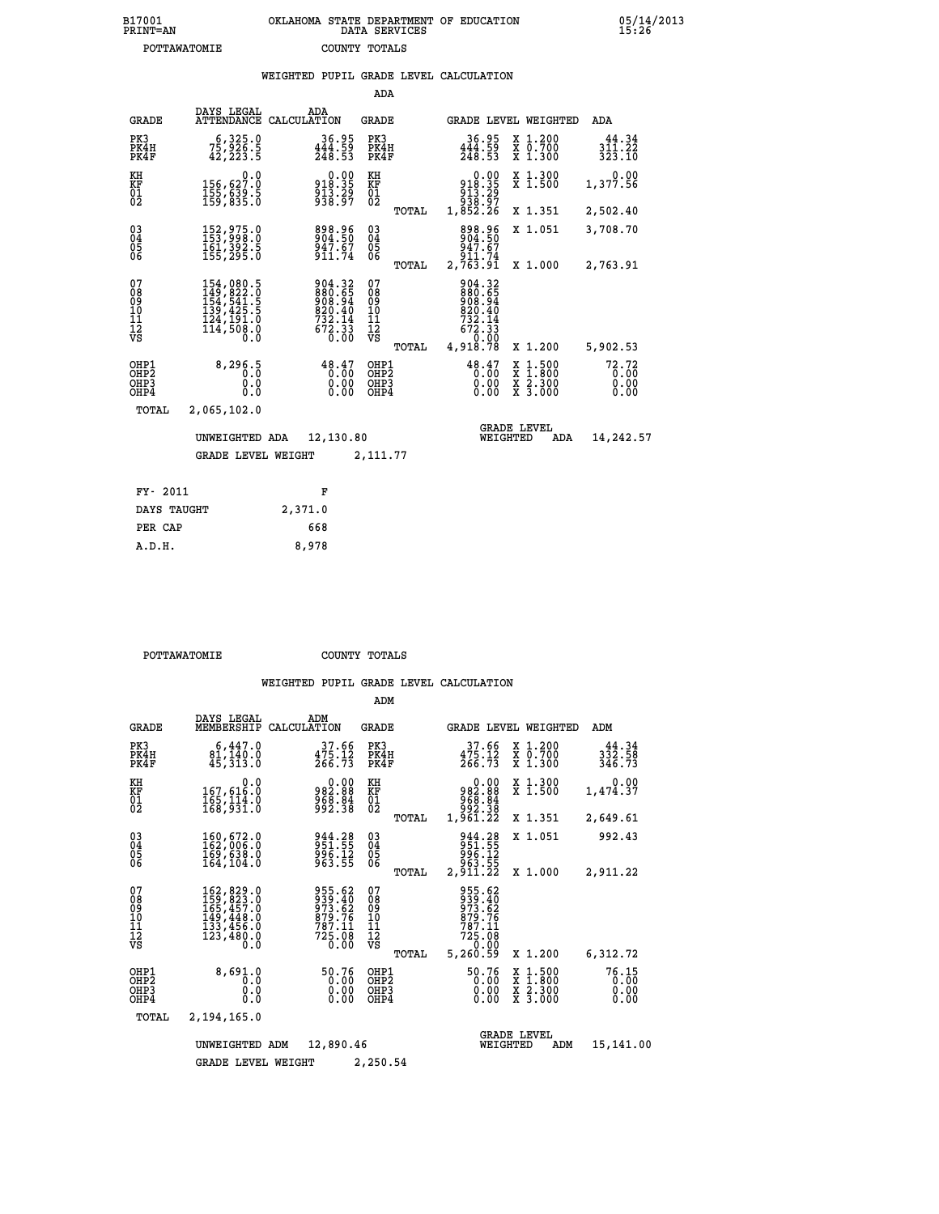| B17001<br>PRINT=AN | OKLAHOMA STATE DEPARTMENT OF EDUCATION<br>DATA SERVICES | 05/14/2013<br>15:26 |
|--------------------|---------------------------------------------------------|---------------------|
| POTTAWATOMIE       | COUNTY TOTALS                                           |                     |

|                                                                    |                                                                                                                                                                                     | WEIGHTED PUPIL GRADE LEVEL CALCULATION                                                             |                                                 |                                                                                         |                                                                                                                              |                               |
|--------------------------------------------------------------------|-------------------------------------------------------------------------------------------------------------------------------------------------------------------------------------|----------------------------------------------------------------------------------------------------|-------------------------------------------------|-----------------------------------------------------------------------------------------|------------------------------------------------------------------------------------------------------------------------------|-------------------------------|
|                                                                    |                                                                                                                                                                                     |                                                                                                    | ADA                                             |                                                                                         |                                                                                                                              |                               |
| <b>GRADE</b>                                                       | DAYS LEGAL<br><b>ATTENDANCE</b>                                                                                                                                                     | ADA<br>CALCULATION                                                                                 | GRADE                                           | GRADE LEVEL WEIGHTED                                                                    |                                                                                                                              | ADA                           |
| PK3<br>PK4H<br>PK4F                                                | 6,325.0<br>75,926.5<br>42,223.5                                                                                                                                                     | $36.95$<br>$444.59$<br>$248.53$                                                                    | PK3<br>PK4H<br>PK4F                             | $36.95$<br>$444.59$<br>$248.53$                                                         | X 1.200<br>X 0.700<br>X 1.300                                                                                                | 44.34<br>311.22<br>323.10     |
| KH<br>KF<br>01<br>02                                               | 0.0<br>156,627:0<br>155,639:5<br>159,835:0                                                                                                                                          | $\begin{array}{c} 0.00 \\ 918.35 \\ 913.29 \\ 938.97 \end{array}$                                  | KH<br>KF<br>01<br>02                            | $\begin{array}{c} 0.00 \\ 918.35 \\ 913.29 \\ 938.97 \\ 938.97 \\ 1,852.26 \end{array}$ | X 1.300<br>X 1.500                                                                                                           | 0.00<br>1,377.56              |
|                                                                    |                                                                                                                                                                                     |                                                                                                    | TOTAL                                           |                                                                                         | X 1.351                                                                                                                      | 2,502.40                      |
| $\begin{smallmatrix} 03 \\[-4pt] 04 \end{smallmatrix}$<br>05<br>06 | 152,975.0<br>153,998.0<br>161,392.5<br>155,295.0                                                                                                                                    | 898.96<br>904.50<br>947.67<br>911.74                                                               | $\substack{03 \\ 04}$<br>05<br>06               | 898.96<br>904.50<br>947.67                                                              | X 1.051                                                                                                                      | 3,708.70                      |
|                                                                    |                                                                                                                                                                                     |                                                                                                    | TOTAL                                           | 911.74<br>2,763.91                                                                      | X 1.000                                                                                                                      | 2,763.91                      |
| 07<br>08<br>09<br>10<br>11<br>12<br>VS                             | $\begin{smallmatrix} 154\,, & 080\,. & 5\\ 149\,, & 822\,. & 0\\ 154\,, & 541\,. & 5\\ 139\,, & 425\,. & 5\\ 124\,, & 191\,. & 0\\ 114\,, & 508\,. & 0\\ 0\,. & 0\end{smallmatrix}$ | $\begin{smallmatrix} 904.32\\ 880.65\\ 908.94\\ 920.40\\ 732.14\\ 672.33\\ 0.00 \end{smallmatrix}$ | 07<br>08<br>09<br>11<br>11<br>12<br>VS<br>TOTAL | 904.32<br>880.65<br>908.940<br>820.40<br>732.14<br>672.33<br>6.0.00<br>4,918.78         | X 1.200                                                                                                                      | 5,902.53                      |
| OHP1<br>OH <sub>P</sub> <sub>2</sub><br>OHP3<br>OHP4               | 8, 296.5<br>0.0<br>0.0                                                                                                                                                              | 48.47<br>0.00                                                                                      | OHP1<br>OHP <sub>2</sub><br>OHP3<br>OHP4        | 48.47<br>0.00<br>0.00                                                                   | $\frac{x}{x}$ $\frac{1.500}{1.800}$<br>$\begin{array}{c} \hat{x} & \hat{2} \cdot \tilde{3}00 \\ x & 3 \cdot 000 \end{array}$ | 72.72<br>0.00<br>0.00<br>0.00 |
| <b>TOTAL</b>                                                       | 2,065,102.0                                                                                                                                                                         |                                                                                                    |                                                 |                                                                                         |                                                                                                                              |                               |
|                                                                    | UNWEIGHTED ADA                                                                                                                                                                      | 12,130.80                                                                                          |                                                 | <b>GRADE LEVEL</b><br>WEIGHTED                                                          | ADA                                                                                                                          | 14,242.57                     |
|                                                                    | <b>GRADE LEVEL WEIGHT</b>                                                                                                                                                           |                                                                                                    | 2,111.77                                        |                                                                                         |                                                                                                                              |                               |
| FY- 2011                                                           |                                                                                                                                                                                     | F                                                                                                  |                                                 |                                                                                         |                                                                                                                              |                               |
| DAYS TAUGHT                                                        |                                                                                                                                                                                     | 2,371.0                                                                                            |                                                 |                                                                                         |                                                                                                                              |                               |
| PER CAP                                                            |                                                                                                                                                                                     | 668                                                                                                |                                                 |                                                                                         |                                                                                                                              |                               |

 **POTTAWATOMIE COUNTY TOTALS**

 **A.D.H. 8,978**

|                                           |                                                                                   |                                                                     | ADM                                              |                                                                                                                      |                                                                                                  |                               |
|-------------------------------------------|-----------------------------------------------------------------------------------|---------------------------------------------------------------------|--------------------------------------------------|----------------------------------------------------------------------------------------------------------------------|--------------------------------------------------------------------------------------------------|-------------------------------|
| <b>GRADE</b>                              | DAYS LEGAL<br>MEMBERSHIP                                                          | ADM<br>CALCULATION                                                  | <b>GRADE</b>                                     | GRADE LEVEL WEIGHTED                                                                                                 |                                                                                                  | ADM                           |
| PK3<br>PK4H<br>PK4F                       | 6,447.0<br>81,140.0<br>45, 313.0                                                  | 37.66<br>$\frac{475.12}{266.73}$                                    | PK3<br>PK4H<br>PK4F                              | 37.66<br>$\frac{475.12}{266.73}$                                                                                     | X 1.200<br>X 0.700<br>X 1.300                                                                    | 44.34<br>332.58<br>346.73     |
| KH<br>KF<br>01<br>02                      | 0.0<br>167,616.0<br>165,114.0<br>168,931.0                                        | $\begin{smallmatrix} 0.00\\982.88\\968.84\\992.38\end{smallmatrix}$ | KH<br>KF<br>01<br>02                             | 0.00<br>982.88<br>$\begin{smallmatrix} 8 & 8 & 8 & 8 & 4 \ 8 & 8 & 2 & 3 & 8 \ 1 & 9 & 6 & 1 & 22 \end{smallmatrix}$ | X 1.300<br>X 1.500                                                                               | 0.00<br>1,474.37              |
|                                           |                                                                                   |                                                                     | TOTAL                                            |                                                                                                                      | X 1.351                                                                                          | 2,649.61                      |
| 03<br>04<br>05<br>06                      | 160,672.0<br>162,006.0<br>169,638.0<br>164, 104.0                                 | 944.28<br>951.55<br>996.12<br>963.55                                | $\substack{03 \\ 04}$<br>05                      | 944.28<br>951.55<br>996.12<br>963.55                                                                                 | X 1.051                                                                                          | 992.43                        |
|                                           |                                                                                   |                                                                     | TOTAL                                            | 2,911.22                                                                                                             | X 1.000                                                                                          | 2,911.22                      |
| 07<br>08<br>09<br>11<br>11<br>12<br>VS    | 162,829.0<br>159,823.0<br>165,457.0<br>149,448.0<br>133,456.0<br>123,480.0<br>0.0 | 955.62<br>939.40<br>973.62<br>879.76<br>787.11<br>725.08<br>0.00    | 07<br>08<br>09<br>101<br>11<br>12<br>VS<br>TOTAL | 955.62<br>939:40<br>973:62<br>879.76<br>787.11<br>725.08<br>0.00<br>5,260.59                                         | X 1.200                                                                                          | 6,312.72                      |
| OHP1<br>OH <sub>P</sub> 2<br>OHP3<br>OHP4 | 8,691.0<br>0.0<br>0.0<br>Ŏ.Ŏ                                                      | 50.76<br>0.00<br>0.00<br>0.00                                       | OHP1<br>OH <sub>P</sub> 2<br>OHP3<br>OHP4        | 50.76<br>0.00<br>0.00<br>0.00                                                                                        | $\begin{smallmatrix} x & 1 & 500 \\ x & 1 & 800 \\ x & 2 & 300 \\ x & 3 & 000 \end{smallmatrix}$ | 76.15<br>0.00<br>0.00<br>0.00 |
| TOTAL                                     | 2,194,165.0                                                                       |                                                                     |                                                  |                                                                                                                      |                                                                                                  |                               |
|                                           | UNWEIGHTED ADM                                                                    | 12,890.46                                                           |                                                  | WEIGHTED                                                                                                             | <b>GRADE LEVEL</b><br>ADM                                                                        | 15,141.00                     |
|                                           | <b>GRADE LEVEL WEIGHT</b>                                                         |                                                                     | 2,250.54                                         |                                                                                                                      |                                                                                                  |                               |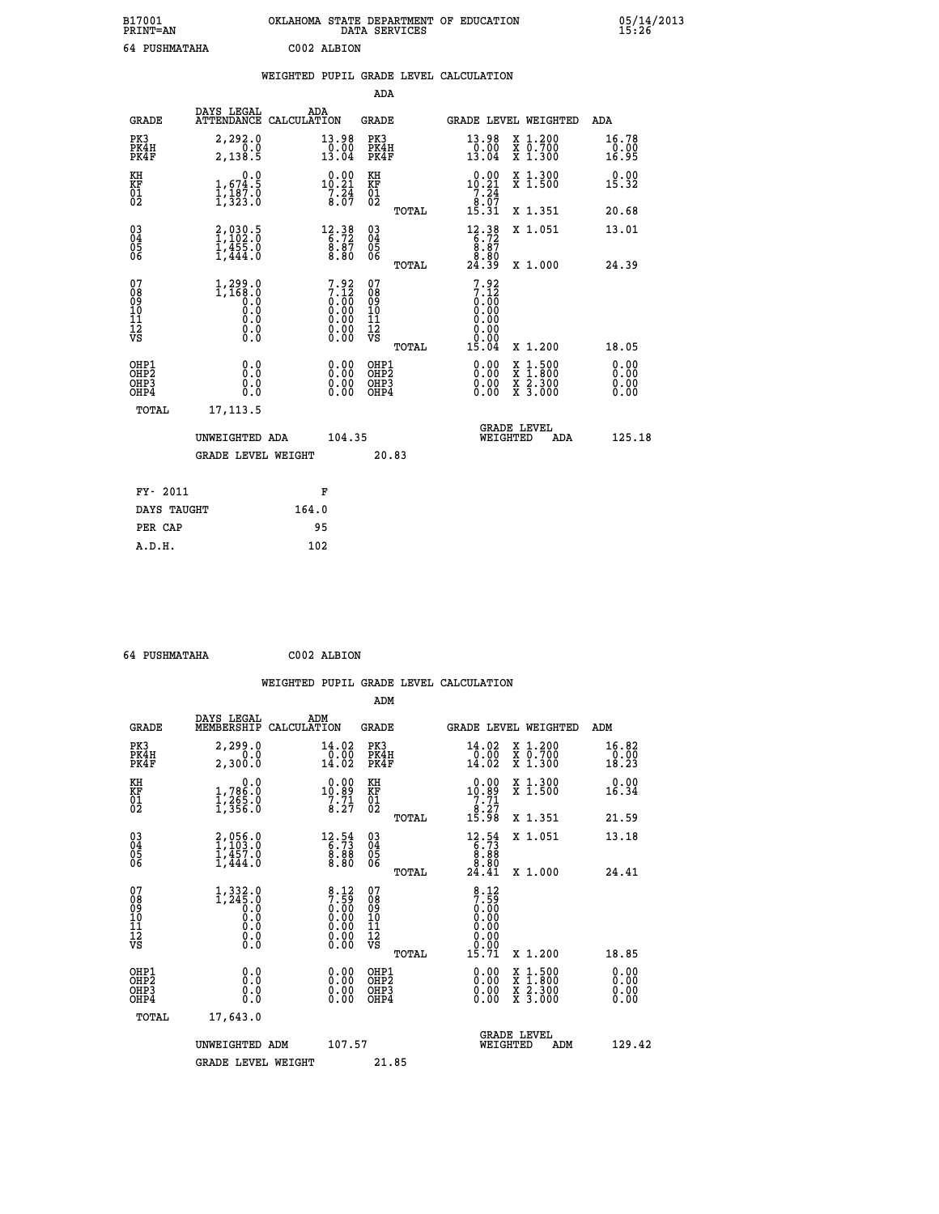| B17001<br><b>PRINT=AN</b> | OKLAHOMA STATE DEPARTMENT OF EDUCATION<br>DATA SERVICES | 05/14/2013<br>15:26 |
|---------------------------|---------------------------------------------------------|---------------------|
| 64 PUSHMATAHA             | C002 ALBION                                             |                     |

|                                                                    |                                                  |                                                                                                        |                                                 | WEIGHTED PUPIL GRADE LEVEL CALCULATION                              |                                                |                              |
|--------------------------------------------------------------------|--------------------------------------------------|--------------------------------------------------------------------------------------------------------|-------------------------------------------------|---------------------------------------------------------------------|------------------------------------------------|------------------------------|
|                                                                    |                                                  |                                                                                                        | ADA                                             |                                                                     |                                                |                              |
| <b>GRADE</b>                                                       | DAYS LEGAL                                       | ADA<br>ATTENDANCE CALCULATION                                                                          | <b>GRADE</b>                                    | GRADE LEVEL WEIGHTED                                                |                                                | ADA                          |
| PK3<br>PK4H<br>PK4F                                                | 2,292.0<br>0.0<br>2,138.5                        | $\begin{array}{c} 13\cdot 98 \\ 0\cdot 00 \\ 13\cdot 04 \end{array}$                                   | PK3<br>PK4H<br>PK4F                             | 13.98<br>$\frac{10.00}{13.04}$                                      | X 1.200<br>X 0.700<br>X 1.300                  | 16.78<br>0.00<br>16.95       |
| KH<br>KF<br>01<br>02                                               | 0.0<br>$1,674.5$<br>$1,187.0$<br>$1,323.0$       | $\begin{smallmatrix} 0.00\\10.21\\7.24\\8.07 \end{smallmatrix}$                                        | KH<br>KF<br>01<br>02                            | 0.00<br>$10.21$<br>$7.24$<br>$8.07$<br>$15.31$                      | X 1.300<br>X 1.500                             | 0.00<br>15.32                |
|                                                                    |                                                  |                                                                                                        | TOTAL                                           |                                                                     | X 1.351                                        | 20.68                        |
| $\begin{smallmatrix} 03 \\[-4pt] 04 \end{smallmatrix}$<br>Ŏ5<br>ŎĞ | 2,030.5<br>$\frac{1}{4}$ , $\frac{455}{444}$ , 0 | $12.38$<br>6.72<br>$\frac{8.87}{8.80}$                                                                 | $03\overline{4}$<br>05<br>06                    | $12.38$<br>$6.72$<br>$8.87$<br>$8.80$                               | X 1.051                                        | 13.01                        |
|                                                                    |                                                  |                                                                                                        | TOTAL                                           | 24.39                                                               | X 1.000                                        | 24.39                        |
| 07<br>08<br>09<br>101<br>112<br>VS                                 | 1,299.0<br>1,168.0<br>0.0<br>0.0<br>Ŏ.Ŏ<br>$\S.$ | $7.92$<br>$7.12$<br>$0.00$<br>$0.00$<br>$0.00$<br>$\begin{smallmatrix} 0.00 \\ 0.00 \end{smallmatrix}$ | 07<br>08<br>09<br>11<br>11<br>12<br>VS<br>TOTAL | $7.92$<br>$7.12$<br>$0.00$<br>0.00<br>0.00<br>0.00<br>0.00<br>15.04 | X 1.200                                        | 18.05                        |
| OHP1<br>OHP2<br>OHP3<br>OHP4                                       | 0.0<br>0.0<br>0.0                                | 0.00<br>$\begin{smallmatrix} 0.00 \ 0.00 \end{smallmatrix}$                                            | OHP1<br>OHP2<br>OHP3<br>OHP4                    | 0.00<br>0.00<br>0.00                                                | X 1:500<br>$\frac{x}{x}$ $\frac{2.300}{3.000}$ | 0.00<br>0.00<br>0.00<br>0.00 |
| <b>TOTAL</b>                                                       | 17, 113.5                                        |                                                                                                        |                                                 |                                                                     |                                                |                              |
|                                                                    | UNWEIGHTED ADA                                   | 104.35                                                                                                 |                                                 | <b>GRADE LEVEL</b><br>WEIGHTED                                      | ADA                                            | 125.18                       |
|                                                                    | <b>GRADE LEVEL WEIGHT</b>                        |                                                                                                        | 20.83                                           |                                                                     |                                                |                              |
| FY- 2011                                                           |                                                  | F                                                                                                      |                                                 |                                                                     |                                                |                              |
|                                                                    | DAYS TAUGHT                                      | 164.0                                                                                                  |                                                 |                                                                     |                                                |                              |
| PER CAP                                                            |                                                  | 95                                                                                                     |                                                 |                                                                     |                                                |                              |

 **64 PUSHMATAHA C002 ALBION**

 **A.D.H. 102**

| <b>GRADE</b>                                       | DAYS LEGAL<br>MEMBERSHIP                                                                              | ADM<br>CALCULATION                                                                          | <b>GRADE</b>                                       |       | GRADE LEVEL WEIGHTED                                                                                                                                                                                                                                                           |          |                                          | ADM                                 |  |
|----------------------------------------------------|-------------------------------------------------------------------------------------------------------|---------------------------------------------------------------------------------------------|----------------------------------------------------|-------|--------------------------------------------------------------------------------------------------------------------------------------------------------------------------------------------------------------------------------------------------------------------------------|----------|------------------------------------------|-------------------------------------|--|
| PK3<br>PK4H<br>PK4F                                | 2,299.0<br>2,300.0                                                                                    | 14.02<br>$\begin{array}{r} \n\phantom{0}0.00 \\ \phantom{0}14.02\n\end{array}$              | PK3<br>PK4H<br>PK4F                                |       | 14.02<br>$\frac{0.00}{14.02}$                                                                                                                                                                                                                                                  |          | X 1.200<br>X 0.700<br>X 1.300            | $\substack{16.82 \\ 0.00 \\ 18.23}$ |  |
| KH<br>KF<br>01<br>02                               | 0.0<br>1,786:0<br>1,265:0<br>1,356:0                                                                  | $\begin{array}{c} 0.00 \\ 10.89 \\ 7.71 \\ 8.27 \end{array}$                                | KH<br>KF<br>01<br>02                               |       | $\begin{array}{r} 0.00 \\ 10.89 \\ 7.71 \\ 8.27 \\ 15.98 \end{array}$                                                                                                                                                                                                          |          | X 1.300<br>X 1.500                       | 0.00<br>16.34                       |  |
|                                                    |                                                                                                       |                                                                                             |                                                    | TOTAL |                                                                                                                                                                                                                                                                                |          | X 1.351                                  | 21.59                               |  |
| $\begin{matrix} 03 \\ 04 \\ 05 \\ 06 \end{matrix}$ | $2,056.0$<br>$1,103.0$<br>$1,457.0$<br>$1,444.0$                                                      | $\begin{smallmatrix} 12\cdot\,54\\ 6\cdot\,73\\ 8\cdot\,88\\ 8\cdot\,80 \end{smallmatrix}$  | $\begin{matrix} 03 \\ 04 \\ 05 \\ 06 \end{matrix}$ |       | $\begin{smallmatrix} 12\cdot\frac{54}{7} \\ 6\cdot\frac{73}{8} \\ 8\cdot\frac{88}{80} \\ 24\cdot\frac{41}{41} \end{smallmatrix}$                                                                                                                                               |          | X 1.051                                  | 13.18                               |  |
|                                                    |                                                                                                       |                                                                                             |                                                    | TOTAL |                                                                                                                                                                                                                                                                                |          | X 1.000                                  | 24.41                               |  |
| 07<br>089<br>090<br>1112<br>VS                     | $\begin{smallmatrix} 1,332.0\\ 1,245.0\\ 0.0\\ 0.0\\ 0.0\\ 0.0\\ 0.0\\ 0.0\\ 0.0\\ \end{smallmatrix}$ | $\begin{array}{c} 8.12 \\ 7.59 \\ 0.00 \\ 0.00 \\ 0.00 \\ 0.00 \\ 0.00 \\ 0.00 \end{array}$ | 07<br>08901112<br>1112<br>VS                       | TOTAL | $\begin{array}{c} 8\cdot 12 \\ 7\cdot 59 \\ 0\cdot 00 \\ 0\cdot 00 \\ 0\cdot 00 \\ 0\cdot 00 \\ 0\cdot 00 \\ 15\cdot 71 \end{array}$                                                                                                                                           |          | X 1.200                                  | 18.85                               |  |
|                                                    |                                                                                                       |                                                                                             |                                                    |       |                                                                                                                                                                                                                                                                                |          |                                          |                                     |  |
| OHP1<br>OHP2<br>OH <sub>P3</sub><br>OHP4           | 0.0<br>0.000                                                                                          |                                                                                             | OHP1<br>OHP2<br>OHP3<br>OHP4                       |       | $\begin{smallmatrix} 0.00 & 0.00 & 0.00 & 0.00 & 0.00 & 0.00 & 0.00 & 0.00 & 0.00 & 0.00 & 0.00 & 0.00 & 0.00 & 0.00 & 0.00 & 0.00 & 0.00 & 0.00 & 0.00 & 0.00 & 0.00 & 0.00 & 0.00 & 0.00 & 0.00 & 0.00 & 0.00 & 0.00 & 0.00 & 0.00 & 0.00 & 0.00 & 0.00 & 0.00 & 0.00 & 0.0$ |          | X 1:500<br>X 1:800<br>X 2:300<br>X 3:000 | 0.00<br>0.00<br>0.00                |  |
| TOTAL                                              | 17,643.0                                                                                              |                                                                                             |                                                    |       |                                                                                                                                                                                                                                                                                |          |                                          |                                     |  |
|                                                    | UNWEIGHTED                                                                                            | 107.57<br>ADM                                                                               |                                                    |       |                                                                                                                                                                                                                                                                                | WEIGHTED | <b>GRADE LEVEL</b><br>ADM                | 129.42                              |  |
|                                                    | <b>GRADE LEVEL WEIGHT</b>                                                                             |                                                                                             | 21.85                                              |       |                                                                                                                                                                                                                                                                                |          |                                          |                                     |  |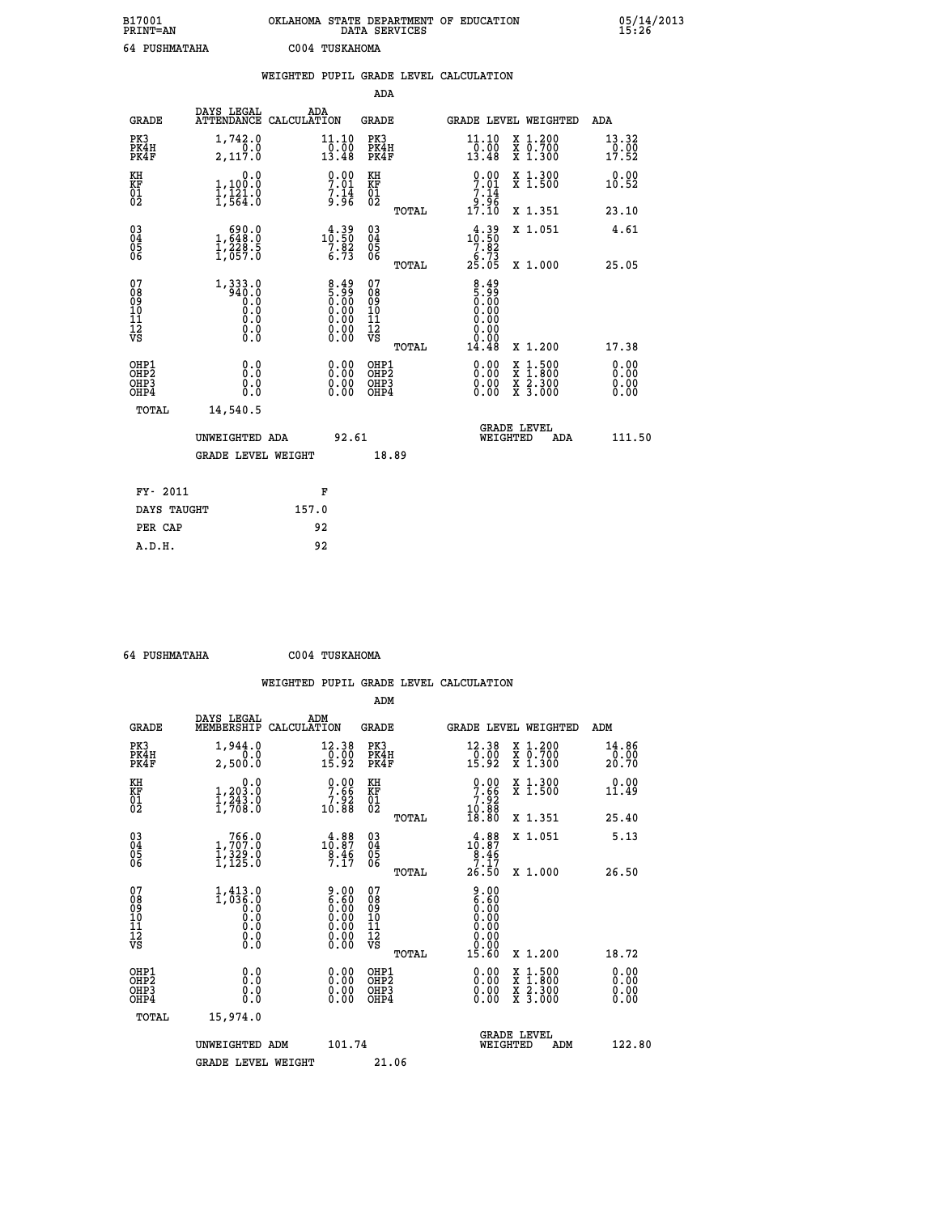| B17001<br>PRINT=AN                                   |                                                                                | OKLAHOMA STATE DEPARTMENT OF EDUCATION                                             | DATA SERVICES                                      |                                                                             |                                                                                                  | $05/14/2013$<br>15:26        |  |
|------------------------------------------------------|--------------------------------------------------------------------------------|------------------------------------------------------------------------------------|----------------------------------------------------|-----------------------------------------------------------------------------|--------------------------------------------------------------------------------------------------|------------------------------|--|
| 64 PUSHMATAHA                                        |                                                                                | C004 TUSKAHOMA                                                                     |                                                    |                                                                             |                                                                                                  |                              |  |
|                                                      |                                                                                | WEIGHTED PUPIL GRADE LEVEL CALCULATION                                             |                                                    |                                                                             |                                                                                                  |                              |  |
|                                                      |                                                                                |                                                                                    | ADA                                                |                                                                             |                                                                                                  |                              |  |
| <b>GRADE</b>                                         | DAYS LEGAL                                                                     | ADA<br>ATTENDANCE CALCULATION                                                      | <b>GRADE</b>                                       | GRADE LEVEL WEIGHTED                                                        |                                                                                                  | ADA                          |  |
| PK3<br>PK4H<br>PK4F                                  | 1,742.0<br>0.0<br>2,117.0                                                      | 11.10<br>0.00<br>13.48                                                             | PK3<br>PK4H<br>PK4F                                | $\substack{11\cdot 10\\0\cdot 00\\13\cdot 48}$                              | X 1.200<br>X 0.700<br>X 1.300                                                                    | 13.32<br>0.00<br>17.52       |  |
| KH<br>KF<br>01<br>02                                 | 0.0<br>1,100.0<br>$\frac{1}{1}, \frac{1}{5}$ $\frac{2}{4}$ $\cdot \frac{0}{0}$ | $\begin{array}{c} 0.00 \\ 7.01 \\ 7.14 \\ 9.96 \end{array}$                        | KH<br>KF<br>$^{01}_{02}$                           | $\frac{0.00}{7.01}$<br>$\begin{array}{c} 7.14 \\ 9.96 \\ 17.10 \end{array}$ | X 1.300<br>X 1.500                                                                               | 0.00<br>10.52                |  |
|                                                      |                                                                                |                                                                                    | TOTAL                                              |                                                                             | X 1.351                                                                                          | 23.10                        |  |
| $\begin{matrix} 03 \\ 04 \\ 05 \\ 06 \end{matrix}$   | $\begin{smallmatrix} 690.0\\ 1,648.0\\ 1,228.5\\ 1,657.0 \end{smallmatrix}$    | $\begin{smallmatrix} 4\cdot 39\\10\cdot 50\\7\cdot 82\\6\cdot 73\end{smallmatrix}$ | $\begin{matrix} 03 \\ 04 \\ 05 \\ 06 \end{matrix}$ | $10.39$<br>$10.50$<br>7.82<br>$2\overline{5}\cdot 7\overline{3}$<br>25.05   | X 1.051                                                                                          | 4.61                         |  |
|                                                      |                                                                                |                                                                                    | TOTAL                                              |                                                                             | X 1.000                                                                                          | 25.05                        |  |
| 0789011128                                           | 1,333.0<br>940.0<br>$0.\overline{0}$<br>0.0<br>0.0<br>$\S.$                    | $\frac{8.49}{5.99}$                                                                | 07<br>08<br>09<br>10<br>11<br>12<br>VS<br>TOTAL    | $\frac{8.49}{5.99}$<br>0.00<br>0.00<br>0.00<br>0.00<br>14.48                | X 1.200                                                                                          | 17.38                        |  |
| OHP1<br>OHP <sub>2</sub><br>OH <sub>P3</sub><br>OHP4 | 0.0<br>Ŏ.Ŏ<br>0.0<br>0.0                                                       | 0.00<br>0.00<br>0.00                                                               | OHP1<br>OH <sub>P</sub> 2<br>OHP3<br>OHP4          | 0.00<br>0.00<br>0.00                                                        | $\begin{smallmatrix} x & 1 & 500 \\ x & 1 & 800 \\ x & 2 & 300 \\ x & 3 & 000 \end{smallmatrix}$ | 0.00<br>0.00<br>0.00<br>0.00 |  |
| TOTAL                                                | 14,540.5                                                                       |                                                                                    |                                                    |                                                                             |                                                                                                  |                              |  |
|                                                      | UNWEIGHTED ADA                                                                 | 92.61                                                                              |                                                    | <b>GRADE LEVEL</b><br>WEIGHTED                                              | ADA                                                                                              | 111.50                       |  |
|                                                      | <b>GRADE LEVEL WEIGHT</b>                                                      |                                                                                    | 18.89                                              |                                                                             |                                                                                                  |                              |  |
| FY- 2011                                             |                                                                                | F                                                                                  |                                                    |                                                                             |                                                                                                  |                              |  |
| DAYS TAUGHT                                          |                                                                                | 157.0                                                                              |                                                    |                                                                             |                                                                                                  |                              |  |
| PER CAP                                              |                                                                                | 92                                                                                 |                                                    |                                                                             |                                                                                                  |                              |  |

| 64 PUSHMATAHA | C004 TUSKAHOMA |
|---------------|----------------|

 **ADM**

| <b>GRADE</b>                                       | DAYS LEGAL<br>MEMBERSHIP CALCULATION                                                     | ADM                                                                                           | <b>GRADE</b>                                       |       |                                                                      | GRADE LEVEL WEIGHTED                                                                                                | ADM                    |        |
|----------------------------------------------------|------------------------------------------------------------------------------------------|-----------------------------------------------------------------------------------------------|----------------------------------------------------|-------|----------------------------------------------------------------------|---------------------------------------------------------------------------------------------------------------------|------------------------|--------|
| PK3<br>PK4H<br>PK4F                                | 1,944.0<br>0.0<br>2,500.0                                                                | 12.38<br>$\frac{0.00}{15.92}$                                                                 | PK3<br>PK4H<br>PK4F                                |       | 12.38<br>$\frac{1}{15}$ . $\frac{5}{9}$                              | X 1.200<br>X 0.700<br>X 1.300                                                                                       | 14.86<br>0.00<br>20.70 |        |
| KH<br>KF<br>01<br>02                               | 0.0<br>$1,203.0$<br>$1,243.0$<br>$1,708.0$                                               | $\begin{smallmatrix} 0.00\\ 7.66\\ 7.92\\ 10.88 \end{smallmatrix}$                            | KH<br>KF<br>01<br>02                               |       | $\begin{smallmatrix}0.00\\7.66\\7.92\\10.88\\18.80\end{smallmatrix}$ | X 1.300<br>X 1.500                                                                                                  | 0.00<br>11.49          |        |
|                                                    |                                                                                          |                                                                                               |                                                    | TOTAL |                                                                      | X 1.351                                                                                                             | 25.40                  |        |
| $\begin{matrix} 03 \\ 04 \\ 05 \\ 06 \end{matrix}$ | $\begin{smallmatrix} & 766.0\\ 1,707.0\\ 1,329.0\\ 1,125.0 \end{smallmatrix}$            | $\begin{smallmatrix} 4.88\\10.87\\8.46\\7.17 \end{smallmatrix}$                               | $\begin{matrix} 03 \\ 04 \\ 05 \\ 06 \end{matrix}$ |       | $10.87$<br>$8.46$<br>$7.17$                                          | X 1.051                                                                                                             | 5.13                   |        |
|                                                    |                                                                                          |                                                                                               |                                                    | TOTAL | 26.50                                                                | X 1.000                                                                                                             | 26.50                  |        |
| 07<br>08<br>09<br>101<br>11<br>12<br>VS            | $1,413.0$<br>$1,036.0$<br>$\begin{smallmatrix} 0.10 \ 0.0 \ 0.0 \ 0.0 \end{smallmatrix}$ | $\begin{smallmatrix} 9.00\ 6.60\ 0.00\ 0.00\ 0.00\ 0.00\ 0.00\ 0.00\ 0.00\ \end{smallmatrix}$ | 078<br>089<br>0011<br>11<br>12<br>VS               |       | 9.00<br>6.60                                                         |                                                                                                                     |                        |        |
|                                                    |                                                                                          |                                                                                               |                                                    | TOTAL | 15.60                                                                | X 1.200                                                                                                             | 18.72                  |        |
| OHP1<br>OHP2<br>OHP3<br>OHP4                       | 0.0<br>0.000                                                                             | $0.00$<br>$0.00$<br>0.00                                                                      | OHP1<br>OHP2<br>OHP3<br>OHP4                       |       | $0.00$<br>$0.00$<br>0.00                                             | $\begin{array}{l} \mathtt{X} & 1.500 \\ \mathtt{X} & 1.800 \\ \mathtt{X} & 2.300 \\ \mathtt{X} & 3.000 \end{array}$ | 0.00<br>0.00<br>0.00   |        |
| TOTAL                                              | 15,974.0                                                                                 |                                                                                               |                                                    |       |                                                                      |                                                                                                                     |                        |        |
|                                                    | UNWEIGHTED                                                                               | 101.74<br>ADM                                                                                 |                                                    |       | WEIGHTED                                                             | <b>GRADE LEVEL</b><br>ADM                                                                                           |                        | 122.80 |
|                                                    | <b>GRADE LEVEL WEIGHT</b>                                                                |                                                                                               | 21.06                                              |       |                                                                      |                                                                                                                     |                        |        |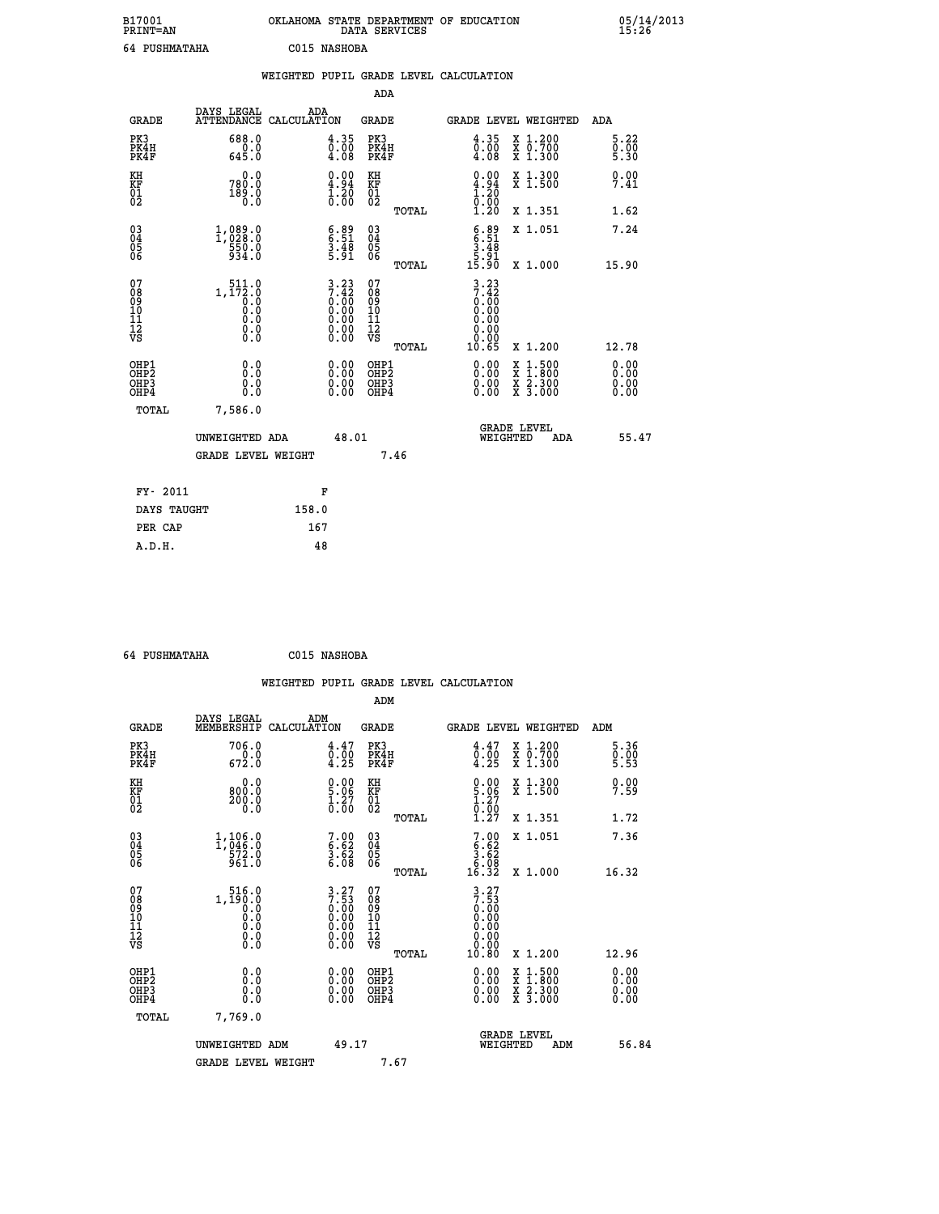| B17001<br><b>PRINT=AN</b> |              | OKLAHOMA STATE DEPARTMENT OF EDUCATION<br>DATA SERVICES |  |
|---------------------------|--------------|---------------------------------------------------------|--|
| 64 PUSHMATAHA             | C015 NASHOBA |                                                         |  |

05/14/2013<br>15:26

|                                           |              |                                         | WEIGHTED PUPIL GRADE LEVEL CALCULATION |                                                                                       |                                                     |       |                                                                      |                                |                                                |                              |
|-------------------------------------------|--------------|-----------------------------------------|----------------------------------------|---------------------------------------------------------------------------------------|-----------------------------------------------------|-------|----------------------------------------------------------------------|--------------------------------|------------------------------------------------|------------------------------|
|                                           |              |                                         |                                        |                                                                                       | ADA                                                 |       |                                                                      |                                |                                                |                              |
|                                           | <b>GRADE</b> | DAYS LEGAL<br>ATTENDANCE CALCULATION    | ADA                                    |                                                                                       | <b>GRADE</b>                                        |       |                                                                      |                                | GRADE LEVEL WEIGHTED                           | ADA                          |
| PK3<br>PK4H<br>PK4F                       |              | 688.0<br>645.0                          |                                        | 4.35<br>$\begin{smallmatrix} \bar{0} \ \bar{0} & 0 \ 4 & 08 \end{smallmatrix}$        | PK3<br>PK4H<br>PK4F                                 |       | $\frac{4.35}{0.00}$<br>4.08                                          |                                | X 1.200<br>X 0.700<br>X 1.300                  | 5.22<br>0.00<br>5.30         |
| KH<br><b>KF</b><br>01<br>02               |              | 0.0<br>780.0<br>189.0                   |                                        | $\begin{smallmatrix} 0.00\ 4.94\ 1.20\ 0.00 \end{smallmatrix}$                        | KH<br>KF<br>01<br>02                                |       | $\begin{smallmatrix} 0.00\ 4.94\ 1.20\ 0.00\ 1.20 \end{smallmatrix}$ |                                | X 1.300<br>X 1.500                             | 0.00<br>7.41                 |
|                                           |              |                                         |                                        |                                                                                       |                                                     | TOTAL |                                                                      |                                | X 1.351                                        | 1.62                         |
| 03<br>04<br>05<br>06                      |              | 1,089.0<br>550.0<br>934.0               |                                        | $\begin{smallmatrix} 6.89\ 6.51\ 3.48\ 5.91\ \end{smallmatrix}$                       | $\begin{array}{c} 03 \\ 04 \\ 05 \\ 06 \end{array}$ |       | $6.89$<br>$6.51$<br>$3.48$<br>$5.91$                                 |                                | X 1.051                                        | 7.24                         |
|                                           |              |                                         |                                        |                                                                                       |                                                     | TOTAL | 15.90                                                                |                                | X 1.000                                        | 15.90                        |
| 07<br>08<br>09<br>101<br>112<br>VS        |              | 511.0<br>1,172.0<br>0.0<br>Ŏ.Ŏ<br>$\S.$ |                                        | $\begin{smallmatrix} 3.23\\7.42\\0.00\\0.00\\0.00\\0.00\\0.00\\0.00\end{smallmatrix}$ | 07<br>08<br>09<br>101<br>11<br>12<br>VS             | TOTAL | 3.23<br>7.42<br>0.00<br>0.00<br>0.00<br>0.00<br>0.00<br>10.65        |                                | X 1.200                                        | 12.78                        |
| OHP1<br>OH <sub>P</sub> 2<br>OHP3<br>OHP4 |              | 0.0<br>0.0<br>0.0                       |                                        | 0.00<br>$0.00$<br>0.00                                                                | OHP1<br>OHP2<br>OHP3<br>OHP4                        |       | 0.00<br>0.00<br>0.00                                                 |                                | X 1:500<br>$\frac{x}{x}$ $\frac{5:300}{3:000}$ | 0.00<br>0.00<br>0.00<br>0.00 |
|                                           | <b>TOTAL</b> | 7,586.0<br>UNWEIGHTED ADA               |                                        | 48.01                                                                                 |                                                     |       |                                                                      | <b>GRADE LEVEL</b><br>WEIGHTED | ADA                                            | 55.47                        |
|                                           |              | <b>GRADE LEVEL WEIGHT</b>               |                                        |                                                                                       |                                                     | 7.46  |                                                                      |                                |                                                |                              |
|                                           | FY- 2011     |                                         |                                        | F                                                                                     |                                                     |       |                                                                      |                                |                                                |                              |
|                                           | DAYS TAUGHT  |                                         | 158.0                                  |                                                                                       |                                                     |       |                                                                      |                                |                                                |                              |
|                                           | PER CAP      |                                         | 167                                    |                                                                                       |                                                     |       |                                                                      |                                |                                                |                              |

 **64 PUSHMATAHA C015 NASHOBA**

|                                                    |                                                                                                                                                |                    |                                                                                                                                             |                                               |       | WEIGHTED PUPIL GRADE LEVEL CALCULATION                                                                                                                                                                                                                                         |                                                                                                  |                      |  |
|----------------------------------------------------|------------------------------------------------------------------------------------------------------------------------------------------------|--------------------|---------------------------------------------------------------------------------------------------------------------------------------------|-----------------------------------------------|-------|--------------------------------------------------------------------------------------------------------------------------------------------------------------------------------------------------------------------------------------------------------------------------------|--------------------------------------------------------------------------------------------------|----------------------|--|
|                                                    |                                                                                                                                                |                    |                                                                                                                                             | ADM                                           |       |                                                                                                                                                                                                                                                                                |                                                                                                  |                      |  |
| <b>GRADE</b>                                       | DAYS LEGAL<br>MEMBERSHIP                                                                                                                       | ADM<br>CALCULATION |                                                                                                                                             | <b>GRADE</b>                                  |       | <b>GRADE LEVEL WEIGHTED</b>                                                                                                                                                                                                                                                    |                                                                                                  | ADM                  |  |
| PK3<br>PK4H<br>PK4F                                | 706.0<br>$\begin{array}{c} 0.0 \\ 672.0 \end{array}$                                                                                           |                    | $\begin{smallmatrix} 4\cdot 47\0\cdot 00\0\cdot 4\cdot 25 \end{smallmatrix}$                                                                | PK3<br>PK4H<br>PK4F                           |       | $\begin{smallmatrix} 4\cdot 47\0\cdot 00\4\cdot 25 \end{smallmatrix}$                                                                                                                                                                                                          | X 1.200<br>X 0.700<br>X 1.300                                                                    | 5.36<br>0.00<br>5.53 |  |
| KH<br>KF<br>01<br>02                               | 0.0<br>800.0<br>200.0<br>0.0                                                                                                                   |                    | $\begin{smallmatrix} 0.00\ 5.06\ 1.27\ 0.00 \end{smallmatrix}$                                                                              | KH<br>KF<br>01<br>02                          |       | $\begin{smallmatrix} 0.00\\ 5.06\\ 1.27\\ 0.00\\ 1.27 \end{smallmatrix}$                                                                                                                                                                                                       | X 1.300<br>X 1.500                                                                               | 0.00<br>7.59         |  |
|                                                    |                                                                                                                                                |                    |                                                                                                                                             |                                               | TOTAL |                                                                                                                                                                                                                                                                                | X 1.351                                                                                          | 1.72                 |  |
| $\begin{matrix} 03 \\ 04 \\ 05 \\ 06 \end{matrix}$ | $1,106.0$<br>$572.0$<br>$572.0$<br>961.0                                                                                                       |                    | $7.00$<br>$6.62$<br>$3.62$<br>$6.08$                                                                                                        | 03<br>04<br>05<br>06                          |       | $7.82$<br>$3.62$<br>$3.62$<br>$6.98$<br>$16.32$                                                                                                                                                                                                                                | X 1.051                                                                                          | 7.36                 |  |
|                                                    |                                                                                                                                                |                    |                                                                                                                                             |                                               | TOTAL |                                                                                                                                                                                                                                                                                | X 1.000                                                                                          | 16.32                |  |
| 07<br>0890112<br>1112<br>VS                        | $1, \begin{smallmatrix} 516.0 \\ 190.0 \\ 0.0 \\ 0.0 \end{smallmatrix}$<br>$\begin{smallmatrix} 0.0 & 0 \ 0.0 & 0 \ 0.0 & 0 \end{smallmatrix}$ |                    | $\begin{array}{c} 3 \cdot 27 \\ 7 \cdot 53 \\ 0 \cdot 00 \\ 0 \cdot 00 \\ 0 \cdot 00 \\ 0 \cdot 00 \\ 0 \cdot 00 \\ 0 \cdot 00 \end{array}$ | 07<br>08<br>09<br>001<br>11<br>11<br>12<br>VS | TOTAL | $3.27$<br>$7.53$<br>0.00<br>0.00<br>0.00<br>0.00<br>10.80                                                                                                                                                                                                                      | $X_1.200$                                                                                        | 12.96                |  |
| OHP1<br>OHP2<br>OH <sub>P3</sub><br>OHP4           | 0.0<br>0.000                                                                                                                                   |                    | $\begin{smallmatrix} 0.00 \ 0.00 \ 0.00 \ 0.00 \end{smallmatrix}$                                                                           | OHP1<br>OHP2<br>OHP3<br>OHP4                  |       | $\begin{smallmatrix} 0.00 & 0.00 & 0.00 & 0.00 & 0.00 & 0.00 & 0.00 & 0.00 & 0.00 & 0.00 & 0.00 & 0.00 & 0.00 & 0.00 & 0.00 & 0.00 & 0.00 & 0.00 & 0.00 & 0.00 & 0.00 & 0.00 & 0.00 & 0.00 & 0.00 & 0.00 & 0.00 & 0.00 & 0.00 & 0.00 & 0.00 & 0.00 & 0.00 & 0.00 & 0.00 & 0.0$ | $\begin{smallmatrix} x & 1 & 500 \\ x & 1 & 800 \\ x & 2 & 300 \\ x & 3 & 000 \end{smallmatrix}$ | 0.00<br>0.00<br>0.00 |  |
| TOTAL                                              | 7,769.0                                                                                                                                        |                    |                                                                                                                                             |                                               |       |                                                                                                                                                                                                                                                                                |                                                                                                  |                      |  |
|                                                    | UNWEIGHTED ADM                                                                                                                                 |                    | 49.17                                                                                                                                       |                                               |       | <b>GRADE LEVEL</b><br>WEIGHTED                                                                                                                                                                                                                                                 | ADM                                                                                              | 56.84                |  |
|                                                    | <b>GRADE LEVEL WEIGHT</b>                                                                                                                      |                    |                                                                                                                                             |                                               | 7.67  |                                                                                                                                                                                                                                                                                |                                                                                                  |                      |  |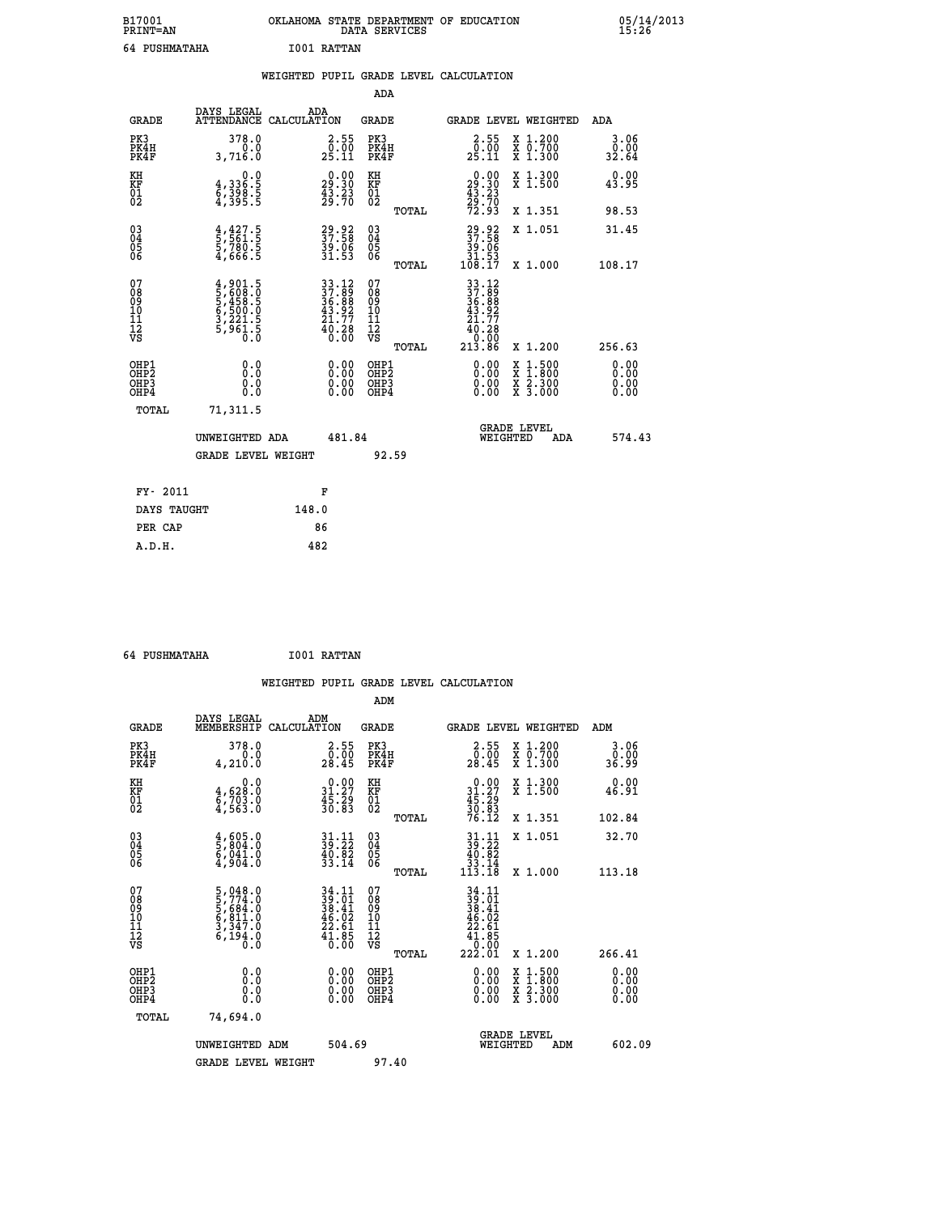| B17001<br><b>PRINT=AN</b> | OKLAHOMA STATE DEPARTMENT OF EDUCATION<br>DATA SERVICES | 05/14/2013<br>15:26 |
|---------------------------|---------------------------------------------------------|---------------------|
| 64 PUSHMATAHA             | 1001 RATTAN                                             |                     |

|  |  | WEIGHTED PUPIL GRADE LEVEL CALCULATION |
|--|--|----------------------------------------|
|  |  |                                        |

|                                                    |                                                                             |                                                                                           |                                                                   | ADA                                       |       |                                                                                                                                        |        |                                          |                              |
|----------------------------------------------------|-----------------------------------------------------------------------------|-------------------------------------------------------------------------------------------|-------------------------------------------------------------------|-------------------------------------------|-------|----------------------------------------------------------------------------------------------------------------------------------------|--------|------------------------------------------|------------------------------|
| <b>GRADE</b>                                       | DAYS LEGAL<br><b>ATTENDANCE</b>                                             | ADA<br>CALCULATION                                                                        |                                                                   | <b>GRADE</b>                              |       |                                                                                                                                        |        | GRADE LEVEL WEIGHTED                     | <b>ADA</b>                   |
| PK3<br>PK4H<br>PK4F                                | 378.0<br>3,716.0                                                            |                                                                                           | $\begin{smallmatrix} 2.55\\ 0.50\\ 25.11 \end{smallmatrix}$       | PK3<br>PK4H<br>PK4F                       |       | $\begin{smallmatrix} 2.55\0.00\25.11\ \end{smallmatrix}$                                                                               |        | X 1.200<br>X 0.700<br>X 1.300            | 3.06<br>ŏ:ŏŏ<br>32.64        |
| KH<br>KF<br>01<br>02                               | 0.0<br>4,336:5<br>6,398:5<br>4,395:5                                        |                                                                                           | $\begin{smallmatrix} 0.00\\29.30\\43.23\\29.70 \end{smallmatrix}$ | KH<br>KF<br>01<br>02                      |       | $\begin{smallmatrix} 0.00\\29.30\\43.23\\29.70\\72.93 \end{smallmatrix}$                                                               |        | X 1.300<br>X 1.500                       | 0.00<br>43.95                |
|                                                    |                                                                             |                                                                                           |                                                                   |                                           | TOTAL |                                                                                                                                        |        | X 1.351                                  | 98.53                        |
| $\begin{matrix} 03 \\ 04 \\ 05 \\ 06 \end{matrix}$ | $\frac{4}{5}, \frac{427}{561}$ .<br>5,780.5<br>4,666.5                      |                                                                                           | 29.92<br>37.58<br>39.06<br>31.53                                  | 03<br>04<br>05<br>06                      | TOTAL | $\begin{smallmatrix} 29.92\ 37.58\ 39.06\ 31.53\ 108.17 \end{smallmatrix}$                                                             |        | X 1.051<br>X 1.000                       | 31.45<br>108.17              |
| 07<br>08<br>09<br>11<br>11<br>12<br>VS             | $4,901.5$<br>5,608.0<br>5,458.5<br>5,450.0<br>6,500.0<br>3,221.5<br>5,961.5 | $\begin{array}{r} 33.12 \\ 37.89 \\ 36.88 \\ 43.92 \\ 21.77 \\ 40.28 \\ 0.00 \end{array}$ |                                                                   | 07<br>08<br>09<br>11<br>11<br>12<br>VS    |       | $\begin{array}{r} 33\cdot 12 \\ 37\cdot 89 \\ 36\cdot 89 \\ 43\cdot 92 \\ 21\cdot 77 \\ 40\cdot 28 \\ 0.00 \\ 213\cdot 86 \end{array}$ |        |                                          |                              |
|                                                    |                                                                             |                                                                                           |                                                                   |                                           | TOTAL |                                                                                                                                        |        | X 1.200                                  | 256.63                       |
| OHP1<br>OHP <sub>2</sub><br>OHP3<br>OHP4           | 0.0<br>0.0<br>0.0                                                           |                                                                                           | 0.00<br>$\begin{smallmatrix} 0.00 \ 0.00 \end{smallmatrix}$       | OHP1<br>OH <sub>P</sub> 2<br>OHP3<br>OHP4 |       | 0.00<br>0.00<br>0.00                                                                                                                   | X<br>X | $1:500$<br>$1:800$<br>X 2.300<br>X 3.000 | 0.00<br>0.00<br>0.00<br>0.00 |
| TOTAL                                              | 71,311.5                                                                    |                                                                                           |                                                                   |                                           |       |                                                                                                                                        |        |                                          |                              |
|                                                    | UNWEIGHTED ADA                                                              |                                                                                           | 481.84                                                            |                                           |       | WEIGHTED                                                                                                                               |        | <b>GRADE LEVEL</b><br>ADA                | 574.43                       |
|                                                    | <b>GRADE LEVEL WEIGHT</b>                                                   |                                                                                           |                                                                   | 92.59                                     |       |                                                                                                                                        |        |                                          |                              |
| FY- 2011                                           |                                                                             | F                                                                                         |                                                                   |                                           |       |                                                                                                                                        |        |                                          |                              |
| DAYS TAUGHT                                        |                                                                             | 148.0                                                                                     |                                                                   |                                           |       |                                                                                                                                        |        |                                          |                              |
| PER CAP                                            |                                                                             | 86                                                                                        |                                                                   |                                           |       |                                                                                                                                        |        |                                          |                              |

 **64 PUSHMATAHA I001 RATTAN**

| <b>GRADE</b>                 | DAYS LEGAL<br>MEMBERSHIP                                                                                              | ADM<br>CALCULATION                                                       | <b>GRADE</b>                                       |       | <b>GRADE LEVEL WEIGHTED</b>                                                                        |                                          | ADM                   |  |
|------------------------------|-----------------------------------------------------------------------------------------------------------------------|--------------------------------------------------------------------------|----------------------------------------------------|-------|----------------------------------------------------------------------------------------------------|------------------------------------------|-----------------------|--|
| PK3<br>PK4H<br>PK4F          | 378.0<br>4,210.0                                                                                                      | $\begin{smallmatrix} 2.55\0.00\\28.45 \end{smallmatrix}$                 | PK3<br>PK4H<br>PK4F                                |       | $\begin{smallmatrix} 2.55\\ 0.00\\ 28.45 \end{smallmatrix}$                                        | X 1.200<br>X 0.700<br>X 1.300            | 3.06<br>0.00<br>99.36 |  |
| KH<br>KF<br>01<br>02         | 0.0<br>$\frac{4}{6}, \frac{628}{703}$ .0<br>4,563.0                                                                   | $\begin{smallmatrix} 0.00\\ 31.27\\ 45.29\\ 30.83 \end{smallmatrix}$     | KH<br>KF<br>01<br>02                               |       | $0.00\n31.27\n45.29\n30.83\n76.12$                                                                 | X 1.300<br>X 1.500                       | 0.00<br>46.91         |  |
|                              |                                                                                                                       |                                                                          |                                                    | TOTAL |                                                                                                    | X 1.351                                  | 102.84                |  |
| 03<br>04<br>05<br>06         | $\begin{smallmatrix} 4 \ , \ 605 \ . \ 5 \ , \ 804 \ . \ 0 \ 6 \ , \ 941 \ . \ 0 \ 4 \ , \ 904 \ . \end{smallmatrix}$ | $31.11$<br>$39.22$<br>$40.82$<br>$33.14$                                 | $\begin{matrix} 03 \\ 04 \\ 05 \\ 06 \end{matrix}$ |       | $\begin{array}{c} 31\cdot 11 \\ 39\cdot 22 \\ 40\cdot 82 \\ 33\cdot 14 \\ 113\cdot 18 \end{array}$ | X 1.051                                  | 32.70                 |  |
|                              |                                                                                                                       |                                                                          |                                                    | TOTAL |                                                                                                    | X 1.000                                  | 113.18                |  |
| 07<br>08901112<br>1112<br>VS | $5,048.0$<br>$5,774.0$<br>$5,684.0$<br>$6,811.0$<br>$3,347.0$<br>$6,194.0$<br>$0.0$                                   | $34.11$<br>$39.01$<br>$38.41$<br>$46.02$<br>$22.61$<br>$41.85$<br>$0.00$ | 07<br>08<br>09<br>01<br>11<br>11<br>12<br>VS       | TOTAL | $\begin{array}{r} 34.11 \\ 39.01 \\ 38.41 \\ 46.02 \\ 22.61 \\ 41.85 \\ 0.00 \\ 22.01 \end{array}$ | X 1.200                                  | 266.41                |  |
| OHP1<br>OHP2<br>OHP3<br>OHP4 | 0.0<br>$\begin{smallmatrix} 0.0 & 0 \ 0.0 & 0 \end{smallmatrix}$                                                      |                                                                          | OHP1<br>OHP2<br>OHP3<br>OHP4                       |       |                                                                                                    | X 1:500<br>X 1:800<br>X 2:300<br>X 3:000 | 0.00<br>0.00<br>0.00  |  |
| TOTAL                        | 74,694.0                                                                                                              |                                                                          |                                                    |       |                                                                                                    |                                          |                       |  |
|                              | UNWEIGHTED ADM                                                                                                        | 504.69                                                                   |                                                    |       | WEIGHTED                                                                                           | <b>GRADE LEVEL</b><br>ADM                | 602.09                |  |
|                              | <b>GRADE LEVEL WEIGHT</b>                                                                                             |                                                                          | 97.40                                              |       |                                                                                                    |                                          |                       |  |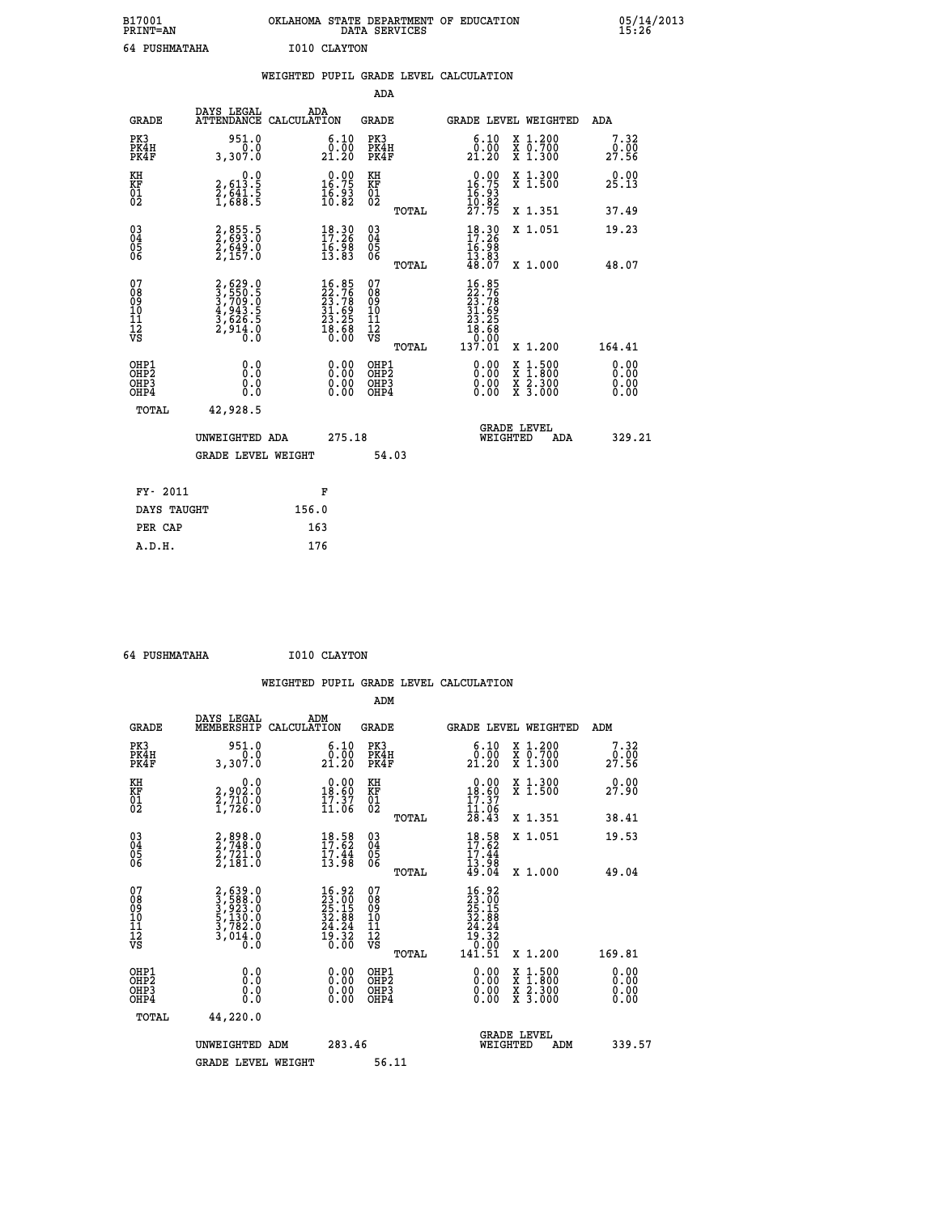| B17001<br><b>PRINT=AN</b> | OKLAHOMA STATE DEPARTMENT OF EDUCATION<br>SERVICES<br>DATA | 05/14/2013<br>15:26 |
|---------------------------|------------------------------------------------------------|---------------------|
| 64<br>PUSHMATAHA          | I010 CLAYTON                                               |                     |

| 64 PUSHMATAHA                                      |                                                                         |       | I010 CLAYTON                                                                     |                                                    |       |                                                                                      |                                                                                                                                              |                       |
|----------------------------------------------------|-------------------------------------------------------------------------|-------|----------------------------------------------------------------------------------|----------------------------------------------------|-------|--------------------------------------------------------------------------------------|----------------------------------------------------------------------------------------------------------------------------------------------|-----------------------|
|                                                    |                                                                         |       |                                                                                  |                                                    |       | WEIGHTED PUPIL GRADE LEVEL CALCULATION                                               |                                                                                                                                              |                       |
|                                                    |                                                                         |       |                                                                                  | <b>ADA</b>                                         |       |                                                                                      |                                                                                                                                              |                       |
| <b>GRADE</b>                                       | DAYS LEGAL<br>ATTENDANCE CALCULATION                                    |       | ADA                                                                              | <b>GRADE</b>                                       |       |                                                                                      | GRADE LEVEL WEIGHTED                                                                                                                         | <b>ADA</b>            |
| PK3<br>PK4H<br>PK4F                                | 951.0<br>$\overline{0}$ .0<br>3,307.0                                   |       | $\substack{6.10 \\ 0.00 \\ 21.20}$                                               | PK3<br>PK4H<br>PK4F                                |       | $\substack{6.10\\0.00\\21.20}$                                                       | X 1.200<br>X 0.700<br>X 1.300                                                                                                                | 7.32<br>0.00<br>27.56 |
| KH<br>KF<br>01<br>02                               | $\begin{smallmatrix}&&&0.0\\2,613.5\\2,641.5\\1,688.5\end{smallmatrix}$ |       | $\begin{smallmatrix} 0.00\\ 16.75\\ 16.93\\ 10.82 \end{smallmatrix}$             | KH<br>KF<br>01<br>02                               |       | $\begin{smallmatrix} 0.00\\ 16.75\\ 16.93\\ 16.83\\ 10.82\\ 27.75 \end{smallmatrix}$ | X 1.300<br>X 1.500                                                                                                                           | 0.00<br>25.13         |
|                                                    |                                                                         |       |                                                                                  |                                                    | TOTAL |                                                                                      | X 1.351                                                                                                                                      | 37.49                 |
| $\begin{matrix} 03 \\ 04 \\ 05 \\ 06 \end{matrix}$ | 2,855.5<br>2,693.0<br>2,649.0<br>2,157.0                                |       | $\begin{array}{l} 18\cdot 30\\ 17\cdot 26\\ 16\cdot 98\\ 13\cdot 83 \end{array}$ | $\begin{matrix} 03 \\ 04 \\ 05 \\ 06 \end{matrix}$ |       | $18.30$<br>$17.26$<br>$16.98$<br>$13.83$<br>$48.07$                                  | X 1.051                                                                                                                                      | 19.23                 |
|                                                    |                                                                         |       |                                                                                  |                                                    | TOTAL |                                                                                      | X 1.000                                                                                                                                      | 48.07                 |
| 07<br>08<br>09<br>11<br>11<br>12<br>VS             | 2,629.0<br>3,550.5<br>3,709.0<br>4,943.5<br>4,626.5<br>2,914.0<br>0.0   |       | $16.85$<br>$22.76$<br>$23.78$<br>$31.69$<br>$23.25$<br>$18.68$<br>$0.00$         | 07<br>08<br>09<br>11<br>11<br>12<br>VS             | TOTAL | $16.85$<br>$22.76$<br>$23.78$<br>$31.69$<br>$23.25$<br>$18.68$<br>00.07<br>137.01    | X 1.200                                                                                                                                      | 164.41                |
| OHP1<br>OHP2<br>OHP3<br>OHP4                       | 0.0<br>Ŏ.Ŏ<br>0.0<br>0.0                                                |       | $0.00$<br>$0.00$<br>0.00                                                         | OHP1<br>OHP2<br>OHP3<br>OHP4                       |       |                                                                                      | $\begin{smallmatrix} \mathtt{X} & 1\cdot500 \\ \mathtt{X} & 1\cdot800 \\ \mathtt{X} & 2\cdot300 \\ \mathtt{X} & 3\cdot000 \end{smallmatrix}$ | 0.00<br>0.00<br>0.00  |
| TOTAL                                              | 42,928.5                                                                |       |                                                                                  |                                                    |       |                                                                                      |                                                                                                                                              |                       |
|                                                    | UNWEIGHTED ADA                                                          |       | 275.18                                                                           |                                                    |       |                                                                                      | <b>GRADE LEVEL</b><br>WEIGHTED<br>ADA                                                                                                        | 329.21                |
|                                                    | <b>GRADE LEVEL WEIGHT</b>                                               |       |                                                                                  |                                                    | 54.03 |                                                                                      |                                                                                                                                              |                       |
| FY- 2011                                           |                                                                         |       | F                                                                                |                                                    |       |                                                                                      |                                                                                                                                              |                       |
| DAYS TAUGHT                                        |                                                                         | 156.0 |                                                                                  |                                                    |       |                                                                                      |                                                                                                                                              |                       |
| PER CAP                                            |                                                                         | 163   |                                                                                  |                                                    |       |                                                                                      |                                                                                                                                              |                       |
| A.D.H.                                             |                                                                         |       | 176                                                                              |                                                    |       |                                                                                      |                                                                                                                                              |                       |

 **64 PUSHMATAHA I010 CLAYTON**

 **ADM**

| <b>GRADE</b>                                         | DAYS LEGAL<br>MEMBERSHIP CALCULATION                                                | ADM                                                                                    | <b>GRADE</b>                                       |       |                                                                                                    | GRADE LEVEL WEIGHTED                     | ADM                  |
|------------------------------------------------------|-------------------------------------------------------------------------------------|----------------------------------------------------------------------------------------|----------------------------------------------------|-------|----------------------------------------------------------------------------------------------------|------------------------------------------|----------------------|
| PK3<br>PK4H<br>PK4F                                  | 951.0<br>3,307.0                                                                    | $\substack{6.10\\0.00\\21.20}$                                                         | PK3<br>PK4H<br>PK4F                                |       | 6.10<br>$\frac{\tilde{0} \cdot \tilde{0} \tilde{0}}{21 \cdot 20}$                                  | X 1.200<br>X 0.700<br>X 1.300            | 7.32<br>27.56        |
| KH<br>KF<br>01<br>02                                 | 0.0<br>2,902:0<br>2,710:0<br>1,726:0                                                | $\begin{array}{c} 0.00 \\ 18.60 \\ 17.37 \\ 11.06 \end{array}$                         | KH<br><b>KF</b><br>01<br>02                        |       | $\begin{smallmatrix} 0.00\\18.60\\17.37\\11.06\\28.43 \end{smallmatrix}$                           | X 1.300<br>X 1.500                       | 0.00<br>27.90        |
|                                                      |                                                                                     |                                                                                        |                                                    | TOTAL |                                                                                                    | X 1.351                                  | 38.41                |
| $\begin{matrix} 03 \\ 04 \\ 05 \\ 06 \end{matrix}$   | $\begin{smallmatrix} 2, 898.0\\ 2, 748.0\\ 2, 721.0\\ 2, 181.0 \end{smallmatrix}$   | $18.58$<br>$17.62$<br>$\frac{17.44}{13.98}$                                            | $\begin{matrix} 03 \\ 04 \\ 05 \\ 06 \end{matrix}$ |       | $18.58$<br>$17.62$<br>$17.44$<br>$13.98$<br>$49.04$                                                | X 1.051                                  | 19.53                |
|                                                      |                                                                                     |                                                                                        |                                                    | TOTAL |                                                                                                    | X 1.000                                  | 49.04                |
| 07<br>08<br>09<br>101<br>11<br>12<br>VS              | $2,639.0$<br>$3,588.0$<br>$3,923.0$<br>$5,130.0$<br>$3,782.0$<br>$3,014.0$<br>$0.0$ | $\begin{smallmatrix} 16.92\\23.00\\25.15\\32.88\\24.24\\29.32\\0.00 \end{smallmatrix}$ | 07<br>08<br>09<br>001<br>11<br>11<br>12<br>VS      | TOTAL | $\begin{smallmatrix} 16.92\ 23.002\ 5.152\ 32.81\ 32.424\ 19.32\ 0.001\ 141.51\ \end{smallmatrix}$ | X 1.200                                  | 169.81               |
| OHP1<br>OHP <sub>2</sub><br>OH <sub>P3</sub><br>OHP4 | 0.0<br>0.000                                                                        | $\begin{smallmatrix} 0.00 \ 0.00 \ 0.00 \ 0.00 \end{smallmatrix}$                      | OHP1<br>OHP <sub>2</sub><br>OHP3<br>OHP4           |       | 0.00<br>0.00                                                                                       | X 1:500<br>X 1:800<br>X 2:300<br>X 3:000 | 0.00<br>0.00<br>0.00 |
| TOTAL                                                | 44,220.0                                                                            |                                                                                        |                                                    |       |                                                                                                    |                                          |                      |
|                                                      | UNWEIGHTED<br>ADM                                                                   | 283.46                                                                                 |                                                    |       | WEIGHTED                                                                                           | <b>GRADE LEVEL</b><br>ADM                | 339.57               |
|                                                      | <b>GRADE LEVEL WEIGHT</b>                                                           |                                                                                        | 56.11                                              |       |                                                                                                    |                                          |                      |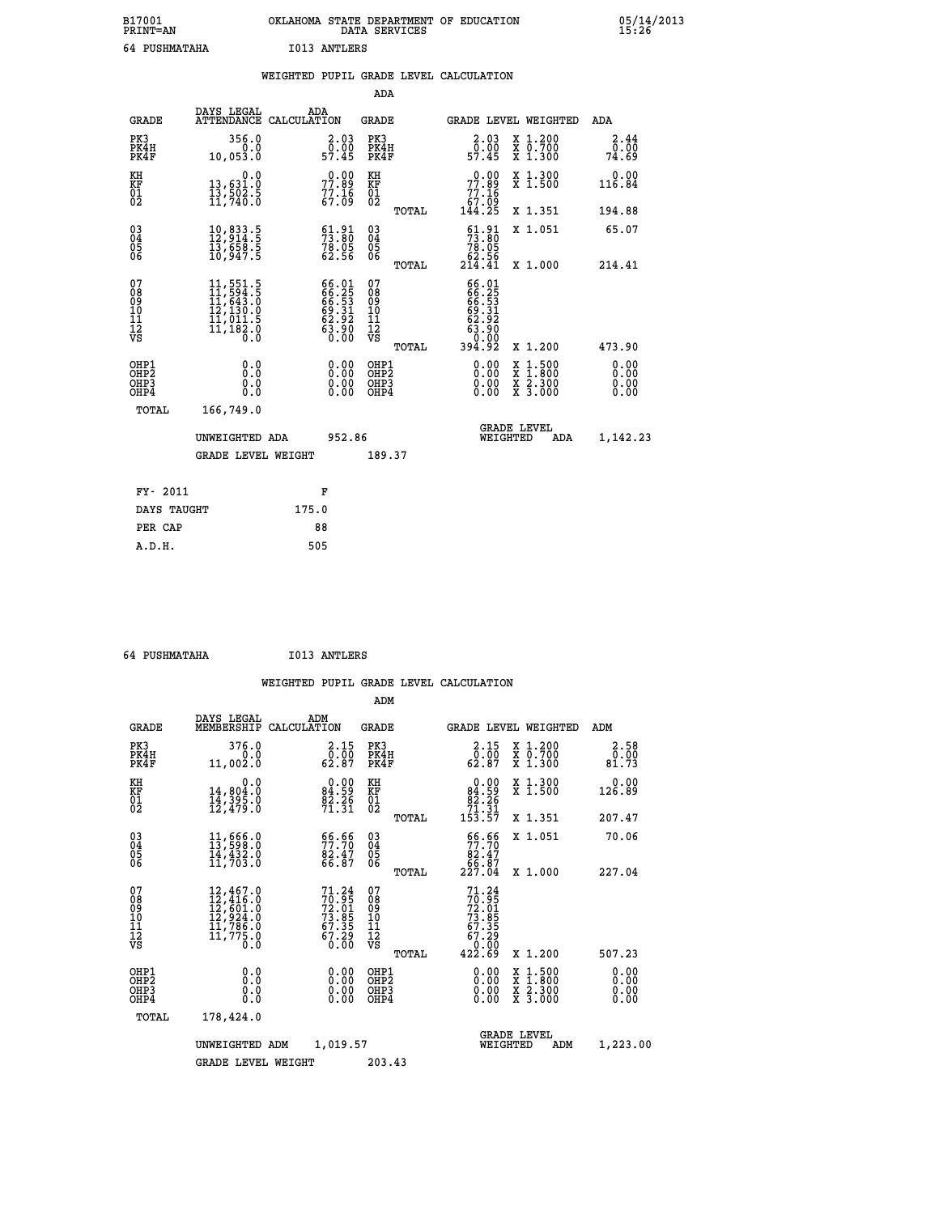| B17001<br><b>PRINT=AN</b> | OKLAHOMA<br>STATE DEPARTMENT OF EDUCATION<br>SERVICES<br>DATA | 05/14/2013<br>15:26 |
|---------------------------|---------------------------------------------------------------|---------------------|
| 64<br>PUSHMATAHA          | I013<br>ANTLERS                                               |                     |

| 64 PUSHMATAHA                                                      |                                                                                                                      |       | I013 ANTLERS                                                       |                                        |       |                                                                             |                                                                                          |                              |
|--------------------------------------------------------------------|----------------------------------------------------------------------------------------------------------------------|-------|--------------------------------------------------------------------|----------------------------------------|-------|-----------------------------------------------------------------------------|------------------------------------------------------------------------------------------|------------------------------|
|                                                                    |                                                                                                                      |       |                                                                    |                                        |       | WEIGHTED PUPIL GRADE LEVEL CALCULATION                                      |                                                                                          |                              |
|                                                                    |                                                                                                                      |       |                                                                    | <b>ADA</b>                             |       |                                                                             |                                                                                          |                              |
| <b>GRADE</b>                                                       | DAYS LEGAL<br>ATTENDANCE CALCULATION                                                                                 |       | ADA                                                                | GRADE                                  |       |                                                                             | GRADE LEVEL WEIGHTED                                                                     | ADA                          |
| PK3<br>PK4H<br>PK4F                                                | 356.0<br>0.053.0                                                                                                     |       | $\begin{smallmatrix} 2.03\0.00\\ 57.45 \end{smallmatrix}$          | PK3<br>PK4H<br>PK4F                    |       | $\begin{smallmatrix} 2.03\0.00\\ 57.45 \end{smallmatrix}$                   | X 1.200<br>X 0.700<br>X 1.300                                                            | 2.44<br>0.00<br>74.69        |
| KH<br>KF<br>01<br>02                                               | 0.0<br>13,631.0<br>13,502.5<br>11,740.0                                                                              |       | $77.89$<br>$77.89$<br>$77.16$<br>$67.09$                           | КH<br>KF<br>01<br>02                   |       | $\begin{smallmatrix} &0.00\ 77.89\ 77.16\ 67.09\ 144.25\ \end{smallmatrix}$ | X 1.300<br>X 1.500                                                                       | 0.00<br>116.84               |
|                                                                    |                                                                                                                      |       |                                                                    |                                        | TOTAL |                                                                             | X 1.351                                                                                  | 194.88                       |
| $\begin{smallmatrix} 03 \\[-4pt] 04 \end{smallmatrix}$<br>05<br>06 | $\begin{smallmatrix} 10, 833.5\\ 12, 914.5\\ 13, 658.5\\ 10, 947.5 \end{smallmatrix}$                                |       | $\begin{smallmatrix} 61.91\ 73.80\ 78.05\ 62.56 \end{smallmatrix}$ | $^{03}_{04}$<br>$\frac{05}{06}$        |       | $\frac{61.91}{73.80}$                                                       | X 1.051                                                                                  | 65.07                        |
|                                                                    |                                                                                                                      |       |                                                                    |                                        | TOTAL | $\frac{62.56}{214.41}$                                                      | X 1.000                                                                                  | 214.41                       |
| 07<br>08<br>09<br>11<br>11<br>12<br>VS                             | $\begin{smallmatrix} 11, 551.5\\ 11, 594.5\\ 11, 643.0\\ 12, 130.0\\ 11, 011.5\\ 11, 182.0 \end{smallmatrix}$<br>Ō.Ō |       | 66.01<br>66.25<br>66.53<br>69.31<br>62.92<br>63.90<br>63.00        | 07<br>08<br>09<br>11<br>11<br>12<br>VS |       | 66.01<br>66.253<br>66.531<br>63.31<br>63.900<br>63.900                      |                                                                                          |                              |
|                                                                    |                                                                                                                      |       |                                                                    |                                        | TOTAL | 394.92                                                                      | X 1.200                                                                                  | 473.90                       |
| OHP1<br>OHP2<br>OHP3<br>OHP4                                       | 0.000<br>0.0<br>0.0                                                                                                  |       | 0.00<br>$\begin{smallmatrix} 0.00 \ 0.00 \end{smallmatrix}$        | OHP1<br>OHP2<br>OHP3<br>OHP4           |       | 0.00<br>0.00                                                                | $\begin{smallmatrix} x & 1.500 \\ x & 1.800 \\ x & 2.300 \\ x & 3.000 \end{smallmatrix}$ | 0.00<br>0.00<br>0.00<br>0.00 |
| TOTAL                                                              | 166,749.0                                                                                                            |       |                                                                    |                                        |       |                                                                             |                                                                                          |                              |
|                                                                    | UNWEIGHTED ADA                                                                                                       |       | 952.86                                                             |                                        |       |                                                                             | <b>GRADE LEVEL</b><br>WEIGHTED<br>ADA                                                    | 1,142.23                     |
|                                                                    | <b>GRADE LEVEL WEIGHT</b>                                                                                            |       |                                                                    | 189.37                                 |       |                                                                             |                                                                                          |                              |
| FY- 2011                                                           |                                                                                                                      |       | F                                                                  |                                        |       |                                                                             |                                                                                          |                              |
| DAYS TAUGHT                                                        |                                                                                                                      | 175.0 |                                                                    |                                        |       |                                                                             |                                                                                          |                              |
| PER CAP                                                            |                                                                                                                      |       | 88                                                                 |                                        |       |                                                                             |                                                                                          |                              |
| A.D.H.                                                             |                                                                                                                      |       | 505                                                                |                                        |       |                                                                             |                                                                                          |                              |

 **64 PUSHMATAHA I013 ANTLERS**

 **ADM**

| <b>GRADE</b>                                                 | DAYS LEGAL                                                                                                    | ADM<br>MEMBERSHIP CALCULATION                                        | <b>GRADE</b>                                  |       |                                                                                     | GRADE LEVEL WEIGHTED                     | ADM                   |
|--------------------------------------------------------------|---------------------------------------------------------------------------------------------------------------|----------------------------------------------------------------------|-----------------------------------------------|-------|-------------------------------------------------------------------------------------|------------------------------------------|-----------------------|
| PK3<br>PK4H<br>PK4F                                          | 376.0<br>0.0<br>11,002.0                                                                                      | 2.15<br>$\bar{0}.\bar{0}\bar{0}\over 62.87$                          | PK3<br>PK4H<br>PK4F                           |       | 2.15<br>$\bar{0}.\bar{0}\bar{0}\over 62.87$                                         | X 1.200<br>X 0.700<br>X 1.300            | 2.58<br>0.00<br>81.73 |
| KH<br>KF<br>$\overline{01}$                                  | 0.0<br>14,804.0<br>14,395.0<br>12,479.0                                                                       | $0.00$<br>84.59<br>$\frac{82.26}{71.31}$                             | KH<br>KF<br>$^{01}_{02}$                      |       | $0.00$<br>84.59<br>$\frac{82.26}{71.31}$<br>153.57                                  | X 1.300<br>X 1.500                       | 0.00<br>126.89        |
|                                                              |                                                                                                               |                                                                      |                                               | TOTAL |                                                                                     | X 1.351                                  | 207.47                |
| $\begin{smallmatrix} 03 \\[-4pt] 04 \end{smallmatrix}$<br>Ŏ5 | $\begin{smallmatrix} 11 & 666 & 0 \\ 13 & 598 & 0 \\ 14 & 432 & 0 \\ 11 & 703 & 0 \end{smallmatrix}$          | 56.66<br>$\frac{82.47}{66.87}$                                       | $\substack{03 \\ 04}$<br>05                   |       | $\begin{smallmatrix} 66.66\\ 77.70\\ 82.47\\ 66.87\\ 227.04 \end{smallmatrix}$      | X 1.051                                  | 70.06                 |
| 06                                                           |                                                                                                               |                                                                      | 06                                            | TOTAL |                                                                                     | X 1.000                                  | 227.04                |
| 07<br>089<br>090<br>1112<br>VS                               | $\begin{smallmatrix} 12,467.0\\ 12,416.0\\ 12,601.0\\ 12,924.0\\ 11,786.0\\ 11,775.0\\ 0.0 \end{smallmatrix}$ | 71.24<br>$70.95$<br>$72.01$<br>$73.85$<br>$67.35$<br>$67.29$<br>0.00 | 07<br>08<br>09<br>001<br>11<br>11<br>12<br>VS | TOTAL | 71.24<br>$70.95$<br>$72.015$<br>$73.85$<br>$67.35$<br>$67.29$<br>$0.00$<br>$422.69$ | X 1.200                                  | 507.23                |
| OHP1<br>OH <sub>P</sub> <sub>2</sub><br>OHP3<br>OHP4         | 0.0<br>0.0<br>Ŏ.Ŏ                                                                                             |                                                                      | OHP1<br>OHP <sub>2</sub><br>OHP3<br>OHP4      |       | 0.00<br>0.00<br>0.00                                                                | X 1:500<br>X 1:800<br>X 2:300<br>X 3:000 | 0.00<br>0.00<br>0.00  |
| TOTAL                                                        | 178,424.0                                                                                                     |                                                                      |                                               |       |                                                                                     |                                          |                       |
|                                                              | UNWEIGHTED ADM                                                                                                | 1,019.57                                                             |                                               |       | WEIGHTED                                                                            | <b>GRADE LEVEL</b><br>ADM                | 1,223.00              |
|                                                              | <b>GRADE LEVEL WEIGHT</b>                                                                                     |                                                                      | 203.43                                        |       |                                                                                     |                                          |                       |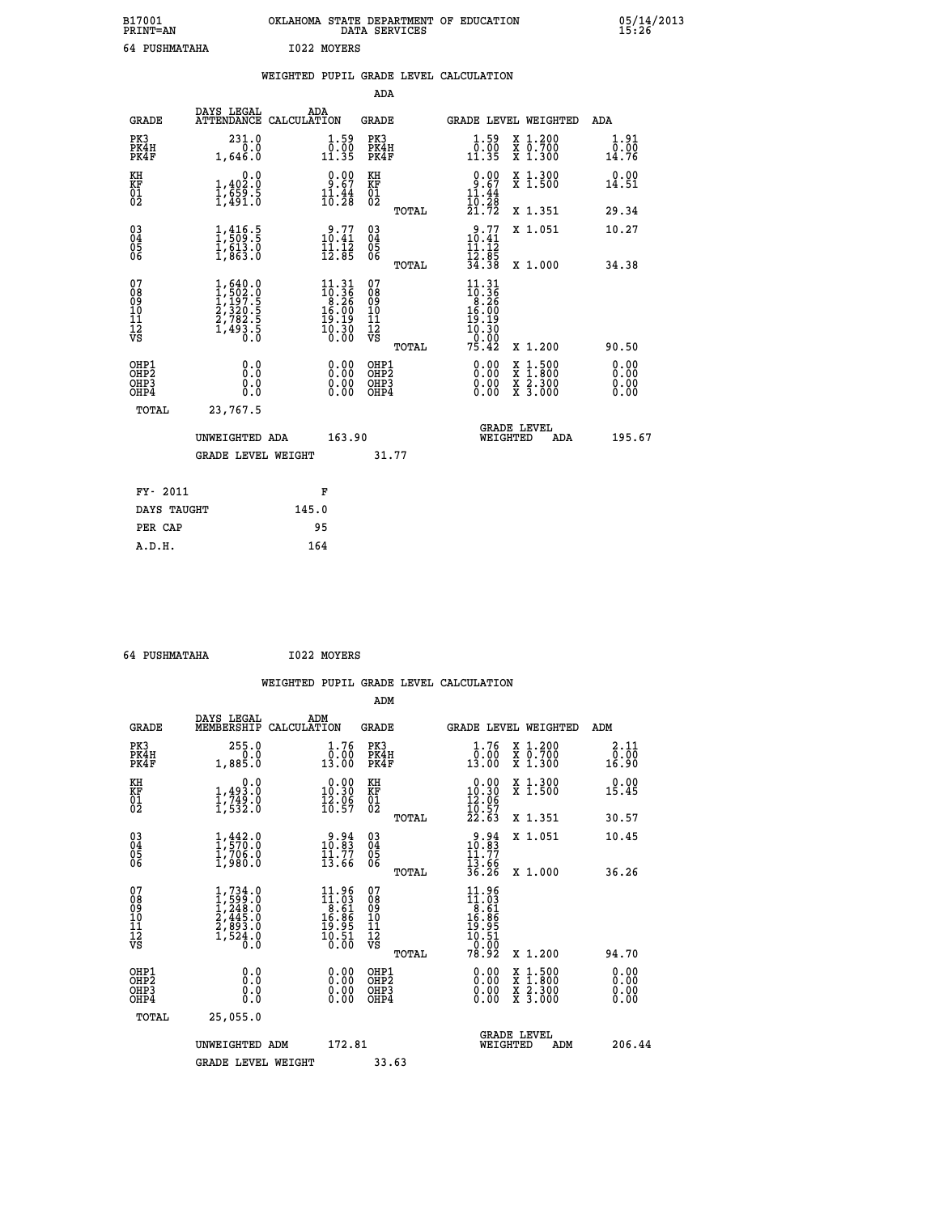| B17001<br><b>PRINT=AN</b> | OKLAHOMA STATE DEPARTMENT OF EDUCATION<br>DATA SERVICES | 05/14/2013<br>15:26 |
|---------------------------|---------------------------------------------------------|---------------------|
| 64 PUSHMATAHA             | 1022 MOYERS                                             |                     |

|                                                                    |                                                                                                         | WEIGHTED PUPIL GRADE LEVEL CALCULATION                                                                                  |                                          |       |                                                                                                    |                                                                                                                                           |                              |
|--------------------------------------------------------------------|---------------------------------------------------------------------------------------------------------|-------------------------------------------------------------------------------------------------------------------------|------------------------------------------|-------|----------------------------------------------------------------------------------------------------|-------------------------------------------------------------------------------------------------------------------------------------------|------------------------------|
|                                                                    |                                                                                                         |                                                                                                                         | <b>ADA</b>                               |       |                                                                                                    |                                                                                                                                           |                              |
| <b>GRADE</b>                                                       | DAYS LEGAL                                                                                              | ADA<br>ATTENDANCE CALCULATION                                                                                           | GRADE                                    |       |                                                                                                    | GRADE LEVEL WEIGHTED                                                                                                                      | ADA                          |
| PK3<br>PK4H<br>PK4F                                                | 231.0<br>0.0<br>1,646.0                                                                                 | $\begin{array}{c} 1.59 \\ 0.00 \\ 11.35 \end{array}$                                                                    | PK3<br>PK4H<br>PK4F                      |       | $\begin{smallmatrix} 1.59\\[-1.2mm] 0.00\\[-1.3mm] 11.35\end{smallmatrix}$                         | X 1.200<br>X 0.700<br>X 1.300                                                                                                             | 1.91<br>0.00<br>14.76        |
| KH<br>ΚF<br>$\frac{01}{02}$                                        | 0.0<br>1,402:0<br>1,659:5<br>1,491:0                                                                    | $\begin{smallmatrix} 0.00\\ 9.67\\ 11.44\\ 10.28 \end{smallmatrix}$                                                     | KH<br>KF<br>01<br>02                     |       | $0.00$<br>1.67<br>11.44                                                                            | X 1.300<br>X 1.500                                                                                                                        | 0.00<br>14.51                |
|                                                                    |                                                                                                         |                                                                                                                         |                                          | TOTAL | 1ō:2§<br>21.72                                                                                     | X 1.351                                                                                                                                   | 29.34                        |
| $\begin{smallmatrix} 03 \\[-4pt] 04 \end{smallmatrix}$<br>Ŏ5<br>06 | $\frac{1}{2}$ , $\frac{416}{509}$ : 5<br>$\frac{1}{6}$ , $\frac{6}{3}$ , $\frac{3}{6}$ , $\frac{6}{3}$  | 10.77<br>$\frac{1}{12}.\frac{1}{8}$                                                                                     | $\substack{03 \\ 04}$<br>05<br>06        |       | 10.77<br>11.12                                                                                     | X 1.051                                                                                                                                   | 10.27                        |
|                                                                    |                                                                                                         |                                                                                                                         |                                          | TOTAL | $\frac{12.85}{34.38}$                                                                              | X 1.000                                                                                                                                   | 34.38                        |
| 07<br>08<br>09<br>101<br>11<br>12<br>VS                            | $\begin{smallmatrix} 1,640.0\\ 1,502.0\\ 1,197.5\\ 2,320.5\\ 2,782.5\\ 1,493.5\\ 0.0 \end{smallmatrix}$ | $\begin{smallmatrix} 11\cdot 31\\10\cdot 36\\8\cdot 26\\16\cdot 00\\19\cdot 19\\10\cdot 30\\0\cdot 00\end{smallmatrix}$ | 07<br>08<br>09<br>11<br>11<br>12<br>VS   |       | 11.31<br>$\begin{array}{c}\n 10.36 \\  10.26 \\  16.00 \\  19.19 \\  10.30 \\  0.00\n \end{array}$ |                                                                                                                                           |                              |
|                                                                    |                                                                                                         |                                                                                                                         |                                          | TOTAL | 75.42                                                                                              | X 1.200                                                                                                                                   | 90.50                        |
| OHP1<br>OH <sub>P</sub> 2<br>OH <sub>P3</sub><br>OHP4              | 0.0<br>0.0<br>0.0                                                                                       | 0.00<br>0.00<br>0.00                                                                                                    | OHP1<br>OHP <sub>2</sub><br>OHP3<br>OHP4 |       | 0.00<br>0.00<br>0.00                                                                               | $\begin{smallmatrix} \mathtt{X} & 1\cdot500\\ \mathtt{X} & 1\cdot800\\ \mathtt{X} & 2\cdot300\\ \mathtt{X} & 3\cdot000 \end{smallmatrix}$ | 0.00<br>0.00<br>0.00<br>0.00 |
| TOTAL                                                              | 23,767.5                                                                                                |                                                                                                                         |                                          |       |                                                                                                    |                                                                                                                                           |                              |
|                                                                    | UNWEIGHTED ADA                                                                                          |                                                                                                                         | 163.90                                   |       | WEIGHTED                                                                                           | <b>GRADE LEVEL</b><br><b>ADA</b>                                                                                                          | 195.67                       |
|                                                                    | <b>GRADE LEVEL WEIGHT</b>                                                                               |                                                                                                                         |                                          | 31.77 |                                                                                                    |                                                                                                                                           |                              |
| FY- 2011                                                           |                                                                                                         | F                                                                                                                       |                                          |       |                                                                                                    |                                                                                                                                           |                              |
| DAYS TAUGHT                                                        |                                                                                                         | 145.0                                                                                                                   |                                          |       |                                                                                                    |                                                                                                                                           |                              |
| PER CAP                                                            |                                                                                                         | 95                                                                                                                      |                                          |       |                                                                                                    |                                                                                                                                           |                              |
| A.D.H.                                                             |                                                                                                         | 164                                                                                                                     |                                          |       |                                                                                                    |                                                                                                                                           |                              |

 **64 PUSHMATAHA I022 MOYERS**

| <b>GRADE</b>                                       | DAYS LEGAL<br>MEMBERSHIP                                                          | ADM<br>CALCULATION                                                                                                           | <b>GRADE</b>                                       |       | GRADE LEVEL WEIGHTED                                                                                       |                                          | ADM                   |  |
|----------------------------------------------------|-----------------------------------------------------------------------------------|------------------------------------------------------------------------------------------------------------------------------|----------------------------------------------------|-------|------------------------------------------------------------------------------------------------------------|------------------------------------------|-----------------------|--|
| PK3<br>PK4H<br>PK4F                                | 255.0<br>1,885.0                                                                  | 1.76<br>$\bar{0.00}$<br>13.00                                                                                                | PK3<br>PK4H<br>PK4F                                |       | 1.76<br>$\bar{0}.\dot{0} \,\dot{0}$<br>13.00                                                               | X 1.200<br>X 0.700<br>X 1.300            | 2.11<br>0.00<br>16.90 |  |
| KH<br>KF<br>01<br>02                               | 0.0<br>$\frac{1}{1}, \frac{493}{749}$ .0<br>1,532.0                               | $\begin{smallmatrix} 0.00\\ 10.30\\ 12.96\\ 16.57 \end{smallmatrix}$                                                         | KH<br>KF<br>01<br>02                               |       | $\begin{array}{c} 0.00 \\ 10.30 \\ 12.06 \\ 10.57 \\ 22.63 \end{array}$                                    | X 1.300<br>X 1.500                       | 0.00<br>15.45         |  |
|                                                    |                                                                                   |                                                                                                                              |                                                    | TOTAL |                                                                                                            | X 1.351                                  | 30.57                 |  |
| $\begin{matrix} 03 \\ 04 \\ 05 \\ 06 \end{matrix}$ | $\frac{1}{1}, \frac{442}{570} . 0 \\ 1, 706 . 0 \\ 1, 980 . 0$                    | $\begin{array}{c} 9.94 \\ 10.83 \\ 11.77 \\ 13.66 \end{array}$                                                               | $\begin{matrix} 03 \\ 04 \\ 05 \\ 06 \end{matrix}$ |       | $\begin{array}{r} 9.94 \\ 10.83 \\ 11.77 \\ 13.66 \\ 36.26 \end{array}$                                    | X 1.051                                  | 10.45                 |  |
|                                                    |                                                                                   |                                                                                                                              |                                                    | TOTAL |                                                                                                            | X 1.000                                  | 36.26                 |  |
| 07<br>089<br>090<br>1112<br>VS                     | $1,734.0$<br>$1,299.0$<br>$1,248.0$<br>$2,445.0$<br>$2,893.0$<br>$1,524.0$<br>0.0 | $\begin{array}{c} 11.96 \\[-2pt] 11.03 \\[-2pt] 8.61 \\[-2pt] 16.86 \\[-2pt] 19.95 \\[-2pt] 10.51 \\[-2pt] 0.50 \end{array}$ | 07<br>08<br>09<br>11<br>11<br>12<br>VS             | TOTAL | $\begin{smallmatrix} 11.96 \\ 11.03 \\ 8.61 \\ 16.86 \\ 19.95 \\ 10.51 \\ 0.00 \\ 78.92 \end{smallmatrix}$ | X 1.200                                  | 94.70                 |  |
| OHP1<br>OHP2<br>OHP3<br>OHP4                       | 0.0<br>0.000                                                                      |                                                                                                                              | OHP1<br>OHP2<br>OHP3<br>OHP4                       |       |                                                                                                            | X 1:500<br>X 1:800<br>X 2:300<br>X 3:000 | 0.00<br>0.00<br>0.00  |  |
| TOTAL                                              | 25,055.0                                                                          |                                                                                                                              |                                                    |       |                                                                                                            |                                          |                       |  |
|                                                    | UNWEIGHTED<br>ADM                                                                 | 172.81                                                                                                                       |                                                    |       | WEIGHTED                                                                                                   | <b>GRADE LEVEL</b><br>ADM                | 206.44                |  |
|                                                    | <b>GRADE LEVEL WEIGHT</b>                                                         |                                                                                                                              | 33.63                                              |       |                                                                                                            |                                          |                       |  |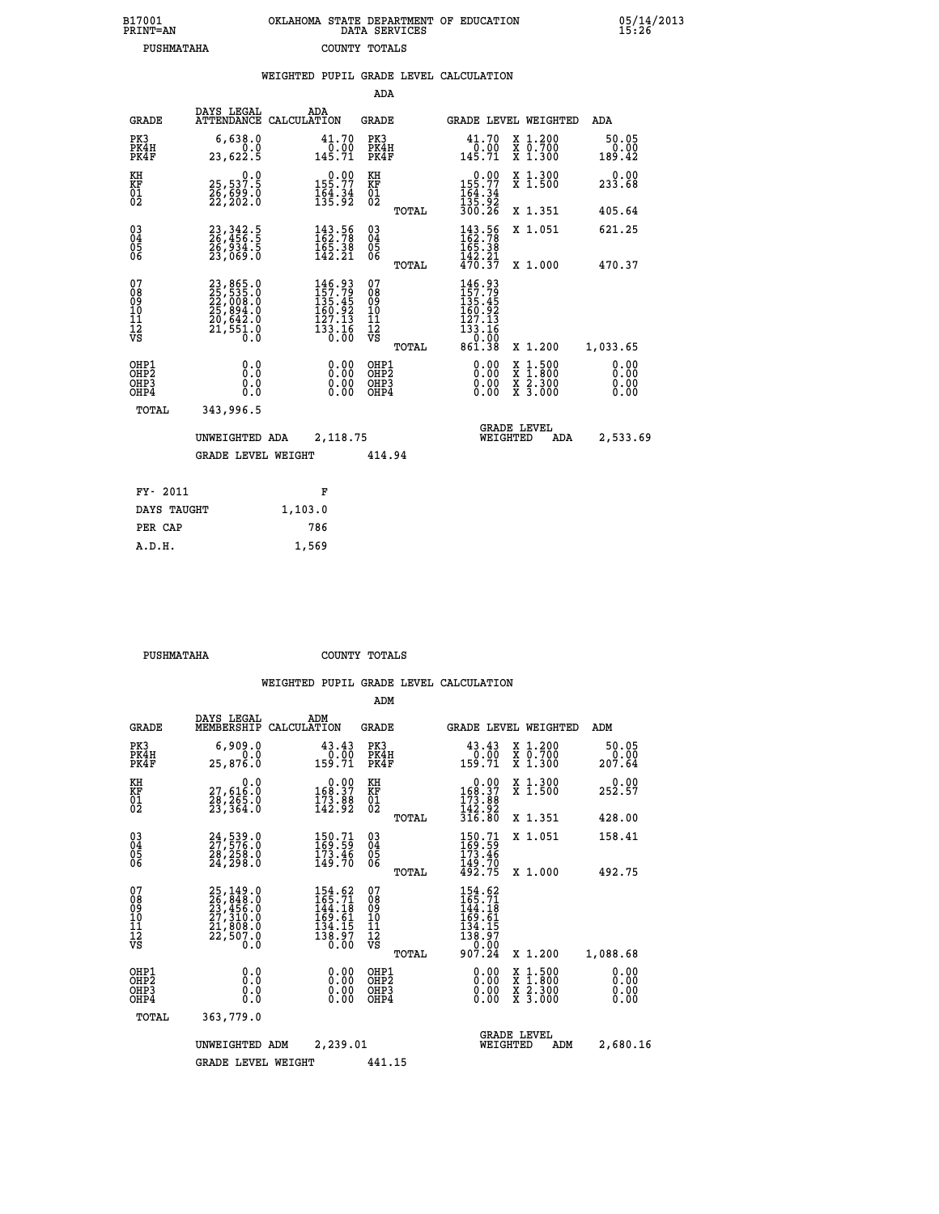| B17001<br><b>PRINT=AN</b> | OKLAHOMA STATE DEPARTMENT OF EDUCATION<br>DATA SERVICES | 05/14/2013<br>15:26 |
|---------------------------|---------------------------------------------------------|---------------------|
| PUSHMATAHA                | COUNTY TOTALS                                           |                     |

|                                                              |                                                                                           | WEIGHTED PUPIL GRADE LEVEL CALCULATION                                                             |                                                 |                                                                                                                                                                                                                                                                                |                                                                                                                                              |                         |
|--------------------------------------------------------------|-------------------------------------------------------------------------------------------|----------------------------------------------------------------------------------------------------|-------------------------------------------------|--------------------------------------------------------------------------------------------------------------------------------------------------------------------------------------------------------------------------------------------------------------------------------|----------------------------------------------------------------------------------------------------------------------------------------------|-------------------------|
|                                                              |                                                                                           |                                                                                                    | ADA                                             |                                                                                                                                                                                                                                                                                |                                                                                                                                              |                         |
| <b>GRADE</b>                                                 | DAYS LEGAL                                                                                | ADA<br>ATTENDANCE CALCULATION                                                                      | <b>GRADE</b>                                    | <b>GRADE LEVEL WEIGHTED</b>                                                                                                                                                                                                                                                    |                                                                                                                                              | ADA                     |
| PK3<br>PK4H<br>PK4F                                          | 6,638.0<br>0.0<br>23,622.5                                                                | 41.70<br>$\frac{0.00}{145.71}$                                                                     | PK3<br>PK4H<br>PK4F                             | 41.70<br>$\frac{0.00}{145.71}$                                                                                                                                                                                                                                                 | X 1.200<br>X 0.700<br>X 1.300                                                                                                                | 50.05<br>0.00<br>189.42 |
| KH<br>KF<br>01<br>02                                         | $\begin{smallmatrix} & & 0.0\ 25,537.5\ 26,699.0\ 22,202.0 \end{smallmatrix}$             | $0.00$<br>155.77<br>$\frac{164}{135}$ : 34                                                         | KH<br>KF<br>01<br>02                            | $0.00$<br>155.77<br>$\frac{164}{135}$ : $\frac{34}{25}$<br>$\frac{36}{300}$ : $\frac{26}{26}$                                                                                                                                                                                  | X 1.300<br>X 1.500                                                                                                                           | 0.00<br>233.68          |
|                                                              |                                                                                           |                                                                                                    | TOTAL                                           |                                                                                                                                                                                                                                                                                | X 1.351                                                                                                                                      | 405.64                  |
| $\begin{smallmatrix} 03 \\[-4pt] 04 \end{smallmatrix}$<br>05 | 23, 342.5<br>26, 456.5<br>26, 934.5<br>23, 069.0                                          | $\begin{smallmatrix} 143.56\\ 162.78\\ 165.38\\ 142.21 \end{smallmatrix}$                          | $^{03}_{04}$<br>05                              | 143.56<br>162.78<br>165.38                                                                                                                                                                                                                                                     | X 1.051                                                                                                                                      | 621.25                  |
| 06                                                           |                                                                                           |                                                                                                    | 06<br>TOTAL                                     | $\frac{142.21}{470.37}$                                                                                                                                                                                                                                                        | X 1.000                                                                                                                                      | 470.37                  |
| 07<br>08<br>09<br>10<br>11<br>11<br>12<br>νs                 | $23,865.0$<br>$25,535.0$<br>$22,008.0$<br>$25,894.0$<br>$20,642.0$<br>$21,551.0$<br>$0.0$ | $\begin{smallmatrix} 146.93\\ 157.79\\ 135.45\\ 160.92\\ 127.13\\ 133.16\\ 0.00 \end{smallmatrix}$ | 07<br>08<br>09<br>10<br>11<br>12<br>VS<br>TOTAL | $\begin{smallmatrix} 146\cdot93\\ 157\cdot79\\ 135\cdot45\\ 160\cdot92\\ 167\cdot13\\ 133\cdot16\\ 0\cdot00\\ 861\cdot38\end{smallmatrix}$                                                                                                                                     | X 1.200                                                                                                                                      | 1,033.65                |
| OHP1<br>OHP2<br>OHP3<br>OHP4                                 | 0.0<br>0.0<br>$0.\overline{0}$                                                            | $\begin{smallmatrix} 0.00 \ 0.00 \ 0.00 \ 0.00 \end{smallmatrix}$                                  | OHP1<br>OHP2<br>OHP3<br>OHP4                    | $\begin{smallmatrix} 0.00 & 0.00 & 0.00 & 0.00 & 0.00 & 0.00 & 0.00 & 0.00 & 0.00 & 0.00 & 0.00 & 0.00 & 0.00 & 0.00 & 0.00 & 0.00 & 0.00 & 0.00 & 0.00 & 0.00 & 0.00 & 0.00 & 0.00 & 0.00 & 0.00 & 0.00 & 0.00 & 0.00 & 0.00 & 0.00 & 0.00 & 0.00 & 0.00 & 0.00 & 0.00 & 0.0$ | $\begin{smallmatrix} \mathtt{X} & 1\cdot500 \\ \mathtt{X} & 1\cdot800 \\ \mathtt{X} & 2\cdot300 \\ \mathtt{X} & 3\cdot000 \end{smallmatrix}$ | 0.00<br>0.00<br>0.00    |
| TOTAL                                                        | 343,996.5                                                                                 |                                                                                                    |                                                 |                                                                                                                                                                                                                                                                                |                                                                                                                                              |                         |
|                                                              | UNWEIGHTED ADA                                                                            | 2,118.75                                                                                           |                                                 | <b>GRADE LEVEL</b><br>WEIGHTED                                                                                                                                                                                                                                                 | ADA                                                                                                                                          | 2,533.69                |
|                                                              | <b>GRADE LEVEL WEIGHT</b>                                                                 |                                                                                                    | 414.94                                          |                                                                                                                                                                                                                                                                                |                                                                                                                                              |                         |
| FY- 2011                                                     |                                                                                           | F                                                                                                  |                                                 |                                                                                                                                                                                                                                                                                |                                                                                                                                              |                         |
| DAYS TAUGHT                                                  |                                                                                           | 1,103.0                                                                                            |                                                 |                                                                                                                                                                                                                                                                                |                                                                                                                                              |                         |
| PER CAP                                                      |                                                                                           | 786                                                                                                |                                                 |                                                                                                                                                                                                                                                                                |                                                                                                                                              |                         |

 **PUSHMATAHA COUNTY TOTALS**

 **A.D.H. 1,569**

|                                                       |                                                                                           |                                                                                                       | ADM                                                |                                                                                  |                                          |                              |
|-------------------------------------------------------|-------------------------------------------------------------------------------------------|-------------------------------------------------------------------------------------------------------|----------------------------------------------------|----------------------------------------------------------------------------------|------------------------------------------|------------------------------|
| <b>GRADE</b>                                          | DAYS LEGAL<br>MEMBERSHIP                                                                  | ADM<br>CALCULATION                                                                                    | <b>GRADE</b>                                       | <b>GRADE LEVEL WEIGHTED</b>                                                      |                                          | ADM                          |
| PK3<br>PK4H<br>PK4F                                   | 6,909.0<br>0.0<br>25,876.0                                                                | 43.43<br>0.00<br>159.71                                                                               | PK3<br>PK4H<br>PK4F                                | 43.43<br>0.00<br>159.71                                                          | X 1.200<br>X 0.700<br>X 1.300            | 50.05<br>0.00<br>207.64      |
| KH<br>KF<br>01<br>02                                  | 0.0<br>27,616:0<br>28,265:0<br>23,364:0                                                   | $\begin{smallmatrix}&&0.00\\168.37\\173.88\\142.92\end{smallmatrix}$                                  | KH<br>KF<br>01<br>02                               | 0.00<br>168:37<br>173:88<br>142:92<br>316:80                                     | X 1.300<br>X 1.500                       | 0.00<br>252.57               |
|                                                       |                                                                                           |                                                                                                       | TOTAL                                              |                                                                                  | X 1.351                                  | 428.00                       |
| 03<br>04<br>05<br>06                                  | 24,539.0<br>27,576.0<br>28,258.0<br>24, 298.0                                             | $\begin{smallmatrix} 150.71\ 169.59\ 173.46\ 149.70 \end{smallmatrix}$                                | $\begin{matrix} 03 \\ 04 \\ 05 \\ 06 \end{matrix}$ | 150.71<br>169.59<br>173.46<br>149.70<br>492.75                                   | X 1.051                                  | 158.41                       |
|                                                       |                                                                                           |                                                                                                       | TOTAL                                              |                                                                                  | X 1.000                                  | 492.75                       |
| 07<br>08<br>09<br>101<br>112<br>VS                    | $25,149.0$<br>$26,848.0$<br>$23,456.0$<br>$27,310.0$<br>$21,808.0$<br>$22,507.0$<br>$0.0$ | $154.62$<br>$165.71$<br>$144.18$<br>$\begin{array}{r} 169.61 \\ 134.15 \\ 138.97 \\ 0.00 \end{array}$ | 07<br>08<br>09<br>11<br>11<br>12<br>VS<br>TOTAL    | $154.62$<br>$165.71$<br>$144.18$<br>169.61<br>134.15<br>138.97<br>0.00<br>907.24 | X 1.200                                  | 1,088.68                     |
| OHP1<br>OH <sub>P</sub> 2<br>OH <sub>P3</sub><br>OHP4 | 0.0<br>0.000                                                                              | $0.00$<br>$0.00$<br>0.00                                                                              | OHP1<br>OHP2<br>OHP3<br>OHP4                       | $0.00$<br>$0.00$<br>0.00                                                         | X 1:500<br>X 1:800<br>X 2:300<br>X 3:000 | 0.00<br>0.00<br>0.00<br>0.00 |
| TOTAL                                                 | 363,779.0                                                                                 |                                                                                                       |                                                    |                                                                                  |                                          |                              |
|                                                       | UNWEIGHTED                                                                                | 2,239.01<br>ADM                                                                                       |                                                    | <b>GRADE LEVEL</b><br>WEIGHTED                                                   | ADM                                      | 2,680.16                     |
|                                                       | <b>GRADE LEVEL WEIGHT</b>                                                                 |                                                                                                       | 441.15                                             |                                                                                  |                                          |                              |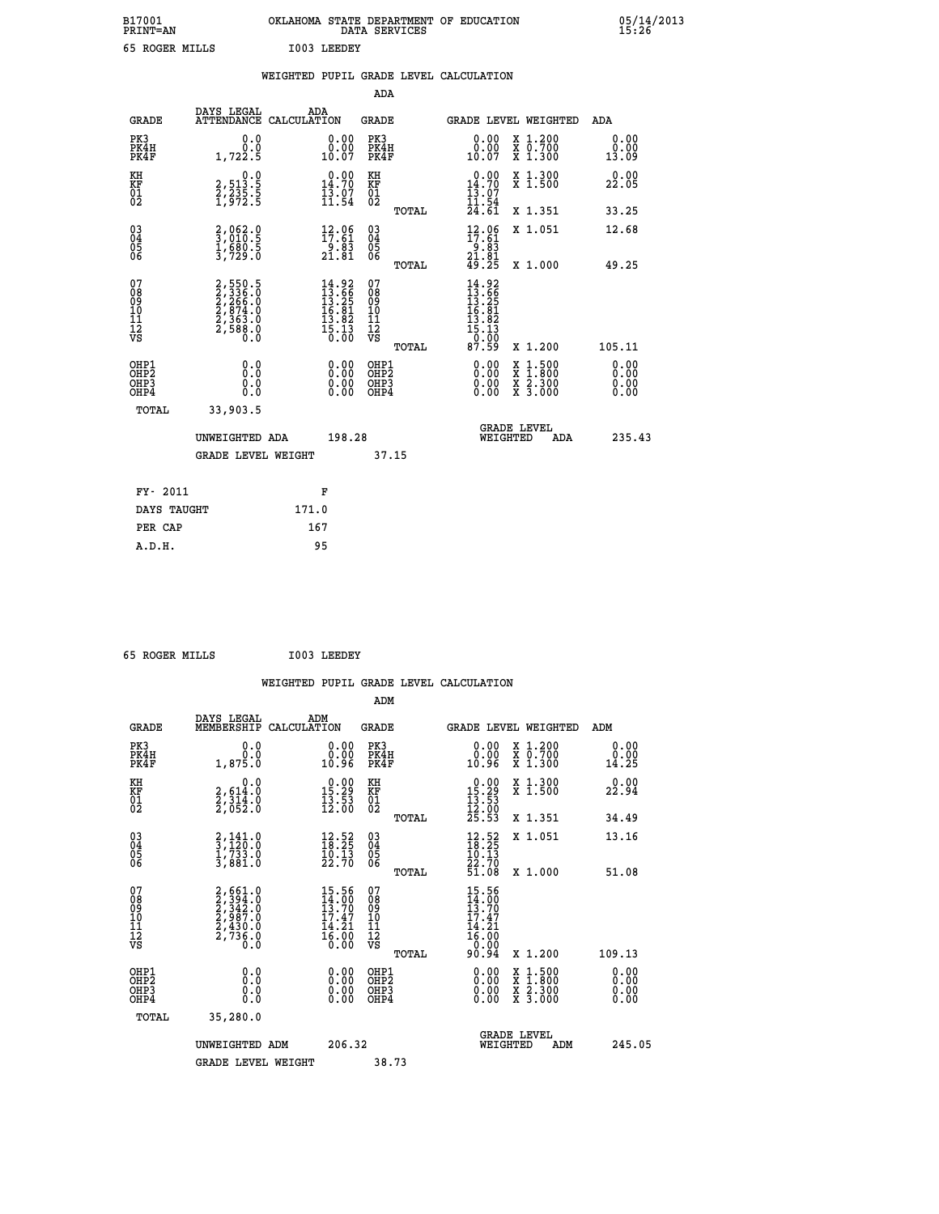| B17001<br><b>PRINT=AN</b> | OKLAHOMA STATE DEPARTMENT OF EDUCATION<br>DATA SERVICES | 05/14/2013<br>15:26 |
|---------------------------|---------------------------------------------------------|---------------------|
| 65 ROGER MILLS            | I003 LEEDEY                                             |                     |

|                                           |                                                                         |       |                                                                                 |                                                     |       | WEIGHTED PUPIL GRADE LEVEL CALCULATION                                                                                                                                                                                                                                         |                                                                                                                                      |                       |
|-------------------------------------------|-------------------------------------------------------------------------|-------|---------------------------------------------------------------------------------|-----------------------------------------------------|-------|--------------------------------------------------------------------------------------------------------------------------------------------------------------------------------------------------------------------------------------------------------------------------------|--------------------------------------------------------------------------------------------------------------------------------------|-----------------------|
|                                           |                                                                         |       |                                                                                 | ADA                                                 |       |                                                                                                                                                                                                                                                                                |                                                                                                                                      |                       |
| <b>GRADE</b>                              | DAYS LEGAL<br>ATTENDANCE CALCULATION                                    | ADA   |                                                                                 | <b>GRADE</b>                                        |       |                                                                                                                                                                                                                                                                                | GRADE LEVEL WEIGHTED                                                                                                                 | <b>ADA</b>            |
| PK3<br>PK4H<br>PK4F                       | 0.0<br>$1,722.\overline{5}$                                             |       | $\begin{smallmatrix} 0.00\\ 0.00\\ 10.07 \end{smallmatrix}$                     | PK3<br>PK4H<br>PK4F                                 |       | 0.00<br>ŏ:ŏŏ<br>10:07                                                                                                                                                                                                                                                          | X 1.200<br>X 0.700<br>X 1.300                                                                                                        | 0.00<br>0.00<br>13.09 |
| KH<br>KF<br>01<br>02                      | $\begin{smallmatrix}&&&0.0\\2,513.5\\2,235.5\\1,972.5\end{smallmatrix}$ |       | $\begin{smallmatrix} 0.00\\14.70\\13.07\\11.54 \end{smallmatrix}$               | KH<br>KF<br>01<br>02                                |       | 0.00<br>$14.70$<br>$13.07$<br>$11.54$<br>$24.61$                                                                                                                                                                                                                               | X 1.300<br>X 1.500                                                                                                                   | 0.00<br>22.05         |
|                                           |                                                                         |       |                                                                                 |                                                     | TOTAL |                                                                                                                                                                                                                                                                                | X 1.351                                                                                                                              | 33.25                 |
| 03<br>04<br>05<br>06                      | 2,062.0<br>3,010.5<br>1,680.5<br>3,729.0                                |       | $\begin{array}{c} 12\cdot 06\\ 17\cdot 61\\ 9\cdot 83\\ 21\cdot 81 \end{array}$ | $\begin{array}{c} 03 \\ 04 \\ 05 \\ 06 \end{array}$ |       | $12.06$<br>$17.61$<br>$9.83$<br>$21.81$<br>$49.25$                                                                                                                                                                                                                             | X 1.051                                                                                                                              | 12.68                 |
|                                           |                                                                         |       |                                                                                 |                                                     | TOTAL |                                                                                                                                                                                                                                                                                | X 1.000                                                                                                                              | 49.25                 |
| 07<br>08<br>09<br>101<br>11<br>12<br>VS   | 2,550.5<br>2,336.0<br>2,266.0<br>2,874.0<br>2,363.0<br>2,588.0          |       | $14.92$<br>$13.66$<br>$13.25$<br>$16.81$<br>$13.82$<br>$15.13$<br>$15.13$       | 07<br>08<br>09<br>101<br>11<br>12<br>VS             |       | $14.92$<br>$13.66$<br>$13.85$<br>$16.81$<br>$13.82$<br>$15.13$<br>$0.00$<br>$87.59$                                                                                                                                                                                            |                                                                                                                                      |                       |
|                                           |                                                                         |       |                                                                                 |                                                     | TOTAL |                                                                                                                                                                                                                                                                                | X 1.200                                                                                                                              | 105.11                |
| OHP1<br>OH <sub>P</sub> 2<br>OHP3<br>OHP4 | 0.0<br>0.0<br>0.0                                                       |       | 0.00<br>$0.00$<br>0.00                                                          | OHP1<br>OHP <sub>2</sub><br>OHP3<br>OHP4            |       | $\begin{smallmatrix} 0.00 & 0.00 & 0.00 & 0.00 & 0.00 & 0.00 & 0.00 & 0.00 & 0.00 & 0.00 & 0.00 & 0.00 & 0.00 & 0.00 & 0.00 & 0.00 & 0.00 & 0.00 & 0.00 & 0.00 & 0.00 & 0.00 & 0.00 & 0.00 & 0.00 & 0.00 & 0.00 & 0.00 & 0.00 & 0.00 & 0.00 & 0.00 & 0.00 & 0.00 & 0.00 & 0.0$ | $\begin{smallmatrix} \mathtt{X} & 1 & 500 \\ \mathtt{X} & 1 & 800 \\ \mathtt{X} & 2 & 300 \\ \mathtt{X} & 3 & 000 \end{smallmatrix}$ | 0.00<br>0.00<br>0.00  |
| TOTAL                                     | 33,903.5                                                                |       |                                                                                 |                                                     |       |                                                                                                                                                                                                                                                                                |                                                                                                                                      |                       |
|                                           | UNWEIGHTED ADA                                                          |       | 198.28                                                                          |                                                     |       | WEIGHTED                                                                                                                                                                                                                                                                       | <b>GRADE LEVEL</b><br>ADA                                                                                                            | 235.43                |
|                                           | <b>GRADE LEVEL WEIGHT</b>                                               |       |                                                                                 | 37.15                                               |       |                                                                                                                                                                                                                                                                                |                                                                                                                                      |                       |
| FY- 2011                                  |                                                                         | F     |                                                                                 |                                                     |       |                                                                                                                                                                                                                                                                                |                                                                                                                                      |                       |
| DAYS TAUGHT                               |                                                                         | 171.0 |                                                                                 |                                                     |       |                                                                                                                                                                                                                                                                                |                                                                                                                                      |                       |
| PER CAP                                   |                                                                         | 167   |                                                                                 |                                                     |       |                                                                                                                                                                                                                                                                                |                                                                                                                                      |                       |
| A.D.H.                                    |                                                                         | 95    |                                                                                 |                                                     |       |                                                                                                                                                                                                                                                                                |                                                                                                                                      |                       |

 **65 ROGER MILLS I003 LEEDEY**

 **A.D.H. 95**

 **WEIGHTED PUPIL GRADE LEVEL CALCULATION ADM DAYS LEGAL ADM GRADE MEMBERSHIP CALCULATION GRADE GRADE LEVEL WEIGHTED ADM**

| PK3<br>PK4H<br>PK4F                                | $\begin{smallmatrix} &0.0\0.0\0.0\1.875.0\end{smallmatrix}$                                         | $\begin{smallmatrix} 0.00\ 0.00\ 0.96 \end{smallmatrix}$             | PK3<br>PK4H<br>PK4F                                | $\begin{smallmatrix} 0.00\ 0.00\ 0.96 \end{smallmatrix}$                                     | X 1.200<br>X 0.700<br>X 1.300                                                                    | $\substack{0.00\0.00}$<br>14.25                                                                                                                                                                                                                                                |
|----------------------------------------------------|-----------------------------------------------------------------------------------------------------|----------------------------------------------------------------------|----------------------------------------------------|----------------------------------------------------------------------------------------------|--------------------------------------------------------------------------------------------------|--------------------------------------------------------------------------------------------------------------------------------------------------------------------------------------------------------------------------------------------------------------------------------|
| KH<br>KF<br>01<br>02                               | 0.0<br>$\frac{2}{2}, \frac{614}{314}$ .0<br>2, 314.0<br>2, 052.0                                    | $\begin{array}{r} 0.00 \\ 15.29 \\ 13.53 \\ 12.00 \end{array}$       | KH<br>KF<br>01<br>02                               | $\begin{array}{r} 0.00 \\ 15.29 \\ 13.53 \\ 12.00 \\ 25.53 \end{array}$                      | X 1.300<br>X 1.500                                                                               | 0.00<br>22.94                                                                                                                                                                                                                                                                  |
|                                                    |                                                                                                     |                                                                      | TOTAL                                              |                                                                                              | X 1.351                                                                                          | 34.49                                                                                                                                                                                                                                                                          |
| $\begin{matrix} 03 \\ 04 \\ 05 \\ 06 \end{matrix}$ | $\frac{2}{3}, \frac{141}{120}.0$<br>$\frac{1}{1}, \frac{733}{33}.0$<br>$\frac{3}{1}, \frac{881}{0}$ | $\begin{smallmatrix} 12.52\ 18.25\ 10.13\ 22.70 \end{smallmatrix}$   | $\begin{matrix} 03 \\ 04 \\ 05 \\ 06 \end{matrix}$ | $\begin{array}{r} 12.52 \\ 18.25 \\ 10.13 \\ 22.70 \\ 51.08 \end{array}$                     | X 1.051                                                                                          | 13.16                                                                                                                                                                                                                                                                          |
|                                                    |                                                                                                     |                                                                      | TOTAL                                              |                                                                                              | X 1.000                                                                                          | 51.08                                                                                                                                                                                                                                                                          |
| 07<br>089<br>090<br>1112<br>VS                     | $2,561.0$<br>$2,394.0$<br>$2,342.0$<br>$2,987.0$<br>$2,430.0$<br>$2,736.0$<br>$0.0$                 | $15.56$<br>$14.00$<br>$13.70$<br>$17.47$<br>$14.21$<br>16.00<br>0.00 | 07<br>08<br>09<br>11<br>11<br>12<br>VS             | $\begin{smallmatrix} 15.56\\14.00\\13.70\\17.47\\14.21\\16.00\\0.00\\90.94\end{smallmatrix}$ |                                                                                                  |                                                                                                                                                                                                                                                                                |
|                                                    |                                                                                                     |                                                                      | TOTAL                                              |                                                                                              | X 1.200                                                                                          | 109.13                                                                                                                                                                                                                                                                         |
| OHP1<br>OHP <sub>2</sub><br>OHP3<br>OHP4           | $\begin{smallmatrix} 0.0 \ 0.0 \ 0.0 \end{smallmatrix}$                                             | $0.00$<br>$0.00$<br>0.00                                             | OHP1<br>OHP <sub>2</sub><br>OHP <sub>3</sub>       |                                                                                              | $\begin{smallmatrix} x & 1 & 500 \\ x & 1 & 800 \\ x & 2 & 300 \\ x & 3 & 000 \end{smallmatrix}$ | $\begin{smallmatrix} 0.00 & 0.00 & 0.00 & 0.00 & 0.00 & 0.00 & 0.00 & 0.00 & 0.00 & 0.00 & 0.00 & 0.00 & 0.00 & 0.00 & 0.00 & 0.00 & 0.00 & 0.00 & 0.00 & 0.00 & 0.00 & 0.00 & 0.00 & 0.00 & 0.00 & 0.00 & 0.00 & 0.00 & 0.00 & 0.00 & 0.00 & 0.00 & 0.00 & 0.00 & 0.00 & 0.0$ |
| TOTAL                                              | 35,280.0                                                                                            |                                                                      |                                                    |                                                                                              |                                                                                                  |                                                                                                                                                                                                                                                                                |
|                                                    | UNWEIGHTED ADM                                                                                      | 206.32                                                               |                                                    | WEIGHTED                                                                                     | <b>GRADE LEVEL</b><br>ADM                                                                        | 245.05                                                                                                                                                                                                                                                                         |
|                                                    | <b>GRADE LEVEL WEIGHT</b>                                                                           |                                                                      | 38.73                                              |                                                                                              |                                                                                                  |                                                                                                                                                                                                                                                                                |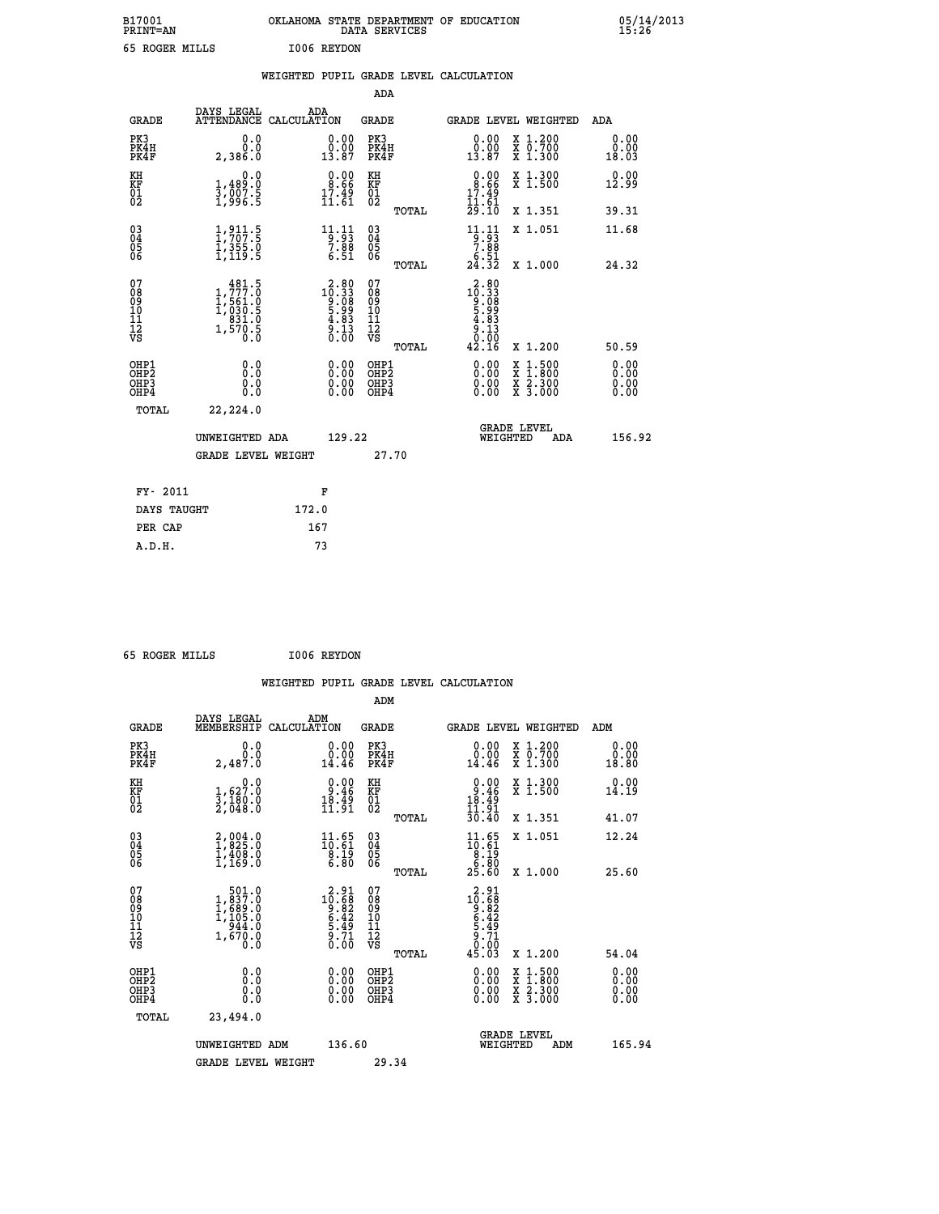| B17001<br><b>PRINT=AN</b> | OKLAHOMA STATE DEPARTMENT OF EDUCATION<br>DATA SERVICES | 05/14/2013<br>15:26 |
|---------------------------|---------------------------------------------------------|---------------------|
| 65 ROGER MILLS            | 1006 REYDON                                             |                     |

|                                           |                                                                                                         |       |                                                                                                                                      |                                                     |       | WEIGHTED PUPIL GRADE LEVEL CALCULATION                                  |                                                                                                                                           |                              |
|-------------------------------------------|---------------------------------------------------------------------------------------------------------|-------|--------------------------------------------------------------------------------------------------------------------------------------|-----------------------------------------------------|-------|-------------------------------------------------------------------------|-------------------------------------------------------------------------------------------------------------------------------------------|------------------------------|
|                                           |                                                                                                         |       |                                                                                                                                      | <b>ADA</b>                                          |       |                                                                         |                                                                                                                                           |                              |
| <b>GRADE</b>                              | DAYS LEGAL<br>ATTENDANCE CALCULATION                                                                    |       | ADA                                                                                                                                  | <b>GRADE</b>                                        |       | GRADE LEVEL WEIGHTED                                                    |                                                                                                                                           | ADA                          |
| PK3<br>PK4H<br>PK4F                       | 0.0<br>0.0<br>2,386.0                                                                                   |       | $\begin{smallmatrix} 0.00\\ 0.00\\ 13.87 \end{smallmatrix}$                                                                          | PK3<br>PK4H<br>PK4F                                 |       | 0.00<br>$\frac{0.00}{13.87}$                                            | X 1.200<br>X 0.700<br>X 1.300                                                                                                             | 0.00<br>0.00<br>18.03        |
| KH<br>KF<br>01<br>02                      | 0.0<br>1,489:0<br>3,007:5<br>1,996:5                                                                    |       | $0.00$<br>$8.66$<br>$\frac{17.49}{11.61}$                                                                                            | KH<br>KF<br>01<br>02                                |       | $\begin{array}{c} 0.00 \\ 8.66 \\ 17.49 \\ 11.61 \end{array}$           | X 1.300<br>X 1.500                                                                                                                        | 0.00<br>12.99                |
|                                           |                                                                                                         |       |                                                                                                                                      |                                                     | TOTAL | 29.10                                                                   | X 1.351                                                                                                                                   | 39.31                        |
| 03<br>04<br>05<br>06                      | $\frac{1}{1}, \frac{9}{107}$<br>$\frac{1}{355}$<br>$\frac{1}{1}, \frac{355}{19}$<br>$\frac{0}{5}$       |       | $\begin{array}{r} 11.11 \\ -9.93 \\ 7.88 \\ 6.51 \end{array}$                                                                        | $\begin{array}{c} 03 \\ 04 \\ 05 \\ 06 \end{array}$ |       | $\begin{array}{c} 11.11 \\ -9.93 \\ -7.88 \\ 6.51 \\ 24.32 \end{array}$ | X 1.051                                                                                                                                   | 11.68                        |
|                                           |                                                                                                         |       |                                                                                                                                      |                                                     | TOTAL |                                                                         | X 1.000                                                                                                                                   | 24.32                        |
| 07<br>08<br>09<br>11<br>11<br>12<br>VS    | $\begin{smallmatrix} & 481.5\\ 1,777.0\\ 1,561.0\\ 1,030.5\\ 831.0\\ 1,570.5\\ 0.0\\ \end{smallmatrix}$ |       | $\begin{smallmatrix} 2\cdot 80\\ 10\cdot 33\\ 9\cdot 08\\ 5\cdot 99\\ 4\cdot 83\\ 4\cdot 13\\ 0\cdot 13\\ 0\cdot 0\end{smallmatrix}$ | 07<br>08<br>09<br>11<br>11<br>12<br>VS              | TOTAL | 2.80<br>$10.338$<br>$5.999$<br>$5.833$<br>$9.133$<br>$0.90$<br>42.16    | X 1.200                                                                                                                                   | 50.59                        |
| OHP1<br>OH <sub>P</sub> 2<br>OHP3<br>OHP4 | 0.0<br>Ō.Ō<br>0.0<br>0.0                                                                                |       | $\begin{smallmatrix} 0.00 \ 0.00 \ 0.00 \ 0.00 \end{smallmatrix}$                                                                    | OHP1<br>OHP <sub>2</sub><br>OHP3<br>OHP4            |       | 0.00<br>$0.00$<br>0.00                                                  | $\begin{smallmatrix} \mathtt{X} & 1\cdot500\\ \mathtt{X} & 1\cdot800\\ \mathtt{X} & 2\cdot300\\ \mathtt{X} & 3\cdot000 \end{smallmatrix}$ | 0.00<br>0.00<br>0.00<br>0.00 |
| TOTAL                                     | 22,224.0                                                                                                |       |                                                                                                                                      |                                                     |       |                                                                         |                                                                                                                                           |                              |
|                                           | UNWEIGHTED ADA                                                                                          |       | 129.22                                                                                                                               |                                                     |       | WEIGHTED                                                                | <b>GRADE LEVEL</b><br>ADA                                                                                                                 | 156.92                       |
|                                           | <b>GRADE LEVEL WEIGHT</b>                                                                               |       |                                                                                                                                      |                                                     | 27.70 |                                                                         |                                                                                                                                           |                              |
| FY- 2011                                  |                                                                                                         |       | F                                                                                                                                    |                                                     |       |                                                                         |                                                                                                                                           |                              |
| DAYS TAUGHT                               |                                                                                                         | 172.0 |                                                                                                                                      |                                                     |       |                                                                         |                                                                                                                                           |                              |
| PER CAP                                   |                                                                                                         | 167   |                                                                                                                                      |                                                     |       |                                                                         |                                                                                                                                           |                              |

| 65 ROGER MILLS |  | I006 REYDON |
|----------------|--|-------------|
|                |  |             |

 **A.D.H. 73**

|                                                      |                                                                                                       |                                                                                                                                                     | WEIGHTED PUPIL GRADE LEVEL CALCULATION       |                                                                                                                                       |                              |
|------------------------------------------------------|-------------------------------------------------------------------------------------------------------|-----------------------------------------------------------------------------------------------------------------------------------------------------|----------------------------------------------|---------------------------------------------------------------------------------------------------------------------------------------|------------------------------|
|                                                      |                                                                                                       |                                                                                                                                                     | ADM                                          |                                                                                                                                       |                              |
| <b>GRADE</b>                                         | DAYS LEGAL<br>MEMBERSHIP<br>CALCULATION                                                               | ADM                                                                                                                                                 | <b>GRADE</b>                                 | <b>GRADE LEVEL WEIGHTED</b>                                                                                                           | ADM                          |
| PK3<br>PK4H<br>PK4F                                  | 0.0<br>0.0<br>2,487.0                                                                                 | 0.00<br>14.46                                                                                                                                       | PK3<br>PK4H<br>PK4F                          | 0.00<br>X 1.200<br>X 0.700<br>X 1.300<br>14.46                                                                                        | 0.00<br>0.00<br>18.80        |
| KH<br>KF<br>01<br>02                                 | $\begin{smallmatrix}&&&0.0\\1,627.0\\3,180.0\\2,048.0\end{smallmatrix}$                               | $\begin{smallmatrix} 0.00\\ 9.46\\ 18.49\\ 11.91\\ \end{smallmatrix}$                                                                               | KH<br>KF<br>01<br>02                         | $0.00$<br>$0.46$<br>$18.49$<br>$11.91$<br>X 1.300<br>X 1.500                                                                          | 0.00<br>14.19                |
|                                                      |                                                                                                       |                                                                                                                                                     | TOTAL                                        | 30.40<br>X 1.351                                                                                                                      | 41.07                        |
| $\begin{matrix} 03 \\ 04 \\ 05 \\ 06 \end{matrix}$   | $\begin{smallmatrix} 2,004.0\\ 1,825.0\\ 1,408.0\\ 1,169.0 \end{smallmatrix}$                         | $\begin{smallmatrix} 11.65\\ 10.61\\ 8.19\\ 6.80 \end{smallmatrix}$                                                                                 | 03<br>04<br>05<br>06                         | $\begin{array}{c} 11.65 \\[-4pt] 10.61 \\[-4pt] 8.19 \\[-4pt] 6.80 \\[-4pt] 25.60 \end{array}$<br>X 1.051                             | 12.24                        |
|                                                      |                                                                                                       |                                                                                                                                                     | TOTAL                                        | X 1.000                                                                                                                               | 25.60                        |
| 07<br>08<br>09<br>01<br>11<br>11<br>12<br>VS         | $\begin{smallmatrix} 501.0\\ 1,837.0\\ 1,689.0\\ 1,105.0\\ 944.0\\ 27.0 \end{smallmatrix}$<br>1,670.0 | $\begin{array}{r} \texttt{2.91} \\ \texttt{10.68} \\ \texttt{9.82} \\ \texttt{6.42} \\ \texttt{5.49} \\ \texttt{9.71} \\ \texttt{0.00} \end{array}$ | 07<br>08<br>09<br>01<br>11<br>11<br>12<br>VS | $\begin{array}{r} 2\cdot 91 \\ 10\cdot 68 \\ 9\cdot 82 \\ 6\cdot 42 \\ 5\cdot 49 \\ 9\cdot 71 \\ 0\cdot 00 \\ 45\cdot 03 \end{array}$ |                              |
|                                                      |                                                                                                       |                                                                                                                                                     | TOTAL                                        | X 1.200                                                                                                                               | 54.04                        |
| OHP1<br>OHP2<br>OH <sub>P3</sub><br>OH <sub>P4</sub> | 0.0<br>$\begin{smallmatrix} 0.0 & 0 \ 0.0 & 0 \end{smallmatrix}$                                      | 0.00<br>$\begin{smallmatrix} 0.00 \ 0.00 \end{smallmatrix}$                                                                                         | OHP1<br>OHP2<br>OHP3<br>OHP4                 | $0.00$<br>$0.00$<br>$\frac{x}{x}$ $\frac{1.500}{x}$<br>$\frac{x}{x}$ $\frac{5:300}{3:000}$<br>0.00                                    | 0.00<br>0.00<br>0.00<br>0.00 |
| TOTAL                                                | 23,494.0                                                                                              |                                                                                                                                                     |                                              |                                                                                                                                       |                              |
|                                                      | UNWEIGHTED<br>ADM                                                                                     | 136.60                                                                                                                                              |                                              | <b>GRADE LEVEL</b><br>WEIGHTED<br>ADM                                                                                                 | 165.94                       |
|                                                      | <b>GRADE LEVEL WEIGHT</b>                                                                             |                                                                                                                                                     | 29.34                                        |                                                                                                                                       |                              |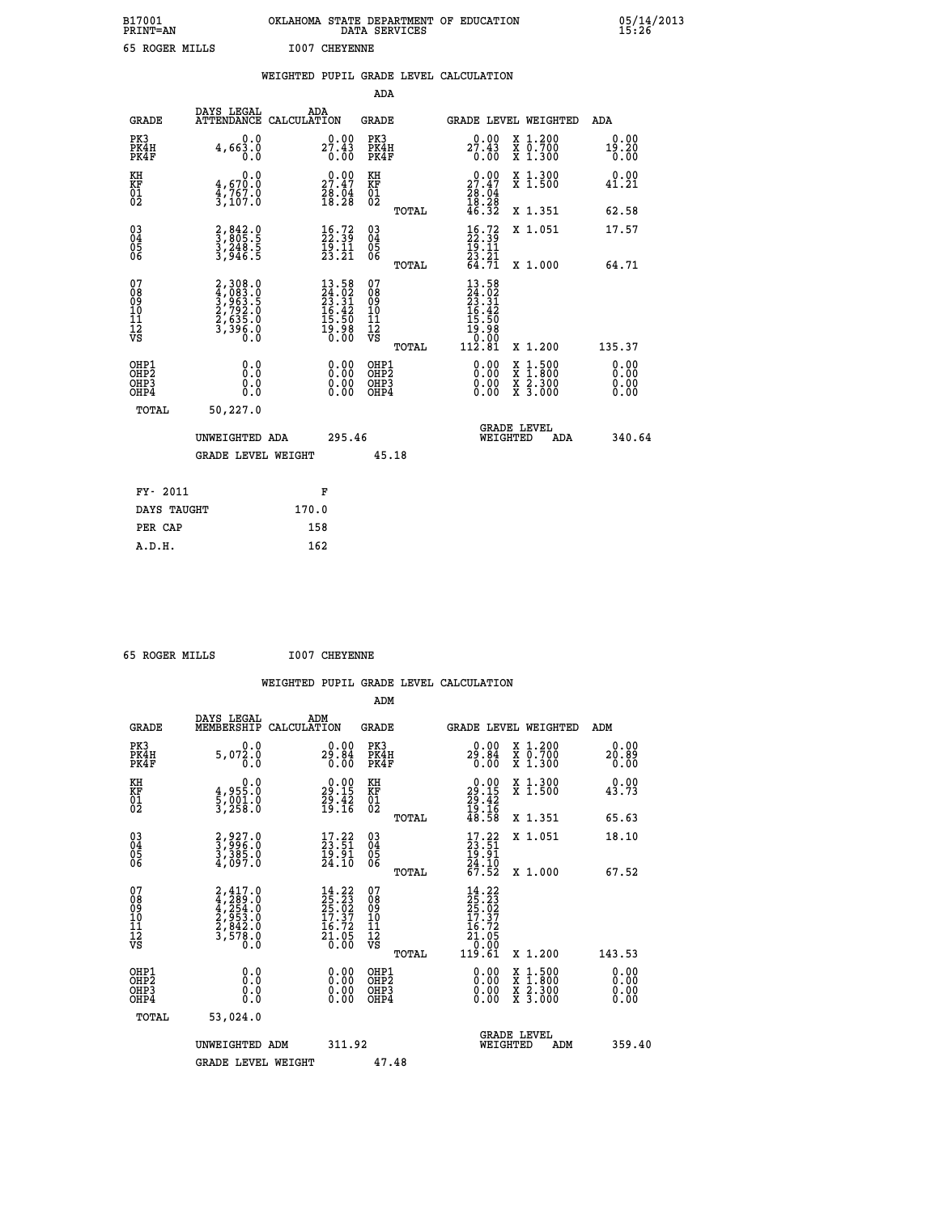| B17001<br><b>PRINT=AN</b> | OKLAHOMA STATE DEPARTMENT OF EDUCATION<br>DATA SERVICES | 05/14/2013<br>15:26 |
|---------------------------|---------------------------------------------------------|---------------------|
| 65 ROGER MILLS            | <b>I007 CHEYENNE</b>                                    |                     |

|  |  | WEIGHTED PUPIL GRADE LEVEL CALCULATION |
|--|--|----------------------------------------|
|  |  |                                        |

|                                                      |                                                                |                                                                                                                   | ADA                                                 |       |                                                                                               |                                          |                              |
|------------------------------------------------------|----------------------------------------------------------------|-------------------------------------------------------------------------------------------------------------------|-----------------------------------------------------|-------|-----------------------------------------------------------------------------------------------|------------------------------------------|------------------------------|
| <b>GRADE</b>                                         | DAYS LEGAL<br>ATTENDANCE CALCULATION                           | ADA                                                                                                               | <b>GRADE</b>                                        |       | GRADE LEVEL WEIGHTED                                                                          |                                          | ADA                          |
| PK3<br>PK4H<br>PK4F                                  | 0.0<br>4,663.0<br>0.0                                          | 27.43<br>0.00                                                                                                     | PK3<br>PK4H<br>PK4F                                 |       | $27.43\n0.00\n0.00$                                                                           | X 1.200<br>X 0.700<br>X 1.300            | 0.00<br>19.20<br>0.00        |
| KH<br>KF<br>01<br>02                                 | 0.0<br>$\frac{4}{3}, \frac{670}{767}$ .0<br>3,107.0            | $\begin{smallmatrix} 0.00\\ 27.47\\ 28.04\\ 18.28 \end{smallmatrix}$                                              | KH<br>KF<br>01<br>02                                |       | $\begin{smallmatrix} 0.00\\ 27.47\\ 28.04\\ 18.28\\ 46.32 \end{smallmatrix}$                  | X 1.300<br>X 1.500                       | 0.00<br>41.21                |
|                                                      |                                                                |                                                                                                                   |                                                     | TOTAL |                                                                                               | X 1.351                                  | 62.58                        |
| $\begin{matrix} 03 \\ 04 \\ 05 \\ 06 \end{matrix}$   | 2,842.0<br>3,805.5<br>3,248.5<br>3,946.5                       | $\frac{16}{22}$ : $\frac{72}{39}$<br>$\frac{15}{23}. \frac{11}{21}$                                               | $\begin{array}{c} 03 \\ 04 \\ 05 \\ 06 \end{array}$ | TOTAL | $\begin{smallmatrix} 16.72\ 22.39\ 19.11\ 23.21\ 64.71 \end{smallmatrix}$                     | X 1.051<br>X 1.000                       | 17.57<br>64.71               |
| 07                                                   |                                                                |                                                                                                                   | 07                                                  |       |                                                                                               |                                          |                              |
| 08<br>09<br>11<br>11<br>12<br>VS                     | 2,308.0<br>4,083.0<br>5,963.5<br>2,792.0<br>2,635.0<br>3,396.0 | $\begin{smallmatrix} 13\cdot58\\24\cdot02\\23\cdot31\\16\cdot42\\15\cdot50\\19\cdot98\\0\cdot00\end{smallmatrix}$ | 08<br>09<br>101<br>112<br>VS                        | TOTAL | $\begin{smallmatrix} 13.58\\24.02\\23.31\\23.41\\16.42\\15.50\\19.08\\0.001\end{smallmatrix}$ | X 1.200                                  | 135.37                       |
| OHP1<br>OH <sub>P</sub> <sub>2</sub><br>OHP3<br>OHP4 | 0.0<br>0.0<br>0.0                                              | $\begin{smallmatrix} 0.00 \ 0.00 \ 0.00 \ 0.00 \end{smallmatrix}$                                                 | OHP1<br>OHP <sub>2</sub><br>OHP3<br>OHP4            |       |                                                                                               | X 1:500<br>X 1:800<br>X 2:300<br>X 3:000 | 0.00<br>0.00<br>0.00<br>0.00 |
| <b>TOTAL</b>                                         | 50,227.0                                                       |                                                                                                                   |                                                     |       |                                                                                               |                                          |                              |
|                                                      | UNWEIGHTED ADA                                                 | 295.46                                                                                                            |                                                     |       | WEIGHTED                                                                                      | <b>GRADE LEVEL</b><br>ADA                | 340.64                       |
|                                                      | <b>GRADE LEVEL WEIGHT</b>                                      |                                                                                                                   | 45.18                                               |       |                                                                                               |                                          |                              |
|                                                      |                                                                |                                                                                                                   |                                                     |       |                                                                                               |                                          |                              |
| FY- 2011                                             |                                                                | F                                                                                                                 |                                                     |       |                                                                                               |                                          |                              |
| DAYS TAUGHT                                          |                                                                | 170.0                                                                                                             |                                                     |       |                                                                                               |                                          |                              |
| PER CAP                                              |                                                                | 158                                                                                                               |                                                     |       |                                                                                               |                                          |                              |

 **65 ROGER MILLS I007 CHEYENNE**

 **A.D.H. 162**

| <b>GRADE</b>                                       | DAYS LEGAL<br>MEMBERSHIP                                                            | ADM<br>CALCULATION                                                                                                | <b>GRADE</b>                                        |       | <b>GRADE LEVEL WEIGHTED</b>                                                                                     |                                          | ADM                   |        |
|----------------------------------------------------|-------------------------------------------------------------------------------------|-------------------------------------------------------------------------------------------------------------------|-----------------------------------------------------|-------|-----------------------------------------------------------------------------------------------------------------|------------------------------------------|-----------------------|--------|
| PK3<br>PK4H<br>PK4F                                | 5,072.0<br>0.0                                                                      | $29.00$<br>29.84<br>0.00                                                                                          | PK3<br>PK4H<br>PK4F                                 |       | 29.84<br>0.00                                                                                                   | X 1.200<br>X 0.700<br>X 1.300            | 0.00<br>20.89<br>0.00 |        |
| KH<br>KF<br>01<br>02                               | $\begin{smallmatrix} 0.0\\4.955.0\\5.001.0\\3.258.0 \end{smallmatrix}$              | $\begin{smallmatrix} 0.00\\29.15\\29.42\\19.16 \end{smallmatrix}$                                                 | KH<br>KF<br>01<br>02                                |       | $\begin{smallmatrix} 0.00\\29.15\\29.42\\19.16\\48.58 \end{smallmatrix}$                                        | X 1.300<br>X 1.500                       | 0.00<br>43.73         |        |
|                                                    |                                                                                     |                                                                                                                   |                                                     | TOTAL |                                                                                                                 | X 1.351                                  | 65.63                 |        |
| $\begin{matrix} 03 \\ 04 \\ 05 \\ 06 \end{matrix}$ | 2,927.0<br>3,996.0<br>3,385.0<br>4,097.0                                            | $\begin{smallmatrix} 17.22\\ 23.51\\ 19.91\\ 24.10 \end{smallmatrix}$                                             | $\begin{array}{c} 03 \\ 04 \\ 05 \\ 06 \end{array}$ |       | $\begin{array}{c} 17.22 \\ 23.51 \\ 19.91 \\ 24.10 \\ 67.52 \end{array}$                                        | X 1.051                                  | 18.10                 |        |
|                                                    |                                                                                     |                                                                                                                   |                                                     | TOTAL |                                                                                                                 | X 1.000                                  | 67.52                 |        |
| 07<br>08<br>09<br>101<br>11<br>12<br>VS            | $2,417.0$<br>$4,289.0$<br>$4,254.0$<br>$2,953.0$<br>$2,842.0$<br>$3,578.0$<br>$0.0$ | $\begin{smallmatrix} 14\cdot22\\25\cdot23\\25\cdot02\\17\cdot37\\16\cdot72\\21\cdot05\\0\cdot00\end{smallmatrix}$ | 07<br>08<br>09<br>01<br>11<br>11<br>12<br>VS        | TOTAL | $\begin{smallmatrix} 14 & 22\ 25 & 23\ 25 & 02\ 17 & 37\ 16 & 72\ 21 & 05\ 21 & 05\ 19 & 61\ \end{smallmatrix}$ | X 1.200                                  | 143.53                |        |
| OHP1<br>OHP2<br>OHP3<br>OHP4                       | 0.0<br>$\begin{smallmatrix} 0.0 & 0 \ 0.0 & 0 \end{smallmatrix}$                    |                                                                                                                   | OHP1<br>OHP2<br>OHP3<br>OHP4                        |       |                                                                                                                 | X 1:500<br>X 1:800<br>X 2:300<br>X 3:000 | 0.00<br>0.00<br>0.00  |        |
| TOTAL                                              | 53,024.0                                                                            |                                                                                                                   |                                                     |       |                                                                                                                 |                                          |                       |        |
|                                                    | UNWEIGHTED<br>ADM                                                                   | 311.92                                                                                                            |                                                     |       | WEIGHTED                                                                                                        | <b>GRADE LEVEL</b><br>ADM                |                       | 359.40 |
|                                                    | <b>GRADE LEVEL WEIGHT</b>                                                           |                                                                                                                   | 47.48                                               |       |                                                                                                                 |                                          |                       |        |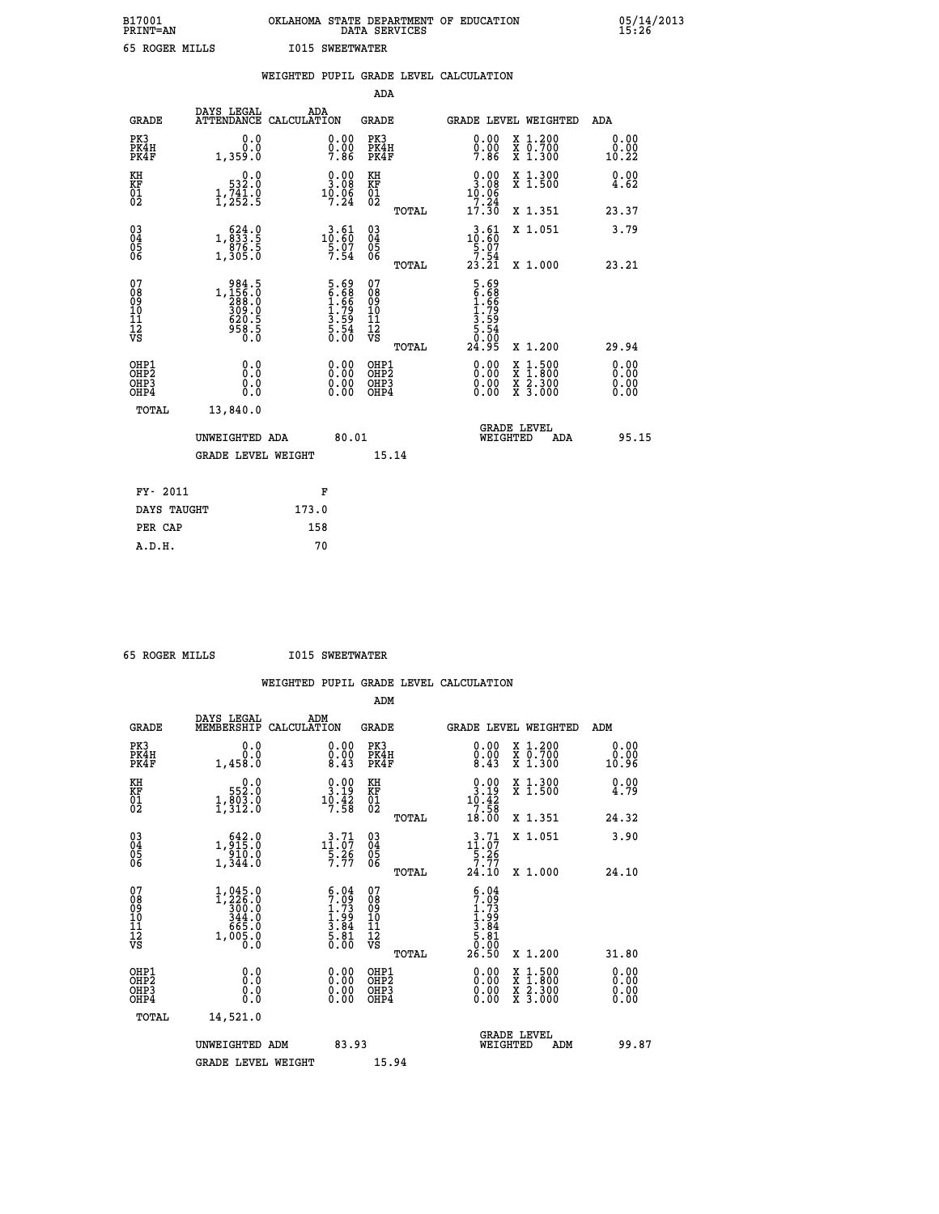| B17001<br><b>PRINT=AN</b> | OKLAHOMA STATE DEPARTMENT OF EDUCATION<br>DATA SERVICES | 05/14/2013<br>15:26 |
|---------------------------|---------------------------------------------------------|---------------------|
| 65 ROGER MILLS            | <b>I015 SWEETWATER</b>                                  |                     |

|                                                                    |                                                                                    | WEIGHTED PUPIL GRADE LEVEL CALCULATION                                             |                                                 |                                                                                                                                                                                                                                                                                                                                                                                                                             |                              |
|--------------------------------------------------------------------|------------------------------------------------------------------------------------|------------------------------------------------------------------------------------|-------------------------------------------------|-----------------------------------------------------------------------------------------------------------------------------------------------------------------------------------------------------------------------------------------------------------------------------------------------------------------------------------------------------------------------------------------------------------------------------|------------------------------|
|                                                                    |                                                                                    |                                                                                    | <b>ADA</b>                                      |                                                                                                                                                                                                                                                                                                                                                                                                                             |                              |
| <b>GRADE</b>                                                       | DAYS LEGAL                                                                         | ADA<br>ATTENDANCE CALCULATION                                                      | GRADE                                           | GRADE LEVEL WEIGHTED                                                                                                                                                                                                                                                                                                                                                                                                        | ADA                          |
| PK3<br>PK4H<br>PK4F                                                | 0.0<br>0.0<br>1,359.0                                                              | $\begin{smallmatrix} 0.00 \ 0.00 \ 7.86 \end{smallmatrix}$                         | PK3<br>PK4H<br>PK4F                             | $\begin{smallmatrix} 0.00 \ 0.00 \ 7.86 \end{smallmatrix}$<br>X 1.200<br>X 0.700<br>X 1.300                                                                                                                                                                                                                                                                                                                                 | 0.00<br>0.00<br>10.22        |
| KH<br>KF<br>01<br>02                                               | $0.0$<br>532.0<br>$\frac{1}{2}, \frac{7}{25}$ $\frac{1}{2}$ : 9                    | $\begin{smallmatrix} 0.00\\ 3.08\\ 10.06\\ 7.24 \end{smallmatrix}$                 | KH<br>KF<br>01<br>02                            | $0.00$<br>3.08<br>X 1.300<br>X 1.500<br>10.06                                                                                                                                                                                                                                                                                                                                                                               | 0.00<br>4.62                 |
|                                                                    |                                                                                    |                                                                                    | TOTAL                                           | 7.24<br>17.30<br>X 1.351                                                                                                                                                                                                                                                                                                                                                                                                    | 23.37                        |
| $\begin{smallmatrix} 03 \\[-4pt] 04 \end{smallmatrix}$<br>Ŏ5<br>06 | $\substack{ \substack{ \text{6\,24\,.0 } \\ 0.833\,.5 \\ 876\,.5 \\ 1,305\,.0 } }$ | $\begin{smallmatrix} 3\cdot 61\\10\cdot 60\\5\cdot 07\\7\cdot 54\end{smallmatrix}$ | $\substack{03 \\ 04}$<br>Ŏ5<br>06               | $\begin{smallmatrix} 3.61 \\ 10.60 \\ 5.07 \\ 7.54 \\ 23.21 \end{smallmatrix}$<br>X 1.051                                                                                                                                                                                                                                                                                                                                   | 3.79                         |
|                                                                    |                                                                                    |                                                                                    | TOTAL                                           | X 1.000                                                                                                                                                                                                                                                                                                                                                                                                                     | 23.21                        |
| 07<br>08<br>09<br>11<br>11<br>12<br>VS                             | 984.5<br>1,156.0<br>288.0<br>200.0<br>300.0<br>620.5<br>958.5<br>0.0               | 5.69<br>6.68<br>1.66<br>1.79<br>3.59<br>3.54<br>5.00                               | 07<br>08<br>09<br>11<br>11<br>12<br>VS<br>TOTAL | 5.69<br>6.68<br>1.79<br>1.79<br>3.59<br>5.54<br>0.00<br>24.95<br>X 1.200                                                                                                                                                                                                                                                                                                                                                    | 29.94                        |
| OHP1<br>OH <sub>P</sub> 2<br>OHP3<br>OH <sub>P4</sub>              | 0.0<br>0.0<br>0.0                                                                  | $\begin{smallmatrix} 0.00 \ 0.00 \ 0.00 \ 0.00 \end{smallmatrix}$                  | OHP1<br>OHP <sub>2</sub><br>OHP3<br>OHP4        | $\begin{smallmatrix} 0.00 & 0.00 & 0.00 & 0.00 & 0.00 & 0.00 & 0.00 & 0.00 & 0.00 & 0.00 & 0.00 & 0.00 & 0.00 & 0.00 & 0.00 & 0.00 & 0.00 & 0.00 & 0.00 & 0.00 & 0.00 & 0.00 & 0.00 & 0.00 & 0.00 & 0.00 & 0.00 & 0.00 & 0.00 & 0.00 & 0.00 & 0.00 & 0.00 & 0.00 & 0.00 & 0.0$<br>$\begin{smallmatrix} \mathtt{X} & 1\cdot500\\ \mathtt{X} & 1\cdot800\\ \mathtt{X} & 2\cdot300\\ \mathtt{X} & 3\cdot000 \end{smallmatrix}$ | 0.00<br>0.00<br>0.00<br>0.00 |
| TOTAL                                                              | 13,840.0                                                                           |                                                                                    |                                                 |                                                                                                                                                                                                                                                                                                                                                                                                                             |                              |
|                                                                    | UNWEIGHTED ADA                                                                     | 80.01                                                                              |                                                 | <b>GRADE LEVEL</b><br>WEIGHTED                                                                                                                                                                                                                                                                                                                                                                                              | 95.15<br><b>ADA</b>          |
|                                                                    | <b>GRADE LEVEL WEIGHT</b>                                                          |                                                                                    | 15.14                                           |                                                                                                                                                                                                                                                                                                                                                                                                                             |                              |
|                                                                    | FY- 2011                                                                           | F                                                                                  |                                                 |                                                                                                                                                                                                                                                                                                                                                                                                                             |                              |
|                                                                    | DAYS TAUGHT                                                                        | 173.0                                                                              |                                                 |                                                                                                                                                                                                                                                                                                                                                                                                                             |                              |
|                                                                    | PER CAP                                                                            | 158                                                                                |                                                 |                                                                                                                                                                                                                                                                                                                                                                                                                             |                              |

 **65 ROGER MILLS I015 SWEETWATER**

 **A.D.H. 70**

|                                                    |                                                                                                                |                    |                                                                                      |                                          |       | WEIGHTED PUPIL GRADE LEVEL CALCULATION                                                                                                                                                                                                                                         |                                          |                              |       |
|----------------------------------------------------|----------------------------------------------------------------------------------------------------------------|--------------------|--------------------------------------------------------------------------------------|------------------------------------------|-------|--------------------------------------------------------------------------------------------------------------------------------------------------------------------------------------------------------------------------------------------------------------------------------|------------------------------------------|------------------------------|-------|
|                                                    |                                                                                                                |                    |                                                                                      | ADM                                      |       |                                                                                                                                                                                                                                                                                |                                          |                              |       |
| <b>GRADE</b>                                       | DAYS LEGAL<br>MEMBERSHIP                                                                                       | ADM<br>CALCULATION |                                                                                      | <b>GRADE</b>                             |       | GRADE LEVEL WEIGHTED                                                                                                                                                                                                                                                           |                                          | ADM                          |       |
| PK3<br>PK4H<br>PK4F                                | 0.0<br>0.0<br>1,458.0                                                                                          |                    | $\begin{smallmatrix} 0.00\\ 0.00\\ 8.43 \end{smallmatrix}$                           | PK3<br>PK4H<br>PK4F                      |       | $\begin{smallmatrix} 0.00 \\ 0.00 \\ 8.43 \end{smallmatrix}$                                                                                                                                                                                                                   | X 1.200<br>X 0.700<br>X 1.300            | 0.00<br>0.00<br>10.96        |       |
| KH<br>KF<br>01<br>02                               | $\begin{smallmatrix}&&0\, .\, 0\, 552\, .\, 0\, 1\, ,\, 803\, .\, 0\, 1\, ,\, 312\, .\, 0\, \end{smallmatrix}$ |                    | $\begin{smallmatrix} 0.00\\ 3.19\\ 10.42\\ 7.58 \end{smallmatrix}$                   | KH<br>KF<br>01<br>02                     |       | $\begin{array}{c} 0.00 \\ 3.19 \\ 10.42 \\ 7.58 \\ 18.00 \end{array}$                                                                                                                                                                                                          | X 1.300<br>X 1.500                       | 0.00<br>4.79                 |       |
|                                                    |                                                                                                                |                    |                                                                                      |                                          | TOTAL |                                                                                                                                                                                                                                                                                | X 1.351                                  | 24.32                        |       |
| $\begin{matrix} 03 \\ 04 \\ 05 \\ 06 \end{matrix}$ | $1, \frac{642}{915}$ $0, 0$<br>1,344.0                                                                         |                    | $\begin{array}{r} 3 \cdot 71 \\ 11 \cdot 07 \\ 5 \cdot 26 \\ 7 \cdot 77 \end{array}$ | 03<br>04<br>05<br>06                     |       | $11.07$<br>$5.26$<br>$7.77$                                                                                                                                                                                                                                                    | X 1.051                                  | 3.90                         |       |
|                                                    |                                                                                                                |                    |                                                                                      |                                          | TOTAL | 24.10                                                                                                                                                                                                                                                                          | X 1.000                                  | 24.10                        |       |
| 07<br>08901112<br>1112<br>VS                       | $\begin{smallmatrix} 1,045 & 0\\ 1,226 & 0\\ 300 & 0\\ 344 & 0\\ 665 & 0\\ 1,005 & 0\\ 0 & 0\end{smallmatrix}$ |                    | $6.04$<br>$7.09$<br>$1.93$<br>$1.99$<br>$3.84$<br>$5.81$<br>$0.00$                   | 07<br>08<br>09<br>11<br>11<br>12<br>VS   |       | $5.04$<br>$7.09$<br>$1.93$<br>$1.99$<br>$3.84$<br>$5.81$<br>$0.00$                                                                                                                                                                                                             |                                          |                              |       |
|                                                    |                                                                                                                |                    |                                                                                      |                                          | TOTAL | 26.50                                                                                                                                                                                                                                                                          | X 1.200                                  | 31.80                        |       |
| OHP1<br>OHP2<br>OH <sub>P3</sub><br>OHP4           | 0.0<br>0.000                                                                                                   |                    | $0.00$<br>$0.00$<br>0.00                                                             | OHP1<br>OHP2<br>OHP <sub>3</sub><br>OHP4 |       | $\begin{smallmatrix} 0.00 & 0.00 & 0.00 & 0.00 & 0.00 & 0.00 & 0.00 & 0.00 & 0.00 & 0.00 & 0.00 & 0.00 & 0.00 & 0.00 & 0.00 & 0.00 & 0.00 & 0.00 & 0.00 & 0.00 & 0.00 & 0.00 & 0.00 & 0.00 & 0.00 & 0.00 & 0.00 & 0.00 & 0.00 & 0.00 & 0.00 & 0.00 & 0.00 & 0.00 & 0.00 & 0.0$ | X 1:500<br>X 1:800<br>X 2:300<br>X 3:000 | 0.00<br>Ŏ.ŎŎ<br>Q.QQ<br>0.00 |       |
| TOTAL                                              | 14,521.0                                                                                                       |                    |                                                                                      |                                          |       |                                                                                                                                                                                                                                                                                |                                          |                              |       |
|                                                    | UNWEIGHTED ADM<br><b>GRADE LEVEL WEIGHT</b>                                                                    |                    | 83.93                                                                                | 15.94                                    |       |                                                                                                                                                                                                                                                                                | GRADE LEVEL<br>WEIGHTED<br>ADM           |                              | 99.87 |
|                                                    |                                                                                                                |                    |                                                                                      |                                          |       |                                                                                                                                                                                                                                                                                |                                          |                              |       |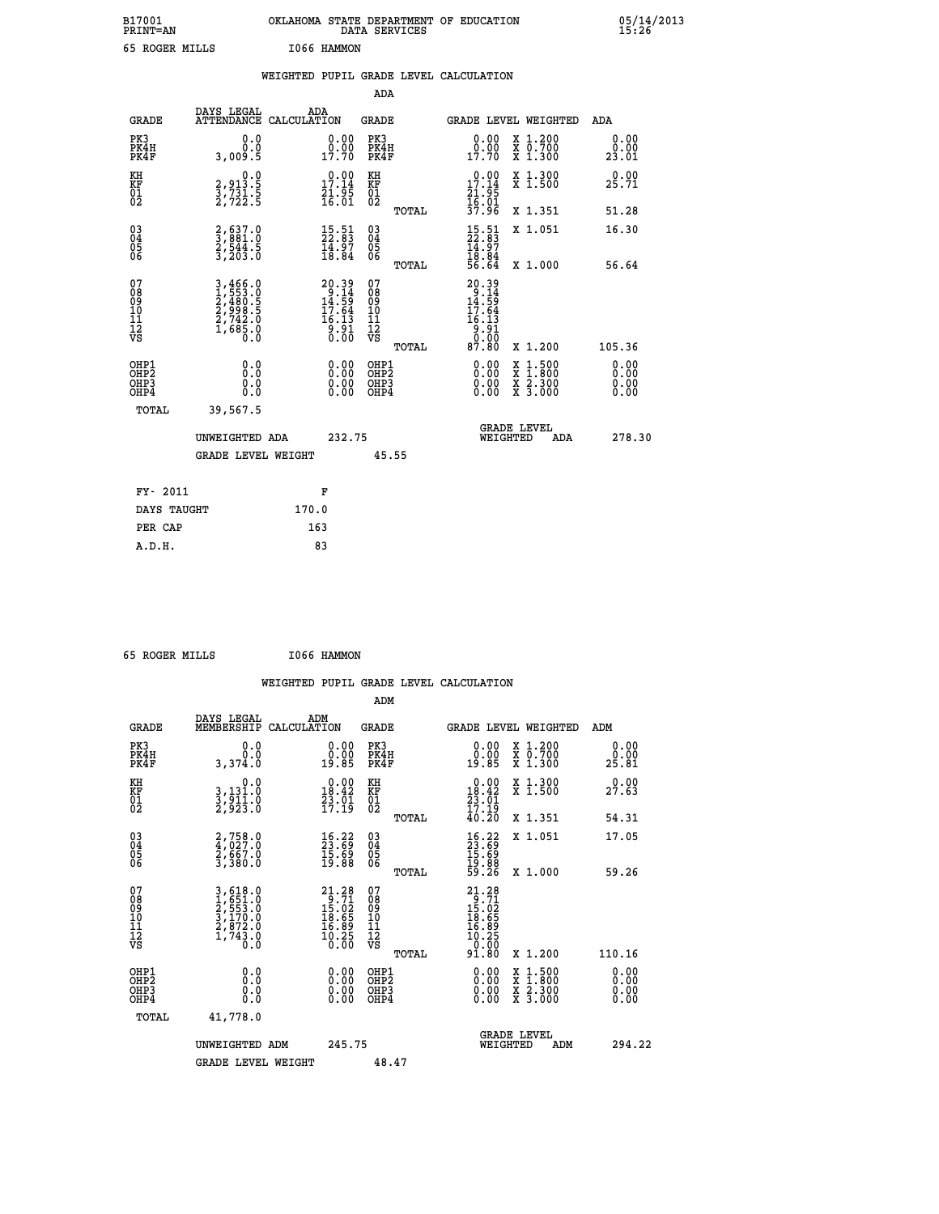| B17001<br><b>PRINT=AN</b> | OKLAHOMA STATE DEPARTMENT OF EDUCATION<br>DATA SERVICES | 05/14/2013<br>15:26 |
|---------------------------|---------------------------------------------------------|---------------------|
| 65 ROGER MILLS            | I066 HAMMON                                             |                     |

|                                    |                                                                       | WEIGHTED PUPIL GRADE LEVEL CALCULATION                                               |                                        |       |                                                                                                                            |                                                                          |                              |
|------------------------------------|-----------------------------------------------------------------------|--------------------------------------------------------------------------------------|----------------------------------------|-------|----------------------------------------------------------------------------------------------------------------------------|--------------------------------------------------------------------------|------------------------------|
|                                    |                                                                       |                                                                                      | <b>ADA</b>                             |       |                                                                                                                            |                                                                          |                              |
| <b>GRADE</b>                       | DAYS LEGAL<br><b>ATTENDANCE</b>                                       | ADA<br>CALCULATION                                                                   | <b>GRADE</b>                           |       | GRADE LEVEL WEIGHTED                                                                                                       |                                                                          | ADA                          |
| PK3<br>PK4H<br>PK4F                | 0.0<br>0.0<br>3,009.5                                                 | $\begin{smallmatrix} 0.00\\ 0.00\\ 17.70 \end{smallmatrix}$                          | PK3<br>PK4H<br>PK4F                    |       | 0.00<br>0.00<br>17.70                                                                                                      | X 1.200<br>X 0.700<br>X 1.300                                            | 0.00<br>0.00<br>23.01        |
| KH<br>KF<br>01<br>02               | 0.0<br>2, 913:5<br>3, 731:5<br>2, 722:5                               | $\begin{smallmatrix} 0.00\\ 17.14\\ 21.95\\ 16.01 \end{smallmatrix}$                 | KH<br>KF<br>01<br>02                   |       | $\begin{smallmatrix} 0.00\\ 17.14\\ 21.95\\ 16.01\\ 37.96 \end{smallmatrix}$                                               | X 1.300<br>X 1.500                                                       | 0.00<br>25.71                |
|                                    |                                                                       |                                                                                      |                                        | TOTAL |                                                                                                                            | X 1.351                                                                  | 51.28                        |
| $^{03}_{04}$<br>Ŏ5<br>06           | 2,637.0<br>3,881.0<br>2,544.5<br>3,203.0                              | $\frac{15.51}{22.83}$<br>$\frac{1}{18}$ . $\frac{5}{8}$<br>18.84                     | $\substack{03 \\ 04}$<br>Ŏ5<br>06      |       | $15.51$<br>$22.83$<br>$14.97$<br>$18.84$<br>$56.64$                                                                        | X 1.051                                                                  | 16.30                        |
|                                    |                                                                       |                                                                                      |                                        | TOTAL |                                                                                                                            | X 1.000                                                                  | 56.64                        |
| 07<br>08<br>09<br>101<br>112<br>VS | 3,466.0<br>1,553.0<br>2,480.5<br>2,998.5<br>2,742.0<br>1,685.0<br>0.0 | $20.39$<br>$9.14$<br>$14.59$<br>$17.64$<br>$16.13$<br>$\frac{3}{0}$ . $\frac{51}{0}$ | 07<br>08<br>09<br>11<br>11<br>12<br>VS | TOTAL | $\begin{array}{r} 20\,.\,39\\ -9\,.\,14\\ 14\,.\,59\\ 17\,.\,64\\ 16\,.\,13\\ 9\,.\,91\\ 0\,.\,00\\ 87\,.\,80 \end{array}$ | X 1.200                                                                  | 105.36                       |
| OHP1<br>OHP2<br>OHP3<br>OHP4       | 0.0<br>0.0<br>0.0                                                     | 0.00<br>$\begin{smallmatrix} 0.00 \ 0.00 \end{smallmatrix}$                          | OHP1<br>OHP2<br>OHP3<br>OHP4           |       | 0.00<br>0.00<br>0.00                                                                                                       | $1:500$<br>1:800<br>X<br>X<br>$\frac{\ddot{x}}{x}$ $\frac{2.300}{3.000}$ | 0.00<br>0.00<br>0.00<br>0.00 |
| <b>TOTAL</b>                       | 39,567.5                                                              |                                                                                      |                                        |       |                                                                                                                            |                                                                          |                              |
|                                    | UNWEIGHTED ADA                                                        | 232.75                                                                               |                                        |       |                                                                                                                            | GRADE LEVEL<br>WEIGHTED<br>ADA                                           | 278.30                       |
|                                    | <b>GRADE LEVEL WEIGHT</b>                                             |                                                                                      | 45.55                                  |       |                                                                                                                            |                                                                          |                              |
| FY- 2011                           |                                                                       | F                                                                                    |                                        |       |                                                                                                                            |                                                                          |                              |
| DAYS TAUGHT                        |                                                                       | 170.0                                                                                |                                        |       |                                                                                                                            |                                                                          |                              |
| PER CAP                            |                                                                       | 163                                                                                  |                                        |       |                                                                                                                            |                                                                          |                              |

 **65 ROGER MILLS I066 HAMMON**

 **A.D.H. 83**

|                                                    |                                                                       |                                                                                                                                                             | WEIGHTED PUPIL GRADE LEVEL CALCULATION              |                                                                                                                  |                              |
|----------------------------------------------------|-----------------------------------------------------------------------|-------------------------------------------------------------------------------------------------------------------------------------------------------------|-----------------------------------------------------|------------------------------------------------------------------------------------------------------------------|------------------------------|
|                                                    |                                                                       |                                                                                                                                                             | ADM                                                 |                                                                                                                  |                              |
| <b>GRADE</b>                                       | DAYS LEGAL<br>MEMBERSHIP<br>CALCULATION                               | ADM                                                                                                                                                         | GRADE                                               | <b>GRADE LEVEL WEIGHTED</b>                                                                                      | ADM                          |
| PK3<br>PK4H<br>PK4F                                | 0.0<br>0.0<br>3,374.0                                                 | 0.00<br>19.85                                                                                                                                               | PK3<br>PK4H<br>PK4F                                 | 0.00<br>X 1.200<br>X 0.700<br>X 1.300<br>19.85                                                                   | 0.00<br>0.00<br>25.81        |
| KH<br>KF<br>01<br>02                               | 0.0<br>3,131.0<br>3,911.0<br>2,923.0                                  | $\begin{smallmatrix} 0.00\\18.42\\23.01\\17.19 \end{smallmatrix}$                                                                                           | KH<br>KF<br>01<br>02                                | 0.00<br>X 1.300<br>X 1.500<br>$18.42$<br>$23.01$<br>$17.19$<br>$40.20$                                           | 0.00<br>27.63                |
|                                                    |                                                                       |                                                                                                                                                             | TOTAL                                               | X 1.351                                                                                                          | 54.31                        |
| $\begin{matrix} 03 \\ 04 \\ 05 \\ 06 \end{matrix}$ | 2,758.0<br>4,027.0<br>2,667.0<br>3,380.0                              | $\begin{smallmatrix} 16.22\ 23.69\ 15.69\ 19.88 \end{smallmatrix}$                                                                                          | $\begin{array}{c} 03 \\ 04 \\ 05 \\ 06 \end{array}$ | $\begin{smallmatrix} 16.22\ 23.69\ 15.69\ 19.88\ 59.26 \end{smallmatrix}$<br>X 1.051                             | 17.05                        |
|                                                    |                                                                       |                                                                                                                                                             | TOTAL                                               | X 1.000                                                                                                          | 59.26                        |
| 07<br>08<br>09<br>101<br>11<br>12<br>VS            | 3,618.0<br>1,651.0<br>2,553.0<br>3,170.0<br>2,872.0<br>1,743.0<br>0.0 | $\begin{smallmatrix} 21.28\\[-1.2mm] 9.71\\[-1.2mm] 15.02\\[-1.2mm] 18.65\\[-1.2mm] 18.65\\[-1.2mm] 16.89\\[-1.2mm] 10.25\\[-1.2mm] 0.00 \end{smallmatrix}$ | 07<br>08<br>09<br>01<br>11<br>11<br>12<br>VS        | 21.28<br>$2\frac{1}{9}\cdot 71$<br>$15\cdot 02$<br>$18\cdot 65$<br>$16\cdot 89$<br>$16\cdot 255$<br>$91\cdot 80$ |                              |
|                                                    |                                                                       |                                                                                                                                                             | TOTAL                                               | X 1.200                                                                                                          | 110.16                       |
| OHP1<br>OHP2<br>OHP3<br>OHP4                       | 0.0<br>0.000                                                          | $\begin{smallmatrix} 0.00 \ 0.00 \ 0.00 \ 0.00 \end{smallmatrix}$                                                                                           | OHP1<br>OHP2<br>OHP3<br>OHP4                        | $0.00$<br>$0.00$<br>X 1:500<br>X 1:800<br>X 2:300<br>X 3:000<br>0.00                                             | 0.00<br>Ŏ.ŎŎ<br>0.00<br>0.00 |
| TOTAL                                              | 41,778.0                                                              |                                                                                                                                                             |                                                     |                                                                                                                  |                              |
|                                                    | UNWEIGHTED ADM                                                        | 245.75                                                                                                                                                      |                                                     | <b>GRADE LEVEL</b><br>WEIGHTED<br>ADM                                                                            | 294.22                       |
|                                                    | <b>GRADE LEVEL WEIGHT</b>                                             |                                                                                                                                                             | 48.47                                               |                                                                                                                  |                              |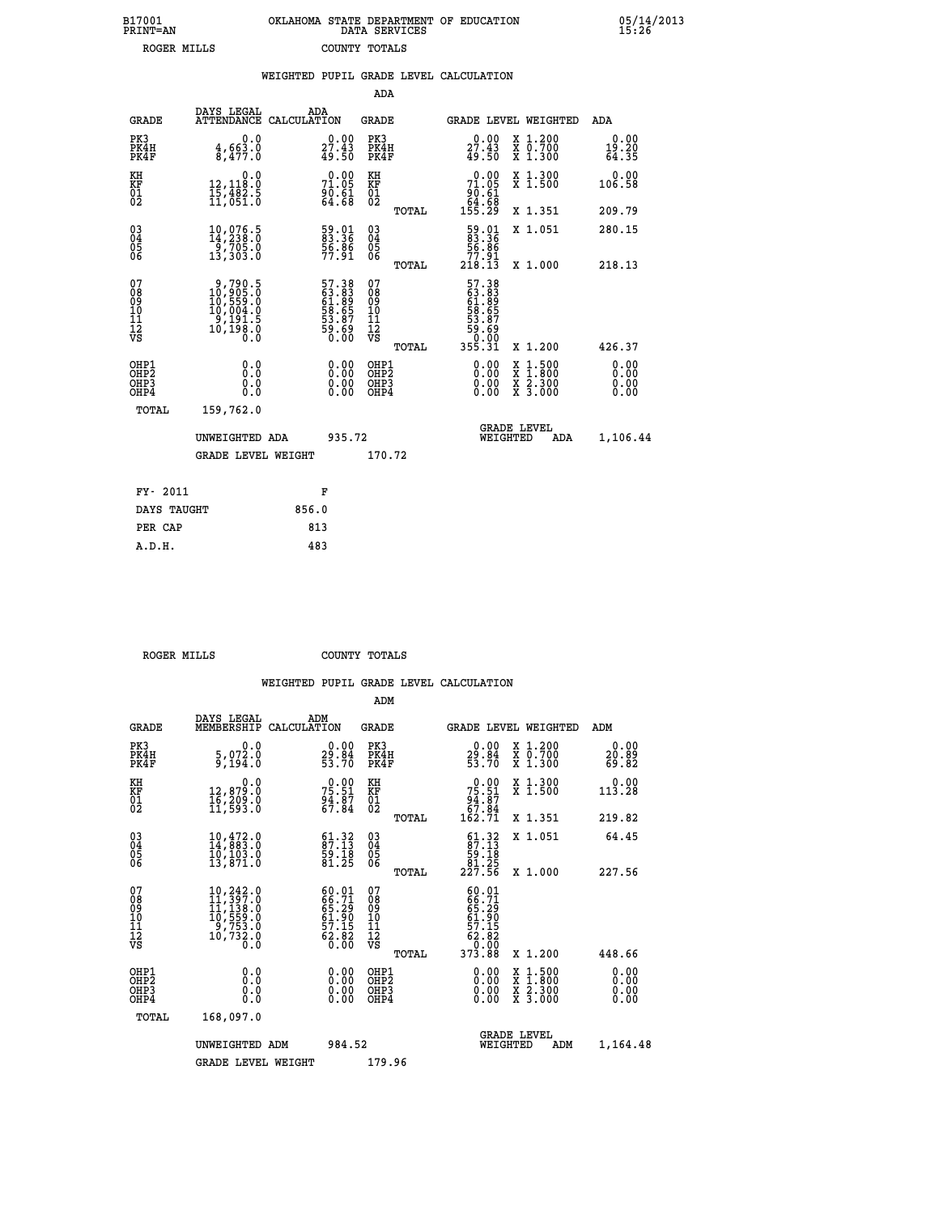| B17001<br>PRINT=AN | OKLAHOMA STATE DEPARTMENT OF EDUCATION<br>DATA SERVICES | 05/14/2013<br>15:26 |
|--------------------|---------------------------------------------------------|---------------------|
| ROGER MILLS        | COUNTY TOTALS                                           |                     |

|                                              |                                                                                         | WEIGHTED PUPIL GRADE LEVEL CALCULATION                            |                                                    |       |                                                                                                                                                                                                                                                                                |                                                                                                                                      |                        |
|----------------------------------------------|-----------------------------------------------------------------------------------------|-------------------------------------------------------------------|----------------------------------------------------|-------|--------------------------------------------------------------------------------------------------------------------------------------------------------------------------------------------------------------------------------------------------------------------------------|--------------------------------------------------------------------------------------------------------------------------------------|------------------------|
|                                              |                                                                                         |                                                                   | <b>ADA</b>                                         |       |                                                                                                                                                                                                                                                                                |                                                                                                                                      |                        |
| <b>GRADE</b>                                 | DAYS LEGAL                                                                              | ADA<br>ATTENDANCE CALCULATION                                     | <b>GRADE</b>                                       |       |                                                                                                                                                                                                                                                                                | GRADE LEVEL WEIGHTED                                                                                                                 | ADA                    |
| PK3<br>PK4H<br>PK4F                          | 0.0<br>$\frac{4}{8}, \frac{663}{477}$ .0                                                | 0.00<br>27.43<br>49.50                                            | PK3<br>PK4H<br>PK4F                                |       | $27.43$<br>$49.50$                                                                                                                                                                                                                                                             | X 1.200<br>X 0.700<br>X 1.300                                                                                                        | 0.00<br>19.20<br>64.35 |
| KH<br>KF<br>01<br>02                         | $\begin{smallmatrix}&&&0.0\\12,118.0\\15,482.5\\11,051.0\end{smallmatrix}$              | 71.09<br>$\frac{6}{64}$ . $\frac{61}{68}$                         | KH<br>KF<br>01<br>02                               |       | 71.09<br>61.61<br>64.68<br>155.29                                                                                                                                                                                                                                              | X 1.300<br>X 1.500                                                                                                                   | 0.00<br>106.58         |
|                                              |                                                                                         |                                                                   |                                                    | TOTAL |                                                                                                                                                                                                                                                                                | X 1.351                                                                                                                              | 209.79                 |
| $^{03}_{04}$<br>05<br>06                     | 10,076.5<br>14,238.0<br>$\frac{1}{2}$ ,705.0<br>13,303.0                                | 59.01<br>83.36<br>56.86<br>77.91                                  | $\begin{matrix} 03 \\ 04 \\ 05 \\ 06 \end{matrix}$ |       | 59.01<br>83.36<br>56.86                                                                                                                                                                                                                                                        | X 1.051                                                                                                                              | 280.15                 |
|                                              |                                                                                         |                                                                   |                                                    | TOTAL | 77.91<br>218.13                                                                                                                                                                                                                                                                | X 1.000                                                                                                                              | 218.13                 |
| 07<br>08<br>09<br>10<br>11<br>11<br>12<br>VS | $9,790.5$<br>$10,905.0$<br>$10,559.0$<br>$10,004.0$<br>$9,191.5$<br>$10,198.0$<br>$0.0$ | 57.38<br>63.83<br>61.89<br>61.65<br>53.67<br>59.69<br>50.00       | 078<br>089<br>0011<br>11<br>12<br>VS               | TOTAL | 57.38<br>63.883<br>61.889<br>58.657<br>53.87<br>50.000<br>55.31                                                                                                                                                                                                                | X 1.200                                                                                                                              | 426.37                 |
| OHP1<br>OHP2<br>OH <sub>P</sub> 3<br>OHP4    | 0.0<br>0.0<br>0.0                                                                       | $\begin{smallmatrix} 0.00 \ 0.00 \ 0.00 \ 0.00 \end{smallmatrix}$ | OHP1<br>OHP2<br>OHP3<br>OHP4                       |       | $\begin{smallmatrix} 0.00 & 0.00 & 0.00 & 0.00 & 0.00 & 0.00 & 0.00 & 0.00 & 0.00 & 0.00 & 0.00 & 0.00 & 0.00 & 0.00 & 0.00 & 0.00 & 0.00 & 0.00 & 0.00 & 0.00 & 0.00 & 0.00 & 0.00 & 0.00 & 0.00 & 0.00 & 0.00 & 0.00 & 0.00 & 0.00 & 0.00 & 0.00 & 0.00 & 0.00 & 0.00 & 0.0$ | $\begin{smallmatrix} \mathtt{X} & 1 & 500 \\ \mathtt{X} & 1 & 800 \\ \mathtt{X} & 2 & 300 \\ \mathtt{X} & 3 & 000 \end{smallmatrix}$ | 0.00<br>0.00<br>0.00   |
| TOTAL                                        | 159,762.0                                                                               |                                                                   |                                                    |       |                                                                                                                                                                                                                                                                                |                                                                                                                                      |                        |
|                                              | UNWEIGHTED ADA                                                                          | 935.72                                                            |                                                    |       | WEIGHTED                                                                                                                                                                                                                                                                       | <b>GRADE LEVEL</b><br>ADA                                                                                                            | 1,106.44               |
|                                              | <b>GRADE LEVEL WEIGHT</b>                                                               |                                                                   | 170.72                                             |       |                                                                                                                                                                                                                                                                                |                                                                                                                                      |                        |
| FY- 2011                                     |                                                                                         | F                                                                 |                                                    |       |                                                                                                                                                                                                                                                                                |                                                                                                                                      |                        |
| DAYS TAUGHT                                  |                                                                                         | 856.0                                                             |                                                    |       |                                                                                                                                                                                                                                                                                |                                                                                                                                      |                        |
| PER CAP                                      |                                                                                         | 813                                                               |                                                    |       |                                                                                                                                                                                                                                                                                |                                                                                                                                      |                        |

 **ROGER MILLS COUNTY TOTALS**

 **A.D.H. 483**

|                                    |                                                                                                                                                |                                                                      | ADM                                                 |       |                                                                                                                    |                                          |                              |  |
|------------------------------------|------------------------------------------------------------------------------------------------------------------------------------------------|----------------------------------------------------------------------|-----------------------------------------------------|-------|--------------------------------------------------------------------------------------------------------------------|------------------------------------------|------------------------------|--|
| <b>GRADE</b>                       | DAYS LEGAL<br>MEMBERSHIP                                                                                                                       | ADM<br>CALCULATION                                                   | <b>GRADE</b>                                        |       | <b>GRADE LEVEL WEIGHTED</b>                                                                                        |                                          | ADM                          |  |
| PK3<br>PK4H<br>PK4F                | 0.0<br>5,072.0<br>9,194.0                                                                                                                      | $\begin{smallmatrix} 0.00\\ 29.84\\ 53.70 \end{smallmatrix}$         | PK3<br>PK4H<br>PK4F                                 |       | $\begin{smallmatrix} 0.00\\ 29.84\\ 53.70 \end{smallmatrix}$                                                       | X 1.200<br>X 0.700<br>X 1.300            | 0.00<br>20.09<br>69.82       |  |
| KH<br>KF<br>01<br>02               | 0.0<br>12,879.0<br>16,209.0<br>11,593.0                                                                                                        | $75.51$<br>$75.51$<br>$94.87$<br>$67.84$                             | KH<br>KF<br>01<br>02                                |       | $75.51$<br>$94.87$<br>$67.84$<br>$162.71$                                                                          | X 1.300<br>X 1.500                       | 0.00<br>113.28               |  |
|                                    |                                                                                                                                                |                                                                      |                                                     | TOTAL |                                                                                                                    | X 1.351                                  | 219.82                       |  |
| 03<br>04<br>05<br>06               | $10, 472.0$<br>$14, 883.0$<br>$10, 103.0$<br>13,871.0                                                                                          | $\begin{smallmatrix} 61.32\ 87.13\ 59.18\ 81.25 \end{smallmatrix}$   | $\begin{array}{c} 03 \\ 04 \\ 05 \\ 06 \end{array}$ |       | $61.32$<br>87.13<br>$\frac{59}{81}$ $\frac{18}{25}$<br>227.56                                                      | X 1.051                                  | 64.45                        |  |
|                                    |                                                                                                                                                |                                                                      |                                                     | TOTAL |                                                                                                                    | X 1.000                                  | 227.56                       |  |
| 07<br>08<br>09<br>101<br>112<br>VS | $\begin{smallmatrix} 10,242\cdot 0\\ 11,397\cdot 0\\ 11,138\cdot 0\\ 10,559\cdot 0\\ 9,753\cdot 0\\ 10,732\cdot 0\\ 0\cdot 0\end{smallmatrix}$ | 60.01<br>66.71<br>65.29<br>61.90<br>61.90<br>57.15<br>62.82<br>60.00 | 07<br>08<br>09<br>11<br>11<br>12<br>VS              | TOTAL | 60.01<br>$\begin{smallmatrix} 666.711 \ 665.290 \ 651.2905 \ 611.905 \ 62.802 \ 62.000 \ 373.88 \end{smallmatrix}$ | X 1.200                                  | 448.66                       |  |
|                                    |                                                                                                                                                |                                                                      |                                                     |       |                                                                                                                    |                                          |                              |  |
| OHP1<br>OHP2<br>OHP3<br>OHP4       | 0.0<br>0.000                                                                                                                                   | $0.00$<br>$0.00$<br>0.00                                             | OHP1<br>OHP2<br>OHP <sub>3</sub>                    |       | $0.00$<br>$0.00$<br>0.00                                                                                           | X 1:500<br>X 1:800<br>X 2:300<br>X 3:000 | 0.00<br>0.00<br>0.00<br>0.00 |  |
| TOTAL                              | 168,097.0                                                                                                                                      |                                                                      |                                                     |       |                                                                                                                    |                                          |                              |  |
|                                    | UNWEIGHTED                                                                                                                                     | 984.52<br>ADM                                                        |                                                     |       | WEIGHTED                                                                                                           | <b>GRADE LEVEL</b><br>ADM                | 1,164.48                     |  |
|                                    | <b>GRADE LEVEL WEIGHT</b>                                                                                                                      |                                                                      | 179.96                                              |       |                                                                                                                    |                                          |                              |  |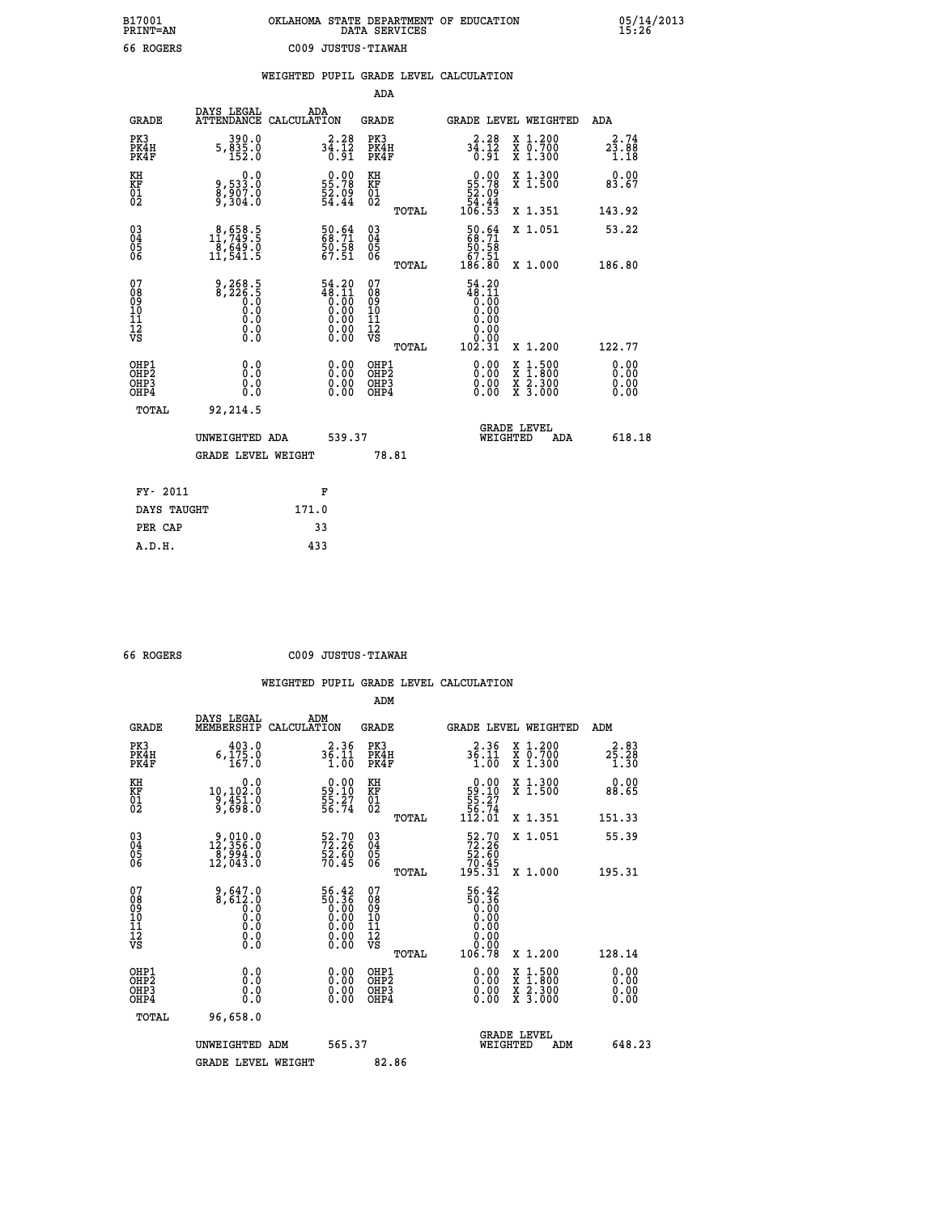## **B17001 OKLAHOMA STATE DEPARTMENT OF EDUCATION 05/14/2013 PRINT=AN DATA SERVICES 15:26 66 ROGERS C009 JUSTUS-TIAWAH**

|  |  | WEIGHTED PUPIL GRADE LEVEL CALCULATION |
|--|--|----------------------------------------|
|  |  |                                        |

|                                                                    |                                                   |                                                                                                                | ADA                                                 |       |                                                                               |                                                                                                                                           |                                          |
|--------------------------------------------------------------------|---------------------------------------------------|----------------------------------------------------------------------------------------------------------------|-----------------------------------------------------|-------|-------------------------------------------------------------------------------|-------------------------------------------------------------------------------------------------------------------------------------------|------------------------------------------|
| <b>GRADE</b>                                                       | DAYS LEGAL<br>ATTENDANCE CALCULATION              | ADA                                                                                                            | <b>GRADE</b>                                        |       |                                                                               | GRADE LEVEL WEIGHTED                                                                                                                      | ADA                                      |
| PK3<br>PK4H<br>PK4F                                                | 390.0<br>$5, \frac{8}{3} \frac{5}{2} \cdot 0$     | $34.12$<br>$34.12$<br>$0.91$                                                                                   | PK3<br>PK4H<br>PK4F                                 |       | 34.28<br>Ō.51                                                                 | X 1.200<br>X 0.700<br>X 1.300                                                                                                             | 2.74<br>$2\bar{3}\cdot 8\bar{8}$<br>1.18 |
| KH<br>KF<br>01<br>02                                               | 0.0<br>9,533:0<br>8,907:0<br>9,304:0              | $\begin{smallmatrix} 0.00\\ 55.78\\ 52.09\\ 54.44 \end{smallmatrix}$                                           | KH<br>KF<br>01<br>02                                |       | $\begin{smallmatrix} &0.00\\ 55.78\\ 22.09\\ 54.44\\ 106.53\end{smallmatrix}$ | X 1.300<br>X 1.500                                                                                                                        | 0.00<br>83.67                            |
|                                                                    |                                                   |                                                                                                                |                                                     | TOTAL |                                                                               | X 1.351                                                                                                                                   | 143.92                                   |
| $\begin{smallmatrix} 03 \\[-4pt] 04 \end{smallmatrix}$<br>Ŏ5<br>06 | $\substack{8,658.5\\11,749.5\\8,649.0\\11,541.5}$ | 50.64<br>68.71<br>50.58<br>67.51                                                                               | $\begin{array}{c} 03 \\ 04 \\ 05 \\ 06 \end{array}$ |       | 50.64<br>$\begin{array}{r} 50.58 \\ 67.51 \\ 186.80 \end{array}$              | X 1.051                                                                                                                                   | 53.22                                    |
|                                                                    |                                                   |                                                                                                                | 07                                                  | TOTAL | $54.20$<br>$48.11$<br>$0.00$<br>$0.00$<br>$0.00$                              | X 1.000                                                                                                                                   | 186.80                                   |
| 07<br>08<br>09<br>01<br>11<br>11<br>12<br>VS                       |                                                   | $\begin{smallmatrix} 54.20 \\ 48.11 \\ 0.00 \\ 0.00 \\ 0.00 \\ 0.00 \\ 0.00 \\ 0.00 \\ 0.00 \end{smallmatrix}$ | 08<br>09<br>11<br>11<br>12<br>VS                    | TOTAL | 0.00<br>102.31                                                                | X 1.200                                                                                                                                   | 122.77                                   |
| OHP1<br>OHP <sub>2</sub><br>OH <sub>P3</sub><br>OHP4               | 0.0<br>0.000                                      | 0.00<br>$\begin{smallmatrix} 0.00 \ 0.00 \end{smallmatrix}$                                                    | OHP1<br>OHP2<br>OHP <sub>3</sub>                    |       |                                                                               | $\begin{smallmatrix} \mathtt{X} & 1\cdot500\\ \mathtt{X} & 1\cdot800\\ \mathtt{X} & 2\cdot300\\ \mathtt{X} & 3\cdot000 \end{smallmatrix}$ | 0.00<br>0.00<br>0.00<br>0.00             |
| TOTAL                                                              | 92,214.5                                          |                                                                                                                |                                                     |       |                                                                               |                                                                                                                                           |                                          |
|                                                                    | UNWEIGHTED ADA                                    | 539.37                                                                                                         |                                                     |       |                                                                               | <b>GRADE LEVEL</b><br>WEIGHTED<br>ADA                                                                                                     | 618.18                                   |
|                                                                    | <b>GRADE LEVEL WEIGHT</b>                         |                                                                                                                |                                                     | 78.81 |                                                                               |                                                                                                                                           |                                          |
| FY- 2011                                                           |                                                   | F                                                                                                              |                                                     |       |                                                                               |                                                                                                                                           |                                          |
| DAYS TAUGHT                                                        |                                                   | 171.0                                                                                                          |                                                     |       |                                                                               |                                                                                                                                           |                                          |
| PER CAP                                                            |                                                   | 33                                                                                                             |                                                     |       |                                                                               |                                                                                                                                           |                                          |

 **A.D.H. 433**

 **66 ROGERS C009 JUSTUS-TIAWAH**

|                                           |                                                                                                    |                                                                            | ADM                                                 |       |                                                                                                             |                                          |                                    |
|-------------------------------------------|----------------------------------------------------------------------------------------------------|----------------------------------------------------------------------------|-----------------------------------------------------|-------|-------------------------------------------------------------------------------------------------------------|------------------------------------------|------------------------------------|
| <b>GRADE</b>                              | DAYS LEGAL<br>MEMBERSHIP                                                                           | ADM<br>CALCULATION                                                         | <b>GRADE</b>                                        |       |                                                                                                             | <b>GRADE LEVEL WEIGHTED</b>              | ADM                                |
| PK3<br>PK4H<br>PK4F                       | 403.0<br>$6, \bar{1}\,\bar{7}\,\bar{5}\,\ldots\,\bar{6}$                                           | 2.36<br>$3\overline{5}\cdot\overline{1}\cdot\overline{1}\cdot\overline{0}$ | PK3<br>PK4H<br>PK4F                                 |       | 36.36<br>1.00                                                                                               | X 1.200<br>X 0.700<br>X 1.300            | 2.83<br>$2\bar{5}\cdot 28$<br>1.30 |
| KH<br>KF<br>01<br>02                      | 0.0<br>10,102:0<br>9,451:0<br>9,698:0                                                              | $\begin{smallmatrix} 0.00\\ 59.10\\ 55.27\\ 56.74 \end{smallmatrix}$       | KH<br>KF<br>01<br>02                                |       | $\begin{smallmatrix} &0.00\\ 59.10\\ 55.27\\ 56.74\\ 112.01\end{smallmatrix}$                               | X 1.300<br>X 1.500                       | 0.00<br>88.65                      |
|                                           |                                                                                                    |                                                                            |                                                     | TOTAL |                                                                                                             | X 1.351                                  | 151.33                             |
| 03<br>04<br>05<br>06                      | $\begin{smallmatrix} 9 & 010 & 0 \\ 12 & 356 & 0 \\ 8 & 994 & 0 \\ 12 & 043 & 0 \end{smallmatrix}$ | 52.70<br>72.26<br>52.60<br>70.45                                           | $\begin{array}{c} 03 \\ 04 \\ 05 \\ 06 \end{array}$ |       | $\begin{array}{c} 52.70 \\ 72.26 \\ 52.60 \\ 70.45 \\ 195.31 \end{array}$                                   | X 1.051                                  | 55.39                              |
|                                           |                                                                                                    |                                                                            |                                                     | TOTAL |                                                                                                             | X 1.000                                  | 195.31                             |
| 07<br>08<br>09<br>101<br>112<br>VS        | $\begin{smallmatrix} 9,647.0\\ 8,612.0\\ 0.0\\ 0.0\\ 0.0\\ 0.0 \end{smallmatrix}$<br>$\S.$ $\S$    | $56.42\n50.36\n0.00\n0.00\n0.00\n0.00\n0.00$                               | 07<br>08<br>09<br>11<br>11<br>12<br>VS              |       | $\begin{smallmatrix} 56.42\ 50.36\ 0.00\ 0.00\ 0.00\ 0.00\ 0.00\ 0.00\ 0.00\ 0.00\ 0.00\ \end{smallmatrix}$ |                                          |                                    |
|                                           |                                                                                                    |                                                                            |                                                     | TOTAL | 106.78                                                                                                      | X 1.200                                  | 128.14                             |
| OHP1<br>OHP2<br>OH <sub>P</sub> 3<br>OHP4 | 0.0<br>0.000                                                                                       | $0.00$<br>$0.00$<br>0.00                                                   | OHP1<br>OHP2<br>OHP <sub>3</sub>                    |       | $0.00$<br>$0.00$<br>0.00                                                                                    | X 1:500<br>X 1:800<br>X 2:300<br>X 3:000 | 0.00<br>0.00<br>0.00<br>0.00       |
| TOTAL                                     | 96,658.0                                                                                           |                                                                            |                                                     |       |                                                                                                             |                                          |                                    |
|                                           | UNWEIGHTED                                                                                         | 565.37<br>ADM                                                              |                                                     |       | WEIGHTED                                                                                                    | <b>GRADE LEVEL</b><br>ADM                | 648.23                             |
|                                           | <b>GRADE LEVEL WEIGHT</b>                                                                          |                                                                            | 82.86                                               |       |                                                                                                             |                                          |                                    |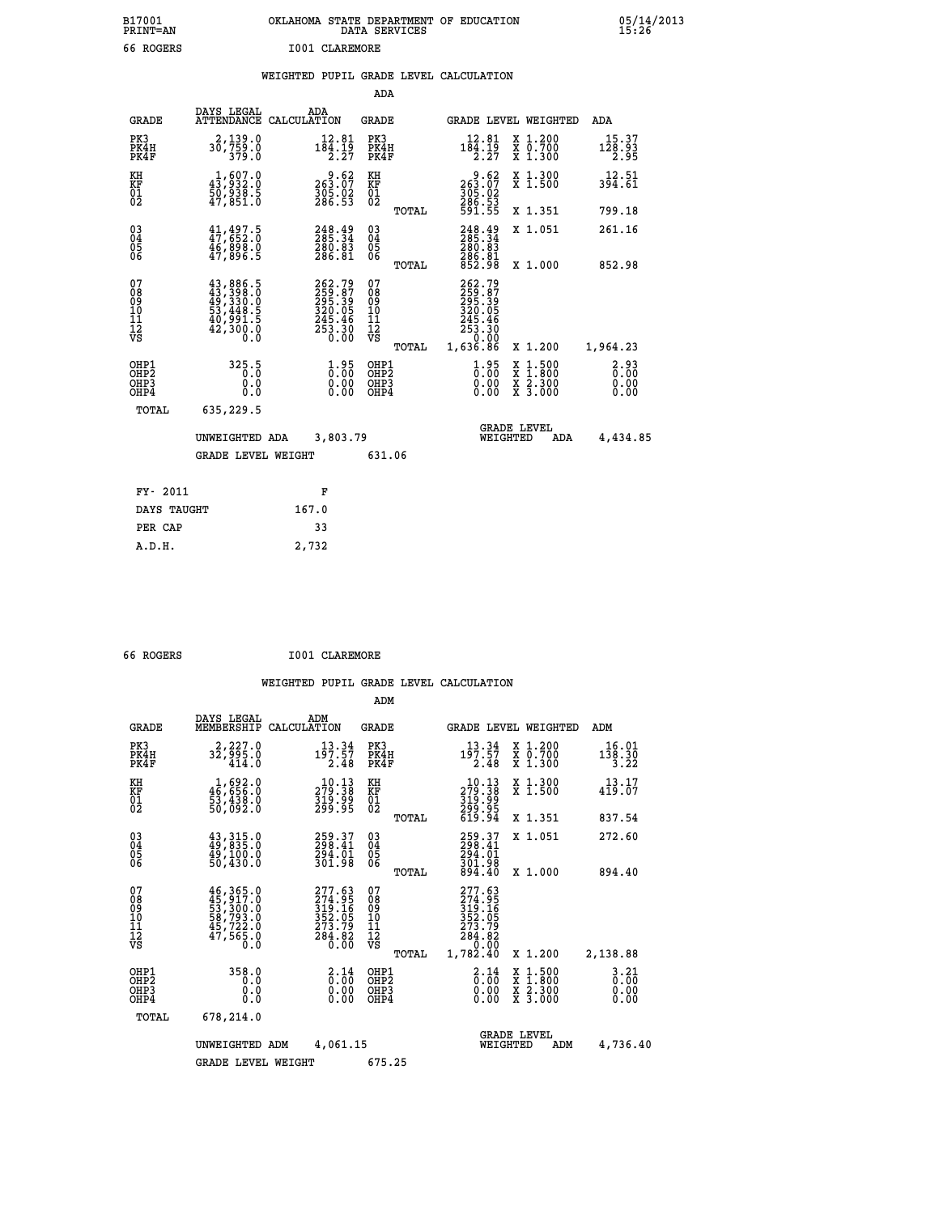| B17001          | OKLAHOMA STATE DEPARTMENT OF EDUCATION |
|-----------------|----------------------------------------|
| <b>PRINT=AN</b> | DATA SERVICES                          |
| 66 ROGERS       | T001 CLAREMORE                         |

 **B17001 OKLAHOMA STATE DEPARTMENT OF EDUCATION 05/14/2013**

|  |  | WEIGHTED PUPIL GRADE LEVEL CALCULATION |
|--|--|----------------------------------------|
|  |  |                                        |

|                                                    |                                                                                                                                                                                          |                                                                      | ADA                                      |       |                                                                               |                                                                                                  |                                                                |
|----------------------------------------------------|------------------------------------------------------------------------------------------------------------------------------------------------------------------------------------------|----------------------------------------------------------------------|------------------------------------------|-------|-------------------------------------------------------------------------------|--------------------------------------------------------------------------------------------------|----------------------------------------------------------------|
| <b>GRADE</b>                                       | DAYS LEGAL                                                                                                                                                                               | ADA<br>ATTENDANCE CALCULATION                                        | <b>GRADE</b>                             |       |                                                                               | GRADE LEVEL WEIGHTED                                                                             | ADA                                                            |
| PK3<br>PK4H<br>PK4F                                | 2,139.0<br>30,759.0<br>379.0                                                                                                                                                             | $12.81$<br>$184.19$<br>$2.27$                                        | PK3<br>PK4H<br>PK4F                      |       | $12.81$<br>$184.19$<br>$2.27$                                                 | X 1.200<br>X 0.700<br>X 1.300                                                                    | 15.37<br>$\frac{1\bar{2}\bar{8}\cdot\bar{9}\dot{3}}{2\cdot95}$ |
| KH<br>KF<br>01<br>02                               | $1,607.0$<br>$43,932.0$<br>$50,938.5$<br>$47,851.0$                                                                                                                                      | $\begin{smallmatrix} 9.62\ 263.07\ 305.02\ 286.53 \end{smallmatrix}$ | KH<br>KF<br>01<br>02                     |       | $\begin{smallmatrix} 9.62\ 263.07\ 305.02\ 286.53\ 591.55 \end{smallmatrix}$  | X 1.300<br>X 1.500                                                                               | 12.51<br>394.61                                                |
|                                                    |                                                                                                                                                                                          |                                                                      |                                          | TOTAL |                                                                               | X 1.351                                                                                          | 799.18                                                         |
| $\begin{matrix} 03 \\ 04 \\ 05 \\ 06 \end{matrix}$ | 41,497.5<br>$\frac{46}{98}$ , $\frac{698}{96}$ , 5                                                                                                                                       | 248.49<br>285.34<br>280.83<br>286.81                                 | $\substack{03 \\ 04}$<br>Ŏ5<br>06        |       | 248.49<br>280:83<br>286:81<br>852:98                                          | X 1.051                                                                                          | 261.16                                                         |
|                                                    |                                                                                                                                                                                          |                                                                      |                                          | TOTAL |                                                                               | X 1.000                                                                                          | 852.98                                                         |
| 07<br>08<br>09<br>101<br>112<br>VS                 | $\begin{smallmatrix} 43\,, & 886\,, & 5\\ 43\,, & 398\,, & 0\\ 49\,, & 330\,, & 0\\ 53\,, & 448\,, & 5\\ 40\,, & 991\,, & 5\\ 42\,, & 300\,, & 0\\ 0\,. & 0\,. & 0\,. \end{smallmatrix}$ | 262.79<br>259.87<br>295.395<br>220.05<br>245.46<br>253.30<br>0.00    | 07<br>08<br>09<br>101<br>112<br>VS       |       | 262.79<br>$259.87$<br>$295.39$<br>$320.05$<br>$245.46$<br>$253.30$<br>$-0.00$ |                                                                                                  |                                                                |
|                                                    |                                                                                                                                                                                          |                                                                      |                                          | TOTAL | 1,636.86                                                                      | X 1.200                                                                                          | 1,964.23                                                       |
| OHP1<br>OHP2<br>OHP3<br>OHP4                       | 325.5<br>0.0<br>0.0                                                                                                                                                                      | $\frac{1}{0}$ : 00<br>0.00<br>0.00                                   | OHP1<br>OHP <sub>2</sub><br>OHP3<br>OHP4 |       | $\begin{smallmatrix} 1.95\ 0.00\ 0.00 \end{smallmatrix}$                      | $\begin{smallmatrix} x & 1 & 500 \\ x & 1 & 800 \\ x & 2 & 300 \\ x & 3 & 000 \end{smallmatrix}$ | 2.93<br>0.00<br>0.00<br>0.00                                   |
| <b>TOTAL</b>                                       | 635,229.5                                                                                                                                                                                |                                                                      |                                          |       |                                                                               |                                                                                                  |                                                                |
|                                                    | UNWEIGHTED ADA                                                                                                                                                                           | 3,803.79                                                             |                                          |       |                                                                               | <b>GRADE LEVEL</b><br>WEIGHTED<br>ADA                                                            | 4,434.85                                                       |
|                                                    | <b>GRADE LEVEL WEIGHT</b>                                                                                                                                                                |                                                                      | 631.06                                   |       |                                                                               |                                                                                                  |                                                                |
| FY- 2011                                           |                                                                                                                                                                                          | F                                                                    |                                          |       |                                                                               |                                                                                                  |                                                                |
| DAYS TAUGHT                                        |                                                                                                                                                                                          | 167.0                                                                |                                          |       |                                                                               |                                                                                                  |                                                                |
| PER CAP                                            |                                                                                                                                                                                          | 33                                                                   |                                          |       |                                                                               |                                                                                                  |                                                                |
|                                                    |                                                                                                                                                                                          |                                                                      |                                          |       |                                                                               |                                                                                                  |                                                                |

| 66 ROGERS | I001 CLAREMORE |
|-----------|----------------|
|           |                |

 **A.D.H. 2,732**

|                                                       |                                                                                                                                                     |                                                                         |                                                                   | ADM                                                |       |                                                                                   |                                |                                          |                                  |
|-------------------------------------------------------|-----------------------------------------------------------------------------------------------------------------------------------------------------|-------------------------------------------------------------------------|-------------------------------------------------------------------|----------------------------------------------------|-------|-----------------------------------------------------------------------------------|--------------------------------|------------------------------------------|----------------------------------|
| <b>GRADE</b>                                          | DAYS LEGAL<br>MEMBERSHIP                                                                                                                            | ADM<br>CALCULATION                                                      |                                                                   | <b>GRADE</b>                                       |       |                                                                                   |                                | <b>GRADE LEVEL WEIGHTED</b>              | ADM                              |
| PK3<br>PK4H<br>PK4F                                   | 2,227.0<br>32,995.0<br>414.0                                                                                                                        | 13.34<br>197.57                                                         | 2.48                                                              | PK3<br>PK4H<br>PK4F                                |       | 13.34<br>197.57<br>2.48                                                           |                                | X 1.200<br>X 0.700<br>X 1.300            | 16.01<br>138.30<br>3.22          |
| KH<br>KF<br>01<br>02                                  | $1,692.0$<br>$46,656.0$<br>$53,438.0$<br>$50,092.0$                                                                                                 | $\begin{smallmatrix} 10.13\\279.38\\319.99\\299.95 \end{smallmatrix}$   |                                                                   | KH<br>KF<br>01<br>02                               |       | $\begin{smallmatrix} 10.13\ 279.38\ 319.99\ 299.95\ 619.94 \end{smallmatrix}$     |                                | X 1.300<br>X 1.500                       | 13.17<br>419.07                  |
|                                                       |                                                                                                                                                     |                                                                         |                                                                   |                                                    | TOTAL |                                                                                   |                                | X 1.351                                  | 837.54                           |
| 03<br>04<br>05<br>06                                  | 43, 315.0<br>49, 835.0<br>49,100.0<br>50,430.0                                                                                                      | 259.37<br>298.41<br>294.01<br>301.98                                    |                                                                   | $\begin{matrix} 03 \\ 04 \\ 05 \\ 06 \end{matrix}$ |       | 259.37<br>298.41<br>294.01                                                        |                                | X 1.051                                  | 272.60                           |
|                                                       |                                                                                                                                                     |                                                                         |                                                                   |                                                    | TOTAL | 301.98<br>894.40                                                                  |                                | X 1.000                                  | 894.40                           |
| 07<br>08<br>09<br>101<br>112<br>VS                    | $\begin{smallmatrix} 46\,,\,365\,.0\\ 45\,,\,917\,.0\\ 53\,,\,300\,.0\\ 58\,,\,793\,.0\\ 45\,,\,722\,.0\\ 47\,,\,565\,.0\\ 0\,.0 \end{smallmatrix}$ | 277.63<br>274.95<br>319.16<br>352.05<br>273.79<br>$\frac{284.82}{0.00}$ |                                                                   | 07<br>08<br>09<br>11<br>11<br>12<br>VS             | TOTAL | 277.63<br>274.956<br>319.165<br>352.059<br>273.792<br>284.82<br>0.000<br>1,782.40 |                                | X 1.200                                  | 2,138.88                         |
| OHP1<br>OH <sub>P</sub> 2<br>OH <sub>P3</sub><br>OHP4 | 358.0<br>0.0<br>0.000                                                                                                                               |                                                                         | $\begin{smallmatrix} 2.14\ 0.00 \ 0.00 \end{smallmatrix}$<br>0.00 | OHP1<br>OHP2<br>OHP3<br>OHP4                       |       | $\begin{smallmatrix} 2.14\ 0.00 \ 0.00 \end{smallmatrix}$<br>0.00                 |                                | X 1:500<br>X 1:800<br>X 2:300<br>X 3:000 | $3.21$<br>$0.00$<br>0.00<br>0.00 |
| TOTAL                                                 | 678,214.0                                                                                                                                           |                                                                         |                                                                   |                                                    |       |                                                                                   |                                |                                          |                                  |
|                                                       | UNWEIGHTED ADM                                                                                                                                      | 4,061.15                                                                |                                                                   |                                                    |       |                                                                                   | <b>GRADE LEVEL</b><br>WEIGHTED | ADM                                      | 4,736.40                         |
|                                                       | <b>GRADE LEVEL WEIGHT</b>                                                                                                                           |                                                                         |                                                                   | 675.25                                             |       |                                                                                   |                                |                                          |                                  |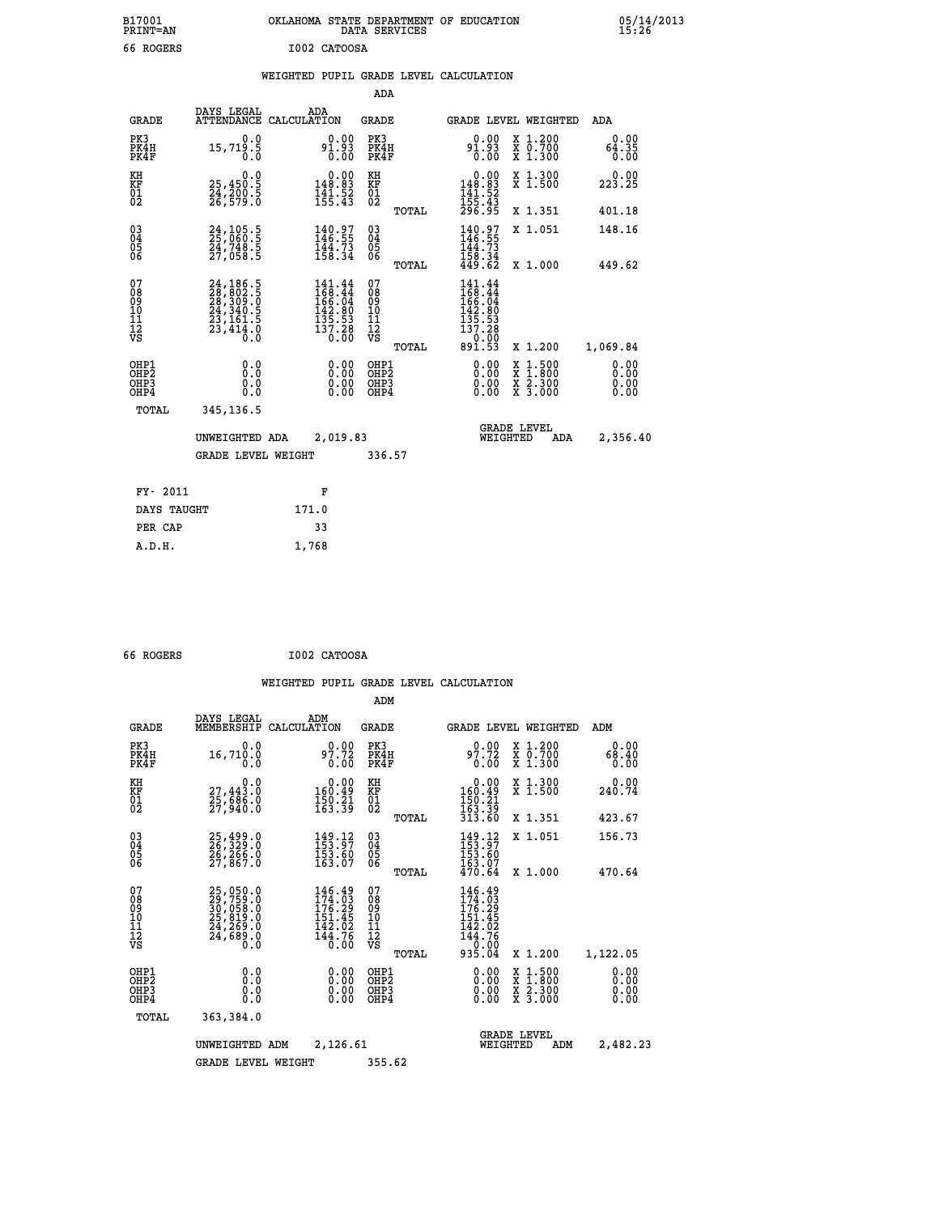|              | OKLAHOMA STATE DEPARTMENT OF EDUCATION<br>DATA SERVICES |  |
|--------------|---------------------------------------------------------|--|
| T002 CATOOSA |                                                         |  |

|  |  | WEIGHTED PUPIL GRADE LEVEL CALCULATION |
|--|--|----------------------------------------|
|  |  |                                        |

|                                                                    |                                                                                                                                                    |                                                                   | ADA                                                               |       |                                                                     |                                                    |                              |
|--------------------------------------------------------------------|----------------------------------------------------------------------------------------------------------------------------------------------------|-------------------------------------------------------------------|-------------------------------------------------------------------|-------|---------------------------------------------------------------------|----------------------------------------------------|------------------------------|
| <b>GRADE</b>                                                       | DAYS LEGAL                                                                                                                                         | ADA<br>ATTENDANCE CALCULATION                                     | <b>GRADE</b>                                                      |       |                                                                     | GRADE LEVEL WEIGHTED                               | <b>ADA</b>                   |
| PK3<br>PK4H<br>PK4F                                                | 0.0<br>15,719.5<br>0.0                                                                                                                             | $9_1^{0.00}_{1.93}$                                               | PK3<br>PK4H<br>PK4F                                               |       | $9_1^{0.00}_{1.93}$                                                 | X 1.200<br>X 0.700<br>X 1.300                      | 0.00<br>64.35<br>0.00        |
| KH<br>KF<br>01<br>02                                               | 0.0<br>25,450.5<br>24,200:5<br>26,579:0                                                                                                            | $\begin{array}{c} 0.00 \\ 148.83 \\ 141.52 \\ 155.43 \end{array}$ | KH<br>KF<br>01<br>02                                              |       | 0.00<br>$148.83$<br>$141.52$<br>$155.43$<br>$296.95$                | X 1.300<br>X 1.500                                 | 0.00<br>223.25               |
|                                                                    |                                                                                                                                                    |                                                                   |                                                                   | TOTAL |                                                                     | X 1.351                                            | 401.18                       |
| $\begin{smallmatrix} 03 \\[-4pt] 04 \end{smallmatrix}$<br>05<br>ŎĞ | 24,105.5<br>25,060.5<br>24,748.5<br>27,058.5                                                                                                       | 140.97<br>$\frac{144.73}{158.34}$                                 | $\substack{03 \\ 04}$<br>$\begin{matrix} 0.5 \\ 0.6 \end{matrix}$ |       | 140.97<br>146.55<br>$\frac{114}{158}$ : 73<br>$158$ : 34<br>449: 62 | X 1.051                                            | 148.16                       |
|                                                                    |                                                                                                                                                    |                                                                   |                                                                   | TOTAL |                                                                     | X 1.000                                            | 449.62                       |
| 07<br>08<br>09<br>11<br>11<br>12<br>VS                             | $\begin{smallmatrix} 24\,,\,186\,.5\\ 28\,,\,802\,.5\\ 28\,,\,309\,.0\\ 24\,,\,340\,.5\\ 23\,,\,161\,.5\\ 23\,,\,414\,.0\\ 0\,. \end{smallmatrix}$ | 141.44<br>168.44<br>166.04<br>142.80<br>135.53<br>137.28<br>0.00  | 07<br>08<br>09<br>11<br>11<br>12<br>VS                            |       | 141.44<br>$168.44$<br>$166.04$<br>$142.80$<br>$135.53$<br>$137.28$  |                                                    |                              |
|                                                                    |                                                                                                                                                    |                                                                   |                                                                   | TOTAL | $\frac{0.00}{0.53}$                                                 | X 1.200                                            | 1,069.84                     |
| OHP1<br>OHP <sub>2</sub><br>OHP3<br>OHP4                           | 0.0<br>0.0<br>Ŏ.Ŏ                                                                                                                                  | 0.00<br>$\begin{smallmatrix} 0.00 \ 0.00 \end{smallmatrix}$       | OHP1<br>OH <sub>P</sub> 2<br>OHP3<br>OHP4                         |       | 0.00<br>0.00<br>0.00                                                | $1:500$<br>$1:800$<br>X<br>X<br>X 2.300<br>X 3.000 | 0.00<br>0.00<br>0.00<br>0.00 |
| TOTAL                                                              | 345,136.5                                                                                                                                          |                                                                   |                                                                   |       |                                                                     |                                                    |                              |
|                                                                    | UNWEIGHTED ADA                                                                                                                                     | 2,019.83                                                          |                                                                   |       | WEIGHTED                                                            | <b>GRADE LEVEL</b><br>ADA                          | 2,356.40                     |
|                                                                    | <b>GRADE LEVEL WEIGHT</b>                                                                                                                          |                                                                   | 336.57                                                            |       |                                                                     |                                                    |                              |
| FY- 2011                                                           |                                                                                                                                                    | F                                                                 |                                                                   |       |                                                                     |                                                    |                              |
| DAYS TAUGHT                                                        |                                                                                                                                                    | 171.0                                                             |                                                                   |       |                                                                     |                                                    |                              |
| PER CAP                                                            |                                                                                                                                                    | 33                                                                |                                                                   |       |                                                                     |                                                    |                              |
|                                                                    |                                                                                                                                                    |                                                                   |                                                                   |       |                                                                     |                                                    |                              |

| 66 ROGERS | I002 CATOOSA |
|-----------|--------------|

 **A.D.H. 1,768**

 **B17001<br>PRINT=AN** 66 ROGERS

|                                                       |                                                                                           |                                                                         | ADM                                              |                                                                                |                                                                                                  |                              |
|-------------------------------------------------------|-------------------------------------------------------------------------------------------|-------------------------------------------------------------------------|--------------------------------------------------|--------------------------------------------------------------------------------|--------------------------------------------------------------------------------------------------|------------------------------|
| <b>GRADE</b>                                          | DAYS LEGAL<br>MEMBERSHIP                                                                  | ADM<br>CALCULATION                                                      | <b>GRADE</b>                                     | <b>GRADE LEVEL WEIGHTED</b>                                                    |                                                                                                  | ADM                          |
| PK3<br>PK4H<br>PK4F                                   | 0.0<br>16,710.0<br>0.0                                                                    | 0.00<br>97.72<br>0.00                                                   | PK3<br>PK4H<br>PK4F                              | 0.00<br>97.72<br>0.00                                                          | X 1.200<br>X 0.700<br>X 1.300                                                                    | 0.00<br>68.40<br>0.00        |
| KH<br>KF<br>01<br>02                                  | 0.0<br>27,443:0<br>25,686:0<br>27,940:0                                                   | $\begin{smallmatrix} &0.00\\ 160.49\\ 150.21\\ 163.39\end{smallmatrix}$ | KH<br>KF<br>01<br>02                             | $\begin{array}{c} 0.00 \\ 160.49 \\ 150.21 \\ 163.39 \\ 313.60 \end{array}$    | X 1.300<br>X 1.500                                                                               | 0.00<br>240.74               |
|                                                       |                                                                                           |                                                                         | TOTAL                                            |                                                                                | X 1.351                                                                                          | 423.67                       |
| 03<br>04<br>05<br>06                                  | 25,499.0<br>26,329.0<br>26,266.0<br>27,867.0                                              | $149.12$<br>$153.97$<br>$153.60$<br>$163.07$                            | $^{03}_{04}$<br>05<br>06                         | $149.12$<br>$153.97$<br>$153.60$<br>$163.07$<br>$470.64$                       | X 1.051                                                                                          | 156.73                       |
|                                                       |                                                                                           |                                                                         | TOTAL                                            |                                                                                | X 1.000                                                                                          | 470.64                       |
| 07<br>08<br>09<br>101<br>112<br>VS                    | $25,050.0$<br>$29,759.0$<br>$30,058.0$<br>$25,819.0$<br>$24,269.0$<br>$24,689.0$<br>$0.0$ | 146.49<br>174.03<br>176.29<br>151.45<br>142.02<br>144.76<br>0.00        | 07<br>08<br>09<br>101<br>11<br>12<br>VS<br>TOTAL | 146.49<br>174.03<br>176.29<br>151.45<br>151.42.02<br>144.76<br>10.00<br>935.04 | X 1.200                                                                                          | 1,122.05                     |
| OHP1<br>OH <sub>P</sub> 2<br>OH <sub>P3</sub><br>OHP4 | 0.0<br>0.000                                                                              | $0.00$<br>$0.00$<br>0.00                                                | OHP1<br>OHP2<br>OHP3<br>OHP4                     | $0.00$<br>$0.00$<br>0.00                                                       | $\begin{smallmatrix} x & 1 & 500 \\ x & 1 & 800 \\ x & 2 & 300 \\ x & 3 & 000 \end{smallmatrix}$ | 0.00<br>0.00<br>0.00<br>0.00 |
| TOTAL                                                 | 363,384.0                                                                                 |                                                                         |                                                  |                                                                                |                                                                                                  |                              |
|                                                       | UNWEIGHTED<br>ADM                                                                         | 2,126.61                                                                |                                                  | WEIGHTED                                                                       | <b>GRADE LEVEL</b><br>ADM                                                                        | 2,482.23                     |
|                                                       | <b>GRADE LEVEL WEIGHT</b>                                                                 |                                                                         | 355.62                                           |                                                                                |                                                                                                  |                              |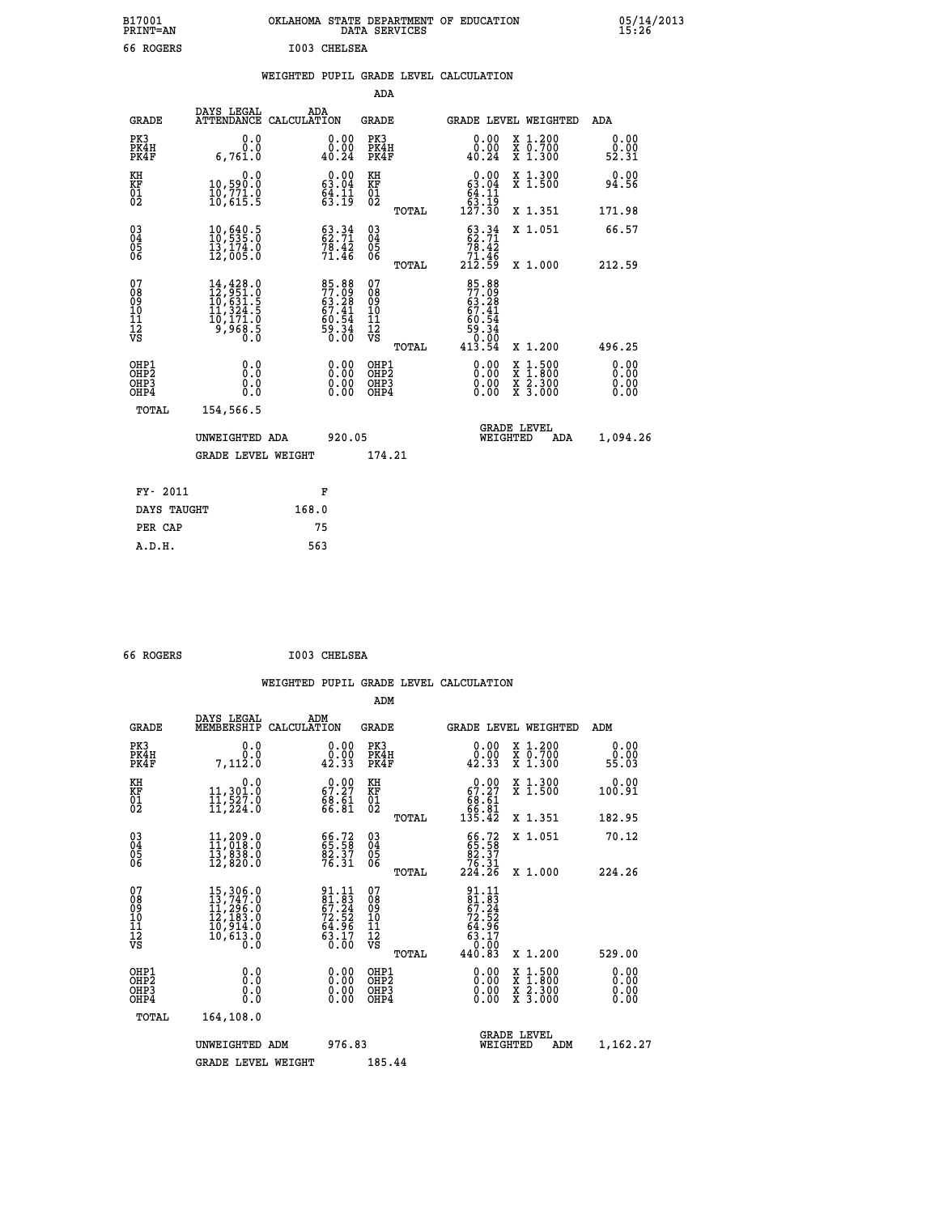| B17001          | OKLAHOMA STATE DEPARTMENT OF EDUCATION |
|-----------------|----------------------------------------|
| <b>PRINT=AN</b> | DATA SERVICES                          |
| 66 ROGERS       | I003 CHELSEA                           |

 **B17001 OKLAHOMA STATE DEPARTMENT OF EDUCATION 05/14/2013**

|  |  | WEIGHTED PUPIL GRADE LEVEL CALCULATION |
|--|--|----------------------------------------|
|  |  |                                        |

|                                                      |                                                                                                                                                                              |                                                                      | ADA                                      |       |                                                                                  |                                                                                                                                           |                              |
|------------------------------------------------------|------------------------------------------------------------------------------------------------------------------------------------------------------------------------------|----------------------------------------------------------------------|------------------------------------------|-------|----------------------------------------------------------------------------------|-------------------------------------------------------------------------------------------------------------------------------------------|------------------------------|
| <b>GRADE</b>                                         | DAYS LEGAL<br>ATTENDANCE CALCULATION                                                                                                                                         | ADA                                                                  | <b>GRADE</b>                             |       | GRADE LEVEL WEIGHTED                                                             |                                                                                                                                           | ADA                          |
| PK3<br>PK4H<br>PK4F                                  | 0.0<br>0.0<br>6,761.0                                                                                                                                                        | $\begin{smallmatrix} 0.00\\ 0.00\\ 40.24 \end{smallmatrix}$          | PK3<br>PK4H<br>PK4F                      |       | 0.00<br>ăČ: ÕÃ<br>40.24                                                          | X 1.200<br>X 0.700<br>X 1.300                                                                                                             | 0.00<br>0.00<br>52.31        |
| KH<br>KF<br>01<br>02                                 | 0.0<br>10,590.0<br>10,771.0<br>10,615.5                                                                                                                                      | $\begin{smallmatrix} 0.00\\ 63.04\\ 64.11\\ 63.19 \end{smallmatrix}$ | KH<br>KF<br>01<br>02                     |       | 0.00<br>$\begin{array}{r} 63.04 \\ 64.11 \\ 63.19 \\ 127.30 \end{array}$         | X 1.300<br>X 1.500                                                                                                                        | 0.00<br>94.56                |
|                                                      |                                                                                                                                                                              |                                                                      |                                          | TOTAL |                                                                                  | X 1.351                                                                                                                                   | 171.98                       |
| $\begin{matrix} 03 \\ 04 \\ 05 \\ 06 \end{matrix}$   | $\frac{10}{10}$ , $\frac{640}{535}$ : 0<br>13,174.0<br>12,005.0                                                                                                              | 63.34<br>$7\bar{8}\cdot 4\bar{2}$<br>71.46                           | $\substack{03 \\ 04}$<br>Ŏ5<br>06        |       | $63.34$<br>$62.71$<br>$7\overline{6}\cdot 4\overline{2}$<br>$71.46$<br>$212.59$  | X 1.051                                                                                                                                   | 66.57                        |
|                                                      |                                                                                                                                                                              |                                                                      |                                          | TOTAL |                                                                                  | X 1.000                                                                                                                                   | 212.59                       |
| 07<br>08<br>09<br>11<br>11<br>12<br>VS               | $\begin{smallmatrix} 14\,, & 428\,, & 0\\ 12\,, & 951\,, & 0\\ 10\,, & 631\,, & 5\\ 11\,, & 324\,, & 5\\ 10\,, & 171\,, & 0\\ 9\,, & 968\,, & 5\\ 0\,. & 0\end{smallmatrix}$ | 85.88<br>77.09<br>63.28<br>67.41<br>67.41<br>69.34<br>59.34          | 07<br>08<br>09<br>101<br>112<br>VS       |       | 85.88<br>77.09<br>$63.28$<br>$67.41$<br>$60.54$<br>$59.34$<br>$0.00$<br>$413.54$ |                                                                                                                                           |                              |
|                                                      |                                                                                                                                                                              |                                                                      |                                          | TOTAL |                                                                                  | X 1.200                                                                                                                                   | 496.25                       |
| OHP1<br>OH <sub>P</sub> <sub>2</sub><br>OHP3<br>OHP4 | 0.0<br>0.0<br>0.0                                                                                                                                                            | $\begin{smallmatrix} 0.00 \ 0.00 \ 0.00 \ 0.00 \end{smallmatrix}$    | OHP1<br>OHP <sub>2</sub><br>OHP3<br>OHP4 |       | $0.00$<br>$0.00$<br>0.00                                                         | $\begin{smallmatrix} \mathtt{X} & 1\cdot500\\ \mathtt{X} & 1\cdot800\\ \mathtt{X} & 2\cdot300\\ \mathtt{X} & 3\cdot000 \end{smallmatrix}$ | 0.00<br>0.00<br>0.00<br>0.00 |
| <b>TOTAL</b>                                         | 154,566.5                                                                                                                                                                    |                                                                      |                                          |       |                                                                                  |                                                                                                                                           |                              |
|                                                      | UNWEIGHTED ADA                                                                                                                                                               | 920.05                                                               |                                          |       | <b>GRADE LEVEL</b><br>WEIGHTED                                                   | ADA                                                                                                                                       | 1,094.26                     |
|                                                      | <b>GRADE LEVEL WEIGHT</b>                                                                                                                                                    |                                                                      | 174.21                                   |       |                                                                                  |                                                                                                                                           |                              |
|                                                      |                                                                                                                                                                              |                                                                      |                                          |       |                                                                                  |                                                                                                                                           |                              |
| FY- 2011                                             |                                                                                                                                                                              | F                                                                    |                                          |       |                                                                                  |                                                                                                                                           |                              |
| DAYS TAUGHT                                          |                                                                                                                                                                              | 168.0                                                                |                                          |       |                                                                                  |                                                                                                                                           |                              |
| PER CAP                                              |                                                                                                                                                                              | 75                                                                   |                                          |       |                                                                                  |                                                                                                                                           |                              |

| 66 ROGERS | I003 CHELSEA |
|-----------|--------------|
|           |              |

 **A.D.H. 563**

|                                                      |                                                                                                                                                 |                                                                          | ADM                                                 |       |                                                                                                                                                                                                                                                                                |                                          |                       |
|------------------------------------------------------|-------------------------------------------------------------------------------------------------------------------------------------------------|--------------------------------------------------------------------------|-----------------------------------------------------|-------|--------------------------------------------------------------------------------------------------------------------------------------------------------------------------------------------------------------------------------------------------------------------------------|------------------------------------------|-----------------------|
| <b>GRADE</b>                                         | DAYS LEGAL<br>MEMBERSHIP                                                                                                                        | ADM<br>CALCULATION                                                       | <b>GRADE</b>                                        |       |                                                                                                                                                                                                                                                                                | GRADE LEVEL WEIGHTED                     | ADM                   |
| PK3<br>PK4H<br>PK4F                                  | 0.0<br>0.0<br>7,112.0                                                                                                                           | 0.00<br>0.00<br>42.33                                                    | PK3<br>PK4H<br>PK4F                                 |       | 0.00<br>$\frac{0.00}{42.33}$                                                                                                                                                                                                                                                   | X 1.200<br>X 0.700<br>X 1.300            | 0.00<br>0.00<br>55.03 |
| KH<br>KF<br>01<br>02                                 | 0.0<br>11,301.0<br>11,527.0<br>11,224.0                                                                                                         | $\begin{smallmatrix} 0.00\\ 67.27\\ 68.61\\ 66.81 \end{smallmatrix}$     | KH<br>KF<br>01<br>02                                |       | $\begin{smallmatrix} &0.00\ 67.27\ 68.61\ 66.81\ 135.42\ \end{smallmatrix}$                                                                                                                                                                                                    | X 1.300<br>X 1.500                       | 0.00<br>100.91        |
|                                                      |                                                                                                                                                 |                                                                          |                                                     | TOTAL |                                                                                                                                                                                                                                                                                | X 1.351                                  | 182.95                |
| $\begin{matrix} 03 \\ 04 \\ 05 \\ 06 \end{matrix}$   | $\begin{smallmatrix} 11 & 209 & 0\\ 11 & 018 & 0\\ 13 & 838 & 0\\ 12 & 820 & 0 \end{smallmatrix}$                                               | 66.72<br>65.58<br>82.37<br>76.31                                         | $\begin{array}{c} 03 \\ 04 \\ 05 \\ 06 \end{array}$ |       | $66.7265.5882.3776.31224.26$                                                                                                                                                                                                                                                   | X 1.051                                  | 70.12                 |
|                                                      |                                                                                                                                                 |                                                                          |                                                     | TOTAL |                                                                                                                                                                                                                                                                                | X 1.000                                  | 224.26                |
| 07<br>089<br>090<br>1112<br>VS                       | $\begin{smallmatrix} 15,306\cdot 0\\ 13,747\cdot 0\\ 11,296\cdot 0\\ 12,183\cdot 0\\ 10,914\cdot 0\\ 10,613\cdot 0\\ 0\cdot 0\end{smallmatrix}$ | $91.11$<br>$81.83$<br>$67.24$<br>$72.52$<br>$74.96$<br>$63.17$<br>$0.00$ | 07<br>08<br>09<br>001<br>11<br>11<br>17<br>VS       |       | $\begin{array}{r} 91.11 \\ 81.83 \\ 67.24 \\ 72.52 \\ 74.52 \\ 64.96 \\ 63.17 \\ 0.00 \\ 440.83 \end{array}$                                                                                                                                                                   |                                          |                       |
|                                                      |                                                                                                                                                 |                                                                          |                                                     | TOTAL |                                                                                                                                                                                                                                                                                | X 1.200                                  | 529.00                |
| OHP1<br>OHP2<br>OH <sub>P3</sub><br>OH <sub>P4</sub> |                                                                                                                                                 | $\begin{smallmatrix} 0.00 \ 0.00 \ 0.00 \ 0.00 \end{smallmatrix}$        | OHP1<br>OHP2<br>OHP <sub>3</sub>                    |       | $\begin{smallmatrix} 0.00 & 0.00 & 0.00 & 0.00 & 0.00 & 0.00 & 0.00 & 0.00 & 0.00 & 0.00 & 0.00 & 0.00 & 0.00 & 0.00 & 0.00 & 0.00 & 0.00 & 0.00 & 0.00 & 0.00 & 0.00 & 0.00 & 0.00 & 0.00 & 0.00 & 0.00 & 0.00 & 0.00 & 0.00 & 0.00 & 0.00 & 0.00 & 0.00 & 0.00 & 0.00 & 0.0$ | X 1:500<br>X 1:800<br>X 2:300<br>X 3:000 | 0.00<br>0.00<br>0.00  |
| TOTAL                                                | 164,108.0                                                                                                                                       |                                                                          |                                                     |       |                                                                                                                                                                                                                                                                                |                                          |                       |
|                                                      | UNWEIGHTED ADM                                                                                                                                  | 976.83                                                                   |                                                     |       |                                                                                                                                                                                                                                                                                | <b>GRADE LEVEL</b><br>WEIGHTED<br>ADM    | 1,162.27              |
|                                                      | <b>GRADE LEVEL WEIGHT</b>                                                                                                                       |                                                                          | 185.44                                              |       |                                                                                                                                                                                                                                                                                |                                          |                       |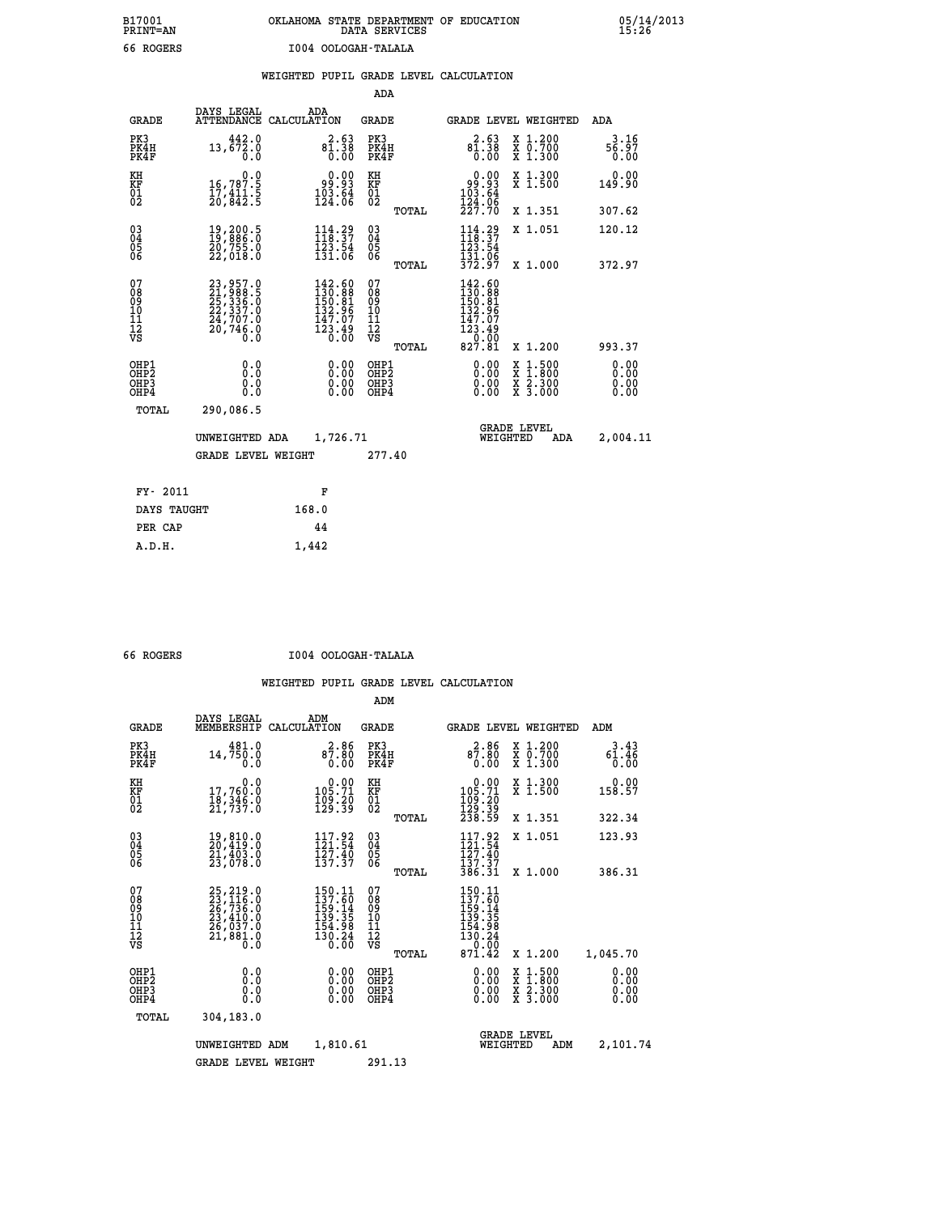## **B17001 OKLAHOMA STATE DEPARTMENT OF EDUCATION 05/14/2013 PRINT=AN DATA SERVICES 15:26 66 ROGERS I004 OOLOGAH-TALALA**

|  |  | WEIGHTED PUPIL GRADE LEVEL CALCULATION |
|--|--|----------------------------------------|
|  |  |                                        |

|                                                                    |                                                                                                                               |                                                                                                     | ADA                                       |       |                                                                            |                                                                                                  |                              |
|--------------------------------------------------------------------|-------------------------------------------------------------------------------------------------------------------------------|-----------------------------------------------------------------------------------------------------|-------------------------------------------|-------|----------------------------------------------------------------------------|--------------------------------------------------------------------------------------------------|------------------------------|
| <b>GRADE</b>                                                       | DAYS LEGAL                                                                                                                    | ADA<br>ATTENDANCE CALCULATION                                                                       | <b>GRADE</b>                              |       |                                                                            | GRADE LEVEL WEIGHTED                                                                             | ADA                          |
| PK3<br>PK4H<br>PK4F                                                | 442.0<br>13,672.0<br>0.0                                                                                                      | $8\overline{1}\cdot\overline{38}$<br>0.00                                                           | PK3<br>PK4H<br>PK4F                       |       | 2.63<br>$8\overline{1}\cdot\overline{38}$<br>$0.00$                        | X 1.200<br>X 0.700<br>X 1.300                                                                    | 3.16<br>56.97<br>0.00        |
| KH<br><b>KF</b><br>01<br>02                                        | 0.0<br>16,787.5<br>17,411.5<br>20,842.5                                                                                       | 0.00<br>93.93<br>$\frac{103}{124}.64$                                                               | KH<br>KF<br>01<br>02                      |       | $\begin{array}{c} 0.00 \\ 99.93 \\ 103.64 \\ 124.98 \end{array}$           | X 1.300<br>X 1.500                                                                               | 0.00<br>149.90               |
|                                                                    |                                                                                                                               |                                                                                                     |                                           | TOTAL | 227.70                                                                     | X 1.351                                                                                          | 307.62                       |
| $\begin{smallmatrix} 03 \\[-4pt] 04 \end{smallmatrix}$<br>05<br>06 | $\begin{smallmatrix} 19 \ , \ 200 \ . \ 5 \ 19 \ , \ 886 \ . \ 0 \ 20 \ , \ 755 \ . \ 0 \ 22 \ , \ 018 \ . \end{smallmatrix}$ | $114.29$<br>$118.37$<br>$\frac{123}{131}.54$                                                        | $\substack{03 \\ 04}$<br>05<br>06         | TOTAL | 114.29<br>123:54<br>131:06<br>372:97                                       | X 1.051<br>X 1.000                                                                               | 120.12<br>372.97             |
| 07<br>08901112<br>1112<br>VS                                       | 23, 957.0<br>21, 988.5<br>25, 3336.0<br>22, 337.0<br>24, 707.0<br>20,746.0<br>Ō.Ō                                             | $\begin{smallmatrix} 142.60\\130.88\\150.81\\152.96\\132.96\\147.07\\123.49\\0.00\end{smallmatrix}$ | 07<br>08901112<br>1112<br>VS              |       | 142.60<br>$130.88$<br>$150.81$<br>$132.96$<br>$147.07$<br>$123.49$<br>0.00 |                                                                                                  |                              |
|                                                                    |                                                                                                                               |                                                                                                     |                                           | TOTAL | 827.81                                                                     | X 1.200                                                                                          | 993.37                       |
| OHP1<br>OH <sub>P2</sub><br>OH <sub>P3</sub><br>OH <sub>P4</sub>   | 0.0<br>0.0<br>0.0                                                                                                             | 0.00<br>0.00<br>0.00                                                                                | OHP1<br>OH <sub>P</sub> 2<br>OHP3<br>OHP4 |       | 0.00<br>0.00<br>0.00                                                       | $\begin{smallmatrix} x & 1 & 500 \\ x & 1 & 800 \\ x & 2 & 300 \\ x & 3 & 000 \end{smallmatrix}$ | 0.00<br>0.00<br>0.00<br>0.00 |
| TOTAL                                                              | 290,086.5                                                                                                                     |                                                                                                     |                                           |       |                                                                            |                                                                                                  |                              |
|                                                                    | UNWEIGHTED ADA                                                                                                                | 1,726.71                                                                                            |                                           |       |                                                                            | <b>GRADE LEVEL</b><br>WEIGHTED<br>ADA                                                            | 2,004.11                     |
|                                                                    | <b>GRADE LEVEL WEIGHT</b>                                                                                                     |                                                                                                     | 277.40                                    |       |                                                                            |                                                                                                  |                              |
| FY- 2011                                                           |                                                                                                                               | F                                                                                                   |                                           |       |                                                                            |                                                                                                  |                              |
| DAYS TAUGHT                                                        |                                                                                                                               | 168.0                                                                                               |                                           |       |                                                                            |                                                                                                  |                              |
| PER CAP                                                            |                                                                                                                               | 44                                                                                                  |                                           |       |                                                                            |                                                                                                  |                              |

 **A.D.H. 1,442**

 **66 ROGERS I004 OOLOGAH-TALALA**

|                                                      |                                                                                                                     |                    |                                                                                                      | ADM                                                 |       |                                                                                  |                                |                                                                                                                                           |                              |
|------------------------------------------------------|---------------------------------------------------------------------------------------------------------------------|--------------------|------------------------------------------------------------------------------------------------------|-----------------------------------------------------|-------|----------------------------------------------------------------------------------|--------------------------------|-------------------------------------------------------------------------------------------------------------------------------------------|------------------------------|
| <b>GRADE</b>                                         | DAYS LEGAL<br>MEMBERSHIP                                                                                            | ADM<br>CALCULATION |                                                                                                      | <b>GRADE</b>                                        |       |                                                                                  |                                | <b>GRADE LEVEL WEIGHTED</b>                                                                                                               | ADM                          |
| PK3<br>PK4H<br>PK4F                                  | 481.0<br>14,750.0<br>0.0                                                                                            |                    | 2.86<br>87.80<br>0.00                                                                                | PK3<br>PK4H<br>PK4F                                 |       | 87.86<br>0.00                                                                    |                                | X 1.200<br>X 0.700<br>X 1.300                                                                                                             | 3.43<br>61.46<br>0.00        |
| KH<br>KF<br>01<br>02                                 | 0.0<br>17,760:0<br>18,346.0<br>21,737.0                                                                             |                    | $\begin{smallmatrix} &0.00\\ 105.71\\ 109.20\\ 129.39\end{smallmatrix}$                              | KH<br>KF<br>01<br>02                                |       | $\begin{smallmatrix} &0.00\\ 105.71\\ 109.20\\ 129.39\\ 238.59\end{smallmatrix}$ |                                | X 1.300<br>X 1.500                                                                                                                        | 0.00<br>158.57               |
|                                                      |                                                                                                                     |                    |                                                                                                      |                                                     | TOTAL |                                                                                  |                                | X 1.351                                                                                                                                   | 322.34                       |
| 03<br>04<br>05<br>06                                 | 19,810.0<br>20,419.0<br>21,403.0<br>23,078.0                                                                        |                    | $117.92$<br>$121.54$<br>$\frac{1}{2}$ $\frac{7}{2}$ $\frac{3}{2}$ $\frac{4}{3}$                      | $\begin{array}{c} 03 \\ 04 \\ 05 \\ 06 \end{array}$ |       | $117.92$<br>$121.54$<br>127.40                                                   |                                | X 1.051                                                                                                                                   | 123.93                       |
|                                                      |                                                                                                                     |                    |                                                                                                      |                                                     | TOTAL | 137.37<br>386.31                                                                 |                                | X 1.000                                                                                                                                   | 386.31                       |
| 07<br>08<br>09<br>101<br>112<br>VS                   | $\begin{smallmatrix} 25, 219.0\\ 23, 116.0\\ 26, 736.0\\ 23, 410.0\\ 26, 037.0\\ 21, 881.0\\ 0.0 \end{smallmatrix}$ |                    | $\begin{smallmatrix} 150.11\\137.60\\159.14\\159.35\\134.35\\154.98\\130.24\\0.00 \end{smallmatrix}$ | 07<br>08<br>09<br>11<br>11<br>12<br>VS              | TOTAL | 150.11<br>137.60<br>159:14<br>139.35<br>154.98<br>130.24<br>0.00<br>871.42       |                                | X 1.200                                                                                                                                   | 1,045.70                     |
| OHP1<br>OHP <sub>2</sub><br>OH <sub>P3</sub><br>OHP4 | 0.0<br>0.000                                                                                                        |                    | $0.00$<br>$0.00$<br>0.00                                                                             | OHP1<br>OHP2<br>OHP3<br>OHP4                        |       | $0.00$<br>$0.00$<br>0.00                                                         |                                | $\begin{smallmatrix} \mathtt{X} & 1\cdot500\\ \mathtt{X} & 1\cdot800\\ \mathtt{X} & 2\cdot300\\ \mathtt{X} & 3\cdot000 \end{smallmatrix}$ | 0.00<br>0.00<br>0.00<br>0.00 |
| TOTAL                                                | 304,183.0                                                                                                           |                    |                                                                                                      |                                                     |       |                                                                                  |                                |                                                                                                                                           |                              |
|                                                      | UNWEIGHTED ADM                                                                                                      |                    | 1,810.61                                                                                             |                                                     |       |                                                                                  | <b>GRADE LEVEL</b><br>WEIGHTED | ADM                                                                                                                                       | 2,101.74                     |
|                                                      | <b>GRADE LEVEL WEIGHT</b>                                                                                           |                    |                                                                                                      | 291.13                                              |       |                                                                                  |                                |                                                                                                                                           |                              |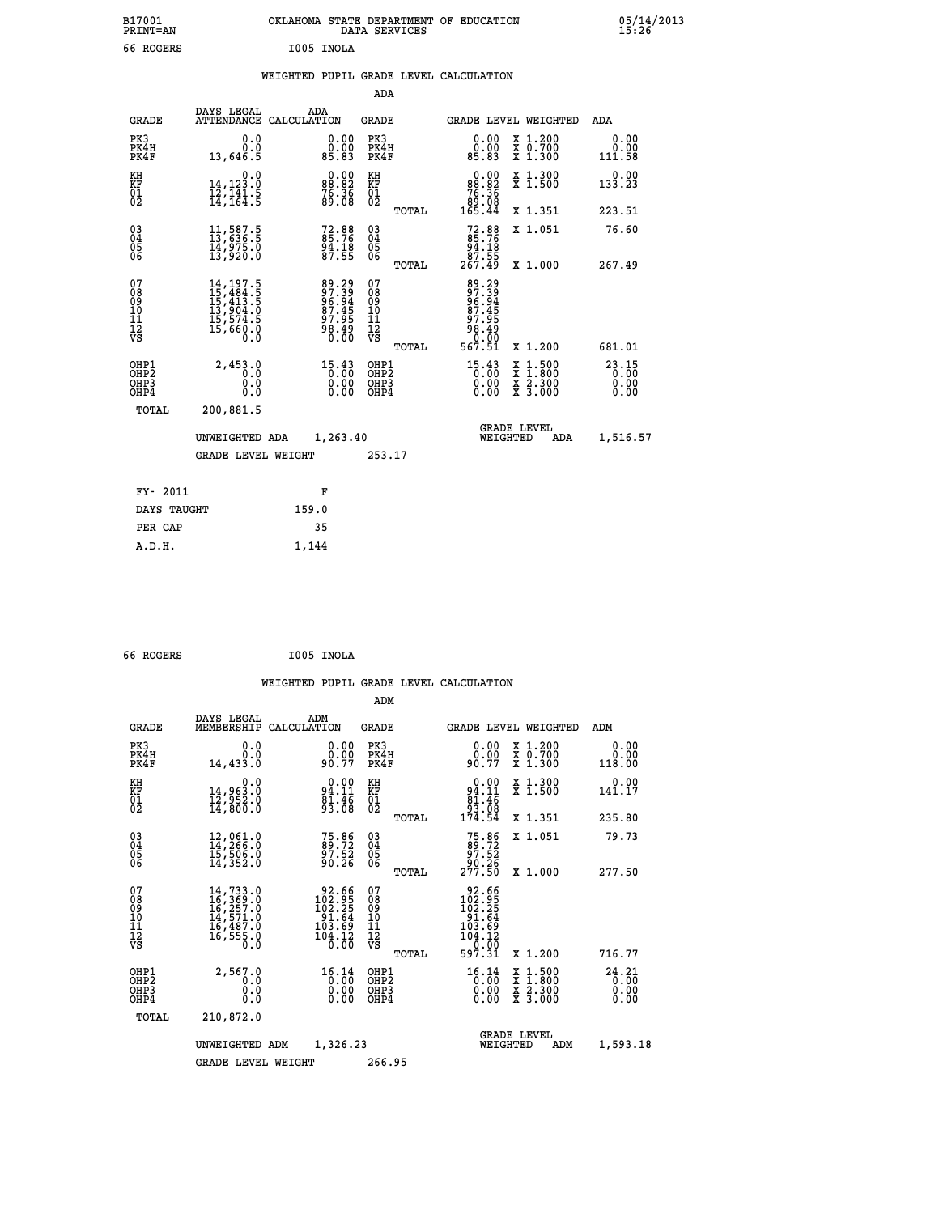| B17001<br><b>PRINT=AN</b> | OKLAHOMA STATE DEPARTMENT OF EDUCATION<br>DATA<br>SERVICES | 05/14/2013<br>15:26 |
|---------------------------|------------------------------------------------------------|---------------------|
| 66 ROGERS                 | I005 INOLA                                                 |                     |

|  |  | WEIGHTED PUPIL GRADE LEVEL CALCULATION |
|--|--|----------------------------------------|
|  |  |                                        |

|                                                                    |                                                                                                                                                     |                                                                         | ADA                                                 |                                                                                                                                                                           |                        |
|--------------------------------------------------------------------|-----------------------------------------------------------------------------------------------------------------------------------------------------|-------------------------------------------------------------------------|-----------------------------------------------------|---------------------------------------------------------------------------------------------------------------------------------------------------------------------------|------------------------|
| <b>GRADE</b>                                                       | DAYS LEGAL                                                                                                                                          | ADA<br>ATTENDANCE CALCULATION                                           | <b>GRADE</b>                                        | GRADE LEVEL WEIGHTED                                                                                                                                                      | ADA                    |
| PK3<br>PK4H<br>PK4F                                                | 0.0<br>0.0<br>13,646.5                                                                                                                              | $\begin{smallmatrix} 0.00\\ 0.00\\ 85.83 \end{smallmatrix}$             | PK3<br>PK4H<br>PK4F                                 | 0.00<br>X 1.200<br>X 0.700<br>X 1.300<br>ŏÖ.ÖÖ<br>85.83                                                                                                                   | 0.00<br>0.00<br>111.58 |
| KH<br>KF<br>01<br>02                                               | 0.0<br>$\frac{14}{12}, \frac{123}{141}$ $\cdot \frac{5}{14}$<br>$\cdot \frac{164}{164}$                                                             | $\begin{smallmatrix} 0.00\\ 88.82\\ 76.36\\ 89.08 \end{smallmatrix}$    | KH<br>KF<br>01<br>02                                | $\begin{smallmatrix} &0.00\\ &88.82\\ &76.36\\ &89.08\\ &165.44\end{smallmatrix}$<br>X 1.300<br>X 1.500                                                                   | 0.00<br>133.23         |
|                                                                    |                                                                                                                                                     |                                                                         | TOTAL                                               | X 1.351                                                                                                                                                                   | 223.51                 |
| $\begin{smallmatrix} 03 \\[-4pt] 04 \end{smallmatrix}$<br>Ŏ5<br>06 | $\begin{smallmatrix} 11\,,\,587\,.5\,13\,,\,636\,.5\,14\,,\,975\,.0\,13\,,\,920\,.0 \end{smallmatrix}$                                              | 72.88<br>85.76<br>94.18<br>87.55                                        | $\begin{array}{c} 03 \\ 04 \\ 05 \\ 06 \end{array}$ | $72.8885.7694.1887.55267.49$<br>X 1.051                                                                                                                                   | 76.60                  |
|                                                                    |                                                                                                                                                     |                                                                         | TOTAL                                               | X 1.000                                                                                                                                                                   | 267.49                 |
| 07<br>08<br>09<br>01<br>11<br>11<br>12<br>VS                       | $\begin{smallmatrix} 14\,,\,197\,.5\\ 15\,,\,484\,.5\\ 15\,,\,413\,.5\\ 13\,,\,904\,.0\\ 15\,,\,574\,.5\\ 15\,,\,660\,.0\\ 0\,.0 \end{smallmatrix}$ | 89.39<br>97.39<br>96.94<br>87.45<br>97.95<br>وَ <b>ءَ:</b> ٶَ9َ<br>0:00 | 07<br>08<br>09<br>11<br>11<br>12<br>VS              | 89.29<br>97.39<br>96.945<br>87.45<br>97.95<br>قة: ۋق<br>0.00                                                                                                              |                        |
|                                                                    |                                                                                                                                                     |                                                                         | TOTAL                                               | 567.51<br>X 1.200                                                                                                                                                         | 681.01                 |
| OHP1<br>OHP <sub>2</sub><br>OH <sub>P3</sub><br>OHP4               | 2,453.0<br>0.0<br>0.000                                                                                                                             | 15.43<br>$\begin{smallmatrix} 0.00 \ 0.00 \end{smallmatrix}$            | OHP1<br>OHP2<br>OHP <sub>3</sub>                    | $15.43$<br>$0.00$<br>$\begin{smallmatrix} \mathtt{X} & 1\cdot500 \\ \mathtt{X} & 1\cdot800 \\ \mathtt{X} & 2\cdot300 \\ \mathtt{X} & 3\cdot000 \end{smallmatrix}$<br>0.00 | 23.15<br>0.00          |
| TOTAL                                                              | 200,881.5                                                                                                                                           |                                                                         |                                                     |                                                                                                                                                                           |                        |
|                                                                    | UNWEIGHTED ADA                                                                                                                                      | 1,263.40                                                                |                                                     | <b>GRADE LEVEL</b><br>WEIGHTED<br>ADA                                                                                                                                     | 1,516.57               |
|                                                                    | <b>GRADE LEVEL WEIGHT</b>                                                                                                                           |                                                                         | 253.17                                              |                                                                                                                                                                           |                        |
| FY- 2011                                                           |                                                                                                                                                     | F                                                                       |                                                     |                                                                                                                                                                           |                        |
| DAYS TAUGHT                                                        |                                                                                                                                                     | 159.0                                                                   |                                                     |                                                                                                                                                                           |                        |
| PER CAP                                                            |                                                                                                                                                     | 35                                                                      |                                                     |                                                                                                                                                                           |                        |

```
 66 ROGERS I005 INOLA
```
 **A.D.H. 1,144**

 **WEIGHTED PUPIL GRADE LEVEL CALCULATION ADM DAYS LEGAL ADM GRADE MEMBERSHIP CALCULATION GRADE GRADE LEVEL WEIGHTED ADM PK3 0.0 0.00 PK3 0.00 X 1.200 0.00 PK4H 0.0 0.00 PK4H 0.00 X 0.700 0.00 PK4F 14,433.0 90.77 PK4F 90.77 X 1.300 118.00 KH 0.0 0.00 KH 0.00 X 1.300 0.00 KF 14,963.0 94.11 KF 94.11 X 1.500 141.17 01 12,952.0 81.46 01 81.46 02 14,800.0 93.08 02 93.08 TOTAL 174.54 X 1.351 235.80 03 12,061.0 75.86 03 75.86 X 1.051 79.73 04 14,266.0 89.72 04 89.72 05 15,506.0 97.52 05 97.52 06 14,352.0 90.26 06 90.26 TOTAL 277.50 X 1.000 277.50**  $\begin{array}{cccc} 07 & 14,733\, .0 & 92.66 & 07 \\ 08 & 16,369\, .0 & 102.95 & 08 \\ 10 & 16,725\, .0 & 102.25 & 08 \\ 10 & 14,571\, .0 & 91\, .64 & 10 \\ 11 & 16,487\, .0 & 103\, .69 & 11 \\ 12 & 16,555\, .0 & 103\, .12 & 12 \\ \n% \end{array}$ 08 16,369.0 102.95 08 102.95<br>
10 14,571.0 91.64 10 91.64<br>
11 16,487.0 103.69 11 104.12<br>
12 16,555.0 104.69 11<br>
VS 55.0 0.00 VS 0.000  $\begin{array}{cccccc} 14,733\cdot 0 & 92.66 & 07 & 92.66 \ 16,257\cdot 0 & 102.25 & 08 & 102.25 \ 16,457\cdot 1.0 & 91.64 & 10 & 102.325 \ 16,587\cdot 0 & 103.69 & 11 & 91.64 \ 16,585\cdot 0 & 103.69 & 11 & 104.12 \ 16,555\cdot 0 & 104.12 & 12 & 104.12 \ 16,555\cdot 0 & 104.12 &$  **OHP1 2,567.0 16.14 OHP1 16.14 X 1.500 24.21 OHP2 0.0 0.00 OHP2 0.00 X 1.800 0.00 OHP3 0.0 0.00 OHP3 0.00 X 2.300 0.00 OHP4 0.0 0.00 OHP4 0.00 X 3.000 0.00 TOTAL 210,872.0 GRADE LEVEL UNWEIGHTED ADM 1,326.23 WEIGHTED ADM 1,593.18 GRADE LEVEL WEIGHT 266.95**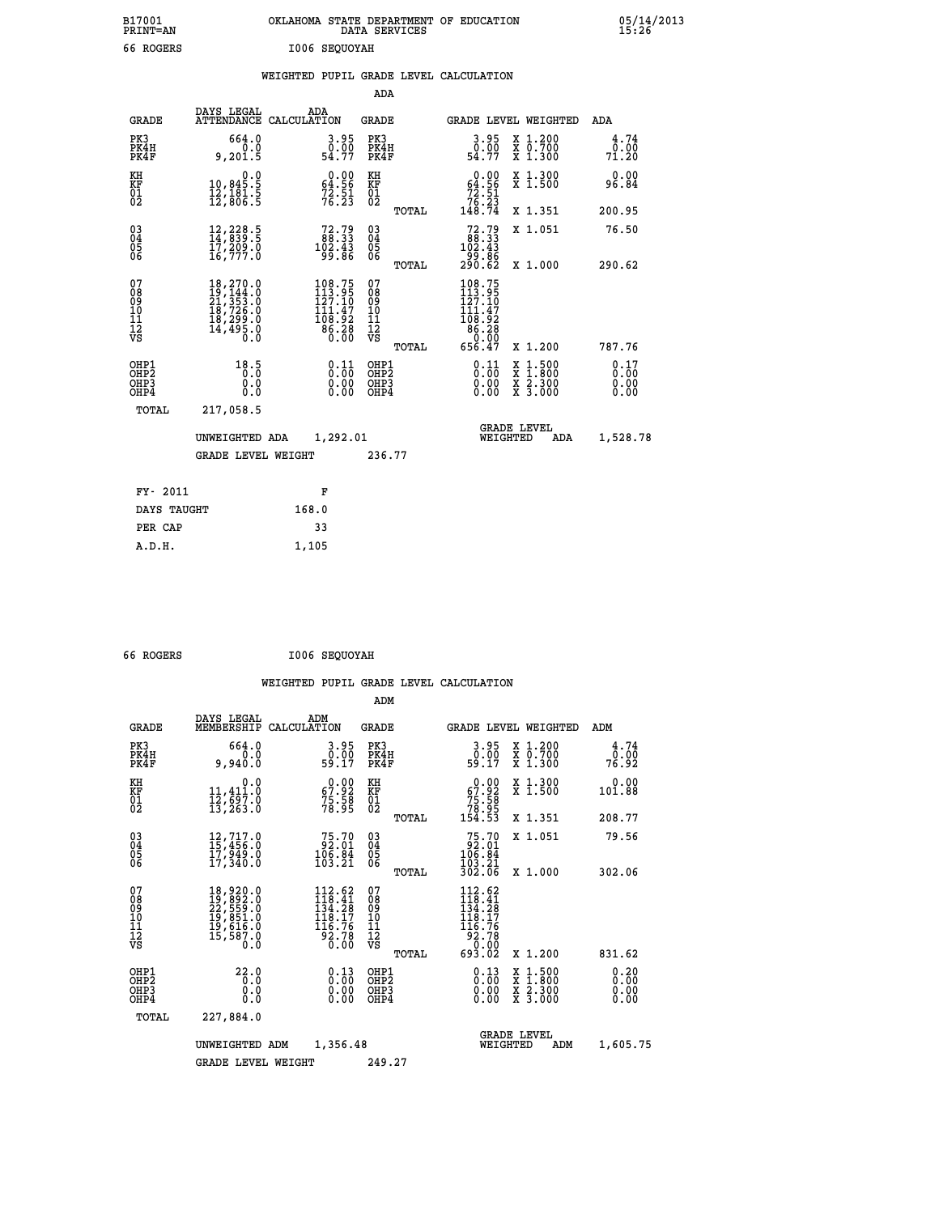| B17001<br>PRINT=AN                                    |                                                                                                                | OKLAHOMA STATE DEPARTMENT OF EDUCATION                                                     | DATA SERVICES                            |                                                                                 |                                                                                                  | 05/14/2013                   |  |
|-------------------------------------------------------|----------------------------------------------------------------------------------------------------------------|--------------------------------------------------------------------------------------------|------------------------------------------|---------------------------------------------------------------------------------|--------------------------------------------------------------------------------------------------|------------------------------|--|
| 66 ROGERS                                             |                                                                                                                | I006 SEOUOYAH                                                                              |                                          |                                                                                 |                                                                                                  |                              |  |
|                                                       |                                                                                                                | WEIGHTED PUPIL GRADE LEVEL CALCULATION                                                     |                                          |                                                                                 |                                                                                                  |                              |  |
|                                                       |                                                                                                                |                                                                                            | ADA                                      |                                                                                 |                                                                                                  |                              |  |
| <b>GRADE</b>                                          | DAYS LEGAL                                                                                                     | ADA<br>ATTENDANCE CALCULATION                                                              | GRADE                                    | GRADE LEVEL WEIGHTED                                                            |                                                                                                  | ADA                          |  |
| PK3<br>PK4H<br>PK4F                                   | 664.0<br>0.0<br>9,201.5                                                                                        | 3.95<br>$\frac{0.00}{54.77}$                                                               | PK3<br>PK4H<br>PK4F                      | $\begin{smallmatrix} 3.95\ 0.00 \ 54.77 \end{smallmatrix}$                      | X 1.200<br>X 0.700<br>X 1.300                                                                    | 4.74<br>0.00<br>71.20        |  |
| KH<br>KF<br>01<br>02                                  | 0.0<br>10,845:5<br>12,181:5<br>12,806:5                                                                        | $\begin{smallmatrix} 0.00\\ 64.56\\ 72.51\\ 76.23 \end{smallmatrix}$                       | KH<br>KF<br>01<br>02                     | 0.00<br>64.56<br>$7\bar{2}\cdot\bar{5}\bar{1}\over 7\bar{6}\cdot\bar{2}\bar{3}$ | X 1.300<br>X 1.500                                                                               | 0.00<br>96.84                |  |
|                                                       |                                                                                                                |                                                                                            | TOTAL                                    | 148.74                                                                          | X 1.351                                                                                          | 200.95                       |  |
| $03$<br>$04$<br>$05$<br>06                            | 12,228.5<br>14,839.5<br>17,209.0<br>16,777.0                                                                   | $72.79$<br>$102.33$<br>$102.43$<br>99.86                                                   | 03<br>04<br>05<br>06                     | $72.79$<br>$102.43$<br>$102.43$<br>-99.86<br>290.62                             | X 1.051                                                                                          | 76.50                        |  |
| 07                                                    |                                                                                                                |                                                                                            | TOTAL<br>07                              |                                                                                 | X 1,000                                                                                          | 290.62                       |  |
| 08<br>09<br>10<br>īi<br>Ī2<br>VS                      | $\begin{smallmatrix} 18,270.0\\ 19,144.0\\ 21,353.0\\ 18,726.0\\ 18,299.0\\ 14,495.0 \end{smallmatrix}$<br>0.0 | $\begin{smallmatrix} 108.75\\113.95\\127.10\\111.47\\108.92\\86.28\\0.00\end{smallmatrix}$ | 08<br>09<br>10<br>11<br>Ī2<br>VS         | $108.75$<br>$113.95$<br>$127.10$<br>$111.47$<br>108.92<br>86.28<br>0.00         |                                                                                                  |                              |  |
|                                                       |                                                                                                                |                                                                                            | TOTAL                                    | 656.47                                                                          | X 1.200                                                                                          | 787.76                       |  |
| OHP1<br>OH <sub>P</sub> 2<br>OH <sub>P3</sub><br>OHP4 | 18.5<br>Ŏ:Ŏ<br>0.0<br>0.0                                                                                      | 0.11<br>0.00                                                                               | OHP1<br>OHP <sub>2</sub><br>OHP3<br>OHP4 | 0.11<br>0.00<br>0.00                                                            | $\begin{smallmatrix} x & 1 & 500 \\ x & 1 & 800 \\ x & 2 & 300 \\ x & 3 & 000 \end{smallmatrix}$ | 0.17<br>0.00<br>0.00<br>0.00 |  |
| TOTAL                                                 | 217,058.5                                                                                                      |                                                                                            |                                          |                                                                                 |                                                                                                  |                              |  |
|                                                       | UNWEIGHTED ADA                                                                                                 | 1,292.01                                                                                   |                                          | WEIGHTED                                                                        | <b>GRADE LEVEL</b><br>ADA                                                                        | 1,528.78                     |  |
|                                                       | <b>GRADE LEVEL WEIGHT</b>                                                                                      |                                                                                            | 236.77                                   |                                                                                 |                                                                                                  |                              |  |
| FY- 2011                                              |                                                                                                                | F                                                                                          |                                          |                                                                                 |                                                                                                  |                              |  |
| DAYS TAUGHT                                           |                                                                                                                | 168.0                                                                                      |                                          |                                                                                 |                                                                                                  |                              |  |
| PER CAP                                               |                                                                                                                | 33                                                                                         |                                          |                                                                                 |                                                                                                  |                              |  |

| 66 ROGERS | I006 SEQUOYAH |
|-----------|---------------|
|           |               |

 **A.D.H. 1,105**

 **WEIGHTED PUPIL GRADE LEVEL CALCULATION ADM DAYS LEGAL ADM GRADE MEMBERSHIP CALCULATION GRADE GRADE LEVEL WEIGHTED ADM PK3 664.0 3.95 PK3 3.95 X 1.200 4.74 PK4H 0.0 0.00 PK4H 0.00 X 0.700 0.00 PK4F 9,940.0 59.17 PK4F 59.17 X 1.300 76.92 KH 0.0 0.00 KH 0.00 X 1.300 0.00 KF 11,411.0 67.92 KF 67.92 X 1.500 101.88 01 12,697.0 75.58 01 75.58 02 13,263.0 78.95 02 78.95 TOTAL 154.53 X 1.351 208.77 03 12,717.0 75.70 03 75.70 X 1.051 79.56 04 15,456.0 92.01 04 92.01 05 17,949.0 106.84 05 106.84 06 17,340.0 103.21 06 103.21 TOTAL 302.06 X 1.000 302.06**  $\begin{array}{cccc} 07 & 18\,,929.0 & 112\,.62 & 07 & 112\,.62 \ 08 & 19\,,892.0 & 118\,.4 & 08 & 118\,.4 \ 09 & 22\,,559.0 & 134\,.28 & 09 & 134\,.28 \ 10 & 19\,,851.0 & 118\,.17 & 10 & 118\,.17 \ 11 & 19\,,616.0 & 116\,.76 & 116\,.76 \ 116\,.76 & 116\,.76 & 116\,.76 \ 117\,.7$  **TOTAL 693.02 X 1.200 831.62 OHP1 22.0 0.13 OHP1 0.13 X 1.500 0.20 OHP2 0.0 0.00 OHP2 0.00 X 1.800 0.00 OHP3 0.0 0.00 OHP3 0.00 X 2.300 0.00 OHP4 0.0 0.00 OHP4 0.00 X 3.000 0.00 TOTAL 227,884.0 GRADE LEVEL UNWEIGHTED ADM 1,356.48 WEIGHTED ADM 1,605.75 GRADE LEVEL WEIGHT 249.27**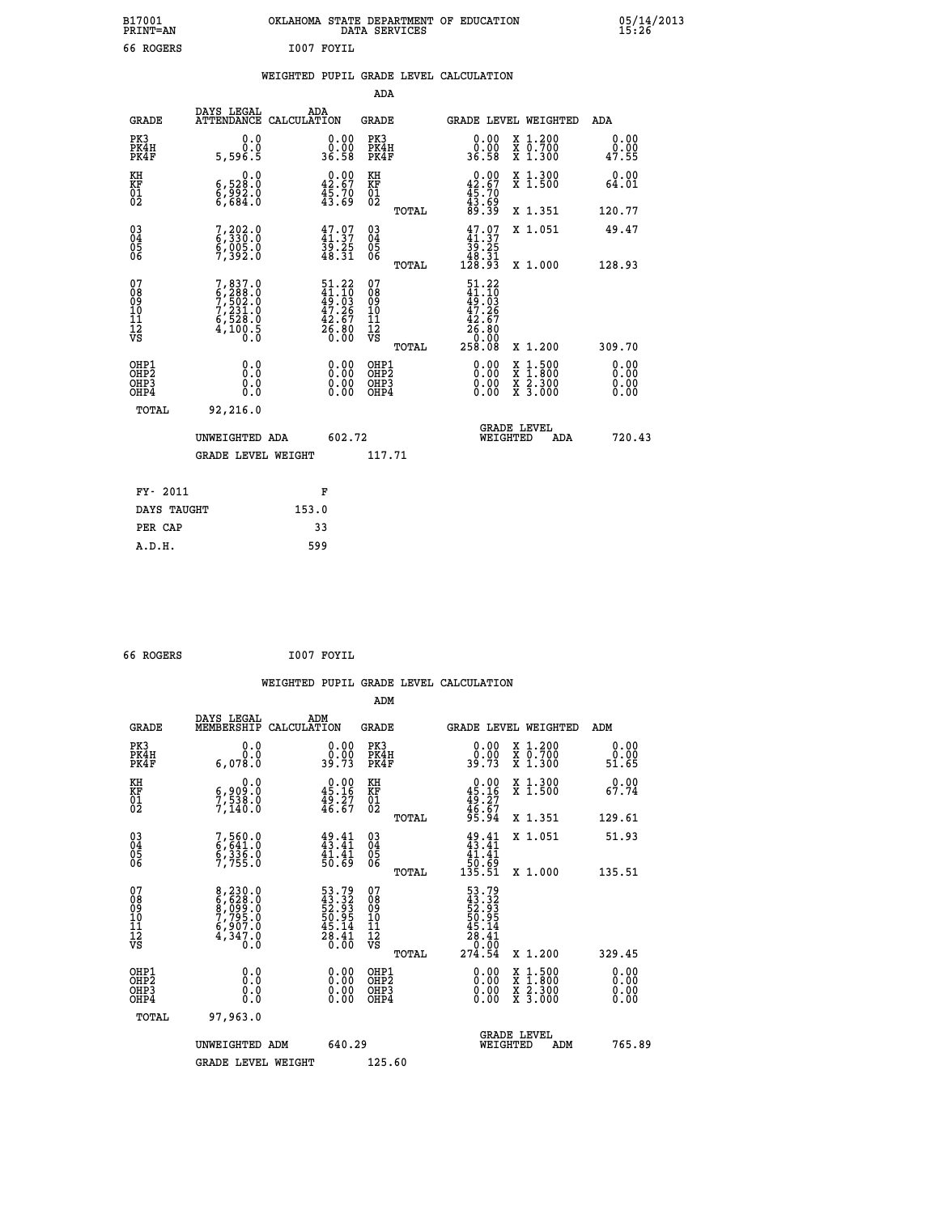| B17001<br><b>PRINT=AN</b> | OKLAHOMA STATE DEPARTMENT OF EDUCATION<br>SERVICES<br>DATA | 05/14/2013<br>15:26 |
|---------------------------|------------------------------------------------------------|---------------------|
| ROGERS<br>66              | I007 FOYIL                                                 |                     |

|  |  | WEIGHTED PUPIL GRADE LEVEL CALCULATION |
|--|--|----------------------------------------|
|  |  |                                        |

|                                                                    |                                                                                     |                                                                          | ADA                                    |       |                                                                                |                                          |                              |
|--------------------------------------------------------------------|-------------------------------------------------------------------------------------|--------------------------------------------------------------------------|----------------------------------------|-------|--------------------------------------------------------------------------------|------------------------------------------|------------------------------|
| <b>GRADE</b>                                                       | DAYS LEGAL                                                                          | ADA<br>ATTENDANCE CALCULATION                                            | <b>GRADE</b>                           |       |                                                                                | GRADE LEVEL WEIGHTED                     | ADA                          |
| PK3<br>PK4H<br>PK4F                                                | 0.0<br>0.0<br>5,596.5                                                               | $\begin{smallmatrix} 0.00\\ 0.00\\ 36.58 \end{smallmatrix}$              | PK3<br>PK4H<br>PK4F                    |       | 0.00<br>ŏ:ŏŏ<br>36:58                                                          | X 1.200<br>X 0.700<br>X 1.300            | 0.00<br>0.00<br>47.55        |
| KH<br>KF<br>01<br>02                                               | 0.0<br>6,528:0<br>6,992:0<br>6,684:0                                                | $0.00$<br>42.67<br>45.70<br>43.69                                        | KH<br>KF<br>01<br>02                   |       | $\begin{smallmatrix} 0.00\\ 42.67\\ 45.70\\ 43.69\\ 89.39 \end{smallmatrix}$   | X 1.300<br>X 1.500                       | 0.00<br>64.01                |
|                                                                    |                                                                                     |                                                                          |                                        | TOTAL |                                                                                | X 1.351                                  | 120.77                       |
| $\begin{smallmatrix} 03 \\[-4pt] 04 \end{smallmatrix}$<br>Ŏ5<br>06 | $7, 202.0$<br>6,330.0<br>6,005.0<br>7,392.0                                         | 47.97<br>39.25<br>48.31                                                  | $\substack{03 \\ 04}$<br>Ŏ5<br>06      |       | $\begin{smallmatrix} 47.07\\ 41.37\\ 39.25\\ 48.31\\ 128.93 \end{smallmatrix}$ | X 1.051                                  | 49.47                        |
|                                                                    |                                                                                     |                                                                          |                                        | TOTAL |                                                                                | X 1.000                                  | 128.93                       |
| 07<br>08<br>09<br>101<br>11<br>12<br>VS                            | $7,837.0$<br>$6,288.0$<br>$7,502.0$<br>$7,231.0$<br>$6,528.0$<br>$4,100.5$<br>$0.0$ | $51.22$<br>$41.10$<br>$49.03$<br>$47.26$<br>$42.67$<br>$26.80$<br>$0.00$ | 07<br>08<br>09<br>11<br>11<br>12<br>VS |       | $51.22$<br>$41.10$<br>$49.03$<br>$47.26$<br>$42.67$<br>$26.80$<br>$-0.90$      |                                          |                              |
|                                                                    |                                                                                     |                                                                          |                                        | TOTAL | 258.08                                                                         | X 1.200                                  | 309.70                       |
| OHP1<br>OHP <sub>2</sub><br>OH <sub>P3</sub><br>OHP4               | 0.0<br>0.000                                                                        | 0.00<br>$\begin{smallmatrix} 0.00 \ 0.00 \end{smallmatrix}$              | OHP1<br>OHP2<br>OHP <sub>3</sub>       |       | 0.00<br>0.00                                                                   | X 1:500<br>X 1:800<br>X 2:300<br>X 3:000 | 0.00<br>0.00<br>0.00<br>0.00 |
| TOTAL                                                              | 92,216.0                                                                            |                                                                          |                                        |       |                                                                                |                                          |                              |
|                                                                    | UNWEIGHTED ADA                                                                      | 602.72                                                                   |                                        |       |                                                                                | <b>GRADE LEVEL</b><br>WEIGHTED<br>ADA    | 720.43                       |
|                                                                    | <b>GRADE LEVEL WEIGHT</b>                                                           |                                                                          | 117.71                                 |       |                                                                                |                                          |                              |
| FY- 2011                                                           |                                                                                     | F                                                                        |                                        |       |                                                                                |                                          |                              |
| DAYS TAUGHT                                                        |                                                                                     | 153.0                                                                    |                                        |       |                                                                                |                                          |                              |
| PER CAP                                                            |                                                                                     | 33                                                                       |                                        |       |                                                                                |                                          |                              |

 **66 ROGERS I007 FOYIL**

 **A.D.H. 599**

 **WEIGHTED PUPIL GRADE LEVEL CALCULATION ADM DAYS LEGAL ADM GRADE MEMBERSHIP CALCULATION GRADE GRADE LEVEL WEIGHTED ADM PK3 0.0 0.00 PK3 0.00 X 1.200 0.00 PK4H 0.0 0.00 PK4H 0.00 X 0.700 0.00 PK4F 6,078.0 39.73 PK4F 39.73 X 1.300 51.65 KH 0.0 0.00 KH 0.00 X 1.300 0.00 KF 6,909.0 45.16 KF 45.16 X 1.500 67.74 01 7,538.0 49.27 01 49.27 02 7,140.0 46.67 02 46.67 TOTAL 95.94 X 1.351 129.61 03 7,560.0 49.41 03 49.41 X 1.051 51.93 04 6,641.0 43.41 04 43.41 05 6,336.0 41.41 05 41.41 06 7,755.0 50.69 06 50.69 TOTAL 135.51 X 1.000 135.51**  $\begin{array}{cccc} 07 & 8\, , 230\, .0 & 53\, .79 & 07 & 53\, .79 \ 08 & 6\, , 628\, .0 & 45\, .32\, .93 \ 10 & 7\, , 795\, .0 & 50\, .95 & 10 & 50\, .95 \ 11 & 6\, , 997\, .0 & 45\, .14 & 11 & 45\, .14 \ 12 & 45\, .4 & 11 & 45\, .4 & 12 \ 13 & 0\, .0 & 26\, .60 & 78 & 20\, .95 \$  **TOTAL 274.54 X 1.200 329.45 OHP1 0.0 0.00 OHP1 0.00 X 1.500 0.00 OHP2 0.0 0.00 OHP2 0.00 X 1.800 0.00 OHP3 0.0 0.00 OHP3 0.00 X 2.300 0.00 OHP4 0.0 0.00 OHP4 0.00 X 3.000 0.00 TOTAL 97,963.0 GRADE LEVEL UNWEIGHTED ADM 640.29 WEIGHTED ADM 765.89** GRADE LEVEL WEIGHT 125.60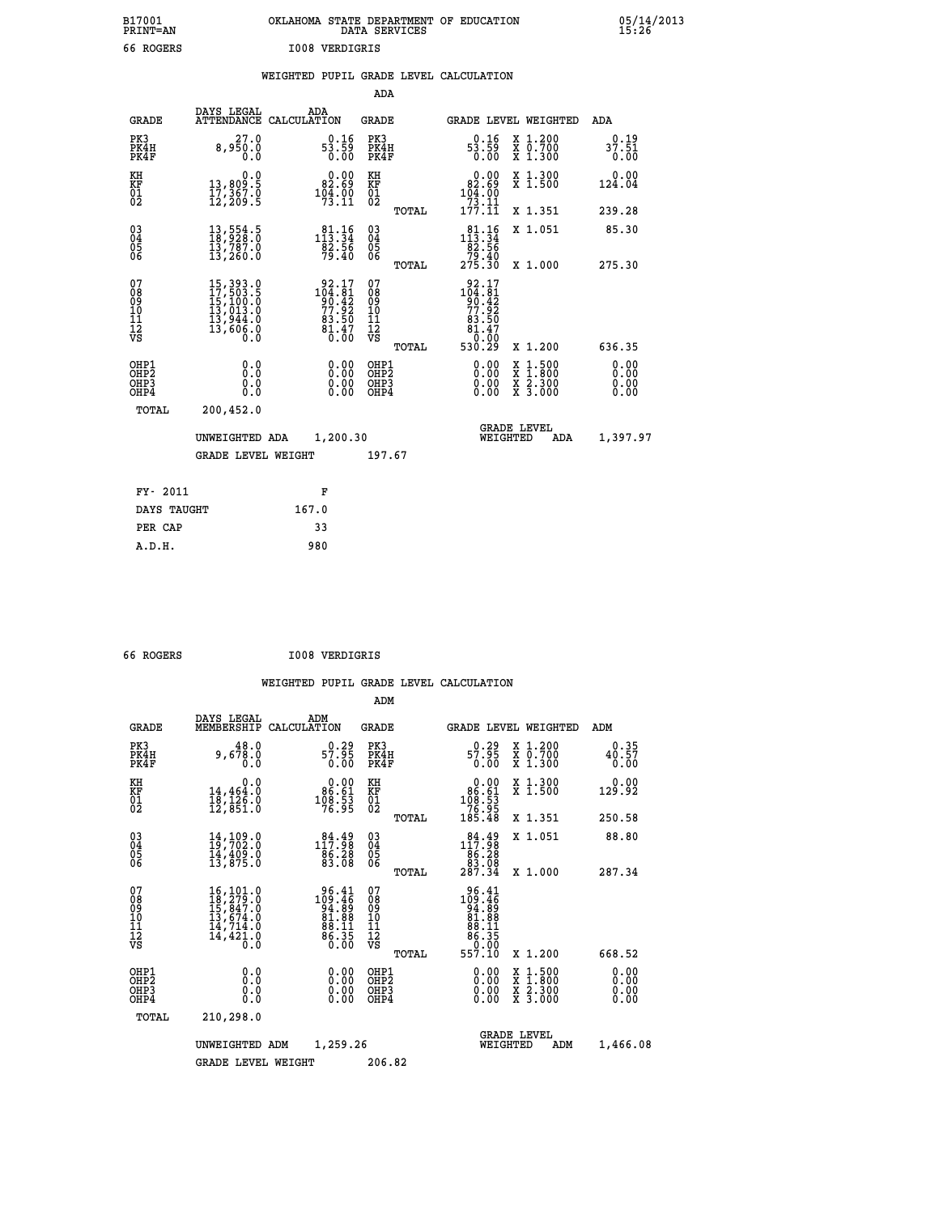| OKLAHOMA STATE DEPARTMENT OF EDUCATION<br>DATA SERVICES |  |
|---------------------------------------------------------|--|
| <b>IOO8 VERDIGRIS</b>                                   |  |

 **B17001 OKLAHOMA STATE DEPARTMENT OF EDUCATION 05/14/2013**

|  |  | WEIGHTED PUPIL GRADE LEVEL CALCULATION |
|--|--|----------------------------------------|
|  |  |                                        |

|                                                                    |                                                                                                                                                       |                                                                                        | ADA                                       |       |                                                                                                |                                                    |                              |
|--------------------------------------------------------------------|-------------------------------------------------------------------------------------------------------------------------------------------------------|----------------------------------------------------------------------------------------|-------------------------------------------|-------|------------------------------------------------------------------------------------------------|----------------------------------------------------|------------------------------|
| <b>GRADE</b>                                                       | DAYS LEGAL                                                                                                                                            | ADA<br>ATTENDANCE CALCULATION                                                          | <b>GRADE</b>                              |       |                                                                                                | GRADE LEVEL WEIGHTED                               | <b>ADA</b>                   |
| PK3<br>PK4H<br>PK4F                                                | 27.0<br>8,950.0<br>0.0                                                                                                                                | 0.16<br>$5\overline{3}\overline{.59}$<br>0.00                                          | PK3<br>PK4H<br>PK4F                       |       | 0.16<br>$\frac{53.59}{0.00}$                                                                   | X 1.200<br>X 0.700<br>X 1.300                      | 0.19<br>37.51<br>0.00        |
| KH<br>KF<br>01<br>02                                               | 0.0<br>13,809:5<br>17,367:0<br>12,209:5                                                                                                               | $\begin{smallmatrix} 0.00\\ 82.69\\ 104.00\\ 73.11 \end{smallmatrix}$                  | KH<br>KF<br>01<br>02                      |       | 0.00<br>$\begin{array}{r} 82.69 \\ 104.00 \\ 73.11 \\ 177.11 \end{array}$                      | X 1.300<br>X 1.500                                 | 0.00<br>124.04               |
|                                                                    |                                                                                                                                                       |                                                                                        |                                           | TOTAL |                                                                                                | X 1.351                                            | 239.28                       |
| $\begin{smallmatrix} 03 \\[-4pt] 04 \end{smallmatrix}$<br>Ŏ5<br>06 | 13,554.5<br>18,928.0<br>13,707.0<br>13,260.0                                                                                                          | $81.16$<br>$113.34$<br>$\frac{82.56}{79.40}$                                           | $\substack{03 \\ 04}$<br>05<br>06         |       | $81.16$<br>$113.34$<br>$\begin{array}{r} 182.56 \\ 79.40 \\ 275.30 \end{array}$                | X 1.051                                            | 85.30                        |
|                                                                    |                                                                                                                                                       |                                                                                        |                                           | TOTAL |                                                                                                | X 1.000                                            | 275.30                       |
| 07<br>08<br>09<br>11<br>11<br>12<br>VS                             | $\begin{smallmatrix} 15, 393\cdot 0\\ 17, 503\cdot 5\\ 15, 100\cdot 0\\ 13, 013\cdot 0\\ 13, 944\cdot 0\\ 13, 606\cdot 0\\ 0\cdot 0\end{smallmatrix}$ | $\begin{smallmatrix} 92.17\\104.81\\90.42\\77.92\\83.50\\81.47\\0.00\end{smallmatrix}$ | 07<br>08<br>09<br>11<br>11<br>12<br>VS    |       | $\begin{smallmatrix} 92.17\\104.81\\90.42\\77.92\\83.50\\81.47\\0.00\\530.29\end{smallmatrix}$ |                                                    |                              |
|                                                                    |                                                                                                                                                       |                                                                                        |                                           | TOTAL |                                                                                                | X 1.200                                            | 636.35                       |
| OHP1<br>OHP <sub>2</sub><br>OHP3<br>OHP4                           | 0.0<br>0.0<br>0.0                                                                                                                                     | 0.00<br>$\begin{smallmatrix} 0.00 \ 0.00 \end{smallmatrix}$                            | OHP1<br>OH <sub>P</sub> 2<br>OHP3<br>OHP4 |       | 0.00<br>0.00<br>0.00                                                                           | $1:500$<br>$1:800$<br>X<br>X<br>X 2.300<br>X 3.000 | 0.00<br>0.00<br>0.00<br>0.00 |
| TOTAL                                                              | 200,452.0                                                                                                                                             |                                                                                        |                                           |       |                                                                                                |                                                    |                              |
|                                                                    | UNWEIGHTED ADA                                                                                                                                        | 1,200.30                                                                               |                                           |       |                                                                                                | <b>GRADE LEVEL</b><br>WEIGHTED<br><b>ADA</b>       | 1,397.97                     |
|                                                                    | <b>GRADE LEVEL WEIGHT</b>                                                                                                                             |                                                                                        | 197.67                                    |       |                                                                                                |                                                    |                              |
| FY- 2011                                                           |                                                                                                                                                       | F                                                                                      |                                           |       |                                                                                                |                                                    |                              |
| DAYS TAUGHT                                                        |                                                                                                                                                       | 167.0                                                                                  |                                           |       |                                                                                                |                                                    |                              |
| PER CAP                                                            |                                                                                                                                                       | 33                                                                                     |                                           |       |                                                                                                |                                                    |                              |
|                                                                    |                                                                                                                                                       |                                                                                        |                                           |       |                                                                                                |                                                    |                              |

 **66 ROGERS I008 VERDIGRIS**

 **ADM**

 **A.D.H. 980**

B17001<br>PRINT=AN<br>66 ROGERS

| <b>GRADE</b>                                                       | DAYS LEGAL<br>MEMBERSHIP CALCULATION                                                                                                                | ADM                                                                                                 | <b>GRADE</b>                                  |       | <b>GRADE LEVEL WEIGHTED</b>                                                                           |                                          | ADM                   |  |
|--------------------------------------------------------------------|-----------------------------------------------------------------------------------------------------------------------------------------------------|-----------------------------------------------------------------------------------------------------|-----------------------------------------------|-------|-------------------------------------------------------------------------------------------------------|------------------------------------------|-----------------------|--|
| PK3<br>PK4H<br>PK4F                                                | 48.0<br>9,678.0<br>0.0                                                                                                                              | $0.29$<br>57.95<br>0.00                                                                             | PK3<br>PK4H<br>PK4F                           |       | 0.29<br>57.95<br>0.00                                                                                 | X 1.200<br>X 0.700<br>X 1.300            | 0.35<br>40.57<br>0.00 |  |
| KH<br><b>KF</b><br>01<br>02                                        | 0.0<br>14,464:0<br>18,126:0<br>12,851:0                                                                                                             | $\begin{smallmatrix} &0.00\\ 86.61\\ 108.53\\ 76.95 \end{smallmatrix}$                              | KH<br>KF<br>$\overline{01}$                   |       | $\begin{smallmatrix} &0.00\\ 86.61\\ 108.53\\ 76.95\\ 185.48\end{smallmatrix}$                        | X 1.300<br>X 1.500                       | 0.00<br>129.92        |  |
|                                                                    |                                                                                                                                                     |                                                                                                     |                                               | TOTAL |                                                                                                       | X 1.351                                  | 250.58                |  |
| $\begin{smallmatrix} 03 \\[-4pt] 04 \end{smallmatrix}$<br>Ŏ5<br>06 | $14, 109.0$<br>$19, 702.0$<br>$14, 409.0$<br>$13, 875.0$                                                                                            | 84.49<br>117.98<br>86.28                                                                            | $\substack{03 \\ 04}$<br>Ŏ5<br>ŎĞ             |       | $\begin{smallmatrix} 84.49\\ 117.98\\ 86.28\\ 83.08\\ 287.34 \end{smallmatrix}$                       | X 1.051                                  | 88.80                 |  |
|                                                                    |                                                                                                                                                     | 83.08                                                                                               |                                               | TOTAL |                                                                                                       | X 1.000                                  | 287.34                |  |
| 07<br>08<br>09<br>101<br>11<br>12<br>VS                            | $\begin{smallmatrix} 16\,,\,101\,.0\\ 18\,,\,279\,.0\\ 15\,,\,847\,.0\\ 13\,,\,674\,.0\\ 14\,,\,714\,.0\\ 14\,,\,421\,.0\\ 0\,.0 \end{smallmatrix}$ | $\begin{array}{r} 96.41 \\ 109.46 \\ 94.89 \\ 81.88 \\ 81.88 \\ 86.11 \\ 86.35 \\ 0.00 \end{array}$ | 07<br>08<br>09<br>001<br>11<br>11<br>12<br>VS |       | $\begin{array}{r} 96.41 \\ 109.46 \\ 94.89 \\ 81.88 \\ 86.11 \\ 86.35 \\ 60.00 \\ 557.10 \end{array}$ |                                          |                       |  |
|                                                                    |                                                                                                                                                     |                                                                                                     |                                               | TOTAL |                                                                                                       | X 1.200                                  | 668.52                |  |
| OHP1<br>OHP2<br>OH <sub>P3</sub><br>OHP4                           | 0.0<br>0.0<br>Ō.Ō                                                                                                                                   |                                                                                                     | OHP1<br>OHP2<br>OHP3<br>OHP4                  |       | 0.00<br>$\begin{smallmatrix} 0.00 & 0 \ 0.00 & 0 \end{smallmatrix}$                                   | X 1:500<br>X 1:800<br>X 2:300<br>X 3:000 | 0.00<br>0.00<br>0.00  |  |
| TOTAL                                                              | 210,298.0                                                                                                                                           |                                                                                                     |                                               |       |                                                                                                       |                                          |                       |  |
|                                                                    | UNWEIGHTED                                                                                                                                          | 1,259.26<br>ADM                                                                                     |                                               |       | WEIGHTED                                                                                              | <b>GRADE LEVEL</b><br>ADM                | 1,466.08              |  |
|                                                                    | <b>GRADE LEVEL WEIGHT</b>                                                                                                                           |                                                                                                     | 206.82                                        |       |                                                                                                       |                                          |                       |  |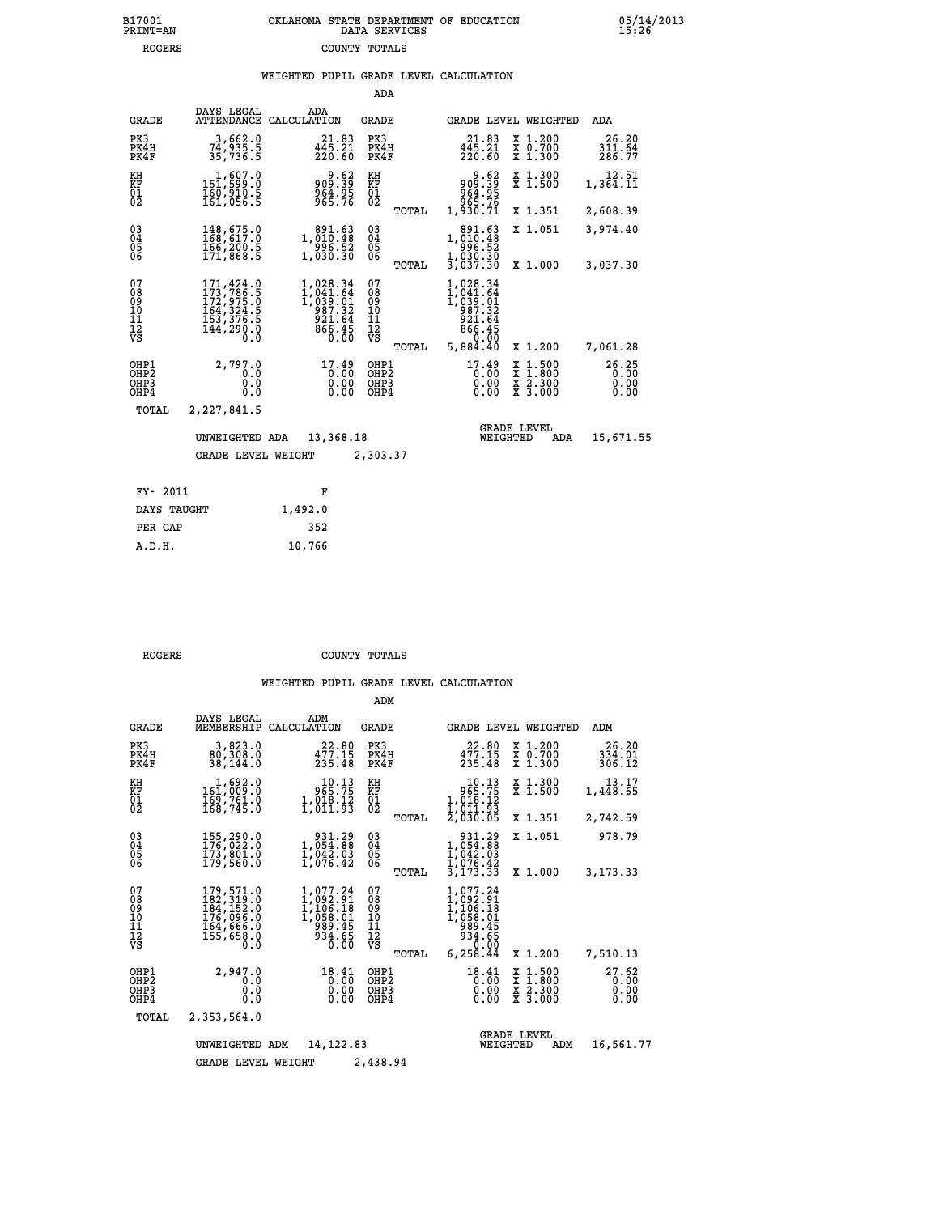## **B17001 OKLAHOMA STATE DEPARTMENT OF EDUCATION 05/14/2013 PRINT=AN DATA SERVICES 15:26 ROGERS COUNTY TOTALS**

| DAYS LEGAL<br>ADA                                                                                                                                                                                                                                                                                                                                          |                               |
|------------------------------------------------------------------------------------------------------------------------------------------------------------------------------------------------------------------------------------------------------------------------------------------------------------------------------------------------------------|-------------------------------|
| <b>GRADE</b><br>ATTENDANCE CALCULATION<br>GRADE LEVEL WEIGHTED<br>ADA<br>GRADE                                                                                                                                                                                                                                                                             |                               |
| PK3<br>3,662.0<br>PK3<br>21.83<br>X 1.200<br>21.83<br>X 0.700<br>X 1.300<br>PK4H<br>$4\bar{4}\bar{5}\cdot 2\bar{1}$<br>220.60<br>PK4H<br>$4\bar{4}\bar{5}\cdot 2\bar{1}$<br>220.60<br>74,935.5<br>PK4F<br>35,736.5<br>PK4F                                                                                                                                 | 26.20<br>311.64<br>286.77     |
| 1,607.0<br>9.62<br>83.8<br>1839<br>1954.88<br>1955.75<br>X 1.300<br>X 1.500<br>KH<br>KH<br>$15\overline{1}$ , 599.0<br>863.39<br>864.95<br>965.76<br><b>KF</b><br>01<br>02<br>KF<br>1,364.11<br>160,910.5<br>161,056.5<br>$^{01}_{02}$                                                                                                                     | 12.51                         |
| 1,930.71<br>X 1.351<br>2,608.39<br>TOTAL                                                                                                                                                                                                                                                                                                                   |                               |
| $\begin{smallmatrix} 03 \\[-4pt] 04 \end{smallmatrix}$<br>891.63<br>X 1.051<br>148,675.0<br>1,010.48<br>$\substack{03 \\ 04}$<br>3,974.40<br>1,010.48<br>05<br>06<br>166,200.5<br>996.52<br>05<br>996.52                                                                                                                                                   |                               |
| 171,868.5<br>1,030.30<br>06<br>1,030.30<br>3,037.30<br>TOTAL<br>3,037.30<br>X 1.000                                                                                                                                                                                                                                                                        |                               |
| 07<br>1,028.34<br>171,424.0<br>173,786.5<br>1,028.34<br>07<br>08<br>09<br>11<br>11<br>12<br>VS<br>$1,041.64$<br>$1,039.01$<br>$987.32$<br>$921.64$<br>$866.45$<br>$0.00$<br>08<br>09<br>101<br>11<br>12<br>VS<br>1,041.64<br>172,975.0<br>164,324.5<br>153,376.5<br>ī,ŏ39.ŏ1<br>987.32<br>$\frac{521.64}{866.45}$<br>144,290.0<br>$0.\overline{0}$<br>0.00 |                               |
| 5,884.40<br>TOTAL<br>X 1.200<br>7,061.28                                                                                                                                                                                                                                                                                                                   |                               |
| OHP1<br>2,797.0<br>17.49<br>17.49<br>OHP1<br>$\begin{smallmatrix} x & 1 & 500 \\ x & 1 & 800 \\ x & 2 & 300 \\ x & 3 & 000 \end{smallmatrix}$<br>OH <sub>P</sub> <sub>2</sub><br>0.00<br>OHP <sub>2</sub><br>0.0<br>0.0<br>OHP3<br>0.00<br>OHP3<br>0.00<br>OHP4<br>OHP4<br>0.0<br>0.00<br>0.00                                                             | 26.25<br>0.00<br>0.00<br>0.00 |
| TOTAL<br>2,227,841.5                                                                                                                                                                                                                                                                                                                                       |                               |
| <b>GRADE LEVEL</b><br>UNWEIGHTED ADA<br>13,368.18<br>WEIGHTED<br>ADA                                                                                                                                                                                                                                                                                       | 15,671.55                     |
| <b>GRADE LEVEL WEIGHT</b><br>2,303.37                                                                                                                                                                                                                                                                                                                      |                               |
| FY- 2011<br>F                                                                                                                                                                                                                                                                                                                                              |                               |
| 1.492.0<br>DAYS TAUGHT                                                                                                                                                                                                                                                                                                                                     |                               |

|        | DAYS TAUGHT | 1,492.0 |
|--------|-------------|---------|
|        | PER CAP     | 352     |
| A.D.H. |             | 10,766  |
|        |             |         |

 **ROGERS COUNTY TOTALS**

|                                                    |                                                                                   |                                                                                | ADM                                             |                                                                                               |                                                                                                  |                               |
|----------------------------------------------------|-----------------------------------------------------------------------------------|--------------------------------------------------------------------------------|-------------------------------------------------|-----------------------------------------------------------------------------------------------|--------------------------------------------------------------------------------------------------|-------------------------------|
| <b>GRADE</b>                                       | DAYS LEGAL<br>MEMBERSHIP                                                          | ADM<br>CALCULATION                                                             | <b>GRADE</b>                                    | <b>GRADE LEVEL WEIGHTED</b>                                                                   |                                                                                                  | ADM                           |
| PK3<br>PK4H<br>PK4F                                | 3,823.0<br>80,308.0<br>38,144.0                                                   | 22.80<br>$477.15$<br>$235.48$                                                  | PK3<br>PK4H<br>PK4F                             | 22.80<br>477.15<br>235.48                                                                     | $\begin{smallmatrix} x & 1.200 \\ x & 0.700 \end{smallmatrix}$<br>X 1.300                        | 26.20<br>334.01<br>306.12     |
| KH<br>KF<br>01<br>02                               | 1,692.0<br>161,009.0<br>169,761.0<br>168,745.0                                    | 10.13<br>965.75<br>$\frac{1}{2}$ , $\frac{018}{011}$ , $\frac{12}{93}$         | KH<br>KF<br>01<br>02                            | $\begin{smallmatrix} 10.13\\ 965.75\\ 1,018.12\\ 1,011.93\\ 2,030.05 \end{smallmatrix}$       | X 1.300<br>X 1.500                                                                               | 13.17<br>1,448.65             |
|                                                    |                                                                                   |                                                                                | TOTAL                                           |                                                                                               | X 1.351                                                                                          | 2,742.59                      |
| $\begin{matrix} 03 \\ 04 \\ 05 \\ 06 \end{matrix}$ | 155,290.0<br>176,022.0<br>173,801.0<br>179,560.0                                  | $\begin{smallmatrix} & 931.29\ 1,054.88\ 1,042.03\ 1,076.42 \end{smallmatrix}$ | $\substack{03 \\ 04}$<br>05                     | 931.29<br>1,054.88<br>1,042.03<br>$\bar{1}, \bar{0}\bar{7}\bar{6}.4\bar{2}$                   | X 1.051                                                                                          | 978.79                        |
|                                                    |                                                                                   |                                                                                | TOTAL                                           | 3,173.33                                                                                      | X 1.000                                                                                          | 3,173.33                      |
| 07<br>08<br>09<br>11<br>11<br>12<br>VS             | 179,571.0<br>182,319.0<br>184,152.0<br>176,096.0<br>164,666.0<br>155,658.0<br>0.0 | 1,077.24<br>1,092.91<br>1,106.18<br>1,058.01<br>989.45<br>934.65<br>0.00       | 07<br>08<br>09<br>11<br>11<br>12<br>VS<br>TOTAL | 1,077.24<br>$1,092.91$<br>$1,106.18$<br>$1,058.01$<br>$989.45$<br>934.65<br>0.00<br>6, 258.44 | X 1.200                                                                                          | 7,510.13                      |
| OHP1<br>OH <sub>P</sub> 2<br>OHP3<br>OHP4          | 2,947.0<br>0.0<br>0.0<br>Ŏ.Ŏ                                                      | 18.41<br>0.00<br>0.00<br>0.00                                                  | OHP1<br>OH <sub>P</sub> 2<br>OHP3<br>OHP4       | 18.41<br>0.00<br>0.00<br>0.00                                                                 | $\begin{smallmatrix} x & 1 & 500 \\ x & 1 & 800 \\ x & 2 & 300 \\ x & 3 & 000 \end{smallmatrix}$ | 27.62<br>0.00<br>0.00<br>0.00 |
| TOTAL                                              | 2,353,564.0                                                                       |                                                                                |                                                 |                                                                                               |                                                                                                  |                               |
|                                                    | UNWEIGHTED                                                                        | 14, 122, 83<br>ADM                                                             |                                                 | WEIGHTED                                                                                      | <b>GRADE LEVEL</b><br>ADM                                                                        | 16,561.77                     |
|                                                    | <b>GRADE LEVEL WEIGHT</b>                                                         |                                                                                | 2,438.94                                        |                                                                                               |                                                                                                  |                               |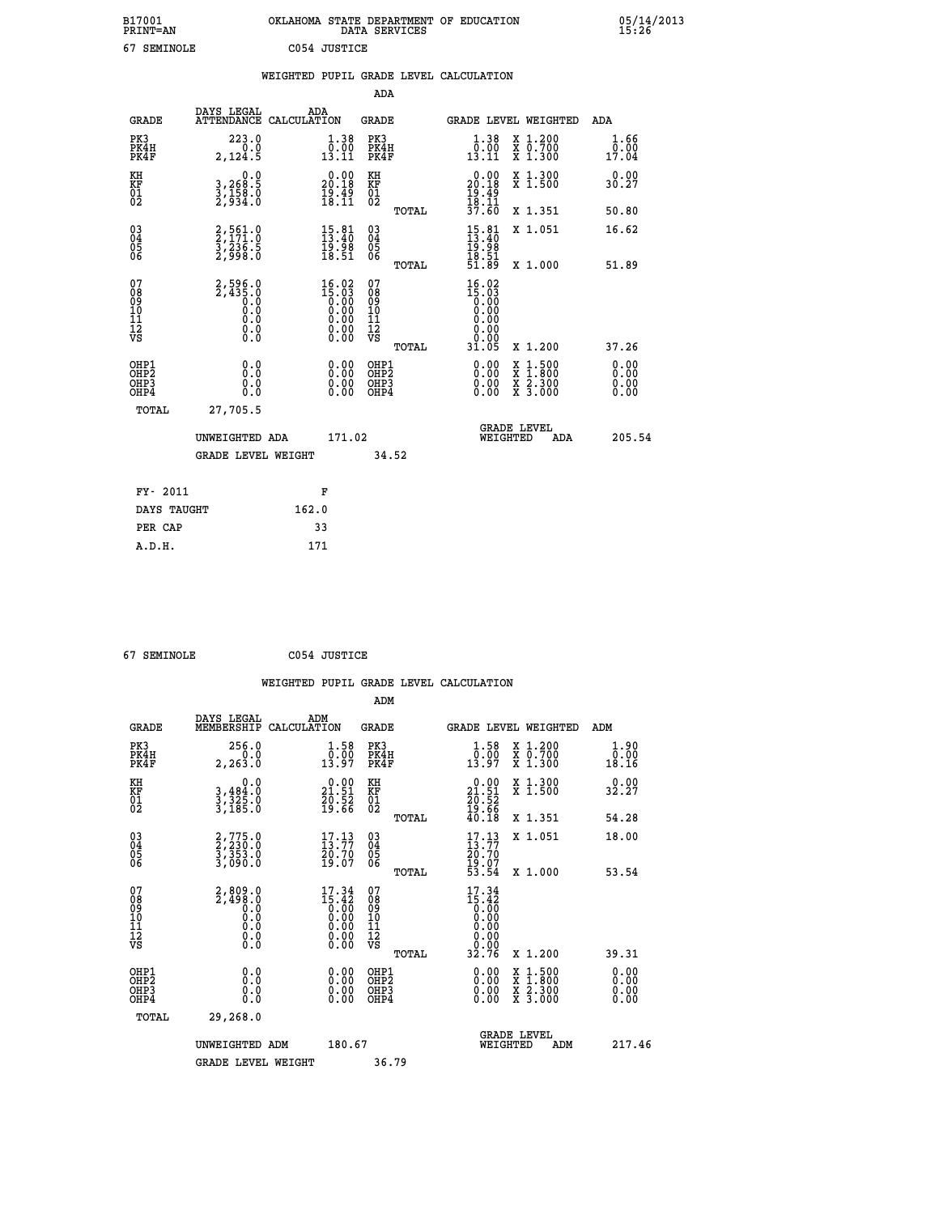| B17001<br><b>PRINT=AN</b> | OKLAHOMA STATE DEPARTMENT OF EDUCATION<br>DATA SERVICES | 05/14/2013<br>15:26 |
|---------------------------|---------------------------------------------------------|---------------------|
| 67<br>SEMINOLE            | C054 JUSTICE                                            |                     |

|                                                                    |                                                                         | WEIGHTED PUPIL GRADE LEVEL CALCULATION                                                                                                                     |                                                    |       |                                                                                                                                                                                                                                                                                |                                                                                                                                              |                               |
|--------------------------------------------------------------------|-------------------------------------------------------------------------|------------------------------------------------------------------------------------------------------------------------------------------------------------|----------------------------------------------------|-------|--------------------------------------------------------------------------------------------------------------------------------------------------------------------------------------------------------------------------------------------------------------------------------|----------------------------------------------------------------------------------------------------------------------------------------------|-------------------------------|
|                                                                    |                                                                         |                                                                                                                                                            | ADA                                                |       |                                                                                                                                                                                                                                                                                |                                                                                                                                              |                               |
| <b>GRADE</b>                                                       | DAYS LEGAL<br>ATTENDANCE CALCULATION                                    | ADA                                                                                                                                                        | <b>GRADE</b>                                       |       | GRADE LEVEL WEIGHTED                                                                                                                                                                                                                                                           |                                                                                                                                              | ADA                           |
| PK3<br>PK4H<br>PK4F                                                | 223.0<br>2,124.5                                                        | $\begin{smallmatrix} 1.38 \\[-1.2mm] 0.00\\[-1.2mm] 13.11\end{smallmatrix}$                                                                                | PK3<br>PK4H<br>PK4F                                |       | 1.38<br>$\overline{0.00}$<br>13.11                                                                                                                                                                                                                                             | X 1.200<br>X 0.700<br>X 1.300                                                                                                                | 1.66<br>$\bar{0.00}$<br>17.04 |
| KH<br>KF<br>01<br>02                                               | $\begin{smallmatrix}&&&0.0\\3,268.5\\3,158.0\\2,934.0\end{smallmatrix}$ | $20.00$<br>20.18<br>$\frac{1}{18}\cdot\frac{15}{11}$                                                                                                       | KH<br>KF<br>01<br>02                               |       | $20.00$<br>20.18<br>$\frac{19}{18}$ . $\frac{19}{11}$<br>$\frac{37}{160}$                                                                                                                                                                                                      | X 1.300<br>X 1.500                                                                                                                           | 0.00<br>30.27                 |
|                                                                    |                                                                         |                                                                                                                                                            |                                                    | TOTAL |                                                                                                                                                                                                                                                                                | X 1.351                                                                                                                                      | 50.80                         |
| $\begin{smallmatrix} 03 \\[-4pt] 04 \end{smallmatrix}$<br>Ŏ5<br>06 | 2,561.0<br>2,171.0<br>3,236.5<br>2,998.0                                | $\begin{smallmatrix} 15.81\ 13.40\ 19.98\ 18.51 \end{smallmatrix}$                                                                                         | $\begin{matrix} 03 \\ 04 \\ 05 \\ 06 \end{matrix}$ |       | $15.81$<br>$13.40$<br>$19.98$<br>$18.51$<br>$51.89$                                                                                                                                                                                                                            | X 1.051                                                                                                                                      | 16.62                         |
|                                                                    |                                                                         |                                                                                                                                                            |                                                    | TOTAL |                                                                                                                                                                                                                                                                                | X 1.000                                                                                                                                      | 51.89                         |
| 07<br>08<br>09<br>11<br>11<br>12<br>VS                             | $2,596.0$<br>$2,435.0$<br>$0.0$<br>$0.0$<br>$0.0$<br>$0.0$<br>$0.0$     | $\begin{smallmatrix} 16 & 02\\ 15 & 03\\ 0 & 00\\ 0 & 00\\ 0 & 00\\ 0 & 00\\ 0 & 00\\ 0 & 00\\ 0 & 00\\ 0 & 00\\ 0 & 00\\ 0 & 00\\ 0 & 0\end{smallmatrix}$ | 07<br>08<br>09<br>11<br>11<br>12<br>VS             | TOTAL | 16.02<br>$\begin{smallmatrix} 15.03 \ 15.00 \ 0.00 \ 0.00 \end{smallmatrix}$<br>0.00<br>0.00<br>31.05                                                                                                                                                                          | X 1.200                                                                                                                                      | 37.26                         |
| OHP1<br>OHP2<br>OH <sub>P3</sub><br>OH <sub>P4</sub>               | 0.0<br>0.0<br>Ŏ.Ŏ                                                       | 0.00<br>$\begin{smallmatrix} 0.00 \ 0.00 \end{smallmatrix}$                                                                                                | OHP1<br>OHP2<br>OHP3<br>OHP4                       |       | $\begin{smallmatrix} 0.00 & 0.00 & 0.00 & 0.00 & 0.00 & 0.00 & 0.00 & 0.00 & 0.00 & 0.00 & 0.00 & 0.00 & 0.00 & 0.00 & 0.00 & 0.00 & 0.00 & 0.00 & 0.00 & 0.00 & 0.00 & 0.00 & 0.00 & 0.00 & 0.00 & 0.00 & 0.00 & 0.00 & 0.00 & 0.00 & 0.00 & 0.00 & 0.00 & 0.00 & 0.00 & 0.0$ | $\begin{smallmatrix} \mathtt{X} & 1\cdot500 \\ \mathtt{X} & 1\cdot800 \\ \mathtt{X} & 2\cdot300 \\ \mathtt{X} & 3\cdot000 \end{smallmatrix}$ | 0.00<br>0.00<br>0.00          |
| TOTAL                                                              | 27,705.5                                                                |                                                                                                                                                            |                                                    |       |                                                                                                                                                                                                                                                                                |                                                                                                                                              |                               |
|                                                                    | UNWEIGHTED ADA                                                          | 171.02                                                                                                                                                     |                                                    |       | WEIGHTED                                                                                                                                                                                                                                                                       | <b>GRADE LEVEL</b><br><b>ADA</b>                                                                                                             | 205.54                        |
|                                                                    | <b>GRADE LEVEL WEIGHT</b>                                               |                                                                                                                                                            | 34.52                                              |       |                                                                                                                                                                                                                                                                                |                                                                                                                                              |                               |
| FY- 2011                                                           |                                                                         | F                                                                                                                                                          |                                                    |       |                                                                                                                                                                                                                                                                                |                                                                                                                                              |                               |
| DAYS TAUGHT                                                        |                                                                         | 162.0                                                                                                                                                      |                                                    |       |                                                                                                                                                                                                                                                                                |                                                                                                                                              |                               |
| PER CAP                                                            |                                                                         | 33                                                                                                                                                         |                                                    |       |                                                                                                                                                                                                                                                                                |                                                                                                                                              |                               |

 **67 SEMINOLE C054 JUSTICE**

 **A.D.H. 171**

 **ADM DAYS LEGAL ADM GRADE MEMBERSHIP CALCULATION GRADE GRADE LEVEL WEIGHTED ADM PK3 256.0 1.58 PK3 1.58 X 1.200 1.90 PK4H 0.0 0.00 PK4H 0.00 X 0.700 0.00 PK4F 2,263.0 13.97 PK4F 13.97 X 1.300 18.16**

| -…≖                                                | 4,40J.V                                                             | 10.JI                                                                                                  | .                                                      | 10.JI                                                                                                                   | A 1.JUV                                                                                                             | 10.IU                                                                                                                                                                                                                                                                          |
|----------------------------------------------------|---------------------------------------------------------------------|--------------------------------------------------------------------------------------------------------|--------------------------------------------------------|-------------------------------------------------------------------------------------------------------------------------|---------------------------------------------------------------------------------------------------------------------|--------------------------------------------------------------------------------------------------------------------------------------------------------------------------------------------------------------------------------------------------------------------------------|
| KH<br>KF<br>01<br>02                               | 0.0<br>$3,325.0$<br>$3,325.0$<br>$3,185.0$                          | $\begin{smallmatrix} 0.00\\ 21.51\\ 20.52\\ 19.66 \end{smallmatrix}$                                   | KH<br>KF<br>01<br>02                                   | 0.00<br>$21.51$<br>$20.52$<br>$19.66$<br>$40.18$                                                                        | X 1.300<br>X 1.500                                                                                                  | 0.00<br>32.27                                                                                                                                                                                                                                                                  |
|                                                    |                                                                     |                                                                                                        | TOTAL                                                  |                                                                                                                         | X 1.351                                                                                                             | 54.28                                                                                                                                                                                                                                                                          |
| $\begin{matrix} 03 \\ 04 \\ 05 \\ 06 \end{matrix}$ | 2,775.0<br>2,230.0<br>3,353.0<br>3,090.0                            | $\begin{smallmatrix} 17.13\ 13.77\ 20.70\ 19.07 \end{smallmatrix}$                                     | $\begin{matrix} 03 \\ 04 \\ 05 \\ 06 \end{matrix}$     | $17.13$<br>$13.77$<br>$20.70$<br>$19.07$<br>$53.54$                                                                     | X 1.051                                                                                                             | 18.00                                                                                                                                                                                                                                                                          |
|                                                    |                                                                     |                                                                                                        | TOTAL                                                  |                                                                                                                         | X 1.000                                                                                                             | 53.54                                                                                                                                                                                                                                                                          |
| 07<br>08<br>09<br>10<br>11<br>11<br>12<br>VS       | $2,809.0$<br>$2,498.0$<br>$0.0$<br>$0.0$<br>$0.0$<br>$0.0$<br>$0.0$ | $\begin{smallmatrix} 17.34 \\ 15.42 \\ 0.00 \\ 0.00 \\ 0.00 \\ 0.00 \\ 0.00 \\ 0.00 \end{smallmatrix}$ | 07<br>08<br>09<br>001<br>11<br>11<br>17<br>VS<br>TOTAL | $\begin{smallmatrix} 17.34 \\ 15.42 \\ 0.00 \\ 0.00 \\ 0.00 \\ 0.00 \\ 0.00 \\ 0.00 \\ 0.00 \\ 32.76 \end{smallmatrix}$ | X 1.200                                                                                                             | 39.31                                                                                                                                                                                                                                                                          |
| OHP1<br>OHP2<br>OHP3<br>OHP4                       |                                                                     |                                                                                                        | OHP1<br>OHP2<br>OHP3<br>OHP4                           | $0.00$<br>$0.00$<br>0.00                                                                                                | $\begin{array}{l} \mathtt{X} & 1.500 \\ \mathtt{X} & 1.800 \\ \mathtt{X} & 2.300 \\ \mathtt{X} & 3.000 \end{array}$ | $\begin{smallmatrix} 0.00 & 0.00 & 0.00 & 0.00 & 0.00 & 0.00 & 0.00 & 0.00 & 0.00 & 0.00 & 0.00 & 0.00 & 0.00 & 0.00 & 0.00 & 0.00 & 0.00 & 0.00 & 0.00 & 0.00 & 0.00 & 0.00 & 0.00 & 0.00 & 0.00 & 0.00 & 0.00 & 0.00 & 0.00 & 0.00 & 0.00 & 0.00 & 0.00 & 0.00 & 0.00 & 0.0$ |
| TOTAL                                              | 29,268.0                                                            |                                                                                                        |                                                        |                                                                                                                         |                                                                                                                     |                                                                                                                                                                                                                                                                                |
|                                                    | UNWEIGHTED ADM                                                      | 180.67                                                                                                 |                                                        | WEIGHTED                                                                                                                | <b>GRADE LEVEL</b><br>ADM                                                                                           | 217.46                                                                                                                                                                                                                                                                         |
|                                                    | <b>GRADE LEVEL WEIGHT</b>                                           |                                                                                                        | 36.79                                                  |                                                                                                                         |                                                                                                                     |                                                                                                                                                                                                                                                                                |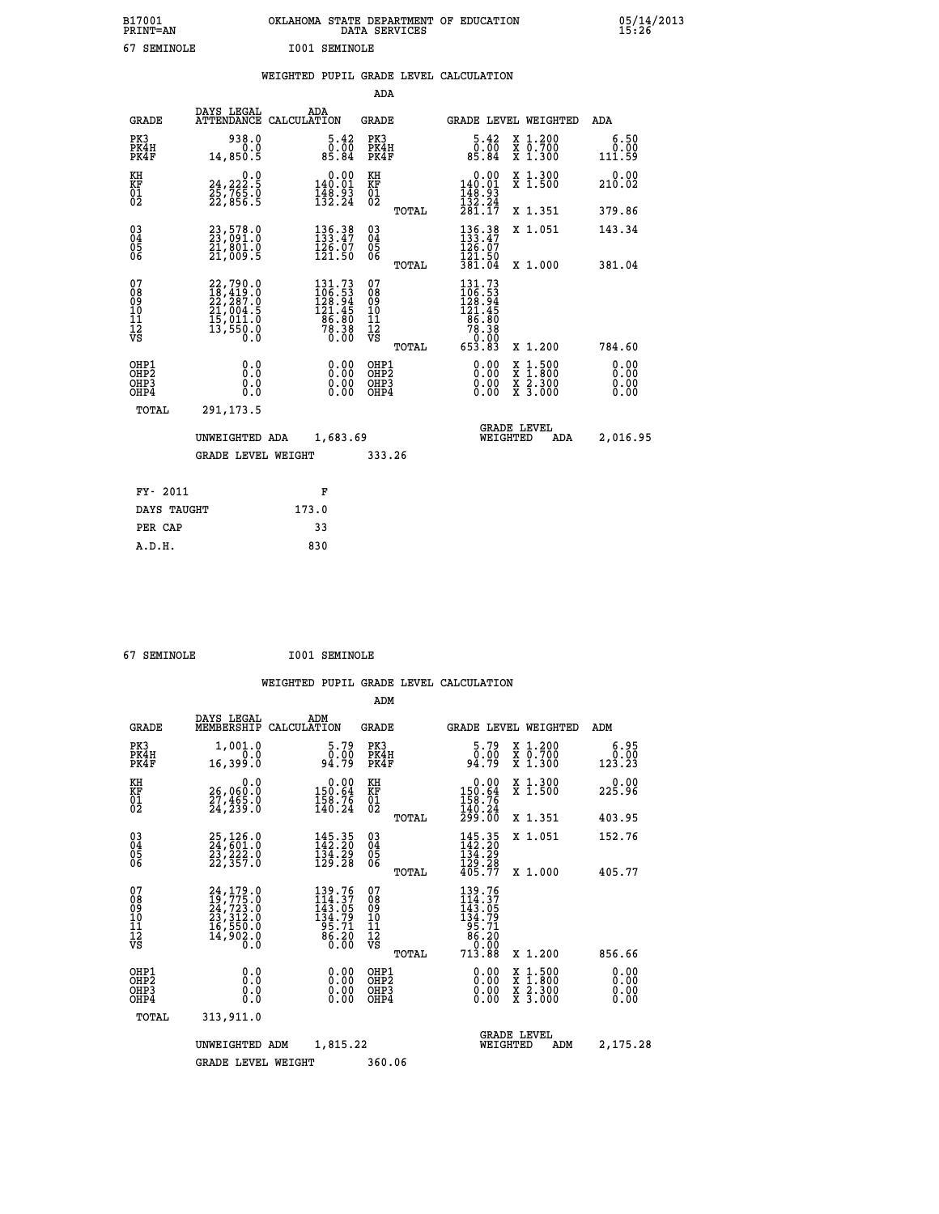| B17001<br><b>PRINT=AN</b> | OKLAHOMA STATE DEPARTMENT OF EDUCATION<br>DATA SERVICES | 05/14/2013<br>15:26 |
|---------------------------|---------------------------------------------------------|---------------------|
| 67<br>SEMINOLE            | I001 SEMINOLE                                           |                     |

|                                                                    |                                                                                           |                                                                                           | ADA                                       |       |                                                                                              |                                                                                                  |                              |
|--------------------------------------------------------------------|-------------------------------------------------------------------------------------------|-------------------------------------------------------------------------------------------|-------------------------------------------|-------|----------------------------------------------------------------------------------------------|--------------------------------------------------------------------------------------------------|------------------------------|
| <b>GRADE</b>                                                       | DAYS LEGAL                                                                                | ADA<br>ATTENDANCE CALCULATION                                                             | <b>GRADE</b>                              |       |                                                                                              | GRADE LEVEL WEIGHTED                                                                             | ADA                          |
| PK3<br>PK4H<br>PK4F                                                | 938.0<br>0.0<br>14,850.5                                                                  | $\begin{smallmatrix}5.42\0.00\\85.84\end{smallmatrix}$                                    | PK3<br>PK4H<br>PK4F                       |       | $\begin{smallmatrix}5.42\0.00\\85.84\end{smallmatrix}$                                       | X 1.200<br>X 0.700<br>X 1.300                                                                    | 6.50<br>0.00<br>111.59       |
| KH<br><b>KF</b><br>01<br>02                                        | 0.0<br>24,222:5<br>25,765:0<br>22,856:5                                                   | 0.00<br>$\frac{140.01}{148.93}$<br>$\frac{132.24}{132.24}$                                | KH<br>KF<br>01<br>02                      |       | 0.00<br>$\frac{140.01}{148.93}$<br>$\frac{132.24}{132.24}$                                   | X 1.300<br>X 1.500                                                                               | 0.00<br>210.02               |
|                                                                    |                                                                                           |                                                                                           |                                           | TOTAL | 281.17                                                                                       | X 1.351                                                                                          | 379.86                       |
| $\begin{smallmatrix} 03 \\[-4pt] 04 \end{smallmatrix}$<br>05<br>06 | 23,578.0<br>23,091.0<br>21,801.0<br>21,009.5                                              | $\begin{smallmatrix} 136.38\\133.47\\126.07\\121.50 \end{smallmatrix}$                    | $\substack{03 \\ 04}$<br>05<br>06         | TOTAL | $136.38$<br>$133.47$<br>$126.07$<br>$121.50$<br>381.04                                       | X 1.051<br>X 1.000                                                                               | 143.34<br>381.04             |
| 07<br>08<br>09<br>11<br>11<br>12<br>VS                             | $22,790.0$<br>$18,419.0$<br>$22,287.0$<br>$21,004.5$<br>$15,011.0$<br>$13,550.0$<br>$0.0$ | $\begin{smallmatrix} 131.73\\106.53\\128.94\\121.45\\86.80\\78.38\\0.00\end{smallmatrix}$ | 07<br>08<br>09<br>11<br>11<br>12<br>VS    |       | $\begin{smallmatrix} 131.73\\106.53\\128.94\\121.45\\66.80\\78.38\\653.83 \end{smallmatrix}$ |                                                                                                  |                              |
|                                                                    |                                                                                           |                                                                                           |                                           | TOTAL |                                                                                              | X 1.200                                                                                          | 784.60                       |
| OHP1<br>OH <sub>P2</sub><br>OH <sub>P3</sub><br>OH <sub>P4</sub>   | 0.0<br>0.0<br>0.0                                                                         | 0.00<br>0.00<br>0.00                                                                      | OHP1<br>OH <sub>P</sub> 2<br>OHP3<br>OHP4 |       | 0.00<br>0.00<br>0.00                                                                         | $\begin{smallmatrix} x & 1 & 500 \\ x & 1 & 800 \\ x & 2 & 300 \\ x & 3 & 000 \end{smallmatrix}$ | 0.00<br>0.00<br>0.00<br>0.00 |
| TOTAL                                                              | 291,173.5                                                                                 |                                                                                           |                                           |       |                                                                                              |                                                                                                  |                              |
|                                                                    | UNWEIGHTED ADA                                                                            | 1,683.69                                                                                  |                                           |       |                                                                                              | <b>GRADE LEVEL</b><br>WEIGHTED<br>ADA                                                            | 2,016.95                     |
|                                                                    | <b>GRADE LEVEL WEIGHT</b>                                                                 |                                                                                           | 333.26                                    |       |                                                                                              |                                                                                                  |                              |
| FY- 2011                                                           |                                                                                           | F                                                                                         |                                           |       |                                                                                              |                                                                                                  |                              |
| DAYS TAUGHT                                                        |                                                                                           | 173.0                                                                                     |                                           |       |                                                                                              |                                                                                                  |                              |
| PER CAP                                                            |                                                                                           | 33                                                                                        |                                           |       |                                                                                              |                                                                                                  |                              |

 **A.D.H. 830**

 **67 SEMINOLE I001 SEMINOLE**

|                                                      |                                                                                                                                                     |                                                                         | ADM                                              |                                                                             |                                                                                                  |                              |
|------------------------------------------------------|-----------------------------------------------------------------------------------------------------------------------------------------------------|-------------------------------------------------------------------------|--------------------------------------------------|-----------------------------------------------------------------------------|--------------------------------------------------------------------------------------------------|------------------------------|
| <b>GRADE</b>                                         | DAYS LEGAL<br>MEMBERSHIP                                                                                                                            | ADM<br>CALCULATION                                                      | <b>GRADE</b>                                     | <b>GRADE LEVEL WEIGHTED</b>                                                 |                                                                                                  | ADM                          |
| PK3<br>PK4H<br>PK4F                                  | 1,001.0<br>0.0<br>16,399.0                                                                                                                          | 5.79<br>0.00<br>94.79                                                   | PK3<br>PK4H<br>PK4F                              | $\begin{smallmatrix}5.79\0.00\\94.79\end{smallmatrix}$                      | X 1.200<br>X 0.700<br>X 1.300                                                                    | 6.95<br>0.00<br>123.23       |
| KH<br>KF<br>01<br>02                                 | 0.0<br>26,060:0<br>27,465:0<br>24,239:0                                                                                                             | $\begin{smallmatrix} &0.00\\ 150.64\\ 158.76\\ 140.24\end{smallmatrix}$ | KH<br>KF<br>01<br>02                             | $\begin{array}{c} 0.00 \\ 150.64 \\ 158.76 \\ 140.24 \\ 299.00 \end{array}$ | X 1.300<br>X 1.500                                                                               | 0.00<br>225.96               |
|                                                      |                                                                                                                                                     |                                                                         | TOTAL                                            |                                                                             | X 1.351                                                                                          | 403.95                       |
| 03<br>04<br>05<br>06                                 | 25, 126.0<br>24, 601.0<br>23, 222.0<br>22,357.0                                                                                                     | 145.35<br>142.20<br>$\frac{134.29}{129.28}$                             | $\substack{03 \\ 04}$<br>0500                    | 145.35<br>142.20<br>134.29                                                  | X 1.051                                                                                          | 152.76                       |
|                                                      |                                                                                                                                                     |                                                                         | TOTAL                                            | $\frac{129.28}{405.77}$                                                     | X 1.000                                                                                          | 405.77                       |
| 07<br>08<br>09<br>101<br>112<br>VS                   | $\begin{smallmatrix} 24\,,\,179\,.0\\ 19\,,\,775\,.0\\ 24\,,\,723\,.0\\ 23\,,\,312\,.0\\ 16\,,\,550\,.0\\ 14\,,\,902\,.0\\ 0\,.0 \end{smallmatrix}$ | 139.76<br>114.37<br>143.05<br>134.79<br>95.71<br>$\frac{86.20}{0.00}$   | 07<br>08<br>09<br>101<br>11<br>12<br>VS<br>TOTAL | 139.76<br>1143.05<br>143.05<br>134.79<br>135.71<br>86.20<br>86.20<br>713.88 | X 1.200                                                                                          | 856.66                       |
| OHP1<br>OHP <sub>2</sub><br>OH <sub>P3</sub><br>OHP4 | 0.0<br>0.000                                                                                                                                        | $0.00$<br>$0.00$<br>0.00                                                | OHP1<br>OHP2<br>OHP3<br>OHP4                     | $0.00$<br>$0.00$<br>0.00                                                    | $\begin{smallmatrix} x & 1 & 500 \\ x & 1 & 800 \\ x & 2 & 300 \\ x & 3 & 000 \end{smallmatrix}$ | 0.00<br>0.00<br>0.00<br>0.00 |
|                                                      | 313,911.0<br>TOTAL                                                                                                                                  |                                                                         |                                                  |                                                                             |                                                                                                  |                              |
|                                                      | UNWEIGHTED ADM                                                                                                                                      | 1,815.22                                                                |                                                  | <b>GRADE LEVEL</b><br>WEIGHTED                                              | ADM                                                                                              | 2,175.28                     |
|                                                      | <b>GRADE LEVEL WEIGHT</b>                                                                                                                           |                                                                         | 360.06                                           |                                                                             |                                                                                                  |                              |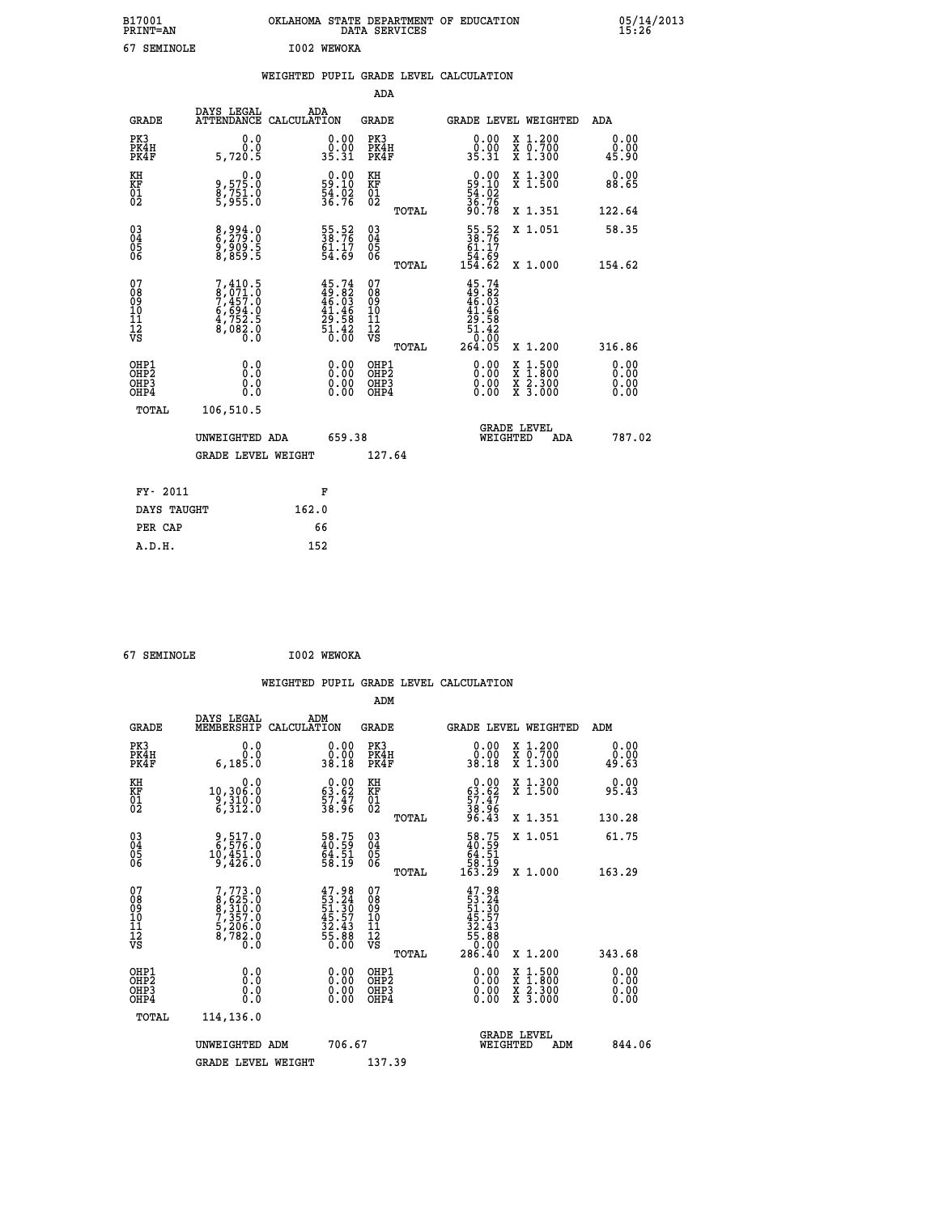| B17001<br><b>PRINT=AN</b> | OKLAHOMA STATE DEPARTMENT OF EDUCATION<br>DATA SERVICES | 05/14/2013<br>15:26 |
|---------------------------|---------------------------------------------------------|---------------------|
| 67<br>SEMINOLE            | I002 WEWOKA                                             |                     |

|                                                                    |                                                                       |                                                                      |        | ADA                                                 |       |                                                                                                                                                                                                                                                                                |                                          |                              |
|--------------------------------------------------------------------|-----------------------------------------------------------------------|----------------------------------------------------------------------|--------|-----------------------------------------------------|-------|--------------------------------------------------------------------------------------------------------------------------------------------------------------------------------------------------------------------------------------------------------------------------------|------------------------------------------|------------------------------|
| <b>GRADE</b>                                                       | DAYS LEGAL<br>ATTENDANCE CALCULATION                                  | ADA                                                                  |        | <b>GRADE</b>                                        |       |                                                                                                                                                                                                                                                                                | GRADE LEVEL WEIGHTED                     | ADA                          |
| PK3<br>PK4H<br>PK4F                                                | 0.0<br>0.0<br>5,720.5                                                 | $\begin{smallmatrix} 0.00\\ 0.00\\ 35.31 \end{smallmatrix}$          |        | PK3<br>PK4H<br>PK4F                                 |       | $\begin{smallmatrix} 0.00\\ 0.00\\ 35.31 \end{smallmatrix}$                                                                                                                                                                                                                    | X 1.200<br>X 0.700<br>X 1.300            | 0.00<br>0.00<br>45.90        |
| KH<br>KF<br>01<br>02                                               | 0.0<br>0.575.0<br>8,751.0<br>5,955.0                                  | $\begin{smallmatrix} 0.00\\ 59.10\\ 54.02\\ 36.76 \end{smallmatrix}$ |        | KH<br>KF<br>01<br>02                                |       | $\begin{smallmatrix} 0.00\\59.10\\54.02\\36.76\\90.78 \end{smallmatrix}$                                                                                                                                                                                                       | X 1.300<br>X 1.500                       | 0.00<br>88.65                |
|                                                                    |                                                                       |                                                                      |        |                                                     | TOTAL |                                                                                                                                                                                                                                                                                | X 1.351                                  | 122.64                       |
| $\begin{smallmatrix} 03 \\[-4pt] 04 \end{smallmatrix}$<br>Ŏ5<br>06 | 8,994.0<br>6,279.0<br>9,909.5<br>8,859.5                              | 55.52<br>38.76<br>61.17<br>54.69                                     |        | $\begin{array}{c} 03 \\ 04 \\ 05 \\ 06 \end{array}$ | TOTAL | $\begin{smallmatrix} 55.52\ 38.76\ 61.17\ 64.69\ 154.62\ \end{smallmatrix}$                                                                                                                                                                                                    | X 1.051<br>X 1.000                       | 58.35<br>154.62              |
| 07<br>08<br>09<br>01<br>11<br>11<br>12<br>VS                       | 7,410.5<br>8,071.0<br>7,457.0<br>6,694.0<br>4,752.5<br>8,082.0<br>0.0 | $45.74\n49.82\n46.03\n41.46\n29.58\n51.42\n51.42\n0.00$              |        | 07<br>08<br>09<br>11<br>11<br>12<br>VS              |       | $45.74$<br>$49.82$<br>$46.03$<br>$41.46$<br>$29.58$<br>$51.42$<br>$0.00$                                                                                                                                                                                                       |                                          |                              |
|                                                                    |                                                                       |                                                                      |        |                                                     | TOTAL | 264.05                                                                                                                                                                                                                                                                         | X 1.200                                  | 316.86                       |
| OHP1<br>OHP <sub>2</sub><br>OH <sub>P3</sub><br>OHP4               | 0.0<br>0.000                                                          | 0.00<br>$\begin{smallmatrix} 0.00 \ 0.00 \end{smallmatrix}$          |        | OHP1<br>OHP2<br>OHP <sub>3</sub>                    |       | $\begin{smallmatrix} 0.00 & 0.00 & 0.00 & 0.00 & 0.00 & 0.00 & 0.00 & 0.00 & 0.00 & 0.00 & 0.00 & 0.00 & 0.00 & 0.00 & 0.00 & 0.00 & 0.00 & 0.00 & 0.00 & 0.00 & 0.00 & 0.00 & 0.00 & 0.00 & 0.00 & 0.00 & 0.00 & 0.00 & 0.00 & 0.00 & 0.00 & 0.00 & 0.00 & 0.00 & 0.00 & 0.0$ | X 1:500<br>X 1:800<br>X 2:300<br>X 3:000 | 0.00<br>0.00<br>0.00<br>0.00 |
| TOTAL                                                              | 106,510.5                                                             |                                                                      |        |                                                     |       |                                                                                                                                                                                                                                                                                |                                          |                              |
|                                                                    | UNWEIGHTED ADA                                                        |                                                                      | 659.38 |                                                     |       | WEIGHTED                                                                                                                                                                                                                                                                       | <b>GRADE LEVEL</b><br>ADA                | 787.02                       |
|                                                                    | <b>GRADE LEVEL WEIGHT</b>                                             |                                                                      |        | 127.64                                              |       |                                                                                                                                                                                                                                                                                |                                          |                              |
| FY- 2011                                                           |                                                                       | F                                                                    |        |                                                     |       |                                                                                                                                                                                                                                                                                |                                          |                              |
| DAYS TAUGHT                                                        |                                                                       | 162.0                                                                |        |                                                     |       |                                                                                                                                                                                                                                                                                |                                          |                              |
| PER CAP                                                            |                                                                       | 66                                                                   |        |                                                     |       |                                                                                                                                                                                                                                                                                |                                          |                              |

 **67 SEMINOLE I002 WEWOKA**

 **A.D.H. 152**

 **WEIGHTED PUPIL GRADE LEVEL CALCULATION ADM DAYS LEGAL ADM GRADE MEMBERSHIP CALCULATION GRADE GRADE LEVEL WEIGHTED ADM**

| PK3<br>PK4H<br>PK4F                     | 0.0000<br>6, 185.0                                                             | $\begin{smallmatrix} 0.00\\ 0.00\\ 38.18 \end{smallmatrix}$              | PK3<br>PK4H<br>PK4F                                | $\begin{smallmatrix} 0.00\\ 0.00\\ 38.18 \end{smallmatrix}$                           | X 1.200<br>X 0.700<br>X 1.300                                                                                       | 0.0000<br>49.63          |
|-----------------------------------------|--------------------------------------------------------------------------------|--------------------------------------------------------------------------|----------------------------------------------------|---------------------------------------------------------------------------------------|---------------------------------------------------------------------------------------------------------------------|--------------------------|
| KH<br>KF<br>01<br>02                    | 0.0<br>10,306.0<br>$\frac{5}{6}, \frac{3}{3}\frac{1}{12}\frac{0}{10}$          | $\begin{smallmatrix} 0.00\\ 63.62\\ 57.47\\ 38.96 \end{smallmatrix}$     | KH<br>KF<br>01<br>02                               | $\begin{smallmatrix} 0.00\\ 63.62\\ 57.47\\ 38.96\\ 96.43 \end{smallmatrix}$          | X 1.300<br>X 1.500                                                                                                  | 0.00<br>95.43            |
|                                         |                                                                                |                                                                          | TOTAL                                              |                                                                                       | X 1.351                                                                                                             | 130.28                   |
| 03<br>04<br>05<br>06                    | $\begin{smallmatrix} 9,517.0\\ 6,576.0\\ 10,451.0\\ 9,426.0 \end{smallmatrix}$ | 58.75<br>40.59<br>64.51<br>58.19                                         | $\begin{matrix} 03 \\ 04 \\ 05 \\ 06 \end{matrix}$ | $\begin{smallmatrix} 58.75\ 40.59\ 64.51\ 58.19\ 163.29 \end{smallmatrix}$            | X 1.051                                                                                                             | 61.75                    |
|                                         |                                                                                |                                                                          | TOTAL                                              |                                                                                       | X 1.000                                                                                                             | 163.29                   |
| 07<br>08<br>09<br>101<br>11<br>12<br>VS | $7,773.0$<br>8,625.0<br>8,310.0<br>9,357.0<br>7,357.0<br>5,206.0<br>8,782.0    | $47.98$<br>$53.24$<br>$51.30$<br>$45.57$<br>$32.43$<br>$55.88$<br>$0.00$ | 078<br>089<br>0011<br>11<br>12<br>VS               | $47.98$<br>$53.24$<br>$51.30$<br>$45.57$<br>$32.43$<br>$55.88$<br>$0.000$<br>$286.40$ |                                                                                                                     |                          |
|                                         |                                                                                |                                                                          | TOTAL                                              |                                                                                       | X 1.200                                                                                                             | 343.68                   |
| OHP1<br>OHP2<br>OHP3<br>OHP4            |                                                                                |                                                                          | OHP1<br>OHP2<br>OHP3<br>OHP4                       |                                                                                       | $\begin{array}{l} \mathtt{X} & 1.500 \\ \mathtt{X} & 1.800 \\ \mathtt{X} & 2.300 \\ \mathtt{X} & 3.000 \end{array}$ | $0.00$<br>$0.00$<br>0.00 |
| TOTAL                                   | 114,136.0                                                                      |                                                                          |                                                    |                                                                                       |                                                                                                                     |                          |
|                                         | UNWEIGHTED ADM                                                                 | 706.67                                                                   |                                                    | WEIGHTED                                                                              | <b>GRADE LEVEL</b><br>ADM                                                                                           | 844.06                   |
|                                         | <b>GRADE LEVEL WEIGHT</b>                                                      |                                                                          | 137.39                                             |                                                                                       |                                                                                                                     |                          |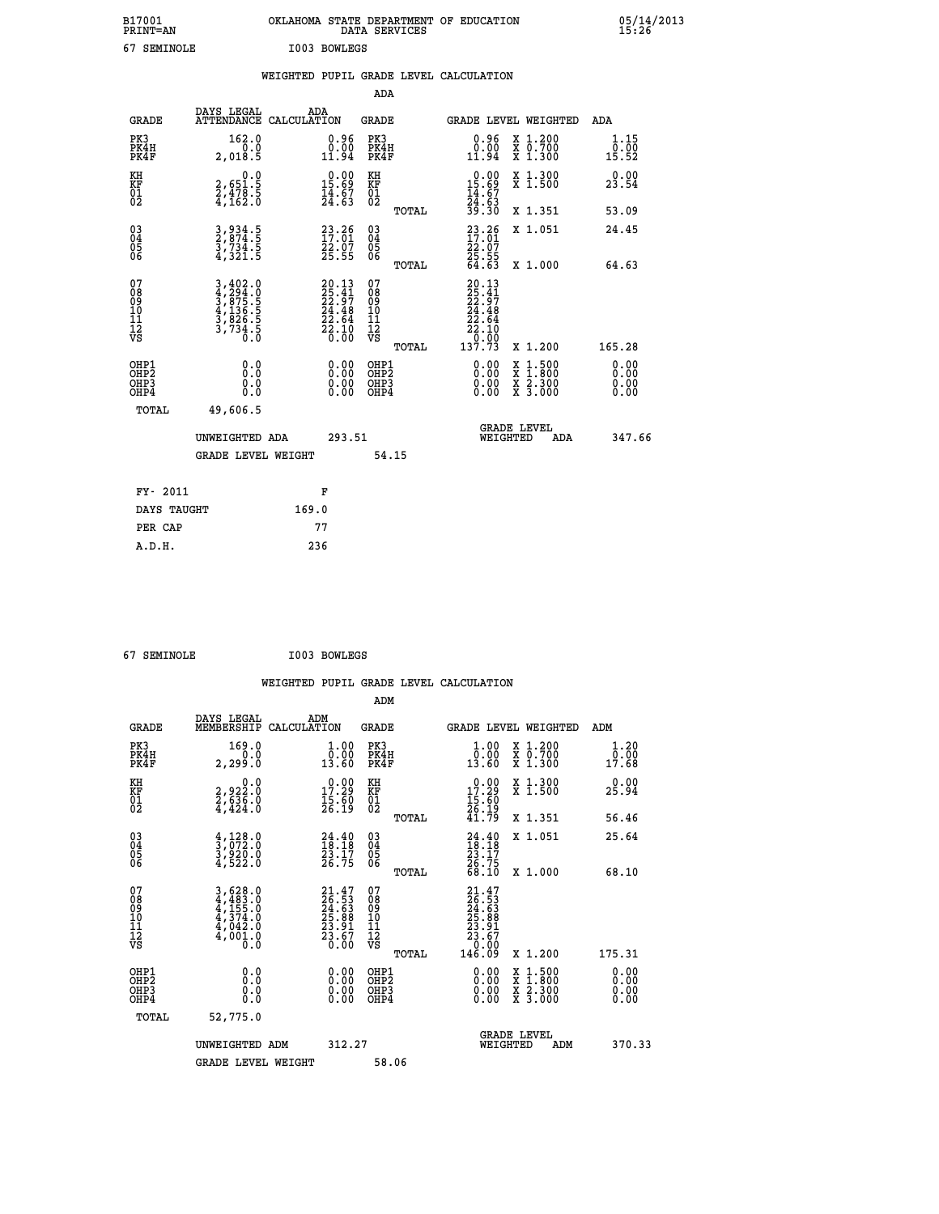| B17001<br><b>PRINT=AN</b> | OKLAHOMA STATE DEPARTMENT OF EDUCATION<br>DATA SERVICES | 05/14/2013<br>15:26 |
|---------------------------|---------------------------------------------------------|---------------------|
| 67<br>SEMINOLE            | I003 BOWLEGS                                            |                     |

|                                                                    |                                                                         |                                                                                              |                                                    |       | WEIGHTED PUPIL GRADE LEVEL CALCULATION                                                                                        |                                                                                                                                           |                              |
|--------------------------------------------------------------------|-------------------------------------------------------------------------|----------------------------------------------------------------------------------------------|----------------------------------------------------|-------|-------------------------------------------------------------------------------------------------------------------------------|-------------------------------------------------------------------------------------------------------------------------------------------|------------------------------|
|                                                                    |                                                                         |                                                                                              | <b>ADA</b>                                         |       |                                                                                                                               |                                                                                                                                           |                              |
| <b>GRADE</b>                                                       | DAYS LEGAL<br>ATTENDANCE CALCULATION                                    | ADA                                                                                          | <b>GRADE</b>                                       |       |                                                                                                                               | GRADE LEVEL WEIGHTED                                                                                                                      | ADA                          |
| PK3<br>PK4H<br>PK4F                                                | 162.0<br>2,018.5                                                        | $\begin{smallmatrix} 0.96\\ 0.00\\ 11.94 \end{smallmatrix}$                                  | PK3<br>PK4H<br>PK4F                                |       | 0.96<br>$\tilde{0}.\tilde{0}\tilde{0}\ 11.94$                                                                                 | X 1.200<br>X 0.700<br>X 1.300                                                                                                             | 1.15<br>0.00<br>15.52        |
| KH<br>KF<br>01<br>02                                               | $\begin{smallmatrix}&&&0.0\\2,651.5\\2,478.5\\4,162.0\end{smallmatrix}$ | $\begin{smallmatrix} 0.00\\ 15.69\\ 14.67\\ 24.63 \end{smallmatrix}$                         | KH<br>KF<br>01<br>02                               |       | $0.00\n15.69\n14.67\n24.63\n39.30$                                                                                            | X 1.300<br>X 1.500                                                                                                                        | 0.00<br>23.54                |
|                                                                    |                                                                         |                                                                                              |                                                    | TOTAL |                                                                                                                               | X 1.351                                                                                                                                   | 53.09                        |
| $\begin{smallmatrix} 03 \\[-4pt] 04 \end{smallmatrix}$<br>05<br>06 | 3, 934.5<br>2, 874.5<br>3, 734.5<br>4, 321.5                            | $23.26$<br>$17.01$<br>$22.07$<br>$25.55$                                                     | $\begin{matrix} 03 \\ 04 \\ 05 \\ 06 \end{matrix}$ |       | $\begin{smallmatrix} 23.26 \\ 17.01 \\ 22.07 \\ 25.55 \\ 64.63 \end{smallmatrix}$                                             | X 1.051                                                                                                                                   | 24.45                        |
|                                                                    |                                                                         |                                                                                              |                                                    | TOTAL |                                                                                                                               | X 1.000                                                                                                                                   | 64.63                        |
| 07<br>08<br>09<br>11<br>11<br>12<br>VS                             | 3,402.0<br>4,294.0<br>5,875.5<br>3,826.5<br>3,734.5<br>0.0              | $\begin{smallmatrix} 20.13\\ 25.41\\ 22.97\\ 24.48\\ 22.64\\ 22.10\\ 0.00 \end{smallmatrix}$ | 07<br>08<br>09<br>11<br>11<br>12<br>VS             | TOTAL | $20.13$<br>$25.41$<br>$22.97$<br>$24.48$<br>$\begin{smallmatrix} 21.18 \\ 22.64 \\ 22.10 \\ 0.00 \\ 137.73 \end{smallmatrix}$ | X 1.200                                                                                                                                   | 165.28                       |
| OHP1<br>OHP2<br>OH <sub>P3</sub><br>OH <sub>P4</sub>               | 0.0<br>Ŏ.Ŏ<br>0.0<br>0.0                                                | 0.00<br>$\begin{smallmatrix} 0.00 \ 0.00 \end{smallmatrix}$                                  | OHP1<br>OHP2<br>OHP3<br>OHP4                       |       | 0.00<br>0.00                                                                                                                  | $\begin{smallmatrix} \mathtt{X} & 1\cdot500\\ \mathtt{X} & 1\cdot800\\ \mathtt{X} & 2\cdot300\\ \mathtt{X} & 3\cdot000 \end{smallmatrix}$ | 0.00<br>ŏ:ŏŏ<br>0.00<br>0.00 |
| TOTAL                                                              | 49,606.5                                                                |                                                                                              |                                                    |       |                                                                                                                               |                                                                                                                                           |                              |
|                                                                    | UNWEIGHTED ADA                                                          |                                                                                              | 293.51                                             |       | WEIGHTED                                                                                                                      | <b>GRADE LEVEL</b><br>ADA                                                                                                                 | 347.66                       |
|                                                                    | <b>GRADE LEVEL WEIGHT</b>                                               |                                                                                              |                                                    | 54.15 |                                                                                                                               |                                                                                                                                           |                              |
| FY- 2011                                                           |                                                                         | F                                                                                            |                                                    |       |                                                                                                                               |                                                                                                                                           |                              |
| DAYS TAUGHT                                                        |                                                                         | 169.0                                                                                        |                                                    |       |                                                                                                                               |                                                                                                                                           |                              |
| PER CAP                                                            |                                                                         | 77                                                                                           |                                                    |       |                                                                                                                               |                                                                                                                                           |                              |

 **67 SEMINOLE I003 BOWLEGS**

 **A.D.H. 236**

 **ADM**

| <b>GRADE</b>                             | DAYS LEGAL<br>MEMBERSHIP                                                                                                                                                | ADM<br>CALCULATION                                          | <b>GRADE</b>                                       |       | GRADE LEVEL WEIGHTED                                                                             |                                          | ADM                               |        |
|------------------------------------------|-------------------------------------------------------------------------------------------------------------------------------------------------------------------------|-------------------------------------------------------------|----------------------------------------------------|-------|--------------------------------------------------------------------------------------------------|------------------------------------------|-----------------------------------|--------|
| PK3<br>PK4H<br>PK4F                      | 169.0<br>2,299.0                                                                                                                                                        | $\begin{smallmatrix} 1.00\\ 0.00\\ 13.60 \end{smallmatrix}$ | PK3<br>PK4H<br>PK4F                                |       | $\begin{smallmatrix} 1.00\\ 0.00\\ 13.60 \end{smallmatrix}$                                      | X 1.200<br>X 0.700<br>X 1.300            | 1.20<br>$\bar{0}.\bar{0}0\ 17.68$ |        |
| KH<br>KF<br>01<br>02                     | $2,922.0$<br>$2,636.0$<br>$4,424.0$                                                                                                                                     | 17.29<br>$\frac{15.50}{26.19}$                              | KH<br>KF<br>$\overline{01}$                        |       | $\begin{smallmatrix} 0.00\\ 17.29\\ 15.60\\ 26.19\\ 41.79 \end{smallmatrix}$                     | X 1.300<br>X 1.500                       | 0.00<br>25.94                     |        |
|                                          |                                                                                                                                                                         |                                                             |                                                    | TOTAL |                                                                                                  | X 1.351                                  | 56.46                             |        |
| 03<br>04<br>05<br>06                     | $\frac{4}{3}, \frac{128}{072}.0$<br>3,920.0<br>4,522.0                                                                                                                  | $24.40$<br>$18.18$<br>$23.17$<br>$26.75$                    | $\begin{matrix} 03 \\ 04 \\ 05 \\ 06 \end{matrix}$ |       | $24.4018.1823.1726.7568.10$                                                                      | X 1.051                                  | 25.64                             |        |
|                                          |                                                                                                                                                                         |                                                             |                                                    | TOTAL |                                                                                                  | X 1.000                                  | 68.10                             |        |
| 07<br>08<br>09<br>101<br>11<br>12<br>VS  | $\begin{smallmatrix} 3\,,\,628\,.\,0\\ 4\,,\,483\,.\,0\\ 4\,,\,155\,.\,0\\ 4\,,\,374\,.\,0\\ 4\,,\,042\,.\,0\\ 4\,,\,001\,.\,0\\ 0\,.\,0\\ 0\,.\,0\\ \end{smallmatrix}$ | $21.47\n26.53\n24.63\n25.88\n25.81\n23.67\n0.00$            | 07<br>08<br>09<br>01<br>11<br>11<br>12<br>VS       |       | $\begin{smallmatrix} 21.47\ 26.53\ 24.63\ 25.88\ 25.81\ 23.67\ 23.600\ 146.09 \end{smallmatrix}$ |                                          |                                   |        |
|                                          |                                                                                                                                                                         |                                                             |                                                    | TOTAL |                                                                                                  | X 1.200                                  | 175.31                            |        |
| OHP1<br>OHP2<br>OH <sub>P3</sub><br>OHP4 | 0.0<br>0.000                                                                                                                                                            |                                                             | OHP1<br>OHP2<br>OHP3<br>OHP4                       |       | 0.00<br>0.00                                                                                     | X 1:500<br>X 1:800<br>X 2:300<br>X 3:000 | 0.00<br>0.00<br>0.00              |        |
| TOTAL                                    | 52,775.0                                                                                                                                                                |                                                             |                                                    |       |                                                                                                  |                                          |                                   |        |
|                                          | UNWEIGHTED<br>ADM                                                                                                                                                       | 312.27                                                      |                                                    |       | WEIGHTED                                                                                         | <b>GRADE LEVEL</b><br>ADM                |                                   | 370.33 |
|                                          | <b>GRADE LEVEL WEIGHT</b>                                                                                                                                               |                                                             | 58.06                                              |       |                                                                                                  |                                          |                                   |        |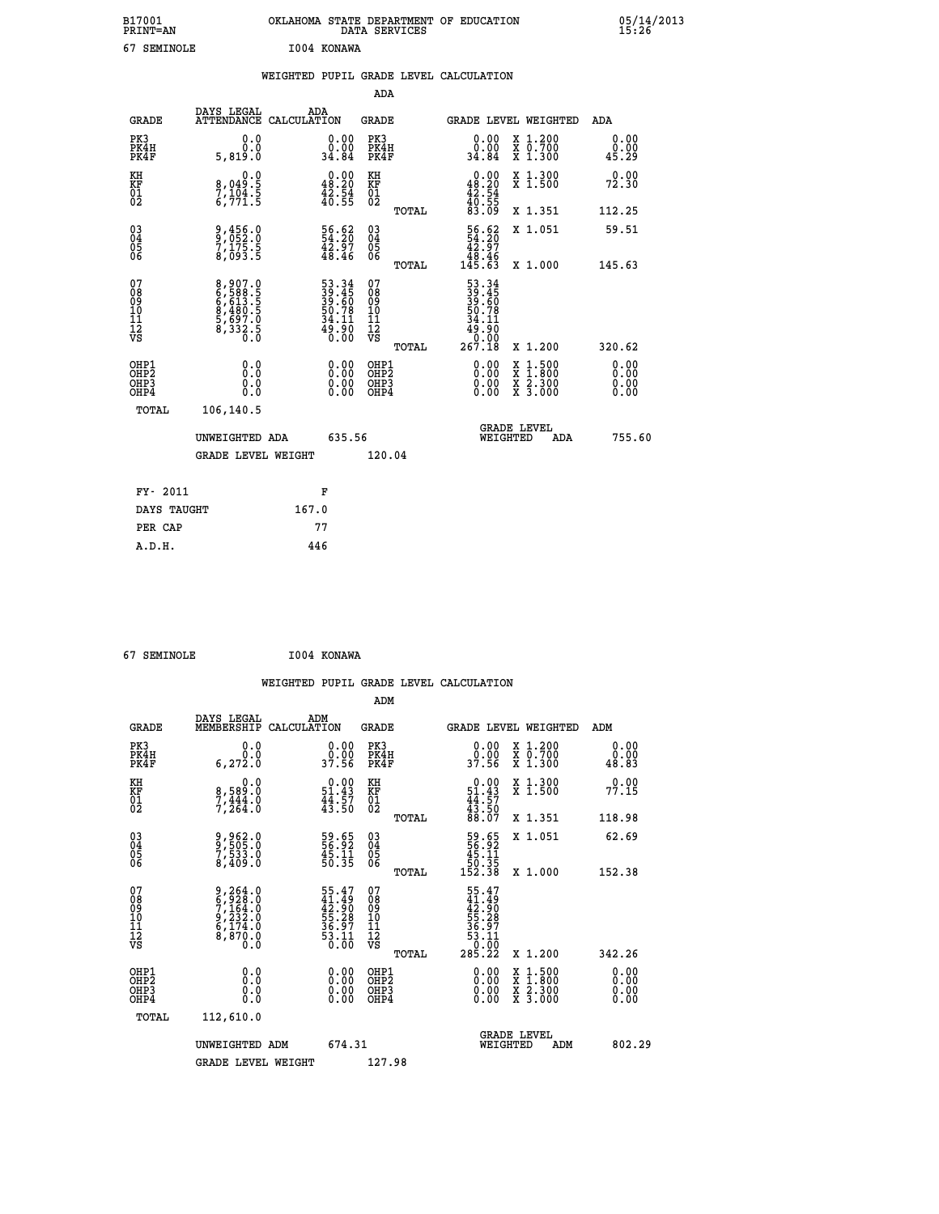| B17001<br><b>PRINT=AN</b> | OKLAHOMA<br>STATE DEPARTMENT OF EDUCATION<br>DATA<br>SERVICES | 05/14/2013<br>⊥5`:26′ |
|---------------------------|---------------------------------------------------------------|-----------------------|
| 67<br>SEMINOLE            | I004 KONAWA                                                   |                       |

|  |  | WEIGHTED PUPIL GRADE LEVEL CALCULATION |
|--|--|----------------------------------------|
|  |  |                                        |

|                                                                    |                                                                           |                                                                      | ADA                                                               |       |                                                                                                     |                                |                    |                              |
|--------------------------------------------------------------------|---------------------------------------------------------------------------|----------------------------------------------------------------------|-------------------------------------------------------------------|-------|-----------------------------------------------------------------------------------------------------|--------------------------------|--------------------|------------------------------|
| <b>GRADE</b>                                                       | DAYS LEGAL<br>ATTENDANCE CALCULATION                                      | ADA                                                                  | <b>GRADE</b>                                                      |       | GRADE LEVEL WEIGHTED                                                                                |                                |                    | <b>ADA</b>                   |
| PK3<br>PK4H<br>PK4F                                                | 0.0<br>0.0<br>5,819.0                                                     | $\begin{smallmatrix} 0.00\\ 0.00\\ 34.84 \end{smallmatrix}$          | PK3<br>PK4H<br>PK4F                                               |       | $\begin{smallmatrix} 0.00\\ 0.00\\ 34.84 \end{smallmatrix}$                                         | X 1.200<br>X 0.700<br>X 1.300  |                    | 0.00<br>0.00<br>45.29        |
| KH<br>KF<br>01<br>02                                               | 0.0<br>8,049:5<br>7,104:5<br>6,771:5                                      | $\begin{smallmatrix} 0.00\\ 48.20\\ 42.54\\ 40.55 \end{smallmatrix}$ | KH<br>KF<br>01<br>02                                              |       | 0.00<br>$48.20$<br>$42.54$<br>$40.55$<br>$83.09$                                                    | X 1.300<br>X 1.500             |                    | 0.00<br>72.30                |
|                                                                    |                                                                           |                                                                      |                                                                   | TOTAL |                                                                                                     | X 1.351                        |                    | 112.25                       |
| $\begin{smallmatrix} 03 \\[-4pt] 04 \end{smallmatrix}$<br>Ŏ5<br>06 | 9,456.0<br>9,052.0<br>7,175.5<br>8,093.5                                  | 56.62<br>$\frac{42.57}{48.46}$                                       | $\substack{03 \\ 04}$<br>$\begin{matrix} 0.5 \\ 0.6 \end{matrix}$ |       | $\begin{array}{r} 56.62 \\ 54.20 \\ 42.97 \\ 48.46 \\ 145.63 \end{array}$                           | X 1.051                        |                    | 59.51                        |
|                                                                    |                                                                           |                                                                      |                                                                   | TOTAL |                                                                                                     | X 1.000                        |                    | 145.63                       |
| 07<br>08<br>09<br>11<br>11<br>12<br>VS                             | 8,907.0<br>6,588.5<br>6,613.5<br>6,480.5<br>8,480.5<br>5,697.0<br>8,332.5 | 53.345<br>39.45<br>39.60<br>50.78<br>54.11<br>34.11<br>49.90         | 07<br>08<br>09<br>11<br>11<br>12<br>VS                            |       | 53.34<br>39.45<br>39.60<br>50.78<br>$\begin{array}{r} 34.11 \\ 49.90 \\ 0.00 \\ 267.18 \end{array}$ |                                |                    |                              |
|                                                                    |                                                                           |                                                                      |                                                                   | TOTAL |                                                                                                     | X 1.200                        |                    | 320.62                       |
| OHP1<br>OHP <sub>2</sub><br>OHP3<br>OHP4                           | 0.0<br>0.0<br>0.0                                                         | 0.00<br>$\begin{smallmatrix} 0.00 \ 0.00 \end{smallmatrix}$          | OHP1<br>OH <sub>P</sub> 2<br>OHP3<br>OHP4                         |       | 0.00<br>0.00<br>0.00                                                                                | X<br>X<br>X 2.300<br>X 3.000   | $1:500$<br>$1:800$ | 0.00<br>0.00<br>0.00<br>0.00 |
| TOTAL                                                              | 106,140.5                                                                 |                                                                      |                                                                   |       |                                                                                                     |                                |                    |                              |
|                                                                    | UNWEIGHTED ADA                                                            | 635.56                                                               |                                                                   |       |                                                                                                     | <b>GRADE LEVEL</b><br>WEIGHTED | ADA                | 755.60                       |
|                                                                    | <b>GRADE LEVEL WEIGHT</b>                                                 |                                                                      | 120.04                                                            |       |                                                                                                     |                                |                    |                              |
| FY- 2011                                                           |                                                                           |                                                                      |                                                                   |       |                                                                                                     |                                |                    |                              |
|                                                                    |                                                                           | F                                                                    |                                                                   |       |                                                                                                     |                                |                    |                              |
| DAYS TAUGHT                                                        |                                                                           | 167.0                                                                |                                                                   |       |                                                                                                     |                                |                    |                              |
| PER CAP                                                            |                                                                           | 77                                                                   |                                                                   |       |                                                                                                     |                                |                    |                              |

| I004 KONAWA<br>67 SEMINOLE |  |  |  |  |
|----------------------------|--|--|--|--|
|----------------------------|--|--|--|--|

 **A.D.H. 446**

 **WEIGHTED PUPIL GRADE LEVEL CALCULATION ADM DAYS LEGAL ADM GRADE MEMBERSHIP CALCULATION GRADE GRADE LEVEL WEIGHTED ADM**

| PK3<br>PK4H<br>PK4F                                | 0.0<br>0.0<br>6,272.0                                                                                   | $0.00$<br>37.56                                                      | PK3<br>PK4H<br>PK4F                                  | $\begin{smallmatrix} 0.00\ 0.00\ 37.56 \end{smallmatrix}$<br>X 1.200<br>X 0.700<br>X 1.300        | $\begin{smallmatrix} 0.00\0.00\0.83 \end{smallmatrix}$                                                                                                                                                                                                                         |
|----------------------------------------------------|---------------------------------------------------------------------------------------------------------|----------------------------------------------------------------------|------------------------------------------------------|---------------------------------------------------------------------------------------------------|--------------------------------------------------------------------------------------------------------------------------------------------------------------------------------------------------------------------------------------------------------------------------------|
| KH<br>KF<br>01<br>02                               | 0.0<br>8,589:0<br>7,444:0<br>7,264:0                                                                    | $\begin{smallmatrix} 0.00\\ 51.43\\ 44.57\\ 43.50 \end{smallmatrix}$ | KH<br>KF<br>01<br>02                                 | X 1.300<br>X 1.500<br>$0.00$<br>$51.43$<br>$44.57$<br>$43.50$<br>$88.07$                          | 0.00<br>77.15                                                                                                                                                                                                                                                                  |
|                                                    |                                                                                                         |                                                                      | TOTAL                                                | X 1.351                                                                                           | 118.98                                                                                                                                                                                                                                                                         |
| $\begin{matrix} 03 \\ 04 \\ 05 \\ 06 \end{matrix}$ | 9,962.0<br>9,505.0<br>7,533.0<br>8,409.0                                                                | 59.65<br>56.92<br>45.11<br>50.35                                     | $\begin{matrix} 03 \\ 04 \\ 05 \\ 06 \end{matrix}$   | $\begin{smallmatrix} 59.65\\ 56.92\\ 45.11\\ 50.35\\ 152.38 \end{smallmatrix}$<br>X 1.051         | 62.69                                                                                                                                                                                                                                                                          |
|                                                    |                                                                                                         |                                                                      | TOTAL                                                | X 1.000                                                                                           | 152.38                                                                                                                                                                                                                                                                         |
| 07<br>089<br>090<br>1112<br>VS                     | $\begin{smallmatrix} 9,264.0\\ 6,928.0\\ 7,164.0\\ 9,232.0\\ 6,174.0\\ 8,870.0\\ 0.0 \end{smallmatrix}$ | 55.47<br>41.49<br>42.90<br>55.28<br>55.97<br>53.11<br>0.00           | 078<br>089<br>1011<br>112<br>νs<br>TOTAL             | $55.47$<br>$41.49$<br>$42.90$<br>$55.287$<br>$36.971$<br>$53.11$<br>$0.00$<br>$285.22$<br>X 1.200 | 342.26                                                                                                                                                                                                                                                                         |
| OHP1<br>OHP <sub>2</sub><br>OHP3<br>OHP4           |                                                                                                         | $0.00$<br>$0.00$<br>0.00                                             | OHP1<br>OHP <sub>2</sub><br>OHP <sub>3</sub><br>OHP4 | $\begin{smallmatrix} x & 1 & 500 \\ x & 1 & 800 \\ x & 2 & 300 \\ x & 3 & 000 \end{smallmatrix}$  | $\begin{smallmatrix} 0.00 & 0.00 & 0.00 & 0.00 & 0.00 & 0.00 & 0.00 & 0.00 & 0.00 & 0.00 & 0.00 & 0.00 & 0.00 & 0.00 & 0.00 & 0.00 & 0.00 & 0.00 & 0.00 & 0.00 & 0.00 & 0.00 & 0.00 & 0.00 & 0.00 & 0.00 & 0.00 & 0.00 & 0.00 & 0.00 & 0.00 & 0.00 & 0.00 & 0.00 & 0.00 & 0.0$ |
| TOTAL                                              | 112,610.0                                                                                               |                                                                      |                                                      |                                                                                                   |                                                                                                                                                                                                                                                                                |
|                                                    | UNWEIGHTED ADM                                                                                          | 674.31                                                               |                                                      | <b>GRADE LEVEL</b><br>WEIGHTED<br>ADM                                                             | 802.29                                                                                                                                                                                                                                                                         |
|                                                    | <b>GRADE LEVEL WEIGHT</b>                                                                               |                                                                      | 127.98                                               |                                                                                                   |                                                                                                                                                                                                                                                                                |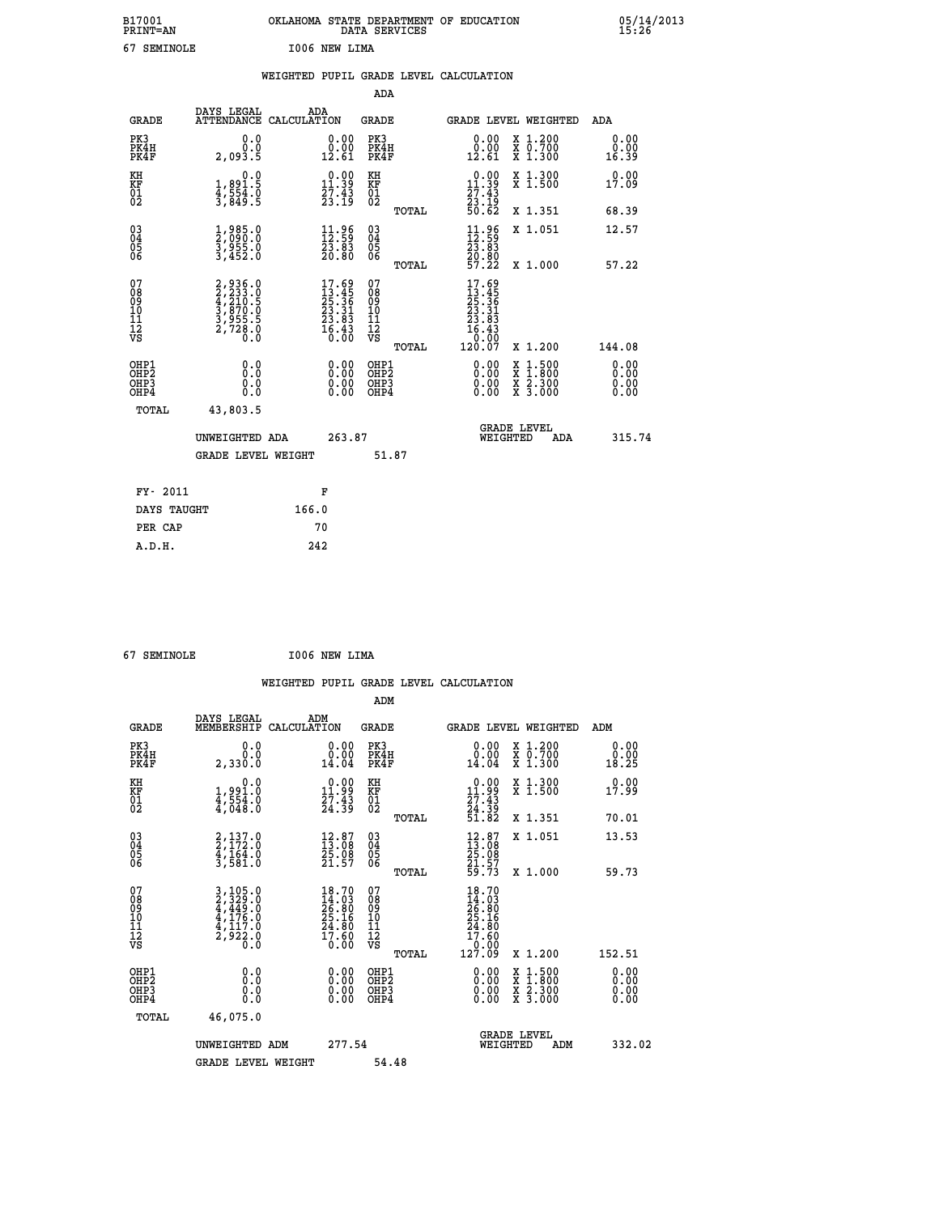| B17001<br><b>PRINT=AN</b> | OKLAHOMA STATE DEPARTMENT OF EDUCATION<br>DATA SERVICES | 05/14/2013<br>15:26 |
|---------------------------|---------------------------------------------------------|---------------------|
| 67<br>SEMINOLE            | I006 NEW LIMA                                           |                     |

|                                           |                                                                           | WEIGHTED PUPIL GRADE LEVEL CALCULATION                                   |                                                             |                                                                                                 |                                                                                                             |                                        |
|-------------------------------------------|---------------------------------------------------------------------------|--------------------------------------------------------------------------|-------------------------------------------------------------|-------------------------------------------------------------------------------------------------|-------------------------------------------------------------------------------------------------------------|----------------------------------------|
| <b>GRADE</b>                              | DAYS LEGAL                                                                | ADA<br>ATTENDANCE CALCULATION                                            | <b>ADA</b><br><b>GRADE</b>                                  |                                                                                                 | GRADE LEVEL WEIGHTED                                                                                        | ADA                                    |
| PK3<br>PK4H<br>PK4F                       | 0.0<br>0.0<br>2,093.5                                                     | $\begin{smallmatrix} 0.00\\ 0.00\\ 12.61 \end{smallmatrix}$              | PK3<br>PK4H<br>PK4F                                         | 0.00<br>$\begin{smallmatrix} 0.00 \ 12.61 \end{smallmatrix}$                                    | X 1.200<br>X 0.700<br>X 1.300                                                                               | 0.00<br>0.00<br>16.39                  |
| KH<br>KF<br>01<br>02                      | 0.0<br>1,891.5<br>4,554.0<br>3,849.5                                      | $\begin{smallmatrix} 0.00\\ 11.39\\ 27.43\\ 23.19 \end{smallmatrix}$     | KH<br>KF<br>01<br>02                                        | $\begin{smallmatrix} 0.00\\ 11.39\\ 27.43\\ 23.19\\ 50.62 \end{smallmatrix}$                    | X 1.300<br>X 1.500                                                                                          | 0.00<br>17.09                          |
| $^{03}_{04}$                              | 1,985.0<br>2,090.0<br>3,955.0<br>3,452.0                                  | $\begin{smallmatrix} 11.96 \\ 12.59 \\ 23.83 \\ 20.80 \end{smallmatrix}$ | TOTAL<br>$\begin{matrix} 03 \\ 04 \\ 05 \\ 06 \end{matrix}$ | $\begin{smallmatrix} 11.96 \\ 12.59 \\ 23.83 \\ 20.80 \\ 57.22 \end{smallmatrix}$               | X 1.351<br>X 1.051                                                                                          | 68.39<br>12.57                         |
| Ŏ5<br>06                                  |                                                                           |                                                                          | TOTAL                                                       |                                                                                                 | X 1.000                                                                                                     | 57.22                                  |
| 07<br>08<br>09<br>11<br>11<br>12<br>VS    | 2,936.0<br>2,233.0<br>4,210.5<br>4,210.5<br>3,870.0<br>3,955.5<br>2,728.0 | $17.69$<br>$13.45$<br>$25.36$<br>$23.31$<br>$23.83$<br>$16.43$<br>$0.00$ | 07<br>08<br>09<br>11<br>11<br>12<br>VS                      | $\begin{smallmatrix} 17.69\\13.45\\25.36\\23.31\\23.81\\24.64\\16.43\\120.07 \end{smallmatrix}$ |                                                                                                             |                                        |
| OHP1<br>OH <sub>P</sub> 2<br>OHP3<br>OHP4 | 0.0<br>0.0<br>0.0                                                         | 0.00<br>$0.00$<br>0.00                                                   | TOTAL<br>OHP1<br>OHP <sub>2</sub><br>OHP3<br>OHP4           | 0.00<br>0.00                                                                                    | X 1.200<br>$\begin{smallmatrix} x & 1 & 500 \\ x & 1 & 800 \\ x & 2 & 300 \\ x & 3 & 000 \end{smallmatrix}$ | 144.08<br>0.00<br>0.00<br>0.00<br>0.00 |
| TOTAL                                     | 43,803.5<br>UNWEIGHTED ADA                                                | 263.87                                                                   |                                                             | WEIGHTED                                                                                        | <b>GRADE LEVEL</b><br>ADA                                                                                   | 315.74                                 |
|                                           | <b>GRADE LEVEL WEIGHT</b>                                                 |                                                                          | 51.87                                                       |                                                                                                 |                                                                                                             |                                        |
| FY- 2011<br>DAYS TAUGHT                   |                                                                           | F<br>166.0                                                               |                                                             |                                                                                                 |                                                                                                             |                                        |
| PER CAP                                   |                                                                           | 70                                                                       |                                                             |                                                                                                 |                                                                                                             |                                        |
| A.D.H.                                    |                                                                           | 242                                                                      |                                                             |                                                                                                 |                                                                                                             |                                        |

 **67 SEMINOLE I006 NEW LIMA**

| <b>GRADE</b>                 | DAYS LEGAL<br>MEMBERSHIP                                                                                                                      | ADM<br>CALCULATION                                                       | <b>GRADE</b>                                       |       | <b>GRADE LEVEL WEIGHTED</b>                                                                     |                                          | ADM                   |  |
|------------------------------|-----------------------------------------------------------------------------------------------------------------------------------------------|--------------------------------------------------------------------------|----------------------------------------------------|-------|-------------------------------------------------------------------------------------------------|------------------------------------------|-----------------------|--|
| PK3<br>PK4H<br>PK4F          | 0.0<br>2,330.0                                                                                                                                | $\begin{smallmatrix} 0.00\\ 0.00\\ 14.04 \end{smallmatrix}$              | PK3<br>PK4H<br>PK4F                                |       | 0.00                                                                                            | X 1.200<br>X 0.700<br>X 1.300            | 0.00<br>0.00<br>18.25 |  |
| KH<br>KF<br>01<br>02         | 0.0<br>1,991.0<br>4,554.0<br>4,048.0                                                                                                          | $\begin{smallmatrix} 0.00\\ 11.99\\ 27.43\\ 24.39 \end{smallmatrix}$     | KH<br>KF<br>01<br>02                               |       | $\begin{smallmatrix} 0.00\\ 11.99\\ 27.43\\ 24.39\\ 51.82 \end{smallmatrix}$                    | X 1.300<br>X 1.500                       | 0.00<br>17.99         |  |
|                              |                                                                                                                                               |                                                                          |                                                    | TOTAL |                                                                                                 | X 1.351                                  | 70.01                 |  |
| 03<br>04<br>05<br>06         | $2,137.0$<br>$2,172.0$<br>$4,164.0$<br>$3,581.0$                                                                                              | $\begin{smallmatrix} 12.87\ 13.08\ 25.08\ 21.57 \end{smallmatrix}$       | $\begin{matrix} 03 \\ 04 \\ 05 \\ 06 \end{matrix}$ |       | $\begin{smallmatrix} 12.87\ 13.08\ 25.08\ 21.57\ 59.73 \end{smallmatrix}$                       | X 1.051                                  | 13.53                 |  |
|                              |                                                                                                                                               |                                                                          |                                                    | TOTAL |                                                                                                 | X 1.000                                  | 59.73                 |  |
| 07<br>08901112<br>1112<br>VS | $\begin{smallmatrix} 3\,,\,105\,.0\\ 2\,,\,329\,.0\\ 4\,,\,449\,.0\\ 4\,,\,176\,.0\\ 4\,,\,117\,.0\\ 2\,,\,922\,.0\\ 0\,.0 \end{smallmatrix}$ | $18.70$<br>$14.03$<br>$26.80$<br>$25.16$<br>$24.80$<br>$17.60$<br>$0.00$ | 07<br>08<br>09<br>01<br>11<br>11<br>12<br>VS       | TOTAL | $\begin{smallmatrix} 18.70\ 14.03\ 26.80\ 25.16\ 24.80\ 17.60\ 0.00\ 127.09\ \end{smallmatrix}$ | X 1.200                                  | 152.51                |  |
| OHP1<br>OHP2<br>OHP3<br>OHP4 | 0.0<br>0.000                                                                                                                                  |                                                                          | OHP1<br>OHP2<br>OHP3<br>OHP4                       |       |                                                                                                 | X 1:500<br>X 1:800<br>X 2:300<br>X 3:000 | 0.00<br>0.00<br>0.00  |  |
| TOTAL                        | 46,075.0                                                                                                                                      |                                                                          |                                                    |       |                                                                                                 |                                          |                       |  |
|                              | UNWEIGHTED ADM                                                                                                                                | 277.54                                                                   |                                                    |       | WEIGHTED                                                                                        | <b>GRADE LEVEL</b><br>ADM                | 332.02                |  |
|                              | <b>GRADE LEVEL WEIGHT</b>                                                                                                                     |                                                                          | 54.48                                              |       |                                                                                                 |                                          |                       |  |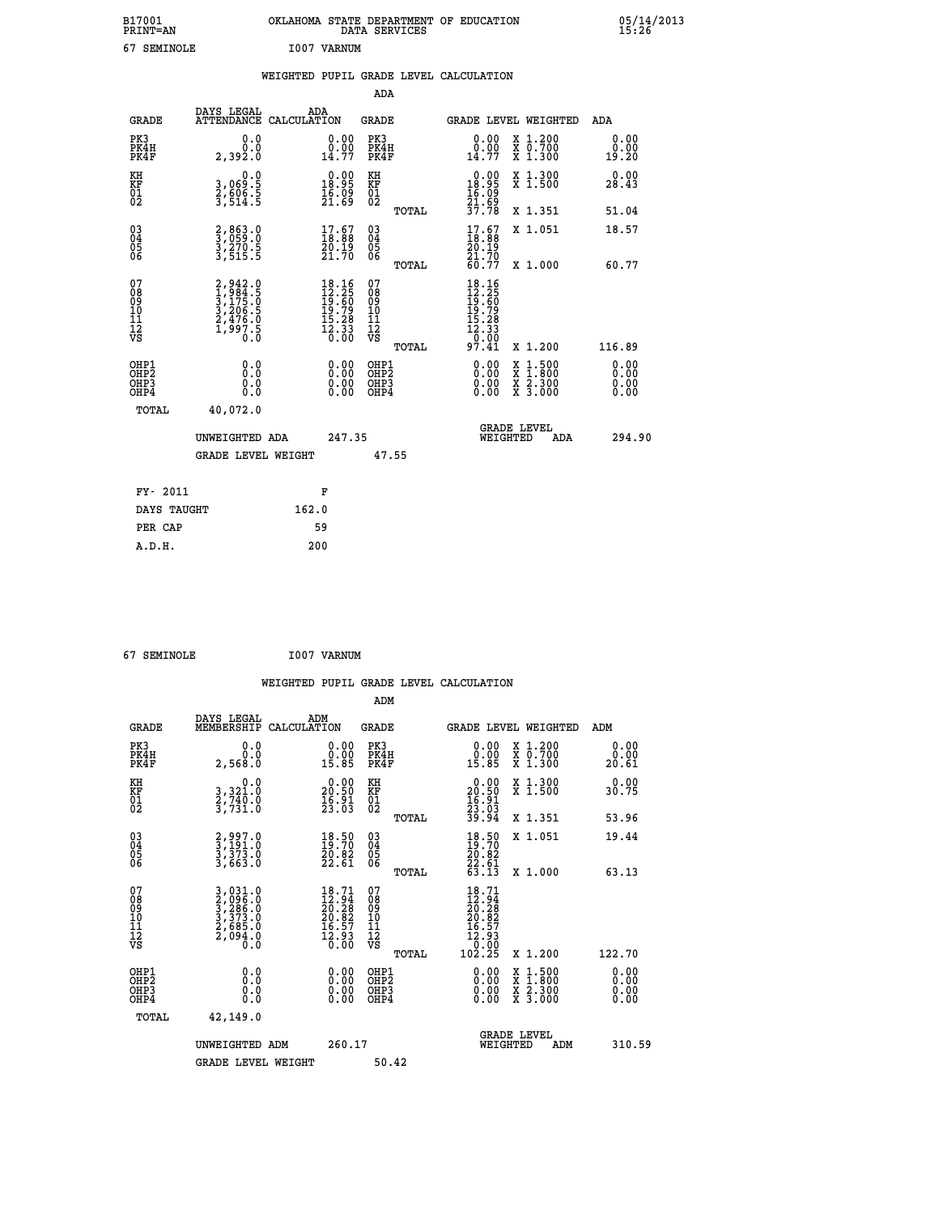| B17001<br><b>PRINT=AN</b> | OKLAHOMA STATE DEPARTMENT OF EDUCATION<br>DATA<br>SERVICES | 05/14/2013<br>15:26 |
|---------------------------|------------------------------------------------------------|---------------------|
| 67<br>SEMINOLE            | I007<br>VARNUM                                             |                     |

|  |  | WEIGHTED PUPIL GRADE LEVEL CALCULATION |
|--|--|----------------------------------------|
|  |  |                                        |

|                                                                    |                                                                           |                                                                                                                               | ADA                                                 |       |                                                                          |                                                                                                                                           |                              |
|--------------------------------------------------------------------|---------------------------------------------------------------------------|-------------------------------------------------------------------------------------------------------------------------------|-----------------------------------------------------|-------|--------------------------------------------------------------------------|-------------------------------------------------------------------------------------------------------------------------------------------|------------------------------|
| <b>GRADE</b>                                                       | DAYS LEGAL                                                                | ADA<br>ATTENDANCE CALCULATION                                                                                                 | <b>GRADE</b>                                        |       |                                                                          | GRADE LEVEL WEIGHTED                                                                                                                      | ADA                          |
| PK3<br>PK4H<br>PK4F                                                | 0.0<br>0.0<br>2,392.0                                                     | $\begin{smallmatrix} 0.00\\ 0.00\\ 14.77 \end{smallmatrix}$                                                                   | PK3<br>PK4H<br>PK4F                                 |       | $\begin{smallmatrix} 0.00\\ 0.00\\ 14.77 \end{smallmatrix}$              | X 1.200<br>X 0.700<br>X 1.300                                                                                                             | 0.00<br>0.00<br>19.20        |
| KH<br>KF<br>01<br>02                                               | 0.0<br>3,069:5<br>2,606:5<br>3,514:5                                      | $0.00$<br>18.95<br>$\frac{16}{21}$ $\frac{69}{69}$                                                                            | KH<br>KF<br>01<br>02                                |       | $0.00$<br>18.95<br>$\frac{16}{21}$ $\frac{69}{37}$                       | X 1.300<br>X 1.500                                                                                                                        | 0.00<br>28.43                |
|                                                                    |                                                                           |                                                                                                                               |                                                     | TOTAL |                                                                          | X 1.351                                                                                                                                   | 51.04                        |
| $\begin{smallmatrix} 03 \\[-4pt] 04 \end{smallmatrix}$<br>Ŏ5<br>06 | 2,863.0<br>3,059.0<br>3,270.5<br>3,515.5                                  | $\begin{smallmatrix} 17.67\ 18.88\ 20.19\ 21.70 \end{smallmatrix}$                                                            | $\begin{array}{c} 03 \\ 04 \\ 05 \\ 06 \end{array}$ |       | $17.67$<br>$18.88$<br>20.19<br>21.70                                     | X 1.051                                                                                                                                   | 18.57                        |
|                                                                    |                                                                           |                                                                                                                               |                                                     | TOTAL | 60.77                                                                    | X 1.000                                                                                                                                   | 60.77                        |
| 07<br>08<br>09<br>101<br>11<br>12<br>VS                            | 2,942.0<br>1,984.5<br>3,175.0<br>3,206.5<br>2,476.0<br>2,476.0<br>1,997.5 | $\begin{array}{r} 18.16 \\[-4pt] 12.25 \\[-4pt] 19.60 \\[-4pt] 19.79 \\[-4pt] 15.28 \\[-4pt] 12.33 \\[-4pt] 0.00 \end{array}$ | 07<br>08<br>09<br>101<br>11<br>12<br>VS             |       | $18.16$<br>$12.25$<br>$19.60$<br>$19.79$<br>$15.28$<br>$12.33$<br>$0.74$ |                                                                                                                                           |                              |
|                                                                    |                                                                           |                                                                                                                               |                                                     | TOTAL | 97.41                                                                    | X 1.200                                                                                                                                   | 116.89                       |
| OHP1<br>OHP <sub>2</sub><br>OH <sub>P3</sub><br>OHP4               | 0.0<br>0.000                                                              | 0.00<br>$\begin{smallmatrix} 0.00 \ 0.00 \end{smallmatrix}$                                                                   | OHP1<br>OHP <sub>2</sub><br>OHP <sub>3</sub>        |       | 0.00<br>0.00                                                             | $\begin{smallmatrix} \mathtt{X} & 1\cdot500\\ \mathtt{X} & 1\cdot800\\ \mathtt{X} & 2\cdot300\\ \mathtt{X} & 3\cdot000 \end{smallmatrix}$ | 0.00<br>0.00<br>0.00<br>0.00 |
| TOTAL                                                              | 40,072.0                                                                  |                                                                                                                               |                                                     |       |                                                                          |                                                                                                                                           |                              |
|                                                                    | UNWEIGHTED ADA                                                            | 247.35                                                                                                                        |                                                     |       |                                                                          | <b>GRADE LEVEL</b><br>WEIGHTED<br>ADA                                                                                                     | 294.90                       |
|                                                                    | <b>GRADE LEVEL WEIGHT</b>                                                 |                                                                                                                               |                                                     | 47.55 |                                                                          |                                                                                                                                           |                              |
| FY- 2011                                                           |                                                                           | F                                                                                                                             |                                                     |       |                                                                          |                                                                                                                                           |                              |
| DAYS TAUGHT                                                        |                                                                           | 162.0                                                                                                                         |                                                     |       |                                                                          |                                                                                                                                           |                              |
| PER CAP                                                            |                                                                           | 59                                                                                                                            |                                                     |       |                                                                          |                                                                                                                                           |                              |

 **A.D.H. 200**

 **67 SEMINOLE I007 VARNUM WEIGHTED PUPIL GRADE LEVEL CALCULATION ADM DAYS LEGAL ADM GRADE MEMBERSHIP CALCULATION GRADE GRADE LEVEL WEIGHTED ADM PK3 0.0 0.00 PK3 0.00 X 1.200 0.00 PK4H 0.0 0.00 PK4H 0.00 X 0.700 0.00 PK4F 2,568.0 15.85 PK4F 15.85 X 1.300 20.61 KH 0.0 0.00 KH 0.00 X 1.300 0.00 KF 3,321.0 20.50 KF 20.50 X 1.500 30.75 EXH**<br> **KF**<br> **01**<br> **02**<br> **51,731.0**<br> **12.03**<br> **12.03**<br> **12.03**<br> **12.03**<br> **12.03**<br> **12.03**<br> **102**  $02$   $3,731.0$   $23.03$   $02$   $2,03$   $2,03$  **TOTAL 39.94 X 1.351 53.96 03 2,997.0 18.50 03 18.50 X 1.051 19.44 04 3,191.0 19.70 04 19.70 05 3,373.0 20.82 05 20.82 06 3,663.0 22.61 06 22.61 TOTAL 63.13 X 1.000 63.13**  $\begin{array}{cccc} 07 & 3 & 31.0 & 18.71 & 07 & 18.71 \ 08 & 2 & 2 & 296.0 & 12.94 & 08 & 12.94 \ 10 & 3 & 373.0 & 20.28 & 09 & 20.28 \ 11 & 2 & 26.082 & 0 & 16.57 & 11 & 2.93 \ 12 & 2 & 685.0 & 16.57 & 11 & 16.57 \ \hline\end{array}$  **TOTAL 102.25 X 1.200 122.70 OHP1 0.0 0.00 OHP1 0.00 X 1.500 0.00 OHP2 0.0 0.00 OHP2 0.00 X 1.800 0.00 OHP3 0.0 0.00 OHP3 0.00 X 2.300 0.00 OHP4 0.0 0.00 OHP4 0.00 X 3.000 0.00 TOTAL 42,149.0 GRADE LEVEL UNWEIGHTED ADM 260.17 WEIGHTED ADM 310.59** GRADE LEVEL WEIGHT 50.42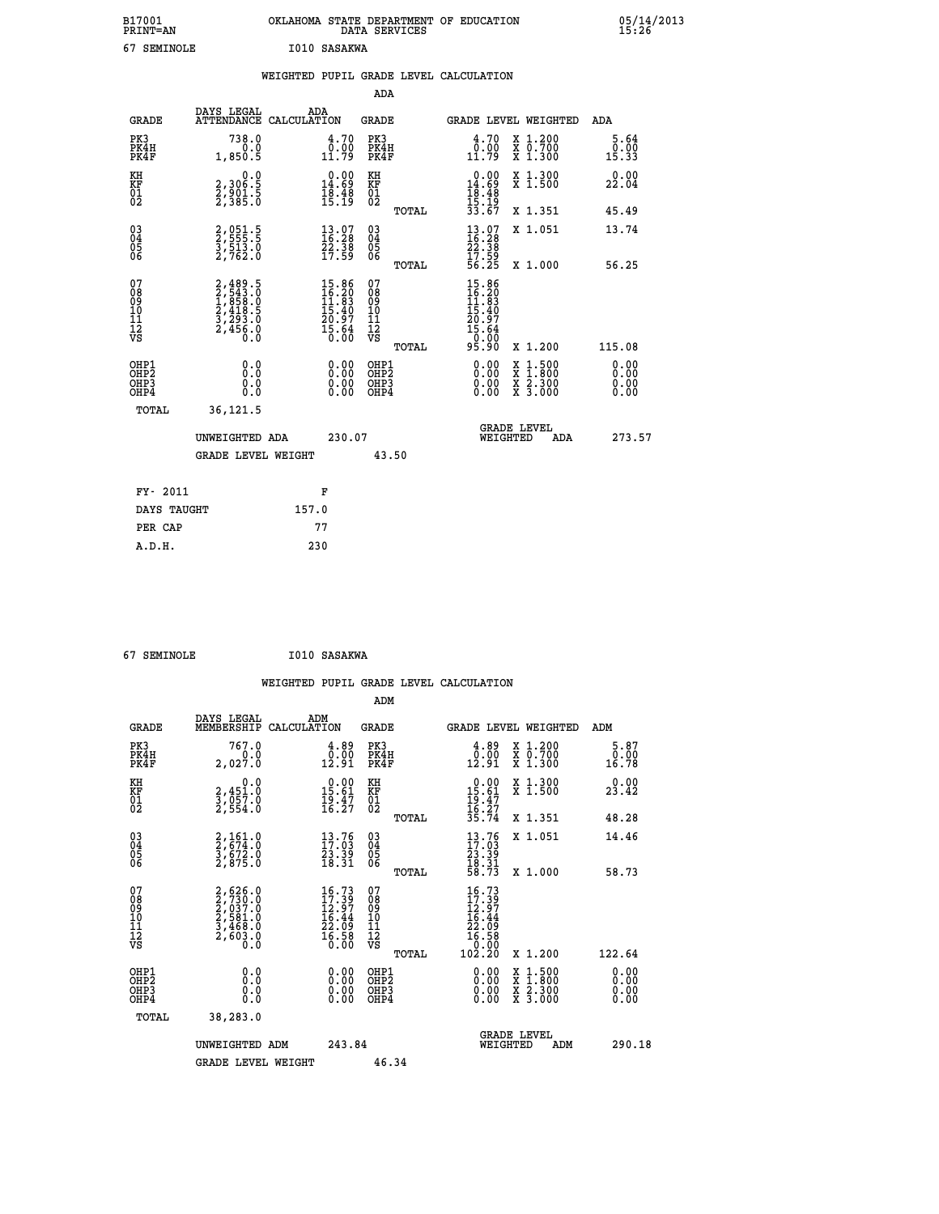| B17001<br><b>PRINT=AN</b> | OKLAHOMA STATE DEPARTMENT OF EDUCATION<br>DATA SERVICES | 05/14/2013<br>15:26 |
|---------------------------|---------------------------------------------------------|---------------------|
| 67<br>SEMINOLE            | I010 SASAKWA                                            |                     |

|                                                                    |                                                                                                         |       |                                                                                                    |                                        |       | WEIGHTED PUPIL GRADE LEVEL CALCULATION                                        |                                                                                                                                              |                              |
|--------------------------------------------------------------------|---------------------------------------------------------------------------------------------------------|-------|----------------------------------------------------------------------------------------------------|----------------------------------------|-------|-------------------------------------------------------------------------------|----------------------------------------------------------------------------------------------------------------------------------------------|------------------------------|
|                                                                    |                                                                                                         |       |                                                                                                    | <b>ADA</b>                             |       |                                                                               |                                                                                                                                              |                              |
| <b>GRADE</b>                                                       | DAYS LEGAL ADA ATTENDANCE CALCULATION                                                                   |       |                                                                                                    | <b>GRADE</b>                           |       | GRADE LEVEL WEIGHTED                                                          |                                                                                                                                              | ADA                          |
| PK3<br>PK4H<br>PK4F                                                | 738.0<br>0.0<br>1,850.5                                                                                 |       | 4.70<br>$\frac{0.00}{11.79}$                                                                       | PK3<br>PK4H<br>PK4F                    |       | 4.70<br>$\frac{0.00}{11.79}$                                                  | X 1.200<br>X 0.700<br>X 1.300                                                                                                                | $5.64$<br>$0.00$<br>15.33    |
| KH<br>KF<br>01<br>02                                               | 0.0<br>2,306:5<br>2,901:5<br>2,385:0                                                                    |       | $\begin{smallmatrix} 0.00\\ 14.69\\ 18.48\\ 15.19 \end{smallmatrix}$                               | KH<br>KF<br>01<br>02                   |       | 0.00<br>$14.69$<br>$18.48$<br>$15.19$<br>$33.67$                              | X 1.300<br>X 1.500                                                                                                                           | 0.00<br>22.04                |
|                                                                    |                                                                                                         |       |                                                                                                    |                                        | TOTAL |                                                                               | X 1.351                                                                                                                                      | 45.49                        |
| $\begin{smallmatrix} 03 \\[-4pt] 04 \end{smallmatrix}$<br>Ŏ5<br>06 | 2,051.5<br>2,555.5<br>3,513.0<br>2,762.0                                                                |       | $\begin{smallmatrix} 13.07\\ 16.28\\ 22.38\\ 17.59 \end{smallmatrix}$                              | $\substack{03 \\ 04}$<br>05<br>06      |       | $\begin{smallmatrix} 13.07\ 16.28\ 22.38\ 17.59\ 56.25 \end{smallmatrix}$     | X 1.051                                                                                                                                      | 13.74                        |
|                                                                    |                                                                                                         |       |                                                                                                    |                                        | TOTAL |                                                                               | X 1.000                                                                                                                                      | 56.25                        |
| 07<br>08<br>09<br>10<br>11<br>11<br>12<br>VS                       | $\begin{smallmatrix} 2,489.5\\ 2,543.0\\ 1,858.0\\ 2,418.5\\ 3,293.0\\ 2,456.0\\ 0.0 \end{smallmatrix}$ |       | $\begin{smallmatrix} 15.86 \\ 16.20 \\ 11.83 \\ 15.40 \\ 20.97 \\ 15.64 \\ 0.00 \end{smallmatrix}$ | 07<br>08<br>09<br>11<br>11<br>12<br>VS | TOTAL | 15.86<br>$13.20$<br>$14.83$<br>$15.40$<br>$20.97$<br>$15.64$<br>0.00<br>95.90 | X 1.200                                                                                                                                      | 115.08                       |
| OHP1<br>OHP2<br>OHP3<br>OHP4                                       | 0.0<br>0.0<br>0.0                                                                                       |       | 0.00<br>$\begin{smallmatrix} 0.00 \ 0.00 \end{smallmatrix}$                                        | OHP1<br>OHP2<br>OHP3<br>OHP4           |       | 0.00<br>0.00<br>0.00                                                          | $\begin{smallmatrix} \mathtt{X} & 1\cdot500 \\ \mathtt{X} & 1\cdot800 \\ \mathtt{X} & 2\cdot300 \\ \mathtt{X} & 3\cdot000 \end{smallmatrix}$ | 0.00<br>ŏ:ŏŏ<br>0.00<br>0.00 |
| TOTAL                                                              | 36,121.5<br>UNWEIGHTED ADA                                                                              |       | 230.07                                                                                             |                                        |       | <b>GRADE LEVEL</b><br>WEIGHTED                                                | ADA                                                                                                                                          | 273.57                       |
|                                                                    | <b>GRADE LEVEL WEIGHT</b>                                                                               |       |                                                                                                    | 43.50                                  |       |                                                                               |                                                                                                                                              |                              |
| FY- 2011                                                           |                                                                                                         |       | F                                                                                                  |                                        |       |                                                                               |                                                                                                                                              |                              |
| DAYS TAUGHT                                                        |                                                                                                         | 157.0 |                                                                                                    |                                        |       |                                                                               |                                                                                                                                              |                              |
| PER CAP                                                            |                                                                                                         |       | 77                                                                                                 |                                        |       |                                                                               |                                                                                                                                              |                              |
| A.D.H.                                                             |                                                                                                         | 230   |                                                                                                    |                                        |       |                                                                               |                                                                                                                                              |                              |

 **67 SEMINOLE I010 SASAKWA**

|                                          |                                                                                     |                    |                                                                       |                                                     |       | WEIGHTED PUPIL GRADE LEVEL CALCULATION                                                             |                                                                                                                                      |                              |  |
|------------------------------------------|-------------------------------------------------------------------------------------|--------------------|-----------------------------------------------------------------------|-----------------------------------------------------|-------|----------------------------------------------------------------------------------------------------|--------------------------------------------------------------------------------------------------------------------------------------|------------------------------|--|
|                                          |                                                                                     |                    |                                                                       | ADM                                                 |       |                                                                                                    |                                                                                                                                      |                              |  |
| <b>GRADE</b>                             | DAYS LEGAL<br>MEMBERSHIP                                                            | ADM<br>CALCULATION |                                                                       | <b>GRADE</b>                                        |       |                                                                                                    | GRADE LEVEL WEIGHTED                                                                                                                 | ADM                          |  |
| PK3<br>PK4H<br>PK4F                      | 767.0<br>2,027.0                                                                    |                    | $\begin{smallmatrix} 4.89\ 0.00\ 12.91 \end{smallmatrix}$             | PK3<br>PK4H<br>PK4F                                 |       | 4.89<br>$\begin{smallmatrix} \bar{0} \cdot \bar{0} \bar{0} \ 12.91 \end{smallmatrix}$              | X 1.200<br>X 0.700<br>X 1.300                                                                                                        | 5.87<br>0.00<br>16.78        |  |
| KH<br>KF<br>01<br>02                     | 0.0<br>2,451.0<br>3,057.0<br>2,554.0                                                |                    | $\begin{smallmatrix} 0.00\\ 15.61\\ 19.47\\ 16.27 \end{smallmatrix}$  | KH<br>KF<br>01<br>02                                |       | $0.00$<br>$15.61$<br>$19.47$<br>$16.27$<br>$35.74$                                                 | X 1.300<br>X 1.500                                                                                                                   | 0.00<br>23.42                |  |
|                                          |                                                                                     |                    |                                                                       |                                                     | TOTAL |                                                                                                    | X 1.351                                                                                                                              | 48.28                        |  |
| 03<br>04<br>05<br>06                     | $2,161.0$<br>$2,674.0$<br>$3,672.0$<br>$2,875.0$                                    |                    | $\begin{smallmatrix} 13.76\\ 17.03\\ 23.39\\ 18.31 \end{smallmatrix}$ | $\begin{array}{c} 03 \\ 04 \\ 05 \\ 06 \end{array}$ |       | $\begin{smallmatrix} 13\cdot76\ 17\cdot03\ 23\cdot39\ 18\cdot31\ 58\cdot73 \end{smallmatrix}$      | X 1.051                                                                                                                              | 14.46                        |  |
|                                          |                                                                                     |                    |                                                                       |                                                     | TOTAL |                                                                                                    | X 1.000                                                                                                                              | 58.73                        |  |
| 07<br>08901112<br>1112<br>VS             | $2,626.0$<br>$2,730.0$<br>$2,037.0$<br>$2,581.0$<br>$3,468.0$<br>$2,603.0$<br>$0.0$ |                    | $16.7317.3912.9716.4422.0916.5816.58$                                 | 07<br>08<br>09<br>001<br>11<br>11<br>12<br>VS       | TOTAL | 16.73<br>$\begin{smallmatrix} 17.39 \ 12.397 \ 12.44 \ 22.098 \ 16.580 \ 102.20 \end{smallmatrix}$ | X 1.200                                                                                                                              | 122.64                       |  |
| OHP1<br>OHP2<br>OH <sub>P3</sub><br>OHP4 | 0.0<br>0.000                                                                        |                    | $\begin{smallmatrix} 0.00 \ 0.00 \ 0.00 \ 0.00 \end{smallmatrix}$     | OHP1<br>OHP2<br>OHP3<br>OHP4                        |       | $0.00$<br>$0.00$<br>0.00                                                                           | $\begin{smallmatrix} \mathtt{X} & 1 & 500 \\ \mathtt{X} & 1 & 800 \\ \mathtt{X} & 2 & 300 \\ \mathtt{X} & 3 & 000 \end{smallmatrix}$ | 0.00<br>0.00<br>0.00<br>0.00 |  |
| TOTAL                                    | 38,283.0                                                                            |                    |                                                                       |                                                     |       |                                                                                                    |                                                                                                                                      |                              |  |
|                                          | UNWEIGHTED ADM                                                                      |                    | 243.84                                                                |                                                     |       | WEIGHTED                                                                                           | <b>GRADE LEVEL</b><br>ADM                                                                                                            | 290.18                       |  |
|                                          | <b>GRADE LEVEL WEIGHT</b>                                                           |                    |                                                                       | 46.34                                               |       |                                                                                                    |                                                                                                                                      |                              |  |
|                                          |                                                                                     |                    |                                                                       |                                                     |       |                                                                                                    |                                                                                                                                      |                              |  |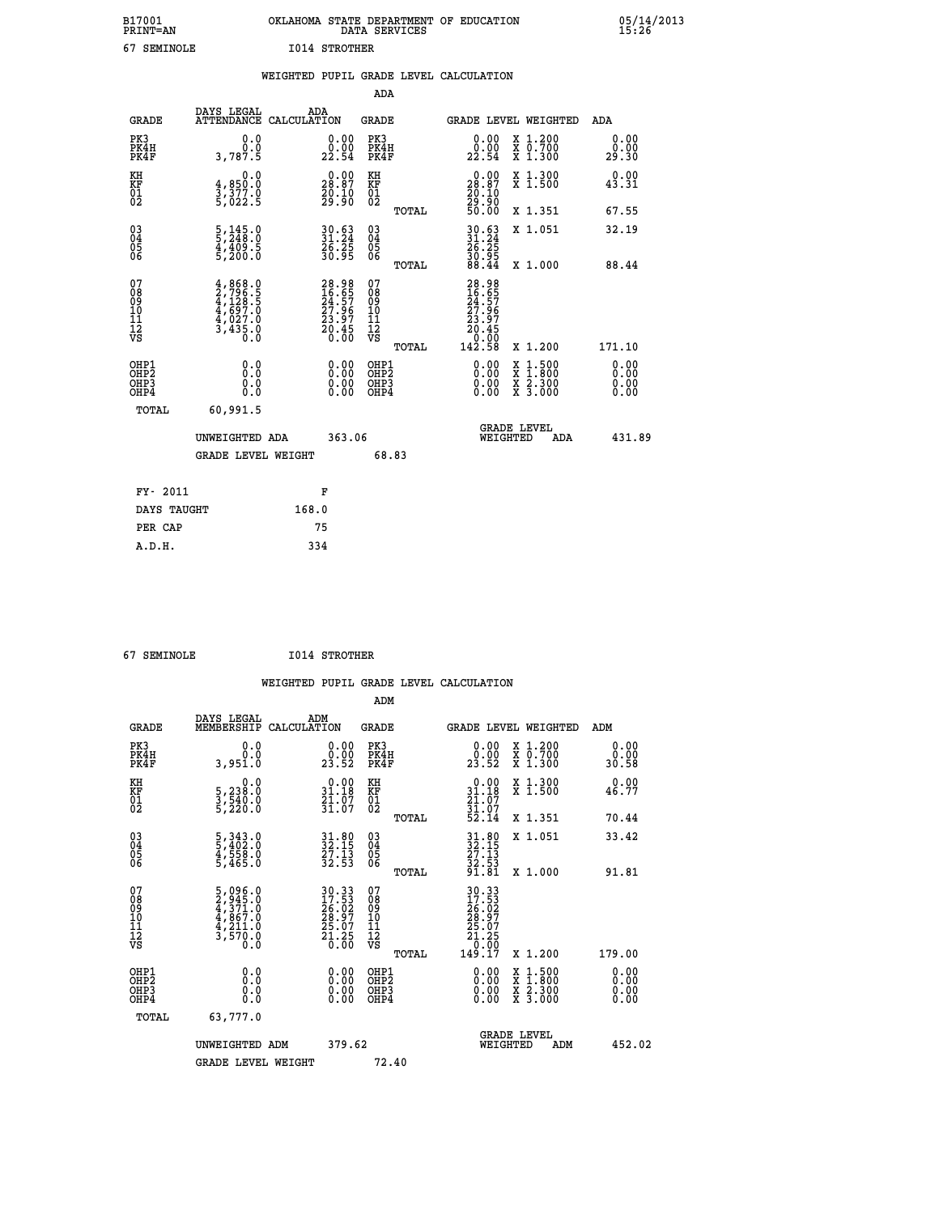| B17001<br><b>PRINT=AN</b> | OKLAHOMA STATE DEPARTMENT OF EDUCATION<br>DATA SERVICES | 05/14/2013<br>15:26 |
|---------------------------|---------------------------------------------------------|---------------------|
| 67<br>SEMINOLE            | 1014 STROTHER                                           |                     |

|  |  | WEIGHTED PUPIL GRADE LEVEL CALCULATION |
|--|--|----------------------------------------|
|  |  |                                        |

|                                                    |                                                                                     |                                                                      | ADA                                                |       |                                                                                                              |   |                                          |                              |
|----------------------------------------------------|-------------------------------------------------------------------------------------|----------------------------------------------------------------------|----------------------------------------------------|-------|--------------------------------------------------------------------------------------------------------------|---|------------------------------------------|------------------------------|
| <b>GRADE</b>                                       | DAYS LEGAL<br><b>ATTENDANCE</b>                                                     | ADA<br>CALCULATION                                                   | <b>GRADE</b>                                       |       | GRADE LEVEL WEIGHTED                                                                                         |   |                                          | <b>ADA</b>                   |
| PK3<br>PK4H<br>PK4F                                | 0.0<br>0.0<br>3,787.5                                                               | $\begin{smallmatrix} 0.00\\ 0.00\\ 22.54 \end{smallmatrix}$          | PK3<br>PK4H<br>PK4F                                |       | $\begin{smallmatrix} 0.00\\ 0.00\\ 22.54 \end{smallmatrix}$                                                  |   | X 1.200<br>X 0.700<br>X 1.300            | 0.00<br>0.00<br>29.30        |
| KH<br>KF<br>01<br>02                               | 0.0<br>4,850.0<br>3,377.0<br>5,022.5                                                | $\begin{smallmatrix} 0.00\\ 28.87\\ 20.10\\ 29.90 \end{smallmatrix}$ | KH<br>KF<br>01<br>02                               |       | 0.00<br>$\begin{smallmatrix} 28.87\ 20.10\ 29.90\ 50.00 \end{smallmatrix}$                                   |   | X 1.300<br>X 1.500                       | 0.00<br>43.31                |
|                                                    |                                                                                     |                                                                      |                                                    | TOTAL |                                                                                                              |   | X 1.351                                  | 67.55                        |
| $\begin{matrix} 03 \\ 04 \\ 05 \\ 06 \end{matrix}$ | $\frac{5}{5}, \frac{145}{248}.0$<br>$\frac{4}{5}, \frac{409}{200}.5$<br>5,200.0     | 30.63<br>31.24<br>26.25<br>30.95                                     | $\begin{matrix} 03 \\ 04 \\ 05 \\ 06 \end{matrix}$ |       | $30.6331.2426.2530.9538.44$                                                                                  |   | X 1.051<br>X 1.000                       | 32.19<br>88.44               |
| 07                                                 |                                                                                     |                                                                      | 07                                                 | TOTAL |                                                                                                              |   |                                          |                              |
| 08<br>09<br>11<br>11<br>12<br>VS                   | $4,868.0$<br>$2,796.5$<br>$4,128.5$<br>$4,697.0$<br>$4,027.0$<br>$3,435.0$<br>$0.0$ | 28.98<br>16.65<br>24.57<br>27.96<br>23.97<br>20.45<br>20.60          | 08<br>09<br>11<br>11<br>12<br>VS                   |       | 28.98<br>16.65<br>24.57<br>27.96<br>$\begin{smallmatrix} 23.97\\23.97\\20.45\\0.00\\142.58\end{smallmatrix}$ |   |                                          |                              |
|                                                    |                                                                                     |                                                                      |                                                    | TOTAL |                                                                                                              |   | X 1.200                                  | 171.10                       |
| OHP1<br>OHP <sub>2</sub><br>OHP3<br>OHP4           | 0.0<br>0.0<br>Ō.Ō                                                                   | 0.00<br>$\begin{smallmatrix} 0.00 \ 0.00 \end{smallmatrix}$          | OHP1<br>OHP <sub>2</sub><br>OHP3<br>OHP4           |       | $0.00$<br>$0.00$<br>0.00                                                                                     | X | $1.500$<br>$1.800$<br>X 2.300<br>X 3.000 | 0.00<br>0.00<br>0.00<br>0.00 |
| <b>TOTAL</b>                                       | 60,991.5                                                                            |                                                                      |                                                    |       |                                                                                                              |   |                                          |                              |
|                                                    | UNWEIGHTED ADA                                                                      | 363.06                                                               |                                                    |       | WEIGHTED                                                                                                     |   | <b>GRADE LEVEL</b><br>ADA                | 431.89                       |
|                                                    | <b>GRADE LEVEL WEIGHT</b>                                                           |                                                                      | 68.83                                              |       |                                                                                                              |   |                                          |                              |
| FY- 2011                                           |                                                                                     | F                                                                    |                                                    |       |                                                                                                              |   |                                          |                              |
| DAYS TAUGHT                                        |                                                                                     | 168.0                                                                |                                                    |       |                                                                                                              |   |                                          |                              |
| PER CAP                                            |                                                                                     | 75                                                                   |                                                    |       |                                                                                                              |   |                                          |                              |
|                                                    |                                                                                     |                                                                      |                                                    |       |                                                                                                              |   |                                          |                              |

| 67 SEMTNOLE |
|-------------|
|             |

 **A.D.H. 334**

 **67 SEMINOLE I014 STROTHER**

 **WEIGHTED PUPIL GRADE LEVEL CALCULATION ADM DAYS LEGAL ADM**

| <b>GRADE</b>                                       | DAYS TEGAT<br>MEMBERSHIP                                                                                | ADM<br>CALCULATION                                                                           | <b>GRADE</b>                                        |       | <b>GRADE LEVEL WEIGHTED</b>                                                               |                                                                                                                                           | ADM                          |  |
|----------------------------------------------------|---------------------------------------------------------------------------------------------------------|----------------------------------------------------------------------------------------------|-----------------------------------------------------|-------|-------------------------------------------------------------------------------------------|-------------------------------------------------------------------------------------------------------------------------------------------|------------------------------|--|
| PK3<br>PK4H<br>PK4F                                | 0.0<br>0.0<br>3,951.0                                                                                   | $\begin{smallmatrix} 0.00\\ 0.00\\ 23.52 \end{smallmatrix}$                                  | PK3<br>PK4H<br>PK4F                                 |       | 0.00<br>23.52                                                                             | X 1.200<br>X 0.700<br>X 1.300                                                                                                             | 0.00<br>0.00<br>30.58        |  |
| KH<br>KF<br>01<br>02                               | 0.0<br>5,238:0<br>3,540:0<br>5,220:0                                                                    | $\begin{array}{c} 0.00 \\ 31.18 \\ 21.07 \\ 31.07 \end{array}$                               | KH<br>KF<br>01<br>02                                |       | $0.00$<br>$31.18$<br>$21.07$<br>$31.07$<br>$52.14$                                        | X 1.300<br>X 1.500                                                                                                                        | 0.00<br>46.77                |  |
|                                                    |                                                                                                         |                                                                                              |                                                     | TOTAL |                                                                                           | X 1.351                                                                                                                                   | 70.44                        |  |
| $\begin{matrix} 03 \\ 04 \\ 05 \\ 06 \end{matrix}$ | 5, 343.0<br>5, 402.0<br>4, 558.0<br>5, 465.0                                                            | $31.80$<br>$32.15$<br>$27.13$<br>$32.53$                                                     | $\begin{array}{c} 03 \\ 04 \\ 05 \\ 06 \end{array}$ |       | $31.80$<br>$32.15$<br>$27.13$<br>$32.53$<br>$91.81$                                       | X 1.051                                                                                                                                   | 33.42                        |  |
|                                                    |                                                                                                         |                                                                                              |                                                     | TOTAL |                                                                                           | X 1.000                                                                                                                                   | 91.81                        |  |
| 07<br>08<br>09<br>101<br>112<br>VS                 | $\begin{smallmatrix} 5,096.0\\ 2,945.0\\ 4,371.0\\ 4,867.0\\ 4,211.0\\ 3,570.0\\ 0.0 \end{smallmatrix}$ | $\begin{smallmatrix} 30.33\\ 17.53\\ 26.02\\ 28.97\\ 25.07\\ 21.25\\ 0.00 \end{smallmatrix}$ | 07<br>08<br>09<br>11<br>11<br>12<br>VS              |       | $\begin{smallmatrix} 30.33\ 17.53\ 26.02\ 28.97\ 25.07\ 21.250\ 149.17 \end{smallmatrix}$ |                                                                                                                                           |                              |  |
|                                                    |                                                                                                         |                                                                                              |                                                     | TOTAL |                                                                                           | X 1.200                                                                                                                                   | 179.00                       |  |
| OHP1<br>OHP2<br>OH <sub>P3</sub><br>OHP4           | 0.0<br>0.0<br>0.0                                                                                       | $0.00$<br>$0.00$<br>0.00                                                                     | OHP1<br>OHP <sub>2</sub><br>OHP3<br>OHP4            |       |                                                                                           | $\begin{smallmatrix} \mathtt{X} & 1\cdot500\\ \mathtt{X} & 1\cdot800\\ \mathtt{X} & 2\cdot300\\ \mathtt{X} & 3\cdot000 \end{smallmatrix}$ | 0.00<br>0.00<br>0.00<br>0.00 |  |
| TOTAL                                              | 63,777.0                                                                                                |                                                                                              |                                                     |       |                                                                                           |                                                                                                                                           |                              |  |
|                                                    | UNWEIGHTED ADM                                                                                          | 379.62                                                                                       |                                                     |       | WEIGHTED                                                                                  | <b>GRADE LEVEL</b><br>ADM                                                                                                                 | 452.02                       |  |
|                                                    | <b>GRADE LEVEL WEIGHT</b>                                                                               |                                                                                              | 72.40                                               |       |                                                                                           |                                                                                                                                           |                              |  |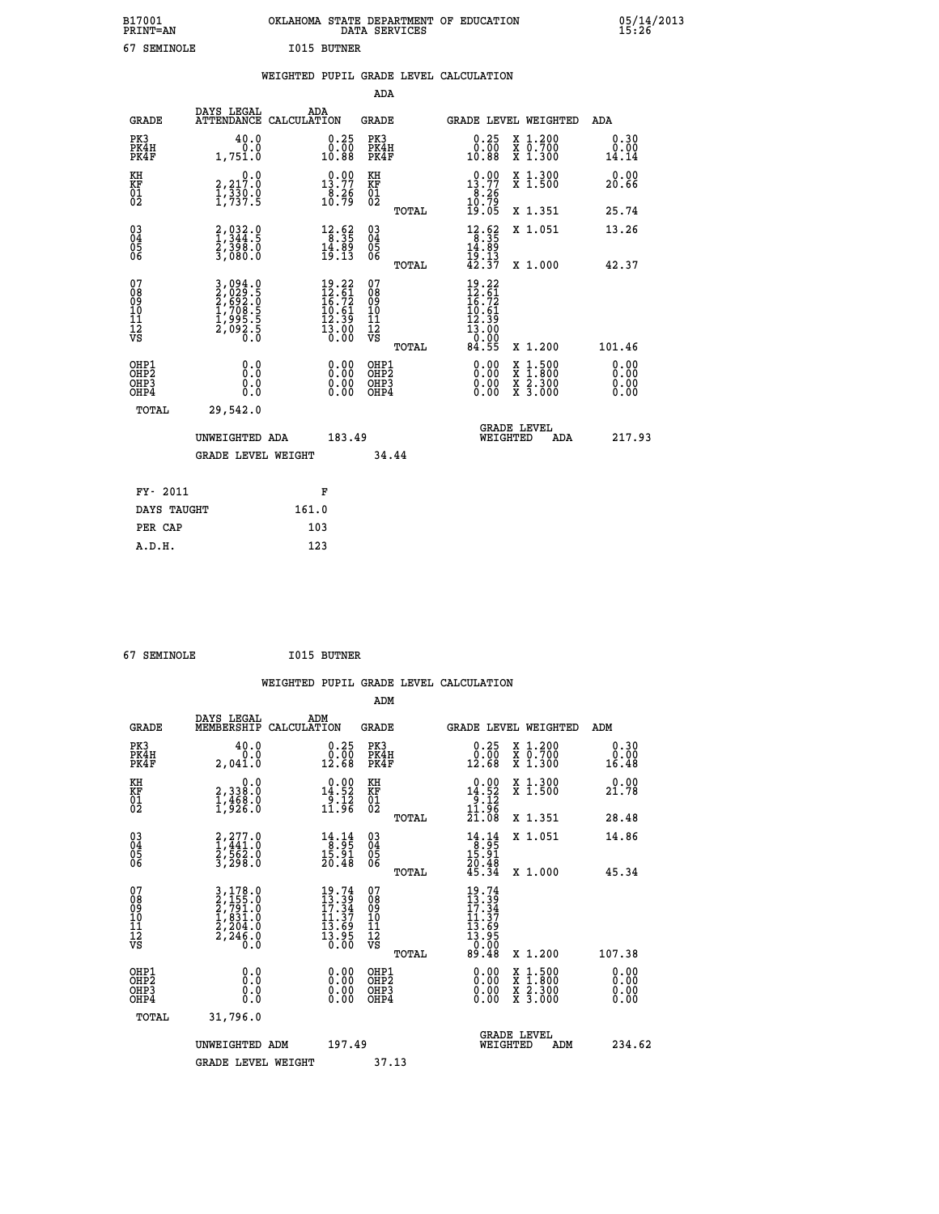| B17001<br><b>PRINT=AN</b> | OKLAHOMA STATE DEPARTMENT OF EDUCATION<br>DATA SERVICES | 05/14/2013<br>15:26 |
|---------------------------|---------------------------------------------------------|---------------------|
| 67<br>SEMINOLE            | <b>I015 BUTNER</b>                                      |                     |

|                                                                  |                                                                                              |                                                                                                                                                                      | ADA                                                 |       |                                                                                                            |                                                                                                                                           |                              |
|------------------------------------------------------------------|----------------------------------------------------------------------------------------------|----------------------------------------------------------------------------------------------------------------------------------------------------------------------|-----------------------------------------------------|-------|------------------------------------------------------------------------------------------------------------|-------------------------------------------------------------------------------------------------------------------------------------------|------------------------------|
| <b>GRADE</b>                                                     | DAYS LEGAL<br>ATTENDANCE CALCULATION                                                         | ADA                                                                                                                                                                  | <b>GRADE</b>                                        |       | GRADE LEVEL WEIGHTED                                                                                       |                                                                                                                                           | ADA                          |
| PK3<br>PK4H<br>PK4F                                              | 40.0<br>0.0<br>1,751.0                                                                       | $\begin{smallmatrix} 0.25\\ 0.00\\ 10.88 \end{smallmatrix}$                                                                                                          | PK3<br>PK4H<br>PK4F                                 |       | 0.25<br>ةةٍ:ة<br>10:88                                                                                     | X 1.200<br>X 0.700<br>X 1.300                                                                                                             | 0.30<br>0.00<br>14.14        |
| KH<br>KF<br>01<br>02                                             | 0.0<br>2,217:0<br>1,330:0<br>1,737:5                                                         | 13.77<br>$\frac{8.26}{10.79}$                                                                                                                                        | KH<br>KF<br>01<br>02                                |       | $\begin{smallmatrix} 0.00\\13.77\\8.26\\10.79\\19.05 \end{smallmatrix}$                                    | X 1.300<br>X 1.500                                                                                                                        | 0.00<br>20.66                |
|                                                                  |                                                                                              |                                                                                                                                                                      |                                                     | TOTAL |                                                                                                            | X 1.351                                                                                                                                   | 25.74                        |
| $\begin{matrix} 03 \\ 04 \\ 05 \\ 06 \end{matrix}$               | $2,032.9$<br>1,344.5<br>$\frac{2}{3}, \frac{3}{0}$ $\frac{3}{0}$ $\frac{3}{0}$ $\frac{3}{0}$ | $\begin{array}{r} 12.62 \\ 8.35 \\ 14.89 \\ 19.13 \end{array}$                                                                                                       | $\begin{array}{c} 03 \\ 04 \\ 05 \\ 06 \end{array}$ |       | $\begin{array}{r} 12.62 \\ 8.35 \\ 14.89 \\ 19.13 \\ 42.37 \end{array}$                                    | X 1.051                                                                                                                                   | 13.26                        |
|                                                                  |                                                                                              |                                                                                                                                                                      |                                                     | TOTAL |                                                                                                            | X 1.000                                                                                                                                   | 42.37                        |
| 07<br>08<br>09<br>11<br>11<br>12<br>VS                           | 3,094.0<br>2,029.5<br>2,692.0<br>2,692.5<br>1,708.5<br>2,092.5<br>0.0                        | 19.22<br>$\begin{smallmatrix} 1 & 2 & 6 & 1 \\ 1 & 6 & 7 & 2 \\ 1 & 6 & 7 & 2 \\ 1 & 0 & 6 & 1 \\ 1 & 2 & 3 & 9 \\ 1 & 3 & 0 & 0 \\ 0 & 0 & 0 & 0 \end{smallmatrix}$ | 07<br>08<br>09<br>11<br>11<br>12<br>VS              |       | $19.22$<br>$12.61$<br>$16.72$<br>$10.61$<br>$\begin{array}{c} 12.39 \\ 13.00 \\ 0.00 \\ 84.55 \end{array}$ |                                                                                                                                           |                              |
|                                                                  |                                                                                              |                                                                                                                                                                      |                                                     | TOTAL |                                                                                                            | X 1.200                                                                                                                                   | 101.46                       |
| OHP1<br>OH <sub>P</sub> <sub>2</sub><br>OH <sub>P3</sub><br>OHP4 | 0.0<br>0.0<br>0.0                                                                            | $\begin{smallmatrix} 0.00 \ 0.00 \ 0.00 \ 0.00 \end{smallmatrix}$                                                                                                    | OHP1<br>OHP <sub>2</sub><br>OHP3<br>OHP4            |       | $0.00$<br>$0.00$<br>0.00                                                                                   | $\begin{smallmatrix} \mathtt{X} & 1\cdot500\\ \mathtt{X} & 1\cdot800\\ \mathtt{X} & 2\cdot300\\ \mathtt{X} & 3\cdot000 \end{smallmatrix}$ | 0.00<br>0.00<br>0.00<br>0.00 |
| <b>TOTAL</b>                                                     | 29,542.0                                                                                     |                                                                                                                                                                      |                                                     |       |                                                                                                            |                                                                                                                                           |                              |
|                                                                  | UNWEIGHTED ADA                                                                               | 183.49                                                                                                                                                               |                                                     |       | <b>GRADE LEVEL</b><br>WEIGHTED                                                                             | ADA                                                                                                                                       | 217.93                       |
|                                                                  | <b>GRADE LEVEL WEIGHT</b>                                                                    |                                                                                                                                                                      |                                                     | 34.44 |                                                                                                            |                                                                                                                                           |                              |
|                                                                  |                                                                                              |                                                                                                                                                                      |                                                     |       |                                                                                                            |                                                                                                                                           |                              |
| FY- 2011                                                         |                                                                                              | F                                                                                                                                                                    |                                                     |       |                                                                                                            |                                                                                                                                           |                              |
| DAYS TAUGHT                                                      |                                                                                              | 161.0                                                                                                                                                                |                                                     |       |                                                                                                            |                                                                                                                                           |                              |
| PER CAP                                                          |                                                                                              | 103                                                                                                                                                                  |                                                     |       |                                                                                                            |                                                                                                                                           |                              |

 **67 SEMINOLE I015 BUTNER**

 **A.D.H. 123**

| <b>GRADE</b>                 | DAYS LEGAL<br>MEMBERSHIP                                                                                                                                         | ADM<br>CALCULATION                                                               | <b>GRADE</b>                                       |       | <b>GRADE LEVEL WEIGHTED</b>                                                                                                                |                                          | ADM                   |  |
|------------------------------|------------------------------------------------------------------------------------------------------------------------------------------------------------------|----------------------------------------------------------------------------------|----------------------------------------------------|-------|--------------------------------------------------------------------------------------------------------------------------------------------|------------------------------------------|-----------------------|--|
| PK3<br>PK4H<br>PK4F          | 40.0<br>0.0<br>2,041.0                                                                                                                                           | $\begin{smallmatrix} 0.25\\ 0.00\\ 12.68 \end{smallmatrix}$                      | PK3<br>PK4H<br>PK4F                                |       | 0.25<br>$\begin{smallmatrix} \v{0} \ \v{0} \ \v{1} \ \v{2} \ \v{6} \ \v{8} \end{smallmatrix}$                                              | X 1.200<br>X 0.700<br>X 1.300            | 0.30<br>0.00<br>16.48 |  |
| KH<br>KF<br>01<br>02         | $\begin{smallmatrix}&&&0.0\\2,338.0\\1,468.0\\1,926.0\end{smallmatrix}$                                                                                          | $\begin{array}{r} 0.00 \\ 14.52 \\ 9.12 \\ 11.96 \end{array}$                    | KH<br>KF<br>01<br>02                               |       | $\begin{array}{r} 0.00 \\ 14.52 \\ 9.12 \\ 11.96 \\ 21.08 \end{array}$                                                                     | X 1.300<br>X 1.500                       | 0.00<br>21.78         |  |
|                              |                                                                                                                                                                  |                                                                                  |                                                    | TOTAL |                                                                                                                                            | X 1.351                                  | 28.48                 |  |
| 03<br>04<br>05<br>06         | $\begin{smallmatrix} 2,277.0\\ 1,441.0\\ 2,562.0\\ 3,298.0 \end{smallmatrix}$                                                                                    | $\begin{array}{c} 14\cdot 14\\ -8\cdot 95\\ 15\cdot 91\\ 20\cdot 48 \end{array}$ | $\begin{matrix} 03 \\ 04 \\ 05 \\ 06 \end{matrix}$ |       | $\begin{array}{r} 14\cdot 14\\ 8\cdot 95\\ 15\cdot 91\\ 20\cdot 48\\ 45\cdot 34 \end{array}$                                               | X 1.051                                  | 14.86                 |  |
|                              |                                                                                                                                                                  |                                                                                  |                                                    | TOTAL |                                                                                                                                            | X 1.000                                  | 45.34                 |  |
| 07<br>08901112<br>1112<br>VS | $\begin{smallmatrix} 3\,,\,178\,.\,0\\ 2\,,\,155\,. \,0\\ 2\,,\,791\,. \,0\\ 1\,,\,831\,. \,0\\ 2\,,\,204\,. \,0\\ 2\,,\,246\,. \,0\\ 0\,. \,0\end{smallmatrix}$ | $19.74$<br>$13.39$<br>$17.34$<br>$11.37$<br>$13.69$<br>$13.95$<br>$0.00$         | 07<br>08<br>09<br>01<br>11<br>11<br>12<br>VS       | TOTAL | $\begin{array}{c} 19\cdot 74 \\ 13\cdot 39 \\ 17\cdot 34 \\ 11\cdot 37 \\ 13\cdot 69 \\ 13\cdot 95 \\ 0\cdot 00 \\ 89\cdot 48 \end{array}$ | X 1.200                                  | 107.38                |  |
| OHP1<br>OHP2<br>OHP3<br>OHP4 | 0.0<br>0.000                                                                                                                                                     |                                                                                  | OHP1<br>OHP2<br>OHP3<br>OHP4                       |       |                                                                                                                                            | X 1:500<br>X 1:800<br>X 2:300<br>X 3:000 | 0.00<br>0.00<br>0.00  |  |
| TOTAL                        | 31,796.0                                                                                                                                                         |                                                                                  |                                                    |       |                                                                                                                                            |                                          |                       |  |
|                              | UNWEIGHTED ADM                                                                                                                                                   | 197.49                                                                           |                                                    |       | WEIGHTED                                                                                                                                   | <b>GRADE LEVEL</b><br>ADM                | 234.62                |  |
|                              | <b>GRADE LEVEL WEIGHT</b>                                                                                                                                        |                                                                                  | 37.13                                              |       |                                                                                                                                            |                                          |                       |  |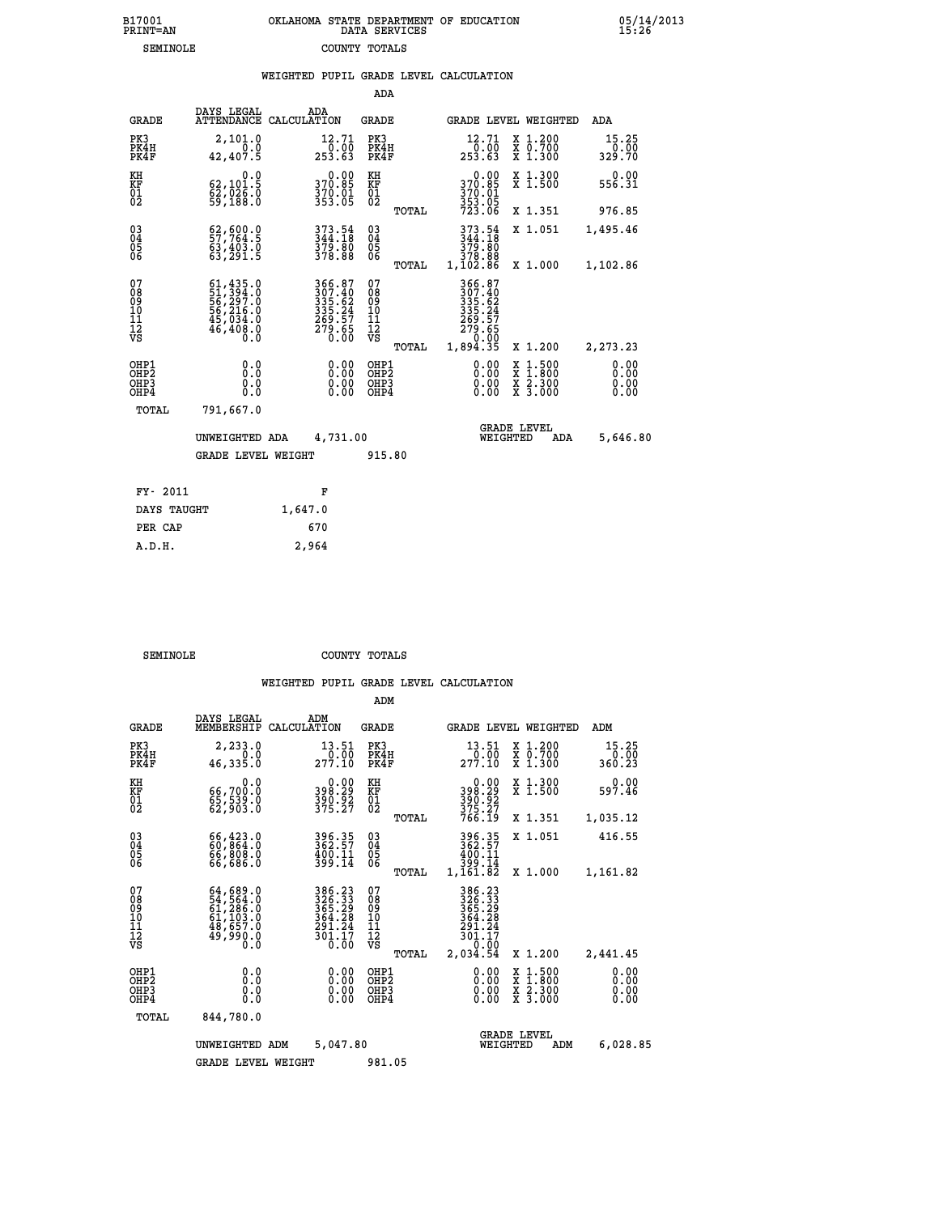| B17001          | OKLAHOMA STATE DEPARTMENT OF EDUCATION |
|-----------------|----------------------------------------|
| <b>PRINT=AN</b> | DATA SERVICES                          |
| SEMINOLE        | COUNTY TOTALS                          |

 **B17001 OKLAHOMA STATE DEPARTMENT OF EDUCATION 05/14/2013**

|                                                                    |                                                                             | WEIGHTED PUPIL GRADE LEVEL CALCULATION                                     |                                               |                                                                                        |                                                                                                                                              |                         |
|--------------------------------------------------------------------|-----------------------------------------------------------------------------|----------------------------------------------------------------------------|-----------------------------------------------|----------------------------------------------------------------------------------------|----------------------------------------------------------------------------------------------------------------------------------------------|-------------------------|
|                                                                    |                                                                             |                                                                            | ADA                                           |                                                                                        |                                                                                                                                              |                         |
| <b>GRADE</b>                                                       | DAYS LEGAL                                                                  | ADA<br>ATTENDANCE CALCULATION                                              | <b>GRADE</b>                                  | GRADE LEVEL WEIGHTED                                                                   |                                                                                                                                              | ADA                     |
| PK3<br>PK4H<br>PK4F                                                | 2,101.0<br>0.0<br>42,407.5                                                  | 12.71<br>$\frac{1}{253.63}$                                                | PK3<br>PK4H<br>PK4F                           | 12.71<br>$\frac{1}{253}.00$<br>63                                                      | X 1.200<br>X 0.700<br>X 1.300                                                                                                                | 15.25<br>0.00<br>329.70 |
| KH<br>KF<br>01<br>02                                               | 0.0<br>62, 101.5<br>$\frac{8}{59}$ , $\frac{7}{188}$ . $\frac{8}{10}$       | $0.00$<br>370.85<br>370.01<br>353.05                                       | KH<br>KF<br>01<br>02                          | $370.00$<br>370.85<br>$\frac{370.01}{353.05}$<br>723.06                                | X 1.300<br>X 1.500                                                                                                                           | 0.00<br>556.31          |
|                                                                    |                                                                             |                                                                            | TOTAL                                         |                                                                                        | X 1.351                                                                                                                                      | 976.85                  |
| $\begin{smallmatrix} 03 \\[-4pt] 04 \end{smallmatrix}$<br>05<br>06 | 62,600.0<br>63,403.0                                                        | 373.54<br>344.18<br>379.80<br>378.88                                       | $\substack{03 \\ 04}$<br>0500                 | 373.54<br>344.18<br>379.80                                                             | X 1.051                                                                                                                                      | 1,495.46                |
|                                                                    | 63,291.5                                                                    |                                                                            | TOTAL                                         | 378.88<br>1,102.86                                                                     | X 1.000                                                                                                                                      | 1,102.86                |
| 07<br>08<br>09<br>10<br>11<br>11<br>12<br>VS                       | 61,435.0<br>51,394.0<br>56,297.0<br>56,216.0<br>45,034.0<br>46,408.0<br>Ŏ.Ŏ | 366.87<br>307.40<br>335.62<br>335.24<br>335.24<br>269.57<br>279.65<br>0.00 | 078<br>089<br>0011<br>11<br>12<br>VS<br>TOTAL | 366.87<br>307.40<br>335.62<br>335.24<br>335.27<br>279.65<br>279.65<br>0.00<br>1,894.35 | X 1.200                                                                                                                                      | 2,273.23                |
| OHP1<br>OHP2<br>OHP3<br>OHP4                                       | 0.0<br>0.0<br>0.0                                                           | 0.00<br>$\begin{smallmatrix} 0.00 \ 0.00 \end{smallmatrix}$                | OHP1<br>OHP2<br>OHP3<br>OHP4                  | 0.00<br>0.00                                                                           | $\begin{smallmatrix} \mathtt{X} & 1\cdot500 \\ \mathtt{X} & 1\cdot800 \\ \mathtt{X} & 2\cdot300 \\ \mathtt{X} & 3\cdot000 \end{smallmatrix}$ | 0.00<br>0.00<br>0.00    |
| TOTAL                                                              | 791,667.0                                                                   |                                                                            |                                               |                                                                                        |                                                                                                                                              |                         |
|                                                                    | UNWEIGHTED ADA                                                              | 4,731.00                                                                   |                                               | <b>GRADE LEVEL</b><br>WEIGHTED                                                         | ADA                                                                                                                                          | 5,646.80                |
|                                                                    | <b>GRADE LEVEL WEIGHT</b>                                                   |                                                                            | 915.80                                        |                                                                                        |                                                                                                                                              |                         |
| FY- 2011                                                           |                                                                             | F                                                                          |                                               |                                                                                        |                                                                                                                                              |                         |
| DAYS TAUGHT                                                        |                                                                             | 1,647.0                                                                    |                                               |                                                                                        |                                                                                                                                              |                         |
| PER CAP                                                            |                                                                             | 670                                                                        |                                               |                                                                                        |                                                                                                                                              |                         |

**SEMINOLE COUNTY TOTALS** 

 **A.D.H. 2,964**

|                                                       |                                                                                                 |                                                                         | ADM                                              |                                                                              |                                                   |                              |
|-------------------------------------------------------|-------------------------------------------------------------------------------------------------|-------------------------------------------------------------------------|--------------------------------------------------|------------------------------------------------------------------------------|---------------------------------------------------|------------------------------|
| <b>GRADE</b>                                          | DAYS LEGAL<br>MEMBERSHIP                                                                        | ADM<br>CALCULATION                                                      | <b>GRADE</b>                                     | <b>GRADE LEVEL WEIGHTED</b>                                                  |                                                   | ADM                          |
| PK3<br>PK4H<br>PK4F                                   | 2,233.0<br>0.0<br>46,335.0                                                                      | 13.51<br>277.10                                                         | PK3<br>PK4H<br>PK4F                              | 13.51<br>277.10                                                              | X 1.200<br>$\bar{x}$ $\bar{0}$ . 700<br>$X$ 1.300 | 15.25<br>0.00<br>360.23      |
| KH<br>KF<br>01<br>02                                  | 0.0<br>66,700.0<br>$\frac{65}{62}, \frac{539}{903}.0$                                           | $398.29$<br>$390.92$<br>$375.27$                                        | KH<br>KF<br>01<br>02                             | 0.00<br>398.29<br>390.92<br>375.27<br>766.19                                 | X 1.300<br>X 1.500                                | 0.00<br>597.46               |
|                                                       |                                                                                                 |                                                                         | TOTAL                                            |                                                                              | X 1.351                                           | 1,035.12                     |
| 03<br>04<br>05<br>06                                  | 66,423.0<br>60,864.0<br>66,808.0<br>66,686.0                                                    | 396.35<br>362.57<br>400.11<br>399.14                                    | $\substack{03 \\ 04}$<br>0500                    | 396.35<br>362.57<br>400.11<br>399.14                                         | X 1.051                                           | 416.55                       |
|                                                       |                                                                                                 |                                                                         | TOTAL                                            | 1,161.82                                                                     | X 1.000                                           | 1,161.82                     |
| 07<br>08<br>09<br>101<br>112<br>VS                    | $64, 689.0$<br>$54, 564.0$<br>$61, 286.0$<br>$61, 103.0$<br>$48, 657.0$<br>$49, 990.0$<br>$0.0$ | 386.23<br>326.33<br>365.29<br>364.28<br>291.24<br>$\frac{301.77}{0.00}$ | 07<br>08<br>09<br>101<br>11<br>12<br>VS<br>TOTAL | 386.23<br>326.33<br>365.29<br>364.28<br>291.24<br>301.17<br>0.00<br>2,034.54 | X 1.200                                           | 2,441.45                     |
| OHP1<br>OH <sub>P</sub> 2<br>OH <sub>P3</sub><br>OHP4 | 0.0<br>0.000                                                                                    | $0.00$<br>$0.00$<br>0.00                                                | OHP1<br>OHP2<br>OHP3<br>OHP4                     | $0.00$<br>$0.00$<br>0.00                                                     | X 1:500<br>X 1:800<br>X 2:300<br>X 3:000          | 0.00<br>0.00<br>0.00<br>0.00 |
| TOTAL                                                 | 844,780.0                                                                                       |                                                                         |                                                  |                                                                              |                                                   |                              |
|                                                       | UNWEIGHTED ADM                                                                                  | 5,047.80                                                                |                                                  | WEIGHTED                                                                     | <b>GRADE LEVEL</b><br>ADM                         | 6,028.85                     |
|                                                       | <b>GRADE LEVEL WEIGHT</b>                                                                       |                                                                         | 981.05                                           |                                                                              |                                                   |                              |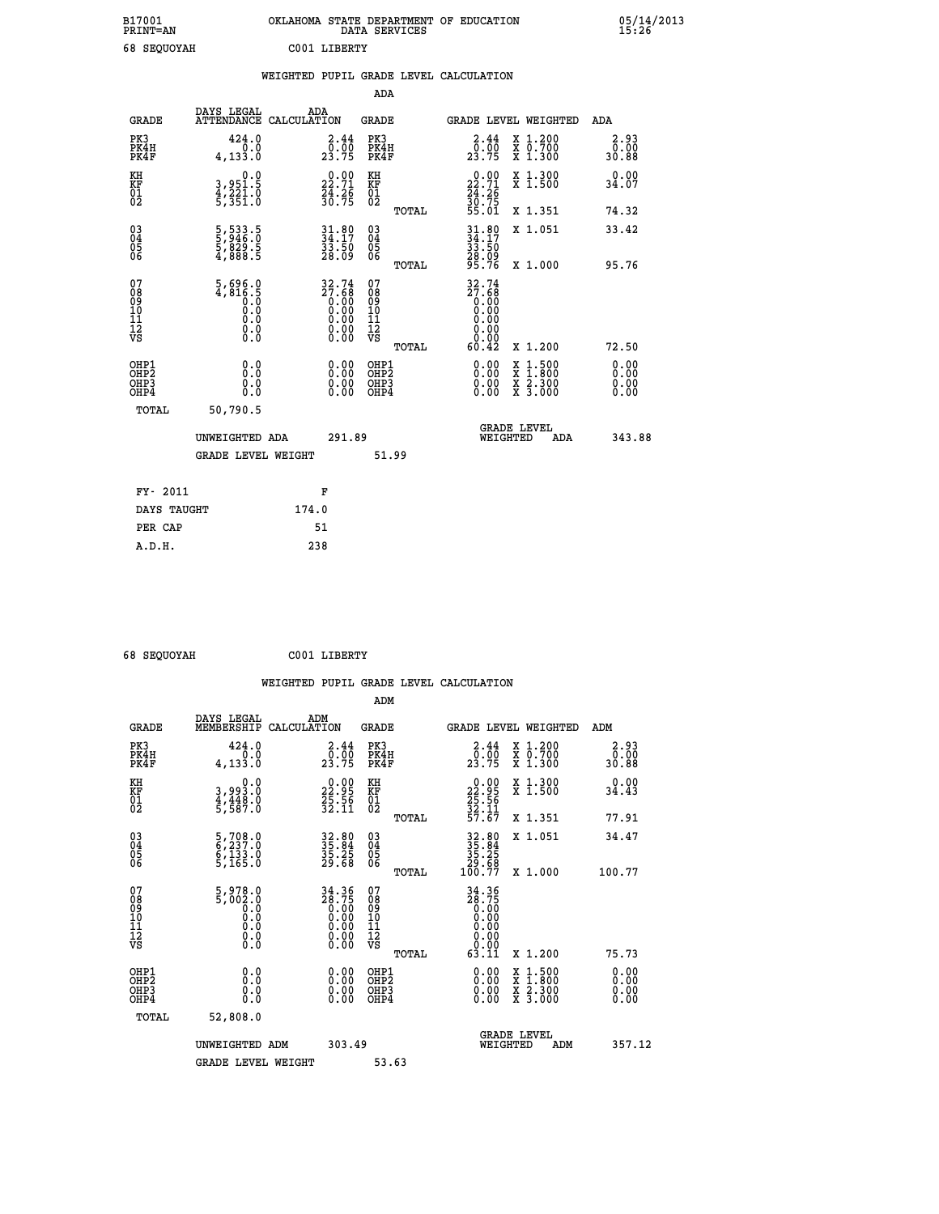| B17001<br><b>PRINT=AN</b> | OKLAHOMA STATE DEPARTMENT OF EDUCATION<br>DATA SERVICES | 05/14/2013<br>15:26 |
|---------------------------|---------------------------------------------------------|---------------------|
| 68 SEQUOYAH               | C001 LIBERTY                                            |                     |

|                                           |                                                                                              |       |                                                                      |                                                     |       | WEIGHTED PUPIL GRADE LEVEL CALCULATION                                                      |                                                                                                                                           |                              |
|-------------------------------------------|----------------------------------------------------------------------------------------------|-------|----------------------------------------------------------------------|-----------------------------------------------------|-------|---------------------------------------------------------------------------------------------|-------------------------------------------------------------------------------------------------------------------------------------------|------------------------------|
|                                           |                                                                                              |       |                                                                      | ADA                                                 |       |                                                                                             |                                                                                                                                           |                              |
| <b>GRADE</b>                              | DAYS LEGAL<br>ATTENDANCE CALCULATION                                                         |       | ADA                                                                  | <b>GRADE</b>                                        |       | GRADE LEVEL WEIGHTED                                                                        |                                                                                                                                           | ADA                          |
| PK3<br>PK4H<br>PK4F                       | 424.0<br>0.0<br>4,133.0                                                                      |       | $\begin{smallmatrix} 2.44\ 0.00 \ 23.75 \end{smallmatrix}$           | PK3<br>PK4H<br>PK4F                                 |       | $\begin{smallmatrix} 2.44\\[-1.2mm] 0.00\\[-1.2mm] 23.75\end{smallmatrix}$                  | X 1.200<br>X 0.700<br>X 1.300                                                                                                             | 2.93<br>0.00<br>30.88        |
| KH<br>KF<br>01<br>02                      | 0.0<br>3,951.5<br>4,221.0<br>5,351.0                                                         |       | $\begin{smallmatrix} 0.00\\ 22.71\\ 24.26\\ 30.75 \end{smallmatrix}$ | KH<br>KF<br>01<br>02                                |       | $22.71$<br>$24.71$<br>$24.26$<br>$30.75$                                                    | X 1.300<br>X 1.500                                                                                                                        | 0.00<br>34.07                |
|                                           |                                                                                              |       |                                                                      |                                                     | TOTAL | 55.01                                                                                       | X 1.351                                                                                                                                   | 74.32                        |
| 03<br>04<br>05<br>06                      | 5,533.5<br>5,946.0<br>5,829.5<br>4,888.5                                                     |       | $34.80$<br>$34.17$<br>$33.50$<br>$28.09$                             | $\begin{array}{c} 03 \\ 04 \\ 05 \\ 06 \end{array}$ |       | $34.80$<br>$34.17$<br>$33.50$                                                               | X 1.051                                                                                                                                   | 33.42                        |
|                                           |                                                                                              |       |                                                                      |                                                     | TOTAL | 28:09<br>95.76                                                                              | X 1.000                                                                                                                                   | 95.76                        |
| 07<br>08<br>09<br>11<br>11<br>12<br>VS    | 5,696.0<br>4,816.5<br>0.0<br>0.0<br>$\begin{smallmatrix} 0.16 \ 0.0 \ 0.0 \end{smallmatrix}$ |       | $32.74\n27.68\n0.00\n0.00\n0.00\n0.00\n0.00$                         | 07<br>08<br>09<br>11<br>11<br>12<br>VS              | TOTAL | $\begin{smallmatrix} 32.74\ 27.68\ 0.00\ 0.00 \end{smallmatrix}$<br>0.00<br>0.0000<br>60.42 | X 1.200                                                                                                                                   | 72.50                        |
| OHP1<br>OH <sub>P</sub> 2<br>OHP3<br>OHP4 | 0.0<br>Ŏ.Ŏ<br>0.0<br>0.0                                                                     |       | $\begin{smallmatrix} 0.00 \ 0.00 \ 0.00 \ 0.00 \end{smallmatrix}$    | OHP1<br>OHP <sub>2</sub><br>OHP3<br>OHP4            |       | 0.00<br>$0.00$<br>0.00                                                                      | $\begin{smallmatrix} \mathtt{X} & 1\cdot500\\ \mathtt{X} & 1\cdot800\\ \mathtt{X} & 2\cdot300\\ \mathtt{X} & 3\cdot000 \end{smallmatrix}$ | 0.00<br>0.00<br>0.00<br>0.00 |
| TOTAL                                     | 50,790.5                                                                                     |       |                                                                      |                                                     |       |                                                                                             |                                                                                                                                           |                              |
|                                           | UNWEIGHTED ADA                                                                               |       | 291.89                                                               |                                                     |       | WEIGHTED                                                                                    | <b>GRADE LEVEL</b><br>ADA                                                                                                                 | 343.88                       |
|                                           | <b>GRADE LEVEL WEIGHT</b>                                                                    |       |                                                                      |                                                     | 51.99 |                                                                                             |                                                                                                                                           |                              |
| FY- 2011                                  |                                                                                              |       | F                                                                    |                                                     |       |                                                                                             |                                                                                                                                           |                              |
| DAYS TAUGHT                               |                                                                                              | 174.0 |                                                                      |                                                     |       |                                                                                             |                                                                                                                                           |                              |
| PER CAP                                   |                                                                                              |       | 51                                                                   |                                                     |       |                                                                                             |                                                                                                                                           |                              |

 **68 SEQUOYAH C001 LIBERTY**

 **A.D.H. 238**

| <b>GRADE</b>                   | DAYS LEGAL<br>MEMBERSHIP                 | ADM<br>CALCULATION                                        | <b>GRADE</b>                                        |       | <b>GRADE LEVEL WEIGHTED</b>                                                                                                                                                                                                                                                    |          |                                          |     | ADM                    |  |
|--------------------------------|------------------------------------------|-----------------------------------------------------------|-----------------------------------------------------|-------|--------------------------------------------------------------------------------------------------------------------------------------------------------------------------------------------------------------------------------------------------------------------------------|----------|------------------------------------------|-----|------------------------|--|
| PK3<br>PK4H<br>PK4F            | 424.0<br>4, 133.0                        | $\begin{smallmatrix} 2.44\ 0.00\ 23.75 \end{smallmatrix}$ | PK3<br>PK4H<br>PK4F                                 |       | $\begin{smallmatrix} 2.44\\ 0.00\\ 23.75 \end{smallmatrix}$                                                                                                                                                                                                                    |          | X 1.200<br>X 0.700<br>X 1.300            |     | 2.93<br>00.00<br>88.03 |  |
| KH<br>KF<br>01<br>02           | 0.0<br>3,993.0<br>4,448.0<br>5,587.0     | $22.95$<br>$22.95$<br>$25.56$<br>$32.11$                  | KH<br>KF<br>01<br>02                                |       | $\begin{smallmatrix} 0.00\\ 22.95\\ 25.56\\ 32.11\\ 57.67 \end{smallmatrix}$                                                                                                                                                                                                   |          | X 1.300<br>X 1.500                       |     | 0.00<br>34.43          |  |
|                                |                                          |                                                           |                                                     | TOTAL |                                                                                                                                                                                                                                                                                |          | X 1.351                                  |     | 77.91                  |  |
| 03<br>04<br>05<br>06           | 5,708.0<br>6,237.0<br>6,133.0<br>5,165.0 | 32.80<br>35.84<br>35.25<br>29.68                          | $\begin{array}{c} 03 \\ 04 \\ 05 \\ 06 \end{array}$ |       | $32.8035.8435.2529.68100.77$                                                                                                                                                                                                                                                   |          | X 1.051                                  |     | 34.47                  |  |
|                                |                                          |                                                           |                                                     | TOTAL |                                                                                                                                                                                                                                                                                |          | X 1.000                                  |     | 100.77                 |  |
| 07<br>089<br>090<br>1112<br>VS |                                          | $34.36\n28.75\n0.00\n0.00\n0.00\n0.00\n0.00$              | 07<br>08<br>09<br>01<br>11<br>11<br>12<br>VS        |       | $34.36$<br>$28.75$<br>$0.00$<br>$0.00$<br>$0.00$<br>$0.00$<br>$0.00$<br>$63.11$                                                                                                                                                                                                |          |                                          |     |                        |  |
|                                |                                          |                                                           |                                                     | TOTAL |                                                                                                                                                                                                                                                                                |          | X 1.200                                  |     | 75.73                  |  |
| OHP1<br>OHP2<br>OHP3<br>OHP4   | 0.0<br>0.000                             |                                                           | OHP1<br>OHP2<br>OHP3<br>OHP4                        |       | $\begin{smallmatrix} 0.00 & 0.00 & 0.00 & 0.00 & 0.00 & 0.00 & 0.00 & 0.00 & 0.00 & 0.00 & 0.00 & 0.00 & 0.00 & 0.00 & 0.00 & 0.00 & 0.00 & 0.00 & 0.00 & 0.00 & 0.00 & 0.00 & 0.00 & 0.00 & 0.00 & 0.00 & 0.00 & 0.00 & 0.00 & 0.00 & 0.00 & 0.00 & 0.00 & 0.00 & 0.00 & 0.0$ |          | X 1:500<br>X 1:800<br>X 2:300<br>X 3:000 |     | 0.00<br>0.00<br>0.00   |  |
| TOTAL                          | 52,808.0                                 |                                                           |                                                     |       |                                                                                                                                                                                                                                                                                |          |                                          |     |                        |  |
|                                | UNWEIGHTED                               | 303.49<br>ADM                                             |                                                     |       |                                                                                                                                                                                                                                                                                | WEIGHTED | <b>GRADE LEVEL</b>                       | ADM | 357.12                 |  |
|                                | <b>GRADE LEVEL WEIGHT</b>                |                                                           | 53.63                                               |       |                                                                                                                                                                                                                                                                                |          |                                          |     |                        |  |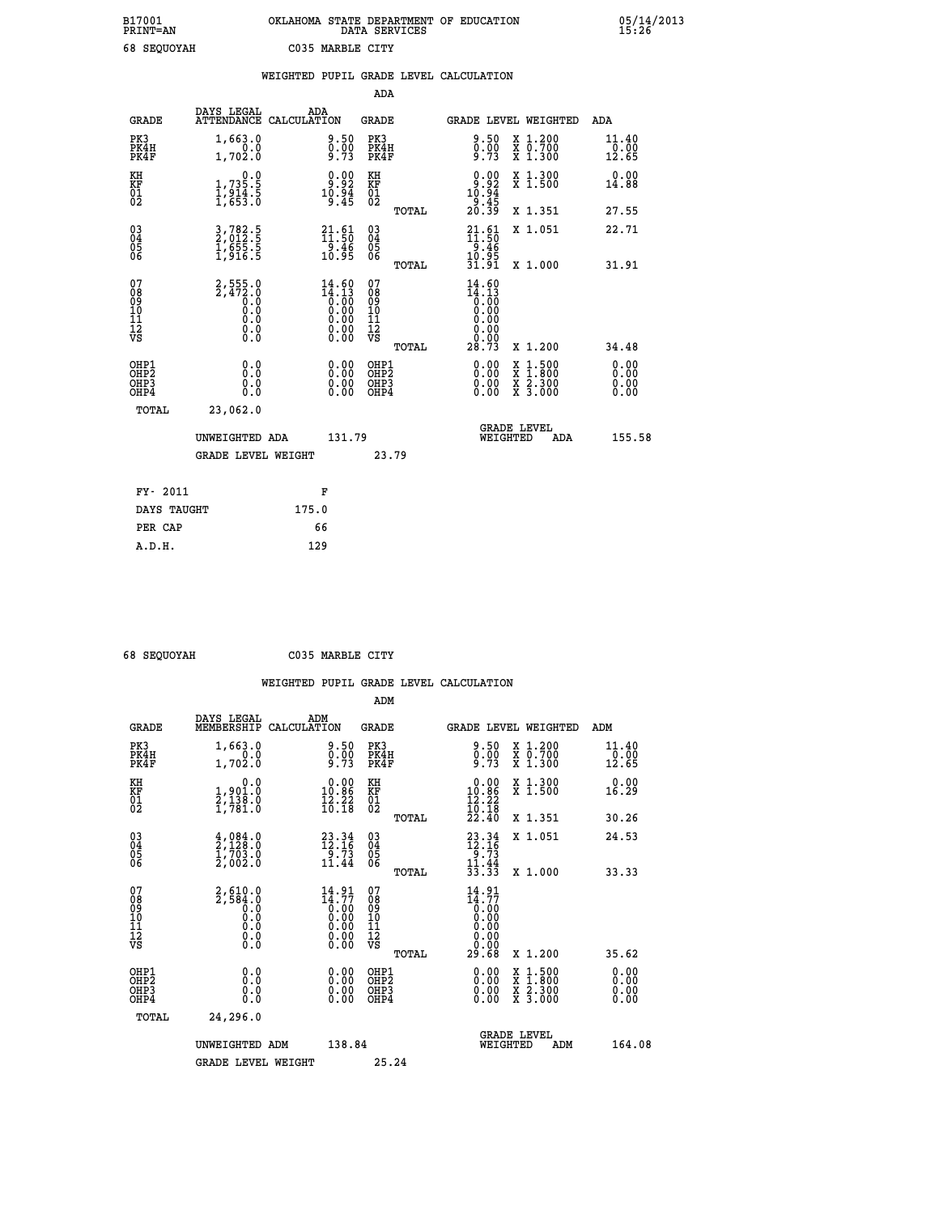## **B17001 OKLAHOMA STATE DEPARTMENT OF EDUCATION 05/14/2013 PRINT=AN DATA SERVICES 15:26 68 SEQUOYAH C035 MARBLE CITY**

|                                                                    |                                                                         | WEIGHTED PUPIL GRADE LEVEL CALCULATION                                                                 |                                                 |                                                                                                                                   |                         |
|--------------------------------------------------------------------|-------------------------------------------------------------------------|--------------------------------------------------------------------------------------------------------|-------------------------------------------------|-----------------------------------------------------------------------------------------------------------------------------------|-------------------------|
|                                                                    |                                                                         |                                                                                                        | <b>ADA</b>                                      |                                                                                                                                   |                         |
| <b>GRADE</b>                                                       | DAYS LEGAL                                                              | ADA<br>ATTENDANCE CALCULATION                                                                          | <b>GRADE</b>                                    | GRADE LEVEL WEIGHTED                                                                                                              | ADA                     |
| PK3<br>PK4H<br>PK4F                                                | 1,663.0<br>1,702.0                                                      | $\begin{smallmatrix} 9.50\ 0.00\ 9.73 \end{smallmatrix}$                                               | PK3<br>PK4H<br>PK4F                             | $\begin{smallmatrix} 9.50\ 0.00\ 9.73 \end{smallmatrix}$<br>X 1.200<br>X 0.700<br>X 1.300                                         | 11.40<br>10:00<br>12:65 |
| KH<br>KF<br>01<br>02                                               | $\begin{smallmatrix}&&&0.0\\1,735.5\\1,914.5\\1,653.0\end{smallmatrix}$ | $\begin{smallmatrix} 0.00\\ 9.92\\ 10.94\\ 9.45 \end{smallmatrix}$                                     | KH<br>KF<br>01<br>02                            | $\begin{smallmatrix} 0.00\\ -9.92\\ 10.94\\ -9.45\\ 20.39\\ \end{smallmatrix}$<br>X 1.300<br>X 1.500                              | 0.00<br>14.88           |
|                                                                    |                                                                         |                                                                                                        | TOTAL                                           | X 1.351                                                                                                                           | 27.55                   |
| $\begin{smallmatrix} 03 \\[-4pt] 04 \end{smallmatrix}$<br>Ŏ5<br>06 | 3,782.5<br>2,012.5<br>1,655.5<br>1,916.5                                | $\begin{smallmatrix} 21.61\ 11.50\ 9.46\ 10.95 \end{smallmatrix}$                                      | $\substack{03 \\ 04}$<br>Ŏ5<br>06               | $21.61$<br>$11.50$<br>$9.46$<br>$10.95$<br>$31.91$<br>X 1.051                                                                     | 22.71                   |
|                                                                    |                                                                         |                                                                                                        | TOTAL                                           | X 1.000                                                                                                                           | 31.91                   |
| 07<br>08901112<br>1112<br>VS                                       | $2,555.0$<br>$2,472.0$<br>$0.0$<br>$0.0$<br>$0.0$<br>$0.0$<br>$0.0$     | $\begin{smallmatrix} 14.60 \\ 14.13 \\ 0.00 \\ 0.00 \\ 0.00 \\ 0.00 \\ 0.00 \\ 0.00 \end{smallmatrix}$ | 07<br>08<br>09<br>11<br>11<br>12<br>VS<br>TOTAL | 14.60<br>14.13<br>0.00<br>28.73<br>X 1.200                                                                                        | 34.48                   |
| OHP1<br>OHP2<br>OHP3<br>OHP4                                       | 0.0<br>0.0<br>0.0                                                       | 0.0000<br>$\begin{smallmatrix} 0.00 \ 0.00 \end{smallmatrix}$                                          | OHP1<br>OHP2<br>OHP3<br>OHP4                    | 0.00<br>1:500<br>$\begin{smallmatrix} x & 1 & 500 \\ x & 1 & 800 \\ x & 2 & 300 \\ x & 3 & 000 \end{smallmatrix}$<br>0.00<br>0.00 | 0.00<br>0.00<br>0.00    |
|                                                                    | <b>TOTAL</b><br>23,062.0                                                |                                                                                                        |                                                 |                                                                                                                                   |                         |
|                                                                    | UNWEIGHTED ADA                                                          | 131.79                                                                                                 |                                                 | <b>GRADE LEVEL</b><br>WEIGHTED<br>ADA                                                                                             | 155.58                  |
|                                                                    | <b>GRADE LEVEL WEIGHT</b>                                               |                                                                                                        | 23.79                                           |                                                                                                                                   |                         |
|                                                                    | FY- 2011                                                                | F                                                                                                      |                                                 |                                                                                                                                   |                         |
|                                                                    | DAYS TAUGHT                                                             | 175.0                                                                                                  |                                                 |                                                                                                                                   |                         |
|                                                                    | PER CAP                                                                 | 66                                                                                                     |                                                 |                                                                                                                                   |                         |

 **A.D.H. 129**

 **ADM**

 **68 SEQUOYAH C035 MARBLE CITY**

| <b>GRADE</b>                                       | DAYS LEGAL<br>MEMBERSHIP                                        | ADM<br>CALCULATION                                                   | <b>GRADE</b>                                       |       |                                                                              | GRADE LEVEL WEIGHTED                     | ADM                        |
|----------------------------------------------------|-----------------------------------------------------------------|----------------------------------------------------------------------|----------------------------------------------------|-------|------------------------------------------------------------------------------|------------------------------------------|----------------------------|
| PK3<br>PK4H<br>PK4F                                | 1,663.0<br>0.0<br>1,702.0                                       | $\begin{smallmatrix} 9.50\ 0.00\ 9.73 \end{smallmatrix}$             | PK3<br>PK4H<br>PK4F                                |       | $\begin{smallmatrix} 9.50\ 0.00\ 9.73 \end{smallmatrix}$                     | X 1.200<br>X 0.700<br>X 1.300            | $11.40$<br>$0.00$<br>12.65 |
| KH<br>KF<br>01<br>02                               | 0.0<br>1,901.0<br>2,138.0<br>1,781.0                            | $\begin{smallmatrix} 0.00\\ 10.86\\ 12.22\\ 16.18 \end{smallmatrix}$ | KH<br>KF<br>01<br>02                               |       | $\begin{smallmatrix} 0.00\\ 10.86\\ 12.22\\ 16.18\\ 22.40 \end{smallmatrix}$ | X 1.300<br>X 1.500                       | 0.00<br>16.29              |
|                                                    |                                                                 |                                                                      |                                                    | TOTAL |                                                                              | X 1.351                                  | 30.26                      |
| $\begin{matrix} 03 \\ 04 \\ 05 \\ 06 \end{matrix}$ | $\frac{4}{2}, \frac{084}{128}.0\\ 1,703.0\\2,002.0$             | $23.34$<br>$12.16$<br>$\begin{array}{r} -5.73 \\ 11.44 \end{array}$  | $\begin{matrix} 03 \\ 04 \\ 05 \\ 06 \end{matrix}$ |       | $23.34$<br>$12.16$<br>$9.73$<br>$11.44$<br>$33.33$                           | X 1.051                                  | 24.53                      |
|                                                    |                                                                 |                                                                      |                                                    | TOTAL |                                                                              | X 1.000                                  | 33.33                      |
| 07<br>08<br>09<br>101<br>11<br>12<br>VS            | $2,584.0$<br>$0.0$<br>$0.0$<br>$0.0$<br>$0.0$<br>$0.0$<br>$0.0$ | $\frac{14.91}{14.77}$<br>0:00<br>0:00<br>0:00<br>0:00<br>0.00        | 07<br>08<br>09<br>11<br>11<br>12<br>VS             | TOTAL | $14.91$<br>$14.77$<br>0.00<br>0.00<br>0.00<br>0.00<br>0.00<br>0.00<br>29.68  | X 1.200                                  | 35.62                      |
| OHP1<br>OHP2<br>OHP3<br>OHP4                       | 0.0<br>0.000                                                    | $0.00$<br>$0.00$<br>0.00                                             | OHP1<br>OHP2<br>OHP3<br>OHP4                       |       |                                                                              | X 1:500<br>X 1:800<br>X 2:300<br>X 3:000 | 0.00<br>0.00<br>0.00       |
| TOTAL                                              | 24,296.0                                                        |                                                                      |                                                    |       |                                                                              |                                          |                            |
|                                                    | UNWEIGHTED                                                      | 138.84<br>ADM                                                        |                                                    |       | WEIGHTED                                                                     | <b>GRADE LEVEL</b><br>ADM                | 164.08                     |
|                                                    | <b>GRADE LEVEL WEIGHT</b>                                       |                                                                      | 25.24                                              |       |                                                                              |                                          |                            |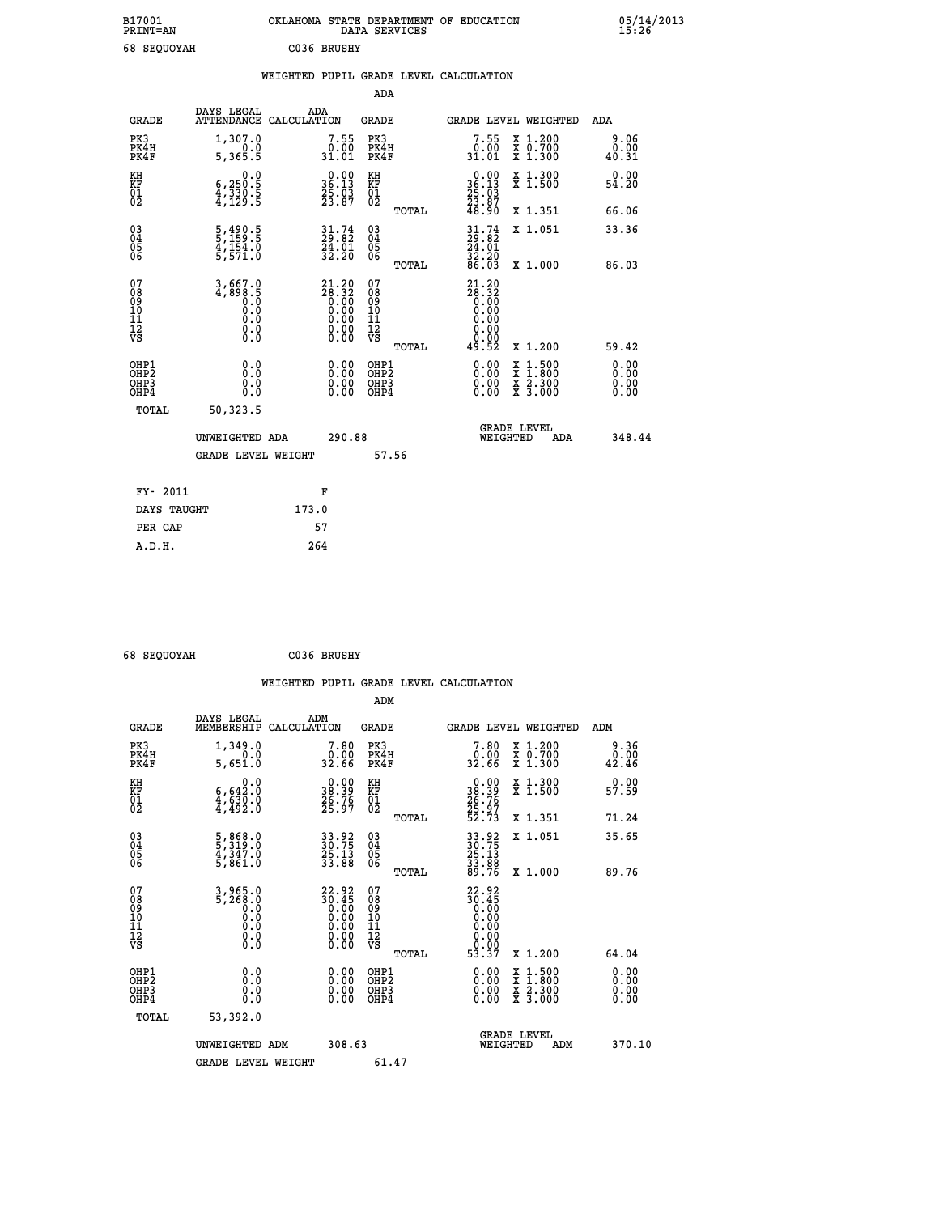| B17001<br><b>PRINT=AN</b> | OKLAHOMA STATE DEPARTMENT OF EDUCATION<br>DATA SERVICES | 05/14/2013<br>15:26 |
|---------------------------|---------------------------------------------------------|---------------------|
| 68<br><b>SEQUOYAH</b>     | C036 BRUSHY                                             |                     |

|  |  | WEIGHTED PUPIL GRADE LEVEL CALCULATION |
|--|--|----------------------------------------|
|  |  |                                        |

|                                                                    |                                                                             |                                                                                         | ADA                                       |       |                                                                                            |                                                                                                  |                              |
|--------------------------------------------------------------------|-----------------------------------------------------------------------------|-----------------------------------------------------------------------------------------|-------------------------------------------|-------|--------------------------------------------------------------------------------------------|--------------------------------------------------------------------------------------------------|------------------------------|
| <b>GRADE</b>                                                       | DAYS LEGAL<br>ATTENDANCE CALCULATION                                        | ADA                                                                                     | <b>GRADE</b>                              |       | GRADE LEVEL WEIGHTED                                                                       |                                                                                                  | ADA                          |
| PK3<br>PK4H<br>PK4F                                                | 1,307.0<br>0.0<br>5,365.5                                                   | $7.55$<br>31.01                                                                         | PK3<br>PK4H<br>PK4F                       |       | 7.55<br>$\begin{array}{c} 0.00 \\ 31.01 \end{array}$                                       | X 1.200<br>X 0.700<br>X 1.300                                                                    | 9.06<br>0.00<br>40.31        |
| KH<br><b>KF</b><br>01<br>02                                        | 0.0<br>$\frac{6}{4}, \frac{250}{330}$ .<br>$\frac{5}{4}, \frac{129}{129}$ . | $\begin{smallmatrix} 0.00\\ 36.13\\ 25.03\\ 23.87 \end{smallmatrix}$                    | KH<br>KF<br>01<br>02                      |       | $\begin{smallmatrix} 0.00\\ 36.13\\ 25.03\\ 23.87\\ 48.90 \end{smallmatrix}$               | X 1.300<br>X 1.500                                                                               | 0.00<br>54.20                |
|                                                                    |                                                                             |                                                                                         |                                           | TOTAL |                                                                                            | X 1.351                                                                                          | 66.06                        |
| $\begin{smallmatrix} 03 \\[-4pt] 04 \end{smallmatrix}$<br>Ŏ5<br>06 | 5,490.5<br>5,159.5<br>4,154.0<br>5,571.0                                    | $\begin{smallmatrix} 31.74\ 29.82\ 24.01\ 32.20 \end{smallmatrix}$                      | $\substack{03 \\ 04}$<br>05<br>06         | TOTAL | $31.74$<br>$29.82$<br>$24.01$<br>$32.20$<br>86.03                                          | X 1.051<br>X 1.000                                                                               | 33.36<br>86.03               |
| 07<br>08<br>09<br>11<br>11<br>12<br>VS                             | $3,667.0$<br>$4,898.5$<br>$0.0$<br>$0.0$<br>$0.0$<br>$0.0$<br>$0.0$         | $21.20\n28.32\n0.00\n0.00\n0.00$<br>$\begin{smallmatrix} 0.00 \ 0.00 \end{smallmatrix}$ | 07<br>08<br>09<br>11<br>11<br>12<br>VS    |       | $21.20\n28.32\n0.00\n0.00$<br>0.00<br>$\begin{array}{c} 0.00 \\ 0.00 \\ 49.52 \end{array}$ |                                                                                                  |                              |
|                                                                    |                                                                             |                                                                                         |                                           | TOTAL |                                                                                            | X 1.200                                                                                          | 59.42                        |
| OHP1<br>OH <sub>P</sub> 2<br>OH <sub>P3</sub><br>OH <sub>P4</sub>  | 0.0<br>0.0<br>0.0                                                           | 0.00<br>$\begin{smallmatrix} 0.00 \ 0.00 \end{smallmatrix}$                             | OHP1<br>OH <sub>P</sub> 2<br>OHP3<br>OHP4 |       | 0.00<br>0.00<br>0.00                                                                       | $\begin{smallmatrix} x & 1 & 500 \\ x & 1 & 800 \\ x & 2 & 300 \\ x & 3 & 000 \end{smallmatrix}$ | 0.00<br>0.00<br>0.00<br>0.00 |
| TOTAL                                                              | 50,323.5                                                                    |                                                                                         |                                           |       |                                                                                            |                                                                                                  |                              |
|                                                                    | UNWEIGHTED ADA                                                              | 290.88                                                                                  |                                           |       |                                                                                            | GRADE LEVEL<br>WEIGHTED<br>ADA                                                                   | 348.44                       |
|                                                                    | <b>GRADE LEVEL WEIGHT</b>                                                   |                                                                                         |                                           | 57.56 |                                                                                            |                                                                                                  |                              |
| FY- 2011                                                           |                                                                             | F                                                                                       |                                           |       |                                                                                            |                                                                                                  |                              |
| DAYS TAUGHT                                                        |                                                                             | 173.0                                                                                   |                                           |       |                                                                                            |                                                                                                  |                              |
| PER CAP                                                            |                                                                             | 57                                                                                      |                                           |       |                                                                                            |                                                                                                  |                              |

 **68 SEQUOYAH C036 BRUSHY**

 **A.D.H. 264**

| <b>GRADE</b>                                 | DAYS LEGAL<br>MEMBERSHIP                                | ADM<br>CALCULATION                                                   | <b>GRADE</b>                                       |       |                                                                                           | GRADE LEVEL WEIGHTED                                                                                                | ADM                                                                                 |
|----------------------------------------------|---------------------------------------------------------|----------------------------------------------------------------------|----------------------------------------------------|-------|-------------------------------------------------------------------------------------------|---------------------------------------------------------------------------------------------------------------------|-------------------------------------------------------------------------------------|
| PK3<br>PK4H<br>PK4F                          | 1,349.0<br>5,651.0                                      | $\begin{smallmatrix}7.80\0.00\\32.66\end{smallmatrix}$               | PK3<br>PK4H<br>PK4F                                |       | $\begin{smallmatrix}7.80\0.00\\32.66\end{smallmatrix}$                                    | X 1.200<br>X 0.700<br>X 1.300                                                                                       | 9.36<br>$\overset{\textcolor{red}{\textbf{0.00}}}{\textcolor{red}{\textbf{42.46}}}$ |
| KH<br>KF<br>01<br>02                         | 0.0<br>$\frac{6,642.0}{4,630.0}$<br>4,492.0             | $\begin{smallmatrix} 0.00\\ 38.39\\ 26.76\\ 25.97 \end{smallmatrix}$ | KH<br>KF<br>$\overline{01}$                        |       | $\begin{smallmatrix} 0.00\\ 38.39\\ 26.76\\ 25.97\\ 52.73 \end{smallmatrix}$              | X 1.300<br>X 1.500                                                                                                  | 0.00<br>57.59                                                                       |
|                                              |                                                         |                                                                      |                                                    | TOTAL |                                                                                           | X 1.351                                                                                                             | 71.24                                                                               |
| 03<br>04<br>05<br>06                         | 5,868.0<br>5,319.0<br>4,347.0<br>5,861.0                | 33.92<br>30.75<br>25.13<br>33.88                                     | $\begin{matrix} 03 \\ 04 \\ 05 \\ 06 \end{matrix}$ |       | 33.92<br>30.75<br>25.13<br>33.88<br>89.76                                                 | X 1.051                                                                                                             | 35.65                                                                               |
|                                              |                                                         |                                                                      |                                                    | TOTAL |                                                                                           | X 1.000                                                                                                             | 89.76                                                                               |
| 07<br>08<br>09<br>101<br>11<br>12<br>VS      | $3,965.0$<br>5,268.0<br>0.0<br>0.0<br>0.0<br>0.0<br>0.0 | $22.9230.450.000.000.000.000.000.00$                                 | 07<br>08<br>09<br>01<br>11<br>11<br>12<br>VS       | TOTAL | $22.92$<br>$30.45$<br>$0.00$<br>$0.00$<br>$0.00$<br>$0.00$<br>$0.00$<br>$0.00$<br>$53.37$ | X 1.200                                                                                                             | 64.04                                                                               |
| OHP1                                         |                                                         |                                                                      |                                                    |       |                                                                                           |                                                                                                                     |                                                                                     |
| OHP <sub>2</sub><br>OH <sub>P3</sub><br>OHP4 | 0.0<br>0.000                                            |                                                                      | OHP1<br>OHP2<br>OHP3<br>OHP4                       |       | 0.00<br>0.00                                                                              | $\begin{array}{l} \mathtt{X} & 1.500 \\ \mathtt{X} & 1.800 \\ \mathtt{X} & 2.300 \\ \mathtt{X} & 3.000 \end{array}$ | 0.00<br>0.00<br>0.00                                                                |
| TOTAL                                        | 53,392.0                                                |                                                                      |                                                    |       |                                                                                           |                                                                                                                     |                                                                                     |
|                                              | UNWEIGHTED                                              | 308.63<br>ADM                                                        |                                                    |       | WEIGHTED                                                                                  | <b>GRADE LEVEL</b><br>ADM                                                                                           | 370.10                                                                              |
|                                              | <b>GRADE LEVEL WEIGHT</b>                               |                                                                      | 61.47                                              |       |                                                                                           |                                                                                                                     |                                                                                     |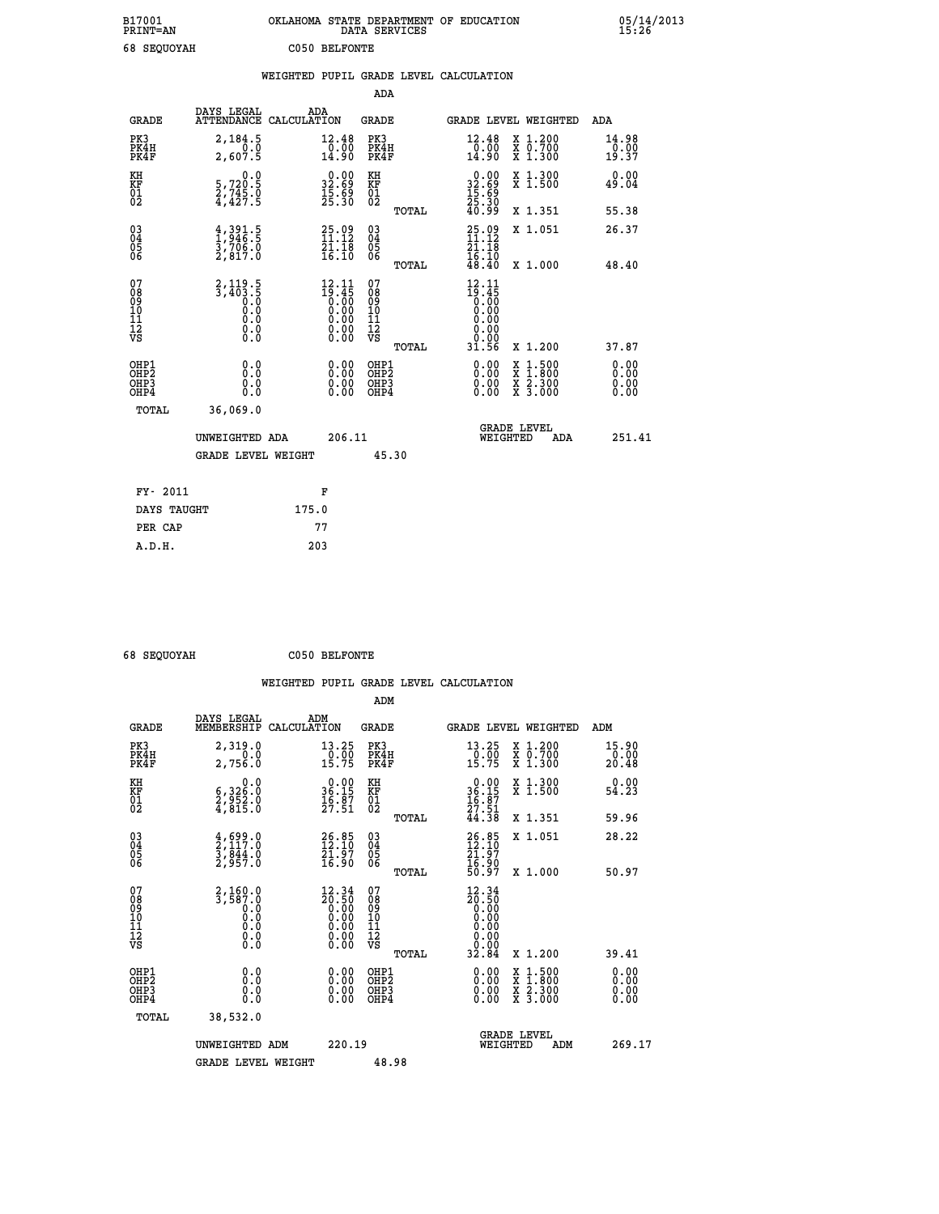| B17001<br>PRINT=AN | OKLAHOMA STATE DEPARTMENT OF EDUCATION<br>DATA SERVICES | 05/14/2013<br>15:26 |
|--------------------|---------------------------------------------------------|---------------------|
| 68 SEQUOYAH        | C050 BELFONTE                                           |                     |

|                                                                    |                                                                         | WEIGHTED PUPIL GRADE LEVEL CALCULATION                                                             |                                                 |                                                                              |                               |                               |
|--------------------------------------------------------------------|-------------------------------------------------------------------------|----------------------------------------------------------------------------------------------------|-------------------------------------------------|------------------------------------------------------------------------------|-------------------------------|-------------------------------|
|                                                                    |                                                                         |                                                                                                    | ADA                                             |                                                                              |                               |                               |
| <b>GRADE</b>                                                       | DAYS LEGAL<br>ATTENDANCE                                                | ADA<br>CALCULATION                                                                                 | <b>GRADE</b>                                    | GRADE LEVEL WEIGHTED                                                         |                               | ADA                           |
| PK3<br>PK4H<br>PK4F                                                | 2,184.5<br>0.0<br>2,607.5                                               | 12.48<br>$\frac{1}{14}$ .00                                                                        | PK3<br>PK4H<br>PK4F                             | 12.48<br>$\frac{75.00}{14.90}$                                               | X 1.200<br>X 0.700<br>X 1.300 | 14.98<br>$\frac{0.00}{19.37}$ |
| KH<br>KF<br>01<br>02                                               | $\begin{smallmatrix}&&&0.0\\5,720.5\\2,745.0\\4,427.5\end{smallmatrix}$ | $\begin{smallmatrix} 0.00\\ 32.69\\ 15.69\\ 25.30 \end{smallmatrix}$                               | KH<br>KF<br>01<br>02                            | $\begin{smallmatrix} 0.00\\ 32.69\\ 15.69\\ 25.30\\ 40.99 \end{smallmatrix}$ | X 1.300<br>X 1.500            | 0.00<br>49.04                 |
|                                                                    |                                                                         |                                                                                                    | TOTAL                                           |                                                                              | X 1.351                       | 55.38                         |
| $\begin{smallmatrix} 03 \\[-4pt] 04 \end{smallmatrix}$<br>Ŏ5<br>ŎĞ | $\frac{4}{1}$ , $\frac{391}{96}$ ; 5<br>$\frac{3}{2}, \frac{7}{817}.0$  | $25.09$<br>$11.12$<br>$\frac{21.18}{16.10}$                                                        | $\substack{03 \\ 04}$<br>05<br>06               | $25.09$<br>$11.12$<br>$\frac{21.18}{16.10}$<br>$48.40$                       | X 1.051                       | 26.37                         |
|                                                                    |                                                                         |                                                                                                    | TOTAL                                           |                                                                              | X 1.000                       | 48.40                         |
| 07<br>08<br>09<br>101<br>112<br>VS                                 | $2, 119.5$<br>$3, 403.5$<br>$0.0$<br>$0.0$<br>0.0<br>$\S.$ $\S$         | $12.11$<br>$19.45$<br>0.00<br>0.00<br>0.00<br>$\begin{smallmatrix} 0.00 \\ 0.00 \end{smallmatrix}$ | 07<br>08<br>09<br>11<br>11<br>12<br>VS<br>TOTAL | $12.11$<br>$19.45$<br>$0.00$<br>$0.00$<br>0.00<br>0.00<br>31.56              | X 1.200                       | 37.87                         |
| OHP1<br>OHP2<br>OHP3<br>OHP4                                       | 0.0<br>$0.\overline{0}$<br>Ō.Ō                                          | 0.00<br>$\begin{smallmatrix} 0.00 \ 0.00 \end{smallmatrix}$                                        | OHP1<br>OHP2<br>OHP3<br>OHP4                    | 0.00<br>0.00<br>0.00                                                         | X 1:500<br>X 2.300<br>X 3.000 | 0.00<br>Ō.ŎŎ<br>0.00<br>0.00  |
| <b>TOTAL</b>                                                       | 36,069.0                                                                |                                                                                                    |                                                 |                                                                              |                               |                               |
|                                                                    | UNWEIGHTED ADA                                                          | 206.11                                                                                             |                                                 | <b>GRADE LEVEL</b><br>WEIGHTED                                               | ADA                           | 251.41                        |
|                                                                    | <b>GRADE LEVEL WEIGHT</b>                                               |                                                                                                    | 45.30                                           |                                                                              |                               |                               |
| FY- 2011                                                           |                                                                         | F                                                                                                  |                                                 |                                                                              |                               |                               |
| DAYS TAUGHT                                                        |                                                                         | 175.0                                                                                              |                                                 |                                                                              |                               |                               |
| PER CAP                                                            |                                                                         | 77                                                                                                 |                                                 |                                                                              |                               |                               |

 **A.D.H. 203**

 **ADM**

 **68 SEQUOYAH C050 BELFONTE**

| <b>GRADE</b>                                          | DAYS LEGAL<br>MEMBERSHIP                                                               | ADM<br>CALCULATION                                                                                     | <b>GRADE</b>                                  |       |                                                                  | GRADE LEVEL WEIGHTED                                                                             | ADM                          |
|-------------------------------------------------------|----------------------------------------------------------------------------------------|--------------------------------------------------------------------------------------------------------|-----------------------------------------------|-------|------------------------------------------------------------------|--------------------------------------------------------------------------------------------------|------------------------------|
| PK3<br>PK4H<br>PK4F                                   | 2,319.0<br>0.0<br>2,756.0                                                              | 13.25<br>$\frac{0.00}{15.75}$                                                                          | PK3<br>PK4H<br>PK4F                           |       | 13.25<br>0.00<br>15.75                                           | X 1.200<br>X 0.700<br>X 1.300                                                                    | 15.90<br>0.00<br>20.48       |
| KH<br>KF<br>01<br>02                                  | 0.0<br>$\frac{6}{2}, \frac{3}{9} \frac{5}{5} \frac{2}{2} \cdot \frac{0}{0}$<br>4,815.0 | $36.15$<br>$36.15$<br>$16.87$<br>$27.51$                                                               | KH<br>KF<br>01<br>02                          |       | 0.00<br>36:15<br>16:87<br>27:51                                  | X 1.300<br>X 1.500                                                                               | 0.00<br>54.23                |
|                                                       |                                                                                        |                                                                                                        |                                               | TOTAL | 44.38                                                            | X 1.351                                                                                          | 59.96                        |
| $\begin{matrix} 03 \\ 04 \\ 05 \\ 06 \end{matrix}$    | $\frac{4}{2}, \frac{699}{117}$ .0<br>3,844.0<br>2,957.0                                | $26.85$<br>$12.10$<br>$\frac{\bar{2}\bar{1} \cdot \bar{9} \tilde{7}}{16.90}$                           | 030404<br>06                                  |       | $26.85$<br>$12.10$<br>$21.97$<br>$16.90$<br>$50.97$              | X 1.051                                                                                          | 28.22                        |
|                                                       |                                                                                        |                                                                                                        |                                               | TOTAL |                                                                  | X 1.000                                                                                          | 50.97                        |
| 07<br>08<br>09<br>101<br>11<br>12<br>VS               | 2,160.0<br>3,587.0<br>0.0<br>0.0<br>Ō.Ō<br>$\S.$ $\S$                                  | $\begin{smallmatrix} 12.34 \\ 20.50 \\ 0.00 \\ 0.00 \\ 0.00 \\ 0.00 \\ 0.00 \\ 0.00 \end{smallmatrix}$ | 07<br>08<br>09<br>001<br>11<br>11<br>12<br>VS |       | $\begin{smallmatrix} 12.34\ 20.50\ 0.00\ 0.00 \end{smallmatrix}$ |                                                                                                  |                              |
|                                                       |                                                                                        |                                                                                                        |                                               | TOTAL |                                                                  | X 1.200                                                                                          | 39.41                        |
| OHP1<br>OH <sub>P</sub> 2<br>OH <sub>P3</sub><br>OHP4 | 0.0<br>0.0<br>Ō.Ō                                                                      | 0.00<br>0.00<br>0.00                                                                                   | OHP1<br>OHP <sub>2</sub><br>OHP3<br>OHP4      |       | 0.00<br>0.00<br>0.00                                             | $\begin{smallmatrix} x & 1 & 500 \\ x & 1 & 800 \\ x & 2 & 300 \\ x & 3 & 000 \end{smallmatrix}$ | 0.00<br>0.00<br>0.00<br>0.00 |
| TOTAL                                                 | 38,532.0                                                                               |                                                                                                        |                                               |       |                                                                  |                                                                                                  |                              |
|                                                       | UNWEIGHTED                                                                             | 220.19<br>ADM                                                                                          |                                               |       | WEIGHTED                                                         | <b>GRADE LEVEL</b><br>ADM                                                                        | 269.17                       |
|                                                       | <b>GRADE LEVEL WEIGHT</b>                                                              |                                                                                                        | 48.98                                         |       |                                                                  |                                                                                                  |                              |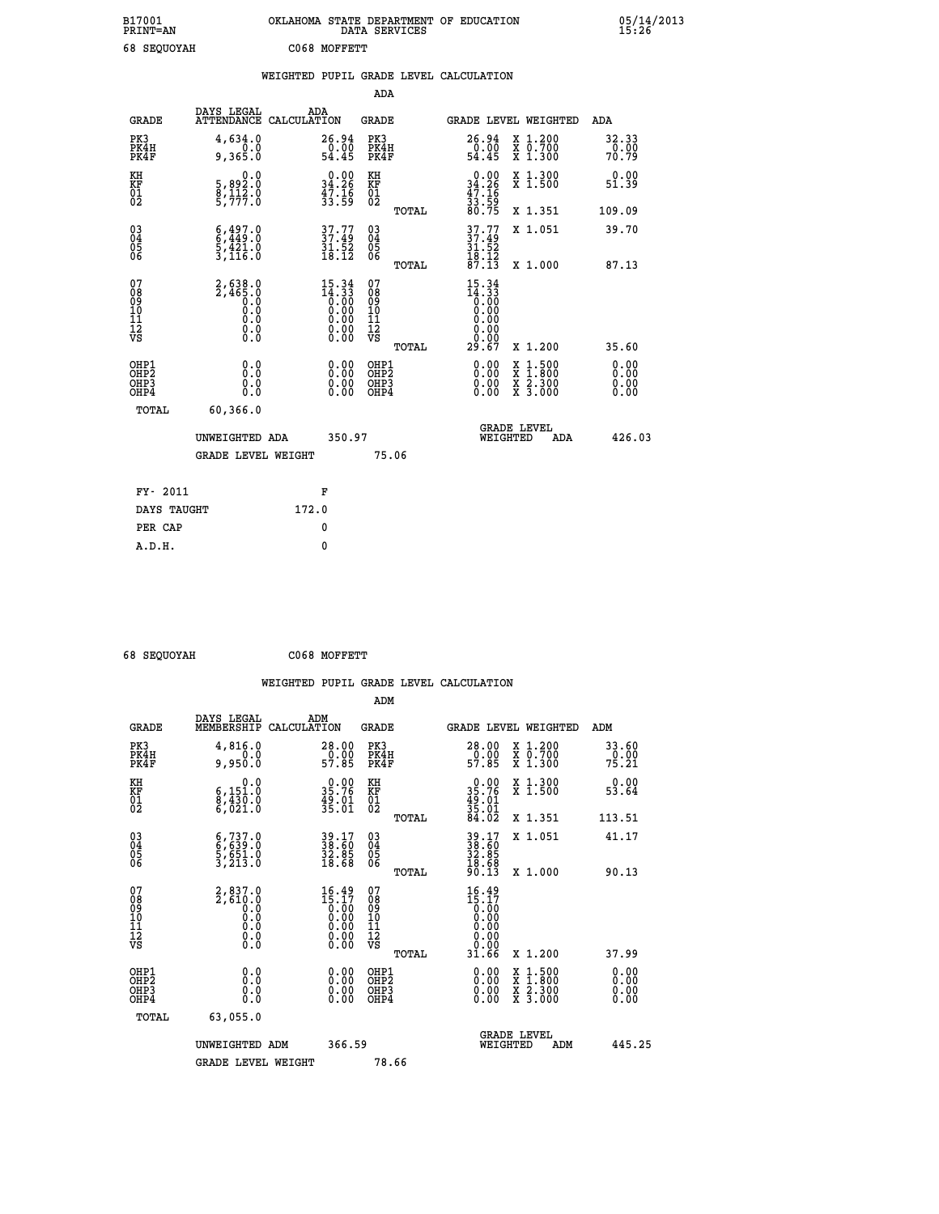| B17001<br><b>PRINT=AN</b> | OKLAHOMA STATE DEPARTMENT OF EDUCATION<br>DATA SERVICES | 05/14/2013<br>15:26 |
|---------------------------|---------------------------------------------------------|---------------------|
| 68 SEOUOYAH               | C068 MOFFETT                                            |                     |

|                                              |                                                                                          |       |                                                                                                                                                                                                                                                                                                                                                |                                                      |       | WEIGHTED PUPIL GRADE LEVEL CALCULATION        |                                                                                                                                           |                              |
|----------------------------------------------|------------------------------------------------------------------------------------------|-------|------------------------------------------------------------------------------------------------------------------------------------------------------------------------------------------------------------------------------------------------------------------------------------------------------------------------------------------------|------------------------------------------------------|-------|-----------------------------------------------|-------------------------------------------------------------------------------------------------------------------------------------------|------------------------------|
|                                              |                                                                                          |       |                                                                                                                                                                                                                                                                                                                                                | <b>ADA</b>                                           |       |                                               |                                                                                                                                           |                              |
| <b>GRADE</b>                                 | DAYS LEGAL<br>ATTENDANCE CALCULATION                                                     |       | ADA                                                                                                                                                                                                                                                                                                                                            | GRADE                                                |       |                                               | GRADE LEVEL WEIGHTED                                                                                                                      | ADA                          |
| PK3<br>PK4H<br>PK4F                          | 4,634.0<br>9,365.0                                                                       |       | 26.94<br>$\frac{0.00}{54.45}$                                                                                                                                                                                                                                                                                                                  | PK3<br>PK4H<br>PK4F                                  |       | $26.94\n0.00\n54.45$                          | X 1.200<br>X 0.700<br>X 1.300                                                                                                             | 32.33<br>0.00<br>70.79       |
| KH<br>KF<br>01<br>02                         | 0.0<br>5,892:0<br>8,112:0<br>5,777:0                                                     |       | $\begin{smallmatrix} 0.00\\ 34.26\\ 47.16\\ 33.59 \end{smallmatrix}$                                                                                                                                                                                                                                                                           | KH<br>KF<br>01<br>02                                 |       | $0.00\n34.26\n47.16\n33.59\n80.75$            | X 1.300<br>X 1.500                                                                                                                        | 0.00<br>51.39                |
|                                              |                                                                                          |       |                                                                                                                                                                                                                                                                                                                                                |                                                      | TOTAL |                                               | X 1.351                                                                                                                                   | 109.09                       |
| 03<br>04<br>05<br>06                         | $6,497.0$<br>$5,449.0$<br>$5,421.0$<br>$3,116.0$                                         |       | $37.77$<br>$37.49$<br>$31.52$<br>$18.12$                                                                                                                                                                                                                                                                                                       | 03<br>04<br>05<br>06                                 |       | $37.77$<br>$37.49$<br>$31.52$<br>18.12        | X 1.051                                                                                                                                   | 39.70                        |
|                                              |                                                                                          |       |                                                                                                                                                                                                                                                                                                                                                |                                                      | TOTAL | 87.13                                         | X 1.000                                                                                                                                   | 87.13                        |
| 07<br>08<br>09<br>01<br>11<br>11<br>12<br>VS | 2,638.0<br>2,465.0<br>$\begin{smallmatrix} 0.0 & 0 \ 0.0 & 0 \end{smallmatrix}$<br>$\S.$ |       | $\begin{smallmatrix} 15 & 34 \\ 14 & 33 \\ 0 & 00 \\ 0 & 00 \\ 0 & 00 \\ 0 & 00 \\ 0 & 00 \\ 0 & 00 \\ 0 & 00 \\ 0 & 00 \\ 0 & 00 \\ 0 & 00 \\ 0 & 0 \\ 0 & 0 \\ 0 & 0 \\ 0 & 0 \\ 0 & 0 \\ 0 & 0 \\ 0 & 0 \\ 0 & 0 \\ 0 & 0 \\ 0 & 0 \\ 0 & 0 \\ 0 & 0 \\ 0 & 0 \\ 0 & 0 \\ 0 & 0 \\ 0 & 0 \\ 0 & 0 \\ 0 & 0 \\ 0 & 0 \\ 0 & 0 \\ 0 & 0 \\ 0$ | 07<br>08<br>09<br>11<br>11<br>12<br>VS               |       | 15.34<br>$\frac{14.33}{0.00}$<br>0.00<br>0.00 |                                                                                                                                           |                              |
|                                              |                                                                                          |       |                                                                                                                                                                                                                                                                                                                                                |                                                      | TOTAL | 29.67                                         | X 1.200                                                                                                                                   | 35.60                        |
| OHP1<br>OH <sub>P</sub> 2<br>OHP3<br>OHP4    | 0.0<br>0.0<br>0.0                                                                        |       | 0.00<br>0.00<br>0.00                                                                                                                                                                                                                                                                                                                           | OHP1<br>OH <sub>P</sub> <sub>2</sub><br>OHP3<br>OHP4 |       | 0.00<br>0.00<br>0.00                          | $\begin{smallmatrix} \mathtt{X} & 1\cdot500\\ \mathtt{X} & 1\cdot800\\ \mathtt{X} & 2\cdot300\\ \mathtt{X} & 3\cdot000 \end{smallmatrix}$ | 0.00<br>0.00<br>0.00<br>0.00 |
| TOTAL                                        | 60,366.0                                                                                 |       |                                                                                                                                                                                                                                                                                                                                                |                                                      |       |                                               |                                                                                                                                           |                              |
|                                              | UNWEIGHTED ADA                                                                           |       | 350.97                                                                                                                                                                                                                                                                                                                                         |                                                      |       | WEIGHTED                                      | <b>GRADE LEVEL</b><br>ADA                                                                                                                 | 426.03                       |
|                                              | <b>GRADE LEVEL WEIGHT</b>                                                                |       |                                                                                                                                                                                                                                                                                                                                                |                                                      | 75.06 |                                               |                                                                                                                                           |                              |
| FY- 2011                                     |                                                                                          |       | F                                                                                                                                                                                                                                                                                                                                              |                                                      |       |                                               |                                                                                                                                           |                              |
| DAYS TAUGHT                                  |                                                                                          | 172.0 |                                                                                                                                                                                                                                                                                                                                                |                                                      |       |                                               |                                                                                                                                           |                              |
| PER CAP                                      |                                                                                          |       | 0                                                                                                                                                                                                                                                                                                                                              |                                                      |       |                                               |                                                                                                                                           |                              |
| A.D.H.                                       |                                                                                          |       | $\mathbf{0}$                                                                                                                                                                                                                                                                                                                                   |                                                      |       |                                               |                                                                                                                                           |                              |

 **68 SEQUOYAH C068 MOFFETT**

 **A.D.H. 0**

|                                                    |                                                                     |                                                                                   | ADM                                                 |       |                                                                                                                                                                                                                                                                                |                                          |                         |
|----------------------------------------------------|---------------------------------------------------------------------|-----------------------------------------------------------------------------------|-----------------------------------------------------|-------|--------------------------------------------------------------------------------------------------------------------------------------------------------------------------------------------------------------------------------------------------------------------------------|------------------------------------------|-------------------------|
| <b>GRADE</b>                                       | DAYS LEGAL<br>MEMBERSHIP                                            | ADM<br>CALCULATION                                                                | <b>GRADE</b>                                        |       |                                                                                                                                                                                                                                                                                | GRADE LEVEL WEIGHTED                     | ADM                     |
| PK3<br>PK4H<br>PK4F                                | 4,816.0<br>0.0<br>9,950.0                                           | 28.00<br>$\frac{0.00}{57.85}$                                                     | PK3<br>PK4H<br>PK4F                                 |       | $\begin{smallmatrix} 28.00\\ 0.00\\ 57.85 \end{smallmatrix}$                                                                                                                                                                                                                   | X 1.200<br>X 0.700<br>X 1.300            | 33.60<br>-ŏ:ŏŏ<br>75.21 |
| KH<br>KF<br>01<br>02                               | 0.0<br>6,151.0<br>8,430.0<br>6,021.0                                | $0.00$<br>35.76<br>$\frac{49.01}{35.01}$                                          | KH<br>KF<br>01<br>02                                |       | $0.0035.7649.0135.0184.02$                                                                                                                                                                                                                                                     | X 1.300<br>X 1.500                       | 0.00<br>53.64           |
|                                                    |                                                                     |                                                                                   |                                                     | TOTAL |                                                                                                                                                                                                                                                                                | X 1.351                                  | 113.51                  |
| $\begin{matrix} 03 \\ 04 \\ 05 \\ 06 \end{matrix}$ | $6, 737.0$<br>$5, 639.0$<br>$5, 651.0$<br>$3, 213.0$                | 39.17<br>38.60<br>32.85<br>18.68                                                  | $\begin{array}{c} 03 \\ 04 \\ 05 \\ 06 \end{array}$ |       | 38.47<br>38.60<br>32.85<br>18.68<br>90.13                                                                                                                                                                                                                                      | X 1.051                                  | 41.17                   |
|                                                    |                                                                     |                                                                                   |                                                     | TOTAL |                                                                                                                                                                                                                                                                                | X 1.000                                  | 90.13                   |
| 07<br>08<br>09<br>01<br>11<br>11<br>12<br>VS       | $2,837.0$<br>$2,610.0$<br>$0.0$<br>$0.0$<br>$0.0$<br>$0.0$<br>$0.0$ | $\begin{smallmatrix} 16.49\\15.17\\0.00\\0.00\\0.00\\0.00\\0.00\end{smallmatrix}$ | 07<br>08<br>09<br>001<br>11<br>11<br>12<br>VS       | TOTAL | $16.49$<br>$15.17$<br>$0.00$<br>$0.00$<br>$0.00$<br>0.00<br>31.66                                                                                                                                                                                                              | X 1.200                                  | 37.99                   |
| OHP1<br>OHP2<br>OH <sub>P3</sub><br>OHP4           | 0.0<br>0.000                                                        | $\begin{smallmatrix} 0.00 \ 0.00 \ 0.00 \ 0.00 \end{smallmatrix}$                 | OHP1<br>OHP2<br>OHP3<br>OHP4                        |       | $\begin{smallmatrix} 0.00 & 0.00 & 0.00 & 0.00 & 0.00 & 0.00 & 0.00 & 0.00 & 0.00 & 0.00 & 0.00 & 0.00 & 0.00 & 0.00 & 0.00 & 0.00 & 0.00 & 0.00 & 0.00 & 0.00 & 0.00 & 0.00 & 0.00 & 0.00 & 0.00 & 0.00 & 0.00 & 0.00 & 0.00 & 0.00 & 0.00 & 0.00 & 0.00 & 0.00 & 0.00 & 0.0$ | X 1:500<br>X 1:800<br>X 2:300<br>X 3:000 | 0.00<br>0.00<br>0.00    |
| TOTAL                                              | 63,055.0                                                            |                                                                                   |                                                     |       |                                                                                                                                                                                                                                                                                |                                          |                         |
|                                                    | UNWEIGHTED ADM                                                      |                                                                                   | 366.59                                              |       | WEIGHTED                                                                                                                                                                                                                                                                       | <b>GRADE LEVEL</b><br>ADM                | 445.25                  |
|                                                    | <b>GRADE LEVEL WEIGHT</b>                                           |                                                                                   | 78.66                                               |       |                                                                                                                                                                                                                                                                                |                                          |                         |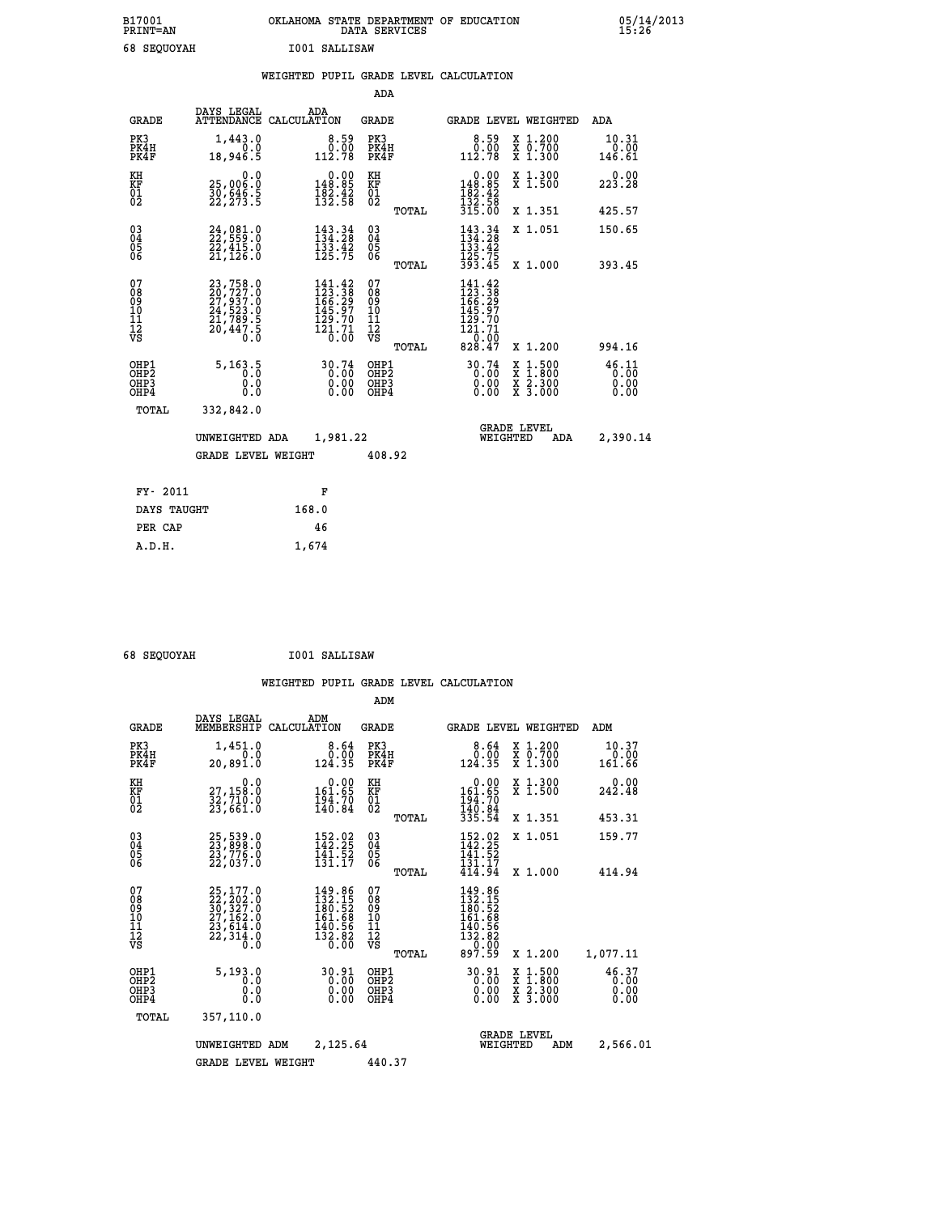| B17001<br><b>PRINT=AN</b> | OKLAHOMA STATE DEPARTMENT OF EDUCATION<br>DATA SERVICES | 05/14/2013<br>15:26 |
|---------------------------|---------------------------------------------------------|---------------------|
| 68 SEQUOYAH               | I001 SALLISAW                                           |                     |

|                                                                    |                                                                                                                                                         |                                                                                   | ADA                                       |       |                                                                             |                                                                                                  |                               |
|--------------------------------------------------------------------|---------------------------------------------------------------------------------------------------------------------------------------------------------|-----------------------------------------------------------------------------------|-------------------------------------------|-------|-----------------------------------------------------------------------------|--------------------------------------------------------------------------------------------------|-------------------------------|
| <b>GRADE</b>                                                       | DAYS LEGAL                                                                                                                                              | ADA<br>ATTENDANCE CALCULATION                                                     | <b>GRADE</b>                              |       |                                                                             | GRADE LEVEL WEIGHTED                                                                             | ADA                           |
| PK3<br>PK4H<br>PK4F                                                | 1,443.0<br>0.0<br>18,946.5                                                                                                                              | $\begin{smallmatrix}8.59\0.00\\112.78\end{smallmatrix}$                           | PK3<br>PK4H<br>PK4F                       |       | $\begin{smallmatrix}8.59\0.00\\112.78\end{smallmatrix}$                     | X 1.200<br>X 0.700<br>X 1.300                                                                    | 10.31<br>0.00<br>146.61       |
| KH<br><b>KF</b><br>01<br>02                                        | 0.0<br>25,006:0<br>30,646:5<br>22,273:5                                                                                                                 | $0.00$<br>148.85<br>$\frac{182.42}{132.58}$                                       | KH<br>KF<br>01<br>02                      |       | 0.00<br>148:85<br>182:42<br>132:58<br>315:00                                | X 1.300<br>X 1.500                                                                               | 0.00<br>223.28                |
|                                                                    |                                                                                                                                                         |                                                                                   |                                           | TOTAL |                                                                             | X 1.351                                                                                          | 425.57                        |
| $\begin{smallmatrix} 03 \\[-4pt] 04 \end{smallmatrix}$<br>05<br>06 | $24,981.0$<br>$22,559.0$<br>22,415.0<br>21,126.0                                                                                                        | $\begin{array}{l} 143\cdot 34\\134\cdot 28\\133\cdot 42\\125\cdot 75 \end{array}$ | $\substack{03 \\ 04}$<br>05<br>06         |       | $143.34134.28133.42125.75393.45$                                            | X 1.051                                                                                          | 150.65                        |
|                                                                    |                                                                                                                                                         |                                                                                   |                                           | TOTAL |                                                                             | X 1.000                                                                                          | 393.45                        |
| 07<br>08<br>09<br>11<br>11<br>12<br>VS                             | $\begin{smallmatrix} 23\,,758\,.\,0\\ 20\,,727\,. \,0\\ 27\,,937\,. \,0\\ 24\,,523\,. \,0\\ 21\,,789\,. \,5\\ 20\,,447\,. \,5\\ 0\,. \end{smallmatrix}$ | 141.42<br>$123.38$<br>$166.29$<br>$145.97$<br>$129.70$<br>$121.71$<br>$0.00$      | 07<br>08<br>09<br>11<br>11<br>12<br>VS    |       | 141.42<br>$123.38$<br>$166.29$<br>$145.97$<br>$129.70$<br>$12.71$<br>$0.09$ |                                                                                                  |                               |
|                                                                    |                                                                                                                                                         |                                                                                   |                                           | TOTAL | 828.47                                                                      | X 1.200                                                                                          | 994.16                        |
| OHP1<br>OH <sub>P2</sub><br>OH <sub>P3</sub><br>OH <sub>P4</sub>   | 5, 163.5<br>0.0<br>0.0                                                                                                                                  | 30.74<br>0.00<br>0.00<br>0.00                                                     | OHP1<br>OH <sub>P</sub> 2<br>OHP3<br>OHP4 |       | 30.74<br>0.00<br>0.00<br>0.00                                               | $\begin{smallmatrix} x & 1 & 500 \\ x & 1 & 800 \\ x & 2 & 300 \\ x & 3 & 000 \end{smallmatrix}$ | 46.11<br>0.00<br>0.00<br>0.00 |
| TOTAL                                                              | 332,842.0                                                                                                                                               |                                                                                   |                                           |       |                                                                             |                                                                                                  |                               |
|                                                                    | UNWEIGHTED ADA                                                                                                                                          | 1,981.22                                                                          |                                           |       |                                                                             | <b>GRADE LEVEL</b><br>WEIGHTED<br>ADA                                                            | 2,390.14                      |
|                                                                    | <b>GRADE LEVEL WEIGHT</b>                                                                                                                               |                                                                                   | 408.92                                    |       |                                                                             |                                                                                                  |                               |
| FY- 2011                                                           |                                                                                                                                                         | F                                                                                 |                                           |       |                                                                             |                                                                                                  |                               |
| DAYS TAUGHT                                                        |                                                                                                                                                         | 168.0                                                                             |                                           |       |                                                                             |                                                                                                  |                               |
| PER CAP                                                            |                                                                                                                                                         | 46                                                                                |                                           |       |                                                                             |                                                                                                  |                               |

 **68 SEQUOYAH I001 SALLISAW**

 **A.D.H. 1,674**

|                                                       |                                                                             |                                                                         | ADM                                                |                                                                                   |                                          |                               |
|-------------------------------------------------------|-----------------------------------------------------------------------------|-------------------------------------------------------------------------|----------------------------------------------------|-----------------------------------------------------------------------------------|------------------------------------------|-------------------------------|
| <b>GRADE</b>                                          | DAYS LEGAL<br>MEMBERSHIP                                                    | ADM<br>CALCULATION                                                      | <b>GRADE</b>                                       | GRADE LEVEL WEIGHTED                                                              |                                          | ADM                           |
| PK3<br>PK4H<br>PK4F                                   | 1,451.0<br>0.0<br>20,891.0                                                  | 8.64<br>0.00<br>124.35                                                  | PK3<br>PK4H<br>PK4F                                | 8.64<br>0.00<br>124.35                                                            | X 1.200<br>X 0.700<br>X 1.300            | 10.37<br>0.00<br>161.66       |
| KH<br>KF<br>01<br>02                                  | 0.0<br>27,158.0<br>32,710.0<br>23,661.0                                     | $\begin{smallmatrix} &0.00\\ 161.65\\ 194.70\\ 140.84\end{smallmatrix}$ | KH<br>KF<br>01<br>02                               | 0.00<br>161.65<br>194.70<br>140.84<br>335.54                                      | X 1.300<br>X 1.500                       | 0.00<br>242.48                |
|                                                       |                                                                             |                                                                         | TOTAL                                              |                                                                                   | X 1.351                                  | 453.31                        |
| 03<br>04<br>05<br>06                                  | 25,539.0<br>23,898.0<br>23,776.0<br>22,037.0                                | 152.02<br>$\frac{1}{4}$ $\frac{1}{3}$ $\frac{1}{1}$ $\frac{5}{2}$       | $\begin{matrix} 03 \\ 04 \\ 05 \\ 06 \end{matrix}$ | 152.92<br>141.52                                                                  | X 1.051                                  | 159.77                        |
|                                                       |                                                                             |                                                                         | TOTAL                                              | $\frac{1}{4}$ $\frac{3}{4}$ $\frac{1}{4}$ $\frac{7}{9}$ $\frac{7}{4}$             | X 1.000                                  | 414.94                        |
| 07<br>08<br>09<br>101<br>112<br>VS                    | 25,177.0<br>22,202.0<br>30,327.0<br>27,162.0<br>23,614.0<br>22,314.0<br>Ō.Ŏ | $149.86$<br>$132.15$<br>$180.52$<br>161:68<br>140:56<br>132:82<br>0.00  | 07<br>08<br>09<br>11<br>11<br>12<br>VS<br>TOTAL    | $149.86$<br>$132.15$<br>$180.52$<br>$161.68$<br>$\frac{140.56}{132.82}$<br>897.59 | X 1.200                                  | 1,077.11                      |
| OHP1<br>OH <sub>P</sub> 2<br>OH <sub>P3</sub><br>OHP4 | 5, 193.0<br>0.0<br>0.000                                                    | 30.91<br>0.00                                                           | OHP1<br>OHP2<br>OHP3<br>OHP4                       | 30.91<br>$0.00$<br>0.00<br>0.00                                                   | X 1:500<br>X 1:800<br>X 2:300<br>X 3:000 | 46.37<br>0.00<br>0.00<br>0.00 |
| TOTAL                                                 | 357,110.0                                                                   |                                                                         |                                                    |                                                                                   |                                          |                               |
|                                                       | UNWEIGHTED ADM                                                              | 2,125.64                                                                |                                                    | <b>GRADE LEVEL</b><br>WEIGHTED                                                    | ADM                                      | 2,566.01                      |
|                                                       | <b>GRADE LEVEL WEIGHT</b>                                                   |                                                                         | 440.37                                             |                                                                                   |                                          |                               |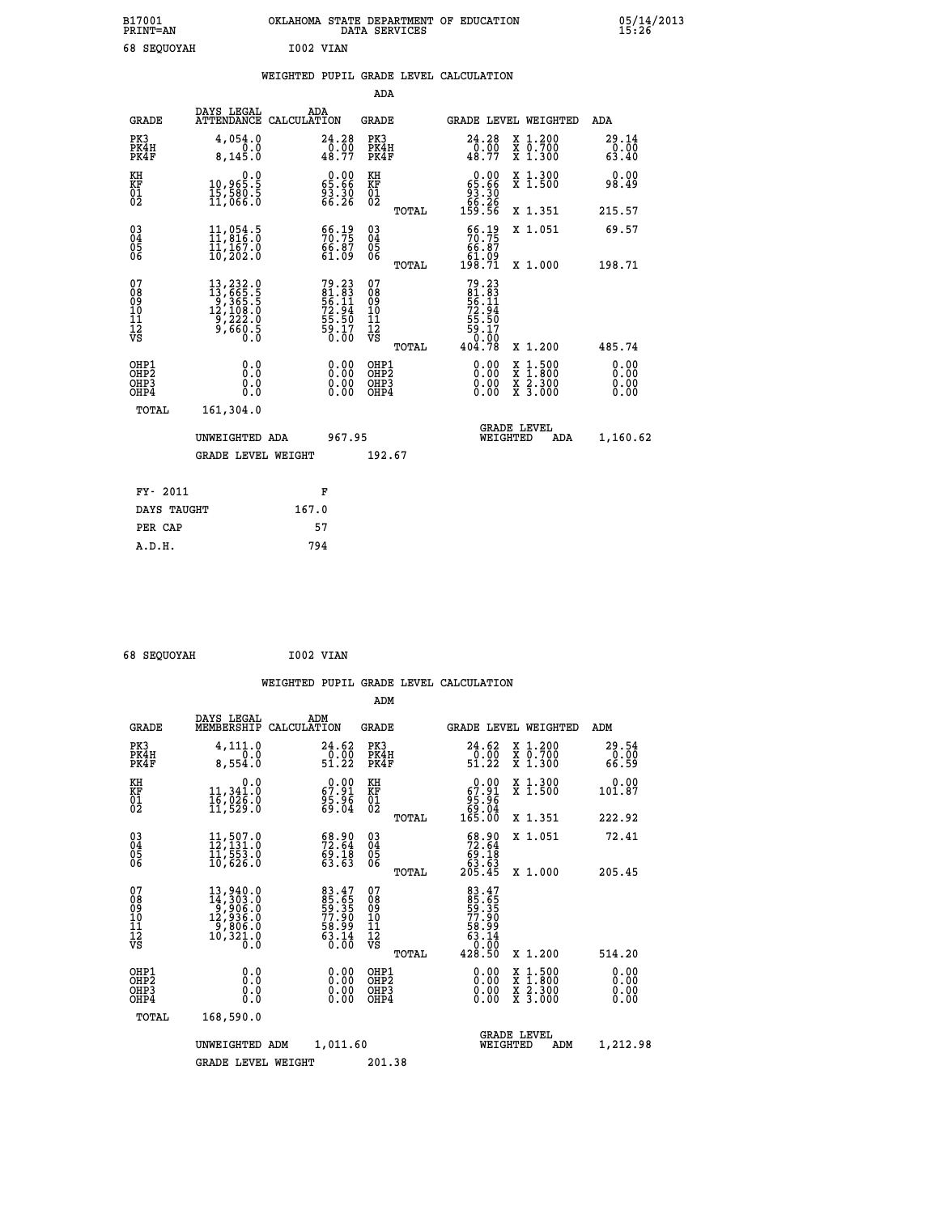| B17001<br><b>PRINT=AN</b> | OKLAHOMA STATE DEPARTMENT OF EDUCATION<br><b>SERVICES</b><br>DATA | 05/14/2013<br>15:26 |
|---------------------------|-------------------------------------------------------------------|---------------------|
| c o<br>CEOUVAU            | TOOQ WINN                                                         |                     |

| 68 SEQUOYAH                                        |                                                                                                                                                                              |       | I002 VIAN                                                             |                                                      |       |                                                                               |                                                                                                                                      |                            |
|----------------------------------------------------|------------------------------------------------------------------------------------------------------------------------------------------------------------------------------|-------|-----------------------------------------------------------------------|------------------------------------------------------|-------|-------------------------------------------------------------------------------|--------------------------------------------------------------------------------------------------------------------------------------|----------------------------|
|                                                    |                                                                                                                                                                              |       |                                                                       |                                                      |       | WEIGHTED PUPIL GRADE LEVEL CALCULATION                                        |                                                                                                                                      |                            |
|                                                    |                                                                                                                                                                              |       |                                                                       | ADA                                                  |       |                                                                               |                                                                                                                                      |                            |
| <b>GRADE</b>                                       | DAYS LEGAL<br>ATTENDANCE CALCULATION                                                                                                                                         |       | ADA                                                                   | <b>GRADE</b>                                         |       |                                                                               | GRADE LEVEL WEIGHTED                                                                                                                 | ADA                        |
| PK3<br>PK4H<br>PK4F                                | 4,054.0<br>8,145.0                                                                                                                                                           |       | 24.28<br>$\frac{0.00}{48.77}$                                         | PK3<br>PK4H<br>PK4F                                  |       | 24.28<br>$\frac{0.00}{48.77}$                                                 | X 1.200<br>X 0.700<br>X 1.300                                                                                                        | 29.14<br>$\frac{5}{63.40}$ |
| KH<br>KF<br>01<br>02                               | $\begin{smallmatrix}&&&0.0\\10,965.5\\15,580.5\\11,066.0\end{smallmatrix}$                                                                                                   |       | $\begin{smallmatrix} 0.00\\ 65.66\\ 93.30\\ 66.26 \end{smallmatrix}$  | KH<br>KF<br>01<br>02                                 |       | $\begin{smallmatrix} &0.00\\ 65.66\\ 93.30\\ 66.26\\ 159.56\end{smallmatrix}$ | X 1.300<br>X 1.500                                                                                                                   | 0.00<br>98.49              |
|                                                    |                                                                                                                                                                              |       |                                                                       |                                                      | TOTAL |                                                                               | X 1.351                                                                                                                              | 215.57                     |
| $\begin{matrix} 03 \\ 04 \\ 05 \\ 06 \end{matrix}$ | 11,054.5<br>11,016.0<br>ĪĪ,1ē7.ŏ<br>10,202.0                                                                                                                                 |       | $\begin{smallmatrix} 66.19\\ 70.75\\ 66.87\\ 61.09 \end{smallmatrix}$ | $\begin{matrix} 03 \\ 04 \\ 05 \\ 06 \end{matrix}$   |       | $\frac{66.19}{70.75}$<br>66.87                                                | X 1.051                                                                                                                              | 69.57                      |
|                                                    |                                                                                                                                                                              |       |                                                                       |                                                      | TOTAL | ۆة.}<br>198.71                                                                | X 1.000                                                                                                                              | 198.71                     |
| 07<br>08<br>09<br>101<br>11<br>17<br>VS            | $\begin{smallmatrix} 13\,, & 232\cdot 0\\ 13\,, & 665\cdot 0\\ 9\,, & 365\cdot 5\\ 12\,, & 108\cdot 0\\ 9\,, & 222\cdot 0\\ 9\,, & 660\cdot 5\\ 0\,\,, & 0\end{smallmatrix}$ |       | 79.23<br>81.83<br>56.11<br>56.11<br>72.94<br>55.50<br>59.17<br>50.00  | 07<br>08<br>09<br>11<br>11<br>12<br>VS               |       | 79.23<br>$\frac{61.83}{56.11}$<br>$\frac{72.94}{5}$<br>$\frac{55.50}{59.17}$  |                                                                                                                                      |                            |
|                                                    |                                                                                                                                                                              |       |                                                                       |                                                      | TOTAL | 404.78                                                                        | X 1.200                                                                                                                              | 485.74                     |
| OHP1<br>OHP2<br>OHP3<br>OHP4                       | 0.0<br>0.0<br>Ō.Ō                                                                                                                                                            |       |                                                                       | OHP1<br>OHP2<br>OHP <sub>3</sub><br>OHP <sub>4</sub> |       |                                                                               | $\begin{smallmatrix} \mathtt{X} & 1 & 500 \\ \mathtt{X} & 1 & 800 \\ \mathtt{X} & 2 & 300 \\ \mathtt{X} & 3 & 000 \end{smallmatrix}$ | 0.00<br>0.00<br>0.00       |
| TOTAL                                              | 161,304.0                                                                                                                                                                    |       |                                                                       |                                                      |       |                                                                               |                                                                                                                                      |                            |
|                                                    | UNWEIGHTED ADA                                                                                                                                                               |       | 967.95                                                                |                                                      |       |                                                                               | GRADE LEVEL<br>WEIGHTED<br>ADA                                                                                                       | 1,160.62                   |
|                                                    | <b>GRADE LEVEL WEIGHT</b>                                                                                                                                                    |       |                                                                       | 192.67                                               |       |                                                                               |                                                                                                                                      |                            |
| FY- 2011                                           |                                                                                                                                                                              |       | F                                                                     |                                                      |       |                                                                               |                                                                                                                                      |                            |
| DAYS TAUGHT                                        |                                                                                                                                                                              | 167.0 |                                                                       |                                                      |       |                                                                               |                                                                                                                                      |                            |
| PER CAP                                            |                                                                                                                                                                              |       | 57                                                                    |                                                      |       |                                                                               |                                                                                                                                      |                            |

 **68 SEQUOYAH I002 VIAN WEIGHTED PUPIL GRADE LEVEL CALCULATION ADM DAYS LEGAL ADM GRADE MEMBERSHIP CALCULATION GRADE GRADE LEVEL WEIGHTED ADM PK3 4,111.0 24.62 PK3 24.62 X 1.200 29.54 PK4H 0.0 0.00 PK4H 0.00 X 0.700 0.00 PK4F 8,554.0 51.22 PK4F 51.22 X 1.300 66.59 KH 0.0 0.00 KH 0.00 X 1.300 0.00 KF 11,341.0 67.91 KF 67.91 X 1.500 101.87 01 16,026.0 95.96 01 95.96 02 11,529.0 69.04 02 69.04 TOTAL 165.00 X 1.351 222.92 03 11,507.0 68.90 03 68.90 X 1.051 72.41 04 12,131.0 72.64 04 72.64 05 11,553.0 69.18 05 69.18 06 10,626.0 63.63 06 63.63 TOTAL 205.45 X 1.000 205.45**  $\begin{array}{cccc} 07 & 13,940.0 & 83.47 & 07 & 83.47 \ 08 & 14,303.0 & 85,65 & 08 & 85.65 \ 09 & 12,936.0 & 59.35 & 09 & 59.35 \ 10 & 12,936.0 & 58.49 & 11 & 58.31 \ 11 & 9,806.0 & 58.99 & 11 & 58.91 \ 12 & 10,321.0 & 63.14 & 12 & 63.14 \ 13 & 63.14 & 12 & 63.14 \$ **83.47** 07<br> **85.65** 08<br>
59.35 09<br>
77.90 10<br>
58.99 11<br>
63.14 12<br> **63.14** 58.99<br> **12**<br> **12**<br> **128**<br> **128**<br> **120**<br> **120**<br> **120**<br> **120**<br> **120**<br> **120**<br> **120**<br> **120**<br> **120**<br> **120**<br> **120**<br> **120**<br> **120**<br> **120**<br> **120**<br> **120**<br> **120 OHP1 0.0 0.00 OHP1 0.00 X 1.500 0.00 OHP2 0.0 0.00 OHP2 0.00 X 1.800 0.00 OHP3 0.0 0.00 OHP3 0.00 X 2.300 0.00 OHP4 0.0 0.00 OHP4 0.00 X 3.000 0.00 TOTAL 168,590.0 GRADE LEVEL UNWEIGHTED ADM 1,011.60 WEIGHTED ADM 1,212.98** GRADE LEVEL WEIGHT 201.38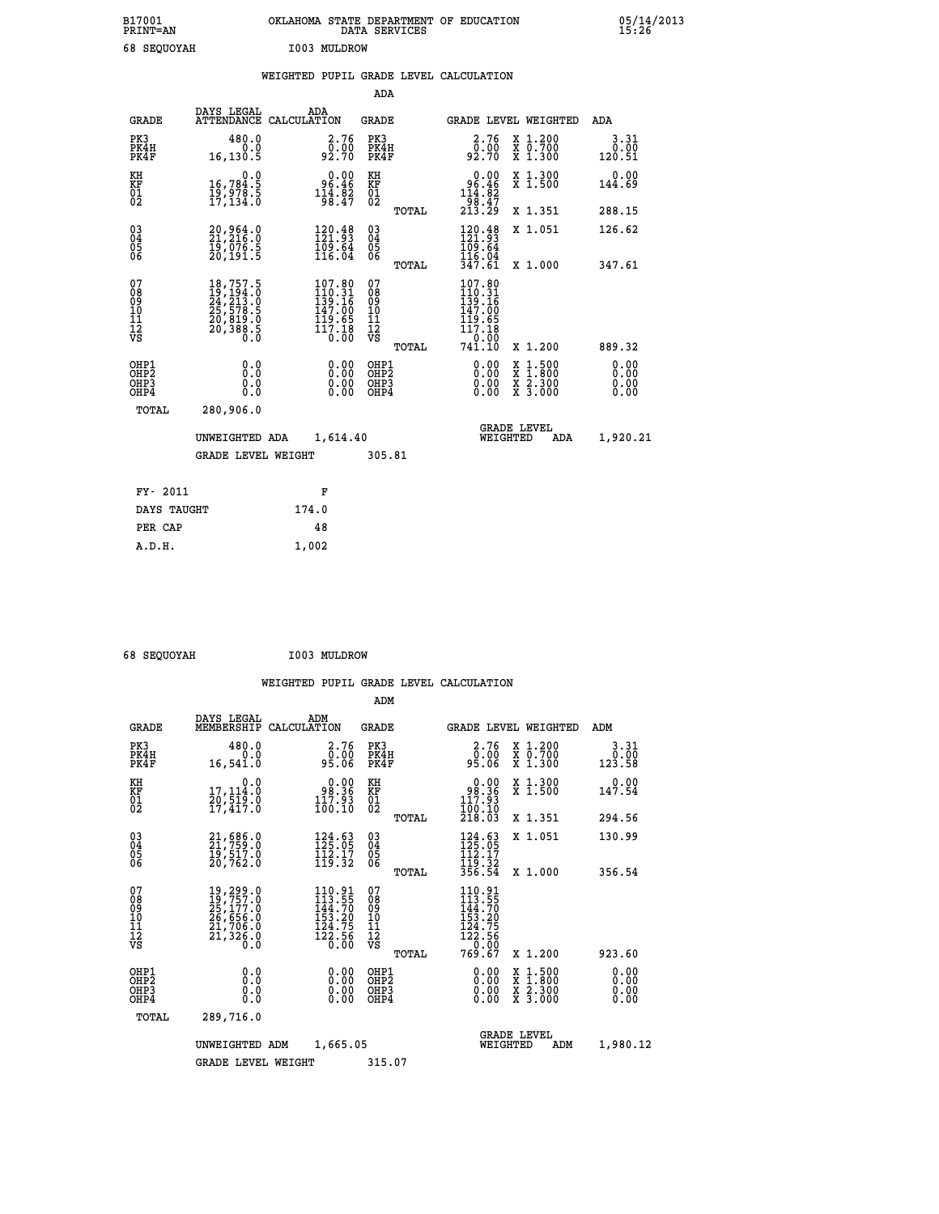| B17001<br>PRINT=AN    | OKLAHOMA STATE DEPARTMENT OF EDUCATION<br>DATA SERVICES | 05/14/2013<br>15:26 |
|-----------------------|---------------------------------------------------------|---------------------|
| 68<br><b>SEQUOYAH</b> | I003 MULDROW                                            |                     |

|  |  | WEIGHTED PUPIL GRADE LEVEL CALCULATION |
|--|--|----------------------------------------|
|  |  |                                        |

|                                |                                                                                                                                                                                                                                                                                     | ADA                                                                                                                                                                                                                                                |                                                                                                                                                              |                                                                                                                                                                                          |
|--------------------------------|-------------------------------------------------------------------------------------------------------------------------------------------------------------------------------------------------------------------------------------------------------------------------------------|----------------------------------------------------------------------------------------------------------------------------------------------------------------------------------------------------------------------------------------------------|--------------------------------------------------------------------------------------------------------------------------------------------------------------|------------------------------------------------------------------------------------------------------------------------------------------------------------------------------------------|
| DAYS LEGAL                     | ADA                                                                                                                                                                                                                                                                                 | GRADE                                                                                                                                                                                                                                              | <b>GRADE LEVEL WEIGHTED</b>                                                                                                                                  | ADA                                                                                                                                                                                      |
| 480.0<br>0.0<br>16,130.5       | 2.76<br>0:00<br>92:70                                                                                                                                                                                                                                                               | PK3<br>PK4H<br>PK4F                                                                                                                                                                                                                                | 2.76<br>X 1.200<br>X 0.700<br>X 1.300<br>00.00<br>92.70                                                                                                      | 3.31<br>0.00<br>120.51                                                                                                                                                                   |
| 0.0                            |                                                                                                                                                                                                                                                                                     |                                                                                                                                                                                                                                                    | X 1.300<br>X 1.500                                                                                                                                           | 0.00<br>144.69                                                                                                                                                                           |
|                                |                                                                                                                                                                                                                                                                                     | TOTAL                                                                                                                                                                                                                                              | X 1.351                                                                                                                                                      | 288.15                                                                                                                                                                                   |
|                                | $120.48$<br>$121.93$<br>$\frac{109.64}{116.04}$                                                                                                                                                                                                                                     | 03<br>04<br>05<br>06                                                                                                                                                                                                                               | $\frac{120.48}{121.93}$<br>X 1.051<br>$\frac{1}{1}\overline{0}\overline{9}\cdot\overline{6}\overline{4}\overline{4}$                                         | 126.62                                                                                                                                                                                   |
|                                |                                                                                                                                                                                                                                                                                     |                                                                                                                                                                                                                                                    |                                                                                                                                                              | 347.61                                                                                                                                                                                   |
|                                |                                                                                                                                                                                                                                                                                     | 08<br>09<br>11<br>11<br>12<br>VS<br>TOTAL                                                                                                                                                                                                          | X 1.200                                                                                                                                                      | 889.32                                                                                                                                                                                   |
| 0.0<br>0.0<br>$0.\overline{0}$ | 0.00<br>0.00                                                                                                                                                                                                                                                                        | OHP1<br>OHP <sub>2</sub><br>OHP3<br>OHP4                                                                                                                                                                                                           | 0.00<br>$\begin{smallmatrix} \mathtt{X} & 1 & 500 \\ \mathtt{X} & 1 & 800 \\ \mathtt{X} & 2 & 300 \\ \mathtt{X} & 3 & 000 \end{smallmatrix}$<br>0.00<br>0.00 | 0.00<br>0.00<br>0.00<br>0.00                                                                                                                                                             |
| 280,906.0                      |                                                                                                                                                                                                                                                                                     |                                                                                                                                                                                                                                                    |                                                                                                                                                              |                                                                                                                                                                                          |
|                                |                                                                                                                                                                                                                                                                                     |                                                                                                                                                                                                                                                    | <b>GRADE LEVEL</b><br>WEIGHTED<br>ADA                                                                                                                        | 1,920.21                                                                                                                                                                                 |
|                                |                                                                                                                                                                                                                                                                                     |                                                                                                                                                                                                                                                    |                                                                                                                                                              |                                                                                                                                                                                          |
|                                | F                                                                                                                                                                                                                                                                                   |                                                                                                                                                                                                                                                    |                                                                                                                                                              |                                                                                                                                                                                          |
|                                | 174.0                                                                                                                                                                                                                                                                               |                                                                                                                                                                                                                                                    |                                                                                                                                                              |                                                                                                                                                                                          |
|                                | 48                                                                                                                                                                                                                                                                                  |                                                                                                                                                                                                                                                    |                                                                                                                                                              |                                                                                                                                                                                          |
|                                | 1,002                                                                                                                                                                                                                                                                               |                                                                                                                                                                                                                                                    |                                                                                                                                                              |                                                                                                                                                                                          |
|                                | 16,784.5<br>19,978.5<br>17,134.0<br>20,964.0<br>21,216.0<br>19,076.5<br>20,191.5<br>$\begin{smallmatrix} 18\,,757\,.5\\ 19\,,194\,.0\\ 24\,,213\,.0\\ 25\,,578\,.5\\ 20\,,819\,.0\\ 20\,,388\,.5\\ 0\,. \end{smallmatrix}$<br>TOTAL<br>FY- 2011<br>DAYS TAUGHT<br>PER CAP<br>A.D.H. | ATTENDANCE CALCULATION<br>$\begin{smallmatrix}&&0.00\\&96.46\\114.82\\98.47\end{smallmatrix}$<br>$\begin{smallmatrix} 107.80\\ 110.31\\ 139.16\\ 147.00\\ 119.65\\ 117.18\\ 0.00 \end{smallmatrix}$<br>UNWEIGHTED ADA<br><b>GRADE LEVEL WEIGHT</b> | KH<br>KF<br>01<br>02<br>TOTAL<br>07<br>1,614.40<br>305.81                                                                                                    | $0.00$<br>$96.46$<br>$114.82$<br>$98.47$<br>$213.29$<br>347.61<br>X 1.000<br>$\begin{array}{c} 107.80 \\ 110.31 \\ 139.16 \\ 147.00 \\ 119.65 \\ 117.18 \end{array}$<br>110:00<br>741.10 |

| 68 SEQUOYAH | I003 MULDROW |
|-------------|--------------|
|             |              |

|                                                       |                                                                                                                  |                    |                                                                                      | ADM                                     |       |                                                                               |          |                                          |                              |
|-------------------------------------------------------|------------------------------------------------------------------------------------------------------------------|--------------------|--------------------------------------------------------------------------------------|-----------------------------------------|-------|-------------------------------------------------------------------------------|----------|------------------------------------------|------------------------------|
| <b>GRADE</b>                                          | DAYS LEGAL<br>MEMBERSHIP                                                                                         | ADM<br>CALCULATION |                                                                                      | <b>GRADE</b>                            |       |                                                                               |          | GRADE LEVEL WEIGHTED                     | ADM                          |
| PK3<br>PK4H<br>PK4F                                   | 480.0<br>0.0<br>16,541.0                                                                                         |                    | 2.76<br>ŏÖ.ÖŎ<br>95.O6                                                               | PK3<br>PK4H<br>PK4F                     |       | 2.76<br>ŏ:óŏ<br>95.06                                                         |          | X 1.200<br>X 0.700<br>X 1.300            | 3.31<br>0.00<br>123.58       |
| KH<br>KF<br>01<br>02                                  | 0.0<br>17,114:0<br>20,519:0<br>17,417:0                                                                          |                    | $\begin{smallmatrix} 0.00\\ 98.36\\ 117.93\\ 100.10 \end{smallmatrix}$               | KH<br>KF<br>01<br>02                    |       | $\begin{smallmatrix} &0.00\ 98.36\ 117.93\ 100.10\ 218.03\ \end{smallmatrix}$ |          | X 1.300<br>X 1.500                       | 0.00<br>147.54               |
|                                                       |                                                                                                                  |                    |                                                                                      |                                         | TOTAL |                                                                               |          | X 1.351                                  | 294.56                       |
| 03<br>04<br>05<br>06                                  | $21, 686.0$<br>$21, 759.0$<br>$19, 517.0$<br>20,762.0                                                            |                    | 124.63<br>125.05<br>$\frac{1}{1}\frac{1}{2}\cdot\frac{1}{3}\cdot\frac{7}{2}$         | $^{03}_{04}$<br>0500                    |       | $\frac{124}{125}$ : 03<br>112.17<br>119.32                                    |          | X 1.051                                  | 130.99                       |
|                                                       |                                                                                                                  |                    |                                                                                      |                                         | TOTAL | 356.54                                                                        |          | X 1.000                                  | 356.54                       |
| 07<br>08<br>09<br>101<br>112<br>VS                    | 19,299.0<br>19,757.0<br>$\frac{15}{25}, \frac{177}{177}.0$<br>$26, 656.0$<br>$21, 706.0$<br>$21, 326.0$<br>$0.0$ |                    | 110.91<br>113.55<br>144.70<br>$\frac{153}{124}$ . 75<br>$124.75$<br>$122.56$<br>0.00 | 07<br>08<br>09<br>101<br>11<br>12<br>VS |       | 110.91<br>113.55<br>144.70<br>153.20<br>$\frac{124.75}{122.56}$               |          |                                          |                              |
|                                                       |                                                                                                                  |                    |                                                                                      |                                         | TOTAL | 769.67                                                                        |          | X 1.200                                  | 923.60                       |
| OHP1<br>OH <sub>P</sub> 2<br>OH <sub>P3</sub><br>OHP4 | 0.0<br>0.000                                                                                                     |                    | $0.00$<br>$0.00$<br>0.00                                                             | OHP1<br>OHP2<br>OHP3<br>OHP4            |       | $0.00$<br>$0.00$<br>0.00                                                      |          | X 1:500<br>X 1:800<br>X 2:300<br>X 3:000 | 0.00<br>0.00<br>0.00<br>0.00 |
| TOTAL                                                 | 289,716.0                                                                                                        |                    |                                                                                      |                                         |       |                                                                               |          |                                          |                              |
|                                                       | UNWEIGHTED ADM                                                                                                   |                    | 1,665.05                                                                             |                                         |       |                                                                               | WEIGHTED | <b>GRADE LEVEL</b><br>ADM                | 1,980.12                     |
|                                                       | <b>GRADE LEVEL WEIGHT</b>                                                                                        |                    |                                                                                      | 315.07                                  |       |                                                                               |          |                                          |                              |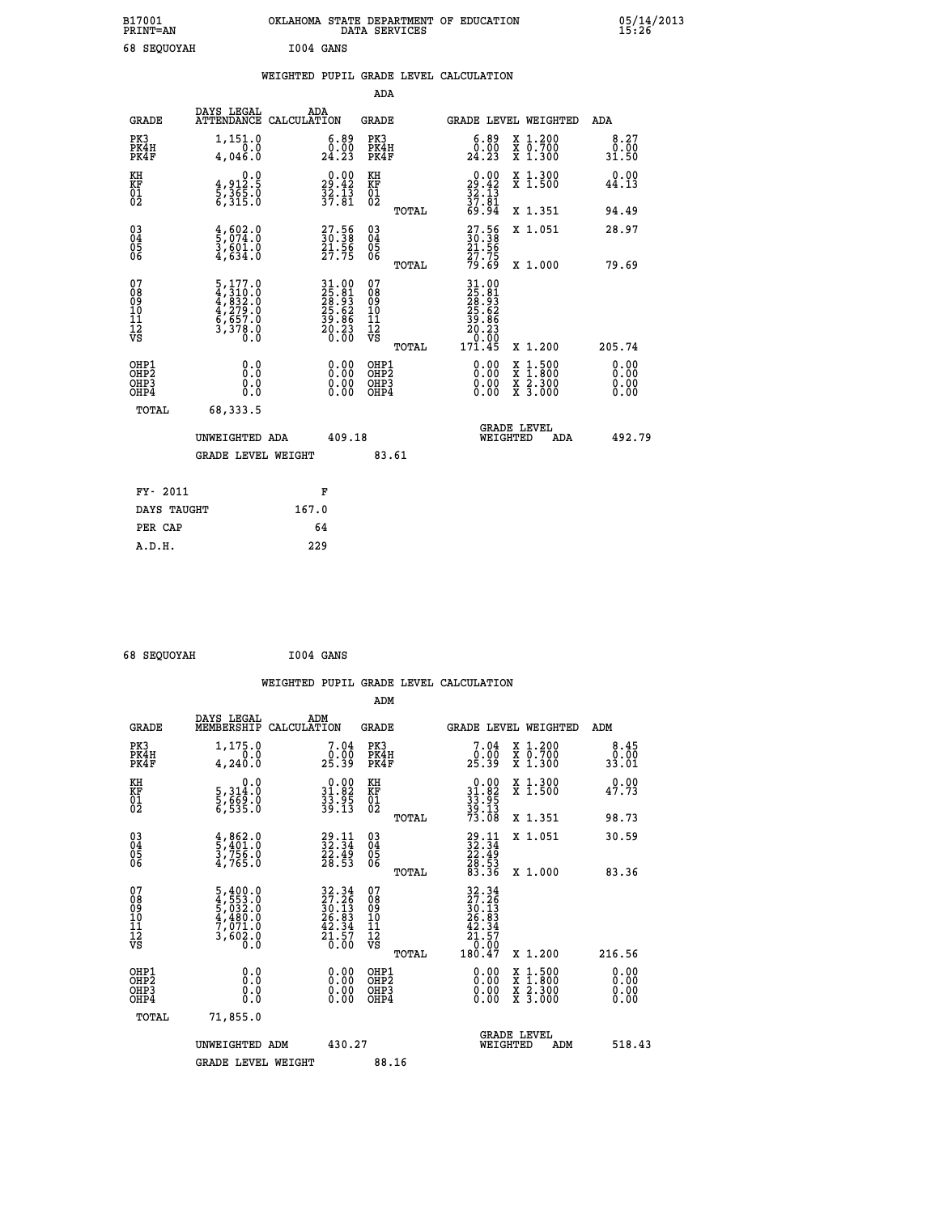| B17001<br><b>PRINT=AN</b> | OKLAHOMA STATE DEPARTMENT OF EDUCATION<br>DATA SERVICES | 05/14/2013<br>15:26 |
|---------------------------|---------------------------------------------------------|---------------------|
| 68<br><b>SEQUOYAH</b>     | I004 GANS                                               |                     |

|                                                                    |                                                                         | WEIGHTED PUPIL GRADE LEVEL CALCULATION                                                             |                                                     |       |                                                                                                      |                                                                                                           |                              |
|--------------------------------------------------------------------|-------------------------------------------------------------------------|----------------------------------------------------------------------------------------------------|-----------------------------------------------------|-------|------------------------------------------------------------------------------------------------------|-----------------------------------------------------------------------------------------------------------|------------------------------|
|                                                                    |                                                                         |                                                                                                    | <b>ADA</b>                                          |       |                                                                                                      |                                                                                                           |                              |
| <b>GRADE</b>                                                       | DAYS LEGAL                                                              | ADA<br>ATTENDANCE CALCULATION                                                                      | <b>GRADE</b>                                        |       | GRADE LEVEL WEIGHTED                                                                                 |                                                                                                           | ADA                          |
| PK3<br>PK4H<br>PK4F                                                | 1,151.0<br>4,046.0                                                      | $\begin{smallmatrix} 6.89\ 0.00\ 24.23 \end{smallmatrix}$                                          | PK3<br>PK4H<br>PK4F                                 |       | $\begin{smallmatrix} 6.89\ 0.00\ 24.23 \end{smallmatrix}$                                            | X 1.200<br>X 0.700<br>X 1.300                                                                             | 8.27<br>0.00<br>31.50        |
| KH<br>KF<br>01<br>02                                               | $\begin{smallmatrix}&&&0.0\\4.912.5\\5.365.0\\6.315.0\end{smallmatrix}$ | $29.42$<br>$32.42$<br>$37.81$                                                                      | KH<br>KF<br>01<br>02                                |       | 0.00<br>$29.42$<br>$32.13$<br>$37.81$<br>$69.94$                                                     | X 1.300<br>X 1.500                                                                                        | 0.00<br>44.13                |
|                                                                    |                                                                         |                                                                                                    |                                                     | TOTAL |                                                                                                      | X 1.351                                                                                                   | 94.49                        |
| $\begin{smallmatrix} 03 \\[-4pt] 04 \end{smallmatrix}$<br>Ŏ5<br>06 | $\frac{4}{5}, \frac{602}{074}.0$<br>3,601.0<br>4,634.0                  | $\begin{smallmatrix} 27.56\ 30.38\ 21.56\ 27.75 \end{smallmatrix}$                                 | $\begin{array}{c} 03 \\ 04 \\ 05 \\ 06 \end{array}$ |       | 27.56<br>30.38<br>21.56<br>27.75<br>27.75                                                            | X 1.051                                                                                                   | 28.97                        |
|                                                                    |                                                                         |                                                                                                    |                                                     | TOTAL |                                                                                                      | X 1.000                                                                                                   | 79.69                        |
| 07<br>08901112<br>1112<br>VS                                       | 5,177.0<br>4,310.0<br>4,832.0<br>4,279.0<br>6,657.0<br>5,378.0<br>0.0   | $\begin{array}{l} 31.00 \\ 25.81 \\ 28.93 \\ 25.62 \\ 39.86 \\ 39.86 \\ 20.23 \\ 0.00 \end{array}$ | 07<br>08<br>09<br>11<br>11<br>12<br>VS              | TOTAL | $\begin{smallmatrix} 31.00\\25.81\\28.91\\28.62\\25.62\\39.86\\20.23\\0.00\\171.45\end{smallmatrix}$ | X 1.200                                                                                                   | 205.74                       |
| OHP1<br>OHP2<br>OHP3<br>OHP4                                       | 0.0<br>0.0<br>0.0                                                       | 0.00<br>$\begin{smallmatrix} 0.00 \ 0.00 \end{smallmatrix}$                                        | OHP1<br>OHP2<br>OHP3<br>OHP4                        |       | 0.00<br>0.00                                                                                         | 1:500<br>$\begin{smallmatrix} x & 1 & 500 \\ x & 1 & 800 \\ x & 2 & 300 \\ x & 3 & 000 \end{smallmatrix}$ | 0.00<br>0.00<br>0.00<br>0.00 |
| <b>TOTAL</b>                                                       | 68,333.5                                                                |                                                                                                    |                                                     |       |                                                                                                      |                                                                                                           |                              |
|                                                                    | UNWEIGHTED ADA                                                          | 409.18                                                                                             |                                                     |       | WEIGHTED                                                                                             | <b>GRADE LEVEL</b><br>ADA                                                                                 | 492.79                       |
|                                                                    | <b>GRADE LEVEL WEIGHT</b>                                               |                                                                                                    | 83.61                                               |       |                                                                                                      |                                                                                                           |                              |
| FY- 2011                                                           |                                                                         | F                                                                                                  |                                                     |       |                                                                                                      |                                                                                                           |                              |
| DAYS TAUGHT                                                        |                                                                         | 167.0                                                                                              |                                                     |       |                                                                                                      |                                                                                                           |                              |
| PER CAP                                                            |                                                                         | 64                                                                                                 |                                                     |       |                                                                                                      |                                                                                                           |                              |

 **68 SEQUOYAH I004 GANS**

|                                                          |                                                                                                         |                                                                          |                                                       | WEIGHTED PUPIL GRADE LEVEL CALCULATION                                                             |                       |
|----------------------------------------------------------|---------------------------------------------------------------------------------------------------------|--------------------------------------------------------------------------|-------------------------------------------------------|----------------------------------------------------------------------------------------------------|-----------------------|
|                                                          |                                                                                                         |                                                                          | ADM                                                   |                                                                                                    |                       |
| <b>GRADE</b>                                             | DAYS LEGAL<br>MEMBERSHIP<br>CALCULATION                                                                 | ADM                                                                      | <b>GRADE</b>                                          | GRADE LEVEL WEIGHTED                                                                               | ADM                   |
| PK3<br>PK4H<br>PK4F                                      | $1,175.0$<br>0.0<br>4,240.0                                                                             | $\begin{smallmatrix}7.04\0.00\\25.39\end{smallmatrix}$                   | PK3<br>PK4H<br>PK4F                                   | X 1.200<br>X 0.700<br>X 1.300<br>$\begin{smallmatrix}7.04\0.00\\25.39\end{smallmatrix}$            | 8.45<br>0.00<br>33.01 |
| KH<br>KF<br>01<br>02                                     | 0.0<br>5,314:0<br>5,669:0<br>6,535:0                                                                    | $\begin{smallmatrix} 0.00\\ 31.82\\ 33.95\\ 39.13 \end{smallmatrix}$     | KH<br>KF<br>01<br>02                                  | X 1.300<br>X 1.500<br>$\begin{smallmatrix} 0.00\\ 31.82\\ 33.95\\ 39.13\\ 73.08 \end{smallmatrix}$ | 0.00<br>47.73         |
|                                                          |                                                                                                         |                                                                          | TOTAL                                                 | X 1.351                                                                                            | 98.73                 |
| $\begin{matrix} 03 \\ 04 \\ 05 \\ 06 \end{matrix}$       | $\frac{4}{5}, \frac{862}{401}.0$<br>3,756.0<br>4,765.0                                                  | $\frac{29}{32}:\frac{11}{34}$<br>$\frac{25.49}{28.53}$                   | 03<br>04<br>05<br>06                                  | X 1.051<br>$\begin{array}{r} 29.11 \\ 32.34 \\ 22.49 \\ 28.53 \\ 83.36 \end{array}$                | 30.59                 |
|                                                          |                                                                                                         |                                                                          | TOTAL                                                 | X 1.000                                                                                            | 83.36                 |
| 07<br>08<br>09<br>101<br>11<br>12<br>VS                  | $\begin{smallmatrix} 5,400.0\\ 4,553.0\\ 5,033.0\\ 4,480.0\\ 7,071.0\\ 3,602.0\\ 0.0 \end{smallmatrix}$ | $32.34$<br>$27.26$<br>$30.13$<br>$26.83$<br>$42.34$<br>$21.57$<br>$0.00$ | 07<br>08<br>09<br>01<br>11<br>11<br>12<br>VS<br>TOTAL | $32.34$<br>$37.26$<br>$30.13$<br>$26.83$<br>$42.34$<br>$\frac{21.57}{0.00}$<br>180.47<br>X 1.200   | 216.56                |
| OHP1                                                     |                                                                                                         |                                                                          |                                                       |                                                                                                    | 0.00                  |
| OHP <sub>2</sub><br>OH <sub>P3</sub><br>OH <sub>P4</sub> | 0.0<br>0.000                                                                                            |                                                                          | OHP1<br>OHP2<br>OHP <sub>3</sub>                      | 0.00<br>X 1:500<br>X 1:800<br>X 2:300<br>X 3:000<br>0.00<br>0.00                                   | Ō. ŌŌ<br>0.00<br>0.00 |
| TOTAL                                                    | 71,855.0                                                                                                |                                                                          |                                                       |                                                                                                    |                       |
|                                                          | UNWEIGHTED ADM<br><b>GRADE LEVEL WEIGHT</b>                                                             | 430.27                                                                   | 88.16                                                 | <b>GRADE LEVEL</b><br>WEIGHTED<br>ADM                                                              | 518.43                |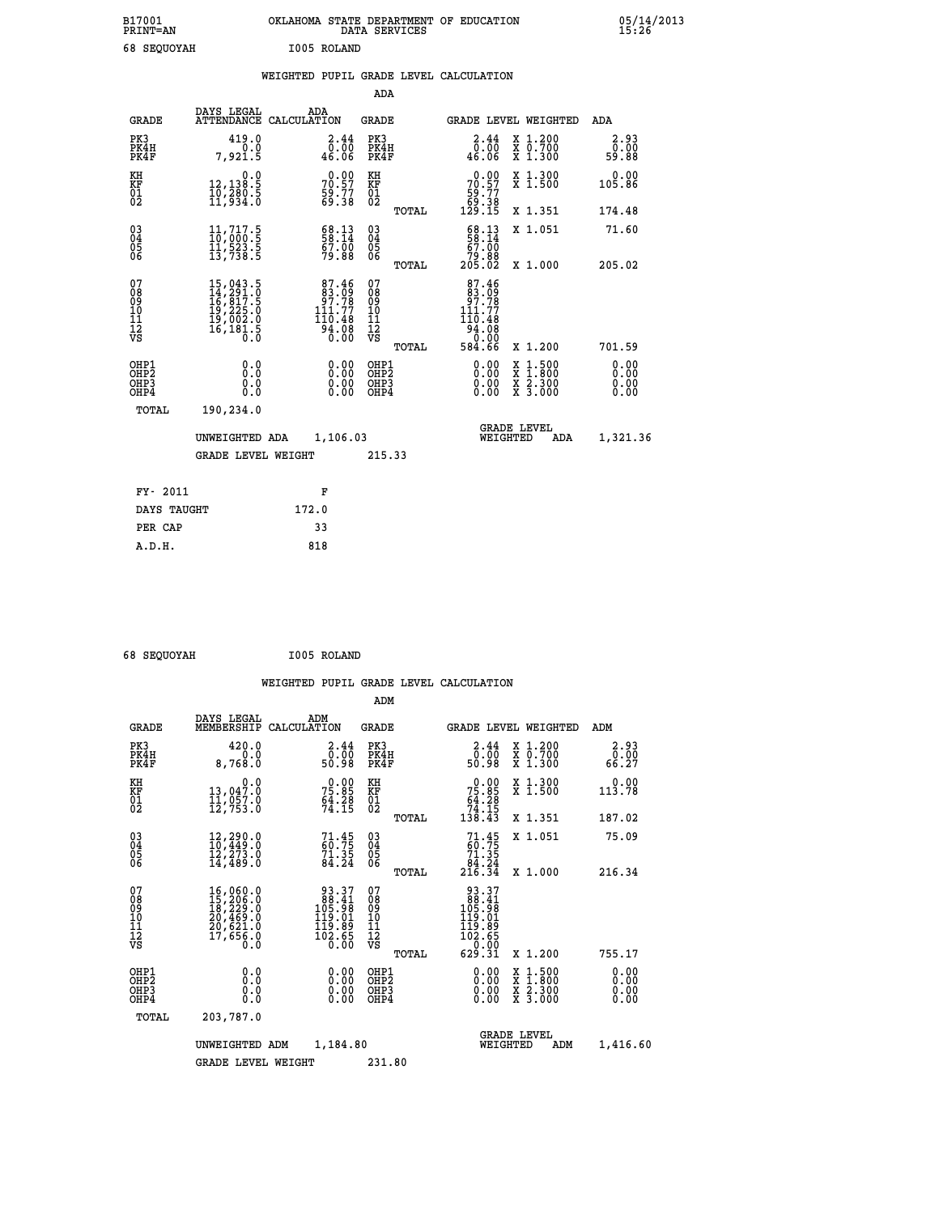| B17001<br><b>PRINT=AN</b> | OKLAHOMA STATE DEPARTMENT OF EDUCATION<br>DATA SERVICES | 05/14/2013<br>15:26 |
|---------------------------|---------------------------------------------------------|---------------------|
| 68 SEQUOYAH               | I005 ROLAND                                             |                     |

|  |  | WEIGHTED PUPIL GRADE LEVEL CALCULATION |
|--|--|----------------------------------------|
|  |  |                                        |

|                                                      |                                                                                                                                                 |                                                                                     | ADA                                      |       |                                                                                                                                                |                                                                                                  |                              |  |
|------------------------------------------------------|-------------------------------------------------------------------------------------------------------------------------------------------------|-------------------------------------------------------------------------------------|------------------------------------------|-------|------------------------------------------------------------------------------------------------------------------------------------------------|--------------------------------------------------------------------------------------------------|------------------------------|--|
| <b>GRADE</b>                                         | DAYS LEGAL                                                                                                                                      | ADA<br>ATTENDANCE CALCULATION                                                       | <b>GRADE</b>                             |       | GRADE LEVEL WEIGHTED                                                                                                                           |                                                                                                  | ADA                          |  |
| PK3<br>PK4H<br>PK4F                                  | 419.0<br>0.0<br>7,921.5                                                                                                                         | $\begin{smallmatrix} 2.44\ 0.00\ 46.06 \end{smallmatrix}$                           | PK3<br>PK4H<br>PK4F                      |       | $\begin{smallmatrix} 2.44\ 0.00\ 46.06 \end{smallmatrix}$                                                                                      | X 1.200<br>X 0.700<br>X 1.300                                                                    | 2.93<br>0.00<br>59.88        |  |
| KH<br>KF<br>01<br>02                                 | 0.0<br>12,138.5<br>10,280.5<br>11,934.0                                                                                                         | $70.57$<br>$59.77$<br>$59.38$                                                       | KH<br>KF<br>01<br>02                     |       | $\begin{smallmatrix} &0.00\ 70.57\ 59.77\ 59.38\ 129.15\ \end{smallmatrix}$                                                                    | X 1.300<br>X 1.500                                                                               | 0.00<br>105.86               |  |
|                                                      |                                                                                                                                                 |                                                                                     |                                          | TOTAL |                                                                                                                                                | X 1.351                                                                                          | 174.48                       |  |
| $\begin{matrix} 03 \\ 04 \\ 05 \\ 06 \end{matrix}$   | $\begin{smallmatrix} 11\,,\,717\,. \ 10\,,\,000\,. \ 5\, \ 11\,,\,523\,. \ 5\, \ 13\,,\,738\,. \ 5\, \end{smallmatrix}$                         | 58:13<br>67.00<br>79.88                                                             | $\substack{03 \\ 04}$<br>Ŏ5<br>06        | TOTAL | 58:13<br>67.00<br>88.éř<br>205.02                                                                                                              | X 1.051<br>X 1.000                                                                               | 71.60<br>205.02              |  |
| 07                                                   |                                                                                                                                                 |                                                                                     | 07                                       |       |                                                                                                                                                |                                                                                                  |                              |  |
| 08<br>09<br>11<br>11<br>12<br>VS                     | $\begin{smallmatrix} 15,043\cdot 5\\ 14,291\cdot 0\\ 16,817\cdot 5\\ 19,225\cdot 0\\ 19,002\cdot 0\\ 16,181\cdot 5\\ 0\cdot 0\end{smallmatrix}$ | $87.46$<br>$83.09$<br>$97.78$<br>$111.77$<br>110.48<br>$\frac{54}{0}.\frac{08}{00}$ | 08<br>09<br>11<br>11<br>12<br>VS         |       | $\begin{smallmatrix} 87.46\\ 83.09\\ 97.78\\ 111.77 \end{smallmatrix}$<br>110.48<br>$\begin{array}{r} 164.768 \\ -34.08 \\ 584.66 \end{array}$ |                                                                                                  |                              |  |
|                                                      |                                                                                                                                                 |                                                                                     |                                          | TOTAL |                                                                                                                                                | X 1.200                                                                                          | 701.59                       |  |
| OHP1<br>OH <sub>P</sub> <sub>2</sub><br>OHP3<br>OHP4 | 0.0<br>0.0<br>0.0                                                                                                                               | $\begin{smallmatrix} 0.00 \ 0.00 \ 0.00 \ 0.00 \end{smallmatrix}$                   | OHP1<br>OHP <sub>2</sub><br>OHP3<br>OHP4 |       |                                                                                                                                                | $\begin{smallmatrix} x & 1 & 500 \\ x & 1 & 800 \\ x & 2 & 300 \\ x & 3 & 000 \end{smallmatrix}$ | 0.00<br>0.00<br>0.00<br>0.00 |  |
| <b>TOTAL</b>                                         | 190,234.0                                                                                                                                       |                                                                                     |                                          |       |                                                                                                                                                |                                                                                                  |                              |  |
|                                                      | UNWEIGHTED ADA                                                                                                                                  | 1,106.03                                                                            |                                          |       |                                                                                                                                                | <b>GRADE LEVEL</b><br>WEIGHTED                                                                   | 1,321.36<br>ADA              |  |
|                                                      | <b>GRADE LEVEL WEIGHT</b>                                                                                                                       |                                                                                     | 215.33                                   |       |                                                                                                                                                |                                                                                                  |                              |  |
| FY- 2011                                             |                                                                                                                                                 | F                                                                                   |                                          |       |                                                                                                                                                |                                                                                                  |                              |  |
| DAYS TAUGHT                                          |                                                                                                                                                 | 172.0                                                                               |                                          |       |                                                                                                                                                |                                                                                                  |                              |  |
| PER CAP                                              |                                                                                                                                                 | 33                                                                                  |                                          |       |                                                                                                                                                |                                                                                                  |                              |  |
|                                                      |                                                                                                                                                 |                                                                                     |                                          |       |                                                                                                                                                |                                                                                                  |                              |  |

 **68 SEQUOYAH I005 ROLAND**

 **A.D.H. 818**

 **ADM**

| <b>GRADE</b>                                       | DAYS LEGAL                                                                                                                                                                                 | ADM<br>MEMBERSHIP CALCULATION                                                                       | <b>GRADE</b>                               | <b>GRADE LEVEL WEIGHTED</b>                                                                             |                                          | ADM                   |
|----------------------------------------------------|--------------------------------------------------------------------------------------------------------------------------------------------------------------------------------------------|-----------------------------------------------------------------------------------------------------|--------------------------------------------|---------------------------------------------------------------------------------------------------------|------------------------------------------|-----------------------|
| PK3<br>PK4H<br>PK4F                                | 420.0<br>0.0<br>8,768.0                                                                                                                                                                    | 2.44<br>ōō.ōō<br>80.98                                                                              | PK3<br>PK4H<br>PK4F                        | 2.44<br>ōō.ō<br>80.98                                                                                   | X 1.200<br>X 0.700<br>X 1.300            | 2.93<br>0.00<br>66.27 |
| KH<br>KF<br>01<br>02                               | 0.0<br>13,047.0<br>$\frac{1}{12}$ , 057.0                                                                                                                                                  | 75.85<br>$64.28$<br>$74.15$                                                                         | KH<br>KF<br>$\overline{01}$                | $\begin{smallmatrix} &0.00\\ 75.85\ 64.28\\ 74.15\\ 138.43\end{smallmatrix}$                            | X 1.300<br>X 1.500                       | 0.00<br>113.78        |
|                                                    |                                                                                                                                                                                            |                                                                                                     | TOTAL                                      |                                                                                                         | X 1.351                                  | 187.02                |
| $\begin{matrix} 03 \\ 04 \\ 05 \\ 06 \end{matrix}$ | $\begin{smallmatrix} 12,290.0\\ 10,449.0\\ 12,273.0\\ 14,489.0 \end{smallmatrix}$                                                                                                          | $71.45$<br>$50.75$<br>$71.35$<br>$84.24$                                                            | $\substack{03 \\ 04}$<br>05<br>06          | $71.45$<br>$60.75$<br>$71.35$<br>$84.24$<br>$216.34$                                                    | X 1.051                                  | 75.09                 |
|                                                    |                                                                                                                                                                                            |                                                                                                     | TOTAL                                      |                                                                                                         | X 1.000                                  | 216.34                |
| 07<br>08<br>09<br>101<br>11<br>12<br>VS            | $\begin{smallmatrix} 16 \,, & 060 \,. & 0\\ 15 \,, & 206 \,. & 0\\ 18 \,, & 229 \,. & 0\\ 20 \,, & 469 \,. & 0\\ 20 \,, & 621 \,. & 0\\ 17 \,, & 656 \,. & 0\\ 0 \,. & 0\end{smallmatrix}$ | 93.37<br>88.41<br>105.99<br>$\begin{smallmatrix} 119.01 \ 119.89 \ 102.65 \ 0.00 \end{smallmatrix}$ | 078<br>089<br>0011<br>11<br>11<br>12<br>VS | $\begin{array}{r} 93.37 \\ 88.41 \\ 105.98 \\ 119.01 \\ 119.89 \\ 102.65 \\ 0.00 \\ 629.31 \end{array}$ |                                          |                       |
|                                                    |                                                                                                                                                                                            |                                                                                                     | TOTAL                                      |                                                                                                         | X 1.200                                  | 755.17                |
| OHP1<br>OH <sub>P</sub> 2<br>OHP3<br>OHP4          | 0.0<br>0.0<br>0.0                                                                                                                                                                          | $\begin{smallmatrix} 0.00 \ 0.00 \ 0.00 \ 0.00 \end{smallmatrix}$                                   | OHP1<br>OHP <sub>2</sub><br>OHP3<br>OHP4   | 0.00<br>0.00<br>0.00                                                                                    | X 1:500<br>X 1:800<br>X 2:300<br>X 3:000 | 0.00<br>0.00<br>0.00  |
| TOTAL                                              | 203,787.0                                                                                                                                                                                  |                                                                                                     |                                            |                                                                                                         |                                          |                       |
|                                                    | UNWEIGHTED                                                                                                                                                                                 | 1,184.80<br>ADM                                                                                     |                                            | <b>GRADE LEVEL</b><br>WEIGHTED                                                                          | ADM                                      | 1,416.60              |
|                                                    | <b>GRADE LEVEL WEIGHT</b>                                                                                                                                                                  |                                                                                                     | 231.80                                     |                                                                                                         |                                          |                       |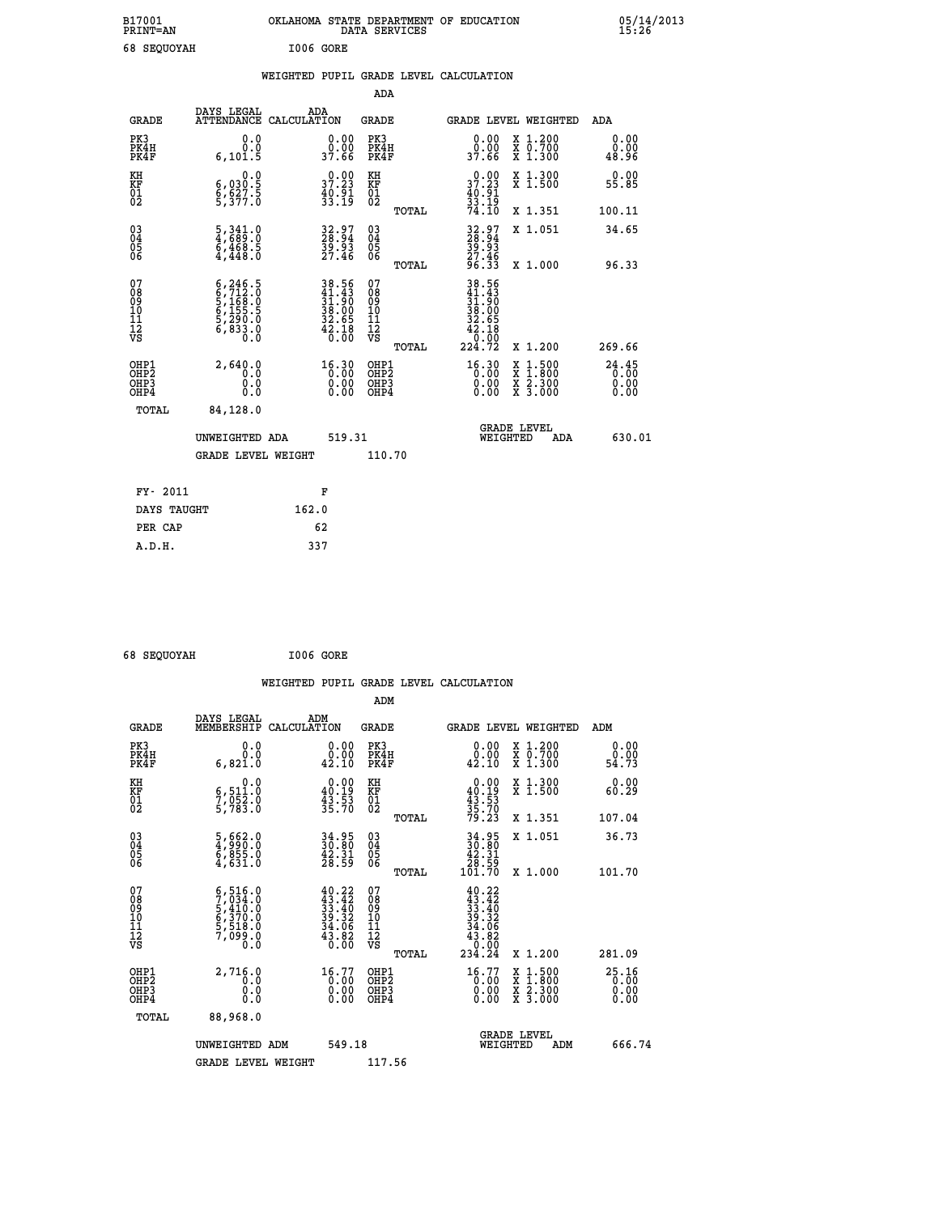| B17001<br><b>PRINT=AN</b> |             |           | OKLAHOMA STATE DEPARTMENT OF EDUCATION<br>DATA SERVICES |  |
|---------------------------|-------------|-----------|---------------------------------------------------------|--|
|                           | 68 SEOUOYAH | I006 GORE |                                                         |  |

|  |  | WEIGHTED PUPIL GRADE LEVEL CALCULATION |
|--|--|----------------------------------------|
|  |  |                                        |

|                                                                    |                                                                                                                       |                                                                                           | ADA                                       |       |                                                                       |                                          |                       |
|--------------------------------------------------------------------|-----------------------------------------------------------------------------------------------------------------------|-------------------------------------------------------------------------------------------|-------------------------------------------|-------|-----------------------------------------------------------------------|------------------------------------------|-----------------------|
| <b>GRADE</b>                                                       | DAYS LEGAL<br>ATTENDANCE CALCULATION                                                                                  | ADA                                                                                       | <b>GRADE</b>                              |       |                                                                       | GRADE LEVEL WEIGHTED                     | ADA                   |
| PK3<br>PK4H<br>PK4F                                                | 0.0<br>0.0<br>6, 101.5                                                                                                | $\begin{array}{c} 0.00 \\ 0.00 \\ 37.66 \end{array}$                                      | PK3<br>PK4H<br>PK4F                       |       | 0.00<br>86:00<br>37.66                                                | X 1.200<br>X 0.700<br>X 1.300            | 0.00<br>0.00<br>48.96 |
| KH<br><b>KF</b><br>01<br>02                                        | 0.0<br>$\frac{6}{9}, \frac{030}{527}.$<br>5,377.0                                                                     | 37.23<br>$\frac{40.91}{33.19}$                                                            | KH<br>KF<br>01<br>02                      |       | 37.23<br>$\frac{40.91}{33.19}$<br>74.10                               | X 1.300<br>X 1.500                       | 0.00<br>55.85         |
|                                                                    |                                                                                                                       |                                                                                           |                                           | TOTAL |                                                                       | X 1.351                                  | 100.11                |
| $\begin{smallmatrix} 03 \\[-4pt] 04 \end{smallmatrix}$<br>Ŏ5<br>06 | $\begin{smallmatrix} 5 \ , \ 341 \ , \ 4 \ , \ 689 \ . \ 0 \ 6 \ , \ 468 \ . \ 5 \ 4 \ , \ 448 \ . \end{smallmatrix}$ | 32.97<br>28.94<br>39.93<br>27.46                                                          | $\substack{03 \\ 04}$<br>Ŏ5<br>06         |       | 32.97<br>28.94<br>39.93<br>27.46                                      | X 1.051                                  | 34.65                 |
|                                                                    |                                                                                                                       |                                                                                           |                                           | TOTAL | 96.33                                                                 | X 1.000                                  | 96.33                 |
| 07<br>08901112<br>1112<br>VS                                       | $6, 246.5$<br>$6, 712.0$<br>$5, 168.0$<br>$6, 155.5$<br>$5, 290.0$<br>$6, 833.0$<br>$0.0$                             | $\begin{array}{r} 38.56 \\ 41.43 \\ 31.90 \\ 38.00 \\ 32.65 \\ 42.18 \\ 0.00 \end{array}$ | 07<br>08<br>09<br>11<br>11<br>12<br>VS    |       | 38.56<br>41.43<br>31.90<br>32.65<br>32.65<br>42.10<br>42.10<br>224.72 |                                          |                       |
|                                                                    |                                                                                                                       |                                                                                           |                                           | TOTAL |                                                                       | X 1.200                                  | 269.66                |
| OHP1<br>OH <sub>P</sub> 2<br>OH <sub>P3</sub><br>OH <sub>P4</sub>  | 2,640.0<br>0.0<br>0.0<br>0.0                                                                                          | 16.30<br>$\begin{smallmatrix} 0.00 \ 0.00 \end{smallmatrix}$                              | OHP1<br>OH <sub>P</sub> 2<br>OHP3<br>OHP4 |       | $16.30$<br>$0.00$<br>0.00                                             | X 1:500<br>X 1:800<br>X 2:300<br>X 3:000 | 24.45<br>0.00<br>0.00 |
| TOTAL                                                              | 84,128.0                                                                                                              |                                                                                           |                                           |       |                                                                       |                                          |                       |
|                                                                    | UNWEIGHTED ADA                                                                                                        | 519.31                                                                                    |                                           |       |                                                                       | GRADE LEVEL<br>WEIGHTED<br>ADA           | 630.01                |
|                                                                    | <b>GRADE LEVEL WEIGHT</b>                                                                                             |                                                                                           | 110.70                                    |       |                                                                       |                                          |                       |
| FY- 2011                                                           |                                                                                                                       | F                                                                                         |                                           |       |                                                                       |                                          |                       |
| DAYS TAUGHT                                                        |                                                                                                                       | 162.0                                                                                     |                                           |       |                                                                       |                                          |                       |
| PER CAP                                                            |                                                                                                                       | 62                                                                                        |                                           |       |                                                                       |                                          |                       |

 **68 SEQUOYAH I006 GORE**

 **A.D.H. 337**

 **B17001<br>PRINT=AN** 

|                                                      |                                                                                                                                               |                                                                                              |                                                     | WEIGHTED PUPIL GRADE LEVEL CALCULATION                                                                       |                       |
|------------------------------------------------------|-----------------------------------------------------------------------------------------------------------------------------------------------|----------------------------------------------------------------------------------------------|-----------------------------------------------------|--------------------------------------------------------------------------------------------------------------|-----------------------|
|                                                      |                                                                                                                                               |                                                                                              | ADM                                                 |                                                                                                              |                       |
| <b>GRADE</b>                                         | DAYS LEGAL<br>MEMBERSHIP<br>CALCULATION                                                                                                       | ADM                                                                                          | <b>GRADE</b>                                        | GRADE LEVEL WEIGHTED                                                                                         | ADM                   |
| PK3<br>PK4H<br>PK4F                                  | 0.0<br>0.0<br>6,821.0                                                                                                                         | $\begin{smallmatrix} 0.00\\ 0.00\\ 42.10 \end{smallmatrix}$                                  | PK3<br>PK4H<br>PK4F                                 | $\begin{smallmatrix} 0.00\\ 0.00\\ 42.10 \end{smallmatrix}$<br>X 1.200<br>X 0.700<br>X 1.300                 | 0.00<br>0.00<br>54.73 |
| KH<br>KF<br>01<br>02                                 | 0.0<br>6,511:0<br>7,052:0<br>5,783:0                                                                                                          | $\begin{smallmatrix} 0.00\\ 40.19\\ 43.53\\ 35.70 \end{smallmatrix}$                         | KH<br>KF<br>01<br>02                                | 0.00<br>X 1.300<br>X 1.500<br>$40.19$<br>$43.53$<br>$35.70$<br>$79.23$                                       | 0.00<br>60.29         |
|                                                      |                                                                                                                                               |                                                                                              | TOTAL                                               | X 1.351                                                                                                      | 107.04                |
| $\begin{matrix} 03 \\ 04 \\ 05 \\ 06 \end{matrix}$   | 5,662.0<br>4,990.0<br>6,855.0<br>4,631.0                                                                                                      | $34.95$<br>$30.80$<br>$42.31$<br>$28.59$                                                     | $\begin{array}{c} 03 \\ 04 \\ 05 \\ 06 \end{array}$ | X 1.051<br>$34.95$<br>$30.80$<br>$42.31$<br>$28.59$<br>$101.70$                                              | 36.73                 |
|                                                      |                                                                                                                                               |                                                                                              | TOTAL                                               | X 1.000                                                                                                      | 101.70                |
| 07<br>08<br>09<br>101<br>112<br>VS                   | $\begin{smallmatrix} 6\,,\,516\,.0\\ 7\,,\,034\,.0\\ 5\,,\,410\,.0\\ 6\,,\,370\,.0\\ 5\,,\,518\,.0\\ 7\,,\,099\,.0\\ 0\,.0 \end{smallmatrix}$ | $\begin{smallmatrix} 40.22\\ 43.42\\ 33.40\\ 39.32\\ 34.06\\ 43.86\\ 0.00 \end{smallmatrix}$ | 07<br>08<br>09<br>11<br>11<br>12<br>VS              | $\begin{array}{r} 40.22 \\ 43.42 \\ 33.40 \\ 39.32 \\ 34.32 \\ 43.82 \\ 43.82 \\ 0.00 \\ 234.24 \end{array}$ |                       |
|                                                      |                                                                                                                                               |                                                                                              | TOTAL                                               | X 1.200                                                                                                      | 281.09                |
| OHP1<br>OHP2<br>OH <sub>P3</sub><br>OH <sub>P4</sub> | 2,716.0<br>0.0<br>0.000                                                                                                                       | 16.77<br>$\begin{smallmatrix} 0.00 \ 0.00 \end{smallmatrix}$                                 | OHP1<br>OH <sub>P</sub> 2<br>OHP3<br>OHP4           | $\begin{smallmatrix} 16.77\ 0.00\ 0.00\ 0.00 \end{smallmatrix}$<br>X 1:500<br>X 1:800<br>X 2:300<br>X 3:000  | 25.16<br>0.00<br>0.00 |
| TOTAL                                                | 88,968.0                                                                                                                                      |                                                                                              |                                                     |                                                                                                              |                       |
|                                                      | UNWEIGHTED ADM                                                                                                                                | 549.18                                                                                       |                                                     | <b>GRADE LEVEL</b><br>WEIGHTED<br>ADM                                                                        | 666.74                |
|                                                      | <b>GRADE LEVEL WEIGHT</b>                                                                                                                     |                                                                                              | 117.56                                              |                                                                                                              |                       |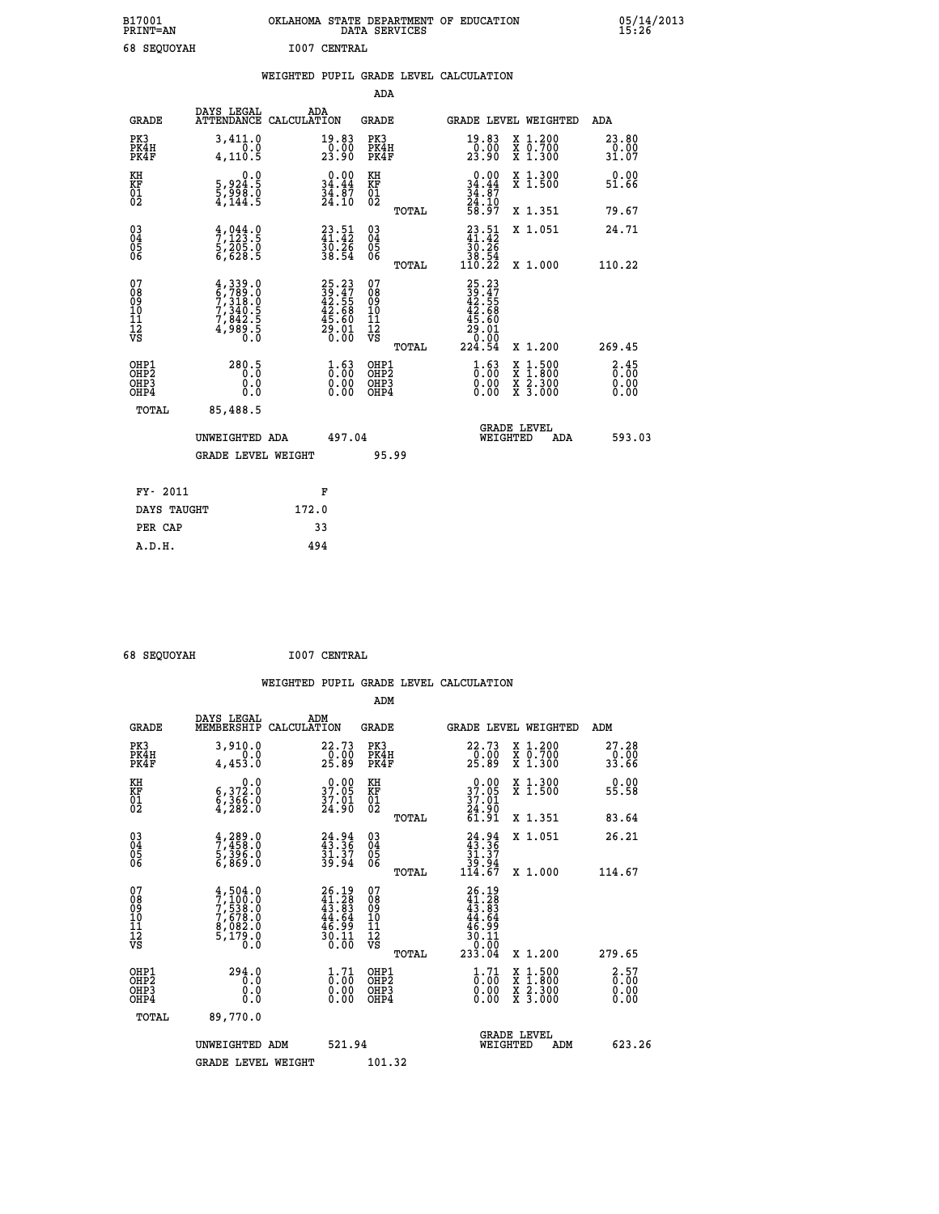|    |              | OKLAHOMA STATE DEPARTMENT OF EDUCATION<br>DATA SERVICES |  |
|----|--------------|---------------------------------------------------------|--|
| ΆH | T007 CENTRAL |                                                         |  |

 **B17001 OKLAHOMA STATE DEPARTMENT OF EDUCATION 05/14/2013**

| 68 SEQUOYAH                              |                                                                                   |       | <b>I007 CENTRAL</b>                                         |                                                    |       |                                                                            |                                                                                                                                              |                        |
|------------------------------------------|-----------------------------------------------------------------------------------|-------|-------------------------------------------------------------|----------------------------------------------------|-------|----------------------------------------------------------------------------|----------------------------------------------------------------------------------------------------------------------------------------------|------------------------|
|                                          |                                                                                   |       |                                                             | <b>ADA</b>                                         |       | WEIGHTED PUPIL GRADE LEVEL CALCULATION                                     |                                                                                                                                              |                        |
| <b>GRADE</b>                             | DAYS LEGAL<br>ATTENDANCE CALCULATION                                              | ADA   |                                                             | <b>GRADE</b>                                       |       |                                                                            | GRADE LEVEL WEIGHTED                                                                                                                         | ADA                    |
| PK3<br>PK4H<br>PK4F                      | 3,411.0<br>4,110.5                                                                |       | $\begin{smallmatrix} 19.83\ 0.00\\ 23.90 \end{smallmatrix}$ | PK3<br>PK4H<br>PK4F                                |       | 19.83<br>$\frac{1}{23}.90$                                                 | X 1.200<br>X 0.700<br>X 1.300                                                                                                                | 23.80<br>0.00<br>31.07 |
| KH<br><b>KF</b><br>01<br>02              | 0.0<br>5,924:5<br>5,998:0<br>4,144:5                                              |       | 0.00<br>$34.44$<br>$34.87$<br>$24.10$                       | KH<br>KF<br>01<br>02                               |       | $0.00$<br>$34.44$<br>$34.87$<br>$24.10$<br>$58.97$                         | X 1.300<br>X 1.500                                                                                                                           | 0.00<br>51.66          |
|                                          |                                                                                   |       |                                                             |                                                    | TOTAL |                                                                            | X 1.351                                                                                                                                      | 79.67                  |
| $^{03}_{04}$<br>Ŏ5<br>06                 | $\frac{4}{7}, \frac{044}{123}$ .<br>5, 205.0<br>6, 628.5                          |       | $23.51$<br>$41.42$<br>$30.26$<br>$38.54$                    | $\begin{matrix} 03 \\ 04 \\ 05 \\ 06 \end{matrix}$ |       | $\begin{smallmatrix} 23.51\ 41.42\ 30.26\ 38.54\ 110.22 \end{smallmatrix}$ | X 1.051                                                                                                                                      | 24.71                  |
|                                          |                                                                                   |       |                                                             |                                                    | TOTAL |                                                                            | X 1.000                                                                                                                                      | 110.22                 |
| 07<br>08<br>09<br>11<br>11<br>12<br>VS   | $4,339.0$<br>$6,789.0$<br>$7,318.0$<br>$7,340.5$<br>$7,842.5$<br>$4,989.5$<br>0.0 |       | $25.2339.4742.5542.6845.6029.010.00$                        | 07<br>08<br>09<br>11<br>11<br>12<br>VS             | TOTAL | 25.23<br>39.47<br>42.55<br>42.68<br>45.60<br>29.01<br>0:00<br>224.54       | X 1.200                                                                                                                                      | 269.45                 |
| OHP1<br>OHP <sub>2</sub><br>OHP3<br>OHP4 | 280.5<br>0.0<br>Ŏ.Ŏ                                                               |       | $\frac{1}{0}$ : 00<br>0.00<br>0.00                          | OHP1<br>OHP2<br>OHP3<br>OHP4                       |       | $\frac{1}{0}$ : 00<br>0.00<br>0.00                                         | $\begin{smallmatrix} \mathtt{X} & 1\cdot500 \\ \mathtt{X} & 1\cdot800 \\ \mathtt{X} & 2\cdot300 \\ \mathtt{X} & 3\cdot000 \end{smallmatrix}$ | 3:35<br>0.00<br>0.00   |
| <b>TOTAL</b>                             | 85,488.5<br>UNWEIGHTED ADA                                                        |       | 497.04                                                      |                                                    |       |                                                                            | <b>GRADE LEVEL</b><br>WEIGHTED<br>ADA                                                                                                        | 593.03                 |
|                                          | <b>GRADE LEVEL WEIGHT</b>                                                         |       |                                                             | 95.99                                              |       |                                                                            |                                                                                                                                              |                        |
| FY- 2011                                 |                                                                                   |       | F                                                           |                                                    |       |                                                                            |                                                                                                                                              |                        |
| DAYS TAUGHT                              |                                                                                   | 172.0 |                                                             |                                                    |       |                                                                            |                                                                                                                                              |                        |
| PER CAP                                  |                                                                                   |       | 33                                                          |                                                    |       |                                                                            |                                                                                                                                              |                        |

 **68 SEQUOYAH I007 CENTRAL**

 **A.D.H. 494**

 **ADM**

 **B17001<br>PRINT=AN** 

| <b>GRADE</b>                                       | DAYS LEGAL<br>MEMBERSHIP CALCULATION                                              | ADM                                                                  | <b>GRADE</b>                                        |       | GRADE LEVEL WEIGHTED                                                         |                                          | ADM                                 |  |
|----------------------------------------------------|-----------------------------------------------------------------------------------|----------------------------------------------------------------------|-----------------------------------------------------|-------|------------------------------------------------------------------------------|------------------------------------------|-------------------------------------|--|
| PK3<br>PK4H<br>PK4F                                | 3,910.0<br>0.0<br>4,453.0                                                         | 22.73<br>$\frac{0.00}{25.89}$                                        | PK3<br>PK4H<br>PK4F                                 |       | 22.73<br>$\frac{0.00}{25.89}$                                                | X 1.200<br>X 0.700<br>X 1.300            | 27.28<br>0.00<br>33.66              |  |
| KH<br>KF<br>01<br>02                               | 0.0<br>$\substack{6,372.0\\6,366.0\\4,282.0}$                                     | $\begin{smallmatrix} 0.00\\ 37.05\\ 37.01\\ 24.90 \end{smallmatrix}$ | KH<br>KF<br>01<br>02                                |       | $\begin{smallmatrix} 0.00\\ 37.05\\ 37.01\\ 24.90\\ 61.91 \end{smallmatrix}$ | X 1.300<br>X 1.500                       | 0.00<br>55.58                       |  |
|                                                    |                                                                                   |                                                                      |                                                     | TOTAL |                                                                              | X 1.351                                  | 83.64                               |  |
| $\begin{matrix} 03 \\ 04 \\ 05 \\ 06 \end{matrix}$ | $\frac{4}{7}, \frac{289}{458}.0$<br>5, 396.0<br>6, 869.0                          | $24.94$<br>$43.36$<br>$31.37$<br>$39.94$                             | $\begin{array}{c} 03 \\ 04 \\ 05 \\ 06 \end{array}$ |       | $24.94$<br>$31.36$<br>$31.37$<br>$39.94$<br>$114.67$                         | X 1.051                                  | 26.21                               |  |
|                                                    |                                                                                   |                                                                      |                                                     | TOTAL |                                                                              | X 1.000                                  | 114.67                              |  |
| 07<br>08<br>09<br>101<br>11<br>12<br>VS            | 4,504.0<br>$7,100.0$<br>$7,538.0$<br>$7,678.0$<br>$8,082.0$<br>$5,179.0$<br>$0.0$ | $26.19\n41.28\n43.83\n44.64\n46.99\n30.11\n0.00$                     | 078<br>089<br>0011<br>11<br>12<br>VS                | TOTAL | $26.19\n41.28\n43.83\n44.64\n46.99\n30.11\n30.10\n233.04$                    | X 1.200                                  | 279.65                              |  |
| OHP1<br>OHP2<br>OHP3<br>OHP4                       | 294.0<br>0.0<br>0.0<br>0.0                                                        | $\frac{1}{0}$ : $\frac{71}{00}$<br>0.00<br>0.00                      | OHP1<br>OHP2<br>OHP3<br>OHP4                        |       | $\begin{smallmatrix} 1.71 \ 0.00 \ 0.00 \end{smallmatrix}$<br>0.00           | X 1:500<br>X 1:800<br>X 2:300<br>X 3:000 | $\frac{2.57}{0.00}$<br>0.00<br>0.00 |  |
| TOTAL                                              | 89,770.0                                                                          |                                                                      |                                                     |       |                                                                              |                                          |                                     |  |
|                                                    | UNWEIGHTED<br>ADM                                                                 | 521.94                                                               |                                                     |       | WEIGHTED                                                                     | <b>GRADE LEVEL</b><br>ADM                | 623.26                              |  |
|                                                    | <b>GRADE LEVEL WEIGHT</b>                                                         |                                                                      | 101.32                                              |       |                                                                              |                                          |                                     |  |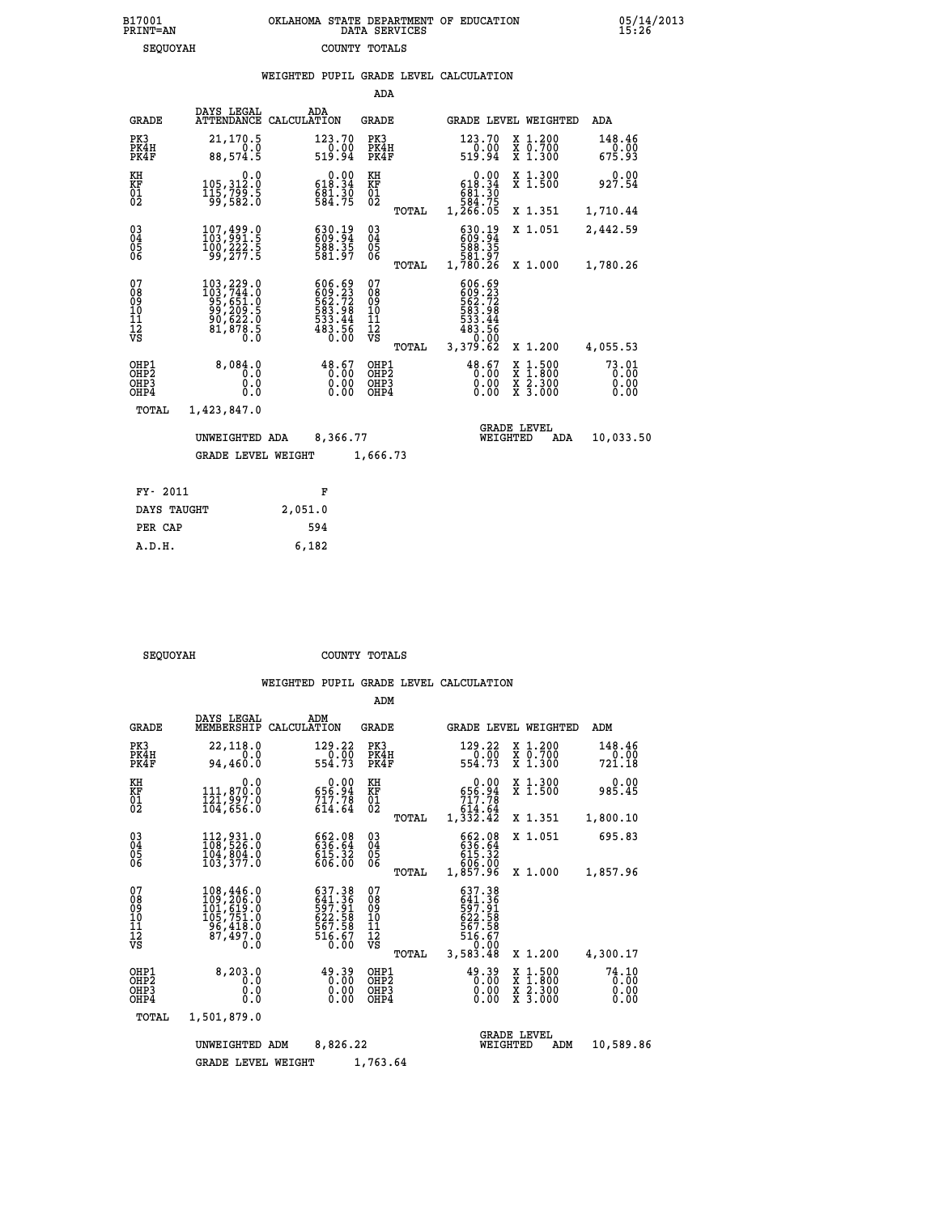|                                          |                                                                                                                 |             |                                                                              | ADA                                                |       |                                                                                         |                                |                                                                                                  |                          |
|------------------------------------------|-----------------------------------------------------------------------------------------------------------------|-------------|------------------------------------------------------------------------------|----------------------------------------------------|-------|-----------------------------------------------------------------------------------------|--------------------------------|--------------------------------------------------------------------------------------------------|--------------------------|
| <b>GRADE</b>                             | DAYS LEGAL<br><b>ATTENDANCE</b>                                                                                 | CALCULATION | ADA                                                                          | <b>GRADE</b>                                       |       |                                                                                         |                                | GRADE LEVEL WEIGHTED                                                                             | <b>ADA</b>               |
| PK3<br>PK4H<br>PK4F                      | 21,170.5<br>0.0<br>88,574.5                                                                                     |             | 123.70<br>$0.00$<br>519.94                                                   | PK3<br>PK4H<br>PK4F                                |       | 123.70<br>$\frac{0.00}{519.94}$                                                         |                                | X 1.200<br>X 0.700<br>X 1.300                                                                    | 148.46<br>0.00<br>675.93 |
| KH<br><b>KF</b><br>01<br>02              | 0.0<br>105,312.0<br>$\frac{115}{99}, \frac{799}{582}.$                                                          |             | $0.00$<br>618.34<br>$681.30$<br>584.75                                       | KH<br>KF<br>01<br>02                               |       | 618.34<br>681.30<br>584.75<br>1,266.05                                                  | 0.00                           | X 1.300<br>X 1.500                                                                               | 0.00<br>927.54           |
|                                          |                                                                                                                 |             |                                                                              |                                                    | TOTAL |                                                                                         |                                | X 1.351                                                                                          | 1,710.44                 |
| $^{03}_{04}$<br>Ŏ5<br>06                 | $\begin{smallmatrix} 107, 499 & 0\\ 103, 991 & 5\\ 100, 222 & 5\\ 99, 277 & 5 \end{smallmatrix}$                |             | 630.19<br>609.94<br>588.35<br>581.97                                         | $\begin{matrix} 03 \\ 04 \\ 05 \\ 06 \end{matrix}$ |       | 630.19<br>609.94<br>588.35<br>581.97<br>1,780.26                                        |                                | X 1.051                                                                                          | 2,442.59                 |
|                                          |                                                                                                                 |             |                                                                              |                                                    | TOTAL |                                                                                         |                                | X 1.000                                                                                          | 1,780.26                 |
| 07<br>08<br>09<br>11<br>11<br>12<br>VS   | $\begin{smallmatrix} 103,229.0\\ 103,744.0\\ 95,651.0\\ 99,209.5\\ 90,622.0\\ 81,878.5\\ 0.0 \end{smallmatrix}$ |             | $606.69$<br>$609.23$<br>$562.72$<br>$583.98$<br>$533.44$<br>$483.56$<br>0.00 | 07<br>089<br>101<br>111<br>VS                      | TOTAL | 606.69<br>609.23<br>562.72<br>583.98<br>533.44<br>533.44<br>483.56<br>00.00<br>3,379.62 |                                | X 1.200                                                                                          | 4,055.53                 |
| OHP1<br>OHP2<br>OH <sub>P3</sub><br>OHP4 | 8,084.0<br>0.0<br>0.0<br>$0.\overline{0}$                                                                       |             | 48.67<br>0.00<br>0.00                                                        | OHP1<br>OH <sub>P</sub> 2<br>OHP3<br>OHP4          |       | $48.67$<br>0.00                                                                         | 0.00<br>0.00                   | $\begin{smallmatrix} x & 1 & 500 \\ x & 1 & 800 \\ x & 2 & 300 \\ x & 3 & 000 \end{smallmatrix}$ | 73.01<br>0.00<br>0.00    |
| <b>TOTAL</b>                             | 1,423,847.0                                                                                                     |             |                                                                              |                                                    |       |                                                                                         |                                |                                                                                                  |                          |
|                                          | UNWEIGHTED ADA                                                                                                  |             | 8,366.77                                                                     |                                                    |       |                                                                                         | <b>GRADE LEVEL</b><br>WEIGHTED | ADA                                                                                              | 10,033.50                |
|                                          | <b>GRADE LEVEL WEIGHT</b>                                                                                       |             |                                                                              | 1,666.73                                           |       |                                                                                         |                                |                                                                                                  |                          |
|                                          |                                                                                                                 |             |                                                                              |                                                    |       |                                                                                         |                                |                                                                                                  |                          |
| FY- 2011                                 |                                                                                                                 |             | F                                                                            |                                                    |       |                                                                                         |                                |                                                                                                  |                          |
| DAYS TAUGHT                              |                                                                                                                 | 2,051.0     |                                                                              |                                                    |       |                                                                                         |                                |                                                                                                  |                          |

| $\Lambda$ |  |
|-----------|--|

 **PER CAP 594 A.D.H. 6,182**

SEQUOYAH COUNTY TOTALS

|                                                                     |                                                    |                                                                                 |                                                                  | ADM                                             |                                                                      |                                                                                            |                                                       |
|---------------------------------------------------------------------|----------------------------------------------------|---------------------------------------------------------------------------------|------------------------------------------------------------------|-------------------------------------------------|----------------------------------------------------------------------|--------------------------------------------------------------------------------------------|-------------------------------------------------------|
|                                                                     | <b>GRADE</b>                                       | DAYS LEGAL<br>MEMBERSHIP                                                        | ADM<br>CALCULATION                                               | <b>GRADE</b>                                    | GRADE LEVEL WEIGHTED                                                 |                                                                                            | ADM                                                   |
|                                                                     | PK3<br>PK4H<br>PK4F                                | 22,118.0<br>0.0<br>94,460.0                                                     | 129.22<br>$\frac{1}{554.73}$                                     | PK3<br>PK4H<br>PK4F                             | 129.22<br>$\frac{1}{554}. \frac{0}{73}$                              | X 1.200<br>X 0.700<br>X 1.300                                                              | 148.46<br>$\overset{\text{\normalsize 0.00}}{721.18}$ |
|                                                                     | KH<br>KF<br>01<br>02                               | 0.0<br>111,870.0<br>121,997.0<br>104,656.0                                      | 0.00<br>656.94<br>$717.78$<br>614.64                             | KH<br>KF<br>01<br>02                            | 0.00<br>656.94<br>717.78<br>614.64                                   | X 1.300<br>X 1.500                                                                         | 0.00<br>985.45                                        |
|                                                                     |                                                    |                                                                                 |                                                                  | TOTAL                                           | 1,332.42                                                             | X 1.351                                                                                    | 1,800.10                                              |
|                                                                     | $\begin{matrix} 03 \\ 04 \\ 05 \\ 06 \end{matrix}$ | 112,931.0<br>108,526.0<br>104,804.0                                             | 662.08<br>636.64<br>615.32<br>606.00                             | $\substack{03 \\ 04}$<br>05                     | 662.08<br>636.64<br>615.32                                           | X 1.051                                                                                    | 695.83                                                |
|                                                                     |                                                    | 103,377.0                                                                       |                                                                  | TOTAL                                           | 606.00<br>1,857.96                                                   | X 1.000                                                                                    | 1,857.96                                              |
|                                                                     | 07<br>08<br>09<br>10<br>11<br>11<br>12<br>VS       | 108,446.0<br>109,206.0<br>101,619.0<br>105,751.0<br>25,418.0<br>87,497.0<br>0.0 | 637.38<br>641:36<br>597:91<br>622:58<br>667:58<br>516:67<br>0.00 | 07<br>08<br>09<br>11<br>11<br>12<br>VS<br>TOTAL | 637.38<br>641:36<br>597:91<br>622:58<br>567:58<br>516.67<br>3,583.48 | X 1.200                                                                                    | 4,300.17                                              |
|                                                                     | OHP1<br>OHP2<br>OHP3<br>OHP4                       | 8, 203.0<br>0.0<br>0.0<br>Ŏ.Ŏ                                                   | 49.39<br>0.00<br>0.00<br>0.00                                    | OHP1<br>OHP2<br>OHP3<br>OHP4                    | $49.39$<br>$0.00$<br>0.00                                            | $\begin{array}{c} x & 1.500 \\ x & 1.800 \\ x & 2.300 \end{array}$<br>$\overline{x}$ 3.000 | 74.10<br>0.00<br>0.00<br>0.00                         |
|                                                                     | TOTAL                                              | 1,501,879.0                                                                     |                                                                  |                                                 |                                                                      |                                                                                            |                                                       |
| 8,826.22<br>UNWEIGHTED ADM<br>1,763.64<br><b>GRADE LEVEL WEIGHT</b> |                                                    |                                                                                 |                                                                  |                                                 | WEIGHTED                                                             | <b>GRADE LEVEL</b><br>ADM                                                                  | 10,589.86                                             |
|                                                                     |                                                    |                                                                                 |                                                                  |                                                 |                                                                      |                                                                                            |                                                       |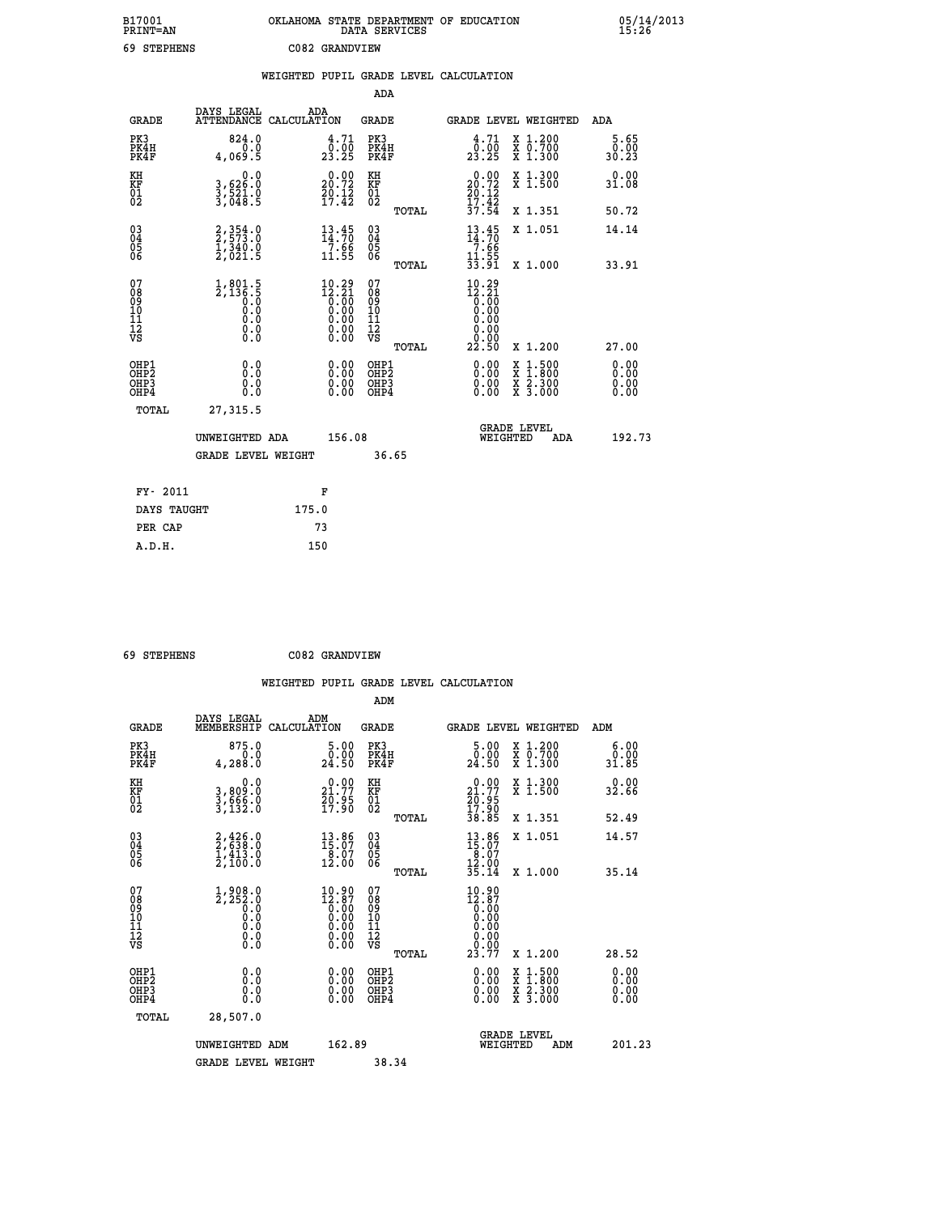| B17001<br><b>PRINT=AN</b> | OKLAHOMA STATE DEPARTMENT OF EDUCATION<br>DATA SERVICES | 05/14/2013<br>15:26 |
|---------------------------|---------------------------------------------------------|---------------------|
| 69<br><b>STEPHENS</b>     | C082 GRANDVIEW                                          |                     |

|                                              |                                                                         |                                                                                                       |                                               | WEIGHTED PUPIL GRADE LEVEL CALCULATION                                                                                                                                                                                                                                         |                                                                                                                                              |                       |
|----------------------------------------------|-------------------------------------------------------------------------|-------------------------------------------------------------------------------------------------------|-----------------------------------------------|--------------------------------------------------------------------------------------------------------------------------------------------------------------------------------------------------------------------------------------------------------------------------------|----------------------------------------------------------------------------------------------------------------------------------------------|-----------------------|
|                                              |                                                                         |                                                                                                       | ADA                                           |                                                                                                                                                                                                                                                                                |                                                                                                                                              |                       |
| <b>GRADE</b>                                 | DAYS LEGAL<br>ATTENDANCE CALCULATION                                    | ADA                                                                                                   | <b>GRADE</b>                                  | GRADE LEVEL WEIGHTED                                                                                                                                                                                                                                                           |                                                                                                                                              | ADA                   |
| PK3<br>PK4H<br>PK4F                          | 824.0<br>0.0<br>4,069.5                                                 | 4.71<br>23.25                                                                                         | PK3<br>PK4H<br>PK4F                           | $\begin{smallmatrix} 4\cdot71\0\cdot00\23\cdot25 \end{smallmatrix}$                                                                                                                                                                                                            | X 1.200<br>X 0.700<br>X 1.300                                                                                                                | 5.65<br>0.00<br>30.23 |
| KH<br>KF<br>01<br>02                         | $\begin{smallmatrix}&&&0.0\\3,626.0\\3,521.0\\3,048.5\end{smallmatrix}$ | 20.00<br>$\frac{70.12}{17.42}$                                                                        | KH<br>KF<br>01<br>02                          | 20.00<br>$\frac{20.12}{17.42}$<br>37.54                                                                                                                                                                                                                                        | X 1.300<br>X 1.500                                                                                                                           | 0.00<br>31.08         |
|                                              |                                                                         |                                                                                                       | TOTAL                                         |                                                                                                                                                                                                                                                                                | X 1.351                                                                                                                                      | 50.72                 |
| $^{03}_{04}$<br>05<br>06                     | 2, 354.0<br>2, 573.0<br>1, 340.0<br>2, 021.5                            | $\frac{13}{14}$ : 70<br>$\frac{7.66}{11.55}$                                                          | $^{03}_{04}$<br>0500                          | $\frac{13.45}{14.70}$<br>7.66                                                                                                                                                                                                                                                  | X 1.051                                                                                                                                      | 14.14                 |
|                                              |                                                                         |                                                                                                       | TOTAL                                         | $\frac{11.55}{33.91}$                                                                                                                                                                                                                                                          | X 1.000                                                                                                                                      | 33.91                 |
| 07<br>08<br>09<br>10<br>11<br>11<br>12<br>VS | $1,801.5$<br>$2,136.5$<br>$0.0$<br>$0.0$<br>$0.0$<br>$0.0$<br>$0.0$     | $\begin{smallmatrix} 10.29\ 12.21\ 0.00\ 0.00\ 0.00\ 0.00\ 0.00\ 0.00\ 0.00\ 0.00\ \end{smallmatrix}$ | 078<br>089<br>0011<br>11<br>12<br>VS<br>TOTAL | 10.29<br>$\begin{smallmatrix} 12.21\ 12.00\ 0.00 \end{smallmatrix}$<br>0.00<br>0.00<br>0.00<br>22.50                                                                                                                                                                           | X 1.200                                                                                                                                      | 27.00                 |
| OHP1<br>OHP2<br>OHP3<br>OH <sub>P4</sub>     | 0.0<br>0.0<br>0.0                                                       | $\begin{smallmatrix} 0.00 \ 0.00 \ 0.00 \ 0.00 \end{smallmatrix}$                                     | OHP1<br>OHP2<br>OHP3<br>OHP4                  | $\begin{smallmatrix} 0.00 & 0.00 & 0.00 & 0.00 & 0.00 & 0.00 & 0.00 & 0.00 & 0.00 & 0.00 & 0.00 & 0.00 & 0.00 & 0.00 & 0.00 & 0.00 & 0.00 & 0.00 & 0.00 & 0.00 & 0.00 & 0.00 & 0.00 & 0.00 & 0.00 & 0.00 & 0.00 & 0.00 & 0.00 & 0.00 & 0.00 & 0.00 & 0.00 & 0.00 & 0.00 & 0.0$ | $\begin{smallmatrix} \mathtt{X} & 1\cdot500 \\ \mathtt{X} & 1\cdot800 \\ \mathtt{X} & 2\cdot300 \\ \mathtt{X} & 3\cdot000 \end{smallmatrix}$ | 0.00<br>0.00<br>0.00  |
| TOTAL                                        | 27, 315.5                                                               |                                                                                                       |                                               |                                                                                                                                                                                                                                                                                |                                                                                                                                              |                       |
|                                              | UNWEIGHTED ADA                                                          | 156.08                                                                                                |                                               | <b>GRADE LEVEL</b><br>WEIGHTED                                                                                                                                                                                                                                                 | ADA                                                                                                                                          | 192.73                |
|                                              | <b>GRADE LEVEL WEIGHT</b>                                               |                                                                                                       | 36.65                                         |                                                                                                                                                                                                                                                                                |                                                                                                                                              |                       |
| FY- 2011                                     |                                                                         | F                                                                                                     |                                               |                                                                                                                                                                                                                                                                                |                                                                                                                                              |                       |
| DAYS TAUGHT                                  |                                                                         | 175.0                                                                                                 |                                               |                                                                                                                                                                                                                                                                                |                                                                                                                                              |                       |
| PER CAP                                      |                                                                         | 73                                                                                                    |                                               |                                                                                                                                                                                                                                                                                |                                                                                                                                              |                       |

| 69 STEPHENS | C082 GRANDVIEW |
|-------------|----------------|
|             |                |

| <b>GRADE</b>                                       | DAYS LEGAL<br>MEMBERSHIP                                            | ADM<br>CALCULATION                                                                                     | <b>GRADE</b>                                       |       | GRADE LEVEL WEIGHTED                                                                      |                                          |     | ADM                   |  |
|----------------------------------------------------|---------------------------------------------------------------------|--------------------------------------------------------------------------------------------------------|----------------------------------------------------|-------|-------------------------------------------------------------------------------------------|------------------------------------------|-----|-----------------------|--|
| PK3<br>PK4H<br>PK4F                                | 875.0<br>4,288.0                                                    | $\begin{smallmatrix}5.00\0.00\\24.50\end{smallmatrix}$                                                 | PK3<br>PK4H<br>PK4F                                |       | 5.00<br>$\frac{0.00}{24.50}$                                                              | X 1.200<br>X 0.700<br>X 1.300            |     | 6.00<br>0.00<br>31.85 |  |
| KH<br>KF<br>01<br>02                               | 0.0<br>3,809:0<br>3,666:0<br>3,132:0                                | $\begin{smallmatrix} 0.00\\ 21.77\\ 20.95\\ 17.90 \end{smallmatrix}$                                   | KH<br>KF<br>01<br>02                               |       | $\begin{smallmatrix} 0.00\\ 21.77\\ 20.95\\ 17.90\\ 38.85 \end{smallmatrix}$              | X 1.300<br>X 1.500                       |     | 0.00<br>32.66         |  |
|                                                    |                                                                     |                                                                                                        |                                                    | TOTAL |                                                                                           | X 1.351                                  |     | 52.49                 |  |
| $\begin{matrix} 03 \\ 04 \\ 05 \\ 06 \end{matrix}$ | $2,426.0$<br>$2,638.0$<br>$1,413.0$<br>$2,100.0$                    | $\begin{smallmatrix} 13.86\\15.07\\8.07\\12.00 \end{smallmatrix}$                                      | $\begin{matrix} 03 \\ 04 \\ 05 \\ 06 \end{matrix}$ |       | $13.86$<br>$15.07$<br>$8.07$<br>$12.90$<br>$35.14$                                        | X 1.051                                  |     | 14.57                 |  |
|                                                    |                                                                     |                                                                                                        |                                                    | TOTAL |                                                                                           | X 1.000                                  |     | 35.14                 |  |
| 07<br>089<br>090<br>1112<br>VS                     | $1,908.0$<br>$2,252.0$<br>$0.0$<br>$0.0$<br>$0.0$<br>$0.0$<br>$0.0$ | $\begin{smallmatrix} 10.90\\ 12.87\\ 0.00\\ 0.00\\ 0.00\\ 0.00\\ 0.00\\ 0.00\\ 0.00 \end{smallmatrix}$ | 07<br>08901112<br>1112<br>VS                       | TOTAL | $\begin{smallmatrix} 10.90\\12.87\\0.00\\0.00\\0.00\\0.00\\0.00\\23.77 \end{smallmatrix}$ | X 1.200                                  |     | 28.52                 |  |
|                                                    |                                                                     |                                                                                                        |                                                    |       |                                                                                           |                                          |     |                       |  |
| OHP1<br>OHP2<br>OH <sub>P3</sub><br>OHP4           | 0.0<br>0.000                                                        |                                                                                                        | OHP1<br>OHP2<br>OHP3<br>OHP4                       |       | 0.00<br>0.00                                                                              | X 1:500<br>X 1:800<br>X 2:300<br>X 3:000 |     | 0.00<br>0.00<br>0.00  |  |
| TOTAL                                              | 28,507.0                                                            |                                                                                                        |                                                    |       |                                                                                           |                                          |     |                       |  |
|                                                    | UNWEIGHTED                                                          | 162.89<br>ADM                                                                                          |                                                    |       | WEIGHTED                                                                                  | <b>GRADE LEVEL</b>                       | ADM | 201.23                |  |
|                                                    | <b>GRADE LEVEL WEIGHT</b>                                           |                                                                                                        | 38.34                                              |       |                                                                                           |                                          |     |                       |  |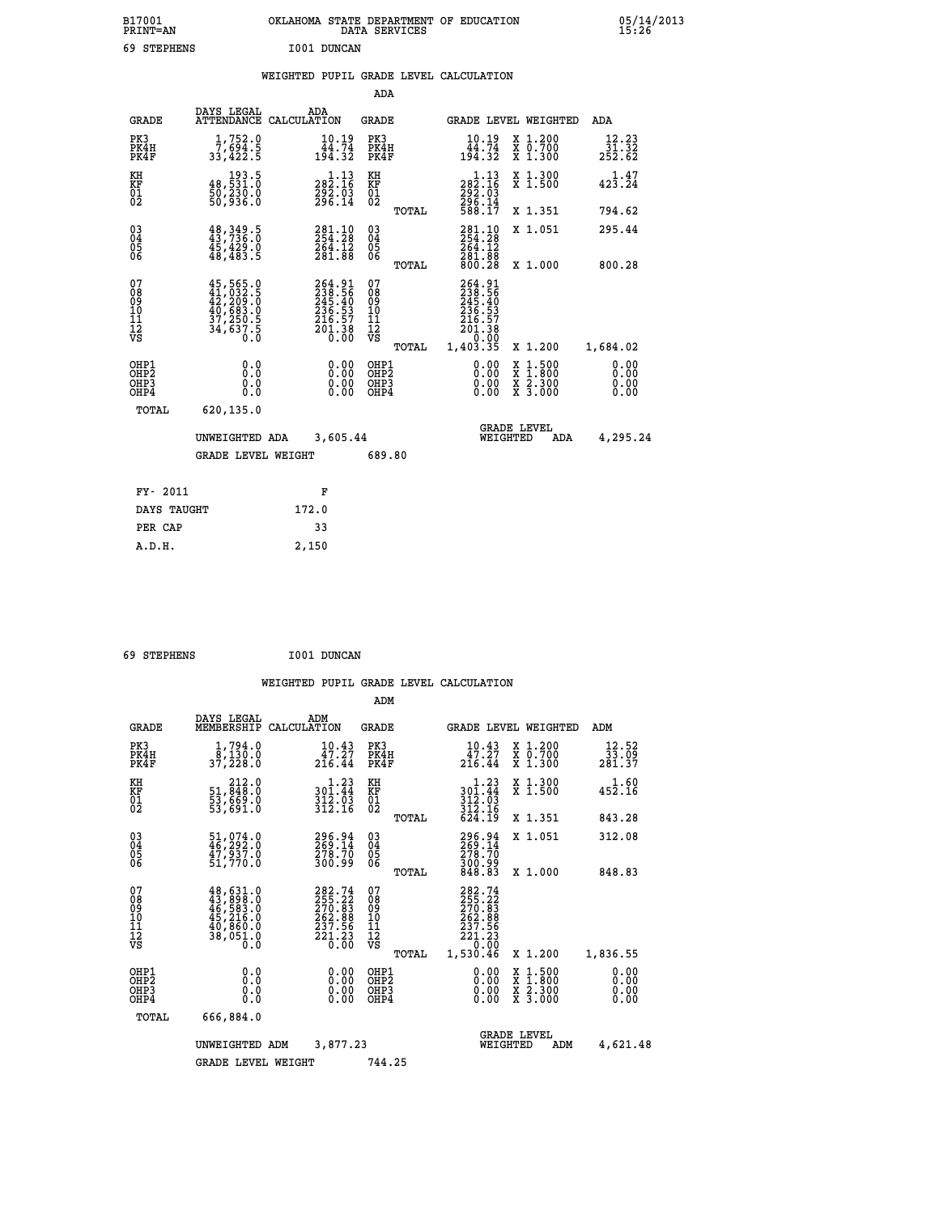| B17001<br><b>PRINT=AN</b> | OKLAHOMA STATE DEPARTMENT OF EDUCATION<br>DATA SERVICES |  |
|---------------------------|---------------------------------------------------------|--|
| 69 STEPHENS               | I001 DUNCAN                                             |  |

**CON**  $\begin{array}{r} 05/14/2013 \\ 15:26 \end{array}$ 

### **WEIGHTED PUPIL GRADE LEVEL CALCULATION**

|                                          |                                                                                                               |                                                                                | ADA                                    |       |                                                                             |                                                                        |                                 |
|------------------------------------------|---------------------------------------------------------------------------------------------------------------|--------------------------------------------------------------------------------|----------------------------------------|-------|-----------------------------------------------------------------------------|------------------------------------------------------------------------|---------------------------------|
| <b>GRADE</b>                             | DAYS LEGAL                                                                                                    | ADA<br>ATTENDANCE CALCULATION                                                  | <b>GRADE</b>                           |       |                                                                             | GRADE LEVEL WEIGHTED                                                   | <b>ADA</b>                      |
| PK3<br>PK4H<br>PK4F                      | 1,752.0<br>7,694.5<br>33,422.5                                                                                | $10.19$<br>$44.74$<br>$194.32$                                                 | PK3<br>PK4H<br>PK4F                    |       | $10.19$<br>$44.74$<br>$194.32$                                              | X 1.200<br>X 0.700<br>X 1.300                                          | 12.23<br>$\frac{31.32}{252.62}$ |
| KH<br>KF<br>01<br>02                     | 193.5<br>48,531.0<br>50,230.0<br>50,936.0                                                                     | $\begin{smallmatrix} 1.13\\282.16\\292.03\\296.14\end{smallmatrix}$            | KH<br>KF<br>$\overline{01}$            |       | $\begin{smallmatrix} 1.13\\282.16\\292.03\\296.14\\588.17\end{smallmatrix}$ | X 1.300<br>X 1.500                                                     | 1.47<br>423.24                  |
|                                          |                                                                                                               |                                                                                |                                        | TOTAL |                                                                             | X 1.351                                                                | 794.62                          |
| 030404<br>06                             | $48,349.5$<br>$43,736.0$<br>$45,429.0$<br>$48,483.5$                                                          | 281.10<br>254.28<br>$\frac{264.12}{281.88}$                                    | 03<br>04<br>05<br>06                   |       | 281.10<br>264.12<br>281.88<br>800.28                                        | X 1.051                                                                | 295.44                          |
|                                          |                                                                                                               |                                                                                |                                        | TOTAL |                                                                             | X 1.000                                                                | 800.28                          |
| 07<br>08<br>09<br>11<br>11<br>12<br>VS   | $\begin{smallmatrix} 45,565.0\\ 41,032.5\\ 42,209.0\\ 40,683.0\\ 37,250.5\\ 34,637.5\\ 0.0 \end{smallmatrix}$ | $264.91$<br>$238.56$<br>$245.40$<br>$236.53$<br>$216.57$<br>$201.38$<br>$0.00$ | 07<br>08<br>09<br>11<br>11<br>12<br>VS |       | 264.91<br>238.56<br>245.40<br>236.537<br>216.57<br>201.38<br>0.00           |                                                                        |                                 |
|                                          |                                                                                                               |                                                                                |                                        | TOTAL | 1,403.35                                                                    | X 1.200                                                                | 1,684.02                        |
| OHP1<br>OHP <sub>2</sub><br>OHP3<br>OHP4 | 0.0<br>0.0<br>Ō.Ō                                                                                             | 0.00<br>$\begin{smallmatrix} 0.00 \ 0.00 \end{smallmatrix}$                    | OHP1<br>OHP2<br>OHP3<br>OHP4           |       | $0.00$<br>$0.00$<br>0.00                                                    | $\frac{x}{x}$ $\frac{1.500}{x}$<br>$\frac{x}{x}$ $\frac{5.300}{3.000}$ | 0.00<br>0.00<br>0.00<br>0.00    |
| TOTAL                                    | 620,135.0                                                                                                     |                                                                                |                                        |       |                                                                             |                                                                        |                                 |
|                                          | UNWEIGHTED ADA                                                                                                | 3,605.44                                                                       |                                        |       |                                                                             | <b>GRADE LEVEL</b><br>WEIGHTED<br>ADA                                  | 4,295.24                        |
|                                          | <b>GRADE LEVEL WEIGHT</b>                                                                                     |                                                                                | 689.80                                 |       |                                                                             |                                                                        |                                 |
| FY- 2011                                 |                                                                                                               | F                                                                              |                                        |       |                                                                             |                                                                        |                                 |
| DAYS TAUGHT                              |                                                                                                               | 172.0                                                                          |                                        |       |                                                                             |                                                                        |                                 |
| PER CAP                                  |                                                                                                               | 33                                                                             |                                        |       |                                                                             |                                                                        |                                 |
|                                          |                                                                                                               |                                                                                |                                        |       |                                                                             |                                                                        |                                 |

 **69 STEPHENS I001 DUNCAN**

 **A.D.H. 2,150**

|                                                       |                                                                             |                                                                                                                                            | ADM                                     |        |                                                                                |                                                                                                  |                              |
|-------------------------------------------------------|-----------------------------------------------------------------------------|--------------------------------------------------------------------------------------------------------------------------------------------|-----------------------------------------|--------|--------------------------------------------------------------------------------|--------------------------------------------------------------------------------------------------|------------------------------|
| <b>GRADE</b>                                          | DAYS LEGAL<br>MEMBERSHIP                                                    | ADM<br>CALCULATION                                                                                                                         | <b>GRADE</b>                            |        |                                                                                | GRADE LEVEL WEIGHTED                                                                             | ADM                          |
| PK3<br>PK4H<br>PK4F                                   | $\frac{1}{8}$ , $\frac{794}{130}$ .0<br>37,228.0                            | 10.43<br>47.27<br>$2\bar{1}\bar{6}.\bar{4}4$                                                                                               | PK3<br>PK4H<br>PK4F                     |        | 10.43<br>$\frac{\bar{4}\,\tilde{7}\cdot\tilde{2}\,\tilde{7}}{216.44}$          | $\begin{array}{c} x & 1.200 \\ x & 0.700 \end{array}$<br>$X$ 1.300                               | 12.52<br>33.09<br>281.37     |
| KH<br>KF<br>01<br>02                                  | 212.0<br>51,848.0<br>53,669.0<br>53,691.0                                   | $\begin{array}{c} 1\cdot 23\\ 301\cdot 44\\ 312\cdot 03\\ 312\cdot 16 \end{array}$                                                         | KH<br>KF<br>01<br>02                    |        | $\begin{array}{c} 1.23 \\ 301.44 \\ 312.03 \\ 312.16 \\ 624.19 \end{array}$    | X 1.300<br>X 1.500                                                                               | $1.60$<br>452.16             |
|                                                       |                                                                             |                                                                                                                                            |                                         | TOTAL  |                                                                                | X 1.351                                                                                          | 843.28                       |
| 03<br>04<br>05<br>06                                  | 51,074.0<br>46,292.0<br>47,937.0<br>51,770.0                                | 296.94<br>269.14<br>278.70<br>300.99                                                                                                       | $\substack{03 \\ 04}$<br>0500           |        | 296.94<br>269.14<br>278.70<br>300.99<br>848.83                                 | X 1.051                                                                                          | 312.08                       |
|                                                       |                                                                             |                                                                                                                                            |                                         | TOTAL  |                                                                                | X 1.000                                                                                          | 848.83                       |
| 07<br>08<br>09<br>101<br>112<br>VS                    | 48,631.0<br>43,898.0<br>46,583.0<br>45,216.0<br>40,869.0<br>38,051.0<br>0.0 | $\begin{smallmatrix} 282\cdot74\\ 255\cdot22\\ 270\cdot83\\ 262\cdot88\\ 262\cdot88\\ 237\cdot56\\ 221\cdot23\\ 0\cdot00\end{smallmatrix}$ | 07<br>08<br>09<br>101<br>11<br>12<br>VS | TOTAL  | 282.74<br>255.22<br>270.83<br>262.88<br>237.56<br>221.23<br>221.23<br>1,530.46 | X 1.200                                                                                          | 1,836.55                     |
| OHP1<br>OH <sub>P</sub> 2<br>OH <sub>P3</sub><br>OHP4 | 0.0<br>0.000                                                                | $0.00$<br>$0.00$<br>0.00                                                                                                                   | OHP1<br>OHP2<br>OHP3<br>OHP4            |        | $0.00$<br>$0.00$<br>0.00                                                       | $\begin{smallmatrix} x & 1 & 500 \\ x & 1 & 800 \\ x & 2 & 300 \\ x & 3 & 000 \end{smallmatrix}$ | 0.00<br>0.00<br>0.00<br>0.00 |
| TOTAL                                                 | 666,884.0                                                                   |                                                                                                                                            |                                         |        |                                                                                |                                                                                                  |                              |
|                                                       | UNWEIGHTED                                                                  | 3,877.23<br>ADM                                                                                                                            |                                         |        |                                                                                | <b>GRADE LEVEL</b><br>WEIGHTED<br>ADM                                                            | 4,621.48                     |
|                                                       | <b>GRADE LEVEL WEIGHT</b>                                                   |                                                                                                                                            |                                         | 744.25 |                                                                                |                                                                                                  |                              |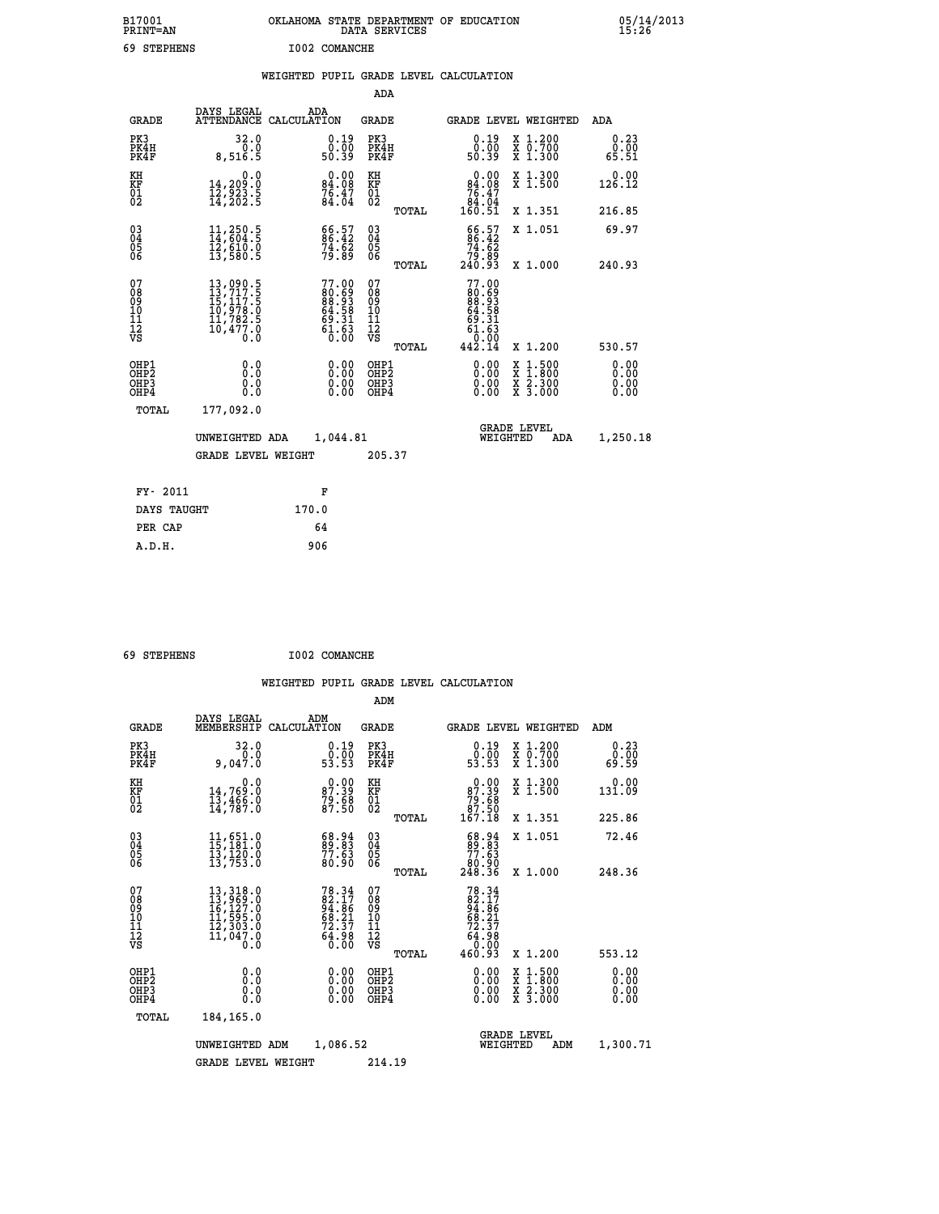| B17001<br><b>PRINT=AN</b> | OKLAHOMA STATE DEPARTMENT OF EDUCATION<br>DATA SERVICES | 05/14/2013<br>15:26 |
|---------------------------|---------------------------------------------------------|---------------------|
| 69<br>STEPHENS            | I002 COMANCHE                                           |                     |

|                                           |                                                                                                                                                                                          | WEIGHTED PUPIL GRADE LEVEL CALCULATION                            |                                                                  |                                                                                                                                                                                                                                                                                                                                                                                                                             |                              |
|-------------------------------------------|------------------------------------------------------------------------------------------------------------------------------------------------------------------------------------------|-------------------------------------------------------------------|------------------------------------------------------------------|-----------------------------------------------------------------------------------------------------------------------------------------------------------------------------------------------------------------------------------------------------------------------------------------------------------------------------------------------------------------------------------------------------------------------------|------------------------------|
|                                           |                                                                                                                                                                                          |                                                                   | <b>ADA</b>                                                       |                                                                                                                                                                                                                                                                                                                                                                                                                             |                              |
| <b>GRADE</b>                              | DAYS LEGAL                                                                                                                                                                               | ADA<br>ATTENDANCE CALCULATION                                     | <b>GRADE</b>                                                     | GRADE LEVEL WEIGHTED                                                                                                                                                                                                                                                                                                                                                                                                        | ADA                          |
| PK3<br>PK4H<br>PK4F                       | 32.0<br>0.0<br>8,516.5                                                                                                                                                                   | 0.19<br>ŏ:ŏó<br>50:39                                             | PK3<br>PK4H<br>PK4F                                              | 0.19<br>X 1.200<br>X 0.700<br>X 1.300<br>0.00<br>50.39                                                                                                                                                                                                                                                                                                                                                                      | 0.23<br>0.00<br>65.51        |
| KH<br>KF<br>01<br>02                      | 0.0<br>14,209:0<br>12,923:5<br>14,202:5                                                                                                                                                  | $\begin{smallmatrix} 0.00\\84.08\\76.47\\84.04 \end{smallmatrix}$ | KH<br>KF<br>01<br>02                                             | 0.00<br>X 1.300<br>X 1.500<br>$\begin{array}{r} 84.08 \\ 76.47 \\ 84.04 \\ 160.51 \end{array}$                                                                                                                                                                                                                                                                                                                              | 0.00<br>126.12               |
|                                           |                                                                                                                                                                                          |                                                                   | TOTAL                                                            | X 1.351                                                                                                                                                                                                                                                                                                                                                                                                                     | 216.85                       |
| $^{03}_{04}$<br>Ŏ5<br>06                  | $\frac{11}{14}, \frac{250}{604}, \frac{5}{5}$<br>$\frac{12}{12}, \frac{610}{500}, \frac{0}{5}$                                                                                           | 66.57<br>86.42<br>74.62<br>79.89                                  | $\begin{matrix} 03 \\ 04 \\ 05 \\ 06 \end{matrix}$               | $\begin{smallmatrix} 66.57\ 86.42\ 74.62\ 79.89\ 240.93 \end{smallmatrix}$<br>X 1.051                                                                                                                                                                                                                                                                                                                                       | 69.97                        |
|                                           |                                                                                                                                                                                          |                                                                   | TOTAL                                                            | X 1.000                                                                                                                                                                                                                                                                                                                                                                                                                     | 240.93                       |
| 07<br>08<br>09<br>11<br>11<br>12<br>VS    | $\begin{smallmatrix} 13\,, & 090\,, & 5\\ 13\,, & 717\,, & 5\\ 15\,, & 117\,, & 5\\ 10\,, & 978\,, & 0\\ 11\,, & 782\,, & 5\\ 10\,, & 477\,, & 0\\ 0\,, & 0\,, & 0\,, \end{smallmatrix}$ | 77.00<br>80.69<br>88.93<br>64.58<br>69.31<br>$\frac{51.63}{0.00}$ | 07<br>08<br>09<br>11<br>11<br>12<br>VS                           | 77.00<br>ěğ: ģġ<br>Eg: §§<br>64.58<br>$60.31$<br>$61.63$<br>$0.00$                                                                                                                                                                                                                                                                                                                                                          |                              |
|                                           |                                                                                                                                                                                          |                                                                   | TOTAL                                                            | 442.14<br>X 1.200                                                                                                                                                                                                                                                                                                                                                                                                           | 530.57                       |
| OHP1<br>OH <sub>P</sub> 2<br>OHP3<br>OHP4 | 0.0<br>Ō.Ō<br>0.0<br>0.0                                                                                                                                                                 | $\begin{smallmatrix} 0.00 \ 0.00 \ 0.00 \ 0.00 \end{smallmatrix}$ | OHP1<br>OHP <sub>2</sub><br>OHP <sub>3</sub><br>OHP <sub>4</sub> | $\begin{smallmatrix} 0.00 & 0.00 & 0.00 & 0.00 & 0.00 & 0.00 & 0.00 & 0.00 & 0.00 & 0.00 & 0.00 & 0.00 & 0.00 & 0.00 & 0.00 & 0.00 & 0.00 & 0.00 & 0.00 & 0.00 & 0.00 & 0.00 & 0.00 & 0.00 & 0.00 & 0.00 & 0.00 & 0.00 & 0.00 & 0.00 & 0.00 & 0.00 & 0.00 & 0.00 & 0.00 & 0.0$<br>$\begin{smallmatrix} \mathtt{X} & 1\cdot500\\ \mathtt{X} & 1\cdot800\\ \mathtt{X} & 2\cdot300\\ \mathtt{X} & 3\cdot000 \end{smallmatrix}$ | 0.00<br>0.00<br>0.00<br>0.00 |
| TOTAL                                     | 177,092.0                                                                                                                                                                                |                                                                   |                                                                  |                                                                                                                                                                                                                                                                                                                                                                                                                             |                              |
|                                           | UNWEIGHTED ADA                                                                                                                                                                           | 1,044.81                                                          |                                                                  | <b>GRADE LEVEL</b><br>WEIGHTED<br>ADA                                                                                                                                                                                                                                                                                                                                                                                       | 1,250.18                     |
|                                           | <b>GRADE LEVEL WEIGHT</b>                                                                                                                                                                |                                                                   | 205.37                                                           |                                                                                                                                                                                                                                                                                                                                                                                                                             |                              |
| FY- 2011                                  |                                                                                                                                                                                          | F                                                                 |                                                                  |                                                                                                                                                                                                                                                                                                                                                                                                                             |                              |
| DAYS TAUGHT                               |                                                                                                                                                                                          | 170.0                                                             |                                                                  |                                                                                                                                                                                                                                                                                                                                                                                                                             |                              |
| PER CAP                                   |                                                                                                                                                                                          | 64                                                                |                                                                  |                                                                                                                                                                                                                                                                                                                                                                                                                             |                              |
| A.D.H.                                    |                                                                                                                                                                                          | 906                                                               |                                                                  |                                                                                                                                                                                                                                                                                                                                                                                                                             |                              |

 **69 STEPHENS I002 COMANCHE**

 **ADM**

| <b>GRADE</b>                                       | DAYS LEGAL                                                                                         | ADM<br>MEMBERSHIP CALCULATION                                            | <b>GRADE</b>                                       | GRADE LEVEL WEIGHTED                                                       |                                                                                                                     | ADM                   |
|----------------------------------------------------|----------------------------------------------------------------------------------------------------|--------------------------------------------------------------------------|----------------------------------------------------|----------------------------------------------------------------------------|---------------------------------------------------------------------------------------------------------------------|-----------------------|
| PK3<br>PK4H<br>PK4F                                | 32.0<br>0.0<br>9,047.0                                                                             | $0.19$<br>$0.00$<br>53.53                                                | PK3<br>PK4H<br>PK4F                                | 0.19<br>$\frac{0}{53}$ . 53                                                | X 1.200<br>X 0.700<br>X 1.300                                                                                       | 0.23<br>0.00<br>69.59 |
| KH<br>KF<br>01<br>02                               | 0.0<br>$\frac{14}{13}, \frac{769}{466}$ .0<br>$\frac{13}{14}, \frac{466}{787}$ .0                  | $\begin{smallmatrix} 0.00\\ 87.39\\ 79.68\\ 77.50 \end{smallmatrix}$     | KH<br>KF<br>01<br>02                               | $0.00\n87.39\n79.68\n87.50\n167.18$                                        | X 1.300<br>X 1.500                                                                                                  | 0.00<br>131.09        |
|                                                    |                                                                                                    |                                                                          | TOTAL                                              |                                                                            | X 1.351                                                                                                             | 225.86                |
| $\begin{matrix} 03 \\ 04 \\ 05 \\ 06 \end{matrix}$ | $11,651.0$<br>$15,181.0$<br>$13,120.0$<br>$13,753.0$                                               | $\begin{smallmatrix} 68.94\ 89.83\ 77.63\ 80.90 \end{smallmatrix}$       | $\begin{matrix} 03 \\ 04 \\ 05 \\ 06 \end{matrix}$ | $\begin{smallmatrix} 68.94\ 89.83\ 77.63\ 80.90\ 248.36 \end{smallmatrix}$ | X 1.051                                                                                                             | 72.46                 |
|                                                    |                                                                                                    |                                                                          | TOTAL                                              |                                                                            | X 1.000                                                                                                             | 248.36                |
| 07<br>08<br>09<br>101<br>11<br>12<br>VS            | 13, 318.0<br>13, 969.0<br>16, 127.0<br>11, 595.0<br>12, 303.0<br>$\overline{11}, \overline{047}.0$ | $78.34$<br>$82.17$<br>$94.86$<br>$68.21$<br>$72.37$<br>$64.98$<br>$6.00$ | 078<br>089<br>0011<br>11<br>12<br>VS<br>TOTAL      | 78.34<br>82.17<br>94.86<br>98.21<br>68.21<br>72.37<br>64.980<br>460.93     | X 1.200                                                                                                             | 553.12                |
| OHP1<br>OHP2<br>OHP3<br>OHP4                       | 0.0<br>0.000                                                                                       |                                                                          | OHP1<br>OHP2<br>OHP3<br>OHP4                       | $0.00$<br>$0.00$<br>0.00                                                   | $\begin{array}{l} \mathtt{X} & 1.500 \\ \mathtt{X} & 1.800 \\ \mathtt{X} & 2.300 \\ \mathtt{X} & 3.000 \end{array}$ | 0.00<br>0.00<br>0.00  |
| TOTAL                                              | 184,165.0                                                                                          |                                                                          |                                                    |                                                                            |                                                                                                                     |                       |
|                                                    | UNWEIGHTED                                                                                         | 1,086.52<br>ADM                                                          |                                                    | <b>GRADE LEVEL</b><br>WEIGHTED                                             | ADM                                                                                                                 | 1,300.71              |
|                                                    | <b>GRADE LEVEL WEIGHT</b>                                                                          |                                                                          | 214.19                                             |                                                                            |                                                                                                                     |                       |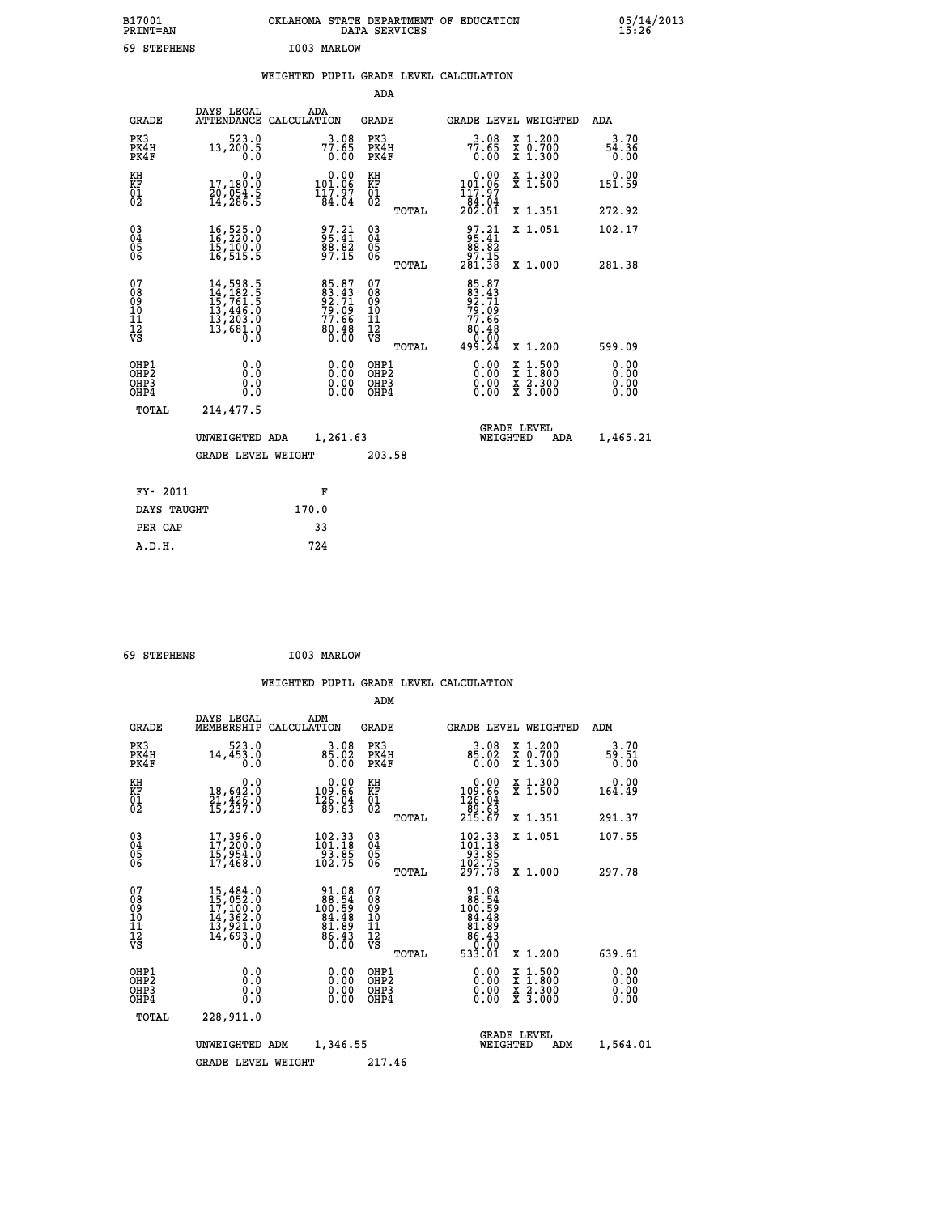| B17001<br><b>PRINT=AN</b> |             | OKLAHOMA STATE DEPARTMENT OF EDUCATION<br>DATA SERVICES |  |
|---------------------------|-------------|---------------------------------------------------------|--|
| 69 STEPHENS               | I003 MARLOW |                                                         |  |

 $\begin{array}{ccc} 0.5/14/2013 \ 15:26 \end{array}$ 

## **WEIGHTED PUPIL GRADE LEVEL CALCULATION**

|                                                    |                                                                                                                                                                        |                                                                        | ADA                                                 |       |                                                                                  |                                                                                                                                           |                              |
|----------------------------------------------------|------------------------------------------------------------------------------------------------------------------------------------------------------------------------|------------------------------------------------------------------------|-----------------------------------------------------|-------|----------------------------------------------------------------------------------|-------------------------------------------------------------------------------------------------------------------------------------------|------------------------------|
| <b>GRADE</b>                                       | DAYS LEGAL                                                                                                                                                             | ADA<br>ATTENDANCE CALCULATION                                          | <b>GRADE</b>                                        |       | GRADE LEVEL WEIGHTED                                                             |                                                                                                                                           | ADA                          |
| PK3<br>PK4H<br>PK4F                                | 523.0<br>13,200.5<br>0.0                                                                                                                                               | $77.65$<br>0.00                                                        | PK3<br>PK4H<br>PK4F                                 |       | $77.65$<br>0.00                                                                  | X 1.200<br>X 0.700<br>X 1.300                                                                                                             | 3.70<br>$\frac{54.36}{0.00}$ |
| KH<br>KF<br>01<br>02                               | 0.0<br>17,180:0<br>20,054.5<br>14,286:5                                                                                                                                | $\begin{smallmatrix} &0.00\\ 101.06\\ 117.97\\ 84.04\end{smallmatrix}$ | KH<br>KF<br>01<br>02                                |       | $\begin{smallmatrix} &0.00\\ 101.06\\ 117.97\\ 84.04\\ 202.01 \end{smallmatrix}$ | X 1.300<br>X 1.500                                                                                                                        | 0.00<br>151.59               |
|                                                    |                                                                                                                                                                        |                                                                        |                                                     | TOTAL |                                                                                  | X 1.351                                                                                                                                   | 272.92                       |
| $\begin{matrix} 03 \\ 04 \\ 05 \\ 06 \end{matrix}$ | 16,525.0<br>16,220:0<br>15,100.0<br>16,515.5                                                                                                                           | $97.21$<br>$95.41$<br>$\frac{88.82}{97.15}$                            | $\begin{array}{c} 03 \\ 04 \\ 05 \\ 06 \end{array}$ |       | $97.21$<br>$95.41$<br>$\begin{array}{r} 88.82 \\ 87.15 \\ 281.38 \end{array}$    | X 1.051                                                                                                                                   | 102.17                       |
|                                                    |                                                                                                                                                                        |                                                                        |                                                     | TOTAL |                                                                                  | X 1.000                                                                                                                                   | 281.38                       |
| 07<br>08<br>09<br>11<br>11<br>12<br>VS             | $\begin{smallmatrix} 14\,,\,598\,.\,5\\ 14\,,\,182\,. \,5\\ 15\,,\,761\,. \,5\\ 13\,,\,446\,. \,0\\ 13\,,\,203\,. \,0\\ 13\,,\,681\,. \,0\\ 0\,. \,0\end{smallmatrix}$ | 85.87<br>83.43<br>92.71<br>79.09<br>77.66<br>80.48<br>80.48            | 07<br>08<br>09<br>11<br>11<br>12<br>VS              |       | 85.87<br>83.43<br>92.71<br>79.09<br>77.66<br>86:48<br>0.00<br>24.099             |                                                                                                                                           |                              |
|                                                    |                                                                                                                                                                        |                                                                        |                                                     | TOTAL |                                                                                  | X 1.200                                                                                                                                   | 599.09                       |
| OHP1<br>OHP2<br>OHP3<br>OHP4                       | 0.0<br>0.0<br>0.0                                                                                                                                                      | $\begin{smallmatrix} 0.00 \ 0.00 \ 0.00 \ 0.00 \end{smallmatrix}$      | OHP1<br>OHP <sub>2</sub><br>OHP3<br>OHP4            |       | $0.00$<br>$0.00$<br>0.00                                                         | $\begin{smallmatrix} \mathtt{X} & 1\cdot500\\ \mathtt{X} & 1\cdot800\\ \mathtt{X} & 2\cdot300\\ \mathtt{X} & 3\cdot000 \end{smallmatrix}$ | 0.00<br>0.00<br>0.00<br>0.00 |
| <b>TOTAL</b>                                       | 214,477.5                                                                                                                                                              |                                                                        |                                                     |       |                                                                                  |                                                                                                                                           |                              |
|                                                    | UNWEIGHTED ADA                                                                                                                                                         | 1,261.63                                                               |                                                     |       | WEIGHTED                                                                         | <b>GRADE LEVEL</b><br>ADA                                                                                                                 | 1,465.21                     |
|                                                    | <b>GRADE LEVEL WEIGHT</b>                                                                                                                                              |                                                                        | 203.58                                              |       |                                                                                  |                                                                                                                                           |                              |
|                                                    |                                                                                                                                                                        |                                                                        |                                                     |       |                                                                                  |                                                                                                                                           |                              |
| FY- 2011                                           |                                                                                                                                                                        | F                                                                      |                                                     |       |                                                                                  |                                                                                                                                           |                              |
| DAYS TAUGHT                                        |                                                                                                                                                                        | 170.0                                                                  |                                                     |       |                                                                                  |                                                                                                                                           |                              |
| PER CAP                                            |                                                                                                                                                                        | 33                                                                     |                                                     |       |                                                                                  |                                                                                                                                           |                              |

 **69 STEPHENS I003 MARLOW**

 **A.D.H. 724**

 **ADM**

 **B17001<br>PRINT=AN** 

| <b>GRADE</b>                                       | DAYS LEGAL<br>MEMBERSHIP CALCULATION                                                                  | ADM                                                                                                 | <b>GRADE</b>                                        |                                                                                                                |                                | GRADE LEVEL WEIGHTED                                                                                                | ADM                   |
|----------------------------------------------------|-------------------------------------------------------------------------------------------------------|-----------------------------------------------------------------------------------------------------|-----------------------------------------------------|----------------------------------------------------------------------------------------------------------------|--------------------------------|---------------------------------------------------------------------------------------------------------------------|-----------------------|
| PK3<br>PK4H<br>PK4F                                | 523.0<br>14,453.0<br>0.0                                                                              | 3.08<br>85.02<br>0.00                                                                               | PK3<br>PK4H<br>PK4F                                 | 3.08<br>$8\overline{5}\cdot\overline{02}$<br>0.00                                                              |                                | X 1.200<br>X 0.700<br>X 1.300                                                                                       | 3.70<br>59.51<br>0.00 |
| KH<br>KF<br>01<br>02                               | 0.0<br>18,642:0<br>21,426:0<br>15,237:0                                                               | $\begin{smallmatrix} &0.00\\ 109.66\\ 126.04\\ 89.63\end{smallmatrix}$                              | KH<br>KF<br>01<br>02                                | $0.00$<br>$109.66$<br>$126.04$<br>$89.63$<br>$215.67$                                                          |                                | X 1.300<br>X 1.500                                                                                                  | 0.00<br>164.49        |
|                                                    |                                                                                                       |                                                                                                     | TOTAL                                               |                                                                                                                |                                | X 1.351                                                                                                             | 291.37                |
| $\begin{matrix} 03 \\ 04 \\ 05 \\ 06 \end{matrix}$ | $17,396.0$<br>$17,200.0$<br>$15,954.0$<br>$17,468.0$                                                  | 102.33<br>101.18<br>$\frac{53.85}{102.75}$                                                          | $\begin{array}{c} 03 \\ 04 \\ 05 \\ 06 \end{array}$ | $\begin{smallmatrix} 102.33 \\ 101.18 \\ 93.85 \\ 102.75 \\ 297.78 \end{smallmatrix}$                          |                                | X 1.051                                                                                                             | 107.55                |
|                                                    |                                                                                                       |                                                                                                     | TOTAL                                               |                                                                                                                |                                | X 1.000                                                                                                             | 297.78                |
| 07<br>08<br>09<br>101<br>11<br>12<br>VS            | $\begin{smallmatrix}15,484.0\\15,052.0\\17,100.0\\14,362.0\\13,921.0\\14,693.0\\0.0\end{smallmatrix}$ | $\begin{array}{r} 91.08 \\ 88.54 \\ 100.59 \\ 94.48 \\ 81.89 \\ 81.89 \\ 86.43 \\ 0.00 \end{array}$ | 078<br>089<br>0011<br>11<br>12<br>VS<br>TOTAL       | $\begin{array}{r} 91.08 \\ 88.54 \\ 100.59 \\ 94.48 \\ 81.489 \\ 81.89 \\ 86.43 \\ 9.01 \\ 533.01 \end{array}$ |                                | X 1.200                                                                                                             | 639.61                |
| OHP1<br>OHP2<br>OHP3<br>OHP4                       | 0.0<br>0.000                                                                                          | $0.00$<br>$0.00$<br>0.00                                                                            | OHP1<br>OHP2<br>OHP3<br>OHP4                        | $0.00$<br>$0.00$<br>0.00                                                                                       |                                | $\begin{array}{l} \mathtt{X} & 1.500 \\ \mathtt{X} & 1.800 \\ \mathtt{X} & 2.300 \\ \mathtt{X} & 3.000 \end{array}$ | 0.00<br>0.00<br>0.00  |
| TOTAL                                              | 228,911.0                                                                                             |                                                                                                     |                                                     |                                                                                                                |                                |                                                                                                                     |                       |
|                                                    | UNWEIGHTED                                                                                            | 1,346.55<br>ADM                                                                                     |                                                     |                                                                                                                | <b>GRADE LEVEL</b><br>WEIGHTED | ADM                                                                                                                 | 1,564.01              |
|                                                    | <b>GRADE LEVEL WEIGHT</b>                                                                             |                                                                                                     | 217.46                                              |                                                                                                                |                                |                                                                                                                     |                       |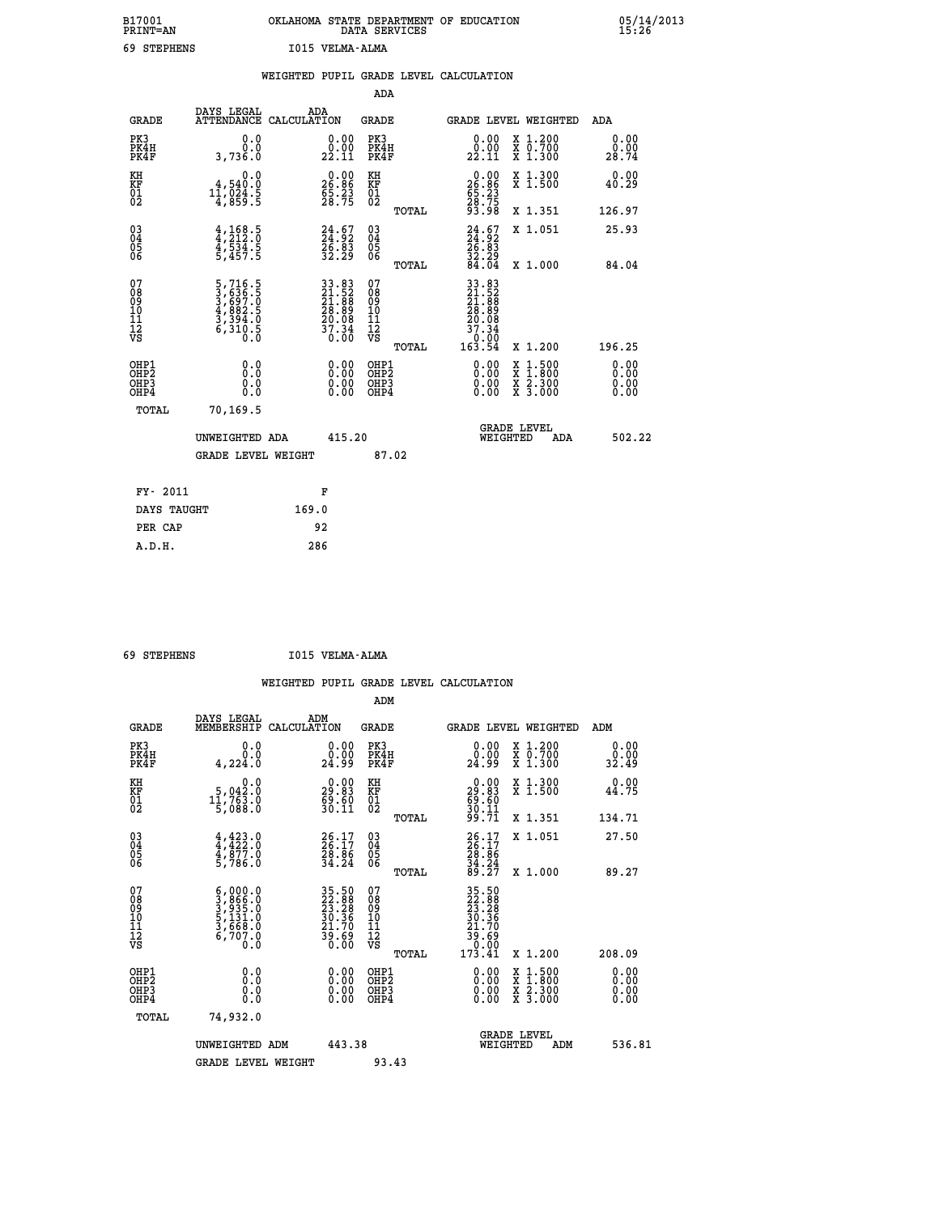| B17001<br><b>PRINT=AN</b> |                 | OKLAHOMA STATE DEPARTMENT OF EDUCATION<br>DATA SERVICES |  |
|---------------------------|-----------------|---------------------------------------------------------|--|
| 69 STEPHENS               | T015 VELMA-ALMA |                                                         |  |

 **B17001 OKLAHOMA STATE DEPARTMENT OF EDUCATION 05/14/2013**

|                                                                    |                                                                                            | WEIGHTED PUPIL GRADE LEVEL CALCULATION                                                    |                                           |       |                                                                                                              |                                                                                                  |                              |
|--------------------------------------------------------------------|--------------------------------------------------------------------------------------------|-------------------------------------------------------------------------------------------|-------------------------------------------|-------|--------------------------------------------------------------------------------------------------------------|--------------------------------------------------------------------------------------------------|------------------------------|
|                                                                    |                                                                                            |                                                                                           | ADA                                       |       |                                                                                                              |                                                                                                  |                              |
| <b>GRADE</b>                                                       | DAYS LEGAL                                                                                 | ADA<br>ATTENDANCE CALCULATION                                                             | <b>GRADE</b>                              |       |                                                                                                              | GRADE LEVEL WEIGHTED                                                                             | ADA                          |
| PK3<br>PK4H<br>PK4F                                                | 0.0<br>0.0<br>3,736.0                                                                      | 0.00<br>22.11                                                                             | PK3<br>PK4H<br>PK4F                       |       | 0.00<br>22.11                                                                                                | X 1.200<br>X 0.700<br>X 1.300                                                                    | 0.00<br>0.00<br>28.74        |
| KH<br><b>KF</b><br>01<br>02                                        | 0.0<br>$11,024.5$<br>$11,024.5$<br>$4,859.5$                                               | $\begin{smallmatrix} 0.00\\ 26.86\\ 5.23\\ 28.75 \end{smallmatrix}$                       | KH<br>KF<br>01<br>02                      |       | $\begin{smallmatrix} 0.00\\ 26.86\\ 55.23\\ 28.75\\ 93.98 \end{smallmatrix}$                                 | X 1.300<br>X 1.500                                                                               | 0.00<br>40.29                |
|                                                                    |                                                                                            |                                                                                           |                                           | TOTAL |                                                                                                              | X 1.351                                                                                          | 126.97                       |
| $\begin{smallmatrix} 03 \\[-4pt] 04 \end{smallmatrix}$<br>Ŏ5<br>06 | $4, 168.5$<br>$4, 212.0$<br>$4, 534.5$<br>$5, 457.5$                                       | $\begin{smallmatrix} 24.67\ 24.92\ 26.83\ 32.29 \end{smallmatrix}$                        | $\substack{03 \\ 04}$<br>05<br>06         |       | $24.67$<br>$24.82$<br>$26.83$<br>$32.29$<br>$84.04$                                                          | X 1.051                                                                                          | 25.93                        |
|                                                                    |                                                                                            |                                                                                           |                                           | TOTAL |                                                                                                              | X 1.000                                                                                          | 84.04                        |
| 07<br>08<br>09<br>11<br>11<br>12<br>VS                             | $\begin{smallmatrix}5,716.5\\3,636.5\\3,697.0\\4,882.5\\3,394.0\\6,310.5\end{smallmatrix}$ | $\begin{array}{r} 33.83 \\ 21.52 \\ 21.88 \\ 28.89 \\ 20.08 \\ 37.34 \\ 0.00 \end{array}$ | 07<br>08<br>09<br>11<br>11<br>12<br>VS    | TOTAL | $\begin{array}{r} 33.83 \\ 21.52 \\ 21.58 \\ 28.89 \\ 20.89 \\ 20.37 \\ 37.34 \\ 0.00 \\ 163.54 \end{array}$ | X 1.200                                                                                          | 196.25                       |
| OHP1<br>OH <sub>P</sub> 2<br>OHP3<br>OHP4                          | 0.0<br>0.0<br>0.0                                                                          | $0.00$<br>$0.00$<br>0.00                                                                  | OHP1<br>OH <sub>P</sub> 2<br>OHP3<br>OHP4 |       | 0.00<br>0.00                                                                                                 | $\begin{smallmatrix} x & 1 & 500 \\ x & 1 & 800 \\ x & 2 & 300 \\ x & 3 & 000 \end{smallmatrix}$ | 0.00<br>0.00<br>0.00<br>0.00 |
| TOTAL                                                              | 70,169.5                                                                                   |                                                                                           |                                           |       |                                                                                                              |                                                                                                  |                              |
|                                                                    | UNWEIGHTED ADA                                                                             | 415.20                                                                                    |                                           |       | WEIGHTED                                                                                                     | <b>GRADE LEVEL</b><br>ADA                                                                        | 502.22                       |
|                                                                    | <b>GRADE LEVEL WEIGHT</b>                                                                  |                                                                                           | 87.02                                     |       |                                                                                                              |                                                                                                  |                              |
| FY- 2011                                                           |                                                                                            | F                                                                                         |                                           |       |                                                                                                              |                                                                                                  |                              |
| DAYS TAUGHT                                                        |                                                                                            | 169.0                                                                                     |                                           |       |                                                                                                              |                                                                                                  |                              |
| PER CAP                                                            |                                                                                            | 92                                                                                        |                                           |       |                                                                                                              |                                                                                                  |                              |

 **A.D.H. 286**

 **ADM**

 **69 STEPHENS I015 VELMA-ALMA**

| <b>GRADE</b>                                       | DAYS LEGAL<br>MEMBERSHIP CALCULATION                                                                                                                                                                             | ADM                                                                  | <b>GRADE</b>                                        |       | <b>GRADE LEVEL WEIGHTED</b>                                                          |                                          | ADM                  |        |
|----------------------------------------------------|------------------------------------------------------------------------------------------------------------------------------------------------------------------------------------------------------------------|----------------------------------------------------------------------|-----------------------------------------------------|-------|--------------------------------------------------------------------------------------|------------------------------------------|----------------------|--------|
| PK3<br>PK4H<br>PK4F                                | 0.0<br>0.0<br>4,224.0                                                                                                                                                                                            | $\begin{smallmatrix} 0.00\\ 0.00\\ 24.99 \end{smallmatrix}$          | PK3<br>PK4H<br>PK4F                                 |       | 0.00<br>0.00<br>24.99                                                                | X 1.200<br>X 0.700<br>X 1.300            | 0.00<br>32.49        |        |
| KH<br>KF<br>01<br>02                               | 0.0<br>5,042.0<br>$1\overline{1}, \overline{7}\overline{6}\overline{3}\overline{.0}$                                                                                                                             | $\begin{smallmatrix} 0.00\\ 29.83\\ 69.60\\ 30.11 \end{smallmatrix}$ | KH<br>KF<br>01<br>02                                |       | $\begin{smallmatrix} 0.00\\29.83\\69.60\\30.11\\99.71 \end{smallmatrix}$             | X 1.300<br>X 1.500                       | 0.00<br>44.75        |        |
|                                                    |                                                                                                                                                                                                                  |                                                                      |                                                     | TOTAL |                                                                                      | X 1.351                                  | 134.71               |        |
| $\begin{matrix} 03 \\ 04 \\ 05 \\ 06 \end{matrix}$ | $4,423.0$<br>$4,422.0$<br>$4,877.0$<br>$5,786.0$                                                                                                                                                                 | $26.17$<br>$26.17$<br>$28.86$<br>$34.24$                             | $\begin{array}{c} 03 \\ 04 \\ 05 \\ 06 \end{array}$ |       | $26.17$<br>$28.86$<br>$34.24$<br>$39.27$                                             | X 1.051                                  | 27.50                |        |
|                                                    |                                                                                                                                                                                                                  |                                                                      |                                                     | TOTAL |                                                                                      | X 1.000                                  | 89.27                |        |
| 07<br>08<br>09<br>101<br>11<br>12<br>VS            | $\begin{smallmatrix} 6\,,\,0\,0\,0\,. & 0\\ 3\,,\,8\,6\,6\,. & 0\\ 3\,,\,9\,3\,5\,. & 0\\ 5\,,\,1\,3\,1\,. & 0\\ 5\,,\,1\,3\,1\,. & 0\\ 3\,,\,6\,6\,8\,. & 0\\ 6\,,\,7\,0\,7\,. & 0\\ 0\,. & 0\end{smallmatrix}$ | $35.5022.8823.2830.3621.7039.690.00$                                 | 078<br>089<br>0011<br>11<br>12<br>VS                | TOTAL | $35.50$<br>$22.88$<br>$23.28$<br>$30.36$<br>$21.70$<br>$39.69$<br>$0.00$<br>$173.41$ | X 1.200                                  | 208.09               |        |
| OHP1<br>OHP <sub>2</sub><br>OHP3<br>OHP4           | 0.0<br>0.000                                                                                                                                                                                                     | $\begin{smallmatrix} 0.00 \ 0.00 \ 0.00 \ 0.00 \end{smallmatrix}$    | OHP1<br>OHP2<br>OHP3<br>OHP4                        |       | 0.00<br>$0.00$<br>0.00                                                               | X 1:500<br>X 1:800<br>X 2:300<br>X 3:000 | 0.00<br>0.00<br>0.00 |        |
| TOTAL                                              | 74,932.0                                                                                                                                                                                                         |                                                                      |                                                     |       |                                                                                      |                                          |                      |        |
|                                                    | UNWEIGHTED<br>ADM                                                                                                                                                                                                | 443.38                                                               |                                                     |       | WEIGHTED                                                                             | <b>GRADE LEVEL</b><br>ADM                |                      | 536.81 |
|                                                    | <b>GRADE LEVEL WEIGHT</b>                                                                                                                                                                                        |                                                                      | 93.43                                               |       |                                                                                      |                                          |                      |        |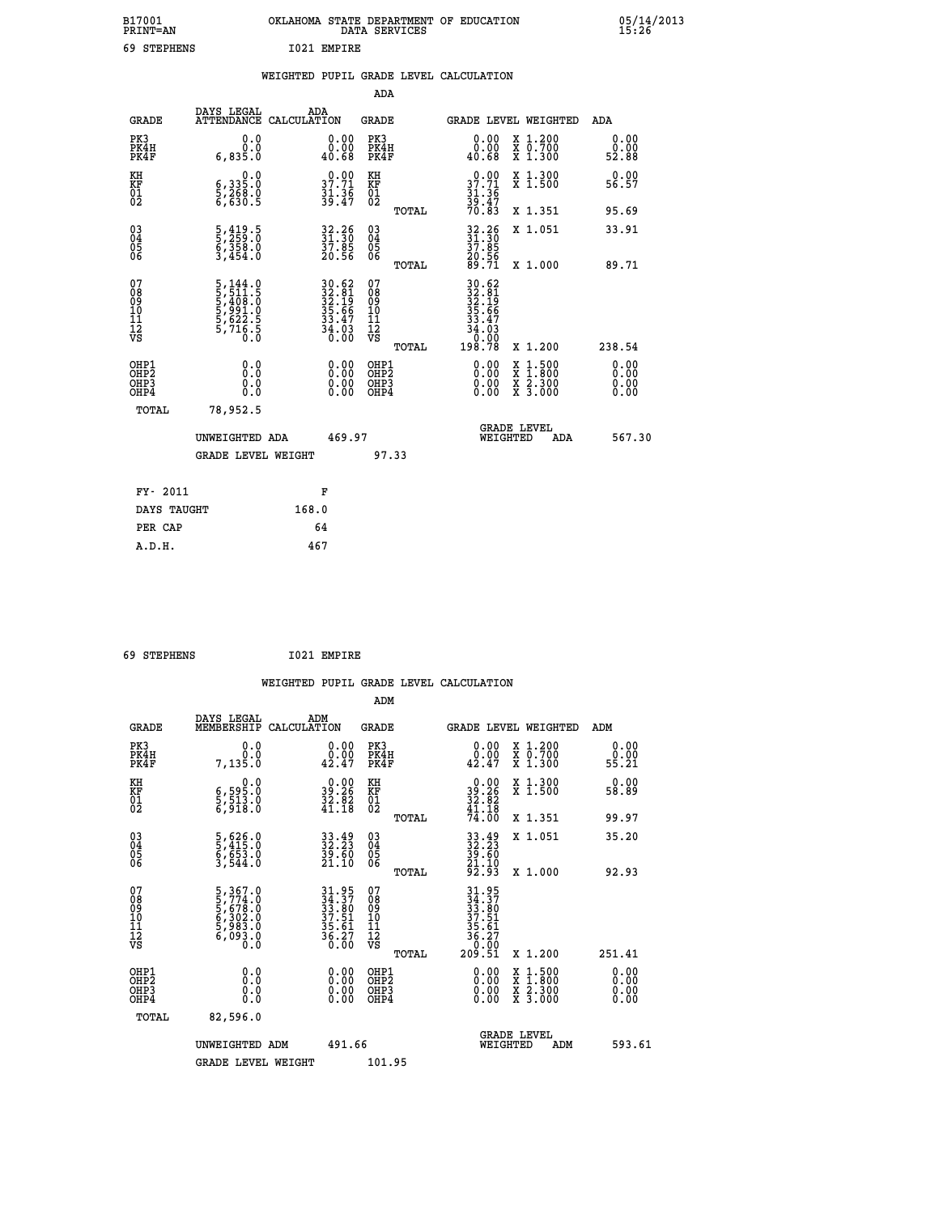| B17001<br><b>PRINT=AN</b> | OKLAHOMA<br>STATE DEPARTMENT OF EDUCATION<br>DATA<br>SERVICES | 05/14/2013<br>15:26 |
|---------------------------|---------------------------------------------------------------|---------------------|
| 69<br>STEPHENS            | I021<br>EMPIRE                                                |                     |

|  |  | WEIGHTED PUPIL GRADE LEVEL CALCULATION |
|--|--|----------------------------------------|
|  |  |                                        |

|                                                      |                                                                                            |                                                                          | ADA                                                 |       |                                                                                                                                                                                                                                                                                |                                          |     |                              |
|------------------------------------------------------|--------------------------------------------------------------------------------------------|--------------------------------------------------------------------------|-----------------------------------------------------|-------|--------------------------------------------------------------------------------------------------------------------------------------------------------------------------------------------------------------------------------------------------------------------------------|------------------------------------------|-----|------------------------------|
| <b>GRADE</b>                                         | DAYS LEGAL<br><b>ATTENDANCE</b>                                                            | ADA<br>CALCULATION                                                       | <b>GRADE</b>                                        |       | GRADE LEVEL WEIGHTED                                                                                                                                                                                                                                                           |                                          |     | <b>ADA</b>                   |
| PK3<br>PK4H<br>PK4F                                  | 0.0<br>0.0<br>6,835.0                                                                      | 0.00<br>0.00<br>40.68                                                    | PK3<br>PK4H<br>PK4F                                 |       | 0.00<br>0.00<br>40.68                                                                                                                                                                                                                                                          | X 1.200<br>X 0.700<br>X 1.300            |     | 0.00<br>0.00<br>52.88        |
| KH<br>KF<br>01<br>02                                 | $\begin{smallmatrix} & & 0.0\ 6,335.0\ 5,268.0\ 6,630.5 \end{smallmatrix}$                 | $37.71$<br>$31.36$<br>$39.47$                                            | KH<br>KF<br>01<br>02                                |       | $0.00$<br>$37.71$<br>$31.36$<br>$39.47$<br>$70.83$                                                                                                                                                                                                                             | X 1.300<br>X 1.500                       |     | 0.00<br>56.57                |
|                                                      |                                                                                            |                                                                          |                                                     | TOTAL |                                                                                                                                                                                                                                                                                | X 1.351                                  |     | 95.69                        |
| $\begin{matrix} 03 \\ 04 \\ 05 \\ 06 \end{matrix}$   | $\frac{5}{5}, \frac{419}{259}. \frac{5}{0}$<br>$\frac{5}{3}, \frac{358}{454}. \frac{0}{0}$ | 32.26<br>31.30<br>37.85<br>20.56                                         | $\begin{array}{c} 03 \\ 04 \\ 05 \\ 06 \end{array}$ |       | 32.36<br>31.30<br>37.85<br>20.56<br>29.71                                                                                                                                                                                                                                      | X 1.051                                  |     | 33.91                        |
|                                                      |                                                                                            |                                                                          |                                                     | TOTAL |                                                                                                                                                                                                                                                                                | X 1.000                                  |     | 89.71                        |
| 07<br>08<br>09<br>10<br>11<br>11<br>12<br>VS         | 5, 144.0<br>5, 511.5<br>5, 408.0<br>5, 991.0<br>5, 622.5<br>5, 716.5                       | $30.62$<br>$32.81$<br>$32.19$<br>$35.66$<br>$33.47$<br>$34.03$<br>$0.00$ | 07<br>08901112<br>1112<br>VS                        | TOTAL | $\begin{array}{r} 30.62 \\ 32.81 \\ 32.19 \\ 35.19 \\ 35.66 \\ 33.47 \\ 34.03 \\ 0.00 \\ 198.78 \end{array}$                                                                                                                                                                   | X 1.200                                  |     | 238.54                       |
| OHP1<br>OHP2<br>OH <sub>P3</sub><br>OH <sub>P4</sub> | 0.0<br>0.000                                                                               | $\begin{smallmatrix} 0.00 \ 0.00 \ 0.00 \ 0.00 \end{smallmatrix}$        | OHP1<br>OHP2<br>OHP3<br>OHP4                        |       | $\begin{smallmatrix} 0.00 & 0.00 & 0.00 & 0.00 & 0.00 & 0.00 & 0.00 & 0.00 & 0.00 & 0.00 & 0.00 & 0.00 & 0.00 & 0.00 & 0.00 & 0.00 & 0.00 & 0.00 & 0.00 & 0.00 & 0.00 & 0.00 & 0.00 & 0.00 & 0.00 & 0.00 & 0.00 & 0.00 & 0.00 & 0.00 & 0.00 & 0.00 & 0.00 & 0.00 & 0.00 & 0.0$ | X 1:500<br>X 1:800<br>X 2:300<br>X 3:000 |     | 0.00<br>0.00<br>0.00<br>0.00 |
| TOTAL                                                | 78,952.5                                                                                   |                                                                          |                                                     |       |                                                                                                                                                                                                                                                                                |                                          |     |                              |
|                                                      | UNWEIGHTED ADA                                                                             | 469.97                                                                   |                                                     |       |                                                                                                                                                                                                                                                                                | <b>GRADE LEVEL</b><br>WEIGHTED           | ADA | 567.30                       |
|                                                      | <b>GRADE LEVEL WEIGHT</b>                                                                  |                                                                          |                                                     | 97.33 |                                                                                                                                                                                                                                                                                |                                          |     |                              |
| FY- 2011                                             |                                                                                            | F                                                                        |                                                     |       |                                                                                                                                                                                                                                                                                |                                          |     |                              |
| DAYS TAUGHT                                          |                                                                                            | 168.0                                                                    |                                                     |       |                                                                                                                                                                                                                                                                                |                                          |     |                              |
|                                                      |                                                                                            |                                                                          |                                                     |       |                                                                                                                                                                                                                                                                                |                                          |     |                              |

| 69 STEPHENS | 1021 EMPIRE |
|-------------|-------------|
|             |             |

**PER CAP** 64

 **A.D.H. 467**

 **WEIGHTED PUPIL GRADE LEVEL CALCULATION ADM DAYS LEGAL ADM**

| <b>GRADE</b>                                       | DAIS DEGAL                                                                | שעם א<br>CALCULATION                                                 | GRADE                                              |       |                                                                            |                                | <b>GRADE LEVEL WEIGHTED</b>                                                              | ADM                   |  |
|----------------------------------------------------|---------------------------------------------------------------------------|----------------------------------------------------------------------|----------------------------------------------------|-------|----------------------------------------------------------------------------|--------------------------------|------------------------------------------------------------------------------------------|-----------------------|--|
| PK3<br>PK4H<br>PK4F                                | 0.000<br>7,135.0                                                          | 0.0000<br>42.47                                                      | PK3<br>PK4H<br>PK4F                                |       | 0.0000<br>42.47                                                            |                                | X 1.200<br>X 0.700<br>X 1.300                                                            | 0.00<br>ŏ:ŏŏ<br>55:21 |  |
| KH<br>KF<br>01<br>02                               | 0.0<br>$\frac{6}{5}, \frac{595}{513}$ .0<br>6,918.0                       | $\begin{smallmatrix} 0.00\\ 39.26\\ 32.82\\ 41.18 \end{smallmatrix}$ | KH<br>KF<br>01<br>02                               |       | $39.26$<br>$32.82$<br>$32.82$<br>$41.18$<br>$74.00$                        |                                | X 1.300<br>X 1.500                                                                       | 0.00<br>58.89         |  |
|                                                    |                                                                           |                                                                      |                                                    | TOTAL |                                                                            |                                | X 1.351                                                                                  | 99.97                 |  |
| $\begin{matrix} 03 \\ 04 \\ 05 \\ 06 \end{matrix}$ | 5,626.0<br>5,415.0<br>6,653.0<br>3,544.0                                  | 33.49<br>32.23<br>39.60<br>21.10                                     | $\begin{matrix} 03 \\ 04 \\ 05 \\ 06 \end{matrix}$ |       | 33.49<br>32.23<br>39.60<br>31.10<br>21.33                                  |                                | X 1.051                                                                                  | 35.20                 |  |
|                                                    |                                                                           |                                                                      |                                                    | TOTAL |                                                                            |                                | $X_1.000$                                                                                | 92.93                 |  |
| 07<br>08<br>09<br>101<br>11<br>12<br>VS            | 5,367.0<br>5,774.0<br>5,678.0<br>6,302.0<br>5,983.0<br>6,093.0<br>6,093.0 | 31.95<br>34.37<br>33.80<br>37.51<br>35.61<br>36.27<br>36.20          | 07<br>08<br>09<br>01<br>11<br>11<br>17<br>VS       |       | $31.95$<br>$33.80$<br>$33.51$<br>$35.61$<br>$36.27$<br>$36.20$<br>$209.51$ |                                |                                                                                          |                       |  |
|                                                    |                                                                           |                                                                      |                                                    | TOTAL |                                                                            |                                | X 1.200                                                                                  | 251.41                |  |
| OHP1<br>OHP2<br>OH <sub>P3</sub><br>OHP4           | 0.0<br>0.000                                                              | $0.00$<br>$0.00$<br>0.00                                             | OHP1<br>OHP2<br>OHP <sub>3</sub><br>OHP4           |       | $0.00$<br>$0.00$<br>0.00                                                   |                                | $\begin{smallmatrix} x & 1.500 \\ x & 1.800 \\ x & 2.300 \\ x & 3.000 \end{smallmatrix}$ | 0.00<br>0.00<br>0.00  |  |
| TOTAL                                              | 82,596.0                                                                  |                                                                      |                                                    |       |                                                                            |                                |                                                                                          |                       |  |
|                                                    | UNWEIGHTED ADM                                                            | 491.66                                                               |                                                    |       |                                                                            | <b>GRADE LEVEL</b><br>WEIGHTED | ADM                                                                                      | 593.61                |  |
|                                                    | <b>GRADE LEVEL WEIGHT</b>                                                 |                                                                      | 101.95                                             |       |                                                                            |                                |                                                                                          |                       |  |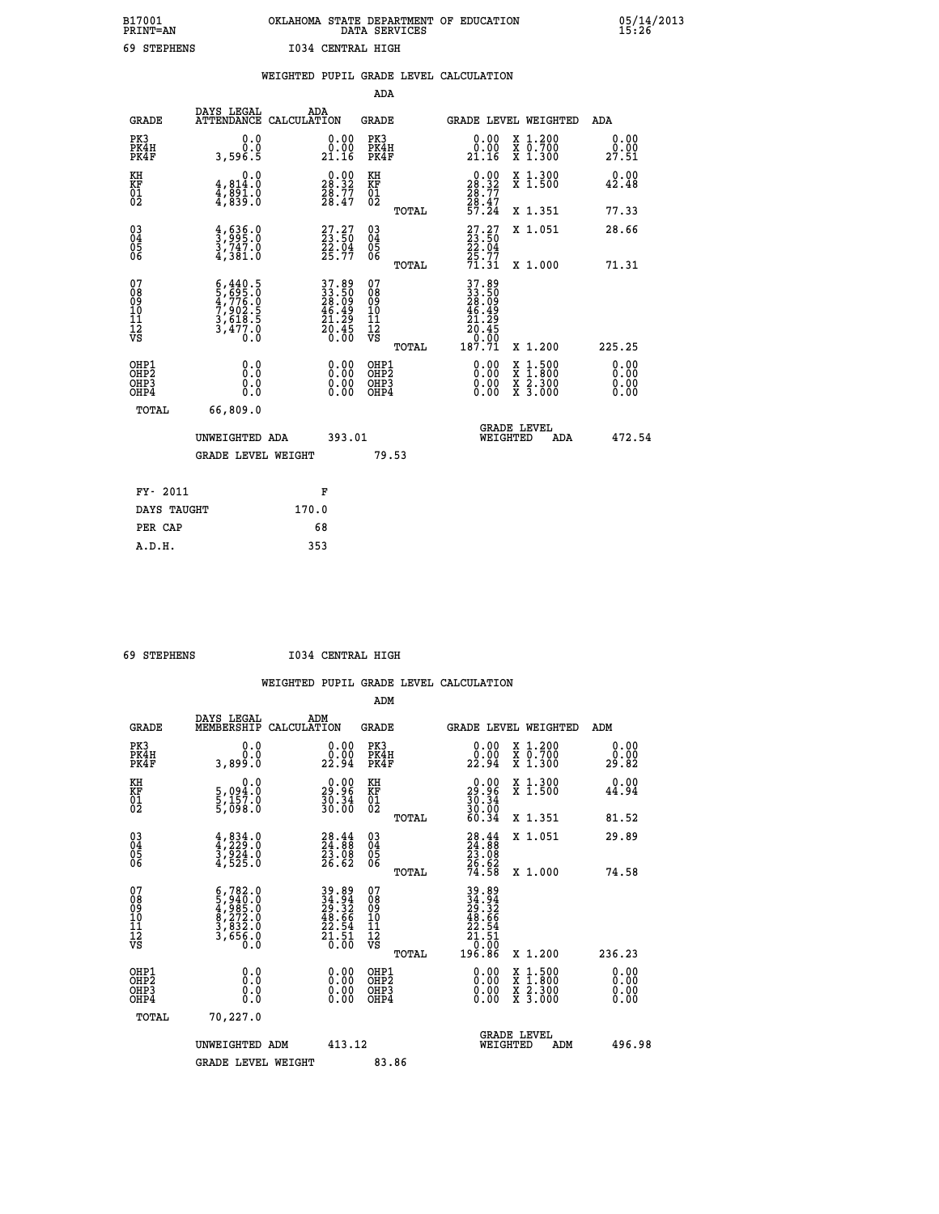## **B17001 OKLAHOMA STATE DEPARTMENT OF EDUCATION 05/14/2013 PRINT=AN DATA SERVICES 15:26 69 STEPHENS I034 CENTRAL HIGH**

|                                        |                                                                                                                                                                                | WEIGHTED PUPIL GRADE LEVEL CALCULATION                               | <b>ADA</b>                                         |       |                                                                                                     |                                                                                |                               |
|----------------------------------------|--------------------------------------------------------------------------------------------------------------------------------------------------------------------------------|----------------------------------------------------------------------|----------------------------------------------------|-------|-----------------------------------------------------------------------------------------------------|--------------------------------------------------------------------------------|-------------------------------|
|                                        | DAYS LEGAL                                                                                                                                                                     | ADA                                                                  |                                                    |       |                                                                                                     |                                                                                |                               |
| <b>GRADE</b>                           |                                                                                                                                                                                | ATTENDANCE CALCULATION                                               | <b>GRADE</b>                                       |       |                                                                                                     | GRADE LEVEL WEIGHTED                                                           | ADA                           |
| PK3<br>PK4H<br>PK4F                    | 0.0<br>0.0<br>3,596.5                                                                                                                                                          | 0.00<br>0.00<br>21.16                                                | PK3<br>PK4H<br>PK4F                                |       | 0.00<br>0.00<br>21.16                                                                               | X 1.200<br>X 0.700<br>X 1.300                                                  | 0.00<br>0.00<br>27.51         |
| KH<br><b>KF</b><br>01<br>02            | 0.0<br>4,814.0<br>$\frac{4}{3}$ , $\frac{8}{3}$ , $\frac{3}{5}$ . $\frac{3}{5}$                                                                                                | $\begin{smallmatrix} 0.00\\ 28.32\\ 28.77\\ 28.47 \end{smallmatrix}$ | KH<br>KF<br>01<br>02                               |       | $\begin{smallmatrix} 0.00\\ 28.32\\ 28.77\\ 28.47\\ 57.24 \end{smallmatrix}$                        | X 1.300<br>X 1.500                                                             | 0.00<br>42.48                 |
|                                        |                                                                                                                                                                                |                                                                      |                                                    | TOTAL |                                                                                                     | X 1.351                                                                        | 77.33                         |
| $^{03}_{04}$<br>05<br>06               | $\frac{4}{3}, \frac{636}{995}$ :0<br>3,747.0<br>4,381.0                                                                                                                        | $27.27$<br>$23.50$<br>$22.04$<br>$25.77$                             | $\begin{matrix} 03 \\ 04 \\ 05 \\ 06 \end{matrix}$ |       | $27.27$<br>$23.50$<br>22.04                                                                         | X 1.051                                                                        | 28.66                         |
|                                        |                                                                                                                                                                                |                                                                      |                                                    | TOTAL | $\frac{25.77}{71.31}$                                                                               | X 1.000                                                                        | 71.31                         |
| 07<br>08<br>09<br>11<br>11<br>12<br>VS | $\begin{smallmatrix} 6\,, & 440\,, & 5\\ 5\,, & 695\,. & 0\\ 4\,, & 776\,. & 0\\ 7\,, & 902\,. & 5\\ 3\,, & 618\,. & 5\\ 3\,, & 477\,. & 0\\ 0\,. & 0\,. & 0\end{smallmatrix}$ | 37.89<br>33.50<br>28.09<br>46.49<br>46.49<br>20.45<br>20.60          | 07<br>08<br>09<br>11<br>11<br>12<br>VS             |       | 37.89<br>33.50<br>28.09<br>46.49<br>$\begin{array}{r} 21.29 \\ 20.45 \\ 0.60 \\ 187.71 \end{array}$ |                                                                                |                               |
|                                        |                                                                                                                                                                                |                                                                      |                                                    | TOTAL |                                                                                                     | X 1.200                                                                        | 225.25                        |
| OHP1<br>OHP2<br>OHP3<br>OHP4           | 0.0<br>0.0<br>0.0                                                                                                                                                              | 0.00<br>0.00<br>0.00                                                 | OHP1<br>OHP2<br>OHP3<br>OHP4                       |       | 0.00<br>0.00<br>0.00                                                                                | $\begin{array}{l} x\,+\,500\\ x\,+\,800\\ x\,+\,2300\\ x\,+\,3000 \end{array}$ | 0.00<br>Ō. ŌŌ<br>0.00<br>0.00 |
| <b>TOTAL</b>                           | 66,809.0                                                                                                                                                                       |                                                                      |                                                    |       |                                                                                                     |                                                                                |                               |
|                                        | UNWEIGHTED ADA                                                                                                                                                                 | 393.01                                                               |                                                    |       |                                                                                                     | GRADE LEVEL<br>WEIGHTED<br>ADA                                                 | 472.54                        |
|                                        | <b>GRADE LEVEL WEIGHT</b>                                                                                                                                                      |                                                                      |                                                    | 79.53 |                                                                                                     |                                                                                |                               |
| FY- 2011                               |                                                                                                                                                                                | F                                                                    |                                                    |       |                                                                                                     |                                                                                |                               |
| DAYS TAUGHT                            |                                                                                                                                                                                | 170.0                                                                |                                                    |       |                                                                                                     |                                                                                |                               |
| PER CAP                                |                                                                                                                                                                                | 68                                                                   |                                                    |       |                                                                                                     |                                                                                |                               |
| A.D.H.                                 |                                                                                                                                                                                | 353                                                                  |                                                    |       |                                                                                                     |                                                                                |                               |

 **69 STEPHENS I034 CENTRAL HIGH**

|                                          |                                                                                                                                               |                                                                                           | ADM                                                 |                                                                                                                 |                                          |                              |
|------------------------------------------|-----------------------------------------------------------------------------------------------------------------------------------------------|-------------------------------------------------------------------------------------------|-----------------------------------------------------|-----------------------------------------------------------------------------------------------------------------|------------------------------------------|------------------------------|
| <b>GRADE</b>                             | DAYS LEGAL<br>MEMBERSHIP                                                                                                                      | ADM<br>CALCULATION                                                                        | <b>GRADE</b>                                        |                                                                                                                 | GRADE LEVEL WEIGHTED                     | ADM                          |
| PK3<br>PK4H<br>PK4F                      | 0.0<br>0.0<br>3,899.0                                                                                                                         | $\begin{smallmatrix} 0.00\\ 0.00\\ 22.94 \end{smallmatrix}$                               | PK3<br>PK4H<br>PK4F                                 | $\begin{smallmatrix} 0.00\\ 0.00\\ 22.94 \end{smallmatrix}$                                                     | X 1.200<br>X 0.700<br>X 1.300            | 0.00<br>0.00<br>29.82        |
| KH<br>KF<br>01<br>02                     | 0.0<br>5,094:0<br>5,157:0<br>5,098:0                                                                                                          | $\begin{smallmatrix} 0.00\\ 29.96\\ 30.34\\ 30.00 \end{smallmatrix}$                      | KH<br>KF<br>01<br>02                                | $\begin{smallmatrix} 0.00\\29.96\\30.34\\30.00\\60.34 \end{smallmatrix}$                                        | X 1.300<br>X 1.500                       | 0.00<br>44.94                |
|                                          |                                                                                                                                               |                                                                                           | TOTAL                                               |                                                                                                                 | X 1.351                                  | 81.52                        |
| 03<br>04<br>05<br>06                     | $4,834.0$<br>$3,924.0$<br>$3,924.0$<br>$4,525.0$                                                                                              | $\begin{smallmatrix} 28.44\ 24.88\ 23.08\ 23.08\ 26.62 \end{smallmatrix}$                 | $\begin{array}{c} 03 \\ 04 \\ 05 \\ 06 \end{array}$ | $28.44$<br>$24.88$<br>$23.08$<br>$26.62$<br>$74.58$                                                             | X 1.051                                  | 29.89                        |
|                                          |                                                                                                                                               |                                                                                           | TOTAL                                               |                                                                                                                 | X 1.000                                  | 74.58                        |
| 07<br>08<br>09<br>101<br>112<br>VS       | $\begin{smallmatrix} 6\,,782\,.\,0\\ 5\,,940\,.\,0\\ 4\,,985\,.\,0\\ 8\,,272\,.\,0\\ 3\,,832\,.\,0\\ 3\,,656\,.\,0\\ 0\,.0 \end{smallmatrix}$ | $\begin{array}{r} 39.89 \\ 34.94 \\ 29.32 \\ 48.66 \\ 22.54 \\ 21.51 \\ 0.00 \end{array}$ | 07<br>08<br>09<br>11<br>11<br>12<br>VS<br>TOTAL     | $\begin{array}{@{}ll@{}} 39.89 \\ 34.94 \\ 29.32 \\ 48.66 \\ 22.54 \\ 21.51 \\ 0 \\ 0 \\ \end{array}$<br>196.86 | X 1.200                                  | 236.23                       |
| OHP1<br>OHP2<br>OHP <sub>3</sub><br>OHP4 | 0.0<br>$\begin{smallmatrix} 0.0 & 0 \ 0.0 & 0 \end{smallmatrix}$                                                                              |                                                                                           | OHP1<br>OHP2<br>OHP <sub>3</sub>                    | $0.00$<br>$0.00$<br>0.00                                                                                        | X 1:500<br>X 1:800<br>X 2:300<br>X 3:000 | 0.00<br>0.00<br>0.00<br>0.00 |
| TOTAL                                    | 70,227.0                                                                                                                                      |                                                                                           |                                                     |                                                                                                                 |                                          |                              |
|                                          | UNWEIGHTED ADM                                                                                                                                | 413.12                                                                                    |                                                     |                                                                                                                 | GRADE LEVEL<br>WEIGHTED<br>ADM           | 496.98                       |
|                                          | <b>GRADE LEVEL WEIGHT</b>                                                                                                                     |                                                                                           | 83.86                                               |                                                                                                                 |                                          |                              |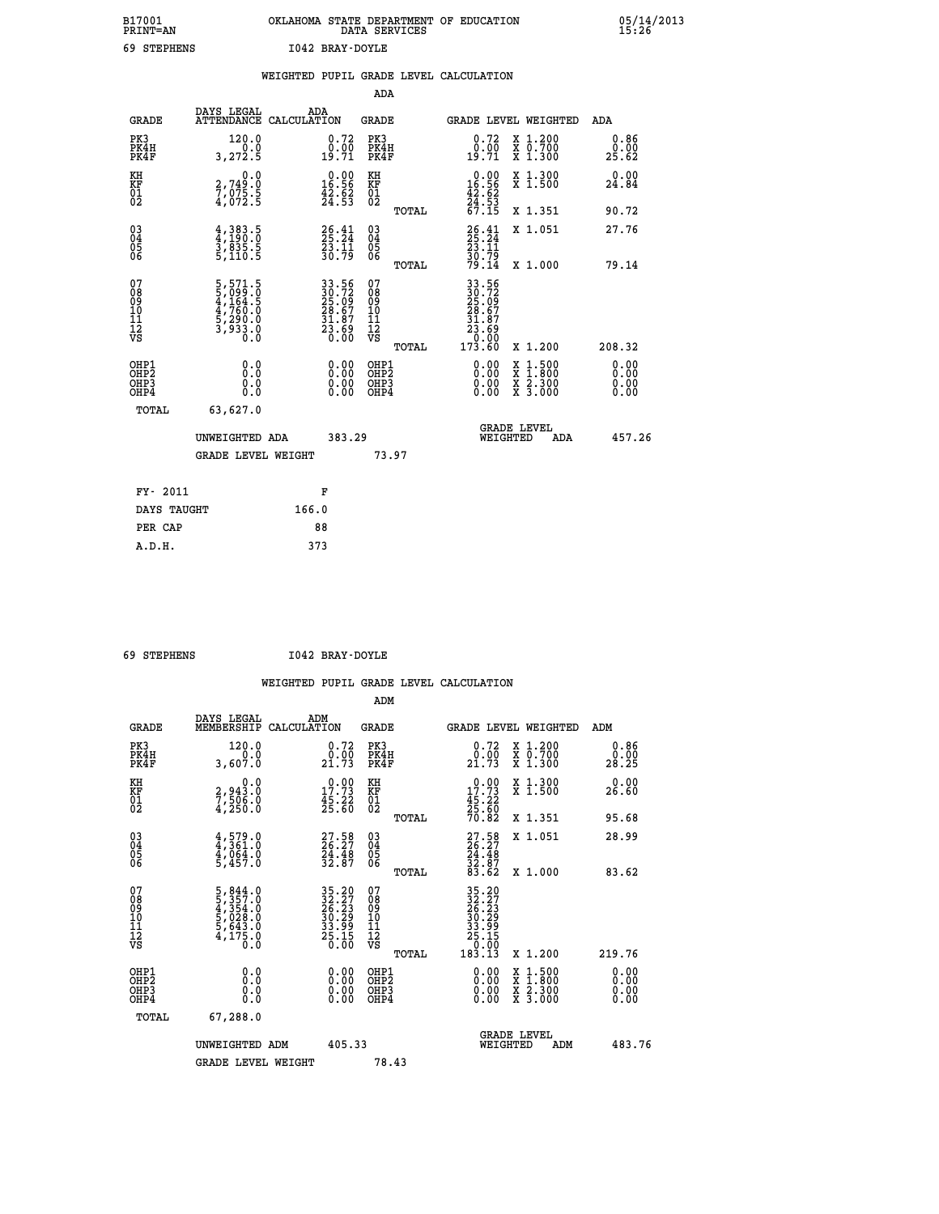| B17001<br><b>PRINT=AN</b> | OKLAHOMA STATE DEPARTMENT OF EDUCATION | DATA SERVICES |  |
|---------------------------|----------------------------------------|---------------|--|
| 69 STEPHENS               | I042 BRAY-DOYLE                        |               |  |

 **B17001 OKLAHOMA STATE DEPARTMENT OF EDUCATION 05/14/2013**

|                                                    |                                                                                                                        | WEIGHTED PUPIL GRADE LEVEL CALCULATION                               |                                                    |       |                                                                              |                                                              |                       |
|----------------------------------------------------|------------------------------------------------------------------------------------------------------------------------|----------------------------------------------------------------------|----------------------------------------------------|-------|------------------------------------------------------------------------------|--------------------------------------------------------------|-----------------------|
|                                                    |                                                                                                                        |                                                                      | <b>ADA</b>                                         |       |                                                                              |                                                              |                       |
| <b>GRADE</b>                                       | DAYS LEGAL<br><b>ATTENDANCE</b>                                                                                        | ADA<br>CALCULATION                                                   | <b>GRADE</b>                                       |       |                                                                              | GRADE LEVEL WEIGHTED                                         | ADA                   |
| PK3<br>PK4H<br>PK4F                                | 120.0<br>3,272.5                                                                                                       | 0.72<br>$0.00$<br>19.71                                              | PK3<br>PK4H<br>PK4F                                |       | 0.72<br>$\begin{smallmatrix} 0.00 \ 19.71 \end{smallmatrix}$                 | X 1.200<br>X 0.700<br>X 1.300                                | 0.86<br>0.00<br>25.62 |
| KH<br>KF<br>01<br>02                               | $\begin{smallmatrix} 0.0\\2,749.0\\7,075.5\\4,072.5 \end{smallmatrix}$                                                 | $\begin{smallmatrix} 0.00\\ 16.56\\ 42.52\\ 24.53 \end{smallmatrix}$ | KH<br>KF<br>01<br>02                               |       | $\begin{smallmatrix} 0.00\\ 16.56\\ 42.62\\ 24.53\\ 67.15 \end{smallmatrix}$ | X 1.300<br>X 1.500                                           | 0.00<br>24.84         |
|                                                    |                                                                                                                        |                                                                      |                                                    | TOTAL |                                                                              | X 1.351                                                      | 90.72                 |
| $\begin{matrix} 03 \\ 04 \\ 05 \\ 06 \end{matrix}$ | $\frac{4}{4}, \frac{3}{190}.\frac{5}{0}$<br>$\frac{3}{3}, \frac{835}{830}.\frac{5}{5}$<br>$\frac{5}{5}, \frac{110}{5}$ | $26.41$<br>$25.24$<br>$23.11$<br>$30.79$                             | $\begin{matrix} 03 \\ 04 \\ 05 \\ 06 \end{matrix}$ |       | 26.41<br>25.24<br>23.11<br>30.79<br>79.14                                    | X 1.051                                                      | 27.76                 |
|                                                    |                                                                                                                        |                                                                      |                                                    | TOTAL |                                                                              | X 1.000                                                      | 79.14                 |
| 07<br>08<br>09<br>11<br>11<br>12<br>VS             | $\begin{smallmatrix}5,571.5\\5,099.0\\4,164.5\\4,760.0\\5,290.0\\3,933.0\\0.0\end{smallmatrix}$                        | 33.56<br>30.72<br>25.09<br>28.67<br>31.87<br>31.89<br>23.69          | 07<br>08<br>09<br>11<br>11<br>12<br>VS             | TOTAL | 33.56<br>30.72<br>25.097<br>28.677<br>31.87<br>31.89<br>0.000<br>173.60      | X 1.200                                                      | 208.32                |
| OHP1<br>OHP2<br>OH <sub>P3</sub><br>OHP4           | 0.0<br>0.0<br>Ō.Ō                                                                                                      | 0.00<br>$\begin{smallmatrix} 0.00 \ 0.00 \end{smallmatrix}$          | OHP1<br>OHP2<br>OHP3<br>OHP4                       |       | 0.00<br>0.00<br>0.00                                                         | $1:500$<br>1:800<br>X 1:500<br>X 1:800<br>X 2:300<br>X 3:000 | 0.00<br>0.00<br>0.00  |
| TOTAL                                              | 63,627.0                                                                                                               |                                                                      |                                                    |       |                                                                              |                                                              |                       |
|                                                    | UNWEIGHTED ADA                                                                                                         | 383.29                                                               |                                                    |       | WEIGHTED                                                                     | <b>GRADE LEVEL</b><br>ADA                                    | 457.26                |
|                                                    | <b>GRADE LEVEL WEIGHT</b>                                                                                              |                                                                      |                                                    | 73.97 |                                                                              |                                                              |                       |
| FY- 2011                                           |                                                                                                                        | F                                                                    |                                                    |       |                                                                              |                                                              |                       |
| DAYS TAUGHT                                        |                                                                                                                        | 166.0                                                                |                                                    |       |                                                                              |                                                              |                       |
| PER CAP                                            |                                                                                                                        | 88                                                                   |                                                    |       |                                                                              |                                                              |                       |

 **A.D.H. 373**

 **ADM**

 **69 STEPHENS I042 BRAY-DOYLE**

| <b>GRADE</b>                                       | DAYS LEGAL<br>MEMBERSHIP                                                          | ADM<br>CALCULATION                                                                  | <b>GRADE</b>                                       |       |                                                                                                                                                                                                                                                                                | <b>GRADE LEVEL WEIGHTED</b>                                               | ADM                   |
|----------------------------------------------------|-----------------------------------------------------------------------------------|-------------------------------------------------------------------------------------|----------------------------------------------------|-------|--------------------------------------------------------------------------------------------------------------------------------------------------------------------------------------------------------------------------------------------------------------------------------|---------------------------------------------------------------------------|-----------------------|
| PK3<br>PK4H<br>PK4F                                | 120.0<br>0.0<br>3,607.0                                                           | 0.72<br>0.00<br>21.73                                                               | PK3<br>PK4H<br>PK4F                                |       | $\begin{smallmatrix} 0.72\ 0.00\ 21.73 \end{smallmatrix}$                                                                                                                                                                                                                      | $\begin{smallmatrix} x & 1.200 \\ x & 0.700 \end{smallmatrix}$<br>X 1.300 | 0.86<br>0.00<br>28.25 |
| KH<br>KF<br>01<br>02                               | 0.0<br>2,943.0<br>7,506.0<br>4,250.0                                              | $\begin{smallmatrix} 0.00\\ 17.73\\ 45.22\\ 25.60 \end{smallmatrix}$                | KH<br>KF<br>01<br>02                               |       | $\begin{smallmatrix} &0.00\\ 17.73\\ 45.22\\ 25.60\\ 70.82 \end{smallmatrix}$                                                                                                                                                                                                  | X 1.300<br>X 1.500                                                        | 0.00<br>26.60         |
|                                                    |                                                                                   |                                                                                     |                                                    | TOTAL |                                                                                                                                                                                                                                                                                | X 1.351                                                                   | 95.68                 |
| $\begin{matrix} 03 \\ 04 \\ 05 \\ 06 \end{matrix}$ | $4,361.0$<br>$4,064.0$<br>$4,064.0$<br>$5,457.0$                                  | $27.58$<br>26.27<br>$\frac{24.48}{32.87}$                                           | $\begin{matrix} 03 \\ 04 \\ 05 \\ 06 \end{matrix}$ |       | $27.58$<br>$24.48$<br>$32.87$<br>$33.62$                                                                                                                                                                                                                                       | X 1.051                                                                   | 28.99                 |
|                                                    |                                                                                   |                                                                                     |                                                    | TOTAL |                                                                                                                                                                                                                                                                                | X 1.000                                                                   | 83.62                 |
| 07<br>08<br>09<br>101<br>11<br>12<br>VS            | $5,844.0$<br>$5,357.0$<br>$4,354.0$<br>$5,028.0$<br>$5,643.0$<br>$4,175.0$<br>0.0 | $35.20$<br>$32.27$<br>$26.23$<br>$30.29$<br>$33.99$<br>$33.99$<br>$25.15$<br>$0.00$ | 07<br>08<br>09<br>11<br>11<br>12<br>VS             | TOTAL | $\begin{smallmatrix} 35 & .20 \\ 32 & .27 \\ 26 & .23 \\ 30 & .29 \\ 33 & .99 \\ 25 & .15 \\ 0 & .00 \\ 18 & .13 \\ \end{smallmatrix}$                                                                                                                                         | X 1.200                                                                   | 219.76                |
| OHP1<br>OHP2<br>OH <sub>P3</sub><br>OHP4           | 0.0<br>0.000                                                                      | $0.00$<br>$0.00$<br>0.00                                                            | OHP1<br>OHP2<br>OHP3<br>OHP4                       |       | $\begin{smallmatrix} 0.00 & 0.00 & 0.00 & 0.00 & 0.00 & 0.00 & 0.00 & 0.00 & 0.00 & 0.00 & 0.00 & 0.00 & 0.00 & 0.00 & 0.00 & 0.00 & 0.00 & 0.00 & 0.00 & 0.00 & 0.00 & 0.00 & 0.00 & 0.00 & 0.00 & 0.00 & 0.00 & 0.00 & 0.00 & 0.00 & 0.00 & 0.00 & 0.00 & 0.00 & 0.00 & 0.0$ | X 1:500<br>X 1:800<br>X 2:300<br>X 3:000                                  | 0.00<br>0.00<br>0.00  |
| TOTAL                                              | 67,288.0                                                                          |                                                                                     |                                                    |       |                                                                                                                                                                                                                                                                                |                                                                           |                       |
|                                                    | UNWEIGHTED                                                                        | 405.33<br>ADM                                                                       |                                                    |       | WEIGHTED                                                                                                                                                                                                                                                                       | <b>GRADE LEVEL</b><br>ADM                                                 | 483.76                |
|                                                    | <b>GRADE LEVEL WEIGHT</b>                                                         |                                                                                     | 78.43                                              |       |                                                                                                                                                                                                                                                                                |                                                                           |                       |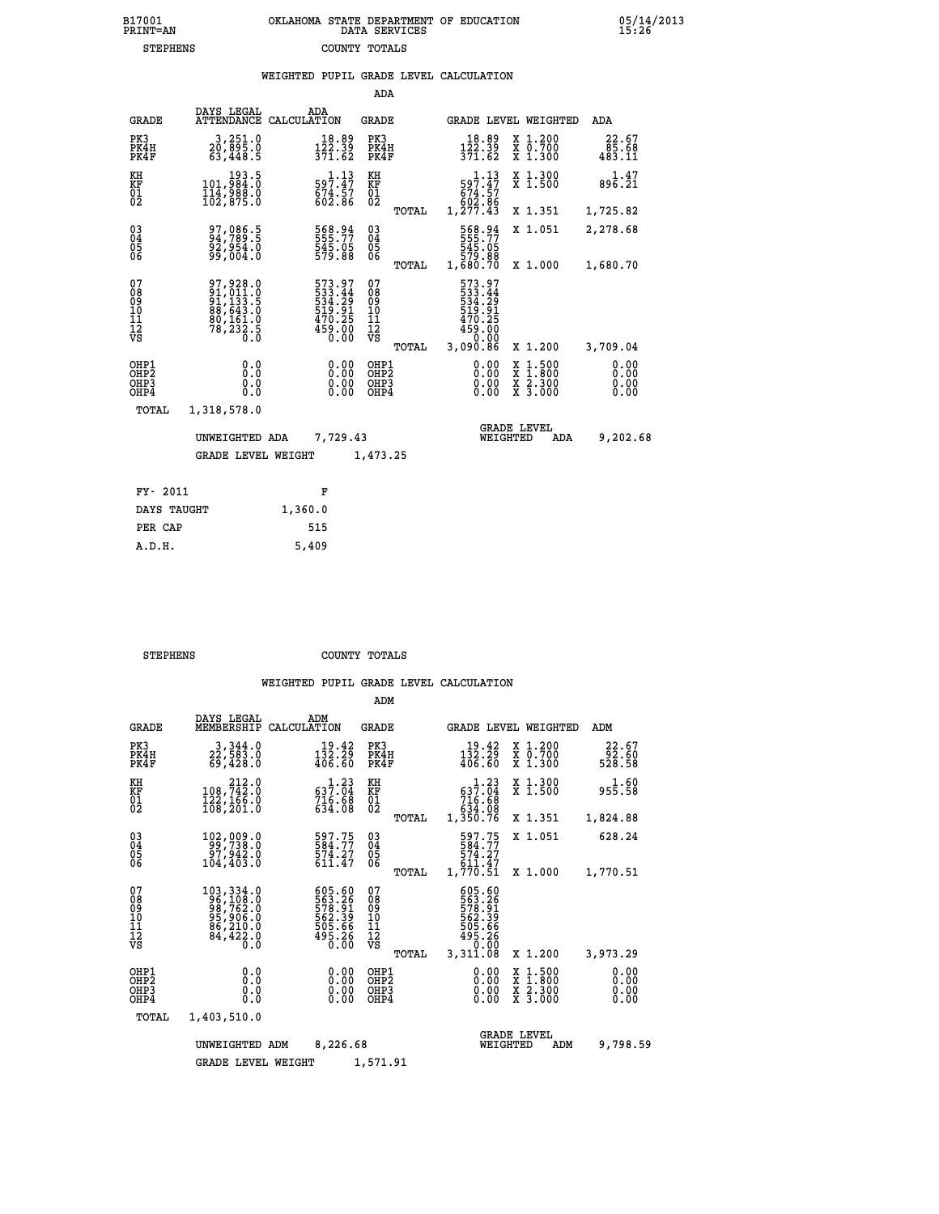## **B17001 OKLAHOMA STATE DEPARTMENT OF EDUCATION 05/14/2013 PRINT=AN DATA SERVICES 15:26 STEPHENS COUNTY TOTALS**

|  |  | WEIGHTED PUPIL GRADE LEVEL CALCULATION |
|--|--|----------------------------------------|
|  |  |                                        |

|                                               |                                                                                                                |                                                                           | ADA                               |       |                                                                                     |          |                                                                                                  |                                                         |
|-----------------------------------------------|----------------------------------------------------------------------------------------------------------------|---------------------------------------------------------------------------|-----------------------------------|-------|-------------------------------------------------------------------------------------|----------|--------------------------------------------------------------------------------------------------|---------------------------------------------------------|
| <b>GRADE</b>                                  | DAYS LEGAL                                                                                                     | ADA<br>ATTENDANCE CALCULATION                                             | GRADE                             |       |                                                                                     |          | GRADE LEVEL WEIGHTED                                                                             | ADA                                                     |
| PK3<br>PK4H<br>PK4F                           | 3,251.0<br>30,895.0<br>63,448.5                                                                                | 18.89<br>$\frac{1\bar{2}\check{2}\cdot\check{3}\check{9}}{371\cdot62}$    | PK3<br>PK4H<br>PK4F               |       | $\frac{18.89}{122.39}$<br>371.62                                                    |          | X 1.200<br>X 0.700<br>X 1.300                                                                    | 22.67<br>$\frac{8}{6}$ , $\frac{6}{6}$ , $\frac{6}{11}$ |
| KH<br>KF<br>$\overline{01}$                   | 193.5<br>0.1984,045<br>$\frac{1}{102}$ , 988.0                                                                 | $\substack{59\overline{7}.47\\574.57\\602.86}$                            | KH<br>KF<br>$^{01}_{02}$          |       | $\begin{smallmatrix}&&1\cdot 13\\597.47\\674.57\\602.86\\1,277.43\end{smallmatrix}$ |          | X 1.300<br>X 1.500                                                                               | 1.47<br>896.21                                          |
|                                               |                                                                                                                |                                                                           |                                   | TOTAL |                                                                                     |          | X 1.351                                                                                          | 1,725.82                                                |
| $\substack{03 \\ 04}$<br>Ŏ5                   | 97,086.5<br>94,789.5<br>92,954.0<br>99,004.0                                                                   | 568.94<br>555.77<br>545.05<br>579.88                                      | $\substack{03 \\ 04}$<br>05       |       | 568.94<br>555.77<br>545.05<br>579.88<br>1,680.70                                    |          | X 1.051                                                                                          | 2,278.68                                                |
| 06                                            |                                                                                                                |                                                                           | 06                                | TOTAL |                                                                                     |          | X 1.000                                                                                          | 1,680.70                                                |
| 07<br>08<br>09<br>11<br>11<br>12<br>VS        | 97,928.0<br>$\begin{smallmatrix} 91,011.0\\ 91,133.5\\ 88,643.0\\ 80,161.0\\ 78,232.5\\ 0.0 \end{smallmatrix}$ | 573.97<br>533.44<br>534.29<br>$\frac{519.91}{470.25}$<br>$459.00$<br>0.00 | 07<br>089<br>101<br>111<br>VS     | TOTAL | 573.97<br>533.44<br>534.29<br>519.91<br>$470.25$<br>$459.00$<br>$0.00$<br>3,090.86  |          | X 1.200                                                                                          | 3,709.04                                                |
| OHP1                                          | 0.0                                                                                                            | 0.00                                                                      | OHP1                              |       | 0.00                                                                                |          |                                                                                                  | 0.00                                                    |
| OH <sub>P</sub> 2<br>OH <sub>P3</sub><br>OHP4 | 0.0<br>0.0                                                                                                     | $0.00$<br>0.00                                                            | OH <sub>P</sub> 2<br>OHP3<br>OHP4 |       | 0.00<br>0.00                                                                        |          | $\begin{smallmatrix} x & 1 & 500 \\ x & 1 & 800 \\ x & 2 & 300 \\ x & 3 & 000 \end{smallmatrix}$ | 0.00<br>0.00<br>0.00                                    |
| TOTAL                                         | 1,318,578.0                                                                                                    |                                                                           |                                   |       |                                                                                     |          |                                                                                                  |                                                         |
|                                               | UNWEIGHTED ADA                                                                                                 | 7,729.43                                                                  |                                   |       |                                                                                     | WEIGHTED | <b>GRADE LEVEL</b><br>ADA                                                                        | 9,202.68                                                |
|                                               | <b>GRADE LEVEL WEIGHT</b>                                                                                      |                                                                           | 1,473.25                          |       |                                                                                     |          |                                                                                                  |                                                         |
| FY- 2011                                      |                                                                                                                | F                                                                         |                                   |       |                                                                                     |          |                                                                                                  |                                                         |
| DAVS TANCHT                                   |                                                                                                                | 13600                                                                     |                                   |       |                                                                                     |          |                                                                                                  |                                                         |

| FY- 2011    | F       |
|-------------|---------|
| DAYS TAUGHT | 1,360.0 |
| PER CAP     | 515     |
| A.D.H.      | 5,409   |
|             |         |

 **STEPHENS COUNTY TOTALS**

|                                                    |                                                                                                               |                                                                            | ADM                                                                       |                                                                                  |                                                                                                  |                              |
|----------------------------------------------------|---------------------------------------------------------------------------------------------------------------|----------------------------------------------------------------------------|---------------------------------------------------------------------------|----------------------------------------------------------------------------------|--------------------------------------------------------------------------------------------------|------------------------------|
| <b>GRADE</b>                                       | DAYS LEGAL<br>MEMBERSHIP                                                                                      | ADM<br>CALCULATION                                                         | <b>GRADE</b>                                                              | GRADE LEVEL WEIGHTED                                                             |                                                                                                  | ADM                          |
| PK3<br>PK4H<br>PK4F                                | 3,344.0<br>22,583.0<br>69,428.0                                                                               | 19.42<br>$\frac{1\bar{3}\bar{2}\cdot\bar{2}\bar{9}}{406.60}$               | PK3<br>PK4H<br>PK4F                                                       | 19.42<br>$\frac{1\bar{3}\bar{2}\cdot\bar{2}\bar{9}}{406.60}$                     | X 1.200<br>X 0.700<br>X 1.300                                                                    | 22.67<br>66.35<br>528.58     |
| KH<br>KF<br>01<br>02                               | 212.0<br>108, 742.0<br>122, 166.0<br>108,201.0                                                                | $\begin{smallmatrix} 1.23\\ 637.04\\ 716.68\\ 634.08 \end{smallmatrix}$    | KH<br>KF<br>01<br>02                                                      | 537.23<br>$716.68$<br>$634.08$                                                   | X 1.300<br>X 1.500                                                                               | 35.58                        |
|                                                    |                                                                                                               |                                                                            | TOTAL                                                                     | 1,350.76                                                                         | X 1.351                                                                                          | 1,824.88                     |
| $\begin{matrix} 03 \\ 04 \\ 05 \\ 06 \end{matrix}$ | 102,009.0<br>97,942.0<br>104,403.0                                                                            | 597.75<br>574.27<br>611.47                                                 | $\begin{smallmatrix} 03 \\[-4pt] 04 \end{smallmatrix}$<br>$\frac{05}{06}$ | 597.75<br>584.77<br>574.27<br>611.47                                             | X 1.051                                                                                          | 628.24                       |
|                                                    |                                                                                                               |                                                                            | TOTAL                                                                     | 1,770.51                                                                         | X 1.000                                                                                          | 1,770.51                     |
| 07<br>08<br>09<br>101<br>11<br>12<br>VS            | 103,334.0<br>$\begin{array}{r} 287,108.0 \\ 96,762.0 \\ 95,906.0 \\ 86,210.0 \end{array}$<br>84, 422.0<br>0.0 | 605.60<br>563.26<br>578.91<br>562.39<br>505.66<br>505.66<br>495.28<br>0.00 | 07<br>08<br>09<br>01<br>11<br>11<br>12<br>VS<br>TOTAL                     | 605.60<br>563.261<br>578.91<br>562.39<br>565.66<br>505.66<br>495.260<br>3,311.08 | X 1.200                                                                                          | 3,973.29                     |
| OHP1<br>OHP2<br>OH <sub>P3</sub><br>OHP4           | 0.0<br>0.0<br>0.0                                                                                             | $0.00$<br>$0.00$<br>0.00                                                   | OHP1<br>OHP2<br>OHP3<br>OHP4                                              | 0.00<br>0.00<br>0.00                                                             | $\begin{smallmatrix} x & 1 & 500 \\ x & 1 & 800 \\ x & 2 & 300 \\ x & 3 & 000 \end{smallmatrix}$ | 0.00<br>0.00<br>0.00<br>0.00 |
| TOTAL                                              | 1,403,510.0                                                                                                   |                                                                            |                                                                           |                                                                                  |                                                                                                  |                              |
|                                                    | UNWEIGHTED                                                                                                    | 8,226.68<br>ADM                                                            |                                                                           | WEIGHTED                                                                         | <b>GRADE LEVEL</b><br>ADM                                                                        | 9,798.59                     |
|                                                    | <b>GRADE LEVEL WEIGHT</b>                                                                                     |                                                                            | 1,571.91                                                                  |                                                                                  |                                                                                                  |                              |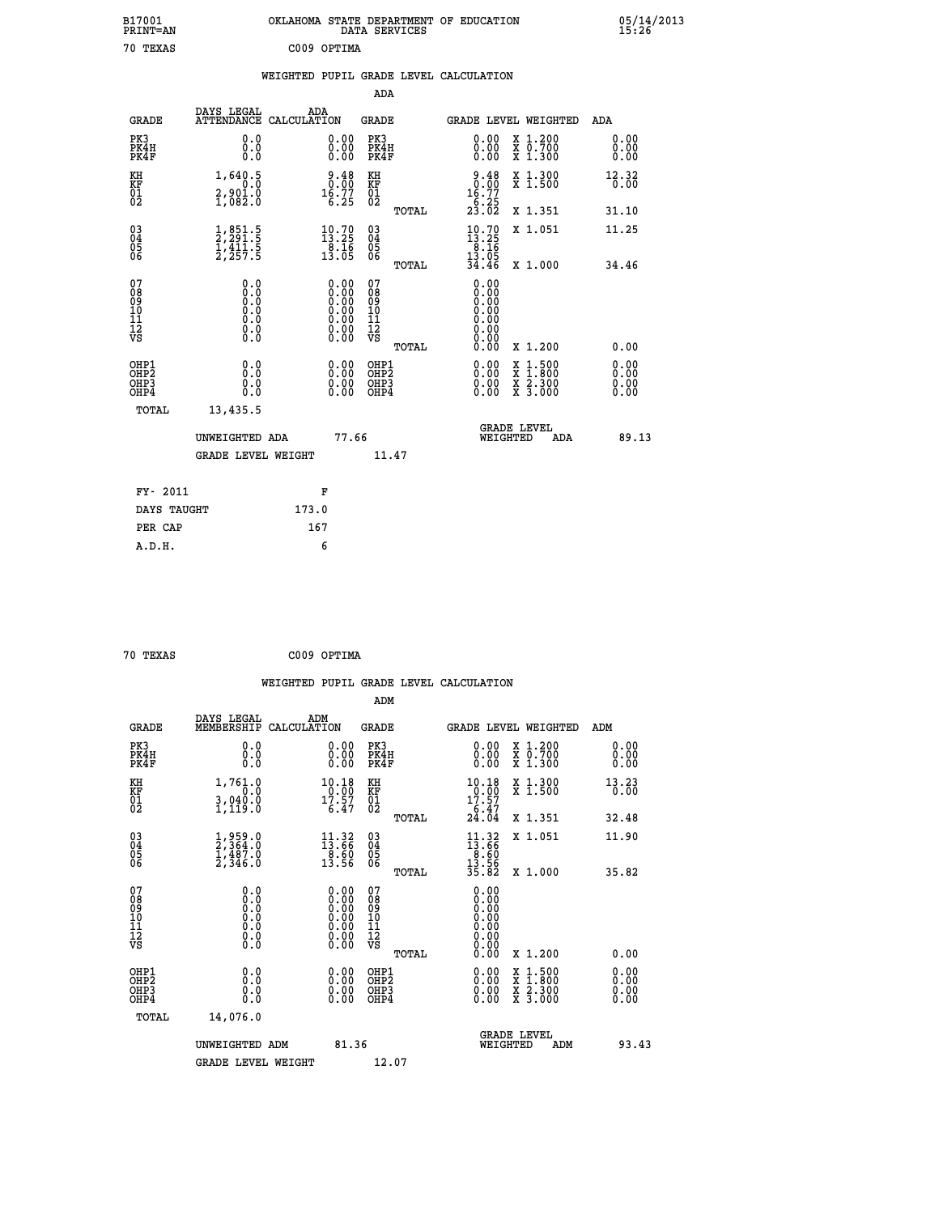| B17001<br>PRINT=AN                       |                                                                                                  | OKLAHOMA STATE DEPARTMENT OF EDUCATION                                                        | DATA SERVICES                            |                                                               |                                                                                        | 05/14/2013<br>15:26          |  |
|------------------------------------------|--------------------------------------------------------------------------------------------------|-----------------------------------------------------------------------------------------------|------------------------------------------|---------------------------------------------------------------|----------------------------------------------------------------------------------------|------------------------------|--|
| 70 TEXAS                                 |                                                                                                  | C009 OPTIMA                                                                                   |                                          |                                                               |                                                                                        |                              |  |
|                                          |                                                                                                  | WEIGHTED PUPIL GRADE LEVEL CALCULATION                                                        |                                          |                                                               |                                                                                        |                              |  |
|                                          |                                                                                                  |                                                                                               | ADA                                      |                                                               |                                                                                        |                              |  |
| <b>GRADE</b>                             | DAYS LEGAL<br>ATTENDANCE CALCULATION                                                             | ADA                                                                                           | GRADE                                    | GRADE LEVEL WEIGHTED                                          |                                                                                        | ADA                          |  |
| PK3<br>PK4H<br>PK4F                      | 0.0<br>0.0<br>0.0                                                                                | 0.00<br>0.00                                                                                  | PK3<br>PK4H<br>PK4F                      | ${\overset{\scriptstyle 0.00}{\scriptstyle 0.00}}\phantom{0}$ | X 1.200<br>X 0.700<br>X 1.300                                                          | 0.00<br>0.00<br>0.00         |  |
| KH<br>KF<br>01<br>02                     | 1,640.5<br>0.0<br>$2,901.0$<br>$1,082.0$                                                         | 9.48<br>0.00<br>$16.77$<br>6.25                                                               | KH<br>KF<br>$\overline{01}$              | 9.48<br>0.00<br>$16.77$<br>$6.25$<br>$23.02$                  | $\begin{smallmatrix} x & 1.300 \\ x & 1.500 \end{smallmatrix}$                         | 12.32<br>0.00                |  |
|                                          |                                                                                                  |                                                                                               | TOTAL                                    |                                                               | X 1.351                                                                                | 31.10                        |  |
| $\substack{03 \\ 04}$<br>$\frac{05}{06}$ | $\frac{1}{2}, \frac{851}{291}$<br>$\frac{5}{1}, \frac{411}{25}$<br>$\frac{5}{2}, \frac{257}{25}$ | $\begin{smallmatrix} 10\cdot70\\13\cdot25\\8\cdot16\\13\cdot05 \end{smallmatrix}$             | 03<br>04<br>05<br>ŎĞ                     | $10.70$<br>$13.25$<br>$\frac{8.16}{13.05}$<br>34.46           | X 1.051                                                                                | 11.25                        |  |
|                                          |                                                                                                  |                                                                                               | TOTAL                                    |                                                               | X 1.000                                                                                | 34.46                        |  |
| 078901112<br>00901112<br>VS              | 0.0<br>0.000<br>0.0<br>0.0<br>Ō.Ō<br>Ō.Ō                                                         | $\begin{smallmatrix} 0.00\ 0.00\ 0.00\ 0.00\ 0.00\ 0.00\ 0.00\ 0.00\ 0.00\ \end{smallmatrix}$ | 078901112<br>00010112<br>VS<br>TOTAL     | 0.00<br>0.00<br>0.00<br>Ŏ.ŎŎ<br>Q.QQ<br>0.00<br>0.00<br>0.00  | X 1.200                                                                                | 0.00                         |  |
| OHP1<br>OHP2<br>OHP3<br>OHP4             | 0.0<br>0.0<br>0.0                                                                                | 0.00<br>0.00<br>0.00                                                                          | OHP1<br>OHP <sub>2</sub><br>OHP3<br>OHP4 | 0.00<br>0.00<br>0.00                                          | $\frac{x}{x}$ $\frac{1.500}{1.800}$<br>$\frac{x}{x}$ $\frac{2 \cdot 300}{3 \cdot 000}$ | 0.00<br>0.00<br>0.00<br>0.00 |  |
| TOTAL                                    | 13,435.5                                                                                         |                                                                                               |                                          |                                                               |                                                                                        |                              |  |
|                                          | UNWEIGHTED ADA                                                                                   | 77.66                                                                                         |                                          | <b>GRADE LEVEL</b><br>WEIGHTED                                | ADA                                                                                    | 89.13                        |  |
|                                          | <b>GRADE LEVEL WEIGHT</b>                                                                        |                                                                                               | 11.47                                    |                                                               |                                                                                        |                              |  |
| FY- 2011                                 |                                                                                                  | F                                                                                             |                                          |                                                               |                                                                                        |                              |  |
| DAYS TAUGHT                              |                                                                                                  | 173.0                                                                                         |                                          |                                                               |                                                                                        |                              |  |
| PER CAP                                  |                                                                                                  | 167                                                                                           |                                          |                                                               |                                                                                        |                              |  |

| C009 OPTIMA |  | 70 TEXAS |  |  |
|-------------|--|----------|--|--|
|-------------|--|----------|--|--|

 **WEIGHTED PUPIL GRADE LEVEL CALCULATION ADM DAYS LEGAL ADM GRADE MEMBERSHIP CALCULATION GRADE GRADE LEVEL WEIGHTED ADM PK3 0.0 0.00 PK3 0.00 X 1.200 0.00 PK4H 0.0 0.00 PK4H 0.00 X 0.700 0.00 PK4F 0.0 0.00 PK4F 0.00 X 1.300 0.00 KH 1,761.0 10.18 KH 10.18 X 1.300 13.23 KF 0.0 0.00 KF 0.00 X 1.500 0.00 01 3,040.0 17.57 01 17.57 02 1,119.0 6.47 02 6.47 TOTAL 24.04 X 1.351 32.48 03 1,959.0 11.32 03 11.32 X 1.051 11.90 04 2,364.0 13.66 04 13.66 05 1,487.0 8.60 05 8.60** 06 2,346.0 13.56 06 <sub>momas</sub> 13.56  **TOTAL 35.82 X 1.000 35.82 07 0.0 0.00 07 0.00 08 0.0 0.00 08 0.00 03 0.00 0.00 0.000 0.000 10 0.0 0.00 10 0.00 11 0.0 0.00 11 0.00 12 0.0 0.00 12 0.00 VS** 0.0 0.00 VS 0.00 0.00  **TOTAL 0.00 X 1.200 0.00 OHP1 0.0 0.00 OHP1 0.00 X 1.500 0.00 OHP2 0.0 0.00 OHP2 0.00 X 1.800 0.00 OHP3 0.0 0.00 OHP3 0.00 X 2.300 0.00 OHP4 0.0 0.00 OHP4 0.00 X 3.000 0.00 TOTAL 14,076.0 GRADE LEVEL UNWEIGHTED ADM 81.36 WEIGHTED ADM 93.43** GRADE LEVEL WEIGHT 12.07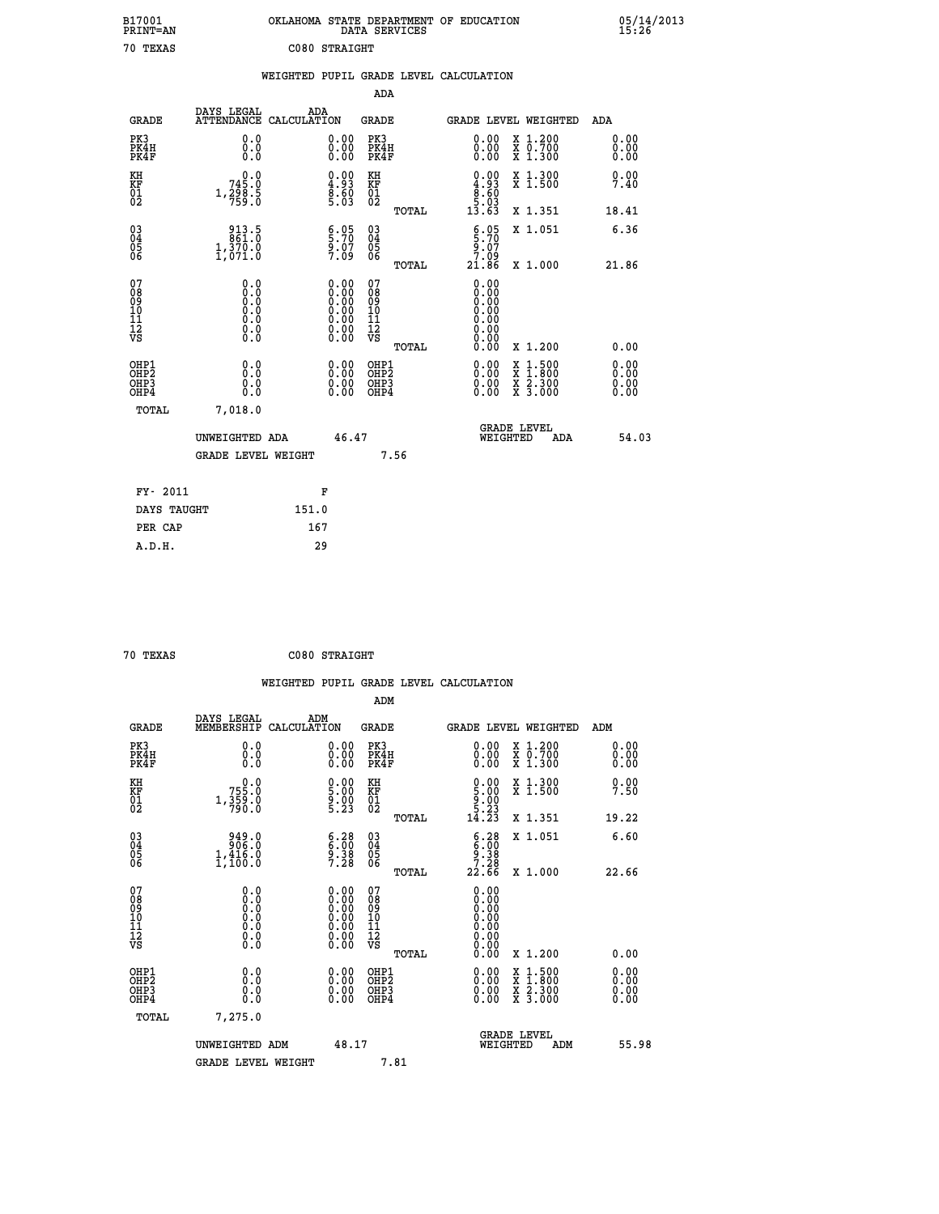| B17001<br><b>PRINT=AN</b>                             |                                              | OKLAHOMA STATE DEPARTMENT OF EDUCATION                                                        | DATA SERVICES                             |                                                                      |                                                                                  | 05/14/2013<br>15:26          |  |
|-------------------------------------------------------|----------------------------------------------|-----------------------------------------------------------------------------------------------|-------------------------------------------|----------------------------------------------------------------------|----------------------------------------------------------------------------------|------------------------------|--|
| 70 TEXAS                                              |                                              | C080 STRAIGHT                                                                                 |                                           |                                                                      |                                                                                  |                              |  |
|                                                       |                                              | WEIGHTED PUPIL GRADE LEVEL CALCULATION                                                        |                                           |                                                                      |                                                                                  |                              |  |
|                                                       |                                              |                                                                                               | ADA                                       |                                                                      |                                                                                  |                              |  |
| <b>GRADE</b>                                          | DAYS LEGAL<br>ATTENDANCE CALCULATION         | ADA                                                                                           | GRADE                                     | GRADE LEVEL WEIGHTED                                                 |                                                                                  | ADA                          |  |
| PK3<br>PK4H<br>PK4F                                   | 0.0<br>0.0<br>0.0                            | 0.00<br>0.00                                                                                  | PK3<br>PK4H<br>PK4F                       | $\begin{smallmatrix} 0.00 \\ 0.00 \\ 0.00 \end{smallmatrix}$         | X 1.200<br>X 0.700<br>X 1.300                                                    | 0.00<br>0.00<br>0.00         |  |
| KH<br>KF<br>$^{01}_{02}$                              | 0.0<br>745.0<br>1, 2, 8, 8, 5                | $\begin{smallmatrix} 0.00\\ 4.93\\ 8.60\\ 5.03 \end{smallmatrix}$                             | KH<br>KF<br>01<br>02                      | 0.00<br>$\begin{array}{r} 4.93 \\ 8.60 \\ 5.03 \\ 13.63 \end{array}$ | X 1.300<br>X 1.500                                                               | 0.00<br>7.40                 |  |
|                                                       |                                              |                                                                                               | TOTAL                                     |                                                                      | X 1.351                                                                          | 18.41                        |  |
| $\substack{03 \\ 04}$<br>$\frac{05}{06}$              | $843.5$<br>$861.0$<br>$1,370.0$<br>$1,071.0$ | $\S:$ 70<br>9.07<br>7.09                                                                      | 03<br>04<br>05<br>06                      | 5.95<br>9.07<br>7.09                                                 | X 1.051                                                                          | 6.36                         |  |
|                                                       |                                              |                                                                                               | TOTAL                                     | 21.86                                                                | X 1.000                                                                          | 21.86                        |  |
| 07<br>08901112<br>1112<br>VS                          | 0.0<br>0.00<br>0.0<br>0.0<br>$\S.$           | $\begin{smallmatrix} 0.00\ 0.00\ 0.00\ 0.00\ 0.00\ 0.00\ 0.00\ 0.00\ 0.00\ \end{smallmatrix}$ | 0789011128<br>TOTAL                       | 0.00<br>0.00<br>0.00<br>0.00<br>0.00<br>0.00<br>0.00<br>0.00         | X 1.200                                                                          | 0.00                         |  |
| OHP1<br>OH <sub>P</sub> 2<br>OH <sub>P3</sub><br>OHP4 | 0.0<br>0.0<br>0.0<br>0.0                     | 0.00<br>0.00<br>0.00                                                                          | OHP1<br>OH <sub>P</sub> 2<br>OHP3<br>OHP4 | 0.00<br>0.00<br>0.00                                                 | $\frac{x}{x}$ 1.500<br>$\frac{\overline{x}}{\overline{x}}$ $\frac{2.300}{3.000}$ | 0.00<br>0.00<br>0.00<br>0.00 |  |
| TOTAL                                                 | 7,018.0                                      |                                                                                               |                                           |                                                                      |                                                                                  |                              |  |
|                                                       | UNWEIGHTED ADA<br><b>GRADE LEVEL WEIGHT</b>  | 46.47                                                                                         | 7.56                                      | <b>GRADE LEVEL</b><br>WEIGHTED                                       | ADA                                                                              | 54.03                        |  |
|                                                       |                                              |                                                                                               |                                           |                                                                      |                                                                                  |                              |  |
| FY- 2011                                              |                                              | F                                                                                             |                                           |                                                                      |                                                                                  |                              |  |
| DAYS TAUGHT                                           |                                              | 151.0                                                                                         |                                           |                                                                      |                                                                                  |                              |  |
| PER CAP                                               |                                              | 167                                                                                           |                                           |                                                                      |                                                                                  |                              |  |

| 70 TEXAS | C080 STRAIGHT |
|----------|---------------|
|          |               |

|                                                      |                                                                                      |                                                                                               | WEIGHTED PUPIL GRADE LEVEL CALCULATION       |                                                                           |                                          |                      |
|------------------------------------------------------|--------------------------------------------------------------------------------------|-----------------------------------------------------------------------------------------------|----------------------------------------------|---------------------------------------------------------------------------|------------------------------------------|----------------------|
|                                                      |                                                                                      |                                                                                               | ADM                                          |                                                                           |                                          |                      |
| <b>GRADE</b>                                         | DAYS LEGAL<br>MEMBERSHIP                                                             | ADM<br>CALCULATION                                                                            | <b>GRADE</b>                                 | GRADE LEVEL WEIGHTED                                                      |                                          | ADM                  |
| PK3<br>PK4H<br>PK4F                                  | 0.0<br>0.0<br>0.0                                                                    | $\begin{smallmatrix} 0.00 \ 0.00 \ 0.00 \end{smallmatrix}$                                    | PK3<br>PK4H<br>PK4F                          | $\begin{smallmatrix} 0.00 \\ 0.00 \\ 0.00 \end{smallmatrix}$              | X 1.200<br>X 0.700<br>X 1.300            | 0.00<br>0.00<br>0.00 |
| KH<br>KF<br>01<br>02                                 | 755.0<br>$1, \frac{359}{790}$ :0                                                     | $\begin{smallmatrix} 0.00\\ 5.00\\ 9.00\\ 5.23 \end{smallmatrix}$                             | KH<br>KF<br>01<br>02                         | $\begin{smallmatrix} 0.00\\ 5.00\\ 9.00\\ 5.23\\ 14.23 \end{smallmatrix}$ | X 1.300<br>X 1.500                       | 0.00<br>7.50         |
|                                                      |                                                                                      |                                                                                               | TOTAL                                        |                                                                           | X 1.351                                  | 19.22                |
| $\begin{matrix} 03 \\ 04 \\ 05 \\ 06 \end{matrix}$   | $\begin{smallmatrix} & 949.0 \ 906.0 \ 1,416.0 \ 1,100.0 \end{smallmatrix}$          | $\begin{array}{c} 6.28 \\ 6.00 \\ 9.38 \\ 7.28 \end{array}$                                   | 03<br>04<br>05<br>06                         | $6.28$<br>$9.38$<br>$7.28$                                                | X 1.051                                  | 6.60                 |
|                                                      |                                                                                      |                                                                                               | TOTAL                                        | 22.66                                                                     | X 1.000                                  | 22.66                |
| 07<br>0890112<br>1112<br>VS                          | 0.0<br>$\begin{smallmatrix} 0.0 & 0 \ 0.0 & 0 \ 0.0 & 0 \ 0.0 & 0 \end{smallmatrix}$ | $\begin{smallmatrix} 0.00\ 0.00\ 0.00\ 0.00\ 0.00\ 0.00\ 0.00\ 0.00\ 0.00\ \end{smallmatrix}$ | 07<br>08901112<br>1112<br>VS<br>TOTAL        | 0.00<br>0.00<br>0.00<br>0.00<br>0.00<br>0.00                              | X 1.200                                  | 0.00                 |
| OHP1<br>OHP <sub>2</sub><br>OH <sub>P3</sub><br>OHP4 | 0.0<br>0.000                                                                         | $0.00$<br>$0.00$<br>0.00                                                                      | OHP1<br>OHP <sub>2</sub><br>OHP <sub>3</sub> | 0.00<br>0.00<br>0.00                                                      | X 1:500<br>X 1:800<br>X 2:300<br>X 3:000 | 0.00<br>0.00<br>0.00 |
| TOTAL                                                | 7,275.0                                                                              |                                                                                               |                                              |                                                                           |                                          |                      |
|                                                      | UNWEIGHTED ADM<br><b>GRADE LEVEL WEIGHT</b>                                          | 48.17                                                                                         | 7.81                                         | <b>GRADE LEVEL</b><br>WEIGHTED                                            | ADM                                      | 55.98                |
|                                                      |                                                                                      |                                                                                               |                                              |                                                                           |                                          |                      |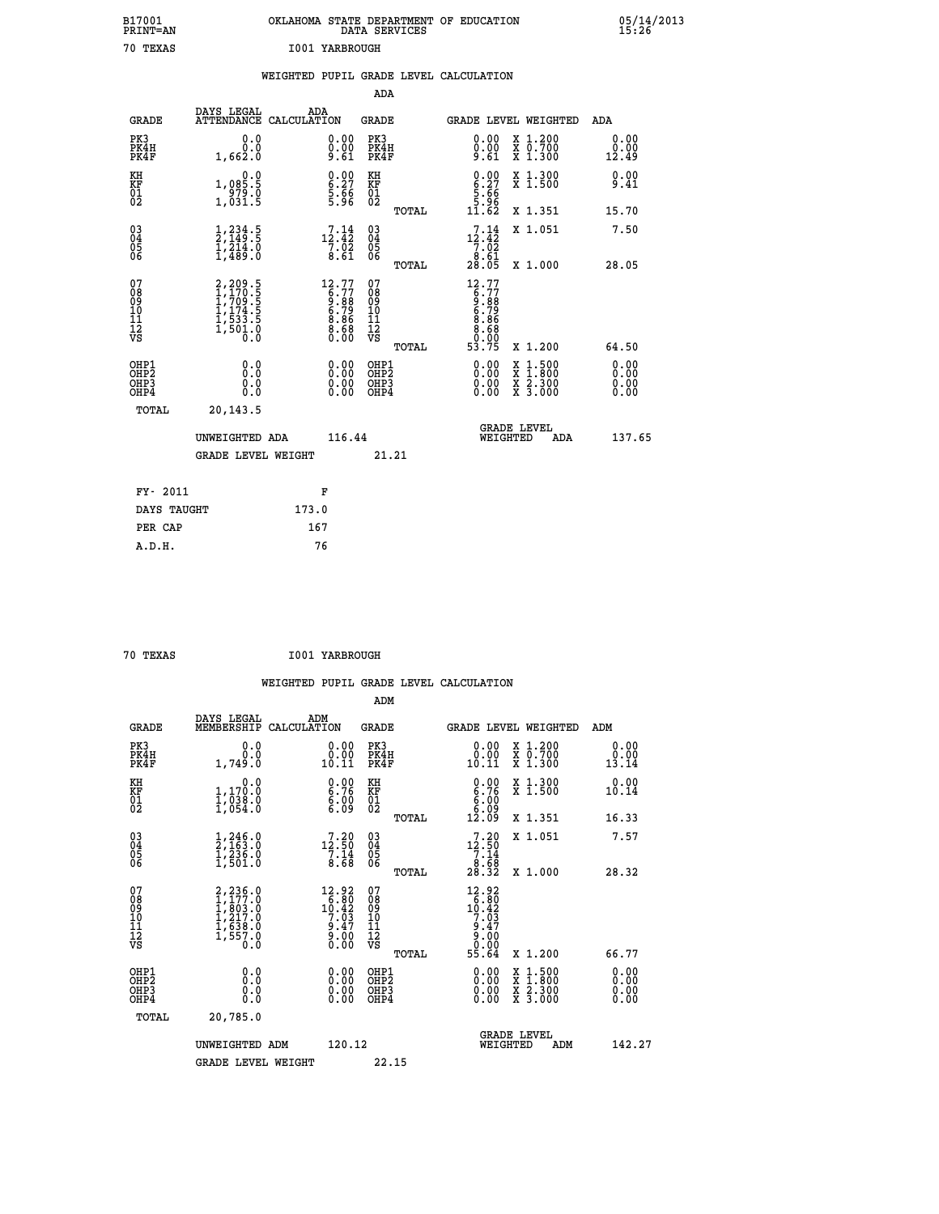| B17001<br><b>PRINT=AN</b> | OKLAHOMA STATE DEPARTMENT OF EDUCATION<br>DATA SERVICES | 05/14/2013<br>15:26 |
|---------------------------|---------------------------------------------------------|---------------------|
| 70 TEXAS                  | <b>I001 YARBROUGH</b>                                   |                     |

|                                                                    |                                                                                                                   | WEIGHTED PUPIL GRADE LEVEL CALCULATION                              |                                           |       |                                                                                           |                                                                                                                                      |                              |
|--------------------------------------------------------------------|-------------------------------------------------------------------------------------------------------------------|---------------------------------------------------------------------|-------------------------------------------|-------|-------------------------------------------------------------------------------------------|--------------------------------------------------------------------------------------------------------------------------------------|------------------------------|
|                                                                    |                                                                                                                   |                                                                     | <b>ADA</b>                                |       |                                                                                           |                                                                                                                                      |                              |
| <b>GRADE</b>                                                       | DAYS LEGAL                                                                                                        | ADA<br>ATTENDANCE CALCULATION                                       | GRADE                                     |       |                                                                                           | GRADE LEVEL WEIGHTED                                                                                                                 | ADA                          |
| PK3<br>PK4H<br>PK4F                                                | 0.0<br>0.0<br>1,662.0                                                                                             | 0.00<br>$\begin{smallmatrix} 0.00 \ 9.61 \end{smallmatrix}$         | PK3<br>PK4H<br>PK4F                       |       | 0.00<br>0.00<br>9.61                                                                      | X 1.200<br>X 0.700<br>X 1.300                                                                                                        | 0.00<br>0.00<br>12.49        |
| KH<br>KF<br>01<br>02                                               | 1,085.5<br>$\frac{555}{1,031.5}$                                                                                  | $\begin{array}{c} 0.00 \\ 6.27 \\ 5.66 \\ 5.96 \end{array}$         | KH<br>KF<br>01<br>02                      |       | $0.00$<br>$6.27$<br>$5.66$<br>$5.96$<br>$11.62$                                           | X 1.300<br>X 1.500                                                                                                                   | 0.00<br>9.41                 |
|                                                                    |                                                                                                                   |                                                                     |                                           | TOTAL |                                                                                           | X 1.351                                                                                                                              | 15.70                        |
| $\begin{smallmatrix} 03 \\[-4pt] 04 \end{smallmatrix}$<br>05<br>06 | $\frac{1}{2}, \frac{234}{149}.\frac{5}{5}$<br>$\frac{1}{2}, \frac{214}{489}.\frac{0}{0}$                          | 12.44<br>$\frac{7.02}{8.61}$                                        | $\substack{03 \\ 04}$<br>0500             |       | 12.14<br>$\frac{7.02}{8.61}$                                                              | X 1.051                                                                                                                              | 7.50                         |
|                                                                    |                                                                                                                   |                                                                     |                                           | TOTAL | 28.05                                                                                     | X 1.000                                                                                                                              | 28.05                        |
| 07<br>08<br>09<br>11<br>11<br>12<br>VS                             | $\begin{smallmatrix} 2,209.5\\ 1,170.5\\ 1,709.5\\ 1,709.5\\ 1,174.5\\ 1,533.5\\ 1,501.0\\ 0.0 \end{smallmatrix}$ | $12.77$<br>$6.77$<br>$9.88$<br>$6.79$<br>$8.68$<br>$8.68$<br>$0.00$ | 07<br>08<br>09<br>101<br>11<br>12<br>VS   |       | 12.77<br>$\begin{array}{c} 6.77 \\ 9.89 \\ 6.789 \\ 6.868 \\ 8.680 \\ \hline \end{array}$ |                                                                                                                                      |                              |
|                                                                    |                                                                                                                   |                                                                     |                                           | TOTAL | 53.75                                                                                     | X 1.200                                                                                                                              | 64.50                        |
| OHP1<br>OH <sub>P</sub> 2<br>OHP3<br>OHP4                          | 0.0<br>Ō.Ō<br>0.0<br>0.0                                                                                          | 0.00<br>0.00<br>0.00                                                | OHP1<br>OH <sub>P</sub> 2<br>OHP3<br>OHP4 |       | $0.00$<br>$0.00$<br>0.00                                                                  | $\begin{smallmatrix} \mathtt{X} & 1 & 500 \\ \mathtt{X} & 1 & 800 \\ \mathtt{X} & 2 & 300 \\ \mathtt{X} & 3 & 000 \end{smallmatrix}$ | 0.00<br>0.00<br>0.00<br>0.00 |
| TOTAL                                                              | 20,143.5                                                                                                          |                                                                     |                                           |       |                                                                                           |                                                                                                                                      |                              |
|                                                                    | UNWEIGHTED ADA                                                                                                    | 116.44                                                              |                                           |       | WEIGHTED                                                                                  | <b>GRADE LEVEL</b><br>ADA                                                                                                            | 137.65                       |
|                                                                    | <b>GRADE LEVEL WEIGHT</b>                                                                                         |                                                                     |                                           | 21.21 |                                                                                           |                                                                                                                                      |                              |
| FY- 2011                                                           |                                                                                                                   | F                                                                   |                                           |       |                                                                                           |                                                                                                                                      |                              |
| DAYS TAUGHT                                                        |                                                                                                                   | 173.0                                                               |                                           |       |                                                                                           |                                                                                                                                      |                              |
| PER CAP                                                            |                                                                                                                   | 167                                                                 |                                           |       |                                                                                           |                                                                                                                                      |                              |
| A.D.H.                                                             |                                                                                                                   | 76                                                                  |                                           |       |                                                                                           |                                                                                                                                      |                              |

 **70 TEXAS I001 YARBROUGH**

 **WEIGHTED PUPIL GRADE LEVEL CALCULATION ADM DAYS LEGAL ADM GRADE MEMBERSHIP CALCULATION GRADE GRADE LEVEL WEIGHTED ADM PK3 0.0 0.00 PK3 0.00 X 1.200 0.00 PK4H 0.0 0.00 PK4H 0.00 X 0.700 0.00 PK4F 1,749.0 10.11 PK4F 10.11 X 1.300 13.14**

| PA45                                               | 1,749.U                                                                                     | TA.TT                                                                                    | PA4P                                     | 10.TT                                                                                                   | A 1.300                                                                                                             | 13.14                                                                                                                                                                                                                                                                          |
|----------------------------------------------------|---------------------------------------------------------------------------------------------|------------------------------------------------------------------------------------------|------------------------------------------|---------------------------------------------------------------------------------------------------------|---------------------------------------------------------------------------------------------------------------------|--------------------------------------------------------------------------------------------------------------------------------------------------------------------------------------------------------------------------------------------------------------------------------|
| KH<br>KF<br>01<br>02                               | 0.0<br>$1,170.0$<br>$1,038.0$<br>$1,054.0$                                                  | $\begin{smallmatrix} 0.00\ 6.76\ 6.00\ 6.09 \end{smallmatrix}$                           | KH<br>KF<br>01<br>02                     | $\begin{smallmatrix} 0.00\ 6.76\ 6.00\ 6.09\ 12.09 \end{smallmatrix}$                                   | X 1.300<br>X 1.500                                                                                                  | 0.00<br>10.14                                                                                                                                                                                                                                                                  |
|                                                    |                                                                                             |                                                                                          | TOTAL                                    |                                                                                                         | X 1.351                                                                                                             | 16.33                                                                                                                                                                                                                                                                          |
| $\begin{matrix} 03 \\ 04 \\ 05 \\ 06 \end{matrix}$ | $\frac{1}{2}$ , $\frac{246}{163}$ .0<br>$\frac{1}{2}$ , $\frac{236}{201}$ .0<br>$1$ , 501.0 | $\begin{smallmatrix} 7\cdot 20\\ 12\cdot 50\\ 7\cdot 14\\ 8\cdot 68 \end{smallmatrix}$   | 03<br>04<br>05<br>06                     | $\begin{array}{r} 7 \cdot 20 \\ 12 \cdot 50 \\ 7 \cdot 14 \\ 8 \cdot 68 \\ 28 \cdot 32 \end{array}$     | X 1.051                                                                                                             | 7.57                                                                                                                                                                                                                                                                           |
|                                                    |                                                                                             |                                                                                          | TOTAL                                    |                                                                                                         | X 1.000                                                                                                             | 28.32                                                                                                                                                                                                                                                                          |
| 07<br>089<br>090<br>1112<br>VS                     | 2,236.0<br>1,177.0<br>1,803.0<br>1,217.0<br>1,638.0<br>1,557.0<br>0.0                       | $\begin{smallmatrix} 12.92\\ 6.80\\ 10.42\\ 7.03\\ 9.47\\ 9.00\\ 0.00 \end{smallmatrix}$ | 07<br>08901123<br>1122<br>VS<br>TOTAL    | $\begin{array}{r} 12.92 \\ 16.80 \\ 10.42 \\ 7.03 \\ 9.47 \\ 9.47 \\ 9.00 \\ 0.00 \\ 55.64 \end{array}$ | X 1.200                                                                                                             | 66.77                                                                                                                                                                                                                                                                          |
| OHP1<br>OHP2<br>OH <sub>P3</sub><br>OHP4           | 0.000000<br>Ŏ.Ŏ                                                                             | $0.00$<br>$0.00$<br>0.00                                                                 | OHP1<br>OHP <sub>2</sub><br>OHP3<br>OHP4 |                                                                                                         | $\begin{array}{l} \mathtt{X} & 1.500 \\ \mathtt{X} & 1.800 \\ \mathtt{X} & 2.300 \\ \mathtt{X} & 3.000 \end{array}$ | $\begin{smallmatrix} 0.00 & 0.00 & 0.00 & 0.00 & 0.00 & 0.00 & 0.00 & 0.00 & 0.00 & 0.00 & 0.00 & 0.00 & 0.00 & 0.00 & 0.00 & 0.00 & 0.00 & 0.00 & 0.00 & 0.00 & 0.00 & 0.00 & 0.00 & 0.00 & 0.00 & 0.00 & 0.00 & 0.00 & 0.00 & 0.00 & 0.00 & 0.00 & 0.00 & 0.00 & 0.00 & 0.0$ |
| TOTAL                                              | 20,785.0                                                                                    |                                                                                          |                                          |                                                                                                         |                                                                                                                     |                                                                                                                                                                                                                                                                                |
|                                                    |                                                                                             |                                                                                          |                                          |                                                                                                         | <b>GRADE LEVEL</b>                                                                                                  |                                                                                                                                                                                                                                                                                |
|                                                    | UNWEIGHTED ADM                                                                              | 120.12                                                                                   |                                          |                                                                                                         | WEIGHTED<br>ADM                                                                                                     | 142.27                                                                                                                                                                                                                                                                         |
|                                                    | <b>GRADE LEVEL WEIGHT</b>                                                                   |                                                                                          | 22.15                                    |                                                                                                         |                                                                                                                     |                                                                                                                                                                                                                                                                                |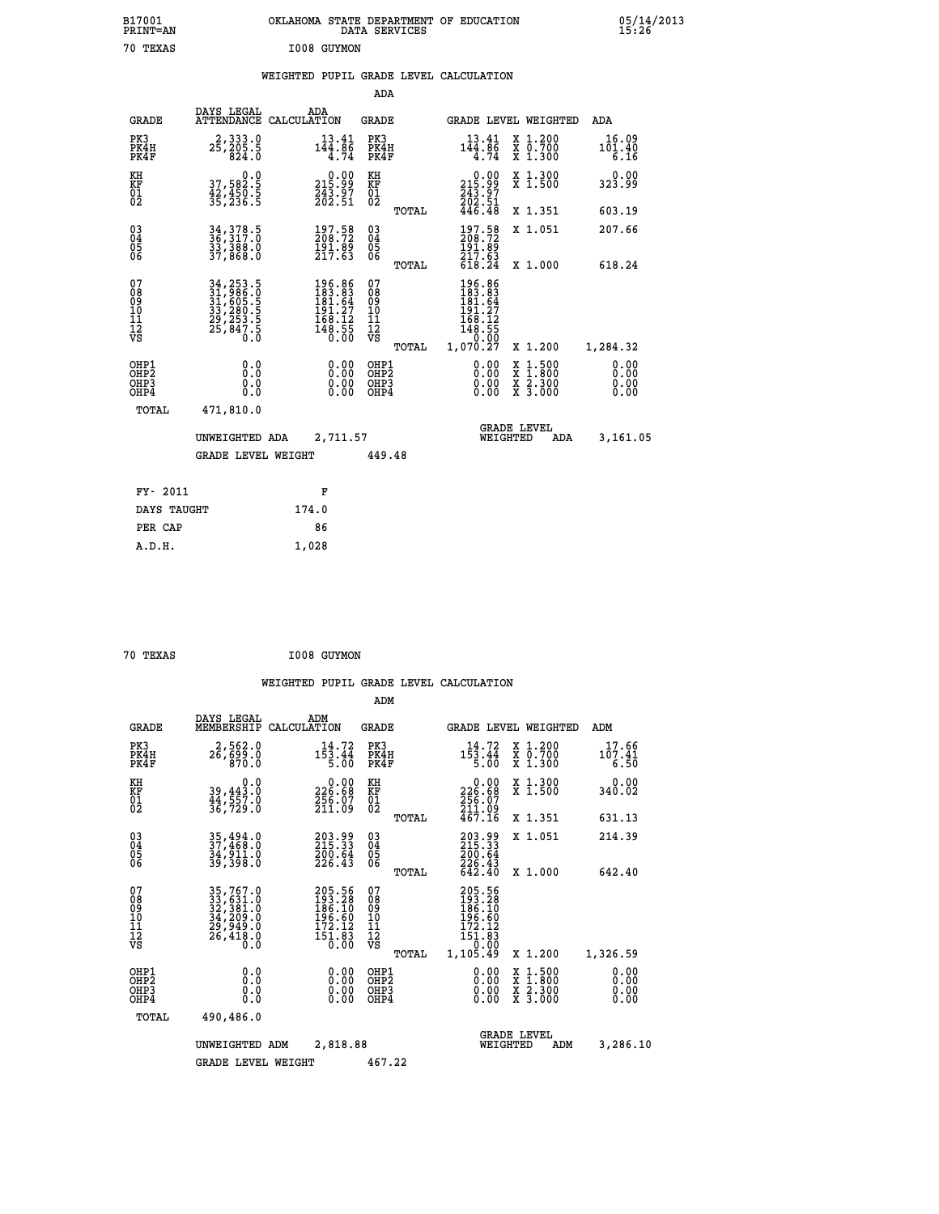| B17001<br>PRINT=AN                                 |                                                                                   | OKLAHOMA STATE DEPARTMENT OF EDUCATION                                                      | DATA SERVICES                                   |                                                                      |                                                                                                  | 05/14/2013                   |  |
|----------------------------------------------------|-----------------------------------------------------------------------------------|---------------------------------------------------------------------------------------------|-------------------------------------------------|----------------------------------------------------------------------|--------------------------------------------------------------------------------------------------|------------------------------|--|
| 70 TEXAS                                           |                                                                                   | I008 GUYMON                                                                                 |                                                 |                                                                      |                                                                                                  |                              |  |
|                                                    |                                                                                   | WEIGHTED PUPIL GRADE LEVEL CALCULATION                                                      |                                                 |                                                                      |                                                                                                  |                              |  |
|                                                    |                                                                                   |                                                                                             | ADA                                             |                                                                      |                                                                                                  |                              |  |
| <b>GRADE</b>                                       | DAYS LEGAL                                                                        | ADA<br>ATTENDANCE CALCULATION                                                               | GRADE                                           | <b>GRADE LEVEL WEIGHTED</b>                                          |                                                                                                  | ADA                          |  |
| PK3<br>PK4H<br>PK4F                                | 2, 333.0<br>25, 205.5<br>824.0                                                    | 13.41<br>144.86<br>4.74                                                                     | PK3<br>PK4H<br>PK4F                             | 13.41<br>144.86<br>4.74                                              | X 1.200<br>X 0.700<br>X 1.300                                                                    | 16.09<br>101.40<br>6.16      |  |
| KH<br>KF<br>01<br>02                               | 0.0<br>37,582:5<br>42,450:5<br>35,236:5                                           | $\begin{smallmatrix} 0.00\\215.99\\243.97\\262.51 \end{smallmatrix}$                        | КH<br><b>KF</b><br>01<br>02                     | $215.99$<br>$243.97$<br>$202.51$                                     | X 1.300<br>X 1.500                                                                               | 0.00<br>323.99               |  |
|                                                    |                                                                                   |                                                                                             | TOTAL                                           | 446.48                                                               | X 1.351                                                                                          | 603.19                       |  |
| $\begin{matrix} 03 \\ 04 \\ 05 \\ 06 \end{matrix}$ | 34, 378.5<br>36, 317.0<br>33, 388.0<br>37, 868.0                                  | 197.58<br>208.72<br>$\frac{191.89}{217.63}$                                                 | 03<br>04<br>05<br>ŌĞ                            | 197.58<br>208.72<br>191.89<br>217.63                                 | X 1.051                                                                                          | 207.66                       |  |
|                                                    |                                                                                   |                                                                                             | TOTAL                                           | 618.24                                                               | X 1,000                                                                                          | 618.24                       |  |
| 07<br>08<br>09<br>10<br>11<br>12<br>VS             | 34, 253.5<br>31, 986.0<br>31, 605.5<br>33, 280.5<br>29, 253.5<br>29, 847.5<br>0.0 | $\begin{smallmatrix} 196.86\\183.83\\181.64\\191.27\\168.12\\168.55\\0.00\end{smallmatrix}$ | 07<br>08<br>09<br>11<br>11<br>12<br>VS<br>TOTAL | 196.86<br>183.83<br>181.64<br>191.27<br>168.12<br>148.55<br>1,070.27 | X 1.200                                                                                          | 1,284.32                     |  |
| OHP1<br>OHP2<br>OHP3<br>OHP4                       | 0.0<br>0.0<br>0.0<br>0.0                                                          | 0.00<br>0.00<br>0.00                                                                        | OHP1<br>OHP <sub>2</sub><br>OHP3<br>OHP4        | 0.00<br>0.00<br>0.00                                                 | $\begin{smallmatrix} x & 1 & 500 \\ x & 1 & 800 \\ x & 2 & 300 \\ x & 3 & 000 \end{smallmatrix}$ | 0.00<br>0.00<br>0.00<br>0.00 |  |
| TOTAL                                              | 471,810.0                                                                         |                                                                                             |                                                 |                                                                      |                                                                                                  |                              |  |
|                                                    | UNWEIGHTED ADA                                                                    | 2,711.57                                                                                    |                                                 | WEIGHTED                                                             | <b>GRADE LEVEL</b><br>ADA                                                                        | 3,161.05                     |  |
|                                                    | <b>GRADE LEVEL WEIGHT</b>                                                         |                                                                                             | 449.48                                          |                                                                      |                                                                                                  |                              |  |
| FY- 2011                                           |                                                                                   | F                                                                                           |                                                 |                                                                      |                                                                                                  |                              |  |
| DAYS TAUGHT                                        |                                                                                   | 174.0                                                                                       |                                                 |                                                                      |                                                                                                  |                              |  |
| PER CAP                                            |                                                                                   | 86                                                                                          |                                                 |                                                                      |                                                                                                  |                              |  |

| 70 TEXAS | I008 GUYMON |
|----------|-------------|
|          |             |

 **A.D.H. 1,028**

|                                                       |                                                                                                               |                                                                        | ADM                                     |       |                                                                             |                                                                                                  |                              |
|-------------------------------------------------------|---------------------------------------------------------------------------------------------------------------|------------------------------------------------------------------------|-----------------------------------------|-------|-----------------------------------------------------------------------------|--------------------------------------------------------------------------------------------------|------------------------------|
| <b>GRADE</b>                                          | DAYS LEGAL<br>MEMBERSHIP                                                                                      | ADM<br>CALCULATION                                                     | <b>GRADE</b>                            |       |                                                                             | GRADE LEVEL WEIGHTED                                                                             | ADM                          |
| PK3<br>PK4H<br>PK4F                                   | 2,562.0<br>26,699.0<br>870.0                                                                                  | 14.72<br>$1\bar{5}\bar{3}\cdot4\bar{4}$<br>5.00                        | PK3<br>PK4H<br>PK4F                     |       | 14.72<br>$1\bar{5}\bar{3}\cdot4\bar{4}$<br>5.00                             | $\begin{smallmatrix} x & 1.200 \\ x & 0.700 \end{smallmatrix}$<br>X 1.300                        | 17.66<br>107.41<br>6.50      |
| KH<br>KF<br>01<br>02                                  | 0.0<br>39,443.0<br>44,557.0<br>36,729.0                                                                       | $\begin{smallmatrix} &0.00\ 226.68\ 256.07\ 211.09\ \end{smallmatrix}$ | KH<br>KF<br>01<br>02                    |       | $\begin{smallmatrix} 0.00\\ 226.68\\ 256.07\\ 211.99 \end{smallmatrix}$     | X 1.300<br>X 1.500                                                                               | 0.00<br>340.02               |
|                                                       |                                                                                                               |                                                                        |                                         | TOTAL | 467.16                                                                      | X 1.351                                                                                          | 631.13                       |
| 03<br>04<br>05<br>06                                  | 35,494.0<br>37,468.0<br>34,911.0<br>39,398.0                                                                  | 203.99<br>215.33<br>200.64<br>226.43                                   | $\substack{03 \\ 04}$<br>05<br>06       |       | 203.99<br>215.33<br>200.64                                                  | X 1.051                                                                                          | 214.39                       |
|                                                       |                                                                                                               |                                                                        |                                         | TOTAL | 226.43<br>642.40                                                            | X 1.000                                                                                          | 642.40                       |
| 07<br>08<br>09<br>101<br>112<br>VS                    | $\begin{smallmatrix} 35,767.0\\ 33,631.0\\ 32,381.0\\ 34,209.0\\ 29,949.0\\ 26,418.0\\ 0.0 \end{smallmatrix}$ | 205.56<br>193.28<br>186.10<br>196.60<br>$\frac{172.12}{151.83}$        | 07<br>08<br>09<br>101<br>11<br>12<br>VS | TOTAL | 205.56<br>193.28<br>186.10<br>196.60<br>$\frac{172.12}{151.83}$<br>1,105.49 | X 1.200                                                                                          | 1,326.59                     |
| OHP1<br>OH <sub>P</sub> 2<br>OH <sub>P3</sub><br>OHP4 | 0.0<br>0.000                                                                                                  | $0.00$<br>$0.00$<br>0.00                                               | OHP1<br>OHP2<br>OHP3<br>OHP4            |       | $0.00$<br>$0.00$<br>0.00                                                    | $\begin{smallmatrix} x & 1 & 500 \\ x & 1 & 800 \\ x & 2 & 300 \\ x & 3 & 000 \end{smallmatrix}$ | 0.00<br>0.00<br>0.00<br>0.00 |
| TOTAL                                                 | 490,486.0                                                                                                     |                                                                        |                                         |       |                                                                             |                                                                                                  |                              |
|                                                       | UNWEIGHTED                                                                                                    | 2,818.88<br>ADM                                                        |                                         |       | WEIGHTED                                                                    | <b>GRADE LEVEL</b><br>ADM                                                                        | 3,286.10                     |
|                                                       | <b>GRADE LEVEL WEIGHT</b>                                                                                     |                                                                        | 467.22                                  |       |                                                                             |                                                                                                  |                              |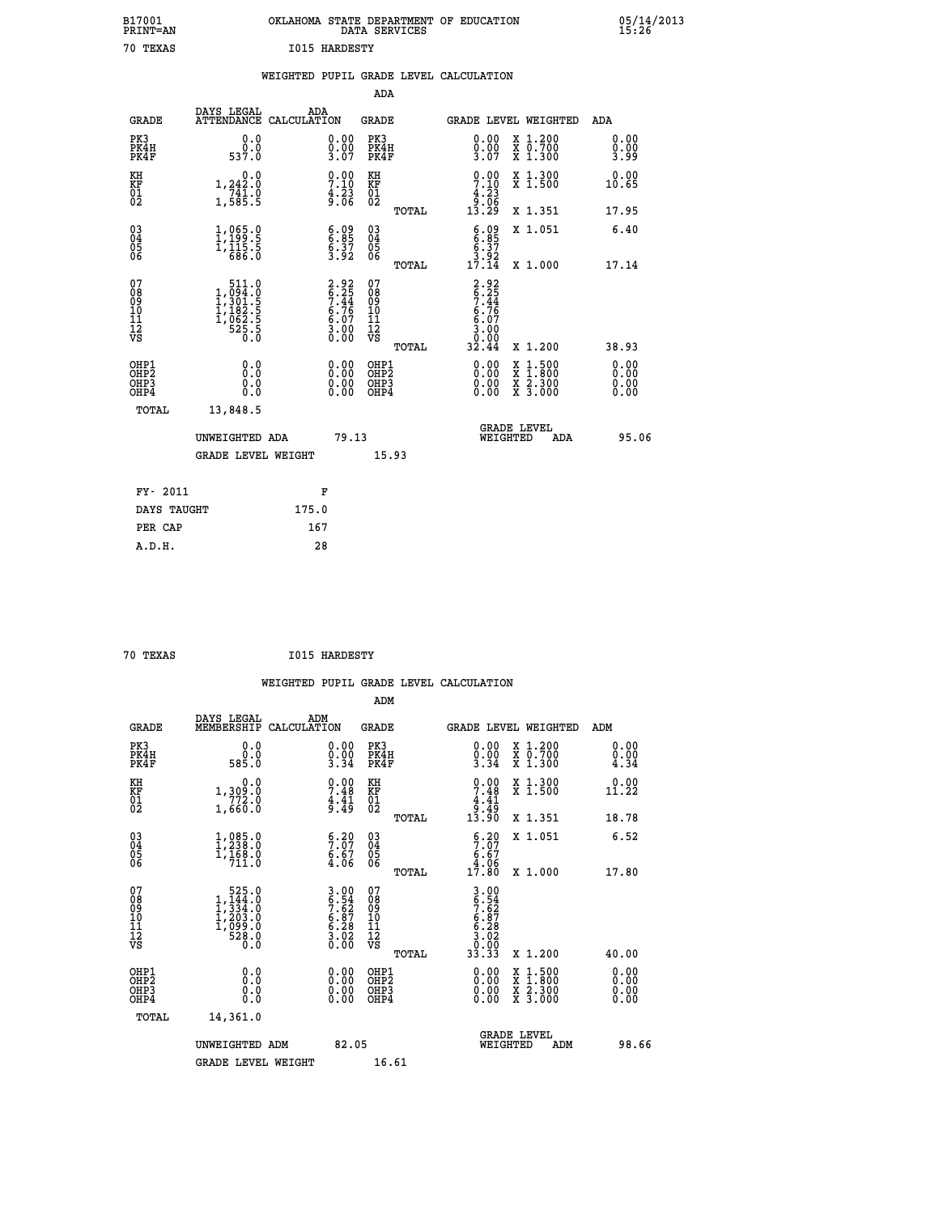| B17001<br><b>PRINT=AN</b> | OKLAHOMA STATE DEPARTMENT OF EDUCATION<br>DATA SERVICES | 05/14/2013<br>15:26 |
|---------------------------|---------------------------------------------------------|---------------------|
| 70<br>TEXAS               | <b>I015 HARDESTY</b>                                    |                     |

|  |  | WEIGHTED PUPIL GRADE LEVEL CALCULATION |
|--|--|----------------------------------------|
|  |  |                                        |

|                                                                              |                                                                                                     |                                                                    | ADA                                                |       |                                                                             |                                                                                                                                              |                              |
|------------------------------------------------------------------------------|-----------------------------------------------------------------------------------------------------|--------------------------------------------------------------------|----------------------------------------------------|-------|-----------------------------------------------------------------------------|----------------------------------------------------------------------------------------------------------------------------------------------|------------------------------|
| <b>GRADE</b>                                                                 | DAYS LEGAL                                                                                          | ADA<br>ATTENDANCE CALCULATION                                      | GRADE                                              |       | <b>GRADE LEVEL WEIGHTED</b>                                                 |                                                                                                                                              | ADA                          |
| PK3<br>PK4H<br>PK4F                                                          | 0.0<br>0.0<br>537.0                                                                                 | 0.00<br>$\frac{0.00}{3.07}$                                        | PK3<br>PK4H<br>PK4F                                |       | 0.00<br>$\frac{0.00}{3.07}$                                                 | X 1.200<br>X 0.700<br>X 1.300                                                                                                                | 0.00<br>0.00<br>3.99         |
| KH<br>KF<br>01<br>02                                                         | 0.0<br>$1, 242.0$<br>$741.0$<br>$1, 585.5$                                                          | $\begin{array}{c} 0.00 \\ 7.10 \\ 4.23 \\ 9.06 \end{array}$        | KH<br>KF<br>01<br>02                               |       | $\begin{array}{c} 0.00 \\ 7.10 \\ 4.23 \\ 9.06 \\ 13.29 \end{array}$        | X 1.300<br>X 1.500                                                                                                                           | 0.00<br>10.65                |
|                                                                              |                                                                                                     |                                                                    |                                                    | TOTAL |                                                                             | X 1.351                                                                                                                                      | 17.95                        |
| $\begin{matrix} 03 \\ 04 \\ 05 \\ 06 \end{matrix}$                           | $\frac{1}{1}, \frac{065}{199}$ :<br>1, 115:5<br>1, 115:5<br>686:0                                   | $\begin{array}{c} 6.09 \\ 6.85 \\ 6.37 \\ 3.92 \end{array}$        | $\begin{matrix} 03 \\ 04 \\ 05 \\ 06 \end{matrix}$ |       | $6.85$<br>$6.37$<br>$3.92$<br>$17.14$                                       | X 1.051                                                                                                                                      | 6.40                         |
|                                                                              |                                                                                                     |                                                                    |                                                    | TOTAL |                                                                             | X 1.000                                                                                                                                      | 17.14                        |
| 07<br>08<br>09<br>11<br>11<br>12<br>VS                                       | $\begin{smallmatrix} 511.0\\ 1,094.0\\ 1,301.5\\ 1,182.5\\ 1,162.5\\ 525.5\\ 0.0 \end{smallmatrix}$ | $2.92$<br>$6.25$<br>$7.44$<br>$6.76$<br>$6.07$<br>$3.00$<br>$0.00$ | 07<br>08<br>09<br>11<br>11<br>12<br>VS             | TOTAL | $2.92$<br>$6.25$<br>$7.44$<br>$6.76$<br>$6.07$<br>$3.00$<br>$0.00$<br>32.44 | X 1.200                                                                                                                                      | 38.93                        |
| OHP1<br>OH <sub>P</sub> <sub>2</sub><br>OH <sub>P3</sub><br>OH <sub>P4</sub> | 0.0<br>0.0<br>0.0                                                                                   | 0.00<br>$\begin{smallmatrix} 0.00 \ 0.00 \end{smallmatrix}$        | OHP1<br>OHP2<br>OHP3<br>OHP4                       |       | 0.00<br>0.00<br>0.00                                                        | $\begin{smallmatrix} \mathtt{X} & 1\cdot500 \\ \mathtt{X} & 1\cdot800 \\ \mathtt{X} & 2\cdot300 \\ \mathtt{X} & 3\cdot000 \end{smallmatrix}$ | 0.00<br>0.00<br>0.00<br>0.00 |
| TOTAL                                                                        | 13,848.5                                                                                            |                                                                    |                                                    |       |                                                                             |                                                                                                                                              |                              |
|                                                                              | UNWEIGHTED ADA                                                                                      | 79.13                                                              |                                                    |       | WEIGHTED                                                                    | <b>GRADE LEVEL</b><br>ADA                                                                                                                    | 95.06                        |
|                                                                              | <b>GRADE LEVEL WEIGHT</b>                                                                           |                                                                    |                                                    | 15.93 |                                                                             |                                                                                                                                              |                              |
| FY- 2011                                                                     |                                                                                                     | F                                                                  |                                                    |       |                                                                             |                                                                                                                                              |                              |
| DAYS TAUGHT                                                                  |                                                                                                     | 175.0                                                              |                                                    |       |                                                                             |                                                                                                                                              |                              |
| PER CAP                                                                      |                                                                                                     | 167                                                                |                                                    |       |                                                                             |                                                                                                                                              |                              |
| A.D.H.                                                                       |                                                                                                     | 28                                                                 |                                                    |       |                                                                             |                                                                                                                                              |                              |

| 70 TEXAS |  | <b>I015 HARDESTY</b> |
|----------|--|----------------------|

|                                                      |                                                                                               |                    |                                                                    |                                                    |       | WEIGHTED PUPIL GRADE LEVEL CALCULATION                               |                                          |                              |  |
|------------------------------------------------------|-----------------------------------------------------------------------------------------------|--------------------|--------------------------------------------------------------------|----------------------------------------------------|-------|----------------------------------------------------------------------|------------------------------------------|------------------------------|--|
|                                                      |                                                                                               |                    |                                                                    | ADM                                                |       |                                                                      |                                          |                              |  |
| <b>GRADE</b>                                         | DAYS LEGAL<br>MEMBERSHIP                                                                      | ADM<br>CALCULATION |                                                                    | <b>GRADE</b>                                       |       | <b>GRADE LEVEL WEIGHTED</b>                                          |                                          | ADM                          |  |
| PK3<br>PK4H<br>PK4F                                  | 0.0<br>ŏ:ŏ<br>585:0                                                                           |                    | $\begin{smallmatrix} 0.00\\ 0.00\\ 3.34 \end{smallmatrix}$         | PK3<br>PK4H<br>PK4F                                |       | $\begin{smallmatrix} 0.00 \\ 0.00 \\ 3.34 \end{smallmatrix}$         | X 1.200<br>X 0.700<br>X 1.300            | 0.00<br>0.00<br>4.34         |  |
| KH<br>KF<br>01<br>02                                 | 0.0<br>1,309.0<br>772.0<br>1,660.0                                                            |                    | $7.48$<br>$4.41$<br>$9.41$                                         | KH<br>KF<br>01<br>02                               |       | $\begin{array}{c} 0.00 \\ 7.48 \\ 4.41 \\ 9.49 \\ 13.90 \end{array}$ | X 1.300<br>X 1.500                       | 0.00<br>11.22                |  |
|                                                      |                                                                                               |                    |                                                                    |                                                    | TOTAL |                                                                      | X 1.351                                  | 18.78                        |  |
| $\begin{matrix} 03 \\ 04 \\ 05 \\ 06 \end{matrix}$   | $\begin{smallmatrix} 1,085.0\\ 1,238.0\\ 1,168.0\\ 711.0 \end{smallmatrix}$                   |                    | $\begin{array}{c} 6.20 \\ 7.07 \\ 6.67 \\ 4.06 \end{array}$        | $\begin{matrix} 03 \\ 04 \\ 05 \\ 06 \end{matrix}$ |       | $5.20$<br>$5.67$<br>$4.06$<br>$17.80$                                | X 1.051                                  | 6.52                         |  |
|                                                      |                                                                                               |                    |                                                                    |                                                    | TOTAL |                                                                      | X 1.000                                  | 17.80                        |  |
| 07<br>08<br>09<br>10<br>11<br>11<br>12<br>VS         | $\begin{smallmatrix} &525.0\\1,144.0\\1,334.0\\1,203.0\\1,099.0\\528.0\\0.0\end{smallmatrix}$ |                    | $3.00$<br>$6.54$<br>$7.62$<br>$6.87$<br>$6.28$<br>$3.02$<br>$0.00$ | 07<br>08<br>09<br>001<br>11<br>11<br>12<br>VS      | TOTAL | $3.00$<br>$6.54$<br>$7.62$<br>$6.87$<br>$6.28$<br>$3.020$<br>$3.33$  | X 1.200                                  | 40.00                        |  |
| OHP1<br>OHP <sub>2</sub><br>OHP3<br>OH <sub>P4</sub> |                                                                                               |                    |                                                                    | OHP1<br>OHP <sub>2</sub><br>OHP <sub>3</sub>       |       | 0.00<br>0.00                                                         | X 1:500<br>X 1:800<br>X 2:300<br>X 3:000 | 0.00<br>0.00<br>0.00<br>0.00 |  |
| TOTAL                                                | 14,361.0                                                                                      |                    |                                                                    |                                                    |       |                                                                      |                                          |                              |  |
|                                                      | UNWEIGHTED ADM<br><b>GRADE LEVEL WEIGHT</b>                                                   |                    | 82.05                                                              | 16.61                                              |       | WEIGHTED                                                             | <b>GRADE LEVEL</b><br>ADM                | 98.66                        |  |
|                                                      |                                                                                               |                    |                                                                    |                                                    |       |                                                                      |                                          |                              |  |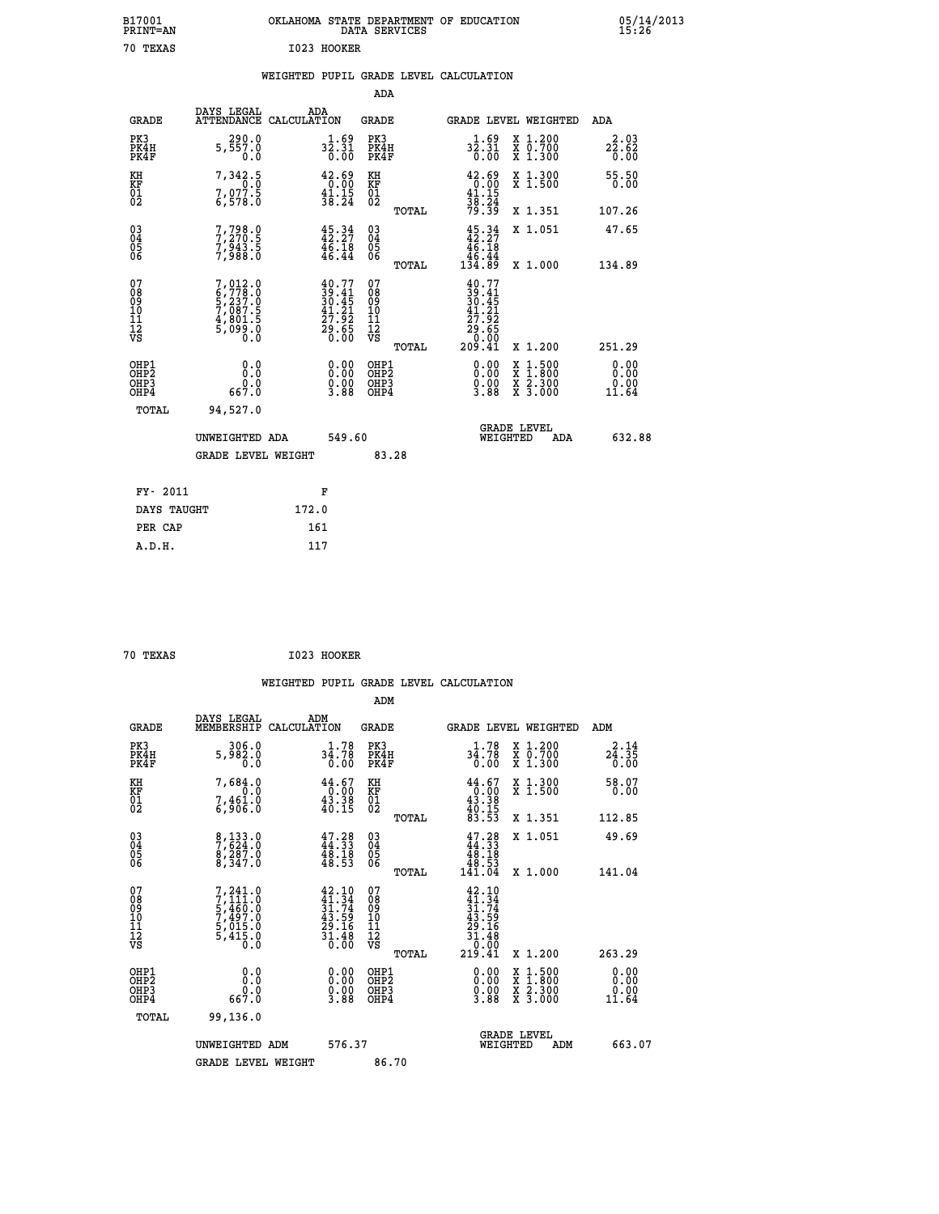| B17001<br><b>PRINT=AN</b> | OKLAHOMA<br>. STATE DEPARTMENT OF EDUCATION<br>DATA SERVICES | 05/14/2013<br>15:26 |
|---------------------------|--------------------------------------------------------------|---------------------|
| 70<br>TEXAS               | I023<br>HOOKER                                               |                     |

## **WEIGHTED PUPIL GRADE LEVEL CALCULATION**

|                                                                  |                                                                                     |                                                                                              | ADA                                      |       |                                                                                       |                                                                                                                                           |                                                      |
|------------------------------------------------------------------|-------------------------------------------------------------------------------------|----------------------------------------------------------------------------------------------|------------------------------------------|-------|---------------------------------------------------------------------------------------|-------------------------------------------------------------------------------------------------------------------------------------------|------------------------------------------------------|
| <b>GRADE</b>                                                     | DAYS LEGAL<br>ATTENDANCE CALCULATION                                                | ADA                                                                                          | <b>GRADE</b>                             |       | GRADE LEVEL WEIGHTED                                                                  |                                                                                                                                           | <b>ADA</b>                                           |
| PK3<br>PK4H<br>PK4F                                              | 290.0<br>5,557.0<br>0.0                                                             | $3\overline{2}\,.\,31\over 0\,.00$                                                           | PK3<br>PK4H<br>PK4F                      |       | $3\overline{2}\cdot 51\over 0\cdot 00$                                                | X 1.200<br>X 0.700<br>X 1.300                                                                                                             | 2.03<br>$2\overline{2}\cdot 6\overline{2}\over 0.00$ |
| KH<br>KF<br>01<br>02                                             | 7,342.5<br>0.0<br>7,977.5                                                           | $\begin{smallmatrix} 42.69\\ 0.00\\ 41.15\\ 38.24 \end{smallmatrix}$                         | KH<br>KF<br>01<br>02                     |       | $\begin{array}{r} 42.69 \\ 0.00 \\ 41.15 \\ 38.24 \\ 79.39 \end{array}$               | X 1.300<br>X 1.500                                                                                                                        | 55.50<br>0.00                                        |
|                                                                  |                                                                                     |                                                                                              |                                          | TOTAL |                                                                                       | X 1.351                                                                                                                                   | 107.26                                               |
| $\begin{matrix} 03 \\ 04 \\ 05 \\ 06 \end{matrix}$               | 7,798.9<br>7,988.5                                                                  | $45.34$<br>$42.27$<br>$\frac{4}{6}$ , $\frac{1}{4}$<br>46.44                                 | $\substack{03 \\ 04}$<br>05<br>06        |       | $45:34$<br>$42:27$<br>$\begin{array}{r} 46.18 \\ 46.44 \\ 134.89 \end{array}$         | X 1.051                                                                                                                                   | 47.65                                                |
|                                                                  |                                                                                     |                                                                                              |                                          | TOTAL |                                                                                       | X 1.000                                                                                                                                   | 134.89                                               |
| 07<br>08<br>09<br>11<br>11<br>12<br>VS                           | $7,012.0$<br>$6,778.0$<br>$5,237.0$<br>$7,087.5$<br>$4,801.5$<br>$5,099.0$<br>$0.0$ | $\begin{smallmatrix} 40.77\\ 39.41\\ 30.45\\ 41.21\\ 27.92\\ 29.65\\ 0.00 \end{smallmatrix}$ | 07<br>08<br>09<br>11<br>11<br>12<br>VS   |       | $40.77$<br>$39.41$<br>$30.45$<br>$30.45$<br>$41.21$<br>$27.92$<br>$20.60$<br>$209.41$ |                                                                                                                                           |                                                      |
|                                                                  |                                                                                     |                                                                                              |                                          | TOTAL |                                                                                       | X 1.200                                                                                                                                   | 251.29                                               |
| OHP1<br>OH <sub>P</sub> <sub>2</sub><br>OH <sub>P3</sub><br>OHP4 | 0.0<br>0.0<br>0.0<br>667.0                                                          | $\begin{smallmatrix} 0.00 \ 0.00 \ 0.00 \ 3.88 \end{smallmatrix}$                            | OHP1<br>OHP <sub>2</sub><br>OHP3<br>OHP4 |       | $\begin{smallmatrix} 0.00\\ 0.00\\ 0.00\\ 3.88 \end{smallmatrix}$                     | $\begin{smallmatrix} \mathtt{X} & 1\cdot500\\ \mathtt{X} & 1\cdot800\\ \mathtt{X} & 2\cdot300\\ \mathtt{X} & 3\cdot000 \end{smallmatrix}$ | 0.00<br>0.00<br>0.00<br>11.64                        |
| <b>TOTAL</b>                                                     | 94,527.0                                                                            |                                                                                              |                                          |       |                                                                                       |                                                                                                                                           |                                                      |
|                                                                  | UNWEIGHTED ADA                                                                      | 549.60                                                                                       |                                          |       |                                                                                       | <b>GRADE LEVEL</b><br>WEIGHTED                                                                                                            | 632.88<br>ADA                                        |
|                                                                  | <b>GRADE LEVEL WEIGHT</b>                                                           |                                                                                              | 83.28                                    |       |                                                                                       |                                                                                                                                           |                                                      |
| FY- 2011                                                         |                                                                                     | F                                                                                            |                                          |       |                                                                                       |                                                                                                                                           |                                                      |
| DAYS TAUGHT                                                      |                                                                                     | 172.0                                                                                        |                                          |       |                                                                                       |                                                                                                                                           |                                                      |
| PER CAP                                                          |                                                                                     | 161                                                                                          |                                          |       |                                                                                       |                                                                                                                                           |                                                      |
|                                                                  |                                                                                     |                                                                                              |                                          |       |                                                                                       |                                                                                                                                           |                                                      |

| 70 TEXAS | I023 HOOKER |
|----------|-------------|

 **A.D.H. 117**

|                                          |                                                                                                 |                                                                                              | ADM                                                |                                                                                                              |                                                                                                                                           |                       |
|------------------------------------------|-------------------------------------------------------------------------------------------------|----------------------------------------------------------------------------------------------|----------------------------------------------------|--------------------------------------------------------------------------------------------------------------|-------------------------------------------------------------------------------------------------------------------------------------------|-----------------------|
| <b>GRADE</b>                             | DAYS LEGAL<br>MEMBERSHIP                                                                        | ADM<br>CALCULATION                                                                           | <b>GRADE</b>                                       |                                                                                                              | GRADE LEVEL WEIGHTED                                                                                                                      | ADM                   |
| PK3<br>PK4H<br>PK4F                      | 306.0<br>5,982.0<br>0.0                                                                         | 1.78<br>34.78<br>0.00                                                                        | PK3<br>PK4H<br>PK4F                                | 1.78<br>34.78<br>0.00                                                                                        | X 1.200<br>X 0.700<br>X 1.300                                                                                                             | 2.14<br>24.35<br>0.00 |
| KH<br>KF<br>01<br>02                     | 7,684.0<br>$7,461.0$<br>$6,906.0$                                                               | $\begin{smallmatrix} 44.67\\ 0.00\\ 43.38\\ 40.15 \end{smallmatrix}$                         | KH<br>KF<br>01<br>02                               | $\begin{smallmatrix} 44.67\\ -0.00\\ 43.38\\ 40.15\\ 83.53 \end{smallmatrix}$                                | X 1.300<br>X 1.500                                                                                                                        | 58.07<br>0.00         |
|                                          |                                                                                                 |                                                                                              | TOTAL                                              |                                                                                                              | X 1.351                                                                                                                                   | 112.85                |
| 03<br>04<br>05<br>06                     | 8,133.0<br>7,624.0<br>8,287.0<br>8,347.0                                                        | 47.28<br>44.33<br>48.18<br>48.53                                                             | $\begin{matrix} 03 \\ 04 \\ 05 \\ 06 \end{matrix}$ | $\begin{smallmatrix} 47.28\\ 44.33\\ 48.18\\ 48.53\\ 48.53\\ 141.04 \end{smallmatrix}$                       | X 1.051                                                                                                                                   | 49.69                 |
|                                          |                                                                                                 |                                                                                              | TOTAL                                              |                                                                                                              | X 1.000                                                                                                                                   | 141.04                |
| 07<br>08<br>09<br>101<br>112<br>VS       | $\begin{smallmatrix}7,241.0\\7,111.0\\5,460.0\\7,497.0\\5,015.0\\5,415.0\\0.0\end{smallmatrix}$ | $\begin{smallmatrix} 42.10\\ 41.34\\ 31.74\\ 43.59\\ 29.16\\ 31.48\\ 0.00 \end{smallmatrix}$ | 07<br>08<br>09<br>11<br>11<br>12<br>VS             | $\begin{array}{r} 42.10 \\ 41.34 \\ 31.74 \\ 43.59 \\ 43.59 \\ 29.16 \\ 31.48 \\ 0.00 \\ 219.41 \end{array}$ |                                                                                                                                           |                       |
|                                          |                                                                                                 |                                                                                              | TOTAL                                              |                                                                                                              | X 1.200                                                                                                                                   | 263.29                |
| OHP1<br>OHP2<br>OH <sub>P3</sub><br>OHP4 | 0.0<br>$0.0$<br>$0.750$                                                                         | $\begin{smallmatrix} 0.00 \ 0.00 \ 0.00 \ 3.88 \end{smallmatrix}$                            | OHP1<br>OHP2<br>OHP <sub>3</sub>                   | $\begin{smallmatrix} 0.00\\ 0.00\\ 0.00\\ 3.88 \end{smallmatrix}$                                            | $\begin{smallmatrix} \mathtt{X} & 1\cdot500\\ \mathtt{X} & 1\cdot800\\ \mathtt{X} & 2\cdot300\\ \mathtt{X} & 3\cdot000 \end{smallmatrix}$ | 0.00<br>0.00<br>11.64 |
| TOTAL                                    | 99,136.0                                                                                        |                                                                                              |                                                    |                                                                                                              |                                                                                                                                           |                       |
|                                          | UNWEIGHTED ADM                                                                                  | 576.37                                                                                       |                                                    | WEIGHTED                                                                                                     | <b>GRADE LEVEL</b><br>ADM                                                                                                                 | 663.07                |
|                                          | <b>GRADE LEVEL WEIGHT</b>                                                                       |                                                                                              | 86.70                                              |                                                                                                              |                                                                                                                                           |                       |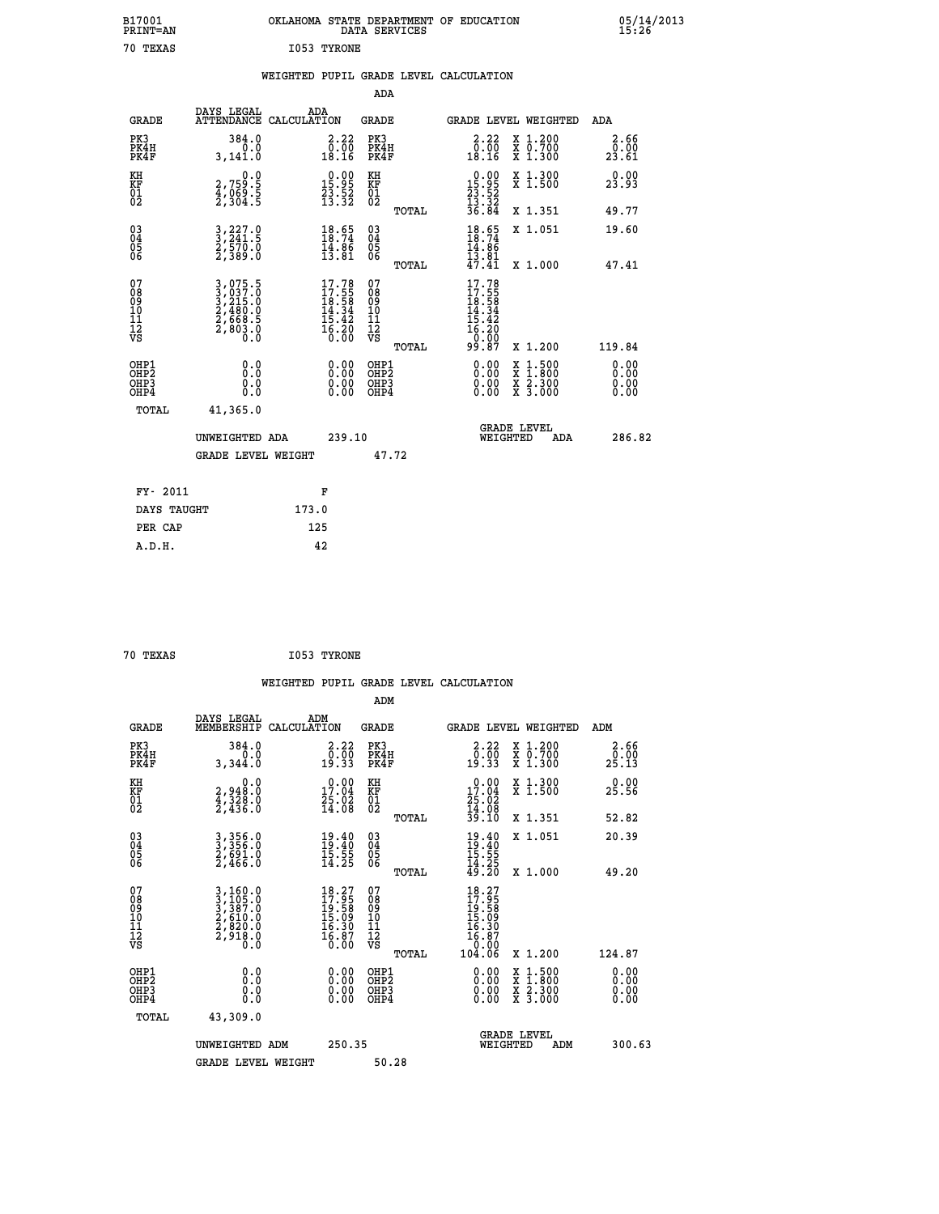| B17001<br>PRINT=AN                       |                                                                                           |             |                                                                          | DATA SERVICES                                            | OKLAHOMA STATE DEPARTMENT OF EDUCATION                                                    |                                                                                          | 05/14/2013                   |
|------------------------------------------|-------------------------------------------------------------------------------------------|-------------|--------------------------------------------------------------------------|----------------------------------------------------------|-------------------------------------------------------------------------------------------|------------------------------------------------------------------------------------------|------------------------------|
| 70 TEXAS                                 |                                                                                           | I053 TYRONE |                                                                          |                                                          |                                                                                           |                                                                                          |                              |
|                                          |                                                                                           |             |                                                                          | ADA                                                      | WEIGHTED PUPIL GRADE LEVEL CALCULATION                                                    |                                                                                          |                              |
| <b>GRADE</b>                             | DAYS LEGAL<br>ATTENDANCE CALCULATION                                                      | ADA         |                                                                          | GRADE                                                    |                                                                                           | GRADE LEVEL WEIGHTED                                                                     | ADA                          |
| PK3<br>PK4H<br>PK4F                      | 384.0<br>0.0<br>3,141.0                                                                   |             | 2.22<br>0.00<br>18.16                                                    | PK3<br>PK4H<br>PK4F                                      | 2.22<br>0.00<br>18.16                                                                     | X 1.200<br>X 0.700<br>X 1.300                                                            | 2.66<br>0.00<br>23.61        |
| KH<br>KF<br>01<br>02                     | $2,759.5$<br>$4,069.5$<br>$2,304.5$                                                       |             | $\begin{smallmatrix} 0.00\\ 15.95\\ 23.52\\ 13.32 \end{smallmatrix}$     | KH<br>KF<br>01<br>02                                     | $\begin{array}{c} 0.00 \\ 15.95 \\ 23.52 \\ 13.32 \end{array}$                            | X 1.300<br>X 1.500                                                                       | 0.00<br>23.93                |
|                                          |                                                                                           |             |                                                                          | TOTAL                                                    | 36.84                                                                                     | X 1.351                                                                                  | 49.77                        |
| $^{03}_{04}$<br>05<br>ŎĞ                 | $\frac{3}{2}, \frac{227}{241}.5$<br>$\frac{2}{570}.0$<br>$\frac{2}{3}, \frac{570}{389}.0$ |             | $18.74$<br>$14.86$<br>$14.86$<br>$13.81$                                 | $\begin{matrix} 03 \\ 04 \\ 05 \\ 06 \end{matrix}$       | $\frac{18.65}{18.74}$<br>14.86<br>$\frac{13.81}{47.41}$                                   | X 1.051                                                                                  | 19.60                        |
| 07<br>08<br>09<br>11<br>11<br>12<br>VS   | 3,075.5<br>3,037.0<br>3,215.0<br>2,480.0<br>2,668.5<br>2,803.0                            |             | $17.78$<br>$17.55$<br>$18.58$<br>$14.34$<br>$15.42$<br>$16.20$<br>$0.00$ | TOTAL<br>07<br>08<br>09<br>10<br>11<br>12<br>VS<br>TOTAL | 17.78<br>$\frac{17.55}{18.58}$<br>$\frac{14.34}{14.34}$<br>$\frac{15.42}{16.20}$<br>99.87 | X 1,000<br>X 1.200                                                                       | 47.41<br>119.84              |
| OHP1<br>OHP <sub>2</sub><br>OHP3<br>OHP4 | 0.0<br>0.0<br>0.0                                                                         |             | 0.00<br>0.00                                                             | OHP1<br>OHP <sub>2</sub><br>OHP3<br>OHP4                 | 0.00<br>0.00<br>0.00                                                                      | $\begin{smallmatrix} x & 1.500 \\ x & 1.800 \\ x & 2.300 \\ x & 3.000 \end{smallmatrix}$ | 0.00<br>0.00<br>0.00<br>0.00 |
| TOTAL                                    | 41,365.0                                                                                  |             |                                                                          |                                                          |                                                                                           |                                                                                          |                              |
|                                          | UNWEIGHTED ADA<br><b>GRADE LEVEL WEIGHT</b>                                               |             | 239.10                                                                   | 47.72                                                    | WEIGHTED                                                                                  | <b>GRADE LEVEL</b><br>ADA                                                                | 286.82                       |
| FY- 2011                                 |                                                                                           | F           |                                                                          |                                                          |                                                                                           |                                                                                          |                              |
| DAYS TAUGHT                              |                                                                                           | 173.0       |                                                                          |                                                          |                                                                                           |                                                                                          |                              |
| PER CAP                                  |                                                                                           | 125         |                                                                          |                                                          |                                                                                           |                                                                                          |                              |

| 70 TEXAS | I053 TYRONE |
|----------|-------------|
|          |             |

 **WEIGHTED PUPIL GRADE LEVEL CALCULATION ADM DAYS LEGAL ADM GRADE MEMBERSHIP CALCULATION GRADE GRADE LEVEL WEIGHTED ADM PK3 384.0 2.22 PK3 2.22 X 1.200 2.66 PK4H 0.0 0.00 PK4H 0.00 X 0.700 0.00 PK4F 3,344.0 19.33 PK4F 19.33 X 1.300 25.13 KH 0.0 0.00 KH 0.00 X 1.300 0.00 KF 2,948.0 17.04 KF 17.04 X 1.500 25.56 01 4,328.0 25.02 01 25.02** 02 2,436.0 14.08 02 14.08  **TOTAL 39.10 X 1.351 52.82 03 3,356.0 19.40 03 19.40 X 1.051 20.39 04 3,356.0 19.40 04 19.40 05 2,691.0 15.55 05 15.55** 06 2,466.0 14.25 06 <sub>mome</sub> 14.25  **TOTAL 49.20 X 1.000 49.20**  $\begin{array}{cccc} 07 & 3,160.0 & 18.27 & 07 & 18.27 \ 08 & 3,105.0 & 17.95 & 08 & 17.95 \ 09 & 3,387.0 & 19.58 & 09 & 19.58 \ 10 & 2,610.0 & 15.09 & 10 & 15.09 \ 11 & 2,820.0 & 16.30 & 11 & 16.30 \ 12 & 2,918.0 & 16.30 & 12 & 16.30 \ 13 & 0.0 & 0.0 & 0.0 & 0.0 & 0.$  **TOTAL 104.06 X 1.200 124.87 OHP1 0.0 0.00 OHP1 0.00 X 1.500 0.00 OHP2 0.0 0.00 OHP2 0.00 X 1.800 0.00 OHP3 0.0 0.00 OHP3 0.00 X 2.300 0.00 OHP4 0.0 0.00 OHP4 0.00 X 3.000 0.00 TOTAL 43,309.0 GRADE LEVEL UNWEIGHTED ADM 250.35 WEIGHTED ADM 300.63 GRADE LEVEL WEIGHT 50.28**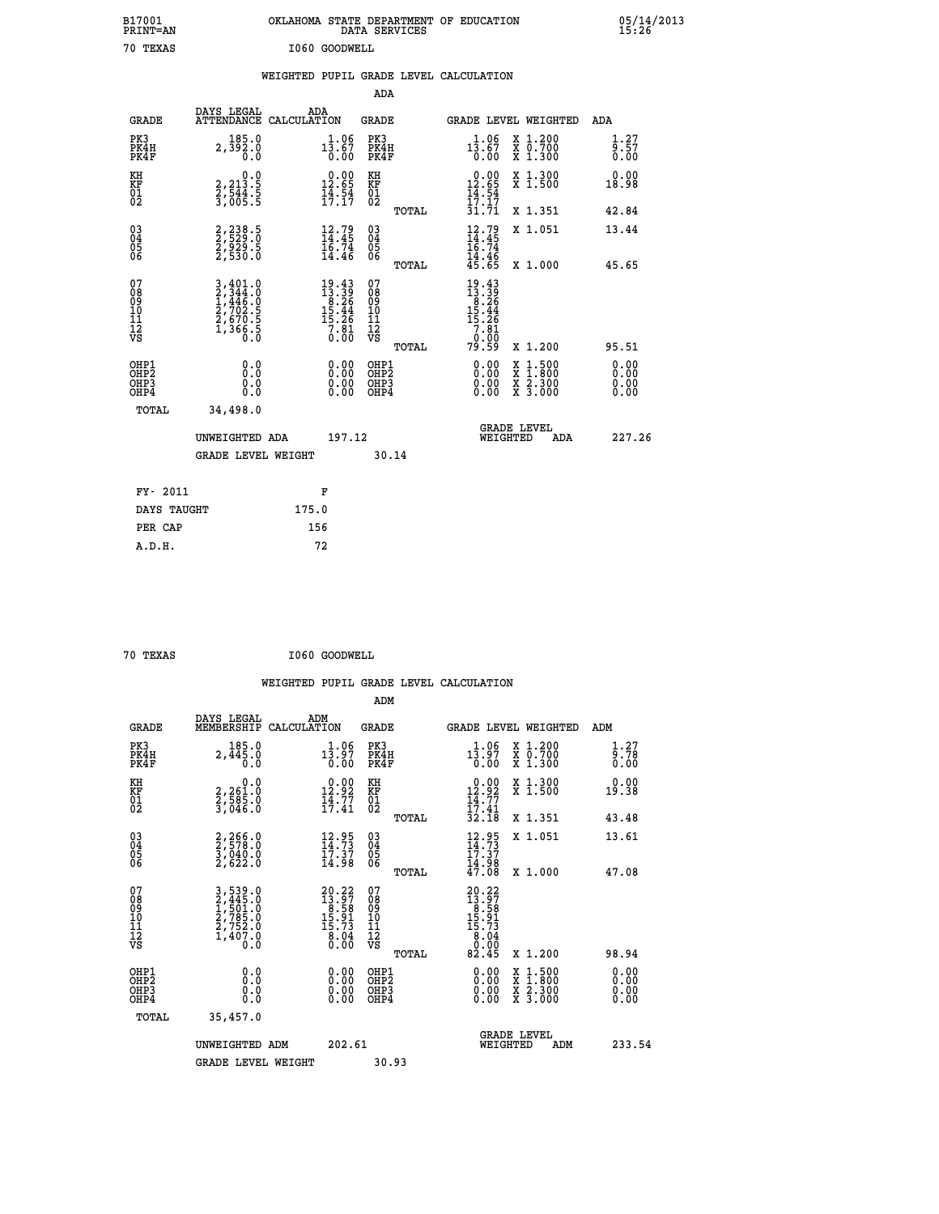| B17001<br>PRINT=AN                                 |                                                                       | OKLAHOMA STATE DEPARTMENT OF EDUCATION                                                | DATA SERVICES                                      |                                                                                    |                                                            | $05/14/2013$<br>15:26        |  |
|----------------------------------------------------|-----------------------------------------------------------------------|---------------------------------------------------------------------------------------|----------------------------------------------------|------------------------------------------------------------------------------------|------------------------------------------------------------|------------------------------|--|
| 70 TEXAS                                           |                                                                       | I060 GOODWELL                                                                         |                                                    |                                                                                    |                                                            |                              |  |
|                                                    |                                                                       | WEIGHTED PUPIL GRADE LEVEL CALCULATION                                                |                                                    |                                                                                    |                                                            |                              |  |
|                                                    |                                                                       |                                                                                       | ADA                                                |                                                                                    |                                                            |                              |  |
| <b>GRADE</b>                                       | DAYS LEGAL<br>ATTENDANCE CALCULATION                                  | ADA                                                                                   | GRADE                                              | GRADE LEVEL WEIGHTED                                                               |                                                            | ADA                          |  |
| PK3<br>PK4H<br>PK4F                                | 185.0<br>2,392.0<br>0.0                                               | $1\frac{1}{3}\cdot\frac{06}{67}$<br>0.00                                              | PK3<br>PK4H<br>PK4F                                | $13.06$<br>13.67<br>0.00                                                           | X 1.200<br>X 0.700<br>X 1.300                              | 1.27<br>9.57<br>0.00         |  |
| KH<br>KF<br>01<br>02                               | 0.0<br>2,213.5<br>2,544.5<br>3,005.5                                  | $\begin{smallmatrix} 0.00\\ 12.65\\ 14.54\\ 17.17 \end{smallmatrix}$                  | KH<br>KF<br>01<br>02                               | $12.00$<br>12.65<br>$\frac{14}{17}$ : $\frac{54}{31}$<br>31.71                     | X 1.300<br>X 1.500                                         | 0.00<br>18.98                |  |
|                                                    |                                                                       |                                                                                       | TOTAL                                              |                                                                                    | X 1.351                                                    | 42.84                        |  |
| $\begin{matrix} 03 \\ 04 \\ 05 \\ 06 \end{matrix}$ | 2,238.5<br>2,529.0<br>2,929.5<br>2,530.0                              | $12.79$<br>$14.45$<br>$16.74$<br>$14.46$                                              | $\begin{matrix} 03 \\ 04 \\ 05 \\ 06 \end{matrix}$ | $\frac{12.79}{14.45}$<br>14.46<br>45.65                                            | X 1.051                                                    | 13.44                        |  |
| 07                                                 |                                                                       |                                                                                       | TOTAL<br>07                                        |                                                                                    | X 1.000                                                    | 45.65                        |  |
| 08<br>09<br>10<br>11<br>12<br>VS                   | 3,401.0<br>2,344.0<br>1,446.0<br>2,702.5<br>2,670.5<br>1,366.5<br>0.0 | $\begin{smallmatrix} 19.43\\13.39\\ 8.26\\15.44\\ 15.26\\7.81\\0.00\end{smallmatrix}$ | 08<br>09<br>10<br>11<br>12<br>VS                   | $\begin{array}{l} 19.43 \\ 13.39 \\ 8.26 \\ 15.44 \\ 15.29 \\ \end{array}$<br>7.01 |                                                            |                              |  |
|                                                    |                                                                       |                                                                                       | TOTAL                                              | 0:00<br>79:59                                                                      | X 1.200                                                    | 95.51                        |  |
| OHP1<br>OHP2<br>OHP3<br>OHP4                       | Q.Q<br>Ŏ.Ŏ<br>0.0<br>0.0                                              | 0.00<br>0.00<br>0.00                                                                  | OHP1<br>OHP <sub>2</sub><br>OHP3<br>OHP4           | 0.00<br>0.00<br>0.00                                                               | $\frac{x}{x}$ 1:500<br>$\frac{x}{x}$ $\frac{5.300}{3.000}$ | 0.00<br>ŏ.ŏŏ<br>0.00<br>0.00 |  |
| TOTAL                                              | 34,498.0                                                              |                                                                                       |                                                    |                                                                                    |                                                            |                              |  |
|                                                    | UNWEIGHTED ADA                                                        | 197.12                                                                                |                                                    | <b>GRADE LEVEL</b><br>WEIGHTED                                                     | ADA                                                        | 227.26                       |  |
|                                                    | <b>GRADE LEVEL WEIGHT</b>                                             |                                                                                       | 30.14                                              |                                                                                    |                                                            |                              |  |
| FY- 2011                                           |                                                                       | F                                                                                     |                                                    |                                                                                    |                                                            |                              |  |
| DAYS TAUGHT                                        |                                                                       | 175.0                                                                                 |                                                    |                                                                                    |                                                            |                              |  |
| PER CAP                                            |                                                                       | 156                                                                                   |                                                    |                                                                                    |                                                            |                              |  |

| v.<br>ш<br><br>٠ |
|------------------|

 **ADM**

**70 TEXAS 1060 GOODWELL** 

| <b>GRADE</b>                                         | DAYS LEGAL<br>MEMBERSHIP                                              | ADM<br>CALCULATION                                                                    | <b>GRADE</b>                                 |       |                                                                                                                                                                                                                                                                                | <b>GRADE LEVEL WEIGHTED</b>              | ADM                        |
|------------------------------------------------------|-----------------------------------------------------------------------|---------------------------------------------------------------------------------------|----------------------------------------------|-------|--------------------------------------------------------------------------------------------------------------------------------------------------------------------------------------------------------------------------------------------------------------------------------|------------------------------------------|----------------------------|
| PK3<br>PK4H<br>PK4F                                  | 185.0<br>2,445.0<br>0.0                                               | 1.06<br>13.97<br>0.00                                                                 | PK3<br>PK4H<br>PK4F                          |       | 1.06<br>$1\bar{3}.97$<br>0.00                                                                                                                                                                                                                                                  | X 1.200<br>X 0.700<br>X 1.300            | $\frac{1}{9}$ : 78<br>0.00 |
| KH<br>KF<br>01<br>02                                 | 0.0<br>2,261:0<br>2,585:0<br>3,046:0                                  | $12.92$<br>$12.92$<br>$14.77$<br>$17.41$                                              | KH<br>KF<br>01<br>02                         |       | $\begin{array}{c} 0.00 \\ 12.92 \\ 14.77 \\ 17.41 \\ 32.18 \end{array}$                                                                                                                                                                                                        | X 1.300<br>X 1.500                       | 0.00<br>19.38              |
|                                                      |                                                                       |                                                                                       |                                              | TOTAL |                                                                                                                                                                                                                                                                                | X 1.351                                  | 43.48                      |
| $\begin{matrix} 03 \\ 04 \\ 05 \\ 06 \end{matrix}$   | 2,266.0<br>2,578.0<br>3,040.0<br>2,622.0                              | $\frac{12.95}{14.73}$<br>$\bar{1}\bar{7}\,\dot{.}\,\dot{3}\bar{7} \\ 14\,\dot{.}\,98$ | $\substack{03 \\ 04}$<br>05<br>06            |       | $12.95$<br>$14.73$<br>$17.37$<br>$14.98$<br>$47.08$                                                                                                                                                                                                                            | X 1.051                                  | 13.61                      |
|                                                      |                                                                       |                                                                                       |                                              | TOTAL |                                                                                                                                                                                                                                                                                | X 1.000                                  | 47.08                      |
| 07<br>08<br>09<br>101<br>11<br>12<br>VS              | 3,539.0<br>2,445.0<br>1,501.0<br>2,785.0<br>2,752.0<br>1,407.0<br>0.0 | $20.22$<br>$13.97$<br>$8.58$<br>$15.91$<br>$15.73$<br>$8.04$<br>$0.00$                | 07<br>08<br>09<br>01<br>11<br>11<br>12<br>VS | TOTAL | $20.22$<br>$13.97$<br>$15.98$<br>$15.73$<br>$15.73$<br>$8.04$<br>$0.00$<br>82.45                                                                                                                                                                                               | X 1.200                                  | 98.94                      |
| OHP1<br>OHP <sub>2</sub><br>OH <sub>P3</sub><br>OHP4 |                                                                       | $\begin{smallmatrix} 0.00 \ 0.00 \ 0.00 \ 0.00 \end{smallmatrix}$                     | OHP1<br>OHP <sub>2</sub><br>OHP3<br>OHP4     |       | $\begin{smallmatrix} 0.00 & 0.00 & 0.00 & 0.00 & 0.00 & 0.00 & 0.00 & 0.00 & 0.00 & 0.00 & 0.00 & 0.00 & 0.00 & 0.00 & 0.00 & 0.00 & 0.00 & 0.00 & 0.00 & 0.00 & 0.00 & 0.00 & 0.00 & 0.00 & 0.00 & 0.00 & 0.00 & 0.00 & 0.00 & 0.00 & 0.00 & 0.00 & 0.00 & 0.00 & 0.00 & 0.0$ | X 1:500<br>X 1:800<br>X 2:300<br>X 3:000 | 0.00<br>0.00<br>0.00       |
| TOTAL                                                | 35,457.0                                                              |                                                                                       |                                              |       |                                                                                                                                                                                                                                                                                |                                          |                            |
|                                                      | UNWEIGHTED                                                            | 202.61<br>ADM                                                                         |                                              |       | WEIGHTED                                                                                                                                                                                                                                                                       | <b>GRADE LEVEL</b><br>ADM                | 233.54                     |
|                                                      | <b>GRADE LEVEL WEIGHT</b>                                             |                                                                                       | 30.93                                        |       |                                                                                                                                                                                                                                                                                |                                          |                            |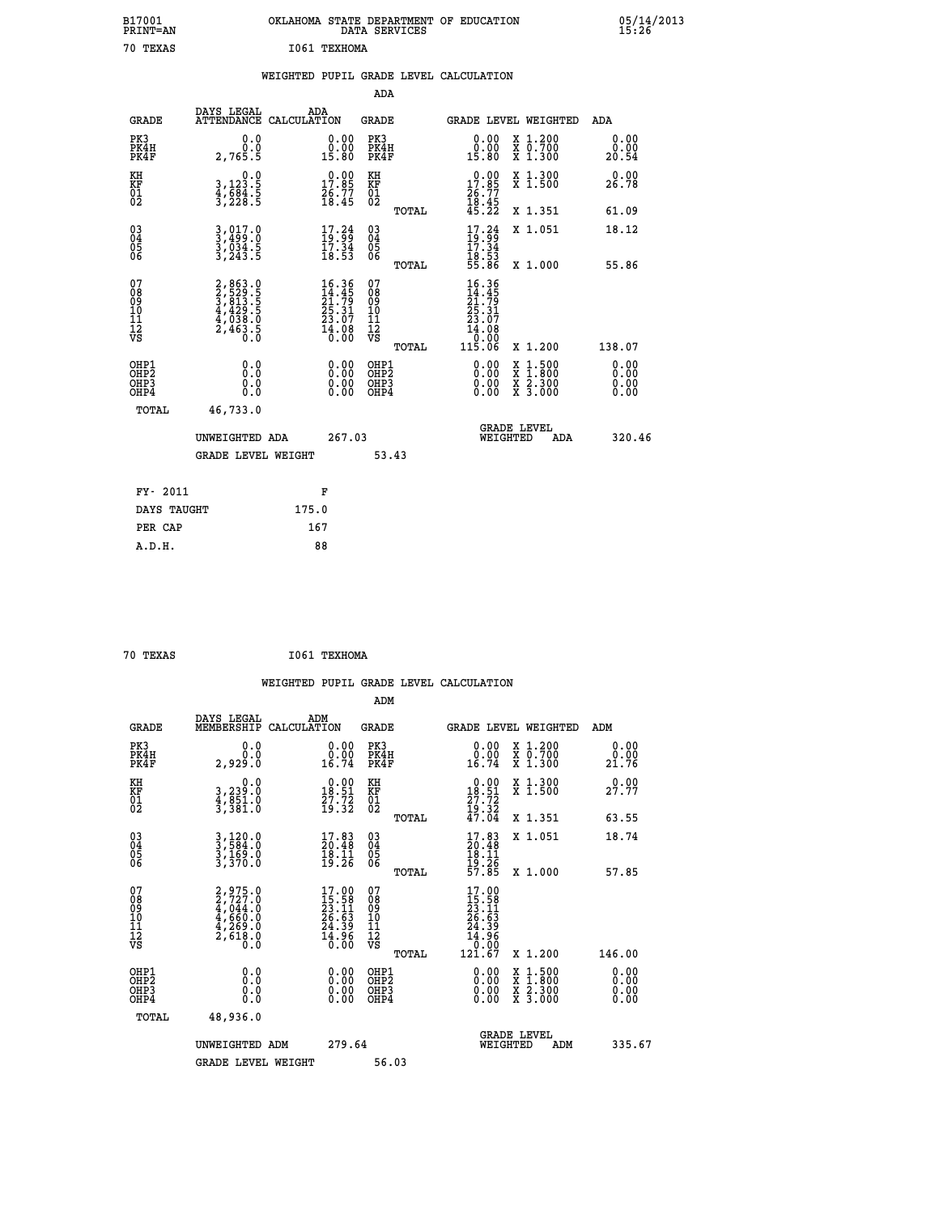| B17001<br>PRINT=AN                                               |                                                                                     |                                                                                                    | DATA SERVICES                                   | OKLAHOMA STATE DEPARTMENT OF EDUCATION                                       | 05/14/2013<br>15:26                                                                                                              |  |
|------------------------------------------------------------------|-------------------------------------------------------------------------------------|----------------------------------------------------------------------------------------------------|-------------------------------------------------|------------------------------------------------------------------------------|----------------------------------------------------------------------------------------------------------------------------------|--|
| 70 TEXAS                                                         |                                                                                     | I061 TEXHOMA                                                                                       |                                                 |                                                                              |                                                                                                                                  |  |
|                                                                  |                                                                                     |                                                                                                    |                                                 | WEIGHTED PUPIL GRADE LEVEL CALCULATION                                       |                                                                                                                                  |  |
|                                                                  |                                                                                     |                                                                                                    | ADA                                             |                                                                              |                                                                                                                                  |  |
| GRADE                                                            | DAYS LEGAL                                                                          | ADA<br>ATTENDANCE CALCULATION                                                                      | GRADE                                           | GRADE LEVEL WEIGHTED                                                         | ADA                                                                                                                              |  |
| PK3<br>PK4H<br>PK4F                                              | 0.0<br>0.0<br>2,765.5                                                               | 0.00<br>15.80                                                                                      | PK3<br>PK4H<br>PK4F                             | 0.00<br>0.00<br>15.80                                                        | X 1.200<br>0.00<br>X 0.700<br>X 1.300<br>0.00<br>20.54                                                                           |  |
| KH<br>KF<br>$\overline{01}$                                      | 0.0<br>3, 123.5<br>$\frac{4}{3}, \frac{6}{2}\frac{8}{8}\frac{4}{3}$ : 5             | $\begin{smallmatrix} 0.00\\ 17.85\\ 26.77\\ 18.45 \end{smallmatrix}$                               | KH<br>KF<br>01<br>02                            | $\begin{smallmatrix} 0.00\\ 17.85\\ 26.77\\ 18.45\\ 45.22 \end{smallmatrix}$ | X 1.300<br>X 1.500<br>0.00<br>26.78                                                                                              |  |
|                                                                  |                                                                                     |                                                                                                    | TOTAL                                           |                                                                              | X 1.351<br>61.09                                                                                                                 |  |
| $^{03}_{04}$<br>05<br>ŎĞ                                         | $3, 499.0$<br>$3, 499.0$<br>$3, 034.5$<br>$3, 243.5$                                | $\begin{smallmatrix} 17.24 \\ 19.99 \\ 17.34 \\ 18.53 \end{smallmatrix}$                           | 030404<br>ŎĞ                                    | $\frac{17.24}{19.34}$<br>18:53<br>55.86                                      | X 1.051<br>18.12                                                                                                                 |  |
|                                                                  |                                                                                     |                                                                                                    | TOTAL                                           |                                                                              | X 1.000<br>55.86                                                                                                                 |  |
| 07<br>08<br>09<br>10<br>11<br>12<br>VS                           | $2,863.0$<br>$3,813.5$<br>$3,813.5$<br>$4,429.5$<br>$4,038.0$<br>$2,463.5$<br>$0.0$ | $\begin{smallmatrix} 16.36 \\ 14.45 \\ 21.79 \\ 25.31 \\ 23.07 \\ 14.08 \\ 0.00 \end{smallmatrix}$ | 07<br>08<br>09<br>10<br>11<br>12<br>VS<br>TOTAL | 16.36<br>14.45<br>21:79<br>25:31<br>23:07<br>14.08<br>$\frac{0.00}{115.06}$  | X 1.200<br>138.07                                                                                                                |  |
| OHP1<br>OHP <sub>2</sub><br>OH <sub>P3</sub><br>OH <sub>P4</sub> | 0.0<br>Ŏ.Ŏ<br>0.0<br>0.0                                                            | 0.00<br>0.00<br>0.00                                                                               | OHP1<br>OH <sub>P</sub> 2<br>OHP3<br>OHP4       | 0.00<br>0.00<br>0.00                                                         | $\begin{smallmatrix} x & 1 & 500 \\ x & 1 & 800 \\ x & 2 & 300 \\ x & 3 & 000 \end{smallmatrix}$<br>0.00<br>0.00<br>0.00<br>0.00 |  |
| TOTAL                                                            | 46,733.0                                                                            |                                                                                                    |                                                 |                                                                              |                                                                                                                                  |  |
|                                                                  | UNWEIGHTED ADA                                                                      | 267.03                                                                                             |                                                 | <b>GRADE LEVEL</b><br>WEIGHTED                                               | 320.46<br>ADA                                                                                                                    |  |
|                                                                  | <b>GRADE LEVEL WEIGHT</b>                                                           |                                                                                                    | 53.43                                           |                                                                              |                                                                                                                                  |  |
| FY- 2011                                                         |                                                                                     | F                                                                                                  |                                                 |                                                                              |                                                                                                                                  |  |
| DAYS TAUGHT                                                      |                                                                                     | 175.0                                                                                              |                                                 |                                                                              |                                                                                                                                  |  |
| PER CAP                                                          |                                                                                     | 167                                                                                                |                                                 |                                                                              |                                                                                                                                  |  |

| 70 TEXAS | I061 TEXHOMA |
|----------|--------------|
|          |              |

 **WEIGHTED PUPIL GRADE LEVEL CALCULATION ADM DAYS LEGAL ADM GRADE MEMBERSHIP CALCULATION GRADE GRADE LEVEL WEIGHTED ADM PK3 0.0 0.00 PK3 0.00 X 1.200 0.00 PK4H 0.0 0.00 PK4H 0.00 X 0.700 0.00 PK4F 2,929.0 16.74 PK4F 16.74 X 1.300 21.76 KH 0.0 0.00 KH 0.00 X 1.300 0.00 KF 3,239.0 18.51 KF 18.51 X 1.500 27.77**  $\begin{array}{cccc} \text{KH} & & & 0.0 & & 0.00 & \text{KH} \\ \text{KF} & & 3,239.0 & & 18.51 & \text{KF} \\ 01 & & 4,851.0 & & 27.32 & 02 \\ 3,381.0 & & 19.32 & 02 \end{array}$  $02$   $3,381.0$   $19.32$   $02$   $2.32$   $19.32$  **TOTAL 47.04 X 1.351 63.55 03 3,120.0 17.83 03 17.83 X 1.051 18.74 04 3,584.0 20.48 04 20.48 05 3,169.0 18.11 05 18.11** 06 3,370.0 19.26 06 <sub>momas</sub> 19.26  **TOTAL 57.85 X 1.000 57.85**  $\begin{array}{cccc} 07 & 2,975.0 & 17.00 & 07 & 17.00 \ 08 & 2,727.0 & 15.58 & 08 & 15.58 \ 09 & 4,044.0 & 23.11 & 09 & 23.11 \ 10 & 4,660.0 & 26.63 & 10 & 26.63 \ 11 & 4,269.0 & 24.39 & 11 & 24.39 \ 12 & 2,618 & 0 & 14.96 & 12 & 4.39 \ 15 & 0.0 & 0 & 0 & 0 & 0 & 0 \end{array$  **TOTAL 121.67 X 1.200 146.00 OHP1 0.0 0.00 OHP1 0.00 X 1.500 0.00 OHP2 0.0 0.00 OHP2 0.00 X 1.800 0.00 OHP3 0.0 0.00 OHP3 0.00 X 2.300 0.00 OHP4 0.0 0.00 OHP4 0.00 X 3.000 0.00 TOTAL 48,936.0 GRADE LEVEL UNWEIGHTED ADM 279.64 WEIGHTED ADM 335.67 GRADE LEVEL WEIGHT 56.03**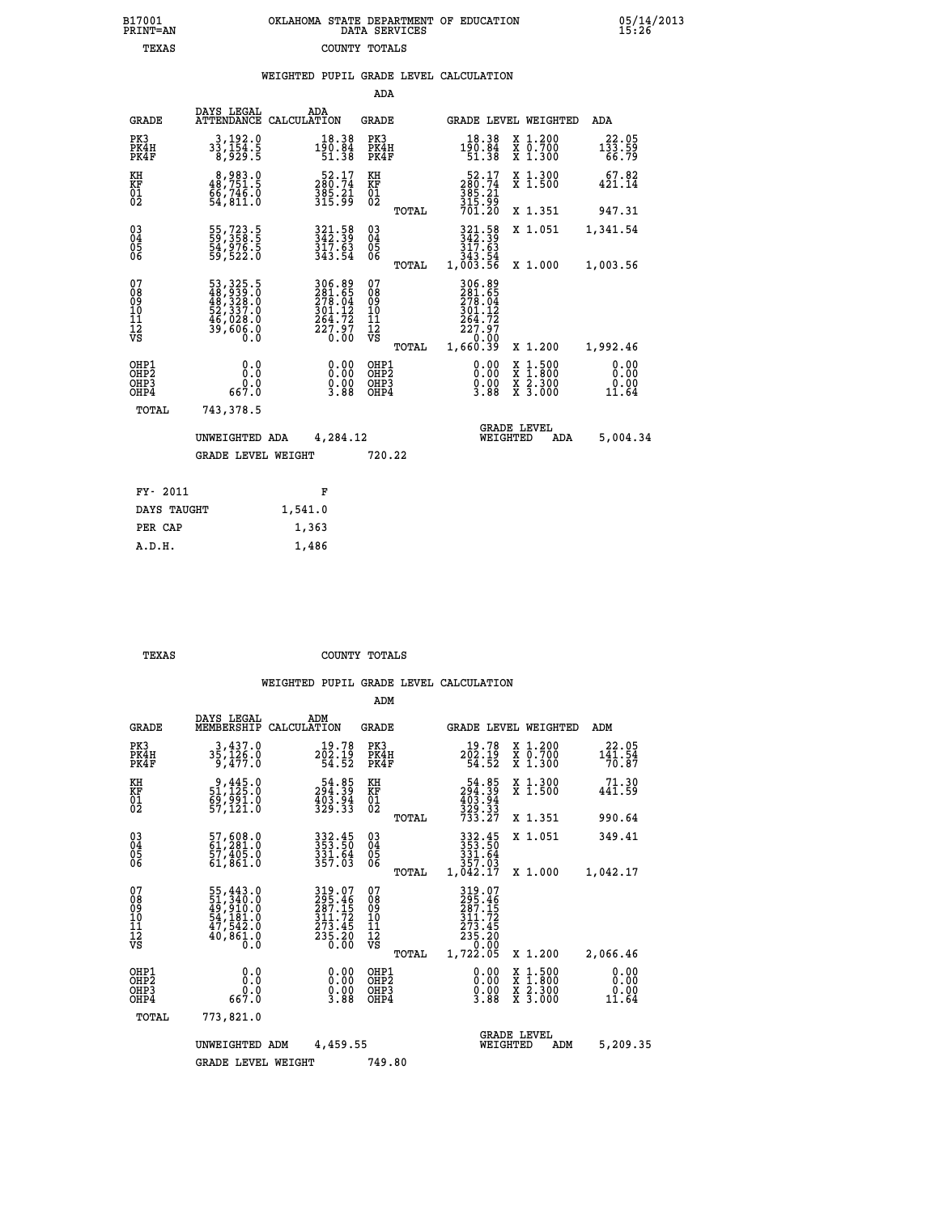## **B17001 OKLAHOMA STATE DEPARTMENT OF EDUCATION 05/14/2013 PRINT=AN DATA SERVICES 15:26 TEXAS COUNTY TOTALS**

|  |  | WEIGHTED PUPIL GRADE LEVEL CALCULATION |
|--|--|----------------------------------------|
|  |  |                                        |

|                                                                    |                                                                                                                                             |                                                                     | ADA                                       |       |                                                                                               |        |                                                                  |                                                           |
|--------------------------------------------------------------------|---------------------------------------------------------------------------------------------------------------------------------------------|---------------------------------------------------------------------|-------------------------------------------|-------|-----------------------------------------------------------------------------------------------|--------|------------------------------------------------------------------|-----------------------------------------------------------|
| <b>GRADE</b>                                                       | DAYS LEGAL<br><b>ATTENDANCE</b>                                                                                                             | ADA<br>CALCULATION                                                  | <b>GRADE</b>                              |       | <b>GRADE LEVEL WEIGHTED</b>                                                                   |        |                                                                  | <b>ADA</b>                                                |
| PK3<br>PK4H<br>PK4F                                                | 3, 192.0<br>33, 154.5<br>8, 929.5                                                                                                           | $18.38$<br>$190.84$<br>$51.38$                                      | PK3<br>PK4H<br>PK4F                       |       | $18.38$<br>$190.84$<br>$51.38$                                                                |        | X 1.200<br>X 0.700<br>X 1.300                                    | $133.59$<br>$66.79$                                       |
| KH<br>KF<br>01<br>02                                               | 8,983.0<br>48,751.5<br>54,811.0                                                                                                             | $\begin{smallmatrix}52.17\\280.74\\385.21\\315.99\end{smallmatrix}$ | KH<br>KF<br>$\overline{01}$               |       | $\begin{smallmatrix}52.17\\280.74\\385.21\\315.99\\701.20\end{smallmatrix}$                   |        | X 1.300<br>X 1.500                                               | 67.82<br>421.14                                           |
|                                                                    |                                                                                                                                             |                                                                     |                                           | TOTAL |                                                                                               |        | X 1.351                                                          | 947.31                                                    |
| $\begin{smallmatrix} 03 \\[-4pt] 04 \end{smallmatrix}$<br>05<br>06 | 55,723.5<br>59,358.5<br>54,976.5<br>59,522.0                                                                                                | 321.58<br>342.39<br>$\frac{317}{343}.54$                            | $\substack{03 \\ 04}$<br>05               | TOTAL | $\begin{smallmatrix} 321.58\\ 342.39\\ 317.63\\ 317.63\\ 343.54\\ 1,003.56 \end{smallmatrix}$ |        | X 1.051                                                          | 1,341.54                                                  |
| 07<br>08<br>09<br>11<br>11<br>12<br>VS                             | $\begin{smallmatrix}53\,,\,325\,.5\\48\,,\,939\,.0\\48\,,\,328\,.0\\52\,,\,337\,.0\\46\,,\,028\,.0\\39\,,\,606\,.0\\0\,.0\end{smallmatrix}$ | 306.89<br>281.65<br>278.04<br>301.12<br>$\frac{264.72}{227.97}$     | 07<br>08<br>09<br>11<br>11<br>12<br>VS    |       | 306.89<br>281.65<br>278.04<br>301.12<br>$\frac{264.72}{227.27}$<br>0.00                       |        | X 1.000                                                          | 1,003.56                                                  |
|                                                                    |                                                                                                                                             |                                                                     |                                           | TOTAL | 1,660.39                                                                                      |        | X 1.200                                                          | 1,992.46                                                  |
| OHP1<br>OH <sub>P</sub> 2<br>OHP3<br>OHP4                          | 0.0<br>Ō.Ō<br>0.0<br>667.0                                                                                                                  | 0.00<br>$\frac{0.00}{3.88}$                                         | OHP1<br>OH <sub>P</sub> 2<br>OHP3<br>OHP4 |       | 0.00<br>0.00<br>3.88                                                                          | X<br>X | $1:500$<br>$1:800$<br>$\frac{\ddot{x}}{x}$ $\frac{2.300}{3.000}$ | 0.00<br>0.00<br>$\overset{0.00}{\phantom{0000}}\,\,11.64$ |
| TOTAL                                                              | 743,378.5                                                                                                                                   |                                                                     |                                           |       |                                                                                               |        |                                                                  |                                                           |
|                                                                    | UNWEIGHTED ADA                                                                                                                              | 4,284.12                                                            |                                           |       | WEIGHTED                                                                                      |        | <b>GRADE LEVEL</b><br>ADA                                        | 5,004.34                                                  |
|                                                                    | <b>GRADE LEVEL WEIGHT</b>                                                                                                                   |                                                                     | 720.22                                    |       |                                                                                               |        |                                                                  |                                                           |
| FY- 2011                                                           |                                                                                                                                             | F                                                                   |                                           |       |                                                                                               |        |                                                                  |                                                           |
| DAYS TAUGHT                                                        |                                                                                                                                             | 1,541.0                                                             |                                           |       |                                                                                               |        |                                                                  |                                                           |
| PER CAP                                                            |                                                                                                                                             | 1,363                                                               |                                           |       |                                                                                               |        |                                                                  |                                                           |

 **A.D.H. 1,486**

 **TEXAS COUNTY TOTALS**

|                                                       |                                                                                   |                                                                         | ADM                                              |                                                                                          |                                                                                                  |                               |
|-------------------------------------------------------|-----------------------------------------------------------------------------------|-------------------------------------------------------------------------|--------------------------------------------------|------------------------------------------------------------------------------------------|--------------------------------------------------------------------------------------------------|-------------------------------|
| <b>GRADE</b>                                          | DAYS LEGAL<br>MEMBERSHIP                                                          | ADM<br>CALCULATION                                                      | <b>GRADE</b>                                     | GRADE LEVEL WEIGHTED                                                                     |                                                                                                  | ADM                           |
| PK3<br>PK4H<br>PK4F                                   | 3,437.0<br>35,126:0<br>9,477:0                                                    | 19.78<br>$2\bar{0}\bar{2}\cdot 1\bar{9}\over 54.52$                     | PK3<br>PK4H<br>PK4F                              | 19.78<br>202.19<br>54.52                                                                 | X 1.200<br>X 0.700<br>X 1.300                                                                    | 22.05<br>141.54<br>70.87      |
| KH<br>KF<br>01<br>02                                  | 9,445.0<br>51,125.0<br>69,991.0<br>57,121.0                                       | $\begin{smallmatrix}54.85\\294.39\\403.94\\329.33\end{smallmatrix}$     | KH<br>KF<br>01<br>02                             | $54.85$<br>$294.39$<br>$403.94$<br>$329.33$<br>$733.27$                                  | X 1.300<br>X 1.500                                                                               | 71.30<br>$44\overline{1.59}$  |
|                                                       |                                                                                   |                                                                         | TOTAL                                            |                                                                                          | X 1.351                                                                                          | 990.64                        |
| 03<br>04<br>05<br>06                                  | 57,608.0<br>61,281.0<br>57,405.0<br>61,861.0                                      | 333:50<br>353:50<br>331:64<br>357:03                                    | $\substack{03 \\ 04}$<br>05<br>06                | 332.45<br>353.50<br>331.64<br>357.03                                                     | X 1.051                                                                                          | 349.41                        |
|                                                       |                                                                                   |                                                                         | TOTAL                                            | 1,042.17                                                                                 | X 1.000                                                                                          | 1,042.17                      |
| 07<br>08<br>09<br>101<br>112<br>VS                    | 55, 443.0<br>51, 340.0<br>49, 910.0<br>54, 181.0<br>47, 542.0<br>40, 861.0<br>0.0 | 319.07<br>295.46<br>287.15<br>311.72<br>273.45<br>$\frac{235.20}{0.00}$ | 07<br>08<br>09<br>101<br>11<br>12<br>VS<br>TOTAL | 319.07<br>295.46<br>287.152<br>311.72<br>273.45<br>235.20<br>235.20<br>20.00<br>1,722.05 | X 1.200                                                                                          | 2,066.46                      |
| OHP1<br>OH <sub>P</sub> 2<br>OH <sub>P3</sub><br>OHP4 | 0.0<br>0.0<br>667.0                                                               | $0.00$<br>$0.00$<br>3.88                                                | OHP1<br>OHP2<br>OHP3<br>OHP4                     | $\begin{smallmatrix} 0.00\\ 0.00\\ 0.00\\ 3.88 \end{smallmatrix}$                        | $\begin{smallmatrix} x & 1 & 500 \\ x & 1 & 800 \\ x & 2 & 300 \\ x & 3 & 000 \end{smallmatrix}$ | 0.00<br>0.00<br>0.00<br>11.64 |
| TOTAL                                                 | 773,821.0                                                                         |                                                                         |                                                  |                                                                                          |                                                                                                  |                               |
|                                                       | UNWEIGHTED ADM                                                                    | 4,459.55                                                                |                                                  | <b>GRADE LEVEL</b><br>WEIGHTED                                                           | ADM                                                                                              | 5,209.35                      |
|                                                       | <b>GRADE LEVEL WEIGHT</b>                                                         |                                                                         | 749.80                                           |                                                                                          |                                                                                                  |                               |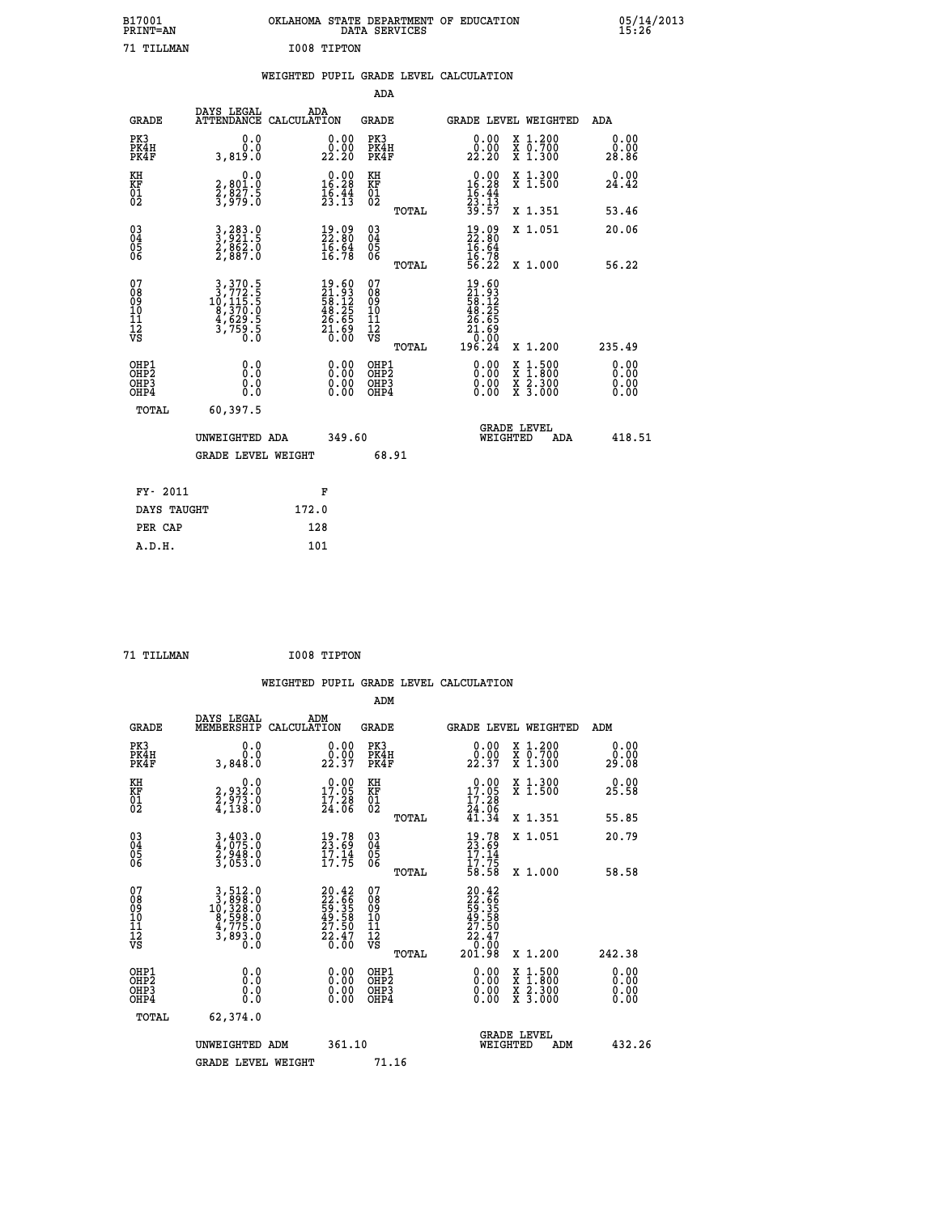|             | OKLAHOMA STATE DEPARTMENT OF EDUCATION<br>DATA SERVICES |  |
|-------------|---------------------------------------------------------|--|
| I008 TIPTON |                                                         |  |

 **B17001 OKLAHOMA STATE DEPARTMENT OF EDUCATION 05/14/2013**

|  |  | WEIGHTED PUPIL GRADE LEVEL CALCULATION |
|--|--|----------------------------------------|
|  |  |                                        |

|                                                                              |                                                                                                                                         |                                                                          | ADA                                                |                                                                                                                                                                      |                              |
|------------------------------------------------------------------------------|-----------------------------------------------------------------------------------------------------------------------------------------|--------------------------------------------------------------------------|----------------------------------------------------|----------------------------------------------------------------------------------------------------------------------------------------------------------------------|------------------------------|
|                                                                              | DAYS LEGAL<br><b>GRADE</b>                                                                                                              | ADA<br>ATTENDANCE CALCULATION                                            | GRADE                                              | <b>GRADE LEVEL WEIGHTED</b>                                                                                                                                          | ADA                          |
| PK3<br>PK4H<br>PK4F                                                          | 0.0<br>0.0<br>3,819.0                                                                                                                   | $\substack{0.00\\0.00\\22.20}$                                           | PK3<br>PK4H<br>PK4F                                | X 1.200<br>X 0.700<br>X 1.300<br>0.00<br>0.00<br>22.20                                                                                                               | 0.00<br>0.00<br>28.86        |
| KH<br>KF<br>01<br>02                                                         | 0.0<br>2,801.0<br>2,827.5<br>3,979.0                                                                                                    | $\begin{smallmatrix} 0.00\\ 16.28\\ 16.44\\ 23.13 \end{smallmatrix}$     | KH<br>KF<br>01<br>02                               | $\begin{array}{r} 0.00 \\ 16.28 \\ 16.44 \\ 23.13 \\ 39.57 \end{array}$<br>X 1.300<br>X 1.500                                                                        | 0.00<br>24.42                |
|                                                                              |                                                                                                                                         |                                                                          | TOTAL                                              | X 1.351                                                                                                                                                              | 53.46                        |
| $\begin{matrix} 03 \\ 04 \\ 05 \\ 06 \end{matrix}$                           | 3,283.0<br>3,921.5<br>2,862.0<br>2,887.0                                                                                                | $\begin{smallmatrix} 19.09\\ 22.80\\ 16.64\\ 16.78 \end{smallmatrix}$    | $\begin{matrix} 03 \\ 04 \\ 05 \\ 06 \end{matrix}$ | $\frac{19}{22}$ : 80<br>16: 94<br>X 1.051<br>16:78<br>56:22                                                                                                          | 20.06                        |
|                                                                              |                                                                                                                                         |                                                                          | TOTAL                                              | X 1.000                                                                                                                                                              | 56.22                        |
| 07<br>08<br>09<br>11<br>11<br>12<br>VS                                       | $\begin{smallmatrix}3\,,&370\,.&5\\3\,,&772\,.&5\\10\,,&115\,.&5\\8\,,&370\,.&0\\4\,,&629\,.&5\\3\,,&759\,.&5\\0\,.&0\end{smallmatrix}$ | $19.60$<br>$21.93$<br>$58.12$<br>$48.25$<br>$26.65$<br>$21.69$<br>$0.00$ | 07<br>08<br>09<br>11<br>11<br>12<br>VS<br>TOTAL    | $\begin{smallmatrix} 19.60\ 21.93\ 58.125\ 58.255\ 48.255\ 21.690\ 196.24\ \end{smallmatrix}$<br>X 1.200                                                             | 235.49                       |
| OHP1<br>OH <sub>P</sub> <sub>2</sub><br>OH <sub>P3</sub><br>OH <sub>P4</sub> | 0.0<br>Ō.Ō<br>0.0<br>0.0                                                                                                                | 0.00<br>$0.00$<br>0.00                                                   | OHP1<br>OHP2<br>OHP3<br>OHP4                       | 0.00<br>$\begin{smallmatrix} \mathtt{X} & 1\cdot500 \\ \mathtt{X} & 1\cdot800 \\ \mathtt{X} & 2\cdot300 \\ \mathtt{X} & 3\cdot000 \end{smallmatrix}$<br>0.00<br>0.00 | 0.00<br>0.00<br>0.00<br>0.00 |
|                                                                              | TOTAL<br>60,397.5                                                                                                                       |                                                                          |                                                    |                                                                                                                                                                      |                              |
|                                                                              | UNWEIGHTED ADA                                                                                                                          | 349.60                                                                   |                                                    | <b>GRADE LEVEL</b><br>WEIGHTED                                                                                                                                       | 418.51<br>ADA                |
|                                                                              | <b>GRADE LEVEL WEIGHT</b>                                                                                                               |                                                                          | 68.91                                              |                                                                                                                                                                      |                              |
|                                                                              | FY- 2011                                                                                                                                | F                                                                        |                                                    |                                                                                                                                                                      |                              |
|                                                                              | DAYS TAUGHT                                                                                                                             | 172.0                                                                    |                                                    |                                                                                                                                                                      |                              |
|                                                                              | PER CAP                                                                                                                                 | 128                                                                      |                                                    |                                                                                                                                                                      |                              |
|                                                                              | A.D.H.                                                                                                                                  | 101                                                                      |                                                    |                                                                                                                                                                      |                              |

 **71 TILLMAN I008 TIPTON**

 **A.D.H. 101**

B17001<br>PRINT=AN<br>71 TILLMAN

| <b>GRADE</b>                 | DAYS LEGAL<br>MEMBERSHIP                                                                                                                       | ADM<br>CALCULATION                                                   | <b>GRADE</b>                                       |       | <b>GRADE LEVEL WEIGHTED</b>                                                           |                                          | ADM                   |        |
|------------------------------|------------------------------------------------------------------------------------------------------------------------------------------------|----------------------------------------------------------------------|----------------------------------------------------|-------|---------------------------------------------------------------------------------------|------------------------------------------|-----------------------|--------|
| PK3<br>PK4H<br>PK4F          | 0.0<br>0.0<br>3,848.0                                                                                                                          | $\begin{smallmatrix} 0.00\\ 0.00\\ 22.37 \end{smallmatrix}$          | PK3<br>PK4H<br>PK4F                                |       | 0.00<br>22.37                                                                         | X 1.200<br>X 0.700<br>X 1.300            | 0.00<br>0.00<br>29.08 |        |
| KH<br>KF<br>01<br>02         | $\begin{smallmatrix} 0.0\\2.932.0\\2.973.0\\4.138.0 \end{smallmatrix}$                                                                         | $\begin{smallmatrix} 0.00\\ 17.05\\ 17.28\\ 24.06 \end{smallmatrix}$ | KH<br>KF<br>01<br>02                               |       | $\begin{smallmatrix} 0.00\\ 17.05\\ 17.28\\ 24.06\\ 41.34 \end{smallmatrix}$          | X 1.300<br>X 1.500                       | 0.00<br>25.58         |        |
|                              |                                                                                                                                                |                                                                      |                                                    | TOTAL |                                                                                       | X 1.351                                  | 55.85                 |        |
| 03<br>04<br>05<br>06         | 3,403.0<br>4,075.0<br>2,948.0<br>3,053.0                                                                                                       | $\begin{smallmatrix} 19.78\ 23.69\ 17.14\ 17.75 \end{smallmatrix}$   | $\begin{matrix} 03 \\ 04 \\ 05 \\ 06 \end{matrix}$ |       | $19.78$<br>$17.14$<br>$17.75$<br>$58.58$                                              | X 1.051                                  | 20.79                 |        |
|                              |                                                                                                                                                |                                                                      |                                                    | TOTAL |                                                                                       | X 1.000                                  | 58.58                 |        |
| 07<br>08901112<br>1112<br>VS | $\begin{smallmatrix} 3\,,\,512\,.0\\ 3\,,\,898\,.0\\ 10\,,\,328\,.0\\ 8\,,\,598\,.0\\ 4\,,\,775\,.0\\ 3\,,\,893\,.0\\ 0\,.0 \end{smallmatrix}$ | 20.42<br>22.66<br>59.35<br>59.58<br>49.58<br>27.50<br>22.47<br>0.00  | 07<br>08<br>09<br>01<br>11<br>11<br>12<br>VS       | TOTAL | $20.42$<br>$22.66$<br>$59.358$<br>$49.58$<br>$27.50$<br>$22.47$<br>$0.00$<br>$201.98$ | X 1.200                                  | 242.38                |        |
| OHP1<br>OHP2<br>OHP3<br>OHP4 | 0.0<br>$\begin{smallmatrix} 0.0 & 0 \ 0.0 & 0 \end{smallmatrix}$                                                                               |                                                                      | OHP1<br>OHP2<br>OHP3<br>OHP4                       |       |                                                                                       | X 1:500<br>X 1:800<br>X 2:300<br>X 3:000 | 0.00<br>0.00<br>0.00  |        |
| TOTAL                        | 62,374.0                                                                                                                                       |                                                                      |                                                    |       |                                                                                       |                                          |                       |        |
|                              | UNWEIGHTED ADM                                                                                                                                 | 361.10                                                               |                                                    |       | WEIGHTED                                                                              | <b>GRADE LEVEL</b><br>ADM                |                       | 432.26 |
|                              | <b>GRADE LEVEL WEIGHT</b>                                                                                                                      |                                                                      | 71.16                                              |       |                                                                                       |                                          |                       |        |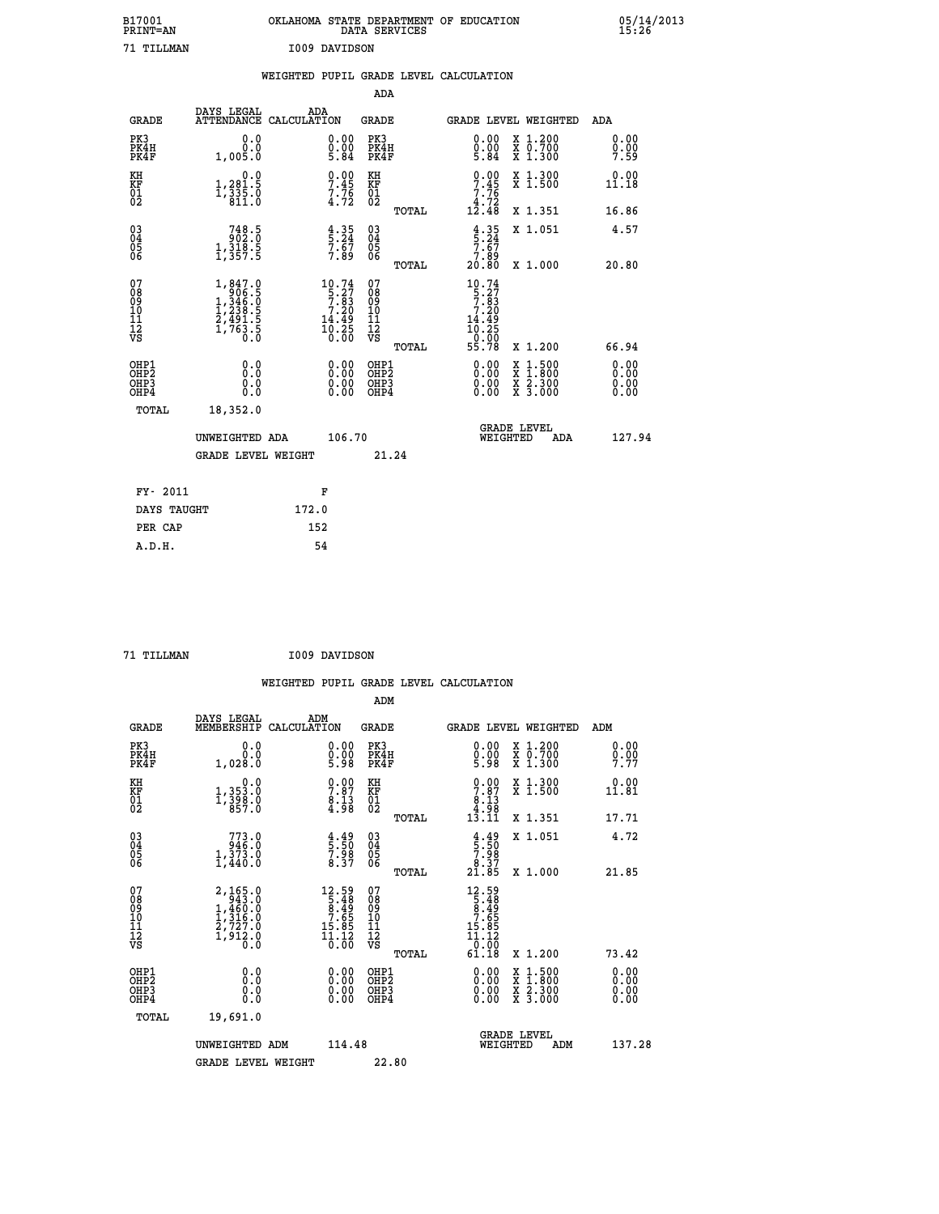| B17001<br>PRINT=AN | OKLAHOMA STATE DEPARTMENT OF EDUCATION<br>DATA<br>SERVICES | 05/14/2013<br>15:26 |
|--------------------|------------------------------------------------------------|---------------------|
| 71 TILLMAN         | I009 DAVIDSON                                              |                     |

|                                                              |                                                                                                                                          | WEIGHTED PUPIL GRADE LEVEL CALCULATION                            |                                                    |       |                                                                                                                                                                                                                                                                                |                                                                                                                                              |                          |
|--------------------------------------------------------------|------------------------------------------------------------------------------------------------------------------------------------------|-------------------------------------------------------------------|----------------------------------------------------|-------|--------------------------------------------------------------------------------------------------------------------------------------------------------------------------------------------------------------------------------------------------------------------------------|----------------------------------------------------------------------------------------------------------------------------------------------|--------------------------|
|                                                              |                                                                                                                                          |                                                                   | ADA                                                |       |                                                                                                                                                                                                                                                                                |                                                                                                                                              |                          |
| <b>GRADE</b>                                                 | DAYS LEGAL                                                                                                                               | ADA<br>ATTENDANCE CALCULATION                                     | <b>GRADE</b>                                       |       |                                                                                                                                                                                                                                                                                | GRADE LEVEL WEIGHTED                                                                                                                         | ADA                      |
| PK3<br>PK4H<br>PK4F                                          | 0.0<br>0.0<br>1,005.0                                                                                                                    | $\substack{0.00\\0.00\\5.84}$                                     | PK3<br>PK4H<br>PK4F                                |       | $\begin{smallmatrix} 0.00\\ 0.00\\ 5.84 \end{smallmatrix}$                                                                                                                                                                                                                     | X 1.200<br>X 0.700<br>X 1.300                                                                                                                | 0.00<br>0.00<br>7.59     |
| KH<br>KF<br>01<br>02                                         | 0.0<br>1,281.5<br>$1, \frac{3}{8}$ $\frac{3}{1}$ $\frac{5}{8}$ $\frac{5}{1}$ $\frac{6}{8}$                                               | $\begin{array}{c} 0.00 \\ 7.45 \\ 7.76 \\ 4.72 \end{array}$       | KH<br>KF<br>01<br>02                               |       | $9.00$<br>7.45<br>$\begin{array}{c} 7.76 \\ 4.72 \\ 12.48 \end{array}$                                                                                                                                                                                                         | X 1.300<br>X 1.500                                                                                                                           | 0.00<br>11.18            |
|                                                              |                                                                                                                                          |                                                                   |                                                    | TOTAL |                                                                                                                                                                                                                                                                                | X 1.351                                                                                                                                      | 16.86                    |
| $\begin{smallmatrix} 03 \\[-4pt] 04 \end{smallmatrix}$<br>05 | $\begin{smallmatrix} 748.5\\ 902.0\\ 1,318.5\\ 1,357.5 \end{smallmatrix}$                                                                | $\frac{4}{5}$ : $\frac{35}{24}$<br>7: 67<br>7: 89                 | $\begin{matrix} 03 \\ 04 \\ 05 \\ 06 \end{matrix}$ |       | $\frac{4}{5} \cdot \frac{35}{24}$<br>7.67<br>7.89                                                                                                                                                                                                                              | X 1.051                                                                                                                                      | 4.57                     |
| 06                                                           |                                                                                                                                          |                                                                   |                                                    | TOTAL | 20.80                                                                                                                                                                                                                                                                          | X 1.000                                                                                                                                      | 20.80                    |
| 07<br>08<br>09<br>01<br>11<br>11<br>12<br>VS                 | $\begin{smallmatrix} 1, & 847.0 \\ 906.5 \\ 1, & 346.0 \\ 1, & 238.5 \\ 2, & 491.5 \\ 2, & 491.5 \\ 1, & 763.5 \\ 0.0 \end{smallmatrix}$ | $10.74$<br>$5.27$<br>$7.83$<br>$7.20$<br>$\frac{14.49}{10.25}$    | 0789901112<br>009011112<br>VS                      | TOTAL | 10.74<br>$\frac{5 \cdot 27}{7 \cdot 83}$<br>7.20<br>$\frac{14.49}{10.25}$<br>-ŏ:ōŏ<br>55.78                                                                                                                                                                                    | X 1.200                                                                                                                                      | 66.94                    |
| OHP1<br>OHP2<br>OHP3<br>OHP4                                 | 0.0<br>0.0<br>Ō.Ō                                                                                                                        | $\begin{smallmatrix} 0.00 \ 0.00 \ 0.00 \ 0.00 \end{smallmatrix}$ | OHP1<br>OHP2<br>OHP <sub>3</sub>                   |       | $\begin{smallmatrix} 0.00 & 0.00 & 0.00 & 0.00 & 0.00 & 0.00 & 0.00 & 0.00 & 0.00 & 0.00 & 0.00 & 0.00 & 0.00 & 0.00 & 0.00 & 0.00 & 0.00 & 0.00 & 0.00 & 0.00 & 0.00 & 0.00 & 0.00 & 0.00 & 0.00 & 0.00 & 0.00 & 0.00 & 0.00 & 0.00 & 0.00 & 0.00 & 0.00 & 0.00 & 0.00 & 0.0$ | $\begin{smallmatrix} \mathtt{X} & 1\cdot500 \\ \mathtt{X} & 1\cdot800 \\ \mathtt{X} & 2\cdot300 \\ \mathtt{X} & 3\cdot000 \end{smallmatrix}$ | 0.00<br>$0.00$<br>$0.00$ |
| TOTAL                                                        | 18,352.0                                                                                                                                 |                                                                   |                                                    |       |                                                                                                                                                                                                                                                                                |                                                                                                                                              |                          |
|                                                              | UNWEIGHTED ADA                                                                                                                           | 106.70                                                            |                                                    |       | WEIGHTED                                                                                                                                                                                                                                                                       | <b>GRADE LEVEL</b><br>ADA                                                                                                                    | 127.94                   |
|                                                              | <b>GRADE LEVEL WEIGHT</b>                                                                                                                |                                                                   |                                                    | 21.24 |                                                                                                                                                                                                                                                                                |                                                                                                                                              |                          |
| FY- 2011                                                     |                                                                                                                                          | F                                                                 |                                                    |       |                                                                                                                                                                                                                                                                                |                                                                                                                                              |                          |
| DAYS TAUGHT                                                  |                                                                                                                                          | 172.0                                                             |                                                    |       |                                                                                                                                                                                                                                                                                |                                                                                                                                              |                          |
| PER CAP                                                      |                                                                                                                                          | 152                                                               |                                                    |       |                                                                                                                                                                                                                                                                                |                                                                                                                                              |                          |

 **71 TILLMAN I009 DAVIDSON**

 **A.D.H. 54**

 **WEIGHTED PUPIL GRADE LEVEL CALCULATION ADM DAYS LEGAL ADM GRADE MEMBERSHIP CALCULATION GRADE GRADE LEVEL WEIGHTED ADM PK3 0.0 0.00 PK3 0.00 X 1.200 0.00 PK4H 0.0 0.00 PK4H 0.00 X 0.700 0.00 PK4F 1,028.0 5.98 PK4F 5.98 X 1.300 7.77 KH**  $\begin{array}{cccccccc} 0.0 & 0.00 & K\text{H} & 0.00 & X & 1.300 & 0.00 \ \text{KF} & 1.353 & 0 & 7.87 & K\text{F} & 7.87 & X & 1.500 & 11.81 \ 02 & 1.398 & 0 & 8.13 & 0 & 0.00 & 0.00 \ 02 & 857 & 0 & 8.98 & 0 & 0.00 & 0.00 & 0.00 \ \end{array}$  **KF 1,353.0 7.87 KF 7.87 X 1.500 11.81** 0.0<br>1,353.0<br>1,<u>398</u>.0  **02 857.0 4.98 02 4.98 TOTAL 13.11 X 1.351 17.71 03 773.0 4.49 03 4.49 X 1.051 4.72 04 946.0 5.50 04 5.50 05 1,373.0 7.98 05 7.98 06 1,440.0 8.37 06 8.37 TOTAL 21.85 X 1.000 21.85** 07 2,165.0 12.59 07 12.59<br>
08 1,460.0 5.48 08 5.48<br>
10 1,316.0 7.65 10 7.65<br>
11 2,727.0 15.85 11 15.85<br>
12 1,912.0 15.85 12<br>
VS 1,913.0 10.00 VS 0.000  **TOTAL 61.18 X 1.200 73.42 OHP1 0.0 0.00 OHP1 0.00 X 1.500 0.00 OHP2 0.0 0.00 OHP2 0.00 X 1.800 0.00 OHP3 0.0 0.00 OHP3 0.00 X 2.300 0.00 OHP4 0.0 0.00 OHP4 0.00 X 3.000 0.00 TOTAL 19,691.0 GRADE LEVEL UNWEIGHTED ADM 114.48 WEIGHTED ADM 137.28** GRADE LEVEL WEIGHT 22.80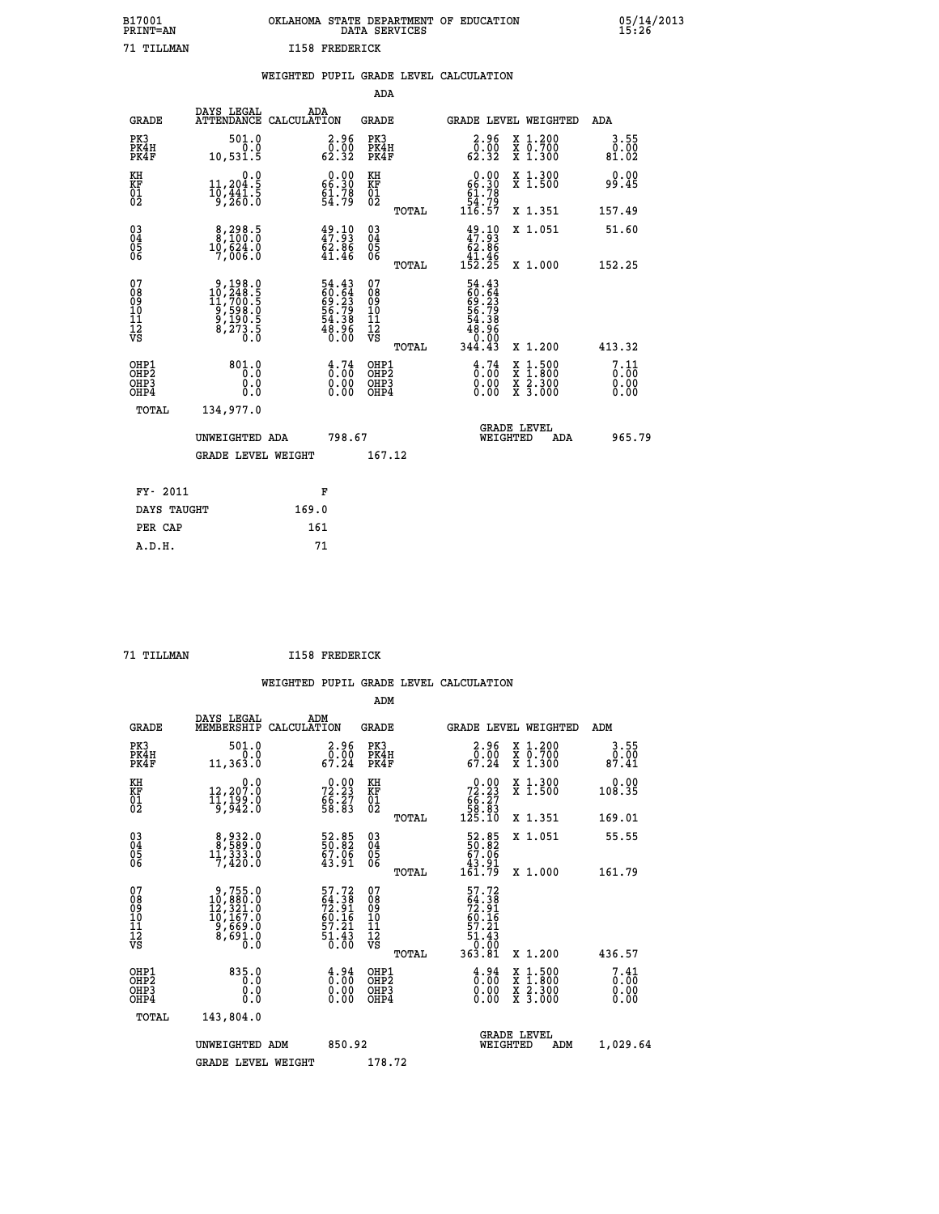|                | OKLAHOMA STATE DEPARTMENT OF EDUCATION<br>DATA SERVICES |  |
|----------------|---------------------------------------------------------|--|
| T158 FREDERTCK |                                                         |  |

05/14/2013<br>15:26

| B17001<br>PRINT=AN                       |                                                                                                           |       |                                                                                                           |                                                     |       | OKLAHOMA STATE DEPARTMENT OF EDUCATION DATA SERVICES                 |                                                                                                  | 25.28                        |
|------------------------------------------|-----------------------------------------------------------------------------------------------------------|-------|-----------------------------------------------------------------------------------------------------------|-----------------------------------------------------|-------|----------------------------------------------------------------------|--------------------------------------------------------------------------------------------------|------------------------------|
| 71 TILLMAN                               |                                                                                                           |       | <b>I158 FREDERICK</b>                                                                                     |                                                     |       |                                                                      |                                                                                                  |                              |
|                                          |                                                                                                           |       |                                                                                                           | <b>ADA</b>                                          |       | WEIGHTED PUPIL GRADE LEVEL CALCULATION                               |                                                                                                  |                              |
| <b>GRADE</b>                             | DAYS LEGAL<br>ATTENDANCE CALCULATION                                                                      | ADA   |                                                                                                           | <b>GRADE</b>                                        |       |                                                                      | GRADE LEVEL WEIGHTED                                                                             | ADA                          |
| PK3<br>PK4H<br>PK4F                      | 501.0<br>$\begin{smallmatrix} 0.0 \\ 0.1 \\ 0.531.5 \end{smallmatrix}$                                    |       | 2.96<br>$\begin{smallmatrix} \bar{0} & \bar{0} & \bar{0} \ \bar{0} & \bar{3} & \bar{2} \end{smallmatrix}$ | PK3<br>PK4H<br>PK4F                                 |       | $\begin{smallmatrix} 2.96\ 0.00\ 62.32 \end{smallmatrix}$            | X 1.200<br>X 0.700<br>X 1.300                                                                    | 3.55<br>0.00<br>81.02        |
| KH<br>KF<br>01<br>02                     | 0.0<br>11,204:5<br>10,441:5<br>9,260:0                                                                    |       | $\begin{smallmatrix} 0.00\\ 66.30\\ 61.78\\ 54.79 \end{smallmatrix}$                                      | KH<br>KF<br>01<br>02                                |       | $0.00\n66.30\n61.78\n54.79\n116.57$                                  | X 1.300<br>X 1.500                                                                               | 0.00<br>99.45                |
|                                          |                                                                                                           |       |                                                                                                           |                                                     | TOTAL |                                                                      | X 1.351                                                                                          | 157.49                       |
| 03<br>04<br>05<br>06                     | 8,298.5<br>10,624:0<br>7,006:0                                                                            |       | $49.10$<br>$47.93$<br>$62.86$<br>$41.46$                                                                  | $\begin{array}{c} 03 \\ 04 \\ 05 \\ 06 \end{array}$ |       | $49.10$<br>$47.93$<br>$62.96$                                        | X 1.051                                                                                          | 51.60                        |
|                                          |                                                                                                           |       |                                                                                                           |                                                     | TOTAL | $1\overline{52.25}$                                                  | X 1.000                                                                                          | 152.25                       |
| 07<br>08901112<br>1112<br>VS             | $\begin{smallmatrix} 9,198.0\\ 10,248.5\\ 11,700.5\\ 9,598.0\\ 9,190.5\\ 8,273.5\\ 0.0 \end{smallmatrix}$ |       | 54.43<br>60.64<br>69.23<br>56.79<br>54.38<br>54.38<br>48.960                                              | 07<br>08<br>09<br>11<br>11<br>12<br>VS              | TOTAL | 54.43<br>60.64<br>69.23<br>56.79<br>54.38<br>88.88<br>0.00<br>344.43 | X 1.200                                                                                          | 413.32                       |
| OHP1<br>OHP <sub>2</sub><br>OHP3<br>OHP4 | 801.0<br>0.0<br>0.0<br>0.0                                                                                |       | $\frac{4}{0}$ : $\frac{74}{00}$<br>$0.00$<br>0.00                                                         | OHP1<br>OHP2<br>OHP3<br>OHP4                        |       | $\frac{4}{0}$ : $\frac{74}{0}$<br>0.00                               | $\begin{smallmatrix} x & 1 & 500 \\ x & 1 & 800 \\ x & 2 & 300 \\ x & 3 & 000 \end{smallmatrix}$ | 7.11<br>0.00<br>0.00<br>0.00 |
| <b>TOTAL</b>                             | 134,977.0                                                                                                 |       |                                                                                                           |                                                     |       |                                                                      |                                                                                                  |                              |
|                                          | UNWEIGHTED ADA                                                                                            |       | 798.67                                                                                                    |                                                     |       |                                                                      | <b>GRADE LEVEL</b><br>WEIGHTED<br>ADA                                                            | 965.79                       |
|                                          | <b>GRADE LEVEL WEIGHT</b>                                                                                 |       |                                                                                                           | 167.12                                              |       |                                                                      |                                                                                                  |                              |
| FY- 2011                                 |                                                                                                           |       | F                                                                                                         |                                                     |       |                                                                      |                                                                                                  |                              |
| DAYS TAUGHT                              |                                                                                                           | 169.0 |                                                                                                           |                                                     |       |                                                                      |                                                                                                  |                              |

 **A.D.H. 71**

PER CAP 161<br>A.D.H. 71

 **71 TILLMAN I158 FREDERICK**

|                                    |                                          |                                                                                                    |                                                                          | ADM                                                |       |                                                                                      |                                          |                              |
|------------------------------------|------------------------------------------|----------------------------------------------------------------------------------------------------|--------------------------------------------------------------------------|----------------------------------------------------|-------|--------------------------------------------------------------------------------------|------------------------------------------|------------------------------|
|                                    | <b>GRADE</b>                             | DAYS LEGAL<br>ADM<br>MEMBERSHIP<br>CALCULATION                                                     |                                                                          | <b>GRADE</b>                                       |       |                                                                                      | GRADE LEVEL WEIGHTED                     | ADM                          |
| PK3                                | PK4H<br>PK4F                             | 501.0<br>0.0<br>11,363.0                                                                           | 2.96<br>$\begin{smallmatrix} 0.00 \\ 67.24 \end{smallmatrix}$            | PK3<br>PK4H<br>PK4F                                |       | $\begin{smallmatrix} 2.96 \\ 0.00 \\ 67.24 \end{smallmatrix}$                        | X 1.200<br>X 0.700<br>X 1.300            | 3.55<br>$\frac{0.00}{87.41}$ |
| KH<br>KF<br>01<br>02               |                                          | 0.0<br>12,207:0<br>11,199:0<br>5,942:0                                                             | 72.23<br>66.27<br>58.83                                                  | KH<br>KF<br>01<br>02                               |       | $\begin{smallmatrix} &0.00\ 72.23\\ 66.27\\ 58.83\\ 125.10\end{smallmatrix}$         | X 1.300<br>X 1.500                       | 0.00<br>108.35               |
|                                    |                                          |                                                                                                    |                                                                          |                                                    | TOTAL |                                                                                      | X 1.351                                  | 169.01                       |
| 03<br>04<br>05<br>06               |                                          | $\begin{smallmatrix}8,932.0\\8,589.0\\11,333.0\\7,420.0\end{smallmatrix}$                          | 52.85<br>50.82<br>67.06<br>43.91                                         | $\begin{matrix} 03 \\ 04 \\ 05 \\ 06 \end{matrix}$ |       | $\begin{smallmatrix} 52.85\ 50.82\ 67.06\ 43.91\ 161.79 \end{smallmatrix}$           | X 1.051                                  | 55.55                        |
|                                    |                                          |                                                                                                    |                                                                          |                                                    | TOTAL |                                                                                      | X 1.000                                  | 161.79                       |
| 07<br>08<br>09<br>101<br>112<br>VS |                                          | $\begin{smallmatrix}9,755.0\\10,880.0\\12,321.0\\10,167.0\\9,669.0\\8,691.0\\0.0\end{smallmatrix}$ | $57.72$<br>$54.38$<br>$72.91$<br>$60.16$<br>$57.21$<br>$51.43$<br>$0.00$ | 07<br>08<br>09<br>11<br>11<br>12<br>VS             | TOTAL | $57.72$<br>$64.38$<br>$72.91$<br>$60.16$<br>$57.21$<br>$51.43$<br>$0.00$<br>$363.81$ | X 1.200                                  | 436.57                       |
|                                    | OHP1<br>OHP2<br>OH <sub>P3</sub><br>OHP4 | 835.0<br>0.0<br>0.000                                                                              | $\begin{smallmatrix} 4.94\ 0.00\ 0.00 \end{smallmatrix}$<br>0.00         | OHP1<br>OHP2<br>OHP <sub>3</sub>                   |       | $\begin{smallmatrix} 4.94 \ 0.00 \ 0.00 \end{smallmatrix}$<br>0.00                   | X 1:500<br>X 1:800<br>X 2:300<br>X 3:000 | 7.41<br>0.00<br>0.00         |
|                                    | TOTAL                                    | 143,804.0                                                                                          |                                                                          |                                                    |       |                                                                                      |                                          |                              |
|                                    |                                          | UNWEIGHTED ADM                                                                                     | 850.92                                                                   |                                                    |       | WEIGHTED                                                                             | <b>GRADE LEVEL</b><br>ADM                | 1,029.64                     |
|                                    |                                          | <b>GRADE LEVEL WEIGHT</b>                                                                          |                                                                          | 178.72                                             |       |                                                                                      |                                          |                              |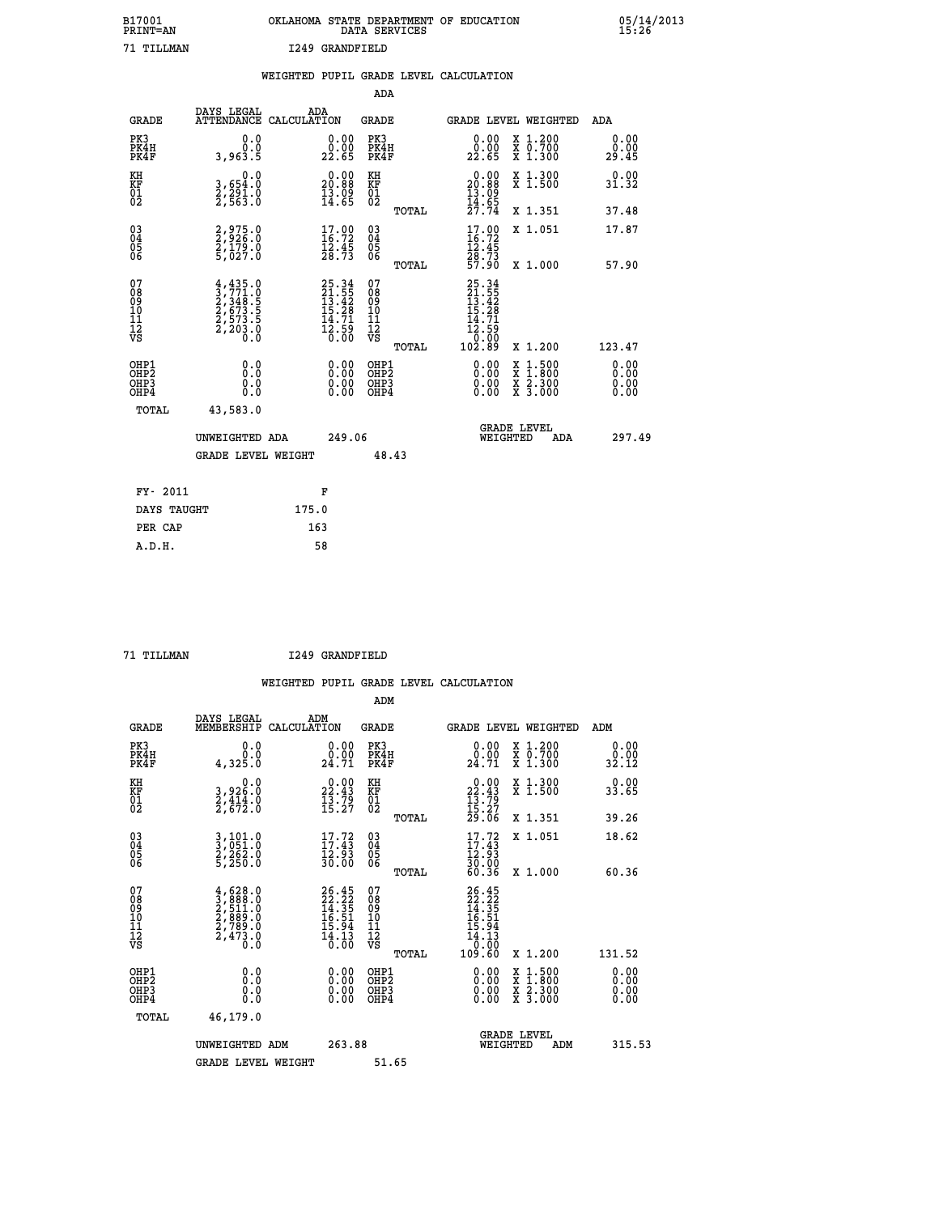| B17001          | OKLAHOMA STATE DEPARTMENT OF EDUCATION |
|-----------------|----------------------------------------|
| <b>PRINT=AN</b> | DATA SERVICES                          |
| 71 TTT.T.MAN    | I249 GRANDFIELD                        |

05/14/2013<br>15:26

|                                          |                                                                                                                                                                                    | WEIGHTED PUPIL GRADE LEVEL CALCULATION                                   |                                                    |       |                                                                                                                                |                                                              |                              |
|------------------------------------------|------------------------------------------------------------------------------------------------------------------------------------------------------------------------------------|--------------------------------------------------------------------------|----------------------------------------------------|-------|--------------------------------------------------------------------------------------------------------------------------------|--------------------------------------------------------------|------------------------------|
|                                          |                                                                                                                                                                                    |                                                                          | <b>ADA</b>                                         |       |                                                                                                                                |                                                              |                              |
| <b>GRADE</b>                             | DAYS LEGAL                                                                                                                                                                         | ADA<br>ATTENDANCE CALCULATION                                            | <b>GRADE</b>                                       |       |                                                                                                                                | GRADE LEVEL WEIGHTED                                         | ADA                          |
| PK3<br>PK4H<br>PK4F                      | 0.0<br>0.0<br>3,963.5                                                                                                                                                              | $\begin{smallmatrix} 0.00\\ 0.00\\ 22.65 \end{smallmatrix}$              | PK3<br>PK4H<br>PK4F                                |       | 0.00<br>0.00<br>22.65                                                                                                          | X 1.200<br>X 0.700<br>X 1.300                                | 0.00<br>0.00<br>29.45        |
| KH<br>KF<br>01<br>02                     | 0.0<br>3,654:0<br>2,291:0<br>2,563:0                                                                                                                                               | $\begin{smallmatrix} 0.00\\ 20.88\\ 13.09\\ 14.65 \end{smallmatrix}$     | KH<br>KF<br>01<br>02                               |       | $0.00$<br>$20.88$<br>$13.09$<br>$14.65$<br>$27.74$                                                                             | X 1.300<br>X 1.500                                           | 0.00<br>31.32                |
|                                          |                                                                                                                                                                                    |                                                                          |                                                    | TOTAL |                                                                                                                                | X 1.351                                                      | 37.48                        |
| $^{03}_{04}$<br>Ŏ5<br>06                 | 2,975.0<br>2,926.0<br>2,179.0<br>5,027.0                                                                                                                                           | $\begin{smallmatrix} 17.00\\ 16.72\\ 12.45\\ 28.73 \end{smallmatrix}$    | $\begin{matrix} 03 \\ 04 \\ 05 \\ 06 \end{matrix}$ |       | $\begin{smallmatrix} 17.00 \\ 16.72 \\ 12.45 \\ 28.73 \\ 57.90 \end{smallmatrix}$                                              | X 1.051                                                      | 17.87                        |
|                                          |                                                                                                                                                                                    |                                                                          |                                                    | TOTAL |                                                                                                                                | X 1.000                                                      | 57.90                        |
| 07<br>08<br>09<br>11<br>11<br>12<br>VS   | $\begin{smallmatrix} 4\,, & 435\,, & 0\\ 3\,, & 771\,, & 0\\ 2\,, & 348\,, & 5\\ 2\,, & 673\,, & 5\\ 2\,, & 573\,, & 5\\ 2\,, & 203\,, & 0\\ 0\,, & 0\,, & 0\,, \end{smallmatrix}$ | $25.34$<br>$21.55$<br>$13.42$<br>$15.28$<br>$14.71$<br>$12.59$<br>$0.00$ | 07<br>08<br>09<br>11<br>11<br>12<br>VS             | TOTAL | 25.34<br>21.55<br>13.42<br>15.28<br>14.71<br>$\begin{array}{r} 1\overline{2}\cdot 5\overline{9} \\ 0.00 \\ 102.89 \end{array}$ | X 1.200                                                      | 123.47                       |
| OHP1<br>OHP2<br>OH <sub>P3</sub><br>OHP4 | 0.0<br>Ō.Ō<br>Ō.Ō                                                                                                                                                                  | 0.00<br>$\begin{smallmatrix} 0.00 \ 0.00 \end{smallmatrix}$              | OHP1<br>OHP2<br>OHP3<br>OHP4                       |       | 0.00<br>0.00<br>0.00                                                                                                           | $1:500$<br>1:800<br>X 1:500<br>X 1:800<br>X 2:300<br>X 3:000 | 0.00<br>0.00<br>0.00<br>0.00 |
| TOTAL                                    | 43,583.0                                                                                                                                                                           |                                                                          |                                                    |       |                                                                                                                                |                                                              |                              |
|                                          | UNWEIGHTED ADA                                                                                                                                                                     | 249.06                                                                   |                                                    |       | WEIGHTED                                                                                                                       | <b>GRADE LEVEL</b><br>ADA                                    | 297.49                       |
|                                          | <b>GRADE LEVEL WEIGHT</b>                                                                                                                                                          |                                                                          | 48.43                                              |       |                                                                                                                                |                                                              |                              |
| FY- 2011                                 |                                                                                                                                                                                    | F                                                                        |                                                    |       |                                                                                                                                |                                                              |                              |
| DAYS TAUGHT                              |                                                                                                                                                                                    | 175.0                                                                    |                                                    |       |                                                                                                                                |                                                              |                              |
| PER CAP                                  |                                                                                                                                                                                    | 163                                                                      |                                                    |       |                                                                                                                                |                                                              |                              |

 **A.D.H. 58**

 **ADM**

 **71 TILLMAN I249 GRANDFIELD**

| <b>GRADE</b>                             | DAYS LEGAL<br>MEMBERSHIP                                                                                                                                 | ADM<br>CALCULATION                                                       | <b>GRADE</b>                                       |       | GRADE LEVEL WEIGHTED                                                                 |                                          | ADM                   |  |
|------------------------------------------|----------------------------------------------------------------------------------------------------------------------------------------------------------|--------------------------------------------------------------------------|----------------------------------------------------|-------|--------------------------------------------------------------------------------------|------------------------------------------|-----------------------|--|
| PK3<br>PK4H<br>PK4F                      | 0.0<br>4,325.0                                                                                                                                           | $\begin{smallmatrix} 0.00\\ 0.00\\ 24.71 \end{smallmatrix}$              | PK3<br>PK4H<br>PK4F                                |       | $\begin{smallmatrix} 0.00\\ 0.00\\ 24.71 \end{smallmatrix}$                          | X 1.200<br>X 0.700<br>X 1.300            | 0.00<br>0.00<br>32.12 |  |
| KH<br>KF<br>01<br>02                     | $\begin{smallmatrix}&&&0.0\\3,926.0\\2,414.0\\2,672.0\end{smallmatrix}$                                                                                  | $22.43$<br>$13.79$<br>$15.27$                                            | KH<br>KF<br>01<br>02                               |       | $\begin{smallmatrix} 0.00\\ 22.43\\ 13.79\\ 15.27\\ 29.06 \end{smallmatrix}$         | X 1.300<br>X 1.500                       | 0.00<br>33.65         |  |
|                                          |                                                                                                                                                          |                                                                          |                                                    | TOTAL |                                                                                      | X 1.351                                  | 39.26                 |  |
| 03<br>04<br>05<br>06                     | 3,101.0<br>3,051.0<br>2,262.0<br>5,250.0                                                                                                                 | $\begin{array}{c} 17.72 \\ 17.43 \\ 12.93 \\ 30.00 \end{array}$          | $\begin{matrix} 03 \\ 04 \\ 05 \\ 06 \end{matrix}$ |       | $17.72$<br>$17.43$<br>$12.93$<br>$30.00$<br>$60.36$                                  | X 1.051                                  | 18.62                 |  |
|                                          |                                                                                                                                                          |                                                                          |                                                    | TOTAL |                                                                                      | X 1.000                                  | 60.36                 |  |
| 07<br>089<br>090<br>1112<br>VS           | $\begin{smallmatrix} 4\,,\,628\,.\,0\\ 3\,,\,888\,.\,0\\ 2\,,\,511\,.\,0\\ 2\,,\,889\,.\,0\\ 2\,,\,789\,.\,0\\ 2\,,\,473\,.\,0\\ 0\,.0\end{smallmatrix}$ | $26.45$<br>$22.22$<br>$14.35$<br>$16.51$<br>$15.94$<br>$14.13$<br>$0.00$ | 07<br>08901112<br>1112<br>VS                       | TOTAL | $26.45$<br>$22.25$<br>$14.35$<br>$16.51$<br>$15.94$<br>$14.13$<br>$0.00$<br>$109.60$ | X 1.200                                  | 131.52                |  |
| OHP1<br>OHP2<br>OH <sub>P3</sub><br>OHP4 | 0.0<br>0.000                                                                                                                                             |                                                                          | OHP1<br>OHP2<br>OHP3<br>OHP4                       |       | 0.00<br>0.00                                                                         | X 1:500<br>X 1:800<br>X 2:300<br>X 3:000 | 0.00<br>0.00<br>0.00  |  |
| TOTAL                                    | 46,179.0                                                                                                                                                 |                                                                          |                                                    |       |                                                                                      |                                          |                       |  |
|                                          | UNWEIGHTED<br>ADM                                                                                                                                        | 263.88                                                                   |                                                    |       | WEIGHTED                                                                             | <b>GRADE LEVEL</b><br>ADM                | 315.53                |  |
|                                          | <b>GRADE LEVEL WEIGHT</b>                                                                                                                                |                                                                          | 51.65                                              |       |                                                                                      |                                          |                       |  |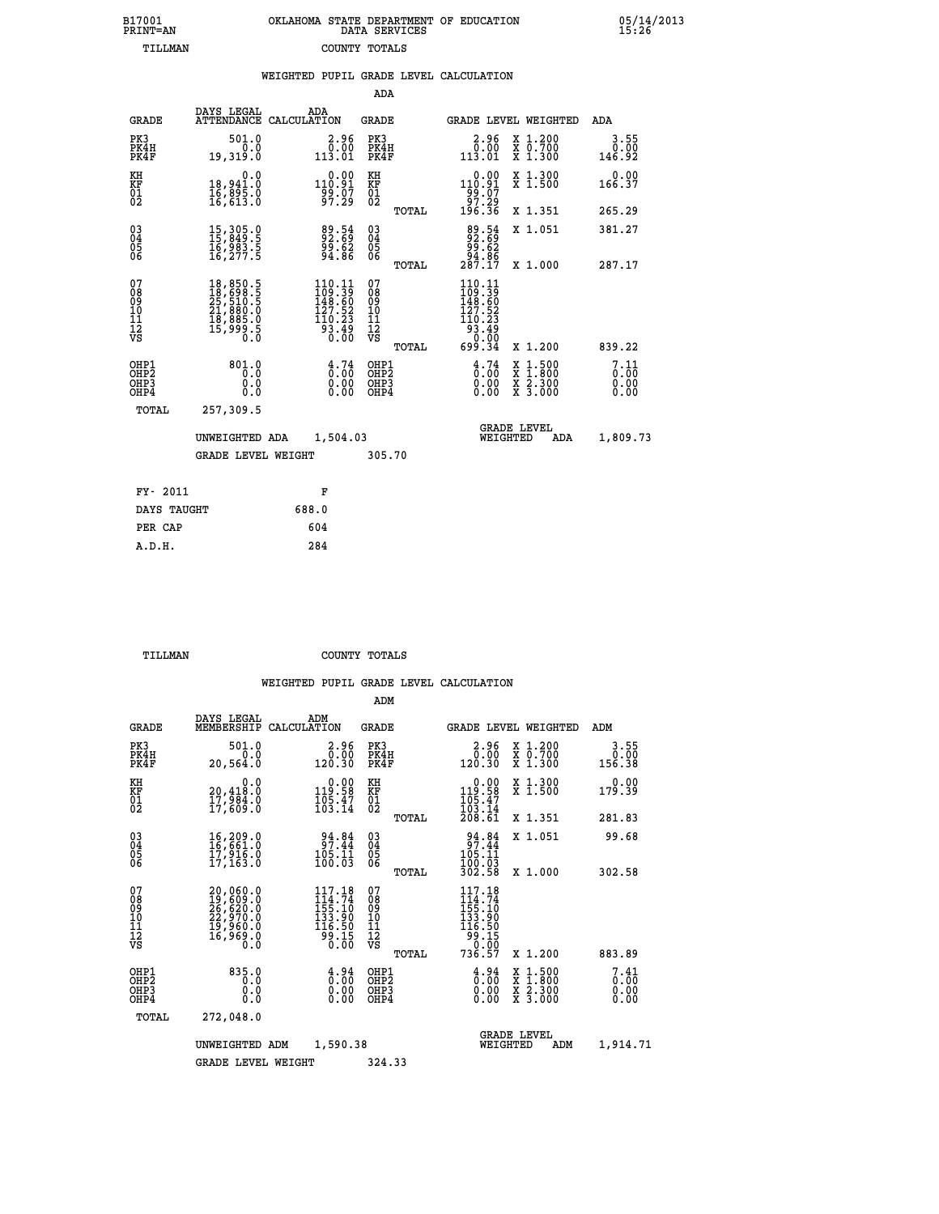| 7001<br>INT=AN | OKLAHOMA STATE DEPARTMENT OF EDUCATION<br>DATA SERVICES |  |
|----------------|---------------------------------------------------------|--|
| TILLMAN        | COUNTY TOTALS                                           |  |

 **B17001 OKLAHOMA STATE DEPARTMENT OF EDUCATION 05/14/2013**

|                                                       |                                                                                                                                                                                                 | WEIGHTED PUPIL GRADE LEVEL CALCULATION                                                     |                                                     |                                                                                         |                                          |                              |
|-------------------------------------------------------|-------------------------------------------------------------------------------------------------------------------------------------------------------------------------------------------------|--------------------------------------------------------------------------------------------|-----------------------------------------------------|-----------------------------------------------------------------------------------------|------------------------------------------|------------------------------|
|                                                       |                                                                                                                                                                                                 |                                                                                            | ADA                                                 |                                                                                         |                                          |                              |
| <b>GRADE</b>                                          | DAYS LEGAL                                                                                                                                                                                      | ADA<br>ATTENDANCE CALCULATION                                                              | <b>GRADE</b>                                        | <b>GRADE LEVEL WEIGHTED</b>                                                             |                                          | ADA                          |
| PK3<br>PK4H<br>PK4F                                   | 501.0<br>0.0<br>19,319.0                                                                                                                                                                        | $2.96$<br>$0.00$<br>113.01                                                                 | PK3<br>PK4H<br>PK4F                                 | $2.96$<br>$0.00$<br>113.01                                                              | X 1.200<br>X 0.700<br>X 1.300            | 3.55<br>0.00<br>146.92       |
| KH<br>KF<br>01<br>02                                  | $\begin{smallmatrix} & & 0.0\ 18,941.0\ 16,895.0\ 16,613.0 \end{smallmatrix}$                                                                                                                   | $0.00$<br>110.91<br>-99.07<br>97.29                                                        | KH<br>KF<br>01<br>02                                | $0.00$<br>110.91<br>$\frac{1}{2}$<br>197.29<br>196.36                                   | X 1.300<br>X 1.500                       | $0.00$<br>166.37             |
|                                                       |                                                                                                                                                                                                 |                                                                                            | TOTAL                                               |                                                                                         | X 1.351                                  | 265.29                       |
| $^{03}_{04}$<br>05                                    | 15, 305.0<br>15, 849.5<br>16, 983.5<br>16, 277.5                                                                                                                                                | 89.54<br>92.69<br>99.62<br>94.86                                                           | $\begin{array}{c} 03 \\ 04 \\ 05 \\ 06 \end{array}$ | $89.54$<br>$92.69$<br>$99.62$<br>$94.86$<br>$287.17$                                    | X 1.051                                  | 381.27                       |
| ŎĞ                                                    |                                                                                                                                                                                                 |                                                                                            | TOTAL                                               |                                                                                         | X 1.000                                  | 287.17                       |
| 07<br>08<br>09<br>01<br>11<br>11<br>12<br>VS          | $\begin{smallmatrix} 18\,, & 850\,, & 5\\ 18\,, & 698\,, & 5\\ 25\,, & 510\,, & 5\\ 21\,, & 880\,, & 0\\ 18\,, & 885\,, & 0\\ 15\,, & 999\,, & 5\\ 0\,, & 0\,, & 0\,, & 0\,, \end{smallmatrix}$ | $\begin{smallmatrix} 110.11\\109.39\\148.60\\127.52\\110.23\\93.49\\0.00\end{smallmatrix}$ | 07<br>08<br>09<br>101<br>11<br>12<br>VS<br>TOTAL    | 110.11<br>$110.11$<br>$148.60$<br>$127.52$<br>$110.23$<br>$93.49$<br>$0.00$<br>$699.34$ | X 1.200                                  | 839.22                       |
| OHP1<br>OH <sub>P</sub> 2<br>OH <sub>P3</sub><br>OHP4 | 801.0<br>0.0<br>0.0<br>0.0                                                                                                                                                                      | $\begin{smallmatrix} 4.74\ 0.00\ 0.00\ 0.00 \end{smallmatrix}$                             | OHP1<br>OHP <sub>2</sub><br>OHP3<br>OHP4            | $\begin{smallmatrix} 4\ 6\ 1\ 0\ 0\ 0\ 0\ 0\ 0\ 0\ 0\ \end{smallmatrix}$                | X 1:500<br>X 1:800<br>X 2:300<br>X 3:000 | 7.11<br>0.00<br>0.00<br>0.00 |
| TOTAL                                                 | 257,309.5                                                                                                                                                                                       |                                                                                            |                                                     |                                                                                         |                                          |                              |
|                                                       | UNWEIGHTED ADA                                                                                                                                                                                  | 1,504.03                                                                                   |                                                     | <b>GRADE LEVEL</b><br>WEIGHTED                                                          | ADA                                      | 1,809.73                     |
|                                                       | <b>GRADE LEVEL WEIGHT</b>                                                                                                                                                                       |                                                                                            | 305.70                                              |                                                                                         |                                          |                              |
| FY- 2011                                              |                                                                                                                                                                                                 | F                                                                                          |                                                     |                                                                                         |                                          |                              |
| DAYS TAUGHT                                           |                                                                                                                                                                                                 | 688.0                                                                                      |                                                     |                                                                                         |                                          |                              |
| PER CAP                                               |                                                                                                                                                                                                 | 604                                                                                        |                                                     |                                                                                         |                                          |                              |

 **A.D.H. 284**

 **B17001<br>PRINT=AN** 

 **TILLMAN COUNTY TOTALS**

|                                                       |                                                                                                                              |                                                                                  | ADM                                              |                                                                                        |                                          |                              |
|-------------------------------------------------------|------------------------------------------------------------------------------------------------------------------------------|----------------------------------------------------------------------------------|--------------------------------------------------|----------------------------------------------------------------------------------------|------------------------------------------|------------------------------|
| <b>GRADE</b>                                          | DAYS LEGAL<br>MEMBERSHIP                                                                                                     | ADM<br>CALCULATION                                                               | <b>GRADE</b>                                     |                                                                                        | GRADE LEVEL WEIGHTED                     | ADM                          |
| PK3<br>PK4H<br>PK4F                                   | 501.0<br>0.0<br>20,564.0                                                                                                     | 2.96<br>0.00<br>120.30                                                           | PK3<br>PK4H<br>PK4F                              | $\begin{smallmatrix} 2.96\ 0.00\ 120.30 \end{smallmatrix}$                             | X 1.200<br>X 0.700<br>X 1.300            | 3.55<br>0.00<br>156.38       |
| KH<br>KF<br>01<br>02                                  | 0.0<br>20,418.0<br>17,984.0<br>17,609.0                                                                                      | $\begin{smallmatrix} &0.00\\ 119.58\\ 105.47\\ 103.14\end{smallmatrix}$          | KH<br>KF<br>01<br>02                             | $0.00$<br>119.58<br>$\frac{105}{103}$ $\frac{17}{14}$<br>$\frac{208}{51}$              | X 1.300<br>X 1.500                       | 0.00<br>179.39               |
|                                                       |                                                                                                                              |                                                                                  | TOTAL                                            |                                                                                        | X 1.351                                  | 281.83                       |
| 03<br>04<br>05<br>06                                  | 16,209.0<br>16,661.0<br>17,916.0<br>17, 163.0                                                                                | $34.84$<br>97.44<br>105.11<br>100.03                                             | $\substack{03 \\ 04}$<br>0500                    | 34.84<br>105.11<br>100.03                                                              | X 1.051                                  | 99.68                        |
|                                                       |                                                                                                                              |                                                                                  | TOTAL                                            | 302.58                                                                                 | X 1.000                                  | 302.58                       |
| 07<br>08<br>09<br>101<br>112<br>VS                    | 20,060.0<br>$\begin{smallmatrix} 29 \ 19 \ 26 \ 26 \ 620 \ 22 \ 970 \ 0 \ 19 \ 960 \ 0 \ 16 \ 969 \ 0 \ 0 \end{smallmatrix}$ | 117.18<br>$\frac{1}{155}$ : 74<br>133.90<br>116.50<br>$\frac{55}{0}$ :15<br>0.00 | 07<br>08<br>09<br>101<br>11<br>12<br>VS<br>TOTAL | 117.18<br>$114.74$<br>$155.10$<br>$133.90$<br>$116.50$<br>$99.15$<br>$-0.00$<br>736.57 | X 1.200                                  | 883.89                       |
|                                                       |                                                                                                                              |                                                                                  |                                                  |                                                                                        |                                          |                              |
| OHP1<br>OH <sub>P</sub> 2<br>OH <sub>P3</sub><br>OHP4 | 835.0<br>0.0<br>0.0<br>Ŏ.Ŏ                                                                                                   | $\begin{smallmatrix} 4.94\ 0.00 \ 0.00 \end{smallmatrix}$<br>0.00                | OHP1<br>OHP2<br>OHP3<br>OHP4                     | $\begin{smallmatrix} 4.94 \ 0.00 \ 0.00 \end{smallmatrix}$<br>0.00                     | X 1:500<br>X 1:800<br>X 2:300<br>X 3:000 | 7.41<br>0.00<br>0.00<br>0.00 |
| TOTAL                                                 | 272,048.0                                                                                                                    |                                                                                  |                                                  |                                                                                        |                                          |                              |
|                                                       | UNWEIGHTED ADM                                                                                                               | 1,590.38                                                                         |                                                  | WEIGHTED                                                                               | <b>GRADE LEVEL</b><br>ADM                | 1,914.71                     |
|                                                       | <b>GRADE LEVEL WEIGHT</b>                                                                                                    |                                                                                  | 324.33                                           |                                                                                        |                                          |                              |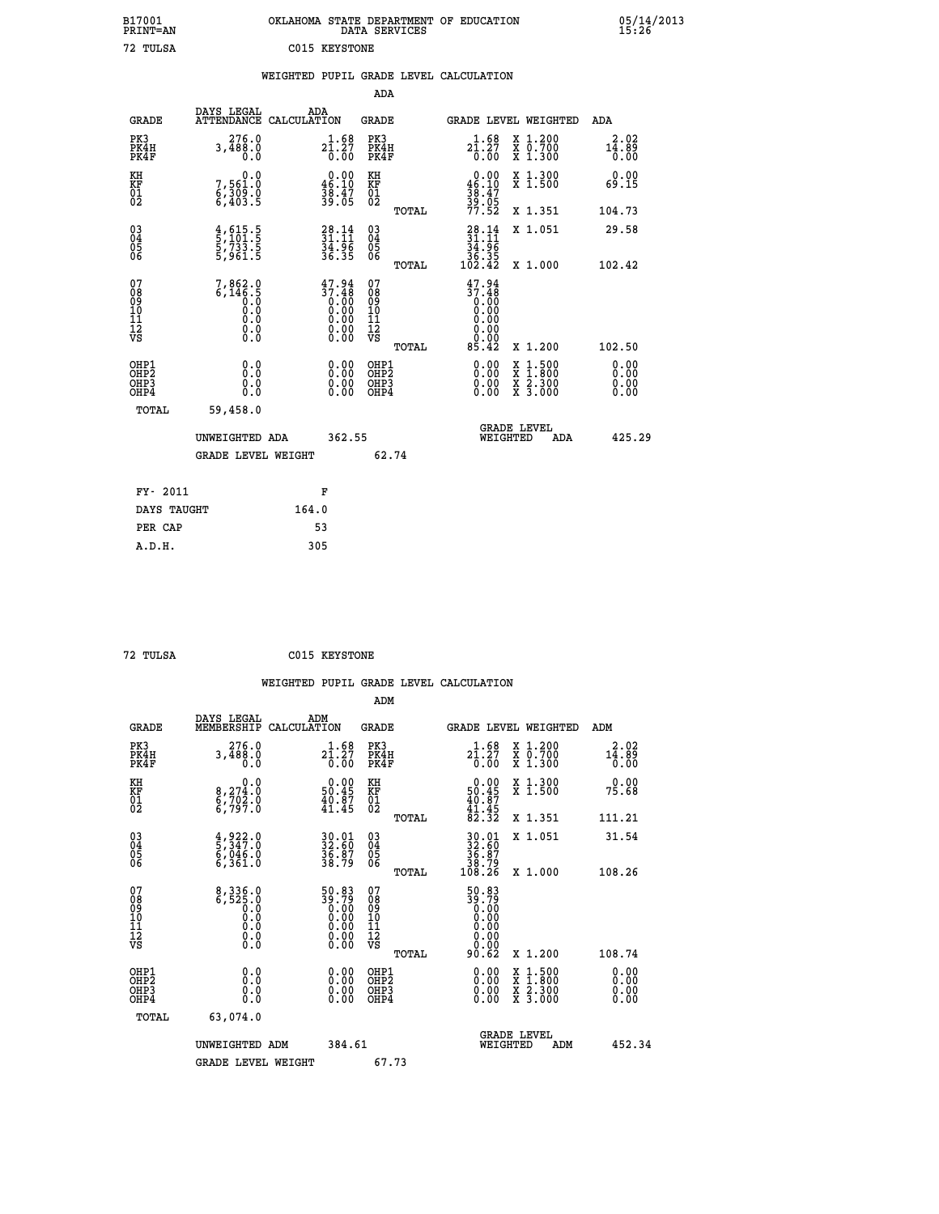| B17001          | OKLAHOMA STATE DEPARTMENT OF EDUCATION |
|-----------------|----------------------------------------|
| <b>PRINT=AN</b> | DATA SERVICES                          |
| 72 TULSA        | C015 KEYSTONE                          |

#### **WEIGHTED PUPIL GRADE LEVEL CALCULATION**

|                                                                    |                                                                                                           |                                                                                                         | ADA                                       |       |                                                                                                                   |                                                                                                  |                              |
|--------------------------------------------------------------------|-----------------------------------------------------------------------------------------------------------|---------------------------------------------------------------------------------------------------------|-------------------------------------------|-------|-------------------------------------------------------------------------------------------------------------------|--------------------------------------------------------------------------------------------------|------------------------------|
| <b>GRADE</b>                                                       | DAYS LEGAL<br>ATTENDANCE CALCULATION                                                                      | ADA                                                                                                     | <b>GRADE</b>                              |       |                                                                                                                   | GRADE LEVEL WEIGHTED                                                                             | ADA                          |
| PK3<br>PK4H<br>PK4F                                                | 276.0<br>3,488.0<br>0.0                                                                                   | ${\substack{1.68\\21.27\\0.00}}$                                                                        | PK3<br>PK4H<br>PK4F                       |       | $2\overset{1}{\phantom{}}. \overset{6}{\phantom{}}3\overset{9}{\phantom{}}. \overset{1}{\phantom{}}\, 27$<br>0.00 | X 1.200<br>X 0.700<br>X 1.300                                                                    | 2.02<br>14.89<br>0.00        |
| KH<br><b>KF</b><br>01<br>02                                        | 0.0<br>7,561:0<br>6,309:0<br>6,403:5                                                                      | $0.00$<br>46.10<br>38:47<br>39:05                                                                       | KH<br>KF<br>01<br>02                      |       | $0.00$<br>46.10<br>$\frac{38}{39}$ : $\frac{47}{05}$<br>77.52                                                     | X 1.300<br>X 1.500                                                                               | 0.00<br>69.15                |
|                                                                    |                                                                                                           |                                                                                                         |                                           | TOTAL |                                                                                                                   | X 1.351                                                                                          | 104.73                       |
| $\begin{smallmatrix} 03 \\[-4pt] 04 \end{smallmatrix}$<br>Ŏ5<br>06 | $\frac{4}{5}, \frac{615}{101}$ .<br>5, 733.5<br>5, 961.5                                                  | $28.14$<br>$31.11$<br>$34.96$<br>$36.35$                                                                | $\substack{03 \\ 04}$<br>Ŏ5<br>06         | TOTAL | $\begin{array}{r} 28.14 \\ 31.11 \\ 34.96 \\ 36.35 \\ 102.42 \end{array}$                                         | X 1.051<br>X 1.000                                                                               | 29.58<br>102.42              |
| 07<br>08<br>09<br>11<br>11<br>12<br>VS                             | $7,862.0$<br>6,146.5<br>0.0<br>0.0<br>$\begin{smallmatrix} 0.0 & 0 \ 0.0 & 0 \ 0.0 & 0 \end{smallmatrix}$ | $47.94$<br>$37.48$<br>$0.00$<br>$0.00$<br>$0.00$<br>$\begin{smallmatrix} 0.00 \ 0.00 \end{smallmatrix}$ | 07<br>08<br>09<br>11<br>11<br>12<br>VS    |       | $\begin{smallmatrix} 47.94 \\ 37.48 \\ 0.00 \\ 0.00 \end{smallmatrix}$<br>0.00<br>0.00<br>0.00                    |                                                                                                  |                              |
|                                                                    |                                                                                                           |                                                                                                         |                                           | TOTAL | 85.42                                                                                                             | X 1.200                                                                                          | 102.50                       |
| OHP1<br>OH <sub>P2</sub><br>OH <sub>P3</sub><br>OH <sub>P4</sub>   | 0.0<br>0.0<br>0.0                                                                                         | $\begin{smallmatrix} 0.00 \ 0.00 \ 0.00 \ 0.00 \end{smallmatrix}$                                       | OHP1<br>OH <sub>P</sub> 2<br>OHP3<br>OHP4 |       | 0.00<br>0.00<br>0.00                                                                                              | $\begin{smallmatrix} x & 1 & 500 \\ x & 1 & 800 \\ x & 2 & 300 \\ x & 3 & 000 \end{smallmatrix}$ | 0.00<br>0.00<br>0.00<br>0.00 |
| TOTAL                                                              | 59,458.0                                                                                                  |                                                                                                         |                                           |       |                                                                                                                   |                                                                                                  |                              |
|                                                                    | UNWEIGHTED ADA                                                                                            | 362.55                                                                                                  |                                           |       |                                                                                                                   | GRADE LEVEL<br>WEIGHTED<br>ADA                                                                   | 425.29                       |
|                                                                    | <b>GRADE LEVEL WEIGHT</b>                                                                                 |                                                                                                         |                                           | 62.74 |                                                                                                                   |                                                                                                  |                              |
| FY- 2011                                                           |                                                                                                           | F                                                                                                       |                                           |       |                                                                                                                   |                                                                                                  |                              |
| DAYS TAUGHT                                                        |                                                                                                           | 164.0                                                                                                   |                                           |       |                                                                                                                   |                                                                                                  |                              |
| PER CAP                                                            |                                                                                                           | 53                                                                                                      |                                           |       |                                                                                                                   |                                                                                                  |                              |

| г |
|---|
|   |

 **A.D.H. 305**

 **ADM**

**C015 KEYSTONE** 

| <b>GRADE</b>                                       | DAYS LEGAL<br>MEMBERSHIP CALCULATION                                                                          | ADM                                                                                                   | <b>GRADE</b>                                       |       |                                                                                                               |          | GRADE LEVEL WEIGHTED                     | ADM                                       |  |
|----------------------------------------------------|---------------------------------------------------------------------------------------------------------------|-------------------------------------------------------------------------------------------------------|----------------------------------------------------|-------|---------------------------------------------------------------------------------------------------------------|----------|------------------------------------------|-------------------------------------------|--|
| PK3<br>PK4H<br>PK4F                                | 276.0<br>3,488.0<br>0.0                                                                                       | ${\substack{2\overline{1}\cdot \overline{5}\overline{8}\atop 0.00}}$                                  | PK3<br>PK4H<br>PK4F                                |       | ${\substack{1.68\\21.27\\0.00}}$                                                                              |          | X 1.200<br>X 0.700<br>X 1.300            | 2.02<br>$1\bar{4} \cdot 8\bar{9}$<br>0.00 |  |
| KH<br>KF<br>01<br>02                               | $8,274.0$<br>$6,702.0$<br>$6,797.0$                                                                           | $\begin{smallmatrix} 0.00\\ 50.45\\ 40.87\\ 41.45 \end{smallmatrix}$                                  | KH<br>KF<br>01<br>02                               |       | $0.00$<br>$50.45$<br>$40.87$<br>$41.45$<br>$82.32$                                                            |          | X 1.300<br>X 1.500                       | 0.00<br>75.68                             |  |
|                                                    |                                                                                                               |                                                                                                       |                                                    | TOTAL |                                                                                                               |          | X 1.351                                  | 111.21                                    |  |
| $\begin{matrix} 03 \\ 04 \\ 05 \\ 06 \end{matrix}$ | $\frac{4}{5}, \frac{922}{347}.0$<br>$\frac{6}{6}, \frac{046}{361}.0$<br>$\frac{6}{5}, \frac{361}{361}.0$      | 30.01<br>32.60<br>36.87<br>38.79                                                                      | $\begin{matrix} 03 \\ 04 \\ 05 \\ 06 \end{matrix}$ |       | $30.0132.6036.8738.79108.26$                                                                                  |          | X 1.051                                  | 31.54                                     |  |
|                                                    |                                                                                                               |                                                                                                       |                                                    | TOTAL |                                                                                                               |          | X 1.000                                  | 108.26                                    |  |
| 07<br>08<br>09<br>101<br>11<br>12<br>VS            | $\begin{smallmatrix} 8\,,\,336\,.0\\ 6\,,\,525\,.0\\ 0\,.0\\ 0\,.0\\ 0\,.0\\ 0\,.0\\ 0\,.0 \end{smallmatrix}$ | $\begin{smallmatrix} 50.83\ 39.79\ 0.00\ 0.00\ 0.00\ 0.00\ 0.00\ 0.00\ 0.00\ 0.00\ \end{smallmatrix}$ | 07<br>08<br>09<br>001<br>11<br>11<br>12<br>VS      |       | $\begin{smallmatrix} 50.83\\ 39.79\\ 0.00\\ 0.00\\ 0.00\\ 0.00\\ 0.00\\ 0.00\\ 0.00\\ 0.62 \end{smallmatrix}$ |          |                                          |                                           |  |
|                                                    |                                                                                                               |                                                                                                       |                                                    | TOTAL |                                                                                                               |          | X 1.200                                  | 108.74                                    |  |
| OHP1<br>OHP <sub>2</sub><br>OHP3<br>OHP4           | 0.0<br>0.000                                                                                                  | $\begin{smallmatrix} 0.00 \ 0.00 \ 0.00 \ 0.00 \end{smallmatrix}$                                     | OHP1<br>OHP <sub>2</sub><br>OHP3<br>OHP4           |       | 0.00<br>0.00                                                                                                  |          | X 1:500<br>X 1:800<br>X 2:300<br>X 3:000 | 0.00<br>0.00<br>0.00                      |  |
| TOTAL                                              | 63,074.0                                                                                                      |                                                                                                       |                                                    |       |                                                                                                               |          |                                          |                                           |  |
|                                                    | UNWEIGHTED<br>ADM                                                                                             | 384.61                                                                                                |                                                    |       |                                                                                                               | WEIGHTED | <b>GRADE LEVEL</b><br>ADM                | 452.34                                    |  |
|                                                    | <b>GRADE LEVEL WEIGHT</b>                                                                                     |                                                                                                       | 67.73                                              |       |                                                                                                               |          |                                          |                                           |  |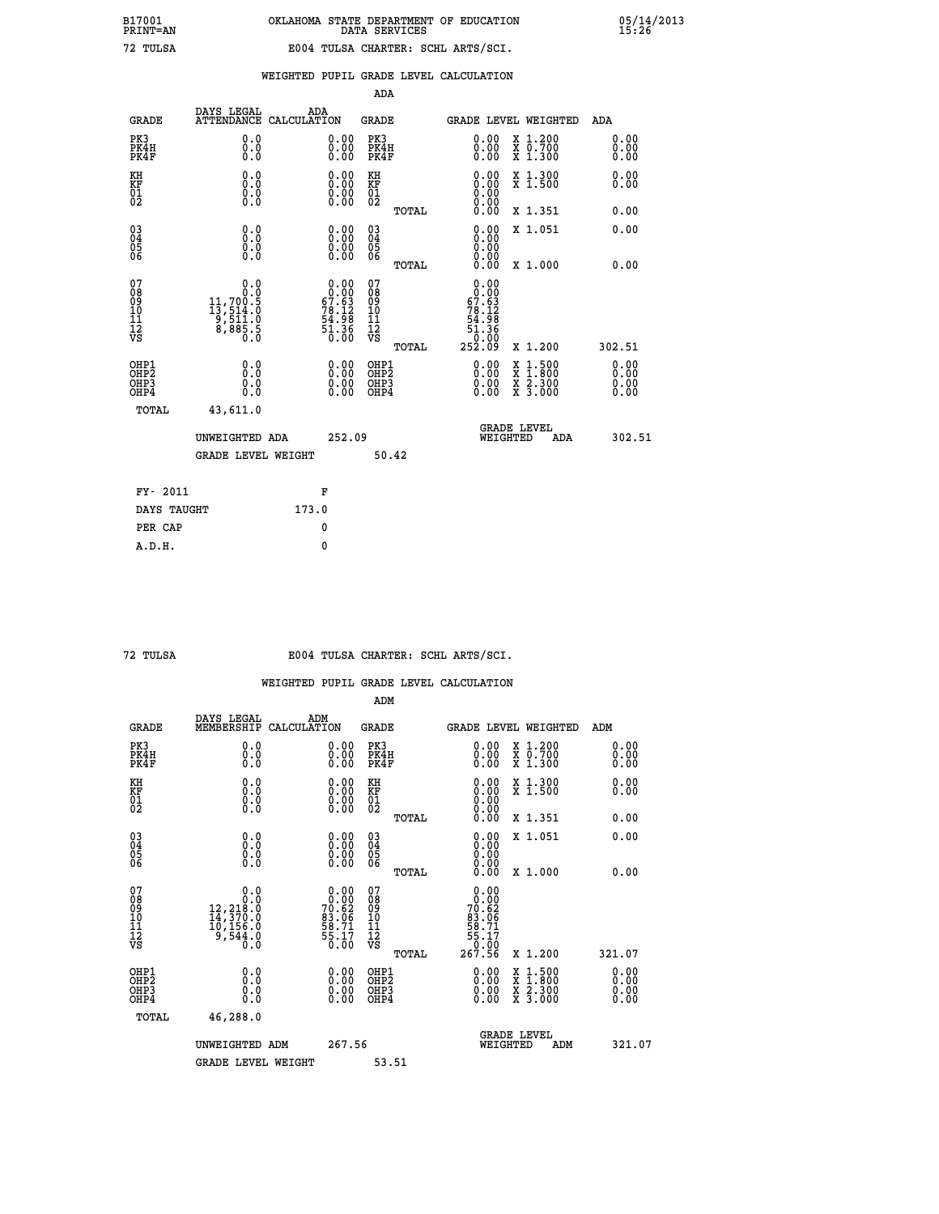|                                                                              |                                                                      |                    |                                                                                                                                            | ADA                                       |       |                                                                                 |                                          |                              |
|------------------------------------------------------------------------------|----------------------------------------------------------------------|--------------------|--------------------------------------------------------------------------------------------------------------------------------------------|-------------------------------------------|-------|---------------------------------------------------------------------------------|------------------------------------------|------------------------------|
| <b>GRADE</b>                                                                 | DAYS LEGAL<br><b>ATTENDANCE</b>                                      | ADA<br>CALCULATION |                                                                                                                                            | <b>GRADE</b>                              |       |                                                                                 | <b>GRADE LEVEL WEIGHTED</b>              | ADA                          |
| PK3<br>PK4H<br>PK4F                                                          | 0.0<br>0.0<br>0.0                                                    |                    | $\begin{smallmatrix} 0.00 \ 0.00 \ 0.00 \end{smallmatrix}$                                                                                 | PK3<br>PK4H<br>PK4F                       |       | $\begin{smallmatrix} 0.00 \\ 0.00 \\ 0.00 \end{smallmatrix}$                    | X 1.200<br>X 0.700<br>X 1.300            | 0.00<br>0.00<br>0.00         |
| KH<br>KF<br>01<br>02                                                         | 0.0<br>0.0<br>$\S.$                                                  |                    | 0.0000<br>$\begin{smallmatrix} 0.00 \ 0.00 \end{smallmatrix}$                                                                              | KH<br>KF<br>01<br>02                      |       | 0.00                                                                            | X 1.300<br>X 1.500                       | 0.00<br>0.00                 |
|                                                                              |                                                                      |                    |                                                                                                                                            |                                           | TOTAL |                                                                                 | X 1.351                                  | 0.00                         |
| $\begin{smallmatrix} 03 \\[-4pt] 04 \end{smallmatrix}$<br>05<br>06           | 0.0<br>0.000                                                         |                    | 0.00<br>$\begin{smallmatrix} 0.00 \ 0.00 \end{smallmatrix}$                                                                                | $\substack{03 \\ 04}$<br>05<br>06         | TOTAL | 0.00<br>0.00<br>0.00<br>0.00                                                    | X 1.051<br>X 1.000                       | 0.00<br>0.00                 |
| 07<br>08901112<br>1112<br>VS                                                 | 0.0<br>0.0<br>$11, 700.5$<br>$13, 514.0$<br>$9, 511.0$<br>$8, 885.5$ |                    | $\begin{smallmatrix} &0.00\\[-1.2mm] 0.00\\[-1.2mm] 67.63\\[-1.2mm] 78.12\\[-1.2mm] 54.98\\[-1.3mm] 51.36\\[-1.3mm] 0.00\end{smallmatrix}$ | 07<br>08901112<br>1112<br>VS              |       | 0.00<br>0.00<br>$\begin{array}{c} 67.63 \\ 78.12 \\ 54.98 \\ 51.38 \end{array}$ |                                          |                              |
|                                                                              |                                                                      |                    |                                                                                                                                            |                                           | TOTAL | $\overline{0}$ .00<br>252.09                                                    | X 1.200                                  | 302.51                       |
| OHP1<br>OH <sub>P</sub> <sub>2</sub><br>OH <sub>P3</sub><br>OH <sub>P4</sub> | 0.0<br>0.0<br>0.0                                                    |                    | $\begin{smallmatrix} 0.00 \ 0.00 \ 0.00 \ 0.00 \end{smallmatrix}$                                                                          | OHP1<br>OH <sub>P</sub> 2<br>OHP3<br>OHP4 |       | 0.00<br>0.00<br>0.00                                                            | X 1:500<br>X 1:800<br>X 2:300<br>X 3:000 | 0.00<br>0.00<br>0.00<br>0.00 |
| TOTAL                                                                        | 43,611.0                                                             |                    |                                                                                                                                            |                                           |       |                                                                                 |                                          |                              |
|                                                                              | UNWEIGHTED ADA                                                       |                    | 252.09                                                                                                                                     |                                           |       |                                                                                 | GRADE LEVEL<br>WEIGHTED<br>ADA           | 302.51                       |
|                                                                              | <b>GRADE LEVEL WEIGHT</b>                                            |                    |                                                                                                                                            |                                           | 50.42 |                                                                                 |                                          |                              |
| FY- 2011                                                                     |                                                                      | F                  |                                                                                                                                            |                                           |       |                                                                                 |                                          |                              |
| DAYS TAUGHT                                                                  |                                                                      | 173.0              |                                                                                                                                            |                                           |       |                                                                                 |                                          |                              |
| PER CAP                                                                      |                                                                      | 0                  |                                                                                                                                            |                                           |       |                                                                                 |                                          |                              |

 **72 TULSA E004 TULSA CHARTER: SCHL ARTS/SCI.**

|                                    |                                                                                                        |                                                                   | ADM                                                |                                                                                                                           |                                          |                      |
|------------------------------------|--------------------------------------------------------------------------------------------------------|-------------------------------------------------------------------|----------------------------------------------------|---------------------------------------------------------------------------------------------------------------------------|------------------------------------------|----------------------|
| <b>GRADE</b>                       | DAYS LEGAL<br>MEMBERSHIP                                                                               | ADM<br>CALCULATION                                                | <b>GRADE</b>                                       | GRADE LEVEL WEIGHTED                                                                                                      |                                          | ADM                  |
| PK3<br>PK4H<br>PK4F                | 0.0<br>0.0<br>0.0                                                                                      | $\begin{smallmatrix} 0.00 \ 0.00 \ 0.00 \end{smallmatrix}$        | PK3<br>PK4H<br>PK4F                                | $\begin{smallmatrix} 0.00 \\ 0.00 \\ 0.00 \end{smallmatrix}$                                                              | X 1.200<br>X 0.700<br>X 1.300            | 0.00<br>0.00<br>0.00 |
| KH<br>KF<br>01<br>02               | 0.0<br>$\begin{smallmatrix} 0.0 & 0 \ 0.0 & 0 \ 0.0 & 0 \end{smallmatrix}$                             | $\begin{smallmatrix} 0.00 \ 0.00 \ 0.00 \ 0.00 \end{smallmatrix}$ | KH<br>KF<br>01<br>02                               | $\begin{smallmatrix} 0.00 \ 0.00 \ 0.00 \ 0.00 \ 0.00 \ 0.00 \end{smallmatrix}$                                           | X 1.300<br>X 1.500                       | 0.00<br>0.00         |
|                                    |                                                                                                        |                                                                   | TOTAL                                              |                                                                                                                           | X 1.351                                  | 0.00                 |
| 03<br>04<br>05<br>06               |                                                                                                        | $\begin{smallmatrix} 0.00 \ 0.00 \ 0.00 \ 0.00 \end{smallmatrix}$ | $\begin{matrix} 03 \\ 04 \\ 05 \\ 06 \end{matrix}$ | $0.00$<br>$0.00$<br>0.00                                                                                                  | X 1.051                                  | 0.00                 |
|                                    |                                                                                                        |                                                                   | TOTAL                                              | 0.00                                                                                                                      | X 1.000                                  | 0.00                 |
| 07<br>08<br>09<br>101<br>112<br>VS | 0.0<br>$\begin{smallmatrix} & & & 0.10\ 12,218.0\ 14,370.0\ 10,156.0\ 9,544.0\ 0.0\ \end{smallmatrix}$ | $0.00\n70.62\n83.06\n83.71\n58.71\n55.17\n0.00$                   | 07<br>08<br>09<br>11<br>11<br>12<br>VS             | $\begin{smallmatrix} &0.00\\ &0.00\\ &70.62\\ 70.62\\ &83.06\\ &58.71\\ &55.17\\ &55.17\\ 0.00\\ 267.56\end{smallmatrix}$ |                                          |                      |
|                                    |                                                                                                        |                                                                   | TOTAL                                              |                                                                                                                           | X 1.200                                  | 321.07               |
| OHP1<br>OHP2<br>OHP3<br>OHP4       | 0.0<br>0.000                                                                                           |                                                                   | OHP1<br>OHP2<br>OHP <sub>3</sub>                   | $0.00$<br>$0.00$<br>0.00                                                                                                  | X 1:500<br>X 1:800<br>X 2:300<br>X 3:000 | 0.00<br>0.00<br>0.00 |
| TOTAL                              | 46,288.0                                                                                               |                                                                   |                                                    |                                                                                                                           |                                          |                      |
|                                    | UNWEIGHTED ADM                                                                                         | 267.56                                                            |                                                    | WEIGHTED                                                                                                                  | <b>GRADE LEVEL</b><br>ADM                | 321.07               |
|                                    | <b>GRADE LEVEL WEIGHT</b>                                                                              |                                                                   | 53.51                                              |                                                                                                                           |                                          |                      |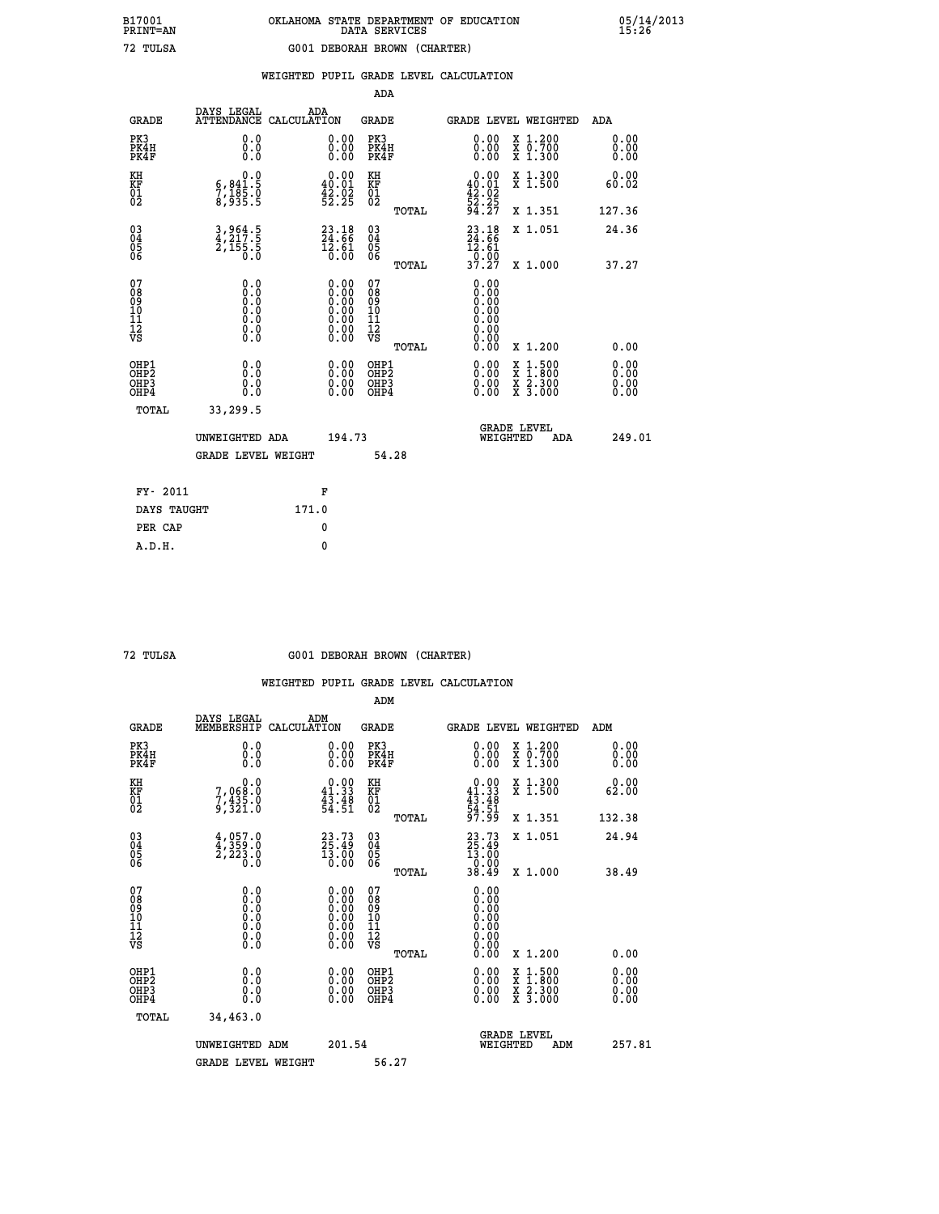# **B17001 OKLAHOMA STATE DEPARTMENT OF EDUCATION 05/14/2013 PRINT=AN DATA SERVICES 15:26 72 TULSA G001 DEBORAH BROWN (CHARTER)**

|                                                                    |                                                                               |                    |                                                                                                                                                | ADA                                       |       |                                                  |                                          |                              |
|--------------------------------------------------------------------|-------------------------------------------------------------------------------|--------------------|------------------------------------------------------------------------------------------------------------------------------------------------|-------------------------------------------|-------|--------------------------------------------------|------------------------------------------|------------------------------|
| <b>GRADE</b>                                                       | DAYS LEGAL<br><b>ATTENDANCE</b>                                               | ADA<br>CALCULATION |                                                                                                                                                | <b>GRADE</b>                              |       | <b>GRADE LEVEL WEIGHTED</b>                      |                                          | ADA                          |
| PK3<br>PK4H<br>PK4F                                                | 0.0<br>0.0<br>0.0                                                             |                    | $\begin{smallmatrix} 0.00 \ 0.00 \ 0.00 \end{smallmatrix}$                                                                                     | PK3<br>PK4H<br>PK4F                       |       | 0.00<br>0.00                                     | X 1.200<br>X 0.700<br>X 1.300            | 0.00<br>0.00<br>0.00         |
| KH<br><b>KF</b><br>01<br>02                                        | 0.0<br>$\frac{6}{7}, \frac{841}{185}$ .0<br>8,935.5                           |                    | $0.00$<br>40.01<br>$\frac{42.02}{52.25}$                                                                                                       | KH<br>KF<br>01<br>02                      |       | 0.00<br>$40.01$<br>$42.02$<br>$52.25$<br>$94.27$ | X 1.300<br>X 1.500                       | 0.00<br>60.02                |
|                                                                    |                                                                               |                    |                                                                                                                                                |                                           | TOTAL |                                                  | X 1.351                                  | 127.36                       |
| $\begin{smallmatrix} 03 \\[-4pt] 04 \end{smallmatrix}$<br>05<br>06 | 3,964.5<br>4,217.5<br>2,155.5<br>0.0                                          |                    | $\begin{smallmatrix} 23\cdot 18\\ 24\cdot 66\\ 12\cdot 61\\ 0\cdot 00 \end{smallmatrix}$                                                       | $\substack{03 \\ 04}$<br>Ŏ5<br>06         |       | $23.18$<br>$24.66$<br>$12.61$<br>0.00<br>37.27   | X 1.051                                  | 24.36                        |
| 07                                                                 | 0.0                                                                           |                    |                                                                                                                                                | 07                                        | TOTAL | 0.00                                             | X 1.000                                  | 37.27                        |
| 08901112<br>1112<br>VS                                             | $\begin{smallmatrix} 0.0 & 0 \ 0.0 & 0 \ 0.0 & 0 \ 0.0 & 0 \end{smallmatrix}$ |                    | $\begin{smallmatrix} 0.00 \ 0.00 \ 0.00 \ 0.00 \ 0.00 \end{smallmatrix}$<br>$\begin{smallmatrix} 0.00 & 0.00 \\ 0.00 & 0.00 \end{smallmatrix}$ | 08<br>09<br>11<br>11<br>12<br>VS          |       | 0.00<br>0.00<br>0.00<br>0.00<br>0.00             |                                          |                              |
|                                                                    |                                                                               |                    |                                                                                                                                                |                                           | TOTAL | 0.00                                             | X 1.200                                  | 0.00                         |
| OHP1<br>OH <sub>P</sub> 2<br>OH <sub>P3</sub><br>OH <sub>P4</sub>  | 0.0<br>0.0<br>0.0                                                             |                    | 0.00<br>$\begin{smallmatrix} 0.00 \ 0.00 \end{smallmatrix}$                                                                                    | OHP1<br>OH <sub>P</sub> 2<br>OHP3<br>OHP4 |       | 0.00<br>0.00<br>0.00                             | X 1:500<br>X 1:800<br>X 2:300<br>X 3:000 | 0.00<br>0.00<br>0.00<br>0.00 |
| TOTAL                                                              | 33,299.5                                                                      |                    |                                                                                                                                                |                                           |       |                                                  |                                          |                              |
|                                                                    | UNWEIGHTED ADA                                                                |                    | 194.73                                                                                                                                         |                                           |       |                                                  | GRADE LEVEL<br>WEIGHTED<br>ADA           | 249.01                       |
|                                                                    | <b>GRADE LEVEL WEIGHT</b>                                                     |                    |                                                                                                                                                | 54.28                                     |       |                                                  |                                          |                              |
| FY- 2011                                                           |                                                                               | F                  |                                                                                                                                                |                                           |       |                                                  |                                          |                              |
| DAYS TAUGHT                                                        |                                                                               | 171.0              |                                                                                                                                                |                                           |       |                                                  |                                          |                              |
| PER CAP                                                            |                                                                               | 0                  |                                                                                                                                                |                                           |       |                                                  |                                          |                              |

 **A.D.H. 0**

#### **72 TULSA G001 DEBORAH BROWN (CHARTER)**

|                                                    |                                                                                                   |                                                                                               | ADM                                                 |       |                                                              |                                          |                          |  |
|----------------------------------------------------|---------------------------------------------------------------------------------------------------|-----------------------------------------------------------------------------------------------|-----------------------------------------------------|-------|--------------------------------------------------------------|------------------------------------------|--------------------------|--|
| <b>GRADE</b>                                       | DAYS LEGAL<br>MEMBERSHIP                                                                          | ADM<br>CALCULATION                                                                            | <b>GRADE</b>                                        |       | GRADE LEVEL WEIGHTED                                         |                                          | ADM                      |  |
| PK3<br>PK4H<br>PK4F                                | 0.0<br>0.000                                                                                      | $\begin{smallmatrix} 0.00 \ 0.00 \ 0.00 \end{smallmatrix}$                                    | PK3<br>PK4H<br>PK4F                                 |       | $\begin{smallmatrix} 0.00 \\ 0.00 \\ 0.00 \end{smallmatrix}$ | X 1.200<br>X 0.700<br>X 1.300            | 0.00<br>0.00<br>0.00     |  |
| KH<br>KF<br>01<br>02                               | 0.0<br>7,068:0<br>7,435.0<br>9,321:0                                                              | $0.00$<br>41.33<br>$\frac{43.48}{54.51}$                                                      | KH<br>KF<br>01<br>02                                |       | $0.00$<br>$41.33$<br>$43.48$<br>$54.51$<br>$97.99$           | X 1.300<br>X 1.500                       | 0.00<br>62.00            |  |
|                                                    |                                                                                                   |                                                                                               |                                                     | TOTAL |                                                              | X 1.351                                  | 132.38                   |  |
| $\begin{matrix} 03 \\ 04 \\ 05 \\ 06 \end{matrix}$ | $4,957.0$<br>$4,359.0$<br>$2,223.0$<br>Ō.Ō                                                        | $23.73$<br>$25.49$<br>13.00<br>0.00                                                           | $\begin{array}{c} 03 \\ 04 \\ 05 \\ 06 \end{array}$ |       | $23.73$<br>$25.49$<br>$13.00$<br>$0.00$<br>$38.49$           | X 1.051                                  | 24.94                    |  |
|                                                    |                                                                                                   |                                                                                               |                                                     | TOTAL |                                                              | X 1.000                                  | 38.49                    |  |
| 07<br>08<br>09<br>101<br>11<br>12<br>VS            | $\begin{smallmatrix} 0.0 & 0 \ 0.0 & 0 \ 0.0 & 0 \ 0.0 & 0 \ 0.0 & 0 \ 0.0 & 0 \end{smallmatrix}$ | $\begin{smallmatrix} 0.00\ 0.00\ 0.00\ 0.00\ 0.00\ 0.00\ 0.00\ 0.00\ 0.00\ \end{smallmatrix}$ | 07<br>08<br>09<br>001<br>11<br>11<br>12<br>VS       |       | 0.00                                                         |                                          |                          |  |
|                                                    |                                                                                                   |                                                                                               |                                                     | TOTAL |                                                              | X 1.200                                  | 0.00                     |  |
| OHP1<br>OHP2<br>OHP3<br>OHP4                       | 0.0<br>$\begin{smallmatrix} 0.0 & 0 \ 0.0 & 0 \end{smallmatrix}$                                  | $0.00$<br>$0.00$<br>0.00                                                                      | OHP1<br>OHP2<br>OHP <sub>3</sub><br>OHP4            |       |                                                              | X 1:500<br>X 1:800<br>X 2:300<br>X 3:000 | $0.00$<br>$0.00$<br>0.00 |  |
| TOTAL                                              | 34,463.0                                                                                          |                                                                                               |                                                     |       |                                                              |                                          |                          |  |
|                                                    | UNWEIGHTED ADM                                                                                    | 201.54                                                                                        |                                                     |       | <b>GRADE LEVEL</b><br>WEIGHTED                               | ADM                                      | 257.81                   |  |
|                                                    | <b>GRADE LEVEL WEIGHT</b>                                                                         |                                                                                               |                                                     | 56.27 |                                                              |                                          |                          |  |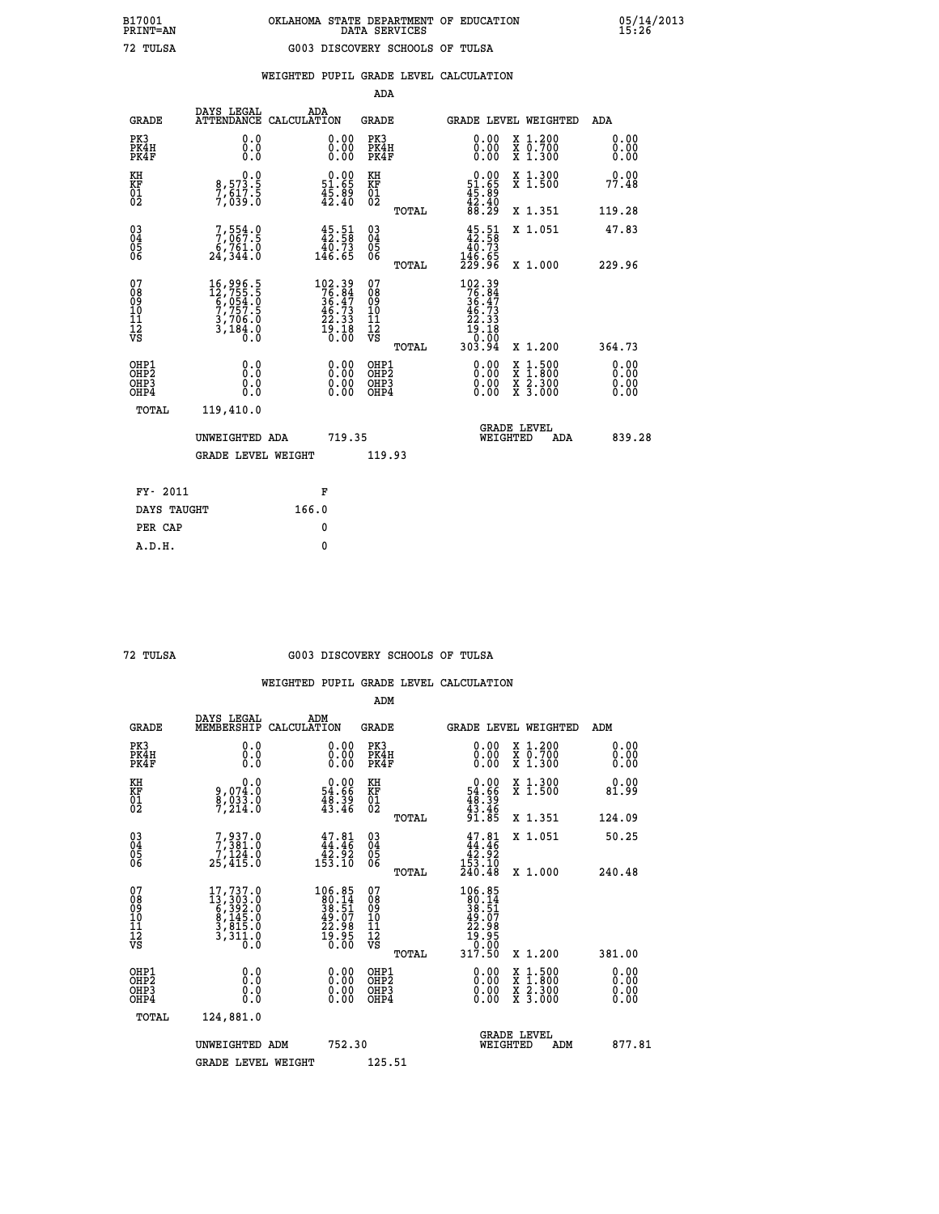|  |  | WEIGHTED PUPIL GRADE LEVEL CALCULATION |
|--|--|----------------------------------------|

|                                                                    |                                                                                                                                                                           |                    |                                                                           | ADA                                       |       |                                                                                                                   |                                          |                              |
|--------------------------------------------------------------------|---------------------------------------------------------------------------------------------------------------------------------------------------------------------------|--------------------|---------------------------------------------------------------------------|-------------------------------------------|-------|-------------------------------------------------------------------------------------------------------------------|------------------------------------------|------------------------------|
| <b>GRADE</b>                                                       | DAYS LEGAL<br><b>ATTENDANCE</b>                                                                                                                                           | ADA<br>CALCULATION |                                                                           | <b>GRADE</b>                              |       |                                                                                                                   | <b>GRADE LEVEL WEIGHTED</b>              | ADA                          |
| PK3<br>PK4H<br>PK4F                                                | 0.0<br>0.0<br>0.0                                                                                                                                                         |                    | $\begin{smallmatrix} 0.00 \ 0.00 \ 0.00 \end{smallmatrix}$                | PK3<br>PK4H<br>PK4F                       |       | 0.00<br>0.00                                                                                                      | X 1.200<br>X 0.700<br>X 1.300            | 0.00<br>0.00<br>0.00         |
| KH<br><b>KF</b><br>01<br>02                                        | 0.0<br>8,573.5<br>7,617.5<br>7,039.0                                                                                                                                      |                    | $\begin{smallmatrix} 0.00\\ 51.65\\ 45.89\\ 42.40 \end{smallmatrix}$      | KH<br>KF<br>01<br>02                      |       | $\begin{smallmatrix} 0.00\\ 51.65\\ 45.89\\ 42.40\\ 88.29 \end{smallmatrix}$                                      | X 1.300<br>X 1.500                       | 0.00<br>77.48                |
|                                                                    |                                                                                                                                                                           |                    |                                                                           |                                           | TOTAL |                                                                                                                   | X 1.351                                  | 119.28                       |
| $\begin{smallmatrix} 03 \\[-4pt] 04 \end{smallmatrix}$<br>05<br>06 | 7,554.9<br>6,761.0<br>24,344.0                                                                                                                                            |                    | $45.58$<br>$40.73$<br>$146.65$                                            | $\substack{03 \\ 04}$<br>05<br>06         | TOTAL | $45.51\n42.58\n40.73\n146.65\n229.96$                                                                             | X 1.051<br>X 1.000                       | 47.83<br>229.96              |
| 07<br>08<br>09<br>11<br>11<br>12<br>VS                             | $\begin{smallmatrix} 16\,, & 996\,, & 5\\ 12\,, & 755\,, & 5\\ 6\,, & 054\,, & 0\\ 7\,, & 757\,, & 5\\ 3\,, & 706\,, & 0\\ 3\,, & 184\,, & 0\\ 0\,. & 0\end{smallmatrix}$ |                    | $102.39$<br>$76.84$<br>$36.47$<br>$46.73$<br>$22.33$<br>$19.18$<br>$0.00$ | 07<br>08<br>09<br>11<br>11<br>12<br>VS    |       | $\begin{array}{r} 102\cdot 39\\ 76\cdot 84\\ 36\cdot 47\\ 46\cdot 73\\ 22\cdot 33\\ 19\cdot 10\\ 0\\ \end{array}$ |                                          |                              |
|                                                                    |                                                                                                                                                                           |                    |                                                                           |                                           | TOTAL | 303.94                                                                                                            | X 1.200                                  | 364.73                       |
| OHP1<br>OH <sub>P</sub> 2<br>OH <sub>P3</sub><br>OH <sub>P4</sub>  | 0.0<br>0.0<br>0.0                                                                                                                                                         |                    | 0.00<br>$\begin{smallmatrix} 0.00 \ 0.00 \end{smallmatrix}$               | OHP1<br>OH <sub>P</sub> 2<br>OHP3<br>OHP4 |       | 0.00<br>0.00<br>0.00                                                                                              | X 1:500<br>X 1:800<br>X 2:300<br>X 3:000 | 0.00<br>0.00<br>0.00<br>0.00 |
| TOTAL                                                              | 119,410.0                                                                                                                                                                 |                    |                                                                           |                                           |       |                                                                                                                   |                                          |                              |
|                                                                    | UNWEIGHTED ADA                                                                                                                                                            |                    | 719.35                                                                    |                                           |       |                                                                                                                   | GRADE LEVEL<br>WEIGHTED<br>ADA           | 839.28                       |
|                                                                    | <b>GRADE LEVEL WEIGHT</b>                                                                                                                                                 |                    |                                                                           | 119.93                                    |       |                                                                                                                   |                                          |                              |
| FY- 2011                                                           |                                                                                                                                                                           |                    | F                                                                         |                                           |       |                                                                                                                   |                                          |                              |
| DAYS TAUGHT                                                        |                                                                                                                                                                           | 166.0              |                                                                           |                                           |       |                                                                                                                   |                                          |                              |
| PER CAP                                                            |                                                                                                                                                                           |                    | 0                                                                         |                                           |       |                                                                                                                   |                                          |                              |

#### **72 TULSA G003 DISCOVERY SCHOOLS OF TULSA**

|                                                      |                                                                                                           |                                                                                     | ADM                                                 |       |                                                                                                                                           |                                          |                              |
|------------------------------------------------------|-----------------------------------------------------------------------------------------------------------|-------------------------------------------------------------------------------------|-----------------------------------------------------|-------|-------------------------------------------------------------------------------------------------------------------------------------------|------------------------------------------|------------------------------|
| <b>GRADE</b>                                         | DAYS LEGAL<br>MEMBERSHIP                                                                                  | ADM<br>CALCULATION                                                                  | <b>GRADE</b>                                        |       |                                                                                                                                           | GRADE LEVEL WEIGHTED                     | ADM                          |
| PK3<br>PK4H<br>PK4F                                  | 0.0<br>0.0<br>0.0                                                                                         | 0.00<br>$\begin{smallmatrix} 0.00 \ 0.00 \end{smallmatrix}$                         | PK3<br>PK4H<br>PK4F                                 |       | $\begin{smallmatrix} 0.00 \\ 0.00 \\ 0.00 \end{smallmatrix}$                                                                              | X 1.200<br>X 0.700<br>X 1.300            | 0.00<br>0.00<br>0.00         |
| KH<br>KF<br>01<br>02                                 | 0.0<br>9,074:0<br>8,033:0<br>7,214:0                                                                      | $\begin{smallmatrix} &0.00\ 54.66\ 48.39\ 43.46\ \end{smallmatrix}$                 | KH<br>KF<br>01<br>02                                |       | $\begin{smallmatrix} 0.00\\ 54.66\\ 48.39\\ 43.46\\ 91.85 \end{smallmatrix}$                                                              | X 1.300<br>X 1.500                       | 0.00<br>81.99                |
|                                                      |                                                                                                           |                                                                                     |                                                     | TOTAL |                                                                                                                                           | X 1.351                                  | 124.09                       |
| 03<br>04<br>05<br>06                                 | 7,937.0<br>7,381.0<br>7,124.0<br>25,415.0                                                                 | $47.81$<br>$44.46$<br>$\frac{1}{153.10}$                                            | $\begin{array}{c} 03 \\ 04 \\ 05 \\ 06 \end{array}$ |       | $\begin{smallmatrix} 47.81\\ 44.46\\ 42.92\\ 153.10\\ 240.48 \end{smallmatrix}$                                                           | X 1.051                                  | 50.25                        |
|                                                      |                                                                                                           |                                                                                     |                                                     | TOTAL |                                                                                                                                           | X 1.000                                  | 240.48                       |
| 07<br>08<br>09<br>101<br>112<br>VS                   | $\begin{smallmatrix} 17,737.0\\ 13,303.0\\ 6,392.0\\ 8,145.0\\ 3,815.0\\ 3,311.0\\ 0.0 \end{smallmatrix}$ | $106.85$<br>$80.14$<br>$38.51$<br>$39.07$<br>$49.07$<br>$22.985$<br>$19.95$<br>0.00 | 07<br>08<br>09<br>11<br>11<br>12<br>VS              | TOTAL | $\begin{array}{r} 106\cdot85\\ 80\cdot14\\ 38\cdot51\\ 39\cdot57\\ 42\cdot98\\ 22\cdot98\\ 19\cdot95\\ 0\cdot00\\ 317\cdot50 \end{array}$ | X 1.200                                  | 381.00                       |
| OHP1<br>OHP2<br>OH <sub>P3</sub><br>OH <sub>P4</sub> | 0.0<br>0.000                                                                                              | $0.00$<br>$0.00$<br>0.00                                                            | OHP1<br>OHP2<br>OHP <sub>3</sub>                    |       | $0.00$<br>$0.00$<br>0.00                                                                                                                  | X 1:500<br>X 1:800<br>X 2:300<br>X 3:000 | 0.00<br>0.00<br>0.00<br>0.00 |
| TOTAL                                                | 124,881.0                                                                                                 |                                                                                     |                                                     |       |                                                                                                                                           |                                          |                              |
|                                                      | UNWEIGHTED ADM                                                                                            | 752.30                                                                              |                                                     |       | WEIGHTED                                                                                                                                  | <b>GRADE LEVEL</b><br>ADM                | 877.81                       |
|                                                      | <b>GRADE LEVEL WEIGHT</b>                                                                                 |                                                                                     | 125.51                                              |       |                                                                                                                                           |                                          |                              |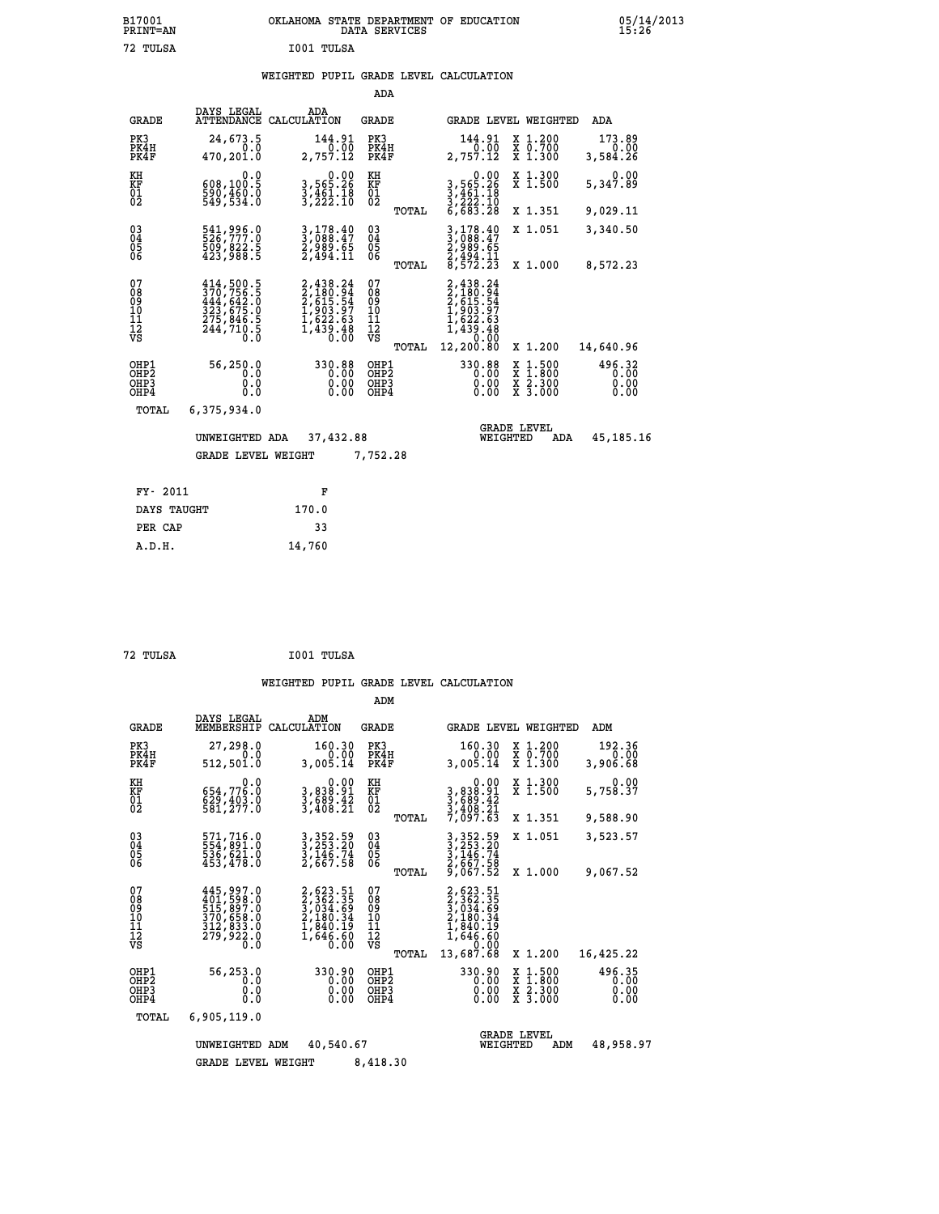|            | OKLAHOMA STATE DEPARTMENT OF EDUCATION<br>DATA SERVICES |  |
|------------|---------------------------------------------------------|--|
| T001 TULSA |                                                         |  |

|                                        |                                                                                                                                                                      |                                                                               | ADA                                      |                                                                                                                                        |                                                           |                                |
|----------------------------------------|----------------------------------------------------------------------------------------------------------------------------------------------------------------------|-------------------------------------------------------------------------------|------------------------------------------|----------------------------------------------------------------------------------------------------------------------------------------|-----------------------------------------------------------|--------------------------------|
| <b>GRADE</b>                           | DAYS LEGAL                                                                                                                                                           | ADA<br>ATTENDANCE CALCULATION                                                 | GRADE                                    | GRADE LEVEL WEIGHTED                                                                                                                   |                                                           | <b>ADA</b>                     |
| PK3<br>PK4H<br>PK4F                    | 24,673.5<br>0.0<br>470,201.0                                                                                                                                         | 144.91<br>0.00<br>2,757.12                                                    | PK3<br>PK4H<br>PK4F                      | 144.91<br>0.00<br>2,757.12                                                                                                             | X 1.200<br>X 0.700<br>X 1.300                             | 173.89<br>0.00<br>3,584.26     |
| KH<br><b>KF</b><br>01<br>02            | 0.0<br>608,100.5<br>$\frac{590}{549}, \frac{460}{534}.0$                                                                                                             | 0.00<br>3,565.26<br>$\frac{3}{2}, \frac{4}{2} \frac{5}{2} \cdot \frac{1}{10}$ | KH<br>KF<br>$\overline{01}$              | 0.00<br>3,565.26<br>3,461.18<br>3,222.10<br>6,683.28                                                                                   | X 1.300<br>$\bar{x}$ 1.500                                | 0.00<br>5,347.89               |
|                                        |                                                                                                                                                                      |                                                                               | TOTAL                                    |                                                                                                                                        | X 1.351                                                   | 9,029.11                       |
| $^{03}_{04}$<br>05<br>06               | 541,996.0<br>526,777.0<br>509,822.5<br>423,988.5                                                                                                                     | 3,178.40<br>3,088.47<br>2,989.65<br>2,494.11                                  | $\substack{03 \\ 04}$<br>0500            | 3,178.40<br>3,088.47<br>$\frac{2}{3}, \frac{9}{9}, \frac{8}{9}, \frac{1}{9}$<br>$\frac{2}{3}, \frac{4}{9}, \frac{4}{2}, \frac{11}{23}$ | X 1.051                                                   | 3,340.50                       |
|                                        |                                                                                                                                                                      |                                                                               | TOTAL                                    |                                                                                                                                        | X 1.000                                                   | 8,572.23                       |
| 07<br>08<br>09<br>11<br>11<br>12<br>VS | $\begin{smallmatrix} 414\,,\,500\,,\,5\\ 370\,,\,756\,,\,5\\ 444\,,\,642\,,\,0\\ 323\,,\,675\,,\,0\\ 275\,,\,846\,,\,5\\ 244\,,\,710\,,\,5\\ 0\,. \end{smallmatrix}$ | 2,438.24<br>2,180.94<br>2,615.54<br>1,903.97<br>1,622.63<br>1,439.48<br>0.00  | 07<br>089<br>101<br>111<br>VS<br>TOTAL   | 2,438.24<br>$2,180.94$<br>$2,615.54$<br>$1,903.97$<br>$1,622.63$<br>$1,439.48$<br>$0.00$<br>12,200.80                                  | X 1.200                                                   | 14,640.96                      |
| OHP1<br>OHP2<br>OHP3<br>OHP4           | 56,250.0<br>0.0<br>0.0<br>0.0                                                                                                                                        | 330.88<br>0.00<br>0.00<br>0.00                                                | OHP1<br>OHP <sub>2</sub><br>OHP3<br>OHP4 | 330.88<br>0.00<br>0.00<br>0.00                                                                                                         | $\frac{x}{x}$ $\frac{1.500}{1.800}$<br>X 2.300<br>X 3.000 | 496.32<br>0.00<br>0.00<br>0.00 |
| TOTAL                                  | 6,375,934.0                                                                                                                                                          |                                                                               |                                          |                                                                                                                                        |                                                           |                                |
|                                        | UNWEIGHTED ADA                                                                                                                                                       | 37,432.88                                                                     |                                          | WEIGHTED                                                                                                                               | <b>GRADE LEVEL</b><br>ADA                                 | 45,185.16                      |
|                                        | <b>GRADE LEVEL WEIGHT</b>                                                                                                                                            |                                                                               | 7,752.28                                 |                                                                                                                                        |                                                           |                                |
|                                        | FY- 2011                                                                                                                                                             | F                                                                             |                                          |                                                                                                                                        |                                                           |                                |
|                                        | DAYS TAUGHT                                                                                                                                                          | 170.0                                                                         |                                          |                                                                                                                                        |                                                           |                                |

| 72 TULSA | I001 TULSA |
|----------|------------|
|          |            |

PER CAP 33  **A.D.H. 14,760**

 **B17001<br>PRINT=AN<br>72 TULSA** 

|                                                                  |                                                                                                                                                                                                                                                                                                                                                                         |                                                                                                 | ADM                                                |                                                                                                       |                                                                           |                                |
|------------------------------------------------------------------|-------------------------------------------------------------------------------------------------------------------------------------------------------------------------------------------------------------------------------------------------------------------------------------------------------------------------------------------------------------------------|-------------------------------------------------------------------------------------------------|----------------------------------------------------|-------------------------------------------------------------------------------------------------------|---------------------------------------------------------------------------|--------------------------------|
| <b>GRADE</b>                                                     | DAYS LEGAL<br>MEMBERSHIP                                                                                                                                                                                                                                                                                                                                                | ADM<br>CALCULATION                                                                              | GRADE                                              | GRADE LEVEL WEIGHTED                                                                                  |                                                                           | ADM                            |
| PK3<br>PK4H<br>PK4F                                              | 27,298.0<br>0.0<br>512,501.0                                                                                                                                                                                                                                                                                                                                            | 160.30<br>0.00<br>3,005.14                                                                      | PK3<br>PK4H<br>PK4F                                | 160.30<br>0.00<br>3,005.14                                                                            | $\begin{smallmatrix} x & 1.200 \\ x & 0.700 \end{smallmatrix}$<br>X 1.300 | 192.36<br>0.00<br>3,906.68     |
| KH<br>KF<br>01<br>02                                             | 0.0<br>654,776.0<br>$\frac{829}{581}, \frac{403}{277}.0$                                                                                                                                                                                                                                                                                                                | 0.00<br>3,838.91<br>3,689.42<br>3,408.21                                                        | KH<br>KF<br>01<br>02                               | 0.00<br>3,838.91<br>3,689.42<br>3,408.21<br>7,097.63                                                  | X 1.300<br>X 1.500                                                        | 0.00<br>5,758.37               |
|                                                                  |                                                                                                                                                                                                                                                                                                                                                                         |                                                                                                 | TOTAL                                              |                                                                                                       | X 1.351                                                                   | 9,588.90                       |
| $\begin{matrix} 03 \\ 04 \\ 05 \\ 06 \end{matrix}$               | 571,716.0<br>554,891.0<br>536,621.0<br>453,478.0                                                                                                                                                                                                                                                                                                                        | 3, 352.59<br>3, 253.20<br>3, 146.74<br>2, 667.58                                                | $\begin{matrix} 03 \\ 04 \\ 05 \\ 06 \end{matrix}$ | 3, 352.59<br>3, 253.20<br>3, 146.74<br>2, 667.58                                                      | X 1.051                                                                   | 3,523.57                       |
|                                                                  |                                                                                                                                                                                                                                                                                                                                                                         |                                                                                                 | TOTAL                                              | 9,067.52                                                                                              | X 1.000                                                                   | 9,067.52                       |
| 07<br>08<br>09<br>11<br>11<br>12<br>VS                           | 445,997.0<br>$\begin{smallmatrix} 4 & 0 & 1 \\ 4 & 0 & 1 \\ 5 & 15 \\ 3 & 70 \\ 3 & 70 \\ 3 & 12 \\ 3 & 12 \\ 9 & 3 & 3 \\ 1 & 2 \\ 9 & 3 & 3 \\ 1 & 2 \\ 1 & 3 & 3 \\ 2 & 3 & 3 \\ 3 & 1 & 0 \\ 3 & 3 & 3 \\ 4 & 5 & 3 & 0 \\ 5 & 6 & 3 & 3 \\ 6 & 7 & 8 & 3 \\ 7 & 8 & 3 & 3 \\ 8 & 9 & 3 & 3 \\ 9 & 9 & 9 & 3 \\ 1 & 9 & 9 & 3 \\ 1 & 9 & 9 & 3$<br>279,922.0<br>Ō.Ō | 2, 623.51<br>2, 362.35<br>3, 034.69<br>3, 034.69<br>2, 180.34<br>1, 840.19<br>1, 646.60<br>0.00 | 07<br>089<br>101<br>111<br>VS<br>TOTAL             | 2,623.51<br>2,362.35<br>3,034.69<br>3,034.69<br>2,180.34<br>1,840.19<br>1,646.60<br>0.00<br>13,687.68 | X 1.200                                                                   | 16,425.22                      |
| OHP1<br>OH <sub>P</sub> <sub>2</sub><br>OH <sub>P3</sub><br>OHP4 | 56,253.0<br>0.0<br>0.0<br>0.0                                                                                                                                                                                                                                                                                                                                           | 330.90<br>0.00<br>0.00<br>0.00                                                                  | OHP1<br>OH <sub>P</sub> 2<br>OHP3<br>OHP4          | 330.90<br>0.00<br>0.00<br>0.00                                                                        | X 1:500<br>X 1:800<br>X 2:300<br>X 3:000                                  | 496.35<br>0.00<br>0.00<br>0.00 |
| TOTAL                                                            | 6,905,119.0                                                                                                                                                                                                                                                                                                                                                             |                                                                                                 |                                                    |                                                                                                       |                                                                           |                                |
|                                                                  | UNWEIGHTED                                                                                                                                                                                                                                                                                                                                                              | 40,540.67<br>ADM                                                                                |                                                    | WEIGHTED                                                                                              | <b>GRADE LEVEL</b><br>ADM                                                 | 48,958.97                      |
|                                                                  | <b>GRADE LEVEL WEIGHT</b>                                                                                                                                                                                                                                                                                                                                               |                                                                                                 | 8,418.30                                           |                                                                                                       |                                                                           |                                |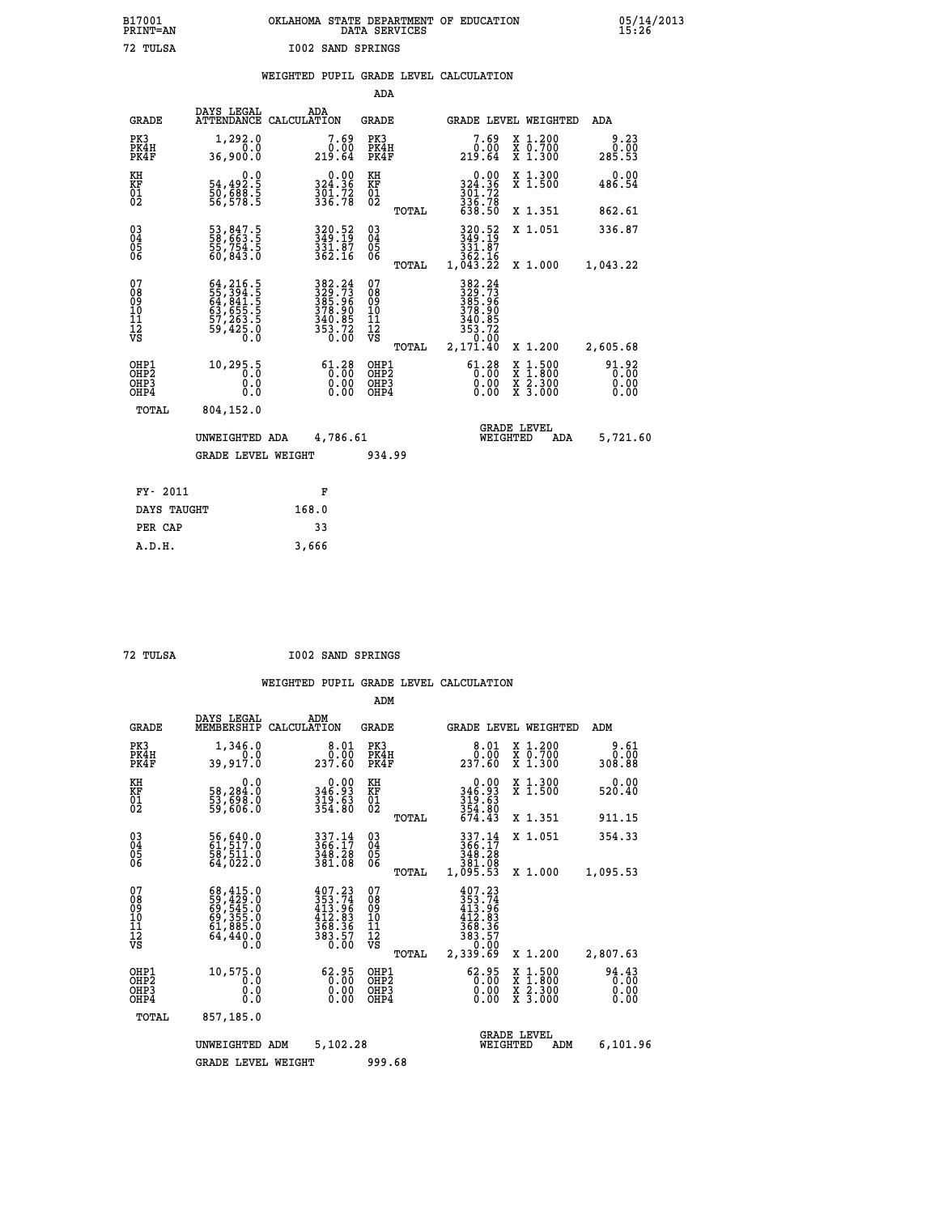|                          | OKLAHOMA STATE DEPARTMENT OF EDUCATION<br>DATA SERVICES |  |
|--------------------------|---------------------------------------------------------|--|
| <b>I002 SAND SPRINGS</b> |                                                         |  |

 **B17001 OKLAHOMA STATE DEPARTMENT OF EDUCATION 05/14/2013**

|  |  | WEIGHTED PUPIL GRADE LEVEL CALCULATION |
|--|--|----------------------------------------|
|  |  |                                        |

|                                        |                                              |                                                                                                                                              | ADA                                       |       |                                                                                                                                                                                                       |                                                                                                  |                               |
|----------------------------------------|----------------------------------------------|----------------------------------------------------------------------------------------------------------------------------------------------|-------------------------------------------|-------|-------------------------------------------------------------------------------------------------------------------------------------------------------------------------------------------------------|--------------------------------------------------------------------------------------------------|-------------------------------|
| <b>GRADE</b>                           | DAYS LEGAL                                   | ADA<br>ATTENDANCE CALCULATION                                                                                                                | <b>GRADE</b>                              |       |                                                                                                                                                                                                       | GRADE LEVEL WEIGHTED                                                                             | ADA                           |
| PK3<br>PK4H<br>PK4F                    | 1,292.0<br>0.0<br>36,900.0                   | 7.69<br>$\overset{0.00}{_{219.64}}$                                                                                                          | PK3<br>PK4H<br>PK4F                       |       | $\begin{smallmatrix}7.69\0.00\\219.64\end{smallmatrix}$                                                                                                                                               | X 1.200<br>X 0.700<br>X 1.300                                                                    | 9.23<br>0.00<br>285.53        |
| KH<br>KF<br>01<br>02                   | 0.0<br>54,492.5<br>50,688.5<br>56,578.5      | $324.36$<br>$301.72$<br>$336.78$                                                                                                             | KH<br>KF<br>01<br>02                      |       | $0.00$<br>$324.36$<br>$301.72$<br>$336.78$<br>$638.50$                                                                                                                                                | X 1.300<br>X 1.500                                                                               | 0.00<br>486.54                |
|                                        |                                              |                                                                                                                                              |                                           | TOTAL |                                                                                                                                                                                                       | X 1.351                                                                                          | 862.61                        |
| $^{03}_{04}$<br>Ŏ5<br>06               | 53,847.5<br>58,663.5<br>55,754.5<br>60,843.0 | 320.52<br>349.19<br>331.07<br>362.16                                                                                                         | $\substack{03 \\ 04}$<br>Ŏ5<br>06         |       | 320.52<br>349.19<br>$\frac{3\bar{3}1.\bar{8}7}{362.16}$<br>1,043.22                                                                                                                                   | X 1.051                                                                                          | 336.87                        |
|                                        |                                              |                                                                                                                                              |                                           | TOTAL |                                                                                                                                                                                                       | X 1.000                                                                                          | 1,043.22                      |
| 07<br>08<br>09<br>10<br>11<br>12<br>VS |                                              | $\begin{array}{r} 382\cdot 24\\ 329\cdot 73\\ 385\cdot 96\\ 378\cdot 90\\ 340\cdot 85\\ 340\cdot 85\\ 353\cdot 72\\ 0\cdot 00\\ \end{array}$ | 07<br>08<br>09<br>11<br>11<br>12<br>VS    |       | 382.24<br>$\begin{smallmatrix} 3 & 2 & 2 & 4 & 4 \\ 3 & 2 & 9 & 7 & 3 \\ 3 & 8 & 5 & 9 & 9 \\ 3 & 7 & 8 & 9 & 9 \\ 3 & 4 & 0 & 8 & 5 \\ 3 & 5 & 3 & 7 & 2 \\ 2 & 3 & 7 & 1 & 4 & 0 \end{smallmatrix}$ |                                                                                                  |                               |
|                                        |                                              |                                                                                                                                              |                                           | TOTAL |                                                                                                                                                                                                       | X 1.200                                                                                          | 2,605.68                      |
| OHP1<br>OHP2<br>OHP3<br>OHP4           | 10, 295.5<br>0.0<br>0.0                      | $\begin{smallmatrix} 61.28\\[-1.2mm] 0.00\\[-1.2mm] 0.00\\[-1.2mm] 0.00\end{smallmatrix}$                                                    | OHP1<br>OH <sub>P</sub> 2<br>OHP3<br>OHP4 |       | $\begin{smallmatrix} 61.28\\ 0.00\\ 0.00\\ 0.00\\ 0.00 \end{smallmatrix}$                                                                                                                             | $\begin{smallmatrix} x & 1 & 500 \\ x & 1 & 800 \\ x & 2 & 300 \\ x & 3 & 000 \end{smallmatrix}$ | 91.92<br>0.00<br>0.00<br>0.00 |
| <b>TOTAL</b>                           | 804,152.0                                    |                                                                                                                                              |                                           |       |                                                                                                                                                                                                       |                                                                                                  |                               |
|                                        | UNWEIGHTED ADA                               | 4,786.61                                                                                                                                     |                                           |       |                                                                                                                                                                                                       | <b>GRADE LEVEL</b><br>WEIGHTED<br>ADA                                                            | 5,721.60                      |
|                                        | <b>GRADE LEVEL WEIGHT</b>                    |                                                                                                                                              | 934.99                                    |       |                                                                                                                                                                                                       |                                                                                                  |                               |
|                                        |                                              |                                                                                                                                              |                                           |       |                                                                                                                                                                                                       |                                                                                                  |                               |
| FY- 2011                               |                                              | F                                                                                                                                            |                                           |       |                                                                                                                                                                                                       |                                                                                                  |                               |
| DAYS TAUGHT                            |                                              | 168.0                                                                                                                                        |                                           |       |                                                                                                                                                                                                       |                                                                                                  |                               |
| PER CAP                                |                                              | 33                                                                                                                                           |                                           |       |                                                                                                                                                                                                       |                                                                                                  |                               |

 **A.D.H. 3,666**

 **B17001<br>PRINT=AN<br>72 TULSA** 

 **72 TULSA I002 SAND SPRINGS**

|                                                       |                                                                                                 |                                                                                                                                      | ADM                                    |       |                                                                                        |          |                                          |                               |  |
|-------------------------------------------------------|-------------------------------------------------------------------------------------------------|--------------------------------------------------------------------------------------------------------------------------------------|----------------------------------------|-------|----------------------------------------------------------------------------------------|----------|------------------------------------------|-------------------------------|--|
| <b>GRADE</b>                                          | DAYS LEGAL<br>MEMBERSHIP                                                                        | ADM<br>CALCULATION                                                                                                                   | <b>GRADE</b>                           |       |                                                                                        |          | <b>GRADE LEVEL WEIGHTED</b>              | ADM                           |  |
| PK3<br>PK4H<br>PK4F                                   | 1,346.0<br>0.0<br>39,917.0                                                                      | 8.01<br>0.00<br>237.60                                                                                                               | PK3<br>PK4H<br>PK4F                    |       | $\begin{smallmatrix}8.01\0.00\\0.00\\237.60\end{smallmatrix}$                          |          | X 1.200<br>X 0.700<br>X 1.300            | 9.61<br>0.00<br>308.88        |  |
| KH<br>KF<br>01<br>02                                  | 0.0<br>58,284.0<br>53,698.0<br>59,606.0                                                         | 0.00<br>346.93<br>319.63<br>354.80                                                                                                   | KH<br>KF<br>01<br>02                   |       | 0.00<br>346:93<br>319:63<br>354:80<br>674.43                                           |          | X 1.300<br>X 1.500                       | 0.00<br>520.40                |  |
|                                                       |                                                                                                 |                                                                                                                                      |                                        | TOTAL |                                                                                        |          | X 1.351                                  | 911.15                        |  |
| 03<br>04<br>05<br>06                                  | 56,640.0<br>61,517.0<br>58,511.0<br>64,022.0                                                    | $337.14$<br>$366.17$<br>$348.28$<br>381.08                                                                                           | $^{03}_{04}$<br>05<br>06               |       | 337.14<br>366.17<br>348.28<br>381.08                                                   |          | X 1.051                                  | 354.33                        |  |
|                                                       |                                                                                                 |                                                                                                                                      |                                        | TOTAL | 1,095.53                                                                               |          | X 1.000                                  | 1,095.53                      |  |
| 07<br>08<br>09<br>11<br>11<br>12<br>VS                | $68, 415.0$<br>$59, 429.0$<br>$69, 545.0$<br>$69, 355.0$<br>$61, 885.0$<br>$64, 440.0$<br>$0.0$ | $\begin{smallmatrix} 4 & 07 & 23\\ 3 & 53 & 74\\ 4 & 13 & 96\\ 4 & 12 & 83\\ 3 & 68 & 36\\ 3 & 83 & 57\\ 0 & 0 & 0\end{smallmatrix}$ | 07<br>08<br>09<br>11<br>11<br>12<br>VS | TOTAL | 407.23<br>$353.74$<br>$413.96$<br>$412.83$<br>$368.36$<br>$383.57$<br>0.00<br>2,339.69 |          | X 1.200                                  | 2,807.63                      |  |
| OHP1<br>OH <sub>P</sub> 2<br>OH <sub>P3</sub><br>OHP4 | 10,575.0<br>0.0<br>0.000                                                                        | 62.95<br>$\overline{0.00}$<br>0.00                                                                                                   | OHP1<br>OHP2<br>OHP3<br>OHP4           |       | $62.95$<br>0.00<br>0.00                                                                |          | X 1:500<br>X 1:800<br>X 2:300<br>X 3:000 | 94.43<br>0.00<br>0.00<br>0.00 |  |
| TOTAL                                                 | 857,185.0                                                                                       |                                                                                                                                      |                                        |       |                                                                                        |          |                                          |                               |  |
|                                                       | UNWEIGHTED                                                                                      | 5,102.28<br>ADM                                                                                                                      |                                        |       |                                                                                        | WEIGHTED | <b>GRADE LEVEL</b><br>ADM                | 6,101.96                      |  |
|                                                       | <b>GRADE LEVEL WEIGHT</b>                                                                       |                                                                                                                                      | 999.68                                 |       |                                                                                        |          |                                          |                               |  |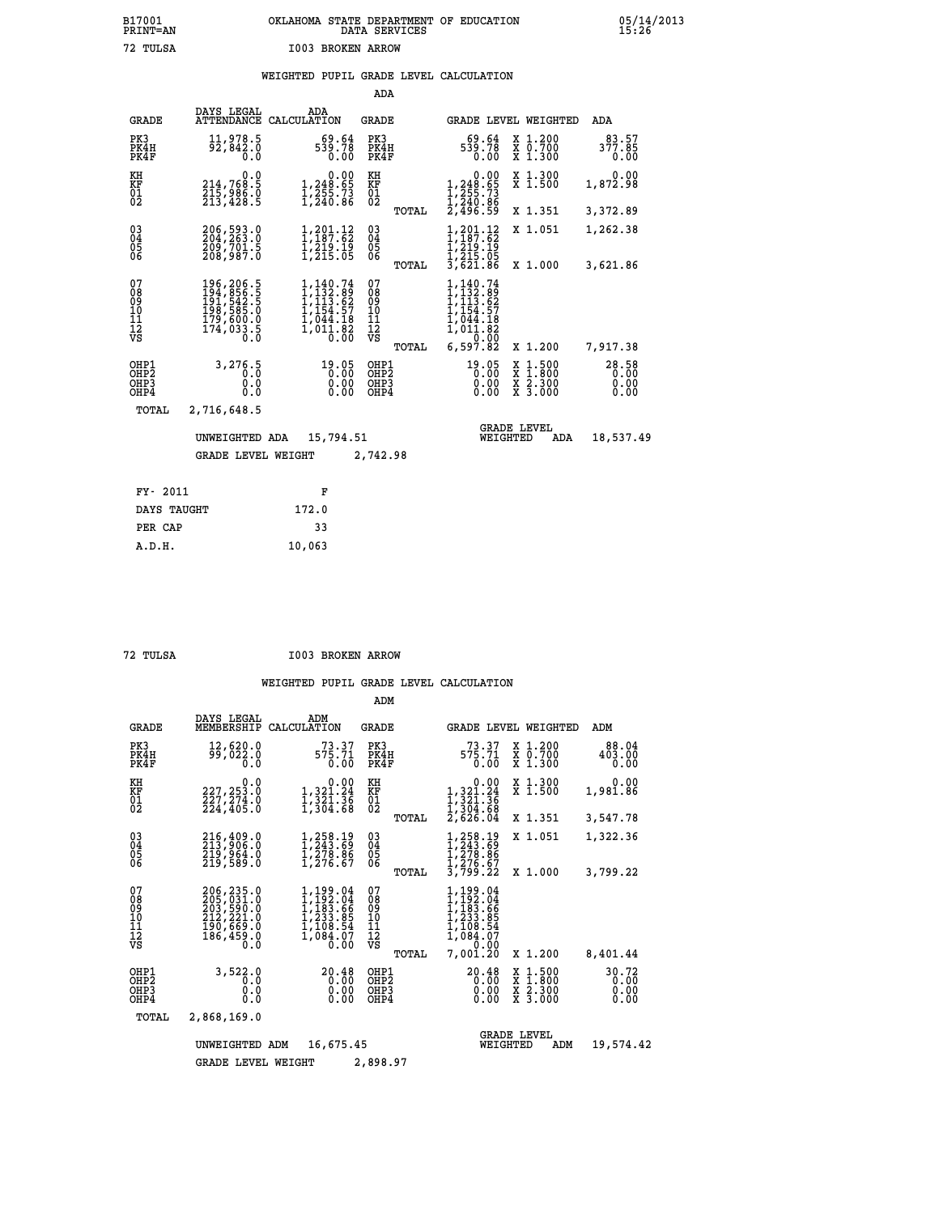## **B17001 OKLAHOMA STATE DEPARTMENT OF EDUCATION 05/14/2013 PRINT=AN DATA SERVICES 15:26 72 TULSA I003 BROKEN ARROW**

### **WEIGHTED PUPIL GRADE LEVEL CALCULATION**

|                                                    |                                                                                       |                                                                                                                | ADA                                       |       |                                                                                                                                |        |                                          |                               |
|----------------------------------------------------|---------------------------------------------------------------------------------------|----------------------------------------------------------------------------------------------------------------|-------------------------------------------|-------|--------------------------------------------------------------------------------------------------------------------------------|--------|------------------------------------------|-------------------------------|
| <b>GRADE</b>                                       | DAYS LEGAL<br>ATTENDANCE                                                              | ADA<br>CALCULATION                                                                                             | GRADE                                     |       |                                                                                                                                |        | GRADE LEVEL WEIGHTED                     | ADA                           |
| PK3<br>PK4H<br>PK4F                                | 11,978.5<br>92,842.0<br>0.0                                                           | 69.64<br>539.78<br>0.00                                                                                        | PK3<br>PK4H<br>PK4F                       |       | 69.64<br>539.78<br>0.00                                                                                                        |        | X 1.200<br>X 0.700<br>X 1.300            | 83.57<br>377.85<br>0.00       |
| KH<br><b>KF</b><br>01<br>02                        | 0.0<br>214,768.5<br>215,906.0<br>213,420.5                                            | 1,248.65<br>$\frac{1}{2}\frac{2}{2}\frac{5}{2}\frac{5}{2}\cdot\frac{7}{2}\frac{3}{2}\$                         | KH<br>KF<br>01<br>02                      |       | 0.00<br>1,248.65<br>1,255.73<br>1,240.86<br>2,496.59                                                                           |        | X 1.300<br>$\bar{x}$ 1.500               | 0.00<br>1,872.98              |
|                                                    |                                                                                       |                                                                                                                |                                           | TOTAL |                                                                                                                                |        | X 1.351                                  | 3,372.89                      |
| $\begin{matrix} 03 \\ 04 \\ 05 \\ 06 \end{matrix}$ | 206,593.0<br>204,263.0<br>209,701.5<br>208,987.0                                      | 1,201.12<br>1,187.62<br>$\frac{1}{2}$ , $\frac{2}{2}$ , $\frac{1}{2}$ , $\frac{1}{2}$                          | $\substack{03 \\ 04}$<br>0500             |       | $1, 201.12$<br>$1, 187.62$<br>1,219.15<br>1,215.05<br>3,621.86                                                                 |        | X 1.051                                  | 1,262.38                      |
|                                                    |                                                                                       |                                                                                                                |                                           | TOTAL |                                                                                                                                |        | X 1.000                                  | 3,621.86                      |
| 07<br>08<br>09<br>11<br>11<br>12<br>VS             | 196, 206.5<br>194, 856.5<br>191, 542.5<br>198, 585.0<br>179,600:0<br>174,033.5<br>0.0 | $\begin{smallmatrix} 1,140.74\\ 1,132.89\\ 1,113.62\\ 1,154.57\\ 1,044.18\\ 1,011.82\\ 0.00 \end{smallmatrix}$ | 07<br>08<br>09<br>101<br>11<br>12<br>VS   |       | 1,140.74<br>$\begin{smallmatrix} 1,132.89\\ 1,113.62\\ 1,113.62\\ 1,154.57\\ 1,044.18\\ 1,011.82\\ 0&0.00\\ \end{smallmatrix}$ |        |                                          |                               |
|                                                    |                                                                                       |                                                                                                                |                                           | TOTAL | 6,597.82                                                                                                                       |        | X 1.200                                  | 7,917.38                      |
| OHP1<br>OHP2<br>OHP3<br>OHP4                       | 3,276.5<br>0.0<br>0.0                                                                 | 19.05<br>$0.00$<br>$0.00$                                                                                      | OHP1<br>OH <sub>P</sub> 2<br>OHP3<br>OHP4 |       | 19.05<br>0.00<br>0.00                                                                                                          | X<br>X | $1.500$<br>$1.800$<br>X 2.300<br>X 3.000 | 28.58<br>0.00<br>0.00<br>0.00 |
| TOTAL                                              | 2,716,648.5                                                                           |                                                                                                                |                                           |       |                                                                                                                                |        |                                          |                               |
|                                                    | UNWEIGHTED ADA                                                                        | 15,794.51                                                                                                      |                                           |       | WEIGHTED                                                                                                                       |        | <b>GRADE LEVEL</b><br>ADA                | 18,537.49                     |
|                                                    | <b>GRADE LEVEL WEIGHT</b>                                                             |                                                                                                                | 2,742.98                                  |       |                                                                                                                                |        |                                          |                               |
|                                                    |                                                                                       |                                                                                                                |                                           |       |                                                                                                                                |        |                                          |                               |
| FY- 2011                                           |                                                                                       | F                                                                                                              |                                           |       |                                                                                                                                |        |                                          |                               |
| DAYS TAUGHT                                        |                                                                                       | 172.0                                                                                                          |                                           |       |                                                                                                                                |        |                                          |                               |

| пп |
|----|
|    |

 **PER CAP 33 A.D.H. 10,063**

 **72 TULSA I003 BROKEN ARROW**

|                                                    |                                                                                        |                                                                                          | ADM                                             |                                                                                                         |                                                                                                  |                               |
|----------------------------------------------------|----------------------------------------------------------------------------------------|------------------------------------------------------------------------------------------|-------------------------------------------------|---------------------------------------------------------------------------------------------------------|--------------------------------------------------------------------------------------------------|-------------------------------|
| <b>GRADE</b>                                       | DAYS LEGAL<br>MEMBERSHIP                                                               | ADM<br>CALCULATION                                                                       | <b>GRADE</b>                                    | <b>GRADE LEVEL WEIGHTED</b>                                                                             |                                                                                                  | ADM                           |
| PK3<br>PK4H<br>PK4F                                | 12,620.0<br>99,022.0<br>0.0                                                            | 73.37<br>575.71<br>0.00                                                                  | PK3<br>PK4H<br>PK4F                             | 73.37<br>575.71<br>0.00                                                                                 | X 1.200<br>X 0.700<br>X 1.300                                                                    | 88.04<br>403.00<br>0.00       |
| KH<br>KF<br>01<br>02                               | 0.0<br>227, 253.0<br>227,274.0<br>224,405.0                                            | $\begin{smallmatrix}&&&0.00\\1,321.24\\1,321.36\\1,304.88\end{smallmatrix}$              | KH<br>KF<br>01<br>02                            | $\begin{smallmatrix}&&0.00\\1,321.24\\1,321.36\\1,304.36\\2,626.04\end{smallmatrix}$                    | X 1.300<br>X 1.500                                                                               | 0.00<br>1,981.86              |
|                                                    |                                                                                        |                                                                                          | TOTAL                                           |                                                                                                         | X 1.351                                                                                          | 3,547.78                      |
| $\begin{matrix} 03 \\ 04 \\ 05 \\ 06 \end{matrix}$ | 216,409.0<br>213,906.0<br>219,964.0<br>219,589.0                                       | 1,258.19<br>1,243.69<br>1,278.86<br>1,276.67                                             | $\substack{03 \\ 04}$<br>05                     | 1,258.19<br>1,243.69<br>1,278.86<br>1,276.67                                                            | X 1.051                                                                                          | 1,322.36                      |
|                                                    |                                                                                        |                                                                                          | TOTAL                                           | 3,799.22                                                                                                | X 1.000                                                                                          | 3,799.22                      |
| 07<br>08<br>09<br>11<br>11<br>12<br>VS             | 206, 235.0<br>205, 031.0<br>203, 590.0<br>212, 221.0<br>190, 669.0<br>186,459.0<br>0.0 | $1, 199.04$<br>$1, 192.04$<br>$1, 183.66$<br>$1, 233.95$<br>1,108.54<br>ī,ōš4:ŏ7<br>Ō.OO | 07<br>08<br>09<br>11<br>11<br>12<br>VS<br>TOTAL | $1, 199.04$<br>$1, 192.04$<br>$1, 183.66$<br>$1, 233.85$<br>$1, 209.54$<br>1,084.07<br>0.00<br>7,001.20 | X 1.200                                                                                          | 8,401.44                      |
| OHP1<br>OH <sub>P</sub> 2<br>OHP3<br>OHP4          | 3,522.0<br>0.0<br>0.0<br>Ŏ.Ŏ                                                           | 20.48<br>0.00<br>0.00<br>0.00                                                            | OHP1<br>OH <sub>P</sub> 2<br>OHP3<br>OHP4       | 20.48<br>0.00<br>0.00<br>0.00                                                                           | $\begin{smallmatrix} x & 1 & 500 \\ x & 1 & 800 \\ x & 2 & 300 \\ x & 3 & 000 \end{smallmatrix}$ | 30.72<br>0.00<br>0.00<br>0.00 |
| TOTAL                                              | 2,868,169.0                                                                            |                                                                                          |                                                 |                                                                                                         |                                                                                                  |                               |
|                                                    | UNWEIGHTED                                                                             | 16,675.45<br>ADM                                                                         |                                                 | WEIGHTED                                                                                                | <b>GRADE LEVEL</b><br>ADM                                                                        | 19,574.42                     |
|                                                    | <b>GRADE LEVEL WEIGHT</b>                                                              |                                                                                          | 2,898.97                                        |                                                                                                         |                                                                                                  |                               |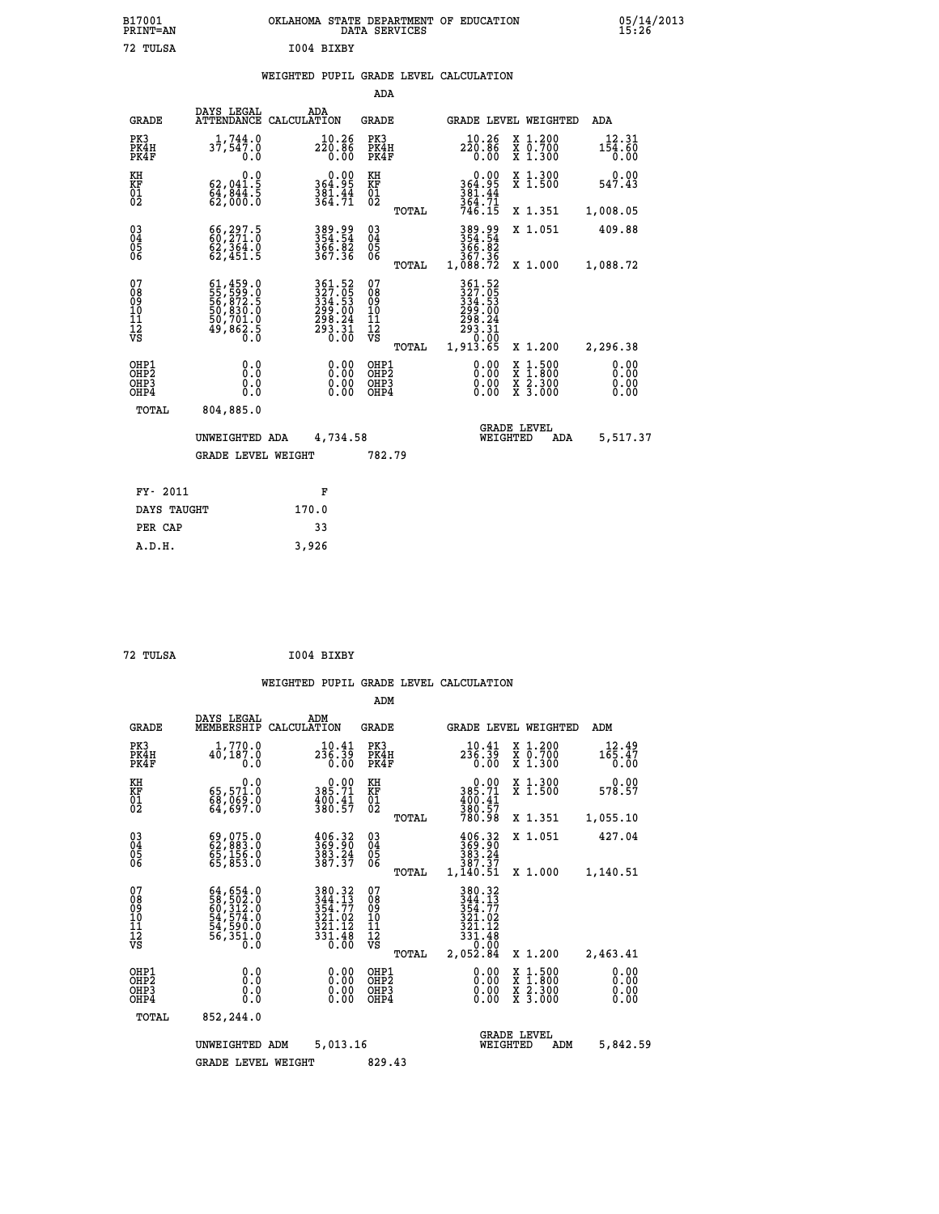|            | OKLAHOMA STATE DEPARTMENT OF EDUCATION<br>DATA SERVICES |  |
|------------|---------------------------------------------------------|--|
| T004 BTXBY |                                                         |  |

|                                                                    |                                                                                                                                                 |                                                                                                                                                                                      | ADA                                                               |       |                                                                                                              |                                                                            |                              |
|--------------------------------------------------------------------|-------------------------------------------------------------------------------------------------------------------------------------------------|--------------------------------------------------------------------------------------------------------------------------------------------------------------------------------------|-------------------------------------------------------------------|-------|--------------------------------------------------------------------------------------------------------------|----------------------------------------------------------------------------|------------------------------|
| <b>GRADE</b>                                                       | DAYS LEGAL<br><b>ATTENDANCE</b>                                                                                                                 | ADA<br>CALCULATION                                                                                                                                                                   | <b>GRADE</b>                                                      |       |                                                                                                              | GRADE LEVEL WEIGHTED                                                       | <b>ADA</b>                   |
| PK3<br>PK4H<br>PK4F                                                | $1,744.0$<br>37,547.0<br>0.0                                                                                                                    | $220.86$<br>0.00                                                                                                                                                                     | PK3<br>PK4H<br>PK4F                                               |       | $10.26$<br>$220.86$<br>0.00                                                                                  | X 1.200<br>X 0.700<br>X 1.300                                              | 12.31<br>154.60<br>0.00      |
| KH<br>KF<br>01<br>02                                               | 0.0<br>$62,041.5$<br>$64,844.5$<br>$62,000.0$                                                                                                   | $0.00$<br>364.95<br>$\frac{381.44}{364.71}$                                                                                                                                          | KH<br>KF<br>01<br>02                                              |       | 0.00<br>364.95<br>$381.44$<br>$364.71$<br>$746.15$                                                           | X 1.300<br>X 1.500                                                         | 0.00<br>547.43               |
|                                                                    |                                                                                                                                                 |                                                                                                                                                                                      |                                                                   | TOTAL |                                                                                                              | X 1.351                                                                    | 1,008.05                     |
| $\begin{smallmatrix} 03 \\[-4pt] 04 \end{smallmatrix}$<br>05<br>ŌĞ | 66,297.5<br>62,364.0<br>62,451.5                                                                                                                | 389.99<br>354.54<br>366.82<br>367.36                                                                                                                                                 | $\substack{03 \\ 04}$<br>$\begin{matrix} 0.5 \\ 0.6 \end{matrix}$ | TOTAL | 389.99<br>354.54<br>$\frac{366}{367}\cdot\frac{82}{36}$<br>1,088.72                                          | X 1.051                                                                    | 409.88                       |
| 07<br>08<br>09<br>11<br>11<br>12<br>VS                             | $\begin{smallmatrix} 61,459\cdot 0\\ 55,599\cdot 0\\ 56,872\cdot 5\\ 50,830\cdot 0\\ 50,701\cdot 0\\ 49,862\cdot 5\\ 0\cdot 0\end{smallmatrix}$ | $\begin{smallmatrix} 3\,6\,1\cdot\,5\,2\\ 3\,2\,7\cdot\,0\,5\\ 3\,3\,4\cdot\,5\,3\\ 2\,9\,9\cdot\,0\,0\\ 2\,9\,8\cdot\,2\,4\\ 2\,9\,3\cdot\,3\,1\\ 0\cdot\,0\,0\\ \end{smallmatrix}$ | 07<br>08<br>09<br>11<br>11<br>12<br>VS                            |       | 361.52<br>$\begin{smallmatrix} 327.05\\ 334.53\\ 299.00\\ 298.24\\ 293.31\\ 29.00\\ 10.00 \end{smallmatrix}$ | X 1.000                                                                    | 1,088.72                     |
|                                                                    |                                                                                                                                                 |                                                                                                                                                                                      |                                                                   | TOTAL | 1,913.65                                                                                                     | X 1.200                                                                    | 2,296.38                     |
| OHP1<br>OHP <sub>2</sub><br>OHP3<br>OHP4                           | 0.0<br>0.0<br>Ŏ.Ŏ                                                                                                                               | 0.00<br>$\begin{smallmatrix} 0.00 \ 0.00 \end{smallmatrix}$                                                                                                                          | OHP1<br>OH <sub>P</sub> 2<br>OHP3<br>OHP4                         |       | 0.00<br>0.00<br>0.00                                                                                         | $1:500$<br>$1:800$<br>X<br>X<br>$\frac{\ddot{x}}{x}$ $\frac{2.300}{3.000}$ | 0.00<br>0.00<br>0.00<br>0.00 |
| TOTAL                                                              | 804,885.0                                                                                                                                       |                                                                                                                                                                                      |                                                                   |       |                                                                                                              |                                                                            |                              |
|                                                                    | UNWEIGHTED ADA                                                                                                                                  | 4,734.58                                                                                                                                                                             |                                                                   |       |                                                                                                              | <b>GRADE LEVEL</b><br>WEIGHTED<br><b>ADA</b>                               | 5,517.37                     |
|                                                                    | <b>GRADE LEVEL WEIGHT</b>                                                                                                                       |                                                                                                                                                                                      | 782.79                                                            |       |                                                                                                              |                                                                            |                              |
| FY- 2011                                                           |                                                                                                                                                 | F                                                                                                                                                                                    |                                                                   |       |                                                                                                              |                                                                            |                              |
| DAYS TAUGHT                                                        |                                                                                                                                                 | 170.0                                                                                                                                                                                |                                                                   |       |                                                                                                              |                                                                            |                              |
| PER CAP                                                            |                                                                                                                                                 | 33                                                                                                                                                                                   |                                                                   |       |                                                                                                              |                                                                            |                              |
|                                                                    |                                                                                                                                                 |                                                                                                                                                                                      |                                                                   |       |                                                                                                              |                                                                            |                              |

| 72 TULSA | I004 BIXBY |
|----------|------------|

 **A.D.H. 3,926**

 **B17001<br>PRINT=AN<br>72 TULSA** 

|                                                       |                                                                                                                                                                                          |                    |                                                                             | ADM                                     |       |                                                                                   |                                |                                                                                                  |                              |
|-------------------------------------------------------|------------------------------------------------------------------------------------------------------------------------------------------------------------------------------------------|--------------------|-----------------------------------------------------------------------------|-----------------------------------------|-------|-----------------------------------------------------------------------------------|--------------------------------|--------------------------------------------------------------------------------------------------|------------------------------|
| <b>GRADE</b>                                          | DAYS LEGAL<br>MEMBERSHIP                                                                                                                                                                 | ADM<br>CALCULATION |                                                                             | <b>GRADE</b>                            |       |                                                                                   |                                | <b>GRADE LEVEL WEIGHTED</b>                                                                      | ADM                          |
| PK3<br>PK4H<br>PK4F                                   | 1,770.0<br>40,187.0<br>0.0                                                                                                                                                               |                    | 10.41<br>236.39<br>0.00                                                     | PK3<br>PK4H<br>PK4F                     |       | 10.41<br>$2\bar{3}\bar{6}.3\bar{9}$<br>0.00                                       |                                | $\begin{array}{c} x & 1.200 \\ x & 0.700 \end{array}$<br>X 1.300                                 | 12.49<br>165.47<br>0.00      |
| KH<br>KF<br>01<br>02                                  | 0.0<br>65,571.0<br>68,069.0<br>64,697.0                                                                                                                                                  |                    | 0.00<br>385.71<br>$\frac{400}{380}$ : $\frac{41}{57}$                       | KH<br>KF<br>01<br>02                    |       | $\begin{smallmatrix} &0.00\\ 385.71\\ 400.41\\ 380.57\\ 780.98 \end{smallmatrix}$ |                                | X 1.300<br>X 1.500                                                                               | 0.00<br>578.57               |
|                                                       |                                                                                                                                                                                          |                    |                                                                             |                                         | TOTAL |                                                                                   |                                | X 1.351                                                                                          | 1,055.10                     |
| 03<br>04<br>05<br>06                                  | 69,075.0<br>62,983.0<br>65,156.0<br>65,853.0                                                                                                                                             |                    | $\frac{406}{369}$ : $\frac{32}{363}$<br>$\frac{383}{387}$ : $\frac{24}{37}$ | $\substack{03 \\ 04}$<br>05<br>06       |       | 406.32<br>369.90<br>383.24<br>387.37                                              |                                | X 1.051                                                                                          | 427.04                       |
|                                                       |                                                                                                                                                                                          |                    |                                                                             |                                         | TOTAL | 1,140.51                                                                          |                                | X 1.000                                                                                          | 1,140.51                     |
| 07<br>08<br>09<br>101<br>112<br>VS                    | $\begin{smallmatrix} 64\,, & 654\,. & 0\\ 58\,, & 502\,. & 0\\ 60\,, & 312\,. & 0\\ 54\,, & 574\,. & 0\\ 54\,, & 590\,. & 0\\ 56\,, & 351\,. & 0\\ 0\,. & 0\,. & 0\,. \end{smallmatrix}$ |                    | 380.32<br>344.13<br>354.77<br>321.02<br>321.12<br>331.48<br>0.00            | 07<br>08<br>09<br>101<br>11<br>12<br>VS | TOTAL | 380.32<br>344.13<br>354.77<br>321.02<br>321.12<br>331.48<br>0.00<br>2,052.84      |                                | X 1.200                                                                                          | 2,463.41                     |
| OHP1<br>OH <sub>P</sub> 2<br>OH <sub>P3</sub><br>OHP4 | 0.0<br>0.000                                                                                                                                                                             |                    | $0.00$<br>$0.00$<br>0.00                                                    | OHP1<br>OHP2<br>OHP3<br>OHP4            |       |                                                                                   | $0.00$<br>$0.00$<br>0.00       | $\begin{smallmatrix} x & 1 & 500 \\ x & 1 & 800 \\ x & 2 & 300 \\ x & 3 & 000 \end{smallmatrix}$ | 0.00<br>0.00<br>0.00<br>0.00 |
| TOTAL                                                 | 852,244.0                                                                                                                                                                                |                    |                                                                             |                                         |       |                                                                                   |                                |                                                                                                  |                              |
|                                                       | UNWEIGHTED ADM                                                                                                                                                                           |                    | 5,013.16                                                                    |                                         |       |                                                                                   | <b>GRADE LEVEL</b><br>WEIGHTED | ADM                                                                                              | 5,842.59                     |
|                                                       | <b>GRADE LEVEL WEIGHT</b>                                                                                                                                                                |                    |                                                                             | 829.43                                  |       |                                                                                   |                                |                                                                                                  |                              |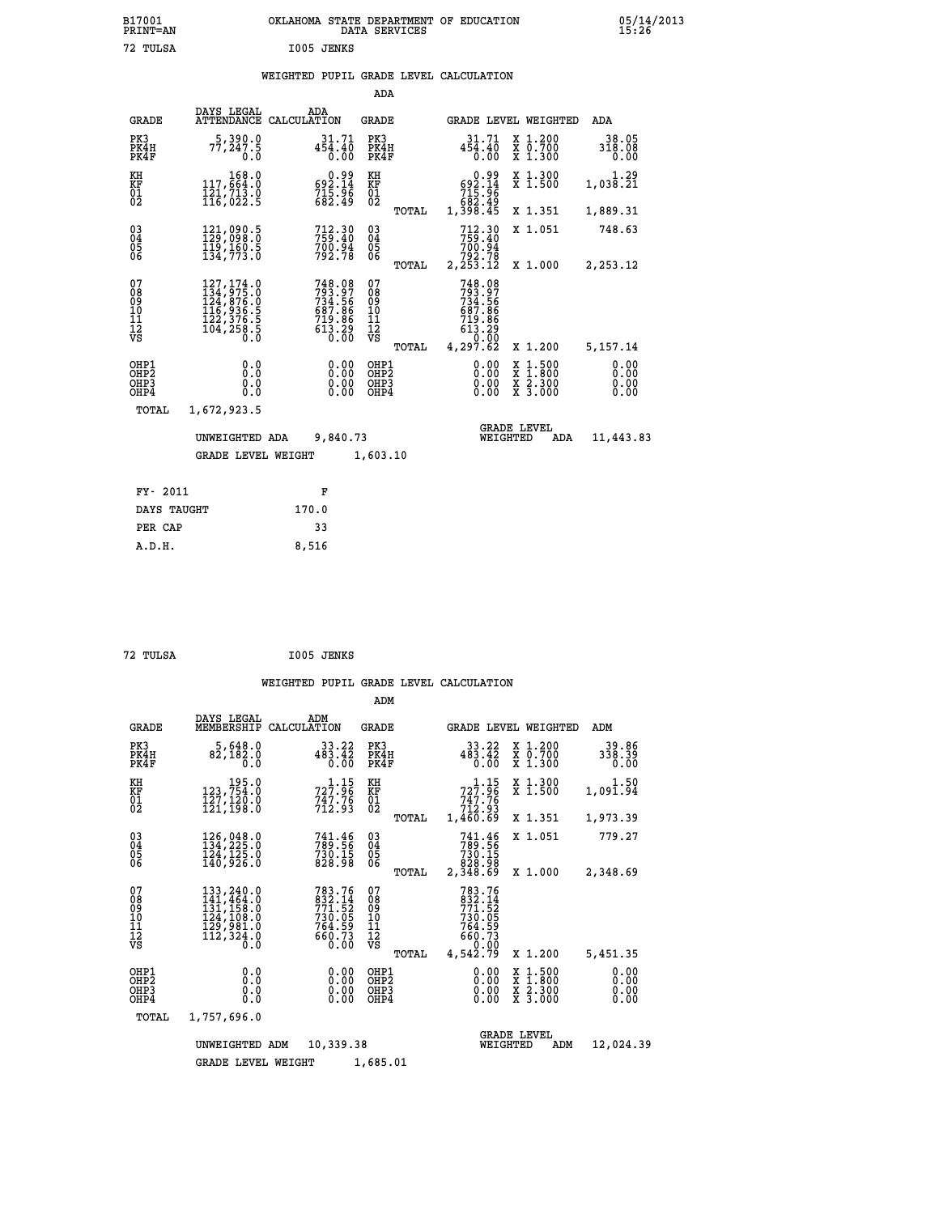|            | OKLAHOMA STATE DEPARTMENT OF EDUCATION<br>DATA SERVICES |  |
|------------|---------------------------------------------------------|--|
| I005 JENKS |                                                         |  |

|                                        |                                                                                                                                                       |                    |                                                                                | ADA                                     |       |                                                                              |                                |                                                       |                              |
|----------------------------------------|-------------------------------------------------------------------------------------------------------------------------------------------------------|--------------------|--------------------------------------------------------------------------------|-----------------------------------------|-------|------------------------------------------------------------------------------|--------------------------------|-------------------------------------------------------|------------------------------|
| <b>GRADE</b>                           | DAYS LEGAL<br>ATTENDANCE                                                                                                                              | ADA<br>CALCULATION |                                                                                | GRADE                                   |       |                                                                              |                                | GRADE LEVEL WEIGHTED                                  | <b>ADA</b>                   |
| PK3<br>PK4H<br>PK4F                    | 5,390.0<br>77,247.5<br>0.0                                                                                                                            |                    | 31.71<br>$45\overline{4}\cdot 40$<br>0.00                                      | PK3<br>PK4H<br>PK4F                     |       | $45\overline{4}\cdot 40$<br>0.00                                             | 31.71                          | X 1.200<br>X 0.700<br>X 1.300                         | 38.05<br>318.08<br>0.00      |
| KH<br><b>KF</b><br>01<br>02            | 168.0<br>117,664.0<br>$\frac{1}{16}$ , $\frac{7}{13}$ , $\frac{3}{5}$                                                                                 |                    | $\begin{smallmatrix} &0.99\ 692.14\ 715.96\ 682.49\end{smallmatrix}$           | KH<br>KF<br>$\overline{01}$             |       | $0.99$<br>$592.14$<br>$715.96$<br>$682.49$<br>$1,398.45$                     |                                | X 1.300<br>$\overline{x}$ 1.500                       | 1.29<br>1,038.21             |
|                                        |                                                                                                                                                       |                    |                                                                                |                                         | TOTAL |                                                                              |                                | X 1.351                                               | 1,889.31                     |
| $^{03}_{04}$<br>05<br>06               | 121,090.5<br>129,098.0<br>119,160.5<br>134,773.0                                                                                                      |                    | 712.30<br>759.40<br>700:94<br>792.78                                           | $\substack{03 \\ 04}$<br>05<br>06       |       | 712.30<br>759.40<br>700:34<br>792.78<br>2,253.12                             |                                | X 1.051                                               | 748.63                       |
|                                        |                                                                                                                                                       |                    |                                                                                |                                         | TOTAL |                                                                              |                                | X 1.000                                               | 2,253.12                     |
| 07<br>08<br>09<br>11<br>11<br>12<br>VS | $\begin{smallmatrix} 127,174\cdot 0\\ 134,975\cdot 0\\ 124,876\cdot 0\\ 116,936\cdot 5\\ 122,376\cdot 5\\ 104,258\cdot 5\\ 0\cdot 0\end{smallmatrix}$ |                    | 748.08<br>793.97<br>734.566<br>734.566<br>687.866<br>719.866<br>613.29<br>0.00 | 07<br>08<br>09<br>101<br>11<br>12<br>VS | TOTAL | 748.08<br>793.97<br>734.566<br>734.566<br>613.866<br>719.860.000<br>4,297.62 |                                | X 1.200                                               | 5,157.14                     |
| OHP1<br>OHP2<br>OHP3<br>OHP4           | 0.0<br>0.0<br>0.0<br>0.0                                                                                                                              |                    | 0.00<br>0.00<br>0.00                                                           | OHP1<br>OHP2<br>OHP3<br>OHP4            |       |                                                                              | 0.00<br>0.00<br>0.00           | $\frac{x}{x}$ $\frac{1.500}{x}$<br>X 2.300<br>X 3.000 | 0.00<br>0.00<br>0.00<br>0.00 |
| TOTAL                                  | 1,672,923.5                                                                                                                                           |                    |                                                                                |                                         |       |                                                                              |                                |                                                       |                              |
|                                        | UNWEIGHTED ADA                                                                                                                                        |                    | 9,840.73                                                                       |                                         |       |                                                                              | <b>GRADE LEVEL</b><br>WEIGHTED | ADA                                                   | 11,443.83                    |
|                                        | <b>GRADE LEVEL WEIGHT</b>                                                                                                                             |                    |                                                                                | 1,603.10                                |       |                                                                              |                                |                                                       |                              |
|                                        |                                                                                                                                                       |                    |                                                                                |                                         |       |                                                                              |                                |                                                       |                              |
| FY- 2011                               |                                                                                                                                                       |                    | F                                                                              |                                         |       |                                                                              |                                |                                                       |                              |
| DAYS TAUGHT                            |                                                                                                                                                       | 170.0              |                                                                                |                                         |       |                                                                              |                                |                                                       |                              |

| 72 TULSA | I005 JENKS |
|----------|------------|
|          |            |

PER CAP 33  **A.D.H. 8,516**

 **B17001<br>PRINT=AN<br>72 TULSA** 

|                                                    |                                                                                                                                                                                         |                                                                                                        | ADM                                                |                                                                                                                        |                                                                                                  |                              |
|----------------------------------------------------|-----------------------------------------------------------------------------------------------------------------------------------------------------------------------------------------|--------------------------------------------------------------------------------------------------------|----------------------------------------------------|------------------------------------------------------------------------------------------------------------------------|--------------------------------------------------------------------------------------------------|------------------------------|
| <b>GRADE</b>                                       | DAYS LEGAL<br>MEMBERSHIP                                                                                                                                                                | ADM<br>CALCULATION                                                                                     | GRADE                                              | <b>GRADE LEVEL WEIGHTED</b>                                                                                            |                                                                                                  | ADM                          |
| PK3<br>PK4H<br>PK4F                                | 5,648.0<br>82,182.0<br>0.0                                                                                                                                                              | 33.22<br>483.42<br>0.00                                                                                | PK3<br>PK4H<br>PK4F                                | 33.22<br>483.42<br>0.00                                                                                                | X 1.200<br>X 0.700<br>X 1.300                                                                    | 39.86<br>338.39<br>0.00      |
| KH<br>KF<br>01<br>02                               | 195.0<br>123,754.0<br>127,120.0<br>121,198.0                                                                                                                                            | $\substack{72\overline{7}\cdot\overline{3}6\\74\overline{7}\cdot\overline{7}6\\712\cdot\overline{9}3}$ | KH<br>KF<br>$^{01}_{02}$                           | $72\overline{7}:\overline{96}$<br>$7\bar{4}\bar{7}\cdot\bar{7}\bar{6}$<br>$7\bar{1}2\cdot9\bar{3}$                     | X 1.300<br>X 1.500                                                                               | 1.50<br>1,091.94             |
|                                                    |                                                                                                                                                                                         |                                                                                                        | TOTAL                                              | 1,460.69                                                                                                               | X 1.351                                                                                          | 1,973.39                     |
| $\begin{matrix} 03 \\ 04 \\ 05 \\ 06 \end{matrix}$ | 126,048.0<br>134,225.0<br>124, 125.0<br>140,926.0                                                                                                                                       | 741.46<br>789.56<br>730.15<br>828.98                                                                   | $\begin{matrix} 03 \\ 04 \\ 05 \\ 06 \end{matrix}$ | 741.46<br>789.56<br>730.15<br>828.98                                                                                   | X 1.051                                                                                          | 779.27                       |
|                                                    |                                                                                                                                                                                         |                                                                                                        | TOTAL                                              | 2,348.69                                                                                                               | X 1.000                                                                                          | 2,348.69                     |
| 07<br>08<br>09<br>11<br>11<br>12<br>VS             | $\begin{smallmatrix} 133\,, & 240\, . \ 10\\ 141\,, & 464\, . \ 0\\ 131\,, & 158\, . \ 0\\ 124\,, & 108\, . \ 0\\ 129\,, & 981\, . \ 0\\ 112\,, & 324\, . \ 0 \end{smallmatrix}$<br>Ō.Ō | 783.76<br>$\frac{832.14}{771.52}$<br>$730.05$<br>$764.59$<br>660.73<br>0.00                            | 07<br>08<br>09<br>11<br>11<br>12<br>VS<br>TOTAL    | 783.76<br>$\begin{smallmatrix} 293.714 \\ 771.52 \\ 730.05 \\ 764.59 \\ 660.73 \\ 60.92 \end{smallmatrix}$<br>4,542.79 | X 1.200                                                                                          | 5,451.35                     |
| OHP1<br>OHP2<br>OH <sub>P3</sub><br>OHP4           | 0.0<br>0.0<br>0.0                                                                                                                                                                       | $0.00$<br>$0.00$<br>0.00                                                                               | OHP1<br>OHP2<br>OHP3<br>OHP4                       | $0.00$<br>$0.00$<br>0.00                                                                                               | $\begin{smallmatrix} x & 1 & 500 \\ x & 1 & 800 \\ x & 2 & 300 \\ x & 3 & 000 \end{smallmatrix}$ | 0.00<br>0.00<br>0.00<br>0.00 |
| TOTAL                                              | 1,757,696.0                                                                                                                                                                             |                                                                                                        |                                                    |                                                                                                                        |                                                                                                  |                              |
|                                                    | UNWEIGHTED                                                                                                                                                                              | 10,339.38<br>ADM                                                                                       |                                                    | <b>GRADE LEVEL</b><br>WEIGHTED                                                                                         | ADM                                                                                              | 12,024.39                    |
|                                                    | <b>GRADE LEVEL WEIGHT</b>                                                                                                                                                               |                                                                                                        | 1,685.01                                           |                                                                                                                        |                                                                                                  |                              |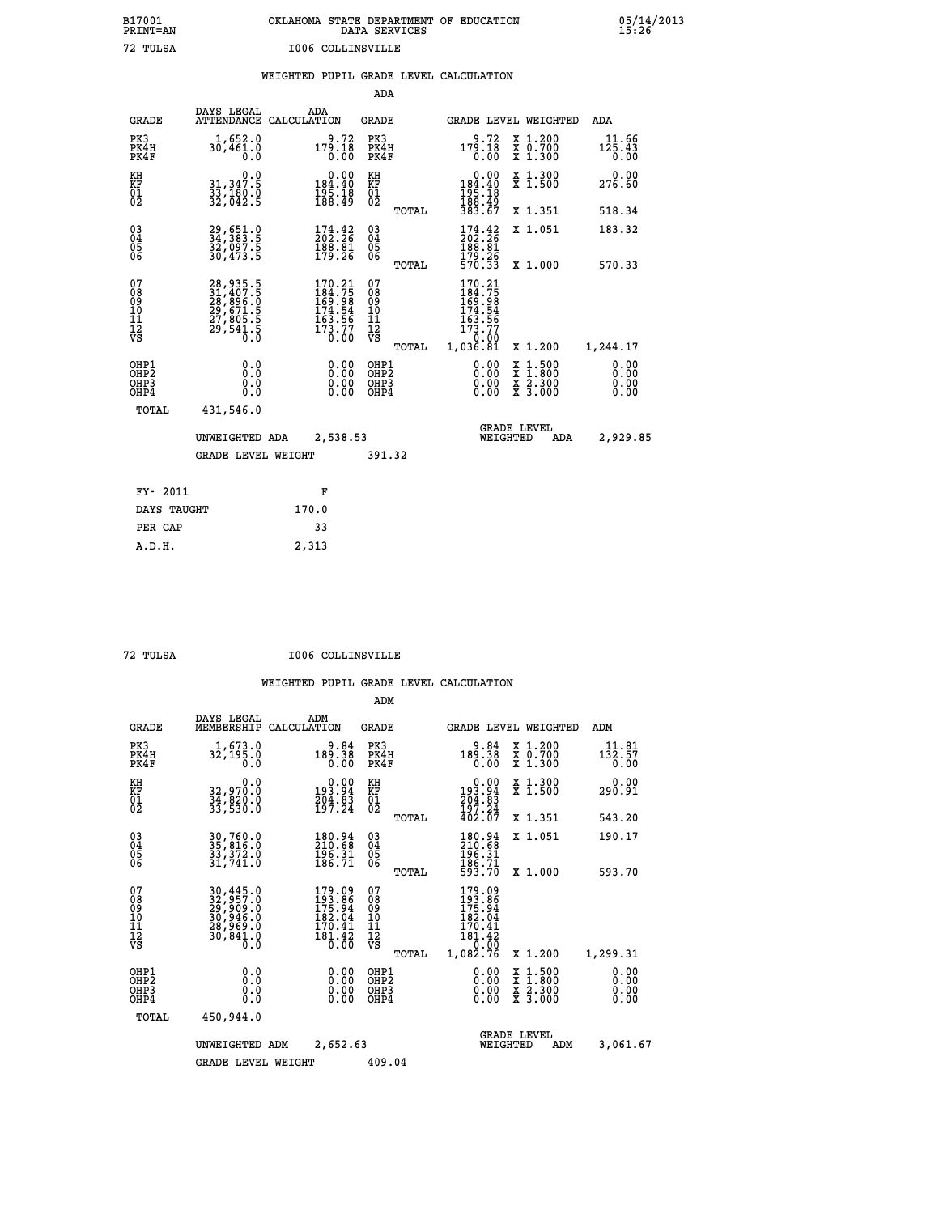## **B17001 OKLAHOMA STATE DEPARTMENT OF EDUCATION 05/14/2013 PRINT=AN DATA SERVICES 15:26 72 TULSA I006 COLLINSVILLE**

|  |  | WEIGHTED PUPIL GRADE LEVEL CALCULATION |
|--|--|----------------------------------------|
|  |  |                                        |

|                                                    |                                                                      |                                                                              | ADA                                      |       |                                                                                |                                          |                                                                |
|----------------------------------------------------|----------------------------------------------------------------------|------------------------------------------------------------------------------|------------------------------------------|-------|--------------------------------------------------------------------------------|------------------------------------------|----------------------------------------------------------------|
| <b>GRADE</b>                                       | DAYS LEGAL                                                           | ADA<br>ATTENDANCE CALCULATION                                                | <b>GRADE</b>                             |       |                                                                                | GRADE LEVEL WEIGHTED                     | ADA                                                            |
| PK3<br>PK4H<br>PK4F                                | 1,652.0<br>30,461.0<br>0.0                                           | $179.72\n0.18\n0.00$                                                         | PK3<br>PK4H<br>PK4F                      |       | 9.72<br>$179.18$<br>$0.00$                                                     | X 1.200<br>X 0.700<br>X 1.300            | 11.66<br>$1\bar{2}\bar{5}\cdot 4\bar{3}$<br>$0.\bar{0}\bar{0}$ |
| KH<br>KF<br>01<br>02                               | 0.0<br>31,347.5<br>33,180.0<br>32,042.5                              | $\begin{smallmatrix}&&0.00\\184.40\\195.18\\188.49\end{smallmatrix}$         | KH<br>KF<br>01<br>02                     |       | $\begin{array}{c} 0.00 \\ 184.40 \\ 195.18 \\ 188.49 \\ 383.67 \end{array}$    | X 1.300<br>X 1.500                       | 0.00<br>276.60                                                 |
|                                                    |                                                                      |                                                                              |                                          | TOTAL |                                                                                | X 1.351                                  | 518.34                                                         |
| $\begin{matrix} 03 \\ 04 \\ 05 \\ 06 \end{matrix}$ | 29,651.0<br>34,383.5<br>32,097.5<br>30,473.5                         | 174.42<br>202.26<br>$\frac{188}{179}$ $\frac{81}{26}$                        | $\substack{03 \\ 04}$<br>05<br>06        |       | 174.42<br>$\frac{188}{179}. \frac{81}{26}$<br>$\frac{179}{570}. \frac{26}{33}$ | X 1.051                                  | 183.32                                                         |
|                                                    |                                                                      |                                                                              |                                          | TOTAL |                                                                                | X 1.000                                  | 570.33                                                         |
| 07<br>08<br>09<br>11<br>11<br>12<br>VS             | 28,935.5<br>31,407.5<br>28,896.0<br>29,671.5<br>27,805.5<br>29,541.5 | 170.21<br>$184.75$<br>$169.98$<br>$174.54$<br>$163.56$<br>$173.77$<br>$0.00$ | 07<br>08<br>09<br>101<br>112<br>VS       |       | 170.21<br>$184.75$<br>$169.98$<br>$174.54$<br>$163.56$<br>$173.77$<br>$0.09$   |                                          |                                                                |
|                                                    |                                                                      |                                                                              |                                          | TOTAL | 1,036.81                                                                       | X 1.200                                  | 1,244.17                                                       |
| OHP1<br>OHP2<br>OHP3<br>OHP4                       | 0.0<br>0.0<br>0.0                                                    | $\begin{smallmatrix} 0.00 \ 0.00 \ 0.00 \ 0.00 \end{smallmatrix}$            | OHP1<br>OHP <sub>2</sub><br>OHP3<br>OHP4 |       | $0.00$<br>$0.00$<br>0.00                                                       | X 1:500<br>X 1:800<br>X 2:300<br>X 3:000 | 0.00<br>0.00<br>0.00<br>0.00                                   |
| <b>TOTAL</b>                                       | 431,546.0                                                            |                                                                              |                                          |       |                                                                                |                                          |                                                                |
|                                                    | UNWEIGHTED ADA                                                       | 2,538.53                                                                     |                                          |       |                                                                                | <b>GRADE LEVEL</b><br>WEIGHTED<br>ADA    | 2,929.85                                                       |
|                                                    | <b>GRADE LEVEL WEIGHT</b>                                            |                                                                              | 391.32                                   |       |                                                                                |                                          |                                                                |
| FY- 2011                                           |                                                                      | F                                                                            |                                          |       |                                                                                |                                          |                                                                |
| DAYS TAUGHT                                        |                                                                      | 170.0                                                                        |                                          |       |                                                                                |                                          |                                                                |
| PER CAP                                            |                                                                      | 33                                                                           |                                          |       |                                                                                |                                          |                                                                |
|                                                    |                                                                      |                                                                              |                                          |       |                                                                                |                                          |                                                                |

 **A.D.H. 2,313**

 **72 TULSA I006 COLLINSVILLE**

|                                    |                                                                                                                                                       |                                                                         | ADM                                             |                                                                                   |                                          |                                             |
|------------------------------------|-------------------------------------------------------------------------------------------------------------------------------------------------------|-------------------------------------------------------------------------|-------------------------------------------------|-----------------------------------------------------------------------------------|------------------------------------------|---------------------------------------------|
| <b>GRADE</b>                       | DAYS LEGAL<br>MEMBERSHIP                                                                                                                              | ADM<br>CALCULATION                                                      | <b>GRADE</b>                                    |                                                                                   | <b>GRADE LEVEL WEIGHTED</b>              | ADM                                         |
| PK3<br>PK4H<br>PK4F                | 1,673.0<br>32,195.0<br>0.0                                                                                                                            | 84.e<br>38.981<br>0.00                                                  | PK3<br>PK4H<br>PK4F                             | 9.84<br>189.38<br>0.00                                                            | x 1.200<br>x 0.700<br>X 1.300            | 11.81<br>$1\bar{3}\bar{2}.5\bar{7}$<br>0.00 |
| KH<br>KF<br>01<br>02               | 0.0<br>32,970.0<br>34,820.0<br>33,530.0                                                                                                               | $\begin{smallmatrix} &0.00\\193.94\\204.83\\197.24\end{smallmatrix}$    | KH<br>KF<br>01<br>02                            | $\begin{smallmatrix} &0.00\\ 193.94\\ 204.83\\ 197.24\\ 402.07 \end{smallmatrix}$ | X 1.300<br>X 1.500                       | 0.00<br>290.91                              |
|                                    |                                                                                                                                                       |                                                                         | TOTAL                                           |                                                                                   | X 1.351                                  | 543.20                                      |
| 03<br>04<br>05<br>06               | 30,760.0<br>35,816.0<br>33,372.0<br>31,741.0                                                                                                          | $\begin{smallmatrix} 180.94\ 210.68\ 196.31\ 186.71 \end{smallmatrix}$  | $^{03}_{04}$<br>0500                            | 180.94<br>210.68<br>$\frac{196.31}{186.71}$<br>593.70                             | X 1.051                                  | 190.17                                      |
|                                    |                                                                                                                                                       |                                                                         | TOTAL                                           |                                                                                   | X 1.000                                  | 593.70                                      |
| 07<br>08<br>09<br>101<br>112<br>VS | $\begin{smallmatrix} 30\,,445\,,0\\ 32\,,957\,,0\\ 29\,,909\,,0\\ 30\,,946\,,0\\ 28\,,969\,,0\\ 30\,,841\,,0\\ 30\,,841\,,0\\ 0\,. \end{smallmatrix}$ | 179.09<br>193.86<br>175.94<br>182.04<br>170.41<br>$\frac{181.42}{0.00}$ | 07<br>08<br>09<br>11<br>11<br>12<br>VS<br>TOTAL | 179.09<br>193.86<br>175.94<br>182.04<br>$\frac{170.41}{181.42}$<br>1,082.76       | X 1.200                                  | 1,299.31                                    |
| OHP1<br>OHP2<br>OHP3<br>OHP4       | 0.0<br>0.000                                                                                                                                          | $0.00$<br>$0.00$<br>0.00                                                | OHP1<br>OHP2<br>OHP3<br>OHP4                    | $0.00$<br>$0.00$<br>0.00                                                          | X 1:500<br>X 1:800<br>X 2:300<br>X 3:000 | 0.00<br>0.00<br>0.00<br>0.00                |
| TOTAL                              | 450,944.0                                                                                                                                             |                                                                         |                                                 |                                                                                   |                                          |                                             |
|                                    | UNWEIGHTED                                                                                                                                            | 2,652.63<br>ADM                                                         |                                                 | WEIGHTED                                                                          | <b>GRADE LEVEL</b><br>ADM                | 3,061.67                                    |
|                                    | <b>GRADE LEVEL WEIGHT</b>                                                                                                                             |                                                                         | 409.04                                          |                                                                                   |                                          |                                             |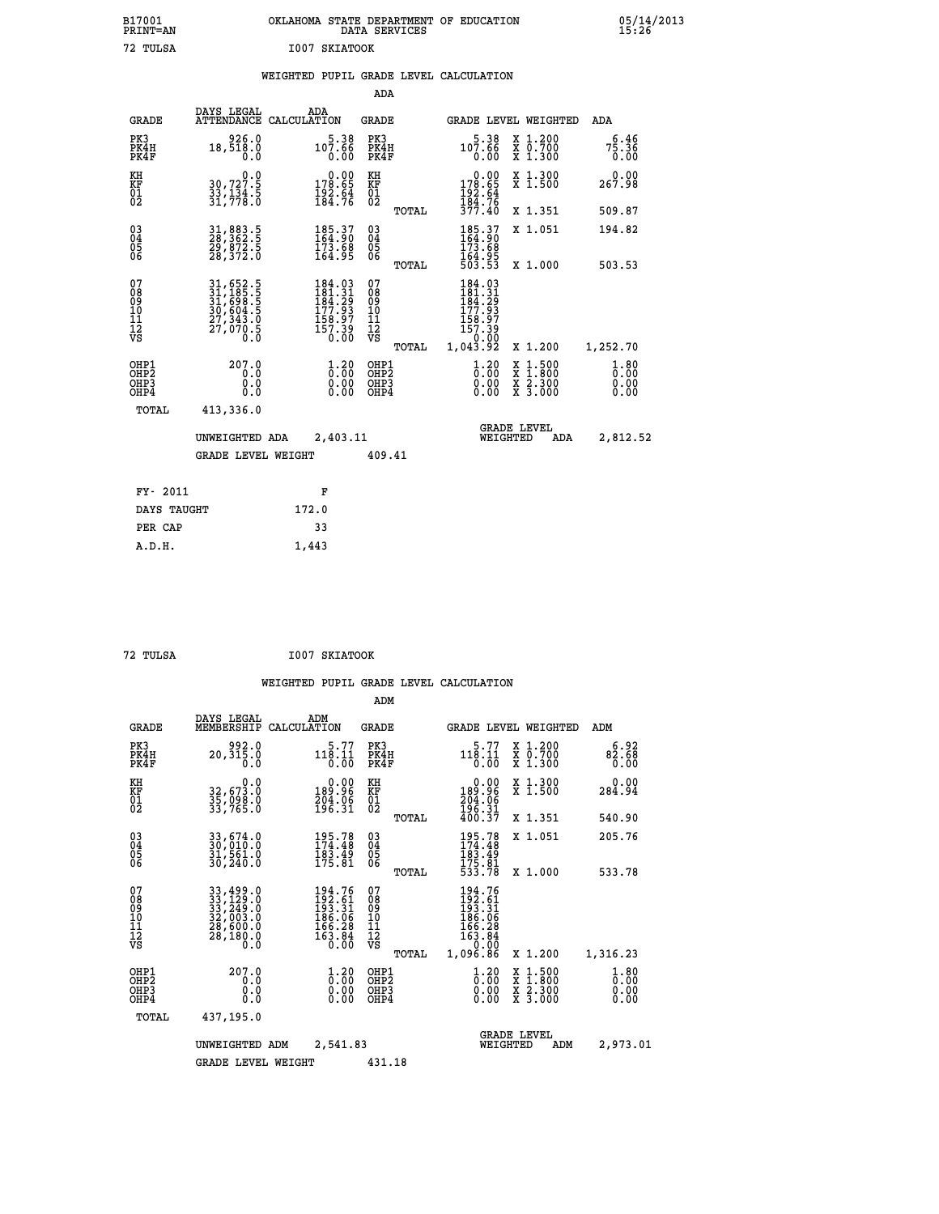| OKLAHOMA STATE DEPARTMENT OF EDUCATION<br>DATA SERVICES |  |
|---------------------------------------------------------|--|
| I007 SKIATOOK                                           |  |

| DAYS LEGAL<br>ADA<br><b>ATTENDANCE</b><br><b>GRADE</b><br>CALCULATION<br>GRADE LEVEL WEIGHTED<br><b>GRADE</b><br><b>ADA</b><br>926.0<br>PK3<br>$5.38$<br>107.66<br>PK3<br>PK4H<br>$107.66$<br>0.00<br>X 1.200<br>X 0.700<br>X 1.300<br>18,518.0<br>PK4H<br>PK4F<br>0.0<br>0.00<br>PK4F<br>X 1.300<br>X 1.500<br>$\begin{smallmatrix} &0.00\\ 178.65\\ 192.64\\ 184.76\end{smallmatrix}$<br>0.00<br>KH<br>$\begin{smallmatrix}&&&0.0\\30,727.5\\33,134.5\\31,778.0\end{smallmatrix}$<br>KH<br>178.65<br>192.64<br>184.76<br>377.40<br>KF<br>01<br>02<br>KF<br>01<br>02<br>X 1.351<br>TOTAL<br>185.37<br>164.90<br>$\begin{matrix} 03 \\ 04 \\ 05 \\ 06 \end{matrix}$<br>03<br>04<br>05<br>06<br>31,883.5<br>28,362.5<br>29,872.5<br>28,372.0<br>$\begin{smallmatrix} 185.37\ 164.90\ 173.68\ 164.95 \end{smallmatrix}$<br>X 1.051<br>173:68<br>164:95<br>503:53<br>X 1.000<br>TOTAL<br>07<br>07<br>184.03<br>$\begin{smallmatrix} 31, 652\cdot 5\\ 31, 185\cdot 5\\ 31, 698\cdot 5\\ 30, 604\cdot 5\\ 27, 343\cdot 0\\ 27, 070\cdot 5\\ 0\cdot 0\end{smallmatrix}$<br>184.03<br>$181.31$<br>$184.29$<br>$177.93$<br>$158.97$<br>$157.39$<br>$0.00$<br>08<br>09<br>11<br>11<br>12<br>VS<br>08<br>09<br>11<br>11<br>12<br>VS<br>$\frac{181.31}{184.29}$<br>$\frac{177.93}{177.93}$<br>158.97<br>157.39<br>0.00<br>1,043.92 |                                    |
|-------------------------------------------------------------------------------------------------------------------------------------------------------------------------------------------------------------------------------------------------------------------------------------------------------------------------------------------------------------------------------------------------------------------------------------------------------------------------------------------------------------------------------------------------------------------------------------------------------------------------------------------------------------------------------------------------------------------------------------------------------------------------------------------------------------------------------------------------------------------------------------------------------------------------------------------------------------------------------------------------------------------------------------------------------------------------------------------------------------------------------------------------------------------------------------------------------------------------------------------------------------------------------------------------------------------------|------------------------------------|
|                                                                                                                                                                                                                                                                                                                                                                                                                                                                                                                                                                                                                                                                                                                                                                                                                                                                                                                                                                                                                                                                                                                                                                                                                                                                                                                         |                                    |
|                                                                                                                                                                                                                                                                                                                                                                                                                                                                                                                                                                                                                                                                                                                                                                                                                                                                                                                                                                                                                                                                                                                                                                                                                                                                                                                         | 6.46<br>75.36<br>0.00              |
|                                                                                                                                                                                                                                                                                                                                                                                                                                                                                                                                                                                                                                                                                                                                                                                                                                                                                                                                                                                                                                                                                                                                                                                                                                                                                                                         | 0.00<br>267.98                     |
|                                                                                                                                                                                                                                                                                                                                                                                                                                                                                                                                                                                                                                                                                                                                                                                                                                                                                                                                                                                                                                                                                                                                                                                                                                                                                                                         | 509.87                             |
|                                                                                                                                                                                                                                                                                                                                                                                                                                                                                                                                                                                                                                                                                                                                                                                                                                                                                                                                                                                                                                                                                                                                                                                                                                                                                                                         | 194.82                             |
|                                                                                                                                                                                                                                                                                                                                                                                                                                                                                                                                                                                                                                                                                                                                                                                                                                                                                                                                                                                                                                                                                                                                                                                                                                                                                                                         | 503.53                             |
|                                                                                                                                                                                                                                                                                                                                                                                                                                                                                                                                                                                                                                                                                                                                                                                                                                                                                                                                                                                                                                                                                                                                                                                                                                                                                                                         |                                    |
| X 1.200<br>TOTAL                                                                                                                                                                                                                                                                                                                                                                                                                                                                                                                                                                                                                                                                                                                                                                                                                                                                                                                                                                                                                                                                                                                                                                                                                                                                                                        | 1,252.70                           |
| $\begin{smallmatrix} 1.20 \ 0.00 \ 0.00 \end{smallmatrix}$<br>OHP1<br>OHP2<br>207.0<br>$1.20$<br>$0.00$<br>OHP1<br>OHP2<br>$\begin{smallmatrix} x & 1 & 500 \\ x & 1 & 800 \\ x & 2 & 300 \\ x & 3 & 000 \end{smallmatrix}$<br>0.0<br>$\begin{smallmatrix} 0.00 \ 0.00 \end{smallmatrix}$<br>0.0<br>OHP3<br>OHP3<br>0.0<br>0.00<br>OHP4<br>OHP4                                                                                                                                                                                                                                                                                                                                                                                                                                                                                                                                                                                                                                                                                                                                                                                                                                                                                                                                                                         | $\frac{1}{0}$ : 80<br>0.00<br>0.00 |
| <b>TOTAL</b><br>413,336.0                                                                                                                                                                                                                                                                                                                                                                                                                                                                                                                                                                                                                                                                                                                                                                                                                                                                                                                                                                                                                                                                                                                                                                                                                                                                                               |                                    |
| <b>GRADE LEVEL</b><br>2,403.11<br>WEIGHTED<br>UNWEIGHTED ADA<br><b>ADA</b>                                                                                                                                                                                                                                                                                                                                                                                                                                                                                                                                                                                                                                                                                                                                                                                                                                                                                                                                                                                                                                                                                                                                                                                                                                              | 2,812.52                           |
| <b>GRADE LEVEL WEIGHT</b><br>409.41                                                                                                                                                                                                                                                                                                                                                                                                                                                                                                                                                                                                                                                                                                                                                                                                                                                                                                                                                                                                                                                                                                                                                                                                                                                                                     |                                    |
| FY- 2011<br>F                                                                                                                                                                                                                                                                                                                                                                                                                                                                                                                                                                                                                                                                                                                                                                                                                                                                                                                                                                                                                                                                                                                                                                                                                                                                                                           |                                    |
| DAYS TAUGHT<br>172.0                                                                                                                                                                                                                                                                                                                                                                                                                                                                                                                                                                                                                                                                                                                                                                                                                                                                                                                                                                                                                                                                                                                                                                                                                                                                                                    |                                    |
| 33<br>PER CAP                                                                                                                                                                                                                                                                                                                                                                                                                                                                                                                                                                                                                                                                                                                                                                                                                                                                                                                                                                                                                                                                                                                                                                                                                                                                                                           |                                    |

 **72 TULSA I007 SKIATOOK**

 **A.D.H. 1,443**

 **B17001<br>PRINT=AN** 72 TULSA

|                                                    |                                          |                                                                                                                                                                                            |                    |                                                                                   | ADM                                                 |       |                                                                                  |                                |                                          |                              |
|----------------------------------------------------|------------------------------------------|--------------------------------------------------------------------------------------------------------------------------------------------------------------------------------------------|--------------------|-----------------------------------------------------------------------------------|-----------------------------------------------------|-------|----------------------------------------------------------------------------------|--------------------------------|------------------------------------------|------------------------------|
|                                                    | <b>GRADE</b>                             | DAYS LEGAL<br>MEMBERSHIP                                                                                                                                                                   | ADM<br>CALCULATION |                                                                                   | <b>GRADE</b>                                        |       |                                                                                  |                                | <b>GRADE LEVEL WEIGHTED</b>              | ADM                          |
|                                                    | PK3<br>PK4H<br>PK4F                      | 992.0<br>20,315.0<br>0.0                                                                                                                                                                   |                    | 5.77<br>118.11<br>0.00                                                            | PK3<br>PK4H<br>PK4F                                 |       | 5.77<br>118.11<br>0.00                                                           |                                | X 1.200<br>X 0.700<br>X 1.300            | 6.92<br>82.68<br>0.00        |
| KH<br>KF<br>01<br>02                               |                                          | 0.0<br>32,673.0<br>35,098.0<br>33,765.0                                                                                                                                                    |                    | $\begin{smallmatrix} &0.00\\ 189.96\\ 204.06\\ 196.31\end{smallmatrix}$           | KH<br>KF<br>01<br>02                                |       | $\begin{smallmatrix} &0.00\\ 189.96\\ 204.06\\ 196.31\\ 400.37\end{smallmatrix}$ |                                | X 1.300<br>X 1.500                       | 0.00<br>284.94               |
|                                                    |                                          |                                                                                                                                                                                            |                    |                                                                                   |                                                     | TOTAL |                                                                                  |                                | X 1.351                                  | 540.90                       |
| $\begin{matrix} 03 \\ 04 \\ 05 \\ 06 \end{matrix}$ |                                          | 33,674.0<br>30,010.0<br>31,561.0<br>30, 240.0                                                                                                                                              |                    | 195.78<br>174.48<br>$\frac{183.49}{175.81}$                                       | $\begin{array}{c} 03 \\ 04 \\ 05 \\ 06 \end{array}$ |       | $195.78$<br>$174.48$<br>$183.49$<br>$175.81$<br>$533.78$                         |                                | X 1.051                                  | 205.76                       |
|                                                    |                                          |                                                                                                                                                                                            |                    |                                                                                   |                                                     | TOTAL |                                                                                  |                                | X 1.000                                  | 533.78                       |
| 07<br>08<br>09<br>101<br>11<br>12<br>VS            |                                          | $\begin{smallmatrix} 33\, ,\, 499\, .\, 0\\ 33\, ,\, 129\, .\, 0\\ 33\, ,\, 249\, .\, 0\\ 32\, ,\, 003\, .\, 0\\ 28\, ,\, 600\, .\, 0\\ 28\, ,\, 180\, .\, 0\\ 0\, .\, 0\end{smallmatrix}$ |                    | $194.76$<br>$192.61$<br>$193.31$<br>$186.06$<br>$166.28$<br>$\frac{163.84}{0.00}$ | 07<br>08<br>09<br>11<br>11<br>12<br>VS              | TOTAL | 194.76<br>193.61<br>193.31<br>186.06<br>166.28<br>163.84<br>163.84<br>1,096.86   |                                | X 1.200                                  | 1,316.23                     |
|                                                    | OHP1<br>OHP2<br>OH <sub>P3</sub><br>OHP4 | 207.0<br>0.0<br>0.000                                                                                                                                                                      |                    | $\frac{1}{0}$ : $\frac{20}{00}$<br>0.00                                           | OHP1<br>OHP2<br>OHP <sub>3</sub>                    |       | $\begin{smallmatrix} 1.20 \ 0.00 \ 0.00 \end{smallmatrix}$<br>0.00               |                                | X 1:500<br>X 1:800<br>X 2:300<br>X 3:000 | 1.80<br>0.00<br>0.00<br>0.00 |
|                                                    | TOTAL                                    | 437,195.0                                                                                                                                                                                  |                    |                                                                                   |                                                     |       |                                                                                  |                                |                                          |                              |
|                                                    |                                          | UNWEIGHTED                                                                                                                                                                                 | ADM                | 2,541.83                                                                          |                                                     |       |                                                                                  | <b>GRADE LEVEL</b><br>WEIGHTED | ADM                                      | 2,973.01                     |
|                                                    |                                          | <b>GRADE LEVEL WEIGHT</b>                                                                                                                                                                  |                    |                                                                                   | 431.18                                              |       |                                                                                  |                                |                                          |                              |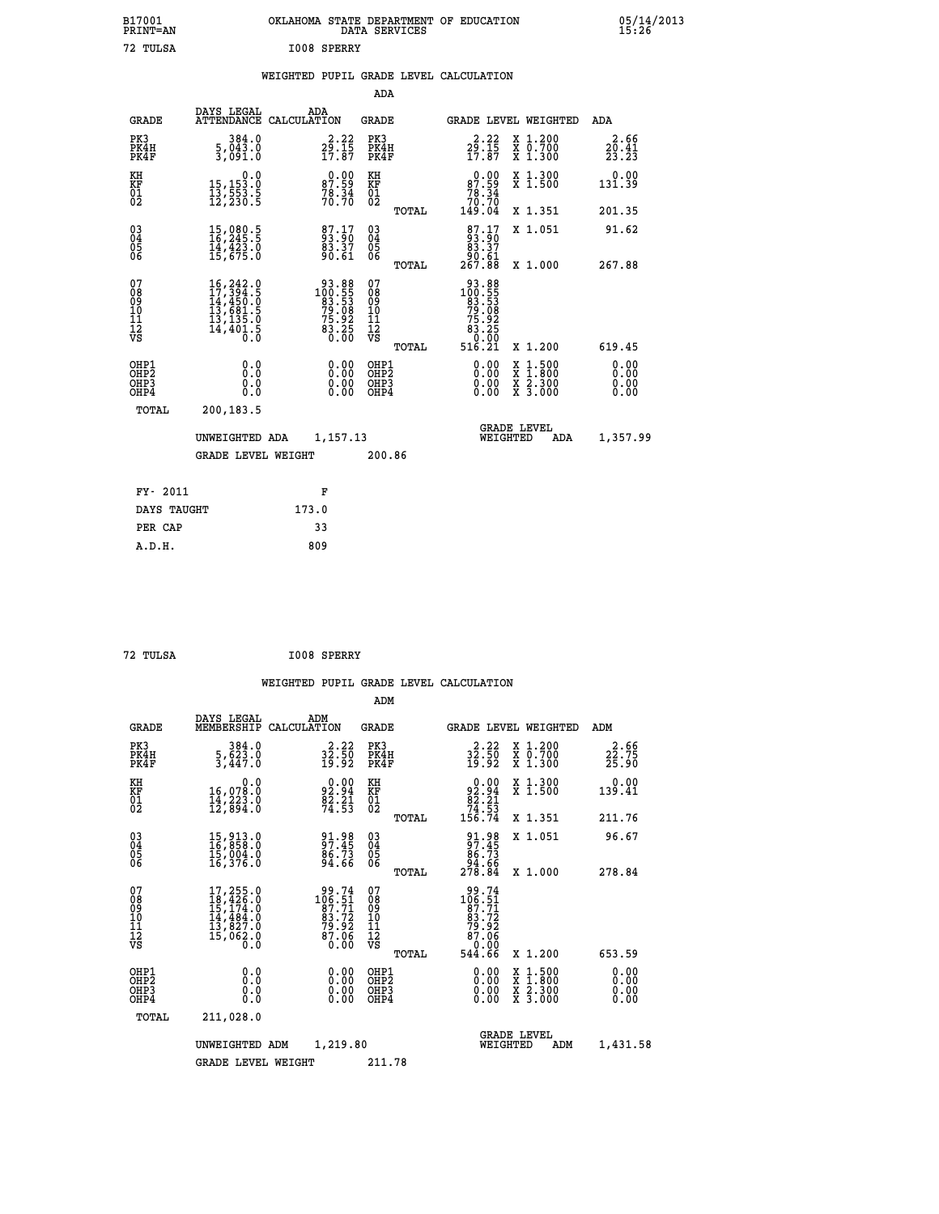| B17001<br>PRINT=AN<br>72<br>TULSA |                                              | OKLAHOMA<br>I008 SPERRY          |                                                    | STATE DEPARTMENT<br>DATA SERVICES | <b>EDUCATION</b><br>OF                                                   |                                 | 05/14/2013<br>15:26           |  |
|-----------------------------------|----------------------------------------------|----------------------------------|----------------------------------------------------|-----------------------------------|--------------------------------------------------------------------------|---------------------------------|-------------------------------|--|
|                                   |                                              | WEIGHTED                         |                                                    |                                   | PUPIL GRADE LEVEL CALCULATION                                            |                                 |                               |  |
|                                   |                                              |                                  | ADA                                                |                                   |                                                                          |                                 |                               |  |
| GRADE                             | DAYS LEGAL                                   | ADA<br>ATTENDANCE CALCULATION    | GRADE                                              |                                   |                                                                          | GRADE LEVEL WEIGHTED            | ADA                           |  |
| PK3<br>PK4H<br>PK4F               | 384.0<br>$\frac{5}{3}, \frac{043}{091}$ :0   | $29.22$<br>$29.15$<br>$17.87$    | PK3<br>PK4H<br>PK4F                                |                                   | $2\frac{3}{2} \cdot \frac{22}{15}$<br>17.87                              | X 1.200<br>X 0.700<br>$X$ 1.300 | 2.66<br>$\frac{20.41}{23.23}$ |  |
| KH<br>KF<br>01<br>02              | 0.0<br>15,153.0<br>13,553.5<br>12,230.5      | $87.59$<br>$78.34$<br>$70.70$    | KH<br>KF<br>01<br>02                               |                                   | $0.00\n87.59\n78.34\n70.70\n149.04$                                      | X 1.300<br>X <sub>1.500</sub>   | 0.00<br>131.39                |  |
|                                   |                                              |                                  |                                                    | TOTAL                             |                                                                          | X 1.351                         | 201.35                        |  |
| 03<br>04<br>05<br>06              | 15,080.5<br>16,245.5<br>14,423.0<br>15,675.0 | 87.17<br>93.90<br>83.37<br>90.61 | $\begin{matrix} 03 \\ 04 \\ 05 \\ 06 \end{matrix}$ |                                   | $\begin{smallmatrix}87.17\\93.90\\83.37\\90.61\\267.88\end{smallmatrix}$ | X 1.051                         | 91.62                         |  |
|                                   |                                              |                                  |                                                    | TOTAL                             |                                                                          | X 1.000                         | 267.88                        |  |

| 07<br>08<br>09<br>001<br>11<br>11<br>17<br>VS        | $16, 242.0$<br>$17, 394.5$<br>$14, 450.0$<br>$13, 681.5$<br>$13, 135.0$<br>$14, 401.5$<br>0.0 | 88.88<br>100.55<br>83.53<br>79.08<br>75.92<br>$8\overline{3}\cdot 2\overline{5}$<br>0.00 | 0789011112<br>1111112<br>VS<br>TOTAL     | 93.885<br>100.553<br>79.5382<br>75.9255<br>83.2550<br>83.5550<br>516.21 | X 1.200                                  | 619.45                                                                                                                                                                                                                                                                         |
|------------------------------------------------------|-----------------------------------------------------------------------------------------------|------------------------------------------------------------------------------------------|------------------------------------------|-------------------------------------------------------------------------|------------------------------------------|--------------------------------------------------------------------------------------------------------------------------------------------------------------------------------------------------------------------------------------------------------------------------------|
| OHP1<br>OHP <sub>2</sub><br>OH <sub>P3</sub><br>OHP4 | 0.0<br>0.0<br>0.0                                                                             | $\begin{smallmatrix} 0.00 \ 0.00 \ 0.00 \end{smallmatrix}$<br>0.00                       | OHP1<br>OHP <sub>2</sub><br>OHP3<br>OHP4 | 0.00                                                                    | x 1.500<br>x 1.800<br>x 2.300<br>X 3.000 | $\begin{smallmatrix} 0.00 & 0.00 & 0.00 & 0.00 & 0.00 & 0.00 & 0.00 & 0.00 & 0.00 & 0.00 & 0.00 & 0.00 & 0.00 & 0.00 & 0.00 & 0.00 & 0.00 & 0.00 & 0.00 & 0.00 & 0.00 & 0.00 & 0.00 & 0.00 & 0.00 & 0.00 & 0.00 & 0.00 & 0.00 & 0.00 & 0.00 & 0.00 & 0.00 & 0.00 & 0.00 & 0.0$ |
| TOTAL                                                | 200,183.5                                                                                     |                                                                                          |                                          |                                                                         | <b>GRADE LEVEL</b>                       |                                                                                                                                                                                                                                                                                |
|                                                      | UNWEIGHTED ADA<br><b>GRADE LEVEL WEIGHT</b>                                                   | 1,157.13                                                                                 | 200.86                                   | WEIGHTED                                                                | ADA                                      | 1,357.99                                                                                                                                                                                                                                                                       |
| <b>PV. 2011</b>                                      |                                                                                               | ъ                                                                                        |                                          |                                                                         |                                          |                                                                                                                                                                                                                                                                                |

| FY- 2011    | F     |
|-------------|-------|
| DAYS TAUGHT | 173.0 |
| PER CAP     | 33    |
| A.D.H.      | 809   |
|             |       |

```
 72 TULSA I008 SPERRY
```
 **ADM**

|  |  | WEIGHTED PUPIL GRADE LEVEL CALCULATION |
|--|--|----------------------------------------|
|  |  |                                        |

| <b>GRADE</b>                                         | DAYS LEGAL<br>MEMBERSHIP CALCULATION                                                  | ADM                                                                                           | <b>GRADE</b>                                           | <b>GRADE LEVEL WEIGHTED</b>                                                                                                                                                                                                                                                    |                                          | ADM                           |
|------------------------------------------------------|---------------------------------------------------------------------------------------|-----------------------------------------------------------------------------------------------|--------------------------------------------------------|--------------------------------------------------------------------------------------------------------------------------------------------------------------------------------------------------------------------------------------------------------------------------------|------------------------------------------|-------------------------------|
| PK3<br>PK4H<br>PK4F                                  | 384.0<br>5,623.0<br>3,447.0                                                           | 2.22<br>$3\bar{2}\,.\,\bar{5}\bar{0}\,$<br>19.92                                              | PK3<br>PK4H<br>PK4F                                    | $32.22$<br>$32.50$<br>$19.92$                                                                                                                                                                                                                                                  | X 1.200<br>X 0.700<br>X 1.300            | $22.56$<br>$22.75$<br>$25.90$ |
| KH<br><b>KF</b><br>01<br>02                          | 0.0<br>16,078.0<br>14,223.0<br>12,894.0                                               | $92.94$<br>$82.21$<br>$74.53$                                                                 | KH<br>KF<br>01<br>02                                   | 0.00<br>$\begin{array}{r} 92.94 \\ 82.21 \\ 74.53 \\ 156.74 \end{array}$                                                                                                                                                                                                       | X 1.300<br>X 1.500                       | 0.00<br>139.41                |
|                                                      |                                                                                       |                                                                                               | TOTAL                                                  |                                                                                                                                                                                                                                                                                | X 1.351                                  | 211.76                        |
| $\begin{matrix} 03 \\ 04 \\ 05 \\ 06 \end{matrix}$   | 15,913.0<br>16,858.0<br>īš,õõ4.õ<br>16,376.0                                          | 91.98<br>97.45<br>86.73<br>94.66                                                              | $\substack{03 \\ 04}$<br>05<br>06                      | $91.98\n97.45\n86.73\n94.66\n278.84$                                                                                                                                                                                                                                           | X 1.051                                  | 96.67                         |
|                                                      |                                                                                       |                                                                                               | TOTAL                                                  |                                                                                                                                                                                                                                                                                | X 1.000                                  | 278.84                        |
| 07<br>08<br>09<br>101<br>11<br>12<br>VS              | 17,255.0<br>18,426.0<br>$15,174.0$<br>$14,484.0$<br>$13,827.0$<br>$15,062.0$<br>$0.0$ | $\begin{smallmatrix} 99.74\\ 106.51\\ 87.71\\ 83.72\\ 79.92\\ 87.06\\ 0.00 \end{smallmatrix}$ | 07<br>08<br>09<br>001<br>11<br>11<br>12<br>VS<br>TOTAL | $\begin{smallmatrix} 99.74\\ 106.51\\ 87.71\\ 83.72\\ 79.92\\ 87.06\\ 0.00\\ 544.66 \end{smallmatrix}$                                                                                                                                                                         | X 1.200                                  | 653.59                        |
| OHP1<br>OHP <sub>2</sub><br>OH <sub>P3</sub><br>OHP4 | 0.0<br>0.000                                                                          | $0.00$<br>$0.00$<br>0.00                                                                      | OHP1<br>OHP <sub>2</sub><br>OHP3<br>OHP4               | $\begin{smallmatrix} 0.00 & 0.00 & 0.00 & 0.00 & 0.00 & 0.00 & 0.00 & 0.00 & 0.00 & 0.00 & 0.00 & 0.00 & 0.00 & 0.00 & 0.00 & 0.00 & 0.00 & 0.00 & 0.00 & 0.00 & 0.00 & 0.00 & 0.00 & 0.00 & 0.00 & 0.00 & 0.00 & 0.00 & 0.00 & 0.00 & 0.00 & 0.00 & 0.00 & 0.00 & 0.00 & 0.0$ | X 1:500<br>X 1:800<br>X 2:300<br>X 3:000 | 0.00<br>0.00<br>0.00<br>0.00  |
| TOTAL                                                | 211,028.0                                                                             |                                                                                               |                                                        |                                                                                                                                                                                                                                                                                |                                          |                               |
|                                                      | UNWEIGHTED                                                                            | 1,219.80<br>ADM                                                                               |                                                        | WEIGHTED                                                                                                                                                                                                                                                                       | <b>GRADE LEVEL</b><br>ADM                | 1,431.58                      |
|                                                      | <b>GRADE LEVEL WEIGHT</b>                                                             |                                                                                               | 211.78                                                 |                                                                                                                                                                                                                                                                                |                                          |                               |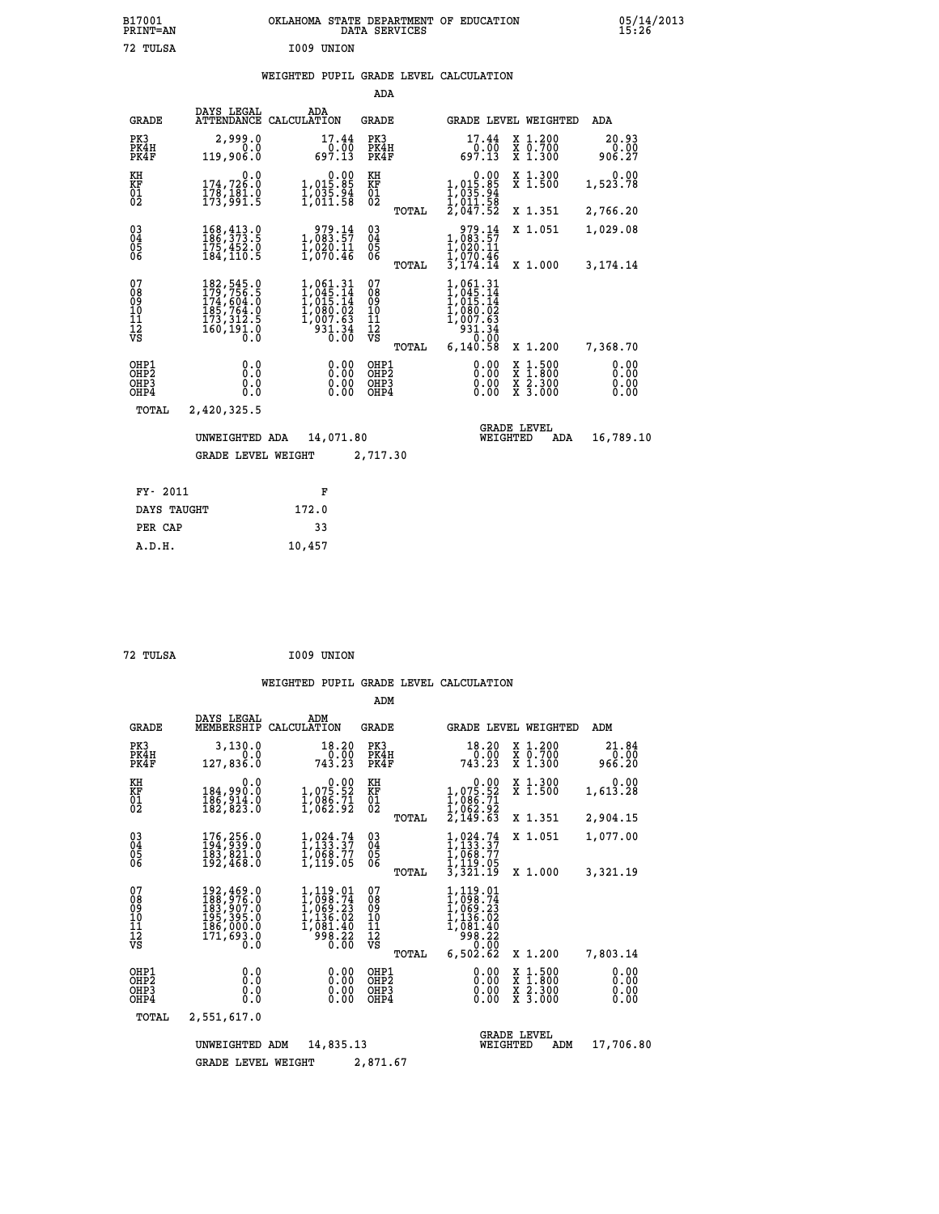| B17001<br><b>PRINT=AN</b> | OKLAHOMA STATE DEPARTMENT OF EDUCATION<br>DATA SERVICES | 05/14/2013<br>15:26 |
|---------------------------|---------------------------------------------------------|---------------------|
| 72 TULSA                  | I009 UNION                                              |                     |

|                                        |                                                                                                                                                             |                                                                                                              | ADA                                       |       |                                                                                                    |                                |                                                                                                   |                              |
|----------------------------------------|-------------------------------------------------------------------------------------------------------------------------------------------------------------|--------------------------------------------------------------------------------------------------------------|-------------------------------------------|-------|----------------------------------------------------------------------------------------------------|--------------------------------|---------------------------------------------------------------------------------------------------|------------------------------|
| <b>GRADE</b>                           | DAYS LEGAL<br>ATTENDANCE                                                                                                                                    | ADA<br>CALCULATION                                                                                           | GRADE                                     |       |                                                                                                    |                                | GRADE LEVEL WEIGHTED                                                                              | ADA                          |
| PK3<br>PK4H<br>PK4F                    | 2,999.0<br>0.0<br>119,906.0                                                                                                                                 | 17.44<br>0.00<br>697.13                                                                                      | PK3<br>PK4H<br>PK4F                       |       | 17.44<br>0.00<br>697.13                                                                            |                                | X 1.200<br>$\begin{array}{c} \overline{x} & \overline{0}.700 \\ \overline{x} & 1.300 \end{array}$ | 20.93<br>0.00<br>906.27      |
| KH<br><b>KF</b><br>01<br>02            | 0.0<br>174,726.0<br>$178, 181.8$<br>$173, 991.5$                                                                                                            | 1,015.00<br>$\frac{1}{2}$ , $\frac{035}{011}$ , $\frac{54}{08}$                                              | KH<br><b>KF</b><br>01<br>02               |       | 0.00<br>$1,015.85$<br>$1,035.94$<br>$1,011.58$<br>$2,047.52$                                       |                                | X 1.300<br>$\overline{x}$ 1.500                                                                   | 0.00<br>1,523.78             |
|                                        |                                                                                                                                                             |                                                                                                              |                                           | TOTAL |                                                                                                    |                                | X 1.351                                                                                           | 2,766.20                     |
| $^{03}_{04}$<br>05<br>06               | 168, 413.0<br>175,452.0<br>184, 110.5                                                                                                                       | 979.14<br>1,083.57<br>$\frac{1}{1}$ , 020.11<br>1,070.46                                                     | $\substack{03 \\ 04}$<br>0500             |       | 979.14<br>1,083.57<br>1,020.11                                                                     |                                | X 1.051                                                                                           | 1,029.08                     |
|                                        |                                                                                                                                                             |                                                                                                              |                                           | TOTAL | ī, 070.46<br>3,174.14                                                                              |                                | X 1.000                                                                                           | 3,174.14                     |
| 07<br>08<br>09<br>11<br>11<br>12<br>VS | $\begin{smallmatrix} 182, 545\cdot 0\\ 179, 756\cdot 5\\ 174, 604\cdot 0\\ 185, 764\cdot 0\\ 173, 312\cdot 5\\ 160, 191\cdot 0\\ 0\cdot 0\end{smallmatrix}$ | $\begin{smallmatrix} 1,061.31\\ 1,045.14\\ 1,015.14\\ 1,080.02\\ 1,007.63\\ 931.34\\ 0.00 \end{smallmatrix}$ | 07<br>08<br>09<br>11<br>11<br>12<br>VS    |       | 1,061.31<br>$1,045.14$<br>$1,015.14$<br>$1,080.02$<br>$1,007.63$<br>$931.34$<br>$\overline{0}$ .00 |                                |                                                                                                   |                              |
|                                        |                                                                                                                                                             |                                                                                                              |                                           | TOTAL | 6,140.58                                                                                           |                                | X 1.200                                                                                           | 7,368.70                     |
| OHP1<br>OHP2<br>OHP3<br>OHP4           | 0.0<br>0.0<br>0.0<br>0.0                                                                                                                                    | 0.00<br>0.00<br>0.00                                                                                         | OHP1<br>OH <sub>P</sub> 2<br>OHP3<br>OHP4 |       | 0.00<br>0.00<br>0.00<br>0.00                                                                       |                                | $\frac{x}{x}$ $\frac{1.500}{x}$<br>$\frac{\overline{x}}{x}$ $\frac{2.300}{3.000}$                 | 0.00<br>0.00<br>0.00<br>0.00 |
| TOTAL                                  | 2,420,325.5                                                                                                                                                 |                                                                                                              |                                           |       |                                                                                                    |                                |                                                                                                   |                              |
|                                        | UNWEIGHTED ADA                                                                                                                                              | 14,071.80                                                                                                    |                                           |       |                                                                                                    | <b>GRADE LEVEL</b><br>WEIGHTED | ADA                                                                                               | 16,789.10                    |
|                                        | <b>GRADE LEVEL WEIGHT</b>                                                                                                                                   |                                                                                                              | 2,717.30                                  |       |                                                                                                    |                                |                                                                                                   |                              |
|                                        |                                                                                                                                                             |                                                                                                              |                                           |       |                                                                                                    |                                |                                                                                                   |                              |
| FY- 2011                               |                                                                                                                                                             | F                                                                                                            |                                           |       |                                                                                                    |                                |                                                                                                   |                              |
| DAYS TAUGHT                            |                                                                                                                                                             | 172.0                                                                                                        |                                           |       |                                                                                                    |                                |                                                                                                   |                              |

| 72 TULSA | I009 UNION |
|----------|------------|

 **PER CAP 33 A.D.H. 10,457**

|                                                                    |                                          |                                                                                   |                                                                                | ADM                                                |                                                                                                |                                                                               |                              |
|--------------------------------------------------------------------|------------------------------------------|-----------------------------------------------------------------------------------|--------------------------------------------------------------------------------|----------------------------------------------------|------------------------------------------------------------------------------------------------|-------------------------------------------------------------------------------|------------------------------|
|                                                                    | <b>GRADE</b>                             | DAYS LEGAL<br>MEMBERSHIP                                                          | ADM<br>CALCULATION                                                             | <b>GRADE</b>                                       |                                                                                                | <b>GRADE LEVEL WEIGHTED</b>                                                   | ADM                          |
|                                                                    | PK3<br>PK4H<br>PK4F                      | 3,130.0<br>0.0<br>127,836.0                                                       | 18.20<br>0.00<br>743.23                                                        | PK3<br>PK4H<br>PK4F                                | 18.20<br>0.00<br>743.23                                                                        | X 1.200<br>X 0.700<br>X 1.300                                                 | 21.84<br>0.00<br>966.20      |
| KH<br>KF<br>01<br>02                                               |                                          | 0.0<br>184,990.0<br>186,914.0<br>182,823.0                                        | $\begin{smallmatrix} &0.00\\ 1,075.52\\ 1,086.71\\ 1,062.92 \end{smallmatrix}$ | KH<br>KF<br>01<br>02                               | 0.00<br>$1,075.52$<br>$1,086.71$<br>$1,062.92$<br>$2,149.63$                                   | X 1.300<br>X 1.500                                                            | 0.00<br>1,613.28             |
|                                                                    |                                          |                                                                                   |                                                                                | TOTAL                                              |                                                                                                | X 1.351                                                                       | 2,904.15                     |
| $\begin{smallmatrix} 03 \\[-4pt] 04 \end{smallmatrix}$<br>Ŏ5<br>06 |                                          | 176,256.0<br>194,939.0<br>183,821.0<br>192,468.0                                  | $1,024.74$<br>$1,133.37$<br>$1,068.77$<br>$1,119.05$                           | $\begin{matrix} 03 \\ 04 \\ 05 \\ 06 \end{matrix}$ | 1,024.74<br>1,133.37<br>1,068.77<br>ī,119.05                                                   | X 1.051                                                                       | 1,077.00                     |
|                                                                    |                                          |                                                                                   |                                                                                | TOTAL                                              | 3,321.19                                                                                       | X 1.000                                                                       | 3,321.19                     |
| 07<br>08<br>09<br>11<br>11<br>12<br>VS                             |                                          | 192,469.0<br>188,976.0<br>183,907.0<br>195,385.0<br>186,000:0<br>171,693.0<br>0:0 | 1,119.01<br>1,098.74<br>1,069.23<br>1,136.02<br>I, 081.40<br>998.22<br>0.00    | 07<br>089<br>101<br>111<br>VS<br>TOTAL             | 1,119.01<br>1,098.74<br>$1,069.23$<br>$1,136.02$<br>$1,081.40$<br>$998.22$<br>0.00<br>6,502.62 | X 1.200                                                                       | 7,803.14                     |
|                                                                    | OHP1<br>OHP2<br>OH <sub>P3</sub><br>OHP4 | 0.0<br>0.0<br>0.0<br>0.0                                                          | 0.00<br>0.00<br>0.00                                                           | OHP1<br>OHP2<br>OHP3<br>OHP4                       | 0.00<br>0.00<br>0.00                                                                           | $\begin{array}{c} x & 1.500 \\ x & 1.800 \\ x & 2.300 \end{array}$<br>X 3.000 | 0.00<br>0.00<br>0.00<br>0.00 |
|                                                                    | TOTAL                                    | 2,551,617.0                                                                       |                                                                                |                                                    |                                                                                                |                                                                               |                              |
|                                                                    |                                          | UNWEIGHTED                                                                        | 14,835.13<br>ADM                                                               |                                                    | WEIGHTED                                                                                       | <b>GRADE LEVEL</b><br>ADM                                                     | 17,706.80                    |
|                                                                    |                                          | <b>GRADE LEVEL WEIGHT</b>                                                         |                                                                                | 2,871.67                                           |                                                                                                |                                                                               |                              |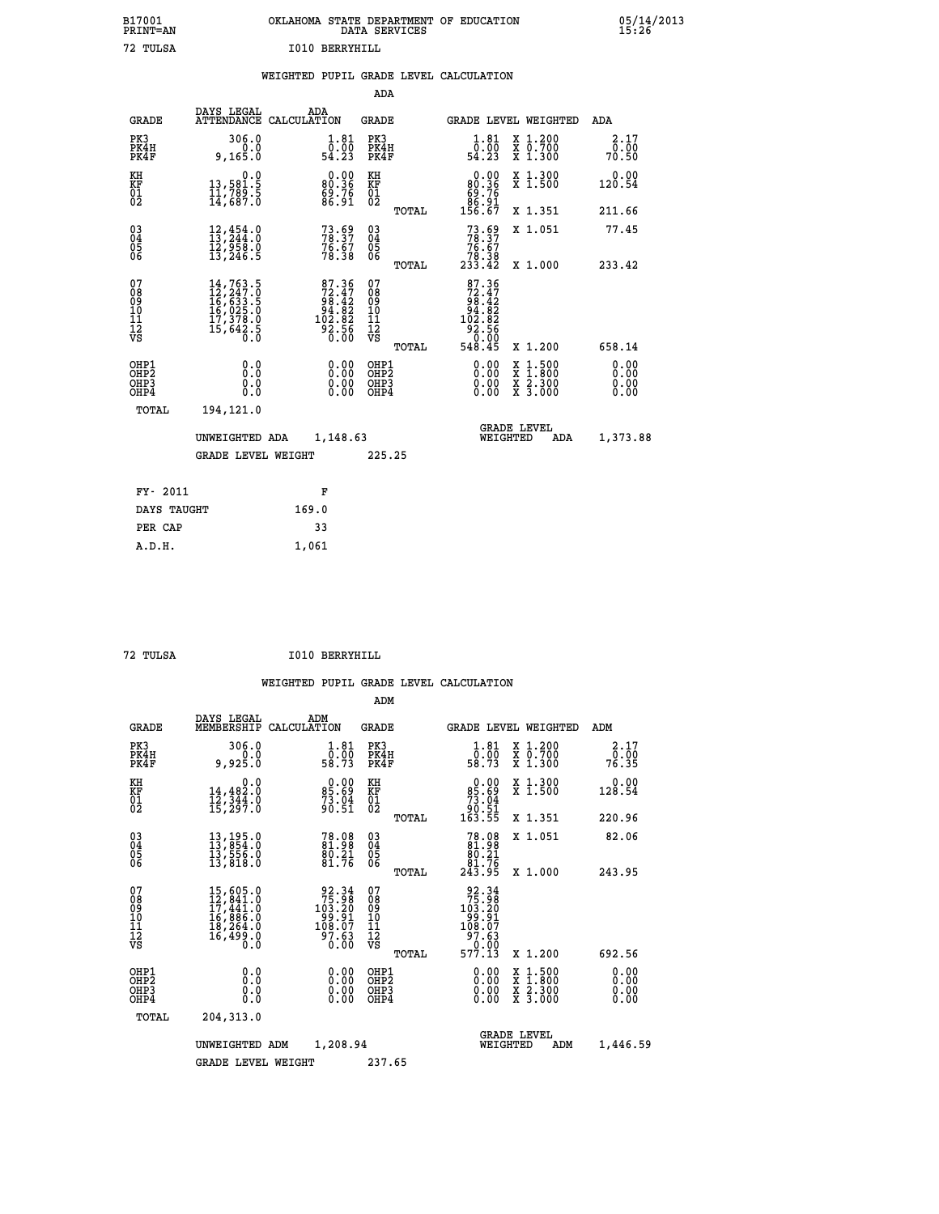| B17001          | OKLAHOMA STATE DEPARTMENT OF EDUCATION |
|-----------------|----------------------------------------|
| <b>PRINT=AN</b> | DATA SERVICES                          |
| 72 TULSA        | T010 BERRYHTLL                         |

 **B17001 OKLAHOMA STATE DEPARTMENT OF EDUCATION 05/14/2013**

|  |  | WEIGHTED PUPIL GRADE LEVEL CALCULATION |
|--|--|----------------------------------------|
|  |  |                                        |

|                                                                    |                                                                                                                                                     |                                                                         | ADA                                       |       |                                                                                           |                                                                            |                              |
|--------------------------------------------------------------------|-----------------------------------------------------------------------------------------------------------------------------------------------------|-------------------------------------------------------------------------|-------------------------------------------|-------|-------------------------------------------------------------------------------------------|----------------------------------------------------------------------------|------------------------------|
| <b>GRADE</b>                                                       | DAYS LEGAL                                                                                                                                          | ADA<br>ATTENDANCE CALCULATION                                           | <b>GRADE</b>                              |       |                                                                                           | GRADE LEVEL WEIGHTED                                                       | ADA                          |
| PK3<br>PK4H<br>PK4F                                                | 306.0<br>0.0<br>9, 165.0                                                                                                                            | $\begin{smallmatrix}1.81\0.00\\54.23\end{smallmatrix}$                  | PK3<br>PK4H<br>PK4F                       |       | $\substack{1.81 \\ 0.00 \\ 54.23}$                                                        | X 1.200<br>X 0.700<br>X 1.300                                              | 2.17<br>0.00<br>70.50        |
| KH<br>KF<br>01<br>02                                               | 0.0<br>13,581.5<br>11,789.5<br>14,687.0                                                                                                             | $\begin{smallmatrix} 0.00\\ 80.36\\ 69.76\\ 86.91 \end{smallmatrix}$    | KH<br>KF<br>01<br>02                      |       | $\begin{smallmatrix} &0.00\\ &80.36\\ &69.76\\ &86.91\\ &86.91\\ 156.67\end{smallmatrix}$ | X 1.300<br>X 1.500                                                         | 0.00<br>120.54               |
|                                                                    |                                                                                                                                                     |                                                                         |                                           | TOTAL |                                                                                           | X 1.351                                                                    | 211.66                       |
| $\begin{smallmatrix} 03 \\[-4pt] 04 \end{smallmatrix}$<br>05<br>ŌĞ | 12,454.0<br>13,244.0<br>12,958.0<br>13,246.5                                                                                                        | $73.59$<br>$78.37$<br>$76.67$<br>$78.38$                                | $\substack{03 \\ 04}$<br>05<br>06         |       | $73.69$<br>$78.37$<br>$76.67$<br>$78.38$<br>$233.42$                                      | X 1.051                                                                    | 77.45                        |
|                                                                    |                                                                                                                                                     |                                                                         |                                           | TOTAL |                                                                                           | X 1.000                                                                    | 233.42                       |
| 07<br>08<br>09<br>11<br>11<br>12<br>VS                             | $\begin{smallmatrix} 14\,,\,763\,.5\\ 12\,,\,247\,.0\\ 16\,,\,633\,.5\\ 16\,,\,025\,.0\\ 17\,,\,378\,.0\\ 15\,,\,642\,.5\\ 0\,.0 \end{smallmatrix}$ | 87.36<br>$72.47$<br>$98.42$<br>$94.82$<br>$102.82$<br>$92.56$<br>$0.00$ | 07<br>08<br>09<br>11<br>11<br>12<br>VS    |       | 87.36<br>$72.472$<br>$98.422$<br>$94.822$<br>$102.82$<br>$92.566$<br>$0.005$<br>$548.45$  |                                                                            |                              |
|                                                                    |                                                                                                                                                     |                                                                         |                                           | TOTAL |                                                                                           | X 1.200                                                                    | 658.14                       |
| OHP1<br>OHP <sub>2</sub><br>OHP3<br>OHP4                           | 0.0<br>Ō.Ō<br>0.0<br>Ō.Ō                                                                                                                            | 0.00<br>$\begin{smallmatrix} 0.00 \ 0.00 \end{smallmatrix}$             | OHP1<br>OH <sub>P</sub> 2<br>OHP3<br>OHP4 |       | 0.00<br>0.00<br>0.00                                                                      | $1:500$<br>$1:800$<br>X<br>X<br>$\frac{\ddot{x}}{x}$ $\frac{2.300}{3.000}$ | 0.00<br>0.00<br>0.00<br>0.00 |
| TOTAL                                                              | 194,121.0                                                                                                                                           |                                                                         |                                           |       |                                                                                           |                                                                            |                              |
|                                                                    | UNWEIGHTED ADA                                                                                                                                      | 1,148.63                                                                |                                           |       |                                                                                           | <b>GRADE LEVEL</b><br>WEIGHTED<br>ADA                                      | 1,373.88                     |
|                                                                    | <b>GRADE LEVEL WEIGHT</b>                                                                                                                           |                                                                         | 225.25                                    |       |                                                                                           |                                                                            |                              |
| FY- 2011                                                           |                                                                                                                                                     |                                                                         |                                           |       |                                                                                           |                                                                            |                              |
|                                                                    |                                                                                                                                                     | F                                                                       |                                           |       |                                                                                           |                                                                            |                              |
| DAYS TAUGHT                                                        |                                                                                                                                                     | 169.0                                                                   |                                           |       |                                                                                           |                                                                            |                              |
| PER CAP                                                            |                                                                                                                                                     | 33                                                                      |                                           |       |                                                                                           |                                                                            |                              |

 **A.D.H. 1,061**

 **ADM**

 **72 TULSA I010 BERRYHILL**

| <b>GRADE</b>                                         | DAYS LEGAL                                                                                                                                                                                               | ADM<br>MEMBERSHIP CALCULATION                                                               | <b>GRADE</b>                                           | <b>GRADE LEVEL WEIGHTED</b>                                                                                                                                                                                                                                                    |                                          | ADM                   |
|------------------------------------------------------|----------------------------------------------------------------------------------------------------------------------------------------------------------------------------------------------------------|---------------------------------------------------------------------------------------------|--------------------------------------------------------|--------------------------------------------------------------------------------------------------------------------------------------------------------------------------------------------------------------------------------------------------------------------------------|------------------------------------------|-----------------------|
| PK3<br>PK4H<br>PK4F                                  | 306.0<br>0.0<br>9,925.0                                                                                                                                                                                  | 1.81<br>$\bar{0}.\bar{0}\bar{0}$<br>58.73                                                   | PK3<br>PK4H<br>PK4F                                    | $\begin{smallmatrix}1.81\0.00\\58.73\end{smallmatrix}$                                                                                                                                                                                                                         | X 1.200<br>X 0.700<br>X 1.300            | 2.17<br>0.00<br>76.35 |
| KH<br><b>KF</b><br>01<br>02                          | 0.0<br>$14, 482.0$<br>$12, 344.0$<br>$15, 297.0$                                                                                                                                                         | $\begin{smallmatrix} 0.00\\ 85.69\\ 73.04\\ 90.51 \end{smallmatrix}$                        | KH<br>KF<br>01<br>02                                   | $0.00\n85.69\n73.04\n90.51\n163.55$                                                                                                                                                                                                                                            | X 1.300<br>X 1.500                       | 0.00<br>128.54        |
|                                                      |                                                                                                                                                                                                          |                                                                                             | TOTAL                                                  |                                                                                                                                                                                                                                                                                | X 1.351                                  | 220.96                |
| $\begin{matrix} 03 \\ 04 \\ 05 \\ 06 \end{matrix}$   | $\begin{smallmatrix} 13 \ , \ 13 \ , \ 854 \ . \ 0 \\ 13 \ , \ 556 \ . \ 0 \\ 13 \ , \ 516 \ . \ 0 \\ 13 \ , \ 818 \ . \ 0 \\ \end{smallmatrix}$                                                         | 78.08<br>81.98<br>$\frac{80.21}{81.76}$                                                     | $\substack{03 \\ 04}$<br>Ŏ5<br>06                      | $78.08\n81.98\n80.21\n81.76\n243.95$                                                                                                                                                                                                                                           | X 1.051                                  | 82.06                 |
|                                                      |                                                                                                                                                                                                          |                                                                                             | TOTAL                                                  |                                                                                                                                                                                                                                                                                | X 1.000                                  | 243.95                |
| 07<br>08<br>09<br>101<br>11<br>12<br>VS              | $\begin{smallmatrix} 15 \,,\, 605 \,. \, 0 \\ 12 \,,\, 841 \,. \, 0 \\ 17 \,,\, 441 \,. \, 0 \\ 16 \,,\, 886 \,. \, 0 \\ 18 \,,\, 264 \,. \, 0 \\ 16 \,,\, 499 \,. \, 0 \\ 0 \,. \, 0 \end{smallmatrix}$ | $\begin{array}{r} 92.34 \\ 75.98 \\ 103.20 \\ 99.91 \\ 108.07 \\ 97.63 \\ 0.00 \end{array}$ | 07<br>08<br>09<br>001<br>11<br>11<br>12<br>VS<br>TOTAL | $\begin{array}{r} 92.34 \\ 75.98 \\ 103.20 \\ 99.91 \\ 108.07 \\ 97.63 \\ 0.00 \\ 577.13 \end{array}$                                                                                                                                                                          | X 1.200                                  | 692.56                |
| OHP1<br>OHP <sub>2</sub><br>OH <sub>P3</sub><br>OHP4 |                                                                                                                                                                                                          | $0.00$<br>$0.00$<br>0.00                                                                    | OHP1<br>OHP2<br>OHP3<br>OHP4                           | $\begin{smallmatrix} 0.00 & 0.00 & 0.00 & 0.00 & 0.00 & 0.00 & 0.00 & 0.00 & 0.00 & 0.00 & 0.00 & 0.00 & 0.00 & 0.00 & 0.00 & 0.00 & 0.00 & 0.00 & 0.00 & 0.00 & 0.00 & 0.00 & 0.00 & 0.00 & 0.00 & 0.00 & 0.00 & 0.00 & 0.00 & 0.00 & 0.00 & 0.00 & 0.00 & 0.00 & 0.00 & 0.0$ | X 1:500<br>X 1:800<br>X 2:300<br>X 3:000 | 0.00<br>0.00<br>0.00  |
| TOTAL                                                | 204,313.0                                                                                                                                                                                                |                                                                                             |                                                        |                                                                                                                                                                                                                                                                                |                                          |                       |
|                                                      | UNWEIGHTED                                                                                                                                                                                               | 1,208.94<br>ADM                                                                             |                                                        | WEIGHTED                                                                                                                                                                                                                                                                       | <b>GRADE LEVEL</b><br>ADM                | 1,446.59              |
|                                                      | <b>GRADE LEVEL WEIGHT</b>                                                                                                                                                                                |                                                                                             | 237.65                                                 |                                                                                                                                                                                                                                                                                |                                          |                       |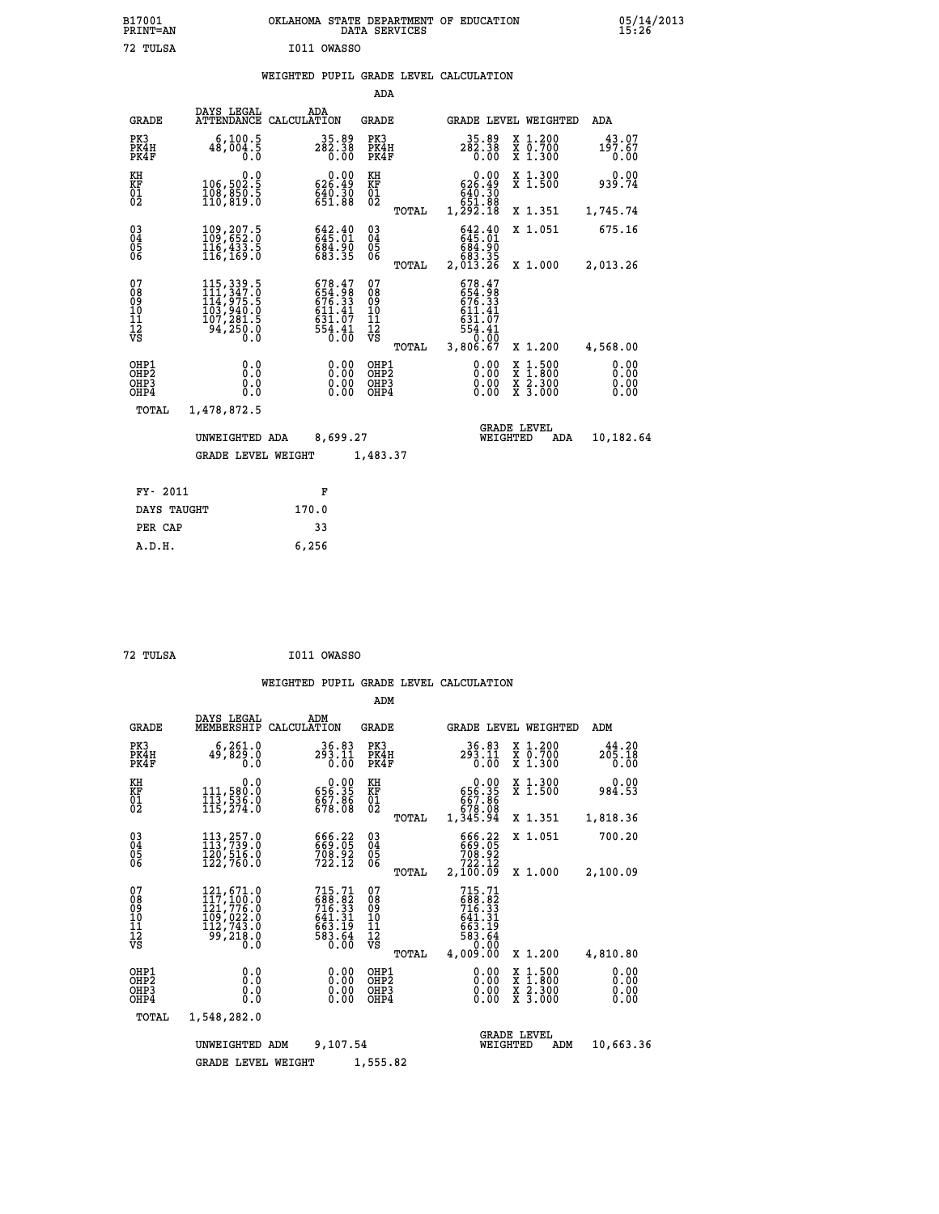|             | OKLAHOMA STATE DEPARTMENT OF EDUCATION<br>DATA SERVICES |  |
|-------------|---------------------------------------------------------|--|
| I011 OWASSO |                                                         |  |

|                                        |                                                                                        |             |                                                                                                 | ADA                                     |       |                                                                                                                   |                                |                                                       |                              |
|----------------------------------------|----------------------------------------------------------------------------------------|-------------|-------------------------------------------------------------------------------------------------|-----------------------------------------|-------|-------------------------------------------------------------------------------------------------------------------|--------------------------------|-------------------------------------------------------|------------------------------|
| <b>GRADE</b>                           | DAYS LEGAL<br>ATTENDANCE                                                               | CALCULATION | ADA                                                                                             | GRADE                                   |       |                                                                                                                   |                                | GRADE LEVEL WEIGHTED                                  | <b>ADA</b>                   |
| PK3<br>PK4H<br>PK4F                    | 6, 100.5<br>48,004.5<br>0.0                                                            |             | 35.89<br>$282.38$<br>$0.00$                                                                     | PK3<br>PK4H<br>PK4F                     |       | 35.89<br>282.38                                                                                                   | 0.00                           | X 1.200<br>X 0.700<br>X 1.300                         | 43.07<br>197.67<br>0.00      |
| KH<br><b>KF</b><br>01<br>02            | 0.0<br>106,502.5<br>108,850.5<br>110,819.0                                             |             | 0.00<br>626.49<br>$640.30$<br>$651.88$                                                          | KH<br>KF<br>$\overline{01}$             |       | 626.49<br>640.30<br>651.88<br>1,292.18                                                                            | 0.00                           | X 1.300<br>$\overline{x}$ 1.500                       | 0.00<br>939.74               |
|                                        |                                                                                        |             |                                                                                                 |                                         | TOTAL |                                                                                                                   |                                | X 1.351                                               | 1,745.74                     |
| $^{03}_{04}$<br>05<br>06               | 109,207.5<br>116,433.5<br>116, 169.0                                                   |             | 642.40<br>645.01<br>684.90<br>683.35                                                            | $\substack{03 \\ 04}$<br>05<br>06       |       | 642.40<br>645.01<br>00.183<br>883.35<br>2,013.26                                                                  |                                | X 1.051                                               | 675.16                       |
|                                        |                                                                                        |             |                                                                                                 |                                         | TOTAL |                                                                                                                   |                                | X 1.000                                               | 2,013.26                     |
| 07<br>08<br>09<br>11<br>11<br>12<br>VS | 115, 339.5<br>111, 347.0<br>114, 975.5<br>103, 940.0<br>107, 281.5<br>94, 250.0<br>Ō.Ŏ |             | 678.47<br>654.98<br>676.33<br>611.41<br>$\begin{array}{c} 631.77 \\ 554.41 \\ 0.00 \end{array}$ | 07<br>08<br>09<br>101<br>11<br>12<br>VS | TOTAL | 678.47<br>$654.98$<br>$676.33$<br>$611.41$<br>$\begin{array}{c} 631.77 \\ 554.41 \\ 0.00 \end{array}$<br>3,806.67 |                                | X 1.200                                               | 4,568.00                     |
| OHP1<br>OHP2<br>OHP3<br>OHP4           | 0.0<br>0.0<br>0.0<br>0.0                                                               |             | 0.00<br>0.00<br>0.00                                                                            | OHP1<br>OHP2<br>OHP3<br>OHP4            |       |                                                                                                                   | 0.00<br>0.00<br>0.00           | $\frac{x}{x}$ $\frac{1.500}{x}$<br>X 2.300<br>X 3.000 | 0.00<br>0.00<br>0.00<br>0.00 |
| TOTAL                                  | 1,478,872.5                                                                            |             |                                                                                                 |                                         |       |                                                                                                                   |                                |                                                       |                              |
|                                        | UNWEIGHTED ADA                                                                         |             | 8,699.27                                                                                        |                                         |       |                                                                                                                   | <b>GRADE LEVEL</b><br>WEIGHTED | ADA                                                   | 10,182.64                    |
|                                        | <b>GRADE LEVEL WEIGHT</b>                                                              |             |                                                                                                 | 1,483.37                                |       |                                                                                                                   |                                |                                                       |                              |
| FY- 2011                               |                                                                                        |             | F                                                                                               |                                         |       |                                                                                                                   |                                |                                                       |                              |
| DAYS TAUGHT                            |                                                                                        | 170.0       |                                                                                                 |                                         |       |                                                                                                                   |                                |                                                       |                              |
|                                        |                                                                                        |             |                                                                                                 |                                         |       |                                                                                                                   |                                |                                                       |                              |

| 72 TULSA | I011 OWASSO |
|----------|-------------|
|          |             |

 **PER CAP 33 A.D.H. 6,256**

 **B17001<br>PRINT=AN<br>72 TULSA** 

|                                        |                                                                                                                       |                                                                        | ADM                                    |                                                                            |                                                                                                  |                              |
|----------------------------------------|-----------------------------------------------------------------------------------------------------------------------|------------------------------------------------------------------------|----------------------------------------|----------------------------------------------------------------------------|--------------------------------------------------------------------------------------------------|------------------------------|
| <b>GRADE</b>                           | DAYS LEGAL<br>MEMBERSHIP                                                                                              | ADM<br>CALCULATION                                                     | GRADE                                  |                                                                            | <b>GRADE LEVEL WEIGHTED</b>                                                                      | ADM                          |
| PK3<br>PK4H<br>PK4F                    | 6, 261.0<br>49,829.0<br>0.0                                                                                           | 36.83<br>293.11<br>0.00                                                | PK3<br>PK4H<br>PK4F                    | 36.83<br>293.11<br>0.00                                                    | X 1.200<br>X 0.700<br>X 1.300                                                                    | 44.20<br>205.18<br>0.00      |
| KH<br>KF<br>01<br>02                   | 0.0<br>111,580.0<br>113,536.0<br>115,274.0                                                                            | $\begin{smallmatrix} &0.00\ 656.35\ 657.86\ 678.08\ \end{smallmatrix}$ | KH<br>KF<br>01<br>02                   | 0.00<br>656.35<br>667.86<br>678.08<br>1,345.94                             | X 1.300<br>X 1.500                                                                               | 0.00<br>984.53               |
|                                        |                                                                                                                       |                                                                        | TOTAL                                  |                                                                            | X 1.351                                                                                          | 1,818.36                     |
| 030404<br>06                           | $\begin{smallmatrix} 113\,,\,257\,.\,0\\ 113\,,\,739\,.\,0\\ 120\,,\,516\,.\,0\\ 122\,,\,760\,.\,0 \end{smallmatrix}$ | 666.22<br>669.05<br>708.92<br>722.12                                   | 030404<br>06                           | 666.22<br>669.05<br>708.92<br>722.12                                       | X 1.051                                                                                          | 700.20                       |
|                                        |                                                                                                                       |                                                                        | TOTAL                                  | 2,100.09                                                                   | X 1.000                                                                                          | 2,100.09                     |
| 07<br>08<br>09<br>11<br>11<br>12<br>VS | 121,671.0<br>117,100.0<br>121,776.0<br>109,022.0<br>112,743.0<br>$\frac{1}{9}$ , 218.0                                | 715.71<br>688.82<br>716.33<br>641.31<br>663.19<br>583.64<br>0.00       | 07<br>08<br>09<br>11<br>11<br>12<br>VS | 715.71<br>688.82<br>716.33<br>641.31<br>663.19<br>663.19<br>583.64<br>0.00 |                                                                                                  |                              |
|                                        |                                                                                                                       |                                                                        | <b>TOTAL</b>                           | 4,009.00                                                                   | X 1.200                                                                                          | 4,810.80                     |
| OHP1<br>OHP2<br>OHP3<br>OHP4           | 0.0<br>0.000                                                                                                          | 0.00                                                                   | OHP1<br>OHP2<br>OHP3<br>OHP4           | $0.00$<br>$0.00$<br>0.00                                                   | $\begin{smallmatrix} x & 1 & 500 \\ x & 1 & 800 \\ x & 2 & 300 \\ x & 3 & 000 \end{smallmatrix}$ | 0.00<br>0.00<br>0.00<br>0.00 |
| TOTAL                                  | 1,548,282.0                                                                                                           |                                                                        |                                        |                                                                            |                                                                                                  |                              |
|                                        | UNWEIGHTED                                                                                                            | 9,107.54<br>ADM                                                        |                                        | WEIGHTED                                                                   | <b>GRADE LEVEL</b><br>ADM                                                                        | 10,663.36                    |
|                                        | <b>GRADE LEVEL WEIGHT</b>                                                                                             |                                                                        | 1,555.82                               |                                                                            |                                                                                                  |                              |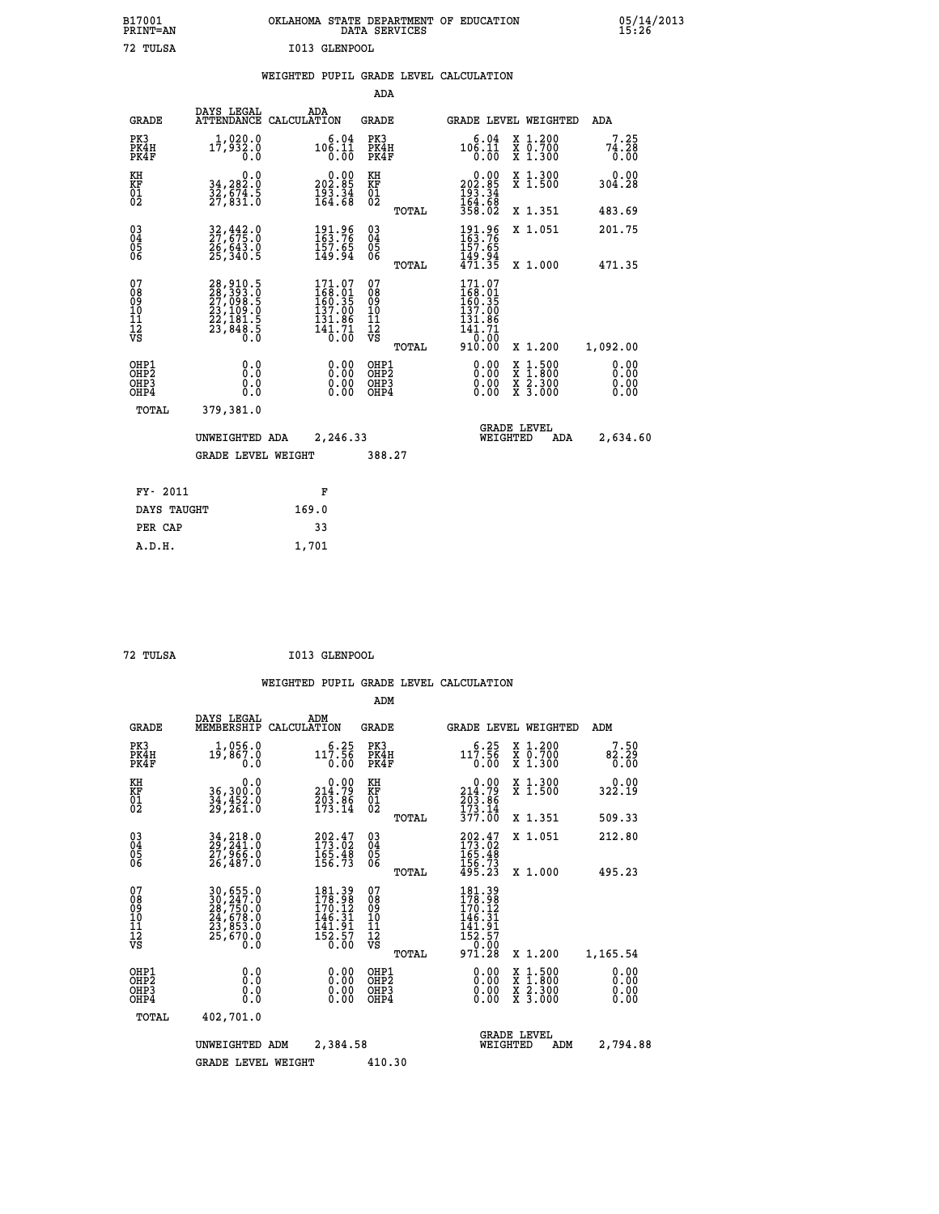| B17001          | OKLAHOMA STATE DEPARTMENT OF EDUCATION |
|-----------------|----------------------------------------|
| <b>PRINT=AN</b> | DATA SERVICES                          |
| 72. TULSA       | T013 GLENPOOL                          |

 **B17001 OKLAHOMA STATE DEPARTMENT OF EDUCATION 05/14/2013**

|  |  | WEIGHTED PUPIL GRADE LEVEL CALCULATION |
|--|--|----------------------------------------|
|  |  |                                        |

|                                                                    |                                                                                                                                                                               |                                                                                             | ADA                                            |       |                                                                                                           |                                                    |                              |
|--------------------------------------------------------------------|-------------------------------------------------------------------------------------------------------------------------------------------------------------------------------|---------------------------------------------------------------------------------------------|------------------------------------------------|-------|-----------------------------------------------------------------------------------------------------------|----------------------------------------------------|------------------------------|
| <b>GRADE</b>                                                       | DAYS LEGAL                                                                                                                                                                    | ADA<br>ATTENDANCE CALCULATION                                                               | <b>GRADE</b>                                   |       |                                                                                                           | GRADE LEVEL WEIGHTED                               | <b>ADA</b>                   |
| PK3<br>PK4H<br>PK4F                                                | 1,020.0<br>17,932.0<br>0.0                                                                                                                                                    | $10\begin{array}{c} 6.04 \\ 106.11 \\ 0.00 \end{array}$                                     | PK3<br>PK4H<br>PK4F                            |       | 6.04<br>106.11<br>0.00                                                                                    | X 1.200<br>X 0.700<br>X 1.300                      | 7.25<br>74.28<br>0.00        |
| KH<br>KF<br>01<br>02                                               | 0.0<br>34,282:0<br>32,674:5<br>27,831:0                                                                                                                                       | $\begin{smallmatrix} 0.00\\ 202.85\\ 193.34\\ 164.68 \end{smallmatrix}$                     | KH<br>KF<br>01<br>02                           |       | 0.00<br>202:85<br>193:34<br>164:68<br>358:02                                                              | X 1.300<br>X 1.500                                 | 0.00<br>304.28               |
|                                                                    |                                                                                                                                                                               |                                                                                             |                                                | TOTAL |                                                                                                           | X 1.351                                            | 483.69                       |
| $\begin{smallmatrix} 03 \\[-4pt] 04 \end{smallmatrix}$<br>05<br>ŌĞ | 32,442.0<br>27,675.0<br>26,643.0<br>25,340.5                                                                                                                                  | 191.96<br>163.76<br>157.65<br>149.94                                                        | $\substack{03 \\ 04}$<br>$\substack{05 \\ 06}$ |       | 191.96<br>163.76<br>157.65<br>149.94<br>471.35                                                            | X 1.051                                            | 201.75                       |
|                                                                    |                                                                                                                                                                               |                                                                                             |                                                | TOTAL |                                                                                                           | X 1.000                                            | 471.35                       |
| 07<br>08<br>09<br>11<br>11<br>12<br>VS                             | $\begin{smallmatrix} 28\,, & 910\,, & 5\\ 28\,, & 393\,, & 0\\ 27\,, & 098\,, & 5\\ 23\,, & 109\,, & 0\\ 22\,, & 181\,, & 5\\ 23\,, & 848\,, & 5\\ 0\,. & 0\end{smallmatrix}$ | $\begin{smallmatrix} 171.07\\168.01\\160.35\\157.00\\131.86\\141.71\\0.00\end{smallmatrix}$ | 07<br>08<br>09<br>11<br>11<br>12<br>VS         |       | 171.07<br>168:01<br>160:35<br>137.00<br>$\begin{array}{r} 131.86 \\ 141.71 \\ 0.00 \\ 910.00 \end{array}$ |                                                    |                              |
|                                                                    |                                                                                                                                                                               |                                                                                             |                                                | TOTAL |                                                                                                           | X 1.200                                            | 1,092.00                     |
| OHP1<br>OHP <sub>2</sub><br>OHP3<br>OHP4                           | 0.0<br>0.0<br>0.0                                                                                                                                                             | 0.00<br>$\begin{smallmatrix} 0.00 \ 0.00 \end{smallmatrix}$                                 | OHP1<br>OH <sub>P</sub> 2<br>OHP3<br>OHP4      |       | 0.00<br>0.00<br>0.00                                                                                      | $1:500$<br>$1:800$<br>X<br>X<br>X 2.300<br>X 3.000 | 0.00<br>0.00<br>0.00<br>0.00 |
| TOTAL                                                              | 379,381.0                                                                                                                                                                     |                                                                                             |                                                |       |                                                                                                           |                                                    |                              |
|                                                                    | UNWEIGHTED ADA                                                                                                                                                                | 2,246.33                                                                                    |                                                |       |                                                                                                           | <b>GRADE LEVEL</b><br>WEIGHTED<br>ADA              | 2,634.60                     |
|                                                                    | <b>GRADE LEVEL WEIGHT</b>                                                                                                                                                     |                                                                                             | 388.27                                         |       |                                                                                                           |                                                    |                              |
|                                                                    |                                                                                                                                                                               |                                                                                             |                                                |       |                                                                                                           |                                                    |                              |
| FY- 2011                                                           |                                                                                                                                                                               | F                                                                                           |                                                |       |                                                                                                           |                                                    |                              |
| DAYS TAUGHT                                                        |                                                                                                                                                                               | 169.0                                                                                       |                                                |       |                                                                                                           |                                                    |                              |
| PER CAP                                                            |                                                                                                                                                                               | 33                                                                                          |                                                |       |                                                                                                           |                                                    |                              |

| 11 |  |
|----|--|
|    |  |

 **A.D.H. 1,701**

72 TULSA

 **72 TULSA I013 GLENPOOL**

|                                                       |                                                                                                                     |                                                                         | ADM                                     |       |                                                                                                            |                                                                  |                              |
|-------------------------------------------------------|---------------------------------------------------------------------------------------------------------------------|-------------------------------------------------------------------------|-----------------------------------------|-------|------------------------------------------------------------------------------------------------------------|------------------------------------------------------------------|------------------------------|
| <b>GRADE</b>                                          | DAYS LEGAL<br>MEMBERSHIP                                                                                            | ADM<br>CALCULATION                                                      | <b>GRADE</b>                            |       |                                                                                                            | <b>GRADE LEVEL WEIGHTED</b>                                      | ADM                          |
| PK3<br>PK4H<br>PK4F                                   | 1,056.0<br>19,867.0<br>0.0                                                                                          | 6.25<br>117.56<br>0.00                                                  | PK3<br>PK4H<br>PK4F                     |       | 6.25<br>117.56<br>0.00                                                                                     | $\begin{array}{c} x & 1.200 \\ x & 0.700 \end{array}$<br>X 1.300 | 7.50<br>82.29<br>0.00        |
| KH<br>KF<br>01<br>02                                  | 0.0<br>36,300:0<br>34,452:0<br>29,261:0                                                                             | $\begin{smallmatrix} &0.00\\ 214.79\\ 203.86\\ 173.14\end{smallmatrix}$ | KH<br>KF<br>01<br>02                    |       | $0.00$<br>$214.79$<br>$203.86$<br>$173.14$<br>$377.00$                                                     | X 1.300<br>X 1.500                                               | 0.00<br>322.19               |
|                                                       |                                                                                                                     |                                                                         |                                         | TOTAL |                                                                                                            | X 1.351                                                          | 509.33                       |
| 03<br>04<br>05<br>06                                  | 34, 218.0<br>29, 241.0<br>27, 966.0<br>26,487.0                                                                     | $202.47$<br>$173.02$<br>$165.48$<br>$156.73$                            | $^{03}_{04}$<br>0500                    |       | $202.47$<br>$173.02$<br>$165.48$<br>$156.73$<br>$495.23$                                                   | X 1.051                                                          | 212.80                       |
|                                                       |                                                                                                                     |                                                                         |                                         | TOTAL |                                                                                                            | X 1.000                                                          | 495.23                       |
| 07<br>08<br>09<br>101<br>112<br>VS                    | $\begin{smallmatrix} 30, 655.0\\ 30, 247.0\\ 28, 750.0\\ 24, 678.0\\ 23, 853.0\\ 25, 670.0\\ 0.0 \end{smallmatrix}$ | 181.39<br>178.98<br>170.12<br>146.31<br>141.91<br>$\frac{152.57}{0.00}$ | 07<br>08<br>09<br>101<br>11<br>12<br>VS | TOTAL | 181.39<br>178.98<br>170.12<br>146.31<br>$\begin{array}{c} 141.91 \\ 152.57 \\ -9.00 \end{array}$<br>971.28 | X 1.200                                                          | 1,165.54                     |
| OHP1<br>OH <sub>P</sub> 2<br>OH <sub>P3</sub><br>OHP4 | 0.0<br>0.000                                                                                                        | $0.00$<br>$0.00$<br>0.00                                                | OHP1<br>OHP2<br>OHP3<br>OHP4            |       | $0.00$<br>$0.00$<br>0.00                                                                                   | X 1:500<br>X 1:800<br>X 2:300<br>X 3:000                         | 0.00<br>0.00<br>0.00<br>0.00 |
| TOTAL                                                 | 402,701.0                                                                                                           |                                                                         |                                         |       |                                                                                                            |                                                                  |                              |
|                                                       | UNWEIGHTED                                                                                                          | 2,384.58<br>ADM                                                         |                                         |       | WEIGHTED                                                                                                   | <b>GRADE LEVEL</b><br>ADM                                        | 2,794.88                     |
|                                                       | <b>GRADE LEVEL WEIGHT</b>                                                                                           |                                                                         | 410.30                                  |       |                                                                                                            |                                                                  |                              |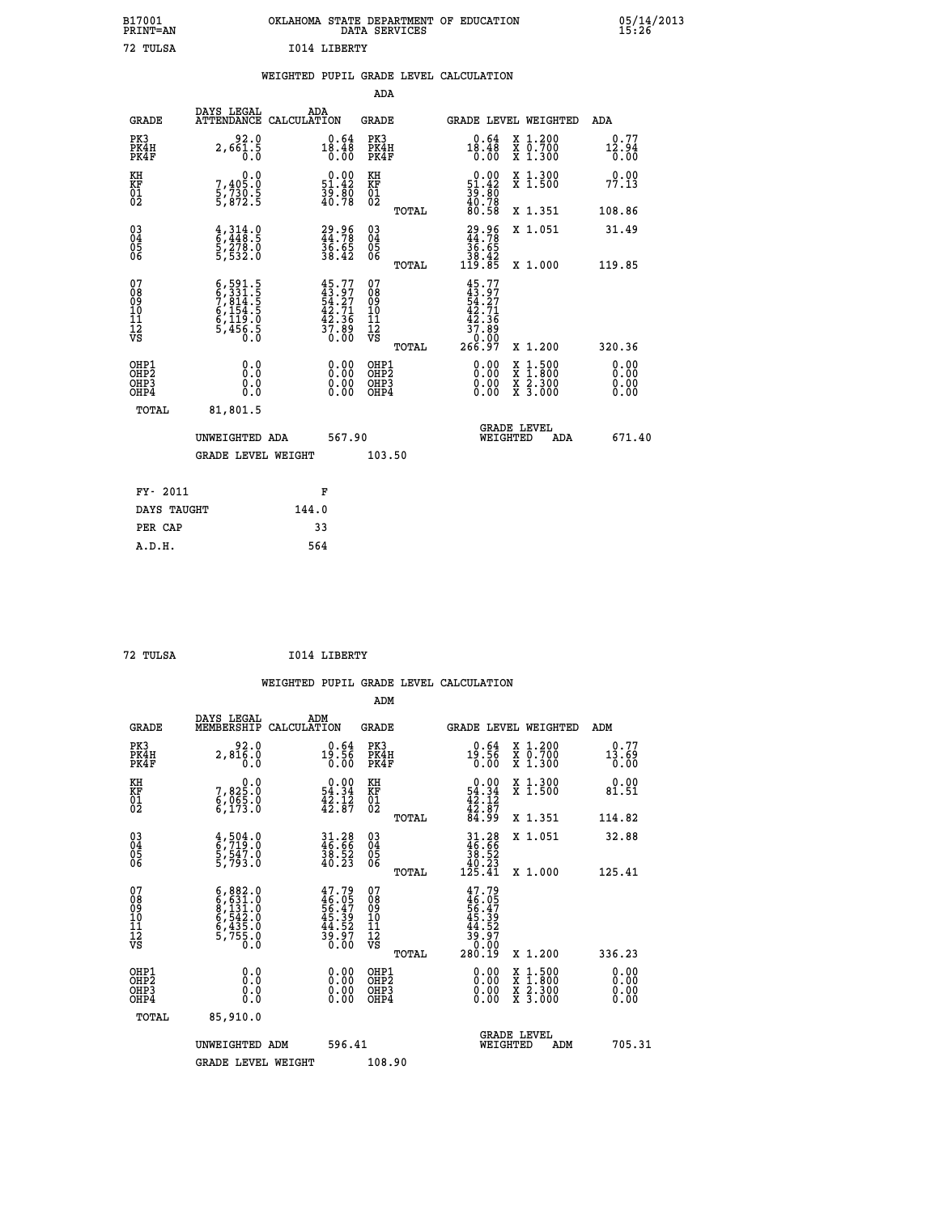# **B17001 OKLAHOMA STATE DEPARTMENT OF EDUCATION 05/14/2013 PRINT=AN DATA SERVICES 15:26 72 TULSA I014 LIBERTY**

### **WEIGHTED PUPIL GRADE LEVEL CALCULATION**

|                                                                    |                                                                                                                                                           |                                                                        | ADA                                                 |       |                                                                              |                                              |                               |
|--------------------------------------------------------------------|-----------------------------------------------------------------------------------------------------------------------------------------------------------|------------------------------------------------------------------------|-----------------------------------------------------|-------|------------------------------------------------------------------------------|----------------------------------------------|-------------------------------|
| <b>GRADE</b>                                                       | DAYS LEGAL                                                                                                                                                | ADA<br>ATTENDANCE CALCULATION                                          | <b>GRADE</b>                                        |       |                                                                              | <b>GRADE LEVEL WEIGHTED</b>                  | ADA                           |
| PK3<br>PK4H<br>PK4F                                                | 92.0<br>$2,66\overline{1}\cdot\overline{5}$                                                                                                               | $0.64$<br>$18.48$<br>0.00                                              | PK3<br>PK4H<br>PK4F                                 |       | 18.48<br>0.00                                                                | X 1.200<br>X 0.700<br>X 1.300                | 0.77<br>12.94<br>0.00         |
| KH<br>KF<br>01<br>02                                               | 0.0<br>$\frac{7}{5}, \frac{405}{730}$ .<br>5,872.5                                                                                                        | $\begin{smallmatrix} 0.00\\ 51.42\\ 39.80\\ 40.78 \end{smallmatrix}$   | KH<br>KF<br>01<br>02                                |       | $\begin{smallmatrix} 0.00\\ 51.42\\ 39.80\\ 40.78\\ 80.58 \end{smallmatrix}$ | X 1.300<br>X 1.500                           | 0.00<br>77.13                 |
|                                                                    |                                                                                                                                                           |                                                                        |                                                     | TOTAL |                                                                              | X 1.351                                      | 108.86                        |
| $\begin{smallmatrix} 03 \\[-4pt] 04 \end{smallmatrix}$<br>Ŏ5<br>06 | $\frac{4}{6}, \frac{314}{448}.5$<br>5, 278.0<br>5, 532.0                                                                                                  | 29.96<br>44.78<br>36.65<br>38.42                                       | $\begin{array}{c} 03 \\ 04 \\ 05 \\ 06 \end{array}$ |       | $29.96$<br>$36.65$<br>$38.42$<br>$119.85$                                    | X 1.051                                      | 31.49                         |
|                                                                    |                                                                                                                                                           |                                                                        |                                                     | TOTAL |                                                                              | X 1.000                                      | 119.85                        |
| 07<br>08<br>09<br>01<br>11<br>11<br>12<br>VS                       | $\begin{smallmatrix} 6\,,\,591\,,\,5\\ 6\,,\,331\,,\,5\\ 7\,,\,814\,,\,5\\ 6\,,\,154\,,\,5\\ 6\,,\,119\,,\,0\\ 5\,,\,456\,,\,5\\ 0\,.0 \end{smallmatrix}$ | $45.77$<br>$43.97$<br>$54.27$<br>$42.71$<br>$42.36$<br>$37.89$<br>0.00 | 07<br>08<br>09<br>11<br>11<br>12<br>VS              |       | $45.77$<br>$43.97$<br>$54.71$<br>$42.36$<br>$37.89$<br>$266.97$              |                                              |                               |
|                                                                    |                                                                                                                                                           |                                                                        |                                                     | TOTAL |                                                                              | X 1.200                                      | 320.36                        |
| OHP1<br>OHP <sub>2</sub><br>OH <sub>P3</sub><br>OHP4               | 0.0<br>0.000                                                                                                                                              | 0.00<br>$\begin{smallmatrix} 0.00 \ 0.00 \end{smallmatrix}$            | OHP1<br>OHP2<br>OHP <sub>3</sub>                    |       | 0.00<br>0.00                                                                 | X 1:500<br>X 1:800<br>X 2:300<br>X 3:000     | 0.00<br>Ō. ŌŌ<br>0.00<br>0.00 |
| TOTAL                                                              | 81,801.5                                                                                                                                                  |                                                                        |                                                     |       |                                                                              |                                              |                               |
|                                                                    | UNWEIGHTED ADA                                                                                                                                            | 567.90                                                                 |                                                     |       |                                                                              | <b>GRADE LEVEL</b><br>WEIGHTED<br><b>ADA</b> | 671.40                        |
|                                                                    | <b>GRADE LEVEL WEIGHT</b>                                                                                                                                 |                                                                        | 103.50                                              |       |                                                                              |                                              |                               |
| FY- 2011                                                           |                                                                                                                                                           | F                                                                      |                                                     |       |                                                                              |                                              |                               |
| DAYS TAUGHT                                                        |                                                                                                                                                           | 144.0                                                                  |                                                     |       |                                                                              |                                              |                               |
| PER CAP                                                            |                                                                                                                                                           | 33                                                                     |                                                     |       |                                                                              |                                              |                               |

 **72 TULSA I014 LIBERTY**

 **A.D.H. 564**

|                                          |                                                                                                   |                                                      | ADM                                                 |                                                                                     |                                          |                              |
|------------------------------------------|---------------------------------------------------------------------------------------------------|------------------------------------------------------|-----------------------------------------------------|-------------------------------------------------------------------------------------|------------------------------------------|------------------------------|
| <b>GRADE</b>                             | DAYS LEGAL<br>MEMBERSHIP                                                                          | ADM<br>CALCULATION                                   | <b>GRADE</b>                                        |                                                                                     | <b>GRADE LEVEL WEIGHTED</b>              | ADM                          |
| PK3<br>PK4H<br>PK4F                      | 2,8100<br>0.0                                                                                     | $19.56$<br>0.00                                      | PK3<br>PK4H<br>PK4F                                 | $0.64$<br>19:56<br>0.00                                                             | X 1.200<br>X 0.700<br>X 1.300            | 0.77<br>$\frac{13.69}{0.00}$ |
| KH<br>KF<br>01<br>02                     | $7,825.0$<br>$6,065.0$<br>$6,173.0$                                                               | $54.34$<br>$42.34$<br>$42.12$<br>$42.87$             | KH<br>KF<br>01<br>02                                | $0.0054.3442.1242.8784.99$                                                          | X 1.300<br>X 1.500                       | 0.00<br>81.51                |
|                                          |                                                                                                   |                                                      | TOTAL                                               |                                                                                     | X 1.351                                  | 114.82                       |
| 03<br>04<br>05<br>06                     | $\begin{smallmatrix} 4\,,\,504\,. \ 6\,,\,719\,. \ 9\,,\,547\,. \ 9\,,\,793\,. \end{smallmatrix}$ | 31.28<br>46.66<br>38.52<br>40.23                     | $\begin{array}{c} 03 \\ 04 \\ 05 \\ 06 \end{array}$ | $31.28\n46.66\n38.52\n40.23\n125.41$                                                | X 1.051                                  | 32.88                        |
|                                          |                                                                                                   |                                                      | TOTAL                                               |                                                                                     | X 1.000                                  | 125.41                       |
| 07<br>08<br>09<br>101<br>11<br>12<br>VS  | $6,882.0$<br>$6,631.0$<br>$8,131.0$<br>$6,542.0$<br>$6,435.0$<br>$5,755.0$<br>$0.0$               | 47.79<br>46.05<br>56.47<br>56.39<br>44.527<br>39.970 | 07<br>08<br>09<br>11<br>11<br>12<br>VS<br>TOTAL     | $47.79$<br>$46.05$<br>$56.47$<br>$45.39$<br>$44.52$<br>$39.97$<br>$30.90$<br>280.19 | X 1.200                                  | 336.23                       |
|                                          |                                                                                                   |                                                      |                                                     |                                                                                     |                                          |                              |
| OHP1<br>OHP2<br>OH <sub>P3</sub><br>OHP4 |                                                                                                   |                                                      | OHP1<br>OHP2<br>OHP <sub>3</sub>                    | $0.00$<br>$0.00$<br>0.00                                                            | X 1:500<br>X 1:800<br>X 2:300<br>X 3:000 | 0.00<br>0.00<br>0.00         |
| TOTAL                                    | 85,910.0                                                                                          |                                                      |                                                     |                                                                                     |                                          |                              |
|                                          | UNWEIGHTED ADM                                                                                    | 596.41                                               |                                                     | GRADE LEVEL<br>WEIGHTED                                                             | ADM                                      | 705.31                       |
|                                          | <b>GRADE LEVEL WEIGHT</b>                                                                         |                                                      | 108.90                                              |                                                                                     |                                          |                              |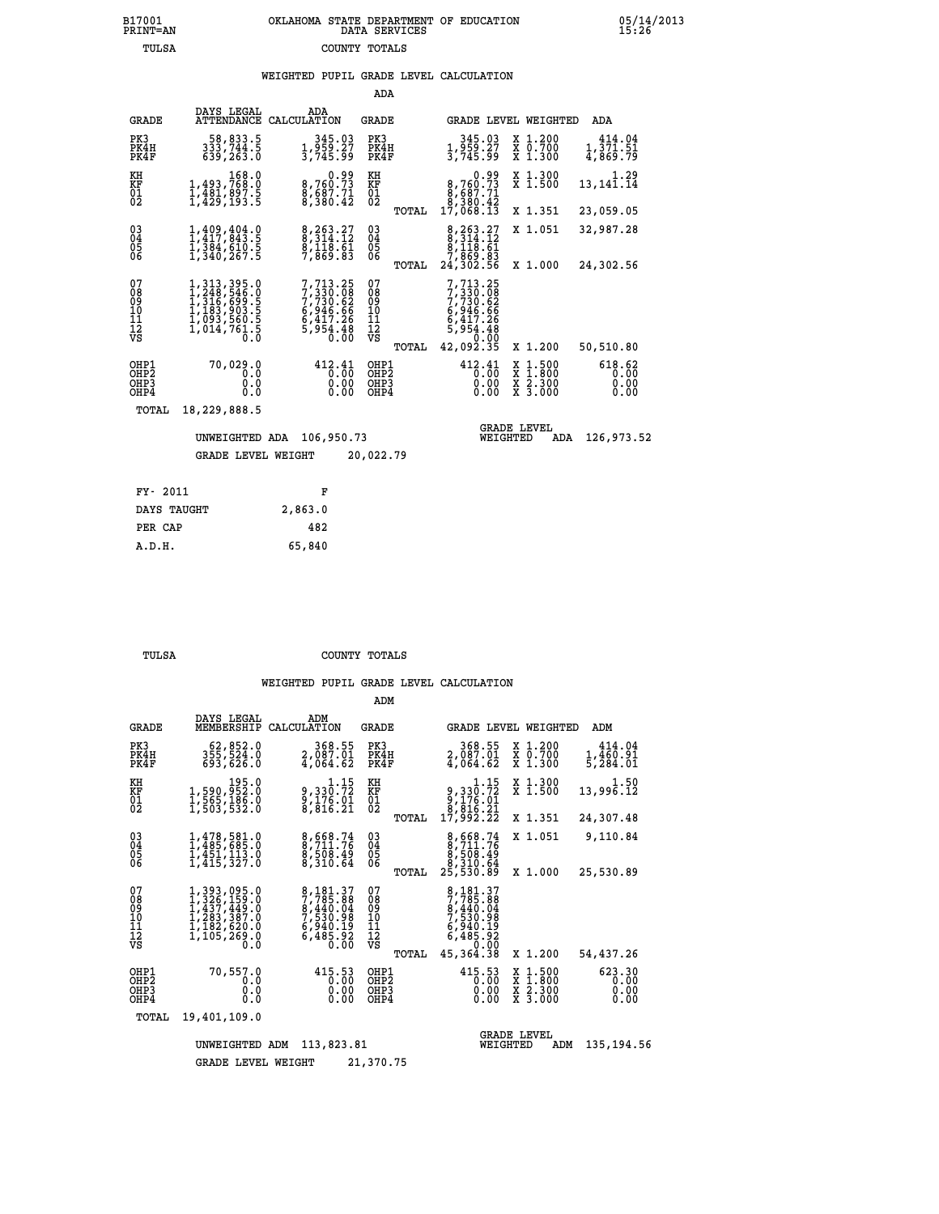### **B17001 OKLAHOMA STATE DEPARTMENT OF EDUCATION 05/14/2013 PRINT=AN DATA SERVICES 15:26 TULSA COUNTY TOTALS**

### **WEIGHTED PUPIL GRADE LEVEL CALCULATION**

|                                                                    |                                                                                                                                                                                      |                                                                              | ADA                                                |                                                                                         |                                                                               |                                |
|--------------------------------------------------------------------|--------------------------------------------------------------------------------------------------------------------------------------------------------------------------------------|------------------------------------------------------------------------------|----------------------------------------------------|-----------------------------------------------------------------------------------------|-------------------------------------------------------------------------------|--------------------------------|
| <b>GRADE</b>                                                       | DAYS LEGAL<br>ATTENDANCE CALCULATION                                                                                                                                                 | ADA                                                                          | GRADE                                              | GRADE LEVEL WEIGHTED                                                                    |                                                                               | ADA                            |
| PK3<br>PK4H<br>PK4F                                                | 58,833.5<br>333,744.5<br>639,263.0                                                                                                                                                   | 345.03<br>1,959.27<br>3,745.99                                               | PK3<br>PK4H<br>PK4F                                | 345.03<br>1,959.27<br>3,745.99                                                          | X 1.200<br>X 0.700<br>X 1.300                                                 | 414.04<br>1,371.51<br>4,869.79 |
| KH<br>KF<br>01<br>02                                               | $\begin{smallmatrix}&&&168.0\\1,493,768.0\\1,481,897.5\\1,482,897.5\end{smallmatrix}$                                                                                                | $8,760.73$<br>$8,687.71$<br>$8,380.42$                                       | KH<br>KF<br>01<br>02                               | $\begin{smallmatrix}&&&0.99\\8,760.73\\8,687.71\\8,380.42\\17,068.13\end{smallmatrix}$  | X 1.300<br>$\overline{x}$ 1.500                                               | 1.29<br>13,141.14              |
|                                                                    |                                                                                                                                                                                      |                                                                              | TOTAL                                              |                                                                                         | X 1.351                                                                       | 23,059.05                      |
| $\begin{smallmatrix} 03 \\[-4pt] 04 \end{smallmatrix}$<br>Ŏ5<br>06 | $1,409,404.0$<br>$1,417,843.5$<br>$1,384,610.5$<br>$1,340,267.5$                                                                                                                     | 8,263.27<br>8,314.12<br>8,118.61<br>7,869.83                                 | $\begin{matrix} 03 \\ 04 \\ 05 \\ 06 \end{matrix}$ | $\begin{smallmatrix}8,263.27\\8,314.12\\8,118.61\\7,869.83\\24,302.56\end{smallmatrix}$ | X 1.051                                                                       | 32,987.28                      |
|                                                                    |                                                                                                                                                                                      |                                                                              | TOTAL                                              |                                                                                         | X 1.000                                                                       | 24,302.56                      |
| 07<br>08<br>09<br>11<br>11<br>12<br>VS                             | $\begin{smallmatrix} 1,313,395\cdot 0\\ 1,248,546\cdot 0\\ 1,316,699\cdot 5\\ 1,183,903\cdot 5\\ 1,183,903\cdot 5\\ 1,093,560\cdot 5\\ 1,014,761\cdot 5\\ 0\cdot 0\end{smallmatrix}$ | 7,713.25<br>7,730.08<br>7,730.62<br>6,946.66<br>6,417.26<br>5,954.48<br>0.00 | 07<br>08<br>09<br>11<br>11<br>12<br>VS             | 7,713.25<br>$7,330.68$<br>$7,730.62$<br>$6,946.66$<br>$6,417.26$<br>$5,954.48$<br>0.00  |                                                                               |                                |
|                                                                    |                                                                                                                                                                                      |                                                                              | TOTAL                                              | 42,092.35                                                                               | X 1.200                                                                       | 50,510.80                      |
| OHP1<br>OHP <sub>2</sub><br>OHP3<br>OHP4                           | 70,029.0<br>0.0<br>0.0<br>0.0                                                                                                                                                        | 412.41<br>0.00<br>0.00<br>0.00                                               | OHP1<br>OH <sub>P</sub> 2<br>OHP3<br>OHP4          | 412.41<br>0.00<br>0.00<br>0.00                                                          | $\begin{array}{c} x & 1.500 \\ x & 1.800 \\ x & 2.300 \end{array}$<br>X 3.000 | 618.62<br>0.00<br>0.00<br>0.00 |
| TOTAL                                                              | 18,229,888.5                                                                                                                                                                         |                                                                              |                                                    |                                                                                         |                                                                               |                                |
|                                                                    | UNWEIGHTED ADA                                                                                                                                                                       | 106,950.73                                                                   |                                                    | WEIGHTED                                                                                | <b>GRADE LEVEL</b><br><b>ADA</b>                                              | 126,973.52                     |
|                                                                    | GRADE LEVEL WEIGHT                                                                                                                                                                   |                                                                              | 20,022.79                                          |                                                                                         |                                                                               |                                |
| FY- 2011                                                           |                                                                                                                                                                                      | F                                                                            |                                                    |                                                                                         |                                                                               |                                |
|                                                                    |                                                                                                                                                                                      |                                                                              |                                                    |                                                                                         |                                                                               |                                |

| PIT AUIL    | . г.    |
|-------------|---------|
| DAYS TAUGHT | 2,863.0 |
| PER CAP     | 482     |
| A.D.H.      | 65,840  |
|             |         |

 **ADM**

 **TULSA COUNTY TOTALS**

| <b>GRADE</b>                                                       | DAYS LEGAL<br>MEMBERSHIP                                                                                                                                                  | ADM<br>CALCULATION                                                                                   | <b>GRADE</b>                                        |                                                                                        | GRADE LEVEL WEIGHTED                                                                     | ADM                            |
|--------------------------------------------------------------------|---------------------------------------------------------------------------------------------------------------------------------------------------------------------------|------------------------------------------------------------------------------------------------------|-----------------------------------------------------|----------------------------------------------------------------------------------------|------------------------------------------------------------------------------------------|--------------------------------|
| PK3<br>PK4H<br>PK4F                                                | 62,852.0<br>355, 524.0<br>693,626.0                                                                                                                                       | 368.55<br>2,087.01<br>4,064.62                                                                       | PK3<br>PK4H<br>PK4F                                 | 368.55<br>2,087.01<br>4,064.62                                                         | X 1.200<br>X 0.700<br>X 1.300                                                            | 414.04<br>1,460.91<br>5,284.01 |
| KH<br><b>KF</b><br>01<br>02                                        | 195.0<br>1,590,952.0<br>1,565,186.0<br>1,503,532.0                                                                                                                        | $\begin{smallmatrix}&&&1\cdot15\\9\,,&330\cdot72\\9\,,&176\cdot91\\8\,,&816\cdot21\end{smallmatrix}$ | KH<br>KF<br>01<br>02                                | $\begin{smallmatrix}&&&1.15\\9,330.72\\9,176.01\\8,816.21\\17,992.22\end{smallmatrix}$ | X 1.300<br>X 1.500                                                                       | 1.50<br>13,996.12              |
|                                                                    |                                                                                                                                                                           |                                                                                                      | TOTAL                                               |                                                                                        | X 1.351                                                                                  | 24,307.48                      |
| $\begin{smallmatrix} 03 \\[-4pt] 04 \end{smallmatrix}$<br>05<br>ŌĞ | 1,478,581.0<br>1,485,685.0<br>I,451,113.0<br>1,415,327.0                                                                                                                  | 8,668.74<br>8,711.76<br>8,508.49<br>8,310.64                                                         | $\substack{03 \\ 04}$<br>$\frac{05}{06}$            | 8,668.74<br>8,711.76<br>8,508.49<br>8,310.64                                           | X 1.051                                                                                  | 9,110.84                       |
|                                                                    |                                                                                                                                                                           |                                                                                                      | TOTAL                                               | 25,530.89                                                                              | X 1.000                                                                                  | 25,530.89                      |
| 07<br>08<br>09<br>101<br>11<br>12<br>VS                            | $\begin{smallmatrix} 1,393\,, &095\,. &0\\ 1,326\,, &159\,. &0\\ 1,437\,, &449\,. &0\\ 1,283\,, &387\,. &0\\ 1,182\,, &820\,. &0 \end{smallmatrix}$<br>1,105,269.0<br>0.0 | 8,181.37<br>7,785.88<br>8,440.04<br>7,530.98<br>6,940.19<br>6,485.92                                 | 078<br>089<br>0011<br>11<br>11<br>12<br>VS<br>TOTAL | 8,181.37<br>7,785.88<br>8,440.04<br>7,530.98<br>6,940.13<br>6,485.92<br>45, 364. 38    | X 1.200                                                                                  | 54,437.26                      |
| OHP1<br>OHP <sub>2</sub><br>OHP3<br>OHP4                           | 70,557.0<br>0.0<br>0.0<br>0.0                                                                                                                                             | 415.53<br>0.00<br>0.00<br>0.00                                                                       | OHP1<br>OH <sub>P</sub> 2<br>OHP3<br>OHP4           | 415.53<br>0.00<br>0.00<br>0.00                                                         | $\begin{array}{c} x & 1.500 \\ x & 1.800 \\ x & 2.300 \end{array}$<br>X <sub>3.000</sub> | 623.30<br>0.00<br>0.00<br>0.00 |
| TOTAL                                                              | 19,401,109.0                                                                                                                                                              |                                                                                                      |                                                     |                                                                                        |                                                                                          |                                |
|                                                                    | UNWEIGHTED                                                                                                                                                                | 113,823.81<br>ADM                                                                                    |                                                     | WEIGHTED                                                                               | <b>GRADE LEVEL</b><br>ADM                                                                | 135, 194.56                    |
|                                                                    | <b>GRADE LEVEL WEIGHT</b>                                                                                                                                                 |                                                                                                      | 21,370.75                                           |                                                                                        |                                                                                          |                                |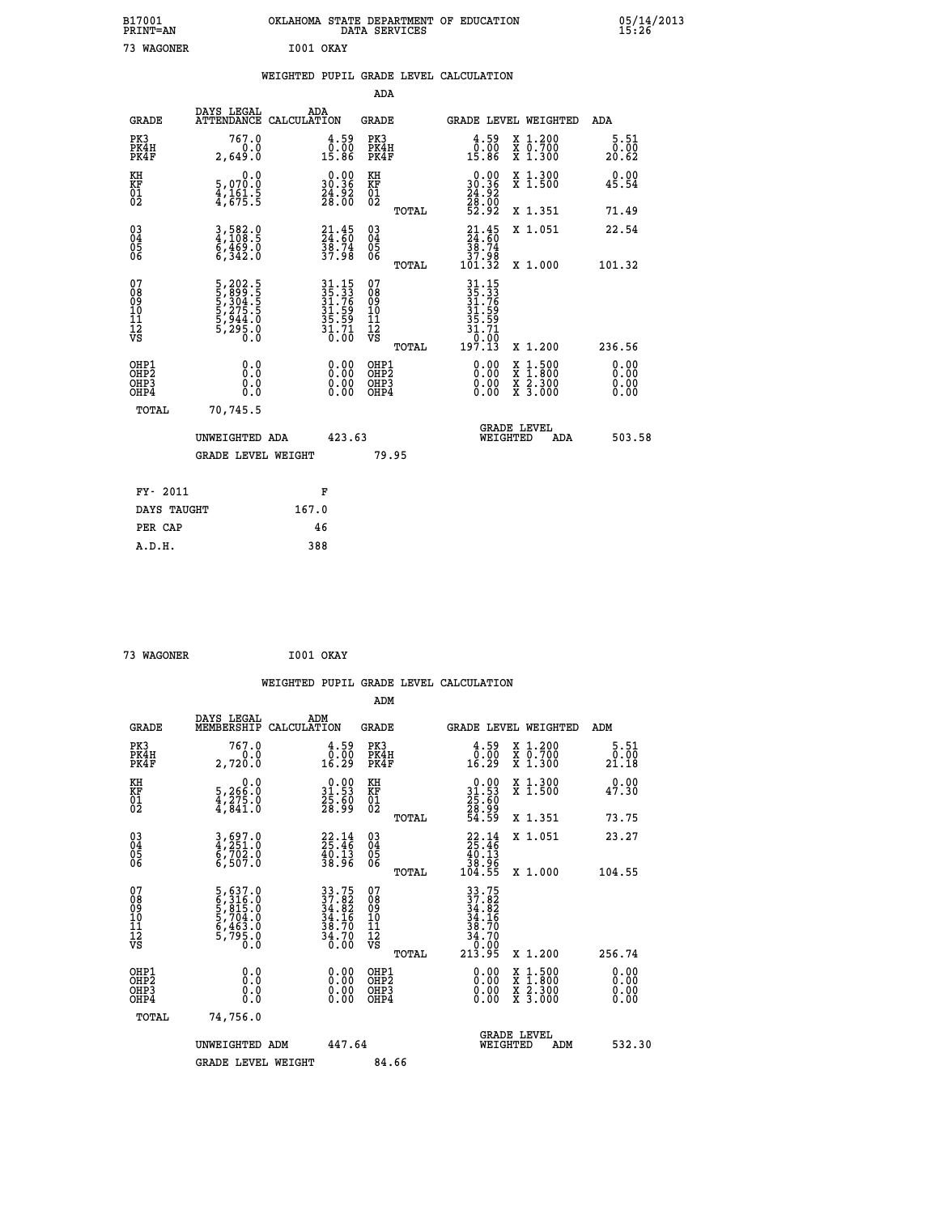| B17001<br>PRINT=AN                       |                                                                      |                               |                                                                      | OKLAHOMA STATE DEPARTMENT OF EDUCATION<br>DATA SERVICES |                                                                                                                                            |                                                                                          | $05/14/2013$<br>15:26 |
|------------------------------------------|----------------------------------------------------------------------|-------------------------------|----------------------------------------------------------------------|---------------------------------------------------------|--------------------------------------------------------------------------------------------------------------------------------------------|------------------------------------------------------------------------------------------|-----------------------|
| 73 WAGONER                               |                                                                      | I001 OKAY                     |                                                                      |                                                         |                                                                                                                                            |                                                                                          |                       |
|                                          |                                                                      |                               |                                                                      | WEIGHTED PUPIL GRADE LEVEL CALCULATION                  |                                                                                                                                            |                                                                                          |                       |
|                                          |                                                                      |                               |                                                                      | <b>ADA</b>                                              |                                                                                                                                            |                                                                                          |                       |
| <b>GRADE</b>                             | DAYS LEGAL                                                           | ADA<br>ATTENDANCE CALCULATION |                                                                      | GRADE                                                   |                                                                                                                                            | GRADE LEVEL WEIGHTED                                                                     | ADA                   |
| PK3<br>PK4H<br>PK4F                      | 767.0<br>0.0<br>2,649.0                                              |                               | $\begin{smallmatrix} 4.59\0.00\\15.86\end{smallmatrix}$              | PK3<br>PK4H<br>PK4F                                     | $\begin{smallmatrix} 4.59\0.00\\15.86\end{smallmatrix}$                                                                                    | X 1.200<br>X 0.700<br>X 1.300                                                            | 5.51<br>0.00<br>20.62 |
| KH<br>KF<br>01<br>02                     | 0.0<br>5,070:0<br>4,161:5<br>4,675:5                                 |                               | $\begin{smallmatrix} 0.00\\ 30.36\\ 24.92\\ 28.00 \end{smallmatrix}$ | KH<br>KF<br>01<br>02                                    | $\begin{smallmatrix} 0.00\\ 30.36\\ 24.92\\ 28.00\\ 52.92 \end{smallmatrix}$                                                               | X 1.300<br>X 1.500                                                                       | 0.00<br>45.54         |
|                                          |                                                                      |                               |                                                                      | TOTAL                                                   |                                                                                                                                            | X 1.351                                                                                  | 71.49                 |
| 03<br>04<br>05<br>06                     | 3,582.0<br>4,108.5<br>6,469.0<br>6,342.0                             |                               | $21.45$<br>$24.60$<br>$38.74$<br>$37.98$                             | $\begin{matrix} 03 \\ 04 \\ 05 \\ 06 \end{matrix}$      | $\frac{21}{24}:\frac{45}{60}$<br>38.74<br>80. š7<br>101.32                                                                                 | X 1.051                                                                                  | 22.54                 |
| 07                                       |                                                                      |                               |                                                                      | TOTAL<br>07                                             |                                                                                                                                            | X 1.000                                                                                  | 101.32                |
| 08<br>09<br>11<br>11<br>12<br>VS         | 5, 202.5<br>5, 399.5<br>5, 304.5<br>5, 275.5<br>5, 944.0<br>5, 295.0 |                               | 31.15<br>35.33<br>31.76<br>31.59<br>35.59<br>35.71<br>30.00          | 08<br>09<br>101<br>11<br>12<br>VS                       | $\begin{array}{r} 31\cdot 15 \\ 35\cdot 31 \\ 31\cdot 76 \\ 31\cdot 59 \\ 35\cdot 59 \\ 31\cdot 71 \\ 0\cdot 00 \\ 19\cdot 13 \end{array}$ |                                                                                          |                       |
|                                          |                                                                      |                               |                                                                      | TOTAL                                                   |                                                                                                                                            | X 1.200                                                                                  | 236.56<br>0.00        |
| OHP1<br>OHP2<br>OH <sub>P3</sub><br>OHP4 | 0.0<br>0.0<br>0.0                                                    |                               | $0.00$<br>$0.00$<br>0.00                                             | OHP1<br>OHP2<br>OHP3<br>OHP4                            | $0.00$<br>$0.00$<br>0.00                                                                                                                   | $\begin{smallmatrix} x & 1.500 \\ x & 1.800 \\ x & 2.300 \\ x & 3.000 \end{smallmatrix}$ | 0.00<br>0.00<br>0.00  |
| TOTAL                                    | 70,745.5                                                             |                               |                                                                      |                                                         |                                                                                                                                            |                                                                                          |                       |
|                                          | UNWEIGHTED ADA                                                       |                               | 423.63                                                               |                                                         |                                                                                                                                            | <b>GRADE LEVEL</b><br>WEIGHTED<br>ADA                                                    | 503.58                |
|                                          | <b>GRADE LEVEL WEIGHT</b>                                            |                               |                                                                      | 79.95                                                   |                                                                                                                                            |                                                                                          |                       |
| FY- 2011                                 |                                                                      | F                             |                                                                      |                                                         |                                                                                                                                            |                                                                                          |                       |
| DAYS TAUGHT                              |                                                                      | 167.0                         |                                                                      |                                                         |                                                                                                                                            |                                                                                          |                       |
| PER CAP                                  |                                                                      | 46                            |                                                                      |                                                         |                                                                                                                                            |                                                                                          |                       |
| A.D.H.                                   |                                                                      | 388                           |                                                                      |                                                         |                                                                                                                                            |                                                                                          |                       |

| A.D.H. | 388 |
|--------|-----|
|        |     |
|        |     |
|        |     |

| <b>WAGONER</b> |
|----------------|

 $1001$  OKAY

|                                                      |                                                                         |                    |                                                                           |                                                    |       | WEIGHTED PUPIL GRADE LEVEL CALCULATION                                                                                                       |                                |                                                                                                  |                       |  |
|------------------------------------------------------|-------------------------------------------------------------------------|--------------------|---------------------------------------------------------------------------|----------------------------------------------------|-------|----------------------------------------------------------------------------------------------------------------------------------------------|--------------------------------|--------------------------------------------------------------------------------------------------|-----------------------|--|
|                                                      |                                                                         |                    |                                                                           | ADM                                                |       |                                                                                                                                              |                                |                                                                                                  |                       |  |
| <b>GRADE</b>                                         | DAYS LEGAL<br>MEMBERSHIP                                                | ADM<br>CALCULATION |                                                                           | <b>GRADE</b>                                       |       | <b>GRADE LEVEL WEIGHTED</b>                                                                                                                  |                                |                                                                                                  | ADM                   |  |
| PK3<br>PK4H<br>PK4F                                  | 767.0<br>0.0<br>2,720.0                                                 |                    | $\begin{smallmatrix} 4.59\0.00\\16.29\end{smallmatrix}$                   | PK3<br>PK4H<br>PK4F                                |       | $\begin{smallmatrix} 4.59\0.00\\0.29\end{smallmatrix}$                                                                                       |                                | X 1.200<br>X 0.700<br>X 1.300                                                                    | 5.51<br>0.00<br>21.18 |  |
| KH<br>KF<br>01<br>02                                 | $\begin{smallmatrix}&&&0.0\\5,266.0\\4,275.0\\4,841.0\end{smallmatrix}$ |                    | $\begin{smallmatrix} 0.00\\ 31.53\\ 25.50\\ 28.99 \end{smallmatrix}$      | KH<br>KF<br>01<br>02                               |       | $\begin{smallmatrix} 0.00\\ 31.53\\ 25.60\\ 28.99\\ 54.59 \end{smallmatrix}$                                                                 |                                | X 1.300<br>X 1.500                                                                               | 0.00<br>47.30         |  |
|                                                      |                                                                         |                    |                                                                           |                                                    | TOTAL |                                                                                                                                              |                                | X 1.351                                                                                          | 73.75                 |  |
| $\begin{matrix} 03 \\ 04 \\ 05 \\ 06 \end{matrix}$   | 3,697.0<br>4,251.0<br>6,702.0<br>6,507.0                                |                    | 23:14<br>$\frac{4}{38}. \frac{13}{96}$                                    | $\begin{matrix} 03 \\ 04 \\ 05 \\ 06 \end{matrix}$ |       | $\begin{array}{r} 22.14 \\ 25.46 \\ 40.13 \\ 38.96 \\ 104.55 \end{array}$                                                                    |                                | X 1.051                                                                                          | 23.27                 |  |
|                                                      |                                                                         |                    |                                                                           |                                                    | TOTAL |                                                                                                                                              |                                | X 1.000                                                                                          | 104.55                |  |
| 07<br>0890112<br>1112<br>VS                          | 5,637.0<br>6,316.0<br>5,815.0<br>5,704.0<br>6,463.0<br>5,795.0<br>0.0   |                    | $33.75$<br>$37.82$<br>$34.82$<br>$34.16$<br>$38.70$<br>$34.70$<br>$36.00$ | 07<br>08<br>09<br>01<br>11<br>11<br>12<br>VS       |       | $\begin{array}{r} 33\cdot75 \\ 37\cdot82 \\ 34\cdot82 \\ 34\cdot16 \\ 38\cdot70 \\ 34\cdot70 \\ 34\cdot70 \\ 0.00 \\ 213\cdot95 \end{array}$ |                                |                                                                                                  |                       |  |
|                                                      |                                                                         |                    |                                                                           |                                                    | TOTAL |                                                                                                                                              |                                | $X_1.200$                                                                                        | 256.74                |  |
| OHP1<br>OHP <sub>2</sub><br>OH <sub>P3</sub><br>OHP4 | 0.0<br>0.000                                                            |                    | $0.00$<br>$0.00$<br>0.00                                                  | OHP1<br>OHP2<br>OHP <sub>3</sub>                   |       | $0.00$<br>$0.00$<br>0.00                                                                                                                     |                                | $\begin{smallmatrix} x & 1 & 500 \\ x & 1 & 800 \\ x & 2 & 300 \\ x & 3 & 000 \end{smallmatrix}$ | 0.00<br>0.00<br>0.00  |  |
| TOTAL                                                | 74,756.0                                                                |                    |                                                                           |                                                    |       |                                                                                                                                              |                                |                                                                                                  |                       |  |
|                                                      | UNWEIGHTED ADM                                                          |                    | 447.64                                                                    |                                                    |       |                                                                                                                                              | <b>GRADE LEVEL</b><br>WEIGHTED | ADM                                                                                              | 532.30                |  |
|                                                      | <b>GRADE LEVEL WEIGHT</b>                                               |                    |                                                                           | 84.66                                              |       |                                                                                                                                              |                                |                                                                                                  |                       |  |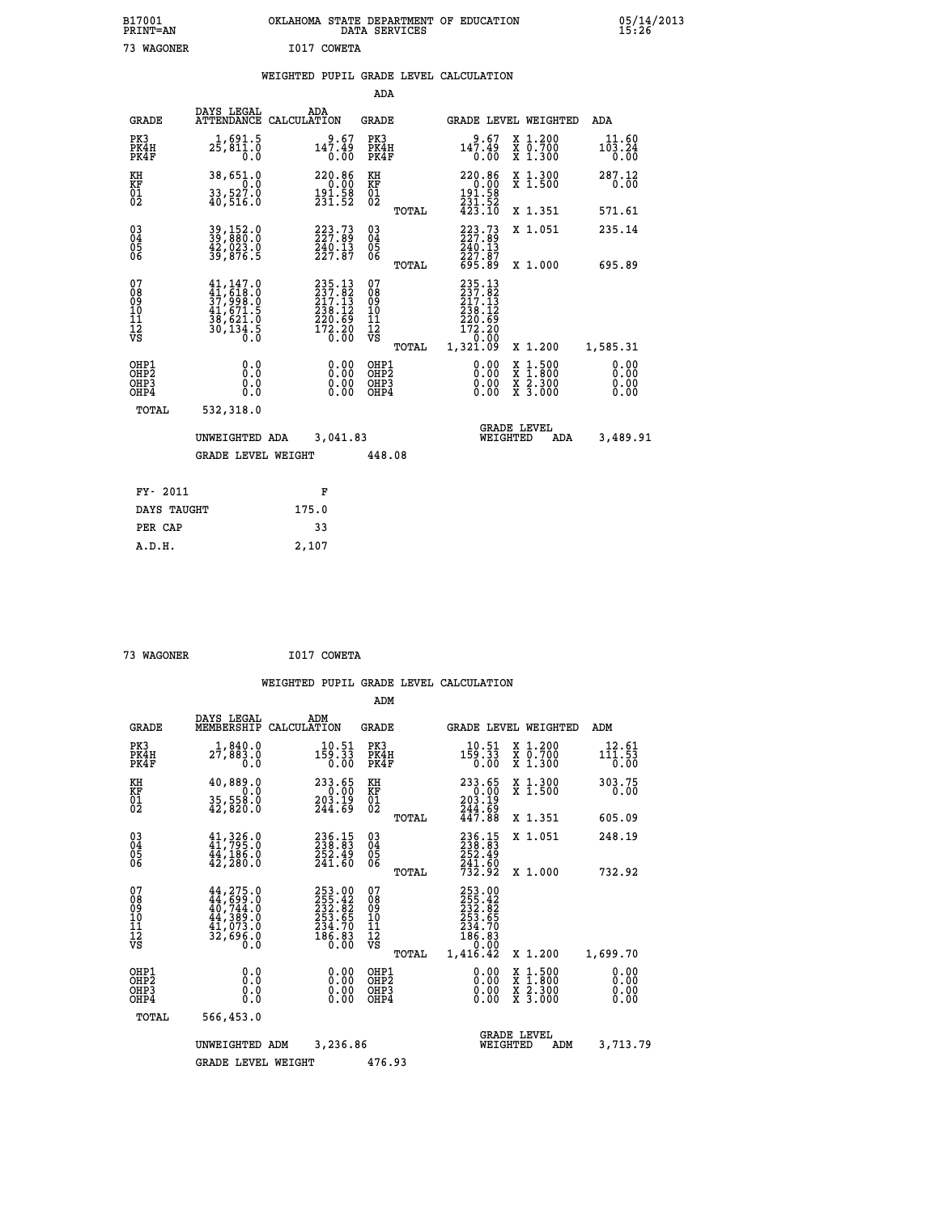|                                                       |                                                                                                               |                                                                                              | ADA                                                |       |                                                                                                         |                                                                                                  |                              |
|-------------------------------------------------------|---------------------------------------------------------------------------------------------------------------|----------------------------------------------------------------------------------------------|----------------------------------------------------|-------|---------------------------------------------------------------------------------------------------------|--------------------------------------------------------------------------------------------------|------------------------------|
| <b>GRADE</b>                                          | DAYS LEGAL                                                                                                    | ADA<br>ATTENDANCE CALCULATION                                                                | <b>GRADE</b>                                       |       |                                                                                                         | <b>GRADE LEVEL WEIGHTED</b>                                                                      | ADA                          |
| PK3<br>PK4H<br>PK4F                                   | 1,691.5<br>25,811.0<br>0.0                                                                                    | 9.67<br>147.49<br>0.00                                                                       | PK3<br>PK4H<br>PK4F                                |       | 9.67<br>147.49<br>0.00                                                                                  | X 1.200<br>X 0.700<br>X 1.300                                                                    | 11.60<br>103.24<br>0.00      |
| KH<br>KF<br>01<br>02                                  | 38,651.0<br>0.0<br>$33,527.0$<br>$40,516.0$                                                                   | 220.86<br>$\frac{0.00}{191.58}$<br>$\frac{191.58}{231.52}$                                   | KH<br><b>KF</b><br>01<br>02                        |       | $\begin{array}{r} 220.86 \\ 0.00 \\ 191.58 \\ 231.52 \\ 423.10 \end{array}$                             | X 1.300<br>X 1.500                                                                               | 287.12<br>0.00               |
|                                                       |                                                                                                               |                                                                                              |                                                    | TOTAL |                                                                                                         | X 1.351                                                                                          | 571.61                       |
| 03<br>04<br>05<br>06                                  | 39, 152.0<br>39, 880.0<br>42, 023.0<br>39, 876.5                                                              | 223.73<br>$\frac{240}{227.87}$                                                               | $\begin{matrix} 03 \\ 04 \\ 05 \\ 06 \end{matrix}$ |       | 223.73<br>$\frac{240.13}{227.87}$<br>695.89                                                             | X 1.051                                                                                          | 235.14                       |
|                                                       |                                                                                                               |                                                                                              |                                                    | TOTAL |                                                                                                         | X 1.000                                                                                          | 695.89                       |
| 07<br>08<br>09<br>11<br>11<br>12<br>VS                | $\begin{smallmatrix} 41,147.0\\ 41,618.0\\ 37,998.0\\ 41,671.5\\ 38,621.0\\ 30,134.5\\ 0.0 \end{smallmatrix}$ | $235.13$<br>$237.82$<br>$217.13$<br>$238.12$<br>$\frac{220.69}{172.20}$<br>$\frac{20}{0.00}$ | 07<br>08<br>09<br>11<br>11<br>12<br>VS             |       | $\begin{smallmatrix} 235.13\ 237.82\ 217.13\ 238.12\ 220.69\ 172.20\ 0.00\ 1,321.09\ \end{smallmatrix}$ |                                                                                                  |                              |
|                                                       |                                                                                                               |                                                                                              |                                                    | TOTAL |                                                                                                         | X 1.200                                                                                          | 1,585.31                     |
| OHP1<br>OHP <sub>2</sub><br>OH <sub>P</sub> 3<br>OHP4 | 0.0<br>0.0<br>Ŏ.Ŏ                                                                                             | 0.00<br>0.00<br>0.00                                                                         | OHP1<br>OHP2<br>OHP3<br>OHP4                       |       | 0.00<br>0.00<br>0.00                                                                                    | $\begin{smallmatrix} x & 1 & 500 \\ x & 1 & 800 \\ x & 2 & 300 \\ x & 3 & 000 \end{smallmatrix}$ | 0.00<br>0.00<br>0.00<br>0.00 |
| TOTAL                                                 | 532,318.0                                                                                                     |                                                                                              |                                                    |       |                                                                                                         |                                                                                                  |                              |
|                                                       | UNWEIGHTED ADA                                                                                                | 3,041.83                                                                                     |                                                    |       |                                                                                                         | <b>GRADE LEVEL</b><br>WEIGHTED<br><b>ADA</b>                                                     | 3,489.91                     |
|                                                       | <b>GRADE LEVEL WEIGHT</b>                                                                                     |                                                                                              | 448.08                                             |       |                                                                                                         |                                                                                                  |                              |
| FY- 2011                                              |                                                                                                               | F                                                                                            |                                                    |       |                                                                                                         |                                                                                                  |                              |
| DAYS TAUGHT                                           |                                                                                                               | 175.0                                                                                        |                                                    |       |                                                                                                         |                                                                                                  |                              |
| PER CAP                                               |                                                                                                               | 33                                                                                           |                                                    |       |                                                                                                         |                                                                                                  |                              |

 **73 WAGONER I017 COWETA**

 **A.D.H. 2,107**

|                                          |                                                                                                                                                    |                                                                  | ADM                                                 |                                                                                                  |                                |                                                                                                  |                              |
|------------------------------------------|----------------------------------------------------------------------------------------------------------------------------------------------------|------------------------------------------------------------------|-----------------------------------------------------|--------------------------------------------------------------------------------------------------|--------------------------------|--------------------------------------------------------------------------------------------------|------------------------------|
| <b>GRADE</b>                             | DAYS LEGAL<br>MEMBERSHIP                                                                                                                           | ADM<br>CALCULATION                                               | <b>GRADE</b>                                        |                                                                                                  |                                | <b>GRADE LEVEL WEIGHTED</b>                                                                      | ADM                          |
| PK3<br>PK4H<br>PK4F                      | 1,840.0<br>27,883.0<br>0.0                                                                                                                         | 10.51<br>159.33<br>0.00                                          | PK3<br>PK4H<br>PK4F                                 | 10.51<br>159.33<br>0.00                                                                          |                                | $\begin{smallmatrix} x & 1.200 \\ x & 0.700 \end{smallmatrix}$<br>$X$ 1.300                      | 12.61<br>111.53<br>0.00      |
| KH<br>KF<br>01<br>02                     | 40,889.0<br>$35,558.0$<br>$42,820.0$                                                                                                               | 233.65<br>$\frac{0.00}{203.19}$<br>244.69                        | KH<br>KF<br>01<br>02                                | 233.65                                                                                           |                                | X 1.300<br>X 1.500                                                                               | 303.75<br>0.00               |
|                                          |                                                                                                                                                    |                                                                  |                                                     | TOTAL                                                                                            |                                | X 1.351                                                                                          | 605.09                       |
| 03<br>04<br>05<br>06                     | $41,326.0$<br>$44,795.0$<br>$44,186.0$<br>42,280.0                                                                                                 | 236.15<br>238.83<br>252.49<br>241.60                             | $\begin{array}{c} 03 \\ 04 \\ 05 \\ 06 \end{array}$ | 236.15<br>238.83<br>252.49                                                                       |                                | X 1.051                                                                                          | 248.19                       |
|                                          |                                                                                                                                                    |                                                                  | TOTAL                                               | 241.60<br>732.92                                                                                 |                                | X 1.000                                                                                          | 732.92                       |
| 07<br>08<br>09<br>101<br>112<br>VS       | $\begin{smallmatrix} 44\,,\,275\,.0\\ 44\,,\,699\,.0\\ 40\,,\,744\,.0\\ 44\,,\,389\,.0\\ 41\,,\,073\,.0\\ 32\,,\,696\,.0\\ 0\,. \end{smallmatrix}$ | 253.00<br>255.42<br>232.82<br>253.65<br>234.70<br>186.83<br>0.00 | 07<br>08<br>09<br>11<br>11<br>12<br>VS              | 253.00<br>255.42<br>232.82<br>233.65<br>234.70<br>234.70<br>186.83<br>10.00<br>1,416.42<br>TOTAL |                                | X 1.200                                                                                          | 1,699.70                     |
| OHP1<br>OHP2<br>OH <sub>P3</sub><br>OHP4 | 0.0<br>0.000                                                                                                                                       | $0.00$<br>$0.00$<br>0.00                                         | OHP1<br>OHP2<br>OHP3<br>OHP4                        | $0.00$<br>$0.00$<br>0.00                                                                         |                                | $\begin{smallmatrix} x & 1 & 500 \\ x & 1 & 800 \\ x & 2 & 300 \\ x & 3 & 000 \end{smallmatrix}$ | 0.00<br>0.00<br>0.00<br>0.00 |
| TOTAL                                    | 566,453.0                                                                                                                                          |                                                                  |                                                     |                                                                                                  |                                |                                                                                                  |                              |
|                                          | UNWEIGHTED ADM                                                                                                                                     | 3,236.86                                                         |                                                     |                                                                                                  | <b>GRADE LEVEL</b><br>WEIGHTED | ADM                                                                                              | 3,713.79                     |
|                                          | <b>GRADE LEVEL WEIGHT</b>                                                                                                                          |                                                                  | 476.93                                              |                                                                                                  |                                |                                                                                                  |                              |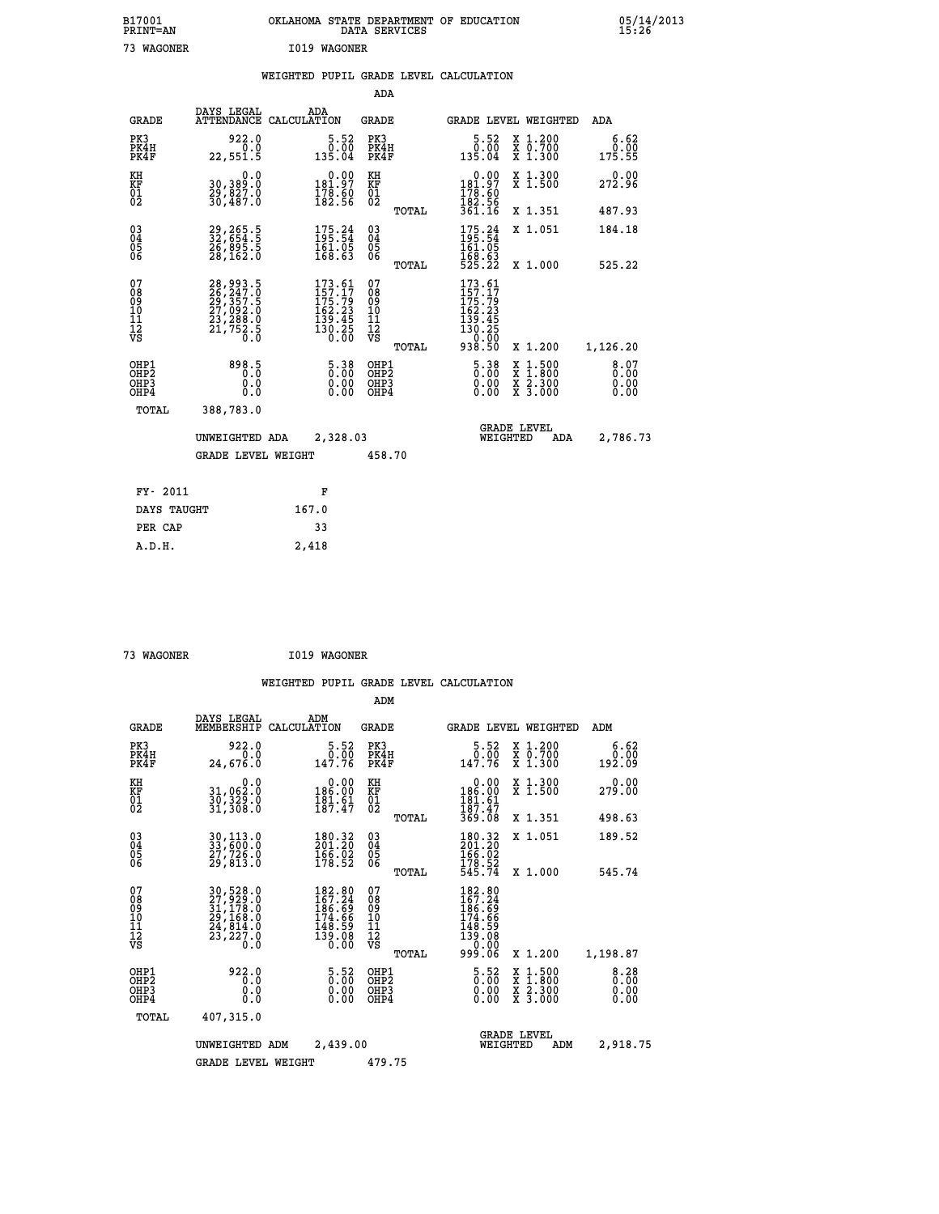| B17001<br>PRINT=AN | OKLAHOMA STATE DEPARTMENT OF EDUCATION<br>DATA SERVICES | 05/14/2013<br>15:26 |
|--------------------|---------------------------------------------------------|---------------------|
| 73<br>WAGONER      | I019 WAGONER                                            |                     |

|  |  | WEIGHTED PUPIL GRADE LEVEL CALCULATION |
|--|--|----------------------------------------|
|  |  |                                        |

|                                           |                                                                      |                                                                                                                               | ADA                                      |       |                                                                                                    |                                                                                                  |                              |
|-------------------------------------------|----------------------------------------------------------------------|-------------------------------------------------------------------------------------------------------------------------------|------------------------------------------|-------|----------------------------------------------------------------------------------------------------|--------------------------------------------------------------------------------------------------|------------------------------|
| <b>GRADE</b>                              | DAYS LEGAL                                                           | ADA<br>ATTENDANCE CALCULATION                                                                                                 | GRADE                                    |       | <b>GRADE LEVEL WEIGHTED</b>                                                                        |                                                                                                  | ADA                          |
| PK3<br>PK4H<br>PK4F                       | 922.0<br>0.0<br>22,551.5                                             | $\frac{5.52}{0.00}$<br>135.04                                                                                                 | PK3<br>PK4H<br>PK4F                      |       | 5.52<br>0.00<br>135.04                                                                             | X 1.200<br>X 0.700<br>X 1.300                                                                    | 6.62<br>0.00<br>175.55       |
| KH<br>KF<br>01<br>02                      | 0.0<br>30,389:0<br>29,827.0<br>30,487.0                              | $\begin{smallmatrix} &0.00\\181.97\\178.60\\182.56\end{smallmatrix}$                                                          | KH<br>KF<br>01<br>02                     |       | $\begin{smallmatrix} &0.00\\ 181.97\\ 178.60\\ 182.56\\ 361.16 \end{smallmatrix}$                  | X 1.300<br>X 1.500                                                                               | 0.00<br>272.96               |
|                                           |                                                                      |                                                                                                                               |                                          | TOTAL |                                                                                                    | X 1.351                                                                                          | 487.93                       |
| 03<br>04<br>05<br>06                      | 29,265.5<br>32,654.5<br>26,895.5<br>28,162.0                         | $\begin{array}{c} 175.24 \\ 195.54 \\ 161.05 \\ 168.63 \end{array}$                                                           | 03<br>04<br>05<br>06                     |       | $175.24$<br>195.54<br>$\frac{161.05}{168.63}$<br>525.22                                            | X 1.051                                                                                          | 184.18                       |
|                                           |                                                                      |                                                                                                                               |                                          | TOTAL |                                                                                                    | X 1.000                                                                                          | 525.22                       |
| 07<br>08<br>09<br>11<br>11<br>12<br>VS    | 28,993.5<br>26,247.0<br>29,357.5<br>27,092.0<br>23,288.0<br>21,752.5 | $\begin{smallmatrix} 173 & .61 \\ 157 & .17 \\ 175 & .79 \\ 162 & .23 \\ 139 & .45 \\ 130 & .25 \\ 0 & .00 \end{smallmatrix}$ | 07<br>08<br>09<br>11<br>11<br>12<br>VS   | TOTAL | $\begin{smallmatrix} 173.61\\157.17\\175.79\\162.23\\139.45\\130.25\\0\end{smallmatrix}$<br>938.50 | X 1.200                                                                                          | 1,126.20                     |
| OHP1<br>OH <sub>P</sub> 2<br>OHP3<br>OHP4 | 898.5<br>0.0<br>$0.\overline{0}$                                     | $5.38$<br>$0.00$<br>$\begin{smallmatrix} 0.00 \ 0.00 \end{smallmatrix}$                                                       | OHP1<br>OHP <sub>2</sub><br>OHP3<br>OHP4 |       | $5.38$<br>$0.00$<br>0.00<br>0.00                                                                   | $\begin{smallmatrix} x & 1 & 500 \\ x & 1 & 800 \\ x & 2 & 300 \\ x & 3 & 000 \end{smallmatrix}$ | 8.07<br>0.00<br>0.00<br>0.00 |
| TOTAL                                     | 388,783.0                                                            |                                                                                                                               |                                          |       |                                                                                                    |                                                                                                  |                              |
|                                           | UNWEIGHTED ADA                                                       | 2,328.03                                                                                                                      |                                          |       | WEIGHTED                                                                                           | <b>GRADE LEVEL</b><br>ADA                                                                        | 2,786.73                     |
|                                           | <b>GRADE LEVEL WEIGHT</b>                                            |                                                                                                                               | 458.70                                   |       |                                                                                                    |                                                                                                  |                              |
| FY- 2011                                  |                                                                      | F                                                                                                                             |                                          |       |                                                                                                    |                                                                                                  |                              |
| DAYS TAUGHT                               |                                                                      | 167.0                                                                                                                         |                                          |       |                                                                                                    |                                                                                                  |                              |
|                                           |                                                                      |                                                                                                                               |                                          |       |                                                                                                    |                                                                                                  |                              |
| PER CAP                                   |                                                                      | 33                                                                                                                            |                                          |       |                                                                                                    |                                                                                                  |                              |
| A.D.H.                                    |                                                                      | 2,418                                                                                                                         |                                          |       |                                                                                                    |                                                                                                  |                              |

| WAGONER |  |
|---------|--|
|         |  |

 **73 WAGONER I019 WAGONER**

|                                                       |                                                                                                                |                                                                  | ADM                                              |                                                                                      |                                          |                              |
|-------------------------------------------------------|----------------------------------------------------------------------------------------------------------------|------------------------------------------------------------------|--------------------------------------------------|--------------------------------------------------------------------------------------|------------------------------------------|------------------------------|
| <b>GRADE</b>                                          | DAYS LEGAL<br>MEMBERSHIP                                                                                       | ADM<br>CALCULATION                                               | <b>GRADE</b>                                     | <b>GRADE LEVEL WEIGHTED</b>                                                          |                                          | ADM                          |
| PK3<br>PK4H<br>PK4F                                   | 922.0<br>0.0<br>24,676.0                                                                                       | 5.52<br>0.00<br>147.76                                           | PK3<br>PK4H<br>PK4F                              | $\begin{smallmatrix}5.52\0.00\\147.76\end{smallmatrix}$                              | X 1.200<br>X 0.700<br>X 1.300            | 6.62<br>0.00<br>192.09       |
| KH<br>KF<br>01<br>02                                  | 0.0<br>31,062:0<br>30,329:0<br>31,308:0                                                                        | $0.00$<br>186.00<br>$\frac{181.61}{187.47}$                      | KH<br>KF<br>01<br>02                             | $\begin{array}{c} 0.00 \\ 186.00 \\ 181.61 \\ 187.47 \\ 369.08 \end{array}$          | X 1.300<br>X 1.500                       | 0.00<br>279.00               |
|                                                       |                                                                                                                |                                                                  | TOTAL                                            |                                                                                      | X 1.351                                  | 498.63                       |
| 03<br>04<br>05<br>06                                  | 30,113.0<br>33,600.0<br>27,726.0<br>29,813.0                                                                   | 180.32<br>201.20<br>$\frac{166}{178}\cdot\frac{02}{52}$          | $^{03}_{04}$<br>0500                             | 180.32<br>201.20<br>$\frac{166.02}{178.52}$<br>545.74                                | X 1.051                                  | 189.52                       |
|                                                       |                                                                                                                |                                                                  | TOTAL                                            |                                                                                      | X 1.000                                  | 545.74                       |
| 07<br>08<br>09<br>101<br>112<br>VS                    | $\begin{smallmatrix} 30,528.0\\ 27,929.0\\ 31,178.0\\ 29,168.0\\ 24,814.0\\ 23,227.0 \end{smallmatrix}$<br>0.0 | 182.80<br>167.24<br>186:69<br>174.66<br>148.59<br>139.08<br>0.00 | 07<br>08<br>09<br>101<br>11<br>12<br>VS<br>TOTAL | 182.80<br>167.24<br>$186.69$<br>$174.66$<br>$148.59$<br>$139.08$<br>$0.00$<br>999.06 | X 1.200                                  | 1,198.87                     |
| OHP1<br>OH <sub>P</sub> 2<br>OH <sub>P3</sub><br>OHP4 | 922.0<br>0.0<br>0.000                                                                                          | $\frac{5.52}{0.00}$<br>0.00                                      | OHP1<br>OHP2<br>OHP3<br>OHP4                     | $\begin{smallmatrix} 5.52 \ 0.00 \ 0.00 \end{smallmatrix}$<br>0.00                   | X 1:500<br>X 1:800<br>X 2:300<br>X 3:000 | 8.28<br>0.00<br>0.00<br>0.00 |
| TOTAL                                                 | 407,315.0                                                                                                      |                                                                  |                                                  |                                                                                      |                                          |                              |
|                                                       | UNWEIGHTED                                                                                                     | 2,439.00<br>ADM                                                  |                                                  | <b>GRADE LEVEL</b><br>WEIGHTED                                                       | ADM                                      | 2,918.75                     |
|                                                       | <b>GRADE LEVEL WEIGHT</b>                                                                                      |                                                                  | 479.75                                           |                                                                                      |                                          |                              |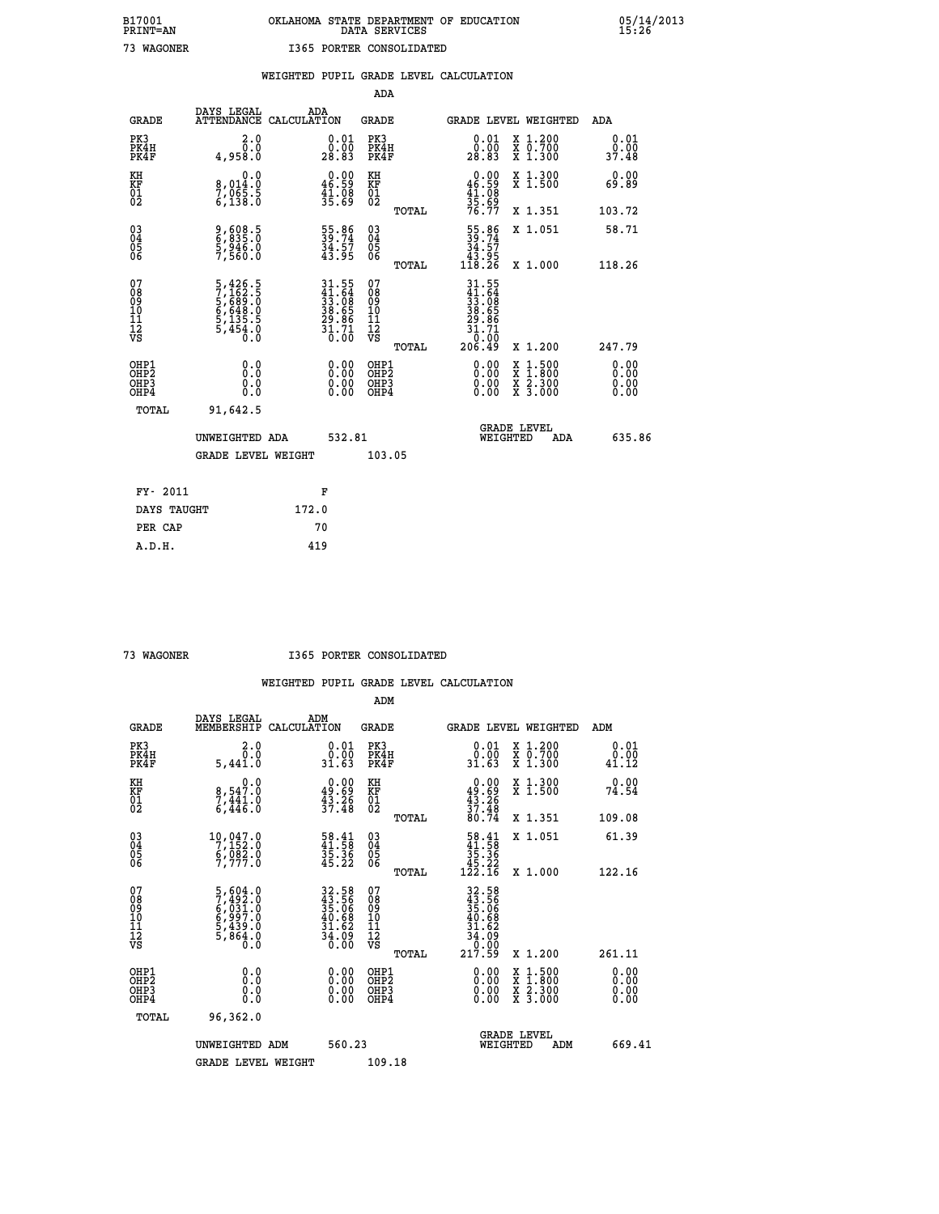|  |  | WEIGHTED PUPIL GRADE LEVEL CALCULATION |
|--|--|----------------------------------------|
|  |  |                                        |

|                                                                    |                                                                           |                                                                                     | ADA                                                |       |                                                                                                     |        |                                                           |                              |
|--------------------------------------------------------------------|---------------------------------------------------------------------------|-------------------------------------------------------------------------------------|----------------------------------------------------|-------|-----------------------------------------------------------------------------------------------------|--------|-----------------------------------------------------------|------------------------------|
| <b>GRADE</b>                                                       | DAYS LEGAL<br>ATTENDANCE CALCULATION                                      | ADA                                                                                 | <b>GRADE</b>                                       |       | GRADE LEVEL WEIGHTED                                                                                |        |                                                           | <b>ADA</b>                   |
| PK3<br>PK4H<br>PK4F                                                | 2.0<br>0.0<br>4,958.0                                                     | $\substack{0.01 \\ 0.00 \\ 28.83}$                                                  | PK3<br>PK4H<br>PK4F                                |       | $\begin{smallmatrix} 0.01 \ 0.00 \ 28.83 \end{smallmatrix}$                                         |        | X 1.200<br>X 0.700<br>X 1.300                             | 0.01<br>0.00<br>37.48        |
| KH<br>KF<br>01<br>02                                               | 0.0<br>8,014:0<br>7,065:5<br>6,138:0                                      | $0.00$<br>46.59<br>$\frac{41.08}{35.69}$                                            | KH<br>KF<br>01<br>02                               |       | $0.00$<br>$46.59$<br>$41.08$<br>$35.69$<br>$76.77$                                                  |        | X 1.300<br>X 1.500                                        | 0.00<br>69.89                |
|                                                                    |                                                                           |                                                                                     |                                                    | TOTAL |                                                                                                     |        | X 1.351                                                   | 103.72                       |
| $\begin{smallmatrix} 03 \\[-4pt] 04 \end{smallmatrix}$<br>Ŏ5<br>06 | 9,608.5<br>6,835.0<br>5,946.0<br>7,560.0                                  | 55.86<br>39.74<br>34.57<br>43.95                                                    | $\begin{matrix} 03 \\ 04 \\ 05 \\ 06 \end{matrix}$ |       | $\begin{smallmatrix} 55.86\\ 39.74\\ 34.57\\ 43.95\\ 118.26 \end{smallmatrix}$                      |        | X 1.051                                                   | 58.71                        |
|                                                                    |                                                                           |                                                                                     |                                                    | TOTAL |                                                                                                     |        | X 1.000                                                   | 118.26                       |
| 07<br>08<br>09<br>11<br>11<br>12<br>VS                             | 5,426.5<br>7,162.5<br>5,689.0<br>5,648.0<br>6,648.0<br>5,135.5<br>5,454.0 | $31.55$<br>$41.64$<br>$33.08$<br>$38.65$<br>$29.86$<br>$29.86$<br>$31.71$<br>$0.00$ | 07<br>08<br>09<br>11<br>11<br>12<br>VS             |       | $\begin{array}{r} 31.55 \\ 41.54 \\ 33.68 \\ 38.65 \\ 29.85 \\ 21.71 \\ 0.00 \\ 206.49 \end{array}$ |        |                                                           |                              |
|                                                                    |                                                                           |                                                                                     |                                                    | TOTAL |                                                                                                     |        | X 1.200                                                   | 247.79                       |
| OHP1<br>OHP <sub>2</sub><br>OHP3<br>OHP4                           | 0.0<br>0.0<br>Ŏ.Ŏ                                                         | 0.00<br>$\begin{smallmatrix} 0.00 \ 0.00 \end{smallmatrix}$                         | OHP1<br>OH <sub>P</sub> 2<br>OHP3<br>OHP4          |       | $0.00$<br>$0.00$<br>0.00                                                                            | X<br>X | $1:500$<br>$1:800$<br>$\frac{x}{x}$ $\frac{5:300}{3:000}$ | 0.00<br>0.00<br>0.00<br>0.00 |
| TOTAL                                                              | 91,642.5                                                                  |                                                                                     |                                                    |       |                                                                                                     |        |                                                           |                              |
|                                                                    | UNWEIGHTED ADA                                                            | 532.81                                                                              |                                                    |       | <b>GRADE LEVEL</b><br>WEIGHTED                                                                      |        | ADA                                                       | 635.86                       |
|                                                                    | <b>GRADE LEVEL WEIGHT</b>                                                 |                                                                                     | 103.05                                             |       |                                                                                                     |        |                                                           |                              |
| FY- 2011                                                           |                                                                           | F                                                                                   |                                                    |       |                                                                                                     |        |                                                           |                              |
| DAYS TAUGHT                                                        |                                                                           | 172.0                                                                               |                                                    |       |                                                                                                     |        |                                                           |                              |
| PER CAP                                                            |                                                                           | 70                                                                                  |                                                    |       |                                                                                                     |        |                                                           |                              |
|                                                                    |                                                                           |                                                                                     |                                                    |       |                                                                                                     |        |                                                           |                              |

 **A.D.H. 419**

 **73 WAGONER I365 PORTER CONSOLIDATED**

|                                     |                                                                                                                                                                                                    | ADM                                                                                                                                                                                                    |                                                                                                                    |                                                                                                                                                                                                                              |                                                                                                                                                                                                       |
|-------------------------------------|----------------------------------------------------------------------------------------------------------------------------------------------------------------------------------------------------|--------------------------------------------------------------------------------------------------------------------------------------------------------------------------------------------------------|--------------------------------------------------------------------------------------------------------------------|------------------------------------------------------------------------------------------------------------------------------------------------------------------------------------------------------------------------------|-------------------------------------------------------------------------------------------------------------------------------------------------------------------------------------------------------|
| DAYS LEGAL<br>MEMBERSHIP            |                                                                                                                                                                                                    | <b>GRADE</b>                                                                                                                                                                                           |                                                                                                                    |                                                                                                                                                                                                                              | ADM                                                                                                                                                                                                   |
| 2.0<br>$\overline{0}$ .0<br>5,441.0 | $0.01$<br>$0.00$<br>31.63                                                                                                                                                                          | PK3<br>PK4H<br>PK4F                                                                                                                                                                                    | $0.01$<br>$0.00$<br>31.63                                                                                          |                                                                                                                                                                                                                              | 0.01<br>0.00<br>41.12                                                                                                                                                                                 |
| 0.0                                 |                                                                                                                                                                                                    |                                                                                                                                                                                                        |                                                                                                                    |                                                                                                                                                                                                                              | 0.00<br>74.54                                                                                                                                                                                         |
|                                     |                                                                                                                                                                                                    | TOTAL                                                                                                                                                                                                  |                                                                                                                    |                                                                                                                                                                                                                              | 109.08                                                                                                                                                                                                |
|                                     |                                                                                                                                                                                                    |                                                                                                                                                                                                        |                                                                                                                    |                                                                                                                                                                                                                              | 61.39                                                                                                                                                                                                 |
|                                     |                                                                                                                                                                                                    | TOTAL                                                                                                                                                                                                  |                                                                                                                    |                                                                                                                                                                                                                              | 122.16                                                                                                                                                                                                |
|                                     |                                                                                                                                                                                                    | 07<br>08<br>09<br>11<br>11<br>12<br>VS                                                                                                                                                                 |                                                                                                                    |                                                                                                                                                                                                                              | 261.11                                                                                                                                                                                                |
| 0.0                                 |                                                                                                                                                                                                    | OHP1<br>OHP2                                                                                                                                                                                           |                                                                                                                    |                                                                                                                                                                                                                              | 0.00<br>0.00                                                                                                                                                                                          |
|                                     |                                                                                                                                                                                                    |                                                                                                                                                                                                        | 0.00                                                                                                               |                                                                                                                                                                                                                              | 0.00<br>0.00                                                                                                                                                                                          |
| 96,362.0                            |                                                                                                                                                                                                    |                                                                                                                                                                                                        |                                                                                                                    |                                                                                                                                                                                                                              |                                                                                                                                                                                                       |
| UNWEIGHTED ADM                      |                                                                                                                                                                                                    |                                                                                                                                                                                                        |                                                                                                                    | ADM                                                                                                                                                                                                                          | 669.41                                                                                                                                                                                                |
| <b>GRADE LEVEL WEIGHT</b>           |                                                                                                                                                                                                    | 109.18                                                                                                                                                                                                 |                                                                                                                    |                                                                                                                                                                                                                              |                                                                                                                                                                                                       |
|                                     | 8,547.0<br>7,441.0<br>6,446.0<br>$\begin{smallmatrix} 10,047.0\\7,152.0\\6,082.0\\7,777.0 \end{smallmatrix}$<br>5,604.0<br>7,492.0<br>6,031.0<br>6,997.0<br>5,439.0<br>5,864.0<br>5,864.0<br>0.000 | ADM<br>CALCULATION<br>$0.00$<br>$49.69$<br>$43.26$<br>$37.48$<br>$\begin{smallmatrix}58.41\41.58\35.36\35.22\end{smallmatrix}$<br>32.58<br>43.56<br>55.06<br>55.06<br>40.68<br>34.62<br>34.09<br>36.00 | KH<br>KF<br>01<br>02<br>$\begin{array}{c} 03 \\ 04 \\ 05 \\ 06 \end{array}$<br>TOTAL<br>OHP <sub>3</sub><br>560.23 | $0.00\n49.69\n43.26\n37.48\n37.48\n80.74$<br>$\begin{array}{r} 58.41 \\ 41.58 \\ 35.36 \\ 45.22 \\ 122.16 \end{array}$<br>$32.58$<br>$35.566$<br>$35.068$<br>$40.682$<br>$34.629$<br>$0.000$<br>$217.59$<br>$0.00$<br>$0.00$ | GRADE LEVEL WEIGHTED<br>X 1.200<br>X 0.700<br>X 1.300<br>X 1.300<br>X 1.500<br>X 1.351<br>X 1.051<br>X 1.000<br>X 1.200<br>X 1:500<br>X 1:800<br>X 2:300<br>X 3:000<br><b>GRADE LEVEL</b><br>WEIGHTED |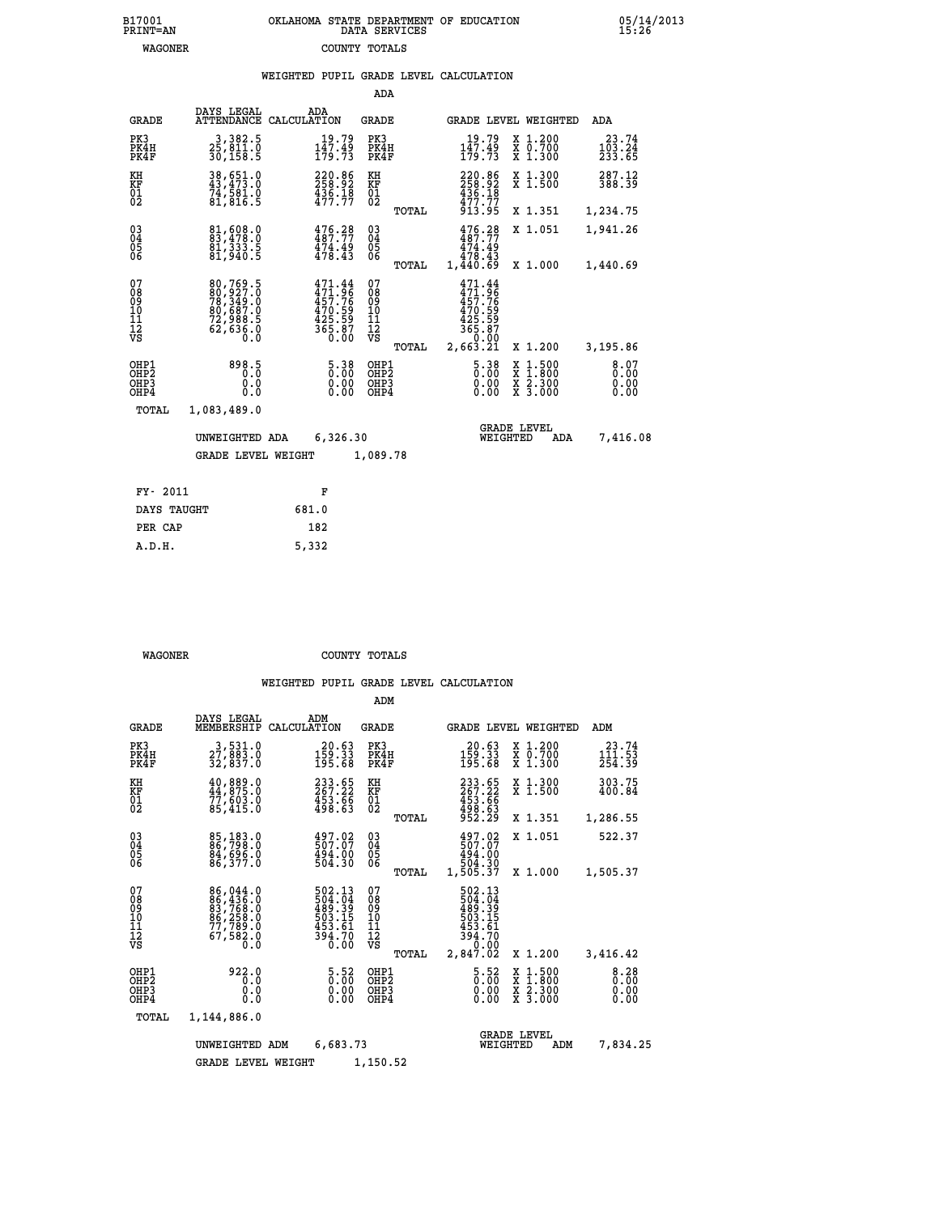| WEIGHTED PUPIL GRADE LEVEL CALCULATION |  |  |  |
|----------------------------------------|--|--|--|
|----------------------------------------|--|--|--|

|                                                                    |                                                                                                               |                    |                                                                              | ADA                                    |       |                                                                                  |                                            |                                          |                              |
|--------------------------------------------------------------------|---------------------------------------------------------------------------------------------------------------|--------------------|------------------------------------------------------------------------------|----------------------------------------|-------|----------------------------------------------------------------------------------|--------------------------------------------|------------------------------------------|------------------------------|
| <b>GRADE</b>                                                       | DAYS LEGAL<br><b>ATTENDANCE</b>                                                                               | ADA<br>CALCULATION |                                                                              | GRADE                                  |       |                                                                                  |                                            | GRADE LEVEL WEIGHTED                     | <b>ADA</b>                   |
| PK3<br>PK4H<br>PK4F                                                | 3,382.5<br>25,811.0<br>30,158.5                                                                               |                    | 19.79<br>$\frac{1\bar{4}}{179}. \frac{49}{73}$                               | PK3<br>PK4H<br>PK4F                    |       | 19.79<br>$\frac{1\bar{4}}{179}. \frac{45}{73}$                                   |                                            | X 1.200<br>X 0.700<br>X 1.300            | 23.74<br>103.24<br>233.65    |
| KH<br><b>KF</b><br>01<br>02                                        | 38,651.0<br>43,473.0<br>74,581.0<br>81,816.5                                                                  |                    | 220.86<br>258.92<br>$\frac{1}{4}\frac{3}{7}\cdot\frac{7}{7}\cdot\frac{1}{7}$ | KH<br>KF<br>$\overline{01}$            |       | 220.86<br>258.92<br>$436.18$<br>$477.77$<br>$913.95$                             |                                            | X 1.300<br>$\overline{x}$ 1.500          | 287.12<br>388.39             |
|                                                                    |                                                                                                               |                    |                                                                              |                                        | TOTAL |                                                                                  |                                            | X 1.351                                  | 1,234.75                     |
| $\begin{smallmatrix} 03 \\[-4pt] 04 \end{smallmatrix}$<br>05<br>06 | 81,608.0<br>83,478.0<br>81,333.5<br>81,940.5                                                                  |                    | $476.28$<br>$487.77$<br>$\frac{474.49}{478.43}$                              | $\substack{03 \\ 04}$<br>05<br>06      |       | 476.28<br>487.77<br>474.49                                                       |                                            | X 1.051                                  | 1,941.26                     |
|                                                                    |                                                                                                               |                    |                                                                              |                                        | TOTAL | 478.43<br>1,440.69                                                               |                                            | X 1.000                                  | 1,440.69                     |
| 07<br>08<br>09<br>11<br>11<br>12<br>VS                             | $\begin{smallmatrix} 80,769.5\\ 80,927.0\\ 78,349.0\\ 80,687.0\\ 72,988.5\\ 62,636.0\\ 0.0 \end{smallmatrix}$ |                    | 471.44<br>471.96<br>457.76<br>457.59<br>425.59<br>365.87<br>0.00             | 07<br>08<br>09<br>11<br>11<br>12<br>VS | TOTAL | 471.44<br>$471.44$<br>$457.76$<br>$470.59$<br>$425.59$<br>$365.87$<br>$2,663.21$ |                                            | X 1.200                                  | 3,195.86                     |
| OHP1<br>OHP2<br>OHP3<br>OHP4                                       | 898.5<br>0.0<br>0.0                                                                                           |                    | $5.38$<br>$0.00$<br>$0.00$<br>0.00                                           | OHP1<br>OHP2<br>OHP3<br>OHP4           |       |                                                                                  | $5.38$<br>$0.00$<br>X<br>X<br>0.00<br>0.00 | $1.500$<br>$1.800$<br>X 2.300<br>X 3.000 | 8.07<br>0.00<br>0.00<br>0.00 |
| TOTAL                                                              | 1,083,489.0                                                                                                   |                    |                                                                              |                                        |       |                                                                                  |                                            |                                          |                              |
|                                                                    | UNWEIGHTED ADA                                                                                                |                    | 6,326.30                                                                     |                                        |       |                                                                                  | <b>GRADE LEVEL</b><br>WEIGHTED             | ADA                                      | 7,416.08                     |
|                                                                    | <b>GRADE LEVEL WEIGHT</b>                                                                                     |                    |                                                                              | 1,089.78                               |       |                                                                                  |                                            |                                          |                              |
| FY- 2011                                                           |                                                                                                               |                    | F                                                                            |                                        |       |                                                                                  |                                            |                                          |                              |
| DAYS TAUGHT                                                        |                                                                                                               | 681.0              |                                                                              |                                        |       |                                                                                  |                                            |                                          |                              |
|                                                                    |                                                                                                               |                    |                                                                              |                                        |       |                                                                                  |                                            |                                          |                              |

| חחוו |  |  |
|------|--|--|
|      |  |  |

 **PER CAP 182 A.D.H. 5,332**

 **WAGONER COUNTY TOTALS**

|                                                       |                                                                                       |                                                                  | ADM                                    |                                                                                |                                                                           |                                                                                                |
|-------------------------------------------------------|---------------------------------------------------------------------------------------|------------------------------------------------------------------|----------------------------------------|--------------------------------------------------------------------------------|---------------------------------------------------------------------------|------------------------------------------------------------------------------------------------|
| <b>GRADE</b>                                          | DAYS LEGAL<br>MEMBERSHIP                                                              | ADM<br>CALCULATION                                               | <b>GRADE</b>                           |                                                                                | <b>GRADE LEVEL WEIGHTED</b>                                               | ADM                                                                                            |
| PK3<br>PK4H<br>PK4F                                   | 3,531.0<br>27,883.0<br>32,837.0                                                       | 20.63<br>$1\bar{5}\tilde{9}\cdot\tilde{3}\tilde{3}$<br>195.68    | PK3<br>PK4H<br>PK4F                    | 20.63<br>$1\bar{5}\tilde{9}\,\tilde{.}\,\tilde{3}\,\tilde{3}$<br>195.68        | $\begin{smallmatrix} x & 1.200 \\ x & 0.700 \end{smallmatrix}$<br>X 1.300 | 23.74<br>$1\overline{1}$ $\overline{1}$ $\overline{1}$ $\overline{5}$ $\overline{3}$<br>254.39 |
| KH<br>KF<br>01<br>02                                  | $\begin{smallmatrix} 40, 889.0\\ 44, 875.0\\ 77, 603.0\\ 85, 415.0 \end{smallmatrix}$ | 233.65<br>267.22<br>453.66<br>498.63                             | KH<br>KF<br>01<br>02                   | 233.65<br>267.22<br>453.66<br>498.63<br>952.29                                 | X 1.300<br>X 1.500                                                        | 303.75<br>400.84                                                                               |
|                                                       |                                                                                       |                                                                  | TOTAL                                  |                                                                                | X 1.351                                                                   | 1,286.55                                                                                       |
| 03<br>04<br>05<br>06                                  | 85,183.0<br>86,798.0<br>84,696.0<br>86,377.0                                          | 497.02<br>507.07<br>494.00<br>504.30                             | $\substack{03 \\ 04}$<br>05<br>06      | 497.02<br>494.00                                                               | X 1.051                                                                   | 522.37                                                                                         |
|                                                       |                                                                                       |                                                                  | TOTAL                                  | 504.30<br>1,505.37                                                             | X 1.000                                                                   | 1,505.37                                                                                       |
| 07<br>08<br>09<br>101<br>112<br>VS                    | 86,044.0<br>86,436.0<br>83,768.0<br>85,258.0<br>86,258.0<br>77,789.0<br>67,582.0      | 502.13<br>504.04<br>489.39<br>503.15<br>453.61<br>394.70<br>0.00 | 07<br>08<br>09<br>11<br>11<br>12<br>VS | 502.13<br>$\frac{504.04}{489.39}$<br>$\frac{503.15}{503.15}$<br>394.70<br>0.00 |                                                                           |                                                                                                |
|                                                       |                                                                                       |                                                                  | TOTAL                                  | 2,847.02                                                                       | X 1.200                                                                   | 3,416.42                                                                                       |
| OHP1<br>OH <sub>P</sub> 2<br>OH <sub>P3</sub><br>OHP4 | 922.0<br>0.0<br>0.0<br>Ŏ.Ŏ                                                            | $\frac{5.52}{0.00}$<br>0.00<br>0.00                              | OHP1<br>OHP2<br>OHP3<br>OHP4           | $\begin{smallmatrix} 5.52 \ 0.00 \ 0.00 \end{smallmatrix}$<br>0.00             | X 1:500<br>X 1:800<br>X 2:300<br>X 3:000                                  | 8.28<br>0.00<br>0.00<br>0.00                                                                   |
| TOTAL                                                 | 1,144,886.0                                                                           |                                                                  |                                        |                                                                                |                                                                           |                                                                                                |
|                                                       | UNWEIGHTED ADM                                                                        | 6,683.73                                                         |                                        | WEIGHTED                                                                       | <b>GRADE LEVEL</b><br>ADM                                                 | 7,834.25                                                                                       |
|                                                       | <b>GRADE LEVEL WEIGHT</b>                                                             |                                                                  | 1,150.52                               |                                                                                |                                                                           |                                                                                                |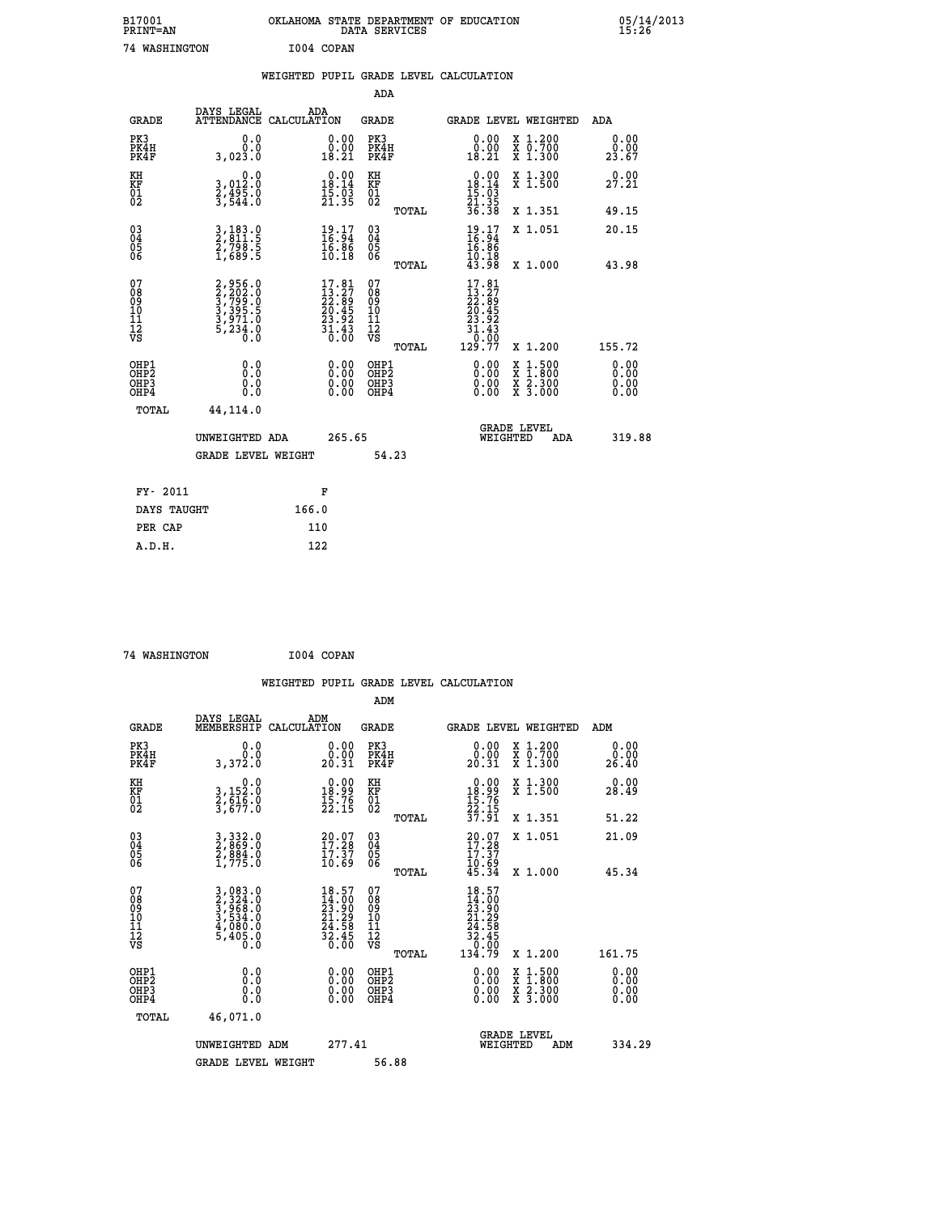| B17001<br>PRINT=AN | OKLAHOMA STATE DEPARTMENT OF EDUCATION<br>DATA SERVICES | 05/14/2013<br>15:26 |
|--------------------|---------------------------------------------------------|---------------------|
| 74 WASHINGTON      | I004 COPAN                                              |                     |

|                                                                    |                                                                       | WEIGHTED PUPIL GRADE LEVEL CALCULATION                                   |                                        |       |                                                                                      |                                                                            |                              |
|--------------------------------------------------------------------|-----------------------------------------------------------------------|--------------------------------------------------------------------------|----------------------------------------|-------|--------------------------------------------------------------------------------------|----------------------------------------------------------------------------|------------------------------|
|                                                                    |                                                                       |                                                                          | <b>ADA</b>                             |       |                                                                                      |                                                                            |                              |
| <b>GRADE</b>                                                       | DAYS LEGAL<br><b>ATTENDANCE</b>                                       | ADA<br>CALCULATION                                                       | <b>GRADE</b>                           |       |                                                                                      | GRADE LEVEL WEIGHTED                                                       | ADA                          |
| PK3<br>PK4H<br>PK4F                                                | 0.0<br>0.0<br>3,023.0                                                 | $\begin{smallmatrix} 0.00\\ 0.00\\ 18.21 \end{smallmatrix}$              | PK3<br>PK4H<br>PK4F                    |       | 0.00<br>0.00<br>18.21                                                                | X 1.200<br>X 0.700<br>X 1.300                                              | 0.00<br>0.00<br>23.67        |
| KH<br>KF<br>01<br>02                                               | 0.0<br>3,012:0<br>2,495:0<br>3,544:0                                  | $\begin{smallmatrix} 0.00\\18.14\\15.03\\21.35 \end{smallmatrix}$        | KH<br>KF<br>01<br>02                   |       | $\begin{array}{r} 0.00 \\ 18.14 \\ 15.03 \\ 21.35 \\ 36.38 \end{array}$              | X 1.300<br>X 1.500                                                         | 0.00<br>27.21                |
|                                                                    |                                                                       |                                                                          |                                        | TOTAL |                                                                                      | X 1.351                                                                    | 49.15                        |
| $\begin{smallmatrix} 03 \\[-4pt] 04 \end{smallmatrix}$<br>Ŏ5<br>06 | 3,183.0<br>2,811.5<br>2,798.5<br>1,689.5                              | $\frac{19}{16}$ : $\frac{17}{94}$<br>$\frac{16.86}{10.18}$               | $\substack{03 \\ 04}$<br>Ŏ5<br>06      |       | $\frac{19}{16}$ : $\frac{17}{94}$<br>$\frac{16.86}{10.18}$<br>43.98                  | X 1.051                                                                    | 20.15                        |
|                                                                    |                                                                       |                                                                          |                                        | TOTAL |                                                                                      | X 1.000                                                                    | 43.98                        |
| 07<br>089<br>090<br>1112<br>VS                                     | 2,956.0<br>3,202.0<br>3,799.0<br>3,395.5<br>3,971.0<br>5,234.0<br>0.0 | $17.81$<br>$13.27$<br>$22.89$<br>$20.45$<br>$23.92$<br>$31.43$<br>$0.00$ | 07<br>08<br>09<br>11<br>11<br>12<br>VS | TOTAL | $17.81$<br>$13.27$<br>$22.89$<br>$20.45$<br>$23.92$<br>$31.43$<br>$0.00$<br>$129.77$ | X 1.200                                                                    | 155.72                       |
| OHP1<br>OHP2<br>OHP3<br>OHP4                                       | 0.0<br>0.0<br>0.0                                                     | 0.00<br>$\begin{smallmatrix} 0.00 \ 0.00 \end{smallmatrix}$              | OHP1<br>OHP2<br>OHP3<br>OHP4           |       | 0.00<br>0.00<br>0.00                                                                 | $1:500$<br>$1:800$<br>X<br>X<br>$\frac{\ddot{x}}{x}$ $\frac{2.300}{3.000}$ | 0.00<br>0.00<br>0.00<br>0.00 |
| <b>TOTAL</b>                                                       | 44, 114.0                                                             |                                                                          |                                        |       |                                                                                      |                                                                            |                              |
|                                                                    | UNWEIGHTED ADA                                                        | 265.65                                                                   |                                        |       |                                                                                      | GRADE LEVEL<br>WEIGHTED<br>ADA                                             | 319.88                       |
|                                                                    | <b>GRADE LEVEL WEIGHT</b>                                             |                                                                          | 54.23                                  |       |                                                                                      |                                                                            |                              |
| FY- 2011                                                           |                                                                       | F                                                                        |                                        |       |                                                                                      |                                                                            |                              |
| DAYS TAUGHT                                                        |                                                                       | 166.0                                                                    |                                        |       |                                                                                      |                                                                            |                              |
| PER CAP                                                            |                                                                       | 110                                                                      |                                        |       |                                                                                      |                                                                            |                              |

 **74 WASHINGTON I004 COPAN**

 **A.D.H. 122**

 **WEIGHTED PUPIL GRADE LEVEL CALCULATION ADM DAYS LEGAL ADM GRADE MEMBERSHIP CALCULATION GRADE GRADE LEVEL WEIGHTED ADM PK3 0.0 0.00 PK3 0.00 X 1.200 0.00 PK4H 0.0 0.00 PK4H 0.00 X 0.700 0.00 PK4F 3,372.0 20.31 PK4F 20.31 X 1.300 26.40 KH 0.0 0.00 KH 0.00 X 1.300 0.00 KF 3,152.0 18.99 KF 18.99 X 1.500 28.49 01 2,616.0 15.76 01 15.76 02 3,677.0 22.15 02 22.15 TOTAL 37.91 X 1.351 51.22 03 3,332.0 20.07 03 20.07 X 1.051 21.09 04 2,869.0 17.28 04 17.28 05 2,884.0 17.37 05 17.37** 06 1,775.0 10.69 06 <sub>momas</sub> 10.69  **TOTAL 45.34 X 1.000 45.34**  $\begin{array}{cccc} 07 & 3,083.0 & 18.57 & 07 & 18.57 \ 08 & 2,324.0 & 14.0 & 08 & 14.0 \ 09 & 3,968.0 & 23.90 & 09 & 23.90 \ 10 & 3,534.0 & 21.29 & 10 & 21.29 \ 11 & 4,080.0 & 24.58 & 11 & 24.58 \ \hline \textrm{vs} & 5,405.0 & 32.45 & 12 & 24.58 \ 12 & 32.45 & 32.45 & 12 &$  **TOTAL 134.79 X 1.200 161.75 OHP1 0.0 0.00 OHP1 0.00 X 1.500 0.00 OHP2 0.0 0.00 OHP2 0.00 X 1.800 0.00 OHP3 0.0 0.00 OHP3 0.00 X 2.300 0.00 OHP4 0.0 0.00 OHP4 0.00 X 3.000 0.00 TOTAL 46,071.0 GRADE LEVEL UNWEIGHTED ADM 277.41 WEIGHTED ADM 334.29 GRADE LEVEL WEIGHT 56.88**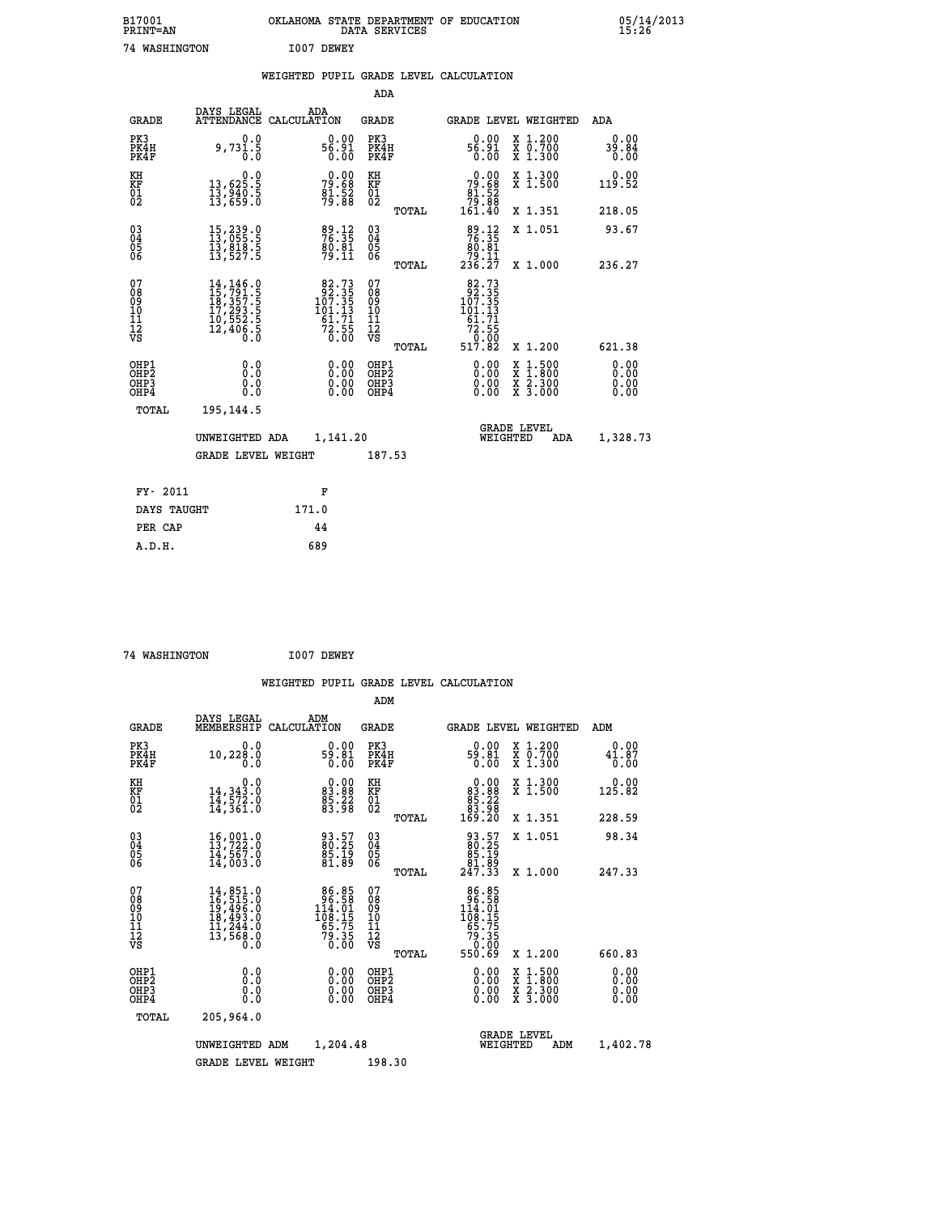| B17001<br><b>PRINT=AN</b> | OKLAHOMA STATE DEPARTMENT OF EDUCATION<br>SERVICES<br>DATA | 05/14/2013<br>15:26 |
|---------------------------|------------------------------------------------------------|---------------------|
| 74<br>WASHINGTON          | I007 DEWEY                                                 |                     |

|  |  | WEIGHTED PUPIL GRADE LEVEL CALCULATION |
|--|--|----------------------------------------|
|  |  |                                        |

|                                                                    |                                                                                                                                                                                  |                                                                                        | ADA                                                 |       |                                                                                                                         |                                          |                       |
|--------------------------------------------------------------------|----------------------------------------------------------------------------------------------------------------------------------------------------------------------------------|----------------------------------------------------------------------------------------|-----------------------------------------------------|-------|-------------------------------------------------------------------------------------------------------------------------|------------------------------------------|-----------------------|
| <b>GRADE</b>                                                       | DAYS LEGAL                                                                                                                                                                       | ADA<br>ATTENDANCE CALCULATION                                                          | <b>GRADE</b>                                        |       |                                                                                                                         | <b>GRADE LEVEL WEIGHTED</b>              | ADA                   |
| PK3<br>PK4H<br>PK4F                                                | 0.0<br>9,731.5<br>0.0                                                                                                                                                            | $0.00$<br>56.91<br>0.00                                                                | PK3<br>PK4H<br>PK4F                                 |       | $0.00$<br>19.95<br>0.00                                                                                                 | X 1.200<br>X 0.700<br>X 1.300            | 0.00<br>39.84<br>0.00 |
| KH<br>KF<br>01<br>02                                               | $\begin{smallmatrix}&&&0.0\\13,625.5\\13,940.5\\13,659.0\end{smallmatrix}$                                                                                                       | 79.68<br>79.68<br>81.52<br>79.88                                                       | KH<br>KF<br>01<br>02                                |       | $\begin{smallmatrix} &0.00\\79.68\\81.52\\79.88\\161.40\end{smallmatrix}$                                               | X 1.300<br>X 1.500                       | 0.00<br>119.52        |
|                                                                    |                                                                                                                                                                                  |                                                                                        |                                                     | TOTAL |                                                                                                                         | X 1.351                                  | 218.05                |
| $\begin{smallmatrix} 03 \\[-4pt] 04 \end{smallmatrix}$<br>Ŏ5<br>06 | 15,239.0<br>13,055.5<br>13,818.5<br>13,527.5                                                                                                                                     | 89.12<br>76.35<br>80.81<br>79.11                                                       | $\begin{array}{c} 03 \\ 04 \\ 05 \\ 06 \end{array}$ |       | $\begin{array}{r} 89.12 \\ 76.35 \\ 80.81 \\ 79.11 \\ 236.27 \end{array}$                                               | X 1.051                                  | 93.67                 |
|                                                                    |                                                                                                                                                                                  |                                                                                        |                                                     | TOTAL |                                                                                                                         | X 1.000                                  | 236.27                |
| 07<br>08<br>09<br>01<br>11<br>11<br>12<br>VS                       | $\begin{smallmatrix} 14\,,\,146\,. \ 15\,,\,791\,. \ 18\,,\,357\,. \ 5\\ 18\,,\,357\,. \ 5\\ 17\,,\,293\,. \ 5\\ 10\,,\,552\,. \ 5\\ 12\,,\,406\,. \ 5\\ 0\,. \end{smallmatrix}$ | $\begin{smallmatrix}82.73\\92.35\\107.35\\101.13\\61.71\\72.55\\0.00\end{smallmatrix}$ | 07<br>08<br>09<br>001<br>11<br>11<br>12<br>VS       |       | $82.73$<br>$92.35$<br>$107.35$<br>$101.13$<br>$\begin{array}{r} 161.71 \\ 61.71 \\ 72.55 \\ 0.00 \\ 517.82 \end{array}$ |                                          |                       |
|                                                                    |                                                                                                                                                                                  |                                                                                        |                                                     | TOTAL |                                                                                                                         | X 1.200                                  | 621.38                |
| OHP1<br>OHP2<br>OH <sub>P3</sub><br>OHP4                           | 0.0<br>0.0<br>0.0                                                                                                                                                                | $0.00$<br>$0.00$<br>0.00                                                               | OHP1<br>OHP2<br>OHP3<br>OHP4                        |       |                                                                                                                         | X 1:500<br>X 1:800<br>X 2:300<br>X 3:000 | 0.00<br>0.00<br>0.00  |
| TOTAL                                                              | 195,144.5                                                                                                                                                                        |                                                                                        |                                                     |       |                                                                                                                         |                                          |                       |
|                                                                    | UNWEIGHTED ADA                                                                                                                                                                   | 1,141.20                                                                               |                                                     |       |                                                                                                                         | <b>GRADE LEVEL</b><br>WEIGHTED<br>ADA    | 1,328.73              |
|                                                                    | <b>GRADE LEVEL WEIGHT</b>                                                                                                                                                        |                                                                                        | 187.53                                              |       |                                                                                                                         |                                          |                       |
| FY- 2011                                                           |                                                                                                                                                                                  | F                                                                                      |                                                     |       |                                                                                                                         |                                          |                       |
| DAYS TAUGHT                                                        |                                                                                                                                                                                  | 171.0                                                                                  |                                                     |       |                                                                                                                         |                                          |                       |
| PER CAP                                                            |                                                                                                                                                                                  | 44                                                                                     |                                                     |       |                                                                                                                         |                                          |                       |

 **A.D.H. 689**

 **74 WASHINGTON I007 DEWEY WEIGHTED PUPIL GRADE LEVEL CALCULATION ADM DAYS LEGAL ADM GRADE MEMBERSHIP CALCULATION GRADE GRADE LEVEL WEIGHTED ADM PK3 0.0 0.00 PK3 0.00 X 1.200 0.00 PK4H 10,228.0 59.81 PK4H 59.81 X 0.700 41.87 PK4F 0.0 0.00 PK4F 0.00 X 1.300 0.00 KH 0.0 0.00 KH 0.00 X 1.300 0.00 KF 14,343.0 83.88 KF 83.88 X 1.500 125.82 01 14,572.0 85.22 01 85.22 02 14,361.0 83.98 02 83.98 TOTAL 169.20 X 1.351 228.59 03 16,001.0 93.57 03 93.57 X 1.051 98.34 04 13,722.0 80.25 04 80.25 05 14,567.0 85.19 05 85.19 06 14,003.0 81.89 06 81.89 TOTAL 247.33 X 1.000 247.33**  $\begin{array}{cccc} 07 & 14,851.0 & 86.85 & 07 & 86.85 \ 08 & 16,515.0 & 96.85 & 07 & 96.85 \ 09 & 19,495.0 & 14.01 & 09 & 19.405.8 \ 10 & 18,493.0 & 108.15 & 10 & 108.15 \ 11 & 11,244.0 & 65.75 & 11 & 65.75 \ 12 & 13,568.0 & 79.35 & 12 & 79.35 \ 13 & 65.75 & 13 &$  **TOTAL 550.69 X 1.200 660.83 OHP1 0.0 0.00 OHP1 0.00 X 1.500 0.00 OHP2 0.0 0.00 OHP2 0.00 X 1.800 0.00 OHP3 0.0 0.00 OHP3 0.00 X 2.300 0.00 OHP4 0.0 0.00 OHP4 0.00 X 3.000 0.00 TOTAL 205,964.0 GRADE LEVEL UNWEIGHTED ADM 1,204.48 WEIGHTED ADM 1,402.78** GRADE LEVEL WEIGHT 198.30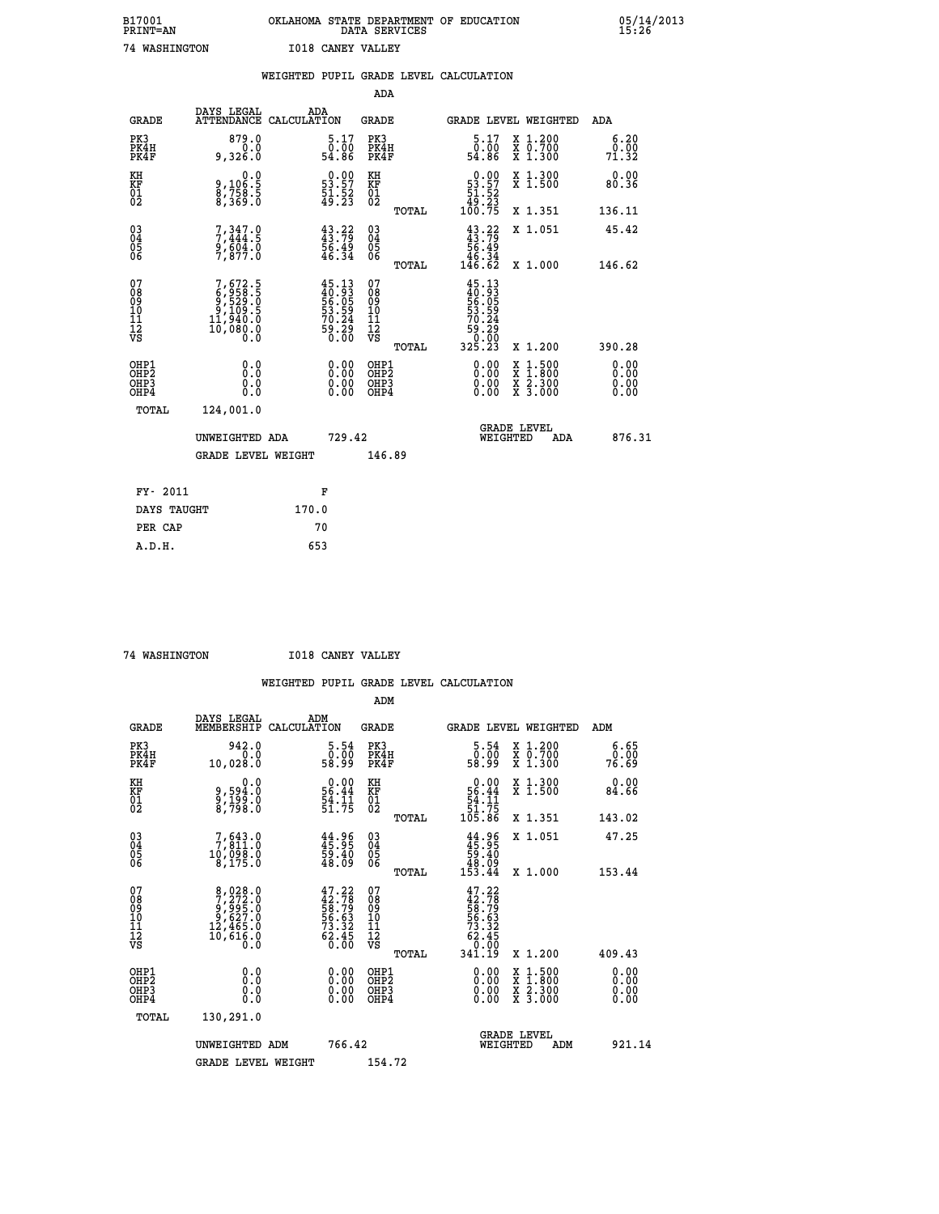| B17001<br><b>PRINT=AN</b> | OKLAHOMA STATE DEPARTMENT OF EDUCATION<br>DATA SERVICES | 05/14/2013<br>15:26 |
|---------------------------|---------------------------------------------------------|---------------------|
| 74 WASHINGTON             | <b>I018 CANEY VALLEY</b>                                |                     |

|                                         |                                                                              | WEIGHTED PUPIL GRADE LEVEL CALCULATION                               |                                                    |       |                                                                                                |                                                                     |                       |
|-----------------------------------------|------------------------------------------------------------------------------|----------------------------------------------------------------------|----------------------------------------------------|-------|------------------------------------------------------------------------------------------------|---------------------------------------------------------------------|-----------------------|
|                                         |                                                                              |                                                                      | <b>ADA</b>                                         |       |                                                                                                |                                                                     |                       |
| <b>GRADE</b>                            | <b>DAYS LEGAL<br/>ATTENDANCE</b>                                             | ADA<br>CALCULATION                                                   | <b>GRADE</b>                                       |       |                                                                                                | GRADE LEVEL WEIGHTED                                                | ADA                   |
| PK3<br>PK4H<br>PK4F                     | 879.0<br>9,326.0                                                             | $\begin{smallmatrix}5.17\0.00\\54.86\end{smallmatrix}$               | PK3<br>PK4H<br>PK4F                                |       | $\begin{smallmatrix}5.17\0.00\\54.86\end{smallmatrix}$                                         | X 1.200<br>X 0.700<br>X 1.300                                       | 6.20<br>0.00<br>71.32 |
| KH<br>KF<br>01<br>02                    | $9,106.5$<br>8,758.5<br>8,369.0                                              | $\begin{smallmatrix} 0.00\\ 53.57\\ 51.52\\ 49.23 \end{smallmatrix}$ | KH<br>KF<br>01<br>02                               |       | $\begin{smallmatrix} &0.00\ 53.57\ 51.52\ 49.23\ 100.75 \end{smallmatrix}$                     | X 1.300<br>X 1.500                                                  | 0.00<br>80.36         |
|                                         |                                                                              |                                                                      |                                                    | TOTAL |                                                                                                | X 1.351                                                             | 136.11                |
| $^{03}_{04}$<br>05<br>06                | $7,347.9$<br>$7,444.5$<br>$9,604.0$<br>$7,877.0$                             | $43.79$<br>$43.79$<br>$56.49$<br>$46.34$                             | $\begin{matrix} 03 \\ 04 \\ 05 \\ 06 \end{matrix}$ |       | $43.79$<br>$56.49$<br>$46.34$<br>$146.62$                                                      | X 1.051                                                             | 45.42                 |
|                                         |                                                                              |                                                                      |                                                    | TOTAL |                                                                                                | X 1.000                                                             | 146.62                |
| 07<br>08<br>09<br>101<br>11<br>12<br>VS | $7,672.5$<br>$9,958.5$<br>$9,109.5$<br>$9,109.5$<br>$11,940.0$<br>$10,080.0$ | $45.13\n40.93\n56.05\n53.59\n70.24\n70.29\n59.29\n0.00$              | 07<br>08<br>09<br>11<br>11<br>12<br>VS             | TOTAL | $\begin{smallmatrix} 45.13\ 40.93\ 56.055\ 53.594\ 570.249\ 59.290\ 325.23\ \end{smallmatrix}$ | X 1.200                                                             | 390.28                |
| OHP1<br>OHP2<br>OHP3<br>OHP4            | 0.0<br>0.0<br>Ō.Ō                                                            | 0.0000<br>$0.00$<br>0.00                                             | OHP1<br>OHP2<br>OHP3<br>OHP4                       |       | 0.00<br>0.00                                                                                   | $1:500$<br>$1:800$<br>X<br>X<br>$\frac{x}{x}$ $\frac{5:300}{3:000}$ | 0.00<br>0.00<br>0.00  |
| <b>TOTAL</b>                            | 124,001.0                                                                    |                                                                      |                                                    |       |                                                                                                |                                                                     |                       |
|                                         | UNWEIGHTED ADA                                                               | 729.42                                                               |                                                    |       |                                                                                                | GRADE LEVEL<br>WEIGHTED<br>ADA                                      | 876.31                |
|                                         | <b>GRADE LEVEL WEIGHT</b>                                                    |                                                                      | 146.89                                             |       |                                                                                                |                                                                     |                       |
| FY- 2011                                |                                                                              | F                                                                    |                                                    |       |                                                                                                |                                                                     |                       |
| DAYS TAUGHT                             |                                                                              | 170.0                                                                |                                                    |       |                                                                                                |                                                                     |                       |
| PER CAP                                 |                                                                              | 70                                                                   |                                                    |       |                                                                                                |                                                                     |                       |

 **A.D.H. 653**

 **74 WASHINGTON I018 CANEY VALLEY**

|                                          |                                                                                                   |                                                                           | ADM                                                 |       |                                                                          |                                          |                              |        |
|------------------------------------------|---------------------------------------------------------------------------------------------------|---------------------------------------------------------------------------|-----------------------------------------------------|-------|--------------------------------------------------------------------------|------------------------------------------|------------------------------|--------|
| <b>GRADE</b>                             | DAYS LEGAL<br>MEMBERSHIP                                                                          | ADM<br>CALCULATION                                                        | <b>GRADE</b>                                        |       | <b>GRADE LEVEL WEIGHTED</b>                                              |                                          | ADM                          |        |
| PK3<br>PK4H<br>PK4F                      | 942.0<br>0.0<br>10,028.0                                                                          | 5.54<br>ōŏ:ŏō<br>99:85                                                    | PK3<br>PK4H<br>PK4F                                 |       | $\begin{smallmatrix}5.54\0.00\\9.99\end{smallmatrix}$                    | X 1.200<br>X 0.700<br>X 1.300            | 6.65<br>ŏ:ŏŏ<br>76:69        |        |
| KH<br>KF<br>01<br>02                     | 0.0<br>9,594:0<br>9,199:0<br>8,798:0                                                              | $\begin{array}{r} 0.00 \\ 56.44 \\ 54.11 \\ 51.75 \end{array}$            | KH<br>KF<br>01<br>02                                |       | $0.00$<br>56.44<br>54.11<br>51.75<br>51.75<br>105.86                     | X 1.300<br>X 1.500                       | 0.00<br>84.66                |        |
|                                          |                                                                                                   |                                                                           |                                                     | TOTAL |                                                                          | X 1.351                                  | 143.02                       |        |
| 03<br>04<br>05<br>06                     | $\begin{smallmatrix}7,643.0\\7,811.0\\10,098.0\\8,175.0\end{smallmatrix}$                         | $44.96$<br>$45.95$<br>59.40<br>48.09                                      | $\begin{array}{c} 03 \\ 04 \\ 05 \\ 06 \end{array}$ |       | $44.96$<br>$45.95$<br>$59.40$<br>$48.09$<br>$153.44$                     | X 1.051                                  | 47.25                        |        |
|                                          |                                                                                                   |                                                                           |                                                     | TOTAL |                                                                          | X 1.000                                  | 153.44                       |        |
| 07<br>08<br>09<br>101<br>112<br>VS       | $\begin{smallmatrix}8,028.0\\7,272.0\\9,995.0\\9,627.0\\12,465.0\\10,616.0\\0.0\end{smallmatrix}$ | $47.22$<br>$42.78$<br>$58.79$<br>$56.63$<br>$73.32$<br>$62.45$<br>$60.00$ | 07<br>08<br>09<br>11<br>11<br>12<br>VS              |       | $47.22$<br>$42.78$<br>$58.79$<br>$56.63$<br>$73.32$<br>$62.45$<br>$9.90$ |                                          |                              |        |
|                                          |                                                                                                   |                                                                           |                                                     | TOTAL | 34ĭ.ĭ9                                                                   | X 1.200                                  | 409.43                       |        |
| OHP1<br>OHP2<br>OHP <sub>3</sub><br>OHP4 | 0.0<br>0.000                                                                                      | $0.00$<br>$0.00$<br>0.00                                                  | OHP1<br>OHP2<br>OHP <sub>3</sub>                    |       | $0.00$<br>$0.00$<br>0.00                                                 | X 1:500<br>X 1:800<br>X 2:300<br>X 3:000 | 0.00<br>0.00<br>0.00<br>0.00 |        |
| TOTAL                                    | 130,291.0                                                                                         |                                                                           |                                                     |       |                                                                          |                                          |                              |        |
|                                          | UNWEIGHTED ADM                                                                                    | 766.42                                                                    |                                                     |       | WEIGHTED                                                                 | <b>GRADE LEVEL</b><br>ADM                |                              | 921.14 |
|                                          | <b>GRADE LEVEL WEIGHT</b>                                                                         |                                                                           | 154.72                                              |       |                                                                          |                                          |                              |        |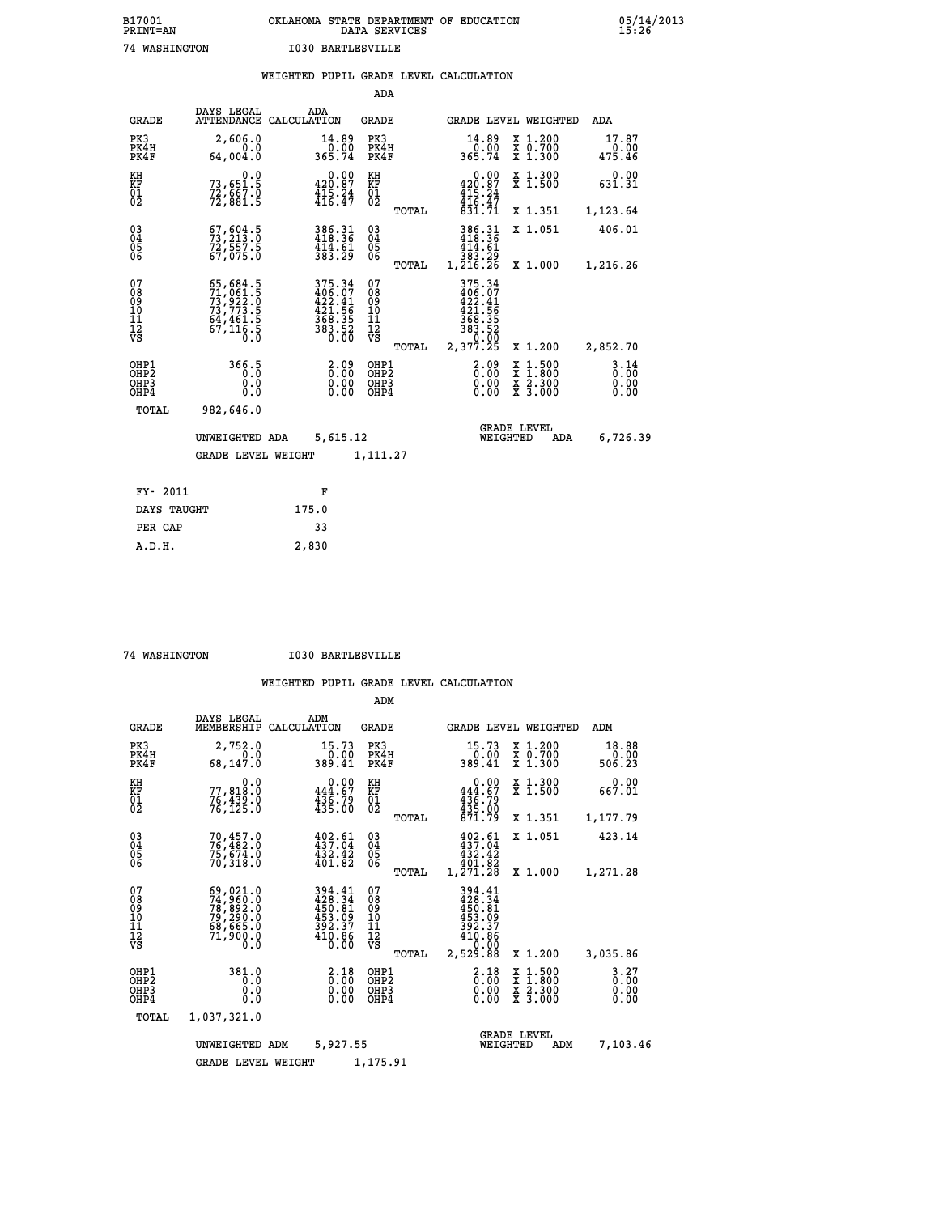| B17001          | OKLAHOMA STATE DEPARTMENT OF EDUCATION |
|-----------------|----------------------------------------|
| <b>PRINT=AN</b> | DATA SERVICES                          |
| 74 WASHINGTON   | <b>I030 BARTLESVILLE</b>               |

|                                                                    |                                                                                                   | WEIGHTED PUPIL GRADE LEVEL CALCULATION                                         |                                        |       |                                                                                                                            |                                                                                                                                      |                                  |
|--------------------------------------------------------------------|---------------------------------------------------------------------------------------------------|--------------------------------------------------------------------------------|----------------------------------------|-------|----------------------------------------------------------------------------------------------------------------------------|--------------------------------------------------------------------------------------------------------------------------------------|----------------------------------|
|                                                                    |                                                                                                   |                                                                                | ADA                                    |       |                                                                                                                            |                                                                                                                                      |                                  |
| <b>GRADE</b>                                                       | DAYS LEGAL                                                                                        | ADA<br>ATTENDANCE CALCULATION                                                  | <b>GRADE</b>                           |       |                                                                                                                            | GRADE LEVEL WEIGHTED                                                                                                                 | ADA                              |
| PK3<br>PK4H<br>PK4F                                                | 2,606.0<br>0.0<br>64,004.0                                                                        | $\frac{14.89}{0.00}$<br>365.74                                                 | PK3<br>PK4H<br>PK4F                    |       | 14.89<br>$\frac{0.00}{365.74}$                                                                                             | X 1.200<br>X 0.700<br>X 1.300                                                                                                        | 17.87<br>$\frac{0.00}{475.46}$   |
| KH<br>KF<br>01<br>02                                               | 0.0<br>73,651.5<br>72,667.0<br>72,881.5                                                           | 0.00<br>420.87<br>$\frac{1}{4}$ $\frac{1}{6}$ $\frac{24}{47}$                  | KH<br>KF<br>01<br>02                   |       | 0.00<br>420.87<br>$415.24$<br>$416.47$<br>$831.71$                                                                         | X 1.300<br>X 1.500                                                                                                                   | 0.00<br>631.31                   |
|                                                                    |                                                                                                   |                                                                                |                                        | TOTAL |                                                                                                                            | X 1.351                                                                                                                              | 1,123.64                         |
| $\begin{smallmatrix} 03 \\[-4pt] 04 \end{smallmatrix}$<br>05<br>06 | $\begin{smallmatrix} 67 & 604 & 5\\ 73 & 213 & 0\\ 72 & 557 & 5\\ 67 & 075 & 0 \end{smallmatrix}$ | 386.31<br>418.36<br>414.61<br>383.29                                           | $^{03}_{04}$<br>$\frac{05}{06}$        |       | $\begin{array}{r} 386\cdot 31 \\ 418\cdot 36 \\ 414\cdot 61 \\ 383\cdot 29 \\ 1,216\cdot 26 \end{array}$                   | X 1.051                                                                                                                              | 406.01                           |
|                                                                    |                                                                                                   |                                                                                |                                        | TOTAL |                                                                                                                            | X 1.000                                                                                                                              | 1,216.26                         |
| 07<br>08<br>09<br>11<br>11<br>12<br>VS                             | 65,684.5<br>71,061.5<br>73,922.0<br>73,773.5<br>64,461.5<br>67,116.5                              | $375.34$<br>$406.07$<br>$422.41$<br>$421.56$<br>$368.35$<br>$383.52$<br>$0.00$ | 07<br>08<br>09<br>11<br>11<br>12<br>VS | TOTAL | 375.34<br>$406.07$<br>$422.41$<br>$421.56$<br>$\begin{array}{r} 368.35 \\ 383.52 \\ 383.0 \\ 0.00 \\ 2,377.25 \end{array}$ | X 1.200                                                                                                                              | 2,852.70                         |
| OHP1<br>OHP2<br>OH <sub>P3</sub><br>OH <sub>P4</sub>               | 366.5<br>0.0<br>0.0                                                                               | $2.09$<br>$0.00$<br>$0.00$<br>0.00                                             | OHP1<br>OHP2<br>OHP3<br>OHP4           |       | 2.09<br>0.00<br>0.00                                                                                                       | $\begin{smallmatrix} \texttt{X} & 1 & 500 \\ \texttt{X} & 1 & 800 \\ \texttt{X} & 2 & 300 \\ \texttt{X} & 3 & 000 \end{smallmatrix}$ | $3.14$<br>$0.00$<br>0.00<br>0.00 |
| TOTAL                                                              | 982,646.0                                                                                         |                                                                                |                                        |       |                                                                                                                            |                                                                                                                                      |                                  |
|                                                                    | UNWEIGHTED ADA                                                                                    | 5,615.12                                                                       |                                        |       | WEIGHTED                                                                                                                   | <b>GRADE LEVEL</b><br>ADA                                                                                                            | 6,726.39                         |
|                                                                    | <b>GRADE LEVEL WEIGHT</b>                                                                         |                                                                                | 1,111.27                               |       |                                                                                                                            |                                                                                                                                      |                                  |
| FY- 2011                                                           |                                                                                                   | F                                                                              |                                        |       |                                                                                                                            |                                                                                                                                      |                                  |
| DAYS TAUGHT                                                        |                                                                                                   | 175.0                                                                          |                                        |       |                                                                                                                            |                                                                                                                                      |                                  |
| PER CAP                                                            |                                                                                                   | 33                                                                             |                                        |       |                                                                                                                            |                                                                                                                                      |                                  |

 **A.D.H. 2,830**

 **74 WASHINGTON I030 BARTLESVILLE**

|                                                       |                                                                             |                                                                         | ADM                                                                             |                                                                                                                                                                                     |                                                                                                  |                                  |
|-------------------------------------------------------|-----------------------------------------------------------------------------|-------------------------------------------------------------------------|---------------------------------------------------------------------------------|-------------------------------------------------------------------------------------------------------------------------------------------------------------------------------------|--------------------------------------------------------------------------------------------------|----------------------------------|
| <b>GRADE</b>                                          | DAYS LEGAL<br>MEMBERSHIP                                                    | ADM<br>CALCULATION                                                      | <b>GRADE</b>                                                                    | GRADE LEVEL WEIGHTED                                                                                                                                                                |                                                                                                  | ADM                              |
| PK3<br>PK4H<br>PK4F                                   | 2,752.0<br>0.0<br>68,147.0                                                  | 15.73<br>389.41                                                         | PK3<br>PK4H<br>PK4F                                                             | 15.73<br>0.00<br>389.41                                                                                                                                                             | $\begin{array}{c} x & 1.200 \\ x & 0.700 \end{array}$<br>$X$ 1.300                               | 18.88<br>0.00<br>506.23          |
| KH<br>KF<br>01<br>02                                  | 0.0<br>77,818.0<br>76,439.0<br>76,125.0                                     | $0.00$<br>444.67<br>436.79<br>435.00                                    | KH<br>KF<br>01<br>02                                                            | 0.00<br>444.67<br>$\frac{436.79}{435.00}$<br>871.79                                                                                                                                 | X 1.300<br>X 1.500                                                                               | 0.00<br>667.01                   |
|                                                       |                                                                             |                                                                         | TOTAL                                                                           |                                                                                                                                                                                     | X 1.351                                                                                          | 1,177.79                         |
| 03<br>04<br>05<br>06                                  | 70,457.0<br>76,482.0<br>75,674.0<br>70,318.0                                | 402.61<br>437.04<br>432.42<br>401.82                                    | $\substack{03 \\ 04}$<br>$\begin{smallmatrix} 0 & 5 \\ 0 & 6 \end{smallmatrix}$ | $402.61$<br>$437.04$<br>432.42<br>401.82                                                                                                                                            | X 1.051                                                                                          | 423.14                           |
|                                                       |                                                                             |                                                                         | TOTAL                                                                           | 1,271.28                                                                                                                                                                            | X 1.000                                                                                          | 1,271.28                         |
| 07<br>08<br>09<br>101<br>112<br>VS                    | 69,021.0<br>74,960.0<br>78,892.0<br>79,290.0<br>69,665.0<br>71,900.0<br>0.0 | 394.41<br>428.34<br>450.81<br>$\frac{453.09}{392.37}$<br>410.86<br>0.00 | 07<br>08<br>09<br>101<br>11<br>12<br>VS<br>TOTAL                                | 394.41<br>428.34<br>$\begin{array}{@{}c@{\hspace{1em}}c@{\hspace{1em}}}\n \begin{array}{c}\n 450.81 \\  453.09 \\  392.37 \\  410.88\n \end{array} \end{array}$<br>0.00<br>2,529.88 | X 1.200                                                                                          | 3,035.86                         |
| OHP1<br>OH <sub>P</sub> 2<br>OH <sub>P3</sub><br>OHP4 | 381.0<br>0.0<br>0.0<br>Ŏ.Ŏ                                                  | $\begin{smallmatrix} 2.18\ 0.00 \ 0.00 \end{smallmatrix}$<br>0.00       | OHP1<br>OHP2<br>OHP3<br>OHP4                                                    | $\begin{smallmatrix} 2.18\ 0.00 \ 0.00 \end{smallmatrix}$<br>0.00                                                                                                                   | $\begin{smallmatrix} x & 1 & 500 \\ x & 1 & 800 \\ x & 2 & 300 \\ x & 3 & 000 \end{smallmatrix}$ | $3.27$<br>$0.00$<br>0.00<br>0.00 |
| TOTAL                                                 | 1,037,321.0                                                                 |                                                                         |                                                                                 |                                                                                                                                                                                     |                                                                                                  |                                  |
|                                                       | UNWEIGHTED ADM                                                              | 5,927.55                                                                |                                                                                 | <b>GRADE LEVEL</b><br>WEIGHTED                                                                                                                                                      | ADM                                                                                              | 7,103.46                         |
|                                                       | <b>GRADE LEVEL WEIGHT</b>                                                   |                                                                         | 1,175.91                                                                        |                                                                                                                                                                                     |                                                                                                  |                                  |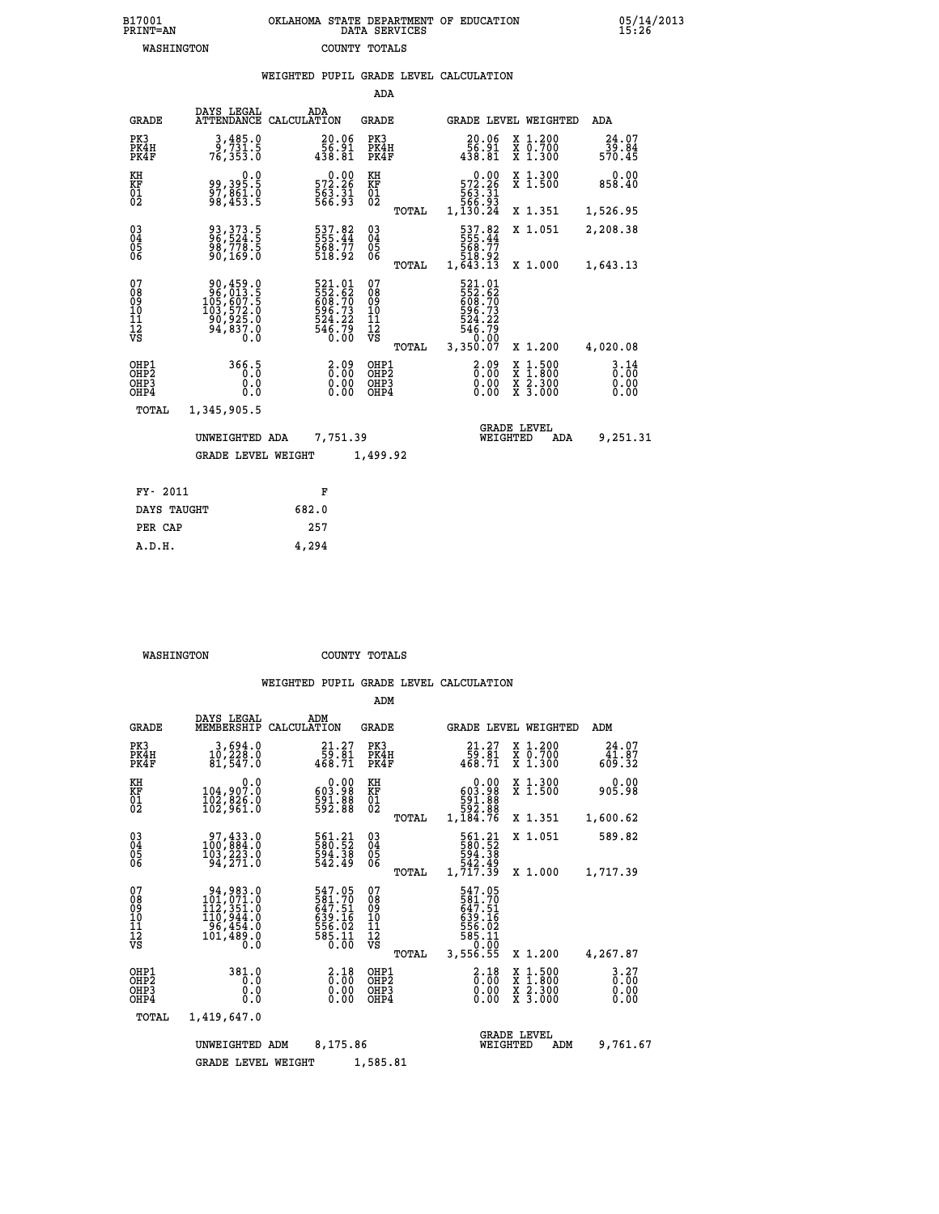| B17001          | OKLAHOMA STATE DEPARTMENT OF EDUCATION |
|-----------------|----------------------------------------|
| <b>PRINT=AN</b> | DATA SERVICES                          |
| WASHINGTON      | COUNTY TOTALS                          |

 **B17001 OKLAHOMA STATE DEPARTMENT OF EDUCATION 05/14/2013**

|                                                                    |                                                                                                                                                   | WEIGHTED PUPIL GRADE LEVEL CALCULATION                                     |                                                    |       |                                                                                        |                                                                                                                                                          |                                  |
|--------------------------------------------------------------------|---------------------------------------------------------------------------------------------------------------------------------------------------|----------------------------------------------------------------------------|----------------------------------------------------|-------|----------------------------------------------------------------------------------------|----------------------------------------------------------------------------------------------------------------------------------------------------------|----------------------------------|
|                                                                    |                                                                                                                                                   |                                                                            | <b>ADA</b>                                         |       |                                                                                        |                                                                                                                                                          |                                  |
| <b>GRADE</b>                                                       | DAYS LEGAL<br><b>ATTENDANCE</b>                                                                                                                   | ADA<br>CALCULATION                                                         | GRADE                                              |       |                                                                                        | GRADE LEVEL WEIGHTED                                                                                                                                     | ADA                              |
| PK3<br>PK4H<br>PK4F                                                | 3,485.0<br>9,731.5<br>76,353.0                                                                                                                    | $\begin{smallmatrix} 20.06\\ 56.91\\ 438.81 \end{smallmatrix}$             | PK3<br>PK4H<br>PK4F                                |       | 20.06<br>56.91<br>438.81                                                               | X 1.200<br>X 0.700<br>X 1.300                                                                                                                            | 24.07<br>39.04<br>570.45         |
| KH<br>KF<br>01<br>02                                               | 0.0<br>99,395.5<br>97,861.0<br>98,453.5                                                                                                           | $\begin{array}{r} 0.00 \\ 572.26 \\ 563.31 \\ 566.93 \end{array}$          | KH<br>KF<br>01<br>02                               |       | $\begin{smallmatrix}&&0.00\\572.26\\563.31\\563.31\\566.93\\1,130.24\end{smallmatrix}$ | X 1.300<br>X 1.500                                                                                                                                       | $0.00$<br>858.40                 |
|                                                                    |                                                                                                                                                   |                                                                            |                                                    | TOTAL |                                                                                        | X 1.351                                                                                                                                                  | 1,526.95                         |
| $\begin{smallmatrix} 03 \\[-4pt] 04 \end{smallmatrix}$<br>Ŏ5<br>06 | 93, 373.5<br>96, 524.5<br>98,778.5<br>90,169.0                                                                                                    | 537.82<br>555.44<br>568.77<br>518.92                                       | $\begin{matrix} 03 \\ 04 \\ 05 \\ 06 \end{matrix}$ |       | 537.82<br>555.44<br>568.77<br>518.92<br>1,643.13                                       | X 1.051                                                                                                                                                  | 2,208.38                         |
|                                                                    |                                                                                                                                                   |                                                                            |                                                    | TOTAL |                                                                                        | X 1.000                                                                                                                                                  | 1,643.13                         |
| 07<br>08<br>09<br>11<br>11<br>12<br>VS                             | $\begin{smallmatrix} 90,459\cdot 0\\ 96,013\cdot 5\\ 105,607\cdot 5\\ 103,572\cdot 0\\ 90,925\cdot 0\\ 94,837\cdot 0\\ 0\cdot 0\end{smallmatrix}$ | 521.01<br>552.62<br>608.70<br>608.73<br>596.73<br>524.22<br>546.79<br>0.00 | 07<br>08<br>09<br>11<br>11<br>12<br>VS             | TOTAL | 521.01<br>552.62<br>608.70<br>696.73<br>524.22<br>546.79<br>546.79<br>3,350.07         | X 1.200                                                                                                                                                  | 4,020.08                         |
| OHP1<br>OHP <sub>2</sub><br>OHP3<br>OHP4                           | 366.5<br>0.0<br>0.0                                                                                                                               | 2.09<br>$\begin{smallmatrix} 0.00 \ 0.00 \end{smallmatrix}$                | OHP1<br>OHP2<br>OHP3<br>OHP4                       |       | 2.09<br>0.00<br>0.00                                                                   | $1:500$<br>1:800<br>$\begin{smallmatrix} \mathtt{X} & 1 & 500 \\ \mathtt{X} & 1 & 800 \\ \mathtt{X} & 2 & 300 \\ \mathtt{X} & 3 & 000 \end{smallmatrix}$ | $3.14$<br>$0.00$<br>0.00<br>0.00 |
| <b>TOTAL</b>                                                       | 1,345,905.5                                                                                                                                       |                                                                            |                                                    |       |                                                                                        |                                                                                                                                                          |                                  |
|                                                                    | UNWEIGHTED ADA                                                                                                                                    | 7,751.39                                                                   |                                                    |       | WEIGHTED                                                                               | <b>GRADE LEVEL</b><br>ADA                                                                                                                                | 9,251.31                         |
|                                                                    | <b>GRADE LEVEL WEIGHT</b>                                                                                                                         |                                                                            | 1,499.92                                           |       |                                                                                        |                                                                                                                                                          |                                  |
| FY- 2011                                                           |                                                                                                                                                   | F                                                                          |                                                    |       |                                                                                        |                                                                                                                                                          |                                  |
| DAYS TAUGHT                                                        |                                                                                                                                                   | 682.0                                                                      |                                                    |       |                                                                                        |                                                                                                                                                          |                                  |
| PER CAP                                                            |                                                                                                                                                   | 257                                                                        |                                                    |       |                                                                                        |                                                                                                                                                          |                                  |

 **WASHINGTON COUNTY TOTALS**

 **A.D.H. 4,294**

|                                                    |                                                                                         |                                                                    | ADM                                             |                                                                               |                                                                                            |                              |
|----------------------------------------------------|-----------------------------------------------------------------------------------------|--------------------------------------------------------------------|-------------------------------------------------|-------------------------------------------------------------------------------|--------------------------------------------------------------------------------------------|------------------------------|
| <b>GRADE</b>                                       | DAYS LEGAL<br>MEMBERSHIP                                                                | ADM<br>CALCULATION                                                 | <b>GRADE</b>                                    | GRADE LEVEL WEIGHTED                                                          |                                                                                            | ADM                          |
| PK3<br>PK4H<br>PK4F                                | 3,694.0<br>10,228.0<br>81,547.0                                                         | $\begin{smallmatrix} 21.27\\ 59.81\\ 468.71 \end{smallmatrix}$     | PK3<br>PK4H<br>PK4F                             | $\begin{smallmatrix} 21.27\\ 59.81\\ 468.71 \end{smallmatrix}$                | X 1.200<br>X 0.700<br>$\overline{x}$ 1.300                                                 | 24.07<br>41.87<br>609.32     |
| KH<br>KF<br>01<br>02                               | 0.0<br>104,907.0<br>102,026:0<br>102,961:0                                              | 0.00<br>603.98<br>591.88<br>592.88                                 | KH<br>KF<br>01<br>02                            | 0.00<br>603.98<br>88: 591<br>592: 88<br>1,184: 76                             | X 1.300<br>X 1.500                                                                         | 0.00<br>905.98               |
|                                                    |                                                                                         |                                                                    | TOTAL                                           |                                                                               | X 1.351                                                                                    | 1,600.62                     |
| $\begin{matrix} 03 \\ 04 \\ 05 \\ 06 \end{matrix}$ | 100,884.0<br>103, 223.0<br>94,271.0                                                     | 561.21<br>580.52<br>594.38<br>542.49                               | $\substack{03 \\ 04}$<br>$\frac{05}{06}$        | 561.21<br>580.52<br>594.38<br>542.49<br>1,717.39                              | X 1.051                                                                                    | 589.82                       |
|                                                    |                                                                                         |                                                                    | TOTAL                                           |                                                                               | X 1.000                                                                                    | 1,717.39                     |
| 07<br>08<br>09<br>10<br>11<br>11<br>12<br>VS       | 94,983.0<br>$101,071.0$<br>$112,351.0$<br>$110,944.0$<br>$96,454.0$<br>101,489.0<br>0.0 | 547.05<br>581.70<br>647.51<br>$639.16$<br>556.02<br>585.11<br>0.00 | 07<br>08<br>09<br>11<br>11<br>12<br>VS<br>TOTAL | 547.05<br>581.70<br>639.16<br>639.16<br>556.02<br>585.11<br>50.00<br>3,556.55 | X 1.200                                                                                    | 4,267.87                     |
| OHP1<br>OHP2<br>OHP3<br>OHP4                       | 381.0<br>0.0<br>0.0<br>$0.\overline{0}$                                                 | $\frac{2.18}{0.00}$<br>0.00<br>0.00                                | OHP1<br>OHP2<br>OHP3<br>OHP4                    | $\begin{smallmatrix} 2.18\ 0.00 \ 0.00 \end{smallmatrix}$<br>0.00             | $\begin{array}{c} x & 1.500 \\ x & 1.800 \\ x & 2.300 \end{array}$<br>$\overline{x}$ 3.000 | 3.27<br>0.00<br>0.00<br>0.00 |
| TOTAL                                              | 1,419,647.0                                                                             |                                                                    |                                                 |                                                                               |                                                                                            |                              |
|                                                    | UNWEIGHTED ADM<br><b>GRADE LEVEL WEIGHT</b>                                             | 8,175.86                                                           | 1,585.81                                        | WEIGHTED                                                                      | <b>GRADE LEVEL</b><br>ADM                                                                  | 9,761.67                     |
|                                                    |                                                                                         |                                                                    |                                                 |                                                                               |                                                                                            |                              |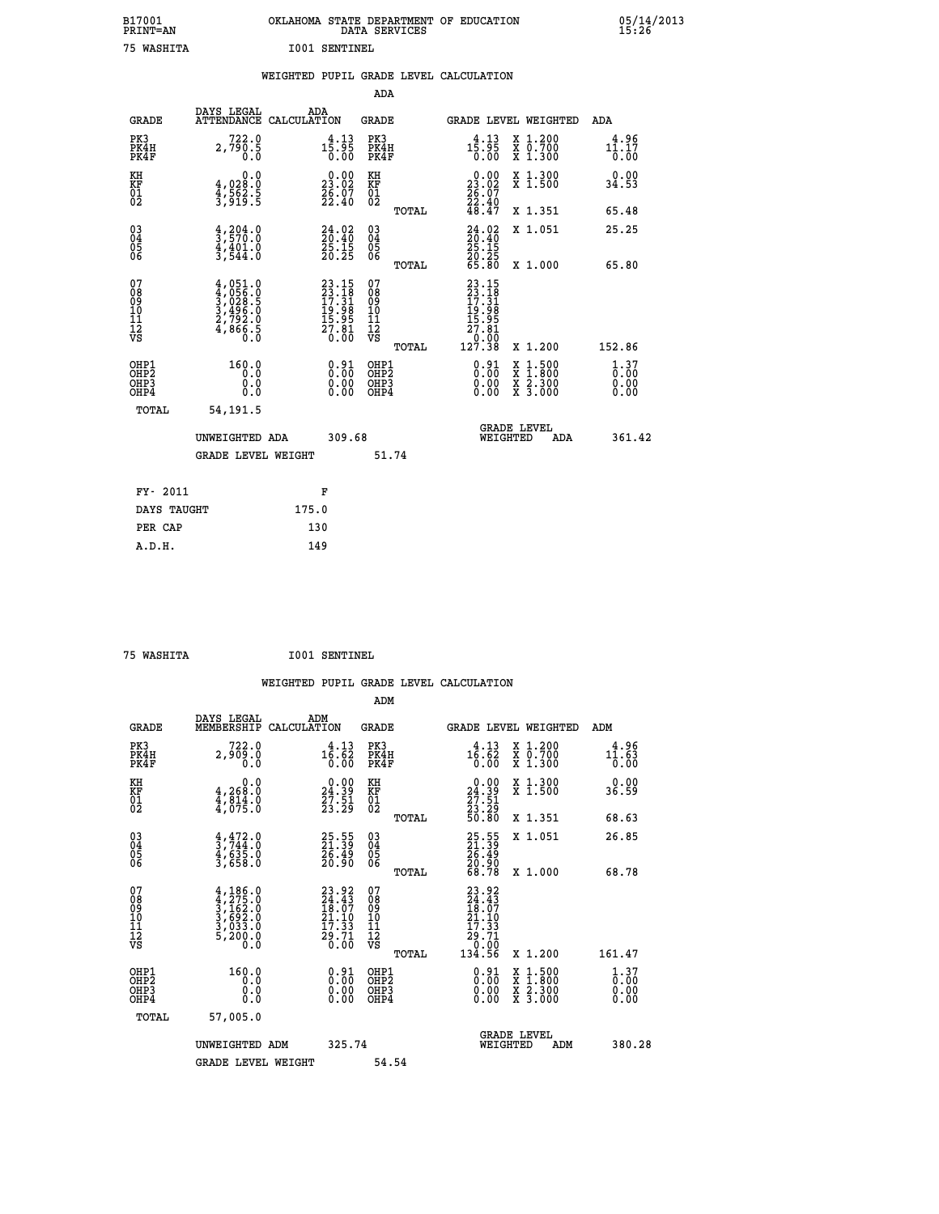| B17001<br><b>PRINT=AN</b> | OKLAHOMA STATE DEPARTMENT OF EDUCATION<br>SERVICES<br>DATA | 05/14/2013<br>15:26 |
|---------------------------|------------------------------------------------------------|---------------------|
| 75<br>WASHITA             | I001<br>SENTINEL                                           |                     |

| 75 WASHITA                               |                                                                                   |       | 1001 SENTINEL                                                            |                                                    |       |                                                                                                               |                                                                                                                                           |                                     |
|------------------------------------------|-----------------------------------------------------------------------------------|-------|--------------------------------------------------------------------------|----------------------------------------------------|-------|---------------------------------------------------------------------------------------------------------------|-------------------------------------------------------------------------------------------------------------------------------------------|-------------------------------------|
|                                          |                                                                                   |       |                                                                          |                                                    |       | WEIGHTED PUPIL GRADE LEVEL CALCULATION                                                                        |                                                                                                                                           |                                     |
|                                          |                                                                                   |       |                                                                          | <b>ADA</b>                                         |       |                                                                                                               |                                                                                                                                           |                                     |
| GRADE                                    | DAYS LEGAL<br>ATTENDANCE CALCULATION                                              |       | ADA                                                                      | <b>GRADE</b>                                       |       |                                                                                                               | <b>GRADE LEVEL WEIGHTED</b>                                                                                                               | ADA                                 |
| PK3<br>PK4H<br>PK4F                      | 722.0<br>2,790.5                                                                  |       | $1\overline{5}\cdot\overline{9}\overline{5}\overline{0}\overline{0}$     | PK3<br>PK4H<br>PK4F                                |       | $1\overline{5}\cdot\overline{9}\overline{5}\overline{0}\cdot00$                                               | X 1.200<br>X 0.700<br>X 1.300                                                                                                             | 4.96<br>11.17<br>$\overline{0}$ .00 |
| KH<br>KF<br>01<br>02                     | 0.0<br>4,028:0<br>4,562:5<br>3,919:5                                              |       | $\begin{smallmatrix} 0.00\\ 23.02\\ 26.07\\ 22.40 \end{smallmatrix}$     | KH<br>KF<br>01<br>02                               |       | $\begin{smallmatrix} 0.00\\ 23.02\\ 26.07\\ 22.40\\ 48.47 \end{smallmatrix}$                                  | X 1.300<br>X 1.500                                                                                                                        | 0.00<br>34.53                       |
|                                          |                                                                                   |       |                                                                          |                                                    | TOTAL |                                                                                                               | X 1.351                                                                                                                                   | 65.48                               |
| 030404<br>ŎĞ                             | $\frac{4}{3}, \frac{204}{570}$ .0<br>$\frac{4}{3}, \frac{401}{544}$ .0<br>3,544.0 |       | $\begin{smallmatrix} 24.02\ 20.40\ 25.15\ 20.25 \end{smallmatrix}$       | $\begin{matrix} 03 \\ 04 \\ 05 \\ 06 \end{matrix}$ |       | $\begin{smallmatrix} 24.02\\ 20.40\\ 25.15\\ 20.25\\ 65.80 \end{smallmatrix}$                                 | X 1.051                                                                                                                                   | 25.25                               |
|                                          |                                                                                   |       |                                                                          |                                                    | TOTAL |                                                                                                               | X 1.000                                                                                                                                   | 65.80                               |
| 07<br>08<br>09<br>11<br>11<br>12<br>VS   | $4,051.0$<br>$4,056.0$<br>$3,028.5$<br>$3,496.0$<br>$2,792.0$<br>$4,866.5$<br>0.0 |       | $23.15$<br>$23.18$<br>$17.31$<br>$19.98$<br>$15.95$<br>$27.81$<br>$0.00$ | 07<br>08<br>09<br>11<br>11<br>12<br>VS             | TOTAL | $23.15$<br>$23.18$<br>$17.31$<br>$19.98$<br>$15.95$<br>$\begin{array}{r} 27.81 \\ 0.00 \\ 127.38 \end{array}$ | X 1.200                                                                                                                                   | 152.86                              |
| OHP1<br>OHP <sub>2</sub><br>OHP3<br>OHP4 | 160.0<br>Ō.Ō<br>0.0<br>0.0                                                        |       | $\begin{smallmatrix} 0.91\ 0.00\ 0.00\ 0.00 \end{smallmatrix}$           | OHP1<br>OHP2<br>OHP3<br>OHP4                       |       | $0.91$<br>$0.00$<br>0.00                                                                                      | $\begin{smallmatrix} \mathtt{X} & 1\cdot500\\ \mathtt{X} & 1\cdot800\\ \mathtt{X} & 2\cdot300\\ \mathtt{X} & 3\cdot000 \end{smallmatrix}$ | $1.37$<br>$0.00$<br>0.00            |
| TOTAL                                    | 54,191.5                                                                          |       |                                                                          |                                                    |       |                                                                                                               |                                                                                                                                           |                                     |
|                                          | UNWEIGHTED ADA                                                                    |       | 309.68                                                                   |                                                    |       |                                                                                                               | <b>GRADE LEVEL</b><br>WEIGHTED<br>ADA                                                                                                     | 361.42                              |
|                                          | <b>GRADE LEVEL WEIGHT</b>                                                         |       |                                                                          |                                                    | 51.74 |                                                                                                               |                                                                                                                                           |                                     |
| FY- 2011                                 |                                                                                   |       | F                                                                        |                                                    |       |                                                                                                               |                                                                                                                                           |                                     |
| DAYS TAUGHT                              |                                                                                   | 175.0 |                                                                          |                                                    |       |                                                                                                               |                                                                                                                                           |                                     |
| PER CAP                                  |                                                                                   | 130   |                                                                          |                                                    |       |                                                                                                               |                                                                                                                                           |                                     |
| A.D.H.                                   |                                                                                   | 149   |                                                                          |                                                    |       |                                                                                                               |                                                                                                                                           |                                     |

 **75 WASHITA I001 SENTINEL**

| <b>GRADE</b>                                       | DAYS LEGAL<br>MEMBERSHIP                                                                              | ADM<br>CALCULATION                                                       | <b>GRADE</b>                                        |       |                                                                                                                         |          | GRADE LEVEL WEIGHTED                                                                                                | ADM                                               |  |
|----------------------------------------------------|-------------------------------------------------------------------------------------------------------|--------------------------------------------------------------------------|-----------------------------------------------------|-------|-------------------------------------------------------------------------------------------------------------------------|----------|---------------------------------------------------------------------------------------------------------------------|---------------------------------------------------|--|
| PK3<br>PK4H<br>PK4F                                | 722.0<br>2,909.0<br>0.0                                                                               | $1\overline{6}\cdot\overline{62}$<br>0.00                                | PK3<br>PK4H<br>PK4F                                 |       | $1\overline{6}\cdot\overline{6}\overline{2}\overline{0}\cdot\overline{0}\overline{0}$                                   |          | X 1.200<br>X 0.700<br>X 1.300                                                                                       | 4.96<br>$1\overline{1}\cdot\overline{63}$<br>0.00 |  |
| KH<br>KF<br>01<br>02                               | 0.0<br>$\frac{4}{4}, \frac{268}{814}$ .0<br>$\frac{4}{4}, \frac{814}{075}$ .0                         | $\begin{smallmatrix} 0.00\\24.39\\27.51\\23.29 \end{smallmatrix}$        | KH<br>KF<br>01<br>02                                |       | $\begin{smallmatrix} 0.00\\24.39\\27.51\\23.29\\50.80 \end{smallmatrix}$                                                |          | X 1.300<br>X 1.500                                                                                                  | 0.00<br>36.59                                     |  |
|                                                    |                                                                                                       |                                                                          |                                                     | TOTAL |                                                                                                                         |          | X 1.351                                                                                                             | 68.63                                             |  |
| $\begin{matrix} 03 \\ 04 \\ 05 \\ 06 \end{matrix}$ | $\frac{4}{3}, \frac{472}{744}.0$<br>$\frac{4}{3}, \frac{635}{658}.0$<br>$\frac{3}{3}, \frac{658}{60}$ | 25.55<br>21.39<br>26.49<br>20.90                                         | $\begin{array}{c} 03 \\ 04 \\ 05 \\ 06 \end{array}$ |       | 25.55<br>21.39<br>26.49<br>20.90<br>68.78                                                                               |          | X 1.051                                                                                                             | 26.85                                             |  |
|                                                    |                                                                                                       |                                                                          |                                                     | TOTAL |                                                                                                                         |          | X 1.000                                                                                                             | 68.78                                             |  |
| 07<br>08<br>09<br>101<br>112<br>VS                 | $4, 186.0$<br>$3, 275.0$<br>$3, 162.0$<br>$3, 693.0$<br>$3, 033.0$<br>$5, 200.0$<br>Ō.Ō               | $23.92$<br>$24.43$<br>$18.07$<br>$21.10$<br>$17.33$<br>$29.71$<br>$0.00$ | 07<br>08901112<br>1112<br>VS                        |       | $\begin{smallmatrix} 23 & .92\ 24 & .43\ 18 & .07\ 11 & .10\ 21 & .19\ 29 & .71\ 0 & .00\ 134 & .56\ \end{smallmatrix}$ |          |                                                                                                                     |                                                   |  |
|                                                    |                                                                                                       |                                                                          |                                                     | TOTAL |                                                                                                                         |          | X 1.200                                                                                                             | 161.47                                            |  |
| OHP1<br>OHP2<br>OH <sub>P3</sub><br>OHP4           | 160.0<br>0.0<br>0.0<br>Ŏ.Ŏ                                                                            | $\begin{smallmatrix} 0.91\ 0.00\ 0.00\ 0.00 \end{smallmatrix}$           | OHP1<br>OHP <sub>2</sub><br>OHP3<br>OHP4            |       | $\begin{smallmatrix} 0.91\ 0.00\ 0.00\ 0.00 \end{smallmatrix}$                                                          |          | $\begin{array}{l} \mathtt{X} & 1.500 \\ \mathtt{X} & 1.800 \\ \mathtt{X} & 2.300 \\ \mathtt{X} & 3.000 \end{array}$ | $1.37$<br>$0.00$<br>0.00<br>0.00                  |  |
| TOTAL                                              | 57,005.0                                                                                              |                                                                          |                                                     |       |                                                                                                                         |          |                                                                                                                     |                                                   |  |
|                                                    | UNWEIGHTED ADM                                                                                        | 325.74                                                                   |                                                     |       |                                                                                                                         | WEIGHTED | <b>GRADE LEVEL</b><br>ADM                                                                                           | 380.28                                            |  |
|                                                    | <b>GRADE LEVEL WEIGHT</b>                                                                             |                                                                          | 54.54                                               |       |                                                                                                                         |          |                                                                                                                     |                                                   |  |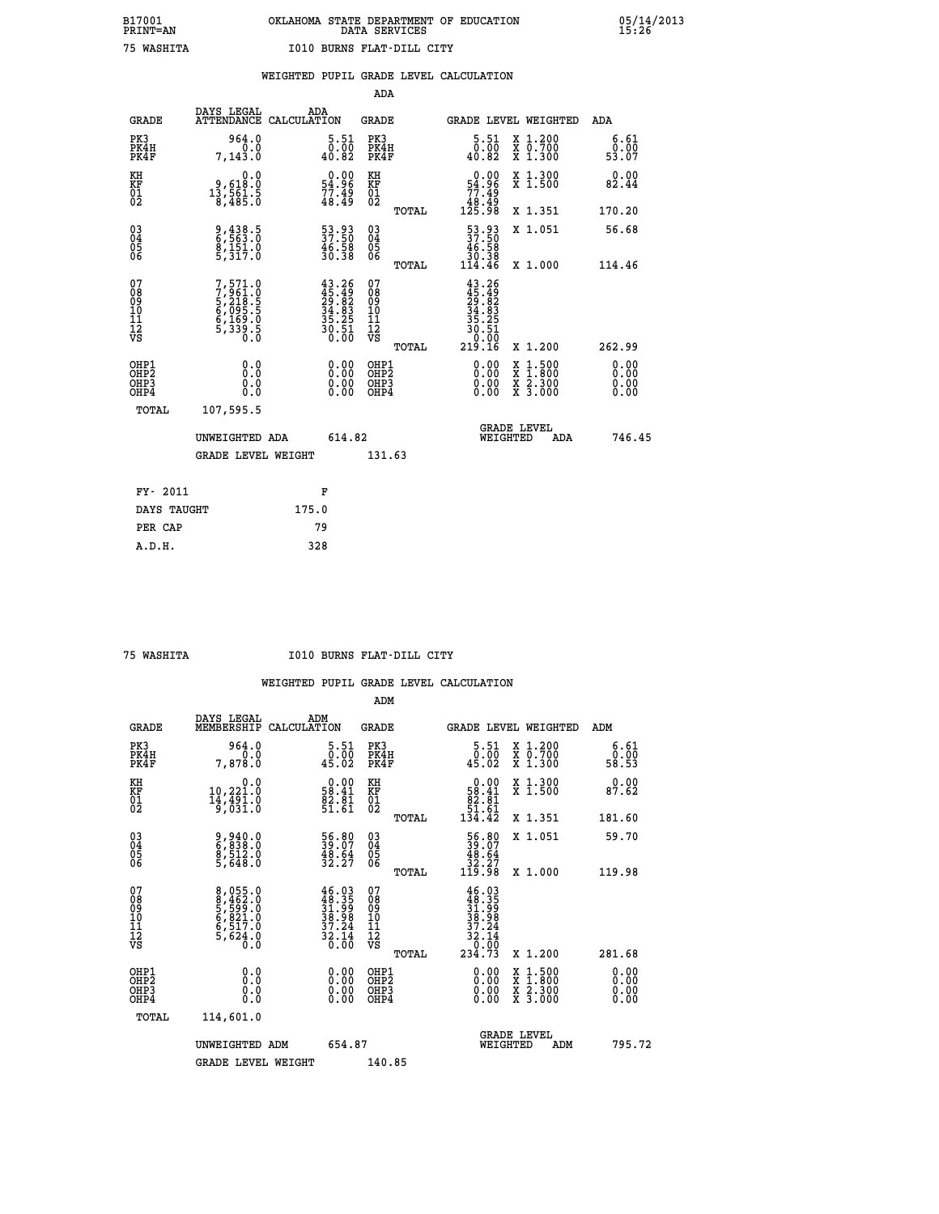|  |  | WEIGHTED PUPIL GRADE LEVEL CALCULATION |
|--|--|----------------------------------------|
|  |  |                                        |

|                                                    |                                                                           |                                                                      | ADA                                      |       |                                                                                                         |                                          |                              |
|----------------------------------------------------|---------------------------------------------------------------------------|----------------------------------------------------------------------|------------------------------------------|-------|---------------------------------------------------------------------------------------------------------|------------------------------------------|------------------------------|
| <b>GRADE</b>                                       | DAYS LEGAL<br>ATTENDANCE CALCULATION                                      | ADA                                                                  | <b>GRADE</b>                             |       |                                                                                                         | GRADE LEVEL WEIGHTED                     | ADA                          |
| PK3<br>PK4H<br>PK4F                                | 964.0<br>0.0<br>7,143.0                                                   | $\substack{5.51\\ -0.00\\ 40.82}$                                    | PK3<br>PK4H<br>PK4F                      |       | $\substack{5.51\\0.00\\40.82}$                                                                          | X 1.200<br>X 0.700<br>X 1.300            | 6.61<br>0.00<br>53.07        |
| KH<br>KF<br>01<br>02                               | 0.0<br>9,618:0<br>13,561:5<br>8,485:0                                     | $\begin{smallmatrix} 0.00\\ 54.96\\ 77.49\\ 48.49 \end{smallmatrix}$ | KH<br>KF<br>01<br>02                     |       | $\begin{smallmatrix} &0.00\ 54.96\ 77.49\ 48.49\ 125.98\ \end{smallmatrix}$                             | X 1.300<br>X 1.500                       | 0.00<br>82.44                |
|                                                    |                                                                           |                                                                      |                                          | TOTAL |                                                                                                         | X 1.351                                  | 170.20                       |
| $\begin{matrix} 03 \\ 04 \\ 05 \\ 06 \end{matrix}$ | $\frac{9}{6}, \frac{438}{563}$ . 0<br>8,151.0<br>5,317.0                  | $\frac{53}{37}.\frac{93}{50}\ \frac{46}{30}.\frac{58}{38}$           | 03<br>04<br>05<br>06                     |       | 53.93<br>37.50<br>$\begin{array}{r} 46.58 \\ 30.38 \\ 114.46 \end{array}$                               | X 1.051                                  | 56.68                        |
|                                                    |                                                                           |                                                                      |                                          | TOTAL |                                                                                                         | X 1.000                                  | 114.46                       |
| 07<br>08<br>09<br>11<br>11<br>12<br>VS             | 7,571.0<br>7,961.0<br>5,218.5<br>5,295.5<br>6,169.0<br>6,159.0<br>5,339.5 | $43.26$<br>$29.82$<br>$34.83$<br>$35.25$<br>$30.51$<br>$0.00$        | 07<br>08<br>09<br>11<br>11<br>12<br>VS   |       | $\begin{array}{r} 43.26 \\ 45.49 \\ 29.82 \\ 34.83 \\ 35.25 \\ 30.5 \\ 0.0 \\ 0.0 \\ 19.16 \end{array}$ |                                          |                              |
|                                                    |                                                                           |                                                                      |                                          | TOTAL |                                                                                                         | X 1.200                                  | 262.99                       |
| OHP1<br>OHP2<br>OHP3<br>OHP4                       | 0.0<br>0.0<br>0.0                                                         | $\begin{smallmatrix} 0.00 \ 0.00 \ 0.00 \ 0.00 \end{smallmatrix}$    | OHP1<br>OHP <sub>2</sub><br>OHP3<br>OHP4 |       |                                                                                                         | X 1:500<br>X 1:800<br>X 2:300<br>X 3:000 | 0.00<br>0.00<br>0.00<br>0.00 |
| <b>TOTAL</b>                                       | 107,595.5                                                                 |                                                                      |                                          |       |                                                                                                         |                                          |                              |
|                                                    | UNWEIGHTED ADA                                                            | 614.82                                                               |                                          |       |                                                                                                         | <b>GRADE LEVEL</b><br>WEIGHTED<br>ADA    | 746.45                       |
|                                                    | <b>GRADE LEVEL WEIGHT</b>                                                 |                                                                      | 131.63                                   |       |                                                                                                         |                                          |                              |
|                                                    |                                                                           |                                                                      |                                          |       |                                                                                                         |                                          |                              |
| FY- 2011                                           |                                                                           | F                                                                    |                                          |       |                                                                                                         |                                          |                              |
| DAYS TAUGHT                                        |                                                                           | 175.0                                                                |                                          |       |                                                                                                         |                                          |                              |
| PER CAP                                            |                                                                           | 79                                                                   |                                          |       |                                                                                                         |                                          |                              |

 **A.D.H. 328**

 **75 WASHITA I010 BURNS FLAT-DILL CITY**

|                                          |                                                                       |                                                                                                                                                  | ADM                                                 |       |                                                                                                                                      |                                          |                                                           |                      |
|------------------------------------------|-----------------------------------------------------------------------|--------------------------------------------------------------------------------------------------------------------------------------------------|-----------------------------------------------------|-------|--------------------------------------------------------------------------------------------------------------------------------------|------------------------------------------|-----------------------------------------------------------|----------------------|
| <b>GRADE</b>                             | DAYS LEGAL<br>MEMBERSHIP                                              | ADM<br>CALCULATION                                                                                                                               | <b>GRADE</b>                                        |       |                                                                                                                                      | <b>GRADE LEVEL WEIGHTED</b>              | ADM                                                       |                      |
| PK3<br>PK4H<br>PK4F                      | 964.0<br>7,878.0                                                      | 5.51<br>$\begin{smallmatrix} 0.00 \\ 45.02 \end{smallmatrix}$                                                                                    | PK3<br>PK4H<br>PK4F                                 |       | $\begin{smallmatrix}5.51\0.00\\45.02\end{smallmatrix}$                                                                               | X 1.200<br>X 0.700<br>X 1.300            | $\begin{smallmatrix} 6.61\ 0.00\ 58.53 \end{smallmatrix}$ |                      |
| KH<br>KF<br>01<br>02                     | 0.0<br>$10,221.0$<br>$14,491.0$<br>$9,031.0$                          | $\begin{smallmatrix} 0.00\\ 58.41\\ 82.81\\ 51.61 \end{smallmatrix}$                                                                             | KH<br>KF<br>01<br>02                                |       | $\begin{smallmatrix} &0.00\\ 58.41\\ 82.81\\ 51.61\\ 134.42\end{smallmatrix}$                                                        | X 1.300<br>X 1.500                       | 87.62                                                     | 0.00                 |
|                                          |                                                                       |                                                                                                                                                  |                                                     | TOTAL |                                                                                                                                      | X 1.351                                  | 181.60                                                    |                      |
| 03<br>04<br>05<br>06                     | 9,940.0<br>6,838.0<br>8,512.0<br>5,648.0                              | 56.80<br>39.07<br>48.64<br>32.27                                                                                                                 | $\begin{array}{c} 03 \\ 04 \\ 05 \\ 06 \end{array}$ |       | $\begin{smallmatrix} 56.80\\ 39.07\\ 48.64\\ 32.27\\ 119.98 \end{smallmatrix}$                                                       | X 1.051                                  | 59.70                                                     |                      |
|                                          |                                                                       |                                                                                                                                                  |                                                     | TOTAL |                                                                                                                                      | X 1.000                                  | 119.98                                                    |                      |
| 07<br>08<br>09<br>101<br>11<br>12<br>VS  | 8,055.0<br>8,462.0<br>5,599.0<br>5,621.0<br>6,517.0<br>5,624.0<br>0.0 | $\begin{smallmatrix} 4\,6\,.\,0\,3\\ 4\,8\,.\,3\,5\\ 3\,1\,.\,9\,9\\ 3\,8\,.\,9\,8\\ 3\,7\,.\,2\,4\\ 3\,2\,.\,14\\ 0\,.\,0\,0 \end{smallmatrix}$ | 07<br>08<br>09<br>11<br>11<br>12<br>VS              |       | $\begin{array}{r} 46\cdot 03\\ 48\cdot 35\\ 31\cdot 99\\ 38\cdot 98\\ 37\cdot 24\\ 32\cdot 14\\ 0\cdot 00\\ 234\cdot 73 \end{array}$ |                                          |                                                           |                      |
|                                          |                                                                       |                                                                                                                                                  |                                                     | TOTAL |                                                                                                                                      | X 1.200                                  | 281.68                                                    |                      |
| OHP1<br>OHP2<br>OHP <sub>3</sub><br>OHP4 |                                                                       |                                                                                                                                                  | OHP1<br>OHP2<br>OHP <sub>3</sub>                    |       | $0.00$<br>$0.00$<br>0.00                                                                                                             | X 1:500<br>X 1:800<br>X 2:300<br>X 3:000 |                                                           | 0.00<br>0.00<br>0.00 |
| TOTAL                                    | 114,601.0                                                             |                                                                                                                                                  |                                                     |       |                                                                                                                                      |                                          |                                                           |                      |
|                                          | UNWEIGHTED                                                            | 654.87<br>ADM                                                                                                                                    |                                                     |       |                                                                                                                                      | GRADE LEVEL<br>WEIGHTED<br>ADM           |                                                           | 795.72               |
|                                          | <b>GRADE LEVEL WEIGHT</b>                                             |                                                                                                                                                  | 140.85                                              |       |                                                                                                                                      |                                          |                                                           |                      |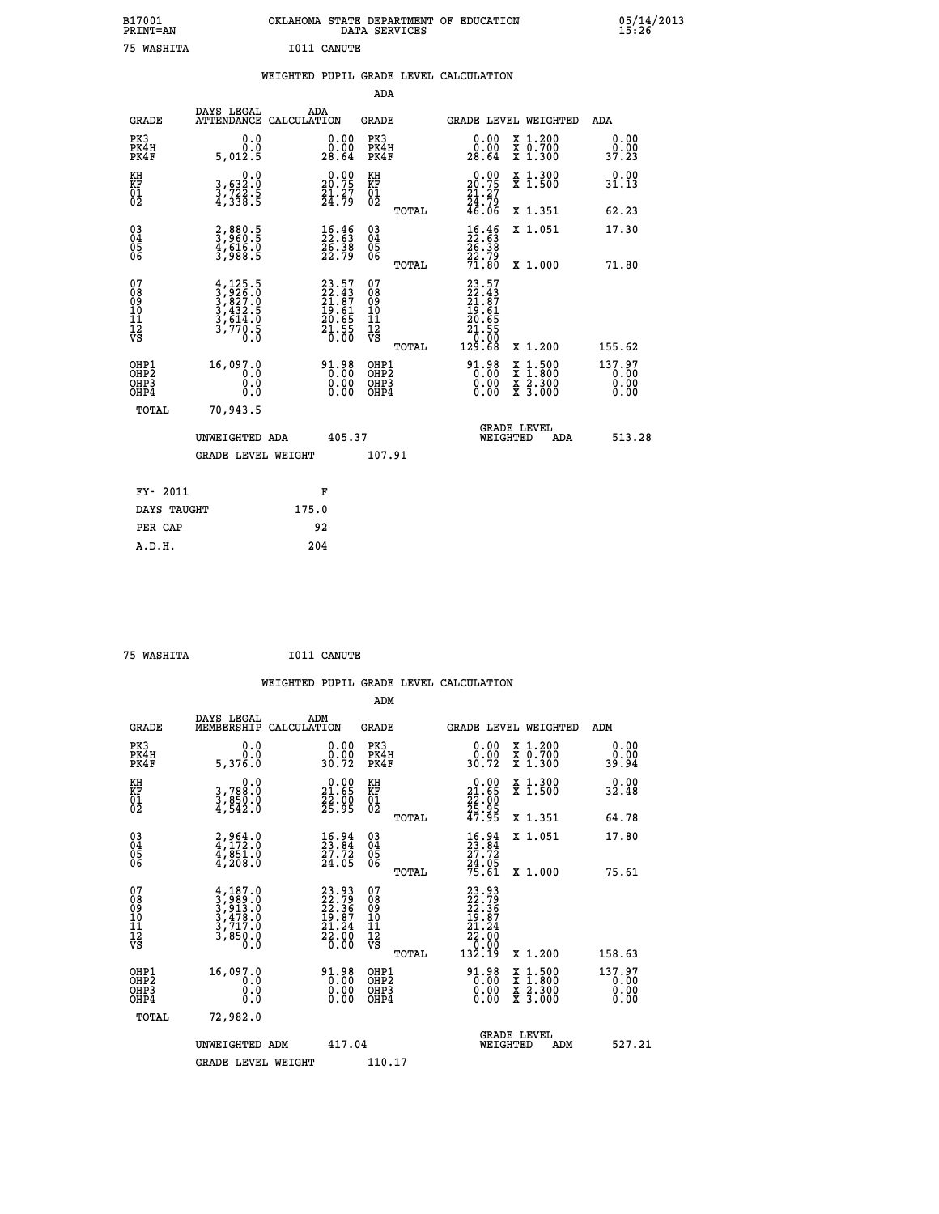| B17001<br><b>PRINT=AN</b> | OKLAHOMA STATE DEPARTMENT OF EDUCATION<br>DATA SERVICES | 05/14/2013<br>15:26 |
|---------------------------|---------------------------------------------------------|---------------------|
| 75 WASHTTA                | T011<br>$\alpha$ antiture                               |                     |

| <b>PRINT=AN</b>                                                    |                                                                                     |       |                                                                          | DATA SERVICES                                        |       |                                                                                                                                             |                                                                                                                                           | 15:26                          |
|--------------------------------------------------------------------|-------------------------------------------------------------------------------------|-------|--------------------------------------------------------------------------|------------------------------------------------------|-------|---------------------------------------------------------------------------------------------------------------------------------------------|-------------------------------------------------------------------------------------------------------------------------------------------|--------------------------------|
| 75 WASHITA                                                         |                                                                                     |       | I011 CANUTE                                                              |                                                      |       |                                                                                                                                             |                                                                                                                                           |                                |
|                                                                    |                                                                                     |       |                                                                          |                                                      |       | WEIGHTED PUPIL GRADE LEVEL CALCULATION                                                                                                      |                                                                                                                                           |                                |
|                                                                    |                                                                                     |       |                                                                          | <b>ADA</b>                                           |       |                                                                                                                                             |                                                                                                                                           |                                |
| GRADE                                                              | DAYS LEGAL<br>ATTENDANCE CALCULATION                                                |       | ADA                                                                      | GRADE                                                |       |                                                                                                                                             | GRADE LEVEL WEIGHTED                                                                                                                      | ADA                            |
| PK3<br>PK4H<br>PK4F                                                | 0.0<br>0.0<br>5,012.5                                                               |       | 0.00<br>0.00<br>28.64                                                    | PK3<br>PK4H<br>PK4F                                  |       | 0.00<br>0.00<br>28.64                                                                                                                       | X 1.200<br>X 0.700<br>X 1.300                                                                                                             | 0.00<br>0.00<br>37.23          |
| KH<br><b>KF</b><br>01<br>02                                        | 0.0<br>3,632:0<br>3,722:5<br>4,338:5                                                |       | $\begin{smallmatrix} 0.00\\ 20.75\\ 21.27\\ 24.79 \end{smallmatrix}$     | KH<br><b>KF</b><br>01<br>02                          |       | 0.00<br>20.75<br>$\frac{21.27}{24.79}$<br>46.06                                                                                             | X 1.300<br>X 1.500                                                                                                                        | 0.00<br>31.13                  |
|                                                                    |                                                                                     |       |                                                                          |                                                      | TOTAL |                                                                                                                                             | X 1.351                                                                                                                                   | 62.23                          |
| $\begin{smallmatrix} 03 \\[-4pt] 04 \end{smallmatrix}$<br>Ŏ5<br>06 | 2,880.5<br>3,960.5<br>4,616.0<br>3,988.5                                            |       | $\begin{smallmatrix} 16.46\\ 22.53\\ 26.38\\ 22.79 \end{smallmatrix}$    | $^{03}_{04}$<br>$\frac{05}{06}$                      |       | $\begin{smallmatrix} 16.46\\22.53\\26.38\\22.79\\71.80 \end{smallmatrix}$                                                                   | X 1.051                                                                                                                                   | 17.30                          |
| 07                                                                 |                                                                                     |       |                                                                          | 07                                                   | TOTAL | 23.57                                                                                                                                       | X 1.000                                                                                                                                   | 71.80                          |
| 08<br>09<br>11<br>11<br>12<br>VS                                   | $4,125.5$<br>$3,926.0$<br>$3,827.0$<br>$3,432.5$<br>$3,614.0$<br>$3,770.5$<br>$0.0$ |       | $23.57$<br>$22.43$<br>$21.87$<br>$19.61$<br>$20.65$<br>$21.55$<br>$0.00$ | 08<br>09<br>101<br>11<br>12<br>VS                    | TOTAL | $\begin{smallmatrix} 23 & 2 & 4 & 3 \ 22 & 4 & 8 & 7 \ 21 & 6 & 1 & 6 \ 20 & 6 & 5 & 5 \ 21 & 5 & 5 & 0 \ 22 & 6 & 8 & 8 \end{smallmatrix}$ | X 1.200                                                                                                                                   | 155.62                         |
| OHP1<br>OH <sub>P</sub> 2<br>OH <sub>P3</sub><br>OHP4              | 16,097.0<br>0.0<br>0.0<br>0.0                                                       |       | 91.98<br>0.00<br>0.00                                                    | OHP1<br>OH <sub>P</sub> <sub>2</sub><br>OHP3<br>OHP4 |       | $91.98$<br>$0.00$<br>0.00<br>0.00                                                                                                           | $\begin{smallmatrix} \mathtt{X} & 1\cdot500\\ \mathtt{X} & 1\cdot800\\ \mathtt{X} & 2\cdot300\\ \mathtt{X} & 3\cdot000 \end{smallmatrix}$ | 137.97<br>0.00<br>0.00<br>0.00 |
| TOTAL                                                              | 70,943.5                                                                            |       |                                                                          |                                                      |       |                                                                                                                                             |                                                                                                                                           |                                |
|                                                                    | UNWEIGHTED ADA                                                                      |       | 405.37                                                                   |                                                      |       |                                                                                                                                             | <b>GRADE LEVEL</b><br>WEIGHTED<br>ADA                                                                                                     | 513.28                         |
|                                                                    | <b>GRADE LEVEL WEIGHT</b>                                                           |       |                                                                          | 107.91                                               |       |                                                                                                                                             |                                                                                                                                           |                                |
| FY- 2011                                                           |                                                                                     |       | F                                                                        |                                                      |       |                                                                                                                                             |                                                                                                                                           |                                |
| DAYS TAUGHT                                                        |                                                                                     | 175.0 |                                                                          |                                                      |       |                                                                                                                                             |                                                                                                                                           |                                |
| PER CAP                                                            |                                                                                     |       | 92                                                                       |                                                      |       |                                                                                                                                             |                                                                                                                                           |                                |

 **A.D.H. 204**

 **75 WASHITA I011 CANUTE**

 **WEIGHTED PUPIL GRADE LEVEL CALCULATION ADM DAYS LEGAL ADM GRADE MEMBERSHIP CALCULATION GRADE GRADE LEVEL WEIGHTED ADM PK3 0.0 0.00 PK3 0.00 X 1.200 0.00 PK4H 0.0 0.00 PK4H 0.00 X 0.700 0.00 PK4F 5,376.0 30.72 PK4F 30.72 X 1.300 39.94 KH 0.0 0.00 KH 0.00 X 1.300 0.00 KF 3,788.0 21.65 KF 21.65 X 1.500 32.48 01 3,850.0 22.00 01 22.00 02 4,542.0 25.95 02 25.95 TOTAL 47.95 X 1.351 64.78 03 2,964.0 16.94 03 16.94 X 1.051 17.80 04 4,172.0 23.84 04 23.84 05 4,851.0 27.72 05 27.72 06 4,208.0 24.05 06 24.05 TOTAL 75.61 X 1.000 75.61**  $\begin{array}{cccc} 07 & 4,187.0 & 23.93 & 07 & 23.93\ 08 & 3,989.0 & 22.36 & 08 & 22.36\ 09 & 3,913.0 & 22.36 & 09 & 22.36\ 10 & 3,478.0 & 19.87 & 10 & 19.87\ 11 & 3,717.0 & 21.24 & 11 & 21.24\ 12 & 3,850.0 & 22.00 & 12 & 21.20\ 0.0 & 0.0 & 0.0 & 0.0 & 0.0 & 0$  **TOTAL 132.19 X 1.200 158.63 OHP1 16,097.0 91.98 OHP1 91.98 X 1.500 137.97 OHP2 0.0 0.00 OHP2 0.00 X 1.800 0.00 OHP3 0.0 0.00 OHP3 0.00 X 2.300 0.00 OHP4 0.0 0.00 OHP4 0.00 X 3.000 0.00 TOTAL 72,982.0 GRADE LEVEL UNWEIGHTED ADM 417.04 WEIGHTED ADM 527.21** GRADE LEVEL WEIGHT 110.17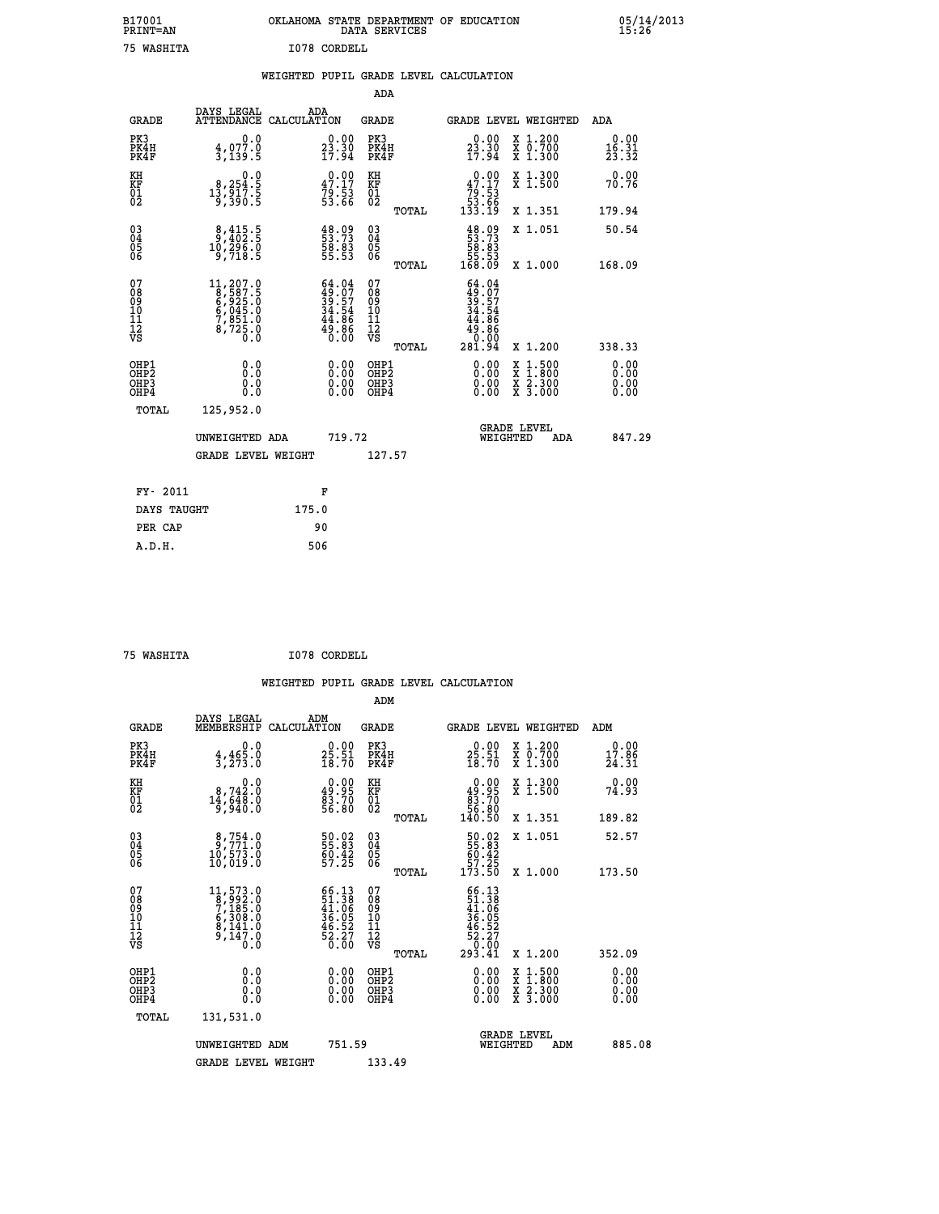# **B17001 OKLAHOMA STATE DEPARTMENT OF EDUCATION 05/14/2013 PRINT=AN DATA SERVICES 15:26 75 WASHITA I078 CORDELL**

|  |  | WEIGHTED PUPIL GRADE LEVEL CALCULATION |
|--|--|----------------------------------------|
|  |  |                                        |

|                                                                              |                                                                                                                                      |                    |                                                                      | ADA                                                 |       |                                                                                  |                                          |                               |
|------------------------------------------------------------------------------|--------------------------------------------------------------------------------------------------------------------------------------|--------------------|----------------------------------------------------------------------|-----------------------------------------------------|-------|----------------------------------------------------------------------------------|------------------------------------------|-------------------------------|
| <b>GRADE</b>                                                                 | DAYS LEGAL<br><b>ATTENDANCE</b>                                                                                                      | ADA<br>CALCULATION |                                                                      | <b>GRADE</b>                                        |       |                                                                                  | <b>GRADE LEVEL WEIGHTED</b>              | ADA                           |
| PK3<br>PK4H<br>PK4F                                                          | 0.0<br>$\frac{4}{3}$ , 077.0<br>3, 139.5                                                                                             |                    | $\begin{smallmatrix} 0.00\\ 23.30\\ 17.94 \end{smallmatrix}$         | PK3<br>PK4H<br>PK4F                                 |       | $\begin{smallmatrix} 0.00\\ 23.30\\ 17.94 \end{smallmatrix}$                     | X 1.200<br>X 0.700<br>X 1.300            | 0.00<br>$\frac{16.31}{23.32}$ |
| KH<br>KF<br>01<br>02                                                         | 0.0<br>8,254.5<br>13,917.5<br>9,390.5                                                                                                |                    | $\begin{smallmatrix} 0.00\\ 47.17\\ 79.53\\ 53.66 \end{smallmatrix}$ | KH<br>KF<br>01<br>02                                |       | 47.17<br>53. 54<br>53. 53<br>133. 19                                             | X 1.300<br>X 1.500                       | 0.00<br>70.76                 |
|                                                                              |                                                                                                                                      |                    |                                                                      |                                                     | TOTAL |                                                                                  | X 1.351                                  | 179.94                        |
| $^{03}_{04}$<br>Ŏ5<br>06                                                     | $\frac{8}{9}, \frac{415}{402}$ .<br>10,296.0<br>9,718.5                                                                              |                    | $\begin{smallmatrix} 48.09\ 53.73\ 58.83\ 55.53 \end{smallmatrix}$   | $\begin{array}{c} 03 \\ 04 \\ 05 \\ 06 \end{array}$ | TOTAL | $\begin{smallmatrix} 48.09\\53.73\\58.83\\55.53\\55.53\\168.09\end{smallmatrix}$ | X 1.051<br>X 1.000                       | 50.54<br>168.09               |
| 07<br>08901112<br>1112<br>VS                                                 | $\begin{smallmatrix} 11,207\cdot 0\\8,587\cdot 5\\6,925\cdot 0\\6,045\cdot 0\\7,851\cdot 0\\8,725\cdot 0\\0\cdot 0\end{smallmatrix}$ |                    | $64.04$<br>$39.57$<br>$34.54$<br>$44.86$<br>$49.86$<br>$0.00$        | 07<br>08<br>09<br>11<br>11<br>12<br>VS              |       | $64.04$<br>$39.57$<br>$34.54$<br>$44.86$<br>$49.86$<br>$9.00$                    |                                          |                               |
|                                                                              |                                                                                                                                      |                    |                                                                      |                                                     | TOTAL | 281.94                                                                           | X 1.200                                  | 338.33                        |
| OHP1<br>OH <sub>P</sub> <sub>2</sub><br>OH <sub>P3</sub><br>OH <sub>P4</sub> | 0.0<br>0.000                                                                                                                         |                    | $\begin{smallmatrix} 0.00 \ 0.00 \ 0.00 \ 0.00 \end{smallmatrix}$    | OHP1<br>OHP <sub>2</sub><br>OHP3<br>OHP4            |       | 0.00<br>0.00<br>0.00                                                             | X 1:500<br>X 1:800<br>X 2:300<br>X 3:000 | 0.00<br>0.00<br>0.00<br>0.00  |
| TOTAL                                                                        | 125,952.0                                                                                                                            |                    |                                                                      |                                                     |       |                                                                                  |                                          |                               |
|                                                                              | UNWEIGHTED ADA                                                                                                                       |                    | 719.72                                                               |                                                     |       |                                                                                  | GRADE LEVEL<br>WEIGHTED<br>ADA           | 847.29                        |
|                                                                              | <b>GRADE LEVEL WEIGHT</b>                                                                                                            |                    |                                                                      | 127.57                                              |       |                                                                                  |                                          |                               |
| FY- 2011                                                                     |                                                                                                                                      | F                  |                                                                      |                                                     |       |                                                                                  |                                          |                               |
| DAYS TAUGHT                                                                  |                                                                                                                                      | 175.0              |                                                                      |                                                     |       |                                                                                  |                                          |                               |
| PER CAP                                                                      |                                                                                                                                      | 90                 |                                                                      |                                                     |       |                                                                                  |                                          |                               |

 **A.D.H. 506**

 **ADM**

 **75 WASHITA I078 CORDELL**

| <b>GRADE</b>                                       | DAYS LEGAL<br>MEMBERSHIP CALCULATION                                                                                                 | ADM                                                                                          | <b>GRADE</b>                                        |       |                                                                                                                                                                                                                                                                                | <b>GRADE LEVEL WEIGHTED</b>              | ADM                      |  |
|----------------------------------------------------|--------------------------------------------------------------------------------------------------------------------------------------|----------------------------------------------------------------------------------------------|-----------------------------------------------------|-------|--------------------------------------------------------------------------------------------------------------------------------------------------------------------------------------------------------------------------------------------------------------------------------|------------------------------------------|--------------------------|--|
| PK3<br>PK4H<br>PK4F                                | $4,465.0$<br>3,273.0                                                                                                                 | $\begin{smallmatrix} 0.00\\ 25.51\\ 18.70 \end{smallmatrix}$                                 | PK3<br>PK4H<br>PK4F                                 |       | $25.51$<br>$18.70$                                                                                                                                                                                                                                                             | X 1.200<br>X 0.700<br>X 1.300            | $0.00$<br>17.86<br>24.31 |  |
| KH<br>KF<br>01<br>02                               | $\begin{smallmatrix}&&&0.0\\8,742.0\\14,648.0\\9,940.0\end{smallmatrix}$                                                             | $\begin{smallmatrix} 0.00\\ 49.95\\ 83.70\\ 56.80 \end{smallmatrix}$                         | KH<br>KF<br>01<br>02                                |       | $\begin{smallmatrix} &0.00\ 49.95\ \hline 83.70\ 56.80\ 140.50 \end{smallmatrix}$                                                                                                                                                                                              | X 1.300<br>X 1.500                       | 0.00<br>74.93            |  |
|                                                    |                                                                                                                                      |                                                                                              |                                                     | TOTAL |                                                                                                                                                                                                                                                                                | X 1.351                                  | 189.82                   |  |
| $\begin{matrix} 03 \\ 04 \\ 05 \\ 06 \end{matrix}$ | $\begin{smallmatrix}8,754.0\\9,771.0\\10,573.0\\10,019.0\end{smallmatrix}$                                                           | 50.02<br>55.83<br>60.42<br>57.25                                                             | $\begin{array}{c} 03 \\ 04 \\ 05 \\ 06 \end{array}$ |       | 50.02<br>55.83<br>60.42<br>57.25<br>173.50                                                                                                                                                                                                                                     | X 1.051                                  | 52.57                    |  |
|                                                    |                                                                                                                                      |                                                                                              |                                                     | TOTAL |                                                                                                                                                                                                                                                                                | X 1.000                                  | 173.50                   |  |
| 07<br>08<br>09<br>101<br>11<br>12<br>VS            | $\begin{smallmatrix} 11,573\cdot 0\\8,992\cdot 0\\7,185\cdot 0\\6,308\cdot 0\\8,141\cdot 0\\9,147\cdot 0\\0\cdot 0\end{smallmatrix}$ | $\begin{smallmatrix} 66.13\\ 51.38\\ 41.06\\ 36.05\\ 46.52\\ 52.27\\ 0.00 \end{smallmatrix}$ | 07<br>08<br>09<br>001<br>11<br>11<br>12<br>VS       | TOTAL | $\begin{smallmatrix} 66.13\ 51.38\ 41.066\ 36.052\ 46.52\ 62.27\ 03.41\ \end{smallmatrix}$                                                                                                                                                                                     | X 1.200                                  | 352.09                   |  |
| OHP1<br>OHP2<br>OHP3<br>OHP4                       |                                                                                                                                      | $\begin{smallmatrix} 0.00 \ 0.00 \ 0.00 \ 0.00 \end{smallmatrix}$                            | OHP1<br>OHP2<br>OHP3<br>OHP4                        |       | $\begin{smallmatrix} 0.00 & 0.00 & 0.00 & 0.00 & 0.00 & 0.00 & 0.00 & 0.00 & 0.00 & 0.00 & 0.00 & 0.00 & 0.00 & 0.00 & 0.00 & 0.00 & 0.00 & 0.00 & 0.00 & 0.00 & 0.00 & 0.00 & 0.00 & 0.00 & 0.00 & 0.00 & 0.00 & 0.00 & 0.00 & 0.00 & 0.00 & 0.00 & 0.00 & 0.00 & 0.00 & 0.0$ | X 1:500<br>X 1:800<br>X 2:300<br>X 3:000 | 0.00<br>0.00<br>0.00     |  |
| TOTAL                                              | 131,531.0                                                                                                                            |                                                                                              |                                                     |       |                                                                                                                                                                                                                                                                                |                                          |                          |  |
|                                                    | UNWEIGHTED                                                                                                                           | 751.59<br>ADM                                                                                |                                                     |       | WEIGHTED                                                                                                                                                                                                                                                                       | <b>GRADE LEVEL</b><br>ADM                | 885.08                   |  |
|                                                    | <b>GRADE LEVEL WEIGHT</b>                                                                                                            |                                                                                              | 133.49                                              |       |                                                                                                                                                                                                                                                                                |                                          |                          |  |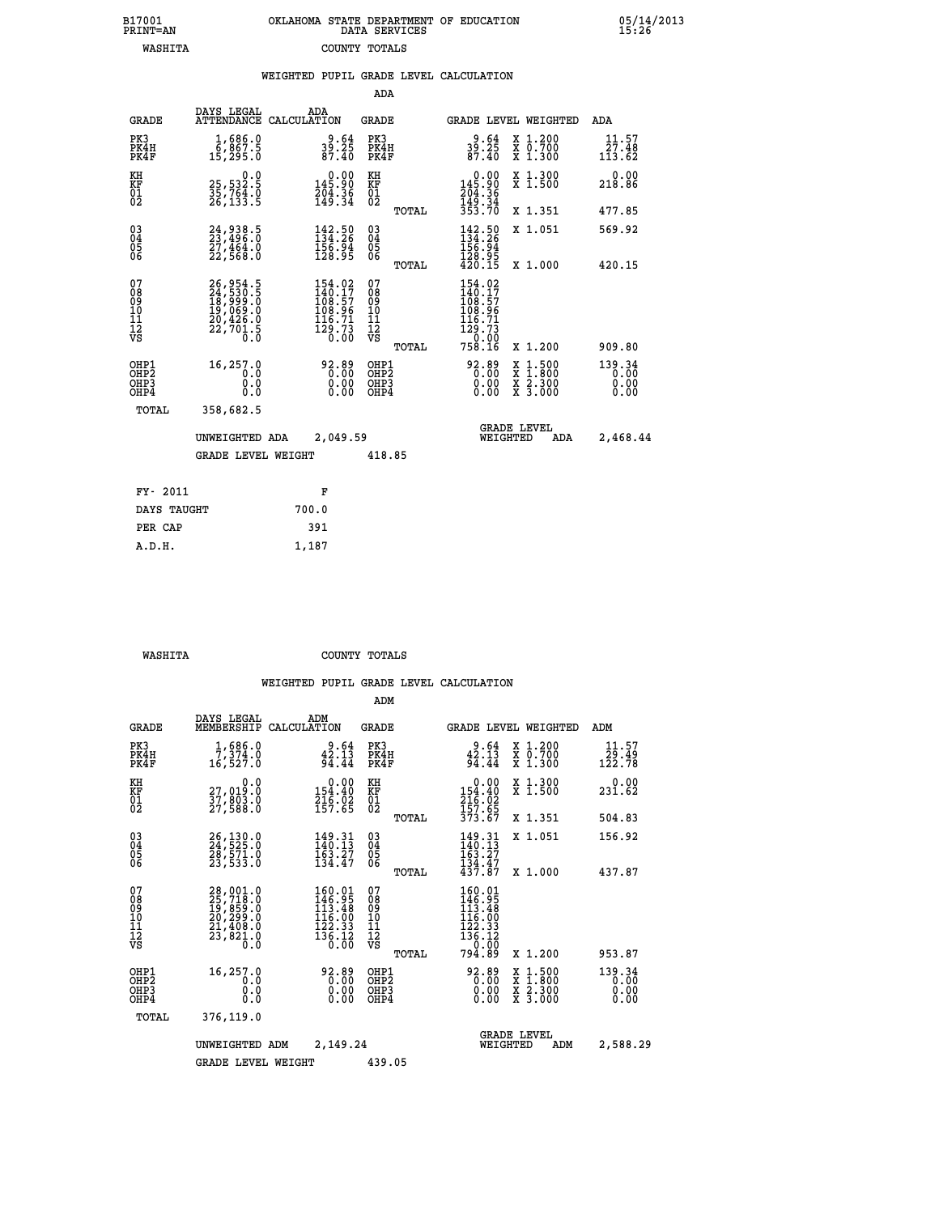|  | OKLAHOMA STATE DEPARTMENT OF EDUCATION<br>DATA SERVICES |  |
|--|---------------------------------------------------------|--|
|  | COUNTY TOTALS                                           |  |

 **B17001 OKLAHOMA STATE DEPARTMENT OF EDUCATION 05/14/2013**

| B17001<br>PRINT=AN                                                 |                                                                      | OKLAHOMA STATE DEPARTMENT OF EDUCATION                                                                                               | DATA SERVICES                                   |                                                                                                                                                    |                                                                                                                                      | 15.26                    |
|--------------------------------------------------------------------|----------------------------------------------------------------------|--------------------------------------------------------------------------------------------------------------------------------------|-------------------------------------------------|----------------------------------------------------------------------------------------------------------------------------------------------------|--------------------------------------------------------------------------------------------------------------------------------------|--------------------------|
| <b>WASHITA</b>                                                     |                                                                      |                                                                                                                                      | COUNTY TOTALS                                   |                                                                                                                                                    |                                                                                                                                      |                          |
|                                                                    |                                                                      | WEIGHTED PUPIL GRADE LEVEL CALCULATION                                                                                               |                                                 |                                                                                                                                                    |                                                                                                                                      |                          |
|                                                                    |                                                                      |                                                                                                                                      | <b>ADA</b>                                      |                                                                                                                                                    |                                                                                                                                      |                          |
| <b>GRADE</b>                                                       | DAYS LEGAL                                                           | ADA<br>ATTENDANCE CALCULATION                                                                                                        | GRADE                                           |                                                                                                                                                    | GRADE LEVEL WEIGHTED                                                                                                                 | ADA                      |
| PK3<br>PK4H<br>PK4F                                                | 1,686.0<br>6,867.5<br>15,295.0                                       | $39.64$<br>39.25<br>87.40                                                                                                            | PK3<br>PK4H<br>PK4F                             | $39.64$<br>$87.40$                                                                                                                                 | X 1.200<br>X 0.700<br>X 1.300                                                                                                        | 11.57<br>27.48<br>113.62 |
| KH<br>KF<br>01<br>02                                               | 0.0<br>25,532.5<br>35,764.0<br>26,133.5                              | $\begin{smallmatrix} &0.00\\ 145.90\\ 204.36\\ 149.34\end{smallmatrix}$                                                              | KH<br>KF<br>01<br>02                            | $0.00$<br>$145.90$<br>$204.36$<br>$149.34$<br>$353.70$                                                                                             | X 1.300<br>X 1.500                                                                                                                   | 0.00<br>218.86           |
|                                                                    |                                                                      |                                                                                                                                      | TOTAL                                           |                                                                                                                                                    | X 1.351                                                                                                                              | 477.85                   |
| $\begin{smallmatrix} 03 \\[-4pt] 04 \end{smallmatrix}$<br>05<br>ŎĞ | 24,938.5<br>23,496.0<br>27,464.0<br>22,568.0                         | 142.50<br>$\frac{156.94}{128.95}$                                                                                                    | $\substack{03 \\ 04}$<br>05<br>ŌĞ               | $142.50$<br>$154.26$<br>$156.94$<br>$128.95$                                                                                                       | X 1.051                                                                                                                              | 569.92                   |
|                                                                    |                                                                      |                                                                                                                                      | TOTAL                                           | 420.15                                                                                                                                             | X 1.000                                                                                                                              | 420.15                   |
| 07<br>08<br>09<br>10<br>Īľ<br>12<br>VS                             | 26,954.5<br>24,530.5<br>18,999.0<br>19,069.0<br>20,426.0<br>22,701.5 | $\begin{smallmatrix} 154\cdot 02\\ 140\cdot 17\\ 108\cdot 57\\ 108\cdot 96\\ 116\cdot 71\\ 129\cdot 73\\ 0\cdot 00\end{smallmatrix}$ | 07<br>08<br>09<br>11<br>11<br>12<br>VS<br>TOTAL | $\begin{smallmatrix} 154\cdot 02\\ 140\cdot 17\\ 108\cdot 57\\ 108\cdot 96\\ 116\cdot 71\\ 129\cdot 73\\ 0\cdot 00\\ 758\cdot 16\end{smallmatrix}$ | X 1.200                                                                                                                              | 909.80                   |
| OHP1<br>OH <sub>P</sub> 2<br>OHP3<br>OHP4                          | 16,257.0<br>0.0<br>0.0<br>0.0                                        | 92.89<br>0.00<br>0.00                                                                                                                | OHP1<br>OHP <sub>2</sub><br>OHP3<br>OHP4        | 92.89<br>0.00<br>0.00<br>0.00                                                                                                                      | $\begin{smallmatrix} \mathtt{X} & 1 & 500 \\ \mathtt{X} & 1 & 800 \\ \mathtt{X} & 2 & 300 \\ \mathtt{X} & 3 & 000 \end{smallmatrix}$ | 139.34<br>0.00<br>0.00   |
| TOTAL                                                              | 358,682.5                                                            |                                                                                                                                      |                                                 |                                                                                                                                                    |                                                                                                                                      |                          |
|                                                                    | UNWEIGHTED ADA<br><b>GRADE LEVEL WEIGHT</b>                          | 2,049.59                                                                                                                             | 418.85                                          | WEIGHTED                                                                                                                                           | <b>GRADE LEVEL</b><br>ADA                                                                                                            | 2,468.44                 |
|                                                                    |                                                                      |                                                                                                                                      |                                                 |                                                                                                                                                    |                                                                                                                                      |                          |
| FY- 2011                                                           |                                                                      | F                                                                                                                                    |                                                 |                                                                                                                                                    |                                                                                                                                      |                          |

| FY- 2011    | F     |
|-------------|-------|
| DAYS TAUGHT | 700.0 |
| PER CAP     | 391   |
| A.D.H.      | 1,187 |
|             |       |

 **ADM**

 **WASHITA COUNTY TOTALS**

| <b>GRADE</b>                             | DAYS LEGAL<br>MEMBERSHIP CALCULATION                                                                                                                             | ADM                                                                                                                                                    | <b>GRADE</b>                                       | GRADE LEVEL WEIGHTED                                                                      |                                                                                                                     | ADM                            |
|------------------------------------------|------------------------------------------------------------------------------------------------------------------------------------------------------------------|--------------------------------------------------------------------------------------------------------------------------------------------------------|----------------------------------------------------|-------------------------------------------------------------------------------------------|---------------------------------------------------------------------------------------------------------------------|--------------------------------|
| PK3<br>PK4H<br>PK4F                      | 1,686.0<br>7,374.0<br>16,527.0                                                                                                                                   | 9.64<br>42.13<br>94.44                                                                                                                                 | PK3<br>PK4H<br>PK4F                                | $2.64$<br>42.13<br>94.44                                                                  | X 1.200<br>X 0.700<br>$X$ 1.300                                                                                     | 11.57<br>29.49<br>122.78       |
| KH<br>KF<br>01<br>02                     | 0.0<br>27,019:0<br>37,803:0<br>27,588:0                                                                                                                          | $\begin{array}{c} 0.00 \\ 154.40 \\ 216.02 \\ 157.65 \end{array}$                                                                                      | KH<br>KF<br>01<br>02                               | $0.00$<br>$154.40$<br>$216.02$<br>$157.65$<br>$373.67$                                    | X 1.300<br>X 1.500                                                                                                  | 0.00<br>231.62                 |
|                                          |                                                                                                                                                                  |                                                                                                                                                        | TOTAL                                              |                                                                                           | X 1.351                                                                                                             | 504.83                         |
| 030404<br>ŌĞ                             | 26,130.0<br>24,525.0<br>28,571.0<br>23,533.0                                                                                                                     | 149.31<br>140.13<br>163.27<br>134.47                                                                                                                   | $\begin{matrix} 03 \\ 04 \\ 05 \\ 06 \end{matrix}$ | 149.31<br>140.13<br>$\frac{163}{134}. \frac{27}{47}$<br>$\frac{47}{437}. \frac{47}{87}$   | X 1.051                                                                                                             | 156.92                         |
|                                          |                                                                                                                                                                  |                                                                                                                                                        | TOTAL                                              |                                                                                           | X 1.000                                                                                                             | 437.87                         |
| 07<br>08<br>09<br>101<br>11<br>12<br>VS  | $\begin{smallmatrix} 28\,,\,001\,. \ 25\,,\,718\,. \ 0\\ 19\,,\,859\,. \ 0\\ 20\,,\,299\,. \ 0\\ 21\,,\,408\,. \ 0\\ 23\,,\,821\,. \ 0\\ 0\,. \end{smallmatrix}$ | 160.01<br>146.95<br>113.48<br>$\frac{1}{12}$ $\frac{5}{2}$ $\frac{5}{3}$ $\frac{3}{3}$<br>$1\bar{3}\bar{6}\cdot\tilde{1}\bar{2}$<br>$0.\bar{0}\bar{0}$ | 078<br>089<br>0011<br>11<br>12<br>VS<br>TOTAL      | 160.01<br>$146.95$<br>$113.48$<br>$116.00$<br>$122.33$<br>$\frac{136.12}{0.00}$<br>794.89 | X 1.200                                                                                                             | 953.87                         |
| OHP1<br>OHP <sub>2</sub><br>OHP3<br>OHP4 | 16,257.0<br>0.0<br>$\cdot$ 0<br>0<br>$0.\overline{0}$                                                                                                            | 92.89<br>0.00<br>0.00<br>0.00                                                                                                                          | OHP1<br>OHP2<br>OHP3<br>OHP4                       | 92.89<br>0.00<br>0.00<br>0.00                                                             | $\begin{array}{l} \mathtt{X} & 1.500 \\ \mathtt{X} & 1.800 \\ \mathtt{X} & 2.300 \\ \mathtt{X} & 3.000 \end{array}$ | 139.34<br>0.00<br>0.00<br>0.00 |
| TOTAL                                    | 376,119.0                                                                                                                                                        |                                                                                                                                                        |                                                    |                                                                                           |                                                                                                                     |                                |
|                                          | UNWEIGHTED                                                                                                                                                       | 2,149.24<br>ADM                                                                                                                                        |                                                    | WEIGHTED                                                                                  | <b>GRADE LEVEL</b><br>ADM                                                                                           | 2,588.29                       |
|                                          | <b>GRADE LEVEL WEIGHT</b>                                                                                                                                        |                                                                                                                                                        | 439.05                                             |                                                                                           |                                                                                                                     |                                |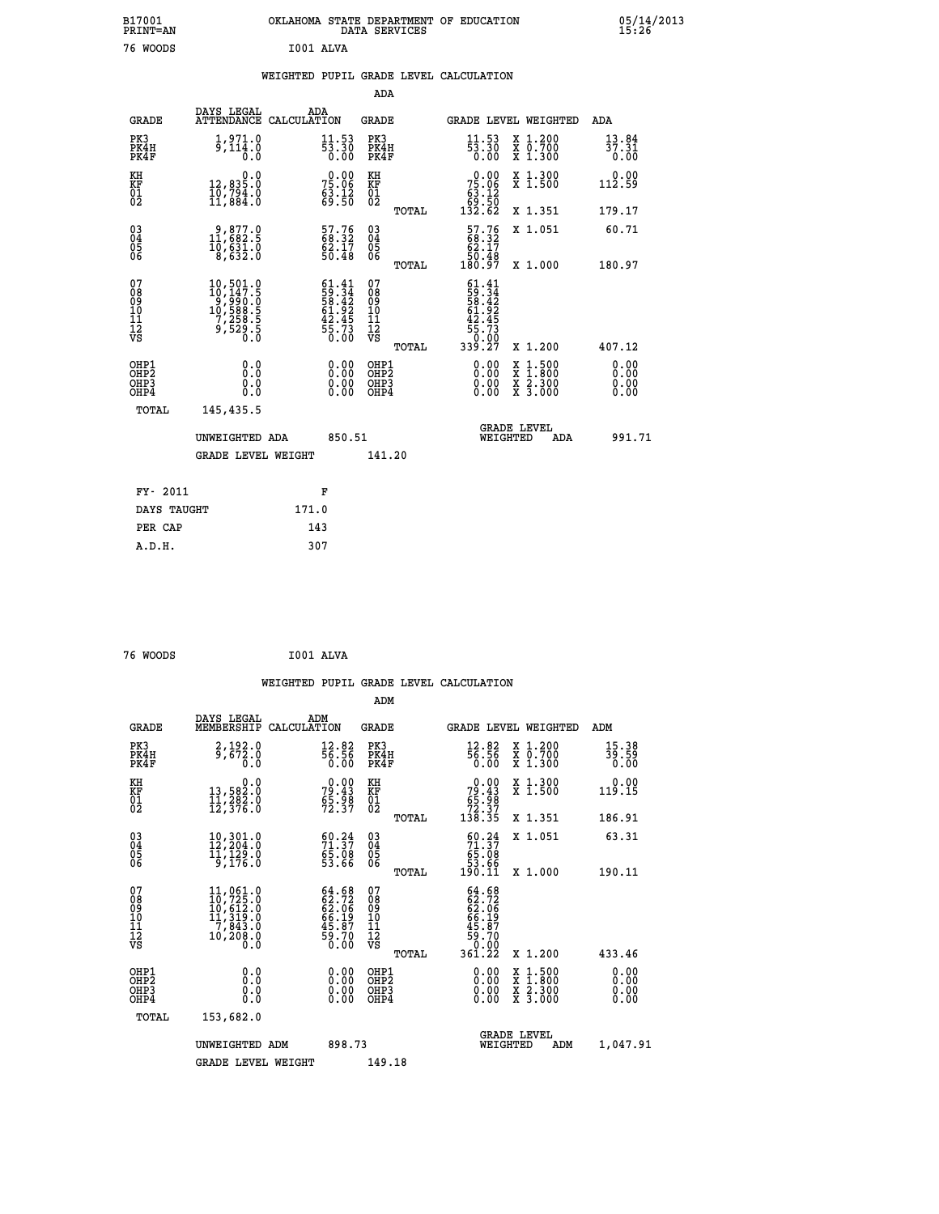| B17001<br><b>PRINT=AN</b> | OKLAHOMA<br>STATE DEPARTMENT OF EDUCATION<br>SERVICES<br>DATA | 05/14/2013<br>15:26 |
|---------------------------|---------------------------------------------------------------|---------------------|
| 76<br>WOODS               | I001 ALVA                                                     |                     |

|                                                                    |                                                                                                                  |                                                                          | ADA                                                 |       |                                                                                    |                                          |                              |
|--------------------------------------------------------------------|------------------------------------------------------------------------------------------------------------------|--------------------------------------------------------------------------|-----------------------------------------------------|-------|------------------------------------------------------------------------------------|------------------------------------------|------------------------------|
| <b>GRADE</b>                                                       | DAYS LEGAL                                                                                                       | ADA<br>ATTENDANCE CALCULATION                                            | <b>GRADE</b>                                        |       |                                                                                    | <b>GRADE LEVEL WEIGHTED</b>              | ADA                          |
| PK3<br>PK4H<br>PK4F                                                | $\frac{1}{9}$ , $\frac{971}{114}$ ; 0<br>0.0                                                                     | $\frac{11.53}{53.30}$<br>0.00                                            | PK3<br>PK4H<br>PK4F                                 |       | $\frac{11.53}{53.30}$<br>0.00                                                      | X 1.200<br>X 0.700<br>X 1.300            | 13.84<br>37.31<br>0.00       |
| KH<br>KF<br>01<br>02                                               | 0.0<br>12,835.0<br>10,794.0<br>11,884.0                                                                          | $75.06$<br>$75.06$<br>$63.12$<br>$69.50$                                 | KH<br>KF<br>01<br>02                                |       | $\begin{smallmatrix}&&0&.00\\75&.06\\63&.12\\69&.50\\132&.62\end{smallmatrix}$     | X 1.300<br>X 1.500                       | 0.00<br>112.59               |
|                                                                    |                                                                                                                  |                                                                          |                                                     | TOTAL |                                                                                    | X 1.351                                  | 179.17                       |
| $\begin{smallmatrix} 03 \\[-4pt] 04 \end{smallmatrix}$<br>Ŏ5<br>06 | $\begin{smallmatrix} 9, 877.0\\ 11, 682.5\\ 10, 631.0\\ 8, 632.0 \end{smallmatrix}$                              | 57.76<br>68.32<br>62.17<br>50.48                                         | $\begin{array}{c} 03 \\ 04 \\ 05 \\ 06 \end{array}$ |       | $\begin{smallmatrix} 57.76 \\ 68.32 \\ 62.17 \\ 50.48 \\ 180.97 \end{smallmatrix}$ | X 1.051                                  | 60.71                        |
|                                                                    |                                                                                                                  |                                                                          |                                                     | TOTAL |                                                                                    | X 1.000                                  | 180.97                       |
| 07<br>08<br>09<br>101<br>11<br>12<br>VS                            | $\begin{smallmatrix} 10, 501.0\\ 10, 147.5\\ 9, 990.0\\ 10, 588.5\\ 7, 258.5\\ 9, 529.5\\ 0.0 \end{smallmatrix}$ | $61.41$<br>$59.34$<br>$58.42$<br>$61.92$<br>$42.45$<br>$55.73$<br>$0.00$ | 07<br>08<br>09<br>11<br>11<br>12<br>VS              |       | $61.41$<br>$59.34$<br>$58.42$<br>$61.92$<br>$42.45$<br>$55.73$<br>$0.09$           |                                          |                              |
|                                                                    |                                                                                                                  |                                                                          |                                                     | TOTAL | 339.Ž7                                                                             | X 1.200                                  | 407.12                       |
| OHP1<br>OHP <sub>2</sub><br>OH <sub>P3</sub><br>OHP4               | 0.0<br>0.000                                                                                                     | 0.00<br>$\begin{smallmatrix} 0.00 \ 0.00 \end{smallmatrix}$              | OHP1<br>OHP2<br>OHP <sub>3</sub>                    |       | 0.00<br>0.00                                                                       | X 1:500<br>X 1:800<br>X 2:300<br>X 3:000 | 0.00<br>0.00<br>0.00<br>0.00 |
| TOTAL                                                              | 145,435.5                                                                                                        |                                                                          |                                                     |       |                                                                                    |                                          |                              |
|                                                                    | UNWEIGHTED ADA                                                                                                   | 850.51                                                                   |                                                     |       |                                                                                    | <b>GRADE LEVEL</b><br>WEIGHTED<br>ADA    | 991.71                       |
|                                                                    | <b>GRADE LEVEL WEIGHT</b>                                                                                        |                                                                          | 141.20                                              |       |                                                                                    |                                          |                              |
| FY- 2011                                                           |                                                                                                                  | F                                                                        |                                                     |       |                                                                                    |                                          |                              |
| DAYS TAUGHT                                                        |                                                                                                                  | 171.0                                                                    |                                                     |       |                                                                                    |                                          |                              |
| PER CAP                                                            |                                                                                                                  | 143                                                                      |                                                     |       |                                                                                    |                                          |                              |

| 76 WOODS | I001 ALVA |  |
|----------|-----------|--|
|          |           |  |

 **A.D.H. 307**

 **WEIGHTED PUPIL GRADE LEVEL CALCULATION ADM DAYS LEGAL ADM GRADE MEMBERSHIP CALCULATION GRADE GRADE LEVEL WEIGHTED ADM PK3 2,192.0 12.82 PK3 12.82 X 1.200 15.38 PK4H 9,672.0 56.56 PK4H 56.56 X 0.700 39.59 PK4F 0.0 0.00 PK4F 0.00 X 1.300 0.00 KH 0.0 0.00 KH 0.00 X 1.300 0.00 KF 13,582.0 79.43 KF 79.43 X 1.500 119.15 01 11,282.0 65.98 01 65.98 02 12,376.0 72.37 02 72.37 TOTAL 138.35 X 1.351 186.91 03 10,301.0 60.24 03 60.24 X 1.051 63.31 04 12,204.0 71.37 04 71.37 05 11,129.0 65.08 05 65.08 06 9,176.0 53.66 06 53.66 TOTAL 190.11 X 1.000 190.11**  $\begin{array}{cccc} 07 & 11,061.0 & 64.68 & 07 & 64.68 \\ 08 & 10,725.0 & 62.72 & 08 & 62.72 \\ 10 & 10,612.0 & 62.06 & 09 & 62.06 \\ 11,319.0 & 66.19 & 10 & 66.19 \\ 11 & 7,843.0 & 45.87 & 11 & 45.87 \\ 12 & 10,208.0 & 59.70 & 12 & 59.70 \\ \text{VS} & 10,208.0 & 0.0 & \text{VS}$ 08 10,725.0 62.72 08 62.72<br>
10 11,319.0 66.19 10 66.19<br>
11 7,843.0 45.87 11 45.87<br>
12 10,208.0 59.70 VS 59.70<br>
VS 0.00 VS 59.70  **TOTAL 361.22 X 1.200 433.46 OHP1 0.0 0.00 OHP1 0.00 X 1.500 0.00 OHP2 0.0 0.00 OHP2 0.00 X 1.800 0.00 OHP3 0.0 0.00 OHP3 0.00 X 2.300 0.00 OHP4 0.0 0.00 OHP4 0.00 X 3.000 0.00 TOTAL 153,682.0 GRADE LEVEL UNWEIGHTED ADM 898.73 WEIGHTED ADM 1,047.91** GRADE LEVEL WEIGHT 149.18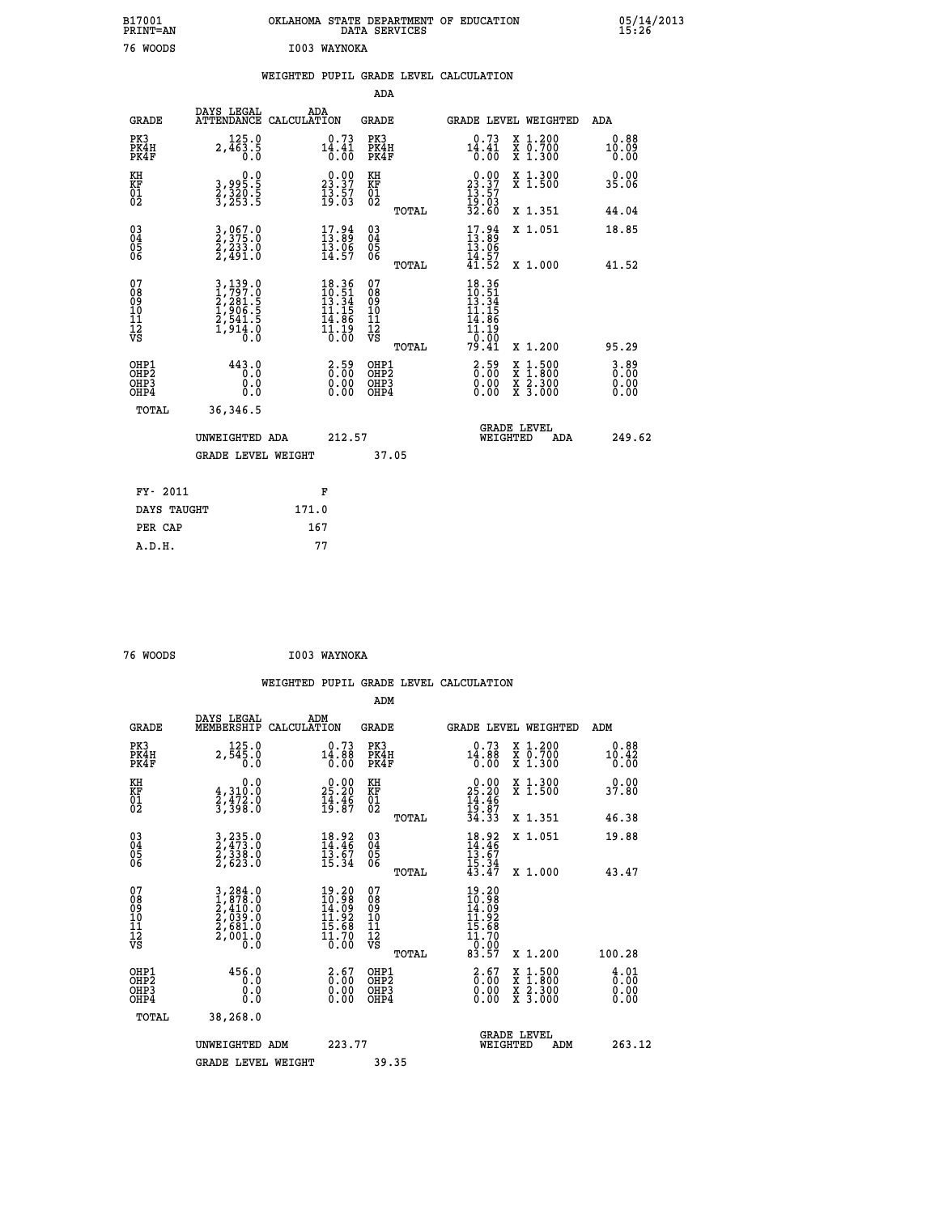| B17001<br><b>PRINT=AN</b> | OKLAHOMA STATE DEPARTMENT OF EDUCATION<br>DATA SERVICES | 05/14/2013<br>15:26 |
|---------------------------|---------------------------------------------------------|---------------------|
| 76<br>WOODS               | I003<br><b>WAYNOKA</b>                                  |                     |

|                                                                    |                                                                       |                                                                                                                                            | ADA                                                 |       |                                                                                                                                            |   |                                                           |                                  |
|--------------------------------------------------------------------|-----------------------------------------------------------------------|--------------------------------------------------------------------------------------------------------------------------------------------|-----------------------------------------------------|-------|--------------------------------------------------------------------------------------------------------------------------------------------|---|-----------------------------------------------------------|----------------------------------|
| <b>GRADE</b>                                                       | DAYS LEGAL<br>ATTENDANCE CALCULATION                                  | ADA                                                                                                                                        | <b>GRADE</b>                                        |       | GRADE LEVEL WEIGHTED                                                                                                                       |   |                                                           | <b>ADA</b>                       |
| PK3<br>PK4H<br>PK4F                                                | 125.0<br>$2,463.5$<br>$0.0$                                           | $14.41$<br>$0.31$<br>$0.00$                                                                                                                | PK3<br>PK4H<br>PK4F                                 |       | $14.41$<br>$0.31$<br>$0.00$                                                                                                                |   | X 1.200<br>X 0.700<br>X 1.300                             | 0.88<br>10.09<br>0.00            |
| KH<br>KF<br>01<br>02                                               | 0.0<br>3,995.5<br>3,320.5<br>3,253.5                                  | 23.37<br>$\frac{13.57}{19.03}$                                                                                                             | KH<br>KF<br>01<br>02                                |       | $\begin{smallmatrix} 0.00\\ 23.37\\ 13.57\\ 19.03\\ 32.60 \end{smallmatrix}$                                                               |   | X 1.300<br>X 1.500                                        | 0.00<br>35.06                    |
|                                                                    |                                                                       |                                                                                                                                            |                                                     | TOTAL |                                                                                                                                            |   | X 1.351                                                   | 44.04                            |
| $\begin{smallmatrix} 03 \\[-4pt] 04 \end{smallmatrix}$<br>Ŏ5<br>06 | 3,067.0<br>2,375.0<br>2,233.0<br>2,491.0                              | $\begin{smallmatrix} 17.94\ 13.89\ 13.06\ 14.57 \end{smallmatrix}$                                                                         | $\begin{array}{c} 03 \\ 04 \\ 05 \\ 06 \end{array}$ | TOTAL | $17.89$<br>$13.89$<br>$13.06$<br>$14.57$<br>$41.52$                                                                                        |   | X 1.051<br>X 1.000                                        | 18.85<br>41.52                   |
| 07<br>08<br>09<br>11<br>11<br>12<br>VS                             | 3,139.0<br>1,797.0<br>2,281.5<br>2,541.5<br>2,541.5<br>1,914.0<br>0.0 | $\begin{array}{r} 18.36 \\[-4pt] 10.51 \\[-4pt] 13.34 \\[-4pt] 11.15 \\[-4pt] 14.86 \\[-4pt] 14.9 \\[-4pt] 1.19 \\[-4pt] 0.00 \end{array}$ | 07<br>08<br>09<br>11<br>11<br>12<br>VS              |       | $\begin{array}{r} 18\cdot 36 \\ 10\cdot 51 \\ 13\cdot 34 \\ 11\cdot 15 \\ 14\cdot 86 \\ 11\cdot 19 \\ 0\cdot 00 \\ 79\cdot 41 \end{array}$ |   |                                                           |                                  |
|                                                                    |                                                                       |                                                                                                                                            |                                                     | TOTAL |                                                                                                                                            |   | X 1.200                                                   | 95.29                            |
| OHP1<br>OHP <sub>2</sub><br>OHP3<br>OHP4                           | 443.0<br>0.0<br>0.0<br>Ō.Ō                                            | $2.59$<br>$0.00$<br>$\begin{smallmatrix} 0.00 \ 0.00 \end{smallmatrix}$                                                                    | OHP1<br>OH <sub>P</sub> 2<br>OHP3<br>OHP4           |       | $\begin{smallmatrix} 2.59\ 0.00 \ 0.00 \end{smallmatrix}$<br>0.00                                                                          | X | $1:500$<br>$1:800$<br>$\frac{x}{x}$ $\frac{5:300}{3:000}$ | $3.89$<br>$0.00$<br>0.00<br>0.00 |
| TOTAL                                                              | 36,346.5                                                              |                                                                                                                                            |                                                     |       |                                                                                                                                            |   |                                                           |                                  |
|                                                                    | UNWEIGHTED ADA                                                        | 212.57                                                                                                                                     |                                                     |       | WEIGHTED                                                                                                                                   |   | <b>GRADE LEVEL</b><br>ADA                                 | 249.62                           |
|                                                                    | <b>GRADE LEVEL WEIGHT</b>                                             |                                                                                                                                            |                                                     | 37.05 |                                                                                                                                            |   |                                                           |                                  |
| FY- 2011                                                           |                                                                       | F                                                                                                                                          |                                                     |       |                                                                                                                                            |   |                                                           |                                  |
| DAYS TAUGHT                                                        |                                                                       | 171.0                                                                                                                                      |                                                     |       |                                                                                                                                            |   |                                                           |                                  |
| PER CAP                                                            |                                                                       | 167                                                                                                                                        |                                                     |       |                                                                                                                                            |   |                                                           |                                  |
|                                                                    |                                                                       |                                                                                                                                            |                                                     |       |                                                                                                                                            |   |                                                           |                                  |

| 76 WOODS | I003 WAYNOKA |
|----------|--------------|

 **ADM**

 **A.D.H. 77**

| <b>GRADE</b>                                       | DAYS LEGAL<br>MEMBERSHIP                                                                                                                                                            | ADM<br>CALCULATION                                                                                          | <b>GRADE</b>                                       |       |                                                                                                             | GRADE LEVEL WEIGHTED                     | ADM                                |
|----------------------------------------------------|-------------------------------------------------------------------------------------------------------------------------------------------------------------------------------------|-------------------------------------------------------------------------------------------------------------|----------------------------------------------------|-------|-------------------------------------------------------------------------------------------------------------|------------------------------------------|------------------------------------|
| PK3<br>PK4H<br>PK4F                                | 125.0<br>2,545.0<br>0.0                                                                                                                                                             | 0.73<br>14.88<br>0.00                                                                                       | PK3<br>PK4H<br>PK4F                                |       | 0.73<br>14.88<br>0.00                                                                                       | X 1.200<br>X 0.700<br>X 1.300            | 0.88<br>10.42<br>0.00              |
| KH<br>KF<br>01<br>02                               | 0.0<br>$\frac{4}{2}, \frac{310}{472}$ .0<br>3,398.0                                                                                                                                 | $2\frac{0.00}{25.20}$<br>$\frac{1}{19}$ $\cdot\frac{1}{8}$ $\frac{6}{7}$                                    | KH<br>KF<br>01<br>02                               |       | $0.00$<br>$25.20$<br>$14.46$<br>$19.87$<br>$34.33$                                                          | X 1.300<br>X 1.500                       | 0.00<br>37.80                      |
|                                                    |                                                                                                                                                                                     |                                                                                                             |                                                    | TOTAL |                                                                                                             | X 1.351                                  | 46.38                              |
| $\begin{matrix} 03 \\ 04 \\ 05 \\ 06 \end{matrix}$ | $\begin{smallmatrix} 3 & 235 & 0 \\ 2 & 473 & 0 \\ 2 & 338 & 0 \\ 2 & 623 & 0 \end{smallmatrix}$                                                                                    | $18.92$<br>$14.46$<br>$13.67$<br>$15.34$                                                                    | $\begin{matrix} 03 \\ 04 \\ 05 \\ 06 \end{matrix}$ |       | $18.92$<br>$14.46$<br>$13.67$<br>$15.34$<br>$43.47$                                                         | X 1.051                                  | 19.88                              |
|                                                    |                                                                                                                                                                                     |                                                                                                             |                                                    | TOTAL |                                                                                                             | X 1.000                                  | 43.47                              |
| 07<br>089<br>090<br>1112<br>VS                     | $\begin{smallmatrix} 3\,,\,2\,84\,.\,0\\ 1\,,\,8\,78\,.\,0\\ 2\,,\,4\,10\,.\,0\\ 2\,,\,0\,39\,.\,0\\ 2\,,\,6\,81\,.\,0\\ 2\,,\,0\,01\,.\,0\\ 0\,.\,0\,.\,0\,.\,0 \end{smallmatrix}$ | $\begin{smallmatrix} 19.20 \\ 10.98 \\ 14.09 \\ 11.92 \\ 15.68 \\ 15.68 \\ 10.70 \\ 0.00 \end{smallmatrix}$ | 07<br>08901112<br>1112<br>VS                       | TOTAL | $\begin{smallmatrix} 19.20 \\ 10.98 \\ 14.99 \\ 11.92 \\ 15.68 \\ 11.70 \\ 0.00 \\ 83.57 \end{smallmatrix}$ | X 1.200                                  | 100.28                             |
| OHP1<br>OHP2<br>OH <sub>P3</sub><br>OHP4           | 456.0<br>0.0<br>0.000                                                                                                                                                               | $\begin{smallmatrix} 2.67\0.00\0.00 \end{smallmatrix}$                                                      | OHP1<br>OHP2<br>OHP3<br>OHP4                       |       | $\begin{smallmatrix} 2.67\0.00\0.00 \end{smallmatrix}$                                                      | X 1:500<br>X 1:800<br>X 2:300<br>X 3:000 | $\frac{4}{0}$ : 00<br>0.00<br>0.00 |
| TOTAL                                              | 38,268.0                                                                                                                                                                            |                                                                                                             |                                                    |       |                                                                                                             |                                          |                                    |
|                                                    | UNWEIGHTED<br>ADM                                                                                                                                                                   | 223.77                                                                                                      |                                                    |       | WEIGHTED                                                                                                    | <b>GRADE LEVEL</b><br>ADM                | 263.12                             |
|                                                    | <b>GRADE LEVEL WEIGHT</b>                                                                                                                                                           |                                                                                                             | 39.35                                              |       |                                                                                                             |                                          |                                    |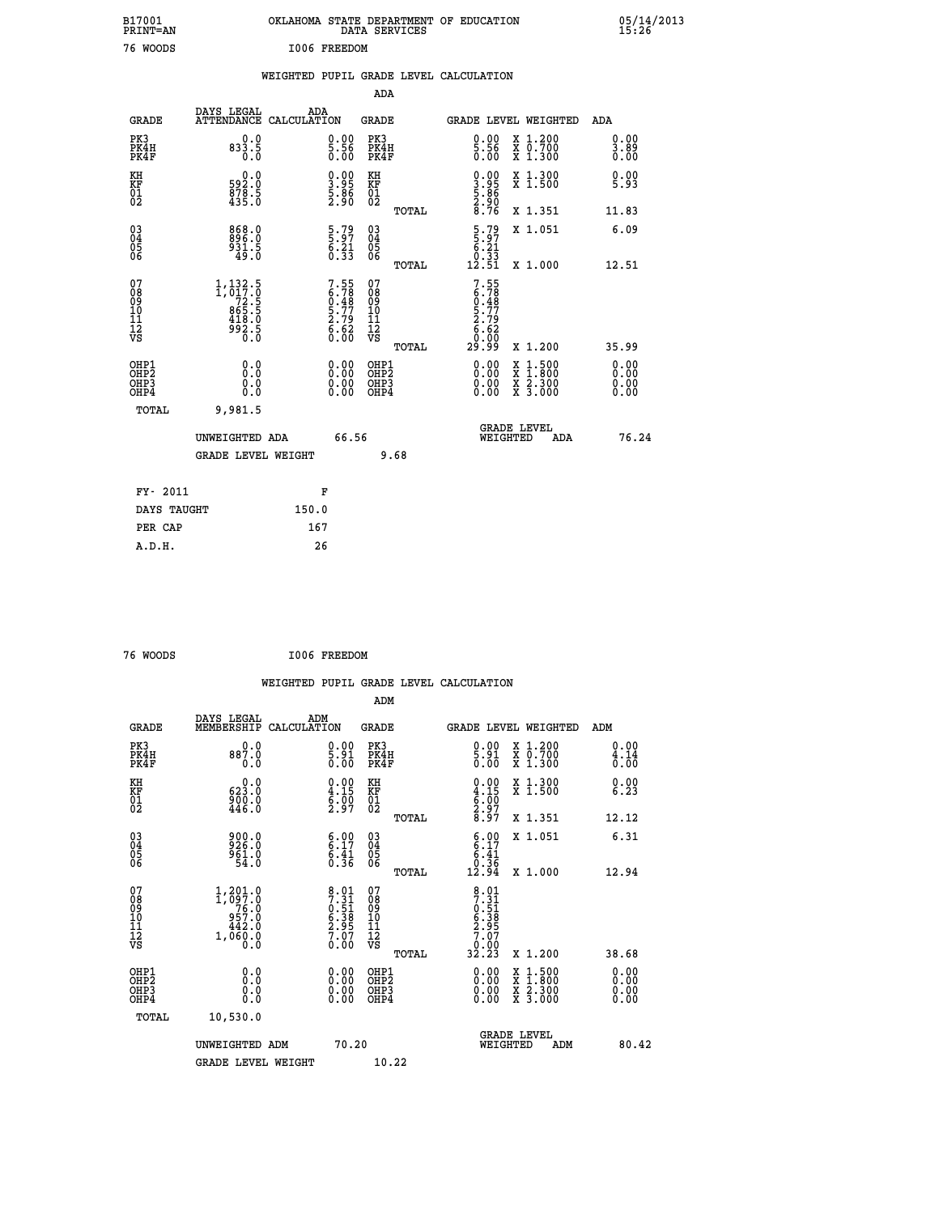| B17001<br>PRINT=AN                                    |                                                                | OKLAHOMA STATE DEPARTMENT OF EDUCATION                               | DATA SERVICES                                               |                                                                  |                                                                                                  | $05/14/2013$<br>15:26        |  |
|-------------------------------------------------------|----------------------------------------------------------------|----------------------------------------------------------------------|-------------------------------------------------------------|------------------------------------------------------------------|--------------------------------------------------------------------------------------------------|------------------------------|--|
| 76 WOODS                                              |                                                                | I006 FREEDOM                                                         |                                                             |                                                                  |                                                                                                  |                              |  |
|                                                       |                                                                | WEIGHTED PUPIL GRADE LEVEL CALCULATION                               |                                                             |                                                                  |                                                                                                  |                              |  |
|                                                       |                                                                |                                                                      | ADA                                                         |                                                                  |                                                                                                  |                              |  |
| <b>GRADE</b>                                          | DAYS LEGAL<br>ATTENDANCE CALCULATION                           | ADA                                                                  | GRADE                                                       | GRADE LEVEL WEIGHTED                                             |                                                                                                  | ADA                          |  |
| PK3<br>PK4H<br>PK4F                                   | 0.0<br>833.5<br>0.0                                            | $\begin{smallmatrix} 0.00\\ 5.56\\ 0.00 \end{smallmatrix}$           | PK3<br>PK4H<br>PK4F                                         | $\begin{smallmatrix} 0.00 \ 5.56 \ 0.00 \end{smallmatrix}$       | X 1.200<br>X 0.700<br>X 1.300                                                                    | 0.00<br>3.89<br>0.00         |  |
| KH<br>KF<br>01<br>02                                  | 0.0<br>592.0<br>$\frac{878}{435.0}$                            | $\frac{1}{3}\cdot\frac{95}{86}$<br>5:86                              | KH<br>KF<br>01<br>02                                        | $0.00$<br>$3.95$<br>$\frac{5.86}{2.90}$                          | X 1.300<br>X 1.500                                                                               | 0.00<br>5.93                 |  |
|                                                       |                                                                |                                                                      | TOTAL                                                       |                                                                  | X 1.351                                                                                          | 11.83                        |  |
| 030404<br>ŎĞ                                          | 868.0<br>896.0<br>931.5<br>49.0                                | $\begin{smallmatrix} 5.79 \\ 5.97 \\ 6.21 \\ 0.33 \end{smallmatrix}$ | $\begin{matrix} 03 \\ 04 \\ 05 \\ 06 \end{matrix}$<br>TOTAL | $\frac{5.79}{5.21}$<br>$\frac{0.55}{12.51}$                      | X 1.051<br>X 1,000                                                                               | 6.09<br>12.51                |  |
| 07<br>08<br>09<br>10<br>10<br>11<br>Ī2<br>VS          | $1,132.5$<br>1,017.0<br>72.5<br>965.5<br>$\frac{418.0}{992.5}$ | $7.55$<br>6.78<br>0.48<br>0.77<br>5.77<br>2.79<br>6.62<br>0.00       | 07<br>08<br>09<br>10<br>11<br>Ī2<br>VS                      | $7.55$<br>$6.78$<br>$0.48$<br>$5.79$<br>$2.79$<br>$6.68$<br>0.00 |                                                                                                  |                              |  |
|                                                       |                                                                |                                                                      | TOTAL                                                       | 29.99                                                            | X 1.200                                                                                          | 35.99                        |  |
| OHP1<br>OH <sub>P</sub> 2<br>OH <sub>P3</sub><br>OHP4 | 0.0<br>$0.\check{0}$<br>0.0<br>0.0                             |                                                                      | OHP1<br>OHP <sub>2</sub><br>OHP3<br>OHP4                    | 0.00<br>0.00<br>0.00                                             | $\begin{smallmatrix} x & 1 & 500 \\ x & 1 & 800 \\ x & 2 & 300 \\ x & 3 & 000 \end{smallmatrix}$ | 0.00<br>0.00<br>0.00<br>0.00 |  |
| TOTAL                                                 | 9,981.5                                                        |                                                                      |                                                             |                                                                  |                                                                                                  |                              |  |
|                                                       | UNWEIGHTED ADA                                                 | 66.56                                                                |                                                             | WEIGHTED                                                         | <b>GRADE LEVEL</b><br>ADA                                                                        | 76.24                        |  |
|                                                       | <b>GRADE LEVEL WEIGHT</b>                                      |                                                                      | 9.68                                                        |                                                                  |                                                                                                  |                              |  |
| FY- 2011                                              |                                                                | F                                                                    |                                                             |                                                                  |                                                                                                  |                              |  |
| DAYS TAUGHT<br>PER CAP                                |                                                                | 150.0<br>167                                                         |                                                             |                                                                  |                                                                                                  |                              |  |
|                                                       |                                                                |                                                                      |                                                             |                                                                  |                                                                                                  |                              |  |

| 76 WOODS |  |  | I006 FREEDOM |
|----------|--|--|--------------|

 **A.D.H. 26**

 **WEIGHTED PUPIL GRADE LEVEL CALCULATION ADM DAYS LEGAL ADM GRADE MEMBERSHIP CALCULATION GRADE GRADE LEVEL WEIGHTED ADM PK3 0.0 0.00 PK3 0.00 X 1.200 0.00 PK4H 887.0 5.91 PK4H 5.91 X 0.700 4.14 PK4F 0.0 0.00 PK4F 0.00 X 1.300 0.00 KH 0.0 0.00 KH 0.00 X 1.300 0.00 KF 623.0 4.15 KF 4.15 X 1.500 6.23 01 900.0 6.00 01 6.00**  $02 \t\t 446.0 \t\t 2.97 \t 02 \t 2.97$  **TOTAL 8.97 X 1.351 12.12 03 900.0 6.00 03 6.00 X 1.051 6.31 04 926.0 6.17 04 6.17 05 961.0 6.41 05 6.41 06 54.0 0.36 06 0.36 TOTAL 12.94 X 1.000 12.94** 07 1,201.0 8.01 07 8.01<br>
08 1,097.0 7.51 08 7.51<br>
10 957.0 6.38 10 6.38<br>
11 442.0 2.95 11 2.95<br>
12 1,060.0 7.07 12<br>
VS 1,060.0 0.00 VS 0.000  **TOTAL 32.23 X 1.200 38.68 OHP1 0.0 0.00 OHP1 0.00 X 1.500 0.00 OHP2 0.0 0.00 OHP2 0.00 X 1.800 0.00 OHP3 0.0 0.00 OHP3 0.00 X 2.300 0.00 OHP4 0.0 0.00 OHP4 0.00 X 3.000 0.00 TOTAL 10,530.0 UNWEIGHTED ADM 70.20 UNWEIGHTED ADM 70.20 WEIGHTED ADM 80.42** GRADE LEVEL WEIGHT 10.22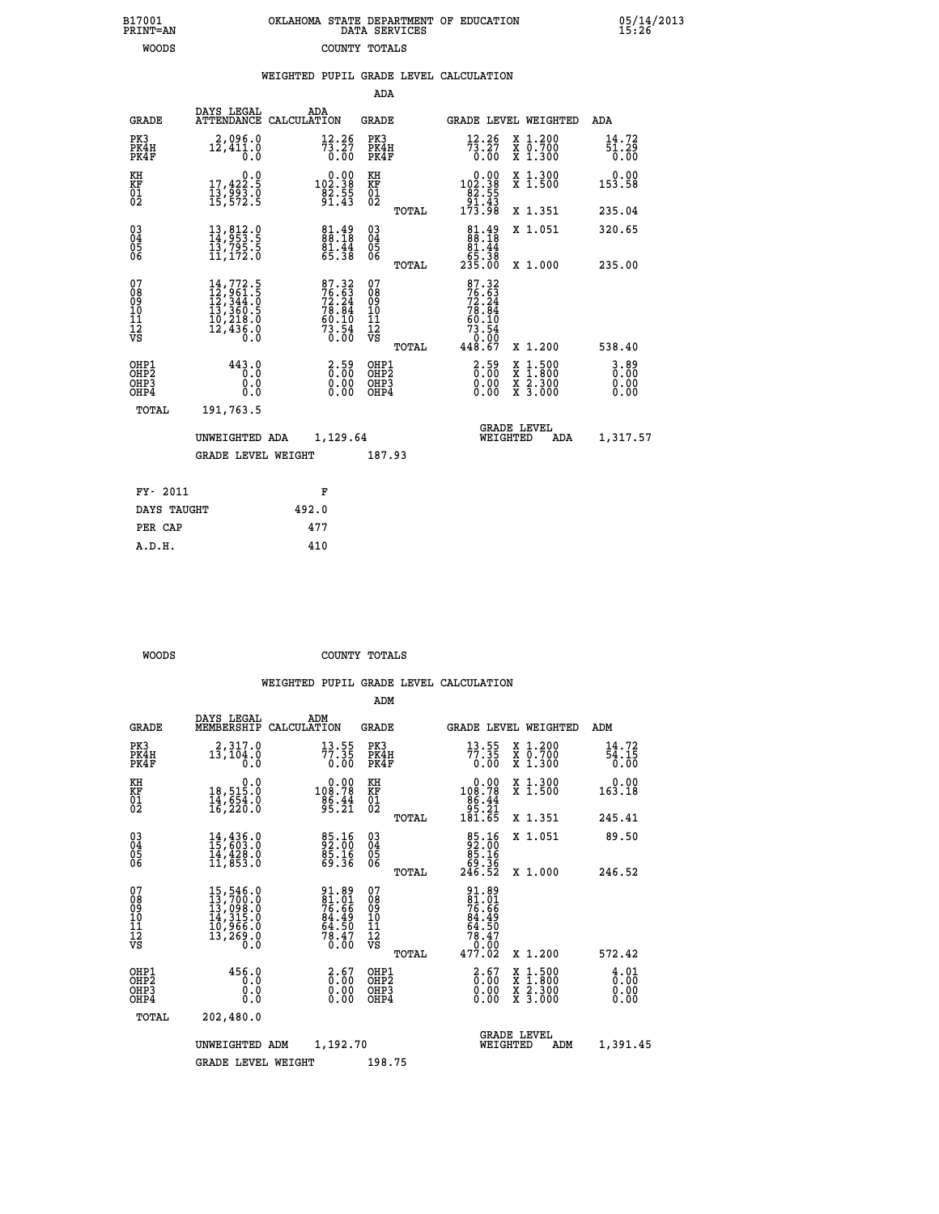| B17001<br><b>PRINT=AN</b> | OKLAHOMA STATE DEPARTMENT OF EDUCATION<br>DATA SERVICES |  |
|---------------------------|---------------------------------------------------------|--|
| WOODS                     | COUNTY TOTALS                                           |  |

B17001<br>PRINT=AN<br>WOODS

05/14/2013<br>15**:**26

|  |  | WEIGHTED PUPIL GRADE LEVEL CALCULATION |
|--|--|----------------------------------------|
|  |  |                                        |

|                                                                              |                                                                                                                                         |                                                                                           | ADA                                      |       |                                                                                                     |                                          |                                  |
|------------------------------------------------------------------------------|-----------------------------------------------------------------------------------------------------------------------------------------|-------------------------------------------------------------------------------------------|------------------------------------------|-------|-----------------------------------------------------------------------------------------------------|------------------------------------------|----------------------------------|
| <b>GRADE</b>                                                                 | DAYS LEGAL                                                                                                                              | ADA<br>ATTENDANCE CALCULATION                                                             | <b>GRADE</b>                             |       |                                                                                                     | GRADE LEVEL WEIGHTED                     | ADA                              |
| PK3<br>PK4H<br>PK4F                                                          | 2,096.0<br>$1\bar{2}, \bar{4}1\bar{1}, 0$                                                                                               | $73.27$<br>$73.27$<br>$0.00$                                                              | PK3<br>PK4H<br>PK4F                      |       | $\frac{12.26}{73.27}$<br>0.00                                                                       | X 1.200<br>X 0.700<br>X 1.300            | 14.72<br>51.29<br>0.00           |
| KH<br><b>KF</b><br>01<br>02                                                  | 0.0<br>$\frac{17}{13}, \frac{422}{993}$ $\cdot \frac{5}{9}$<br>$\frac{15}{15}, \frac{572}{5}$                                           | $\substack{ \substack{ 0.00\\102.38\\82.55\\91.43} }$                                     | KH<br>KF<br>01<br>02                     |       | $\begin{smallmatrix}&&0.00\\102.38\\82.55\\91.43\\173.98\end{smallmatrix}$                          | X 1.300<br>X 1.500                       | 0.00<br>153.58                   |
|                                                                              |                                                                                                                                         |                                                                                           |                                          | TOTAL |                                                                                                     | X 1.351                                  | 235.04                           |
| $\begin{smallmatrix} 03 \\[-4pt] 04 \end{smallmatrix}$<br>05<br>06           | $\begin{smallmatrix} 13 \,, & 812 \,. & 0 \\ 14 \,, & 953 \,. & 5 \\ 13 \,, & 795 \,. & 5 \\ 11 \,, & 172 \,. & 0 \end{smallmatrix}$    | 81.49<br>88.18<br>81.44<br>65.38                                                          | $\substack{03 \\ 04}$<br>05<br>06        |       | $\begin{smallmatrix}81.49\\88.18\\81.44\\65.38\\235.00\end{smallmatrix}$                            | X 1.051                                  | 320.65                           |
|                                                                              |                                                                                                                                         |                                                                                           |                                          | TOTAL |                                                                                                     | X 1.000                                  | 235.00                           |
| 07<br>08901112<br>1112<br>VS                                                 | $\begin{smallmatrix} 14\,,772\,.5\\ 12\,,961\,.5\\ 12\,,344\,.0\\ 13\,,360\,.5\\ 10\,,218\,.0\\ 12\,,436\,.0\\ 0\,.0 \end{smallmatrix}$ | $\begin{array}{l} 87.32 \\ 76.63 \\ 72.24 \\ 78.84 \\ 60.10 \\ 73.54 \\ 0.00 \end{array}$ | 07<br>08901112<br>1112<br>VS             |       | $\begin{array}{r} 87.32 \\ 76.53 \\ 72.24 \\ 78.84 \\ 60.10 \\ 73.54 \\ 0.00 \\ 448.67 \end{array}$ |                                          |                                  |
|                                                                              |                                                                                                                                         |                                                                                           |                                          | TOTAL |                                                                                                     | X 1.200                                  | 538.40                           |
| OHP1<br>OH <sub>P</sub> <sub>2</sub><br>OH <sub>P3</sub><br>OH <sub>P4</sub> | 443.0<br>0.0<br>0.0<br>0.0                                                                                                              | $\begin{smallmatrix} 2.59\0.00\0.00 \end{smallmatrix}$                                    | OHP1<br>OHP <sub>2</sub><br>OHP3<br>OHP4 |       | $\begin{smallmatrix} 2.59\0.00\0.00\0.00 \end{smallmatrix}$                                         | X 1:500<br>X 1:800<br>X 2:300<br>X 3:000 | $3.89$<br>$0.00$<br>0.00<br>0.00 |
| TOTAL                                                                        | 191,763.5                                                                                                                               |                                                                                           |                                          |       |                                                                                                     |                                          |                                  |
|                                                                              | UNWEIGHTED ADA                                                                                                                          | 1,129.64                                                                                  |                                          |       |                                                                                                     | GRADE LEVEL<br>WEIGHTED<br>ADA           | 1,317.57                         |
|                                                                              | <b>GRADE LEVEL WEIGHT</b>                                                                                                               |                                                                                           | 187.93                                   |       |                                                                                                     |                                          |                                  |
| FY- 2011                                                                     |                                                                                                                                         | F                                                                                         |                                          |       |                                                                                                     |                                          |                                  |
| DAYS TAUGHT                                                                  |                                                                                                                                         | 492.0                                                                                     |                                          |       |                                                                                                     |                                          |                                  |
| PER CAP                                                                      |                                                                                                                                         | 477                                                                                       |                                          |       |                                                                                                     |                                          |                                  |

| WOODS | COUNTY TOTALS |  |
|-------|---------------|--|

 **A.D.H. 410**

|                                          |                                                                                                                                                       |                                                                | ADM                                                 |                                                                                                   |                                          |                              |
|------------------------------------------|-------------------------------------------------------------------------------------------------------------------------------------------------------|----------------------------------------------------------------|-----------------------------------------------------|---------------------------------------------------------------------------------------------------|------------------------------------------|------------------------------|
| <b>GRADE</b>                             | DAYS LEGAL<br>MEMBERSHIP                                                                                                                              | ADM<br>CALCULATION                                             | <b>GRADE</b>                                        | <b>GRADE LEVEL WEIGHTED</b>                                                                       |                                          | ADM                          |
| PK3<br>PK4H<br>PK4F                      | 2,317.0<br>13,104.0<br>0.0                                                                                                                            | $\frac{13.55}{77.35}$<br>0.00                                  | PK3<br>PK4H<br>PK4F                                 | 13.55<br>77.35<br>0.00                                                                            | X 1.200<br>X 0.700<br>X 1.300            | 14.72<br>54.15<br>0.00       |
| KH<br>KF<br>01<br>02                     | 0.0<br>18,515:0<br>14,654:0<br>16,220:0                                                                                                               | $0.00$<br>108.78<br>$\frac{86.44}{95.21}$                      | KH<br>KF<br>01<br>02                                | 0.00<br>108:78<br>86:44<br>95:21<br>181:65                                                        | X 1.300<br>X 1.500                       | 0.00<br>163.18               |
|                                          |                                                                                                                                                       |                                                                | TOTAL                                               |                                                                                                   | X 1.351                                  | 245.41                       |
| 03<br>04<br>05<br>06                     | 14,436.0<br>15,603.0<br>14,428.0<br>11,853.0                                                                                                          | 85.16<br>92.00<br>85.16<br>69.36                               | $\begin{array}{c} 03 \\ 04 \\ 05 \\ 06 \end{array}$ | $\begin{smallmatrix}85\cdot 16\\92\cdot 00\\85\cdot 16\\69\cdot 36\\246\cdot 52\end{smallmatrix}$ | X 1.051                                  | 89.50                        |
|                                          |                                                                                                                                                       |                                                                | TOTAL                                               |                                                                                                   | X 1.000                                  | 246.52                       |
| 07<br>08<br>09<br>101<br>112<br>VS       | $\begin{smallmatrix} 15, 546\cdot 0\\ 13, 700\cdot 0\\ 13, 098\cdot 0\\ 14, 315\cdot 0\\ 10, 966\cdot 0\\ 13, 269\cdot 0\\ 0\cdot 0\end{smallmatrix}$ | 91.89<br>81.01<br>76.66<br>84.49<br>64.50<br>58.47<br>78.47    | 07<br>08<br>09<br>11<br>11<br>12<br>VS              | 91.89<br>81.01<br>76.66<br>84.49<br>84.50<br>78.47<br>78.47                                       |                                          |                              |
|                                          |                                                                                                                                                       |                                                                | TOTAL                                               | 477.02                                                                                            | X 1.200                                  | 572.42                       |
| OHP1<br>OHP2<br>OH <sub>P3</sub><br>OHP4 | 456.0<br>0.0<br>0.000                                                                                                                                 | $\begin{smallmatrix} 2.67\0.00\0.00 \end{smallmatrix}$<br>0.00 | OHP1<br>OHP2<br>OHP3<br>OHP4                        | $\begin{smallmatrix} 2.67\0.00\0.00 \end{smallmatrix}$<br>0.00                                    | X 1:500<br>X 1:800<br>X 2:300<br>X 3:000 | 4.01<br>0.00<br>0.00<br>0.00 |
|                                          | TOTAL<br>202,480.0                                                                                                                                    |                                                                |                                                     |                                                                                                   |                                          |                              |
|                                          | UNWEIGHTED                                                                                                                                            | 1,192.70<br>ADM                                                |                                                     | <b>GRADE LEVEL</b><br>WEIGHTED                                                                    | ADM                                      | 1,391.45                     |
|                                          | <b>GRADE LEVEL WEIGHT</b>                                                                                                                             |                                                                | 198.75                                              |                                                                                                   |                                          |                              |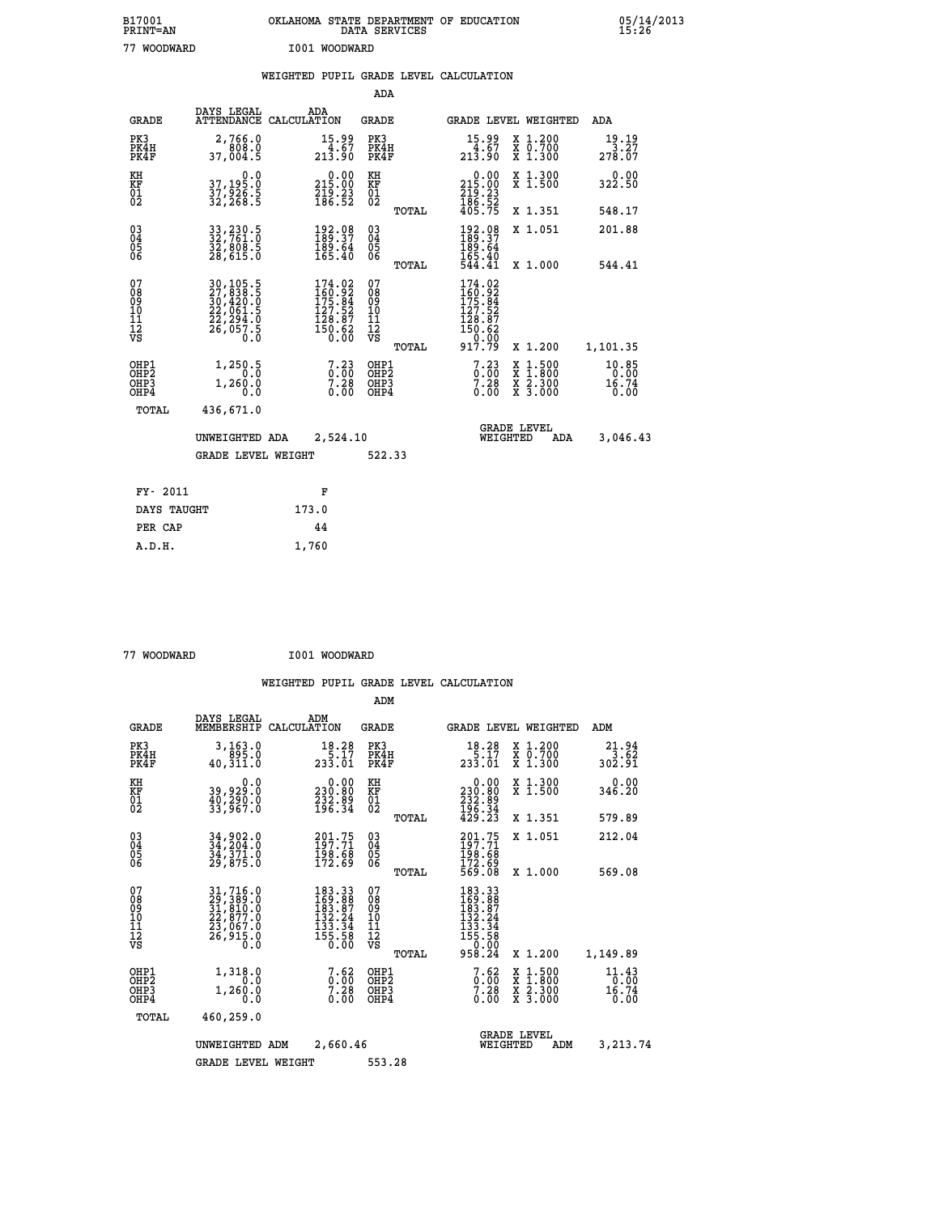| B17001<br><b>PRINT=AN</b> | OKLAHOMA STATE DEPARTMENT OF EDUCATION<br>DATA SERVICES | 05/14/2013<br>15:26 |
|---------------------------|---------------------------------------------------------|---------------------|
| 77<br>WOODWARD            | I001 WOODWARD                                           |                     |

|  |  | WEIGHTED PUPIL GRADE LEVEL CALCULATION |
|--|--|----------------------------------------|
|  |  |                                        |

|                                                                    |                                                                                                                                                 |                                                                                                                                      | ADA                                               |       |                                                                                                                                                     |                                                                            |                                    |
|--------------------------------------------------------------------|-------------------------------------------------------------------------------------------------------------------------------------------------|--------------------------------------------------------------------------------------------------------------------------------------|---------------------------------------------------|-------|-----------------------------------------------------------------------------------------------------------------------------------------------------|----------------------------------------------------------------------------|------------------------------------|
| <b>GRADE</b>                                                       | DAYS LEGAL                                                                                                                                      | ADA<br>ATTENDANCE CALCULATION                                                                                                        | <b>GRADE</b>                                      |       |                                                                                                                                                     | GRADE LEVEL WEIGHTED                                                       | <b>ADA</b>                         |
| PK3<br>PK4H<br>PK4F                                                | 2,766.0<br>808.0<br>37,004.5                                                                                                                    | $15.99$<br>$4.67$<br>$213.90$                                                                                                        | PK3<br>PK4H<br>PK4F                               |       | $15.99$<br>4.67<br>213.90                                                                                                                           | X 1.200<br>X 0.700<br>X 1.300                                              | $19.19$<br>3.27<br>278.07          |
| KH<br>KF<br>01<br>02                                               | 0.0<br>37,195.0<br>37,926.5<br>32,268.5                                                                                                         | $0.00$<br>215.00<br>$\frac{219}{186}. \frac{23}{52}$                                                                                 | KH<br>KF<br>$\begin{matrix} 01 \ 02 \end{matrix}$ |       | $\begin{smallmatrix} &0.00\\ 215.00\\ 219.23\\ 186.52\\ 405.75 \end{smallmatrix}$                                                                   | X 1.300<br>X 1.500                                                         | 0.00<br>322.50                     |
|                                                                    |                                                                                                                                                 |                                                                                                                                      |                                                   | TOTAL |                                                                                                                                                     | X 1.351                                                                    | 548.17                             |
| $\begin{smallmatrix} 03 \\[-4pt] 04 \end{smallmatrix}$<br>05<br>ŌĞ | 33, 230.5<br>32, 761.0<br>32, 808.5<br>28, 615.0                                                                                                | 192.08<br>189.37<br>189.64<br>165.40                                                                                                 | $\substack{03 \\ 04}$<br>05<br>06                 |       | 192.08<br>189.37<br>189:64<br>165:40<br>544:41                                                                                                      | X 1.051                                                                    | 201.88                             |
|                                                                    |                                                                                                                                                 |                                                                                                                                      |                                                   | TOTAL |                                                                                                                                                     | X 1.000                                                                    | 544.41                             |
| 07<br>08<br>09<br>11<br>11<br>12<br>VS                             | $\begin{smallmatrix} 30,105\cdot 5\\ 27,838\cdot 5\\ 30,420\cdot 0\\ 22,061\cdot 5\\ 22,294\cdot 0\\ 26,057\cdot 5\\ 0\cdot 0\end{smallmatrix}$ | $\begin{smallmatrix} 174\cdot 02\\ 160\cdot 92\\ 175\cdot 84\\ 127\cdot 52\\ 128\cdot 87\\ 150\cdot 62\\ 0\cdot 00\end{smallmatrix}$ | 07<br>08<br>09<br>11<br>11<br>12<br>VS            |       | $\begin{smallmatrix} 174\cdot 02\\ 160\cdot 92\\ 175\cdot 84\\ 127\cdot 52\\ 128\cdot 87\\ 150\cdot 62\\ 0\cdot 00\\ 917\cdot 79 \end{smallmatrix}$ |                                                                            |                                    |
|                                                                    |                                                                                                                                                 |                                                                                                                                      |                                                   | TOTAL |                                                                                                                                                     | X 1.200                                                                    | 1,101.35                           |
| OHP1<br>OH <sub>P</sub> 2<br>OHP3<br>OHP4                          | 1,250.5<br>0.0<br>1,260.0<br>0.0                                                                                                                | $7.23$<br>$0.00$<br>$7.28 \ 0.00$                                                                                                    | OHP1<br>OH <sub>P</sub> 2<br>OHP3<br>OHP4         |       | $7.23\n7.28\n7.28\n0.00$                                                                                                                            | $1:500$<br>$1:800$<br>X<br>X<br>$\frac{\ddot{x}}{x}$ $\frac{2.300}{3.000}$ | $10.85$<br>$0.00$<br>16.74<br>0.00 |
| TOTAL                                                              | 436,671.0                                                                                                                                       |                                                                                                                                      |                                                   |       |                                                                                                                                                     |                                                                            |                                    |
|                                                                    | UNWEIGHTED ADA                                                                                                                                  | 2,524.10                                                                                                                             |                                                   |       |                                                                                                                                                     | <b>GRADE LEVEL</b><br>WEIGHTED<br>ADA                                      | 3,046.43                           |
|                                                                    | <b>GRADE LEVEL WEIGHT</b>                                                                                                                       |                                                                                                                                      | 522.33                                            |       |                                                                                                                                                     |                                                                            |                                    |
| FY- 2011                                                           |                                                                                                                                                 | F                                                                                                                                    |                                                   |       |                                                                                                                                                     |                                                                            |                                    |
| DAYS TAUGHT                                                        |                                                                                                                                                 | 173.0                                                                                                                                |                                                   |       |                                                                                                                                                     |                                                                            |                                    |
|                                                                    |                                                                                                                                                 |                                                                                                                                      |                                                   |       |                                                                                                                                                     |                                                                            |                                    |
| PER CAP                                                            |                                                                                                                                                 | 44                                                                                                                                   |                                                   |       |                                                                                                                                                     |                                                                            |                                    |

| 77 WOODWARD |  |
|-------------|--|

 **A.D.H. 1,760**

 **77 WOODWARD I001 WOODWARD**

|                                                       |                                                                                                                                                        |                                                                                    | ADM                                                |                                                                                                                                     |                                                                    |                                       |
|-------------------------------------------------------|--------------------------------------------------------------------------------------------------------------------------------------------------------|------------------------------------------------------------------------------------|----------------------------------------------------|-------------------------------------------------------------------------------------------------------------------------------------|--------------------------------------------------------------------|---------------------------------------|
| <b>GRADE</b>                                          | DAYS LEGAL<br>MEMBERSHIP                                                                                                                               | ADM<br>CALCULATION                                                                 | <b>GRADE</b>                                       | <b>GRADE LEVEL WEIGHTED</b>                                                                                                         |                                                                    | ADM                                   |
| PK3<br>PK4H<br>PK4F                                   | 3,163.0<br>895.0<br>40,311.0                                                                                                                           | 18.28<br>$\frac{15.17}{233.01}$                                                    | PK3<br>PK4H<br>PK4F                                | 18.28                                                                                                                               | $\begin{array}{c} x & 1.200 \\ x & 0.700 \end{array}$<br>$X$ 1.300 | 21.94<br>3.62<br>302.91               |
| KH<br>KF<br>01<br>02                                  | 0.0<br>39,929.0<br>40,290.0<br>33,967.0                                                                                                                | $\begin{smallmatrix} 0.00\\ 230.80\\ 232.89\\ 196.34 \end{smallmatrix}$            | KH<br>KF<br>01<br>02                               | 0.00<br>230:80<br>232:89<br>196:34<br>429:23                                                                                        | X 1.300<br>X 1.500                                                 | 0.00<br>346.20                        |
|                                                       |                                                                                                                                                        |                                                                                    | TOTAL                                              |                                                                                                                                     | X 1.351                                                            | 579.89                                |
| 03<br>04<br>05<br>06                                  | 34,902.0<br>34,204.0<br>34,371.0<br>29,875.0                                                                                                           | 201.75<br>197.71<br>198.68<br>172.69                                               | $\begin{matrix} 03 \\ 04 \\ 05 \\ 06 \end{matrix}$ | $201.75$<br>$197.71$<br>$\frac{198.68}{172.69}$<br>569.08                                                                           | X 1.051                                                            | 212.04                                |
|                                                       |                                                                                                                                                        |                                                                                    | TOTAL                                              |                                                                                                                                     | X 1.000                                                            | 569.08                                |
| 07<br>08<br>09<br>101<br>112<br>VS                    | $\begin{smallmatrix} 31, 716\, . \ 29, 389\, . \ 0 \\ 31, 810\, . \ 0 \\ 22, 877\, . \ 0 \\ 23, 067\, . \ 0 \\ 26, 915\, . \ 0 \\ 0 \end{smallmatrix}$ | 183.33<br>169.88<br>183.87<br>132.24<br>$\frac{133}{155}$ . $\frac{1}{29}$<br>0.00 | 07<br>08<br>09<br>101<br>11<br>12<br>VS<br>TOTAL   | $\begin{smallmatrix} 183 & 33 \\ 169 & 88 \\ 183 & 87 \\ 132 & 24 \\ 133 & 34 \\ 155 & 58 \\ 0 & 0 & 0 \end{smallmatrix}$<br>958.24 | X 1.200                                                            | 1,149.89                              |
| OHP1<br>OH <sub>P</sub> 2<br>OH <sub>P3</sub><br>OHP4 | 1,318.0<br>0.0<br>1,260.0<br>0.0                                                                                                                       | $7.62$<br>$7.28$<br>0.00                                                           | OHP1<br>OHP2<br>OHP3<br>OHP4                       | 7.62<br>$0.00$<br>7.28<br>0.00                                                                                                      | X 1:500<br>X 1:800<br>X 2:300<br>X 3:000                           | $11.43$<br>$16.74$<br>$16.74$<br>0.00 |
| TOTAL                                                 | 460,259.0                                                                                                                                              |                                                                                    |                                                    |                                                                                                                                     |                                                                    |                                       |
|                                                       | 2,660.46<br>UNWEIGHTED ADM                                                                                                                             |                                                                                    |                                                    | WEIGHTED                                                                                                                            | <b>GRADE LEVEL</b><br>ADM                                          | 3,213.74                              |
|                                                       | <b>GRADE LEVEL WEIGHT</b>                                                                                                                              |                                                                                    | 553.28                                             |                                                                                                                                     |                                                                    |                                       |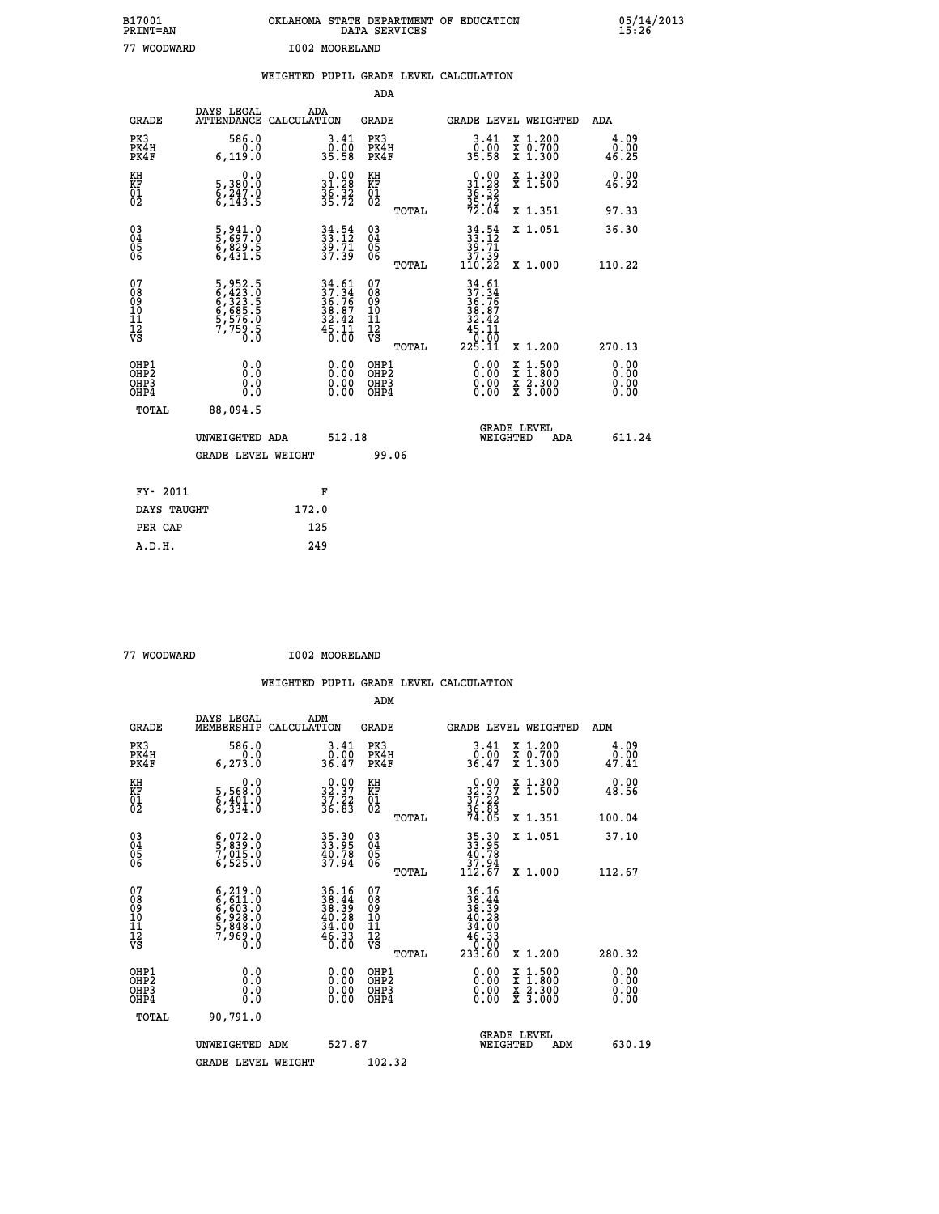| B17001<br><b>PRINT=AN</b> | OKLAHOMA STATE DEPARTMENT OF EDUCATION<br>DATA SERVICES | 05/14/2013<br>15:26 |
|---------------------------|---------------------------------------------------------|---------------------|
| 77<br>WOODWARD            | I002 MOORELAND                                          |                     |

|                                                    |                                                                           | WEIGHTED PUPIL GRADE LEVEL CALCULATION                                                    |                                        |            |                                                                                                               |                                          |                       |
|----------------------------------------------------|---------------------------------------------------------------------------|-------------------------------------------------------------------------------------------|----------------------------------------|------------|---------------------------------------------------------------------------------------------------------------|------------------------------------------|-----------------------|
|                                                    |                                                                           |                                                                                           |                                        | <b>ADA</b> |                                                                                                               |                                          |                       |
| <b>GRADE</b>                                       | DAYS LEGAL<br>ATTENDANCE CALCULATION                                      | ADA                                                                                       | <b>GRADE</b>                           |            |                                                                                                               | GRADE LEVEL WEIGHTED                     | ADA                   |
| PK3<br>PK4H<br>PK4F                                | 586.0<br>0.0<br>6, 119.0                                                  | $3 \cdot 41$<br>$0 \cdot 00$<br>$35 \cdot 58$                                             | PK3<br>PK4H<br>PK4F                    |            | $3.41$<br>$0.00$<br>35.58                                                                                     | X 1.200<br>X 0.700<br>X 1.300            | 4.09<br>0.00<br>46.25 |
| KH<br>KF<br>01<br>02                               | 0.0<br>5,380:0<br>6,247.0<br>6,143:5                                      | $\begin{smallmatrix} 0.00\\ 31.28\\ 36.32\\ 35.72 \end{smallmatrix}$                      | KH<br>KF<br>01<br>02                   |            | $0.0031.2836.3235.7272.04$                                                                                    | X 1.300<br>X 1.500                       | 0.00<br>46.92         |
|                                                    |                                                                           |                                                                                           |                                        | TOTAL      |                                                                                                               | X 1.351                                  | 97.33                 |
| $\begin{matrix} 03 \\ 04 \\ 05 \\ 06 \end{matrix}$ | 5,941.0<br>5,697.0<br>6,829.5<br>6,431.5                                  | $34.54$<br>$33.12$<br>$39.71$<br>$37.39$                                                  | 03<br>04<br>05<br>06                   |            | $\begin{array}{c} 34.54 \\ 33.12 \\ 39.71 \\ 37.39 \\ 110.22 \end{array}$                                     | X 1.051                                  | 36.30                 |
|                                                    |                                                                           |                                                                                           |                                        | TOTAL      |                                                                                                               | X 1.000                                  | 110.22                |
| 07<br>08901112<br>1112<br>VS                       | 5,952.5<br>6,423.0<br>6,323.5<br>6,585.5<br>6,576.0<br>5,576.0<br>7,759.5 | $\begin{array}{r} 34.61 \\ 37.34 \\ 36.76 \\ 38.87 \\ 32.42 \\ 45.11 \\ 0.00 \end{array}$ | 07<br>08<br>09<br>11<br>11<br>12<br>VS | TOTAL      | $34.61$<br>$37.34$<br>$36.76$<br>$38.87$<br>$32.42$<br>$\begin{array}{r} 45.11 \\ 0.00 \\ 225.11 \end{array}$ | X 1.200                                  | 270.13                |
| OHP1<br>OHP2<br>OH <sub>P3</sub><br>OHP4           | 0.0<br>Ō.Ō<br>Ō.Ō                                                         | 0.0000<br>$\begin{smallmatrix} 0.00 \ 0.00 \end{smallmatrix}$                             | OHP1<br>OHP2<br>OHP3<br>OHP4           |            | 0.00<br>0.00                                                                                                  | X 1:500<br>X 1:800<br>X 2:300<br>X 3:000 | 0.00<br>0.00<br>0.00  |
| <b>TOTAL</b>                                       | 88,094.5                                                                  |                                                                                           |                                        |            |                                                                                                               |                                          |                       |
|                                                    | UNWEIGHTED ADA                                                            |                                                                                           | 512.18                                 |            | WEIGHTED                                                                                                      | <b>GRADE LEVEL</b><br>ADA                | 611.24                |
|                                                    | <b>GRADE LEVEL WEIGHT</b>                                                 |                                                                                           |                                        | 99.06      |                                                                                                               |                                          |                       |
| FY- 2011                                           |                                                                           | F                                                                                         |                                        |            |                                                                                                               |                                          |                       |
| DAYS TAUGHT                                        |                                                                           | 172.0                                                                                     |                                        |            |                                                                                                               |                                          |                       |
| PER CAP                                            |                                                                           | 125                                                                                       |                                        |            |                                                                                                               |                                          |                       |

77 WOODWARD **I002 MOORELAND** 

 **A.D.H. 249**

| <b>GRADE</b>                            | DAYS LEGAL<br>MEMBERSHIP                                                                  | ADM<br>CALCULATION                                                                                 | <b>GRADE</b>                                       |       |                                                                                                                                                                    |          | <b>GRADE LEVEL WEIGHTED</b>              | ADM                   |  |
|-----------------------------------------|-------------------------------------------------------------------------------------------|----------------------------------------------------------------------------------------------------|----------------------------------------------------|-------|--------------------------------------------------------------------------------------------------------------------------------------------------------------------|----------|------------------------------------------|-----------------------|--|
| PK3<br>PK4H<br>PK4F                     | 586.0<br>6, 273.0                                                                         | $3 \cdot 41$<br>36.00<br>36.47                                                                     | PK3<br>PK4H<br>PK4F                                |       | $3 \cdot \frac{41}{00}$<br>36.47                                                                                                                                   |          | X 1.200<br>X 0.700<br>X 1.300            | 4.09<br>0.00<br>47.41 |  |
| KH<br>KF<br>01<br>02                    | 0.0<br>5,568:0<br>6,401:0<br>6,334:0                                                      | $32.37$<br>$37.22$<br>$36.83$                                                                      | KH<br>KF<br>01<br>02                               |       | $32.37$<br>$37.22$<br>$36.83$<br>$74.05$                                                                                                                           |          | X 1.300<br>X 1.500                       | 0.00<br>48.56         |  |
|                                         |                                                                                           |                                                                                                    |                                                    | TOTAL |                                                                                                                                                                    |          | X 1.351                                  | 100.04                |  |
| 03<br>04<br>05<br>06                    | $\frac{6}{5}, \frac{072}{839}.0$<br>7,015.0<br>6,525.0                                    | 35.30<br>33.95<br>40.78<br>37.94                                                                   | $\begin{matrix} 03 \\ 04 \\ 05 \\ 06 \end{matrix}$ |       | $\begin{smallmatrix} 35\cdot 30\\ 33\cdot 95\\ 40\cdot 78\\ 37\cdot 94\\ 112\cdot 67 \end{smallmatrix}$                                                            |          | X 1.051                                  | 37.10                 |  |
|                                         |                                                                                           |                                                                                                    |                                                    | TOTAL |                                                                                                                                                                    |          | X 1.000                                  | 112.67                |  |
| 07<br>08<br>09<br>101<br>11<br>12<br>VS | $6, 219.0$<br>$6, 613.0$<br>$6, 603.0$<br>$6, 928.0$<br>$5, 848.0$<br>$7, 969.0$<br>$0.0$ | $\begin{array}{r} 36.16 \\ 38.44 \\ 38.39 \\ 40.28 \\ 34.00 \\ 34.00 \\ 46.33 \\ 0.00 \end{array}$ | 07<br>08<br>09<br>01<br>11<br>11<br>12<br>VS       | TOTAL | $\begin{array}{r} 36 \cdot 16 \\ 38 \cdot 44 \\ 38 \cdot 39 \\ 40 \cdot 28 \\ 40 \cdot 28 \\ 34 \cdot 00 \\ 46 \cdot 33 \\ 0 \cdot 00 \\ 233 \cdot 60 \end{array}$ |          | X 1.200                                  | 280.32                |  |
| OHP1<br>OHP2<br>OHP3<br>OHP4            | 0.0<br>0.000                                                                              |                                                                                                    | OHP1<br>OHP2<br>OHP3<br>OHP4                       |       |                                                                                                                                                                    |          | X 1:500<br>X 1:800<br>X 2:300<br>X 3:000 | 0.00<br>0.00<br>0.00  |  |
| TOTAL                                   | 90,791.0                                                                                  |                                                                                                    |                                                    |       |                                                                                                                                                                    |          |                                          |                       |  |
|                                         | UNWEIGHTED                                                                                | 527.87<br>ADM                                                                                      |                                                    |       |                                                                                                                                                                    | WEIGHTED | <b>GRADE LEVEL</b><br>ADM                | 630.19                |  |
|                                         | <b>GRADE LEVEL WEIGHT</b>                                                                 |                                                                                                    | 102.32                                             |       |                                                                                                                                                                    |          |                                          |                       |  |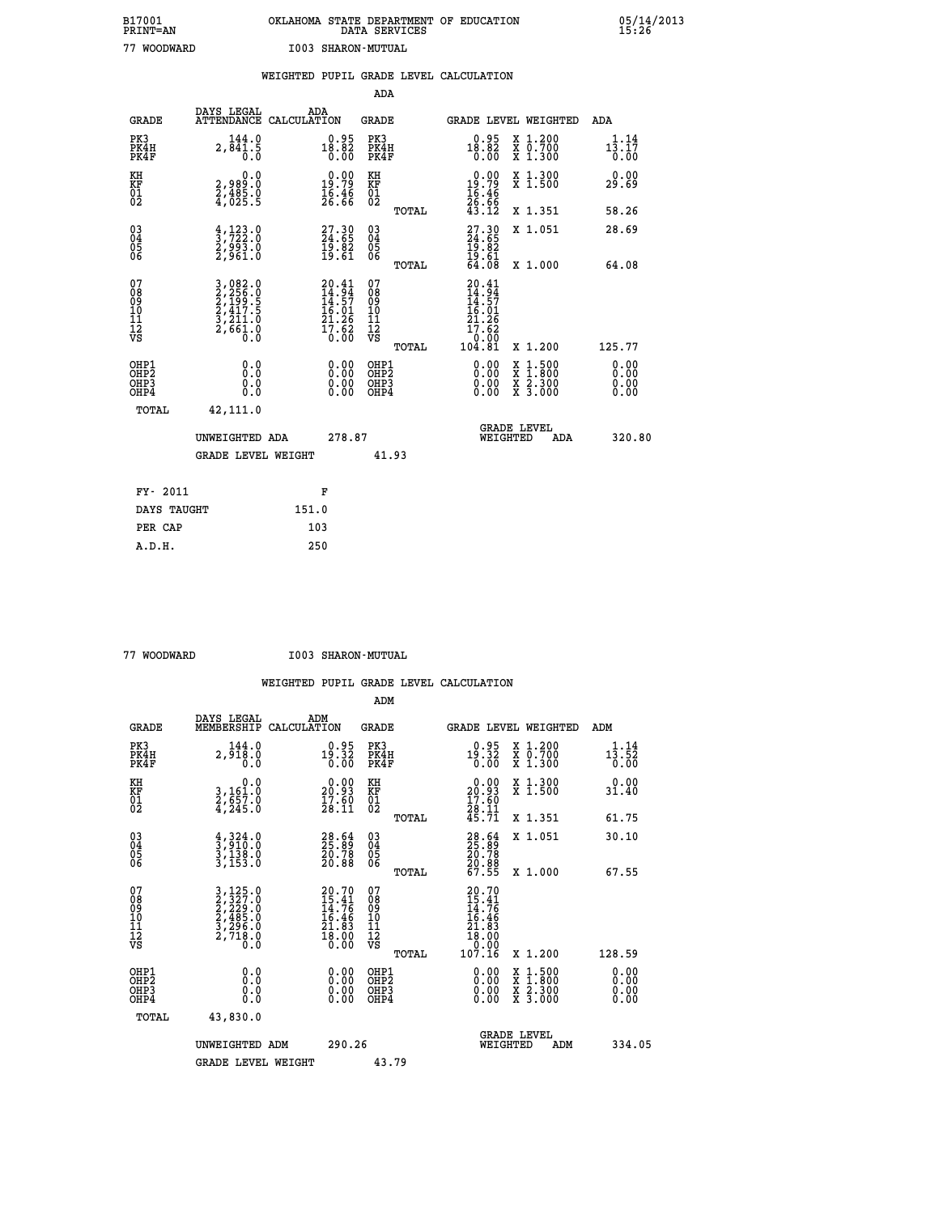# **B17001 OKLAHOMA STATE DEPARTMENT OF EDUCATION 05/14/2013 PRINT=AN DATA SERVICES 15:26 77 WOODWARD I003 SHARON-MUTUAL**

|                                                                    |                                                                                                                                               |                                                                        |                                                                   | ADA                                       |       |                                                              |                                          |                              |
|--------------------------------------------------------------------|-----------------------------------------------------------------------------------------------------------------------------------------------|------------------------------------------------------------------------|-------------------------------------------------------------------|-------------------------------------------|-------|--------------------------------------------------------------|------------------------------------------|------------------------------|
| <b>GRADE</b>                                                       | DAYS LEGAL<br>ATTENDANCE CALCULATION                                                                                                          | ADA                                                                    |                                                                   | <b>GRADE</b>                              |       | GRADE LEVEL WEIGHTED                                         |                                          | ADA                          |
| PK3<br>PK4H<br>PK4F                                                | 144.0<br>2,841.5                                                                                                                              | $18.82$<br>0.82<br>0.00                                                |                                                                   | PK3<br>PK4H<br>PK4F                       |       | $0.95$<br>18.82<br>0.00                                      | X 1.200<br>X 0.700<br>X 1.300            | 1.14<br>13.17<br>0.00        |
| KH<br><b>KF</b><br>01<br>02                                        | 0.0<br>2,989:0<br>2,485.0<br>4,025:5                                                                                                          | 19:79<br>$\frac{16.46}{26.66}$                                         |                                                                   | KH<br>KF<br>01<br>02                      |       | 0.00<br>$19.79$<br>$16.46$<br>$26.66$<br>$43.12$             | X 1.300<br>X 1.500                       | 0.00<br>29.69                |
|                                                                    |                                                                                                                                               |                                                                        |                                                                   |                                           | TOTAL |                                                              | X 1.351                                  | 58.26                        |
| $\begin{smallmatrix} 03 \\[-4pt] 04 \end{smallmatrix}$<br>Ŏ5<br>06 | $\frac{4}{3}, \frac{123}{722}$ : 0<br>2,993: 0<br>2,961: 0                                                                                    | 27.30<br>24.65<br>19.82<br>19.61                                       |                                                                   | $\substack{03 \\ 04}$<br>Ŏ5<br>06         | TOTAL | $27.3024.6519.8219.6164.08$                                  | X 1.051<br>X 1.000                       | 28.69<br>64.08               |
| 07<br>08901112<br>1112<br>VS                                       | $\begin{smallmatrix} 3\,,\,082\,.0\\ 2\,,\,256\,.0\\ 2\,,\,199\,.5\\ 2\,,\,417\,.5\\ 3\,,\,211\,.0\\ 2\,,\,661\,.0\\ 0\,.0 \end{smallmatrix}$ | 20.41<br>$14.94$<br>$14.57$<br>$16.01$<br>$21.26$<br>$17.62$<br>$0.00$ |                                                                   | 07<br>08<br>09<br>11<br>11<br>12<br>VS    |       | 20.41<br>$14.94$<br>$14.57$<br>$16.01$<br>$21.26$<br>$17.62$ |                                          |                              |
|                                                                    |                                                                                                                                               |                                                                        |                                                                   |                                           | TOTAL | 0:00<br>104:81                                               | X 1.200                                  | 125.77                       |
| OHP1<br>OH <sub>P</sub> 2<br>OH <sub>P3</sub><br>OH <sub>P4</sub>  | 0.0<br>0.0<br>0.0                                                                                                                             |                                                                        | $\begin{smallmatrix} 0.00 \ 0.00 \ 0.00 \ 0.00 \end{smallmatrix}$ | OHP1<br>OH <sub>P</sub> 2<br>OHP3<br>OHP4 |       | 0.00<br>0.00<br>0.00                                         | X 1:500<br>X 1:800<br>X 2:300<br>X 3:000 | 0.00<br>0.00<br>0.00<br>0.00 |
| TOTAL                                                              | 42,111.0                                                                                                                                      |                                                                        |                                                                   |                                           |       |                                                              |                                          |                              |
|                                                                    | UNWEIGHTED ADA                                                                                                                                |                                                                        | 278.87                                                            |                                           |       |                                                              | GRADE LEVEL<br>WEIGHTED<br>ADA           | 320.80                       |
|                                                                    | <b>GRADE LEVEL WEIGHT</b>                                                                                                                     |                                                                        |                                                                   | 41.93                                     |       |                                                              |                                          |                              |
| FY- 2011                                                           |                                                                                                                                               | F                                                                      |                                                                   |                                           |       |                                                              |                                          |                              |
| DAYS TAUGHT                                                        |                                                                                                                                               | 151.0                                                                  |                                                                   |                                           |       |                                                              |                                          |                              |
| PER CAP                                                            |                                                                                                                                               | 103                                                                    |                                                                   |                                           |       |                                                              |                                          |                              |

 **A.D.H. 250**

 **77 WOODWARD I003 SHARON-MUTUAL**

|                                          |                                                                                                                                               |                                                                                                    | ADM                                                 |                                                                                |                                          |                              |
|------------------------------------------|-----------------------------------------------------------------------------------------------------------------------------------------------|----------------------------------------------------------------------------------------------------|-----------------------------------------------------|--------------------------------------------------------------------------------|------------------------------------------|------------------------------|
| <b>GRADE</b>                             | DAYS LEGAL<br>MEMBERSHIP                                                                                                                      | ADM<br>CALCULATION                                                                                 | <b>GRADE</b>                                        |                                                                                | <b>GRADE LEVEL WEIGHTED</b>              | ADM                          |
| PK3<br>PK4H<br>PK4F                      | 144.0<br>2,918.0<br>0.0                                                                                                                       | $0.95$<br>19.32<br>0.00                                                                            | PK3<br>PK4H<br>PK4F                                 | $0.95$<br>19.32<br>0.00                                                        | X 1.200<br>X 0.700<br>X 1.300            | 1.14<br>13.52<br>0.00        |
| KH<br>KF<br>01<br>02                     | 0.0<br>3,161:0<br>2,557:0<br>4,245:0                                                                                                          | $\begin{smallmatrix} 0.00\\ 20.93\\ 17.60\\ 28.11 \end{smallmatrix}$                               | KH<br>KF<br>01<br>02                                | $\begin{smallmatrix} 0.00\\ 20.93\\ 17.60\\ 28.11\\ 45.71 \end{smallmatrix}$   | X 1.300<br>X 1.500                       | 0.00<br>31.40                |
|                                          |                                                                                                                                               |                                                                                                    | TOTAL                                               |                                                                                | X 1.351                                  | 61.75                        |
| 03<br>04<br>05<br>06                     | $\frac{4}{3}, \frac{324}{910}.0$<br>$\frac{3}{138}.0$<br>$\frac{138}{3}, \frac{153}{153}.0$                                                   | $\begin{smallmatrix} 28.64\ 25.89\ 20.78\ 20.88 \end{smallmatrix}$                                 | $\begin{array}{c} 03 \\ 04 \\ 05 \\ 06 \end{array}$ | 28.64<br>25.78<br>20.78<br>20.88<br>67.55                                      | X 1.051                                  | 30.10                        |
|                                          |                                                                                                                                               |                                                                                                    | TOTAL                                               |                                                                                | X 1.000                                  | 67.55                        |
| 07<br>08<br>09<br>101<br>112<br>VS       | $\begin{smallmatrix} 3\,,\,125\,.0\\ 2\,,\,327\,.0\\ 2\,,\,229\,.0\\ 2\,,\,485\,.0\\ 3\,,\,296\,.0\\ 2\,,\,718\,.0\\ 0\,.0 \end{smallmatrix}$ | $\begin{smallmatrix} 20.70 \\ 15.41 \\ 14.76 \\ 16.46 \\ 21.83 \\ 18.00 \\ 0.00 \end{smallmatrix}$ | 07<br>08<br>09<br>11<br>11<br>12<br>VS<br>TOTAL     | 20.70<br>15.41<br>14.76<br>16.46<br>21.83<br>21.83<br>18.00<br>09.99<br>107.16 | X 1.200                                  | 128.59                       |
| OHP1<br>OHP2<br>OH <sub>P3</sub><br>OHP4 | 0.0<br>0.000                                                                                                                                  | $0.00$<br>$0.00$<br>0.00                                                                           | OHP1<br>OHP2<br>OHP <sub>3</sub>                    | $0.00$<br>$0.00$<br>0.00                                                       | X 1:500<br>X 1:800<br>X 2:300<br>X 3:000 | 0.00<br>0.00<br>0.00<br>0.00 |
| TOTAL                                    | 43,830.0                                                                                                                                      |                                                                                                    |                                                     |                                                                                |                                          |                              |
|                                          | UNWEIGHTED ADM                                                                                                                                | 290.26                                                                                             |                                                     | WEIGHTED                                                                       | <b>GRADE LEVEL</b><br>ADM                | 334.05                       |
|                                          | <b>GRADE LEVEL WEIGHT</b>                                                                                                                     |                                                                                                    | 43.79                                               |                                                                                |                                          |                              |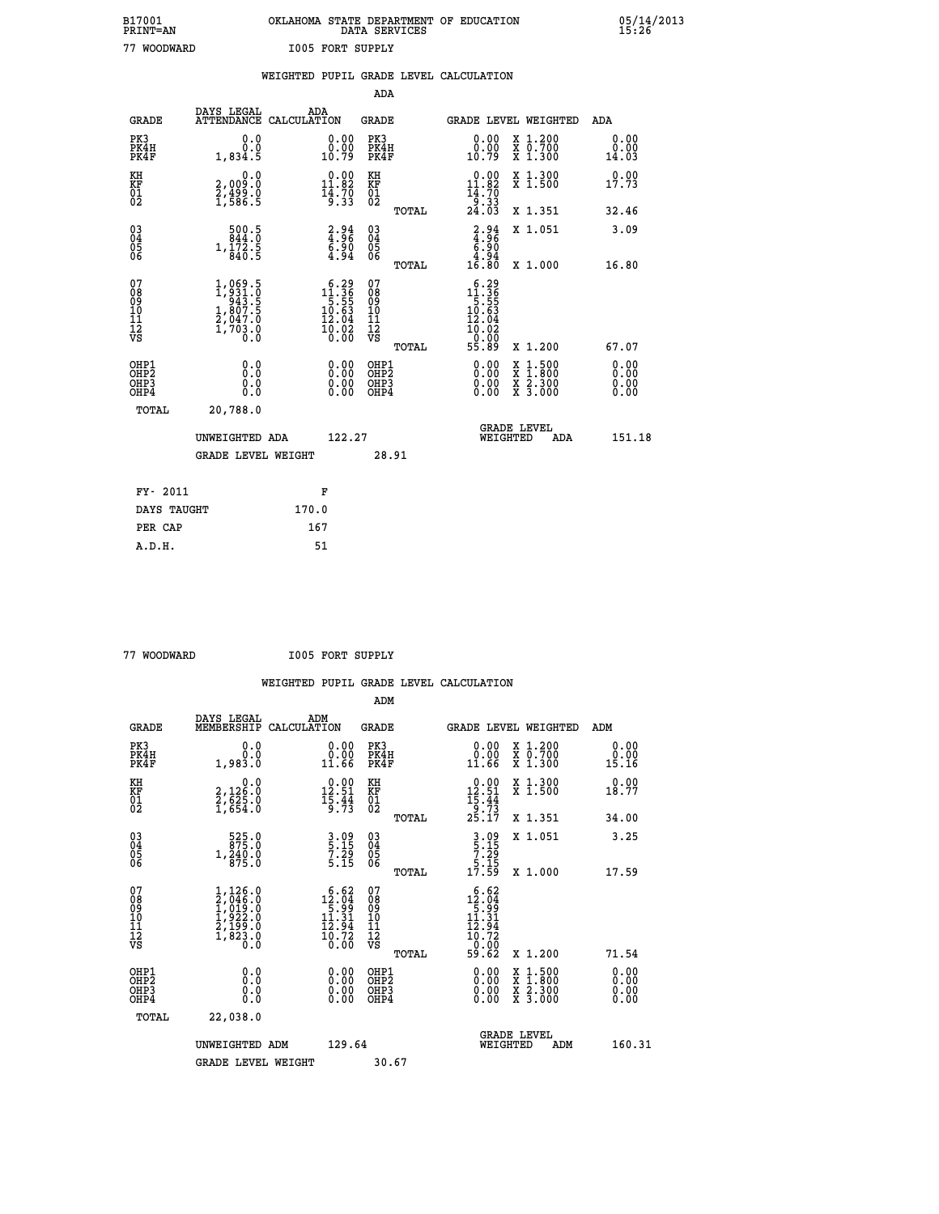| B17001          | OKLAHOMA STATE DEPARTMENT OF EDUCATION |
|-----------------|----------------------------------------|
| <b>PRINT=AN</b> | DATA SERVICES                          |
| 77 WOODWARD     | <b>I005 FORT SUPPLY</b>                |

 **B17001 OKLAHOMA STATE DEPARTMENT OF EDUCATION 05/14/2013**

|                                          |              |                                                                                   | WEIGHTED PUPIL GRADE LEVEL CALCULATION                                                                                                    |                                                    |       |                                                                              |                                                              |                              |
|------------------------------------------|--------------|-----------------------------------------------------------------------------------|-------------------------------------------------------------------------------------------------------------------------------------------|----------------------------------------------------|-------|------------------------------------------------------------------------------|--------------------------------------------------------------|------------------------------|
|                                          |              |                                                                                   |                                                                                                                                           | <b>ADA</b>                                         |       |                                                                              |                                                              |                              |
|                                          | <b>GRADE</b> | DAYS LEGAL<br><b>ATTENDANCE</b>                                                   | ADA<br>CALCULATION                                                                                                                        | <b>GRADE</b>                                       |       |                                                                              | GRADE LEVEL WEIGHTED                                         | ADA                          |
| PK3<br>PK4H<br>PK4F                      |              | 0.0<br>0.0<br>1,834.5                                                             | $\begin{smallmatrix} 0.00\\ 0.00\\ 10.79 \end{smallmatrix}$                                                                               | PK3<br>PK4H<br>PK4F                                |       | 0.00<br>0.00<br>10.79                                                        | X 1.200<br>X 0.700<br>X 1.300                                | 0.00<br>0.00<br>14.03        |
| KH<br>KF<br>01<br>02                     |              | 0.0<br>2,009:0<br>2,499:0<br>1,586:5                                              | $\begin{smallmatrix} 0.00\\ 11.82\\ 14.70\\ 15.33 \end{smallmatrix}$                                                                      | KH<br>KF<br>01<br>02                               |       | $\begin{array}{c} 0.00 \\ 11.82 \\ 14.70 \\ 9.33 \\ 24.03 \end{array}$       | X 1.300<br>X 1.500                                           | 0.00<br>17.73                |
|                                          |              |                                                                                   |                                                                                                                                           |                                                    | TOTAL |                                                                              | X 1.351                                                      | 32.46                        |
| $^{03}_{04}$<br>Ŏ5<br>06                 |              | 500.5<br>844.0<br>$1,\frac{1}{8}\overline{2}\cdot\frac{5}{5}$                     | $\begin{smallmatrix} 2.94\ -36 \\ 4.96 \\ 6.90 \\ 4.94 \end{smallmatrix}$                                                                 | $\begin{matrix} 03 \\ 04 \\ 05 \\ 06 \end{matrix}$ |       | $\begin{array}{c} 2.94 \\ 4.96 \\ 6.90 \\ 4.94 \\ 16.80 \end{array}$         | X 1.051                                                      | 3.09                         |
|                                          |              |                                                                                   |                                                                                                                                           |                                                    | TOTAL |                                                                              | X 1.000                                                      | 16.80                        |
| 07<br>08<br>09<br>11<br>11<br>12<br>VS   |              | $1,969.5$<br>$1,931.0$<br>$943.5$<br>$1,807.5$<br>$2,047.0$<br>$1,703.0$<br>$0.0$ | $\begin{smallmatrix} 6.29\\[-1.2mm] 11.36\\[-1.2mm] 5.55\\[-1.2mm] 10.63\\[-1.2mm] 12.04\\[-1.2mm] 10.02\\[-1.2mm] 0.00\end{smallmatrix}$ | 07<br>08<br>09<br>11<br>11<br>12<br>VS             | TOTAL | $5.29$<br>$11.36$<br>$5.55$<br>$10.63$<br>$12.04$<br>10.02<br>-ŏ:ŏō<br>55.89 | X 1.200                                                      | 67.07                        |
| OHP1<br>OHP2<br>OH <sub>P3</sub><br>OHP4 |              | 0.0<br>Ō.Ō<br>Ō.Ō                                                                 | 0.00<br>$\begin{smallmatrix} 0.00 \ 0.00 \end{smallmatrix}$                                                                               | OHP1<br>OHP2<br>OHP3<br>OHP4                       |       | 0.00<br>0.00<br>0.00                                                         | $1:500$<br>1:800<br>X 1:500<br>X 1:800<br>X 2:300<br>X 3:000 | 0.00<br>0.00<br>0.00<br>0.00 |
|                                          | TOTAL        | 20,788.0                                                                          |                                                                                                                                           |                                                    |       |                                                                              |                                                              |                              |
|                                          |              | UNWEIGHTED ADA                                                                    | 122.27                                                                                                                                    |                                                    |       | WEIGHTED                                                                     | <b>GRADE LEVEL</b><br>ADA                                    | 151.18                       |
|                                          |              | <b>GRADE LEVEL WEIGHT</b>                                                         |                                                                                                                                           |                                                    | 28.91 |                                                                              |                                                              |                              |
|                                          | FY- 2011     |                                                                                   | F                                                                                                                                         |                                                    |       |                                                                              |                                                              |                              |
|                                          | DAYS TAUGHT  |                                                                                   | 170.0                                                                                                                                     |                                                    |       |                                                                              |                                                              |                              |
|                                          | PER CAP      |                                                                                   | 167                                                                                                                                       |                                                    |       |                                                                              |                                                              |                              |

 **A.D.H. 51**

 **ADM**

 **77 WOODWARD I005 FORT SUPPLY**

 **WEIGHTED PUPIL GRADE LEVEL CALCULATION**

| <b>GRADE</b>                                       | DAYS LEGAL ADM<br>MEMBERSHIP CALCULATION                                            |                                                                                     | <b>GRADE</b>                                       |       |                                                                                                                                                                                                                                                                                | GRADE LEVEL WEIGHTED                     | ADM                      |
|----------------------------------------------------|-------------------------------------------------------------------------------------|-------------------------------------------------------------------------------------|----------------------------------------------------|-------|--------------------------------------------------------------------------------------------------------------------------------------------------------------------------------------------------------------------------------------------------------------------------------|------------------------------------------|--------------------------|
| PK3<br>PK4H<br>PK4F                                | 0.0<br>0.0<br>1,983.0                                                               | 0.00<br>11.66                                                                       | PK3<br>PK4H<br>PK4F                                |       | 0.00<br>11.66                                                                                                                                                                                                                                                                  | X 1.200<br>X 0.700<br>X 1.300            | 0.00<br>0.00<br>15.16    |
| KH<br>KF<br>01<br>02                               | $\begin{smallmatrix} & & 0.0\ 2,126.0\ 2,625.0\ 1,654.0 \end{smallmatrix}$          | $\begin{smallmatrix} 0.00\\ 12.51\\ 15.44\\ 9.73 \end{smallmatrix}$                 | KH<br>KF<br>01<br>02                               |       | $\begin{array}{r} 0.00 \\[-4pt] 12.51 \\[-4pt] 15.44 \\[-4pt] 9.73 \\[-4pt] 25.17 \end{array}$                                                                                                                                                                                 | X 1.300<br>X 1.500                       | 0.00<br>18.77            |
|                                                    |                                                                                     |                                                                                     |                                                    | TOTAL |                                                                                                                                                                                                                                                                                | X 1.351                                  | 34.00                    |
| $\begin{matrix} 03 \\ 04 \\ 05 \\ 06 \end{matrix}$ | $\frac{525.0}{275.0}$<br>$1,\frac{540}{875}.\overset{0}{0}$                         | 3.09<br>5.15<br>7.29<br>5.15                                                        | $\begin{matrix} 03 \\ 04 \\ 05 \\ 06 \end{matrix}$ |       | $\begin{array}{c} 3.09 \\ 5.15 \\ 7.29 \\ 5.15 \\ 17.59 \end{array}$                                                                                                                                                                                                           | X 1.051                                  | 3.25                     |
|                                                    |                                                                                     |                                                                                     |                                                    | TOTAL |                                                                                                                                                                                                                                                                                | X 1.000                                  | 17.59                    |
| 07<br>08<br>09<br>101<br>11<br>12<br>VS            | $1,126.0$<br>$2,046.0$<br>$1,019.0$<br>$1,922.0$<br>$2,199.0$<br>$1,823.0$<br>$0.0$ | $\begin{smallmatrix} 6.62\\12.04\\5.99\\11.31\\12.94\\10.72\\0.00\end{smallmatrix}$ | 07<br>08<br>09<br>001<br>11<br>11<br>12<br>VS      | TOTAL | $\begin{array}{r} 6.62 \\ 12.04 \\ 5.99 \\ 11.31 \\ 12.94 \\ 10.72 \\ 0.00 \\ 59.62 \end{array}$                                                                                                                                                                               | X 1.200                                  | 71.54                    |
| OHP1<br>OHP2<br>OH <sub>P3</sub><br>OHP4           |                                                                                     | $\begin{smallmatrix} 0.00 \ 0.00 \ 0.00 \ 0.00 \end{smallmatrix}$                   | OHP1<br>OHP2<br>OHP3<br>OHP4                       |       | $\begin{smallmatrix} 0.00 & 0.00 & 0.00 & 0.00 & 0.00 & 0.00 & 0.00 & 0.00 & 0.00 & 0.00 & 0.00 & 0.00 & 0.00 & 0.00 & 0.00 & 0.00 & 0.00 & 0.00 & 0.00 & 0.00 & 0.00 & 0.00 & 0.00 & 0.00 & 0.00 & 0.00 & 0.00 & 0.00 & 0.00 & 0.00 & 0.00 & 0.00 & 0.00 & 0.00 & 0.00 & 0.0$ | X 1:500<br>X 1:800<br>X 2:300<br>X 3:000 | $0.00$<br>$0.00$<br>0.00 |
| TOTAL                                              | 22,038.0                                                                            |                                                                                     |                                                    |       |                                                                                                                                                                                                                                                                                |                                          |                          |
|                                                    | UNWEIGHTED                                                                          | 129.64<br>ADM                                                                       |                                                    |       | WEIGHTED                                                                                                                                                                                                                                                                       | <b>GRADE LEVEL</b><br>ADM                | 160.31                   |
|                                                    | <b>GRADE LEVEL WEIGHT</b>                                                           |                                                                                     | 30.67                                              |       |                                                                                                                                                                                                                                                                                |                                          |                          |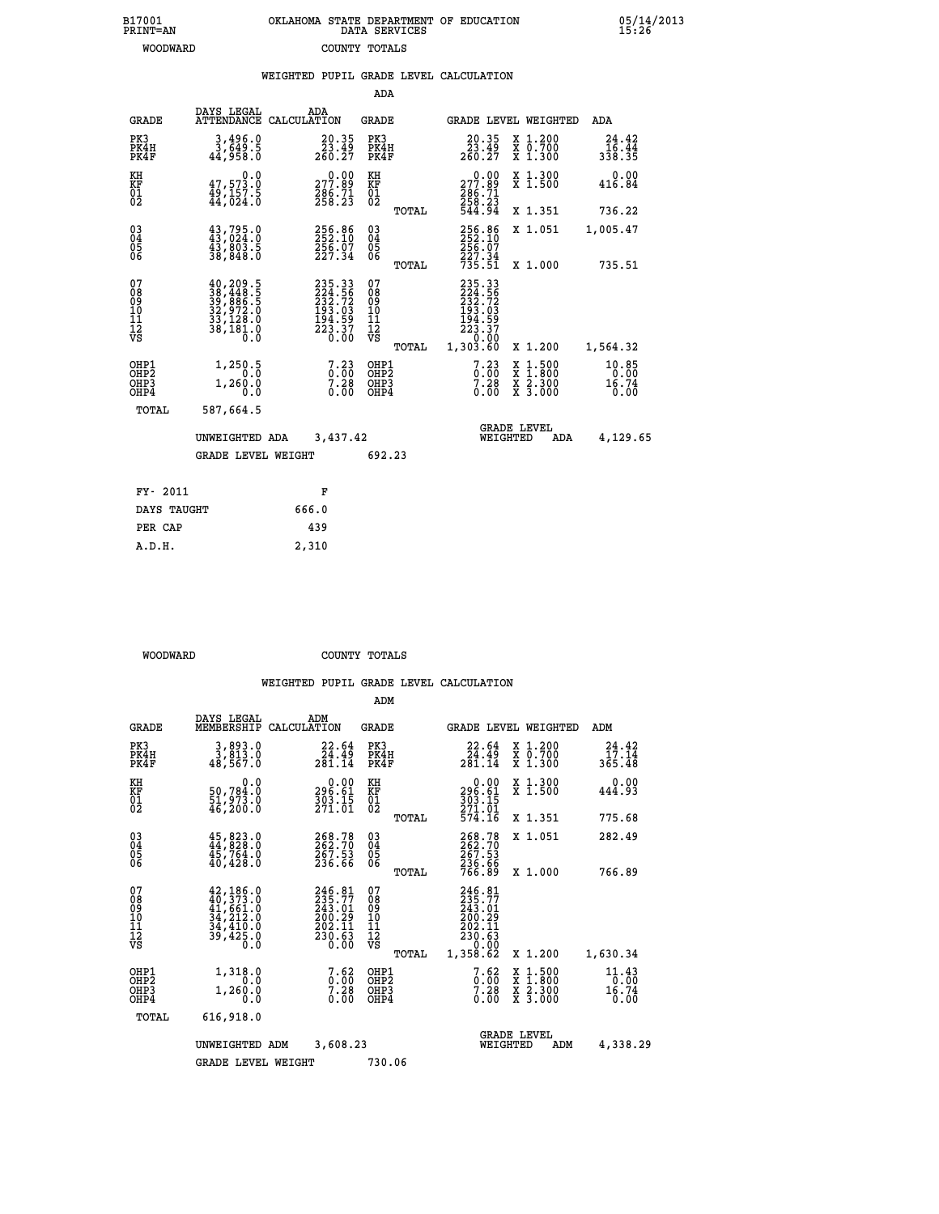| B17001          | OKLAHOMA STATE DEPARTMENT OF EDUCATION |
|-----------------|----------------------------------------|
| <b>PRINT=AN</b> | DATA SERVICES                          |
| WOODWARD        | COUNTY TOTALS                          |

 **B17001 OKLAHOMA STATE DEPARTMENT OF EDUCATION 05/14/2013**

|                                           |                                                                                                                          | WEIGHTED PUPIL GRADE LEVEL CALCULATION                                  |                                           |       |                                                                                   |                                                                                                                                      |                                  |
|-------------------------------------------|--------------------------------------------------------------------------------------------------------------------------|-------------------------------------------------------------------------|-------------------------------------------|-------|-----------------------------------------------------------------------------------|--------------------------------------------------------------------------------------------------------------------------------------|----------------------------------|
|                                           |                                                                                                                          |                                                                         | <b>ADA</b>                                |       |                                                                                   |                                                                                                                                      |                                  |
| <b>GRADE</b>                              | DAYS LEGAL                                                                                                               | ADA<br>ATTENDANCE CALCULATION                                           | GRADE                                     |       | GRADE LEVEL WEIGHTED                                                              |                                                                                                                                      | ADA                              |
| PK3<br>PK4H<br>PK4F                       | 3,496.0<br>3,649.5<br>44,958.0                                                                                           | $\substack{20.35 \\ 23.49 \\ 260.27}$                                   | PK3<br>PK4H<br>PK4F                       |       | $\substack{20.35 \\ 23.49 \\ 260.27}$                                             | X 1.200<br>X 0.700<br>X 1.300                                                                                                        | 24.42<br>16.44<br>338.35         |
| KH<br>KF<br>01<br>02                      | 0.0<br>47,573.0<br>49,157.5<br>44,024.0                                                                                  | $\begin{smallmatrix} &0.00\\ 277.89\\ 286.71\\ 258.23\end{smallmatrix}$ | KH<br>KF<br>01<br>02                      |       | $\begin{smallmatrix} &0.00\\ 277.89\\ 286.71\\ 258.23\\ 544.94 \end{smallmatrix}$ | X 1.300<br>X 1.500                                                                                                                   | 0.00<br>416.84                   |
|                                           |                                                                                                                          |                                                                         |                                           | TOTAL |                                                                                   | X 1.351                                                                                                                              | 736.22                           |
| $^{03}_{04}$<br>05<br>06                  | $\begin{smallmatrix} 43\,,\,795\,.0\,43\,,\,024\,.0\,43\,,\,803\,.5\,38\,,\,848\,.0 \end{smallmatrix}$                   | 256.86<br>252.10<br>256.07<br>227.34                                    | $\substack{03 \\ 04}$<br>$\frac{05}{06}$  |       | 256.86<br>252.10<br>256.07                                                        | X 1.051                                                                                                                              | 1,005.47                         |
|                                           |                                                                                                                          |                                                                         |                                           | TOTAL | 227.34<br>735.51                                                                  | X 1.000                                                                                                                              | 735.51                           |
| 07<br>08<br>09<br>11<br>11<br>12<br>VS    | $\begin{smallmatrix} 40,209.5\\ 38,448.5\\ 39,886.5\\ 32,972.0\\ 33,128.0\\ 33,128.0\\ 38,181.0\\ 0.0 \end{smallmatrix}$ | 235.33<br>224.56<br>232.72<br>233.03<br>194.59<br>223.37<br>0.00        | 07<br>08<br>09<br>11<br>11<br>12<br>VS    |       | 235.33<br>224.56<br>232.72<br>233.03<br>194.597<br>223.370<br>200.000             |                                                                                                                                      |                                  |
|                                           |                                                                                                                          |                                                                         |                                           | TOTAL | 1,303.60                                                                          | X 1.200                                                                                                                              | 1,564.32                         |
| OHP1<br>OH <sub>P</sub> 2<br>OHP3<br>OHP4 | 1,250.5<br>1,260.0<br>0.0                                                                                                | $7.23$<br>$7.28$<br>0.00                                                | OHP1<br>OH <sub>P</sub> 2<br>OHP3<br>OHP4 |       | $7.23$<br>$0.00$<br>$7.28$<br>$0.00$                                              | $\begin{smallmatrix} \mathtt{X} & 1 & 500 \\ \mathtt{X} & 1 & 800 \\ \mathtt{X} & 2 & 300 \\ \mathtt{X} & 3 & 000 \end{smallmatrix}$ | $10.85$<br>0.00<br>16.74<br>0.00 |
| TOTAL                                     | 587,664.5                                                                                                                |                                                                         |                                           |       |                                                                                   |                                                                                                                                      |                                  |
|                                           | UNWEIGHTED ADA                                                                                                           | 3,437.42                                                                |                                           |       | WEIGHTED                                                                          | <b>GRADE LEVEL</b><br>ADA                                                                                                            | 4,129.65                         |
|                                           | <b>GRADE LEVEL WEIGHT</b>                                                                                                |                                                                         | 692.23                                    |       |                                                                                   |                                                                                                                                      |                                  |
| FY- 2011                                  |                                                                                                                          | F                                                                       |                                           |       |                                                                                   |                                                                                                                                      |                                  |
| DAYS TAUGHT                               |                                                                                                                          | 666.0                                                                   |                                           |       |                                                                                   |                                                                                                                                      |                                  |
| PER CAP                                   |                                                                                                                          | 439                                                                     |                                           |       |                                                                                   |                                                                                                                                      |                                  |
| A.D.H.                                    |                                                                                                                          | 2,310                                                                   |                                           |       |                                                                                   |                                                                                                                                      |                                  |

 **WOODWARD COUNTY TOTALS**

 **WEIGHTED PUPIL GRADE LEVEL CALCULATION**

|                                           |                                                                                                                                              |                                                                        | ADM                                             |                                                                                    |                                                                           |                                  |
|-------------------------------------------|----------------------------------------------------------------------------------------------------------------------------------------------|------------------------------------------------------------------------|-------------------------------------------------|------------------------------------------------------------------------------------|---------------------------------------------------------------------------|----------------------------------|
| <b>GRADE</b>                              | DAYS LEGAL<br>MEMBERSHIP                                                                                                                     | ADM<br>CALCULATION                                                     | <b>GRADE</b>                                    | <b>GRADE LEVEL WEIGHTED</b>                                                        |                                                                           | ADM                              |
| PK3<br>PK4H<br>PK4F                       | 3,893.0<br>3,813.0<br>48,567.0                                                                                                               | 22.64<br>24.49<br>281.14                                               | PK3<br>PK4H<br>PK4F                             | 22.64<br>$\frac{2\bar{4}\cdot 4\bar{9}}{281\cdot 14}$                              | $\begin{smallmatrix} x & 1.200 \\ x & 0.700 \end{smallmatrix}$<br>X 1.300 | 24.42<br>17.14<br>365.48         |
| KH<br>KF<br>01<br>02                      | 0.0<br>50,784.0<br>51,973.0<br>46,200.0                                                                                                      | $\begin{smallmatrix} &0.00\ 296.61\ 303.15\ 271.01\ \end{smallmatrix}$ | KH<br>KF<br>01<br>02                            | 0.00<br>296.61<br>303.15<br>271.01<br>574.16                                       | X 1.300<br>X 1.500                                                        | 0.00<br>444.93                   |
|                                           |                                                                                                                                              |                                                                        | TOTAL                                           |                                                                                    | X 1.351                                                                   | 775.68                           |
| 03<br>04<br>05<br>06                      | 45, 823.0<br>44, 828.0<br>45,764.0<br>40,428.0                                                                                               | 268.78<br>262.70<br>267.53<br>236.66                                   | $\substack{03 \\ 04}$<br>0500                   | 268.78<br>262.70<br>267.53                                                         | X 1.051                                                                   | 282.49                           |
|                                           |                                                                                                                                              |                                                                        | TOTAL                                           | 236.66<br>766.89                                                                   | X 1.000                                                                   | 766.89                           |
| 07<br>08<br>09<br>101<br>112<br>VS        | $\begin{smallmatrix} 42,186\cdot 0\\ 40,373\cdot 0\\ 41,661\cdot 0\\ 34,212\cdot 0\\ 34,410\cdot 0\\ 39,425\cdot 0 \end{smallmatrix}$<br>Ō.Ō | 246.81<br>235.77<br>243.01<br>200.29<br>202.11<br>230.63<br>0.00       | 07<br>08<br>09<br>11<br>11<br>12<br>VS<br>TOTAL | $246.81$<br>$235.77$<br>$243.01$<br>200.29<br>202.11<br>230.63<br>0.00<br>1,358.62 | X 1.200                                                                   | 1,630.34                         |
| OHP1<br>OH <sub>P</sub> 2<br>OHP3<br>OHP4 | 1,318.0<br>0.0<br>1,260.0<br>0.0                                                                                                             | $7.62$<br>$7.28$<br>0.00                                               | OHP1<br>OHP2<br>OHP3<br>OHP4                    | 7.62<br>$0.00$<br>7.28<br>0.00                                                     | X 1:500<br>X 1:800<br>X 2:300<br>X 3:000                                  | $11.43$<br>0:00<br>16.74<br>0.00 |
| TOTAL                                     | 616,918.0                                                                                                                                    |                                                                        |                                                 |                                                                                    |                                                                           |                                  |
|                                           | UNWEIGHTED ADM                                                                                                                               | 3,608.23                                                               |                                                 | <b>GRADE LEVEL</b><br>WEIGHTED                                                     | ADM                                                                       | 4,338.29                         |
|                                           | <b>GRADE LEVEL WEIGHT</b>                                                                                                                    |                                                                        | 730.06                                          |                                                                                    |                                                                           |                                  |